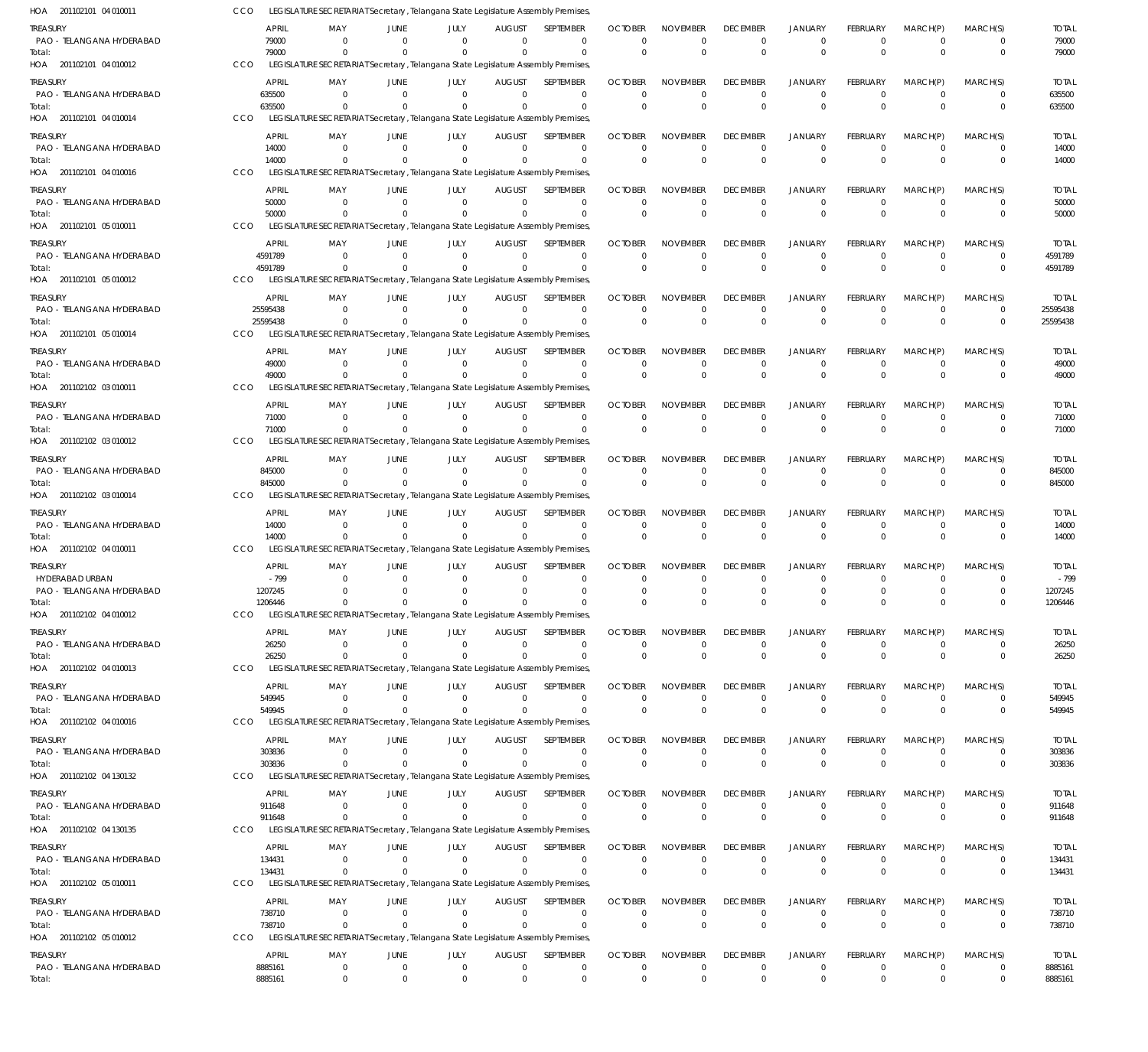| HOA 201102101 04 010011                      | CCO        |                         |                           |                            | LEGISLATURE SECRETARIAT Secretary , Telangana State Legislature Assembly Premises                |                              |                                 |                                  |                                |                                |                                  |                                   |                                  |                            |                         |
|----------------------------------------------|------------|-------------------------|---------------------------|----------------------------|--------------------------------------------------------------------------------------------------|------------------------------|---------------------------------|----------------------------------|--------------------------------|--------------------------------|----------------------------------|-----------------------------------|----------------------------------|----------------------------|-------------------------|
| <b>TREASURY</b><br>PAO - TELANGANA HYDERABAD |            | <b>APRIL</b><br>79000   | MAY<br>$\mathbf 0$        | JUNE<br>$\overline{0}$     | JULY<br>$\Omega$                                                                                 | <b>AUGUST</b><br>$\Omega$    | <b>SEPTEMBER</b><br>$\mathbf 0$ | <b>OCTOBER</b><br>$\Omega$       | <b>NOVEMBER</b><br>$\Omega$    | <b>DECEMBER</b><br>$^{\circ}$  | JANUARY<br>$\overline{0}$        | <b>FEBRUARY</b><br>$\mathbf 0$    | MARCH(P)<br>$\overline{0}$       | MARCH(S)<br>0              | <b>TOTAL</b><br>79000   |
| Total:                                       | CCO        | 79000                   | $\Omega$                  | $\Omega$                   | $\Omega$<br>LEGISLATURE SECRETARIAT Secretary, Telangana State Legislature Assembly Premises     | $\Omega$                     | $\mathbf 0$                     | $\Omega$                         | $\Omega$                       | $\Omega$                       | $\Omega$                         | $\mathbf 0$                       | $\Omega$                         | $\mathbf 0$                | 79000                   |
| HOA 201102101 04 010012                      |            |                         |                           |                            |                                                                                                  |                              |                                 |                                  |                                |                                |                                  |                                   |                                  |                            |                         |
| treasury<br>PAO - TELANGANA HYDERABAD        |            | <b>APRIL</b><br>635500  | MAY<br>0                  | JUNE<br>$\Omega$           | JULY<br>$\Omega$                                                                                 | <b>AUGUST</b><br>$\mathbf 0$ | SEPTEMBER<br>$\Omega$           | <b>OCTOBER</b><br>$\Omega$       | <b>NOVEMBER</b><br>$\Omega$    | <b>DECEMBER</b><br>$^{\circ}$  | <b>JANUARY</b><br>$\overline{0}$ | <b>FEBRUARY</b><br>$\overline{0}$ | MARCH(P)<br>$\overline{0}$       | MARCH(S)<br>$\mathbf 0$    | <b>TOTAL</b><br>635500  |
| Total:                                       |            | 635500                  |                           | $\Omega$                   | $\Omega$                                                                                         | $\Omega$                     | $\Omega$                        | $\Omega$                         | $\Omega$                       | $\Omega$                       | $\Omega$                         | $\Omega$                          | $\Omega$                         | $\mathbf 0$                | 635500                  |
| HOA 201102101 04 010014                      | CCO        |                         |                           |                            | LEGISLATURE SECRETARIAT Secretary, Telangana State Legislature Assembly Premises,                |                              |                                 |                                  |                                |                                |                                  |                                   |                                  |                            |                         |
| <b>TREASURY</b>                              |            | <b>APRIL</b>            | MAY                       | <b>JUNE</b><br>$\Omega$    | JULY<br>$\Omega$                                                                                 | <b>AUGUST</b><br>$\Omega$    | SEPTEMBER                       | <b>OCTOBER</b><br>$\Omega$       | <b>NOVEMBER</b><br>$\Omega$    | <b>DECEMBER</b>                | <b>JANUARY</b>                   | <b>FEBRUARY</b><br>$\mathbf 0$    | MARCH(P)<br>$\Omega$             | MARCH(S)                   | <b>TOTAL</b>            |
| PAO - TELANGANA HYDERABAD<br>Total:          |            | 14000<br>14000          | $\mathbf 0$<br>$\Omega$   | $\Omega$                   | $\Omega$                                                                                         | $\Omega$                     | $\mathbf 0$<br>$\mathbf 0$      | $\Omega$                         | $\Omega$                       | $\mathbf 0$<br>$\mathbf 0$     | $^{\circ}$<br>$\overline{0}$     | $\mathbf 0$                       | $\Omega$                         | $\mathbf 0$<br>$\mathbf 0$ | 14000<br>14000          |
| HOA 201102101 04 010016                      | CCO        |                         |                           |                            | LEGISLATURE SECRETARIAT Secretary, Telangana State Legislature Assembly Premises,                |                              |                                 |                                  |                                |                                |                                  |                                   |                                  |                            |                         |
| treasury                                     |            | <b>APRIL</b>            | MAY                       | JUNE                       | JULY                                                                                             | <b>AUGUST</b>                | SEPTEMBER                       | <b>OCTOBER</b>                   | <b>NOVEMBER</b>                | <b>DECEMBER</b>                | <b>JANUARY</b>                   | <b>FEBRUARY</b>                   | MARCH(P)                         | MARCH(S)                   | <b>TOTAL</b>            |
| PAO - TELANGANA HYDERABAD<br>Total:          |            | 50000<br>50000          | 0<br>$\Omega$             | $^{\circ}$<br>$\Omega$     | $\mathbf 0$<br>$\Omega$                                                                          | $\mathbf 0$<br>$\Omega$      | $\mathbf 0$<br>$\mathbf 0$      | $\Omega$<br>$\Omega$             | $\Omega$<br>$\Omega$           | $^{\circ}$<br>$\Omega$         | $^{\circ}$<br>$\overline{0}$     | $\mathbf 0$<br>$\Omega$           | $\overline{0}$<br>$\Omega$       | 0<br>$\mathbf 0$           | 50000<br>50000          |
| HOA 201102101 05 010011                      | CCO        |                         |                           |                            | LEGISLATURE SECRETARIAT Secretary, Telangana State Legislature Assembly Premises                 |                              |                                 |                                  |                                |                                |                                  |                                   |                                  |                            |                         |
| treasury                                     |            | <b>APRIL</b>            | MAY                       | <b>JUNE</b>                | JULY                                                                                             | <b>AUGUST</b>                | SEPTEMBER                       | <b>OCTOBER</b>                   | <b>NOVEMBER</b>                | <b>DECEMBER</b>                | <b>JANUARY</b>                   | <b>FEBRUARY</b>                   | MARCH(P)                         | MARCH(S)                   | <b>TOTAL</b>            |
| PAO - TELANGANA HYDERABAD                    |            | 4591789                 | $\mathbf 0$               | $\Omega$                   | $\Omega$                                                                                         | $\Omega$                     | $\mathbf 0$                     | $\Omega$                         | $\Omega$                       | $\Omega$                       | $^{\circ}$                       | $\overline{0}$                    | $\Omega$                         | $\mathbf 0$                | 4591789                 |
| Total:<br>HOA 201102101 05 010012            | CCO        | 4591789                 | $\Omega$                  | $\Omega$                   | $\Omega$<br>LEGISLATURE SECRETARIAT Secretary, Telangana State Legislature Assembly Premises     | $\Omega$                     | $\mathbf 0$                     | $\Omega$                         | $\Omega$                       | $\Omega$                       | $\overline{0}$                   | $\mathbf 0$                       | $\Omega$                         | $\mathbf 0$                | 4591789                 |
| <b>TREASURY</b>                              |            | <b>APRIL</b>            | MAY                       | JUNE                       | JULY                                                                                             | <b>AUGUST</b>                | SEPTEMBER                       | <b>OCTOBER</b>                   | <b>NOVEMBER</b>                | <b>DECEMBER</b>                | <b>JANUARY</b>                   | <b>FEBRUARY</b>                   | MARCH(P)                         | MARCH(S)                   | <b>TOTAL</b>            |
| PAO - TELANGANA HYDERABAD                    |            | 25595438                | $\mathbf 0$               | $\overline{0}$             | $\Omega$                                                                                         | $\mathbf 0$                  | $\mathbf 0$                     | $^{\circ}$                       | $\Omega$                       | $^{\circ}$                     | $^{\circ}$                       | $\mathbf 0$                       | $\overline{0}$                   | 0                          | 25595438                |
| Total:                                       |            | 25595438                | $\Omega$                  | $\Omega$                   | $\Omega$                                                                                         | $\Omega$                     | $\mathbf 0$                     | $\Omega$                         | $\Omega$                       | $\Omega$                       | $\overline{0}$                   | $\Omega$                          | $\Omega$                         | $\Omega$                   | 25595438                |
| HOA 201102101 05 010014                      | <b>CCO</b> |                         |                           |                            | LEGISLATURE SECRETARIAT Secretary, Telangana State Legislature Assembly Premises                 |                              |                                 |                                  |                                |                                |                                  |                                   |                                  |                            |                         |
| <b>TREASURY</b><br>PAO - TELANGANA HYDERABAD |            | <b>APRIL</b><br>49000   | MAY<br>$\Omega$           | JUNE<br>$\Omega$           | JULY<br>$\mathbf 0$                                                                              | <b>AUGUST</b><br>$\Omega$    | SEPTEMBER<br>$\mathbf 0$        | <b>OCTOBER</b><br>$\Omega$       | <b>NOVEMBER</b><br>$\mathbf 0$ | <b>DECEMBER</b><br>$\mathbf 0$ | <b>JANUARY</b><br>$\overline{0}$ | <b>FEBRUARY</b><br>$\mathbf 0$    | MARCH(P)<br>$\overline{0}$       | MARCH(S)<br>$\mathbf 0$    | <b>TOTAL</b><br>49000   |
| Total:                                       |            | 49000                   | $\Omega$                  | $\Omega$                   | $\Omega$                                                                                         | $\Omega$                     | $\mathbf 0$                     | $\Omega$                         | $\Omega$                       | $\Omega$                       | $\overline{0}$                   | $\Omega$                          | $\Omega$                         | $\mathbf 0$                | 49000                   |
| HOA 201102102 03 010011                      | CCO        |                         |                           |                            | LEGISLATURE SECRETARIAT Secretary, Telangana State Legislature Assembly Premises,                |                              |                                 |                                  |                                |                                |                                  |                                   |                                  |                            |                         |
| treasury                                     |            | <b>APRIL</b>            | MAY                       | JUNE                       | JULY                                                                                             | <b>AUGUST</b>                | SEPTEMBER                       | <b>OCTOBER</b>                   | <b>NOVEMBER</b>                | <b>DECEMBER</b>                | <b>JANUARY</b>                   | <b>FEBRUARY</b>                   | MARCH(P)                         | MARCH(S)                   | <b>TOTAL</b>            |
| PAO - TELANGANA HYDERABAD<br>Total:          |            | 71000<br>71000          | $\Omega$<br>0             | $\Omega$<br>$\overline{0}$ | $\Omega$<br>$\Omega$                                                                             | $\mathbf 0$<br>$\Omega$      | $\mathbf 0$<br>$\mathbf 0$      | $\Omega$<br>$\Omega$             | $\Omega$<br>$\Omega$           | $^{\circ}$<br>$\Omega$         | $\overline{0}$<br>$\overline{0}$ | $\mathbf 0$<br>$\mathbf 0$        | $\overline{0}$<br>$\Omega$       | 0<br>$\mathbf 0$           | 71000<br>71000          |
| HOA 201102102 03 010012                      | CCO        |                         |                           |                            | LEGISLATURE SECRETARIAT Secretary, Telangana State Legislature Assembly Premises,                |                              |                                 |                                  |                                |                                |                                  |                                   |                                  |                            |                         |
| treasury                                     |            | <b>APRIL</b>            | MAY                       | JUNE                       | JULY                                                                                             | <b>AUGUST</b>                | SEPTEMBER                       | <b>OCTOBER</b>                   | <b>NOVEMBER</b>                | <b>DECEMBER</b>                | <b>JANUARY</b>                   | <b>FEBRUARY</b>                   | MARCH(P)                         | MARCH(S)                   | <b>TOTAL</b>            |
| PAO - TELANGANA HYDERABAD                    |            | 845000                  | $\mathbf 0$               | $\overline{0}$             | $\Omega$                                                                                         | $\mathbf 0$                  | $\mathbf 0$                     | $\Omega$                         | $\Omega$                       | $^{\circ}$                     | $\overline{0}$                   | $\mathbf 0$                       | $\mathbf 0$                      | 0                          | 845000                  |
| Total:<br>HOA 201102102 03 010014            | CCO        | 845000                  | $\Omega$                  | $\overline{0}$             | $\Omega$<br>LEGISLATURE SECRETARIAT Secretary, Telangana State Legislature Assembly Premises     | $\Omega$                     | $\mathbf 0$                     | $\Omega$                         | $\Omega$                       | $\Omega$                       | $\overline{0}$                   | $\Omega$                          | $\Omega$                         | $\mathbf 0$                | 845000                  |
| <b>TREASURY</b>                              |            | <b>APRIL</b>            | MAY                       | JUNE                       | JULY                                                                                             | <b>AUGUST</b>                | SEPTEMBER                       | <b>OCTOBER</b>                   | <b>NOVEMBER</b>                | <b>DECEMBER</b>                | <b>JANUARY</b>                   | <b>FEBRUARY</b>                   | MARCH(P)                         | MARCH(S)                   | <b>TOTAL</b>            |
| PAO - TELANGANA HYDERABAD                    |            | 14000                   | $\mathbf 0$               | $\overline{0}$             | $\mathbf 0$                                                                                      | $\overline{0}$               | $\mathbf 0$                     | $\Omega$                         | $\Omega$                       | $^{\circ}$                     | $^{\circ}$                       | $\overline{0}$                    | $\overline{0}$                   | $\mathbf 0$                | 14000                   |
| Total:<br>HOA 201102102 04 010011            | CCO        | 14000                   | $\mathbf 0$               | $\Omega$                   | $\mathbf 0$<br>LEGISLATURE SECRETARIAT Secretary, Telangana State Legislature Assembly Premises  | $\mathbf 0$                  | $\mathbf 0$                     | $\Omega$                         | $\Omega$                       | $\Omega$                       | $\overline{0}$                   | $\mathbf 0$                       | $\Omega$                         | $\mathbf 0$                | 14000                   |
|                                              |            |                         |                           |                            |                                                                                                  |                              |                                 |                                  |                                |                                |                                  |                                   |                                  |                            |                         |
| TREASURY<br><b>HYDERABAD URBAN</b>           |            | <b>APRIL</b><br>$-799$  | MAY<br>$\Omega$           | JUNE<br>$\Omega$           | JULY<br>$\Omega$                                                                                 | <b>AUGUST</b><br>$\Omega$    | SEPTEMBER<br>0                  | <b>OCTOBER</b><br>$\Omega$       | <b>NOVEMBER</b><br>$\Omega$    | <b>DECEMBER</b><br>$\Omega$    | <b>JANUARY</b><br>$^{\circ}$     | <b>FEBRUARY</b><br>0              | MARCH(P)<br>$\Omega$             | MARCH(S)<br>0              | <b>TOTAL</b><br>$-799$  |
| PAO - TELANGANA HYDERABAD                    |            | 1207245                 | $\Omega$                  | $\Omega$                   | $\Omega$                                                                                         | $\Omega$                     | $\Omega$                        | $\Omega$                         | $\Omega$                       | $\Omega$                       | $\Omega$                         | $\Omega$                          | $\Omega$                         | $\Omega$                   | 1207245                 |
| Total:<br>HOA 201102102 04 010012            | <b>CCO</b> | 1206446                 | $\Omega$                  | $\Omega$                   | $\Omega$<br>LEGISLATURE SECRETARIAT Secretary, Telangana State Legislature Assembly Premises     | $\Omega$                     | $\Omega$                        | $\Omega$                         | $\Omega$                       |                                | $\Omega$                         | $\Omega$                          |                                  |                            | 1206446                 |
| <b>TREASURY</b>                              |            | <b>APRIL</b>            | MAY                       | JUNE                       | JULY                                                                                             | <b>AUGUST</b>                | SEPTEMBER                       | <b>OCTOBER</b>                   | <b>NOVEMBER</b>                | <b>DECEMBER</b>                | <b>JANUARY</b>                   | <b>FEBRUARY</b>                   | MARCH(P)                         | MARCH(S)                   | <b>TOTAL</b>            |
| PAO - TELANGANA HYDERABAD                    |            | 26250                   | $\mathbf 0$               | $\Omega$                   | $\Omega$                                                                                         | $\Omega$                     | $\mathbf 0$                     | $\Omega$                         | $\Omega$                       | $\mathbf 0$                    | $^{\circ}$                       | $\mathbf 0$                       | $^{\circ}$                       | $\mathbf 0$                | 26250                   |
| Total:                                       |            | 26250                   | $\Omega$                  | $\Omega$                   | $\Omega$                                                                                         | $\Omega$                     | $\mathbf 0$                     | $\Omega$                         | $\Omega$                       | $\mathbf 0$                    | $\overline{0}$                   | $\mathbf 0$                       | $\Omega$                         | $\mathbf 0$                | 26250                   |
| HOA 201102102 04 010013                      | CCO        |                         |                           |                            | LEGISLATURE SECRETARIAT Secretary, Telangana State Legislature Assembly Premises                 |                              |                                 |                                  |                                |                                |                                  |                                   |                                  |                            |                         |
| TREASURY<br>PAO - TELANGANA HYDERABAD        |            | <b>APRIL</b><br>549945  | MAY<br>$\mathbf 0$        | JUNE<br>$\Omega$           | JULY<br>$\mathbf 0$                                                                              | <b>AUGUST</b><br>$\Omega$    | SEPTEMBER<br>$\mathbf 0$        | <b>OCTOBER</b><br>$\mathbf 0$    | <b>NOVEMBER</b><br>$\mathbf 0$ | <b>DECEMBER</b><br>$\mathbf 0$ | <b>JANUARY</b><br>$^{\circ}$     | <b>FEBRUARY</b><br>$\mathbf 0$    | MARCH(P)<br>$\overline{0}$       | MARCH(S)<br>$\mathbf 0$    | <b>TOTAL</b><br>549945  |
| Total:                                       |            | 549945                  | $\Omega$                  | $\Omega$                   | $\Omega$                                                                                         | $\Omega$                     | $\mathbf 0$                     | $^{\circ}$                       | $\mathbf 0$                    | $\mathbf 0$                    | $\mathbf 0$                      | $\mathbf 0$                       | $\Omega$                         | $\mathbf 0$                | 549945                  |
| HOA 201102102 04 010016                      | CCO        |                         |                           |                            | LEGISLATURE SECRETARIAT Secretary, Telangana State Legislature Assembly Premises,                |                              |                                 |                                  |                                |                                |                                  |                                   |                                  |                            |                         |
| TREASURY                                     |            | <b>APRIL</b>            | MAY                       | JUNE<br>$\Omega$           | JULY                                                                                             | <b>AUGUST</b>                | SEPTEMBER                       | <b>OCTOBER</b>                   | <b>NOVEMBER</b>                | <b>DECEMBER</b>                | <b>JANUARY</b>                   | <b>FEBRUARY</b>                   | MARCH(P)                         | MARCH(S)                   | <b>TOTAL</b>            |
| PAO - TELANGANA HYDERABAD<br>Total:          |            | 303836<br>303836        | $\Omega$<br>$\mathbf 0$   | $\Omega$                   | $\Omega$<br>$\Omega$                                                                             | $\mathbf 0$<br>$\Omega$      | $\mathbf 0$<br>$\mathbf 0$      | 0<br>$\Omega$                    | $\Omega$<br>$\Omega$           | 0<br>$\mathbf 0$               | $^{\circ}$<br>$\overline{0}$     | $\mathbf 0$<br>$\mathbf 0$        | $\overline{0}$<br>$\overline{0}$ | 0<br>$\mathbf 0$           | 303836<br>303836        |
| HOA 201102102 04 130132                      | CCO        |                         |                           |                            | LEGISLATURE SECRETARIAT Secretary, Telangana State Legislature Assembly Premises                 |                              |                                 |                                  |                                |                                |                                  |                                   |                                  |                            |                         |
| TREASURY                                     |            | <b>APRIL</b>            | MAY                       | JUNE                       | JULY                                                                                             | <b>AUGUST</b>                | SEPTEMBER                       | <b>OCTOBER</b>                   | <b>NOVEMBER</b>                | <b>DECEMBER</b>                | <b>JANUARY</b>                   | <b>FEBRUARY</b>                   | MARCH(P)                         | MARCH(S)                   | <b>TOTAL</b>            |
| PAO - TELANGANA HYDERABAD<br>Total:          |            | 911648<br>911648        | $^{\circ}$<br>$\mathbf 0$ | $\Omega$<br>$\Omega$       | $\Omega$<br>$\Omega$                                                                             | $\Omega$<br>$\Omega$         | 0<br>$\mathbf 0$                | $\Omega$<br>$\Omega$             | $\Omega$<br>$\Omega$           | $\mathbf 0$<br>$\mathbf 0$     | $^{\circ}$<br>$\overline{0}$     | $\mathbf 0$<br>$\mathbf 0$        | $\mathbf 0$<br>$\Omega$          | $\mathbf 0$<br>$\mathbf 0$ | 911648<br>911648        |
| HOA 201102102 04 130135                      | CCO        |                         |                           |                            | LEGISLATURE SECRETARIAT Secretary, Telangana State Legislature Assembly Premises                 |                              |                                 |                                  |                                |                                |                                  |                                   |                                  |                            |                         |
| <b>TREASURY</b>                              |            | <b>APRIL</b>            | MAY                       | JUNE                       | JULY                                                                                             | <b>AUGUST</b>                | SEPTEMBER                       | <b>OCTOBER</b>                   | <b>NOVEMBER</b>                | <b>DECEMBER</b>                | <b>JANUARY</b>                   | <b>FEBRUARY</b>                   | MARCH(P)                         | MARCH(S)                   | <b>TOTAL</b>            |
| PAO - TELANGANA HYDERABAD                    |            | 134431                  | $\mathbf 0$               | $\overline{0}$             | $\mathbf 0$                                                                                      | $\mathbf 0$                  | $\mathbf 0$                     | $\overline{0}$                   | $\mathbf 0$                    | $\mathbf 0$                    | $\overline{0}$                   | $\mathbf 0$                       | $^{\circ}$                       | $\mathbf 0$                | 134431                  |
| Total:<br>HOA 201102102 05 010011            | CCO        | 134431                  | $\mathbf 0$               | $\overline{0}$             | $\mathbf 0$<br>LEGISLATURE SECRETARIAT Secretary, Telangana State Legislature Assembly Premises, | $\mathbf 0$                  | $\mathbf 0$                     | $\Omega$                         | $\Omega$                       | $\mathbf 0$                    | $\overline{0}$                   | $\mathbf 0$                       | $\Omega$                         | $\mathbf 0$                | 134431                  |
| TREASURY                                     |            | <b>APRIL</b>            | MAY                       | JUNE                       | JULY                                                                                             | <b>AUGUST</b>                | SEPTEMBER                       | <b>OCTOBER</b>                   | <b>NOVEMBER</b>                | <b>DECEMBER</b>                | <b>JANUARY</b>                   | FEBRUARY                          | MARCH(P)                         | MARCH(S)                   | <b>TOTAL</b>            |
| PAO - TELANGANA HYDERABAD                    |            | 738710                  | $\mathbf 0$               | $\Omega$                   | 0                                                                                                | 0                            | $\mathbf 0$                     | $^{\circ}$                       | 0                              | $^{\circ}$                     | $^{\circ}$                       | $\mathbf 0$                       | $\overline{0}$                   | $\mathbf 0$                | 738710                  |
| Total:                                       |            | 738710                  | $\Omega$                  | $\Omega$                   | $\Omega$                                                                                         | $\Omega$                     | $\mathbf 0$                     | $\mathbf 0$                      | $\mathbf 0$                    | $\mathbf 0$                    | $\overline{0}$                   | $\mathbf 0$                       | $\Omega$                         | $\mathbf 0$                | 738710                  |
| HOA 201102102 05 010012                      | <b>CCO</b> |                         |                           |                            | LEGISLATURE SECRETARIAT Secretary, Telangana State Legislature Assembly Premises                 |                              |                                 |                                  |                                |                                |                                  |                                   |                                  |                            |                         |
| TREASURY<br>PAO - TELANGANA HYDERABAD        |            | <b>APRIL</b><br>8885161 | MAY<br>$\mathbf 0$        | JUNE<br>$\overline{0}$     | JULY<br>$\mathbf 0$                                                                              | <b>AUGUST</b><br>$\mathbf 0$ | SEPTEMBER<br>$\mathbf 0$        | <b>OCTOBER</b><br>$\overline{0}$ | <b>NOVEMBER</b><br>$\mathbf 0$ | <b>DECEMBER</b><br>$\mathbf 0$ | <b>JANUARY</b><br>$\overline{0}$ | <b>FEBRUARY</b><br>$\mathbf 0$    | MARCH(P)<br>$\overline{0}$       | MARCH(S)<br>$\mathbf 0$    | <b>TOTAL</b><br>8885161 |
| Total:                                       |            | 8885161                 | $\mathbf 0$               | $\Omega$                   | $\Omega$                                                                                         | $\Omega$                     | $\mathbf 0$                     | $\mathbf{0}$                     | $\Omega$                       | $\mathbf{0}$                   | $\Omega$                         | $\Omega$                          | $\Omega$                         | $\Omega$                   | 8885161                 |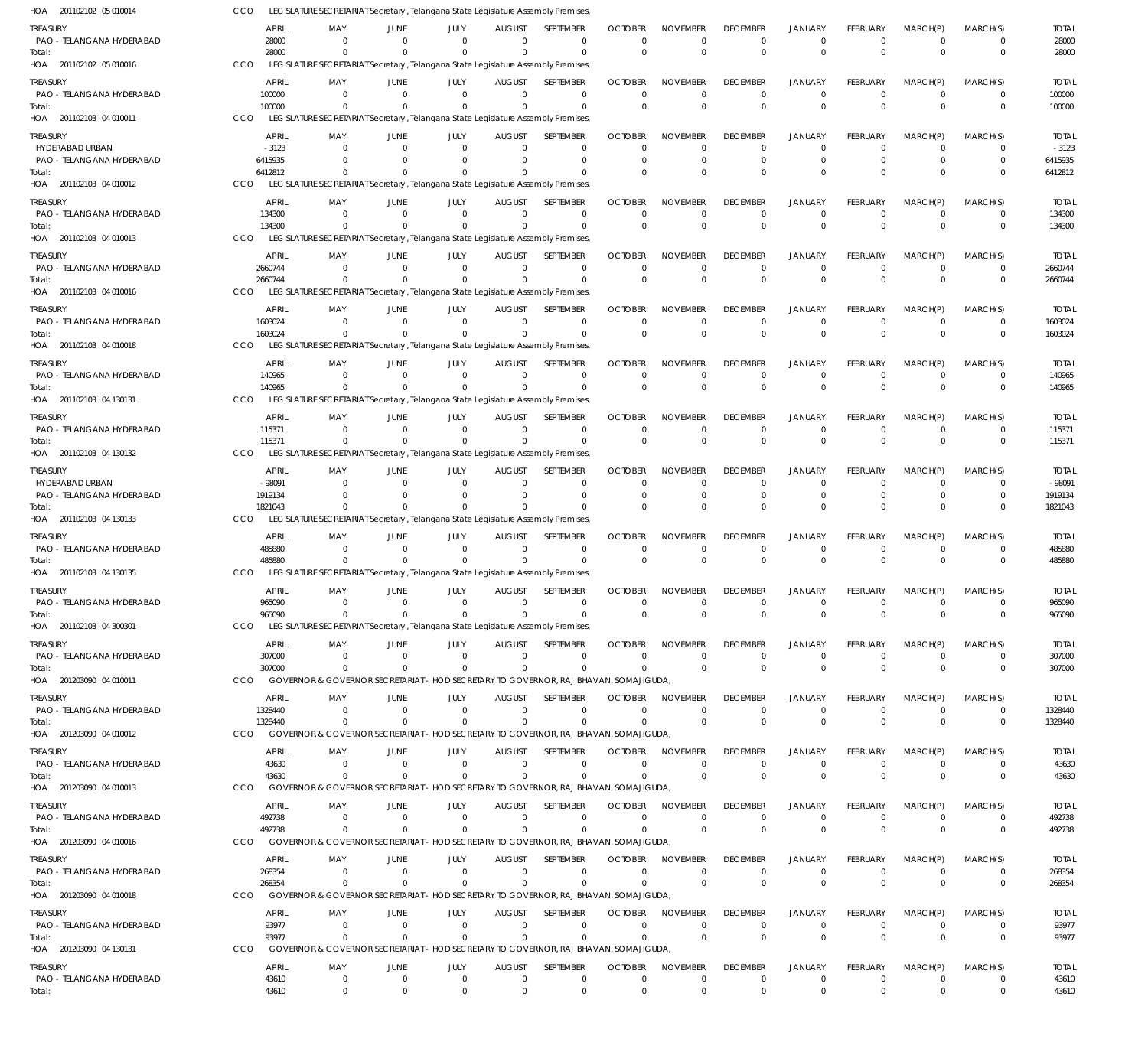| HOA 201102102 05 010014                      | CCO                | LEGISLATURE SECRETARIAT Secretary, Telangana State Legislature Assembly Premises,                          |                                  |                            |                              |                             |                            |                                |                                |                            |                                  |                               |                         |                         |
|----------------------------------------------|--------------------|------------------------------------------------------------------------------------------------------------|----------------------------------|----------------------------|------------------------------|-----------------------------|----------------------------|--------------------------------|--------------------------------|----------------------------|----------------------------------|-------------------------------|-------------------------|-------------------------|
| <b>TREASURY</b>                              |                    | APRIL<br>MAY                                                                                               | JUNE                             | JULY                       | <b>AUGUST</b>                | SEPTEMBER                   | <b>OCTOBER</b>             | <b>NOVEMBER</b>                | <b>DECEMBER</b>                | JANUARY                    | <b>FEBRUARY</b>                  | MARCH(P)                      | MARCH(S)                | <b>TOTAL</b>            |
| PAO - TELANGANA HYDERABAD                    |                    | 28000<br>$\Omega$<br>$\Omega$                                                                              | $\Omega$<br>$\Omega$             | $\Omega$<br>$\Omega$       | $\Omega$<br>$\Omega$         | $\Omega$<br>$\Omega$        | $\Omega$<br>$\Omega$       | $\mathbf 0$<br>$\mathbf 0$     | $\Omega$<br>$\Omega$           | $\Omega$<br>$\Omega$       | $\Omega$<br>$\Omega$             | $\Omega$<br>$\Omega$          | 0<br>$\mathbf 0$        | 28000                   |
| Total:<br>HOA 201102102 05 010016            | CCO                | 28000<br>LEGISLATURE SECRETARIAT Secretary , Telangana State Legislature Assembly Premises,                |                                  |                            |                              |                             |                            |                                |                                |                            |                                  |                               |                         | 28000                   |
| <b>TREASURY</b>                              |                    | <b>APRIL</b><br>MAY                                                                                        | JUNE                             | JULY                       | <b>AUGUST</b>                | SEPTEMBER                   | <b>OCTOBER</b>             | <b>NOVEMBER</b>                | <b>DECEMBER</b>                | <b>JANUARY</b>             | <b>FEBRUARY</b>                  | MARCH(P)                      | MARCH(S)                | <b>TOTAL</b>            |
| PAO - TELANGANA HYDERABAD                    |                    | 100000<br>$\Omega$                                                                                         | $\Omega$                         | $\Omega$                   | $\Omega$                     | $\Omega$                    | $\Omega$                   | $\mathbf 0$                    | $\Omega$                       | $\Omega$                   | $\Omega$                         | $\Omega$                      | 0                       | 100000                  |
| Total:                                       |                    | 100000<br>$\Omega$                                                                                         | $\Omega$                         | $\Omega$                   | $\Omega$                     | $\Omega$                    | $\Omega$                   | $\Omega$                       | $\Omega$                       | $\Omega$                   | $\Omega$                         | $\Omega$                      | $\mathbf 0$             | 100000                  |
| HOA 201102103 04 010011                      | CCO                | LEGISLATURE SECRETARIAT Secretary, Telangana State Legislature Assembly Premises,                          |                                  |                            |                              |                             |                            |                                |                                |                            |                                  |                               |                         |                         |
| <b>TREASURY</b>                              |                    | APRIL<br>MAY                                                                                               | JUNE                             | JULY                       | <b>AUGUST</b>                | SEPTEMBER                   | <b>OCTOBER</b>             | <b>NOVEMBER</b>                | <b>DECEMBER</b>                | <b>JANUARY</b>             | <b>FEBRUARY</b>                  | MARCH(P)                      | MARCH(S)                | <b>TOTAL</b>            |
| HYDERABAD URBAN<br>PAO - TELANGANA HYDERABAD | 6415935            | $-3123$<br>$\Omega$<br>$\Omega$                                                                            | $\Omega$<br>$\Omega$             | $\Omega$<br>$\Omega$       | $\Omega$<br>$\Omega$         | $\Omega$<br>$\mathbf 0$     | $\Omega$<br>$\Omega$       | $\Omega$<br>$\mathbf 0$        | $\Omega$<br>$\Omega$           | $\Omega$<br>$\mathbf 0$    | $\Omega$<br>$\Omega$             | $\Omega$<br>$\Omega$          | 0<br>$\mathbf 0$        | $-3123$<br>6415935      |
| Total:                                       | 6412812            | $\Omega$                                                                                                   | $\Omega$                         | $\Omega$                   | $\Omega$                     | $\Omega$                    | $\Omega$                   | $\Omega$                       | $\Omega$                       | $\Omega$                   | $\Omega$                         | $\Omega$                      | $\Omega$                | 6412812                 |
| HOA 201102103 04 010012                      | CCO                | LEGISLATURE SECRETARIAT Secretary, Telangana State Legislature Assembly Premises,                          |                                  |                            |                              |                             |                            |                                |                                |                            |                                  |                               |                         |                         |
| <b>TREASURY</b>                              |                    | APRIL<br>MAY                                                                                               | JUNE                             | JULY                       | <b>AUGUST</b>                | SEPTEMBER                   | <b>OCTOBER</b>             | <b>NOVEMBER</b>                | <b>DECEMBER</b>                | JANUARY                    | <b>FEBRUARY</b>                  | MARCH(P)                      | MARCH(S)                | <b>TOTAL</b>            |
| PAO - TELANGANA HYDERABAD<br>Total:          |                    | 134300<br>$\Omega$<br>134300<br>$\Omega$                                                                   | $\Omega$<br>$\Omega$             | $\Omega$<br>$\Omega$       | $\Omega$<br>$\Omega$         | $\Omega$<br>$\Omega$        | $\Omega$<br>$\Omega$       | $\mathbf 0$<br>$\mathbf 0$     | $\Omega$<br>$\Omega$           | $\Omega$<br>$\Omega$       | $\Omega$<br>$\Omega$             | $\Omega$<br>$\Omega$          | 0<br>$\Omega$           | 134300<br>134300        |
| HOA 201102103 04 010013                      | CCO                | LEGISLATURE SECRETARIAT Secretary, Telangana State Legislature Assembly Premises,                          |                                  |                            |                              |                             |                            |                                |                                |                            |                                  |                               |                         |                         |
| <b>TREASURY</b>                              |                    | <b>APRIL</b><br>MAY                                                                                        | JUNE                             | JULY                       | <b>AUGUST</b>                | SEPTEMBER                   | <b>OCTOBER</b>             | <b>NOVEMBER</b>                | <b>DECEMBER</b>                | <b>JANUARY</b>             | <b>FEBRUARY</b>                  | MARCH(P)                      | MARCH(S)                | <b>TOTAL</b>            |
| PAO - TELANGANA HYDERABAD                    | 2660744            | $\Omega$                                                                                                   | $\Omega$                         | $\Omega$                   | $\Omega$                     | $\mathbf 0$                 | $\Omega$                   | $\mathbf 0$                    | $\overline{0}$                 | $\Omega$                   | $\Omega$                         | $\Omega$                      | $\mathbf 0$             | 2660744                 |
| Total:                                       | 2660744            | $\Omega$                                                                                                   | $\Omega$                         | $\Omega$                   | $\Omega$                     | $\Omega$                    | $\Omega$                   | $\Omega$                       | $\Omega$                       | $\Omega$                   | $\Omega$                         | $\Omega$                      | $\mathbf 0$             | 2660744                 |
| HOA 201102103 04 010016                      | CCO                | LEGISLATURE SECRETARIAT Secretary, Telangana State Legislature Assembly Premises,                          |                                  |                            |                              |                             |                            |                                |                                |                            |                                  |                               |                         |                         |
| treasury<br>PAO - TELANGANA HYDERABAD        | 1603024            | APRIL<br>MAY<br>$\Omega$                                                                                   | JUNE<br>$\Omega$                 | JULY<br>$\Omega$           | <b>AUGUST</b><br>$\Omega$    | SEPTEMBER<br>$\Omega$       | <b>OCTOBER</b><br>$\Omega$ | <b>NOVEMBER</b><br>$\mathbf 0$ | <b>DECEMBER</b><br>$\Omega$    | <b>JANUARY</b><br>$\Omega$ | <b>FEBRUARY</b><br>$\Omega$      | MARCH(P)<br>$\Omega$          | MARCH(S)<br>0           | <b>TOTAL</b><br>1603024 |
| Total:                                       | 1603024            | $\Omega$                                                                                                   | $\Omega$                         | $\Omega$                   | $\Omega$                     | $\Omega$                    | $\Omega$                   | $\Omega$                       | $\Omega$                       | $\Omega$                   | $\Omega$                         | $\Omega$                      | $\mathbf 0$             | 1603024                 |
| HOA 201102103 04 010018                      | CCO                | LEGISLATURE SECRETARIAT Secretary, Telangana State Legislature Assembly Premises,                          |                                  |                            |                              |                             |                            |                                |                                |                            |                                  |                               |                         |                         |
| treasury                                     |                    | APRIL<br>MAY                                                                                               | JUNE                             | JULY                       | <b>AUGUST</b>                | SEPTEMBER                   | <b>OCTOBER</b>             | <b>NOVEMBER</b>                | <b>DECEMBER</b>                | <b>JANUARY</b>             | FEBRUARY                         | MARCH(P)                      | MARCH(S)                | <b>TOTAL</b>            |
| PAO - TELANGANA HYDERABAD                    |                    | 140965<br>0                                                                                                | $\Omega$                         | $\Omega$                   | $\Omega$                     | $\mathbf 0$                 | 0                          | $\mathbf 0$                    | 0                              | 0                          | $\Omega$                         | $\Omega$                      | 0                       | 140965                  |
| Total:<br>HOA 201102103 04 130131            | <b>CCO</b>         | 140965<br>$\Omega$<br>LEGISLATURE SECRETARIAT Secretary , Telangana State Legislature Assembly Premises,   | $\Omega$                         | $\mathbf 0$                | $\Omega$                     | $\Omega$                    | $\Omega$                   | $\Omega$                       | $\Omega$                       | $\Omega$                   | $\Omega$                         | $\Omega$                      | $\mathbf 0$             | 140965                  |
| treasury                                     |                    | APRIL<br>MAY                                                                                               | JUNE                             | JULY                       | <b>AUGUST</b>                | SEPTEMBER                   | <b>OCTOBER</b>             | <b>NOVEMBER</b>                | <b>DECEMBER</b>                | JANUARY                    | <b>FEBRUARY</b>                  | MARCH(P)                      | MARCH(S)                | <b>TOTAL</b>            |
| PAO - TELANGANA HYDERABAD                    |                    | 115371<br>$\Omega$                                                                                         | $\Omega$                         | $\Omega$                   | $\Omega$                     | $\Omega$                    | $\Omega$                   | $\Omega$                       | $\Omega$                       | $\Omega$                   | $\Omega$                         | $\Omega$                      | 0                       | 115371                  |
| Total:                                       |                    | 115371<br>$\Omega$                                                                                         | $\Omega$                         | $\Omega$                   | $\Omega$                     | $\Omega$                    | $\Omega$                   | $\Omega$                       | $\Omega$                       | $\Omega$                   | $\Omega$                         | $\Omega$                      | $\mathbf 0$             | 115371                  |
| HOA 201102103 04 130132                      | CCO                | LEGISLATURE SECRETARIAT Secretary, Telangana State Legislature Assembly Premises,                          |                                  |                            |                              |                             |                            |                                |                                |                            |                                  |                               |                         |                         |
| <b>TREASURY</b>                              |                    | APRIL<br>MAY                                                                                               | JUNE                             | JULY                       | <b>AUGUST</b>                | SEPTEMBER                   | <b>OCTOBER</b>             | <b>NOVEMBER</b>                | <b>DECEMBER</b>                | <b>JANUARY</b>             | <b>FEBRUARY</b>                  | MARCH(P)                      | MARCH(S)                | <b>TOTAL</b>            |
| HYDERABAD URBAN<br>PAO - TELANGANA HYDERABAD | 1919134            | $-98091$<br>$\Omega$<br>$\Omega$                                                                           | $\Omega$<br>$\Omega$             | $\Omega$<br>$\Omega$       | $\Omega$<br>$\Omega$         | $\mathbf 0$<br>$\mathbf 0$  | $\Omega$<br>$\Omega$       | $\mathbf 0$<br>$\mathbf 0$     | $\Omega$<br>$\Omega$           | $\Omega$<br>$\mathbf 0$    | $\Omega$<br>$\Omega$             | $\Omega$<br>$\Omega$          | 0<br>$\mathbf 0$        | $-98091$<br>1919134     |
| Total:                                       | 1821043            | $\Omega$                                                                                                   | $\Omega$                         | $\Omega$                   | $\Omega$                     | $\Omega$                    | $\Omega$                   | $\Omega$                       | $\Omega$                       | $\Omega$                   | $\Omega$                         | $\Omega$                      | $\Omega$                | 1821043                 |
| HOA 201102103 04 130133                      | CCO                | LEGISLATURE SECRETARIAT Secretary, Telangana State Legislature Assembly Premises,                          |                                  |                            |                              |                             |                            |                                |                                |                            |                                  |                               |                         |                         |
| TREASURY                                     |                    | APRIL<br>MAY                                                                                               | JUNE                             | JULY                       | <b>AUGUST</b>                | SEPTEMBER                   | <b>OCTOBER</b>             | <b>NOVEMBER</b>                | <b>DECEMBER</b>                | <b>JANUARY</b>             | <b>FEBRUARY</b>                  | MARCH(P)                      | MARCH(S)                | <b>TOTAL</b>            |
| PAO - TELANGANA HYDERABAD                    |                    | 485880<br>$\Omega$<br>485880<br>$\Omega$                                                                   | $\Omega$<br>$\Omega$             | $\Omega$<br>$\Omega$       | $\Omega$<br>$\mathbf 0$      | $\mathbf 0$<br>$\mathbf{0}$ | 0<br>$\Omega$              | $\mathbf 0$<br>$^{\circ}$      | 0<br>$\Omega$                  | $\Omega$<br>$\Omega$       | $\Omega$<br>$\Omega$             | $\Omega$<br>$\Omega$          | 0<br>$\mathbf 0$        | 485880<br>485880        |
| Total:<br>HOA 201102103 04 130135            | <b>CCO</b>         | LEGISLATURE SECRETARIAT Secretary , Telangana State Legislature Assembly Premises,                         |                                  |                            |                              |                             |                            |                                |                                |                            |                                  |                               |                         |                         |
| <b>TREASURY</b>                              |                    | APRIL<br>MAY                                                                                               | JUNE                             | JULY                       | <b>AUGUST</b>                | SEPTEMBER                   | <b>OCTOBER</b>             | <b>NOVEMBER</b>                | <b>DECEMBER</b>                | <b>JANUARY</b>             | <b>FEBRUARY</b>                  | MARCH(P)                      | MARCH(S)                | <b>TOTAL</b>            |
| PAO - TELANGANA HYDERABAD                    |                    | 965090<br>$\Omega$                                                                                         | $\Omega$                         | $\Omega$                   | $\Omega$                     | $\Omega$                    | $\Omega$                   | $\Omega$                       | $\Omega$                       |                            | $\Omega$                         | $\Omega$                      |                         | 965090                  |
| Total:                                       |                    | 965090<br>$\Omega$                                                                                         | $\Omega$                         | $\Omega$                   | $\Omega$                     | $\Omega$                    | $\Omega$                   | $\Omega$                       | $\Omega$                       | $\Omega$                   | $\Omega$                         | $\Omega$                      | $\mathbf 0$             | 965090                  |
| HOA 201102103 04 300301                      | CCO                | LEGISLATURE SECRETARIAT Secretary, Telangana State Legislature Assembly Premises,                          |                                  |                            |                              |                             |                            |                                |                                |                            |                                  |                               |                         |                         |
| <b>TREASURY</b><br>PAO - TELANGANA HYDERABAD |                    | APRIL<br>MAY<br>307000<br>$\Omega$                                                                         | JUNE<br>$\Omega$                 | JULY<br>$\Omega$           | <b>AUGUST</b><br>$\mathbf 0$ | SEPTEMBER<br>0              | <b>OCTOBER</b><br>$\Omega$ | <b>NOVEMBER</b><br>0           | <b>DECEMBER</b><br>$\mathbf 0$ | <b>JANUARY</b><br>0        | FEBRUARY<br>$\Omega$             | MARCH(P)<br>$^{\circ}$        | MARCH(S)<br>0           | <b>TOTAL</b><br>307000  |
| Total:                                       |                    | 307000<br>$\Omega$                                                                                         | - 0                              | $\Omega$                   | $\Omega$                     | $\Omega$                    | $\Omega$                   | $\Omega$                       | $\overline{0}$                 | $\Omega$                   | $\Omega$                         | $\Omega$                      | $\mathbf{0}$            | 307000                  |
| HOA 201203090 04 010011                      | CCO                | GOVERNOR & GOVERNOR SECRETARIAT - HOD SECRETARY TO GOVERNOR, RAJ BHAVAN, SOMAJIGUDA,                       |                                  |                            |                              |                             |                            |                                |                                |                            |                                  |                               |                         |                         |
| <b>TREASURY</b>                              |                    | APRIL<br>MAY                                                                                               | JUNE                             | JULY                       | <b>AUGUST</b>                | <b>SEPTEMBER</b>            | <b>OCTOBER</b>             | <b>NOVEMBER</b>                | <b>DECEMBER</b>                | JANUARY                    | FEBRUARY                         | MARCH(P)                      | MARCH(S)                | TOTAL                   |
| PAO - TELANGANA HYDERABAD                    | 1328440<br>1328440 | $\overline{0}$<br>$\Omega$                                                                                 | $\overline{0}$<br>$\Omega$       | $\Omega$<br>$\Omega$       | $\Omega$<br>$\Omega$         | 0<br>$\Omega$               | $\Omega$<br>$\Omega$       | $\mathbf 0$<br>$\Omega$        | $\Omega$<br>$\Omega$           | $\Omega$<br>$\Omega$       | $\Omega$<br>$\Omega$             | $\Omega$<br>$\Omega$          | 0<br>$\mathbf{0}$       | 1328440<br>1328440      |
| Total:<br>HOA 201203090 04 010012            | CCO                | GOVERNOR & GOVERNOR SECRETARIAT - HOD SECRETARY TO GOVERNOR, RAJ BHAVAN, SOMAJIGUDA,                       |                                  |                            |                              |                             |                            |                                |                                |                            |                                  |                               |                         |                         |
| <b>TREASURY</b>                              |                    | APRIL<br>MAY                                                                                               | JUNE                             | JULY                       | <b>AUGUST</b>                | <b>SEPTEMBER</b>            | <b>OCTOBER</b>             | <b>NOVEMBER</b>                | <b>DECEMBER</b>                | JANUARY                    | <b>FEBRUARY</b>                  | MARCH(P)                      | MARCH(S)                | <b>TOTAL</b>            |
| PAO - TELANGANA HYDERABAD                    |                    | 43630<br>$\overline{0}$                                                                                    | $\Omega$                         | $\Omega$                   | $\mathbf 0$                  | 0                           | $\Omega$                   | $\mathbf 0$                    | $\mathbf 0$                    | $\Omega$                   | $\Omega$                         | $\Omega$                      | 0                       | 43630                   |
| Total:                                       |                    | 43630<br>$\Omega$                                                                                          | $\Omega$                         | $\Omega$                   | $\Omega$                     | $\Omega$                    | $\Omega$                   | $\mathbf 0$                    | $\Omega$                       | $\Omega$                   | $\Omega$                         | $\Omega$                      | $\Omega$                | 43630                   |
| HOA 201203090 04 010013                      | <b>CCO</b>         | GOVERNOR & GOVERNOR SECRETARIAT - HOD SECRETARY TO GOVERNOR, RAJ BHAVAN, SOMAJIGUDA,                       |                                  |                            |                              |                             |                            |                                |                                |                            |                                  |                               |                         |                         |
| <b>TREASURY</b><br>PAO - TELANGANA HYDERABAD |                    | <b>APRIL</b><br>MAY<br>492738<br>$\Omega$                                                                  | JUNE<br>$\Omega$                 | JULY<br>$\Omega$           | <b>AUGUST</b><br>$\Omega$    | SEPTEMBER<br>$\mathbf 0$    | <b>OCTOBER</b><br>$\Omega$ | <b>NOVEMBER</b><br>$\mathbf 0$ | <b>DECEMBER</b><br>$\mathbf 0$ | JANUARY<br>$\Omega$        | FEBRUARY<br>$\Omega$             | MARCH(P)<br>$\Omega$          | MARCH(S)<br>$\mathbf 0$ | <b>TOTAL</b><br>492738  |
| Total:                                       |                    | 492738<br>$\Omega$                                                                                         | - 0                              | $\Omega$                   | $\Omega$                     | $\Omega$                    | $\Omega$                   | $\Omega$                       | $\mathbf 0$                    | $\mathbf 0$                | $\Omega$                         | $\Omega$                      | $\mathbf{0}$            | 492738                  |
| HOA 201203090 04 010016                      | CCO                | GOVERNOR & GOVERNOR SECRETARIAT - HOD SECRETARY TO GOVERNOR, RAJ BHAVAN, SOMAJIGUDA,                       |                                  |                            |                              |                             |                            |                                |                                |                            |                                  |                               |                         |                         |
| <b>TREASURY</b>                              |                    | APRIL<br>MAY                                                                                               | JUNE                             | JULY                       | <b>AUGUST</b>                | SEPTEMBER                   | <b>OCTOBER</b>             | <b>NOVEMBER</b>                | <b>DECEMBER</b>                | <b>JANUARY</b>             | <b>FEBRUARY</b>                  | MARCH(P)                      | MARCH(S)                | <b>TOTAL</b>            |
| PAO - TELANGANA HYDERABAD                    |                    | 268354<br>$\overline{0}$                                                                                   | $\Omega$                         | $\Omega$                   | $\mathbf 0$                  | 0                           | $\Omega$                   | 0                              | $\mathbf 0$                    | $\Omega$                   | $\Omega$                         | $^{\circ}$                    | 0                       | 268354                  |
| Total:<br>HOA 201203090 04 010018            | <b>CCO</b>         | 268354<br>$\Omega$<br>GOVERNOR & GOVERNOR SECRETARIAT - HOD SECRETARY TO GOVERNOR, RAJ BHAVAN, SOMAJIGUDA, | $\Omega$                         | $\Omega$                   | $\Omega$                     | $\Omega$                    | $\Omega$                   | $\Omega$                       | $\Omega$                       | $\Omega$                   | $\Omega$                         | $\Omega$                      | $\mathbf 0$             | 268354                  |
|                                              |                    | APRIL<br>MAY                                                                                               |                                  |                            |                              | SEPTEMBER                   | <b>OCTOBER</b>             | <b>NOVEMBER</b>                | <b>DECEMBER</b>                | JANUARY                    | FEBRUARY                         |                               | MARCH(S)                |                         |
| <b>TREASURY</b><br>PAO - TELANGANA HYDERABAD |                    | 93977<br>$\Omega$                                                                                          | JUNE<br>$\overline{0}$           | JULY<br>$\Omega$           | <b>AUGUST</b><br>$\Omega$    | $\mathbf 0$                 | $\Omega$                   | $\mathbf 0$                    | 0                              | $\Omega$                   | $\Omega$                         | MARCH(P)<br>$\Omega$          | 0                       | <b>TOTAL</b><br>93977   |
| Total:                                       |                    | 93977<br>$\Omega$                                                                                          | $\Omega$                         | $\Omega$                   | $\Omega$                     | $\Omega$                    | $\Omega$                   | $\Omega$                       | $\mathbf{0}$                   | $\mathbf 0$                | $\Omega$                         | $\Omega$                      | $\mathbf{0}$            | 93977                   |
| HOA 201203090 04 130131                      | <b>CCO</b>         | GOVERNOR & GOVERNOR SECRETARIAT - HOD SECRETARY TO GOVERNOR, RAJ BHAVAN, SOMAJIGUDA,                       |                                  |                            |                              |                             |                            |                                |                                |                            |                                  |                               |                         |                         |
| <b>TREASURY</b>                              |                    | APRIL<br>MAY                                                                                               | JUNE                             | JULY                       | <b>AUGUST</b>                | SEPTEMBER                   | <b>OCTOBER</b>             | <b>NOVEMBER</b>                | <b>DECEMBER</b>                | JANUARY                    | FEBRUARY                         | MARCH(P)                      | MARCH(S)                | <b>TOTAL</b>            |
| PAO - TELANGANA HYDERABAD<br>Total:          |                    | 43610<br>$\overline{0}$<br>43610<br>$\mathbf 0$                                                            | $\overline{0}$<br>$\overline{0}$ | $\mathbf 0$<br>$\mathbf 0$ | $\mathbf 0$<br>$\mathbf 0$   | 0<br>$\mathbf 0$            | 0<br>$\mathbf 0$           | $\mathbf 0$<br>$\mathbf 0$     | $\mathbf 0$<br>$\mathbf{0}$    | $\mathbf 0$<br>$\Omega$    | $\overline{0}$<br>$\overline{0}$ | $\overline{0}$<br>$\mathbf 0$ | 0<br>$\mathbf 0$        | 43610<br>43610          |
|                                              |                    |                                                                                                            |                                  |                            |                              |                             |                            |                                |                                |                            |                                  |                               |                         |                         |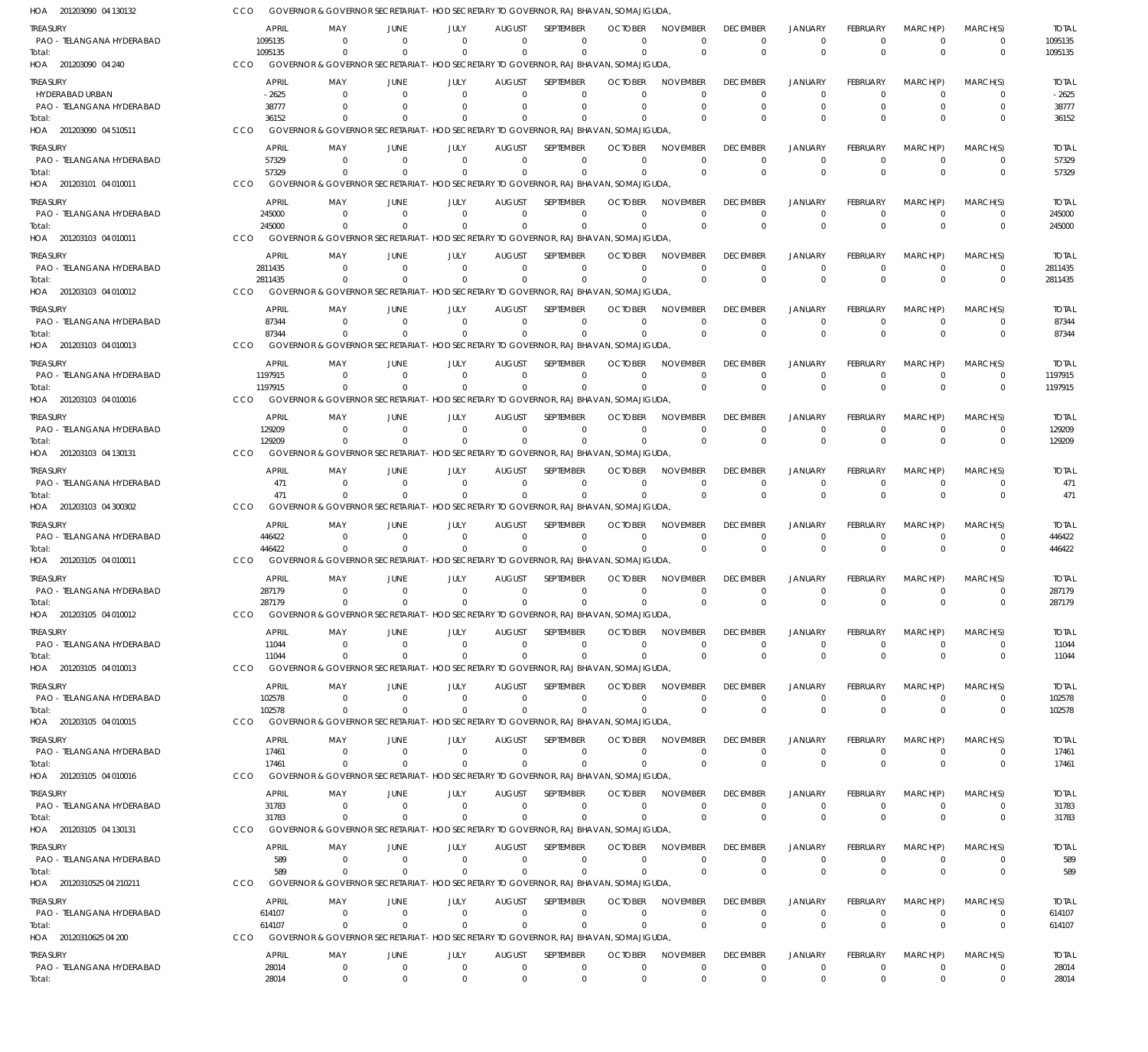GOVERNOR & GOVERNOR SECRETARIAT - HOD SECRETARY TO GOVERNOR, RAJ BHAVAN, SOMAJIGUDA, CCO

| 201203090 04 130132<br>HOA                   |     |                       | GOVERNOR & GOVERNOR SECRETARIAT - HOD SECRETARY TO GOVERNOR, RAJ BHAVAN, SOMAJIGUDA              |                          |                               |                                 |                                |                              |                                |                                   |                                  |                                |                            |                                  |                       |
|----------------------------------------------|-----|-----------------------|--------------------------------------------------------------------------------------------------|--------------------------|-------------------------------|---------------------------------|--------------------------------|------------------------------|--------------------------------|-----------------------------------|----------------------------------|--------------------------------|----------------------------|----------------------------------|-----------------------|
| <b>TREASURY</b>                              |     | <b>APRIL</b>          | MAY                                                                                              | <b>JUNE</b>              | JULY                          | <b>AUGUST</b>                   | SEPTEMBER                      | <b>OCTOBER</b>               | <b>NOVEMBER</b>                | <b>DECEMBER</b>                   | <b>JANUARY</b>                   | <b>FEBRUARY</b>                | MARCH(P)                   | MARCH(S)                         | <b>TOTAL</b>          |
| PAO - TELANGANA HYDERABAD                    |     | 1095135               | $\Omega$                                                                                         | $\Omega$                 | $\Omega$                      | $\Omega$                        | $\Omega$                       | $\Omega$                     | $\Omega$                       | $\overline{0}$                    | $\overline{0}$                   | $\Omega$                       | $\mathbf 0$                | 0                                | 1095135               |
| Total:                                       |     | 1095135               | $\Omega$                                                                                         | $\Omega$                 | $\mathbf 0$                   | $^{\circ}$                      | $\Omega$                       | $\Omega$                     | $\Omega$                       | $\Omega$                          | $\Omega$                         | $\Omega$                       | $\Omega$                   | $\overline{0}$                   | 1095135               |
| HOA 201203090 04 240                         | CCO |                       | GOVERNOR & GOVERNOR SECRETARIAT - HOD SECRETARY TO GOVERNOR, RAJ BHAVAN, SOMAJIGUDA              |                          |                               |                                 |                                |                              |                                |                                   |                                  |                                |                            |                                  |                       |
| <b>TREASURY</b>                              |     | <b>APRIL</b>          | MAY                                                                                              | JUNE                     | JULY                          | <b>AUGUST</b>                   | SEPTEMBER                      | <b>OCTOBER</b>               | <b>NOVEMBER</b>                | <b>DECEMBER</b>                   | <b>JANUARY</b>                   | <b>FEBRUARY</b>                | MARCH(P)                   | MARCH(S)                         | <b>TOTAL</b>          |
| HYDERABAD URBAN<br>PAO - TELANGANA HYDERABAD |     | $-2625$<br>38777      | $\Omega$<br>$\Omega$                                                                             | $\Omega$<br>$\Omega$     | $\Omega$<br>$\overline{0}$    | - 0<br>0                        | $\Omega$<br>$\overline{0}$     | $\Omega$<br>$\Omega$         | $\Omega$<br>$\Omega$           | 0<br>$\mathbf 0$                  | $\Omega$<br>$\overline{0}$       | $\Omega$<br>$\Omega$           | $\Omega$<br>$\Omega$       | 0<br>0                           | $-2625$<br>38777      |
| Total:                                       |     | 36152                 | $\Omega$                                                                                         | $\Omega$                 | $\Omega$                      | $\Omega$                        | $\Omega$                       | $\Omega$                     | $\Omega$                       | $\Omega$                          | $\Omega$                         | $\Omega$                       | $\Omega$                   | $\Omega$                         | 36152                 |
| HOA 201203090 04 510511                      | CCO |                       | GOVERNOR & GOVERNOR SECRETARIAT - HOD SECRETARY TO GOVERNOR, RAJ BHAVAN, SOMAJIGUDA,             |                          |                               |                                 |                                |                              |                                |                                   |                                  |                                |                            |                                  |                       |
| <b>TREASURY</b>                              |     | <b>APRIL</b>          | MAY                                                                                              | JUNE                     | JULY                          | <b>AUGUST</b>                   | SEPTEMBER                      | <b>OCTOBER</b>               | <b>NOVEMBER</b>                | <b>DECEMBER</b>                   | <b>JANUARY</b>                   | <b>FEBRUARY</b>                | MARCH(P)                   | MARCH(S)                         | <b>TOTAL</b>          |
| PAO - TELANGANA HYDERABAD                    |     | 57329                 | $\Omega$                                                                                         | $\Omega$                 | $\Omega$                      | $\Omega$                        | $\Omega$                       | $\Omega$                     | $\Omega$                       | $\mathbf 0$                       | $\overline{0}$                   | $\Omega$                       | $\Omega$                   | $\Omega$                         | 57329                 |
| Total:                                       |     | 57329                 | $\Omega$                                                                                         | $\Omega$                 | $\Omega$                      | $\Omega$                        | $\Omega$                       | $\Omega$                     | $\Omega$                       | $\mathbf{0}$                      | $\Omega$                         | $\Omega$                       | $\Omega$                   | $\mathbf 0$                      | 57329                 |
| HOA 201203101 04 010011                      | CCO |                       | GOVERNOR & GOVERNOR SECRETARIAT - HOD SECRETARY TO GOVERNOR, RAJ BHAVAN, SOMAJIGUDA              |                          |                               |                                 |                                |                              |                                |                                   |                                  |                                |                            |                                  |                       |
| <b>TREASURY</b>                              |     | <b>APRIL</b>          | MAY                                                                                              | <b>JUNE</b>              | JULY                          | <b>AUGUST</b>                   | SEPTEMBER                      | <b>OCTOBER</b>               | <b>NOVEMBER</b>                | <b>DECEMBER</b>                   | <b>JANUARY</b>                   | <b>FEBRUARY</b>                | MARCH(P)                   | MARCH(S)                         | <b>TOTAL</b>          |
| PAO - TELANGANA HYDERABAD                    |     | 245000                | $\Omega$                                                                                         | $\Omega$                 | $\Omega$                      | $\overline{0}$                  | $^{\circ}$                     | $^{\circ}$                   | $^{\circ}$                     | $\overline{0}$                    | $\overline{0}$                   | $\mathbf 0$                    | $\mathbf 0$                | $\mathbf 0$                      | 245000                |
| Total:                                       |     | 245000                | $\Omega$                                                                                         | $\Omega$                 | $\Omega$                      | $\overline{0}$                  | $\Omega$                       | $\Omega$                     | $\Omega$                       | $\mathbf{0}$                      | $\Omega$                         | $\Omega$                       | $\Omega$                   | $\mathbf 0$                      | 245000                |
| HOA 201203103 04 010011                      | CCO |                       | GOVERNOR & GOVERNOR SECRETARIAT - HOD SECRETARY TO GOVERNOR, RAJ BHAVAN, SOMAJIGUDA,             |                          |                               |                                 |                                |                              |                                |                                   |                                  |                                |                            |                                  |                       |
| <b>TREASURY</b>                              |     | <b>APRIL</b>          | MAY                                                                                              | <b>JUNE</b>              | JULY                          | <b>AUGUST</b>                   | SEPTEMBER                      | <b>OCTOBER</b>               | <b>NOVEMBER</b>                | <b>DECEMBER</b>                   | <b>JANUARY</b>                   | <b>FEBRUARY</b>                | MARCH(P)                   | MARCH(S)                         | <b>TOTAL</b>          |
| PAO - TELANGANA HYDERABAD                    |     | 2811435<br>2811435    | $\Omega$<br>$\Omega$                                                                             | $\Omega$<br>$\Omega$     | $\overline{0}$<br>$\Omega$    | $^{\circ}$<br>$^{\circ}$        | $\Omega$<br>$\Omega$           | $\Omega$<br>$\Omega$         | $\Omega$<br>$\Omega$           | $\mathbf 0$<br>$\mathbf 0$        | $\overline{0}$<br>$\Omega$       | $\mathbf 0$<br>$\Omega$        | $\overline{0}$<br>$\Omega$ | $\overline{0}$<br>$\mathbf 0$    | 2811435<br>2811435    |
| Total:<br>HOA 201203103 04 010012            | CCO |                       | GOVERNOR & GOVERNOR SECRETARIAT - HOD SECRETARY TO GOVERNOR, RAJ BHAVAN, SOMAJIGUDA              |                          |                               |                                 |                                |                              |                                |                                   |                                  |                                |                            |                                  |                       |
|                                              |     |                       |                                                                                                  |                          |                               |                                 |                                |                              |                                |                                   |                                  |                                |                            |                                  |                       |
| <b>TREASURY</b><br>PAO - TELANGANA HYDERABAD |     | <b>APRIL</b><br>87344 | MAY<br>$\Omega$                                                                                  | <b>JUNE</b><br>$\Omega$  | JULY<br>$\overline{0}$        | <b>AUGUST</b><br>$\overline{0}$ | SEPTEMBER<br>$\overline{0}$    | <b>OCTOBER</b><br>$\Omega$   | <b>NOVEMBER</b><br>$\Omega$    | <b>DECEMBER</b><br>$\overline{0}$ | <b>JANUARY</b><br>$\overline{0}$ | <b>FEBRUARY</b><br>$\mathbf 0$ | MARCH(P)<br>$\mathbf 0$    | MARCH(S)<br>$\mathbf 0$          | <b>TOTAL</b><br>87344 |
| Total:                                       |     | 87344                 | $\Omega$                                                                                         | $\Omega$                 | $\Omega$                      | $\overline{0}$                  | $\Omega$                       | $\Omega$                     | $\Omega$                       | $\mathbf 0$                       | $\overline{0}$                   | $\Omega$                       | $\Omega$                   | $\mathbf 0$                      | 87344                 |
| HOA 201203103 04 010013                      | CCO |                       | GOVERNOR & GOVERNOR SECRETARIAT - HOD SECRETARY TO GOVERNOR, RAJ BHAVAN, SOMAJIGUDA,             |                          |                               |                                 |                                |                              |                                |                                   |                                  |                                |                            |                                  |                       |
| <b>TREASURY</b>                              |     | APRIL                 | MAY                                                                                              | <b>JUNE</b>              | JULY                          | <b>AUGUST</b>                   | <b>SEPTEMBER</b>               | <b>OCTOBER</b>               | <b>NOVEMBER</b>                | <b>DECEMBER</b>                   | <b>JANUARY</b>                   | <b>FEBRUARY</b>                | MARCH(P)                   | MARCH(S)                         | <b>TOTAL</b>          |
| PAO - TELANGANA HYDERABAD                    |     | 1197915               | $\Omega$                                                                                         | $\Omega$                 | $\Omega$                      | $\Omega$                        | $\Omega$                       | $\Omega$                     | $\Omega$                       | $\mathbf 0$                       | $\overline{0}$                   | $\mathbf 0$                    | $\mathbf 0$                | 0                                | 1197915               |
| Total:                                       |     | 1197915               | $\Omega$                                                                                         | $\Omega$                 | $\Omega$                      | $\mathbf 0$                     | $\Omega$                       | $\Omega$                     | $\Omega$                       | $\Omega$                          | $\Omega$                         | $\Omega$                       | $\Omega$                   | $\Omega$                         | 1197915               |
| HOA 201203103 04 010016                      | CCO |                       | GOVERNOR & GOVERNOR SECRETARIAT - HOD SECRETARY TO GOVERNOR, RAJ BHAVAN, SOMAJIGUDA              |                          |                               |                                 |                                |                              |                                |                                   |                                  |                                |                            |                                  |                       |
| <b>TREASURY</b>                              |     | <b>APRIL</b>          | MAY                                                                                              | JUNE                     | JULY                          | <b>AUGUST</b>                   | SEPTEMBER                      | <b>OCTOBER</b>               | <b>NOVEMBER</b>                | <b>DECEMBER</b>                   | <b>JANUARY</b>                   | <b>FEBRUARY</b>                | MARCH(P)                   | MARCH(S)                         | <b>TOTAL</b>          |
| PAO - TELANGANA HYDERABAD                    |     | 129209                | $\Omega$                                                                                         | $\Omega$                 | $\overline{0}$                | $\overline{0}$                  | $\overline{0}$                 | $\Omega$                     | $\Omega$                       | $\overline{0}$                    | $\overline{0}$                   | $\mathbf 0$                    | $\mathbf 0$                | $\overline{0}$                   | 129209                |
| Total:                                       |     | 129209                | $\Omega$                                                                                         | $\Omega$                 | $\Omega$                      | $\mathbf 0$                     | $\Omega$                       | $\Omega$                     | $\Omega$                       | $\mathbf 0$                       | $\Omega$                         | $\Omega$                       | $\Omega$                   | $\mathbf 0$                      | 129209                |
| 201203103 04 130131<br>HOA                   | CCO |                       | GOVERNOR & GOVERNOR SECRETARIAT - HOD SECRETARY TO GOVERNOR, RAJ BHAVAN, SOMAJIGUDA,             |                          |                               |                                 |                                |                              |                                |                                   |                                  |                                |                            |                                  |                       |
| <b>TREASURY</b>                              |     | <b>APRIL</b>          | MAY                                                                                              | JUNE                     | JULY                          | <b>AUGUST</b>                   | SEPTEMBER                      | <b>OCTOBER</b>               | <b>NOVEMBER</b>                | <b>DECEMBER</b>                   | <b>JANUARY</b>                   | <b>FEBRUARY</b>                | MARCH(P)                   | MARCH(S)                         | <b>TOTAL</b>          |
| PAO - TELANGANA HYDERABAD<br>Total:          |     | 471<br>471            | $\Omega$<br>$\Omega$                                                                             | $\Omega$<br>$\Omega$     | $\overline{0}$<br>$\mathbf 0$ | $^{\circ}$<br>$^{\circ}$        | $\overline{0}$<br>$\Omega$     | $\Omega$<br>$\Omega$         | $\Omega$<br>$\overline{0}$     | $\mathbf 0$<br>$\mathbf 0$        | $\overline{0}$<br>$\overline{0}$ | $\mathbf 0$<br>$\Omega$        | $\mathbf 0$<br>$\Omega$    | $\mathbf 0$<br>$\overline{0}$    | 471<br>471            |
| HOA 201203103 04 300302                      | CCO |                       | GOVERNOR & GOVERNOR SECRETARIAT - HOD SECRETARY TO GOVERNOR, RAJ BHAVAN, SOMAJIGUDA              |                          |                               |                                 |                                |                              |                                |                                   |                                  |                                |                            |                                  |                       |
|                                              |     | <b>APRIL</b>          | MAY                                                                                              | <b>JUNE</b>              | JULY                          | <b>AUGUST</b>                   | SEPTEMBER                      | <b>OCTOBER</b>               | <b>NOVEMBER</b>                | <b>DECEMBER</b>                   | <b>JANUARY</b>                   | <b>FEBRUARY</b>                | MARCH(P)                   | MARCH(S)                         | <b>TOTAL</b>          |
| <b>TREASURY</b><br>PAO - TELANGANA HYDERABAD |     | 446422                | $\Omega$                                                                                         | $\Omega$                 | $\overline{0}$                | 0                               | $\overline{0}$                 | $^{\circ}$                   | $\overline{0}$                 | $\overline{0}$                    | $\overline{0}$                   | 0                              | $\mathbf 0$                | $\overline{0}$                   | 446422                |
| Total:                                       |     | 446422                | $\Omega$                                                                                         | $\Omega$                 | $\Omega$                      | $^{\circ}$                      | $\Omega$                       | $\Omega$                     | $\Omega$                       | $\mathbf 0$                       | $\Omega$                         | $\Omega$                       | $\Omega$                   | $\mathbf 0$                      | 446422                |
| HOA 201203105 04 010011                      | CCO |                       | GOVERNOR & GOVERNOR SECRETARIAT - HOD SECRETARY TO GOVERNOR, RAJ BHAVAN, SOMAJIGUDA              |                          |                               |                                 |                                |                              |                                |                                   |                                  |                                |                            |                                  |                       |
| <b>TREASURY</b>                              |     | <b>APRIL</b>          | MAY                                                                                              | <b>JUNE</b>              | JULY                          | <b>AUGUST</b>                   | SEPTEMBER                      | <b>OCTOBER</b>               | <b>NOVEMBER</b>                | <b>DECEMBER</b>                   | <b>JANUARY</b>                   | <b>FEBRUARY</b>                | MARCH(P)                   | MARCH(S)                         | <b>TOTAL</b>          |
| PAO - TELANGANA HYDERABAD                    |     | 287179                | $\Omega$                                                                                         | $\Omega$                 | $\overline{0}$                | $^{\circ}$                      | $\Omega$                       | $\Omega$                     | $\Omega$                       | $\Omega$                          | $\Omega$                         | $\Omega$                       | $\Omega$                   | $\Omega$                         | 287179                |
| Total:                                       |     | 287179                | $\mathbf{0}$                                                                                     | $\mathbf{0}$             | $\mathbf 0$                   | $^{\circ}$                      | $\mathbf 0$                    | $\overline{0}$               | $\Omega$                       | $\mathbf{0}$                      | $\overline{0}$                   |                                |                            |                                  | 287179                |
| HOA 201203105 04 010012                      | CCO |                       | GOVERNOR & GOVERNOR SECRETARIAT - HOD SECRETARY TO GOVERNOR, RAJ BHAVAN, SOMAJIGUDA,             |                          |                               |                                 |                                |                              |                                |                                   |                                  |                                |                            |                                  |                       |
| <b>TREASURY</b>                              |     | <b>APRIL</b>          | MAY                                                                                              | JUNE                     | JULY                          | <b>AUGUST</b>                   | SEPTEMBER                      | <b>OCTOBER</b>               | <b>NOVEMBER</b>                | <b>DECEMBER</b>                   | <b>JANUARY</b>                   | <b>FEBRUARY</b>                | MARCH(P)                   | MARCH(S)                         | <b>TOTAL</b>          |
| PAO - TELANGANA HYDERABAD                    |     | 11044                 | $\mathbf{0}$                                                                                     | $\Omega$                 | $\overline{0}$                | $^{\circ}$                      | $^{\circ}$                     | $^{\circ}$                   | $\Omega$                       | $\mathbf 0$                       | $\overline{0}$                   | $\mathbf 0$                    | $\mathbf 0$                | $^{\circ}$                       | 11044                 |
| Total:                                       | CCO | 11044                 | $\Omega$<br>GOVERNOR & GOVERNOR SECRETARIAT - HOD SECRETARY TO GOVERNOR, RAJ BHAVAN, SOMAJIGUDA, | $\Omega$                 | $\overline{0}$                | $^{\circ}$                      | $\overline{0}$                 | 0                            | $\Omega$                       | $\mathbf 0$                       | $\overline{0}$                   | $\mathbf{0}$                   | $\Omega$                   | $\overline{0}$                   | 11044                 |
| HOA 201203105 04 010013                      |     |                       |                                                                                                  |                          |                               |                                 |                                |                              |                                |                                   |                                  |                                |                            |                                  |                       |
| <b>TREASURY</b>                              |     | APRIL                 | MAY                                                                                              | JUNE                     | JULY                          | <b>AUGUST</b>                   | <b>SEPTEMBER</b>               | <b>OCTOBER</b>               | <b>NOVEMBER</b>                | <b>DECEMBER</b>                   | <b>JANUARY</b>                   | FEBRUARY                       | MARCH(P)                   | MARCH(S)                         | <b>TOTAL</b>          |
| PAO - TELANGANA HYDERABAD<br>Total:          |     | 102578<br>102578      | $\mathbf{0}$<br>$\Omega$                                                                         | $\mathbf{0}$<br>$\Omega$ | $\mathbf 0$<br>$\mathbf 0$    | $^{\circ}$<br>$^{\circ}$        | $\mathbf{0}$<br>$\overline{0}$ | $\Omega$<br>$\Omega$         | $\Omega$<br>$\mathbf 0$        | $\mathbf 0$<br>$\mathbf 0$        | $\mathbf 0$<br>$\mathbf 0$       | $\mathbf 0$<br>$\mathbf 0$     | $\mathbf 0$<br>$\Omega$    | $\overline{0}$<br>$\overline{0}$ | 102578<br>102578      |
| HOA 201203105 04 010015                      | CCO |                       | GOVERNOR & GOVERNOR SECRETARIAT - HOD SECRETARY TO GOVERNOR, RAJ BHAVAN, SOMAJIGUDA,             |                          |                               |                                 |                                |                              |                                |                                   |                                  |                                |                            |                                  |                       |
|                                              |     | APRIL                 | MAY                                                                                              | JUNE                     |                               |                                 | <b>SEPTEMBER</b>               |                              | <b>NOVEMBER</b>                | <b>DECEMBER</b>                   |                                  | <b>FEBRUARY</b>                | MARCH(P)                   | MARCH(S)                         |                       |
| <b>TREASURY</b><br>PAO - TELANGANA HYDERABAD |     | 17461                 | $\Omega$                                                                                         | $\Omega$                 | JULY<br>$\overline{0}$        | <b>AUGUST</b><br>0              | $^{\circ}$                     | <b>OCTOBER</b><br>0          | $\overline{0}$                 | 0                                 | <b>JANUARY</b><br>$\overline{0}$ | $\mathbf 0$                    | $\mathbf 0$                | $^{\circ}$                       | <b>TOTAL</b><br>17461 |
| Total:                                       |     | 17461                 | $\Omega$                                                                                         | $\Omega$                 | $\Omega$                      | $^{\circ}$                      | $\Omega$                       | $\Omega$                     | $\overline{0}$                 | $\mathbf 0$                       | $\overline{0}$                   | $\mathbf 0$                    | $\Omega$                   | $\mathbf 0$                      | 17461                 |
| HOA 201203105 04 010016                      | CCO |                       | GOVERNOR & GOVERNOR SECRETARIAT - HOD SECRETARY TO GOVERNOR, RAJ BHAVAN, SOMAJIGUDA,             |                          |                               |                                 |                                |                              |                                |                                   |                                  |                                |                            |                                  |                       |
| <b>TREASURY</b>                              |     | <b>APRIL</b>          | MAY                                                                                              | <b>JUNE</b>              | JULY                          | <b>AUGUST</b>                   | SEPTEMBER                      | <b>OCTOBER</b>               | <b>NOVEMBER</b>                | <b>DECEMBER</b>                   | <b>JANUARY</b>                   | FEBRUARY                       | MARCH(P)                   | MARCH(S)                         | <b>TOTAL</b>          |
| PAO - TELANGANA HYDERABAD                    |     | 31783                 | 0                                                                                                | $\Omega$                 | $\mathbf 0$                   | $^{\circ}$                      | $^{\circ}$                     | $\Omega$                     | $\Omega$                       | $\mathbf 0$                       | $\overline{0}$                   | $\mathbf 0$                    | $\mathbf 0$                | $\overline{0}$                   | 31783                 |
| Total:                                       |     | 31783                 | $\Omega$                                                                                         | $\Omega$                 | $\mathbf 0$                   | $^{\circ}$                      | $\Omega$                       | $\Omega$                     | $\Omega$                       | $\mathbf 0$                       | $\Omega$                         | $\Omega$                       | $\Omega$                   | $\mathbf 0$                      | 31783                 |
| HOA 201203105 04 130131                      | CCO |                       | GOVERNOR & GOVERNOR SECRETARIAT - HOD SECRETARY TO GOVERNOR, RAJ BHAVAN, SOMAJIGUDA,             |                          |                               |                                 |                                |                              |                                |                                   |                                  |                                |                            |                                  |                       |
| <b>TREASURY</b>                              |     | <b>APRIL</b>          | MAY                                                                                              | JUNE                     | JULY                          | <b>AUGUST</b>                   | SEPTEMBER                      | <b>OCTOBER</b>               | <b>NOVEMBER</b>                | <b>DECEMBER</b>                   | <b>JANUARY</b>                   | FEBRUARY                       | MARCH(P)                   | MARCH(S)                         | <b>TOTAL</b>          |
| PAO - TELANGANA HYDERABAD                    |     | 589                   | $\mathbf 0$                                                                                      | $\mathbf{0}$             | $\mathbf 0$                   | $^{\circ}$                      | $\overline{0}$                 | $\mathbf 0$                  | $\overline{0}$                 | $\mathbf 0$                       | $\overline{0}$                   | $\mathbf 0$                    | $\mathbf 0$                | $\overline{0}$                   | 589                   |
| Total:                                       |     | 589                   | $\Omega$                                                                                         | $\Omega$                 | $\overline{0}$                | $^{\circ}$                      | $\overline{0}$                 | 0                            | $\overline{0}$                 | $\mathbf 0$                       | $\overline{0}$                   | $\mathbf{0}$                   | $\Omega$                   | $\mathbf 0$                      | 589                   |
| HOA 20120310525 04 210211                    | CCO |                       | GOVERNOR & GOVERNOR SECRETARIAT - HOD SECRETARY TO GOVERNOR, RAJ BHAVAN, SOMAJIGUDA,             |                          |                               |                                 |                                |                              |                                |                                   |                                  |                                |                            |                                  |                       |
| <b>TREASURY</b>                              |     | APRIL                 | MAY                                                                                              | JUNE                     | JULY                          | <b>AUGUST</b>                   | SEPTEMBER                      | <b>OCTOBER</b>               | <b>NOVEMBER</b>                | <b>DECEMBER</b>                   | <b>JANUARY</b>                   | FEBRUARY                       | MARCH(P)                   | MARCH(S)                         | <b>TOTAL</b>          |
| PAO - TELANGANA HYDERABAD                    |     | 614107                | $\Omega$<br>$\Omega$                                                                             | $\Omega$<br>$\Omega$     | $\mathbf 0$<br>$\mathbf 0$    | $^{\circ}$                      | $\overline{0}$<br>$\Omega$     | $\Omega$<br>$\Omega$         | $\overline{0}$                 | $\mathbf 0$                       | $\mathbf{0}$<br>$\overline{0}$   | $\mathbf 0$<br>$\Omega$        | $\mathbf 0$<br>$\Omega$    | $\overline{0}$                   | 614107                |
| Total:<br>HOA 20120310625 04 200             | CCO | 614107                | GOVERNOR & GOVERNOR SECRETARIAT - HOD SECRETARY TO GOVERNOR, RAJ BHAVAN, SOMAJIGUDA,             |                          |                               | $^{\circ}$                      |                                |                              | $\mathbf 0$                    | $\mathbf 0$                       |                                  |                                |                            | $\overline{0}$                   | 614107                |
|                                              |     |                       |                                                                                                  |                          |                               |                                 |                                |                              |                                |                                   |                                  |                                |                            |                                  |                       |
| <b>TREASURY</b><br>PAO - TELANGANA HYDERABAD |     | APRIL<br>28014        | MAY<br>$\overline{0}$                                                                            | JUNE<br>$\mathbf{0}$     | JULY<br>$\overline{0}$        | <b>AUGUST</b><br>$^{\circ}$     | SEPTEMBER<br>$^{\circ}$        | <b>OCTOBER</b><br>$^{\circ}$ | <b>NOVEMBER</b><br>$\mathbf 0$ | <b>DECEMBER</b><br>0              | <b>JANUARY</b><br>$\overline{0}$ | <b>FEBRUARY</b><br>$\mathbf 0$ | MARCH(P)<br>$\mathbf 0$    | MARCH(S)<br>$^{\circ}$           | <b>TOTAL</b><br>28014 |
| Total:                                       |     | 28014                 | $\mathbf{0}$                                                                                     | $\Omega$                 | $\Omega$                      | $^{\circ}$                      | $\mathbf 0$                    | $\mathbf 0$                  | $\mathbf 0$                    | $\mathbf 0$                       | $\Omega$                         | $\Omega$                       | $\Omega$                   | $\mathbf 0$                      | 28014                 |
|                                              |     |                       |                                                                                                  |                          |                               |                                 |                                |                              |                                |                                   |                                  |                                |                            |                                  |                       |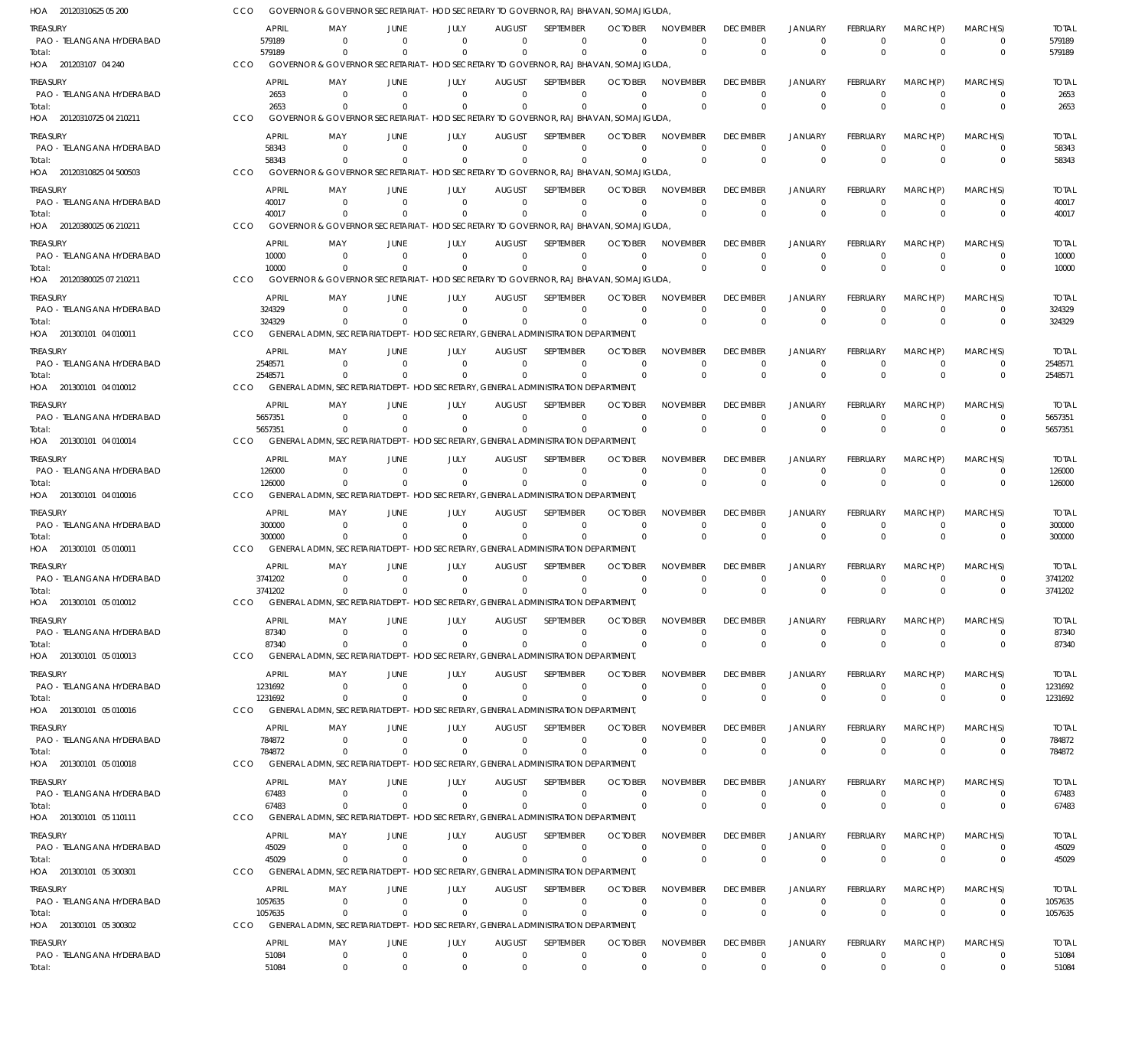| HOA 20120310625 05 200                                           |     |                                  |                          |                              | GOVERNOR & GOVERNOR SECRETARIAT – HOD SECRETARY TO GOVERNOR, RAJ BHAVAN, SOMAJIGUDA                         |                                       |                                   |                                        |                                            |                                         |                                        |                                         |                                        |                              |                                  |
|------------------------------------------------------------------|-----|----------------------------------|--------------------------|------------------------------|-------------------------------------------------------------------------------------------------------------|---------------------------------------|-----------------------------------|----------------------------------------|--------------------------------------------|-----------------------------------------|----------------------------------------|-----------------------------------------|----------------------------------------|------------------------------|----------------------------------|
| TREASURY<br>PAO - TELANGANA HYDERABAD<br>Total:                  |     | <b>APRIL</b><br>579189<br>579189 | MAY<br>- 0<br>$\Omega$   | JUNE<br>$\Omega$<br>$\Omega$ | JULY<br>$\Omega$<br>$\Omega$                                                                                | <b>AUGUST</b><br>$\Omega$<br>$\Omega$ | SEPTEMBER<br>$\Omega$<br>$\Omega$ | <b>OCTOBER</b><br>$\Omega$<br>$\Omega$ | <b>NOVEMBER</b><br>$\mathbf 0$<br>$\Omega$ | <b>DECEMBER</b><br>$\Omega$<br>$\Omega$ | <b>JANUARY</b><br>$\Omega$<br>$\Omega$ | <b>FEBRUARY</b><br>$\Omega$<br>$\Omega$ | MARCH(P)<br>$\overline{0}$<br>$\Omega$ | MARCH(S)<br>0<br>$\mathbf 0$ | <b>TOTAL</b><br>579189<br>579189 |
| HOA 201203107 04 240                                             | CCO |                                  |                          |                              | GOVERNOR & GOVERNOR SECRETARIAT - HOD SECRETARY TO GOVERNOR, RAJ BHAVAN, SOMAJIGUDA                         |                                       |                                   |                                        |                                            |                                         |                                        |                                         |                                        |                              |                                  |
| treasury<br>PAO - TELANGANA HYDERABAD                            |     | <b>APRIL</b><br>2653             | MAY<br>- 0               | JUNE<br>$\Omega$             | JULY<br>$\Omega$                                                                                            | <b>AUGUST</b><br>$\Omega$             | <b>SFPIFMBFR</b><br>$\mathbf 0$   | <b>OCTOBER</b><br>$\Omega$             | <b>NOVEMBER</b><br>$\mathbf 0$             | <b>DECEMBER</b><br>$\Omega$             | <b>JANUARY</b><br>$\Omega$             | <b>FEBRUARY</b><br>$\Omega$             | MARCH(P)<br>$\overline{0}$             | MARCH(S)<br>$\mathbf 0$      | <b>TOTAL</b><br>2653             |
| Total:<br>HOA 20120310725 04 210211                              | CCO | 2653                             | $\Omega$                 |                              | $\Omega$<br>GOVERNOR & GOVERNOR SECRETARIAT - HOD SECRETARY TO GOVERNOR, RAJ BHAVAN, SOMAJIGUDA             | $\Omega$                              | $\mathbf 0$                       | $\Omega$                               | $\Omega$                                   | $\Omega$                                | $\Omega$                               | $\Omega$                                | $\Omega$                               | $\mathbf 0$                  | 2653                             |
| treasury                                                         |     | <b>APRIL</b>                     | MAY                      | JUNE                         | JULY                                                                                                        | <b>AUGUST</b>                         | SEPTEMBER                         | <b>OCTOBER</b>                         | <b>NOVEMBER</b>                            | <b>DECEMBER</b>                         | <b>JANUARY</b>                         | <b>FEBRUARY</b>                         | MARCH(P)                               | MARCH(S)                     | <b>TOTAL</b>                     |
| PAO - TELANGANA HYDERABAD<br>Total:<br>HOA 20120310825 04 500503 | CCO | 58343<br>58343                   | - 0<br>$\Omega$          | $\overline{0}$<br>$\Omega$   | $\Omega$<br>$\Omega$<br>GOVERNOR & GOVERNOR SECRETARIAT - HOD SECRETARY TO GOVERNOR, RAJ BHAVAN, SOMAJIGUDA | $\Omega$<br>$\Omega$                  | $\Omega$<br>$\Omega$              | $\Omega$<br>$\Omega$                   | $\mathbf 0$<br>$\mathbf 0$                 | $\Omega$<br>$\mathbf 0$                 | $\Omega$<br>$\Omega$                   | $\Omega$<br>$\Omega$                    | $\overline{0}$<br>$\Omega$             | $\Omega$<br>$\mathbf 0$      | 58343<br>58343                   |
| treasury                                                         |     | <b>APRIL</b>                     | MAY                      | JUNE                         | JULY                                                                                                        | <b>AUGUST</b>                         | SEPTEMBER                         | <b>OCTOBER</b>                         | <b>NOVEMBER</b>                            | <b>DECEMBER</b>                         | <b>JANUARY</b>                         | <b>FEBRUARY</b>                         | MARCH(P)                               | MARCH(S)                     | <b>TOTAL</b>                     |
| PAO - TELANGANA HYDERABAD                                        |     | 40017<br>40017                   | - 0<br>$\Omega$          | $\Omega$<br>$\Omega$         | $\Omega$<br>$\Omega$                                                                                        | $\Omega$<br>$\Omega$                  | $\mathbf 0$<br>$\Omega$           | $\Omega$<br>$\Omega$                   | $\mathbf 0$<br>$\Omega$                    | 0<br>$\Omega$                           | $^{\circ}$<br>$\Omega$                 | 0<br>$\Omega$                           | $\overline{0}$<br>$\Omega$             | $\mathbf 0$<br>$\mathbf 0$   | 40017<br>40017                   |
| Total:<br>HOA 20120380025 06 210211                              | CCO |                                  |                          |                              | GOVERNOR & GOVERNOR SECRETARIAT - HOD SECRETARY TO GOVERNOR, RAJ BHAVAN, SOMAJIGUDA                         |                                       |                                   |                                        |                                            |                                         |                                        |                                         |                                        |                              |                                  |
| treasury                                                         |     | <b>APRIL</b>                     | MAY                      | <b>JUNE</b>                  | JULY                                                                                                        | <b>AUGUST</b>                         | SEPTEMBER                         | <b>OCTOBER</b>                         | <b>NOVEMBER</b>                            | <b>DECEMBER</b>                         | <b>JANUARY</b>                         | <b>FEBRUARY</b>                         | MARCH(P)                               | MARCH(S)                     | <b>TOTAL</b>                     |
| PAO - TELANGANA HYDERABAD<br>Total:                              |     | 10000<br>10000                   | - 0<br>$\Omega$          | $\Omega$<br>$\Omega$         | $\Omega$<br>$\Omega$                                                                                        | $\Omega$<br>$\Omega$                  | $\Omega$<br>$\Omega$              | $\Omega$<br>$\Omega$                   | $\Omega$<br>$\Omega$                       | $\Omega$<br>$\Omega$                    | $\Omega$<br>$\Omega$                   | $\Omega$<br>$\Omega$                    | $\Omega$<br>$\Omega$                   | $\mathbf 0$<br>$\mathbf 0$   | 10000<br>10000                   |
| HOA 20120380025 07 210211                                        | CCO |                                  |                          |                              | GOVERNOR & GOVERNOR SECRETARIAT - HOD SECRETARY TO GOVERNOR, RAJ BHAVAN, SOMAJIGUDA                         |                                       |                                   |                                        |                                            |                                         |                                        |                                         |                                        |                              |                                  |
| treasury<br>PAO - TELANGANA HYDERABAD                            |     | <b>APRIL</b><br>324329           | MAY<br>- 0               | JUNE<br>$\Omega$             | JULY<br>$\Omega$                                                                                            | <b>AUGUST</b><br>$\overline{0}$       | <b>SEPTEMBER</b><br>$\mathbf 0$   | <b>OCTOBER</b><br>$\Omega$             | <b>NOVEMBER</b><br>$\mathbf 0$             | <b>DECEMBER</b><br>$\Omega$             | <b>JANUARY</b><br>$^{\circ}$           | <b>FEBRUARY</b><br>$\mathbf 0$          | MARCH(P)<br>$\overline{0}$             | MARCH(S)<br>$\mathbf 0$      | <b>TOTAL</b><br>324329           |
| Total:                                                           |     | 324329                           | $\Omega$                 | $\Omega$                     | $\Omega$<br>GENERAL ADMN, SECRETARIAT DEPT - HOD SECRETARY, GENERAL ADMINISTRATION DEPARTMENT               | $\Omega$                              | $\Omega$                          | $\Omega$                               | $\Omega$                                   | $\Omega$                                | $\Omega$                               | $\Omega$                                | $\Omega$                               | $\mathbf 0$                  | 324329                           |
| HOA 201300101 04 010011<br>treasury                              | CCO | <b>APRIL</b>                     | MAY                      | JUNE                         | JULY                                                                                                        | <b>AUGUST</b>                         | <b>SEPTEMBER</b>                  | <b>OCTOBER</b>                         | <b>NOVEMBER</b>                            | <b>DECEMBER</b>                         | <b>JANUARY</b>                         | <b>FEBRUARY</b>                         | MARCH(P)                               | MARCH(S)                     | <b>TOTAL</b>                     |
| PAO - TELANGANA HYDERABAD                                        |     | 2548571                          | $\Omega$                 | $\Omega$                     | $\Omega$                                                                                                    | $\Omega$                              | $\Omega$                          | $\Omega$                               | $\Omega$                                   | $\Omega$                                | $\Omega$                               | $\Omega$                                | $\Omega$                               | $\mathbf 0$                  | 2548571                          |
| Total:<br>HOA 201300101 04 010012                                | CCO | 2548571                          | $\Omega$                 | $\Omega$                     | $\Omega$<br>GENERAL ADMN, SECRETARIAT DEPT - HOD SECRETARY, GENERAL ADMINISTRATION DEPARTMENT               | $\Omega$                              | $\Omega$                          | $\Omega$                               | $\Omega$                                   | $\Omega$                                | $\Omega$                               | $\Omega$                                | $\Omega$                               | $\mathbf 0$                  | 2548571                          |
| treasury                                                         |     | <b>APRIL</b>                     | MAY                      | JUNE                         | JULY                                                                                                        | <b>AUGUST</b>                         | SEPTEMBER                         | <b>OCTOBER</b>                         | <b>NOVEMBER</b>                            | <b>DECEMBER</b>                         | <b>JANUARY</b>                         | <b>FEBRUARY</b>                         | MARCH(P)                               | MARCH(S)                     | <b>TOTAL</b>                     |
| PAO - TELANGANA HYDERABAD<br>Total:                              |     | 5657351<br>5657351               | - 0<br>- 0               | $\Omega$<br>$\Omega$         | $\overline{0}$<br>$\Omega$                                                                                  | $\overline{0}$<br>$\Omega$            | $\mathbf 0$<br>$\Omega$           | $\Omega$<br>$\Omega$                   | $\Omega$<br>$\Omega$                       | $\Omega$<br>$\Omega$                    | $\overline{0}$<br>$\Omega$             | $\mathbf 0$<br>$\Omega$                 | $\overline{0}$<br>$\Omega$             | $\mathbf 0$<br>$\mathbf 0$   | 5657351<br>5657351               |
| HOA 201300101 04 010014                                          | CCO |                                  |                          |                              | GENERAL ADMN, SECRETARIAT DEPT - HOD SECRETARY, GENERAL ADMINISTRATION DEPARTMENT                           |                                       |                                   |                                        |                                            |                                         |                                        |                                         |                                        |                              |                                  |
| treasury<br>PAO - TELANGANA HYDERABAD                            |     | <b>APRIL</b><br>126000           | MAY<br>$\Omega$          | JUNE<br>- 0                  | JULY<br>$\Omega$                                                                                            | <b>AUGUST</b><br>$\Omega$             | SEPTEMBER<br>$\Omega$             | <b>OCTOBER</b><br>$\Omega$             | <b>NOVEMBER</b><br>$\Omega$                | <b>DECEMBER</b><br>$\Omega$             | <b>JANUARY</b><br>$^{\circ}$           | FEBRUARY<br>$\mathbf 0$                 | MARCH(P)<br>$\overline{0}$             | MARCH(S)<br>0                | <b>TOTAL</b><br>126000           |
| Total:                                                           | CCO | 126000                           | $\Omega$                 | $\Omega$                     | $\Omega$<br>GENERAL ADMN, SECRETARIAT DEPT - HOD SECRETARY, GENERAL ADMINISTRATION DEPARTMENT               | $\Omega$                              | $\Omega$                          | $\Omega$                               | $\Omega$                                   | $\Omega$                                | $\Omega$                               | $\Omega$                                | $\Omega$                               | $\mathbf 0$                  | 126000                           |
| HOA 201300101 04 010016<br>treasury                              |     | <b>APRIL</b>                     | MAY                      | JUNE                         | JULY                                                                                                        | <b>AUGUST</b>                         | SEPTEMBER                         | <b>OCTOBER</b>                         | <b>NOVEMBER</b>                            | <b>DECEMBER</b>                         | <b>JANUARY</b>                         | <b>FEBRUARY</b>                         | MARCH(P)                               | MARCH(S)                     | <b>TOTAL</b>                     |
| PAO - TELANGANA HYDERABAD                                        |     | 300000                           | - 0                      | $\Omega$                     | $\Omega$                                                                                                    | $\Omega$                              | $\mathbf 0$                       | $\Omega$                               | $\Omega$                                   | $\Omega$                                | $\overline{0}$                         | $\mathbf 0$                             | $\overline{0}$                         | $\mathbf 0$                  | 300000                           |
| lotal:<br>HOA 201300101 05 010011                                | CCO | 300000                           | $\Omega$                 |                              | $\Omega$<br>GENERAL ADMN, SECRETARIAT DEPT - HOD SECRETARY, GENERAL ADMINISTRATION DEPARTMENT               | $\Omega$                              | $\mathbf 0$                       | $\Omega$                               | $\Omega$                                   | $\Omega$                                | $\Omega$                               | $\Omega$                                | $\Omega$                               | $\mathbf 0$                  | 300000                           |
| treasury                                                         |     | <b>APRIL</b>                     | MAY                      | JUNE                         | JULY                                                                                                        | <b>AUGUST</b>                         | SEPTEMBER                         | <b>OCTOBER</b>                         | <b>NOVEMBER</b>                            | <b>DECEMBER</b>                         | <b>JANUARY</b>                         | <b>FEBRUARY</b>                         | MARCH(P)                               | MARCH(S)                     | <b>TOTAL</b>                     |
| PAO - TELANGANA HYDERABAD<br>Total:                              |     | 3741202<br>3741202               | - 0<br>$\Omega$          | $\Omega$<br>$\Omega$         | $\Omega$<br>$\Omega$                                                                                        | $\Omega$<br>$\Omega$                  | $\mathbf 0$<br>$\Omega$           | $\Omega$<br>$\Omega$                   | $\Omega$<br>$\Omega$                       | $\Omega$<br>$\Omega$                    | $^{\circ}$<br>$\Omega$                 | $\Omega$<br>$\Omega$                    | $\overline{0}$<br>$\Omega$             | 0<br>$\mathbf 0$             | 3741202<br>3741202               |
| HOA 201300101 05 010012                                          | CCO |                                  |                          |                              | GENERAL ADMN, SECRETARIAT DEPT - HOD SECRETARY, GENERAL ADMINISTRATION DEPARTMENT                           |                                       |                                   |                                        |                                            |                                         |                                        |                                         |                                        |                              |                                  |
| Treasury                                                         |     | APRIL                            | MAY                      | JUNE                         | JULY                                                                                                        | <b>AUGUST</b>                         | <b>SEPTEMBER</b>                  | <b>OCTOBER</b>                         | <b>NOVEMBER</b>                            | <b>DECEMBER</b>                         | <b>JANUARY</b>                         | FEBRUARY                                | MARCH(P)                               | MARCH(S)                     | <b>TOTAL</b>                     |
| PAO - TELANGANA HYDERABAD<br>Total:                              |     | 87340<br>87340                   | 0<br>$^{\circ}$          | - 0<br>$\Omega$              | $\Omega$<br>$\mathbf 0$                                                                                     | 0<br>$\mathbf{0}$                     | 0<br>$\mathbf 0$                  | -0<br>$\Omega$                         | $\Omega$<br>$\Omega$                       | 0<br>$\Omega$                           | $^{\circ}$<br>$\overline{0}$           | $\mathbf 0$<br>$\mathbf 0$              | $\overline{0}$<br>$\Omega$             | 0<br>$\mathbf 0$             | 87340<br>87340                   |
| HOA 201300101 05 010013                                          | CCO |                                  |                          |                              | GENERAL ADMN, SECRETARIAT DEPT - HOD SECRETARY, GENERAL ADMINISTRATION DEPARTMENT                           |                                       |                                   |                                        |                                            |                                         |                                        |                                         |                                        |                              |                                  |
| treasury<br>PAO - TELANGANA HYDERABAD                            |     | APRIL<br>1231692                 | MAY<br>- 0               | JUNE<br>$\overline{0}$       | JULY<br>$\Omega$                                                                                            | <b>AUGUST</b><br>$\Omega$             | SEPTEMBER<br>$\mathbf 0$          | <b>OCTOBER</b><br>$\Omega$             | <b>NOVEMBER</b><br>$\Omega$                | <b>DECEMBER</b><br>$\Omega$             | <b>JANUARY</b><br>$\overline{0}$       | FEBRUARY<br>$\mathbf 0$                 | MARCH(P)<br>$\overline{0}$             | MARCH(S)<br>$\mathbf 0$      | <b>TOTAL</b><br>1231692          |
| Total:                                                           |     | 1231692                          | $^{\circ}$               | $\Omega$                     | $\Omega$                                                                                                    | $\mathbf{0}$                          | $\Omega$                          | $\Omega$                               | $\Omega$                                   | $\Omega$                                | $\Omega$                               | $\Omega$                                | $\Omega$                               | $\mathbf 0$                  | 1231692                          |
| HOA 201300101 05 010016<br>treasury                              | CCO | <b>APRIL</b>                     | MAY                      | JUNE                         | GENERAL ADMN, SECRETARIAT DEPT - HOD SECRETARY, GENERAL ADMINISTRATION DEPARTMENT<br>JULY                   | <b>AUGUST</b>                         | SEPTEMBER                         | <b>OCTOBER</b>                         | <b>NOVEMBER</b>                            | <b>DECEMBER</b>                         | <b>JANUARY</b>                         | FEBRUARY                                | MARCH(P)                               | MARCH(S)                     | <b>TOTAL</b>                     |
| PAO - TELANGANA HYDERABAD                                        |     | 784872                           | 0                        | $\overline{0}$               | $\overline{0}$                                                                                              | $\overline{0}$                        | $\mathbf 0$                       | $\mathbf 0$                            | $\mathbf 0$                                | $\Omega$                                | $^{\circ}$                             | $\mathbf 0$                             | $\overline{0}$                         | $\mathbf 0$                  | 784872                           |
| Total:<br>HOA 201300101 05 010018                                | CCO | 784872                           | - 0                      | - 0                          | $\Omega$<br>GENERAL ADMN, SECRETARIAT DEPT - HOD SECRETARY, GENERAL ADMINISTRATION DEPARTMENT,              | $\Omega$                              | $\mathbf 0$                       | $\Omega$                               | $\Omega$                                   | $\mathbf{0}$                            | $\overline{0}$                         | $\mathbf{0}$                            | $\Omega$                               | $\mathbf 0$                  | 784872                           |
| treasury                                                         |     | <b>APRIL</b>                     | MAY                      | JUNE                         | JULY                                                                                                        | <b>AUGUST</b>                         | SEPTEMBER                         | <b>OCTOBER</b>                         | <b>NOVEMBER</b>                            | <b>DECEMBER</b>                         | <b>JANUARY</b>                         | FEBRUARY                                | MARCH(P)                               | MARCH(S)                     | <b>TOTAL</b>                     |
| PAO - TELANGANA HYDERABAD<br>Total:                              |     | 67483<br>67483                   | $^{\circ}$<br>$^{\circ}$ | $\overline{0}$<br>$\Omega$   | $\overline{0}$<br>$\Omega$                                                                                  | $\Omega$<br>$\Omega$                  | $\mathbf 0$<br>$\Omega$           | $\Omega$<br>$\Omega$                   | $\Omega$<br>$\Omega$                       | $\Omega$<br>$\Omega$                    | $^{\circ}$<br>$\Omega$                 | $\mathbf 0$<br>$\Omega$                 | $\overline{0}$<br>$\Omega$             | $\mathbf 0$<br>$\mathbf 0$   | 67483<br>67483                   |
| HOA 201300101 05 110111                                          | CCO |                                  |                          |                              | GENERAL ADMN, SECRETARIAT DEPT - HOD SECRETARY, GENERAL ADMINISTRATION DEPARTMENT                           |                                       |                                   |                                        |                                            |                                         |                                        |                                         |                                        |                              |                                  |
| Treasury                                                         |     | <b>APRIL</b>                     | MAY                      | JUNE                         | JULY                                                                                                        | <b>AUGUST</b>                         | SEPTEMBER                         | <b>OCTOBER</b>                         | <b>NOVEMBER</b>                            | <b>DECEMBER</b>                         | <b>JANUARY</b>                         | <b>FEBRUARY</b>                         | MARCH(P)                               | MARCH(S)                     | <b>TOTAL</b>                     |
| PAO - TELANGANA HYDERABAD<br>Total:                              |     | 45029<br>45029                   | 0<br>- 0                 | $\Omega$<br>- 0              | $\overline{0}$<br>$\Omega$                                                                                  | $\overline{0}$<br>$\Omega$            | $\mathbf 0$<br>$\mathbf 0$        | 0<br>$\Omega$                          | $\mathbf 0$<br>$\Omega$                    | 0<br>$\Omega$                           | $^{\circ}$<br>$\overline{0}$           | 0<br>$\mathbf{0}$                       | $\overline{0}$<br>$\Omega$             | $\mathbf 0$<br>$\mathbf 0$   | 45029<br>45029                   |
| HOA 201300101 05 300301                                          | CCO |                                  |                          |                              | GENERAL ADMN, SECRETARIAT DEPT - HOD SECRETARY, GENERAL ADMINISTRATION DEPARTMENT                           |                                       |                                   |                                        |                                            |                                         |                                        |                                         |                                        |                              |                                  |
| treasury<br>PAO - TELANGANA HYDERABAD                            |     | <b>APRIL</b><br>1057635          | MAY<br>0                 | JUNE<br>$\overline{0}$       | JULY<br>$\overline{0}$                                                                                      | <b>AUGUST</b><br>$\mathbf{0}$         | SEPTEMBER<br>$\mathbf 0$          | <b>OCTOBER</b><br>$\overline{0}$       | <b>NOVEMBER</b><br>$\Omega$                | <b>DECEMBER</b><br>$\Omega$             | <b>JANUARY</b><br>$^{\circ}$           | FEBRUARY<br>$\mathbf 0$                 | MARCH(P)<br>$^{\circ}$                 | MARCH(S)<br>0                | <b>TOTAL</b><br>1057635          |
| Total:<br>HOA 201300101 05 300302                                | CCO | 1057635                          | $^{\circ}$               | $\Omega$                     | $\Omega$<br>GENERAL ADMN, SECRETARIAT DEPT - HOD SECRETARY, GENERAL ADMINISTRATION DEPARTMENT               | $\Omega$                              | $\Omega$                          | $\Omega$                               | $\Omega$                                   | $\Omega$                                | $\Omega$                               | $\Omega$                                | $\Omega$                               | $\mathbf 0$                  | 1057635                          |
| treasury                                                         |     | APRIL                            | MAY                      | JUNE                         | JULY                                                                                                        | <b>AUGUST</b>                         | SEPTEMBER                         | <b>OCTOBER</b>                         | <b>NOVEMBER</b>                            | <b>DECEMBER</b>                         | <b>JANUARY</b>                         | FEBRUARY                                | MARCH(P)                               | MARCH(S)                     | <b>TOTAL</b>                     |
| PAO - TELANGANA HYDERABAD                                        |     | 51084                            | $^{\circ}$               | $\overline{0}$               | $\overline{0}$                                                                                              | $\mathbf{0}$                          | $\mathbf 0$                       | $\mathbf 0$                            | $\mathbf 0$                                | $\mathbf 0$                             | $\overline{0}$                         | $\mathbf 0$                             | $\overline{0}$                         | $\mathbf 0$                  | 51084                            |
| Total:                                                           |     | 51084                            | $\mathbf 0$              | $\mathbf 0$                  | $\Omega$                                                                                                    | $\Omega$                              | $\mathbf 0$                       | $\Omega$                               | $\Omega$                                   | $\Omega$                                | $\Omega$                               | $\Omega$                                | $\Omega$                               | $\mathbf 0$                  | 51084                            |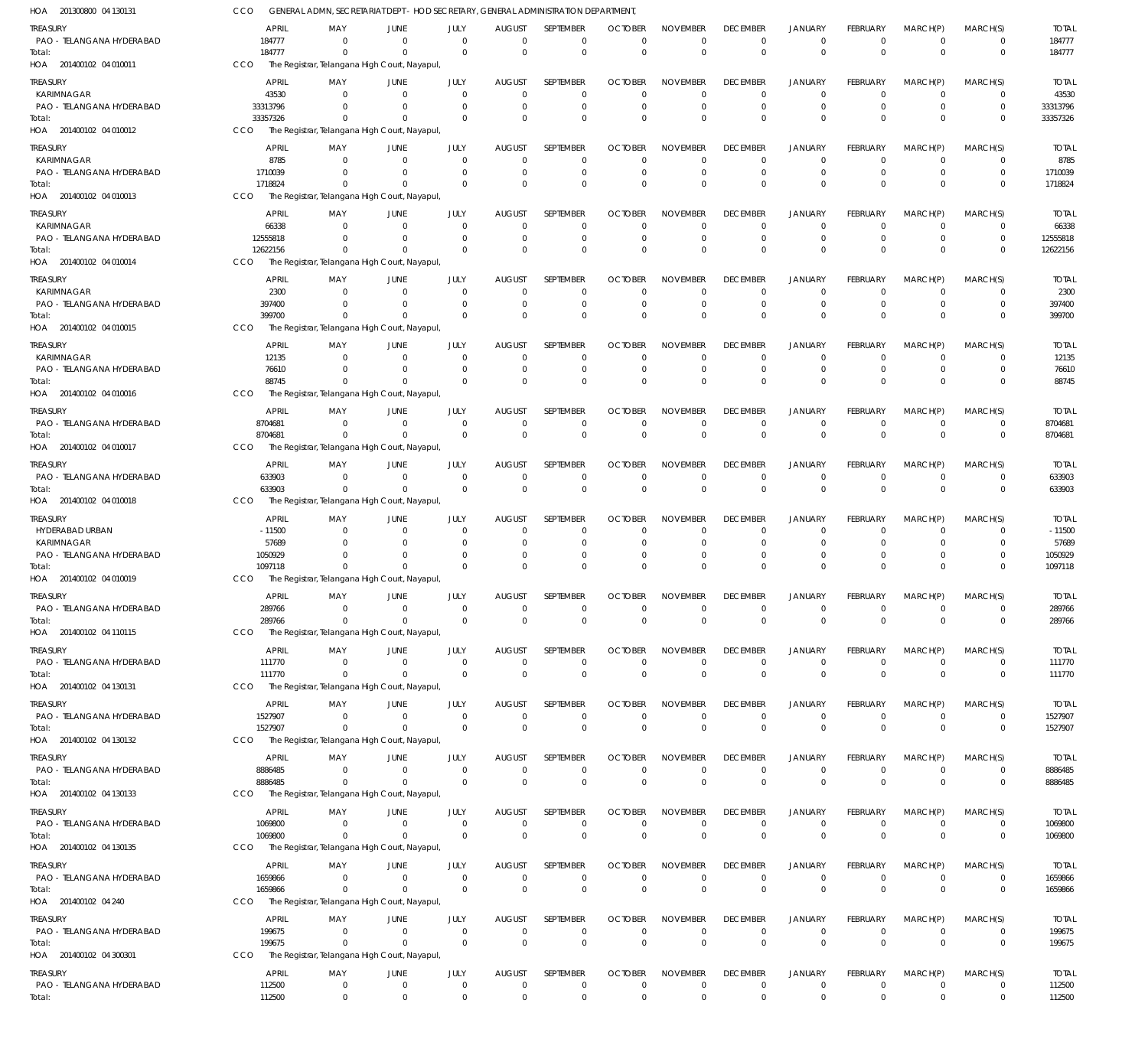| 201300800 04 130131<br>HOA                   | cco                    |                                  | GENERAL ADMN, SECRETARIAT DEPT - HOD SECRETARY, GENERAL ADMINISTRATION DEPARTMENT |                            |                                 |                                    |                               |                                   |                                |                               |                               |                                  |                            |                         |
|----------------------------------------------|------------------------|----------------------------------|-----------------------------------------------------------------------------------|----------------------------|---------------------------------|------------------------------------|-------------------------------|-----------------------------------|--------------------------------|-------------------------------|-------------------------------|----------------------------------|----------------------------|-------------------------|
| <b>TREASURY</b>                              | <b>APRIL</b>           | MAY                              | <b>JUNE</b>                                                                       | JULY                       | <b>AUGUST</b>                   | <b>SEPTEMBER</b>                   | <b>OCTOBER</b>                | <b>NOVEMBER</b>                   | <b>DECEMBER</b>                | JANUARY                       | FEBRUARY                      | MARCH(P)                         | MARCH(S)                   | <b>TOTAL</b>            |
| PAO - TELANGANA HYDERABAD                    | 184777                 | $\Omega$                         | $\Omega$                                                                          | $\Omega$                   | $\mathbf{0}$                    | $\overline{0}$                     | $\mathbf 0$                   | $\overline{0}$                    | $\mathbf 0$                    | $\mathbf 0$                   | $\mathbf 0$                   | $\mathbf 0$                      | $\mathbf 0$                | 184777                  |
| Total:<br>HOA 201400102 04 010011            | 184777<br>CCO          | $\Omega$                         | $\Omega$<br>The Registrar, Telangana High Court, Nayapul                          | $\Omega$                   | $\mathbf 0$                     | $\mathbf 0$                        | $\mathbf 0$                   | $\overline{0}$                    | $\overline{0}$                 | $\overline{0}$                | $\mathbf 0$                   | $\Omega$                         | $\mathbf 0$                | 184777                  |
|                                              |                        |                                  |                                                                                   |                            |                                 |                                    |                               |                                   |                                |                               |                               |                                  |                            |                         |
| <b>TREASURY</b><br>KARIMNAGAR                | <b>APRIL</b><br>43530  | MAY<br>$\Omega$                  | JUNE<br>$\Omega$                                                                  | JULY<br>$\Omega$           | <b>AUGUST</b><br>$\Omega$       | <b>SEPTEMBER</b><br>$\overline{0}$ | <b>OCTOBER</b><br>$\Omega$    | <b>NOVEMBER</b><br>$\mathbf 0$    | <b>DECEMBER</b><br>$\mathbf 0$ | JANUARY<br>$\overline{0}$     | FEBRUARY<br>$\Omega$          | MARCH(P)<br>$\Omega$             | MARCH(S)<br>$\mathbf 0$    | <b>TOTAL</b><br>43530   |
| PAO - TELANGANA HYDERABAD                    | 33313796               | $\overline{0}$                   | 0                                                                                 | $\overline{0}$             | $\mathbf 0$                     | $\overline{0}$                     | 0                             | $\mathbf 0$                       | $\mathbf 0$                    | $\overline{0}$                | 0                             | $\mathbf 0$                      | $\mathbf 0$                | 33313796                |
| Total:                                       | 33357326               | $\Omega$                         | - 0                                                                               | $\Omega$                   | $\Omega$                        | $\overline{0}$                     | $\mathbf 0$                   | $\overline{0}$                    | $\mathbf 0$                    | $\overline{0}$                | $\Omega$                      | $\Omega$                         | $\mathbf 0$                | 33357326                |
| HOA 201400102 04 010012                      | <b>CCO</b>             |                                  | The Registrar, Telangana High Court, Nayapul,                                     |                            |                                 |                                    |                               |                                   |                                |                               |                               |                                  |                            |                         |
| <b>TREASURY</b>                              | <b>APRIL</b>           | MAY                              | <b>JUNE</b>                                                                       | JULY                       | <b>AUGUST</b>                   | <b>SEPTEMBER</b>                   | <b>OCTOBER</b>                | <b>NOVEMBER</b>                   | <b>DECEMBER</b>                | <b>JANUARY</b>                | FEBRUARY                      | MARCH(P)                         | MARCH(S)                   | <b>TOTAL</b>            |
| KARIMNAGAR                                   | 8785                   | $\Omega$                         | $\Omega$                                                                          | $\Omega$                   | $\Omega$                        | $\Omega$                           | $\Omega$                      | $\Omega$                          | $\mathbf 0$                    | $\mathbf 0$                   | $\Omega$                      | $\Omega$                         | 0                          | 8785                    |
| PAO - TELANGANA HYDERABAD                    | 1710039<br>1718824     | $\Omega$<br>$\Omega$             | - 0<br>$\Omega$                                                                   | $\Omega$<br>$\mathbf{0}$   | $\Omega$<br>$\Omega$            | $\overline{0}$<br>$\overline{0}$   | $\mathbf 0$<br>$\Omega$       | $\overline{0}$<br>$\mathbf 0$     | $\mathbf 0$<br>$\overline{0}$  | $\mathbf 0$<br>$\overline{0}$ | $\mathbf 0$<br>$\Omega$       | $\mathbf 0$<br>$\Omega$          | $\mathbf 0$<br>$\mathbf 0$ | 1710039<br>1718824      |
| Total:<br>HOA 201400102 04 010013            | CCO                    |                                  | The Registrar, Telangana High Court, Nayapul,                                     |                            |                                 |                                    |                               |                                   |                                |                               |                               |                                  |                            |                         |
|                                              |                        |                                  |                                                                                   |                            |                                 |                                    |                               |                                   |                                |                               |                               |                                  |                            |                         |
| <b>TREASURY</b><br>KARIMNAGAR                | <b>APRIL</b><br>66338  | MAY<br>$\overline{0}$            | <b>JUNE</b><br>0                                                                  | JULY<br>$\overline{0}$     | <b>AUGUST</b><br>$\mathbf 0$    | SEPTEMBER<br>$\overline{0}$        | <b>OCTOBER</b><br>$\Omega$    | <b>NOVEMBER</b><br>$\mathbf 0$    | <b>DECEMBER</b><br>$\mathbf 0$ | JANUARY<br>$\overline{0}$     | FEBRUARY<br>$\mathbf 0$       | MARCH(P)<br>$\mathbf 0$          | MARCH(S)<br>$\mathbf 0$    | <b>TOTAL</b><br>66338   |
| PAO - TELANGANA HYDERABAD                    | 12555818               | $\Omega$                         | - 0                                                                               | $\Omega$                   | $\mathbf 0$                     | $\overline{0}$                     | $\mathbf 0$                   | $\overline{0}$                    | $\mathbf 0$                    | $\mathbf 0$                   | $\mathbf 0$                   | $\mathbf 0$                      | $\mathbf 0$                | 12555818                |
| Total:                                       | 12622156               | $\Omega$                         | $\Omega$                                                                          | $\Omega$                   | $\Omega$                        | $\overline{0}$                     | $\mathbf{0}$                  | $\overline{0}$                    | $\overline{0}$                 | $\overline{0}$                | $\Omega$                      | $\Omega$                         | $\mathbf 0$                | 12622156                |
| 201400102 04 010014<br>HOA                   | <b>CCO</b>             |                                  | The Registrar, Telangana High Court, Nayapul,                                     |                            |                                 |                                    |                               |                                   |                                |                               |                               |                                  |                            |                         |
| <b>TREASURY</b>                              | <b>APRIL</b>           | MAY                              | <b>JUNE</b>                                                                       | JULY                       | <b>AUGUST</b>                   | SEPTEMBER                          | <b>OCTOBER</b>                | <b>NOVEMBER</b>                   | <b>DECEMBER</b>                | <b>JANUARY</b>                | FEBRUARY                      | MARCH(P)                         | MARCH(S)                   | <b>TOTAL</b>            |
| <b>KARIMNAGAR</b>                            | 2300                   | $\Omega$                         | $\Omega$                                                                          | $\Omega$                   | $\Omega$                        | $\Omega$                           | $\Omega$                      | $\mathbf 0$                       | $\mathbf 0$                    | $\mathbf 0$                   | $\Omega$                      | $\Omega$                         | $\Omega$                   | 2300                    |
| PAO - TELANGANA HYDERABAD<br>Total:          | 397400<br>399700       | $\Omega$<br>$\Omega$             | - 0<br>$\Omega$                                                                   | $\overline{0}$<br>$\Omega$ | 0<br>$\Omega$                   | $\overline{0}$<br>$\Omega$         | $\mathbf 0$<br>$\Omega$       | $\overline{0}$<br>$\Omega$        | $\mathbf 0$<br>$\Omega$        | $\mathbf 0$<br>$\Omega$       | $\mathbf 0$<br>$\Omega$       | $\mathbf 0$<br>$\Omega$          | $\mathbf 0$<br>$\Omega$    | 397400<br>399700        |
| HOA<br>201400102 04 010015                   | CCO                    |                                  | The Registrar, Telangana High Court, Nayapul,                                     |                            |                                 |                                    |                               |                                   |                                |                               |                               |                                  |                            |                         |
| <b>TREASURY</b>                              | <b>APRIL</b>           | MAY                              | JUNE                                                                              | JULY                       | <b>AUGUST</b>                   | <b>SEPTEMBER</b>                   | <b>OCTOBER</b>                | <b>NOVEMBER</b>                   | <b>DECEMBER</b>                | <b>JANUARY</b>                | FEBRUARY                      | MARCH(P)                         | MARCH(S)                   | <b>TOTAL</b>            |
| KARIMNAGAR                                   | 12135                  | $\Omega$                         | $\Omega$                                                                          | $\Omega$                   | $\overline{0}$                  | $\overline{0}$                     | $\mathbf 0$                   | $\mathbf 0$                       | $\mathbf 0$                    | $\overline{0}$                | $\mathbf 0$                   | $\Omega$                         | $\mathbf 0$                | 12135                   |
| PAO - TELANGANA HYDERABAD                    | 76610                  | $\Omega$                         | - 0                                                                               | $\Omega$                   | $\mathbf 0$                     | $\overline{0}$                     | $\mathbf 0$                   | $\overline{0}$                    | $\mathbf 0$                    | $\mathbf 0$                   | 0                             | $\mathbf 0$                      | $\mathbf 0$                | 76610                   |
| Total:                                       | 88745                  | $\Omega$                         | $\Omega$                                                                          | $\Omega$                   | $\Omega$                        | $\Omega$                           | $\Omega$                      | $\Omega$                          | $\mathbf 0$                    | $\Omega$                      | $\Omega$                      | $\Omega$                         | $\mathbf 0$                | 88745                   |
| HOA 201400102 04 010016                      | CCO                    |                                  | The Registrar, Telangana High Court, Nayapul,                                     |                            |                                 |                                    |                               |                                   |                                |                               |                               |                                  |                            |                         |
| <b>TREASURY</b>                              | <b>APRIL</b>           | MAY                              | JUNE                                                                              | <b>JULY</b>                | <b>AUGUST</b>                   | SEPTEMBER                          | <b>OCTOBER</b>                | <b>NOVEMBER</b>                   | <b>DECEMBER</b>                | JANUARY                       | FEBRUARY                      | MARCH(P)                         | MARCH(S)                   | <b>TOTAL</b>            |
| PAO - TELANGANA HYDERABAD                    | 8704681                | $\Omega$                         | $\Omega$                                                                          | $\overline{0}$             | $\mathbf 0$                     | $\overline{0}$                     | $\mathbf 0$                   | $\mathbf 0$                       | $\mathbf 0$                    | $\mathbf 0$                   | $\mathbf 0$                   | $\Omega$                         | $\mathbf 0$                | 8704681                 |
| Total:<br>HOA 201400102 04 010017            | 8704681<br><b>CCO</b>  | $\Omega$                         | $\Omega$<br>The Registrar, Telangana High Court, Nayapul                          | $\Omega$                   | $\mathbf{0}$                    | $\mathbf{0}$                       | $\Omega$                      | $\overline{0}$                    | $\overline{0}$                 | $\overline{0}$                | $\Omega$                      | $\Omega$                         | $\mathbf 0$                | 8704681                 |
|                                              |                        |                                  |                                                                                   |                            |                                 |                                    |                               |                                   |                                |                               |                               |                                  |                            |                         |
| <b>TREASURY</b><br>PAO - TELANGANA HYDERABAD | <b>APRIL</b><br>633903 | MAY<br>$\Omega$                  | JUNE<br>$\overline{0}$                                                            | JULY<br>$\overline{0}$     | <b>AUGUST</b><br>$\overline{0}$ | SEPTEMBER<br>$\overline{0}$        | <b>OCTOBER</b><br>$\mathbf 0$ | <b>NOVEMBER</b><br>$\mathbf 0$    | <b>DECEMBER</b><br>$\mathbf 0$ | JANUARY<br>$\mathbf 0$        | FEBRUARY<br>$\overline{0}$    | MARCH(P)<br>$\overline{0}$       | MARCH(S)<br>$\mathbf 0$    | <b>TOTAL</b><br>633903  |
| Total:                                       | 633903                 | $\Omega$                         | - 0                                                                               | $\overline{0}$             | $\mathbf 0$                     | $\overline{0}$                     | $\mathbf{0}$                  | $\overline{0}$                    | $\overline{0}$                 | $\overline{0}$                | $\mathbf 0$                   | $\Omega$                         | $\mathbf 0$                | 633903                  |
| HOA<br>201400102 04 010018                   | CCO                    |                                  | The Registrar, Telangana High Court, Nayapul,                                     |                            |                                 |                                    |                               |                                   |                                |                               |                               |                                  |                            |                         |
| <b>TREASURY</b>                              | <b>APRIL</b>           | MAY                              | <b>JUNE</b>                                                                       | JULY                       | <b>AUGUST</b>                   | SEPTEMBER                          | <b>OCTOBER</b>                | <b>NOVEMBER</b>                   | <b>DECEMBER</b>                | JANUARY                       | FEBRUARY                      | MARCH(P)                         | MARCH(S)                   | <b>TOTAL</b>            |
| HYDERABAD URBAN                              | $-11500$               | $\Omega$                         | - 0                                                                               | - 0                        | $\Omega$                        | $\Omega$                           | $\Omega$                      | $\Omega$                          | $\mathbf 0$                    | $\overline{0}$                | $\Omega$                      | $\Omega$                         | $\Omega$                   | $-11500$                |
| KARIMNAGAR                                   | 57689                  | $\Omega$                         | - 0                                                                               | $\Omega$                   | 0                               | $\overline{0}$                     | $\Omega$                      | $\mathbf 0$                       | $\mathbf 0$                    | $\mathbf 0$                   | $\Omega$                      | $\Omega$                         | $\mathbf 0$                | 57689                   |
| PAO - TELANGANA HYDERABAD                    | 1050929                | $\Omega$<br>$\Omega$             | - 0<br>$\Omega$                                                                   | $\Omega$                   | $\Omega$                        | $\overline{0}$<br>$\Omega$         | $\Omega$                      | $\mathbf 0$<br>$\Omega$           | $\mathbf 0$<br>$\Omega$        | $\mathbf 0$<br>$\Omega$       | $\mathbf 0$                   | $\mathbf 0$<br>$\Omega$          | $\mathbf 0$                | 1050929                 |
| Total:<br>HOA 201400102 04 010019            | 1097118<br>CCO         |                                  | The Registrar, Telangana High Court, Nayapul,                                     | $\mathbf{0}$               | $\Omega$                        |                                    | $\Omega$                      |                                   |                                |                               | $\Omega$                      |                                  | $\mathbf 0$                | 1097118                 |
|                                              |                        |                                  |                                                                                   |                            |                                 |                                    |                               |                                   |                                |                               |                               |                                  |                            |                         |
| TREASURY<br>PAO - TELANGANA HYDERABAD        | <b>APRIL</b><br>289766 | MAY<br>-0                        | <b>JUNE</b><br>0                                                                  | JULY<br>0                  | <b>AUGUST</b><br>$\mathbf{0}$   | SEPTEMBER<br>0                     | <b>OCTOBER</b><br>0           | <b>NOVEMBER</b><br>0              | <b>DECEMBER</b><br>0           | <b>JANUARY</b><br>$^{\circ}$  | <b>FEBRUARY</b><br>0          | MARCH(P)<br>$\mathbf 0$          | MARCH(S)<br>$\overline{0}$ | <b>TOTAL</b><br>289766  |
| Total:                                       | 289766                 | $\overline{0}$                   | $\Omega$                                                                          | $\Omega$                   | $\mathbf 0$                     | $\mathbf 0$                        | $\mathbf 0$                   | $\mathbf 0$                       | $\mathbf 0$                    | $\overline{0}$                | $\mathbf 0$                   | $\mathbf 0$                      |                            | 289766                  |
| HOA 201400102 04 110115                      | CCO                    |                                  |                                                                                   |                            |                                 |                                    |                               |                                   |                                |                               |                               |                                  | $\mathbf 0$                |                         |
| <b>TREASURY</b>                              |                        |                                  | The Registrar, Telangana High Court, Nayapul,                                     |                            |                                 |                                    |                               |                                   |                                |                               |                               |                                  |                            |                         |
|                                              |                        |                                  |                                                                                   |                            |                                 | <b>SEPTEMBER</b>                   |                               |                                   |                                |                               |                               |                                  |                            |                         |
| PAO - TELANGANA HYDERABAD                    | <b>APRIL</b><br>111770 | MAY<br>$\Omega$                  | <b>JUNE</b><br>$^{\circ}$                                                         | JULY<br>$\mathbf 0$        | <b>AUGUST</b><br>$\mathbf 0$    | $\overline{0}$                     | <b>OCTOBER</b><br>$\Omega$    | <b>NOVEMBER</b><br>$\overline{0}$ | <b>DECEMBER</b><br>$\mathbf 0$ | JANUARY<br>$\mathbf 0$        | FEBRUARY<br>$\overline{0}$    | MARCH(P)<br>$\overline{0}$       | MARCH(S)<br>$\mathbf 0$    | <b>TOTAL</b><br>111770  |
| Total:                                       | 111770                 | $\Omega$                         | $\Omega$                                                                          | $\Omega$                   | $\mathbf 0$                     | $\,0\,$                            | $\mathbf 0$                   | $\overline{0}$                    | $\overline{0}$                 | $\overline{0}$                | $\mathbf 0$                   | $\Omega$                         | $\mathbf 0$                | 111770                  |
| HOA 201400102 04 130131                      | CCO                    |                                  | The Registrar, Telangana High Court, Nayapul                                      |                            |                                 |                                    |                               |                                   |                                |                               |                               |                                  |                            |                         |
| <b>TREASURY</b>                              | <b>APRIL</b>           | MAY                              | <b>JUNE</b>                                                                       | JULY                       | <b>AUGUST</b>                   | <b>SEPTEMBER</b>                   | <b>OCTOBER</b>                | <b>NOVEMBER</b>                   | <b>DECEMBER</b>                | JANUARY                       | FEBRUARY                      | MARCH(P)                         | MARCH(S)                   | <b>TOTAL</b>            |
| PAO - TELANGANA HYDERABAD                    | 1527907                | $\overline{0}$                   | $^{\circ}$                                                                        | $\overline{0}$             | $\mathbf 0$                     | $\overline{0}$                     | $\mathbf 0$                   | $\mathbf 0$                       | $\mathbf 0$                    | $\mathbf 0$                   | $\overline{0}$                | $\overline{0}$                   | $\mathbf 0$                | 1527907                 |
| Total:                                       | 1527907                | $\overline{0}$                   | $\overline{0}$                                                                    | $\Omega$                   | $\mathbf 0$                     | $\,0\,$                            | $\mathbf 0$                   | $\overline{0}$                    | $\overline{0}$                 | $\overline{0}$                | $\mathbf 0$                   | $\Omega$                         | $\mathbf 0$                | 1527907                 |
| HOA 201400102 04 130132                      | CCO                    |                                  | The Registrar, Telangana High Court, Nayapul                                      |                            |                                 |                                    |                               |                                   |                                |                               |                               |                                  |                            |                         |
| <b>TREASURY</b>                              | <b>APRIL</b>           | MAY                              | <b>JUNE</b>                                                                       | JULY                       | <b>AUGUST</b>                   | SEPTEMBER                          | <b>OCTOBER</b>                | <b>NOVEMBER</b>                   | <b>DECEMBER</b>                | JANUARY                       | FEBRUARY                      | MARCH(P)                         | MARCH(S)                   | <b>TOTAL</b>            |
| PAO - TELANGANA HYDERABAD<br>Total:          | 8886485<br>8886485     | $\Omega$<br>$\Omega$             | $^{\circ}$<br>$\Omega$                                                            | $\mathbf 0$<br>$\mathbf 0$ | $\mathbf 0$<br>$\mathbf 0$      | $\overline{0}$<br>$\mathbf 0$      | $\mathbf 0$<br>$\mathbf 0$    | $\mathbf 0$<br>$\overline{0}$     | $\mathbf 0$<br>$\overline{0}$  | $\mathbf 0$<br>$\overline{0}$ | $\overline{0}$<br>$\mathbf 0$ | $\overline{0}$<br>$\overline{0}$ | $\mathbf 0$<br>$\mathbf 0$ | 8886485<br>8886485      |
| HOA 201400102 04 130133                      | <b>CCO</b>             |                                  | The Registrar, Telangana High Court, Nayapul,                                     |                            |                                 |                                    |                               |                                   |                                |                               |                               |                                  |                            |                         |
|                                              | <b>APRIL</b>           | MAY                              |                                                                                   |                            |                                 | SEPTEMBER                          | <b>OCTOBER</b>                | <b>NOVEMBER</b>                   | <b>DECEMBER</b>                |                               |                               |                                  | MARCH(S)                   |                         |
| <b>TREASURY</b><br>PAO - TELANGANA HYDERABAD | 1069800                | $\overline{0}$                   | <b>JUNE</b><br>$\overline{0}$                                                     | JULY<br>$\overline{0}$     | <b>AUGUST</b><br>$\overline{0}$ | $\overline{0}$                     | $\mathbf 0$                   | $\overline{0}$                    | $\mathbf 0$                    | JANUARY<br>$\mathbf 0$        | FEBRUARY<br>$\overline{0}$    | MARCH(P)<br>$\overline{0}$       | $\mathbf 0$                | <b>TOTAL</b><br>1069800 |
| Total:                                       | 1069800                | $\overline{0}$                   | $\overline{0}$                                                                    | $\overline{0}$             | $\mathbf 0$                     | $\overline{0}$                     | $\mathbf 0$                   | $\overline{0}$                    | $\overline{0}$                 | $\overline{0}$                | $\mathbf 0$                   | $\overline{0}$                   | $\mathbf 0$                | 1069800                 |
| HOA 201400102 04 130135                      | CCO                    |                                  | The Registrar, Telangana High Court, Nayapul,                                     |                            |                                 |                                    |                               |                                   |                                |                               |                               |                                  |                            |                         |
| <b>TREASURY</b>                              | APRIL                  | MAY                              | JUNE                                                                              | JULY                       | <b>AUGUST</b>                   | SEPTEMBER                          | <b>OCTOBER</b>                | <b>NOVEMBER</b>                   | <b>DECEMBER</b>                | JANUARY                       | FEBRUARY                      | MARCH(P)                         | MARCH(S)                   | <b>TOTAL</b>            |
| PAO - TELANGANA HYDERABAD                    | 1659866                | $\overline{0}$                   | $^{\circ}$                                                                        | $\mathbf 0$                | $\mathbf{0}$                    | $\overline{0}$                     | $\mathbf 0$                   | $\mathbf 0$                       | $\mathbf 0$                    | $\mathbf 0$                   | $\overline{0}$                | $\overline{0}$                   | $\mathbf 0$                | 1659866                 |
| Total:                                       | 1659866                | $\Omega$                         | $\Omega$                                                                          | $\mathbf{0}$               | $\mathbf 0$                     | $\,0\,$                            | $\mathbf 0$                   | $\overline{0}$                    | $\overline{0}$                 | $\overline{0}$                | $\mathbf 0$                   | $\Omega$                         | $\mathbf 0$                | 1659866                 |
| HOA 201400102 04 240                         | <b>CCO</b>             |                                  | The Registrar, Telangana High Court, Nayapul,                                     |                            |                                 |                                    |                               |                                   |                                |                               |                               |                                  |                            |                         |
| <b>TREASURY</b>                              | <b>APRIL</b>           | MAY                              | <b>JUNE</b>                                                                       | JULY                       | <b>AUGUST</b>                   | SEPTEMBER                          | <b>OCTOBER</b>                | <b>NOVEMBER</b>                   | <b>DECEMBER</b>                | JANUARY                       | FEBRUARY                      | MARCH(P)                         | MARCH(S)                   | <b>TOTAL</b>            |
| PAO - TELANGANA HYDERABAD                    | 199675                 | $\overline{0}$<br>$\overline{0}$ | $\overline{0}$<br>$\Omega$                                                        | $\overline{0}$             | $\mathbf 0$                     | $\overline{0}$                     | $\mathbf 0$<br>$\mathbf 0$    | $\overline{0}$                    | $\mathbf 0$<br>$\overline{0}$  | $\mathbf 0$                   | $\overline{0}$<br>$\mathbf 0$ | $\overline{0}$<br>$\overline{0}$ | $\mathbf 0$                | 199675                  |
| Total:<br>HOA 201400102 04 300301            | 199675<br>CCO          |                                  | The Registrar, Telangana High Court, Nayapul,                                     | $\mathbf 0$                | $\mathbf 0$                     | $\mathbf 0$                        |                               | $\overline{0}$                    |                                | $\overline{0}$                |                               |                                  | $\mathbf 0$                | 199675                  |
|                                              |                        |                                  |                                                                                   |                            |                                 |                                    |                               |                                   |                                |                               |                               |                                  |                            |                         |
| <b>TREASURY</b><br>PAO - TELANGANA HYDERABAD | APRIL<br>112500        | MAY<br>$\mathbf 0$               | <b>JUNE</b><br>$^{\circ}$                                                         | JULY<br>$\mathbf 0$        | <b>AUGUST</b><br>$\mathbf{0}$   | SEPTEMBER<br>$\overline{0}$        | <b>OCTOBER</b><br>$\mathbf 0$ | <b>NOVEMBER</b><br>$\mathbf 0$    | <b>DECEMBER</b><br>$\mathbf 0$ | JANUARY<br>$\mathbf 0$        | FEBRUARY<br>$\overline{0}$    | MARCH(P)<br>$\overline{0}$       | MARCH(S)<br>$\mathbf 0$    | <b>TOTAL</b><br>112500  |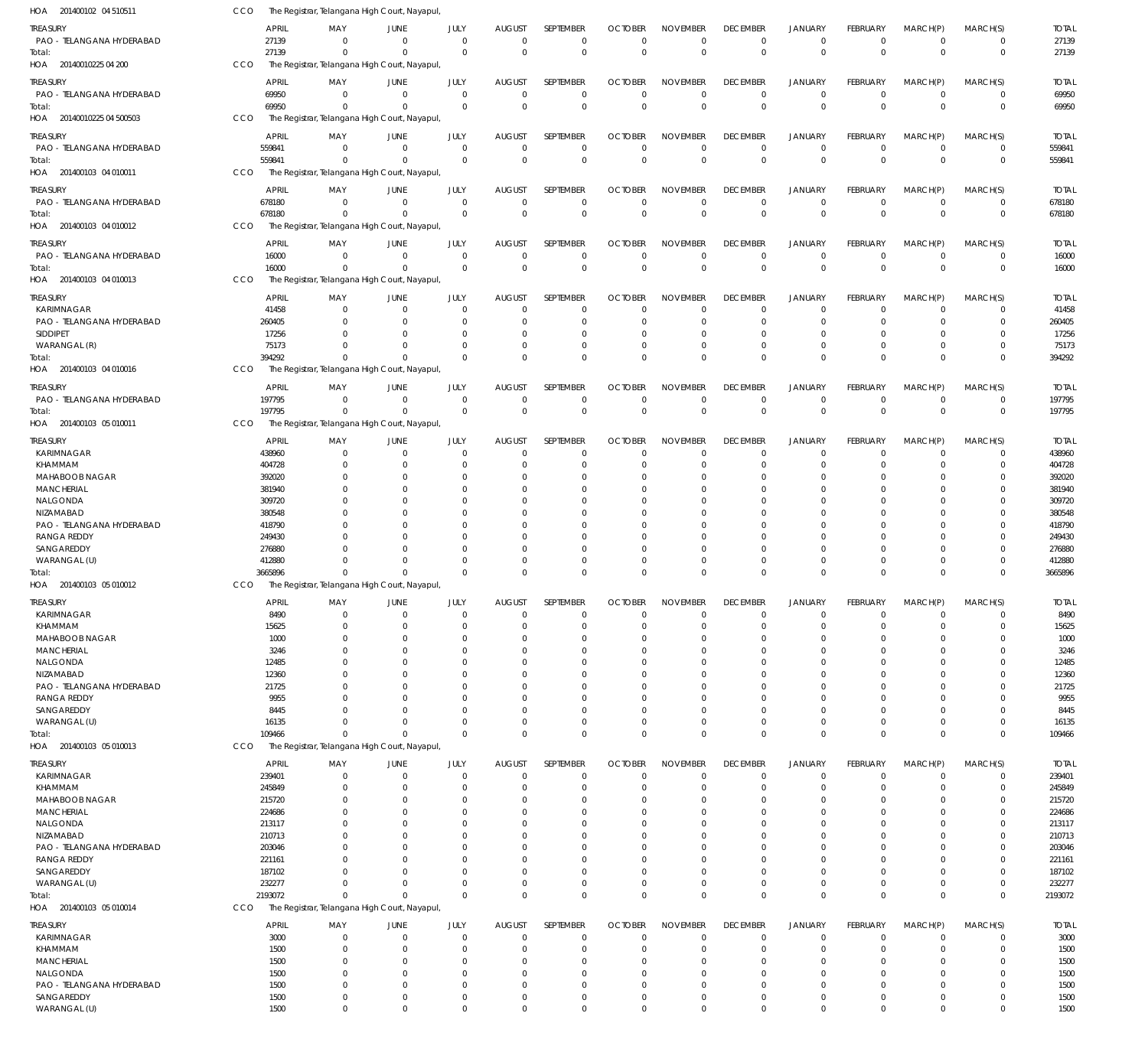| HOA 201400102 04 510511           | CCO            | The Registrar, Telangana High Court, Nayapul, |                      |                      |                      |                      |                      |                      |                 |                      |                 |                      |                |               |
|-----------------------------------|----------------|-----------------------------------------------|----------------------|----------------------|----------------------|----------------------|----------------------|----------------------|-----------------|----------------------|-----------------|----------------------|----------------|---------------|
| treasury                          | <b>APRIL</b>   | MAY                                           | JUNE                 | JULY                 | <b>AUGUST</b>        | <b>SEPTEMBER</b>     | <b>OCTOBER</b>       | <b>NOVEMBER</b>      | <b>DECEMBER</b> | <b>JANUARY</b>       | FEBRUARY        | MARCH(P)             | MARCH(S)       | <b>TOTAL</b>  |
| PAO - TELANGANA HYDERABAD         | 27139          | $\overline{0}$                                | $\overline{0}$       | $\mathbf 0$          | $\mathbf 0$          | $\mathbf 0$          | $\overline{0}$       | $\mathbf 0$          | $\mathbf 0$     | $\mathbf 0$          | $\mathbf 0$     | $\mathbf 0$          | $\mathbf 0$    | 27139         |
| Total:                            | 27139          | $^{\circ}$                                    | $\overline{0}$       | $\mathbf 0$          | $\mathbf 0$          | $\mathbf 0$          | $^{\circ}$           | $\mathbf 0$          | $\mathbf 0$     | $\overline{0}$       | $\mathbf 0$     | $\mathbf 0$          | $\overline{0}$ | 27139         |
| HOA 20140010225 04 200            | CCO            | The Registrar, Telangana High Court, Nayapul, |                      |                      |                      |                      |                      |                      |                 |                      |                 |                      |                |               |
|                                   |                |                                               |                      |                      |                      |                      |                      |                      |                 |                      |                 |                      |                |               |
| treasury                          | <b>APRIL</b>   | MAY                                           | JUNE                 | JULY                 | <b>AUGUST</b>        | SEPTEMBER            | <b>OCTOBER</b>       | <b>NOVEMBER</b>      | <b>DECEMBER</b> | <b>JANUARY</b>       | FEBRUARY        | MARCH(P)             | MARCH(S)       | <b>TOTAL</b>  |
| PAO - TELANGANA HYDERABAD         | 69950          | $\Omega$                                      | $\overline{0}$       | $\mathbf 0$          | $\mathbf 0$          | $\mathbf 0$          | $\Omega$             | $\Omega$             | $\mathbf 0$     | $^{\circ}$           | $\mathbf 0$     | $\mathbf 0$          | $^{\circ}$     | 69950         |
| Total:                            | 69950          | $\Omega$                                      | $\Omega$             | $\Omega$             | $\Omega$             | $\mathbf 0$          | $\Omega$             | $\Omega$             | $\Omega$        | $\Omega$             | $\mathbf 0$     | $\Omega$             | $\mathbf 0$    | 69950         |
| HOA 20140010225 04 500503         | CCO            | The Registrar, Telangana High Court, Nayapul  |                      |                      |                      |                      |                      |                      |                 |                      |                 |                      |                |               |
| treasury                          | <b>APRIL</b>   | MAY                                           | JUNE                 | JULY                 | <b>AUGUST</b>        | SEPTEMBER            | <b>OCTOBER</b>       | <b>NOVEMBER</b>      | <b>DECEMBER</b> | <b>JANUARY</b>       | FEBRUARY        | MARCH(P)             | MARCH(S)       | <b>TOTAL</b>  |
| PAO - TELANGANA HYDERABAD         | 559841         | $^{\circ}$                                    | $\overline{0}$       | $\mathbf 0$          | $\mathbf 0$          | $\mathbf 0$          | $^{\circ}$           | $\mathbf 0$          | $\mathbf 0$     | $^{\circ}$           | $\mathbf 0$     | $\mathbf 0$          | $\mathbf 0$    | 559841        |
| Total:                            | 559841         | $\Omega$                                      | $\overline{0}$       | $\mathbf 0$          | $\mathbf 0$          | $\mathbf 0$          | $\mathbf 0$          | $\mathbf 0$          | $\mathbf 0$     | $\overline{0}$       | $\mathbf 0$     | $\mathbf 0$          | $\mathbf 0$    | 559841        |
| HOA 201400103 04 010011           | CCO            | The Registrar, Telangana High Court, Nayapul, |                      |                      |                      |                      |                      |                      |                 |                      |                 |                      |                |               |
| treasury                          | <b>APRIL</b>   | MAY                                           | JUNE                 | JULY                 | <b>AUGUST</b>        | SEPTEMBER            | <b>OCTOBER</b>       | <b>NOVEMBER</b>      | <b>DECEMBER</b> | <b>JANUARY</b>       | FEBRUARY        | MARCH(P)             | MARCH(S)       | <b>TOTAL</b>  |
| PAO - TELANGANA HYDERABAD         | 678180         | $\Omega$                                      | $\mathbf 0$          | $\mathbf 0$          | $\mathbf 0$          | $\mathbf 0$          | $\Omega$             | $\Omega$             | $\mathbf 0$     | $^{\circ}$           | $\mathbf 0$     | $\mathbf 0$          | $\mathbf 0$    | 678180        |
| Total:                            | 678180         | $\Omega$                                      | $\Omega$             | $\mathbf 0$          | $\mathbf 0$          | $\mathbf 0$          | $\mathbf 0$          | $\Omega$             | $\Omega$        | $\overline{0}$       | $\mathbf 0$     | $\mathbf 0$          | $\overline{0}$ | 678180        |
| HOA 201400103 04 010012           | CCO            | The Registrar, Telangana High Court, Nayapul, |                      |                      |                      |                      |                      |                      |                 |                      |                 |                      |                |               |
|                                   |                |                                               |                      |                      |                      |                      |                      |                      |                 |                      |                 |                      |                |               |
| treasury                          | <b>APRIL</b>   | MAY                                           | JUNE                 | JULY                 | <b>AUGUST</b>        | SEPTEMBER            | <b>OCTOBER</b>       | <b>NOVEMBER</b>      | <b>DECEMBER</b> | <b>JANUARY</b>       | FEBRUARY        | MARCH(P)             | MARCH(S)       | <b>TOTAL</b>  |
| PAO - TELANGANA HYDERABAD         | 16000          | $\overline{0}$                                | $\overline{0}$       | $\mathbf 0$          | $\mathbf 0$          | $\mathbf 0$          | $\overline{0}$       | $\Omega$             | $\mathbf 0$     | $\overline{0}$       | $\overline{0}$  | $\mathbf 0$          | $\mathbf 0$    | 16000         |
| Total:                            | 16000          | $\mathbf 0$                                   | $\overline{0}$       | $\mathbf 0$          | $\mathbf 0$          | $\mathbf 0$          | $\overline{0}$       | $\mathbf 0$          | $\Omega$        | $\overline{0}$       | $\mathbf 0$     | $\mathbf 0$          | $\overline{0}$ | 16000         |
| HOA 201400103 04 010013           | CCO            | The Registrar, Telangana High Court, Nayapul, |                      |                      |                      |                      |                      |                      |                 |                      |                 |                      |                |               |
| <b>TREASURY</b>                   | <b>APRIL</b>   | MAY                                           | JUNE                 | JULY                 | <b>AUGUST</b>        | SEPTEMBER            | <b>OCTOBER</b>       | <b>NOVEMBER</b>      | <b>DECEMBER</b> | <b>JANUARY</b>       | FEBRUARY        | MARCH(P)             | MARCH(S)       | <b>TOTAL</b>  |
| KARIMNAGAR                        | 41458          | $\Omega$                                      | $\mathbf 0$          | 0                    | 0                    | 0                    | $\Omega$             | $\Omega$             | $\Omega$        | $^{\circ}$           | $\Omega$        | $\Omega$             | 0              | 41458         |
| PAO - TELANGANA HYDERABAD         | 260405         | $\Omega$                                      | $\mathbf 0$          | $\Omega$             | $\Omega$             | $\Omega$             | $\Omega$             | $\Omega$             | $\Omega$        | $\Omega$             | $\Omega$        | $\Omega$             | $\mathbf 0$    | 260405        |
| SIDDIPET                          | 17256          | $\Omega$                                      | $\mathbf 0$          | $\Omega$             | $\Omega$             | $\Omega$             | $\Omega$             | $\Omega$             | $\Omega$        | $\overline{0}$       | $\Omega$        | $\Omega$             | $\Omega$       | 17256         |
| WARANGAL (R)                      | 75173          | $\Omega$                                      | $\Omega$             | $\Omega$             | $\Omega$             | $\mathbf 0$          | $^{\circ}$           | $\Omega$             | $\Omega$        | $\overline{0}$       | $\Omega$        | $\mathbf 0$          | 0              | 75173         |
| Total:                            | 394292         | $\Omega$                                      | $\Omega$             | $\Omega$             | $\Omega$             | $\Omega$             | $\Omega$             | $\Omega$             | $\Omega$        | $\Omega$             | $\Omega$        | $\Omega$             | $\mathbf 0$    | 394292        |
| HOA 201400103 04 010016           | CCO            | The Registrar, Telangana High Court, Nayapul, |                      |                      |                      |                      |                      |                      |                 |                      |                 |                      |                |               |
|                                   |                |                                               |                      |                      |                      |                      |                      |                      |                 |                      |                 |                      |                |               |
| treasury                          | <b>APRIL</b>   | MAY                                           | JUNE                 | JULY                 | <b>AUGUST</b>        | SEPTEMBER            | <b>OCTOBER</b>       | <b>NOVEMBER</b>      | <b>DECEMBER</b> | <b>JANUARY</b>       | <b>FEBRUARY</b> | MARCH(P)             | MARCH(S)       | <b>TOTAL</b>  |
| PAO - TELANGANA HYDERABAD         | 197795         | $\overline{0}$                                | $\overline{0}$       | $\mathbf 0$          | $\mathbf 0$          | $\mathbf 0$          | $\overline{0}$       | $\Omega$             | $\mathbf 0$     | $\overline{0}$       | $\mathbf 0$     | $\mathbf 0$          | $\overline{0}$ | 197795        |
| Total:                            | 197795         | $\overline{0}$                                | $\overline{0}$       | $\mathbf 0$          | $\mathbf 0$          | $\mathbf 0$          | $\overline{0}$       | $\mathbf 0$          | $\Omega$        | $\overline{0}$       | $\mathbf 0$     | $\mathbf 0$          | $\mathbf 0$    | 197795        |
| HOA 201400103 05 010011           | CCO            | The Registrar, Telangana High Court, Nayapul, |                      |                      |                      |                      |                      |                      |                 |                      |                 |                      |                |               |
| TREASURY                          | APRIL          | MAY                                           | JUNE                 | JULY                 | <b>AUGUST</b>        | SEPTEMBER            | <b>OCTOBER</b>       | <b>NOVEMBER</b>      | <b>DECEMBER</b> | <b>JANUARY</b>       | FEBRUARY        | MARCH(P)             | MARCH(S)       | <b>TOTAL</b>  |
| KARIMNAGAR                        | 438960         | $\Omega$                                      | $\mathbf 0$          | $\mathbf 0$          | 0                    | 0                    | $\Omega$             | $\Omega$             | $\Omega$        | $\overline{0}$       | $\Omega$        | $\Omega$             | $\mathbf 0$    | 438960        |
| <b>KHAMMAM</b>                    | 404728         | $\Omega$                                      | 0                    | $\Omega$             | $\Omega$             | $\Omega$             | $\Omega$             | $\Omega$             | $\Omega$        | $\Omega$             | $\Omega$        | $\Omega$             | $\Omega$       | 404728        |
| MAHABOOB NAGAR                    | 392020         | $\Omega$                                      | 0                    | $\Omega$             | $\Omega$             | $\Omega$             | $\Omega$             | $\Omega$             | $\Omega$        | $\Omega$             | O               | $\Omega$             | $\Omega$       | 392020        |
| <b>MANCHERIAL</b>                 | 381940         | $\Omega$                                      | $\Omega$             | $\Omega$             | $\Omega$             | $\Omega$             | $\Omega$             | $\Omega$             | $\Omega$        | $\Omega$             | $\Omega$        | $\Omega$             | $\Omega$       | 381940        |
| NALGONDA                          | 309720         | $\Omega$                                      | 0                    | $\Omega$             | $\Omega$             | $\Omega$             | $\Omega$             | $\Omega$             | $\Omega$        | $\Omega$             | O               | $\Omega$             | $\Omega$       | 309720        |
| NIZAMABAD                         | 380548         | $\Omega$                                      | $\Omega$             | $\Omega$             | $\Omega$             | $\Omega$             | $\Omega$             | $\Omega$             | $\Omega$        | $\Omega$             | $\Omega$        | $\Omega$             | $\Omega$       | 380548        |
| PAO - TELANGANA HYDERABAD         | 418790         | U                                             | $\Omega$             | $\Omega$             | $\Omega$             | $\Omega$             | $\Omega$             | $\Omega$             | $\Omega$        | $\Omega$             | U               | $\Omega$             | $\Omega$       | 418790        |
| <b>RANGA REDDY</b>                | 249430         | U                                             | $\Omega$             | $\Omega$             | $\Omega$             | $\Omega$             | $\Omega$             | $\Omega$             | $\Omega$        | $\Omega$             | $\Omega$        | $\Omega$             | $\Omega$       | 249430        |
| SANGAREDDY                        | 276880         |                                               | $\Omega$             | $\Omega$             | $\Omega$             | $\cup$               | -C                   | $\Omega$             | $\Omega$        | $\Omega$             | $\Omega$        | $\Omega$             | $\Omega$       | 276880        |
| WARANGAL (U)                      | 412880         | $\Omega$                                      | $\Omega$             | $\Omega$             | $\Omega$             | $\Omega$             | $\Omega$             | $\Omega$             | $\Omega$        | $\overline{0}$       | $\Omega$        | $\mathbf 0$          | 0              | 412880        |
| Total:                            | 3665896        | $\Omega$                                      | $\Omega$             | $\Omega$             | $\Omega$             | $\Omega$             | $\Omega$             | $\Omega$             | $\Omega$        | $\Omega$             | $\Omega$        | $\Omega$             | $\Omega$       | 3665896       |
| HOA 201400103 05 010012           | CCO            | The Registrar, Telangana High Court, Nayapul, |                      |                      |                      |                      |                      |                      |                 |                      |                 |                      |                |               |
|                                   |                |                                               |                      |                      |                      |                      |                      | <b>NOVEMBER</b>      |                 |                      |                 |                      |                |               |
| TREASURY                          | <b>APRIL</b>   | MAY                                           | <b>JUNE</b>          | <b>JULY</b>          | <b>ALIGUST</b>       | <b>SEPTEMBER</b>     | <b>OCTOBER</b>       |                      | <b>DECEMBER</b> | <b>JANIJARY</b>      | <b>FEBRUARY</b> | MARCH(P)             | MARCH(S)       | <b>TOTAI</b>  |
| KARIMNAGAR                        | 8490           | $\mathbf 0$                                   | $\mathbf 0$          | 0                    | 0                    | $\mathbf 0$          | $\Omega$             | $\Omega$             | $\Omega$        | $^{\circ}$           | $\Omega$        | 0                    | 0              | 8490          |
| <b>KHAMMAM</b>                    | 15625          | 0                                             | $\mathbf 0$          | $\mathbf 0$          | 0                    | $\mathbf 0$          | $\Omega$             | $\Omega$             | $\Omega$        | $\overline{0}$       | $\mathbf 0$     | $\Omega$             | 0              | 15625         |
| MAHABOOB NAGAR                    | 1000           | 0                                             | $\Omega$             | $\Omega$             | $\Omega$             | $\mathbf 0$          | $\Omega$             | $\Omega$             | $\Omega$        | $\Omega$             | U               | $\Omega$             | 0              | 1000          |
| <b>MANCHERIAL</b>                 | 3246           | $\Omega$<br>$\Omega$                          | $\Omega$<br>$\Omega$ | $\Omega$<br>$\Omega$ | $\Omega$<br>$\Omega$ | $\Omega$<br>$\Omega$ | $\Omega$<br>$\Omega$ | $\Omega$<br>$\Omega$ | $\Omega$        | $\Omega$<br>$\Omega$ | U<br>O          | $\Omega$<br>$\Omega$ | $\Omega$       | 3246          |
| NALGONDA<br>NIZAMABAD             | 12485<br>12360 | $\Omega$                                      | $\Omega$             | $\Omega$             | $\Omega$             | $\Omega$             | $\Omega$             | $\Omega$             |                 | $\Omega$             | O               | $\Omega$             | 0<br>$\Omega$  | 12485         |
|                                   |                | $\Omega$                                      | $\Omega$             |                      | $\Omega$             | $\mathbf 0$          | -C                   | $\Omega$             |                 | $\Omega$             |                 | $\Omega$             |                | 12360         |
| PAO - TELANGANA HYDERABAD         | 21725          | U                                             | $\Omega$             | 0<br>$\Omega$        | $\Omega$             | $\Omega$             | -C                   | $\Omega$             |                 | $\Omega$             | O               | $\Omega$             | 0<br>$\Omega$  | 21725         |
| <b>RANGA REDDY</b><br>SANGAREDDY  | 9955           | $\Omega$                                      | $\Omega$             | $\Omega$             | $\Omega$             | $\mathbf 0$          | -0                   | $\Omega$             | $\Omega$        | $\Omega$             | O               | $\mathbf 0$          | 0              | 9955          |
| WARANGAL (U)                      | 8445<br>16135  | $\Omega$                                      | $\Omega$             | $\Omega$             | $\Omega$             | $\mathbf 0$          | $\Omega$             | $\Omega$             | $\Omega$        | $\overline{0}$       | $\Omega$        | $\mathbf 0$          | 0              | 8445<br>16135 |
|                                   | 109466         | $\Omega$                                      | $\Omega$             | $\Omega$             | $\Omega$             | $\mathbf 0$          | $\Omega$             | $\mathbf 0$          | $\Omega$        | $\overline{0}$       | $\Omega$        | $\mathbf 0$          | 0              | 109466        |
| Total:<br>HOA 201400103 05 010013 | <b>CCO</b>     | The Registrar, Telangana High Court, Nayapul, |                      |                      |                      |                      |                      |                      |                 |                      |                 |                      |                |               |
|                                   |                |                                               |                      |                      |                      |                      |                      |                      |                 |                      |                 |                      |                |               |
| treasury                          | <b>APRIL</b>   | MAY                                           | JUNE                 | JULY                 | <b>AUGUST</b>        | SEPTEMBER            | <b>OCTOBER</b>       | <b>NOVEMBER</b>      | <b>DECEMBER</b> | <b>JANUARY</b>       | FEBRUARY        | MARCH(P)             | MARCH(S)       | <b>TOTAL</b>  |
| KARIMNAGAR                        | 239401         | 0                                             | $\mathbf 0$          | $\mathbf 0$          | $\mathbf 0$          | $\mathbf 0$          | $\Omega$             | $\Omega$             | $\mathbf 0$     | $\overline{0}$       | $\Omega$        | $\mathbf 0$          | $\mathbf 0$    | 239401        |
| KHAMMAM                           | 245849         | 0                                             | 0                    | $\Omega$             | $\Omega$             | $\mathbf 0$          | $\Omega$             | $\Omega$             | $\Omega$        | $\overline{0}$       | $\Omega$        | $\Omega$             | 0              | 245849        |
| <b>MAHABOOB NAGAR</b>             | 215720         | $\Omega$                                      | $\Omega$             | $\Omega$             | 0                    | $\Omega$             | $\Omega$             | $\Omega$             | $\Omega$        | $\Omega$             | O               | $\Omega$             | $\Omega$       | 215720        |
| <b>MANCHERIAL</b>                 | 224686         | $\Omega$                                      | $\Omega$             | O                    | O                    | $\Omega$             | $\Omega$             | $\Omega$             | $\Omega$        | $\Omega$             |                 | $\Omega$             | $\Omega$       | 224686        |
| NALGONDA                          | 213117         | $\Omega$                                      | $\Omega$             | $\Omega$             | $\Omega$             | $\Omega$             | $\Omega$             | $\Omega$             | $\Omega$        | $\Omega$             | O               | $\Omega$             | $\Omega$       | 213117        |
| NIZAMABAD                         | 210713         | U                                             | n                    | O                    | O                    | $\cup$               | $\Omega$             | $\Omega$             |                 | $\Omega$             |                 | $\Omega$             | 0              | 210713        |
| PAO - TELANGANA HYDERABAD         | 203046         | U                                             | n                    | O                    | $\Omega$             | $\Omega$             | $\Omega$             | $\Omega$             | $\Omega$        | $\Omega$             |                 | $\Omega$             | $\Omega$       | 203046        |
| <b>RANGA REDDY</b>                | 221161         | U                                             | $\Omega$             | C                    | $\Omega$             | $\cup$               | -C                   | $\Omega$             | $\Omega$        | $\Omega$             |                 | $\Omega$             | $\Omega$       | 221161        |
| SANGAREDDY                        | 187102         | $\Omega$                                      | $\Omega$             | $\Omega$             | $\Omega$             | $\Omega$             | $\Omega$             | $\Omega$             | $\Omega$        | $\Omega$             | O               | $\Omega$             | $\Omega$       | 187102        |
| WARANGAL (U)                      | 232277         | $\Omega$                                      | $\Omega$             | $\Omega$             | $\Omega$             | $\Omega$             | $\Omega$             | $\Omega$             | $\Omega$        | $^{\circ}$           | 0               | $\mathbf 0$          | 0              | 232277        |
| Total:                            | 2193072        | $\Omega$                                      | $\Omega$             | $\Omega$             | $\Omega$             | $\Omega$             | $\Omega$             | $\Omega$             | $\Omega$        | $\Omega$             | $\Omega$        | $\Omega$             | $\mathbf 0$    | 2193072       |
| HOA 201400103 05 010014           | <b>CCO</b>     | The Registrar, Telangana High Court, Nayapul, |                      |                      |                      |                      |                      |                      |                 |                      |                 |                      |                |               |
| treasury                          | <b>APRIL</b>   | MAY                                           | JUNE                 | <b>JULY</b>          | <b>AUGUST</b>        | SEPTEMBER            | <b>OCTOBER</b>       | <b>NOVEMBER</b>      | <b>DECEMBER</b> | <b>JANUARY</b>       | FEBRUARY        | MARCH(P)             | MARCH(S)       | <b>TOTAL</b>  |
| KARIMNAGAR                        | 3000           | $\mathbf 0$                                   | $\overline{0}$       | $\mathbf 0$          | $\mathbf 0$          | $\mathbf 0$          | $^{\circ}$           | $\Omega$             | $\Omega$        | $^{\circ}$           | $\mathbf 0$     | $\mathbf 0$          | $\mathbf 0$    | 3000          |
| <b>KHAMMAM</b>                    | 1500           | 0                                             | $\mathbf 0$          | 0                    | 0                    | $\mathbf 0$          | $\Omega$             | $\mathbf 0$          | $\Omega$        | $^{\circ}$           | $\Omega$        | 0                    | 0              | 1500          |
| <b>MANCHERIAL</b>                 | 1500           | $\Omega$                                      | $\mathbf 0$          | $\Omega$             | $\Omega$             | $\mathbf 0$          | $\Omega$             | $\Omega$             | $\Omega$        | $\Omega$             | $\Omega$        | $\Omega$             | 0              | 1500          |
| NALGONDA                          | 1500           | 0                                             | $\Omega$             | $\Omega$             | $\Omega$             | $\mathbf 0$          | $\Omega$             | $\Omega$             | $\Omega$        | $\Omega$             | O               | $\Omega$             | 0              | 1500          |
| PAO - TELANGANA HYDERABAD         | 1500           | $\Omega$                                      | $\Omega$             | $\Omega$             | $\Omega$             | $\Omega$             | $\Omega$             | $\Omega$             |                 | $\Omega$             | $\Omega$        | $\Omega$             | 0              | 1500          |
| SANGAREDDY                        | 1500           | 0                                             | $\overline{0}$       | $\mathbf 0$          | $\mathbf 0$          | $\mathbf 0$          | 0                    | $\mathbf 0$          | 0               | $\overline{0}$       | $\Omega$        | $\mathbf 0$          | 0              | 1500          |
| WARANGAL (U)                      | 1500           | $\mathbf 0$                                   | $\overline{0}$       | $\mathbf 0$          | $\Omega$             | $\mathbf 0$          | $\Omega$             | $\Omega$             | $\Omega$        | $\overline{0}$       | $\mathbf 0$     | $\mathbf 0$          | 0              | 1500          |
|                                   |                |                                               |                      |                      |                      |                      |                      |                      |                 |                      |                 |                      |                |               |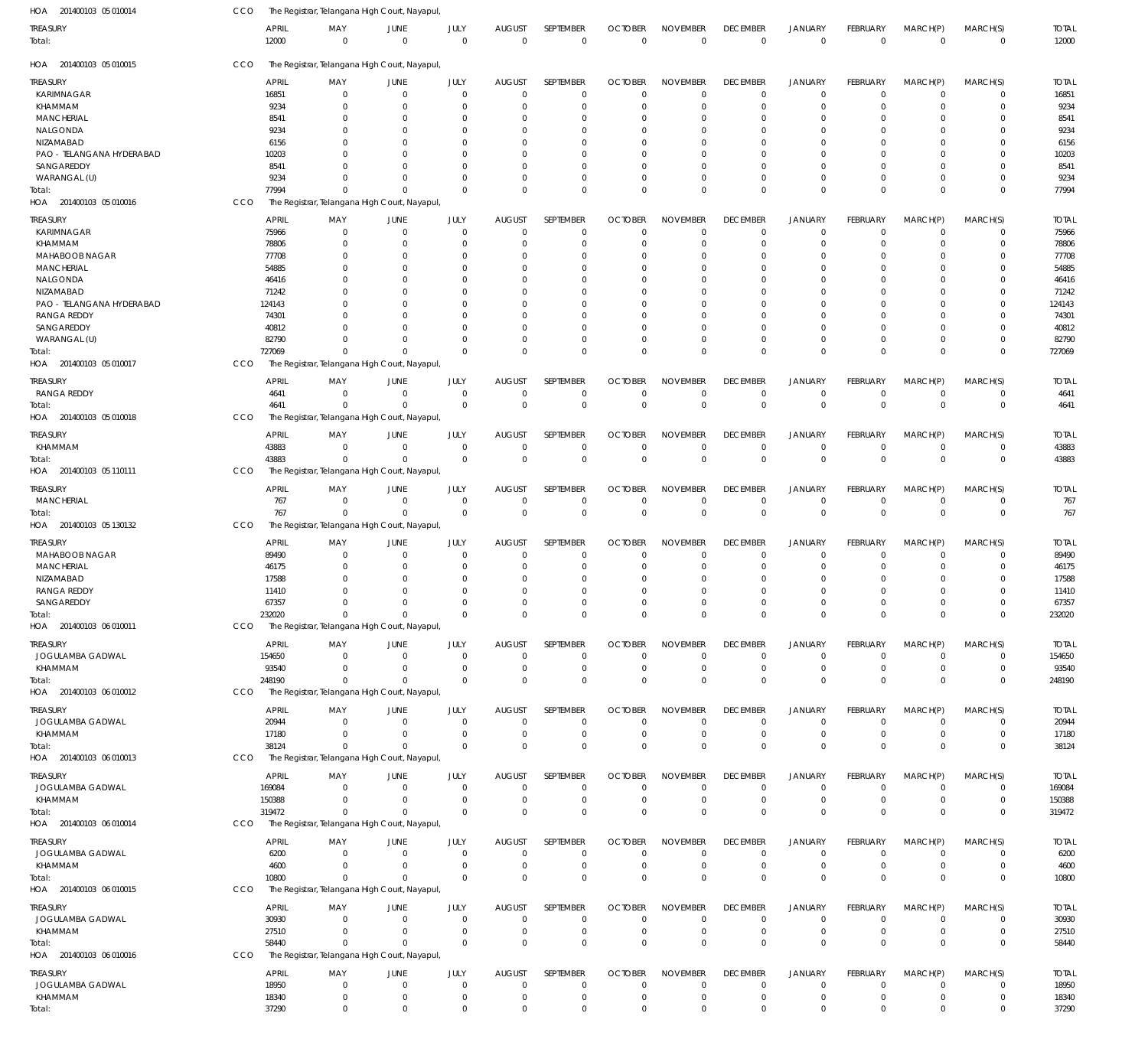| HOA 201400103 05 010014           | CCO |                       | The Registrar, Telangana High Court, Nayapul,             |                            |                            |                              |                          |                                  |                             |                                |                                  |                                |                            |                          |                       |
|-----------------------------------|-----|-----------------------|-----------------------------------------------------------|----------------------------|----------------------------|------------------------------|--------------------------|----------------------------------|-----------------------------|--------------------------------|----------------------------------|--------------------------------|----------------------------|--------------------------|-----------------------|
| TREASURY<br>Total:                |     | <b>APRIL</b><br>12000 | MAY<br>$\overline{0}$                                     | JUNE<br>$\overline{0}$     | JULY<br>$\mathbf 0$        | <b>AUGUST</b><br>$\Omega$    | SEPTEMBER<br>$\mathbf 0$ | <b>OCTOBER</b><br>$\Omega$       | <b>NOVEMBER</b><br>$\Omega$ | <b>DECEMBER</b><br>$\mathbf 0$ | <b>JANUARY</b><br>$\mathbf 0$    | <b>FEBRUARY</b><br>$\mathbf 0$ | MARCH(P)<br>$\overline{0}$ | MARCH(S)<br>0            | <b>TOTAL</b><br>12000 |
| HOA 201400103 05 010015           | CCO |                       | The Registrar, Telangana High Court, Nayapul,             |                            |                            |                              |                          |                                  |                             |                                |                                  |                                |                            |                          |                       |
| <b>TREASURY</b>                   |     | <b>APRIL</b>          | MAY                                                       | JUNE                       | JULY                       | <b>AUGUST</b>                | <b>SEPTEMBER</b>         | <b>OCTOBER</b>                   | <b>NOVEMBER</b>             | <b>DECEMBER</b>                | <b>JANUARY</b>                   | FEBRUARY                       | MARCH(P)                   | MARCH(S)                 | <b>TOTAL</b>          |
| KARIMNAGAR                        |     | 16851                 | 0                                                         | $\mathbf 0$                | $\Omega$                   | $\Omega$                     | $\mathbf 0$              | $\Omega$                         | $\Omega$                    | $\mathbf 0$                    | $\overline{0}$                   | $\Omega$                       | $\mathbf 0$                | 0                        | 16851                 |
| KHAMMAM                           |     | 9234                  | $\Omega$                                                  | $\Omega$                   | $\Omega$                   | $\Omega$                     | $\Omega$                 | $\Omega$                         | $\Omega$                    | $\Omega$                       | $\overline{0}$                   | $\Omega$                       | $\Omega$                   | $\Omega$                 | 9234                  |
| <b>MANCHERIAL</b>                 |     | 8541                  | $\Omega$                                                  | $\Omega$                   | $\Omega$                   | 0                            | $\Omega$                 | $\Omega$                         | $\Omega$                    | $\Omega$                       | $\Omega$                         | $\Omega$                       | $\Omega$                   | $\Omega$                 | 8541                  |
| NALGONDA                          |     | 9234                  | $\Omega$                                                  | $\Omega$                   | $\Omega$                   | $\Omega$                     | $\Omega$                 | $\Omega$                         | $\Omega$                    | $\Omega$                       | $\Omega$                         | $\Omega$                       | $\Omega$                   | $\Omega$                 | 9234                  |
| NIZAMABAD                         |     | 6156                  | 0                                                         | $\Omega$                   | $\Omega$                   | 0                            | $\Omega$                 | $\Omega$                         | $\Omega$                    | $\Omega$                       | $\Omega$                         | U                              | $\Omega$                   | O                        | 6156                  |
| PAO - TELANGANA HYDERABAD         |     | 10203                 | $\Omega$                                                  | $\Omega$                   | $\Omega$                   | $\Omega$                     | $\Omega$                 | $\Omega$                         | $\Omega$                    | $\Omega$                       | $\Omega$                         | 0                              | $\Omega$                   | $\Omega$                 | 10203                 |
| SANGAREDDY                        |     | 8541                  |                                                           | $\Omega$                   | $\Omega$                   | $\Omega$                     | $\Omega$                 | $\Omega$                         | $\Omega$                    | $\Omega$                       | $\Omega$                         | $\Omega$                       | $\Omega$                   | $\Omega$                 | 8541                  |
| WARANGAL (U)                      |     | 9234                  | $\Omega$                                                  | $\Omega$                   | $\Omega$                   | $\Omega$                     | $\Omega$                 | $\Omega$                         | $\Omega$                    | $\Omega$                       | $\overline{0}$                   | $\Omega$                       | $\Omega$                   | $\mathbf 0$              | 9234                  |
| Total:                            |     | 77994                 | $\Omega$                                                  | $\Omega$                   | $\Omega$                   | $\Omega$                     | $\Omega$                 | $\Omega$                         | $\Omega$                    | $\Omega$                       | $\Omega$                         | $\Omega$                       | $\Omega$                   | $\mathbf 0$              | 77994                 |
| HOA 201400103 05 010016           | CCO |                       | The Registrar, Telangana High Court, Nayapul,             |                            |                            |                              |                          |                                  |                             |                                |                                  |                                |                            |                          |                       |
|                                   |     |                       |                                                           |                            |                            |                              | SEPTEMBER                |                                  |                             |                                |                                  |                                |                            |                          |                       |
| treasury                          |     | <b>APRIL</b><br>75966 | MAY<br>$\mathbf 0$                                        | JUNE<br>$\overline{0}$     | JULY<br>$\mathbf 0$        | <b>AUGUST</b><br>$\Omega$    | $\mathbf 0$              | <b>OCTOBER</b><br>$\Omega$       | <b>NOVEMBER</b><br>$\Omega$ | <b>DECEMBER</b><br>$^{\circ}$  | <b>JANUARY</b><br>$\overline{0}$ | FEBRUARY<br>0                  | MARCH(P)<br>$\Omega$       | MARCH(S)<br>$\mathbf 0$  | <b>TOTAL</b><br>75966 |
| KARIMNAGAR<br>KHAMMAM             |     | 78806                 | $\Omega$                                                  | $\Omega$                   | $\mathbf 0$                | $\Omega$                     | $\mathbf 0$              | $\Omega$                         | $\Omega$                    | $\Omega$                       | $\overline{0}$                   | 0                              | $\Omega$                   | $\mathbf 0$              |                       |
|                                   |     |                       |                                                           | $\Omega$                   |                            |                              |                          |                                  |                             |                                | $\Omega$                         |                                |                            |                          | 78806                 |
| MAHABOOB NAGAR                    |     | 77708                 | $\Omega$                                                  |                            | $\Omega$                   | $\Omega$                     | 0                        | $\Omega$                         | $\Omega$                    | $\Omega$                       |                                  | $\Omega$                       | $\Omega$                   | $\mathbf 0$              | 77708                 |
| <b>MANCHERIAL</b>                 |     | 54885                 | $\Omega$                                                  | $\Omega$                   | $\Omega$                   | $\Omega$                     | $\Omega$                 | $\Omega$                         | $\Omega$                    | $\Omega$                       | $\Omega$                         | $\Omega$                       | $\Omega$                   | $\Omega$                 | 54885                 |
| NALGONDA                          |     | 46416                 | $\Omega$                                                  | $\Omega$                   | $\Omega$                   | $\Omega$                     | $\Omega$                 | $\Omega$                         | $\Omega$                    | $\Omega$                       | $\Omega$                         | $\Omega$                       | $\Omega$                   | $\Omega$                 | 46416                 |
| NIZAMABAD                         |     | 71242                 | $\Omega$                                                  | $\Omega$                   | $\Omega$                   | $\Omega$                     | $\Omega$                 | $\Omega$                         | $\Omega$                    | $\Omega$                       | $\Omega$                         | $\Omega$                       | $\Omega$                   | $\Omega$                 | 71242                 |
| PAO - TELANGANA HYDERABAD         |     | 124143                | $\Omega$                                                  | $\Omega$                   | $\Omega$                   | $\Omega$                     | $\Omega$                 | $\Omega$                         | $\Omega$                    | $\Omega$                       | $\Omega$                         | $\Omega$                       | $\Omega$                   | $\Omega$                 | 124143                |
| <b>RANGA REDDY</b>                |     | 74301                 | U                                                         | $\Omega$                   | $\Omega$                   | $\Omega$                     | $\Omega$                 | $\Omega$                         | $\Omega$                    | $\Omega$                       | $\Omega$                         | $\Omega$                       | $\Omega$                   | $\Omega$                 | 74301                 |
| SANGAREDDY                        |     | 40812                 | $\Omega$                                                  | $\Omega$                   | $\Omega$                   | $\Omega$                     | $\Omega$                 | $\Omega$                         | $\Omega$                    | $\Omega$                       | $\Omega$                         | $\Omega$                       | $\Omega$                   | $\mathbf 0$              | 40812                 |
| WARANGAL (U)                      |     | 82790                 | $\Omega$                                                  | $\Omega$                   | $\Omega$                   | $\Omega$                     | $\Omega$                 | $\Omega$                         | $\Omega$                    | $\Omega$                       | $\Omega$                         | $\Omega$                       | $\Omega$                   | $\mathbf 0$              | 82790                 |
| Total:                            |     | 727069                | $\Omega$                                                  | $\Omega$                   | $\Omega$                   | $\Omega$                     | $\Omega$                 | $\Omega$                         | $\Omega$                    | $\mathbf 0$                    | $\Omega$                         | $\Omega$                       | $\Omega$                   | $\mathbf 0$              | 727069                |
| HOA 201400103 05 010017           | CCO |                       | The Registrar, Telangana High Court, Nayapul,             |                            |                            |                              |                          |                                  |                             |                                |                                  |                                |                            |                          |                       |
| treasury                          |     | <b>APRIL</b>          | MAY                                                       | JUNE                       | JULY                       | <b>AUGUST</b>                | SEPTEMBER                | <b>OCTOBER</b>                   | <b>NOVEMBER</b>             | <b>DECEMBER</b>                | <b>JANUARY</b>                   | FEBRUARY                       | MARCH(P)                   | MARCH(S)                 | <b>TOTAL</b>          |
| RANGA REDDY                       |     | 4641                  | $\Omega$                                                  | $\Omega$                   | $\mathbf 0$                | 0                            | $\mathbf 0$              | $\Omega$                         | $\Omega$                    | $\mathbf 0$                    | $\mathbf 0$                      | $\mathbf 0$                    | $\overline{0}$             | $\mathbf 0$              | 4641                  |
| Total:<br>HOA 201400103 05 010018 | CCO | 4641                  | $\Omega$                                                  | $\Omega$                   | $\Omega$                   | 0                            | $\mathbf 0$              | $\Omega$                         | $\Omega$                    | $\mathbf 0$                    | $\mathbf 0$                      | $\mathbf 0$                    | $\mathbf 0$                | $\pmb{0}$                | 4641                  |
|                                   |     |                       | The Registrar, Telangana High Court, Nayapul,             |                            |                            |                              |                          |                                  |                             |                                |                                  |                                |                            |                          |                       |
| TREASURY                          |     | <b>APRIL</b>          | MAY                                                       | JUNE                       | JULY                       | <b>AUGUST</b>                | SEPTEMBER                | <b>OCTOBER</b>                   | <b>NOVEMBER</b>             | <b>DECEMBER</b>                | <b>JANUARY</b>                   | FEBRUARY                       | MARCH(P)                   | MARCH(S)                 | <b>TOTAL</b>          |
| KHAMMAM                           |     | 43883                 | $\mathbf 0$                                               | $\overline{0}$             | $\mathbf 0$                | 0                            | $\mathbf 0$              | $\overline{0}$                   | $\Omega$                    | $\mathbf 0$                    | $\overline{0}$                   | $\mathbf 0$                    | $\mathbf 0$                | $\mathbf 0$              | 43883                 |
| Total:                            |     | 43883                 | $\Omega$                                                  | $\Omega$                   | $\Omega$                   | $\Omega$                     | $\mathbf 0$              | $\Omega$                         | $\Omega$                    | $\mathbf 0$                    | $\overline{0}$                   | $\mathbf 0$                    | $\Omega$                   | $\mathbf 0$              | 43883                 |
| HOA 201400103 05 110111           | CCO |                       | The Registrar, Telangana High Court, Nayapul,             |                            |                            |                              |                          |                                  |                             |                                |                                  |                                |                            |                          |                       |
| TREASURY                          |     | <b>APRIL</b>          | MAY                                                       | JUNE                       | JULY                       | <b>AUGUST</b>                | SEPTEMBER                | <b>OCTOBER</b>                   | <b>NOVEMBER</b>             | <b>DECEMBER</b>                | <b>JANUARY</b>                   | FEBRUARY                       | MARCH(P)                   | MARCH(S)                 | <b>TOTAL</b>          |
| <b>MANCHERIAL</b>                 |     | 767                   | $\Omega$                                                  | $\Omega$                   | $\Omega$                   | $\Omega$                     | $\mathbf 0$              | $\Omega$                         | $\Omega$                    | $\mathbf 0$                    | $\overline{0}$                   | $\mathbf 0$                    | $\Omega$                   | $\mathbf 0$              | 767                   |
| Total:                            |     | 767                   | $\mathbf 0$                                               | $\Omega$                   | $\Omega$                   | $\mathbf 0$                  | $\mathbf 0$              | $^{\circ}$                       | $\Omega$                    | $\mathbf 0$                    | $\,0\,$                          | $\mathbf 0$                    | $\overline{0}$             | $\mathbf 0$              | 767                   |
| HOA 201400103 05 130132           | CCO |                       | The Registrar, Telangana High Court, Nayapul,             |                            |                            |                              |                          |                                  |                             |                                |                                  |                                |                            |                          |                       |
|                                   |     |                       |                                                           |                            |                            |                              |                          |                                  |                             |                                |                                  |                                |                            |                          |                       |
| treasury                          |     | <b>APRIL</b>          | MAY                                                       | JUNE                       | JULY                       | <b>AUGUST</b>                | SEPTEMBER                | <b>OCTOBER</b>                   | <b>NOVEMBER</b>             | <b>DECEMBER</b>                | <b>JANUARY</b>                   | FEBRUARY                       | MARCH(P)                   | MARCH(S)                 | <b>TOTAL</b>          |
| MAHABOOB NAGAR                    |     | 89490                 | 0                                                         | $\overline{0}$             | $\mathbf 0$                | 0                            | $\mathbf 0$              | $\Omega$                         | $\Omega$                    | $^{\circ}$                     | $^{\circ}$                       | 0                              | 0                          | $\mathbf 0$              | 89490                 |
| MANCHERIAL                        |     | 46175                 | $\Omega$                                                  | $\Omega$                   | $\Omega$                   | $\Omega$                     | 0                        | $\Omega$                         | $\Omega$                    | $\Omega$                       | $^{\circ}$                       | $\Omega$                       | $\Omega$                   | $\mathbf 0$              | 46175                 |
| NIZAMABAD                         |     | 17588                 | U                                                         | $\Omega$                   | $\Omega$                   | $\Omega$                     | $\mathbf 0$              | $\Omega$                         | $\Omega$                    | $\Omega$                       | $\Omega$                         | $\Omega$                       | $\Omega$                   | $\mathbf 0$              | 17588                 |
| <b>RANGA REDDY</b>                |     | 11410                 | $\Omega$                                                  | $\Omega$                   | $\Omega$                   | $\Omega$                     | $\Omega$                 | $\Omega$                         | $\Omega$                    | $\Omega$                       | $\Omega$                         | $\Omega$                       | $\Omega$                   | $\mathbf 0$              | 11410                 |
| SANGAREDDY                        |     | 67357                 | $\Omega$                                                  | $\Omega$                   | $\Omega$                   | $\Omega$                     | $\Omega$                 | $\Omega$                         | $\Omega$                    | $\Omega$                       | $\Omega$                         | $\Omega$                       | $\Omega$                   | $\Omega$                 | 67357                 |
| Total:                            |     | 232020                | $\overline{0}$                                            | $\Omega$                   | $\mathbf 0$                | $\mathbf 0$                  | $\mathbf 0$              | $\Omega$                         | $\Omega$                    | $\mathbf 0$                    | $\,0\,$                          | $\Omega$                       | $\Omega$                   | $\mathbf 0$              | 232020                |
| HOA 201400103 06 010011           | CCO |                       | The Registrar, Telangana High Court, Nayapul,             |                            |                            |                              |                          |                                  |                             |                                |                                  |                                |                            |                          |                       |
| TREASURY                          |     | <b>APRIL</b>          | MAY                                                       | JUNE                       | JULY                       | <b>AUGUST</b>                | SEPTEMBER                | <b>OCTOBER</b>                   | <b>NOVEMBER</b>             | <b>DECEMBER</b>                | <b>JANUARY</b>                   | FEBRUARY                       | MARCH(P)                   | MARCH(S)                 | <b>TOTAL</b>          |
| JOGULAMBA GADWAL                  |     | 154650                | $\Omega$                                                  | $\Omega$                   | $\Omega$                   | $\mathbf 0$                  | $\mathbf 0$              | $\Omega$                         | $\Omega$                    | $\mathbf 0$                    | $\mathbf 0$                      | $\Omega$                       | $\mathbf 0$                | $\Omega$                 | 154650                |
| KHAMMAM                           |     | 93540                 | $\Omega$                                                  | $\overline{0}$             | $\Omega$                   | 0                            | $\mathbf 0$              | $^{\circ}$                       | $\Omega$                    | $\mathbf 0$                    | $\mathbf 0$                      | $\mathbf 0$                    | $\mathbf 0$                | $\mathbf 0$              | 93540                 |
| Total:                            |     | 248190                | $\Omega$                                                  | $\Omega$                   | $\Omega$                   | $\Omega$                     | $\mathbf 0$              | $\Omega$                         | $\Omega$                    | $\mathbf 0$                    | $\mathbf{0}$                     | $\Omega$                       | $\Omega$                   | $\Omega$                 | 248190                |
| HOA 201400103 06 010012           | CCO |                       | The Registrar, Telangana High Court, Nayapul,             |                            |                            |                              |                          |                                  |                             |                                |                                  |                                |                            |                          |                       |
|                                   |     |                       |                                                           |                            |                            |                              |                          |                                  |                             |                                |                                  |                                |                            |                          |                       |
| TREASURY                          |     | <b>APRIL</b>          | MAY<br>$\Omega$                                           | JUNE<br>$\Omega$           | JULY<br>$\mathbf 0$        | <b>AUGUST</b><br>$\mathbf 0$ | SEPTEMBER<br>$\mathbf 0$ | <b>OCTOBER</b><br>$\overline{0}$ | <b>NOVEMBER</b><br>$\Omega$ | <b>DECEMBER</b><br>$\mathbf 0$ | <b>JANUARY</b><br>$\overline{0}$ | FEBRUARY<br>$\mathbf 0$        | MARCH(P)<br>$\Omega$       | MARCH(S)<br>$\mathbf 0$  | <b>TOTAL</b>          |
| JOGULAMBA GADWAL                  |     | 20944                 |                                                           |                            |                            |                              |                          |                                  |                             |                                |                                  |                                |                            |                          | 20944                 |
| KHAMMAM                           |     | 17180                 | $\mathbf 0$                                               | $\overline{0}$             | $\mathbf 0$                | $\mathbf 0$                  | 0                        | $\overline{0}$                   | $\Omega$                    | $\mathbf 0$                    | $\overline{0}$                   | $\mathbf 0$                    | $\overline{0}$             | $\pmb{0}$                | 17180                 |
| Total:                            |     | 38124                 | $\Omega$                                                  | $\Omega$                   | $\Omega$                   | $\Omega$                     | $\mathbf 0$              | $\Omega$                         | $\Omega$                    | $\overline{0}$                 | $\overline{0}$                   | $\Omega$                       | $\Omega$                   | $\mathbf 0$              | 38124                 |
| HOA 201400103 06 010013           | CCO |                       | The Registrar, Telangana High Court, Nayapul,             |                            |                            |                              |                          |                                  |                             |                                |                                  |                                |                            |                          |                       |
| TREASURY                          |     | <b>APRIL</b>          | MAY                                                       | JUNE                       | JULY                       | <b>AUGUST</b>                | SEPTEMBER                | <b>OCTOBER</b>                   | <b>NOVEMBER</b>             | <b>DECEMBER</b>                | <b>JANUARY</b>                   | FEBRUARY                       | MARCH(P)                   | MARCH(S)                 | <b>TOTAL</b>          |
| JOGULAMBA GADWAL                  |     | 169084                | $\Omega$                                                  | $\Omega$                   | $\Omega$                   | $\Omega$                     | $\Omega$                 | $\Omega$                         | $\Omega$                    | $\mathbf 0$                    | $\overline{0}$                   | $\Omega$                       | $\Omega$                   | 0                        | 169084                |
| KHAMMAM                           |     | 150388                | $\Omega$                                                  | $\Omega$                   | $\Omega$                   | $\Omega$                     | $\mathbf 0$              | $\overline{0}$                   | $\Omega$                    | $\mathbf 0$                    | $\mathbf 0$                      | $\mathbf 0$                    | $\mathbf 0$                | $\mathbf 0$              | 150388                |
| Total:                            |     | 319472                | $\Omega$                                                  | $\Omega$                   | $\Omega$                   | $\mathbf 0$                  | $\mathbf 0$              | $^{\circ}$                       | $\Omega$                    | $\mathbf 0$                    | $\mathbf 0$                      | $\Omega$                       | $\mathbf 0$                | $\mathbf 0$              | 319472                |
| HOA 201400103 06 010014           | CCO |                       | The Registrar, Telangana High Court, Nayapul,             |                            |                            |                              |                          |                                  |                             |                                |                                  |                                |                            |                          |                       |
| treasury                          |     | APRIL                 | MAY                                                       | JUNE                       | JULY                       | <b>AUGUST</b>                | SEPTEMBER                | <b>OCTOBER</b>                   | <b>NOVEMBER</b>             | <b>DECEMBER</b>                | <b>JANUARY</b>                   | <b>FEBRUARY</b>                | MARCH(P)                   | MARCH(S)                 | <b>TOTAL</b>          |
|                                   |     |                       |                                                           |                            |                            |                              |                          | $\Omega$                         |                             |                                |                                  |                                |                            |                          |                       |
| JOGULAMBA GADWAL<br>KHAMMAM       |     | 6200<br>4600          | 0<br>$\Omega$                                             | $\overline{0}$<br>$\Omega$ | $\mathbf 0$<br>$\mathbf 0$ | $\mathbf 0$<br>0             | $\mathbf 0$              | $\overline{0}$                   | $\Omega$<br>$\mathbf 0$     | $^{\circ}$<br>$\mathbf 0$      | $\overline{0}$<br>$\overline{0}$ | 0<br>$\mathbf 0$               | $\Omega$<br>$\mathbf 0$    | $\mathbf 0$<br>$\pmb{0}$ | 6200                  |
|                                   |     |                       |                                                           |                            |                            |                              | 0                        |                                  |                             |                                |                                  |                                |                            |                          | 4600                  |
| Total:<br>HOA 201400103 06 010015 | CCO | 10800                 | $\Omega$<br>The Registrar, Telangana High Court, Nayapul, | $\Omega$                   | $\Omega$                   | $\Omega$                     | $\mathbf 0$              | $\Omega$                         | $\Omega$                    | $\mathbf 0$                    | $\mathbf 0$                      | $\Omega$                       | $\Omega$                   | $\boldsymbol{0}$         | 10800                 |
|                                   |     |                       |                                                           |                            |                            |                              |                          |                                  |                             |                                |                                  |                                |                            |                          |                       |
| TREASURY                          |     | <b>APRIL</b>          | MAY                                                       | JUNE                       | JULY                       | <b>AUGUST</b>                | SEPTEMBER                | <b>OCTOBER</b>                   | <b>NOVEMBER</b>             | <b>DECEMBER</b>                | JANUARY                          | FEBRUARY                       | MARCH(P)                   | MARCH(S)                 | <b>TOTAL</b>          |
| JOGULAMBA GADWAL                  |     | 30930                 | $\mathbf 0$                                               | $\mathbf 0$                | $\mathbf 0$                | $\mathbf 0$                  | $\mathbf 0$              | $\Omega$                         | $\Omega$                    | $\mathbf 0$                    | $\mathbf 0$                      | $\mathbf 0$                    | $\mathbf 0$                | $\Omega$                 | 30930                 |
| KHAMMAM                           |     | 27510                 | $\Omega$                                                  | $\mathbf 0$                | $\mathbf 0$                | 0                            | $\mathbf 0$              | $\mathbf 0$                      | $\mathbf 0$                 | $\mathbf 0$                    | $\mathbf 0$                      | $\mathbf 0$                    | $\mathbf 0$                | 0                        | 27510                 |
| Total:                            |     | 58440                 | $\Omega$                                                  | $\Omega$                   | $\Omega$                   | $\Omega$                     | $\mathbf 0$              | $^{\circ}$                       | $\Omega$                    | $\mathbf 0$                    | $\mathbf{0}$                     | $\Omega$                       | $\Omega$                   | $\mathbf{0}$             | 58440                 |
| HOA 201400103 06 010016           | CCO |                       | The Registrar, Telangana High Court, Nayapul,             |                            |                            |                              |                          |                                  |                             |                                |                                  |                                |                            |                          |                       |
| TREASURY                          |     | <b>APRIL</b>          | MAY                                                       | JUNE                       | JULY                       | <b>AUGUST</b>                | SEPTEMBER                | <b>OCTOBER</b>                   | <b>NOVEMBER</b>             | <b>DECEMBER</b>                | <b>JANUARY</b>                   | FEBRUARY                       | MARCH(P)                   | MARCH(S)                 | <b>TOTAL</b>          |
| JOGULAMBA GADWAL                  |     | 18950                 | $\overline{0}$                                            | $\overline{0}$             | $\mathbf 0$                | $\mathbf 0$                  | $\mathbf 0$              | $^{\circ}$                       | $\Omega$                    | $\mathbf 0$                    | $^{\circ}$                       | $\mathbf 0$                    | $\Omega$                   | $\mathbf 0$              | 18950                 |
| KHAMMAM                           |     | 18340                 | $\overline{0}$                                            | $\overline{0}$             | 0                          | $\mathbf 0$                  | 0                        | $^{\circ}$                       | $\mathbf 0$                 | 0                              | 0                                | $\mathbf 0$                    | $\mathbf 0$                | $\pmb{0}$                | 18340                 |
| Total:                            |     | 37290                 | $\mathbf 0$                                               | $\overline{0}$             | $\mathbf 0$                | $\Omega$                     | $\mathbf 0$              | $\Omega$                         | $\Omega$                    | $\mathbf 0$                    | $\mathbf 0$                      | $\mathbf{0}$                   | $\mathbf 0$                | $\mathbf 0$              | 37290                 |
|                                   |     |                       |                                                           |                            |                            |                              |                          |                                  |                             |                                |                                  |                                |                            |                          |                       |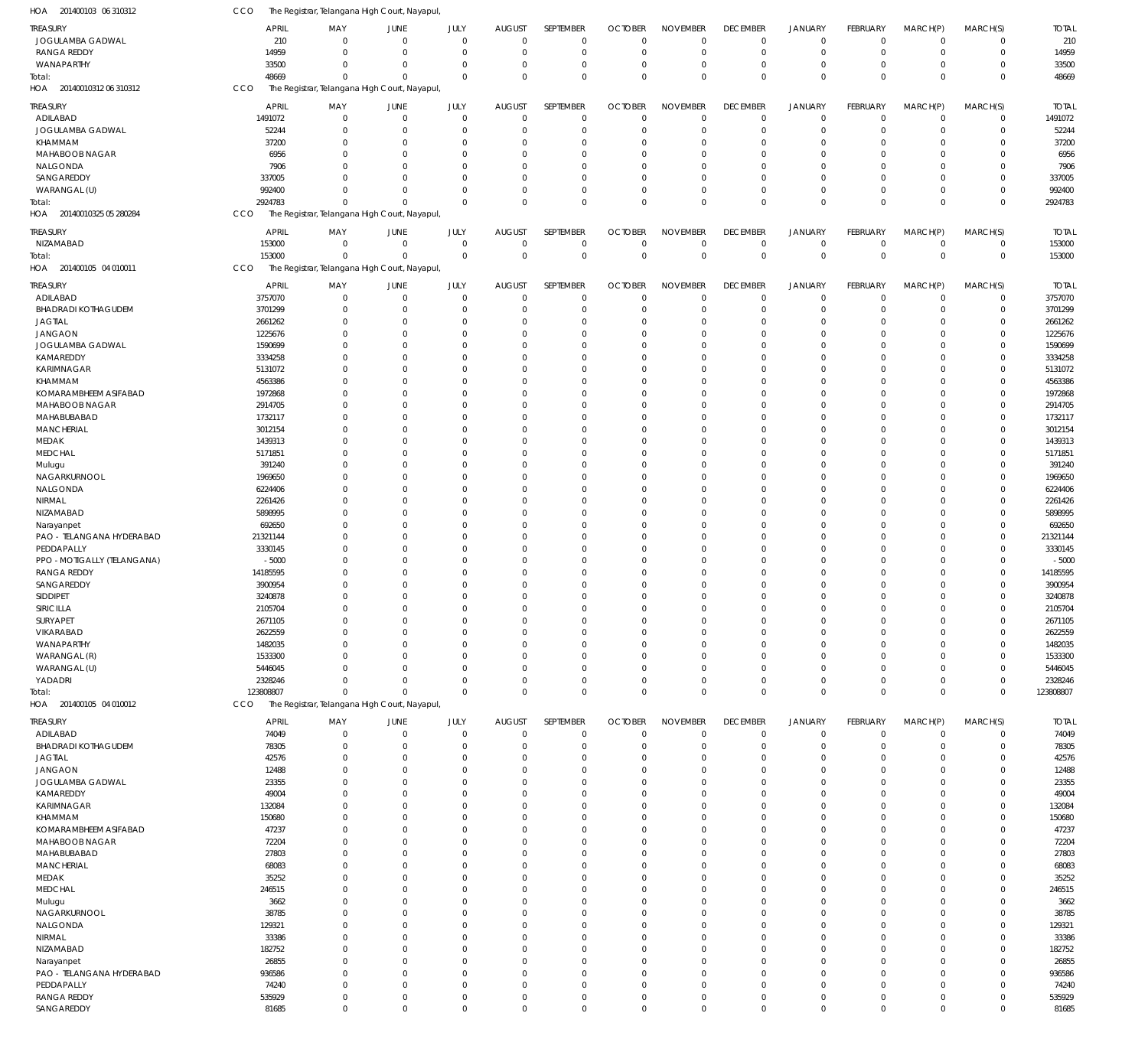| HOA 201400103 06 310312     | CCO          | The Registrar, Telangana High Court, Nayapul, |                |             |               |             |                |                 |                 |                |              |                |             |              |
|-----------------------------|--------------|-----------------------------------------------|----------------|-------------|---------------|-------------|----------------|-----------------|-----------------|----------------|--------------|----------------|-------------|--------------|
| <b>TREASURY</b>             | <b>APRIL</b> | MAY                                           | JUNE           | JULY        | <b>AUGUST</b> | SEPTEMBER   | <b>OCTOBER</b> | <b>NOVEMBER</b> | <b>DECEMBER</b> | <b>JANUARY</b> | FEBRUARY     | MARCH(P)       | MARCH(S)    | <b>TOTAL</b> |
| JOGULAMBA GADWAL            | 210          | $\mathbf 0$                                   | $\overline{0}$ | $\mathbf 0$ | $\mathbf 0$   | $\mathbf 0$ | $\Omega$       | $\Omega$        | $\mathbf 0$     | $\mathbf 0$    | $\mathbf 0$  | $\overline{0}$ | $\mathbf 0$ | 210          |
| <b>RANGA REDDY</b>          | 14959        | $\mathbf 0$                                   | $\overline{0}$ | $\mathbf 0$ | 0             | $\mathbf 0$ | $^{\circ}$     | $\Omega$        | $\mathbf 0$     | $\mathbf 0$    | $\mathbf 0$  | $\overline{0}$ | $\mathbf 0$ | 14959        |
| WANAPARTHY                  | 33500        | $\mathbf 0$                                   | $\overline{0}$ | $\mathbf 0$ | 0             | $\mathbf 0$ | 0              | $\Omega$        | $\mathbf 0$     | $\overline{0}$ | $\mathbf 0$  | $\mathbf 0$    | $\mathbf 0$ | 33500        |
| Total:                      | 48669        | $\Omega$                                      | $\Omega$       | $\Omega$    | $\Omega$      | $\mathbf 0$ | $\Omega$       | $\Omega$        | $\mathbf 0$     | $\mathbf{0}$   | $\Omega$     | $\Omega$       | $\mathbf 0$ | 48669        |
| HOA 20140010312 06 310312   | CCO          | The Registrar, Telangana High Court, Nayapul  |                |             |               |             |                |                 |                 |                |              |                |             |              |
| <b>TREASURY</b>             | <b>APRIL</b> | MAY                                           | JUNE           | JULY        | <b>AUGUST</b> | SEPTEMBER   | <b>OCTOBER</b> | <b>NOVEMBER</b> | <b>DECEMBER</b> | <b>JANUARY</b> | FEBRUARY     | MARCH(P)       | MARCH(S)    | <b>TOTAL</b> |
| ADILABAD                    | 1491072      | $\mathbf 0$                                   | $\overline{0}$ | $\mathbf 0$ | $\mathbf 0$   | $\mathbf 0$ | $\overline{0}$ | $\Omega$        | $\mathbf 0$     | $\mathbf 0$    | $\mathbf 0$  | $\overline{0}$ | $\mathbf 0$ | 1491072      |
| JOGULAMBA GADWAL            | 52244        | $\mathbf 0$                                   | $\overline{0}$ | $\mathbf 0$ | 0             | $\mathbf 0$ | $\overline{0}$ | $\Omega$        | $\mathbf 0$     | $\overline{0}$ | 0            | $\mathbf 0$    | $\mathbf 0$ | 52244        |
| KHAMMAM                     | 37200        | $\Omega$                                      | $\overline{0}$ | $\mathbf 0$ | 0             | $\mathbf 0$ | $\Omega$       | $\Omega$        | $\Omega$        | $\overline{0}$ | $\Omega$     | $\Omega$       | $\mathbf 0$ | 37200        |
| MAHABOOB NAGAR              | 6956         | $\Omega$                                      | $\overline{0}$ | $\mathbf 0$ | 0             | $\mathbf 0$ | $\Omega$       | $\Omega$        | $\Omega$        | $^{\circ}$     | $\Omega$     | $\Omega$       | $\mathbf 0$ | 6956         |
| NALGONDA                    | 7906         | $\Omega$                                      | $\mathbf 0$    | $\mathbf 0$ | 0             | $\mathbf 0$ | $\Omega$       | $\Omega$        | $\Omega$        | $\Omega$       | $\Omega$     | $\Omega$       | $\mathbf 0$ | 7906         |
| SANGAREDDY                  | 337005       | $\Omega$                                      | $\Omega$       | $\mathbf 0$ | 0             | $\mathbf 0$ | $\Omega$       | $\Omega$        | $\Omega$        | $\overline{0}$ | $\Omega$     | $\mathbf 0$    | $\mathbf 0$ | 337005       |
| WARANGAL (U)                | 992400       | $\Omega$                                      | $\Omega$       | $\mathbf 0$ | 0             | $\mathbf 0$ | $\Omega$       | $\Omega$        | $\Omega$        | $\overline{0}$ | 0            | $\mathbf 0$    | $\mathbf 0$ | 992400       |
| Total:                      | 2924783      | $\Omega$                                      | $\Omega$       | $\mathbf 0$ | $\Omega$      | $\mathbf 0$ | $\Omega$       | $\Omega$        | $\mathbf 0$     | $\mathbb O$    | $\mathbf{0}$ | $\Omega$       | $\mathbf 0$ | 2924783      |
| HOA 20140010325 05 280284   | CCO          | The Registrar, Telangana High Court, Nayapul, |                |             |               |             |                |                 |                 |                |              |                |             |              |
| treasury                    | <b>APRIL</b> | MAY                                           | JUNE           | JULY        | <b>AUGUST</b> | SEPTEMBER   | <b>OCTOBER</b> | <b>NOVEMBER</b> | <b>DECEMBER</b> | <b>JANUARY</b> | FEBRUARY     | MARCH(P)       | MARCH(S)    | <b>TOTAL</b> |
| NIZAMABAD                   | 153000       | $\mathbf 0$                                   | $\overline{0}$ | $\mathbf 0$ | 0             | $\mathbf 0$ | $\overline{0}$ | $\Omega$        | $\mathbf 0$     | $\mathbf 0$    | $\mathbf 0$  | $\overline{0}$ | $\mathbf 0$ | 153000       |
| Total:                      | 153000       | $\Omega$                                      | $\Omega$       | $\mathbf 0$ | $\mathbf 0$   | $\mathbf 0$ | $\mathbf 0$    | $\Omega$        | $\mathbf 0$     | $\mathbf 0$    | $\mathbf 0$  | $\overline{0}$ | $\mathbf 0$ | 153000       |
| HOA 201400105 04 010011     | CCO          | The Registrar, Telangana High Court, Nayapul, |                |             |               |             |                |                 |                 |                |              |                |             |              |
| <b>TREASURY</b>             | <b>APRIL</b> | MAY                                           | JUNE           | JULY        | <b>AUGUST</b> | SEPTEMBER   | <b>OCTOBER</b> | <b>NOVEMBER</b> | <b>DECEMBER</b> | <b>JANUARY</b> | FEBRUARY     | MARCH(P)       | MARCH(S)    | <b>TOTAL</b> |
| ADILABAD                    | 3757070      | $\mathbf 0$                                   | $\overline{0}$ | $\mathbf 0$ | 0             | $\mathbf 0$ | $\overline{0}$ | $\Omega$        | $\mathbf 0$     | $\overline{0}$ | $\mathbf 0$  | $\overline{0}$ | $\mathbf 0$ | 3757070      |
| <b>BHADRADI KOTHAGUDEM</b>  | 3701299      | $\mathbf 0$                                   | $\overline{0}$ | $\mathbf 0$ | 0             | $\mathbf 0$ | $\Omega$       | $\Omega$        | $\mathbf 0$     | $\overline{0}$ | 0            | $\mathbf 0$    | $\mathbf 0$ | 3701299      |
| <b>JAGTIAL</b>              | 2661262      | $\mathbf 0$                                   | $\overline{0}$ | $\mathbf 0$ | 0             | $\mathbf 0$ | $\Omega$       | $\Omega$        | $^{\circ}$      | $\overline{0}$ | $\Omega$     | $\Omega$       | $\mathbf 0$ | 2661262      |
| <b>JANGAON</b>              | 1225676      | $\Omega$                                      | $\mathbf 0$    | $\mathbf 0$ | 0             | $\mathbf 0$ | $\Omega$       | $\Omega$        | $\Omega$        | $\Omega$       | $\Omega$     | $\Omega$       | $\Omega$    | 1225676      |
| JOGULAMBA GADWAL            | 1590699      | $\mathbf 0$                                   | $\mathbf 0$    | $\mathbf 0$ | 0             | $\mathbf 0$ | $\Omega$       | $\Omega$        | $\Omega$        | $\Omega$       | $\Omega$     | $\Omega$       | $\mathbf 0$ | 1590699      |
| KAMAREDDY                   | 3334258      | $\Omega$                                      | $\mathbf 0$    | $\Omega$    | 0             | $\mathbf 0$ | $\Omega$       | $\Omega$        | $\Omega$        | $\Omega$       | $\Omega$     | $\Omega$       | $\mathbf 0$ | 3334258      |
| KARIMNAGAR                  | 5131072      | $\Omega$                                      | $\Omega$       | $\Omega$    | $\Omega$      | $\mathbf 0$ | $\Omega$       | $\Omega$        | $\Omega$        | $\Omega$       | $\Omega$     | $\Omega$       | $\mathbf 0$ | 5131072      |
| KHAMMAM                     | 4563386      | $\Omega$                                      | $\Omega$       | $\Omega$    | 0             | $\mathbf 0$ | $\Omega$       | $\Omega$        | $\Omega$        | $\Omega$       | $\Omega$     | $\Omega$       | $\Omega$    | 4563386      |
| KOMARAMBHEEM ASIFABAD       | 1972868      | $\Omega$                                      | $\mathbf 0$    | $\mathbf 0$ | 0             | $\mathbf 0$ | $\Omega$       | $\Omega$        | $\Omega$        | $\Omega$       | $\Omega$     | $\Omega$       | $\mathbf 0$ | 1972868      |
| MAHABOOB NAGAR              | 2914705      | $\Omega$                                      | $\Omega$       | $\Omega$    | $\Omega$      | $\mathbf 0$ | $\Omega$       | $\Omega$        | $\Omega$        | $\Omega$       | $\Omega$     | $\Omega$       | $\Omega$    | 2914705      |
| MAHABUBABAD                 | 1732117      | $\Omega$                                      | $\Omega$       | $\Omega$    | 0             | $\mathbf 0$ | $\Omega$       | $\Omega$        | $\Omega$        | $\Omega$       | $\Omega$     | $\Omega$       | $\mathbf 0$ | 1732117      |
| MANCHERIAL                  | 3012154      | $\Omega$                                      | $\mathbf 0$    | $\mathbf 0$ | 0             | $\mathbf 0$ | $\Omega$       | $\Omega$        | $\Omega$        | $\Omega$       | $\Omega$     | $\Omega$       | $\mathbf 0$ | 3012154      |
| MEDAK                       | 1439313      | $\Omega$                                      | $\Omega$       | $\Omega$    | 0             | $\mathbf 0$ | $\Omega$       | $\Omega$        | $\Omega$        | $\Omega$       | $\Omega$     | $\Omega$       | $\mathbf 0$ | 1439313      |
| <b>MEDCHAL</b>              | 5171851      | $\Omega$                                      | $\Omega$       | $\Omega$    | $\Omega$      | $\mathbf 0$ | $\Omega$       | $\Omega$        | $\Omega$        | $\Omega$       | $\Omega$     | $\Omega$       | $\Omega$    | 5171851      |
| Mulugu                      | 391240       | $\mathbf 0$                                   | $\Omega$       | $\mathbf 0$ | 0             | $\mathbf 0$ | $\Omega$       | $\Omega$        | $\Omega$        | $\Omega$       | $\Omega$     | $\Omega$       | $\mathbf 0$ | 391240       |
| NAGARKURNOOL                | 1969650      | $\Omega$                                      | $\Omega$       | $\Omega$    | $\Omega$      | $\mathbf 0$ | $\Omega$       | $\Omega$        | $\Omega$        | $\Omega$       | $\Omega$     | $\Omega$       | $\Omega$    | 1969650      |
| NALGONDA                    | 6224406      | $\Omega$                                      | $\Omega$       | $\Omega$    | 0             | $\mathbf 0$ | $\Omega$       | $\Omega$        | $\Omega$        | $\Omega$       | $\Omega$     | $\Omega$       | $\mathbf 0$ | 6224406      |
| NIRMAL                      | 2261426      | $\Omega$                                      | $\Omega$       | $\Omega$    | 0             | $\mathbf 0$ | $\Omega$       | $\Omega$        | $\Omega$        | $\Omega$       | $\Omega$     | $\Omega$       | 0           | 2261426      |
| NIZAMABAD                   | 5898995      | $\Omega$                                      | $\Omega$       | $\Omega$    | 0             | $\mathbf 0$ | $\Omega$       | $\Omega$        | $\Omega$        | $\Omega$       | $\Omega$     | $\Omega$       | $\mathbf 0$ | 5898995      |
| Narayanpet                  | 692650       | 0                                             | $\Omega$       | $\Omega$    | $\Omega$      | $\mathbf 0$ | $\Omega$       | $\Omega$        | $\Omega$        | $\Omega$       | $\Omega$     | $\Omega$       | $\Omega$    | 692650       |
| PAO - TELANGANA HYDERABAD   | 21321144     | $\Omega$                                      | $\Omega$       | $\mathbf 0$ | 0             | $\mathbf 0$ | $\Omega$       | $\Omega$        | $\Omega$        | $\Omega$       | $\Omega$     | $\Omega$       | $\mathbf 0$ | 21321144     |
| PEDDAPALLY                  | 3330145      | $\Omega$                                      | $\Omega$       | $\Omega$    | 0             | $\mathbf 0$ | $\Omega$       | $\Omega$        | $\Omega$        | $\Omega$       | $\Omega$     | $\Omega$       | $\mathbf 0$ | 3330145      |
| PPO - MOTIGALLY (TELANGANA) | $-5000$      | $\Omega$                                      | $\Omega$       | $\Omega$    | 0             | $\mathbf 0$ | $\Omega$       | $\Omega$        | $\Omega$        | $\Omega$       | $\Omega$     | $\Omega$       | $\mathbf 0$ | $-5000$      |
| <b>RANGA REDDY</b>          | 14185595     | 0                                             | $\Omega$       | $\mathbf 0$ | 0             | $\mathbf 0$ | $\Omega$       | $\Omega$        | $\Omega$        | $\Omega$       | $\Omega$     | $\Omega$       | $\mathbf 0$ | 14185595     |
| SANGAREDDY                  | 3900954      | $\Omega$                                      | $\Omega$       | $\mathbf 0$ | 0             | $\mathbf 0$ | $\Omega$       | $\Omega$        | $\Omega$        | $\Omega$       | $\Omega$     | $\Omega$       | $\mathbf 0$ | 3900954      |
| <b>SIDDIPET</b>             | 3240878      | $\Omega$                                      | $\Omega$       | $\mathbf 0$ | $\mathbf 0$   | $\mathbf 0$ | $\Omega$       | $\Omega$        | $\Omega$        | $\Omega$       | $\Omega$     | $\Omega$       | $\mathbf 0$ | 3240878      |
| SIRICILLA                   | 2105704      | 0                                             | n              | 0           | 0             | 0           | -C             |                 |                 | $\Omega$       |              | 0              | 0           | 2105704      |
| SURYAPET                    | 2671105      | $\mathbf 0$                                   | $\mathbf 0$    | 0           | 0             | $\mathbf 0$ | $\Omega$       | $\Omega$        | $\Omega$        | $\overline{0}$ | 0            | $\Omega$       | $\mathbf 0$ | 2671105      |
| VIKARABAD                   | 2622559      | 0                                             | $\Omega$       | $\mathbf 0$ | 0             | $\mathbf 0$ | $\Omega$       | $\Omega$        | $\Omega$        | $\overline{0}$ | $\Omega$     | $\Omega$       | $\mathbf 0$ | 2622559      |
| <b>WANAPARTHY</b>           | 1482035      | 0                                             | $\Omega$       | $\Omega$    | $\Omega$      | $\mathbf 0$ | $\Omega$       | $\Omega$        | $\Omega$        | $\Omega$       | $\Omega$     | $\Omega$       | $\Omega$    | 1482035      |
| WARANGAL (R)                | 1533300      | 0                                             | $\mathbf 0$    | 0           | 0             | $\mathbf 0$ | $\Omega$       | $\Omega$        | $\Omega$        | $\overline{0}$ | $\Omega$     | $\mathbf 0$    | $\mathbf 0$ | 1533300      |
| WARANGAL (U)                | 5446045      | 0                                             | $\Omega$       | $\Omega$    | $\Omega$      | $\mathbf 0$ | $\Omega$       | $\Omega$        | $\Omega$        | $\Omega$       | $\Omega$     | $\Omega$       | $\mathbf 0$ | 5446045      |
| YADADRI                     | 2328246      | 0                                             | $\Omega$       | $\mathbf 0$ | $\mathbf 0$   | $\mathbf 0$ | $\Omega$       | $\Omega$        | $^{\circ}$      | $\overline{0}$ | 0            | $\mathbf 0$    | $\mathbf 0$ | 2328246      |
| Total:                      | 123808807    | $\mathbf 0$                                   | $\mathbf 0$    | $\mathbf 0$ | 0             | $\mathbf 0$ | $\Omega$       | $\Omega$        | $\mathbf 0$     | $\mathbf 0$    | $\mathbf 0$  | $\mathbf 0$    | $\mathbf 0$ | 123808807    |
| HOA 201400105 04 010012     | <b>CCO</b>   | The Registrar, Telangana High Court, Nayapul, |                |             |               |             |                |                 |                 |                |              |                |             |              |
| <b>TREASURY</b>             | <b>APRIL</b> | MAY                                           | JUNE           | JULY        | <b>AUGUST</b> | SEPTEMBER   | <b>OCTOBER</b> | <b>NOVEMBER</b> | <b>DECEMBER</b> | <b>JANUARY</b> | FEBRUARY     | MARCH(P)       | MARCH(S)    | <b>TOTAL</b> |
| ADILABAD                    | 74049        | $\overline{0}$                                | $\overline{0}$ | $\mathbf 0$ | $\mathbf 0$   | $\mathbf 0$ | $\overline{0}$ | $\Omega$        | $\mathbf 0$     | $\mathbf 0$    | $\mathbf 0$  | $\mathbf 0$    | $\mathbf 0$ | 74049        |
| <b>BHADRADI KOTHAGUDEM</b>  | 78305        | $\mathbf 0$                                   | $\mathbf 0$    | $\mathbf 0$ | 0             | $\mathbf 0$ | $\overline{0}$ | $\Omega$        | $\mathbf 0$     | $\overline{0}$ | $\mathbf 0$  | $\mathbf 0$    | $\mathbf 0$ | 78305        |
| <b>JAGTIAL</b>              | 42576        | $\mathbf 0$                                   | 0              | $\mathbf 0$ | 0             | $\mathbf 0$ | $\Omega$       | $\Omega$        | $\mathbf 0$     | $\overline{0}$ | $\Omega$     | $\Omega$       | $\mathbf 0$ | 42576        |
| <b>JANGAON</b>              | 12488        | $\Omega$                                      | $\Omega$       | $\Omega$    | 0             | $\mathbf 0$ | $\Omega$       | $\Omega$        | $\Omega$        | $\Omega$       | $\Omega$     | $\Omega$       | $\mathbf 0$ | 12488        |
| JOGULAMBA GADWAL            | 23355        | $\Omega$                                      | $\Omega$       | $\Omega$    | 0             | $\mathbf 0$ | $\Omega$       | $\Omega$        | $\Omega$        | $\Omega$       | $\Omega$     | $\Omega$       | $\mathbf 0$ | 23355        |
| KAMAREDDY                   | 49004        | $\Omega$                                      | $\Omega$       | $\Omega$    | $\mathbf 0$   | $\mathbf 0$ | $\Omega$       | $\Omega$        | $\Omega$        | $\Omega$       | $\Omega$     | $\Omega$       | $\mathbf 0$ | 49004        |
| KARIMNAGAR                  | 132084       | $\Omega$                                      | $\Omega$       | $\Omega$    | 0             | $\mathbf 0$ | $\Omega$       | $\Omega$        | 0               | $\overline{0}$ | $\Omega$     | $\Omega$       | $\mathbf 0$ | 132084       |
| KHAMMAM                     | 150680       | $\Omega$                                      | $\Omega$       | $\Omega$    | $\Omega$      | $\mathbf 0$ | $\Omega$       | $\Omega$        | $\Omega$        | $\Omega$       | $\Omega$     | $\Omega$       | $\mathbf 0$ | 150680       |
| KOMARAMBHEEM ASIFABAD       | 47237        | $\Omega$                                      | $\Omega$       | $\Omega$    | 0             | $\mathbf 0$ | $\Omega$       | $\Omega$        | $\Omega$        | $\Omega$       | $\Omega$     | $\Omega$       | $\mathbf 0$ | 47237        |
| MAHABOOB NAGAR              | 72204        | $\Omega$                                      | $\Omega$       | $\Omega$    | 0             | $\mathbf 0$ | $\Omega$       | $\Omega$        | $\Omega$        | $\Omega$       | $\Omega$     | $\Omega$       | $\mathbf 0$ | 72204        |
| MAHABUBABAD                 | 27803        | $\Omega$                                      | $\Omega$       | $\Omega$    | 0             | $\mathbf 0$ | $\Omega$       | $\Omega$        | $\Omega$        | $\Omega$       | $\Omega$     | $\Omega$       | $\mathbf 0$ | 27803        |
| <b>MANCHERIAL</b>           | 68083        | $\Omega$                                      | $\Omega$       | $\Omega$    | 0             | $\mathbf 0$ | $\Omega$       | $\Omega$        | $\Omega$        | $\Omega$       | $\Omega$     | $\Omega$       | $\mathbf 0$ | 68083        |
| MEDAK                       | 35252        | $\Omega$                                      | $\Omega$       | $\Omega$    | 0             | $\mathbf 0$ | $\Omega$       | $\Omega$        | $\Omega$        | $\overline{0}$ | $\Omega$     | $\Omega$       | $\mathbf 0$ | 35252        |
| <b>MEDCHAL</b>              | 246515       | $\Omega$                                      | $\Omega$       | $\Omega$    | 0             | $\mathbf 0$ | $\Omega$       | $\Omega$        | $\Omega$        | $\Omega$       | $\Omega$     | $\Omega$       | $\mathbf 0$ | 246515       |
| Mulugu                      | 3662         | $\Omega$                                      | $\Omega$       | $\Omega$    | 0             | $\mathbf 0$ | $\Omega$       | $\Omega$        | $\Omega$        | $\Omega$       | $\Omega$     | $\Omega$       | $\mathbf 0$ | 3662         |
| NAGARKURNOOL                | 38785        | $\Omega$                                      | $\Omega$       | $\Omega$    | 0             | $\mathbf 0$ | $\Omega$       | $\Omega$        | $\Omega$        | $\Omega$       | $\Omega$     | $\Omega$       | $\mathbf 0$ | 38785        |
| NALGONDA                    | 129321       | $\Omega$                                      | $\Omega$       | $\Omega$    | 0             | $\mathbf 0$ | $\Omega$       | $\Omega$        | $\Omega$        | $\overline{0}$ | $\Omega$     | $\Omega$       | $\mathbf 0$ | 129321       |
| NIRMAL                      | 33386        | $\Omega$                                      | $\Omega$       | $\Omega$    | $\mathbf 0$   | $\Omega$    | $\Omega$       | $\Omega$        | $\Omega$        | $\Omega$       | $\Omega$     | $\Omega$       | $\Omega$    | 33386        |
| NIZAMABAD                   | 182752       | 0                                             | $\Omega$       | $\Omega$    | 0             | $\mathbf 0$ | $\Omega$       | $\Omega$        | 0               | $\overline{0}$ | $\Omega$     | $\Omega$       | $\mathbf 0$ | 182752       |
| Narayanpet                  | 26855        | $\Omega$                                      | $\Omega$       | $\Omega$    | 0             | $\mathbf 0$ | $\Omega$       | $\Omega$        | $\Omega$        | $\Omega$       | $\Omega$     | $\Omega$       | $\mathbf 0$ | 26855        |
| PAO - TELANGANA HYDERABAD   | 936586       | $\Omega$                                      | $\Omega$       | $\Omega$    | $\Omega$      | $\mathbf 0$ | $\Omega$       | $\Omega$        | $\Omega$        | $\Omega$       | $\Omega$     | $\Omega$       | $\mathbf 0$ | 936586       |
| PEDDAPALLY                  | 74240        | $\Omega$                                      | $\Omega$       | $\Omega$    | $\mathbf 0$   | $\mathbf 0$ | $\Omega$       | $\Omega$        | $\Omega$        | $^{\circ}$     | $\Omega$     | $\mathbf 0$    | $\mathbf 0$ | 74240        |
| <b>RANGA REDDY</b>          | 535929       | 0                                             | $\mathbf 0$    | $\mathbf 0$ | $\mathbf 0$   | 0           | 0              | $\mathbf 0$     | $\mathbf 0$     | $\mathbf 0$    | 0            | $\mathbf 0$    | 0           | 535929       |
| SANGAREDDY                  | 81685        | $\mathbf 0$                                   | $\mathbf 0$    | $\mathbf 0$ | $\mathbf 0$   | $\mathbf 0$ | $\mathbf 0$    | $\mathbf 0$     | $\mathbf 0$     | $\mathbf 0$    | 0            | $\mathbf 0$    | $\mathbf 0$ | 81685        |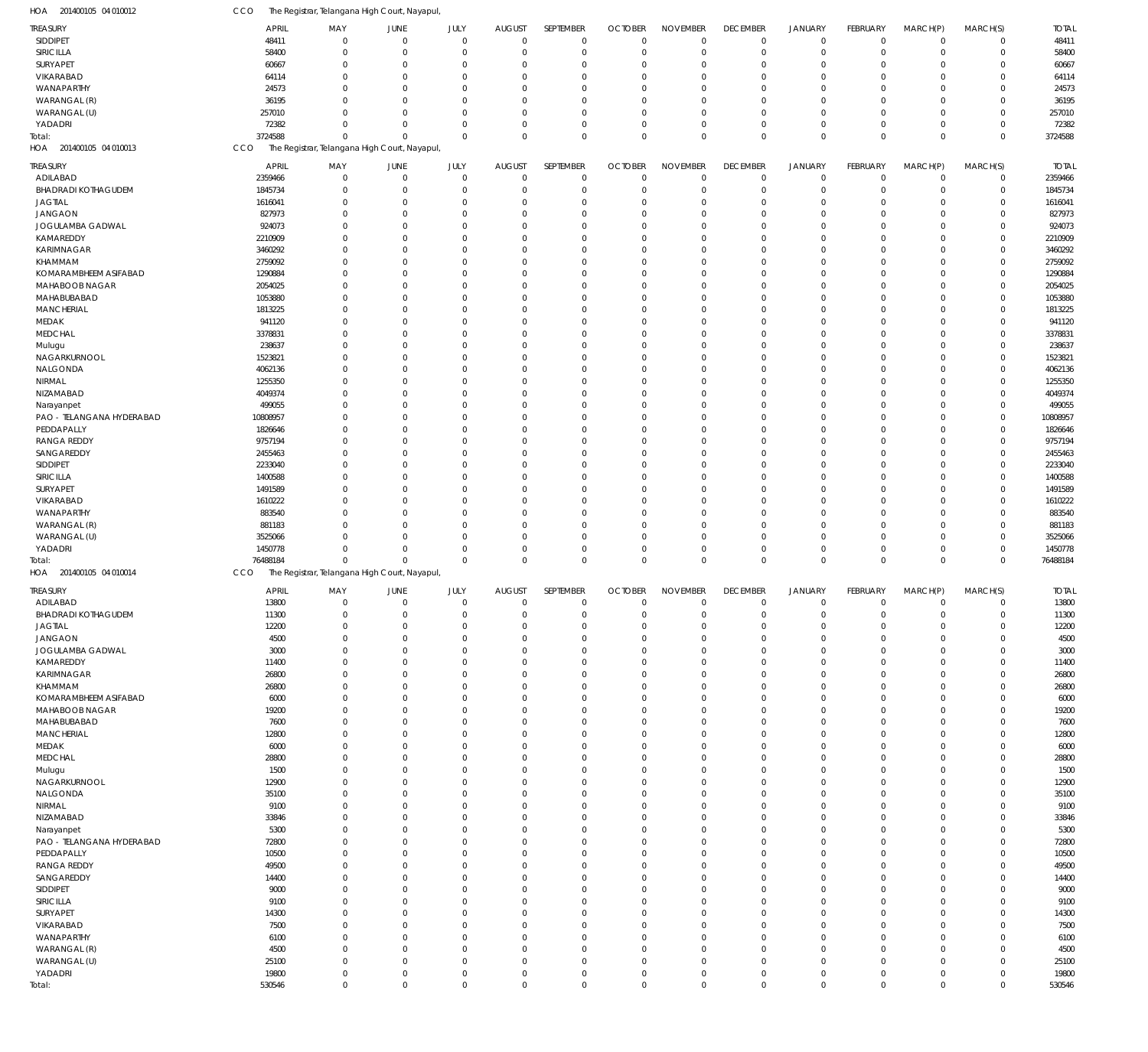| HOA 201400105 04 010012       | CCO                   | The Registrar, Telangana High Court, Nayapul  |                     |                     |                              |                  |                            |                            |                                |                               |                                |                            |                         |                       |
|-------------------------------|-----------------------|-----------------------------------------------|---------------------|---------------------|------------------------------|------------------|----------------------------|----------------------------|--------------------------------|-------------------------------|--------------------------------|----------------------------|-------------------------|-----------------------|
| TREASURY                      | <b>APRIL</b>          | MAY                                           | <b>JUNE</b>         | JULY                | <b>AUGUST</b>                | SEPTEMBER        | <b>OCTOBER</b>             | <b>NOVEMBER</b>            | <b>DECEMBER</b>                | <b>JANUARY</b>                | <b>FEBRUARY</b>                | MARCH(P)                   | MARCH(S)                | <b>TOTAL</b>          |
| <b>SIDDIPET</b>               | 48411                 | $\mathbf 0$                                   | $\overline{0}$      | $\mathbf 0$         | $\mathbf 0$                  | $\mathbf 0$      | $\mathbf 0$                | $\mathbf 0$                | $\mathbf 0$                    | $\mathbf 0$                   | $\Omega$                       | $\overline{0}$             | $\mathbf 0$             | 48411                 |
| SIRICILLA                     | 58400                 | $\mathbf 0$                                   | $\overline{0}$      | $\mathbf 0$         | $\mathbf 0$                  | $\mathbf 0$      | $\mathbf 0$                | $\mathbf 0$                | $\mathbf 0$                    | $\mathbf 0$                   | $^{\circ}$                     | $\overline{0}$             | $\mathbf 0$             | 58400                 |
| SURYAPET                      | 60667                 | $\mathbf 0$                                   | $\mathbf 0$         | $\Omega$            | 0                            | $\mathbf 0$      | $\Omega$                   | $\mathbf 0$                | $\Omega$                       | $\Omega$                      | $\Omega$                       | $\Omega$                   | 0                       | 60667                 |
| VIKARABAD                     | 64114                 | $\Omega$                                      | $\Omega$            | $\Omega$            | $\overline{0}$               | $\mathbf 0$      | $\Omega$                   | $\mathbf 0$                | $\Omega$                       | $\Omega$                      | $\Omega$                       | $\Omega$                   | $\Omega$                | 64114                 |
| WANAPARTHY                    | 24573                 | $\Omega$                                      | $\mathbf 0$         | $\Omega$            | 0                            | $\mathbf 0$      | $\Omega$                   | $\mathbf 0$                | $\Omega$                       | $\Omega$                      | $\Omega$                       | $\Omega$                   | 0                       | 24573                 |
| WARANGAL (R)                  | 36195                 | $\Omega$                                      | $\Omega$            | $\Omega$            | $\Omega$                     | $\mathbf 0$      | $\Omega$                   | $^{\circ}$                 | $\Omega$                       | $\Omega$                      | $\Omega$                       | $\Omega$                   | $\Omega$                | 36195                 |
| WARANGAL (U)                  | 257010                | 0                                             | $\Omega$            | $\Omega$            | $\overline{0}$               | $\mathbf 0$      | O                          | $\Omega$                   | $\Omega$                       | $\Omega$                      | $\Omega$                       | $\Omega$                   | 0                       | 257010                |
| YADADRI                       | 72382                 | $\Omega$                                      | $\Omega$            | $\Omega$            | $\mathbf 0$                  | $\mathbf 0$      | 0                          | $\mathbf 0$                | $\Omega$                       | $\Omega$                      | $\Omega$                       | $\overline{0}$             | $\mathbf 0$             | 72382                 |
| Total:                        | 3724588               | $\Omega$                                      | $\Omega$            | $\mathbf 0$         | $\mathbf 0$                  | $\mathbf 0$      | $\Omega$                   | $\mathbf 0$                | $\Omega$                       | $\Omega$                      | $\Omega$                       | $\mathbf 0$                | $\mathbf 0$             | 3724588               |
| HOA 201400105 04 010013       | CCO                   | The Registrar, Telangana High Court, Nayapul  |                     |                     |                              |                  |                            |                            |                                |                               |                                |                            |                         |                       |
|                               | <b>APRIL</b>          | MAY                                           | JUNE                | JULY                | <b>AUGUST</b>                | SEPTEMBER        | <b>OCTOBER</b>             | <b>NOVEMBER</b>            | <b>DECEMBER</b>                | <b>JANUARY</b>                | <b>FEBRUARY</b>                | MARCH(P)                   |                         | <b>TOTAL</b>          |
| Treasury<br>ADILABAD          | 2359466               | $\mathbf 0$                                   | $\overline{0}$      | $\mathbf 0$         | $\mathbf 0$                  | $\mathbf 0$      | 0                          | $\mathbf 0$                | $\mathbf 0$                    | $\mathbf 0$                   | $^{\circ}$                     | $\overline{0}$             | MARCH(S)<br>$\mathbf 0$ | 2359466               |
| <b>BHADRADI KOTHAGUDEM</b>    | 1845734               | $\mathbf 0$                                   | $\overline{0}$      | $\mathbf 0$         | 0                            | $\mathbf 0$      | $\mathbf 0$                | $\mathbf 0$                | $\mathbf 0$                    | $\mathbf 0$                   | $^{\circ}$                     | $\Omega$                   | $\mathbf 0$             | 1845734               |
| <b>JAGTIAL</b>                | 1616041               | $\mathbf 0$                                   | $\mathbf 0$         | 0                   | 0                            | $\mathbf 0$      | O                          | $\mathbf 0$                | $\Omega$                       | $\Omega$                      | $\Omega$                       | $\Omega$                   | 0                       | 1616041               |
| <b>JANGAON</b>                | 827973                | $\Omega$                                      | $\Omega$            | 0                   | 0                            | $\mathbf 0$      | $\Omega$                   | $\mathbf 0$                | $\Omega$                       | $\Omega$                      |                                | $\Omega$                   | 0                       | 827973                |
| JOGULAMBA GADWAL              | 924073                | 0                                             | $\mathbf 0$         | $\Omega$            | 0                            | $\mathbf 0$      | O                          | $\mathbf 0$                | $\Omega$                       | $\Omega$                      |                                | $\Omega$                   | 0                       | 924073                |
| KAMAREDDY                     | 2210909               | $\Omega$                                      | $\Omega$            | 0                   | 0                            | $\mathbf 0$      | $\Omega$                   | $\mathbf 0$                |                                | $\Omega$                      |                                | $\Omega$                   | $\Omega$                | 2210909               |
| KARIMNAGAR                    | 3460292               | $\Omega$                                      | $\Omega$            | 0                   | 0                            | $\mathbf 0$      | O                          | $\mathbf 0$                | $\Omega$                       | $\Omega$                      | $\Omega$                       | $\Omega$                   | 0                       | 3460292               |
| <b>KHAMMAM</b>                | 2759092               | $\Omega$                                      | $\Omega$            | $\Omega$            | 0                            | $\mathbf 0$      | $\Omega$                   | $\mathbf 0$                |                                | $\Omega$                      |                                | $\Omega$                   | 0                       | 2759092               |
| KOMARAMBHEEM ASIFABAD         | 1290884               | $\Omega$                                      | $\Omega$            | 0                   | 0                            | $\mathbf 0$      | O                          | $\mathbf 0$                | $\Omega$                       | $\Omega$                      |                                | $\Omega$                   | 0                       | 1290884               |
| MAHABOOB NAGAR                | 2054025               | 0                                             | $\Omega$            | 0                   | 0                            | $\mathbf 0$      | $\Omega$                   | $\mathbf 0$                |                                | $\Omega$                      |                                | $\Omega$                   | $\Omega$                | 2054025               |
| MAHABUBABAD                   | 1053880               | $\Omega$                                      | $\Omega$            | $\Omega$            | 0                            | $\mathbf 0$      | $\Omega$                   | $\mathbf 0$                | $\Omega$                       | $\Omega$                      | $\Omega$                       | $\Omega$                   | 0                       | 1053880               |
| <b>MANCHERIAL</b>             | 1813225               | $\Omega$                                      | $\Omega$            | 0                   | 0                            | $\mathbf 0$      | $\Omega$                   | $\mathbf 0$                |                                | $\Omega$                      |                                | $\Omega$                   | $\Omega$                | 1813225               |
| MEDAK                         | 941120                | $\Omega$                                      | $\Omega$            | $\Omega$            | 0                            | $\mathbf 0$      | O                          | $\mathbf 0$                | $\Omega$                       | $\Omega$                      | $\Omega$                       | $\Omega$                   | 0                       | 941120                |
| <b>MEDCHAL</b>                | 3378831               | $\Omega$                                      | $\Omega$            | $\Omega$            | 0                            | $\mathbf 0$      | $\Omega$                   | $\mathbf 0$                | $\Omega$                       | $\Omega$                      |                                | $\Omega$                   | 0                       | 3378831               |
|                               | 238637                | $\Omega$                                      | $\Omega$            | 0                   | 0                            | $\mathbf 0$      | $\Omega$                   | $\mathbf 0$                | $\Omega$                       | $\Omega$                      |                                | $\Omega$                   | 0                       | 238637                |
| Mulugu<br>NAGARKURNOOL        | 1523821               | 0                                             | $\Omega$            | $\Omega$            | 0                            | $\mathbf 0$      | $\Omega$                   | $\mathbf 0$                |                                | $\Omega$                      |                                | $\Omega$                   | 0                       | 1523821               |
| NALGONDA                      | 4062136               | $\Omega$                                      | $\Omega$            | $\Omega$            | 0                            | $\mathbf 0$      | $\Omega$                   | $\mathbf 0$                | $\Omega$                       | $\Omega$                      |                                | $\Omega$                   | 0                       | 4062136               |
| NIRMAL                        | 1255350               | 0                                             | $\Omega$            | 0                   | 0                            | $\mathbf 0$      | $\Omega$                   | $\mathbf 0$                | $\Omega$                       | $\Omega$                      |                                | $\Omega$                   | $\Omega$                | 1255350               |
| NIZAMABAD                     | 4049374               | $\Omega$                                      | $\Omega$            | 0                   | 0                            | $\mathbf 0$      | $\Omega$                   | $\mathbf 0$                | $\Omega$                       | $\Omega$                      | $\Omega$                       | $\Omega$                   | 0                       | 4049374               |
| Narayanpet                    | 499055                | $\Omega$                                      | $\Omega$            | $\Omega$            | 0                            | $\mathbf 0$      | $\Omega$                   | $\mathbf 0$                |                                | $\Omega$                      |                                | $\Omega$                   | 0                       | 499055                |
| PAO - TELANGANA HYDERABAD     | 10808957              | $\Omega$                                      | $\Omega$            | 0                   | 0                            | $\mathbf 0$      | O                          | $\mathbf 0$                | $\Omega$                       | $\Omega$                      |                                | $\Omega$                   | 0                       | 10808957              |
| PEDDAPALLY                    | 1826646               | 0                                             | $\Omega$            | 0                   | 0                            | $\mathbf 0$      | $\Omega$                   | $\mathbf 0$                |                                | $\Omega$                      |                                | $\Omega$                   | $\Omega$                | 1826646               |
| RANGA REDDY                   | 9757194               | $\Omega$                                      | $\Omega$            | 0                   | 0                            | $\mathbf 0$      | $\Omega$                   | $\mathbf 0$                | $\Omega$                       | $\Omega$                      |                                | $\Omega$                   | 0                       | 9757194               |
| SANGAREDDY                    | 2455463               | 0                                             | $\Omega$            | 0                   | 0                            | $\mathbf 0$      | $\Omega$                   | $\mathbf 0$                |                                | $\Omega$                      |                                | $\Omega$                   | $\Omega$                | 2455463               |
| SIDDIPET                      | 2233040               | $\Omega$                                      | $\Omega$            | 0                   | 0                            | $\mathbf 0$      | O                          | $\mathbf 0$                | $\Omega$                       | $\Omega$                      | $\Omega$                       | $\Omega$                   | 0                       | 2233040               |
| SIRICILLA                     | 1400588               | 0                                             | $\Omega$            | $\Omega$            | 0                            | $\mathbf 0$      | $\Omega$                   | $\mathbf 0$                | $\Omega$                       | $\Omega$                      |                                | $\Omega$                   | 0                       | 1400588               |
| SURYAPET                      | 1491589               | $\Omega$                                      | $\Omega$            | 0                   | 0                            | $\mathbf 0$      | O                          | $\mathbf 0$                | $\Omega$                       | $\Omega$                      |                                | $\Omega$                   | 0                       | 1491589               |
| VIKARABAD                     | 1610222               | 0                                             | $\Omega$            | $\Omega$            | 0                            | $\mathbf 0$      | $\Omega$                   | $\mathbf 0$                |                                | $\Omega$                      |                                | $\Omega$                   | $\Omega$                | 1610222               |
| WANAPARTHY                    | 883540                | $\Omega$                                      | $\Omega$            | 0                   | 0                            | $\mathbf 0$      | O                          | $\mathbf 0$                | $\Omega$                       | $\Omega$                      |                                | $\Omega$                   | 0                       | 883540                |
| WARANGAL (R)                  | 881183                | U                                             | $\Omega$            | 0                   | 0                            | $\mathbf 0$      | $\Omega$                   | $\mathbf 0$                | $\Omega$                       | $\Omega$                      |                                | $\Omega$                   | $\Omega$                | 881183                |
| WARANGAL (U)                  | 3525066               | 0                                             | $\Omega$            | $\Omega$            | $\overline{0}$               | $\mathbf 0$      | O                          | $\mathbf 0$                | $\Omega$                       | $\Omega$                      | $\Omega$                       | $\Omega$                   | 0                       | 3525066               |
| YADADRI                       | 1450778               | $\Omega$                                      | $\Omega$            | $\Omega$            | $\overline{0}$               | $\mathbf 0$      | O                          | $\mathbf 0$                | $\Omega$                       | $\Omega$                      | $\Omega$                       | $\overline{0}$             | 0                       | 1450778               |
| Total:                        | 76488184              | $\Omega$                                      | $\Omega$            | $\mathbf 0$         | $\Omega$                     | $\mathbf 0$      | $\Omega$                   | $\mathbf 0$                | $\Omega$                       | $\Omega$                      | $\Omega$                       | $\mathbf{0}$               | $\mathbf 0$             | 76488184              |
| HOA 201400105 04 010014       | CCO                   | The Registrar, Telangana High Court, Nayapul, |                     |                     |                              |                  |                            |                            |                                |                               |                                |                            |                         |                       |
|                               |                       |                                               |                     |                     |                              |                  |                            |                            |                                |                               |                                |                            |                         |                       |
| <b>TREASURY</b><br>ADILABAD   | <b>APRIL</b><br>13800 | MAY<br>$\overline{0}$                         | JUNE<br>$\mathbf 0$ | JULY<br>$\mathbf 0$ | <b>AUGUST</b><br>$\mathbf 0$ | SEPTEMBER        | <b>OCTOBER</b>             | NOVEMBER<br>$\mathbf 0$    | <b>DECEMBER</b><br>$\mathbf 0$ | <b>JANUARY</b>                | <b>FEBRUARY</b><br>$\mathbf 0$ | MARCH(P)                   | MARCH(S)<br>$\mathbf 0$ | <b>TOTAL</b><br>13800 |
|                               |                       | $\mathbf 0$                                   | $\overline{0}$      | $\mathbf 0$         | $\mathbf 0$                  | 0<br>$\mathbf 0$ | $\mathbf 0$<br>$\mathbf 0$ |                            | $\Omega$                       | $\overline{0}$<br>$\mathbf 0$ | $\Omega$                       | $\mathbf 0$                | $\mathbf 0$             |                       |
| <b>BHADRADI KOTHAGUDEM</b>    | 11300                 | $\mathbf 0$                                   | $\overline{0}$      | $\mathbf 0$         | $\mathbf 0$                  | $\mathbf 0$      | $\mathbf 0$                | $\mathbf 0$<br>$\mathbf 0$ | $\Omega$                       | $\mathbf 0$                   |                                | $\mathbf 0$<br>$\mathbf 0$ | $\mathbf 0$             | 11300                 |
| <b>JAGTIAL</b>                | 12200                 | $\mathbf 0$                                   | $\mathbf 0$         | $\Omega$            | $\mathbf 0$                  | $\mathbf 0$      | $\mathbf 0$                | $\mathbf 0$                | $\Omega$                       | $\mathbf 0$                   | $\mathbf 0$<br>$\Omega$        | $\mathbf 0$                | $\mathbf 0$             | 12200<br>4500         |
| <b>JANGAON</b>                | 4500                  | $\mathbf 0$                                   | $\mathbf 0$         | $\mathbf 0$         | $\mathbf 0$                  | $\mathbf 0$      | $\mathbf 0$                | $\mathbf 0$                | $\Omega$                       | $\Omega$                      | $\Omega$                       | $\mathbf 0$                | $\mathbf 0$             |                       |
| JOGULAMBA GADWAL<br>KAMAREDDY | 3000<br>11400         | $\mathbf 0$                                   | $\mathbf 0$         | $\Omega$            | $\mathbf 0$                  | $\mathbf 0$      | $\Omega$                   | $\mathbf 0$                | $\Omega$                       | $\Omega$                      | $\Omega$                       | $\mathbf{0}$               | $\mathbf 0$             | 3000<br>11400         |
| KARIMNAGAR                    | 26800                 | $\mathbf 0$                                   | $\Omega$            | $\Omega$            | $\mathbf 0$                  | $\mathbf 0$      | $\mathbf 0$                | $\mathbf 0$                | $\Omega$                       | $\Omega$                      | $\Omega$                       | $\Omega$                   | $\mathbf 0$             | 26800                 |
| KHAMMAM                       | 26800                 | $\mathbf 0$                                   | $\mathbf 0$         | $\Omega$            | $\mathbf 0$                  | $\mathbf 0$      | 0                          | $\mathbf 0$                | $\Omega$                       | $\Omega$                      | $\Omega$                       | $\mathbf{0}$               | $\mathbf 0$             | 26800                 |
| KOMARAMBHEEM ASIFABAD         | 6000                  | $\mathbf 0$                                   | $\Omega$            | $\Omega$            | $\mathbf 0$                  | $\mathbf 0$      | $\mathbf 0$                | $\mathbf 0$                | $\Omega$                       | $\Omega$                      | $\Omega$                       | $\mathbf 0$                | $\mathbf 0$             | 6000                  |
| MAHABOOB NAGAR                | 19200                 | $\mathbf 0$                                   | $\mathbf 0$         | $\Omega$            | $\mathbf 0$                  | $\mathbf 0$      | $\Omega$                   | $\mathbf 0$                | $\Omega$                       | $\Omega$                      | $\Omega$                       | $\mathbf 0$                | 0                       | 19200                 |
| MAHABUBABAD                   | 7600                  | $\mathbf 0$                                   | $\Omega$            | $\Omega$            | $\mathbf 0$                  | $\mathbf 0$      | $\mathbf 0$                | $\mathbf 0$                | $\Omega$                       | $\Omega$                      | $\Omega$                       | $\mathbf 0$                | $\mathbf 0$             | 7600                  |
| <b>MANCHERIAL</b>             | 12800                 | $\mathbf 0$                                   | $\mathbf 0$         | $\Omega$            | $\mathbf 0$                  | $\mathbf 0$      | $\Omega$                   | $\mathbf 0$                | $\Omega$                       | $\Omega$                      | $\Omega$                       | $\mathbf{0}$               | $\mathbf 0$             | 12800                 |
| MEDAK                         | 6000                  | $\mathbf 0$                                   | $\Omega$            | $\Omega$            | $\mathbf 0$                  | $\mathbf 0$      | $\mathbf 0$                | $\mathbf 0$                | $\Omega$                       | $\Omega$                      | $\Omega$                       | $\mathbf 0$                | $\mathbf 0$             | 6000                  |
| <b>MEDCHAL</b>                | 28800                 | $\mathbf 0$                                   | $\mathbf 0$         | $\Omega$            | $\mathbf 0$                  | $\mathbf 0$      | 0                          | $\mathbf 0$                | $\Omega$                       | $\Omega$                      | $\Omega$                       | $\mathbf 0$                | $\mathbf 0$             | 28800                 |
| Mulugu                        | 1500                  | $\mathbf 0$                                   | $\Omega$            | $\Omega$            | $\mathbf 0$                  | $\mathbf 0$      | $\mathbf 0$                | $\mathbf 0$                | $\Omega$                       | $\Omega$                      | $\Omega$                       | $\mathbf 0$                | $\mathbf 0$             | 1500                  |
| NAGARKURNOOL                  | 12900                 | $\mathbf 0$                                   | $\mathbf 0$         | $\Omega$            | $\mathbf 0$                  | $\mathbf 0$      | O                          | $\mathbf 0$                | $\Omega$                       | $\Omega$                      | $\Omega$                       | $\Omega$                   | 0                       | 12900                 |
| NALGONDA                      | 35100                 | $\mathbf 0$                                   | $\Omega$            | $\Omega$            | $\mathbf 0$                  | $\mathbf 0$      | $\mathbf 0$                | $\mathbf 0$                | $\Omega$                       | $\Omega$                      | $\Omega$                       | $\mathbf 0$                | $\mathbf 0$             | 35100                 |
| NIRMAL                        | 9100                  | $\mathbf 0$                                   | $\Omega$            | $\Omega$            | $\mathbf 0$                  | $\mathbf 0$      | $\Omega$                   | $\mathbf 0$                | $\Omega$                       | $\Omega$                      | $\Omega$                       | $\mathbf{0}$               | $\mathbf 0$             | 9100                  |
| NIZAMABAD                     | 33846                 | $\mathbf 0$                                   | $\Omega$            | $\Omega$            | $\mathbf 0$                  | $\mathbf 0$      | $\mathbf 0$                | $\mathbf 0$                | $\Omega$                       | $\Omega$                      | $\Omega$                       | $\Omega$                   | $\mathbf 0$             | 33846                 |
| Narayanpet                    | 5300                  | $\mathbf 0$                                   | $\mathbf 0$         | $\Omega$            | $\mathbf 0$                  | $\mathbf 0$      | 0                          | $\mathbf 0$                | $\Omega$                       | $\Omega$                      | $\Omega$                       | $\mathbf 0$                | $\mathbf 0$             | 5300                  |
| PAO - TELANGANA HYDERABAD     | 72800                 | $\Omega$                                      | $\Omega$            | $\Omega$            | $\mathbf 0$                  | $\mathbf 0$      | $\Omega$                   | $\mathbf 0$                | $\Omega$                       | $\Omega$                      | $\Omega$                       | $\mathbf 0$                | $\mathbf 0$             | 72800                 |
| PEDDAPALLY                    |                       | $\mathbf 0$                                   | $\mathbf 0$         | $\Omega$            | $\mathbf 0$                  | $\mathbf 0$      | $\Omega$                   | $\mathbf 0$                | $\Omega$                       | $\Omega$                      | $\Omega$                       | $\mathbf 0$                | 0                       | 10500                 |
|                               |                       |                                               |                     |                     |                              |                  |                            | $\mathbf 0$                | $\Omega$                       | $\Omega$                      |                                |                            | $\mathbf 0$             | 49500                 |
|                               | 10500                 | $\mathbf 0$                                   | $\Omega$            | $\Omega$            | $\mathbf 0$                  | $\mathbf 0$      | $\mathbf 0$                |                            |                                |                               | $\Omega$                       | $\mathbf 0$                |                         |                       |
| <b>RANGA REDDY</b>            | 49500                 | $\mathbf 0$                                   | $\mathbf 0$         | $\Omega$            | $\mathbf 0$                  | $\mathbf 0$      | $\Omega$                   | $\mathbf 0$                | $\Omega$                       | $\Omega$                      | $\Omega$                       | $\mathbf{0}$               | $\mathbf 0$             |                       |
| SANGAREDDY                    | 14400                 | $\mathbf 0$                                   | $\Omega$            | $\Omega$            | $\mathbf 0$                  | $\mathbf 0$      | $\mathbf 0$                | $\mathbf 0$                | $\Omega$                       | $\Omega$                      | $\Omega$                       | $\mathbf 0$                | $\mathbf 0$             | 14400                 |
| SIDDIPET<br>SIRICILLA         | 9000<br>9100          | $\mathbf 0$                                   | $\mathbf 0$         | $\Omega$            | $\mathbf 0$                  | $\mathbf 0$      | 0                          | $\mathbf 0$                | $\Omega$                       | $\Omega$                      | $\Omega$                       | $\Omega$                   | $\mathbf 0$             | 9000<br>9100          |
| SURYAPET                      | 14300                 | $\Omega$                                      | $\Omega$            | $\Omega$            | $\mathbf 0$                  | $\mathbf 0$      | $\mathbf 0$                | $\mathbf 0$                | $\Omega$                       | $\Omega$                      | $\Omega$                       | $\mathbf 0$                | $\mathbf 0$             | 14300                 |
| VIKARABAD                     | 7500                  | $\mathbf 0$                                   | $\mathbf 0$         | $\Omega$            | $\mathbf 0$                  | $\mathbf 0$      | O                          | $\mathbf 0$                | $\Omega$                       | $\Omega$                      | $\Omega$                       | $\Omega$                   | $\mathbf 0$             | 7500                  |
| WANAPARTHY                    | 6100                  | $\mathbf 0$                                   | $\Omega$            | $\Omega$            | $\mathbf 0$                  | $\mathbf 0$      | $\mathbf 0$                | $\mathbf 0$                | $\Omega$                       | $\Omega$                      | $\Omega$                       | $\mathbf 0$                | $\mathbf 0$             | 6100                  |
| WARANGAL (R)                  | 4500                  | $\mathbf 0$                                   | $\Omega$            | $\Omega$            | $\mathbf 0$                  | $\mathbf 0$      | $\Omega$                   | $\mathbf 0$                | $\Omega$                       | $\Omega$                      | $\Omega$                       | $\mathbf 0$                | $\mathbf 0$             | 4500                  |
| WARANGAL (U)                  | 25100                 | $\mathbf 0$                                   | $\mathbf 0$         | $\mathbf 0$         | $\mathbf 0$                  | $\mathbf 0$      | 0                          | $\mathbf 0$                | $\Omega$                       | $\Omega$                      | $\Omega$                       | $\mathbf 0$                | $\mathbf 0$             | 25100                 |
| YADADRI                       | 19800                 | $\mathbf 0$                                   | $\mathbf 0$         | $\mathbf 0$         | $\mathbf 0$                  | $\mathbf 0$      | $\mathbf 0$                | $\mathbf 0$                | $\mathbf 0$                    | $\mathbf 0$                   | $\mathbf 0$                    | $\mathbf 0$                | $\pmb{0}$               | 19800                 |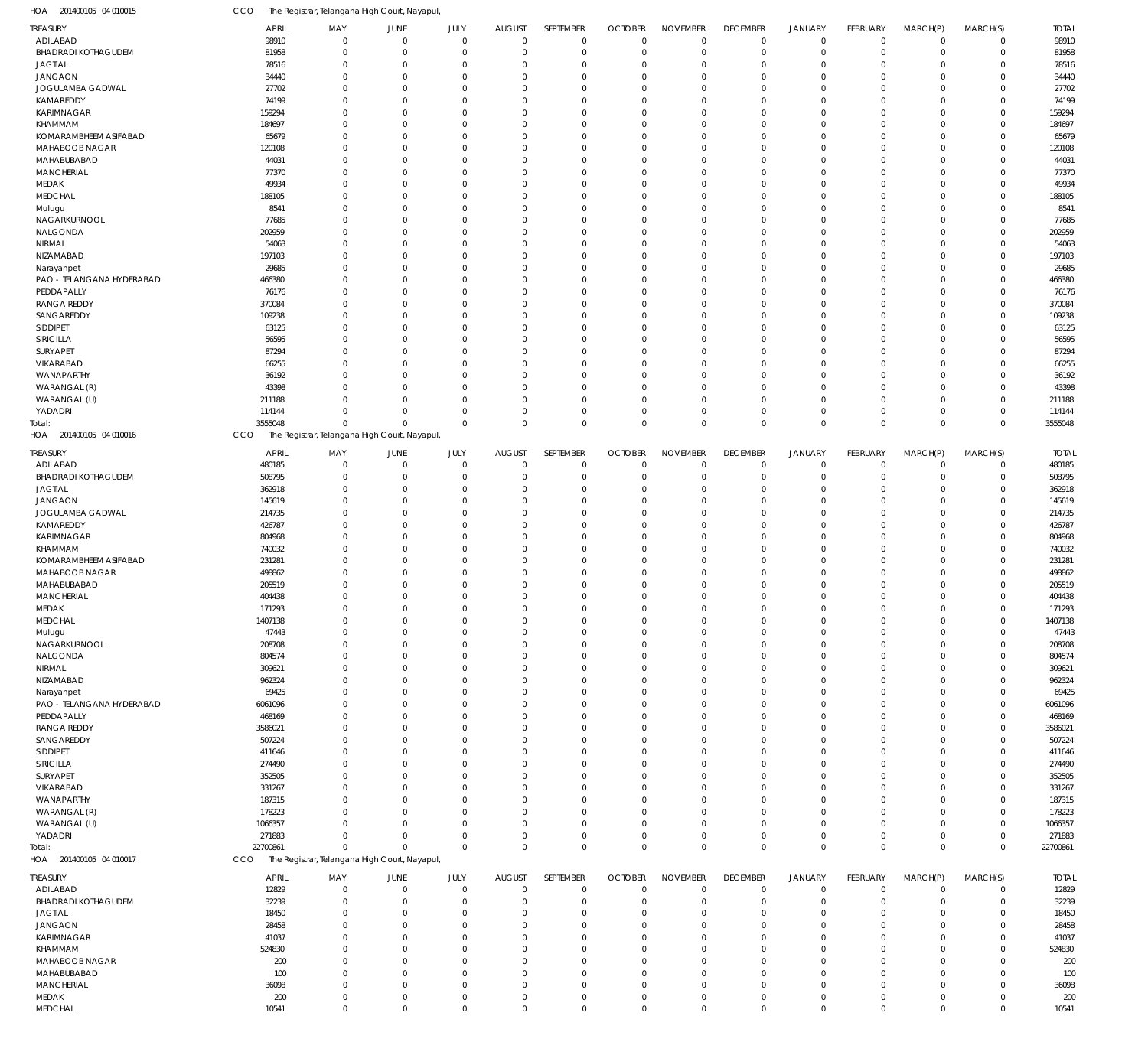| HOA 201400105 04 010015                | CCO                   | The Registrar, Telangana High Court, Nayapul,             |                            |                          |                           |                       |                               |                                |                                |                               |                            |                         |                               |                       |
|----------------------------------------|-----------------------|-----------------------------------------------------------|----------------------------|--------------------------|---------------------------|-----------------------|-------------------------------|--------------------------------|--------------------------------|-------------------------------|----------------------------|-------------------------|-------------------------------|-----------------------|
| TREASURY                               | <b>APRIL</b>          | MAY                                                       | JUNE                       | JULY                     | <b>AUGUST</b>             | SEPTEMBER             | <b>OCTOBER</b>                | <b>NOVEMBER</b>                | <b>DECEMBER</b>                | <b>JANUARY</b>                | <b>FEBRUARY</b>            | MARCH(P)                | MARCH(S)                      | <b>TOTAL</b>          |
| ADILABAD                               | 98910                 | $\mathbf 0$                                               | $\mathbf 0$                | $\mathbf 0$              | $\Omega$                  | $\mathbf 0$           | $\mathbf 0$                   | $\mathbf 0$                    | $\mathbf 0$                    | $\mathbf 0$                   | $\mathbf 0$                | $\mathbf 0$             | $\overline{0}$                | 98910                 |
| <b>BHADRADI KOTHAGUDEM</b>             | 81958                 | 0                                                         | $\mathbf 0$                | $^{\circ}$               | $\Omega$                  | $\Omega$              | $\mathbf 0$                   | $\mathbf 0$                    | $\mathbf 0$                    | $\mathbf 0$                   | $\mathbf 0$                | $\mathbf 0$             | $\overline{0}$                | 81958                 |
| <b>JAGTIAL</b><br><b>JANGAON</b>       | 78516<br>34440        | $\Omega$<br>$\Omega$                                      | $\mathbf 0$<br>$\mathbf 0$ | $\Omega$<br>$\Omega$     | $\Omega$<br>$\Omega$      | $\Omega$              | $\mathbf 0$<br>$\Omega$       | $\Omega$<br>$\Omega$           | $\mathbf 0$<br>$\mathbf 0$     | $\mathbf 0$<br>$\mathbf 0$    | $\mathbf 0$<br>$\mathbf 0$ | $\Omega$<br>$\Omega$    | $\mathbf 0$<br>$\Omega$       | 78516<br>34440        |
| JOGULAMBA GADWAL                       | 27702                 | $\Omega$                                                  | $\mathbf 0$                | $\Omega$                 | $\Omega$                  | $\Omega$              | $\mathbf 0$                   | $\Omega$                       | $\mathbf 0$                    | 0                             | $\mathbf 0$                | $\Omega$                | $\mathbf 0$                   | 27702                 |
| KAMAREDDY                              | 74199                 | $\Omega$                                                  | $\mathbf 0$                | $\Omega$                 | $\Omega$                  | $\Omega$              | $\Omega$                      | $\Omega$                       | $\mathbf 0$                    | 0                             | $\Omega$                   | $\Omega$                | $\Omega$                      | 74199                 |
| <b>KARIMNAGAR</b>                      | 159294                | $\Omega$                                                  | $\mathbf 0$                | $\Omega$                 | $\Omega$                  | $\Omega$              | $\mathbf 0$                   | $\Omega$                       | $\mathbf 0$                    | 0                             | $\mathbf 0$                | $\Omega$                | $\mathbf 0$                   | 159294                |
| KHAMMAM                                | 184697                | $\Omega$                                                  | $\mathbf 0$                | $\Omega$                 | $\Omega$                  | $\Omega$              | $\Omega$                      | $\Omega$                       | $\mathbf 0$                    | 0                             | $\mathbf 0$                | $\Omega$                | $\Omega$                      | 184697                |
| KOMARAMBHEEM ASIFABAD                  | 65679                 | $\Omega$                                                  | $\mathbf 0$                | $\Omega$                 | $\Omega$                  | $\Omega$              | $\Omega$                      | $\Omega$                       | $\mathbf 0$                    | 0                             | $\mathbf 0$                | $\Omega$                | $\mathbf 0$                   | 65679                 |
| MAHABOOB NAGAR                         | 120108                | $\Omega$                                                  | $\mathbf 0$                | $\Omega$                 | $\Omega$                  | $\Omega$              | $\Omega$                      | $\Omega$                       | $\mathbf 0$                    | 0                             | $\overline{0}$             | $\Omega$                | $\mathbf 0$                   | 120108                |
| MAHABUBABAD                            | 44031                 | $\Omega$                                                  | $\mathbf 0$                | $\Omega$                 | $\Omega$                  | $\Omega$              | $\Omega$                      | $\Omega$                       | $\mathbf 0$                    | 0                             | $\mathbf 0$                | $\Omega$                | $\mathbf 0$                   | 44031                 |
| <b>MANCHERIAL</b>                      | 77370                 | $\Omega$                                                  | $\mathbf 0$                | $\Omega$                 | $\Omega$                  | $\Omega$              | $\Omega$                      | $\Omega$                       | $\mathbf 0$                    | 0                             | $\Omega$                   | $\Omega$                | $\Omega$                      | 77370                 |
| MEDAK                                  | 49934                 | $\Omega$                                                  | $\mathbf 0$                | $\Omega$                 | $\Omega$                  | $\Omega$              | $\mathbf 0$                   | $\Omega$                       | $\mathbf 0$                    | 0                             | $\mathbf 0$                | $\Omega$                | $\mathbf 0$                   | 49934                 |
| <b>MEDCHAL</b>                         | 188105                | $\Omega$                                                  | $\mathbf 0$                | $\Omega$                 | $\Omega$                  | $\Omega$              | $\Omega$                      | $\Omega$                       | $\mathbf 0$                    | 0                             | $\Omega$                   | $\Omega$                | $\Omega$                      | 188105                |
| Mulugu                                 | 8541                  | $\Omega$                                                  | $\mathbf 0$                | $\Omega$                 | $\Omega$                  | $\Omega$              | $\Omega$                      | $\Omega$                       | $\mathbf 0$                    | 0                             | $\mathbf 0$                | $\Omega$                | $\mathbf 0$                   | 8541                  |
| NAGARKURNOOL                           | 77685                 | $\Omega$                                                  | $\mathbf 0$                | $\Omega$                 | $\Omega$<br>$\Omega$      | $\Omega$              | $\Omega$<br>$\Omega$          | $\Omega$<br>$\Omega$           | $\mathbf 0$<br>$\mathbf 0$     | 0<br>0                        | $\mathbf 0$<br>$\Omega$    | $\Omega$<br>$\Omega$    | $\mathbf 0$                   | 77685                 |
| NALGONDA<br>NIRMAL                     | 202959<br>54063       | $\Omega$<br>$\Omega$                                      | $\mathbf 0$<br>$\mathbf 0$ | $\Omega$<br>$\Omega$     | $\Omega$                  | $\Omega$              | $\Omega$                      | $\Omega$                       | $\mathbf 0$                    | 0                             | $\Omega$                   | $\Omega$                | $\mathbf 0$<br>$\Omega$       | 202959<br>54063       |
| NIZAMABAD                              | 197103                | $\Omega$                                                  | $\mathbf 0$                | $\Omega$                 | $\Omega$                  |                       | $\mathbf 0$                   | $\Omega$                       | $\mathbf 0$                    | 0                             | $\mathbf 0$                | $\Omega$                | $\mathbf 0$                   | 197103                |
| Narayanpet                             | 29685                 | $\Omega$                                                  | $\mathbf 0$                | $\Omega$                 | $\Omega$                  | $\Omega$              | $\Omega$                      | $\Omega$                       | $\mathbf 0$                    | 0                             | $\Omega$                   | $\Omega$                | $\Omega$                      | 29685                 |
| PAO - TELANGANA HYDERABAD              | 466380                | $\Omega$                                                  | $\mathbf 0$                | $\Omega$                 | $\Omega$                  |                       | $\Omega$                      | $\Omega$                       | $\Omega$                       | 0                             | $\mathbf 0$                | $\Omega$                | $\mathbf 0$                   | 466380                |
| PEDDAPALLY                             | 76176                 | $\Omega$                                                  | $\mathbf 0$                | $\Omega$                 | $\Omega$                  | $\Omega$              | $\Omega$                      | $\Omega$                       | $\mathbf 0$                    | 0                             | $\Omega$                   | $\Omega$                | $\Omega$                      | 76176                 |
| <b>RANGA REDDY</b>                     | 370084                | $\Omega$                                                  | $\mathbf 0$                | $\Omega$                 | $\Omega$                  | $\Omega$              | $\Omega$                      | $\Omega$                       | $\mathbf 0$                    | 0                             | $\mathbf 0$                | $\Omega$                | $\Omega$                      | 370084                |
| SANGAREDDY                             | 109238                | $\Omega$                                                  | $\mathbf 0$                | $\Omega$                 | $\Omega$                  | $\Omega$              | $\Omega$                      | $\Omega$                       | $\mathbf 0$                    | 0                             | $\mathbf 0$                | $\Omega$                | $\Omega$                      | 109238                |
| SIDDIPET                               | 63125                 | $\Omega$                                                  | $\mathbf 0$                | $\Omega$                 | $\Omega$                  | $\Omega$              | $\Omega$                      | $\Omega$                       | $\mathbf 0$                    | 0                             | $\mathbf 0$                | $\Omega$                | $\mathbf 0$                   | 63125                 |
| SIRICILLA                              | 56595                 | $\Omega$                                                  | $\mathbf 0$                | $\Omega$                 | $\Omega$                  | $\Omega$              | $\Omega$                      | $\Omega$                       | $\Omega$                       | 0                             | $\Omega$                   | $\Omega$                | $\Omega$                      | 56595                 |
| SURYAPET                               | 87294                 | $\Omega$                                                  | $\mathbf 0$                | $\Omega$                 | $\Omega$                  |                       | $\mathbf 0$                   | $\Omega$                       | $\mathbf 0$                    | 0                             | $\mathbf 0$                | $\Omega$                | $\mathbf 0$                   | 87294                 |
| VIKARABAD                              | 66255                 | $\Omega$                                                  | $\mathbf 0$                | $\Omega$                 | $\Omega$                  | $\Omega$              | $\Omega$                      | $\Omega$                       | $\mathbf 0$                    | 0                             | $\Omega$                   | $\Omega$                | $\Omega$                      | 66255                 |
| WANAPARTHY                             | 36192                 | $\Omega$                                                  | $\mathbf 0$                | $\Omega$                 | $\Omega$                  |                       | $\Omega$                      | $\Omega$                       | $\Omega$                       | 0                             | $\mathbf 0$                | $\Omega$                | $\mathbf 0$                   | 36192                 |
| WARANGAL (R)                           | 43398                 | $\Omega$                                                  | $\mathbf 0$                | $\Omega$                 | $\Omega$                  | $\Omega$              | $\Omega$                      | $\Omega$                       | $\mathbf 0$                    | 0                             | $\overline{0}$             | $\Omega$                | $\mathbf 0$                   | 43398                 |
| WARANGAL (U)                           | 211188                | $\Omega$                                                  | $\mathbf 0$                | $\Omega$                 | $\Omega$                  | $\Omega$              | $\Omega$                      | $\Omega$                       | $\mathbf 0$                    | 0                             | $\mathbf 0$                | $\Omega$                | $\mathbf 0$                   | 211188                |
| YADADRI                                | 114144                | $\Omega$                                                  | $\mathbf 0$                | $\Omega$                 | $\Omega$                  | $\Omega$              | $\mathbf 0$                   | $^{\circ}$                     | $\mathbf 0$                    | $\mathbf 0$                   | $\mathbf 0$                | 0                       | $\mathbf 0$                   | 114144                |
| iotal:<br>HOA 201400105 04 010016      | 3555048<br>CCO        | $\Omega$<br>The Registrar, Telangana High Court, Nayapul, | $\Omega$                   | $\Omega$                 | $\Omega$                  | $\Omega$              | $\mathbf 0$                   | $\Omega$                       | $\mathbf 0$                    | $\mathbf 0$                   | $\mathbf 0$                | $\Omega$                | $\mathbf 0$                   | 3555048               |
|                                        |                       |                                                           |                            |                          |                           |                       |                               |                                |                                |                               |                            |                         |                               |                       |
| Treasury                               | <b>APRIL</b>          | MAY                                                       | JUNE                       | JULY                     | <b>AUGUST</b><br>$\Omega$ | SEPTEMBER             | <b>OCTOBER</b>                | <b>NOVEMBER</b>                | <b>DECEMBER</b>                | <b>JANUARY</b>                | FEBRUARY                   | MARCH(P)                | MARCH(S)<br>$\mathbf 0$       | <b>TOTAL</b>          |
| ADILABAD<br><b>BHADRADI KOTHAGUDEM</b> | 480185<br>508795      | O<br>O                                                    | $\mathbf 0$<br>$\mathbf 0$ | $^{\circ}$<br>$^{\circ}$ | $\Omega$                  | $\Omega$<br>$\Omega$  | $\mathbf 0$<br>$\mathbf 0$    | $^{\circ}$<br>$^{\circ}$       | $^{\circ}$<br>$\overline{0}$   | $\mathbf 0$<br>$\mathbf 0$    | $\mathbf 0$<br>$\mathbf 0$ | 0<br>0                  | $\mathbf 0$                   | 480185<br>508795      |
| <b>JAGTIAL</b>                         | 362918                | $\Omega$                                                  | $\mathbf 0$                | $\Omega$                 | $\Omega$                  |                       | $\mathbf 0$                   | $\Omega$                       | $\overline{0}$                 | $\mathbf 0$                   | $\mathbf 0$                | $\Omega$                | $\mathbf 0$                   | 362918                |
| JANGAON                                | 145619                | $\Omega$                                                  | $\mathbf 0$                | $\Omega$                 | $\Omega$                  |                       | $\Omega$                      | $\Omega$                       | $\Omega$                       | 0                             | $\Omega$                   | $\Omega$                | $\mathbf 0$                   | 145619                |
| JOGULAMBA GADWAL                       | 214735                | $\Omega$                                                  | $\mathbf 0$                | $\Omega$                 | $\Omega$                  |                       | $\Omega$                      | $\Omega$                       | $\overline{0}$                 | 0                             | $\mathbf 0$                | $\Omega$                | $\mathbf 0$                   | 214735                |
| KAMAREDDY                              | 426787                | $\Omega$                                                  | $\mathbf 0$                | $\Omega$                 | $\Omega$                  |                       | $\Omega$                      | $\Omega$                       | $\Omega$                       | 0                             | $\mathbf 0$                | $\Omega$                | $\Omega$                      | 426787                |
| KARIMNAGAR                             | 804968                | $\Omega$                                                  | $\mathbf 0$                | $\Omega$                 | $\Omega$                  |                       | $\Omega$                      | $\Omega$                       | $\Omega$                       | 0                             | $\mathbf 0$                | $\Omega$                | $\mathbf 0$                   | 804968                |
| KHAMMAM                                | 740032                | 0                                                         | $\mathbf 0$                | $\Omega$                 | $\Omega$                  |                       | $\Omega$                      | $\Omega$                       | $\Omega$                       | 0                             | $\mathbf 0$                | $\Omega$                | $\mathbf 0$                   | 740032                |
| KOMARAMBHEEM ASIFABAD                  | 231281                | $\Omega$                                                  | $\mathbf 0$                | $\Omega$                 | $\Omega$                  |                       | $\Omega$                      | $\Omega$                       | $\overline{0}$                 | 0                             | $\Omega$                   | $\Omega$                | $\mathbf 0$                   | 231281                |
| MAHABOOB NAGAR                         | 498862                | 0                                                         | $\mathbf 0$                | $\Omega$                 | $\Omega$                  |                       | $\Omega$                      | $\Omega$                       | $\Omega$                       | 0                             | $\mathbf 0$                | $\Omega$                | $\mathbf 0$                   | 498862                |
| MAHABUBABAD                            | 205519                | $\Omega$                                                  | $\mathbf 0$                | $\Omega$                 | $\Omega$                  | $\Omega$              | $\mathbf 0$                   | $\Omega$                       | $\overline{0}$                 | 0                             | $\mathbf 0$                | $\Omega$                | $\mathbf 0$                   | 205519                |
| <b>MANCHERIAL</b>                      | 404438                | $\Omega$                                                  | $\mathbf 0$                | $\Omega$                 | $\Omega$                  | $\Omega$              | $\Omega$                      | $\Omega$                       | $\mathbf 0$                    | 0                             | $\mathbf 0$                | $\Omega$                | $\mathbf 0$                   | 404438                |
| MEDAK                                  | 171293                | -0                                                        | 0                          |                          |                           |                       | $\Omega$                      | $\Omega$                       | $\Omega$                       | 0                             | $\Omega$                   |                         | $\mathbf 0$                   | 171293                |
| <b>MEDCHAL</b>                         | 1407138               | $\Omega$                                                  | $\mathbf 0$                | $\Omega$                 | $\Omega$                  |                       | $\mathbf 0$                   | $\mathbf 0$                    | $\Omega$                       | $\mathbf 0$                   | $\mathbf 0$                | $\Omega$                | $\mathbf 0$                   | 1407138               |
| Mulugu                                 | 47443                 | $\Omega$                                                  | $\mathbf 0$                | $\Omega$                 | $\Omega$                  | $\Omega$              | $\mathbf 0$                   | $\overline{0}$                 | $\overline{0}$                 | $\mathbf 0$                   | $\mathbf 0$                | $\Omega$                | $\mathbf 0$                   | 47443                 |
| NAGARKURNOOL                           | 208708                | $\Omega$                                                  | $\mathbf 0$                | $\Omega$                 | $\Omega$                  |                       | $\mathbf 0$                   | $\mathbf 0$                    | $\overline{0}$                 | 0                             | $\mathbf 0$                | $\Omega$                | $\Omega$                      | 208708                |
| NALGONDA                               | 804574                | $\Omega$                                                  | $\mathbf 0$                | $\Omega$                 | $\Omega$<br>$\Omega$      |                       | $\mathbf 0$<br>$\Omega$       | $\Omega$<br>$\Omega$           | $\overline{0}$<br>$\Omega$     | 0<br>$\Omega$                 | $\mathbf 0$<br>$\mathbf 0$ | $\Omega$<br>$\Omega$    | $\Omega$<br>$\Omega$          | 804574                |
| NIRMAL<br>NIZAMABAD                    | 309621<br>962324      | 0<br>$\Omega$                                             | $\mathbf 0$<br>$\mathbf 0$ | C<br>$\Omega$            | $\Omega$                  |                       | $\mathbf 0$                   | 0                              | $\overline{0}$                 | 0                             | $\mathbf 0$                | $\Omega$                | $\mathbf 0$                   | 309621<br>962324      |
| Narayanpet                             | 69425                 | $\Omega$                                                  | $\mathbf 0$                | ſ                        | $\Omega$                  |                       | $\Omega$                      | $\Omega$                       | $\Omega$                       | 0                             | $\mathbf 0$                | $\Omega$                | $\Omega$                      | 69425                 |
| PAO - TELANGANA HYDERABAD              | 6061096               | $\Omega$                                                  | $\mathbf 0$                | C                        | $\Omega$                  |                       | $\Omega$                      | $\Omega$                       | $\overline{0}$                 | 0                             | $\mathbf 0$                | $\Omega$                | $\mathbf 0$                   | 6061096               |
| PEDDAPALLY                             | 468169                | $\Omega$                                                  | $\mathbf 0$                | $\mathcal{L}$            | $\Omega$                  |                       | $\Omega$                      | $\Omega$                       | $\Omega$                       | 0                             | $\mathbf 0$                | $\Omega$                | $\mathbf 0$                   | 468169                |
| <b>RANGA REDDY</b>                     | 3586021               | $\Omega$                                                  | $\mathbf 0$                | $\Omega$                 | $\Omega$                  |                       | $\Omega$                      | $\Omega$                       | $\overline{0}$                 | 0                             | $\mathbf 0$                | $\Omega$                | $\mathbf 0$                   | 3586021               |
| SANGAREDDY                             | 507224                | O                                                         | $\mathbf 0$                | C                        | $\Omega$                  |                       | $\Omega$                      | $\mathbf 0$                    | $\Omega$                       | 0                             | $\mathbf 0$                | 0                       | $\Omega$                      | 507224                |
| SIDDIPET                               | 411646                | $\Omega$                                                  | $\mathbf 0$                | $\Omega$                 | $\Omega$                  |                       | $\mathbf 0$                   | $\Omega$                       | $\overline{0}$                 | 0                             | $\mathbf 0$                | $\Omega$                | $\mathbf 0$                   | 411646                |
| SIRICILLA                              | 274490                | $\Omega$                                                  | $\mathbf 0$                | ſ                        | $\Omega$                  |                       | $\Omega$                      | $\Omega$                       | $\Omega$                       | $\Omega$                      | $\Omega$                   | $\Omega$                | $\Omega$                      | 274490                |
| SURYAPET                               | 352505                | $\Omega$                                                  | $\mathbf 0$                | C                        | $\Omega$                  |                       | $\Omega$                      | 0                              | $\overline{0}$                 | 0                             | $\mathbf 0$                | $\Omega$                | $\mathbf 0$                   | 352505                |
| VIKARABAD                              | 331267                | $\Omega$                                                  | $\mathbf 0$                | ſ                        | $\Omega$                  |                       | $\Omega$                      | $\Omega$                       | $\Omega$                       | 0                             | $\mathbf 0$                | $\Omega$                | $\Omega$                      | 331267                |
| WANAPARTHY                             | 187315                | $\Omega$                                                  | $\mathbf 0$                | $\Omega$                 | $\Omega$                  |                       | $\Omega$                      | $\Omega$                       | $\overline{0}$                 | 0                             | $\Omega$                   | $\Omega$                | $\mathbf 0$                   | 187315                |
| WARANGAL (R)                           | 178223                | O                                                         | $\mathbf 0$                | $\mathcal{L}$            | $\Omega$                  |                       | $\Omega$                      | $\Omega$                       | $\Omega$                       | 0                             | $\mathbf 0$                | $\Omega$                | $\mathbf 0$                   | 178223                |
| WARANGAL (U)                           | 1066357               | $\Omega$                                                  | $\mathbf 0$                | $\Omega$                 | $\Omega$                  | $\Omega$              | $\Omega$                      | $\Omega$                       | $\mathbf 0$                    | $\mathbf 0$                   | $\mathbf 0$                | $\Omega$                | $\mathbf 0$                   | 1066357               |
| YADADRI<br>Total:                      | 271883<br>22700861    | O<br>$\Omega$                                             | $\mathbf 0$<br>$\mathbf 0$ | $\Omega$<br>$\Omega$     | $\Omega$<br>$\Omega$      | $\Omega$              | $\mathbf 0$<br>$\mathbf 0$    | $\overline{0}$<br>$\mathbf 0$  | $\overline{0}$<br>$\mathbb O$  | $\mathbf 0$<br>$\mathbf 0$    | $\mathbf 0$<br>$\mathbf 0$ | 0<br>$\mathbf 0$        | $\mathbf 0$<br>$\overline{0}$ | 271883<br>22700861    |
| HOA 201400105 04 010017                | CCO                   | The Registrar, Telangana High Court, Nayapul,             |                            |                          |                           |                       |                               |                                |                                |                               |                            |                         |                               |                       |
|                                        |                       |                                                           |                            |                          |                           |                       |                               |                                |                                |                               |                            |                         |                               |                       |
| treasury                               | <b>APRIL</b><br>12829 | MAY<br>$\mathbf 0$                                        | <b>JUNE</b><br>$\mathbf 0$ | JULY<br>$\mathbf 0$      | <b>AUGUST</b><br>$\Omega$ | SEPTEMBER<br>$\Omega$ | <b>OCTOBER</b><br>$\mathbf 0$ | <b>NOVEMBER</b><br>$\mathbf 0$ | <b>DECEMBER</b><br>$\mathbf 0$ | <b>JANUARY</b><br>$\mathbf 0$ | FEBRUARY<br>$\mathbf 0$    | MARCH(P)<br>$\mathbf 0$ | MARCH(S)<br>$\overline{0}$    | <b>TOTAL</b><br>12829 |
| ADILABAD<br><b>BHADRADI KOTHAGUDEM</b> | 32239                 | 0                                                         | $\mathbf 0$                | $\overline{0}$           | $\Omega$                  | $\Omega$              | $\mathbf 0$                   | $\overline{0}$                 | $\mathbf 0$                    | $\mathbf 0$                   | $\mathbf 0$                | $\Omega$                | $\mathbf 0$                   | 32239                 |
| <b>JAGTIAL</b>                         | 18450                 | 0                                                         | $\mathbf 0$                | $\Omega$                 | $\Omega$                  |                       | $\mathbf 0$                   | $\overline{0}$                 | $\mathbf 0$                    | $\mathbf 0$                   | $\mathbf 0$                | $\Omega$                | $\mathbf 0$                   | 18450                 |
| <b>JANGAON</b>                         | 28458                 | $\Omega$                                                  | $\mathbf 0$                | $\Omega$                 | $\Omega$                  | $\Omega$              | $\mathbf 0$                   | $\Omega$                       | $\mathbf 0$                    | 0                             | $\mathbf 0$                | $\Omega$                | $\mathbf 0$                   | 28458                 |
| KARIMNAGAR                             | 41037                 | $\Omega$                                                  | $\mathbf 0$                | $\Omega$                 | $\Omega$                  | $\Omega$              | $\Omega$                      | $\Omega$                       | $\mathbf 0$                    | 0                             | $\Omega$                   | $\Omega$                | $\mathbf 0$                   | 41037                 |
| KHAMMAM                                | 524830                | $\Omega$                                                  | $\mathbf 0$                | $\Omega$                 | $\Omega$                  | $\Omega$              | $\mathbf 0$                   | $\Omega$                       | $\mathbf 0$                    | 0                             | $\mathbf 0$                | $\Omega$                | $\mathbf 0$                   | 524830                |
| <b>MAHABOOB NAGAR</b>                  | 200                   | $\Omega$                                                  | $\mathbf 0$                | $\Omega$                 | $\Omega$                  | $\Omega$              | $\Omega$                      | $\Omega$                       | $\mathbf 0$                    | 0                             | $\Omega$                   | $\Omega$                | $\Omega$                      | 200                   |
| MAHABUBABAD                            | 100                   | $\Omega$                                                  | $\mathbf 0$                | $\Omega$                 | $\Omega$                  | $\Omega$              | $\mathbf 0$                   | $\Omega$                       | $\mathbf 0$                    | 0                             | $\mathbf 0$                | $\Omega$                | $\mathbf 0$                   | 100                   |
| <b>MANCHERIAL</b>                      | 36098                 | $\Omega$                                                  | $\mathbf 0$                | $\Omega$                 | $\Omega$                  | $\Omega$              | $\Omega$                      | $\overline{0}$                 | $\mathbf 0$                    | $\mathbf 0$                   | $\mathbf 0$                | $\Omega$                | $\mathbf 0$                   | 36098                 |
| MEDAK                                  | 200                   | 0                                                         | $\mathbf 0$                | $\overline{0}$           | $\mathbf 0$               | $\mathbf 0$           | $\mathbf 0$                   | $\mathbf 0$                    | $\mathbf 0$                    | $\pmb{0}$                     | $\mathbf 0$                | 0                       | $\mathbf 0$                   | 200                   |
| MEDCHAL                                | 10541                 | $\mathbf 0$                                               | $\mathsf 0$                | $\Omega$                 | $\Omega$                  | $\mathbf 0$           | $\mathbf 0$                   | $\mathbf 0$                    | $\mathbb O$                    | $\mathbf 0$                   | $\mathbf 0$                | $\mathbf 0$             | $\mathbf 0$                   | 10541                 |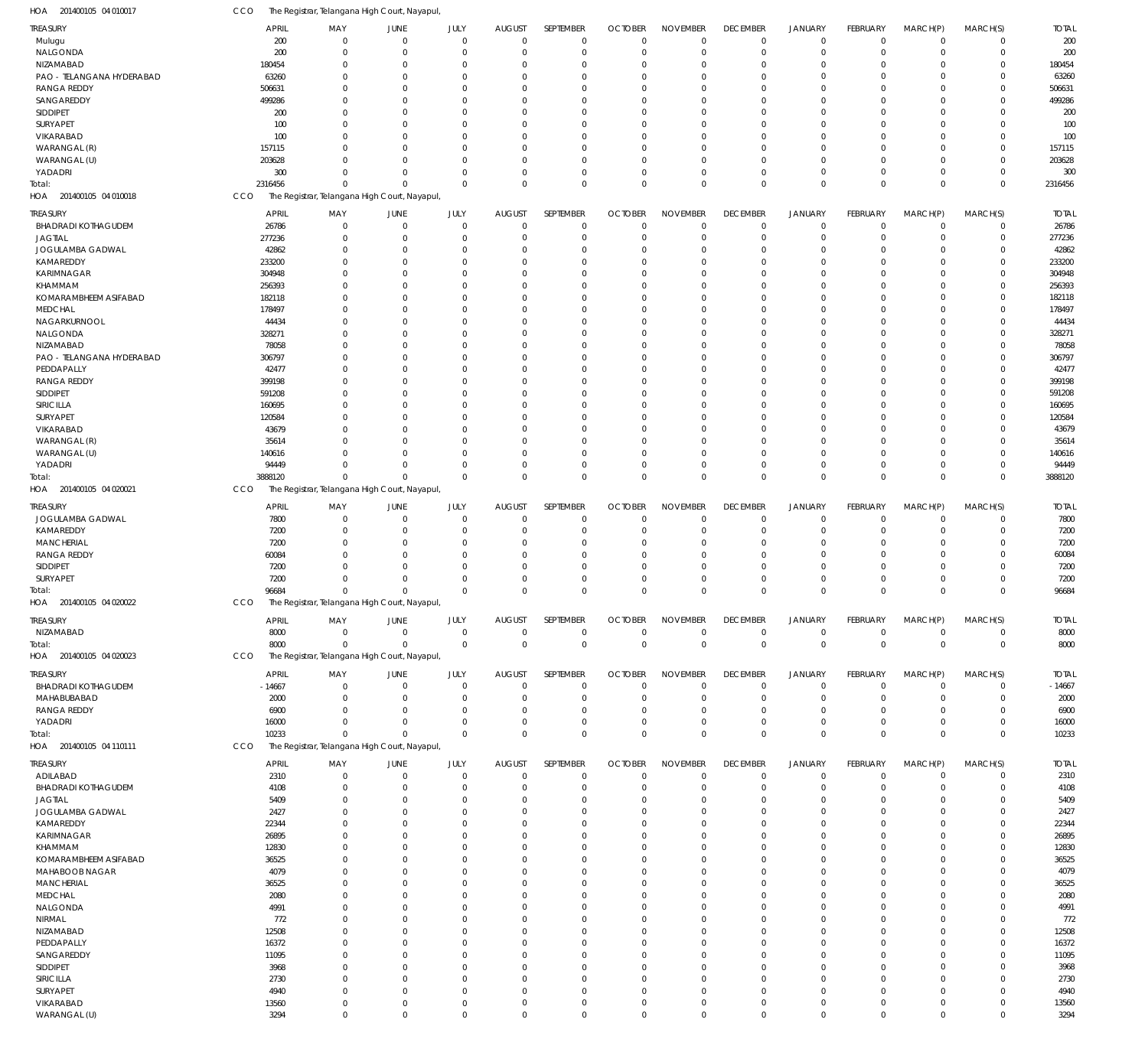| <b>REASURY</b>                    | <b>APRIL</b> | MAY                                           | <b>JUNE</b>    | JULY         | <b>AUGUST</b>  | SEPTEMBER      | <b>OCTOBER</b> | <b>NOVEMBER</b> | <b>DECEMBER</b> | <b>JANUARY</b> | <b>FEBRUARY</b> | MARCH(P)       | MARCH(S)    | <b>TOTAL</b> |
|-----------------------------------|--------------|-----------------------------------------------|----------------|--------------|----------------|----------------|----------------|-----------------|-----------------|----------------|-----------------|----------------|-------------|--------------|
| Mulugu                            | 200          | $\Omega$                                      | $\mathbf 0$    | $\mathbf 0$  | $\overline{0}$ | $\overline{0}$ | $\overline{0}$ | $\mathbf 0$     | $\mathbf 0$     | $\mathbf 0$    | $\Omega$        | $\mathbf 0$    | $\mathbf 0$ | 200          |
| NALGONDA                          | 200          | $\Omega$                                      | $\overline{0}$ | $\mathbf 0$  | $\overline{0}$ | $\mathbf 0$    | $\mathbf 0$    | $\mathbf 0$     | $\mathbf 0$     | $\mathbf 0$    | $\Omega$        | $\overline{0}$ | $\mathbf 0$ | 200          |
| NIZAMABAD                         | 180454       | $\Omega$                                      | $\overline{0}$ | $\Omega$     | $\Omega$       | $\mathbf 0$    | $\mathbf 0$    | $\mathbf 0$     | 0               | $\mathbf 0$    |                 | $\Omega$       | $\mathbf 0$ | 180454       |
| PAO - TELANGANA HYDERABAD         | 63260        | $\Omega$                                      | $\Omega$       | $\Omega$     | $\Omega$       | $\Omega$       | $\Omega$       | $\mathbf 0$     | $\Omega$        | $\Omega$       | $\Omega$        | $\Omega$       | $\Omega$    | 63260        |
| <b>RANGA REDDY</b>                | 506631       | $\Omega$                                      | $\overline{0}$ | $\Omega$     | $\Omega$       | $\mathbf 0$    | 0              | 0               | 0               | $\mathbf 0$    |                 | $\Omega$       | 0           | 506631       |
| SANGAREDDY                        | 499286       | $\Omega$                                      | $\Omega$       | $\Omega$     | $\Omega$       | $\Omega$       | $\Omega$       | $\mathbf 0$     | $\Omega$        | $\Omega$       |                 | $\Omega$       | $\Omega$    | 499286       |
| SIDDIPET                          | 200          | $\Omega$                                      | $\Omega$       | $\Omega$     | $\Omega$       | $\Omega$       | $\Omega$       | $\Omega$        | $\Omega$        | $\Omega$       |                 | $\Omega$       | 0           | 200          |
| SURYAPET                          | 100          | $\Omega$                                      | $\Omega$       | $\Omega$     | $\Omega$       | $\Omega$       | 0              | $\mathbf 0$     | $\Omega$        | $\Omega$       |                 | $\Omega$       | $\mathbf 0$ | 100          |
| VIKARABAD                         | 100          | $\Omega$                                      | $\Omega$       | $\Omega$     | $\Omega$       | $\Omega$       | 0              | 0               | $\Omega$        | $\Omega$       |                 | $\Omega$       | 0           | 100          |
| WARANGAL (R)                      | 157115       | $\Omega$                                      | $\Omega$       | $\Omega$     | $\Omega$       | $\Omega$       | 0              | $\mathbf 0$     | $\Omega$        | $\Omega$       |                 | $\Omega$       | $\Omega$    | 157115       |
| WARANGAL (U)                      | 203628       | $\Omega$                                      | $\Omega$       | $\Omega$     | $\Omega$       | $\mathbf 0$    | 0              | $\mathbf 0$     | $\Omega$        | $\mathbf 0$    |                 | $\Omega$       | $\mathbf 0$ | 203628       |
| YADADRI                           | 300          | $\Omega$                                      | $\Omega$       | $\Omega$     | $\Omega$       | $\mathbf 0$    | $\mathbf 0$    | $\mathbf 0$     | 0               | $\mathbf 0$    | $\Omega$        | $\Omega$       | $\mathbf 0$ | 300          |
| Total:                            | 2316456      | $\mathbf 0$                                   | $\Omega$       | $\Omega$     | $\Omega$       | $\mathbf 0$    | $\Omega$       | $\Omega$        | $\mathbf 0$     | $\mathbf 0$    | $\Omega$        | $\mathbf 0$    | $\mathbf 0$ | 2316456      |
| HOA 201400105 04 010018           | CCO          | The Registrar, Telangana High Court, Nayapul, |                |              |                |                |                |                 |                 |                |                 |                |             |              |
|                                   |              |                                               |                |              |                |                |                |                 |                 |                |                 |                |             |              |
| TREASURY                          | <b>APRIL</b> | MAY                                           | <b>JUNE</b>    | JULY         | <b>AUGUST</b>  | SEPTEMBER      | <b>OCTOBER</b> | <b>NOVEMBER</b> | <b>DECEMBER</b> | <b>JANUARY</b> | FEBRUARY        | MARCH(P)       | MARCH(S)    | <b>TOTAL</b> |
| BHADRADI KOTHAGUDEM               | 26786        |                                               | $\overline{0}$ | $\mathbf 0$  | $\mathbf 0$    | 0              | $\mathbf 0$    | $\mathbf 0$     | $\mathbf 0$     | $\mathbf 0$    | $\Omega$        | $\overline{0}$ | $\mathbf 0$ | 26786        |
| <b>JAGTIAL</b>                    | 277236       | $\Omega$                                      | $\overline{0}$ | $\mathbf 0$  | $\mathbf 0$    | $\mathbf 0$    | $\mathbf 0$    | $\mathbf 0$     | $\mathbf 0$     | $\mathbf 0$    |                 | $\Omega$       | $\mathbf 0$ | 277236       |
| JOGULAMBA GADWAL                  | 42862        | $\Omega$                                      | $\overline{0}$ | 0            | $\Omega$       | $\mathbf 0$    | 0              | $\mathbf 0$     | 0               | $\mathbf 0$    |                 | $\Omega$       | $\mathbf 0$ | 42862        |
| KAMAREDDY                         | 233200       |                                               | $\overline{0}$ | 0            | $\Omega$       | $\Omega$       | 0              | $\mathbf 0$     | $\Omega$        | $\Omega$       |                 | $\Omega$       | 0           | 233200       |
| KARIMNAGAR                        | 304948       | $\Omega$                                      | $\overline{0}$ | 0            | $\Omega$       | $\mathbf 0$    | 0              | $\mathbf 0$     | $\Omega$        | $\mathbf 0$    |                 | $\Omega$       | $\mathbf 0$ | 304948       |
| KHAMMAM                           | 256393       |                                               | $\Omega$       | 0            | $\Omega$       | $\Omega$       | 0              | 0               | $\Omega$        | $\Omega$       |                 | $\Omega$       | 0           | 256393       |
| KOMARAMBHEEM ASIFABAD             | 182118       |                                               | $\Omega$       | 0            | $\Omega$       | $\Omega$       | 0              | 0               | $\Omega$        | $\Omega$       |                 | $\Omega$       | $\mathbf 0$ | 182118       |
| <b>MEDCHAL</b>                    | 178497       |                                               | $\Omega$       | 0            | $\Omega$       | $\Omega$       | 0              | $\mathbf 0$     | $\Omega$        | $\Omega$       |                 | $\Omega$       | 0           | 178497       |
| NAGARKURNOOL                      | 44434        |                                               | $\Omega$       | 0            | $\Omega$       | $\Omega$       | 0              | $\mathbf 0$     | $\Omega$        | $\Omega$       |                 | $\Omega$       | $\mathbf 0$ | 44434        |
| NALGONDA                          | 328271       |                                               | $\Omega$       | 0            | $\Omega$       | $\Omega$       | $\Omega$       | $\mathbf 0$     | $\Omega$        | $\Omega$       |                 | $\Omega$       | 0           | 328271       |
| NIZAMABAD                         | 78058        |                                               | $\Omega$       | 0            | $\Omega$       | $\mathbf 0$    | 0              | $\mathbf 0$     | $\Omega$        | $\mathbf 0$    |                 | $\Omega$       | $\mathbf 0$ | 78058        |
| PAO - TELANGANA HYDERABAD         | 306797       |                                               | $\Omega$       | 0            | $\Omega$       | $\Omega$       | 0              | $\mathbf 0$     | $\Omega$        | $\Omega$       |                 | $\Omega$       | 0           | 306797       |
| PEDDAPALLY                        | 42477        |                                               | $\Omega$       | 0            | $\Omega$       | $\Omega$       | 0              | $\mathbf 0$     | $\Omega$        | $\Omega$       |                 | $\Omega$       | $\mathbf 0$ | 42477        |
| <b>RANGA REDDY</b>                | 399198       |                                               | $\Omega$       | 0            | $\Omega$       | $\Omega$       | 0              | $\mathbf 0$     | $\Omega$        | $\Omega$       |                 | $\Omega$       | 0           | 399198       |
| SIDDIPET                          | 591208       |                                               | $\Omega$       | 0            | $\Omega$       | $\Omega$       | 0              | 0               | $\Omega$        | $\mathbf 0$    |                 | $\Omega$       | $\mathbf 0$ | 591208       |
| SIRICILLA                         | 160695       |                                               | $\Omega$       | 0            | $\Omega$       | $\Omega$       | 0              | $\mathbf 0$     | $\Omega$        | $\Omega$       |                 | $\Omega$       | 0           | 160695       |
| SURYAPET                          | 120584       |                                               | $\Omega$       | 0            | $\Omega$       | $\Omega$       | 0              | $\mathbf 0$     | $\Omega$        | $\Omega$       |                 | $\Omega$       | $\mathbf 0$ | 120584       |
| VIKARABAD                         | 43679        |                                               | $\Omega$       | 0            | $\Omega$       | $\Omega$       | 0              | $\mathbf 0$     | $\Omega$        | $\Omega$       |                 | $\Omega$       | $\mathbf 0$ | 43679        |
| WARANGAL (R)                      | 35614        |                                               | $\Omega$       | 0            | $\Omega$       | $\Omega$       | 0              | 0               | $\Omega$        | $\Omega$       |                 | $\Omega$       | $\mathbf 0$ | 35614        |
| WARANGAL (U)                      | 140616       |                                               | $\Omega$       | 0            | $\Omega$       | $\mathbf 0$    | 0              | $\mathbf 0$     | $\Omega$        | $\mathbf 0$    |                 | $\Omega$       | $\mathbf 0$ | 140616       |
| YADADRI                           | 94449        | $\Omega$                                      | $\overline{0}$ | $\Omega$     | $\mathbf 0$    | $\mathbf 0$    | 0              | $\mathbf 0$     | 0               | $\mathbf 0$    |                 | $\overline{0}$ | $\mathbf 0$ | 94449        |
|                                   | 3888120      | $\Omega$                                      | $\Omega$       | $\Omega$     | $\Omega$       | $\mathbf 0$    | $\overline{0}$ | $\mathbf{0}$    | $\Omega$        | $\Omega$       | $\Omega$        | $\Omega$       | $\mathbf 0$ | 3888120      |
| iotal:<br>HOA 201400105 04 020021 | <b>CCO</b>   | The Registrar, Telangana High Court, Nayapul, |                |              |                |                |                |                 |                 |                |                 |                |             |              |
|                                   |              |                                               |                |              |                |                |                |                 |                 |                |                 |                |             |              |
| TREASURY                          | <b>APRIL</b> | MAY                                           | <b>JUNE</b>    | JULY         | <b>AUGUST</b>  | SEPTEMBER      | <b>OCTOBER</b> | <b>NOVEMBER</b> | <b>DECEMBER</b> | <b>JANUARY</b> | <b>FEBRUARY</b> | MARCH(P)       | MARCH(S)    | <b>TOTAL</b> |
| JOGULAMBA GADWAL                  | 7800         | $\Omega$                                      | $\mathbf 0$    | $\mathbf 0$  | $\mathbf 0$    | $\mathbf 0$    | $\mathbf 0$    | $\mathbf 0$     | $\mathbf 0$     | $\mathbf 0$    | $\Omega$        | $\Omega$       | $\mathbf 0$ | 7800         |
| KAMAREDDY                         | 7200         | $\Omega$                                      | $\overline{0}$ | $\mathbf 0$  | $\mathbf 0$    | $\mathbf 0$    | $\mathbf 0$    | $\mathbf 0$     | $\mathbf 0$     | $\mathbf 0$    | $\Omega$        | $\Omega$       | $\mathbf 0$ | 7200         |
| <b>MANCHERIAL</b>                 | 7200         | $\Omega$                                      | $\overline{0}$ | $\Omega$     | $\Omega$       | $\mathbf 0$    | 0              | $\mathbf 0$     | 0               | $\mathbf 0$    |                 | $\Omega$       | $\mathbf 0$ | 7200         |
| <b>RANGA REDDY</b>                | 60084        | $\Omega$                                      | $\Omega$       | $\Omega$     | $\Omega$       | $\Omega$       | $\Omega$       | $\mathbf 0$     | $\Omega$        | $\Omega$       | $\Omega$        | $\Omega$       | $\mathbf 0$ | 60084        |
| SIDDIPET                          | 7200         | $\Omega$                                      | $\Omega$       | $\Omega$     | $\mathbf 0$    | $\mathbf 0$    | 0              | 0               | 0               | $\mathbf 0$    |                 | $\Omega$       | $\mathbf 0$ | 7200         |
| SURYAPET                          | 7200         | $\Omega$                                      | $\Omega$       | $\Omega$     | $\mathbf 0$    | $\mathbf 0$    | 0              | 0               | 0               | $\mathbf 0$    |                 | $\overline{0}$ | $\mathbf 0$ | 7200         |
| iotal:                            | 96684        | $\mathbf{0}$                                  | $\Omega$       | $\Omega$     | $\Omega$       | $\mathbf 0$    | $\overline{0}$ | $\Omega$        | $\Omega$        | $\Omega$       | $\Omega$        | $\mathbf 0$    | $\mathbf 0$ | 96684        |
| HOA 201400105 04 020022           | CCO          | The Registrar, Telangana High Court, Nayapul, |                |              |                |                |                |                 |                 |                |                 |                |             |              |
|                                   |              |                                               |                |              |                |                |                |                 |                 |                |                 |                |             |              |
| <b>TREASURY</b>                   | <b>APRIL</b> | MAY                                           | JUNE           | JULY         | <b>AUGUST</b>  | SEPTEMBER      | <b>OCTOBER</b> | <b>NOVEMBER</b> | <b>DECEMBER</b> | <b>JANUARY</b> | <b>FEBRUARY</b> | MARCH(P)       | MARCH(S)    | <b>TOTAL</b> |
| NIZAMABAD                         | 8000         | $^{\circ}$                                    | $\mathbf 0$    | $\mathbf{0}$ | $\overline{0}$ | $\mathbf 0$    | $\mathbf 0$    | $\mathbf 0$     | $\mathbf 0$     | $\mathbf 0$    | $\Omega$        | $\overline{0}$ | $\mathbf 0$ | 8000         |
| Total:                            | 8000         | $\Omega$                                      | $\mathbf 0$    | $\mathbf 0$  | $\overline{0}$ | $\mathbf 0$    | $\overline{0}$ | $\mathbf 0$     | $\mathbf 0$     | $\mathbf 0$    | $\mathbf{0}$    | $\mathbf 0$    | $\mathbf 0$ | 8000         |
| HOA 201400105 04 020023           | CCO          | The Registrar, Telangana High Court, Nayapul, |                |              |                |                |                |                 |                 |                |                 |                |             |              |
| TREASURY                          | <b>APRIL</b> | MAY                                           | <b>JUNE</b>    | JULY         | <b>AUGUST</b>  | SEPTEMBER      | <b>OCTOBER</b> | <b>NOVEMBER</b> | <b>DECEMBER</b> | <b>JANUARY</b> | <b>FEBRUARY</b> | MARCH(P)       | MARCH(S)    | <b>TOTAL</b> |
| <b>BHADRADI KOTHAGUDEM</b>        | $-14667$     | $^{\circ}$                                    | $\overline{0}$ | $\mathbf{0}$ | $\overline{0}$ | $\mathbf 0$    | $\overline{0}$ | $\mathbf 0$     | $\mathbf 0$     | $\mathbf 0$    | $\Omega$        | $\overline{0}$ | $\mathbf 0$ | $-14667$     |
| MAHABUBABAD                       | 2000         | $\Omega$                                      | $\overline{0}$ | $\mathbf 0$  | $\mathbf 0$    | $\mathbf 0$    | $\mathbf 0$    | $\mathbf 0$     | $\mathbf 0$     | $\mathbf 0$    | $\Omega$        | $\Omega$       | $\mathbf 0$ | 2000         |
| <b>RANGA REDDY</b>                | 6900         | $\Omega$                                      | $\overline{0}$ | $\Omega$     | $\Omega$       | $\mathbf 0$    | $\mathbf 0$    | $\mathbf 0$     | 0               | $\mathbf 0$    | $\Omega$        | $\Omega$       | $\mathbf 0$ | 6900         |
| YADADRI                           | 16000        | $\Omega$                                      | $\Omega$       | $\Omega$     | $\mathbf 0$    | $\mathbf 0$    | $\mathbf 0$    | $\mathbf 0$     | $\mathbf 0$     | $\mathbf 0$    | $\Omega$        | $\overline{0}$ | $\mathbf 0$ | 16000        |
|                                   | 10233        | $\mathbf 0$                                   | $\overline{0}$ | $\Omega$     | $\Omega$       | $\mathbf 0$    | $\overline{0}$ | $\mathbf 0$     | $\mathbf 0$     | $\mathbf 0$    | $\Omega$        | $\mathbf 0$    | $\mathbf 0$ | 10233        |
| Total:<br>HOA 201400105 04 110111 | CCO          | The Registrar, Telangana High Court, Nayapul, |                |              |                |                |                |                 |                 |                |                 |                |             |              |
|                                   |              |                                               |                |              |                |                |                |                 |                 |                |                 |                |             |              |
| TREASURY                          | <b>APRIL</b> | MAY                                           | <b>JUNE</b>    | JULY         | <b>AUGUST</b>  | SEPTEMBER      | <b>OCTOBER</b> | <b>NOVEMBER</b> | <b>DECEMBER</b> | <b>JANUARY</b> | FEBRUARY        | MARCH(P)       | MARCH(S)    | <b>TOTAL</b> |
| ADILABAD                          | 2310         | $\Omega$                                      | $\overline{0}$ | 0            | $\mathbf 0$    | 0              | $\mathbf 0$    | $\mathbf 0$     | $\mathbf 0$     | $\mathbf 0$    |                 | $^{\circ}$     | $\mathbf 0$ | 2310         |
| BHADRADI KOTHAGUDEM               | 4108         | $\Omega$                                      | $\overline{0}$ | $\mathbf 0$  | $\mathbf 0$    | $\mathbf 0$    | $\mathbf 0$    | $\mathbf 0$     | $\mathbf 0$     | $\mathbf 0$    |                 | $\Omega$       | $\mathbf 0$ | 4108         |
| <b>JAGTIAL</b>                    | 5409         | $\Omega$                                      | $\overline{0}$ | 0            | $\Omega$       | $\mathbf 0$    | 0              | $\mathbf 0$     | 0               | $\mathbf 0$    |                 | $\Omega$       | $\mathbf 0$ | 5409         |
| JOGULAMBA GADWAL                  | 2427         |                                               | $\Omega$       | 0            | $\Omega$       | $\Omega$       | 0              | $\mathbf 0$     | $\Omega$        | $\Omega$       |                 | $\Omega$       | $\mathbf 0$ | 2427         |
| KAMAREDDY                         | 22344        | 0                                             | $\overline{0}$ | 0            | $\Omega$       | $\mathbf 0$    | 0              | $\mathbf 0$     | $\Omega$        | $\mathbf 0$    |                 | $\Omega$       | $\mathbf 0$ | 22344        |
| KARIMNAGAR                        | 26895        |                                               | $\Omega$       | 0            | $\Omega$       | $\mathbf 0$    | $\mathbf 0$    | $\mathbf 0$     | $\Omega$        | $\Omega$       |                 | $\Omega$       | 0           | 26895        |
| KHAMMAM                           | 12830        |                                               | $\Omega$       | 0            | $\Omega$       | $\Omega$       | 0              | $\mathbf 0$     | $\Omega$        | $\Omega$       |                 | $\Omega$       | $\mathbf 0$ | 12830        |
| KOMARAMBHEEM ASIFABAD             | 36525        |                                               | $\Omega$       | 0            | $\Omega$       | $\Omega$       | 0              | $\mathbf 0$     | $\Omega$        | $\Omega$       |                 | $\Omega$       | 0           | 36525        |
| <b>MAHABOOB NAGAR</b>             | 4079         | $\Omega$                                      | $\overline{0}$ | 0            | $\Omega$       | $\mathbf 0$    | 0              | $\mathbf 0$     | $\Omega$        | $\mathbf 0$    |                 | $\Omega$       | $\mathbf 0$ | 4079         |
| <b>MANCHERIAL</b>                 | 36525        |                                               | $\Omega$       | U            | $\Omega$       | $\Omega$       | 0              | $\mathbf 0$     | $\Omega$        | $\Omega$       |                 | $\Omega$       | $\mathbf 0$ | 36525        |
| <b>MEDCHAL</b>                    | 2080         | 0                                             | $\Omega$       | 0            | $\Omega$       | $\Omega$       | 0              | $\mathbf 0$     | $\Omega$        | $\Omega$       |                 | $\Omega$       | $\mathbf 0$ | 2080         |
| NALGONDA                          | 4991         |                                               | $\Omega$       | 0            | $\Omega$       | $\Omega$       | $\mathbf 0$    | $\mathbf 0$     | $\Omega$        | $\Omega$       |                 | $\Omega$       | 0           | 4991         |
| NIRMAL                            | 772          | $\Omega$                                      | $\Omega$       | 0            | $\Omega$       | $\Omega$       | 0              | $\mathbf 0$     | $\Omega$        | $\Omega$       |                 | $\Omega$       | $\mathbf 0$ | 772          |
| NIZAMABAD                         | 12508        | <sup>0</sup>                                  | $\Omega$       | U            | $\Omega$       | $\Omega$       | 0              | $\mathbf 0$     | $\Omega$        | $\Omega$       |                 | $\Omega$       | 0           | 12508        |
| PEDDAPALLY                        | 16372        | $\Omega$                                      | $\Omega$       | 0            | $\Omega$       | $\Omega$       | 0              | $\mathbf 0$     | $\Omega$        | $\mathbf 0$    |                 | $\Omega$       | $\mathbf 0$ | 16372        |
| SANGAREDDY                        | 11095        |                                               | $\Omega$       | 0            | $\Omega$       | $\Omega$       | 0              | $\mathbf 0$     | $\Omega$        | $\Omega$       |                 | $\Omega$       | 0           | 11095        |
| SIDDIPET                          | 3968         | <sup>0</sup>                                  | $\Omega$       | 0            | $\Omega$       | $\Omega$       | 0              | $\mathbf 0$     | $\Omega$        | $\Omega$       |                 | $\Omega$       | $\mathbf 0$ | 3968         |
| SIRICILLA                         | 2730         | <sup>0</sup>                                  | $\Omega$       | 0            | $\Omega$       | $\Omega$       | $\mathbf 0$    | $\mathbf 0$     | $\Omega$        | $\Omega$       |                 | $\Omega$       | $\mathbf 0$ | 2730         |
| SURYAPET                          | 4940         | $\Omega$                                      | $\overline{0}$ | 0            | $\overline{0}$ | $\mathbf 0$    | 0              | $\mathbf 0$     | 0               | $\mathbf 0$    |                 | $^{\circ}$     | $\mathbf 0$ | 4940         |
| VIKARABAD                         | 13560        | 0                                             | $\mathbf 0$    | 0            | $\overline{0}$ | $\mathbf 0$    | $\mathbf 0$    | $\mathbf 0$     | 0               | $\mathbf 0$    |                 | $\mathbf 0$    | $\mathbf 0$ | 13560        |
| WARANGAL (U)                      | 3294         | $\mathbf 0$                                   | $\overline{0}$ | $\mathbf 0$  | $\overline{0}$ | $\mathbf 0$    | $\mathbf 0$    | $\mathbf 0$     | $\mathbf 0$     | $\Omega$       |                 | $\mathbf 0$    | $\mathbb O$ | 3294         |
|                                   |              |                                               |                |              |                |                |                |                 |                 |                |                 |                |             |              |

201400105 04 010017 HOA

CCO The Registrar, Telangana High Court, Nayapul,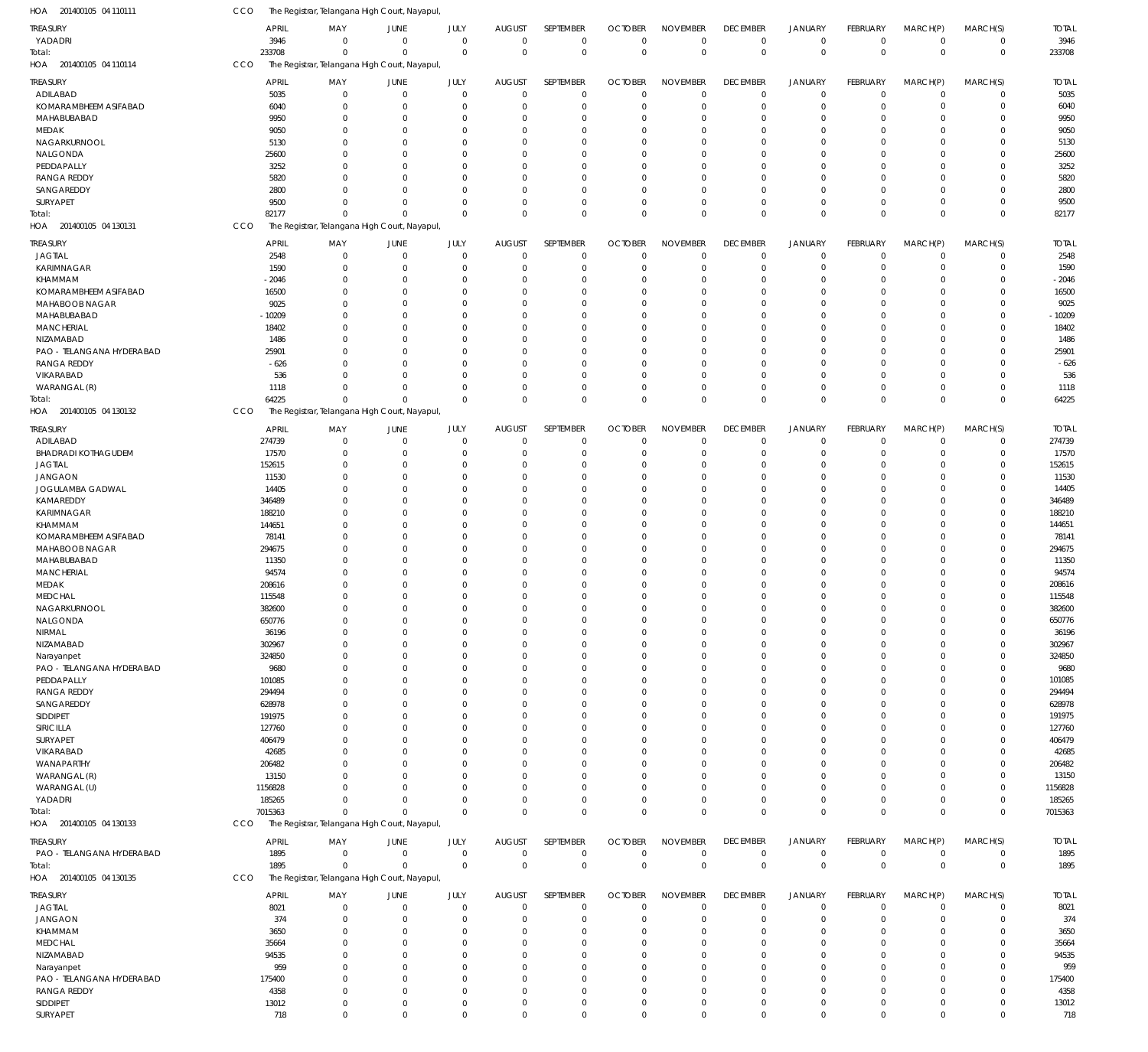| HOA 201400105 04 110111           | CCO               | The Registrar, Telangana High Court, Nayapul, |                      |               |                          |                |                            |                 |                            |                  |                  |                            |                |                   |
|-----------------------------------|-------------------|-----------------------------------------------|----------------------|---------------|--------------------------|----------------|----------------------------|-----------------|----------------------------|------------------|------------------|----------------------------|----------------|-------------------|
| <b>TREASURY</b>                   |                   | <b>APRIL</b><br>MAY                           | JUNE                 | JULY          | <b>AUGUST</b>            | SEPTEMBER      | <b>OCTOBER</b>             | <b>NOVEMBER</b> | <b>DECEMBER</b>            | <b>JANUARY</b>   | FEBRUARY         | MARCH(P)                   | MARCH(S)       | <b>TOTAL</b>      |
| YADADRI                           |                   | 3946<br>$^{\circ}$                            | $\mathbf 0$          | $\mathbf 0$   | $\overline{0}$           | $\overline{0}$ | $\overline{0}$             | $\mathbf 0$     | $\overline{0}$             | $\mathbf 0$      | $\mathbf 0$      | $\mathbf 0$                | $\mathbf 0$    | 3946              |
| Total:                            | 233708            | $\mathbf 0$                                   | $\mathbf{0}$         | $\mathbf 0$   | $\overline{0}$           | $\overline{0}$ | $\overline{0}$             | $\mathbf 0$     | $\mathbf 0$                | $\mathbf 0$      | $\mathbf 0$      | $\mathbf 0$                | $\mathbf 0$    | 233708            |
| HOA 201400105 04 110114           | CCO               | The Registrar, Telangana High Court, Nayapul, |                      |               |                          |                |                            |                 |                            |                  |                  |                            |                |                   |
| <b>TREASURY</b>                   |                   | <b>APRIL</b><br>MAY                           | JUNE                 | JULY          | <b>AUGUST</b>            | SEPTEMBER      | <b>OCTOBER</b>             | <b>NOVEMBER</b> | <b>DECEMBER</b>            | <b>JANUARY</b>   | <b>FEBRUARY</b>  | MARCH(P)                   | MARCH(S)       | <b>TOTAL</b>      |
| ADILABAD                          |                   | 5035<br>$\overline{0}$                        | $\mathbf 0$          | $\mathbf{0}$  | $\mathbf{0}$             | $\overline{0}$ | $\overline{0}$             | $\mathbf 0$     | 0                          | $\mathsf 0$      | $\mathbf 0$      | $\mathbf 0$                | $\mathbf 0$    | 5035              |
| KOMARAMBHEEM ASIFABAD             |                   | 6040<br>$\mathbf 0$                           | $\overline{0}$       | $\Omega$      | $\overline{0}$           | 0              | $\overline{0}$             | $\Omega$        | $\mathbf 0$                | $\mathbf 0$      | -0               | $\mathbf 0$                | $\mathbf 0$    | 6040              |
| MAHABUBABAD                       |                   | 9950<br>$\mathbf 0$                           | $\overline{0}$       | 0             | $\Omega$                 | 0              | $\mathbf{0}$               | $\Omega$        | $\mathbf 0$                | $\mathbf 0$      | -0               | $\mathbf 0$                | $\Omega$       | 9950              |
| MEDAK                             |                   | 9050<br>0                                     | $\overline{0}$       | 0             | $\Omega$                 | 0              | $\Omega$                   | $\Omega$        | $\mathbf 0$                | $\mathbf 0$      | -0               | $\mathbf 0$                | $\Omega$       | 9050              |
| NAGARKURNOOL                      |                   | 5130<br>$\Omega$                              | $\overline{0}$       | 0             | $\Omega$                 | $\Omega$       | $\Omega$                   | $\Omega$        | 0                          | $\mathbf 0$      | $\Omega$         | $\Omega$                   | $\Omega$       | 5130              |
| NALGONDA                          | 25600             | $\mathbf 0$                                   | $\overline{0}$       | 0             | $\Omega$                 | 0              | $^{\circ}$                 | $\Omega$        | $\mathbf 0$                | $\mathbf 0$      | 0                | $\mathbf 0$                | $\Omega$       | 25600             |
| PEDDAPALLY                        |                   | 3252<br>$\Omega$                              | $\Omega$             | $\Omega$      | $\Omega$                 | $\Omega$       | $\Omega$                   | $\Omega$        | 0                          | $\mathbf 0$      | $\Omega$         | $\Omega$                   | $\Omega$       | 3252              |
| <b>RANGA REDDY</b>                |                   | 5820<br>$\Omega$                              | $\Omega$             | 0             | $\Omega$                 | 0              | $\Omega$                   | $\Omega$        | $\mathbf 0$                | $\mathbf 0$      | $\Omega$         | $\Omega$                   | $\Omega$       | 5820              |
| SANGAREDDY                        |                   | 2800<br>$\Omega$                              | $\Omega$             | $\Omega$      | $\Omega$                 | 0              | $\mathbf{0}$               | $\Omega$        | $\mathbf 0$                | $\mathbf 0$      | -0               | $\mathbf 0$                | $\Omega$       | 2800              |
| SURYAPET                          |                   | 9500<br>$\Omega$                              | $\overline{0}$       | $\Omega$      | $\mathbf 0$              | 0              | $\mathbf 0$                | $\Omega$        | $\mathbf 0$                | $\mathbf 0$      | 0                | $\mathbf 0$                | $\Omega$       | 9500              |
| Total:                            | 82177             | $\Omega$                                      | $\Omega$             | $\Omega$      | $\Omega$                 | $\mathbf 0$    | $\overline{0}$             | $\mathbf 0$     | $\mathbf 0$                | $\mathbf 0$      | $\Omega$         | $\mathbf 0$                | $\Omega$       | 82177             |
| HOA 201400105 04 130131           | CCO               | The Registrar, Telangana High Court, Nayapul, |                      |               |                          |                |                            |                 |                            |                  |                  |                            |                |                   |
| TREASURY                          |                   | <b>APRIL</b><br>MAY                           | JUNE                 | JULY          | <b>AUGUST</b>            | SEPTEMBER      | <b>OCTOBER</b>             | <b>NOVEMBER</b> | <b>DECEMBER</b>            | <b>JANUARY</b>   | <b>FEBRUARY</b>  | MARCH(P)                   | MARCH(S)       | <b>TOTAL</b>      |
| <b>JAGTIAL</b>                    |                   | 2548<br>$\overline{0}$                        | $\mathbf 0$          | $\mathbf 0$   | $\mathbf 0$              | $\overline{0}$ | $\overline{0}$             | $\Omega$        | $\mathbf 0$                | $\mathbf 0$      | $\mathbf 0$      | $\mathbf 0$                | $\mathbf 0$    | 2548              |
| KARIMNAGAR                        |                   | 1590<br>$\overline{0}$                        | $\overline{0}$       | $\mathbf 0$   | $\mathbf{0}$             | $\mathbf 0$    | $\overline{0}$             | $\mathbf 0$     | $\mathbf 0$                | $\mathbf 0$      | 0                | $\mathbf 0$                | $\mathbf 0$    | 1590              |
| KHAMMAM                           | $-2046$           | $^{\circ}$                                    | $\overline{0}$       | $\Omega$      | $\Omega$                 | 0              | $\Omega$                   | $\Omega$        | $\mathbf 0$                | $\mathbf 0$      | -0               | $\Omega$                   | $\Omega$       | $-2046$           |
| KOMARAMBHEEM ASIFABAD             | 16500             | $\Omega$                                      | $\Omega$             | $\Omega$      | $\Omega$                 | $\Omega$       | $\Omega$                   | $\Omega$        | $\mathbf 0$                | $\mathbf 0$      | $\Omega$         | $\Omega$                   | $\Omega$       | 16500             |
| MAHABOOB NAGAR                    |                   | 9025<br>$\mathbf 0$                           | $\overline{0}$       | $\Omega$      | $\Omega$                 | 0              | $\Omega$                   | $\Omega$        | $\mathbf 0$                | $\mathbf 0$      | 0                | $\Omega$                   | $\Omega$       | 9025              |
| MAHABUBABAD                       | $-10209$          | $\Omega$                                      | $\Omega$             | $\Omega$      | $\Omega$                 | $\Omega$       | $\Omega$                   | $\Omega$        | $\Omega$                   | $\mathbf 0$      | $\Omega$         | $\Omega$                   | $\Omega$       | $-10209$          |
| <b>MANCHERIAL</b>                 | 18402             | $\Omega$                                      | $\overline{0}$       | $\Omega$      | $\Omega$                 | $\Omega$       | $\Omega$                   | $\Omega$        | $\mathbf 0$                | $\mathbf 0$      | $\Omega$         | $\Omega$                   | $\Omega$       | 18402             |
| NIZAMABAD                         |                   | 1486<br>$\Omega$                              | $\Omega$             | $\Omega$      | $\Omega$                 | $\Omega$       | $\Omega$                   | $\Omega$        | $\mathbf 0$                | $\mathbf 0$      | 0                | $\Omega$                   | $\Omega$       | 1486              |
| PAO - TELANGANA HYDERABAD         | 25901             | $\Omega$                                      | $\Omega$             | $\Omega$      | $\Omega$                 | $\Omega$       | $\Omega$                   | $\Omega$        | $\mathbf 0$                | $\mathbf 0$      | $\Omega$         | $\Omega$                   | $\Omega$       | 25901             |
| <b>RANGA REDDY</b>                |                   | $-626$<br>$\Omega$                            | $\Omega$             | $\Omega$      | $\Omega$                 | $\Omega$       | $\Omega$                   | $\Omega$        | $\mathbf 0$                | $\mathbf 0$      | $\Omega$         | $\Omega$                   | $\Omega$       | $-626$            |
| VIKARABAD                         |                   | 536<br>$\Omega$                               | $\Omega$             | $\Omega$      | $\Omega$                 | $\Omega$       | $\Omega$                   | $\Omega$        | $\mathbf 0$                | $\mathbf 0$      | -0               | $\Omega$                   | $\Omega$       | 536               |
| WARANGAL (R)                      |                   | 1118<br>$\Omega$                              | $\Omega$             | $\Omega$      | $\Omega$                 | $\Omega$       | $\Omega$                   | $\Omega$        | $\mathbf 0$                | $\mathbf 0$      | $\mathbf 0$      | $\mathbf 0$                | $\Omega$       | 1118              |
| Total:                            | 64225             | $\mathbf 0$                                   | $\mathbf{0}$         | $\Omega$      | $\Omega$                 | $\Omega$       | $\Omega$                   | $\Omega$        | $\mathbf 0$                | $\mathbf 0$      | $\Omega$         | $\mathbf 0$                | $\Omega$       | 64225             |
| HOA 201400105 04 130132           | CCO               | The Registrar, Telangana High Court, Nayapul, |                      |               |                          |                |                            |                 |                            |                  |                  |                            |                |                   |
| <b>TREASURY</b>                   |                   | <b>APRIL</b><br>MAY                           | JUNE                 | JULY          | <b>AUGUST</b>            | SEPTEMBER      | <b>OCTOBER</b>             | <b>NOVEMBER</b> | <b>DECEMBER</b>            | <b>JANUARY</b>   | <b>FEBRUARY</b>  | MARCH(P)                   | MARCH(S)       | <b>TOTAL</b>      |
| ADILABAD                          | 274739            | 0                                             | $\mathbf 0$          | $\mathbf 0$   | $\mathbf{0}$             | $\mathbf 0$    | $\overline{0}$             | $\mathbf 0$     | 0                          | $\mathbf 0$      | -0               | $\mathbf 0$                | $\mathbf 0$    | 274739            |
| <b>BHADRADI KOTHAGUDEM</b>        | 17570             | $\overline{0}$                                | $\overline{0}$       | $\mathbf 0$   | $\Omega$                 | 0              | $\overline{0}$             | $\Omega$        | $\mathbf 0$                | $\mathbf 0$      | $^{\circ}$       | $\mathbf 0$                | $\mathbf 0$    | 17570             |
| <b>JAGTIAL</b>                    | 152615            | $\mathbf 0$                                   | $\overline{0}$       | 0             | $\Omega$                 | 0              | $^{\circ}$                 | $\Omega$        | $\mathbf 0$                | $\mathbf 0$      | -0               | $\mathbf 0$                | 0              | 152615            |
| <b>JANGAON</b>                    | 11530             | $\mathbf 0$                                   | $\overline{0}$       | $\Omega$      | $\Omega$                 | 0              | $\mathbf{0}$               | $\Omega$        | $\mathbf 0$                | $\mathbf 0$      | -0               | $\mathbf 0$                | $\Omega$       | 11530             |
| JOGULAMBA GADWAL                  | 14405             | $\mathbf 0$                                   | $\overline{0}$       | 0             | $\Omega$                 | $\Omega$       | $\Omega$                   | 0               | 0                          | $\mathbf 0$      | $\Omega$         | $\Omega$                   | $\Omega$       | 14405             |
| KAMAREDDY                         | 346489            | $\Omega$                                      | $\Omega$             | $\Omega$      | $\Omega$                 | $\Omega$       | $\Omega$                   | $\Omega$        | 0                          | $\mathbf 0$      | $\Omega$         | $\Omega$                   | $\Omega$       | 346489            |
| KARIMNAGAR                        | 188210            | $\mathbf 0$                                   | $\overline{0}$       | 0             | $\Omega$                 | 0              | $\Omega$                   | $\Omega$        | $\mathbf 0$                | $\mathbf 0$      | 0                | $\mathbf 0$                | $\Omega$       | 188210            |
| KHAMMAM                           | 144651            | $\Omega$                                      | $\Omega$             | 0             | $\Omega$                 | $\Omega$       | $\Omega$                   | $\Omega$        | 0                          | $\mathbf 0$      | $\Omega$         | $\Omega$                   | $\Omega$       | 144651            |
| KOMARAMBHEEM ASIFABAD             | 78141             | $\mathbf 0$                                   | $\overline{0}$       | 0             | $\Omega$                 | 0              | $\mathbf{0}$               | $\Omega$        | $\mathbf 0$                | $\mathbf 0$      | 0                | $\mathbf 0$                | 0              | 78141             |
| MAHABOOB NAGAR                    | 294675            | $\Omega$                                      | $\Omega$             | $\Omega$      | $\Omega$                 | $\Omega$       | $\Omega$                   | $\Omega$        | 0                          | $\mathbf 0$      | $\Omega$         | $\Omega$                   | $\Omega$       | 294675            |
| MAHABUBABAD                       | 11350             | $\Omega$                                      | $\Omega$             | 0             | $\Omega$                 | $\Omega$       | $\Omega$                   | $\Omega$        | 0                          | $\mathbf 0$      | $\Omega$         | $\Omega$                   | $\Omega$       | 11350             |
| MANCHERIAL                        | 94574             | $\Omega$                                      | $\Omega$             | 0             | $\Omega$                 | 0              | $^{\circ}$                 | $\Omega$        | $\mathbf 0$                | $\mathbf 0$      | $\Omega$         | $\Omega$                   | $\Omega$       | 94574             |
| MEDAK                             | 208616            | $\mathbf 0$                                   | $\overline{0}$       | 0             | $\overline{0}$           | 0              | $\mathbf 0$                | 0               | $\mathbf 0$                | $\mathbf 0$      | $\Omega$         | $\mathbf 0$                | $\Omega$       | 208616            |
| <b>MEDCHAL</b>                    | 115548            | $\Omega$                                      | $\mathbf{0}$         | $\Omega$      | $\Omega$                 | $\Omega$       | $\Omega$                   | $\Omega$        | $\mathbf 0$                | $\mathbf 0$      | $\Omega$         | $\mathbf 0$                | $\Omega$       | 115548            |
| NAGARKURNOOL                      | 382600            | 0                                             | $\Omega$             |               | 0                        | $\Omega$       | 0                          |                 | 0                          | 0                | 0                | $\Omega$                   | $\Omega$       | 382600            |
| NALGONDA                          | 650776            | 0                                             | $\overline{0}$       | 0             | $\Omega$                 | 0              | $\mathbf 0$                | 0               | 0                          | $\mathbf 0$      | 0                | $\mathbf 0$                | $\Omega$       | 650776            |
| NIRMAL                            | 36196             | 0                                             | $\overline{0}$       | 0             | $\Omega$                 | 0              | $\mathbf 0$                | $\Omega$        | 0                          | $\mathbf 0$      | 0                | $\mathbf 0$                | $\Omega$       | 36196             |
| NIZAMABAD                         | 302967            | $\Omega$                                      | $\Omega$             | 0             | $\Omega$                 | 0              | $\mathbf{0}$               | $\Omega$        | 0                          | $\mathbf 0$      | $\Omega$         | $\Omega$                   | $\Omega$       | 302967            |
| Narayanpet                        | 324850            | 0                                             | $\overline{0}$       | 0             | $\Omega$                 | 0              | $\mathbf 0$                | 0               | 0                          | $\mathbf 0$      | 0                | $\Omega$                   | $\Omega$       | 324850            |
| PAO - TELANGANA HYDERABAD         |                   | 9680<br>$\Omega$                              | $\Omega$             | U             | $\Omega$                 | $\Omega$       | $\Omega$                   | 0               | 0                          | $\mathbf 0$      | $\Omega$         | $\Omega$                   | $\Omega$       | 9680              |
| PEDDAPALLY                        | 101085            | 0                                             | $\Omega$             | 0             | $\Omega$                 | $\Omega$       | $^{\circ}$                 | 0               | 0                          | $\mathbf 0$      | $\Omega$         | $\Omega$                   | $\Omega$       | 101085            |
| <b>RANGA REDDY</b>                | 294494            | $\Omega$                                      | $\Omega$             | U             | $\Omega$                 | 0              | $^{\circ}$                 | $\Omega$        | 0                          | $\mathbf 0$      | $\Omega$         | $\Omega$                   | -C             | 294494            |
| SANGAREDDY                        | 628978            | $\Omega$                                      | $\Omega$             | U             | $\Omega$                 | $\Omega$       | $\Omega$                   | 0               | 0                          | $\mathbf 0$      | 0                | $\Omega$                   | $\Omega$       | 628978            |
| SIDDIPET                          | 191975            | $\Omega$                                      | $\Omega$             | 0             | $\Omega$                 | $\Omega$       | $\mathbf 0$                | $\Omega$        | 0                          | $\mathbf 0$      | $\Omega$         | $\Omega$                   | $\Omega$       | 191975            |
| SIRICILLA                         | 127760            | 0                                             | $\Omega$             | U             | $\Omega$                 | $\Omega$       | $\Omega$                   | U               | 0                          | $\mathbf 0$      | $\Omega$         | $\Omega$                   | $\Omega$       | 127760            |
| SURYAPET                          | 406479            | $\Omega$                                      | $\Omega$             | U             | $\Omega$                 | 0              | $\Omega$                   | 0               | 0                          | $\mathbf 0$      | 0                | $\Omega$                   | $\Omega$       | 406479            |
| VIKARABAD                         | 42685             | 0                                             | $\Omega$             | 0             | $\Omega$                 | $\Omega$       | $^{\circ}$                 | 0               | 0                          | $\mathbf 0$      | 0                | $\Omega$                   | $\Omega$       | 42685             |
| WANAPARTHY                        | 206482            | $\Omega$                                      | $\Omega$<br>$\Omega$ | U             | $\Omega$<br>$\Omega$     | $\Omega$       | $\Omega$<br>$\Omega$       | 0               | 0                          | $\mathbf 0$      | $\Omega$         | $\Omega$                   | $\Omega$       | 206482            |
| WARANGAL (R)                      | 13150             | $\Omega$                                      | $\Omega$             | 0             |                          | $\Omega$       |                            | 0<br>$\Omega$   | 0                          | $\mathbf 0$      | 0                | $\Omega$                   | $\Omega$       | 13150             |
| WARANGAL (U)                      | 1156828           | $\Omega$                                      | $\overline{0}$       | 0<br>$\Omega$ | $\Omega$<br>$\mathbf{0}$ | $\Omega$<br>0  | $\mathbf 0$<br>$\mathbf 0$ | $\mathbf 0$     | $\mathbf 0$<br>$\mathbf 0$ | $\mathbf 0$      | 0                | $\mathbf 0$                | $\Omega$       | 1156828           |
| YADADRI                           | 185265<br>7015363 | 0<br>$\mathbf 0$                              | $\Omega$             | $\Omega$      | $\Omega$                 | $\mathbf 0$    | $\overline{0}$             | $\mathbf 0$     | $\mathbf 0$                | 0<br>$\mathbf 0$ | 0<br>$\mathbf 0$ | $\mathbf 0$<br>$\mathbf 0$ | 0<br>$\Omega$  | 185265<br>7015363 |
| Total:<br>HOA 201400105 04 130133 | CCO               | The Registrar, Telangana High Court, Nayapul, |                      |               |                          |                |                            |                 |                            |                  |                  |                            |                |                   |
|                                   |                   |                                               |                      |               |                          |                |                            |                 |                            |                  |                  |                            |                |                   |
| <b>TREASURY</b>                   |                   | <b>APRIL</b><br>MAY                           | JUNE                 | JULY          | <b>AUGUST</b>            | SEPTEMBER      | <b>OCTOBER</b>             | <b>NOVEMBER</b> | <b>DECEMBER</b>            | <b>JANUARY</b>   | <b>FEBRUARY</b>  | MARCH(P)                   | MARCH(S)       | <b>TOTAL</b>      |
| PAO - TELANGANA HYDERABAD         |                   | 1895<br>$\overline{0}$                        | $\mathbf 0$          | $\mathbf 0$   | $\mathbf 0$              | $\overline{0}$ | $\overline{0}$             | $\mathbf 0$     | $\overline{0}$             | $\mathsf 0$      | $\mathbf 0$      | $\mathbf 0$                | $\mathbf 0$    | 1895              |
| Total:                            |                   | 1895<br>$\mathbf 0$                           | $\Omega$             | $\mathbf 0$   | $\mathbf 0$              | $\mathbf 0$    | $\overline{0}$             | $\mathbf 0$     | $\mathbf 0$                | $\mathsf 0$      | $\mathbf 0$      | $\mathbf 0$                | $^{\circ}$     | 1895              |
| HOA 201400105 04 130135           | CCO               | The Registrar, Telangana High Court, Nayapul, |                      |               |                          |                |                            |                 |                            |                  |                  |                            |                |                   |
| <b>TREASURY</b>                   |                   | <b>APRIL</b><br>MAY                           | JUNE                 | JULY          | <b>AUGUST</b>            | SEPTEMBER      | <b>OCTOBER</b>             | <b>NOVEMBER</b> | <b>DECEMBER</b>            | <b>JANUARY</b>   | FEBRUARY         | MARCH(P)                   | MARCH(S)       | <b>TOTAL</b>      |
| <b>JAGTIAL</b>                    |                   | 8021<br>$\overline{0}$                        | $\mathbf 0$          | $\mathbf 0$   | $\mathbf 0$              | $\mathbf 0$    | $\overline{0}$             | $\mathbf 0$     | 0                          | $\mathbf 0$      | $\mathbf 0$      | $\mathbf 0$                | $\overline{0}$ | 8021              |
| <b>JANGAON</b>                    |                   | 374<br>0                                      | $\overline{0}$       | 0             | $\overline{0}$           | 0              | $\overline{0}$             | $\mathbf 0$     | $\mathbf 0$                | 0                | -0               | $\mathbf 0$                | 0              | 374               |
| KHAMMAM                           |                   | 3650<br>$\mathbf 0$                           | $\overline{0}$       | 0             | $\Omega$                 | 0              | $^{\circ}$                 | $\mathbf 0$     | 0                          | $\mathbf 0$      | 0                | 0                          | $\Omega$       | 3650              |
| <b>MEDCHAL</b>                    | 35664             | $\Omega$                                      | $\overline{0}$       | 0             | $\Omega$                 | 0              | $^{\circ}$                 | 0               | 0                          | $\mathbf 0$      | 0                | $\Omega$                   | $\Omega$       | 35664             |
| NIZAMABAD                         | 94535             | $\Omega$                                      | $\Omega$             | 0             | $\Omega$                 | $\Omega$       | $\Omega$                   | 0               | 0                          | $\mathbf 0$      | $\Omega$         | $\Omega$                   | $\Omega$       | 94535             |
| Narayanpet                        |                   | 959<br>$\mathbf 0$                            | $\Omega$             | 0             | $\Omega$                 | 0              | $^{\circ}$                 | 0               | 0                          | $\mathbf 0$      | 0                | 0                          | $\Omega$       | 959               |
| PAO - TELANGANA HYDERABAD         | 175400            | $\Omega$                                      | $\Omega$             | U             | $\Omega$                 | $\Omega$       | $\mathbf 0$                | 0               | 0                          | $\mathbf 0$      | 0                | $\Omega$                   | $\Omega$       | 175400            |
| <b>RANGA REDDY</b>                |                   | 4358<br>$\mathbf 0$                           | $\overline{0}$       | 0             | $\Omega$                 | 0              | $\mathbf 0$                | $\mathbf 0$     | $\mathbf 0$                | $\mathbf 0$      | $\Omega$         | 0                          | 0              | 4358              |
| SIDDIPET                          | 13012             | $\mathbf 0$                                   | $\mathbf 0$          | 0             | $\mathbf 0$              | 0              | $\mathbf 0$                | $\mathbf 0$     | $\mathbf 0$                | $\mathsf 0$      | $\mathbf 0$      | $\mathbf 0$                | $\mathbf 0$    | 13012             |
| SURYAPET                          |                   | 718<br>$\mathbf 0$                            | $\mathbb O$          | $\mathbf 0$   | $\mathbf 0$              | $\mathbf 0$    | $\mathbf 0$                | $\mathbf 0$     | $\mathbf 0$                | $\mathbf 0$      | $\mathbf 0$      | $\mathbf 0$                | $\mathbf 0$    | 718               |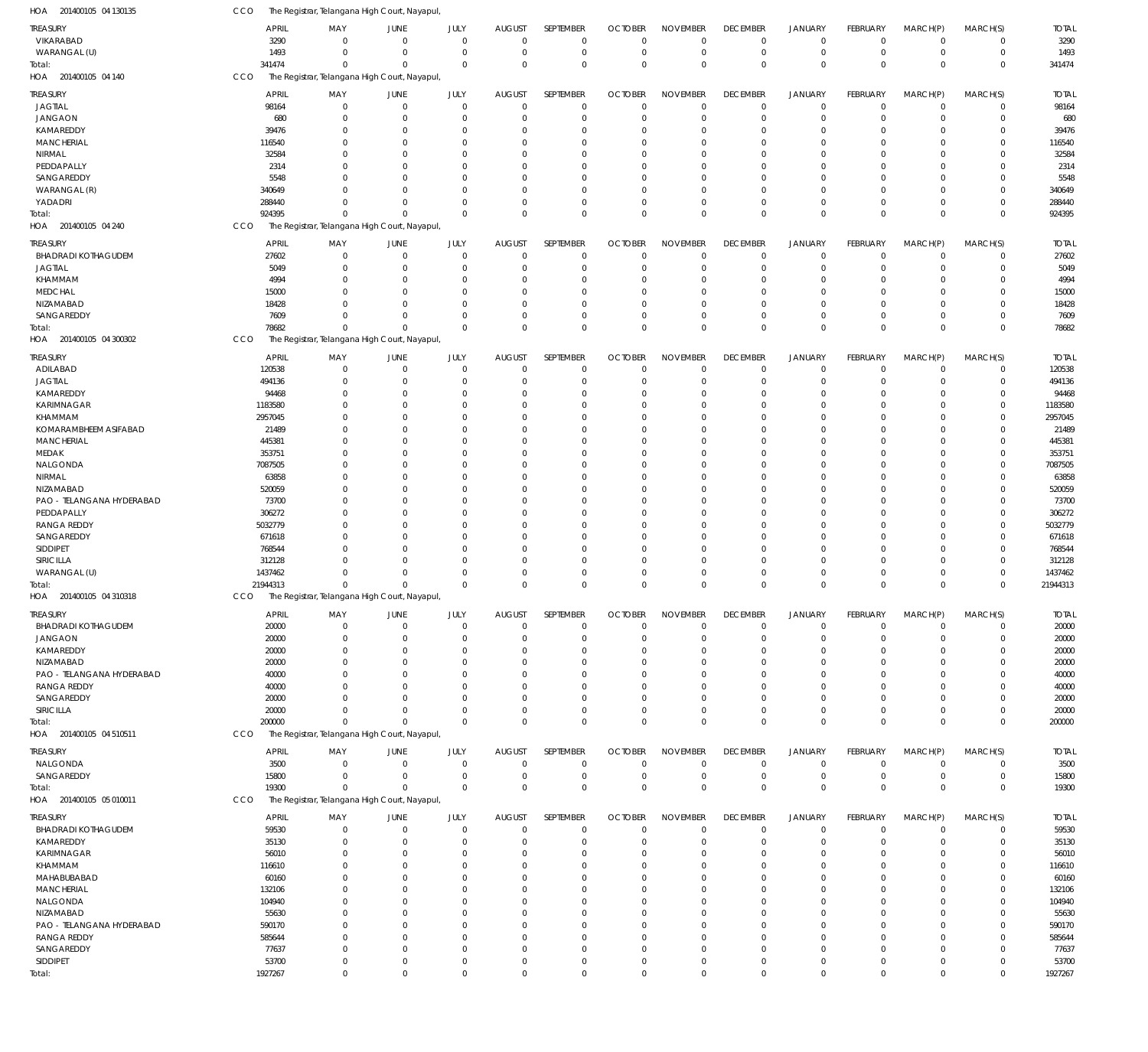| HOA 201400105 04 130135    | CCO        |                | The Registrar, Telangana High Court, Nayapul, |               |                            |                      |                         |                      |                      |                            |                                  |                            |                                  |                            |                |
|----------------------------|------------|----------------|-----------------------------------------------|---------------|----------------------------|----------------------|-------------------------|----------------------|----------------------|----------------------------|----------------------------------|----------------------------|----------------------------------|----------------------------|----------------|
| <b>TREASURY</b>            |            | <b>APRIL</b>   | MAY                                           | JUNE          | JULY                       | <b>AUGUST</b>        | SEPTEMBER               | <b>OCTOBER</b>       | <b>NOVEMBER</b>      | <b>DECEMBER</b>            | <b>JANUARY</b>                   | FEBRUARY                   | MARCH(P)                         | MARCH(S)                   | <b>TOTAL</b>   |
| VIKARABAD                  |            | 3290           | $\mathbf 0$                                   | $\mathbf 0$   | $\mathbf 0$                | $\Omega$             | $\mathbf 0$             | $\Omega$             | $\Omega$             | $\mathbf 0$                | $\mathbf 0$                      | $\mathbf 0$                | $\overline{0}$                   | $\mathbf 0$                | 3290           |
| WARANGAL (U)               |            | 1493           | $\mathbf 0$                                   | 0             | $\mathbf 0$                | 0                    | $\mathbf 0$             | $\Omega$             | $\mathbf 0$          | $\mathbf 0$                | $\mathbf 0$                      | $\mathbf 0$                | $\mathbf 0$                      | $\mathbf 0$                | 1493           |
| Total:                     |            | 341474         | $\mathbf 0$                                   | $\Omega$      | $\mathbf 0$                | $\Omega$             | $\mathbf 0$             | $\Omega$             | $\Omega$             | $\mathbf 0$                | $\mathbf 0$                      | $\Omega$                   | $\Omega$                         | $\mathbf 0$                | 341474         |
| HOA 201400105 04 140       | CCO        |                | The Registrar, Telangana High Court, Nayapul, |               |                            |                      |                         |                      |                      |                            |                                  |                            |                                  |                            |                |
| <b>TREASURY</b>            |            | <b>APRIL</b>   | MAY                                           | JUNE          | JULY                       | <b>AUGUST</b>        | SEPTEMBER               | <b>OCTOBER</b>       | <b>NOVEMBER</b>      | <b>DECEMBER</b>            | <b>JANUARY</b>                   | FEBRUARY                   | MARCH(P)                         | MARCH(S)                   | <b>TOTAL</b>   |
| <b>JAGTIAL</b>             |            | 98164          | $\mathbf 0$                                   | 0             | $\mathbf 0$                | $\mathbf 0$          | $\mathbf 0$             | $\Omega$             | $\mathbf 0$          | 0                          | $\overline{0}$                   | $\mathbf 0$                | $\overline{0}$                   | $\mathbf 0$                | 98164          |
| <b>JANGAON</b>             |            | 680            | $\mathbf 0$                                   | 0             | $\mathbf 0$                | $\Omega$             | $\mathbf 0$             | $\Omega$             | $\Omega$             | $\mathbf 0$                | $\overline{0}$                   | 0                          | $\overline{0}$                   | $\mathbf 0$                | 680            |
| KAMAREDDY                  |            | 39476          | $\mathbf 0$                                   | O             | $\mathbf 0$                | $\Omega$             | $\Omega$                |                      | $\Omega$             | $\overline{0}$             | $\overline{0}$                   | $\Omega$                   | $\Omega$                         | $\mathbf 0$                | 39476          |
| <b>MANCHERIAL</b>          |            | 116540         | $\mathbf 0$                                   | $\Omega$      | $\Omega$                   | $\Omega$             | $\Omega$                |                      | $\Omega$             | 0                          | $\Omega$                         | $\Omega$                   | $\Omega$                         | $\mathbf 0$                | 116540         |
| NIRMAL                     |            | 32584          | $\mathbf 0$                                   | O             | $\mathbf 0$                | $\Omega$             | $\Omega$                |                      | $\Omega$             | $\mathbf 0$                | $\Omega$                         | $\Omega$                   | $\Omega$                         | $\mathbf 0$                | 32584          |
| PEDDAPALLY                 |            | 2314           | $\mathbf 0$                                   | $\Omega$      | $\Omega$                   | $\Omega$             | $\Omega$                |                      | $\Omega$             | $\Omega$                   | $\Omega$                         | $\Omega$                   | $\Omega$                         | $\Omega$                   | 2314           |
| SANGAREDDY                 |            | 5548           | $\mathbf 0$                                   | $\Omega$      | $\Omega$                   | $\Omega$             | $\Omega$                |                      | $\Omega$             | $\mathbf 0$                | $\Omega$                         | $\Omega$                   | $\Omega$                         | $\mathbf 0$                | 5548           |
| WARANGAL (R)               |            | 340649         | $\mathbf 0$                                   | $\Omega$      | $\Omega$                   | $\Omega$             | $\Omega$                |                      | $\Omega$             | $\mathbf 0$                | $\Omega$                         | $\Omega$                   | $\Omega$                         | $\mathbf 0$                | 340649         |
| YADADRI                    |            | 288440         | $\mathbf 0$                                   | $\Omega$      | $\mathbf 0$                | $\Omega$             | $\Omega$                |                      | $\Omega$             | $\mathbf 0$                | $\overline{0}$                   | $\Omega$                   | $\overline{0}$                   | $\mathbf 0$                | 288440         |
| Total:                     |            | 924395         | $\mathbf 0$                                   | $\Omega$      | $\Omega$                   | $\Omega$             | $\Omega$                | $\Omega$             | $\Omega$             | $\mathbf 0$                | $\Omega$                         | $\Omega$                   | $\Omega$                         | $\mathbf 0$                | 924395         |
| HOA 201400105 04 240       | <b>CCO</b> |                | The Registrar, Telangana High Court, Nayapul, |               |                            |                      |                         |                      |                      |                            |                                  |                            |                                  |                            |                |
|                            |            |                |                                               |               |                            |                      |                         |                      |                      |                            |                                  |                            |                                  |                            |                |
| <b>TREASURY</b>            |            | <b>APRIL</b>   | MAY                                           | JUNE          | JULY                       | <b>AUGUST</b>        | SEPTEMBER               | <b>OCTOBER</b>       | <b>NOVEMBER</b>      | <b>DECEMBER</b>            | <b>JANUARY</b>                   | FEBRUARY                   | MARCH(P)                         | MARCH(S)                   | <b>TOTAL</b>   |
| <b>BHADRADI KOTHAGUDEM</b> |            | 27602          | $\mathbf 0$                                   | $\mathbf 0$   | $\mathbf 0$                | $\Omega$             | $\mathbf 0$             | $\Omega$             | $\Omega$             | $\mathbf 0$                | $\mathbf 0$                      | $\mathbf 0$                | $\overline{0}$                   | $\mathbf 0$                | 27602          |
| <b>JAGTIAL</b>             |            | 5049           | $\mathbf 0$                                   | 0             | $\mathbf 0$                | $\Omega$             | $\mathbf 0$             | $\Omega$             | $\Omega$             | $\mathbf 0$                | $\overline{0}$                   | $\mathbf 0$                | $\overline{0}$                   | $\mathbf 0$                | 5049           |
| KHAMMAM                    |            | 4994           | $\mathbf 0$                                   | O             | $\Omega$                   | $\Omega$             | $\mathbf 0$             |                      | $\Omega$             | $\mathbf 0$                | $\overline{0}$                   | $\Omega$                   | $\Omega$                         | $\mathbf 0$                | 4994           |
| <b>MEDCHAL</b>             |            | 15000          | $\mathbf 0$                                   | $\Omega$      | $\Omega$                   | $\Omega$             | $\Omega$                | $\Omega$             | $\Omega$             | $\mathbf 0$                | $\Omega$                         | $\Omega$                   | $\Omega$                         | $\mathbf 0$                | 15000          |
| NIZAMABAD                  |            | 18428          | $\mathbf 0$                                   | $\Omega$      | $\Omega$                   | $\Omega$             | $\mathbf 0$             |                      | $\Omega$             | $\mathbf 0$                | $\overline{0}$                   | $\Omega$                   | $\mathbf 0$                      | $\mathbf 0$                | 18428          |
| SANGAREDDY                 |            | 7609           | $\Omega$                                      | $\Omega$      | $\Omega$                   | $\Omega$             | $\mathbf 0$             | $\Omega$             | $\Omega$             | $\mathbf 0$                | $\mathbf 0$                      | $\Omega$                   | $\overline{0}$                   | $\mathbf 0$                | 7609           |
| Total:                     |            | 78682          | $\mathbf 0$                                   | $\Omega$      | $\mathbf 0$                | $\Omega$             | $\mathbf 0$             | $\Omega$             | $\mathbf 0$          | $\mathbf 0$                | $\mathbb O$                      | $\Omega$                   | $\Omega$                         | $\mathbf 0$                | 78682          |
| HOA 201400105 04 300302    | CCO        |                | The Registrar, Telangana High Court, Nayapul, |               |                            |                      |                         |                      |                      |                            |                                  |                            |                                  |                            |                |
| <b>TREASURY</b>            |            | <b>APRIL</b>   | MAY                                           | JUNE          | <b>JULY</b>                | <b>AUGUST</b>        | SEPTEMBER               | <b>OCTOBER</b>       | <b>NOVEMBER</b>      | <b>DECEMBER</b>            | <b>JANUARY</b>                   | FEBRUARY                   | MARCH(P)                         | MARCH(S)                   | <b>TOTAL</b>   |
| ADILABAD                   |            | 120538         | $\mathbf 0$                                   | 0             | $\mathbf 0$                | $\overline{0}$       | $\mathbf 0$             | $\Omega$             | $\mathbf 0$          | $\mathbf 0$                | $\overline{0}$                   | $\mathbf 0$                | $\overline{0}$                   | $\mathbf 0$                | 120538         |
| <b>JAGTIAL</b>             |            | 494136         | $\mathbf 0$                                   | 0             | $\mathbf 0$                | $\Omega$             | $\mathbf 0$             | $\Omega$             | $\Omega$             | $\mathbf 0$                | $\overline{0}$                   | $\mathbf 0$                | $\overline{0}$                   | $\mathbf 0$                | 494136         |
| KAMAREDDY                  |            | 94468          | $\mathbf 0$                                   | O             | $\mathbf 0$                | -0                   | $\mathbf 0$             |                      | $\Omega$             | $\mathbf 0$                | $\overline{0}$                   | $\Omega$                   | $\Omega$                         | $\mathbf 0$                | 94468          |
| KARIMNAGAR                 |            | 1183580        | $\mathbf 0$                                   | $\Omega$      | $\Omega$                   | $\Omega$             | $\Omega$                |                      | $\Omega$             | $\Omega$                   | $\Omega$                         | $\Omega$                   | $\Omega$                         | $\mathbf 0$                | 1183580        |
| KHAMMAM                    |            | 2957045        | $\mathbf 0$                                   | $\Omega$      | $\Omega$                   | $\Omega$             | $\Omega$                |                      | $\Omega$             | 0                          | $\Omega$                         | $\Omega$                   | $\Omega$                         | $\mathbf 0$                | 2957045        |
| KOMARAMBHEEM ASIFABAD      |            | 21489          | $\mathbf 0$                                   | $\Omega$      | $\Omega$                   | -C                   | $\Omega$                |                      | $\Omega$             | $\Omega$                   | $\Omega$                         | $\Omega$                   | $\Omega$                         | $\mathbf 0$                | 21489          |
| <b>MANCHERIAL</b>          |            | 445381         | $\mathbf 0$                                   | $\Omega$      | $\mathbf 0$                | $\Omega$             | $\Omega$                |                      | $\Omega$             | $\mathbf 0$                | $\Omega$                         | $\Omega$                   | $\Omega$                         | $\mathbf 0$                | 445381         |
| MEDAK                      |            | 353751         | $\mathbf 0$                                   | $\Omega$      | $\Omega$                   | $\Omega$             | $\Omega$                |                      | $\Omega$             | $\Omega$                   | $\Omega$                         | $\Omega$                   | $\Omega$                         | $\Omega$                   | 353751         |
| NALGONDA                   |            | 7087505        | $\mathbf 0$                                   | O             | $\Omega$                   | $\Omega$             | $\Omega$                |                      | $\Omega$             | $\mathbf 0$                | $\Omega$                         | $\Omega$                   | $\Omega$                         | $\mathbf 0$                | 7087505        |
| NIRMAL                     |            | 63858          | $\mathbf 0$                                   | $\Omega$      | $\Omega$                   | $\Omega$             | $\Omega$                |                      | $\Omega$             | $\Omega$                   | $\Omega$                         | $\Omega$                   | $\Omega$                         | $\mathbf 0$                | 63858          |
| NIZAMABAD                  |            | 520059         | $\mathbf 0$                                   | O             | $\Omega$                   | $\Omega$             | $\Omega$                |                      | $\Omega$             | $\mathbf 0$                | $\Omega$                         | $\Omega$                   | $\Omega$                         | $\mathbf 0$                | 520059         |
| PAO - TELANGANA HYDERABAD  |            | 73700          | $\mathbf 0$                                   | $\Omega$      | $\Omega$                   | -C                   | $\Omega$                |                      | $\Omega$             | $\Omega$                   | $\Omega$                         | $\Omega$                   | $\Omega$                         | $\Omega$                   | 73700          |
| PEDDAPALLY                 |            | 306272         | $\mathbf 0$                                   | O             | $\mathbf 0$                | $\Omega$             | $\Omega$                |                      | $\Omega$             | $\mathbf 0$                | $\Omega$                         | $\Omega$                   | $\Omega$                         | $\mathbf 0$                | 306272         |
| <b>RANGA REDDY</b>         |            | 5032779        | $\mathbf 0$                                   | $\Omega$      | $\Omega$                   | -C                   | $\Omega$                |                      | $\Omega$             | $\Omega$                   | $\Omega$                         | $\Omega$                   | $\Omega$                         | 0                          | 5032779        |
| SANGAREDDY                 |            | 671618         | $\mathbf 0$                                   | $\Omega$      | $\Omega$                   | $\Omega$             | $\Omega$                |                      | $\Omega$             | $\mathbf 0$                | $\Omega$                         | $\Omega$                   | $\Omega$                         | $\mathbf 0$                | 671618         |
| SIDDIPET                   |            | 768544         | $\mathbf 0$                                   | $\Omega$      | $\Omega$                   | $\Omega$             | $\Omega$                |                      | $\Omega$             | $\Omega$                   | $\Omega$                         | $\Omega$                   | $\Omega$                         | $\mathbf 0$                | 768544         |
| SIRICILLA                  |            | 312128         | $\mathbf 0$                                   | O             | $\Omega$                   | $\Omega$             | $\Omega$                |                      | $\Omega$             | $\mathbf 0$                | $\Omega$                         | $\Omega$                   | $\mathbf 0$                      | $\mathbf 0$                | 312128         |
| WARANGAL (U)               |            | 1437462        | $\mathbf 0$                                   | $\Omega$      | $\mathbf 0$                | $\Omega$             | $\mathbf 0$             |                      | $\Omega$             | $\mathbf 0$                | $\overline{0}$                   | $\Omega$                   | $\mathbf 0$                      | $\mathbf 0$                | 1437462        |
| Total:                     |            | 21944313       | $\mathbf 0$                                   | $\Omega$      | $\Omega$                   | $\Omega$             | $\Omega$                | $\Omega$             | $\Omega$             | $\mathbf 0$                | $\mathbf 0$                      | $\Omega$                   | $\overline{0}$                   | $\mathbf 0$                | 21944313       |
| HOA 201400105 04 310318    | CCO        |                | The Registrar, Telangana High Court, Nayapul, |               |                            |                      |                         |                      |                      |                            |                                  |                            |                                  |                            |                |
|                            |            |                |                                               |               |                            |                      |                         |                      |                      |                            |                                  |                            |                                  |                            |                |
| <b>TREASURY</b>            |            | <b>APRIL</b>   | MAY                                           | JUNE          | JULY                       | <b>AUGUST</b>        | SEPTEMBER               | <b>OCTOBER</b>       | <b>NOVEMBER</b>      | <b>DECEMBER</b>            | <b>JANUARY</b>                   | FEBRUARY                   | MARCH(P)                         | MARCH(S)                   | <b>TOTAL</b>   |
| <b>BHADRADI KOTHAGUDEM</b> |            | 20000          | $\mathbf 0$                                   | $\mathbf 0$   | $\mathbf 0$                | $\mathbf 0$          | $\mathbf 0$             | $\Omega$             | $\mathbf 0$          | $\mathbf 0$                | $\mathbf 0$                      | $\mathbf 0$                | $\mathbf 0$                      | $\mathbf 0$                | 20000          |
| JANGAON                    |            | 20000          | $\mathbf 0$                                   | 0             | $\mathbf 0$                | $\Omega$             | $\mathbf 0$             | $\Omega$             | $\Omega$             | $\mathbf 0$                | $\overline{0}$                   | $\Omega$                   | $\Omega$                         | $\mathbf 0$                | 20000          |
| KAMAREDDY                  |            | 20000          | $\mathbf 0$                                   | 0             | $\mathbf 0$                | $\Omega$             | $\Omega$                | $\Omega$             | $\Omega$             | $\overline{0}$             | $\overline{0}$                   | $\Omega$                   | $\Omega$                         | $\mathbf 0$                | 20000          |
| NIZAMABAD                  |            | 20000          | 0                                             | O             | $\Omega$                   | $\Omega$             | $\Omega$                |                      | $\Omega$             | $\mathbf 0$                | $\Omega$                         | $\Omega$                   | $\Omega$                         | $\mathbf 0$                | 20000          |
| PAO - TELANGANA HYDERABAD  |            | 40000          | $\Omega$                                      | O             | $\Omega$                   | $\Omega$             | $\Omega$                |                      | $\Omega$             | $\Omega$                   | $\Omega$                         | $\Omega$                   | $\Omega$                         | $\Omega$                   | 40000          |
| <b>RANGA REDDY</b>         |            | 40000          | $\mathbf 0$                                   | O             | $\Omega$                   | $\Omega$             | $\Omega$                |                      | $\Omega$             | 0                          | $\Omega$                         |                            | $\Omega$                         | 0                          | 40000          |
| SANGAREDDY                 |            | 20000          | $\Omega$                                      | $\Omega$      | $\Omega$                   | $\Omega$             | $\Omega$                |                      | $\Omega$             | $\mathbf{0}$               | $\Omega$                         | $\Omega$                   | $\Omega$                         | $\Omega$                   | 20000          |
| SIRICILLA                  |            | 20000          | $\mathbf 0$                                   | $\Omega$      | $\Omega$                   | $\Omega$             | $\Omega$                |                      | $\Omega$             | $\mathbf 0$                | $\overline{0}$                   | $\Omega$                   | $\mathbf 0$                      | $\mathbf 0$                | 20000          |
| Total:                     |            | 200000         | $\Omega$                                      | $\Omega$      | $\Omega$                   | $\Omega$             | $\Omega$                | $\Omega$             | $\Omega$             | $\mathbf 0$                | $\mathbf 0$                      | $\Omega$                   | $\Omega$                         | $\mathbf 0$                | 200000         |
| HOA 201400105 04 510511    | CCO        |                | The Registrar, Telangana High Court, Nayapul, |               |                            |                      |                         |                      |                      |                            |                                  |                            |                                  |                            |                |
| <b>TREASURY</b>            |            | <b>APRIL</b>   | MAY                                           | JUNE          | JULY                       | <b>AUGUST</b>        | SEPTEMBER               | <b>OCTOBER</b>       | <b>NOVEMBER</b>      | <b>DECEMBER</b>            | <b>JANUARY</b>                   | FEBRUARY                   | MARCH(P)                         | MARCH(S)                   | <b>TOTAL</b>   |
| NALGONDA                   |            | 3500           | $\mathbf 0$                                   | $\mathbf 0$   | $\mathbf 0$                | $\overline{0}$       | $\mathbf 0$             | $\Omega$             | $\mathbf 0$          | $\mathbf 0$                | $\mathbf 0$                      | $\mathbf 0$                | $\mathbf 0$                      | $\mathbf 0$                | 3500           |
| SANGAREDDY                 |            | 15800          | $\mathbf 0$                                   | 0             | $\mathbf 0$                | $\Omega$             | $\mathbf 0$             | -0                   | $\mathbf 0$          | $\mathbf 0$                | $\mathbf 0$                      | $\mathbf 0$                | $\overline{0}$                   | $\mathbf 0$                | 15800          |
| Total:                     |            | 19300          | $\mathbf 0$                                   | 0             | $\mathbf 0$                | $\Omega$             | $\mathbf 0$             | $\Omega$             | $\Omega$             | $\mathbf 0$                | $\overline{0}$                   | $\mathbf 0$                | $\Omega$                         | $\mathbf 0$                | 19300          |
| HOA 201400105 05 010011    | CCO        |                | The Registrar, Telangana High Court, Nayapul, |               |                            |                      |                         |                      |                      |                            |                                  |                            |                                  |                            |                |
| <b>TREASURY</b>            |            | APRIL          | MAY                                           | JUNE          | JULY                       | <b>AUGUST</b>        | SEPTEMBER               | <b>OCTOBER</b>       | <b>NOVEMBER</b>      | <b>DECEMBER</b>            | <b>JANUARY</b>                   | FEBRUARY                   | MARCH(P)                         | MARCH(S)                   | <b>TOTAL</b>   |
|                            |            |                |                                               |               |                            |                      |                         |                      |                      |                            |                                  |                            |                                  |                            |                |
| <b>BHADRADI KOTHAGUDEM</b> |            | 59530          | $\mathbf 0$<br>$\mathbf 0$                    | 0             | $\mathbf 0$<br>$\mathbf 0$ | $\Omega$<br>$\Omega$ | $\mathbf 0$             | $\Omega$<br>$\Omega$ | $\Omega$<br>$\Omega$ | $\mathbf 0$<br>$\mathbf 0$ | $\overline{0}$<br>$\overline{0}$ | $\mathbf 0$<br>$\mathbf 0$ | $\overline{0}$<br>$\overline{0}$ | $\mathbf 0$<br>$\mathbf 0$ | 59530          |
| KAMAREDDY                  |            | 35130          |                                               | 0             | $\Omega$                   |                      | $\mathbf 0$             |                      | $\Omega$             |                            |                                  |                            | $\Omega$                         |                            | 35130          |
| KARIMNAGAR                 |            | 56010          | $\mathbf 0$                                   | $\Omega$      |                            | $\Omega$             | $\mathbf 0$<br>$\Omega$ |                      | $\Omega$             | $\mathbf 0$                | $\overline{0}$<br>$\Omega$       | $\Omega$                   | $\Omega$                         | $\mathbf 0$<br>$\Omega$    | 56010          |
| KHAMMAM                    |            | 116610         | $\mathbf 0$                                   | O             | $\Omega$                   | $\Omega$             |                         |                      |                      | $\mathbf 0$                |                                  | $\Omega$                   |                                  |                            | 116610         |
| MAHABUBABAD                |            | 60160          | 0                                             | O             | $\Omega$                   | $\Omega$             | $\Omega$                |                      | $\Omega$             | $\Omega$                   | $\Omega$                         | U                          | $\Omega$                         | $\Omega$                   | 60160          |
| <b>MANCHERIAL</b>          |            | 132106         | $\Omega$                                      | $\Omega$      | $\Omega$                   | $\Omega$             | $\Omega$                |                      | $\Omega$             | $\Omega$                   | $\Omega$                         | $\Omega$                   | $\Omega$                         | $\Omega$                   | 132106         |
| NALGONDA                   |            | 104940         | 0<br>$\Omega$                                 | O             | $\Omega$                   | $\Omega$             | $\Omega$                |                      | $\Omega$<br>$\Omega$ | 0<br>$\Omega$              | $\Omega$<br>$\Omega$             | $\Omega$                   | $\Omega$<br>$\Omega$             | 0<br>$\Omega$              | 104940         |
| NIZAMABAD                  |            | 55630          |                                               | O             | $\Omega$                   | $\Omega$             | $\Omega$                |                      | $\Omega$             |                            | $\Omega$                         |                            | $\Omega$                         |                            | 55630          |
| PAO - TELANGANA HYDERABAD  |            | 590170         | $\mathbf 0$<br>$\mathbf 0$                    | O<br>$\Omega$ | $\Omega$<br>$\Omega$       | $\Omega$<br>$\Omega$ | $\Omega$<br>$\Omega$    |                      | $\Omega$             | $\Omega$<br>$\Omega$       | $\Omega$                         | $\Omega$                   | $\Omega$                         | 0<br>$\Omega$              | 590170         |
| <b>RANGA REDDY</b>         |            | 585644         | $\mathbf 0$                                   |               | $\Omega$                   | $\Omega$             | $\Omega$                |                      | $\Omega$             |                            | $\Omega$                         | $\Omega$                   | $\Omega$                         | $\mathbf 0$                | 585644         |
| SANGAREDDY<br>SIDDIPET     |            | 77637<br>53700 | $\mathbf 0$                                   | 0<br>0        | $\mathbf 0$                | $\Omega$             | $\mathbf 0$             | $\Omega$             | $\mathbf 0$          | $\mathbf 0$<br>$\mathbf 0$ | $\mathbf 0$                      | 0                          | $\overline{0}$                   | $\mathbf 0$                | 77637<br>53700 |
| Total:                     |            | 1927267        | $\mathbf 0$                                   | $\mathbf 0$   | $\mathbf 0$                | $\Omega$             | $\mathbf 0$             | $\Omega$             | $\mathbf 0$          | $\mathbf 0$                | $\mathbf 0$                      | $\Omega$                   | $\overline{0}$                   | $\mathbf 0$                | 1927267        |
|                            |            |                |                                               |               |                            |                      |                         |                      |                      |                            |                                  |                            |                                  |                            |                |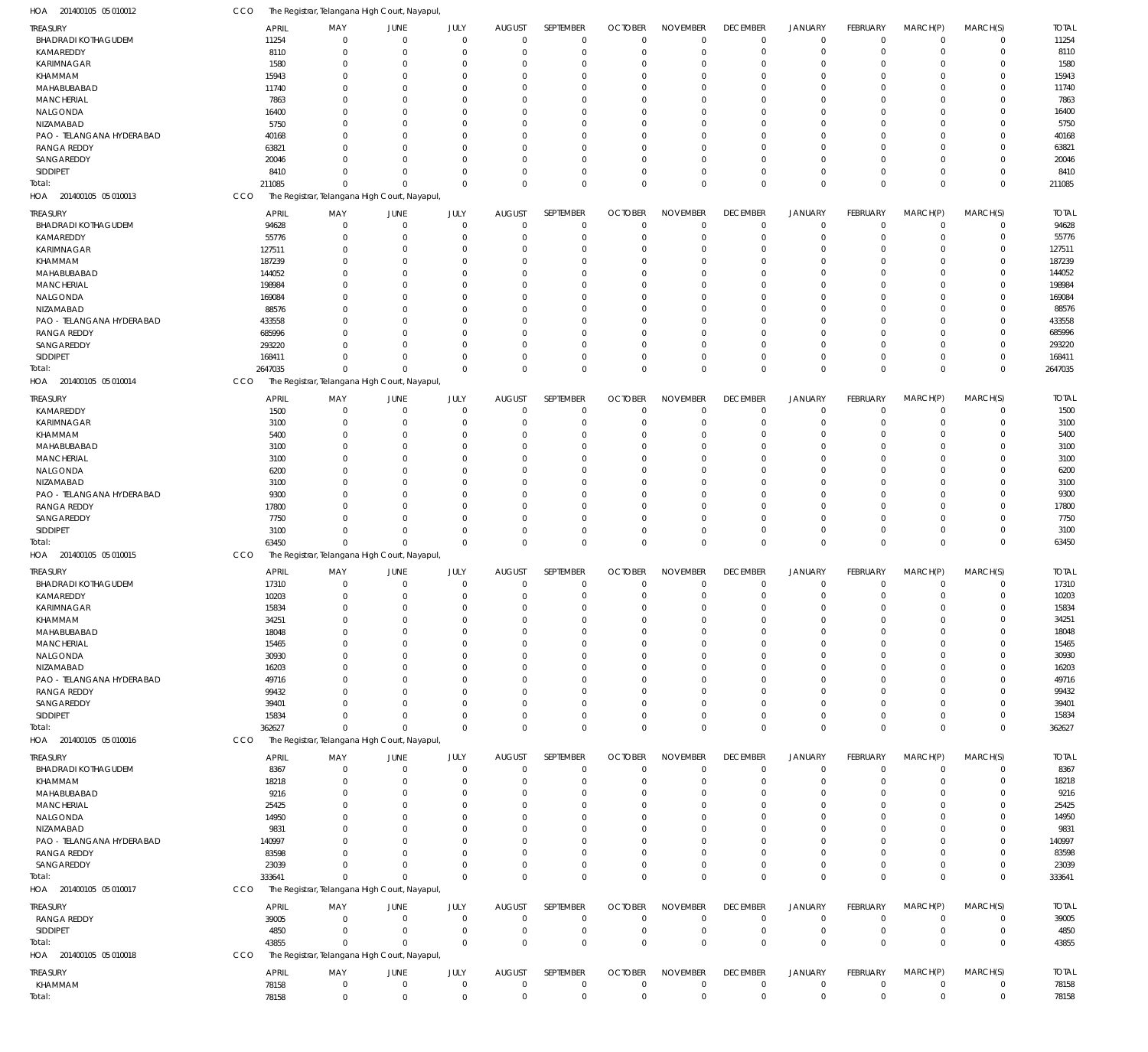| HOA 201400105 05 010012                | CCO                   | The Registrar, Telangana High Court, Nayapul, |                        |                     |                              |                         |                      |                      |                                |                      |                             |                        |              |               |
|----------------------------------------|-----------------------|-----------------------------------------------|------------------------|---------------------|------------------------------|-------------------------|----------------------|----------------------|--------------------------------|----------------------|-----------------------------|------------------------|--------------|---------------|
| TREASURY                               | <b>APRIL</b>          | MAY                                           | <b>JUNE</b>            | JULY                | <b>AUGUST</b>                | SEPTEMBER               | <b>OCTOBER</b>       | <b>NOVEMBER</b>      | <b>DECEMBER</b>                | <b>JANUARY</b>       | <b>FEBRUARY</b>             | MARCH(P)               | MARCH(S)     | <b>TOTAL</b>  |
| <b>BHADRADI KOTHAGUDEM</b>             | 11254                 | $\Omega$                                      | $\overline{0}$         | $\mathbf 0$         | $\mathbf 0$                  | $\mathbf 0$             | $\overline{0}$       | $\mathbf 0$          | $\mathbf 0$                    | $\mathbf 0$          | $\Omega$                    | $\Omega$               | 0            | 11254         |
| KAMAREDDY                              | 8110                  | $\Omega$                                      | $\overline{0}$         | $\mathbf 0$         | $\mathbf 0$                  | $\mathbf 0$             | $\mathbf 0$          | $\mathbf 0$          | $\mathbf 0$                    | $\mathbf 0$          | $\Omega$                    | $\Omega$               | $\mathbf 0$  | 8110          |
| <b>KARIMNAGAR</b>                      | 1580                  | $\Omega$                                      | $\overline{0}$         | 0                   | $\Omega$                     | 0                       | 0                    | 0                    | $\Omega$                       | 0                    |                             | $\Omega$               | 0            | 1580          |
| KHAMMAM                                | 15943                 | $\Omega$                                      | $\Omega$               | 0                   | $\Omega$                     | $\Omega$                | $\Omega$             | $\Omega$             | $\Omega$                       | $\Omega$             |                             | $\Omega$               | 0            | 15943         |
| MAHABUBABAD                            | 11740                 | $\Omega$                                      | $\Omega$               | 0                   | $\Omega$                     | $\mathbf 0$             | 0                    | $\Omega$             | $\Omega$                       | $\Omega$             |                             | $\Omega$               | 0            | 11740         |
| <b>MANCHERIAL</b>                      | 7863                  |                                               | $\Omega$<br>- 0        | 0<br><sup>0</sup>   | $\Omega$<br>$\Omega$         | $\Omega$<br>$\Omega$    | $\Omega$<br>$\Omega$ | $\Omega$<br>$\Omega$ | $\Omega$                       | $\Omega$<br>$\Omega$ |                             | $\Omega$<br>$\Omega$   | 0<br>0       | 7863<br>16400 |
| NALGONDA<br>NIZAMABAD                  | 16400<br>5750         |                                               | $\Omega$               | 0                   | $\Omega$                     | $\Omega$                | $\Omega$             | 0                    | $\Omega$<br>$\Omega$           | $\Omega$             |                             | $\Omega$               | 0            | 5750          |
| PAO - TELANGANA HYDERABAD              | 40168                 |                                               | $\Omega$               | <sup>0</sup>        | $\Omega$                     | 0                       | 0                    | $\Omega$             | $\Omega$                       | $\Omega$             |                             | $\Omega$               | 0            | 40168         |
| <b>RANGA REDDY</b>                     | 63821                 |                                               | $\Omega$               | <sup>0</sup>        | $\Omega$                     | $\Omega$                | $\Omega$             | $\Omega$             | $\Omega$                       | $\Omega$             |                             | $\Omega$               | 0            | 6382          |
| SANGAREDDY                             | 20046                 |                                               | $\Omega$               | 0                   | $\Omega$                     | $\mathbf 0$             | 0                    | $\Omega$             | $\Omega$                       | 0                    |                             | $\Omega$               | 0            | 20046         |
| SIDDIPET                               | 8410                  |                                               | $\Omega$               | $\Omega$            | $\Omega$                     | $\mathbf 0$             | 0                    | 0                    | 0                              | $\mathbf 0$          |                             | $\Omega$               | 0            | 841           |
| lotal:                                 | 211085                | $\Omega$                                      | $\Omega$               | $\Omega$            | $\Omega$                     | $\mathbf 0$             | $\overline{0}$       | $\Omega$             | $\Omega$                       | $\mathbf 0$          | $\Omega$                    | $\Omega$               | $\mathbf 0$  | 211085        |
| HOA 201400105 05 010013                | CCO                   | The Registrar, Telangana High Court, Nayapul, |                        |                     |                              |                         |                      |                      |                                |                      |                             |                        |              |               |
| treasury                               | <b>APRIL</b>          | MAY                                           | JUNE                   | JULY                | <b>AUGUST</b>                | SEPTEMBER               | <b>OCTOBER</b>       | <b>NOVEMBER</b>      | <b>DECEMBER</b>                | <b>JANUARY</b>       | FEBRUARY                    | MARCH(P)               | MARCH(S)     | <b>TOTAL</b>  |
| <b>BHADRADI KOTHAGUDEM</b>             | 94628                 |                                               | $\overline{0}$         | $\mathbf 0$         | $\mathbf 0$                  | $\mathbf 0$             | $\mathbf 0$          | $\mathbf 0$          | 0                              | 0                    | $\Omega$                    | $\overline{0}$         | $\mathbf 0$  | 94628         |
| KAMAREDDY                              | 55776                 |                                               | $\overline{0}$         | 0                   | $\mathbf 0$                  | $\mathbf 0$             | $\mathbf 0$          | $\mathbf 0$          | 0                              | $\mathbf 0$          | -0                          | $\Omega$               | $\mathbf 0$  | 55776         |
| KARIMNAGAR                             | 127511                |                                               | $\overline{0}$         | 0                   | $\Omega$                     | $\mathbf 0$             | 0                    | 0                    | $\Omega$                       | $\mathbf 0$          |                             | $\Omega$               | $\mathbf 0$  | 127511        |
| KHAMMAM                                | 187239                |                                               | - 0                    | 0                   | $\Omega$                     | $\Omega$                | $\Omega$             | 0                    | C.                             | $\Omega$             |                             | $\Omega$               | 0            | 187239        |
| MAHABUBABAD                            | 144052                |                                               | - 0                    | 0                   | $\Omega$                     | $\Omega$                | 0                    | 0                    | 0                              | 0                    |                             | $\Omega$               | 0            | 144052        |
| <b>MANCHERIAL</b>                      | 198984                |                                               | - 0                    | 0                   | $\Omega$                     | 0                       | 0                    | 0                    |                                | $\Omega$             |                             | $\Omega$               | 0            | 198984        |
| NALGONDA                               | 169084                |                                               | - 0                    | 0                   | $\Omega$                     | $\Omega$                | 0                    | 0                    | C.                             | 0                    |                             | $\Omega$               | 0            | 169084        |
| NIZAMABAD                              | 88576                 |                                               | $\Omega$               | 0                   | $\Omega$                     | $\Omega$                | $\Omega$             | 0                    |                                | $\Omega$             |                             | $\Omega$               | 0            | 88576         |
| PAO - TELANGANA HYDERABAD              | 433558                |                                               | - 0                    | 0                   | $\Omega$                     | 0                       | 0                    | 0                    | $\Omega$                       | 0                    |                             | $\Omega$               | 0            | 433558        |
| <b>RANGA REDDY</b>                     | 685996                |                                               | $\Omega$               | O                   | $\Omega$                     | 0                       | 0                    | 0                    | 0                              | $\Omega$             |                             | $\Omega$               | 0            | 685996        |
| SANGAREDDY                             | 293220                |                                               | - 0                    | 0                   | $\Omega$                     | $\mathbf 0$             | 0                    | 0                    | $\Omega$                       | 0                    |                             | $\Omega$               | 0            | 293220        |
| <b>SIDDIPET</b>                        | 168411                |                                               | $\Omega$               | $\Omega$            | $\Omega$                     | $\mathbf 0$             | 0                    | $\mathbf 0$          | 0                              | $\mathbf 0$          | $\Omega$                    | $\Omega$               | $\mathbf 0$  | 168411        |
| Total:                                 | 2647035               | $\Omega$                                      | $\Omega$               | $\Omega$            | $\Omega$                     | $\mathbf 0$             | $\overline{0}$       | $\mathbf{0}$         | $\Omega$                       | $\mathbf{0}$         | $\Omega$                    | $\Omega$               | $\mathbf 0$  | 2647035       |
| HOA 201400105 05 010014                | CCO                   | The Registrar, Telangana High Court, Nayapul, |                        |                     |                              |                         |                      |                      |                                |                      |                             |                        |              |               |
| treasury                               | <b>APRIL</b>          | MAY                                           | <b>JUNE</b>            | JULY                | <b>AUGUST</b>                | SEPTEMBER               | <b>OCTOBER</b>       | <b>NOVEMBER</b>      | <b>DECEMBER</b>                | <b>JANUARY</b>       | FEBRUARY                    | MARCH(P)               | MARCH(S)     | <b>TOTAL</b>  |
| KAMAREDDY                              | 1500                  | $\Omega$                                      | $\mathbf 0$            | $\mathbf 0$         | $\mathbf 0$                  | $\mathbf 0$             | $\mathbf 0$          | $\mathbf 0$          | $\mathbf 0$                    | 0                    | $\Omega$                    | $\Omega$               | $\Omega$     | 1500          |
| <b>KARIMNAGAR</b>                      | 3100                  | $\Omega$                                      | $\overline{0}$         | $\Omega$            | $\Omega$                     | $\mathbf 0$             | $\mathbf 0$          | $\mathbf 0$          | 0                              | $\mathbf 0$          |                             | $\Omega$               | 0            | 3100          |
| KHAMMAM                                | 5400                  | $\Omega$                                      | $\Omega$               | 0                   | $\Omega$                     | $\Omega$                | 0                    | 0                    | $\Omega$                       | $\Omega$             |                             | $\Omega$               | 0            | 5400          |
| MAHABUBABAD                            | 3100                  | $\Omega$                                      | - 0                    | <sup>0</sup>        | $\Omega$                     | $\Omega$                | $\Omega$             | $\Omega$             | $\Omega$                       | $\Omega$             |                             | $\Omega$               | 0            | 3100          |
| <b>MANCHERIAL</b>                      | 3100                  | $\Omega$                                      | $\Omega$               | 0                   | $\Omega$                     | $\Omega$                | $\Omega$             | $\Omega$             | $\Omega$                       | $\Omega$             |                             | $\Omega$               | 0            | 3100          |
| NALGONDA                               | 6200                  |                                               | $\Omega$<br>$\Omega$   | 0                   | $\Omega$<br>$\Omega$         | $\mathbf 0$<br>$\Omega$ | 0                    | $\Omega$             | $\Omega$                       | $\Omega$             |                             | $\Omega$<br>$\Omega$   | 0<br>0       | 6200          |
| NIZAMABAD<br>PAO - TELANGANA HYDERABAD | 3100<br>9300          |                                               | - 0                    | 0<br>U              | $\Omega$                     | $\Omega$                | $\Omega$<br>0        | $\Omega$<br>$\Omega$ | $\Omega$<br>$\Omega$           | $\Omega$<br>$\Omega$ |                             | $\Omega$               | 0            | 3100<br>9300  |
| <b>RANGA REDDY</b>                     | 17800                 |                                               | $\Omega$               | 0                   | $\Omega$                     | $\Omega$                | 0                    | 0                    | $\Omega$                       | $\Omega$             |                             | $\Omega$               | 0            | 17800         |
| SANGAREDDY                             | 7750                  |                                               | $\Omega$               | U                   | $\Omega$                     | $\mathbf 0$             | 0                    | $\Omega$             | $\Omega$                       | $\Omega$             |                             | $\Omega$               | 0            | 7750          |
| SIDDIPET                               | 3100                  | $\Omega$                                      | $\Omega$               | $\Omega$            | $\Omega$                     | $\mathbf 0$             | $\mathbf 0$          | $\mathbf 0$          | $\Omega$                       | $\mathbf 0$          | $\Omega$                    | $\Omega$               | $\mathbf 0$  | 3100          |
| Total:                                 | 63450                 | $\Omega$                                      | $\Omega$               | $\Omega$            | $\Omega$                     | $\mathbf 0$             | $\overline{0}$       | $\mathbf{0}$         | $\mathbf 0$                    | $\mathbf 0$          | $\Omega$                    | $\mathbf 0$            | $\mathbf 0$  | 63450         |
| HOA 201400105 05 010015                | CCO                   | The Registrar, Telangana High Court, Nayapul, |                        |                     |                              |                         |                      |                      |                                |                      |                             |                        |              |               |
|                                        |                       |                                               |                        |                     |                              |                         |                      |                      |                                | <b>JANUARY</b>       |                             |                        | MARCH(S)     | <b>TOTAL</b>  |
| treasury<br><b>BHADRADI KOTHAGUDEM</b> | <b>APRIL</b><br>17310 | MAY                                           | JUNE<br>$\overline{0}$ | JULY<br>$\mathbf 0$ | <b>AUGUST</b><br>$\mathbf 0$ | SEPTEMBER<br>0          | <b>OCTOBER</b><br>0  | <b>NOVEMBER</b><br>0 | <b>DECEMBER</b><br>$\mathbf 0$ | 0                    | <b>FEBRUARY</b><br>$\Omega$ | MARCH(P)<br>$^{\circ}$ | $\mathbf 0$  | 17310         |
| KAMAREDDY                              | 10203                 | $\mathbf 0$                                   | $\mathbf 0$            | $\mathbf 0$         | $\overline{0}$               | $\mathbf 0$             | $\mathbf 0$          | $\mathbf 0$          | $\mathbf 0$                    | $\mathbf 0$          | $\Omega$                    | $\overline{0}$         | $\mathbf 0$  | 10203         |
| KARIMNAGAR                             | 15834                 |                                               | $\Omega$               |                     | 0                            | 0                       | 0                    | 0                    |                                | $\Omega$             |                             | $\Omega$               | 0            | 15834         |
| KHAMMAM                                | 34251                 | $\Omega$                                      | $\overline{0}$         | $\Omega$            | $\Omega$                     | $\mathbf 0$             | $\mathbf 0$          | $\mathbf 0$          | $\Omega$                       | $\Omega$             |                             | $\Omega$               | $\mathbf 0$  | 34251         |
| MAHABUBABAD                            | 18048                 | 0                                             | $\overline{0}$         | 0                   | $\Omega$                     | $\mathbf 0$             | 0                    | $\mathbf 0$          | $\Omega$                       | $\mathbf 0$          |                             | $\Omega$               | $\mathbf 0$  | 18048         |
| <b>MANCHERIAL</b>                      | 15465                 |                                               | - 0                    | 0                   | $\Omega$                     | $\Omega$                | 0                    | $\mathbf 0$          | $\Omega$                       | $\Omega$             |                             | $\Omega$               | 0            | 15465         |
| NALGONDA                               | 30930                 |                                               | $\overline{0}$         | 0                   | $\Omega$                     | $\mathbf 0$             | 0                    | $\mathbf 0$          | $\Omega$                       | 0                    |                             | $\Omega$               | 0            | 30930         |
| NIZAMABAD                              | 16203                 |                                               | - 0                    | 0                   | $\Omega$                     | $\Omega$                | 0                    | 0                    | $\Omega$                       | $\Omega$             |                             | $\Omega$               | 0            | 16203         |
| PAO - TELANGANA HYDERABAD              | 49716                 |                                               | - 0                    | 0                   | $\Omega$                     | $\Omega$                | 0                    | 0                    | $\Omega$                       | 0                    |                             | $\Omega$               | $\Omega$     | 49716         |
| <b>RANGA REDDY</b>                     | 99432                 |                                               | - 0                    | 0                   | $\Omega$                     | $\Omega$                | 0                    | $\mathbf 0$          | $\Omega$                       | $\Omega$             |                             | $\Omega$               | 0            | 99432         |
| SANGAREDDY                             | 39401                 |                                               | - 0                    | 0                   | $\Omega$                     | $\mathbf 0$             | 0                    | 0                    | $\Omega$                       | $\mathbf 0$          |                             | $\Omega$               | 0            | 39401         |
| SIDDIPET                               | 15834                 | <sup>0</sup>                                  | $\Omega$               | 0                   | $\Omega$                     | $\mathbf 0$             | 0                    | $\mathbf 0$          | 0                              | $\mathbf 0$          | $\Omega$                    | $^{\circ}$             | $\mathbf 0$  | 15834         |
| Total:                                 | 362627                | $\Omega$                                      | $\Omega$               | $\Omega$            | $\Omega$                     | $\mathbf 0$             | $\overline{0}$       | $\mathbf 0$          | $\mathbf 0$                    | $\mathbf 0$          | $\Omega$                    | $\Omega$               | $\mathbf 0$  | 362627        |
| HOA 201400105 05 010016                | CCO                   | The Registrar, Telangana High Court, Nayapul, |                        |                     |                              |                         |                      |                      |                                |                      |                             |                        |              |               |
| treasury                               | <b>APRIL</b>          | MAY                                           | <b>JUNE</b>            | JULY                | <b>AUGUST</b>                | SEPTEMBER               | <b>OCTOBER</b>       | <b>NOVEMBER</b>      | <b>DECEMBER</b>                | <b>JANUARY</b>       | <b>FEBRUARY</b>             | MARCH(P)               | MARCH(S)     | <b>TOTAL</b>  |
| <b>BHADRADI KOTHAGUDEM</b>             | 8367                  | $\Omega$                                      | $\mathbf 0$            | $\mathbf{0}$        | $\overline{0}$               | $\mathbf 0$             | $\mathbf 0$          | $\mathbf 0$          | $\mathbf 0$                    | $\mathbf 0$          | $\Omega$                    | $\Omega$               | $\mathbf 0$  | 8367          |
| KHAMMAM                                | 18218                 | $\Omega$                                      | $\overline{0}$         | $\mathbf 0$         | $\Omega$                     | $\mathbf 0$             | $\mathbf 0$          | $\mathbf 0$          | $\mathbf 0$                    | $\mathbf 0$          |                             | $\Omega$               | $\mathbf 0$  | 18218         |
| MAHABUBABAD                            | 9216                  | $\Omega$                                      | $\overline{0}$         | $\Omega$            | $\Omega$                     | $\mathbf 0$             | 0                    | $\mathbf 0$          | 0                              | $\mathbf 0$          |                             | $\Omega$               | 0            | 9216          |
| <b>MANCHERIAL</b>                      | 25425                 | $\Omega$                                      | $\overline{0}$         | 0                   | $\mathbf 0$                  | $\mathbf 0$             | 0                    | 0                    | 0                              | $\mathbf 0$          |                             | $\Omega$               | 0            | 25425         |
| NALGONDA                               | 14950                 | $\Omega$                                      | $\Omega$               | 0                   | $\Omega$                     | $\Omega$                | 0                    | 0                    | $\Omega$                       | $\Omega$             |                             | $\Omega$               | 0            | 14950         |
| NIZAMABAD                              | 9831                  | $\Omega$                                      | $\Omega$               | U                   | $\Omega$                     | $\Omega$                | 0                    | 0                    | $\Omega$                       | $\Omega$             |                             | $\Omega$               | 0            | 9831          |
| PAO - TELANGANA HYDERABAD              | 140997                | $\Omega$                                      | $\Omega$               | $\Omega$            | $\Omega$                     | $\Omega$                | 0                    | 0                    | $\Omega$                       | $\Omega$             |                             | $\Omega$               | 0            | 140997        |
| <b>RANGA REDDY</b>                     | 83598                 | $\Omega$                                      | $\Omega$               | U                   | $\Omega$                     | $\mathbf 0$             | 0                    | 0                    | $\Omega$                       | 0                    |                             | $\Omega$               | 0            | 83598         |
| SANGAREDDY                             | 23039                 | $\Omega$                                      | $\Omega$               | $\Omega$            | $\Omega$                     | $\mathbf 0$             | $\mathbf 0$          | $\mathbf 0$          | 0                              | $\mathbf 0$          | $\Omega$                    | $^{\circ}$             | $\mathbf 0$  | 23039         |
| lotal:                                 | 333641                | $\Omega$                                      | $\Omega$               | $\Omega$            | $\Omega$                     | $\mathbf 0$             | $\overline{0}$       | $\mathbf 0$          | $\mathbf 0$                    | $\mathbf 0$          | $\Omega$                    | $\mathbf 0$            | $\mathbf{0}$ | 333641        |
| HOA 201400105 05 010017                | CCO                   | The Registrar, Telangana High Court, Nayapul, |                        |                     |                              |                         |                      |                      |                                |                      |                             |                        |              |               |
| TREASURY                               | <b>APRIL</b>          | MAY                                           | JUNE                   | JULY                | <b>AUGUST</b>                | SEPTEMBER               | <b>OCTOBER</b>       | <b>NOVEMBER</b>      | <b>DECEMBER</b>                | <b>JANUARY</b>       | <b>FEBRUARY</b>             | MARCH(P)               | MARCH(S)     | <b>TOTAL</b>  |
| RANGA REDDY                            | 39005                 | 0                                             | $\mathbf 0$            | $\mathbf{0}$        | $\overline{0}$               | $\mathbf 0$             | $\mathbf 0$          | $\mathbf 0$          | $\mathbf 0$                    | 0                    | $\Omega$                    | $\overline{0}$         | $\mathbf 0$  | 39005         |
| SIDDIPET                               | 4850                  | 0                                             | $\mathbf 0$            | $\mathbf 0$         | $\overline{0}$               | $\mathbf 0$             | $\mathbf 0$          | $\mathbf 0$          | $\mathbf 0$                    | $\mathbf 0$          | 0                           | $\overline{0}$         | $\mathbf 0$  | 4850          |
| Total:                                 | 43855                 | $\Omega$                                      | $\Omega$               | $\mathbf{0}$        | $\Omega$                     | $\mathbf 0$             | $\overline{0}$       | $\mathbf 0$          | $\mathbf 0$                    | $\mathbb O$          | $\Omega$                    | $\overline{0}$         | $\mathbf 0$  | 43855         |
| HOA 201400105 05 010018                | CCO                   | The Registrar, Telangana High Court, Nayapul, |                        |                     |                              |                         |                      |                      |                                |                      |                             |                        |              |               |
| TREASURY                               | <b>APRIL</b>          | MAY                                           | <b>JUNE</b>            | JULY                | <b>AUGUST</b>                | SEPTEMBER               | <b>OCTOBER</b>       | <b>NOVEMBER</b>      | <b>DECEMBER</b>                | <b>JANUARY</b>       | FEBRUARY                    | MARCH(P)               | MARCH(S)     | <b>TOTAL</b>  |
| KHAMMAM                                | 78158                 | $\mathbf{0}$                                  | $\mathbf 0$            | $\mathbf 0$         | $\overline{0}$               | $\mathbf 0$             | $\mathbf 0$          | $\mathbf 0$          | $\mathbf 0$                    | $\mathbf 0$          | $\Omega$                    | $\overline{0}$         | $\mathbf 0$  | 78158         |
| Total:                                 | 78158                 | $\mathbf 0$                                   | $\mathbf 0$            | $\mathbf 0$         | $\overline{0}$               | $\mathbf 0$             | $\mathbf 0$          | $\mathbf 0$          | $\mathbf 0$                    | $\mathbf 0$          | $\mathbf 0$                 | $\mathbf 0$            | $\mathbf 0$  | 78158         |
|                                        |                       |                                               |                        |                     |                              |                         |                      |                      |                                |                      |                             |                        |              |               |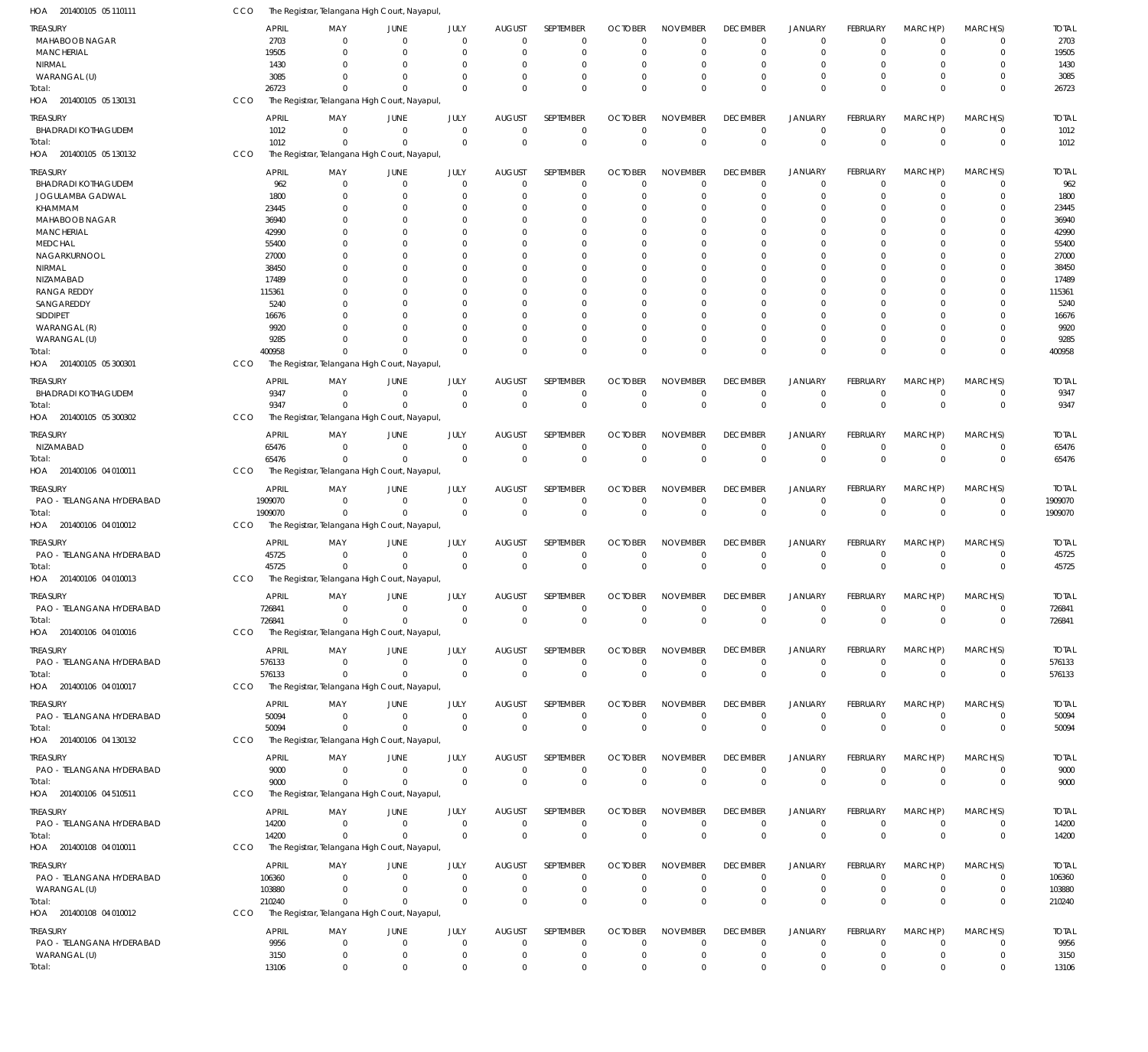| HOA 201400105 05 110111                | CCO        |                  | The Registrar, Telangana High Court, Nayapul  |                                  |                              |                                  |                            |                                  |                                |                                |                               |                            |                            |                                  |                     |
|----------------------------------------|------------|------------------|-----------------------------------------------|----------------------------------|------------------------------|----------------------------------|----------------------------|----------------------------------|--------------------------------|--------------------------------|-------------------------------|----------------------------|----------------------------|----------------------------------|---------------------|
| TREASURY                               |            | <b>APRIL</b>     | MAY                                           | JUNE                             | JULY                         | <b>AUGUST</b>                    | SEPTEMBER                  | <b>OCTOBER</b>                   | <b>NOVEMBER</b>                | <b>DECEMBER</b>                | <b>JANUARY</b>                | <b>FEBRUARY</b>            | MARCH(P)                   | MARCH(S)                         | <b>TOTAL</b>        |
| <b>MAHABOOB NAGAR</b>                  |            | 2703             | $\Omega$                                      | $\Omega$                         | $\mathbf{0}$                 | $\mathbf 0$                      | $\mathbf 0$                | $\mathbf 0$                      | $\mathbf 0$                    | $\mathbf 0$                    | $\Omega$                      | $\Omega$                   | $\Omega$                   | 0                                | 2703                |
| <b>MANCHERIAL</b>                      |            | 19505            | $\Omega$                                      | $\Omega$                         | $\mathbf{0}$                 | $\mathbf 0$                      | $\mathbf 0$                | 0                                | $\mathbf 0$                    | $\mathbf 0$                    | $\Omega$                      | $\Omega$                   | $\Omega$                   | $\mathbf 0$                      | 19505               |
| NIRMAL                                 |            | 1430             | $\Omega$                                      | - 0                              | $\Omega$                     | $\Omega$                         | 0                          | 0                                | $\Omega$                       | $\Omega$                       | $\Omega$                      |                            | $\Omega$                   | 0                                | 1430                |
| WARANGAL (U)                           |            | 3085             | $\Omega$                                      | $\Omega$                         | $\Omega$                     | $\Omega$                         | $\mathbf 0$                | 0                                | 0                              | $\Omega$                       | $\Omega$                      | $\Omega$                   | $\Omega$                   | 0                                | 3085                |
| Total:                                 |            | 26723            | $\Omega$                                      | $\Omega$                         | $\Omega$                     | $\Omega$                         | $\mathbf 0$                | $\Omega$                         | $\Omega$                       | $\Omega$                       | $\Omega$                      | $\Omega$                   | $\Omega$                   | $\mathbf 0$                      | 26723               |
| HOA 201400105 05 130131                | CCO        |                  | The Registrar, Telangana High Court, Nayapul  |                                  |                              |                                  |                            |                                  |                                |                                |                               |                            |                            |                                  |                     |
| Treasury                               |            | <b>APRIL</b>     | MAY                                           | JUNE                             | JULY                         | <b>AUGUST</b>                    | SEPTEMBER                  | <b>OCTOBER</b>                   | <b>NOVEMBER</b>                | <b>DECEMBER</b>                | <b>JANUARY</b>                | <b>FEBRUARY</b>            | MARCH(P)                   | MARCH(S)                         | <b>TOTAL</b>        |
| <b>BHADRADI KOTHAGUDEM</b>             |            | 1012             | $\Omega$                                      | $\overline{0}$                   | $\mathbf{0}$                 | $\mathbf 0$                      | $\mathbf 0$                | $\mathbf 0$                      | $\mathbf 0$                    | $\overline{0}$                 | $\mathbf 0$                   | $\overline{0}$             | $\mathbf 0$                | $\mathbf 0$                      | 1012                |
| Total:                                 |            | 1012             | $\overline{0}$                                | $\overline{0}$                   | $\mathbf{0}$                 | $\Omega$                         | $\mathbf 0$                | $\overline{0}$                   | $\mathbf 0$                    | $\mathbf 0$                    | $\mathbf 0$                   | $\overline{0}$             | $\overline{0}$             | $\mathbf 0$                      | 1012                |
| HOA 201400105 05 130132                | CCO        |                  | The Registrar, Telangana High Court, Nayapul  |                                  |                              |                                  |                            |                                  |                                |                                |                               |                            |                            |                                  |                     |
|                                        |            |                  |                                               |                                  |                              |                                  |                            |                                  |                                |                                |                               |                            |                            |                                  |                     |
| treasury<br><b>BHADRADI KOTHAGUDEM</b> |            | APRIL<br>962     | MAY<br>$\Omega$                               | JUNE<br>$\overline{0}$           | JULY<br>$\mathbf{0}$         | <b>AUGUST</b><br>$\mathbf 0$     | SEPTEMBER<br>$\mathbf 0$   | <b>OCTOBER</b><br>$\mathbf 0$    | <b>NOVEMBER</b><br>$\mathbf 0$ | <b>DECEMBER</b><br>$\mathbf 0$ | <b>JANUARY</b><br>$\mathbf 0$ | FEBRUARY<br>$^{\circ}$     | MARCH(P)<br>$\Omega$       | MARCH(S)<br>0                    | <b>TOTAL</b><br>962 |
| JOGULAMBA GADWAL                       |            | 1800             | $\Omega$                                      | $\Omega$                         | $\Omega$                     | $\Omega$                         | $\mathbf 0$                | 0                                | $\mathbf 0$                    | $\Omega$                       | $\Omega$                      | $\Omega$                   | $\Omega$                   | $\mathbf 0$                      | 1800                |
| KHAMMAM                                |            | 23445            | $\Omega$                                      | - 0                              | $\Omega$                     | $\Omega$                         | 0                          | 0                                | $\Omega$                       | $\Omega$                       | $\Omega$                      |                            | $\Omega$                   | $\Omega$                         | 23445               |
| <b>MAHABOOB NAGAR</b>                  |            | 36940            | $\Omega$                                      | - 0                              | $\Omega$                     | $\Omega$                         | $\Omega$                   | 0                                | $\Omega$                       | $\Omega$                       | $\Omega$                      |                            | $\Omega$                   | $\Omega$                         | 36940               |
| <b>MANCHERIAL</b>                      |            | 42990            | <sup>0</sup>                                  | - 0                              | $\Omega$                     | $\Omega$                         | 0                          | 0                                | $\Omega$                       | $\Omega$                       | $\Omega$                      |                            | $\Omega$                   | $\Omega$                         | 42990               |
| <b>MEDCHAL</b>                         |            | 55400            | <sup>0</sup>                                  | $\Omega$                         | $\Omega$                     | $\Omega$                         | $\Omega$                   | $\Omega$                         | $\Omega$                       | $\Omega$                       | $\Omega$                      | $\Omega$                   | $\Omega$                   | $\Omega$                         | 55400               |
| NAGARKURNOOL                           |            | 27000            |                                               | $\Omega$                         | $\Omega$                     | $\Omega$                         | 0                          | 0                                | $\Omega$                       | $\Omega$                       | $\Omega$                      |                            | $\Omega$                   | $\Omega$                         | 27000               |
| NIRMAL                                 |            | 38450            |                                               | $\Omega$                         | $\Omega$                     | $\Omega$                         | $\Omega$                   | $\Omega$                         | $\Omega$                       | $\Omega$                       | $\Omega$                      | $\Omega$                   | $\Omega$                   | $\Omega$                         | 38450               |
| NIZAMABAD                              |            | 17489            |                                               | $\Omega$                         | $\Omega$                     | $\Omega$                         | $\Omega$                   | $\Omega$                         | $\Omega$                       | $\Omega$                       | $\Omega$                      |                            | $\Omega$                   | $\Omega$                         | 17489               |
| <b>RANGA REDDY</b>                     |            | 115361           |                                               | $\Omega$                         | $\Omega$                     | $\Omega$                         | $\Omega$                   | $\Omega$                         | $\Omega$                       | $\Omega$                       | $\Omega$                      | $\Omega$                   | $\Omega$                   | $\Omega$                         | 115361              |
| SANGAREDDY                             |            | 5240             |                                               | $\Omega$                         | $\Omega$                     | $\Omega$                         | 0                          | 0                                | $\Omega$                       | $\Omega$                       | -0                            |                            | $\Omega$                   | $\Omega$                         | 5240                |
| <b>SIDDIPET</b>                        |            | 16676            |                                               | $\Omega$                         | $\Omega$                     | $\Omega$                         | $\Omega$                   | $\Omega$                         | $\Omega$                       | $\Omega$                       | $\Omega$                      | $\Omega$                   | $\Omega$                   | $\Omega$                         | 16676               |
| WARANGAL (R)                           |            | 9920             |                                               | $\Omega$                         | $\Omega$                     | $\Omega$                         | $\Omega$                   | $\Omega$                         | $\Omega$                       | $\Omega$                       | $\Omega$                      | $\Omega$                   | $\Omega$                   | $\Omega$                         | 9920                |
| WARANGAL (U)                           |            | 9285             | $\Omega$<br>$\Omega$                          | $\Omega$<br>$\Omega$             | $\Omega$<br>$\Omega$         | $\Omega$<br>$\Omega$             | $\mathbf 0$<br>$\mathbf 0$ | 0                                | $\mathbf 0$<br>$\Omega$        | $\Omega$<br>$\Omega$           | $\Omega$<br>$\Omega$          | $\Omega$<br>$\Omega$       | $\Omega$<br>$\Omega$       | $\mathbf 0$<br>$\mathbf 0$       | 9285                |
| Total:<br>HOA 201400105 05 300301      | CCO        | 400958           |                                               |                                  |                              |                                  |                            | $\Omega$                         |                                |                                |                               |                            |                            |                                  | 400958              |
|                                        |            |                  | The Registrar, Telangana High Court, Nayapul  |                                  |                              |                                  |                            |                                  |                                |                                |                               |                            |                            |                                  |                     |
| Treasury                               |            | <b>APRIL</b>     | MAY                                           | JUNE                             | JULY                         | <b>AUGUST</b>                    | SEPTEMBER                  | <b>OCTOBER</b>                   | <b>NOVEMBER</b>                | <b>DECEMBER</b>                | <b>JANUARY</b>                | FEBRUARY                   | MARCH(P)                   | MARCH(S)                         | <b>TOTAL</b>        |
| <b>BHADRADI KOTHAGUDEM</b>             |            | 9347             | - 0                                           | $\overline{0}$                   | $\mathbf{0}$                 | $\mathbf 0$                      | $\mathbf 0$                | 0                                | $\mathbf 0$                    | $\mathbf 0$                    | 0                             | $^{\circ}$                 | $\mathbf 0$                | 0                                | 9347                |
| Total:                                 |            | 9347             | $\Omega$                                      | $\Omega$                         | $\Omega$                     | $\Omega$                         | $\mathbf 0$                | $\overline{0}$                   | $\mathbf 0$                    | $\Omega$                       | $\mathbf 0$                   | $\overline{0}$             | $\Omega$                   | $\mathbf 0$                      | 9347                |
| HOA 201400105 05 300302                | CCO        |                  | The Registrar, Telangana High Court, Nayapul  |                                  |                              |                                  |                            |                                  |                                |                                |                               |                            |                            |                                  |                     |
| treasury                               |            | APRIL            | MAY                                           | JUNE                             | JULY                         | <b>AUGUST</b>                    | SEPTEMBER                  | <b>OCTOBER</b>                   | <b>NOVEMBER</b>                | <b>DECEMBER</b>                | <b>JANUARY</b>                | FEBRUARY                   | MARCH(P)                   | MARCH(S)                         | <b>TOTAL</b>        |
| NIZAMABAD                              |            | 65476            | $\Omega$                                      | $\Omega$                         | $\mathbf 0$                  | $\mathbf 0$                      | $\mathbf 0$                | $\overline{0}$                   | $\mathbf 0$                    | $\mathbf 0$                    | $\mathbf 0$                   | $\overline{0}$             | $\overline{0}$             | $\overline{0}$                   | 65476               |
| Total:                                 |            | 65476            | $\Omega$                                      | $\Omega$                         | $\Omega$                     | $\Omega$                         | $\mathbf 0$                | $\overline{0}$                   | $\mathbf 0$                    | $\Omega$                       | $\mathbf 0$                   | $\Omega$                   | $\overline{0}$             | $\mathbf 0$                      | 65476               |
| HOA 201400106 04 010011                | CCO        |                  | The Registrar, Telangana High Court, Nayapul  |                                  |                              |                                  |                            |                                  |                                |                                |                               |                            |                            |                                  |                     |
| treasury                               |            | <b>APRIL</b>     | MAY                                           | JUNE                             | JULY                         | <b>AUGUST</b>                    | SEPTEMBER                  | <b>OCTOBER</b>                   | <b>NOVEMBER</b>                | <b>DECEMBER</b>                | <b>JANUARY</b>                | FEBRUARY                   | MARCH(P)                   | MARCH(S)                         | <b>TOTAL</b>        |
| PAO - TELANGANA HYDERABAD              |            | 1909070          | $\overline{0}$                                | $\overline{0}$                   | $\mathbf{0}$                 | $\mathbf 0$                      | $\mathbf 0$                | $^{\circ}$                       | $\mathbf 0$                    | $^{\circ}$                     | $\mathbf 0$                   | $^{\circ}$                 | $\overline{0}$             | $\mathbf 0$                      | 1909070             |
| Total:                                 |            | 1909070          | $\Omega$                                      | $\Omega$                         | $\mathbf{0}$                 | $\overline{0}$                   | $\mathbf 0$                | $\mathbf 0$                      | $\mathbf 0$                    | $\Omega$                       | $\mathbf{0}$                  | $\overline{0}$             | $\overline{0}$             | $\overline{0}$                   | 1909070             |
| HOA 201400106 04 010012                | CCO        |                  | The Registrar, Telangana High Court, Nayapul  |                                  |                              |                                  |                            |                                  |                                |                                |                               |                            |                            |                                  |                     |
| treasury                               |            | <b>APRIL</b>     | MAY                                           | JUNE                             | JULY                         | <b>AUGUST</b>                    | SEPTEMBER                  | <b>OCTOBER</b>                   | <b>NOVEMBER</b>                | <b>DECEMBER</b>                | <b>JANUARY</b>                | FEBRUARY                   | MARCH(P)                   | MARCH(S)                         | <b>TOTAL</b>        |
| PAO - TELANGANA HYDERABAD              |            | 45725            | $\Omega$                                      | $\Omega$                         | $\mathbf{0}$                 | $\mathbf 0$                      | $\mathbf 0$                | $\mathbf 0$                      | 0                              | $\mathbf 0$                    | $\Omega$                      | $^{\circ}$                 | $\overline{0}$             | $\mathbf 0$                      | 45725               |
| Total:                                 |            | 45725            | $\Omega$                                      | $\Omega$                         | $\Omega$                     | $\overline{0}$                   | $\mathbf 0$                | $\mathbf 0$                      | $\mathbf 0$                    | $\mathbf 0$                    | $\mathbf{0}$                  | $\Omega$                   | $\mathbf{0}$               | $\mathbf 0$                      | 45725               |
| HOA 201400106 04 010013                | CCO        |                  | The Registrar, Telangana High Court, Nayapul  |                                  |                              |                                  |                            |                                  |                                |                                |                               |                            |                            |                                  |                     |
|                                        |            |                  |                                               |                                  |                              |                                  |                            |                                  |                                |                                |                               |                            |                            |                                  |                     |
| TREASURY<br>PAO - TELANGANA HYDERABAD  |            | APRIL            | MAY                                           | JUNE                             | JULY<br>$\mathbf{0}$         | <b>AUGUST</b><br>$\mathbf 0$     | SEPTEMBER<br>$\mathbf 0$   | <b>OCTOBER</b>                   | <b>NOVEMBER</b>                | <b>DECEMBER</b>                | <b>JANUARY</b><br>$\mathbf 0$ | <b>FEBRUARY</b>            | MARCH(P)<br>$\overline{0}$ | MARCH(S)<br>$\overline{0}$       | <b>TOTAL</b>        |
| Total:                                 |            | 726841<br>726841 | -0<br>$\mathbf 0$                             | 0<br>$\overline{0}$              | $\Omega$                     | $\overline{0}$                   | $\mathbf 0$                | $^{\circ}$<br>$\mathbf 0$        | $\mathbf 0$<br>$\mathbf 0$     | 0<br>$\Omega$                  | $\mathbf{0}$                  | $^{\circ}$<br>$\mathbf 0$  | $\mathbf 0$                | $\mathbf 0$                      | 726841<br>726841    |
| HOA 201400106 04 010016                | <b>CCO</b> |                  | The Registrar, Telangana High Court, Nayapul  |                                  |                              |                                  |                            |                                  |                                |                                |                               |                            |                            |                                  |                     |
|                                        |            |                  |                                               |                                  |                              |                                  |                            |                                  |                                |                                |                               |                            |                            |                                  |                     |
| treasury                               |            | <b>APRIL</b>     | MAY                                           | JUNE                             | JULY                         | <b>AUGUST</b>                    | SEPTEMBER                  | <b>OCTOBER</b>                   | <b>NOVEMBER</b>                | <b>DECEMBER</b>                | <b>JANUARY</b>                | <b>FEBRUARY</b>            | MARCH(P)                   | MARCH(S)                         | <b>TOTAL</b>        |
| PAO - TELANGANA HYDERABAD              |            | 576133           | $\Omega$                                      | $\mathbf 0$                      | $\overline{0}$               | $\overline{0}$                   | $\mathbf 0$                | $^{\circ}$                       | $\mathbf 0$                    | $\mathbf 0$                    | $\mathbf 0$                   | $^{\circ}$                 | $\mathbf 0$                | $^{\circ}$                       | 576133              |
| Total:                                 |            | 576133           | $\mathbf{0}$                                  | $\Omega$                         | $\Omega$                     | $\overline{0}$                   | $\mathbf 0$                | $\mathbf 0$                      | $\mathbf 0$                    | $\mathbf 0$                    | $\Omega$                      | $\mathbf{0}$               | $\overline{0}$             | $\overline{0}$                   | 576133              |
| HOA 201400106 04 010017                | CCO        |                  | The Registrar, Telangana High Court, Nayapul  |                                  |                              |                                  |                            |                                  |                                |                                |                               |                            |                            |                                  |                     |
| treasury                               |            | <b>APRIL</b>     | MAY                                           | JUNE                             | JULY                         | <b>AUGUST</b>                    | SEPTEMBER                  | <b>OCTOBER</b>                   | <b>NOVEMBER</b>                | <b>DECEMBER</b>                | <b>JANUARY</b>                | <b>FEBRUARY</b>            | MARCH(P)                   | MARCH(S)                         | <b>TOTAL</b>        |
| PAO - TELANGANA HYDERABAD              |            | 50094            | $\overline{0}$                                | $\mathbf 0$                      | $\mathbf{0}$                 | $\overline{0}$                   | $\mathbf 0$                | $^{\circ}$                       | $\mathbf 0$                    | $\mathbf 0$                    | $\mathbf 0$                   | $\mathbf 0$                | $\overline{0}$             | $^{\circ}$                       | 50094               |
| Total:                                 |            | 50094            | $\Omega$                                      | $\Omega$                         | $\mathbf{0}$                 | $\overline{0}$                   | $\mathbf 0$                | $\overline{0}$                   | $\mathbf 0$                    | $\mathbf 0$                    | $\mathbf 0$                   | $\mathbf 0$                | $\overline{0}$             | $\mathbf 0$                      | 50094               |
| HOA 201400106 04 130132                | CCO        |                  | The Registrar, Telangana High Court, Nayapul  |                                  |                              |                                  |                            |                                  |                                |                                |                               |                            |                            |                                  |                     |
| treasury                               |            | <b>APRIL</b>     | MAY                                           | JUNE                             | JULY                         | <b>AUGUST</b>                    | SEPTEMBER                  | <b>OCTOBER</b>                   | <b>NOVEMBER</b>                | <b>DECEMBER</b>                | <b>JANUARY</b>                | FEBRUARY                   | MARCH(P)                   | MARCH(S)                         | <b>TOTAL</b>        |
| PAO - TELANGANA HYDERABAD              |            | 9000             | $\Omega$                                      | $\overline{0}$                   | $\mathbf{0}$                 | $\overline{0}$                   | $\mathbf 0$                | $^{\circ}$                       | $\mathbf 0$                    | $\mathbf 0$                    | $\mathbf 0$                   | $^{\circ}$                 | $\overline{0}$             | $\mathbf 0$                      | 9000                |
| Total:                                 |            | 9000             | $\mathbf{0}$                                  | $\overline{0}$                   | $\overline{0}$               | $\overline{0}$                   | $\mathbf 0$                | $\mathbf 0$                      | $\mathbf 0$                    | $\mathbf 0$                    | $\mathbf 0$                   | $\mathbf 0$                | $\mathbf 0$                | $\overline{0}$                   | 9000                |
| HOA 201400106 04 510511                | CCO        |                  | The Registrar, Telangana High Court, Nayapul, |                                  |                              |                                  |                            |                                  |                                |                                |                               |                            |                            |                                  |                     |
| Treasury                               |            | <b>APRIL</b>     | MAY                                           | JUNE                             | JULY                         | <b>AUGUST</b>                    | SEPTEMBER                  | <b>OCTOBER</b>                   | <b>NOVEMBER</b>                | <b>DECEMBER</b>                | <b>JANUARY</b>                | <b>FEBRUARY</b>            | MARCH(P)                   | MARCH(S)                         | <b>TOTAL</b>        |
| PAO - TELANGANA HYDERABAD              |            | 14200            | $\overline{0}$                                | $\mathbf 0$                      | $\mathbf{0}$                 | $\mathbf 0$                      | $\mathbf 0$                | $\overline{0}$                   | $\mathbf 0$                    | $\overline{0}$                 | $\mathbf 0$                   | $\overline{0}$             | $\overline{0}$             | $\overline{0}$                   | 14200               |
| Total:                                 |            | 14200            | $\overline{0}$                                | $\overline{0}$                   | $\mathbf{0}$                 | $\overline{0}$                   | $\mathbf 0$                | $\mathbf 0$                      | $\mathbf 0$                    | $\mathbf 0$                    | $\mathbf 0$                   | $\mathbf 0$                | $\overline{0}$             | $\mathbf 0$                      | 14200               |
| HOA 201400108 04 010011                | CCO        |                  | The Registrar, Telangana High Court, Nayapul  |                                  |                              |                                  |                            |                                  |                                |                                |                               |                            |                            |                                  |                     |
|                                        |            |                  |                                               |                                  |                              |                                  |                            |                                  |                                |                                |                               |                            |                            |                                  |                     |
| TREASURY                               |            | <b>APRIL</b>     | MAY                                           | JUNE                             | JULY                         | <b>AUGUST</b>                    | SEPTEMBER                  | <b>OCTOBER</b>                   | <b>NOVEMBER</b>                | <b>DECEMBER</b>                | <b>JANUARY</b>                | FEBRUARY                   | MARCH(P)                   | MARCH(S)                         | <b>TOTAL</b>        |
| PAO - TELANGANA HYDERABAD              |            | 106360           | $\Omega$<br>$\mathbf{0}$                      | $\overline{0}$<br>$\overline{0}$ | $\mathbf{0}$<br>$\mathbf{0}$ | $\mathbf 0$<br>$\mathbf 0$       | $\mathbf 0$<br>$\mathbf 0$ | $\overline{0}$<br>$\overline{0}$ | $\mathbf 0$<br>$\mathbf 0$     | $\mathbf 0$                    | $\mathbf 0$<br>$\mathbf 0$    | $\Omega$<br>$\overline{0}$ | $\Omega$<br>$\mathbf 0$    | $\overline{0}$<br>$\overline{0}$ | 106360              |
| WARANGAL (U)                           |            | 103880<br>210240 | $\mathbf 0$                                   | $\overline{0}$                   | $\mathbf{0}$                 | $\overline{0}$                   | $\mathbf 0$                | $\mathbf 0$                      | $\mathbf 0$                    | $\mathbf 0$<br>$\mathbf 0$     | $\mathbf 0$                   | $\overline{0}$             | $\mathbf 0$                | $\mathbf 0$                      | 103880<br>210240    |
| Total:<br>HOA 201400108 04 010012      | CCO        |                  | The Registrar, Telangana High Court, Nayapul, |                                  |                              |                                  |                            |                                  |                                |                                |                               |                            |                            |                                  |                     |
|                                        |            |                  |                                               |                                  |                              |                                  |                            |                                  |                                |                                |                               |                            |                            |                                  |                     |
|                                        |            |                  |                                               |                                  |                              |                                  |                            |                                  |                                |                                |                               |                            |                            |                                  |                     |
| TREASURY                               |            | <b>APRIL</b>     | MAY                                           | JUNE                             | JULY                         | <b>AUGUST</b>                    | SEPTEMBER                  | <b>OCTOBER</b>                   | <b>NOVEMBER</b>                | <b>DECEMBER</b>                | <b>JANUARY</b>                | <b>FEBRUARY</b>            | MARCH(P)                   | MARCH(S)                         | <b>TOTAL</b>        |
| PAO - TELANGANA HYDERABAD              |            | 9956             | $\overline{0}$                                | $\mathbf 0$                      | $\mathbf{0}$                 | $\mathbf 0$                      | $\mathbf 0$                | 0                                | $\mathbf 0$                    | $\mathbf 0$                    | 0                             | $^{\circ}$                 | $\mathbf 0$                | 0                                | 9956                |
| WARANGAL (U)<br>Total:                 |            | 3150<br>13106    | $\mathbf 0$<br>$\mathbf 0$                    | $\mathbf 0$<br>$\mathbf 0$       | $\mathbf{0}$<br>$\mathbf{0}$ | $\overline{0}$<br>$\overline{0}$ | $\mathbf 0$<br>$\mathbf 0$ | $\overline{0}$<br>$\mathbf 0$    | $\mathbf 0$<br>$\mathbf 0$     | $\mathbf 0$<br>$\mathbf 0$     | $\mathbf 0$<br>$\mathbf 0$    | $^{\circ}$<br>$\mathbf 0$  | $\mathbf 0$<br>$\mathbf 0$ | $\mathbf 0$<br>$\mathbf 0$       | 3150<br>13106       |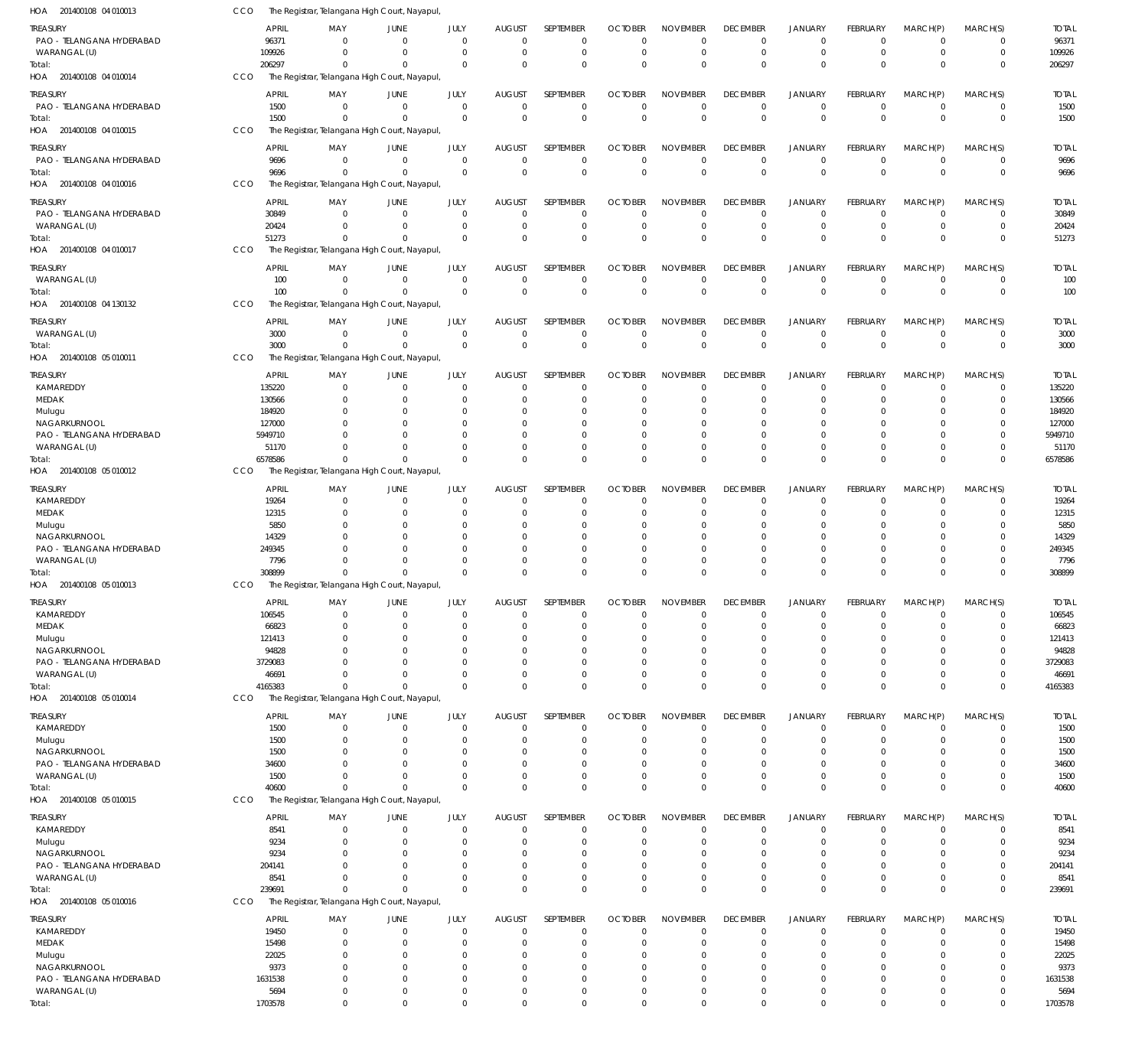| HOA 201400108 04 010013                   | CCO                   | The Registrar, Telangana High Court, Nayapul                |                            |                            |                              |                            |                            |                                |                                |                                  |                                |                                  |                            |                       |
|-------------------------------------------|-----------------------|-------------------------------------------------------------|----------------------------|----------------------------|------------------------------|----------------------------|----------------------------|--------------------------------|--------------------------------|----------------------------------|--------------------------------|----------------------------------|----------------------------|-----------------------|
| TREASURY<br>PAO - TELANGANA HYDERABAD     | <b>APRIL</b><br>96371 | MAY<br>$\Omega$                                             | JUNE<br>$\mathbf 0$        | JULY<br>$\mathbf 0$        | <b>AUGUST</b><br>$\mathbf 0$ | SEPTEMBER<br>$\mathbf 0$   | <b>OCTOBER</b><br>$\Omega$ | <b>NOVEMBER</b><br>$\Omega$    | <b>DECEMBER</b><br>$\mathbf 0$ | <b>JANUARY</b><br>$\overline{0}$ | FEBRUARY<br>$\mathbf 0$        | MARCH(P)<br>$\overline{0}$       | MARCH(S)<br>0              | <b>TOTAL</b><br>96371 |
| WARANGAL (U)                              | 109926                | $\Omega$                                                    | $\overline{0}$             | $\mathbf 0$                | $\mathbf 0$                  | $\mathbf 0$                | $\mathbf 0$                | $\Omega$                       | $\mathbf 0$                    | $\overline{0}$                   | $\mathbf 0$                    | $\overline{0}$                   | $\mathbf 0$                | 109926                |
| Total:                                    | 206297                | $\mathbf{0}$                                                | $\Omega$                   | $\Omega$                   | $\mathbf 0$                  | $\mathbf 0$                | $\Omega$                   | $\Omega$                       | $\mathbf 0$                    | $\overline{0}$                   | $\Omega$                       | $\Omega$                         | $\mathbf 0$                | 206297                |
| HOA 201400108 04 010014                   | CCO                   | The Registrar, Telangana High Court, Nayapul                |                            |                            |                              |                            |                            |                                |                                |                                  |                                |                                  |                            |                       |
| TREASURY<br>PAO - TELANGANA HYDERABAD     | <b>APRIL</b><br>1500  | MAY<br>$\mathbf 0$                                          | JUNE<br>$\mathbf 0$        | JULY<br>$\mathbf 0$        | AUGUST<br>$\mathbf 0$        | SEPTEMBER<br>$\mathbf 0$   | <b>OCTOBER</b><br>0        | <b>NOVEMBER</b><br>$\mathbf 0$ | <b>DECEMBER</b><br>0           | <b>JANUARY</b><br>$\mathbf 0$    | <b>FEBRUARY</b><br>$\mathbf 0$ | MARCH(P)<br>$\overline{0}$       | MARCH(S)<br>$\mathbf 0$    | <b>TOTAL</b><br>1500  |
| Total:                                    | 1500                  | $\mathbf 0$                                                 | $\mathbf 0$                | $\mathbf 0$                | $\mathbf 0$                  | $\mathbf 0$                | $\mathbf 0$                | $\mathbf 0$                    | $\mathbf 0$                    | $\overline{0}$                   | $\mathbf 0$                    | $\Omega$                         | $\mathbf 0$                | 1500                  |
| HOA 201400108 04 010015                   | CCO                   | The Registrar, Telangana High Court, Nayapul                |                            |                            |                              |                            |                            |                                |                                |                                  |                                |                                  |                            |                       |
| TREASURY                                  | <b>APRIL</b>          | MAY                                                         | JUNE                       | JULY                       | <b>AUGUST</b>                | SEPTEMBER                  | <b>OCTOBER</b>             | <b>NOVEMBER</b>                | <b>DECEMBER</b>                | <b>JANUARY</b>                   | FEBRUARY                       | MARCH(P)                         | MARCH(S)                   | <b>TOTAL</b>          |
| PAO - TELANGANA HYDERABAD                 | 9696                  | $\Omega$                                                    | $\mathbf 0$                | $\mathbf 0$                | $\mathbf 0$                  | $\mathbf 0$                | $\Omega$                   | $\Omega$                       | $\mathbf 0$                    | $^{\circ}$                       | $\mathbf 0$                    | $\overline{0}$                   | $\mathbf 0$                | 9696                  |
| Total:                                    | 9696                  | $\Omega$                                                    | $\Omega$                   | $\Omega$                   | $\Omega$                     | $\mathbf 0$                | $\Omega$                   | $\Omega$                       | $\Omega$                       | $\overline{0}$                   | $\Omega$                       | $\Omega$                         | $\mathbf 0$                | 9696                  |
| HOA 201400108 04 010016                   | CCO                   | The Registrar, Telangana High Court, Nayapul                |                            |                            |                              |                            |                            |                                |                                |                                  |                                |                                  |                            |                       |
| <b>TREASURY</b>                           | <b>APRIL</b>          | MAY                                                         | JUNE                       | JULY                       | <b>AUGUST</b>                | <b>SEPTEMBER</b>           | <b>OCTOBER</b>             | <b>NOVEMBER</b>                | <b>DECEMBER</b>                | JANUARY                          | FEBRUARY                       | MARCH(P)                         | MARCH(S)                   | <b>TOTAL</b>          |
| PAO - TELANGANA HYDERABAD                 | 30849                 | $\mathbf 0$                                                 | $\mathbf 0$                | $\mathbf 0$                | $\mathbf 0$                  | $\mathbf 0$                | $\mathbf 0$                | $\Omega$                       | $\mathbf 0$                    | $^{\circ}$                       | $\mathbf 0$                    | $\overline{0}$                   | $\mathbf 0$                | 30849                 |
| WARANGAL (U)                              | 20424                 | $\Omega$                                                    | $\overline{0}$             | $\mathbf 0$                | 0                            | $\mathbf 0$                | 0                          | $\mathbf 0$                    | 0                              | $^{\circ}$                       | $\mathbf 0$                    | $\overline{0}$                   | $\mathbf 0$                | 20424                 |
| Total:                                    | 51273                 | $\mathbf 0$                                                 | $\mathbf 0$                | $\Omega$                   | $\Omega$                     | $\mathbf 0$                | $\Omega$                   | $\Omega$                       | $\Omega$                       | $\overline{0}$                   | $\Omega$                       | $\Omega$                         | $\mathbf 0$                | 51273                 |
| HOA 201400108 04 010017                   | CCO                   | The Registrar, Telangana High Court, Nayapul                |                            |                            |                              |                            |                            |                                |                                |                                  |                                |                                  |                            |                       |
| TREASURY                                  | <b>APRIL</b>          | MAY                                                         | JUNE                       | JULY                       | <b>AUGUST</b>                | SEPTEMBER                  | <b>OCTOBER</b>             | <b>NOVEMBER</b>                | <b>DECEMBER</b>                | <b>JANUARY</b>                   | FEBRUARY                       | MARCH(P)                         | MARCH(S)                   | <b>TOTAL</b>          |
| WARANGAL (U)                              | 100                   | $\mathbf 0$                                                 | $\mathbf 0$                | $\mathbf 0$                | $\mathbf 0$                  | $\mathbf 0$                | $\mathbf 0$                | $\mathbf 0$                    | $\mathbf 0$                    | $^{\circ}$                       | $\mathbf 0$                    | $^{\circ}$                       | $\mathbf 0$                | 100                   |
| Total:                                    | 100<br>CCO            | $\mathbf 0$                                                 | $\mathbf 0$                | $\Omega$                   | $\mathbf 0$                  | $\mathbf 0$                | $\Omega$                   | $\mathbf 0$                    | $\mathbf 0$                    | $\overline{0}$                   | $\mathbf 0$                    | $\Omega$                         | $\mathbf 0$                | 100                   |
| HOA 201400108 04 130132                   |                       | The Registrar, Telangana High Court, Nayapul,               |                            |                            |                              |                            |                            |                                |                                |                                  |                                |                                  |                            |                       |
| TREASURY                                  | <b>APRIL</b>          | MAY                                                         | JUNE                       | JULY                       | <b>AUGUST</b>                | SEPTEMBER                  | <b>OCTOBER</b>             | <b>NOVEMBER</b>                | <b>DECEMBER</b>                | <b>JANUARY</b>                   | FEBRUARY                       | MARCH(P)                         | MARCH(S)                   | <b>TOTAL</b>          |
| WARANGAL (U)                              | 3000                  | $\mathbf 0$                                                 | $\mathbf 0$<br>$\Omega$    | $\mathbf 0$<br>$\mathbf 0$ | $\mathbf 0$<br>$\mathbf 0$   | $\mathbf 0$<br>$\mathbf 0$ | $\mathbf 0$<br>$\mathbf 0$ | $\mathbf 0$<br>$\mathbf 0$     | $\mathbf 0$<br>$\mathbf 0$     | $\overline{0}$<br>$\overline{0}$ | $\mathbf 0$<br>$\mathbf 0$     | $\overline{0}$<br>$\Omega$       | $\mathbf 0$<br>$\mathbf 0$ | 3000                  |
| Total:<br>HOA 201400108 05 010011         | 3000<br>CCO           | $\mathbf 0$<br>The Registrar, Telangana High Court, Nayapul |                            |                            |                              |                            |                            |                                |                                |                                  |                                |                                  |                            | 3000                  |
|                                           |                       |                                                             |                            |                            |                              |                            |                            |                                |                                |                                  |                                |                                  |                            |                       |
| <b>TREASURY</b>                           | <b>APRIL</b>          | MAY                                                         | <b>JUNE</b>                | JULY                       | <b>AUGUST</b>                | <b>SEPTEMBER</b>           | <b>OCTOBER</b>             | <b>NOVEMBER</b><br>$\Omega$    | <b>DECEMBER</b>                | <b>JANUARY</b>                   | FEBRUARY                       | MARCH(P)                         | MARCH(S)                   | <b>TOTAL</b>          |
| KAMAREDDY<br>MEDAK                        | 135220<br>130566      | $\Omega$<br>$\Omega$                                        | $\mathbf 0$<br>$\mathbf 0$ | $\mathbf 0$<br>$\Omega$    | $\mathbf 0$<br>0             | $\mathbf 0$<br>$\mathbf 0$ | $\mathbf 0$<br>$\Omega$    | $\Omega$                       | 0<br>0                         | $^{\circ}$<br>$^{\circ}$         | $\mathbf 0$<br>$\Omega$        | $^{\circ}$<br>$\Omega$           | $\mathbf 0$<br>$\mathbf 0$ | 135220<br>130566      |
| Mulugu                                    | 184920                | $\Omega$                                                    | $\mathbf 0$                | $\Omega$                   | $\Omega$                     | 0                          | $\Omega$                   | $\Omega$                       | $\Omega$                       | $\Omega$                         | $\Omega$                       | $\Omega$                         | $\Omega$                   | 184920                |
| NAGARKURNOOL                              | 127000                | $\Omega$                                                    | $\mathbf 0$                | $\Omega$                   | $\Omega$                     | 0                          | -0                         | $\Omega$                       | $\Omega$                       | $\Omega$                         | $\Omega$                       | $\Omega$                         | 0                          | 127000                |
| PAO - TELANGANA HYDERABAD                 | 5949710               | U                                                           | $\Omega$                   | $\Omega$                   | $\Omega$                     | $\Omega$                   | $\Omega$                   | $\Omega$                       | $\Omega$                       | $\Omega$                         | $\Omega$                       | $\Omega$                         | $\Omega$                   | 5949710               |
| WARANGAL (U)                              | 51170                 | $\Omega$                                                    | $\Omega$                   | $\Omega$                   | $\Omega$                     | $\mathbf 0$                | 0                          | $\Omega$                       | $\mathbf 0$                    | $\overline{0}$                   | $\mathbf 0$                    | $\mathbf 0$                      | $\mathbf 0$                | 51170                 |
| Total:                                    | 6578586               | $\Omega$                                                    | $\Omega$                   | $\Omega$                   | $\Omega$                     | $\mathbf 0$                | $\Omega$                   | $\Omega$                       | $\Omega$                       | $\Omega$                         | $\Omega$                       | $\Omega$                         | $\mathbf 0$                | 6578586               |
| HOA 201400108 05 010012                   | CCO                   | The Registrar, Telangana High Court, Nayapul                |                            |                            |                              |                            |                            |                                |                                |                                  |                                |                                  |                            |                       |
| <b>TREASURY</b>                           | <b>APRIL</b>          | MAY                                                         | <b>JUNE</b>                | JULY                       | <b>AUGUST</b>                | SEPTEMBER                  | <b>OCTOBER</b>             | <b>NOVEMBER</b>                | <b>DECEMBER</b>                | <b>JANUARY</b>                   | FEBRUARY                       | MARCH(P)                         | MARCH(S)                   | <b>TOTAL</b>          |
| KAMAREDDY                                 | 19264                 | $\mathbf 0$                                                 | $\mathbf 0$                | $\mathbf 0$                | $\mathbf 0$                  | $\mathbf 0$                | $\mathbf 0$                | $\mathbf 0$                    | 0                              | $\overline{0}$                   | $\mathbf 0$                    | $\overline{0}$                   | $\mathbf 0$                | 19264                 |
| MEDAK                                     | 12315                 | 0<br>$\Omega$                                               | $\mathbf 0$<br>$\mathbf 0$ | $\Omega$<br>$\Omega$       | 0                            | $\mathbf 0$                | $\Omega$                   | $\Omega$<br>$\Omega$           | $\Omega$                       | $\overline{0}$                   | $\Omega$<br>$\Omega$           | $\Omega$<br>$\Omega$             | $\mathbf 0$<br>$\Omega$    | 12315                 |
| Mulugu<br>NAGARKURNOOL                    | 5850<br>14329         | $\Omega$                                                    | $\mathbf 0$                | $\Omega$                   | $\Omega$<br>0                | 0<br>$\mathbf 0$           | -0<br>-0                   | $\Omega$                       | $\Omega$                       | $^{\circ}$<br>$\overline{0}$     | $\Omega$                       | $\mathbf 0$                      | $\mathbf 0$                | 5850<br>14329         |
| PAO - TELANGANA HYDERABAD                 | 249345                | U                                                           | $\Omega$                   | O                          | $\Omega$                     | $\mathbf 0$                | -0                         | $\Omega$                       |                                | $\Omega$                         | $\Omega$                       | $\Omega$                         | $\Omega$                   | 249345                |
| WARANGAL (U)                              | 7796                  | $\Omega$                                                    | $\Omega$                   | $\Omega$                   | $\mathbf 0$                  | $\mathbf 0$                | $\Omega$                   | $\Omega$                       | $\Omega$                       | $\overline{0}$                   | 0                              | $\mathbf 0$                      | $\mathbf 0$                | 7796                  |
| Total:                                    | 308899                | $\mathbf 0$                                                 | $\Omega$                   | $\Omega$                   | $\Omega$                     | $\mathbf 0$                | $\Omega$                   | $\Omega$                       | $\Omega$                       | $\Omega$                         | $\Omega$                       | $\Omega$                         | $\mathbf 0$                | 308899                |
| HOA 201400108 05 010013                   | CCO                   | The Registrar, Telangana High Court, Nayapul                |                            |                            |                              |                            |                            |                                |                                |                                  |                                |                                  |                            |                       |
| <b>TREASURY</b>                           | <b>APRIL</b>          | MAY                                                         | <b>JUNE</b>                | JULY                       | <b>AUGUST</b>                | SEPTEMBER                  | <b>OCTOBER</b>             | <b>NOVEMBER</b>                | <b>DECEMBER</b>                | <b>JANUARY</b>                   | <b>FEBRUARY</b>                | MARCH(P)                         | MARCH(S)                   | <b>TOTAI</b>          |
| KAMAREDDY                                 | 106545                | $\mathbf 0$                                                 | $\mathbf 0$                | $\Omega$                   | $\mathbf 0$                  | $\mathbf 0$                | $\Omega$                   | $\Omega$                       | $\Omega$                       | $\overline{0}$                   | 0                              | $\mathbf 0$                      | $\mathbf 0$                | 106545                |
| MEDAK                                     | 66823                 | $\mathbf 0$                                                 | $\mathbf 0$                | $\mathbf 0$                | 0                            | $\mathbf 0$                | 0                          | $\Omega$                       | $\Omega$                       | $\overline{0}$                   | $\mathbf 0$                    | $\Omega$                         | $\Omega$                   | 66823                 |
| Mulugu                                    | 121413                | $\Omega$<br>$\Omega$                                        | $\mathbf 0$                | $\Omega$<br>$\Omega$       | $\Omega$                     | $\mathbf 0$                | $\Omega$                   | $\Omega$<br>$\Omega$           | $\Omega$                       | $\overline{0}$<br>$\Omega$       | $\Omega$                       | $\Omega$<br>$\Omega$             | 0<br>$\Omega$              | 121413                |
| NAGARKURNOOL<br>PAO - TELANGANA HYDERABAD | 94828<br>3729083      | 0                                                           | $\mathbf 0$<br>$\mathbf 0$ | $\Omega$                   | $\Omega$<br>$\Omega$         | $\mathbf 0$<br>0           | $\Omega$<br>$\Omega$       | $\Omega$                       | $\Omega$<br>$\Omega$           | $\overline{0}$                   | $\Omega$<br>$\Omega$           | $\mathbf 0$                      | 0                          | 94828<br>3729083      |
| WARANGAL (U)                              | 46691                 | $\Omega$                                                    | $\Omega$                   | $\Omega$                   | $\Omega$                     | $\mathbf 0$                | 0                          | $\Omega$                       | $\Omega$                       | $\overline{0}$                   | $\Omega$                       | $\Omega$                         | $\mathbf 0$                | 46691                 |
| Total:                                    | 4165383               | $\Omega$                                                    | $\Omega$                   | $\Omega$                   | $\Omega$                     | $\mathbf 0$                | $\Omega$                   | $\Omega$                       | $\mathbf 0$                    | $\mathbf 0$                      | $\Omega$                       | $\Omega$                         | $\mathbf 0$                | 4165383               |
| HOA 201400108 05 010014                   | CCO                   | The Registrar, Telangana High Court, Nayapul                |                            |                            |                              |                            |                            |                                |                                |                                  |                                |                                  |                            |                       |
| <b>TREASURY</b>                           | <b>APRIL</b>          | MAY                                                         | <b>JUNE</b>                | JULY                       | <b>AUGUST</b>                | SEPTEMBER                  | <b>OCTOBER</b>             | <b>NOVEMBER</b>                | <b>DECEMBER</b>                | <b>JANUARY</b>                   | FEBRUARY                       | MARCH(P)                         | MARCH(S)                   | <b>TOTAL</b>          |
| KAMAREDDY                                 | 1500                  | $\mathbf 0$                                                 | $\mathbf 0$                | $\mathbf 0$                | $\mathbf 0$                  | $\mathbf 0$                | 0                          | $\Omega$                       | $\mathbf 0$                    | $\overline{0}$                   | $\mathbf 0$                    | $\overline{0}$                   | $\mathbf 0$                | 1500                  |
| Mulugu                                    | 1500                  | $\mathbf 0$                                                 | $\mathbf 0$                | $\mathbf 0$                | 0                            | $\mathbf 0$                | 0                          | $\mathbf 0$                    | $\Omega$                       | $\overline{0}$                   | $\mathbf 0$                    | $\mathbf 0$                      | $\mathbf 0$                | 1500                  |
| NAGARKURNOOL                              | 1500                  | $\mathbf 0$                                                 | $\mathbf 0$                | $\Omega$                   | 0                            | $\mathbf 0$                | $\Omega$                   | $\Omega$                       | $\Omega$                       | $\overline{0}$                   | $\Omega$                       | $\Omega$                         | $\mathbf 0$                | 1500                  |
| PAO - TELANGANA HYDERABAD                 | 34600                 | $\Omega$                                                    | $\Omega$                   | 0                          | $\Omega$                     | $\mathbf 0$                | $\Omega$                   | $\Omega$                       | $\Omega$                       | $\overline{0}$                   | $\Omega$                       | $\Omega$                         | $\mathbf 0$                | 34600                 |
| WARANGAL (U)                              | 1500<br>40600         | $\mathbf 0$<br>$\mathbf 0$                                  | $\mathbf 0$<br>$\mathbf 0$ | $\Omega$<br>$\Omega$       | $\mathbf 0$<br>$\mathbf 0$   | $\mathbf 0$<br>$\mathbf 0$ | 0<br>$\Omega$              | $\mathbf 0$<br>$\Omega$        | 0<br>$\Omega$                  | $\overline{0}$<br>$\overline{0}$ | $\mathbf 0$<br>$\mathbf 0$     | $\overline{0}$<br>$\overline{0}$ | $\mathbf 0$<br>$\mathbf 0$ | 1500<br>40600         |
| Total:<br>HOA 201400108 05 010015         | CCO                   | The Registrar, Telangana High Court, Nayapul                |                            |                            |                              |                            |                            |                                |                                |                                  |                                |                                  |                            |                       |
|                                           |                       |                                                             |                            |                            |                              |                            |                            |                                |                                |                                  |                                |                                  |                            |                       |
| TREASURY                                  | <b>APRIL</b>          | MAY                                                         | <b>JUNE</b>                | JULY                       | <b>AUGUST</b>                | SEPTEMBER                  | <b>OCTOBER</b>             | <b>NOVEMBER</b>                | <b>DECEMBER</b>                | <b>JANUARY</b>                   | FEBRUARY                       | MARCH(P)                         | MARCH(S)                   | <b>TOTAL</b>          |
| KAMAREDDY<br>Mulugu                       | 8541<br>9234          | $\mathbf 0$<br>$\mathbf 0$                                  | $\mathbf 0$<br>$\mathbf 0$ | $\mathbf 0$<br>$\mathbf 0$ | $\mathbf 0$<br>$\mathbf 0$   | $\mathbf 0$<br>$\mathbf 0$ | $\mathbf 0$<br>0           | $\Omega$<br>$\Omega$           | $\mathbf 0$<br>$\mathbf 0$     | $^{\circ}$<br>$\overline{0}$     | $\mathbf 0$<br>$\mathbf 0$     | $\mathbf 0$<br>$\mathbf 0$       | 0<br>$\mathbf 0$           | 8541<br>9234          |
| NAGARKURNOOL                              | 9234                  | $\mathbf 0$                                                 | $\mathbf 0$                | $\Omega$                   | 0                            | $\mathbf 0$                | $\Omega$                   | $\Omega$                       | 0                              | $^{\circ}$                       | $\Omega$                       | 0                                | $\mathbf 0$                | 9234                  |
| PAO - TELANGANA HYDERABAD                 | 204141                | $\Omega$                                                    | $\mathbf 0$                | $\Omega$                   | $\Omega$                     | $\mathbf 0$                | $\Omega$                   | $\Omega$                       | $\Omega$                       | $^{\circ}$                       | $\Omega$                       | $\Omega$                         | $\mathbf 0$                | 204141                |
| WARANGAL (U)                              | 8541                  | $\Omega$                                                    | $\mathbf 0$                | $\Omega$                   | $\mathbf 0$                  | $\mathbf 0$                | 0                          | $\Omega$                       | $\mathbf 0$                    | $^{\circ}$                       | $\Omega$                       | $\mathbf 0$                      | $\mathbf 0$                | 8541                  |
| Total:                                    | 239691                | $\Omega$                                                    | $\Omega$                   | $\Omega$                   | $\Omega$                     | $\mathbf 0$                | $\Omega$                   | $\Omega$                       | $\Omega$                       | $\Omega$                         | $\Omega$                       | $\Omega$                         | $\mathbf 0$                | 239691                |
| HOA 201400108 05 010016                   | CCO                   | The Registrar, Telangana High Court, Nayapul,               |                            |                            |                              |                            |                            |                                |                                |                                  |                                |                                  |                            |                       |
| <b>TREASURY</b>                           | <b>APRIL</b>          | MAY                                                         | <b>JUNE</b>                | JULY                       | <b>AUGUST</b>                | SEPTEMBER                  | <b>OCTOBER</b>             | <b>NOVEMBER</b>                | <b>DECEMBER</b>                | <b>JANUARY</b>                   | FEBRUARY                       | MARCH(P)                         | MARCH(S)                   | <b>TOTAL</b>          |
| KAMAREDDY                                 | 19450                 | $\mathbf 0$                                                 | $\mathbf 0$                | $\mathbf 0$                | $\mathbf 0$                  | $\mathbf 0$                | $\mathbf 0$                | $\Omega$                       | $\mathbf 0$                    | $\overline{0}$                   | $\mathbf 0$                    | $^{\circ}$                       | $\mathbf 0$                | 19450                 |
| MEDAK                                     | 15498                 | $\mathbf 0$                                                 | $\mathbf 0$                | $\Omega$                   | 0                            | $\mathbf 0$                | O                          | $\Omega$                       | $\Omega$                       | $^{\circ}$                       | 0                              | $\mathbf 0$                      | $\mathbf 0$                | 15498                 |
| Mulugu                                    | 22025                 | $\Omega$                                                    | $\mathbf 0$                | $\Omega$                   | $\Omega$                     | $\mathbf 0$                | $\Omega$                   | $\Omega$                       | $\Omega$                       | $\overline{0}$                   | $\Omega$                       | $\Omega$                         | $\mathbf 0$                | 22025                 |
| NAGARKURNOOL<br>PAO - TELANGANA HYDERABAD | 9373<br>1631538       | $\mathbf 0$<br>$\mathbf 0$                                  | $\mathbf 0$<br>$\mathbf 0$ | 0<br>0                     | $\Omega$<br>0                | $\mathbf 0$<br>$\mathbf 0$ | $\Omega$<br>$\Omega$       | $\Omega$<br>$\Omega$           | $\Omega$                       | $\overline{0}$<br>$\overline{0}$ | $\Omega$<br>$\Omega$           | $\Omega$<br>$\mathbf 0$          | $\mathbf 0$<br>0           | 9373<br>1631538       |
| WARANGAL (U)                              | 5694                  | $\mathbf 0$                                                 | $\mathbf 0$                | 0                          | $\mathbf 0$                  | $\mathbf 0$                | 0                          | $\mathbf 0$                    | 0                              | $\overline{0}$                   | 0                              | $\overline{0}$                   | $\mathbf 0$                | 5694                  |
| Total:                                    | 1703578               | $\mathbf 0$                                                 | $\mathbf 0$                | $\mathbf 0$                | $\mathbf 0$                  | $\mathbf 0$                | 0                          | $\mathbf 0$                    | $\Omega$                       | $\overline{0}$                   | $\mathbf 0$                    | $\overline{0}$                   | $\mathbf 0$                | 1703578               |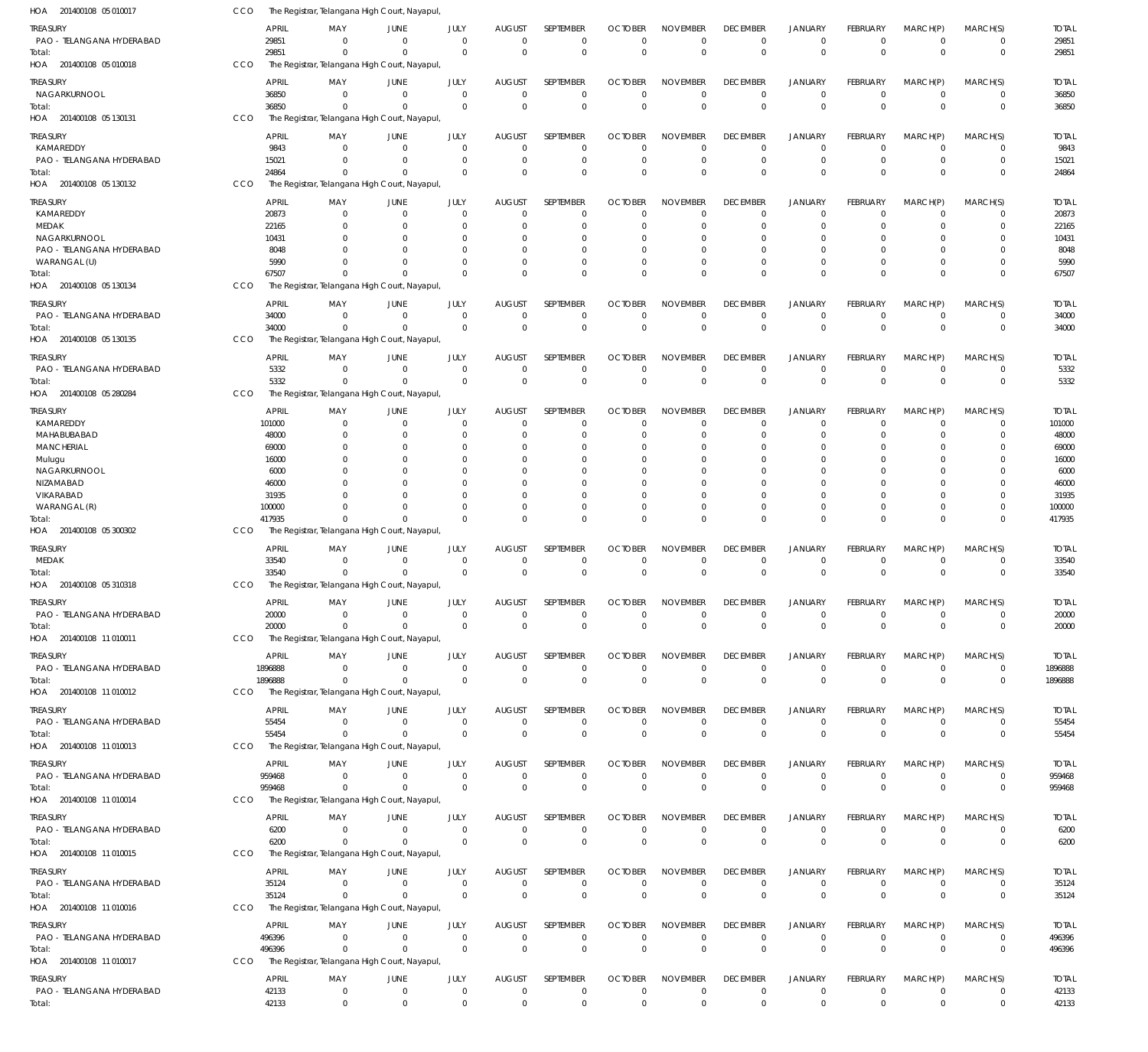| HOA 201400108 05 010017               | CCO        |                 | The Registrar, Telangana High Court, Nayapul              |                            |                             |                                  |                            |                               |                             |                                   |                                  |                                |                               |                            |                        |
|---------------------------------------|------------|-----------------|-----------------------------------------------------------|----------------------------|-----------------------------|----------------------------------|----------------------------|-------------------------------|-----------------------------|-----------------------------------|----------------------------------|--------------------------------|-------------------------------|----------------------------|------------------------|
| Treasury                              |            | APRIL           | MAY                                                       | JUNE                       | JULY                        | <b>AUGUST</b>                    | SEPTEMBER                  | <b>OCTOBER</b>                | <b>NOVEMBER</b>             | <b>DECEMBER</b>                   | <b>JANUARY</b>                   | FEBRUARY                       | MARCH(P)                      | MARCH(S)                   | <b>TOTAL</b>           |
| PAO - TELANGANA HYDERABAD<br>Total:   |            | 29851<br>29851  | $\Omega$<br>$\Omega$                                      | $\Omega$<br>$\Omega$       | $\mathbf{0}$<br>$\Omega$    | $\Omega$<br>$\Omega$             | $\mathbf 0$<br>$\mathbf 0$ | $\overline{0}$<br>$\Omega$    | $\mathbf 0$<br>$\mathbf 0$  | $\overline{0}$<br>$\mathbf{0}$    | $\Omega$<br>$\Omega$             | $^{\circ}$<br>$\Omega$         | $\mathbf 0$<br>$\Omega$       | 0<br>$\mathbf 0$           | 29851<br>29851         |
| HOA 201400108 05 010018               | CCO        |                 | The Registrar, Telangana High Court, Nayapul              |                            |                             |                                  |                            |                               |                             |                                   |                                  |                                |                               |                            |                        |
| treasury                              |            | <b>APRIL</b>    | MAY                                                       | JUNE                       | JULY                        | <b>AUGUST</b>                    | SEPTEMBER                  | <b>OCTOBER</b>                | <b>NOVEMBER</b>             | <b>DECEMBER</b>                   | JANUARY                          | <b>FEBRUARY</b>                | MARCH(P)                      | MARCH(S)                   | <b>TOTAL</b>           |
| NAGARKURNOOL                          |            | 36850           | $\Omega$                                                  | $\Omega$                   | $\Omega$                    | $\Omega$                         | $\mathbf 0$                | $\Omega$                      | $\Omega$                    | $\Omega$                          | $\Omega$<br>$\Omega$             | $\Omega$                       | $\Omega$<br>$\Omega$          | $^{\circ}$                 | 36850                  |
| Total:<br>HOA 201400108 05 130131     | CCO        | 36850           | $\Omega$<br>The Registrar, Telangana High Court, Nayapul  | $\Omega$                   | $\Omega$                    | $\Omega$                         | $\mathbf 0$                | $\Omega$                      | $\mathbf 0$                 | $\Omega$                          |                                  | $\Omega$                       |                               | $\mathbf 0$                | 36850                  |
| treasury                              |            | <b>APRIL</b>    | MAY                                                       | JUNE                       | JULY                        | <b>AUGUST</b>                    | SEPTEMBER                  | <b>OCTOBER</b>                | <b>NOVEMBER</b>             | <b>DECEMBER</b>                   | <b>JANUARY</b>                   | FEBRUARY                       | MARCH(P)                      | MARCH(S)                   | <b>TOTAL</b>           |
| KAMAREDDY                             |            | 9843            | $\Omega$                                                  | $\Omega$                   | $\mathbf{0}$                | $\Omega$                         | $\mathbf 0$                | $\mathbf 0$                   | $\mathbf 0$                 | $\Omega$                          | $\Omega$                         | $\Omega$                       | $\Omega$                      | 0                          | 9843                   |
| PAO - TELANGANA HYDERABAD             |            | 15021<br>24864  | $\Omega$<br>$\Omega$                                      | - 0<br>$\Omega$            | $\Omega$<br>$\Omega$        | $\Omega$<br>$\Omega$             | $\mathbf 0$<br>$\Omega$    | $\overline{0}$<br>$\Omega$    | $\mathbf 0$<br>$\Omega$     | $\Omega$<br>$\Omega$              | $\mathbf 0$<br>$\Omega$          | $\Omega$<br>$\Omega$           | $\Omega$<br>$\Omega$          | $\mathbf 0$<br>$\Omega$    | 15021<br>24864         |
| Total:<br>HOA 201400108 05 130132     | CCO        |                 | The Registrar, Telangana High Court, Nayapul              |                            |                             |                                  |                            |                               |                             |                                   |                                  |                                |                               |                            |                        |
| treasury                              |            | APRIL           | MAY                                                       | JUNE                       | JULY                        | <b>AUGUST</b>                    | SEPTEMBER                  | <b>OCTOBER</b>                | <b>NOVEMBER</b>             | <b>DECEMBER</b>                   | <b>JANUARY</b>                   | <b>FEBRUARY</b>                | MARCH(P)                      | MARCH(S)                   | <b>TOTAL</b>           |
| KAMAREDDY                             |            | 20873           | $\Omega$                                                  | $\Omega$                   | $\Omega$                    | $\Omega$                         | $\mathbf 0$                | $\Omega$                      | $\Omega$                    | $\Omega$                          | $\Omega$                         | $\Omega$                       | $\Omega$                      | 0                          | 20873                  |
| MEDAK<br>NAGARKURNOOL                 |            | 22165<br>10431  | $\Omega$                                                  | $\Omega$<br>$\Omega$       | $\Omega$<br>0               | $\Omega$<br>0                    | $\Omega$<br>0              | $\Omega$<br>$\Omega$          | $\Omega$<br>$\Omega$        | $\Omega$<br>$\Omega$              | $\Omega$<br>$\Omega$             | $\Omega$                       | $\Omega$                      | 0<br>0                     | 22165<br>10431         |
| PAO - TELANGANA HYDERABAD             |            | 8048            |                                                           | $\Omega$                   | n                           | $\Omega$                         | $\Omega$                   | $\Omega$                      | $\Omega$                    | $\Omega$                          | $\Omega$                         | $\Omega$                       | O                             | $\Omega$                   | 8048                   |
| WARANGAL (U)                          |            | 5990            | <sup>0</sup>                                              | $\Omega$                   | $\Omega$                    | $\Omega$                         | $\Omega$                   | $\Omega$                      | $\Omega$                    | $\Omega$                          | $\Omega$                         | $\Omega$                       | $\Omega$                      | $\Omega$                   | 5990                   |
| Total:<br>HOA 201400108 05 130134     | CCO        | 67507           | $\Omega$<br>The Registrar, Telangana High Court, Nayapul  |                            | $\Omega$                    | $\Omega$                         | $\Omega$                   | $\Omega$                      | $\Omega$                    | $\Omega$                          | $\Omega$                         | $\Omega$                       | $\Omega$                      | $\Omega$                   | 67507                  |
|                                       |            |                 |                                                           |                            |                             |                                  |                            |                               |                             |                                   |                                  |                                |                               |                            |                        |
| treasury<br>PAO - TELANGANA HYDERABAD |            | APRIL<br>34000  | MAY<br>$\Omega$                                           | JUNE<br>$\Omega$           | JULY<br>$\mathbf{0}$        | <b>AUGUST</b><br>0               | SEPTEMBER<br>$\mathbf 0$   | <b>OCTOBER</b><br>0           | <b>NOVEMBER</b><br>0        | <b>DECEMBER</b><br>$\overline{0}$ | <b>JANUARY</b><br>$\Omega$       | FEBRUARY<br>$\Omega$           | MARCH(P)<br>0                 | MARCH(S)<br>0              | <b>TOTAL</b><br>34000  |
| Total:                                |            | 34000           | $\Omega$                                                  | $\Omega$                   | $\Omega$                    | $\Omega$                         | $\mathbf 0$                | $\Omega$                      | $\mathbf 0$                 | $\Omega$                          | $\Omega$                         | $\Omega$                       | $\Omega$                      | $\mathbf 0$                | 34000                  |
| HOA 201400108 05 130135               | CCO        |                 | The Registrar, Telangana High Court, Nayapul              |                            |                             |                                  |                            |                               |                             |                                   |                                  |                                |                               |                            |                        |
| treasury                              |            | <b>APRIL</b>    | MAY                                                       | JUNE                       | JULY                        | <b>AUGUST</b>                    | SEPTEMBER                  | <b>OCTOBER</b>                | <b>NOVEMBER</b>             | <b>DECEMBER</b>                   | JANUARY                          | FEBRUARY                       | MARCH(P)                      | MARCH(S)                   | <b>TOTAL</b>           |
| PAO - TELANGANA HYDERABAD<br>Total:   |            | 5332<br>5332    | $\Omega$<br>$\Omega$                                      | $\Omega$<br>- 0            | $\Omega$<br>$\mathbf{0}$    | $\Omega$<br>$\Omega$             | $\mathbf 0$<br>$\mathbf 0$ | $\Omega$<br>$\mathbf 0$       | $\Omega$<br>$\mathbf 0$     | $\mathbf 0$<br>$\Omega$           | $\Omega$<br>$\mathbf 0$          | $\Omega$<br>$\Omega$           | $\Omega$<br>$\Omega$          | $\mathbf 0$<br>$\mathbf 0$ | 5332<br>5332           |
| HOA 201400108 05 280284               | CCO        |                 | The Registrar, Telangana High Court, Nayapul              |                            |                             |                                  |                            |                               |                             |                                   |                                  |                                |                               |                            |                        |
| Treasury                              |            | APRIL           | MAY                                                       | JUNE                       | JULY                        | <b>AUGUST</b>                    | SEPTEMBER                  | <b>OCTOBER</b>                | <b>NOVEMBER</b>             | <b>DECEMBER</b>                   | <b>JANUARY</b>                   | FEBRUARY                       | MARCH(P)                      | MARCH(S)                   | <b>TOTAL</b>           |
| KAMAREDDY                             |            | 101000          | $\Omega$                                                  | $\overline{0}$             | $\mathbf{0}$                | $\Omega$                         | $\mathbf 0$                | $\Omega$                      | 0                           | 0                                 | $\Omega$                         | $\Omega$                       | $\Omega$                      | 0                          | 101000                 |
| MAHABUBABAD<br><b>MANCHERIAL</b>      |            | 48000<br>69000  | $\Omega$<br>$\Omega$                                      | - 0<br>$\Omega$            | $\Omega$<br>0               | $\Omega$<br>$\Omega$             | $\Omega$<br>$\Omega$       | $\Omega$<br>$\Omega$          | $\Omega$<br>$\Omega$        | $\Omega$<br>$\Omega$              | $\Omega$<br>$\Omega$             | $\Omega$                       | $\Omega$                      | $\Omega$<br>0              | 48000<br>69000         |
| Mulugu                                |            | 16000           |                                                           | $\Omega$                   | 0                           | $\Omega$                         | $\Omega$                   | $\Omega$                      | $\Omega$                    | $\Omega$                          | $\Omega$                         |                                |                               | $\Omega$                   | 16000                  |
| NAGARKURNOOL                          |            | 6000            |                                                           | $\Omega$<br>$\Omega$       | 0<br>$\Omega$               | $\Omega$<br>$\Omega$             | $\Omega$<br>$\Omega$       | $\Omega$<br>$\Omega$          | $\Omega$<br>$\Omega$        | $\Omega$<br>$\Omega$              | $\Omega$<br>$\Omega$             | $\Omega$                       | $\Omega$<br>$\Omega$          | 0<br>$\Omega$              | 6000                   |
| NIZAMABAD<br>VIKARABAD                |            | 46000<br>31935  |                                                           | $\Omega$                   | $\Omega$                    | $\Omega$                         | $\Omega$                   | $\Omega$                      | $\Omega$                    | $\Omega$                          | $\Omega$                         | $\Omega$                       | $\Omega$                      | 0                          | 46000<br>31935         |
| WARANGAL (R)                          |            | 100000          |                                                           | $\Omega$                   | $\Omega$                    | $\Omega$                         | $\mathbf 0$                | $\Omega$                      | 0                           | $\Omega$                          | $\Omega$                         | $\Omega$                       | $\Omega$                      | 0                          | 100000                 |
| Total:<br>HOA 201400108 05 300302     | CCO        | 417935          | The Registrar, Telangana High Court, Nayapul              | $\Omega$                   | $\Omega$                    | $\Omega$                         | $\Omega$                   | $\Omega$                      | $\Omega$                    | $\Omega$                          | $\Omega$                         | $\Omega$                       | $\Omega$                      | $\mathbf 0$                | 417935                 |
|                                       |            |                 |                                                           |                            |                             |                                  |                            |                               |                             |                                   |                                  |                                |                               |                            |                        |
| treasury<br>MEDAK                     |            | APRIL<br>33540  | MAY<br>$\Omega$                                           | JUNE<br>$\Omega$           | JULY<br>$\Omega$            | <b>AUGUST</b><br>$\Omega$        | SEPTEMBER<br>0             | <b>OCTOBER</b><br>$\Omega$    | <b>NOVEMBER</b><br>$\Omega$ | <b>DECEMBER</b><br>$\mathbf 0$    | JANUARY<br>$\Omega$              | FEBRUARY<br>$\Omega$           | MARCH(P)<br>$\Omega$          | MARCH(S)<br>0              | <b>TOTAL</b><br>33540  |
| Total:                                |            | 33540           | $\Omega$                                                  | $\Omega$                   | $\Omega$                    | $\Omega$                         | $\Omega$                   | $\Omega$                      | $\Omega$                    | $\Omega$                          | $\Omega$                         | $\Omega$                       | $\Omega$                      | $\mathbf 0$                | 33540                  |
| HOA 201400108 05 310318               | CCO        |                 | The Registrar, Telangana High Court, Nayapul              |                            |                             |                                  |                            |                               |                             |                                   |                                  |                                |                               |                            |                        |
| TREASURY                              |            | APRIL           | MAY                                                       | <b>JUNE</b>                | JULY.                       | <b>AUGUST</b>                    | <b>SEPTEMBER</b>           | <b>OCTOBER</b>                | <b>NOVEMBER</b>             | <b>DECEMBER</b>                   | JANUARY                          | <b>FFBRUARY</b>                | MARCH(P)                      | MARCH(S)                   | <b>TOTAI</b>           |
| PAO - TELANGANA HYDERABAD<br>Total:   |            | 20000<br>20000  | $\Omega$<br>$\mathbf{0}$                                  | $\mathbf 0$<br>$\Omega$    | $\mathbf{0}$<br>$\Omega$    | $\overline{0}$<br>$\Omega$       | $\mathbf 0$<br>$\mathbf 0$ | $\overline{0}$<br>$\mathbf 0$ | $\mathbf 0$<br>$\mathbf 0$  | $\overline{0}$<br>$\mathbf{0}$    | $\Omega$<br>$\mathbf 0$          | $\overline{0}$<br>$\mathbf 0$  | $\mathbf 0$<br>$\overline{0}$ | $\mathbf 0$<br>$\mathbf 0$ | 20000<br>20000         |
| HOA 201400108 11 010011               | CCO        |                 | The Registrar, Telangana High Court, Nayapul              |                            |                             |                                  |                            |                               |                             |                                   |                                  |                                |                               |                            |                        |
| treasury                              |            | <b>APRIL</b>    | MAY                                                       | JUNE                       | <b>JULY</b>                 | <b>AUGUST</b>                    | SEPTEMBER                  | <b>OCTOBER</b>                | <b>NOVEMBER</b>             | <b>DECEMBER</b>                   | <b>JANUARY</b>                   | <b>FEBRUARY</b>                | MARCH(P)                      | MARCH(S)                   | <b>TOTAL</b>           |
| PAO - TELANGANA HYDERABAD             |            | 1896888         | $\Omega$                                                  | $\mathbf 0$                | $\mathbf{0}$                | $\mathbf 0$                      | $\mathbf 0$                | $\overline{0}$                | $\mathbf 0$                 | $\mathbf 0$                       | $\Omega$                         | $\overline{0}$                 | $\mathbf 0$                   | $^{\circ}$                 | 1896888                |
| Total:<br>HOA 201400108 11 010012     | <b>CCO</b> | 1896888         | $\Omega$<br>The Registrar, Telangana High Court, Nayapul, | $\Omega$                   | $\Omega$                    | $\Omega$                         | $\mathbf 0$                | $\overline{0}$                | $\mathbf 0$                 | $\mathbf{0}$                      | $\Omega$                         | $\overline{0}$                 | $\Omega$                      | $\overline{0}$             | 1896888                |
| treasury                              |            | <b>APRIL</b>    | MAY                                                       | JUNE                       | JULY                        | <b>AUGUST</b>                    | <b>SEPTEMBER</b>           | <b>OCTOBER</b>                | <b>NOVEMBER</b>             | <b>DECEMBER</b>                   | JANUARY                          | FEBRUARY                       | MARCH(P)                      | MARCH(S)                   | <b>TOTAL</b>           |
| PAO - TELANGANA HYDERABAD             |            | 55454           | $\Omega$                                                  | $\Omega$                   | $\mathbf{0}$                | $\overline{0}$                   | $\mathbf 0$                | $\overline{0}$                | $\mathbf 0$                 | $\mathbf 0$                       | $\Omega$                         | $\Omega$                       | $\mathbf 0$                   | $\overline{0}$             | 55454                  |
| Total:                                |            | 55454           | $\Omega$                                                  | $\Omega$                   | $\overline{0}$              | $\Omega$                         | $\mathbf 0$                | $\overline{0}$                | $\mathbf 0$                 | $\mathbf{0}$                      | $\mathbf 0$                      | $\mathbf{0}$                   | $\Omega$                      | $\overline{0}$             | 55454                  |
| HOA 201400108 11 010013               | CCO        |                 | The Registrar, Telangana High Court, Nayapul,             |                            |                             |                                  |                            |                               |                             |                                   |                                  |                                |                               |                            |                        |
| Treasury<br>PAO - TELANGANA HYDERABAD |            | APRIL<br>959468 | MAY<br>$\Omega$                                           | JUNE<br>$\overline{0}$     | JULY<br>$\Omega$            | <b>AUGUST</b><br>$\Omega$        | SEPTEMBER<br>$\mathbf 0$   | <b>OCTOBER</b><br>$\Omega$    | <b>NOVEMBER</b><br>$\Omega$ | <b>DECEMBER</b><br>$\mathbf 0$    | <b>JANUARY</b><br>$\overline{0}$ | <b>FEBRUARY</b><br>$\Omega$    | MARCH(P)<br>$\overline{0}$    | MARCH(S)<br>$\overline{0}$ | <b>TOTAL</b><br>959468 |
| Total:                                |            | 959468          | $\mathbf{0}$                                              | $\overline{0}$             | $\Omega$                    | $\Omega$                         | $\mathbf 0$                | $\mathbf 0$                   | $\mathbf 0$                 | $\mathbf 0$                       | $\mathbf 0$                      | $\mathbf 0$                    | $\mathbf 0$                   | $^{\circ}$                 | 959468                 |
| HOA 201400108 11 010014               | CCO        |                 | The Registrar, Telangana High Court, Nayapul,             |                            |                             |                                  |                            |                               |                             |                                   |                                  |                                |                               |                            |                        |
| Treasury                              |            | <b>APRIL</b>    | MAY                                                       | JUNE                       | JULY                        | <b>AUGUST</b>                    | SEPTEMBER                  | <b>OCTOBER</b>                | <b>NOVEMBER</b>             | <b>DECEMBER</b>                   | <b>JANUARY</b>                   | FEBRUARY                       | MARCH(P)                      | MARCH(S)                   | <b>TOTAL</b>           |
| PAO - TELANGANA HYDERABAD<br>Total:   |            | 6200<br>6200    | $\mathbf{0}$<br>$\Omega$                                  | $\mathbf 0$<br>$\Omega$    | $\mathbf{0}$<br>$\Omega$    | $\overline{0}$<br>$\overline{0}$ | $\mathbf 0$<br>$\mathbf 0$ | $^{\circ}$<br>$\overline{0}$  | $\mathbf 0$<br>$\mathbf 0$  | 0<br>$\mathbf{0}$                 | $\mathbf 0$<br>$\mathbf 0$       | $\overline{0}$<br>$\mathbf{0}$ | $\mathbf 0$<br>$\Omega$       | $\mathbf 0$<br>$\mathbf 0$ | 6200<br>6200           |
| HOA 201400108 11 010015               | CCO        |                 | The Registrar, Telangana High Court, Nayapul,             |                            |                             |                                  |                            |                               |                             |                                   |                                  |                                |                               |                            |                        |
| treasury                              |            | <b>APRIL</b>    | MAY                                                       | JUNE                       | JULY                        | <b>AUGUST</b>                    | SEPTEMBER                  | <b>OCTOBER</b>                | <b>NOVEMBER</b>             | <b>DECEMBER</b>                   | <b>JANUARY</b>                   | FEBRUARY                       | MARCH(P)                      | MARCH(S)                   | <b>TOTAL</b>           |
| PAO - TELANGANA HYDERABAD             |            | 35124           | $\Omega$                                                  | $\overline{0}$             | $\mathbf{0}$                | $\mathbf 0$                      | $\mathbf 0$                | $^{\circ}$                    | $\mathbf 0$                 | $\mathbf 0$                       | $\overline{0}$                   | $\Omega$                       | $\overline{0}$                | $^{\circ}$                 | 35124                  |
| Total:<br>HOA 201400108 11 010016     | CCO        | 35124           | $\Omega$<br>The Registrar, Telangana High Court, Nayapul  | $\Omega$                   | $\Omega$                    | $\Omega$                         | $\mathbf 0$                | $\overline{0}$                | $\mathbf 0$                 | $\mathbf{0}$                      | $\Omega$                         | $\Omega$                       | $\Omega$                      | $\mathbf 0$                | 35124                  |
|                                       |            | APRIL           | MAY                                                       |                            | JULY                        | <b>AUGUST</b>                    | SEPTEMBER                  | <b>OCTOBER</b>                | <b>NOVEMBER</b>             | <b>DECEMBER</b>                   | <b>JANUARY</b>                   | FEBRUARY                       |                               |                            | <b>TOTAL</b>           |
| treasury<br>PAO - TELANGANA HYDERABAD |            | 496396          | $\Omega$                                                  | JUNE<br>$\overline{0}$     | $\mathbf{0}$                | $\mathbf 0$                      | $\mathbf 0$                | $^{\circ}$                    | $\mathbf 0$                 | $\mathbf 0$                       | $\mathbf 0$                      | $\Omega$                       | MARCH(P)<br>$\Omega$          | MARCH(S)<br>$\mathbf 0$    | 496396                 |
| Total:                                |            | 496396          | $\Omega$                                                  | $\Omega$                   | $\mathbf{0}$                | $\overline{0}$                   | $\mathbf 0$                | $\overline{0}$                | $\mathbf 0$                 | $\mathbf 0$                       | $\mathbf 0$                      | $\mathbf 0$                    | $\Omega$                      | $\overline{0}$             | 496396                 |
| HOA 201400108 11010017                | CCO        |                 | The Registrar, Telangana High Court, Nayapul,             |                            |                             |                                  |                            |                               |                             |                                   |                                  |                                |                               |                            |                        |
| Treasury                              |            | APRIL           | MAY                                                       | JUNE                       | JULY                        | <b>AUGUST</b>                    | SEPTEMBER                  | <b>OCTOBER</b>                | <b>NOVEMBER</b>             | <b>DECEMBER</b>                   | <b>JANUARY</b>                   | FEBRUARY                       | MARCH(P)                      | MARCH(S)                   | <b>TOTAL</b>           |
| PAO - TELANGANA HYDERABAD<br>Total:   |            | 42133<br>42133  | 0<br>$\boldsymbol{0}$                                     | $\mathbf 0$<br>$\mathbf 0$ | $\mathbf 0$<br>$\mathbf{0}$ | $\mathbf 0$<br>$\mathbf 0$       | $\mathbf 0$<br>$\mathbf 0$ | $\mathbf 0$<br>$\mathbf 0$    | $\mathbf 0$<br>$\mathbf 0$  | 0<br>$\mathbf 0$                  | $\mathbf 0$<br>$\mathbf{0}$      | $^{\circ}$<br>$\mathbf 0$      | $\mathbf 0$<br>$\mathbf{0}$   | $^{\circ}$<br>$\mathbf 0$  | 42133<br>42133         |
|                                       |            |                 |                                                           |                            |                             |                                  |                            |                               |                             |                                   |                                  |                                |                               |                            |                        |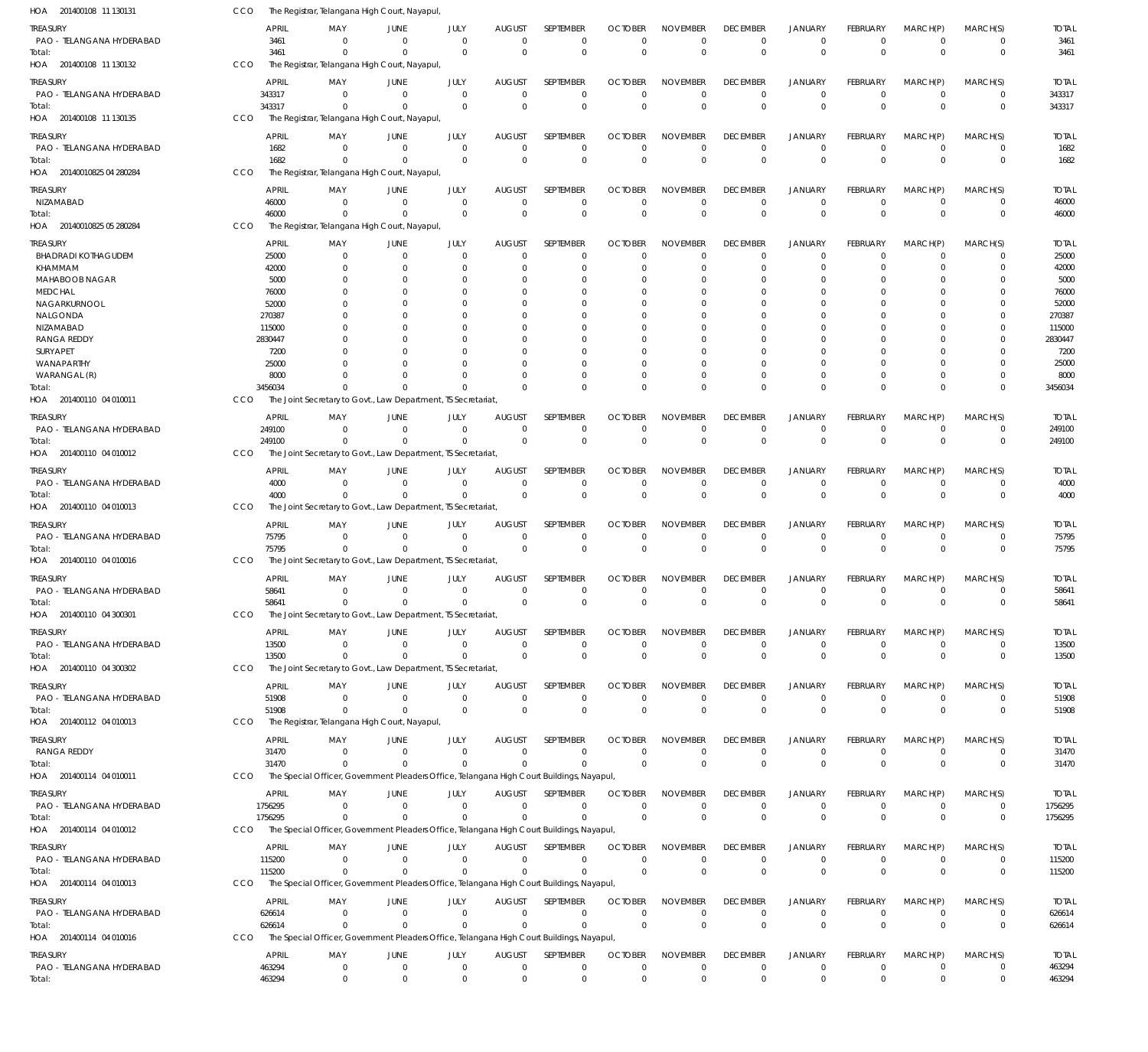| HOA 201400108 11 130131                | CCO        |                        | The Registrar, Telangana High Court, Nayapul                                                          |                        |                        |                                 |                                 |                               |                                |                                |                                  |                                |                                  |                         |                        |
|----------------------------------------|------------|------------------------|-------------------------------------------------------------------------------------------------------|------------------------|------------------------|---------------------------------|---------------------------------|-------------------------------|--------------------------------|--------------------------------|----------------------------------|--------------------------------|----------------------------------|-------------------------|------------------------|
| treasury<br>PAO - TELANGANA HYDERABAD  |            | <b>APRIL</b><br>3461   | MAY<br>- 0                                                                                            | JUNE<br>$\overline{0}$ | JULY<br>$\overline{0}$ | <b>AUGUST</b><br>$\overline{0}$ | <b>SEPTEMBER</b><br>$\mathbf 0$ | <b>OCTOBER</b><br>$\mathbf 0$ | <b>NOVEMBER</b><br>$\mathbf 0$ | <b>DECEMBER</b><br>$\mathbf 0$ | <b>JANUARY</b><br>$^{\circ}$     | <b>FEBRUARY</b><br>$\mathbf 0$ | MARCH(P)<br>$^{\circ}$           | MARCH(S)<br>$\mathbf 0$ | <b>TOTAL</b><br>3461   |
| Total:<br>HOA 201400108 11 130132      | CCO        | 3461                   | $\Omega$<br>The Registrar, Telangana High Court, Nayapul                                              | $\Omega$               | $\Omega$               | $\overline{0}$                  | $\mathbf 0$                     | $\Omega$                      | $\Omega$                       | $\Omega$                       | $\overline{0}$                   | $\mathbf{0}$                   | $\overline{0}$                   | $\mathbf 0$             | 3461                   |
| treasury                               |            | <b>APRIL</b>           | MAY                                                                                                   | JUNE                   | JULY                   | <b>AUGUST</b>                   | SEPTEMBER                       | <b>OCTOBER</b>                | <b>NOVEMBER</b>                | <b>DECEMBER</b>                | <b>JANUARY</b>                   | FEBRUARY                       | MARCH(P)                         | MARCH(S)                | <b>TOTAL</b>           |
| PAO - TELANGANA HYDERABAD<br>Total:    |            | 343317<br>343317       | $\Omega$<br>$\Omega$                                                                                  | $\Omega$<br>$\Omega$   | $\Omega$<br>$\Omega$   | $\mathbf 0$<br>$\Omega$         | $\mathbf 0$<br>$\mathbf 0$      | $\Omega$<br>$\Omega$          | $\Omega$<br>$\Omega$           | $\Omega$<br>$\Omega$           | $^{\circ}$<br>$\Omega$           | $\mathbf 0$<br>$\Omega$        | $^{\circ}$<br>$\Omega$           | 0<br>$\mathbf 0$        | 343317<br>343317       |
| HOA 201400108 11 130135                | CCO        |                        | The Registrar, Telangana High Court, Nayapul                                                          |                        |                        |                                 |                                 |                               |                                |                                |                                  |                                |                                  |                         |                        |
| treasury<br>PAO - TELANGANA HYDERABAD  |            | <b>APRIL</b><br>1682   | MAY<br>- 0                                                                                            | JUNE<br>$\overline{0}$ | JULY<br>$\mathbf 0$    | <b>AUGUST</b><br>$\mathbf 0$    | SEPTEMBER<br>$\mathbf 0$        | <b>OCTOBER</b><br>$\mathbf 0$ | <b>NOVEMBER</b><br>$\mathbf 0$ | <b>DECEMBER</b><br>$\Omega$    | JANUARY<br>$^{\circ}$            | FEBRUARY<br>$\mathbf 0$        | MARCH(P)<br>$^{\circ}$           | MARCH(S)<br>$\mathbf 0$ | <b>TOTAL</b><br>1682   |
| Total:                                 |            | 1682                   | $\Omega$                                                                                              | $\Omega$               | $\overline{0}$         | $\Omega$                        | $\mathbf 0$                     | $\Omega$                      | $\Omega$                       | $\Omega$                       | $\overline{0}$                   | $\mathbf{0}$                   | $\Omega$                         | $\mathbf 0$             | 1682                   |
| HOA 20140010825 04 280284              | CCO        |                        | The Registrar, Telangana High Court, Nayapul                                                          |                        |                        |                                 |                                 |                               |                                |                                |                                  |                                |                                  |                         |                        |
| treasury                               |            | <b>APRIL</b>           | MAY                                                                                                   | JUNE                   | JULY                   | <b>AUGUST</b>                   | <b>SEPTEMBER</b>                | <b>OCTOBER</b>                | <b>NOVEMBER</b>                | <b>DECEMBER</b>                | <b>JANUARY</b>                   | FEBRUARY                       | MARCH(P)                         | MARCH(S)                | <b>TOTAL</b>           |
| NIZAMABAD                              |            | 46000                  | $\Omega$                                                                                              | $\Omega$               | $\Omega$               | $\mathbf 0$                     | $\mathbf 0$                     | $\Omega$                      | $\Omega$                       | $\mathbf 0$                    | $^{\circ}$                       | $\Omega$                       | $\overline{0}$                   | 0                       | 46000                  |
| Total:<br>HOA 20140010825 05 280284    | CCO        | 46000                  | - 0<br>The Registrar, Telangana High Court, Nayapul                                                   | $\Omega$               | $\Omega$               | $\mathbf 0$                     | $\mathbf 0$                     | $\Omega$                      | $\Omega$                       | $\mathbf{0}$                   | $\overline{0}$                   | $\Omega$                       | $\overline{0}$                   | $\mathbf 0$             | 46000                  |
|                                        |            | <b>APRIL</b>           |                                                                                                       |                        |                        |                                 | SEPTEMBER                       | <b>OCTOBER</b>                | <b>NOVEMBER</b>                |                                |                                  |                                |                                  |                         |                        |
| treasury<br><b>BHADRADI KOTHAGUDEM</b> |            | 25000                  | MAY<br>$\Omega$                                                                                       | JUNE<br>$\overline{0}$ | JULY<br>0              | <b>AUGUST</b><br>$\mathbf 0$    | $\mathbf 0$                     | $\Omega$                      | $\Omega$                       | <b>DECEMBER</b><br>$\Omega$    | <b>JANUARY</b><br>$^{\circ}$     | FEBRUARY<br>$\Omega$           | MARCH(P)<br>$\overline{0}$       | MARCH(S)<br>0           | <b>TOTAL</b><br>25000  |
| KHAMMAM                                |            | 42000                  | $\Omega$                                                                                              | $\Omega$               | $\Omega$               | $\Omega$                        | $\mathbf 0$                     | $\Omega$                      | $\Omega$                       | $\Omega$                       | $^{\circ}$                       | $\Omega$                       | $\Omega$                         | $\mathbf 0$             | 42000                  |
| <b>MAHABOOB NAGAR</b>                  |            | 5000                   | $\Omega$                                                                                              | $\Omega$               | 0                      | $\Omega$                        | 0                               | O                             | $\Omega$                       | - ( )                          | $\Omega$                         | O                              | $\Omega$                         | $\Omega$                | 5000                   |
| <b>MEDCHAL</b><br>NAGARKURNOOL         |            | 76000<br>52000         |                                                                                                       | $\Omega$<br>$\Omega$   | n<br>-0                | $\Omega$<br>$\Omega$            | $\Omega$<br>$\Omega$            | C.<br>-0                      | $\Omega$<br>$\Omega$           |                                | $\Omega$<br>$\Omega$             | O<br>O                         | $\Omega$<br>$\Omega$             | U<br>0                  | 76000<br>52000         |
| NALGONDA                               |            | 270387                 |                                                                                                       | $\Omega$               | n                      | -C                              | $\Omega$                        | C.                            | $\Omega$                       |                                | $\Omega$                         | O                              | $\Omega$                         | U                       | 270387                 |
| NIZAMABAD                              |            | 115000                 | <sup>0</sup>                                                                                          | $\Omega$               | 0                      | $\Omega$                        | $\Omega$                        | C.                            | $\Omega$                       |                                | $\Omega$                         | O                              | $\Omega$                         | 0                       | 115000                 |
| <b>RANGA REDDY</b><br>SURYAPET         |            | 2830447<br>7200        |                                                                                                       | $\Omega$<br>$\Omega$   | n<br>n                 | $\Omega$<br>$\Omega$            | $\Omega$<br>$\Omega$            | C.<br>-0                      | $\Omega$<br>$\Omega$           |                                | $\Omega$<br>$\Omega$             | O<br>O                         | $\Omega$<br>$\Omega$             | U<br>0                  | 2830447<br>7200        |
| WANAPARTHY                             |            | 25000                  |                                                                                                       | $\Omega$               | n                      | $\Omega$                        | $\Omega$                        | O                             | $\Omega$                       |                                | $\Omega$                         | 0                              | $\Omega$                         | $\Omega$                | 25000                  |
| WARANGAL (R)                           |            | 8000                   |                                                                                                       | $\Omega$               | $\Omega$               | $\Omega$                        | $\mathbf 0$                     | O                             | $\Omega$                       | $\Omega$                       | $\overline{0}$                   | $\Omega$                       | $\overline{0}$                   | $\mathbf 0$             | 8000                   |
| Total:                                 |            | 3456034                | $\Omega$                                                                                              | $\Omega$               | $\Omega$               | $\Omega$                        | $\Omega$                        | $\Omega$                      | $\Omega$                       | $\Omega$                       | $\Omega$                         | $\Omega$                       | $\Omega$                         | $\mathbf 0$             | 3456034                |
| HOA 201400110 04 010011                | CCO        |                        | The Joint Secretary to Govt., Law Department, TS Secretariat                                          |                        |                        |                                 |                                 |                               |                                |                                |                                  |                                |                                  |                         |                        |
| treasury<br>PAO - TELANGANA HYDERABAD  |            | <b>APRIL</b><br>249100 | MAY<br>$\Omega$                                                                                       | JUNE<br>$\overline{0}$ | JULY<br>$\Omega$       | <b>AUGUST</b><br>$\Omega$       | SEPTEMBER<br>$\mathbf 0$        | <b>OCTOBER</b><br>$\Omega$    | <b>NOVEMBER</b><br>$\Omega$    | <b>DECEMBER</b><br>$\Omega$    | <b>JANUARY</b><br>$\overline{0}$ | FEBRUARY<br>$\Omega$           | MARCH(P)<br>$\overline{0}$       | MARCH(S)<br>0           | <b>TOTAL</b><br>249100 |
| Total:                                 |            | 249100                 | $\Omega$                                                                                              | $\Omega$               | $\Omega$               | $\Omega$                        | $\mathbf 0$                     | $\Omega$                      | $\Omega$                       | $\Omega$                       | $\Omega$                         | $\Omega$                       | $\Omega$                         | $\mathbf 0$             | 249100                 |
| HOA 201400110 04 010012                | CCO        |                        | The Joint Secretary to Govt., Law Department, TS Secretariat                                          |                        |                        |                                 |                                 |                               |                                |                                |                                  |                                |                                  |                         |                        |
| treasury                               |            | <b>APRIL</b>           | MAY                                                                                                   | JUNE                   | JULY                   | <b>AUGUST</b>                   | SEPTEMBER                       | <b>OCTOBER</b>                | <b>NOVEMBER</b>                | <b>DECEMBER</b>                | JANUARY                          | FEBRUARY                       | MARCH(P)                         | MARCH(S)                | <b>TOTAL</b>           |
| PAO - TELANGANA HYDERABAD              |            | 4000                   | $\Omega$                                                                                              | $\Omega$               | $\mathbf 0$            | $\mathbf 0$                     | $\mathbf 0$                     | $\mathbf 0$                   | $\mathbf 0$                    | $\Omega$                       | $^{\circ}$                       | $\mathbf 0$                    | $\overline{0}$                   | $\mathbf 0$             | 4000                   |
| Total:<br>HOA 201400110 04 010013      | CCO        | 4000                   | $\Omega$<br>The Joint Secretary to Govt., Law Department, TS Secretariat                              | $\Omega$               | $\mathbf 0$            | $\overline{0}$                  | $\mathbf 0$                     | $\Omega$                      | $^{\circ}$                     | $\mathbf{0}$                   | $\overline{0}$                   | $\mathbf{0}$                   | $\Omega$                         | $\mathbf 0$             | 4000                   |
| treasury                               |            | <b>APRIL</b>           | MAY                                                                                                   | JUNE                   | JULY                   | <b>AUGUST</b>                   | SEPTEMBER                       | <b>OCTOBER</b>                | <b>NOVEMBER</b>                | <b>DECEMBER</b>                | JANUARY                          | FEBRUARY                       | MARCH(P)                         | MARCH(S)                | <b>TOTAL</b>           |
| PAO - TELANGANA HYDERABAD              |            | 75795                  | $\Omega$                                                                                              | $\Omega$               | $\Omega$               | $\Omega$                        | 0                               | $\Omega$                      | $\Omega$                       | $\Omega$                       | $^{\circ}$                       | $\Omega$                       | $^{\circ}$                       | 0                       | 75795                  |
| iotal:                                 |            | 75795                  | $\Omega$                                                                                              | $\Omega$               | $\Omega$               | $\Omega$                        | $\mathbf 0$                     | $\Omega$                      | $\Omega$                       | $\Omega$                       | $\overline{0}$                   | $\Omega$                       | $\Omega$                         | $\mathbf 0$             | 75795                  |
| HOA 201400110 04 010016                | CCO        |                        | The Joint Secretary to Govt., Law Department, TS Secretariat                                          |                        |                        |                                 |                                 |                               |                                |                                |                                  |                                |                                  |                         |                        |
| treasury<br>PAO - TELANGANA HYDERABAD  |            | <b>APRIL</b><br>58641  | MAY<br>$\overline{0}$                                                                                 | JUNE<br>$\overline{0}$ | JULY<br>$\overline{0}$ | <b>AUGUST</b><br>$\mathbf 0$    | SEPTEMBER<br>$\mathbf 0$        | <b>OCTOBER</b><br>$\mathbf 0$ | <b>NOVEMBER</b><br>$\mathbf 0$ | <b>DECEMBER</b><br>$\mathbf 0$ | <b>JANUARY</b><br>$\overline{0}$ | FEBRUARY<br>$\mathbf 0$        | MARCH(P)<br>$\overline{0}$       | MARCH(S)<br>$\mathbf 0$ | <b>TOTAL</b><br>58641  |
| Total:                                 |            | 58641                  |                                                                                                       | $\Omega$               | $\cap$                 | $\Omega$                        | $\Omega$                        | $\Omega$                      | $\Omega$                       | $\Omega$                       | $\cap$                           | $\Omega$                       | $\Omega$                         | $\Omega$                | 58641                  |
| HOA 201400110 04 300301                | CCO        |                        | The Joint Secretary to Govt., Law Department, TS Secretariat,                                         |                        |                        |                                 |                                 |                               |                                |                                |                                  |                                |                                  |                         |                        |
| Treasury                               |            | APRIL                  | MAY                                                                                                   | JUNE                   | JULY                   | <b>AUGUST</b>                   | SEPTEMBER                       | <b>OCTOBER</b>                | <b>NOVEMBER</b>                | <b>DECEMBER</b>                | <b>JANUARY</b>                   | <b>FEBRUARY</b>                | MARCH(P)                         | MARCH(S)                | <b>TOTAL</b>           |
| PAO - TELANGANA HYDERABAD              |            | 13500                  | - 0                                                                                                   | $\overline{0}$         | $\Omega$               | $\mathbf 0$                     | $\mathbf 0$                     | $\Omega$                      | $\mathbf 0$                    | $\mathbf 0$                    | $\overline{0}$                   | $\mathbf 0$                    | $\overline{0}$                   | $\overline{0}$          | 13500                  |
| Total:<br>HOA 201400110 04 300302      | CCO        | 13500                  | $^{\circ}$<br>The Joint Secretary to Govt., Law Department, TS Secretariat                            | $\Omega$               | $\Omega$               | $\Omega$                        | $\mathbf 0$                     | $\mathbf{0}$                  | $\mathbf 0$                    | $\overline{0}$                 | $\mathbf 0$                      | $\mathbf 0$                    | $\overline{0}$                   | $\mathbf 0$             | 13500                  |
| treasury                               |            | APRIL                  | MAY                                                                                                   | JUNE                   | JULY                   | <b>AUGUST</b>                   | SEPTEMBER                       | <b>OCTOBER</b>                | <b>NOVEMBER</b>                | <b>DECEMBER</b>                | JANUARY                          | <b>FEBRUARY</b>                | MARCH(P)                         | MARCH(S)                | <b>TOTAL</b>           |
| PAO - TELANGANA HYDERABAD              |            | 51908                  | $^{\circ}$                                                                                            | $\overline{0}$         | $\mathbf 0$            | $\overline{0}$                  | $\mathbf 0$                     | $\mathbf 0$                   | $\mathbf 0$                    | $\mathbf 0$                    | $\overline{0}$                   | $\mathbf 0$                    | $\overline{0}$                   | $\mathbf 0$             | 51908                  |
| Total:                                 |            | 51908                  | $\Omega$                                                                                              | $\Omega$               | $\Omega$               | $\overline{0}$                  | $\mathbf 0$                     | $\mathbf{0}$                  | $\mathbf 0$                    | $\mathbf 0$                    | $\overline{0}$                   | $\mathbf{0}$                   | $\Omega$                         | $\mathbf 0$             | 51908                  |
| HOA 201400112 04 010013                | CCO        |                        | The Registrar, Telangana High Court, Nayapul,                                                         |                        |                        |                                 |                                 |                               |                                |                                |                                  |                                |                                  |                         |                        |
| Treasury                               |            | <b>APRIL</b>           | MAY                                                                                                   | JUNE                   | JULY                   | <b>AUGUST</b>                   | SEPTEMBER                       | <b>OCTOBER</b>                | <b>NOVEMBER</b>                | <b>DECEMBER</b>                | <b>JANUARY</b>                   | FEBRUARY                       | MARCH(P)                         | MARCH(S)                | <b>TOTAL</b>           |
| <b>RANGA REDDY</b><br>Total:           |            | 31470<br>31470         | $\Omega$<br>$\Omega$                                                                                  | $\Omega$<br>$\Omega$   | $\Omega$<br>$\Omega$   | $\Omega$<br>$\Omega$            | $\Omega$<br>$\Omega$            | $\Omega$<br>$\mathbf{0}$      | $\mathbf 0$<br>$\mathbf 0$     | $\mathbf 0$<br>$\mathbf 0$     | $^{\circ}$<br>$\mathbf 0$        | $\Omega$<br>$\mathbf 0$        | $\overline{0}$<br>$\overline{0}$ | $\Omega$<br>$\mathbf 0$ | 31470<br>31470         |
| HOA 201400114 04 010011                | CCO        |                        | The Special Officer, Government Pleaders Office, Telangana High Court Buildings, Nayapul,             |                        |                        |                                 |                                 |                               |                                |                                |                                  |                                |                                  |                         |                        |
| TREASURY                               |            | APRIL                  | MAY                                                                                                   | JUNE                   | JULY                   | <b>AUGUST</b>                   | SEPTEMBER                       | <b>OCTOBER</b>                | <b>NOVEMBER</b>                | <b>DECEMBER</b>                | <b>JANUARY</b>                   | FEBRUARY                       | MARCH(P)                         | MARCH(S)                | <b>TOTAL</b>           |
| PAO - TELANGANA HYDERABAD              |            | 1756295                | - 0                                                                                                   | $\overline{0}$         | $\overline{0}$         | $\overline{0}$                  | $\mathbf 0$                     | $\Omega$                      | $\mathbf 0$                    | $\mathbf 0$                    | $\mathbf 0$                      | $\mathbf 0$                    | $\overline{0}$                   | 0                       | 1756295                |
| Total:                                 |            | 1756295                | $\Omega$                                                                                              | $\mathbf{0}$           | $\Omega$               | $\mathbf{0}$                    | $\mathbf 0$                     | $\Omega$                      | $\Omega$                       | $\mathbf{0}$                   | $\overline{0}$                   | $\mathbf 0$                    | $\overline{0}$                   | $\mathbf 0$             | 1756295                |
| HOA 201400114 04 010012                | <b>CCO</b> |                        | The Special Officer, Government Pleaders Office, Telangana High Court Buildings, Nayapul,             |                        |                        |                                 |                                 |                               |                                |                                |                                  |                                |                                  |                         |                        |
| treasury<br>PAO - TELANGANA HYDERABAD  |            | <b>APRIL</b><br>115200 | MAY<br>- 0                                                                                            | JUNE<br>$\overline{0}$ | JULY<br>$\Omega$       | <b>AUGUST</b><br>$\mathbf 0$    | SEPTEMBER<br>$\mathbf 0$        | <b>OCTOBER</b><br>$\mathbf 0$ | <b>NOVEMBER</b><br>$\mathbf 0$ | <b>DECEMBER</b><br>$\mathbf 0$ | <b>JANUARY</b><br>$^{\circ}$     | FEBRUARY<br>$\mathbf 0$        | MARCH(P)<br>$^{\circ}$           | MARCH(S)<br>0           | <b>TOTAL</b><br>115200 |
| Total:                                 |            | 115200                 | $\Omega$                                                                                              | $\overline{0}$         | $\Omega$               | $\Omega$                        | $\Omega$                        | $\Omega$                      | $\mathbf 0$                    | $\mathbf 0$                    | $\mathbf 0$                      | $\Omega$                       | $\Omega$                         | $\mathbf 0$             | 115200                 |
| HOA 201400114 04 010013                | CCO        |                        | The Special Officer, Government Pleaders Office, Telangana High Court Buildings, Nayapul,             |                        |                        |                                 |                                 |                               |                                |                                |                                  |                                |                                  |                         |                        |
| Treasury                               |            | APRIL                  | MAY                                                                                                   | JUNE                   | JULY                   | AUGUST                          | SEPTEMBER                       | <b>OCTOBER</b>                | <b>NOVEMBER</b>                | <b>DECEMBER</b>                | <b>JANUARY</b>                   | FEBRUARY                       | MARCH(P)                         | MARCH(S)                | <b>TOTAL</b>           |
| PAO - TELANGANA HYDERABAD              |            | 626614                 | - 0                                                                                                   | $\Omega$               | $\mathbf 0$            | $\overline{0}$                  | $\mathbf 0$                     | $\mathbf 0$                   | $\mathbf 0$                    | $\mathbf 0$                    | $^{\circ}$                       | $\mathbf 0$                    | $^{\circ}$                       | $\mathbf 0$             | 626614                 |
| Total:<br>HOA 201400114 04 010016      | CCO        | 626614                 | $\Omega$<br>The Special Officer, Government Pleaders Office, Telangana High Court Buildings, Nayapul, | $\overline{0}$         | $\Omega$               | $\Omega$                        | $\mathbf 0$                     | $\mathbf{0}$                  | $\mathbf 0$                    | $\mathbf 0$                    | $\overline{0}$                   | $\mathbf{0}$                   | $\overline{0}$                   | $\mathbf 0$             | 626614                 |
| treasury                               |            | <b>APRIL</b>           | MAY                                                                                                   | JUNE                   | JULY                   | <b>AUGUST</b>                   | SEPTEMBER                       | <b>OCTOBER</b>                | <b>NOVEMBER</b>                | <b>DECEMBER</b>                | <b>JANUARY</b>                   | FEBRUARY                       | MARCH(P)                         | MARCH(S)                | <b>TOTAL</b>           |
| PAO - TELANGANA HYDERABAD              |            | 463294                 | $\mathbf 0$                                                                                           | $\mathbf 0$            | $\overline{0}$         | $\mathbf 0$                     | 0                               | $\mathbf 0$                   | $\mathbf 0$                    | $\mathbf 0$                    | $\mathbf 0$                      | $\mathbf 0$                    | $\mathbf 0$                      | 0                       | 463294                 |
| Total:                                 |            | 463294                 | $^{\circ}$                                                                                            | $\mathbf 0$            | $\mathbf 0$            | $\mathbf 0$                     | $\mathbf 0$                     | $\mathbf{0}$                  | $\mathbf 0$                    | $\mathbf 0$                    | $\mathbf 0$                      | $\mathbf{0}$                   | $\overline{0}$                   | $\mathbf 0$             | 463294                 |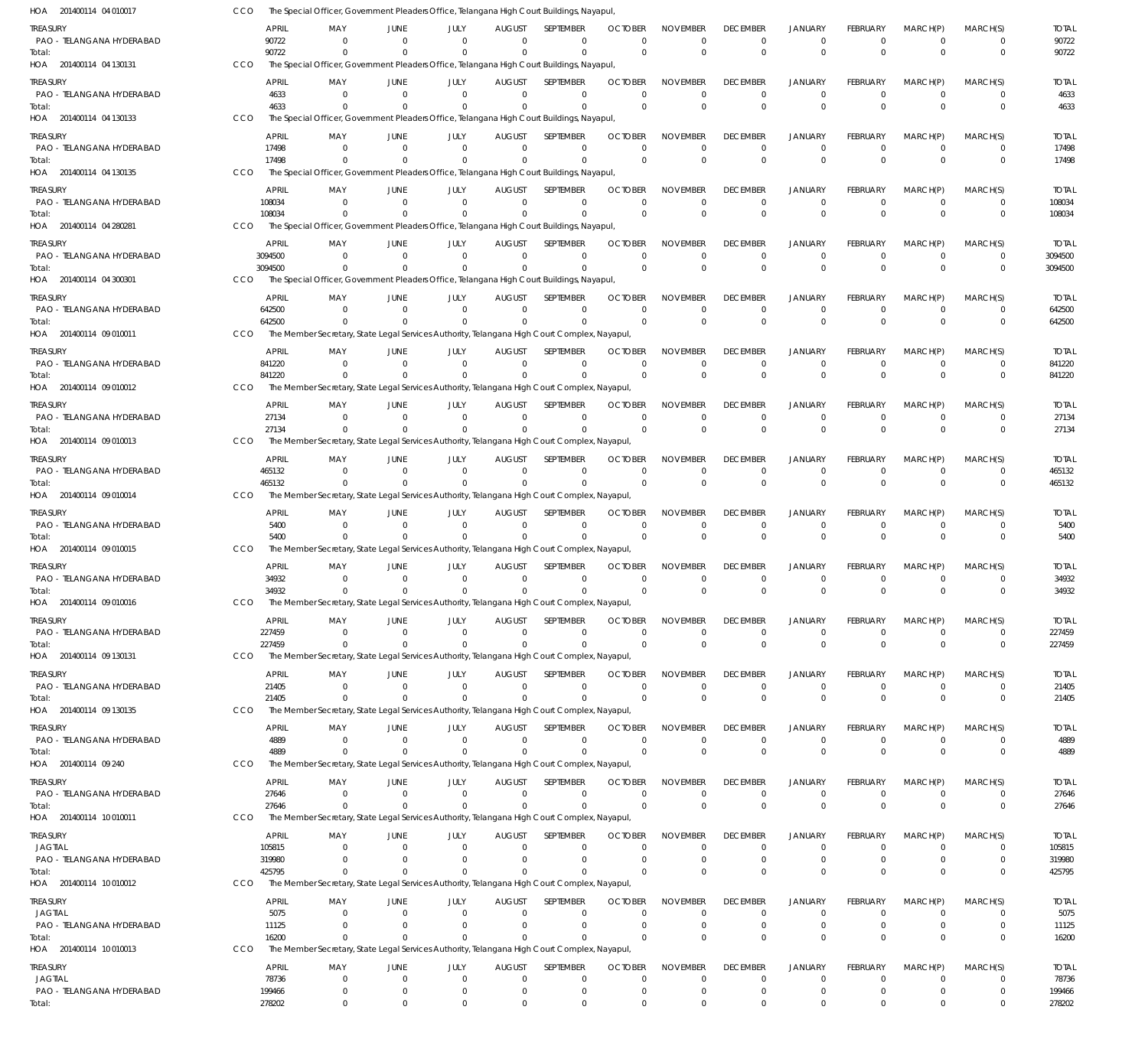| HOA 201400114 04 010017               | CCO |                        | The Special Officer, Government Pleaders Office, Telangana High Court Buildings, Nayapul,                |                      |                      |                           |                              |                            |                             |                             |                                  |                                |                            |                            |                        |
|---------------------------------------|-----|------------------------|----------------------------------------------------------------------------------------------------------|----------------------|----------------------|---------------------------|------------------------------|----------------------------|-----------------------------|-----------------------------|----------------------------------|--------------------------------|----------------------------|----------------------------|------------------------|
| treasury                              |     | <b>APRIL</b>           | MAY                                                                                                      | JUNE                 | JULY                 | <b>AUGUST</b>             | <b>SEPTEMBER</b>             | <b>OCTOBER</b>             | <b>NOVEMBER</b>             | <b>DECEMBER</b>             | <b>JANUARY</b>                   | <b>FEBRUARY</b>                | MARCH(P)                   | MARCH(S)                   | <b>TOTAL</b>           |
| PAO - TELANGANA HYDERABAD             |     | 90722                  | $\Omega$                                                                                                 | $\Omega$             | $\Omega$             | $\Omega$                  | $\Omega$                     | $\Omega$                   | $\Omega$                    | 0                           | $^{\circ}$                       | $\Omega$                       | $^{\circ}$                 | 0                          | 90722                  |
| Total:<br>HOA 201400114 04 130131     | CCO | 90722                  | The Special Officer, Government Pleaders Office, Telangana High Court Buildings, Nayapul,                | $\Omega$             | $\Omega$             | $\Omega$                  | $\Omega$                     | $\Omega$                   | $\Omega$                    | $\Omega$                    | $\Omega$                         | $\Omega$                       | $\Omega$                   | $\mathbf 0$                | 90722                  |
|                                       |     |                        |                                                                                                          |                      |                      |                           |                              |                            |                             |                             |                                  |                                |                            |                            |                        |
| treasury                              |     | <b>APRIL</b>           | MAY<br>- 0                                                                                               | JUNE<br>$\Omega$     | JULY<br>$\Omega$     | AUGUST<br>$\Omega$        | <b>SEPTEMBER</b><br>$\Omega$ | <b>OCTOBER</b><br>$\Omega$ | <b>NOVEMBER</b><br>$\Omega$ | <b>DECEMBER</b><br>$\Omega$ | <b>JANUARY</b><br>$\overline{0}$ | <b>FEBRUARY</b><br>$\Omega$    | MARCH(P)<br>$\Omega$       | MARCH(S)<br>$\Omega$       | <b>TOTAL</b>           |
| PAO - TELANGANA HYDERABAD<br>Total:   |     | 4633<br>4633           |                                                                                                          |                      | $\Omega$             | $\Omega$                  | $\Omega$                     | $\Omega$                   | $\Omega$                    | $\Omega$                    | $\overline{0}$                   | $\Omega$                       | $\Omega$                   | $\mathbf 0$                | 4633<br>4633           |
| HOA 201400114 04 130133               | CCO |                        | The Special Officer, Government Pleaders Office, Telangana High Court Buildings, Nayapul,                |                      |                      |                           |                              |                            |                             |                             |                                  |                                |                            |                            |                        |
| treasury                              |     | APRIL                  | MAY                                                                                                      | JUNE                 | JULY                 | <b>AUGUST</b>             | SEPTEMBER                    | <b>OCTOBER</b>             | <b>NOVEMBER</b>             | <b>DECEMBER</b>             | <b>JANUARY</b>                   | <b>FEBRUARY</b>                | MARCH(P)                   | MARCH(S)                   | <b>TOTAL</b>           |
| PAO - TELANGANA HYDERABAD             |     | 17498                  | $\Omega$                                                                                                 | $\Omega$             | $\Omega$             | $\Omega$                  | $\Omega$                     | $\Omega$                   | $\Omega$                    | $\Omega$                    | $\overline{0}$                   | $\Omega$                       | $\Omega$                   | $\Omega$                   | 17498                  |
| Total:                                |     | 17498                  |                                                                                                          | $\Omega$             | $\Omega$             | $\Omega$                  | $\Omega$                     | $\Omega$                   | $\mathbf 0$                 | $\Omega$                    | $\Omega$                         | $\Omega$                       | $\Omega$                   | $\mathbf 0$                | 17498                  |
| HOA 201400114 04 130135               | CCO |                        | The Special Officer, Government Pleaders Office, Telangana High Court Buildings, Nayapul,                |                      |                      |                           |                              |                            |                             |                             |                                  |                                |                            |                            |                        |
| treasury                              |     | APRIL                  | MAY                                                                                                      | JUNE                 | JULY                 | <b>AUGUST</b>             | SEPTEMBER                    | <b>OCTOBER</b>             | <b>NOVEMBER</b>             | <b>DECEMBER</b>             | <b>JANUARY</b>                   | <b>FEBRUARY</b>                | MARCH(P)                   | MARCH(S)                   | <b>TOTAL</b>           |
| PAO - TELANGANA HYDERABAD             |     | 108034                 | $\Omega$                                                                                                 | $\Omega$             | $\Omega$             | $\Omega$                  | $\Omega$                     | $\Omega$                   | $\mathbf 0$                 | $\Omega$                    | $\overline{0}$                   | $\mathbf 0$                    | $\overline{0}$             | $\mathbf 0$                | 108034                 |
| Total:                                |     | 108034                 |                                                                                                          |                      |                      | $\Omega$                  | $\Omega$                     | $\Omega$                   | $\Omega$                    | $\Omega$                    | $\Omega$                         | $\Omega$                       | $\Omega$                   | $\mathbf 0$                | 108034                 |
| HOA 201400114 04 280281               | CCO |                        | The Special Officer, Government Pleaders Office, Telangana High Court Buildings, Nayapul,                |                      |                      |                           |                              |                            |                             |                             |                                  |                                |                            |                            |                        |
| treasury                              |     | APRIL                  | MAY                                                                                                      | JUNE                 | JULY                 | AUGUST                    | SEPTEMBER                    | <b>OCTOBER</b>             | <b>NOVEMBER</b>             | <b>DECEMBER</b>             | <b>JANUARY</b>                   | <b>FEBRUARY</b>                | MARCH(P)                   | MARCH(S)                   | <b>TOTAL</b>           |
| PAO - TELANGANA HYDERABAD<br>Total:   |     | 3094500<br>3094500     | $\Omega$<br>$\Omega$                                                                                     | $\Omega$<br>$\Omega$ | $\Omega$<br>$\Omega$ | $\Omega$<br>$\Omega$      | $\Omega$<br>$\Omega$         | $\Omega$<br>$\Omega$       | $\Omega$<br>$\Omega$        | $\Omega$<br>$\Omega$        | $\Omega$<br>$\overline{0}$       | $\Omega$<br>$\Omega$           | $\Omega$<br>$\Omega$       | $\Omega$<br>$\mathbf 0$    | 3094500<br>3094500     |
| HOA 201400114 04 300301               | CCO |                        | The Special Officer, Government Pleaders Office, Telangana High Court Buildings, Nayapul,                |                      |                      |                           |                              |                            |                             |                             |                                  |                                |                            |                            |                        |
|                                       |     |                        |                                                                                                          |                      |                      |                           |                              | <b>OCTOBER</b>             | <b>NOVEMBER</b>             | <b>DECEMBER</b>             | <b>JANUARY</b>                   |                                |                            |                            |                        |
| treasury<br>PAO - TELANGANA HYDERABAD |     | <b>APRIL</b><br>642500 | MAY<br>- 0                                                                                               | JUNE<br>$\Omega$     | JULY<br>$\Omega$     | AUGUST<br>$\Omega$        | SEPTEMBER<br>$\Omega$        | $\Omega$                   | $\Omega$                    | $\Omega$                    | $\overline{0}$                   | <b>FEBRUARY</b><br>$\mathbf 0$ | MARCH(P)<br>$\Omega$       | MARCH(S)<br>$\mathbf 0$    | <b>TOTAL</b><br>642500 |
| Total:                                |     | 642500                 | $\Omega$                                                                                                 | $\Omega$             | $\Omega$             | $\Omega$                  | $\Omega$                     | $\Omega$                   | $\Omega$                    | $\Omega$                    | $\Omega$                         | $\Omega$                       | $\Omega$                   | $\mathbf 0$                | 642500                 |
| HOA 201400114 09 010011               | CCO |                        | The Member Secretary, State Legal Services Authority, Telangana High Court Complex, Nayapul,             |                      |                      |                           |                              |                            |                             |                             |                                  |                                |                            |                            |                        |
| treasury                              |     | <b>APRIL</b>           | MAY                                                                                                      | JUNE                 | JULY                 | <b>AUGUST</b>             | <b>SEPTEMBER</b>             | <b>OCTOBER</b>             | <b>NOVEMBER</b>             | <b>DECEMBER</b>             | <b>JANUARY</b>                   | <b>FEBRUARY</b>                | MARCH(P)                   | MARCH(S)                   | <b>TOTAL</b>           |
| PAO - TELANGANA HYDERABAD             |     | 841220                 | $\Omega$                                                                                                 | $\Omega$             | $\Omega$             | $\Omega$                  | $\Omega$                     | $\Omega$                   | $\Omega$                    | $\Omega$                    | $\overline{0}$                   | $\Omega$                       | $\Omega$                   | 0                          | 841220                 |
| Total:                                |     | 841220                 |                                                                                                          |                      |                      | $\Omega$                  | $\Omega$                     | $\Omega$                   | $\Omega$                    | $\Omega$                    | $\Omega$                         | $\Omega$                       | $\Omega$                   | $\Omega$                   | 841220                 |
| HOA 201400114 09 010012               | CCO |                        | The Member Secretary, State Legal Services Authority, Telangana High Court Complex, Nayapul,             |                      |                      |                           |                              |                            |                             |                             |                                  |                                |                            |                            |                        |
| treasury                              |     | <b>APRIL</b>           | MAY                                                                                                      | JUNE                 | JULY                 | <b>AUGUST</b>             | SEPTEMBER                    | <b>OCTOBER</b>             | <b>NOVEMBER</b>             | <b>DECEMBER</b>             | <b>JANUARY</b>                   | <b>FEBRUARY</b>                | MARCH(P)                   | MARCH(S)                   | <b>TOTAL</b>           |
| PAO - TELANGANA HYDERABAD             |     | 27134                  | $\Omega$                                                                                                 | $\Omega$             | $\Omega$             | $\Omega$                  | $\Omega$                     | $\Omega$                   | $\mathbf 0$                 | $\Omega$                    | $^{\circ}$                       | $\Omega$                       | $\Omega$                   | $\mathbf 0$                | 27134                  |
| Total:                                |     | 27134                  |                                                                                                          |                      | $\Omega$             | $\Omega$                  | $\Omega$                     | $\Omega$                   | $\Omega$                    | $\Omega$                    | $\overline{0}$                   | $\Omega$                       | $\Omega$                   | $\mathbf 0$                | 27134                  |
| HOA 201400114 09 010013               | CCO |                        | The Member Secretary, State Legal Services Authority, Telangana High Court Complex, Nayapul,             |                      |                      |                           |                              |                            |                             |                             |                                  |                                |                            |                            |                        |
| treasury                              |     | APRIL                  | MAY                                                                                                      | JUNE                 | JULY                 | <b>AUGUST</b>             | SEPTEMBER                    | <b>OCTOBER</b>             | <b>NOVEMBER</b>             | <b>DECEMBER</b>             | <b>JANUARY</b>                   | <b>FEBRUARY</b>                | MARCH(P)                   | MARCH(S)                   | <b>TOTAL</b>           |
| PAO - TELANGANA HYDERABAD             |     | 465132                 | $\Omega$                                                                                                 | $\Omega$             | $\Omega$             | $\Omega$                  | $\Omega$                     | $\Omega$                   | $\Omega$                    | $\Omega$                    | $\Omega$                         | $\Omega$                       | $\Omega$                   | $\Omega$                   | 465132                 |
| Total:<br>HOA 201400114 09 010014     | CCO | 465132                 | The Member Secretary, State Legal Services Authority, Telangana High Court Complex, Nayapul,             |                      | $\Omega$             | $\Omega$                  | $\Omega$                     | $\Omega$                   | $\Omega$                    | $\Omega$                    | $\Omega$                         | $\Omega$                       | $\Omega$                   | $\mathbf 0$                | 465132                 |
|                                       |     |                        |                                                                                                          |                      |                      |                           |                              |                            |                             |                             |                                  |                                |                            |                            |                        |
| treasury                              |     | APRIL                  | MAY                                                                                                      | JUNE                 | JULY                 | <b>AUGUST</b>             | <b>SEPTEMBER</b>             | <b>OCTOBER</b>             | <b>NOVEMBER</b>             | <b>DECEMBER</b>             | <b>JANUARY</b>                   | <b>FEBRUARY</b>                | MARCH(P)                   | MARCH(S)                   | <b>TOTAL</b>           |
| PAO - TELANGANA HYDERABAD<br>Total:   |     | 5400<br>5400           | - 0<br>$\Omega$                                                                                          | $\Omega$<br>$\Omega$ | $\Omega$<br>$\Omega$ | $\Omega$<br>$\Omega$      | $\Omega$<br>$\Omega$         | $\Omega$<br>$\Omega$       | $\Omega$<br>$\Omega$        | $\Omega$<br>$\Omega$        | $\overline{0}$<br>$\Omega$       | $\Omega$<br>$\Omega$           | $\Omega$<br>$\Omega$       | $\mathbf 0$<br>$\mathbf 0$ | 5400<br>5400           |
| HOA 201400114 09 010015               | CCO |                        | The Member Secretary, State Legal Services Authority, Telangana High Court Complex, Nayapul,             |                      |                      |                           |                              |                            |                             |                             |                                  |                                |                            |                            |                        |
| treasury                              |     | APRIL                  | MAY                                                                                                      | JUNE                 | JULY                 | <b>AUGUST</b>             | SEPTEMBER                    | <b>OCTOBER</b>             | <b>NOVEMBER</b>             | <b>DECEMBER</b>             | JANUARY                          | <b>FEBRUARY</b>                | MARCH(P)                   | MARCH(S)                   | <b>TOTAL</b>           |
| PAO - TELANGANA HYDERABAD             |     | 34932                  | $\Omega$                                                                                                 | $\Omega$             | $\Omega$             | $\Omega$                  | $\Omega$                     | $\Omega$                   | $\Omega$                    | $\Omega$                    | $\overline{0}$                   | $\Omega$                       | $\Omega$                   | $\Omega$                   | 34932                  |
| Total:                                |     | 34932                  | $^{\circ}$                                                                                               | $\overline{0}$       | $\Omega$             | $\Omega$                  | $\mathbf{0}$                 | $\Omega$                   | $\Omega$                    | $\Omega$                    | $\Omega$                         | $\Omega$                       | $\Omega$                   | $\Omega$                   | 34932                  |
| HOA 201400114 09 010016               | CCO |                        | The Member Secretary, State Legal Services Authority, Telangana High Court Complex, Nayapul,             |                      |                      |                           |                              |                            |                             |                             |                                  |                                |                            |                            |                        |
| Treasury                              |     | APRIL                  | MAY                                                                                                      | JUNE                 | JULY                 | <b>AUGUST</b>             | SEPTEMBER                    | <b>OCTOBER</b>             | <b>NOVEMBER</b>             | <b>DECEMBER</b>             | <b>JANUARY</b>                   | <b>FEBRUARY</b>                | MARCH(P)                   | MARCH(S)                   | <b>TOTAL</b>           |
| PAO - TELANGANA HYDERABAD             |     | 227459                 | $^{\circ}$                                                                                               | $\Omega$             | $\Omega$             | $\Omega$                  | $\Omega$                     | $\Omega$                   | $\Omega$                    | $\Omega$                    | $\overline{0}$                   | $\mathbf 0$                    | $\overline{0}$             | $\mathbf 0$                | 227459                 |
| Total:                                |     | 227459                 | $\Omega$                                                                                                 | $\Omega$             | $\Omega$             | $\Omega$                  | $\Omega$                     | $\Omega$                   | $\Omega$                    | $\mathbf{0}$                | $\overline{0}$                   | $\mathbf{0}$                   | $\Omega$                   | $\mathbf 0$                | 227459                 |
| HOA 201400114 09 130131               | CCO |                        | The Member Secretary, State Legal Services Authority, Telangana High Court Complex, Nayapul,             |                      |                      |                           |                              |                            |                             |                             |                                  |                                |                            |                            |                        |
| treasury                              |     | APRIL                  | MAY                                                                                                      | JUNE                 | JULY                 | AUGUST                    | SEPTEMBER                    | <b>OCTOBER</b>             | <b>NOVEMBER</b>             | <b>DECEMBER</b>             | <b>JANUARY</b>                   | <b>FEBRUARY</b>                | MARCH(P)                   | MARCH(S)                   | <b>TOTAL</b>           |
| PAO - TELANGANA HYDERABAD             |     | 21405                  | $\Omega$                                                                                                 | $\Omega$             | $\Omega$             | $\Omega$                  | $\Omega$                     | $\Omega$                   | $\Omega$                    | 0                           | $^{\circ}$                       | $\Omega$                       | $^{\circ}$                 | $\Omega$                   | 21405                  |
| Total:<br>HOA 201400114 09 130135     | CCO | 21405                  | $\Omega$<br>The Member Secretary, State Legal Services Authority, Telangana High Court Complex, Nayapul, | $\Omega$             | $\Omega$             | $\Omega$                  | $\Omega$                     | $\Omega$                   | $\Omega$                    | $\Omega$                    | $\overline{0}$                   | $\Omega$                       | $\Omega$                   | $\mathbf 0$                | 21405                  |
|                                       |     |                        |                                                                                                          |                      |                      |                           |                              |                            |                             |                             |                                  |                                |                            |                            |                        |
| treasury                              |     | APRIL                  | MAY                                                                                                      | JUNE                 | JULY                 | <b>AUGUST</b><br>$\Omega$ | <b>SEPTEMBER</b><br>$\Omega$ | <b>OCTOBER</b>             | <b>NOVEMBER</b><br>$\Omega$ | <b>DECEMBER</b>             | <b>JANUARY</b>                   | <b>FEBRUARY</b><br>$\Omega$    | MARCH(P)                   | MARCH(S)                   | <b>TOTAL</b>           |
| PAO - TELANGANA HYDERABAD<br>Total:   |     | 4889<br>4889           | - 0<br>$\Omega$                                                                                          | $\Omega$<br>$\Omega$ | - 0<br>$\Omega$      | $\Omega$                  | $\Omega$                     | $\Omega$<br>$\Omega$       | $\Omega$                    | $\Omega$<br>$\Omega$        | $\overline{0}$<br>$\overline{0}$ | $\mathbf{0}$                   | $\Omega$<br>$\Omega$       | $\mathbf 0$<br>$\mathbf 0$ | 4889<br>4889           |
| HOA 201400114 09 240                  | CCO |                        | The Member Secretary, State Legal Services Authority, Telangana High Court Complex, Nayapul,             |                      |                      |                           |                              |                            |                             |                             |                                  |                                |                            |                            |                        |
| treasury                              |     | APRIL                  | MAY                                                                                                      | JUNE                 | JULY                 | <b>AUGUST</b>             | SEPTEMBER                    | <b>OCTOBER</b>             | <b>NOVEMBER</b>             | <b>DECEMBER</b>             | <b>JANUARY</b>                   | <b>FEBRUARY</b>                | MARCH(P)                   | MARCH(S)                   | <b>TOTAL</b>           |
| PAO - TELANGANA HYDERABAD             |     | 27646                  | - 0                                                                                                      | $\Omega$             | $\Omega$             | $\Omega$                  | $\Omega$                     | $\Omega$                   | $\Omega$                    | 0                           | $\overline{0}$                   | $\mathbf 0$                    | $\overline{0}$             | 0                          | 27646                  |
| Total:                                |     | 27646                  | $\Omega$                                                                                                 | $\Omega$             | $\Omega$             | $\Omega$                  | $\Omega$                     | $\Omega$                   | $\Omega$                    | $\Omega$                    | $\Omega$                         | $\Omega$                       | $\Omega$                   | $\mathbf 0$                | 27646                  |
| HOA 201400114 10 010011               | CCO |                        | The Member Secretary, State Legal Services Authority, Telangana High Court Complex, Nayapul,             |                      |                      |                           |                              |                            |                             |                             |                                  |                                |                            |                            |                        |
| treasury                              |     | APRIL                  | MAY                                                                                                      | JUNE                 | JULY                 | AUGUST                    | SEPTEMBER                    | <b>OCTOBER</b>             | <b>NOVEMBER</b>             | <b>DECEMBER</b>             | <b>JANUARY</b>                   | <b>FEBRUARY</b>                | MARCH(P)                   | MARCH(S)                   | <b>TOTAL</b>           |
| <b>JAGTIAL</b>                        |     | 105815                 | - 0                                                                                                      | $\Omega$             | $\Omega$             | $\Omega$                  | $\mathbf 0$                  | $\Omega$                   | $\Omega$                    | $\Omega$                    | $^{\circ}$                       | $\Omega$                       | $\Omega$                   | $\Omega$                   | 105815                 |
| PAO - TELANGANA HYDERABAD             |     | 319980                 | - 0                                                                                                      | - 0                  | $\Omega$             | $\Omega$                  | $\mathbf 0$                  | $\Omega$                   | $\Omega$                    | $\Omega$                    | $^{\circ}$                       | $\Omega$                       | $\overline{0}$             | $\mathbf 0$                | 319980                 |
| Total:                                |     | 425795                 | $\Omega$                                                                                                 | $\Omega$             | $\Omega$             | $\Omega$                  | $\Omega$                     | $\Omega$                   | $\Omega$                    | $\Omega$                    | $\overline{0}$                   | $\Omega$                       | $\Omega$                   | $\mathbf 0$                | 425795                 |
| HOA 201400114 10 010012               | CCO |                        | The Member Secretary, State Legal Services Authority, Telangana High Court Complex, Nayapul,             |                      |                      |                           |                              |                            |                             |                             |                                  |                                |                            |                            |                        |
| treasury                              |     | <b>APRIL</b>           | MAY                                                                                                      | JUNE                 | JULY                 | <b>AUGUST</b>             | SEPTEMBER                    | <b>OCTOBER</b>             | <b>NOVEMBER</b>             | <b>DECEMBER</b>             | <b>JANUARY</b>                   | <b>FEBRUARY</b>                | MARCH(P)                   | MARCH(S)                   | <b>TOTAL</b>           |
| JAGTIAL                               |     | 5075                   | $\Omega$                                                                                                 | $\Omega$             | $\Omega$             | $\Omega$                  | $\Omega$                     | $\Omega$                   | $\Omega$                    | $\Omega$                    | $\Omega$                         | $\Omega$                       | $\Omega$                   | 0                          | 5075                   |
| PAO - TELANGANA HYDERABAD<br>Total:   |     | 11125<br>16200         | $\Omega$<br>$\Omega$                                                                                     | $\Omega$<br>$\Omega$ | $\Omega$<br>$\Omega$ | $\Omega$<br>$\Omega$      | $\Omega$<br>$\Omega$         | $\Omega$<br>$\Omega$       | $\Omega$<br>$\Omega$        | $\Omega$<br>$\Omega$        | $\overline{0}$<br>$\overline{0}$ | $\Omega$<br>$\Omega$           | $\overline{0}$<br>$\Omega$ | $\mathbf 0$<br>$\mathbf 0$ | 11125<br>16200         |
| HOA 201400114 10 010013               | CCO |                        | The Member Secretary, State Legal Services Authority, Telangana High Court Complex, Nayapul,             |                      |                      |                           |                              |                            |                             |                             |                                  |                                |                            |                            |                        |
|                                       |     | APRIL                  | MAY                                                                                                      | JUNE                 | JULY                 | <b>AUGUST</b>             | SEPTEMBER                    | <b>OCTOBER</b>             | <b>NOVEMBER</b>             | <b>DECEMBER</b>             | <b>JANUARY</b>                   | <b>FEBRUARY</b>                | MARCH(P)                   | MARCH(S)                   | <b>TOTAL</b>           |
| treasury<br>JAGTIAL                   |     | 78736                  | 0                                                                                                        | $\Omega$             | 0                    | $\overline{0}$            | $\mathbf 0$                  | $\Omega$                   | $\Omega$                    | $\Omega$                    | $\overline{0}$                   | $\Omega$                       | - 0                        | $\Omega$                   | 78736                  |
| PAO - TELANGANA HYDERABAD             |     | 199466                 | $^{\circ}$                                                                                               | $\overline{0}$       | 0                    | 0                         | 0                            | 0                          | $\mathbf 0$                 | $\mathbf 0$                 | $\mathbf 0$                      | 0                              | $\mathbf 0$                | $\mathbf 0$                | 199466                 |
| Total:                                |     | 278202                 | $^{\circ}$                                                                                               | $\overline{0}$       | $\Omega$             | $\Omega$                  | $\Omega$                     | $\Omega$                   | $\Omega$                    | $\Omega$                    | $\Omega$                         | $\Omega$                       | $\Omega$                   | $\Omega$                   | 278202                 |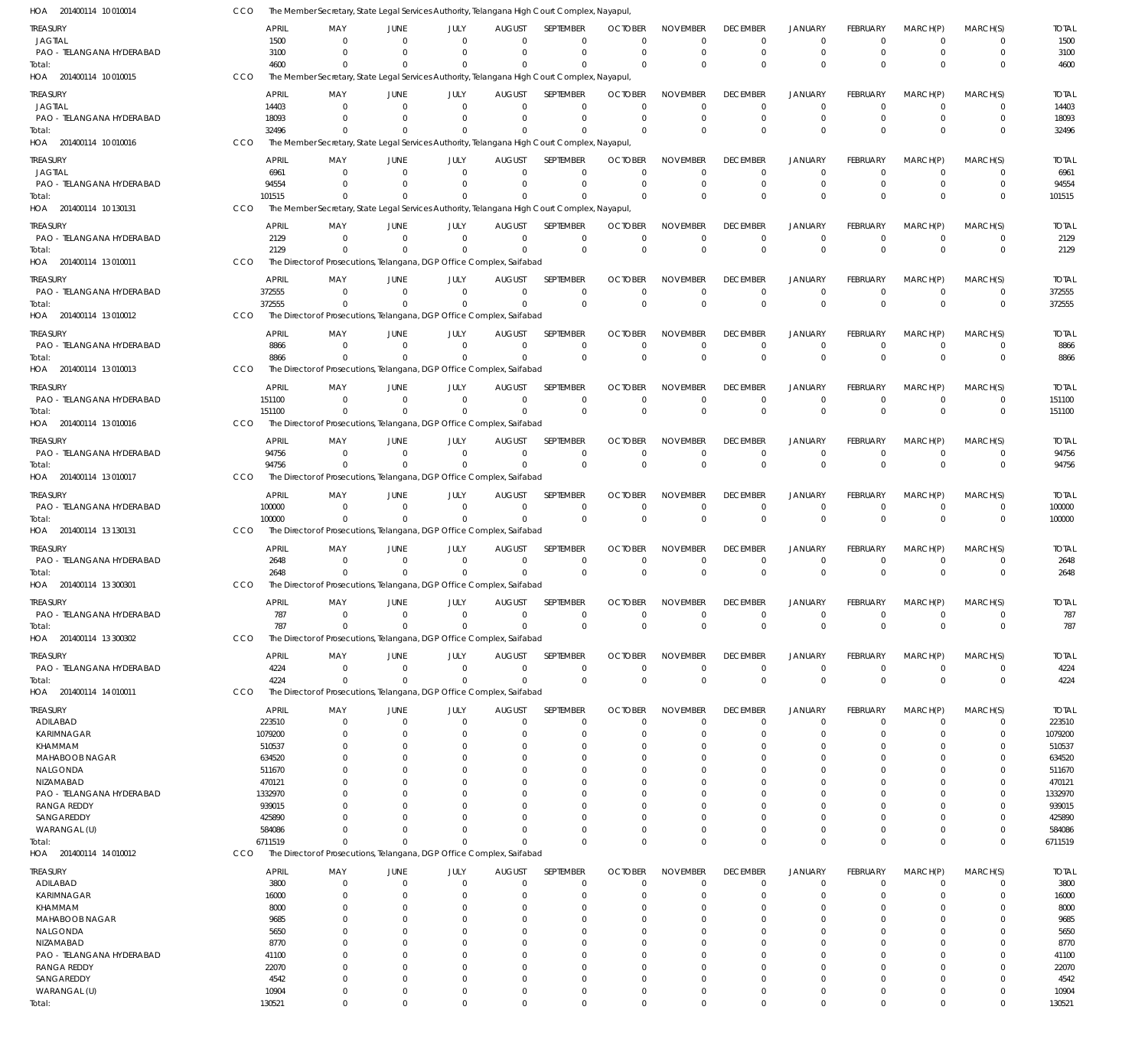| HOA 201400114 10 010014               | CCO |                   |                                                                       |                            |                   |                              | The Member Secretary, State Legal Services Authority, Telangana High Court Complex, Nayapul, |                            |                                |                             |                                  |                             |                            |                         |                      |
|---------------------------------------|-----|-------------------|-----------------------------------------------------------------------|----------------------------|-------------------|------------------------------|----------------------------------------------------------------------------------------------|----------------------------|--------------------------------|-----------------------------|----------------------------------|-----------------------------|----------------------------|-------------------------|----------------------|
| treasury                              |     | APRIL             | MAY                                                                   | JUNE                       | JULY              | AUGUST                       | <b>SEPTEMBER</b>                                                                             | <b>OCTOBER</b>             | <b>NOVEMBER</b>                | <b>DECEMBER</b>             | <b>JANUARY</b>                   | FEBRUARY                    | MARCH(P)                   | MARCH(S)                | <b>TOTAL</b>         |
| JAGTIAL                               |     | 1500              | $\Omega$                                                              | $\Omega$                   | $\Omega$          | $\Omega$                     | $\Omega$                                                                                     | $\Omega$                   | $\Omega$                       | $\Omega$                    | $\overline{0}$                   | $\Omega$                    | - 0                        | 0                       | 1500                 |
| PAO - TELANGANA HYDERABAD             |     | 3100              | $\Omega$                                                              | $\Omega$                   | $\Omega$          | $\Omega$                     | $\Omega$                                                                                     | $\Omega$                   | $\Omega$                       | $\Omega$                    | $\overline{0}$                   | $\Omega$                    | $\Omega$                   | $\Omega$                | 3100                 |
| Total:                                |     | 4600              | $\Omega$                                                              |                            |                   | $\Omega$                     | $\Omega$                                                                                     | $\Omega$                   | $\Omega$                       | $\Omega$                    | $\Omega$                         | $\Omega$                    | $\Omega$                   | $\Omega$                | 4600                 |
| HOA 201400114 10 010015               | CCO |                   |                                                                       |                            |                   |                              | The Member Secretary, State Legal Services Authority, Telangana High Court Complex, Nayapul, |                            |                                |                             |                                  |                             |                            |                         |                      |
| treasury                              |     | <b>APRIL</b>      | MAY                                                                   | JUNE                       | JULY              | <b>AUGUST</b>                | SEPTEMBER                                                                                    | <b>OCTOBER</b>             | <b>NOVEMBER</b>                | <b>DECEMBER</b>             | <b>JANUARY</b>                   | <b>FEBRUARY</b>             | MARCH(P)                   | MARCH(S)                | <b>TOTAL</b>         |
| JAGTIAL                               |     | 14403             | $\Omega$                                                              | $\Omega$                   | $\Omega$          | $\Omega$                     | $\mathbf 0$                                                                                  | $\Omega$                   | $\Omega$                       | $\Omega$                    | $^{\circ}$                       | $\Omega$                    | $\Omega$                   | $\Omega$                | 14403                |
| PAO - TELANGANA HYDERABAD             |     | 18093             | $\Omega$                                                              | $\Omega$                   | $\Omega$          | $\Omega$                     | $\Omega$                                                                                     | $\Omega$                   | $\Omega$                       | $\Omega$                    | $\overline{0}$                   | $\Omega$                    | $\Omega$                   | $\Omega$                | 18093                |
| Total:                                |     | 32496             | $\Omega$                                                              |                            |                   | <sup>0</sup>                 | $\Omega$                                                                                     | $\Omega$                   | $\Omega$                       | $\Omega$                    | $\Omega$                         | $\Omega$                    | $\Omega$                   | $\Omega$                | 32496                |
| HOA 201400114 10 010016               | CCO |                   |                                                                       |                            |                   |                              | The Member Secretary, State Legal Services Authority, Telangana High Court Complex, Nayapul, |                            |                                |                             |                                  |                             |                            |                         |                      |
| treasury                              |     | <b>APRIL</b>      | MAY                                                                   | JUNE                       | JULY              | <b>AUGUST</b>                | <b>SEPTEMBER</b>                                                                             | <b>OCTOBER</b>             | <b>NOVEMBER</b>                | <b>DECEMBER</b>             | <b>JANUARY</b>                   | <b>FEBRUARY</b>             | MARCH(P)                   | MARCH(S)                | <b>TOTAL</b>         |
| JAGTIAL                               |     | 6961              | $\Omega$                                                              | $\Omega$                   | $\Omega$          | $\Omega$                     | $\Omega$                                                                                     | $\Omega$                   | $\Omega$                       | $\Omega$                    | $\Omega$                         | $\Omega$                    | $\Omega$                   | $\Omega$                | 6961                 |
| PAO - TELANGANA HYDERABAD             |     | 94554             | $\Omega$                                                              | $\Omega$                   | $\Omega$          | $\Omega$                     | $\Omega$                                                                                     | $\Omega$                   | $\Omega$                       | $\Omega$                    | $\overline{0}$                   | $\Omega$                    | $\overline{0}$             | $\mathbf 0$             | 94554                |
| Total:                                |     | 101515            | $\Omega$                                                              | $\Omega$                   | $\Omega$          | $\Omega$                     | $\Omega$                                                                                     | $\Omega$                   | $\Omega$                       | $\Omega$                    | $\Omega$                         | $\Omega$                    | $\Omega$                   | $\mathbf 0$             | 101515               |
| HOA 201400114 10 130131               | CCO |                   |                                                                       |                            |                   |                              | The Member Secretary, State Legal Services Authority, Telangana High Court Complex, Nayapul, |                            |                                |                             |                                  |                             |                            |                         |                      |
| treasury                              |     | <b>APRIL</b>      | MAY                                                                   | JUNE                       | JULY              | <b>AUGUST</b>                | SEPTEMBER                                                                                    | <b>OCTOBER</b>             | <b>NOVEMBER</b>                | <b>DECEMBER</b>             | <b>JANUARY</b>                   | <b>FEBRUARY</b>             | MARCH(P)                   | MARCH(S)                | <b>TOTAL</b>         |
| PAO - TELANGANA HYDERABAD             |     | 2129              | $\Omega$                                                              | $\Omega$                   | $\Omega$          | $\Omega$                     | $\Omega$                                                                                     | $\Omega$                   | $\Omega$                       | $\Omega$                    | $\Omega$                         | $\Omega$                    | $\Omega$                   | 0                       | 2129                 |
| Total:                                |     | 2129              | $\Omega$                                                              |                            | $\Omega$          | $\Omega$                     | $\Omega$                                                                                     | $\Omega$                   | $\Omega$                       | $\Omega$                    | $\Omega$                         | $\Omega$                    | $\Omega$                   | $\Omega$                | 2129                 |
| HOA 201400114 13 010011               | CCO |                   | The Director of Prosecutions, Telangana, DGP Office Complex, Saifabad |                            |                   |                              |                                                                                              |                            |                                |                             |                                  |                             |                            |                         |                      |
| treasury                              |     | <b>APRIL</b>      | MAY                                                                   | JUNE                       | JULY              | <b>AUGUST</b>                | SEPTEMBER                                                                                    | <b>OCTOBER</b>             | <b>NOVEMBER</b>                | <b>DECEMBER</b>             | <b>JANUARY</b>                   | <b>FEBRUARY</b>             | MARCH(P)                   | MARCH(S)                | <b>TOTAL</b>         |
| PAO - TELANGANA HYDERABAD             |     | 372555            | $\Omega$                                                              | $\Omega$                   | $\Omega$          | $\Omega$                     | $\mathbf 0$                                                                                  | $\Omega$                   | $\mathbf 0$                    | $\Omega$                    | $^{\circ}$                       | $\mathbf 0$                 | $\Omega$                   | $\mathbf 0$             | 372555               |
| Total:                                |     | 372555            | $\Omega$                                                              | $\Omega$                   | $\Omega$          | $\Omega$                     | $\mathbf 0$                                                                                  | $\Omega$                   | $\mathbf 0$                    | $\Omega$                    | $\overline{0}$                   | $\Omega$                    | $\Omega$                   | $\mathbf 0$             | 372555               |
| HOA 201400114 13010012                | CCO |                   | The Director of Prosecutions, Telangana, DGP Office Complex, Saifabad |                            |                   |                              |                                                                                              |                            |                                |                             |                                  |                             |                            |                         |                      |
| treasury                              |     | <b>APRIL</b>      | MAY                                                                   | JUNE                       | JULY              | <b>AUGUST</b>                | SEPTEMBER                                                                                    | <b>OCTOBER</b>             | <b>NOVEMBER</b>                | <b>DECEMBER</b>             | <b>JANUARY</b>                   | FEBRUARY                    | MARCH(P)                   | MARCH(S)                | <b>TOTAL</b>         |
| PAO - TELANGANA HYDERABAD             |     | 8866              | $\Omega$                                                              | $\Omega$                   | $\Omega$          | $\Omega$                     | $\mathbf 0$                                                                                  | $\Omega$                   | $\Omega$                       | $\mathbf 0$                 | $^{\circ}$                       | $\Omega$                    | $\overline{0}$             | $\Omega$                | 8866                 |
| Total:                                |     | 8866              |                                                                       | $\Omega$                   | $\Omega$          | $\Omega$                     | $\Omega$                                                                                     | $\Omega$                   | $\Omega$                       | $\Omega$                    | $\Omega$                         | $\Omega$                    | $\Omega$                   | $\mathbf 0$             | 8866                 |
| HOA 201400114 13 010013               | CCO |                   | The Director of Prosecutions, Telangana, DGP Office Complex, Saifabad |                            |                   |                              |                                                                                              |                            |                                |                             |                                  |                             |                            |                         |                      |
| treasury                              |     | <b>APRIL</b>      | MAY                                                                   | JUNE                       | JULY              | <b>AUGUST</b>                | <b>SEPTEMBER</b>                                                                             | <b>OCTOBER</b>             | <b>NOVEMBER</b>                | <b>DECEMBER</b>             | <b>JANUARY</b>                   | FEBRUARY                    | MARCH(P)                   | MARCH(S)                | <b>TOTAL</b>         |
| PAO - TELANGANA HYDERABAD             |     | 151100            | - 0                                                                   | $\Omega$                   | $\Omega$          | $\Omega$                     | $\mathbf 0$                                                                                  | $\Omega$                   | $\mathbf 0$                    | $\Omega$                    | $\overline{0}$                   | $\Omega$                    | $\overline{0}$             | $\mathbf 0$             | 151100               |
| Total:                                |     | 151100            | $\Omega$                                                              | $\Omega$                   | $\Omega$          | $\Omega$                     | $\Omega$                                                                                     | $\Omega$                   | $\Omega$                       | $\Omega$                    | $\Omega$                         | $\Omega$                    | $\Omega$                   | $\Omega$                | 151100               |
| HOA 201400114 13 010016               | CCO |                   | The Director of Prosecutions, Telangana, DGP Office Complex, Saifabad |                            |                   |                              |                                                                                              |                            |                                |                             |                                  |                             |                            |                         |                      |
| treasury                              |     | APRIL             | MAY                                                                   | JUNE                       | JULY              | <b>AUGUST</b>                | SEPTEMBER                                                                                    | <b>OCTOBER</b>             | <b>NOVEMBER</b>                | <b>DECEMBER</b>             | <b>JANUARY</b>                   | <b>FEBRUARY</b>             | MARCH(P)                   | MARCH(S)                | <b>TOTAL</b>         |
| PAO - TELANGANA HYDERABAD             |     | 94756             | $\Omega$                                                              | $\Omega$                   | $\Omega$          | $\Omega$                     | $\mathbf 0$                                                                                  | $\Omega$                   | $^{\circ}$                     | $\Omega$                    | $\overline{0}$                   | $\Omega$                    | $\Omega$                   | $\mathbf 0$             | 94756                |
| Total:                                |     | 94756             | $\Omega$                                                              | $\Omega$                   |                   | $\Omega$                     | $\Omega$                                                                                     | $\Omega$                   | $\Omega$                       | $\Omega$                    | $\Omega$                         | $\Omega$                    | $\Omega$                   | $\mathbf 0$             | 94756                |
| HOA 201400114 13010017                | CCO |                   | The Director of Prosecutions, Telangana, DGP Office Complex, Saifabad |                            |                   |                              |                                                                                              |                            |                                |                             |                                  |                             |                            |                         |                      |
| treasury                              |     | APRIL             | MAY                                                                   | JUNE                       | JULY              | <b>AUGUST</b>                | SEPTEMBER                                                                                    | <b>OCTOBER</b>             | <b>NOVEMBER</b>                | <b>DECEMBER</b>             | <b>JANUARY</b>                   | FEBRUARY                    | MARCH(P)                   | MARCH(S)                | <b>TOTAL</b>         |
| PAO - TELANGANA HYDERABAD             |     | 100000            | - 0                                                                   | $\Omega$                   | $\Omega$          | $\Omega$                     | $\mathbf 0$                                                                                  | $\Omega$                   | $\mathbf 0$                    | $\Omega$                    | $\overline{0}$                   | $\mathbf 0$                 | $\overline{0}$             | $\mathbf 0$             | 100000               |
| Total:                                |     | 100000            |                                                                       |                            |                   | $\Omega$                     | $\mathbf 0$                                                                                  | $\Omega$                   | $\Omega$                       | $\Omega$                    | $\Omega$                         | $\Omega$                    | $\Omega$                   | $\mathbf 0$             | 100000               |
| HOA 201400114 13 130131               | CCO |                   | The Director of Prosecutions, Telangana, DGP Office Complex, Saifabad |                            |                   |                              |                                                                                              |                            |                                |                             |                                  |                             |                            |                         |                      |
|                                       |     | <b>APRIL</b>      |                                                                       |                            |                   |                              |                                                                                              | <b>OCTOBER</b>             | <b>NOVEMBER</b>                |                             |                                  |                             |                            | MARCH(S)                |                      |
| treasury<br>PAO - TELANGANA HYDERABAD |     | 2648              | MAY<br>$\Omega$                                                       | JUNE<br>$\Omega$           | JULY<br>$\Omega$  | <b>AUGUST</b><br>$\Omega$    | SEPTEMBER<br>$\mathbf 0$                                                                     | $\Omega$                   | $\Omega$                       | <b>DECEMBER</b><br>$\Omega$ | <b>JANUARY</b><br>$^{\circ}$     | <b>FEBRUARY</b><br>$\Omega$ | MARCH(P)<br>$\Omega$       | $\Omega$                | <b>TOTAL</b><br>2648 |
| Total:                                |     | 2648              |                                                                       | $\Omega$                   |                   | $\Omega$                     | $\Omega$                                                                                     | $\Omega$                   | $\Omega$                       | $\Omega$                    | $\overline{0}$                   | $\Omega$                    | $\Omega$                   | $\mathbf 0$             | 2648                 |
| HOA 201400114 13 300301               | CCO |                   | The Director of Prosecutions, Telangana, DGP Office Complex, Saifabad |                            |                   |                              |                                                                                              |                            |                                |                             |                                  |                             |                            |                         |                      |
| <b>TREASURY</b>                       |     | <b>APRIL</b>      |                                                                       | JUNE                       | JULY <b>Andre</b> | AUGUST                       | <b>SEPTEMBER</b>                                                                             | <b>OCTOBER</b>             | <b>NOVEMBER</b>                | <b>DECEMBER</b>             |                                  | <b>FFBRUARY</b>             | MARCH(P)                   |                         |                      |
| PAO - TELANGANA HYDERABAD             |     | 787               | MAY<br>0                                                              | 0                          | $\Omega$          | $\Omega$                     | $\mathbf 0$                                                                                  | $\Omega$                   | $\mathbf 0$                    | $\Omega$                    | JANUARY<br>$\overline{0}$        | 0                           | $\mathbf 0$                | MARCH(S)<br>$\mathbf 0$ | <b>TOTAL</b><br>787  |
| Total:                                |     | 787               | $\Omega$                                                              | $\Omega$                   | $\Omega$          | $\Omega$                     | $\mathbf 0$                                                                                  | $\Omega$                   | $\Omega$                       | $\Omega$                    | $\overline{0}$                   | $\mathbf 0$                 | $\Omega$                   | $\pmb{0}$               | 787                  |
| HOA 201400114 13 300302               | CCO |                   | The Director of Prosecutions, Telangana, DGP Office Complex, Saifabad |                            |                   |                              |                                                                                              |                            |                                |                             |                                  |                             |                            |                         |                      |
|                                       |     |                   |                                                                       |                            |                   |                              |                                                                                              |                            |                                |                             |                                  |                             |                            |                         |                      |
| treasury<br>PAO - TELANGANA HYDERABAD |     | APRIL             | MAY<br>- 0                                                            | JUNE<br>$\Omega$           | JULY<br>$\Omega$  | <b>AUGUST</b><br>$\mathbf 0$ | SEPTEMBER<br>$\mathbf 0$                                                                     | <b>OCTOBER</b><br>$\Omega$ | <b>NOVEMBER</b><br>$\mathbf 0$ | <b>DECEMBER</b><br>0        | <b>JANUARY</b><br>$\overline{0}$ | FEBRUARY<br>0               | MARCH(P)<br>$\overline{0}$ | MARCH(S)<br>0           | <b>TOTAL</b><br>4224 |
| Total:                                |     | 4224<br>4224      | $\Omega$                                                              | $\Omega$                   | $\Omega$          | $\Omega$                     | $\Omega$                                                                                     | $\Omega$                   | $\Omega$                       | $\Omega$                    | $\Omega$                         | $\Omega$                    | $\Omega$                   | $\mathbf 0$             | 4224                 |
| HOA 201400114 14 010011               | CCO |                   | The Director of Prosecutions, Telangana, DGP Office Complex, Saifabad |                            |                   |                              |                                                                                              |                            |                                |                             |                                  |                             |                            |                         |                      |
|                                       |     |                   |                                                                       |                            |                   |                              |                                                                                              |                            |                                |                             |                                  |                             |                            |                         |                      |
| treasury                              |     | <b>APRIL</b>      | MAY                                                                   | JUNE                       | JULY<br>$\Omega$  | <b>AUGUST</b>                | SEPTEMBER                                                                                    | <b>OCTOBER</b>             | <b>NOVEMBER</b>                | <b>DECEMBER</b>             | JANUARY                          | FEBRUARY                    | MARCH(P)                   | MARCH(S)                | <b>TOTAL</b>         |
| ADILABAD<br>KARIMNAGAR                |     | 223510<br>1079200 | $\overline{0}$<br>$\Omega$                                            | $\overline{0}$<br>$\Omega$ | $\Omega$          | $\mathbf 0$<br>$\Omega$      | $\mathbf 0$<br>$\mathbf 0$                                                                   | $\Omega$<br>$\Omega$       | $\mathbf 0$<br>$\Omega$        | $\Omega$<br>$\Omega$        | $\overline{0}$<br>$\overline{0}$ | $\Omega$<br>0               | $\Omega$<br>$\Omega$       | 0<br>$\mathbf 0$        | 223510<br>1079200    |
| KHAMMAM                               |     | 510537            | $\Omega$                                                              | $\Omega$                   | 0                 | C                            | $\Omega$                                                                                     | $\Omega$                   | $\Omega$                       |                             | $\Omega$                         | 0                           | $\Omega$                   | $\Omega$                | 510537               |
| <b>MAHABOOB NAGAR</b>                 |     | 634520            | 0                                                                     | $\Omega$                   |                   | $\Omega$                     | $\Omega$                                                                                     | O                          | $\Omega$                       |                             | $\Omega$                         |                             | $\Omega$                   | $\Omega$                | 634520               |
| NALGONDA                              |     | 511670            |                                                                       | O                          |                   | C                            | $\Omega$                                                                                     | O                          | $\Omega$                       |                             | $\Omega$                         |                             | $\Omega$                   | 0                       | 511670               |
| NIZAMABAD                             |     | 470121            | 0                                                                     | $\Omega$                   |                   | $\Omega$                     | $\Omega$                                                                                     | O                          | $\Omega$                       |                             | $\Omega$                         |                             | $\Omega$                   | $\Omega$                | 470121               |
| PAO - TELANGANA HYDERABAD             |     | 1332970           |                                                                       |                            |                   | C                            | $\Omega$                                                                                     | O                          | $\Omega$                       |                             | $\Omega$                         | 0                           | $\Omega$                   | 0                       | 1332970              |
| RANGA REDDY                           |     | 939015            | <sup>0</sup>                                                          |                            |                   | C                            | $\Omega$                                                                                     | -0                         | $\Omega$                       |                             | $\Omega$                         |                             | $\Omega$                   | $\Omega$                | 939015               |
| SANGAREDDY                            |     | 425890            |                                                                       |                            |                   | C                            | $\Omega$                                                                                     | O                          | $\Omega$                       |                             | $\Omega$                         | 0                           | $\Omega$                   | $\Omega$                | 425890               |
| WARANGAL (U)                          |     | 584086            | $\Omega$                                                              | $\Omega$                   | $\Omega$          | $\Omega$                     | $\Omega$                                                                                     | O                          | $\Omega$                       | $\Omega$                    | $\overline{0}$                   | $\Omega$                    | $\mathbf 0$                | 0                       | 584086               |
| Total:                                |     | 6711519           | $\Omega$                                                              | $\Omega$                   |                   | $\Omega$                     | $\Omega$                                                                                     | $\Omega$                   | $\Omega$                       | $\Omega$                    | $\Omega$                         | $\Omega$                    | $\Omega$                   | $\mathbf 0$             | 6711519              |
| HOA 201400114 14 010012               | CCO |                   | The Director of Prosecutions, Telangana, DGP Office Complex, Saifabad |                            |                   |                              |                                                                                              |                            |                                |                             |                                  |                             |                            |                         |                      |
| treasury                              |     | <b>APRIL</b>      | MAY                                                                   | JUNE                       | JULY              | <b>AUGUST</b>                | SEPTEMBER                                                                                    | <b>OCTOBER</b>             | <b>NOVEMBER</b>                | <b>DECEMBER</b>             | <b>JANUARY</b>                   | FEBRUARY                    | MARCH(P)                   | MARCH(S)                | <b>TOTAL</b>         |
| ADILABAD                              |     | 3800              | $\Omega$                                                              | $\Omega$                   | $\Omega$          | $\Omega$                     | $\Omega$                                                                                     | $\Omega$                   | $\Omega$                       | $\Omega$                    | $\Omega$                         | $\Omega$                    | $\Omega$                   | $\Omega$                | 3800                 |
| KARIMNAGAR                            |     | 16000             | $\Omega$                                                              | 0                          | 0                 | $\Omega$                     | $\Omega$                                                                                     | O                          | $\Omega$                       | $\Omega$                    | $\Omega$                         | 0                           | $\Omega$                   | $\Omega$                | 16000                |
| KHAMMAM                               |     | 8000              | 0                                                                     | $\Omega$                   |                   | C                            | $\Omega$                                                                                     | O                          | $\Omega$                       |                             | $\Omega$                         |                             | $\Omega$                   | 0                       | 8000                 |
| MAHABOOB NAGAR<br>NALGONDA            |     | 9685<br>5650      | <sup>0</sup><br>0                                                     | O                          |                   | 0<br>0                       | $\Omega$<br>$\Omega$                                                                         | -0<br>-0                   | $\Omega$<br>$\Omega$           |                             | $\Omega$<br>$\Omega$             |                             | $\Omega$<br>$\Omega$       | 0<br>C                  | 9685<br>5650         |
| NIZAMABAD                             |     | 8770              |                                                                       |                            |                   | 0                            | $\Omega$                                                                                     | O                          | $\Omega$                       |                             | $\Omega$                         |                             | $\Omega$                   | 0                       | 8770                 |
| PAO - TELANGANA HYDERABAD             |     | 41100             |                                                                       |                            |                   | C                            | $\Omega$                                                                                     |                            | $\Omega$                       |                             | $\Omega$                         |                             | $\Omega$                   | C                       | 41100                |
| <b>RANGA REDDY</b>                    |     | 22070             | 0                                                                     |                            |                   | O                            | $\Omega$                                                                                     | -0                         | $\Omega$                       |                             | - 0                              |                             | $\Omega$                   | 0                       | 22070                |
| SANGAREDDY                            |     | 4542              | $\Omega$                                                              | 0                          |                   | 0                            | $\Omega$                                                                                     | C.                         | $\Omega$                       |                             | $\Omega$                         |                             | $\Omega$                   | 0                       | 4542                 |
| WARANGAL (U)                          |     | 10904             | 0                                                                     | 0                          | $\Omega$          | $\Omega$                     | 0                                                                                            | O                          | $\Omega$                       | $\Omega$                    | $^{\circ}$                       | 0                           | 0                          | 0                       | 10904                |
| Total:                                |     | 130521            | $\Omega$                                                              | $\Omega$                   | $\Omega$          | $\Omega$                     | $\Omega$                                                                                     | $\Omega$                   | $\Omega$                       | $\Omega$                    | $^{\circ}$                       | $\Omega$                    | $\mathbf 0$                | $\Omega$                | 130521               |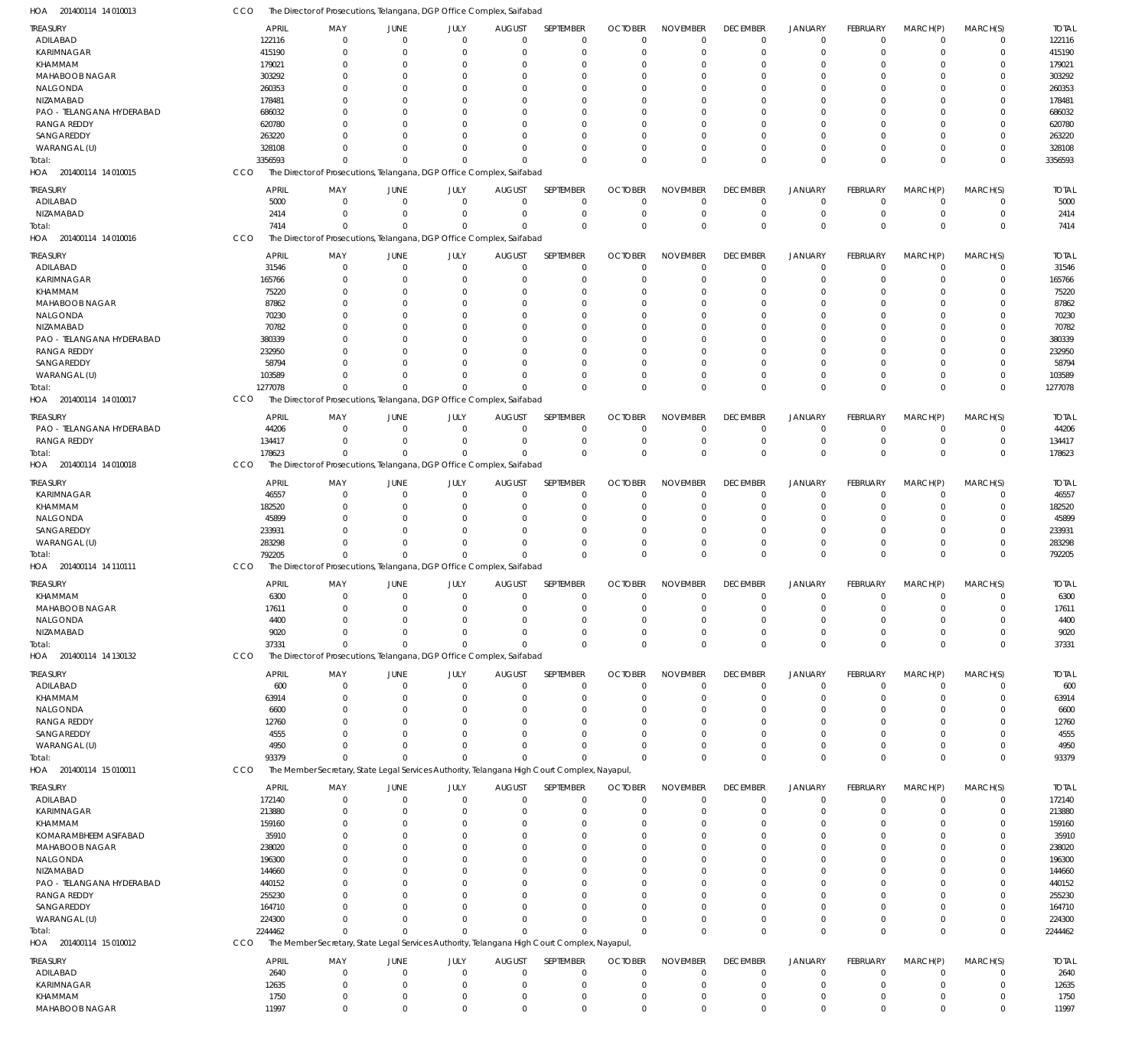| HOA 201400114 14 010013           | CCO              | The Director of Prosecutions, Telangana, DGP Office Complex, Saifabad                        |                               |                            |                         |                               |                      |                         |                           |                            |                      |                            |                            |                  |
|-----------------------------------|------------------|----------------------------------------------------------------------------------------------|-------------------------------|----------------------------|-------------------------|-------------------------------|----------------------|-------------------------|---------------------------|----------------------------|----------------------|----------------------------|----------------------------|------------------|
| TREASURY                          | <b>APRIL</b>     | MAY                                                                                          | JUNE                          | JULY                       | <b>AUGUST</b>           | SEPTEMBER                     | <b>OCTOBER</b>       | <b>NOVEMBER</b>         | <b>DECEMBER</b>           | <b>JANUARY</b>             | FEBRUARY             | MARCH(P)                   | MARCH(S)                   | <b>TOTAL</b>     |
| ADILABAD                          | 122116           | $\Omega$                                                                                     | $\overline{0}$                | $\Omega$                   | $\mathbf 0$             | $\mathbf 0$                   | $\Omega$             | $\Omega$                | $^{\circ}$                | $\overline{0}$             | $\overline{0}$       | $\mathbf 0$                | 0                          | 122116           |
| <b>KARIMNAGAR</b>                 | 415190           | $\Omega$                                                                                     | $\Omega$                      | $\Omega$                   | $\Omega$                | $\mathbf 0$                   | $\Omega$             | $\Omega$                | $\Omega$                  | $\overline{0}$             | 0                    | $\Omega$                   | $\mathbf 0$                | 415190           |
| KHAMMAM                           | 179021           |                                                                                              | $\Omega$                      |                            | $\Omega$                | 0                             | $\Omega$             | $\Omega$                | $\Omega$                  | $\Omega$                   | $\Omega$             | $\Omega$                   | 0                          | 179021           |
| <b>MAHABOOB NAGAR</b>             | 303292           |                                                                                              | $\Omega$                      |                            | $\Omega$                | $\Omega$                      | $\Omega$             | $\Omega$                |                           | $\Omega$                   | $\Omega$             | $\Omega$                   | $\mathbf 0$                | 303292           |
| NALGONDA                          | 260353           |                                                                                              | $\Omega$                      |                            | $\Omega$                | 0                             | $\Omega$             | $\Omega$                |                           | $\Omega$                   |                      | $\Omega$                   | 0                          | 260353           |
| NIZAMABAD                         | 178481           |                                                                                              | $\Omega$                      | $\Omega$                   | $\Omega$                | $\Omega$                      | $\Omega$             | $\Omega$                |                           | $\Omega$                   | $\Omega$             | $\Omega$                   | $\mathbf 0$                | 178481           |
| PAO - TELANGANA HYDERABAD         | 686032           |                                                                                              | $\Omega$                      |                            | $\Omega$                | $\Omega$                      | -0                   | $\Omega$                |                           | $\Omega$                   |                      | $\Omega$                   | 0                          | 686032           |
| <b>RANGA REDDY</b><br>SANGAREDDY  | 620780           |                                                                                              | $\Omega$                      | $\Omega$                   | $\Omega$                | $\Omega$                      | $\Omega$             | $\Omega$                |                           | $\Omega$                   | $\Omega$             | $\Omega$                   | $\mathbf 0$                | 620780           |
|                                   | 263220<br>328108 |                                                                                              | $\Omega$<br>$\Omega$          | $\Omega$                   | $\Omega$<br>$\Omega$    | $\Omega$<br>$\Omega$          | $\Omega$<br>$\Omega$ | $\Omega$<br>$\Omega$    | $\Omega$                  | $\Omega$<br>$\Omega$       | $\Omega$<br>$\Omega$ | $\Omega$<br>$\Omega$       | 0<br>$\mathbf 0$           | 263220<br>328108 |
| WARANGAL (U)                      | 3356593          | $\Omega$                                                                                     | $\Omega$                      | $\Omega$                   | $\Omega$                | $\Omega$                      | $\Omega$             | $\Omega$                | $\Omega$                  | $\Omega$                   | $\Omega$             | $\Omega$                   | $\mathbf 0$                | 3356593          |
| Total:<br>HOA 201400114 14 010015 | CCO              | The Director of Prosecutions, Telangana, DGP Office Complex, Saifabad                        |                               |                            |                         |                               |                      |                         |                           |                            |                      |                            |                            |                  |
|                                   |                  |                                                                                              |                               |                            |                         |                               |                      |                         |                           |                            |                      |                            |                            |                  |
| <b>TREASURY</b>                   | <b>APRIL</b>     | MAY                                                                                          | JUNE                          | JULY                       | <b>AUGUST</b>           | SEPTEMBER                     | <b>OCTOBER</b>       | <b>NOVEMBER</b>         | <b>DECEMBER</b>           | <b>JANUARY</b>             | FEBRUARY             | MARCH(P)                   | MARCH(S)                   | <b>TOTAL</b>     |
| ADILABAD                          | 5000             | $\Omega$                                                                                     | $\Omega$                      | $\mathbf 0$                | $\mathbf 0$             | $\mathbf 0$                   | $\mathbf 0$          | $\Omega$                | $^{\circ}$                | $\overline{0}$             | $\mathbf 0$          | $\mathbf 0$                | $\mathbf 0$                | 5000             |
| NIZAMABAD                         | 2414             | $\overline{0}$                                                                               | $\mathbf 0$                   | $\mathbf 0$                | $\mathbf 0$             | $\mathbf 0$                   | $\mathbf 0$          | $\Omega$                | $\overline{0}$            | $\overline{0}$             | $\mathbf 0$          | $\mathbf 0$                | $\mathsf 0$                | 2414             |
| Total:                            | 7414             | $\Omega$                                                                                     | $\Omega$                      |                            | $\Omega$                | $\mathbf 0$                   | $\Omega$             | $\Omega$                | $\Omega$                  | $\Omega$                   | $\Omega$             | $\Omega$                   | $\mathbf 0$                | 7414             |
| HOA 201400114 14 010016           | CCO              | The Director of Prosecutions, Telangana, DGP Office Complex, Saifabad                        |                               |                            |                         |                               |                      |                         |                           |                            |                      |                            |                            |                  |
| treasury                          | <b>APRIL</b>     | MAY                                                                                          | JUNE                          | JULY                       | <b>AUGUST</b>           | SEPTEMBER                     | <b>OCTOBER</b>       | <b>NOVEMBER</b>         | <b>DECEMBER</b>           | <b>JANUARY</b>             | FEBRUARY             | MARCH(P)                   | MARCH(S)                   | <b>TOTAL</b>     |
| ADILABAD                          | 31546            | $\Omega$                                                                                     | $\overline{0}$                | $\mathbf 0$                | $\mathbf 0$             | $\mathbf 0$                   | $\Omega$             | $\Omega$                | $\overline{0}$            | $\overline{0}$             | $\mathbf 0$          | $\mathbf 0$                | 0                          | 31546            |
| <b>KARIMNAGAR</b>                 | 165766           | $\Omega$                                                                                     | $\mathbf 0$                   | $\Omega$                   | $\Omega$                | $\mathbf 0$                   | $\Omega$             | $\Omega$                | $\Omega$                  | $\overline{0}$             | $\Omega$             | $\Omega$                   | $\mathbf 0$                | 165766           |
| KHAMMAM                           | 75220            |                                                                                              | $\Omega$                      | $\Omega$                   | $\Omega$                | $\Omega$                      | $\Omega$             | $\Omega$                |                           | $\Omega$                   | $\Omega$             | $\Omega$                   | $\mathbf 0$                | 75220            |
| <b>MAHABOOB NAGAR</b>             | 87862            |                                                                                              | $\Omega$                      |                            | $\Omega$                | 0                             | -0                   | $\Omega$                |                           | $\Omega$                   |                      | $\Omega$                   | $\mathbf 0$                | 87862            |
| NALGONDA                          | 70230            |                                                                                              | $\Omega$                      |                            | $\Omega$                | $\Omega$                      | $\Omega$             | $\Omega$                |                           | $\Omega$                   | $\Omega$             | $\Omega$                   | $\mathbf 0$                | 70230            |
| NIZAMABAD                         | 70782            |                                                                                              | $\Omega$                      |                            | $\Omega$                | 0                             | -0                   | $\Omega$                |                           | $\Omega$                   |                      | $\Omega$                   | 0                          | 70782            |
| PAO - TELANGANA HYDERABAD         | 380339           |                                                                                              | $\Omega$                      |                            | $\Omega$                | $\Omega$                      | $\Omega$             | $\Omega$                |                           | $\Omega$                   | $\Omega$             | $\Omega$                   | $\mathbf 0$                | 380339           |
| <b>RANGA REDDY</b>                | 232950           |                                                                                              | $\Omega$                      |                            | $\Omega$                | $\Omega$                      | -0                   | $\Omega$                |                           | $\Omega$                   | $\Omega$             | $\Omega$                   | $\mathbf 0$                | 232950           |
| SANGAREDDY                        | 58794            |                                                                                              | $\Omega$                      | $\Omega$                   | $\Omega$                | $\Omega$                      | $\Omega$             | $\Omega$                |                           | $\Omega$                   | $\Omega$             | $\Omega$                   | $\mathbf 0$                | 58794            |
| WARANGAL (U)                      | 103589           | $\Omega$<br>$\Omega$                                                                         | $\Omega$<br>$\Omega$          | $\Omega$<br>$\Omega$       | $\Omega$<br>$\Omega$    | 0<br>$\Omega$                 | $\Omega$             | $\Omega$                | $\Omega$                  | $\overline{0}$<br>$\Omega$ | 0                    | $\mathbf 0$<br>$\Omega$    | $\mathbf 0$                | 103589           |
| Total:<br>HOA 201400114 14 010017 | 1277078<br>CCO   | The Director of Prosecutions, Telangana, DGP Office Complex, Saifabad                        |                               |                            |                         |                               | $\Omega$             | $\Omega$                | $\Omega$                  |                            | $\Omega$             |                            | $\mathbf 0$                | 1277078          |
|                                   |                  |                                                                                              |                               |                            |                         |                               |                      |                         |                           |                            |                      |                            |                            |                  |
| treasury                          | <b>APRIL</b>     | MAY                                                                                          | JUNE                          | JULY                       | <b>AUGUST</b>           | SEPTEMBER                     | <b>OCTOBER</b>       | <b>NOVEMBER</b>         | <b>DECEMBER</b>           | <b>JANUARY</b>             | FEBRUARY             | MARCH(P)                   | MARCH(S)                   | <b>TOTAL</b>     |
| PAO - TELANGANA HYDERABAD         | 44206            | $^{\circ}$                                                                                   | $\mathbf 0$                   | $\mathbf 0$                | $\mathbf 0$             | $\mathbf 0$                   | $\Omega$             | $\Omega$                | $^{\circ}$                | $\overline{0}$             | $\overline{0}$       | $\mathbf 0$                | 0                          | 44206            |
| <b>RANGA REDDY</b>                | 134417           | $\Omega$                                                                                     | $\Omega$                      | $\Omega$                   | 0                       | $\mathbf 0$                   | 0                    | $\Omega$                | $^{\circ}$                | $\overline{0}$             | 0                    | $\mathbf 0$                | 0                          | 134417           |
| Total:                            | 178623           | $\Omega$                                                                                     | $\Omega$                      | $\Omega$                   | $\Omega$                | $\mathbf 0$                   | $\Omega$             | $\Omega$                | $\Omega$                  | $\overline{0}$             | $\Omega$             | $\Omega$                   | $\mathbf 0$                | 178623           |
| HOA 201400114 14 010018           | CCO              | The Director of Prosecutions, Telangana, DGP Office Complex, Saifabad                        |                               |                            |                         |                               |                      |                         |                           |                            |                      |                            |                            |                  |
| treasury                          | <b>APRIL</b>     | MAY                                                                                          | JUNE                          | JULY                       | <b>AUGUST</b>           | SEPTEMBER                     | <b>OCTOBER</b>       | <b>NOVEMBER</b>         | <b>DECEMBER</b>           | <b>JANUARY</b>             | FEBRUARY             | MARCH(P)                   | MARCH(S)                   | <b>TOTAL</b>     |
| <b>KARIMNAGAR</b>                 | 46557            | $\Omega$                                                                                     | $\mathbf 0$                   | $\mathbf 0$                | $\mathbf 0$             | 0                             | $\Omega$             | $\Omega$                | $^{\circ}$                | $\overline{0}$             | $\mathbf 0$          | $\Omega$                   | 0                          | 46557            |
| KHAMMAM                           | 182520           | $\Omega$                                                                                     | $\Omega$                      | $\Omega$                   | $\Omega$                | $\mathbf 0$                   | $\Omega$             | $\Omega$                | $\Omega$                  | $\overline{0}$             | 0                    | $\Omega$                   | $\mathbf 0$                | 182520           |
| NALGONDA                          | 45899            | $\Omega$                                                                                     | 0                             | $\Omega$                   | $\Omega$                | 0                             | $\Omega$             | $\Omega$                | $\Omega$                  | 0                          | $\Omega$             | $\Omega$                   | 0                          | 45899            |
| SANGAREDDY                        | 233931           |                                                                                              | $\Omega$                      | $\Omega$                   | $\Omega$                | $\Omega$                      | $\Omega$             | $\Omega$                | $\Omega$                  | $\Omega$                   | $\Omega$             | $\Omega$                   | $\mathbf 0$                | 233931           |
| WARANGAL (U)                      | 283298           | $\Omega$                                                                                     | $\Omega$                      | $\Omega$                   | $\Omega$                | $\mathbf 0$                   | $\Omega$             | $\Omega$                | $\Omega$                  | $\overline{0}$             | 0                    | $\mathbf 0$                | $\mathbf 0$                | 283298           |
| Total:                            | 792205           | $\Omega$                                                                                     | $\Omega$                      | $\Omega$                   | $\Omega$                | $\Omega$                      | $\Omega$             | $\Omega$                | $\Omega$                  | $\Omega$                   | $\Omega$             | $\Omega$                   | $\mathbf 0$                | 792205           |
| HOA 201400114 14 110111           | CCO              | The Director of Prosecutions, Telangana, DGP Office Complex, Saifabad                        |                               |                            |                         |                               |                      |                         |                           |                            |                      |                            |                            |                  |
| TREASURY                          | <b>APRIL</b>     | MAY                                                                                          | JUNE                          | JULY                       | <b>AUGUST</b>           | SEPTEMBER                     | <b>OCTOBER</b>       | <b>NOVEMBER</b>         | <b>DECEMBER</b>           | <b>JANUARY</b>             | FEBRUARY             | MARCH(P)                   | MARCH(S)                   | <b>TOTAL</b>     |
| KHAMMAM                           | 6300             | $\mathbf 0$                                                                                  | $\mathbf 0$                   | $\mathbf 0$                | $\mathbf 0$             | $\mathbf 0$                   | $\mathbf 0$          | $\mathbf 0$             | $\mathbf 0$               | $\mathbf 0$                | $\overline{0}$       | $\overline{0}$             | $\mathbf 0$                | 6300             |
| MAHABOOB NAGAR                    | 17611            | 0                                                                                            |                               |                            |                         | 0                             |                      |                         |                           |                            |                      |                            | 0                          | 17611            |
| NALGONDA                          | 4400             | $\Omega$                                                                                     | $\Omega$                      | $\Omega$                   | $\Omega$                | $\mathbf 0$                   | $\Omega$             | $\Omega$                | $\Omega$                  | $\Omega$                   | 0                    | $\Omega$                   | $\mathbf 0$                | 4400             |
| NIZAMABAD                         | 9020             | $\Omega$                                                                                     | $\Omega$                      | $\Omega$                   | 0                       | $\mathbf 0$                   | $\Omega$             | $\Omega$                | $^{\circ}$                | $\overline{0}$             | $\mathbf 0$          | $\mathbf 0$                | 0                          | 9020             |
| Total:                            | 37331            | $\Omega$                                                                                     | $\mathbf 0$                   | $\Omega$                   | $\mathbf 0$             | $\Omega$                      | $\Omega$             | $\Omega$                | $^{\circ}$                | $\overline{0}$             | $\Omega$             | $\Omega$                   | $\mathbf 0$                | 37331            |
| HOA 201400114 14 130132           | CCO              | The Director of Prosecutions, Telangana, DGP Office Complex, Saifabad                        |                               |                            |                         |                               |                      |                         |                           |                            |                      |                            |                            |                  |
| TREASURY                          | <b>APRIL</b>     | MAY                                                                                          | JUNE                          | JULY                       | <b>AUGUST</b>           | SEPTEMBER                     | <b>OCTOBER</b>       | <b>NOVEMBER</b>         | <b>DECEMBER</b>           | <b>JANUARY</b>             | FEBRUARY             | MARCH(P)                   | MARCH(S)                   | <b>TOTAL</b>     |
| ADILABAD                          | 600              | 0                                                                                            | $\mathbf 0$                   | $\mathbf 0$                | $\mathbf 0$             | $\mathbf 0$                   | $\Omega$             | $\Omega$                | $^{\circ}$                | $\overline{0}$             | $\mathbf 0$          | 0                          | 0                          | 600              |
| KHAMMAM                           | 63914            | $\Omega$                                                                                     | $\mathbf 0$                   | $\Omega$                   | $\Omega$                | $\mathbf 0$                   | $\Omega$             | $\Omega$                | $\Omega$                  | $\overline{0}$             | 0                    | $\Omega$                   | $\mathbf 0$                | 63914            |
| NALGONDA                          | 6600             | $\Omega$                                                                                     | $\mathbf 0$                   | $\Omega$                   | $\Omega$                | 0                             | $\Omega$             | $\Omega$                | $\Omega$                  | $\Omega$                   | $\Omega$             | $\Omega$                   | $\mathbf 0$                | 6600             |
| <b>RANGA REDDY</b>                | 12760            | $\Omega$                                                                                     | $\Omega$                      | $\Omega$                   | $\Omega$                | $\Omega$                      | $\Omega$             | $\Omega$                |                           | $\Omega$                   | $\Omega$             | $\Omega$                   | $\mathbf 0$                | 12760            |
| SANGAREDDY                        | 4555             |                                                                                              | $\Omega$                      | $\Omega$                   | $\Omega$                | $\Omega$                      | $\Omega$             | $\Omega$                | $\Omega$                  | $\Omega$                   | $\Omega$             | $\Omega$                   | $\mathbf 0$                | 4555             |
| WARANGAL (U)                      | 4950             | $\Omega$                                                                                     | $\Omega$                      | $\Omega$                   | $\Omega$                | $\Omega$                      | $\Omega$             | $\Omega$                | $\Omega$                  | $\overline{0}$             | 0                    | $\Omega$                   | $\mathbf 0$                | 4950             |
| Total:                            | 93379            | $\mathbf{0}$                                                                                 | $\Omega$                      | $\Omega$                   | $\Omega$                | $\Omega$                      | $\Omega$             | $\Omega$                | $\Omega$                  | $\mathbf 0$                | $\Omega$             | $\Omega$                   | $\mathbf 0$                | 93379            |
| HOA 201400114 15 010011           | CCO              | The Member Secretary, State Legal Services Authority, Telangana High Court Complex, Nayapul, |                               |                            |                         |                               |                      |                         |                           |                            |                      |                            |                            |                  |
| TREASURY                          | <b>APRIL</b>     | MAY                                                                                          | JUNE                          | JULY                       | <b>AUGUST</b>           | SEPTEMBER                     | <b>OCTOBER</b>       | <b>NOVEMBER</b>         | <b>DECEMBER</b>           | <b>JANUARY</b>             | FEBRUARY             | MARCH(P)                   | MARCH(S)                   | <b>TOTAL</b>     |
| ADILABAD                          | 172140           | 0                                                                                            | $\Omega$                      | $\mathbf 0$                | $\mathbf 0$             | $\mathbf 0$                   | $\mathbf 0$          | $\Omega$                | $^{\circ}$                | $\overline{0}$             | $\mathbf 0$          | $\mathbf 0$                | $\mathbf 0$                | 172140           |
| KARIMNAGAR                        | 213880           | 0                                                                                            | $\Omega$                      | $\Omega$                   | 0                       | $\mathbf 0$                   | $\mathbf 0$          | $\Omega$                | $\overline{0}$            | $\overline{0}$             | 0                    | $\mathbf 0$                | $\mathbf 0$                | 213880           |
| KHAMMAM                           | 159160           | 0                                                                                            | $\Omega$                      | $\Omega$                   | $\Omega$                | $\mathbf 0$                   | $\Omega$             | $\Omega$                | $\Omega$                  | $\Omega$                   | 0                    | $\Omega$                   | $\mathbf 0$                | 159160           |
| KOMARAMBHEEM ASIFABAD             | 35910            | 0                                                                                            | $\Omega$                      |                            | 0                       | $\mathbf 0$                   | $\Omega$             | $\Omega$                |                           | $\Omega$                   | $\Omega$             | $\Omega$                   | $\mathbf 0$                | 35910            |
| MAHABOOB NAGAR                    | 238020           | $\Omega$                                                                                     | $\Omega$                      |                            | $\Omega$                | $\mathbf 0$                   | -0                   | $\Omega$                |                           | $\Omega$                   | 0                    | $\Omega$                   | $\mathbf 0$                | 238020           |
| NALGONDA                          | 196300           |                                                                                              | $\Omega$                      |                            | $\Omega$                | $\mathbf 0$                   | -0                   | $\cap$                  |                           | $\Omega$                   | $\Omega$             | $\Omega$                   | $\mathbf 0$                | 196300           |
| NIZAMABAD                         | 144660           | 0                                                                                            | $\Omega$                      |                            | $\Omega$                | $\mathbf 0$                   | -C                   | $\Omega$                |                           | $\Omega$                   | $\Omega$             | $\Omega$                   | $\mathbf 0$                | 144660           |
| PAO - TELANGANA HYDERABAD         | 440152           |                                                                                              |                               |                            | $\Omega$                | $\mathbf 0$                   | -0                   | $\Omega$                |                           | $\Omega$                   | $\Omega$             | $\Omega$                   | $\mathbf 0$                | 440152           |
| <b>RANGA REDDY</b>                | 255230           | $\Omega$                                                                                     | $\Omega$                      | 0                          | $\Omega$                | $\mathbf 0$                   | -0                   | $\Omega$<br>$\Omega$    | $\Omega$                  | $\Omega$                   | $\Omega$             | $\Omega$                   | $\mathbf 0$                | 255230           |
| SANGAREDDY                        | 164710<br>224300 | $\Omega$                                                                                     | $\Omega$<br>$\Omega$          | O<br>O                     | $\Omega$<br>$\Omega$    | $\overline{0}$<br>$\mathbf 0$ | -C<br>$\Omega$       | $\Omega$                | $\Omega$                  | $\Omega$<br>$\overline{0}$ | $\Omega$<br>0        | $\Omega$<br>$\mathbf 0$    | $\mathbf 0$<br>$\mathbf 0$ | 164710<br>224300 |
| WARANGAL (U)<br>Total:            | 2244462          | $\Omega$                                                                                     | $\Omega$                      | $\Omega$                   | $\Omega$                | $\Omega$                      | $\Omega$             | $\Omega$                | $\Omega$                  | $\Omega$                   | $\Omega$             | $\Omega$                   | $\mathbf 0$                | 2244462          |
| HOA 201400114 15 010012           | CCO              | The Member Secretary, State Legal Services Authority, Telangana High Court Complex, Nayapul, |                               |                            |                         |                               |                      |                         |                           |                            |                      |                            |                            |                  |
|                                   |                  |                                                                                              |                               |                            |                         |                               |                      |                         |                           |                            |                      |                            |                            |                  |
| TREASURY                          | <b>APRIL</b>     | MAY                                                                                          | JUNE                          | JULY                       | <b>AUGUST</b>           | SEPTEMBER                     | <b>OCTOBER</b>       | <b>NOVEMBER</b>         | <b>DECEMBER</b>           | <b>JANUARY</b>             | FEBRUARY             | MARCH(P)                   | MARCH(S)                   | <b>TOTAL</b>     |
| ADILABAD                          | 2640             | $\Omega$                                                                                     | $\mathbf 0$                   | $\Omega$                   | $\mathbf 0$             | 0                             | $\Omega$             | $\Omega$                | $^{\circ}$                | $\overline{0}$             | $\mathbf 0$          | O                          | 0                          | 2640             |
| KARIMNAGAR                        | 12635            | $\overline{0}$                                                                               | $\mathbf 0$                   | $\mathbf 0$                | $\mathbf 0$             | $\mathbf 0$                   | $\mathbf 0$          | $\mathbf 0$             | $\overline{0}$            | $\overline{0}$             | $\mathbf 0$          | $\overline{0}$             | $\mathbf 0$                | 12635            |
| KHAMMAM                           | 1750<br>11997    | $\mathbf 0$                                                                                  | $\overline{0}$<br>$\mathbf 0$ | $\mathbf 0$<br>$\mathbf 0$ | $\mathbf 0$<br>$\Omega$ | $\mathbf 0$<br>$\mathbf 0$    | 0                    | $\mathbf 0$<br>$\Omega$ | $^{\circ}$<br>$\mathbf 0$ | $\overline{0}$             | $\mathbf 0$          | $\mathbf 0$<br>$\mathbf 0$ | $\mathbf 0$<br>$\mathbf 0$ | 1750             |
| MAHABOOB NAGAR                    |                  | $\mathbf 0$                                                                                  |                               |                            |                         |                               | $\mathbf 0$          |                         |                           | $\mathbf 0$                | $\mathbf 0$          |                            |                            | 11997            |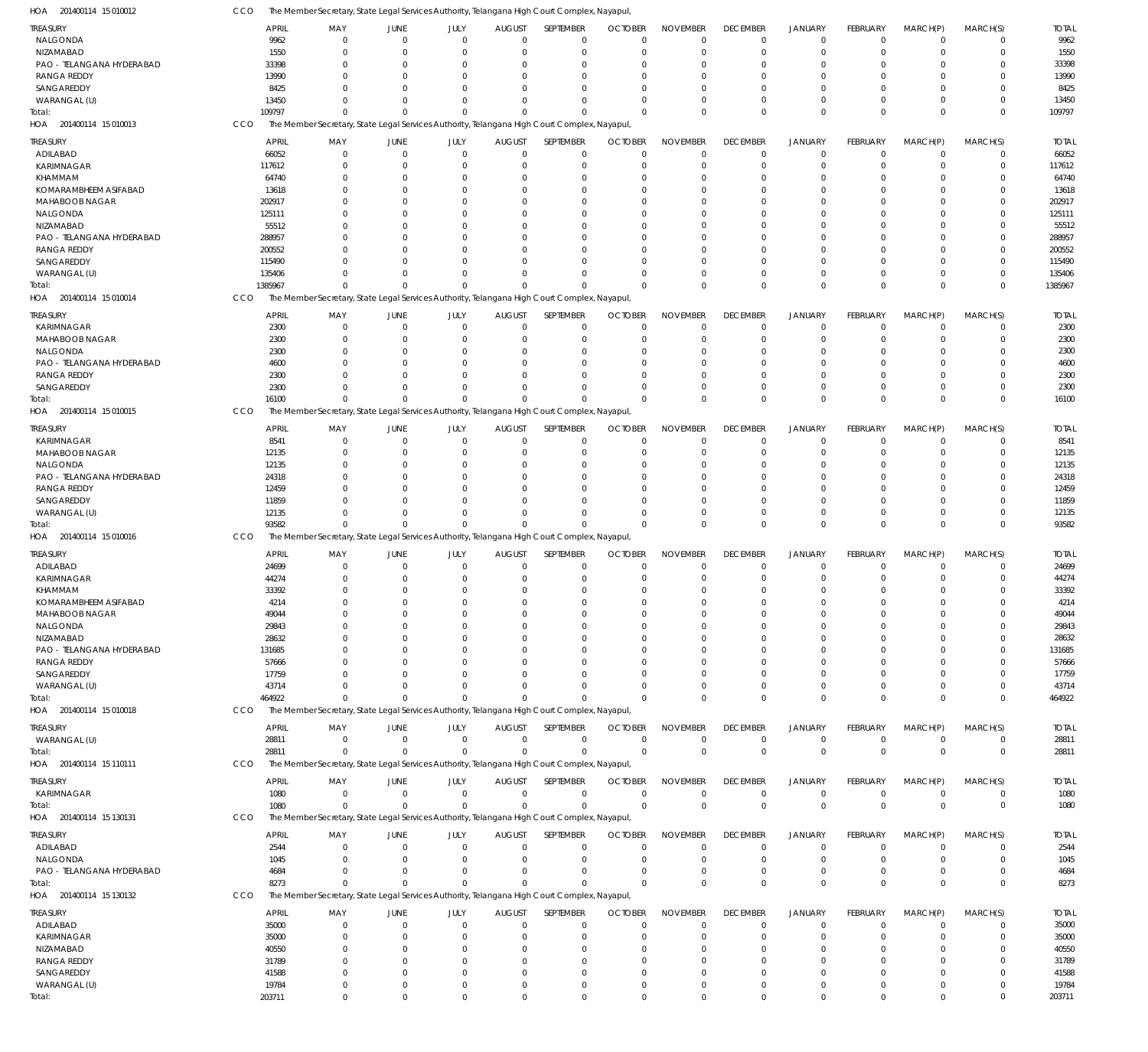| HOA 201400114 15 010012             | CCO |                 |                         |                      |                      |                      | The Member Secretary, State Legal Services Authority, Telangana High Court Complex, Nayapul  |                         |                               |                            |                            |                            |                         |                            |                 |
|-------------------------------------|-----|-----------------|-------------------------|----------------------|----------------------|----------------------|----------------------------------------------------------------------------------------------|-------------------------|-------------------------------|----------------------------|----------------------------|----------------------------|-------------------------|----------------------------|-----------------|
| <b>TREASURY</b>                     |     | APRIL           | MAY                     | JUNE                 | JULY                 | <b>AUGUST</b>        | SEPTEMBER                                                                                    | <b>OCTOBER</b>          | <b>NOVEMBER</b>               | <b>DECEMBER</b>            | <b>JANUARY</b>             | FEBRUARY                   | MARCH(P)                | MARCH(S)                   | <b>TOTAL</b>    |
| NALGONDA                            |     | 9962            | $\mathbf{0}$            | $\Omega$             | $\Omega$             | $\Omega$             | $\overline{0}$                                                                               | $\Omega$                | $\mathbf 0$                   | $\mathbf 0$                | $\overline{0}$             | $\Omega$                   | $\mathbf 0$             | $\mathbf 0$                | 9962            |
| NIZAMABAD                           |     | 1550            | $\mathbf 0$             | $\Omega$             | $\Omega$             | $\Omega$             | $\overline{0}$                                                                               | $\Omega$                | $\overline{0}$                | $\mathbf 0$                | $\mathbf 0$                | $\mathbf 0$                | 0                       | $\mathbf 0$                | 1550            |
| PAO - TELANGANA HYDERABAD           |     | 33398           | $\Omega$                | $\Omega$             | $\Omega$             | $\Omega$             | $\Omega$                                                                                     | $\Omega$                | $\Omega$                      | $\Omega$                   | $\Omega$                   | $\Omega$                   | 0                       | $\mathbf 0$                | 33398           |
| <b>RANGA REDDY</b>                  |     | 13990           | $\Omega$                | $\Omega$             | $\Omega$             | $\Omega$             | $\Omega$                                                                                     | $\Omega$                | $\Omega$                      | $\Omega$                   | $\cup$                     | $\Omega$                   | 0                       | $\Omega$                   | 13990           |
| SANGAREDDY                          |     | 8425            | $\Omega$                | $\Omega$             | $\Omega$             |                      | $\Omega$                                                                                     | $\Omega$                | $\Omega$                      | $\Omega$                   | $\Omega$                   | $\Omega$                   | 0                       | $\mathbf 0$                | 8425            |
| WARANGAL (U)                        |     | 13450           | $\Omega$                | $\Omega$             | $\Omega$             | $\Omega$             | $\Omega$                                                                                     | $\Omega$                | $\Omega$                      | $\Omega$                   | $\Omega$                   | $\mathbf 0$                | $\Omega$                | $\mathbf 0$                | 13450           |
| Total:                              |     | 109797          | $\Omega$                | $\Omega$             | $\Omega$             | $\Omega$             | $\Omega$                                                                                     | $\Omega$                | $\Omega$                      | $\Omega$                   | $\Omega$                   | $\Omega$                   | $\Omega$                | $\mathbf 0$                | 109797          |
| HOA 201400114 15 010013             | CCO |                 |                         |                      |                      |                      | The Member Secretary, State Legal Services Authority, Telangana High Court Complex, Nayapul  |                         |                               |                            |                            |                            |                         |                            |                 |
| <b>TREASURY</b>                     |     | <b>APRIL</b>    | MAY                     | JUNE                 | JULY                 | <b>AUGUST</b>        | SEPTEMBER                                                                                    | <b>OCTOBER</b>          | <b>NOVEMBER</b>               | <b>DECEMBER</b>            | <b>JANUARY</b>             | FEBRUARY                   | MARCH(P)                | MARCH(S)                   | <b>TOTAL</b>    |
| ADILABAD                            |     | 66052           | $\mathbf{0}$            | $\Omega$             | $\Omega$             | $\mathbf{0}$         | $^{\circ}$                                                                                   | $\mathbf 0$             | $\overline{0}$                | $\mathbf 0$                | $\overline{0}$             | $\mathbf 0$                | $\mathbf 0$             | $\mathbf 0$                | 66052           |
| <b>KARIMNAGAR</b>                   |     | 117612          | $\mathbf{0}$            | $\Omega$             | $\Omega$             | $\Omega$             | $\overline{0}$                                                                               | $\Omega$                | $\overline{0}$                | $\mathbf 0$                | $\overline{0}$             | $\mathbf 0$                | 0                       | $\mathbf 0$                | 117612          |
| KHAMMAM                             |     | 64740           | $\mathbf 0$             | $\Omega$             | $\Omega$             |                      | $\Omega$                                                                                     | $\Omega$                | $\Omega$                      | 0                          | $\Omega$                   | 0                          | 0                       | $\mathbf 0$                | 64740           |
| KOMARAMBHEEM ASIFABAD               |     | 13618           | $\Omega$                | C                    | $\Omega$             |                      | $\Omega$                                                                                     | $\Omega$                | $\Omega$                      |                            | $\Omega$                   | $\Omega$                   | 0                       | $\mathbf 0$                | 13618           |
| <b>MAHABOOB NAGAR</b>               |     | 202917          | $\Omega$                | C                    | $\Omega$             |                      | $\Omega$                                                                                     | $\Omega$                | $\Omega$                      |                            | $\Omega$                   | $\Omega$                   | 0                       | $\mathbf 0$                | 202917          |
| NALGONDA                            |     | 125111          | $\Omega$                | -C                   | $\cap$               |                      | $\Omega$                                                                                     |                         | $\Omega$                      |                            | $\Omega$                   | $\Omega$                   | 0                       | $\mathbf 0$                | 125111          |
| NIZAMABAD                           |     | 55512           | $\Omega$                | -C                   | $\Omega$             |                      | $\Omega$                                                                                     | 0                       | $\Omega$                      |                            | $\cup$                     | $\Omega$                   | 0                       | $\mathbf 0$                | 55512           |
| PAO - TELANGANA HYDERABAD           |     | 288957          | $\Omega$                | -C                   | $\Omega$             |                      | $\Omega$                                                                                     | $\Omega$                | $\Omega$                      |                            | $\Omega$                   | $\Omega$                   | 0                       | $\mathbf 0$                | 288957          |
| <b>RANGA REDDY</b>                  |     | 200552          | $\Omega$                | -C                   | $\Omega$             |                      | $\Omega$                                                                                     | $\Omega$                | $\Omega$                      | 0                          | $\Omega$                   | 0                          | 0                       | $\mathbf 0$                | 200552          |
| SANGAREDDY                          |     | 115490          | $\Omega$                | ſ                    | $\cap$               |                      | $\Omega$                                                                                     | $\Omega$                | $\Omega$                      |                            | $\cup$                     | $\Omega$                   | $\Omega$                | $\Omega$                   | 115490          |
| WARANGAL (U)                        |     | 135406          | $\Omega$                | $\Omega$             | $\Omega$             | $\Omega$             | $\Omega$                                                                                     | $\Omega$                | $\Omega$                      | $\Omega$                   | $\Omega$                   | $\mathbf 0$                | $\Omega$                | $\mathbf 0$                | 135406          |
| Total:                              |     | 1385967         | $\Omega$                | $\Omega$             | $\Omega$             | $\Omega$             | $\Omega$                                                                                     | $\Omega$                | $\Omega$                      | $\Omega$                   | $\Omega$                   | $\Omega$                   | $\Omega$                | $\mathbf 0$                | 1385967         |
| HOA 201400114 15 010014             | CCO |                 |                         |                      |                      |                      | The Member Secretary, State Legal Services Authority, Telangana High Court Complex, Nayapul  |                         |                               |                            |                            |                            |                         |                            |                 |
| <b>TREASURY</b>                     |     | <b>APRIL</b>    | MAY                     | JUNE                 | JULY                 | <b>AUGUST</b>        | SEPTEMBER                                                                                    | <b>OCTOBER</b>          | <b>NOVEMBER</b>               | <b>DECEMBER</b>            | <b>JANUARY</b>             | FEBRUARY                   | MARCH(P)                | MARCH(S)                   | <b>TOTAL</b>    |
| KARIMNAGAR                          |     | 2300            | $\mathbf{0}$            | $\Omega$             | $\Omega$             | $\Omega$             | $\overline{0}$                                                                               | $\Omega$                | $\overline{0}$                | $\mathbf 0$                | $\mathbf 0$                | $\mathbf 0$                | 0                       | $\mathbf 0$                | 2300            |
| <b>MAHABOOB NAGAR</b>               |     | 2300            | $\mathbf 0$             | $\Omega$             | $\Omega$             | $\Omega$             | $\Omega$                                                                                     | $\Omega$                | $\overline{0}$                | $\mathbf 0$                | $\Omega$                   | $\mathbf 0$                | $\Omega$                | $\mathbf 0$                | 2300            |
| NALGONDA                            |     | 2300            | 0                       | $\Omega$             | $\Omega$             | $\Omega$             | $\Omega$                                                                                     | $\Omega$                | $\mathbf 0$                   | $\Omega$                   | $\Omega$                   | $\Omega$                   | 0                       | $\mathbf 0$                | 2300            |
| PAO - TELANGANA HYDERABAD           |     | 4600            | $\Omega$                | $\Omega$             | $\Omega$             |                      | $\Omega$                                                                                     | $\Omega$                | $\Omega$                      | $\Omega$                   | $\cup$                     | $\Omega$                   | $\Omega$                | $\mathbf 0$                | 4600            |
| <b>RANGA REDDY</b>                  |     | 2300            | $\Omega$                | $\Omega$             | $\Omega$             | $\Omega$             | $\Omega$                                                                                     | $\Omega$                | $\Omega$                      | O                          | $\Omega$                   | $\Omega$                   | $\Omega$                | $\Omega$                   | 2300            |
| SANGAREDDY                          |     | 2300            | $\Omega$                | $\Omega$             | $\Omega$             | $\Omega$             | $\Omega$                                                                                     | $\Omega$                | $\Omega$                      | $\Omega$                   | $\Omega$                   | $\mathbf 0$                | $\Omega$                | $\mathbf 0$                | 2300            |
| Total:                              |     | 16100           | $\Omega$                | $\Omega$             | $\Omega$             | $\Omega$             | $\Omega$                                                                                     | $\Omega$                | $\Omega$                      | $\Omega$                   | $\Omega$                   | $\Omega$                   | $\Omega$                | $\Omega$                   | 16100           |
| HOA 201400114 15 010015             | CCO |                 |                         |                      |                      |                      | The Member Secretary, State Legal Services Authority, Telangana High Court Complex, Nayapul  |                         |                               |                            |                            |                            |                         |                            |                 |
| <b>TREASURY</b>                     |     | <b>APRIL</b>    | MAY                     | JUNE                 | JULY                 | <b>AUGUST</b>        | SEPTEMBER                                                                                    | <b>OCTOBER</b>          | <b>NOVEMBER</b>               | <b>DECEMBER</b>            | <b>JANUARY</b>             | FEBRUARY                   | MARCH(P)                | MARCH(S)                   | <b>TOTAL</b>    |
| <b>KARIMNAGAR</b>                   |     | 8541            | $\mathbf{0}$            | $\Omega$             | $\Omega$             | $\Omega$             | $\overline{0}$                                                                               | $\mathbf 0$             | $\mathbf 0$                   | $\mathbf 0$                | $\mathbf 0$                | $\mathbf 0$                | 0                       | $\mathbf 0$                | 8541            |
| <b>MAHABOOB NAGAR</b>               |     | 12135           | $\mathbf{0}$            | $\Omega$             | $\Omega$             | $\Omega$             | $\Omega$                                                                                     | $\Omega$                | $\Omega$                      | $\Omega$                   | $\Omega$                   | $\mathbf 0$                | $\Omega$                | $\mathbf 0$                | 12135           |
| NALGONDA                            |     | 12135           | $\mathbf 0$             | $\Omega$             | $\Omega$             |                      | $\Omega$                                                                                     | $\Omega$                | $\mathbf 0$                   | $\Omega$                   | $\Omega$                   | 0                          | 0                       | $\mathbf 0$                | 12135           |
| PAO - TELANGANA HYDERABAD           |     | 24318           | $\Omega$                | $\Omega$             | $\Omega$             |                      | $\Omega$                                                                                     | $\Omega$                | $\Omega$                      | 0                          | $\Omega$                   | $\Omega$                   | 0                       | $\mathbf 0$                | 24318           |
| <b>RANGA REDDY</b>                  |     | 12459           | $\Omega$                | $\Omega$             | $\Omega$             |                      | $\Omega$                                                                                     | $\Omega$                | $\Omega$                      | 0                          | $\Omega$                   | $\Omega$                   | 0                       | $\mathbf 0$                | 12459           |
| SANGAREDDY                          |     | 11859           | $\Omega$<br>$\Omega$    | -C<br>$\Omega$       | $\Omega$<br>$\Omega$ | $\Omega$             | $\Omega$<br>$\Omega$                                                                         | $\Omega$<br>$\Omega$    | $\Omega$<br>$\Omega$          | $\mathbf 0$                | $\Omega$<br>$\mathbf 0$    | $\mathbf 0$<br>$\mathbf 0$ | $\Omega$                | $\mathbf 0$<br>$\mathbf 0$ | 11859           |
| WARANGAL (U)<br>Total:              |     | 12135<br>93582  | $\Omega$                | $\Omega$             | $\Omega$             | $\Omega$             | $\Omega$                                                                                     | $\Omega$                | $\Omega$                      | $\Omega$                   | $\overline{0}$             | $\Omega$                   | 0<br>$\Omega$           | $\mathbf 0$                | 12135<br>93582  |
| HOA 201400114 15 010016             | CCO |                 |                         |                      |                      |                      | The Member Secretary, State Legal Services Authority, Telangana High Court Complex, Nayapul  |                         |                               |                            |                            |                            |                         |                            |                 |
|                                     |     |                 |                         |                      |                      |                      |                                                                                              |                         |                               |                            |                            |                            |                         |                            |                 |
| <b>TREASURY</b>                     |     | <b>APRIL</b>    | MAY                     | JUNE                 | JULY                 | <b>AUGUST</b>        | SEPTEMBER                                                                                    | <b>OCTOBER</b>          | <b>NOVEMBER</b>               | <b>DECEMBER</b>            | <b>JANUARY</b>             | FEBRUARY                   | MARCH(P)                | MARCH(S)                   | <b>TOTAL</b>    |
| ADILABAD                            |     | 24699           | $\Omega$<br>$\Omega$    | $\Omega$             | $\Omega$<br>$\Omega$ | $\Omega$<br>$\Omega$ | $\Omega$                                                                                     | $\Omega$<br>$\Omega$    | $\overline{0}$<br>$\mathbf 0$ | $\mathbf 0$<br>$\mathbf 0$ | $\mathbf 0$                | $\mathbf 0$                | $\Omega$                | $\mathbf 0$                | 24699           |
| <b>KARIMNAGAR</b>                   |     | 44274<br>33392  | $\Omega$                | $\Omega$<br>$\Omega$ | $\Omega$             | $\Omega$             | $\overline{0}$<br>$\Omega$                                                                   | $\Omega$                | $\Omega$                      | $\Omega$                   | $\mathbf 0$<br>$\Omega$    | $\mathbf 0$<br>$\Omega$    | 0<br>$\Omega$           | $\mathbf 0$<br>$\mathbf 0$ | 44274<br>33392  |
| KHAMMAM<br>KOMARAMBHFFM ASIFABAD    |     | 4214            | $\Omega$                | $\Omega$             | $\mathbf 0$          | $\mathbf{0}$         | $\Omega$                                                                                     | $\mathbf 0$             | $\mathbf 0$                   | $\Omega$                   | $\Omega$                   | $\Omega$                   | $\Omega$                | $\mathbf 0$                | 4214            |
| MAHABOOB NAGAR                      |     | 49044           | $\Omega$                | $\Omega$             | $\Omega$             | $\Omega$             | $\Omega$                                                                                     | $\Omega$                | $\Omega$                      | $\Omega$                   | $\Omega$                   | $\Omega$                   | $\Omega$                | $\mathbf 0$                | 49044           |
| NALGONDA                            |     | 29843           | $\Omega$                | $\Omega$             | $\Omega$             | $\Omega$             | $\overline{0}$                                                                               | $\mathbf 0$             | $\mathbf 0$                   | $\mathbf 0$                | $\Omega$                   | $\mathbf 0$                | 0                       | $\mathbf 0$                | 29843           |
| NIZAMABAD                           |     | 28632           | $\Omega$                | $\Omega$             | $\Omega$             | $\Omega$             | $\Omega$                                                                                     | $\Omega$                | $\mathbf 0$                   | $\Omega$                   | $\Omega$                   | $\Omega$                   | $\Omega$                | 0                          | 28632           |
| PAO - TELANGANA HYDERABAD           |     | 131685          | $\Omega$                | $\Omega$             | $\Omega$             | $\Omega$             | $\Omega$                                                                                     | $\Omega$                | $\Omega$                      | O                          | $\cup$                     | $\Omega$                   | $\Omega$                | $\mathbf 0$                | 131685          |
| <b>RANGA REDDY</b>                  |     | 57666           |                         |                      | $\cap$               |                      | $\Omega$                                                                                     |                         | $\Omega$                      |                            |                            | $\Omega$                   | $\Omega$                | 0                          | 57666           |
| SANGAREDDY                          |     | 17759           |                         |                      | $\cap$               |                      | $\Omega$                                                                                     | $\Omega$                | $\Omega$                      | U                          | C.                         | $\Omega$                   | $\Omega$                | $\Omega$                   | 17759           |
| WARANGAL (U)                        |     | 43714           | $\Omega$                |                      | $\Omega$             | $\Omega$             | $\Omega$                                                                                     |                         | $\Omega$                      | $\Omega$                   | $\Omega$                   | $\Omega$                   | $\Omega$                | $\mathbf 0$                | 43714           |
| Total:                              |     | 464922          | $\Omega$                | $\Omega$             | $\Omega$             | $\Omega$             | $\Omega$                                                                                     | $\Omega$                | $\Omega$                      | $\Omega$                   | $\Omega$                   | $\Omega$                   | $\Omega$                | $\mathbf 0$                | 464922          |
| HOA 201400114 15 010018             | CCO |                 |                         |                      |                      |                      | The Member Secretary, State Legal Services Authority, Telangana High Court Complex, Nayapul  |                         |                               |                            |                            |                            |                         |                            |                 |
| <b>TREASURY</b>                     |     | <b>APRIL</b>    | MAY                     | JUNE                 | JULY                 | <b>AUGUST</b>        | SEPTEMBER                                                                                    | <b>OCTOBER</b>          | <b>NOVEMBER</b>               | <b>DECEMBER</b>            | <b>JANUARY</b>             | FEBRUARY                   | MARCH(P)                | MARCH(S)                   | <b>TOTAL</b>    |
| WARANGAL (U)                        |     | 28811           | $\mathbf 0$             | $\Omega$             | $\mathbf 0$          | $\mathbf{0}$         | $\overline{0}$                                                                               | $\overline{0}$          | $\mathbf 0$                   | $\overline{0}$             | $\overline{0}$             | $\mathbf 0$                | $\mathbf 0$             | $\mathbf 0$                | 28811           |
| Total:                              |     | 28811           | $\Omega$                | $\Omega$             | $\Omega$             | $\Omega$             | $\Omega$                                                                                     | $\overline{0}$          | $\overline{0}$                | $\mathbf 0$                | $\overline{0}$             | $\mathbf 0$                | $\Omega$                | $\mathbf 0$                | 28811           |
| HOA 201400114 15 110111             | CCO |                 |                         |                      |                      |                      | The Member Secretary, State Legal Services Authority, Telangana High Court Complex, Nayapul  |                         |                               |                            |                            |                            |                         |                            |                 |
| <b>TREASURY</b>                     |     | <b>APRIL</b>    | MAY                     | JUNE                 | JULY                 | <b>AUGUST</b>        | SEPTEMBER                                                                                    | <b>OCTOBER</b>          | <b>NOVEMBER</b>               | <b>DECEMBER</b>            | <b>JANUARY</b>             | FEBRUARY                   | MARCH(P)                | MARCH(S)                   | <b>TOTAL</b>    |
| KARIMNAGAR                          |     | 1080            | $\mathbf 0$             | $\mathbf 0$          | $\Omega$             | $\mathbf 0$          | $\Omega$                                                                                     | $\Omega$                | $\mathbf 0$                   | $\overline{0}$             | $\overline{0}$             | $\mathbf 0$                | $\mathbf 0$             | $\mathbf 0$                | 1080            |
| Total:                              |     | 1080            | $\mathbf{0}$            | $\Omega$             | $\Omega$             | $\Omega$             | $\Omega$                                                                                     | $\mathbf 0$             | $\overline{0}$                | $\mathbf 0$                | $\mathbf 0$                | $\mathbf 0$                | $\Omega$                | $\mathbf 0$                | 1080            |
| HOA 201400114 15 130131             | CCO |                 |                         |                      |                      |                      | The Member Secretary, State Legal Services Authority, Telangana High Court Complex, Nayapul, |                         |                               |                            |                            |                            |                         |                            |                 |
|                                     |     |                 |                         |                      |                      |                      |                                                                                              |                         |                               |                            |                            |                            |                         |                            |                 |
| <b>TREASURY</b>                     |     | <b>APRIL</b>    | MAY                     | JUNE                 | JULY                 | <b>AUGUST</b>        | SEPTEMBER                                                                                    | <b>OCTOBER</b>          | <b>NOVEMBER</b>               | <b>DECEMBER</b>            | <b>JANUARY</b>             | FEBRUARY                   | MARCH(P)                | MARCH(S)                   | <b>TOTAL</b>    |
| ADILABAD                            |     | 2544            | $\mathbf{0}$            | $\Omega$             | $\Omega$             | 0                    | $^{\circ}$                                                                                   | 0                       | $\mathbf 0$                   | $\mathbf 0$                | $\mathbf 0$                | 0                          | 0                       | $\mathbf 0$                | 2544            |
| NALGONDA                            |     | 1045            | $\mathbf 0$             | $\Omega$<br>$\Omega$ | $\Omega$<br>$\Omega$ | $\Omega$<br>$\Omega$ | $^{\circ}$<br>$^{\circ}$                                                                     | $\mathbf 0$<br>$\Omega$ | $\overline{0}$<br>$\mathbf 0$ | $\mathbf 0$<br>$\mathbf 0$ | $\mathbf 0$<br>$\mathbf 0$ | $\mathbf 0$<br>$\mathbf 0$ | 0                       | $\mathbf 0$<br>$\mathbf 0$ | 1045            |
| PAO - TELANGANA HYDERABAD<br>Total: |     | 4684<br>8273    | $\mathbf 0$<br>$\Omega$ | $\Omega$             | $\Omega$             | $\Omega$             | $\Omega$                                                                                     | $\Omega$                | $\Omega$                      | $\mathbf 0$                | $\overline{0}$             | $\Omega$                   | 0<br>$\Omega$           | $\mathbf 0$                | 4684<br>8273    |
| HOA 201400114 15 130132             | CCO |                 |                         |                      |                      |                      | The Member Secretary, State Legal Services Authority, Telangana High Court Complex, Nayapul  |                         |                               |                            |                            |                            |                         |                            |                 |
|                                     |     |                 |                         |                      |                      |                      |                                                                                              |                         |                               |                            |                            |                            |                         |                            |                 |
| TREASURY                            |     | <b>APRIL</b>    | MAY                     | JUNE                 | JULY                 | <b>AUGUST</b>        | SEPTEMBER                                                                                    | <b>OCTOBER</b>          | <b>NOVEMBER</b>               | <b>DECEMBER</b>            | <b>JANUARY</b>             | FEBRUARY                   | MARCH(P)                | MARCH(S)                   | <b>TOTAL</b>    |
| ADILABAD                            |     | 35000           | $\mathbf{0}$            | $\Omega$             | $\Omega$             | $\Omega$             | $\overline{0}$                                                                               | $\Omega$                | $\overline{0}$                | $\mathbf 0$                | $\mathbf 0$                | $\mathbf 0$                | 0                       | $\mathbf 0$                | 35000           |
| <b>KARIMNAGAR</b>                   |     | 35000           | $\mathbf 0$             | $\Omega$             | $\Omega$             | $\Omega$             | $\overline{0}$                                                                               | $\Omega$                | $\mathbf 0$                   | $\mathbf 0$                | $\mathbf 0$                | $\mathbf 0$                | $\Omega$                | $\mathbf 0$                | 35000           |
| NIZAMABAD                           |     | 40550           | 0                       | $\Omega$             | $\Omega$             | $\Omega$             | $\overline{0}$                                                                               | $\Omega$                | $\mathbf 0$                   | $\Omega$                   | $\Omega$                   | $\Omega$                   | 0                       | $\mathbf 0$                | 40550           |
| RANGA REDDY                         |     | 31789           | $\Omega$                | $\Omega$             | $\Omega$             | $\Omega$             | $\Omega$                                                                                     | $\Omega$                | $\Omega$                      | $\Omega$                   | C.                         | $\Omega$                   | $\Omega$                | $\mathbf 0$                | 31789           |
| SANGAREDDY                          |     | 41588           | $\Omega$<br>$\mathbf 0$ | -C<br>$\Omega$       | $\Omega$<br>$\Omega$ | $\Omega$<br>$\Omega$ | $\Omega$<br>$^{\circ}$                                                                       | $\Omega$<br>$\mathbf 0$ | $\Omega$<br>$\mathbf 0$       | $\Omega$<br>$\mathbf 0$    | $\cup$<br>$\mathbf 0$      | $\Omega$<br>$\mathbf 0$    | $\Omega$<br>$\mathbf 0$ | $\mathbf 0$<br>$\mathbf 0$ | 41588           |
| WARANGAL (U)<br>Total:              |     | 19784<br>203711 | $\Omega$                | $\Omega$             | $\Omega$             | $\Omega$             | $\Omega$                                                                                     | $\Omega$                | $\Omega$                      | $\Omega$                   | $\Omega$                   | $\Omega$                   | $\Omega$                | $\Omega$                   | 19784<br>203711 |
|                                     |     |                 |                         |                      |                      |                      |                                                                                              |                         |                               |                            |                            |                            |                         |                            |                 |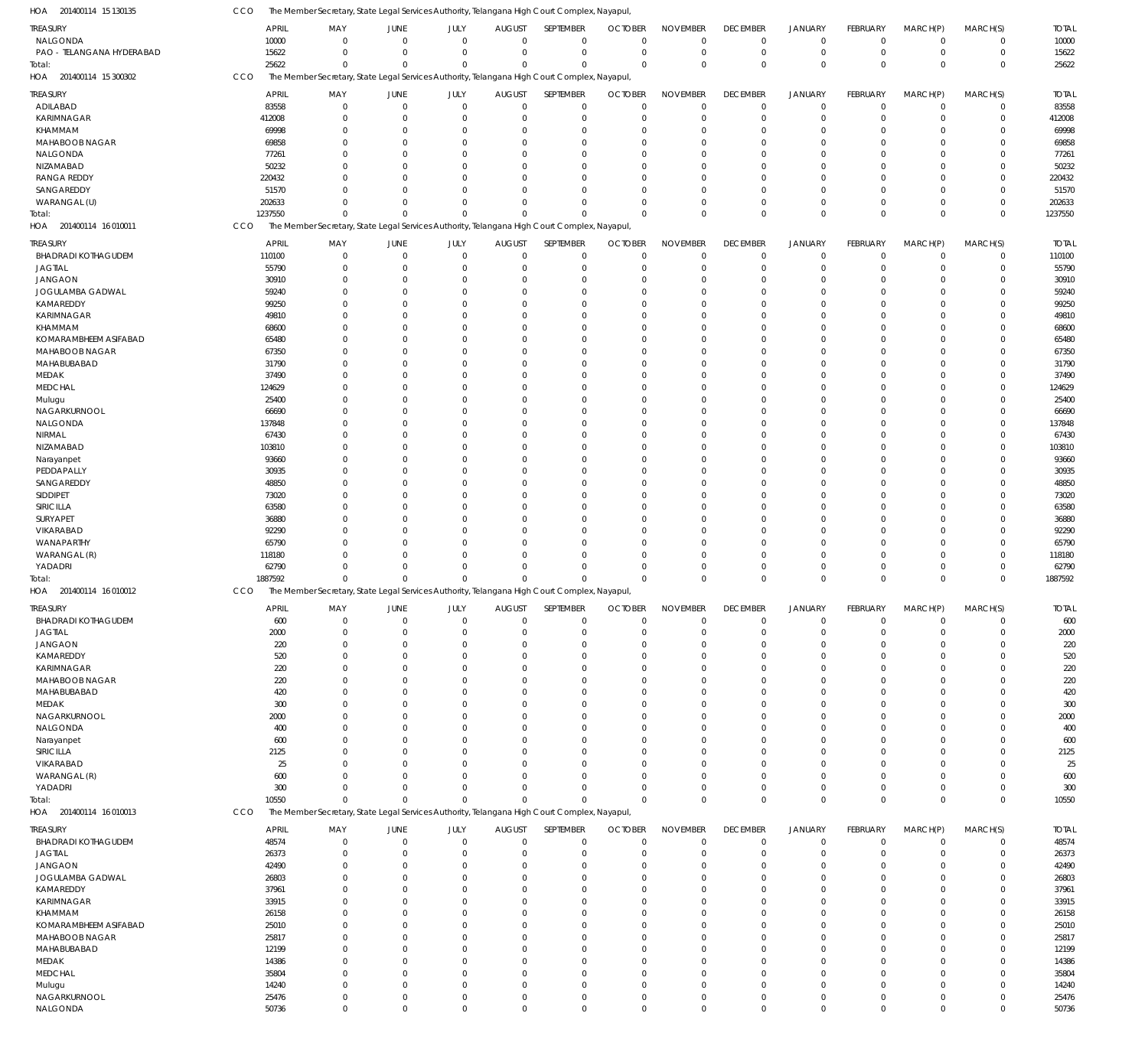| HOA 201400114 15 130135           | CCO | The Member Secretary, State Legal Services Authority, Telangana High Court Complex, Nayapul, |                                                                                              |                      |                                  |                            |                      |                            |                      |                         |                 |                        |             |                  |
|-----------------------------------|-----|----------------------------------------------------------------------------------------------|----------------------------------------------------------------------------------------------|----------------------|----------------------------------|----------------------------|----------------------|----------------------------|----------------------|-------------------------|-----------------|------------------------|-------------|------------------|
| <b>TREASURY</b>                   |     | <b>APRIL</b>                                                                                 | MAY<br>JUNE                                                                                  | JULY                 | <b>AUGUST</b>                    | SEPTEMBER                  | <b>OCTOBER</b>       | <b>NOVEMBER</b>            | <b>DECEMBER</b>      | <b>JANUARY</b>          | <b>FEBRUARY</b> | MARCH(P)               | MARCH(S)    | <b>TOTAL</b>     |
| NALGONDA                          |     | 10000                                                                                        | $\overline{0}$<br>$\mathbf{0}$                                                               | $\mathbf 0$          | $\overline{0}$                   | $\mathbf 0$                | $\mathbf 0$          | $\mathbf 0$                | $\mathbf 0$          | $\mathbf 0$             | $\Omega$        | $^{\circ}$             | $\mathbf 0$ | 10000            |
| PAO - TELANGANA HYDERABAD         |     | 15622                                                                                        | $\mathbf 0$<br>$\overline{0}$                                                                | $\Omega$             | $\mathbf 0$                      | $\mathbf 0$                | $^{\circ}$           | $\mathbf 0$                | $^{\circ}$           | $\mathbf 0$             | $\Omega$        | $^{\circ}$             | $\mathbf 0$ | 15622            |
| Total:                            |     | 25622                                                                                        | $\Omega$<br>$\Omega$                                                                         | $\Omega$             | $\Omega$                         | $\Omega$                   | $\Omega$             | $\mathbf 0$                | $\Omega$             | $\mathbf{0}$            | $\Omega$        | $\Omega$               | $\mathbf 0$ | 25622            |
| HOA 201400114 15 300302           | CCO |                                                                                              | The Member Secretary, State Legal Services Authority, Telangana High Court Complex, Nayapul, |                      |                                  |                            |                      |                            |                      |                         |                 |                        |             |                  |
| <b>TREASURY</b>                   |     | <b>APRIL</b>                                                                                 | MAY<br>JUNE                                                                                  | JULY                 | <b>AUGUST</b>                    | SEPTEMBER                  | <b>OCTOBER</b>       | <b>NOVEMBER</b>            | <b>DECEMBER</b>      | <b>JANUARY</b>          | FEBRUARY        | MARCH(P)               | MARCH(S)    | <b>TOTAL</b>     |
| ADILABAD                          |     | 83558                                                                                        | $\overline{0}$<br>0                                                                          | $\mathbf 0$          | $\mathbf 0$                      | $\mathbf 0$                | $^{\circ}$           | $\mathbf 0$                | $\mathbf 0$          | $\mathbf 0$             | $\Omega$        | $\overline{0}$         | $\mathbf 0$ | 83558            |
| KARIMNAGAR                        |     | 412008                                                                                       | 0<br>$\overline{0}$                                                                          | $\Omega$             | 0                                | $\mathbf 0$                | $^{\circ}$           | $\mathbf 0$                | $\Omega$             | $\mathbf 0$             |                 | $\Omega$               | $\mathbf 0$ | 412008           |
| KHAMMAM                           |     | 69998                                                                                        | $\overline{0}$<br>0                                                                          | 0                    | C                                | 0                          | $\Omega$             | $\Omega$                   | $\Omega$             | $\Omega$                |                 | $\Omega$               | 0           | 69998            |
| MAHABOOB NAGAR                    |     | 69858                                                                                        | $\overline{0}$<br>0                                                                          |                      | 0                                | $\mathbf 0$                | $\Omega$             | $\Omega$                   | $\Omega$             | $\Omega$                |                 | $\Omega$               | 0           | 69858            |
| NALGONDA                          |     | 77261                                                                                        | $\overline{0}$<br>0                                                                          | 0                    | $\Omega$                         | $\mathbf 0$                | $\Omega$             | $\Omega$                   | $\Omega$             | $\Omega$                |                 | $\Omega$               | 0           | 77261            |
| NIZAMABAD                         |     | 50232                                                                                        | $\overline{0}$<br>0                                                                          |                      | C                                | 0                          | $\Omega$             | $\Omega$                   | $\Omega$             | $\Omega$                |                 | $\Omega$               | $\Omega$    | 50232            |
| <b>RANGA REDDY</b>                |     | 220432                                                                                       | $\Omega$<br>0                                                                                | 0                    | $\Omega$                         | $\mathbf 0$                | $\Omega$             | $\Omega$                   | $\Omega$             | $\Omega$                |                 | $\Omega$               | 0           | 220432           |
| SANGAREDDY                        |     | 51570                                                                                        | $\Omega$<br>0                                                                                | 0                    | $\Omega$                         | $\mathbf 0$                | $\Omega$             | $\Omega$                   | $\Omega$             | $\Omega$                |                 | $\Omega$               | 0           | 51570            |
| WARANGAL (U)                      |     | 202633                                                                                       | $\Omega$<br>0                                                                                |                      | 0<br>$\Omega$                    | $\mathbf 0$                | $\Omega$             | $\Omega$                   | $\Omega$             | $\Omega$                |                 | $\Omega$               | 0           | 202633           |
| Total:                            |     | 1237550                                                                                      | $\Omega$<br>$\Omega$                                                                         |                      | $\Omega$<br>$\Omega$             | $\Omega$                   | $\Omega$             | $\Omega$                   | $\Omega$             | $\Omega$                | $\Omega$        | $\Omega$               | 0           | 1237550          |
| HOA 201400114 16 010011           | CCO |                                                                                              | The Member Secretary, State Legal Services Authority, Telangana High Court Complex, Nayapul, |                      |                                  |                            |                      |                            |                      |                         |                 |                        |             |                  |
| <b>TREASURY</b>                   |     | <b>APRIL</b>                                                                                 | MAY<br>JUNE                                                                                  | JULY                 | <b>AUGUST</b>                    | SEPTEMBER                  | <b>OCTOBER</b>       | <b>NOVEMBER</b>            | <b>DECEMBER</b>      | <b>JANUARY</b>          | <b>FEBRUARY</b> | MARCH(P)               | MARCH(S)    | <b>TOTAL</b>     |
| <b>BHADRADI KOTHAGUDEM</b>        |     | 110100                                                                                       | $\overline{0}$<br>$\mathbf 0$                                                                | $\mathbf 0$          | $\mathbf 0$                      | $\mathbf 0$                | $\mathbf{0}$         | $\mathbf 0$                | $\overline{0}$       | $\mathbf 0$             | $\Omega$        | $\Omega$               | $\mathbf 0$ | 110100           |
| <b>JAGTIAL</b>                    |     | 55790                                                                                        | 0<br>$\overline{0}$                                                                          | $\Omega$             | 0                                | $\mathbf 0$                | $^{\circ}$           | $\mathbf 0$                | $\mathbf 0$          | $\mathbf 0$             | $\Omega$        | $\Omega$               | $\mathbf 0$ | 55790            |
| <b>JANGAON</b>                    |     | 30910                                                                                        | $\overline{0}$<br>0                                                                          | 0                    | $\Omega$                         | $\mathbf 0$                | $\Omega$             | $\mathbf 0$                | $\Omega$             | $\mathbf 0$             |                 | $\Omega$               | $\mathbf 0$ | 30910            |
| JOGULAMBA GADWAL                  |     | 59240                                                                                        | $\Omega$<br>$\overline{0}$                                                                   | $\Omega$             | $\Omega$                         | $\mathbf 0$                | $\Omega$             | $\mathbf 0$                | $\Omega$             | $\Omega$                |                 | $\Omega$               | $\mathbf 0$ | 59240            |
| KAMAREDDY                         |     | 99250                                                                                        | $\overline{0}$<br>0                                                                          |                      | 0<br>$\Omega$                    | $\mathbf 0$                | $\Omega$             | $\mathbf 0$                | $\Omega$             | $\Omega$                |                 | $\Omega$               | 0           | 99250            |
| KARIMNAGAR                        |     | 49810                                                                                        | $\Omega$<br>$\overline{0}$                                                                   |                      | 0<br>$\Omega$                    | $\mathbf 0$                | $\Omega$             | $\mathbf 0$                | $\Omega$             | $\Omega$                |                 | $\Omega$               | 0           | 49810            |
| KHAMMAM                           |     | 68600                                                                                        | $\Omega$<br>$\overline{0}$                                                                   | $\Omega$             | $\Omega$                         | $\mathbf 0$                | $\Omega$             | $\Omega$                   | $\Omega$             | $\Omega$                |                 | $\Omega$               | 0           | 68600            |
| KOMARAMBHEEM ASIFABAD             |     | 65480                                                                                        | $\Omega$<br>$\overline{0}$                                                                   | $\Omega$             | $\Omega$                         | $\mathbf 0$                | $\Omega$             | $\mathbf 0$                | $\Omega$             | $\Omega$                |                 | $\Omega$               | $\mathbf 0$ | 65480            |
| MAHABOOB NAGAR                    |     | 67350                                                                                        | $\overline{0}$<br>0                                                                          | 0                    | $\Omega$                         | $\mathbf 0$                | $\Omega$             | $\mathbf 0$                | $\Omega$             | $\Omega$                |                 | $\Omega$               | 0           | 67350            |
| MAHABUBABAD                       |     | 31790                                                                                        | $\Omega$<br>$\overline{0}$                                                                   | $\Omega$             | $\Omega$                         | $\mathbf 0$                | $\Omega$             | $\mathbf 0$                | $\Omega$             | $\Omega$                |                 | $\Omega$               | 0           | 31790            |
| MEDAK                             |     | 37490                                                                                        | $\Omega$<br>$\overline{0}$                                                                   | 0                    | $\Omega$                         | $\mathbf 0$                | $\Omega$             | $\Omega$                   | $\Omega$             | $\Omega$                |                 | $\Omega$               | 0           | 37490            |
| <b>MEDCHAL</b>                    |     | 124629                                                                                       | $\overline{0}$<br>0                                                                          |                      | $\Omega$<br>$\Omega$             | $\mathbf 0$                | $\Omega$             | $\mathbf 0$                | $\Omega$             | $\Omega$                |                 | $\Omega$               | $\mathbf 0$ | 124629           |
| Mulugu                            |     | 25400                                                                                        | $\overline{0}$<br>0                                                                          | $\Omega$             | $\Omega$                         | $\mathbf 0$                | $\Omega$             | $\mathbf 0$                | $\Omega$             | $\Omega$                |                 | $\Omega$               | 0           | 25400            |
| NAGARKURNOOL                      |     | 66690                                                                                        | $\Omega$<br>$\overline{0}$                                                                   |                      | $\Omega$<br>$\Omega$             | $\mathbf 0$                | $\Omega$             | $\mathbf 0$                | $\Omega$             | $\Omega$                |                 | $\Omega$               | 0           | 66690            |
| NALGONDA                          |     | 137848                                                                                       | $\overline{0}$<br>0                                                                          | 0                    | $\Omega$                         | $\mathbf 0$                | $\Omega$             | $\Omega$                   | $\Omega$             | $\Omega$                |                 | $\Omega$               | 0           | 137848           |
| NIRMAL                            |     | 67430                                                                                        | $\overline{0}$<br>$\Omega$                                                                   | $\Omega$             | $\Omega$                         | $\mathbf 0$                | $\Omega$             | $\mathbf 0$                | $\Omega$             | $\Omega$                |                 | $\Omega$               | $\Omega$    | 67430            |
| NIZAMABAD                         |     | 103810                                                                                       | $\overline{0}$<br>0                                                                          | 0                    | $\Omega$                         | $\mathbf 0$                | $\Omega$             | $\mathbf 0$                | $\Omega$             | $\Omega$                |                 | $\Omega$               | 0           | 103810           |
| Narayanpet                        |     | 93660                                                                                        | $\overline{0}$<br>0                                                                          |                      | 0<br>$\Omega$                    | $\mathbf 0$                | $\Omega$             | $\mathbf 0$                | $\Omega$             | $\Omega$                |                 | $\Omega$               | $\mathbf 0$ | 93660            |
| PEDDAPALLY                        |     | 30935                                                                                        | $\overline{0}$<br>0                                                                          | 0                    | 0                                | $\mathbf 0$                | $\Omega$             | $\Omega$                   | $\Omega$             | $\Omega$                |                 | $\Omega$               | 0           | 30935            |
| SANGAREDDY                        |     | 48850                                                                                        | $\Omega$<br>$\overline{0}$                                                                   |                      | $\Omega$<br>$\Omega$             | $\mathbf 0$                | $\Omega$             | $\mathbf 0$                | $\Omega$             | $\Omega$                |                 | $\Omega$               | $\mathbf 0$ | 48850            |
| SIDDIPET                          |     | 73020                                                                                        | $\overline{0}$<br>0                                                                          | 0                    | $\Omega$                         | $\mathbf 0$                | $\Omega$             | $\mathbf 0$                | $\Omega$             | $\Omega$                |                 | $\Omega$               | 0           | 73020            |
| SIRICILLA                         |     | 63580                                                                                        | $\Omega$<br>$\overline{0}$                                                                   | $\Omega$             | $\Omega$                         | $\mathbf 0$                | $\Omega$             | $\mathbf 0$                | $\Omega$             | $\Omega$                |                 | $\Omega$               | $\Omega$    | 63580            |
| SURYAPET                          |     | 36880                                                                                        | $\Omega$<br>$\overline{0}$                                                                   | $\Omega$             | $\Omega$                         | $\mathbf 0$                | $\Omega$             | $\Omega$                   | $\Omega$             | $\Omega$                |                 | $\Omega$               | 0           | 36880            |
| VIKARABAD                         |     | 92290                                                                                        | $\overline{0}$<br>0                                                                          | $\Omega$             | $\Omega$                         | $\mathbf 0$                | $\Omega$             | $\mathbf 0$                | $\Omega$             | $\Omega$                |                 | $\Omega$               | 0           | 92290            |
| WANAPARTHY                        |     | 65790                                                                                        | $\Omega$<br>0                                                                                | $\Omega$             | $\Omega$                         | $\mathbf 0$                | $\Omega$             | $\mathbf 0$                | $\Omega$             | $\Omega$                |                 | $\Omega$               | 0           | 65790            |
| WARANGAL (R)                      |     | 118180                                                                                       | $\Omega$<br>$\Omega$                                                                         | $\Omega$             | $\Omega$                         | $\mathbf 0$                | -0                   | $\mathbf 0$                | $\Omega$             | $\Omega$                |                 | $\Omega$               | $\mathbf 0$ | 118180           |
| YADADRI                           |     | 62790<br>1887592                                                                             | $\overline{0}$<br>0<br>$\Omega$<br>$\Omega$                                                  | $\Omega$<br>$\Omega$ | $\mathbf 0$<br>$\Omega$          | $\mathbf 0$<br>$\Omega$    | $\Omega$<br>$\Omega$ | $\mathbf 0$<br>$\Omega$    | $\Omega$<br>$\Omega$ | $\mathbf 0$<br>$\Omega$ | $\Omega$        | $^{\circ}$<br>$\Omega$ | 0<br>0      | 62790<br>1887592 |
| iotal:<br>HOA 201400114 16 010012 | CCO |                                                                                              | The Member Secretary, State Legal Services Authority, Telangana High Court Complex, Nayapul, |                      |                                  |                            |                      |                            |                      |                         |                 |                        |             |                  |
|                                   |     |                                                                                              |                                                                                              |                      |                                  |                            |                      |                            |                      |                         |                 |                        |             |                  |
| ireasury                          |     | APRIL                                                                                        | JUNE<br>MAY                                                                                  | JULY                 | <b>AUGUST</b>                    | SEPTEMBER                  | <b>OCTOBER</b>       | <b>NOVEMBER</b>            | <b>DECEMBER</b>      | JANUARY                 | FEBRUARY        | MARCH(P)               | MARCH(S)    | total            |
| <b>BHADRADI KOTHAGUDEM</b>        |     | 600                                                                                          | $\overline{0}$<br>$\mathbf 0$                                                                | $\mathbf{0}$         | $\mathbf 0$                      | $\mathbf 0$                | $^{\circ}$           | $\mathbf 0$                | 0                    | $\mathbf 0$             | $\Omega$        | $\Omega$               | 0           | 600              |
| <b>JAGTIAL</b>                    |     | 2000                                                                                         | 0<br>$\overline{0}$                                                                          | $\Omega$             | 0                                | $\mathbf 0$                | -0                   | $\mathbf 0$                | 0                    | $\mathbf 0$             |                 | $\Omega$               | $\mathbf 0$ | 2000             |
| <b>JANGAON</b>                    |     | 220                                                                                          | 0<br>$\overline{0}$                                                                          | O                    | C                                | $\mathbf 0$                | 0                    | $\Omega$                   | $\Omega$             | $\Omega$                |                 |                        | 0           | 220              |
| KAMAREDDY                         |     | 520                                                                                          | 0<br>0                                                                                       |                      | 0                                | $\mathbf 0$                | $\Omega$             | $\Omega$                   | $\Omega$             | $\Omega$                |                 | $\Omega$               | 0           | 520              |
| KARIMNAGAR                        |     | 220                                                                                          | $\Omega$<br>$\overline{0}$                                                                   |                      | 0                                | $\mathbf 0$                | $\Omega$             | $\Omega$                   | $\Omega$             | $\Omega$                |                 | $\Omega$               | 0           | 220              |
| MAHABOOB NAGAR                    |     | 220                                                                                          | $\Omega$<br>$\overline{0}$                                                                   |                      | 0                                | $\mathbf 0$                | $\Omega$             | $\Omega$                   | $\Omega$             | $\Omega$                |                 | $\Omega$               | 0           | 220              |
| MAHABUBABAD                       |     | 420                                                                                          | 0<br>$\Omega$                                                                                |                      | C                                | 0                          | $\Omega$             | $\Omega$                   | $\Omega$             | $\Omega$                |                 |                        | 0           | 420              |
| MEDAK                             |     | 300                                                                                          | $\Omega$<br>$\Omega$                                                                         |                      | 0                                | $\mathbf 0$                | $\Omega$             | $\Omega$                   | $\Omega$             | $\Omega$                |                 | $\Omega$               | 0           | 300              |
| NAGARKURNOOL                      |     | 2000                                                                                         | $\Omega$<br>0                                                                                |                      | C                                | 0                          | $\Omega$             | $\Omega$                   | $\Omega$             | $\Omega$                |                 | $\Omega$               | 0           | 2000             |
| NALGONDA                          |     | 400                                                                                          | 0<br>$\Omega$                                                                                |                      | 0                                | $\mathbf 0$                | $\Omega$             | $\Omega$                   | $\Omega$             | $\Omega$                |                 | $\Omega$               | 0           | 400              |
| Narayanpet                        |     | 600                                                                                          | 0<br>$\Omega$<br>0<br>$\Omega$                                                               |                      | C<br>0                           | 0                          | $\Omega$<br>$\Omega$ | $\Omega$<br>$\Omega$       | $\Omega$<br>$\Omega$ | $\Omega$<br>$\Omega$    |                 | $\Omega$               | 0<br>0      | 600              |
| SIRICILLA<br>VIKARABAD            |     | 2125<br>25                                                                                   | 0<br>$\Omega$                                                                                |                      | C                                | 0<br>$\Omega$              | $\Omega$             | $\Omega$                   | $\Omega$             | $\Omega$                |                 | $\Omega$               | 0           | 2125<br>25       |
| WARANGAL (R)                      |     | 600                                                                                          | $\Omega$<br>0                                                                                | 0                    | $\Omega$                         | $\mathbf 0$                | $\Omega$             | $\Omega$                   | $\Omega$             | $\Omega$                |                 | $\Omega$               | 0           | 600              |
| YADADRI                           |     | 300                                                                                          | $\Omega$<br>0                                                                                | O                    | $\Omega$                         | $\mathbf 0$                | -0                   | $\Omega$                   | $\Omega$             | $\Omega$                |                 | $\Omega$               | 0           | 300              |
| Total:                            |     | 10550                                                                                        | $\Omega$<br>$\Omega$                                                                         |                      | $\Omega$<br>$\Omega$             | $\Omega$                   | $\Omega$             | $\mathbf 0$                | $\Omega$             | $\mathbf{0}$            | $\Omega$        | $\Omega$               | 0           | 10550            |
| HOA 201400114 16 010013           | CCO |                                                                                              | The Member Secretary, State Legal Services Authority, Telangana High Court Complex, Nayapul, |                      |                                  |                            |                      |                            |                      |                         |                 |                        |             |                  |
|                                   |     |                                                                                              |                                                                                              |                      |                                  |                            |                      |                            |                      |                         |                 |                        |             |                  |
| treasury                          |     | <b>APRIL</b>                                                                                 | JUNE<br>MAY                                                                                  | JULY                 | <b>AUGUST</b>                    | SEPTEMBER                  | <b>OCTOBER</b>       | <b>NOVEMBER</b>            | <b>DECEMBER</b>      | <b>JANUARY</b>          | FEBRUARY        | MARCH(P)               | MARCH(S)    | <b>TOTAL</b>     |
| <b>BHADRADI KOTHAGUDEM</b>        |     | 48574                                                                                        | $\overline{0}$<br>$\mathbf 0$                                                                | $\mathbf{0}$         | $\mathbf 0$                      | $\mathbf 0$                | $^{\circ}$           | $\mathbf 0$                | $\overline{0}$       | 0                       | $\Omega$        | $\Omega$               | $\mathbf 0$ | 48574            |
| <b>JAGTIAL</b>                    |     | 26373                                                                                        | 0<br>$\overline{0}$                                                                          | $\Omega$             | 0                                | $\mathbf 0$                | -0                   | $\mathbf 0$                | $\mathbf 0$          | $\mathbf 0$             |                 | $\Omega$               | $\mathbf 0$ | 26373            |
| <b>JANGAON</b>                    |     | 42490                                                                                        | 0<br>$\overline{0}$                                                                          | $\Omega$             | 0                                | $\mathbf 0$                | -0                   | $\mathbf 0$                | $\Omega$             | $\Omega$                |                 | $\Omega$               | $\mathbf 0$ | 42490            |
| JOGULAMBA GADWAL                  |     | 26803                                                                                        | $\overline{0}$<br>0                                                                          | 0                    | $\Omega$                         | $\mathbf 0$                | $\Omega$             | $\Omega$                   | $\Omega$             | $\Omega$                |                 | $\Omega$               | 0           | 26803            |
| KAMAREDDY                         |     | 37961                                                                                        | $\Omega$<br>$\Omega$<br>$\overline{0}$                                                       | 0                    | $\Omega$<br>$\Omega$<br>$\Omega$ | $\mathbf 0$<br>$\mathbf 0$ | $\Omega$<br>$\Omega$ | $\mathbf 0$<br>$\mathbf 0$ | $\Omega$<br>$\Omega$ | $\Omega$<br>$\Omega$    |                 | $\Omega$<br>$\Omega$   | 0<br>0      | 37961<br>33915   |
| KARIMNAGAR<br>KHAMMAM             |     | 33915<br>26158                                                                               | 0<br>$\Omega$<br>$\Omega$                                                                    | 0                    | $\Omega$                         | $\mathbf 0$                | $\Omega$             | $\mathbf 0$                | $\Omega$             | $\Omega$                |                 | $\Omega$               | 0           | 26158            |
| KOMARAMBHEEM ASIFABAD             |     | 25010                                                                                        | $\Omega$<br>$\overline{0}$                                                                   | 0                    | $\Omega$                         | $\mathbf 0$                | $\Omega$             | $\Omega$                   | $\Omega$             | $\Omega$                |                 | $\Omega$               | 0           | 25010            |
| MAHABOOB NAGAR                    |     | 25817                                                                                        | $\Omega$<br>$\Omega$                                                                         |                      | $\Omega$<br>$\Omega$             | $\mathbf 0$                | $\Omega$             | $\mathbf 0$                | $\Omega$             | $\Omega$                |                 | $\Omega$               | $\mathbf 0$ | 25817            |
| MAHABUBABAD                       |     | 12199                                                                                        | $\Omega$<br>0                                                                                | 0                    | $\Omega$                         | $\mathbf 0$                | $\Omega$             | $\mathbf 0$                | $\Omega$             | $\Omega$                |                 | $\Omega$               | 0           | 12199            |
| <b>MEDAK</b>                      |     | 14386                                                                                        | $\Omega$<br>$\Omega$                                                                         | 0                    | $\Omega$                         | $\mathbf 0$                | $\Omega$             | $\mathbf 0$                | $\Omega$             | $\Omega$                |                 | $\Omega$               | 0           | 14386            |
| <b>MEDCHAL</b>                    |     | 35804                                                                                        | $\Omega$<br>$\overline{0}$                                                                   |                      | $\Omega$<br>$\Omega$             | $\mathbf 0$                | $\Omega$             | $\Omega$                   | $\Omega$             | $\Omega$                |                 | $\Omega$               | 0           | 35804            |
| Mulugu                            |     | 14240                                                                                        | $\Omega$<br>$\overline{0}$                                                                   | $\Omega$             | $\Omega$                         | $\mathbf 0$                | -0                   | $\mathbf 0$                | $\Omega$             | $\Omega$                |                 | $\Omega$               | $\mathbf 0$ | 14240            |
| NAGARKURNOOL                      |     | 25476                                                                                        | $\overline{0}$<br>0                                                                          | $\mathbf 0$          | $\mathbf 0$                      | $\mathbf 0$                | $^{\circ}$           | $\mathbf 0$                | $\mathbf 0$          | $\mathbf 0$             | $\Omega$        | $\mathbf 0$            | $\mathbf 0$ | 25476            |
| NALGONDA                          |     | 50736                                                                                        | $\mathbf 0$<br>$\overline{0}$                                                                | $\mathbf 0$          | $\mathbf 0$                      | $\mathbf 0$                | $\mathbf 0$          | $\mathbf 0$                | $\mathbf 0$          | $\mathbf 0$             | $\Omega$        | $\mathbf 0$            | $\mathbf 0$ | 50736            |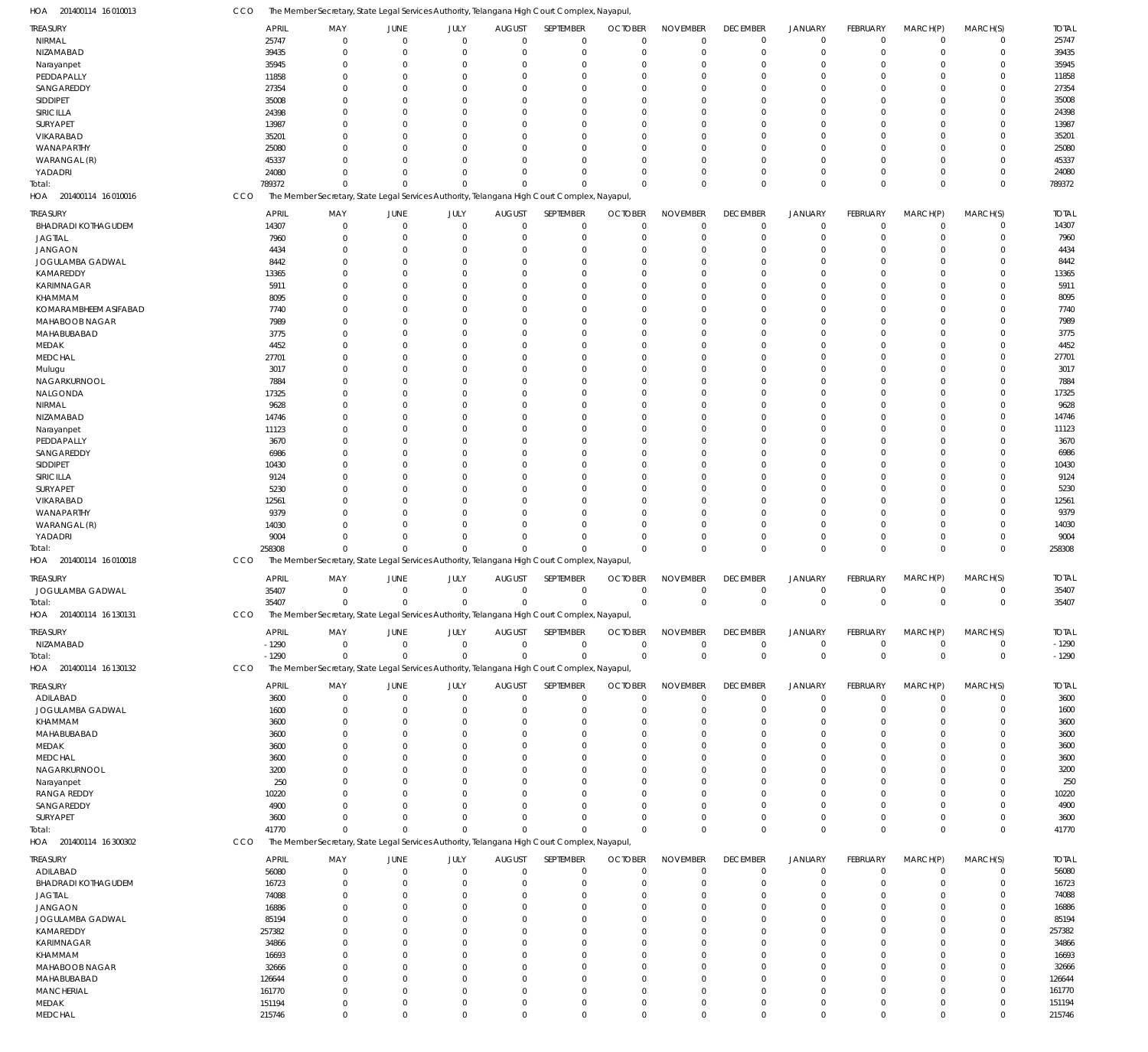201400114 16 010013 HOA 201400114 16 010016 HOA 201400114 16 010018 HOA 201400114 16 130131 HOA 201400114 16 130132 HOA 201400114 16 300302 HOA The Member Secretary, State Legal Services Authority, Telangana High Court Complex, Nayapul, The Member Secretary, State Legal Services Authority, Telangana High Court Complex, Nayapul, The Member Secretary, State Legal Services Authority, Telangana High Court Complex, Nayapul, The Member Secretary, State Legal Services Authority, Telangana High Court Complex, Nayapul, The Member Secretary, State Legal Services Authority, Telangana High Court Complex, Nayapul, The Member Secretary, State Legal Services Authority, Telangana High Court Complex, Nayapul, CCO **CCO CCO CCO** CCO CCO 789372 258308 35407 -1290 41770  $\Omega$  $\Omega$ 0 0 0  $\Omega$  $\Omega$ 0 0  $\Omega$ 0  $\Omega$ 0 0  $\sqrt{0}$  $\Omega$  $\Omega$ 0 0  $\Omega$  $\Omega$  $\Omega$ 0 0  $\theta$  $\Omega$  $\Omega$ 0  $\Omega$  $\Omega$  $\Omega$  $\Omega$ 0 0  $\Omega$  $\Omega$  $\Omega$ 0 0  $\Omega$  $\Omega$  $\Omega$ 0 0 0  $\Omega$  $\Omega$ 0 0 0  $\Omega$  $\Omega$ 0  $\Omega$  $\Omega$  $\Omega$  $\Omega$ 0 0 0 789372 258308 35407 -1290 41770 NIRMAL NIZAMABAD Narayanpet PEDDAPALLY SANGAREDDY SIDDIPET SIRICILLA SURYAPET VIKARABAD WANAPARTHY WARANGAL (R) YADADRI BHADRADI KOTHAGUDEM JAGTIAL JANGAON JOGULAMBA GADWAL KAMAREDDY KARIMNAGAR KHAMMAM KOMARAMBHEEM ASIFABAD MAHABOOB NAGAR MAHABUBABAD MEDAK MEDCHAL Mulugu NAGARKURNOOL NALGONDA NIRMAL NIZAMABAD Narayanpet PEDDAPALLY SANGAREDDY SIDDIPET SIRICILLA SURYAPET VIKARABAD WANAPARTHY WARANGAL (R) YADADRI JOGULAMBA GADWAL NIZAMABAD ADILABAD JOGULAMBA GADWAL KHAMMAM MAHABUBABAD MEDAK MEDCHAL NAGARKURNOOL Narayanpet RANGA REDDY SANGAREDDY SURYAPET ADILABAD BHADRADI KOTHAGUDEM JAGTIAL JANGAON JOGULAMBA GADWAL KAMAREDDY KARIMNAGAR KHAMMAM MAHABOOB NAGAR MAHABUBABAD **MANCHERIAL** MEDAK TREASURY TREASURY TREASURY TREASURY TREASURY TREASURY 25747 39435 35945 11858 27354 35008 24398 13987 35201 25080 45337 24080 14307 7960 4434 8442 13365 5911 8095 7740 7989 3775 4452 27701 3017 7884 17325 9628 14746 11123 3670 6986 10430 9124 5230 12561 9379 14030 9004 35407 -1290 3600 1600 3600 3600 3600 3600 3200 250 10220 4900 3600 56080 16723 74088 16886 85194 257382 34866 16693 32666 126644 161770 151194 APRIL APRIL APRIL APRIL APRIL APRIL 0 0  $\Omega$ 0 0  $\sqrt{2}$ 0  $\Omega$  $\Omega$ 0  $\Omega$ 0  $\Omega$ 0 0  $\Omega$ 0  $\Omega$ 0 0 0  $\Omega$  $\Omega$ 0 0  $\Omega$ 0  $\Omega$ 0  $\Omega$ 0 0  $\Omega$ 0  $\Omega$ 0 0  $\Omega$ 0  $\Omega$  $\,$  0  $\,$ 0  $\Omega$ 0 0  $\Omega$  $\Omega$  $\Omega$ 0  $\Omega$ 0  $\Omega$  $\Omega$ 0 0  $\Omega$ 0  $\Omega$ 0  $\Omega$ 0 0  $\Omega$ 0 MAY MAY MAY MAY MAY MAY 0 0  $\Omega$ 0 0  $\sqrt{2}$ 0  $\Omega$ 0 0  $\Omega$ 0  $\Omega$ 0 0  $\Omega$ 0  $\Omega$ 0 0 0 0  $\Omega$ 0 0 0 0  $\Omega$ 0  $\Omega$ 0 0  $\Omega$ 0  $\Omega$ 0 0  $\Omega$ 0  $\Omega$  $\boldsymbol{0}$ 0  $\Omega$ 0 0  $\Omega$ 0  $\Omega$ 0  $\Omega$ 0 0  $\Omega$ 0 0 0 0  $\Omega$ 0  $\Omega$ 0 0  $\Omega$  $\boldsymbol{0}$ JUNE JUNE JUNE JUNE JUNE JUNE 0 0  $\Omega$ 0 0  $\Omega$ 0  $\Omega$  $\Omega$ 0  $\Omega$ 0  $\Omega$ 0 0  $\sqrt{0}$ 0  $\Omega$ 0 0 0  $\Omega$  $\Omega$ 0 0 0 0  $\Omega$ 0  $\Omega$ 0 0  $\Omega$ 0  $\Omega$ 0 0  $\Omega$ 0  $\Omega$ 0 0  $\Omega$ 0 0  $\Omega$ 0  $\Omega$ 0  $\Omega$ 0  $\Omega$  $\Omega$ 0 0 0 0  $\Omega$ 0  $\Omega$ 0 0  $\sqrt{0}$  $\,$  0  $\,$ JULY JULY JULY JULY JULY JULY  $\Omega$ 0  $\Omega$ 0 0  $\sqrt{2}$ 0  $\Omega$  $\Omega$ 0  $\Omega$ 0  $\Omega$ 0 0  $\sqrt{2}$ 0  $\Omega$  $\Omega$ 0  $\Omega$  $\Omega$  $\Omega$ 0 0  $\Omega$ 0  $\Omega$ 0  $\Omega$ 0  $\Omega$  $\Omega$ 0  $\Omega$ 0 0  $\Omega$ 0  $\Omega$ 0 0  $\Omega$ 0 0  $\Omega$ 0  $\Omega$ 0  $\Omega$ 0  $\Omega$  $\Omega$ 0 0 0 0  $\Omega$ 0  $\Omega$ 0 0  $\Omega$ 0 AUGUST AUGUST AUGUST AUGUST AUGUST AUGUST  $\Omega$  $\overline{0}$  $\Omega$ 0 0  $\Omega$ 0  $\Omega$  $\Omega$  $\Omega$  $\Omega$  $\overline{0}$  $\Omega$ 0 0  $\Omega$ 0  $\Omega$  $\Omega$ 0  $\Omega$  $\Omega$  $\Omega$  $\overline{0}$ 0  $\Omega$  $\Omega$  $\Omega$  $\overline{0}$  $\Omega$ 0  $\Omega$  $\Omega$  $\overline{0}$  $\Omega$  $\Omega$  $\Omega$  $\Omega$ 0  $\Omega$ 0 0  $\Omega$ 0 0  $\Omega$  $\Omega$  $\Omega$  $\Omega$  $\Omega$  $\Omega$  $\Omega$  $\Omega$  $\overline{0}$ 0  $\Omega$ 0  $\Omega$  $\overline{0}$  $\Omega$ 0 0  $\Omega$ 0 SEPTEMBER SEPTEMBER SEPTEMBER SEPTEMBER SEPTEMBER SEPTEMBER 0 0  $\Omega$ 0  $\Omega$  $\Omega$ 0  $\Omega$  $\Omega$  $\Omega$  $\Omega$ 0  $\Omega$ 0 0  $\Omega$ 0  $\Omega$ 0 0  $\Omega$  $\Omega$  $\Omega$ 0  $\Omega$  $\Omega$  $\Omega$  $\Omega$ 0  $\Omega$ 0  $\Omega$  $\Omega$ 0  $\Omega$  $\overline{0}$  $\Omega$  $\Omega$ 0  $\Omega$ 0 0  $\Omega$ 0  $\Omega$  $\Omega$  $\Omega$  $\Omega$ 0  $\Omega$  $\Omega$  $\Omega$  $\Omega$ 0 0 0 0  $\Omega$ 0  $\Omega$ 0 0  $\Omega$ 0 OCTOBER OCTOBER OCTOBER OCTOBER OCTOBER OCTOBER 0 0  $\Omega$ 0 0  $\sqrt{2}$ 0  $\Omega$ 0 0  $\Omega$ 0  $\Omega$ 0 0  $\Omega$ 0  $\Omega$ 0 0  $\Omega$  $\Omega$  $\Omega$ 0 0  $\Omega$  $\Omega$  $\Omega$ 0  $\Omega$ 0  $\Omega$  $\Omega$ 0  $\Omega$ 0 0  $\Omega$ 0  $\Omega$ 0 0  $\Omega$ 0 0  $\Omega$  $\Omega$  $\Omega$ 0  $\Omega$ 0 0  $\Omega$ 0 0 0 0  $\Omega$ 0  $\Omega$ 0 0  $\Omega$  $\,$  0  $\,$ NOVEMBER NOVEMBER NOVEMBER NOVEMBER NOVEMBER NOVEMBER 0 0  $\Omega$ 0  $\Omega$  $\Omega$ 0  $\Omega$  $\Omega$ 0  $\Omega$ 0 0 0 0  $\theta$ 0  $\Omega$  $\Omega$ 0  $\Omega$  $\Omega$  $\Omega$ 0 0  $\Omega$  $\Omega$ 0 0  $\Omega$ 0  $\Omega$  $\Omega$ 0  $\Omega$ 0 0  $\Omega$ 0 0 0 0  $\Omega$  $\overline{0}$ 0  $\Omega$  $\Omega$  $\Omega$  $\overline{0}$  $\Omega$ 0 0 0 0 0 0 0  $\Omega$ 0  $\Omega$ 0 0  $\Omega$ 0 DECEMBER DECEMBER DECEMBER DECEMBER DECEMBER DECEMBER  $\Omega$ 0  $\Omega$ 0  $\Omega$  $\Omega$ 0  $\Omega$  $\Omega$ 0  $\Omega$ 0  $\Omega$ 0 0  $\Omega$ 0  $\Omega$ 0 0  $\Omega$  $\Omega$  $\Omega$ 0 0  $\Omega$ 0  $\Omega$ 0  $\Omega$ 0  $\Omega$  $\Omega$ 0  $\Omega$ 0 0  $\Omega$ 0 0 0 0  $\Omega$ 0 0  $\Omega$  $\Omega$  $\Omega$ 0  $\Omega$ 0 0  $\Omega$ 0 0 0 0  $\Omega$ 0  $\Omega$ 0 0  $\theta$ 0 JANUARY JANUARY JANUARY JANUARY JANUARY JANUARY 0 0  $\Omega$ 0 0  $\theta$ 0  $\Omega$ 0 0 0 0  $\Omega$ 0 0  $\theta$ 0  $\Omega$ 0 0 0 0  $\Omega$ 0 0 0 0  $\Omega$ 0  $\Omega$ 0 0  $\theta$ 0  $\Omega$ 0 0 0 0  $\Omega$ 0 0  $\Omega$ 0 0 0 0  $\Omega$ 0  $\Omega$ 0 0  $\Omega$ 0 0 0 0  $\Omega$ 0  $\Omega$ 0 0  $\Omega$ 0 FEBRUARY FEBRUARY FEBRUARY FEBRUARY FEBRUARY FEBRUARY 0 0  $\Omega$ 0  $\Omega$  $\Omega$ 0  $\Omega$ 0 0  $\Omega$ 0 0 0 0  $\Omega$ 0  $\Omega$ 0 0 0  $\Omega$  $\Omega$ 0 0  $\Omega$  $\Omega$  $\Omega$ 0  $\Omega$ 0  $\Omega$  $\Omega$ 0  $\Omega$ 0 0  $\Omega$ 0 0 0 0  $\Omega$ 0  $\Omega$ 0  $\Omega$  $\Omega$ 0  $\Omega$ 0  $\Omega$ 0 0 0 0  $\Omega$  $\Omega$ 0  $\Omega$ 0 0  $\Omega$ 0 MARCH(P) MARCH(P) MARCH(P) MARCH(P) MARCH(P) MARCH(P)  $\Omega$ 0  $\Omega$ 0  $\Omega$  $\Omega$ 0  $\Omega$ 0 0  $\Omega$ 0 0 0 0  $\Omega$ 0  $\Omega$ 0 0  $\Omega$  $\Omega$  $\Omega$ 0 0 0  $\Omega$  $\Omega$ 0  $\Omega$ 0  $\Omega$  $\Omega$ 0  $\Omega$ 0 0  $\Omega$ 0  $\Omega$ 0 0  $\Omega$ 0  $\Omega$ 0  $\Omega$  $\Omega$ 0  $\Omega$ 0 0 0 0 0 0  $\Omega$  $\Omega$ 0  $\Omega$ 0 0  $\Omega$ 0 MARCH(S) MARCH(S) MARCH(S) MARCH(S) MARCH(S) MARCH(S) 25747 39435 35945 11858 27354 35008 24398 13987 35201 25080 45337 24080 14307 7960 4434 8442 13365 5911 8095 7740 7989 3775 4452 27701 3017 7884 17325 9628 14746 11123 3670 6986 10430 9124 5230 12561 9379 14030 9004 35407 -1290 3600 1600 3600 3600 3600 3600 3200 250 10220 4900 3600 56080 16723 74088 16886 85194 257382 34866 16693 32666 126644 161770 151194 TOTAL TOTAL TOTAL TOTAL TOTAL TOTAL Total: Total: Total: Total: Total:

MEDCHAL

215746

 $\Omega$ 

 $\Omega$ 

 $\Omega$ 

 $\Omega$ 

 $\Omega$ 

 $\Omega$ 

 $\Omega$ 

0

 $\Omega$ 

 $\Omega$ 

 $\Omega$ 

 $\Omega$ 

215746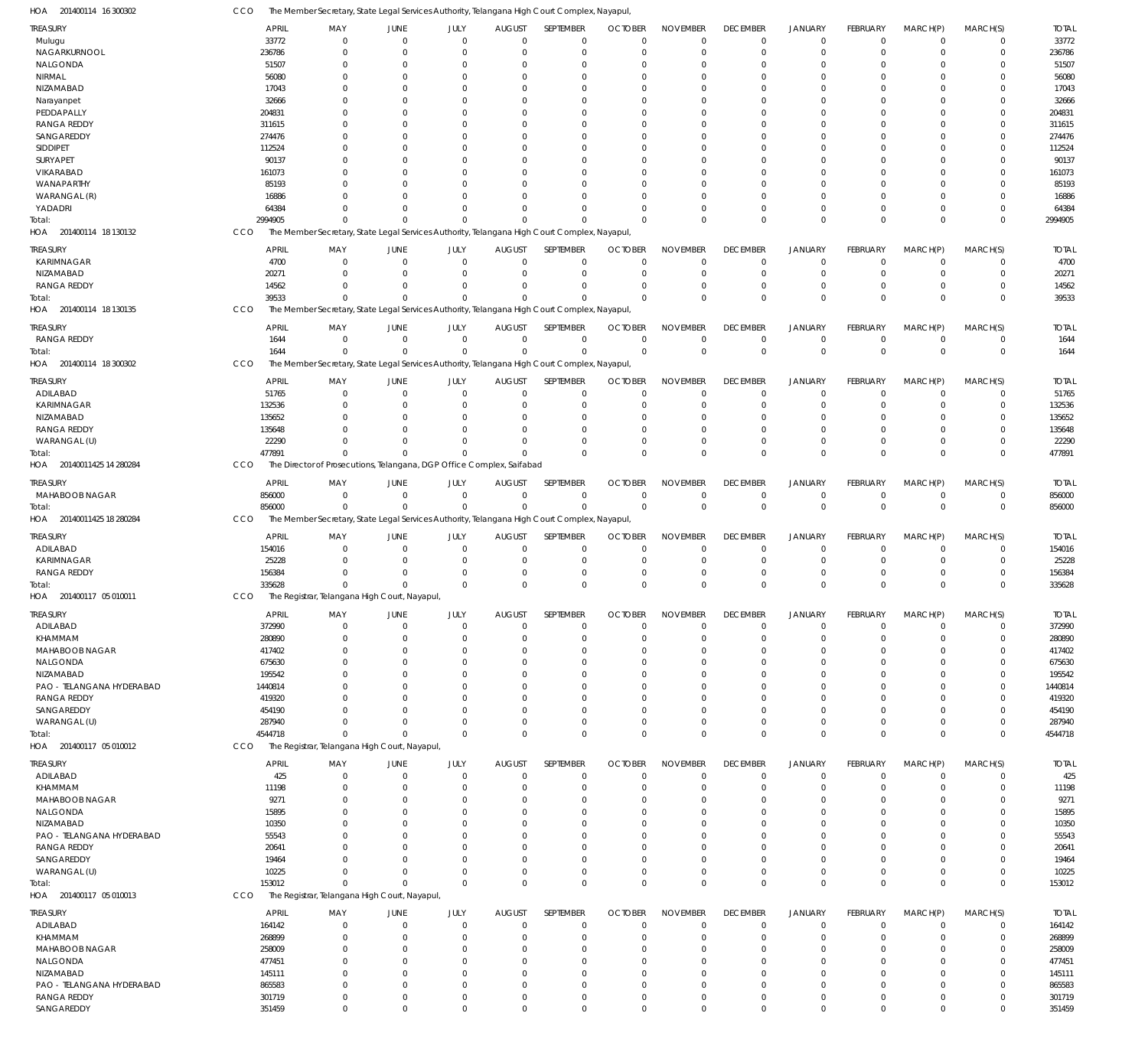201400114 18 130132 HOA 201400114 18 130135 HOA 201400114 18 300302 HOA 20140011425 14 280284 HOA 20140011425 18 280284 HOA 201400117 05 010011 HOA 201400117 05 010012 HOA 201400117 05 010013 HOA The Member Secretary, State Legal Services Authority, Telangana High Court Complex, Nayapul, The Member Secretary, State Legal Services Authority, Telangana High Court Complex, Nayapul, The Member Secretary, State Legal Services Authority, Telangana High Court Complex, Nayapul, The Director of Prosecutions, Telangana, DGP Office Complex, Saifabad The Member Secretary, State Legal Services Authority, Telangana High Court Complex, Nayapul, The Registrar, Telangana High Court, Nayapul, The Registrar, Telangana High Court, Nayapul, The Registrar, Telangana High Court, Nayapul, **CCO CCO CCO** CCO CCO CCO CCO **CCO** 2994905 39533 1644 477891 856000 335628 4544718 153012  $\Omega$ 0 0  $\Omega$ 0 0 0 0 0 0 0 0  $\Omega$ 0 0 0 0 0 0  $\Omega$  $\Omega$ 0  $\Omega$ 0  $\Omega$ 0 0  $\Omega$  $\Omega$  $\Omega$  $\Omega$ 0  $\Omega$ 0 0  $\Omega$  $\Omega$  $\Omega$ 0 0  $\Omega$ 0  $\Omega$  $\Omega$  $\Omega$ 0  $\Omega$ 0  $\Omega$ 0 0  $\Omega$  $\Omega$ 0  $\Omega$ 0  $\Omega$ 0 0  $\Omega$  $\Omega$ 0  $\Omega$ 0  $\Omega$ 0 0  $\Omega$  $\Omega$ 0  $\Omega$ 0 0 0 0 0  $\Omega$ 0 0 0 0  $\Omega$ 0  $\Omega$  $\Omega$ 0  $\Omega$ 0  $\Omega$ 0 0  $\Omega$  $\Omega$  $\Omega$  $\Omega$ 0 2994905 39533 1644 477891 856000 335628 4544718 153012 Mulugu NAGARKURNOOL NALGONDA NIRMAL NIZAMABAD Narayanpet PEDDAPALLY RANGA REDDY SANGAREDDY SIDDIPET SURYAPET VIKARABAD WANAPARTHY WARANGAL (R) YADADRI KARIMNAGAR NIZAMABAD RANGA REDDY RANGA REDDY ADILABAD KARIMNAGAR NIZAMABAD RANGA REDDY WARANGAL (U) MAHABOOB NAGAR ADILABAD KARIMNAGAR RANGA REDDY ADILABAD KHAMMAM MAHABOOB NAGAR NALGONDA NIZAMABAD PAO - TELANGANA HYDERABAD RANGA REDDY SANGAREDDY WARANGAL (U) ADILABAD KHAMMAM MAHABOOB NAGAR NALGONDA NIZAMABAD PAO - TELANGANA HYDERABAD RANGA REDDY SANGAREDDY WARANGAL (U) ADILABAD KHAMMAM MAHABOOB NAGAR NALGONDA NIZAMABAD PAO - TELANGANA HYDERABAD RANGA REDDY SANGAREDDY TREASURY TREASURY **TREASURY** TREASURY TREASURY TREASURY TREASURY TREASURY TREASURY 33772 236786 51507 56080 17043 32666 204831 311615 274476 112524 90137 161073 85193 16886 64384 4700 20271 14562 1644 51765 132536 135652 135648 22290 856000 154016 25228 156384 372990 280890 417402 675630 195542 1440814 419320 454190 287940 425 11198 9271 15895 10350 55543 20641 19464 10225 164142 268899 258009 477451 145111 865583 301719 351459 APRIL APRIL APRIL APRIL APRIL APRIL APRIL APRIL APRIL  $\Omega$ 0  $\Omega$ 0 0  $\sqrt{2}$ 0  $\Omega$  $\Omega$ 0  $\Omega$ 0  $\Omega$ 0 0  $\sqrt{0}$ 0  $\Omega$ 0  $\Omega$  $\Omega$ 0  $\Omega$ 0 0  $\Omega$ 0 0  $\sqrt{0}$ 0  $\Omega$  $\Omega$ 0  $\Omega$ 0  $\Omega$ 0 0  $\Omega$ 0  $\Omega$  $\Omega$ 0  $\Omega$  $\Omega$  $\Omega$ 0 0  $\Omega$ 0  $\Omega$ 0 0 0 MAY MAY MAY MAY MAY MAY MAY MAY MAY 0 0  $\Omega$ 0 0  $\sqrt{2}$ 0  $\Omega$ 0 0  $\Omega$ 0  $\Omega$ 0 0 0 0  $\Omega$ 0 0  $\Omega$ 0  $\Omega$ 0 0  $\Omega$ 0 0  $\Omega$ 0  $\Omega$ 0 0  $\Omega$ 0  $\Omega$ 0 0  $\Omega$ 0  $\Omega$ 0 0 0 0  $\Omega$ 0 0  $\Omega$ 0  $\Omega$ 0 0  $\boldsymbol{0}$ JUNE JUNE JUNE JUNE JUNE JUNE JUNE JUNE **JUNE** 0 0  $\Omega$ 0 0  $\Omega$ 0  $\Omega$ 0 0  $\Omega$ 0  $\Omega$ 0 0  $\Omega$ 0  $\Omega$ 0 0  $\Omega$ 0  $\Omega$ 0 0  $\Omega$ 0 0  $\Omega$ 0  $\Omega$ 0 0 0 0  $\Omega$ 0 0  $\sqrt{0}$ 0  $\Omega$ 0 0 0  $\Omega$  $\Omega$ 0 0 0 0  $\Omega$ 0 0 0 JULY JULY JULY JULY JULY JULY JULY JULY JULY  $\Omega$ 0  $\Omega$ 0 0  $\sqrt{2}$ 0  $\Omega$  $\Omega$ 0  $\Omega$ 0  $\Omega$ 0 0  $\Omega$ 0  $\Omega$ 0 0  $\Omega$ 0  $\Omega$ 0 0  $\Omega$ 0 0  $\Omega$ 0  $\Omega$  $\Omega$ 0  $\Omega$ 0  $\Omega$ 0 0  $\sqrt{2}$ 0  $\Omega$ 0 0  $\Omega$  $\Omega$  $\Omega$ 0 0  $\Omega$ 0  $\Omega$ 0 0 0 AUGUST AUGUST **AUGUST** AUGUST AUGUST AUGUST AUGUST AUGUST **AUGUST**  $\Omega$  $\overline{0}$  $\Omega$ 0 0  $\Omega$ 0  $\Omega$  $\Omega$  $\Omega$  $\Omega$  $\overline{0}$  $\Omega$  $\overline{0}$ 0  $\Omega$ 0  $\Omega$ 0  $\Omega$  $\Omega$  $\overline{0}$  $\Omega$ 0  $\Omega$  $\Omega$ 0 0  $\Omega$ 0  $\Omega$  $\Omega$ 0  $\Omega$ 0  $\Omega$ 0 0  $\Omega$ 0  $\Omega$  $\Omega$ 0  $\Omega$  $\Omega$  $\Omega$ 0 0  $\Omega$ 0  $\Omega$ 0 0 0 SEPTEMBER SEPTEMBER SEPTEMBER SEPTEMBER SEPTEMBER SEPTEMBER SEPTEMBER SEPTEMBER **SEPTEMBER**  $\Omega$ 0  $\Omega$ 0  $\Omega$  $\Omega$ 0  $\Omega$ 0  $\Omega$  $\Omega$ 0  $\Omega$ 0  $\Omega$  $\Omega$ 0  $\Omega$ 0  $\Omega$  $\Omega$ 0  $\Omega$ 0  $\Omega$  $\Omega$ 0 0  $\Omega$ 0  $\Omega$ 0 0  $\Omega$ 0  $\Omega$ 0  $\Omega$  $\Omega$ 0  $\Omega$ 0 0  $\Omega$  $\Omega$  $\Omega$ 0 0  $\Omega$ 0  $\Omega$ 0 0 0 **OCTOBER** OCTOBER OCTOBER OCTOBER **OCTOBER** OCTOBER OCTOBER OCTOBER **OCTOBER**  $\Omega$ 0  $\Omega$ 0 0  $\Omega$ 0  $\Omega$  $\Omega$  $\Omega$  $\Omega$ 0  $\Omega$ 0 0  $\Omega$ 0  $\Omega$ 0 0  $\Omega$ 0  $\Omega$ 0 0  $\Omega$ 0 0  $\Omega$ 0  $\Omega$  $\mathbf 0$ 0  $\Omega$ 0  $\Omega$ 0 0  $\Omega$ 0  $\Omega$ 0 0  $\Omega$ 0  $\Omega$ 0 0 0 0  $\Omega$ 0 0 0 NOVEMBER NOVEMBER NOVEMBER NOVEMBER NOVEMBER NOVEMBER NOVEMBER NOVEMBER NOVEMBER  $\Omega$ 0  $\Omega$ 0  $\Omega$  $\Omega$ 0  $\Omega$  $\Omega$  $\Omega$  $\Omega$ 0  $\Omega$  $\overline{0}$ 0  $\Omega$ 0  $\Omega$ 0 0  $\Omega$ 0  $\Omega$ 0 0  $\Omega$ 0 0  $\Omega$ 0  $\Omega$  $\Omega$ 0  $\Omega$ 0  $\Omega$ 0  $\Omega$  $\Omega$ 0  $\Omega$  $\Omega$ 0  $\Omega$  $\Omega$  $\Omega$ 0 0  $\Omega$ 0  $\Omega$  $\overline{0}$ 0 0 DECEMBER DECEMBER **DECEMBER** DECEMBER DECEMBER DECEMBER DECEMBER DECEMBER **DECEMBER**  $\Omega$ 0  $\Omega$ 0  $\Omega$  $\Omega$ 0  $\Omega$ 0 0  $\Omega$ 0  $\Omega$ 0 0  $\Omega$ 0  $\Omega$ 0 0  $\Omega$ 0  $\Omega$ 0 0  $\Omega$ 0 0  $\Omega$ 0  $\Omega$ 0 0  $\Omega$ 0  $\Omega$ 0  $\Omega$  $\Omega$ 0  $\Omega$ 0 0  $\Omega$  $\Omega$  $\Omega$ 0 0  $\Omega$ 0  $\Omega$ 0 0 0 JANUARY JANUARY JANUARY JANUARY JANUARY JANUARY JANUARY JANUARY JANUARY 0 0  $\Omega$ 0 0  $\Omega$ 0  $\Omega$  $\overline{0}$ 0 0 0  $\Omega$ 0 0 0 0  $\Omega$ 0 0 0 0  $\Omega$ 0 0  $\Omega$ 0 0  $\Omega$ 0  $\Omega$  $\overline{0}$ 0 0 0  $\Omega$ 0 0  $\Omega$ 0  $\Omega$  $\overline{0}$ 0 0 0  $\Omega$ 0 0 0 0  $\Omega$ 0 0  $\boldsymbol{0}$ FEBRUARY FEBRUARY FEBRUARY FEBRUARY FEBRUARY FEBRUARY FEBRUARY FEBRUARY FEBRUARY  $\Omega$ 0  $\Omega$ 0  $\Omega$  $\Omega$ 0  $\Omega$ 0  $\Omega$  $\Omega$ 0  $\Omega$ 0 0  $\Omega$ 0  $\Omega$ 0  $\Omega$  $\Omega$ 0  $\Omega$ 0 0  $\Omega$ 0 0  $\Omega$ 0  $\Omega$ 0  $\Omega$  $\Omega$ 0  $\Omega$ 0  $\Omega$  $\Omega$ 0  $\Omega$ 0  $\Omega$  $\Omega$  $\Omega$  $\Omega$ 0 0  $\Omega$ 0  $\Omega$ 0 0 0 MARCH(P) MARCH(P) MARCH(P) MARCH(P) MARCH(P) MARCH(P) MARCH(P) MARCH(P) MARCH(P)  $\Omega$ 0  $\Omega$ 0  $\Omega$ 0 0  $\Omega$ 0  $\Omega$ 0 0  $\Omega$ 0 0  $\Omega$ 0  $\Omega$ 0  $\Omega$  $\Omega$ 0  $\Omega$ 0  $\Omega$  $\Omega$ 0 0  $\Omega$ 0  $\Omega$ 0  $\Omega$  $\Omega$ 0  $\Omega$ 0  $\Omega$  $\Omega$ 0  $\Omega$ 0 0 0  $\Omega$  $\Omega$ 0 0  $\Omega$ 0  $\Omega$ 0 0 0 MARCH(S) MARCH(S) MARCH(S) MARCH(S) MARCH(S) MARCH(S) MARCH(S) MARCH(S) MARCH(S) 33772 236786 51507 56080 17043 32666 204831 311615 274476 112524 90137 161073 85193 16886 64384 4700 20271 14562 1644 51765 132536 135652 135648 22290 856000 154016 25228 156384 372990 280890 417402 675630 195542 1440814 419320 454190 287940 425 11198 9271 15895 10350 55543 20641 19464 10225 164142 268899 258009 477451 145111 865583 301719 351459 TOTAL TOTAL TOTAL TOTAL TOTAL TOTAL TOTAL TOTAL TOTAL Total: Total: Total: Total: Total: Total: Total: Total:

The Member Secretary, State Legal Services Authority, Telangana High Court Complex, Nayapul,

201400114 16 300302 HOA

CCO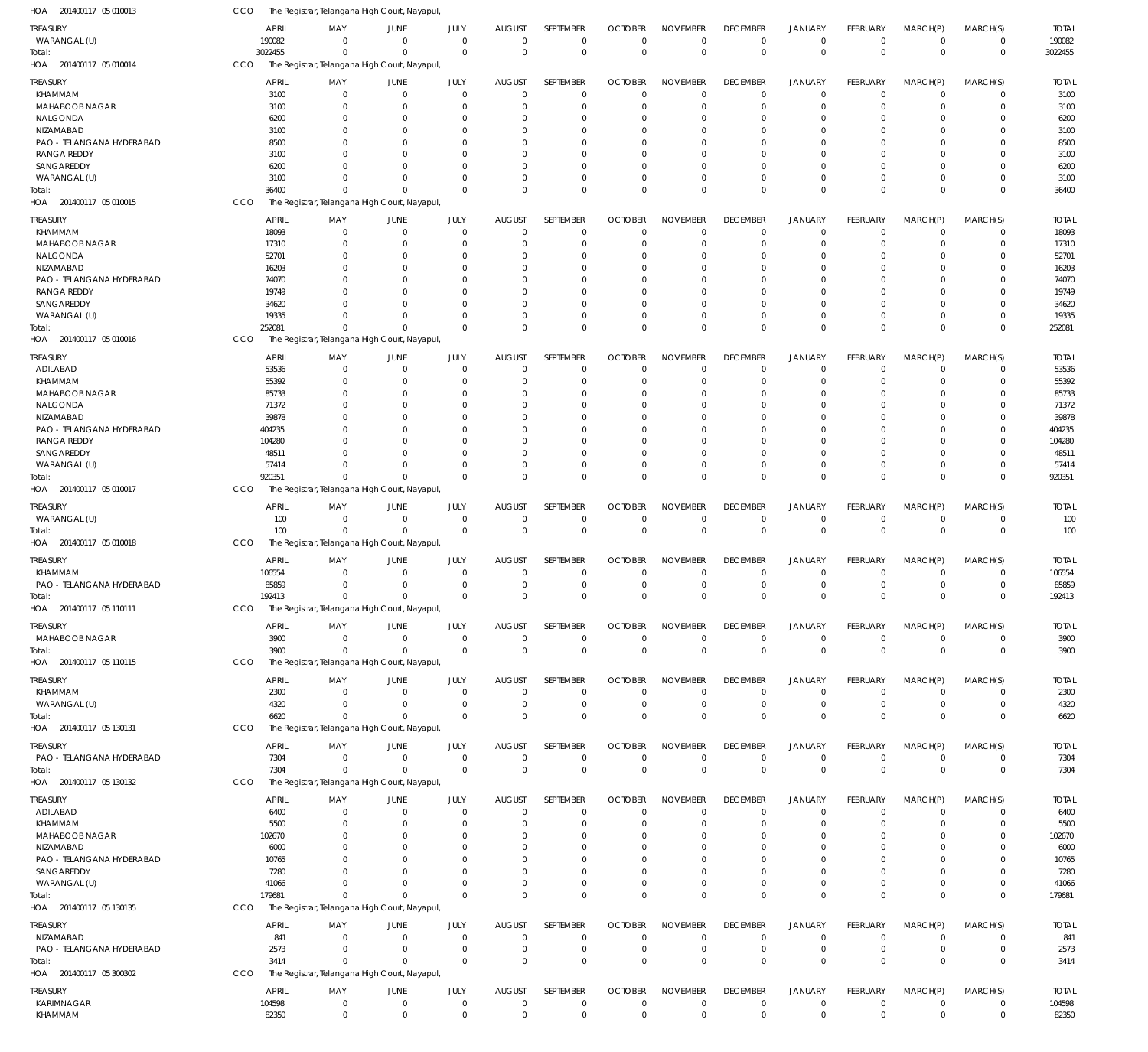| HOA 201400117 05 010013                | CCO | The Registrar, Telangana High Court, Nayapul  |                               |                            |                                  |                               |                            |                               |                            |                               |                            |                      |                               |                             |                 |
|----------------------------------------|-----|-----------------------------------------------|-------------------------------|----------------------------|----------------------------------|-------------------------------|----------------------------|-------------------------------|----------------------------|-------------------------------|----------------------------|----------------------|-------------------------------|-----------------------------|-----------------|
| <b>TREASURY</b>                        |     | <b>APRIL</b>                                  | MAY                           | JUNE                       | JULY                             | <b>AUGUST</b>                 | SEPTEMBER                  | <b>OCTOBER</b>                | <b>NOVEMBER</b>            | <b>DECEMBER</b>               | <b>JANUARY</b>             | <b>FEBRUARY</b>      | MARCH(P)                      | MARCH(S)                    | <b>TOTAL</b>    |
| WARANGAL (U)                           |     | 190082                                        | $\Omega$                      | $\mathbf 0$                | $\overline{0}$                   | $\mathbf 0$                   | $\mathbf 0$                | $\overline{0}$                | $\mathbf 0$                | $\mathbf 0$                   | $\mathbf 0$                | $\Omega$             | $\overline{0}$                | $\mathbf 0$                 | 190082          |
| Total:                                 |     | 3022455                                       | $\mathbf 0$                   | $\Omega$                   | $\Omega$                         | $\Omega$                      | $\mathbf 0$                | $\overline{0}$                | $\mathbf 0$                | $\mathbf 0$                   | $\mathbf{0}$               | $\Omega$             | $\Omega$                      | $\mathbf 0$                 | 3022455         |
| HOA 201400117 05 010014                | CCO | The Registrar, Telangana High Court, Nayapul, |                               |                            |                                  |                               |                            |                               |                            |                               |                            |                      |                               |                             |                 |
| <b>TREASURY</b>                        |     | <b>APRIL</b>                                  | MAY                           | JUNE                       | JULY                             | <b>AUGUST</b>                 | SEPTEMBER                  | <b>OCTOBER</b>                | <b>NOVEMBER</b>            | <b>DECEMBER</b>               | <b>JANUARY</b>             | <b>FEBRUARY</b>      | MARCH(P)                      | MARCH(S)                    | <b>TOTAL</b>    |
| <b>KHAMMAM</b>                         |     | 3100                                          | 0                             | $\overline{0}$             | $\mathbf 0$                      | $\mathbf 0$                   | $\mathbf 0$                | $\mathbf 0$                   | $\mathbf 0$                | $\overline{0}$                | $\mathbf 0$                | $\Omega$             | $\overline{0}$                | $\mathbf 0$                 | 3100            |
| MAHABOOB NAGAR                         |     | 3100                                          | 0                             | $\overline{0}$             | 0                                | $\Omega$                      | $\mathbf 0$                | 0                             | $\mathbf 0$                | 0                             | $\mathbf 0$                |                      | $\Omega$                      | $\mathbf 0$                 | 3100            |
| NALGONDA                               |     | 6200                                          | $\Omega$                      | $\Omega$                   | $\Omega$                         | $\Omega$                      | 0                          | 0                             | 0                          | $\Omega$                      | $\Omega$                   |                      | $\Omega$                      | 0                           | 6200            |
| NIZAMABAD<br>PAO - TELANGANA HYDERABAD |     | 3100                                          | 0                             | 0<br>$\Omega$              | 0                                | $\Omega$                      | $\mathbf 0$                | 0                             | 0                          | 0                             | $\Omega$                   |                      | $\Omega$                      | 0                           | 3100            |
| <b>RANGA REDDY</b>                     |     | 8500<br>3100                                  | $\Omega$<br>$\Omega$          | $\Omega$                   | $\Omega$<br>0                    | $\Omega$<br>$\Omega$          | $\Omega$<br>$\Omega$       | 0<br>0                        | 0<br>0                     | $\Omega$<br>$\Omega$          | $\Omega$<br>$\Omega$       |                      | $\Omega$                      | 0<br>0                      | 8500<br>3100    |
| SANGAREDDY                             |     | 6200                                          | <sup>0</sup>                  | $\Omega$                   | $\Omega$                         | $\Omega$                      | $\Omega$                   | 0                             | 0                          | $\Omega$                      | $\Omega$                   |                      | $\Omega$                      | $\Omega$                    | 6200            |
| WARANGAL (U)                           |     | 3100                                          | $\Omega$                      | $\Omega$                   | $\Omega$                         | $\Omega$                      | $\mathbf 0$                | 0                             | $\mathbf 0$                | $\Omega$                      | $\mathbf 0$                |                      | $\Omega$                      | $\mathbf 0$                 | 3100            |
| Total:                                 |     | 36400                                         | $\Omega$                      | $\Omega$                   | $\Omega$                         | $\Omega$                      | $\mathbf 0$                | $\mathbf 0$                   | $\Omega$                   | $\Omega$                      | $\Omega$                   | $\Omega$             | $\Omega$                      | 0                           | 36400           |
| HOA 201400117 05 010015                | CCO | The Registrar, Telangana High Court, Nayapul  |                               |                            |                                  |                               |                            |                               |                            |                               |                            |                      |                               |                             |                 |
| <b>TREASURY</b>                        |     | <b>APRIL</b>                                  | MAY                           | JUNE                       | JULY                             | <b>AUGUST</b>                 | SEPTEMBER                  | <b>OCTOBER</b>                | <b>NOVEMBER</b>            | <b>DECEMBER</b>               | <b>JANUARY</b>             | FEBRUARY             | MARCH(P)                      | MARCH(S)                    | <b>TOTAL</b>    |
| <b>KHAMMAM</b>                         |     | 18093                                         | 0                             | $\overline{0}$             | $\mathbf 0$                      | $\mathbf 0$                   | $\mathbf 0$                | $\mathbf 0$                   | $\mathbf 0$                | $\mathbf 0$                   | $\mathbf 0$                | $\Omega$             | $\Omega$                      | 0                           | 18093           |
| MAHABOOB NAGAR                         |     | 17310                                         | $\mathbf 0$                   | $\overline{0}$             | $\mathbf 0$                      | $\mathbf 0$                   | $\mathbf 0$                | 0                             | $\mathbf 0$                | 0                             | $\mathbf 0$                | $\Omega$             | $\Omega$                      | $\mathbf 0$                 | 17310           |
| NALGONDA                               |     | 52701                                         | 0                             | $\overline{0}$             | $\Omega$                         | $\Omega$                      | 0                          | 0                             | $\Omega$                   | $\Omega$                      | $\Omega$                   |                      | $\Omega$                      | 0                           | 52701           |
| NIZAMABAD                              |     | 16203                                         | $\Omega$                      | $\Omega$                   | $\Omega$                         | $\Omega$                      | $\Omega$                   | 0                             | 0                          | $\Omega$                      | $\Omega$                   |                      | $\Omega$                      | $\Omega$                    | 16203           |
| PAO - TELANGANA HYDERABAD              |     | 74070                                         | $\Omega$                      | $\overline{0}$             | $\Omega$                         | $\Omega$                      | 0                          | 0                             | $\Omega$                   | $\Omega$                      | $\Omega$                   |                      | $\Omega$                      | 0                           | 74070           |
| <b>RANGA REDDY</b>                     |     | 19749                                         | $\Omega$                      | $\Omega$                   | $\Omega$                         | $\Omega$                      | $\Omega$                   | $\Omega$                      | $\Omega$                   | $\Omega$                      | $\Omega$                   |                      | $\Omega$                      | $\Omega$                    | 19749           |
| SANGAREDDY                             |     | 34620                                         | $\Omega$                      | $\Omega$                   | $\Omega$                         | $\Omega$                      | $\Omega$                   | 0                             | $\Omega$                   | $\Omega$                      | $\Omega$                   |                      | $\Omega$                      | 0                           | 34620           |
| WARANGAL (U)                           |     | 19335                                         | $\Omega$                      | $\Omega$                   | $\Omega$                         | $\Omega$                      | $\mathbf 0$                | 0                             | $\mathbf 0$                | 0                             | $\mathbf 0$                | $\Omega$             | $\Omega$                      | $\mathbf 0$                 | 19335           |
| Total:                                 |     | 252081                                        | $\Omega$                      | $\Omega$                   | $\Omega$                         | $\Omega$                      | $\mathbf 0$                | $\mathbf 0$                   | $\mathbf 0$                | $\Omega$                      | $\Omega$                   | $\Omega$             | $\mathbf{0}$                  | $\mathbf 0$                 | 252081          |
| HOA 201400117 05 010016                | CCO | The Registrar, Telangana High Court, Nayapul  |                               |                            |                                  |                               |                            |                               |                            |                               |                            |                      |                               |                             |                 |
| TREASURY                               |     | <b>APRIL</b>                                  | MAY                           | JUNE                       | JULY                             | <b>AUGUST</b>                 | SEPTEMBER                  | <b>OCTOBER</b>                | <b>NOVEMBER</b>            | <b>DECEMBER</b>               | JANUARY                    | <b>FEBRUARY</b>      | MARCH(P)                      | MARCH(S)                    | <b>TOTAL</b>    |
| ADILABAD                               |     | 53536                                         | 0                             | $\overline{0}$             | $\mathbf 0$                      | $\mathbf 0$                   | $\mathbf 0$                | $\mathbf 0$                   | $\mathbf 0$                | $^{\circ}$                    | $\mathbf 0$                |                      | $\Omega$                      | 0                           | 53536           |
| <b>KHAMMAM</b>                         |     | 55392                                         | $\Omega$                      | $\overline{0}$             | 0                                | $\mathbf 0$                   | $\mathbf 0$                | 0                             | $\mathbf 0$                | 0                             | $\mathbf 0$                |                      | $\Omega$                      | $\mathbf 0$                 | 55392           |
| MAHABOOB NAGAR                         |     | 85733                                         | 0                             | $\overline{0}$             | 0                                | $\Omega$                      | $\mathbf 0$                | 0                             | 0                          | 0                             | $\Omega$                   |                      | $\Omega$                      | 0                           | 85733           |
| NALGONDA                               |     | 71372                                         | 0                             | $\Omega$                   | 0                                | $\Omega$                      | $\Omega$                   | $\Omega$                      | $\Omega$                   | $\Omega$                      | $\Omega$                   |                      | $\Omega$                      | 0                           | 71372           |
| NIZAMABAD                              |     | 39878                                         | $\Omega$                      | $\Omega$                   | 0                                | $\Omega$                      | $\Omega$                   | 0                             | 0                          | $\Omega$                      | $\Omega$                   |                      | $\Omega$                      | 0                           | 39878           |
| PAO - TELANGANA HYDERABAD              |     | 404235                                        | $\Omega$                      | $\Omega$                   | $\Omega$                         | $\Omega$                      | $\Omega$                   | 0                             | 0                          | $\Omega$                      | $\Omega$                   |                      |                               | 0                           | 404235          |
| <b>RANGA REDDY</b><br>SANGAREDDY       |     | 104280<br>48511                               | $\Omega$<br><sup>0</sup>      | $\Omega$<br>$\Omega$       | 0<br>$\Omega$                    | $\Omega$<br>$\Omega$          | $\Omega$<br>$\Omega$       | 0<br>$\Omega$                 | 0<br>$\Omega$              | $\Omega$<br>$\Omega$          | $\Omega$<br>$\Omega$       |                      | $\Omega$<br>$\Omega$          | 0<br>$\Omega$               | 104280<br>4851  |
| WARANGAL (U)                           |     | 57414                                         | $\Omega$                      | $\Omega$                   | $\Omega$                         | $\Omega$                      | $\mathbf 0$                | 0                             | $\mathbf 0$                | 0                             | $\mathbf 0$                |                      | $\overline{0}$                | $\mathbf 0$                 | 57414           |
| Total:                                 |     | 920351                                        | $\mathbf 0$                   | $\Omega$                   | $\Omega$                         | $\Omega$                      | $\mathbf 0$                | $\mathbf 0$                   | $\mathbf 0$                | $\Omega$                      | $\Omega$                   | $\Omega$             | $\Omega$                      | $\mathbf 0$                 | 920351          |
| HOA 201400117 05 010017                | CCO | The Registrar, Telangana High Court, Nayapul  |                               |                            |                                  |                               |                            |                               |                            |                               |                            |                      |                               |                             |                 |
|                                        |     |                                               |                               |                            |                                  |                               |                            |                               |                            |                               |                            |                      |                               |                             |                 |
| TREASURY                               |     | <b>APRIL</b>                                  | MAY                           | JUNE                       | JULY                             | <b>AUGUST</b>                 | SEPTEMBER                  | <b>OCTOBER</b>                | <b>NOVEMBER</b>            | <b>DECEMBER</b>               | <b>JANUARY</b>             | FEBRUARY             | MARCH(P)                      | MARCH(S)                    | <b>TOTAL</b>    |
| WARANGAL (U)                           |     | 100<br>100                                    | $\overline{0}$<br>$\mathbf 0$ | $\overline{0}$<br>$\Omega$ | $\mathbf 0$<br>$\Omega$          | $\mathbf 0$<br>$\overline{0}$ | $\mathbf 0$<br>$\mathbf 0$ | $\mathbf 0$<br>$\overline{0}$ | $\mathbf 0$<br>$\mathbf 0$ | $\overline{0}$<br>$\mathbf 0$ | $\mathbf 0$<br>$\Omega$    | $\Omega$<br>$\Omega$ | $\overline{0}$<br>$\Omega$    | $\mathbf 0$<br>$\mathbf{0}$ | 100<br>100      |
| Total:<br>HOA 201400117 05 010018      | CCO | The Registrar, Telangana High Court, Nayapul, |                               |                            |                                  |                               |                            |                               |                            |                               |                            |                      |                               |                             |                 |
|                                        |     |                                               |                               |                            |                                  |                               |                            |                               |                            |                               |                            |                      |                               |                             |                 |
| <b>TREASURY</b>                        |     | <b>APRIL</b>                                  | MAY                           | JUNE                       | JULY                             | <b>AUGUST</b>                 | <b>SEPTEMBER</b>           | <b>OCTOBER</b>                | <b>NOVEMBER</b>            | <b>DECEMBER</b>               | <b>JANUARY</b>             | FEBRUARY             | MARCH(P)                      | MARCH(S)                    | <b>TOTAL</b>    |
| KHAMMAM                                |     | 106554                                        | 0                             | $\overline{0}$             | $\mathbf 0$                      | $\mathbf 0$                   | $\mathbf 0$                | $\mathbf 0$                   | $\mathbf 0$                | $^{\circ}$                    | $\mathbf 0$                | $\Omega$             | $^{\circ}$                    | $\mathbf 0$                 | 106554          |
| PAO - TELANGANA HYDERABAD              |     | 85859                                         | 0                             | $\overline{0}$             | 0                                | 0                             | $\mathbf 0$                | 0                             | 0                          | 0                             | $\mathbf 0$                |                      | $^{\circ}$                    | 0                           | 85859           |
| Total:<br>HOA 201400117 05 110111      |     | 192413                                        | $\Omega$                      | $\Omega$                   | $\Omega$                         | $\Omega$                      | $\mathbf 0$                | $\mathbf 0$                   | $\mathbf 0$                | $\Omega$                      | $\Omega$                   | $\Omega$             | $\Omega$                      | $\mathbf 0$                 | 192413          |
|                                        | CCO | The Registrar, Telangana High Court, Nayapul  |                               |                            |                                  |                               |                            |                               |                            |                               |                            |                      |                               |                             |                 |
| TREASURY                               |     | <b>APRIL</b>                                  | MAY                           | JUNE                       | JULY                             | <b>AUGUST</b>                 | SEPTEMBER                  | <b>OCTOBER</b>                | <b>NOVEMBER</b>            | <b>DECEMBER</b>               | <b>JANUARY</b>             | <b>FEBRUARY</b>      | MARCH(P)                      | MARCH(S)                    | <b>TOTAL</b>    |
| MAHABOOB NAGAR                         |     | 3900                                          | $^{\circ}$                    | $\mathbf 0$                | $\overline{0}$                   | $\mathbf 0$                   | $\mathbf 0$                | $^{\circ}$                    | $\mathbf 0$                | $\mathbf 0$                   | $\mathbf 0$                | $\mathbf 0$          | $^{\circ}$                    | $\mathbf 0$                 | 3900            |
| Total:                                 |     | 3900                                          | $\mathbf 0$                   | $\mathbf 0$                | $\overline{0}$                   | $\overline{0}$                | $\mathbf 0$                | $\overline{0}$                | $\mathbf 0$                | $\mathbf 0$                   | $\mathbf 0$                | $\mathbf 0$          | $\mathbf 0$                   | $\mathbf{0}$                | 3900            |
| HOA 201400117 05 110115                | CCO | The Registrar, Telangana High Court, Nayapul, |                               |                            |                                  |                               |                            |                               |                            |                               |                            |                      |                               |                             |                 |
| <b>TREASURY</b>                        |     | <b>APRIL</b>                                  | MAY                           | JUNE                       | JULY                             | <b>AUGUST</b>                 | SEPTEMBER                  | <b>OCTOBER</b>                | <b>NOVEMBER</b>            | <b>DECEMBER</b>               | <b>JANUARY</b>             | <b>FEBRUARY</b>      | MARCH(P)                      | MARCH(S)                    | <b>TOTAL</b>    |
| <b>KHAMMAM</b>                         |     | 2300                                          | $\overline{0}$                | $\mathbf 0$                | $\overline{0}$                   | $\mathbf 0$                   | $\mathbf 0$                | $\mathbf 0$                   | $\mathbf 0$                | $\overline{0}$                | $\mathbf 0$                | $\Omega$             | $\overline{0}$                | $\mathbf 0$                 | 2300            |
| WARANGAL (U)                           |     | 4320                                          | $^{\circ}$                    | $\mathbf 0$                | $\overline{0}$                   | $\mathbf 0$                   | $\mathbf 0$                | $\mathbf 0$                   | $\mathbf 0$                | $\overline{0}$                | $\mathbf 0$                | $\Omega$             | $\overline{0}$                | $\mathbf 0$                 | 4320            |
| Total:                                 |     | 6620                                          | $\mathbf 0$                   | $\overline{0}$             | $\Omega$                         | $\mathbf 0$                   | $\mathbf 0$                | $\overline{0}$                | $\mathbf 0$                | $\mathbf 0$                   | $\mathbf 0$                | $\Omega$             | $\Omega$                      | $\mathbf 0$                 | 6620            |
| HOA 201400117 05 130131                | CCO | The Registrar, Telangana High Court, Nayapul, |                               |                            |                                  |                               |                            |                               |                            |                               |                            |                      |                               |                             |                 |
| TREASURY                               |     | <b>APRIL</b>                                  | MAY                           | JUNE                       | JULY                             | <b>AUGUST</b>                 | SEPTEMBER                  | <b>OCTOBER</b>                | <b>NOVEMBER</b>            | <b>DECEMBER</b>               | <b>JANUARY</b>             | <b>FEBRUARY</b>      | MARCH(P)                      | MARCH(S)                    | <b>TOTAL</b>    |
| PAO - TELANGANA HYDERABAD              |     | 7304                                          | 0                             | $\mathbf 0$                | $\overline{0}$                   | $\mathbf 0$                   | $\mathbf 0$                | $^{\circ}$                    | $\mathbf 0$                | $\mathbf 0$                   | $\mathbf 0$                | $\mathbf 0$          | $\overline{0}$                | $\mathbf 0$                 | 7304            |
| Total:                                 |     | 7304                                          | $\mathbf 0$                   | $\mathbf 0$                | $\overline{0}$                   | $\mathbf 0$                   | $\mathbf 0$                | $\overline{0}$                | $\mathbf 0$                | $\mathbf 0$                   | $\mathbf 0$                | $\Omega$             | $\Omega$                      | $\mathbf 0$                 | 7304            |
| HOA 201400117 05 130132                | CCO | The Registrar, Telangana High Court, Nayapul, |                               |                            |                                  |                               |                            |                               |                            |                               |                            |                      |                               |                             |                 |
| <b>TREASURY</b>                        |     | <b>APRIL</b>                                  | MAY                           | JUNE                       | JULY                             | <b>AUGUST</b>                 | SEPTEMBER                  | <b>OCTOBER</b>                | <b>NOVEMBER</b>            | <b>DECEMBER</b>               | <b>JANUARY</b>             | FEBRUARY             | MARCH(P)                      | MARCH(S)                    | <b>TOTAL</b>    |
| ADILABAD                               |     | 6400                                          | $\overline{0}$                | $\mathbf 0$                | $\overline{0}$                   | $\mathbf 0$                   | $\mathbf 0$                | $\mathbf 0$                   | $\mathbf 0$                | $\overline{0}$                | $\mathbf 0$                | $\Omega$             | $\overline{0}$                | $\mathbf 0$                 | 6400            |
| <b>KHAMMAM</b>                         |     | 5500                                          | $\mathbf 0$                   | $\overline{0}$             | 0                                | $\mathbf 0$                   | $\mathbf 0$                | 0                             | $\mathbf 0$                | 0                             | $\mathbf 0$                |                      | $\Omega$                      | $\mathbf 0$                 | 5500            |
| MAHABOOB NAGAR                         |     | 102670                                        | $\mathbf 0$                   | $\overline{0}$             | $\Omega$                         | $\Omega$                      | 0                          | 0                             | $\mathbf 0$                | 0                             | $\Omega$                   |                      | $\Omega$                      | 0                           | 102670          |
| NIZAMABAD                              |     | 6000                                          | $\mathbf 0$                   | $\overline{0}$             | $\Omega$                         | $\Omega$                      | $\mathbf 0$                | 0                             | 0                          | $\Omega$                      | $\Omega$                   |                      | $\Omega$                      | 0                           | 6000            |
| PAO - TELANGANA HYDERABAD              |     | 10765                                         | $\Omega$                      | $\Omega$                   | $\Omega$                         | $\Omega$                      | $\Omega$                   | 0                             | $\Omega$                   | $\Omega$                      | $\Omega$                   |                      | $\Omega$                      | 0                           | 10765           |
| SANGAREDDY                             |     | 7280                                          | $\mathbf 0$                   | $\Omega$                   | $\Omega$                         | $\Omega$                      | $\mathbf 0$                | 0                             | 0                          | 0                             | $\mathbf 0$                |                      | $\Omega$                      | 0                           | 7280            |
| WARANGAL (U)                           |     | 41066                                         | $\Omega$                      | $\Omega$                   | $\Omega$                         | $\Omega$                      | $\mathbf 0$                | 0                             | $\mathbf 0$                | 0                             | $\mathbf 0$                |                      | $\overline{0}$                | $\mathbf 0$                 | 41066           |
| Total:                                 |     | 179681                                        | $\mathbf 0$                   | $\Omega$                   | $\Omega$                         | $\Omega$                      | $\mathbf 0$                | $\mathbf 0$                   | $\mathbf 0$                | $\mathbf 0$                   | $\mathbf{0}$               | $\Omega$             | $\Omega$                      | $\mathbf 0$                 | 179681          |
| HOA 201400117 05 130135                | CCO | The Registrar, Telangana High Court, Nayapul  |                               |                            |                                  |                               |                            |                               |                            |                               |                            |                      |                               |                             |                 |
| <b>TREASURY</b>                        |     | <b>APRIL</b>                                  | MAY                           | JUNE                       | JULY                             | AUGUST                        | SEPTEMBER                  | <b>OCTOBER</b>                | <b>NOVEMBER</b>            | <b>DECEMBER</b>               | <b>JANUARY</b>             | FEBRUARY             | MARCH(P)                      | MARCH(S)                    | <b>TOTAL</b>    |
| NIZAMABAD                              |     | 841                                           | $^{\circ}$                    | $\mathbf 0$                | $\overline{0}$                   | $\mathbf 0$                   | $\mathbf 0$                | $\mathbf 0$                   | $\mathbf 0$                | $\mathbf 0$                   | $\mathbf 0$                | $\Omega$             | $\Omega$                      | $\mathbf 0$                 | 841             |
| PAO - TELANGANA HYDERABAD              |     | 2573                                          | $^{\circ}$                    | $\mathbf 0$                | $\overline{0}$                   | $\mathbf 0$                   | 0                          | $\overline{0}$                | $\mathbf 0$                | $^{\circ}$                    | $\mathbf 0$                | 0                    | $^{\circ}$                    | $\mathbf 0$                 | 2573            |
| Total:                                 |     | 3414                                          | $\mathbf 0$                   | $\overline{0}$             | $\Omega$                         | $\Omega$                      | $\mathbf 0$                | $\mathbf 0$                   | $\mathbf 0$                | $\mathbf 0$                   | $\Omega$                   | $\Omega$             | $\Omega$                      | $\mathbf{0}$                | 3414            |
| HOA 201400117 05 300302                | CCO | The Registrar, Telangana High Court, Nayapul, |                               |                            |                                  |                               |                            |                               |                            |                               |                            |                      |                               |                             |                 |
|                                        |     |                                               |                               |                            |                                  |                               |                            |                               |                            |                               |                            |                      |                               |                             |                 |
| TREASURY                               |     | <b>APRIL</b>                                  | MAY                           | JUNE                       | JULY                             | <b>AUGUST</b>                 | SEPTEMBER                  | <b>OCTOBER</b>                | <b>NOVEMBER</b>            | <b>DECEMBER</b>               | <b>JANUARY</b>             | FEBRUARY             | MARCH(P)                      | MARCH(S)                    | <b>TOTAL</b>    |
| KARIMNAGAR<br>KHAMMAM                  |     | 104598<br>82350                               | $^{\circ}$<br>$\mathbf 0$     | $\overline{0}$<br>$\,0\,$  | $\overline{0}$<br>$\overline{0}$ | $\mathbf 0$<br>$\overline{0}$ | 0<br>$\mathbf 0$           | $\mathbf 0$<br>$\overline{0}$ | $\mathbf 0$<br>$\mathsf 0$ | $\mathbf 0$<br>$\mathbf 0$    | $\mathbf 0$<br>$\mathbb O$ | 0<br>$\mathbf 0$     | $\overline{0}$<br>$\mathbf 0$ | $\mathbf 0$<br>$\mathbf 0$  | 104598<br>82350 |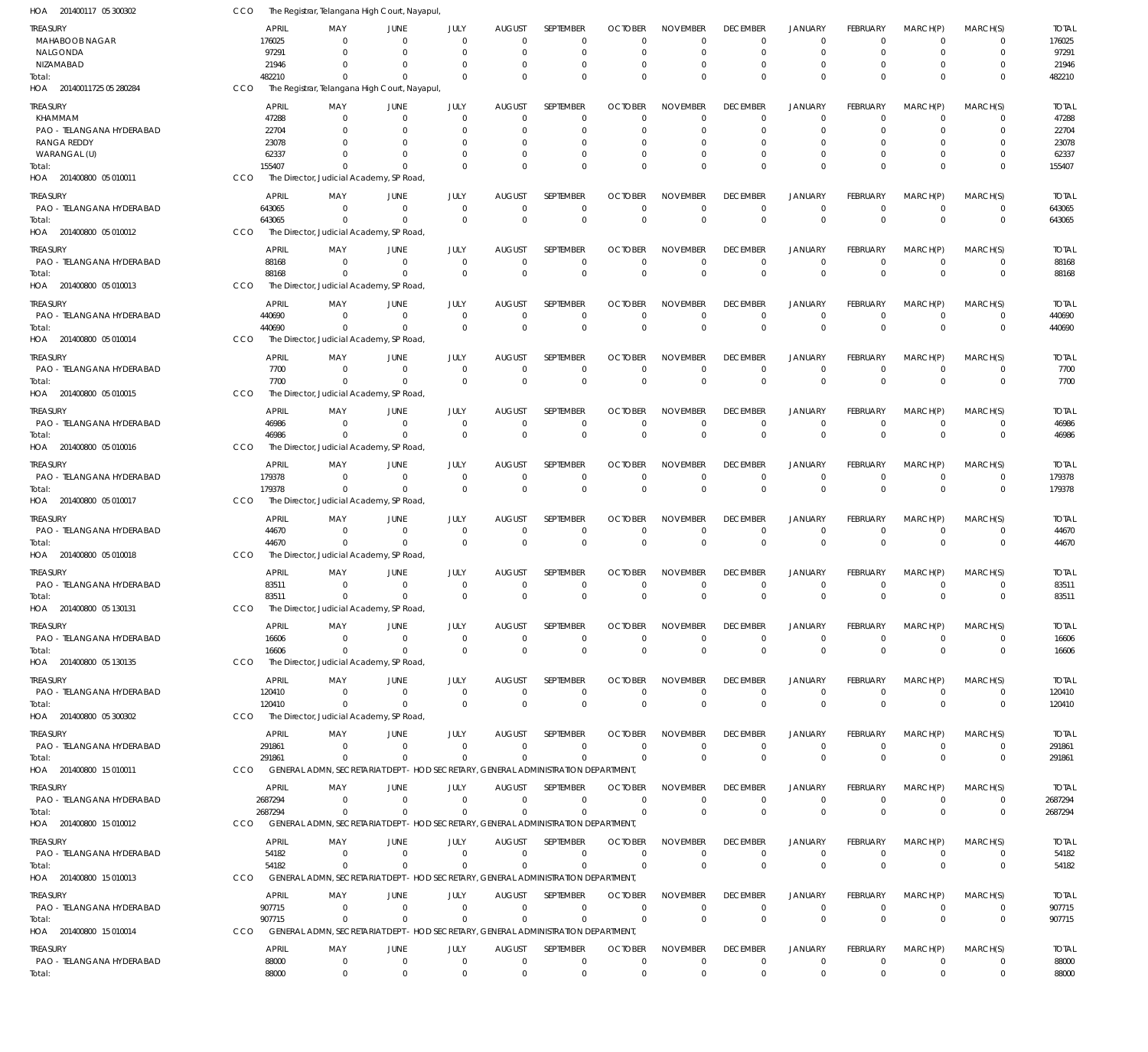| HOA 201400117 05 300302               | CCO        |                        | The Registrar, Telangana High Court, Nayapul,                                                  |                                  |                              |                                 |                             |                                  |                                |                                |                               |                             |                                  |                               |                        |
|---------------------------------------|------------|------------------------|------------------------------------------------------------------------------------------------|----------------------------------|------------------------------|---------------------------------|-----------------------------|----------------------------------|--------------------------------|--------------------------------|-------------------------------|-----------------------------|----------------------------------|-------------------------------|------------------------|
| TREASURY                              |            | <b>APRIL</b>           | MAY                                                                                            | JUNE                             | JULY                         | <b>AUGUST</b>                   | <b>SEPTEMBER</b>            | <b>OCTOBER</b>                   | <b>NOVEMBER</b>                | <b>DECEMBER</b>                | <b>JANUARY</b>                | <b>FEBRUARY</b>             | MARCH(P)                         | MARCH(S)                      | <b>TOTAL</b>           |
| <b>MAHABOOB NAGAR</b>                 |            | 176025                 | $\Omega$                                                                                       | $\Omega$                         | $\Omega$                     | $\Omega$                        | $\mathbf 0$                 | $\Omega$                         | $\Omega$                       | $\mathbf 0$                    | $\mathbf 0$                   | $\Omega$                    | $\Omega$                         | 0                             | 176025                 |
| NALGONDA<br>NIZAMABAD                 |            | 97291<br>21946         | $\Omega$<br>$\Omega$                                                                           | $\Omega$<br>- 0                  | $\Omega$<br>$\Omega$         | $\overline{0}$<br>$\Omega$      | $\overline{0}$<br>0         | 0<br>0                           | $\mathbf 0$<br>$\Omega$        | $\mathbf 0$<br>0               | $\mathbf 0$<br>0              | $\Omega$                    | $\Omega$<br>$\Omega$             | $\mathbf 0$<br>0              | 97291<br>21946         |
| Total:                                |            | 482210                 | $\cap$                                                                                         | $\Omega$                         | $\Omega$                     | $\Omega$                        | $\Omega$                    | $\Omega$                         | $\Omega$                       | $\Omega$                       | $\Omega$                      | $\Omega$                    | $\Omega$                         | $\Omega$                      | 482210                 |
| HOA 20140011725 05 280284             | CCO        |                        | The Registrar, Telangana High Court, Nayapul,                                                  |                                  |                              |                                 |                             |                                  |                                |                                |                               |                             |                                  |                               |                        |
| treasury                              |            | <b>APRIL</b>           | MAY                                                                                            | JUNE                             | JULY                         | <b>AUGUST</b>                   | SEPTEMBER                   | <b>OCTOBER</b>                   | <b>NOVEMBER</b>                | <b>DECEMBER</b>                | <b>JANUARY</b>                | <b>FEBRUARY</b>             | MARCH(P)                         | MARCH(S)                      | <b>TOTAL</b>           |
| KHAMMAM                               |            | 47288                  | $\Omega$                                                                                       | $\overline{0}$                   | $\mathbf{0}$                 | $\overline{0}$                  | $\mathbf 0$                 | $\mathbf 0$                      | $\mathbf 0$                    | 0                              | $\mathbf 0$                   | $\Omega$                    | $\Omega$                         | $\mathbf 0$                   | 47288                  |
| PAO - TELANGANA HYDERABAD             |            | 22704                  |                                                                                                | - 0                              | 0                            | 0                               | $\mathbf 0$                 | 0                                | 0                              | 0                              | $\mathbf 0$                   |                             | $\Omega$                         | $\mathbf 0$                   | 22704                  |
| <b>RANGA REDDY</b><br>WARANGAL (U)    |            | 23078<br>62337         |                                                                                                | - 0<br>- 0                       | 0<br>0                       | $\Omega$<br>$\Omega$            | 0<br>$\mathbf 0$            | O<br>0                           | 0<br>0                         | $\Omega$<br>$\Omega$           | $\Omega$<br>$\mathbf 0$       |                             | $\Omega$                         | 0<br>$\mathbf 0$              | 23078<br>62337         |
| Total:                                |            | 155407                 | $\Omega$                                                                                       | $\Omega$                         | $\Omega$                     | $\Omega$                        | $\mathbf 0$                 | $\overline{0}$                   | $\mathbf{0}$                   | $\Omega$                       | $\Omega$                      | $\Omega$                    | $\Omega$                         | $\mathbf 0$                   | 155407                 |
| HOA 201400800 05 010011               | <b>CCO</b> |                        | The Director, Judicial Academy, SP Road                                                        |                                  |                              |                                 |                             |                                  |                                |                                |                               |                             |                                  |                               |                        |
| treasury                              |            | <b>APRIL</b>           | MAY                                                                                            | <b>JUNE</b>                      | JULY                         | <b>AUGUST</b>                   | SEPTEMBER                   | <b>OCTOBER</b>                   | <b>NOVEMBER</b>                | <b>DECEMBER</b>                | <b>JANUARY</b>                | <b>FEBRUARY</b>             | MARCH(P)                         | MARCH(S)                      | <b>TOTAL</b>           |
| PAO - TELANGANA HYDERABAD             |            | 643065                 | $\Omega$                                                                                       | $\mathbf 0$                      | $\mathbf{0}$                 | $\overline{0}$                  | $\mathbf 0$                 | $\mathbf 0$                      | $\mathbf 0$                    | $\mathbf 0$                    | $\mathbf 0$                   | $\Omega$                    | $\overline{0}$                   | $\mathbf 0$                   | 643065                 |
| Total:                                |            | 643065                 | $\Omega$                                                                                       | $\Omega$                         | $\Omega$                     | $\Omega$                        | $\mathbf 0$                 | $\Omega$                         | $\mathbf 0$                    | $\mathbf 0$                    | $\mathbf{0}$                  | $\Omega$                    | $\Omega$                         | $\mathbf 0$                   | 643065                 |
| HOA 201400800 05 010012               | CCO        |                        | The Director, Judicial Academy, SP Road                                                        |                                  |                              |                                 |                             |                                  |                                |                                |                               |                             |                                  |                               |                        |
| treasury                              |            | <b>APRIL</b>           | MAY                                                                                            | JUNE                             | JULY                         | <b>AUGUST</b>                   | SEPTEMBER                   | <b>OCTOBER</b>                   | <b>NOVEMBER</b>                | <b>DECEMBER</b>                | JANUARY                       | FEBRUARY                    | MARCH(P)                         | MARCH(S)                      | <b>TOTAL</b>           |
| PAO - TELANGANA HYDERABAD<br>Total:   |            | 88168<br>88168         | $\Omega$<br>$\Omega$                                                                           | $\overline{0}$<br>$\overline{0}$ | $\mathbf{0}$<br>$\mathbf{0}$ | $\overline{0}$<br>$\Omega$      | $\mathbf 0$<br>$\mathbf{0}$ | $\mathbf 0$<br>$\overline{0}$    | $\mathbf 0$<br>$\mathbf 0$     | $\mathbf 0$<br>$\mathbf 0$     | $\mathbf 0$<br>$\mathbf 0$    | $\Omega$<br>$\Omega$        | $^{\circ}$<br>$\Omega$           | $\mathbf 0$<br>$\mathbf{0}$   | 88168<br>88168         |
| HOA 201400800 05 010013               | CCO        |                        | The Director, Judicial Academy, SP Road,                                                       |                                  |                              |                                 |                             |                                  |                                |                                |                               |                             |                                  |                               |                        |
| treasury                              |            | <b>APRIL</b>           | MAY                                                                                            | JUNE                             | JULY                         | <b>AUGUST</b>                   | <b>SEPTEMBER</b>            | <b>OCTOBER</b>                   | <b>NOVEMBER</b>                | <b>DECEMBER</b>                | JANUARY                       | <b>FEBRUARY</b>             | MARCH(P)                         | MARCH(S)                      | <b>TOTAL</b>           |
| PAO - TELANGANA HYDERABAD             |            | 440690                 | $\Omega$                                                                                       | $\Omega$                         | $\mathbf{0}$                 | $\overline{0}$                  | $\mathbf 0$                 | $\mathbf 0$                      | 0                              | $\mathbf 0$                    | $\mathbf 0$                   | $\Omega$                    | $\Omega$                         | $\mathbf 0$                   | 440690                 |
| Total:                                |            | 440690                 | $\Omega$                                                                                       | $\Omega$                         | $\Omega$                     | $\Omega$                        | $\mathbf 0$                 | $\overline{0}$                   | $\mathbf 0$                    | $\mathbf 0$                    | $\mathbf 0$                   | $\Omega$                    | $\Omega$                         | $\overline{0}$                | 440690                 |
| HOA 201400800 05 010014               | CCO        |                        | The Director, Judicial Academy, SP Road                                                        |                                  |                              |                                 |                             |                                  |                                |                                |                               |                             |                                  |                               |                        |
| Treasury                              |            | APRIL                  | MAY                                                                                            | JUNE                             | JULY                         | <b>AUGUST</b>                   | <b>SEPTEMBER</b>            | <b>OCTOBER</b>                   | <b>NOVEMBER</b>                | <b>DECEMBER</b>                | <b>JANUARY</b>                | <b>FEBRUARY</b>             | MARCH(P)                         | MARCH(S)                      | <b>TOTAL</b>           |
| PAO - TELANGANA HYDERABAD             |            | 7700                   | $\Omega$                                                                                       | $\overline{0}$                   | $\overline{0}$               | 0                               | $\mathbf 0$                 | $\mathbf 0$                      | $\mathbf 0$                    | $\mathbf 0$                    | $\mathbf 0$                   | $\Omega$                    | $\overline{0}$                   | $\mathbf 0$                   | 7700                   |
| Total:<br>HOA 201400800 05 010015     | CCO        | 7700                   | $\Omega$<br>The Director, Judicial Academy, SP Road,                                           | $\overline{0}$                   | $\Omega$                     | $\Omega$                        | $\mathbf 0$                 | $\overline{0}$                   | $\mathbf 0$                    | $\mathbf{0}$                   | $\mathbf{0}$                  | $\Omega$                    | $\Omega$                         | $\mathbf 0$                   | 7700                   |
|                                       |            |                        |                                                                                                |                                  |                              |                                 |                             |                                  |                                |                                |                               |                             |                                  |                               |                        |
| treasury<br>PAO - TELANGANA HYDERABAD |            | <b>APRIL</b><br>46986  | MAY<br>$\Omega$                                                                                | JUNE<br>$\Omega$                 | JULY<br>$\mathbf{0}$         | <b>AUGUST</b><br>$\overline{0}$ | SEPTEMBER<br>$\mathbf 0$    | <b>OCTOBER</b><br>$\mathbf 0$    | <b>NOVEMBER</b><br>$\mathbf 0$ | <b>DECEMBER</b><br>$\mathbf 0$ | <b>JANUARY</b><br>$\mathbf 0$ | FEBRUARY<br>$\Omega$        | MARCH(P)<br>$\Omega$             | MARCH(S)<br>$\mathbf 0$       | <b>TOTAL</b><br>46986  |
| Total:                                |            | 46986                  | $\Omega$                                                                                       | $\Omega$                         | $\mathbf 0$                  | $\Omega$                        | $\mathbf 0$                 | $\overline{0}$                   | $\mathbf 0$                    | $\mathbf 0$                    | $\mathbf{0}$                  | $\Omega$                    | $\Omega$                         | $\mathbf 0$                   | 46986                  |
| HOA 201400800 05 010016               | CCO        |                        | The Director, Judicial Academy, SP Road                                                        |                                  |                              |                                 |                             |                                  |                                |                                |                               |                             |                                  |                               |                        |
| treasury                              |            | <b>APRIL</b>           | MAY                                                                                            | JUNE                             | JULY                         | <b>AUGUST</b>                   | SEPTEMBER                   | <b>OCTOBER</b>                   | <b>NOVEMBER</b>                | <b>DECEMBER</b>                | <b>JANUARY</b>                | FEBRUARY                    | MARCH(P)                         | MARCH(S)                      | <b>TOTAL</b>           |
| PAO - TELANGANA HYDERABAD             |            | 179378                 | $\Omega$                                                                                       | $\mathbf 0$                      | $\mathbf{0}$                 | $\overline{0}$                  | $\mathbf 0$                 | $\mathbf 0$                      | $\mathbf 0$                    | $\mathbf 0$                    | $\mathbf 0$                   | $\Omega$                    | $\overline{0}$                   | $\mathbf 0$                   | 179378                 |
| Total:                                |            | 179378                 | $\Omega$                                                                                       | $\Omega$                         | $\mathbf{0}$                 | $\Omega$                        | $\mathbf 0$                 | $\overline{0}$                   | $\mathbf 0$                    | $\mathbf{0}$                   | $\mathbf 0$                   | $\Omega$                    | $\Omega$                         | $\mathbf 0$                   | 179378                 |
| HOA 201400800 05 010017               | CCO        |                        | The Director, Judicial Academy, SP Road,                                                       |                                  |                              |                                 |                             |                                  |                                |                                |                               |                             |                                  |                               |                        |
| treasury                              |            | <b>APRIL</b>           | MAY                                                                                            | JUNE                             | JULY                         | <b>AUGUST</b>                   | SEPTEMBER                   | <b>OCTOBER</b>                   | <b>NOVEMBER</b>                | <b>DECEMBER</b>                | JANUARY                       | <b>FEBRUARY</b>             | MARCH(P)                         | MARCH(S)                      | <b>TOTAL</b>           |
| PAO - TELANGANA HYDERABAD             |            | 44670<br>44670         | $\Omega$<br>$\Omega$                                                                           | $\Omega$<br>$\Omega$             | $\mathbf{0}$<br>$\mathbf{0}$ | 0<br>$\overline{0}$             | $\mathbf 0$<br>$\mathbf 0$  | $\mathbf 0$<br>$\overline{0}$    | $\mathbf 0$<br>$\mathbf 0$     | $\mathbf 0$<br>$\mathbf 0$     | $\mathbf 0$<br>$\mathbf 0$    | $\Omega$<br>$\Omega$        | $\Omega$<br>$\Omega$             | $\mathbf 0$<br>$\mathbf 0$    | 44670<br>44670         |
| Total:<br>HOA 201400800 05 010018     | CCO        |                        | The Director, Judicial Academy, SP Road,                                                       |                                  |                              |                                 |                             |                                  |                                |                                |                               |                             |                                  |                               |                        |
| Treasury                              |            | APRIL                  | MAY                                                                                            | JUNE                             | JULY                         | <b>AUGUST</b>                   | SEPTEMBER                   | <b>OCTOBER</b>                   | <b>NOVEMBER</b>                | <b>DECEMBER</b>                | <b>JANUARY</b>                | <b>FEBRUARY</b>             | MARCH(P)                         | MARCH(S)                      | <b>TOTAL</b>           |
| PAO - TELANGANA HYDERABAD             |            | 83511                  | 0                                                                                              | $\overline{0}$                   | 0                            | 0                               | $\mathbf 0$                 | 0                                | 0                              | 0                              | $\mathbf 0$                   |                             | $^{\circ}$                       | 0                             | 83511                  |
| Total:                                |            | 83511                  | $\Omega$                                                                                       | $\Omega$                         | $\Omega$                     | $\Omega$                        | $\mathbf 0$                 | $\Omega$                         | 0                              | $\Omega$                       | $\Omega$                      | $\Omega$                    | $\Omega$                         | $\mathbf{0}$                  | 83511                  |
| HOA 201400800 05 130131               | CCO        |                        | The Director, Judicial Academy, SP Road,                                                       |                                  |                              |                                 |                             |                                  |                                |                                |                               |                             |                                  |                               |                        |
| Treasury                              |            | <b>APRIL</b>           | MAY                                                                                            | JUNE                             | JULY                         | <b>AUGUST</b>                   | SEPTEMBER                   | <b>OCTOBER</b>                   | <b>NOVEMBER</b>                | <b>DECEMBER</b>                | <b>JANUARY</b>                | FEBRUARY                    | MARCH(P)                         | MARCH(S)                      | <b>TOTAL</b>           |
| PAO - TELANGANA HYDERABAD             |            | 16606                  | $\Omega$                                                                                       | $\overline{0}$                   | $\overline{0}$               | $\overline{0}$                  | $\mathbf 0$                 | $\mathbf 0$                      | $\mathbf 0$                    | $\mathbf 0$                    | $\mathbf 0$                   | $\Omega$                    | $^{\circ}$                       | $\mathbf 0$                   | 16606                  |
| Total:<br>HOA 201400800 05 130135     | <b>CCO</b> | 16606                  | $\mathbf{0}$<br>The Director, Judicial Academy, SP Road,                                       | $\mathbf{0}$                     | $\mathbf 0$                  | $\overline{0}$                  | $\mathbf 0$                 | $\overline{0}$                   | $\mathbf 0$                    | $\mathbf 0$                    | $\mathbf{0}$                  | $\Omega$                    | $\mathbf 0$                      | $\mathbf 0$                   | 16606                  |
|                                       |            |                        |                                                                                                |                                  |                              |                                 |                             |                                  |                                |                                |                               |                             |                                  |                               |                        |
| treasury<br>PAO - TELANGANA HYDERABAD |            | <b>APRIL</b><br>120410 | MAY<br>$\Omega$                                                                                | JUNE<br>$\mathbf 0$              | JULY<br>$\overline{0}$       | <b>AUGUST</b><br>$\overline{0}$ | SEPTEMBER<br>$\overline{0}$ | <b>OCTOBER</b><br>$\overline{0}$ | <b>NOVEMBER</b><br>$\mathbf 0$ | <b>DECEMBER</b><br>$\mathbf 0$ | <b>JANUARY</b><br>$\mathbf 0$ | <b>FEBRUARY</b><br>$\Omega$ | MARCH(P)<br>$^{\circ}$           | MARCH(S)<br>$\mathbf 0$       | <b>TOTAL</b><br>120410 |
| Total:                                |            | 120410                 | $\Omega$                                                                                       | $\Omega$                         | $\overline{0}$               | $\overline{0}$                  | $\mathbf 0$                 | $\overline{0}$                   | $\mathbf 0$                    | $\mathbf 0$                    | $\mathbf 0$                   | $\Omega$                    | $\Omega$                         | $\mathbf 0$                   | 120410                 |
| HOA 201400800 05 300302               | CCO        |                        | The Director, Judicial Academy, SP Road,                                                       |                                  |                              |                                 |                             |                                  |                                |                                |                               |                             |                                  |                               |                        |
| treasury                              |            | <b>APRIL</b>           | MAY                                                                                            | JUNE                             | JULY                         | <b>AUGUST</b>                   | SEPTEMBER                   | <b>OCTOBER</b>                   | <b>NOVEMBER</b>                | <b>DECEMBER</b>                | JANUARY                       | FEBRUARY                    | MARCH(P)                         | MARCH(S)                      | <b>TOTAL</b>           |
| PAO - TELANGANA HYDERABAD             |            | 291861                 | $\Omega$                                                                                       | $\overline{0}$                   | $\overline{0}$               | $\overline{0}$                  | $\Omega$                    | $\Omega$                         | 0                              | $\mathbf 0$                    | $\mathbf 0$                   | $\Omega$                    | $\overline{0}$                   | $\mathbf 0$                   | 291861                 |
| Total:                                |            | 291861                 | $\Omega$                                                                                       | $\Omega$                         | $\Omega$                     | $\Omega$                        | $\mathbf 0$                 | $\overline{0}$                   | $\mathbf 0$                    | $\mathbf 0$                    | $\mathbf 0$                   | $\Omega$                    | $\mathbf 0$                      | $\mathbf 0$                   | 291861                 |
| HOA 201400800 15 010011               | <b>CCO</b> |                        | GENERAL ADMN, SECRETARIAT DEPT - HOD SECRETARY, GENERAL ADMINISTRATION DEPARTMENT              |                                  |                              |                                 |                             |                                  |                                |                                |                               |                             |                                  |                               |                        |
| Treasury                              |            | APRIL                  | MAY                                                                                            | JUNE                             | JULY                         | <b>AUGUST</b>                   | SEPTEMBER                   | <b>OCTOBER</b>                   | <b>NOVEMBER</b>                | <b>DECEMBER</b>                | <b>JANUARY</b>                | <b>FEBRUARY</b>             | MARCH(P)                         | MARCH(S)                      | TOTAL                  |
| PAO - TELANGANA HYDERABAD<br>Total:   |            | 2687294<br>2687294     | $\Omega$<br>$\Omega$                                                                           | $\overline{0}$<br>$\Omega$       | $\mathbf{0}$<br>$\mathbf{0}$ | $\overline{0}$<br>$\Omega$      | $\mathbf 0$<br>$\mathbf 0$  | 0<br>$\overline{0}$              | 0<br>$\mathbf 0$               | 0<br>$\mathbf 0$               | $\mathbf 0$<br>$\mathbf 0$    | $\Omega$<br>$\Omega$        | $\overline{0}$<br>$\overline{0}$ | $\mathbf 0$<br>$\overline{0}$ | 2687294<br>2687294     |
| HOA 201400800 15 010012               | <b>CCO</b> |                        | GENERAL ADMN, SECRETARIAT DEPT - HOD SECRETARY, GENERAL ADMINISTRATION DEPARTMENT,             |                                  |                              |                                 |                             |                                  |                                |                                |                               |                             |                                  |                               |                        |
| Treasury                              |            | <b>APRIL</b>           | MAY                                                                                            | JUNE                             | JULY                         | <b>AUGUST</b>                   | SEPTEMBER                   | <b>OCTOBER</b>                   | <b>NOVEMBER</b>                | <b>DECEMBER</b>                | <b>JANUARY</b>                | FEBRUARY                    | MARCH(P)                         | MARCH(S)                      | <b>TOTAL</b>           |
| PAO - TELANGANA HYDERABAD             |            | 54182                  | $\Omega$                                                                                       | $\Omega$                         | $\overline{0}$               | $\overline{0}$                  | $\mathbf 0$                 | $\mathbf 0$                      | $\mathbf 0$                    | $\mathbf 0$                    | $\mathbf 0$                   | $\Omega$                    | $^{\circ}$                       | $\mathbf 0$                   | 54182                  |
| Total:                                |            | 54182                  | $\Omega$                                                                                       | $\Omega$                         | $\Omega$                     | $\Omega$                        | $\Omega$                    | $\Omega$                         | $\mathbf 0$                    | $\mathbf 0$                    | $\mathbf{0}$                  | $\Omega$                    | $\Omega$                         | $\mathbf{0}$                  | 54182                  |
| HOA 201400800 15 010013               | CCO        |                        | GENERAL ADMN, SECRETARIAT DEPT - HOD SECRETARY, GENERAL ADMINISTRATION DEPARTMENT              |                                  |                              |                                 |                             |                                  |                                |                                |                               |                             |                                  |                               |                        |
| treasury                              |            | <b>APRIL</b>           | MAY                                                                                            | <b>JUNE</b>                      | JULY                         | <b>AUGUST</b>                   | SEPTEMBER                   | <b>OCTOBER</b>                   | <b>NOVEMBER</b>                | <b>DECEMBER</b>                | <b>JANUARY</b>                | FEBRUARY                    | MARCH(P)                         | MARCH(S)                      | <b>TOTAL</b>           |
| PAO - TELANGANA HYDERABAD             |            | 907715                 | 0                                                                                              | $\mathbf 0$                      | $\mathbf{0}$                 | $\overline{0}$                  | $\mathbf 0$                 | $\overline{0}$                   | $\mathbf 0$                    | $\mathbf 0$                    | $\mathbf 0$                   | $\Omega$                    | $^{\circ}$                       | $\mathbf 0$                   | 907715                 |
| Total:<br>HOA 201400800 15 010014     | CCO        | 907715                 | $\Omega$<br>GENERAL ADMN, SECRETARIAT DEPT - HOD SECRETARY, GENERAL ADMINISTRATION DEPARTMENT, | $\overline{0}$                   | 0                            | $\Omega$                        | $\mathbf 0$                 | $\overline{0}$                   | 0                              | $\mathbf 0$                    | $\mathbf 0$                   | $\Omega$                    | $\Omega$                         | $\mathbf 0$                   | 907715                 |
|                                       |            |                        |                                                                                                |                                  |                              |                                 |                             |                                  |                                |                                |                               |                             |                                  |                               |                        |
| treasury<br>PAO - TELANGANA HYDERABAD |            | <b>APRIL</b><br>88000  | MAY<br>0                                                                                       | <b>JUNE</b><br>$\mathbf 0$       | JULY<br>$\mathbf 0$          | <b>AUGUST</b><br>$\overline{0}$ | SEPTEMBER<br>$\mathbf 0$    | <b>OCTOBER</b><br>$\mathbf 0$    | <b>NOVEMBER</b><br>0           | <b>DECEMBER</b><br>0           | <b>JANUARY</b><br>$\mathbf 0$ | FEBRUARY<br>0               | MARCH(P)<br>$^{\circ}$           | MARCH(S)<br>$\mathbf 0$       | <b>TOTAL</b><br>88000  |
| Total:                                |            | 88000                  | $\mathbf 0$                                                                                    | $\mathbf 0$                      | $\mathbf{0}$                 | $\overline{0}$                  | $\mathbf 0$                 | $\mathbf 0$                      | $\mathbf 0$                    | $\mathbf 0$                    | $\mathbf{0}$                  | $\mathbf{0}$                | $\mathbf 0$                      | $\mathbf{0}$                  | 88000                  |
|                                       |            |                        |                                                                                                |                                  |                              |                                 |                             |                                  |                                |                                |                               |                             |                                  |                               |                        |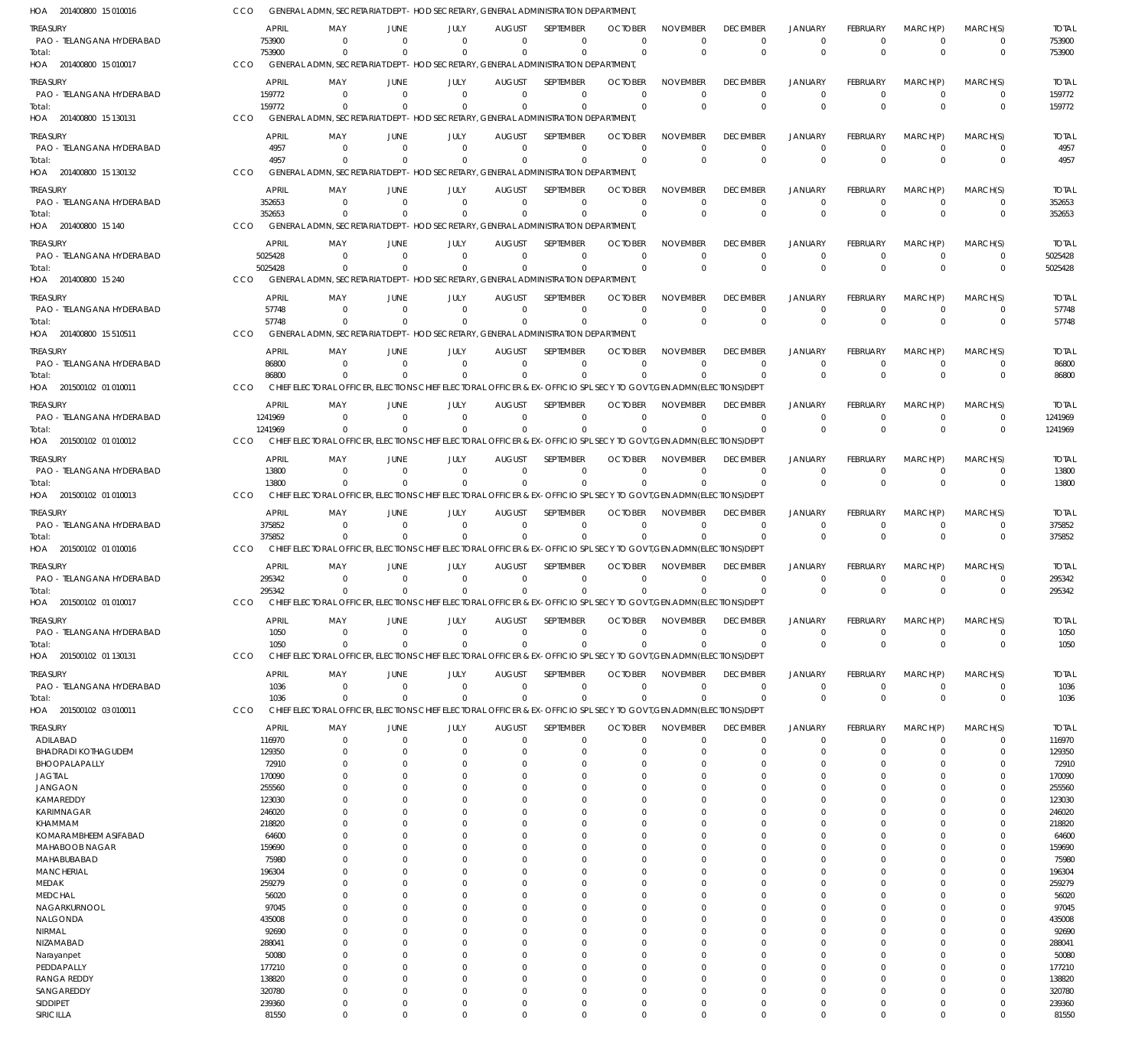201400800 15 010016 HOA 201400800 15 010017 HOA 201400800 15 130131 HOA 201400800 15 130132 HOA 201400800 15 140 HOA 201400800 15 240 HOA 201400800 15 510511 HOA 201500102 01 010011 HOA 201500102 01 010012 HOA 201500102 01 010013 HOA 201500102 01 010016 HOA 201500102 01 010017 HOA 201500102 01 130131 HOA 201500102 03 010011 HOA GENERAL ADMN, SECRETARIAT DEPT - HOD SECRETARY, GENERAL ADMINISTRATION DEPARTMENT, GENERAL ADMN, SECRETARIAT DEPT - HOD SECRETARY, GENERAL ADMINISTRATION DEPARTMENT, GENERAL ADMN, SECRETARIAT DEPT - HOD SECRETARY, GENERAL ADMINISTRATION DEPARTMENT, GENERAL ADMN, SECRETARIAT DEPT - HOD SECRETARY, GENERAL ADMINISTRATION DEPARTMENT, GENERAL ADMN, SECRETARIAT DEPT - HOD SECRETARY, GENERAL ADMINISTRATION DEPARTMENT, GENERAL ADMN, SECRETARIAT DEPT - HOD SECRETARY, GENERAL ADMINISTRATION DEPARTMENT, GENERAL ADMN, SECRETARIAT DEPT - HOD SECRETARY, GENERAL ADMINISTRATION DEPARTMENT, CHIEF ELECTORAL OFFICER, ELECTIONS CHIEF ELECTORAL OFFICER & EX-OFFICIO SPL SECY TO GOVT,GEN.ADMN(ELECTIONS)DEPT CHIEF ELECTORAL OFFICER, ELECTIONS CHIEF ELECTORAL OFFICER & EX-OFFICIO SPL SECY TO GOVT,GEN.ADMN(ELECTIONS)DEPT CHIEF ELECTORAL OFFICER, ELECTIONS CHIEF ELECTORAL OFFICER & EX-OFFICIO SPL SECY TO GOVT,GEN.ADMN(ELECTIONS)DEPT CHIEF ELECTORAL OFFICER, ELECTIONS CHIEF ELECTORAL OFFICER & EX-OFFICIO SPL SECY TO GOVT,GEN.ADMN(ELECTIONS)DEPT CHIEF ELECTORAL OFFICER, ELECTIONS CHIEF ELECTORAL OFFICER & EX-OFFICIO SPL SECY TO GOVT,GEN.ADMN(ELECTIONS)DEPT CHIEF ELECTORAL OFFICER, ELECTIONS CHIEF ELECTORAL OFFICER & EX-OFFICIO SPL SECY TO GOVT,GEN.ADMN(ELECTIONS)DEPT CHIEF ELECTORAL OFFICER, ELECTIONS CHIEF ELECTORAL OFFICER & EX-OFFICIO SPL SECY TO GOVT,GEN.ADMN(ELECTIONS)DEPT CCO CCO. **CCO CCO** CCO CCO CCO CCO. CCO **CCO** CCO. CCO **CCO** CCO. 753900 159772 4957 352653 5025428 57748 86800 1241969 13800 375852 295342 1050 1036 0 0  $\Omega$ 0  $\Omega$  $\Omega$ 0 0  $\Omega$ 0  $\Omega$  $\Omega$ 0 0 0  $\Omega$ 0  $\Omega$  $\Omega$ 0 0 0 0  $\Omega$ 0 0 0 0  $\Omega$ 0 0 0 0  $\Omega$ 0 0  $\Omega$ 0 0 0 0  $\Omega$ 0  $\Omega$  $\Omega$ 0  $\Omega$  $\Omega$ 0  $\Omega$  $\Omega$ 0 0 0  $\Omega$ 0  $\Omega$  $\Omega$ 0  $\Omega$  $\Omega$ 0  $\Omega$ 0 0 0  $\Omega$  $\Omega$ 0  $\Omega$  $\Omega$ 0  $\Omega$  $\Omega$ 0  $\Omega$ 0 0 0  $\Omega$  $\Omega$ 0  $\Omega$  $\Omega$ 0  $\Omega$  $\Omega$ 0  $\Omega$ 0 0 0 0 0 0  $\Omega$ 0 0 0  $\Omega$ 0  $\Omega$  $\Omega$ 0 0 0 0 0  $\Omega$ 0 0  $\Omega$ 0 0  $\Omega$ 0 0 0 0 0 0  $\Omega$ 0 0  $\Omega$ 0 0  $\Omega$  $\boldsymbol{0}$ 0 0 0  $\Omega$ 0  $\Omega$ 0 0  $\Omega$ 0 0  $\Omega$ 0 0 0  $\Omega$  $\Omega$ 0  $\Omega$  $\Omega$ 0  $\Omega$ 0 0  $\Omega$ 0 0 753900 159772 4957 352653 5025428 57748 86800 1241969 13800 375852 295342 1050 1036 PAO - TELANGANA HYDERABAD PAO - TELANGANA HYDERABAD PAO - TELANGANA HYDERABAD PAO - TELANGANA HYDERABAD PAO - TELANGANA HYDERABAD PAO - TELANGANA HYDERABAD PAO - TELANGANA HYDERABAD PAO - TELANGANA HYDERABAD PAO - TELANGANA HYDERABAD PAO - TELANGANA HYDERABAD PAO - TELANGANA HYDERABAD PAO - TELANGANA HYDERABAD PAO - TELANGANA HYDERABAD ADILABAD BHADRADI KOTHAGUDEM BHOOPALAPALLY JAGTIAL JANGAON KAMAREDDY KARIMNAGAR KHAMMAM KOMARAMBHEEM ASIFABAD MAHABOOB NAGAR MAHABUBABAD **MANCHERIAL** MEDAK MEDCHAL NAGARKURNOOL NALGONDA NIRMAL NIZAMABAD Narayanpet PEDDAPALLY RANGA REDDY **SANGAREDDY** SIDDIPET TREASURY **TREASURY** TREASURY TREASURY **TREASURY** TREASURY TREASURY **TREASURY** TREASURY TREASURY **TREASURY** TREASURY TREASURY TREASURY 753900 159772 4957 352653 5025428 57748 86800 1241969 13800 375852 295342 1050 1036 116970 129350 72910 170090 255560 123030 246020 218820 64600 159690 75980 196304 259279 56020 97045 435008 92690 288041 50080 177210 138820 320780 239360 APRIL APRIL APRIL APRIL APRIL APRIL APRIL APRIL APRIL APRIL APRIL APRIL APRIL APRIL  $\Omega$ 0 0  $\sqrt{0}$ 0 0  $\Omega$ 0 0 0 0 0 0 0  $\Omega$ 0  $\Omega$  $\bigcap$ 0  $\Omega$ 0 0  $\Omega$  $\Omega$  $\Omega$ 0 0 0  $\Omega$  $\Omega$ 0  $\Omega$ 0 0  $\Omega$ 0 MAY MAY MAY MAY MAY MAY MAY MAY MAY MAY MAY MAY MAY MAY  $\Omega$ 0 0  $\Omega$ 0 0 0  $\,$  0  $\,$ 0 0 0 0 0 0  $\Omega$ 0 0  $\Omega$ 0  $\Omega$ 0 0 0  $\Omega$  $\Omega$ 0 0 0  $\Omega$  $\Omega$ 0  $\Omega$ 0 0  $\Omega$ 0 JUNE **JUNE** JUNE JUNE **JUNE** JUNE JUNE **JUNE** JUNE JUNE JUNE JUNE JUNE JUNE 0 0 0  $\sqrt{0}$ 0 0 0  $\,$  0  $\,$ 0 0 0 0 0 0  $\Omega$ 0 0  $\bigcap$ 0  $\Omega$ 0 0 0  $\Omega$  $\Omega$ 0 0 0  $\Omega$  $\Omega$ 0  $\Omega$ 0 0  $\sqrt{0}$ 0 JULY JULY JULY JULY JULY JULY JULY JULY JULY JULY JULY JULY JULY JULY  $\Omega$ 0 0  $\Omega$ 0 0 0 0 0 0 0 0 0 0  $\Omega$ 0  $\Omega$  $\Omega$ 0  $\Omega$  $\Omega$ 0  $\Omega$  $\Omega$  $\Omega$ 0 0  $\Omega$  $\Omega$  $\Omega$ 0  $\Omega$ 0 0  $\Omega$ 0 AUGUST **AUGUST** AUGUST AUGUST **AUGUST** AUGUST AUGUST AUGUST AUGUST AUGUST **AUGUST** AUGUST AUGUST **AUGUST**  $\Omega$ 0 0  $\Omega$ 0 0  $\Omega$ 0 0 0 0 0 0 0  $\Omega$ 0  $\Omega$  $\Omega$ 0  $\Omega$  $\Omega$  $\Omega$  $\Omega$  $\Omega$  $\Omega$  $\overline{0}$  $\Omega$  $\Omega$  $\Omega$  $\Omega$ 0  $\Omega$ 0  $\Omega$  $\Omega$ 0 SEPTEMBER **SEPTEMBER SEPTEMBER** SEPTEMBER **SEPTEMBER** SEPTEMBER SEPTEMBER **SEPTEMBER** SEPTEMBER SEPTEMBER **SEPTEMBER** SEPTEMBER SEPTEMBER **SEPTEMBER**  $\Omega$ 0  $\Omega$  $\Omega$ 0 0  $\Omega$ 0 0  $\Omega$ 0 0  $\Omega$ 0  $\Omega$ 0  $\Omega$  $\Omega$ 0  $\Omega$ 0  $\Omega$  $\Omega$  $\Omega$  $\Omega$ 0  $\Omega$  $\Omega$  $\Omega$  $\Omega$ 0  $\Omega$ 0  $\Omega$  $\Omega$ 0 **OCTOBER OCTOBER** OCTOBER **OCTOBER OCTOBER** OCTOBER **OCTOBER OCTOBER** OCTOBER **OCTOBER OCTOBER** OCTOBER **OCTOBER OCTOBER**  $\Omega$ 0 0  $\Omega$ 0 0  $\Omega$ 0 0  $\Omega$ 0 0  $\Omega$ 0  $\Omega$ 0  $\Omega$  $\Omega$ 0  $\Omega$ 0  $\Omega$  $\Omega$  $\Omega$  $\Omega$ 0 0  $\Omega$  $\Omega$  $\Omega$ 0  $\Omega$ 0 0  $\Omega$ 0 NOVEMBER NOVEMBER NOVEMBER NOVEMBER NOVEMBER NOVEMBER NOVEMBER NOVEMBER NOVEMBER NOVEMBER NOVEMBER NOVEMBER NOVEMBER NOVEMBER  $\Omega$ 0 0  $\Omega$ 0 0  $\Omega$ 0 0  $\Omega$ 0 0  $\Omega$ 0  $\Omega$  $\overline{0}$  $\Omega$  $\Omega$ 0  $\Omega$  $\Omega$  $\Omega$  $\Omega$  $\Omega$  $\Omega$  $\overline{0}$ 0  $\Omega$  $\Omega$  $\Omega$ 0  $\Omega$ 0 0  $\Omega$ 0 DECEMBER **DECEMBER** DECEMBER DECEMBER **DECEMBER** DECEMBER DECEMBER **DECEMBER** DECEMBER DECEMBER **DECEMBER** DECEMBER DECEMBER **DECEMBER**  $\Omega$ 0 0  $\Omega$ 0 0  $\Omega$ 0 0  $\Omega$ 0 0  $\Omega$ 0  $\Omega$ 0  $\Omega$  $\Omega$ 0  $\Omega$ 0 0  $\Omega$  $\Omega$  $\Omega$ 0 0  $\Omega$  $\Omega$  $\Omega$ 0  $\Omega$ 0  $\Omega$  $\Omega$ 0 JANUARY JANUARY JANUARY JANUARY JANUARY JANUARY JANUARY JANUARY JANUARY JANUARY JANUARY JANUARY JANUARY JANUARY  $\Omega$ 0  $\Omega$  $\Omega$ 0 0 0 0 0  $\Omega$ 0 0 0 0  $\Omega$  $\overline{0}$  $\Omega$  $\Omega$ 0  $\Omega$  $\overline{0}$ 0 0  $\Omega$  $\Omega$  $\overline{0}$ 0 0 0  $\Omega$ 0  $\Omega$ 0 0  $\Omega$  $\boldsymbol{0}$ FEBRUARY FEBRUARY FEBRUARY FEBRUARY FEBRUARY FEBRUARY FEBRUARY FEBRUARY FEBRUARY FEBRUARY FEBRUARY FEBRUARY FEBRUARY FEBRUARY 0 0  $\Omega$  $\Omega$ 0  $\Omega$ 0 0  $\Omega$  $\Omega$ 0 0  $\Omega$ 0  $\Omega$  $\overline{0}$  $\Omega$ 0 0  $\Omega$ 0  $\Omega$  $\Omega$  $\Omega$  $\Omega$ 0  $\Omega$  $\Omega$  $\Omega$  $\Omega$ 0  $\Omega$ 0  $\Omega$  $\Omega$ 0 MARCH(P) MARCH(P) MARCH(P) MARCH(P) MARCH(P) MARCH(P) MARCH(P) MARCH(P) MARCH(P) MARCH(P) MARCH(P) MARCH(P) MARCH(P) MARCH(P)  $\Omega$ 0  $\Omega$ 0 0 0  $\Omega$ 0  $\Omega$ 0 0 0  $\Omega$ 0  $\Omega$ 0  $\Omega$ 0 0  $\Omega$ 0  $\Omega$ 0 0  $\Omega$ 0  $\Omega$ 0  $\Omega$  $\Omega$ 0  $\Omega$ 0  $\Omega$  $\Omega$ 0 MARCH(S) MARCH(S) MARCH(S) MARCH(S) MARCH(S) MARCH(S) MARCH(S) MARCH(S) MARCH(S) MARCH(S) MARCH(S) MARCH(S) MARCH(S) MARCH(S) 753900 159772 4957 352653 5025428 57748 86800 1241969 13800 375852 295342 1050 1036 116970 129350 72910 170090 255560 123030 246020 218820 64600 159690 75980 196304 259279 56020 97045 435008 92690 288041 50080 177210 138820 320780 239360 TOTAL TOTAL TOTAL TOTAL TOTAL TOTAL TOTAL TOTAL TOTAL TOTAL TOTAL TOTAL TOTAL TOTAL Total: Total: Total: Total: Total: Total: Total: Total: Total: Total: Total: Total: Total:

SIRICILLA

81550

 $\Omega$ 

 $\Omega$ 

 $\Omega$ 

 $\Omega$ 

 $\Omega$ 

 $\Omega$ 

 $\Omega$ 

 $\Omega$ 

 $\Omega$ 

 $\Omega$ 

 $\Omega$ 

 $\Omega$ 

81550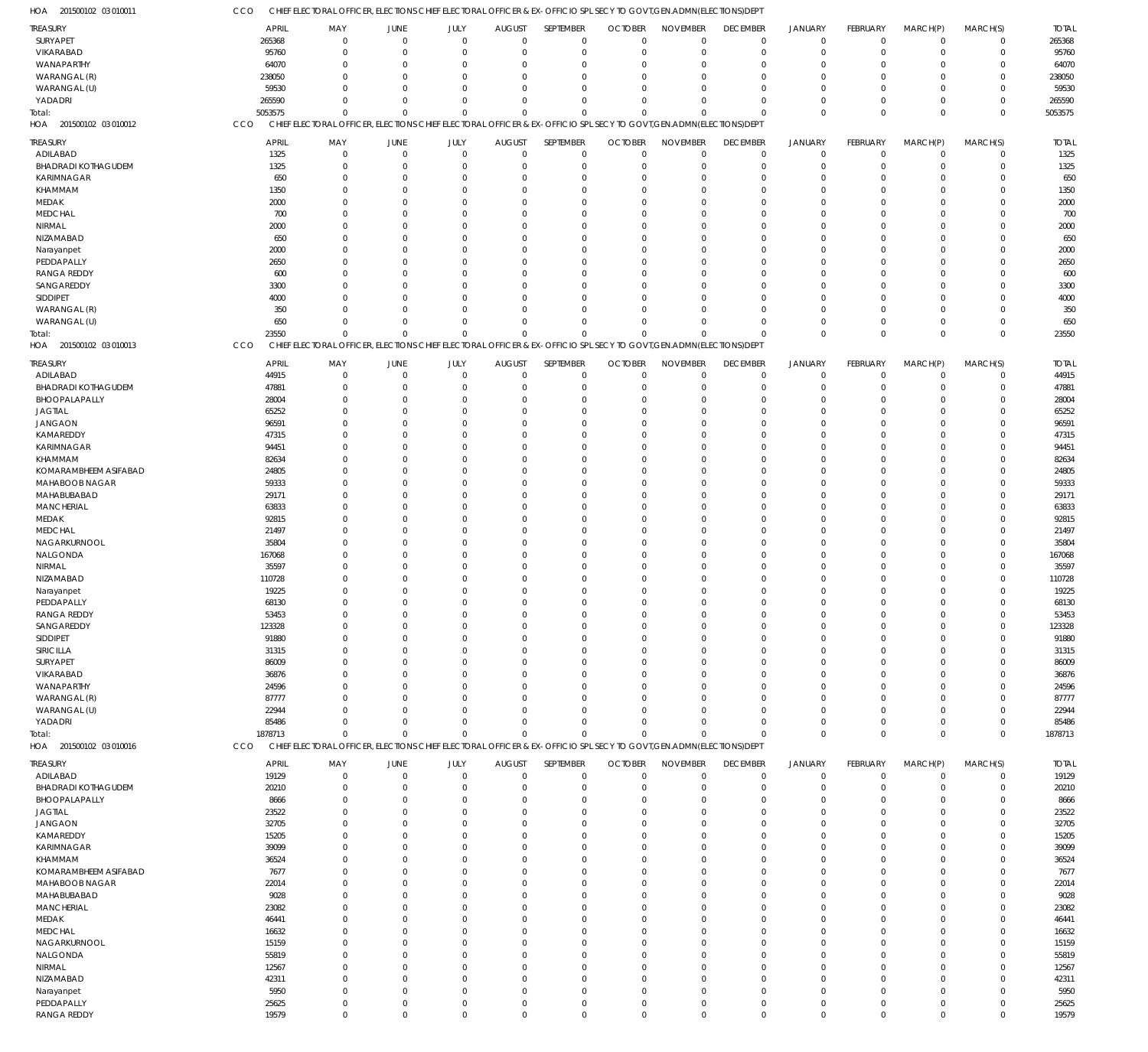| TREASURY                   | APRIL        | MAY            | <b>JUNE</b>                                                                                                        | JULY           | <b>AUGUST</b> | SEPTEMBER      | <b>OCTOBER</b> | <b>NOVEMBER</b> | <b>DECEMBER</b> | JANUARY        | FEBRUARY    | MARCH(P)       | MARCH(S)    | <b>TOTAL</b> |
|----------------------------|--------------|----------------|--------------------------------------------------------------------------------------------------------------------|----------------|---------------|----------------|----------------|-----------------|-----------------|----------------|-------------|----------------|-------------|--------------|
| SURYAPET                   | 265368       | $\mathbf 0$    | $\Omega$                                                                                                           | $\mathbf 0$    | $\mathbf 0$   | $\mathbf 0$    | $\mathbf 0$    | $\mathbf 0$     | $\mathbf 0$     | $\overline{0}$ | $\mathbf 0$ | $\overline{0}$ | $\mathsf 0$ | 265368       |
| VIKARABAD                  | 95760        | $\Omega$       |                                                                                                                    | $\Omega$       | $\mathbf 0$   | $\overline{0}$ | $\mathbf 0$    | $\mathbf 0$     | 0               | $\overline{0}$ | $\Omega$    | $\mathbf 0$    | $\mathbf 0$ | 95760        |
| WANAPARTHY                 | 64070        | $\Omega$       |                                                                                                                    | $\Omega$       | $\Omega$      | $\Omega$       | $\Omega$       | $\mathbf 0$     | 0               | $\mathbf 0$    | 0           | $\Omega$       | $\mathbf 0$ | 64070        |
| WARANGAL (R)               | 238050       | $\Omega$       |                                                                                                                    | $\Omega$       | $\Omega$      | $\Omega$       | $\Omega$       | $\overline{0}$  | 0               | $\Omega$       | $\Omega$    | $\Omega$       | $\mathbf 0$ | 238050       |
| WARANGAL (U)               | 59530        | $\Omega$       |                                                                                                                    | $\Omega$       | $\Omega$      | $\Omega$       | $\Omega$       | $\Omega$        | $\Omega$        | $\Omega$       | $\Omega$    | $\Omega$       | $\mathbf 0$ | 59530        |
| YADADRI                    | 265590       | $\Omega$       | $\Omega$                                                                                                           | $\Omega$       | $\mathbf 0$   | $\Omega$       | $\Omega$       | $\Omega$        | 0               | $\Omega$       | $\Omega$    | $\mathbf 0$    | $\mathbf 0$ | 265590       |
|                            | 5053575      | $\Omega$       | $\Omega$                                                                                                           | $\mathbf 0$    | $\mathbf 0$   | $\Omega$       | $\Omega$       | $\Omega$        | $\mathbf 0$     | $\Omega$       | $\Omega$    | $\mathbf 0$    | $\mathbf 0$ | 5053575      |
| Total:                     |              |                |                                                                                                                    |                |               |                |                |                 |                 |                |             |                |             |              |
| HOA 201500102 03 010012    | <b>CCO</b>   |                | CHIEF ELECTORAL OFFICER, ELECTIONS CHIEF ELECTORAL OFFICER & EX-OFFICIO SPL SECY TO GOVT, GEN.ADMN(ELECTIONS) DEPT |                |               |                |                |                 |                 |                |             |                |             |              |
| TREASURY                   | <b>APRIL</b> | MAY            | JUNE                                                                                                               | JULY           | <b>AUGUST</b> | SEPTEMBER      | <b>OCTOBER</b> | <b>NOVEMBER</b> | <b>DECEMBER</b> | <b>JANUARY</b> | FEBRUARY    | MARCH(P)       | MARCH(S)    | <b>TOTAL</b> |
| ADILABAD                   | 1325         | $\mathbf 0$    | $\Omega$                                                                                                           | $\mathbf 0$    | $\mathbf 0$   | $\mathbf 0$    | $\mathbf 0$    | $\mathbf 0$     | $\overline{0}$  | $\overline{0}$ | $\Omega$    | $\mathbf 0$    | $\mathbf 0$ | 1325         |
| <b>BHADRADI KOTHAGUDEM</b> | 1325         | $\Omega$       | $\Omega$                                                                                                           | $\Omega$       | $\mathbf 0$   | $\mathbf 0$    | $\mathbf 0$    | $\mathbf 0$     | $\mathbf 0$     | $\overline{0}$ | $\mathbf 0$ | $\mathbf 0$    | $\mathbf 0$ | 1325         |
|                            |              | $\Omega$       | $\Omega$                                                                                                           | $\Omega$       | $\Omega$      | $\overline{0}$ | $\Omega$       | $\mathbf 0$     |                 | $\Omega$       | $\Omega$    |                | $\mathbf 0$ |              |
| KARIMNAGAR                 | 650          |                |                                                                                                                    |                |               |                |                |                 | 0               |                |             | $\Omega$       |             | 650          |
| KHAMMAM                    | 1350         | $\Omega$       | $\Omega$                                                                                                           | $\Omega$       | $\Omega$      | $\Omega$       | $\Omega$       | $\Omega$        | $\Omega$        | $\Omega$       | $\Omega$    | $\Omega$       | $\mathbf 0$ | 1350         |
| MEDAK                      | 2000         | $\Omega$       |                                                                                                                    | $\Omega$       | $\Omega$      | $\Omega$       | $\Omega$       | $\mathbf 0$     | $\Omega$        | $\Omega$       | $\Omega$    | $\Omega$       | $\mathbf 0$ | 2000         |
| <b>MEDCHAL</b>             | 700          | $\Omega$       |                                                                                                                    | $\Omega$       | $\Omega$      | $\Omega$       | $\Omega$       | $\Omega$        | $\Omega$        | $\Omega$       | $\Omega$    | $\Omega$       | $\mathbf 0$ | 700          |
| NIRMAL                     | 2000         | $\Omega$       |                                                                                                                    | $\Omega$       | $\Omega$      | $\Omega$       | $\Omega$       | $\Omega$        | $\Omega$        | $\Omega$       | $\Omega$    | $\Omega$       | $\mathbf 0$ | 2000         |
| NIZAMABAD                  | 650          | $\Omega$       | $\Omega$                                                                                                           | $\Omega$       | $\Omega$      | $\Omega$       | $\Omega$       | $\Omega$        | $\Omega$        | $\Omega$       | $\Omega$    | $\Omega$       | $\mathbf 0$ | 650          |
| Narayanpet                 | 2000         | $\Omega$       |                                                                                                                    | $\Omega$       | $\Omega$      | $\Omega$       | $\Omega$       | $\Omega$        | $\Omega$        | $\Omega$       | $\Omega$    | $\Omega$       | $\mathbf 0$ | 2000         |
| PEDDAPALLY                 | 2650         | $\Omega$       |                                                                                                                    | $\Omega$       | $\Omega$      | $\Omega$       | $\Omega$       | $\Omega$        | $\Omega$        | $\Omega$       | $\Omega$    | $\Omega$       | $\mathbf 0$ | 2650         |
| <b>RANGA REDDY</b>         | 600          | $\Omega$       |                                                                                                                    | $\Omega$       | $\Omega$      | $\Omega$       | $\Omega$       | $\Omega$        | $\Omega$        | $\Omega$       | C           | $\Omega$       | $\mathbf 0$ | 600          |
| SANGAREDDY                 |              | $\Omega$       | $\cap$                                                                                                             | $\Omega$       | $\Omega$      | $\Omega$       | $\Omega$       | $\Omega$        | $\Omega$        | $\Omega$       | $\Omega$    | $\Omega$       | $\mathbf 0$ |              |
|                            | 3300         |                |                                                                                                                    |                |               |                |                |                 |                 |                |             |                |             | 3300         |
| SIDDIPET                   | 4000         | $\Omega$       |                                                                                                                    | $\Omega$       | $\Omega$      | $\Omega$       | $\Omega$       | $\Omega$        | $\Omega$        | $\Omega$       | $\Omega$    | $\Omega$       | $\mathbf 0$ | 4000         |
| WARANGAL (R)               | 350          | $\Omega$       | $\Omega$                                                                                                           | $\Omega$       | $\Omega$      | $\Omega$       | $\Omega$       | $\Omega$        | $\Omega$        | $\Omega$       | $\Omega$    | $\Omega$       | $\mathbf 0$ | 350          |
| WARANGAL (U)               | 650          | $\Omega$       | $\Omega$                                                                                                           | $\Omega$       | $\Omega$      | $\Omega$       | $\Omega$       | $\Omega$        | $\Omega$        | $\Omega$       | $\Omega$    | $\Omega$       | $\mathbf 0$ | 650          |
| Total:                     | 23550        | $\Omega$       | $\Omega$                                                                                                           | $\mathbf 0$    | $\Omega$      | $\Omega$       | $\Omega$       | $\Omega$        | $\Omega$        | $\Omega$       | $\Omega$    | $\Omega$       | $\mathbf 0$ | 23550        |
| HOA 201500102 03 010013    | CCO          |                | CHIEF ELECTORAL OFFICER, ELECTIONS CHIEF ELECTORAL OFFICER & EX-OFFICIO SPL SECY TO GOVT, GEN.ADMN(ELECTIONS) DEPT |                |               |                |                |                 |                 |                |             |                |             |              |
|                            |              |                |                                                                                                                    |                |               |                |                |                 |                 |                |             |                |             |              |
| TREASURY                   | APRIL        | MAY            | <b>JUNE</b>                                                                                                        | JULY           | <b>AUGUST</b> | SEPTEMBER      | <b>OCTOBER</b> | <b>NOVEMBER</b> | <b>DECEMBER</b> | JANUARY        | FEBRUARY    | MARCH(P)       | MARCH(S)    | <b>TOTAL</b> |
| ADILABAD                   | 44915        | $\mathbf 0$    | $\Omega$                                                                                                           | $\overline{0}$ | $\mathbf 0$   | $\mathbf 0$    | $\mathbf 0$    | $\mathbf 0$     | $\overline{0}$  | $\overline{0}$ | $\mathbf 0$ | $\mathbf 0$    | $\mathbf 0$ | 44915        |
| <b>BHADRADI KOTHAGUDEM</b> | 47881        | $\Omega$       |                                                                                                                    | $\Omega$       | $\mathbf 0$   | $\overline{0}$ | 0              | $\mathbf 0$     | 0               | $^{\circ}$     | 0           | $\mathbf 0$    | $\mathbf 0$ | 47881        |
| BHOOPALAPALLY              | 28004        | $\Omega$       |                                                                                                                    | $\Omega$       | $\Omega$      | $\Omega$       | $\Omega$       | $\mathbf 0$     | 0               | $\Omega$       | 0           | $\Omega$       | $\mathbf 0$ | 28004        |
| <b>JAGTIAL</b>             | 65252        | $\Omega$       |                                                                                                                    | $\Omega$       | $\Omega$      | $\Omega$       | $\Omega$       | $\Omega$        | $\Omega$        | $\Omega$       | C           | $\Omega$       | $\mathbf 0$ | 65252        |
| <b>JANGAON</b>             | 96591        | $\Omega$       |                                                                                                                    | $\Omega$       | $\Omega$      | $\Omega$       | $\Omega$       | $\Omega$        | $\Omega$        | $\Omega$       | C           | $\Omega$       | $\mathbf 0$ | 96591        |
| KAMAREDDY                  | 47315        | $\Omega$       |                                                                                                                    | $\Omega$       | $\Omega$      | $\Omega$       | $\Omega$       | $\Omega$        | $\Omega$        | $\Omega$       | C           | $\Omega$       | $\mathbf 0$ | 47315        |
| KARIMNAGAR                 | 94451        | $\Omega$       |                                                                                                                    | $\Omega$       | $\Omega$      | $\Omega$       | $\Omega$       | $\Omega$        | O               | $\Omega$       | C           | $\Omega$       | $\mathbf 0$ | 94451        |
|                            |              | $\Omega$       |                                                                                                                    | $\Omega$       |               | $\Omega$       |                |                 |                 |                |             |                |             |              |
| KHAMMAM                    | 82634        |                |                                                                                                                    |                | $\Omega$      |                | $\Omega$       | $\Omega$        | $\Omega$        | $\Omega$       | C           | $\Omega$       | $\mathbf 0$ | 82634        |
| KOMARAMBHEEM ASIFABAD      | 24805        | $\Omega$       |                                                                                                                    | $\Omega$       | $\Omega$      | $\Omega$       | $\Omega$       | $\Omega$        | $\Omega$        | $\Omega$       | $\Omega$    | $\Omega$       | $\mathbf 0$ | 24805        |
| MAHABOOB NAGAR             | 59333        | $\Omega$       |                                                                                                                    | $\Omega$       | $\Omega$      | $\Omega$       | $\Omega$       | $\Omega$        | $\Omega$        | $\Omega$       | C           | $\Omega$       | $\mathbf 0$ | 59333        |
| MAHABUBABAD                | 29171        | $\Omega$       |                                                                                                                    | $\Omega$       | $\Omega$      | $\Omega$       | $\Omega$       | $\Omega$        | 0               | $\Omega$       | $\Omega$    | $\Omega$       | $\mathbf 0$ | 29171        |
| <b>MANCHERIAL</b>          | 63833        | $\Omega$       |                                                                                                                    | $\Omega$       | $\Omega$      | $\Omega$       | $\Omega$       | $\mathbf 0$     | $\Omega$        | $\Omega$       | C           | $\Omega$       | $\mathbf 0$ | 63833        |
| MEDAK                      | 92815        | $\Omega$       |                                                                                                                    | $\cap$         | $\Omega$      | $\Omega$       | $\Omega$       | $\Omega$        | $\Omega$        | $\Omega$       | C           | $\Omega$       | $\mathbf 0$ | 92815        |
| <b>MEDCHAL</b>             | 21497        | $\Omega$       |                                                                                                                    | $\Omega$       | $\Omega$      | $\Omega$       | $\Omega$       | $\Omega$        | $\Omega$        | $\Omega$       | C           | $\Omega$       | $\mathbf 0$ | 21497        |
| NAGARKURNOOL               | 35804        | $\Omega$       |                                                                                                                    | $\Omega$       | $\Omega$      | $\Omega$       | $\Omega$       | $\Omega$        | O               | $\Omega$       | C           | $\Omega$       | $\mathbf 0$ | 35804        |
| NALGONDA                   | 167068       | $\Omega$       |                                                                                                                    | $\Omega$       | $\Omega$      | $\Omega$       | $\Omega$       | $\Omega$        | $\Omega$        | $\Omega$       | C           | $\Omega$       | $\mathbf 0$ | 167068       |
|                            |              | $\Omega$       |                                                                                                                    | $\Omega$       | $\Omega$      | $\Omega$       | $\Omega$       | $\Omega$        |                 | $\Omega$       | $\Omega$    | $\Omega$       | $\mathbf 0$ |              |
| NIRMAL                     | 35597        |                |                                                                                                                    |                |               |                |                |                 | 0               |                |             |                |             | 35597        |
| NIZAMABAD                  | 110728       | $\Omega$       |                                                                                                                    | $\Omega$       | $\Omega$      | $\Omega$       | $\Omega$       | $\Omega$        | $\Omega$        | $\Omega$       | C           | $\Omega$       | $\mathbf 0$ | 110728       |
| Narayanpet                 | 19225        |                |                                                                                                                    | $\Omega$       | $\Omega$      | $\Omega$       | $\Omega$       | $\Omega$        | O               | $\Omega$       | $\Omega$    | $\Omega$       | $\mathbf 0$ | 19225        |
| PEDDAPALLY                 | 68130        | $\Omega$       | $\Omega$                                                                                                           | $\Omega$       | $\mathbf 0$   | $\mathbf 0$    | $\Omega$       | $\Omega$        | $\Omega$        | $\Omega$       | $\Omega$    | $\Omega$       | $\mathbf 0$ | 68130        |
| <b>RANGA REDDY</b>         | 53453        | $\cap$         |                                                                                                                    | $\cap$         |               |                |                | $\Omega$        |                 |                |             | $\Omega$       | $\cap$      | 53453        |
| SANGAREDDY                 | 123328       | $\Omega$       |                                                                                                                    | $\Omega$       | 0             | $\overline{0}$ | $\Omega$       | $\Omega$        | $\Omega$        | $\Omega$       | C           | $\Omega$       | $\mathbf 0$ | 123328       |
| SIDDIPET                   | 91880        | $\mathbf 0$    | $\Omega$                                                                                                           | $\Omega$       | $\mathbf 0$   | $\overline{0}$ | $\mathbf 0$    | $\mathbf 0$     | 0               | $\mathbf 0$    | $\mathbf 0$ | $\mathbf 0$    | $\mathbf 0$ | 91880        |
| SIRICILLA                  | 31315        | $\Omega$       |                                                                                                                    | $\Omega$       | $\Omega$      | $\Omega$       | $\Omega$       | $\mathbf 0$     | $\Omega$        | $\Omega$       | U           | $\Omega$       | $\mathbf 0$ | 31315        |
| SURYAPET                   | 86009        | $\Omega$       |                                                                                                                    | $\Omega$       | $\Omega$      | $\Omega$       | $\Omega$       | $\mathbf 0$     | 0               | $\Omega$       | C           | $\Omega$       | $\mathbf 0$ | 86009        |
|                            |              | $\Omega$       |                                                                                                                    | $\Omega$       | $\Omega$      | $\Omega$       | $\Omega$       | $\mathbf 0$     | $\Omega$        | $\Omega$       | C           | $\Omega$       | $\mathbf 0$ |              |
| VIKARABAD                  | 36876        |                |                                                                                                                    |                |               |                |                |                 |                 |                |             |                |             | 36876        |
| WANAPARTHY                 | 24596        | $\Omega$       |                                                                                                                    | $\Omega$       | $\Omega$      | $\Omega$       | $\Omega$       | $\mathbf 0$     | $\Omega$        | $\Omega$       | C           | $\Omega$       | $\mathbf 0$ | 24596        |
| WARANGAL (R)               | 87777        | $\Omega$       |                                                                                                                    | $\Omega$       | $\Omega$      | $\Omega$       | $\Omega$       | $\mathbf 0$     | $\Omega$        | $\Omega$       | C           | $\Omega$       | $\mathbf 0$ | 87777        |
| WARANGAL (U)               | 22944        | $\Omega$       |                                                                                                                    | $\Omega$       | $\Omega$      | $\Omega$       | $\Omega$       | $\Omega$        | $\Omega$        | $\Omega$       | C           | $\Omega$       | $\mathbf 0$ | 22944        |
| YADADRI                    | 85486        | $\Omega$       | $\Omega$                                                                                                           | $\Omega$       | $\mathbf 0$   | $\Omega$       | $\Omega$       | $\mathbf 0$     | 0               | $\Omega$       | $\Omega$    | $\mathbf 0$    | $\mathbf 0$ | 85486        |
| Total:                     | 1878713      | $\Omega$       | $\Omega$                                                                                                           | $\overline{0}$ | $\mathbf 0$   | $\Omega$       | $\Omega$       | $\mathbf 0$     | $\mathbf 0$     | $\overline{0}$ | $\mathbf 0$ | $\mathbf 0$    | $\mathbf 0$ | 1878713      |
| HOA 201500102 03 010016    | CCO          |                | CHIEF ELECTORAL OFFICER, ELECTIONS CHIEF ELECTORAL OFFICER & EX-OFFICIO SPL SECY TO GOVT, GEN.ADMN(ELECTIONS) DEPT |                |               |                |                |                 |                 |                |             |                |             |              |
|                            |              |                |                                                                                                                    |                |               |                |                |                 |                 |                |             |                |             |              |
| TREASURY                   | APRIL        | MAY            | JUNE                                                                                                               | JULY           | <b>AUGUST</b> | SEPTEMBER      | <b>OCTOBER</b> | <b>NOVEMBER</b> | <b>DECEMBER</b> | JANUARY        | FEBRUARY    | MARCH(P)       | MARCH(S)    | <b>TOTAL</b> |
| ADILABAD                   | 19129        | $\mathbf 0$    | $\Omega$                                                                                                           | $\mathbf 0$    | $\mathbf 0$   | $\mathbf 0$    | $\mathbf 0$    | $\mathbf 0$     | $\mathbf 0$     | $\overline{0}$ | $\mathbf 0$ | $\mathbf 0$    | $\mathbf 0$ | 19129        |
| <b>BHADRADI KOTHAGUDEM</b> | 20210        | $\Omega$       | $\Omega$                                                                                                           | $\Omega$       | $\mathbf 0$   | $\mathbf 0$    | $\mathbf 0$    | $\mathbf 0$     | $\mathbf 0$     | $\overline{0}$ | $\mathbf 0$ | $\mathbf 0$    | $\mathbf 0$ | 20210        |
| BHOOPALAPALLY              | 8666         | $\mathbf 0$    |                                                                                                                    | $\Omega$       | 0             | $\overline{0}$ | 0              | $\mathbf 0$     | 0               | $\mathbf 0$    | $\Omega$    | $\Omega$       | $\mathbf 0$ | 8666         |
| <b>JAGTIAL</b>             | 23522        | $\Omega$       | $\Omega$                                                                                                           | $\Omega$       | $\Omega$      | $\Omega$       | $\Omega$       | $\mathbf 0$     | $\Omega$        | $\Omega$       | U           | $\Omega$       | $\mathbf 0$ | 23522        |
| <b>JANGAON</b>             | 32705        | $\Omega$       |                                                                                                                    | $\Omega$       | $\Omega$      | $\Omega$       | $\Omega$       | $\mathbf 0$     | $\Omega$        | $\Omega$       | U           | $\Omega$       | $\mathbf 0$ | 32705        |
| KAMAREDDY                  | 15205        | $\Omega$       |                                                                                                                    | $\Omega$       | $\Omega$      | $\Omega$       | $\Omega$       | $\mathbf 0$     | $\Omega$        | $\Omega$       | $\Omega$    | $\Omega$       | $\mathbf 0$ | 15205        |
| KARIMNAGAR                 | 39099        | $\Omega$       |                                                                                                                    | $\Omega$       | $\Omega$      | $\Omega$       | $\Omega$       | $\mathbf 0$     | $\Omega$        | $\Omega$       | U           | $\Omega$       | $\mathbf 0$ | 39099        |
|                            |              | $\Omega$       |                                                                                                                    | $\Omega$       | $\Omega$      | $\Omega$       | $\Omega$       | $\mathbf 0$     | $\Omega$        | $\Omega$       | $\Omega$    | $\Omega$       | $\mathbf 0$ |              |
| KHAMMAM                    | 36524        |                |                                                                                                                    |                |               |                |                |                 |                 |                |             |                |             | 36524        |
| KOMARAMBHEEM ASIFABAD      | 7677         | $\Omega$       |                                                                                                                    | $\Omega$       | $\Omega$      | $\Omega$       | $\Omega$       | $\mathbf 0$     | $\Omega$        | $\Omega$       | U           | $\Omega$       | $\mathbf 0$ | 7677         |
| MAHABOOB NAGAR             | 22014        | $\Omega$       | $\Omega$                                                                                                           | $\Omega$       | $\Omega$      | $\Omega$       | $\Omega$       | $\mathbf 0$     | $\Omega$        | $\Omega$       | $\Omega$    | $\Omega$       | $\mathbf 0$ | 22014        |
| MAHABUBABAD                | 9028         | $\Omega$       |                                                                                                                    | $\Omega$       | $\Omega$      | $\Omega$       | $\Omega$       | $\mathbf 0$     | $\Omega$        | $\Omega$       | U           | $\Omega$       | $\mathbf 0$ | 9028         |
| <b>MANCHERIAL</b>          | 23082        | $\Omega$       |                                                                                                                    | $\Omega$       | $\Omega$      | $\Omega$       | $\Omega$       | $\mathbf 0$     | $\Omega$        | $\Omega$       | U           | $\Omega$       | $\mathbf 0$ | 23082        |
| MEDAK                      | 46441        | $\Omega$       |                                                                                                                    | $\Omega$       | $\Omega$      | $\Omega$       | $\Omega$       | $\mathbf 0$     | $\Omega$        | $\Omega$       | U           | $\Omega$       | $\mathbf 0$ | 46441        |
| <b>MEDCHAL</b>             | 16632        | $\Omega$       |                                                                                                                    | $\Omega$       | $\Omega$      | $\Omega$       | $\Omega$       | $\mathbf 0$     | $\Omega$        | $\Omega$       | $\Omega$    | $\Omega$       | $\mathbf 0$ | 16632        |
| NAGARKURNOOL               | 15159        | $\Omega$       |                                                                                                                    | $\Omega$       | $\Omega$      | $\Omega$       | $\Omega$       | $\mathbf 0$     | $\Omega$        | $\Omega$       | U           | $\Omega$       | $\mathbf 0$ | 15159        |
| NALGONDA                   | 55819        | $\Omega$       |                                                                                                                    | $\Omega$       | $\Omega$      | $\Omega$       | $\Omega$       | $\mathbf 0$     | $\Omega$        | $\Omega$       | $\Omega$    | $\Omega$       | $\mathbf 0$ | 55819        |
|                            |              |                |                                                                                                                    |                |               |                |                |                 |                 |                |             |                |             |              |
| NIRMAL                     | 12567        | $\Omega$       |                                                                                                                    | $\Omega$       | $\Omega$      | $\Omega$       | $\Omega$       | $\mathbf 0$     | $\Omega$        | $\Omega$       | 0           | $\Omega$       | $\mathbf 0$ | 12567        |
| NIZAMABAD                  | 42311        | $\Omega$       | $\Omega$                                                                                                           | $\Omega$       | $\Omega$      | $\Omega$       | $\Omega$       | $\mathbf 0$     | $\Omega$        | $\Omega$       | $\Omega$    | $\Omega$       | $\mathbf 0$ | 42311        |
| Narayanpet                 | 5950         | $\Omega$       |                                                                                                                    | $\Omega$       | $\mathbf 0$   | $\overline{0}$ | $\Omega$       | $\mathbf 0$     | 0               | $\Omega$       | $\Omega$    | $\mathbf 0$    | $\mathbf 0$ | 5950         |
| PEDDAPALLY                 | 25625        | $\mathbf 0$    | $\Omega$                                                                                                           | $\overline{0}$ | $\mathbf 0$   | $\mathbf 0$    | $\mathbf 0$    | $\mathbf 0$     | 0               | $\mathbf 0$    | $\mathbf 0$ | $\mathbf 0$    | $\mathsf 0$ | 25625        |
| <b>RANGA REDDY</b>         | 19579        | $\overline{0}$ | $\mathbf 0$                                                                                                        | $\mathbf 0$    | $\mathbf 0$   | $\mathbf 0$    | $\mathbf 0$    | $\overline{0}$  | $\mathbf 0$     | $\mathbf 0$    | $\mathbf 0$ | $\mathbf 0$    | $\mathbf 0$ | 19579        |

CCO CHIEF ELECTORAL OFFICER, ELECTIONS CHIEF ELECTORAL OFFICER & EX-OFFICIO SPL SECY TO GOVT,GEN.ADMN(ELECTIONS)DEPT

201500102 03 010011 HOA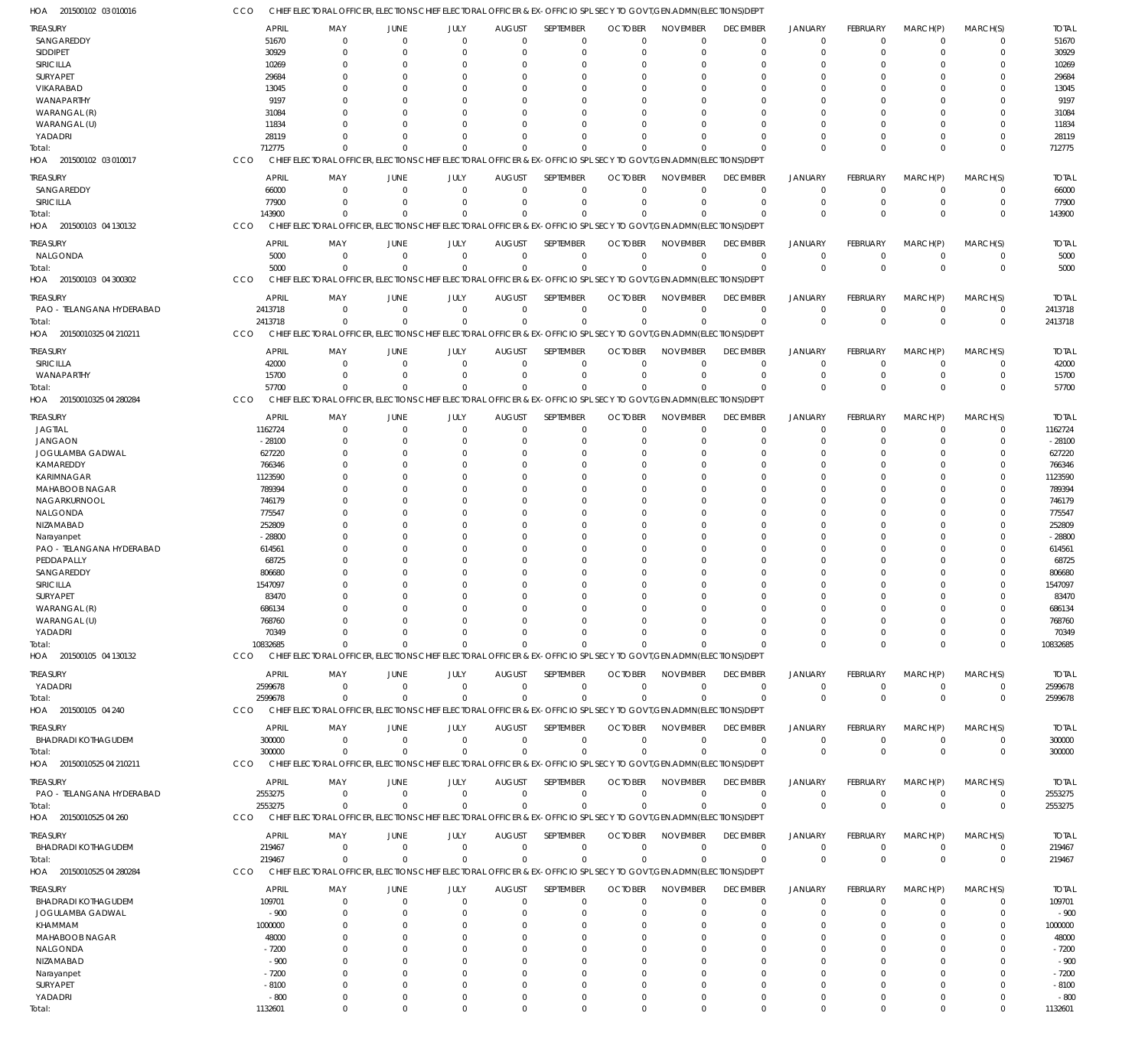| HOA<br>201500102 03 010016            | CCO                     | CHIEF ELECTORAL OFFICER, ELECTIONS CHIEF ELECTORAL OFFICER & EX-OFFICIO SPL SECY TO GOVT, GEN.ADMN(ELECTIONS)DEP'   |                      |                        |                                 |                          |                               |                                |                             |                                  |                         |                            |                            |                   |
|---------------------------------------|-------------------------|---------------------------------------------------------------------------------------------------------------------|----------------------|------------------------|---------------------------------|--------------------------|-------------------------------|--------------------------------|-----------------------------|----------------------------------|-------------------------|----------------------------|----------------------------|-------------------|
| TREASURY                              | <b>APRIL</b>            | MAY                                                                                                                 | JUNE                 | JULY                   | <b>AUGUST</b>                   | SEPTEMBER                | <b>OCTOBER</b>                | <b>NOVEMBER</b>                | <b>DECEMBER</b>             | <b>JANUARY</b>                   | FEBRUARY                | MARCH(P)                   | MARCH(S)                   | <b>TOTAL</b>      |
| SANGAREDDY                            | 51670                   | $\Omega$                                                                                                            | $\Omega$             | $\Omega$               | $\Omega$                        | 0                        | $\Omega$                      | $\Omega$                       | $\Omega$                    | $\overline{0}$                   | $\Omega$                | $\overline{0}$             | 0                          | 51670             |
| SIDDIPET                              | 30929                   | $\Omega$                                                                                                            | $\Omega$             | $\Omega$               | $\Omega$                        | $\mathbf 0$              | $\Omega$                      | $\Omega$                       | $\Omega$                    | $\Omega$                         | $\Omega$                | $\Omega$                   | $\mathbf 0$                | 30929             |
| SIRICILLA                             | 10269                   | $\Omega$                                                                                                            | $\Omega$             | $\Omega$               | $\Omega$                        | 0                        |                               | $\Omega$                       |                             | $\Omega$                         |                         | $\Omega$                   | 0                          | 10269             |
| SURYAPET                              | 29684                   |                                                                                                                     | $\Omega$<br>$\Omega$ | $\Omega$<br>$\Omega$   | $\cup$<br>C                     | $\Omega$<br>$\Omega$     | C.<br>C.                      | $\Omega$<br>$\Omega$           |                             | $\Omega$<br>$\Omega$             | U                       | $\Omega$<br>$\Omega$       | $\Omega$<br>$\Omega$       | 29684             |
| VIKARABAD<br>WANAPARTHY               | 13045<br>9197           |                                                                                                                     | $\Omega$             | $\Omega$               | $\cup$                          | $\Omega$                 | O                             | $\Omega$                       |                             | $\Omega$                         | U                       | $\Omega$                   | $\Omega$                   | 13045<br>9197     |
| WARANGAL (R)                          | 31084                   |                                                                                                                     | $\Omega$             | $\Omega$               | $\cup$                          | $\Omega$                 |                               | $\Omega$                       |                             | $\Omega$                         |                         | $\Omega$                   | 0                          | 31084             |
| WARANGAL (U)                          | 11834                   |                                                                                                                     | $\Omega$             | $\Omega$               | $\cup$                          | $\Omega$                 | C.                            | $\Omega$                       |                             | $\Omega$                         | U                       | $\Omega$                   | $\Omega$                   | 11834             |
| YADADRI                               | 28119                   | $\Omega$                                                                                                            | $\Omega$             | $\Omega$               | $\Omega$                        | $\Omega$                 | C.                            | $\Omega$                       |                             | $\Omega$                         | 0                       | $\Omega$                   | $\mathbf 0$                | 28119             |
| Total:                                | 712775                  | $\Omega$                                                                                                            | $\Omega$             | $\Omega$               | $\Omega$                        | $\Omega$                 | C.                            | $\Omega$                       |                             | $\Omega$                         | $\Omega$                | $\Omega$                   | $\Omega$                   | 712775            |
| HOA<br>201500102 03 010017            | CCO<br><b>CHIEF</b>     | ELECTORAL OFFICER, ELECTIONS CHIEF ELECTORAL OFFICER & EX-OFFICIO SPL SECY TO GOVT, GEN. ADMN (ELECTIONS) DEPT      |                      |                        |                                 |                          |                               |                                |                             |                                  |                         |                            |                            |                   |
| treasury                              | <b>APRIL</b>            | MAY                                                                                                                 | JUNE                 | JULY                   | <b>AUGUST</b>                   | SEPTEMBER                | <b>OCTOBER</b>                | <b>NOVEMBER</b>                | <b>DECEMBER</b>             | <b>JANUARY</b>                   | <b>FEBRUARY</b>         | MARCH(P)                   | MARCH(S)                   | <b>TOTAL</b>      |
| SANGAREDDY                            | 66000                   | $\Omega$                                                                                                            | $\Omega$             | $\overline{0}$         | $\mathbf 0$                     | $\mathbf 0$              | $\mathbf 0$                   | $\mathbf 0$                    | $\Omega$                    | $\overline{0}$                   | $\mathbf 0$             | $\overline{0}$             | $\mathbf 0$                | 66000             |
| SIRICILLA                             | 77900                   | $\Omega$                                                                                                            | $\Omega$             | $\mathbf 0$            | $\overline{0}$                  | $\mathbf 0$              | 0                             | $\mathbf 0$                    | $\Omega$                    | $\overline{0}$                   | 0                       | $\overline{0}$             | $\mathbf 0$                | 77900             |
| Total:                                | 143900                  | $\Omega$                                                                                                            | $\Omega$             | $\Omega$               | $\Omega$                        | $\mathbf 0$              | $\Omega$                      | $\Omega$                       | $\Omega$                    | $\Omega$                         | $\Omega$                | $\Omega$                   | $\mathbf 0$                | 143900            |
| HOA 201500103 04 130132               | CCO                     | CHIEF ELECTORAL OFFICER, ELECTIONS CHIEF ELECTORAL OFFICER & EX-OFFICIO SPL SECY TO GOVT, GEN.ADMN(ELECTIONS) DEPT  |                      |                        |                                 |                          |                               |                                |                             |                                  |                         |                            |                            |                   |
| TREASURY                              | <b>APRIL</b>            | MAY                                                                                                                 | <b>JUNE</b>          | JULY                   | <b>AUGUST</b>                   | SEPTEMBER                | <b>OCTOBER</b>                | <b>NOVEMBER</b>                | <b>DECEMBER</b>             | <b>JANUARY</b>                   | FEBRUARY                | MARCH(P)                   | MARCH(S)                   | <b>TOTAL</b>      |
| NALGONDA                              | 5000                    | $\Omega$                                                                                                            | $\Omega$             | $\Omega$               | $\overline{0}$                  | $\mathbf 0$              | $\Omega$                      | $\mathbf 0$                    | $\Omega$                    | $\overline{0}$                   | $\mathbf 0$             | $\overline{0}$             | $\mathbf 0$                | 5000              |
| Total:                                | 5000                    | $\Omega$                                                                                                            | $\Omega$             | $\Omega$               | $\Omega$                        | $\mathbf 0$              | $\Omega$                      | $\Omega$                       | $\Omega$                    | $\Omega$                         | $\Omega$                | $\Omega$                   | $\mathbf 0$                | 5000              |
| HOA 201500103 04 300302               | CCO                     | CHIEF ELECTORAL OFFICER, ELECTIONS CHIEF ELECTORAL OFFICER & EX-OFFICIO SPL SECY TO GOVT, GEN.ADMN(ELECTIONS) DEPT  |                      |                        |                                 |                          |                               |                                |                             |                                  |                         |                            |                            |                   |
|                                       |                         |                                                                                                                     |                      |                        |                                 |                          |                               |                                |                             |                                  |                         |                            |                            | <b>TOTAL</b>      |
| treasury<br>PAO - TELANGANA HYDERABAD | <b>APRIL</b><br>2413718 | MAY<br>$\Omega$                                                                                                     | JUNE<br>$\mathbf 0$  | JULY<br>$\overline{0}$ | <b>AUGUST</b><br>$\overline{0}$ | SEPTEMBER<br>$\mathbf 0$ | <b>OCTOBER</b><br>$\mathbf 0$ | <b>NOVEMBER</b><br>$\mathbf 0$ | <b>DECEMBER</b><br>$\Omega$ | <b>JANUARY</b><br>$\overline{0}$ | FEBRUARY<br>$\mathbf 0$ | MARCH(P)<br>$\overline{0}$ | MARCH(S)<br>$\mathbf 0$    | 2413718           |
| Total:                                | 2413718                 | $\Omega$                                                                                                            | $\Omega$             | $\mathbf 0$            | $\Omega$                        | $\mathbf 0$              | $\Omega$                      | $\Omega$                       | $\Omega$                    | $\Omega$                         | $\Omega$                | $\Omega$                   | $\mathbf 0$                | 2413718           |
| HOA 20150010325 04 210211             | CCO                     | CHIEF ELECTORAL OFFICER, ELECTIONS CHIEF ELECTORAL OFFICER & EX-OFFICIO SPL SECY TO GOVT, GEN.ADMN(ELECTIONS) DEPT  |                      |                        |                                 |                          |                               |                                |                             |                                  |                         |                            |                            |                   |
|                                       |                         |                                                                                                                     |                      |                        |                                 |                          |                               |                                |                             |                                  |                         |                            |                            |                   |
| treasury                              | <b>APRIL</b>            | MAY                                                                                                                 | JUNE                 | JULY                   | <b>AUGUST</b>                   | SEPTEMBER                | <b>OCTOBER</b>                | <b>NOVEMBER</b>                | <b>DECEMBER</b>             | <b>JANUARY</b>                   | <b>FEBRUARY</b>         | MARCH(P)                   | MARCH(S)                   | <b>TOTAL</b>      |
| SIRICILLA                             | 42000                   | $\Omega$                                                                                                            | $\Omega$             | $\overline{0}$         | $\overline{0}$                  | $\mathbf 0$              | $\Omega$                      | $\mathbf 0$                    | $\Omega$                    | $\Omega$                         | $\Omega$                | $\overline{0}$             | $\mathbf 0$                | 42000             |
| WANAPARTHY                            | 15700<br>57700          | $\Omega$<br>$\Omega$                                                                                                | $\Omega$<br>$\Omega$ | $\Omega$<br>$\Omega$   | $\Omega$<br>$\Omega$            | $\mathbf 0$<br>$\Omega$  | $\Omega$<br>$\Omega$          | $\Omega$<br>$\Omega$           | $\Omega$                    | $\overline{0}$<br>$\Omega$       | $\Omega$<br>$\Omega$    | $\mathbf 0$<br>$\Omega$    | $\mathbf 0$<br>$\mathbf 0$ | 15700             |
| Total:<br>HOA 20150010325 04 280284   | CCO                     | CHIEF ELECTORAL OFFICER, ELECTIONS CHIEF ELECTORAL OFFICER & EX-OFFICIO SPL SECY TO GOVT, GEN. ADMN(ELECTIONS) DEPT |                      |                        |                                 |                          |                               |                                |                             |                                  |                         |                            |                            | 57700             |
|                                       |                         |                                                                                                                     |                      |                        |                                 |                          |                               |                                |                             |                                  |                         |                            |                            |                   |
| TREASURY                              | <b>APRIL</b>            | MAY                                                                                                                 | JUNE                 | JULY                   | <b>AUGUST</b>                   | SEPTEMBER                | <b>OCTOBER</b>                | <b>NOVEMBER</b>                | <b>DECEMBER</b>             | <b>JANUARY</b>                   | FEBRUARY                | MARCH(P)                   | MARCH(S)                   | <b>TOTAL</b>      |
| <b>JAGTIAL</b>                        | 1162724                 | $\Omega$                                                                                                            | $\overline{0}$       | $\overline{0}$         | $\mathbf 0$                     | $\mathbf 0$              | $\mathbf 0$                   | $\mathbf 0$                    | $\Omega$                    | $\Omega$                         | $\Omega$                | $\overline{0}$             | $\mathbf 0$                | 1162724           |
| <b>JANGAON</b>                        | $-28100$                |                                                                                                                     | $\Omega$             | $\Omega$               | $\Omega$                        | $\mathbf 0$              | $\Omega$                      | $\Omega$                       |                             | $\Omega$                         | 0                       | $\Omega$                   | $\mathbf 0$                | $-28100$          |
| JOGULAMBA GADWAL                      | 627220                  |                                                                                                                     | $\Omega$             | $\Omega$               | $\Omega$                        | 0                        | O                             | $\Omega$                       |                             | $\Omega$                         | 0                       | $\Omega$                   | $\Omega$                   | 627220            |
| KAMAREDDY<br>KARIMNAGAR               | 766346<br>1123590       |                                                                                                                     | $\Omega$<br>$\Omega$ | 0<br>$\Omega$          | $\cup$<br>$\cup$                | 0<br>$\Omega$            | O<br>C.                       | $\Omega$<br>$\Omega$           |                             | $\Omega$<br>$\Omega$             | O                       | $\Omega$<br>$\Omega$       | $\Omega$<br>$\Omega$       | 766346<br>1123590 |
| MAHABOOB NAGAR                        | 789394                  |                                                                                                                     | $\Omega$             | $\Omega$               | $\Omega$                        | $\mathbf 0$              | O                             | $\Omega$                       |                             | $\Omega$                         | O                       | $\Omega$                   | $\Omega$                   | 789394            |
| NAGARKURNOOL                          | 746179                  |                                                                                                                     | $\Omega$             | $\Omega$               | $\Omega$                        | 0                        | C.                            | $\Omega$                       |                             | $\Omega$                         |                         | $\Omega$                   | $\Omega$                   | 746179            |
| NALGONDA                              | 775547                  |                                                                                                                     | $\Omega$             | $\Omega$               | $\cup$                          | 0                        | C.                            | $\Omega$                       |                             | $\Omega$                         | O                       | $\Omega$                   | $\Omega$                   | 775547            |
| NIZAMABAD                             | 252809                  |                                                                                                                     |                      | $\Omega$               | $\cup$                          | $\Omega$                 | O                             | $\Omega$                       |                             | $\Omega$                         |                         | $\Omega$                   | $\Omega$                   | 252809            |
| Narayanpet                            | $-28800$                |                                                                                                                     | $\Omega$             | $\Omega$               | $\Omega$                        | $\mathbf 0$              | O                             | $\Omega$                       |                             | $\Omega$                         | U                       | $\Omega$                   | $\Omega$                   | $-28800$          |
| PAO - TELANGANA HYDERABAD             | 614561                  |                                                                                                                     | $\Omega$             | $\Omega$               | $\cup$                          | $\Omega$                 | C.                            | $\Omega$                       |                             | $\Omega$                         | U                       | $\Omega$                   | $\Omega$                   | 614561            |
| PEDDAPALLY                            | 68725                   |                                                                                                                     | $\Omega$             | $\Omega$               | $\sqrt{ }$                      | 0                        | C.                            | $\Omega$                       |                             | $\Omega$                         | O                       | $\Omega$                   | 0                          | 68725             |
| SANGAREDDY                            | 806680                  |                                                                                                                     |                      | $\Omega$               | $\Omega$                        | 0                        | O                             | $\Omega$                       |                             | $\Omega$                         |                         | $\Omega$                   | 0                          | 806680            |
| SIRICILLA                             | 1547097                 |                                                                                                                     | $\Omega$             | $\Omega$               | $\Omega$                        | $\mathbf 0$              | O                             | $\Omega$                       |                             | $\Omega$                         | O                       | $\Omega$                   | 0                          | 1547097           |
| SURYAPET                              | 83470                   | $\Omega$                                                                                                            | $\Omega$             | $\Omega$               | $\Omega$                        | $\Omega$                 | $\Omega$                      | $\Omega$                       |                             | $\Omega$                         | 0                       | $\Omega$                   | $\Omega$                   | 83470             |
| WARANGAL (R)                          | 686134                  |                                                                                                                     |                      |                        |                                 | 0                        |                               |                                |                             |                                  |                         | 0                          | C                          | 686134            |
| WARANGAL (U)                          | 768760                  |                                                                                                                     | $\Omega$             | O                      | $\cup$                          | 0                        | C.                            | $\Omega$                       |                             | $\Omega$                         | $\Omega$                | $\Omega$                   | $\Omega$                   | 768760            |
| YADADRI                               | 70349                   | <sup>0</sup>                                                                                                        | $\Omega$             | $\Omega$               | $\Omega$                        | 0                        | C.                            | $\Omega$                       |                             | $\Omega$                         | $\Omega$                | $\overline{0}$             | $\Omega$                   | 70349             |
| Total:                                | 10832685                | $\Omega$                                                                                                            | $\Omega$             | $\Omega$               | $\Omega$                        | $\mathbf 0$              | $\Omega$                      | $\Omega$                       | $\Omega$                    | $\Omega$                         | $\Omega$                | $\Omega$                   | $\mathbf 0$                | 10832685          |
| HOA 201500105 04 130132               | <b>CCO</b>              | CHIEF ELECTORAL OFFICER, ELECTIONS CHIEF ELECTORAL OFFICER & EX-OFFICIO SPL SECY TO GOVT, GEN.ADMN(ELECTIONS) DEPT  |                      |                        |                                 |                          |                               |                                |                             |                                  |                         |                            |                            |                   |
| TREASURY                              | <b>APRIL</b>            | MAY                                                                                                                 | JUNE                 | JULY                   | <b>AUGUST</b>                   | SEPTEMBER                | <b>OCTOBER</b>                | <b>NOVEMBER</b>                | <b>DECEMBER</b>             | <b>JANUARY</b>                   | FEBRUARY                | MARCH(P)                   | MARCH(S)                   | <b>TOTAL</b>      |
| YADADRI                               | 2599678                 | $\Omega$                                                                                                            | $\Omega$             | $\Omega$               | $\Omega$                        | $\mathbf 0$              | $\Omega$                      | $\mathbf 0$                    | $\Omega$                    | $^{\circ}$                       | $\mathbf 0$             | $\overline{0}$             | 0                          | 2599678           |
| Total:                                | 2599678                 | $\Omega$                                                                                                            | $\Omega$             | $\Omega$               | $\Omega$                        | $\Omega$                 | $\Omega$                      | $\Omega$                       | $\Omega$                    | $\Omega$                         | $\Omega$                | $\Omega$                   | $\mathbf 0$                | 2599678           |
| HOA 201500105 04 240                  | CCO                     | CHIEF ELECTORAL OFFICER, ELECTIONS CHIEF ELECTORAL OFFICER & EX-OFFICIO SPL SECY TO GOVT, GEN.ADMN(ELECTIONS) DEPT  |                      |                        |                                 |                          |                               |                                |                             |                                  |                         |                            |                            |                   |
| TREASURY                              | <b>APRIL</b>            | MAY                                                                                                                 | JUNE                 | JULY                   | <b>AUGUST</b>                   | SEPTEMBER                | <b>OCTOBER</b>                | <b>NOVEMBER</b>                | <b>DECEMBER</b>             | <b>JANUARY</b>                   | FEBRUARY                | MARCH(P)                   | MARCH(S)                   | <b>TOTAL</b>      |
| <b>BHADRADI KOTHAGUDEM</b>            | 300000                  | $\Omega$                                                                                                            | $\overline{0}$       | $\mathbf 0$            | $\overline{0}$                  | $\mathbf 0$              | $\mathbf 0$                   | $\mathbf 0$                    | $\mathbf 0$                 | $^{\circ}$                       | $\mathbf 0$             | $\overline{0}$             | $\mathbf 0$                | 300000            |
| Total:                                | 300000                  | $\Omega$                                                                                                            | $\Omega$             | $\Omega$               | $\Omega$                        | $\mathbf 0$              | $\Omega$                      | $\Omega$                       | $\Omega$                    | $\Omega$                         | $\Omega$                | $\Omega$                   | $\mathbf 0$                | 300000            |
| HOA 20150010525 04 210211             | CCO                     | CHIEF ELECTORAL OFFICER, ELECTIONS CHIEF ELECTORAL OFFICER & EX-OFFICIO SPL SECY TO GOVT, GEN.ADMN(ELECTIONS) DEPT  |                      |                        |                                 |                          |                               |                                |                             |                                  |                         |                            |                            |                   |
| treasury                              | <b>APRIL</b>            | MAY                                                                                                                 | JUNE                 | JULY                   | <b>AUGUST</b>                   | SEPTEMBER                | <b>OCTOBER</b>                | <b>NOVEMBER</b>                | <b>DECEMBER</b>             | JANUARY                          | FEBRUARY                | MARCH(P)                   | MARCH(S)                   | <b>TOTAL</b>      |
| PAO - TELANGANA HYDERABAD             | 2553275                 | $\Omega$                                                                                                            | $\overline{0}$       | $\mathbf 0$            | $\Omega$                        | $\mathbf 0$              | $\Omega$                      | $\mathbf 0$                    | $\Omega$                    | $^{\circ}$                       | $\mathbf 0$             | $^{\circ}$                 | $\mathbf 0$                | 2553275           |
| Total:                                | 2553275                 | $\Omega$                                                                                                            | $\Omega$             | $\Omega$               | $\Omega$                        | $\mathbf 0$              | $\Omega$                      | $\Omega$                       | $\Omega$                    | $\Omega$                         | $\Omega$                | $\Omega$                   | $\mathbf 0$                | 2553275           |
| HOA 20150010525 04 260                | CCO                     | CHIEF ELECTORAL OFFICER, ELECTIONS CHIEF ELECTORAL OFFICER & EX-OFFICIO SPL SECY TO GOVT, GEN.ADMN(ELECTIONS) DEPT  |                      |                        |                                 |                          |                               |                                |                             |                                  |                         |                            |                            |                   |
| TREASURY                              | APRIL                   | MAY                                                                                                                 | JUNE                 | JULY                   | <b>AUGUST</b>                   | SEPTEMBER                | <b>OCTOBER</b>                | <b>NOVEMBER</b>                | <b>DECEMBER</b>             | <b>JANUARY</b>                   | <b>FEBRUARY</b>         | MARCH(P)                   | MARCH(S)                   | <b>TOTAL</b>      |
| <b>BHADRADI KOTHAGUDEM</b>            | 219467                  | $\Omega$                                                                                                            | $\overline{0}$       | $\overline{0}$         | $\overline{0}$                  | $\mathbf 0$              | 0                             | $\mathbf 0$                    | $\mathbf 0$                 | $^{\circ}$                       | 0                       | $\overline{0}$             | $\mathbf 0$                | 219467            |
| Total:                                | 219467                  | $\Omega$                                                                                                            | $\Omega$             | $\overline{0}$         | $\overline{0}$                  | $\mathbf 0$              | $\Omega$                      | $\Omega$                       | $\Omega$                    | $\overline{0}$                   | $\mathbf 0$             | $\Omega$                   | $\mathbf 0$                | 219467            |
| HOA 20150010525 04 280284             | CCO                     | CHIEF ELECTORAL OFFICER, ELECTIONS CHIEF ELECTORAL OFFICER & EX-OFFICIO SPL SECY TO GOVT, GEN.ADMN(ELECTIONS) DEPT  |                      |                        |                                 |                          |                               |                                |                             |                                  |                         |                            |                            |                   |
|                                       |                         |                                                                                                                     |                      |                        |                                 |                          |                               |                                |                             |                                  |                         |                            |                            |                   |
| TREASURY                              | <b>APRIL</b>            | MAY                                                                                                                 | JUNE                 | JULY                   | <b>AUGUST</b>                   | SEPTEMBER                | <b>OCTOBER</b>                | <b>NOVEMBER</b>                | <b>DECEMBER</b>             | <b>JANUARY</b>                   | FEBRUARY                | MARCH(P)                   | MARCH(S)                   | <b>TOTAL</b>      |
| <b>BHADRADI KOTHAGUDEM</b>            | 109701                  | $^{\circ}$                                                                                                          | $\overline{0}$       | $\overline{0}$         | $\mathbf 0$                     | $\mathbf 0$              | $\mathbf 0$                   | $\Omega$                       | $\Omega$                    | $\overline{0}$                   | $\Omega$                | $\overline{0}$             | 0                          | 109701            |
| JOGULAMBA GADWAL                      | $-900$                  | $\Omega$                                                                                                            | $\Omega$<br>$\Omega$ | $\Omega$<br>$\Omega$   | $\Omega$<br>$\Omega$            | $\mathbf 0$              | 0                             | $\Omega$<br>$\Omega$           | $\Omega$                    | $\Omega$<br>$\Omega$             | $\Omega$                | $\Omega$<br>$\Omega$       | $\mathbf 0$<br>0           | $-900$            |
| KHAMMAM<br>MAHABOOB NAGAR             | 1000000<br>48000        | $\Omega$                                                                                                            | $\Omega$             | $\Omega$               | $\Omega$                        | 0<br>$\Omega$            | O<br>O                        | $\Omega$                       | $\Omega$                    | $\Omega$                         | 0                       | $\Omega$                   | 0                          | 1000000<br>48000  |
| NALGONDA                              | $-7200$                 |                                                                                                                     | -0                   | $\Omega$               | $\cup$                          | 0                        |                               | $\Omega$                       |                             | - 0                              |                         | $\Omega$                   | C                          | $-7200$           |
| NIZAMABAD                             | $-900$                  |                                                                                                                     | $\Omega$             | $\Omega$               | $\cup$                          | $\Omega$                 | O                             | $\Omega$                       |                             | - 0                              | O                       | $\Omega$                   | C                          | $-900$            |
| Narayanpet                            | $-7200$                 |                                                                                                                     | $\Omega$             |                        | $\cup$                          | $\Omega$                 | O                             | $\Omega$                       |                             | $\Omega$                         |                         | $\Omega$                   | 0                          | $-7200$           |
| SURYAPET                              | $-8100$                 | $\Omega$                                                                                                            | $\Omega$             | $\Omega$               | $\Omega$                        | $\Omega$                 | $\Omega$                      | $\Omega$                       |                             | $\Omega$                         | 0                       | $\Omega$                   | 0                          | $-8100$           |
| YADADRI                               | $-800$                  | $^{\circ}$                                                                                                          | $\Omega$             | $\Omega$               | $\mathbf 0$                     | $\mathbf 0$              | $\Omega$                      | $\mathbf 0$                    | $\Omega$                    | $\Omega$                         | $\Omega$                | $\mathbf 0$                | 0                          | $-800$            |
| Total:                                | 1132601                 | $\Omega$                                                                                                            | $\Omega$             | $\Omega$               | $\Omega$                        | $\Omega$                 | $\mathbf 0$                   | $\mathbf 0$                    | $\Omega$                    | $\Omega$                         | $\Omega$                | $\Omega$                   | $\Omega$                   | 1132601           |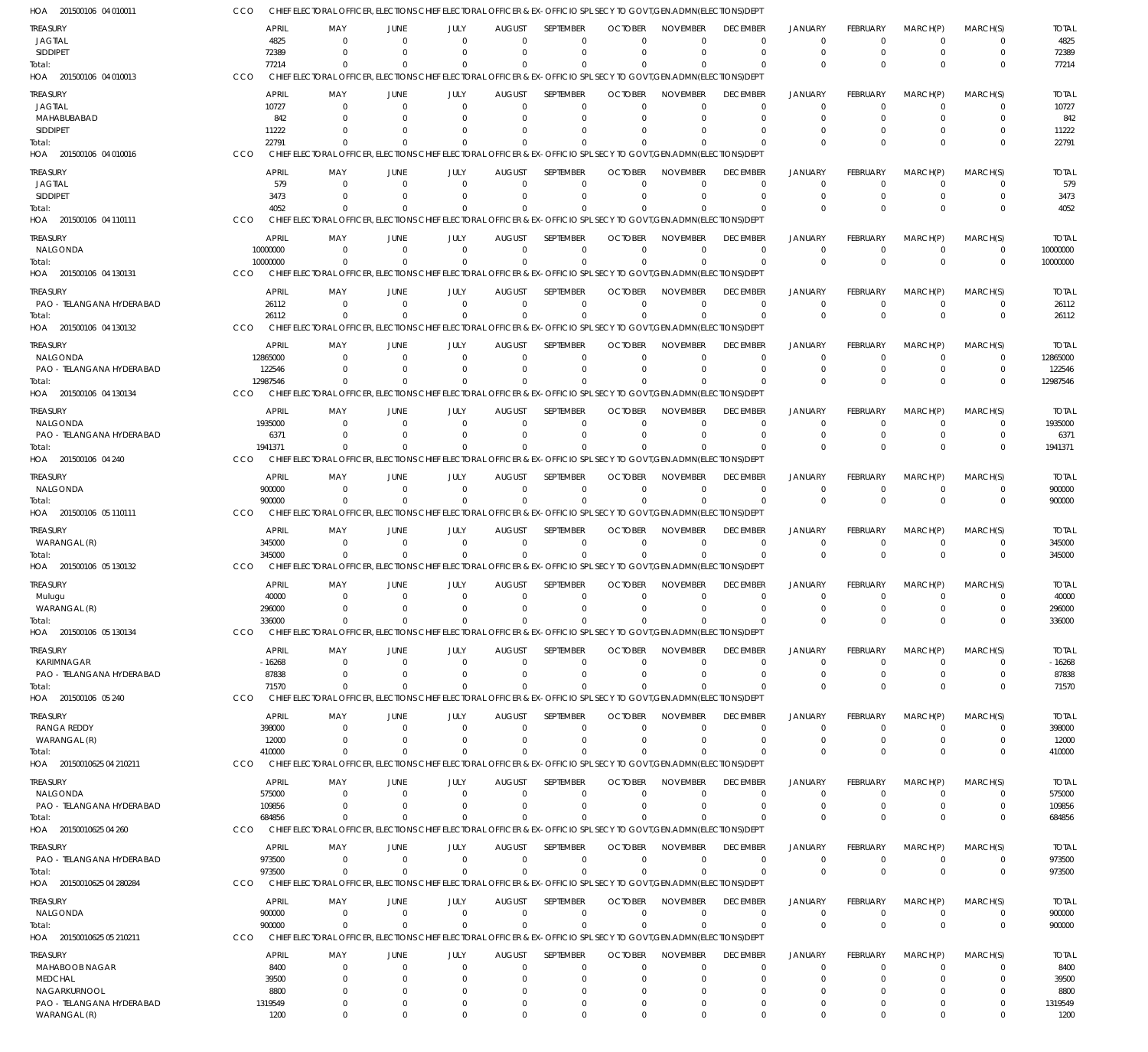| HOA 201500106 04 010011                   | CCO                | CHIEF ELECTORAL OFFICER, ELECTIONS CHIEF ELECTORAL OFFICER & EX-OFFICIO SPL SECY TO GOVT, GEN.ADMN(ELECTIONS)DEPT                      |                            |                         |                           |                  |                                                 |                                |                                  |                                  |                            |                            |                            |                          |
|-------------------------------------------|--------------------|----------------------------------------------------------------------------------------------------------------------------------------|----------------------------|-------------------------|---------------------------|------------------|-------------------------------------------------|--------------------------------|----------------------------------|----------------------------------|----------------------------|----------------------------|----------------------------|--------------------------|
| TREASURY                                  | APRIL              | MAY                                                                                                                                    | <b>JUNE</b>                | JULY                    | <b>AUGUST</b>             | <b>SEPTEMBER</b> | <b>OCTOBER</b>                                  | <b>NOVEMBER</b>                | <b>DECEMBER</b>                  | <b>JANUARY</b>                   | FEBRUARY                   | MARCH(P)                   | MARCH(S)                   | <b>TOTAL</b>             |
| <b>JAGTIAL</b>                            |                    | 4825<br>$\Omega$                                                                                                                       | $\Omega$                   | $\Omega$                | $\Omega$                  |                  | $\Omega$<br>$\Omega$                            | $\Omega$                       | $\Omega$                         | $\Omega$                         | $\Omega$                   | $\Omega$                   | 0                          | 4825                     |
| SIDDIPET<br>Total:                        | 72389<br>77214     | $\Omega$<br>$\Omega$                                                                                                                   | $\Omega$<br>$\Omega$       | $\Omega$<br>$\Omega$    | $\Omega$<br>$\Omega$      |                  | $\Omega$<br>$\Omega$<br>$\Omega$                | $\Omega$<br>$\Omega$           | $\Omega$<br>$\Omega$             | $\overline{0}$<br>$\Omega$       | $\Omega$<br>$\Omega$       | $\Omega$<br>$\Omega$       | $\mathbf 0$<br>$\Omega$    | 72389<br>77214           |
| HOA 201500106 04 010013                   | CCO                | CHIEF ELECTORAL OFFICER, ELECTIONS CHIEF ELECTORAL OFFICER & EX-OFFICIO SPL SECY TO GOVT, GEN. ADMN(ELECTIONS) DEPT                    |                            |                         |                           |                  |                                                 |                                |                                  |                                  |                            |                            |                            |                          |
| <b>TREASURY</b>                           | APRIL              | MAY                                                                                                                                    | JUNE                       | JULY                    | <b>AUGUST</b>             | SEPTEMBER        | <b>OCTOBER</b>                                  | <b>NOVEMBER</b>                | <b>DECEMBER</b>                  | <b>JANUARY</b>                   | FEBRUARY                   | MARCH(P)                   | MARCH(S)                   | <b>TOTAL</b>             |
| <b>JAGTIAL</b>                            | 10727              | $\Omega$                                                                                                                               | C                          | $\Omega$                | $\Omega$                  |                  | $\mathbf 0$<br>$\Omega$                         | $\Omega$                       | $^{\circ}$                       | 0                                | $\Omega$                   | $\Omega$                   | $\Omega$                   | 10727                    |
| MAHABUBABAD                               |                    | 842                                                                                                                                    |                            | $\Omega$                |                           |                  | $\Omega$                                        |                                | $\Omega$                         | $\Omega$                         |                            |                            | $\Omega$                   | 842                      |
| SIDDIPET<br>Total:                        | 11222<br>22791     | <sup>0</sup>                                                                                                                           |                            | $\Omega$<br>$\Omega$    | $\Omega$                  |                  | $\Omega$<br>$\Omega$                            |                                | $\Omega$                         | $\Omega$                         |                            | $\Omega$                   | 0<br>$\Omega$              | 11222<br>22791           |
| HOA 201500106 04 010016                   | CCO                | CHIEF ELECTORAL OFFICER, ELECTIONS CHIEF ELECTORAL OFFICER & EX-OFFICIO SPL SECY TO GOVT, GEN.ADMN(ELECTIONS) DEPT                     |                            |                         |                           |                  |                                                 |                                |                                  |                                  |                            |                            |                            |                          |
| TREASURY                                  | APRIL              | MAY                                                                                                                                    | JUNE                       | JULY                    | <b>AUGUST</b>             | <b>SEPTEMBER</b> | <b>OCTOBER</b>                                  | <b>NOVEMBER</b>                | <b>DECEMBER</b>                  | <b>JANUARY</b>                   | FEBRUARY                   | MARCH(P)                   | MARCH(S)                   | <b>TOTAL</b>             |
| <b>JAGTIAL</b>                            |                    | 579<br>$\Omega$                                                                                                                        | $\Omega$                   | $\Omega$                | $\Omega$                  |                  | $\Omega$<br>$\Omega$                            | $\Omega$                       | $\Omega$                         | $\overline{0}$                   | $\Omega$                   | $\Omega$                   | 0                          | 579                      |
| SIDDIPET                                  |                    | 3473<br>$\Omega$                                                                                                                       | $\Omega$                   | $\Omega$                | $\Omega$                  |                  | $\Omega$<br>$\Omega$                            | $\Omega$                       | $\Omega$                         | $\overline{0}$                   | $\Omega$                   | $\Omega$                   | $\mathbf 0$                | 3473                     |
| Total:                                    | CCO                | 4052<br>$\Omega$<br>CHIEF ELECTORAL OFFICER, ELECTIONS CHIEF ELECTORAL OFFICER & EX-OFFICIO SPL SECY TO GOVT, GEN.ADMN(ELECTIONS) DEPT | $\Omega$                   | $\Omega$                | $\Omega$                  |                  | $\Omega$                                        | $\Omega$                       | $\Omega$                         | $\Omega$                         | $\Omega$                   | $\Omega$                   | $\Omega$                   | 4052                     |
| HOA 201500106 04 110111                   |                    |                                                                                                                                        |                            |                         |                           |                  |                                                 |                                |                                  |                                  |                            |                            |                            |                          |
| treasury                                  | APRIL<br>10000000  | MAY<br>$\Omega$                                                                                                                        | JUNE<br>$\Omega$           | JULY<br>$\Omega$        | <b>AUGUST</b><br>$\Omega$ | SEPTEMBER        | <b>OCTOBER</b><br>$\mathbf 0$<br>$\Omega$       | <b>NOVEMBER</b><br>$\Omega$    | <b>DECEMBER</b><br>$^{\circ}$    | <b>JANUARY</b><br>$\overline{0}$ | FEBRUARY<br>$\Omega$       | MARCH(P)<br>$\Omega$       | MARCH(S)<br>0              | <b>TOTAL</b><br>10000000 |
| NALGONDA<br>Total:                        | 10000000           | $\Omega$                                                                                                                               | $\Omega$                   | $\Omega$                | $\Omega$                  |                  | $\Omega$<br>$\Omega$                            | $\Omega$                       | $\Omega$                         | $\Omega$                         | $\Omega$                   | $\Omega$                   | $\mathbf 0$                | 10000000                 |
| HOA 201500106 04 130131                   | <b>CCO</b>         | CHIEF ELECTORAL OFFICER, ELECTIONS CHIEF ELECTORAL OFFICER & EX-OFFICIO SPL SECY TO GOVT, GEN.ADMN(ELECTIONS) DEPT                     |                            |                         |                           |                  |                                                 |                                |                                  |                                  |                            |                            |                            |                          |
| treasury                                  | APRIL              | MAY                                                                                                                                    | JUNE                       | JULY                    | <b>AUGUST</b>             | <b>SFPTFMBFR</b> | <b>OCTOBER</b>                                  | <b>NOVEMBER</b>                | <b>DECEMBER</b>                  | <b>JANUARY</b>                   | FEBRUARY                   | MARCH(P)                   | MARCH(S)                   | <b>TOTAL</b>             |
| PAO - TELANGANA HYDERABAD                 | 26112              | $\Omega$                                                                                                                               | $\Omega$                   | $\Omega$                | $\Omega$                  |                  | $\Omega$<br>$\Omega$                            | $\Omega$                       | $\Omega$                         | $\overline{0}$                   | $\Omega$                   | $\Omega$                   | 0                          | 26112                    |
| Total:                                    | 26112              | $\Omega$                                                                                                                               | $\Omega$                   | $\Omega$                | $\Omega$                  |                  | $\Omega$<br>$\Omega$                            | $\Omega$                       | $\Omega$                         | $\Omega$                         | $\Omega$                   | $\Omega$                   | $\mathbf 0$                | 26112                    |
| HOA 201500106 04 130132                   | CCO                | CHIEF ELECTORAL OFFICER, ELECTIONS CHIEF ELECTORAL OFFICER & EX-OFFICIO SPL SECY TO GOVT, GEN.ADMN(ELECTIONS) DEPT                     |                            |                         |                           |                  |                                                 |                                |                                  |                                  |                            |                            |                            |                          |
| <b>TREASURY</b>                           | <b>APRIL</b>       | MAY                                                                                                                                    | JUNE                       | JULY                    | <b>AUGUST</b>             | SEPTEMBER        | <b>OCTOBER</b>                                  | <b>NOVEMBER</b>                | <b>DECEMBER</b>                  | <b>JANUARY</b>                   | FEBRUARY                   | MARCH(P)                   | MARCH(S)                   | <b>TOTAL</b>             |
| NALGONDA<br>PAO - TELANGANA HYDERABAD     | 12865000<br>122546 | $\Omega$<br>$\Omega$                                                                                                                   | $\Omega$<br>C              | $\Omega$<br>$\Omega$    | $\Omega$<br>$\Omega$      |                  | $\Omega$<br>$\Omega$<br>$\Omega$                | $\Omega$                       | $\Omega$<br>$\Omega$             | $\Omega$<br>$\Omega$             | $\Omega$<br>$\Omega$       | $\Omega$<br>$\Omega$       | 0<br>$\mathbf 0$           | 12865000<br>122546       |
| Total:                                    | 12987546           | $\Omega$                                                                                                                               | $\Omega$                   | $\Omega$                | $\Omega$                  |                  | $\Omega$                                        |                                | $\Omega$                         | $\Omega$                         | $\Omega$                   | $\Omega$                   | $\Omega$                   | 12987546                 |
| HOA 201500106 04 130134                   | CCO                | CHIEF ELECTORAL OFFICER, ELECTIONS CHIEF ELECTORAL OFFICER & EX-OFFICIO SPL SECY TO GOVT, GEN. ADMN(ELECTIONS) DEPT                    |                            |                         |                           |                  |                                                 |                                |                                  |                                  |                            |                            |                            |                          |
| <b>TREASURY</b>                           | APRIL              | MAY                                                                                                                                    | JUNE                       | JULY                    | <b>AUGUST</b>             | SEPTEMBER        | <b>OCTOBER</b>                                  | <b>NOVEMBER</b>                | <b>DECEMBER</b>                  | <b>JANUARY</b>                   | FEBRUARY                   | MARCH(P)                   | MARCH(S)                   | <b>TOTAL</b>             |
| NALGONDA                                  | 1935000            | $\Omega$                                                                                                                               | $\Omega$                   | $\Omega$                | $\Omega$                  |                  | $\Omega$<br>$\Omega$                            | $\Omega$                       | $\Omega$                         | $\Omega$                         | $\Omega$                   | $\Omega$                   | $\Omega$                   | 1935000                  |
| PAO - TELANGANA HYDERABAD                 | 6371               | $\Omega$                                                                                                                               | $\Omega$                   | $\Omega$                | $\Omega$                  |                  | $\Omega$<br>$\Omega$                            | $\Omega$                       | $\Omega$                         | $\Omega$                         | $\Omega$                   | $\Omega$                   | $\mathbf 0$                | 6371                     |
| Total:                                    | 1941371<br>CCO     | $\Omega$<br>CHIEF ELECTORAL OFFICER, ELECTIONS CHIEF ELECTORAL OFFICER & EX-OFFICIO SPL SECY TO GOVT, GEN.ADMN(ELECTIONS) DEPT         | $\Omega$                   | $\Omega$                | $\Omega$                  |                  | $\Omega$                                        | $\Omega$                       | $\Omega$                         | $\Omega$                         | $\Omega$                   | $\Omega$                   | $\Omega$                   | 1941371                  |
| HOA 201500106 04 240                      |                    |                                                                                                                                        |                            |                         |                           |                  |                                                 |                                |                                  |                                  |                            |                            |                            |                          |
| <b>TREASURY</b><br>NALGONDA               | APRIL<br>900000    | MAY<br>$\Omega$                                                                                                                        | JUNE<br>$\Omega$           | JULY<br>$\mathbf 0$     | <b>AUGUST</b><br>$\Omega$ | SEPTEMBER        | <b>OCTOBER</b><br>$\mathbf 0$<br>$\Omega$       | <b>NOVEMBER</b><br>$\Omega$    | <b>DECEMBER</b><br>$^{\circ}$    | <b>JANUARY</b><br>$\overline{0}$ | FEBRUARY<br>$\Omega$       | MARCH(P)<br>$\Omega$       | MARCH(S)<br>0              | <b>TOTAL</b><br>900000   |
| Total:                                    | 900000             | $\Omega$                                                                                                                               | $\Omega$                   | $\Omega$                | $\Omega$                  |                  | $\Omega$<br>$\Omega$                            | $\Omega$                       | $\Omega$                         | $\Omega$                         | $\Omega$                   | $\Omega$                   | $\mathbf 0$                | 900000                   |
| HOA 201500106 05 110111                   | <b>CCO</b>         | CHIEF ELECTORAL OFFICER, ELECTIONS CHIEF ELECTORAL OFFICER & EX-OFFICIO SPL SECY TO GOVT, GEN. ADMN(ELECTIONS) DEPT                    |                            |                         |                           |                  |                                                 |                                |                                  |                                  |                            |                            |                            |                          |
| treasury                                  | APRIL              | MAY                                                                                                                                    | JUNE                       | JULY                    | <b>AUGUST</b>             | SEPTEMBER        | <b>OCTOBER</b>                                  | <b>NOVEMBER</b>                | <b>DECEMBER</b>                  | <b>JANUARY</b>                   | FEBRUARY                   | MARCH(P)                   | MARCH(S)                   | <b>TOTAL</b>             |
| WARANGAL (R)                              | 345000             | $\Omega$                                                                                                                               | $\Omega$                   | $\Omega$                | $\Omega$                  |                  | $\mathbf 0$<br>$\Omega$                         | $\Omega$                       | $\Omega$                         | $\overline{0}$                   | $\Omega$                   | $\Omega$                   | 0                          | 345000                   |
| Total:                                    | 345000             | $\Omega$                                                                                                                               | $\Omega$                   | $\Omega$                | $\Omega$                  |                  | $\Omega$<br>$\Omega$                            | $\Omega$                       | $\Omega$                         | $\Omega$                         | $\Omega$                   | $\Omega$                   | $\mathbf 0$                | 345000                   |
| HOA 201500106 05 130132                   | <b>CCO</b>         | CHIEF ELECTORAL OFFICER, ELECTIONS CHIEF ELECTORAL OFFICER & EX-OFFICIO SPL SECY TO GOVT, GEN. ADMN(ELECTIONS) DEPT                    |                            |                         |                           |                  |                                                 |                                |                                  |                                  |                            |                            |                            |                          |
| <b>TREASURY</b>                           | APRIL              | MAY<br>$\Omega$                                                                                                                        | JUNE<br>$\Omega$           | JULY<br>$\Omega$        | <b>AUGUST</b><br>$\Omega$ | <b>SEPTEMBER</b> | <b>OCTOBER</b><br>$\Omega$<br>$\Omega$          | <b>NOVEMBER</b><br>$\mathbf 0$ | <b>DECEMBER</b>                  | <b>JANUARY</b><br>$\Omega$       | FEBRUARY<br>$\Omega$       | MARCH(P)<br>$\Omega$       | MARCH(S)<br>$\Omega$       | <b>TOTAL</b>             |
| Mulugu<br>WARANGAL (R)                    | 40000<br>296000    | 0                                                                                                                                      |                            | 0                       | $\Omega$                  |                  | $\Omega$                                        |                                | $\overline{0}$<br>- 0            | 0                                | 0                          | 0                          | 0                          | 40000<br>296000          |
| Total:                                    | 336000             | $\Omega$                                                                                                                               |                            | $\Omega$                | $\Omega$                  |                  | $\Omega$                                        |                                | $\Omega$                         | $\overline{0}$                   | $\Omega$                   | $\Omega$                   | $\mathbf 0$                | 336000                   |
| HOA 201500106 05 130134                   | CCO                | CHIEF ELECTORAL OFFICER, ELECTIONS CHIEF ELECTORAL OFFICER & EX-OFFICIO SPL SECY TO GOVT, GEN.ADMN(ELECTIONS) DEPT                     |                            |                         |                           |                  |                                                 |                                |                                  |                                  |                            |                            |                            |                          |
| treasury                                  | APRIL              | MAY                                                                                                                                    | <b>JUNE</b>                | JULY                    | <b>AUGUST</b>             | SEPTEMBER        | <b>OCTOBER</b>                                  | <b>NOVEMBER</b>                | <b>DECEMBER</b>                  | <b>JANUARY</b>                   | FEBRUARY                   | MARCH(P)                   | MARCH(S)                   | <b>TOTAL</b>             |
| KARIMNAGAR                                | $-16268$           | $\mathbf 0$                                                                                                                            | $\overline{0}$             | $\mathbf 0$             | $\Omega$                  |                  | 0<br>$\Omega$                                   | $\Omega$                       | $\overline{0}$                   | $\overline{0}$                   | $\Omega$                   | $\Omega$                   | $\mathbf 0$                | $-16268$                 |
| PAO - TELANGANA HYDERABAD<br>Total:       | 87838<br>71570     | $\Omega$<br>$\Omega$                                                                                                                   | $\Omega$<br>$\Omega$       | $\mathbf 0$<br>$\Omega$ | $\Omega$<br>$\Omega$      |                  | $\mathbf 0$<br>$\Omega$<br>$\Omega$<br>$\Omega$ | $\Omega$<br>$\Omega$           | $\Omega$<br>$\Omega$             | $\overline{0}$<br>$\overline{0}$ | $\mathbf 0$<br>$\Omega$    | $\Omega$<br>$\Omega$       | $\mathbf 0$<br>$\mathbf 0$ | 87838<br>71570           |
| HOA 201500106 05 240                      | CCO                | CHIEF ELECTORAL OFFICER. ELECTIONS CHIEF ELECTORAL OFFICER & EX-OFFICIO SPL SECY TO GOVT.GEN.ADMN(ELECTIONS)DEPT                       |                            |                         |                           |                  |                                                 |                                |                                  |                                  |                            |                            |                            |                          |
| <b>TREASURY</b>                           | APRIL              | MAY                                                                                                                                    | JUNE                       | JULY                    | <b>AUGUST</b>             | SEPTEMBER        | <b>OCTOBER</b>                                  | <b>NOVEMBER</b>                | <b>DECEMBER</b>                  | JANUARY                          | FEBRUARY                   | MARCH(P)                   | MARCH(S)                   | <b>TOTAL</b>             |
| RANGA REDDY                               | 398000             | 0                                                                                                                                      | 0                          | 0                       | $\Omega$                  |                  | 0<br>$\Omega$                                   | $\Omega$                       | $^{\circ}$                       | 0                                | 0                          | $\Omega$                   | 0                          | 398000                   |
| WARANGAL (R)                              | 12000              | $\Omega$                                                                                                                               | $\Omega$                   | $\Omega$                | 0                         |                  | $\Omega$<br>$\Omega$                            | $\Omega$                       | $\overline{0}$                   | $\overline{0}$                   | 0                          | $\Omega$                   | $\mathbf 0$                | 12000                    |
| Total:                                    | 410000             | $\Omega$                                                                                                                               | $\Omega$                   | $\Omega$                | $\Omega$                  |                  | $\Omega$                                        | $\Omega$                       | $\Omega$                         | $\Omega$                         | $\Omega$                   | $\Omega$                   | $\mathbf 0$                | 410000                   |
| HOA 20150010625 04 210211                 | CCO                | CHIEF ELECTORAL OFFICER, ELECTIONS CHIEF ELECTORAL OFFICER & EX-OFFICIO SPL SECY TO GOVT, GEN.ADMN(ELECTIONS) DEPT                     |                            |                         |                           |                  |                                                 |                                |                                  |                                  |                            |                            |                            |                          |
| <b>TREASURY</b>                           | APRIL              | MAY                                                                                                                                    | <b>JUNE</b>                | JULY                    | <b>AUGUST</b>             | SEPTEMBER        | <b>OCTOBER</b>                                  | <b>NOVEMBER</b>                | <b>DECEMBER</b>                  | <b>JANUARY</b>                   | FEBRUARY                   | MARCH(P)                   | MARCH(S)                   | <b>TOTAL</b>             |
| NALGONDA<br>PAO - TELANGANA HYDERABAD     | 575000<br>109856   | $\mathbf{0}$<br>$\Omega$                                                                                                               | $\overline{0}$<br>$\Omega$ | $^{\circ}$<br>$\Omega$  | $\Omega$<br>$\Omega$      |                  | 0<br>$\Omega$<br>$\mathbf 0$<br>$\Omega$        | $\Omega$<br>$\Omega$           | $^{\circ}$<br>$^{\circ}$         | 0<br>$\overline{0}$              | $\mathbf 0$<br>$\mathbf 0$ | $\Omega$<br>0              | 0<br>$\mathbf 0$           | 575000<br>109856         |
| Total:                                    | 684856             | $\Omega$                                                                                                                               | C                          | $\Omega$                | $\Omega$                  |                  | $\Omega$<br>$\Omega$                            | $\Omega$                       | $\Omega$                         | $\Omega$                         | $\Omega$                   | $\Omega$                   | $\mathbf 0$                | 684856                   |
| HOA 20150010625 04 260                    | CCO                | CHIEF ELECTORAL OFFICER, ELECTIONS CHIEF ELECTORAL OFFICER & EX-OFFICIO SPL SECY TO GOVT, GEN.ADMN(ELECTIONS) DEPT                     |                            |                         |                           |                  |                                                 |                                |                                  |                                  |                            |                            |                            |                          |
| <b>TREASURY</b>                           | APRIL              | MAY                                                                                                                                    | <b>JUNE</b>                | JULY                    | <b>AUGUST</b>             | SEPTEMBER        | <b>OCTOBER</b>                                  | <b>NOVEMBER</b>                | <b>DECEMBER</b>                  | <b>JANUARY</b>                   | FEBRUARY                   | MARCH(P)                   | MARCH(S)                   | <b>TOTAL</b>             |
| PAO - TELANGANA HYDERABAD                 | 973500             | $\mathbf 0$                                                                                                                            | $\mathbf 0$                | $\mathbf 0$             | $\mathbf{0}$              |                  | $\mathbf 0$<br>$\Omega$                         | $\Omega$                       | $\overline{0}$                   | $\overline{0}$                   | $\overline{0}$             | $\Omega$                   | 0                          | 973500                   |
| Total:                                    | 973500             | $\Omega$                                                                                                                               | $\Omega$                   | $\mathbf 0$             | $\Omega$                  |                  | $\mathbf 0$<br>$\Omega$                         | $\Omega$                       | $\overline{0}$                   | $\overline{0}$                   | $\Omega$                   | $\Omega$                   | $\mathbf 0$                | 973500                   |
| HOA 20150010625 04 280284                 | CCO                | CHIEF ELECTORAL OFFICER, ELECTIONS CHIEF ELECTORAL OFFICER & EX-OFFICIO SPL SECY TO GOVT, GEN.ADMN(ELECTIONS) DEPT                     |                            |                         |                           |                  |                                                 |                                |                                  |                                  |                            |                            |                            |                          |
| <b>TREASURY</b>                           | APRIL              | MAY                                                                                                                                    | JUNE                       | JULY                    | <b>AUGUST</b>             | SEPTEMBER        | <b>OCTOBER</b>                                  | <b>NOVEMBER</b>                | <b>DECEMBER</b>                  | <b>JANUARY</b>                   | FEBRUARY                   | MARCH(P)                   | MARCH(S)                   | <b>TOTAL</b>             |
| NALGONDA<br>Total:                        | 900000<br>900000   | $\Omega$<br>$\Omega$                                                                                                                   | $\overline{0}$<br>$\Omega$ | $\mathbf 0$<br>$\Omega$ | 0<br>$\Omega$             |                  | $\mathbf 0$<br>$\Omega$<br>$\Omega$<br>$\Omega$ | $\Omega$<br>$\Omega$           | $\overline{0}$<br>$\overline{0}$ | 0<br>$\overline{0}$              | 0<br>$\Omega$              | - 0<br>$\Omega$            | 0<br>$\mathbf 0$           | 900000<br>900000         |
| HOA 20150010625 05 210211                 | CCO                | CHIEF ELECTORAL OFFICER, ELECTIONS CHIEF ELECTORAL OFFICER & EX-OFFICIO SPL SECY TO GOVT, GEN. ADMN(ELECTIONS) DEPT                    |                            |                         |                           |                  |                                                 |                                |                                  |                                  |                            |                            |                            |                          |
| <b>TREASURY</b>                           | <b>APRIL</b>       | MAY                                                                                                                                    | JUNE                       | JULY                    | <b>AUGUST</b>             | SEPTEMBER        | <b>OCTOBER</b>                                  | <b>NOVEMBER</b>                | <b>DECEMBER</b>                  | <b>JANUARY</b>                   | FEBRUARY                   | MARCH(P)                   | MARCH(S)                   | <b>TOTAL</b>             |
| MAHABOOB NAGAR                            |                    | 8400<br>$\mathbf{0}$                                                                                                                   | 0                          | 0                       | $\Omega$                  |                  | $\mathbf 0$<br>$\Omega$                         | $\Omega$                       | $^{\circ}$                       | 0                                | 0                          | 0                          | 0                          | 8400                     |
| <b>MEDCHAL</b>                            | 39500              | 0                                                                                                                                      | C                          | $\Omega$                |                           |                  | $\Omega$<br>$\Omega$                            | $\Omega$                       | $\Omega$                         | $\Omega$                         | $\Omega$                   | $\Omega$                   | $\Omega$                   | 39500                    |
| NAGARKURNOOL                              | 8800               | 0                                                                                                                                      |                            | $\Omega$                |                           |                  | $\Omega$                                        | $\Omega$                       | $\Omega$                         |                                  |                            | $\Omega$                   | $\Omega$                   | 8800                     |
| PAO - TELANGANA HYDERABAD<br>WARANGAL (R) | 1319549            | $\mathbf 0$<br>1200<br>$\mathbf 0$                                                                                                     | 0<br>$\mathbf 0$           | $\Omega$<br>$\Omega$    | 0<br>$\Omega$             |                  | $\Omega$<br>$\Omega$<br>$\Omega$<br>$\Omega$    | $\Omega$<br>$\Omega$           | 0<br>$\overline{0}$              | $\overline{0}$<br>$\Omega$       | $\Omega$<br>$\Omega$       | $\Omega$<br>$\overline{0}$ | 0<br>$\mathbf 0$           | 1319549<br>1200          |
|                                           |                    |                                                                                                                                        |                            |                         |                           |                  |                                                 |                                |                                  |                                  |                            |                            |                            |                          |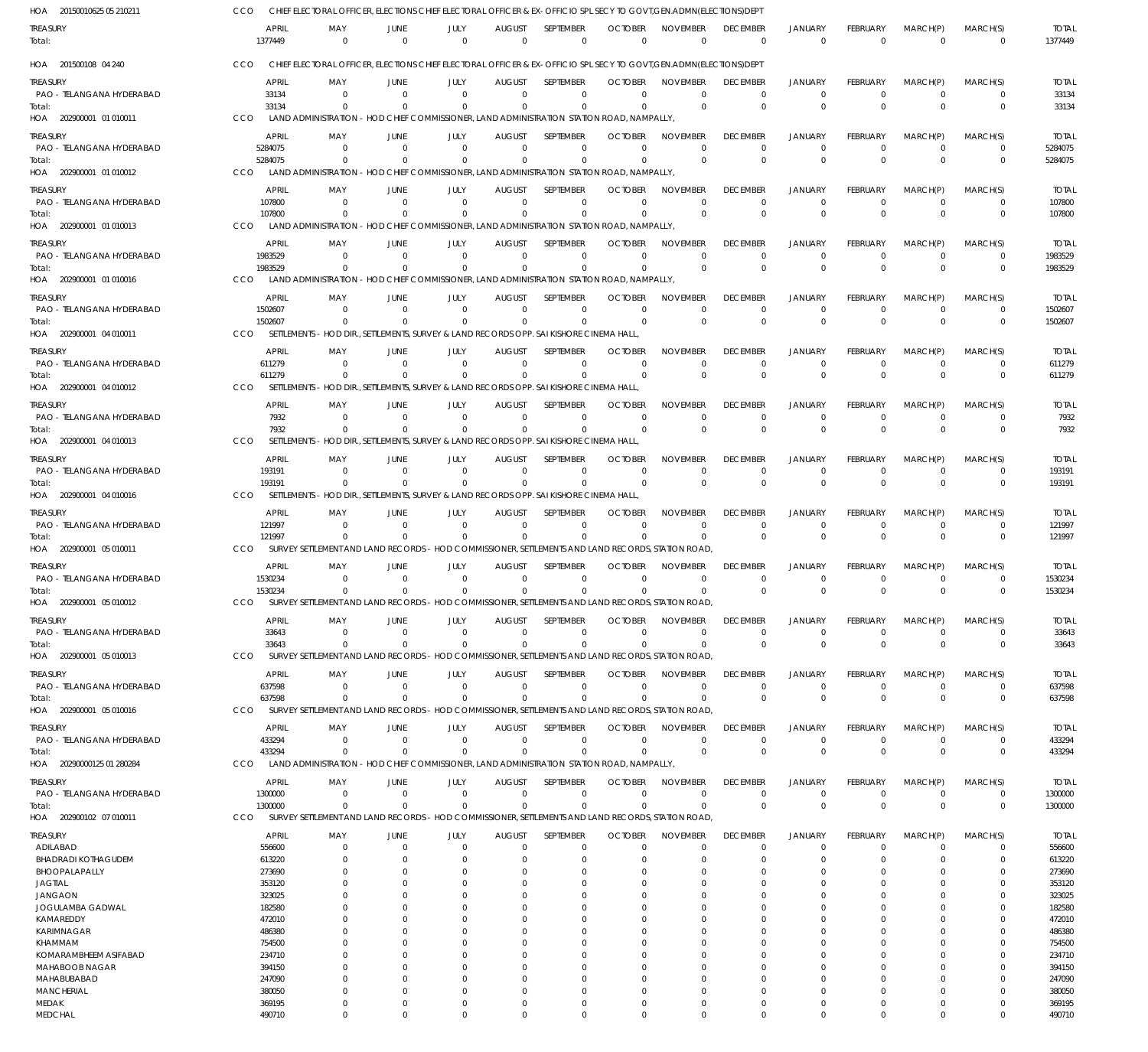| HOA 20150010625 05 210211             | CCO        |                         |                     |                      | CHIEF ELECTORAL OFFICER, ELECTIONS CHIEF ELECTORAL OFFICER & EX-OFFICIO SPL SECY TO GOVT, GEN.ADMN(ELECTIONS) DEPT |                              |                                 |                            |                                 |                                   |                                |                                |                            |                            |                         |
|---------------------------------------|------------|-------------------------|---------------------|----------------------|--------------------------------------------------------------------------------------------------------------------|------------------------------|---------------------------------|----------------------------|---------------------------------|-----------------------------------|--------------------------------|--------------------------------|----------------------------|----------------------------|-------------------------|
| treasury<br>Total:                    |            | <b>APRIL</b><br>1377449 | MAY<br>$\mathbf{0}$ | JUNE<br>$\mathbf{0}$ | JULY<br>$\Omega$                                                                                                   | <b>AUGUST</b><br>$\mathbf 0$ | <b>SEPTEMBER</b><br>$\mathbf 0$ | <b>OCTOBER</b><br>$\Omega$ | <b>NOVEMBER</b><br>$\mathbf{0}$ | <b>DECEMBER</b><br>$\overline{0}$ | <b>JANUARY</b><br>$\mathbf{0}$ | <b>FEBRUARY</b><br>$\mathbf 0$ | MARCH(P)<br>$\overline{0}$ | MARCH(S)<br>$\mathbf{0}$   | <b>TOTAL</b><br>1377449 |
| HOA 201500108 04 240                  | CCO        |                         |                     |                      | CHIEF ELECTORAL OFFICER, ELECTIONS CHIEF ELECTORAL OFFICER & EX-OFFICIO SPL SECY TO GOVT, GEN.ADMN(ELECTIONS) DEPT |                              |                                 |                            |                                 |                                   |                                |                                |                            |                            |                         |
| treasury                              |            | <b>APRIL</b>            | MAY                 | JUNE                 | JULY                                                                                                               | <b>AUGUST</b>                | <b>SFPTFMBFR</b>                | <b>OCTOBER</b>             | <b>NOVEMBER</b>                 | <b>DECEMBER</b>                   | <b>JANUARY</b>                 | <b>FEBRUARY</b>                | MARCH(P)                   | MARCH(S)                   | <b>TOTAL</b>            |
| PAO - TELANGANA HYDERABAD             |            | 33134                   | $\Omega$            | $\Omega$             | $\Omega$                                                                                                           | $\Omega$                     | $\Omega$                        | $\Omega$                   | $\Omega$                        | $\mathbf 0$                       | $\Omega$                       | $\Omega$                       | $\Omega$                   | $\Omega$                   | 33134                   |
| Total:                                |            | 33134                   | $\Omega$            | $\Omega$             | $\Omega$                                                                                                           | $\Omega$                     | $\Omega$                        | $\Omega$                   | $\Omega$                        | $\mathbf 0$                       | $\mathbf{0}$                   | $\Omega$                       | $\Omega$                   | $\mathbf 0$                | 33134                   |
| HOA 202900001 01 010011               | CCO        |                         |                     |                      | LAND ADMINISTRATION - HOD CHIEF COMMISSIONER, LAND ADMINISTRATION STATION ROAD, NAMPALLY,                          |                              |                                 |                            |                                 |                                   |                                |                                |                            |                            |                         |
| treasury                              |            | APRIL                   | MAY                 | JUNE                 | JULY                                                                                                               | AUGUST                       | <b>SFPTFMBFR</b>                | <b>OCTOBER</b>             | <b>NOVEMBER</b>                 | <b>DECEMBER</b>                   | <b>JANUARY</b>                 | <b>FFBRUARY</b>                | MARCH(P)                   | MARCH(S)                   | <b>TOTAL</b>            |
| PAO - TELANGANA HYDERABAD             |            | 5284075                 | $\Omega$            | $\Omega$             | $\Omega$                                                                                                           | $\Omega$                     | $\Omega$                        | $\Omega$                   | $\Omega$                        | $\mathbf 0$                       | $\mathbf 0$                    | $\Omega$                       | $\Omega$                   | 0                          | 5284075                 |
| Total:                                |            | 5284075                 | $\Omega$            |                      | $\Omega$                                                                                                           | $\Omega$                     | $\Omega$                        |                            | $\Omega$                        | $\mathbf{0}$                      | $\Omega$                       | $\Omega$                       | $\Omega$                   | $\mathbf 0$                | 5284075                 |
| HOA 202900001 01 010012               | CCO        |                         |                     |                      | LAND ADMINISTRATION - HOD CHIEF COMMISSIONER, LAND ADMINISTRATION STATION ROAD, NAMPALLY,                          |                              |                                 |                            |                                 |                                   |                                |                                |                            |                            |                         |
| treasury                              |            | <b>APRIL</b>            | MAY                 | JUNE                 | JULY                                                                                                               | <b>AUGUST</b>                | <b>SFPTFMBFR</b>                | <b>OCTOBER</b>             | <b>NOVEMBER</b>                 | <b>DECEMBER</b>                   | <b>JANUARY</b>                 | <b>FEBRUARY</b>                | MARCH(P)                   | MARCH(S)                   | <b>TOTAL</b>            |
| PAO - TELANGANA HYDERABAD             |            | 107800                  | $\Omega$            | $\Omega$             | $\Omega$                                                                                                           | $\Omega$                     | $\Omega$                        | $\Omega$                   | $\Omega$                        | $\mathbf 0$                       | $\Omega$                       | $\Omega$                       | $\Omega$                   | $\Omega$                   | 107800                  |
| Total:                                |            | 107800                  |                     |                      | $\Omega$                                                                                                           | $\Omega$                     | $\Omega$                        |                            | $\Omega$                        | $\mathbf 0$                       | $\mathbf{0}$                   | $\Omega$                       | $\Omega$                   | $\Omega$                   | 107800                  |
| HOA 202900001 01 010013               | <b>CCO</b> | LAND ADMINISTRATION     |                     |                      | - HOD CHIEF COMMISSIONER, LAND ADMINISTRATION STATION ROAD, NAMPALLY                                               |                              |                                 |                            |                                 |                                   |                                |                                |                            |                            |                         |
| treasury                              |            | <b>APRIL</b>            | MAY                 | JUNE                 | JULY                                                                                                               | <b>AUGUST</b>                | <b>SEPTEMBER</b>                | <b>OCTOBER</b>             | <b>NOVEMBER</b>                 | <b>DECEMBER</b>                   | <b>JANUARY</b>                 | <b>FEBRUARY</b>                | MARCH(P)                   | MARCH(S)                   | <b>TOTAL</b>            |
| PAO - TELANGANA HYDERABAD             |            | 1983529                 | $\Omega$            | $\Omega$             | $\Omega$                                                                                                           | $\Omega$                     | $\mathbf{0}$                    | $\Omega$                   | $\Omega$                        | $\mathbf 0$                       | $\mathbf 0$                    | $\Omega$                       | $\Omega$                   | 0                          | 1983529                 |
| Total:                                |            | 1983529                 |                     |                      | $\Omega$                                                                                                           | $\Omega$                     | $\Omega$                        |                            | $\Omega$                        | $\mathbf 0$                       | $\Omega$                       | $\Omega$                       | $\Omega$                   | $\mathbf 0$                | 1983529                 |
| HOA 202900001 01 010016               | <b>CCO</b> |                         |                     |                      | LAND ADMINISTRATION - HOD CHIEF COMMISSIONER, LAND ADMINISTRATION STATION ROAD, NAMPALLY,                          |                              |                                 |                            |                                 |                                   |                                |                                |                            |                            |                         |
| treasury                              |            | <b>APRIL</b>            | MAY                 | JUNE                 | JULY                                                                                                               | <b>AUGUST</b>                | <b>SEPTEMBER</b>                | <b>OCTOBER</b>             | <b>NOVEMBER</b>                 | <b>DECEMBER</b>                   | <b>JANUARY</b>                 | <b>FFBRUARY</b>                | MARCH(P)                   | MARCH(S)                   | <b>TOTAL</b>            |
| PAO - TELANGANA HYDERABAD             |            | 1502607                 | $\Omega$            | $\Omega$             | $\Omega$                                                                                                           | $\Omega$                     | $\Omega$                        | $\Omega$                   | $\Omega$                        | $\mathbf 0$                       | $\Omega$                       | $\Omega$                       | $\Omega$                   | 0                          | 1502607                 |
| Total:<br>HOA 202900001 04 010011     | <b>CCO</b> | 1502607                 |                     |                      | $\Omega$<br>SETTLEMENTS - HOD DIR SETTLEMENTS, SURVEY & LAND RECORDS OPP, SAI KISHORE CINEMA HALL                  | $\Omega$                     | $\Omega$                        |                            | $\Omega$                        | $\mathbf{0}$                      | $\Omega$                       | $\Omega$                       | $\Omega$                   | $\mathbf 0$                | 1502607                 |
|                                       |            |                         |                     |                      |                                                                                                                    |                              |                                 |                            |                                 |                                   |                                |                                |                            |                            |                         |
| treasury                              |            | <b>APRIL</b>            | MAY                 | JUNE                 | JULY                                                                                                               | <b>AUGUST</b>                | <b>SEPTEMBER</b>                | <b>OCTOBER</b>             | <b>NOVEMBER</b>                 | <b>DECEMBER</b>                   | <b>JANUARY</b>                 | <b>FFBRUARY</b>                | MARCH(P)                   | MARCH(S)                   | <b>TOTAL</b>            |
| PAO - TELANGANA HYDERABAD             |            | 611279                  | $\Omega$            | $\Omega$             | $\Omega$                                                                                                           | $\Omega$                     | $\mathbf 0$                     | $\Omega$                   | $\Omega$                        | $\mathbf 0$                       | $\overline{0}$                 | $\Omega$                       | $\Omega$                   | 0                          | 611279                  |
| Total:<br>HOA 202900001 04 010012     | CCO        | 611279                  | $\Omega$            |                      | $\Omega$<br>SETTLEMENTS - HOD DIR., SETTLEMENTS, SURVEY & LAND RECORDS OPP. SAI KISHORE CINEMA HALL                | $\Omega$                     | $\Omega$                        | $\Omega$                   | $\Omega$                        | $\mathbf 0$                       | $\Omega$                       | $\Omega$                       | $\Omega$                   | $\mathbf{0}$               | 611279                  |
|                                       |            |                         |                     |                      |                                                                                                                    |                              |                                 |                            |                                 |                                   |                                |                                |                            |                            |                         |
| treasury                              |            | <b>APRIL</b>            | MAY                 | JUNE                 | JULY                                                                                                               | <b>AUGUST</b>                | <b>SEPTEMBER</b>                | <b>OCTOBER</b>             | <b>NOVEMBER</b>                 | <b>DECEMBER</b>                   | <b>JANUARY</b>                 | <b>FEBRUARY</b>                | MARCH(P)                   | MARCH(S)                   | <b>TOTAL</b>            |
| PAO - TELANGANA HYDERABAD             |            | 7932                    | $\Omega$            | $\Omega$             | $\Omega$                                                                                                           | $\Omega$                     | $\Omega$                        | $\Omega$                   | $\Omega$                        | $\mathbf 0$                       | $\mathbf 0$                    | $\Omega$                       | $\Omega$                   | $\Omega$                   | 7932                    |
| Total:<br>HOA 202900001 04 010013     | <b>CCO</b> | 7932                    | $\Omega$            |                      | $\Omega$<br>SETTLEMENTS - HOD DIR., SETTLEMENTS, SURVEY & LAND RECORDS OPP. SAI KISHORE CINEMA HALL                | $\Omega$                     | $\Omega$                        | $\Omega$                   | $\Omega$                        | $\mathbf 0$                       | $\Omega$                       | $\Omega$                       | $\Omega$                   | $\Omega$                   | 7932                    |
|                                       |            |                         |                     |                      |                                                                                                                    |                              |                                 |                            |                                 |                                   |                                |                                |                            |                            |                         |
| treasury                              |            | <b>APRIL</b>            | MAY                 | JUNE                 | JULY                                                                                                               | <b>AUGUST</b>                | <b>SEPTEMBER</b>                | <b>OCTOBER</b>             | <b>NOVEMBER</b>                 | <b>DECEMBER</b>                   | <b>JANUARY</b>                 | <b>FEBRUARY</b>                | MARCH(P)                   | MARCH(S)                   | <b>TOTAL</b>            |
| PAO - TELANGANA HYDERABAD             |            | 193191<br>193191        | $\Omega$            | $\Omega$             | $\Omega$<br>$\Omega$                                                                                               | $\Omega$<br>$\Omega$         | $\mathbf{0}$<br>$\Omega$        | $\Omega$<br>$\Omega$       | $\Omega$<br>$\Omega$            | $\mathbf 0$<br>$\mathbf 0$        | $\overline{0}$<br>$\Omega$     | $\Omega$<br>$\Omega$           | $\Omega$<br>$\Omega$       | $\mathbf 0$<br>$\mathbf 0$ | 193191<br>193191        |
| Total:<br>HOA 202900001 04 010016     | <b>CCO</b> |                         |                     |                      | SETTLEMENTS - HOD DIR., SETTLEMENTS, SURVEY & LAND RECORDS OPP, SAI KISHORE CINEMA HALL                            |                              |                                 |                            |                                 |                                   |                                |                                |                            |                            |                         |
|                                       |            |                         |                     |                      |                                                                                                                    |                              |                                 |                            |                                 |                                   |                                |                                |                            |                            |                         |
| treasury<br>PAO - TELANGANA HYDERABAD |            | <b>APRIL</b><br>121997  | MAY<br>$\Omega$     | JUNE<br>$\Omega$     | JULY<br>$\Omega$                                                                                                   | <b>AUGUST</b><br>$\Omega$    | <b>SEPTEMBER</b><br>$\Omega$    | <b>OCTOBER</b><br>$\Omega$ | <b>NOVEMBER</b><br>$\Omega$     | <b>DECEMBER</b><br>$\mathbf 0$    | <b>JANUARY</b><br>$^{\circ}$   | FEBRUARY                       | MARCH(P)<br>$\Omega$       | MARCH(S)<br>$\Omega$       | <b>TOTAL</b><br>121997  |
| Total:                                |            | 121997                  | $\Omega$            | $\Omega$             | $\Omega$                                                                                                           | $\Omega$                     | $\Omega$                        |                            | $\Omega$                        | $\mathbf{0}$                      | $\Omega$                       | $\Omega$                       | $\Omega$                   | $\mathbf 0$                | 121997                  |
| HOA 202900001 05 010011               | <b>CCO</b> |                         |                     |                      | SURVEY SETTLEMENT AND LAND RECORDS - HOD COMMISSIONER, SETTLEMENTS AND LAND RECORDS, STATION ROAD                  |                              |                                 |                            |                                 |                                   |                                |                                |                            |                            |                         |
|                                       |            | APRIL                   | MAY                 | JUNE                 |                                                                                                                    |                              | SEPTEMBER                       | <b>OCTOBER</b>             | <b>NOVEMBER</b>                 | <b>DECEMBER</b>                   | <b>JANUARY</b>                 | FEBRUARY                       | MARCH(P)                   |                            |                         |
| treasury<br>PAO - TELANGANA HYDERABAD |            | 1530234                 | $\Omega$            | $\Omega$             | JULY<br>$\Omega$                                                                                                   | AUGUST<br>$\Omega$           | 0                               | $\Omega$                   | $\Omega$                        | $^{\circ}$                        | $\Omega$                       | $\Omega$                       | $\Omega$                   | MARCH(S)<br>0              | <b>TOTAL</b><br>1530234 |
| Total:                                |            | 1530234                 | $\Omega$            | $\Omega$             | $\Omega$                                                                                                           | $\Omega$                     | $\Omega$                        | $\Omega$                   | $\Omega$                        | $\mathbf 0$                       | $\Omega$                       | $\Omega$                       | $\Omega$                   | $\Omega$                   | 1530234                 |
| HOA 202900001 05 010012               | CCO        |                         |                     |                      | SURVEY SETTLEMENT AND LAND RECORDS - HOD COMMISSIONER, SETTLEMENTS AND LAND RECORDS, STATION ROAD                  |                              |                                 |                            |                                 |                                   |                                |                                |                            |                            |                         |
| treasury                              |            | APRIL                   | MAY                 | JUNE                 | JULY                                                                                                               | <b>AUGUST</b>                | SEPTEMBER                       | <b>OCTOBER</b>             | <b>NOVEMBER</b>                 | <b>DECEMBER</b>                   | <b>JANUARY</b>                 | FEBRUARY                       | MARCH(P)                   | MARCH(S)                   | <b>TOTAL</b>            |
| PAO - TELANGANA HYDERABAD             |            | 33643                   | $\Omega$            | $\Omega$             | $\Omega$                                                                                                           | $\Omega$                     | $\Omega$                        | $\Omega$                   | $\Omega$                        | $\mathbf 0$                       | $\mathbf 0$                    | $\Omega$                       | $\Omega$                   | 0                          | 33643                   |
| Total:                                |            | 33643                   | $\Omega$            | $\Omega$             | $\Omega$                                                                                                           | $\Omega$                     | $\Omega$                        | $\Omega$                   | $\Omega$                        | $\mathbf 0$                       | $\mathbf{0}$                   | $\Omega$                       | $\Omega$                   | $\mathbf 0$                | 33643                   |
| HOA 202900001 05 010013               | CCO        |                         |                     |                      | SURVEY SETTLEMENT AND LAND RECORDS - HOD COMMISSIONER, SETTLEMENTS AND LAND RECORDS, STATION ROAD                  |                              |                                 |                            |                                 |                                   |                                |                                |                            |                            |                         |
| treasury                              |            | <b>APRIL</b>            | MAY                 | JUNE                 | JULY                                                                                                               | <b>AUGUST</b>                | <b>SEPTEMBER</b>                | <b>OCTOBER</b>             | <b>NOVEMBER</b>                 | <b>DECEMBER</b>                   | <b>JANUARY</b>                 | <b>FEBRUARY</b>                | MARCH(P)                   | MARCH(S)                   | <b>TOTAL</b>            |
| PAO - TELANGANA HYDERABAD             |            | 637598                  | $\Omega$            | $\Omega$             | $\Omega$                                                                                                           | $\Omega$                     | $\mathbf 0$                     | $\Omega$                   | $\Omega$                        | $\mathbf 0$                       | $\mathbf 0$                    | $\Omega$                       | $\Omega$                   | $\mathbf 0$                | 637598                  |
| Total:                                |            | 637598                  | $\Omega$            | $\Omega$             | $\Omega$                                                                                                           | $\Omega$                     | $\Omega$                        | $\Omega$                   | $\Omega$                        | $\mathbf{0}$                      | $\Omega$                       | $\Omega$                       | $\Omega$                   | 0                          | 637598                  |
| HOA 202900001 05 010016               | CCO        |                         |                     |                      | SURVEY SETTLEMENT AND LAND RECORDS - HOD COMMISSIONER, SETTLEMENTS AND LAND RECORDS, STATION ROAD.                 |                              |                                 |                            |                                 |                                   |                                |                                |                            |                            |                         |
| treasury                              |            | <b>APRIL</b>            | MAY                 | JUNE                 | JULY                                                                                                               | <b>AUGUST</b>                | SEPTEMBER                       | <b>OCTOBER</b>             | <b>NOVEMBER</b>                 | <b>DECEMBER</b>                   | <b>JANUARY</b>                 | FEBRUARY                       | MARCH(P)                   | MARCH(S)                   | <b>TOTAL</b>            |
| PAO - TELANGANA HYDERABAD             |            | 433294                  | $\Omega$            | $\Omega$             | $\Omega$                                                                                                           | $\mathbf 0$                  | $\Omega$                        | $\Omega$                   | $\Omega$                        | $\mathbf 0$                       | $^{\circ}$                     | 0                              | 0                          | 0                          | 433294                  |
| Total:                                |            | 433294                  | $\Omega$            | $\Omega$             | $\Omega$                                                                                                           | $\Omega$                     | $\Omega$                        | $\Omega$                   | $\Omega$                        | $\Omega$                          | $\mathbf{0}$                   | $\Omega$                       | $\Omega$                   | $\mathbf 0$                | 433294                  |
| HOA 20290000125 01 280284             | <b>CCO</b> |                         |                     |                      | LAND ADMINISTRATION - HOD CHIEF COMMISSIONER, LAND ADMINISTRATION STATION ROAD, NAMPALLY,                          |                              |                                 |                            |                                 |                                   |                                |                                |                            |                            |                         |
| treasury                              |            | <b>APRIL</b>            | MAY                 | JUNE                 | JULY                                                                                                               | <b>AUGUST</b>                | SEPTEMBER                       | <b>OCTOBER</b>             | <b>NOVEMBER</b>                 | <b>DECEMBER</b>                   | <b>JANUARY</b>                 | FEBRUARY                       | MARCH(P)                   | MARCH(S)                   | <b>TOTAL</b>            |
| PAO - TELANGANA HYDERABAD             |            | 1300000                 | $\Omega$            | $\Omega$             | $\Omega$                                                                                                           | $\mathbf 0$                  | 0                               | $\Omega$                   | $\Omega$                        | $^{\circ}$                        | $\mathbf 0$                    | $\Omega$                       | 0                          | 0                          | 1300000                 |
| Total:                                |            | 1300000                 | $\Omega$            | $\Omega$             | $\Omega$                                                                                                           | $\Omega$                     | $\Omega$                        | $\Omega$                   | $\Omega$                        | $\mathbf{0}$                      | $\Omega$                       | $\Omega$                       | $\Omega$                   | $\mathbf 0$                | 1300000                 |
| HOA 202900102 07 010011               | CCO        |                         |                     |                      | SURVEY SETTLEMENT AND LAND RECORDS - HOD COMMISSIONER, SETTLEMENTS AND LAND RECORDS, STATION ROAD,                 |                              |                                 |                            |                                 |                                   |                                |                                |                            |                            |                         |
| Treasury                              |            | <b>APRIL</b>            | MAY                 | JUNE                 | JULY                                                                                                               | <b>AUGUST</b>                | SEPTEMBER                       | <b>OCTOBER</b>             | <b>NOVEMBER</b>                 | <b>DECEMBER</b>                   | <b>JANUARY</b>                 | FEBRUARY                       | MARCH(P)                   | MARCH(S)                   | <b>TOTAL</b>            |
| ADILABAD                              |            | 556600                  | $\Omega$            | $\Omega$             | $\Omega$                                                                                                           | $\Omega$                     | $\Omega$                        | $\Omega$                   | $\Omega$                        | $\mathbf 0$                       | $\Omega$                       | 0                              | $\Omega$                   | $\Omega$                   | 556600                  |
| <b>BHADRADI KOTHAGUDEM</b>            |            | 613220                  | <sup>0</sup>        | 0                    | 0                                                                                                                  | $\Omega$                     | $\Omega$                        | $\Omega$                   | $\Omega$                        | $\Omega$                          | $\Omega$                       |                                | $\Omega$                   | $\Omega$                   | 613220                  |
| BHOOPALAPALLY<br><b>JAGTIAL</b>       |            | 273690<br>353120        |                     | 0<br>0               |                                                                                                                    | 0<br>0                       | $\Omega$<br>$\Omega$            | ſ<br>$\Omega$              | $\Omega$<br>$\Omega$            | $\Omega$<br>$\Omega$              | $\Omega$<br>$\Omega$           |                                | 0<br>0                     | $\Omega$<br>$\Omega$       | 273690<br>353120        |
| JANGAON                               |            | 323025                  |                     | 0                    |                                                                                                                    | 0                            | $\Omega$                        | $\Omega$                   | $\Omega$                        | 0                                 | 0                              |                                | 0                          | $\Omega$                   | 323025                  |
| JOGULAMBA GADWAL                      |            | 182580                  |                     | 0                    |                                                                                                                    | 0                            | $\Omega$                        | $\Omega$                   | $\Omega$                        | $\Omega$                          | 0                              |                                | $\Omega$                   | $\Omega$                   | 182580                  |
| KAMAREDDY                             |            | 472010                  |                     | 0                    |                                                                                                                    | 0                            | C.                              |                            |                                 | <sup>0</sup>                      | $\Omega$                       |                                | 0                          | $\Omega$                   | 472010                  |
| KARIMNAGAR                            |            | 486380                  |                     | O                    |                                                                                                                    | 0                            | $\Omega$                        | $\Omega$                   | $\Omega$                        | $\Omega$                          | 0                              |                                | 0                          | $\Omega$                   | 486380                  |
| KHAMMAM                               |            | 754500                  |                     | 0                    |                                                                                                                    | 0                            | $\Omega$                        |                            | $\Omega$                        | 0                                 | 0                              |                                | 0                          | $\Omega$                   | 754500                  |
| KOMARAMBHEEM ASIFABAD                 |            | 234710                  |                     | O                    |                                                                                                                    | 0                            | $\Omega$                        |                            | $\Omega$                        | $\Omega$                          | 0                              |                                | $\Omega$                   | $\Omega$                   | 234710                  |
| MAHABOOB NAGAR<br>MAHABUBABAD         |            | 394150<br>247090        | 0                   | O<br>O               |                                                                                                                    | 0<br>$\Omega$                | C.<br>$\Omega$                  |                            | $\Omega$<br>$\Omega$            | <sup>0</sup><br>$\Omega$          | $\Omega$<br>0                  |                                | 0<br>$\Omega$              | $\Omega$<br>$\Omega$       | 394150<br>247090        |
| <b>MANCHERIAL</b>                     |            | 380050                  | 0                   | $\Omega$             |                                                                                                                    | $\Omega$                     | $\Omega$                        | $\Omega$                   | $\Omega$                        | $\Omega$                          | $\Omega$                       |                                | $\Omega$                   | $\Omega$                   | 380050                  |
| MEDAK                                 |            | 369195                  | 0                   | 0                    | 0                                                                                                                  | $\Omega$                     | $\Omega$                        | $\Omega$                   | $\Omega$                        | 0                                 | 0                              | 0                              | $\Omega$                   | $\Omega$                   | 369195                  |
| MEDCHAL                               |            | 490710                  | $\Omega$            | $\Omega$             | $\Omega$                                                                                                           | $\Omega$                     | $\Omega$                        | $\Omega$                   | $\Omega$                        | $\Omega$                          | $\Omega$                       | $\Omega$                       | $\Omega$                   | $\Omega$                   | 490710                  |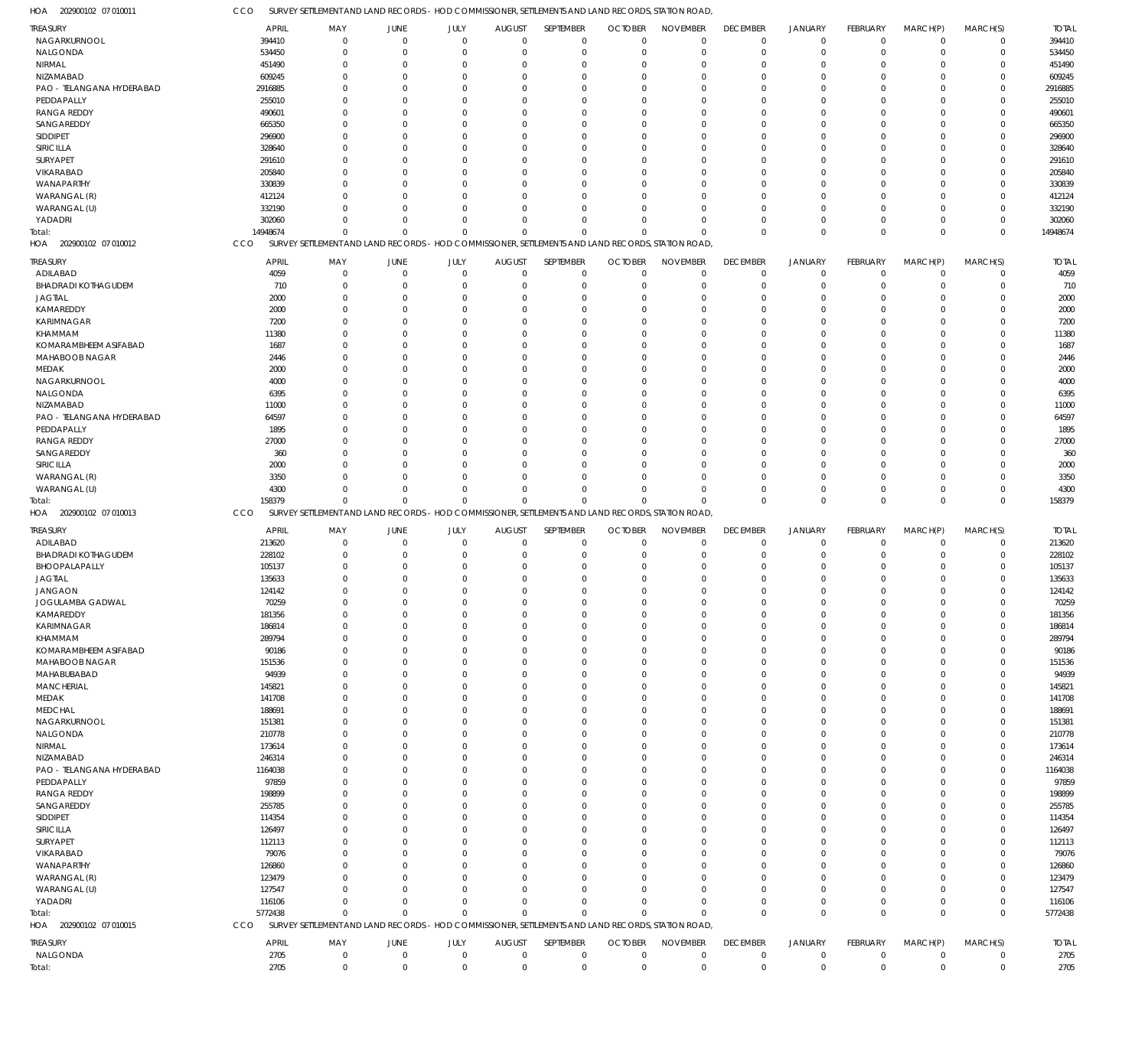202900102 07 010011 HOA 202900102 07 010012 HOA 202900102 07 010013 HOA 202900102 07 010015 HOA SURVEY SETTLEMENT AND LAND RECORDS - HOD COMMISSIONER, SETTLEMENTS AND LAND RECORDS, STATION ROAD, SURVEY SETTLEMENT AND LAND RECORDS - HOD COMMISSIONER, SETTLEMENTS AND LAND RECORDS, STATION ROAD, SURVEY SETTLEMENT AND LAND RECORDS - HOD COMMISSIONER, SETTLEMENTS AND LAND RECORDS, STATION ROAD, SURVEY SETTLEMENT AND LAND RECORDS - HOD COMMISSIONER, SETTLEMENTS AND LAND RECORDS, STATION ROAD, CCO CCO CCO CCO 14948674 158379 5772438  $\theta$ 0  $\Omega$ 0 0  $\Omega$ 0 0 0  $\theta$ 0  $\Omega$ 0 0  $\Omega$  $\Omega$ 0  $\Omega$  $\Omega$ 0  $\Omega$  $\Omega$ 0  $\Omega$ 0 0  $\Omega$  $\mathbf 0$ 0  $\Omega$ 0 0  $\Omega$  $\Omega$ 0  $\Omega$ 14948674 158379 5772438 NAGARKURNOOL NALGONDA NIRMAL NIZAMABAD PAO - TELANGANA HYDERABAD PEDDAPALLY RANGA REDDY SANGAREDDY SIDDIPET SIRICILLA SURYAPET VIKARABAD WANAPARTHY WARANGAL (R) WARANGAL (U) YADADRI ADILABAD BHADRADI KOTHAGUDEM JAGTIAL KAMAREDDY KARIMNAGAR KHAMMAM KOMARAMBHEEM ASIFABAD MAHABOOB NAGAR MEDAK NAGARKURNOOL NALGONDA NIZAMABAD PAO - TELANGANA HYDERABAD **PEDDAPALLY** RANGA REDDY SANGAREDDY SIRICILLA WARANGAL (R) WARANGAL (U) ADILABAD BHADRADI KOTHAGUDEM BHOOPALAPALLY JAGTIAL JANGAON JOGULAMBA GADWAL KAMAREDDY KARIMNAGAR KHAMMAM KOMARAMBHEEM ASIFABAD MAHABOOB NAGAR MAHABUBABAD **MANCHERIAL** MEDAK MEDCHAL NAGARKURNOOL NALGONDA NIRMAL NIZAMABAD PAO - TELANGANA HYDERABAD PEDDAPALLY RANGA REDDY SANGAREDDY SIDDIPET SIRICILLA SURYAPET VIKARABAD WANAPARTHY WARANGAL (R) WARANGAL (U) YADADRI NALGONDA TREASURY TREASURY TREASURY TREASURY 394410 534450 451490 609245 2916885 255010 490601 665350 296900 328640 291610 205840 330839 412124 332190 302060 4059 710 2000 2000 7200 11380 1687 2446 2000 4000 6395 11000 64597 1895 27000 360 2000 3350 4300 213620 228102 105137 135633 124142 70259 181356 186814 289794 90186 151536 94939 145821 141708 188691 151381 210778 173614 246314 1164038 97859 198899 255785 114354 126497 112113 79076 126860 123479 127547 116106 2705 APRIL APRIL APRIL APRIL 0 0  $\Omega$ 0 0  $\sqrt{2}$ 0  $\Omega$  $\Omega$ 0  $\Omega$ 0  $\Omega$ 0 0 0 0 0 0 0 0  $\Omega$  $\Omega$ 0 0  $\Omega$ 0  $\Omega$ 0  $\Omega$ 0 0  $\Omega$ 0 0 0 0 0 0  $\Omega$ 0 0  $\sqrt{2}$ 0  $\Omega$  $\Omega$ 0  $\Omega$ 0  $\Omega$ 0 0  $\Omega$ 0  $\Omega$ 0  $\Omega$ 0 0  $\Omega$ 0  $\Omega$ 0 0  $\Omega$ 0 0 MAY MAY MAY MAY 0 0  $\Omega$ 0 0  $\sqrt{2}$ 0  $\Omega$ 0 0  $\Omega$ 0  $\Omega$ 0 0  $\boldsymbol{0}$ 0  $\Omega$ 0 0 0 0  $\Omega$ 0 0 0 0  $\Omega$ 0  $\Omega$ 0 0  $\Omega$  $\boldsymbol{0}$  $\Omega$ 0 0 0 0  $\Omega$ 0 0  $\Omega$ 0  $\Omega$ 0 0 0 0  $\Omega$ 0 0 0 0  $\Omega$ 0  $\Omega$  $\boldsymbol{0}$ 0  $\Omega$ 0  $\Omega$ 0 0  $\Omega$ 0 0 JUNE JUNE JUNE JUNE 0 0  $\Omega$ 0 0  $\sqrt{0}$ 0  $\Omega$ 0 0 0 0  $\Omega$ 0 0 0 0  $\Omega$ 0 0 0 0  $\Omega$ 0 0 0 0  $\Omega$ 0  $\Omega$ 0 0  $\sqrt{0}$ 0  $\Omega$ 0 0 0 0  $\Omega$ 0 0  $\sqrt{0}$ 0  $\Omega$ 0 0 0 0  $\Omega$ 0 0  $\Omega$ 0  $\Omega$ 0  $\sqrt{0}$ 0 0  $\sqrt{0}$ 0  $\Omega$ 0 0  $\Omega$ 0  $\sqrt{0}$ JULY JULY JULY JULY 0 0  $\Omega$ 0 0  $\sqrt{2}$ 0  $\Omega$  $\Omega$ 0  $\Omega$ 0  $\Omega$ 0 0 0 0  $\Omega$ 0 0 0  $\Omega$  $\Omega$ 0 0  $\Omega$ 0  $\Omega$ 0  $\Omega$ 0  $\Omega$  $\Omega$ 0  $\Omega$ 0 0 0 0  $\Omega$ 0 0  $\sqrt{2}$ 0  $\Omega$  $\Omega$ 0  $\Omega$ 0  $\Omega$ 0 0  $\Omega$ 0  $\Omega$ 0  $\Omega$ 0  $\Omega$  $\Omega$ 0  $\Omega$ 0 0  $\Omega$ 0  $\Omega$ AUGUST AUGUST **AUGUST** AUGUST 0 0  $\Omega$ 0 0  $\Omega$ 0  $\Omega$  $\Omega$ 0  $\Omega$  $\overline{0}$  $\Omega$ 0 0  $\Omega$ 0  $\Omega$ 0 0  $\Omega$  $\Omega$  $\Omega$ 0 0  $\Omega$  $\Omega$  $\Omega$  $\overline{0}$  $\Omega$ 0  $\Omega$  $\Omega$ 0  $\Omega$ 0 0  $\Omega$ 0  $\Omega$ 0 0  $\Omega$ 0  $\Omega$  $\Omega$ 0  $\Omega$ 0  $\Omega$ 0 0  $\Omega$  $\Omega$  $\Omega$  $\overline{0}$  $\Omega$ 0  $\Omega$  $\Omega$ 0  $\Omega$  $\Omega$ 0  $\Omega$ 0  $\Omega$ SEPTEMBER SEPTEMBER SEPTEMBER SEPTEMBER 0 0  $\Omega$ 0 0  $\Omega$ 0  $\Omega$  $\Omega$ 0  $\Omega$ 0  $\Omega$ 0 0  $\Omega$ 0  $\Omega$ 0 0  $\Omega$  $\Omega$  $\Omega$ 0 0  $\Omega$  $\Omega$  $\Omega$ 0  $\Omega$ 0  $\Omega$  $\Omega$ 0  $\Omega$ 0 0 0 0  $\Omega$ 0 0  $\Omega$ 0  $\Omega$  $\Omega$ 0  $\Omega$ 0  $\Omega$ 0 0  $\Omega$  $\Omega$  $\Omega$ 0  $\Omega$ 0  $\Omega$  $\Omega$ 0  $\Omega$ 0  $\Omega$  $\Omega$ 0  $\Omega$ **OCTOBER OCTOBER OCTOBER** OCTOBER 0 0  $\Omega$ 0 0  $\Omega$ 0  $\Omega$ 0 0  $\Omega$ 0  $\Omega$ 0 0  $\Omega$ 0  $\Omega$ 0 0 0 0  $\Omega$ 0 0 0  $\Omega$  $\Omega$ 0  $\Omega$ 0 0  $\Omega$ 0  $\Omega$ 0 0 0 0  $\Omega$ 0 0  $\sqrt{2}$ 0  $\Omega$  $\overline{0}$ 0  $\Omega$ 0  $\Omega$ 0 0  $\Omega$  $\Omega$  $\Omega$ 0  $\Omega$ 0 0  $\Omega$ 0  $\Omega$ 0 0  $\Omega$ 0  $\Omega$ NOVEMBER NOVEMBER NOVEMBER NOVEMBER 0 0  $\Omega$ 0 0  $\Omega$ 0  $\Omega$  $\overline{0}$ 0  $\Omega$ 0  $\Omega$ 0 0  $\Omega$ 0  $\Omega$ 0 0 0  $\Omega$  $\Omega$ 0 0  $\Omega$ 0  $\Omega$  $\overline{0}$  $\Omega$ 0  $\Omega$  $\Omega$ 0  $\Omega$ 0 0 0 0  $\Omega$ 0 0  $\Omega$ 0  $\Omega$  $\Omega$ 0  $\Omega$ 0  $\Omega$ 0 0  $\Omega$ 0  $\Omega$  $\overline{0}$  $\Omega$ 0  $\Omega$  $\Omega$ 0  $\Omega$ 0 0  $\Omega$ 0  $\Omega$ DECEMBER DECEMBER DECEMBER DECEMBER 0 0  $\Omega$ 0 0  $\Omega$ 0  $\Omega$  $\Omega$ 0  $\Omega$ 0  $\Omega$ 0 0 0 0  $\Omega$ 0 0 0  $\Omega$  $\Omega$ 0 0  $\Omega$ 0  $\Omega$ 0  $\Omega$ 0 0  $\Omega$  $\,$  0  $\,$  $\Omega$ 0 0 0 0  $\Omega$ 0 0  $\Omega$ 0  $\Omega$ 0 0 0 0  $\Omega$ 0 0  $\Omega$ 0  $\Omega$ 0  $\Omega$ 0  $\Omega$  $\Omega$ 0  $\Omega$ 0 0  $\Omega$ 0  $\Omega$ JANUARY JANUARY JANUARY JANUARY 0 0  $\Omega$ 0 0  $\Omega$ 0  $\Omega$  $\overline{0}$ 0 0 0  $\Omega$ 0 0 0 0  $\Omega$  $\overline{0}$ 0 0 0  $\Omega$ 0 0 0 0 0 0  $\Omega$ 0 0  $\Omega$  $\boldsymbol{0}$  $\Omega$ 0 0 0 0  $\Omega$ 0 0  $\Omega$ 0  $\Omega$  $\overline{0}$ 0 0 0  $\Omega$ 0 0 0 0  $\Omega$ 0  $\Omega$ 0 0  $\Omega$ 0  $\Omega$ 0 0 0 0  $\Omega$ FEBRUARY FEBRUARY FEBRUARY FEBRUARY 0 0  $\Omega$ 0 0  $\Omega$ 0  $\Omega$  $\Omega$ 0  $\Omega$ 0  $\Omega$ 0 0 0 0  $\Omega$  $\overline{0}$ 0  $\Omega$  $\Omega$  $\Omega$  $\overline{0}$ 0 0  $\Omega$  $\Omega$ 0  $\Omega$ 0  $\Omega$  $\Omega$ 0  $\Omega$ 0 0  $\Omega$ 0  $\Omega$ 0 0  $\Omega$ 0  $\Omega$  $\Omega$ 0 0 0  $\Omega$  $\overline{0}$ 0  $\Omega$  $\Omega$  $\Omega$ 0  $\Omega$ 0  $\Omega$  $\Omega$ 0  $\Omega$ 0 0  $\Omega$ 0  $\Omega$ MARCH(P) MARCH(P) MARCH(P) MARCH(P)  $\Omega$ 0  $\Omega$ 0  $\Omega$  $\Omega$ 0  $\Omega$ 0  $\Omega$  $\Omega$ 0  $\Omega$ 0 0 0 0  $\Omega$ 0 0 0  $\Omega$  $\Omega$ 0 0 0  $\Omega$  $\Omega$ 0  $\Omega$ 0  $\Omega$  $\Omega$ 0  $\Omega$ 0 0  $\Omega$ 0  $\Omega$ 0 0  $\Omega$ 0  $\Omega$ 0 0  $\Omega$ 0  $\Omega$ 0 0 0  $\Omega$  $\Omega$ 0  $\Omega$ 0  $\Omega$  $\Omega$ 0  $\Omega$ 0 0  $\Omega$ 0  $\Omega$ MARCH(S) MARCH(S) MARCH(S) MARCH(S) 394410 534450 451490 609245 2916885 255010 490601 665350 296900 328640 291610 205840 330839 412124 332190 302060 4059 710 2000 2000 7200 11380 1687 2446 2000 4000 6395 11000 64597 1895 27000 360 2000 3350 4300 213620 228102 105137 135633 124142 70259 181356 186814 289794 90186 151536 94939 145821 141708 188691 151381 210778 173614 246314 1164038 97859 198899 255785 114354 126497 112113 79076 126860 123479 127547 116106 2705 TOTAL TOTAL TOTAL TOTAL Total: Total: Total:

2705

Total:

0

0

0

0

0

0

0

0

0

0

0

0

2705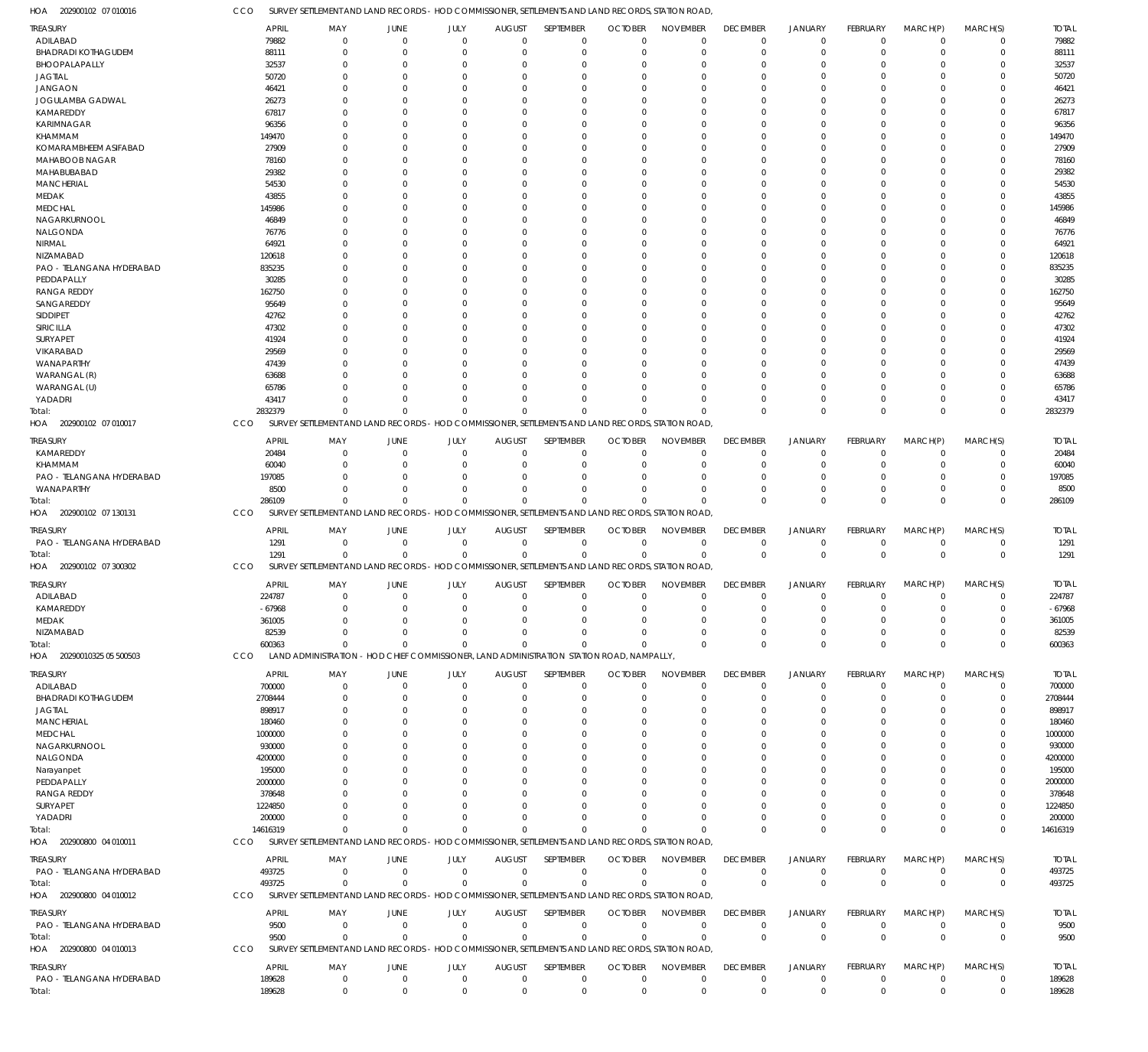202900102 07 010016 HOA CCO SURVEY SETTLEMENT AND LAND RECORDS - HOD COMMISSIONER, SETTLEMENTS AND LAND RECORDS, STATION ROAD, ADILABAD TREASURY APRIL MAY JUNE JULY AUGUST SEPTEMBER OCTOBER NOVEMBER DECEMBER JANUARY FEBRUARY MARCH(P) MARCH(S)  $\overline{0}$  

TOTAL

| ADILABAD                            | 79882            | 0                                                                                                 | C                |                            |                     | 0                          | $\Omega$                     |                             |                   |                               |                               |                                  | 0                          | 79882            |
|-------------------------------------|------------------|---------------------------------------------------------------------------------------------------|------------------|----------------------------|---------------------|----------------------------|------------------------------|-----------------------------|-------------------|-------------------------------|-------------------------------|----------------------------------|----------------------------|------------------|
| <b>BHADRADI KOTHAGUDEM</b>          | 88111            | $\Omega$                                                                                          | $\Omega$         | $\Omega$                   |                     | $\Omega$                   | $\Omega$                     | $\Omega$                    |                   |                               |                               |                                  | $\Omega$                   | 88111            |
| BHOOPALAPALLY                       | 32537            | $\Omega$                                                                                          | $\Omega$         | $\Omega$                   |                     | $\Omega$                   | $\Omega$                     | $\Omega$                    |                   |                               |                               | $\Omega$                         | 0                          | 32537            |
| <b>JAGTIAL</b>                      | 50720            |                                                                                                   | $\Omega$         | $\Omega$                   |                     | $\Omega$                   | $\Omega$                     | $\Omega$                    |                   |                               |                               |                                  | $\Omega$                   | 50720            |
| <b>JANGAON</b>                      | 46421            |                                                                                                   | C                | $\Omega$                   |                     | $\Omega$                   | $\Omega$                     | $\Omega$                    |                   |                               |                               |                                  | $\Omega$                   | 4642             |
| JOGULAMBA GADWAL                    | 26273            |                                                                                                   | C                | $\Omega$                   |                     | $\Omega$                   | $\Omega$                     | $\Omega$                    |                   |                               |                               |                                  | $\Omega$                   | 26273            |
| KAMAREDDY                           | 67817            |                                                                                                   | C                | $\Omega$                   |                     | $\Omega$                   | $\Omega$                     | $\Omega$                    |                   |                               |                               | $\Omega$                         | $\Omega$                   | 67817            |
| <b>KARIMNAGAR</b>                   | 96356            |                                                                                                   | C                | $\Omega$                   |                     | $\Omega$                   | $\Omega$                     | $\Omega$                    |                   |                               |                               |                                  | $\Omega$                   | 96356            |
| KHAMMAM                             | 149470           | $\Omega$                                                                                          | C                | $\Omega$                   |                     | $\Omega$                   | $\Omega$                     | $\Omega$                    |                   |                               |                               | $\Omega$                         | $\Omega$                   | 149470           |
| KOMARAMBHEEM ASIFABAD               | 27909            |                                                                                                   | C                | $\Omega$                   |                     | $\Omega$                   | $\Omega$                     | $\Omega$                    |                   |                               |                               |                                  | $\Omega$                   | 27909            |
| MAHABOOB NAGAR                      | 78160            | $\Omega$                                                                                          | C                | $\Omega$                   |                     | $\Omega$                   | $\Omega$                     | $\Omega$                    |                   |                               |                               | $\Omega$                         | $\Omega$                   | 78160            |
|                                     |                  |                                                                                                   |                  |                            |                     |                            |                              |                             |                   |                               |                               |                                  |                            |                  |
| MAHABUBABAD                         | 29382            |                                                                                                   | C                | $\Omega$                   |                     | $\Omega$                   | $\Omega$                     | $\Omega$                    |                   |                               |                               |                                  | $\Omega$                   | 29382            |
| <b>MANCHERIAL</b>                   | 54530            | 0                                                                                                 | C                | $\Omega$                   |                     | $\Omega$                   | $\Omega$                     | $\Omega$                    |                   |                               |                               |                                  | $\Omega$                   | 54530            |
| MEDAK                               | 43855            |                                                                                                   | C                | $\Omega$                   |                     | $\Omega$                   | $\Omega$                     | $\Omega$                    |                   |                               |                               |                                  | $\Omega$                   | 43855            |
| <b>MEDCHAL</b>                      | 145986           | $\Omega$                                                                                          | C                | $\Omega$                   |                     | $\Omega$                   | $\Omega$                     | $\Omega$                    |                   |                               |                               | $\Omega$                         | $\Omega$                   | 145986           |
| NAGARKURNOOL                        | 46849            |                                                                                                   | C                | $\Omega$                   |                     | $\Omega$                   | $\Omega$                     | $\Omega$                    |                   |                               |                               |                                  | $\Omega$                   | 46849            |
| <b>NALGONDA</b>                     | 76776            | $\Omega$                                                                                          | C                | $\Omega$                   |                     | $\Omega$                   | $\Omega$                     | $\Omega$                    |                   |                               |                               |                                  | $\Omega$                   | 76776            |
| NIRMAL                              | 64921            | $\Omega$                                                                                          | C                | $\Omega$                   |                     | $\Omega$                   | $\Omega$                     | $\Omega$                    |                   |                               |                               |                                  | $\Omega$                   | 64921            |
| NIZAMABAD                           | 120618           | $\Omega$                                                                                          | C                | $\Omega$                   |                     | $\Omega$                   | $\Omega$                     | $\Omega$                    |                   |                               |                               | $\Omega$                         | $\Omega$                   | 120618           |
| PAO - TELANGANA HYDERABAD           | 835235           |                                                                                                   | C                | $\Omega$                   |                     | $\Omega$                   | $\Omega$                     | $\Omega$                    |                   |                               |                               |                                  | $\Omega$                   | 835235           |
| PEDDAPALLY                          | 30285            | $\Omega$                                                                                          |                  | $\Omega$                   |                     | $\Omega$                   | $\Omega$                     | $\Omega$                    |                   |                               |                               |                                  | $\Omega$                   | 30285            |
|                                     |                  |                                                                                                   | C                |                            |                     |                            |                              |                             |                   |                               |                               |                                  |                            |                  |
| <b>RANGA REDDY</b>                  | 162750           |                                                                                                   | C                | $\Omega$                   |                     | $\Omega$                   | $\Omega$                     | $\Omega$                    |                   |                               |                               |                                  | $\Omega$                   | 162750           |
| SANGAREDDY                          | 95649            | $\Omega$                                                                                          | C                | $\Omega$                   |                     | $\Omega$                   | $\Omega$                     | $\Omega$                    |                   |                               |                               | $\Omega$                         | $\Omega$                   | 95649            |
| SIDDIPET                            | 42762            |                                                                                                   | C                | $\Omega$                   |                     | $\Omega$                   | $\Omega$                     | $\Omega$                    |                   |                               |                               |                                  | $\Omega$                   | 42762            |
| SIRICILLA                           | 47302            |                                                                                                   | C                | $\Omega$                   |                     | $\Omega$                   | $\Omega$                     | $\Omega$                    |                   |                               |                               |                                  | $\Omega$                   | 47302            |
| SURYAPET                            | 41924            |                                                                                                   | C                | $\Omega$                   |                     | $\Omega$                   | $\Omega$                     | $\Omega$                    |                   |                               |                               |                                  | $\Omega$                   | 41924            |
| VIKARABAD                           | 29569            |                                                                                                   | C                | $\Omega$                   |                     | $\Omega$                   | $\Omega$                     | $\Omega$                    |                   |                               |                               | $\Omega$                         | $\Omega$                   | 29569            |
| WANAPARTHY                          | 47439            |                                                                                                   | C                | $\Omega$                   |                     | $\Omega$                   | -C                           | $\Omega$                    |                   |                               |                               |                                  | 0                          | 47439            |
| WARANGAL (R)                        | 63688            |                                                                                                   | $\Omega$         | $\Omega$                   |                     | $\Omega$                   | $\Omega$                     | $\Omega$                    |                   |                               |                               | $\Omega$                         | $\Omega$                   | 63688            |
| WARANGAL (U)                        | 65786            |                                                                                                   | $\Omega$         | $\Omega$                   |                     | $\Omega$                   | $\Omega$                     | $\Omega$                    |                   |                               |                               | $\Omega$                         | $\Omega$                   | 65786            |
|                                     | 43417            | $\Omega$                                                                                          | $\Omega$         | $\Omega$                   | $\Omega$            | $\Omega$                   | $\Omega$                     | $\Omega$                    |                   | $\Omega$                      | $\Omega$                      | $\Omega$                         | 0                          | 43411            |
| YADADRI                             |                  |                                                                                                   |                  |                            |                     |                            |                              |                             |                   |                               |                               |                                  |                            |                  |
| Total:                              | 2832379          | $\Omega$                                                                                          | $\Omega$         | $\Omega$                   | $\Omega$            | $\Omega$                   | -C                           | $\Omega$                    | $\Omega$          | $\Omega$                      | $\Omega$                      | $\Omega$                         | $\Omega$                   | 2832379          |
| HOA 202900102 07 010017             | CCO              | SURVEY SETTLEMENT AND LAND RECORDS - HOD COMMISSIONER, SETTLEMENTS AND LAND RECORDS, STATION ROAD |                  |                            |                     |                            |                              |                             |                   |                               |                               |                                  |                            |                  |
| <b>TREASURY</b>                     | <b>APRIL</b>     | MAY                                                                                               | <b>JUNE</b>      | JULY                       | <b>AUGUST</b>       | SEPTEMBER                  | <b>OCTOBER</b>               | <b>NOVEMBER</b>             | <b>DECEMBER</b>   | <b>JANUARY</b>                | <b>FEBRUARY</b>               | MARCH(P)                         | MARCH(S)                   | <b>TOTAL</b>     |
| KAMAREDDY                           | 20484            | $\mathbf 0$                                                                                       | $\mathbf 0$      | $\mathbf 0$                | $\Omega$            | $\mathbf 0$                | $\Omega$                     | $\Omega$                    | $\Omega$          | $\Omega$                      | $\Omega$                      | $\Omega$                         | $\mathbf 0$                | 20484            |
|                                     |                  |                                                                                                   |                  |                            |                     |                            |                              |                             |                   |                               |                               |                                  |                            |                  |
| KHAMMAM                             | 60040            | $\Omega$                                                                                          | $\Omega$         | $\mathbf 0$                | $\Omega$            | $\mathbf 0$                | $\Omega$                     | $\Omega$                    | $\Omega$          | $\Omega$                      | $\Omega$                      | $\Omega$                         | $\mathbf 0$                | 60040            |
| PAO - TELANGANA HYDERABAD           | 197085           | $\Omega$                                                                                          | $\Omega$         | $\Omega$                   | $\Omega$            | $\mathbf 0$                | $\Omega$                     | $\Omega$                    | $\Omega$          | $\Omega$                      |                               | $\Omega$                         | 0                          | 197085           |
| WANAPARTHY                          | 8500             | $\Omega$                                                                                          | $\Omega$         | $\Omega$                   | $\Omega$            | $\Omega$                   | $\Omega$                     | $\Omega$                    | $\Omega$          | $\Omega$                      | $\Omega$                      | $\Omega$                         | 0                          | 8500             |
|                                     |                  |                                                                                                   |                  |                            |                     |                            |                              |                             |                   |                               |                               |                                  |                            |                  |
| Total:                              | 286109           | $\overline{0}$                                                                                    | $\Omega$         | $\Omega$                   | $\Omega$            | $\Omega$                   | $\Omega$                     | $\Omega$                    | $\Omega$          | $\Omega$                      | $\Omega$                      | $\mathbf{0}$                     | $\mathbf 0$                | 286109           |
| HOA 202900102 07 130131             | CCO              | SURVEY SETTLEMENT AND LAND RECORDS - HOD COMMISSIONER, SETTLEMENTS AND LAND RECORDS, STATION ROAD |                  |                            |                     |                            |                              |                             |                   |                               |                               |                                  |                            |                  |
|                                     |                  |                                                                                                   |                  |                            |                     |                            |                              |                             |                   |                               |                               |                                  |                            |                  |
| <b>TREASURY</b>                     | <b>APRIL</b>     | MAY                                                                                               | <b>JUNE</b>      | JULY                       | <b>AUGUST</b>       | SEPTEMBER                  | <b>OCTOBER</b>               | <b>NOVEMBER</b>             | <b>DECEMBER</b>   | <b>JANUARY</b>                | <b>FEBRUARY</b>               | MARCH(P)                         | MARCH(S)                   | <b>TOTAL</b>     |
| PAO - TELANGANA HYDERABAD           | 1291             | $\mathbf 0$                                                                                       | 0                | $\mathbf 0$                | $\mathbf 0$         | $\mathbf 0$                | $\Omega$                     | $\Omega$                    | $\Omega$          | $\Omega$                      | $\Omega$                      | $\Omega$                         | $\mathbf 0$                | 1291             |
| Total:                              | 1291             | $\mathbf 0$                                                                                       | $\mathbf 0$      | $\mathbf 0$                | $\mathbf 0$         | $\mathbf 0$                | $\Omega$                     | $\Omega$                    | $\Omega$          | $\overline{0}$                | $\mathbf 0$                   | $\Omega$                         | $\mathbf 0$                | 1291             |
| HOA 202900102 07 300302             | CCO              | SURVEY SETTLEMENT AND LAND RECORDS - HOD COMMISSIONER, SETTLEMENTS AND LAND RECORDS, STATION ROAD |                  |                            |                     |                            |                              |                             |                   |                               |                               |                                  |                            |                  |
|                                     |                  |                                                                                                   |                  |                            |                     |                            |                              |                             |                   |                               |                               |                                  |                            |                  |
| TREASURY                            | <b>APRIL</b>     | MAY                                                                                               | <b>JUNE</b>      | JULY                       | <b>AUGUST</b>       | <b>SEPTEMBER</b>           | <b>OCTOBER</b>               | <b>NOVEMBER</b>             | <b>DECEMBER</b>   | <b>JANUARY</b>                | <b>FEBRUARY</b>               | MARCH(P)                         | MARCH(S)                   | <b>TOTAL</b>     |
| ADILABAD                            | 224787           | $\mathbf 0$                                                                                       | 0                | $\mathbf 0$                | 0                   | $\mathbf 0$                | $\Omega$                     | $\Omega$                    | $\Omega$          | $\Omega$                      | $\Omega$                      | $\Omega$                         | 0                          | 224787           |
| KAMAREDDY                           | $-67968$         | $\Omega$                                                                                          | $\Omega$         | $\mathbf 0$                | $\Omega$            | $\mathbf 0$                | $\Omega$                     | $\Omega$                    | $\Omega$          | $\Omega$                      | $\Omega$                      | $\Omega$                         | $\mathbf 0$                | $-67968$         |
| MEDAK                               | 361005           | $\Omega$                                                                                          | $\Omega$         | $\mathbf 0$                | $\Omega$            | $\mathbf 0$                | $\Omega$                     | $\Omega$                    | $\Omega$          | $\Omega$                      | $\Omega$                      | $\Omega$                         | $\mathbf 0$                | 361005           |
| <b>NIZAMABAD</b>                    | 82539            | $\Omega$                                                                                          | $\Omega$         | $\mathbf 0$                | $\Omega$            | $\Omega$                   | $\mathbf 0$                  | $\mathbf 0$                 | $\Omega$          | $\mathbf 0$                   | $\mathbf{0}$                  | $\mathbf 0$                      | $\Omega$                   | 82539            |
| Total:                              | 600363           | $\mathbf 0$                                                                                       | $\Omega$         | $\Omega$                   | $\Omega$            | $\mathbf{0}$               | $\Omega$                     | $\Omega$                    | $\mathbf 0$       | $\mathbf 0$                   | $\mathbf{0}$                  | $\mathbf{0}$                     | $\mathbf 0$                | 600363           |
| HOA 20290010325 05 500503           | <b>CCO</b>       | LAND ADMINISTRATION - HOD CHIEF COMMISSIONER, LAND ADMINISTRATION STATION ROAD, NAMPALLY,         |                  |                            |                     |                            |                              |                             |                   |                               |                               |                                  |                            |                  |
|                                     |                  |                                                                                                   |                  |                            |                     |                            |                              |                             |                   |                               |                               |                                  |                            |                  |
| <b>TREASURY</b>                     | <b>APRIL</b>     | MAY                                                                                               | <b>JUNE</b>      | JULY                       | <b>AUGUST</b>       | SEPTEMBER                  | <b>OCTOBER</b>               | <b>NOVEMBER</b>             | <b>DECEMBER</b>   | <b>JANUARY</b>                | <b>FEBRUARY</b>               | MARCH(P)                         | MARCH(S)                   | <b>TOTAL</b>     |
| ADILABAD                            | 700000           | 0                                                                                                 | 0                | $\Omega$                   | 0                   | $\mathbf 0$                | $\Omega$                     | $\Omega$                    | 0                 | $^{\circ}$                    | 0                             | $\Omega$                         | 0                          | 700000           |
| <b>BHADRADI KOTHAGUDEM</b>          | 2708444          | $\Omega$                                                                                          | 0                | $\Omega$                   |                     | $\mathbf 0$                | $\Omega$                     | $\Omega$                    | $\Omega$          | $\Omega$                      | $\Omega$                      |                                  | 0                          | 2708444          |
| <b>JAGTIAL</b>                      | 898917           |                                                                                                   | C                | $\Omega$                   |                     | $\Omega$                   | -0                           | $\Omega$                    |                   |                               |                               |                                  |                            | 898917           |
| <b>MANCHERIAL</b>                   | 180460           |                                                                                                   | C                |                            |                     | $\Omega$                   | -0                           | $\Omega$                    |                   |                               |                               |                                  |                            | 180460           |
| <b>MEDCHAL</b>                      | 1000000          |                                                                                                   |                  |                            |                     | $\Omega$                   | -0                           | $\Omega$                    |                   |                               |                               |                                  |                            | 1000000          |
|                                     |                  |                                                                                                   |                  |                            |                     | $\Omega$                   |                              |                             |                   |                               |                               |                                  |                            |                  |
| NAGARKURNOOL                        | 930000           |                                                                                                   |                  |                            |                     |                            |                              |                             |                   |                               |                               |                                  |                            | 930000           |
| NALGONDA                            | 4200000          |                                                                                                   |                  |                            |                     | $\Omega$                   |                              |                             |                   |                               |                               |                                  | 0                          | 4200000          |
| Narayanpet                          | 195000           |                                                                                                   |                  |                            |                     |                            |                              |                             |                   |                               |                               |                                  |                            | 195000           |
| PEDDAPALLY                          | 2000000          |                                                                                                   |                  |                            |                     |                            |                              |                             |                   |                               |                               |                                  |                            | 2000000          |
| <b>RANGA REDDY</b>                  | 378648           |                                                                                                   |                  |                            |                     |                            |                              |                             |                   |                               |                               |                                  |                            | 378648           |
| SURYAPET                            | 1224850          |                                                                                                   |                  |                            |                     | $\Omega$                   |                              |                             |                   |                               |                               |                                  | 0                          | 1224850          |
| YADADRI                             | 200000           |                                                                                                   |                  |                            |                     | $\Omega$                   |                              | $\Omega$                    |                   |                               |                               |                                  |                            | 200000           |
| Total:                              | 14616319         | $\Omega$                                                                                          |                  | $\Omega$                   |                     | $\Omega$                   |                              | $\Omega$                    |                   | $\Omega$                      | $\Omega$                      | $\Omega$                         | $\Omega$                   | 14616319         |
| HOA 202900800 04 010011             | CCO              | SURVEY SETTLEMENT AND LAND RECORDS - HOD COMMISSIONER, SETTLEMENTS AND LAND RECORDS, STATION ROAD |                  |                            |                     |                            |                              |                             |                   |                               |                               |                                  |                            |                  |
|                                     |                  |                                                                                                   |                  |                            |                     |                            |                              |                             |                   |                               |                               |                                  |                            |                  |
| <b>TREASURY</b>                     | APRIL            | MAY                                                                                               | JUNE             | JULY                       | <b>AUGUST</b>       | SEPTEMBER                  | <b>OCTOBER</b>               | <b>NOVEMBER</b>             | <b>DECEMBER</b>   | <b>JANUARY</b>                | <b>FEBRUARY</b>               | MARCH(P)                         | MARCH(S)                   | <b>TOTAL</b>     |
| PAO - TELANGANA HYDERABAD           | 493725           | $\mathbf 0$                                                                                       | $\mathbf 0$      | 0                          | $\mathbf{0}$        | $\mathbf 0$                | $\Omega$                     | $\mathbf 0$                 | $\Omega$          | $\mathbf 0$                   | $\Omega$                      | $\Omega$                         | $\mathbf 0$                | 493725           |
| Total:                              | 493725           | $\Omega$                                                                                          | $\Omega$         | 0                          | $\Omega$            | $\mathbf 0$                | $\Omega$                     | $\Omega$                    | $\Omega$          | $\overline{0}$                | $\overline{0}$                | $\Omega$                         | $\mathbf 0$                | 493725           |
| HOA 202900800 04 010012             | CCO              | SURVEY SETTLEMENT AND LAND RECORDS - HOD COMMISSIONER, SETTLEMENTS AND LAND RECORDS, STATION ROAD |                  |                            |                     |                            |                              |                             |                   |                               |                               |                                  |                            |                  |
|                                     |                  |                                                                                                   |                  |                            |                     |                            |                              |                             |                   |                               |                               |                                  |                            |                  |
| <b>TREASURY</b>                     | <b>APRIL</b>     | MAY                                                                                               | JUNE             | JULY                       | <b>AUGUST</b>       | SEPTEMBER                  | <b>OCTOBER</b>               | <b>NOVEMBER</b>             | <b>DECEMBER</b>   | <b>JANUARY</b>                | <b>FEBRUARY</b>               | MARCH(P)                         | MARCH(S)                   | <b>TOTAL</b>     |
| PAO - TELANGANA HYDERABAD           | 9500             | 0                                                                                                 | 0                | 0                          | 0                   | $\mathbf 0$                | 0                            | 0                           | 0                 | $^{\circ}$                    | 0                             | 0                                | 0                          | 9500             |
| Total:                              | 9500             | $\Omega$                                                                                          | $\Omega$         | $\mathbf 0$                | $\mathbf 0$         | $\mathbf 0$                | $\Omega$                     | $\Omega$                    | $\Omega$          | $\overline{0}$                | $\mathbf{0}$                  | $\overline{0}$                   | $\mathbf 0$                | 9500             |
| HOA 202900800 04 010013             | CCO              | SURVEY SETTLEMENT AND LAND RECORDS - HOD COMMISSIONER, SETTLEMENTS AND LAND RECORDS, STATION ROAD |                  |                            |                     |                            |                              |                             |                   |                               |                               |                                  |                            |                  |
|                                     |                  |                                                                                                   |                  |                            |                     |                            |                              |                             |                   |                               |                               |                                  |                            |                  |
| <b>TREASURY</b>                     | APRIL            | MAY                                                                                               | <b>JUNE</b>      | JULY                       | <b>AUGUST</b>       | SEPTEMBER                  | <b>OCTOBER</b>               | <b>NOVEMBER</b>             | <b>DECEMBER</b>   | <b>JANUARY</b>                | <b>FEBRUARY</b>               | MARCH(P)                         | MARCH(S)                   | <b>TOTAL</b>     |
| PAO - TELANGANA HYDERABAD<br>Total: | 189628<br>189628 | $\mathbf 0$<br>$\mathbf 0$                                                                        | 0<br>$\mathbf 0$ | $\mathbf 0$<br>$\mathbf 0$ | $\overline{0}$<br>0 | $\mathbf 0$<br>$\mathbf 0$ | $\overline{0}$<br>$^{\circ}$ | $\mathbf 0$<br>$\mathbf{0}$ | 0<br>$\mathbf{0}$ | $\mathbf 0$<br>$\overline{0}$ | $\overline{0}$<br>$\mathbf 0$ | $\overline{0}$<br>$\overline{0}$ | $\mathbf 0$<br>$\mathbf 0$ | 189628<br>189628 |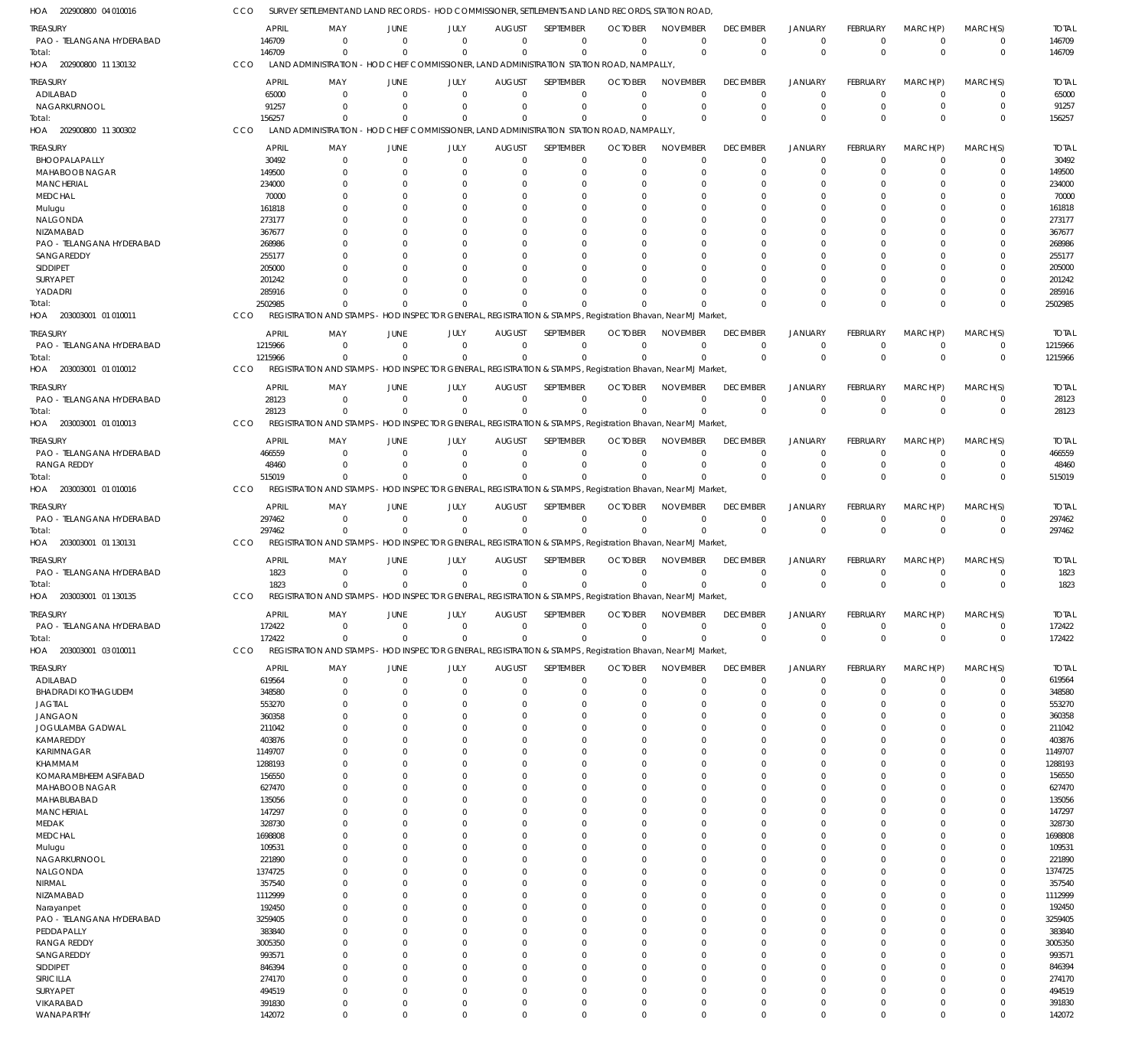202900800 04 010016 HOA 202900800 11 130132 HOA 202900800 11 300302 HOA 203003001 01 010011 HOA 203003001 01 010012 HOA 203003001 01 010013 HOA 203003001 01 010016 HOA 203003001 01 130131 HOA 203003001 01 130135 HOA 203003001 03 010011 HOA SURVEY SETTLEMENT AND LAND RECORDS - HOD COMMISSIONER, SETTLEMENTS AND LAND RECORDS, STATION ROAD, LAND ADMINISTRATION - HOD CHIEF COMMISSIONER, LAND ADMINISTRATION STATION ROAD, NAMPALLY, LAND ADMINISTRATION - HOD CHIEF COMMISSIONER, LAND ADMINISTRATION STATION ROAD, NAMPALLY, REGISTRATION AND STAMPS - HOD INSPECTOR GENERAL, REGISTRATION & STAMPS , Registration Bhavan, Near MJ Market, REGISTRATION AND STAMPS - HOD INSPECTOR GENERAL, REGISTRATION & STAMPS , Registration Bhavan, Near MJ Market, REGISTRATION AND STAMPS - HOD INSPECTOR GENERAL, REGISTRATION & STAMPS, Registration Bhavan, Near MJ Market REGISTRATION AND STAMPS - HOD INSPECTOR GENERAL, REGISTRATION & STAMPS , Registration Bhavan, Near MJ Market, REGISTRATION AND STAMPS - HOD INSPECTOR GENERAL, REGISTRATION & STAMPS , Registration Bhavan, Near MJ Market, REGISTRATION AND STAMPS - HOD INSPECTOR GENERAL, REGISTRATION & STAMPS , Registration Bhavan, Near MJ Market, REGISTRATION AND STAMPS - HOD INSPECTOR GENERAL, REGISTRATION & STAMPS , Registration Bhavan, Near MJ Market, CCO CCO CCO CCO CCO **CCO** CCO **CCO CCO** C<sub>CO</sub> 146709 156257 2502985 1215966 28123 515019 297462 1823 172422 0  $\Omega$  $\Omega$ 0 0 0 0  $\Omega$ 0 0 0  $\Omega$ 0 0 0  $\Omega$ 0 0 0 0  $\sqrt{0}$ 0 0 0 0 0 0 0 0  $\Omega$ 0 0 0  $\Omega$  $\Omega$ 0 0 0  $\theta$ 0 0 0  $\Omega$  $\theta$ 0 0 0  $\Omega$ 0  $\Omega$ 0  $\Omega$  $\Omega$ 0 0 0  $\Omega$ 0  $\Omega$ 0  $\Omega$  $\Omega$ 0 0 0  $\Omega$ 0 0 0  $\Omega$ 0 0 0 0  $\Omega$ 0 0 0  $\Omega$ 0 0 0  $\boldsymbol{0}$  $\Omega$ 0 0 0  $\Omega$ 0 0 0 0  $\Omega$ 0  $\Omega$ 0  $\Omega$ 0 0 0 0  $\Omega$ 0  $\Omega$ 0  $\Omega$  $\Omega$ 0 146709 156257 2502985 1215966 28123 515019 297462 1823 172422 PAO - TELANGANA HYDERABAD ADILABAD NAGARKURNOOL BHOOPALAPALLY MAHABOOB NAGAR **MANCHERIAL** MEDCHAL Mulugu NALGONDA NIZAMABAD PAO - TELANGANA HYDERABAD SANGAREDDY SIDDIPET SURYAPET YADADRI PAO - TELANGANA HYDERABAD PAO - TELANGANA HYDERABAD PAO - TELANGANA HYDERABAD RANGA REDDY PAO - TELANGANA HYDERABAD PAO - TELANGANA HYDERABAD PAO - TELANGANA HYDERABAD ADILABAD BHADRADI KOTHAGUDEM JAGTIAL JANGAON JOGULAMBA GADWAL KAMAREDDY KARIMNAGAR KHAMMAM KOMARAMBHEEM ASIFABAD MAHABOOB NAGAR MAHABUBABAD **MANCHERIAL** MEDAK MEDCHAL Mulugu NAGARKURNOOL NALGONDA NIRMAL NIZAMABAD Narayanpet PAO - TELANGANA HYDERABAD PEDDAPALLY RANGA REDDY **SANGAREDDY** SIDDIPET SIRICILLA SURYAPET VIKARABAD WANAPARTHY TREASURY TREASURY TREASURY TREASURY **TREASURY** TREASURY **TREASURY** TREASURY TREASURY **TREASURY** 146709 65000 91257 30492 149500 234000 70000 161818 273177 367677 268986 255177 205000 201242 285916 1215966 28123 466559 48460 297462 1823 172422 619564 348580 553270 360358 211042 403876 1149707 1288193 156550 627470 135056 147297 328730 1698808 109531 221890 1374725 357540 1112999 192450 3259405 383840 3005350 993571 846394 274170 494519 391830 142072 APRIL APRIL APRIL APRIL APRIL APRIL APRIL APRIL APRIL APRIL  $\sqrt{0}$ 0 0 0 0  $\Omega$ 0 0  $\Omega$  $\Omega$  $\Omega$ 0  $\Omega$ 0  $\Omega$ 0 0 0  $\Omega$ 0 0 0 0  $\Omega$  $\Omega$  $\Omega$  $\Omega$ 0  $\Omega$ 0 0  $\Omega$ 0  $\Omega$ 0 0  $\Omega$  $\Omega$  $\Omega$ 0 0  $\Omega$  $\Omega$  $\Omega$ 0  $\Omega$ 0 0  $\Omega$ 0  $\Omega$ MAY MAY MAY MAY MAY MAY MAY MAY MAY MAY 0 0 0 0 0  $\Omega$ 0 0  $\Omega$  $\Omega$  $\Omega$ 0  $\Omega$ 0 0 0 0 0  $\Omega$ 0 0 0 0  $\Omega$ 0 0  $\Omega$ 0  $\Omega$ 0 0  $\Omega$ 0  $\Omega$ 0 0 0  $\Omega$  $\Omega$ 0 0 0 0  $\Omega$ 0  $\Omega$ 0 0  $\Omega$  $\boldsymbol{0}$  $\Omega$ JUNE **JUNE** JUNE JUNE **JUNE** JUNE **JUNE** JUNE JUNE **JUNE** 0 0 0 0 0  $\Omega$ 0 0  $\Omega$  $\Omega$  $\Omega$ 0  $\Omega$ 0  $\Omega$  $\Omega$ 0 0  $\sqrt{0}$ 0 0 0 0  $\Omega$ 0 0  $\Omega$ 0  $\Omega$ 0 0  $\Omega$ 0  $\Omega$ 0 0 0  $\Omega$  $\Omega$ 0 0 0  $\Omega$  $\Omega$ 0  $\Omega$ 0 0  $\sqrt{0}$ 0  $\Omega$ JULY JULY JULY JULY JULY JULY JULY JULY JULY JULY  $\Omega$ 0 0 0 0  $\Omega$ 0 0  $\Omega$  $\Omega$  $\Omega$ 0  $\Omega$ 0  $\Omega$  $\Omega$ 0 0  $\Omega$ 0 0 0 0  $\Omega$  $\Omega$ 0  $\Omega$ 0  $\Omega$ 0  $\Omega$  $\Omega$ 0  $\Omega$  $\Omega$ 0  $\Omega$  $\Omega$  $\Omega$ 0 0  $\Omega$  $\Omega$  $\Omega$ 0  $\Omega$ 0 0  $\Omega$ 0  $\Omega$ AUGUST AUGUST AUGUST AUGUST **AUGUST** AUGUST AUGUST AUGUST AUGUST **AUGUST**  $\Omega$  $\overline{0}$ 0  $\Omega$  $\overline{0}$  $\Omega$  $\overline{0}$  $\Omega$  $\Omega$  $\Omega$  $\Omega$ 0  $\Omega$  $\Omega$  $\Omega$  $\Omega$ 0  $\Omega$  $\Omega$ 0 0  $\Omega$  $\overline{0}$  $\Omega$  $\Omega$  $\Omega$  $\Omega$  $\overline{0}$  $\Omega$  $\overline{0}$  $\Omega$  $\Omega$ 0  $\Omega$  $\Omega$ 0  $\Omega$  $\Omega$  $\Omega$  $\overline{0}$ 0  $\Omega$  $\Omega$  $\Omega$  $\overline{0}$  $\Omega$ 0 0  $\Omega$ 0  $\Omega$ SEPTEMBER **SEPTEMBER** SEPTEMBER SEPTEMBER **SEPTEMBER** SEPTEMBER **SEPTEMBER** SEPTEMBER SEPTEMBER **SEPTEMBER**  $\Omega$ 0 0  $\Omega$ 0  $\Omega$ 0  $\Omega$  $\Omega$  $\Omega$  $\sqrt{2}$ 0  $\Omega$ 0  $\Omega$  $\Omega$ 0 0  $\Omega$ 0 0  $\Omega$ 0  $\sqrt{2}$ 0  $\Omega$  $\Omega$ 0  $\Omega$ 0  $\Omega$  $\Omega$ 0  $\Omega$ 0  $\Omega$  $\Omega$  $\Omega$  $\Omega$ 0  $\Omega$  $\Omega$  $\Omega$  $\Omega$ 0  $\Omega$ 0  $\Omega$  $\Omega$ 0  $\Omega$ **OCTOBER OCTOBER OCTOBER** OCTOBER OCTOBER **OCTOBER OCTOBER** OCTOBER OCTOBER **OCTOBER**  $\Omega$ 0 0  $\Omega$ 0  $\Omega$ 0 0  $\Omega$  $\Omega$  $\Omega$ 0  $\Omega$  $\Omega$  $\Omega$  $\Omega$ 0 0  $\Omega$ 0 0 0 0  $\Omega$ 0  $\Omega$  $\Omega$ 0  $\Omega$ 0  $\Omega$  $\Omega$ 0  $\Omega$ 0  $\Omega$  $\Omega$  $\Omega$  $\Omega$ 0 0  $\Omega$  $\Omega$  $\Omega$ 0  $\Omega$ 0 0  $\Omega$ 0  $\Omega$ NOVEMBER NOVEMBER NOVEMBER NOVEMBER NOVEMBER NOVEMBER NOVEMBER NOVEMBER NOVEMBER NOVEMBER  $\Omega$ 0 0  $\Omega$ 0  $\Omega$  $\Omega$  $\Omega$  $\Omega$  $\Omega$  $\Omega$ 0  $\Omega$ 0  $\Omega$  $\Omega$ 0 0  $\Omega$ 0 0  $\Omega$ 0  $\Omega$  $\Omega$  $\Omega$  $\Omega$ 0  $\Omega$  $\overline{0}$  $\Omega$  $\Omega$ 0  $\Omega$  $\overline{0}$  $\Omega$  $\Omega$  $\Omega$  $\Omega$  $\overline{0}$ 0  $\Omega$  $\Omega$  $\Omega$ 0  $\Omega$ 0 0  $\Omega$ 0  $\Omega$ DECEMBER **DECEMBER** DECEMBER **DECEMBER DECEMBER** DECEMBER **DECEMBER** DECEMBER DECEMBER **DECEMBER**  $\Omega$ 0 0  $\Omega$ 0  $\Omega$ 0  $\Omega$  $\Omega$  $\Omega$  $\Omega$ 0  $\Omega$ 0  $\Omega$  $\Omega$ 0 0  $\Omega$ 0 0  $\Omega$ 0  $\Omega$ 0  $\Omega$  $\Omega$ 0  $\Omega$ 0  $\Omega$  $\Omega$ 0  $\Omega$ 0 0  $\Omega$  $\Omega$  $\Omega$ 0 0  $\Omega$  $\Omega$  $\Omega$ 0  $\Omega$ 0 0  $\Omega$  $\,$  0  $\,$  $\Omega$ JANUARY JANUARY JANUARY JANUARY JANUARY JANUARY JANUARY JANUARY JANUARY JANUARY 0 0 0  $\Omega$ 0  $\Omega$  $\overline{0}$ 0 0  $\Omega$  $\Omega$ 0  $\Omega$ 0 0  $\Omega$ 0 0  $\Omega$ 0 0  $\Omega$ 0  $\Omega$ 0 0  $\Omega$ 0  $\Omega$  $\overline{0}$ 0  $\Omega$ 0  $\Omega$  $\overline{0}$ 0 0  $\Omega$  $\Omega$ 0 0 0 0  $\Omega$ 0  $\Omega$ 0 0  $\Omega$  $\boldsymbol{0}$  $\Omega$ FEBRUARY FEBRUARY FEBRUARY FEBRUARY FEBRUARY FEBRUARY FEBRUARY FEBRUARY FEBRUARY FEBRUARY  $\Omega$ 0 0  $\Omega$ 0  $\Omega$ 0  $\Omega$  $\Omega$  $\Omega$  $\Omega$ 0  $\Omega$ 0  $\Omega$ 0 0  $\Omega$  $\Omega$ 0 0  $\Omega$ 0  $\Omega$ 0  $\Omega$  $\Omega$ 0  $\Omega$  $\overline{0}$  $\Omega$  $\Omega$ 0  $\Omega$ 0  $\Omega$  $\Omega$  $\Omega$  $\Omega$  $\overline{0}$ 0  $\Omega$  $\Omega$  $\Omega$ 0  $\Omega$ 0  $\Omega$  $\Omega$ 0  $\Omega$ MARCH(P) MARCH(P) MARCH(P) MARCH(P) MARCH(P) MARCH(P) MARCH(P) MARCH(P) MARCH(P) MARCH(P)  $\Omega$ 0 0 0 0  $\Omega$ 0  $\Omega$ 0 0  $\Omega$ 0  $\Omega$ 0  $\Omega$  $\Omega$ 0  $\Omega$  $\Omega$ 0  $\Omega$  $\Omega$ 0  $\Omega$ 0  $\Omega$  $\Omega$ 0  $\Omega$ 0 0 0 0  $\Omega$ 0  $\Omega$ 0 0  $\Omega$ 0  $\Omega$ 0  $\Omega$  $\Omega$ 0  $\Omega$ 0  $\Omega$  $\Omega$ 0  $\Omega$ MARCH(S) MARCH(S) MARCH(S) MARCH(S) MARCH(S) MARCH(S) MARCH(S) MARCH(S) MARCH(S) MARCH(S) 146709 65000 91257 30492 149500 234000 70000 161818 273177 367677 268986 255177 205000 201242 285916 1215966 28123 466559 48460 297462 1823 172422 619564 348580 553270 360358 211042 403876 1149707 1288193 156550 627470 135056 147297 328730 1698808 109531 221890 1374725 357540 1112999 192450 3259405 383840 3005350 993571 846394 274170 494519 391830 142072 TOTAL TOTAL TOTAL TOTAL TOTAL TOTAL TOTAL TOTAL TOTAL TOTAL Total: Total: Total: Total: Total: Total: Total: Total: Total: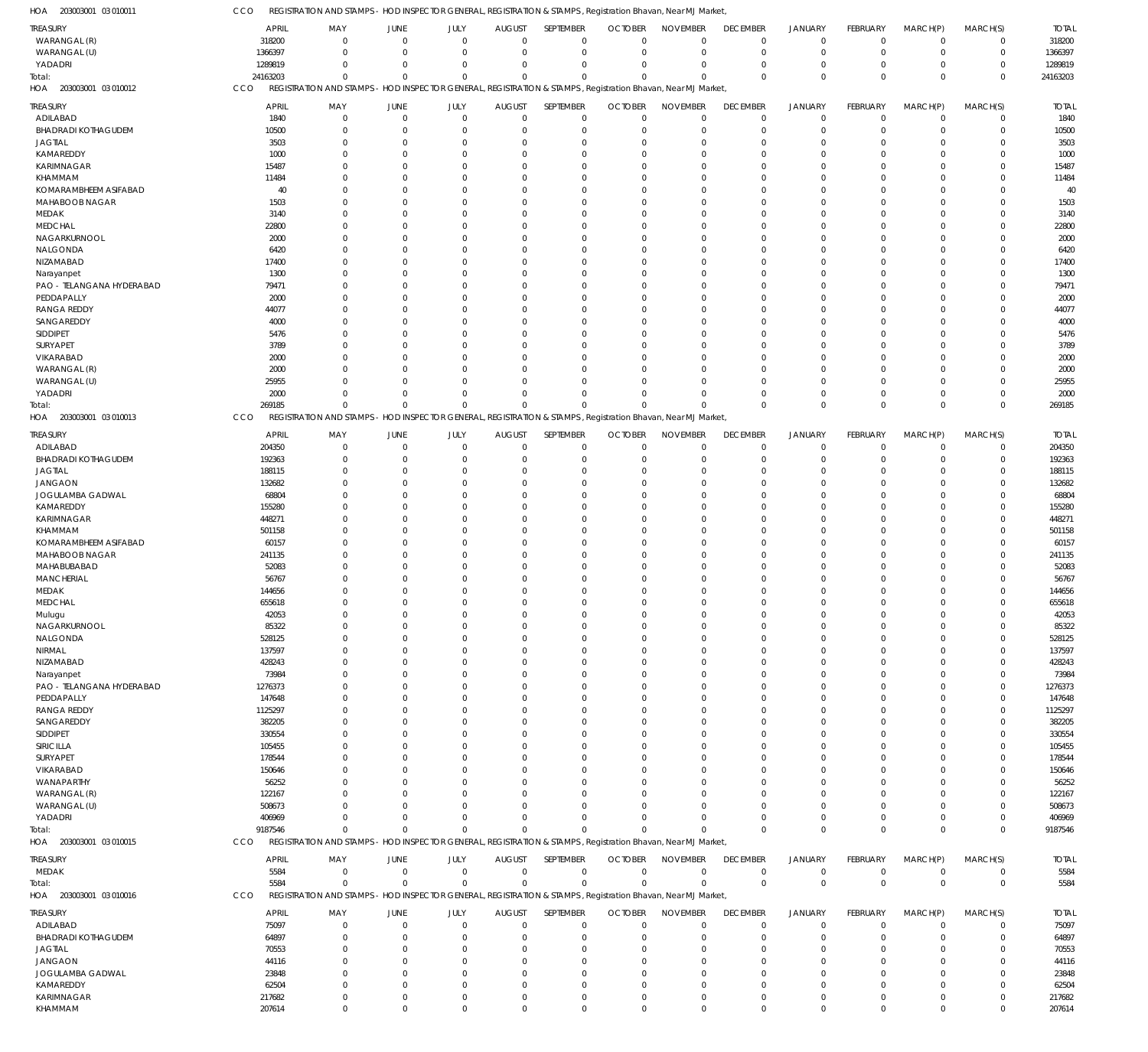203003001 03 010011 HOA

CCO REGISTRATION AND STAMPS - HOD INSPECTOR GENERAL, REGISTRATION & STAMPS, Registration Bhavan, Near MJ Market,

| אשו<br>LUUTU LUUCUUUL      |                  | IMIVIF J                                                                                                     |          |                         |                      |                         | <u>IOD INSELOTOR GLINLRAL, REGISTRATION &amp; STAIVES, REGISTRATION DITAVANI, NEAL IVIS</u> |                            | <b>IVIGING</b>             |                                |                 |                            |                  |                  |
|----------------------------|------------------|--------------------------------------------------------------------------------------------------------------|----------|-------------------------|----------------------|-------------------------|---------------------------------------------------------------------------------------------|----------------------------|----------------------------|--------------------------------|-----------------|----------------------------|------------------|------------------|
| TREASURY                   | <b>APRIL</b>     | MAY                                                                                                          | JUNE     | JULY                    | <b>AUGUST</b>        | SEPTEMBER               | <b>OCTOBER</b>                                                                              | <b>NOVEMBER</b>            | <b>DECEMBER</b>            | <b>JANUARY</b>                 | FEBRUARY        | MARCH(P)                   | MARCH(S)         | <b>TOTAL</b>     |
| WARANGAL (R)               | 318200           | $\mathbf 0$                                                                                                  | $\Omega$ | $\Omega$                | $\Omega$             | $\Omega$                | $\Omega$                                                                                    | $\overline{0}$             | $\mathbf 0$                | $\mathbf 0$                    | $\mathbf 0$     | $\mathbf 0$                | $\mathbf 0$      | 318200           |
| WARANGAL (U)               | 1366397          | $\mathbf{0}$                                                                                                 | $\Omega$ | $\Omega$                | $\Omega$             | $\mathbf 0$             | $\Omega$                                                                                    | $\overline{0}$             | $\mathbf 0$                | $\overline{0}$                 | $\mathbf 0$     | $\overline{0}$             | $\mathbf 0$      | 1366397          |
|                            |                  |                                                                                                              |          |                         |                      |                         |                                                                                             |                            |                            |                                |                 |                            |                  |                  |
| YADADRI                    | 1289819          | $\Omega$                                                                                                     | $\Omega$ | $\Omega$                | $\Omega$             | $\Omega$                | $\Omega$                                                                                    | $\overline{0}$             | $\Omega$                   | $\overline{0}$                 | $\mathbf 0$     | $\overline{0}$             | $\mathbf 0$      | 1289819          |
| Total:                     | 24163203         | $\Omega$                                                                                                     | $\Omega$ | $\Omega$                | $\Omega$             | $\Omega$                | $\Omega$                                                                                    | $\Omega$                   | $\mathbf{0}$               | $\mathbf{0}$                   | $\Omega$        | $\Omega$                   | $\mathbf 0$      | 24163203         |
| HOA 203003001 03 010012    | CCO              | REGISTRATION AND STAMPS - HOD INSPECTOR GENERAL, REGISTRATION & STAMPS, Registration Bhavan, Near MJ Market, |          |                         |                      |                         |                                                                                             |                            |                            |                                |                 |                            |                  |                  |
| TREASURY                   | APRIL            | MAY                                                                                                          | JUNE     | JULY                    | <b>AUGUST</b>        | SEPTEMBER               | <b>OCTOBER</b>                                                                              | <b>NOVEMBER</b>            | <b>DECEMBER</b>            | <b>JANUARY</b>                 | <b>FEBRUARY</b> | MARCH(P)                   | MARCH(S)         | <b>TOTAL</b>     |
| ADILABAD                   | 1840             | $\mathbf 0$                                                                                                  | $\Omega$ | $\Omega$                | $\mathbf{0}$         | $\mathbf 0$             | $^{\circ}$                                                                                  | $^{\circ}$                 | $\mathbf 0$                | $\overline{0}$                 | $\mathbf 0$     | $\mathbf 0$                | $\mathbf 0$      | 1840             |
| <b>BHADRADI KOTHAGUDEM</b> | 10500            | $\Omega$                                                                                                     |          | $\Omega$                | $\Omega$             | $\Omega$                | $\Omega$                                                                                    | $\Omega$                   | $\mathbf 0$                | $\overline{0}$                 | $\Omega$        | $\Omega$                   | $\mathbf 0$      | 10500            |
|                            |                  |                                                                                                              |          |                         |                      |                         |                                                                                             |                            |                            |                                |                 |                            |                  |                  |
| <b>JAGTIAL</b>             | 3503             | $\Omega$                                                                                                     |          | $\Omega$                |                      | $\Omega$                | $\Omega$                                                                                    | $^{\circ}$                 | $\mathbf 0$                | $\Omega$                       | 0               | $\Omega$                   | $\mathbf 0$      | 3503             |
| KAMAREDDY                  | 1000             | $\Omega$                                                                                                     |          |                         |                      | $\Omega$                |                                                                                             | $\Omega$                   | $\Omega$                   | $\Omega$                       |                 |                            | $\Omega$         | 1000             |
| KARIMNAGAR                 | 15487            | $\Omega$                                                                                                     |          |                         |                      | $\Omega$                |                                                                                             | $\Omega$                   | $\Omega$                   | $\Omega$                       | 0               | $\Omega$                   | 0                | 15487            |
| KHAMMAM                    | 11484            | $\Omega$                                                                                                     |          |                         |                      | $\Omega$                |                                                                                             | $\Omega$                   | $\Omega$                   | $\Omega$                       |                 |                            | $\Omega$         | 11484            |
| KOMARAMBHEEM ASIFABAD      | 40               | $\Omega$                                                                                                     |          |                         |                      | $\Omega$                | <sup>0</sup>                                                                                | $\Omega$                   | $\Omega$                   | $\Omega$                       |                 | $\Omega$                   | $\Omega$         | 40               |
| MAHABOOB NAGAR             | 1503             | $\Omega$                                                                                                     |          |                         |                      | $\Omega$                |                                                                                             | $\Omega$                   | $\Omega$                   | $\Omega$                       |                 |                            | $\Omega$         | 1503             |
| MEDAK                      | 3140             | $\Omega$                                                                                                     |          |                         |                      | $\Omega$                |                                                                                             | $\Omega$                   | $\Omega$                   | $\Omega$                       |                 | $\Omega$                   | $\Omega$         | 3140             |
| <b>MEDCHAL</b>             | 22800            | $\Omega$                                                                                                     |          |                         |                      | $\Omega$                | $\Omega$                                                                                    | $\Omega$                   | $\Omega$                   | $\Omega$                       |                 |                            | $\Omega$         | 22800            |
|                            |                  |                                                                                                              |          |                         |                      |                         |                                                                                             |                            |                            |                                |                 |                            |                  |                  |
| NAGARKURNOOL               | 2000             | $\Omega$                                                                                                     |          |                         |                      | $\Omega$                | $\Omega$                                                                                    | $\Omega$                   | $\Omega$                   | $\Omega$                       |                 | $\Omega$                   | $\Omega$         | 2000             |
| NALGONDA                   | 6420             | $\Omega$                                                                                                     |          |                         |                      | $\Omega$                |                                                                                             | $\Omega$                   | 0                          | $\Omega$                       |                 |                            | $\Omega$         | 6420             |
| NIZAMABAD                  | 17400            | $\Omega$                                                                                                     |          |                         |                      | $\Omega$                |                                                                                             | $\Omega$                   | $\Omega$                   | $\Omega$                       |                 | $\Omega$                   | 0                | 17400            |
| Narayanpet                 | 1300             | $\Omega$                                                                                                     |          |                         |                      | $\Omega$                |                                                                                             | $\Omega$                   | $\Omega$                   | $\Omega$                       |                 |                            | $\Omega$         | 1300             |
| PAO - TELANGANA HYDERABAD  | 79471            | $\Omega$                                                                                                     |          |                         |                      | $\Omega$                | <sup>0</sup>                                                                                | $\Omega$                   | $\Omega$                   | $\Omega$                       |                 |                            | 0                | 79471            |
| PEDDAPALLY                 | 2000             | $\Omega$                                                                                                     |          |                         |                      | $\Omega$                |                                                                                             | $\Omega$                   | $\Omega$                   | $\Omega$                       |                 |                            | $\Omega$         | 2000             |
| <b>RANGA REDDY</b>         | 44077            | $\Omega$                                                                                                     |          |                         |                      | $\Omega$                |                                                                                             | $\Omega$                   | $\Omega$                   | $\Omega$                       |                 | $\Omega$                   | 0                | 44077            |
| SANGAREDDY                 | 4000             | $\Omega$                                                                                                     |          |                         |                      | $\Omega$                |                                                                                             | $\Omega$                   | $\Omega$                   | $\Omega$                       |                 |                            | $\Omega$         | 4000             |
| SIDDIPET                   | 5476             | $\Omega$                                                                                                     |          |                         |                      | $\Omega$                | $\Omega$                                                                                    | $\Omega$                   | $\Omega$                   | $\Omega$                       |                 | $\Omega$                   | $\Omega$         | 5476             |
|                            |                  |                                                                                                              |          |                         |                      |                         |                                                                                             |                            |                            | $\Omega$                       |                 |                            |                  |                  |
| SURYAPET                   | 3789             | $\Omega$                                                                                                     |          |                         |                      |                         |                                                                                             | $\Omega$                   | 0                          |                                |                 |                            | $\Omega$         | 3789             |
| VIKARABAD                  | 2000             | $\Omega$                                                                                                     |          |                         |                      | $\Omega$                |                                                                                             | $\Omega$                   | $\Omega$                   | $\Omega$                       |                 | $\Omega$                   | $\Omega$         | 2000             |
| WARANGAL (R)               | 2000             | $\Omega$                                                                                                     |          |                         |                      | $\Omega$                |                                                                                             | $\Omega$                   | $\Omega$                   | $\Omega$                       |                 |                            | $\Omega$         | 2000             |
| WARANGAL (U)               | 25955            | $\Omega$                                                                                                     |          | $\Omega$                |                      | $\Omega$                |                                                                                             | $\Omega$                   | $\Omega$                   | $\Omega$                       |                 | $\Omega$                   | $\Omega$         | 25955            |
| YADADRI                    | 2000             | $\Omega$                                                                                                     |          | $\Omega$                | $\Omega$             | $\Omega$                |                                                                                             | $\Omega$                   | $\Omega$                   | $\Omega$                       | $\Omega$        | $\Omega$                   | 0                | 2000             |
| Total:                     | 269185           | $\Omega$                                                                                                     | $\Omega$ | $\Omega$                | $\Omega$             | $\Omega$                |                                                                                             | $\Omega$                   | $\Omega$                   | $\Omega$                       | $\Omega$        | $\Omega$                   | $\Omega$         | 269185           |
| 203003001 03 010013<br>HOA | CCO              | REGISTRATION AND STAMPS - HOD INSPECTOR GENERAL, REGISTRATION & STAMPS, Registration Bhavan, Near MJ Market, |          |                         |                      |                         |                                                                                             |                            |                            |                                |                 |                            |                  |                  |
|                            |                  |                                                                                                              |          |                         |                      |                         |                                                                                             |                            |                            |                                |                 |                            |                  |                  |
| <b>TREASURY</b>            | APRIL            | MAY                                                                                                          | JUNE     | JULY                    | <b>AUGUST</b>        | SEPTEMBER               | <b>OCTOBER</b>                                                                              | <b>NOVEMBER</b>            | <b>DECEMBER</b>            | <b>JANUARY</b>                 | FEBRUARY        | MARCH(P)                   | MARCH(S)         | <b>TOTAL</b>     |
| ADILABAD                   | 204350           | $\mathbf 0$                                                                                                  | $\Omega$ | $\Omega$                | $\Omega$             | $\mathbf 0$             | $\Omega$                                                                                    | $\overline{0}$             | $\mathbf 0$                | $\overline{0}$                 | $\mathbf 0$     | $\overline{0}$             | $\mathbf 0$      | 204350           |
| <b>BHADRADI KOTHAGUDEM</b> | 192363           | $\mathbf{0}$                                                                                                 | $\Omega$ | $\Omega$                |                      | $\Omega$                | $\Omega$                                                                                    | $\Omega$                   | $\mathbf 0$                | $\overline{0}$                 | $\Omega$        | $\Omega$                   | $\mathbf 0$      | 192363           |
| <b>JAGTIAL</b>             | 188115           | $\Omega$                                                                                                     | $\Omega$ | $\Omega$                |                      | $\Omega$                | $\Omega$                                                                                    | $\Omega$                   | $\Omega$                   | $\Omega$                       | $\Omega$        | $\Omega$                   | $\mathbf 0$      | 188115           |
| <b>JANGAON</b>             | 132682           | $\Omega$                                                                                                     |          | $\Omega$                |                      | $\Omega$                | $\Omega$                                                                                    | $\Omega$                   | $\Omega$                   | $\Omega$                       | $\Omega$        | $\Omega$                   | $\mathbf 0$      | 132682           |
| JOGULAMBA GADWAL           | 68804            | $\Omega$                                                                                                     |          | $\Omega$                |                      | $\Omega$                | $\Omega$                                                                                    | $\Omega$                   | $\Omega$                   | $\Omega$                       | 0               | $\Omega$                   | $\Omega$         | 68804            |
| KAMAREDDY                  | 155280           | $\Omega$                                                                                                     |          | $\Omega$                |                      | $\Omega$                |                                                                                             | $\Omega$                   | $\Omega$                   | $\Omega$                       | U               | $\Omega$                   | 0                | 155280           |
|                            |                  |                                                                                                              |          |                         |                      |                         |                                                                                             |                            |                            |                                |                 |                            |                  |                  |
| KARIMNAGAR                 | 448271           | $\Omega$                                                                                                     |          | $\Omega$                |                      | $\Omega$                | $\Omega$                                                                                    | $\Omega$                   | $\Omega$                   | $\Omega$                       | $\Omega$        | $\Omega$                   | $\mathbf 0$      | 448271           |
| KHAMMAM                    | 501158           | $\Omega$                                                                                                     |          | $\Omega$                |                      | $\Omega$                | $\Omega$                                                                                    | $\Omega$                   | $\Omega$                   | $\Omega$                       | 0               | $\Omega$                   | 0                | 501158           |
| KOMARAMBHEEM ASIFABAD      | 60157            | $\Omega$                                                                                                     |          |                         |                      | $\Omega$                | $\Omega$                                                                                    | $\Omega$                   | $\Omega$                   | $\Omega$                       | $\Omega$        | $\Omega$                   | $\mathbf 0$      | 60157            |
| MAHABOOB NAGAR             | 241135           | $\Omega$                                                                                                     |          | $\Omega$                |                      | $\Omega$                |                                                                                             | $\Omega$                   | $\Omega$                   | $\Omega$                       | 0               | $\Omega$                   | 0                | 241135           |
| MAHABUBABAD                | 52083            | $\Omega$                                                                                                     |          | $\Omega$                |                      | $\Omega$                | $\Omega$                                                                                    | $\Omega$                   | $\Omega$                   | $\Omega$                       | $\Omega$        | $\Omega$                   | $\Omega$         | 52083            |
| MANCHERIAL                 | 56767            | $\Omega$                                                                                                     |          | $\Omega$                |                      | $\Omega$                |                                                                                             | $\Omega$                   | $\Omega$                   | $\Omega$                       | 0               | $\Omega$                   | 0                | 56767            |
| MEDAK                      | 144656           | $\Omega$                                                                                                     |          | $\Omega$                | $\Omega$             | $\Omega$                | $\Omega$                                                                                    | $\Omega$                   | $\Omega$                   | $\Omega$                       | $\Omega$        | $\Omega$                   | $\Omega$         | 144656           |
| <b>MEDCHAL</b>             | 655618           | $\Omega$                                                                                                     | $\Omega$ | $\Omega$                | $\Omega$             | $\Omega$                | $\Omega$                                                                                    | $\Omega$                   | $\Omega$                   | $\Omega$                       | $\Omega$        | $\Omega$                   | $\Omega$         | 655618           |
|                            |                  |                                                                                                              |          |                         |                      |                         |                                                                                             |                            |                            |                                |                 |                            |                  |                  |
| Mulugu                     | 42053            | $\mathbf 0$                                                                                                  | $\Omega$ | $\Omega$                | $\mathbf 0$          | $^{\circ}$              | $\Omega$                                                                                    | $\mathbf 0$                | $\mathbf 0$                | $\mathbf 0$                    | 0               | $\mathbf 0$                | $\mathbf 0$      | 42053            |
| NAGARKURNOOL               | 85322            | $\mathbf{0}$                                                                                                 | $\Omega$ | $\Omega$                | $\Omega$             | $\mathbf 0$             | $\Omega$                                                                                    | $\overline{0}$             | $\mathbf 0$                | $\overline{0}$                 | $\Omega$        | $\mathbf 0$                | $\mathbf 0$      | 85322            |
| NALGONDA                   | 528125           | $\Omega$                                                                                                     |          | $\Omega$                | $\Omega$             | $\Omega$                | $\Omega$                                                                                    | $\Omega$                   | $\Omega$                   | $\Omega$                       | $\Omega$        | $\Omega$                   | $\mathbf 0$      | 528125           |
| NIRMAL                     | 137597           | $\mathbf{0}$                                                                                                 |          | $\Omega$                |                      | $\Omega$                | $\Omega$                                                                                    | $\overline{0}$             | 0                          | $\Omega$                       | 0               | $\Omega$                   | 0                | 137597           |
| NIZAMABAD                  | 428243           | $\Omega$                                                                                                     |          |                         |                      | $\Omega$                | $\Omega$                                                                                    | $\Omega$                   | $\Omega$                   | $\Omega$                       | 0               | $\Omega$                   | $\mathbf 0$      | 428243           |
| Narayanpet                 | 73984            | $\mathbf{0}$                                                                                                 |          | $\Omega$                |                      | $\Omega$                | $\Omega$                                                                                    | $\Omega$                   | $\Omega$                   | $\Omega$                       | 0               | $\Omega$                   | 0                | 73984            |
| PAO - TELANGANA HYDERABAD  | 1276373          | $\Omega$                                                                                                     |          | $\Omega$                |                      | $\Omega$                | $\Omega$                                                                                    | $\Omega$                   | $\Omega$                   | $\Omega$                       | 0               | $\Omega$                   | $\mathbf 0$      | 1276373          |
| PEDDAPALLY                 | 147648           | $\Omega$                                                                                                     |          | $\Omega$                |                      | $\Omega$                | $\Omega$                                                                                    | $\Omega$                   | $\Omega$                   | $\Omega$                       | 0               | $\Omega$                   | 0                | 147648           |
| <b>RANGA REDDY</b>         | 1125297          | $\Omega$                                                                                                     |          | $\Omega$                |                      | $\Omega$                | $\Omega$                                                                                    | $\Omega$                   | $\Omega$                   | $\Omega$                       | 0               | $\Omega$                   | 0                | 1125297          |
| SANGAREDDY                 | 382205           | $\Omega$                                                                                                     |          | $\Omega$                |                      | $\Omega$                | $\Omega$                                                                                    | $\Omega$                   | $\Omega$                   | $\Omega$                       | 0               | $\Omega$                   | 0                | 382205           |
|                            |                  |                                                                                                              |          |                         |                      |                         |                                                                                             | $\Omega$                   |                            |                                |                 |                            |                  |                  |
| SIDDIPET                   | 330554           | $\Omega$                                                                                                     |          | $\Omega$                |                      | $\Omega$                | $\Omega$                                                                                    |                            | $\Omega$                   | $\Omega$                       | $\Omega$        | $\Omega$                   | $\mathbf 0$      | 330554           |
| SIRICILLA                  | 105455           | $\mathbf{0}$                                                                                                 |          | $\Omega$                |                      | $\Omega$                | $\Omega$                                                                                    | $\Omega$                   | $\Omega$                   | $\Omega$                       | 0               | $\Omega$                   | 0                | 105455           |
| <b>SURYAPET</b>            | 178544           | $\Omega$                                                                                                     |          |                         |                      | $\Omega$                | $\Omega$                                                                                    | $\Omega$                   | $\Omega$                   | $\Omega$                       | 0               | $\Omega$                   | 0                | 178544           |
| VIKARABAD                  | 150646           | $\Omega$                                                                                                     |          | $\Omega$                |                      | $\Omega$                | $\Omega$                                                                                    | $\Omega$                   | $\Omega$                   | $\Omega$                       | 0               | $\Omega$                   | 0                | 150646           |
| WANAPARTHY                 | 56252            | $\Omega$                                                                                                     |          | $\Omega$                |                      | $\Omega$                | $\Omega$                                                                                    | $\Omega$                   | $\Omega$                   | $\Omega$                       | 0               | $\Omega$                   | 0                | 56252            |
| WARANGAL (R)               | 122167           | $\Omega$                                                                                                     |          | $\Omega$                |                      | $\Omega$                | $\Omega$                                                                                    | $\Omega$                   | $\Omega$                   | $\Omega$                       | 0               | $\Omega$                   | 0                | 122167           |
| WARANGAL (U)               | 508673           | $\Omega$                                                                                                     |          | $\Omega$                |                      | $\Omega$                | $\Omega$                                                                                    | $\Omega$                   | $\Omega$                   | $\Omega$                       | 0               | $\Omega$                   | 0                | 508673           |
| YADADRI                    | 406969           | $\Omega$                                                                                                     |          | $\Omega$                | $\Omega$             | $\Omega$                | $\Omega$                                                                                    | $\Omega$                   | $\mathbf 0$                | $\overline{0}$                 | $\Omega$        | $\overline{0}$             | 0                | 406969           |
| Total:                     | 9187546          | $\Omega$                                                                                                     | $\Omega$ | $\Omega$                | $\Omega$             | $\Omega$                | $\Omega$                                                                                    | $\Omega$                   | $\Omega$                   | $\Omega$                       | $\Omega$        | $\Omega$                   | $\mathbf 0$      | 9187546          |
|                            |                  |                                                                                                              |          |                         |                      |                         |                                                                                             |                            |                            |                                |                 |                            |                  |                  |
| HOA 203003001 03 010015    |                  |                                                                                                              |          |                         |                      |                         |                                                                                             |                            |                            |                                |                 |                            |                  |                  |
|                            | CCO              | REGISTRATION AND STAMPS - HOD INSPECTOR GENERAL, REGISTRATION & STAMPS, Registration Bhavan, Near MJ Market, |          |                         |                      |                         |                                                                                             |                            |                            |                                |                 |                            |                  |                  |
| TREASURY                   | <b>APRIL</b>     | MAY                                                                                                          | JUNE     | JULY                    | <b>AUGUST</b>        | SEPTEMBER               | <b>OCTOBER</b>                                                                              | <b>NOVEMBER</b>            | <b>DECEMBER</b>            | <b>JANUARY</b>                 | FEBRUARY        | MARCH(P)                   | MARCH(S)         | <b>TOTAL</b>     |
| MEDAK                      | 5584             | $\mathbf 0$                                                                                                  | $\Omega$ | $\mathbf{0}$            | $\mathbf{0}$         | $\mathbf 0$             | $\overline{0}$                                                                              | $\overline{0}$             | $\mathbf 0$                | $\overline{0}$                 | $\mathbf 0$     | $\mathbf 0$                | $\mathbf 0$      | 5584             |
|                            | 5584             | $\mathbf{0}$                                                                                                 | $\Omega$ | $\Omega$                | $\Omega$             | $\Omega$                | $\Omega$                                                                                    | $\Omega$                   | $\,0\,$                    | $\,0\,$                        | $\mathbf 0$     | $\overline{0}$             | $\mathbf 0$      |                  |
| Total:                     |                  |                                                                                                              |          |                         |                      |                         |                                                                                             |                            |                            |                                |                 |                            |                  | 5584             |
| HOA 203003001 03 010016    | CCO              | REGISTRATION AND STAMPS - HOD INSPECTOR GENERAL, REGISTRATION & STAMPS, Registration Bhavan, Near MJ Market, |          |                         |                      |                         |                                                                                             |                            |                            |                                |                 |                            |                  |                  |
| <b>TREASURY</b>            | <b>APRIL</b>     | MAY                                                                                                          | JUNE     | JULY                    | <b>AUGUST</b>        | SEPTEMBER               | <b>OCTOBER</b>                                                                              | <b>NOVEMBER</b>            | <b>DECEMBER</b>            | <b>JANUARY</b>                 | FEBRUARY        | MARCH(P)                   | MARCH(S)         | <b>TOTAL</b>     |
| ADILABAD                   | 75097            | $\mathbf 0$                                                                                                  | $\Omega$ | $\Omega$                | $\Omega$             | $\mathbf 0$             | $\overline{0}$                                                                              | $\overline{0}$             | $\mathbf 0$                | $\mathbf 0$                    | $\mathbf 0$     | $\overline{0}$             | $\mathbf 0$      | 75097            |
| <b>BHADRADI KOTHAGUDEM</b> | 64897            | $\mathbf{0}$                                                                                                 |          | $\Omega$                | $\Omega$             | $\mathbf 0$             | $\Omega$                                                                                    | $\overline{0}$             | $\overline{0}$             | $\overline{0}$                 | 0               | $\mathbf 0$                | $\mathbf 0$      | 64897            |
| <b>JAGTIAL</b>             | 70553            | $\Omega$                                                                                                     |          | $\Omega$                |                      | $\Omega$                | $\Omega$                                                                                    | $\Omega$                   | $\mathbf 0$                | $\overline{0}$                 | 0               | $\Omega$                   | $\mathbf 0$      | 70553            |
|                            |                  |                                                                                                              |          | $\Omega$                | $\Omega$             | $\Omega$                | $\Omega$                                                                                    | $\Omega$                   |                            | $\Omega$                       | 0               | $\Omega$                   |                  |                  |
| <b>JANGAON</b>             | 44116            | $\mathbf{0}$                                                                                                 |          |                         |                      |                         |                                                                                             |                            | $\mathbf 0$                |                                |                 |                            | 0                | 44116            |
| <b>JOGULAMBA GADWAL</b>    | 23848            | $\Omega$                                                                                                     |          | $\Omega$                | <sup>0</sup>         | $\Omega$                | $\Omega$                                                                                    | $\Omega$                   | $\Omega$                   | $\Omega$                       | 0               | $\Omega$                   | $\mathbf 0$      | 23848            |
| KAMAREDDY                  | 62504            | $\mathbf{0}$                                                                                                 |          | $\Omega$                | $\Omega$             | $\Omega$                | $\Omega$                                                                                    | $\overline{0}$             | $\mathbf 0$                | $\Omega$                       | 0               | $\Omega$                   | 0                | 62504            |
| KARIMNAGAR<br>KHAMMAM      | 217682<br>207614 | $\mathbf{0}$<br>$\mathbf 0$                                                                                  | $\Omega$ | $\Omega$<br>$\mathbf 0$ | $\Omega$<br>$\Omega$ | $\mathbf 0$<br>$\Omega$ | $^{\circ}$<br>$\Omega$                                                                      | $\mathbf 0$<br>$\mathbb O$ | $\mathbf 0$<br>$\mathbb O$ | $\overline{0}$<br>$\mathbf{0}$ | 0<br>$\Omega$   | $\mathbf 0$<br>$\mathbf 0$ | 0<br>$\mathbf 0$ | 217682<br>207614 |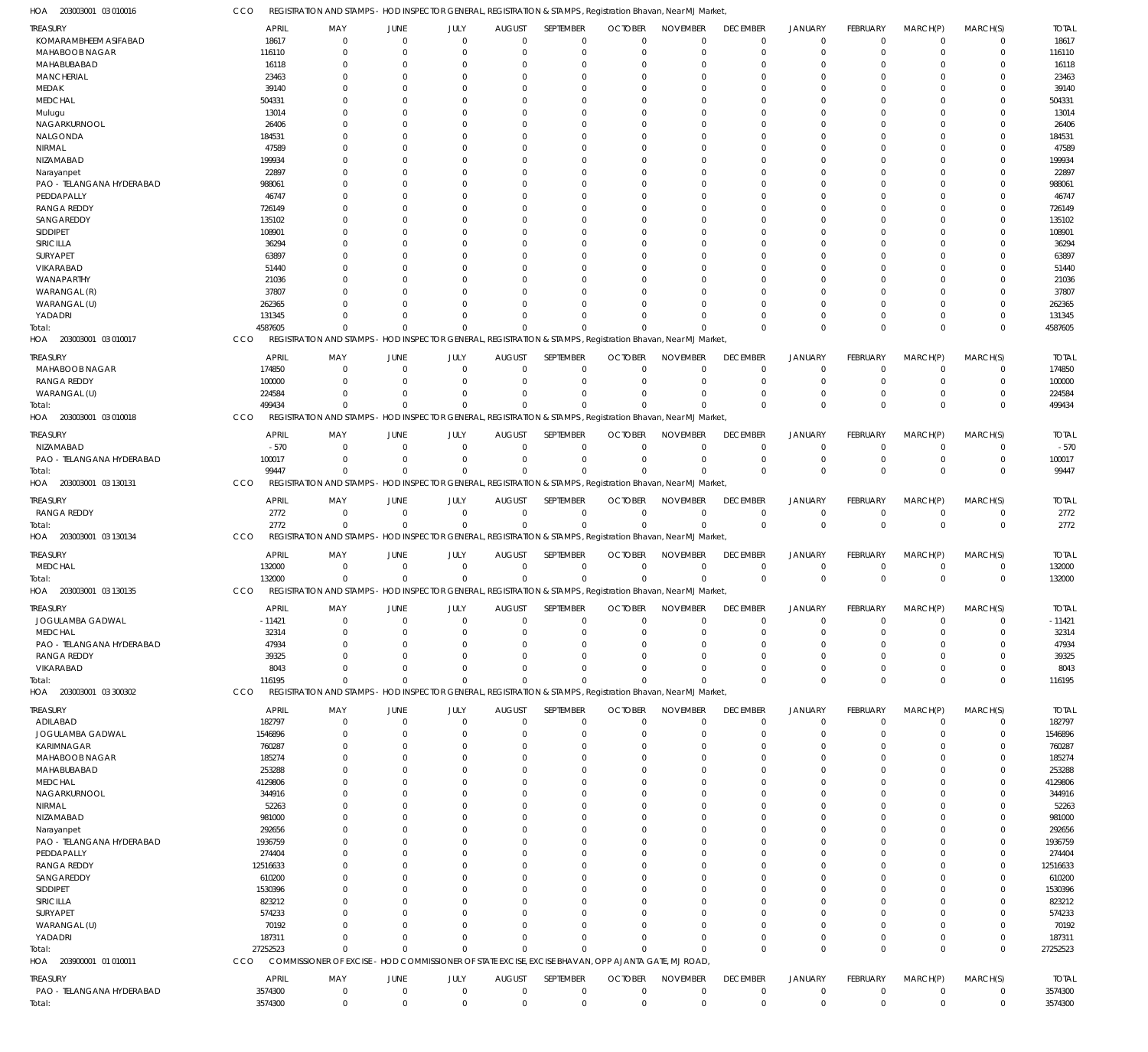203003001 03 010016 HOA

CCO REGISTRATION AND STAMPS - HOD INSPECTOR GENERAL, REGISTRATION & STAMPS, Registration Bhavan, Near MJ Market,

| .<br>ronnon,                 |                      |                                                                                                              |                         |                     |                                 |                          |                            |                                |                                |                               |                             |                        |                         |                      |
|------------------------------|----------------------|--------------------------------------------------------------------------------------------------------------|-------------------------|---------------------|---------------------------------|--------------------------|----------------------------|--------------------------------|--------------------------------|-------------------------------|-----------------------------|------------------------|-------------------------|----------------------|
| treasury                     | APRIL                | MAY                                                                                                          | JUNE                    | JULY                | <b>AUGUST</b>                   | SEPTEMBER                | <b>OCTOBER</b>             | <b>NOVEMBER</b>                | <b>DECEMBER</b>                | <b>JANUARY</b>                | FEBRUARY                    | MARCH(P)               | MARCH(S)                | <b>TOTAL</b>         |
| KOMARAMBHEEM ASIFABAD        | 18617                |                                                                                                              | $\Omega$                | 0                   | $\mathbf 0$                     | $\mathbf 0$              | $\Omega$                   | $\Omega$                       | $\mathbf 0$                    | $\mathbf 0$                   | $\Omega$                    | $^{\circ}$             | 0                       | 18617                |
| MAHABOOB NAGAR               | 116110               |                                                                                                              | $\Omega$                | 0                   | $\Omega$                        | $\Omega$                 | $\Omega$                   | $\Omega$                       | C.                             | $\Omega$                      |                             | $\Omega$               | 0                       | 116110               |
| MAHABUBABAD                  | 16118                |                                                                                                              | - 0                     |                     | 0                               | 0                        | $\Omega$                   | $\Omega$                       | $\left($                       | $\Omega$                      |                             | $\Omega$               | 0                       | 16118                |
| <b>MANCHERIAL</b>            | 23463                |                                                                                                              | $\Omega$                |                     | 0                               |                          | O                          | C                              |                                |                               |                             |                        |                         | 23463                |
| MEDAK                        | 39140                |                                                                                                              | $\Omega$                |                     | $\Omega$                        | O                        | 0                          | n                              |                                | $\Omega$                      |                             | $\Omega$               | 0                       | 39140                |
| <b>MEDCHAL</b>               | 504331               |                                                                                                              | $\Omega$                |                     | 0                               |                          | O                          | C                              |                                | $\Omega$                      |                             |                        |                         | 504331               |
| Mulugu                       | 13014                |                                                                                                              |                         |                     | $\Omega$                        |                          | O                          | n                              |                                |                               |                             | $\Omega$               |                         | 13014                |
| NAGARKURNOOL                 | 26406                |                                                                                                              |                         |                     | O                               |                          | O                          |                                |                                |                               |                             |                        |                         | 26406                |
| NALGONDA                     | 184531               |                                                                                                              | $\Omega$                |                     | $\Omega$                        | O                        | 0                          | n                              |                                | $\Omega$                      |                             | $\Omega$               | 0                       | 184531               |
| NIRMAL                       | 47589                |                                                                                                              |                         |                     | 0                               |                          | O                          |                                |                                |                               |                             |                        |                         | 47589                |
| NIZAMABAD                    | 199934               |                                                                                                              |                         |                     | $\Omega$                        | O                        | 0                          | n                              |                                |                               |                             |                        | 0                       | 199934               |
| Narayanpet                   | 22897                |                                                                                                              |                         |                     | 0                               |                          | O                          | C                              |                                |                               |                             |                        |                         | 22897                |
| PAO - TELANGANA HYDERABAD    | 988061               |                                                                                                              | $\Omega$                |                     | $\Omega$                        |                          | O                          | n                              |                                | $\Omega$                      |                             | $\Omega$               | 0                       | 988061               |
| PEDDAPALLY                   | 46747                |                                                                                                              |                         |                     | O                               |                          | O                          | C                              |                                |                               |                             |                        |                         | 46747                |
| <b>RANGA REDDY</b>           | 726149               |                                                                                                              |                         |                     | $\Omega$                        | O                        | 0                          | n                              |                                | $\Omega$                      |                             | $\Omega$               | 0                       | 726149               |
| SANGAREDDY                   | 135102               |                                                                                                              |                         |                     | 0                               |                          | O                          |                                |                                |                               |                             |                        |                         | 135102               |
| SIDDIPET                     | 108901               |                                                                                                              |                         |                     | $\Omega$                        |                          | O                          | n                              |                                | $\Omega$                      |                             | $\Omega$               | 0                       | 108901               |
| SIRICILLA                    | 36294                |                                                                                                              |                         |                     | 0                               |                          | O                          | C                              |                                |                               |                             |                        |                         | 36294                |
| SURYAPET                     | 63897                |                                                                                                              |                         |                     | $\Omega$                        |                          | O                          | n                              |                                | $\Omega$                      |                             | $\Omega$               | 0                       | 63897                |
| VIKARABAD                    | 51440                |                                                                                                              |                         |                     | O                               |                          | C                          |                                |                                |                               |                             | $\Omega$               |                         | 51440                |
| WANAPARTHY                   | 21036<br>37807       |                                                                                                              |                         |                     | $\Omega$<br>O                   |                          | C<br>C                     | n                              |                                | $\Omega$<br>$\Omega$          |                             | $\Omega$               | 0                       | 21036<br>37807       |
| WARANGAL (R)<br>WARANGAL (U) | 262365               |                                                                                                              |                         |                     | $\Omega$                        |                          | O                          | C                              |                                | $\Omega$                      |                             | $\Omega$               | 0                       | 262365               |
| YADADRI                      | 131345               |                                                                                                              | $\Omega$                |                     | $\Omega$                        | O                        | O                          | n                              |                                | $\Omega$                      |                             | $\Omega$               | 0                       | 131345               |
| Total:                       | 4587605              | $\Omega$                                                                                                     | $\Omega$                | 0                   | $\Omega$                        | $\Omega$                 |                            |                                | $\Omega$                       | $\Omega$                      |                             | $\Omega$               | $\Omega$                | 4587605              |
| HOA 203003001 03 010017      | CCO                  | REGISTRATION AND STAMPS - HOD INSPECTOR GENERAL, REGISTRATION & STAMPS, Registration Bhavan, Near MJ Market, |                         |                     |                                 |                          |                            |                                |                                |                               |                             |                        |                         |                      |
|                              |                      |                                                                                                              |                         |                     |                                 |                          |                            |                                |                                |                               |                             |                        |                         |                      |
| treasury                     | APRIL                | MAY                                                                                                          | <b>JUNE</b>             | JULY                | <b>AUGUST</b>                   | SEPTEMBER                | <b>OCTOBER</b>             | <b>NOVEMBER</b>                | <b>DECEMBER</b>                | <b>JANUARY</b>                | FEBRUARY                    | MARCH(P)               | MARCH(S)                | <b>TOTAL</b>         |
| MAHABOOB NAGAR               | 174850               | $\Omega$                                                                                                     | $^{\circ}$              | $\mathbf 0$         | $^{\circ}$                      | $\mathbf 0$              | $\mathbf 0$                | $\mathbf 0$                    | 0                              | $\mathbf 0$                   | $\Omega$                    | $\Omega$               | 0                       | 174850               |
| <b>RANGA REDDY</b>           | 100000               |                                                                                                              | $\Omega$                | $\Omega$            | $\Omega$                        | $\Omega$                 | $\Omega$                   | $\Omega$                       | $\Omega$                       | $\Omega$                      |                             | $\Omega$               | 0                       | 100000               |
| WARANGAL (U)                 | 224584               |                                                                                                              | $\Omega$                | $\Omega$            | $\Omega$                        | $\Omega$                 | $\Omega$                   | $\Omega$                       | $\Omega$                       | $\Omega$                      | $\Omega$                    | $\Omega$               | $\mathbf 0$             | 224584               |
| Total:                       | 499434               | $\Omega$                                                                                                     | $\Omega$                | $\Omega$            | $\Omega$                        | $\Omega$                 | $\Omega$                   | $\Omega$                       | $\Omega$                       | $\mathbf 0$                   | $\Omega$                    | $\Omega$               | $\mathbf 0$             | 499434               |
| HOA 203003001 03 010018      | CCO                  | REGISTRATION AND STAMPS - HOD INSPECTOR GENERAL, REGISTRATION & STAMPS, Registration Bhavan, Near MJ Market, |                         |                     |                                 |                          |                            |                                |                                |                               |                             |                        |                         |                      |
| treasury                     | <b>APRIL</b>         | MAY                                                                                                          | JUNE                    | JULY                | <b>AUGUST</b>                   | SEPTEMBER                | <b>OCTOBER</b>             | <b>NOVEMBER</b>                | <b>DECEMBER</b>                | <b>JANUARY</b>                | FEBRUARY                    | MARCH(P)               | MARCH(S)                | <b>TOTAL</b>         |
| NIZAMABAD                    | $-570$               |                                                                                                              | $\Omega$                | $\Omega$            | $\mathbf 0$                     | $\mathbf 0$              | $\mathbf 0$                | 0                              | 0                              | 0                             |                             | $\Omega$               | 0                       | $-570$               |
| PAO - TELANGANA HYDERABAD    | 100017               | $\Omega$                                                                                                     | $\Omega$                | $\Omega$            | $\Omega$                        | $\Omega$                 | $\Omega$                   | $\Omega$                       | $\Omega$                       | $\Omega$                      |                             | $\Omega$               | 0                       | 100017               |
| Total:                       | 99447                | $\Omega$                                                                                                     | $\Omega$                | 0                   | $\Omega$                        | $\Omega$                 |                            | $\Omega$                       | $\Omega$                       | $\Omega$                      |                             | $\Omega$               | $\Omega$                | 99447                |
| HOA 203003001 03 130131      | CCO                  | REGISTRATION AND STAMPS - HOD INSPECTOR GENERAL, REGISTRATION & STAMPS, Registration Bhavan, Near MJ Market, |                         |                     |                                 |                          |                            |                                |                                |                               |                             |                        |                         |                      |
|                              |                      |                                                                                                              |                         |                     |                                 |                          | <b>OCTOBER</b>             |                                |                                |                               |                             |                        |                         |                      |
| treasury                     | <b>APRIL</b><br>2772 | MAY<br>$\Omega$                                                                                              | <b>JUNE</b><br>$\Omega$ | JULY<br>$\mathbf 0$ | <b>AUGUST</b><br>$\overline{0}$ | SEPTEMBER<br>$\mathbf 0$ | $\Omega$                   | <b>NOVEMBER</b><br>$\mathbf 0$ | <b>DECEMBER</b><br>$\mathbf 0$ | <b>JANUARY</b><br>$\mathbf 0$ | <b>FEBRUARY</b><br>$\Omega$ | MARCH(P)<br>$^{\circ}$ | MARCH(S)<br>$\mathbf 0$ | <b>TOTAL</b><br>2772 |
| RANGA REDDY<br>Total:        | 2772                 | $\Omega$                                                                                                     | $\Omega$                | $\Omega$            | $\mathbf 0$                     | $\Omega$                 | $\Omega$                   | $\Omega$                       | $\Omega$                       | $\mathbf 0$                   | $\Omega$                    | $\overline{0}$         | $\mathbf 0$             | 2772                 |
| HOA 203003001 03 130134      | CCO                  | REGISTRATION AND STAMPS - HOD INSPECTOR GENERAL, REGISTRATION & STAMPS, Registration Bhavan, Near MJ Market, |                         |                     |                                 |                          |                            |                                |                                |                               |                             |                        |                         |                      |
|                              |                      |                                                                                                              |                         |                     |                                 |                          |                            |                                |                                |                               |                             |                        |                         |                      |
| treasury                     | <b>APRIL</b>         | MAY                                                                                                          | JUNE                    | JULY                | <b>AUGUST</b>                   | SEPTEMBER                | <b>OCTOBER</b>             | <b>NOVEMBER</b>                | <b>DECEMBER</b>                | <b>JANUARY</b>                | FEBRUARY                    | MARCH(P)               | MARCH(S)                | <b>TOTAL</b>         |
| <b>MEDCHAL</b>               | 132000               | $\Omega$                                                                                                     | $\Omega$                | $\Omega$            | $\Omega$                        | $\Omega$                 | $\Omega$                   | $\Omega$                       | $\Omega$                       | 0                             | $\Omega$                    | $\Omega$               | 0                       | 132000               |
| Total:                       | 132000               | $\Omega$                                                                                                     | $\Omega$                | $\mathbf 0$         | $\Omega$                        | $\Omega$                 | $\Omega$                   | $\Omega$                       | $\Omega$                       | $\mathbf 0$                   | $\Omega$                    | $\Omega$               | $\mathbf 0$             | 132000               |
| HOA 203003001 03 130135      | CCO                  | REGISTRATION AND STAMPS - HOD INSPECTOR GENERAL, REGISTRATION & STAMPS, Registration Bhavan, Near MJ Market, |                         |                     |                                 |                          |                            |                                |                                |                               |                             |                        |                         |                      |
| <b>TREASURY</b>              | APRIL                | MAY                                                                                                          | <b>JUNE</b>             | JULY.               | <b>AUGUST</b>                   |                          | SEPTEMBER OCTOBER NOVEMBER |                                | <b>DECEMBER</b>                | JANUARY                       | <b>FFRRIJARY</b>            | MARCH(P)               | MARCH(S)                | <b>TOTAI</b>         |
| JOGULAMBA GADWAL             | $-11421$             | $\Omega$                                                                                                     | $\Omega$                | $\Omega$            | 0                               | $\Omega$                 | $\Omega$                   | $\Omega$                       | $\Omega$                       | $\Omega$                      | $\Omega$                    | $\Omega$               | $\Omega$                | $-11421$             |
| <b>MEDCHAL</b>               | 32314                | $\Omega$                                                                                                     | $\overline{0}$          | $\Omega$            | $\Omega$                        | $\Omega$                 | $\mathbf 0$                | $\mathbf 0$                    | $\Omega$                       | $\Omega$                      | $\Omega$                    | $\Omega$               | $\mathbf 0$             | 32314                |
| PAO - TELANGANA HYDERABAD    | 47934                |                                                                                                              | $\Omega$                | 0                   | $\Omega$                        | $\Omega$                 | $\Omega$                   | $\Omega$                       | $\Omega$                       | $\Omega$                      |                             | $\Omega$               | $\Omega$                | 47934                |
| <b>RANGA REDDY</b>           | 39325                |                                                                                                              | $\Omega$                | 0                   | $\Omega$                        | 0                        | $\Omega$                   | $\Omega$                       | C.                             | $\Omega$                      |                             | $\Omega$               | $\Omega$                | 39325                |
| VIKARABAD                    | 8043                 | $\Omega$                                                                                                     | $\Omega$                | $\Omega$            | $\Omega$                        | $\Omega$                 | $\Omega$                   | $\Omega$                       | $\Omega$                       | $\mathbf 0$                   |                             | $^{\circ}$             | $\mathbf 0$             | 8043                 |
| Total:                       | 116195               | $\Omega$                                                                                                     | $\Omega$                | $\Omega$            | $\Omega$                        | $\Omega$                 | O                          | $\Omega$                       | $\Omega$                       | $\Omega$                      | $\Omega$                    | $\Omega$               | $\Omega$                | 116195               |
| HOA 203003001 03 300302      | CCO                  | REGISTRATION AND STAMPS - HOD INSPECTOR GENERAL, REGISTRATION & STAMPS, Registration Bhavan, Near MJ Market, |                         |                     |                                 |                          |                            |                                |                                |                               |                             |                        |                         |                      |
|                              |                      |                                                                                                              |                         |                     |                                 | SEPTEMBER                | <b>OCTOBER</b>             | <b>NOVEMBER</b>                | <b>DECEMBER</b>                | <b>JANUARY</b>                | FEBRUARY                    |                        |                         |                      |
| treasury                     | APRIL<br>182797      | MAY<br>$\Omega$                                                                                              | JUNE<br>$\Omega$        | JULY<br>$\Omega$    | <b>AUGUST</b><br>$\Omega$       | $\Omega$                 | $\Omega$                   | $\Omega$                       | $\Omega$                       | $\mathbf{0}$                  | $\Omega$                    | MARCH(P)<br>$\Omega$   | MARCH(S)                | Total<br>182797      |
| ADILABAD<br>JOGULAMBA GADWAL | 1546896              |                                                                                                              | $\Omega$                | 0                   | $\Omega$                        | $\Omega$                 | $\Omega$                   | $\Omega$                       | $\Omega$                       | $\Omega$                      |                             | $\Omega$               | 0<br>0                  | 1546896              |
| KARIMNAGAR                   | 760287               |                                                                                                              | $\Omega$                |                     | 0                               | 0                        | $\Omega$                   | $\Omega$                       | C.                             | $\Omega$                      |                             |                        |                         | 760287               |
| MAHABOOB NAGAR               | 185274               |                                                                                                              | $\Omega$                |                     | $\Omega$                        | O                        | $\Omega$                   | $\Omega$                       |                                | $\Omega$                      |                             | $\Omega$               | 0                       | 185274               |
| MAHABUBABAD                  | 253288               |                                                                                                              | $\Omega$                |                     | 0                               | O                        | $\Omega$                   | $\Omega$                       |                                | $\Omega$                      |                             | $\Omega$               |                         | 253288               |
| MEDCHAL                      | 4129806              |                                                                                                              | $\Omega$                |                     | $\Omega$                        | O                        | $\Omega$                   | $\Omega$                       |                                | $\Omega$                      |                             | $\Omega$               |                         | 4129806              |
| NAGARKURNOOL                 | 344916               |                                                                                                              |                         |                     | U                               |                          | $\Omega$                   | n                              |                                |                               |                             | $\Omega$               |                         | 344916               |
| NIRMAL                       | 52263                |                                                                                                              | $\Omega$                |                     | 0                               | O                        | $\Omega$                   | $\Omega$                       |                                | $\Omega$                      |                             | $\Omega$               |                         | 52263                |
| NIZAMABAD                    | 981000               |                                                                                                              |                         |                     | 0                               |                          | $\Omega$                   | $\Omega$                       |                                | $\Omega$                      |                             | $\Omega$               |                         | 981000               |
| Narayanpet                   | 292656               |                                                                                                              | $\Omega$                |                     | $\Omega$                        | O                        | $\Omega$                   | $\Omega$                       |                                | $\Omega$                      |                             | $\Omega$               |                         | 292656               |
| PAO - TELANGANA HYDERABAD    | 1936759              |                                                                                                              | $\Omega$                |                     | O                               |                          | $\Omega$                   | $\Omega$                       |                                | $\Omega$                      |                             | $\Omega$               |                         | 1936759              |
| PEDDAPALLY                   | 274404               |                                                                                                              | $\Omega$                |                     | $\Omega$                        |                          | $\Omega$                   | $\Omega$                       |                                | $\Omega$                      |                             | $\Omega$               | 0                       | 274404               |
| <b>RANGA REDDY</b>           | 12516633             |                                                                                                              |                         |                     | O                               |                          | $\Omega$                   | $\Omega$                       |                                |                               |                             | $\Omega$               |                         | 12516633             |
| SANGAREDDY                   | 610200               |                                                                                                              | $\Omega$                |                     | $\Omega$                        | O                        | $\Omega$                   | $\Omega$                       |                                | $\Omega$                      |                             | $\Omega$               | 0                       | 610200               |
| SIDDIPET                     | 1530396              |                                                                                                              |                         |                     | 0                               |                          | 0                          | $\Omega$                       |                                | $\Omega$                      |                             | $\Omega$               |                         | 1530396              |
| SIRICILLA                    | 823212               |                                                                                                              |                         |                     | $\Omega$                        |                          | 0                          | $\Omega$                       |                                | $\Omega$                      |                             | $\Omega$               |                         | 823212               |
| SURYAPET                     | 574233               |                                                                                                              |                         |                     | O                               |                          | O                          | n                              |                                | $\Omega$                      |                             | $\Omega$               |                         | 574233               |
| WARANGAL (U)                 | 70192                |                                                                                                              | $\Omega$                |                     | $\Omega$                        | O                        | $\Omega$                   | $\Omega$                       | $\Omega$                       | $\Omega$                      |                             | $\Omega$               | 0                       | 70192                |
| YADADRI                      | 187311               |                                                                                                              | $\Omega$                |                     | $\Omega$                        | 0                        | $\Omega$                   | $\Omega$                       | C.                             | $\Omega$                      |                             | $\Omega$               | 0                       | 187311               |
| Total:                       | 27252523             | $\Omega$                                                                                                     | $\Omega$                |                     | $\Omega$                        | $\Omega$                 | C                          | $\Omega$                       | $\Omega$                       | $\mathbf 0$                   | $\Omega$                    | $\Omega$               | $\Omega$                | 27252523             |
| HOA 203900001 01 010011      | CCO                  | COMMISSIONER OF EXCISE - HOD COMMISSIONER OF STATE EXCISE, EXCISE BHAVAN, OPP AJANTA GATE, MJ ROAD,          |                         |                     |                                 |                          |                            |                                |                                |                               |                             |                        |                         |                      |
| treasury                     | APRIL                | MAY                                                                                                          | JUNE                    | JULY                | <b>AUGUST</b>                   | SEPTEMBER                | <b>OCTOBER</b>             | <b>NOVEMBER</b>                | <b>DECEMBER</b>                | <b>JANUARY</b>                | <b>FEBRUARY</b>             | MARCH(P)               | MARCH(S)                | Total                |
| PAO - TELANGANA HYDERABAD    | 3574300              | $\Omega$                                                                                                     | $\mathbf 0$             | $\mathbf 0$         | $\overline{0}$                  | $\mathbf 0$              | $\mathbf 0$                | $\mathbf 0$                    | $\mathbf 0$                    | $\mathbf 0$                   | $\Omega$                    | $\overline{0}$         | $\mathbf 0$             | 3574300              |
|                              | 3574300              | $\Omega$                                                                                                     | $\mathbf 0$             | $\mathbf 0$         | $\overline{0}$                  | $\mathbf 0$              | $\mathbf 0$                | $\mathbf 0$                    | $\mathbf 0$                    | $\mathbf 0$                   | $\overline{0}$              | $\mathbf 0$            | $\mathbf 0$             | 3574300              |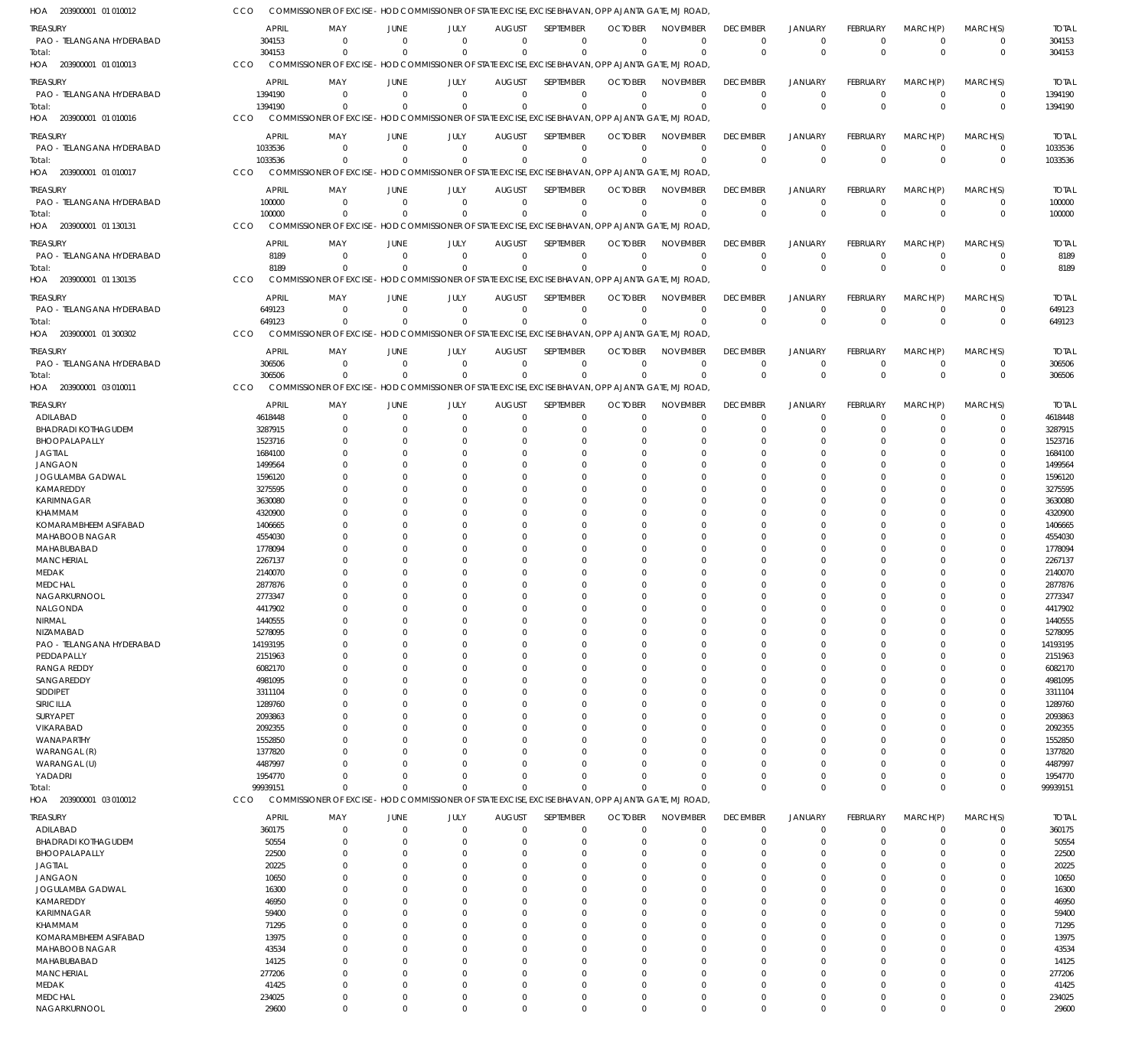| HOA 203900001 01 010012                     | CCO                |                                                                                                     |                            |                          |                               |                            | COMMISSIONER OF EXCISE - HOD COMMISSIONER OF STATE EXCISE, EXCISE BHAVAN, OPP AJANTA GATE, MJ ROAD |                      |                         |                                  |                         |                            |                            |                    |
|---------------------------------------------|--------------------|-----------------------------------------------------------------------------------------------------|----------------------------|--------------------------|-------------------------------|----------------------------|----------------------------------------------------------------------------------------------------|----------------------|-------------------------|----------------------------------|-------------------------|----------------------------|----------------------------|--------------------|
| <b>TREASURY</b>                             | APRIL              | MAY                                                                                                 | <b>JUNE</b>                | <b>JULY</b>              | <b>AUGUST</b>                 | SEPTEMBER                  | <b>OCTOBER</b>                                                                                     | <b>NOVEMBER</b>      | <b>DECEMBER</b>         | <b>JANUARY</b>                   | <b>FEBRUARY</b>         | MARCH(P)                   | MARCH(S)                   | <b>TOTAL</b>       |
| PAO - TELANGANA HYDERABAD<br>Total:         | 304153<br>304153   | $\mathbf 0$<br>$\Omega$                                                                             | $\overline{0}$<br>$\Omega$ | $\mathbf{0}$<br>$\Omega$ | $\overline{0}$<br>$\Omega$    | $\mathbf 0$<br>$\mathbf 0$ | $\Omega$<br>$\Omega$                                                                               | $\Omega$<br>$\Omega$ | $\Omega$<br>$\Omega$    | $\overline{0}$<br>$\Omega$       | $\mathbf 0$<br>$\Omega$ | $\overline{0}$<br>$\Omega$ | 0<br>$\mathbf 0$           | 304153<br>304153   |
| HOA 203900001 01 010013                     | CCO                | COMMISSIONER OF EXCISE - HOD COMMISSIONER OF STATE EXCISE, EXCISE BHAVAN, OPP AJANTA GATE, MJ ROAD, |                            |                          |                               |                            |                                                                                                    |                      |                         |                                  |                         |                            |                            |                    |
| treasury                                    | <b>APRIL</b>       | MAY                                                                                                 | <b>JUNE</b>                | JULY                     | <b>AUGUST</b>                 | SEPTEMBER                  | <b>OCTOBER</b>                                                                                     | <b>NOVEMBER</b>      | <b>DECEMBER</b>         | <b>JANUARY</b>                   | <b>FEBRUARY</b>         | MARCH(P)                   | MARCH(S)                   | <b>TOTAL</b>       |
| PAO - TELANGANA HYDERABAD                   | 1394190            | $\Omega$                                                                                            | $\Omega$                   | $\Omega$                 | $\mathbf 0$                   | $\mathbf 0$                | $\Omega$                                                                                           | $\Omega$             | $^{\circ}$              | $\overline{0}$                   | $\mathbf 0$             | $\overline{0}$             | 0                          | 1394190            |
| Total:                                      | 1394190            | $\Omega$                                                                                            | $\Omega$                   | $\Omega$                 | $\Omega$                      | $\mathbf 0$                | $\Omega$                                                                                           | $\Omega$             | $\Omega$                | $\Omega$                         | $\Omega$                | $\Omega$                   | $\mathbf 0$                | 1394190            |
| HOA 203900001 01 010016                     | CCO                | COMMISSIONER OF EXCISE - HOD COMMISSIONER OF STATE EXCISE, EXCISE BHAVAN, OPP AJANTA GATE, MJ ROAD  |                            |                          |                               |                            |                                                                                                    |                      |                         |                                  |                         |                            |                            |                    |
| treasury                                    | <b>APRIL</b>       | MAY                                                                                                 | <b>JUNE</b>                | JULY                     | <b>AUGUST</b>                 | SEPTEMBER                  | <b>OCTOBER</b>                                                                                     | <b>NOVEMBER</b>      | <b>DECEMBER</b>         | <b>JANUARY</b>                   | <b>FEBRUARY</b>         | MARCH(P)                   | MARCH(S)                   | <b>TOTAL</b>       |
| PAO - TELANGANA HYDERABAD<br>Total:         | 1033536<br>1033536 | $\mathbf 0$<br>$\Omega$                                                                             | $\overline{0}$<br>$\Omega$ | $\mathbf 0$<br>$\Omega$  | $\mathbf 0$<br>$\Omega$       | $\mathbf 0$<br>$\mathbf 0$ | $\mathbf 0$<br>$\Omega$                                                                            | $\Omega$<br>$\Omega$ | $\Omega$<br>$\Omega$    | $\overline{0}$<br>$\Omega$       | $\mathbf 0$<br>$\Omega$ | $\overline{0}$<br>$\Omega$ | $\mathbf 0$<br>$\mathbf 0$ | 1033536<br>1033536 |
| HOA 203900001 01 010017                     | CCO                | COMMISSIONER OF EXCISE - HOD COMMISSIONER OF STATE EXCISE, EXCISE BHAVAN, OPP AJANTA GATE, MJ ROAD  |                            |                          |                               |                            |                                                                                                    |                      |                         |                                  |                         |                            |                            |                    |
| treasury                                    | <b>APRIL</b>       | MAY                                                                                                 | <b>JUNE</b>                | JULY                     | <b>AUGUST</b>                 | SEPTEMBER                  | <b>OCTOBER</b>                                                                                     | <b>NOVEMBER</b>      | <b>DECEMBER</b>         | <b>JANUARY</b>                   | <b>FEBRUARY</b>         | MARCH(P)                   | MARCH(S)                   | <b>TOTAL</b>       |
| PAO - TELANGANA HYDERABAD                   | 100000             | 0                                                                                                   | $\Omega$                   | $\mathbf 0$              | $\mathbf 0$                   | $\mathbf 0$                | $\Omega$                                                                                           | $\Omega$             | $^{\circ}$              | $^{\circ}$                       | 0                       | $\overline{0}$             | 0                          | 100000             |
| Total:                                      | 100000             | $\Omega$                                                                                            | $\Omega$                   | $\Omega$                 | $\mathbf 0$                   | $\mathbf 0$                | $\Omega$                                                                                           | $\Omega$             | $\Omega$                | $\Omega$                         | $\Omega$                | $\Omega$                   | $\mathbf 0$                | 100000             |
| HOA 203900001 01 130131                     | CCO                | COMMISSIONER OF EXCISE - HOD COMMISSIONER OF STATE EXCISE, EXCISE BHAVAN, OPP AJANTA GATE, MJ ROAD, |                            |                          |                               |                            |                                                                                                    |                      |                         |                                  |                         |                            |                            |                    |
| treasury                                    | <b>APRIL</b>       | MAY                                                                                                 | <b>JUNE</b>                | JULY<br>$\Omega$         | <b>AUGUST</b>                 | SEPTEMBER                  | <b>OCTOBER</b><br>$\Omega$                                                                         | <b>NOVEMBER</b>      | <b>DECEMBER</b>         | <b>JANUARY</b>                   | <b>FEBRUARY</b>         | MARCH(P)                   | MARCH(S)                   | <b>TOTAL</b>       |
| PAO - TELANGANA HYDERABAD<br>Total:         | 8189<br>8189       | $\mathbf 0$<br>$\Omega$                                                                             | $\overline{0}$<br>$\Omega$ | $\Omega$                 | $\overline{0}$<br>$\mathbf 0$ | $\mathbf 0$<br>$\mathbf 0$ | $\Omega$                                                                                           | $\Omega$<br>$\Omega$ | $\Omega$<br>$\Omega$    | $\overline{0}$<br>$\Omega$       | $\mathbf 0$<br>$\Omega$ | $^{\circ}$<br>$\Omega$     | $\mathbf 0$<br>$\mathbf 0$ | 8189<br>8189       |
| 203900001 01 130135<br>HOA                  | CCO                | COMMISSIONER OF EXCISE - HOD COMMISSIONER OF STATE EXCISE, EXCISE BHAVAN, OPP AJANTA GATE, MJ ROAD  |                            |                          |                               |                            |                                                                                                    |                      |                         |                                  |                         |                            |                            |                    |
| treasury                                    | <b>APRIL</b>       | MAY                                                                                                 | <b>JUNE</b>                | JULY                     | <b>AUGUST</b>                 | SEPTEMBER                  | <b>OCTOBER</b>                                                                                     | <b>NOVEMBER</b>      | <b>DECEMBER</b>         | <b>JANUARY</b>                   | <b>FEBRUARY</b>         | MARCH(P)                   | MARCH(S)                   | <b>TOTAL</b>       |
| PAO - TELANGANA HYDERABAD                   | 649123             | $\mathbf 0$                                                                                         | $\Omega$                   | $\Omega$                 | $\mathbf 0$                   | $\mathbf 0$                | $\Omega$                                                                                           | $\Omega$             | $\Omega$                | $\overline{0}$                   | $\mathbf 0$             | $\Omega$                   | 0                          | 649123             |
| Total:                                      | 649123             | $\Omega$                                                                                            | $\Omega$                   | $\Omega$                 | $\Omega$                      | $\mathbf 0$                | $\Omega$                                                                                           | $\Omega$             | $\Omega$                | $\Omega$                         | $\Omega$                | $\Omega$                   | $\mathbf 0$                | 649123             |
| HOA 203900001 01 300302                     | CCO                | COMMISSIONER OF EXCISE - HOD COMMISSIONER OF STATE EXCISE, EXCISE BHAVAN, OPP AJANTA GATE, MJ ROAD  |                            |                          |                               |                            |                                                                                                    |                      |                         |                                  |                         |                            |                            |                    |
| treasury                                    | <b>APRIL</b>       | MAY                                                                                                 | <b>JUNE</b>                | JULY                     | <b>AUGUST</b>                 | SEPTEMBER                  | <b>OCTOBER</b>                                                                                     | <b>NOVEMBER</b>      | <b>DECEMBER</b>         | <b>JANUARY</b>                   | <b>FEBRUARY</b>         | MARCH(P)                   | MARCH(S)                   | <b>TOTAL</b>       |
| PAO - TELANGANA HYDERABAD<br>Total:         | 306506<br>306506   | $\Omega$<br>$\Omega$                                                                                | $\overline{0}$<br>$\Omega$ | $\Omega$<br>$\Omega$     | $\mathbf 0$<br>$\Omega$       | $\mathbf 0$<br>$\mathbf 0$ | $\Omega$<br>$\Omega$                                                                               | $\Omega$<br>$\Omega$ | $\mathbf 0$<br>$\Omega$ | $\overline{0}$<br>$\overline{0}$ | $\mathbf 0$<br>$\Omega$ | $\overline{0}$<br>$\Omega$ | $\mathbf 0$<br>$\mathbf 0$ | 306506<br>306506   |
| HOA 203900001 03 010011                     | CCO                | COMMISSIONER OF EXCISE - HOD COMMISSIONER OF STATE EXCISE, EXCISE BHAVAN, OPP AJANTA GATE, MJ ROAD  |                            |                          |                               |                            |                                                                                                    |                      |                         |                                  |                         |                            |                            |                    |
| <b>TREASURY</b>                             | <b>APRIL</b>       | MAY                                                                                                 | <b>JUNE</b>                | JULY                     | <b>AUGUST</b>                 | SEPTEMBER                  | <b>OCTOBER</b>                                                                                     | <b>NOVEMBER</b>      | <b>DECEMBER</b>         | <b>JANUARY</b>                   | <b>FEBRUARY</b>         | MARCH(P)                   | MARCH(S)                   | <b>TOTAL</b>       |
| ADILABAD                                    | 4618448            | 0                                                                                                   | $\overline{0}$             | $\Omega$                 | 0                             | 0                          | $\Omega$                                                                                           | $\Omega$             | $\Omega$                | $^{\circ}$                       | 0                       | 0                          | 0                          | 4618448            |
| <b>BHADRADI KOTHAGUDEM</b>                  | 3287915            | $\Omega$                                                                                            | $\Omega$                   | $\Omega$                 | 0                             | $\Omega$                   | $\Omega$                                                                                           | $\Omega$             | $\Omega$                | $\Omega$                         | $\Omega$                | $\Omega$                   | $\Omega$                   | 3287915            |
| BHOOPALAPALLY<br><b>JAGTIAL</b>             | 1523716<br>1684100 |                                                                                                     | $\Omega$<br>$\Omega$       | O                        | 0<br>$\Omega$                 | $\Omega$<br>$\Omega$       | $\Omega$<br>-C                                                                                     | $\Omega$             |                         | $\Omega$                         |                         | $\Omega$<br>$\Omega$       | $\Omega$                   | 1523716<br>1684100 |
| <b>JANGAON</b>                              | 1499564            |                                                                                                     | $\Omega$                   |                          | $\Omega$                      | $\Omega$                   | -C                                                                                                 | $\Omega$             |                         |                                  |                         | $\Omega$                   | O                          | 1499564            |
| JOGULAMBA GADWAL                            | 1596120            |                                                                                                     | $\Omega$                   |                          | 0                             | $\Omega$                   | -0                                                                                                 | $\Omega$             |                         |                                  |                         |                            |                            | 1596120            |
| KAMAREDDY                                   | 3275595            |                                                                                                     | $\Omega$                   |                          | $\Omega$                      | $\Omega$                   | $\Omega$                                                                                           | $\Omega$             |                         | $\Omega$                         |                         | $\Omega$                   | O                          | 3275595            |
| KARIMNAGAR<br>KHAMMAM                       | 3630080<br>4320900 |                                                                                                     | $\Omega$<br>$\Omega$       |                          | 0<br>$\Omega$                 | $\Omega$<br>$\Omega$       | -0                                                                                                 | $\Omega$             |                         | $\Omega$                         |                         | $\Omega$<br>$\Omega$       |                            | 3630080<br>4320900 |
| KOMARAMBHEEM ASIFABAD                       | 1406665            |                                                                                                     | $\Omega$                   |                          | $\Omega$                      | $\Omega$                   | $\Omega$                                                                                           | $\Omega$             |                         |                                  |                         | $\Omega$                   |                            | 1406665            |
| MAHABOOB NAGAR                              | 4554030            |                                                                                                     | $\Omega$                   |                          | $\Omega$                      | $\Omega$                   | -C                                                                                                 | $\Omega$             |                         | $\Omega$                         |                         | $\Omega$                   |                            | 4554030            |
| MAHABUBABAD<br><b>MANCHERIAL</b>            | 1778094<br>2267137 |                                                                                                     |                            |                          | $\Omega$<br>$\Omega$          | $\Omega$<br>$\Omega$       | -C<br>-0                                                                                           | $\Omega$             |                         | $\Omega$                         |                         | $\Omega$<br>$\Omega$       | O                          | 1778094<br>2267137 |
| MEDAK                                       | 2140070            |                                                                                                     |                            |                          | C                             | $\Omega$                   |                                                                                                    |                      |                         |                                  |                         |                            |                            | 2140070            |
| <b>MEDCHAL</b>                              | 2877876            |                                                                                                     |                            |                          | $\Omega$                      | $\Omega$                   | -0                                                                                                 |                      |                         | $\Omega$                         | $\Omega$                | $\Omega$                   | $\Omega$                   | 2877876            |
| NAGARKURNOOL                                | 2773347            | $\Omega$                                                                                            | $\Omega$                   | $\Omega$                 | $\Omega$                      | $\Omega$                   | $\Omega$                                                                                           | $\Omega$             | $\Omega$                | $\Omega$                         | $\Omega$                | $\Omega$                   | $\Omega$                   | 2773347            |
| NALGONDA<br>NIRMAL                          | 4417902<br>1440555 | 0<br>$\Omega$                                                                                       | 0<br>$\Omega$              |                          | 0<br>0                        | $\Omega$<br>$\Omega$       | -0<br>$\Omega$                                                                                     | $\Omega$             |                         | $\Omega$                         |                         | 0<br>$\Omega$              | O<br>$\Omega$              | 4417902<br>1440555 |
| NIZAMABAD                                   | 5278095            | $\Omega$                                                                                            | $\Omega$                   | O                        | $\Omega$                      | $\Omega$                   | $\Omega$                                                                                           | $\Omega$             | $\Omega$                | $\Omega$                         | 0                       | $\Omega$                   | $\Omega$                   | 5278095            |
| PAO - TELANGANA HYDERABAD                   | 14193195           |                                                                                                     | $\Omega$                   |                          | C                             | $\Omega$                   | $\Omega$                                                                                           | $\Omega$             |                         |                                  |                         | $\Omega$                   | O                          | 14193195           |
| PEDDAPALLY<br><b>RANGA REDDY</b>            | 2151963<br>6082170 | 0<br>0                                                                                              | $\Omega$<br>$\Omega$       |                          | 0<br>0                        | $\Omega$<br>$\Omega$       | $\Omega$<br>$\Omega$                                                                               | $\Omega$<br>$\Omega$ |                         | $\Omega$<br>$\Omega$             |                         | $\Omega$<br>$\Omega$       | $\Omega$                   | 2151963<br>6082170 |
| SANGAREDDY                                  | 4981095            | 0                                                                                                   | $\Omega$                   |                          | $\Omega$                      | $\Omega$                   | $\Omega$                                                                                           | $\Omega$             |                         | $\Omega$                         |                         | $\Omega$                   | O                          | 4981095            |
| SIDDIPET                                    | 3311104            |                                                                                                     |                            |                          | C                             | $\Omega$                   | -0                                                                                                 | $\Omega$             |                         |                                  |                         |                            |                            | 3311104            |
| SIRICILLA                                   | 1289760            | 0                                                                                                   | $\Omega$                   |                          | 0                             | $\Omega$                   | $\Omega$                                                                                           | $\Omega$             |                         | $\Omega$                         |                         | $\Omega$                   | O                          | 1289760            |
| <b>SURYAPET</b><br>VIKARABAD                | 2093863<br>2092355 |                                                                                                     | $\Omega$<br>$\Omega$       |                          | 0<br>$\Omega$                 | $\Omega$<br>$\Omega$       | $\Omega$<br>-0                                                                                     | $\Omega$<br>$\Omega$ |                         | $\Omega$                         |                         | $\Omega$<br>$\Omega$       | $\Omega$                   | 2093863<br>2092355 |
| <b>WANAPARTHY</b>                           | 1552850            |                                                                                                     |                            |                          | 0                             | $\Omega$                   | -0                                                                                                 | $\Omega$             |                         |                                  |                         |                            |                            | 1552850            |
| WARANGAL (R)                                | 1377820            | 0                                                                                                   | $\Omega$                   |                          | $\Omega$                      | $\Omega$                   | $\Omega$                                                                                           | $\Omega$             |                         | $\Omega$                         |                         | $\Omega$                   | $\Omega$                   | 1377820            |
| WARANGAL (U)<br>YADADRI                     | 4487997<br>1954770 | 0                                                                                                   | $\Omega$<br>$\Omega$       | $\Omega$                 | $\Omega$<br>$\Omega$          | $\Omega$<br>$\Omega$       | -C<br>$\Omega$                                                                                     | $\Omega$<br>$\Omega$ | $\Omega$                | $\Omega$<br>$\Omega$             | $\Omega$                | $\Omega$<br>$\Omega$       | $\Omega$<br>0              | 4487997<br>1954770 |
| Total:                                      | 99939151           | $\Omega$                                                                                            | $\Omega$                   | $\Omega$                 | $\mathbf 0$                   | $\Omega$                   | $\Omega$                                                                                           | $\Omega$             | $\Omega$                | $\Omega$                         | $\Omega$                | $\Omega$                   | $\mathbf 0$                | 99939151           |
| HOA 203900001 03 010012                     | <b>CCO</b>         | COMMISSIONER OF EXCISE - HOD COMMISSIONER OF STATE EXCISE, EXCISE BHAVAN, OPP AJANTA GATE, MJ ROAD, |                            |                          |                               |                            |                                                                                                    |                      |                         |                                  |                         |                            |                            |                    |
| treasury                                    | <b>APRIL</b>       | MAY                                                                                                 | JUNE                       | JULY                     | AUGUST                        | SEPTEMBER                  | <b>OCTOBER</b>                                                                                     | <b>NOVEMBER</b>      | <b>DECEMBER</b>         | <b>JANUARY</b>                   | <b>FEBRUARY</b>         | MARCH(P)                   | MARCH(S)                   | <b>TOTAL</b>       |
| ADILABAD                                    | 360175             | 0                                                                                                   | $\overline{0}$             | $\mathbf 0$              | 0                             | 0                          | $\Omega$                                                                                           | $\Omega$             | $^{\circ}$              | $^{\circ}$                       | 0                       | $\mathbf 0$                | 0                          | 360175             |
| <b>BHADRADI KOTHAGUDEM</b><br>BHOOPALAPALLY | 50554<br>22500     | 0<br>0                                                                                              | $\Omega$<br>$\Omega$       | $\Omega$<br>$\Omega$     | $\Omega$<br>$\Omega$          | $\mathbf 0$<br>0           | $\Omega$<br>$\Omega$                                                                               | $\Omega$<br>$\Omega$ | $\Omega$<br>$\Omega$    | $\overline{0}$<br>$\Omega$       | 0<br>$\Omega$           | $\Omega$<br>$\Omega$       | $\mathbf 0$<br>$\mathbf 0$ | 50554<br>22500     |
| <b>JAGTIAL</b>                              | 20225              | $\Omega$                                                                                            | $\Omega$                   | $\Omega$                 | $\Omega$                      | $\Omega$                   | $\Omega$                                                                                           | $\Omega$             |                         | $\Omega$                         | $\Omega$                | $\Omega$                   | $\mathbf 0$                | 20225              |
| <b>JANGAON</b>                              | 10650              | 0                                                                                                   | $\Omega$                   | $\Omega$                 | $\Omega$                      | 0                          | $\Omega$                                                                                           | $\Omega$             |                         | $\Omega$                         |                         | $\Omega$                   | $\mathbf 0$                | 10650              |
| JOGULAMBA GADWAL                            | 16300              | $\Omega$                                                                                            | $\Omega$                   | $\Omega$                 | $\Omega$                      | $\Omega$                   | $\Omega$                                                                                           | $\Omega$             |                         | $\Omega$                         | $\Omega$                | $\Omega$                   | $\Omega$                   | 16300              |
| KAMAREDDY<br>KARIMNAGAR                     | 46950<br>59400     | $\Omega$<br>$\Omega$                                                                                | $\Omega$<br>$\Omega$       | $\Omega$<br>$\Omega$     | $\Omega$<br>$\Omega$          | 0<br>$\Omega$              | $\Omega$<br>$\Omega$                                                                               | $\Omega$<br>$\Omega$ |                         | $\Omega$<br>$\Omega$             |                         | $\Omega$<br>$\Omega$       | $\mathbf 0$<br>$\Omega$    | 46950<br>59400     |
| KHAMMAM                                     | 71295              | 0                                                                                                   | $\Omega$                   | $\Omega$                 | $\Omega$                      | $\Omega$                   | $\Omega$                                                                                           | $\Omega$             |                         | $\Omega$                         |                         | $\Omega$                   | $\mathbf 0$                | 71295              |
| KOMARAMBHEEM ASIFABAD                       | 13975              | $\Omega$                                                                                            | $\Omega$                   | $\Omega$                 | $\Omega$                      | $\Omega$                   | $\Omega$                                                                                           | $\Omega$             |                         | $\Omega$                         | $\Omega$                | $\Omega$                   | $\Omega$                   | 13975              |
| MAHABOOB NAGAR                              | 43534              | 0                                                                                                   | $\Omega$                   | $\Omega$                 | $\Omega$                      | 0                          | $\Omega$                                                                                           | $\Omega$             |                         | $\Omega$                         |                         | $\Omega$                   | $\mathbf 0$                | 43534              |
| MAHABUBABAD<br><b>MANCHERIAL</b>            | 14125<br>277206    | $\Omega$<br>$\Omega$                                                                                | $\Omega$<br>$\Omega$       | $\Omega$<br>$\Omega$     | $\Omega$<br>$\Omega$          | $\Omega$<br>$\Omega$       | $\Omega$<br>$\Omega$                                                                               | $\Omega$<br>$\Omega$ | $\Omega$                | $\Omega$<br>$\Omega$             | $\Omega$                | $\Omega$<br>$\Omega$       | $\Omega$<br>$\mathbf 0$    | 14125<br>277206    |
| MEDAK                                       | 41425              | $\Omega$                                                                                            | $\Omega$                   | $\Omega$                 | $\Omega$                      | $\Omega$                   | $\Omega$                                                                                           | $\Omega$             | $\Omega$                | $\Omega$                         | $\Omega$                | $\Omega$                   | $\Omega$                   | 41425              |
| <b>MEDCHAL</b>                              | 234025             | 0                                                                                                   | $\overline{0}$             | $\mathbf 0$              | $\mathbf 0$                   | $\mathbf 0$                | $\Omega$                                                                                           | $\Omega$             | $\Omega$                | $\overline{0}$                   | 0                       | $\mathbf 0$                | $\mathbf 0$                | 234025             |
| NAGARKURNOOL                                | 29600              | $\mathbf 0$                                                                                         | $\Omega$                   | $\mathbf 0$              | $\Omega$                      | $\mathbf 0$                | $\Omega$                                                                                           | $\Omega$             | $\Omega$                | $\Omega$                         | $\mathbf 0$             | $\overline{0}$             | $\mathbf 0$                | 29600              |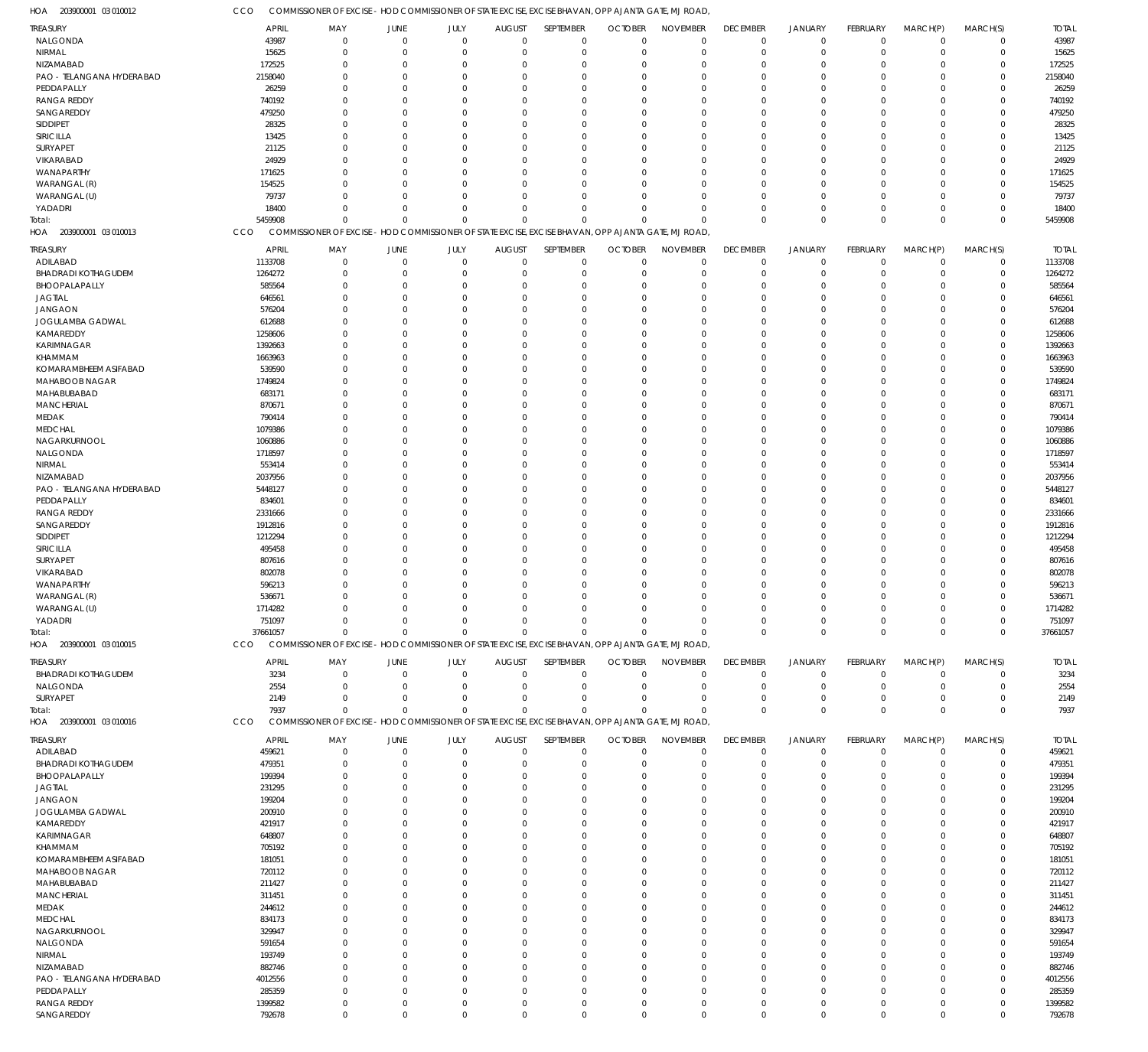| HOA<br>203900001 03 010012             | CCO                | COMMISSIONER OF EXCISE - HOD COMMISSIONER OF STATE EXCISE, EXCISE BHAVAN, OPP AJANTA GATE, MJ ROAD  |                            |                      |                         |                            |                      |                      |                        |                            |                      |                         |                            |                    |
|----------------------------------------|--------------------|-----------------------------------------------------------------------------------------------------|----------------------------|----------------------|-------------------------|----------------------------|----------------------|----------------------|------------------------|----------------------------|----------------------|-------------------------|----------------------------|--------------------|
| TREASURY                               | <b>APRIL</b>       | MAY                                                                                                 | JUNE                       | JULY                 | <b>AUGUST</b>           | SEPTEMBER                  | <b>OCTOBER</b>       | <b>NOVEMBER</b>      | <b>DECEMBER</b>        | <b>JANUARY</b>             | <b>FEBRUARY</b>      | MARCH(P)                | MARCH(S)                   | <b>TOTAL</b>       |
| NALGONDA                               | 43987              | $\Omega$                                                                                            | $\overline{0}$             | $\mathbf 0$          | $\mathbf 0$             | $\mathbf 0$                | $\mathbf 0$          | $\Omega$             | $\mathbf 0$            | $\mathbf 0$                | $\overline{0}$       | $\overline{0}$          | $\mathbf 0$                | 43987              |
| NIRMAL                                 | 15625              | $\Omega$                                                                                            | $\mathbf{0}$               | $\mathbf{0}$         | $\overline{0}$          | $\mathbf 0$                | $\mathbf 0$          | $\Omega$             | $\mathbf 0$            | $\mathbf 0$                | $\mathbf 0$          | $\overline{0}$          | $\mathbf 0$                | 15625              |
| NIZAMABAD<br>PAO - TELANGANA HYDERABAD | 172525             | $\Omega$<br>$\Omega$                                                                                | $\overline{0}$<br>$\Omega$ | $\Omega$<br>$\Omega$ | 0<br>$\Omega$           | $\mathbf 0$<br>$\mathbf 0$ | $\Omega$<br>$\Omega$ | $\Omega$<br>$\Omega$ | $^{\circ}$<br>$\Omega$ | $\overline{0}$<br>$\Omega$ | $\Omega$<br>$\Omega$ | $\Omega$<br>$\Omega$    | $\mathbf 0$<br>$\mathbf 0$ | 172525             |
| PEDDAPALLY                             | 2158040<br>26259   | $\Omega$                                                                                            | $\Omega$                   | $\Omega$             | $\Omega$                | $\mathbf 0$                | $\Omega$             | $\Omega$             | $\Omega$               | $\Omega$                   | $\Omega$             | $\Omega$                | $\mathbf 0$                | 2158040<br>26259   |
| <b>RANGA REDDY</b>                     | 740192             | $\Omega$                                                                                            | $\Omega$                   | $\Omega$             | $\Omega$                | $\mathbf 0$                | $\Omega$             | $\Omega$             | $\Omega$               | $\Omega$                   | $\Omega$             | $\Omega$                | $\mathbf 0$                | 740192             |
| SANGAREDDY                             | 479250             | $\Omega$                                                                                            | $\Omega$                   | $\Omega$             | $\Omega$                | $\mathbf 0$                | $\Omega$             | $\Omega$             | $\Omega$               | $\Omega$                   | $\Omega$             | $\Omega$                | $\mathbf 0$                | 479250             |
| SIDDIPET                               | 28325              | $\Omega$                                                                                            | $\Omega$                   | $\Omega$             | $\Omega$                | $\mathbf 0$                | $\Omega$             | $\Omega$             | $\Omega$               | $\Omega$                   | $\Omega$             | $\Omega$                | $\mathbf 0$                | 28325              |
| SIRICILLA                              | 13425              | $\Omega$                                                                                            | $\overline{0}$             | $\Omega$             | $\Omega$                | $\mathbf 0$                | $\Omega$             | $\Omega$             | $\Omega$               | $\Omega$                   | $\Omega$             | $\Omega$                | $\mathbf 0$                | 13425              |
| SURYAPET                               | 21125              | $\Omega$                                                                                            | $\Omega$                   | $\Omega$             | $\Omega$                | $\mathbf 0$                | $\Omega$             | $\Omega$             | $\Omega$               | $\Omega$                   | $\Omega$             | $\Omega$                | $\mathbf 0$                | 21125              |
| VIKARABAD                              | 24929              | $\Omega$                                                                                            | $\Omega$                   | $\Omega$             | $\Omega$                | $\mathbf 0$                | $\Omega$             | $\Omega$             | $\Omega$               | $\Omega$                   | $\Omega$             | $\Omega$                | $\mathbf 0$                | 24929              |
| WANAPARTHY                             | 171625             | $\Omega$                                                                                            | $\Omega$                   | $\Omega$             | $\Omega$                | $\mathbf 0$                | $\Omega$             | $\Omega$             | $\Omega$               | $\Omega$                   | $\Omega$             | $\Omega$                | $\mathbf 0$                | 171625             |
| WARANGAL (R)                           | 154525             | $\Omega$                                                                                            | $\Omega$                   | $\Omega$             | $\Omega$                | $\mathbf 0$                | $\Omega$             | $\Omega$             | $\Omega$               | $\Omega$                   | $\Omega$             | $\Omega$                | $\mathbf 0$                | 154525             |
| WARANGAL (U)                           | 79737              | $\Omega$<br>$\Omega$                                                                                | $\Omega$<br>$\Omega$       | $\Omega$<br>$\Omega$ | $\Omega$<br>$\mathbf 0$ | $\Omega$<br>$\mathbf 0$    | $\Omega$<br>$\Omega$ | $\Omega$<br>$\Omega$ | $\Omega$<br>$\Omega$   | $\Omega$<br>$\Omega$       | $\Omega$<br>$\Omega$ | $\Omega$<br>$\mathbf 0$ | $\mathbf 0$<br>$\mathbf 0$ | 79737<br>18400     |
| YADADRI<br>Total:                      | 18400<br>5459908   | $\Omega$                                                                                            | $\Omega$                   | $\Omega$             | $\mathbf 0$             | $\mathbf{0}$               | $\Omega$             | $\Omega$             | $\mathbf 0$            | $\mathbf{0}$               | $\Omega$             | $\Omega$                | $\mathbf 0$                | 5459908            |
| 203900001 03 010013<br>HOA             | CCO                | COMMISSIONER OF EXCISE - HOD COMMISSIONER OF STATE EXCISE, EXCISE BHAVAN, OPP AJANTA GATE, MJ ROAD, |                            |                      |                         |                            |                      |                      |                        |                            |                      |                         |                            |                    |
| TREASURY                               | <b>APRIL</b>       | MAY                                                                                                 | JUNE                       | JULY                 | <b>AUGUST</b>           | SEPTEMBER                  | <b>OCTOBER</b>       | <b>NOVEMBER</b>      | <b>DECEMBER</b>        | <b>JANUARY</b>             | FEBRUARY             | MARCH(P)                | MARCH(S)                   | <b>TOTAL</b>       |
| ADILABAD                               | 1133708            | $\mathbf 0$                                                                                         | $\overline{0}$             | $\mathbf 0$          | $\overline{0}$          | $\mathbf 0$                | $\mathbf 0$          | $\Omega$             | $^{\circ}$             | $\mathbf 0$                | $\overline{0}$       | $\mathbf 0$             | 0                          | 1133708            |
| <b>BHADRADI KOTHAGUDEM</b>             | 1264272            | $\Omega$                                                                                            | $\overline{0}$             | $\Omega$             | 0                       | $\mathbf 0$                | 0                    | $\Omega$             | $^{\circ}$             | $\overline{0}$             | 0                    | $\mathbf 0$             | $\mathsf 0$                | 1264272            |
| BHOOPALAPALLY                          | 585564             | $\Omega$                                                                                            | $\overline{0}$             | $\Omega$             | 0                       | $\mathbf 0$                | $\Omega$             | $\Omega$             | $\Omega$               | $\overline{0}$             | $\Omega$             | $\Omega$                | $\mathbf 0$                | 585564             |
| <b>JAGTIAL</b>                         | 646561             | $\Omega$                                                                                            | $\overline{0}$             | $\Omega$             | 0                       | $\mathbf 0$                | $\Omega$             | $\Omega$             | $\Omega$               | $\Omega$                   | $\Omega$             | $\Omega$                | $\mathbf 0$                | 646561             |
| <b>JANGAON</b>                         | 576204             | $\Omega$                                                                                            | $\Omega$                   | $\Omega$             | $\Omega$                | $\mathbf 0$                | $\Omega$             | $\Omega$             | $\Omega$               | $\Omega$                   | $\Omega$             | $\Omega$                | $\mathbf 0$                | 576204             |
| JOGULAMBA GADWAL                       | 612688             | $\Omega$                                                                                            | $\Omega$                   | $\Omega$             | $\Omega$                | $\mathbf 0$                | $\Omega$             | $\Omega$             | $\Omega$               | $\Omega$                   | $\Omega$             | $\Omega$                | $\mathbf 0$                | 612688             |
| KAMAREDDY                              | 1258606            | $\Omega$                                                                                            | $\Omega$                   | $\Omega$<br>$\Omega$ | $\Omega$                | $\mathbf 0$                | $\Omega$             | $\Omega$<br>$\Omega$ | $\Omega$               | $\Omega$                   | $\Omega$             | $\Omega$                | $\mathbf 0$                | 1258606            |
| KARIMNAGAR<br>KHAMMAM                  | 1392663<br>1663963 | $\Omega$<br>$\Omega$                                                                                | $\Omega$<br>$\Omega$       | $\Omega$             | 0<br>$\Omega$           | $\mathbf 0$<br>$\mathbf 0$ | $\Omega$<br>$\Omega$ | $\Omega$             | $\Omega$<br>$\Omega$   | $\Omega$<br>$\Omega$       | $\Omega$<br>$\Omega$ | $\Omega$<br>$\Omega$    | $\mathbf 0$<br>$\mathbf 0$ | 1392663<br>1663963 |
| KOMARAMBHEEM ASIFABAD                  | 539590             | $\Omega$                                                                                            | $\Omega$                   | $\Omega$             | $\Omega$                | $\mathbf 0$                | $\Omega$             | $\Omega$             | $\Omega$               | $\Omega$                   | $\Omega$             | $\Omega$                | $\mathbf 0$                | 539590             |
| MAHABOOB NAGAR                         | 1749824            | $\Omega$                                                                                            | $\Omega$                   | $\Omega$             | $\Omega$                | $\mathbf 0$                | $\Omega$             | $\Omega$             | $\Omega$               | $\Omega$                   | $\Omega$             | $\Omega$                | $\mathbf 0$                | 1749824            |
| MAHABUBABAD                            | 683171             | $\Omega$                                                                                            | $\Omega$                   | $\Omega$             | $\Omega$                | $\mathbf 0$                | $\Omega$             | $\Omega$             | $\Omega$               | $\Omega$                   | $\Omega$             | $\Omega$                | $\mathbf 0$                | 683171             |
| <b>MANCHERIAL</b>                      | 870671             | $\Omega$                                                                                            | $\Omega$                   | $\Omega$             | $\Omega$                | $\mathbf 0$                | $\Omega$             | $\Omega$             | $\Omega$               | $\Omega$                   | $\Omega$             | $\Omega$                | $\mathbf 0$                | 870671             |
| MEDAK                                  | 790414             | $\Omega$                                                                                            | $\overline{0}$             | $\Omega$             | $\overline{0}$          | $\mathbf 0$                | $\Omega$             | $\Omega$             | $\Omega$               | $\Omega$                   | $\Omega$             | $\Omega$                | $\mathbf 0$                | 790414             |
| <b>MEDCHAL</b>                         | 1079386            | $\Omega$                                                                                            | $\Omega$                   | $\Omega$             | $\Omega$                | $\mathbf 0$                | $\Omega$             | $\Omega$             | $\Omega$               | $\Omega$                   | $\Omega$             | $\Omega$                | $\mathbf 0$                | 1079386            |
| NAGARKURNOOL                           | 1060886            | $\Omega$                                                                                            | $\Omega$                   | $\Omega$             | $\Omega$                | $\mathbf 0$                | $\Omega$             | $\Omega$             | $\Omega$               | $\Omega$                   | $\Omega$             | $\Omega$                | $\mathbf 0$                | 1060886            |
| NALGONDA                               | 1718597            | $\Omega$                                                                                            | $\Omega$                   | $\Omega$             | $\Omega$                | $\mathbf 0$                | $\Omega$             | $\Omega$             | $\Omega$               | $\Omega$                   | $\Omega$             | $\Omega$                | $\mathbf 0$                | 1718597            |
| NIRMAL                                 | 553414             | $\Omega$                                                                                            | $\Omega$                   | $\Omega$<br>$\Omega$ | 0                       | $\mathbf 0$                | $\Omega$             | $\Omega$<br>$\Omega$ | $\Omega$               | $\Omega$                   | $\Omega$             | $\Omega$                | $\mathbf 0$                | 553414             |
| NIZAMABAD<br>PAO - TELANGANA HYDERABAD | 2037956<br>5448127 | $\Omega$<br>$\Omega$                                                                                | $\Omega$<br>$\Omega$       | $\Omega$             | $\Omega$<br>$\Omega$    | $\mathbf 0$<br>$\mathbf 0$ | $\Omega$<br>$\Omega$ | $\Omega$             | $\Omega$<br>$\Omega$   | $\Omega$<br>$\Omega$       | $\Omega$<br>$\Omega$ | $\Omega$<br>$\Omega$    | $\mathbf 0$<br>$\mathbf 0$ | 2037956<br>5448127 |
| PEDDAPALLY                             | 834601             | $\Omega$                                                                                            | $\Omega$                   | $\Omega$             | $\Omega$                | $\mathbf 0$                | $\Omega$             | $\Omega$             | $\Omega$               | $\Omega$                   | $\Omega$             | $\Omega$                | $\mathbf 0$                | 834601             |
| <b>RANGA REDDY</b>                     | 2331666            | $\Omega$                                                                                            | $\Omega$                   | $\Omega$             | $\Omega$                | $\mathbf 0$                | $\Omega$             | $\Omega$             | $\Omega$               | $\Omega$                   | $\Omega$             | $\Omega$                | $\mathbf 0$                | 2331666            |
| SANGAREDDY                             | 1912816            | $\Omega$                                                                                            | $\Omega$                   | $\Omega$             | $\Omega$                | $\mathbf 0$                | $\Omega$             | $\Omega$             | $\Omega$               | $\Omega$                   | $\Omega$             | $\Omega$                | $\mathbf 0$                | 1912816            |
| SIDDIPET                               | 1212294            | $\Omega$                                                                                            | $\Omega$                   | $\Omega$             | 0                       | $\mathbf 0$                | $\Omega$             | $\Omega$             | $\Omega$               | $\Omega$                   | $\Omega$             | $\Omega$                | $\mathbf 0$                | 1212294            |
| SIRICILLA                              | 495458             | $\Omega$                                                                                            | $\Omega$                   | $\Omega$             | $\Omega$                | $\mathbf 0$                | $\Omega$             | $\Omega$             | $\Omega$               | $\Omega$                   | $\Omega$             | $\Omega$                | $\mathbf 0$                | 495458             |
| SURYAPET                               | 807616             | $\Omega$                                                                                            | $\Omega$                   | $\Omega$             | $\Omega$                | $\mathbf 0$                | $\Omega$             | $\Omega$             | $\Omega$               | $\Omega$                   | $\Omega$             | $\Omega$                | $\mathbf 0$                | 807616             |
| VIKARABAD                              | 802078             | $\Omega$                                                                                            | $\Omega$                   | $\Omega$             | 0                       | $\mathbf 0$                | $\Omega$             | $\Omega$             | $\Omega$               | $\Omega$                   | $\Omega$             | $\Omega$                | $\mathbf 0$                | 802078             |
| WANAPARTHY                             | 596213             | $\Omega$                                                                                            | $\Omega$                   | 0                    | $\overline{0}$          | $\mathbf 0$                | $\Omega$             | $\Omega$             | $\Omega$               | $\Omega$                   | $\Omega$             | $\Omega$                | $\mathbf 0$                | 596213             |
| WARANGAL (R)                           | 536671             | $\Omega$                                                                                            | $\Omega$                   | $\Omega$             | $\mathbf 0$             | $\mathbf 0$                | $\Omega$             | $\Omega$             | $\Omega$               | $\mathbf 0$                | $\Omega$             | $\Omega$                | $\mathbf 0$                | 536671             |
| WARANGAL (U)<br>YADADRI                | 1714282<br>751097  | 0<br>$\mathbf 0$                                                                                    | $\Omega$                   | $\Omega$             | 0<br>0                  | 0<br>$\mathbf 0$           | $\Omega$             | $\Omega$             | 0                      | $\overline{0}$             | $\mathbf 0$          | O<br>$\mathbf 0$        | 0<br>$\mathsf 0$           | 1714282<br>751097  |
| Total:                                 | 37661057           | $\Omega$                                                                                            | $\Omega$                   | $\Omega$             | $\Omega$                | 0                          |                      | $\Omega$             | $^{\circ}$             | $\mathbf 0$                | $\Omega$             | $\mathbf 0$             | $\mathbf 0$                | 37661057           |
| HOA 203900001 03 010015                | CCO                | COMMISSIONER OF EXCISE - HOD COMMISSIONER OF STATE EXCISE, EXCISE BHAVAN, OPP AJANTA GATE, MJ ROAD, |                            |                      |                         |                            |                      |                      |                        |                            |                      |                         |                            |                    |
| treasury                               | <b>APRIL</b>       | MAY                                                                                                 | JUNE                       | JULY                 | AUGUST                  | SEPTEMBER                  | <b>OCTOBER</b>       | <b>NOVEMBER</b>      | <b>DECEMBER</b>        | <b>JANUARY</b>             | FEBRUARY             | MARCH(P)                | MARCH(S)                   | <b>TOTAL</b>       |
| <b>BHADRADI KOTHAGUDEM</b>             | 3234               | $\mathbf 0$                                                                                         | $\mathbf{0}$               | $\mathbf{0}$         | $\mathbf 0$             | 0                          | $\mathbf 0$          | $\Omega$             | $\overline{0}$         | $\overline{0}$             | $\overline{0}$       | $\mathbf 0$             | 0                          | 3234               |
| NALGONDA                               | 2554               | $\Omega$                                                                                            | $\overline{0}$             | $\mathbf{0}$         | $\overline{0}$          | $\mathbf 0$                | $\Omega$             | $\Omega$             | $\overline{0}$         | $\overline{0}$             | $\Omega$             | $\Omega$                | $\mathbf 0$                | 2554               |
| SURYAPET                               | 2149               | $\Omega$                                                                                            | $\Omega$                   | $\Omega$             | $\mathbf 0$             | $\mathbf 0$                | $\Omega$             | $\Omega$             | $\overline{0}$         | $\overline{0}$             | 0                    | $\mathbf 0$             | $\mathbf 0$                | 2149               |
| Total:                                 | 7937               | $\Omega$                                                                                            | $\Omega$                   | $\Omega$             | $\mathbf 0$             | 0                          | $\Omega$             | $\Omega$             | $^{\circ}$             | $\mathbf 0$                | $\Omega$             | $\mathbf 0$             | $\mathbf 0$                | 7937               |
| HOA 203900001 03 010016                | CCO                | COMMISSIONER OF EXCISE - HOD COMMISSIONER OF STATE EXCISE, EXCISE BHAVAN, OPP AJANTA GATE, MJ ROAD, |                            |                      |                         |                            |                      |                      |                        |                            |                      |                         |                            |                    |
| TREASURY                               | <b>APRIL</b>       | MAY                                                                                                 | JUNE                       | JULY                 | <b>AUGUST</b>           | SEPTEMBER                  | <b>OCTOBER</b>       | <b>NOVEMBER</b>      | <b>DECEMBER</b>        | <b>JANUARY</b>             | FEBRUARY             | MARCH(P)                | MARCH(S)                   | <b>TOTAL</b>       |
| ADILABAD                               | 459621             | $\Omega$                                                                                            | $\overline{0}$             | $\mathbf 0$          | $\overline{0}$          | $\mathbf 0$                | $\mathbf 0$          | $\Omega$             | $^{\circ}$             | $\overline{0}$             | 0                    | $\mathbf 0$             | 0                          | 459621             |
| <b>BHADRADI KOTHAGUDEM</b>             | 479351             | $\Omega$                                                                                            | $\Omega$                   | $\Omega$             | 0                       | $\mathbf 0$                | 0                    | $\Omega$             | $\Omega$               | $\overline{0}$             | 0                    | $\Omega$                | $\mathbf 0$                | 479351             |
| BHOOPALAPALLY                          | 199394             | $\Omega$                                                                                            | $\Omega$<br>$\Omega$       | 0                    | 0                       | $\mathbf 0$                | -0                   | $\Omega$<br>$\Omega$ | $\Omega$               | $\Omega$<br>$\Omega$       | 0                    | $\Omega$<br>$\Omega$    | $\mathbf 0$<br>$\mathbf 0$ | 199394             |
| <b>JAGTIAL</b><br><b>JANGAON</b>       | 231295<br>199204   |                                                                                                     | $\Omega$                   |                      | 0<br>0                  | 0<br>$\mathbf 0$           | -0<br>-C             | $\Omega$             |                        | $\Omega$                   | 0<br>0               | $\Omega$                | $\mathbf 0$                | 231295<br>199204   |
| JOGULAMBA GADWAL                       | 200910             |                                                                                                     | $\Omega$                   |                      | 0                       | $\mathbf 0$                | -C                   |                      |                        |                            | 0                    | $\Omega$                | $\mathbf 0$                | 200910             |
| KAMAREDDY                              | 421917             |                                                                                                     | n                          |                      | 0                       | $\mathbf 0$                | -C                   | $\cap$               |                        |                            | 0                    | $\Omega$                | $\mathbf 0$                | 421917             |
| KARIMNAGAR                             | 648807             |                                                                                                     |                            |                      | 0                       | 0                          | -C                   | $\cap$               |                        |                            | U                    | $\Omega$                | $\mathbf 0$                | 648807             |
| KHAMMAM                                | 705192             |                                                                                                     | n                          |                      | 0                       | $\mathbf 0$                | -0                   | $\Omega$             |                        | $\Omega$                   | 0                    | $\Omega$                | $\mathbf 0$                | 705192             |
| KOMARAMBHEEM ASIFABAD                  | 181051             |                                                                                                     | $\Omega$                   |                      | 0                       | $\mathbf 0$                | -C                   | $\cap$               |                        |                            | 0                    | $\Omega$                | $\mathbf 0$                | 181051             |
| MAHABOOB NAGAR                         | 720112             |                                                                                                     | n                          |                      | 0                       | $\mathbf 0$                | -C                   | $\Omega$             |                        | $\Omega$                   | 0                    | $\Omega$                | $\mathbf 0$                | 720112             |
| MAHABUBABAD                            | 211427             |                                                                                                     |                            |                      | 0                       | $\mathbf 0$                | -0                   | $\Omega$             |                        |                            |                      | $\Omega$                | $\mathbf 0$                | 211427             |
| <b>MANCHERIAL</b>                      | 311451             |                                                                                                     | 0                          |                      | 0                       | $\mathbf 0$                | -0                   | $\Omega$             |                        | $\Omega$                   | 0                    | $\Omega$                | $\mathbf 0$                | 311451             |
| MEDAK                                  | 244612             |                                                                                                     | $\Omega$                   |                      | 0                       | $\mathbf 0$                | -C                   | $\cap$               |                        |                            | O                    | $\Omega$                | $\mathbf 0$                | 244612             |
| MEDCHAL                                | 834173             |                                                                                                     | n                          |                      | 0                       | $\mathbf 0$<br>$\mathbf 0$ | -C                   | $\Omega$<br>$\Omega$ |                        |                            | 0                    | $\Omega$<br>$\Omega$    | $\mathbf 0$<br>$\mathbf 0$ | 834173             |
| NAGARKURNOOL<br>NALGONDA               | 329947<br>591654   |                                                                                                     | n                          |                      | 0<br>0                  | $\mathbf 0$                | -0<br>-C             | $\Omega$             |                        | $\Omega$                   | 0                    | $\Omega$                | $\mathbf 0$                | 329947<br>591654   |
| NIRMAL                                 | 193749             |                                                                                                     | n                          |                      | 0                       | $\mathbf 0$                |                      |                      |                        |                            | U                    | $\Omega$                | $\mathbf 0$                | 193749             |
| NIZAMABAD                              | 882746             |                                                                                                     |                            |                      | $\Omega$                | $\mathbf 0$                | -0                   | $\Omega$             |                        |                            | 0                    | $\Omega$                | $\mathbf 0$                | 882746             |
| PAO - TELANGANA HYDERABAD              | 4012556            |                                                                                                     | $\Omega$                   |                      | 0                       | $\mathbf 0$                | $\Omega$             | $\Omega$             |                        |                            | 0                    | $\Omega$                | $\mathbf 0$                | 4012556            |
| PEDDAPALLY                             | 285359             | 0                                                                                                   | $\Omega$                   | n                    | 0                       | $\mathbf 0$                | $\Omega$             | $\Omega$             |                        | $\Omega$                   | 0                    | $\Omega$                | $\mathbf 0$                | 285359             |
| <b>RANGA REDDY</b>                     | 1399582            | $\mathbf 0$                                                                                         | $\mathbf{0}$               | $\mathbf{0}$         | $\mathbf 0$             | $\mathbf 0$                | 0                    | $\Omega$             | $^{\circ}$             | $\overline{0}$             | 0                    | $\overline{0}$          | $\mathbf 0$                | 1399582            |
| SANGAREDDY                             | 792678             | $\mathbf 0$                                                                                         | $\mathbf{0}$               | $\Omega$             | $\mathbf 0$             | $\mathbf 0$                | $\mathbf 0$          | $\mathbf 0$          | $\mathbf 0$            | $\mathbf 0$                | $\mathbf 0$          | $\mathbf 0$             | $\mathbf 0$                | 792678             |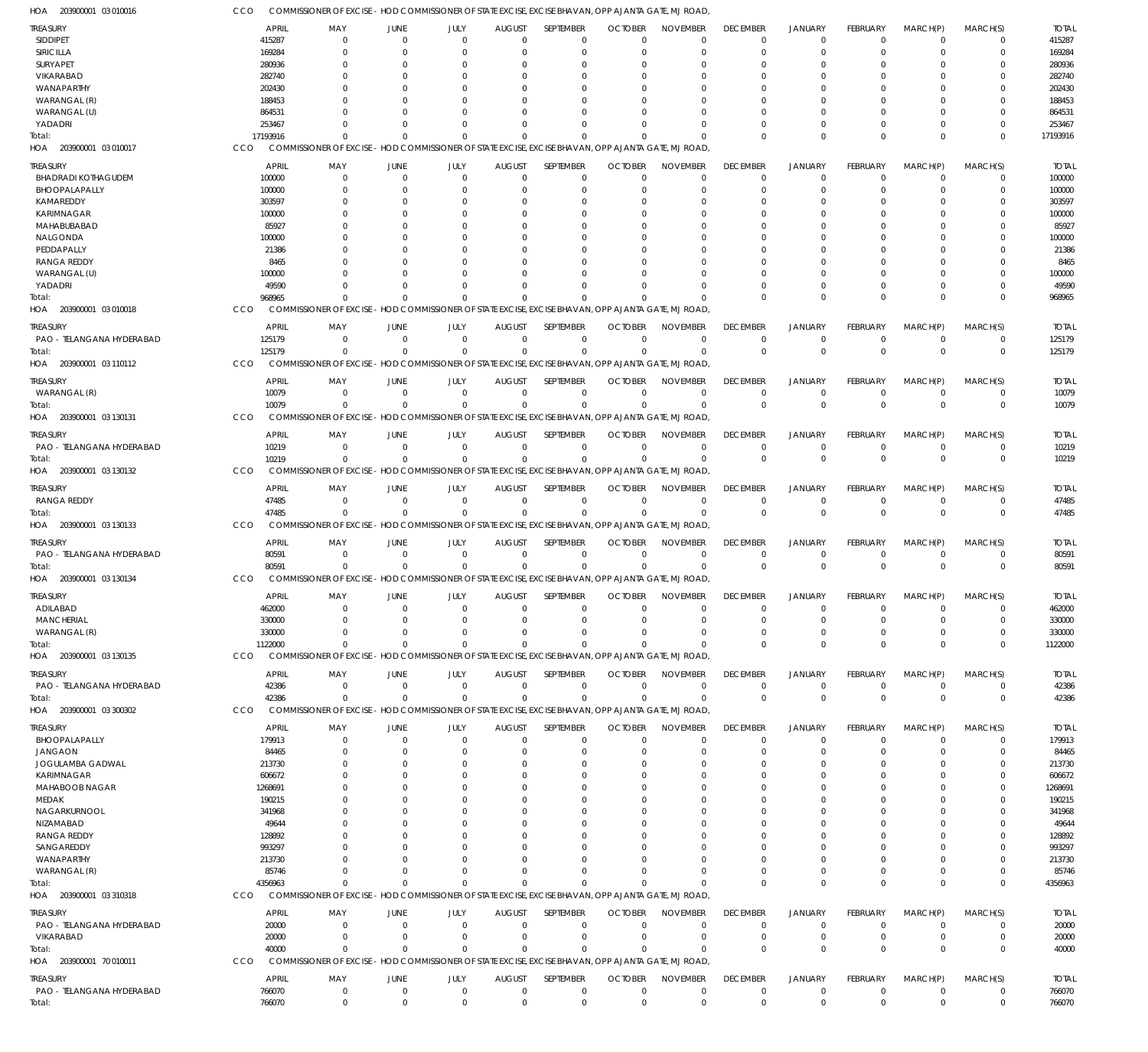203900001 03 010016 HOA

COMMISSIONER OF EXCISE - HOD COMMISSIONER OF STATE EXCISE, EXCISE BHAVAN, OPP AJANTA GATE, MJ ROAD, CCO

| <b>TREASURY</b>                   |          | <b>APRIL</b><br>MAY                                                                                 | <b>JUNE</b> | JULY                                                                        | <b>AUGUST</b>             | <b>SEPTEMBER</b>      | <b>OCTOBER</b>             | <b>NOVEMBER</b>                   | <b>DECEMBER</b>                   | JANUARY                          | FEBRUARY                       | MARCH(P)                | MARCH(S)                | <b>TOTAL</b>          |
|-----------------------------------|----------|-----------------------------------------------------------------------------------------------------|-------------|-----------------------------------------------------------------------------|---------------------------|-----------------------|----------------------------|-----------------------------------|-----------------------------------|----------------------------------|--------------------------------|-------------------------|-------------------------|-----------------------|
| SIDDIPET                          |          | 415287<br>0                                                                                         |             | $\Omega$<br>$\Omega$                                                        | $\Omega$                  | $\Omega$              | $\Omega$                   | $\Omega$                          | $^{\circ}$                        | $\overline{0}$                   | $\mathbf 0$                    | $\Omega$                | $\mathbf 0$             | 415287                |
| SIRICILLA                         |          | 169284<br>$\Omega$                                                                                  |             | $\Omega$                                                                    |                           |                       |                            |                                   | $\Omega$                          | $\Omega$                         | $\Omega$                       |                         | $\mathbf 0$             | 169284                |
| SURYAPET                          |          | 280936<br>$\Omega$                                                                                  |             | C.                                                                          |                           |                       |                            |                                   | 0                                 |                                  |                                |                         | $\Omega$                | 280936                |
| VIKARABAD                         |          | 282740<br>0                                                                                         |             | C.                                                                          |                           |                       |                            |                                   |                                   |                                  |                                |                         | $\Omega$                | 282740                |
| WANAPARTHY                        |          | 202430                                                                                              |             | $\Omega$                                                                    |                           |                       |                            |                                   |                                   |                                  |                                |                         | $\Omega$                | 202430                |
| WARANGAL (R)                      |          | 188453                                                                                              |             |                                                                             |                           |                       |                            |                                   |                                   |                                  |                                |                         | $\Omega$                | 188453                |
| WARANGAL (U)                      |          | 864531                                                                                              |             | $\Omega$                                                                    |                           |                       |                            |                                   |                                   |                                  | 0                              |                         | $\Omega$                | 864531                |
| YADADRI                           |          | 253467                                                                                              |             | $\Omega$                                                                    |                           |                       |                            |                                   |                                   | $\Omega$                         | $\Omega$                       | 0                       | $\Omega$                | 253467                |
| Total:                            | 17193916 | $\Omega$                                                                                            |             | $\Omega$                                                                    |                           |                       |                            |                                   | $\Omega$                          | $\Omega$                         | $\Omega$                       | $\Omega$                | $\Omega$                | 17193916              |
| HOA 203900001 03 010017           | CCO      | COMMISSIONER OF EXCISE - HOD COMMISSIONER OF STATE EXCISE, EXCISE BHAVAN, OPP AJANTA GATE, MJ ROAD, |             |                                                                             |                           |                       |                            |                                   |                                   |                                  |                                |                         |                         |                       |
| TREASURY                          |          | <b>APRIL</b><br>MAY                                                                                 | JUNE        | JULY                                                                        | <b>AUGUST</b>             | SEPTEMBER             | <b>OCTOBER</b>             | <b>NOVEMBER</b>                   | <b>DECEMBER</b>                   | <b>JANUARY</b>                   | <b>FEBRUARY</b>                | MARCH(P)                | MARCH(S)                | <b>TOTAL</b>          |
| <b>BHADRADI KOTHAGUDEM</b>        |          | 100000<br>$\mathbf 0$                                                                               |             | $\mathbf 0$<br>0                                                            | $\Omega$                  | $\mathbf 0$           | $^{\circ}$                 | $\overline{0}$                    | $^{\circ}$                        | $\overline{0}$                   | $\mathbf 0$                    | $^{\circ}$              | 0                       | 100000                |
| BHOOPALAPALLY                     |          | 100000<br>0                                                                                         |             | $\Omega$<br>0                                                               |                           | $\Omega$              | $\Omega$                   | $\Omega$                          | 0                                 | $\Omega$                         | $\Omega$                       | 0                       | 0                       | 100000                |
| KAMAREDDY                         |          | 303597<br>$\Omega$                                                                                  |             | $\Omega$<br>0                                                               |                           | $\Omega$              | $\Omega$                   | $\Omega$                          | $\Omega$                          | $\Omega$                         | 0                              | 0                       | $\Omega$                | 303597                |
| <b>KARIMNAGAR</b>                 |          | 100000<br>0                                                                                         |             | 0<br>0                                                                      |                           |                       |                            | $\Omega$                          | 0                                 | 0                                | 0                              | 0                       | 0                       | 100000                |
| MAHABUBABAD                       |          | 85927<br>0                                                                                          |             | $\Omega$<br>n                                                               |                           |                       | $\Omega$                   | $\Omega$                          | U                                 | n                                | 0                              | 0                       | $\Omega$                | 85927                 |
| NALGONDA                          |          | 100000<br>0                                                                                         |             | $\Omega$                                                                    |                           |                       |                            |                                   |                                   |                                  | O                              | 0                       | $\Omega$                | 100000                |
| PEDDAPALLY                        |          | 21386<br>$\Omega$                                                                                   |             | $\Omega$<br>0                                                               |                           |                       |                            | $\Omega$                          |                                   | n                                | $\Omega$                       | 0                       | $\Omega$                | 21386                 |
| <b>RANGA REDDY</b>                |          | 8465<br>0                                                                                           |             | $\Omega$                                                                    |                           |                       |                            | O                                 | 0                                 |                                  | O                              | 0                       | $\Omega$                | 8465                  |
| WARANGAL (U)                      |          | 100000<br>n                                                                                         |             | $\Omega$<br>$\Omega$                                                        |                           | $\Omega$              |                            | $\Omega$<br>$\Omega$              | U                                 | $\Omega$                         | $\Omega$                       | 0                       | $\Omega$                | 100000                |
| YADADRI                           |          | 49590<br>$\Omega$<br>968965<br>$\Omega$                                                             |             | n<br>$\Omega$                                                               |                           | $\Omega$              |                            | $\Omega$                          | $\Omega$<br>$\Omega$              | $\Omega$<br>$\Omega$             | $\Omega$<br>$\Omega$           | $\Omega$                | 0<br>$\Omega$           | 49590<br>968965       |
| Total:<br>HOA 203900001 03 010018 | CCO      | COMMISSIONER OF EXCISE - HOD COMMISSIONER OF STATE EXCISE, EXCISE BHAVAN, OPP AJANTA GATE, MJ ROAD, |             |                                                                             |                           |                       |                            |                                   |                                   |                                  |                                | $\Omega$                |                         |                       |
|                                   |          |                                                                                                     |             |                                                                             |                           |                       |                            |                                   |                                   |                                  |                                |                         |                         |                       |
| <b>TREASURY</b>                   |          | <b>APRIL</b><br>MAY                                                                                 | JUNE        | JULY                                                                        | <b>AUGUST</b>             | <b>SEPTEMBER</b>      | <b>OCTOBER</b>             | <b>NOVEMBER</b>                   | <b>DECEMBER</b>                   | <b>JANUARY</b>                   | <b>FEBRUARY</b>                | MARCH(P)                | MARCH(S)                | <b>TOTAL</b>          |
| PAO - TELANGANA HYDERABAD         |          | 125179<br>0                                                                                         |             | $\mathbf 0$<br>$\Omega$                                                     | $\Omega$                  | $\Omega$              | $\overline{0}$             | $\overline{0}$                    | $\overline{0}$                    | $\overline{0}$                   | $\mathbf 0$                    | $\mathbf 0$             | $\mathbf 0$             | 125179                |
| Total:                            |          | 125179<br>$\Omega$                                                                                  |             | $\Omega$<br>$\Omega$                                                        | $\Omega$                  | $\Omega$              | $\Omega$                   | $\overline{0}$                    | $\mathbf 0$                       | $\overline{0}$                   | $\Omega$                       | $\Omega$                | $\mathbf 0$             | 125179                |
| HOA<br>203900001 03 110112        | CCO      | <b>COMMISSIONER OF EXCISE</b>                                                                       |             | - HOD COMMISSIONER OF STATE EXCISE, EXCISE BHAVAN, OPP AJANTA GATE, MJ ROAD |                           |                       |                            |                                   |                                   |                                  |                                |                         |                         |                       |
| TREASURY                          |          | <b>APRIL</b><br>MAY                                                                                 | JUNE        | JULY                                                                        | <b>AUGUST</b>             | SEPTEMBER             | <b>OCTOBER</b>             | <b>NOVEMBER</b>                   | <b>DECEMBER</b>                   | <b>JANUARY</b>                   | <b>FEBRUARY</b>                | MARCH(P)                | MARCH(S)                | <b>TOTAL</b>          |
| WARANGAL (R)                      |          | 10079<br>$\mathbf 0$                                                                                |             | $\mathbf 0$<br>$\Omega$                                                     | $\Omega$                  | $\Omega$              | $\Omega$                   | $\overline{0}$                    | $\overline{0}$                    | $\overline{0}$                   | $\mathbf 0$                    | $\mathbf 0$             | $\mathbf 0$             | 10079                 |
| Total:                            |          | 10079<br>$\Omega$                                                                                   |             | $\Omega$<br>$\Omega$                                                        | $\Omega$                  | $\Omega$              | $\Omega$                   | $\overline{0}$                    | $\mathbf 0$                       | $\Omega$                         | $\Omega$                       | $\Omega$                | $\mathbf 0$             | 10079                 |
| HOA 203900001 03 130131           | CCO      | COMMISSIONER OF EXCISE - HOD COMMISSIONER OF STATE EXCISE, EXCISE BHAVAN, OPP AJANTA GATE, MJ ROAD, |             |                                                                             |                           |                       |                            |                                   |                                   |                                  |                                |                         |                         |                       |
| TREASURY                          |          | <b>APRIL</b><br>MAY                                                                                 | JUNE        | JULY                                                                        | <b>AUGUST</b>             | SEPTEMBER             | <b>OCTOBER</b>             | <b>NOVEMBER</b>                   | <b>DECEMBER</b>                   | <b>JANUARY</b>                   | <b>FEBRUARY</b>                | MARCH(P)                | MARCH(S)                | <b>TOTAL</b>          |
| PAO - TELANGANA HYDERABAD         |          | 10219<br>$\mathbf 0$                                                                                |             | $\mathbf 0$<br>$\Omega$                                                     | $\Omega$                  | $\Omega$              | $\Omega$                   | $\overline{0}$                    | $\mathbf 0$                       | $\mathbf 0$                      | $\mathbf 0$                    | $^{\circ}$              | $\mathbf 0$             | 10219                 |
| Total:                            |          | 10219<br>$\Omega$                                                                                   |             | $\Omega$<br>$\Omega$                                                        | $\Omega$                  | $\Omega$              | $\Omega$                   | $\Omega$                          | $\mathbf 0$                       | $\overline{0}$                   | $\mathbf 0$                    | $\Omega$                | $\mathbf 0$             | 10219                 |
| HOA 203900001 03 130132           | CCO      | COMMISSIONER OF EXCISE - HOD COMMISSIONER OF STATE EXCISE, EXCISE BHAVAN, OPP AJANTA GATE, MJ ROAD  |             |                                                                             |                           |                       |                            |                                   |                                   |                                  |                                |                         |                         |                       |
|                                   |          |                                                                                                     |             |                                                                             |                           |                       |                            |                                   |                                   |                                  |                                |                         |                         |                       |
| <b>TREASURY</b><br>RANGA REDDY    |          | <b>APRIL</b><br>MAY<br>47485<br>0                                                                   | JUNE        | JULY<br>$\Omega$<br>$\mathbf 0$                                             | <b>AUGUST</b><br>$\Omega$ | SEPTEMBER<br>$\Omega$ | <b>OCTOBER</b><br>$\Omega$ | <b>NOVEMBER</b><br>$\overline{0}$ | <b>DECEMBER</b><br>$\overline{0}$ | <b>JANUARY</b><br>$\overline{0}$ | <b>FEBRUARY</b><br>$\mathbf 0$ | MARCH(P)<br>$\mathbf 0$ | MARCH(S)<br>$\mathbf 0$ | <b>TOTAL</b><br>47485 |
| Total:                            |          | 47485<br>$\Omega$                                                                                   |             | $\Omega$<br>$\Omega$                                                        | $\Omega$                  | $\Omega$              | $\Omega$                   | $\overline{0}$                    | $\mathbf 0$                       | $\Omega$                         | $\mathbf 0$                    | $\Omega$                | $\mathbf 0$             | 47485                 |
| HOA 203900001 03 130133           | CCO      | COMMISSIONER OF EXCISE - HOD COMMISSIONER OF STATE EXCISE, EXCISE BHAVAN, OPP AJANTA GATE, MJ ROAD, |             |                                                                             |                           |                       |                            |                                   |                                   |                                  |                                |                         |                         |                       |
|                                   |          |                                                                                                     |             |                                                                             |                           |                       |                            |                                   |                                   |                                  |                                |                         |                         |                       |
| TREASURY                          |          | <b>APRIL</b><br>MAY                                                                                 | JUNE        | JULY                                                                        | <b>AUGUST</b>             | SEPTEMBER             | <b>OCTOBER</b>             | <b>NOVEMBER</b>                   | <b>DECEMBER</b>                   | <b>JANUARY</b>                   | FEBRUARY                       | MARCH(P)                | MARCH(S)                | <b>TOTAL</b>          |
| PAO - TELANGANA HYDERABAD         |          | 80591<br>0                                                                                          |             | $\Omega$<br>$\Omega$                                                        | $\Omega$                  | $\Omega$              | $\overline{0}$             | $\overline{0}$                    | $\mathbf 0$                       | $\mathbf 0$                      | $\mathbf 0$                    | 0                       | $\mathbf 0$             | 80591                 |
| Total:                            |          | 80591<br>$\Omega$                                                                                   |             | $\mathbf 0$<br>$\Omega$                                                     | $\Omega$                  | $\Omega$              | $\Omega$                   | $\overline{0}$                    | $\mathbf 0$                       | $\overline{0}$                   | $\mathbf 0$                    | $\mathbf{0}$            | $\mathbf 0$             | 80591                 |
| HOA 203900001 03 130134           | CCO      | COMMISSIONER OF EXCISE - HOD COMMISSIONER OF STATE EXCISE, EXCISE BHAVAN, OPP AJANTA GATE, MJ ROAD, |             |                                                                             |                           |                       |                            |                                   |                                   |                                  |                                |                         |                         |                       |
| <b>TREASURY</b>                   |          | <b>APRIL</b><br>MAY                                                                                 | JUNE        | JULY                                                                        | <b>AUGUST</b>             | SEPTEMBER             | <b>OCTOBER</b>             | <b>NOVEMBER</b>                   | <b>DECEMBER</b>                   | <b>JANUARY</b>                   | FEBRUARY                       | MARCH(P)                | MARCH(S)                | <b>TOTAL</b>          |
| ADILABAD                          |          | 462000<br>$\mathbf 0$                                                                               |             | $\mathbf 0$<br>$\mathbf 0$                                                  | $\mathbf 0$               | $\overline{0}$        | $\mathbf 0$                | $\mathbf 0$                       | $\mathbf 0$                       | $\mathbf 0$                      | $\mathbf 0$                    | 0                       | 0                       | 462000                |
| <b>MANCHERIAL</b>                 |          | 330000<br>$\mathbf 0$                                                                               |             | $\Omega$<br>$\Omega$                                                        | $\Omega$                  | $\Omega$              | $\Omega$                   | $\mathbf 0$                       | 0                                 | $\Omega$                         | $\Omega$                       | $^{\circ}$              | $\mathbf 0$             | 330000                |
| WARANGAL (R)                      |          | 330000<br>$\mathbf 0$                                                                               |             | $\mathbf 0$<br>$\Omega$                                                     | $\Omega$                  | $\mathbf 0$           | $\overline{0}$             | $\mathbf 0$                       | $\mathbf 0$                       | $\overline{0}$                   | $\mathbf 0$                    | 0                       | $\mathbf 0$             | 330000                |
| Total:                            |          | 1122000<br>$\Omega$                                                                                 |             | $\Omega$<br>$\Omega$                                                        | $\Omega$                  | $\Omega$              | $\Omega$                   | $\Omega$                          | $\Omega$                          | $\Omega$                         | $\Omega$                       | $\Omega$                | $\mathbf 0$             | 1122000               |
| HOA 203900001 03 130135           | CCO      | COMMISSIONER OF EXCISE - HOD COMMISSIONER OF STATE EXCISE, EXCISE BHAVAN, OPP AJANTA GATE, MJ ROAD, |             |                                                                             |                           |                       |                            |                                   |                                   |                                  |                                |                         |                         |                       |
| TREASURY                          |          | <b>APRIL</b><br>MAY                                                                                 | <b>JUNE</b> | JULY                                                                        | <b>AUGUST</b>             | <b>SEPTEMBER</b>      | <b>OCTOBER</b>             | <b>NOVEMBER</b>                   | <b>DECEMBER</b>                   | <b>JANUARY</b>                   | FEBRUARY                       | MARCH(P)                | MARCH(S)                | <b>TOTAL</b>          |
| PAO - TELANGANA HYDERABAD         |          | 42386<br>0                                                                                          |             | $\overline{0}$<br>$\mathbf 0$                                               | $\Omega$                  | $\Omega$              | $^{\circ}$                 | $\overline{0}$                    | $\overline{0}$                    | $\overline{0}$                   | $\mathbf 0$                    | $\mathbf 0$             | $\mathbf 0$             | 42386                 |
| Total:                            |          | 42386<br>$\mathbf 0$                                                                                |             | $\Omega$<br>$\Omega$                                                        | $\Omega$                  | $\Omega$              | $\Omega$                   | $\overline{0}$                    | $\mathbf 0$                       | $\overline{0}$                   | $\mathbf 0$                    | $\Omega$                | $\mathbf 0$             | 42386                 |
| HOA 203900001 03 300302           | CCO      | COMMISSIONER OF EXCISE - HOD COMMISSIONER OF STATE EXCISE, EXCISE BHAVAN, OPP AJANTA GATE, MJ ROAD, |             |                                                                             |                           |                       |                            |                                   |                                   |                                  |                                |                         |                         |                       |
| <b>TREASURY</b>                   |          | <b>APRIL</b><br>MAY                                                                                 | JUNE        | JULY                                                                        | <b>AUGUST</b>             | SEPTEMBER             | <b>OCTOBER</b>             | <b>NOVEMBER</b>                   | <b>DECEMBER</b>                   | <b>JANUARY</b>                   | FEBRUARY                       | MARCH(P)                | MARCH(S)                | <b>TOTAL</b>          |
| BHOOPALAPALLY                     |          | 179913<br>$\mathbf 0$                                                                               |             | $\Omega$<br>$\Omega$                                                        | $\Omega$                  | $\Omega$              | $\overline{0}$             | $\mathbf 0$                       | $\overline{0}$                    | $\overline{0}$                   | $\mathbf 0$                    | -0                      | $\mathbf 0$             | 179913                |
| <b>JANGAON</b>                    |          | 84465<br>$\mathbf 0$                                                                                |             | $\Omega$<br>0                                                               | $\Omega$                  | $\Omega$              | $\Omega$                   | $\Omega$                          | $\mathbf 0$                       | $\mathbf 0$                      | $\mathbf 0$                    | $\Omega$                | $\mathbf 0$             | 84465                 |
| JOGULAMBA GADWAL                  |          | 213730<br>0                                                                                         |             | $\Omega$<br>0                                                               |                           | $\Omega$              | $\Omega$                   | $\Omega$                          | $\Omega$                          | $\Omega$                         | $\Omega$                       | 0                       | 0                       | 213730                |
| <b>KARIMNAGAR</b>                 |          | 606672<br>$\Omega$                                                                                  |             | $\Omega$<br>n                                                               |                           | $\Omega$              | $\Omega$                   | $\Omega$                          | $\Omega$                          | n                                | $\Omega$                       | 0                       | $\mathbf 0$             | 606672                |
| MAHABOOB NAGAR                    |          | 1268691<br>0                                                                                        |             | $\Omega$                                                                    |                           | $\Omega$              | $\Omega$                   | $\Omega$                          | $\Omega$                          | n                                | $\Omega$                       | 0                       | $\Omega$                | 1268691               |
| MEDAK                             |          | 190215<br>$\Omega$                                                                                  |             | $\Omega$<br>n                                                               |                           | $\Omega$              | $\Omega$                   | $\Omega$                          | $\Omega$                          | $\Omega$                         | $\Omega$                       | $\Omega$                | $\Omega$                | 190215                |
| NAGARKURNOOL                      |          | 341968<br>0                                                                                         |             | $\Omega$                                                                    |                           | $\Omega$              | $\Omega$                   | $\Omega$                          | 0                                 |                                  | $\Omega$                       | 0                       | 0                       | 341968                |
| NIZAMABAD                         |          | 49644<br>n                                                                                          |             | $\Omega$                                                                    |                           | $\Omega$              | $\Omega$                   | $\Omega$                          | $\Omega$                          |                                  | $\Omega$                       | 0                       | $\Omega$                | 49644                 |
| <b>RANGA REDDY</b>                |          | 128892<br>n                                                                                         |             | $\Omega$                                                                    |                           |                       |                            | $\Omega$                          | U                                 |                                  | $\Omega$                       | 0                       | $\Omega$                | 128892                |
| SANGAREDDY                        |          | 993297<br>$\Omega$                                                                                  |             | $\Omega$<br>n                                                               |                           | $\Omega$              | $\Omega$                   | $\Omega$                          | $\Omega$                          |                                  | $\Omega$                       | $\Omega$                | $\Omega$                | 993297                |
| WANAPARTHY                        |          | 213730<br>0                                                                                         |             | $\Omega$                                                                    |                           | $\Omega$              | $\Omega$                   | $\Omega$                          | $\Omega$                          |                                  | $\Omega$                       | 0                       | 0                       | 213730                |
| WARANGAL (R)                      |          | 85746<br>$\Omega$                                                                                   |             | $\Omega$<br>n                                                               |                           | $\Omega$              | $\Omega$                   | $\Omega$                          | $\Omega$                          | $\Omega$                         | $\Omega$                       | $\Omega$                | $\mathbf 0$             | 85746                 |
| Total:                            |          | 4356963<br>$\Omega$                                                                                 |             | $\Omega$<br>$\Omega$                                                        | $\Omega$                  | $\Omega$              | $\Omega$                   | $\Omega$                          | $\Omega$                          | $\Omega$                         | $\Omega$                       | $\Omega$                | $\mathbf 0$             | 4356963               |
| HOA 203900001 03 310318           | CCO      | COMMISSIONER OF EXCISE - HOD COMMISSIONER OF STATE EXCISE, EXCISE BHAVAN, OPP AJANTA GATE, MJ ROAD, |             |                                                                             |                           |                       |                            |                                   |                                   |                                  |                                |                         |                         |                       |
| TREASURY                          |          | <b>APRIL</b><br>MAY                                                                                 | JUNE        | JULY                                                                        | <b>AUGUST</b>             | SEPTEMBER             | <b>OCTOBER</b>             | <b>NOVEMBER</b>                   | <b>DECEMBER</b>                   | JANUARY                          | FEBRUARY                       | MARCH(P)                | MARCH(S)                | <b>TOTAL</b>          |
| PAO - TELANGANA HYDERABAD         |          | 20000<br>0                                                                                          |             | $\mathbf 0$<br>$\Omega$                                                     | $\Omega$                  | $\Omega$              | 0                          | $\mathbf 0$                       | $\mathbf 0$                       | $\mathbf 0$                      | 0                              | 0                       | 0                       | 20000                 |
| VIKARABAD                         |          | 20000<br>$\mathbf 0$                                                                                |             | $\Omega$<br>$\Omega$                                                        | $\Omega$                  | $\Omega$              | $^{\circ}$                 | $\overline{0}$                    | $\mathbf 0$                       | $\overline{0}$                   | $\mathbf 0$                    | 0                       | $\mathbf 0$             | 20000                 |
| Total:                            |          | 40000<br>$\Omega$                                                                                   |             | $\Omega$<br>$\Omega$                                                        | $\Omega$                  | $\Omega$              | $\Omega$                   | $\Omega$                          | $\mathbf 0$                       | $\Omega$                         | $\Omega$                       | $\Omega$                | $\mathbf 0$             | 40000                 |
| HOA 203900001 70 010011           | CCO      | COMMISSIONER OF EXCISE - HOD COMMISSIONER OF STATE EXCISE, EXCISE BHAVAN, OPP AJANTA GATE, MJ ROAD, |             |                                                                             |                           |                       |                            |                                   |                                   |                                  |                                |                         |                         |                       |
| TREASURY                          |          | <b>APRIL</b><br>MAY                                                                                 | JUNE        | JULY                                                                        | <b>AUGUST</b>             | SEPTEMBER             | <b>OCTOBER</b>             | <b>NOVEMBER</b>                   | <b>DECEMBER</b>                   | <b>JANUARY</b>                   | FEBRUARY                       | MARCH(P)                | MARCH(S)                | <b>TOTAL</b>          |
| PAO - TELANGANA HYDERABAD         |          | 766070<br>$\mathbf 0$                                                                               |             | $\mathbf{0}$<br>$\mathbf 0$                                                 | $\Omega$                  | $\mathbf 0$           | $\mathbf 0$                | $\mathbf 0$                       | $\overline{0}$                    | $\overline{0}$                   | $\mathbf 0$                    | $\mathbf 0$             | $\mathbf 0$             | 766070                |
| Total:                            |          | 766070<br>$\Omega$                                                                                  |             | $\Omega$<br>$\Omega$                                                        | $\Omega$                  | $\Omega$              | $\Omega$                   | $\Omega$                          | $\Omega$                          | $\Omega$                         | $\Omega$                       | $\Omega$                | $\mathbf 0$             | 766070                |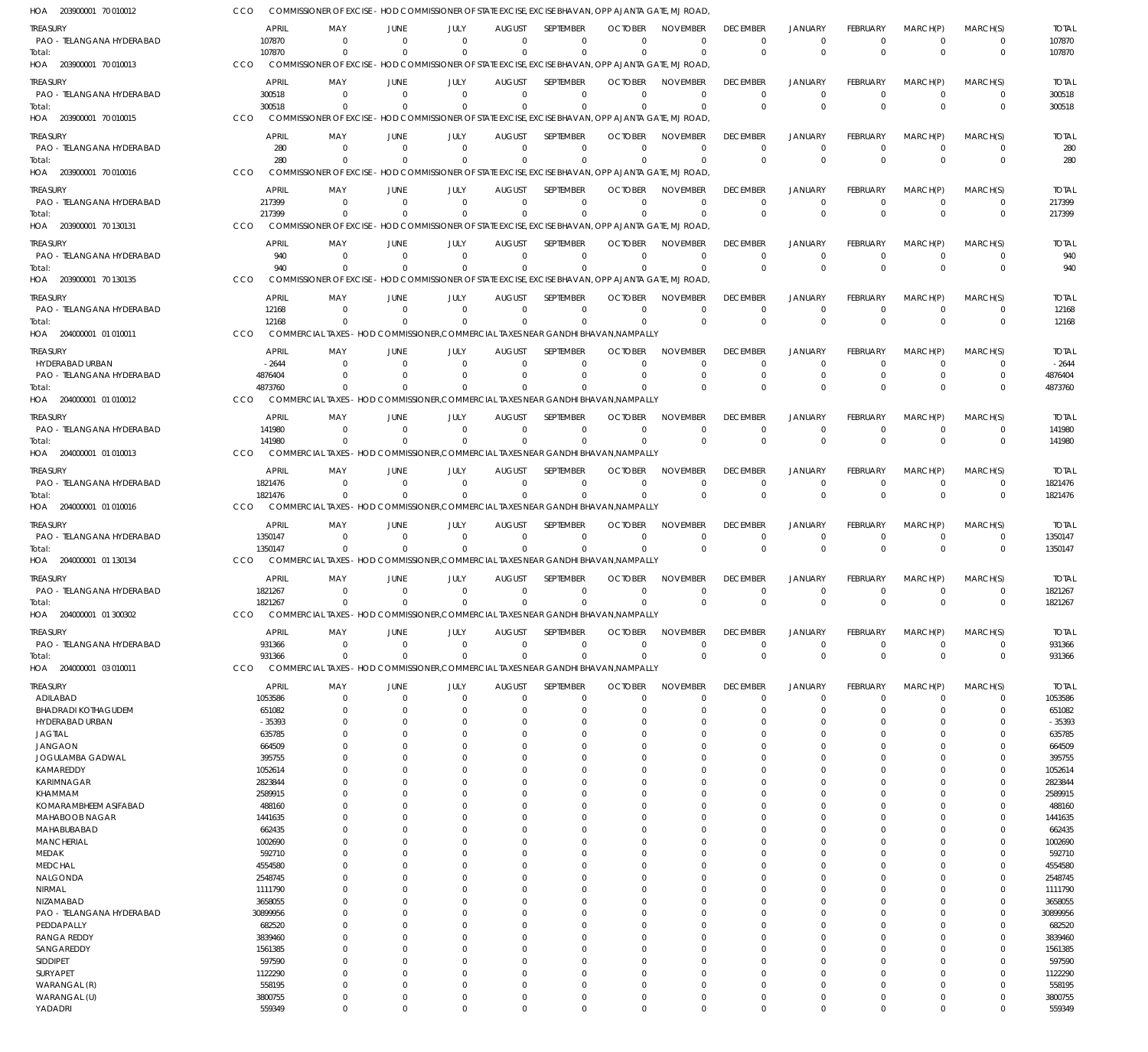| HOA 203900001 70 010012                 |     |                         |                            |                               | COMMISSIONER OF EXCISE – HOD COMMISSIONER OF STATE EXCISE. EXCISE BHAVAN. OPP AJANTA GATE. MJ ROAD |                              |                            |                                                                                                                |                             |                                |                                  |                                |                            |                            |                         |
|-----------------------------------------|-----|-------------------------|----------------------------|-------------------------------|----------------------------------------------------------------------------------------------------|------------------------------|----------------------------|----------------------------------------------------------------------------------------------------------------|-----------------------------|--------------------------------|----------------------------------|--------------------------------|----------------------------|----------------------------|-------------------------|
| TREASURY                                |     | <b>APRIL</b>            | MAY                        | <b>JUNE</b>                   | JULY                                                                                               | <b>AUGUST</b>                | SEPTEMBER                  | <b>OCTOBER</b>                                                                                                 | <b>NOVEMBER</b>             | <b>DECEMBER</b>                | <b>JANUARY</b>                   | <b>FEBRUARY</b>                | MARCH(P)                   | MARCH(S)                   | <b>TOTAL</b>            |
| PAO - TELANGANA HYDERABAD<br>Total:     |     | 107870<br>107870        | $\Omega$<br>$\Omega$       | $\Omega$<br>$\Omega$          | $\Omega$<br>$\Omega$                                                                               | $\Omega$<br>$\Omega$         | $\Omega$<br>$\mathbf 0$    | $\Omega$<br>$\Omega$                                                                                           | $\Omega$<br>$\Omega$        | $\mathbf 0$<br>$\mathbf 0$     | $\overline{0}$<br>$\mathbf{0}$   | $\mathbf 0$<br>$\Omega$        | $\Omega$<br>$\Omega$       | 0<br>$\mathbf 0$           | 107870<br>107870        |
| HOA 203900001 70 010013                 | CCO |                         |                            |                               |                                                                                                    |                              |                            | COMMISSIONER OF EXCISE - HOD COMMISSIONER OF STATE EXCISE, EXCISE BHAVAN, OPP AJANTA GATE, MJ ROAD,            |                             |                                |                                  |                                |                            |                            |                         |
| <b>TREASURY</b>                         |     | <b>APRIL</b>            | MAY                        | <b>JUNE</b>                   | JULY                                                                                               | <b>AUGUST</b>                | SEPTEMBER                  | <b>OCTOBER</b>                                                                                                 | <b>NOVEMBER</b>             | <b>DECEMBER</b>                | <b>JANUARY</b>                   | <b>FEBRUARY</b>                | MARCH(P)                   | MARCH(S)                   | <b>TOTAL</b>            |
| PAO - TELANGANA HYDERABAD               |     | 300518                  | $\overline{0}$             | $\Omega$                      | $\mathbf 0$                                                                                        | $\mathbf 0$                  | $\mathbf 0$                | $\Omega$                                                                                                       | $\Omega$                    | $\mathbf 0$                    | $\overline{0}$                   | $\mathbf 0$                    | $\overline{0}$             | $\mathbf 0$                | 300518                  |
| Total:<br>HOA 203900001 70 010015       | CCO | 300518                  | $\Omega$                   | $\Omega$                      | $\mathbf 0$                                                                                        | $\mathbf 0$                  | $\mathbf 0$                | $\Omega$<br>COMMISSIONER OF EXCISE - HOD COMMISSIONER OF STATE EXCISE, EXCISE BHAVAN, OPP AJANTA GATE, MJ ROAD | $\Omega$                    | $\mathbf 0$                    | $\Omega$                         | $\Omega$                       | $\Omega$                   | $\mathbf 0$                | 300518                  |
| <b>TREASURY</b>                         |     | <b>APRIL</b>            | MAY                        | <b>JUNE</b>                   | JULY                                                                                               | <b>AUGUST</b>                | SEPTEMBER                  | <b>OCTOBER</b>                                                                                                 | <b>NOVEMBER</b>             | <b>DECEMBER</b>                | <b>JANUARY</b>                   | <b>FEBRUARY</b>                | MARCH(P)                   | MARCH(S)                   | <b>TOTAL</b>            |
| PAO - TELANGANA HYDERABAD               |     | 280                     | $\Omega$                   | $\Omega$                      | $\Omega$                                                                                           | $\Omega$                     | $\mathbf 0$                | $^{\circ}$                                                                                                     | $\Omega$                    | $\mathbf 0$                    | $^{\circ}$                       | $\mathbf 0$                    | $\Omega$                   | $\Omega$                   | 280                     |
| Total:                                  |     | 280                     | $\Omega$                   | $\Omega$                      | $\Omega$                                                                                           | $\Omega$                     | $\Omega$                   | $\Omega$                                                                                                       | $\Omega$                    | $\mathbf 0$                    | $\mathbf 0$                      | $\Omega$                       | $\Omega$                   | $\mathbf 0$                | 280                     |
| HOA 203900001 70 010016                 | CCO |                         |                            |                               |                                                                                                    |                              |                            | COMMISSIONER OF EXCISE - HOD COMMISSIONER OF STATE EXCISE, EXCISE BHAVAN, OPP AJANTA GATE, MJ ROAD             |                             |                                |                                  |                                |                            |                            |                         |
| TREASURY<br>PAO - TELANGANA HYDERABAD   |     | <b>APRIL</b><br>217399  | MAY<br>$\overline{0}$      | <b>JUNE</b><br>$\overline{0}$ | JULY<br>$\mathbf 0$                                                                                | <b>AUGUST</b><br>$\mathbf 0$ | SEPTEMBER<br>$\mathbf 0$   | <b>OCTOBER</b><br>$\Omega$                                                                                     | <b>NOVEMBER</b><br>$\Omega$ | <b>DECEMBER</b><br>$\mathbf 0$ | <b>JANUARY</b><br>$^{\circ}$     | <b>FEBRUARY</b><br>$\mathbf 0$ | MARCH(P)<br>$\overline{0}$ | MARCH(S)<br>$\mathbf 0$    | <b>TOTAL</b><br>217399  |
| Total:                                  |     | 217399                  | $\Omega$                   | $\Omega$                      | $\mathbf 0$                                                                                        | $\mathbf 0$                  | $\mathbf 0$                | $\Omega$                                                                                                       | $\Omega$                    | $\overline{0}$                 | $\Omega$                         | $\Omega$                       | $\Omega$                   | $\mathbf 0$                | 217399                  |
| HOA 203900001 70 130131                 | CCO |                         |                            |                               |                                                                                                    |                              |                            | COMMISSIONER OF EXCISE - HOD COMMISSIONER OF STATE EXCISE, EXCISE BHAVAN, OPP AJANTA GATE, MJ ROAD,            |                             |                                |                                  |                                |                            |                            |                         |
| TREASURY                                |     | <b>APRIL</b>            | MAY                        | <b>JUNE</b>                   | JULY                                                                                               | <b>AUGUST</b>                | SEPTEMBER                  | <b>OCTOBER</b>                                                                                                 | <b>NOVEMBER</b>             | <b>DECEMBER</b>                | <b>JANUARY</b>                   | <b>FEBRUARY</b>                | MARCH(P)                   | MARCH(S)                   | <b>TOTAL</b>            |
| PAO - TELANGANA HYDERABAD<br>Total:     |     | 940<br>940              | $\overline{0}$<br>$\Omega$ | $\Omega$<br>$\Omega$          | $\Omega$<br>$\Omega$                                                                               | $\mathbf 0$<br>$\Omega$      | $\mathbf 0$<br>$\Omega$    | $\Omega$<br>$\Omega$                                                                                           | $\Omega$<br>$\Omega$        | $\mathbf 0$<br>$\mathbf 0$     | $^{\circ}$<br>$\Omega$           | $\mathbf 0$<br>$\Omega$        | $\Omega$<br>$\Omega$       | $\mathbf 0$<br>$\mathbf 0$ | 940<br>940              |
| HOA 203900001 70 130135                 | CCO |                         |                            |                               |                                                                                                    |                              |                            | COMMISSIONER OF EXCISE - HOD COMMISSIONER OF STATE EXCISE, EXCISE BHAVAN, OPP AJANTA GATE, MJ ROAD             |                             |                                |                                  |                                |                            |                            |                         |
| <b>TREASURY</b>                         |     | <b>APRIL</b>            | MAY                        | JUNE                          | JULY                                                                                               | <b>AUGUST</b>                | <b>SEPTEMBER</b>           | <b>OCTOBER</b>                                                                                                 | <b>NOVEMBER</b>             | <b>DECEMBER</b>                | <b>JANUARY</b>                   | <b>FEBRUARY</b>                | MARCH(P)                   | MARCH(S)                   | <b>TOTAL</b>            |
| PAO - TELANGANA HYDERABAD               |     | 12168                   | $\overline{0}$             | $\Omega$                      | $\mathbf 0$                                                                                        | $\mathbf 0$                  | $\mathbf 0$                | $\Omega$                                                                                                       | $\Omega$                    | $\mathbf 0$                    | $\overline{0}$                   | $\mathbf 0$                    | $\Omega$                   | $\mathbf 0$                | 12168                   |
| Total:<br>HOA 204000001 01 010011       | CCO | 12168                   | $\Omega$                   | $\Omega$                      | $\mathbf 0$                                                                                        | $\mathbf 0$                  | $\mathbf 0$                | $\Omega$<br>COMMERCIAL TAXES - HOD COMMISSIONER.COMMERCIAL TAXES NEAR GANDHI BHAVAN.NAMPALLY                   | $\Omega$                    | $\mathbf 0$                    | $\overline{0}$                   | $\mathbf 0$                    | $\Omega$                   | $\mathbf 0$                | 12168                   |
| <b>TREASURY</b>                         |     | <b>APRIL</b>            | MAY                        | <b>JUNE</b>                   | JULY                                                                                               | <b>AUGUST</b>                | SEPTEMBER                  | <b>OCTOBER</b>                                                                                                 | <b>NOVEMBER</b>             | <b>DECEMBER</b>                | <b>JANUARY</b>                   | <b>FEBRUARY</b>                | MARCH(P)                   | MARCH(S)                   | <b>TOTAL</b>            |
| HYDERABAD URBAN                         |     | $-2644$                 | $\Omega$                   | $\Omega$                      | 0                                                                                                  | 0                            | $\mathbf 0$                | $\Omega$                                                                                                       | $\Omega$                    | $^{\circ}$                     | $^{\circ}$                       | $\mathbf 0$                    | $\Omega$                   | 0                          | $-2644$                 |
| PAO - TELANGANA HYDERABAD               |     | 4876404                 | $\Omega$                   | $\Omega$                      | $\Omega$                                                                                           | $\Omega$                     | $\mathbf 0$                | $\Omega$                                                                                                       | $\Omega$                    | $\Omega$                       | $\Omega$                         | $\Omega$                       | $\Omega$                   | $\mathbf 0$                | 4876404                 |
| Total:<br>HOA 204000001 01 010012       | CCO | 4873760                 | $\Omega$                   | $\Omega$                      | $\Omega$                                                                                           | $\Omega$                     | $\Omega$                   | $\Omega$<br>COMMERCIAL TAXES - HOD COMMISSIONER, COMMERCIAL TAXES NEAR GANDHI BHAVAN, NAMPALLY                 | $\Omega$                    | $\Omega$                       | $\Omega$                         | $\Omega$                       | $\Omega$                   | $\Omega$                   | 4873760                 |
| <b>TREASURY</b>                         |     | <b>APRIL</b>            | MAY                        | <b>JUNE</b>                   | JULY                                                                                               | <b>AUGUST</b>                | SEPTEMBER                  | <b>OCTOBER</b>                                                                                                 | <b>NOVEMBER</b>             | <b>DECEMBER</b>                | <b>JANUARY</b>                   | <b>FEBRUARY</b>                | MARCH(P)                   | MARCH(S)                   | <b>TOTAL</b>            |
| PAO - TELANGANA HYDERABAD               |     | 141980                  | $\overline{0}$             | $\Omega$                      | $\mathbf 0$                                                                                        | $\mathbf 0$                  | $\mathbf 0$                | $\Omega$                                                                                                       | $\Omega$                    | $\mathbf 0$                    | $\overline{0}$                   | $\mathbf 0$                    | $\overline{0}$             | $\mathbf 0$                | 141980                  |
| Total:                                  |     | 141980                  | $\Omega$                   | $\Omega$                      | $\mathbf 0$                                                                                        | $\mathbf 0$                  | $\mathbf 0$                | $\Omega$                                                                                                       | $\Omega$                    | $\overline{0}$                 | $\Omega$                         | $\Omega$                       | $\Omega$                   | $\mathbf 0$                | 141980                  |
| HOA 204000001 01 010013                 | CCO |                         |                            |                               |                                                                                                    |                              |                            | COMMERCIAL TAXES - HOD COMMISSIONER, COMMERCIAL TAXES NEAR GANDHI BHAVAN, NAMPALLY                             |                             |                                |                                  |                                |                            |                            |                         |
| TREASURY<br>PAO - TELANGANA HYDERABAD   |     | <b>APRIL</b><br>1821476 | MAY<br>$\Omega$            | <b>JUNE</b><br>$\Omega$       | JULY<br>$\Omega$                                                                                   | <b>AUGUST</b><br>$\mathbf 0$ | SEPTEMBER<br>$\mathbf 0$   | <b>OCTOBER</b><br>$\Omega$                                                                                     | <b>NOVEMBER</b><br>$\Omega$ | <b>DECEMBER</b><br>$\mathbf 0$ | <b>JANUARY</b><br>$\overline{0}$ | <b>FEBRUARY</b><br>$\mathbf 0$ | MARCH(P)<br>$\Omega$       | MARCH(S)<br>$\mathbf 0$    | <b>TOTAL</b><br>1821476 |
| Total:                                  |     | 1821476                 | $\Omega$                   | $\Omega$                      | $\Omega$                                                                                           | $\Omega$                     | $\Omega$                   | $\Omega$                                                                                                       | $\Omega$                    | $\mathbf 0$                    | $\mathbf 0$                      | $\Omega$                       | $\Omega$                   | $\mathbf 0$                | 1821476                 |
| HOA 204000001 01 010016                 | CCO |                         |                            |                               |                                                                                                    |                              |                            | COMMERCIAL TAXES - HOD COMMISSIONER, COMMERCIAL TAXES NEAR GANDHI BHAVAN, NAMPALLY                             |                             |                                |                                  |                                |                            |                            |                         |
| <b>TREASURY</b>                         |     | <b>APRIL</b>            | MAY                        | <b>JUNE</b>                   | JULY                                                                                               | <b>AUGUST</b>                | SEPTEMBER                  | <b>OCTOBER</b>                                                                                                 | <b>NOVEMBER</b>             | <b>DECEMBER</b>                | <b>JANUARY</b>                   | <b>FEBRUARY</b>                | MARCH(P)                   | MARCH(S)                   | <b>TOTAL</b>            |
| PAO - TELANGANA HYDERABAD<br>Total:     |     | 1350147<br>1350147      | $\overline{0}$<br>$\Omega$ | $\overline{0}$<br>$\Omega$    | $\mathbf 0$<br>$\mathbf 0$                                                                         | $\mathbf 0$<br>$\mathbf 0$   | $\mathbf 0$<br>$\mathbf 0$ | $\Omega$<br>$\Omega$                                                                                           | $\Omega$<br>$\Omega$        | $^{\circ}$<br>$\overline{0}$   | $\overline{0}$<br>$\overline{0}$ | $\mathbf 0$<br>$\Omega$        | $\overline{0}$<br>$\Omega$ | $\mathbf 0$<br>$\mathbf 0$ | 1350147<br>1350147      |
| HOA 204000001 01 130134                 | CCO |                         |                            |                               |                                                                                                    |                              |                            | COMMERCIAL TAXES - HOD COMMISSIONER, COMMERCIAL TAXES NEAR GANDHI BHAVAN, NAMPALLY                             |                             |                                |                                  |                                |                            |                            |                         |
| TREASURY                                |     | <b>APRIL</b>            | MAY                        | <b>JUNE</b>                   | JULY                                                                                               | <b>AUGUST</b>                | SEPTEMBER                  | <b>OCTOBER</b>                                                                                                 | <b>NOVEMBER</b>             | <b>DECEMBER</b>                | <b>JANUARY</b>                   | <b>FEBRUARY</b>                | MARCH(P)                   | MARCH(S)                   | <b>TOTAL</b>            |
| PAO - TELANGANA HYDERABAD               |     | 1821267                 | $\Omega$                   | $\Omega$                      | $\mathbf 0$                                                                                        | $\mathbf 0$                  | $\mathbf 0$                | $\Omega$                                                                                                       | $\Omega$                    | $\mathbf 0$                    | $\Omega$                         | $\Omega$                       | $\Omega$                   | $\Omega$                   | 1821267                 |
| Total:<br>204000001 01 300302<br>HOA    | CCO | 1821267                 | $\mathbf 0$                | $\overline{0}$                | $\mathbf 0$                                                                                        | $\mathbf 0$                  | $\mathbf 0$                | 0<br>COMMERCIAL TAXES - HOD COMMISSIONER, COMMERCIAL TAXES NEAR GANDHI BHAVAN, NAMPALLY                        | $\mathbf{0}$                | $\mathbf 0$                    | $\mathbf 0$                      | $\mathbf{0}$                   |                            |                            | 1821267                 |
| treasury                                |     | <b>APRIL</b>            | MAY                        | JUNE                          | JULY                                                                                               | <b>AUGUST</b>                | SEPTEMBER                  | <b>OCTOBER</b>                                                                                                 | <b>NOVEMBER</b>             | <b>DECEMBER</b>                | <b>JANUARY</b>                   | FEBRUARY                       | MARCH(P)                   | MARCH(S)                   | <b>TOTAL</b>            |
| PAO - TELANGANA HYDERABAD               |     | 931366                  | $\overline{0}$             | $\overline{0}$                | $\mathbf 0$                                                                                        | $\mathbf 0$                  | $\mathbf 0$                | $\overline{0}$                                                                                                 | $\Omega$                    | $\mathbf 0$                    | $^{\circ}$                       | $\mathbf 0$                    | $\overline{0}$             | $\mathbf 0$                | 931366                  |
| Total:<br>HOA 204000001 03 010011       | CCO | 931366                  | $\Omega$                   | $\Omega$                      | $\mathbf 0$                                                                                        | 0                            | $\mathbf 0$                | $\Omega$<br>COMMERCIAL TAXES - HOD COMMISSIONER, COMMERCIAL TAXES NEAR GANDHI BHAVAN, NAMPALLY                 | $\Omega$                    | $\overline{0}$                 | $\overline{0}$                   | $\mathbf{0}$                   | $\Omega$                   | $\mathbf 0$                | 931366                  |
|                                         |     |                         |                            |                               |                                                                                                    |                              |                            |                                                                                                                |                             |                                |                                  |                                |                            |                            |                         |
| treasury<br>ADILABAD                    |     | <b>APRIL</b><br>1053586 | MAY<br>$\overline{0}$      | JUNE<br>$\mathbf 0$           | JULY<br>$\mathbf 0$                                                                                | <b>AUGUST</b><br>$\mathbf 0$ | SEPTEMBER<br>$\mathbf 0$   | <b>OCTOBER</b><br>$\Omega$                                                                                     | <b>NOVEMBER</b><br>$\Omega$ | <b>DECEMBER</b><br>$\mathbf 0$ | JANUARY<br>$\overline{0}$        | FEBRUARY<br>$\mathbf 0$        | MARCH(P)<br>$\mathbf 0$    | MARCH(S)<br>$\mathbf 0$    | <b>TOTAL</b><br>1053586 |
| <b>BHADRADI KOTHAGUDEM</b>              |     | 651082                  | $\Omega$                   | $\Omega$                      | $\Omega$                                                                                           | 0                            | $\mathbf 0$                | $\Omega$                                                                                                       | $\Omega$                    | $\Omega$                       | $\overline{0}$                   | $\Omega$                       | $\Omega$                   | $\mathbf 0$                | 651082                  |
| HYDERABAD URBAN<br>JAGTIAL              |     | $-35393$<br>635785      | $\Omega$<br>$\Omega$       | $\Omega$<br>$\Omega$          | $\Omega$<br>$\Omega$                                                                               | 0<br>0                       | $\mathbf 0$<br>0           | $\Omega$<br>$\Omega$                                                                                           | $\Omega$<br>$\Omega$        | $\Omega$<br>$\Omega$           | $\Omega$<br>$\Omega$             | $\Omega$<br>$\Omega$           | $\Omega$<br>$\Omega$       | $\Omega$<br>0              | $-35393$<br>635785      |
| <b>JANGAON</b>                          |     | 664509                  | $\Omega$                   | $\Omega$                      | $\Omega$                                                                                           | $\Omega$                     | $\Omega$                   | $\Omega$                                                                                                       | $\Omega$                    | $\Omega$                       | $\Omega$                         | $\Omega$                       | $\Omega$                   | $\Omega$                   | 664509                  |
| JOGULAMBA GADWAL                        |     | 395755                  |                            | $\Omega$                      | $\Omega$                                                                                           | $\Omega$                     | $\mathbf 0$                | $\Omega$                                                                                                       | $\Omega$<br>$\Omega$        | $\Omega$                       | $\Omega$                         | U                              | $\Omega$                   | $\Omega$                   | 395755                  |
| KAMAREDDY<br>KARIMNAGAR                 |     | 1052614<br>2823844      | U<br>U                     | $\Omega$<br>$\Omega$          | $\Omega$<br>$\Omega$                                                                               | $\Omega$<br>$\Omega$         | $\Omega$<br>$\Omega$       | $\Omega$<br>$\Omega$                                                                                           | $\Omega$                    | $\Omega$<br>$\Omega$           | $\Omega$<br>$\Omega$             | $\Omega$<br>U                  | $\Omega$<br>$\Omega$       | $\Omega$<br>$\Omega$       | 1052614<br>2823844      |
| KHAMMAM                                 |     | 2589915                 |                            | $\Omega$                      | $\Omega$                                                                                           | $\Omega$                     | $\Omega$                   | $\Omega$                                                                                                       | $\Omega$                    | $\Omega$                       | $\Omega$                         | $\Omega$                       | $\Omega$                   | $\Omega$                   | 2589915                 |
| KOMARAMBHEEM ASIFABAD<br>MAHABOOB NAGAR |     | 488160<br>1441635       | 0<br>U                     | $\Omega$<br>$\Omega$          | $\Omega$<br>$\Omega$                                                                               | 0<br>$\Omega$                | 0<br>$\Omega$              | $\Omega$<br>$\Omega$                                                                                           | $\Omega$<br>$\Omega$        | $\Omega$<br>$\Omega$           | $\Omega$<br>$\Omega$             | U<br>$\Omega$                  | $\Omega$<br>$\Omega$       | $\Omega$<br>$\Omega$       | 488160<br>1441635       |
| MAHABUBABAD                             |     | 662435                  |                            | $\Omega$                      | $\Omega$                                                                                           | $\Omega$                     | $\Omega$                   | $\Omega$                                                                                                       | $\Omega$                    | $\Omega$                       | $\Omega$                         | U                              | $\Omega$                   | $\Omega$                   | 662435                  |
| <b>MANCHERIAL</b>                       |     | 1002690                 | U                          | $\Omega$                      | $\Omega$                                                                                           | $\Omega$                     | $\Omega$                   | $\Omega$                                                                                                       | $\Omega$                    | $\Omega$                       | $\Omega$                         | $\Omega$                       | $\Omega$                   | $\Omega$                   | 1002690                 |
| MEDAK<br><b>MEDCHAL</b>                 |     | 592710<br>4554580       | U<br>U                     | $\Omega$<br>$\Omega$          | $\Omega$<br>$\Omega$                                                                               | 0<br>$\Omega$                | $\Omega$<br>$\Omega$       | $\Omega$<br>$\Omega$                                                                                           | $\Omega$<br>$\Omega$        | $\Omega$<br>$\Omega$           | $\Omega$<br>$\Omega$             | U<br>$\Omega$                  | $\Omega$<br>$\Omega$       | $\Omega$<br>$\Omega$       | 592710<br>4554580       |
| NALGONDA                                |     | 2548745                 | 0                          | $\Omega$                      | $\Omega$                                                                                           | $\Omega$                     | $\mathbf 0$                | $\Omega$                                                                                                       | $\Omega$                    | $\Omega$                       | $\Omega$                         | U                              | $\Omega$                   | $\Omega$                   | 2548745                 |
| <b>NIRMAL</b><br>NIZAMABAD              |     | 1111790<br>3658055      | U                          | $\Omega$<br>$\Omega$          | $\Omega$<br>$\Omega$                                                                               | $\Omega$<br>$\Omega$         | $\Omega$<br>$\Omega$       | $\Omega$<br>$\Omega$                                                                                           | $\Omega$<br>$\Omega$        | $\Omega$<br>$\Omega$           | $\Omega$<br>$\Omega$             | $\Omega$<br>U                  | $\Omega$<br>$\Omega$       | $\Omega$<br>$\Omega$       | 1111790<br>3658055      |
| PAO - TELANGANA HYDERABAD               |     | 30899956                | U                          | $\Omega$                      | $\Omega$                                                                                           | $\Omega$                     | $\Omega$                   | $\Omega$                                                                                                       | $\Omega$                    | $\Omega$                       | $\Omega$                         | $\Omega$                       | $\Omega$                   | $\Omega$                   | 30899956                |
| PEDDAPALLY                              |     | 682520                  | U                          | $\Omega$                      | $\Omega$                                                                                           | $\Omega$                     | $\Omega$                   | $\Omega$                                                                                                       | $\Omega$                    | $\Omega$                       | $\Omega$                         | U                              | $\Omega$                   | $\Omega$                   | 682520                  |
| <b>RANGA REDDY</b><br>SANGAREDDY        |     | 3839460<br>1561385      | U                          | $\Omega$<br>$\Omega$          | $\Omega$<br>$\Omega$                                                                               | $\Omega$<br>$\Omega$         | $\Omega$<br>0              | $\Omega$<br>$\Omega$                                                                                           | $\Omega$<br>$\Omega$        | $\Omega$<br>$\Omega$           | $\Omega$<br>$\Omega$             | $\Omega$<br>U                  | $\Omega$<br>$\Omega$       | $\Omega$<br>$\Omega$       | 3839460<br>1561385      |
| SIDDIPET                                |     | 597590                  | $\Omega$                   | $\Omega$                      | $\Omega$                                                                                           | $\Omega$                     | $\Omega$                   | $\Omega$                                                                                                       | $\Omega$                    | $\Omega$                       | $\Omega$                         | $\Omega$                       | $\Omega$                   | $\Omega$                   | 597590                  |
| SURYAPET                                |     | 1122290                 | U                          | $\Omega$                      | $\Omega$                                                                                           | $\Omega$                     | $\Omega$                   | $\Omega$                                                                                                       | $\Omega$                    | $\Omega$                       | $\Omega$                         | U                              | $\Omega$                   | $\Omega$                   | 1122290                 |
| WARANGAL (R)<br>WARANGAL (U)            |     | 558195<br>3800755       | $\Omega$<br>$\mathbf 0$    | $\Omega$<br>$\mathbf 0$       | $\Omega$<br>$\mathbf 0$                                                                            | $\Omega$<br>0                | $\Omega$<br>$\mathbf 0$    | $\Omega$<br>0                                                                                                  | $\Omega$<br>$\mathbf 0$     | $\Omega$<br>$\mathbf 0$        | $\Omega$<br>$^{\circ}$           | $\Omega$<br>0                  | $\Omega$<br>$\mathbf 0$    | $\Omega$<br>$\mathbf 0$    | 558195<br>3800755       |
| YADADRI                                 |     | 559349                  | $\mathbf 0$                | $\Omega$                      | $\mathbf 0$                                                                                        | $\mathbf 0$                  | $\mathbf 0$                | $\Omega$                                                                                                       | $\Omega$                    | $\mathbf 0$                    | $\mathbf 0$                      | 0                              | $\Omega$                   | $\mathbf 0$                | 559349                  |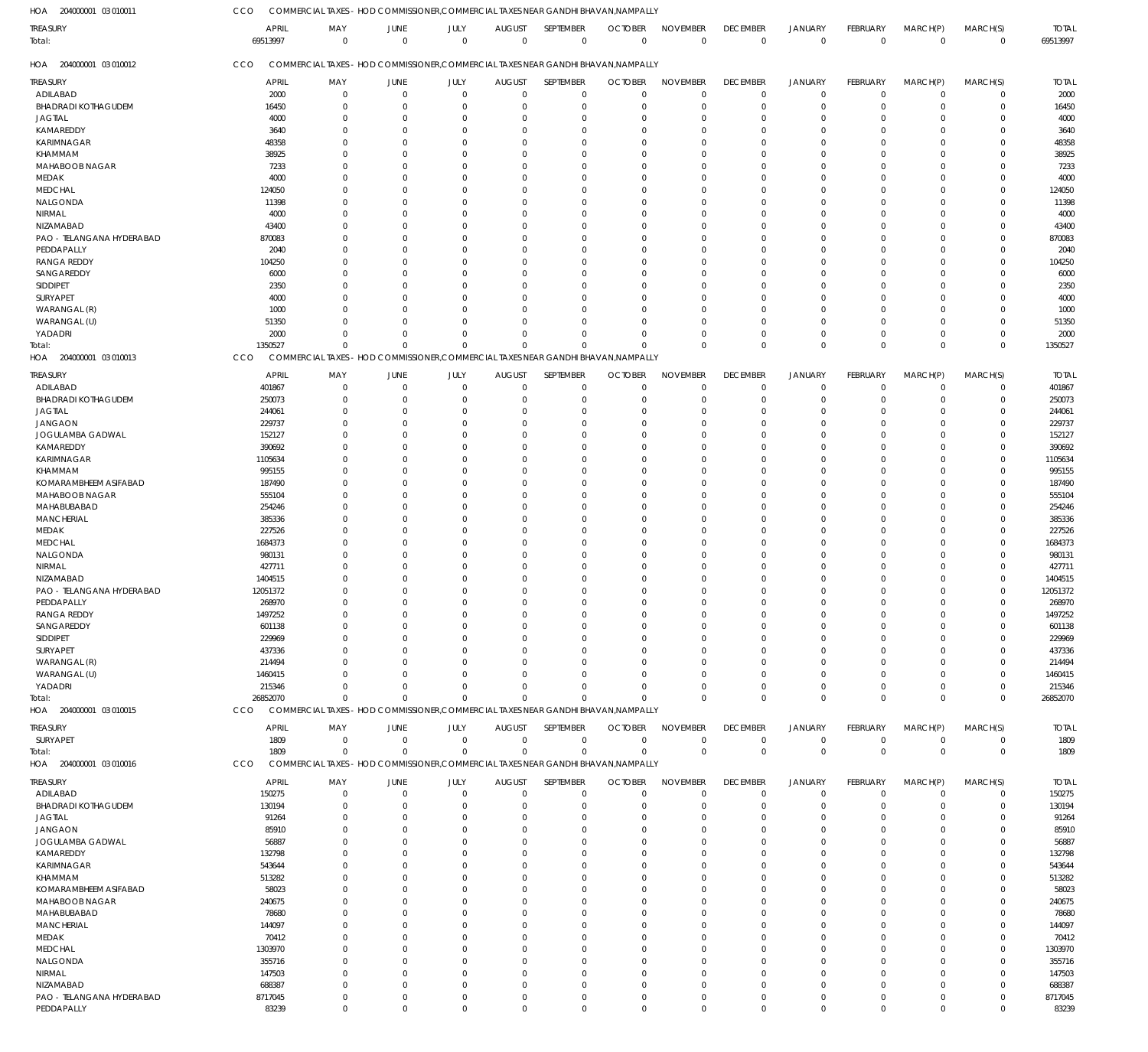COMMERCIAL TAXES - HOD COMMISSIONER,COMMERCIAL TAXES NEAR GANDHI BHAVAN,NAMPALLY  $CCD$ 

| HOA<br>204000001 03 010011 | CCO | COMMERCIAL TAXES - HOD COMMISSIONER, COMMERCIAL TAXES NEAR GANDHI BHAVAN, NAMPALLY |                      |                     |                               |                             |                               |                                |                                |                               |                         |                         |                            |                          |
|----------------------------|-----|------------------------------------------------------------------------------------|----------------------|---------------------|-------------------------------|-----------------------------|-------------------------------|--------------------------------|--------------------------------|-------------------------------|-------------------------|-------------------------|----------------------------|--------------------------|
| TREASURY<br>Total:         |     | APRIL<br>MAY<br>69513997<br>$\overline{0}$                                         | JUNE<br>$\mathbf{0}$ | JULY<br>$\mathbf 0$ | <b>AUGUST</b><br>$\mathbf{0}$ | SEPTEMBER<br>$\overline{0}$ | <b>OCTOBER</b><br>$\mathbf 0$ | <b>NOVEMBER</b><br>$\mathbf 0$ | <b>DECEMBER</b><br>$\mathbf 0$ | <b>JANUARY</b><br>$\mathbf 0$ | FEBRUARY<br>$\mathbf 0$ | MARCH(P)<br>$\mathbf 0$ | MARCH(S)<br>$\mathbf 0$    | <b>TOTAL</b><br>69513997 |
| 204000001 03 010012<br>HOA | CCO | COMMERCIAL TAXES - HOD COMMISSIONER, COMMERCIAL TAXES NEAR GANDHI BHAVAN, NAMPALLY |                      |                     |                               |                             |                               |                                |                                |                               |                         |                         |                            |                          |
| <b>TREASURY</b>            |     | <b>APRIL</b><br>MAY                                                                | <b>JUNE</b>          | JULY                | <b>AUGUST</b>                 | SEPTEMBER                   | <b>OCTOBER</b>                | <b>NOVEMBER</b>                | <b>DECEMBER</b>                | JANUARY                       | <b>FEBRUARY</b>         | MARCH(P)                | MARCH(S)                   | <b>TOTAL</b>             |
| ADILABAD                   |     | 2000<br>$\mathbf 0$                                                                | $\mathbf 0$          | $\mathbf 0$         | $\mathbf{0}$                  | $\overline{0}$              | $\mathbf 0$                   | $\overline{0}$                 | $\mathbf 0$                    | $\mathbf 0$                   | $\mathbf 0$             | $\mathbf 0$             | $\mathbf 0$                | 2000                     |
| <b>BHADRADI KOTHAGUDEM</b> |     | 16450<br>$\overline{0}$                                                            | $\Omega$             | $\Omega$            | $\mathbf 0$                   | $\overline{0}$              | $\Omega$                      | $\mathbf 0$                    | $\mathbf 0$                    | $\mathbf 0$                   | $\mathbf 0$             | 0                       | $\mathbf 0$                | 16450                    |
| <b>JAGTIAL</b>             |     | 4000<br>$\Omega$                                                                   | $\Omega$             | $\Omega$            | $\Omega$                      | $\overline{0}$              | $\Omega$                      | $\Omega$                       | $\mathbf 0$                    | $\mathbf 0$                   | $\mathbf 0$             | 0                       | $\mathbf 0$                | 4000                     |
| KAMAREDDY                  |     | 3640<br>$\Omega$                                                                   | $\Omega$             | $\Omega$            | $\Omega$                      | $\Omega$                    | O                             | $\Omega$                       | $\mathbf 0$                    | 0                             | $\mathbf 0$             | C.                      | $\mathbf 0$                | 3640                     |
| KARIMNAGAR                 |     | 48358<br>$\Omega$                                                                  | $\Omega$             | <sup>0</sup>        | 0                             | $\Omega$                    | O                             | $\Omega$                       | $\Omega$                       | 0                             | $\Omega$                |                         | $\mathbf 0$                | 48358                    |
| KHAMMAM                    |     | 38925<br>$\Omega$                                                                  | $\Omega$             | $\Omega$            | $\Omega$                      | $\Omega$                    | O                             | $\Omega$                       | $\mathbf 0$                    | 0                             | $\mathbf 0$             |                         | $\mathbf 0$                | 38925                    |
| MAHABOOB NAGAR             |     | 7233<br>$\Omega$                                                                   | $\cap$               | $\Omega$            | $\Omega$                      | $\Omega$                    |                               | $\Omega$                       | $\Omega$                       | 0                             | $\Omega$                | C.                      | $\mathbf 0$                | 7233                     |
| MEDAK                      |     | 4000<br>$\Omega$                                                                   | <sup>0</sup>         | $\Omega$            | $\Omega$                      | $\Omega$                    | O                             | $\Omega$                       | $\Omega$                       | $\Omega$                      | $\Omega$                | C.                      | $\mathbf 0$                | 4000                     |
| <b>MEDCHAL</b>             |     | 124050<br>$\Omega$                                                                 | <sup>0</sup>         | $\Omega$            | 0                             | $\Omega$                    | $\Omega$                      | $\Omega$                       | 0                              | 0                             | $\Omega$                |                         | $\mathbf 0$                | 124050                   |
| NALGONDA                   |     | 11398<br>$\Omega$                                                                  | <sup>0</sup>         | $\Omega$            | $\Omega$                      | $\Omega$                    | O                             | $\Omega$                       | $\mathbf 0$                    | 0                             | $\Omega$                | C.                      | $\mathbf 0$                | 11398                    |
| NIRMAL                     |     | 4000<br>$\Omega$                                                                   | <sup>0</sup>         | <sup>0</sup>        | 0                             | $\Omega$                    |                               | $\Omega$                       | $\Omega$                       | $\Omega$                      | $\Omega$                |                         | $\mathbf 0$                | 4000                     |
| NIZAMABAD                  |     | 43400<br>$\Omega$                                                                  | <sup>0</sup>         | $\Omega$            | $\Omega$                      | $\Omega$                    | O                             | $\Omega$                       | $\mathbf 0$                    | 0                             | $\Omega$                | C.                      | $\mathbf 0$                | 43400                    |
| PAO - TELANGANA HYDERABAD  |     | 870083<br>$\Omega$                                                                 | $\Omega$             | $\Omega$            | 0                             | $\Omega$                    | $\Omega$                      | $\Omega$                       | $\Omega$                       | 0                             | $\Omega$                |                         | $\mathbf 0$                | 870083                   |
| PEDDAPALLY                 |     | 2040<br>$\Omega$                                                                   | <sup>0</sup>         | $\Omega$            | 0                             | $\Omega$                    | O                             | $\Omega$                       | $\Omega$                       | $\Omega$                      | $\Omega$                |                         | $\mathbf 0$                | 2040                     |
| <b>RANGA REDDY</b>         |     | 104250<br>$\Omega$                                                                 | $\Omega$             | $\Omega$            | 0                             | $\Omega$                    |                               | $\Omega$                       | $\Omega$                       | 0                             | $\Omega$                |                         | $\mathbf 0$                | 104250                   |
| SANGAREDDY                 |     | $\Omega$                                                                           | <sup>0</sup>         | $\Omega$            |                               | $\Omega$                    | O                             | $\Omega$                       |                                |                               | $\Omega$                |                         |                            |                          |
|                            |     | 6000<br>$\Omega$                                                                   | <sup>0</sup>         | <sup>0</sup>        | $\Omega$                      | $\Omega$                    | $\Omega$                      | $\Omega$                       | $\mathbf 0$<br>$\Omega$        | $\Omega$                      | $\Omega$                | C.                      | $\mathbf 0$<br>$\mathbf 0$ | 6000                     |
| SIDDIPET                   |     | 2350                                                                               |                      | $\Omega$            | 0                             |                             |                               |                                |                                | $\Omega$                      |                         |                         |                            | 2350                     |
| SURYAPET                   |     | 4000<br>$\Omega$                                                                   | $\Omega$             |                     | $\Omega$                      | $\Omega$                    | 0                             | $\Omega$                       | $\mathbf 0$                    | 0                             | $\mathbf 0$             | C.                      | $\mathbf 0$                | 4000                     |
| WARANGAL (R)               |     | 1000<br>$\Omega$                                                                   | $\Omega$             | $\Omega$            | $\Omega$                      | $\Omega$                    | U                             | $\Omega$                       | $\Omega$                       | $\Omega$                      | $\Omega$                | C.                      | $\mathbf 0$                | 1000                     |
| WARANGAL (U)               |     | 51350<br>$\Omega$                                                                  | $\Omega$             | $\Omega$            | $\Omega$                      | $\Omega$                    | 0                             | $\Omega$                       | $\mathbf 0$                    | 0                             | $\overline{0}$          | C.                      | $\mathbf 0$                | 51350                    |
| YADADRI                    |     | 2000<br>$\Omega$                                                                   | $\Omega$             | $\Omega$            | $\Omega$                      | $\Omega$                    | $\Omega$                      | $\Omega$                       | $\mathbf 0$                    | $\mathbf 0$                   | $\mathbf 0$             | O                       | $\mathbf 0$                | 2000                     |
| Total:                     |     | 1350527<br>$\Omega$                                                                | $\Omega$             | $\Omega$            | $\Omega$                      | $\Omega$                    | $\Omega$                      | $\Omega$                       | $\mathbf 0$                    | $\Omega$                      | $\mathbf 0$             | $\Omega$                | $\mathbf 0$                | 1350527                  |
| 204000001 03 010013<br>HOA | CCO | COMMERCIAL TAXES - HOD COMMISSIONER, COMMERCIAL TAXES NEAR GANDHI BHAVAN, NAMPALLY |                      |                     |                               |                             |                               |                                |                                |                               |                         |                         |                            |                          |
| TREASURY                   |     | APRIL<br>MAY                                                                       | <b>JUNE</b>          | JULY                | <b>AUGUST</b>                 | SEPTEMBER                   | <b>OCTOBER</b>                | <b>NOVEMBER</b>                | <b>DECEMBER</b>                | JANUARY                       | <b>FEBRUARY</b>         | MARCH(P)                | MARCH(S)                   | <b>TOTAL</b>             |
| ADILABAD                   |     | 401867<br>$\mathbf 0$                                                              | $\Omega$             | $\mathbf{0}$        | $\mathbf 0$                   | $\overline{0}$              | $\mathbf 0$                   | $\mathbf 0$                    | $\mathbf 0$                    | $\mathbf 0$                   | $\mathbf 0$             | $\Omega$                | $\mathbf 0$                | 401867                   |
| <b>BHADRADI KOTHAGUDEM</b> |     | 250073<br>$\overline{0}$                                                           | $\Omega$             | $\Omega$            | $\mathbf 0$                   | $^{\circ}$                  | $\Omega$                      | $\mathbf 0$                    | $\mathbf 0$                    | $\mathbf 0$                   | $\mathbf 0$             | O                       | $\mathbf 0$                | 250073                   |
| <b>JAGTIAL</b>             |     | 244061<br>$\Omega$                                                                 | $\Omega$             | $\Omega$            | $\Omega$                      | $\Omega$                    | $\Omega$                      | $\Omega$                       | $\mathbf 0$                    | 0                             | 0                       | $\Omega$                | $\mathbf 0$                | 244061                   |
| <b>JANGAON</b>             |     | 229737<br>$\Omega$                                                                 | $\Omega$             | $\Omega$            | $\Omega$                      | $\Omega$                    | $\Omega$                      | $\Omega$                       | $\Omega$                       | $\Omega$                      | $\Omega$                | C.                      | $\mathbf 0$                | 229737                   |
| JOGULAMBA GADWAL           |     | 152127<br>$\Omega$                                                                 | $\Omega$             | $\Omega$            | $\Omega$                      | $\Omega$                    | $\Omega$                      | $\Omega$                       | $\Omega$                       | $\Omega$                      | $\Omega$                | $\Omega$                | $\mathbf 0$                | 152127                   |
| KAMAREDDY                  |     | 390692<br>$\Omega$                                                                 | U                    | $\Omega$            | $\Omega$                      | $\Omega$                    | $\Omega$                      | $\Omega$                       | $\Omega$                       | $\Omega$                      | $\Omega$                | C.                      | $\mathbf 0$                | 390692                   |
|                            |     | $\Omega$                                                                           | $\Omega$             | $\Omega$            | $\Omega$                      | $\Omega$                    | $\Omega$                      | $\Omega$                       | $\Omega$                       | $\Omega$                      | $\Omega$                |                         |                            |                          |
| KARIMNAGAR                 |     | 1105634                                                                            |                      |                     |                               |                             |                               |                                |                                |                               |                         | C.                      | $\mathbf 0$                | 1105634                  |
| KHAMMAM                    |     | 995155<br>$\Omega$                                                                 | U                    | $\Omega$            | 0                             | $\Omega$                    | $\Omega$                      | $\Omega$                       | $\Omega$                       | $\Omega$                      | $\Omega$                | C.                      | $\mathbf 0$                | 995155                   |
| KOMARAMBHEEM ASIFABAD      |     | 187490<br>$\Omega$                                                                 | $\Omega$             | $\Omega$            | $\Omega$                      | $\Omega$                    | $\Omega$                      | $\Omega$                       | $\Omega$                       | $\Omega$                      | $\Omega$                | $\Omega$                | $\mathbf 0$                | 187490                   |
| MAHABOOB NAGAR             |     | 555104<br>$\Omega$                                                                 | U                    | $\Omega$            | 0                             | $\Omega$                    | $\Omega$                      | $\Omega$                       | $\Omega$                       | $\Omega$                      | $\Omega$                | C.                      | $\mathbf 0$                | 555104                   |
| MAHABUBABAD                |     | 254246<br>$\Omega$                                                                 | $\Omega$             | $\Omega$            | $\Omega$                      | $\Omega$                    | $\Omega$                      | $\Omega$                       | $\Omega$                       | $\Omega$                      | $\Omega$                | C.                      | $\mathbf 0$                | 254246                   |
| <b>MANCHERIAL</b>          |     | 385336<br>$\Omega$                                                                 | U                    | $\Omega$            | $\Omega$                      | $\Omega$                    | $\Omega$                      | $\Omega$                       | $\Omega$                       | $\Omega$                      | $\Omega$                | C.                      | $\mathbf 0$                | 385336                   |
| MEDAK                      |     | 227526<br>$\Omega$                                                                 | $\Omega$             | $\Omega$            | $\Omega$                      | $\Omega$                    | $\Omega$                      | $\Omega$                       | $\Omega$                       | $\Omega$                      | $\Omega$                | $\Omega$                | $\mathbf 0$                | 227526                   |
| <b>MEDCHAL</b>             |     | 1684373<br>$\Omega$                                                                | <sup>0</sup>         | $\Omega$            | $\Omega$                      | $\Omega$                    | $\Omega$                      | $\Omega$                       | $\Omega$                       | 0                             | $\Omega$                | O                       | $\mathbf 0$                | 1684373                  |
| NALGONDA                   |     | 980131<br>$\Omega$                                                                 | $\Omega$             | $\Omega$            | $\Omega$                      | $\Omega$                    | $\Omega$                      | $\Omega$                       | $\Omega$                       | $\Omega$                      | $\Omega$                | $\Omega$                | $\mathbf 0$                | 980131                   |
| NIRMAL                     |     | 427711<br>$\Omega$                                                                 |                      | $\Omega$            | $\Omega$                      | $\Omega$                    | $\Omega$                      | $\Omega$                       | $\Omega$                       | $\Omega$                      | $\Omega$                | C.                      | $\mathbf 0$                | 427711                   |
| NIZAMABAD                  |     | 1404515<br>$\Omega$                                                                | $\Omega$             | $\Omega$            | $\Omega$                      | $\Omega$                    | $\Omega$                      | $\Omega$                       | $\Omega$                       | $\Omega$                      | $\mathbf 0$             | $\Omega$                | $\mathbf 0$                | 1404515                  |
| PAO - TELANGANA HYDERABAD  |     | 12051372<br>$\Omega$                                                               | $\Omega$             | $\Omega$            | $\Omega$                      | $\Omega$                    | $\Omega$                      | $\Omega$                       | $\Omega$                       | $\Omega$                      | $\mathbf{0}$            | $\Omega$                | $\mathbf 0$                | 12051372                 |
| PEDDAPALLY                 |     | 268970<br>$\Omega$                                                                 | $\Omega$             | $\mathbf{0}$        | $\cap$                        | $\Omega$                    | $\cap$                        | $\Omega$                       | $\Omega$                       | $\Omega$                      | $\Omega$                | $\Omega$                | $\mathbf 0$                | 268970                   |
| <b>RANGA REDDY</b>         |     | 1497252<br>$\overline{0}$                                                          | $\Omega$             | $\mathbf 0$         | $\mathbf 0$                   | $\overline{0}$              | $\Omega$                      | $\mathbf 0$                    | $\mathbf 0$                    | $\mathbf 0$                   | $\mathbf 0$             | $\Omega$                | $\mathbf 0$                | 1497252                  |
| SANGAREDDY                 |     | 601138<br>$\overline{0}$                                                           | $\Omega$             | $\Omega$            | $\mathbf 0$                   | $\overline{0}$              | $\mathbf 0$                   | $\mathbf 0$                    | $\mathbf 0$                    | $\mathbf 0$                   | $\mathbf 0$             | $\Omega$                | $\mathbf 0$                | 601138                   |
| SIDDIPET                   |     | 229969<br>$\overline{0}$                                                           | $\Omega$             | $\Omega$            | $\Omega$                      | $\mathbf 0$                 | $\Omega$                      | $\mathbf 0$                    | $\mathbf 0$                    | $\mathbf 0$                   | $\Omega$                | $\Omega$                | $\mathbf 0$                | 229969                   |
| SURYAPET                   |     | 437336<br>$\Omega$                                                                 | $\Omega$             | $\Omega$            | $\Omega$                      | $\mathbf 0$                 | $\Omega$                      | $\mathbf 0$                    | $\mathbf 0$                    | 0                             | $\mathbf 0$             | $\Omega$                | $\mathbf 0$                | 437336                   |
| WARANGAL (R)               |     | 214494<br>$\Omega$                                                                 | <sup>0</sup>         | $\Omega$            | $\Omega$                      | $\Omega$                    | $\Omega$                      | $\Omega$                       | 0                              | 0                             | $\Omega$                | $\Omega$                | $\mathbf 0$                | 214494                   |
| WARANGAL (U)               |     | 1460415<br>$\Omega$                                                                | $\Omega$             | $\Omega$            | $\Omega$                      | $\Omega$                    | $\Omega$                      | $\Omega$                       | $\Omega$                       | $\Omega$                      | $\Omega$                | $\Omega$                | $\mathbf 0$                | 1460415                  |
| YADADRI                    |     | 215346<br>$\overline{0}$                                                           | $\Omega$             | $\mathbf 0$         | $\mathbf 0$                   | $\overline{0}$              | $\mathbf 0$                   | $\mathbf 0$                    | $\mathbf 0$                    | 0                             | $\mathbf 0$             | 0                       | $\mathbf 0$                | 215346                   |
| Total:                     |     | 26852070<br>$\Omega$                                                               | $\Omega$             | $\overline{0}$      | $\Omega$                      | $\Omega$                    | $\Omega$                      | $\Omega$                       | $\mathbf 0$                    | $\Omega$                      | $\mathbf 0$             | $\Omega$                | $\mathbf 0$                | 26852070                 |
| HOA 204000001 03 010015    | CCO | COMMERCIAL TAXES - HOD COMMISSIONER, COMMERCIAL TAXES NEAR GANDHI BHAVAN, NAMPALLY |                      |                     |                               |                             |                               |                                |                                |                               |                         |                         |                            |                          |
|                            |     |                                                                                    |                      |                     |                               |                             |                               |                                |                                |                               |                         |                         |                            |                          |
| <b>TREASURY</b>            |     | <b>APRIL</b><br>MAY                                                                | <b>JUNE</b>          | JULY                | <b>AUGUST</b>                 | SEPTEMBER                   | <b>OCTOBER</b>                | <b>NOVEMBER</b>                | <b>DECEMBER</b>                | JANUARY                       | FEBRUARY                | MARCH(P)                | MARCH(S)                   | <b>TOTAL</b>             |
| SURYAPET                   |     | 1809<br>$\mathbf 0$                                                                | $\mathbf 0$          | $\mathbf 0$         | $\mathbf 0$                   | $\overline{0}$              | $\mathbf 0$                   | $\mathbf 0$                    | $\mathsf 0$                    | $\overline{0}$                | $\mathbf 0$             | $\mathbf 0$             | $\mathbf 0$                | 1809                     |
| Total:                     |     | 1809<br>$\overline{0}$                                                             | $\mathbf 0$          | $\mathbf 0$         | $\mathbf 0$                   | $\overline{0}$              | $\mathbf 0$                   | $\mathbf 0$                    | $\mathbf{0}$                   | $\mathbf 0$                   | $\mathbf 0$             | $\mathbf{0}$            | $\mathbf 0$                | 1809                     |
| HOA 204000001 03 010016    | CCO | COMMERCIAL TAXES - HOD COMMISSIONER, COMMERCIAL TAXES NEAR GANDHI BHAVAN, NAMPALLY |                      |                     |                               |                             |                               |                                |                                |                               |                         |                         |                            |                          |
| TREASURY                   |     | <b>APRIL</b><br>MAY                                                                | <b>JUNE</b>          | JULY                | <b>AUGUST</b>                 | SEPTEMBER                   | <b>OCTOBER</b>                | <b>NOVEMBER</b>                | <b>DECEMBER</b>                | JANUARY                       | <b>FEBRUARY</b>         | MARCH(P)                | MARCH(S)                   | <b>TOTAL</b>             |
| ADILABAD                   |     | 150275<br>$\mathbf 0$                                                              | $\mathbf 0$          | $\mathbf 0$         | $\mathbf 0$                   | $\overline{0}$              | $\mathbf 0$                   | $\mathbf 0$                    | $\mathbf 0$                    | $\overline{0}$                | $\mathbf 0$             | $\mathbf 0$             | $\mathbf 0$                | 150275                   |
| <b>BHADRADI KOTHAGUDEM</b> |     | 130194<br>$\overline{0}$                                                           | $\Omega$             | $\Omega$            | $\mathbf 0$                   | $\overline{0}$              | $\mathbf 0$                   | $\mathbf 0$                    | $\mathbf 0$                    | $\mathbf 0$                   | $\mathbf 0$             | $\Omega$                | $\mathbf 0$                | 130194                   |
| <b>JAGTIAL</b>             |     | 91264<br>$\overline{0}$                                                            | $\Omega$             | $\Omega$            | $\Omega$                      | $\overline{0}$              | $\mathbf 0$                   | $\mathbf 0$                    | $\mathbf 0$                    | 0                             | 0                       | $\Omega$                | $\mathbf 0$                | 91264                    |
| <b>JANGAON</b>             |     | 85910<br>$\overline{0}$                                                            | <sup>0</sup>         | $\Omega$            | $\Omega$                      | $\overline{0}$              | $\Omega$                      | $\mathbf 0$                    | $\mathbf 0$                    | 0                             | $\Omega$                | $\Omega$                | $\mathbf 0$                | 85910                    |
|                            |     | $\Omega$                                                                           | $\Omega$             | $\Omega$            | $\Omega$                      | $\Omega$                    | $\Omega$                      | $\Omega$                       | $\Omega$                       |                               | $\Omega$                |                         |                            |                          |
| JOGULAMBA GADWAL           |     | 56887                                                                              |                      |                     |                               |                             |                               |                                |                                | $\Omega$                      |                         | $\Omega$                | $\mathbf 0$                | 56887                    |
| KAMAREDDY                  |     | 132798<br>$\Omega$                                                                 | <sup>0</sup>         | $\Omega$            | $\Omega$                      | $\mathbf 0$                 | $\Omega$                      | $\Omega$                       | $\mathbf 0$                    | 0                             | $\Omega$                | $\Omega$                | $\mathbf 0$                | 132798                   |
| KARIMNAGAR                 |     | 543644<br>$\Omega$                                                                 | <sup>0</sup>         | $\Omega$            | $\Omega$                      | $^{\circ}$                  | $\Omega$                      | $\Omega$                       | $\Omega$                       | 0                             | $\Omega$                | $\Omega$                | $\mathbf 0$                | 543644                   |
| KHAMMAM                    |     | 513282<br>$\Omega$                                                                 | U                    | $\Omega$            | $\Omega$                      | $\Omega$                    | $\Omega$                      | $\Omega$                       | $\Omega$                       | 0                             | $\Omega$                | $\Omega$                | $\mathbf 0$                | 513282                   |
| KOMARAMBHEEM ASIFABAD      |     | 58023<br>$\Omega$                                                                  | $\Omega$             | $\Omega$            | $\Omega$                      | $\Omega$                    | $\Omega$                      | $\Omega$                       | $\Omega$                       | 0                             | $\Omega$                | $\Omega$                | $\mathbf 0$                | 58023                    |
| MAHABOOB NAGAR             |     | 240675<br>$\overline{0}$                                                           | <sup>0</sup>         | $\Omega$            | $\Omega$                      | $\mathbf 0$                 | $\Omega$                      | $\mathbf 0$                    | 0                              | 0                             | $\Omega$                | $\Omega$                | $\mathbf 0$                | 240675                   |
| MAHABUBABAD                |     | 78680<br>$\Omega$                                                                  | <sup>0</sup>         | $\Omega$            | $\Omega$                      | $\Omega$                    | $\Omega$                      | $\Omega$                       | $\Omega$                       | $\Omega$                      | $\Omega$                | $\Omega$                | $\mathbf 0$                | 78680                    |
| <b>MANCHERIAL</b>          |     | 144097<br>$\Omega$                                                                 | <sup>0</sup>         | $\Omega$            | $\Omega$                      | $\Omega$                    | $\Omega$                      | $\Omega$                       | $\Omega$                       | 0                             | $\Omega$                | $\Omega$                | $\mathbf 0$                | 144097                   |
| MEDAK                      |     | 70412<br>$\Omega$                                                                  | $\Omega$             | $\Omega$            | $\Omega$                      | $\Omega$                    | $\Omega$                      | $\Omega$                       | $\Omega$                       | 0                             | $\mathbf 0$             | $\Omega$                | $\mathbf 0$                | 70412                    |
| <b>MEDCHAL</b>             |     | 1303970<br>$\Omega$                                                                | <sup>0</sup>         | $\Omega$            | $\Omega$                      | $\Omega$                    | $\Omega$                      | $\Omega$                       | $\Omega$                       | 0                             | $\Omega$                | $\Omega$                | $\mathbf 0$                | 1303970                  |
| NALGONDA                   |     | 355716<br>$\Omega$                                                                 | $\Omega$             | $\Omega$            | $\Omega$                      | $\mathbf 0$                 | $\Omega$                      | $\Omega$                       | $\Omega$                       | $\Omega$                      | $\Omega$                | $\Omega$                | $\mathbf 0$                | 355716                   |
| NIRMAL                     |     | 147503<br>$\overline{0}$                                                           | <sup>0</sup>         | $\Omega$            | $\Omega$                      | $\mathbf 0$                 | $\Omega$                      | $\mathbf 0$                    | $\mathbf 0$                    | 0                             | $\Omega$                | $\Omega$                | $\mathbf 0$                | 147503                   |
| NIZAMABAD                  |     | 688387<br>$\Omega$                                                                 | $\Omega$             | $\Omega$            | $\Omega$                      | $\Omega$                    | $\Omega$                      | $\mathbf 0$                    | $\mathbf 0$                    | $\mathbf 0$                   | $\mathbf 0$             | $\Omega$                | $\mathbf 0$                | 688387                   |
| PAO - TELANGANA HYDERABAD  |     | 8717045<br>$\mathbf 0$                                                             | $\mathbf 0$          | $\mathbf{0}$        | $\mathbf 0$                   | $\overline{0}$              | $\mathbf 0$                   | $\overline{0}$                 | $\mathbf 0$                    | $\mathbf 0$                   | $\mathbf 0$             | 0                       | $\mathbf 0$                | 8717045                  |
| PEDDAPALLY                 |     | 83239<br>$\mathbf 0$                                                               | $\mathbf 0$          | $\mathbf 0$         | $\mathbf 0$                   | $\overline{0}$              | $\mathbf 0$                   | $\mathbf 0$                    | $\mathbf 0$                    | $\mathbf 0$                   | $\mathbf 0$             | $\mathbf 0$             | $\mathbf 0$                | 83239                    |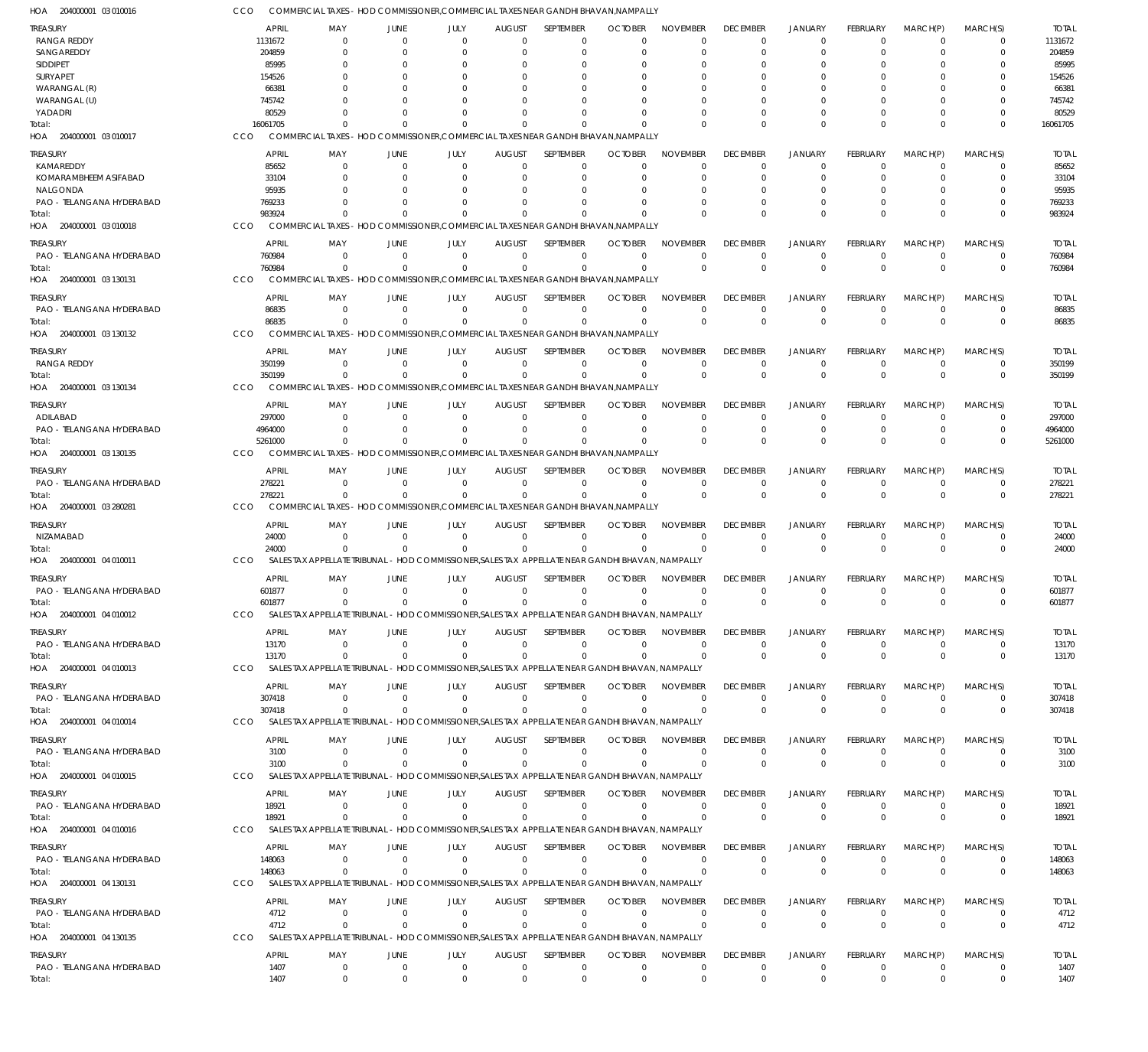| HOA 204000001 03 010016             |                        | COMMERCIAL TAXES – HOD COMMISSIONER,COMMERCIAL TAXES NEAR GANDHI BHAVAN,NAMPALLY                              |                            |                         |                            |                          |                            |                             |                                |                                  |                         |                         |                            |                        |
|-------------------------------------|------------------------|---------------------------------------------------------------------------------------------------------------|----------------------------|-------------------------|----------------------------|--------------------------|----------------------------|-----------------------------|--------------------------------|----------------------------------|-------------------------|-------------------------|----------------------------|------------------------|
| TREASURY                            | <b>APRIL</b>           | MAY                                                                                                           | <b>JUNE</b>                | JULY                    | <b>AUGUST</b>              | SEPTEMBER                | <b>OCTOBER</b>             | <b>NOVEMBER</b>             | <b>DECEMBER</b>                | <b>JANUARY</b>                   | <b>FEBRUARY</b>         | MARCH(P)                | MARCH(S)                   | <b>TOTAL</b>           |
| <b>RANGA REDDY</b>                  | 1131672                | $\Omega$                                                                                                      | $\Omega$                   | $\Omega$                | $\Omega$                   | 0                        | $\Omega$                   | $\Omega$                    | $\overline{0}$                 | $\mathbf 0$                      | $\Omega$                | $\Omega$                | 0                          | 1131672                |
| SANGAREDDY                          | 204859                 | 0                                                                                                             | $\Omega$                   | 0                       | $\Omega$                   | $\mathbf 0$              | $\Omega$                   | $\Omega$                    | $\mathbf 0$                    | $\mathbf 0$                      | $\Omega$                | $\Omega$                | $\mathbf 0$                | 204859                 |
| SIDDIPET<br>SURYAPET                | 85995<br>154526        |                                                                                                               | 0                          |                         | 0<br>n                     | $\Omega$<br>$\Omega$     |                            |                             |                                | $\Omega$<br>$\Omega$             |                         | 0<br>0                  | $\Omega$<br>$\Omega$       | 85995<br>154526        |
| WARANGAL (R)                        | 66381                  |                                                                                                               |                            |                         | n                          | O                        |                            |                             |                                | O                                |                         | 0                       |                            | 66381                  |
| WARANGAL (U)                        | 745742                 |                                                                                                               |                            | O                       | n                          | $\Omega$                 |                            |                             | <sup>0</sup>                   | $\Omega$                         | O                       | 0                       | $\Omega$                   | 745742                 |
| YADADRI                             | 80529                  |                                                                                                               |                            | O                       | $\Omega$                   | $\Omega$                 |                            |                             | $\Omega$                       | 0                                | 0                       | 0                       | 0                          | 80529                  |
| Total:                              | 16061705               |                                                                                                               |                            | U                       | $\Omega$                   | $\Omega$                 |                            | $\Omega$                    | $\Omega$                       | $\Omega$                         | $\Omega$                | $\Omega$                | $\Omega$                   | 16061705               |
| HOA 204000001 03 010017             | CCO                    | COMMERCIAL TAXES - HOD COMMISSIONER, COMMERCIAL TAXES NEAR GANDHI BHAVAN, NAMPALLY                            |                            |                         |                            |                          |                            |                             |                                |                                  |                         |                         |                            |                        |
| treasury                            | <b>APRIL</b>           | MAY                                                                                                           | <b>JUNE</b>                | JULY                    | <b>AUGUST</b>              | SEPTEMBER                | <b>OCTOBER</b>             | <b>NOVEMBER</b>             | <b>DECEMBER</b>                | JANUARY                          | <b>FEBRUARY</b>         | MARCH(P)                | MARCH(S)                   | <b>TOTAL</b>           |
| KAMAREDDY<br>KOMARAMBHEEM ASIFABAD  | 85652<br>33104         | $\Omega$<br>0                                                                                                 | $\Omega$<br>$\Omega$       | $\Omega$<br>0           | 0<br>0                     | 0<br>$\mathbf 0$         | $\Omega$                   | $\Omega$<br>$\Omega$        | $^{\circ}$<br>0                | $\mathbf 0$<br>0                 | $\Omega$<br>0           | 0<br>0                  | 0<br>$\mathbf 0$           | 85652<br>33104         |
| NALGONDA                            | 95935                  |                                                                                                               |                            |                         | 0                          | $\Omega$                 |                            |                             | $\Omega$                       |                                  |                         |                         | $\Omega$                   | 95935                  |
| PAO - TELANGANA HYDERABAD           | 769233                 | <sup>0</sup>                                                                                                  | $\Omega$                   | 0                       | -0                         | 0                        |                            |                             | $\Omega$                       | $\Omega$                         | 0                       | $\Omega$                | $\mathbf 0$                | 769233                 |
| Total:                              | 983924                 | <sup>0</sup>                                                                                                  | $\Omega$                   | U                       | $\Omega$                   | $\Omega$                 |                            | $\cap$                      | $\Omega$                       | $\Omega$                         | 0                       | $\Omega$                | $\Omega$                   | 983924                 |
| HOA 204000001 03 010018             | <b>CCO</b>             | COMMERCIAL TAXES - HOD COMMISSIONER, COMMERCIAL TAXES NEAR GANDHI BHAVAN, NAMPALLY                            |                            |                         |                            |                          |                            |                             |                                |                                  |                         |                         |                            |                        |
| treasury                            | <b>APRIL</b>           | MAY                                                                                                           | <b>JUNE</b>                | JULY                    | <b>AUGUST</b>              | SEPTEMBER                | <b>OCTOBER</b>             | <b>NOVEMBER</b>             | <b>DECEMBER</b>                | JANUARY                          | <b>FEBRUARY</b>         | MARCH(P)                | MARCH(S)                   | <b>TOTAL</b>           |
| PAO - TELANGANA HYDERABAD           | 760984                 | $\Omega$                                                                                                      | $\Omega$                   | $\Omega$                | $\mathbf 0$                | $\mathbf 0$              | $\Omega$                   | $\Omega$                    | $\mathbf 0$                    | $\mathbf 0$                      | $\Omega$                | $\mathbf 0$             | 0                          | 760984                 |
| Total:                              | 760984                 | $\Omega$                                                                                                      |                            | $\Omega$                | $\Omega$                   | $\Omega$                 | $\Omega$                   | $\Omega$                    | $\mathbf 0$                    | $\overline{0}$                   | $\Omega$                | $\Omega$                | $\mathbf 0$                | 760984                 |
| HOA 204000001 03 130131             | CCO                    | COMMERCIAL TAXES - HOD COMMISSIONER, COMMERCIAL TAXES NEAR GANDHI BHAVAN, NAMPALLY                            |                            |                         |                            |                          |                            |                             |                                |                                  |                         |                         |                            |                        |
| treasury                            | <b>APRIL</b>           | MAY                                                                                                           | JUNE                       | JULY                    | <b>AUGUST</b>              | SEPTEMBER                | <b>OCTOBER</b>             | <b>NOVEMBER</b>             | <b>DECEMBER</b>                | <b>JANUARY</b>                   | <b>FEBRUARY</b>         | MARCH(P)                | MARCH(S)                   | <b>TOTAL</b>           |
| PAO - TELANGANA HYDERABAD           | 86835<br>86835         | $\Omega$<br>$\Omega$                                                                                          | $\Omega$<br>$\Omega$       | $\Omega$<br>$\mathbf 0$ | $\mathbf 0$<br>$\mathbf 0$ | $\mathbf 0$<br>$\Omega$  | $\Omega$                   | $\Omega$<br>$\Omega$        | $\mathbf 0$<br>$\mathbf 0$     | $\overline{0}$<br>$\overline{0}$ | $\mathbf 0$<br>$\Omega$ | $\mathbf 0$<br>$\Omega$ | $\mathbf 0$<br>$\mathbf 0$ | 86835                  |
| Total:<br>HOA 204000001 03 130132   | CCO                    | COMMERCIAL TAXES - HOD COMMISSIONER, COMMERCIAL TAXES NEAR GANDHI BHAVAN, NAMPALLY                            |                            |                         |                            |                          |                            |                             |                                |                                  |                         |                         |                            | 86835                  |
|                                     |                        |                                                                                                               |                            |                         |                            |                          |                            |                             |                                |                                  |                         |                         |                            |                        |
| treasury<br>RANGA REDDY             | <b>APRIL</b><br>350199 | MAY<br>$\Omega$                                                                                               | JUNE<br>$\Omega$           | JULY<br>$\Omega$        | <b>AUGUST</b><br>$\Omega$  | SEPTEMBER<br>$\mathbf 0$ | <b>OCTOBER</b><br>$\Omega$ | <b>NOVEMBER</b><br>$\Omega$ | <b>DECEMBER</b><br>$\mathbf 0$ | <b>JANUARY</b><br>$\mathbf 0$    | <b>FEBRUARY</b><br>0    | MARCH(P)<br>$\mathbf 0$ | MARCH(S)<br>0              | <b>TOTAL</b><br>350199 |
| Total:                              | 350199                 | $\Omega$                                                                                                      | $\Omega$                   | $\Omega$                | $\Omega$                   | $\Omega$                 | $\Omega$                   | $\Omega$                    | $\mathbf 0$                    | $\overline{0}$                   | $\Omega$                | $\mathbf 0$             | $\mathbf 0$                | 350199                 |
| HOA 204000001 03 130134             | CCO                    | COMMERCIAL TAXES - HOD COMMISSIONER.COMMERCIAL TAXES NEAR GANDHI BHAVAN.NAMPALLY                              |                            |                         |                            |                          |                            |                             |                                |                                  |                         |                         |                            |                        |
| treasury                            | <b>APRIL</b>           | MAY                                                                                                           | JUNE                       | JULY                    | <b>AUGUST</b>              | SEPTEMBER                | <b>OCTOBER</b>             | <b>NOVEMBER</b>             | <b>DECEMBER</b>                | <b>JANUARY</b>                   | <b>FEBRUARY</b>         | MARCH(P)                | MARCH(S)                   | <b>TOTAL</b>           |
| ADILABAD                            | 297000                 | $\Omega$                                                                                                      | $\Omega$                   | $\Omega$                | 0                          | 0                        | $\Omega$                   |                             | $^{\circ}$                     | 0                                | $\Omega$                | 0                       | 0                          | 297000                 |
| PAO - TELANGANA HYDERABAD           | 4964000                | <sup>0</sup>                                                                                                  | $\Omega$                   | $\Omega$                | $\Omega$                   | $\mathbf 0$              | $\Omega$                   | $\Omega$                    | $\mathbf 0$                    | $\overline{0}$                   | $\mathbf 0$             | 0                       | $\mathbf 0$                | 4964000                |
| Total:                              | 5261000                | <sup>0</sup>                                                                                                  |                            | U                       | $\Omega$                   | $\Omega$                 |                            | $\Omega$                    | $\mathbf 0$                    | $\Omega$                         | $\Omega$                | $\Omega$                | $\mathbf 0$                | 5261000                |
| HOA 204000001 03 130135             | CCO                    | COMMERCIAL TAXES - HOD COMMISSIONER, COMMERCIAL TAXES NEAR GANDHI BHAVAN, NAMPALLY                            |                            |                         |                            |                          |                            |                             |                                |                                  |                         |                         |                            |                        |
| treasury                            | <b>APRIL</b>           | MAY                                                                                                           | JUNE                       | JULY                    | <b>AUGUST</b>              | SEPTEMBER                | <b>OCTOBER</b>             | <b>NOVEMBER</b>             | <b>DECEMBER</b>                | <b>JANUARY</b>                   | <b>FEBRUARY</b>         | MARCH(P)                | MARCH(S)                   | <b>TOTAL</b>           |
| PAO - TELANGANA HYDERABAD           | 278221                 | $\Omega$                                                                                                      | $\Omega$                   | $\Omega$                | $\Omega$                   | $\mathbf 0$              | $\Omega$                   | $\Omega$                    | $\mathbf 0$                    | $\mathbf 0$                      | $\Omega$                | $\mathbf 0$             | $\mathbf 0$                | 278221                 |
| Total:<br>HOA 204000001 03 280281   | 278221<br>CCO          | $\Omega$<br>COMMERCIAL TAXES - HOD COMMISSIONER, COMMERCIAL TAXES NEAR GANDHI BHAVAN, NAMPALLY                | $\Omega$                   | $\Omega$                | $\Omega$                   | $\Omega$                 | $\Omega$                   | $\Omega$                    | $\mathbf 0$                    | $\overline{0}$                   | $\Omega$                | $\mathbf 0$             | $\mathbf 0$                | 278221                 |
|                                     |                        |                                                                                                               |                            |                         |                            |                          |                            |                             |                                |                                  |                         |                         |                            |                        |
| treasury                            | <b>APRIL</b>           | MAY                                                                                                           | JUNE                       | JULY                    | <b>AUGUST</b>              | <b>SEPTEMBER</b>         | <b>OCTOBER</b>             | <b>NOVEMBER</b>             | <b>DECEMBER</b>                | <b>JANUARY</b>                   | <b>FEBRUARY</b>         | MARCH(P)                | MARCH(S)                   | <b>TOTAL</b>           |
| NIZAMABAD<br>Total:                 | 24000<br>24000         | $\Omega$<br>$\Omega$                                                                                          | $\Omega$<br>$\Omega$       | 0<br>$\Omega$           | $\mathbf 0$<br>$\Omega$    | $\mathbf 0$<br>$\Omega$  | $\Omega$                   | $\Omega$<br>$\Omega$        | $\overline{0}$<br>$\Omega$     | $\mathbf 0$<br>$\Omega$          | 0<br>$\Omega$           | 0<br>$\mathbf 0$        | 0<br>$\mathbf 0$           | 24000<br>24000         |
| HOA 204000001 04 010011             | CCO                    | SALES TAX APPELLATE TRIBUNAL - HOD COMMISSIONER, SALES TAX APPELLATE NEAR GANDHI BHAVAN, NAMPALLY             |                            |                         |                            |                          |                            |                             |                                |                                  |                         |                         |                            |                        |
| treasury                            | <b>APRIL</b>           | MAY                                                                                                           | <b>JUNE</b>                | JULY                    | <b>AUGUST</b>              | SEPTEMBER                | <b>OCTOBER</b>             | <b>NOVEMBER</b>             | <b>DECEMBER</b>                | <b>JANUARY</b>                   | <b>FEBRUARY</b>         | MARCH(P)                | MARCH(S)                   | <b>TOTAL</b>           |
| PAO - TELANGANA HYDERABAD           | 601877                 | $\Omega$                                                                                                      | $\Omega$                   | $\mathbf 0$             | $\mathbf 0$                | $\mathbf 0$              | $\Omega$                   | $\Omega$                    | $\mathbf 0$                    | $\mathbf 0$                      | $\Omega$                | $\Omega$                | $\Omega$                   | 601877                 |
| Total:                              | 601877                 | $\mathbf{0}$                                                                                                  | $\overline{0}$             | $\mathbf{0}$            | $^{\circ}$                 | $\mathbf 0$              | $\mathbf 0$                | $\mathbf{0}$                | $\mathbf{0}$                   | $\overline{0}$                   | $\mathbf 0$             | 0                       | 0                          | 601877                 |
| HOA 204000001 04 010012             | <b>CCO</b>             | SALES TAX APPELLATE TRIBUNAL - HOD COMMISSIONER, SALES TAX APPELLATE NEAR GANDHI BHAVAN, NAMPALLY             |                            |                         |                            |                          |                            |                             |                                |                                  |                         |                         |                            |                        |
| treasury                            | <b>APRIL</b>           | MAY                                                                                                           | JUNE                       | JULY                    | <b>AUGUST</b>              | <b>SEPTEMBER</b>         | <b>OCTOBER</b>             | <b>NOVEMBER</b>             | <b>DECEMBER</b>                | <b>JANUARY</b>                   | <b>FEBRUARY</b>         | MARCH(P)                | MARCH(S)                   | <b>TOTAL</b>           |
| PAO - TELANGANA HYDERABAD           | 13170                  | $\mathbf{0}$                                                                                                  | $\Omega$                   | $\mathbf 0$             | $\overline{0}$             | $\mathbf 0$              | $\Omega$                   | $\Omega$                    | $\mathbf 0$                    | $\mathbf 0$                      | $\mathbf 0$             | $^{\circ}$              | $\mathbf 0$                | 13170                  |
| Total:                              | 13170                  | $\Omega$                                                                                                      | $\Omega$                   | $\Omega$                | $\Omega$                   | $\mathbf 0$              |                            | $\Omega$                    | $\mathbf 0$                    | $\overline{0}$                   | $\mathbf 0$             | $^{\circ}$              | $\mathbf 0$                | 13170                  |
| HOA 204000001 04 010013             | <b>CCO</b>             | SALES TAX APPELLATE TRIBUNAL - HOD COMMISSIONER, SALES TAX APPELLATE NEAR GANDHI BHAVAN, NAMPALLY             |                            |                         |                            |                          |                            |                             |                                |                                  |                         |                         |                            |                        |
| treasury                            | <b>APRIL</b>           | MAY                                                                                                           | <b>JUNE</b>                | JULY                    | <b>AUGUST</b>              | SEPTEMBER                | <b>OCTOBER</b>             | <b>NOVEMBER</b>             | <b>DECEMBER</b>                | <b>JANUARY</b>                   | <b>FEBRUARY</b>         | MARCH(P)                | MARCH(S)                   | <b>TOTAL</b>           |
| PAO - TELANGANA HYDERABAD           | 307418                 | $\mathbf 0$                                                                                                   | $\overline{0}$             | $\mathbf 0$             | $\mathbf 0$                | $\mathbf 0$              | $\Omega$                   | $\Omega$                    | $\mathbf 0$                    | $\mathbf 0$                      | $\Omega$                | $^{\circ}$              | $\mathbf 0$                | 307418                 |
| Total:<br>HOA 204000001 04 010014   | 307418<br>CCO          | $\Omega$<br>SALES TAX APPELLATE TRIBUNAL - HOD COMMISSIONER, SALES TAX APPELLATE NEAR GANDHI BHAVAN, NAMPALLY | $\Omega$                   | $\Omega$                | $\Omega$                   | $\mathbf 0$              | $\Omega$                   | $\Omega$                    | $\mathbf 0$                    | $\overline{0}$                   | $\mathbf 0$             | $\mathbf 0$             | $\mathbf 0$                | 307418                 |
|                                     |                        |                                                                                                               |                            |                         |                            |                          |                            |                             |                                |                                  |                         |                         |                            |                        |
| Treasury                            | <b>APRIL</b>           | MAY                                                                                                           | JUNE                       | JULY                    | <b>AUGUST</b>              | <b>SEPTEMBER</b>         | <b>OCTOBER</b>             | <b>NOVEMBER</b>             | <b>DECEMBER</b>                | <b>JANUARY</b>                   | <b>FEBRUARY</b>         | MARCH(P)                | MARCH(S)                   | <b>TOTAL</b>           |
| PAO - TELANGANA HYDERABAD<br>Total: | 3100<br>3100           | $\mathbf{0}$<br>$\Omega$                                                                                      | $\overline{0}$<br>$\Omega$ | 0<br>$\Omega$           | 0<br>$\Omega$              | 0<br>$\Omega$            | $\Omega$                   | $\Omega$<br>$\Omega$        | 0<br>$\mathbf 0$               | $\overline{0}$<br>$\overline{0}$ | 0<br>$\mathbf 0$        | 0<br>$\mathbf 0$        | $\mathbf 0$<br>$\mathbf 0$ | 3100<br>3100           |
| HOA 204000001 04 010015             | <b>CCO</b>             | SALES TAX APPELLATE TRIBUNAL - HOD COMMISSIONER SALES TAX APPELLATE NEAR GANDHI BHAVAN. NAMPALLY              |                            |                         |                            |                          |                            |                             |                                |                                  |                         |                         |                            |                        |
| Treasury                            | <b>APRIL</b>           | MAY                                                                                                           | JUNE                       | JULY                    | <b>AUGUST</b>              | SEPTEMBER                | <b>OCTOBER</b>             | <b>NOVEMBER</b>             | <b>DECEMBER</b>                | <b>JANUARY</b>                   | FEBRUARY                | MARCH(P)                | MARCH(S)                   | <b>TOTAL</b>           |
| PAO - TELANGANA HYDERABAD           | 18921                  | $\mathbf 0$                                                                                                   | $\overline{0}$             | $\Omega$                | $^{\circ}$                 | $\mathbf 0$              | $\Omega$                   | $\Omega$                    | $\mathbf 0$                    | $\mathbf 0$                      | $\mathbf 0$             | $\overline{0}$          | $\mathbf 0$                | 18921                  |
| Total:                              | 18921                  | $\Omega$                                                                                                      | $\Omega$                   | $\Omega$                | $\Omega$                   | $\Omega$                 | $\Omega$                   | $\Omega$                    | $\mathbf 0$                    | $\overline{0}$                   | $\Omega$                | $\Omega$                | $\mathbf 0$                | 18921                  |
| HOA 204000001 04 010016             | CCO                    | SALES TAX APPELLATE TRIBUNAL - HOD COMMISSIONER, SALES TAX APPELLATE NEAR GANDHI BHAVAN, NAMPALLY             |                            |                         |                            |                          |                            |                             |                                |                                  |                         |                         |                            |                        |
| treasury                            | <b>APRIL</b>           | MAY                                                                                                           | JUNE                       | JULY                    | <b>AUGUST</b>              | SEPTEMBER                | <b>OCTOBER</b>             | <b>NOVEMBER</b>             | <b>DECEMBER</b>                | <b>JANUARY</b>                   | <b>FEBRUARY</b>         | MARCH(P)                | MARCH(S)                   | <b>TOTAL</b>           |
| PAO - TELANGANA HYDERABAD           | 148063                 | $\mathbf 0$                                                                                                   | $\overline{0}$             | $\mathbf 0$             | $\mathbf 0$                | $\mathbf 0$              | $\Omega$                   | $\Omega$                    | $\mathbf 0$                    | $\mathbf 0$                      | $\mathbf 0$             | $\mathbf 0$             | $\mathbf 0$                | 148063                 |
| Total:                              | 148063                 | $\Omega$                                                                                                      | $\Omega$                   | $\Omega$                | $\Omega$                   | $\Omega$                 |                            | $\Omega$                    | $\mathbf 0$                    | $\overline{0}$                   | $\mathbf 0$             | $\Omega$                | $\mathbf 0$                | 148063                 |
| HOA 204000001 04 130131             | <b>CCO</b>             | SALES TAX APPELLATE TRIBUNAL - HOD COMMISSIONER, SALES TAX APPELLATE NEAR GANDHI BHAVAN, NAMPALLY             |                            |                         |                            |                          |                            |                             |                                |                                  |                         |                         |                            |                        |
| treasury                            | <b>APRIL</b>           | MAY                                                                                                           | JUNE                       | JULY                    | <b>AUGUST</b>              | SEPTEMBER                | <b>OCTOBER</b>             | <b>NOVEMBER</b>             | <b>DECEMBER</b>                | <b>JANUARY</b>                   | <b>FEBRUARY</b>         | MARCH(P)                | MARCH(S)                   | <b>TOTAL</b>           |
| PAO - TELANGANA HYDERABAD           | 4712                   | $\Omega$                                                                                                      | $\Omega$                   | $\mathbf 0$             | 0                          | $\mathbf 0$              | $\Omega$                   | $\Omega$                    | $\mathbf 0$                    | $\mathbf 0$                      | $\mathbf 0$             | $\overline{0}$          | $\mathbf 0$                | 4712                   |
| Total:                              | 4712                   | $\mathbf 0$                                                                                                   | $\Omega$                   | $\Omega$                | $\Omega$                   | $\Omega$                 | $\Omega$                   | $\Omega$                    | $\mathbf 0$                    | $\overline{0}$                   | $\mathbf 0$             | $\mathbf 0$             | $\mathbf 0$                | 4712                   |
| HOA 204000001 04 130135             | CCO                    | SALES TAX APPELLATE TRIBUNAL - HOD COMMISSIONER, SALES TAX APPELLATE NEAR GANDHI BHAVAN, NAMPALLY             |                            |                         |                            |                          |                            |                             |                                |                                  |                         |                         |                            |                        |
| Treasury                            | <b>APRIL</b>           | MAY                                                                                                           | JUNE                       | JULY                    | <b>AUGUST</b>              | SEPTEMBER                | <b>OCTOBER</b>             | <b>NOVEMBER</b>             | <b>DECEMBER</b>                | <b>JANUARY</b>                   | <b>FEBRUARY</b>         | MARCH(P)                | MARCH(S)                   | <b>TOTAL</b>           |
| PAO - TELANGANA HYDERABAD           | 1407                   | $\mathbf 0$                                                                                                   | $\overline{0}$             | $\mathbf{0}$            | $^{\circ}$                 | $\mathbf 0$              | $^{\circ}$                 | $\mathbf 0$                 | 0                              | $\mathbf 0$                      | $\mathbf 0$             | $\mathbf 0$             | $\mathbf 0$                | 1407                   |
| Total:                              | 1407                   | $\mathbf 0$                                                                                                   | $\overline{0}$             | $\Omega$                | $\mathbf 0$                | $\mathbf 0$              | $\mathbf 0$                | $\mathbf 0$                 | $\mathbf 0$                    | $\overline{0}$                   | $\Omega$                | $\mathbf 0$             | $\mathbf 0$                | 1407                   |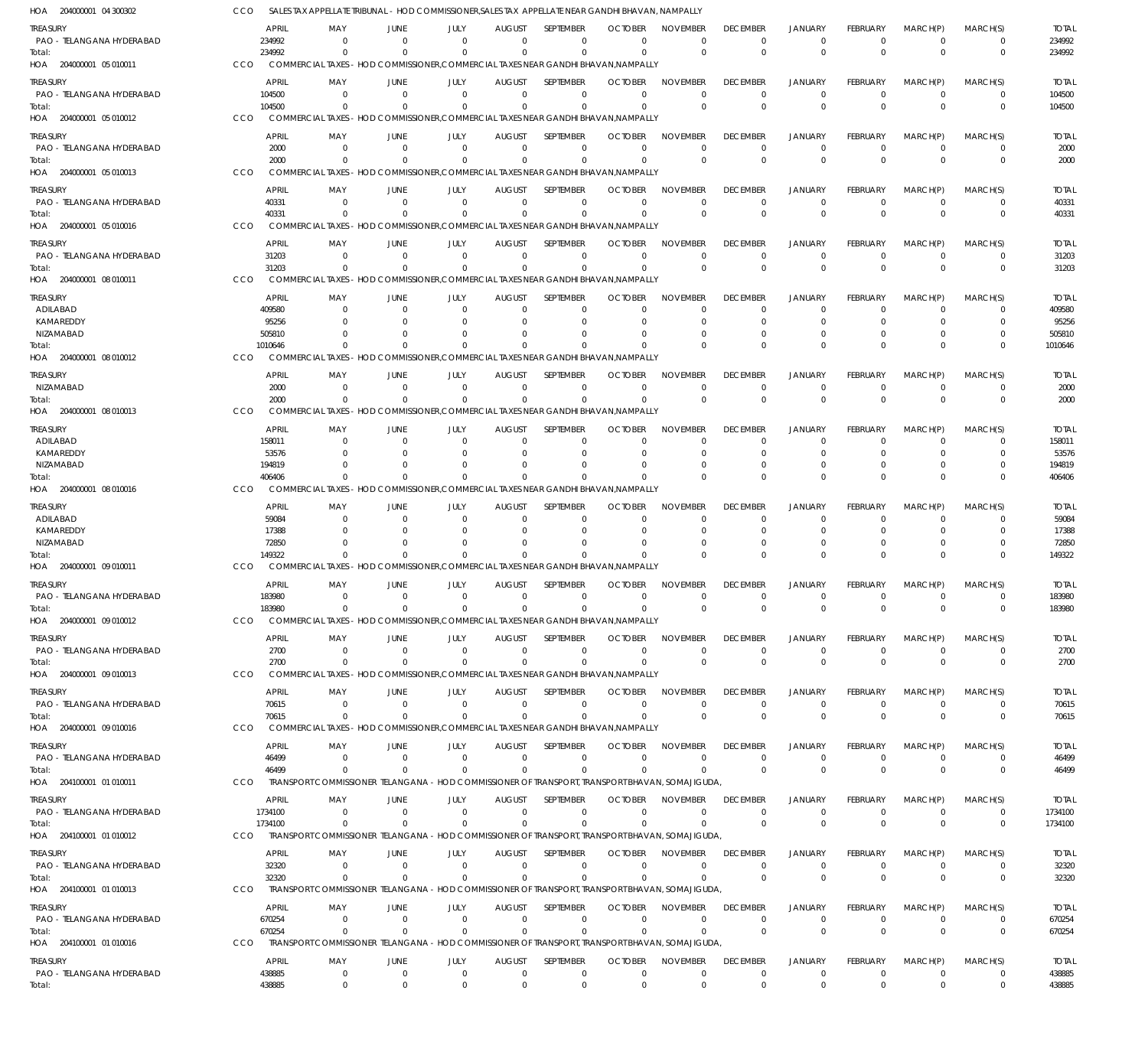| HOA 204000001 04 300302               |     |                        |                            |                            | SALES TAX APPELLATE TRIBUNAL - HOD COMMISSIONER, SALES TAX APPELLATE NEAR GANDHI BHAVAN, NAMPALLY           |                                  |                             |                               |                             |                             |                             |                            |                               |                              |                        |
|---------------------------------------|-----|------------------------|----------------------------|----------------------------|-------------------------------------------------------------------------------------------------------------|----------------------------------|-----------------------------|-------------------------------|-----------------------------|-----------------------------|-----------------------------|----------------------------|-------------------------------|------------------------------|------------------------|
| treasury<br>PAO - TELANGANA HYDERABAD |     | <b>APRIL</b><br>234992 | MAY<br>$\Omega$            | JUNE<br>$\Omega$           | <b>JULY</b><br>$\Omega$                                                                                     | <b>AUGUST</b><br>$\Omega$        | SEPTEMBER<br>$\Omega$       | <b>OCTOBER</b><br>$\Omega$    | <b>NOVEMBER</b><br>$\Omega$ | <b>DECEMBER</b><br>$\Omega$ | <b>JANUARY</b><br>$\Omega$  | FEBRUARY<br>$\Omega$       | MARCH(P)<br>$\Omega$          | MARCH(S)<br>0                | <b>TOTAL</b><br>234992 |
| Total:<br>HOA 204000001 05 010011     | CCO | 234992                 | $\Omega$                   | $\Omega$                   | $\Omega$<br>COMMERCIAL TAXES - HOD COMMISSIONER, COMMERCIAL TAXES NEAR GANDHI BHAVAN, NAMPALLY              | $\Omega$                         | $\Omega$                    | $\Omega$                      | $\Omega$                    | $\Omega$                    | $\Omega$                    | $\Omega$                   | $\Omega$                      | $\overline{0}$               | 234992                 |
| treasury                              |     | <b>APRIL</b>           | MAY                        | JUNE                       | JULY                                                                                                        | <b>AUGUST</b>                    | <b>SFPTFMBFR</b>            | <b>OCTOBER</b>                | <b>NOVEMBER</b>             | <b>DECEMBER</b>             | <b>JANUARY</b>              | FEBRUARY                   | MARCH(P)                      | MARCH(S)                     | <b>TOTAL</b>           |
| PAO - TELANGANA HYDERABAD             |     | 104500                 | $\Omega$                   | $\Omega$                   | $\mathbf{0}$                                                                                                | $\Omega$                         | $\mathbf 0$                 | $\Omega$                      | $\mathbf 0$                 | $\Omega$                    | $\Omega$                    | $\Omega$                   | $\Omega$                      | $\overline{0}$               | 104500                 |
| lotal:                                |     | 104500                 | $\Omega$                   | $\Omega$                   | $\Omega$                                                                                                    | $\Omega$                         | $\mathbf 0$                 | $\Omega$                      | $\Omega$                    | $\Omega$                    | $\Omega$                    | $\Omega$                   | $\Omega$                      | $\mathbf 0$                  | 104500                 |
| HOA 204000001 05 010012               | CCO |                        |                            |                            | COMMERCIAL TAXES - HOD COMMISSIONER, COMMERCIAL TAXES NEAR GANDHI BHAVAN, NAMPALLY                          |                                  |                             |                               |                             |                             |                             |                            |                               |                              |                        |
| treasury                              |     | <b>APRIL</b>           | MAY                        | JUNE                       | JULY                                                                                                        | <b>AUGUST</b>                    | SEPTEMBER                   | <b>OCTOBER</b>                | <b>NOVEMBER</b>             | <b>DECEMBER</b>             | <b>JANUARY</b>              | FEBRUARY                   | MARCH(P)                      | MARCH(S)                     | <b>TOTAL</b>           |
| PAO - TELANGANA HYDERABAD             |     | 2000                   | $\Omega$                   | $\Omega$                   | $\Omega$                                                                                                    | $\Omega$                         | $\Omega$                    | $\Omega$                      | $\mathbf 0$                 | $\Omega$                    | $\Omega$                    | $\Omega$                   | $\Omega$                      | $\Omega$                     | 2000                   |
| Total:<br>HOA 204000001 05 010013     | CCO | 2000                   | $\Omega$                   | $\Omega$                   | $\Omega$<br>COMMERCIAL TAXES - HOD COMMISSIONER, COMMERCIAL TAXES NEAR GANDHI BHAVAN, NAMPALLY              | $\Omega$                         | $\Omega$                    | $\Omega$                      | $\Omega$                    | $\Omega$                    | $\Omega$                    | $\Omega$                   | $\Omega$                      | $\overline{0}$               | 2000                   |
| treasury                              |     | <b>APRIL</b>           | MAY                        | JUNE                       | <b>JULY</b>                                                                                                 | <b>AUGUST</b>                    | SEPTEMBER                   | <b>OCTOBER</b>                | <b>NOVEMBER</b>             | <b>DECEMBER</b>             | <b>JANUARY</b>              | FEBRUARY                   | MARCH(P)                      | MARCH(S)                     | <b>TOTAL</b>           |
| PAO - TELANGANA HYDERABAD             |     | 40331                  | - 0                        | - 0                        | $\Omega$                                                                                                    | $\Omega$                         | $\mathbf 0$                 | - 0                           | $\mathbf 0$                 | 0                           | $\Omega$                    | $\Omega$                   | $\Omega$                      | 0                            | 40331                  |
| Total:                                |     | 40331                  | $\Omega$                   | $\Omega$                   | $\Omega$                                                                                                    | $\Omega$                         | $\Omega$                    | $\Omega$                      | $\Omega$                    | $\Omega$                    | $\Omega$                    | $\Omega$                   | $\Omega$                      | $\mathbf 0$                  | 40331                  |
| HOA 204000001 05 010016               | CCO |                        |                            |                            | COMMERCIAL TAXES - HOD COMMISSIONER, COMMERCIAL TAXES NEAR GANDHI BHAVAN, NAMPALLY                          |                                  |                             |                               |                             |                             |                             |                            |                               |                              |                        |
| treasury                              |     | <b>APRIL</b>           | MAY                        | <b>JUNE</b>                | <b>JULY</b>                                                                                                 | <b>AUGUST</b>                    | SEPTEMBER                   | <b>OCTOBER</b>                | <b>NOVEMBER</b>             | <b>DECEMBER</b>             | <b>JANUARY</b>              | FEBRUARY                   | MARCH(P)                      | MARCH(S)                     | <b>TOTAL</b>           |
| PAO - TELANGANA HYDERABAD<br>Total:   |     | 31203<br>31203         | $\Omega$<br>$\Omega$       | $\Omega$<br>$\cap$         | $\Omega$<br>$\Omega$                                                                                        | $\Omega$<br>$\Omega$             | $\Omega$<br>$\Omega$        | $\Omega$<br>$\Omega$          | $\Omega$<br>$\Omega$        | $\Omega$<br>$\Omega$        | $\Omega$<br>$\Omega$        | $\Omega$<br>$\Omega$       | $\Omega$<br>$\Omega$          | $^{\circ}$<br>$\mathbf 0$    | 31203<br>31203         |
| HOA 204000001 08 010011               | CCO |                        |                            |                            | COMMERCIAL TAXES - HOD COMMISSIONER, COMMERCIAL TAXES NEAR GANDHI BHAVAN, NAMPALLY                          |                                  |                             |                               |                             |                             |                             |                            |                               |                              |                        |
| treasury                              |     | <b>APRIL</b>           | MAY                        | JUNE                       | JULY                                                                                                        | <b>AUGUST</b>                    | <b>SEPTEMBER</b>            | <b>OCTOBER</b>                | <b>NOVEMBER</b>             | <b>DECEMBER</b>             | <b>JANUARY</b>              | FEBRUARY                   | MARCH(P)                      | MARCH(S)                     | <b>TOTAL</b>           |
| ADILABAD                              |     | 409580                 | $\Omega$                   | $\Omega$                   | $\Omega$                                                                                                    | $\Omega$                         | 0                           | 0                             | $\mathbf 0$                 | $\Omega$                    | $\Omega$                    | $\Omega$                   | $\Omega$                      | $\Omega$                     | 409580                 |
| KAMAREDDY                             |     | 95256                  |                            | $\Omega$                   | 0                                                                                                           | $\Omega$                         | $\mathbf 0$                 | $\Omega$                      | $\Omega$                    | $\Omega$                    | $\Omega$                    |                            |                               | $\Omega$                     | 95256                  |
| NIZAMABAD                             |     | 505810                 |                            |                            |                                                                                                             | $\Omega$                         | $\Omega$                    | $\Omega$                      | $\Omega$                    |                             | $\Omega$                    |                            |                               | 0                            | 505810                 |
| lotal:                                |     | 1010646                |                            |                            | COMMERCIAL TAXES - HOD COMMISSIONER.COMMERCIAL TAXES NEAR GANDHI BHAVAN.NAMPALLY                            | $\Omega$                         | $\Omega$                    | n                             | $\Omega$                    | $\Omega$                    | $\Omega$                    | - 0                        | $\Omega$                      | $\Omega$                     | 1010646                |
| 08 010012<br>HOA 204000001            | CCO |                        |                            |                            |                                                                                                             |                                  |                             |                               |                             |                             |                             |                            |                               |                              |                        |
| treasury                              |     | <b>APRIL</b>           | MAY                        | JUNE                       | JULY                                                                                                        | <b>AUGUST</b>                    | SEPTEMBER                   | <b>OCTOBER</b>                | <b>NOVEMBER</b>             | <b>DECEMBER</b>             | <b>JANUARY</b>              | FEBRUARY                   | MARCH(P)                      | MARCH(S)                     | <b>TOTAL</b>           |
| NIZAMABAD<br>Total:                   |     | 2000<br>2000           | $\Omega$<br>$\Omega$       | $\Omega$<br>$\Omega$       | $\Omega$<br>$\Omega$                                                                                        | $\Omega$<br>$\Omega$             | $\Omega$<br>$\Omega$        | $\Omega$<br>$\Omega$          | $\mathbf 0$<br>$\Omega$     | $\mathbf 0$<br>$\Omega$     | $\Omega$<br>$\Omega$        | $\Omega$<br>$\Omega$       | $\Omega$<br>$\Omega$          | $\Omega$<br>$\mathbf 0$      | 2000<br>2000           |
| 08 010013<br>HOA 204000001            | CCO |                        |                            |                            | COMMERCIAL TAXES - HOD COMMISSIONER, COMMERCIAL TAXES NEAR GANDHI BHAVAN, NAMPALLY                          |                                  |                             |                               |                             |                             |                             |                            |                               |                              |                        |
|                                       |     | <b>APRIL</b>           |                            |                            |                                                                                                             |                                  | SEPTEMBER                   | <b>OCTOBER</b>                | <b>NOVEMBER</b>             | <b>DECEMBER</b>             | <b>JANUARY</b>              |                            |                               |                              |                        |
| TREASURY<br>ADILABAD                  |     | 158011                 | MAY<br>$\Omega$            | JUNE<br>$\Omega$           | JULY<br>$\Omega$                                                                                            | <b>AUGUST</b><br>$\Omega$        | 0                           | 0                             | $\Omega$                    | $\Omega$                    | $\Omega$                    | FEBRUARY                   | MARCH(P)                      | MARCH(S)<br>0                | <b>TOTAL</b><br>158011 |
| KAMAREDDY                             |     | 53576                  |                            | $\Omega$                   | $\Omega$                                                                                                    | $\Omega$                         | $\Omega$                    | $\Omega$                      | $\Omega$                    | $\Omega$                    | $\Omega$                    |                            |                               | $\Omega$                     | 53576                  |
| NIZAMABAD                             |     | 194819                 |                            | $\Omega$                   |                                                                                                             | $\Omega$                         | $\Omega$                    | $\Omega$                      | $\Omega$                    |                             | $\Omega$                    |                            | $\Omega$                      | 0                            | 194819                 |
| Total:                                |     | 406406                 | $\cap$                     | $\Omega$                   | <sup>0</sup>                                                                                                | $\Omega$                         | $\Omega$                    | $\Omega$                      | $\Omega$                    |                             | $\Omega$                    | $\Omega$                   | $\Omega$                      | $\Omega$                     | 406406                 |
| HOA 204000001<br>08 010016            | CCO |                        |                            |                            | COMMERCIAL TAXES - HOD COMMISSIONER, COMMERCIAL TAXES NEAR GANDHI BHAVAN, NAMPALLY                          |                                  |                             |                               |                             |                             |                             |                            |                               |                              |                        |
| TREASURY                              |     | <b>APRIL</b>           | MAY                        | JUNE                       | JULY                                                                                                        | <b>AUGUST</b>                    | SEPTEMBER                   | <b>OCTOBER</b>                | <b>NOVEMBER</b>             | <b>DECEMBER</b>             | <b>JANUARY</b>              | FEBRUARY                   | MARCH(P)                      | MARCH(S)                     | <b>TOTAL</b>           |
| ADILABAD<br>KAMAREDDY                 |     | 59084<br>17388         | $\Omega$<br>$\Omega$       | - 0<br>$\Omega$            | $\Omega$<br>$\Omega$                                                                                        | $\Omega$<br>$\Omega$             | 0<br>$\Omega$               | $\Omega$<br>$\Omega$          | $\Omega$<br>$\Omega$        | $\Omega$<br>$\Omega$        | $\Omega$<br>$\Omega$        | $\Omega$<br>$\Omega$       | $\Omega$<br>$\Omega$          | 0<br>$\Omega$                | 59084<br>17388         |
| NIZAMABAD                             |     | 72850                  | $\Omega$                   | $\Omega$                   |                                                                                                             | $\Omega$                         | $\Omega$                    | $\Omega$                      | $\Omega$                    | $\Omega$                    | $\Omega$                    | $\Omega$                   | $\Omega$                      | 0                            | 72850                  |
| Total:                                |     | 149322                 | $\cap$                     | $\cap$                     | $\Omega$                                                                                                    | $\Omega$                         | $\Omega$                    | $\Omega$                      | $\Omega$                    | $\cap$                      | $\Omega$                    | $\Omega$                   | $\Omega$                      | $\Omega$                     | 149322                 |
| HOA 204000001<br>09 010011            | CCO |                        |                            |                            | COMMERCIAL TAXES - HOD COMMISSIONER, COMMERCIAL TAXES NEAR GANDHI BHAVAN, NAMPALLY                          |                                  |                             |                               |                             |                             |                             |                            |                               |                              |                        |
| treasury                              |     | APRIL                  | MAY                        | JUNE                       | JULY                                                                                                        | <b>AUGUST</b>                    | SEPTEMBER                   | <b>OCTOBER</b>                | <b>NOVEMBER</b>             | <b>DECEMBER</b>             | <b>JANUARY</b>              | FEBRUARY                   | MARCH(P)                      | MARCH(S)                     | <b>TOTAL</b>           |
| PAO - TELANGANA HYDERABAD             |     | 183980                 | $\Omega$                   | $\overline{0}$             | $\mathbf{0}$                                                                                                | $\overline{0}$                   | $\mathbf 0$                 | $\overline{0}$                | $\mathbf 0$                 | $\mathbf 0$                 | $\Omega$                    | $\overline{0}$             | $\Omega$                      | $\overline{0}$               | 183980                 |
| Total:                                |     | 183980                 |                            |                            |                                                                                                             |                                  |                             |                               | $\Omega$                    |                             |                             |                            |                               | $\overline{0}$               | 183980                 |
| HOA 204000001 09 010012               | CCO |                        |                            |                            | COMMERCIAL TAXES - HOD COMMISSIONER, COMMERCIAL TAXES NEAR GANDHI BHAVAN, NAMPALLY                          |                                  |                             |                               |                             |                             |                             |                            |                               |                              |                        |
| treasury                              |     | <b>APRIL</b>           | MAY                        | JUNE                       | <b>JULY</b>                                                                                                 | <b>AUGUST</b><br>$\Omega$        | SEPTEMBER                   | <b>OCTOBER</b>                | <b>NOVEMBER</b>             | <b>DECEMBER</b>             | <b>JANUARY</b>              | <b>FEBRUARY</b>            | MARCH(P)                      | MARCH(S)                     | <b>TOTAL</b>           |
| PAO - TELANGANA HYDERABAD<br>Total:   |     | 2700<br>2700           | $\mathbf{0}$<br>$\Omega$   | $\overline{0}$<br>- 0      | $\mathbf{0}$<br>$\Omega$                                                                                    | $\Omega$                         | $\mathbf{0}$<br>$\mathbf 0$ | $\Omega$<br>$\Omega$          | $\Omega$<br>$\mathbf 0$     | $\mathbf 0$<br>$\mathbf 0$  | $\Omega$<br>$\mathbf{0}$    | $\Omega$<br>$\overline{0}$ | $\overline{0}$<br>$\mathbf 0$ | $\Omega$<br>$\mathbf 0$      | 2700<br>2700           |
| HOA 204000001 09 010013               | CCO |                        |                            |                            | COMMERCIAL TAXES - HOD COMMISSIONER, COMMERCIAL TAXES NEAR GANDHI BHAVAN, NAMPALLY                          |                                  |                             |                               |                             |                             |                             |                            |                               |                              |                        |
| treasury                              |     | <b>APRIL</b>           | MAY                        | JUNE                       | <b>JULY</b>                                                                                                 | <b>AUGUST</b>                    | SEPTEMBER                   | <b>OCTOBER</b>                | <b>NOVEMBER</b>             | <b>DECEMBER</b>             | <b>JANUARY</b>              | <b>FEBRUARY</b>            | MARCH(P)                      | MARCH(S)                     | <b>TOTAL</b>           |
| PAO - TELANGANA HYDERABAD             |     | 70615                  | - 0                        | $\overline{0}$             | $\mathbf{0}$                                                                                                | $\overline{0}$                   | 0                           | - 0                           | 0                           | $^{\circ}$                  | 0                           | $^{\circ}$                 | $\mathbf 0$                   | $^{\circ}$                   | 70615                  |
| Total:                                |     | 70615                  | $\Omega$                   | $\Omega$                   | $\Omega$                                                                                                    | $\Omega$                         | $\Omega$                    | $\Omega$                      | $\Omega$                    | $\Omega$                    | $\Omega$                    | $\Omega$                   | $\Omega$                      | $\mathbf 0$                  | 70615                  |
| HOA 204000001 09 010016               | CCO |                        |                            |                            | COMMERCIAL TAXES - HOD COMMISSIONER, COMMERCIAL TAXES NEAR GANDHI BHAVAN, NAMPALLY                          |                                  |                             |                               |                             |                             |                             |                            |                               |                              |                        |
| treasury                              |     | <b>APRIL</b>           | MAY                        | <b>JUNE</b>                | <b>JULY</b>                                                                                                 | <b>AUGUST</b>                    | SEPTEMBER                   | <b>OCTOBER</b>                | <b>NOVEMBER</b>             | <b>DECEMBER</b>             | <b>JANUARY</b>              | <b>FEBRUARY</b>            | MARCH(P)                      | MARCH(S)                     | <b>TOTAL</b>           |
| PAO - TELANGANA HYDERABAD             |     | 46499                  | $\Omega$                   | $\Omega$                   | $\overline{0}$                                                                                              | $\Omega$                         | $\Omega$                    | $\Omega$                      | $\Omega$                    | $\mathbf 0$                 | $\Omega$                    | $\Omega$                   | $\Omega$                      | $\overline{0}$               | 46499                  |
| Total:                                |     | 46499                  | $\Omega$                   | $\Omega$                   | $\Omega$<br>TRANSPORT COMMISSIONER TELANGANA - HOD COMMISSIONER OF TRANSPORT, TRANSPORT BHAVAN, SOMAJIGUDA, | $\Omega$                         | $\Omega$                    | $\Omega$                      | $\Omega$                    | $\Omega$                    | $\Omega$                    | $\Omega$                   | $\Omega$                      | $\mathbf 0$                  | 46499                  |
| HOA 204100001 01 010011               | CCO |                        |                            |                            |                                                                                                             |                                  |                             |                               |                             |                             |                             |                            |                               |                              |                        |
| treasury                              |     | <b>APRIL</b>           | MAY                        | JUNE                       | JULY                                                                                                        | <b>AUGUST</b>                    | SEPTEMBER                   | <b>OCTOBER</b>                | <b>NOVEMBER</b>             | <b>DECEMBER</b>             | <b>JANUARY</b>              | <b>FEBRUARY</b>            | MARCH(P)                      | MARCH(S)                     | <b>TOTAL</b>           |
| PAO - TELANGANA HYDERABAD<br>Total:   |     | 1734100<br>1734100     | $\overline{0}$<br>$\Omega$ | $\mathbf 0$<br>$\Omega$    | $\mathbf{0}$<br>$\Omega$                                                                                    | $\overline{0}$<br>$\Omega$       | $\mathbf 0$<br>$\mathbf 0$  | $\mathbf 0$<br>$\Omega$       | $\mathbf 0$<br>$\mathbf 0$  | $^{\circ}$<br>$\Omega$      | $\Omega$<br>$\Omega$        | $^{\circ}$<br>$\Omega$     | $\Omega$<br>$\Omega$          | $^{\circ}$<br>$\overline{0}$ | 1734100<br>1734100     |
| HOA 204100001 01010012                | CCO |                        |                            |                            | TRANSPORT COMMISSIONER TELANGANA - HOD COMMISSIONER OF TRANSPORT, TRANSPORT BHAVAN, SOMAJIGUDA,             |                                  |                             |                               |                             |                             |                             |                            |                               |                              |                        |
| treasury                              |     | APRIL                  | MAY                        | JUNE                       | <b>JULY</b>                                                                                                 | <b>AUGUST</b>                    | SEPTEMBER                   | <b>OCTOBER</b>                | <b>NOVEMBER</b>             | <b>DECEMBER</b>             | <b>JANUARY</b>              | FEBRUARY                   | MARCH(P)                      | MARCH(S)                     | <b>TOTAL</b>           |
| PAO - TELANGANA HYDERABAD             |     | 32320                  | $\Omega$                   | $\overline{0}$             | $\Omega$                                                                                                    | $\Omega$                         | $\mathbf{0}$                | $\Omega$                      | $\mathbf 0$                 | $\mathbf 0$                 | $\Omega$                    | $\Omega$                   | $\overline{0}$                | $^{\circ}$                   | 32320                  |
| Total:                                |     | 32320                  | $\Omega$                   | $\Omega$                   | $\Omega$                                                                                                    | $\Omega$                         | $\Omega$                    | $\Omega$                      | $\Omega$                    | $\overline{0}$              | $\Omega$                    | $\Omega$                   | $\Omega$                      | $\overline{0}$               | 32320                  |
| HOA 204100001 01010013                | CCO |                        |                            |                            | TRANSPORT COMMISSIONER TELANGANA - HOD COMMISSIONER OF TRANSPORT, TRANSPORT BHAVAN, SOMAJIGUDA,             |                                  |                             |                               |                             |                             |                             |                            |                               |                              |                        |
| Treasury                              |     | <b>APRIL</b>           | MAY                        | JUNE                       | JULY                                                                                                        | <b>AUGUST</b>                    | SEPTEMBER                   | <b>OCTOBER</b>                | <b>NOVEMBER</b>             | <b>DECEMBER</b>             | <b>JANUARY</b>              | <b>FEBRUARY</b>            | MARCH(P)                      | MARCH(S)                     | <b>TOTAL</b>           |
| PAO - TELANGANA HYDERABAD             |     | 670254                 | $\overline{0}$             | $\overline{0}$             | $\mathbf{0}$                                                                                                | $\overline{0}$                   | $\mathbf 0$                 | - 0                           | $\mathbf 0$                 | $\overline{0}$              | $\Omega$                    | $\Omega$                   | $\Omega$                      | $\overline{0}$               | 670254                 |
| Total:                                |     | 670254                 | $\Omega$                   | $\Omega$                   | $\mathbf{0}$                                                                                                | $\overline{0}$                   | $\mathbf 0$                 | $\Omega$                      | $\mathbf 0$                 | $\Omega$                    | $\Omega$                    | $\overline{0}$             | $\Omega$                      | $\overline{0}$               | 670254                 |
| HOA 204100001 01 010016               | CCO |                        |                            |                            | TRANSPORT COMMISSIONER TELANGANA - HOD COMMISSIONER OF TRANSPORT, TRANSPORT BHAVAN, SOMAJIGUDA,             |                                  |                             |                               |                             |                             |                             |                            |                               |                              |                        |
| treasury                              |     | APRIL                  | MAY                        | JUNE                       | JULY                                                                                                        | <b>AUGUST</b>                    | SEPTEMBER                   | <b>OCTOBER</b>                | <b>NOVEMBER</b>             | <b>DECEMBER</b>             | <b>JANUARY</b>              | <b>FEBRUARY</b>            | MARCH(P)                      | MARCH(S)                     | <b>TOTAL</b>           |
| PAO - TELANGANA HYDERABAD<br>Total:   |     | 438885<br>438885       | $\mathbf 0$<br>$\mathbf 0$ | $\mathbf 0$<br>$\mathbf 0$ | $\overline{0}$<br>$\overline{0}$                                                                            | $\overline{0}$<br>$\overline{0}$ | $\mathbf 0$<br>$\mathbf 0$  | $\overline{0}$<br>$\mathbf 0$ | $\mathbf 0$<br>$\mathbf 0$  | $\mathbf 0$<br>$\mathbf 0$  | $\mathbf 0$<br>$\mathbf{0}$ | $^{\circ}$<br>$\mathbf 0$  | $\overline{0}$<br>$\mathbf 0$ | $^{\circ}$<br>$^{\circ}$     | 438885<br>438885       |
|                                       |     |                        |                            |                            |                                                                                                             |                                  |                             |                               |                             |                             |                             |                            |                               |                              |                        |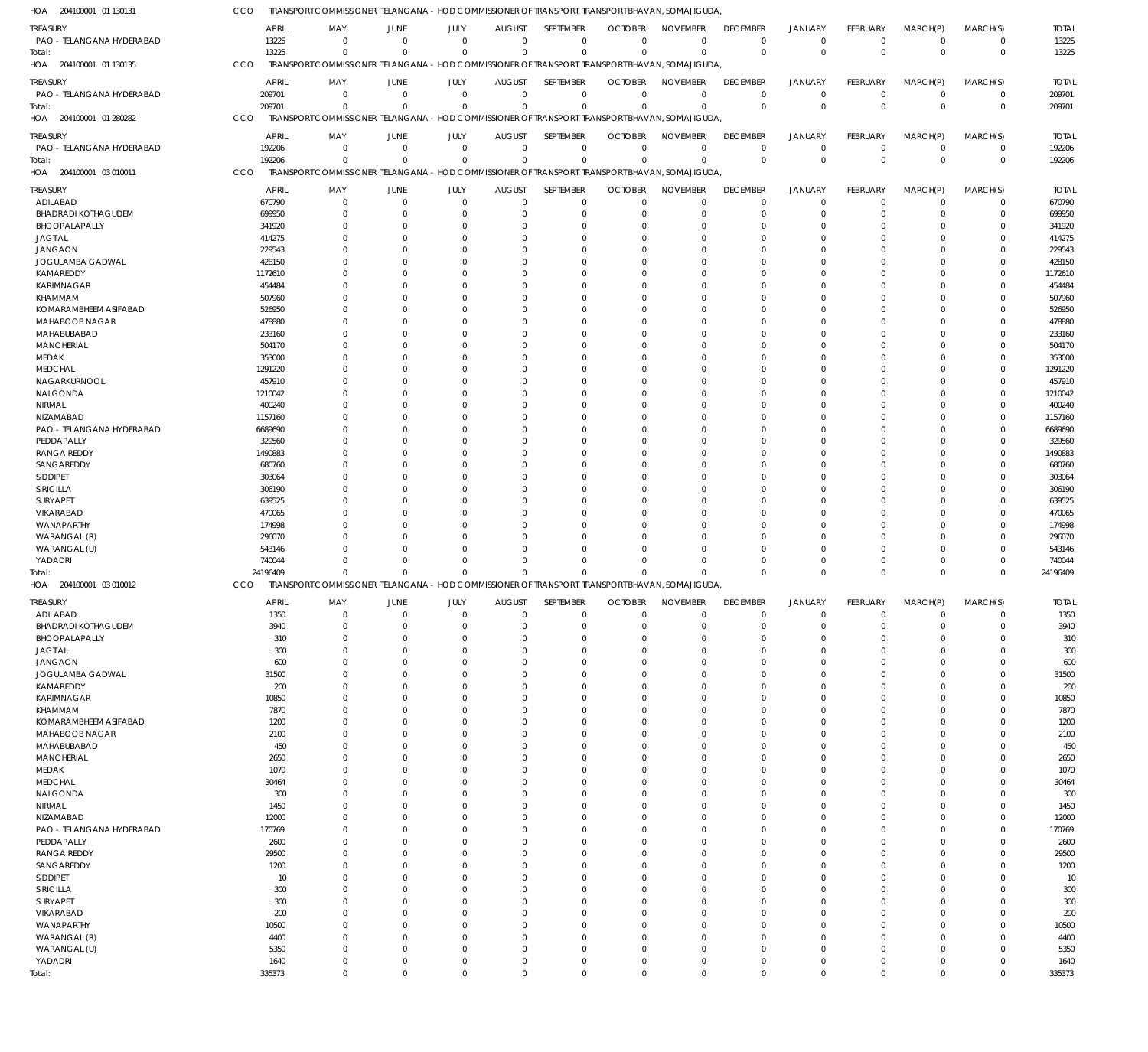| 204100001 01 130131<br>HOA              | CCO               | TRANSPORT COMMISSIONER TELANGANA - HOD COMMISSIONER OF TRANSPORT, TRANSPORT BHAVAN, SOMAJIGUDA, |                               |                            |                              |                            |                                            |                            |                      |                           |                         |                        |                            |                   |
|-----------------------------------------|-------------------|-------------------------------------------------------------------------------------------------|-------------------------------|----------------------------|------------------------------|----------------------------|--------------------------------------------|----------------------------|----------------------|---------------------------|-------------------------|------------------------|----------------------------|-------------------|
| TREASURY                                |                   | <b>APRIL</b><br>MAY                                                                             | JUNE                          | JULY                       | <b>AUGUST</b>                | SEPTEMBER                  | <b>OCTOBER</b>                             | <b>NOVEMBER</b>            | <b>DECEMBER</b>      | <b>JANUARY</b>            | FEBRUARY                | MARCH(P)               | MARCH(S)                   | <b>TOTAL</b>      |
| PAO - TELANGANA HYDERABAD               | 13225             | $^{\circ}$                                                                                      | $\mathbf 0$                   | $\overline{0}$             | $\mathbf{0}$                 | $\mathbf 0$                | $\mathbf 0$                                | $\mathbf 0$                | $\mathbf 0$          | $^{\circ}$                | $\mathbf 0$             | $\overline{0}$         | $\pmb{0}$                  | 13225             |
| Total:                                  | 13225             | $\Omega$                                                                                        | $\Omega$                      | $\Omega$                   | $\mathbf 0$                  | $\mathbf 0$                | 0                                          | $\Omega$                   | $\Omega$             | $\overline{0}$            | $\mathbf{0}$            | $\Omega$               | $\mathbf 0$                | 13225             |
| 204100001 01 130135<br>HOA              | CCO               | TRANSPORT COMMISSIONER TELANGANA - HOD COMMISSIONER OF TRANSPORT, TRANSPORT BHAVAN, SOMAJIGUDA, |                               |                            |                              |                            |                                            |                            |                      |                           |                         |                        |                            |                   |
| treasury                                | <b>APRIL</b>      | MAY                                                                                             | JUNE                          | JULY                       | <b>AUGUST</b>                | SEPTEMBER                  | <b>OCTOBER</b>                             | <b>NOVEMBER</b>            | <b>DECEMBER</b>      | <b>JANUARY</b>            | FEBRUARY                | MARCH(P)               | MARCH(S)                   | <b>TOTAL</b>      |
| PAO - TELANGANA HYDERABAD<br>Total:     | 209701<br>209701  | $^{\circ}$<br>$^{\circ}$                                                                        | $\mathbf 0$<br>$\overline{0}$ | $\overline{0}$<br>$\Omega$ | $\mathbf{0}$<br>$\mathbf{0}$ | $\mathbf 0$                | $\mathbf 0$<br>$\mathbf 0$<br>$\mathbf{0}$ | $\mathbf 0$<br>$\Omega$    | $\Omega$<br>$\Omega$ | $^{\circ}$<br>$\mathbf 0$ | $\mathbf 0$<br>$\Omega$ | $^{\circ}$<br>$\Omega$ | $\mathbf 0$<br>$\mathbf 0$ | 209701<br>209701  |
| 204100001 01 280282<br>HOA              | CCO               | TRANSPORT COMMISSIONER TELANGANA - HOD COMMISSIONER OF TRANSPORT, TRANSPORT BHAVAN, SOMAJIGUDA, |                               |                            |                              |                            |                                            |                            |                      |                           |                         |                        |                            |                   |
|                                         | <b>APRIL</b>      | MAY                                                                                             |                               | JULY                       | <b>AUGUST</b>                | SEPTEMBER                  | <b>OCTOBER</b>                             | <b>NOVEMBER</b>            | <b>DECEMBER</b>      | JANUARY                   | FEBRUARY                | MARCH(P)               | MARCH(S)                   | <b>TOTAL</b>      |
| treasury<br>PAO - TELANGANA HYDERABAD   | 192206            | - 0                                                                                             | JUNE<br>$\overline{0}$        | $\mathbf 0$                | $\overline{0}$               | 0                          | $\mathbf 0$                                | $\mathbf 0$                | $\mathbf 0$          | $\overline{0}$            | $\mathbf 0$             | $\overline{0}$         | $\mathbf 0$                | 192206            |
| Total:                                  | 192206            | $\Omega$                                                                                        | $\Omega$                      | $\Omega$                   | $\overline{0}$               | $\mathbf 0$                | $\Omega$                                   | $\Omega$                   | $\Omega$             | $\overline{0}$            | $\mathbf 0$             | $\Omega$               | $\mathbf 0$                | 192206            |
| HOA 204100001 03 010011                 | CCO               | TRANSPORT COMMISSIONER TELANGANA - HOD COMMISSIONER OF TRANSPORT, TRANSPORT BHAVAN, SOMAJIGUDA, |                               |                            |                              |                            |                                            |                            |                      |                           |                         |                        |                            |                   |
| TREASURY                                | APRIL             | MAY                                                                                             | JUNE                          | JULY                       | <b>AUGUST</b>                | SEPTEMBER                  | <b>OCTOBER</b>                             | <b>NOVEMBER</b>            | <b>DECEMBER</b>      | <b>JANUARY</b>            | FEBRUARY                | MARCH(P)               | MARCH(S)                   | <b>TOTAL</b>      |
| ADILABAD                                | 670790            | $\overline{0}$                                                                                  | $\mathbf 0$                   | $\mathbf 0$                | $\mathbf 0$                  | $\mathbf 0$                | $\mathbf 0$                                | $\mathbf 0$                | $\mathbf 0$          | $\overline{0}$            | $\mathbf 0$             | $\overline{0}$         | $\mathbf 0$                | 670790            |
| <b>BHADRADI KOTHAGUDEM</b>              | 699950            | $\Omega$                                                                                        | $\Omega$                      | $\Omega$                   | $\mathbf 0$                  | $\mathbf 0$                | 0                                          | $\mathbf 0$                | $\Omega$             | $^{\circ}$                | $\mathbf 0$             | $\mathbf 0$            | $\mathbf 0$                | 699950            |
| BHOOPALAPALLY                           | 341920            | $\Omega$                                                                                        | $\Omega$                      | $\Omega$                   | $\Omega$                     | $\mathbf 0$                | O                                          | $\Omega$                   | $\Omega$             | $\Omega$                  | 0                       | $\Omega$               | $\mathbf 0$                | 341920            |
| <b>JAGTIAL</b><br><b>JANGAON</b>        | 414275<br>229543  | $\Omega$<br>$\Omega$                                                                            | $\Omega$<br>$\Omega$          | $\Omega$<br>$\Omega$       | $\Omega$<br>$\Omega$         | $\Omega$<br>$\mathbf 0$    | O<br>O                                     | $\Omega$<br>$\Omega$       |                      | $\Omega$<br>$\Omega$      | 0<br>0                  | $\Omega$<br>$\Omega$   | $\Omega$<br>$\mathbf 0$    | 414275<br>229543  |
| JOGULAMBA GADWAL                        | 428150            | $\Omega$                                                                                        | $\Omega$                      | $\Omega$                   | $\Omega$                     | $\mathbf 0$                | $\Omega$                                   | $\Omega$                   |                      | $\Omega$                  | 0                       | $\Omega$               | $\Omega$                   | 428150            |
| KAMAREDDY                               | 1172610           | <sup>0</sup>                                                                                    | $\Omega$                      | U                          | $\Omega$                     | $\Omega$                   | O                                          | $\Omega$                   |                      | $\Omega$                  | U                       | $\Omega$               | $\Omega$                   | 1172610           |
| KARIMNAGAR                              | 454484            | $\Omega$                                                                                        | $\Omega$                      | $\Omega$                   | $\Omega$                     | $\Omega$                   | O                                          | $\Omega$                   |                      | $\Omega$                  | 0                       | $\Omega$               | $\Omega$                   | 454484            |
| KHAMMAM                                 | 507960            | 0                                                                                               | $\Omega$                      | U                          | $\Omega$                     | $\mathbf 0$                | O                                          | $\Omega$                   |                      | $\Omega$                  | U                       | $\Omega$               | $\Omega$                   | 507960            |
| KOMARAMBHEEM ASIFABAD                   | 526950            | $\Omega$                                                                                        | $\Omega$                      | $\Omega$                   | $\Omega$                     | $\Omega$                   | $\Omega$                                   | $\Omega$                   |                      | $\Omega$                  | U                       | $\Omega$               | $\Omega$                   | 526950            |
| MAHABOOB NAGAR                          | 478880            | <sup>0</sup><br>$\Omega$                                                                        | $\Omega$<br>$\Omega$          | U<br>$\Omega$              | $\Omega$                     | $\mathbf 0$                | O                                          | $\Omega$<br>$\Omega$       |                      | $\Omega$<br>$\Omega$      | U                       | $\Omega$<br>$\Omega$   | $\Omega$<br>$\Omega$       | 478880            |
| MAHABUBABAD<br><b>MANCHERIAL</b>        | 233160<br>504170  | <sup>0</sup>                                                                                    | $\Omega$                      | U                          | $\Omega$<br>$\Omega$         | $\mathbf 0$<br>$\mathbf 0$ | O<br>O                                     | $\Omega$                   |                      | $\Omega$                  | 0<br>U                  | $\Omega$               | $\Omega$                   | 233160<br>504170  |
| MEDAK                                   | 353000            | $\Omega$                                                                                        | $\Omega$                      | U                          | $\Omega$                     | $\Omega$                   | $\Omega$                                   | $\Omega$                   |                      | $\Omega$                  | U                       | $\Omega$               | $\Omega$                   | 353000            |
| <b>MEDCHAL</b>                          | 1291220           | $\Omega$                                                                                        | $\Omega$                      | U                          | $\Omega$                     | $\mathbf 0$                | O                                          | $\Omega$                   |                      | $\Omega$                  | U                       | $\Omega$               | $\Omega$                   | 1291220           |
| NAGARKURNOOL                            | 457910            | $\Omega$                                                                                        | $\Omega$                      | $\Omega$                   | $\Omega$                     | $\Omega$                   | $\Omega$                                   | $\Omega$                   |                      | $\Omega$                  | U                       | $\Omega$               | $\Omega$                   | 457910            |
| NALGONDA                                | 1210042           | <sup>0</sup>                                                                                    | $\Omega$                      | U                          | $\Omega$                     | $\Omega$                   | O                                          | $\Omega$                   |                      | $\Omega$                  | U                       | $\Omega$               | $\Omega$                   | 1210042           |
| NIRMAL                                  | 400240            | $\Omega$                                                                                        | $\Omega$                      | U                          | $\Omega$                     | $\mathbf 0$                | $\Omega$                                   | $\Omega$                   |                      | $\Omega$                  | 0                       | $\Omega$               | $\Omega$                   | 400240            |
| NIZAMABAD                               | 1157160           | <sup>0</sup><br>$\Omega$                                                                        | $\Omega$<br>$\Omega$          | U<br>$\Omega$              | $\Omega$<br>$\Omega$         | $\mathbf 0$<br>$\Omega$    | O                                          | $\Omega$<br>$\Omega$       |                      | $\Omega$<br>$\Omega$      | U<br>U                  | $\Omega$<br>$\Omega$   | 0<br>$\Omega$              | 1157160           |
| PAO - TELANGANA HYDERABAD<br>PEDDAPALLY | 6689690<br>329560 | <sup>0</sup>                                                                                    | $\Omega$                      | U                          | $\Omega$                     | $\mathbf 0$                | O<br>O                                     | $\Omega$                   |                      | $\Omega$                  | U                       | $\Omega$               | $\Omega$                   | 6689690<br>329560 |
| <b>RANGA REDDY</b>                      | 1490883           | $\Omega$                                                                                        | $\Omega$                      | $\Omega$                   | $\Omega$                     | $\mathbf 0$                | $\Omega$                                   | $\Omega$                   |                      | $\Omega$                  | 0                       | $\Omega$               | $\Omega$                   | 1490883           |
| SANGAREDDY                              | 680760            | <sup>0</sup>                                                                                    | $\Omega$                      | U                          | $\Omega$                     | $\mathbf 0$                | 0                                          | $\Omega$                   |                      | $\Omega$                  | U                       | $\Omega$               | $\Omega$                   | 680760            |
| SIDDIPET                                | 303064            | $\Omega$                                                                                        | $\Omega$                      | $\Omega$                   | $\Omega$                     | $\Omega$                   | 0                                          | $\Omega$                   |                      | $\Omega$                  | U                       | $\Omega$               | $\Omega$                   | 303064            |
| SIRICILLA                               | 306190            | 0                                                                                               | $\Omega$                      | U                          | $\Omega$                     | $\mathbf 0$                | 0                                          | $\Omega$                   |                      | $\Omega$                  | U                       | $\Omega$               | 0                          | 306190            |
| SURYAPET                                | 639525            | $\Omega$                                                                                        | $\Omega$                      | $\Omega$                   | $\Omega$                     | $\Omega$                   | $\Omega$                                   | $\Omega$                   |                      | $\Omega$                  | U                       | $\Omega$               | $\Omega$                   | 639525            |
| VIKARABAD<br>WANAPARTHY                 | 470065<br>174998  | <sup>0</sup><br>$\Omega$                                                                        | $\Omega$<br>$\Omega$          | U<br>$\Omega$              | $\Omega$<br>$\Omega$         | $\Omega$<br>$\Omega$       | 0<br>0                                     | $\Omega$<br>$\Omega$       |                      | $\Omega$<br>$\Omega$      | U<br>0                  | $\Omega$<br>$\Omega$   | $\Omega$<br>$\Omega$       | 470065<br>174998  |
| WARANGAL (R)                            | 296070            | <sup>0</sup>                                                                                    | $\Omega$                      | $\Omega$                   | $\Omega$                     | $\mathbf 0$                | 0                                          | $\Omega$                   |                      | $\Omega$                  | 0                       | $\Omega$               | $\mathbf 0$                | 296070            |
| WARANGAL (U)                            | 543146            | n                                                                                               | $\Omega$                      | $\Omega$                   | $\Omega$                     | $\Omega$                   | $\Omega$                                   | $\Omega$                   |                      | $\Omega$                  | 0                       | $\Omega$               | $\Omega$                   | 543146            |
| YADADRI                                 | 740044            | 0                                                                                               | $\Omega$                      | $\Omega$                   | 0                            | $\mathbf 0$                | 0                                          | $\Omega$                   |                      | $\Omega$                  | 0                       | $\Omega$               | $\mathbf 0$                | 740044            |
| Total:                                  | 24196409          | $^{\circ}$                                                                                      | $\Omega$                      | $\Omega$                   | $\Omega$                     | $\Omega$                   | C                                          | $\Omega$                   | $\Omega$             | $\Omega$                  | $\Omega$                | $\Omega$               | $\mathbf 0$                | 24196409          |
| HOA 204100001 03 010012                 | <b>CCO</b>        | TRANSPORT COMMISSIONER TELANGANA - HOD COMMISSIONER OF TRANSPORT, TRANSPORT BHAVAN, SOMAJIGUDA, |                               |                            |                              |                            |                                            |                            |                      |                           |                         |                        |                            |                   |
| reasury                                 |                   | <b>APRIL</b><br>MAY                                                                             | JUNE                          | <b>JULY</b>                | AUGUST                       | SEPTEMBER                  | <b>OCTOBER</b>                             | <b>NOVEMBER</b>            | <b>DECEMBER</b>      | <b>JANUARY</b>            | FEBRUARY                | MARCH(P)               | MARCH(S)                   | <b>TOTAL</b>      |
| ADILABAD                                |                   | 1350<br>$^{\circ}$                                                                              | $\mathbf 0$                   | $\mathbf 0$                | $\mathbf 0$                  | $\mathbf 0$                | 0                                          | $\mathbf 0$                | -0                   | $\overline{0}$            | $\mathbf 0$             | $\overline{0}$         | $\mathbf 0$                | 1350              |
| <b>BHADRADI KOTHAGUDEM</b>              |                   | 3940<br>$\mathbf 0$                                                                             | $\overline{0}$                | $\Omega$                   | 0                            | $\mathbf 0$                | $\Omega$                                   | $\mathbf 0$                | $\Omega$             | $\overline{0}$            | 0                       | $\mathbf 0$            | $\mathbf 0$                | 3940              |
| BHOOPALAPALLY<br><b>JAGTIAL</b>         |                   | 310<br>$\mathbf 0$<br>300<br>$\mathbf 0$                                                        | $\Omega$<br>$\Omega$          | O<br>0                     | $\Omega$<br>$\Omega$         | $\mathbf 0$<br>$\mathbf 0$ | $\Omega$<br>$\Omega$                       | $\mathbf 0$<br>$\mathbf 0$ | $\Omega$             | $\Omega$<br>$\Omega$      | $\Omega$<br>0           | $\Omega$<br>$\Omega$   | $\mathbf 0$<br>$\mathbf 0$ | 310<br>300        |
| <b>JANGAON</b>                          |                   | 600<br>$\Omega$                                                                                 | $\Omega$                      | U                          | $\Omega$                     | $\mathbf 0$                | $\Omega$                                   | $\Omega$                   |                      | $\Omega$                  | U                       | $\Omega$               | $\mathbf 0$                | 600               |
| JOGULAMBA GADWAL                        | 31500             | $\mathbf 0$                                                                                     | $\Omega$                      | U                          | $\Omega$                     | $\mathbf 0$                | $\Omega$                                   | $\Omega$                   |                      | $\Omega$                  | U                       | $\Omega$               | $\mathbf 0$                | 31500             |
| KAMAREDDY                               |                   | 200<br>$\mathbf 0$                                                                              | $\Omega$                      |                            | $\Omega$                     | $\mathbf 0$                | $\Omega$                                   | $\mathbf 0$                |                      | $\Omega$                  | U                       | $\Omega$               | $\mathbf 0$                | 200               |
| KARIMNAGAR                              | 10850             | $\mathbf 0$                                                                                     | $\Omega$                      | U                          | $\Omega$                     | $\mathbf 0$                | $\Omega$                                   | $\mathbf 0$                |                      | $\Omega$                  | U                       | $\Omega$               | $\mathbf 0$                | 10850             |
| KHAMMAM                                 |                   | 7870<br>$\Omega$                                                                                | $\Omega$                      | n                          | $\Omega$                     | $\mathbf 0$                | $\Omega$                                   | $\Omega$                   |                      | $\Omega$                  | U                       | $\Omega$               | $\mathbf 0$                | 7870              |
| KOMARAMBHEEM ASIFABAD<br>MAHABOOB NAGAR |                   | 1200<br>$\mathbf 0$<br>2100<br>$\mathbf 0$                                                      | $\Omega$<br>$\Omega$          | U                          | $\Omega$<br>$\Omega$         | $\mathbf 0$<br>$\mathbf 0$ | $\Omega$<br>O                              | $\mathbf 0$<br>$\mathbf 0$ |                      | $\Omega$<br>$\Omega$      | U<br>U                  | $\Omega$<br>$\Omega$   | $\mathbf 0$<br>$\mathbf 0$ | 1200<br>2100      |
| MAHABUBABAD                             |                   | 450<br>$\Omega$                                                                                 | $\Omega$                      | U                          | $\Omega$                     | $\mathbf 0$                | $\Omega$                                   | $\mathbf 0$                |                      | $\Omega$                  | U                       | $\Omega$               | $\mathbf 0$                | 450               |
| <b>MANCHERIAL</b>                       |                   | 2650<br>$\Omega$                                                                                | $\Omega$                      |                            | $\Omega$                     | $\mathbf 0$                | $\Omega$                                   | $\Omega$                   |                      | $\Omega$                  | U                       | $\Omega$               | $\mathbf 0$                | 2650              |
| MEDAK                                   | 1070              | $\mathbf 0$                                                                                     | $\Omega$                      | U                          | $\Omega$                     | $\mathbf 0$                | $\Omega$                                   | $\mathbf 0$                |                      | $\Omega$                  | U                       | $\Omega$               | $\mathbf 0$                | 1070              |
| <b>MEDCHAL</b>                          | 30464             | $\Omega$                                                                                        | $\Omega$                      | U                          | $\Omega$                     | $\mathbf 0$                | $\Omega$                                   | $\mathbf 0$                |                      | $\Omega$                  | U                       | $\Omega$               | $\mathbf 0$                | 30464             |
| NALGONDA                                |                   | 300<br>$\mathbf 0$                                                                              | $\Omega$                      | U                          | $\Omega$                     | $\mathbf 0$                | $\Omega$                                   | $\mathbf 0$                |                      | $\Omega$                  | U                       | $\Omega$               | $\mathbf 0$                | 300               |
| NIRMAL                                  |                   | 1450<br>$\Omega$                                                                                | $\Omega$<br>$\Omega$          | U                          | $\Omega$<br>$\Omega$         | $\mathbf 0$                | $\Omega$                                   | $\Omega$                   |                      | $\Omega$<br>$\Omega$      | U<br>U                  | $\Omega$<br>$\Omega$   | $\mathbf 0$                | 1450              |
| NIZAMABAD<br>PAO - TELANGANA HYDERABAD  | 12000<br>170769   | $\mathbf 0$<br>$\Omega$                                                                         | $\Omega$                      |                            | $\Omega$                     | $\mathbf 0$<br>$\mathbf 0$ | $\Omega$<br>$\Omega$                       | $\mathbf 0$<br>$\mathbf 0$ |                      | $\Omega$                  | U                       | $\Omega$               | $\mathbf 0$<br>$\mathbf 0$ | 12000<br>170769   |
| PEDDAPALLY                              |                   | 2600<br>$\mathbf 0$                                                                             | $\Omega$                      | U                          | $\Omega$                     | $\mathbf 0$                | $\Omega$                                   | $\mathbf 0$                |                      | $\Omega$                  | U                       | $\Omega$               | $\mathbf 0$                | 2600              |
| <b>RANGA REDDY</b>                      | 29500             | $\Omega$                                                                                        | $\Omega$                      | U                          | $\Omega$                     | $\mathbf 0$                | $\Omega$                                   | $\Omega$                   |                      | $\Omega$                  | U                       | $\Omega$               | $\mathbf 0$                | 29500             |
| SANGAREDDY                              |                   | 1200<br>$\mathbf 0$                                                                             | $\Omega$                      | U                          | $\Omega$                     | $\mathbf 0$                | $\Omega$                                   | $\mathbf 0$                |                      | $\Omega$                  | U                       | $\Omega$               | $\mathbf 0$                | 1200              |
| SIDDIPET                                |                   | 10<br>$\Omega$                                                                                  | $\Omega$                      |                            | $\Omega$                     | $\mathbf 0$                | $\Omega$                                   | $\mathbf 0$                |                      | $\Omega$                  | U                       | $\Omega$               | $\mathbf 0$                | 10                |
| SIRICILLA                               |                   | 300<br>$\mathbf 0$                                                                              | $\Omega$                      | U                          | $\Omega$                     | $\mathbf 0$                | $\Omega$                                   | $\mathbf 0$                |                      | $\Omega$                  | U                       | $\Omega$               | $\mathbf 0$                | 300               |
| SURYAPET                                |                   | 300<br>$\Omega$                                                                                 | $\Omega$                      | n                          | $\Omega$                     | $\mathbf 0$                | $\Omega$                                   | $\Omega$                   |                      | $\Omega$                  | U                       | $\Omega$               | $\mathbf 0$                | 300               |
| VIKARABAD<br>WANAPARTHY                 | 10500             | 200<br>$\mathbf 0$<br>$\Omega$                                                                  | $\Omega$<br>$\Omega$          | U<br>U                     | $\Omega$<br>$\Omega$         | $\mathbf 0$<br>$\mathbf 0$ | $\Omega$<br>O                              | $\mathbf 0$<br>$\mathbf 0$ |                      | $\Omega$<br>$\Omega$      | U<br>0                  | $\Omega$<br>$\Omega$   | $\mathbf 0$<br>$\mathbf 0$ | 200<br>10500      |
| WARANGAL (R)                            |                   | 4400<br>$\mathbf 0$                                                                             | $\Omega$                      | $\Omega$                   | $\Omega$                     | $\mathbf 0$                | $\Omega$                                   | $\mathbf 0$                |                      | $\Omega$                  | 0                       | $\Omega$               | $\mathbf 0$                | 4400              |
| WARANGAL (U)                            |                   | 5350<br>$\Omega$                                                                                | $\Omega$                      | U                          | $\mathbf 0$                  | $\mathbf 0$                | O                                          | $\mathbf 0$                |                      | $\Omega$                  | 0                       | $\overline{0}$         | $\mathbf 0$                | 5350              |
| YADADRI                                 |                   | 1640<br>$\mathbf 0$                                                                             | $\mathbf 0$                   | $\mathbf 0$                | $\mathbf 0$                  | $\mathsf 0$                | 0                                          | $\mathbf 0$                | $\mathbf 0$          | $\overline{0}$            | $\mathbf 0$             | $\mathbf 0$            | $\mathbf 0$                | 1640              |
| Total:                                  | 335373            | $\mathbf 0$                                                                                     | $\mathbf 0$                   | $\mathbf 0$                | $\mathbf 0$                  |                            | $\mathbf 0$<br>$\mathbf 0$                 | $\mathbf 0$                | $\mathbf 0$          | $\mathbf 0$               | $\mathbf 0$             | $\mathbf 0$            | $\mathbf 0$                | 335373            |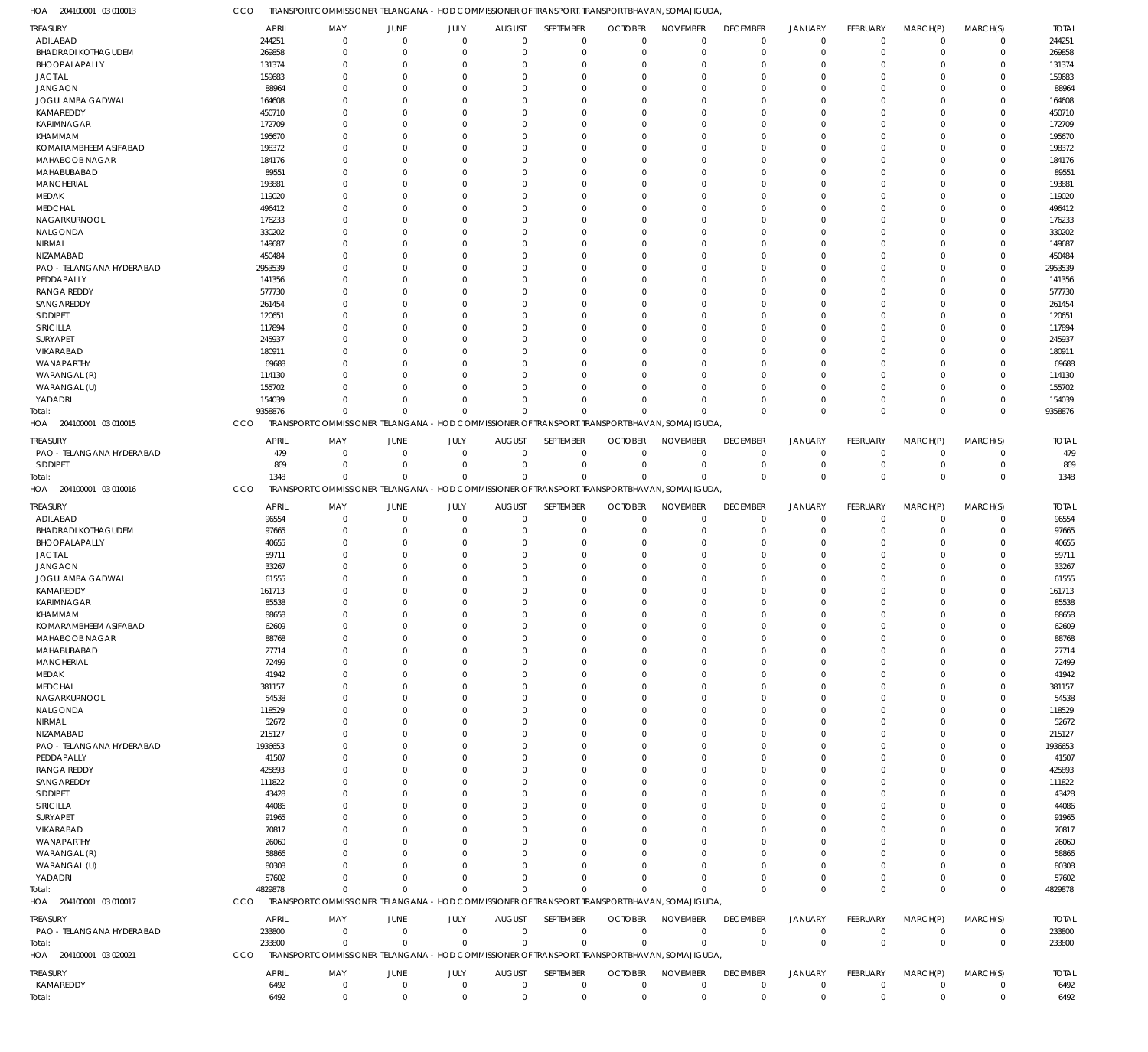204100001 03 010013 HOA

TRANSPORT COMMISSIONER TELANGANA - HOD COMMISSIONER OF TRANSPORT, TRANSPORT BHAVAN, SOMAJIGUDA, CCO

| <b>TREASURY</b>            | <b>APRIL</b> | MAY                                                                                             | <b>JUNE</b>                      | JULY                       | <b>AUGUST</b>              | SEPTEMBER        | <b>OCTOBER</b>             | <b>NOVEMBER</b>            | <b>DECEMBER</b>            | <b>JANUARY</b>             | <b>FEBRUARY</b>               | MARCH(P)                   | MARCH(S)                   | <b>TOTAL</b> |
|----------------------------|--------------|-------------------------------------------------------------------------------------------------|----------------------------------|----------------------------|----------------------------|------------------|----------------------------|----------------------------|----------------------------|----------------------------|-------------------------------|----------------------------|----------------------------|--------------|
| ADILABAD                   | 244251       | 0                                                                                               | $\overline{0}$                   | $\mathbf 0$                | $\mathbf 0$                | $\mathbf 0$      | $\mathbf 0$                | $\mathbf 0$                | $\overline{0}$             | $\mathbf 0$                | $\Omega$                      | $\overline{0}$             | $\mathbf 0$                | 244251       |
| <b>BHADRADI KOTHAGUDEM</b> | 269858       | 0                                                                                               | $\overline{0}$                   | $\Omega$                   | $\mathbf 0$                | $\mathbf 0$      | $^{\circ}$                 | $\mathbf 0$                | $\mathbf 0$                | $\mathbf 0$                | $\Omega$                      | $\Omega$                   | $\mathbf 0$                | 269858       |
| BHOOPALAPALLY              | 131374       | 0                                                                                               | $\overline{0}$                   | $\Omega$                   | 0                          | $\mathbf 0$      | -0                         | $\mathbf 0$                | 0                          | $\Omega$                   |                               | $\Omega$                   | $\mathbf 0$                | 131374       |
| <b>JAGTIAL</b>             | 159683       | $\Omega$                                                                                        | $\Omega$                         | O                          | $\Omega$                   | $\mathbf 0$      | $\Omega$                   | $\mathbf 0$                | $\Omega$                   | $\Omega$                   |                               | $\Omega$                   | 0                          | 159683       |
| <b>JANGAON</b>             | 88964        | $\Omega$                                                                                        | $\overline{0}$                   | O                          | $\Omega$                   | $\mathbf 0$      | -0                         | $\mathbf 0$                | $\Omega$                   | $\Omega$                   |                               | $\Omega$                   | 0                          | 88964        |
| JOGULAMBA GADWAL           | 164608       | $\Omega$                                                                                        | $\overline{0}$                   | $\Omega$                   | $\Omega$                   | $\mathbf 0$      | -0                         | $\mathbf 0$                | $\Omega$                   | $\Omega$                   |                               | $\Omega$                   | 0                          | 164608       |
| KAMAREDDY                  | 450710       | $\Omega$                                                                                        | $\Omega$                         | O                          | $\Omega$                   | $\mathbf 0$      | -0                         | $\mathbf 0$                | $\Omega$                   | $\Omega$                   |                               | $\Omega$                   | 0                          | 450710       |
| KARIMNAGAR                 | 172709       | $\Omega$                                                                                        | $\Omega$                         | $\Omega$                   | $\Omega$                   | $\mathbf 0$      | -0                         | $\mathbf 0$                | $\Omega$                   | $\Omega$                   |                               | $\Omega$                   | 0                          | 172709       |
| KHAMMAM                    | 195670       | $\Omega$                                                                                        | $\overline{0}$                   | O                          | $\Omega$                   | $\mathbf 0$      | -0                         | $\mathbf 0$                | $\Omega$                   | $\Omega$                   |                               | $\Omega$                   | 0                          | 195670       |
| KOMARAMBHEEM ASIFABAD      | 198372       | $\Omega$                                                                                        | $\Omega$                         | O                          | $\Omega$                   | $\mathbf 0$      | -0                         | $\mathbf 0$                | $\Omega$                   | $\Omega$                   |                               | $\Omega$                   | 0                          | 198372       |
| MAHABOOB NAGAR             | 184176       | $\Omega$                                                                                        | $\Omega$                         | O                          | $\Omega$                   | $\mathbf 0$      | -0                         | $\mathbf 0$                | $\Omega$                   | $\Omega$                   |                               | $\Omega$                   | 0                          | 184176       |
| MAHABUBABAD                | 89551        | $\Omega$                                                                                        | $\overline{0}$                   | $\Omega$                   | $\Omega$                   | $\mathbf 0$      | $^{\circ}$                 | $\mathbf 0$                | $\Omega$                   | $\Omega$                   |                               | $\Omega$                   | 0                          | 89551        |
| <b>MANCHERIAL</b>          | 193881       | $\Omega$                                                                                        | $\Omega$                         | O                          | $\Omega$                   | $\mathbf 0$      | -0                         | $\mathbf 0$                | $\Omega$                   | $\Omega$                   |                               | $\Omega$                   | 0                          | 193881       |
| MEDAK                      | 119020       | 0                                                                                               | $\Omega$                         | O                          | $\Omega$                   | $\mathbf 0$      | -0                         | $\mathbf 0$                | $\Omega$                   | $\Omega$                   |                               | $\Omega$                   | 0                          | 119020       |
| <b>MEDCHAL</b>             | 496412       | $\Omega$                                                                                        | $\overline{0}$                   | O                          | $\Omega$                   | $\mathbf 0$      | -0                         | $\mathbf 0$                | $\Omega$                   | $\Omega$                   |                               | $\Omega$                   | 0                          | 496412       |
| NAGARKURNOOL               | 176233       | $\Omega$                                                                                        | $\Omega$                         | $\Omega$                   | $\Omega$                   | $\mathbf 0$      | -0                         | $\mathbf 0$                | $\Omega$                   | $\Omega$                   |                               | $\Omega$                   | 0                          | 176233       |
| NALGONDA                   | 330202       | $\Omega$                                                                                        | $\Omega$                         | O                          | $\Omega$                   | $\mathbf 0$      | -0                         | $\mathbf 0$                | $\Omega$                   | $\Omega$                   |                               | $\Omega$                   | 0                          | 330202       |
| NIRMAL                     | 149687       | 0                                                                                               | $\Omega$                         | $\Omega$                   | $\Omega$                   | $\mathbf 0$      | -0                         | $\mathbf 0$                | $\Omega$                   | $\Omega$                   |                               | $\Omega$                   | $\Omega$                   | 149687       |
| NIZAMABAD                  | 450484       | $\Omega$                                                                                        | $\Omega$                         | O                          | $\Omega$                   | $\mathbf 0$      | -0                         | $\mathbf 0$                | $\Omega$                   | $\Omega$                   |                               | $\Omega$                   | 0                          | 450484       |
| PAO - TELANGANA HYDERABAD  | 2953539      | U                                                                                               | $\Omega$                         | n                          | $\Omega$                   | $\mathbf 0$      | $\Omega$                   | $\Omega$                   | $\Omega$                   | $\Omega$                   |                               | $\Omega$                   | 0                          | 2953539      |
| PEDDAPALLY                 | 141356       | $\Omega$                                                                                        | $\Omega$                         | O                          | $\Omega$                   | $\mathbf 0$      | -0                         | $\mathbf 0$                | $\Omega$                   | $\Omega$                   |                               | $\Omega$                   | 0                          | 141356       |
| <b>RANGA REDDY</b>         | 577730       | $\Omega$                                                                                        | $\Omega$                         | O                          | 0                          | $\mathbf 0$      | -0                         | $\mathbf 0$                | $\Omega$                   | $\Omega$                   |                               | $\Omega$                   | 0                          | 577730       |
| SANGAREDDY                 | 261454       | $\Omega$                                                                                        | $\Omega$                         | O                          | $\Omega$                   | $\mathbf 0$      | -0                         | $\mathbf 0$                | $\Omega$                   | $\Omega$                   |                               | $\Omega$                   | 0                          | 261454       |
| SIDDIPET                   | 120651       | $\Omega$                                                                                        | $\Omega$                         | $\Omega$                   | $\Omega$                   | $\mathbf 0$      | -0                         | $\mathbf 0$                | $\Omega$                   | $\Omega$                   |                               | $\Omega$                   | 0                          | 120651       |
| SIRICILLA                  | 117894       | $\Omega$                                                                                        | $\overline{0}$                   | O                          | $\Omega$                   | $\mathbf 0$      | -0                         | $\mathbf 0$                | $\Omega$                   | $\Omega$                   |                               | $\Omega$                   | 0                          | 117894       |
| SURYAPET                   | 245937       | <sup>0</sup>                                                                                    | $\Omega$                         | O                          | 0                          | $\mathbf 0$      | $\Omega$                   | $\mathbf 0$                | $\Omega$                   | $\Omega$                   |                               | $\Omega$                   | 0                          | 245937       |
| VIKARABAD                  | 180911       | 0                                                                                               | $\Omega$                         | O                          | $\Omega$                   | $\mathbf 0$      | -0                         | $\mathbf 0$                | $\Omega$                   | $\Omega$                   |                               | $\Omega$                   | 0                          | 180911       |
| WANAPARTHY                 | 69688        | $\Omega$                                                                                        | $\Omega$                         | $\Omega$                   | $\Omega$                   | $\mathbf 0$      | $\Omega$                   | $\mathbf 0$                | $\Omega$                   | $\Omega$                   |                               | $\Omega$                   | $\Omega$                   | 69688        |
| WARANGAL (R)               | 114130       | $\Omega$                                                                                        | $\Omega$                         | O                          | $\Omega$                   | $\mathbf 0$      | $\Omega$                   | $\mathbf 0$                | $\Omega$                   | $\Omega$                   |                               | $\Omega$                   | 0                          | 114130       |
| WARANGAL (U)               | 155702       | 0                                                                                               | $\Omega$                         | $\Omega$                   | $\Omega$                   | $\mathbf 0$      | -0                         | $\mathbf 0$                | $\Omega$                   | $\Omega$                   |                               | $\Omega$                   | 0                          | 155702       |
| YADADRI                    | 154039       | $\Omega$                                                                                        | $\overline{0}$                   | $\Omega$                   | $\mathbf 0$                | $\mathbf 0$      | -0                         | $\mathbf 0$                | $\Omega$                   | $\mathbf 0$                | $\Omega$                      | $\overline{0}$             | $\mathbf 0$                | 154039       |
| Total:                     | 9358876      | $\Omega$                                                                                        | $\Omega$                         | $\Omega$                   | $\mathbf 0$                | $\mathbf 0$      | $\Omega$                   | $\Omega$                   | $\Omega$                   | $\Omega$                   | $\Omega$                      | $\Omega$                   | $\mathbf 0$                | 9358876      |
| HOA 204100001 03 010015    | CCO          | TRANSPORT COMMISSIONER TELANGANA - HOD COMMISSIONER OF TRANSPORT, TRANSPORT BHAVAN, SOMAJIGUDA, |                                  |                            |                            |                  |                            |                            |                            |                            |                               |                            |                            |              |
| <b>TREASURY</b>            | <b>APRIL</b> | MAY                                                                                             | <b>JUNE</b>                      | JULY                       | <b>AUGUST</b>              | SEPTEMBER        | <b>OCTOBER</b>             | <b>NOVEMBER</b>            | <b>DECEMBER</b>            | <b>JANUARY</b>             | FEBRUARY                      | MARCH(P)                   | MARCH(S)                   | <b>TOTAL</b> |
| PAO - TELANGANA HYDERABAD  | 479          | $\mathbf 0$                                                                                     | $\overline{0}$                   | $\mathbf 0$                | $\mathbf 0$                | $\mathbf 0$      | $\mathbf 0$                | $\mathbf 0$                | $\mathbf 0$                | $\mathbf 0$                | $\Omega$                      | $\Omega$                   | $\mathbf 0$                | 479          |
| SIDDIPET                   | 869          | $\mathbf 0$                                                                                     | $\overline{0}$                   | $\mathbf 0$                | $\mathbf 0$                | $\mathbf 0$      | $^{\circ}$                 | $\mathbf 0$                | $\mathbf 0$                | $\mathbf 0$                | $^{\circ}$                    | $\overline{0}$             | $\mathbf 0$                | 869          |
| Total:                     | 1348         | $\Omega$                                                                                        | $\Omega$                         | $\Omega$                   | $\mathbf 0$                | $\mathbf 0$      | $\Omega$                   | $\Omega$                   | $\Omega$                   | $\mathbf 0$                | $\Omega$                      | $\mathbf 0$                | $\mathbf 0$                | 1348         |
| HOA 204100001 03 010016    | CCO          | TRANSPORT COMMISSIONER TELANGANA - HOD COMMISSIONER OF TRANSPORT, TRANSPORT BHAVAN, SOMAJIGUDA, |                                  |                            |                            |                  |                            |                            |                            |                            |                               |                            |                            |              |
| <b>TREASURY</b>            | <b>APRIL</b> | MAY                                                                                             | <b>JUNE</b>                      | JULY                       | <b>AUGUST</b>              | SEPTEMBER        | <b>OCTOBER</b>             | <b>NOVEMBER</b>            | <b>DECEMBER</b>            | JANUARY                    | FEBRUARY                      | MARCH(P)                   | MARCH(S)                   | <b>TOTAL</b> |
| ADILABAD                   | 96554        | 0                                                                                               | $\overline{0}$                   | $\mathbf 0$                | $\mathbf 0$                | $\mathbf 0$      | $^{\circ}$                 | $\mathbf 0$                | $\overline{0}$             | $\mathbf 0$                | $\Omega$                      | $\overline{0}$             | $\mathbf 0$                | 96554        |
| <b>BHADRADI KOTHAGUDEM</b> | 97665        | 0                                                                                               | $\overline{0}$                   | $\Omega$                   | 0                          | $\mathbf 0$      | $^{\circ}$                 | $\mathbf 0$                | $\mathbf 0$                | $\mathbf 0$                | $\Omega$                      | $\Omega$                   | $\mathbf 0$                | 97665        |
| BHOOPALAPALLY              | 40655        | 0                                                                                               | $\overline{0}$                   | 0                          | 0                          | $\mathbf 0$      | -0                         | $\mathbf 0$                | 0                          | $\Omega$                   |                               | $\Omega$                   | $\mathbf 0$                | 40655        |
| <b>JAGTIAL</b>             | 59711        | $\Omega$                                                                                        | $\overline{0}$                   | $\Omega$                   | $\Omega$                   | $\mathbf 0$      | -0                         | $\mathbf 0$                | $\Omega$                   | $\Omega$                   |                               | $\Omega$                   | $\Omega$                   | 5971         |
| <b>JANGAON</b>             | 33267        | $\Omega$                                                                                        | $\Omega$                         | O                          | $\Omega$                   | $\mathbf 0$      | -0                         | $\mathbf 0$                | $\Omega$                   | $\Omega$                   |                               | $\Omega$                   | 0                          | 33267        |
| JOGULAMBA GADWAL           | 61555        | $\Omega$                                                                                        | $\Omega$                         | $\Omega$                   | $\Omega$                   | $\mathbf 0$      | -0                         | $\mathbf 0$                | $\Omega$                   | $\Omega$                   |                               | $\Omega$                   | 0                          | 61555        |
| KAMAREDDY                  | 161713       | $\Omega$                                                                                        | $\overline{0}$                   | 0                          | $\mathbf 0$                | $\mathbf 0$      | -0                         | $\mathbf 0$                | $\Omega$                   | $\Omega$                   |                               | $\Omega$                   | $\mathbf 0$                | 161713       |
| KARIMNAGAR                 | 85538        | $\Omega$                                                                                        | $\Omega$                         | $\Omega$                   | $\Omega$                   | $\mathbf 0$      | $\mathbf 0$                | $\mathbf 0$                | $\Omega$                   | $\Omega$                   | $\Omega$                      | $\Omega$                   | $\Omega$                   | 85538        |
| KHAMMAM                    | 88658        | 0                                                                                               | 0                                |                            | C                          | 0                | -0                         | $\Omega$                   |                            |                            |                               | $\Omega$                   | 0                          | 88658        |
| KOMARAMBHEEM ASIFABAD      | 62609        | 0                                                                                               | $\overline{0}$                   | 0                          | $\Omega$                   | $\mathbf 0$      | $\mathbf 0$                | $\mathbf 0$                | $\Omega$                   | $\Omega$                   |                               | $\Omega$                   | $\mathbf 0$                | 62609        |
| MAHABOOB NAGAR             | 88768        | 0                                                                                               | $\Omega$                         | O                          | $\Omega$                   | $\mathbf 0$      | -0                         | $\mathbf 0$                | $\Omega$                   | $\Omega$                   |                               | $\Omega$                   | 0                          | 88768        |
| MAHABUBABAD                | 27714        |                                                                                                 | $\Omega$                         |                            | 0                          | $\mathbf 0$      | -0                         | $\mathbf 0$                | $\Omega$                   | $\Omega$                   |                               | $\Omega$                   | $\Omega$                   | 27714        |
| <b>MANCHERIAL</b>          | 72499        | 0                                                                                               | $\Omega$                         | n                          | $\Omega$                   | $\mathbf 0$      | -0                         | $\mathbf 0$                | $\Omega$                   | $\Omega$                   |                               | $\Omega$                   | 0                          | 72499        |
| MEDAK                      | 41942        |                                                                                                 | $\Omega$                         | O                          | $\Omega$                   | $\mathbf 0$      | -0                         | $\Omega$                   | $\Omega$                   | $\Omega$                   |                               | $\Omega$                   | $\Omega$                   | 41942        |
| <b>MEDCHAL</b>             | 381157       | 0                                                                                               | $\Omega$                         | n                          | $\Omega$                   | $\mathbf 0$      | -0                         | $\mathbf 0$                | $\Omega$                   | $\Omega$                   |                               | $\Omega$                   | 0                          | 381157       |
| NAGARKURNOOL               | 54538        |                                                                                                 | $\Omega$                         |                            | 0                          | $\mathbf 0$      | -0                         | $\mathbf 0$                | $\Omega$                   | $\Omega$                   |                               | $\Omega$                   | $\Omega$                   | 54538        |
| NALGONDA                   | 118529       | 0                                                                                               | $\Omega$                         | n                          | $\Omega$                   | $\mathbf 0$      | -0                         | $\mathbf 0$                | $\Omega$                   | $\Omega$                   |                               | $\Omega$                   | 0                          | 118529       |
| NIRMAL                     | 52672        |                                                                                                 | $\Omega$                         |                            | $\Omega$                   | $\mathbf 0$      | -0                         | $\Omega$                   | $\Omega$                   | $\Omega$                   |                               | $\Omega$                   | 0                          | 52672        |
| NIZAMABAD                  | 215127       | 0                                                                                               | $\Omega$                         |                            | $\Omega$                   | $\mathbf 0$      | -0                         | $\mathbf 0$                | $\Omega$                   | $\Omega$                   |                               | $\Omega$                   | 0                          | 215127       |
| PAO - TELANGANA HYDERABAD  | 1936653      |                                                                                                 | $\Omega$                         |                            | 0                          | $\mathbf 0$      | -0                         | $\mathbf 0$                | $\Omega$                   | $\Omega$                   |                               | $\Omega$                   | 0                          | 1936653      |
| PEDDAPALLY                 | 41507        | 0                                                                                               | $\Omega$                         |                            | $\Omega$                   | $\mathbf 0$      | -0                         | $\mathbf 0$                | $\Omega$                   | $\Omega$                   |                               | $\Omega$                   | 0                          | 41507        |
| <b>RANGA REDDY</b>         | 425893       | 0                                                                                               | $\Omega$                         |                            | 0                          | $\mathbf 0$      | -0                         | $\mathbf 0$                | $\Omega$                   | $\Omega$                   |                               | $\Omega$                   | $\Omega$                   | 425893       |
| SANGAREDDY                 | 111822       | 0                                                                                               | $\Omega$                         |                            | $\Omega$                   | $\mathbf 0$      | -0                         | $\mathbf 0$                | $\Omega$                   | $\Omega$                   |                               | $\Omega$                   | 0                          | 111822       |
| SIDDIPET                   | 43428        | 0                                                                                               | $\Omega$                         |                            | 0                          | 0                | -0                         | $\mathbf 0$                | $\Omega$                   | $\Omega$                   |                               | $\Omega$                   | 0                          | 43428        |
| SIRICILLA                  | 44086        | 0                                                                                               | $\Omega$                         |                            | 0                          | $\mathbf 0$      | -0                         | $\mathbf 0$                | $\Omega$                   | $\Omega$                   |                               | $\Omega$                   | 0                          | 44086        |
| SURYAPET                   | 91965        |                                                                                                 | $\Omega$                         |                            | 0                          | $\mathbf 0$      | $\Omega$                   | $\Omega$                   | $\Omega$                   | $\Omega$                   |                               | $\Omega$                   | $\Omega$                   | 91965        |
| VIKARABAD                  | 70817        | 0                                                                                               | $\Omega$                         |                            | 0                          | $\mathbf 0$      | -0                         | $\Omega$                   | $\Omega$                   | $\Omega$                   |                               | $\Omega$                   | $\Omega$                   | 70817        |
| WANAPARTHY                 | 26060        |                                                                                                 | $\Omega$                         |                            | C                          | 0                | $\Omega$                   | $\mathbf 0$                | $\Omega$                   | $\Omega$                   |                               | $\Omega$                   | 0                          | 26060        |
| WARANGAL (R)               | 58866        | 0                                                                                               | $\Omega$                         |                            | 0                          | 0                | -0                         | 0                          | $\Omega$                   | $\Omega$                   |                               | $\Omega$                   | 0                          | 58866        |
| WARANGAL (U)               | 80308        |                                                                                                 | $\Omega$                         | O                          | $\Omega$                   | $\Omega$         | $\Omega$                   | $\Omega$                   | $\Omega$                   | $\Omega$                   |                               | $\Omega$                   | 0                          | 80308        |
| YADADRI                    | 57602        | 0                                                                                               | $\Omega$                         | $\Omega$                   | $\mathbf 0$                | $\mathbf 0$      | -0                         | $\mathbf 0$                | $\Omega$                   | $\Omega$                   |                               | $\overline{0}$             | $\mathbf 0$                | 57602        |
| Total:                     | 4829878      | $\mathbf 0$                                                                                     | $\Omega$                         | $\Omega$                   | $\mathbf 0$                | $\mathbf 0$      | $\Omega$                   | $\mathbf 0$                | $\Omega$                   | $\Omega$                   | $\Omega$                      | $\Omega$                   | $\mathbf 0$                | 4829878      |
| HOA 204100001 03 010017    | CCO          | TRANSPORT COMMISSIONER TELANGANA - HOD COMMISSIONER OF TRANSPORT, TRANSPORT BHAVAN, SOMAJIGUDA, |                                  |                            |                            |                  |                            |                            |                            |                            |                               |                            |                            |              |
| TREASURY                   | APRIL        | MAY                                                                                             | JUNE                             | JULY                       | <b>AUGUST</b>              | SEPTEMBER        | <b>OCTOBER</b>             | <b>NOVEMBER</b>            | <b>DECEMBER</b>            | <b>JANUARY</b>             | <b>FEBRUARY</b>               | MARCH(P)                   | MARCH(S)                   | <b>TOTAL</b> |
| PAO - TELANGANA HYDERABAD  |              | $\mathbf{0}$                                                                                    | $\overline{0}$                   | $\mathbf{0}$               | $\mathbf 0$                | $\mathbf 0$      | $\mathbf 0$                | $\mathbf 0$                | $\overline{0}$             | $\mathbf 0$                | $^{\circ}$                    | $\overline{0}$             | $\mathbf 0$                | 233800       |
| Total:                     | 233800       |                                                                                                 |                                  |                            |                            |                  |                            |                            |                            |                            |                               |                            |                            |              |
|                            | 233800       | $\mathbf 0$                                                                                     | $\overline{0}$                   | $\mathbf 0$                | $\mathbf 0$                | $\mathbf 0$      | $\Omega$                   | $\mathbf 0$                | $\Omega$                   | $\mathbf{0}$               | $\mathbf 0$                   | $\mathbf{0}$               | $\mathbf 0$                | 233800       |
| HOA 204100001 03 020021    | CCO          | TRANSPORT COMMISSIONER TELANGANA - HOD COMMISSIONER OF TRANSPORT, TRANSPORT BHAVAN, SOMAJIGUDA, |                                  |                            |                            |                  |                            |                            |                            |                            |                               |                            |                            |              |
|                            |              |                                                                                                 |                                  |                            |                            |                  |                            |                            |                            |                            |                               |                            |                            |              |
| <b>TREASURY</b>            | <b>APRIL</b> | MAY                                                                                             | <b>JUNE</b>                      | JULY                       | <b>AUGUST</b>              | SEPTEMBER        | <b>OCTOBER</b>             | <b>NOVEMBER</b>            | <b>DECEMBER</b>            | <b>JANUARY</b>             | <b>FEBRUARY</b>               | MARCH(P)                   | MARCH(S)                   | <b>TOTAL</b> |
| KAMAREDDY<br>Total:        | 6492<br>6492 | $\mathbf 0$<br>$\mathbf 0$                                                                      | $\overline{0}$<br>$\overline{0}$ | $\mathbf 0$<br>$\mathbf 0$ | $\mathbf 0$<br>$\mathbf 0$ | 0<br>$\mathbf 0$ | $\mathbf 0$<br>$\mathbf 0$ | $\mathbf 0$<br>$\mathbf 0$ | $\mathbf 0$<br>$\mathbf 0$ | $\mathbf 0$<br>$\mathbf 0$ | $\mathbf 0$<br>$\overline{0}$ | $\mathbf 0$<br>$\mathbf 0$ | $\mathbf 0$<br>$\mathbf 0$ | 6492<br>6492 |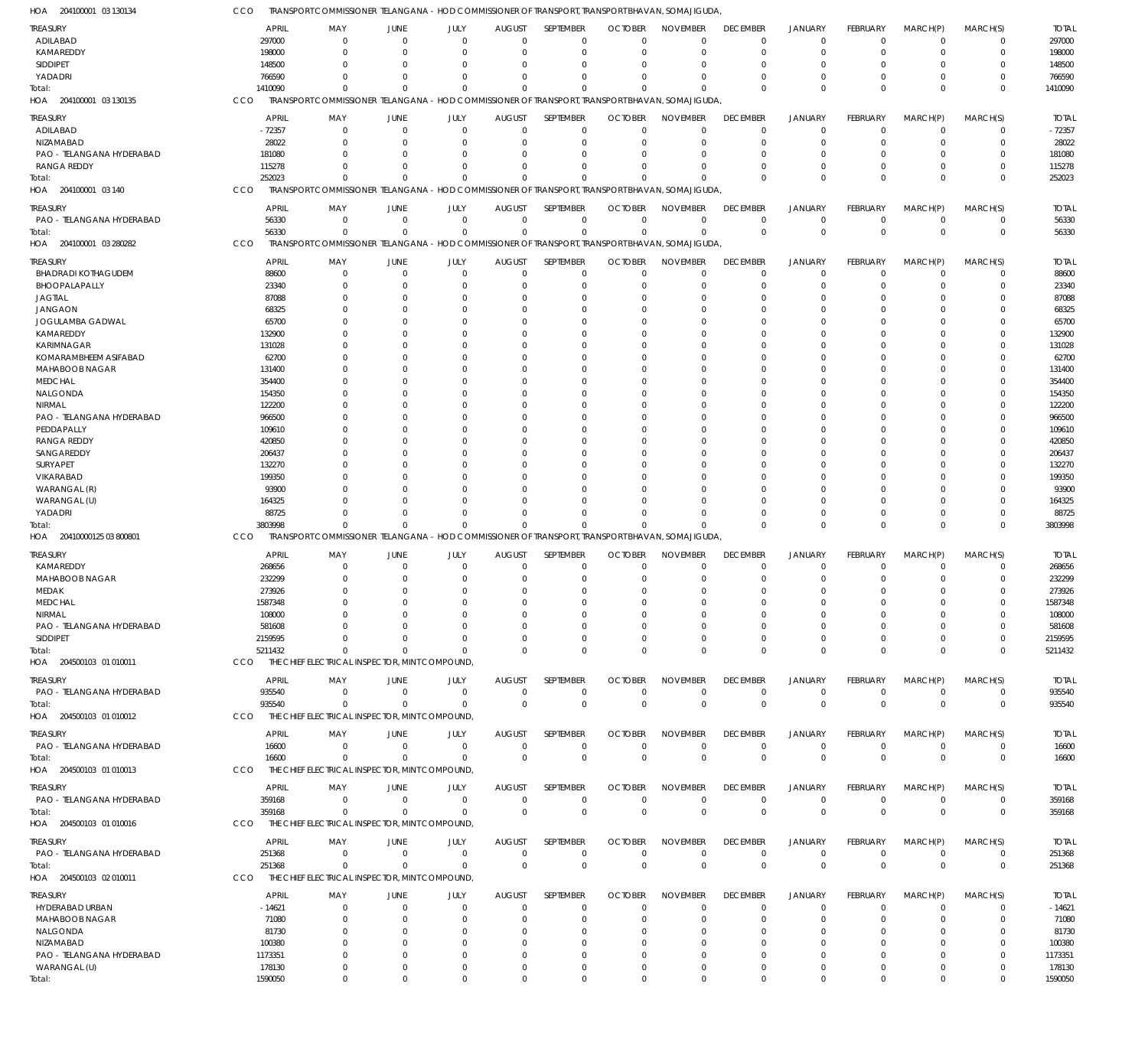| HOA 204100001 03 130134             | cco |              | TRANSPORT COMMISSIONER TELANGANA – HOD COMMISSIONER OF TRANSPORT, TRANSPORT BHAVAN, SOMAJIGUDA, |                         |                     |                              |                  |                               |                             |                         |                |                         |                            |             |              |
|-------------------------------------|-----|--------------|-------------------------------------------------------------------------------------------------|-------------------------|---------------------|------------------------------|------------------|-------------------------------|-----------------------------|-------------------------|----------------|-------------------------|----------------------------|-------------|--------------|
| <b>TREASURY</b>                     |     | APRIL        | MAY                                                                                             | <b>JUNE</b>             | JULY                | <b>AUGUST</b>                | SEPTEMBER        | <b>OCTOBER</b>                | <b>NOVEMBER</b>             | <b>DECEMBER</b>         | <b>JANUARY</b> | FEBRUARY                | MARCH(P)                   | MARCH(S)    | <b>TOTAL</b> |
| ADILABAD                            |     | 297000       | $\Omega$                                                                                        | $\overline{0}$          | $\Omega$            | $\Omega$                     | $\mathbf 0$      | $\Omega$                      | $\Omega$                    | $\Omega$                | $\overline{0}$ | $\Omega$                | $\overline{0}$             | $\mathbf 0$ | 297000       |
| KAMAREDDY                           |     | 198000       | $\Omega$                                                                                        | $\mathbf 0$             | $\Omega$            | $\Omega$                     | $\mathbf 0$      | $\Omega$                      | $\Omega$                    | $\Omega$                | $\overline{0}$ | $\mathbf 0$             | $\Omega$                   | $\mathbf 0$ | 198000       |
| SIDDIPET                            |     | 148500       | $\Omega$                                                                                        | $\mathbf 0$             | $\Omega$            | $\Omega$                     | 0                | $\Omega$                      | $\Omega$                    | $\Omega$                | $\Omega$       | $\Omega$                | $\Omega$                   | 0           | 148500       |
| YADADRI                             |     | 766590       | $\Omega$                                                                                        | $\Omega$                | $\Omega$            | $\Omega$                     | $\mathbf 0$      | $\Omega$                      | $\Omega$                    | $\Omega$                | $\Omega$       | $\Omega$                | $\Omega$                   | $\mathbf 0$ | 766590       |
| Total:                              |     | 1410090      | $\Omega$                                                                                        | $\Omega$                | $\Omega$            | $\Omega$                     | $\Omega$         | $\Omega$                      | $\Omega$                    | $\Omega$                | $\Omega$       | $\Omega$                | $\Omega$                   | $\mathbf 0$ | 1410090      |
| HOA 204100001 03 130135             | CCO |              | TRANSPORT COMMISSIONER TELANGANA - HOD COMMISSIONER OF TRANSPORT, TRANSPORT BHAVAN, SOMAJIGUDA, |                         |                     |                              |                  |                               |                             |                         |                |                         |                            |             |              |
|                                     |     |              |                                                                                                 |                         |                     |                              |                  |                               |                             |                         |                |                         |                            |             |              |
| TREASURY                            |     | <b>APRIL</b> | MAY                                                                                             | <b>JUNE</b>             | JULY                | <b>AUGUST</b>                | SEPTEMBER        | <b>OCTOBER</b>                | <b>NOVEMBER</b>             | <b>DECEMBER</b>         | <b>JANUARY</b> | <b>FEBRUARY</b>         | MARCH(P)                   | MARCH(S)    | <b>TOTAL</b> |
| ADILABAD                            |     | $-72357$     | 0                                                                                               | $\overline{0}$          | $\mathbf 0$         | $\mathbf 0$                  | $\mathbf 0$      | $\mathbf 0$                   | $\Omega$                    | $\mathbf 0$             | $\overline{0}$ | $\mathbf 0$             | $\overline{0}$             | $\mathbf 0$ | $-72357$     |
| NIZAMABAD                           |     | 28022        | $\Omega$                                                                                        | $\mathbf 0$             | $\Omega$            | $\Omega$                     | $\mathbf 0$      | $\Omega$                      | $\Omega$                    |                         | $\overline{0}$ | 0                       | $\Omega$                   | $\mathbf 0$ | 28022        |
| PAO - TELANGANA HYDERABAD           |     | 181080       | 0                                                                                               | $\Omega$                | $\Omega$            | $\Omega$                     | $\mathbf 0$      | $\Omega$                      | $\Omega$                    | $\Omega$                | $\Omega$       | $\Omega$                | $\Omega$                   | $\mathbf 0$ | 181080       |
| <b>RANGA REDDY</b>                  |     | 115278       | $\Omega$                                                                                        | $\Omega$                | 0                   | $\Omega$                     | $\mathbf 0$      |                               | $\Omega$                    |                         | $\Omega$       | $\Omega$                | $\Omega$                   | $\mathbf 0$ | 115278       |
| Total:                              |     | 252023       | $\Omega$                                                                                        | $\Omega$                | $\Omega$            | $\Omega$                     | $\mathbf 0$      |                               | $\Omega$                    | $\Omega$                | $\Omega$       | $\Omega$                | $\Omega$                   | $\mathbf 0$ | 252023       |
| HOA 204100001 03 140                | CCO |              | TRANSPORT COMMISSIONER TELANGANA - HOD COMMISSIONER OF TRANSPORT, TRANSPORT BHAVAN, SOMAJIGUDA, |                         |                     |                              |                  |                               |                             |                         |                |                         |                            |             |              |
|                                     |     |              |                                                                                                 |                         |                     |                              |                  |                               |                             |                         |                |                         |                            |             |              |
| <b>TREASURY</b>                     |     | <b>APRIL</b> | MAY<br>$\Omega$                                                                                 | <b>JUNE</b>             | JULY<br>$\mathbf 0$ | <b>AUGUST</b><br>$\mathbf 0$ | SEPTEMBER        | <b>OCTOBER</b><br>$\mathbf 0$ | <b>NOVEMBER</b><br>$\Omega$ | <b>DECEMBER</b>         | <b>JANUARY</b> | FEBRUARY                | MARCH(P)                   | MARCH(S)    | <b>TOTAL</b> |
| PAO - TELANGANA HYDERABAD           |     | 56330        |                                                                                                 | $\mathbf 0$<br>$\Omega$ | $\Omega$            |                              | $\mathbf 0$      |                               | $\Omega$                    | $\mathbf 0$<br>$\Omega$ | $\overline{0}$ | $\mathbf 0$<br>$\Omega$ | $\overline{0}$<br>$\Omega$ | $\mathbf 0$ | 56330        |
| Total:                              |     | 56330        | $\Omega$                                                                                        |                         |                     | $\mathbf 0$                  | $\mathbf 0$      | $\Omega$                      |                             |                         | $\overline{0}$ |                         |                            | $\mathbf 0$ | 56330        |
| HOA 204100001 03 280282             | CCO |              | TRANSPORT COMMISSIONER TELANGANA - HOD COMMISSIONER OF TRANSPORT, TRANSPORT BHAVAN, SOMAJIGUDA, |                         |                     |                              |                  |                               |                             |                         |                |                         |                            |             |              |
| <b>TREASURY</b>                     |     | <b>APRIL</b> | MAY                                                                                             | <b>JUNE</b>             | JULY                | <b>AUGUST</b>                | SEPTEMBER        | <b>OCTOBER</b>                | <b>NOVEMBER</b>             | <b>DECEMBER</b>         | <b>JANUARY</b> | FEBRUARY                | MARCH(P)                   | MARCH(S)    | <b>TOTAL</b> |
| <b>BHADRADI KOTHAGUDEM</b>          |     | 88600        | 0                                                                                               | $\mathbf 0$             | $\Omega$            | $\mathbf 0$                  | $\mathbf 0$      | $\mathbf 0$                   | $\Omega$                    | $\Omega$                | $^{\circ}$     | $\mathbf 0$             | $\overline{0}$             | $\mathbf 0$ | 88600        |
| BHOOPALAPALLY                       |     | 23340        | $\Omega$                                                                                        | $\Omega$                | $\Omega$            | $\Omega$                     | $\mathbf 0$      | $\Omega$                      | $\Omega$                    | $\Omega$                | $^{\circ}$     | $\Omega$                | $\Omega$                   | $\mathbf 0$ | 23340        |
| <b>JAGTIAL</b>                      |     | 87088        | $\Omega$                                                                                        | $\Omega$                | 0                   | $\Omega$                     | $\mathbf 0$      | -0                            | $\Omega$                    |                         | $\Omega$       | 0                       | $\Omega$                   | $\mathbf 0$ | 87088        |
| <b>JANGAON</b>                      |     | 68325        |                                                                                                 | $\Omega$                |                     | 0                            | $\mathbf 0$      |                               | $\Omega$                    |                         | $\Omega$       |                         | $\Omega$                   | $\Omega$    | 68325        |
| JOGULAMBA GADWAL                    |     | 65700        | U                                                                                               | $\Omega$                |                     | $\Omega$                     | $\mathbf 0$      |                               | $\Omega$                    |                         | $\Omega$       |                         | $\Omega$                   | $\Omega$    | 65700        |
| KAMAREDDY                           |     | 132900       |                                                                                                 | $\Omega$                |                     | O                            | $\mathbf 0$      |                               | $\Omega$                    |                         | $\Omega$       |                         | $\Omega$                   | $\Omega$    | 132900       |
| KARIMNAGAR                          |     | 131028       |                                                                                                 | $\Omega$                |                     | $\Omega$                     | $\mathbf 0$      | -C                            | $\Omega$                    |                         | $\Omega$       |                         | $\Omega$                   | $\Omega$    | 131028       |
| KOMARAMBHEEM ASIFABAD               |     | 62700        |                                                                                                 | $\Omega$                |                     | 0                            | $\mathbf 0$      |                               | $\Omega$                    |                         | $\Omega$       |                         | $\Omega$                   | $\Omega$    | 62700        |
| MAHABOOB NAGAR                      |     | 131400       | U                                                                                               | $\Omega$                |                     | $\Omega$                     | $\mathbf 0$      |                               | $\Omega$                    |                         | $\Omega$       |                         | $\Omega$                   | $\Omega$    | 131400       |
| <b>MEDCHAL</b>                      |     | 354400       |                                                                                                 | $\Omega$                |                     | O                            | $\mathbf 0$      | -C                            | $\Omega$                    |                         | $\Omega$       |                         | $\Omega$                   | $\Omega$    | 354400       |
| NALGONDA                            |     | 154350       |                                                                                                 | $\Omega$                |                     | $\Omega$                     | $\mathbf 0$      | -C                            | $\Omega$                    |                         | $\Omega$       |                         | $\Omega$                   | $\Omega$    | 154350       |
| NIRMAL                              |     | 122200       |                                                                                                 | $\Omega$                |                     | $\Omega$                     | $\mathbf 0$      |                               | $\Omega$                    |                         | $\Omega$       |                         | $\Omega$                   | $\Omega$    | 122200       |
| PAO - TELANGANA HYDERABAD           |     | 966500       | 0                                                                                               | $\Omega$                |                     | $\Omega$                     | $\mathbf 0$      |                               | $\Omega$                    |                         | $\Omega$       |                         | $\Omega$                   | $\Omega$    | 966500       |
| PEDDAPALLY                          |     | 109610       |                                                                                                 | $\Omega$                |                     | O                            | $\mathbf 0$      |                               | $\Omega$                    |                         | $\Omega$       |                         | $\Omega$                   | U           | 109610       |
| <b>RANGA REDDY</b>                  |     | 420850       |                                                                                                 | $\Omega$                |                     | $\Omega$                     | $\mathbf 0$      |                               | $\Omega$                    |                         | $\Omega$       |                         | $\Omega$                   | $\Omega$    | 420850       |
| SANGAREDDY                          |     | 206437       |                                                                                                 | $\Omega$                |                     | O                            | $\mathbf 0$      |                               | $\Omega$                    |                         | $\Omega$       |                         | $\Omega$                   | $\Omega$    | 206437       |
| SURYAPET                            |     | 132270       |                                                                                                 | $\Omega$                |                     | $\Omega$                     | $\mathbf 0$      |                               | $\Omega$                    |                         | $\Omega$       |                         | $\Omega$                   | $\Omega$    | 132270       |
| VIKARABAD                           |     | 199350       |                                                                                                 | $\Omega$                |                     | O                            | $\Omega$         |                               | $\Omega$                    |                         | $\Omega$       |                         | $\Omega$                   | U           | 199350       |
| WARANGAL (R)                        |     | 93900        | U                                                                                               | $\Omega$                |                     | $\Omega$                     | $\mathbf 0$      |                               | $\Omega$                    |                         | $\Omega$       |                         | $\Omega$                   | $\Omega$    | 93900        |
| WARANGAL (U)                        |     | 164325       |                                                                                                 | $\Omega$                |                     | $\Omega$                     | $\Omega$         |                               | $\Omega$                    |                         | $\Omega$       | $\Omega$                | $\Omega$                   | $\Omega$    | 164325       |
| YADADRI                             |     | 88725        | $\Omega$                                                                                        | $\Omega$                | $\Omega$            | $\Omega$                     | $\mathbf 0$      |                               | $\Omega$                    |                         | $\Omega$       | $\Omega$                | $\Omega$                   | $\mathbf 0$ | 88725        |
|                                     |     | 3803998      | $\Omega$                                                                                        | $\Omega$                | $\Omega$            | $\mathbf 0$                  | $\mathbf 0$      | -C                            | $\Omega$                    | $\Omega$                | $\Omega$       | $\Omega$                | $\Omega$                   | $\mathbf 0$ | 3803998      |
| Total:<br>HOA 20410000125 03 800801 | CCO |              | TRANSPORT COMMISSIONER TELANGANA - HOD COMMISSIONER OF TRANSPORT, TRANSPORT BHAVAN, SOMAJIGUDA, |                         |                     |                              |                  |                               |                             |                         |                |                         |                            |             |              |
|                                     |     |              |                                                                                                 |                         |                     |                              |                  |                               |                             |                         |                |                         |                            |             |              |
| <b>TREASURY</b>                     |     | <b>APRIL</b> | MAY                                                                                             | <b>JUNE</b>             | JULY                | <b>AUGUST</b>                | SEPTEMBER        | <b>OCTOBER</b>                | <b>NOVEMBER</b>             | <b>DECEMBER</b>         | <b>JANUARY</b> | FEBRUARY                | MARCH(P)                   | MARCH(S)    | <b>TOTAL</b> |
| KAMAREDDY                           |     | 268656       | $\Omega$                                                                                        | $\Omega$                | $\Omega$            | $\mathbf 0$                  | $\mathbf 0$      | $\Omega$                      | $\Omega$                    | $\Omega$                | $^{\circ}$     | $\Omega$                | $\Omega$                   | 0           | 268656       |
| MAHABOOB NAGAR                      |     | 232299       | $\Omega$                                                                                        | $\Omega$                | $\Omega$            | $\mathbf 0$                  | $\mathbf 0$      | $\Omega$                      | $\Omega$                    | $\Omega$                | $\Omega$       | $\mathbf 0$             | $\Omega$                   | $\mathbf 0$ | 232299       |
| MEDAK                               |     | 273926       | $\Omega$                                                                                        | $\Omega$                | $\Omega$            | $\Omega$                     | $\Omega$         | $\Omega$                      | $\Omega$                    | $\Omega$                | $\Omega$       | $\Omega$                | $\Omega$                   | $\Omega$    | 273926       |
| <b>MEDCHAL</b>                      |     | 1587348      | $\Omega$                                                                                        | $\Omega$                | $\Omega$            | $\mathbf 0$                  | $\Omega$         | $\Omega$                      | $\Omega$                    | $\mathbf 0$             | $^{\circ}$     | $\mathbf 0$             | $\mathbf 0$                | $\Omega$    | 1587348      |
| NIRMAL                              |     | 108000       | $\Omega$                                                                                        | $\Omega$                | $\Omega$            | $\Omega$                     | $\mathbf 0$      | $\Omega$                      | $\Omega$                    | $\Omega$                | $\Omega$       | $\Omega$                | $\Omega$                   | 0           | 108000       |
| PAO - TELANGANA HYDERABAD           |     | 581608       | $\Omega$                                                                                        | $\Omega$                | $\Omega$            | $\Omega$                     | $\mathbf 0$      | 0                             | $\Omega$                    | $\Omega$                | $\Omega$       | $\Omega$                | $\mathbf 0$                | $\Omega$    | 581608       |
| <b>SIDDIPET</b>                     |     | 2159595      | $\Omega$                                                                                        | $\Omega$                | $\Omega$            | $\Omega$                     | 0                | $\Omega$                      | $\Omega$                    | 0                       | $^{\circ}$     | $\Omega$                | $\mathbf 0$                | $\mathbf 0$ | 2159595      |
| Total:                              |     | 5211432      | $\Omega$                                                                                        | $\Omega$                | $\Omega$            | $\Omega$                     | $\Omega$         | $\Omega$                      | $\Omega$                    | $\Omega$                | $\Omega$       | $\Omega$                | $\Omega$                   | $\mathbf 0$ | 5211432      |
| HOA 204500103 01 010011             | CCO |              | THE CHIEF ELECTRICAL INSPECTOR, MINT COMPOUND,                                                  |                         |                     |                              |                  |                               |                             |                         |                |                         |                            |             |              |
|                                     |     |              |                                                                                                 |                         |                     |                              |                  |                               |                             |                         |                |                         |                            |             |              |
| <b>TREASURY</b>                     |     | <b>APRIL</b> | MAY                                                                                             | JUNE                    | JULY                | <b>AUGUST</b>                | <b>SEPTEMBER</b> | <b>OCTOBER</b>                | <b>NOVEMBER</b>             | <b>DECEMBER</b>         | <b>JANUARY</b> | <b>FEBRUARY</b>         | MARCH(P)                   | MARCH(S)    | <b>TOTAL</b> |
| PAO - TELANGANA HYDERABAD           |     | 935540       | $\overline{0}$                                                                                  | $\mathbf 0$             | $\mathbf 0$         | $\overline{0}$               | $\mathbf 0$      | $\mathbf 0$                   | $\mathbf 0$                 | $\mathbf 0$             | $\overline{0}$ | $\mathbf 0$             | $\overline{0}$             | $\mathbf 0$ | 935540       |
| Total:                              |     | 935540       | $\mathbf 0$                                                                                     | $\overline{0}$          | $\mathbf 0$         | $\mathbf 0$                  | $\mathbf 0$      | $\mathbf 0$                   | $\mathbf 0$                 | $\mathbf 0$             | $\overline{0}$ | $\mathbf 0$             | $\overline{0}$             | $\mathbf 0$ | 935540       |
| HOA 204500103 01 010012             | CCO |              | THE CHIEF ELECTRICAL INSPECTOR, MINT COMPOUND,                                                  |                         |                     |                              |                  |                               |                             |                         |                |                         |                            |             |              |
| TREASURY                            |     | <b>APRIL</b> | MAY                                                                                             | <b>JUNE</b>             | JULY                | <b>AUGUST</b>                | SEPTEMBER        | <b>OCTOBER</b>                | <b>NOVEMBER</b>             | <b>DECEMBER</b>         | <b>JANUARY</b> | FEBRUARY                | MARCH(P)                   | MARCH(S)    | <b>TOTAL</b> |
| PAO - TELANGANA HYDERABAD           |     | 16600        | $\mathbf 0$                                                                                     | $\mathbf 0$             | $\mathbf 0$         | $\mathbf 0$                  | $\mathbf 0$      | $\mathbf 0$                   | $\mathbf 0$                 | $\mathbf 0$             | $\mathbf 0$    | $\mathbf 0$             | $\overline{0}$             | $\mathbf 0$ | 16600        |
| Total:                              |     | 16600        | $\mathbf{0}$                                                                                    | $\mathbf 0$             | $\mathbf 0$         | $\mathbf 0$                  | $\mathbf 0$      | $\mathbf 0$                   | $\mathbf 0$                 | $\mathbf 0$             | $\overline{0}$ | $\mathbf 0$             | $\Omega$                   | $\mathbf 0$ | 16600        |
| HOA 204500103 01 010013             | CCO |              | THE CHIEF ELECTRICAL INSPECTOR, MINT COMPOUND,                                                  |                         |                     |                              |                  |                               |                             |                         |                |                         |                            |             |              |
|                                     |     |              |                                                                                                 |                         |                     |                              |                  |                               |                             |                         |                |                         |                            |             |              |
| <b>TREASURY</b>                     |     | APRIL        | MAY                                                                                             | JUNE                    | JULY                | <b>AUGUST</b>                | SEPTEMBER        | <b>OCTOBER</b>                | <b>NOVEMBER</b>             | <b>DECEMBER</b>         | <b>JANUARY</b> | FEBRUARY                | MARCH(P)                   | MARCH(S)    | <b>TOTAL</b> |
| PAO - TELANGANA HYDERABAD           |     | 359168       | $\mathbf 0$                                                                                     | $\overline{0}$          | $\mathbf 0$         | $\mathbf 0$                  | $\mathbf 0$      | 0                             | $\mathbf 0$                 | $\mathbf 0$             | $\overline{0}$ | $\mathbf 0$             | $\overline{0}$             | $\mathbf 0$ | 359168       |
| Total:                              |     | 359168       | $\mathbf 0$                                                                                     | $\mathbf 0$             | $\mathbf 0$         | $\mathbf 0$                  | $\mathbf 0$      | $\mathbf 0$                   | $\mathbf 0$                 | $\mathbf 0$             | $\overline{0}$ | $\mathbf 0$             | $\overline{0}$             | $\mathbf 0$ | 359168       |
| HOA 204500103 01 010016             | CCO |              | THE CHIEF ELECTRICAL INSPECTOR, MINT COMPOUND,                                                  |                         |                     |                              |                  |                               |                             |                         |                |                         |                            |             |              |
| <b>TREASURY</b>                     |     | <b>APRIL</b> | MAY                                                                                             | <b>JUNE</b>             | JULY                | <b>AUGUST</b>                | SEPTEMBER        | <b>OCTOBER</b>                | <b>NOVEMBER</b>             | <b>DECEMBER</b>         | <b>JANUARY</b> | FEBRUARY                | MARCH(P)                   | MARCH(S)    | <b>TOTAL</b> |
| PAO - TELANGANA HYDERABAD           |     | 251368       | 0                                                                                               | $\mathbf 0$             | $\overline{0}$      | $\overline{0}$               | $\mathbf 0$      | $\mathbf 0$                   | $\mathbf 0$                 | $\mathbf 0$             | $\overline{0}$ | $\mathbf 0$             | $\overline{0}$             | $\mathbf 0$ | 251368       |
|                                     |     | 251368       | $\mathbf 0$                                                                                     | $\mathbf 0$             | $\mathbf 0$         | $\mathbf 0$                  | $\mathbf 0$      | $\mathbf 0$                   | $\mathbf 0$                 | $\mathbf 0$             | $\overline{0}$ | $\mathbf 0$             | $\Omega$                   | $\mathbf 0$ | 251368       |
| Total:<br>HOA 204500103 02 010011   | CCO |              | THE CHIEF ELECTRICAL INSPECTOR, MINT COMPOUND,                                                  |                         |                     |                              |                  |                               |                             |                         |                |                         |                            |             |              |
|                                     |     |              |                                                                                                 |                         |                     |                              |                  |                               |                             |                         |                |                         |                            |             |              |
| <b>TREASURY</b>                     |     | <b>APRIL</b> | MAY                                                                                             | <b>JUNE</b>             | JULY                | <b>AUGUST</b>                | SEPTEMBER        | <b>OCTOBER</b>                | <b>NOVEMBER</b>             | <b>DECEMBER</b>         | <b>JANUARY</b> | FEBRUARY                | MARCH(P)                   | MARCH(S)    | <b>TOTAL</b> |
| HYDERABAD URBAN                     |     | $-14621$     | $\mathbf 0$                                                                                     | $\mathbf 0$             | $\mathbf 0$         | $\mathbf 0$                  | $\mathbf 0$      | $\mathbf 0$                   | $\Omega$                    | 0                       | $\overline{0}$ | $\mathbf 0$             | $\overline{0}$             | $\mathbf 0$ | $-14621$     |
| MAHABOOB NAGAR                      |     | 71080        | $\mathbf 0$                                                                                     | $\mathbf 0$             | $\Omega$            | 0                            | $\mathbf 0$      | -0                            | $\Omega$                    | 0                       | $\overline{0}$ | 0                       | $\Omega$                   | $\mathbf 0$ | 71080        |
| NALGONDA                            |     | 81730        | $\Omega$                                                                                        | $\Omega$                | 0                   | O                            | 0                |                               | $\Omega$                    |                         | $\Omega$       |                         | $\Omega$                   | 0           | 81730        |
| NIZAMABAD                           |     | 100380       | $\Omega$                                                                                        | $\Omega$                |                     | 0                            | 0                | -0                            | $\Omega$                    |                         | $\Omega$       |                         | $\Omega$                   | 0           | 100380       |
| PAO - TELANGANA HYDERABAD           |     | 1173351      | $\Omega$                                                                                        | $\Omega$                |                     | $\Omega$                     | $\mathbf 0$      |                               | $\Omega$                    |                         | $\Omega$       | O                       | $\Omega$                   | 0           | 1173351      |
| WARANGAL (U)                        |     | 178130       | $\mathbf 0$                                                                                     | $\mathbf 0$             | 0                   | $\mathbf 0$                  | $\mathbf 0$      | 0                             | $\mathbf 0$                 | 0                       | $\overline{0}$ | 0                       | $\overline{0}$             | $\mathbf 0$ | 178130       |
| Total:                              |     | 1590050      | $\mathbf 0$                                                                                     | $\mathbf 0$             | $\Omega$            | $\mathbf 0$                  | $\mathbf 0$      | 0                             | $\Omega$                    | $\Omega$                | $\overline{0}$ | $\mathbf 0$             | $\overline{0}$             | $\Omega$    | 1590050      |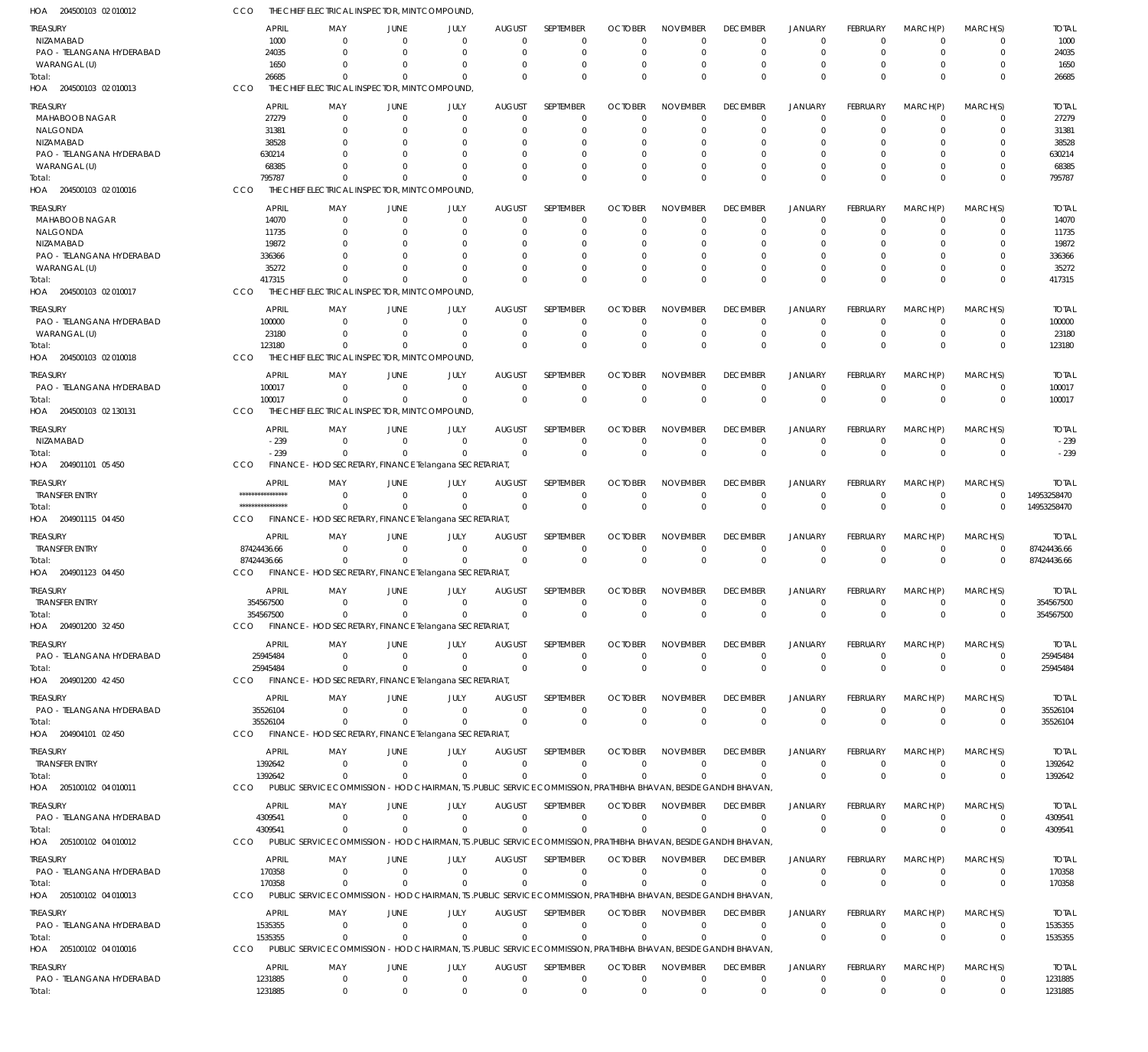| HOA 204500103 02 010012               | CCO                    | THE CHIEF ELECTRICAL INSPECTOR, MINT COMPOUND,                                                                  |                            |                        |                              |                                 |                            |                                |                             |                                  |                                |                                  |                         |                        |
|---------------------------------------|------------------------|-----------------------------------------------------------------------------------------------------------------|----------------------------|------------------------|------------------------------|---------------------------------|----------------------------|--------------------------------|-----------------------------|----------------------------------|--------------------------------|----------------------------------|-------------------------|------------------------|
| TREASURY<br>NIZAMABAD                 | <b>APRIL</b><br>1000   | MAY<br>$\Omega$                                                                                                 | JUNE<br>$\Omega$           | JULY<br>$\Omega$       | <b>AUGUST</b><br>$\Omega$    | <b>SEPTEMBER</b><br>$\mathbf 0$ | <b>OCTOBER</b><br>$\Omega$ | <b>NOVEMBER</b><br>$\Omega$    | <b>DECEMBER</b><br>$\Omega$ | <b>JANUARY</b><br>$\overline{0}$ | FEBRUARY<br>$\Omega$           | MARCH(P)<br>$\mathbf 0$          | MARCH(S)<br>0           | <b>TOTAL</b><br>1000   |
| PAO - TELANGANA HYDERABAD             | 24035                  | $\Omega$                                                                                                        | $\Omega$                   | $\Omega$               | $\Omega$                     | $\mathbf 0$                     | $\Omega$                   | $\Omega$                       | $\Omega$                    | $\Omega$                         | $\Omega$                       | $\overline{0}$                   | $\mathbf 0$             | 24035                  |
| WARANGAL (U)                          | 1650                   | $\Omega$                                                                                                        | $\Omega$                   | $\Omega$               | $\Omega$                     | 0                               | $\Omega$                   | $\Omega$                       | $\Omega$                    | $^{\circ}$                       | $\Omega$                       | $\Omega$                         | 0                       | 1650                   |
| Total:<br>HOA 204500103 02 010013     | 26685<br>CCO           | $\Omega$<br>THE CHIEF ELECTRICAL INSPECTOR, MINT COMPOUND,                                                      | $\Omega$                   | $\Omega$               | $\Omega$                     | $\Omega$                        | $\Omega$                   | $\Omega$                       | $\Omega$                    | $\Omega$                         | $\Omega$                       | $\Omega$                         | $\Omega$                | 26685                  |
|                                       |                        |                                                                                                                 |                            |                        |                              |                                 |                            |                                |                             |                                  |                                |                                  |                         |                        |
| treasury                              | <b>APRIL</b>           | MAY                                                                                                             | JUNE                       | JULY                   | <b>AUGUST</b>                | <b>SEPTEMBER</b>                | <b>OCTOBER</b>             | <b>NOVEMBER</b>                | <b>DECEMBER</b>             | <b>JANUARY</b>                   | <b>FEBRUARY</b>                | MARCH(P)                         | MARCH(S)                | <b>TOTAL</b>           |
| MAHABOOB NAGAR<br>NALGONDA            | 27279<br>31381         | $\Omega$                                                                                                        | $\overline{0}$<br>$\Omega$ | $\mathbf 0$<br>0       | $\mathbf 0$<br>$\Omega$      | $\mathbf 0$<br>$\mathbf 0$      | $\Omega$<br>O              | $\Omega$<br>$\mathbf 0$        | $\Omega$                    | $\overline{0}$<br>$^{\circ}$     | $\Omega$<br>$\Omega$           | $\overline{0}$<br>$\Omega$       | 0<br>$\mathbf 0$        | 27279<br>31381         |
| NIZAMABAD                             | 38528                  |                                                                                                                 | $\Omega$                   | 0                      |                              | 0                               |                            | $\Omega$                       |                             |                                  |                                |                                  | C                       | 38528                  |
| PAO - TELANGANA HYDERABAD             | 630214                 |                                                                                                                 | $\Omega$                   | 0                      | $\cup$                       | 0                               | 0                          | $\Omega$                       |                             | - 0                              |                                | $\Omega$                         | $\Omega$                | 630214                 |
| WARANGAL (U)                          | 68385                  |                                                                                                                 | $\Omega$                   | $\Omega$               | $\Omega$                     | $\mathbf 0$                     | 0                          | $\Omega$                       |                             | $\Omega$                         | $\Omega$                       | $\Omega$                         | $\Omega$                | 68385                  |
| Total:                                | 795787                 | $\Omega$                                                                                                        | $\Omega$                   | $\Omega$               | $\Omega$                     | $\mathbf 0$                     | $\Omega$                   | $\Omega$                       | $\Omega$                    | $\Omega$                         | $\Omega$                       | $\Omega$                         | $\mathbf 0$             | 795787                 |
| HOA 204500103 02 010016               | CCO                    | THE CHIEF ELECTRICAL INSPECTOR, MINT COMPOUND,                                                                  |                            |                        |                              |                                 |                            |                                |                             |                                  |                                |                                  |                         |                        |
| treasury                              | <b>APRIL</b>           | MAY                                                                                                             | JUNE                       | JULY                   | <b>AUGUST</b>                | SEPTEMBER                       | <b>OCTOBER</b>             | <b>NOVEMBER</b>                | <b>DECEMBER</b>             | <b>JANUARY</b>                   | <b>FEBRUARY</b>                | MARCH(P)                         | MARCH(S)                | <b>TOTAL</b>           |
| MAHABOOB NAGAR                        | 14070                  | $\Omega$                                                                                                        | $\Omega$                   | $\mathbf 0$            | $\mathbf 0$                  | 0                               | $\Omega$                   | $\Omega$                       | $\Omega$                    | $\Omega$                         | $\Omega$                       | $\overline{0}$                   | $\Omega$                | 14070                  |
| NALGONDA                              | 11735                  | $\Omega$                                                                                                        | $\Omega$                   | $\Omega$               | $\Omega$                     | 0                               | 0                          | $\Omega$                       | $\Omega$                    | $\Omega$                         | U                              | $\Omega$                         | 0                       | 11735                  |
| NIZAMABAD                             | 19872                  |                                                                                                                 | $\Omega$                   | $\Omega$               | $\cup$                       | $\Omega$                        | 0                          | $\Omega$                       |                             | $\Omega$                         |                                | $\Omega$                         | $\Omega$                | 19872                  |
| PAO - TELANGANA HYDERABAD             | 336366                 |                                                                                                                 | $\Omega$                   | $\Omega$               | $\Omega$                     | 0                               | 0                          | $\Omega$                       |                             | $\Omega$                         |                                | $\Omega$                         | 0                       | 336366                 |
| WARANGAL (U)                          | 35272                  | $\Omega$                                                                                                        | $\Omega$<br>$\Omega$       | $\Omega$<br>$\Omega$   | $\Omega$                     | $\mathbf 0$<br>$\Omega$         | $\Omega$                   | $\Omega$<br>$\Omega$           | $\Omega$                    | $\Omega$<br>$\Omega$             | $\Omega$<br>$\Omega$           | $\Omega$<br>$\Omega$             | $\mathbf 0$             | 35272                  |
| Total:<br>HOA 204500103 02 010017     | 417315<br>CCO          | THE CHIEF ELECTRICAL INSPECTOR, MINT COMPOUND,                                                                  |                            |                        | $\Omega$                     |                                 | $\Omega$                   |                                |                             |                                  |                                |                                  | $\mathbf 0$             | 417315                 |
|                                       |                        |                                                                                                                 |                            |                        |                              |                                 |                            |                                |                             |                                  |                                |                                  |                         |                        |
| treasury                              | <b>APRIL</b>           | MAY                                                                                                             | JUNE                       | JULY                   | <b>AUGUST</b>                | SEPTEMBER                       | <b>OCTOBER</b>             | <b>NOVEMBER</b>                | <b>DECEMBER</b>             | <b>JANUARY</b>                   | <b>FEBRUARY</b>                | MARCH(P)                         | MARCH(S)                | <b>TOTAL</b>           |
| PAO - TELANGANA HYDERABAD             | 100000                 | $\Omega$                                                                                                        | $\Omega$<br>$\Omega$       | 0<br>$\mathbf 0$       | $\mathbf 0$<br>$\mathbf 0$   | $\mathbf 0$<br>$\mathbf 0$      | $\Omega$                   | $\Omega$<br>$\mathbf 0$        | $\Omega$<br>$\Omega$        | $^{\circ}$<br>$^{\circ}$         | $\Omega$<br>$\mathbf 0$        | $\overline{0}$<br>$\overline{0}$ | 0<br>$\mathbf 0$        | 100000                 |
| WARANGAL (U)<br>lotal:                | 23180<br>123180        | $\Omega$<br>$\Omega$                                                                                            | $\Omega$                   | $\Omega$               | $\Omega$                     | $\mathbf 0$                     | 0<br>$\Omega$              | $\Omega$                       | $\Omega$                    | $\Omega$                         | $\Omega$                       | $\Omega$                         | $\mathbf 0$             | 23180<br>123180        |
| HOA 204500103 02 010018               | CCO                    | THE CHIEF ELECTRICAL INSPECTOR, MINT COMPOUND,                                                                  |                            |                        |                              |                                 |                            |                                |                             |                                  |                                |                                  |                         |                        |
|                                       |                        |                                                                                                                 |                            |                        |                              |                                 |                            |                                |                             |                                  |                                |                                  |                         |                        |
| treasury<br>PAO - TELANGANA HYDERABAD | <b>APRIL</b><br>100017 | MAY<br>$\Omega$                                                                                                 | JUNE<br>$\overline{0}$     | JULY<br>$^{\circ}$     | <b>AUGUST</b><br>$\Omega$    | SEPTEMBER<br>$\mathbf 0$        | <b>OCTOBER</b><br>$\Omega$ | <b>NOVEMBER</b><br>$\mathbf 0$ | <b>DECEMBER</b><br>$\Omega$ | <b>JANUARY</b><br>$^{\circ}$     | <b>FEBRUARY</b><br>$\mathbf 0$ | MARCH(P)<br>$\overline{0}$       | MARCH(S)<br>$\mathbf 0$ | <b>TOTAL</b><br>100017 |
| Total:                                | 100017                 | $\Omega$                                                                                                        | $\Omega$                   | $\Omega$               | $\Omega$                     | $\mathbf 0$                     | $\Omega$                   | $\mathbf 0$                    | $\Omega$                    | $\Omega$                         | $\Omega$                       | $\Omega$                         | $\mathbf 0$             | 100017                 |
| HOA 204500103 02 130131               | CCO                    | THE CHIEF ELECTRICAL INSPECTOR, MINT COMPOUND,                                                                  |                            |                        |                              |                                 |                            |                                |                             |                                  |                                |                                  |                         |                        |
|                                       |                        |                                                                                                                 |                            |                        |                              |                                 |                            |                                |                             |                                  |                                |                                  |                         |                        |
| treasury<br>NIZAMABAD                 | <b>APRIL</b><br>$-239$ | MAY<br>$\Omega$                                                                                                 | JUNE<br>$\Omega$           | JULY<br>$\overline{0}$ | <b>AUGUST</b><br>$\mathbf 0$ | SEPTEMBER<br>$\mathbf 0$        | <b>OCTOBER</b><br>0        | <b>NOVEMBER</b><br>$\mathbf 0$ | <b>DECEMBER</b><br>0        | <b>JANUARY</b><br>$^{\circ}$     | <b>FEBRUARY</b><br>$\mathbf 0$ | MARCH(P)<br>$\overline{0}$       | MARCH(S)<br>$\mathbf 0$ | <b>TOTAL</b><br>$-239$ |
| Total:                                | $-239$                 | $\Omega$                                                                                                        | $\Omega$                   | $\Omega$               | $\Omega$                     | $\mathbf 0$                     | $\Omega$                   | $\Omega$                       | $\Omega$                    | $\overline{0}$                   | $\Omega$                       | $\Omega$                         | $\mathbf 0$             | $-239$                 |
| HOA 204901101 05 450                  | CCO                    | FINANCE - HOD SECRETARY, FINANCE Telangana SECRETARIAT                                                          |                            |                        |                              |                                 |                            |                                |                             |                                  |                                |                                  |                         |                        |
|                                       | <b>APRIL</b>           | MAY                                                                                                             | <b>JUNE</b>                | JULY                   | <b>AUGUST</b>                | SEPTEMBER                       | <b>OCTOBER</b>             | <b>NOVEMBER</b>                | <b>DECEMBER</b>             | <b>JANUARY</b>                   | FEBRUARY                       | MARCH(P)                         | MARCH(S)                | <b>TOTAL</b>           |
| treasury<br><b>TRANSFER ENTRY</b>     | ****************       | $\Omega$                                                                                                        | $\Omega$                   | $\Omega$               | $\Omega$                     | $\mathbf 0$                     | $\Omega$                   | $\Omega$                       | $\Omega$                    | $\overline{0}$                   | $\mathbf 0$                    | $\overline{0}$                   | 0                       | 14953258470            |
| Total:                                | ****************       | $\Omega$                                                                                                        | $\Omega$                   | $\Omega$               | $\Omega$                     | $\mathbf 0$                     | $\Omega$                   | $\Omega$                       | $\Omega$                    | $\Omega$                         | $\Omega$                       | $\Omega$                         | $\Omega$                | 14953258470            |
| HOA 204901115 04 450                  | CCO                    | FINANCE - HOD SECRETARY, FINANCE Telangana SECRETARIAT                                                          |                            |                        |                              |                                 |                            |                                |                             |                                  |                                |                                  |                         |                        |
| treasury                              | <b>APRIL</b>           | MAY                                                                                                             | JUNE                       | JULY                   | <b>AUGUST</b>                | SEPTEMBER                       | <b>OCTOBER</b>             | <b>NOVEMBER</b>                | <b>DECEMBER</b>             | <b>JANUARY</b>                   | FEBRUARY                       | MARCH(P)                         | MARCH(S)                | <b>TOTAL</b>           |
| <b>TRANSFER ENTRY</b>                 | 87424436.66            | $\Omega$                                                                                                        | $\Omega$                   | $\overline{0}$         | $\mathbf 0$                  | $\mathbf 0$                     | 0                          | $\mathbf 0$                    | $\Omega$                    | $\overline{0}$                   | $\mathbf 0$                    | $\overline{0}$                   | 0                       | 87424436.66            |
| Total:                                | 87424436.66            | $\Omega$                                                                                                        | $\Omega$                   | $\Omega$               | $\Omega$                     | $\mathbf 0$                     | $\Omega$                   | $\mathbf 0$                    | $\Omega$                    | $\overline{0}$                   | $\mathbf 0$                    | $\Omega$                         | $\mathbf 0$             | 87424436.66            |
| HOA 204901123 04 450                  | CCO                    | FINANCE - HOD SECRETARY, FINANCE Telangana SECRETARIAT,                                                         |                            |                        |                              |                                 |                            |                                |                             |                                  |                                |                                  |                         |                        |
| treasury                              | <b>APRIL</b>           | MAY                                                                                                             | JUNE                       | JULY                   | <b>AUGUST</b>                | SEPTEMBER                       | <b>OCTOBER</b>             | <b>NOVEMBER</b>                | <b>DECEMBER</b>             | <b>JANUARY</b>                   | FEBRUARY                       | MARCH(P)                         | MARCH(S)                | <b>TOTAL</b>           |
| <b>TRANSFER ENTRY</b>                 | 354567500              | $\overline{0}$                                                                                                  | $\mathbf 0$                | $\mathbf 0$            | $\overline{0}$               | $\mathbf 0$                     | $\mathbf 0$                | $\mathbf 0$                    | $\overline{0}$              | $\mathbf 0$                      | $\mathbf 0$                    | $\overline{0}$                   | 0                       | 354567500              |
| Total:                                | 354567500              | $\mathbf 0$                                                                                                     | $\overline{0}$             | $\Omega$               | $\mathbf 0$                  | $\mathbf 0$                     | $\mathbf 0$                | $\mathbf 0$                    | $\overline{0}$              | $\Omega$                         | $\overline{0}$                 | $\overline{0}$                   | $\mathbf 0$             | 354567500              |
| HOA 204901200 32 450                  | <b>CCO</b>             | FINANCE - HOD SECRETARY, FINANCE Telangana SECRETARIAT                                                          |                            |                        |                              |                                 |                            |                                |                             |                                  |                                |                                  |                         |                        |
| Treasury                              | APRIL                  | MAY                                                                                                             | JUNE                       | JULY                   | <b>AUGUST</b>                | <b>SEPTEMBER</b>                | <b>OCTOBER</b>             | <b>NOVEMBER</b>                | <b>DECEMBER</b>             | <b>JANUARY</b>                   | <b>FEBRUARY</b>                | MARCH(P)                         | MARCH(S)                | <b>TOTAL</b>           |
| PAO - TELANGANA HYDERABAD             | 25945484               | - 0                                                                                                             | $\Omega$                   | $\overline{0}$         | $\overline{0}$               | 0                               | 0                          | $\mathbf 0$                    | $\mathbf 0$                 | $^{\circ}$                       | $\mathbf 0$                    | $\overline{0}$                   | 0                       | 25945484               |
| Total:                                | 25945484               | $\Omega$                                                                                                        | $\Omega$                   | $\Omega$               | $\overline{0}$               | $\mathbf 0$                     | $\mathbf 0$                | $\mathbf 0$                    | $\Omega$                    | $\overline{0}$                   | $\mathbf 0$                    | $\overline{0}$                   | $\mathbf 0$             | 25945484               |
| HOA 204901200 42 450                  |                        | CCO FINANCE - HOD SECRETARY, FINANCE Telangana SECRETARIAT,                                                     |                            |                        |                              |                                 |                            |                                |                             |                                  |                                |                                  |                         |                        |
| treasury                              | <b>APRIL</b>           | MAY                                                                                                             | JUNE                       | JULY                   | <b>AUGUST</b>                | SEPTEMBER                       | <b>OCTOBER</b>             | <b>NOVEMBER</b>                | <b>DECEMBER</b>             | <b>JANUARY</b>                   | FEBRUARY                       | MARCH(P)                         | MARCH(S)                | <b>TOTAL</b>           |
| PAO - TELANGANA HYDERABAD             | 35526104               | $\Omega$                                                                                                        | $\overline{0}$             | $\overline{0}$         | $\Omega$                     | $\mathbf 0$                     | $\Omega$                   | $\Omega$                       | $\Omega$                    | $\overline{0}$                   | $\mathbf 0$                    | $\overline{0}$                   | 0                       | 35526104               |
| Total:                                | 35526104               | $\Omega$                                                                                                        | $\Omega$                   | $\Omega$               | $\Omega$                     | $\mathbf 0$                     | $\Omega$                   | $\mathbf 0$                    | $\Omega$                    | $\Omega$                         | $\Omega$                       | $\Omega$                         | $\mathbf 0$             | 35526104               |
| HOA 204904101 02 450                  | CCO                    | FINANCE - HOD SECRETARY, FINANCE Telangana SECRETARIAT                                                          |                            |                        |                              |                                 |                            |                                |                             |                                  |                                |                                  |                         |                        |
| treasury                              | <b>APRIL</b>           | MAY                                                                                                             | JUNE                       | JULY                   | <b>AUGUST</b>                | <b>SEPTEMBER</b>                | <b>OCTOBER</b>             | <b>NOVEMBER</b>                | <b>DECEMBER</b>             | <b>JANUARY</b>                   | FEBRUARY                       | MARCH(P)                         | MARCH(S)                | <b>TOTAL</b>           |
| <b>TRANSFER ENTRY</b>                 | 1392642                | $^{\circ}$                                                                                                      | $\mathbf 0$                | $\overline{0}$         | $\overline{0}$               | $\mathbf 0$                     | $\mathbf 0$                | $\mathbf 0$                    | $\mathbf 0$                 | $^{\circ}$                       | $\mathbf 0$                    | $\overline{0}$                   | $\mathbf 0$             | 1392642                |
| Total:                                | 1392642                | $\Omega$                                                                                                        | $\Omega$                   | $^{\circ}$             | $\overline{0}$               | $\mathbf 0$                     | $\Omega$                   | $\Omega$                       | $\mathbf 0$                 | $^{\circ}$                       | $\mathbf 0$                    | $\Omega$                         | $\mathbf 0$             | 1392642                |
| HOA 205100102 04 010011               | CCO                    | PUBLIC SERVICE COMMISSION - HOD CHAIRMAN, TS .PUBLIC SERVICE COMMISSION, PRATHIBHA BHAVAN, BESIDE GANDHI BHAVAN |                            |                        |                              |                                 |                            |                                |                             |                                  |                                |                                  |                         |                        |
| treasury                              | APRIL                  | MAY                                                                                                             | JUNE                       | JULY                   | <b>AUGUST</b>                | SEPTEMBER                       | <b>OCTOBER</b>             | <b>NOVEMBER</b>                | <b>DECEMBER</b>             | <b>JANUARY</b>                   | FEBRUARY                       | MARCH(P)                         | MARCH(S)                | <b>TOTAL</b>           |
| PAO - TELANGANA HYDERABAD             | 4309541                | $\Omega$                                                                                                        | $\overline{0}$             | $^{\circ}$             | $\Omega$                     | $\mathbf 0$                     | $\Omega$                   | $\mathbf 0$                    | $\mathbf 0$                 | $^{\circ}$                       | $\mathbf 0$                    | $^{\circ}$                       | $\mathbf 0$             | 4309541                |
| Total:                                | 4309541                | $\Omega$                                                                                                        | $\Omega$                   | $\Omega$               | $\Omega$                     | $\Omega$                        | $\Omega$                   | $\Omega$                       | $\Omega$                    | $^{\circ}$                       | $\overline{0}$                 | $\overline{0}$                   | $\mathbf 0$             | 4309541                |
| HOA 205100102 04 010012               | <b>CCO</b>             | PUBLIC SERVICE COMMISSION - HOD CHAIRMAN, TS .PUBLIC SERVICE COMMISSION, PRATHIBHA BHAVAN, BESIDE GANDHI BHAVAN |                            |                        |                              |                                 |                            |                                |                             |                                  |                                |                                  |                         |                        |
| Treasury                              | APRIL                  | MAY                                                                                                             | JUNE                       | JULY                   | <b>AUGUST</b>                | SEPTEMBER                       | <b>OCTOBER</b>             | <b>NOVEMBER</b>                | <b>DECEMBER</b>             | <b>JANUARY</b>                   | FEBRUARY                       | MARCH(P)                         | MARCH(S)                | <b>TOTAL</b>           |
| PAO - TELANGANA HYDERABAD             | 170358                 | - 0                                                                                                             | $\Omega$                   | $^{\circ}$             | $\overline{0}$               | 0                               | 0                          | $\mathbf 0$                    | 0                           | $^{\circ}$                       | $\mathbf 0$                    | $\overline{0}$                   | $\mathbf 0$             | 170358                 |
| Total:                                | 170358                 | $\Omega$                                                                                                        | $\Omega$                   | $\mathbf 0$            | $\overline{0}$               | $\mathbf 0$                     | $\Omega$                   | $\Omega$                       | $\Omega$                    | $\overline{0}$                   | $\mathbf 0$                    | $\Omega$                         | $\mathbf 0$             | 170358                 |
| HOA 205100102 04 010013               | <b>CCO</b>             | PUBLIC SERVICE COMMISSION - HOD CHAIRMAN, TS .PUBLIC SERVICE COMMISSION, PRATHIBHA BHAVAN, BESIDE GANDHI BHAVAN |                            |                        |                              |                                 |                            |                                |                             |                                  |                                |                                  |                         |                        |
| treasury                              | <b>APRIL</b>           | MAY                                                                                                             | JUNE                       | JULY                   | <b>AUGUST</b>                | SEPTEMBER                       | <b>OCTOBER</b>             | <b>NOVEMBER</b>                | <b>DECEMBER</b>             | <b>JANUARY</b>                   | FEBRUARY                       | MARCH(P)                         | MARCH(S)                | <b>TOTAL</b>           |
| PAO - TELANGANA HYDERABAD             | 1535355                | $\Omega$                                                                                                        | $\overline{0}$             | $\Omega$               | $\Omega$                     | $\mathbf 0$                     | $\Omega$                   | $\mathbf 0$                    | $\mathbf 0$                 | $\overline{0}$                   | $\mathbf 0$                    | $\overline{0}$                   | 0                       | 1535355                |
| Total:                                | 1535355                | $\mathbf 0$                                                                                                     | $\overline{0}$             | $\Omega$               | $\overline{0}$               | $\Omega$                        | $\Omega$                   | $\Omega$                       | $\Omega$                    | $\Omega$                         | $\overline{0}$                 | $\Omega$                         | $\mathbf 0$             | 1535355                |
| HOA 205100102 04 010016               | <b>CCO</b>             | PUBLIC SERVICE COMMISSION - HOD CHAIRMAN, TS .PUBLIC SERVICE COMMISSION, PRATHIBHA BHAVAN, BESIDE GANDHI BHAVAN |                            |                        |                              |                                 |                            |                                |                             |                                  |                                |                                  |                         |                        |
| treasury                              | <b>APRIL</b>           | MAY                                                                                                             | JUNE                       | JULY                   | <b>AUGUST</b>                | SEPTEMBER                       | <b>OCTOBER</b>             | <b>NOVEMBER</b>                | <b>DECEMBER</b>             | <b>JANUARY</b>                   | FEBRUARY                       | MARCH(P)                         | MARCH(S)                | <b>TOTAL</b>           |
| PAO - TELANGANA HYDERABAD             | 1231885                | 0                                                                                                               | 0                          | $\mathbf 0$            | $\overline{0}$               | $\mathbf 0$                     | $\mathbf 0$                | $\mathbf 0$                    | $\mathbf 0$                 | $\overline{0}$                   | 0                              | $\overline{0}$                   | $\mathbf 0$             | 1231885                |
| Total:                                | 1231885                | $\mathbf 0$                                                                                                     | $\mathbf 0$                | $\overline{0}$         | $\overline{0}$               | $\mathbf 0$                     | $\mathbf 0$                | $\mathbf 0$                    | $\mathbf 0$                 | $\overline{0}$                   | $\mathbf 0$                    | $\overline{0}$                   | $\mathbf 0$             | 1231885                |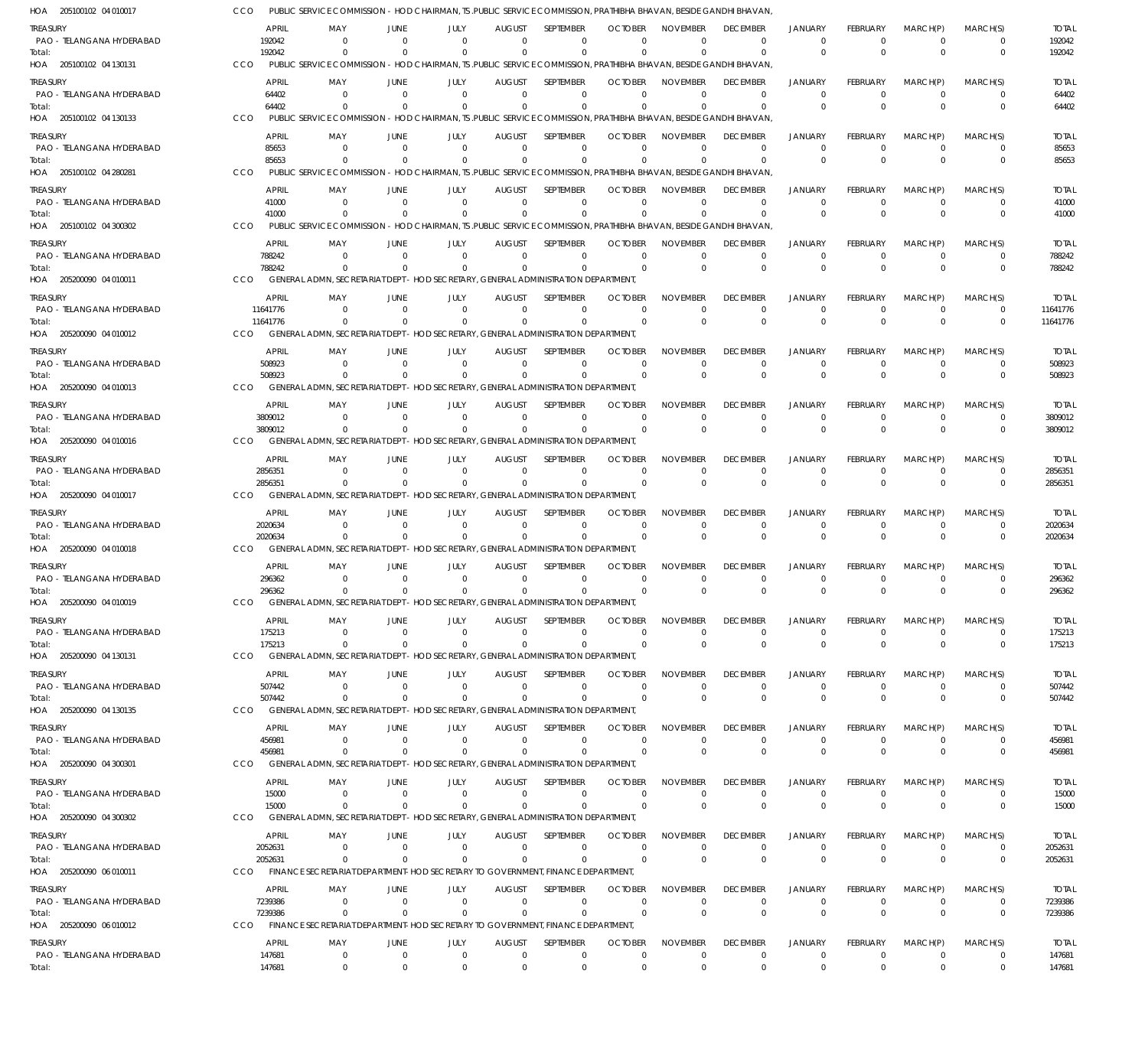| HOA 205100102 04 010017               | CCO        |                        |                           |                                  | PUBLIC SERVICE COMMISSION - HOD CHAIRMAN, TS .PUBLIC SERVICE COMMISSION, PRATHIBHA BHAVAN, BESIDE GANDHI BHAVAN             |                                 |                              |                            |                             |                                   |                                  |                                |                            |                         |                         |
|---------------------------------------|------------|------------------------|---------------------------|----------------------------------|-----------------------------------------------------------------------------------------------------------------------------|---------------------------------|------------------------------|----------------------------|-----------------------------|-----------------------------------|----------------------------------|--------------------------------|----------------------------|-------------------------|-------------------------|
| Treasury                              |            | <b>APRIL</b>           | MAY                       | JUNE                             | JULY                                                                                                                        | AUGUST                          | <b>SEPTEMBER</b>             | <b>OCTOBER</b>             | <b>NOVEMBER</b>             | <b>DECEMBER</b>                   | <b>JANUARY</b>                   | <b>FEBRUARY</b>                | MARCH(P)                   | MARCH(S)                | <b>TOTAL</b>            |
| PAO - TELANGANA HYDERABAD<br>Total:   |            | 192042<br>192042       | - 0<br>$\Omega$           | $\Omega$                         | $\Omega$<br>$\Omega$                                                                                                        | $\Omega$<br>$\Omega$            | $\Omega$<br>$\Omega$         | $\cup$                     | $\Omega$<br>$\Omega$        | $\Omega$<br>$\Omega$              | $\overline{0}$<br>$\Omega$       | $\Omega$<br>$\Omega$           | $\Omega$<br>$\Omega$       | $\Omega$<br>$\mathbf 0$ | 192042<br>192042        |
| HOA 205100102 04 130131               | <b>CCO</b> |                        |                           |                                  | PUBLIC SERVICE COMMISSION - HOD CHAIRMAN, TS .PUBLIC SERVICE COMMISSION, PRATHIBHA BHAVAN, BESIDE GANDHI BHAVAN             |                                 |                              |                            |                             |                                   |                                  |                                |                            |                         |                         |
| treasury<br>PAO - TELANGANA HYDERABAD |            | <b>APRIL</b><br>64402  | MAY<br>$\Omega$           | JUNE<br>$\Omega$                 | JULY<br>$\Omega$                                                                                                            | <b>AUGUST</b><br>$\Omega$       | <b>SEPTEMBER</b><br>$\Omega$ | <b>OCTOBER</b><br>$\Omega$ | <b>NOVEMBER</b><br>$\Omega$ | <b>DECEMBER</b><br>$\overline{0}$ | <b>JANUARY</b><br>$\Omega$       | <b>FEBRUARY</b><br>$\Omega$    | MARCH(P)<br>$\Omega$       | MARCH(S)<br>$\Omega$    | <b>TOTAL</b><br>64402   |
| Total:<br>HOA 205100102 04 130133     | CCO        | 64402                  | PUBLIC SERVICE COMMISSION |                                  | $\Omega$<br>- HOD CHAIRMAN, TS ,PUBLIC SERVICE COMMISSION, PRATHIBHA BHAVAN, BESIDE GANDHI BHAVAN                           | $\Omega$                        | $\Omega$                     | $\Omega$                   | $\Omega$                    | $\Omega$                          | $\Omega$                         | $\Omega$                       | $\Omega$                   | $\Omega$                | 64402                   |
| treasury                              |            | APRIL                  | MAY                       | JUNE                             | JULY                                                                                                                        | <b>AUGUST</b>                   | SEPTEMBER                    | <b>OCTOBER</b>             | <b>NOVEMBER</b>             | <b>DECEMBER</b>                   | <b>JANUARY</b>                   | <b>FEBRUARY</b>                | MARCH(P)                   | MARCH(S)                | <b>TOTAL</b>            |
| PAO - TELANGANA HYDERABAD             |            | 85653                  | - 0                       | $\Omega$                         | $\Omega$                                                                                                                    | $\Omega$                        | $\Omega$                     | $\Omega$                   | $\Omega$                    | $\Omega$                          | $\Omega$                         | $\Omega$                       | $\Omega$                   | $\Omega$                | 85653                   |
| Total:<br>HOA 205100102 04 280281     | CCO        | 85653                  |                           |                                  | $\Omega$<br>PUBLIC SERVICE COMMISSION - HOD CHAIRMAN. TS .PUBLIC SERVICE COMMISSION. PRATHIBHA BHAVAN, BESIDE GANDHI BHAVAN | $\Omega$                        | $\Omega$                     |                            | $\Omega$                    | $\Omega$                          | $\Omega$                         | $\Omega$                       | $\Omega$                   | $\mathbf 0$             | 85653                   |
| treasury                              |            | <b>APRIL</b>           | MAY                       | JUNE                             | JULY                                                                                                                        | <b>AUGUST</b>                   | <b>SFPIFMBFR</b>             | <b>OCTOBER</b>             | <b>NOVEMBER</b>             | <b>DECEMBER</b>                   | <b>JANUARY</b>                   | <b>FEBRUARY</b>                | MARCH(P)                   | MARCH(S)                | <b>TOTAL</b>            |
| PAO - TELANGANA HYDERABAD             |            | 41000                  | $\Omega$                  | $\Omega$                         | $\Omega$                                                                                                                    | $\Omega$                        | $\Omega$                     | $\Omega$                   | $\Omega$                    | $\overline{0}$                    | $\Omega$                         | $\Omega$                       | $\Omega$                   | $\Omega$                | 41000                   |
| Total:<br>HOA 205100102 04 300302     | <b>CCO</b> | 41000                  |                           |                                  | $\Omega$<br>PUBLIC SERVICE COMMISSION - HOD CHAIRMAN. TS .PUBLIC SERVICE COMMISSION. PRATHIBHA BHAVAN. BESIDE GANDHI BHAVAN | $\Omega$                        | $\Omega$                     |                            | $\Omega$                    | $\Omega$                          | $\Omega$                         | $\Omega$                       | $\Omega$                   | $\Omega$                | 41000                   |
| treasury                              |            | APRIL                  | MAY                       | <b>JUNE</b>                      | JULY                                                                                                                        | AUGUST                          | <b>SEPTEMBER</b>             | <b>OCTOBER</b>             | <b>NOVEMBER</b>             | <b>DECEMBER</b>                   | <b>JANUARY</b>                   | <b>FEBRUARY</b>                | MARCH(P)                   | MARCH(S)                | <b>TOTAL</b>            |
| PAO - TELANGANA HYDERABAD<br>Total:   |            | 788242<br>788242       | - 0<br>$\Omega$           | $\Omega$<br>$\Omega$             | $\Omega$<br>$\Omega$                                                                                                        | $\Omega$<br>$\Omega$            | $\Omega$<br>$\Omega$         | $\Omega$<br>$\Omega$       | $\Omega$<br>$\Omega$        | $\Omega$<br>$\Omega$              | $\Omega$<br>$\Omega$             | $\Omega$<br>$\Omega$           | $\Omega$<br>$\Omega$       | $\Omega$<br>$\mathbf 0$ | 788242<br>788242        |
| HOA 205200090 04 010011               | CCO        |                        |                           |                                  | GENERAL ADMN, SECRETARIAT DEPT - HOD SECRETARY, GENERAL ADMINISTRATION DEPARTMENT                                           |                                 |                              |                            |                             |                                   |                                  |                                |                            |                         |                         |
| treasury                              |            | <b>APRIL</b>           | MAY                       | JUNE                             | JULY                                                                                                                        | <b>AUGUST</b>                   | <b>SFPIFMBFR</b>             | <b>OCTOBER</b>             | <b>NOVEMBER</b>             | <b>DECEMBER</b>                   | <b>JANUARY</b>                   | <b>FEBRUARY</b>                | MARCH(P)                   | MARCH(S)                | <b>TOTAL</b>            |
| PAO - TELANGANA HYDERABAD<br>Total:   |            | 11641776<br>11641776   | $\Omega$                  | $\Omega$                         | $\Omega$<br>$\Omega$                                                                                                        | $\Omega$<br>$\Omega$            | $\Omega$<br>$\Omega$         | $\Omega$<br>$\Omega$       | $\Omega$<br>$\Omega$        | $\Omega$<br>$\Omega$              | $\overline{0}$<br>$\Omega$       | $\Omega$<br>$\Omega$           | $\Omega$<br>$\Omega$       | 0<br>$\Omega$           | 11641776<br>11641776    |
| HOA 205200090 04 010012               | <b>CCO</b> |                        |                           |                                  | GENERAL ADMN, SECRETARIAT DEPT - HOD SECRETARY, GENERAL ADMINISTRATION DEPARTMENT                                           |                                 |                              |                            |                             |                                   |                                  |                                |                            |                         |                         |
| treasury                              |            | <b>APRIL</b>           | MAY                       | JUNE                             | JULY                                                                                                                        | <b>AUGUST</b>                   | SEPTEMBER                    | <b>OCTOBER</b>             | <b>NOVEMBER</b>             | <b>DECEMBER</b>                   | <b>JANUARY</b>                   | <b>FEBRUARY</b>                | MARCH(P)                   | MARCH(S)                | <b>TOTAL</b>            |
| PAO - TELANGANA HYDERABAD<br>Total:   |            | 508923<br>508923       | - 0                       | $\Omega$                         | $\Omega$                                                                                                                    | $\Omega$<br>$\Omega$            | $\Omega$<br>$\Omega$         | $\Omega$<br>$\Omega$       | $\Omega$<br>$\Omega$        | $\Omega$<br>$\Omega$              | $\Omega$<br>$\Omega$             | $\Omega$<br>$\Omega$           | $\Omega$<br>$\Omega$       | $\Omega$<br>$\mathbf 0$ | 508923<br>508923        |
| HOA 205200090 04 010013               | CCO        |                        |                           |                                  | GENERAL ADMN. SECRETARIAT DEPT - HOD SECRETARY, GENERAL ADMINISTRATION DEPARTMENT                                           |                                 |                              |                            |                             |                                   |                                  |                                |                            |                         |                         |
| TREASURY                              |            | APRIL                  | MAY                       | JUNE                             | JULY                                                                                                                        | <b>AUGUST</b>                   | SEPTEMBER                    | <b>OCTOBER</b>             | <b>NOVEMBER</b>             | <b>DECEMBER</b>                   | <b>JANUARY</b>                   | <b>FEBRUARY</b>                | MARCH(P)                   | MARCH(S)                | <b>TOTAL</b>            |
| PAO - TELANGANA HYDERABAD<br>Total:   |            | 3809012<br>3809012     | $\Omega$<br>$\Omega$      | $\Omega$<br>$\Omega$             | $\Omega$<br>$\Omega$                                                                                                        | $\Omega$<br>$\Omega$            | $\Omega$<br>$\Omega$         | $\Omega$<br>$\Omega$       | $\Omega$<br>$\Omega$        | $\Omega$<br>$\Omega$              | $\Omega$<br>$\Omega$             | $\Omega$<br>$\Omega$           | $\Omega$<br>$\Omega$       | $\Omega$<br>$\mathbf 0$ | 3809012<br>3809012      |
| HOA 205200090 04 010016               | <b>CCO</b> |                        |                           |                                  | GENERAL ADMN, SECRETARIAT DEPT - HOD SECRETARY, GENERAL ADMINISTRATION DEPARTMENT                                           |                                 |                              |                            |                             |                                   |                                  |                                |                            |                         |                         |
| treasury<br>PAO - TELANGANA HYDERABAD |            | APRIL                  | MAY<br>$\Omega$           | JUNE<br>$\Omega$                 | JULY<br>$\Omega$                                                                                                            | AUGUST<br>$\Omega$              | <b>SEPTEMBER</b><br>$\Omega$ | <b>OCTOBER</b><br>$\Omega$ | <b>NOVEMBER</b><br>$\Omega$ | <b>DECEMBER</b><br>$\Omega$       | <b>JANUARY</b><br>$^{\circ}$     | FEBRUARY<br>0                  | MARCH(P)<br>- 0            | MARCH(S)<br>0           | <b>TOTAL</b>            |
| Total:                                |            | 2856351<br>2856351     | $\Omega$                  |                                  | $\Omega$                                                                                                                    | $\Omega$                        | $\Omega$                     | $\Omega$                   | $\Omega$                    | $\Omega$                          | $\Omega$                         | $\Omega$                       | $\Omega$                   | $\mathbf 0$             | 2856351<br>2856351      |
| HOA 205200090 04 010017               | <b>CCO</b> |                        |                           |                                  | GENERAL ADMN. SECRETARIAT DEPT - HOD SECRETARY. GENERAL ADMINISTRATION DEPARTMENT                                           |                                 |                              |                            |                             |                                   |                                  |                                |                            |                         |                         |
| treasury<br>PAO - TELANGANA HYDERABAD |            | APRIL<br>2020634       | MAY<br>- 0                | JUNE<br>$\Omega$                 | JULY<br>$\Omega$                                                                                                            | <b>AUGUST</b><br>$\Omega$       | SEPTEMBER<br>$\Omega$        | <b>OCTOBER</b><br>$\Omega$ | <b>NOVEMBER</b><br>$\Omega$ | <b>DECEMBER</b><br>$\Omega$       | <b>JANUARY</b><br>$\Omega$       | <b>FEBRUARY</b><br>$\Omega$    | MARCH(P)<br>$\Omega$       | MARCH(S)<br>$\Omega$    | <b>TOTAL</b><br>2020634 |
| Total:                                |            | 2020634                | $\Omega$                  |                                  | $\Omega$                                                                                                                    | $\Omega$                        | $\Omega$                     | $\Omega$                   | $\Omega$                    | $\Omega$                          | $\Omega$                         | $\Omega$                       | $\Omega$                   | $\Omega$                | 2020634                 |
| HOA 205200090 04 010018               | CCO        |                        |                           |                                  | GENERAL ADMN, SECRETARIAT DEPT - HOD SECRETARY, GENERAL ADMINISTRATION DEPARTMENT                                           |                                 |                              |                            |                             |                                   |                                  |                                |                            |                         |                         |
| treasury<br>PAO - TELANGANA HYDERABAD |            | <b>APRIL</b><br>296362 | MAY<br>$\Omega$           | JUNE<br>$\Omega$                 | JULY<br>$\Omega$                                                                                                            | <b>AUGUST</b><br>$\Omega$       | <b>SEPTEMBER</b><br>$\Omega$ | <b>OCTOBER</b><br>$\Omega$ | <b>NOVEMBER</b><br>$\Omega$ | <b>DECEMBER</b><br>$\Omega$       | <b>JANUARY</b><br>$\Omega$       | <b>FEBRUARY</b><br>$\Omega$    | MARCH(P)<br>$\Omega$       | MARCH(S)<br>$\Omega$    | <b>TOTAL</b><br>296362  |
| Total:                                |            | 296362                 | $\Omega$                  |                                  | $\Omega$                                                                                                                    | $\Omega$                        | $\Omega$                     | $\Omega$                   | $\Omega$                    | $\Omega$                          | $\Omega$                         | $\Omega$                       | $\Omega$                   | $\Omega$                | 296362                  |
| HOA 205200090 04 010019               | CCO        |                        |                           |                                  | GENERAL ADMN, SECRETARIAT DEPT - HOD SECRETARY, GENERAL ADMINISTRATION DEPARTMENT,                                          |                                 |                              |                            |                             |                                   |                                  |                                |                            |                         |                         |
| Treasury<br>PAO - TELANGANA HYDERABAD |            | APRIL<br>175213        | MAY<br>- 0                | JUNE<br>$\Omega$                 | JULY<br>$\Omega$                                                                                                            | <b>AUGUST</b><br>$\Omega$       | SEPTEMBER<br>$\Omega$        | <b>OCTOBER</b><br>-0       | <b>NOVEMBER</b><br>$\Omega$ | <b>DECEMBER</b><br>$\Omega$       | <b>JANUARY</b><br>$\Omega$       | <b>FEBRUARY</b><br>$\Omega$    | MARCH(P)<br>$\Omega$       | MARCH(S)<br>$\Omega$    | <b>TOTAL</b><br>175213  |
| Total:<br>HOA 205200090 04 130131     | <b>CCO</b> | 175213                 | $^{\circ}$                | - 0                              | $\Omega$<br>GENERAL ADMN, SECRETARIAT DEPT - HOD SECRETARY, GENERAL ADMINISTRATION DEPARTMENT                               | $\Omega$                        | $\Omega$                     | $\Omega$                   | $\Omega$                    | $\Omega$                          | $\Omega$                         | $\Omega$                       | $\Omega$                   | $\mathbf 0$             | 175213                  |
| treasury                              |            | APRIL                  | MAY                       | JUNE                             | JULY                                                                                                                        | AUGUST                          | SEPTEMBER                    | <b>OCTOBER</b>             | <b>NOVEMBER</b>             | <b>DECEMBER</b>                   | <b>JANUARY</b>                   | FEBRUARY                       | MARCH(P)                   | MARCH(S)                | <b>TOTAL</b>            |
| PAO - TELANGANA HYDERABAD             |            | 507442                 | - 0                       | $\Omega$                         | $\Omega$                                                                                                                    | $\Omega$                        | $\Omega$                     | $\Omega$                   | $\Omega$                    | $\Omega$                          | $\overline{0}$                   | $\Omega$                       | - 0                        | $\Omega$                | 507442                  |
| Total:<br>HOA 205200090 04 130135     | <b>CCO</b> | 507442                 | $\Omega$                  | $\Omega$                         | $\Omega$<br>GENERAL ADMN, SECRETARIAT DEPT - HOD SECRETARY, GENERAL ADMINISTRATION DEPARTMENT                               | $\Omega$                        | $\Omega$                     | $\Omega$                   | $\Omega$                    | $\Omega$                          | $\Omega$                         | $\Omega$                       | $\Omega$                   | $\mathbf 0$             | 507442                  |
| treasury                              |            | <b>APRIL</b>           | MAY                       | JUNE                             | JULY                                                                                                                        | <b>AUGUST</b>                   | <b>SEPTEMBER</b>             | <b>OCTOBER</b>             | <b>NOVEMBER</b>             | <b>DECEMBER</b>                   | <b>JANUARY</b>                   | <b>FEBRUARY</b>                | MARCH(P)                   | MARCH(S)                | <b>TOTAL</b>            |
| PAO - TELANGANA HYDERABAD             |            | 456981                 | - 0                       | $\Omega$                         | $\Omega$                                                                                                                    | $\Omega$                        | $\Omega$                     | $\Omega$                   | $\Omega$                    | $\Omega$                          | $\Omega$                         | $\Omega$                       | $\Omega$                   | 0                       | 456981                  |
| Total:<br>HOA 205200090 04 300301     | CCO        | 456981                 | $\Omega$                  | $\Omega$                         | $\Omega$<br>GENERAL ADMN, SECRETARIAT DEPT - HOD SECRETARY, GENERAL ADMINISTRATION DEPARTMENT                               | $\Omega$                        | $\Omega$                     | $\Omega$                   | $\Omega$                    | $\Omega$                          | $\Omega$                         | $\Omega$                       | $\Omega$                   | $\mathbf 0$             | 456981                  |
| treasury                              |            | APRIL                  | MAY                       | JUNE                             | JULY                                                                                                                        | <b>AUGUST</b>                   | SEPTEMBER                    | <b>OCTOBER</b>             | <b>NOVEMBER</b>             | <b>DECEMBER</b>                   | <b>JANUARY</b>                   | FEBRUARY                       | MARCH(P)                   | MARCH(S)                | <b>TOTAL</b>            |
| PAO - TELANGANA HYDERABAD             |            | 15000<br>15000         | $^{\circ}$<br>$\Omega$    | $\Omega$<br>$\Omega$             | $\Omega$<br>$\Omega$                                                                                                        | $\overline{0}$<br>$\Omega$      | $\Omega$<br>$\Omega$         | $\Omega$<br>$\Omega$       | $\Omega$<br>$\Omega$        | $\Omega$<br>$\Omega$              | $\overline{0}$<br>$\Omega$       | $\mathbf 0$<br>$\Omega$        | $\Omega$<br>$\Omega$       | 0<br>$\mathbf 0$        | 15000<br>15000          |
| Total:<br>HOA 205200090 04 300302     | CCO        |                        |                           |                                  | GENERAL ADMN, SECRETARIAT DEPT - HOD SECRETARY, GENERAL ADMINISTRATION DEPARTMENT                                           |                                 |                              |                            |                             |                                   |                                  |                                |                            |                         |                         |
| treasury                              |            | <b>APRIL</b>           | MAY                       | JUNE                             | JULY                                                                                                                        | <b>AUGUST</b>                   | SEPTEMBER                    | <b>OCTOBER</b>             | <b>NOVEMBER</b>             | <b>DECEMBER</b>                   | <b>JANUARY</b>                   | FEBRUARY                       | MARCH(P)                   | MARCH(S)                | <b>TOTAL</b>            |
| PAO - TELANGANA HYDERABAD<br>Total:   |            | 2052631<br>2052631     | $\Omega$<br>$\Omega$      | $\Omega$<br>$\Omega$             | $\Omega$<br>$\Omega$                                                                                                        | $\Omega$<br>$\Omega$            | $\Omega$<br>$\Omega$         | $\Omega$<br>$\Omega$       | $\Omega$<br>$\Omega$        | $\Omega$<br>$\Omega$              | $\Omega$<br>$\overline{0}$       | $\Omega$<br>$\Omega$           | $\Omega$<br>$\Omega$       | $\Omega$<br>$\mathbf 0$ | 2052631<br>2052631      |
| HOA 205200090 06 010011               | CCO        |                        |                           |                                  | FINANCE SECRETARIAT DEPARTMENT-HOD SECRETARY TO GOVERNMENT, FINANCE DEPARTMENT,                                             |                                 |                              |                            |                             |                                   |                                  |                                |                            |                         |                         |
| treasury                              |            | <b>APRIL</b>           | MAY                       | JUNE                             | JULY                                                                                                                        | <b>AUGUST</b>                   | <b>SEPTEMBER</b>             | <b>OCTOBER</b>             | <b>NOVEMBER</b>             | <b>DECEMBER</b>                   | <b>JANUARY</b>                   | FEBRUARY                       | MARCH(P)                   | MARCH(S)                | <b>TOTAL</b>            |
| PAO - TELANGANA HYDERABAD<br>Total:   |            | 7239386<br>7239386     | - 0<br>$\Omega$           | $\overline{0}$<br>$\Omega$       | $\Omega$<br>$\Omega$                                                                                                        | $\Omega$<br>$\Omega$            | $\Omega$<br>$\Omega$         | $\Omega$<br>$\Omega$       | $\Omega$<br>$\Omega$        | $\Omega$<br>$\Omega$              | $^{\circ}$<br>$\Omega$           | $\Omega$<br>$\Omega$           | $\overline{0}$<br>$\Omega$ | 0<br>$\mathbf 0$        | 7239386<br>7239386      |
| HOA 205200090 06 010012               | CCO        |                        |                           |                                  | FINANCE SECRETARIAT DEPARTMENT-HOD SECRETARY TO GOVERNMENT, FINANCE DEPARTMENT,                                             |                                 |                              |                            |                             |                                   |                                  |                                |                            |                         |                         |
| treasury                              |            | APRIL                  | MAY                       | JUNE                             | JULY<br>$\overline{0}$                                                                                                      | <b>AUGUST</b><br>$\overline{0}$ | SEPTEMBER<br>$\mathbf 0$     | <b>OCTOBER</b><br>$\Omega$ | NOVEMBER                    | <b>DECEMBER</b><br>$\Omega$       | <b>JANUARY</b><br>$\overline{0}$ | <b>FEBRUARY</b><br>$\mathbf 0$ | MARCH(P)<br>$\overline{0}$ | MARCH(S)<br>$\Omega$    | <b>TOTAL</b>            |
| PAO - TELANGANA HYDERABAD<br>Total:   |            | 147681<br>147681       | $^{\circ}$<br>$^{\circ}$  | $\overline{0}$<br>$\overline{0}$ | $\Omega$                                                                                                                    | $\Omega$                        | $\Omega$                     | $\Omega$                   | $\mathbf 0$<br>$^{\circ}$   | $\overline{0}$                    | $^{\circ}$                       | $\Omega$                       | $\Omega$                   | $\mathbf{0}$            | 147681<br>147681        |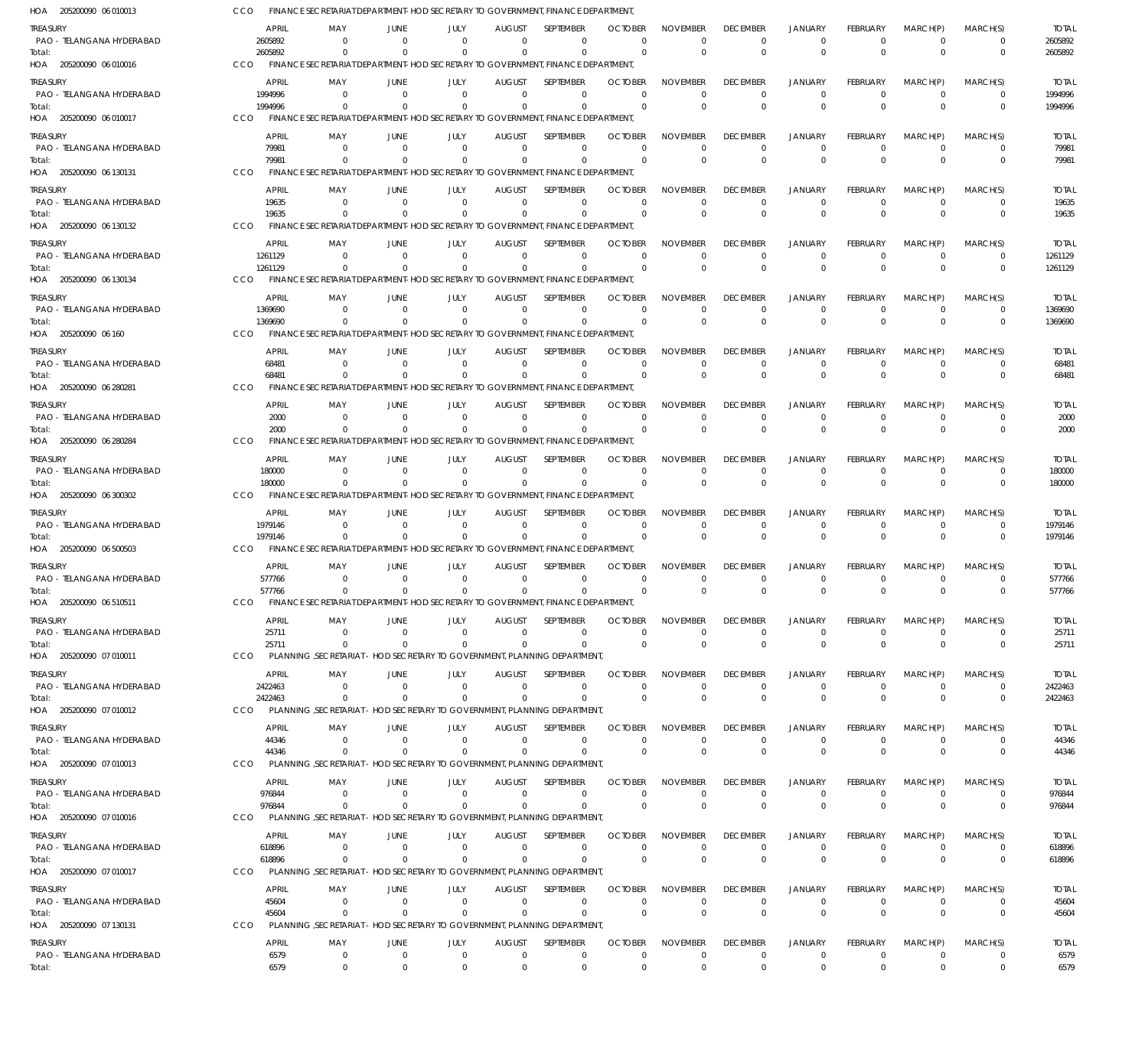205200090 06 010013 HOA 205200090 06 010016 HOA 205200090 06 010017 HOA 205200090 06 130131 HOA 205200090 06 130132 HOA 205200090 06 130134 HOA 205200090 06 160 HOA 205200090 06 280281 HOA 205200090 06 280284 HOA 205200090 06 300302 HOA 205200090 06 500503 HOA 205200090 06 510511 HOA 205200090 07 010011 HOA 205200090 07 010012 HOA 205200090 07 010013 HOA 205200090 07 010016 HOA 205200090 07 010017 HOA 205200090 07 130131 HOA FINANCE SECRETARIAT DEPARTMENT-HOD SECRETARY TO GOVERNMENT, FINANCE DEPARTMENT, FINANCE SECRETARIAT DEPARTMENT-HOD SECRETARY TO GOVERNMENT, FINANCE DEPARTMENT, FINANCE SECRETARIAT DEPARTMENT-HOD SECRETARY TO GOVERNMENT, FINANCE DEPARTMENT, FINANCE SECRETARIAT DEPARTMENT-HOD SECRETARY TO GOVERNMENT, FINANCE DEPARTMENT, FINANCE SECRETARIAT DEPARTMENT-HOD SECRETARY TO GOVERNMENT, FINANCE DEPARTMENT FINANCE SECRETARIAT DEPARTMENT-HOD SECRETARY TO GOVERNMENT, FINANCE DEPARTMENT, FINANCE SECRETARIAT DEPARTMENT-HOD SECRETARY TO GOVERNMENT, FINANCE DEPARTMENT, FINANCE SECRETARIAT DEPARTMENT-HOD SECRETARY TO GOVERNMENT, FINANCE DEPARTMENT, FINANCE SECRETARIAT DEPARTMENT-HOD SECRETARY TO GOVERNMENT, FINANCE DEPARTMENT, FINANCE SECRETARIAT DEPARTMENT-HOD SECRETARY TO GOVERNMENT, FINANCE DEPARTMENT, FINANCE SECRETARIAT DEPARTMENT-HOD SECRETARY TO GOVERNMENT, FINANCE DEPARTMENT FINANCE SECRETARIAT DEPARTMENT-HOD SECRETARY TO GOVERNMENT, FINANCE DEPARTMENT, PLANNING ,SECRETARIAT - HOD SECRETARY TO GOVERNMENT, PLANNING DEPARTMENT, PLANNING ,SECRETARIAT - HOD SECRETARY TO GOVERNMENT, PLANNING DEPARTMENT, PLANNING ,SECRETARIAT - HOD SECRETARY TO GOVERNMENT, PLANNING DEPARTMENT, PLANNING ,SECRETARIAT - HOD SECRETARY TO GOVERNMENT, PLANNING DEPARTMENT, PLANNING ,SECRETARIAT - HOD SECRETARY TO GOVERNMENT, PLANNING DEPARTMENT, PLANNING ,SECRETARIAT - HOD SECRETARY TO GOVERNMENT, PLANNING DEPARTMENT, CCO CCO. CCO **CCO** CCO CCO CCO CCO CCO CCO CCO.  $CCO$ **CCO** CCO **CCO CCO** CCO **CCO** 2605892 1994996 79981 19635 1261129 1369690 68481 2000 180000 1979146 577766 25711 2422463 44346 976844 618896 45604 6579 0 0  $\Omega$ 0  $\Omega$  $\Omega$ 0  $\Omega$  $\Omega$ 0  $\Omega$ 0 0  $\Omega$ 0  $\Omega$  $\Omega$ 0 0 0  $\Omega$ 0  $\Omega$  $\Omega$ 0  $\sqrt{0}$ 0 0  $\Omega$ 0 0  $\Omega$ 0  $\Omega$  $\Omega$  $\,$  0  $\,$ 0 0  $\Omega$ 0  $\Omega$ 0 0  $\mathbf{0}$ 0 0  $\Omega$ 0 0  $\Omega$ 0  $\Omega$  $\Omega$ 0 0 0  $\Omega$ 0  $\Omega$  $\Omega$ 0  $\Omega$  $\Omega$ 0  $\Omega$ 0 0  $\Omega$  $\Omega$  $\Omega$  $\Omega$ 0 0 0  $\Omega$ 0  $\Omega$  $\Omega$ 0  $\Omega$  $\Omega$ 0  $\Omega$ 0 0  $\Omega$ 0  $\Omega$  $\Omega$ 0 0  $\Omega$  $\Omega$ 0  $\Omega$  $\Omega$ 0  $\sqrt{2}$  $\Omega$ 0  $\Omega$ 0 0  $\Omega$ 0  $\Omega$  $\Omega$ 0 0  $\Omega$  $\Omega$ 0  $\Omega$ 0 0  $\Omega$  $\Omega$ 0  $\Omega$ 0 0  $\Omega$ 0  $\Omega$  $\Omega$ 0 0 0  $\Omega$ 0  $\Omega$ 0 0  $\Omega$ 0 0  $\Omega$ 0 0  $\Omega$ 0  $\Omega$  $\Omega$ 0 0 0  $\Omega$ 0  $\Omega$ 0 0  $\Omega$ 0 0  $\Omega$ 0 0  $\Omega$ 0  $\Omega$  $\Omega$ 0 0 0 0 0  $\Omega$ 0 0  $\Omega$ 0 0  $\Omega$  $\boldsymbol{0}$ 0  $\Omega$ 0  $\Omega$  $\Omega$  $\,$  0  $\,$ 0 0  $\Omega$ 0  $\Omega$  $\Omega$ 0  $\Omega$ 0 0  $\Omega$ 0 0  $\Omega$ 0  $\Omega$  $\Omega$ 0 0  $\Omega$  $\Omega$ 0  $\Omega$  $\Omega$ 0  $\Omega$ 0 0  $\Omega$ 0 0  $\Omega$ 0  $\Omega$  $\Omega$ 0 2605892 1994996 79981 19635 1261129 1369690 68481 2000 180000 1979146 577766 25711 2422463 44346 976844 618896 45604 6579 PAO - TELANGANA HYDERABAD PAO - TELANGANA HYDERABAD PAO - TELANGANA HYDERABAD PAO - TELANGANA HYDERABAD PAO - TELANGANA HYDERABAD PAO - TELANGANA HYDERABAD PAO - TELANGANA HYDERABAD PAO - TELANGANA HYDERABAD PAO - TELANGANA HYDERABAD PAO - TELANGANA HYDERABAD PAO - TELANGANA HYDERABAD PAO - TELANGANA HYDERABAD PAO - TELANGANA HYDERABAD PAO - TELANGANA HYDERABAD PAO - TELANGANA HYDERABAD PAO - TELANGANA HYDERABAD PAO - TELANGANA HYDERABAD PAO - TELANGANA HYDERABAD TREASURY **TREASURY** TREASURY **TREASURY TREASURY** TREASURY **TREASURY TREASURY** TREASURY **TREASURY TREASURY** TREASURY TREASURY **TREASURY** TREASURY TREASURY **TREASURY** TREASURY 2605892 1994996 79981 19635 1261129 1369690 68481 2000 180000 1979146 577766 25711 2422463 44346 976844 618896 45604 6579 APRIL APRIL APRIL APRIL APRIL APRIL APRIL APRIL APRIL APRIL APRIL APRIL APRIL APRIL APRIL APRIL APRIL APRIL  $\Omega$ 0 0  $\Omega$ 0 0  $\Omega$ 0 0 0 0 0 0 0 0 0 0  $\Omega$ MAY MAY MAY MAY **MAY** MAY MAY MAY MAY MAY MAY MAY MAY MAY MAY MAY MAY MAY 0 0 0  $\Omega$ 0 0 0  $\,$  0  $\,$ 0 0 0 0  $\,$  0  $\,$ 0 0 0 0  $\Omega$ JUNE **JUNE** JUNE JUNE **JUNE** JUNE JUNE **JUNE** JUNE JUNE JUNE JUNE JUNE JUNE JUNE JUNE JUNE JUNE 0 0 0  $\sqrt{0}$ 0 0 0  $\,$  0  $\,$ 0  $\,$  0  $\,$ 0 0 0  $\,$  0  $\,$ 0 0 0 0 JULY JULY JULY JULY JULY JULY JULY JULY JULY JULY JULY JULY JULY JULY JULY JULY JULY JULY  $\Omega$ 0 0  $\Omega$ 0 0  $\Omega$ 0 0 0 0 0 0 0  $\Omega$ 0 0  $\Omega$ AUGUST **AUGUST** AUGUST AUGUST **AUGUST** AUGUST AUGUST AUGUST AUGUST AUGUST **AUGUST** AUGUST AUGUST **AUGUST** AUGUST AUGUST **AUGUST** AUGUST  $\Omega$ 0 0  $\Omega$ 0 0  $\Omega$ 0 0  $\Omega$ 0 0 0 0  $\Omega$ 0 0  $\Omega$ **SEPTEMBER SEPTEMBER SEPTEMBER** SEPTEMBER **SEPTEMBER** SEPTEMBER SEPTEMBER **SEPTEMBER** SEPTEMBER SEPTEMBER **SEPTEMBER** SEPTEMBER SEPTEMBER **SEPTEMBER** SEPTEMBER SEPTEMBER **SEPTEMBER** SEPTEMBER 0 0  $\Omega$  $\Omega$ 0 0 0 0 0  $\Omega$ 0 0  $\Omega$ 0  $\Omega$  $\Omega$ 0  $\Omega$ **OCTOBER OCTOBER** OCTOBER **OCTOBER OCTOBER** OCTOBER **OCTOBER OCTOBER** OCTOBER **OCTOBER OCTOBER OCTOBER OCTOBER OCTOBER OCTOBER OCTOBER OCTOBER OCTOBER**  $\Omega$ 0 0  $\Omega$ 0 0  $\Omega$ 0 0  $\Omega$ 0 0 0 0  $\Omega$  $\Omega$ 0  $\Omega$ NOVEMBER NOVEMBER NOVEMBER NOVEMBER NOVEMBER NOVEMBER NOVEMBER NOVEMBER NOVEMBER NOVEMBER NOVEMBER NOVEMBER NOVEMBER NOVEMBER NOVEMBER NOVEMBER NOVEMBER NOVEMBER  $\Omega$ 0 0  $\Omega$ 0 0  $\Omega$ 0 0  $\Omega$ 0 0  $\Omega$ 0  $\Omega$  $\Omega$ 0  $\Omega$ DECEMBER **DECEMBER** DECEMBER DECEMBER **DECEMBER** DECEMBER DECEMBER **DECEMBER** DECEMBER DECEMBER **DECEMBER** DECEMBER DECEMBER **DECEMBER** DECEMBER DECEMBER **DECEMBER** DECEMBER  $\Omega$ 0 0  $\Omega$ 0 0  $\Omega$ 0 0  $\Omega$ 0 0  $\Omega$ 0  $\Omega$  $\Omega$ 0  $\Omega$ JANUARY JANUARY JANUARY JANUARY JANUARY JANUARY JANUARY JANUARY JANUARY JANUARY JANUARY JANUARY JANUARY JANUARY JANUARY JANUARY JANUARY JANUARY  $\Omega$ 0  $\Omega$  $\Omega$ 0 0  $\Omega$ 0 0  $\Omega$ 0 0 0 0  $\Omega$ 0 0  $\Omega$ FEBRUARY **FEBRUARY** FEBRUARY FEBRUARY FEBRUARY FEBRUARY FEBRUARY FEBRUARY FEBRUARY FEBRUARY FEBRUARY FEBRUARY FEBRUARY FEBRUARY FEBRUARY FEBRUARY FEBRUARY FEBRUARY  $\Omega$ 0  $\Omega$  $\Omega$ 0 0 0 0  $\Omega$  $\Omega$ 0 0  $\Omega$ 0  $\Omega$  $\Omega$ 0  $\Omega$ MARCH(P) MARCH(P) MARCH(P) MARCH(P) MARCH(P) MARCH(P) MARCH(P) MARCH(P) MARCH(P) MARCH(P) MARCH(P) MARCH(P) MARCH(P) MARCH(P) MARCH(P) MARCH(P) MARCH(P) MARCH(P)  $\Omega$ 0  $\Omega$  $\Omega$ 0 0  $\Omega$ 0  $\Omega$ 0 0  $\Omega$  $\Omega$ 0  $\Omega$ 0 0  $\Omega$ MARCH(S) MARCH(S) MARCH(S) MARCH(S) MARCH(S) MARCH(S) MARCH(S) MARCH(S) MARCH(S) MARCH(S) MARCH(S) MARCH(S) MARCH(S) MARCH(S) MARCH(S) MARCH(S) MARCH(S) MARCH(S) 2605892 1994996 79981 19635 1261129 1369690 68481 2000 180000 1979146 577766 25711 2422463 44346 976844 618896 45604 6579 TOTAL TOTAL TOTAL TOTAL TOTAL TOTAL TOTAL TOTAL TOTAL TOTAL TOTAL TOTAL TOTAL TOTAL TOTAL TOTAL TOTAL TOTAL Total: Total: Total: Total: Total: Total: Total: Total: Total: Total: Total: Total: Total: Total: Total: Total: Total: Total: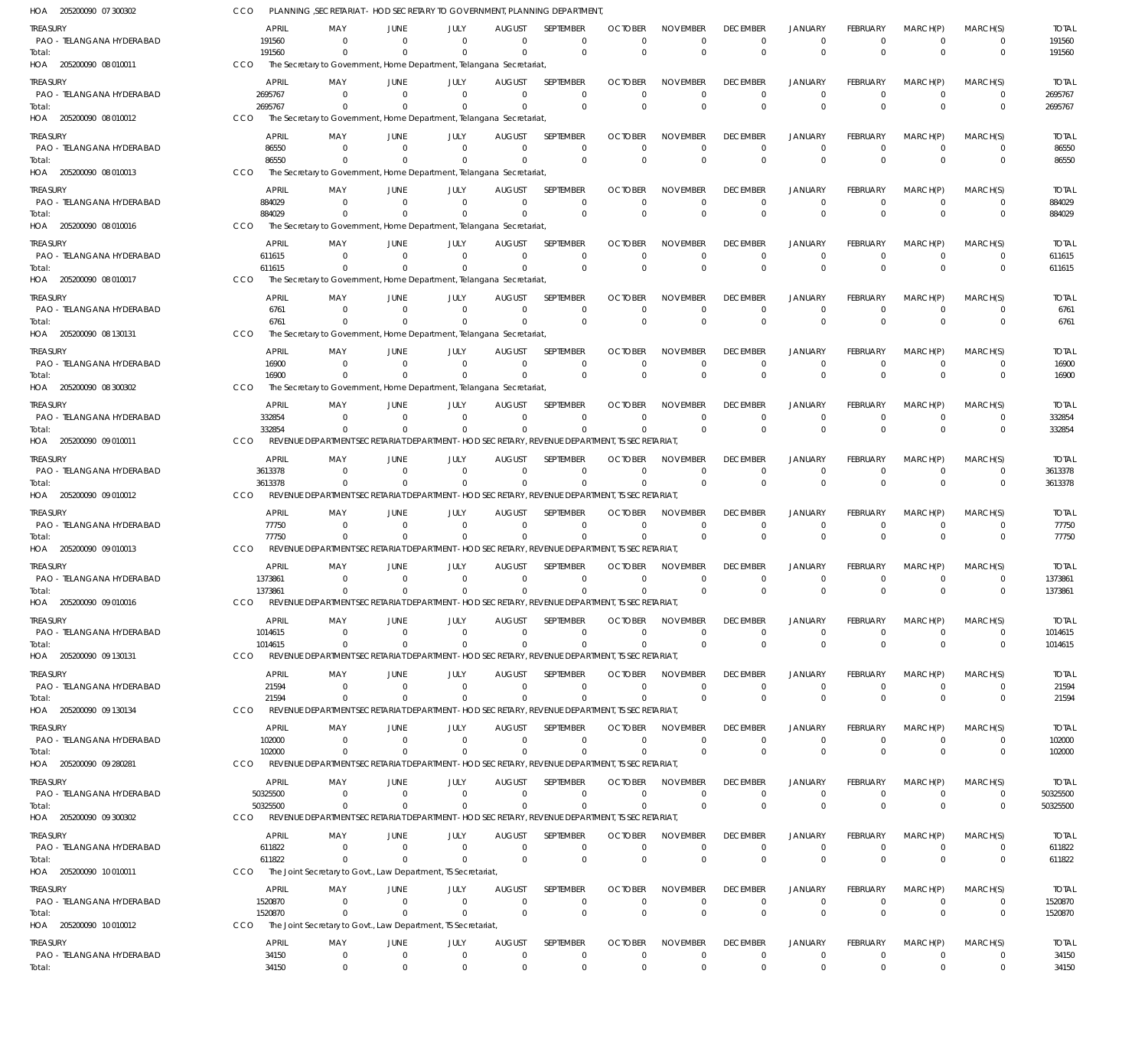205200090 07 300302 HOA 205200090 08 010011 HOA 205200090 08 010012 HOA 205200090 08 010013 HOA 205200090 08 010016 HOA 205200090 08 010017 HOA 205200090 08 130131 HOA 205200090 08 300302 HOA 205200090 09 010011 HOA 205200090 09 010012 HOA 205200090 09 010013 HOA 205200090 09 010016 HOA 205200090 09 130131 HOA 205200090 09 130134 HOA 205200090 09 280281 HOA 205200090 09 300302 HOA 205200090 10 010011 HOA 205200090 10 010012 HOA PLANNING ,SECRETARIAT - HOD SECRETARY TO GOVERNMENT, PLANNING DEPARTMENT, The Secretary to Government, Home Department, Telangana Secretariat, The Secretary to Government, Home Department, Telangana Secretariat, The Secretary to Government, Home Department, Telangana Secretariat, The Secretary to Government, Home Department, Telangana Secretariat, The Secretary to Government, Home Department, Telangana Secretariat, The Secretary to Government, Home Department, Telangana Secretariat, The Secretary to Government, Home Department, Telangana Secretariat, REVENUE DEPARTMENT SECRETARIAT DEPARTMENT -HOD SECRETARY, REVENUE DEPARTMENT, TS SECRETARIAT, REVENUE DEPARTMENT SECRETARIAT DEPARTMENT -HOD SECRETARY, REVENUE DEPARTMENT, TS SECRETARIAT, REVENUE DEPARTMENT SECRETARIAT DEPARTMENT -HOD SECRETARY, REVENUE DEPARTMENT, TS SECRETARIAT, REVENUE DEPARTMENT SECRETARIAT DEPARTMENT -HOD SECRETARY, REVENUE DEPARTMENT, TS SECRETARIAT, REVENUE DEPARTMENT SECRETARIAT DEPARTMENT -HOD SECRETARY, REVENUE DEPARTMENT, TS SECRETARIAT, REVENUE DEPARTMENT SECRETARIAT DEPARTMENT -HOD SECRETARY, REVENUE DEPARTMENT, TS SECRETARIAT, REVENUE DEPARTMENT SECRETARIAT DEPARTMENT -HOD SECRETARY, REVENUE DEPARTMENT, TS SECRETARIAT, REVENUE DEPARTMENT SECRETARIAT DEPARTMENT -HOD SECRETARY, REVENUE DEPARTMENT, TS SECRETARIAT, The Joint Secretary to Govt., Law Department, TS Secretariat, The Joint Secretary to Govt., Law Department, TS Secretariat, CCO CCO CCO CCO CCO CCO CCO CCO CCO CCO CCO. CCO **CCO** CCO **CCO** CCO CCO **CCO** 191560 2695767 86550 884029 611615 6761 16900 332854 3613378 77750 1373861 1014615 21594 102000 50325500 611822 1520870 34150 0 0 0 0  $\Omega$ 0 0 0  $\Omega$ 0 0  $\Omega$ 0 0 0  $\Omega$  $\Omega$ 0 0 0 0 0  $\Omega$ 0 0 0 0 0 0 0 0 0 0 0  $\Omega$  $\,$  0  $\,$ 0 0 0 0  $\Omega$ 0 0  $\Omega$ 0 0  $\Omega$ 0 0  $\Omega$ 0  $\Omega$ 0 0 0 0  $\Omega$ 0  $\Omega$  $\Omega$ 0  $\Omega$  $\Omega$ 0  $\Omega$ 0 0  $\Omega$ 0  $\Omega$  $\Omega$ 0 0 0 0 0  $\Omega$ 0 0  $\Omega$ 0 0  $\Omega$ 0 0  $\Omega$ 0  $\Omega$  $\Omega$  $\,$  0  $\,$ 0 0  $\Omega$ 0  $\Omega$ 0 0  $\Omega$  $\Omega$ 0  $\Omega$ 0 0  $\Omega$  $\Omega$  $\Omega$  $\Omega$ 0 0 0  $\Omega$ 0  $\Omega$  $\Omega$ 0  $\Omega$  $\Omega$ 0  $\Omega$ 0 0  $\Omega$ 0  $\Omega$  $\Omega$ 0 0 0  $\Omega$ 0  $\Omega$ 0 0  $\Omega$ 0 0  $\Omega$ 0 0  $\Omega$ 0  $\Omega$  $\Omega$ 0 0 0  $\Omega$ 0  $\Omega$ 0 0  $\Omega$ 0 0  $\Omega$ 0 0  $\Omega$ 0  $\Omega$  $\Omega$ 0 0 0 0 0  $\Omega$ 0 0  $\Omega$ 0 0  $\Omega$  $\boldsymbol{0}$ 0  $\Omega$ 0  $\Omega$  $\Omega$ 0 0 0  $\Omega$ 0  $\Omega$ 0 0  $\Omega$ 0 0  $\Omega$ 0 0  $\Omega$ 0  $\Omega$  $\Omega$ 0 0  $\Omega$  $\Omega$ 0  $\Omega$  $\Omega$ 0  $\Omega$ 0 0  $\Omega$ 0 0  $\Omega$ 0  $\Omega$  $\Omega$ 0 191560 2695767 86550 884029 611615 6761 16900 332854 3613378 77750 1373861 1014615 21594 102000 50325500 611822 1520870 34150 PAO - TELANGANA HYDERABAD PAO - TELANGANA HYDERABAD PAO - TELANGANA HYDERABAD PAO - TELANGANA HYDERABAD PAO - TELANGANA HYDERABAD PAO - TELANGANA HYDERABAD PAO - TELANGANA HYDERABAD PAO - TELANGANA HYDERABAD PAO - TELANGANA HYDERABAD PAO - TELANGANA HYDERABAD PAO - TELANGANA HYDERABAD PAO - TELANGANA HYDERABAD PAO - TELANGANA HYDERABAD PAO - TELANGANA HYDERABAD PAO - TELANGANA HYDERABAD PAO - TELANGANA HYDERABAD PAO - TELANGANA HYDERABAD PAO - TELANGANA HYDERABAD TREASURY **TREASURY** TREASURY TREASURY **TREASURY** TREASURY TREASURY **TREASURY** TREASURY TREASURY **TREASURY** TREASURY TREASURY **TREASURY** TREASURY TREASURY **TREASURY** TREASURY 191560 2695767 86550 884029 611615 6761 16900 332854 3613378 77750 1373861 1014615 21594 102000 50325500 611822 1520870 34150 APRIL APRIL APRIL APRIL APRIL APRIL APRIL APRIL APRIL APRIL APRIL APRIL APRIL APRIL APRIL APRIL APRIL APRIL  $\sqrt{0}$ 0 0  $\Omega$ 0 0  $\Omega$ 0 0 0 0 0 0 0 0 0 0  $\Omega$ MAY MAY MAY MAY MAY MAY MAY MAY MAY MAY MAY MAY MAY MAY MAY MAY MAY MAY 0 0 0  $\Omega$ 0 0 0 0 0 0 0 0  $\,$  0  $\,$ 0 0  $\,$  0  $\,$ 0  $\Omega$ JUNE **JUNE** JUNE JUNE **JUNE** JUNE JUNE **JUNE** JUNE JUNE JUNE JUNE JUNE JUNE JUNE JUNE JUNE JUNE 0 0 0 0 0 0 0  $\,$  0  $\,$ 0  $\,$  0  $\,$ 0 0 0  $\,$  0  $\,$  $\Omega$ 0 0  $\Omega$ JULY JULY JULY JULY JULY JULY JULY JULY JULY JULY JULY JULY JULY JULY JULY JULY JULY JULY  $\Omega$ 0 0  $\Omega$ 0 0 0 0 0 0 0 0 0 0  $\Omega$ 0 0  $\Omega$ AUGUST **AUGUST** AUGUST AUGUST **AUGUST** AUGUST AUGUST AUGUST AUGUST AUGUST AUGUST AUGUST AUGUST **AUGUST** AUGUST AUGUST **AUGUST** AUGUST  $\Omega$ 0  $\Omega$  $\Omega$ 0 0  $\Omega$ 0 0 0 0 0 0 0  $\Omega$ 0 0  $\Omega$ SEPTEMBER **SEPTEMBER SEPTEMBER** SEPTEMBER **SEPTEMBER** SEPTEMBER SEPTEMBER **SEPTEMBER** SEPTEMBER SEPTEMBER **SEPTEMBER** SEPTEMBER SEPTEMBER **SEPTEMBER** SEPTEMBER SEPTEMBER **SEPTEMBER** SEPTEMBER  $\Omega$ 0  $\Omega$  $\Omega$ 0 0  $\Omega$ 0 0  $\Omega$ 0 0 0 0  $\Omega$  $\Omega$ 0  $\Omega$ OCTOBER **OCTOBER** OCTOBER **OCTOBER OCTOBER** OCTOBER OCTOBER **OCTOBER** OCTOBER **OCTOBER OCTOBER** OCTOBER **OCTOBER OCTOBER** OCTOBER **OCTOBER** OCTOBER **OCTOBER**  $\Omega$ 0 0  $\Omega$ 0 0  $\Omega$ 0 0  $\Omega$ 0 0 0 0  $\Omega$  $\Omega$ 0  $\Omega$ NOVEMBER NOVEMBER NOVEMBER NOVEMBER NOVEMBER NOVEMBER NOVEMBER NOVEMBER NOVEMBER NOVEMBER NOVEMBER NOVEMBER NOVEMBER NOVEMBER NOVEMBER NOVEMBER NOVEMBER NOVEMBER  $\Omega$ 0 0  $\Omega$ 0 0  $\Omega$ 0 0  $\Omega$ 0 0  $\Omega$ 0  $\Omega$  $\Omega$ 0  $\Omega$ DECEMBER **DECEMBER** DECEMBER DECEMBER **DECEMBER** DECEMBER DECEMBER **DECEMBER** DECEMBER DECEMBER **DECEMBER** DECEMBER DECEMBER **DECEMBER** DECEMBER DECEMBER **DECEMBER** DECEMBER  $\Omega$ 0 0  $\Omega$ 0 0  $\Omega$ 0 0  $\Omega$ 0 0  $\Omega$ 0  $\Omega$  $\Omega$ 0  $\Omega$ JANUARY JANUARY JANUARY JANUARY JANUARY JANUARY JANUARY JANUARY JANUARY JANUARY JANUARY JANUARY JANUARY JANUARY JANUARY JANUARY JANUARY JANUARY  $\Omega$ 0  $\Omega$  $\Omega$ 0 0 0 0 0  $\Omega$ 0 0 0 0  $\Omega$ 0 0  $\Omega$ FEBRUARY **FEBRUARY** FEBRUARY FEBRUARY FEBRUARY FEBRUARY FEBRUARY FEBRUARY FEBRUARY FEBRUARY FEBRUARY FEBRUARY FEBRUARY FEBRUARY FEBRUARY FEBRUARY FEBRUARY FEBRUARY  $\Omega$ 0  $\Omega$  $\Omega$ 0 0  $\Omega$ 0  $\Omega$  $\Omega$ 0 0 0 0  $\Omega$  $\Omega$ 0  $\Omega$ MARCH(P) MARCH(P) MARCH(P) MARCH(P) MARCH(P) MARCH(P) MARCH(P) MARCH(P) MARCH(P) MARCH(P) MARCH(P) MARCH(P) MARCH(P) MARCH(P) MARCH(P) MARCH(P) MARCH(P) MARCH(P)  $\Omega$ 0  $\Omega$  $\Omega$ 0 0  $\Omega$ 0  $\Omega$ 0 0  $\Omega$  $\Omega$ 0  $\Omega$ 0 0  $\Omega$ MARCH(S) MARCH(S) MARCH(S) MARCH(S) MARCH(S) MARCH(S) MARCH(S) MARCH(S) MARCH(S) MARCH(S) MARCH(S) MARCH(S) MARCH(S) MARCH(S) MARCH(S) MARCH(S) MARCH(S) MARCH(S) 191560 2695767 86550 884029 611615 6761 16900 332854 3613378 77750 1373861 1014615 21594 102000 50325500 611822 1520870 34150 TOTAL TOTAL TOTAL TOTAL TOTAL TOTAL TOTAL TOTAL TOTAL TOTAL TOTAL TOTAL TOTAL TOTAL TOTAL TOTAL TOTAL TOTAL Total: Total: Total: Total: Total: Total: Total: Total: Total: Total: Total: Total: Total: Total: Total: Total: Total: Total: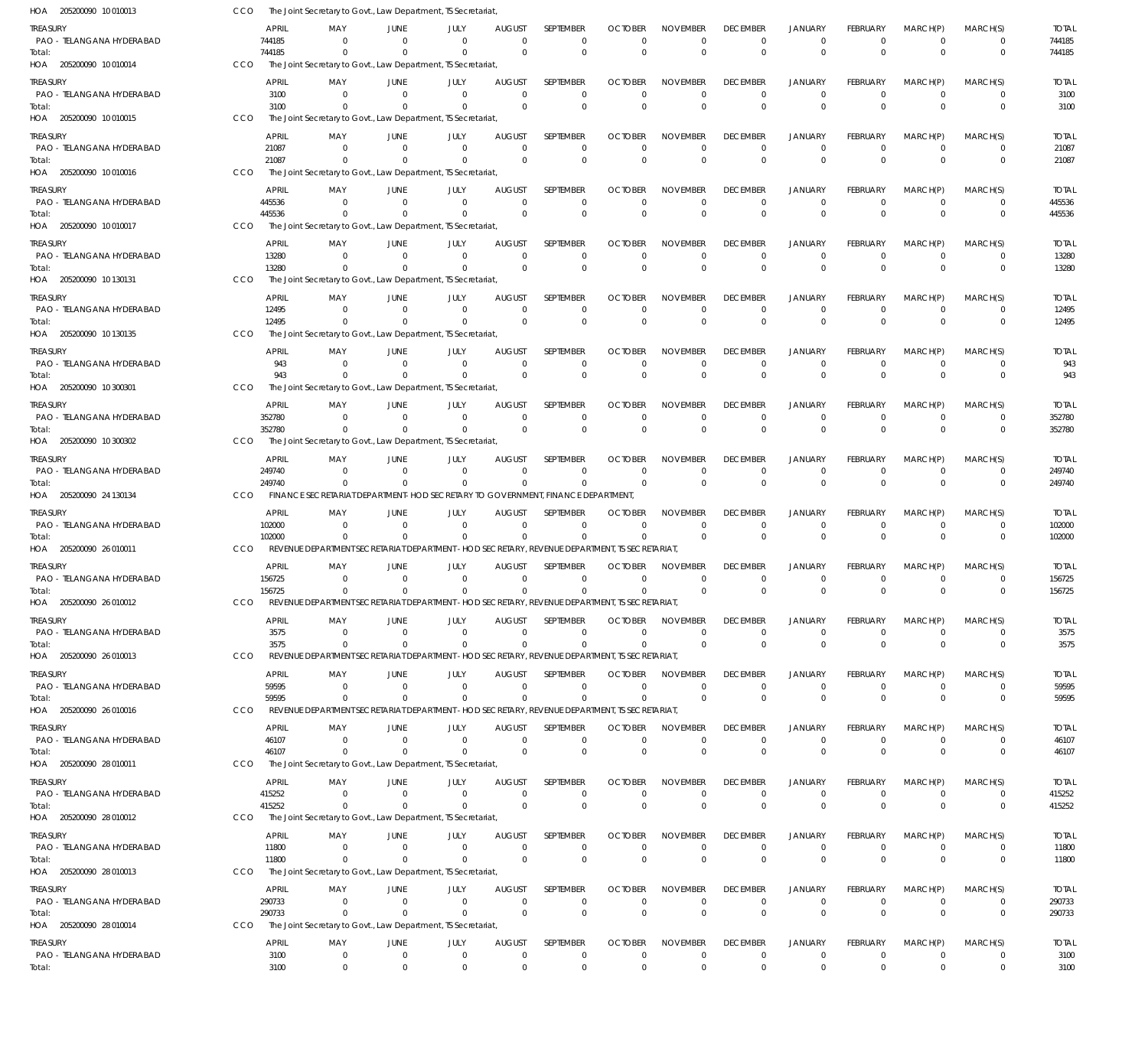205200090 10 010013 HOA 205200090 10 010014 HOA 205200090 10 010015 HOA 205200090 10 010016 HOA 205200090 10 010017 HOA 205200090 10 130131 HOA 205200090 10 130135 HOA 205200090 10 300301 HOA 205200090 10 300302 HOA 205200090 24 130134 HOA 205200090 26 010011 HOA 205200090 26 010012 HOA 205200090 26 010013 HOA 205200090 26 010016 HOA 205200090 28 010011 HOA 205200090 28 010012 HOA 205200090 28 010013 HOA 205200090 28 010014 HOA The Joint Secretary to Govt., Law Department, TS Secretariat, The Joint Secretary to Govt., Law Department, TS Secretariat, The Joint Secretary to Govt., Law Department, TS Secretariat, The Joint Secretary to Govt., Law Department, TS Secretariat, The Joint Secretary to Govt., Law Department, TS Secretariat, The Joint Secretary to Govt., Law Department, TS Secretariat, The Joint Secretary to Govt., Law Department, TS Secretariat, The Joint Secretary to Govt., Law Department, TS Secretariat, The Joint Secretary to Govt., Law Department, TS Secretariat, FINANCE SECRETARIAT DEPARTMENT-HOD SECRETARY TO GOVERNMENT, FINANCE DEPARTMENT, REVENUE DEPARTMENT SECRETARIAT DEPARTMENT -HOD SECRETARY, REVENUE DEPARTMENT, TS SECRETARIAT, REVENUE DEPARTMENT SECRETARIAT DEPARTMENT -HOD SECRETARY, REVENUE DEPARTMENT, TS SECRETARIAT, REVENUE DEPARTMENT SECRETARIAT DEPARTMENT -HOD SECRETARY, REVENUE DEPARTMENT, TS SECRETARIAT, REVENUE DEPARTMENT SECRETARIAT DEPARTMENT -HOD SECRETARY, REVENUE DEPARTMENT, TS SECRETARIAT, The Joint Secretary to Govt., Law Department, TS Secretariat, The Joint Secretary to Govt., Law Department, TS Secretariat, The Joint Secretary to Govt., Law Department, TS Secretariat, The Joint Secretary to Govt., Law Department, TS Secretariat, CCO CCO **CCO CCO** CCO CCO CCO CCO. CCO CCO CCO **CCO CCO** CCO **CCO CCO** CCO **CCO** 744185 3100 21087 445536 13280 12495 943 352780 249740 102000 156725 3575 59595 46107 415252 11800 290733 3100 0 0  $\Omega$ 0 0  $\Omega$ 0  $\Omega$  $\Omega$ 0 0 0 0 0 0  $\Omega$  $\Omega$ 0 0 0 0 0  $\Omega$ 0 0  $\Omega$ 0 0  $\Omega$ 0 0  $\Omega$  $\,$  0  $\,$ 0  $\Omega$ 0 0 0 0 0 0 0 0  $\mathbf{0}$ 0 0  $\Omega$ 0 0  $\mathbf{0}$ 0  $\Omega$ 0 0 0 0  $\Omega$ 0  $\Omega$ 0 0  $\Omega$  $\Omega$ 0  $\Omega$ 0 0  $\Omega$ 0  $\Omega$  $\Omega$ 0 0 0 0 0  $\Omega$ 0 0  $\Omega$  $\Omega$ 0  $\Omega$ 0 0  $\Omega$ 0  $\Omega$  $\Omega$ 0 0 0  $\Omega$ 0  $\Omega$ 0 0  $\Omega$  $\Omega$ 0  $\Omega$ 0 0  $\Omega$ 0  $\Omega$  $\Omega$ 0 0 0  $\Omega$ 0  $\Omega$ 0 0  $\Omega$  $\Omega$ 0  $\Omega$ 0 0  $\Omega$ 0  $\Omega$  $\Omega$ 0 0 0  $\Omega$ 0  $\Omega$ 0 0  $\Omega$ 0 0  $\Omega$ 0 0  $\Omega$ 0  $\Omega$  $\Omega$ 0 0 0  $\Omega$ 0  $\Omega$ 0 0  $\Omega$ 0 0  $\Omega$ 0 0  $\Omega$ 0  $\Omega$  $\Omega$ 0 0 0 0 0  $\Omega$ 0 0  $\Omega$  $\,$  0  $\,$ 0  $\Omega$  $\boldsymbol{0}$ 0  $\Omega$ 0  $\Omega$  $\Omega$ 0 0 0  $\Omega$ 0  $\Omega$ 0 0  $\Omega$ 0 0  $\Omega$ 0 0  $\Omega$ 0  $\Omega$  $\Omega$ 0 0  $\Omega$  $\Omega$ 0  $\Omega$ 0 0  $\Omega$ 0 0  $\Omega$ 0 0  $\Omega$ 0  $\Omega$  $\Omega$ 0 744185 3100 21087 445536 13280 12495 943 352780 249740 102000 156725 3575 59595 46107 415252 11800 290733 3100 PAO - TELANGANA HYDERABAD PAO - TELANGANA HYDERABAD PAO - TELANGANA HYDERABAD PAO - TELANGANA HYDERABAD PAO - TELANGANA HYDERABAD PAO - TELANGANA HYDERABAD PAO - TELANGANA HYDERABAD PAO - TELANGANA HYDERABAD PAO - TELANGANA HYDERABAD PAO - TELANGANA HYDERABAD PAO - TELANGANA HYDERABAD PAO - TELANGANA HYDERABAD PAO - TELANGANA HYDERABAD PAO - TELANGANA HYDERABAD PAO - TELANGANA HYDERABAD PAO - TELANGANA HYDERABAD PAO - TELANGANA HYDERABAD PAO - TELANGANA HYDERABAD TREASURY **TREASURY** TREASURY TREASURY **TREASURY** TREASURY TREASURY **TREASURY** TREASURY TREASURY **TREASURY** TREASURY TREASURY **TREASURY** TREASURY TREASURY **TREASURY** TREASURY 744185 3100 21087 445536 13280 12495 943 352780 249740 102000 156725 3575 59595 46107 415252 11800 290733 3100 APRIL APRIL APRIL APRIL APRIL APRIL APRIL APRIL APRIL APRIL APRIL APRIL APRIL APRIL APRIL APRIL APRIL APRIL  $\Omega$ 0 0  $\Omega$ 0 0  $\Omega$ 0 0 0 0 0 0 0 0 0 0  $\Omega$ MAY MAY MAY MAY MAY MAY MAY MAY MAY MAY MAY MAY MAY MAY MAY MAY MAY MAY 0 0 0  $\Omega$ 0 0 0  $\,$  0  $\,$ 0 0 0 0  $\,$  0  $\,$ 0 0  $\,$  0  $\,$ 0  $\Omega$ JUNE **JUNE** JUNE JUNE **JUNE** JUNE JUNE **JUNE** JUNE JUNE JUNE JUNE JUNE JUNE JUNE JUNE JUNE JUNE 0 0 0 0 0 0  $\,$  0  $\,$  $\,$  0  $\,$ 0  $\,$  0  $\,$ 0 0  $\,$  0  $\,$ 0  $\Omega$ 0 0  $\Omega$ JULY JULY JULY JULY JULY JULY JULY JULY JULY JULY JULY JULY JULY JULY JULY JULY JULY JULY  $\Omega$ 0 0  $\Omega$ 0 0  $\Omega$ 0 0 0 0 0 0 0  $\Omega$ 0 0  $\Omega$ AUGUST **AUGUST** AUGUST AUGUST **AUGUST** AUGUST AUGUST AUGUST AUGUST AUGUST AUGUST AUGUST AUGUST **AUGUST** AUGUST AUGUST **AUGUST** AUGUST  $\Omega$ 0 0  $\Omega$ 0 0  $\Omega$ 0 0 0 0 0 0 0  $\Omega$ 0 0  $\Omega$ SEPTEMBER **SEPTEMBER** SEPTEMBER SEPTEMBER **SEPTEMBER** SEPTEMBER SEPTEMBER SEPTEMBER SEPTEMBER SEPTEMBER **SEPTEMBER** SEPTEMBER SEPTEMBER **SEPTEMBER** SEPTEMBER SEPTEMBER **SEPTEMBER** SEPTEMBER  $\Omega$ 0  $\Omega$  $\Omega$ 0 0  $\Omega$ 0 0  $\Omega$ 0 0 0 0  $\Omega$  $\Omega$ 0  $\Omega$ **OCTOBER OCTOBER** OCTOBER **OCTOBER OCTOBER** OCTOBER OCTOBER **OCTOBER** OCTOBER **OCTOBER OCTOBER** OCTOBER **OCTOBER OCTOBER OCTOBER OCTOBER OCTOBER OCTOBER**  $\Omega$ 0 0  $\Omega$ 0 0  $\Omega$ 0 0  $\Omega$ 0 0 0 0  $\Omega$  $\Omega$ 0  $\Omega$ NOVEMBER NOVEMBER NOVEMBER NOVEMBER NOVEMBER NOVEMBER NOVEMBER NOVEMBER NOVEMBER NOVEMBER NOVEMBER NOVEMBER NOVEMBER NOVEMBER NOVEMBER NOVEMBER NOVEMBER NOVEMBER  $\Omega$ 0 0  $\Omega$ 0 0  $\Omega$ 0 0  $\Omega$ 0 0 0 0  $\Omega$  $\Omega$ 0  $\Omega$ DECEMBER **DECEMBER** DECEMBER DECEMBER **DECEMBER** DECEMBER DECEMBER **DECEMBER** DECEMBER DECEMBER **DECEMBER** DECEMBER DECEMBER **DECEMBER** DECEMBER DECEMBER **DECEMBER** DECEMBER  $\Omega$ 0 0  $\Omega$ 0 0  $\Omega$ 0 0  $\Omega$ 0 0 0 0  $\Omega$  $\Omega$ 0  $\Omega$ JANUARY JANUARY JANUARY JANUARY JANUARY JANUARY JANUARY JANUARY JANUARY JANUARY JANUARY JANUARY JANUARY JANUARY JANUARY JANUARY JANUARY JANUARY 0 0 0  $\Omega$ 0 0 0 0 0 0 0 0 0 0  $\Omega$ 0 0  $\Omega$ FEBRUARY **FEBRUARY** FEBRUARY FEBRUARY FEBRUARY FEBRUARY FEBRUARY FEBRUARY FEBRUARY FEBRUARY FEBRUARY FEBRUARY FEBRUARY FEBRUARY FEBRUARY FEBRUARY FEBRUARY FEBRUARY  $\Omega$ 0  $\Omega$  $\Omega$ 0 0  $\Omega$ 0  $\Omega$  $\Omega$ 0 0 0 0  $\Omega$  $\Omega$ 0  $\Omega$ MARCH(P) MARCH(P) MARCH(P) MARCH(P) MARCH(P) MARCH(P) MARCH(P) MARCH(P) MARCH(P) MARCH(P) MARCH(P) MARCH(P) MARCH(P) MARCH(P) MARCH(P) MARCH(P) MARCH(P) MARCH(P)  $\Omega$ 0  $\Omega$  $\Omega$ 0 0  $\Omega$ 0  $\Omega$  $\Omega$ 0 0  $\Omega$ 0  $\Omega$  $\Omega$ 0  $\Omega$ MARCH(S) MARCH(S) MARCH(S) MARCH(S) MARCH(S) MARCH(S) MARCH(S) MARCH(S) MARCH(S) MARCH(S) MARCH(S) MARCH(S) MARCH(S) MARCH(S) MARCH(S) MARCH(S) MARCH(S) MARCH(S) 744185 3100 21087 445536 13280 12495 943 352780 249740 102000 156725 3575 59595 46107 415252 11800 290733 3100 TOTAL TOTAL TOTAL TOTAL TOTAL TOTAL TOTAL TOTAL TOTAL TOTAL TOTAL TOTAL TOTAL TOTAL TOTAL TOTAL TOTAL TOTAL Total: Total: Total: Total: Total: Total: Total: Total: Total: Total: Total: Total: Total: Total: Total: Total: Total: Total: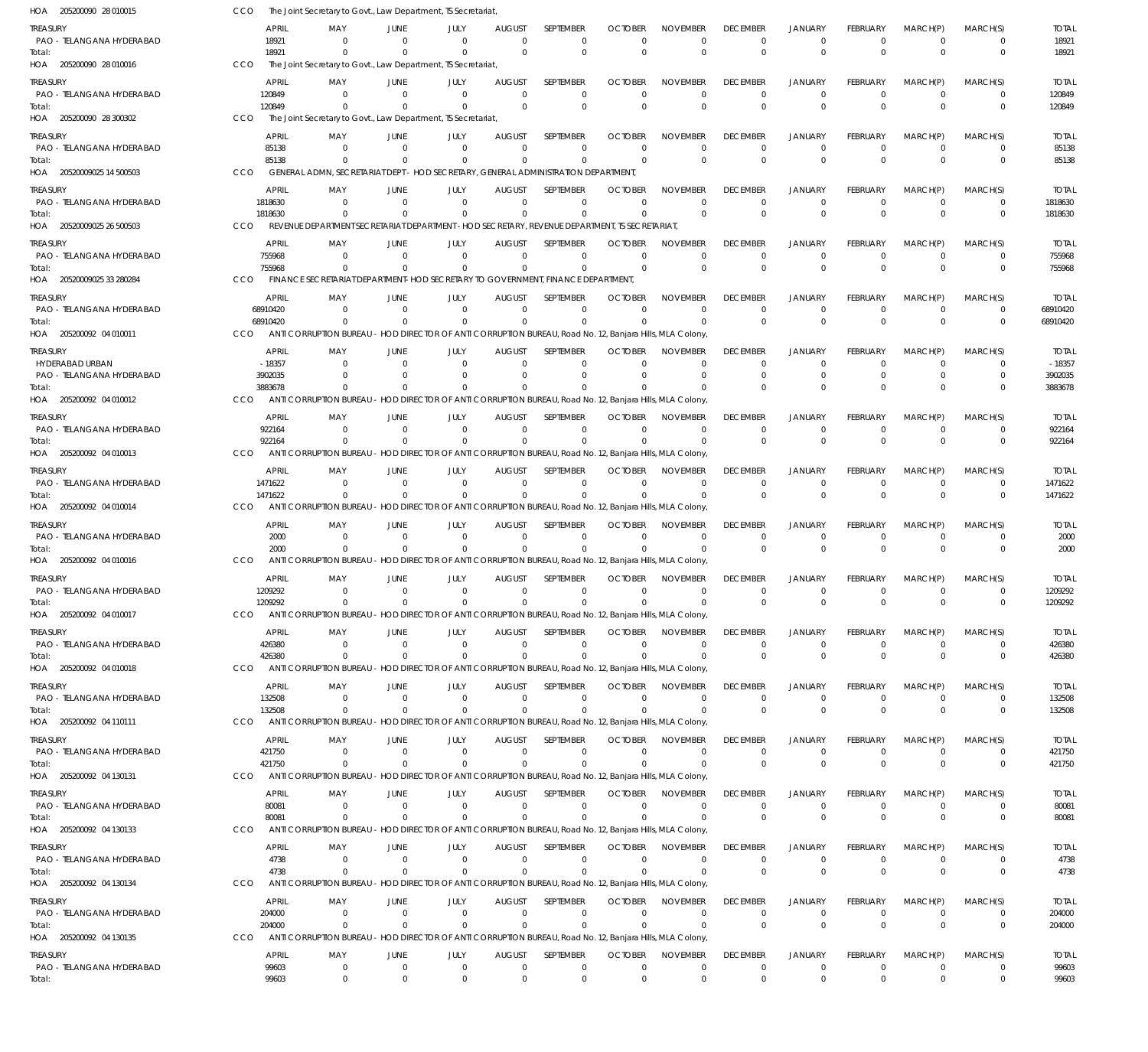| HOA 205200090 28 010015               | CCO                  |                        | The Joint Secretary to Govt., Law Department, TS Secretariat                                                               |                                  |                          |                            |                             |                               |                             |                                   |                                  |                               |                         |                            |                         |
|---------------------------------------|----------------------|------------------------|----------------------------------------------------------------------------------------------------------------------------|----------------------------------|--------------------------|----------------------------|-----------------------------|-------------------------------|-----------------------------|-----------------------------------|----------------------------------|-------------------------------|-------------------------|----------------------------|-------------------------|
| Treasury<br>PAO - TELANGANA HYDERABAD |                      | <b>APRIL</b><br>18921  | MAY<br>$\Omega$                                                                                                            | JUNE<br>$\Omega$                 | JULY<br>$\Omega$         | AUGUST<br>$\overline{0}$   | SEPTEMBER<br>$\mathbf 0$    | <b>OCTOBER</b><br>$\Omega$    | <b>NOVEMBER</b><br>$\Omega$ | <b>DECEMBER</b><br>$^{\circ}$     | <b>JANUARY</b><br>$\overline{0}$ | FEBRUARY<br>$\overline{0}$    | MARCH(P)<br>$\mathbf 0$ | MARCH(S)<br>$\mathbf 0$    | <b>TOTAL</b><br>18921   |
| Total:<br>HOA 205200090 28 010016     | CCO                  | 18921                  | $\Omega$<br>The Joint Secretary to Govt., Law Department, TS Secretariat                                                   | $\Omega$                         | $\Omega$                 | $\Omega$                   | $\mathbf 0$                 | $\Omega$                      | $\Omega$                    | $\mathbf 0$                       | $\mathbf 0$                      | $\Omega$                      | $\Omega$                | $\mathbf 0$                | 18921                   |
| treasury                              |                      | <b>APRIL</b>           | MAY                                                                                                                        | JUNE                             | JULY                     | <b>AUGUST</b>              | SEPTEMBER                   | <b>OCTOBER</b>                | <b>NOVEMBER</b>             | <b>DECEMBER</b>                   | <b>JANUARY</b>                   | FEBRUARY                      | MARCH(P)                | MARCH(S)                   | <b>TOTAL</b>            |
| PAO - TELANGANA HYDERABAD             |                      | 120849                 | $\Omega$                                                                                                                   | $\Omega$                         | $\Omega$                 | $\Omega$                   | $\mathbf 0$                 | $\Omega$                      | $\Omega$                    | $\overline{0}$                    | $\overline{0}$                   | $\Omega$                      | $\mathbf 0$             | 0                          | 120849                  |
| Total:                                |                      | 120849                 | $\Omega$                                                                                                                   | $\Omega$                         | $\Omega$                 | $\Omega$                   | $\Omega$                    | $\Omega$                      | $\Omega$                    | $\mathbf 0$                       | $\mathbf{0}$                     | $\Omega$                      | $\Omega$                | $\mathbf 0$                | 120849                  |
| HOA 205200090 28 300302               | CCO                  |                        | The Joint Secretary to Govt., Law Department, TS Secretariat                                                               |                                  |                          |                            |                             |                               |                             |                                   |                                  |                               |                         |                            |                         |
| treasury<br>PAO - TELANGANA HYDERABAD |                      | <b>APRIL</b><br>85138  | MAY<br>$\Omega$                                                                                                            | JUNE<br>$\Omega$                 | JULY<br>$\Omega$         | <b>AUGUST</b><br>$\Omega$  | SEPTEMBER<br>$\mathbf 0$    | <b>OCTOBER</b><br>$\Omega$    | <b>NOVEMBER</b><br>$\Omega$ | <b>DECEMBER</b><br>$\overline{0}$ | JANUARY<br>$\mathbf 0$           | FEBRUARY<br>$\overline{0}$    | MARCH(P)<br>$\mathbf 0$ | MARCH(S)<br>$\mathbf 0$    | <b>TOTAL</b><br>85138   |
| Total:                                |                      | 85138                  | $\Omega$                                                                                                                   | $\Omega$                         | $\Omega$                 | $\Omega$                   | $\Omega$                    | $\Omega$                      | $\Omega$                    | $\mathbf 0$                       | $\mathbf 0$                      | $\Omega$                      | $\Omega$                | $\mathbf 0$                | 85138                   |
| HOA 20520009025 14 500503             | CCO                  |                        | GENERAL ADMN, SECRETARIAT DEPT - HOD SECRETARY, GENERAL ADMINISTRATION DEPARTMENT,                                         |                                  |                          |                            |                             |                               |                             |                                   |                                  |                               |                         |                            |                         |
| treasury                              |                      | APRIL                  | MAY                                                                                                                        | JUNE                             | JULY                     | <b>AUGUST</b>              | <b>SEPTEMBER</b>            | <b>OCTOBER</b>                | <b>NOVEMBER</b>             | <b>DECEMBER</b>                   | <b>JANUARY</b>                   | FEBRUARY                      | MARCH(P)                | MARCH(S)                   | <b>TOTAL</b>            |
| PAO - TELANGANA HYDERABAD             |                      | 1818630                | $\Omega$                                                                                                                   | $\Omega$                         | $\Omega$                 | $\Omega$                   | $\Omega$                    | $\Omega$                      | $\Omega$                    | $\overline{0}$                    | $\mathbf 0$                      | $\Omega$                      | $\Omega$                | $\mathbf 0$                | 1818630                 |
| Total:<br>HOA 20520009025 26 500503   | <b>CCO</b>           | 1818630                | $\Omega$<br>REVENUE DEPARTMENT SECRETARIAT DEPARTMENT - HOD SECRETARY, REVENUE DEPARTMENT, TS SECRETARIAT                  | $\Omega$                         | $\Omega$                 | $\Omega$                   | $\Omega$                    | $\Omega$                      | $\Omega$                    | $^{\circ}$                        | $\mathbf 0$                      | $\Omega$                      | $\mathbf{0}$            | $\mathbf 0$                | 1818630                 |
| treasury                              |                      | <b>APRIL</b>           | MAY                                                                                                                        | JUNE                             | JULY                     | <b>AUGUST</b>              | SEPTEMBER                   | <b>OCTOBER</b>                | <b>NOVEMBER</b>             | <b>DECEMBER</b>                   | <b>JANUARY</b>                   | FEBRUARY                      | MARCH(P)                | MARCH(S)                   | <b>TOTAL</b>            |
| PAO - TELANGANA HYDERABAD             |                      | 755968                 | $\Omega$                                                                                                                   | $\Omega$                         | $\mathbf 0$              | $\overline{0}$             | $\mathbf 0$                 | $\Omega$                      | $\Omega$                    | $^{\circ}$                        | $\overline{0}$                   | $^{\circ}$                    | $\overline{0}$          | 0                          | 755968                  |
| Total:                                |                      | 755968                 | $\Omega$                                                                                                                   | $\Omega$                         | $\Omega$                 | $\Omega$                   | $\Omega$                    | $\Omega$                      | $\Omega$                    | $\Omega$                          | $\mathbf 0$                      | $\Omega$                      | $\Omega$                | $\mathbf 0$                | 755968                  |
| HOA 20520009025 33 280284             | CCO                  |                        | FINANCE SECRETARIAT DEPARTMENT-HOD SECRETARY TO GOVERNMENT, FINANCE DEPARTMENT                                             |                                  |                          |                            |                             |                               |                             |                                   |                                  |                               |                         |                            |                         |
| treasury                              |                      | <b>APRIL</b>           | MAY                                                                                                                        | JUNE                             | JULY                     | <b>AUGUST</b>              | SEPTEMBER                   | <b>OCTOBER</b>                | <b>NOVEMBER</b>             | <b>DECEMBER</b>                   | <b>JANUARY</b>                   | FEBRUARY                      | MARCH(P)                | MARCH(S)                   | <b>TOTAL</b>            |
| PAO - TELANGANA HYDERABAD<br>Total:   | 68910420<br>68910420 |                        | $\Omega$<br>$\Omega$                                                                                                       | $\Omega$<br>$\Omega$             | $\Omega$<br>$\Omega$     | $\Omega$<br>$\Omega$       | $\Omega$<br>$\Omega$        | $\Omega$<br>$\Omega$          | $\Omega$<br>$\Omega$        | $^{\circ}$<br>$\mathbf 0$         | $\mathbf 0$<br>$\mathbf{0}$      | $\Omega$<br>$\Omega$          | $\Omega$<br>$\Omega$    | 0<br>$\Omega$              | 68910420<br>68910420    |
| HOA 205200092 04 010011               | <b>CCO</b>           |                        | ANTI CORRUPTION BUREAU - HOD DIRECTOR OF ANTI CORRUPTION BUREAU, Road No. 12, Banjara Hills, MLA Colony,                   |                                  |                          |                            |                             |                               |                             |                                   |                                  |                               |                         |                            |                         |
| treasury                              |                      | <b>APRIL</b>           | MAY                                                                                                                        | JUNE                             | JULY                     | <b>AUGUST</b>              | SEPTEMBER                   | <b>OCTOBER</b>                | <b>NOVEMBER</b>             | <b>DECEMBER</b>                   | <b>JANUARY</b>                   | FEBRUARY                      | MARCH(P)                | MARCH(S)                   | <b>TOTAL</b>            |
| HYDERABAD URBAN                       |                      | $-18357$               | $\Omega$                                                                                                                   | $\Omega$                         | $\Omega$                 | $\Omega$                   | $\mathbf 0$                 | $\Omega$                      | $\Omega$                    | $^{\circ}$                        | $\Omega$                         | $\Omega$                      | $\Omega$                | $\mathbf 0$                | $-18357$                |
| PAO - TELANGANA HYDERABAD<br>Total:   |                      | 3902035<br>3883678     | $\Omega$<br>$\Omega$                                                                                                       | $\Omega$<br>$\Omega$             | $\Omega$<br>$\Omega$     | $\Omega$<br>$\Omega$       | $\mathbf 0$<br>$\Omega$     | $\Omega$                      | $\Omega$<br>$\Omega$        | $\Omega$<br>$\Omega$              | $\overline{0}$<br>$\Omega$       | $\Omega$<br>$\Omega$          | $\Omega$<br>$\Omega$    | $\mathbf 0$<br>0           | 3902035<br>3883678      |
| HOA 205200092 04 010012               | <b>CCO</b>           |                        | ANTI CORRUPTION BUREAU - HOD DIRECTOR OF ANTI CORRUPTION BUREAU, Road No. 12, Banjara Hills, MLA Colony,                   |                                  |                          |                            |                             |                               |                             |                                   |                                  |                               |                         |                            |                         |
| treasury                              |                      | APRIL                  | MAY                                                                                                                        | JUNE                             | JULY                     | <b>AUGUST</b>              | SEPTEMBER                   | <b>OCTOBER</b>                | <b>NOVEMBER</b>             | <b>DECEMBER</b>                   | <b>JANUARY</b>                   | FEBRUARY                      | MARCH(P)                | MARCH(S)                   | <b>TOTAL</b>            |
| PAO - TELANGANA HYDERABAD             |                      | 922164                 | $\Omega$                                                                                                                   | $\Omega$                         | $\Omega$                 | $\Omega$                   | $\Omega$                    | $\Omega$                      | $\Omega$                    | $\overline{0}$                    | $\Omega$                         | $\Omega$                      | $\Omega$                | $\Omega$                   | 922164                  |
| Total:                                |                      | 922164                 | $\Omega$                                                                                                                   | $\Omega$                         | $\Omega$                 | $\Omega$                   | $\Omega$                    | $\Omega$                      | $\Omega$                    | $\mathbf 0$                       | $\mathbf{0}$                     | $\Omega$                      | $\Omega$                | $\Omega$                   | 922164                  |
| HOA 205200092 04 010013               | CCO                  |                        | ANTI CORRUPTION BUREAU - HOD DIRECTOR OF ANTI CORRUPTION BUREAU, Road No. 12, Banjara Hills, MLA Colony                    |                                  |                          |                            |                             |                               |                             |                                   |                                  |                               |                         |                            |                         |
| treasury<br>PAO - TELANGANA HYDERABAD |                      | APRIL<br>1471622       | MAY<br>$\overline{0}$                                                                                                      | JUNE<br>$\Omega$                 | JULY<br>$\Omega$         | <b>AUGUST</b><br>$\Omega$  | SEPTEMBER<br>$\mathbf 0$    | <b>OCTOBER</b><br>$\Omega$    | <b>NOVEMBER</b><br>$\Omega$ | <b>DECEMBER</b><br>$^{\circ}$     | JANUARY<br>$\overline{0}$        | FEBRUARY<br>$\overline{0}$    | MARCH(P)<br>$\Omega$    | MARCH(S)<br>$\mathbf 0$    | <b>TOTAL</b><br>1471622 |
| Total:                                |                      | 1471622                | $\Omega$                                                                                                                   | $\Omega$                         | $\Omega$                 | $\mathbf 0$                | $\Omega$                    |                               | $\Omega$                    | $^{\circ}$                        | $\mathbf{0}$                     | $\Omega$                      | $\Omega$                | $\mathbf 0$                | 1471622                 |
| HOA 205200092 04 010014               | CCO                  |                        | ANTI CORRUPTION BUREAU - HOD DIRECTOR OF ANTI CORRUPTION BUREAU, Road No. 12, Banjara Hills, MLA Colony,                   |                                  |                          |                            |                             |                               |                             |                                   |                                  |                               |                         |                            |                         |
| treasury                              |                      | <b>APRIL</b>           | MAY                                                                                                                        | JUNE                             | JULY                     | <b>AUGUST</b>              | SEPTEMBER                   | <b>OCTOBER</b>                | <b>NOVEMBER</b>             | <b>DECEMBER</b>                   | <b>JANUARY</b>                   | FEBRUARY                      | MARCH(P)                | MARCH(S)                   | <b>TOTAL</b>            |
| PAO - TELANGANA HYDERABAD<br>Total:   |                      | 2000<br>2000           | $\Omega$<br>$\Omega$                                                                                                       | $\Omega$<br>$\Omega$             | $\Omega$<br>$\Omega$     | $\Omega$<br>$\Omega$       | $\Omega$<br>$\Omega$        | $\Omega$<br>$\Omega$          | $\Omega$<br>$\Omega$        | $^{\circ}$<br>$^{\circ}$          | $\Omega$<br>$\mathbf{0}$         | $\Omega$<br>$\Omega$          | $\Omega$<br>$\Omega$    | $\Omega$<br>$\mathbf 0$    | 2000<br>2000            |
| HOA 205200092 04 010016               | CCO                  |                        | ANTI CORRUPTION BUREAU - HOD DIRECTOR OF ANTI CORRUPTION BUREAU, Road No. 12, Banjara Hills, MLA Colony,                   |                                  |                          |                            |                             |                               |                             |                                   |                                  |                               |                         |                            |                         |
| treasury                              |                      | <b>APRIL</b>           | MAY                                                                                                                        | JUNE                             | JULY                     | <b>AUGUST</b>              | SEPTEMBER                   | <b>OCTOBER</b>                | <b>NOVEMBER</b>             | <b>DECEMBER</b>                   | <b>JANUARY</b>                   | FEBRUARY                      | MARCH(P)                | MARCH(S)                   | <b>TOTAL</b>            |
| PAO - TELANGANA HYDERABAD             |                      | 1209292                | $\mathbf 0$                                                                                                                | $\overline{0}$                   | $\overline{0}$           | $\overline{0}$             | 0                           | $\mathbf 0$                   | $\mathbf 0$                 | $\overline{0}$                    | $\overline{0}$                   | $\overline{0}$                | $\Omega$                | $\Omega$                   | 1209292                 |
| Total:                                |                      | 1209292                | ANTI CORRUPTION BUREAU - HOD DIRECTOR OF ANTI CORRUPTION BUREAU, Road No. 12, Banjara Hills, MLA Colony,                   |                                  | $\cap$                   | $\cap$                     | $\cap$                      | $\Omega$                      | $\cap$                      |                                   | $\Omega$                         | $\cap$                        | $\Omega$                | $\cap$                     | 1209292                 |
| HOA 205200092 04 010017               | CCO                  |                        |                                                                                                                            |                                  |                          |                            |                             |                               |                             |                                   |                                  |                               |                         |                            |                         |
| treasury<br>PAO - TELANGANA HYDERABAD |                      | <b>APRIL</b><br>426380 | MAY<br>$\Omega$                                                                                                            | JUNE<br>$\overline{0}$           | JULY<br>$\Omega$         | <b>AUGUST</b><br>$\Omega$  | SEPTEMBER<br>$\Omega$       | <b>OCTOBER</b><br>$\Omega$    | <b>NOVEMBER</b><br>$\Omega$ | <b>DECEMBER</b><br>$\mathbf 0$    | <b>JANUARY</b><br>$\mathbf 0$    | <b>FEBRUARY</b><br>$\Omega$   | MARCH(P)<br>$\mathbf 0$ | MARCH(S)<br>$\mathbf 0$    | <b>TOTAL</b><br>426380  |
| Total:                                |                      | 426380                 | $\overline{0}$                                                                                                             | $\Omega$                         | $\Omega$                 | $\Omega$                   | $\Omega$                    | $\Omega$                      | $\Omega$                    | $\mathbf 0$                       | $\mathbf 0$                      | $\Omega$                      | $\mathbf 0$             | $\mathbf 0$                | 426380                  |
| HOA 205200092 04 010018               | CCO                  |                        | ANTI CORRUPTION BUREAU - HOD DIRECTOR OF ANTI CORRUPTION BUREAU, Road No. 12, Banjara Hills, MLA Colony,                   |                                  |                          |                            |                             |                               |                             |                                   |                                  |                               |                         |                            |                         |
| treasury                              |                      | APRIL                  | MAY                                                                                                                        | JUNE                             | JULY                     | <b>AUGUST</b>              | <b>SEPTEMBER</b>            | <b>OCTOBER</b>                | <b>NOVEMBER</b>             | <b>DECEMBER</b>                   | JANUARY                          | FEBRUARY                      | MARCH(P)                | MARCH(S)                   | <b>TOTAL</b>            |
| PAO - TELANGANA HYDERABAD<br>Total:   |                      | 132508<br>132508       | $\mathbf 0$<br>$\Omega$                                                                                                    | $\overline{0}$<br>$\Omega$       | $\mathbf{0}$<br>$\Omega$ | $\overline{0}$<br>$\Omega$ | $\mathbf 0$<br>$\mathbf{0}$ | $\Omega$                      | $\Omega$<br>$\Omega$        | $^{\circ}$<br>$\mathbf 0$         | $\mathbf 0$<br>$\mathbf 0$       | $^{\circ}$<br>$\mathbf 0$     | $\mathbf 0$<br>$\Omega$ | $\mathbf 0$<br>$\mathbf 0$ | 132508<br>132508        |
| HOA 205200092 04 110111               | CCO                  |                        | ANTI CORRUPTION BUREAU - HOD DIRECTOR OF ANTI CORRUPTION BUREAU, Road No. 12, Banjara Hills, MLA Colony,                   |                                  |                          |                            |                             |                               |                             |                                   |                                  |                               |                         |                            |                         |
| treasury                              |                      | <b>APRIL</b>           | MAY                                                                                                                        | JUNE                             | JULY                     | <b>AUGUST</b>              | SEPTEMBER                   | <b>OCTOBER</b>                | NOVEMBER                    | <b>DECEMBER</b>                   | JANUARY                          | FEBRUARY                      | MARCH(P)                | MARCH(S)                   | <b>TOTAL</b>            |
| PAO - TELANGANA HYDERABAD             |                      | 421750                 | $\Omega$                                                                                                                   | $\Omega$                         | $\Omega$                 | $\Omega$                   | $\Omega$                    | $\Omega$                      | $\Omega$                    | $\mathbf 0$                       | $^{\circ}$                       | $\Omega$                      | $\Omega$                | $\Omega$                   | 421750                  |
| Total:<br>HOA 205200092 04 130131     | <b>CCO</b>           | 421750                 | $\Omega$<br>ANTI CORRUPTION BUREAU - HOD DIRECTOR OF ANTI CORRUPTION BUREAU, Road No. 12, Banjara Hills, MLA Colony,       | $\Omega$                         | $\Omega$                 | $\Omega$                   | $\Omega$                    | $\Omega$                      | $\Omega$                    | $^{\circ}$                        | $\mathbf 0$                      | $\Omega$                      | $\mathbf{0}$            | $\mathbf 0$                | 421750                  |
|                                       |                      |                        |                                                                                                                            |                                  |                          |                            |                             |                               |                             |                                   |                                  |                               |                         |                            |                         |
| Treasury<br>PAO - TELANGANA HYDERABAD |                      | <b>APRIL</b><br>80081  | MAY<br>$\mathbf 0$                                                                                                         | JUNE<br>$\overline{0}$           | JULY<br>$\mathbf 0$      | AUGUST<br>$\overline{0}$   | SEPTEMBER<br>$\mathbf 0$    | <b>OCTOBER</b><br>$\Omega$    | <b>NOVEMBER</b><br>$\Omega$ | <b>DECEMBER</b><br>$^{\circ}$     | <b>JANUARY</b><br>$\overline{0}$ | <b>FEBRUARY</b><br>$^{\circ}$ | MARCH(P)<br>$\mathbf 0$ | MARCH(S)<br>0              | <b>TOTAL</b><br>80081   |
| Total:                                |                      | 80081                  | $\mathbf 0$                                                                                                                | $\Omega$                         | $\mathbf{0}$             | $\mathbf 0$                | 0                           | $\Omega$                      | $\Omega$                    | $\overline{0}$                    | $\overline{0}$                   | $\mathbf 0$                   | $\overline{0}$          | 0                          | 80081                   |
| HOA 205200092 04 130133               | <b>CCO</b>           |                        | ANTI CORRUPTION BUREAU - HOD DIRECTOR OF ANTI CORRUPTION BUREAU, Road No. 12, Banjara Hills, MLA Colony,                   |                                  |                          |                            |                             |                               |                             |                                   |                                  |                               |                         |                            |                         |
| treasury                              |                      | <b>APRIL</b>           | MAY                                                                                                                        | JUNE                             | JULY                     | <b>AUGUST</b>              | SEPTEMBER                   | <b>OCTOBER</b>                | <b>NOVEMBER</b>             | <b>DECEMBER</b>                   | JANUARY                          | FEBRUARY                      | MARCH(P)                | MARCH(S)                   | <b>TOTAL</b>            |
| PAO - TELANGANA HYDERABAD<br>Total:   |                      | 4738<br>4738           | $\overline{0}$<br>$\Omega$                                                                                                 | $\overline{0}$<br>$\overline{0}$ | $\Omega$<br>$\Omega$     | $\mathbf 0$<br>$\Omega$    | $\mathbf 0$<br>$\Omega$     | $\Omega$<br>$\Omega$          | $\Omega$<br>$\Omega$        | $\mathbf 0$<br>$\mathbf 0$        | $\mathbf 0$<br>$\mathbf{0}$      | $\overline{0}$<br>$\Omega$    | $\mathbf 0$<br>$\Omega$ | 0<br>$\Omega$              | 4738<br>4738            |
| HOA 205200092 04 130134               | CCO                  |                        | ANTI CORRUPTION BUREAU - HOD DIRECTOR OF ANTI CORRUPTION BUREAU, Road No. 12, Banjara Hills, MLA Colony,                   |                                  |                          |                            |                             |                               |                             |                                   |                                  |                               |                         |                            |                         |
| treasury                              |                      | <b>APRIL</b>           | MAY                                                                                                                        | JUNE                             | JULY                     | <b>AUGUST</b>              | SEPTEMBER                   | <b>OCTOBER</b>                | <b>NOVEMBER</b>             | <b>DECEMBER</b>                   | JANUARY                          | <b>FEBRUARY</b>               | MARCH(P)                | MARCH(S)                   | <b>TOTAL</b>            |
| PAO - TELANGANA HYDERABAD             |                      | 204000                 | $\mathbf 0$                                                                                                                | $\overline{0}$                   | $\mathbf 0$              | $\overline{0}$             | $\mathbf 0$                 | $\Omega$                      | $\Omega$                    | $\overline{0}$                    | $\mathbf 0$                      | $\overline{0}$                | $\mathbf 0$             | $\mathbf 0$                | 204000                  |
| Total:<br>HOA 205200092 04 130135     | CCO                  | 204000                 | $\overline{0}$<br>ANTI CORRUPTION BUREAU - HOD DIRECTOR OF ANTI CORRUPTION BUREAU, Road No. 12, Banjara Hills, MLA Colony, | $\Omega$                         | $\Omega$                 | $\overline{0}$             | 0                           |                               | $\Omega$                    | $\mathbf 0$                       | $\mathbf 0$                      | $\mathbf 0$                   | $\overline{0}$          | $\mathbf 0$                | 204000                  |
|                                       |                      |                        |                                                                                                                            |                                  |                          |                            |                             |                               |                             |                                   |                                  |                               |                         |                            |                         |
| treasury<br>PAO - TELANGANA HYDERABAD |                      | <b>APRIL</b><br>99603  | MAY<br>$\mathbf 0$                                                                                                         | JUNE<br>$\overline{0}$           | JULY<br>$\mathbf{0}$     | AUGUST<br>$\mathbf 0$      | SEPTEMBER<br>0              | <b>OCTOBER</b><br>$\mathbf 0$ | NOVEMBER<br>0               | <b>DECEMBER</b><br>$\mathbf 0$    | JANUARY<br>$\mathbf 0$           | FEBRUARY<br>$\overline{0}$    | MARCH(P)<br>$\mathbf 0$ | MARCH(S)<br>0              | <b>TOTAL</b><br>99603   |
| Total:                                |                      | 99603                  | $\mathbf 0$                                                                                                                | $\overline{0}$                   | $\Omega$                 | $\mathbf{0}$               | $\mathbf{0}$                | $\mathbf{0}$                  | $\overline{0}$              | $^{\circ}$                        | $\mathbf 0$                      | $\Omega$                      | $\mathbf{0}$            | $\Omega$                   | 99603                   |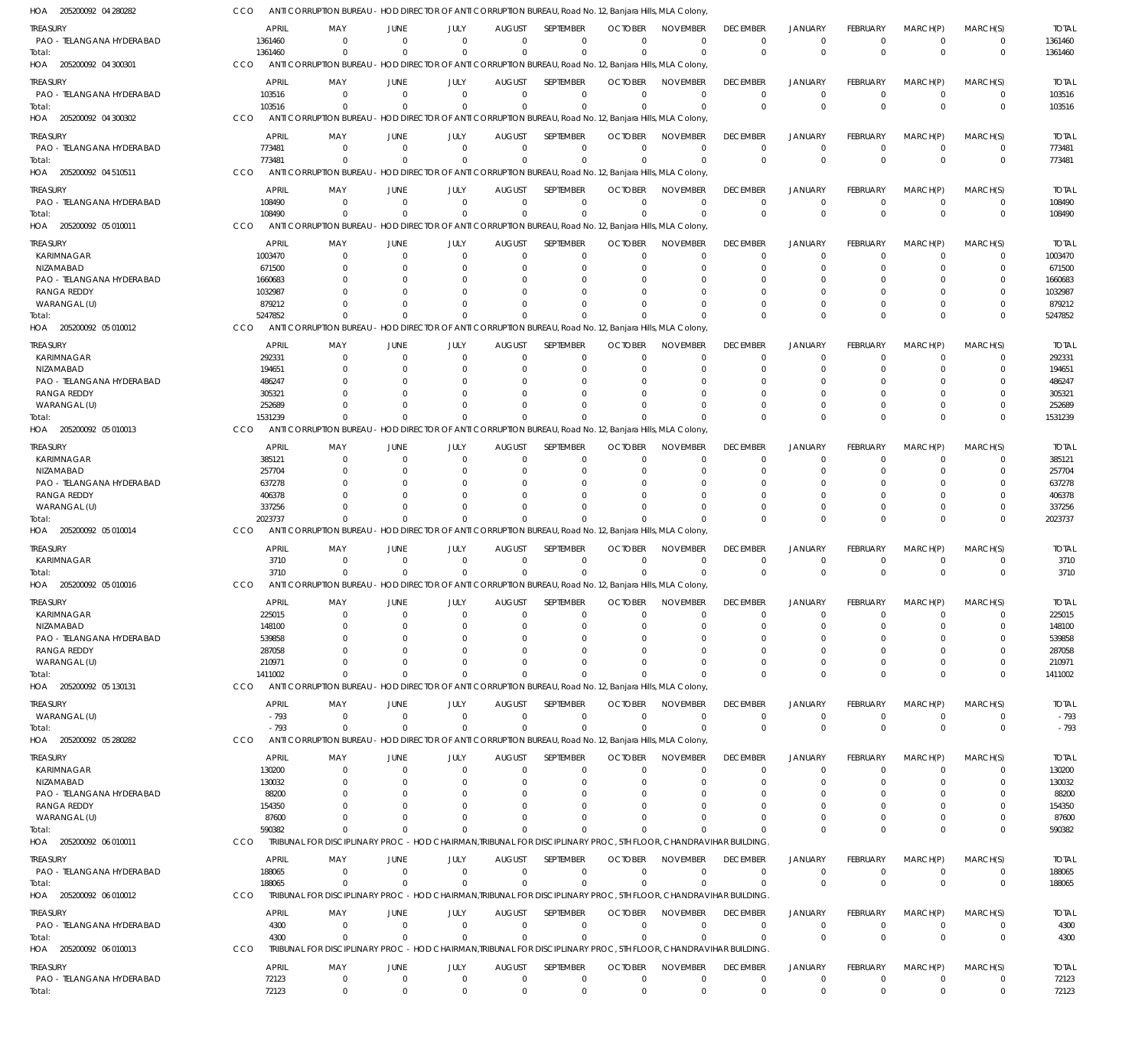| HOA<br>205200092 04 280282               | CCO        |                        | ANTI CORRUPTION BUREAU - HOD DIRECTOR OF ANTI CORRUPTION BUREAU, Road No. 12, Banjara Hills, MLA Colony         |                         |                     |                                 |                          |                               |                                |                                |                               |                                   |                            |                         |                        |
|------------------------------------------|------------|------------------------|-----------------------------------------------------------------------------------------------------------------|-------------------------|---------------------|---------------------------------|--------------------------|-------------------------------|--------------------------------|--------------------------------|-------------------------------|-----------------------------------|----------------------------|-------------------------|------------------------|
| TREASURY                                 |            | <b>APRIL</b>           | MAY                                                                                                             | <b>JUNE</b>             | JULY                | <b>AUGUST</b>                   | <b>SEPTEMBER</b>         | <b>OCTOBER</b>                | <b>NOVEMBER</b>                | <b>DECEMBER</b>                | <b>JANUARY</b>                | FEBRUARY                          | MARCH(P)                   | MARCH(S)                | <b>TOTAL</b>           |
| PAO - TELANGANA HYDERABAD                |            | 1361460                | $\Omega$                                                                                                        | $\Omega$                | $\Omega$            | $\Omega$                        | $\mathbf 0$              | $\Omega$                      | $\Omega$                       | $\Omega$                       | $\Omega$                      | $\Omega$                          | $\Omega$                   | $\mathbf 0$             | 1361460                |
| Total:                                   |            | 1361460                | $\Omega$                                                                                                        | $\Omega$                | $\Omega$            | $\mathbf 0$                     | $\mathbf 0$              | $\Omega$                      | $\Omega$                       | $\Omega$                       | $\Omega$                      | $\Omega$                          | $\Omega$                   | $\mathbf{0}$            | 1361460                |
| HOA 205200092 04 300301                  | <b>CCO</b> |                        | ANTI CORRUPTION BUREAU - HOD DIRECTOR OF ANTI CORRUPTION BUREAU, Road No. 12, Banjara Hills, MLA Colony,        |                         |                     |                                 |                          |                               |                                |                                |                               |                                   |                            |                         |                        |
| treasury                                 |            | <b>APRIL</b>           | MAY                                                                                                             | <b>JUNE</b>             | JULY                | <b>AUGUST</b>                   | SEPTEMBER                | <b>OCTOBER</b>                | <b>NOVEMBER</b>                | <b>DECEMBER</b>                | <b>JANUARY</b>                | FEBRUARY                          | MARCH(P)                   | MARCH(S)                | <b>TOTAL</b>           |
| PAO - TELANGANA HYDERABAD                |            | 103516                 | $\overline{0}$                                                                                                  | $\overline{0}$          | $\mathbf 0$         | $\mathbf 0$                     | $\mathbf 0$              | $\Omega$                      | $\mathbf 0$                    | $\mathbf 0$                    | $\Omega$                      | $\Omega$                          | $^{\circ}$                 | $\mathbf 0$             | 103516                 |
| Total:                                   |            | 103516                 | $\Omega$                                                                                                        | $\Omega$                | $\mathbf 0$         | $\overline{0}$                  | $\mathbf 0$              | $\Omega$                      | $\Omega$                       | $\Omega$                       | $\Omega$                      | $\Omega$                          | $\Omega$                   | $\mathbf 0$             | 103516                 |
| HOA 205200092 04 300302                  | CCO        |                        | ANTI CORRUPTION BUREAU - HOD DIRECTOR OF ANTI CORRUPTION BUREAU, Road No. 12, Banjara Hills, MLA Colony         |                         |                     |                                 |                          |                               |                                |                                |                               |                                   |                            |                         |                        |
|                                          |            |                        |                                                                                                                 |                         |                     |                                 |                          |                               |                                |                                |                               |                                   |                            |                         |                        |
| treasury                                 |            | <b>APRIL</b>           | MAY                                                                                                             | <b>JUNE</b>             | JULY                | <b>AUGUST</b>                   | SEPTEMBER                | <b>OCTOBER</b>                | <b>NOVEMBER</b>                | <b>DECEMBER</b>                | <b>JANUARY</b>                | FEBRUARY                          | MARCH(P)                   | MARCH(S)                | <b>TOTAL</b>           |
| PAO - TELANGANA HYDERABAD                |            | 773481                 | $\Omega$                                                                                                        | $\Omega$                | $\mathbf 0$         | $\mathbf 0$                     | $\mathbf 0$              | $\Omega$                      | $\Omega$                       | $\Omega$                       | $\Omega$                      | $\Omega$                          | $\Omega$                   | $\mathbf 0$             | 773481                 |
| Total:                                   |            | 773481                 | $\Omega$                                                                                                        | $\Omega$                | $\mathbf 0$         | $\mathbf 0$                     | 0                        | $\Omega$                      | $\Omega$                       | $\Omega$                       | $\mathbf{0}$                  | $\Omega$                          | $\Omega$                   | $\mathbf{0}$            | 773481                 |
| HOA 205200092 04 510511                  | CCO        |                        | ANTI CORRUPTION BUREAU - HOD DIRECTOR OF ANTI CORRUPTION BUREAU, Road No. 12, Banjara Hills, MLA Colony         |                         |                     |                                 |                          |                               |                                |                                |                               |                                   |                            |                         |                        |
| TREASURY                                 |            | <b>APRIL</b>           | MAY                                                                                                             | <b>JUNE</b>             | JULY                | <b>AUGUST</b>                   | SEPTEMBER                | <b>OCTOBER</b>                | <b>NOVEMBER</b>                | <b>DECEMBER</b>                | <b>JANUARY</b>                | FEBRUARY                          | MARCH(P)                   | MARCH(S)                | <b>TOTAL</b>           |
| PAO - TELANGANA HYDERABAD                |            | 108490                 | $\overline{0}$                                                                                                  | $\overline{0}$          | $\mathbf 0$         | $\mathbf 0$                     | $\mathbf 0$              | 0                             | $\mathbf 0$                    | $\mathbf 0$                    | 0                             | $\Omega$                          | $^{\circ}$                 | $\mathbf 0$             | 108490                 |
| Total:                                   |            | 108490                 | $\Omega$                                                                                                        | $\Omega$                | $\mathbf 0$         | $\mathbf 0$                     | $\mathbf 0$              | $\Omega$                      | $\Omega$                       | $\Omega$                       | $\Omega$                      | $\Omega$                          | $\Omega$                   | $\mathbf{0}$            | 108490                 |
| HOA 205200092 05 010011                  | <b>CCO</b> |                        | ANTI CORRUPTION BUREAU - HOD DIRECTOR OF ANTI CORRUPTION BUREAU, Road No. 12, Banjara Hills, MLA Colony         |                         |                     |                                 |                          |                               |                                |                                |                               |                                   |                            |                         |                        |
| TREASURY                                 |            | <b>APRIL</b>           | MAY                                                                                                             | <b>JUNE</b>             | JULY                | <b>AUGUST</b>                   | SEPTEMBER                | <b>OCTOBER</b>                | <b>NOVEMBER</b>                | <b>DECEMBER</b>                | <b>JANUARY</b>                | FEBRUARY                          | MARCH(P)                   | MARCH(S)                | <b>TOTAL</b>           |
| KARIMNAGAR                               |            | 1003470                | $\Omega$                                                                                                        | $\overline{0}$          | $\mathbf 0$         | $\mathbf 0$                     | $\mathbf 0$              | $\Omega$                      | $\Omega$                       | $\Omega$                       | $\Omega$                      | $\Omega$                          | $\Omega$                   | $\mathbf 0$             | 1003470                |
| NIZAMABAD                                |            | 671500                 | $\Omega$                                                                                                        | $\Omega$                | $\Omega$            | $\Omega$                        | $\mathbf 0$              | 0                             | $\Omega$                       | $\Omega$                       | $\Omega$                      |                                   | $\Omega$                   | $\Omega$                | 671500                 |
| PAO - TELANGANA HYDERABAD                |            | 1660683                |                                                                                                                 | $\Omega$                | <sup>0</sup>        | 0                               | $\Omega$                 | C.                            | $\Omega$                       | $\Omega$                       | $\Omega$                      |                                   | $\Omega$                   | $\Omega$                | 1660683                |
| RANGA REDDY                              |            | 1032987                |                                                                                                                 | $\Omega$                | <sup>0</sup>        | $\Omega$                        | $\Omega$                 |                               | $\Omega$                       | $\Omega$                       | $\Omega$                      | $\Omega$                          | $\Omega$                   | $\Omega$                | 1032987                |
| WARANGAL (U)                             |            | 879212                 | $\Omega$                                                                                                        | $\Omega$                | 0                   | $\Omega$                        | $\Omega$                 |                               | $\Omega$                       | $\Omega$                       | $\Omega$                      | $\Omega$                          | $\Omega$                   | 0                       | 879212                 |
| Total:                                   |            | 5247852                | $\Omega$                                                                                                        | $\Omega$                | $\Omega$            | $\Omega$                        | $\Omega$                 | $\Omega$                      | $\Omega$                       | $\Omega$                       | $\Omega$                      | $\Omega$                          | $\Omega$                   | $\Omega$                | 5247852                |
| HOA 205200092 05 010012                  | CCO        |                        | ANTI CORRUPTION BUREAU - HOD DIRECTOR OF ANTI CORRUPTION BUREAU, Road No. 12, Banjara Hills, MLA Colony,        |                         |                     |                                 |                          |                               |                                |                                |                               |                                   |                            |                         |                        |
|                                          |            |                        |                                                                                                                 |                         |                     |                                 |                          |                               |                                |                                |                               |                                   |                            |                         |                        |
| TREASURY<br>KARIMNAGAR                   |            | <b>APRIL</b><br>292331 | MAY<br>$\overline{0}$                                                                                           | <b>JUNE</b><br>$\Omega$ | JULY<br>$\mathbf 0$ | <b>AUGUST</b><br>$\overline{0}$ | SEPTEMBER<br>$\mathbf 0$ | <b>OCTOBER</b><br>$\Omega$    | <b>NOVEMBER</b><br>$\mathbf 0$ | <b>DECEMBER</b><br>$\Omega$    | <b>JANUARY</b><br>$\Omega$    | FEBRUARY<br>$\Omega$              | MARCH(P)<br>$\Omega$       | MARCH(S)<br>$\mathbf 0$ | <b>TOTAL</b><br>292331 |
| NIZAMABAD                                |            | 194651                 | $\Omega$                                                                                                        | $\Omega$                | 0                   | 0                               | $\mathbf 0$              | 0                             | $\mathbf 0$                    | $\Omega$                       | $\Omega$                      |                                   | $\Omega$                   | 0                       | 194651                 |
| PAO - TELANGANA HYDERABAD                |            | 486247                 |                                                                                                                 | $\Omega$                | <sup>0</sup>        | 0                               | $\Omega$                 |                               | $\Omega$                       |                                |                               |                                   |                            |                         | 486247                 |
| RANGA REDDY                              |            | 305321                 |                                                                                                                 | $\Omega$                | <sup>0</sup>        | 0                               | $\Omega$                 |                               | $\Omega$                       |                                | $\Omega$                      |                                   | $\Omega$                   | $\Omega$                | 305321                 |
| WARANGAL (U)                             |            | 252689                 |                                                                                                                 | $\Omega$                | $\Omega$            | $\Omega$                        | $\mathbf 0$              |                               | $\Omega$                       |                                | $\Omega$                      |                                   | $\Omega$                   | $\Omega$                | 252689                 |
| Total:                                   |            | 1531239                | $\Omega$                                                                                                        | $\Omega$                | $\Omega$            | $\Omega$                        | $\Omega$                 |                               | $\Omega$                       | $\cap$                         | $\Omega$                      | $\Omega$                          | $\Omega$                   | $\Omega$                | 1531239                |
| HOA 205200092 05 010013                  | CCO        |                        | ANTI CORRUPTION BUREAU - HOD DIRECTOR OF ANTI CORRUPTION BUREAU, Road No. 12, Banjara Hills, MLA Colony,        |                         |                     |                                 |                          |                               |                                |                                |                               |                                   |                            |                         |                        |
|                                          |            |                        |                                                                                                                 |                         |                     |                                 |                          |                               |                                |                                |                               |                                   |                            |                         |                        |
| TREASURY                                 |            | <b>APRIL</b>           | MAY                                                                                                             | <b>JUNE</b>             | JULY                | <b>AUGUST</b>                   | SEPTEMBER                | <b>OCTOBER</b>                | <b>NOVEMBER</b>                | <b>DECEMBER</b>                | <b>JANUARY</b>                | FEBRUARY                          | MARCH(P)                   | MARCH(S)                | <b>TOTAL</b>           |
| KARIMNAGAR                               |            | 385121                 | $\Omega$                                                                                                        | $\Omega$                | $\Omega$            | $\mathbf 0$                     | $\mathbf 0$              | $\Omega$                      | $\Omega$                       | $\Omega$                       | $\Omega$                      | $\Omega$                          | $\Omega$                   | $\Omega$                | 385121                 |
| NIZAMABAD                                |            | 257704                 |                                                                                                                 | $\Omega$                | $\Omega$            | $\Omega$                        | 0                        | 0                             | $\Omega$                       | $\Omega$                       | $\Omega$                      |                                   | $\Omega$                   | $\Omega$                | 257704                 |
| PAO - TELANGANA HYDERABAD                |            | 637278                 |                                                                                                                 | $\Omega$                | <sup>0</sup>        | $\Omega$                        | $\Omega$                 | C.                            | $\Omega$                       | $\Omega$                       | $\Omega$                      |                                   | $\Omega$                   | $\Omega$                | 637278                 |
| RANGA REDDY                              |            | 406378                 |                                                                                                                 | $\Omega$                | <sup>0</sup>        | $\Omega$                        | $\Omega$                 |                               | $\Omega$                       | $\Omega$                       | $\Omega$                      |                                   | $\Omega$                   | $\Omega$                | 406378                 |
| WARANGAL (U)                             |            | 337256                 | $\Omega$<br>$\Omega$                                                                                            | $\Omega$<br>$\Omega$    | $\Omega$            | $\Omega$<br>$\Omega$            | $\Omega$<br>$\Omega$     | C.                            | $\Omega$<br>$\Omega$           | $\Omega$<br>$\Omega$           | $\Omega$<br>$\Omega$          | $\Omega$<br>$\Omega$              | $\Omega$<br>$\Omega$       | 0                       | 337256                 |
| Total:<br>HOA 205200092 05 010014        | CCO        | 2023737                | ANTI CORRUPTION BUREAU - HOD DIRECTOR OF ANTI CORRUPTION BUREAU, Road No. 12, Banjara Hills, MLA Colony         |                         | $\Omega$            |                                 |                          | $\Omega$                      |                                |                                |                               |                                   |                            | $\mathbf 0$             | 2023737                |
|                                          |            |                        |                                                                                                                 |                         |                     |                                 |                          |                               |                                |                                |                               |                                   |                            |                         |                        |
| treasury                                 |            | <b>APRIL</b>           | MAY                                                                                                             | <b>JUNE</b>             | JULY                | <b>AUGUST</b>                   | SEPTEMBER                | <b>OCTOBER</b>                | <b>NOVEMBER</b>                | <b>DECEMBER</b>                | <b>JANUARY</b>                | FEBRUARY                          | MARCH(P)                   | MARCH(S)                | <b>TOTAL</b>           |
| KARIMNAGAR                               |            | 3710                   | $\overline{0}$                                                                                                  | $\Omega$                | $\mathbf 0$         | $\overline{0}$                  | $\mathbf 0$              | $\Omega$                      | $\mathbf 0$                    | $\Omega$                       | $\Omega$                      | - 0                               | $\Omega$                   | $\mathbf 0$             | 3710                   |
| Total:                                   |            | 3710                   | $\Omega$                                                                                                        | $\Omega$                | $\mathbf 0$         | $\mathbf 0$                     | $\mathbf{0}$             | $\Omega$                      | $\Omega$                       | $\Omega$                       | $\Omega$                      | $\Omega$                          | $\Omega$                   | $\mathbf 0$             | 3710                   |
| HOA 205200092 05 010016                  | CCO        |                        | ANTI CORRUPTION BUREAU - HOD DIRECTOR OF ANTI CORRUPTION BUREAU, Road No. 12, Banjara Hills, MLA Colony,        |                         |                     |                                 |                          |                               |                                |                                |                               |                                   |                            |                         |                        |
| <b>TREASURY</b>                          |            | <b>APRIL</b>           | MAY                                                                                                             | <b>JUNE</b>             | JULY                | <b>AUGUST</b>                   | SEPTEMBER                | <b>OCTOBER</b>                | <b>NOVEMBER</b>                | <b>DECEMBER</b>                | <b>JANUARY</b>                | <b>FEBRUARY</b>                   | MARCH(P)                   | MARCH(S)                | <b>TOTAL</b>           |
| KARIMNAGAR                               |            | 225015                 | $\Omega$                                                                                                        | $\Omega$                | <sup>0</sup>        | $\Omega$                        | $\mathbf 0$              | O                             | $\Omega$                       | $\Omega$                       | $\Omega$                      | $\Omega$                          | $\Omega$                   | $\mathbf 0$             | 225015                 |
| NIZAMABAD                                |            | 148100                 | $\Omega$                                                                                                        | $\Omega$                | $\Omega$            | $\Omega$                        | $\mathbf 0$              | $\Omega$                      | $\mathbf 0$                    | $\Omega$                       | $\Omega$                      | $\Omega$                          | $\Omega$                   | $\Omega$                | 148100                 |
| PAO - TELANGANA HYDERABAD                |            | 539858                 |                                                                                                                 |                         | <sup>0</sup>        | 0                               | $\Omega$                 |                               | $\Omega$                       | $\Omega$                       | $\Omega$                      |                                   | $\Omega$                   |                         | 539858                 |
| RANGA REDDY                              |            | 287058                 |                                                                                                                 |                         | 0                   | $\Omega$                        | $\Omega$                 |                               | $\Omega$                       | $\Omega$                       | $\Omega$                      |                                   | $\Omega$                   | $\Omega$                | 287058                 |
| WARANGAL (U)                             |            | 210971                 |                                                                                                                 |                         | <sup>0</sup>        | $\Omega$                        | $\Omega$                 |                               | $\Omega$                       |                                | $\Omega$                      | $\Omega$                          | $\Omega$                   | 0                       | 210971                 |
| Total:                                   |            | 1411002                | $\Omega$                                                                                                        | $\Omega$                | $\Omega$            | $\Omega$                        | $\Omega$                 | $\Omega$                      | $\Omega$                       | $\Omega$                       | $\Omega$                      | $\Omega$                          | $\Omega$                   | $\Omega$                | 1411002                |
| HOA 205200092 05 130131                  | <b>CCO</b> |                        | ANTI CORRUPTION BUREAU - HOD DIRECTOR OF ANTI CORRUPTION BUREAU, Road No. 12, Banjara Hills, MLA Colony,        |                         |                     |                                 |                          |                               |                                |                                |                               |                                   |                            |                         |                        |
| TREASURY                                 |            | <b>APRIL</b>           | MAY                                                                                                             | JUNE                    | JULY                | <b>AUGUST</b>                   | SEPTEMBER                | <b>OCTOBER</b>                | <b>NOVEMBER</b>                | <b>DECEMBER</b>                | <b>JANUARY</b>                | <b>FEBRUARY</b>                   | MARCH(P)                   | MARCH(S)                | <b>TOTAL</b>           |
| WARANGAL (U)                             |            | $-793$                 | $\overline{0}$                                                                                                  | $\overline{0}$          | $\mathbf 0$         | $\mathbf 0$                     | $\mathbf 0$              | $\mathbf 0$                   | $\mathbf 0$                    | $\mathbf 0$                    | $\mathbf 0$                   | $\overline{0}$                    | $\overline{0}$             | $\mathbf 0$             | $-793$                 |
| Total:                                   |            | $-793$                 | $\overline{0}$                                                                                                  | $\overline{0}$          | $\mathbf 0$         | $\mathbf 0$                     | $\mathbf 0$              | $\Omega$                      | $\mathbf 0$                    | $\Omega$                       | $\mathbf{0}$                  | $\overline{0}$                    | $\Omega$                   | $\mathbf 0$             | $-793$                 |
| HOA 205200092 05 280282                  | CCO        |                        | ANTI CORRUPTION BUREAU - HOD DIRECTOR OF ANTI CORRUPTION BUREAU, Road No. 12, Banjara Hills, MLA Colony,        |                         |                     |                                 |                          |                               |                                |                                |                               |                                   |                            |                         |                        |
|                                          |            |                        |                                                                                                                 |                         |                     |                                 |                          |                               |                                |                                |                               |                                   |                            |                         |                        |
| TREASURY                                 |            | <b>APRIL</b>           | MAY                                                                                                             | JUNE                    | JULY                | <b>AUGUST</b>                   | SEPTEMBER                | <b>OCTOBER</b>                | <b>NOVEMBER</b>                | <b>DECEMBER</b>                | <b>JANUARY</b>                | FEBRUARY                          | MARCH(P)                   | MARCH(S)                | <b>TOTAL</b>           |
| KARIMNAGAR                               |            | 130200                 | $\Omega$                                                                                                        | $\Omega$                | $\Omega$            | $\mathbf 0$                     | $\mathbf 0$              | 0                             | $\mathbf 0$                    | $\mathbf 0$                    | $\Omega$                      | $\Omega$                          | $\Omega$                   | $\mathbf 0$             | 130200                 |
| NIZAMABAD                                |            | 130032                 | $\Omega$                                                                                                        | $\Omega$                | 0                   | $\Omega$                        | $\mathbf 0$              | $\Omega$                      | $\Omega$                       | $\Omega$                       | $\Omega$                      |                                   | $\Omega$<br>$\Omega$       | $\Omega$<br>$\Omega$    | 130032                 |
| PAO - TELANGANA HYDERABAD<br>RANGA REDDY |            | 88200<br>154350        |                                                                                                                 | n                       | 0<br>O              | $\Omega$<br>$\Omega$            | $\Omega$<br>$\Omega$     | O                             | $\Omega$<br>$\Omega$           | $\Omega$<br>$\Omega$           | $\Omega$<br>$\Omega$          |                                   | $\Omega$                   | $\Omega$                | 88200<br>154350        |
| WARANGAL (U)                             |            | 87600                  |                                                                                                                 | $\Omega$                | <sup>0</sup>        | $\Omega$                        | $\Omega$                 | C.                            | $\Omega$                       | $\Omega$                       | $\Omega$                      |                                   | $\Omega$                   | $\Omega$                | 87600                  |
| Total:                                   |            | 590382                 | $\Omega$                                                                                                        | $\Omega$                | $\Omega$            | $\Omega$                        | $\Omega$                 | $\Omega$                      | $\Omega$                       | $\Omega$                       | $\Omega$                      | $\Omega$                          | $\mathbf{0}$               | $\mathbf 0$             | 590382                 |
| HOA 205200092 06 010011                  | CCO        |                        | TRIBUNAL FOR DISCIPLINARY PROC - HOD CHAIRMAN, TRIBUNAL FOR DISCIPLINARY PROC, 5TH FLOOR, CHANDRAVIHAR BUILDING |                         |                     |                                 |                          |                               |                                |                                |                               |                                   |                            |                         |                        |
|                                          |            |                        |                                                                                                                 |                         |                     |                                 |                          |                               |                                |                                |                               |                                   |                            |                         |                        |
| treasury                                 |            | <b>APRIL</b>           | MAY                                                                                                             | <b>JUNE</b>             | JULY                | <b>AUGUST</b>                   | SEPTEMBER                | <b>OCTOBER</b>                | <b>NOVEMBER</b>                | <b>DECEMBER</b>                | JANUARY                       | <b>FEBRUARY</b>                   | MARCH(P)                   | MARCH(S)                | <b>TOTAL</b>           |
| PAO - TELANGANA HYDERABAD                |            | 188065                 | $\overline{0}$                                                                                                  | $\overline{0}$          | $\mathbf 0$         | $\mathbf 0$                     | 0                        | 0                             | $\mathbf 0$                    | $\mathbf 0$                    | 0                             | $\Omega$                          | $\overline{0}$             | $\mathbf 0$             | 188065                 |
| Total:                                   |            | 188065                 | $\mathbf 0$                                                                                                     | $\overline{0}$          | $\mathbf 0$         | $\mathbf 0$                     | $\mathbf 0$              | $\Omega$                      | $\Omega$                       | $\mathbf{0}$                   | $\Omega$                      | $\overline{0}$                    | $\Omega$                   | $\mathbf 0$             | 188065                 |
| HOA 205200092 06 010012                  | CCO        |                        | TRIBUNAL FOR DISCIPLINARY PROC - HOD CHAIRMAN, TRIBUNAL FOR DISCIPLINARY PROC, 5TH FLOOR, CHANDRAVIHAR BUILDING |                         |                     |                                 |                          |                               |                                |                                |                               |                                   |                            |                         |                        |
| TREASURY                                 |            | <b>APRIL</b>           | MAY                                                                                                             | <b>JUNE</b>             | JULY                | <b>AUGUST</b>                   | SEPTEMBER                | <b>OCTOBER</b>                | <b>NOVEMBER</b>                | <b>DECEMBER</b>                | <b>JANUARY</b>                | <b>FEBRUARY</b>                   | MARCH(P)                   | MARCH(S)                | <b>TOTAL</b>           |
| PAO - TELANGANA HYDERABAD                |            | 4300                   | $\overline{0}$                                                                                                  | $\overline{0}$          | $\Omega$            | $\mathbf 0$                     | $\mathbf 0$              | $\mathbf 0$                   | $\mathbf 0$                    | $\mathbf 0$                    | $\mathbf 0$                   | $\Omega$                          | $\Omega$                   | $\mathbf 0$             | 4300                   |
| Total:                                   |            | 4300                   | $\Omega$                                                                                                        | $\Omega$                | $\Omega$            | $\mathbf 0$                     | $\mathbf 0$              | $\Omega$                      | $\Omega$                       | $\Omega$                       | $\Omega$                      | $\Omega$                          | $\Omega$                   | $\mathbf 0$             | 4300                   |
| HOA 205200092 06 010013                  | CCO        |                        | TRIBUNAL FOR DISCIPLINARY PROC - HOD CHAIRMAN,TRIBUNAL FOR DISCIPLINARY PROC, 5TH FLOOR, CHANDRAVIHAR BUILDING  |                         |                     |                                 |                          |                               |                                |                                |                               |                                   |                            |                         |                        |
|                                          |            |                        |                                                                                                                 |                         |                     |                                 |                          |                               |                                |                                |                               |                                   |                            |                         |                        |
| treasury<br>PAO - TELANGANA HYDERABAD    |            | <b>APRIL</b><br>72123  | MAY<br>$\overline{0}$                                                                                           | JUNE<br>$\overline{0}$  | JULY<br>$\mathbf 0$ | <b>AUGUST</b><br>$\overline{0}$ | SEPTEMBER<br>$\mathbf 0$ | <b>OCTOBER</b><br>$\mathbf 0$ | <b>NOVEMBER</b><br>$\mathbf 0$ | <b>DECEMBER</b><br>$\mathbf 0$ | <b>JANUARY</b><br>$\mathbf 0$ | <b>FEBRUARY</b><br>$\overline{0}$ | MARCH(P)<br>$\overline{0}$ | MARCH(S)<br>$\mathbf 0$ | <b>TOTAL</b><br>72123  |
| Total:                                   |            | 72123                  | $\overline{0}$                                                                                                  | $\overline{0}$          | $\Omega$            | $\Omega$                        | $\mathbf 0$              | $\Omega$                      | $\Omega$                       | $\Omega$                       | $\Omega$                      |                                   | $\Omega$                   | $\mathbf 0$             | 72123                  |
|                                          |            |                        |                                                                                                                 |                         |                     |                                 |                          |                               |                                |                                |                               |                                   |                            |                         |                        |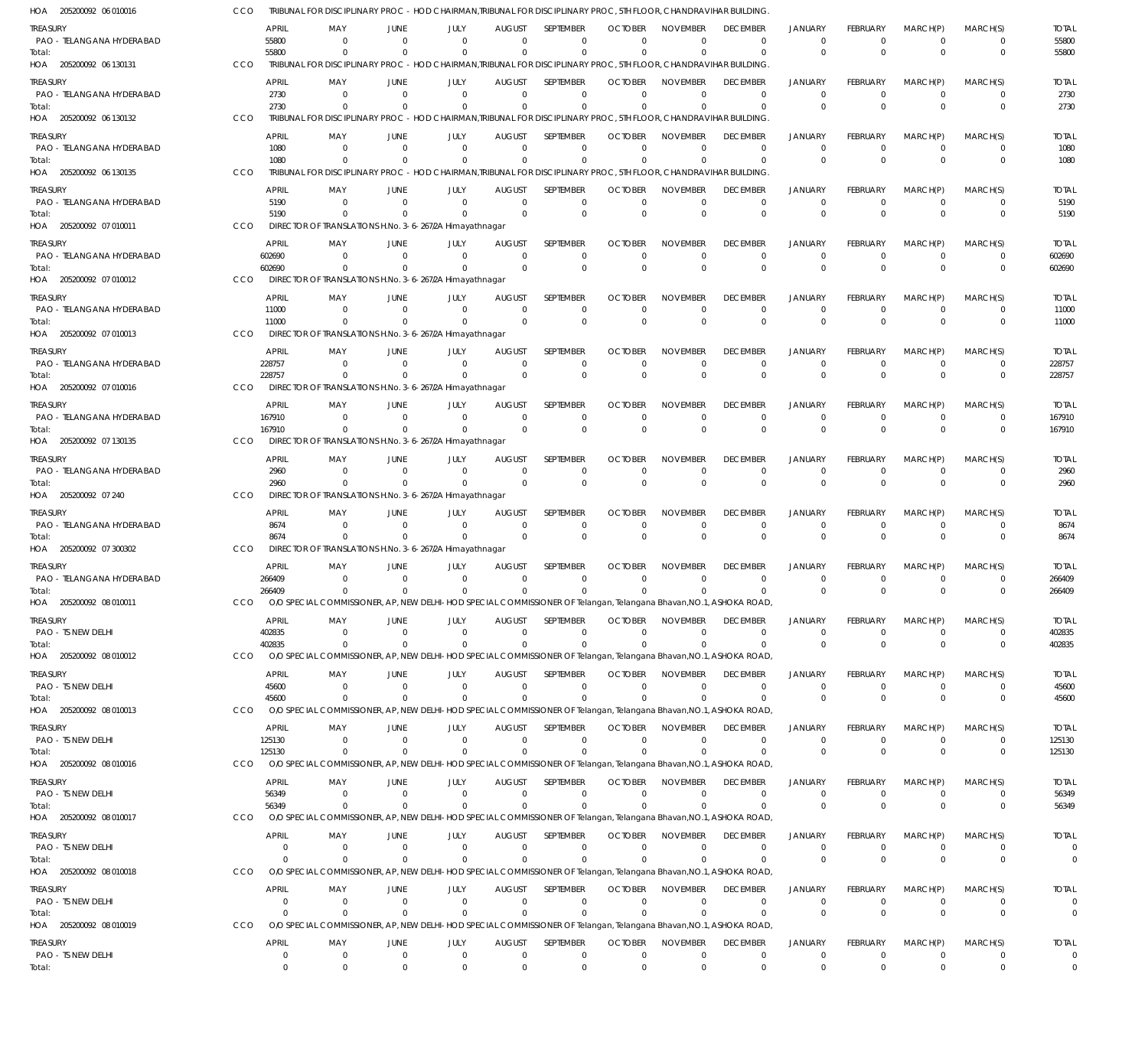| HOA 205200092 06 010016               | CCO        |                   |                      |                         | TRIBUNAL FOR DISCIPLINARY PROC - HOD CHAIRMAN.TRIBUNAL FOR DISCIPLINARY PROC. 5TH FLOOR, CHANDRAVIHAR BUILDING                   |                                 |                                 |                                  |                             |                                   |                               |                             |                      |                      |                                |
|---------------------------------------|------------|-------------------|----------------------|-------------------------|----------------------------------------------------------------------------------------------------------------------------------|---------------------------------|---------------------------------|----------------------------------|-----------------------------|-----------------------------------|-------------------------------|-----------------------------|----------------------|----------------------|--------------------------------|
| treasury<br>PAO - TELANGANA HYDERABAD |            | APRIL<br>55800    | MAY<br>$\Omega$      | <b>JUNE</b><br>$\Omega$ | JULY<br>$\Omega$                                                                                                                 | <b>AUGUST</b><br>$\Omega$       | <b>SEPTEMBER</b><br>$\Omega$    | <b>OCTOBER</b><br>$\Omega$       | <b>NOVEMBER</b><br>$\Omega$ | <b>DECEMBER</b><br>$\overline{0}$ | <b>JANUARY</b><br>0           | FEBRUARY<br>$\Omega$        | MARCH(P)<br>$\Omega$ | MARCH(S)<br>$\Omega$ | <b>TOTAL</b><br>55800          |
| Total:<br>HOA 205200092 06 130131     | CCO        | 55800             |                      | $\Omega$                | $\Omega$<br>TRIBUNAL FOR DISCIPLINARY PROC - HOD CHAIRMAN.TRIBUNAL FOR DISCIPLINARY PROC. 5TH FLOOR, CHANDRAVIHAR BUILDING       | $\Omega$                        | $\Omega$                        | $\Omega$                         | $\Omega$                    | $\Omega$                          | $\Omega$                      | $\Omega$                    | $\Omega$             | $\Omega$             | 55800                          |
| treasury                              |            | APRIL             | MAY                  | <b>JUNE</b>             | JULY                                                                                                                             | AUGUST                          | <b>SEPTEMBER</b>                | <b>OCTOBER</b>                   | <b>NOVEMBER</b>             | <b>DECEMBER</b>                   | <b>JANUARY</b>                | FEBRUARY                    | MARCH(P)             | MARCH(S)             | <b>TOTAL</b>                   |
| PAO - TELANGANA HYDERABAD<br>Total:   |            | 2730<br>2730      | $\Omega$<br>$\Omega$ | $\Omega$                | $\Omega$<br>$\Omega$                                                                                                             | $\Omega$<br>$\Omega$            | $\Omega$<br>$\Omega$            | $\overline{0}$<br>$\Omega$       | $\Omega$<br>$\Omega$        | $\Omega$<br>$\Omega$              | $\mathbf 0$<br>$\mathbf 0$    | $\Omega$<br>$\Omega$        | $\Omega$<br>$\Omega$ | $\Omega$<br>$\Omega$ | 2730<br>2730                   |
| HOA 205200092 06 130132               | CCO        |                   |                      |                         | TRIBUNAL FOR DISCIPLINARY PROC - HOD CHAIRMAN, TRIBUNAL FOR DISCIPLINARY PROC, 5TH FLOOR, CHANDRAVIHAR BUILDING                  |                                 |                                 |                                  |                             |                                   |                               |                             |                      |                      |                                |
| treasury                              |            | APRIL             | MAY                  | JUNE                    | JULY                                                                                                                             | <b>AUGUST</b>                   | <b>SFPTFMBFR</b>                | <b>OCTOBER</b>                   | <b>NOVEMBER</b>             | <b>DECEMBER</b>                   | <b>JANUARY</b>                | <b>FEBRUARY</b>             | MARCH(P)             | MARCH(S)             | <b>TOTAL</b>                   |
| PAO - TELANGANA HYDERABAD             |            | 1080              | $\Omega$             | $\Omega$                | - 0                                                                                                                              | $\Omega$                        | $\Omega$                        | $\Omega$                         | $\Omega$                    | $\overline{0}$                    | $\mathbf 0$                   | $\Omega$                    | $\Omega$             | $\Omega$             | 1080                           |
| Total:<br>HOA 205200092 06 130135     | CCO        | 1080              |                      |                         | $\Omega$<br>TRIBUNAL FOR DISCIPLINARY PROC - HOD CHAIRMAN, TRIBUNAL FOR DISCIPLINARY PROC, 5TH FLOOR, CHANDRAVIHAR BUILDING      | $\Omega$                        | $\Omega$                        | $\Omega$                         | $\Omega$                    | $\Omega$                          | $\Omega$                      | $\Omega$                    | $\Omega$             | $\Omega$             | 1080                           |
| treasury                              |            | APRIL             | MAY                  | <b>JUNE</b>             | JULY                                                                                                                             | <b>AUGUST</b>                   | SEPTEMBER                       | <b>OCTOBER</b>                   | <b>NOVEMBER</b>             | <b>DECEMBER</b>                   | <b>JANUARY</b>                | FEBRUARY                    | MARCH(P)             | MARCH(S)             | <b>TOTAL</b>                   |
| PAO - TELANGANA HYDERABAD             |            | 5190              | $\Omega$             | $\Omega$                | $\Omega$                                                                                                                         | $\Omega$                        | $\mathbf 0$                     | $\Omega$                         | $\Omega$                    | $\overline{0}$                    | $\mathbf 0$                   | $\Omega$                    | $\Omega$             | $\Omega$             | 5190                           |
| Total:<br>HOA 205200092 07 010011     | CCO        | 5190              |                      |                         | $\Omega$<br>DIRECTOR OF TRANSLATIONS H.No. 3-6-267/2A Himayathnagar                                                              | $\Omega$                        | $\Omega$                        | $\overline{0}$                   | $\Omega$                    | $\Omega$                          | $\mathbf 0$                   | $\Omega$                    | $\Omega$             | $\Omega$             | 5190                           |
| treasury                              |            | <b>APRIL</b>      | MAY                  | <b>JUNE</b>             | JULY                                                                                                                             | <b>AUGUST</b>                   | <b>SEPTEMBER</b>                | <b>OCTOBER</b>                   | <b>NOVEMBER</b>             | <b>DECEMBER</b>                   | <b>JANUARY</b>                | FEBRUARY                    | MARCH(P)             | MARCH(S)             | <b>TOTAL</b>                   |
| PAO - TELANGANA HYDERABAD             |            | 602690            | $\Omega$             | $\Omega$                | - 0                                                                                                                              | $\Omega$                        | $\Omega$                        | $\Omega$                         | $\Omega$                    | $\overline{0}$                    | $\mathbf 0$                   | $\Omega$                    | $\Omega$             | $\Omega$             | 602690                         |
| Total:                                |            | 602690            | $\Omega$             | $\Omega$                | $\Omega$                                                                                                                         | $\Omega$                        | $\Omega$                        | $\Omega$                         | $\Omega$                    | $\mathbf 0$                       | $\mathbf{0}$                  | $\Omega$                    | $\Omega$             | $\Omega$             | 602690                         |
| HOA 205200092 07 010012               | CCO        |                   |                      |                         | DIRECTOR OF TRANSLATIONS H.No. 3-6-267/2A Himayathnagar                                                                          |                                 |                                 |                                  |                             |                                   |                               |                             |                      |                      |                                |
| treasury<br>PAO - TELANGANA HYDERABAD |            | APRIL<br>11000    | MAY<br>$\Omega$      | <b>JUNE</b><br>$\Omega$ | JULY<br>- 0                                                                                                                      | AUGUST<br>$\Omega$              | <b>SEPTEMBER</b><br>$\mathbf 0$ | <b>OCTOBER</b><br>$\overline{0}$ | <b>NOVEMBER</b><br>$\Omega$ | <b>DECEMBER</b><br>$\mathbf 0$    | <b>JANUARY</b><br>$\mathbf 0$ | <b>FEBRUARY</b><br>0        | MARCH(P)<br>$\Omega$ | MARCH(S)<br>$\Omega$ | <b>TOTAL</b><br>11000          |
| Total:                                |            | 11000             |                      | $\Omega$                | $\Omega$                                                                                                                         | $\Omega$                        | $\Omega$                        | $\Omega$                         | $\Omega$                    | $\Omega$                          | $\Omega$                      | $\Omega$                    | $\Omega$             | $\Omega$             | 11000                          |
| HOA 205200092 07 010013               | CCO        |                   |                      |                         | DIRECTOR OF TRANSLATIONS H.No. 3-6-267/2A Himayathnagar                                                                          |                                 |                                 |                                  |                             |                                   |                               |                             |                      |                      |                                |
| treasury<br>PAO - TELANGANA HYDERABAD |            | APRIL<br>228757   | MAY<br>$\Omega$      | <b>JUNE</b><br>$\Omega$ | JULY<br>$\Omega$                                                                                                                 | <b>AUGUST</b><br>$\Omega$       | <b>SEPTEMBER</b><br>$\Omega$    | <b>OCTOBER</b><br>$\Omega$       | <b>NOVEMBER</b><br>$\Omega$ | <b>DECEMBER</b><br>$\overline{0}$ | <b>JANUARY</b><br>$\Omega$    | <b>FEBRUARY</b><br>$\Omega$ | MARCH(P)<br>$\Omega$ | MARCH(S)<br>$\Omega$ | <b>TOTAL</b><br>228757         |
| Total:                                |            | 228757            |                      |                         | $\Omega$                                                                                                                         | $\Omega$                        | $\Omega$                        | $\Omega$                         | $\Omega$                    | $\Omega$                          | $\Omega$                      | $\Omega$                    | $\Omega$             | $\Omega$             | 228757                         |
| HOA 205200092 07 010016               | CCO        |                   |                      |                         | DIRECTOR OF TRANSLATIONS H.No. 3-6-267/2A Himayathnagar                                                                          |                                 |                                 |                                  |                             |                                   |                               |                             |                      |                      |                                |
| treasury                              |            | APRIL             | MAY                  | JUNE                    | JULY                                                                                                                             | AUGUST                          | <b>SEPTEMBER</b>                | <b>OCTOBER</b>                   | <b>NOVEMBER</b>             | <b>DECEMBER</b>                   | <b>JANUARY</b>                | FEBRUARY                    | MARCH(P)             | MARCH(S)             | <b>TOTAL</b>                   |
| PAO - TELANGANA HYDERABAD<br>Total:   |            | 167910<br>167910  | $\Omega$<br>$\Omega$ | $\Omega$<br>$\Omega$    | - 0<br>$\Omega$                                                                                                                  | $\Omega$<br>$\Omega$            | 0<br>$\Omega$                   | $\overline{0}$<br>$\overline{0}$ | $\Omega$<br>$\Omega$        | $\overline{0}$<br>$\Omega$        | $\mathbf 0$<br>$\mathbf 0$    | $\Omega$<br>$\Omega$        | $\Omega$<br>$\Omega$ | $\Omega$<br>$\Omega$ | 167910<br>167910               |
| HOA 205200092 07 130135               | CCO        |                   |                      |                         | DIRECTOR OF TRANSLATIONS H.No. 3-6-267/2A Himayathnagar                                                                          |                                 |                                 |                                  |                             |                                   |                               |                             |                      |                      |                                |
| treasury                              |            | APRIL             | MAY                  | <b>JUNE</b>             | JULY                                                                                                                             | <b>AUGUST</b>                   | <b>SEPTEMBER</b>                | <b>OCTOBER</b>                   | <b>NOVEMBER</b>             | <b>DECEMBER</b>                   | <b>JANUARY</b>                | FEBRUARY                    | MARCH(P)             | MARCH(S)             | <b>TOTAL</b>                   |
| PAO - TELANGANA HYDERABAD<br>Total:   |            | 2960<br>2960      | $\Omega$             | $\Omega$<br>$\Omega$    | - 0<br>$\Omega$                                                                                                                  | $\Omega$<br>$\Omega$            | $\Omega$<br>$\Omega$            | $\Omega$<br>$\Omega$             | $\Omega$<br>$\Omega$        | $\overline{0}$<br>$\mathbf 0$     | 0<br>$\mathbf{0}$             | $\Omega$<br>$\Omega$        | $\Omega$<br>$\Omega$ | $\Omega$<br>$\Omega$ | 2960<br>2960                   |
| HOA 205200092 07 240                  | CCO        |                   |                      |                         | DIRECTOR OF TRANSLATIONS H.No. 3-6-267/2A Himayathnagar                                                                          |                                 |                                 |                                  |                             |                                   |                               |                             |                      |                      |                                |
| treasury                              |            | APRIL             | MAY                  | <b>JUNE</b>             | JULY                                                                                                                             | AUGUST                          | <b>SEPTEMBER</b>                | <b>OCTOBER</b>                   | <b>NOVEMBER</b>             | <b>DECEMBER</b>                   | <b>JANUARY</b>                | FEBRUARY                    | MARCH(P)             | MARCH(S)             | <b>TOTAL</b>                   |
| PAO - TELANGANA HYDERABAD<br>Total:   |            | 8674<br>8674      | $\Omega$<br>$\Omega$ | $\Omega$<br>$\Omega$    | $\Omega$<br>$\Omega$                                                                                                             | $\Omega$<br>$\Omega$            | 0<br>$\Omega$                   | $\Omega$<br>$\Omega$             | $\Omega$<br>$\Omega$        | $\mathbf 0$<br>$\Omega$           | $\mathbf 0$<br>$\mathbf 0$    | $\Omega$<br>$\Omega$        | $\Omega$<br>$\Omega$ | $\Omega$<br>$\Omega$ | 8674<br>8674                   |
| HOA 205200092 07 300302               | CCO        |                   |                      |                         | DIRECTOR OF TRANSLATIONS H.No. 3-6-267/2A Himayathnagar                                                                          |                                 |                                 |                                  |                             |                                   |                               |                             |                      |                      |                                |
| treasury                              |            | APRIL             | MAY                  | JUNE                    | JULY                                                                                                                             | <b>AUGUST</b>                   | SEPTEMBER                       | <b>OCTOBER</b>                   | <b>NOVEMBER</b>             | <b>DECEMBER</b>                   | <b>JANUARY</b>                | <b>FEBRUARY</b>             | MARCH(P)             | MARCH(S)             | <b>TOTAL</b>                   |
| PAO - TELANGANA HYDERABAD             |            | 266409            | $\Omega$<br>$\Omega$ | $\Omega$                | - 0                                                                                                                              | $\Omega$<br>$\Omega$            | $\Omega$                        | $\Omega$<br>$\Omega$             | $\Omega$<br>$\Omega$        | $\Omega$<br>$\Omega$              | $\mathbf 0$<br>$\Omega$       | $\Omega$<br>$\Omega$        | $\Omega$<br>$\Omega$ | $\Omega$<br>$\Omega$ | 266409                         |
| Total:<br>HOA 205200092 08 010011     | CCO        | 266409            |                      | $\mathbf{0}$            | $^{\circ}$<br>O/O SPECIAL COMMISSIONER, AP, NEW DELHI-HOD SPECIAL COMMISSIONER OF Telangan, Telangana Bhavan, NO.1,              |                                 | $\overline{0}$                  |                                  |                             | ASHOKA ROAD,                      |                               |                             |                      |                      | 266409                         |
| Treasury                              |            | APRIL             | MAY                  | JUNE                    | JULY                                                                                                                             | <b>AUGUST</b>                   | SEPTEMBER                       | <b>OCTOBER</b>                   | <b>NOVEMBER</b>             | <b>DECEMBER</b>                   | <b>JANUARY</b>                | FEBRUARY                    | MARCH(P)             | MARCH(S)             | <b>TOTAL</b>                   |
| PAO - TS NEW DELHI                    |            | 402835            | $\Omega$             | $\Omega$                | $^{\circ}$                                                                                                                       | $\Omega$                        | $\Omega$                        | $\Omega$                         | $\Omega$                    | $\overline{0}$                    | $\mathbf 0$                   | $\Omega$                    | $\Omega$             | $\Omega$             | 402835                         |
| Total:<br>HOA 205200092 08 010012     | <b>CCO</b> | 402835            | $\Omega$             | $\Omega$                | $^{\circ}$<br>O/O SPECIAL COMMISSIONER, AP, NEW DELHI-HOD SPECIAL COMMISSIONER OF Telangan, Telangana Bhavan, NO.1, ASHOKA ROAD, | $\Omega$                        | $\Omega$                        | $\Omega$                         | $\Omega$                    | $^{\circ}$                        | 0                             | $\Omega$                    | $\Omega$             | $\Omega$             | 402835                         |
| Treasury                              |            | APRIL             | MAY                  | JUNE                    | JULY                                                                                                                             | AUGUST                          | <b>SEPTEMBER</b>                | <b>OCTOBER</b>                   | <b>NOVEMBER</b>             | <b>DECEMBER</b>                   | <b>JANUARY</b>                | FEBRUARY                    | MARCH(P)             | MARCH(S)             | <b>TOTAL</b>                   |
| PAO - TS NEW DELHI                    |            | 45600             | $\Omega$             | $\Omega$                | $^{\circ}$                                                                                                                       | $\Omega$                        | $\Omega$                        | $\Omega$                         | $\Omega$                    | $\mathbf 0$                       | 0                             | $\Omega$                    | $\Omega$             | $\Omega$             | 45600                          |
| Total:<br>HOA 205200092 08 010013     | <b>CCO</b> | 45600             | $\Omega$             | $\Omega$                | $\Omega$<br>O/O SPECIAL COMMISSIONER, AP, NEW DELHI-HOD SPECIAL COMMISSIONER OF Telangan, Telangana Bhavan, NO.1, ASHOKA ROAD,   | $\Omega$                        | $\Omega$                        | $\Omega$                         | $\Omega$                    | $^{\circ}$                        | $\Omega$                      | $\Omega$                    | $\Omega$             | $\Omega$             | 45600                          |
| Treasury                              |            | APRIL             | MAY                  | JUNE                    | JULY                                                                                                                             | <b>AUGUST</b>                   | <b>SEPTEMBER</b>                | <b>OCTOBER</b>                   | <b>NOVEMBER</b>             | <b>DECEMBER</b>                   | <b>JANUARY</b>                | FEBRUARY                    | MARCH(P)             | MARCH(S)             | <b>TOTAL</b>                   |
| PAO - TS NEW DELHI                    |            | 125130            | $\Omega$             | $\Omega$                | $^{\circ}$                                                                                                                       | $\Omega$                        | 0                               | $\Omega$                         | $\Omega$                    | $\overline{0}$                    | $\mathbf 0$                   | $\Omega$                    | $\Omega$             | $\Omega$             | 125130                         |
| Total:<br>HOA 205200092 08 010016     | CCO        | 125130            | $\Omega$             | $\Omega$                | $^{\circ}$<br>O/O SPECIAL COMMISSIONER, AP, NEW DELHI-HOD SPECIAL COMMISSIONER OF Telangan, Telangana Bhavan, NO.1, ASHOKA ROAD, | $\Omega$                        | $\mathbf 0$                     | $\Omega$                         | $\Omega$                    | $\overline{0}$                    | $\mathbf{0}$                  | $\Omega$                    | $\Omega$             | $\Omega$             | 125130                         |
| treasury                              |            | APRIL             | MAY                  | JUNE                    | JULY                                                                                                                             | <b>AUGUST</b>                   | SEPTEMBER                       | <b>OCTOBER</b>                   | <b>NOVEMBER</b>             | <b>DECEMBER</b>                   | <b>JANUARY</b>                | FEBRUARY                    | MARCH(P)             | MARCH(S)             | <b>TOTAL</b>                   |
| PAO - TS NEW DELHI                    |            | 56349             | $\Omega$             | $\Omega$                | $^{\circ}$                                                                                                                       | $\Omega$                        | $\Omega$                        | $\Omega$                         | $\Omega$                    | $\overline{0}$                    | 0                             | $\Omega$                    | $\Omega$             | $\Omega$             | 56349                          |
| Total:                                |            | 56349             | $\Omega$             | $\Omega$                | - 0<br>O/O SPECIAL COMMISSIONER, AP, NEW DELHI-HOD SPECIAL COMMISSIONER OF Telangan, Telangana Bhavan, NO.1, ASHOKA ROAD,        | $\Omega$                        | $\Omega$                        |                                  | <sup>0</sup>                | $^{\circ}$                        | $\Omega$                      | $\Omega$                    | $\Omega$             | $\Omega$             | 56349                          |
| HOA 205200092 08 010017               | CCO        |                   |                      |                         |                                                                                                                                  |                                 |                                 |                                  |                             |                                   |                               |                             |                      |                      |                                |
| treasury<br>PAO - TS NEW DELHI        |            | APRIL<br>$\Omega$ | MAY<br>$\Omega$      | JUNE<br>$\Omega$        | JULY<br>$^{\circ}$                                                                                                               | AUGUST<br>$\Omega$              | SEPTEMBER<br>$\Omega$           | <b>OCTOBER</b><br>$\Omega$       | <b>NOVEMBER</b><br>$\Omega$ | <b>DECEMBER</b><br>$\overline{0}$ | <b>JANUARY</b><br>$\mathbf 0$ | FEBRUARY<br>$\Omega$        | MARCH(P)<br>$\Omega$ | MARCH(S)<br>$\Omega$ | <b>TOTAL</b><br>$\mathbf 0$    |
| Total:                                |            | $\Omega$          |                      |                         | $\Omega$                                                                                                                         | $\Omega$                        | $\Omega$                        |                                  | <sup>0</sup>                | $^{\circ}$                        | $\mathbf{0}$                  | $\Omega$                    | $\Omega$             | $\Omega$             | 0                              |
| HOA 205200092 08 010018               | CCO        |                   |                      |                         | O/O SPECIAL COMMISSIONER, AP, NEW DELHI-HOD SPECIAL COMMISSIONER OF Telangan, Telangana Bhavan, NO.1, ASHOKA ROAD,               |                                 |                                 |                                  |                             |                                   |                               |                             |                      |                      |                                |
| Treasury<br>PAO - TS NEW DELHI        |            | APRIL<br>$\Omega$ | MAY<br>$\Omega$      | JUNE<br>$\Omega$        | JULY<br>$^{\circ}$                                                                                                               | <b>AUGUST</b><br>$\Omega$       | SEPTEMBER<br>$\Omega$           | <b>OCTOBER</b><br>$\Omega$       | <b>NOVEMBER</b><br>$\Omega$ | <b>DECEMBER</b><br>$\mathbf 0$    | <b>JANUARY</b><br>0           | FEBRUARY<br>$\Omega$        | MARCH(P)<br>$\Omega$ | MARCH(S)<br>$\Omega$ | <b>TOTAL</b><br>$\mathbf 0$    |
| Total:                                |            | $\Omega$          | $\Omega$             | $\Omega$                | $^{\circ}$                                                                                                                       | $\Omega$                        | $\Omega$                        | $\Omega$                         | $\Omega$                    | $^{\circ}$                        | $\Omega$                      | $\Omega$                    | $\Omega$             | $\Omega$             | $\mathbf 0$                    |
| HOA 205200092 08 010019               | CCO        |                   |                      |                         | O/O SPECIAL COMMISSIONER, AP, NEW DELHI-HOD SPECIAL COMMISSIONER OF Telangan, Telangana Bhavan, NO.1, ASHOKA ROAD,               |                                 |                                 |                                  |                             |                                   |                               |                             |                      |                      |                                |
| Treasury<br>PAO - TS NEW DELHI        |            | APRIL<br>$\Omega$ | MAY<br>$\Omega$      | JUNE<br>$\mathbf{0}$    | JULY<br>$^{\circ}$                                                                                                               | <b>AUGUST</b><br>$\overline{0}$ | SEPTEMBER<br>$^{\circ}$         | <b>OCTOBER</b><br>$\Omega$       | <b>NOVEMBER</b><br>$\Omega$ | <b>DECEMBER</b><br>$\overline{0}$ | <b>JANUARY</b><br>$\mathbf 0$ | FEBRUARY<br>0               | MARCH(P)<br>$\Omega$ | MARCH(S)<br>$\Omega$ | <b>TOTAL</b><br>$\overline{0}$ |
| Total:                                |            | $^{\circ}$        | $\overline{0}$       | $\mathbf 0$             | $^{\circ}$                                                                                                                       | $\mathbf{0}$                    | $\mathbf 0$                     | $\overline{0}$                   | $\mathbf 0$                 | $\overline{0}$                    | 0                             | $\Omega$                    | $\Omega$             | $\mathbf 0$          | $\overline{0}$                 |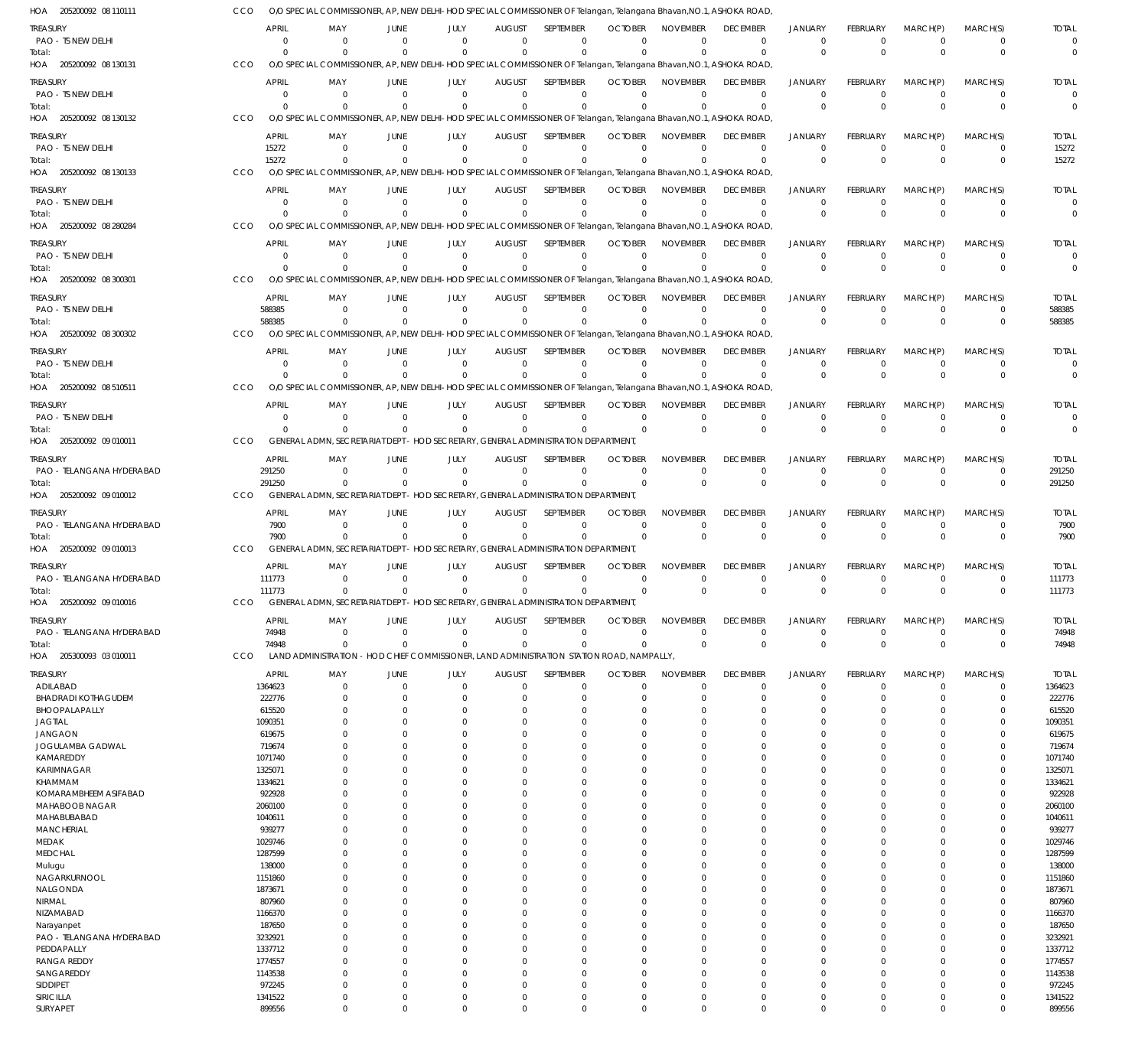| HOA 205200092 08 110111                      | <b>CCO</b> |                        | O/O SPECIAL COMMISSIONER, AP, NEW DELHI-HOD SPECIAL COMMISSIONER OF Telangan, Telangana Bhavan, NO.1, ASHOKA ROAD  |                               |                      |                              |                                 |                                  |                                |                                 |                                |                      |                      |                            |                        |
|----------------------------------------------|------------|------------------------|--------------------------------------------------------------------------------------------------------------------|-------------------------------|----------------------|------------------------------|---------------------------------|----------------------------------|--------------------------------|---------------------------------|--------------------------------|----------------------|----------------------|----------------------------|------------------------|
|                                              |            |                        |                                                                                                                    |                               |                      |                              |                                 |                                  |                                |                                 |                                |                      |                      |                            |                        |
| <b>TREASURY</b><br>PAO - TS NEW DELHI        |            | <b>APRIL</b><br>- 0    | MAY<br>0                                                                                                           | <b>JUNE</b><br>$\overline{0}$ | JULY<br>$\Omega$     | <b>AUGUST</b><br>$\Omega$    | SEPTEMBER<br>$\Omega$           | <b>OCTOBER</b><br>$\Omega$       | <b>NOVEMBER</b><br>$\Omega$    | <b>DECEMBER</b><br>$\mathbf{0}$ | <b>JANUARY</b><br>$\mathbf{0}$ | FEBRUARY<br>$\Omega$ | MARCH(P)<br>$\Omega$ | MARCH(S)<br>0              | <b>TOTAL</b>           |
| Total:                                       |            | $\Omega$               | $\Omega$                                                                                                           | $\Omega$                      | $\Omega$             | $\Omega$                     | $\Omega$                        | $\Omega$                         | $\Omega$                       | $\Omega$                        | $\Omega$                       | $\Omega$             | $\Omega$             | $\mathbf 0$                |                        |
| HOA 205200092 08 130131                      | CCO        |                        | O/O SPECIAL COMMISSIONER, AP, NEW DELHI-HOD SPECIAL COMMISSIONER OF Telangan, Telangana Bhavan, NO.1, ASHOKA ROAD  |                               |                      |                              |                                 |                                  |                                |                                 |                                |                      |                      |                            |                        |
| <b>TREASURY</b>                              |            | <b>APRIL</b>           | MAY                                                                                                                | <b>JUNE</b>                   | JULY                 | <b>AUGUST</b>                | SEPTEMBER                       | <b>OCTOBER</b>                   | <b>NOVEMBER</b>                | <b>DECEMBER</b>                 | <b>JANUARY</b>                 | FEBRUARY             | MARCH(P)             | MARCH(S)                   | <b>TOTAL</b>           |
| PAO - TS NEW DELHI                           |            | $\overline{0}$         | $\mathbf{0}$                                                                                                       | $\Omega$                      | $\Omega$             | $\mathbf 0$                  | $\mathbf 0$                     | $\Omega$                         | $\mathbf 0$                    | $\mathbf 0$                     | $\Omega$                       | $\Omega$             | $\Omega$             | $\mathbf 0$                | $\mathbf 0$            |
| Total:                                       |            | $\Omega$               | $\Omega$                                                                                                           | $\Omega$                      | $\mathbf{0}$         | $\mathbf 0$                  | $\mathbf 0$                     | $\Omega$                         | $\Omega$                       | $\mathbf 0$                     | $\Omega$                       | $\Omega$             | $\Omega$             | $\mathbf 0$                | $\Omega$               |
| HOA 205200092 08 130132                      | CCO        |                        | O/O SPECIAL COMMISSIONER, AP, NEW DELHI-HOD SPECIAL COMMISSIONER OF Telangan, Telangana Bhavan, NO.1, ASHOKA ROAD  |                               |                      |                              |                                 |                                  |                                |                                 |                                |                      |                      |                            |                        |
| <b>TREASURY</b>                              |            | <b>APRIL</b>           | MAY                                                                                                                | <b>JUNE</b>                   | JULY                 | <b>AUGUST</b>                | <b>SEPTEMBER</b>                | <b>OCTOBER</b>                   | <b>NOVEMBER</b>                | <b>DECEMBER</b>                 | <b>JANUARY</b>                 | FEBRUARY             | MARCH(P)             | MARCH(S)                   | <b>TOTAL</b>           |
| PAO - TS NEW DELHI                           |            | 15272                  | $\Omega$                                                                                                           | $\Omega$                      | $\Omega$             | $\Omega$                     | $\mathbf 0$                     | $\Omega$                         | $\mathbf 0$                    | $\mathbf 0$                     | $\Omega$                       | $\Omega$             | $\Omega$             | $\mathbf 0$                | 15272                  |
| Total:                                       |            | 15272                  | $\Omega$                                                                                                           | $\Omega$                      | $\Omega$             | $\Omega$                     | $\Omega$                        | $\Omega$                         | $\Omega$                       | $\Omega$                        | $\Omega$                       | $\Omega$             | $\Omega$             | $\mathbf 0$                | 15272                  |
| HOA 205200092 08 130133                      | CCO        |                        | O/O SPECIAL COMMISSIONER, AP, NEW DELHI-HOD SPECIAL COMMISSIONER OF Telangan, Telangana Bhavan, NO.1, ASHOKA ROAD  |                               |                      |                              |                                 |                                  |                                |                                 |                                |                      |                      |                            |                        |
| <b>TREASURY</b>                              |            | <b>APRIL</b>           | MAY                                                                                                                | JUNE                          | JULY                 | <b>AUGUST</b>                | SEPTEMBER                       | <b>OCTOBER</b>                   | <b>NOVEMBER</b>                | <b>DECEMBER</b>                 | <b>JANUARY</b>                 | FEBRUARY             | MARCH(P)             | MARCH(S)                   | <b>TOTAL</b>           |
| PAO - TS NEW DELHI                           |            | - 0                    | 0                                                                                                                  | $\Omega$                      | $\mathbf 0$          | $\mathbf 0$                  | $\mathbf 0$                     | $\Omega$                         | $\Omega$                       | $\mathbf 0$                     | $\Omega$                       |                      | $\Omega$             | $\mathbf 0$                |                        |
| Total:                                       |            | $\Omega$               | $\mathbf 0$                                                                                                        | $\Omega$                      | $\Omega$             | $\mathbf 0$                  | $\mathbf 0$                     | $\Omega$                         | $\Omega$                       | $\mathbf 0$                     | $\Omega$                       | $\Omega$             | $\Omega$             | $\mathbf{0}$               | $\Omega$               |
| HOA 205200092 08 280284                      | CCO        |                        | O/O SPECIAL COMMISSIONER, AP, NEW DELHI-HOD SPECIAL COMMISSIONER OF Telangan, Telangana Bhavan, NO.1, ASHOKA ROAD  |                               |                      |                              |                                 |                                  |                                |                                 |                                |                      |                      |                            |                        |
| <b>TREASURY</b>                              |            | <b>APRIL</b>           | MAY                                                                                                                | <b>JUNE</b>                   | JULY                 | <b>AUGUST</b>                | SEPTEMBER                       | <b>OCTOBER</b>                   | <b>NOVEMBER</b>                | <b>DECEMBER</b>                 | <b>JANUARY</b>                 | FEBRUARY             | MARCH(P)             | MARCH(S)                   | <b>TOTAL</b>           |
| PAO - TS NEW DELHI                           |            | $\Omega$<br>$\Omega$   | $\Omega$<br>$\Omega$                                                                                               | $\Omega$<br>$\Omega$          | $\Omega$<br>$\Omega$ | $\Omega$<br>$\Omega$         | 0<br>$\Omega$                   | $\Omega$<br>$\Omega$             | $\Omega$<br>$\Omega$           | $\Omega$<br>$\Omega$            | 0<br>$\Omega$                  | $\Omega$<br>$\Omega$ | $\Omega$<br>$\Omega$ | 0<br>$\mathbf 0$           | $\Omega$<br>$\Omega$   |
| Total:<br>HOA 205200092 08 300301            | CCO        |                        | O/O SPECIAL COMMISSIONER, AP, NEW DELHI-HOD SPECIAL COMMISSIONER OF Telangan, Telangana Bhavan, NO.1, ASHOKA ROAD  |                               |                      |                              |                                 |                                  |                                |                                 |                                |                      |                      |                            |                        |
|                                              |            |                        |                                                                                                                    |                               |                      |                              |                                 |                                  |                                |                                 |                                |                      |                      |                            |                        |
| <b>TREASURY</b><br>PAO - TS NEW DELHI        |            | <b>APRIL</b><br>588385 | MAY<br>$\mathbf 0$                                                                                                 | JUNE<br>$\Omega$              | JULY<br>$\Omega$     | <b>AUGUST</b><br>$\mathbf 0$ | <b>SEPTEMBER</b><br>$\mathbf 0$ | <b>OCTOBER</b><br>$\Omega$       | <b>NOVEMBER</b><br>$\mathbf 0$ | <b>DECEMBER</b><br>$\mathbf{0}$ | <b>JANUARY</b><br>$\Omega$     | FEBRUARY<br>$\Omega$ | MARCH(P)<br>$\Omega$ | MARCH(S)<br>$\mathbf 0$    | <b>TOTAL</b><br>588385 |
| Total:                                       |            | 588385                 | $\Omega$                                                                                                           |                               | $\Omega$             | $\Omega$                     | $\mathbf 0$                     |                                  | $\Omega$                       | $\Omega$                        | $\Omega$                       | $\Omega$             | $\Omega$             | $\mathbf 0$                | 588385                 |
| HOA 205200092 08 300302                      | CCO        |                        | O/O SPECIAL COMMISSIONER, AP, NEW DELHI-HOD SPECIAL COMMISSIONER OF Telangan, Telangana Bhavan, NO.1, ASHOKA ROAD, |                               |                      |                              |                                 |                                  |                                |                                 |                                |                      |                      |                            |                        |
| <b>TREASURY</b>                              |            | <b>APRIL</b>           | MAY                                                                                                                | <b>JUNE</b>                   | JULY                 | <b>AUGUST</b>                | SEPTEMBER                       | <b>OCTOBER</b>                   | <b>NOVEMBER</b>                | <b>DECEMBER</b>                 | <b>JANUARY</b>                 | FEBRUARY             | MARCH(P)             | MARCH(S)                   | <b>TOTAL</b>           |
| PAO - TS NEW DELHI                           |            | $\Omega$               | $\Omega$                                                                                                           | $\Omega$                      | $\Omega$             | $\mathbf 0$                  | $\mathbf 0$                     | $\Omega$                         | $\Omega$                       | $\mathbf{0}$                    | $\Omega$                       | $\Omega$             | $\Omega$             | 0                          | 0                      |
| Total:                                       |            | $\mathbf{0}$           | $\Omega$                                                                                                           | $\Omega$                      | $\Omega$             | $\mathbf 0$                  | $\mathbf 0$                     | $\Omega$                         | $\Omega$                       | $\Omega$                        | $\Omega$                       | $\Omega$             | $\Omega$             | $\mathbf 0$                |                        |
| HOA 205200092 08 510511                      | CCO        |                        | O/O SPECIAL COMMISSIONER, AP, NEW DELHI-HOD SPECIAL COMMISSIONER OF Telangan, Telangana Bhavan, NO.1, ASHOKA ROAD, |                               |                      |                              |                                 |                                  |                                |                                 |                                |                      |                      |                            |                        |
| <b>TREASURY</b>                              |            | <b>APRIL</b>           | MAY                                                                                                                | JUNE                          | JULY                 | <b>AUGUST</b>                | SEPTEMBER                       | <b>OCTOBER</b>                   | <b>NOVEMBER</b>                | <b>DECEMBER</b>                 | <b>JANUARY</b>                 | FEBRUARY             | MARCH(P)             | MARCH(S)                   | <b>TOTAL</b>           |
| PAO - TS NEW DELHI                           |            | $\Omega$               | 0                                                                                                                  | $\Omega$                      | $\Omega$             | $\mathbf 0$                  | $\mathbf 0$                     | $\Omega$                         | $\mathbf 0$                    | $\mathbf 0$                     | 0                              |                      | $\Omega$             | $\mathbf 0$                | $\mathbf 0$            |
| Total:                                       |            | $\Omega$               | $\Omega$                                                                                                           | $\Omega$                      | $\Omega$             | $\Omega$                     | $\mathbf 0$                     | $\Omega$                         | $\Omega$                       | $\Omega$                        | $\Omega$                       | $\Omega$             | $\Omega$             | $\mathbf 0$                | $\mathbf 0$            |
| HOA 205200092 09 010011                      | CCO        |                        | GENERAL ADMN, SECRETARIAT DEPT - HOD SECRETARY, GENERAL ADMINISTRATION DEPARTMENT,                                 |                               |                      |                              |                                 |                                  |                                |                                 |                                |                      |                      |                            |                        |
| TREASURY                                     |            | <b>APRIL</b>           | MAY                                                                                                                | <b>JUNE</b>                   | JULY                 | <b>AUGUST</b>                | SEPTEMBER                       | <b>OCTOBER</b>                   | <b>NOVEMBER</b>                | <b>DECEMBER</b>                 | <b>JANUARY</b>                 | FEBRUARY             | MARCH(P)             | MARCH(S)                   | <b>TOTAL</b>           |
| PAO - TELANGANA HYDERABAD                    |            | 291250                 | $\Omega$                                                                                                           | $\Omega$                      | $\Omega$             | $\Omega$                     | $\mathbf 0$                     | $\Omega$                         | $\Omega$                       | $\Omega$                        | $\Omega$                       | $\Omega$             | $\Omega$             | 0                          | 291250                 |
| Total:                                       |            | 291250                 | $\Omega$                                                                                                           | $\Omega$                      | $\Omega$             | $\Omega$                     | $\mathbf 0$                     | $\Omega$                         | $\Omega$                       | $\Omega$                        | $\Omega$                       | $\Omega$             | $\Omega$             | $\mathbf 0$                | 291250                 |
| HOA 205200092 09 010012                      | CCO        |                        | GENERAL ADMN, SECRETARIAT DEPT - HOD SECRETARY, GENERAL ADMINISTRATION DEPARTMENT,                                 |                               |                      |                              |                                 |                                  |                                |                                 |                                |                      |                      |                            |                        |
| TREASURY                                     |            | <b>APRIL</b>           | MAY                                                                                                                | JUNE                          | JULY                 | <b>AUGUST</b>                | SEPTEMBER                       | <b>OCTOBER</b>                   | <b>NOVEMBER</b>                | <b>DECEMBER</b>                 | <b>JANUARY</b>                 | FEBRUARY             | MARCH(P)             | MARCH(S)                   | <b>TOTAL</b>           |
| PAO - TELANGANA HYDERABAD                    |            | 7900<br>7900           | $\mathbf 0$<br>$\Omega$                                                                                            | $\Omega$<br>$\Omega$          | $\Omega$<br>$\Omega$ | $\mathbf 0$<br>$\Omega$      | $\mathbf 0$<br>$\mathbf 0$      | $\overline{0}$<br>$\overline{0}$ | $\mathbf 0$<br>$\mathbf 0$     | 0<br>$\Omega$                   | $\mathbf 0$<br>$\Omega$        | $\Omega$<br>$\Omega$ | $\Omega$<br>$\Omega$ | $\mathbf 0$<br>$\mathbf 0$ | 7900<br>7900           |
| Total:<br>HOA 205200092 09 010013            | CCO        |                        | GENERAL ADMN, SECRETARIAT DEPT - HOD SECRETARY, GENERAL ADMINISTRATION DEPARTMENT,                                 |                               |                      |                              |                                 |                                  |                                |                                 |                                |                      |                      |                            |                        |
|                                              |            |                        |                                                                                                                    |                               |                      |                              |                                 |                                  |                                |                                 |                                |                      |                      |                            |                        |
| <b>TREASURY</b><br>PAO - TELANGANA HYDERABAD |            | <b>APRIL</b><br>111773 | MAY<br>$\Omega$                                                                                                    | <b>JUNE</b><br>$\Omega$       | JULY<br>$\Omega$     | <b>AUGUST</b><br>$\Omega$    | SEPTEMBER<br>$\mathbf 0$        | <b>OCTOBER</b><br>$\Omega$       | <b>NOVEMBER</b><br>$\Omega$    | <b>DECEMBER</b><br>$\Omega$     | <b>JANUARY</b><br>$\Omega$     | FEBRUARY<br>$\Omega$ | MARCH(P)<br>$\Omega$ | MARCH(S)<br>$\Omega$       | <b>TOTAL</b><br>111773 |
| Total:                                       |            | 111773                 | $\Omega$                                                                                                           | $\Omega$                      | $\Omega$             | $\Omega$                     | $\mathbf 0$                     | $\Omega$                         | $\Omega$                       | $\Omega$                        | $\Omega$                       |                      | $\Omega$             | 0                          | 111773                 |
| HOA 205200092 09 010016                      | CCO        |                        | GENERAL ADMN, SECRETARIAT DEPT - HOD SECRETARY, GENERAL ADMINISTRATION DEPARTMENT,                                 |                               |                      |                              |                                 |                                  |                                |                                 |                                |                      |                      |                            |                        |
| treasury                                     |            | <b>APRIL</b>           | MAY                                                                                                                | <b>JUNE</b>                   | JULY                 | <b>AUGUST</b>                | SEPTEMBER                       | <b>OCTOBER</b>                   | <b>NOVEMBER</b>                | <b>DECEMBER</b>                 | JANUARY                        | FEBRUARY             | MARCH(P)             | MARCH(S)                   | <b>TOTAL</b>           |
| PAO - TELANGANA HYDERABAD                    |            | 74948                  | $\mathbf 0$                                                                                                        | $\overline{0}$                | $\mathbf{0}$         | $\mathbf 0$                  | $\mathbf 0$                     | $^{\circ}$                       | $\mathbf 0$                    | $\overline{0}$                  | $\mathbf 0$                    | $\Omega$             | $\overline{0}$       | $\mathbf 0$                | 74948                  |
| Total:                                       |            | 74948                  | $\Omega$                                                                                                           | $\Omega$                      | $\mathbf 0$          | $\mathbf 0$                  | $\mathbf 0$                     | $\mathbf{0}$                     | $\mathbf 0$                    | $\mathbf 0$                     | $\mathbf 0$                    | $\overline{0}$       | $\Omega$             | $\mathbf 0$                | 74948                  |
| HOA 205300093 03 010011                      | CCO        |                        | LAND ADMINISTRATION - HOD CHIEF COMMISSIONER, LAND ADMINISTRATION STATION ROAD, NAMPALLY,                          |                               |                      |                              |                                 |                                  |                                |                                 |                                |                      |                      |                            |                        |
| treasury                                     |            | <b>APRIL</b>           | MAY                                                                                                                | <b>JUNE</b>                   | JULY                 | <b>AUGUST</b>                | SEPTEMBER                       | <b>OCTOBER</b>                   | <b>NOVEMBER</b>                | <b>DECEMBER</b>                 | <b>JANUARY</b>                 | <b>FEBRUARY</b>      | MARCH(P)             | MARCH(S)                   | <b>TOTAL</b>           |
| ADILABAD                                     |            | 1364623                | $\mathbf 0$                                                                                                        | $\overline{0}$                | $\mathbf 0$          | $\mathbf 0$                  | $\mathbf 0$                     | $^{\circ}$                       | $\mathbf 0$                    | $\mathbf 0$                     | $\mathbf 0$                    | $\Omega$             | $\Omega$             | $\mathbf 0$                | 1364623                |
| <b>BHADRADI KOTHAGUDEM</b>                   |            | 222776                 | $\Omega$                                                                                                           | $\Omega$                      | $\Omega$             | 0                            | $\mathbf 0$                     | $^{\circ}$                       | $\mathbf 0$                    | $\Omega$                        | $\mathbf 0$                    | $\Omega$             | $\Omega$             | $\mathbf 0$                | 222776                 |
| BHOOPALAPALLY<br><b>JAGTIAL</b>              |            | 615520<br>1090351      | 0<br>$\Omega$                                                                                                      | $\Omega$<br>$\Omega$          | 0<br>$\Omega$        | 0<br>$\Omega$                | 0<br>$\mathbf 0$                | $\Omega$<br>$\Omega$             | $\Omega$<br>$\Omega$           | $\Omega$<br>$\Omega$            | $\Omega$<br>$\Omega$           | $\Omega$<br>$\Omega$ | $\Omega$<br>$\Omega$ | 0<br>0                     | 615520<br>1090351      |
| <b>JANGAON</b>                               |            | 619675                 | 0                                                                                                                  | $\Omega$                      | O                    | 0                            | 0                               | $\Omega$                         | $\Omega$                       | $\Omega$                        | $\Omega$                       |                      | $\Omega$             | 0                          | 619675                 |
| JOGULAMBA GADWAL                             |            | 719674                 | <sup>0</sup>                                                                                                       | $\Omega$                      | O                    | 0                            | $\Omega$                        | $\Omega$                         | $\Omega$                       | $\Omega$                        | $\Omega$                       |                      | $\Omega$             | $\Omega$                   | 719674                 |
| KAMAREDDY                                    |            | 1071740                | 0                                                                                                                  | $\Omega$                      | O                    | 0                            | 0                               | $\Omega$                         | $\Omega$                       | $\Omega$                        | $\Omega$                       |                      | $\Omega$             | $\Omega$                   | 1071740                |
| KARIMNAGAR                                   |            | 1325071                | $\Omega$                                                                                                           | $\Omega$                      | O                    | $\Omega$                     | $\mathbf 0$                     | $\Omega$                         | $\Omega$                       | $\Omega$                        | $\Omega$                       |                      | $\Omega$             | $\Omega$                   | 1325071                |
| KHAMMAM<br>KOMARAMBHEEM ASIFABAD             |            | 1334621<br>922928      | 0<br>U                                                                                                             | $\Omega$<br>$\Omega$          | O<br>O               | 0<br>0                       | 0<br>$\Omega$                   | $\Omega$<br>$\Omega$             | $\Omega$<br>$\Omega$           | $\Omega$<br>$\Omega$            | $\Omega$<br>$\Omega$           |                      | $\Omega$<br>$\Omega$ | $\Omega$<br>$\Omega$       | 1334621<br>922928      |
| MAHABOOB NAGAR                               |            | 2060100                | 0                                                                                                                  | $\Omega$                      | O                    | 0                            | $\mathbf 0$                     | $\Omega$                         | $\Omega$                       | $\Omega$                        | $\Omega$                       |                      | $\Omega$             | $\Omega$                   | 2060100                |
| MAHABUBABAD                                  |            | 1040611                | $\Omega$                                                                                                           | $\Omega$                      | O                    | 0                            | $\Omega$                        | $\Omega$                         | $\Omega$                       | $\Omega$                        | $\Omega$                       |                      | $\Omega$             | $\Omega$                   | 1040611                |
| <b>MANCHERIAL</b>                            |            | 939277                 | 0                                                                                                                  | $\Omega$                      | O                    | 0                            | $\Omega$                        | $\Omega$                         | $\Omega$                       | $\Omega$                        | $\Omega$                       |                      | $\Omega$             | 0                          | 939277                 |
| MEDAK                                        |            | 1029746                | 0                                                                                                                  | $\Omega$                      | O                    | 0                            | $\mathbf 0$                     | $\Omega$                         | $\mathbf 0$                    | $\Omega$                        | $\Omega$                       |                      | $\Omega$             | $\Omega$                   | 1029746                |
| <b>MEDCHAL</b>                               |            | 1287599                | 0                                                                                                                  | $\Omega$                      | O                    | 0                            | 0                               | $\Omega$                         | $\Omega$                       | $\Omega$                        | $\Omega$                       |                      | $\Omega$             | 0                          | 1287599                |
| Mulugu<br>NAGARKURNOOL                       |            | 138000<br>1151860      | U<br>0                                                                                                             | $\Omega$<br>$\Omega$          | O<br>O               | 0<br>0                       | $\Omega$<br>0                   | $\Omega$<br>$\Omega$             | $\Omega$<br>$\Omega$           | $\Omega$<br>$\Omega$            | $\Omega$<br>$\Omega$           | $\Omega$             | $\Omega$<br>$\Omega$ | 0<br>$\Omega$              | 138000<br>1151860      |
| NALGONDA                                     |            | 1873671                | U                                                                                                                  | $\Omega$                      | O                    | 0                            | 0                               | $\Omega$                         | $\Omega$                       | $\Omega$                        | $\Omega$                       |                      | $\Omega$             | $\Omega$                   | 1873671                |
| NIRMAL                                       |            | 807960                 | 0                                                                                                                  | $\Omega$                      | O                    | 0                            | $\Omega$                        | $\Omega$                         | $\Omega$                       | $\Omega$                        | $\Omega$                       |                      | $\Omega$             | 0                          | 807960                 |
| NIZAMABAD                                    |            | 1166370                | U                                                                                                                  | $\Omega$                      | $\Omega$             | 0                            | $\Omega$                        | $\Omega$                         | $\Omega$                       | $\Omega$                        | $\Omega$                       |                      | $\Omega$             | $\Omega$                   | 1166370                |
| Narayanpet                                   |            | 187650                 | 0                                                                                                                  | $\Omega$                      | O                    | 0                            | 0                               | $\Omega$                         | $\Omega$                       | $\Omega$                        | $\Omega$                       |                      | $\Omega$             | 0                          | 187650                 |
| PAO - TELANGANA HYDERABAD<br>PEDDAPALLY      |            | 3232921<br>1337712     | U<br>0                                                                                                             | $\Omega$<br>$\Omega$          | O<br>O               | 0<br>0                       | $\Omega$<br>0                   | $\Omega$<br>$\Omega$             | $\Omega$<br>$\Omega$           | $\Omega$<br>$\Omega$            | $\Omega$<br>$\Omega$           |                      | $\Omega$<br>$\Omega$ | $\Omega$<br>$\Omega$       | 3232921<br>1337712     |
| <b>RANGA REDDY</b>                           |            | 1774557                | $\Omega$                                                                                                           | $\Omega$                      | O                    | $\Omega$                     | $\mathbf 0$                     | $\Omega$                         | $\Omega$                       | $\Omega$                        | $\Omega$                       |                      | $\Omega$             | 0                          | 1774557                |
| SANGAREDDY                                   |            | 1143538                | 0                                                                                                                  | $\Omega$                      | O                    | 0                            | $\Omega$                        | $\Omega$                         | $\Omega$                       | $\Omega$                        | $\Omega$                       |                      | $\Omega$             | $\Omega$                   | 1143538                |
| SIDDIPET                                     |            | 972245                 | $\Omega$                                                                                                           | $\Omega$                      | $\Omega$             | $\Omega$                     | $\mathbf 0$                     | $\Omega$                         | $\mathbf 0$                    | $\Omega$                        | $\Omega$                       | $\Omega$             | $\Omega$             | 0                          | 972245                 |
| SIRICILLA                                    |            | 1341522                | 0                                                                                                                  | $\overline{0}$                | $\mathbf{0}$         | $\mathbf 0$                  | $\mathbf 0$                     | -0                               | $\mathbf 0$                    | 0                               | $\mathbf 0$                    | $\Omega$             | $\overline{0}$       | 0                          | 1341522                |
| SURYAPET                                     |            | 899556                 | $\mathbf 0$                                                                                                        | $\overline{0}$                | $\mathbf 0$          | $\mathbf 0$                  | $\mathbf 0$                     | $\mathbf 0$                      | $\mathbf 0$                    | $\mathbf 0$                     | $\Omega$                       | $\mathbf{0}$         | $\mathbf 0$          | $\mathbf 0$                | 899556                 |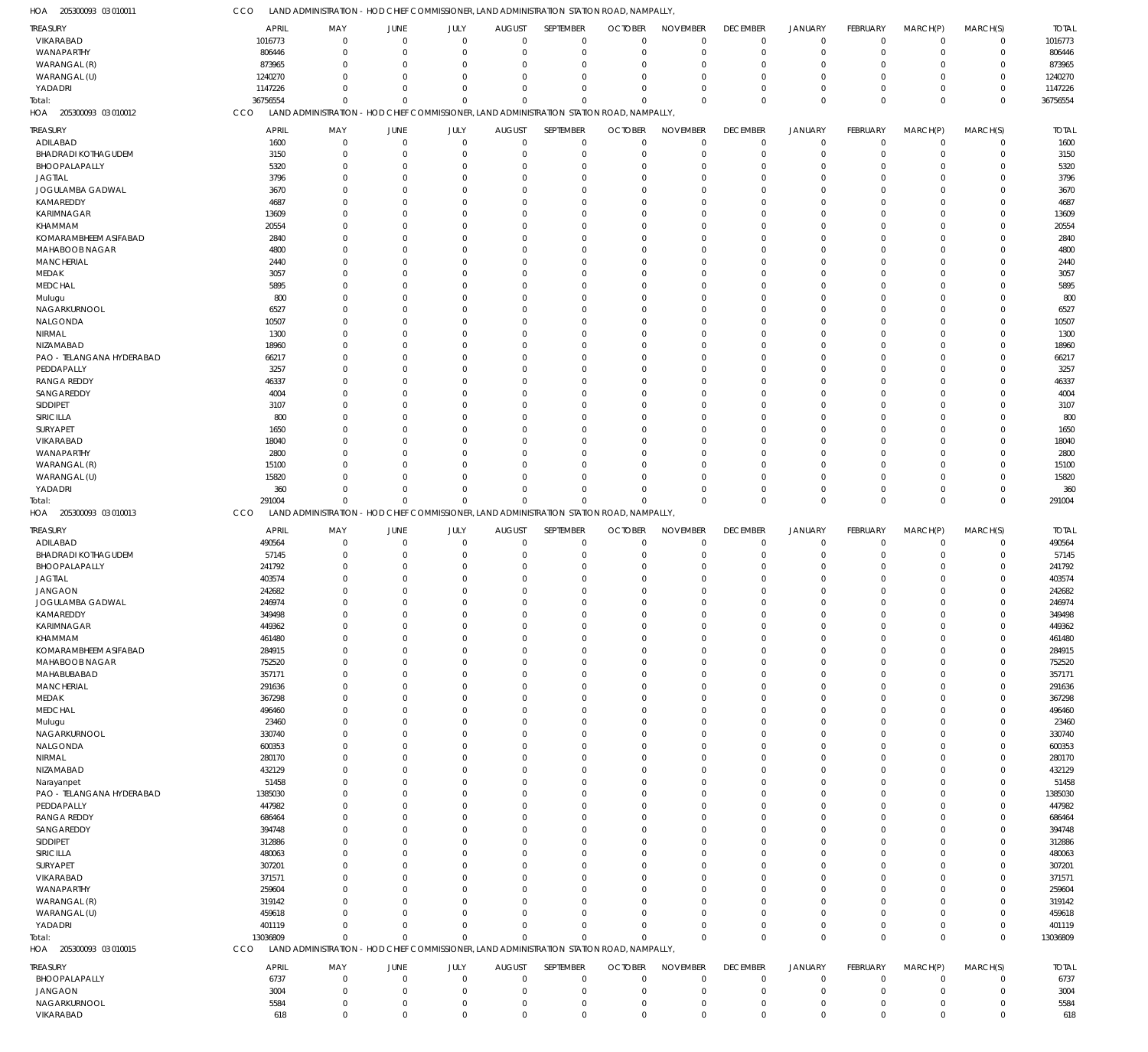205300093 03 010011 HOA

|                            |              | 91. JIVIII VI. 31 IN 191 IN JI V                                                          |                            |                                  |                            |                            | - HOD CHIEF CONTINISSIONER, EAND ADMINISTRATION STATION ROAD, INAINFALLT |                            |                            |                  |                            |                |                            |              |
|----------------------------|--------------|-------------------------------------------------------------------------------------------|----------------------------|----------------------------------|----------------------------|----------------------------|--------------------------------------------------------------------------|----------------------------|----------------------------|------------------|----------------------------|----------------|----------------------------|--------------|
| <b>TREASURY</b>            | <b>APRIL</b> | MAY                                                                                       | JUNE                       | JULY                             | <b>AUGUST</b>              | SEPTEMBER                  | <b>OCTOBER</b>                                                           | <b>NOVEMBER</b>            | <b>DECEMBER</b>            | JANUARY          | <b>FEBRUARY</b>            | MARCH(P)       | MARCH(S)                   | <b>TOTAL</b> |
|                            |              |                                                                                           |                            |                                  |                            |                            |                                                                          |                            |                            |                  |                            |                |                            |              |
| VIKARABAD                  | 1016773      | $\overline{0}$                                                                            | $\Omega$                   | $\overline{0}$                   | $\mathbf 0$                | $\mathbf 0$                | $\mathbf 0$                                                              | $\mathbf 0$                | $\mathbf 0$                | $\mathbf 0$      | $\mathbf 0$                | $\overline{0}$ | $\mathbf 0$                | 1016773      |
| WANAPARTHY                 | 806446       | $\overline{0}$                                                                            | $\Omega$                   | $\mathbf 0$                      | $\mathbf 0$                | $\mathbf 0$                | $\mathbf 0$                                                              | 0                          | $\mathbf 0$                | 0                | $\mathbf 0$                | $\Omega$       | $\mathbf 0$                | 806446       |
| WARANGAL (R)               | 873965       | $\Omega$                                                                                  | $\Omega$                   | $\Omega$                         | $\Omega$                   | 0                          | $\mathbf 0$                                                              | 0                          | $\mathbf 0$                | $\Omega$         | $\Omega$                   | $\Omega$       | $\Omega$                   | 873965       |
| WARANGAL (U)               | 1240270      | $\Omega$                                                                                  | $\Omega$                   | $\Omega$                         | $\Omega$                   | $\Omega$                   | $\Omega$                                                                 | $\Omega$                   | $\Omega$                   | $\Omega$         | $\Omega$                   | $\Omega$       | $\mathbf 0$                | 1240270      |
| YADADRI                    | 1147226      | $\Omega$                                                                                  | $\Omega$                   | $\Omega$                         | $\Omega$                   | $\Omega$                   | $\mathbf 0$                                                              | $\Omega$                   | $\mathbf 0$                | $\Omega$         | $\mathbf 0$                | $\Omega$       | $\mathbf 0$                | 1147226      |
|                            |              |                                                                                           |                            |                                  |                            |                            |                                                                          |                            |                            |                  |                            |                |                            |              |
| Total:                     | 36756554     | $\Omega$                                                                                  | $\Omega$                   | $\Omega$                         | $\Omega$                   | $\Omega$                   | $\Omega$                                                                 | $\mathbf 0$                | $\mathbf 0$                | $\Omega$         | $\mathbf 0$                | $\Omega$       | $\mathbf 0$                | 36756554     |
| HOA 205300093 03 010012    | CCO          | LAND ADMINISTRATION - HOD CHIEF COMMISSIONER, LAND ADMINISTRATION STATION ROAD, NAMPALLY, |                            |                                  |                            |                            |                                                                          |                            |                            |                  |                            |                |                            |              |
|                            |              |                                                                                           |                            |                                  |                            |                            |                                                                          |                            |                            |                  |                            |                |                            |              |
| TREASURY                   | <b>APRIL</b> | MAY                                                                                       | JUNE                       | JULY                             | <b>AUGUST</b>              | SEPTEMBER                  | <b>OCTOBER</b>                                                           | <b>NOVEMBER</b>            | <b>DECEMBER</b>            | <b>JANUARY</b>   | FEBRUARY                   | MARCH(P)       | MARCH(S)                   | <b>TOTAL</b> |
| ADILABAD                   | 1600         | $\overline{0}$                                                                            | $\Omega$                   | $\overline{0}$                   | $\mathbf 0$                | $\overline{0}$             | $\mathbf 0$                                                              | $\mathbf 0$                | $\mathbf 0$                | $\mathbf 0$      | $\mathbf 0$                | $\overline{0}$ | $\mathbf 0$                | 1600         |
| <b>BHADRADI KOTHAGUDEM</b> | 3150         | $^{\circ}$                                                                                | 0                          | $\Omega$                         | $\mathbf 0$                | $\mathbf 0$                | $\mathbf 0$                                                              | $\mathbf 0$                | $\mathbf 0$                | $\Omega$         | $\Omega$                   | $\Omega$       | $\mathbf 0$                | 3150         |
| BHOOPALAPALLY              | 5320         | $\Omega$                                                                                  | 0                          | $\Omega$                         | $\Omega$                   | $\Omega$                   | $\mathbf 0$                                                              | $\Omega$                   | $\mathbf 0$                |                  | $\Omega$                   | -0             | $\mathbf 0$                | 5320         |
|                            |              |                                                                                           |                            |                                  |                            |                            |                                                                          |                            |                            |                  |                            |                |                            |              |
| <b>JAGTIAL</b>             | 3796         | $\Omega$                                                                                  |                            | $\Omega$                         | $\Omega$                   | $\Omega$                   | $\Omega$                                                                 | $\Omega$                   | $\Omega$                   | O                | $\Omega$                   |                | $\Omega$                   | 3796         |
| JOGULAMBA GADWAL           | 3670         | $\Omega$                                                                                  |                            | $\Omega$                         | $\Omega$                   | $\Omega$                   | $\Omega$                                                                 | $\Omega$                   | $\Omega$                   |                  | $\Omega$                   |                | $\Omega$                   | 3670         |
| KAMAREDDY                  | 4687         | $\Omega$                                                                                  |                            | 0                                | $\Omega$                   | O                          | $\Omega$                                                                 | $\Omega$                   | $\Omega$                   |                  | $\Omega$                   |                | $\Omega$                   | 4687         |
| <b>KARIMNAGAR</b>          | 13609        | $\Omega$                                                                                  |                            | $\Omega$                         | $\Omega$                   | O                          | $\Omega$                                                                 | $\Omega$                   | $\Omega$                   |                  | $\Omega$                   | -0             | $\mathbf 0$                | 13609        |
|                            |              |                                                                                           |                            |                                  |                            |                            |                                                                          |                            |                            |                  |                            |                |                            |              |
| KHAMMAM                    | 20554        |                                                                                           |                            | O                                | $\Omega$                   | O                          | $\Omega$                                                                 | $\Omega$                   | $\Omega$                   |                  | $\Omega$                   |                | $\Omega$                   | 20554        |
| KOMARAMBHEEM ASIFABAD      | 2840         |                                                                                           |                            | $\Omega$                         | $\Omega$                   | $\Omega$                   | $\Omega$                                                                 | $\Omega$                   | $\Omega$                   |                  | $\Omega$                   |                | $\mathbf 0$                | 2840         |
| <b>MAHABOOB NAGAR</b>      | 4800         | $\Omega$                                                                                  |                            | $\Omega$                         | $\Omega$                   | $\Omega$                   | $\Omega$                                                                 | $\Omega$                   | $\Omega$                   |                  | $\Omega$                   |                | $\Omega$                   | 4800         |
| <b>MANCHERIAL</b>          | 2440         | $\Omega$                                                                                  |                            | $\Omega$                         | $\Omega$                   | O                          | $\Omega$                                                                 | $\Omega$                   | $\Omega$                   |                  | $\Omega$                   |                | $\Omega$                   | 2440         |
|                            |              |                                                                                           |                            |                                  |                            |                            |                                                                          |                            |                            |                  |                            |                |                            |              |
| MEDAK                      | 3057         |                                                                                           |                            | 0                                | $\Omega$                   | $\Omega$                   | $\Omega$                                                                 | $\Omega$                   | $\Omega$                   |                  | $\Omega$                   |                | $\Omega$                   | 3057         |
| <b>MEDCHAL</b>             | 5895         | $\Omega$                                                                                  |                            | $\Omega$                         | $\Omega$                   | $\Omega$                   | $\Omega$                                                                 | $\Omega$                   | $\Omega$                   |                  | $\Omega$                   |                | $\Omega$                   | 5895         |
| Mulugu                     | 800          |                                                                                           |                            | O                                | $\Omega$                   | O                          | $\Omega$                                                                 | $\Omega$                   | $\Omega$                   |                  | $\cup$                     |                | $\Omega$                   | 800          |
| NAGARKURNOOL               | 6527         | $\Omega$                                                                                  |                            | $\Omega$                         | $\Omega$                   | $\Omega$                   | $\Omega$                                                                 | $\Omega$                   | $\Omega$                   |                  | $\Omega$                   |                | $\mathbf 0$                | 6527         |
|                            |              |                                                                                           |                            |                                  |                            |                            |                                                                          |                            |                            |                  |                            |                |                            |              |
| NALGONDA                   | 10507        | $\Omega$                                                                                  |                            | O                                | $\Omega$                   | $\Omega$                   | $\Omega$                                                                 | $\Omega$                   | $\Omega$                   |                  | $\Omega$                   |                | $\Omega$                   | 10507        |
| NIRMAL                     | 1300         |                                                                                           |                            | O                                | $\Omega$                   | $\Omega$                   | $\Omega$                                                                 | $\Omega$                   | $\Omega$                   |                  | $\Omega$                   |                | $\mathbf 0$                | 1300         |
| NIZAMABAD                  | 18960        | $\Omega$                                                                                  |                            | 0                                | $\Omega$                   | $\Omega$                   | $\Omega$                                                                 | $\Omega$                   | $\Omega$                   |                  | $\Omega$                   |                | $\Omega$                   | 18960        |
| PAO - TELANGANA HYDERABAD  | 66217        | $\Omega$                                                                                  |                            | $\Omega$                         | $\Omega$                   | O                          | $\Omega$                                                                 | $\Omega$                   | $\Omega$                   |                  | $\Omega$                   |                | $\Omega$                   | 66217        |
|                            |              |                                                                                           |                            |                                  |                            |                            |                                                                          |                            |                            |                  |                            |                |                            |              |
| PEDDAPALLY                 | 3257         |                                                                                           |                            |                                  | $\Omega$                   | O                          | $\Omega$                                                                 | $\Omega$                   | $\Omega$                   |                  | $\Omega$                   |                | $\Omega$                   | 3257         |
| <b>RANGA REDDY</b>         | 46337        | $\Omega$                                                                                  |                            | $\Omega$                         | $\Omega$                   | $\Omega$                   | $\Omega$                                                                 | $\Omega$                   | $\Omega$                   |                  | $\Omega$                   |                | $\mathbf 0$                | 46337        |
| SANGAREDDY                 | 4004         | $\Omega$                                                                                  |                            | O                                | $\Omega$                   | O                          | $\Omega$                                                                 | $\Omega$                   | $\Omega$                   |                  | $\cup$                     |                | $\Omega$                   | 4004         |
| SIDDIPET                   | 3107         | $\Omega$                                                                                  |                            | $\Omega$                         | $\Omega$                   | O                          | $\Omega$                                                                 | $\Omega$                   | $\Omega$                   |                  | $\Omega$                   |                | $\Omega$                   | 3107         |
|                            |              |                                                                                           |                            |                                  |                            |                            |                                                                          |                            |                            |                  |                            |                | $\Omega$                   |              |
| SIRICILLA                  | 800          | $\Omega$                                                                                  |                            | 0                                | $\Omega$                   | $\Omega$                   | $\Omega$                                                                 | $\Omega$                   | $\Omega$                   |                  | $\Omega$                   |                |                            | 800          |
| SURYAPET                   | 1650         |                                                                                           |                            | O                                | $\Omega$                   | O                          | $\Omega$                                                                 | $\Omega$                   | $\Omega$                   |                  | $\Omega$                   |                | $\Omega$                   | 1650         |
| VIKARABAD                  | 18040        |                                                                                           |                            | 0                                | $\Omega$                   | O                          | $\Omega$                                                                 | $\Omega$                   | $\Omega$                   |                  | $\Omega$                   |                | $\Omega$                   | 18040        |
| WANAPARTHY                 | 2800         | $\Omega$                                                                                  |                            | $\Omega$                         | $\Omega$                   | O                          | $\Omega$                                                                 | $\Omega$                   | $\Omega$                   |                  | $\Omega$                   | -0             | $\Omega$                   | 2800         |
| WARANGAL (R)               | 15100        |                                                                                           |                            |                                  | $\Omega$                   | O                          | $\Omega$                                                                 | $\Omega$                   | $\Omega$                   |                  | $\Omega$                   |                | $\Omega$                   | 15100        |
|                            |              |                                                                                           |                            |                                  |                            |                            |                                                                          |                            |                            |                  |                            |                |                            |              |
| WARANGAL (U)               | 15820        | $\Omega$                                                                                  |                            | $\Omega$                         | $\Omega$                   | $\Omega$                   | $\Omega$                                                                 | $\Omega$                   | $\Omega$                   | 0                | $\Omega$                   | -0             | $\mathbf 0$                | 15820        |
| YADADRI                    | 360          | $\Omega$                                                                                  | $\Omega$                   | $\Omega$                         | $\Omega$                   | $\Omega$                   | $\Omega$                                                                 | 0                          | $\mathbf 0$                | $\Omega$         | $\Omega$                   | $\Omega$       | $\mathbf 0$                | 360          |
| Total:                     | 291004       | $\Omega$                                                                                  | $\Omega$                   |                                  |                            | $\Omega$                   | $\Omega$                                                                 | $\Omega$                   | $\mathbf 0$                | $\Omega$         | $\Omega$                   | $\Omega$       | $\mathbb O$                | 291004       |
|                            |              |                                                                                           |                            | $\Omega$                         | $\Omega$                   |                            |                                                                          |                            |                            |                  |                            |                |                            |              |
|                            |              |                                                                                           |                            |                                  |                            |                            |                                                                          |                            |                            |                  |                            |                |                            |              |
| HOA 205300093 03 010013    | CCO          | LAND ADMINISTRATION - HOD CHIEF COMMISSIONER, LAND ADMINISTRATION STATION ROAD, NAMPALLY, |                            |                                  |                            |                            |                                                                          |                            |                            |                  |                            |                |                            |              |
|                            |              |                                                                                           |                            |                                  |                            |                            |                                                                          |                            |                            |                  |                            |                |                            |              |
| <b>TREASURY</b>            | <b>APRIL</b> | MAY                                                                                       | JUNE                       | JULY                             | <b>AUGUST</b>              | SEPTEMBER                  | <b>OCTOBER</b>                                                           | <b>NOVEMBER</b>            | <b>DECEMBER</b>            | JANUARY          | FEBRUARY                   | MARCH(P)       | MARCH(S)                   | <b>TOTAL</b> |
| ADILABAD                   | 490564       | $\overline{0}$                                                                            | $\mathbf 0$                | $\overline{0}$                   | $\mathbf 0$                | $\overline{0}$             | $\mathbf 0$                                                              | $\mathbf 0$                | $\mathbf 0$                | $\mathbf 0$      | $\mathbf 0$                | $\overline{0}$ | $\mathbf 0$                | 490564       |
| <b>BHADRADI KOTHAGUDEM</b> | 57145        | $\overline{0}$                                                                            | $\Omega$                   | $\mathbf 0$                      | $\mathbf 0$                | $\mathbf 0$                | $\mathbf 0$                                                              | 0                          | $\mathbf 0$                | $\Omega$         | $\mathbf 0$                | $\Omega$       | $\mathbf 0$                | 57145        |
| BHOOPALAPALLY              | 241792       | $\Omega$                                                                                  | $\Omega$                   | $\Omega$                         | $\Omega$                   | $\Omega$                   | $\mathbf 0$                                                              | $\Omega$                   | $\Omega$                   | $\Omega$         | $\Omega$                   | $\Omega$       | $\mathbf 0$                | 241792       |
|                            |              |                                                                                           |                            |                                  |                            |                            |                                                                          |                            |                            |                  |                            |                |                            |              |
| <b>JAGTIAL</b>             | 403574       | $\Omega$                                                                                  |                            | $\Omega$                         | $\mathbf 0$                | $\Omega$                   | $\Omega$                                                                 | $\Omega$                   | $\mathbf 0$                | $\Omega$         | $\Omega$                   | $\Omega$       | $\mathbf 0$                | 403574       |
| JANGAON                    | 242682       | $\Omega$                                                                                  | $\Omega$                   | $\Omega$                         | $\Omega$                   | $\Omega$                   | $\Omega$                                                                 | $\Omega$                   | $\Omega$                   | $\Omega$         | $\Omega$                   | $\Omega$       | $\Omega$                   | 242682       |
| <b>JOGULAMBA GADWAL</b>    | 246974       | $\Omega$                                                                                  | $\Omega$                   | $\Omega$                         | $\Omega$                   | $\Omega$                   | $\Omega$                                                                 | $\Omega$                   | $\mathbf 0$                | $\Omega$         | $\Omega$                   | $\Omega$       | $\Omega$                   | 246974       |
| KAMAREDDY                  | 349498       | $\overline{0}$                                                                            | $\Omega$                   | $\mathbf 0$                      | $\mathbf 0$                | $\mathbf 0$                | 0                                                                        | 0                          | $\mathbf 0$                | 0                | 0                          | $\mathbf 0$    | $\mathbf 0$                | 349498       |
|                            |              | $\overline{0}$                                                                            | $\Omega$                   | $\mathbf 0$                      | $\mathbf 0$                | $\mathbf 0$                | $\mathbf 0$                                                              | 0                          | $\mathbf 0$                | O                | $\mathbf 0$                | $\Omega$       |                            |              |
| <b>KARIMNAGAR</b>          | 449362       |                                                                                           |                            |                                  |                            |                            |                                                                          |                            |                            |                  |                            |                | $\mathbf 0$                | 449362       |
| KHAMMAM                    | 461480       | $\overline{0}$                                                                            | $\Omega$                   | $\Omega$                         | $\mathbf 0$                | $\mathbf 0$                | $\mathbf 0$                                                              | $\mathbf 0$                | $\mathbf 0$                | $\Omega$         | $\mathbf 0$                | $\Omega$       | $\mathbf 0$                | 461480       |
| KOMARAMBHEEM ASIFABAD      | 284915       | $\overline{0}$                                                                            | 0                          | $\Omega$                         | $\mathbf 0$                | $\mathbf 0$                | $\mathbf 0$                                                              | 0                          | $\mathbf 0$                | $\Omega$         | $\Omega$                   | $\Omega$       | $\mathbf 0$                | 284915       |
| <b>MAHABOOB NAGAR</b>      | 752520       | $\overline{0}$                                                                            | 0                          | $\Omega$                         | $\mathbf 0$                | 0                          | $\mathbf 0$                                                              | 0                          | $\mathbf 0$                | $\Omega$         | $\Omega$                   | $\Omega$       | $\mathbf 0$                | 752520       |
| MAHABUBABAD                | 357171       | $\overline{0}$                                                                            |                            | $\Omega$                         | $\mathbf 0$                | $\mathbf 0$                | $\mathbf 0$                                                              | 0                          | $\mathbf 0$                | $\Omega$         | $\Omega$                   | $\Omega$       | $\mathbf 0$                | 357171       |
|                            |              |                                                                                           | $\Omega$                   | $\Omega$                         |                            |                            |                                                                          |                            |                            | $\Omega$         | $\Omega$                   | $\Omega$       |                            |              |
| <b>MANCHERIAL</b>          | 291636       | $\overline{0}$                                                                            |                            |                                  | $\mathbf 0$                | $\mathbf 0$                | $\mathbf 0$                                                              | 0                          | $\mathbf 0$                |                  |                            |                | $\mathbf 0$                | 291636       |
| <b>MEDAK</b>               | 367298       | $\overline{0}$                                                                            | 0                          | $\Omega$                         | $\mathbf 0$                | $\mathbf 0$                | $\mathbf 0$                                                              | 0                          | $\mathbf 0$                | O                | $\Omega$                   | $\Omega$       | $\mathbf 0$                | 367298       |
| <b>MEDCHAL</b>             | 496460       | $\mathbf 0$                                                                               | 0                          | $\Omega$                         | $\mathbf 0$                | $\mathbf 0$                | $\mathbf 0$                                                              | $\mathbf 0$                | $\mathbf 0$                | $\Omega$         | $\Omega$                   | $\Omega$       | $\mathbf 0$                | 496460       |
| Mulugu                     | 23460        | $\overline{0}$                                                                            | 0                          | $\Omega$                         | $\mathbf 0$                | $\mathbf 0$                | $\mathbf 0$                                                              | 0                          | $\mathbf 0$                | $\Omega$         | $\Omega$                   | $\Omega$       | $\mathbf 0$                | 23460        |
| NAGARKURNOOL               | 330740       | $\overline{0}$                                                                            | 0                          | $\Omega$                         | $\Omega$                   | $\mathbf 0$                | $\mathbf 0$                                                              | 0                          | $\Omega$                   | $\Omega$         | $\Omega$                   | $\Omega$       | $\mathbf 0$                | 330740       |
|                            |              | $\overline{0}$                                                                            | 0                          | $\Omega$                         | $\mathbf 0$                | $\mathbf 0$                | $\mathbf 0$                                                              | 0                          | $\mathbf 0$                | $\Omega$         | $\Omega$                   | $\Omega$       | $\mathbf 0$                | 600353       |
| NALGONDA                   | 600353       |                                                                                           |                            |                                  |                            |                            |                                                                          |                            |                            |                  |                            |                |                            |              |
| NIRMAL                     | 280170       | $\overline{0}$                                                                            | 0                          | $\Omega$                         | $\mathbf 0$                | 0                          | $\mathbf 0$                                                              | 0                          | $\mathbf 0$                | $\Omega$         | $\Omega$                   | $\Omega$       | $\mathbf 0$                | 280170       |
| NIZAMABAD                  | 432129       | $\overline{0}$                                                                            |                            | $\Omega$                         | $\mathbf 0$                | $\mathbf 0$                | $\mathbf 0$                                                              | 0                          | $\mathbf 0$                | $\Omega$         | $\Omega$                   | $\Omega$       | $\mathbf 0$                | 432129       |
| Narayanpet                 | 51458        | $\overline{0}$                                                                            | $\Omega$                   | $\Omega$                         | $\mathbf 0$                | $\mathbf 0$                | $\mathbf 0$                                                              | 0                          | $\mathbf 0$                | $\Omega$         | $\Omega$                   | $\Omega$       | $\mathbf 0$                | 51458        |
|                            |              | $\overline{0}$                                                                            | 0                          | $\Omega$                         | $\mathbf 0$                | $\mathbf 0$                | $\mathbf 0$                                                              | 0                          | $\mathbf 0$                | O                | $\Omega$                   | $\Omega$       | $\mathbf 0$                |              |
| PAO - TELANGANA HYDERABAD  | 1385030      |                                                                                           |                            |                                  |                            |                            |                                                                          |                            |                            |                  |                            |                |                            | 1385030      |
| PEDDAPALLY                 | 447982       | $\mathbf 0$                                                                               | 0                          | $\Omega$                         | $\mathbf 0$                | $\mathbf 0$                | $\mathbf 0$                                                              | $\mathbf 0$                | $\mathbf 0$                | $\Omega$         | $\Omega$                   | $\Omega$       | $\mathbf 0$                | 447982       |
| <b>RANGA REDDY</b>         | 686464       | $\overline{0}$                                                                            | 0                          | $\Omega$                         | $\mathbf 0$                | $\mathbf 0$                | $\mathbf 0$                                                              | 0                          | $\mathbf 0$                | $\Omega$         | $\Omega$                   | $\Omega$       | $\mathbf 0$                | 686464       |
| SANGAREDDY                 | 394748       | $\mathbf 0$                                                                               | 0                          | $\Omega$                         | $\Omega$                   | $\mathbf 0$                | $\mathbf 0$                                                              | 0                          | $\mathbf 0$                | $\Omega$         | $\Omega$                   | $\Omega$       | $\mathbf 0$                | 394748       |
|                            | 312886       | $\overline{0}$                                                                            |                            | $\Omega$                         | $\mathbf 0$                | $\mathbf 0$                | $\mathbf 0$                                                              | 0                          | $\mathbf 0$                | $\Omega$         | $\Omega$                   | $\Omega$       | $\mathbf 0$                | 312886       |
| SIDDIPET                   |              |                                                                                           |                            |                                  |                            |                            |                                                                          |                            |                            |                  |                            |                |                            |              |
| SIRICILLA                  | 480063       | $\overline{0}$                                                                            | 0                          | $\Omega$                         | $\mathbf 0$                | 0                          | $\mathbf 0$                                                              | 0                          | $\mathbf 0$                | $\Omega$         | $\Omega$                   | $\Omega$       | $\mathbf 0$                | 480063       |
| SURYAPET                   | 307201       | $\overline{0}$                                                                            |                            | $\Omega$                         | $\mathbf 0$                | $\mathbf 0$                | $\mathbf 0$                                                              | 0                          | $\mathbf 0$                | O                | $\Omega$                   | $\Omega$       | $\mathbf 0$                | 307201       |
| VIKARABAD                  | 371571       | $\mathbf 0$                                                                               | 0                          | $\Omega$                         | $\Omega$                   | $\mathbf 0$                | $\mathbf 0$                                                              | 0                          | $\Omega$                   | $\Omega$         | $\Omega$                   | $\Omega$       | $\mathbf 0$                | 371571       |
| WANAPARTHY                 | 259604       | $\overline{0}$                                                                            | 0                          | $\Omega$                         | $\mathbf 0$                | 0                          | $\mathbf 0$                                                              | 0                          | 0                          | O                | $\Omega$                   | $\Omega$       | $\mathbf 0$                | 259604       |
|                            |              |                                                                                           |                            |                                  |                            |                            |                                                                          |                            |                            |                  |                            |                |                            |              |
| WARANGAL (R)               | 319142       | $\Omega$                                                                                  | 0                          | $\Omega$                         | $\Omega$                   | 0                          | $\mathbf 0$                                                              | 0                          | $\mathbf 0$                | $\Omega$         | $\Omega$                   | $\Omega$       | $\mathbf 0$                | 319142       |
| WARANGAL (U)               | 459618       | $\overline{0}$                                                                            | $\Omega$                   | $\Omega$                         | $\mathbf 0$                | $\mathbf 0$                | $\mathbf 0$                                                              | 0                          | $\mathbf 0$                | $\Omega$         | $\Omega$                   | $\Omega$       | $\mathbf 0$                | 459618       |
| YADADRI                    | 401119       | $\Omega$                                                                                  | $\Omega$                   | $\Omega$                         | $\mathbf 0$                | $\mathbf 0$                | $\mathbf 0$                                                              | $\mathbf 0$                | $\mathbf 0$                | 0                | $\mathbf 0$                | $\Omega$       | $\mathbf 0$                | 401119       |
| Total:                     | 13036809     | $\overline{0}$                                                                            | $\Omega$                   | $\Omega$                         | $\Omega$                   | $\Omega$                   | $\Omega$                                                                 | $\mathbf 0$                | $\mathbf 0$                | $\Omega$         | $\mathbf 0$                | $\Omega$       | $\mathbf 0$                | 13036809     |
|                            |              |                                                                                           |                            |                                  |                            |                            |                                                                          |                            |                            |                  |                            |                |                            |              |
| HOA 205300093 03 010015    | CCO          | LAND ADMINISTRATION - HOD CHIEF COMMISSIONER, LAND ADMINISTRATION STATION ROAD, NAMPALLY, |                            |                                  |                            |                            |                                                                          |                            |                            |                  |                            |                |                            |              |
| <b>TREASURY</b>            | <b>APRIL</b> | MAY                                                                                       | JUNE                       | JULY                             | <b>AUGUST</b>              | SEPTEMBER                  | <b>OCTOBER</b>                                                           | <b>NOVEMBER</b>            | <b>DECEMBER</b>            | <b>JANUARY</b>   | FEBRUARY                   | MARCH(P)       | MARCH(S)                   | <b>TOTAL</b> |
|                            |              |                                                                                           |                            |                                  |                            |                            |                                                                          |                            |                            |                  |                            |                |                            |              |
| BHOOPALAPALLY              | 6737         | $\overline{0}$                                                                            | $\mathbf 0$                | $\overline{0}$                   | $\mathbf 0$                | $\mathbf 0$                | $\mathbf 0$                                                              | $\mathbf 0$                | $\mathbf 0$                | 0                | $\mathbf 0$                | $^{\circ}$     | $\mathbf 0$                | 6737         |
| JANGAON                    | 3004         | $\overline{0}$                                                                            | $\Omega$                   | $\Omega$                         | $\mathbf 0$                | $\mathbf 0$                | $\mathbf 0$                                                              | $\mathbf 0$                | $\mathbf 0$                | O                | $\mathbf 0$                | $\Omega$       | $\mathbf 0$                | 3004         |
| NAGARKURNOOL<br>VIKARABAD  | 5584<br>618  | $\overline{0}$<br>$\overline{0}$                                                          | $\mathbf 0$<br>$\mathbf 0$ | $\overline{0}$<br>$\overline{0}$ | $\mathbf 0$<br>$\mathbf 0$ | $\mathbf 0$<br>$\mathbf 0$ | $\mathbf 0$<br>$\mathbf 0$                                               | $\mathbf 0$<br>$\mathbf 0$ | $\mathbf 0$<br>$\mathbf 0$ | 0<br>$\mathbf 0$ | $\mathbf 0$<br>$\mathbf 0$ | 0<br>$\Omega$  | $\mathbf 0$<br>$\mathbf 0$ | 5584<br>618  |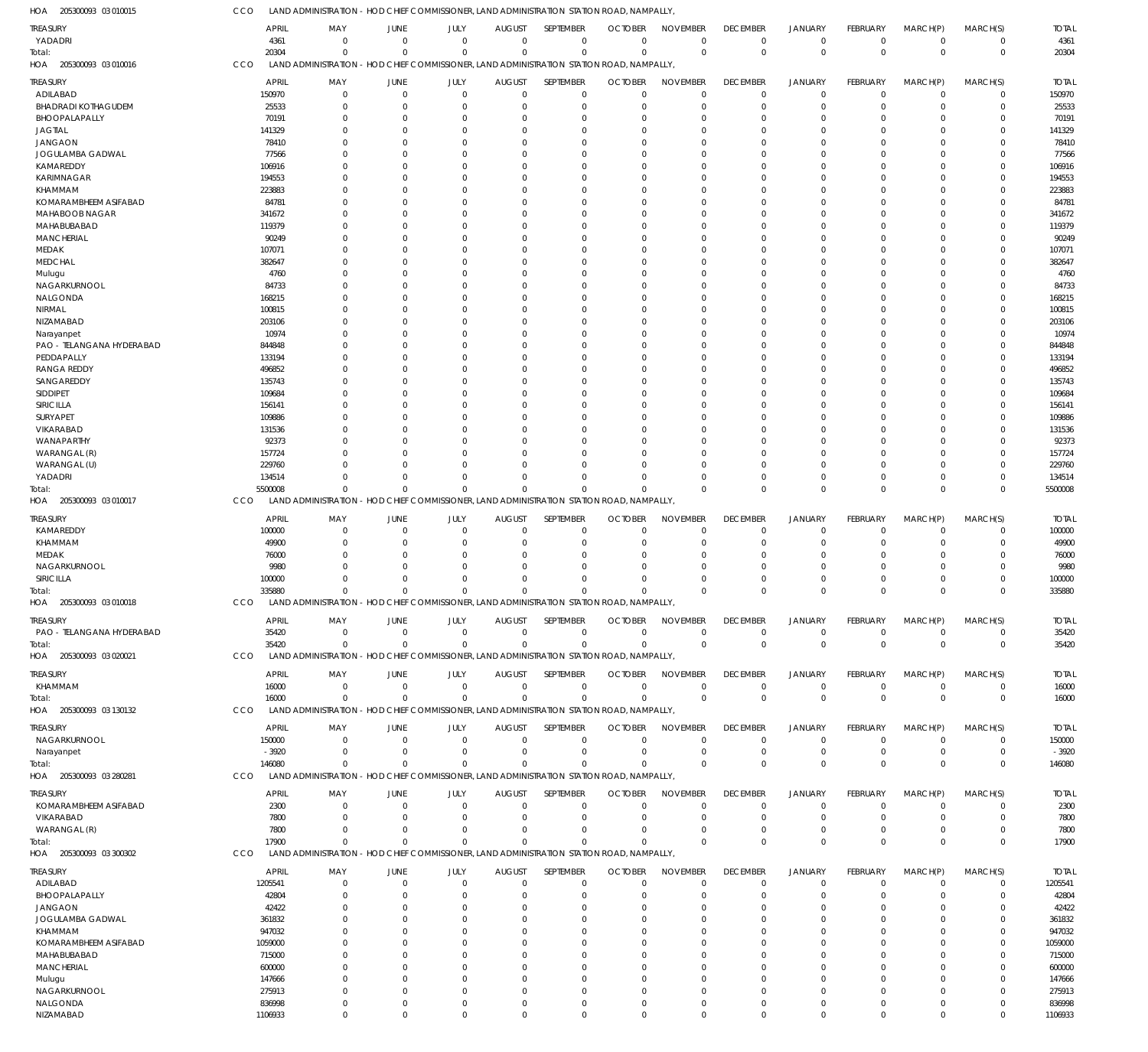| HOA<br>205300093 03 010015              | CCO              | LAND ADMINISTRATION - HOD CHIEF COMMISSIONER, LAND ADMINISTRATION STATION ROAD, NAMPALLY                       |                         |                               |                              |                                  |                               |                                |                                |                                  |                         |                               |                            |                        |
|-----------------------------------------|------------------|----------------------------------------------------------------------------------------------------------------|-------------------------|-------------------------------|------------------------------|----------------------------------|-------------------------------|--------------------------------|--------------------------------|----------------------------------|-------------------------|-------------------------------|----------------------------|------------------------|
| <b>TREASURY</b>                         |                  | <b>APRIL</b><br>MAY                                                                                            | JUNE                    | JULY                          | <b>AUGUST</b>                | SEPTEMBER                        | <b>OCTOBER</b>                | <b>NOVEMBER</b>                | <b>DECEMBER</b>                | <b>JANUARY</b>                   | FEBRUARY                | MARCH(P)                      | MARCH(S)                   | <b>TOTAL</b>           |
| YADADRI                                 |                  | 4361<br>$\overline{0}$                                                                                         | $\Omega$                | $\mathbf 0$                   | $\mathbf 0$                  | $\overline{0}$                   | $\mathbf 0$                   | $\overline{0}$                 | $\mathbf 0$                    | $\overline{0}$                   | $\mathbf 0$             | $\overline{0}$                | $\mathbf 0$                | 4361                   |
| Total:<br>205300093 03 010016           | CCO              | 20304<br>$\Omega$<br>LAND ADMINISTRATION - HOD CHIEF COMMISSIONER, LAND ADMINISTRATION STATION ROAD, NAMPALLY, | $\Omega$                | $\Omega$                      | $\Omega$                     | $\Omega$                         | $\Omega$                      | $\Omega$                       | $\mathbf{0}$                   | $\mathbf 0$                      | $\mathbf 0$             | $\Omega$                      | $\mathbf 0$                | 20304                  |
| HOA                                     |                  |                                                                                                                |                         |                               |                              |                                  |                               |                                |                                |                                  |                         |                               |                            |                        |
| <b>TREASURY</b>                         |                  | <b>APRIL</b><br>MAY                                                                                            | JUNE                    | JULY                          | <b>AUGUST</b>                | SEPTEMBER                        | <b>OCTOBER</b>                | <b>NOVEMBER</b>                | <b>DECEMBER</b>                | <b>JANUARY</b>                   | <b>FEBRUARY</b>         | MARCH(P)                      | MARCH(S)                   | <b>TOTAL</b>           |
| ADILABAD<br><b>BHADRADI KOTHAGUDEM</b>  | 150970           | $\overline{0}$<br>25533<br>$\overline{0}$                                                                      | $\mathbf 0$<br>$\Omega$ | $\overline{0}$<br>$\mathbf 0$ | $\mathbf 0$<br>$\mathbf 0$   | $\overline{0}$<br>$\overline{0}$ | $\mathbf 0$<br>$\mathbf 0$    | $\overline{0}$<br>$\mathbf 0$  | $\overline{0}$<br>$\mathbf 0$  | $\overline{0}$<br>$\overline{0}$ | $\mathbf 0$<br>$\Omega$ | $\overline{0}$<br>$\mathbf 0$ | $\mathbf 0$<br>$\mathbf 0$ | 150970<br>25533        |
| BHOOPALAPALLY                           |                  | 70191<br>$\overline{0}$                                                                                        | $\Omega$                | $\Omega$                      | $\Omega$                     | $\overline{0}$                   | $\Omega$                      | $\Omega$                       | $\mathbf 0$                    | $\Omega$                         | $\Omega$                | $\Omega$                      | $\mathbf 0$                | 70191                  |
| <b>JAGTIAL</b>                          | 141329           | $\Omega$                                                                                                       | $\Omega$                | $\Omega$                      | $\mathbf 0$                  | $\Omega$                         | $\Omega$                      | $\mathbf 0$                    | $\mathbf 0$                    | $\Omega$                         | $\Omega$                | $\Omega$                      | $\mathbf 0$                | 141329                 |
| <b>JANGAON</b>                          |                  | 78410<br>$\Omega$                                                                                              | $\Omega$                | $\Omega$                      | $\Omega$                     | $\Omega$                         | $\Omega$                      | $\mathbf 0$                    | $\Omega$                       | $\Omega$                         | C                       | $\Omega$                      | $\Omega$                   | 78410                  |
| JOGULAMBA GADWAL                        |                  | 77566<br>$\Omega$                                                                                              | <sup>0</sup>            | $\Omega$                      | $\Omega$                     | $\Omega$                         | $\Omega$                      | $\Omega$                       | $\Omega$                       | $\Omega$                         | U                       | $\Omega$                      | $\mathbf 0$                | 77566                  |
| KAMAREDDY                               | 106916           | $\Omega$                                                                                                       | $\Omega$                | $\Omega$                      | $\Omega$                     | $\Omega$                         | $\Omega$                      | $\Omega$                       | $\Omega$                       | $\Omega$                         | $\Omega$                | $\Omega$                      | $\mathbf 0$                | 106916                 |
| KARIMNAGAR                              | 194553           | $\Omega$                                                                                                       | U                       | $\Omega$                      | $\Omega$                     | $\Omega$                         | $\Omega$                      | $\Omega$                       | $\Omega$                       | $\Omega$                         | U                       | $\Omega$                      | $\mathbf 0$                | 194553                 |
| KHAMMAM                                 | 223883           | $\Omega$                                                                                                       | $\Omega$                | $\Omega$                      | $\Omega$                     | $\Omega$                         | $\Omega$                      | $\mathbf 0$                    | $\Omega$                       | $\Omega$                         | $\Omega$                | $\Omega$                      | $\mathbf 0$                | 223883                 |
| KOMARAMBHEEM ASIFABAD                   |                  | 84781<br>$\Omega$                                                                                              | U                       | $\Omega$                      | $\Omega$                     | $\Omega$                         | $\Omega$                      | $\Omega$                       | $\Omega$                       | $\Omega$                         | U                       | $\Omega$                      | $\mathbf 0$                | 84781                  |
| MAHABOOB NAGAR                          | 341672           | $\Omega$                                                                                                       | $\Omega$<br>$\Omega$    | $\Omega$                      | $\Omega$                     | $\Omega$                         | $\Omega$                      | $\Omega$                       | $\Omega$                       | $\Omega$                         | $\Omega$<br>$\Omega$    | $\Omega$                      | $\mathbf 0$                | 341672                 |
| MAHABUBABAD<br><b>MANCHERIAL</b>        | 119379           | $\Omega$<br>90249<br>$\Omega$                                                                                  | O                       | $\Omega$<br>$\Omega$          | $\Omega$<br>$\Omega$         | $\Omega$<br>$\Omega$             | $\Omega$<br>$\Omega$          | $\mathbf 0$<br>$\Omega$        | $\Omega$<br>$\Omega$           | $\Omega$<br>$\Omega$             | C                       | $\Omega$<br>$\Omega$          | $\mathbf 0$<br>$\Omega$    | 119379<br>90249        |
| MEDAK                                   | 107071           | $\Omega$                                                                                                       | $\Omega$                | $\Omega$                      | $\Omega$                     | $\Omega$                         | $\Omega$                      | $\mathbf 0$                    | $\Omega$                       | $\Omega$                         | C                       | $\Omega$                      | $\mathbf 0$                | 107071                 |
| <b>MEDCHAL</b>                          | 382647           | $\Omega$                                                                                                       | $\Omega$                | $\Omega$                      | $\Omega$                     | $\Omega$                         | $\Omega$                      | $\Omega$                       | $\Omega$                       | $\Omega$                         | $\Omega$                | $\Omega$                      | $\mathbf 0$                | 382647                 |
| Mulugu                                  |                  | 4760<br>$\Omega$                                                                                               | $\Omega$                | $\Omega$                      | $\Omega$                     | $\Omega$                         | $\Omega$                      | $\Omega$                       | $\Omega$                       | $\Omega$                         | $\Omega$                | $\Omega$                      | $\mathbf 0$                | 4760                   |
| NAGARKURNOOL                            |                  | 84733<br>$\Omega$                                                                                              | $\Omega$                | $\Omega$                      | $\Omega$                     | $\Omega$                         | $\Omega$                      | $\mathbf 0$                    | $\Omega$                       | $\Omega$                         | $\Omega$                | $\Omega$                      | $\mathbf 0$                | 84733                  |
| NALGONDA                                | 168215           | $\Omega$                                                                                                       | <sup>0</sup>            | $\Omega$                      | $\Omega$                     | $\Omega$                         | $\Omega$                      | $\Omega$                       | $\Omega$                       | $\Omega$                         | U                       | $\Omega$                      | $\mathbf 0$                | 168215                 |
| NIRMAL                                  | 100815           | $\Omega$                                                                                                       | $\Omega$                | $\Omega$                      | $\Omega$                     | $\Omega$                         | $\Omega$                      | $\Omega$                       | $\Omega$                       | $\Omega$                         | $\Omega$                | $\Omega$                      | $\mathbf 0$                | 100815                 |
| NIZAMABAD                               | 203106           | $\Omega$                                                                                                       | O                       | $\Omega$                      | $\Omega$                     | $\Omega$                         | $\Omega$                      | $\Omega$                       | $\Omega$                       | $\Omega$                         | C                       | $\Omega$                      | $\mathbf 0$                | 203106                 |
| Narayanpet                              |                  | 10974<br>$\Omega$<br>$\Omega$                                                                                  | O<br>O                  | $\Omega$<br>$\Omega$          | $\Omega$<br>$\Omega$         | $\Omega$<br>$\Omega$             | $\Omega$<br>$\Omega$          | $\Omega$<br>$\mathbf 0$        | $\Omega$<br>$\Omega$           | $\Omega$<br>$\Omega$             | C<br>C                  | $\Omega$<br>$\Omega$          | $\mathbf 0$<br>$\mathbf 0$ | 10974                  |
| PAO - TELANGANA HYDERABAD<br>PEDDAPALLY | 844848<br>133194 | $\Omega$                                                                                                       | O                       | $\Omega$                      | $\Omega$                     | $\Omega$                         | $\Omega$                      | $\Omega$                       | $\Omega$                       | $\Omega$                         | $\Omega$                | $\Omega$                      | $\Omega$                   | 844848<br>133194       |
| <b>RANGA REDDY</b>                      | 496852           | $\Omega$                                                                                                       | $\Omega$                | $\Omega$                      | $\Omega$                     | $\Omega$                         | $\Omega$                      | $\mathbf 0$                    | $\Omega$                       | $\Omega$                         | $\Omega$                | $\Omega$                      | $\mathbf 0$                | 496852                 |
| SANGAREDDY                              | 135743           | $\Omega$                                                                                                       | O                       | $\Omega$                      | $\Omega$                     | $\Omega$                         | $\Omega$                      | $\Omega$                       | $\Omega$                       | $\Omega$                         | C                       | $\Omega$                      | $\Omega$                   | 135743                 |
| <b>SIDDIPET</b>                         | 109684           | $\Omega$                                                                                                       | U                       | $\Omega$                      | $\Omega$                     | $\Omega$                         | $\Omega$                      | $\Omega$                       | $\Omega$                       | $\Omega$                         | C                       | $\Omega$                      | $\mathbf 0$                | 109684                 |
| SIRICILLA                               | 156141           | $\Omega$                                                                                                       | $\Omega$                | $\Omega$                      | $\Omega$                     | $\Omega$                         | $\Omega$                      | $\Omega$                       | $\Omega$                       | $\Omega$                         | $\Omega$                | $\Omega$                      | $\mathbf 0$                | 156141                 |
| <b>SURYAPET</b>                         | 109886           | $\Omega$                                                                                                       | <sup>0</sup>            | $\Omega$                      | $\Omega$                     | $\Omega$                         | $\Omega$                      | $\Omega$                       | $\Omega$                       | $\Omega$                         | U                       | $\Omega$                      | $\mathbf 0$                | 109886                 |
| VIKARABAD                               | 131536           | $\Omega$                                                                                                       | $\Omega$                | $\Omega$                      | $\Omega$                     | $\Omega$                         | $\Omega$                      | $\mathbf 0$                    | $\Omega$                       | $\Omega$                         | $\Omega$                | $\Omega$                      | $\mathbf 0$                | 131536                 |
| WANAPARTHY                              |                  | 92373<br>$\Omega$                                                                                              | <sup>0</sup>            | $\Omega$                      | $\Omega$                     | $\Omega$                         | $\Omega$                      | $\Omega$                       | $\Omega$                       | $\Omega$                         | U                       | $\Omega$                      | $\mathbf 0$                | 92373                  |
| WARANGAL (R)                            | 157724           | $\Omega$<br>$\Omega$                                                                                           | $\Omega$<br>$\Omega$    | $\Omega$<br>$\Omega$          | $\Omega$                     | $\Omega$                         | $\Omega$<br>$\Omega$          | $\Omega$<br>$\mathbf 0$        | $\Omega$                       | $\Omega$<br>$\Omega$             | $\Omega$<br>$\Omega$    | $\Omega$<br>$\Omega$          | $\Omega$<br>$\mathbf 0$    | 157724                 |
| WARANGAL (U)<br>YADADRI                 | 229760<br>134514 | $\Omega$                                                                                                       | $\Omega$                | $\Omega$                      | $\mathbf 0$<br>$\Omega$      | $\mathbf 0$<br>$\Omega$          | $\Omega$                      | $\overline{0}$                 | $\mathbf 0$<br>$\mathbf 0$     | $\overline{0}$                   | $\Omega$                | $\mathbf 0$                   | $\mathbf 0$                | 229760<br>134514       |
| Total:                                  | 5500008          | $\Omega$                                                                                                       | $\Omega$                | $\Omega$                      | $\Omega$                     | $\Omega$                         | $\Omega$                      | $\Omega$                       | $\mathbf 0$                    | $\Omega$                         | $\Omega$                | $\Omega$                      | $\mathbf 0$                | 5500008                |
| 205300093 03 010017<br>HOA              | CCO              | LAND ADMINISTRATION - HOD CHIEF COMMISSIONER, LAND ADMINISTRATION STATION ROAD, NAMPALLY,                      |                         |                               |                              |                                  |                               |                                |                                |                                  |                         |                               |                            |                        |
|                                         |                  |                                                                                                                |                         |                               |                              |                                  |                               |                                |                                |                                  |                         |                               |                            |                        |
| <b>TREASURY</b><br>KAMAREDDY            | 100000           | APRIL<br>MAY<br>$\overline{0}$                                                                                 | JUNE<br>$\Omega$        | JULY<br>$\overline{0}$        | <b>AUGUST</b><br>$\mathbf 0$ | SEPTEMBER<br>$\overline{0}$      | <b>OCTOBER</b><br>$\mathbf 0$ | <b>NOVEMBER</b><br>$\mathbf 0$ | <b>DECEMBER</b><br>$\mathbf 0$ | <b>JANUARY</b><br>$\mathbf 0$    | FEBRUARY<br>$\Omega$    | MARCH(P)<br>$\Omega$          | MARCH(S)<br>$\mathbf 0$    | <b>TOTAL</b><br>100000 |
| KHAMMAM                                 |                  | 49900<br>$\overline{0}$                                                                                        | $\Omega$                | $\Omega$                      | $\mathbf 0$                  | $^{\circ}$                       | $\mathbf 0$                   | $\mathbf 0$                    | $\mathbf 0$                    | $\mathbf 0$                      | $\Omega$                | $\Omega$                      | $\mathbf 0$                | 49900                  |
| MEDAK                                   |                  | 76000<br>$\Omega$                                                                                              | $\Omega$                | $\Omega$                      | $\Omega$                     | $\Omega$                         | $\Omega$                      | $\mathbf 0$                    | $\mathbf 0$                    | $\Omega$                         | $\Omega$                | $\Omega$                      | $\mathbf 0$                | 76000                  |
| NAGARKURNOOL                            |                  | 9980<br>$\Omega$                                                                                               | $\Omega$                | $\Omega$                      | $\Omega$                     | $\Omega$                         | $\Omega$                      | $\Omega$                       | $\Omega$                       | $\Omega$                         | U                       | $\Omega$                      | $\mathbf 0$                | 9980                   |
| SIRICILLA                               | 100000           | $\Omega$                                                                                                       | $\Omega$                | $\Omega$                      | $\Omega$                     | $\Omega$                         | $\Omega$                      | $\Omega$                       | $\Omega$                       | $\Omega$                         | $\Omega$                | $\Omega$                      | $\mathbf 0$                | 100000                 |
| Total:                                  | 335880           | $\Omega$                                                                                                       |                         | $\Omega$<br>$\Omega$          | $\Omega$                     | $\Omega$                         | $\Omega$                      | $\Omega$                       | $\Omega$                       | $\Omega$                         | $\Omega$                | $\Omega$                      | $\mathbf 0$                | 335880                 |
| HOA 205300093 03 010018                 | CCO              | LAND ADMINISTRATION - HOD CHIEF COMMISSIONER, LAND ADMINISTRATION STATION ROAD, NAMPALLY                       |                         |                               |                              |                                  |                               |                                |                                |                                  |                         |                               |                            |                        |
| TREASURY                                |                  | <b>APRIL</b><br>MAY                                                                                            | JUNE                    | JULY                          | <b>AUGUST</b>                | SEPTEMBER                        | <b>OCTOBER</b>                | <b>NOVEMBER</b>                | <b>DECEMBER</b>                | <b>JANUARY</b>                   | FEBRUARY                | MARCH(P)                      | MARCH(S)                   | <b>TOTAL</b>           |
| PAO - TELANGANA HYDERABAD               |                  | 35420<br>$\overline{0}$                                                                                        | $\mathbf 0$             | $\overline{0}$                | $\mathbf 0$                  | $\overline{0}$                   | $\mathbf 0$                   | $\overline{0}$                 | $\overline{0}$                 | $\overline{0}$                   | $\mathbf 0$             | $\overline{0}$                | $\mathbf 0$                | 35420                  |
| Total:                                  |                  | 35420<br>$\overline{0}$                                                                                        | $\mathbf 0$             | $\overline{0}$                | $\mathbf 0$                  | $\overline{0}$                   | $\mathbf 0$                   | $\mathbf 0$                    | $\mathbf 0$                    | $\overline{0}$                   | $\mathbf 0$             | $\overline{0}$                | $\mathbf 0$                | 35420                  |
| HOA 205300093 03 020021                 | CCO              | LAND ADMINISTRATION - HOD CHIEF COMMISSIONER, LAND ADMINISTRATION STATION ROAD, NAMPALLY,                      |                         |                               |                              |                                  |                               |                                |                                |                                  |                         |                               |                            |                        |
| <b>TREASURY</b>                         |                  | <b>APRIL</b><br>MAY                                                                                            | JUNE                    | JULY                          | <b>AUGUST</b>                | SEPTEMBER                        | <b>OCTOBER</b>                | <b>NOVEMBER</b>                | <b>DECEMBER</b>                | <b>JANUARY</b>                   | FEBRUARY                | MARCH(P)                      | MARCH(S)                   | <b>TOTAL</b>           |
| KHAMMAM                                 |                  | 16000<br>$\overline{0}$                                                                                        | $\mathbf 0$             | $\overline{0}$                | $\mathbf 0$                  | $\overline{0}$                   | $\mathbf 0$                   | $\overline{0}$                 | $\mathbf 0$                    | $\overline{0}$                   | $\mathbf 0$             | $\mathbf 0$                   | $\mathbf 0$                | 16000                  |
| Total:                                  |                  | 16000<br>$\Omega$                                                                                              | $\Omega$                | $\Omega$                      | $\Omega$                     | $\Omega$                         | $\mathbf 0$                   | $\Omega$                       | $\mathbf 0$                    | $\overline{0}$                   | $\mathbf 0$             | $\Omega$                      | $\mathbf 0$                | 16000                  |
| 205300093 03 130132<br>HOA              | CCO              | LAND ADMINISTRATION - HOD CHIEF COMMISSIONER, LAND ADMINISTRATION STATION ROAD, NAMPALLY,                      |                         |                               |                              |                                  |                               |                                |                                |                                  |                         |                               |                            |                        |
| <b>TREASURY</b>                         |                  | <b>APRIL</b><br>MAY                                                                                            | JUNE                    | JULY                          | <b>AUGUST</b>                | SEPTEMBER                        | <b>OCTOBER</b>                | <b>NOVEMBER</b>                | <b>DECEMBER</b>                | <b>JANUARY</b>                   | <b>FEBRUARY</b>         | MARCH(P)                      | MARCH(S)                   | <b>TOTAL</b>           |
| NAGARKURNOOL                            | 150000           | $\overline{0}$                                                                                                 | $\mathbf 0$             | $\overline{0}$                | $\mathbf 0$                  | $\overline{0}$                   | $\mathbf 0$                   | $\overline{0}$                 | $\mathbf 0$                    | $\overline{0}$                   | $\mathbf 0$             | $\mathbf 0$                   | $\mathbf 0$                | 150000                 |
| Narayanpet                              |                  | $-3920$<br>$\overline{0}$                                                                                      | $\mathbf 0$             | $\overline{0}$                | $\mathbf 0$                  | $\overline{0}$                   | $\mathbf 0$                   | $\overline{0}$                 | $\mathbf 0$                    | $\overline{0}$                   | $\mathbf 0$             | $\mathbf 0$                   | $\mathbf 0$                | $-3920$                |
| Total:                                  | 146080           | $\overline{0}$                                                                                                 | $\mathbf 0$             | $\overline{0}$                | $\mathbf 0$                  | $\overline{0}$                   | $\mathbf 0$                   | $\mathbf 0$                    | $\mathbf 0$                    | $\overline{0}$                   | $\mathbf 0$             | $\mathbf 0$                   | $\mathbf 0$                | 146080                 |
| HOA 205300093 03 280281                 | CCO              | LAND ADMINISTRATION - HOD CHIEF COMMISSIONER, LAND ADMINISTRATION STATION ROAD, NAMPALLY,                      |                         |                               |                              |                                  |                               |                                |                                |                                  |                         |                               |                            |                        |
| <b>TREASURY</b>                         |                  | <b>APRIL</b><br>MAY                                                                                            | JUNE                    | JULY                          | <b>AUGUST</b>                | SEPTEMBER                        | <b>OCTOBER</b>                | <b>NOVEMBER</b>                | <b>DECEMBER</b>                | <b>JANUARY</b>                   | FEBRUARY                | MARCH(P)                      | MARCH(S)                   | <b>TOTAL</b>           |
| KOMARAMBHEEM ASIFABAD                   |                  | 2300<br>$\overline{0}$                                                                                         | $\Omega$                | $\overline{0}$                | $\mathbf 0$                  | $\overline{0}$                   | $\mathbf 0$                   | $\Omega$                       | $\mathbf 0$                    | $\overline{0}$                   | $\Omega$                | $\Omega$                      | $\mathbf 0$                | 2300                   |
| VIKARABAD                               |                  | 7800<br>$\overline{0}$                                                                                         | $\Omega$                | $\Omega$                      | $\mathbf 0$                  | $\overline{0}$                   | $\mathbf 0$                   | $\mathbf 0$                    | $\mathbf 0$                    | $\mathbf 0$                      | $\Omega$                | $\Omega$                      | $\mathbf 0$                | 7800                   |
| WARANGAL (R)                            |                  | 7800<br>$\overline{0}$                                                                                         | $\Omega$                | $\mathbf 0$                   | $\mathbf 0$                  | $\mathbf 0$                      | $\mathbf 0$                   | $\mathbf 0$                    | $\mathbf 0$                    | $\mathbf 0$                      | $\mathbf 0$             | $\mathbf 0$                   | $\mathbf 0$                | 7800                   |
| Total:                                  |                  | 17900<br>$\Omega$                                                                                              | $\Omega$                | $\Omega$                      | $\Omega$                     | $\Omega$                         | $\Omega$                      | $\Omega$                       | $\mathbf{0}$                   | $\Omega$                         | $\Omega$                | $\Omega$                      | $\mathbf 0$                | 17900                  |
| 205300093 03 300302<br>HOA              | CCO              | LAND ADMINISTRATION - HOD CHIEF COMMISSIONER, LAND ADMINISTRATION STATION ROAD, NAMPALLY,                      |                         |                               |                              |                                  |                               |                                |                                |                                  |                         |                               |                            |                        |
| <b>TREASURY</b>                         |                  | APRIL<br>MAY                                                                                                   | JUNE                    | JULY                          | <b>AUGUST</b>                | SEPTEMBER                        | <b>OCTOBER</b>                | <b>NOVEMBER</b>                | <b>DECEMBER</b>                | <b>JANUARY</b>                   | <b>FEBRUARY</b>         | MARCH(P)                      | MARCH(S)                   | <b>TOTAL</b>           |
| ADILABAD                                | 1205541          | $\overline{0}$                                                                                                 | $\mathbf 0$             | $\overline{0}$                | $\mathbf 0$                  | $\overline{0}$                   | $\mathbf 0$                   | $\mathbf 0$                    | $\mathbf 0$                    | $\overline{0}$                   | $\mathbf 0$             | $\mathbf 0$                   | $\mathbf 0$                | 1205541                |
| BHOOPALAPALLY                           |                  | 42804<br>$\overline{0}$                                                                                        | 0                       | $\mathbf 0$                   | $\mathbf 0$                  | $\overline{0}$                   | $\mathbf 0$                   | $\mathbf 0$                    | $\mathbf 0$                    | $\mathbf 0$                      | 0                       | $\Omega$                      | $\mathbf 0$                | 42804                  |
| <b>JANGAON</b>                          |                  | 42422<br>$\overline{0}$                                                                                        | $\Omega$                | $\Omega$                      | $\mathbf 0$                  | $\mathbf 0$                      | $\Omega$                      | $\mathbf 0$                    | $\mathbf 0$                    | $\mathbf 0$                      | $\Omega$                | $\Omega$                      | $\mathbf 0$                | 42422                  |
| <b>JOGULAMBA GADWAL</b><br>KHAMMAM      | 361832<br>947032 | $\Omega$<br>$\Omega$                                                                                           | <sup>0</sup><br>U       | $\Omega$<br>$\Omega$          | $\mathbf 0$<br>$\Omega$      | $\Omega$<br>$\Omega$             | $\Omega$<br>$\Omega$          | $\mathbf 0$<br>$\mathbf 0$     | $\mathbf 0$<br>$\Omega$        | $\Omega$<br>$\Omega$             | 0<br>C                  | $\Omega$<br>$\Omega$          | $\mathbf 0$<br>$\Omega$    | 361832<br>947032       |
| KOMARAMBHEEM ASIFABAD                   | 1059000          | $\Omega$                                                                                                       | 0                       | $\Omega$                      | $\Omega$                     | $\Omega$                         | $\Omega$                      | $\mathbf 0$                    | $\Omega$                       | $\Omega$                         | 0                       | $\Omega$                      | $\mathbf 0$                | 1059000                |
| MAHABUBABAD                             | 715000           | $\Omega$                                                                                                       | U                       | $\Omega$                      | $\Omega$                     | $\Omega$                         | O                             | $\Omega$                       | $\Omega$                       | $\Omega$                         | U                       | $\Omega$                      | $\Omega$                   | 715000                 |
| <b>MANCHERIAL</b>                       | 600000           | $\Omega$                                                                                                       | 0                       | $\Omega$                      | $\Omega$                     | $\Omega$                         | 0                             | $\mathbf 0$                    | $\Omega$                       | $\Omega$                         | 0                       | $\Omega$                      | $\mathbf 0$                | 600000                 |
| Mulugu                                  | 147666           | $\Omega$                                                                                                       | O                       | $\Omega$                      | $\Omega$                     | $\Omega$                         | $\Omega$                      | $\mathbf 0$                    | $\Omega$                       | $\Omega$                         | C                       | $\Omega$                      | $\Omega$                   | 147666                 |
| NAGARKURNOOL                            | 275913           | $\overline{0}$                                                                                                 | 0                       | $\Omega$                      | $\Omega$                     | $\Omega$                         | $\Omega$                      | $\overline{0}$                 | $\mathbf 0$                    | $\Omega$                         | $\Omega$                | $\Omega$                      | $\mathbf 0$                | 275913                 |
| NALGONDA                                | 836998           | $\overline{0}$                                                                                                 | $\mathbf 0$             | $\mathbf 0$                   | $\mathbf 0$                  | $\overline{0}$                   | $\mathbf 0$                   | $\overline{0}$                 | $\mathbf 0$                    | $\overline{0}$                   | $\mathbf 0$             | $\mathbf 0$                   | $\mathbf 0$                | 836998                 |
| NIZAMABAD                               | 1106933          | $\overline{0}$                                                                                                 | $\Omega$                | $\mathbf{0}$                  | $\Omega$                     | $\overline{0}$                   | $\mathbf 0$                   | $\mathbb O$                    | $\mathbf 0$                    | $\overline{0}$                   | $\mathbf 0$             | $\mathbf 0$                   | $\Omega$                   | 1106933                |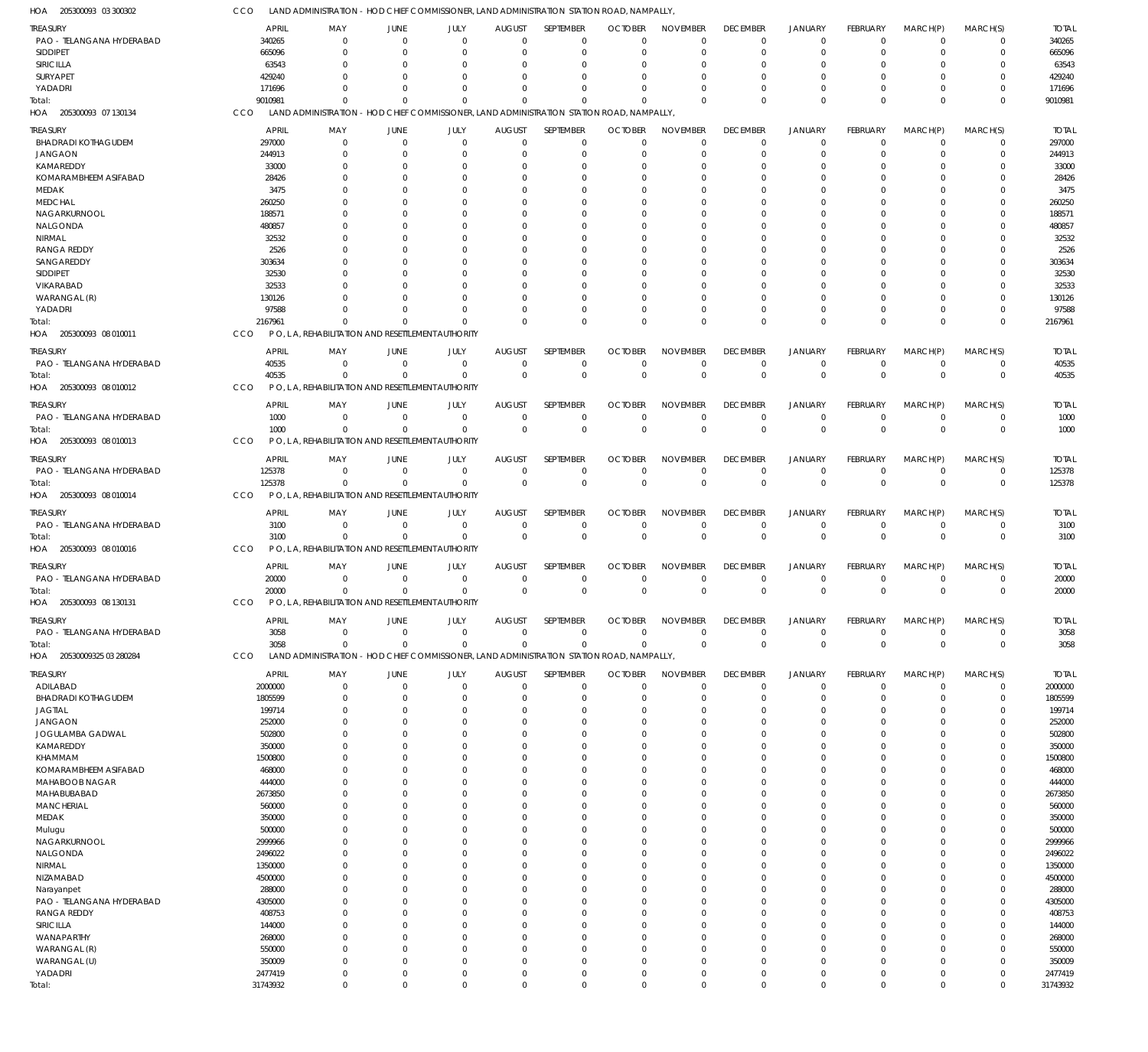205300093 03 300302 HOA

| <b>TREASURY</b>                                 | <b>APRIL</b>      | MAY                                                                                       | <b>JUNE</b>             | JULY                                                                  | <b>AUGUST</b>           | SEPTEMBER                  | <b>OCTOBER</b>       | <b>NOVEMBER</b>            | <b>DECEMBER</b>            | <b>JANUARY</b>               | <b>FEBRUARY</b>      | MARCH(P)         | MARCH(S)                   | <b>TOTAL</b>      |
|-------------------------------------------------|-------------------|-------------------------------------------------------------------------------------------|-------------------------|-----------------------------------------------------------------------|-------------------------|----------------------------|----------------------|----------------------------|----------------------------|------------------------------|----------------------|------------------|----------------------------|-------------------|
| PAO - TELANGANA HYDERABAD                       | 340265            | 0                                                                                         | $\mathbf 0$             | $\mathbf 0$                                                           | 0                       | $\mathbf 0$                |                      | $\Omega$                   | $\mathbf 0$                | $^{\circ}$                   | $\mathbf 0$          | $\mathbf 0$      | $\mathbf 0$                | 340265            |
| SIDDIPET                                        | 665096            | $\Omega$                                                                                  | $\Omega$                | $\mathbf 0$                                                           | O                       | $\Omega$                   |                      | $\Omega$                   | 0                          | $\overline{0}$               | $\Omega$             | 0                | $\mathbf 0$                | 665096            |
| SIRICILLA                                       | 63543             | $\Omega$                                                                                  | $\Omega$                | 0                                                                     |                         | $\Omega$                   |                      | $^{\circ}$                 | 0                          | $\Omega$                     | O                    | 0                | $\mathbf 0$                | 63543             |
| SURYAPET                                        | 429240            |                                                                                           | $\Omega$                | $\Omega$                                                              |                         | $\Omega$                   |                      | $\Omega$                   | $\Omega$                   | $\Omega$                     | 0                    | $\Omega$         | $\Omega$                   | 429240            |
| YADADRI                                         | 171696<br>9010981 | $\Omega$                                                                                  | $\Omega$<br>$\Omega$    | 0<br>$\mathbf 0$                                                      | $\Omega$<br>$\Omega$    | $\Omega$<br>$\Omega$       |                      | $\Omega$<br>$\Omega$       | 0<br>$\Omega$              | $\Omega$<br>$\Omega$         | $\Omega$<br>$\Omega$ | 0<br>$\mathbf 0$ | $\mathbf 0$<br>$\mathbf 0$ | 171696<br>9010981 |
| Total:<br>HOA 205300093 07 130134               | <b>CCO</b>        | <b>LAND ADMINISTRATION</b>                                                                |                         | - HOD CHIEF COMMISSIONER, LAND ADMINISTRATION STATION ROAD, NAMPALLY, |                         |                            |                      |                            |                            |                              |                      |                  |                            |                   |
|                                                 |                   |                                                                                           |                         |                                                                       |                         |                            |                      |                            |                            |                              |                      |                  |                            |                   |
| <b>TREASURY</b>                                 | <b>APRIL</b>      | MAY                                                                                       | JUNE                    | JULY                                                                  | <b>AUGUST</b>           | SEPTEMBER                  | <b>OCTOBER</b>       | <b>NOVEMBER</b>            | <b>DECEMBER</b>            | JANUARY                      | <b>FEBRUARY</b>      | MARCH(P)         | MARCH(S)                   | <b>TOTAL</b>      |
| <b>BHADRADI KOTHAGUDEM</b><br><b>JANGAON</b>    | 297000<br>244913  | $\Omega$<br>$\Omega$                                                                      | $\mathbf 0$<br>$\Omega$ | $\mathbf 0$<br>0                                                      | $\mathbf 0$<br>$\Omega$ | $\mathbf 0$<br>$\mathbf 0$ | $\Omega$<br>$\Omega$ | $^{\circ}$<br>$^{\circ}$   | $\mathbf 0$<br>$\mathbf 0$ | $^{\circ}$<br>$\overline{0}$ | $\Omega$<br>$\Omega$ | $\mathbf 0$<br>0 | 0<br>$\mathbf 0$           | 297000<br>244913  |
| KAMAREDDY                                       | 33000             | O                                                                                         | $\Omega$                | $\Omega$                                                              | C.                      | $\Omega$                   |                      | $\Omega$                   | $\Omega$                   | $\Omega$                     | C                    | 0                | 0                          | 33000             |
| KOMARAMBHEEM ASIFABAD                           | 28426             |                                                                                           | O                       | $\Omega$                                                              |                         | $\Omega$                   |                      | $\Omega$                   | $\Omega$                   | $\Omega$                     | $\Omega$             | 0                | $\mathbf 0$                | 28426             |
| MEDAK                                           | 3475              |                                                                                           | O                       | $\Omega$                                                              | O                       | $\Omega$                   |                      | $\Omega$                   | $\Omega$                   | $\Omega$                     | O                    | 0                | 0                          | 3475              |
| <b>MEDCHAL</b>                                  | 260250            |                                                                                           | $\cup$                  | $\Omega$                                                              | C.                      | $\Omega$                   |                      | $\Omega$                   | $\Omega$                   | $\Omega$                     | $\Omega$             | 0                | $\Omega$                   | 260250            |
| NAGARKURNOOL                                    | 188571            |                                                                                           | O                       | $\Omega$                                                              |                         | $\Omega$                   |                      | $\Omega$                   | 0                          | $\Omega$                     | $\Omega$             | 0                | $\Omega$                   | 188571            |
| NALGONDA                                        | 480857            |                                                                                           | C.                      | $\Omega$                                                              | C.                      | $\Omega$                   |                      | $\Omega$                   | $\Omega$                   | $\Omega$                     | $\Omega$             | 0                | $\Omega$                   | 480857            |
| NIRMAL                                          | 32532             |                                                                                           | O                       | $\Omega$                                                              | C.                      | $\Omega$                   |                      | $\Omega$                   | $\Omega$                   | $\Omega$                     | O                    | 0                | $\Omega$                   | 32532             |
| <b>RANGA REDDY</b>                              | 2526              |                                                                                           | $\cup$                  | $\Omega$                                                              | C.                      | $\Omega$                   |                      | $\Omega$                   | $\Omega$                   | $\Omega$                     | $\Omega$             | $\Omega$         | $\Omega$                   | 2526              |
| SANGAREDDY                                      | 303634            |                                                                                           | O                       | $\Omega$                                                              | C.                      | $\Omega$                   |                      | $\Omega$                   | $\Omega$                   | $\Omega$                     | $\Omega$             | 0                | $\Omega$                   | 303634            |
| SIDDIPET<br>VIKARABAD                           | 32530<br>32533    |                                                                                           | C.<br>C                 | $\Omega$<br>$\Omega$                                                  | C.                      | $\Omega$<br>$\Omega$       |                      | $\Omega$<br>$\Omega$       | $\Omega$<br>0              | $\Omega$<br>$\Omega$         | $\Omega$<br>C        | 0<br>0           | $\Omega$<br>$\Omega$       | 32530<br>32533    |
| WARANGAL (R)                                    | 130126            |                                                                                           | C.                      | $\Omega$                                                              | C.                      | $\Omega$                   |                      | $\Omega$                   | $\Omega$                   | $\Omega$                     | $\Omega$             | $\Omega$         | $\Omega$                   | 130126            |
| YADADRI                                         | 97588             | O                                                                                         | $\Omega$                | $\mathbf 0$                                                           | O                       | $\Omega$                   |                      | $^{\circ}$                 | $\mathbf 0$                | $\overline{0}$               | $\Omega$             | 0                | 0                          | 97588             |
| Total:                                          | 2167961           | $\Omega$                                                                                  | $\cup$                  | $\mathbf 0$                                                           | $\Omega$                | $\Omega$                   | $\Omega$             | $\Omega$                   | $\Omega$                   | $\Omega$                     | $\Omega$             | $\Omega$         | $\mathbf 0$                | 2167961           |
| HOA 205300093 08 010011                         | CCO               | P O, L A, REHABILITATION AND RESETTLEMENT AUTHORITY                                       |                         |                                                                       |                         |                            |                      |                            |                            |                              |                      |                  |                            |                   |
| treasury                                        | <b>APRIL</b>      | MAY                                                                                       | JUNE                    | JULY                                                                  | <b>AUGUST</b>           | SEPTEMBER                  | <b>OCTOBER</b>       | <b>NOVEMBER</b>            | <b>DECEMBER</b>            | JANUARY                      | FEBRUARY             | MARCH(P)         | MARCH(S)                   | <b>TOTAL</b>      |
| PAO - TELANGANA HYDERABAD                       | 40535             | $\mathbf 0$                                                                               | $\overline{0}$          | $\mathbf 0$                                                           | $\Omega$                | $\mathbf 0$                | $\Omega$             | $\overline{0}$             | $\mathbf 0$                | $\overline{0}$               | $\mathbf 0$          | $\mathbf 0$      | $\mathbf 0$                | 40535             |
| Total:                                          | 40535             | $\Omega$                                                                                  | $\overline{0}$          | $\mathbf 0$                                                           | $\Omega$                | $\mathbf 0$                | $\Omega$             | $\overline{0}$             | $\mathbf 0$                | $\overline{0}$               | $\mathbf 0$          | $\mathbf 0$      | $\mathbf 0$                | 40535             |
| HOA 205300093 08 010012                         | CCO               | P O, L A, REHABILITATION AND RESETTLEMENT AUTHORITY                                       |                         |                                                                       |                         |                            |                      |                            |                            |                              |                      |                  |                            |                   |
| treasury                                        | <b>APRIL</b>      | MAY                                                                                       | <b>JUNE</b>             | JULY                                                                  | <b>AUGUST</b>           | SEPTEMBER                  | <b>OCTOBER</b>       | <b>NOVEMBER</b>            | <b>DECEMBER</b>            | JANUARY                      | FEBRUARY             | MARCH(P)         | MARCH(S)                   | <b>TOTAL</b>      |
| PAO - TELANGANA HYDERABAD                       | 1000              | $\mathbf 0$                                                                               | $\Omega$                | $\mathbf 0$                                                           | 0                       | $\mathbf 0$                | $\Omega$             | $\overline{0}$             | $\mathbf 0$                | $\overline{0}$               | $\mathbf 0$          | $\mathbf 0$      | $\mathbf 0$                | 1000              |
| Total:                                          | 1000              | $\Omega$                                                                                  | $\Omega$                | $\mathbf 0$                                                           | $\Omega$                | $\mathbf 0$                | $\Omega$             | $\overline{0}$             | $\mathbf 0$                | $\overline{0}$               | $\mathbf 0$          | $\mathbf 0$      | $\mathbf 0$                | 1000              |
| HOA 205300093 08 010013                         | CCO               | P O, L A, REHABILITATION AND RESETTLEMENT AUTHORITY                                       |                         |                                                                       |                         |                            |                      |                            |                            |                              |                      |                  |                            |                   |
| treasury                                        | <b>APRIL</b>      | MAY                                                                                       | <b>JUNE</b>             | JULY                                                                  | <b>AUGUST</b>           | SEPTEMBER                  | <b>OCTOBER</b>       | <b>NOVEMBER</b>            | <b>DECEMBER</b>            | JANUARY                      | <b>FEBRUARY</b>      | MARCH(P)         | MARCH(S)                   | <b>TOTAL</b>      |
| PAO - TELANGANA HYDERABAD                       | 125378            | $\mathbf 0$                                                                               | $\mathbf 0$             | $\mathbf 0$                                                           | O                       | $\mathbf 0$                | -0                   | $\overline{0}$             | $\mathbf 0$                | $\overline{0}$               | $\mathbf 0$          | $\mathbf 0$      | $\mathbf 0$                | 125378            |
| Total:                                          | 125378            | $\Omega$                                                                                  | $\mathbf 0$             | $\mathbf 0$                                                           | $\Omega$                | $\mathbf 0$                | $\Omega$             | $\overline{0}$             | $\mathbf 0$                | $\overline{0}$               | $\mathbf 0$          | $\mathbf 0$      | $\mathbf 0$                | 125378            |
| HOA 205300093 08 010014                         | CCO               | P O, L A, REHABILITATION AND RESETTLEMENT AUTHORITY                                       |                         |                                                                       |                         |                            |                      |                            |                            |                              |                      |                  |                            |                   |
| treasury                                        | <b>APRIL</b>      | MAY                                                                                       | JUNE                    | JULY                                                                  | <b>AUGUST</b>           | SEPTEMBER                  | <b>OCTOBER</b>       | <b>NOVEMBER</b>            | <b>DECEMBER</b>            | JANUARY                      | FEBRUARY             | MARCH(P)         | MARCH(S)                   | <b>TOTAL</b>      |
| PAO - TELANGANA HYDERABAD                       | 3100              | $\mathbf 0$                                                                               | $\overline{0}$          | $\mathbf 0$                                                           | $\Omega$                | $\mathbf 0$                | $\Omega$             | $\overline{0}$             | $\mathbf 0$                | $\overline{0}$               | $\mathbf 0$          | 0                | $\mathbf 0$                | 3100              |
| Total:                                          | 3100              | $\Omega$                                                                                  | $\Omega$                | $\mathbf 0$                                                           | $\Omega$                | $\mathbf 0$                | $\Omega$             | $\mathbf 0$                | $\mathbf 0$                | $\overline{0}$               | $\Omega$             | $\mathbf 0$      | $\mathbf 0$                | 3100              |
| HOA 205300093 08 010016                         | CCO               | P O, L A, REHABILITATION AND RESETTLEMENT AUTHORITY                                       |                         |                                                                       |                         |                            |                      |                            |                            |                              |                      |                  |                            |                   |
| <b>TREASURY</b>                                 | <b>APRIL</b>      | MAY                                                                                       | JUNE                    | JULY                                                                  | <b>AUGUST</b>           | SEPTEMBER                  | <b>OCTOBER</b>       | <b>NOVEMBER</b>            | <b>DECEMBER</b>            | JANUARY                      | <b>FEBRUARY</b>      | MARCH(P)         | MARCH(S)                   | <b>TOTAL</b>      |
| PAO - TELANGANA HYDERABAD                       | 20000             | $\mathbf 0$                                                                               | $\overline{0}$          | $\mathbf 0$                                                           | 0                       | $\mathbf 0$                | $\Omega$             | $\overline{0}$             | $\mathbf 0$                | $\overline{0}$               | $\mathbf 0$          | $\mathbf 0$      | $\mathbf 0$                | 20000             |
| Total:                                          | 20000             | $\Omega$                                                                                  | $\mathbf 0$             | $\mathbf 0$                                                           | $\Omega$                | $\mathbf 0$                | $\Omega$             | $\overline{0}$             | $\mathbf 0$                | $\overline{0}$               | $\mathbf 0$          | $\mathbf 0$      | $\mathbf 0$                | 20000             |
| HOA 205300093 08 130131                         | CCO               | P O, L A, REHABILITATION AND RESETTLEMENT AUTHORITY                                       |                         |                                                                       |                         |                            |                      |                            |                            |                              |                      |                  |                            |                   |
| <b>TREASURY</b>                                 | <b>APRIL</b>      | MAY                                                                                       | JUNE                    | JULY                                                                  | <b>AUGUST</b>           | SEPTEMBER                  | <b>OCTOBER</b>       | <b>NOVEMBER</b>            | <b>DECEMBER</b>            | JANUARY                      | <b>FEBRUARY</b>      | MARCH(P)         | MARCH(S)                   | <b>TOTAL</b>      |
| PAO - TELANGANA HYDERABAD                       | 3058              | 0                                                                                         | $\mathbf 0$             | $\mathbf 0$                                                           | $\mathbf 0$             | $\mathbf 0$                | $\Omega$             | $\overline{0}$             | $\mathbf 0$                | $\overline{0}$               | $\mathbf 0$          | $\mathbf 0$      | $\mathbf 0$                | 3058              |
| Total:                                          | 3058              | $\Omega$                                                                                  | $\Omega$                | $\mathbf 0$                                                           | $\Omega$                | $\mathbf 0$                | $\Omega$             | $\mathbf 0$                | $\mathbf 0$                | $\overline{0}$               | $\mathbf 0$          | $\mathbf 0$      | $\mathbf 0$                | 3058              |
| HOA 20530009325 03 280284                       | CCO               | LAND ADMINISTRATION - HOD CHIEF COMMISSIONER, LAND ADMINISTRATION STATION ROAD, NAMPALLY, |                         |                                                                       |                         |                            |                      |                            |                            |                              |                      |                  |                            |                   |
| <b>TREASURY</b>                                 | <b>APRIL</b>      | MAY                                                                                       | <b>JUNE</b>             | JULY                                                                  | <b>AUGUST</b>           | SEPTEMBER                  | <b>OCTOBER</b>       | <b>NOVEMBER</b>            | <b>DECEMBER</b>            | JANUARY                      | FEBRUARY             | MARCH(P)         | MARCH(S)                   | <b>TOTAL</b>      |
| ADILABAD                                        | 2000000           | 0                                                                                         | $\mathbf 0$             | $\mathbf 0$                                                           | $\mathbf 0$             | $\mathbf 0$                |                      | $\overline{0}$             | $\mathbf 0$                | $\overline{0}$               | $\mathbf 0$          | $\mathbf 0$      | $\mathbf 0$                | 2000000           |
| <b>BHADRADI KOTHAGUDEM</b>                      | 1805599           | $\Omega$                                                                                  | $\mathbf 0$             | $\mathbf 0$                                                           | O                       | $\mathbf 0$                | $\Omega$             | $\Omega$                   | $\mathbf 0$                | $\overline{0}$               | $\mathbf 0$          | 0                | $\mathbf 0$                | 1805599           |
| <b>JAGTIAL</b>                                  | 199714            | 0                                                                                         | $\Omega$                | 0                                                                     | O                       | $\mathbf 0$                |                      | $\overline{0}$             | 0                          | $\Omega$                     | $\Omega$             | 0                | $\mathbf 0$                | 199714            |
| <b>JANGAON</b>                                  | 252000            | 0                                                                                         | $\Omega$                | 0                                                                     | C.                      | $\Omega$                   |                      | $\Omega$                   | $\Omega$                   | $\Omega$                     | $\Omega$             | $\Omega$         | $\mathbf 0$                | 252000            |
| JOGULAMBA GADWAL                                | 502800            | 0                                                                                         | $\Omega$                | $\mathbf 0$                                                           | O                       | $\mathbf 0$                |                      | $\Omega$                   | 0                          | $\Omega$                     | $\Omega$             | 0                | $\mathbf 0$                | 502800            |
| KAMAREDDY                                       | 350000            | O                                                                                         | $\Omega$                | 0                                                                     |                         | $\Omega$                   |                      | $\Omega$                   | $\Omega$                   | $\Omega$                     | $\Omega$             | 0                | $\mathbf 0$                | 350000            |
| KHAMMAM                                         | 1500800           | 0<br>O                                                                                    | $\Omega$<br>$\Omega$    | 0<br>$\Omega$                                                         | C.                      | $\Omega$<br>$\Omega$       |                      | $\Omega$<br>$\Omega$       | $\Omega$<br>$\Omega$       | $\Omega$<br>$\Omega$         | $\Omega$<br>$\Omega$ | 0                | $\mathbf 0$<br>$\mathbf 0$ | 1500800           |
| KOMARAMBHEEM ASIFABAD<br>MAHABOOB NAGAR         | 468000<br>444000  | 0                                                                                         | $\Omega$                | $\mathbf 0$                                                           | C.<br>O                 | $\mathbf 0$                |                      | $\overline{0}$             | 0                          | $\Omega$                     | $\Omega$             | 0<br>0           | $\mathbf 0$                | 468000<br>444000  |
| MAHABUBABAD                                     | 2673850           | O                                                                                         | $\Omega$                | 0                                                                     |                         | $\Omega$                   |                      | $\Omega$                   | $\Omega$                   | $\Omega$                     | $\Omega$             | 0                | $\mathbf 0$                | 2673850           |
| <b>MANCHERIAL</b>                               | 560000            | 0                                                                                         | $\Omega$                | $\mathbf 0$                                                           | C.                      | $\Omega$                   |                      | $\Omega$                   | $\Omega$                   | $\Omega$                     | $\Omega$             | 0                | $\mathbf 0$                | 560000            |
| MEDAK                                           | 350000            | O                                                                                         | $\Omega$                | $\mathbf 0$                                                           | C.                      | $\Omega$                   |                      | $\Omega$                   | $\Omega$                   | $\Omega$                     | $\Omega$             | 0                | $\mathbf 0$                | 350000            |
| Mulugu                                          | 500000            | 0                                                                                         | $\Omega$                | $\mathbf 0$                                                           | C.                      | $\Omega$                   |                      | $\Omega$                   | $\Omega$                   | $\Omega$                     | $\Omega$             | 0                | $\mathbf 0$                | 500000            |
| NAGARKURNOOL                                    | 2999966           | O                                                                                         | $\Omega$                | $\Omega$                                                              |                         | $\Omega$                   |                      | $\Omega$                   | $\Omega$                   | $\Omega$                     | $\Omega$             | $\Omega$         | $\mathbf 0$                | 2999966           |
| NALGONDA                                        | 2496022           | 0                                                                                         | $\Omega$                | $\mathbf 0$                                                           | C.                      | $\Omega$                   |                      | $\Omega$                   | $\Omega$                   | $\Omega$                     | $\Omega$             | 0                | $\mathbf 0$                | 2496022           |
| NIRMAL                                          | 1350000           | O                                                                                         | $\Omega$                | $\mathbf 0$                                                           | C.                      | $\Omega$                   |                      | $\Omega$                   | $\Omega$                   | $\Omega$                     | $\Omega$             | 0                | $\mathbf 0$                | 1350000           |
| NIZAMABAD                                       | 4500000           | 0                                                                                         | $\Omega$                | $\Omega$                                                              | C.                      | $\Omega$                   |                      | $\Omega$                   | $\Omega$                   | $\Omega$                     | $\Omega$             | 0                | $\mathbf 0$                | 4500000           |
| Narayanpet                                      | 288000            | O<br>0                                                                                    | $\Omega$<br>$\Omega$    | $\Omega$<br>$\mathbf 0$                                               |                         | $\Omega$<br>$\Omega$       |                      | $\Omega$<br>$\overline{0}$ | $\Omega$<br>0              | $\Omega$<br>$\Omega$         | $\Omega$<br>$\Omega$ | 0                | $\mathbf 0$<br>$\mathbf 0$ | 288000            |
| PAO - TELANGANA HYDERABAD<br><b>RANGA REDDY</b> | 4305000<br>408753 | O                                                                                         | $\Omega$                | $\mathbf 0$                                                           | O<br>C.                 | $\Omega$                   |                      | $\Omega$                   | $\Omega$                   | $\Omega$                     | $\Omega$             | 0<br>0           | $\mathbf 0$                | 4305000<br>408753 |
| SIRICILLA                                       | 144000            | 0                                                                                         | $\Omega$                | $\mathbf 0$                                                           | C.                      | $\Omega$                   |                      | $\Omega$                   | $\Omega$                   | $\Omega$                     | $\Omega$             | 0                | $\mathbf 0$                | 144000            |
| WANAPARTHY                                      | 268000            | 0                                                                                         | $\Omega$                | $\mathbf 0$                                                           |                         | $\Omega$                   |                      | $\Omega$                   | $\Omega$                   | $\Omega$                     | $\Omega$             | 0                | $\mathbf 0$                | 268000            |
| WARANGAL (R)                                    | 550000            | $\Omega$                                                                                  | $\Omega$                | $\mathbf 0$                                                           | C.                      | $\Omega$                   |                      | $\Omega$                   | $\Omega$                   | $\Omega$                     | $\Omega$             | 0                | $\mathbf 0$                | 550000            |
| WARANGAL (U)                                    | 350009            | O                                                                                         | $\Omega$                | $\mathbf 0$                                                           | C.                      | $\Omega$                   |                      | $\Omega$                   | $\Omega$                   | $\Omega$                     | $\Omega$             | 0                | $\mathbf 0$                | 350009            |
| YADADRI                                         | 2477419           | 0                                                                                         | $\mathbf 0$             | $\mathbf 0$                                                           | 0                       | $\mathbf 0$                | $\Omega$             | $\mathbf 0$                | 0                          | $\overline{0}$               | $\mathbf 0$          | $\mathbf 0$      | $\mathbf 0$                | 2477419           |
| Total:                                          | 31743932          | $\mathbf 0$                                                                               | $\mathbf 0$             | $\mathbf 0$                                                           | $\mathbf 0$             | $\mathbf 0$                | $\mathbf 0$          | $\mathbf 0$                | $\mathbf 0$                | $\overline{0}$               | $\mathbf 0$          | $\mathbf 0$      | $\mathbf 0$                | 31743932          |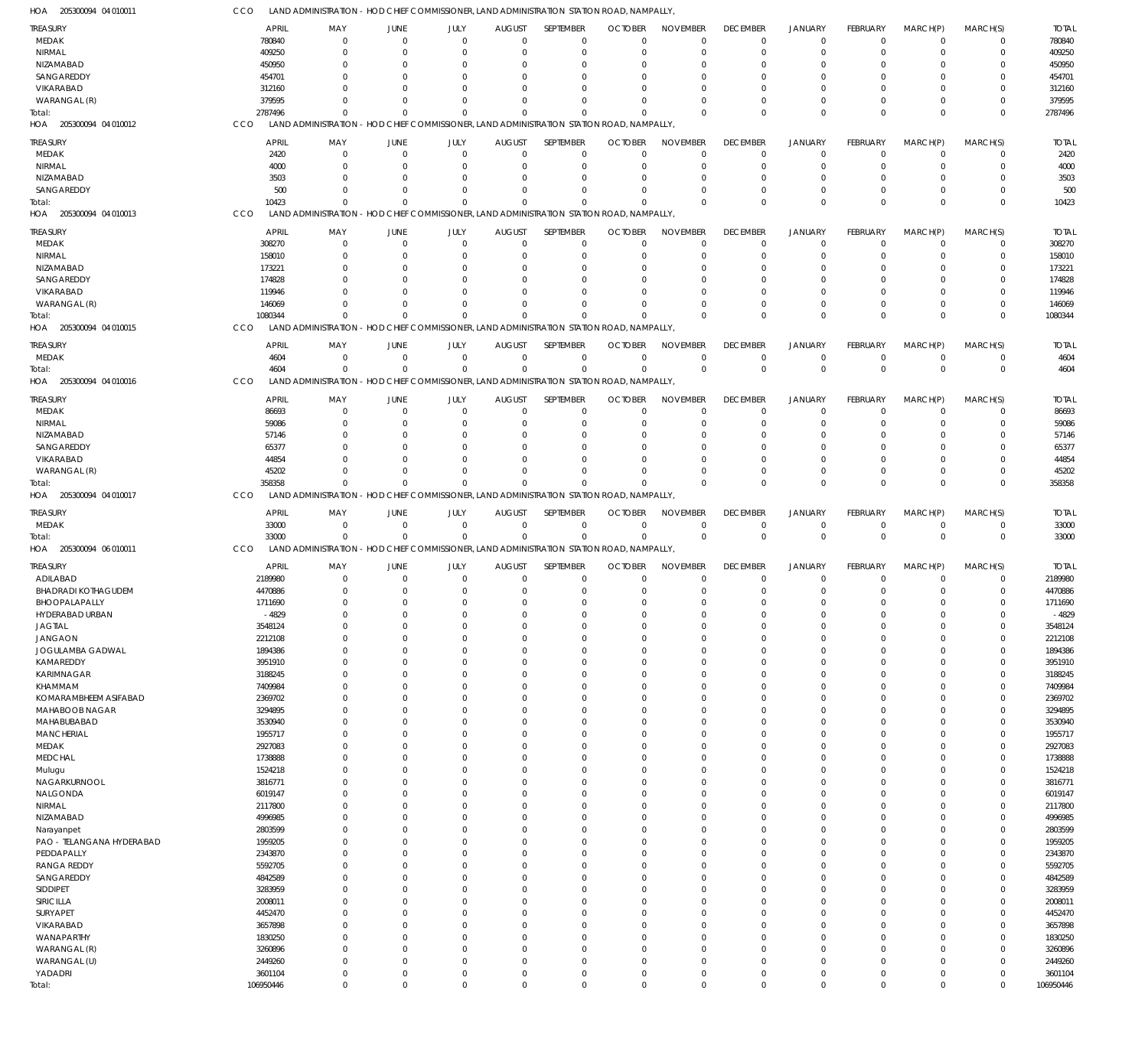| HOA<br>205300094 04 010011 | ссо          | LAND ADMINISTRATION - HOD CHIEF COMMISSIONER, LAND ADMINISTRATION STATION ROAD, NAMPALLY, |                      |                      |                                                                                           |                                                                       |                      |                         |                 |                      |                      |                      |                         |              |
|----------------------------|--------------|-------------------------------------------------------------------------------------------|----------------------|----------------------|-------------------------------------------------------------------------------------------|-----------------------------------------------------------------------|----------------------|-------------------------|-----------------|----------------------|----------------------|----------------------|-------------------------|--------------|
| <b>TREASURY</b>            | <b>APRIL</b> | MAY                                                                                       | JUNE                 | JULY                 | <b>AUGUST</b>                                                                             | SEPTEMBER                                                             | <b>OCTOBER</b>       | <b>NOVEMBER</b>         | <b>DECEMBER</b> | <b>JANUARY</b>       | FEBRUARY             | MARCH(P)             | MARCH(S)                | <b>TOTAL</b> |
| MEDAK                      | 780840       | $\mathbf 0$                                                                               | $\Omega$             | $\Omega$             | $\Omega$                                                                                  | $\Omega$                                                              | $\Omega$             | $\overline{0}$          | $\mathbf 0$     | $\overline{0}$       | $\mathbf 0$          | $\mathbf 0$          | $\mathbf 0$             | 780840       |
| NIRMAL                     | 409250       | $\mathbf 0$                                                                               | $\Omega$             | $\Omega$             | $\Omega$                                                                                  | $\Omega$                                                              | $\Omega$             | $\Omega$                | $\mathbf 0$     | $\mathbf 0$          | $\mathbf 0$          | $^{\circ}$           | $\mathbf 0$             | 409250       |
| NIZAMABAD                  | 450950       | 0                                                                                         | 0                    | $\Omega$             |                                                                                           | $\Omega$                                                              |                      | $\Omega$                | $\Omega$        | 0                    | $\Omega$             | 0                    | $\Omega$                | 450950       |
| SANGAREDDY                 | 454701       | $\Omega$                                                                                  | n                    | $\Omega$             |                                                                                           | $\Omega$                                                              | $\Omega$             | $\Omega$                | $\Omega$        | $\Omega$             | $\Omega$             | 0                    | $\Omega$                | 454701       |
| VIKARABAD                  |              |                                                                                           |                      | $\Omega$             |                                                                                           |                                                                       |                      |                         |                 |                      |                      |                      |                         |              |
|                            | 312160       | $\Omega$                                                                                  |                      |                      |                                                                                           |                                                                       |                      | $\Omega$                | 0               | 0                    | $\Omega$             | 0                    | 0                       | 312160       |
| WARANGAL (R)               | 379595       | $\Omega$                                                                                  | $\Omega$             | $\Omega$             |                                                                                           | $\cap$                                                                | <sup>0</sup>         | $\Omega$                | $\Omega$        | $\Omega$             | $\mathbf 0$          | $\Omega$             | $\mathbf 0$             | 379595       |
| Total:                     | 2787496      | $\Omega$                                                                                  | $\Omega$             | $\Omega$             | $\Omega$                                                                                  | $\Omega$                                                              | $\Omega$             | $\Omega$                | $\Omega$        | $\Omega$             | $\Omega$             | $\Omega$             | $\mathbf 0$             | 2787496      |
| HOA 205300094 04 010012    | CCO          | LAND ADMINISTRATION - HOD CHIEF COMMISSIONER, LAND ADMINISTRATION STATION ROAD, NAMPALLY, |                      |                      |                                                                                           |                                                                       |                      |                         |                 |                      |                      |                      |                         |              |
| <b>TREASURY</b>            | <b>APRIL</b> | MAY                                                                                       | JUNE                 | JULY                 | <b>AUGUST</b>                                                                             | SEPTEMBER                                                             | <b>OCTOBER</b>       | <b>NOVEMBER</b>         | <b>DECEMBER</b> | <b>JANUARY</b>       | <b>FEBRUARY</b>      | MARCH(P)             | MARCH(S)                | <b>TOTAL</b> |
| MEDAK                      | 2420         | $\mathbf 0$                                                                               | 0                    | $\mathbf 0$          | $\Omega$                                                                                  | $\Omega$                                                              | 0                    | $\mathbf 0$             | $\mathbf 0$     | $\overline{0}$       | $\mathbf 0$          | -0                   | $\mathbf 0$             | 2420         |
| NIRMAL                     | 4000         | $\mathbf 0$                                                                               | 0                    | $\Omega$             |                                                                                           | $\Omega$                                                              | $\Omega$             | $\Omega$                | $\mathbf 0$     | $\mathbf 0$          | $\mathbf 0$          | -0                   | $\mathbf 0$             | 4000         |
| NIZAMABAD                  | 3503         | $\mathbf 0$                                                                               | 0                    | $\Omega$             |                                                                                           | $\Omega$                                                              | $\Omega$             | $\Omega$                | 0               | $\Omega$             | $\Omega$             | 0                    | $\mathbf 0$             | 3503         |
| SANGAREDDY                 |              | 500<br>$\Omega$                                                                           |                      | $\Omega$             |                                                                                           | $\Omega$                                                              | $\Omega$             | $\Omega$                | $\Omega$        | $\mathbf 0$          | 0                    | -0                   | $\mathbf 0$             | 500          |
|                            |              | $\Omega$                                                                                  | $\Omega$             | $\Omega$             |                                                                                           | $\Omega$                                                              | $\Omega$             | $\Omega$                | $\Omega$        | $\Omega$             |                      | $\Omega$             |                         |              |
| Total:                     | 10423        |                                                                                           |                      |                      |                                                                                           |                                                                       |                      |                         |                 |                      | $\mathbf 0$          |                      | $\mathbf 0$             | 10423        |
| HOA 205300094 04 010013    | CCO          | <b>LAND ADMINISTRATION</b>                                                                |                      |                      |                                                                                           | - HOD CHIEF COMMISSIONER, LAND ADMINISTRATION STATION ROAD, NAMPALLY, |                      |                         |                 |                      |                      |                      |                         |              |
| <b>TREASURY</b>            | <b>APRIL</b> | MAY                                                                                       | JUNE                 | JULY                 | <b>AUGUST</b>                                                                             | SEPTEMBER                                                             | <b>OCTOBER</b>       | <b>NOVEMBER</b>         | <b>DECEMBER</b> | <b>JANUARY</b>       | <b>FEBRUARY</b>      | MARCH(P)             | MARCH(S)                | <b>TOTAL</b> |
| MEDAK                      | 308270       | $\mathbf 0$                                                                               | $\mathbf{0}$         | $\mathbf 0$          | $\Omega$                                                                                  | $\mathbf 0$                                                           | $\overline{0}$       | $\mathbf 0$             | $\overline{0}$  | $\overline{0}$       | $\mathbf 0$          | $\mathbf 0$          | $\mathbf 0$             | 308270       |
| NIRMAL                     | 158010       | 0                                                                                         | 0                    | $\Omega$             |                                                                                           | $\Omega$                                                              | $\Omega$             | $\Omega$                | 0               | -0                   | $\Omega$             | 0                    | $\mathbf 0$             | 158010       |
| NIZAMABAD                  | 173221       | $\Omega$                                                                                  | 0                    | $\Omega$             |                                                                                           | $\Omega$                                                              | $\Omega$             | $\Omega$                | $\Omega$        | $\Omega$             | $\Omega$             | 0                    | $\Omega$                | 173221       |
| SANGAREDDY                 | 174828       | $\Omega$                                                                                  | 0                    | $\Omega$             |                                                                                           |                                                                       |                      | $\Omega$                | $\Omega$        | 0                    | 0                    | 0                    | 0                       | 174828       |
| VIKARABAD                  | 119946       | $\Omega$                                                                                  | n                    | $\Omega$             |                                                                                           | $\Omega$                                                              | $\Omega$             | $\Omega$                | $\Omega$        | $\Omega$             | $\Omega$             | $\Omega$             | $\Omega$                | 119946       |
| WARANGAL (R)               | 146069       | $\Omega$                                                                                  | n                    | $\Omega$             |                                                                                           | $\Omega$                                                              | $\Omega$             | $\Omega$                | $\Omega$        | $\Omega$             | $\Omega$             | 0                    | $\mathbf 0$             | 146069       |
| Total:                     | 1080344      | $\Omega$                                                                                  | n                    | $\Omega$             |                                                                                           | $\Omega$                                                              | $\Omega$             | $\Omega$                | $\Omega$        | $\Omega$             | $\Omega$             | $\Omega$             | $\mathbf 0$             | 1080344      |
|                            |              |                                                                                           |                      |                      |                                                                                           |                                                                       |                      |                         |                 |                      |                      |                      |                         |              |
| HOA 205300094 04 010015    | CCO          | LAND ADMINISTRATION - HOD CHIEF COMMISSIONER, LAND ADMINISTRATION STATION ROAD, NAMPALLY, |                      |                      |                                                                                           |                                                                       |                      |                         |                 |                      |                      |                      |                         |              |
| <b>TREASURY</b>            | <b>APRIL</b> | MAY                                                                                       | JUNE                 | JULY                 | <b>AUGUST</b>                                                                             | SEPTEMBER                                                             | <b>OCTOBER</b>       | <b>NOVEMBER</b>         | <b>DECEMBER</b> | <b>JANUARY</b>       | <b>FEBRUARY</b>      | MARCH(P)             | MARCH(S)                | <b>TOTAL</b> |
| MEDAK                      | 4604         | $\mathbf 0$                                                                               | $\mathbf{0}$         | $\mathbf 0$          | $\Omega$                                                                                  | $\Omega$                                                              | $\mathbf 0$          | $\overline{0}$          | $\mathbf 0$     | $\overline{0}$       | $\mathbf 0$          | $^{\circ}$           | $\mathbf 0$             | 4604         |
| Total:                     | 4604         | $\mathbf 0$                                                                               | $\Omega$             | $\mathbf 0$          | $\Omega$                                                                                  | $\Omega$                                                              | $\mathbf 0$          | $\mathbf 0$             | $\overline{0}$  | $\overline{0}$       | $\mathbf 0$          | $\Omega$             | $\mathbf 0$             | 4604         |
| HOA 205300094 04 010016    | CCO          | LAND ADMINISTRATION - HOD CHIEF COMMISSIONER, LAND ADMINISTRATION STATION ROAD, NAMPALLY, |                      |                      |                                                                                           |                                                                       |                      |                         |                 |                      |                      |                      |                         |              |
|                            |              |                                                                                           |                      |                      |                                                                                           |                                                                       |                      |                         |                 |                      |                      |                      |                         |              |
| <b>TREASURY</b>            | <b>APRIL</b> | MAY                                                                                       | JUNE                 | JULY                 | <b>AUGUST</b>                                                                             | SEPTEMBER                                                             | <b>OCTOBER</b>       | <b>NOVEMBER</b>         | <b>DECEMBER</b> | <b>JANUARY</b>       | FEBRUARY             | MARCH(P)             | MARCH(S)                | <b>TOTAL</b> |
| MEDAK                      | 86693        | $\mathbf 0$                                                                               | 0                    | $\mathbf 0$          | $\Omega$                                                                                  | $\Omega$                                                              | $\Omega$             | $\mathbf 0$             | $\mathbf 0$     | $\mathbf 0$          | $\mathbf 0$          | $^{\circ}$           | $\mathbf 0$             | 86693        |
| NIRMAL                     | 59086        | $\mathbf 0$                                                                               | 0                    | $\Omega$             |                                                                                           | $\Omega$                                                              | $\Omega$             | $\Omega$                | $\Omega$        | $\Omega$             | $\Omega$             | 0                    | 0                       | 59086        |
| NIZAMABAD                  | 57146        | $\Omega$                                                                                  | 0                    | $\Omega$             |                                                                                           | $\Omega$                                                              | $\Omega$             | $\Omega$                | $\Omega$        | $\Omega$             | $\Omega$             | 0                    | $\Omega$                | 57146        |
| SANGAREDDY                 | 65377        | $\Omega$                                                                                  |                      | $\Omega$             |                                                                                           | $\Omega$                                                              |                      | $\Omega$                | $\Omega$        | 0                    | $\Omega$             | 0                    | $\Omega$                | 65377        |
| VIKARABAD                  | 44854        | $\Omega$                                                                                  | n                    | $\Omega$             |                                                                                           | $\Omega$                                                              | $\Omega$             | $\Omega$                | $\Omega$        | $\Omega$             | $\Omega$             | $\Omega$             | $\Omega$                | 44854        |
| WARANGAL (R)               | 45202        | $\Omega$                                                                                  | $\Omega$             | $\Omega$             | $\Omega$                                                                                  | $\Omega$                                                              | $\Omega$             | $\Omega$                | 0               | $\mathbf 0$          | $\mathbf 0$          | $^{\circ}$           | 0                       | 45202        |
| Total:                     | 358358       | $\Omega$                                                                                  | $\Omega$             | $\Omega$             | $\Omega$                                                                                  | $\Omega$                                                              | $\Omega$             | $\Omega$                | $\Omega$        | $\Omega$             | $\Omega$             | $\Omega$             | $\Omega$                | 358358       |
|                            |              |                                                                                           |                      |                      |                                                                                           |                                                                       |                      |                         |                 |                      |                      |                      |                         |              |
|                            | CCO          |                                                                                           |                      |                      |                                                                                           |                                                                       |                      |                         |                 |                      |                      |                      |                         |              |
| HOA 205300094 04 010017    |              |                                                                                           |                      |                      | LAND ADMINISTRATION - HOD CHIEF COMMISSIONER, LAND ADMINISTRATION STATION ROAD, NAMPALLY, |                                                                       |                      |                         |                 |                      |                      |                      |                         |              |
| <b>TREASURY</b>            | <b>APRIL</b> | MAY                                                                                       | JUNE                 | JULY                 | <b>AUGUST</b>                                                                             | SEPTEMBER                                                             | <b>OCTOBER</b>       | <b>NOVEMBER</b>         | <b>DECEMBER</b> | <b>JANUARY</b>       | <b>FEBRUARY</b>      | MARCH(P)             | MARCH(S)                | <b>TOTAL</b> |
| MEDAK                      | 33000        | $\mathbf 0$                                                                               | $\mathbf{0}$         | $\mathbf 0$          | $\Omega$                                                                                  | $\Omega$                                                              | $\overline{0}$       | $\overline{0}$          | $\overline{0}$  | $\overline{0}$       | $\mathbf 0$          | $\mathbf 0$          | $\mathbf 0$             | 33000        |
| Total:                     | 33000        | $\mathbf 0$                                                                               | $\Omega$             | $\mathbf 0$          | $\Omega$                                                                                  | $\mathbf 0$                                                           | $\mathbf 0$          | $\Omega$                | $\mathbf 0$     | $\overline{0}$       | $\mathbf 0$          | $\Omega$             | $\mathbf 0$             | 33000        |
| HOA 205300094 06 010011    | CCO          | <b>LAND ADMINISTRATION</b>                                                                |                      |                      |                                                                                           | - HOD CHIEF COMMISSIONER, LAND ADMINISTRATION STATION ROAD, NAMPALLY, |                      |                         |                 |                      |                      |                      |                         |              |
|                            |              |                                                                                           |                      |                      |                                                                                           | SEPTEMBER                                                             |                      | <b>NOVEMBER</b>         |                 |                      |                      |                      |                         | <b>TOTAL</b> |
| <b>TREASURY</b>            | <b>APRIL</b> | MAY                                                                                       | JUNE                 | JULY                 | <b>AUGUST</b><br>$\Omega$                                                                 |                                                                       | <b>OCTOBER</b>       |                         | <b>DECEMBER</b> | <b>JANUARY</b>       | FEBRUARY             | MARCH(P)             | MARCH(S)                |              |
| ADILABAD                   | 2189980      | $\mathbf 0$                                                                               | 0                    | $\mathbf 0$          | $\Omega$                                                                                  | $\mathbf 0$                                                           | $\overline{0}$       | $\overline{0}$          | $\mathbf 0$     | $\mathbf 0$          | $\mathbf 0$          | $\mathbf 0$          | 0                       | 2189980      |
| <b>BHADRADI KOTHAGUDEM</b> | 4470886      | $\Omega$<br>$\Omega$                                                                      | $\Omega$<br>$\Omega$ | $\mathbf 0$          |                                                                                           | $\Omega$                                                              | $\Omega$             | $\Omega$                | $\Omega$        | $\Omega$             | $\Omega$             | $\Omega$<br>$\Omega$ | $\mathbf 0$<br>$\Omega$ | 4470886      |
| BHOOPALAPALLY              | 1711690      |                                                                                           |                      | $\mathbf 0$          | $\mathbf{0}$                                                                              | $\mathbf 0$                                                           | $\overline{0}$       | $\mathbf 0$             | 0               |                      | $\mathbf 0$          |                      |                         | 1711690      |
| HYDERABAD URBAN            | $-4829$      | $\mathbf 0$                                                                               | $\mathbf 0$          | $\Omega$             | $\Omega$                                                                                  | $\Omega$                                                              | $\Omega$             | $\mathbf 0$             | 0               | $\mathbf 0$          | $\mathbf 0$          | $\mathbf 0$          | $\mathbf 0$             | $-4829$      |
| <b>JAGTIAL</b>             | 3548124      | $\mathbf 0$                                                                               | $\mathbf{0}$         | $\mathbf 0$          | $\Omega$                                                                                  | $\mathbf 0$                                                           | $\mathbf 0$          | $\mathbf 0$             | $\mathbf 0$     | $\mathbf 0$          | $\mathbf 0$          | $\mathbf 0$          | $\mathbf 0$             | 3548124      |
| <b>JANGAON</b>             | 2212108      | $\mathbf 0$                                                                               | $\Omega$             | $\Omega$             |                                                                                           | $\Omega$                                                              | $\Omega$             | $\mathbf 0$             | 0               | $\Omega$             | $\Omega$             | 0                    | $\mathbf 0$             | 2212108      |
| JOGULAMBA GADWAL           | 1894386      | $\mathbf 0$                                                                               | $\Omega$             | $\Omega$             | $\cap$                                                                                    | $\Omega$                                                              | $\Omega$             | $\mathbf 0$             | $\Omega$        | $\Omega$             | $\mathbf 0$          | $\mathbf 0$          | $\mathbf 0$             | 1894386      |
| KAMAREDDY                  | 3951910      | $\mathbf 0$                                                                               | $\Omega$             | $\Omega$             |                                                                                           | $\Omega$                                                              | $\Omega$             | $\mathbf 0$             | 0               | $\Omega$             | $\Omega$             | 0                    | $\mathbf 0$             | 3951910      |
| <b>KARIMNAGAR</b>          | 3188245      | $\mathbf 0$                                                                               | $\Omega$             | $\Omega$             |                                                                                           | $\Omega$                                                              | $\Omega$             | $\Omega$                | $\Omega$        | $\Omega$             | $\Omega$             | $\Omega$             | $\mathbf 0$             | 3188245      |
| KHAMMAM                    | 7409984      | $\mathbf 0$                                                                               | $\Omega$             | $\Omega$             |                                                                                           | $\Omega$                                                              | $\Omega$             | $\overline{0}$          | 0               | $\Omega$             | $\Omega$             | 0                    | $\mathbf 0$             | 7409984      |
| KOMARAMBHEEM ASIFABAD      | 2369702      | $\mathbf 0$                                                                               | $\Omega$             | $\Omega$             | $\cap$                                                                                    | $\Omega$                                                              | $\Omega$             | $\overline{0}$          | $\Omega$        | $\Omega$             | $\Omega$             | $\mathbf 0$          | $\mathbf 0$             | 2369702      |
| MAHABOOB NAGAR             | 3294895      | $\mathbf 0$                                                                               | $\Omega$             | $\Omega$             |                                                                                           | $\Omega$                                                              | $\Omega$             | $\Omega$                | $\Omega$        | $\Omega$             | $\Omega$             | 0                    | $\mathbf 0$             | 3294895      |
| MAHABUBABAD                | 3530940      | $\mathbf 0$                                                                               | $\Omega$             | $\Omega$             |                                                                                           | $\Omega$                                                              | $\Omega$             | $\Omega$                | $\Omega$        | $\Omega$             | $\Omega$             | $\mathbf 0$          | $\mathbf 0$             | 3530940      |
| <b>MANCHERIAL</b>          | 1955717      | $\mathbf 0$                                                                               | $\Omega$             | $\Omega$             |                                                                                           | $\Omega$                                                              | $\Omega$             | $\mathbf 0$             | 0               | $\Omega$             | $\Omega$             | 0                    | $\mathbf 0$             | 1955717      |
| MEDAK                      | 2927083      | $\mathbf 0$                                                                               | $\Omega$             | $\Omega$             | $\cap$                                                                                    | $\Omega$                                                              | $\Omega$             | $\Omega$                | $\Omega$        | $\Omega$             | $\Omega$             | $\Omega$             | $\mathbf 0$             | 2927083      |
| <b>MEDCHAL</b>             | 1738888      | $\mathbf 0$                                                                               | $\Omega$             | $\Omega$             |                                                                                           | $\Omega$                                                              | $\Omega$             | $\mathbf 0$             | 0               | $\Omega$             | $\Omega$             | 0                    | $\mathbf 0$             | 1738888      |
|                            | 1524218      | $\mathbf 0$                                                                               | $\Omega$             | $\Omega$             |                                                                                           | $\Omega$                                                              | $\Omega$             | $\overline{0}$          | $\Omega$        | $\Omega$             | $\Omega$             | 0                    | $\mathbf 0$             | 1524218      |
| Mulugu                     |              | $\mathbf 0$                                                                               | $\Omega$             | $\Omega$             |                                                                                           | $\Omega$                                                              | $\Omega$             | $\Omega$                | $\Omega$        | $\Omega$             | $\Omega$             | 0                    | $\mathbf 0$             |              |
| NAGARKURNOOL               | 3816771      | $\mathbf 0$                                                                               | $\Omega$             | $\Omega$             | $\cap$                                                                                    | $\Omega$                                                              | $\Omega$             | $\Omega$                | $\Omega$        | $\Omega$             | $\Omega$             | $\mathbf 0$          | $\mathbf 0$             | 3816771      |
| NALGONDA                   | 6019147      |                                                                                           |                      |                      |                                                                                           |                                                                       |                      |                         |                 |                      |                      |                      |                         | 6019147      |
| NIRMAL                     | 2117800      | $\mathbf 0$                                                                               | $\Omega$<br>$\Omega$ | $\Omega$<br>$\Omega$ |                                                                                           | $\Omega$<br>$\Omega$                                                  | $\Omega$<br>$\Omega$ | $\mathbf 0$<br>$\Omega$ | 0<br>$\Omega$   | $\Omega$<br>$\Omega$ | $\Omega$<br>$\Omega$ | 0<br>$\Omega$        | $\mathbf 0$             | 2117800      |
| NIZAMABAD                  | 4996985      | $\mathbf 0$                                                                               |                      |                      |                                                                                           |                                                                       |                      |                         |                 |                      |                      |                      | $\mathbf 0$             | 4996985      |
| Narayanpet                 | 2803599      | $\mathbf 0$                                                                               | $\Omega$             | $\Omega$             | $\cap$                                                                                    | $\Omega$                                                              | $\Omega$             | $\Omega$                | $\Omega$        | $\Omega$             | $\Omega$             | 0                    | $\mathbf 0$             | 2803599      |
| PAO - TELANGANA HYDERABAD  | 1959205      | $\mathbf 0$                                                                               | $\Omega$             | $\Omega$             |                                                                                           | $\Omega$                                                              | $\Omega$             | $\mathbf 0$             | $\Omega$        | $\Omega$             | $\mathbf 0$          | $\mathbf 0$          | $\mathbf 0$             | 1959205      |
| PEDDAPALLY                 | 2343870      | $\mathbf 0$                                                                               | $\Omega$             | $\Omega$             |                                                                                           | $\Omega$                                                              | $\Omega$             | $\Omega$                | $\Omega$        | $\Omega$             | $\Omega$             | 0                    | $\mathbf 0$             | 2343870      |
| <b>RANGA REDDY</b>         | 5592705      | $\mathbf 0$                                                                               | $\Omega$             | $\Omega$             |                                                                                           | $\Omega$                                                              | $\Omega$             | $\Omega$                | $\Omega$        | $\Omega$             | $\Omega$             | $\mathbf 0$          | $\mathbf 0$             | 5592705      |
| SANGAREDDY                 | 4842589      | $\mathbf 0$                                                                               | $\Omega$             | $\Omega$             |                                                                                           | $\Omega$                                                              | $\Omega$             | $\mathbf 0$             | 0               | $\Omega$             | $\Omega$             | 0                    | $\mathbf 0$             | 4842589      |
| SIDDIPET                   | 3283959      | $\mathbf 0$                                                                               | $\Omega$             | $\Omega$             | $\cap$                                                                                    | $\Omega$                                                              | $\Omega$             | $\Omega$                | $\Omega$        | $\Omega$             | $\Omega$             | $\mathbf 0$          | $\mathbf 0$             | 3283959      |
| SIRICILLA                  | 2008011      | $\mathbf 0$                                                                               | $\Omega$             | $\Omega$             |                                                                                           | $\Omega$                                                              | $\Omega$             | $\mathbf 0$             | $\Omega$        | $\Omega$             | $\Omega$             | 0                    | $\mathbf 0$             | 2008011      |
| SURYAPET                   | 4452470      | $\mathbf 0$                                                                               | $\Omega$             | $\Omega$             |                                                                                           | $\Omega$                                                              | $\Omega$             | $\mathbf 0$             | $\Omega$        | $\Omega$             | $\Omega$             | $\mathbf 0$          | $\mathbf 0$             | 4452470      |
| VIKARABAD                  | 3657898      | $\mathbf 0$                                                                               | $\Omega$             | $\Omega$             |                                                                                           | $\Omega$                                                              | $\Omega$             | $\Omega$                | $\Omega$        | $\Omega$             | $\Omega$             | 0                    | $\mathbf 0$             | 3657898      |
| WANAPARTHY                 | 1830250      | $\mathbf 0$                                                                               | $\Omega$             | $\Omega$             | $\Omega$                                                                                  | $\Omega$                                                              | $\Omega$             | $\Omega$                | $\Omega$        | $\Omega$             | $\Omega$             | $\mathbf 0$          | $\mathbf 0$             | 1830250      |
| WARANGAL (R)               | 3260896      | $\mathbf 0$                                                                               | $\Omega$             | $\Omega$             |                                                                                           | $\Omega$                                                              | $\Omega$             | $\overline{0}$          | 0               | $\Omega$             | $\mathbf 0$          | $^{\circ}$           | $\mathbf 0$             | 3260896      |
| WARANGAL (U)               | 2449260      | $\mathbf 0$                                                                               | $\Omega$             | $\Omega$             | $\Omega$                                                                                  | $\Omega$                                                              | $\Omega$             | $\mathbf 0$             | 0               | $\Omega$             | $\mathbf 0$          | $\mathbf 0$          | $\mathbf 0$             | 2449260      |
| YADADRI                    | 3601104      | $\mathbf 0$                                                                               | $\mathbf 0$          | $\mathbf 0$          | $\Omega$                                                                                  | $\mathbf 0$                                                           | $\Omega$             | $\mathbf 0$             | $\mathbf 0$     | $\mathbf 0$          | $\mathbf 0$          | $\mathbf 0$          | $\mathbf 0$             | 3601104      |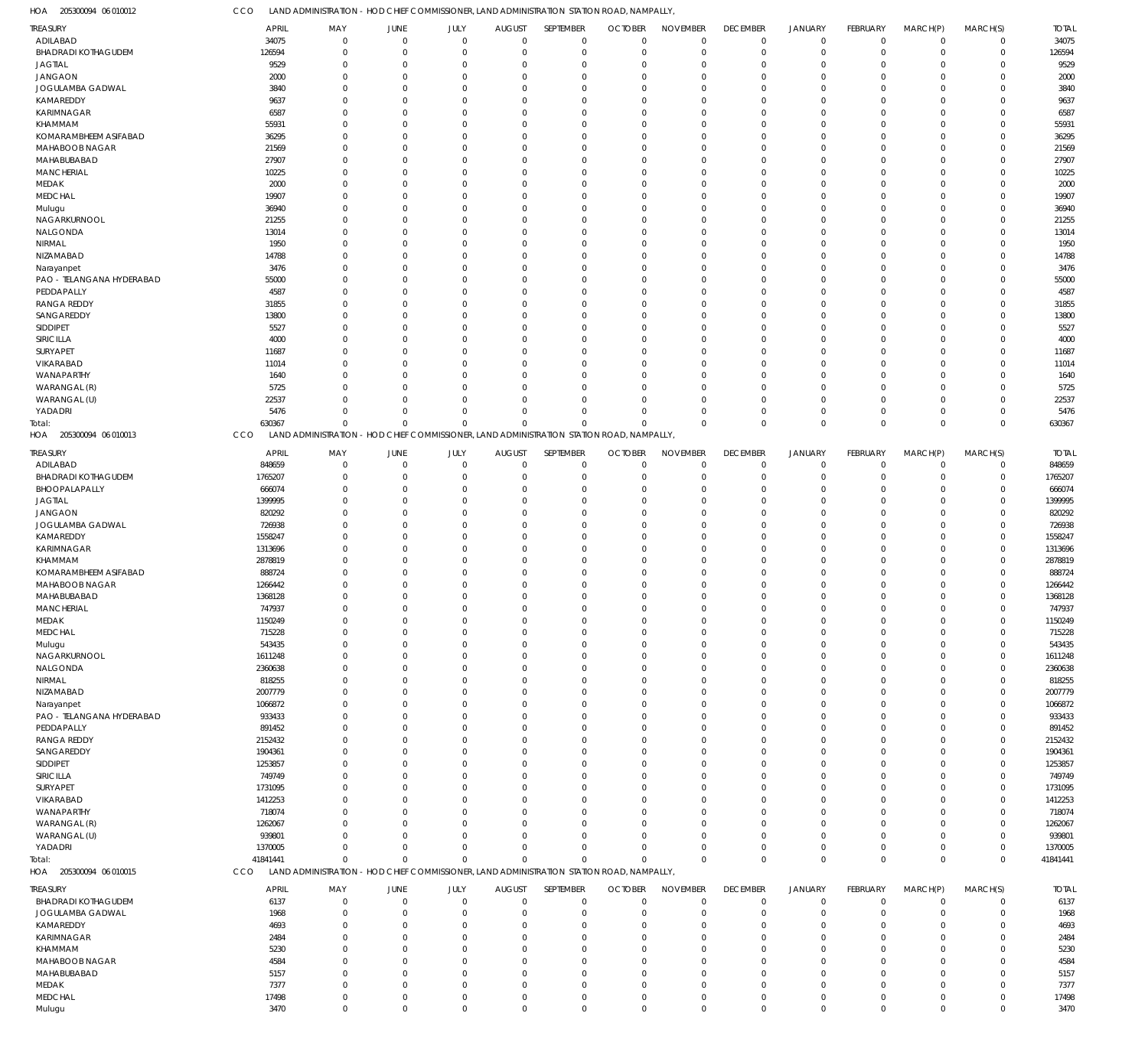| HOA<br>205300094 06 010012         | CCO                    | LAND ADMINISTRATION - HOD CHIEF COMMISSIONER, LAND ADMINISTRATION STATION ROAD, NAMPALLY  |                            |                      |                              |                                                                       |                               |                                |                               |                            |                      |                               |                            |                        |
|------------------------------------|------------------------|-------------------------------------------------------------------------------------------|----------------------------|----------------------|------------------------------|-----------------------------------------------------------------------|-------------------------------|--------------------------------|-------------------------------|----------------------------|----------------------|-------------------------------|----------------------------|------------------------|
| TREASURY                           | <b>APRIL</b>           | MAY                                                                                       | JUNE                       | JULY                 | <b>AUGUST</b>                | SEPTEMBER                                                             | <b>OCTOBER</b>                | <b>NOVEMBER</b>                | <b>DECEMBER</b>               | <b>JANUARY</b>             | <b>FEBRUARY</b>      | MARCH(P)                      | MARCH(S)                   | <b>TOTAL</b>           |
| ADILABAD                           | 34075                  | $\Omega$                                                                                  | $\mathbf 0$                | $\mathbf 0$          | $\mathbf 0$                  | $\mathbf 0$                                                           | $\mathbf 0$                   | $\mathbf 0$                    | $\mathbf 0$                   | $\mathbf 0$                | $\Omega$             | $\mathbf 0$                   | $\mathbf 0$                | 34075                  |
| <b>BHADRADI KOTHAGUDEM</b>         | 126594                 | $\mathbf 0$                                                                               | $\mathbf 0$                | $\mathbf 0$          | $\mathbf 0$                  | $\mathbf 0$                                                           | $\mathbf 0$                   | $\mathbf 0$                    | $\mathbf 0$                   | $\mathbf 0$                | $\Omega$             | $\overline{0}$                | $\mathbf 0$                | 126594                 |
| <b>JAGTIAL</b>                     | 9529                   | $^{\circ}$                                                                                | $\overline{0}$<br>$\Omega$ | $\Omega$             | $\Omega$                     | $\mathbf 0$<br>$\Omega$                                               | $\mathbf 0$                   | $\mathbf 0$                    | $^{\circ}$                    | $\mathbf 0$                | $\Omega$             | $\Omega$                      | $\mathbf 0$                | 9529                   |
| <b>JANGAON</b><br>JOGULAMBA GADWAL | 2000<br>3840           | $\Omega$<br>$\Omega$                                                                      | $\Omega$                   | $\Omega$<br>$\Omega$ | $\Omega$<br>$\Omega$         | $\mathbf 0$                                                           | $\mathbf 0$<br>$\mathbf 0$    | $\mathbf 0$<br>$\mathbf 0$     | $\Omega$<br>$\Omega$          | $\Omega$<br>$\Omega$       | $\Omega$             | $\Omega$<br>$\Omega$          | $\mathbf 0$<br>$\mathbf 0$ | 2000<br>3840           |
| KAMAREDDY                          | 9637                   | $\Omega$                                                                                  | $\Omega$                   | $\Omega$             | $\Omega$                     | $\Omega$                                                              | $\mathbf 0$                   | $\mathbf 0$                    | $\Omega$                      | $\Omega$                   | $\Omega$             | $\Omega$                      | $\Omega$                   | 9637                   |
| KARIMNAGAR                         | 6587                   | $\Omega$                                                                                  | $\Omega$                   | $\Omega$             | $\Omega$                     | $\Omega$                                                              | $\mathbf 0$                   | $\Omega$                       | $\Omega$                      | $\Omega$                   | $\Omega$             | $\Omega$                      | 0                          | 6587                   |
| KHAMMAM                            | 55931                  | $\Omega$                                                                                  | $\Omega$                   | $\Omega$             | $\Omega$                     | $\mathbf 0$                                                           | $\mathbf 0$                   | $\mathbf 0$                    | $\Omega$                      | $\Omega$                   | $\Omega$             | $\Omega$                      | $\Omega$                   | 55931                  |
| KOMARAMBHEEM ASIFABAD              | 36295                  | $\Omega$                                                                                  | $\Omega$                   | $\Omega$             | $\Omega$                     | $\mathbf 0$                                                           | $\mathbf 0$                   | $\mathbf 0$                    | $\Omega$                      | $\Omega$                   |                      | $\Omega$                      | $\mathbf 0$                | 36295                  |
| MAHABOOB NAGAR                     | 21569                  | $\Omega$                                                                                  | $\Omega$                   | $\Omega$             | $\Omega$                     | $\Omega$                                                              | $\mathbf 0$                   | $\Omega$                       | $\Omega$                      | $\Omega$                   | $\Omega$             | $\Omega$                      | $\Omega$                   | 21569                  |
| MAHABUBABAD                        | 27907                  | $\Omega$                                                                                  | $\Omega$                   | $\Omega$             | $\Omega$                     | $\mathbf 0$                                                           | $\mathbf 0$                   | $\mathbf 0$                    | $\Omega$                      | $\Omega$                   |                      | $\Omega$                      | $\mathbf 0$                | 27907                  |
| <b>MANCHERIAL</b>                  | 10225                  | $\Omega$                                                                                  | $\Omega$                   | $\Omega$             | $\Omega$                     | $\mathbf 0$                                                           | $\mathbf 0$                   | $\mathbf 0$                    | $\Omega$                      | $\Omega$                   | $\Omega$             | $\Omega$                      | $\mathbf 0$                | 10225                  |
| MEDAK<br>MEDCHAL                   | 2000                   | $\Omega$<br>$\Omega$                                                                      | $\Omega$<br>$\Omega$       | $\Omega$<br>$\Omega$ | $\Omega$<br>$\Omega$         | $\mathbf 0$<br>$\Omega$                                               | $\mathbf 0$<br>$\mathbf 0$    | $\Omega$<br>$\mathbf 0$        | $\Omega$<br>$\Omega$          | $\Omega$<br>$\Omega$       | $\Omega$             | $\Omega$<br>$\Omega$          | $\mathbf 0$<br>$\mathbf 0$ | 2000<br>19907          |
| Mulugu                             | 19907<br>36940         | $\Omega$                                                                                  | $\Omega$                   | $\Omega$             | $\Omega$                     | $\mathbf 0$                                                           | $\mathbf 0$                   | $\mathbf 0$                    | $\Omega$                      | $\Omega$                   |                      | $\Omega$                      | $\mathbf 0$                | 36940                  |
| NAGARKURNOOL                       | 21255                  | $\Omega$                                                                                  | $\Omega$                   | $\Omega$             | $\Omega$                     | $\Omega$                                                              | $\mathbf 0$                   | $\mathbf 0$                    | $\Omega$                      | $\Omega$                   | $\cap$               | $\Omega$                      | $\Omega$                   | 21255                  |
| NALGONDA                           | 13014                  | $\Omega$                                                                                  | $\Omega$                   | O                    | $\Omega$                     | $\mathbf 0$                                                           | $\mathbf 0$                   | $\Omega$                       | $\Omega$                      | $\Omega$                   |                      | $\Omega$                      | $\mathbf 0$                | 13014                  |
| NIRMAL                             | 1950                   | $\Omega$                                                                                  | $\Omega$                   | $\Omega$             | $\Omega$                     | $\Omega$                                                              | $\mathbf 0$                   | $\mathbf 0$                    | $\Omega$                      | $\Omega$                   | $\Omega$             | $\Omega$                      | $\mathbf 0$                | 1950                   |
| NIZAMABAD                          | 14788                  | $\Omega$                                                                                  | $\Omega$                   | $\Omega$             | $\Omega$                     | $\mathbf 0$                                                           | $\mathbf 0$                   | $\Omega$                       | $\Omega$                      | $\Omega$                   |                      | $\Omega$                      | $\mathbf 0$                | 14788                  |
| Narayanpet                         | 3476                   | $\Omega$                                                                                  | $\Omega$                   | $\Omega$             | $\Omega$                     | $\Omega$                                                              | $\mathbf 0$                   | $\mathbf 0$                    | $\Omega$                      | $\Omega$                   | $\Omega$             | $\Omega$                      | $\mathbf 0$                | 3476                   |
| PAO - TELANGANA HYDERABAD          | 55000                  | $\Omega$                                                                                  | $\Omega$                   | $\Omega$             | $\Omega$                     | $\mathbf 0$                                                           | $\mathbf 0$                   | $\mathbf 0$                    | $\Omega$                      | $\Omega$                   |                      | $\Omega$                      | $\mathbf 0$                | 55000                  |
| PEDDAPALLY                         | 4587                   | $\Omega$                                                                                  | $\Omega$                   | $\Omega$             | $\Omega$                     | $\Omega$                                                              | $\mathbf 0$                   | $\mathbf 0$                    | $\Omega$                      | $\Omega$                   | $\cap$               | $\Omega$                      | $\Omega$                   | 4587                   |
| <b>RANGA REDDY</b><br>SANGAREDDY   | 31855<br>13800         | $\Omega$<br>$\Omega$                                                                      | $\Omega$<br>$\Omega$       | $\Omega$<br>$\Omega$ | $\Omega$<br>$\Omega$         | $\Omega$<br>$\mathbf 0$                                               | $\mathbf 0$<br>$\mathbf 0$    | $\mathbf 0$<br>$\mathbf 0$     | $\Omega$<br>$\Omega$          | $\Omega$<br>$\Omega$       | $\Omega$             | $\Omega$<br>$\Omega$          | $\mathbf 0$<br>$\mathbf 0$ | 31855<br>13800         |
| SIDDIPET                           | 5527                   | $\Omega$                                                                                  | $\Omega$                   | $\Omega$             | $\Omega$                     | $\mathbf 0$                                                           | $\mathbf 0$                   | $\Omega$                       | $\Omega$                      | $\Omega$                   |                      | $\Omega$                      | $\mathbf 0$                | 5527                   |
| SIRICILLA                          | 4000                   | $\Omega$                                                                                  | $\Omega$                   | $\Omega$             | $\Omega$                     | $\Omega$                                                              | $\mathbf 0$                   | $\mathbf 0$                    | $\Omega$                      | $\Omega$                   | $\Omega$             | $\Omega$                      | $\mathbf 0$                | 4000                   |
| SURYAPET                           | 11687                  | $\mathbf 0$                                                                               | $\Omega$                   | $\Omega$             | $\Omega$                     | $\mathbf 0$                                                           | $\mathbf 0$                   | $\mathbf 0$                    | $\Omega$                      | $\Omega$                   |                      | $\Omega$                      | $\mathbf 0$                | 11687                  |
| VIKARABAD                          | 11014                  | $\Omega$                                                                                  | $\Omega$                   | $\Omega$             | $\Omega$                     | $\Omega$                                                              | $\mathbf 0$                   | $\mathbf 0$                    | $\Omega$                      | $\Omega$                   | $\Omega$             | $\Omega$                      | $\Omega$                   | 11014                  |
| WANAPARTHY                         | 1640                   | $\Omega$                                                                                  | $\Omega$                   | $\Omega$             | $\Omega$                     | $\Omega$                                                              | $\Omega$                      | $\Omega$                       | $\Omega$                      | $\Omega$                   |                      | $\Omega$                      | $\mathbf 0$                | 1640                   |
| WARANGAL (R)                       | 5725                   | $\Omega$                                                                                  | $\Omega$                   | $\Omega$             | $\Omega$                     | $\Omega$                                                              | $\mathbf 0$                   | $\mathbf 0$                    | $\Omega$                      | $\Omega$                   | $\Omega$             | $\Omega$                      | $\mathbf 0$                | 5725                   |
| WARANGAL (U)                       | 22537                  | $\Omega$                                                                                  | $\Omega$                   | $\Omega$             | $\Omega$                     | $\mathbf 0$                                                           | 0                             | $\mathbf 0$                    | $\Omega$                      | $\mathbf 0$                | $\Omega$             | $\Omega$                      | $\mathbf 0$                | 22537                  |
| YADADRI                            | 5476<br>630367         | $\Omega$<br>$\mathbf 0$                                                                   | $\Omega$<br>$\mathbf 0$    | $\Omega$<br>$\Omega$ | $\Omega$<br>$\Omega$         | $\mathbf 0$<br>$\Omega$                                               | $\mathbf 0$<br>$\Omega$       | $\mathbf 0$<br>$\mathbf 0$     | $\Omega$<br>$\Omega$          | $\mathbf 0$<br>$\mathbb O$ | $\Omega$<br>$\Omega$ | $\overline{0}$<br>$\mathbf 0$ | $\mathbf 0$<br>$\mathbf 0$ | 5476<br>630367         |
| Total:<br>HOA 205300094 06 010013  | CCO                    | LAND ADMINISTRATION - HOD CHIEF COMMISSIONER, LAND ADMINISTRATION STATION ROAD, NAMPALLY, |                            |                      |                              |                                                                       |                               |                                |                               |                            |                      |                               |                            |                        |
|                                    |                        |                                                                                           |                            |                      |                              |                                                                       |                               |                                |                               |                            |                      |                               |                            |                        |
| TREASURY<br>ADILABAD               | <b>APRIL</b><br>848659 | MAY<br>$^{\circ}$                                                                         | JUNE<br>$\mathbf 0$        | JULY<br>$\mathbf 0$  | <b>AUGUST</b><br>$\mathbf 0$ | SEPTEMBER<br>$\mathbf 0$                                              | <b>OCTOBER</b><br>$\mathbf 0$ | <b>NOVEMBER</b><br>$\mathbf 0$ | <b>DECEMBER</b><br>$^{\circ}$ | JANUARY<br>$\mathbf 0$     | FEBRUARY<br>$\Omega$ | MARCH(P)<br>$^{\circ}$        | MARCH(S)<br>$\mathbf 0$    | <b>TOTAL</b><br>848659 |
| <b>BHADRADI KOTHAGUDEM</b>         | 1765207                | $\Omega$                                                                                  | $\overline{0}$             | $\mathbf 0$          | $\Omega$                     | $\mathbf 0$                                                           | $\mathbf 0$                   | $\mathbf 0$                    | $^{\circ}$                    | $\mathbf 0$                | $\Omega$             | $\Omega$                      | $\mathbf 0$                | 1765207                |
| BHOOPALAPALLY                      | 666074                 | $\Omega$                                                                                  | $\overline{0}$             | $\Omega$             | $\Omega$                     | $\mathbf 0$                                                           | $\mathbf 0$                   | $\mathbf 0$                    | 0                             | $\mathbf 0$                |                      | $\Omega$                      | $\mathbf 0$                | 666074                 |
| <b>JAGTIAL</b>                     | 1399995                | $\Omega$                                                                                  | $\Omega$                   | $\Omega$             | $\Omega$                     | $\mathbf 0$                                                           | $\mathbf 0$                   | $\mathbf 0$                    | $\Omega$                      | $\Omega$                   |                      | $\Omega$                      | 0                          | 1399995                |
| <b>JANGAON</b>                     | 820292                 | $\Omega$                                                                                  | $\Omega$                   | $\Omega$             | $\Omega$                     | $\mathbf 0$                                                           | 0                             | $\mathbf 0$                    | $\Omega$                      | $\Omega$                   |                      | $\Omega$                      | $\mathbf 0$                | 820292                 |
| JOGULAMBA GADWAL                   | 726938                 | $\Omega$                                                                                  | $\Omega$                   | $\Omega$             | $\Omega$                     | $\Omega$                                                              | $\mathbf 0$                   | $\mathbf 0$                    | $\Omega$                      | $\Omega$                   |                      | $\Omega$                      | 0                          | 726938                 |
| KAMAREDDY                          | 1558247                | $\Omega$                                                                                  | $\Omega$                   | $\Omega$             | $\Omega$                     | $\mathbf 0$                                                           | $\mathbf 0$                   | $\mathbf 0$                    | $\Omega$                      | $\Omega$                   |                      | $\Omega$                      | $\mathbf 0$                | 1558247                |
| KARIMNAGAR                         | 1313696                | $\Omega$                                                                                  | $\Omega$                   | $\Omega$             | $\Omega$                     | $\mathbf 0$                                                           | $\mathbf 0$                   | $\mathbf 0$                    | $\Omega$                      | $\Omega$                   |                      | $\Omega$                      | 0                          | 1313696                |
| KHAMMAM<br>KOMARAMBHEEM ASIFABAD   | 2878819<br>888724      | $\Omega$<br>$\Omega$                                                                      | $\Omega$<br>$\Omega$       | $\Omega$<br>$\Omega$ | $\Omega$<br>$\Omega$         | $\mathbf 0$<br>$\mathbf 0$                                            | 0<br>$\mathbf 0$              | $\mathbf 0$<br>$\mathbf 0$     | $\Omega$<br>$\Omega$          | $\Omega$<br>$\Omega$       |                      | $\Omega$<br>$\Omega$          | $\mathbf 0$<br>0           | 2878819<br>888724      |
| MAHABOOB NAGAR                     | 1266442                | $\Omega$                                                                                  | $\Omega$                   | $\Omega$             | $\Omega$                     | $\mathbf 0$                                                           | 0                             | $\mathbf 0$                    | $\Omega$                      | $\Omega$                   |                      | $\Omega$                      | $\mathbf 0$                | 1266442                |
| MAHABUBABAD                        | 1368128                | $\Omega$                                                                                  | $\mathbf 0$                | $\Omega$             | $\Omega$                     | $\mathbf 0$                                                           | $\mathbf 0$                   | $\mathbf 0$                    | $\Omega$                      | $\Omega$                   | $\Omega$             | $\Omega$                      | $\mathbf 0$                | 1368128                |
| <b>MANCHERIAL</b>                  | 747937                 | 0                                                                                         | -0                         |                      | 0                            | 0                                                                     | 0                             | 0                              | -0                            | $\Omega$                   |                      | $\Omega$                      | 0                          | 747937                 |
| MEDAK                              | 1150249                | $\mathbf 0$                                                                               | $\overline{0}$             | 0                    | $\Omega$                     | $\mathbf 0$                                                           | $\mathbf 0$                   | $\mathbf 0$                    | $\Omega$                      | $\Omega$                   |                      | $\Omega$                      | $\mathbf 0$                | 1150249                |
| <b>MEDCHAL</b>                     | 715228                 | 0                                                                                         | $\overline{0}$             | 0                    | $\Omega$                     | $\mathbf 0$                                                           | $\mathbf 0$                   | $\mathbf 0$                    | 0                             | $\Omega$                   | $\Omega$             | $\Omega$                      | $\mathbf 0$                | 715228                 |
| Mulugu                             | 543435                 | $\Omega$                                                                                  | $\Omega$                   | $\Omega$             | $\Omega$                     | $\mathbf 0$                                                           | $\mathbf 0$                   | $\mathbf 0$                    | $\Omega$                      | $\Omega$                   |                      | $\Omega$                      | 0                          | 543435                 |
| NAGARKURNOOL                       | 1611248                | 0                                                                                         | $\overline{0}$<br>$\Omega$ | $\Omega$             | $\Omega$<br>$\Omega$         | $\mathbf 0$<br>$\Omega$                                               | $\mathbf 0$                   | $\mathbf 0$                    | 0                             | $\Omega$<br>$\Omega$       |                      | $\Omega$<br>$\Omega$          | 0<br>0                     | 1611248                |
| NALGONDA<br>NIRMAL                 | 2360638<br>818255      | $\Omega$<br>0                                                                             | $\Omega$                   | $\Omega$<br>$\Omega$ | $\Omega$                     | $\mathbf 0$                                                           | $\mathbf 0$<br>$\mathbf 0$    | $\mathbf 0$<br>$\mathbf 0$     | $\Omega$<br>0                 | $\Omega$                   |                      | $\Omega$                      | 0                          | 2360638<br>818255      |
| NIZAMABAD                          | 2007779                | $\Omega$                                                                                  | $\Omega$                   | $\Omega$             | $\Omega$                     | $\mathbf 0$                                                           | $\mathbf 0$                   | $\mathbf 0$                    | 0                             | $\Omega$                   |                      | $\Omega$                      | $\Omega$                   | 2007779                |
| Narayanpet                         | 1066872                | $\Omega$                                                                                  | $\Omega$                   | $\Omega$             | $\Omega$                     | $\mathbf 0$                                                           | $\mathbf 0$                   | $\mathbf 0$                    | $\Omega$                      | $\Omega$                   |                      | $\Omega$                      | 0                          | 1066872                |
| PAO - TELANGANA HYDERABAD          | 933433                 | $\Omega$                                                                                  | $\Omega$                   | $\Omega$             | $\Omega$                     | $\Omega$                                                              | $\mathbf 0$                   | $\mathbf 0$                    | $\Omega$                      | $\Omega$                   |                      | $\Omega$                      | 0                          | 933433                 |
| PEDDAPALLY                         | 891452                 | $\mathbf 0$                                                                               | $\Omega$                   | $\Omega$             | $\Omega$                     | $\mathbf 0$                                                           | $\mathbf 0$                   | $\mathbf 0$                    | 0                             | $\Omega$                   |                      | $\Omega$                      | $\mathbf 0$                | 891452                 |
| <b>RANGA REDDY</b>                 | 2152432                | $\Omega$                                                                                  | $\Omega$                   | $\Omega$             | $\Omega$                     | $\Omega$                                                              | $\mathbf 0$                   | $\mathbf 0$                    | $\Omega$                      | $\Omega$                   |                      | $\Omega$                      | 0                          | 2152432                |
| SANGAREDDY                         | 1904361                | $\Omega$                                                                                  | $\Omega$                   | $\Omega$             | $\Omega$                     | $\mathbf 0$                                                           | $\mathbf 0$                   | $\mathbf 0$                    | $\Omega$                      | $\Omega$                   |                      | $\Omega$                      | 0                          | 1904361                |
| SIDDIPET<br>SIRICILLA              | 1253857<br>749749      | $\Omega$<br>0                                                                             | $\Omega$<br>$\Omega$       | $\Omega$<br>$\Omega$ | $\Omega$<br>$\Omega$         | $\mathbf 0$<br>$\mathbf 0$                                            | $\mathbf 0$<br>$\mathbf 0$    | $\mathbf 0$<br>$\mathbf 0$     | $\Omega$<br>0                 | $\Omega$<br>$\Omega$       |                      | $\Omega$<br>$\Omega$          | 0<br>0                     | 1253857<br>749749      |
| SURYAPET                           | 1731095                | $\Omega$                                                                                  | $\Omega$                   | $\Omega$             | $\Omega$                     | $\Omega$                                                              | $\mathbf 0$                   | $\mathbf 0$                    | $\Omega$                      | $\Omega$                   |                      | $\Omega$                      | 0                          | 1731095                |
| VIKARABAD                          | 1412253                | 0                                                                                         | $\Omega$                   | $\Omega$             | $\Omega$                     | $\mathbf 0$                                                           | $\mathbf 0$                   | $\mathbf 0$                    | 0                             | $\Omega$                   |                      | $\Omega$                      | 0                          | 1412253                |
| WANAPARTHY                         | 718074                 | $\Omega$                                                                                  | $\Omega$                   | $\Omega$             | $\Omega$                     | $\Omega$                                                              | $\mathbf 0$                   | $\mathbf 0$                    | $\Omega$                      | $\Omega$                   |                      | $\Omega$                      | 0                          | 718074                 |
| WARANGAL (R)                       | 1262067                | $\Omega$                                                                                  | $\Omega$                   | $\Omega$             | $\Omega$                     | $\mathbf 0$                                                           | 0                             | $\mathbf 0$                    | $\Omega$                      | $\Omega$                   |                      | $\Omega$                      | 0                          | 1262067                |
| WARANGAL (U)                       | 939801                 | $\Omega$                                                                                  | $\Omega$                   | $\Omega$             | $\Omega$                     | $\mathbf 0$                                                           | $\mathbf 0$                   | $\mathbf 0$                    | 0                             | $\Omega$                   |                      | $\Omega$                      | 0                          | 939801                 |
| YADADRI                            | 1370005                | $\Omega$                                                                                  | $\mathbf 0$                | 0                    | $\mathbf 0$                  | $\mathbf 0$                                                           | $\mathbf 0$                   | $\mathbf 0$                    | $^{\circ}$                    | $\mathbf 0$                | $\Omega$             | $\mathbf 0$                   | $\mathbf 0$                | 1370005                |
| Total:                             | 41841441               | $\Omega$                                                                                  | $\mathbf 0$                | $\Omega$             | $\Omega$                     | $\mathbf 0$                                                           | $\mathbf 0$                   | $\mathbf 0$                    | $^{\circ}$                    | $\mathbf 0$                | $\Omega$             | $\Omega$                      | $\mathbf 0$                | 41841441               |
| HOA 205300094 06 010015            | CCO                    | <b>LAND ADMINISTRATION</b>                                                                |                            |                      |                              | - HOD CHIEF COMMISSIONER, LAND ADMINISTRATION STATION ROAD, NAMPALLY, |                               |                                |                               |                            |                      |                               |                            |                        |
| TREASURY                           | <b>APRIL</b>           | MAY                                                                                       | JUNE                       | JULY                 | <b>AUGUST</b>                | SEPTEMBER                                                             | <b>OCTOBER</b>                | <b>NOVEMBER</b>                | <b>DECEMBER</b>               | <b>JANUARY</b>             | <b>FEBRUARY</b>      | MARCH(P)                      | MARCH(S)                   | <b>TOTAL</b>           |
| <b>BHADRADI KOTHAGUDEM</b>         | 6137                   | $\overline{0}$                                                                            | $\mathbf 0$                | $\mathbf 0$          | $\mathbf 0$                  | $\mathbf 0$                                                           | $\mathbf 0$                   | $\mathbf 0$                    | $\mathbf 0$                   | $\mathbf 0$                | $\Omega$             | $\Omega$                      | $\mathbf 0$                | 6137                   |
| JOGULAMBA GADWAL                   | 1968                   | $\mathbf 0$                                                                               | $\overline{0}$             | $\mathbf 0$          | $\mathbf 0$                  | $\mathbf 0$                                                           | $\mathbf 0$                   | $\mathbf 0$                    | $\overline{0}$                | $\mathbf 0$                | $\Omega$             | $\overline{0}$                | $\mathbf 0$                | 1968                   |
| KAMAREDDY<br>KARIMNAGAR            | 4693<br>2484           | $\mathbf 0$<br>$\Omega$                                                                   | $\overline{0}$<br>$\Omega$ | $\Omega$<br>$\Omega$ | $\Omega$<br>$\Omega$         | $\mathbf 0$<br>$\Omega$                                               | $\mathbf 0$<br>$\mathbf 0$    | $\mathbf 0$<br>$\mathbf 0$     | $^{\circ}$<br>$\Omega$        | $\mathbf 0$<br>$\Omega$    | $\Omega$<br>$\Omega$ | $\Omega$<br>$\Omega$          | $\mathbf 0$<br>$\mathbf 0$ | 4693<br>2484           |
| KHAMMAM                            | 5230                   | $\mathbf 0$                                                                               | $\overline{0}$             | $\Omega$             | $\Omega$                     | $\mathbf 0$                                                           | $\mathbf 0$                   | $\mathbf 0$                    | 0                             | $\mathbf 0$                |                      | $\Omega$                      | 0                          | 5230                   |
| MAHABOOB NAGAR                     | 4584                   | $\Omega$                                                                                  | $\Omega$                   | $\Omega$             | $\Omega$                     | $\mathbf 0$                                                           | $\mathbf 0$                   | $\mathbf 0$                    | $\Omega$                      | $\Omega$                   | $\Omega$             | $\Omega$                      | $\mathbf 0$                | 4584                   |
| MAHABUBABAD                        | 5157                   | $\mathbf 0$                                                                               | $\Omega$                   | $\Omega$             | $\Omega$                     | $\mathbf 0$                                                           | $\mathbf 0$                   | $\mathbf 0$                    | $\Omega$                      | $\Omega$                   | $\Omega$             | $\Omega$                      | 0                          | 5157                   |
| MEDAK                              | 7377                   | $\mathbf 0$                                                                               | $\mathbf 0$                | $\Omega$             | $\mathbf 0$                  | $\mathbf 0$                                                           | $\mathbf 0$                   | $\mathbf 0$                    | $\mathbf 0$                   | $\mathbf 0$                | $\Omega$             | $\mathbf 0$                   | $\mathbf 0$                | 7377                   |
| <b>MEDCHAL</b>                     | 17498                  | $\mathbf 0$                                                                               | $\mathbf 0$                | $\mathbf 0$          | $\mathbf 0$                  | $\pmb{0}$                                                             | $\mathbf 0$                   | $\mathbf 0$                    | $\mathbf 0$                   | $\mathbf 0$                | $\Omega$             | $\mathbf 0$                   | $\pmb{0}$                  | 17498                  |
| Mulugu                             | 3470                   | $\mathbf 0$                                                                               | $\mathbf 0$                | $\mathbf 0$          | $\mathbf 0$                  | $\mathbf 0$                                                           | $\mathbf 0$                   | $\mathbf 0$                    | $\mathbf 0$                   | $\mathbf 0$                | $\mathbf 0$          | $\mathbf 0$                   | $\mathbf 0$                | 3470                   |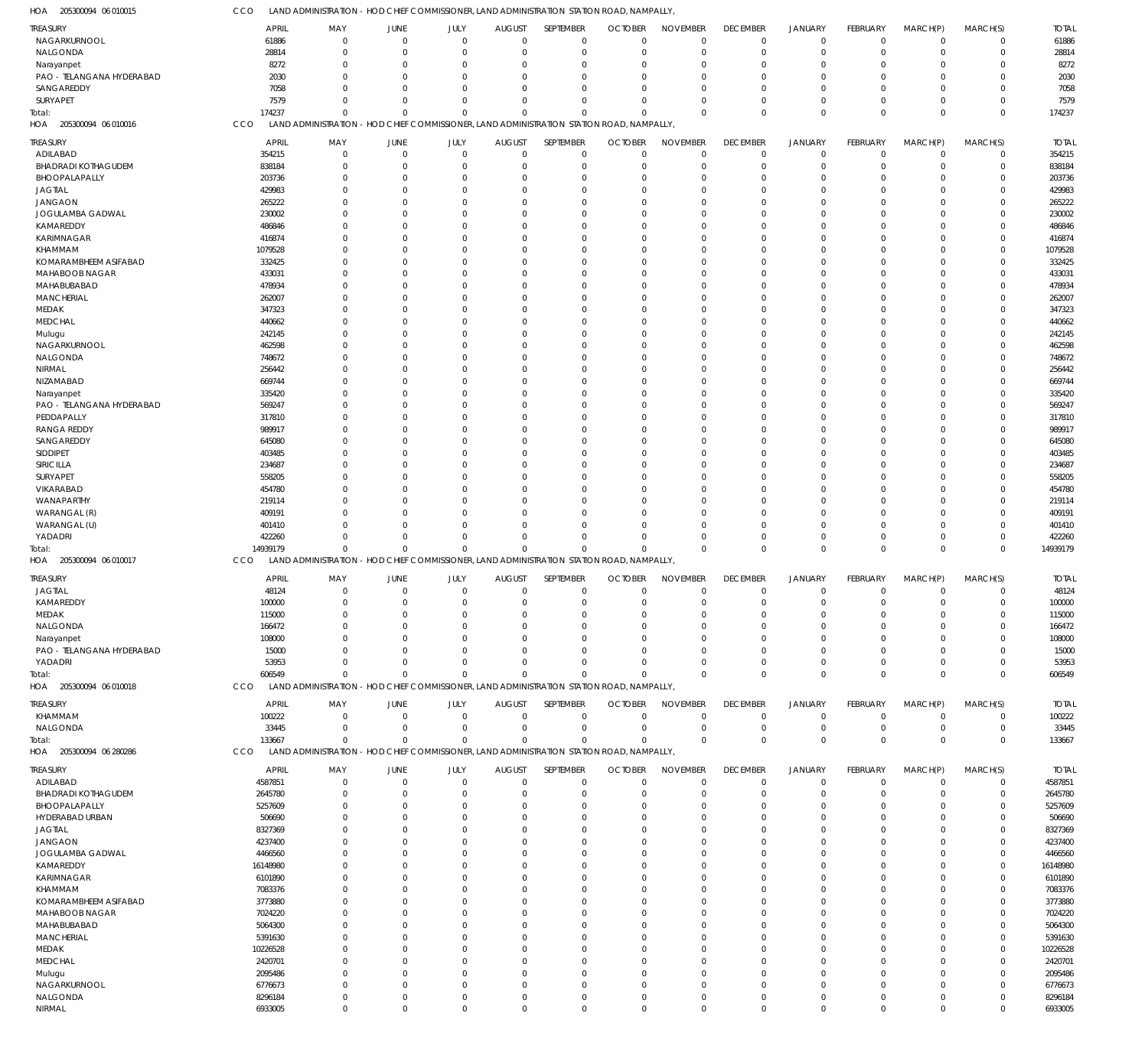| HOA<br>205300094 06 010015              | CCO                 | LAND ADMINISTRATION - HOD CHIEF COMMISSIONER, LAND ADMINISTRATION STATION ROAD, NAMPALLY |                         |                         |                              |                      |                                                                       |                         |                      |                            |                            |                         |                               |                     |
|-----------------------------------------|---------------------|------------------------------------------------------------------------------------------|-------------------------|-------------------------|------------------------------|----------------------|-----------------------------------------------------------------------|-------------------------|----------------------|----------------------------|----------------------------|-------------------------|-------------------------------|---------------------|
| TREASURY                                | APRIL               | MAY                                                                                      | JUNE                    | JULY                    | <b>AUGUST</b>                | SEPTEMBER            | <b>OCTOBER</b>                                                        | <b>NOVEMBER</b>         | <b>DECEMBER</b>      | <b>JANUARY</b>             | <b>FEBRUARY</b>            | MARCH(P)                | MARCH(S)                      | <b>TOTAL</b>        |
| NAGARKURNOOL                            | 61886               | $\mathbf 0$                                                                              | $\mathbf 0$             | $\overline{0}$          | $\Omega$                     | $\overline{0}$       | $\Omega$                                                              | $\mathbf 0$             | $\mathbf 0$          | $\mathbf 0$                | $\mathbf 0$                | $\mathbf 0$             | $\overline{0}$                | 61886               |
| NALGONDA                                | 28814               | $\Omega$                                                                                 | $\Omega$                | $\overline{0}$          | $\Omega$                     | $\Omega$             | $\Omega$                                                              | $\mathbf 0$             | $\mathbf 0$          | $\mathbf 0$                | $\mathbf 0$                | $\mathbf 0$             | $\overline{0}$                | 28814               |
| Narayanpet                              | 8272                | 0                                                                                        | $\mathbf 0$             | $\overline{0}$          | $\Omega$                     | $\Omega$             |                                                                       | 0                       | $\Omega$             | $\mathbf 0$                | 0                          | 0                       | $\mathbf 0$                   | 8272                |
| PAO - TELANGANA HYDERABAD               | 2030                | $\Omega$                                                                                 | $\Omega$                | $\Omega$                | $\Omega$                     | $\Omega$             |                                                                       | $\Omega$                | $\Omega$             | $\mathbf 0$                | $\mathbf 0$                | $\Omega$                | $\Omega$                      | 2030                |
| SANGAREDDY<br>SURYAPET                  | 7058<br>7579        | $\Omega$<br>$\Omega$                                                                     | $\Omega$<br>$\Omega$    | $\Omega$<br>$\Omega$    | $\Omega$<br>$\Omega$         | $\Omega$<br>$\Omega$ | $\cap$                                                                | $\Omega$<br>$\Omega$    | $\Omega$<br>$\Omega$ | $\mathbf 0$<br>$\mathbf 0$ | $\mathbf 0$<br>$\mathbf 0$ | $\Omega$<br>$\Omega$    | $\mathbf 0$<br>$\overline{0}$ | 7058<br>7579        |
| Total:                                  | 174237              | $\Omega$                                                                                 | $\Omega$                | $\Omega$                | $\Omega$                     | $\mathbf 0$          | $\Omega$                                                              | $\Omega$                | $\Omega$             | $\mathbf 0$                | $\mathbf 0$                | $\mathbf 0$             | $\overline{0}$                | 174237              |
| 205300094 06 010016<br>HOA              | CCO                 | <b>LAND ADMINISTRATION</b>                                                               |                         |                         |                              |                      | - HOD CHIEF COMMISSIONER, LAND ADMINISTRATION STATION ROAD, NAMPALLY  |                         |                      |                            |                            |                         |                               |                     |
| TREASURY                                | <b>APRIL</b>        | MAY                                                                                      | <b>JUNE</b>             | JULY                    | <b>AUGUST</b>                | SEPTEMBER            | <b>OCTOBER</b>                                                        | <b>NOVEMBER</b>         | <b>DECEMBER</b>      | <b>JANUARY</b>             | FEBRUARY                   | MARCH(P)                | MARCH(S)                      | <b>TOTAL</b>        |
| ADILABAD                                | 354215              | $\mathbf 0$                                                                              | $\mathbf 0$             | $\overline{0}$          | $\mathbf{0}$                 | $^{\circ}$           | $\Omega$                                                              | $\mathbf 0$             | $\mathbf 0$          | $\mathbf 0$                | $\mathbf 0$                | $\mathbf 0$             | $\overline{0}$                | 354215              |
| <b>BHADRADI KOTHAGUDEM</b>              | 838184              | $\mathbf 0$                                                                              | $\mathbf 0$             | $\overline{0}$          | $\Omega$                     | $\Omega$             |                                                                       | $\mathbf 0$             | $\mathbf 0$          | $\mathbf 0$                | $\mathbf 0$                | $\mathbf 0$             | $\overline{0}$                | 838184              |
| BHOOPALAPALLY                           | 203736              | $\mathbf 0$                                                                              | $\Omega$                | $\overline{0}$          | $\Omega$                     | $\Omega$             |                                                                       | $\mathbf 0$             | -0                   | $\mathbf 0$                | 0                          | $\mathbf 0$             | $\overline{0}$                | 203736              |
| <b>JAGTIAL</b>                          | 429983              | $\Omega$                                                                                 | $\Omega$                | $\overline{0}$          | $\Omega$                     | $\Omega$             |                                                                       | $\Omega$                | $\Omega$             | $\mathbf 0$                | 0                          | $\Omega$                | $\overline{0}$                | 429983              |
| <b>JANGAON</b>                          | 265222              | $\Omega$                                                                                 | $\Omega$                | $\Omega$                | <sup>0</sup>                 | $\Omega$             |                                                                       | $\Omega$                | -0                   | $\mathbf 0$                | 0                          | $\Omega$                | $\overline{0}$                | 265222              |
| JOGULAMBA GADWAL                        | 230002              | $\Omega$                                                                                 | $\Omega$                | $\Omega$                | $\Omega$                     | $\Omega$             |                                                                       | $\Omega$                | $\Omega$             | $\mathbf 0$                | 0                          | $\Omega$                | $\overline{0}$                | 230002              |
| KAMAREDDY                               | 486846              | $\Omega$                                                                                 | $\Omega$                | $\Omega$                | <sup>0</sup>                 | $\Omega$             |                                                                       | $\Omega$                | -0                   | $\overline{0}$             | 0                          | $\Omega$                | $\overline{0}$                | 486846              |
| KARIMNAGAR                              | 416874              | $\Omega$                                                                                 | $\Omega$                | $\Omega$                | $\Omega$                     | $\Omega$             |                                                                       | $\Omega$                | $\Omega$             | $\mathbf 0$                | 0                          | $\Omega$                | $\mathbf 0$                   | 416874              |
| KHAMMAM<br>KOMARAMBHEEM ASIFABAD        | 1079528<br>332425   | $\Omega$<br>$\Omega$                                                                     | $\Omega$<br>$\Omega$    | $\Omega$<br>$\Omega$    | <sup>0</sup><br>$\Omega$     | $\Omega$<br>$\Omega$ |                                                                       | $\Omega$<br>$\Omega$    | -0<br>$\Omega$       | $\mathbf 0$<br>$\mathbf 0$ | 0<br>0                     | $\Omega$<br>$\Omega$    | $\overline{0}$<br>$\mathbf 0$ | 1079528<br>332425   |
| MAHABOOB NAGAR                          | 433031              | $\Omega$                                                                                 | $\Omega$                | $\Omega$                | <sup>0</sup>                 | $\Omega$             |                                                                       | $\Omega$                | -0                   | $\mathbf 0$                | 0                          | $\Omega$                | $\overline{0}$                | 433031              |
| MAHABUBABAD                             | 478934              | $\Omega$                                                                                 | $\Omega$                | $\Omega$                | 0                            | $\Omega$             |                                                                       | $\Omega$                | $\Omega$             | $\mathbf 0$                | 0                          | $\Omega$                | $\mathbf 0$                   | 478934              |
| <b>MANCHERIAL</b>                       | 262007              | $\Omega$                                                                                 | $\Omega$                | $\Omega$                | <sup>0</sup>                 | $\Omega$             |                                                                       | $\Omega$                | -0                   | $\mathbf 0$                | 0                          | $\Omega$                | $\overline{0}$                | 262007              |
| MEDAK                                   | 347323              | $\Omega$                                                                                 | $\Omega$                | $\Omega$                | <sup>0</sup>                 | $\Omega$             |                                                                       | $\Omega$                | $\Omega$             | $\mathbf 0$                | 0                          | $\Omega$                | $\mathbf 0$                   | 347323              |
| <b>MEDCHAL</b>                          | 440662              | $\Omega$                                                                                 | $\Omega$                | $\Omega$                | <sup>0</sup>                 | $\Omega$             |                                                                       | $\Omega$                | -0                   | $\mathbf 0$                | 0                          | $\Omega$                | $\overline{0}$                | 440662              |
| Mulugu                                  | 242145              | $\Omega$                                                                                 | $\Omega$                | $\Omega$                | 0                            | $\Omega$             |                                                                       | $\Omega$                | $\Omega$             | $\mathbf 0$                | 0                          | $\Omega$                | $\mathbf 0$                   | 242145              |
| NAGARKURNOOL                            | 462598              | $\Omega$                                                                                 | $\Omega$                | $\Omega$                | <sup>0</sup>                 | $\Omega$             |                                                                       | $\Omega$                | $\Omega$             | $\mathbf 0$                | 0                          | $\Omega$                | $\overline{0}$                | 462598              |
| NALGONDA<br>NIRMAL                      | 748672<br>256442    | $\Omega$<br>$\Omega$                                                                     | $\Omega$<br>$\Omega$    | $\Omega$<br>$\Omega$    | <sup>0</sup><br><sup>0</sup> | $\Omega$<br>$\Omega$ |                                                                       | $\Omega$<br>$\Omega$    | $\Omega$<br>-0       | $\mathbf 0$<br>$\mathbf 0$ | 0<br>0                     | $\Omega$<br>$\Omega$    | $\mathbf 0$<br>$\overline{0}$ | 748672<br>256442    |
| NIZAMABAD                               | 669744              | $\Omega$                                                                                 | $\Omega$                | $\Omega$                | <sup>0</sup>                 | $\Omega$             |                                                                       | $\Omega$                | $\Omega$             | $\mathbf 0$                | 0                          | $\Omega$                | $\mathbf 0$                   | 669744              |
| Narayanpet                              | 335420              | $\Omega$                                                                                 | $\Omega$                | $\Omega$                | <sup>0</sup>                 | $\Omega$             |                                                                       | $\Omega$                | $\Omega$             | $\mathbf 0$                | 0                          | $\Omega$                | $\overline{0}$                | 335420              |
| PAO - TELANGANA HYDERABAD               | 569247              | $\Omega$                                                                                 | $\Omega$                | $\Omega$                | <sup>0</sup>                 | $\Omega$             |                                                                       | $\Omega$                | -0                   | $\mathbf 0$                | $\Omega$                   | $\Omega$                | $\mathbf 0$                   | 569247              |
| PEDDAPALLY                              | 317810              | $\Omega$                                                                                 | $\Omega$                | $\Omega$                | <sup>0</sup>                 | $\Omega$             |                                                                       | $\Omega$                | -0                   | $\mathbf 0$                | 0                          | $\Omega$                | $\overline{0}$                | 317810              |
| <b>RANGA REDDY</b>                      | 989917              | $\Omega$                                                                                 | $\Omega$                | $\Omega$                | <sup>0</sup>                 | $\Omega$             |                                                                       | $\Omega$                | $\Omega$             | $\mathbf 0$                | 0                          | $\Omega$                | $\mathbf 0$                   | 989917              |
| SANGAREDDY                              | 645080              | $\Omega$                                                                                 | $\Omega$                | $\Omega$                | <sup>0</sup>                 | $\Omega$             |                                                                       | $\Omega$                | $\Omega$             | $\mathbf 0$                | 0                          | $\Omega$                | $\overline{0}$                | 645080              |
| SIDDIPET                                | 403485              | $\Omega$                                                                                 | $\Omega$                | $\Omega$                | <sup>0</sup>                 | $\Omega$             |                                                                       | $\Omega$                | -C                   | $\mathbf 0$                | $\Omega$                   | $\Omega$                | $\mathbf 0$                   | 403485              |
| SIRICILLA                               | 234687              | $\mathbf 0$                                                                              | $\Omega$                | $\Omega$                | <sup>0</sup>                 | $\Omega$             |                                                                       | $\Omega$                | -0                   | $\mathbf 0$                | 0                          | $\Omega$                | $\overline{0}$                | 234687              |
| SURYAPET<br>VIKARABAD                   | 558205<br>454780    | $\Omega$<br>$\Omega$                                                                     | $\Omega$<br>$\Omega$    | $\Omega$<br>$\Omega$    | <sup>0</sup><br><sup>0</sup> | $\Omega$<br>$\Omega$ |                                                                       | $\Omega$<br>$\Omega$    | -0<br>-0             | $\mathbf 0$<br>$\mathbf 0$ | 0<br>0                     | $\Omega$<br>$\Omega$    | $\mathbf 0$<br>$\overline{0}$ | 558205<br>454780    |
| WANAPARTHY                              | 219114              | $\Omega$                                                                                 | O                       | $\Omega$                | <sup>0</sup>                 | $\Omega$             |                                                                       | $\Omega$                | -C                   | $\mathbf 0$                | 0                          | $\Omega$                | $\mathbf 0$                   | 219114              |
| WARANGAL (R)                            | 409191              | $\Omega$                                                                                 | $\Omega$                | $\Omega$                | $\Omega$                     | $\Omega$             |                                                                       | $\Omega$                | -0                   | $\mathbf 0$                | 0                          | $\Omega$                | $\overline{0}$                | 409191              |
| WARANGAL (U)                            | 401410              | $\Omega$                                                                                 | $\Omega$                | $\Omega$                | $\Omega$                     | $\Omega$             |                                                                       | $\Omega$                | $\Omega$             | $\mathbf 0$                | 0                          | $\Omega$                | $\overline{0}$                | 401410              |
| YADADRI                                 | 422260              | $\Omega$                                                                                 | $\mathbf 0$             | $\mathbf 0$             | $\Omega$                     | $\Omega$             |                                                                       | $\mathbf 0$             | $\Omega$             | $\mathbf 0$                | $\mathbf 0$                | $\mathbf 0$             | $\overline{0}$                | 422260              |
| Total:                                  | 14939179            | $\Omega$                                                                                 | $\Omega$                | $\Omega$                | $\Omega$                     | $\Omega$             | $\Omega$                                                              | $\Omega$                | $\Omega$             | $\mathbf 0$                | $\mathbf 0$                | $\mathbf 0$             | $\overline{0}$                | 14939179            |
| HOA 205300094 06 010017                 | CCO                 | <b>LAND ADMINISTRATION</b>                                                               |                         |                         |                              |                      | - HOD CHIEF COMMISSIONER, LAND ADMINISTRATION STATION ROAD, NAMPALLY, |                         |                      |                            |                            |                         |                               |                     |
| TREASURY                                | <b>APRIL</b>        | MAY                                                                                      | JUNE                    | JULY                    | <b>AUGUST</b>                | SEPTEMBER            | <b>OCTOBER</b>                                                        | <b>NOVEMBER</b>         | <b>DECEMBER</b>      | JANUARY                    | <b>FEBRUARY</b>            | MARCH(P)                | MARCH(S)                      | <b>TOTAL</b>        |
| <b>JAGTIAL</b>                          | 48124               | $\overline{0}$                                                                           | $\mathbf 0$             | $\overline{0}$          | $\mathbf 0$                  | $\mathbf 0$          | $\Omega$                                                              | $\mathbf 0$             | $\mathbf 0$          | $\mathbf 0$                | $\mathbf 0$                | $\mathbf 0$             | $\overline{0}$                | 48124               |
| KAMAREDDY                               | 100000              | $\mathbf 0$                                                                              | $\mathbf 0$             | $\overline{0}$          | $\mathbf 0$                  | $\mathbf 0$          | $\mathbf 0$                                                           | $\mathbf 0$             | $\mathbf 0$          | $\mathbf 0$                | $\overline{0}$             | $\mathbf 0$             | $\overline{0}$                | 100000              |
| MEDAK                                   | 115000              | $\mathbf 0$                                                                              | $\mathbf 0$             | $\mathbf 0$             | $\Omega$                     | $\Omega$             | $\Omega$                                                              | $\mathbf 0$             | $\Omega$             | $\mathbf 0$                | $\mathbf 0$                | $\mathbf 0$             | $\overline{0}$                | 115000              |
| NALGONDA                                | 166472              | $\Omega$                                                                                 | $\mathbf 0$             | $\mathbf 0$             | $\Omega$                     | $\Omega$             |                                                                       | $\Omega$                | $\mathbf 0$          | $\mathbf 0$                | $\mathbf 0$                | $\mathbf 0$             | $\overline{0}$                | 166472              |
| Narayanpet<br>PAO - TELANGANA HYDERABAD | 108000<br>15000     | $\Omega$<br>$\Omega$                                                                     | $\mathbf 0$<br>$\Omega$ | $\mathbf 0$<br>$\Omega$ | $\Omega$<br>$\Omega$         | $\Omega$<br>$\Omega$ |                                                                       | $\mathbf 0$<br>$\Omega$ | $\Omega$<br>$\Omega$ | $\mathbf 0$<br>$\mathbf 0$ | $\mathbf 0$<br>$\mathbf 0$ | $\mathbf 0$<br>$\Omega$ | $\overline{0}$<br>$\Omega$    | 108000<br>15000     |
| YADADRI                                 | 53953               | $\mathbf 0$                                                                              | $\mathbf 0$             | $\overline{0}$          | $\Omega$                     | $\Omega$             | $\Omega$                                                              | $\mathbf 0$             | $\Omega$             | $\mathbf 0$                | $\mathbf 0$                | $\mathbf 0$             | $^{\circ}$                    | 53953               |
| Total:                                  | 606549              | $\Omega$                                                                                 | $\Omega$                | $\Omega$                | $\Omega$                     | $\mathbf 0$          | $\Omega$                                                              | $\Omega$                | $\Omega$             | $\mathbf 0$                | $\mathbf 0$                | $\mathbf 0$             | $\overline{0}$                | 606549              |
| HOA 205300094 06 010018                 | CCO                 | <b>LAND ADMINISTRATION</b>                                                               |                         |                         |                              |                      | - HOD CHIEF COMMISSIONER, LAND ADMINISTRATION STATION ROAD, NAMPALLY, |                         |                      |                            |                            |                         |                               |                     |
| TREASURY                                | <b>APRIL</b>        | MAY                                                                                      | JUNE                    | JULY                    | <b>AUGUST</b>                | SEPTEMBER            | <b>OCTOBER</b>                                                        | <b>NOVEMBER</b>         | <b>DECEMBER</b>      | JANUARY                    | FEBRUARY                   | MARCH(P)                | MARCH(S)                      | <b>TOTAL</b>        |
| KHAMMAM                                 | 100222              | $\overline{0}$                                                                           | $\mathbf 0$             | $\overline{0}$          | $\mathbf{0}$                 | $^{\circ}$           | $\Omega$                                                              | $\mathbf 0$             | $\mathbf 0$          | $\mathbf 0$                | $\mathbf 0$                | $\mathbf 0$             | $\overline{0}$                | 100222              |
| NALGONDA                                | 33445               | $\mathbf 0$                                                                              | $\mathbf 0$             | $\overline{0}$          | $\overline{0}$               | $^{\circ}$           | $\Omega$                                                              | $\mathbf 0$             | 0                    | $\mathbf 0$                | $\mathbf 0$                | $\mathbf 0$             | $\overline{0}$                | 33445               |
| Total:                                  | 133667              | $\mathbf 0$                                                                              | $\mathbf 0$             | $\overline{0}$          | $\mathbf{0}$                 | $\overline{0}$       | $\Omega$                                                              | $\Omega$                | $\Omega$             | $\mathbf{0}$               | $\mathbf 0$                | $\mathbf 0$             | $\overline{0}$                | 133667              |
| HOA 205300094 06 280286                 | CCO                 | <b>LAND ADMINISTRATION</b>                                                               |                         |                         |                              |                      | - HOD CHIEF COMMISSIONER, LAND ADMINISTRATION STATION ROAD, NAMPALLY, |                         |                      |                            |                            |                         |                               |                     |
| TREASURY                                | <b>APRIL</b>        | MAY                                                                                      | JUNE                    | JULY                    | <b>AUGUST</b>                | SEPTEMBER            | <b>OCTOBER</b>                                                        | <b>NOVEMBER</b>         | <b>DECEMBER</b>      | JANUARY                    | FEBRUARY                   | MARCH(P)                | MARCH(S)                      | <b>TOTAL</b>        |
| ADILABAD                                | 4587851             | $\mathbf 0$                                                                              | $\mathbf 0$             | $\overline{0}$          | $\Omega$                     | $^{\circ}$           | $\Omega$                                                              | $\mathbf 0$             | $\mathbf 0$          | $\mathbf 0$                | $\mathbf 0$                | $\mathbf 0$             | $\overline{0}$                | 4587851             |
| <b>BHADRADI KOTHAGUDEM</b>              | 2645780             | $\mathbf 0$                                                                              | $\Omega$                | $\overline{0}$          | $\Omega$                     | $\Omega$             | $\Omega$                                                              | $\mathbf 0$             | $\mathbf 0$          | $\mathbf 0$                | $\mathbf 0$                | $\mathbf 0$             | $\overline{0}$                | 2645780             |
| BHOOPALAPALLY                           | 5257609             | $\Omega$                                                                                 | $\mathbf 0$             | $\overline{0}$          | $\Omega$                     | $\Omega$             |                                                                       | $\mathbf 0$             | $\Omega$             | $\mathbf 0$                | $\mathbf 0$                | $\mathbf 0$             | $\overline{0}$                | 5257609             |
| HYDERABAD URBAN                         | 506690              | $\Omega$                                                                                 | $\Omega$                | $\Omega$                | $\Omega$                     | $\Omega$             |                                                                       | $\Omega$                | $\Omega$             | $\mathbf 0$                | $\mathbf 0$                | $\Omega$                | $^{\circ}$                    | 506690              |
| <b>JAGTIAL</b><br><b>JANGAON</b>        | 8327369<br>4237400  | $\Omega$<br>$\Omega$                                                                     | $\Omega$<br>$\Omega$    | $\Omega$<br>$\Omega$    | <sup>0</sup><br>$\Omega$     | $\Omega$<br>$\Omega$ |                                                                       | $\Omega$<br>$\Omega$    | $\Omega$<br>$\Omega$ | $\mathbf 0$<br>$\mathbf 0$ | $\mathbf 0$<br>$\mathbf 0$ | $\Omega$<br>$\Omega$    | $\mathbf 0$<br>$\overline{0}$ | 8327369<br>4237400  |
| JOGULAMBA GADWAL                        | 4466560             | $\Omega$                                                                                 | $\Omega$                | $\Omega$                | <sup>0</sup>                 | $\Omega$             |                                                                       | $\Omega$                | $\Omega$             | $\mathbf 0$                | $\mathbf 0$                | 0                       | $\mathbf 0$                   | 4466560             |
| KAMAREDDY                               | 16148980            | $\Omega$                                                                                 | $\Omega$                | $\Omega$                | <sup>0</sup>                 | $\Omega$             |                                                                       | $\Omega$                | $\Omega$             | $\mathbf 0$                | $\mathbf 0$                | $\Omega$                | $\overline{0}$                | 16148980            |
| KARIMNAGAR                              | 6101890             | $\Omega$                                                                                 | $\Omega$                | $\Omega$                | <sup>0</sup>                 | $\Omega$             |                                                                       | $\Omega$                | $\Omega$             | $\Omega$                   | $\mathbf 0$                | $\Omega$                | $\mathbf 0$                   | 6101890             |
| KHAMMAM                                 | 7083376             | $\Omega$                                                                                 | $\Omega$                | $\Omega$                | $\Omega$                     | $\Omega$             |                                                                       | $\Omega$                | $\Omega$             | $\mathbf 0$                | $\mathbf 0$                | $\Omega$                | $\overline{0}$                | 7083376             |
| KOMARAMBHEEM ASIFABAD                   | 3773880             | $\Omega$                                                                                 | $\Omega$                | $\Omega$                | <sup>0</sup>                 | $\Omega$             |                                                                       | $\Omega$                | $\Omega$             | $\mathbf 0$                | $\mathbf 0$                | 0                       | $\mathbf 0$                   | 3773880             |
| MAHABOOB NAGAR                          | 7024220             | $\Omega$                                                                                 | $\Omega$                | $\Omega$                | <sup>0</sup>                 | $\Omega$             |                                                                       | $\Omega$                | $\Omega$             | $\mathbf 0$                | $\mathbf 0$                | $\Omega$                | $\overline{0}$                | 7024220             |
| MAHABUBABAD                             | 5064300             | $\Omega$                                                                                 | $\Omega$                | $\Omega$                | <sup>0</sup>                 | $\Omega$             |                                                                       | $\Omega$                | $\Omega$             | $\Omega$                   | $\mathbf 0$                | $\Omega$                | $\mathbf 0$                   | 5064300             |
| <b>MANCHERIAL</b>                       | 5391630             | $\Omega$                                                                                 | $\Omega$                | $\Omega$                | $\Omega$                     | $\Omega$             |                                                                       | $\Omega$                | $\Omega$             | $\mathbf 0$                | $\mathbf 0$                | $\Omega$                | $\overline{0}$                | 5391630             |
| MEDAK<br><b>MEDCHAL</b>                 | 10226528<br>2420701 | $\Omega$<br>$\Omega$                                                                     | 0<br>$\Omega$           | $\Omega$<br>$\Omega$    | <sup>0</sup><br><sup>0</sup> | $\Omega$<br>$\Omega$ |                                                                       | $\Omega$<br>$\Omega$    | $\Omega$<br>$\Omega$ | $\mathbf 0$<br>$\mathbf 0$ | $\mathbf 0$<br>$\mathbf 0$ | 0<br>$\Omega$           | $\mathbf 0$<br>$\overline{0}$ | 10226528<br>2420701 |
| Mulugu                                  | 2095486             | $\Omega$                                                                                 | $\Omega$                | $\Omega$                | <sup>0</sup>                 | $\Omega$             |                                                                       | $\Omega$                | $\Omega$             | $\Omega$                   | $\mathbf 0$                | $\Omega$                | $\overline{0}$                | 2095486             |
| NAGARKURNOOL                            | 6776673             | $\Omega$                                                                                 | $\mathbf 0$             | $\mathbf 0$             | $\Omega$                     | $\Omega$             |                                                                       | $\Omega$                | $\Omega$             | $\mathbf 0$                | $\mathbf 0$                | $\Omega$                | $\overline{0}$                | 6776673             |
| NALGONDA                                | 8296184             | $\mathbf 0$                                                                              | $\mathbf 0$             | $\mathbf 0$             | $\Omega$                     | $\overline{0}$       | $\Omega$                                                              | $\mathbf 0$             | 0                    | $\mathbf 0$                | $\mathbf 0$                | $\mathbf 0$             | $\overline{0}$                | 8296184             |
| NIRMAL                                  | 6933005             | $\mathbf 0$                                                                              | $\mathbf 0$             | $\mathbf 0$             | $\Omega$                     | $\overline{0}$       | $\Omega$                                                              | $\Omega$                | $\mathbf 0$          | $\mathbf 0$                | $\mathbf 0$                | $\mathbf 0$             | $\mathbf 0$                   | 6933005             |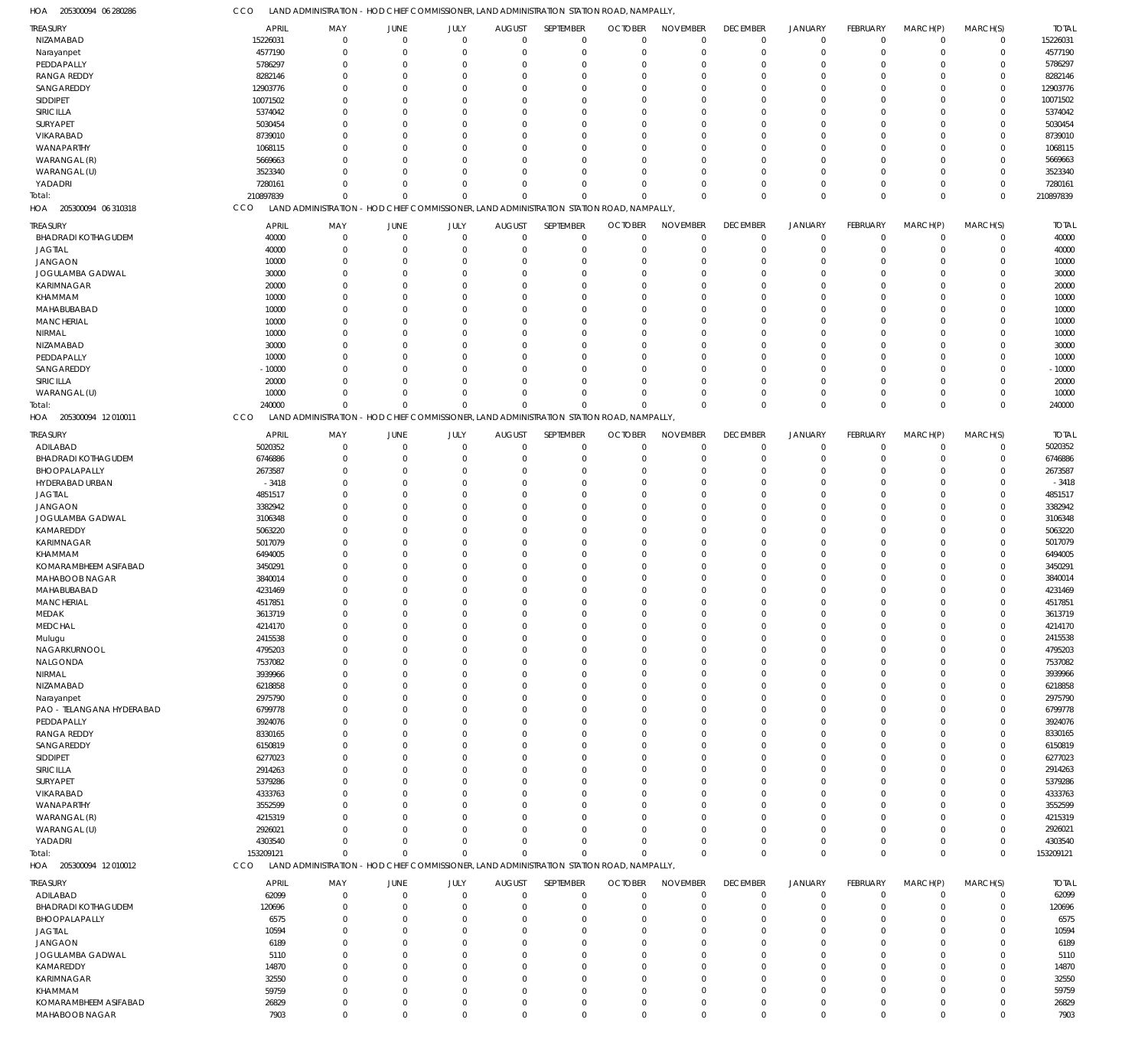205300094 06 280286 HOA 205300094 06 310318 HOA 205300094 12 010011 HOA 205300094 12 010012 HOA LAND ADMINISTRATION - HOD CHIEF COMMISSIONER, LAND ADMINISTRATION STATION ROAD, NAMPALLY, LAND ADMINISTRATION - HOD CHIEF COMMISSIONER, LAND ADMINISTRATION STATION ROAD, NAMPALLY, LAND ADMINISTRATION - HOD CHIEF COMMISSIONER, LAND ADMINISTRATION STATION ROAD, NAMPALLY, LAND ADMINISTRATION - HOD CHIEF COMMISSIONER, LAND ADMINISTRATION STATION ROAD, NAMPALLY, **CCO CCO** CCO CCO 210897839 240000 153209121 0  $\Omega$  $\Omega$ 0  $\Omega$  $\Omega$ 0  $\Omega$  $\Omega$ 0  $\Omega$  $\Omega$ 0  $\Omega$  $\Omega$ 0  $\Omega$  $\Omega$ 0  $\Omega$  $\Omega$ 0 0  $\Omega$ 0 0  $\Omega$ 0 0  $\Omega$ 0 0  $\Omega$ 0 0  $\Omega$ 210897839 240000 153209121 NIZAMABAD Narayanpet PEDDAPALLY RANGA REDDY SANGAREDDY SIDDIPET SIRICILLA SURYAPET VIKARABAD WANAPARTHY WARANGAL (R) WARANGAL (U) YADADRI BHADRADI KOTHAGUDEM JAGTIAL JANGAON JOGULAMBA GADWAL KARIMNAGAR KHAMMAM MAHABUBABAD MANCHERIAL NIRMAL NIZAMABAD PEDDAPALLY SANGAREDDY SIRICILLA WARANGAL (U) ADILABAD BHADRADI KOTHAGUDEM BHOOPALAPALLY HYDERABAD URBAN JAGTIAL JANGAON JOGULAMBA GADWAL KAMAREDDY KARIMNAGAR KHAMMAM KOMARAMBHEEM ASIFABAD MAHABOOB NAGAR MAHABUBABAD MANCHERIAL MEDAK MEDCHAL Mulugu NAGARKURNOOL NALGONDA NIRMAL NIZAMABAD Narayanpet PAO - TELANGANA HYDERABAD PEDDAPALLY RANGA REDDY SANGAREDDY SIDDIPET SIRICILLA SURYAPET VIKARABAD WANAPARTHY WARANGAL (R) WARANGAL (U) YADADRI ADILABAD BHADRADI KOTHAGUDEM BHOOPALAPALLY JAGTIAL JANGAON JOGULAMBA GADWAL KAMAREDDY KARIMNAGAR KHAMMAM TREASURY TREASURY TREASURY TREASURY 15226031 4577190 5786297 8282146 12903776 10071502 5374042 5030454 8739010 1068115 5669663 3523340 7280161 40000 40000 10000 30000 20000 10000 10000 10000 10000 30000 10000 -10000 20000 10000 5020352 6746886 2673587 -3418 4851517 3382942 3106348 5063220 5017079 6494005 3450291 3840014 4231469 4517851 3613719 4214170 2415538 4795203 7537082 3939966 6218858 2975790 6799778 3924076 8330165 6150819 6277023 2914263 5379286 4333763 3552599 4215319 2926021 4303540 62099 120696 6575 10594 6189 5110 14870 32550 59759 APRIL APRIL APRIL APRIL 0 0 0 0 0  $\Omega$ 0 0  $\theta$ 0 0 0 0 0 0  $\Omega$ 0 0 0 0 0 0 0 0 0  $\Omega$ 0 0 0 0 0 0 0 0 0  $\Omega$ 0 0 0 0 0 0  $\Omega$ 0 0 0 0 0 0 0 0 0  $\Omega$ 0 0 0 0  $\Omega$  $\Omega$ 0 0 0 0 0 0 0 0 0 0  $\theta$ MAY MAY MAY MAY 0 0  $\Omega$ 0 0  $\Omega$ 0  $\Omega$ 0 0  $\Omega$ 0  $\Omega$ 0 0 0 0  $\Omega$ 0 0 0  $\Omega$  $\Omega$ 0 0 0  $\Omega$ 0 0 0 0  $\Omega$  $\Omega$ 0  $\Omega$ 0 0 0 0  $\Omega$ 0 0  $\Omega$ 0  $\Omega$ 0 0  $\Omega$ 0  $\Omega$ 0 0  $\Omega$  $\Omega$  $\Omega$ 0  $\Omega$ 0  $\Omega$  $\Omega$ 0 0 0 0  $\Omega$ 0  $\Omega$ 0 0  $\Omega$ JUNE JUNE JUNE JUNE 0 0 0 0 0 0 0 0  $\Omega$ 0  $\Omega$ 0 0 0 0 0 0 0 0 0 0  $\Omega$ 0 0  $\Omega$  $\Omega$ 0 0 0 0 0 0 0 0 0 0 0 0 0 0 0 0 0 0 0  $\Omega$ 0 0 0 0 0 0  $\Omega$ 0 0 0 0 0  $\Omega$ 0 0 0 0 0 0 0 0 0 0 0 JULY JULY JULY JULY  $\Omega$ 0 0 0  $\Omega$  $\Omega$ 0  $\Omega$ 0  $\Omega$ 0 0  $\Omega$ 0 0 0 0  $\Omega$ 0 0  $\Omega$  $\Omega$  $\Omega$ 0  $\Omega$ 0  $\Omega$ 0 0 0  $\Omega$  $\Omega$  $\Omega$ 0  $\Omega$ 0  $\Omega$  $\Omega$ 0  $\Omega$ 0  $\Omega$  $\Omega$ 0  $\Omega$ 0 0  $\Omega$ 0  $\Omega$ 0  $\Omega$ 0  $\Omega$  $\Omega$ 0  $\Omega$ 0 0  $\Omega$ 0 0 0 0  $\Omega$ 0  $\Omega$ 0 0 0 AUGUST AUGUST AUGUST AUGUST  $\Omega$ 0  $\Omega$ 0  $\Omega$  $\Omega$ 0  $\Omega$  $\theta$  $\Omega$  $\Omega$ 0  $\Omega$ 0 0  $\Omega$ 0  $\Omega$  $\theta$ 0  $\Omega$  $\Omega$  $\Omega$ 0  $\Omega$  $\Omega$  $\Omega$  $\Omega$ 0 0  $\Omega$  $\Omega$  $\Omega$ 0  $\Omega$  $\Omega$  $\Omega$  $\Omega$ 0  $\Omega$ 0  $\Omega$  $\Omega$ 0  $\Omega$  $\theta$ 0  $\Omega$ 0  $\Omega$  $\theta$  $\Omega$  $\Omega$  $\Omega$  $\Omega$ 0  $\Omega$  $\Omega$  $\Omega$  $\Omega$ 0 0 0 0  $\Omega$  $\overline{0}$  $\Omega$ 0 0  $\Omega$ SEPTEMBER SEPTEMBER SEPTEMBER SEPTEMBER 0 0 0 0 0  $\Omega$ 0 0 0  $\Omega$ 0 0 0 0 0 0 0 0 0 0  $\Omega$  $\Omega$  $\Omega$ 0 0 0 0 0 0 0  $\Omega$  $\Omega$ 0 0 0 0  $\Omega$  $\Omega$ 0 0 0 0  $\Omega$ 0  $\Omega$ 0 0  $\Omega$ 0 0 0 0 0  $\Omega$ 0 0 0 0 0  $\Omega$ 0 0 0 0 0 0 0 0 0  $\Omega$ **OCTOBER** OCTOBER OCTOBER OCTOBER 0 0  $\Omega$ 0 0  $\Omega$ 0  $\Omega$ 0  $\Omega$  $\Omega$ 0  $\Omega$  $\mathbf 0$ 0  $\Omega$ 0  $\Omega$ 0 0 0  $\Omega$  $\Omega$ 0 0  $\Omega$  $\Omega$  $\Omega$ 0 0 0  $\Omega$  $\Omega$ 0  $\Omega$ 0  $\Omega$  $\Omega$ 0  $\Omega$ 0 0  $\Omega$ 0  $\Omega$ 0 0  $\Omega$ 0  $\Omega$ 0 0  $\Omega$  $\Omega$  $\Omega$ 0  $\Omega$ 0  $\Omega$  $\Omega$ 0 0 0 0  $\Omega$ 0  $\Omega$ 0 0  $\theta$ NOVEMBER NOVEMBER NOVEMBER NOVEMBER 0 0 0 0  $\Omega$  $\Omega$ 0  $\Omega$ 0  $\Omega$  $\Omega$ 0  $\Omega$ 0 0  $\theta$ 0  $\Omega$ 0 0 0  $\Omega$  $\Omega$ 0  $\Omega$  $\Omega$ 0 0 0 0 0  $\Omega$  $\Omega$ 0  $\Omega$ 0  $\Omega$  $\Omega$ 0  $\Omega$ 0  $\Omega$  $\Omega$ 0  $\Omega$ 0 0  $\Omega$ 0  $\Omega$ 0  $\Omega$  $\Omega$  $\Omega$  $\Omega$ 0  $\Omega$  $\Omega$  $\Omega$  $\Omega$ 0 0 0 0  $\Omega$ 0  $\Omega$ 0 0  $\Omega$ DECEMBER **DECEMBER** DECEMBER DECEMBER  $\Omega$ 0  $\Omega$ 0  $\Omega$  $\Omega$ 0  $\Omega$ 0 0  $\Omega$ 0  $\Omega$ 0 0  $\Omega$ 0  $\Omega$ 0 0 0 0  $\Omega$ 0 0 0 0  $\Omega$ 0 0 0 0  $\Omega$ 0  $\Omega$ 0  $\Omega$  $\Omega$ 0  $\Omega$ 0  $\Omega$  $\Omega$ 0  $\Omega$ 0 0  $\Omega$ 0  $\Omega$ 0  $\Omega$ 0  $\Omega$  $\Omega$ 0  $\Omega$ 0  $\Omega$ 0 0 0 0 0  $\Omega$ 0  $\Omega$ 0 0  $\Omega$ JANUARY JANUARY JANUARY JANUARY 0 0  $\Omega$ 0 0  $\Omega$ 0  $\Omega$ 0 0 0 0 0 0 0 0 0  $\Omega$ 0 0 0  $\Omega$  $\Omega$ 0 0 0 0 0 0 0 0 0  $\Omega$ 0  $\Omega$ 0 0 0 0  $\Omega$ 0 0  $\Omega$ 0  $\Omega$ 0 0 0 0  $\Omega$ 0 0 0 0  $\Omega$ 0  $\Omega$ 0 0 0 0 0 0 0  $\Omega$ 0  $\Omega$ 0 0  $\Omega$ FEBRUARY FEBRUARY FEBRUARY FEBRUARY 0 0  $\Omega$ 0  $\Omega$  $\Omega$ 0  $\Omega$ 0 0  $\Omega$ 0  $\Omega$ 0 0  $\Omega$ 0  $\Omega$ 0  $\Omega$ 0  $\Omega$  $\Omega$ 0 0 0 0 0 0 0 0  $\Omega$  $\Omega$ 0  $\Omega$ 0  $\Omega$  $\Omega$ 0  $\Omega$ 0  $\Omega$  $\Omega$ 0  $\Omega$ 0 0 0 0  $\Omega$ 0 0 0  $\Omega$  $\Omega$ 0  $\Omega$ 0  $\Omega$ 0 0 0 0  $\Omega$  $\Omega$ 0  $\Omega$ 0 0  $\Omega$ MARCH(P) MARCH(P) MARCH(P) MARCH(P)  $\Omega$ 0  $\Omega$ 0  $\Omega$  $\Omega$ 0  $\Omega$ 0  $\Omega$  $\Omega$ 0  $\Omega$ 0 0  $\Omega$ 0  $\Omega$ 0  $\Omega$ 0  $\Omega$  $\Omega$ 0 0 0 0  $\Omega$ 0 0 0  $\Omega$  $\Omega$ 0  $\Omega$ 0  $\Omega$  $\Omega$ 0  $\Omega$ 0  $\Omega$  $\Omega$ 0  $\Omega$ 0  $\Omega$ 0 0  $\Omega$ 0 0 0  $\Omega$  $\Omega$ 0  $\Omega$ 0  $\Omega$ 0 0 0 0  $\Omega$  $\Omega$ 0  $\Omega$ 0 0  $\Omega$ MARCH(S) MARCH(S) MARCH(S) MARCH(S) 15226031 4577190 5786297 8282146 12903776 10071502 5374042 5030454 8739010 1068115 5669663 3523340 7280161 40000 40000 10000 30000 20000 10000 10000 10000 10000 30000 10000 -10000 20000 10000 5020352 6746886 2673587 -3418 4851517 3382942 3106348 5063220 5017079 6494005 3450291 3840014 4231469 4517851 3613719 4214170 2415538 4795203 7537082 3939966 6218858 2975790 6799778 3924076 8330165 6150819 6277023 2914263 5379286 4333763 3552599 4215319 2926021 4303540 62099 120696 6575 10594 6189 5110 14870 32550 59759 TOTAL TOTAL TOTAL TOTAL **Total** Total: Total:

KOMARAMBHEEM ASIFABAD MAHABOOB NAGAR

26829 7903  $\,$  0  $\,$ 0

 $\pmb{0}$  $\Omega$ 

0 0

0  $\Omega$  0  $\Omega$ 

0 0 0  $\Omega$ 

0  $\Omega$  0  $\Omega$ 

0  $\Omega$ 

0  $\Omega$ 

0  $\Omega$  26829 7903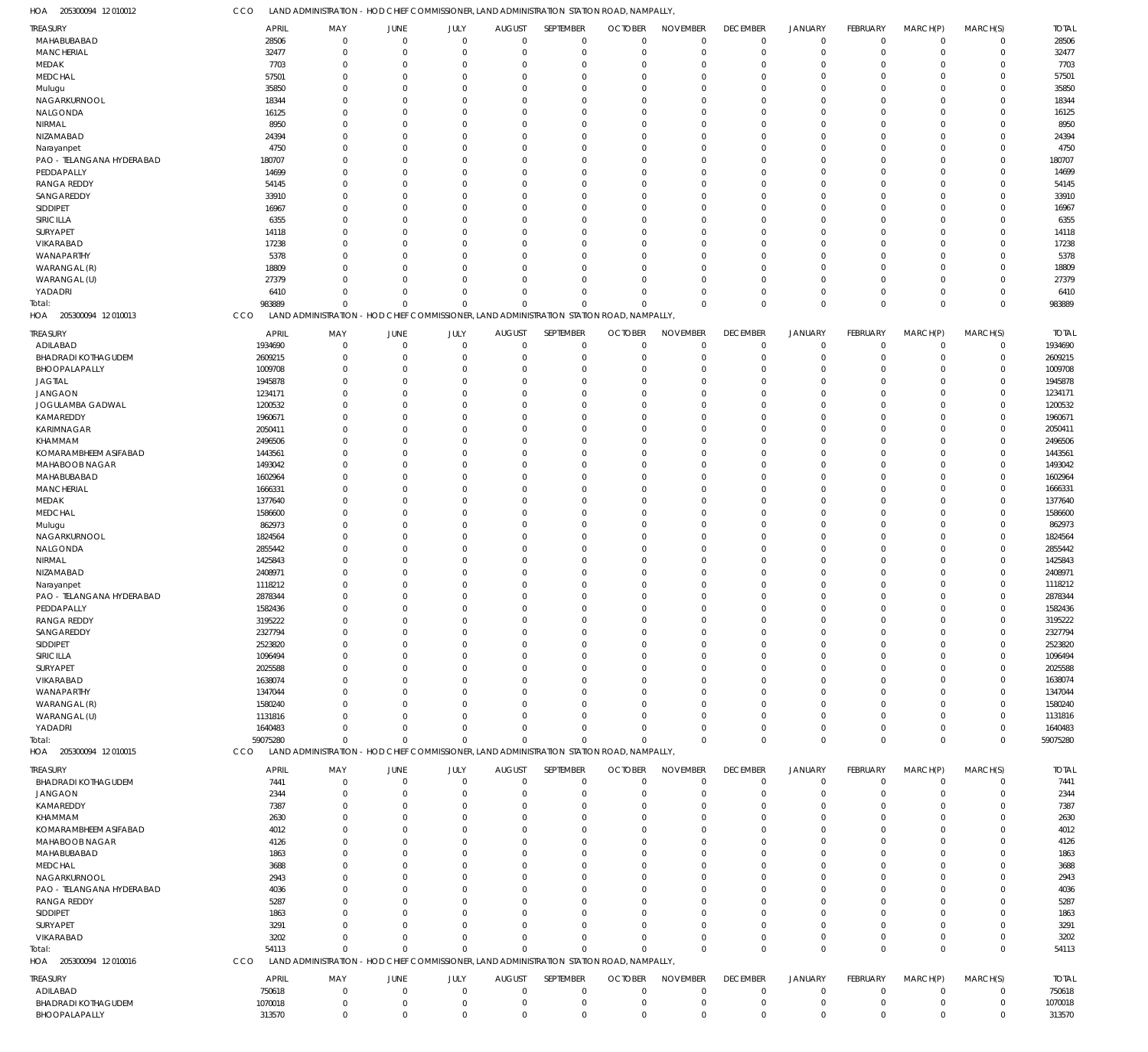205300094 12 010012 HOA

| <b>REASURY</b>             | <b>APRIL</b> | MAY                        | JUNE           | JULY        | <b>AUGUST</b> | SEPTEMBER                                                             | <b>OCTOBER</b> | <b>NOVEMBER</b> | <b>DECEMBER</b> | <b>JANUARY</b> | FEBRUARY        | MARCH(P)       | MARCH(S)    | <b>TOTAL</b> |
|----------------------------|--------------|----------------------------|----------------|-------------|---------------|-----------------------------------------------------------------------|----------------|-----------------|-----------------|----------------|-----------------|----------------|-------------|--------------|
| MAHABUBABAD                | 28506        | $\overline{0}$             | $\mathbf 0$    | $\mathbf 0$ | $\mathbf 0$   | $\mathbf 0$                                                           | $\Omega$       | $\mathbf 0$     | $\overline{0}$  | $\mathbf 0$    | $\mathbf 0$     | $\overline{0}$ | $\mathbf 0$ | 28506        |
| <b>MANCHERIAL</b>          | 32477        | $\Omega$                   | $\mathbf 0$    | $\mathbf 0$ | $\Omega$      | $\mathbf 0$                                                           | 0              | $\mathbf 0$     | $\Omega$        | $\overline{0}$ | $\mathbf 0$     | $\overline{0}$ | $\mathbf 0$ | 32477        |
| MEDAK                      | 7703         | $\mathbf 0$                | $\overline{0}$ | $\Omega$    | $\Omega$      | $\mathbf 0$                                                           | $\Omega$       | $\mathbf 0$     | $\Omega$        | $\overline{0}$ | 0               | $\mathbf 0$    | $\mathbf 0$ | 7703         |
| MEDCHAL                    | 57501        | $\Omega$                   | $\Omega$       | $\Omega$    | $\Omega$      | $\Omega$                                                              | $\Omega$       | $\Omega$        | $\Omega$        | $\Omega$       | 0               | $\Omega$       | $\mathbf 0$ | 57501        |
| Mulugu                     | 35850        | $\Omega$                   | $\Omega$       | 0           | $\Omega$      | $\Omega$                                                              | $\Omega$       | $\Omega$        | $\Omega$        | $\Omega$       | 0               | $\Omega$       | $\mathbf 0$ | 35850        |
| NAGARKURNOOL               | 18344        | $\Omega$                   | $\Omega$       | 0           | $\Omega$      | $\mathbf 0$                                                           | $\Omega$       | $\Omega$        | $\Omega$        | $\Omega$       | 0               | $\Omega$       | $\mathbf 0$ | 18344        |
| NALGONDA                   | 16125        | $\Omega$                   | $\Omega$       | 0           | $\Omega$      | $\mathbf 0$                                                           | $\Omega$       | $\Omega$        |                 | $\Omega$       | 0               | $\Omega$       | $\mathbf 0$ | 16125        |
| NIRMAL                     | 8950         | $\Omega$                   | $\Omega$       | U           | $\Omega$      | $\Omega$                                                              | $\Omega$       | $\Omega$        |                 | $\Omega$       | 0               | $\Omega$       | $\Omega$    | 8950         |
| NIZAMABAD                  | 24394        | $\Omega$                   | $\Omega$       | 0           | $\Omega$      | $\mathbf 0$                                                           | $\Omega$       | $\Omega$        | $\Omega$        | $\Omega$       | 0               | $\Omega$       | $\mathbf 0$ | 24394        |
| Narayanpet                 | 4750         | $\Omega$                   | $\Omega$       | 0           | $\Omega$      | $\mathbf 0$                                                           | $\Omega$       | $\Omega$        |                 | $\Omega$       | 0               | $\Omega$       | $\Omega$    | 4750         |
| PAO - TELANGANA HYDERABAD  | 180707       | $\Omega$                   | $\Omega$       | U           | $\Omega$      | $\Omega$                                                              | $\Omega$       | $\Omega$        | $\Omega$        | $\Omega$       | U               | $\Omega$       | $\mathbf 0$ | 180707       |
| PEDDAPALLY                 | 14699        | $\Omega$                   | $\Omega$       | 0           | $\Omega$      | $\Omega$                                                              | $\Omega$       | $\Omega$        |                 | $\Omega$       | $\Omega$        | $\Omega$       | $\Omega$    | 14699        |
| <b>RANGA REDDY</b>         | 54145        | $\Omega$                   | $\Omega$       | 0           | $\Omega$      | $\mathbf 0$                                                           | $\Omega$       | $\Omega$        | $\Omega$        | $\Omega$       | 0               | $\Omega$       | $\mathbf 0$ | 54145        |
| SANGAREDDY                 | 33910        | $\Omega$                   | $\Omega$       | 0           | $\Omega$      | $\Omega$                                                              | $\Omega$       | $\Omega$        |                 | $\Omega$       | 0               | $\Omega$       | $\Omega$    | 33910        |
| SIDDIPET                   | 16967        | $\Omega$                   | $\Omega$       |             | $\Omega$      | $\Omega$                                                              | $\Omega$       | $\Omega$        | $\Omega$        | $\Omega$       | U               | $\Omega$       | $\mathbf 0$ | 16967        |
| SIRICILLA                  | 6355         | $\Omega$                   | $\Omega$       | 0           | $\Omega$      | $\Omega$                                                              | $\Omega$       | $\Omega$        |                 | $\Omega$       | $\Omega$        | $\Omega$       | $\mathbf 0$ | 6355         |
| SURYAPET                   | 14118        | $\Omega$                   | $\Omega$       | 0           | $\Omega$      | $\mathbf 0$                                                           | $\Omega$       | $\Omega$        | $\Omega$        | $\Omega$       | 0               | $\Omega$       | $\mathbf 0$ | 14118        |
| VIKARABAD                  | 17238        | $\Omega$                   | $\Omega$       | 0           | $\Omega$      | $\Omega$                                                              | $\Omega$       | $\Omega$        | $\Omega$        | $\Omega$       | 0               | $\Omega$       | $\Omega$    | 17238        |
| WANAPARTHY                 | 5378         | $\Omega$                   | $\Omega$       | 0           | $\Omega$      | $\Omega$                                                              | $\Omega$       | $\Omega$        | $\Omega$        | $\Omega$       | 0               | $\Omega$       | $\mathbf 0$ | 5378         |
| WARANGAL (R)               | 18809        | $\Omega$                   | $\Omega$       | 0           | $\Omega$      | $\Omega$                                                              | $\Omega$       | $\Omega$        |                 | $\Omega$       | $\Omega$        | $\Omega$       | $\mathbf 0$ | 18809        |
| WARANGAL (U)               | 27379        | $\Omega$                   | $\Omega$       | $\Omega$    | $\Omega$      | $\Omega$                                                              | $\Omega$       | $\Omega$        | $\Omega$        | $\Omega$       | 0               | $\Omega$       | $\mathbf 0$ | 27379        |
| YADADRI                    | 6410         | $\Omega$                   | $\Omega$       | $\Omega$    | $\Omega$      | $\Omega$                                                              | $\Omega$       | $\Omega$        | $\Omega$        | $^{\circ}$     | $\Omega$        | $\mathbf 0$    | $\mathbf 0$ | 6410         |
| iotal:                     | 983889       | $\Omega$                   | $\Omega$       | O           | $\Omega$      | $\Omega$                                                              | C              | $\Omega$        | $\Omega$        | $\mathbf{0}$   | $\Omega$        | $\Omega$       | $\mathbf 0$ | 983889       |
| HOA<br>205300094 12 010013 | CCO          | <b>LAND ADMINISTRATION</b> |                |             |               | - HOD CHIEF COMMISSIONER, LAND ADMINISTRATION STATION ROAD, NAMPALLY, |                |                 |                 |                |                 |                |             |              |
|                            |              |                            |                |             |               |                                                                       |                |                 |                 |                |                 |                |             |              |
| treasury                   | <b>APRIL</b> | MAY                        | JUNE           | JULY        | <b>AUGUST</b> | SEPTEMBER                                                             | <b>OCTOBER</b> | <b>NOVEMBER</b> | <b>DECEMBER</b> | <b>JANUARY</b> | FEBRUARY        | MARCH(P)       | MARCH(S)    | <b>TOTAL</b> |
| ADILABAD                   | 1934690      | 0                          | $\mathbf{0}$   | $\mathbf 0$ | $\mathbf 0$   | $\mathbf 0$                                                           | $\Omega$       | $^{\circ}$      | $\Omega$        | $^{\circ}$     | 0               | $^{\circ}$     | 0           | 1934690      |
| <b>BHADRADI KOTHAGUDEM</b> | 2609215      | $\Omega$                   | $\Omega$       | $\Omega$    | $\Omega$      | $\mathbf 0$                                                           | $\Omega$       | $\Omega$        | $\Omega$        | $^{\circ}$     | $\Omega$        | $\Omega$       | $\mathbf 0$ | 2609215      |
| BHOOPALAPALLY              | 1009708      | $\Omega$                   | $\Omega$       | $\Omega$    | $\Omega$      | $\Omega$                                                              | $\Omega$       | $\Omega$        | $\Omega$        | $\Omega$       | 0               | $\Omega$       | $\Omega$    | 1009708      |
| <b>JAGTIAL</b>             | 1945878      | $\Omega$                   | $\Omega$       | U           | 0             | $\Omega$                                                              | O              | $\Omega$        |                 | $\Omega$       |                 | $\Omega$       | $\Omega$    | 1945878      |
| <b>JANGAON</b>             | 1234171      | $\Omega$                   | 0              | 0           | $\Omega$      | $\Omega$                                                              | 0              | $\Omega$        |                 | $\Omega$       | U               | $\Omega$       | $\Omega$    | 1234171      |
| JOGULAMBA GADWAL           | 1200532      | $\Omega$                   | 0              |             | 0             | $\Omega$                                                              | 0              | $\Omega$        |                 | $\Omega$       |                 | $\Omega$       | $\Omega$    | 1200532      |
| KAMAREDDY                  | 1960671      | $\Omega$                   | 0              | 0           | $\Omega$      | $\Omega$                                                              | $\Omega$       | $\Omega$        |                 | $\Omega$       | U               | $\Omega$       | $\Omega$    | 1960671      |
| KARIMNAGAR                 | 2050411      | $\Omega$                   | 0              |             | 0             | $\Omega$                                                              | C.             | $\Omega$        |                 | $\Omega$       |                 | $\Omega$       | $\Omega$    | 2050411      |
| KHAMMAM                    | 2496506      | $\Omega$                   | 0              | U           | $\Omega$      | $\Omega$                                                              | 0              | $\Omega$        |                 | $\Omega$       | U               | $\Omega$       | $\Omega$    | 2496506      |
| KOMARAMBHEEM ASIFABAD      | 1443561      | $\Omega$                   | 0              |             | 0             | $\Omega$                                                              | $\Omega$       | $\Omega$        |                 | $\Omega$       |                 | $\Omega$       | $\Omega$    | 1443561      |
| MAHABOOB NAGAR             | 1493042      | $\Omega$                   | 0              | U           | 0             | $\Omega$                                                              | $\Omega$       | $\Omega$        |                 | $\Omega$       |                 | $\Omega$       | $\Omega$    | 1493042      |
| MAHABUBABAD                | 1602964      | $\Omega$                   | 0              |             | 0             | $\Omega$                                                              | O              | $\Omega$        |                 | $\Omega$       |                 | $\Omega$       | $\Omega$    | 1602964      |
| <b>MANCHERIAL</b>          | 1666331      | $\Omega$                   | 0              | 0           | $\Omega$      | $\Omega$                                                              | $\Omega$       | $\Omega$        | $\Omega$        | $\Omega$       | U               | $\Omega$       | $\Omega$    | 1666331      |
| MEDAK                      | 1377640      | $\Omega$                   | 0              |             | 0             | $\Omega$                                                              | 0              | $\Omega$        |                 | $\Omega$       |                 | $\Omega$       | $\Omega$    | 1377640      |
| <b>MEDCHAL</b>             | 1586600      | $\Omega$                   | 0              | U           | 0             | $\Omega$                                                              | $\Omega$       | $\Omega$        |                 | $\Omega$       | U               | $\Omega$       | $\Omega$    | 1586600      |
| Mulugu                     | 862973       | $\Omega$                   | 0              |             | 0             | $\Omega$                                                              | $\Omega$       | $\Omega$        |                 | $\Omega$       |                 | $\Omega$       | $\Omega$    | 862973       |
| NAGARKURNOOL               | 1824564      | $\Omega$                   | 0              | 0           | $\Omega$      | $\Omega$                                                              | $\Omega$       | $\Omega$        |                 | $\Omega$       | U               | $\Omega$       | $\Omega$    | 1824564      |
| NALGONDA                   | 2855442      | $\Omega$                   | 0              |             | 0             | $\Omega$                                                              | O              | $\Omega$        |                 | $\Omega$       |                 | $\Omega$       | $\Omega$    | 2855442      |
| NIRMAL                     | 1425843      | $\Omega$                   | 0              | U           | $\Omega$      | $\Omega$                                                              | $\Omega$       | $\Omega$        |                 | $\Omega$       | O               | $\Omega$       | $\Omega$    | 1425843      |
| NIZAMABAD                  | 2408971      | 0                          | 0              |             | 0             | $\Omega$                                                              | O              | $\Omega$        |                 | $\Omega$       |                 | $\Omega$       | $\Omega$    | 2408971      |
| Narayanpet                 | 1118212      |                            | 0              | U           | $\Omega$      | $\Omega$                                                              | O              | $\Omega$        |                 | $\Omega$       |                 | $\Omega$       | $\Omega$    | 1118212      |
| PAO - TELANGANA HYDERABAD  | 2878344      | U                          | $\Omega$       | O           | $\Omega$      | $\Omega$                                                              | $\Omega$       | $\Omega$        |                 | $\Omega$       | $\Omega$        | $\Omega$       | $\Omega$    | 2878344      |
| PEDDAPALLY                 | 1582436      | $\Omega$                   |                |             | $\Omega$      | $\Omega$                                                              |                | $\Omega$        |                 | $\Omega$       |                 | $\Omega$       | $\Omega$    | 1582436      |
| <b>RANGA REDDY</b>         | 3195222      | $^{\circ}$                 | $\Omega$       | $\Omega$    | $\Omega$      | $\mathbf 0$                                                           | $\Omega$       | $\Omega$        | $\Omega$        | $\overline{0}$ | 0               | $\Omega$       | $\Omega$    | 3195222      |
| SANGAREDDY                 | 2327794      | $\Omega$                   | $\Omega$       | $\Omega$    | $\Omega$      | $\Omega$                                                              | $\Omega$       | $^{\circ}$      | $\Omega$        | $\overline{0}$ | 0               | $\Omega$       | 0           | 2327794      |
| SIDDIPET                   | 2523820      | $\Omega$                   | $\Omega$       | Ω           | $\Omega$      | $\Omega$                                                              | O              | $\Omega$        | $\Omega$        | $\Omega$       | O               | $\Omega$       | C           | 2523820      |
| SIRICILLA                  | 1096494      | $\Omega$                   | $\Omega$       | Ω           | $\Omega$      | $\Omega$                                                              | O              | $\Omega$        | $\Omega$        | $\Omega$       |                 | $\Omega$       | 0           | 1096494      |
| SURYAPET                   | 2025588      | 0                          | 0              |             | 0             | $\Omega$                                                              | O              | $\Omega$        |                 | $\Omega$       |                 | $\Omega$       | C           | 2025588      |
| VIKARABAD                  | 1638074      | $\Omega$                   | O              |             | 0             | $\Omega$                                                              | O              | $\Omega$        | -0              | $\Omega$       |                 | $\Omega$       | 0           | 1638074      |
| WANAPARTHY                 | 1347044      | $\Omega$                   |                |             | 0             | $\Omega$                                                              | O              | $\Omega$        |                 | $\Omega$       |                 | $\Omega$       | C           | 1347044      |
| WARANGAL (R)               | 1580240      | $\Omega$                   | O              |             | 0             | $\Omega$                                                              | O              | $\Omega$        |                 | $\Omega$       |                 | $\Omega$       | 0           | 1580240      |
| WARANGAL (U)               | 1131816      | U                          | O              |             | 0             | $\Omega$                                                              | C.             | $\Omega$        |                 | $\Omega$       |                 | $\Omega$       | 0           | 1131816      |
| YADADRI                    | 1640483      | $\Omega$                   | 0              | U           | $\Omega$      | $\Omega$                                                              | $\Omega$       | $\Omega$        | $\Omega$        | $\Omega$       | 0               | $\mathbf 0$    | $\Omega$    | 1640483      |
| Total:                     | 59075280     | $\Omega$                   | $\Omega$       | $\Omega$    | $\Omega$      | $\Omega$                                                              | C              | $\Omega$        | $\Omega$        | $\Omega$       | $\Omega$        | $\mathbf 0$    | $\mathbf 0$ | 59075280     |
| HOA 205300094 12010015     | CCO          | <b>LAND ADMINISTRATION</b> |                |             |               | - HOD CHIEF COMMISSIONER, LAND ADMINISTRATION STATION ROAD, NAMPALLY  |                |                 |                 |                |                 |                |             |              |
|                            |              |                            |                |             |               |                                                                       |                |                 |                 |                |                 |                |             |              |
| treasury                   | <b>APRIL</b> | MAY                        | JUNE           | JULY        | <b>AUGUST</b> | SEPTEMBER                                                             | <b>OCTOBER</b> | <b>NOVEMBER</b> | <b>DECEMBER</b> | <b>JANUARY</b> | <b>FEBRUARY</b> | MARCH(P)       | MARCH(S)    | <b>TOTAL</b> |
| <b>BHADRADI KOTHAGUDEM</b> | 7441         | 0                          | $\mathbf 0$    | $\mathbf 0$ | $\mathbf 0$   | $\mathbf 0$                                                           | 0              | $\overline{0}$  | $\overline{0}$  | $\overline{0}$ | $\mathbf 0$     | $\overline{0}$ | $\mathbf 0$ | 7441         |
| JANGAON                    | 2344         | $\Omega$                   | $\Omega$       | $\Omega$    | $\Omega$      | $\mathbf 0$                                                           | $\Omega$       | $\mathbf 0$     | $\Omega$        | $\overline{0}$ | $\Omega$        | $\Omega$       | $\mathbf 0$ | 2344         |
| KAMAREDDY                  | 7387         | $\Omega$                   | $\Omega$       | 0           | $\Omega$      | $\mathbf 0$                                                           | $\Omega$       | $\Omega$        | $\Omega$        | $\Omega$       | 0               | $\Omega$       | $\mathbf 0$ | 7387         |
| KHAMMAM                    | 2630         | $\Omega$                   | $\Omega$       | $\Omega$    | $\Omega$      | $\Omega$                                                              | $\Omega$       | $\Omega$        | $\Omega$        | $\Omega$       | 0               | $\Omega$       | $\Omega$    | 2630         |
| KOMARAMBHEEM ASIFABAD      | 4012         | $\Omega$                   | $\Omega$       | Ω           | $\Omega$      | $\mathbf 0$                                                           | O              | $\Omega$        | $\Omega$        | $\Omega$       | O               | $\Omega$       | $\mathbf 0$ | 4012         |
| MAHABOOB NAGAR             | 4126         | $\Omega$                   | 0              |             | $\Omega$      | $\Omega$                                                              | $\Omega$       | $\Omega$        | $\Omega$        | $\Omega$       | 0               | $\Omega$       | $\Omega$    | 4126         |
| MAHABUBABAD                | 1863         | $\Omega$                   | $\Omega$       |             | $\Omega$      | $\Omega$                                                              | $\Omega$       | $\Omega$        | $\Omega$        | $\Omega$       |                 | $\Omega$       | $\Omega$    | 1863         |
| MEDCHAL                    | 3688         | $\Omega$                   | $\Omega$       | U           | $\Omega$      | $\Omega$                                                              | $\Omega$       | $\Omega$        |                 | $\Omega$       | 0               | $\Omega$       | $\Omega$    | 3688         |
| NAGARKURNOOL               | 2943         | $\Omega$                   | $\Omega$       |             | $\Omega$      | $\Omega$                                                              | O              | $\Omega$        | $\Omega$        | $\Omega$       | O               | $\Omega$       | $\Omega$    | 2943         |
| PAO - TELANGANA HYDERABAD  | 4036         | $\Omega$                   | 0              |             | $\Omega$      | $\Omega$                                                              | $\Omega$       | $\Omega$        | $\Omega$        | $\Omega$       | 0               | $\Omega$       | $\Omega$    | 4036         |
| RANGA REDDY                | 5287         | $\Omega$                   | $\Omega$       |             | $\Omega$      | $\mathbf 0$                                                           | O              | $\Omega$        | $\Omega$        | $\Omega$       | O               | $\Omega$       | $\mathbf 0$ | 5287         |
| SIDDIPET                   | 1863         | $\Omega$                   | 0              | U           | $\Omega$      | $\Omega$                                                              | $\Omega$       | $\Omega$        | $\Omega$        | $\Omega$       | 0               | $\Omega$       | $\Omega$    | 1863         |
| SURYAPET                   | 3291         | $\Omega$                   | $\Omega$       | U           | $\Omega$      | $\Omega$                                                              | $\Omega$       | $\Omega$        | $\Omega$        | $\Omega$       | 0               | $\Omega$       | $\mathbf 0$ | 3291         |
| VIKARABAD                  | 3202         | $\Omega$                   | $\Omega$       | $\Omega$    | $\Omega$      | $\Omega$                                                              | $\Omega$       | $\Omega$        | $\Omega$        | $\overline{0}$ | $\Omega$        | $\mathbf 0$    | $\mathbf 0$ | 3202         |
| Total:                     | 54113        | $\Omega$                   | $\Omega$       | O           | $\Omega$      | $\Omega$                                                              | C              | $\Omega$        | $\Omega$        | $\mathbf 0$    | $\Omega$        | $\Omega$       | $\mathbf 0$ | 54113        |
| HOA 205300094 12010016     | CCO          | <b>LAND ADMINISTRATION</b> |                |             |               | - HOD CHIEF COMMISSIONER, LAND ADMINISTRATION STATION ROAD, NAMPALLY, |                |                 |                 |                |                 |                |             |              |
|                            |              |                            |                |             |               |                                                                       |                |                 |                 |                |                 |                |             |              |
| treasury                   | <b>APRIL</b> | MAY                        | JUNE           | JULY        | <b>AUGUST</b> | SEPTEMBER                                                             | <b>OCTOBER</b> | <b>NOVEMBER</b> | <b>DECEMBER</b> | <b>JANUARY</b> | FEBRUARY        | MARCH(P)       | MARCH(S)    | <b>TOTAL</b> |
| ADILABAD                   | 750618       | 0                          | $\Omega$       | 0           | $\mathbf 0$   | $\mathbf 0$                                                           | 0              | $\overline{0}$  | $\Omega$        | $\overline{0}$ | 0               | $\overline{0}$ | 0           | 750618       |
| <b>BHADRADI KOTHAGUDEM</b> | 1070018      | $^{\circ}$                 | $\mathbf{0}$   | $\mathbf 0$ | $\mathbf 0$   | $\mathbf 0$                                                           | $\mathbf 0$    | $\mathbf 0$     | 0               | $\mathbf 0$    | $\mathbf 0$     | $^{\circ}$     | $\mathbf 0$ | 1070018      |
| BHOOPALAPALLY              | 313570       | $\mathbf 0$                | $\mathbf{0}$   | $\mathbf 0$ | $\mathbf 0$   | $\mathbf 0$                                                           | $\mathbf 0$    | $\mathbf 0$     | $\mathbf 0$     | $\mathbf 0$    | $\mathbf 0$     | $\mathbf 0$    | $\mathbf 0$ | 313570       |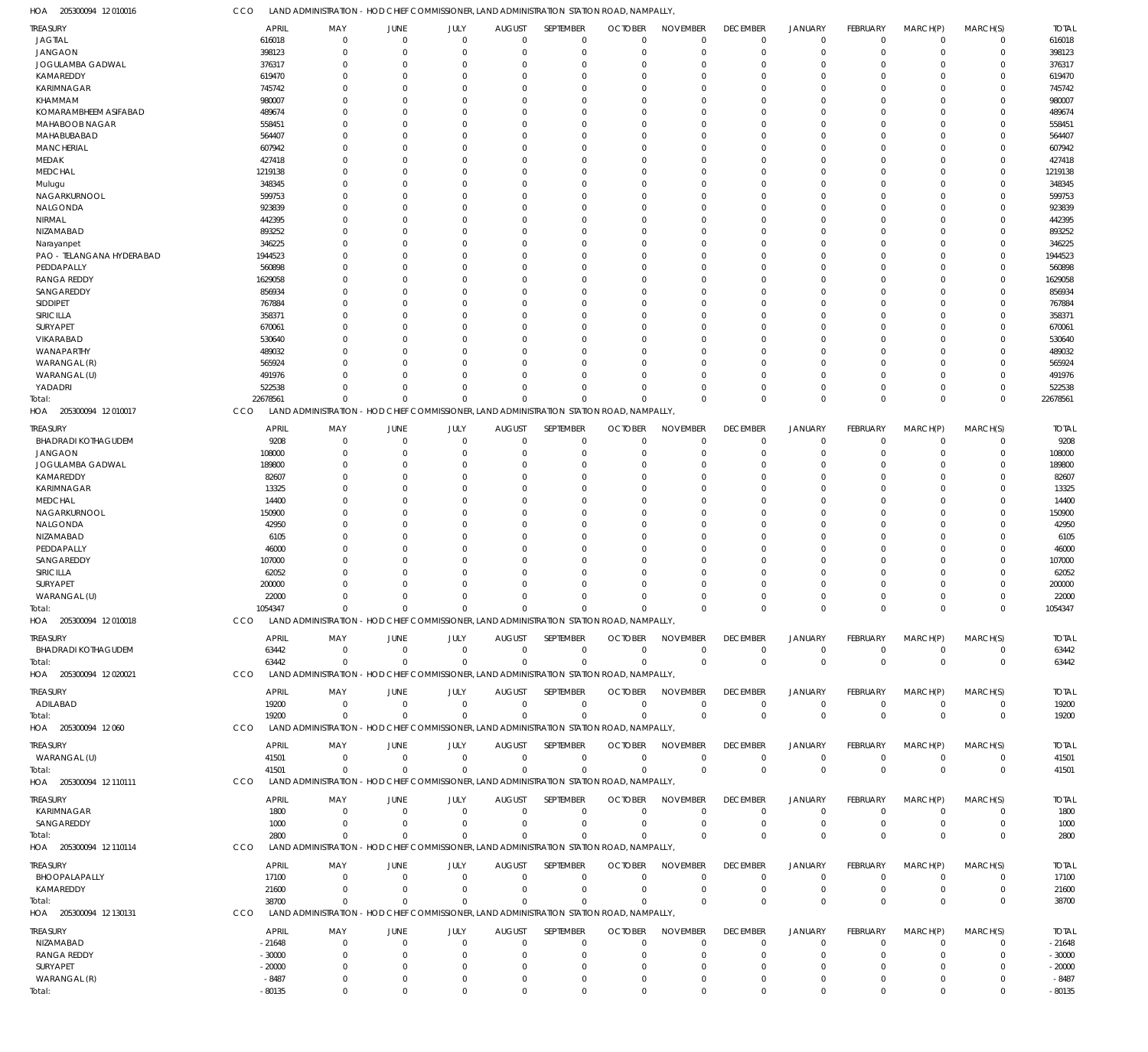| 205300094 12 010016<br>HOA                    | CCO                   | LAND ADMINISTRATION - HOD CHIEF COMMISSIONER, LAND ADMINISTRATION STATION ROAD, NAMPALLY  |                               |                        |                                 |                                    |                                  |                                |                                   |                      |                                |                         |                            |                       |
|-----------------------------------------------|-----------------------|-------------------------------------------------------------------------------------------|-------------------------------|------------------------|---------------------------------|------------------------------------|----------------------------------|--------------------------------|-----------------------------------|----------------------|--------------------------------|-------------------------|----------------------------|-----------------------|
| <b>TREASURY</b>                               | APRIL                 | MAY                                                                                       | JUNE                          | JULY                   | <b>AUGUST</b>                   | SEPTEMBER                          | <b>OCTOBER</b>                   | <b>NOVEMBER</b>                | <b>DECEMBER</b>                   | <b>JANUARY</b>       | <b>FEBRUARY</b>                | MARCH(P)                | MARCH(S)                   | <b>TOTAL</b>          |
| <b>JAGTIAL</b>                                | 616018                | $\overline{0}$                                                                            | $\overline{0}$                | $\mathbf 0$            | $\mathbf 0$                     | $^{\circ}$                         | $\overline{0}$                   | $\mathbf 0$                    | $\overline{0}$                    | $\mathbf 0$          | $\mathbf 0$                    | $\mathbf 0$             | $\mathbf 0$                | 616018                |
| <b>JANGAON</b>                                | 398123                | $\mathbf 0$                                                                               | $\overline{0}$                | $\Omega$               | $\mathbf 0$                     | $\mathbf 0$                        | $\overline{0}$                   | $\mathbf 0$                    | $\overline{0}$                    | $\mathbf 0$          | $\mathbf 0$                    | $\mathbf 0$             | $\mathbf 0$                | 398123                |
| JOGULAMBA GADWAL                              | 376317                | $\mathbf 0$                                                                               | $\overline{0}$                | $\Omega$               | $\Omega$                        | $\mathbf 0$                        | $^{\circ}$                       | $\Omega$                       | $\mathbf 0$                       | $\mathbf 0$          | $\Omega$                       | $\Omega$                | 0                          | 376317                |
| KAMAREDDY<br><b>KARIMNAGAR</b>                | 619470<br>745742      | $\Omega$<br>$\Omega$                                                                      | $\Omega$<br>$\Omega$          | $\Omega$               | $\Omega$<br>$\Omega$            | $\Omega$<br>$\Omega$               | $\Omega$<br>$\Omega$             | $\Omega$<br>$\Omega$           | $\Omega$<br>$\Omega$              | $\Omega$<br>$\Omega$ | $\Omega$<br>$\Omega$           | $\Omega$<br>$\Omega$    | $\Omega$<br>$\Omega$       | 619470<br>745742      |
| KHAMMAM                                       | 980007                | $\Omega$                                                                                  | $\Omega$                      | $\Omega$               | $\Omega$                        | $\Omega$                           | $\Omega$                         | $\Omega$                       | $\Omega$                          | $\Omega$             | $\Omega$                       | $\Omega$                | $\Omega$                   | 980007                |
| KOMARAMBHEEM ASIFABAD                         | 489674                | $\Omega$                                                                                  | $\Omega$                      | O                      | $\Omega$                        | $\Omega$                           | $\Omega$                         | $\Omega$                       | $\Omega$                          | $\Omega$             | $\Omega$                       | $\Omega$                | 0                          | 489674                |
| MAHABOOB NAGAR                                | 558451                | $\Omega$                                                                                  | $\Omega$                      | $\Omega$               | $\Omega$                        | $\Omega$                           | $\Omega$                         | $\Omega$                       | $\Omega$                          | $\Omega$             | $\Omega$                       | $\Omega$                | $\Omega$                   | 558451                |
| MAHABUBABAD                                   | 564407                | $\Omega$                                                                                  | $\Omega$                      | U                      | $\Omega$                        | $\Omega$                           | $\Omega$                         | $\Omega$                       | $\Omega$                          | $\Omega$             | $\Omega$                       | $\Omega$                | 0                          | 564407                |
| <b>MANCHERIAL</b>                             | 607942                | $\Omega$                                                                                  | $\Omega$                      | 0                      | $\Omega$                        | $\Omega$                           | $\Omega$                         | $\Omega$                       | $\Omega$                          | $\Omega$             | $\Omega$                       | $\Omega$                | $\Omega$                   | 607942                |
| <b>MEDAK</b>                                  | 427418                | $\Omega$                                                                                  | $\Omega$                      | 0                      | $\Omega$                        | $\mathbf 0$                        | $\Omega$                         | $\Omega$                       | $\Omega$                          | $\Omega$             | $\Omega$                       | $\Omega$                | $\Omega$                   | 427418                |
| <b>MEDCHAL</b>                                | 1219138               | $\Omega$                                                                                  | $\Omega$                      | $\Omega$               | $\Omega$                        | $\Omega$                           | $\Omega$                         | $\Omega$                       | $\Omega$                          | $\Omega$             | $\Omega$                       | $\Omega$                | $\Omega$                   | 1219138               |
| Mulugu                                        | 348345                | 0                                                                                         | $\Omega$                      |                        | $\Omega$                        | $\Omega$                           | $\Omega$                         | $\Omega$                       | $\Omega$                          | $\Omega$             | $\Omega$                       | $\Omega$                | 0                          | 348345                |
| NAGARKURNOOL                                  | 599753                | $\Omega$                                                                                  | $\Omega$                      | $\Omega$               | $\Omega$                        | $\Omega$                           | $\Omega$                         | $\Omega$                       | $\Omega$                          | $\Omega$             | $\Omega$                       | $\Omega$                | $\Omega$                   | 599753                |
| NALGONDA                                      | 923839                | 0                                                                                         | $\Omega$                      |                        | $\Omega$                        | $\Omega$                           | $\Omega$                         | $\Omega$                       | $\Omega$                          | $\Omega$             | $\Omega$                       | $\Omega$                | $\Omega$                   | 923839                |
| NIRMAL                                        | 442395                | $\Omega$                                                                                  | $\Omega$                      | $\Omega$               | $\Omega$                        | $\Omega$                           | $\Omega$                         | $\Omega$                       | $\Omega$                          | $\Omega$             | $\Omega$                       | $\Omega$                | $\Omega$                   | 442395                |
| NIZAMABAD                                     | 893252                | $\Omega$                                                                                  | $\Omega$                      | U                      | $\Omega$                        | $\Omega$                           | $\Omega$                         | $\Omega$                       | $\Omega$                          | $\Omega$             | $\Omega$                       | $\Omega$                | 0                          | 893252                |
| Narayanpet                                    | 346225                | $\Omega$                                                                                  | $\Omega$                      | 0                      | $\Omega$                        | $\Omega$                           | $\Omega$                         | $\Omega$                       | $\Omega$                          | $\Omega$             | $\Omega$                       | $\Omega$                | $\Omega$                   | 346225                |
| PAO - TELANGANA HYDERABAD<br>PEDDAPALLY       | 1944523<br>560898     | $\Omega$<br>$\Omega$                                                                      | $\Omega$<br>$\Omega$          | 0<br>U                 | $\Omega$<br>$\Omega$            | $\mathbf 0$<br>$\Omega$            | $\Omega$<br>$\Omega$             | $\Omega$<br>$\Omega$           | $\Omega$<br>$\Omega$              | $\Omega$<br>$\Omega$ | $\Omega$<br>$\Omega$           | $\Omega$<br>$\Omega$    | 0<br>$\Omega$              | 1944523<br>560898     |
| <b>RANGA REDDY</b>                            | 1629058               | 0                                                                                         | $\Omega$                      |                        | $\Omega$                        | $\Omega$                           | $\Omega$                         | $\Omega$                       | $\Omega$                          | $\Omega$             | $\Omega$                       | $\Omega$                | $\mathbf 0$                | 1629058               |
| SANGAREDDY                                    | 856934                | $\Omega$                                                                                  | $\Omega$                      | $\Omega$               | $\Omega$                        | $\Omega$                           | $\Omega$                         | $\Omega$                       | $\Omega$                          | $\Omega$             | $\Omega$                       | $\Omega$                | $\Omega$                   | 856934                |
| SIDDIPET                                      | 767884                | 0                                                                                         | $\Omega$                      |                        | $\Omega$                        | $\Omega$                           | $\Omega$                         | $\Omega$                       | $\Omega$                          | $\Omega$             | $\Omega$                       | $\Omega$                | $\Omega$                   | 767884                |
| SIRICILLA                                     | 358371                | $\Omega$                                                                                  | $\Omega$                      | $\Omega$               | $\Omega$                        | $\Omega$                           | $\Omega$                         | $\Omega$                       | $\Omega$                          | $\Omega$             | $\Omega$                       | $\Omega$                | $\Omega$                   | 358371                |
| SURYAPET                                      | 670061                | 0                                                                                         | $\Omega$                      | U                      | $\Omega$                        | $\Omega$                           | $\Omega$                         | $\Omega$                       | $\Omega$                          | $\Omega$             | $\Omega$                       | $\Omega$                | 0                          | 670061                |
| VIKARABAD                                     | 530640                | 0                                                                                         | $\Omega$                      | 0                      | $\Omega$                        | $\Omega$                           | $\Omega$                         | $\Omega$                       | $\Omega$                          | $\Omega$             | $\Omega$                       | $\Omega$                | $\Omega$                   | 530640                |
| WANAPARTHY                                    | 489032                | $\Omega$                                                                                  | $\Omega$                      | 0                      | $\Omega$                        | $\Omega$                           | $\Omega$                         | $\Omega$                       | $\Omega$                          | $\mathbf 0$          | $\Omega$                       | $\Omega$                | 0                          | 489032                |
| WARANGAL (R)                                  | 565924                | $\Omega$                                                                                  | $\Omega$                      | $\Omega$               | $\Omega$                        | $\Omega$                           | $\Omega$                         | $\Omega$                       | $\Omega$                          | $\Omega$             | $\Omega$                       | $\Omega$                | $\Omega$                   | 565924                |
| WARANGAL (U)                                  | 491976                | 0                                                                                         | $\Omega$                      | $\Omega$               | $\Omega$                        | $\Omega$                           | $\Omega$                         | $\Omega$                       | $\Omega$                          | $\Omega$             | $\Omega$                       | $\Omega$                | $\mathbf 0$                | 491976                |
| YADADRI                                       | 522538                | $\Omega$                                                                                  | $\Omega$                      | $\Omega$               | $\Omega$                        | $\Omega$                           | $\Omega$                         | $\Omega$                       | $\Omega$                          | $\mathbf 0$          | $\mathbf 0$                    | $\mathbf 0$             | $\mathbf 0$                | 522538                |
| Total:                                        | 22678561              | $\Omega$                                                                                  | $\Omega$                      | $\Omega$               | $\Omega$                        | $\Omega$                           | $\Omega$                         | $\Omega$                       | $\Omega$                          | $\mathbf 0$          | $\Omega$                       | $\Omega$                | $\Omega$                   | 22678561              |
| HOA 205300094 12 010017                       | CCO                   | LAND ADMINISTRATION - HOD CHIEF COMMISSIONER, LAND ADMINISTRATION STATION ROAD, NAMPALLY, |                               |                        |                                 |                                    |                                  |                                |                                   |                      |                                |                         |                            |                       |
| <b>TREASURY</b>                               | <b>APRIL</b>          | MAY                                                                                       | JUNE                          | JULY                   | <b>AUGUST</b>                   | SEPTEMBER                          | <b>OCTOBER</b>                   | <b>NOVEMBER</b>                | <b>DECEMBER</b>                   | <b>JANUARY</b>       | FEBRUARY                       | MARCH(P)                | MARCH(S)                   | <b>TOTAL</b>          |
| <b>BHADRADI KOTHAGUDEM</b>                    | 9208                  | $\mathbf 0$                                                                               | $\overline{0}$                | 0                      | $\mathbf 0$                     | $\mathbf 0$                        | $\overline{0}$                   | $\mathbf 0$                    | $\mathbf 0$                       | $\mathbf 0$          | $\mathbf 0$                    | $\mathbf 0$             | $\mathbf 0$                | 9208                  |
| <b>JANGAON</b>                                | 108000                | $\mathbf 0$                                                                               | $\overline{0}$                | $\Omega$               | $\Omega$                        | $\mathbf 0$                        | $\overline{0}$                   | $\Omega$                       | $\overline{0}$                    | $\mathbf 0$          | $\mathbf 0$                    | $\mathbf 0$             | $\mathbf 0$                | 108000                |
| JOGULAMBA GADWAL                              | 189800                | $\mathbf 0$                                                                               | $\Omega$                      | $\Omega$               | $\Omega$                        | $\Omega$                           | $\Omega$                         | $\Omega$                       | $\mathbf 0$                       | $\mathbf 0$          | 0                              | $\mathbf 0$             | $\mathbf 0$                | 189800                |
| KAMAREDDY                                     | 82607                 | $\Omega$                                                                                  | $\Omega$                      | U                      | $\Omega$                        | $\Omega$                           | $\Omega$                         | $\Omega$                       | $\mathbf 0$                       | $\Omega$             | $\Omega$                       | $\Omega$                | $\mathbf 0$                | 82607                 |
| <b>KARIMNAGAR</b>                             | 13325                 | $\Omega$                                                                                  | $\Omega$                      | U                      | $\Omega$                        | $\Omega$                           | $\Omega$                         | $\Omega$                       | $\mathbf 0$                       | $\mathbf 0$          | $\Omega$                       | 0                       | $\mathbf 0$                | 13325                 |
| <b>MEDCHAL</b>                                | 14400                 | $\Omega$                                                                                  | $\Omega$                      | n                      | $\Omega$                        | $\Omega$                           | $\Omega$                         | $\Omega$                       | $\Omega$                          | $\Omega$             | $\Omega$                       | $\Omega$                | $\mathbf 0$                | 14400                 |
| NAGARKURNOOL                                  | 150900                | $\Omega$                                                                                  | $\Omega$                      | U                      | $\Omega$                        | $\Omega$                           | $\Omega$                         | $\Omega$                       | $\mathbf 0$                       | $\mathbf 0$          | $\Omega$                       | $\Omega$                | $\mathbf 0$                | 150900                |
| NALGONDA                                      | 42950                 | $\Omega$                                                                                  | $\Omega$<br>$\Omega$          | U<br>U                 | $\Omega$<br>$\Omega$            | $\Omega$<br>$\Omega$               | $\Omega$<br>$\Omega$             | $\Omega$<br>$\Omega$           | $\Omega$<br>$\Omega$              | $\Omega$<br>$\Omega$ | $\Omega$                       | $\Omega$<br>$\Omega$    | $\mathbf 0$                | 42950                 |
| NIZAMABAD<br>PEDDAPALLY                       | 6105<br>46000         | $\Omega$<br>$\Omega$                                                                      | $\Omega$                      |                        | $\Omega$                        | $\Omega$                           | $\Omega$                         | $\Omega$                       | $\Omega$                          | $\Omega$             | $\Omega$<br>$\Omega$           | $\Omega$                | $\mathbf 0$<br>$\mathbf 0$ | 6105<br>46000         |
| SANGAREDDY                                    | 107000                | $\Omega$                                                                                  | $\Omega$                      | U                      | $\Omega$                        | $\Omega$                           | $\Omega$                         | $\Omega$                       | $\Omega$                          | $\Omega$             | $\Omega$                       | $\Omega$                | $\mathbf 0$                | 107000                |
| SIRICILLA                                     | 62052                 | 0                                                                                         | $\Omega$                      | U                      | $\Omega$                        | $\Omega$                           | $\Omega$                         | $\Omega$                       | $\Omega$                          | $\Omega$             | $\Omega$                       | $\Omega$                | 0                          | 62052                 |
| SURYAPET                                      | 200000                | $\Omega$                                                                                  | $\Omega$                      | 0                      | $\Omega$                        | $\mathbf 0$                        | $^{\circ}$                       | $\Omega$                       | $\Omega$                          | $\mathbf 0$          | 0                              | 0                       | $\mathbf 0$                | 200000                |
| WARANGAL (U)                                  | 22000                 | $\Omega$                                                                                  | $\Omega$                      | $\Omega$               | $\Omega$                        | $\Omega$                           | $\Omega$                         | $\Omega$                       | $\Omega$                          | $\mathbf 0$          | $\Omega$                       | $\mathbf 0$             | $\mathbf 0$                | 22000                 |
| Total:                                        | 1054347               | $\mathbf{0}$                                                                              | 0                             | 0                      | 0                               | 0                                  | 0                                | 0                              | 0                                 | 0                    | $\Omega$                       | $^{\circ}$              | $^{\circ}$                 | 1054347               |
| HOA 205300094 12 010018                       | CCO                   | LAND ADMINISTRATION - HOD CHIEF COMMISSIONER, LAND ADMINISTRATION STATION ROAD, NAMPALLY, |                               |                        |                                 |                                    |                                  |                                |                                   |                      |                                |                         |                            |                       |
|                                               | <b>APRIL</b>          | MAY                                                                                       |                               |                        | <b>AUGUST</b>                   | SEPTEMBER                          | <b>OCTOBER</b>                   | <b>NOVEMBER</b>                | <b>DECEMBER</b>                   | <b>JANUARY</b>       | <b>FEBRUARY</b>                | MARCH(P)                | MARCH(S)                   | <b>TOTAL</b>          |
| <b>TREASURY</b><br><b>BHADRADI KOTHAGUDEM</b> | 63442                 | $\mathbf{0}$                                                                              | JUNE<br>$\overline{0}$        | JULY<br>$\overline{0}$ | $\overline{0}$                  | $\mathbf 0$                        | $\mathbf 0$                      | $\Omega$                       | $\overline{0}$                    | $\mathbf 0$          | $\mathbf 0$                    | $\mathbf 0$             | $^{\circ}$                 | 63442                 |
| Total:                                        | 63442                 | $\Omega$                                                                                  | $\Omega$                      | $\Omega$               | $\Omega$                        | $\mathbf 0$                        | $\Omega$                         | $\mathbf 0$                    | $\overline{0}$                    | $\mathbf 0$          | $\overline{0}$                 | $\mathbf 0$             | $\mathbf 0$                | 63442                 |
| HOA 205300094 12020021                        | <b>CCO</b>            | LAND ADMINISTRATION - HOD CHIEF COMMISSIONER, LAND ADMINISTRATION STATION ROAD, NAMPALLY, |                               |                        |                                 |                                    |                                  |                                |                                   |                      |                                |                         |                            |                       |
|                                               |                       |                                                                                           |                               |                        |                                 |                                    |                                  |                                |                                   |                      |                                |                         |                            |                       |
| TREASURY                                      | <b>APRIL</b><br>19200 | MAY<br>$\mathbf{0}$                                                                       | <b>JUNE</b><br>$\overline{0}$ | JULY<br>$\overline{0}$ | <b>AUGUST</b><br>$\overline{0}$ | <b>SEPTEMBER</b><br>$\overline{0}$ | <b>OCTOBER</b><br>$\overline{0}$ | <b>NOVEMBER</b><br>$\mathbf 0$ | <b>DECEMBER</b><br>$\overline{0}$ | <b>JANUARY</b><br>0  | <b>FEBRUARY</b><br>$\mathbf 0$ | MARCH(P)<br>$\mathbf 0$ | MARCH(S)<br>$\overline{0}$ | <b>TOTAL</b><br>19200 |
| ADILABAD<br>Total:                            | 19200                 | $\Omega$                                                                                  | $\Omega$                      | $\mathbf 0$            | $\overline{0}$                  | $\mathbf 0$                        | $\Omega$                         | $\Omega$                       | $\mathbf 0$                       | $\mathbf 0$          | $\overline{0}$                 | $\mathbf 0$             | $^{\circ}$                 | 19200                 |
| HOA 205300094 12 060                          | CCO                   | LAND ADMINISTRATION - HOD CHIEF COMMISSIONER, LAND ADMINISTRATION STATION ROAD, NAMPALLY, |                               |                        |                                 |                                    |                                  |                                |                                   |                      |                                |                         |                            |                       |
|                                               |                       |                                                                                           |                               |                        |                                 |                                    |                                  |                                |                                   |                      |                                |                         |                            |                       |
| TREASURY                                      | <b>APRIL</b>          | MAY                                                                                       | <b>JUNE</b>                   | JULY                   | <b>AUGUST</b>                   | SEPTEMBER                          | <b>OCTOBER</b>                   | <b>NOVEMBER</b>                | <b>DECEMBER</b>                   | <b>JANUARY</b>       | <b>FEBRUARY</b>                | MARCH(P)                | MARCH(S)                   | <b>TOTAL</b>          |
| WARANGAL (U)                                  | 41501                 | 0                                                                                         | $\overline{0}$                | $\overline{0}$         | $\overline{0}$                  | $\overline{0}$                     | $\overline{0}$                   | $\Omega$                       | $\overline{0}$                    | $\mathbf 0$          | $\overline{0}$                 | $\mathbf 0$             | $\overline{0}$             | 41501                 |
| Total:                                        | 41501                 | $\Omega$                                                                                  | $\Omega$                      | $\Omega$               | $\Omega$                        | $\Omega$                           | $\Omega$                         | $\Omega$                       | $\overline{0}$                    | $\mathbf 0$          | $\overline{0}$                 | $\mathbf 0$             | $\mathbf 0$                | 41501                 |
| HOA 205300094 12 110111                       | CCO                   | LAND ADMINISTRATION - HOD CHIEF COMMISSIONER, LAND ADMINISTRATION STATION ROAD, NAMPALLY, |                               |                        |                                 |                                    |                                  |                                |                                   |                      |                                |                         |                            |                       |
| TREASURY                                      | <b>APRIL</b>          | MAY                                                                                       | JUNE                          | JULY                   | <b>AUGUST</b>                   | SEPTEMBER                          | <b>OCTOBER</b>                   | <b>NOVEMBER</b>                | <b>DECEMBER</b>                   | <b>JANUARY</b>       | FEBRUARY                       | MARCH(P)                | MARCH(S)                   | <b>TOTAL</b>          |
| <b>KARIMNAGAR</b>                             | 1800                  | $\mathbf{0}$                                                                              | $\overline{0}$                | $\mathbf 0$            | $\overline{0}$                  | $\mathbf 0$                        | $\overline{0}$                   | $\mathbf 0$                    | $\mathbf 0$                       | $\mathbf 0$          | $\mathbf 0$                    | $\mathbf 0$             | $\mathbf 0$                | 1800                  |
| SANGAREDDY                                    | 1000                  | $\mathbf{0}$                                                                              | $\Omega$                      | $\Omega$               | $\overline{0}$                  | $\mathbf 0$                        | $\overline{0}$                   | $\mathbf 0$                    | $\overline{0}$                    | $\mathbf 0$          | $\mathbf 0$                    | $\mathbf 0$             | $\mathbf 0$                | 1000                  |
| Total:                                        | 2800                  | $\Omega$                                                                                  | $\Omega$                      | $\Omega$               | $\Omega$                        | $\mathbf{0}$                       | $\Omega$                         | $\Omega$                       | $\Omega$                          | $\mathbf 0$          | $\overline{0}$                 | $\Omega$                | $\mathbf 0$                | 2800                  |
| HOA 205300094 12 110114                       | CCO                   | LAND ADMINISTRATION - HOD CHIEF COMMISSIONER, LAND ADMINISTRATION STATION ROAD, NAMPALLY, |                               |                        |                                 |                                    |                                  |                                |                                   |                      |                                |                         |                            |                       |
| TREASURY                                      | <b>APRIL</b>          | MAY                                                                                       | <b>JUNE</b>                   | JULY                   | <b>AUGUST</b>                   | SEPTEMBER                          | <b>OCTOBER</b>                   | <b>NOVEMBER</b>                | <b>DECEMBER</b>                   | <b>JANUARY</b>       | FEBRUARY                       | MARCH(P)                | MARCH(S)                   | <b>TOTAL</b>          |
| BHOOPALAPALLY                                 | 17100                 | $\overline{0}$                                                                            | $\Omega$                      | $\Omega$               | $\Omega$                        | $\mathbf 0$                        | $\overline{0}$                   | $\Omega$                       | $\overline{0}$                    | $\mathbf 0$          | $\mathbf 0$                    | $\Omega$                | $\mathbf 0$                | 17100                 |
| KAMAREDDY                                     | 21600                 | $\mathbf{0}$                                                                              | $\Omega$                      | $\Omega$               | $\overline{0}$                  | $\mathbf 0$                        | $\overline{0}$                   | $\Omega$                       | $\overline{0}$                    | $\mathbf 0$          | $\mathbf 0$                    | $\mathbf 0$             | $\mathbf 0$                | 21600                 |
| Total:                                        | 38700                 | $\Omega$                                                                                  | $\Omega$                      | $\Omega$               | $\Omega$                        | $\Omega$                           | $\Omega$                         | $\Omega$                       | $\mathbf 0$                       | $\mathbf 0$          | $\Omega$                       | $\Omega$                | $\mathbf 0$                | 38700                 |
| HOA 205300094 12 130131                       | CCO                   | LAND ADMINISTRATION - HOD CHIEF COMMISSIONER, LAND ADMINISTRATION STATION ROAD, NAMPALLY, |                               |                        |                                 |                                    |                                  |                                |                                   |                      |                                |                         |                            |                       |
| TREASURY                                      | <b>APRIL</b>          | MAY                                                                                       | <b>JUNE</b>                   | JULY                   | <b>AUGUST</b>                   | SEPTEMBER                          | <b>OCTOBER</b>                   | <b>NOVEMBER</b>                | <b>DECEMBER</b>                   | <b>JANUARY</b>       | FEBRUARY                       | MARCH(P)                | MARCH(S)                   | <b>TOTAL</b>          |
| NIZAMABAD                                     | -21648                | $\mathbf{0}$                                                                              | $\Omega$                      | $\Omega$               | $\mathbf 0$                     | $\mathbf 0$                        | $\mathbf 0$                      | $\mathbf 0$                    | $\mathbf 0$                       | $\mathbf 0$          | 0                              | 0                       | $\mathbf 0$                | $-21648$              |
| RANGA REDDY                                   | $-30000$              | $\mathbf 0$                                                                               | $\Omega$                      | $\Omega$               | $\Omega$                        | $\mathbf 0$                        | $\overline{0}$                   | $\Omega$                       | $\overline{0}$                    | $\mathbf 0$          | $\Omega$                       | $\Omega$                | $\mathbf 0$                | $-30000$              |
| SURYAPET                                      | $-20000$              | 0                                                                                         | $\Omega$                      | 0                      | $\Omega$                        | 0                                  | $\mathbf 0$                      | $\mathbf 0$                    | $\mathbf 0$                       | 0                    | -0                             | 0                       | 0                          | $-20000$              |
| WARANGAL (R)                                  | $-8487$               | $\mathbf 0$                                                                               | $\overline{0}$                | $\Omega$               | $\mathbf 0$                     | 0                                  | $\mathbf 0$                      | $\mathbf 0$                    | $\overline{0}$                    | $\mathbf 0$          | 0                              | $\mathbf 0$             | 0                          | $-8487$               |
| Total:                                        | $-80135$              | $\mathbf{0}$                                                                              | $\Omega$                      | $\Omega$               | $\Omega$                        | $\Omega$                           | $\overline{0}$                   | $\mathbf 0$                    | $\mathbf 0$                       | $\Omega$             | $\Omega$                       | $\Omega$                | $\mathbf 0$                | $-80135$              |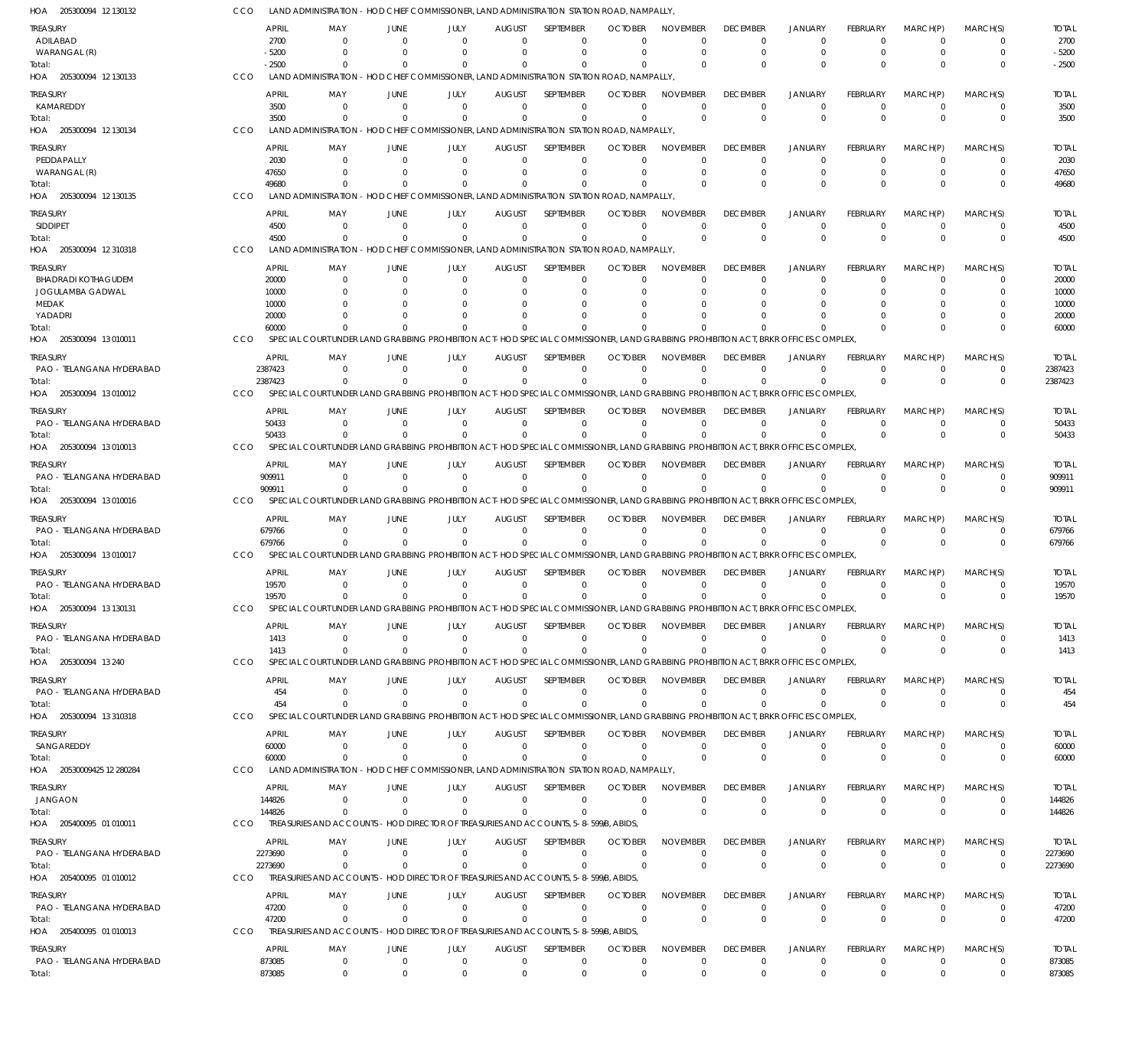| HOA 205300094 12 130132               | CCO                   | LAND ADMINISTRATION - HOD CHIEF COMMISSIONER, LAND ADMINISTRATION STATION ROAD, NAMPALLY,                                                    |                            |                                                                       |                           |                       |                            |                             |                             |                            |                        |                      |                         |                         |
|---------------------------------------|-----------------------|----------------------------------------------------------------------------------------------------------------------------------------------|----------------------------|-----------------------------------------------------------------------|---------------------------|-----------------------|----------------------------|-----------------------------|-----------------------------|----------------------------|------------------------|----------------------|-------------------------|-------------------------|
| TREASURY                              | <b>APRIL</b>          | MAY                                                                                                                                          | JUNE                       | JULY                                                                  | <b>AUGUST</b>             | <b>SEPTEMBER</b>      | <b>OCTOBER</b>             | <b>NOVEMBER</b>             | <b>DECEMBER</b>             | <b>JANUARY</b>             | FEBRUARY               | MARCH(P)             | MARCH(S)                | <b>TOTAL</b>            |
| ADILABAD                              | 2700                  | $\Omega$                                                                                                                                     | $\Omega$                   | $\Omega$                                                              | $\Omega$                  | $\Omega$              | $\Omega$                   | $\Omega$                    | $\Omega$                    | $\Omega$                   | $\Omega$               | $\Omega$             | $\Omega$                | 2700                    |
| WARANGAL (R)                          | $-5200$               |                                                                                                                                              |                            |                                                                       | $\Omega$                  | $\Omega$              |                            | $\Omega$                    | $\Omega$                    | $\Omega$                   | $\Omega$               | $\Omega$             | $\Omega$                | $-5200$                 |
| Total:<br>HOA 205300094 12 130133     | $-2500$<br>CCO        | LAND ADMINISTRATION - HOD CHIEF COMMISSIONER, LAND ADMINISTRATION STATION ROAD, NAMPALLY,                                                    |                            |                                                                       | $\Omega$                  | $\Omega$              |                            |                             | $\Omega$                    | $\Omega$                   |                        | C                    | $\Omega$                | $-2500$                 |
|                                       | <b>APRIL</b>          |                                                                                                                                              |                            |                                                                       |                           | <b>SFPTFMBFR</b>      | <b>OCTOBER</b>             | <b>NOVEMBER</b>             | <b>DECEMBER</b>             | <b>JANUARY</b>             |                        |                      | MARCH(S)                |                         |
| treasury<br>KAMAREDDY                 | 3500                  | MAY<br>$\Omega$                                                                                                                              | JUNE<br>$\Omega$           | JULY<br>$\Omega$                                                      | <b>AUGUST</b><br>$\Omega$ | $\Omega$              | $\Omega$                   | $\Omega$                    | $\Omega$                    | $\Omega$                   | FEBRUARY<br>$\Omega$   | MARCH(P)<br>$\Omega$ | $\Omega$                | <b>TOTAL</b><br>3500    |
| Total:                                | 3500                  | $\Omega$                                                                                                                                     |                            | $\Omega$                                                              | $\Omega$                  | $\Omega$              |                            | $\Omega$                    | $^{\circ}$                  | $\Omega$                   | $\Omega$               | $\Omega$             | $\mathbf 0$             | 3500                    |
| HOA 205300094 12 130134               | CCO                   | LAND ADMINISTRATION - HOD CHIEF COMMISSIONER, LAND ADMINISTRATION STATION ROAD, NAMPALLY,                                                    |                            |                                                                       |                           |                       |                            |                             |                             |                            |                        |                      |                         |                         |
| treasury                              | <b>APRIL</b>          | MAY                                                                                                                                          | JUNE                       | JULY                                                                  | <b>AUGUST</b>             | <b>SFPTFMBFR</b>      | <b>OCTOBER</b>             | <b>NOVEMBER</b>             | <b>DECEMBER</b>             | <b>JANUARY</b>             | FEBRUARY               | MARCH(P)             | MARCH(S)                | <b>TOTAL</b>            |
| PEDDAPALLY                            | 2030                  | $\Omega$                                                                                                                                     | $\Omega$                   | $\Omega$                                                              | $\Omega$                  | $\Omega$              | $\Omega$                   | $\Omega$                    | $\Omega$                    | $\Omega$                   | $\Omega$               | $\Omega$             | $\Omega$                | 2030                    |
| WARANGAL (R)                          | 47650                 |                                                                                                                                              |                            |                                                                       | $\Omega$                  | $\Omega$              | $\Omega$                   | $\Omega$                    | $\Omega$                    | $\Omega$                   | $\Omega$               | $\Omega$             | 0                       | 47650                   |
| Total:                                | 49680                 |                                                                                                                                              |                            |                                                                       | $\Omega$                  |                       |                            | $\Omega$                    | $\Omega$                    | $\Omega$                   |                        | $\Omega$             | $\Omega$                | 49680                   |
| HOA 205300094 12 130135               | CCO                   | <b>LAND ADMINISTRATION</b>                                                                                                                   |                            | - HOD CHIEF COMMISSIONER, LAND ADMINISTRATION STATION ROAD, NAMPALLY, |                           |                       |                            |                             |                             |                            |                        |                      |                         |                         |
| treasury                              | <b>APRIL</b>          | MAY                                                                                                                                          | JUNE                       | JULY                                                                  | <b>AUGUST</b>             | <b>SEPTEMBER</b>      | <b>OCTOBER</b>             | <b>NOVEMBER</b>             | <b>DECEMBER</b>             | <b>JANUARY</b>             | FEBRUARY               | MARCH(P)             | MARCH(S)                | <b>TOTAL</b>            |
| <b>SIDDIPET</b><br>Total:             | 4500<br>4500          | $\Omega$<br>$\Omega$                                                                                                                         | $\Omega$                   | $\Omega$<br>$\Omega$                                                  | $\Omega$<br>$\Omega$      | $\Omega$<br>$\Omega$  | $\Omega$                   | $\Omega$<br>$\Omega$        | $\Omega$<br>$^{\circ}$      | $\Omega$<br>$\Omega$       | $\Omega$<br>$\Omega$   | $\Omega$<br>$\Omega$ | $\Omega$<br>$\mathbf 0$ | 4500<br>4500            |
| HOA 205300094 12 310318               | CCO                   | LAND ADMINISTRATION - HOD CHIEF COMMISSIONER, LAND ADMINISTRATION STATION ROAD, NAMPALLY,                                                    |                            |                                                                       |                           |                       |                            |                             |                             |                            |                        |                      |                         |                         |
| treasury                              | <b>APRIL</b>          | MAY                                                                                                                                          | JUNE                       | JULY                                                                  | <b>AUGUST</b>             | SEPTEMBER             | <b>OCTOBER</b>             | <b>NOVEMBER</b>             | <b>DECEMBER</b>             | JANUARY                    | FEBRUARY               | MARCH(P)             | MARCH(S)                | <b>TOTAL</b>            |
| <b>BHADRADI KOTHAGUDEM</b>            | 20000                 | $\Omega$                                                                                                                                     | n                          |                                                                       | $\Omega$                  | 0                     | $\Omega$                   | $\Omega$                    | $\Omega$                    | $\Omega$                   | $\Omega$               | $\Omega$             | $\Omega$                | 20000                   |
| JOGULAMBA GADWAL                      | 10000                 |                                                                                                                                              |                            |                                                                       | n                         | $\Omega$              |                            |                             | $\Omega$                    | $\Omega$                   |                        |                      | O                       | 10000                   |
| MEDAK                                 | 10000                 |                                                                                                                                              |                            |                                                                       | n                         | $\Omega$              |                            |                             |                             |                            |                        |                      | 0                       | 10000                   |
| YADADRI                               | 20000                 |                                                                                                                                              |                            |                                                                       |                           | $\Omega$              |                            |                             |                             |                            |                        | $\Omega$<br>U        | $\Omega$<br>$\Omega$    | 20000                   |
| lotal:<br>HOA 205300094 13010011      | 60000<br>CCO          | SPECIAL COURT UNDER LAND GRABBING PROHIBITION ACT-HOD SPECIAL COMMISSIONER. LAND GRABBING PROHIBITION ACT. BRKR OFFICES COMPLEX              |                            |                                                                       |                           |                       |                            |                             |                             |                            |                        |                      |                         | 60000                   |
|                                       |                       |                                                                                                                                              |                            |                                                                       |                           |                       |                            |                             |                             |                            |                        |                      |                         |                         |
| treasury<br>PAO - TELANGANA HYDERABAD | APRIL<br>2387423      | MAY<br>$\Omega$                                                                                                                              | JUNE<br>$\Omega$           | JULY<br>$\Omega$                                                      | <b>AUGUST</b><br>$\Omega$ | SEPTEMBER<br>$\Omega$ | <b>OCTOBER</b><br>$\Omega$ | <b>NOVEMBER</b><br>$\Omega$ | <b>DECEMBER</b><br>$\Omega$ | <b>JANUARY</b><br>$\Omega$ | FEBRUARY<br>$\Omega$   | MARCH(P)<br>$\Omega$ | MARCH(S)<br>0           | <b>TOTAL</b><br>2387423 |
| Total:                                | 2387423               |                                                                                                                                              |                            | $\Omega$                                                              | $\Omega$                  | $\Omega$              |                            |                             | $\Omega$                    | $\Omega$                   | $\Omega$               | $\Omega$             | $\mathbf{0}$            | 2387423                 |
| HOA 205300094 13 010012               | <b>CCO</b>            | SPECIAL COURT UNDER LAND GRABBING PROHIBITION ACT-HOD SPECIAL COMMISSIONER, LAND GRABBING PROHIBITION ACT, BRKR OFFICES COMPLEX,             |                            |                                                                       |                           |                       |                            |                             |                             |                            |                        |                      |                         |                         |
| treasury                              | <b>APRIL</b>          | MAY                                                                                                                                          | JUNE                       | JULY                                                                  | <b>AUGUST</b>             | SEPTEMBER             | <b>OCTOBER</b>             | <b>NOVEMBER</b>             | <b>DECEMBER</b>             | <b>JANUARY</b>             | FEBRUARY               | MARCH(P)             | MARCH(S)                | <b>TOTAL</b>            |
| PAO - TELANGANA HYDERABAD             | 50433                 | $\Omega$                                                                                                                                     | $\Omega$                   | $\Omega$                                                              | $\Omega$                  | $\Omega$              | $\Omega$                   | $\Omega$                    | $\mathbf 0$                 | $\Omega$                   | $\Omega$               | $\Omega$             | $\Omega$                | 50433                   |
| Total:                                | 50433                 |                                                                                                                                              |                            | $\Omega$                                                              | $\Omega$                  | $\Omega$              |                            |                             | $\Omega$                    | $\Omega$                   | $\Omega$               | $\Omega$             | $\Omega$                | 50433                   |
| HOA 205300094 13 010013               | CCO                   | SPECIAL COURT UNDER LAND GRABBING PROHIBITION ACT-HOD SPECIAL COMMISSIONER. LAND GRABBING PROHIBITION ACT. BRKR OFFICES COMPLEX              |                            |                                                                       |                           |                       |                            |                             |                             |                            |                        |                      |                         |                         |
| treasury                              | APRIL                 | MAY                                                                                                                                          | JUNE                       | JULY                                                                  | AUGUST                    | SEPTEMBER             | <b>OCTOBER</b>             | <b>NOVEMBER</b>             | <b>DECEMBER</b>             | <b>JANUARY</b>             | FEBRUARY               | MARCH(P)             | MARCH(S)                | <b>TOTAL</b>            |
| PAO - TELANGANA HYDERABAD             | 909911                | $\Omega$                                                                                                                                     | $\Omega$                   | $\Omega$                                                              | $\Omega$                  | $\mathbf 0$           | $\Omega$                   | $\Omega$                    | $\Omega$                    | $\Omega$                   | $\Omega$               | $\Omega$             | 0                       | 909911                  |
| Total:<br>HOA 205300094 13 010016     | 909911<br>CCO         | $\Omega$<br>SPECIAL COURT UNDER LAND GRABBING PROHIBITION ACT-HOD SPECIAL COMMISSIONER, LAND GRABBING PROHIBITION ACT, BRKR OFFICES COMPLEX, |                            | $\Omega$                                                              | $\Omega$                  | $\Omega$              |                            | $\Omega$                    | $\Omega$                    | $\Omega$                   | $\Omega$               | $\Omega$             | $\mathbf 0$             | 909911                  |
|                                       |                       |                                                                                                                                              |                            |                                                                       |                           |                       |                            |                             |                             |                            |                        |                      |                         |                         |
| treasury                              | APRIL                 | MAY                                                                                                                                          | JUNE                       | JULY                                                                  | <b>AUGUST</b>             | <b>SEPTEMBER</b>      | <b>OCTOBER</b>             | <b>NOVEMBER</b>             | <b>DECEMBER</b>             | <b>JANUARY</b>             | FEBRUARY               | MARCH(P)             | MARCH(S)                | <b>TOTAL</b>            |
| PAO - TELANGANA HYDERABAD<br>Total:   | 679766<br>679766      | $\Omega$                                                                                                                                     | $\Omega$                   | $\Omega$<br>$\Omega$                                                  | $\Omega$<br>$\Omega$      | $\Omega$<br>$\Omega$  | $\Omega$                   | $\Omega$<br>$\Omega$        | $\Omega$<br>$\Omega$        | $\Omega$<br>$\Omega$       | $\Omega$<br>$\Omega$   | $\Omega$<br>$\Omega$ | 0<br>$\Omega$           | 679766<br>679766        |
| HOA 205300094 13 010017               | CCO                   | SPECIAL COURT UNDER LAND GRABBING PROHIBITION ACT-HOD SPECIAL COMMISSIONER, LAND GRABBING PROHIBITION ACT, BRKR OFFICES COMPLEX,             |                            |                                                                       |                           |                       |                            |                             |                             |                            |                        |                      |                         |                         |
| treasury                              | <b>APRIL</b>          | MAY                                                                                                                                          | JUNE                       | JULY                                                                  | <b>AUGUST</b>             | SEPTEMBER             | <b>OCTOBER</b>             | <b>NOVEMBER</b>             | <b>DECEMBER</b>             | <b>JANUARY</b>             | FEBRUARY               | MARCH(P)             | MARCH(S)                | <b>TOTAL</b>            |
| PAO - TELANGANA HYDERABAD             | 19570                 | $\Omega$                                                                                                                                     | $\Omega$                   | $\Omega$                                                              | $\Omega$                  | $\Omega$              | $\Omega$                   | $\Omega$                    | $\Omega$                    | $\Omega$                   | $\Omega$               | $\Omega$             | $\Omega$                | 19570                   |
| Total:                                | 19570                 | $\overline{0}$                                                                                                                               | $\Omega$                   | $\Omega$                                                              | $\Omega$                  | $\mathbf{0}$          | $\Omega$                   | $\Omega$                    | $^{\circ}$                  | $\Omega$                   | $\Omega$               | $\Omega$             | $\Omega$                | 19570                   |
| HOA 205300094 13 130131               | <b>CCO</b>            | SPECIAL COURT UNDER LAND GRABBING PROHIBITION ACT-HOD SPECIAL COMMISSIONER, LAND GRABBING PROHIBITION ACT, BRKR OFFICES COMPLEX              |                            |                                                                       |                           |                       |                            |                             |                             |                            |                        |                      |                         |                         |
| Treasury                              | <b>APRIL</b>          | MAY                                                                                                                                          | JUNE                       | JULY                                                                  | AUGUST                    | <b>SEPTEMBER</b>      | <b>OCTOBER</b>             | <b>NOVEMBER</b>             | <b>DECEMBER</b>             | <b>JANUARY</b>             | FEBRUARY               | MARCH(P)             | MARCH(S)                | <b>TOTAL</b>            |
| PAO - TELANGANA HYDERABAD             | 1413                  | $\Omega$                                                                                                                                     | $\Omega$                   | $\Omega$                                                              | $\Omega$                  | $\Omega$              | $\Omega$                   | $\Omega$                    | $\mathbf 0$                 | $^{\circ}$                 | $\Omega$               | $\Omega$             | $\Omega$                | 1413                    |
| Total:                                | 1413                  | $\Omega$                                                                                                                                     | $\Omega$                   | $\Omega$                                                              | $\Omega$                  | $\Omega$              | $\Omega$                   | $\Omega$                    | $^{\circ}$                  | $\Omega$                   | $\Omega$               | $\Omega$             | $\Omega$                | 1413                    |
| HOA 205300094 13 240                  | <b>CCO</b>            | SPECIAL COURT UNDER LAND GRABBING PROHIBITION ACT-HOD SPECIAL COMMISSIONER, LAND GRABBING PROHIBITION ACT, BRKR OFFICES COMPLEX,             |                            |                                                                       |                           |                       |                            |                             |                             |                            |                        |                      |                         |                         |
| treasury                              | <b>APRIL</b>          | MAY                                                                                                                                          | JUNE                       | JULY                                                                  | <b>AUGUST</b>             | <b>SEPTEMBER</b>      | <b>OCTOBER</b>             | <b>NOVEMBER</b>             | <b>DECEMBER</b>             | <b>JANUARY</b>             | <b>FEBRUARY</b>        | MARCH(P)             | MARCH(S)                | <b>TOTAL</b>            |
| PAO - TELANGANA HYDERABAD             |                       | 454<br>$\mathbf 0$<br>454<br>$\Omega$                                                                                                        | $\overline{0}$<br>$\Omega$ | $\Omega$<br>$\Omega$                                                  | $\Omega$<br>$\Omega$      | 0<br>$\Omega$         | $\Omega$<br>$\Omega$       | $\Omega$<br>$\Omega$        | $\Omega$<br>$\mathbf 0$     | $\Omega$<br>$\Omega$       | $\Omega$<br>$\Omega$   | $\Omega$<br>$\Omega$ | 0<br>$\mathbf 0$        | 454<br>454              |
| Total:<br>HOA 205300094 13 310318     | <b>CCO</b>            | SPECIAL COURT UNDER LAND GRABBING PROHIBITION ACT-HOD SPECIAL COMMISSIONER. LAND GRABBING PROHIBITION ACT. BRKR OFFICES COMPLEX              |                            |                                                                       |                           |                       |                            |                             |                             |                            |                        |                      |                         |                         |
|                                       |                       |                                                                                                                                              |                            |                                                                       |                           | SEPTEMBER             | <b>OCTOBER</b>             |                             | <b>DECEMBER</b>             |                            | FEBRUARY               |                      | MARCH(S)                |                         |
| Treasury<br>SANGAREDDY                | APRIL<br>60000        | MAY<br>$\mathbf 0$                                                                                                                           | JUNE<br>$\overline{0}$     | JULY<br>$\Omega$                                                      | AUGUST<br>$\Omega$        | $\Omega$              | $\Omega$                   | NOVEMBER<br>$\Omega$        | $\overline{0}$              | JANUARY<br>$\overline{0}$  | $\Omega$               | MARCH(P)<br>$\Omega$ | $\Omega$                | <b>TOTAL</b><br>60000   |
| Total:                                | 60000                 | $\Omega$                                                                                                                                     | $\Omega$                   | $\Omega$                                                              | $\Omega$                  | $\Omega$              | $\Omega$                   | $\Omega$                    | $\mathbf 0$                 | $\Omega$                   | $\Omega$               | $\Omega$             | $\Omega$                | 60000                   |
| HOA 20530009425 12 280284             | CCO                   | LAND ADMINISTRATION - HOD CHIEF COMMISSIONER, LAND ADMINISTRATION STATION ROAD, NAMPALLY,                                                    |                            |                                                                       |                           |                       |                            |                             |                             |                            |                        |                      |                         |                         |
| Treasury                              | APRIL                 | MAY                                                                                                                                          | JUNE                       | JULY                                                                  | <b>AUGUST</b>             | SEPTEMBER             | <b>OCTOBER</b>             | NOVEMBER                    | <b>DECEMBER</b>             | <b>JANUARY</b>             | <b>FEBRUARY</b>        | MARCH(P)             | MARCH(S)                | <b>TOTAL</b>            |
| JANGAON                               | 144826                | $\mathbf 0$                                                                                                                                  | $\Omega$                   | $\Omega$                                                              | $\Omega$                  | $\mathbf 0$           | $\Omega$                   | $\Omega$                    | $^{\circ}$                  | 0                          | $\Omega$               | $\Omega$             | 0                       | 144826                  |
| Total:                                | 144826                | $\Omega$                                                                                                                                     |                            | $\Omega$                                                              | $\Omega$                  | $\Omega$              | $\Omega$                   | $\Omega$                    | $^{\circ}$                  | $\overline{0}$             | $\Omega$               | $\Omega$             | $\mathbf 0$             | 144826                  |
| HOA 205400095 01 010011               | <b>CCO</b>            | TREASURIES AND ACCOUNTS - HOD DIRECTOR OF TREASURIES AND ACCOUNTS, 5-8-599B, ABIDS,                                                          |                            |                                                                       |                           |                       |                            |                             |                             |                            |                        |                      |                         |                         |
| treasury                              | APRIL                 | MAY                                                                                                                                          | JUNE                       | JULY                                                                  | <b>AUGUST</b>             | SEPTEMBER             | <b>OCTOBER</b>             | <b>NOVEMBER</b>             | <b>DECEMBER</b>             | <b>JANUARY</b>             | <b>FEBRUARY</b>        | MARCH(P)             | MARCH(S)                | <b>TOTAL</b>            |
| PAO - TELANGANA HYDERABAD             | 2273690               | $\Omega$                                                                                                                                     | $\Omega$                   | $\Omega$                                                              | $\Omega$                  | $\Omega$              | $\Omega$                   | $\Omega$                    | $^{\circ}$                  | $\Omega$                   | $\Omega$               | $\Omega$             | $\Omega$                | 2273690                 |
| Total:<br>HOA 205400095 01 010012     | 2273690<br><b>CCO</b> | $\Omega$<br>TREASURIES AND ACCOUNTS - HOD DIRECTOR OF TREASURIES AND ACCOUNTS, 5-8-599/B, ABIDS,                                             | $\Omega$                   | $\Omega$                                                              | $\Omega$                  | $\Omega$              | $\Omega$                   | $\Omega$                    | $^{\circ}$                  | $\mathbf 0$                | $\Omega$               | $\Omega$             | $\mathbf 0$             | 2273690                 |
|                                       |                       |                                                                                                                                              |                            |                                                                       |                           |                       |                            |                             |                             |                            |                        |                      |                         |                         |
| TREASURY                              | APRIL                 | MAY                                                                                                                                          | JUNE                       | JULY                                                                  | AUGUST                    | <b>SEPTEMBER</b>      | <b>OCTOBER</b>             | <b>NOVEMBER</b>             | <b>DECEMBER</b>             | <b>JANUARY</b>             | <b>FEBRUARY</b>        | MARCH(P)             | MARCH(S)                | <b>TOTAL</b>            |
| PAO - TELANGANA HYDERABAD<br>Total:   | 47200<br>47200        | $\mathbf 0$<br>$\overline{0}$                                                                                                                | $\Omega$<br>$\Omega$       | $\Omega$<br>$\Omega$                                                  | $\Omega$<br>$\Omega$      | $\Omega$<br>$\Omega$  | $\Omega$<br>$\Omega$       | $\Omega$<br>$\Omega$        | $^{\circ}$<br>$\mathbf 0$   | 0<br>$\overline{0}$        | $^{\circ}$<br>$\Omega$ | $\Omega$<br>$\Omega$ | 0<br>$\mathbf 0$        | 47200<br>47200          |
| HOA 205400095 01 010013               | <b>CCO</b>            | TREASURIES AND ACCOUNTS - HOD DIRECTOR OF TREASURIES AND ACCOUNTS, 5-8-599/B, ABIDS,                                                         |                            |                                                                       |                           |                       |                            |                             |                             |                            |                        |                      |                         |                         |
| treasury                              | APRIL                 | MAY                                                                                                                                          | JUNE                       | JULY                                                                  | AUGUST                    | SEPTEMBER             | <b>OCTOBER</b>             | <b>NOVEMBER</b>             | <b>DECEMBER</b>             | <b>JANUARY</b>             | <b>FEBRUARY</b>        | MARCH(P)             | MARCH(S)                | <b>TOTAL</b>            |
| PAO - TELANGANA HYDERABAD             | 873085                | $\mathbf 0$                                                                                                                                  | $\overline{0}$             | $\overline{0}$                                                        | $\overline{0}$            | $\Omega$              | $\Omega$                   | $\Omega$                    | $\mathbf 0$                 | $\mathbf 0$                | $\Omega$               | $\overline{0}$       | 0                       | 873085                  |
| Total:                                | 873085                | $\overline{0}$                                                                                                                               | $\overline{0}$             | $\Omega$                                                              | $\mathbf{0}$              | $\mathbf{0}$          | $\Omega$                   | $\Omega$                    | $\mathbf 0$                 | $\overline{0}$             | $\Omega$               | $\mathbf{0}$         | $\Omega$                | 873085                  |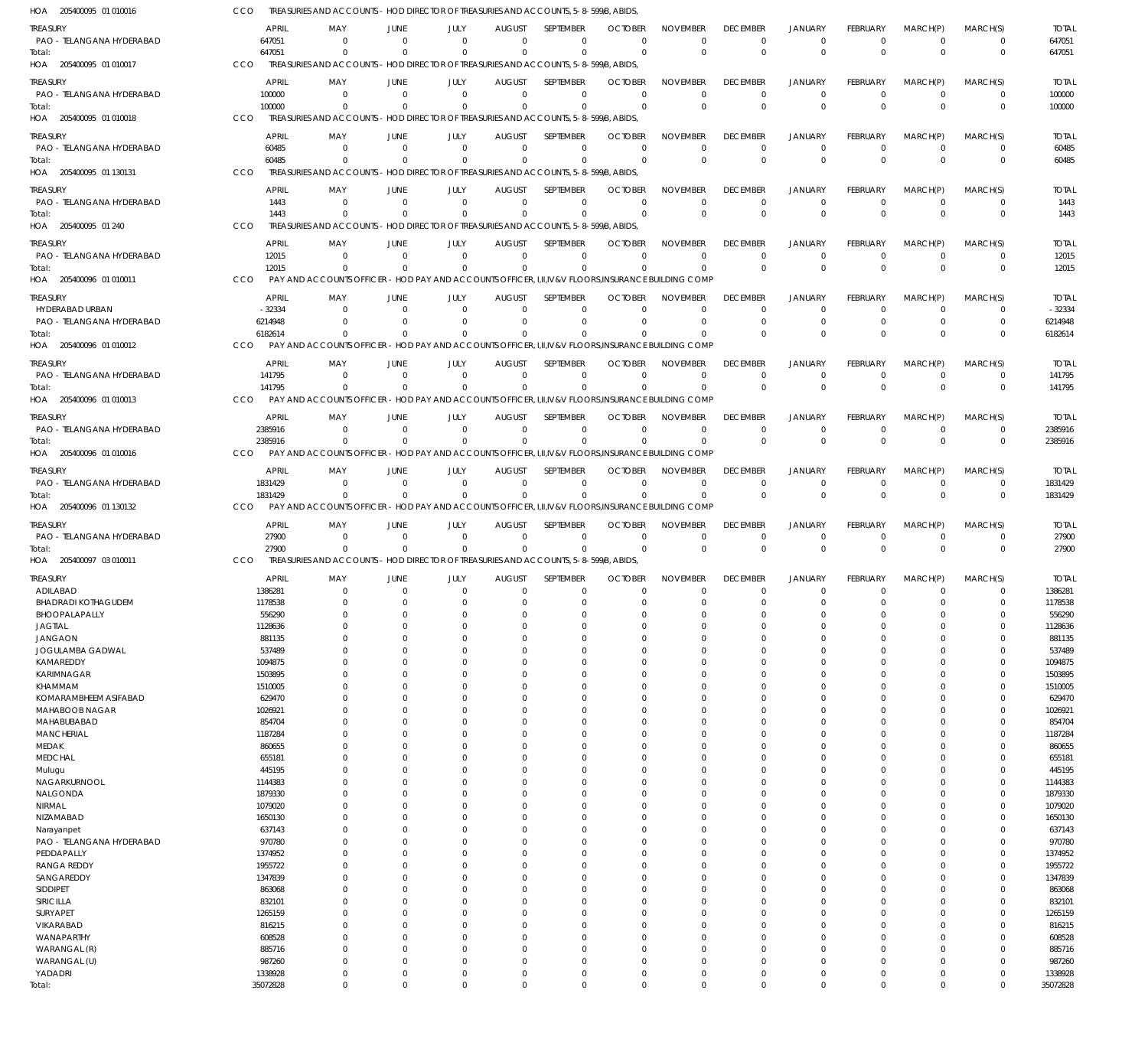| HOA 205400095 01 010016                      | CCO                     | TREASURIES AND ACCOUNTS - HOD DIRECTOR OF TREASURIES AND ACCOUNTS, 5-8-599/B, ABIDS,                 |                            |                                                              |                              |                            |                            |                             |                                   |                                  |                         |                            |                            |                         |
|----------------------------------------------|-------------------------|------------------------------------------------------------------------------------------------------|----------------------------|--------------------------------------------------------------|------------------------------|----------------------------|----------------------------|-----------------------------|-----------------------------------|----------------------------------|-------------------------|----------------------------|----------------------------|-------------------------|
| <b>TREASURY</b>                              | <b>APRIL</b>            | MAY                                                                                                  | JUNE                       | JULY                                                         | <b>AUGUST</b>                | SEPTEMBER                  | <b>OCTOBER</b>             | <b>NOVEMBER</b>             | <b>DECEMBER</b>                   | <b>JANUARY</b>                   | FEBRUARY                | MARCH(P)                   | MARCH(S)                   | <b>TOTAL</b>            |
| PAO - TELANGANA HYDERABAD                    | 647051                  | $\Omega$                                                                                             | $\Omega$                   | $\mathbf 0$                                                  | $\mathbf 0$                  | $\mathbf 0$                | $\Omega$                   | $\Omega$                    | $\mathbf 0$                       | $\mathbf 0$                      | $\mathbf 0$             | $\overline{0}$             | $\mathbf 0$                | 647051                  |
| Total:                                       | 647051                  | $\Omega$                                                                                             | $\Omega$                   | $\Omega$                                                     | $\mathbf{0}$                 | $\mathbf 0$                | $\Omega$                   | $\Omega$                    | $\mathbf 0$                       | $\mathbf 0$                      | $\Omega$                | $\Omega$                   | $\mathbf 0$                | 647051                  |
| HOA 205400095 01 010017                      | CCO                     | TREASURIES AND ACCOUNTS - HOD DIRECTOR OF TREASURIES AND ACCOUNTS, 5-8-599/B, ABIDS,                 |                            |                                                              |                              |                            |                            |                             |                                   |                                  |                         |                            |                            |                         |
| treasury                                     | <b>APRIL</b>            | MAY                                                                                                  | JUNE                       | JULY                                                         | <b>AUGUST</b>                | SEPTEMBER                  | <b>OCTOBER</b><br>$\Omega$ | <b>NOVEMBER</b><br>$\Omega$ | <b>DECEMBER</b>                   | <b>JANUARY</b>                   | FEBRUARY                | MARCH(P)<br>$\Omega$       | MARCH(S)                   | <b>TOTAL</b>            |
| PAO - TELANGANA HYDERABAD<br>Total:          | 100000<br>100000        | $\overline{0}$<br>$\Omega$                                                                           | $\overline{0}$<br>$\Omega$ | $\mathbf 0$<br>$\mathbf 0$                                   | $\mathbf 0$<br>$\mathbf 0$   | $\mathbf 0$<br>$\mathbf 0$ | $\Omega$                   | $\Omega$                    | $^{\circ}$<br>$\Omega$            | $\overline{0}$<br>$\overline{0}$ | $\mathbf 0$<br>$\Omega$ | $\Omega$                   | $\mathbf 0$<br>$\mathbf 0$ | 100000<br>100000        |
| HOA 205400095 01 010018                      | CCO                     | TREASURIES AND ACCOUNTS - HOD DIRECTOR OF TREASURIES AND ACCOUNTS, 5-8-599/B, ABIDS,                 |                            |                                                              |                              |                            |                            |                             |                                   |                                  |                         |                            |                            |                         |
| <b>TREASURY</b>                              | <b>APRIL</b>            | MAY                                                                                                  | <b>JUNE</b>                | JULY                                                         | <b>AUGUST</b>                | SEPTEMBER                  | <b>OCTOBER</b>             | <b>NOVEMBER</b>             | <b>DECEMBER</b>                   | <b>JANUARY</b>                   | FEBRUARY                | MARCH(P)                   | MARCH(S)                   | <b>TOTAL</b>            |
| PAO - TELANGANA HYDERABAD                    | 60485                   | $^{\circ}$                                                                                           | $\Omega$                   | $\Omega$                                                     | $\Omega$                     | $\mathbf 0$                | $\Omega$                   | $\Omega$                    | $^{\circ}$                        | $\overline{0}$                   | $\mathbf 0$             | $\Omega$                   | $\mathbf 0$                | 60485                   |
| Total:                                       | 60485                   | $\Omega$                                                                                             | $\Omega$                   | $\Omega$                                                     | $\Omega$                     | $\mathbf 0$                | $\Omega$                   | $\Omega$                    | $\mathbf 0$                       | $\mathbf 0$                      | $\Omega$                | $\Omega$                   | $\mathbf 0$                | 60485                   |
| HOA 205400095 01 130131                      | CCO                     | TREASURIES AND ACCOUNTS - HOD DIRECTOR OF TREASURIES AND ACCOUNTS, 5-8-599/B, ABIDS,                 |                            |                                                              |                              |                            |                            |                             |                                   |                                  |                         |                            |                            |                         |
| treasury                                     | <b>APRIL</b>            | MAY                                                                                                  | JUNE                       | JULY                                                         | <b>AUGUST</b>                | <b>SEPTEMBER</b>           | <b>OCTOBER</b>             | <b>NOVEMBER</b>             | <b>DECEMBER</b>                   | <b>JANUARY</b>                   | FEBRUARY                | MARCH(P)                   | MARCH(S)                   | <b>TOTAL</b>            |
| PAO - TELANGANA HYDERABAD                    | 1443                    | $\mathbf 0$                                                                                          | $\Omega$                   | $\mathbf 0$                                                  | $\mathbf 0$                  | $\mathbf 0$                | $\Omega$                   | $\Omega$                    | $\overline{0}$                    | $\overline{0}$                   | $\mathbf 0$             | $\overline{0}$             | $\mathbf 0$                | 1443                    |
| Total:                                       | 1443                    | $\Omega$                                                                                             | $\Omega$                   | $\mathbf 0$                                                  | $\mathbf 0$                  | $\mathbf 0$                | $\Omega$                   | $\Omega$                    | $\mathbf 0$                       | $\Omega$                         | $\Omega$                | $\Omega$                   | $\mathbf 0$                | 1443                    |
| HOA 205400095 01 240                         | CCO                     | TREASURIES AND ACCOUNTS - HOD DIRECTOR OF TREASURIES AND ACCOUNTS, 5-8-599/B, ABIDS,                 |                            |                                                              |                              |                            |                            |                             |                                   |                                  |                         |                            |                            |                         |
| <b>TREASURY</b>                              | <b>APRIL</b>            | MAY                                                                                                  | <b>JUNE</b>                | JULY                                                         | <b>AUGUST</b>                | SEPTEMBER                  | <b>OCTOBER</b>             | <b>NOVEMBER</b>             | <b>DECEMBER</b>                   | <b>JANUARY</b>                   | FEBRUARY                | MARCH(P)                   | MARCH(S)                   | <b>TOTAL</b>            |
| PAO - TELANGANA HYDERABAD<br>Total:          | 12015<br>12015          | $\mathbf 0$<br>$\Omega$                                                                              | $\Omega$<br>$\Omega$       | $\mathbf 0$<br>$\mathbf 0$                                   | $\Omega$<br>$\mathbf 0$      | $\mathbf 0$<br>$\mathbf 0$ | $\Omega$<br>$\Omega$       | $\Omega$<br>$\Omega$        | $\mathbf 0$<br>$\mathbf 0$        | $\mathbf 0$<br>$\mathbf 0$       | $\mathbf 0$<br>$\Omega$ | $\Omega$<br>$\Omega$       | $\Omega$<br>$\mathbf 0$    | 12015<br>12015          |
| HOA 205400096 01 010011                      | CCO                     | PAY AND ACCOUNTS OFFICER - HOD PAY AND ACCOUNTS OFFICER. I.II.IV&V FLOORS.INSURANCE BUILDING COMP    |                            |                                                              |                              |                            |                            |                             |                                   |                                  |                         |                            |                            |                         |
| TREASURY                                     | <b>APRIL</b>            | MAY                                                                                                  | <b>JUNE</b>                | JULY                                                         | <b>AUGUST</b>                | SEPTEMBER                  | <b>OCTOBER</b>             | <b>NOVEMBER</b>             | <b>DECEMBER</b>                   | <b>JANUARY</b>                   | FEBRUARY                | MARCH(P)                   | MARCH(S)                   | <b>TOTAL</b>            |
| HYDERABAD URBAN                              | $-32334$                | $\mathbf 0$                                                                                          | $\Omega$                   | $\mathbf 0$                                                  | 0                            | $\mathbf 0$                | $\Omega$                   | $\Omega$                    | $^{\circ}$                        | $\overline{0}$                   | 0                       | $\Omega$                   | 0                          | $-32334$                |
| PAO - TELANGANA HYDERABAD                    | 6214948                 | $\Omega$                                                                                             | $\Omega$                   | $\Omega$                                                     | $\Omega$                     | $\mathbf 0$                | $\Omega$                   | $\Omega$                    | $\Omega$                          | $\Omega$                         | $\Omega$                | $\Omega$                   | $\mathbf 0$                | 6214948                 |
| Total:                                       | 6182614                 | $\Omega$                                                                                             | $\Omega$                   | $\Omega$                                                     | $\Omega$                     | $\Omega$                   |                            | $\Omega$                    | $\Omega$                          | $\Omega$                         | $\Omega$                | $\Omega$                   | $\Omega$                   | 6182614                 |
| HOA 205400096 01 010012                      | CCO                     | PAY AND ACCOUNTS OFFICER - HOD PAY AND ACCOUNTS OFFICER, I, II, IV&V FLOORS, INSURANCE BUILDING COMP |                            |                                                              |                              |                            |                            |                             |                                   |                                  |                         |                            |                            |                         |
| <b>TREASURY</b>                              | <b>APRIL</b>            | MAY                                                                                                  | <b>JUNE</b>                | JULY                                                         | <b>AUGUST</b>                | SEPTEMBER                  | <b>OCTOBER</b>             | <b>NOVEMBER</b>             | <b>DECEMBER</b>                   | <b>JANUARY</b>                   | FEBRUARY                | MARCH(P)                   | MARCH(S)                   | <b>TOTAL</b>            |
| PAO - TELANGANA HYDERABAD                    | 141795                  | $\Omega$                                                                                             | $\Omega$                   | $\mathbf 0$                                                  | $\Omega$                     | $\mathbf 0$                | $\Omega$                   | $\Omega$                    | $\mathbf 0$                       | $\overline{0}$                   | $\mathbf 0$             | $\overline{0}$             | $\mathbf 0$                | 141795                  |
| Total:                                       | 141795                  | $\Omega$                                                                                             | $\Omega$                   | $\Omega$                                                     | $\Omega$                     | $\Omega$                   | $\Omega$                   | $\Omega$                    | $\mathbf 0$                       | $\Omega$                         | $\Omega$                | $\Omega$                   | $\mathbf 0$                | 141795                  |
| HOA 205400096 01 010013                      | <b>CCO</b>              | PAY AND ACCOUNTS OFFICER - HOD PAY AND ACCOUNTS OFFICER, I, II, IV&V FLOORS, INSURANCE BUILDING COMP |                            |                                                              |                              |                            |                            |                             |                                   |                                  |                         |                            |                            |                         |
| treasury                                     | <b>APRIL</b>            | MAY                                                                                                  | <b>JUNE</b>                | JULY                                                         | <b>AUGUST</b>                | SEPTEMBER                  | <b>OCTOBER</b>             | <b>NOVEMBER</b>             | <b>DECEMBER</b>                   | <b>JANUARY</b>                   | FEBRUARY                | MARCH(P)                   | MARCH(S)                   | <b>TOTAL</b>            |
| PAO - TELANGANA HYDERABAD                    | 2385916<br>2385916      | $\mathbf 0$<br>$\Omega$                                                                              | $\Omega$<br>$\Omega$       | $\mathbf 0$<br>$\mathbf 0$                                   | $\mathbf 0$<br>$\Omega$      | $\mathbf 0$<br>$\mathbf 0$ | $\Omega$<br>$\Omega$       | $\Omega$<br>$\Omega$        | $^{\circ}$<br>$\Omega$            | $\overline{0}$<br>$\Omega$       | $\mathbf 0$<br>$\Omega$ | $\Omega$<br>$\Omega$       | $\mathbf 0$<br>$\mathbf 0$ | 2385916<br>2385916      |
| Total:<br>HOA 205400096 01 010016            | CCO                     | PAY AND ACCOUNTS OFFICER - HOD PAY AND ACCOUNTS OFFICER, I, II, IV&V FLOORS, INSURANCE BUILDING COMP |                            |                                                              |                              |                            |                            |                             |                                   |                                  |                         |                            |                            |                         |
|                                              |                         |                                                                                                      |                            |                                                              |                              |                            |                            |                             |                                   |                                  |                         |                            |                            |                         |
| <b>TREASURY</b><br>PAO - TELANGANA HYDERABAD | <b>APRIL</b><br>1831429 | MAY<br>$\Omega$                                                                                      | <b>JUNE</b><br>$\Omega$    | JULY<br>$\Omega$                                             | <b>AUGUST</b><br>$\Omega$    | SEPTEMBER<br>$\mathbf 0$   | <b>OCTOBER</b><br>$\Omega$ | <b>NOVEMBER</b><br>$\Omega$ | <b>DECEMBER</b><br>$\overline{0}$ | <b>JANUARY</b><br>$\overline{0}$ | FEBRUARY<br>$\mathbf 0$ | MARCH(P)<br>$\Omega$       | MARCH(S)<br>$\mathbf 0$    | <b>TOTAL</b><br>1831429 |
| Total:                                       | 1831429                 | $\Omega$                                                                                             | $\Omega$                   | $\Omega$                                                     | $\Omega$                     | $\mathbf 0$                | $\Omega$                   | $\Omega$                    | $\mathbf 0$                       | $\mathbf 0$                      | $\Omega$                | $\Omega$                   | $\mathbf 0$                | 1831429                 |
| HOA 205400096 01 130132                      | <b>CCO</b>              | PAY AND ACCOUNTS OFFICER - HOD PAY AND ACCOUNTS OFFICER, I, II, IV&V FLOORS, INSURANCE BUILDING COMP |                            |                                                              |                              |                            |                            |                             |                                   |                                  |                         |                            |                            |                         |
|                                              |                         |                                                                                                      |                            |                                                              |                              |                            |                            |                             |                                   |                                  |                         |                            |                            |                         |
|                                              |                         | MAY                                                                                                  | JUNE                       |                                                              |                              | SEPTEMBER                  | <b>OCTOBER</b>             | <b>NOVEMBER</b>             | <b>DECEMBER</b>                   |                                  |                         |                            |                            |                         |
| treasury<br>PAO - TELANGANA HYDERABAD        | <b>APRIL</b><br>27900   | $\overline{0}$                                                                                       | $\Omega$                   | JULY<br>$\mathbf 0$                                          | <b>AUGUST</b><br>$\mathbf 0$ | $\mathbf 0$                | $\Omega$                   | $\Omega$                    | $\overline{0}$                    | <b>JANUARY</b><br>$\overline{0}$ | FEBRUARY<br>$\mathbf 0$ | MARCH(P)<br>$\overline{0}$ | MARCH(S)<br>$\mathbf 0$    | <b>TOTAL</b><br>27900   |
| Total:                                       | 27900                   | $\Omega$                                                                                             | $\Omega$                   | $\mathbf 0$                                                  | $\mathbf 0$                  | $\mathbf 0$                | $\Omega$                   | $\Omega$                    | $\mathbf 0$                       | $\Omega$                         | $\Omega$                | $\Omega$                   | $\mathbf 0$                | 27900                   |
| HOA 205400097 03 010011                      | CCO                     | <b>TREASURIES AND ACCOUNTS</b>                                                                       |                            | - HOD DIRECTOR OF TREASURIES AND ACCOUNTS, 5-8-599/B, ABIDS, |                              |                            |                            |                             |                                   |                                  |                         |                            |                            |                         |
| <b>TREASURY</b>                              | <b>APRIL</b>            | MAY                                                                                                  | <b>JUNE</b>                | JULY                                                         | <b>AUGUST</b>                | SEPTEMBER                  | <b>OCTOBER</b>             | <b>NOVEMBER</b>             | <b>DECEMBER</b>                   | <b>JANUARY</b>                   | FEBRUARY                | MARCH(P)                   | MARCH(S)                   | <b>TOTAL</b>            |
| ADILABAD                                     | 1386281                 | $\overline{0}$                                                                                       | $\overline{0}$             | $\mathbf 0$                                                  | $\mathbf 0$                  | $\mathbf 0$                | $\mathbf{0}$               | $\Omega$                    | $\mathbf 0$                       | $\mathbf 0$                      | $\mathbf 0$             | $\Omega$                   | $\Omega$                   | 1386281                 |
| BHADRADI KOTHAGUDEM                          | 1178538                 |                                                                                                      |                            |                                                              |                              |                            |                            |                             |                                   |                                  |                         |                            |                            | 1178538                 |
| BHOOPALAPALLY                                | 556290                  | $\Omega$                                                                                             | $\Omega$                   | $\mathbf 0$                                                  | $\Omega$                     | $\mathbf 0$                | $\Omega$                   | $\Omega$                    | $\Omega$                          | $\Omega$                         | $\Omega$                | $\Omega$                   | $\mathbf 0$                | 556290                  |
| <b>JAGTIAL</b>                               | 1128636                 | $\mathbf 0$<br>$\Omega$                                                                              | $\mathbf 0$<br>$\Omega$    | $\mathbf 0$<br>$\Omega$                                      | 0<br>$\Omega$                | $\mathbf 0$                | $\Omega$<br>$\Omega$       | $\Omega$<br>$\Omega$        | $\mathbf 0$<br>$\Omega$           | $\overline{0}$<br>$\Omega$       | $\mathbf 0$<br>$\Omega$ | $\Omega$<br>$\Omega$       | $\mathbf 0$<br>$\Omega$    | 1128636                 |
| <b>JANGAON</b><br>JOGULAMBA GADWAL           | 881135<br>537489        | $\Omega$                                                                                             | $\Omega$                   | $\Omega$                                                     | $\Omega$                     | $\mathbf 0$<br>$\mathbf 0$ | $\Omega$                   | $\Omega$                    | $\overline{0}$                    | $\Omega$                         | $\Omega$                | $\Omega$                   | $\mathbf 0$                | 881135<br>537489        |
| KAMAREDDY                                    | 1094875                 | $\Omega$                                                                                             | $\Omega$                   | $\Omega$                                                     | $\Omega$                     | $\mathbf 0$                | $\Omega$                   | $\Omega$                    | $\Omega$                          | $\Omega$                         | $\Omega$                | $\Omega$                   | $\Omega$                   | 1094875                 |
| KARIMNAGAR                                   | 1503895                 | $\Omega$                                                                                             | $\Omega$                   | $\Omega$                                                     | 0                            | $\mathbf 0$                | $\Omega$                   | $\Omega$                    | $\mathbf 0$                       | $\Omega$                         | $\Omega$                | $\Omega$                   | 0                          | 1503895                 |
| <b>KHAMMAM</b>                               | 1510005                 | $\Omega$                                                                                             | $\Omega$                   | $\Omega$                                                     | $\Omega$                     | $\mathbf 0$                | $\Omega$                   | $\Omega$                    | $\Omega$                          | $\Omega$                         | $\Omega$                | $\Omega$                   | $\mathbf 0$                | 1510005                 |
| KOMARAMBHEEM ASIFABAD                        | 629470                  | $\Omega$                                                                                             | $\Omega$                   | $\Omega$                                                     | $\Omega$                     | $\mathbf 0$                | $\Omega$                   | $\Omega$                    | $\Omega$                          | $\Omega$                         | $\Omega$                | $\Omega$                   | $\mathbf 0$                | 629470                  |
| MAHABOOB NAGAR                               | 1026921                 | $\Omega$                                                                                             | $\Omega$                   | $\mathbf 0$                                                  | $\mathbf 0$                  | $\mathbf 0$                | $\Omega$                   | $\Omega$                    | $\Omega$                          | $\Omega$                         | $\Omega$                | $\Omega$                   | $\mathbf 0$                | 1026921                 |
| MAHABUBABAD                                  | 854704                  | $\Omega$<br>$\Omega$                                                                                 | $\Omega$<br>$\Omega$       | $\Omega$<br>$\Omega$                                         | $\Omega$<br>$\Omega$         | $\mathbf 0$<br>$\mathbf 0$ | $\Omega$<br>$\Omega$       | $\Omega$<br>$\Omega$        | $\overline{0}$<br>$\Omega$        | $\Omega$<br>$\Omega$             | $\Omega$<br>$\Omega$    | $\Omega$<br>$\Omega$       | $\mathbf 0$<br>$\mathbf 0$ | 854704                  |
| <b>MANCHERIAL</b><br>MEDAK                   | 1187284<br>860655       | $\Omega$                                                                                             | $\Omega$                   | $\Omega$                                                     | 0                            | $\mathbf 0$                | $\Omega$                   | $\Omega$                    | $\mathbf 0$                       | $\Omega$                         | $\Omega$                | $\Omega$                   | $\mathbf 0$                | 1187284<br>860655       |
| MEDCHAL                                      | 655181                  | $\Omega$                                                                                             | $\Omega$                   | $\Omega$                                                     | $\Omega$                     | $\mathbf 0$                | $\Omega$                   | $\Omega$                    | $\Omega$                          | $\Omega$                         | $\Omega$                | $\Omega$                   | $\mathbf 0$                | 655181                  |
| Mulugu                                       | 445195                  | $\Omega$                                                                                             | $\Omega$                   | $\Omega$                                                     | $\Omega$                     | $\mathbf 0$                | $\Omega$                   | $\Omega$                    | $\mathbf 0$                       | $\Omega$                         | $\Omega$                | $\Omega$                   | 0                          | 445195                  |
| NAGARKURNOOL                                 | 1144383                 | $\Omega$                                                                                             | $\Omega$                   | $\Omega$                                                     | $\Omega$                     | $\mathbf 0$                | $\Omega$                   | $\Omega$                    | $\Omega$                          | $\Omega$                         | $\Omega$                | $\Omega$                   | $\mathbf 0$                | 1144383                 |
| NALGONDA                                     | 1879330                 | $\Omega$                                                                                             | $\Omega$                   | $\Omega$                                                     | $\Omega$                     | $\mathbf 0$                | $\Omega$                   | $\Omega$                    | $\mathbf 0$                       | $\Omega$                         | $\Omega$                | $\Omega$                   | $\mathbf 0$                | 1879330                 |
| NIRMAL                                       | 1079020                 | $\Omega$                                                                                             | $\Omega$                   | $\Omega$                                                     | $\Omega$                     | $\mathbf 0$                | $\Omega$                   | $\Omega$                    | $\Omega$                          | $\Omega$                         | $\Omega$                | $\Omega$                   | $\Omega$                   | 1079020                 |
| NIZAMABAD                                    | 1650130                 | $\Omega$<br>$\Omega$                                                                                 | $\Omega$<br>$\Omega$       | $\Omega$<br>$\Omega$                                         | 0<br>$\Omega$                | $\mathbf 0$<br>$\mathbf 0$ | $\Omega$<br>$\Omega$       | $\Omega$<br>$\Omega$        | $\mathbf 0$<br>$\Omega$           | $\Omega$<br>$\Omega$             | $\Omega$<br>$\Omega$    | $\Omega$<br>$\Omega$       | 0<br>$\mathbf 0$           | 1650130                 |
| Narayanpet<br>PAO - TELANGANA HYDERABAD      | 637143<br>970780        | $\Omega$                                                                                             | $\Omega$                   | $\Omega$                                                     | $\Omega$                     | $\mathbf 0$                | $\Omega$                   | $\Omega$                    | $\Omega$                          | $\Omega$                         | $\Omega$                | $\Omega$                   | 0                          | 637143<br>970780        |
| PEDDAPALLY                                   | 1374952                 | $\Omega$                                                                                             | $\Omega$                   | $\Omega$                                                     | $\Omega$                     | $\mathbf 0$                | $\Omega$                   | $\Omega$                    | $\Omega$                          | $\Omega$                         | $\Omega$                | $\Omega$                   | $\mathbf 0$                | 1374952                 |
| <b>RANGA REDDY</b>                           | 1955722                 | $\Omega$                                                                                             | $\Omega$                   | $\Omega$                                                     | 0                            | $\mathbf 0$                | $\Omega$                   | $\Omega$                    | $\mathbf 0$                       | $\Omega$                         | $\Omega$                | $\Omega$                   | 0                          | 1955722                 |
| SANGAREDDY                                   | 1347839                 | $\Omega$                                                                                             | $\Omega$                   | $\Omega$                                                     | $\Omega$                     | $\mathbf 0$                | $\Omega$                   | $\Omega$                    | $\Omega$                          | $\Omega$                         | $\Omega$                | $\Omega$                   | $\mathbf 0$                | 1347839                 |
| SIDDIPET                                     | 863068                  | $\Omega$                                                                                             | $\Omega$                   | $\Omega$                                                     | $\Omega$                     | $\mathbf 0$                | $\Omega$                   | $\Omega$                    | $\mathbf 0$                       | $\Omega$                         | $\Omega$                | $\Omega$                   | $\mathbf 0$                | 863068                  |
| SIRICILLA                                    | 832101                  | $\Omega$<br>$\Omega$                                                                                 | $\Omega$<br>$\Omega$       | $\mathbf 0$<br>$\Omega$                                      | $\mathbf 0$<br>$\Omega$      | $\mathbf 0$<br>$\mathbf 0$ | $\Omega$<br>$\Omega$       | $\Omega$<br>$\Omega$        | $\Omega$<br>$\mathbf 0$           | $\Omega$<br>$\Omega$             | $\Omega$<br>$\Omega$    | $\Omega$<br>$\Omega$       | $\mathbf 0$<br>$\mathbf 0$ | 832101                  |
| SURYAPET<br>VIKARABAD                        | 1265159<br>816215       | $\Omega$                                                                                             | $\Omega$                   | $\Omega$                                                     | $\Omega$                     | $\mathbf 0$                | $\Omega$                   | $\Omega$                    | $\Omega$                          | $\Omega$                         | $\Omega$                | $\Omega$                   | $\mathbf 0$                | 1265159<br>816215       |
| WANAPARTHY                                   | 608528                  | $\Omega$                                                                                             | $\Omega$                   | $\Omega$                                                     | 0                            | $\mathbf 0$                | $\Omega$                   | $\Omega$                    | $\mathbf 0$                       | $\Omega$                         | $\Omega$                | $\Omega$                   | $\mathbf 0$                | 608528                  |
| WARANGAL (R)                                 | 885716                  | $\Omega$                                                                                             | $\Omega$                   | $\Omega$                                                     | $\Omega$                     | $\mathbf 0$                | $\Omega$                   | $\Omega$                    | $\Omega$                          | $\Omega$                         | $\Omega$                | $\Omega$                   | $\mathbf 0$                | 885716                  |
| WARANGAL (U)                                 | 987260                  | $\mathbf 0$                                                                                          | $\Omega$                   | $\Omega$                                                     | 0                            | $\mathbf 0$                | $\Omega$                   | $\Omega$                    | $\mathbf 0$                       | $\overline{0}$                   | $\Omega$                | $\mathbf 0$                | $\mathbf 0$                | 987260                  |
| YADADRI<br>Total:                            | 1338928<br>35072828     | $\mathbf 0$<br>$\mathbf 0$                                                                           | $\mathbf 0$<br>$\mathbf 0$ | $\mathbf 0$<br>$\mathbf 0$                                   | 0<br>$\mathbf 0$             | $\mathbf 0$<br>$\mathbf 0$ | $\Omega$<br>$\Omega$       | $\mathbf 0$<br>$\mathbf 0$  | $\mathbf 0$<br>$\mathbf 0$        | $\overline{0}$<br>$\mathbf 0$    | 0<br>$\mathbf 0$        | $\mathbf 0$<br>$\mathbf 0$ | $\mathbf 0$<br>$\mathbf 0$ | 1338928<br>35072828     |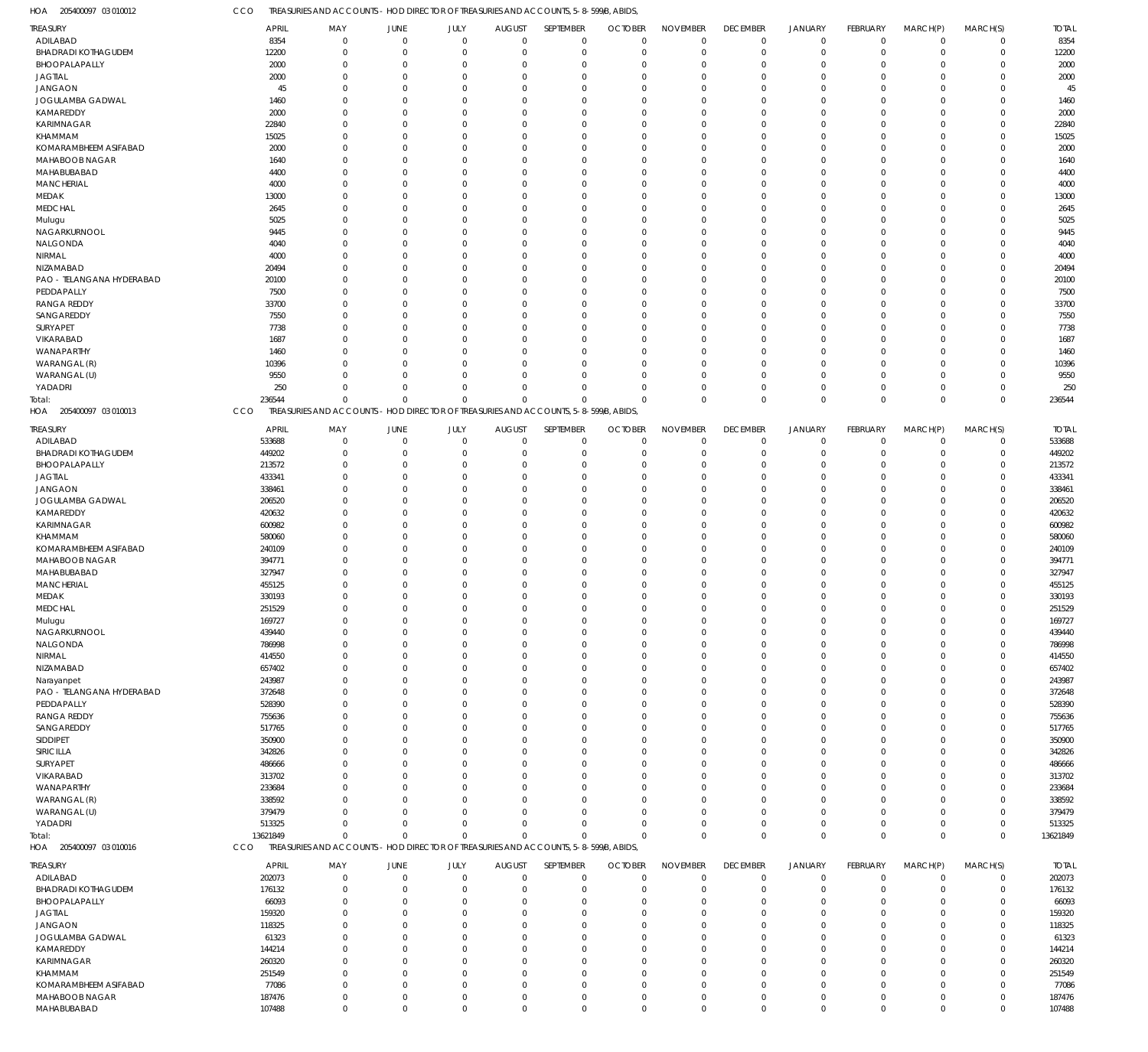CCO TREASURIES AND ACCOUNTS - HOD DIRECTOR OF TREASURIES AND ACCOUNTS, 5-8-599/B, ABIDS,

|          |                                                                                                                                                                                                                                                   |                                                                                                                                                                                                                                                                                             |                                                                                                                                                        |                                                                                                                                                                                                                                                                                  |                                                                                                                                                                                                |                                                                                                                                                                                                                                                                                                   |                                                                                                                                                                                                                                                                                                                                                                                                  |                                                                                                                                                                                                                                                                                                            |                                                                                                                                                                                                                                                                                                                  |                                                                                                                                                                                                                                                                                                                |                                                                                                                                                                                                                 |                                                                                                                                                                                                                                                                                                                    | <b>TOTAL</b>                                                                                                                                                                                                                                                                           |
|----------|---------------------------------------------------------------------------------------------------------------------------------------------------------------------------------------------------------------------------------------------------|---------------------------------------------------------------------------------------------------------------------------------------------------------------------------------------------------------------------------------------------------------------------------------------------|--------------------------------------------------------------------------------------------------------------------------------------------------------|----------------------------------------------------------------------------------------------------------------------------------------------------------------------------------------------------------------------------------------------------------------------------------|------------------------------------------------------------------------------------------------------------------------------------------------------------------------------------------------|---------------------------------------------------------------------------------------------------------------------------------------------------------------------------------------------------------------------------------------------------------------------------------------------------|--------------------------------------------------------------------------------------------------------------------------------------------------------------------------------------------------------------------------------------------------------------------------------------------------------------------------------------------------------------------------------------------------|------------------------------------------------------------------------------------------------------------------------------------------------------------------------------------------------------------------------------------------------------------------------------------------------------------|------------------------------------------------------------------------------------------------------------------------------------------------------------------------------------------------------------------------------------------------------------------------------------------------------------------|----------------------------------------------------------------------------------------------------------------------------------------------------------------------------------------------------------------------------------------------------------------------------------------------------------------|-----------------------------------------------------------------------------------------------------------------------------------------------------------------------------------------------------------------|--------------------------------------------------------------------------------------------------------------------------------------------------------------------------------------------------------------------------------------------------------------------------------------------------------------------|----------------------------------------------------------------------------------------------------------------------------------------------------------------------------------------------------------------------------------------------------------------------------------------|
|          |                                                                                                                                                                                                                                                   |                                                                                                                                                                                                                                                                                             |                                                                                                                                                        |                                                                                                                                                                                                                                                                                  |                                                                                                                                                                                                |                                                                                                                                                                                                                                                                                                   |                                                                                                                                                                                                                                                                                                                                                                                                  |                                                                                                                                                                                                                                                                                                            |                                                                                                                                                                                                                                                                                                                  |                                                                                                                                                                                                                                                                                                                |                                                                                                                                                                                                                 |                                                                                                                                                                                                                                                                                                                    | 8354                                                                                                                                                                                                                                                                                   |
|          |                                                                                                                                                                                                                                                   |                                                                                                                                                                                                                                                                                             |                                                                                                                                                        |                                                                                                                                                                                                                                                                                  |                                                                                                                                                                                                |                                                                                                                                                                                                                                                                                                   |                                                                                                                                                                                                                                                                                                                                                                                                  |                                                                                                                                                                                                                                                                                                            |                                                                                                                                                                                                                                                                                                                  |                                                                                                                                                                                                                                                                                                                |                                                                                                                                                                                                                 |                                                                                                                                                                                                                                                                                                                    | 12200                                                                                                                                                                                                                                                                                  |
|          |                                                                                                                                                                                                                                                   |                                                                                                                                                                                                                                                                                             |                                                                                                                                                        |                                                                                                                                                                                                                                                                                  |                                                                                                                                                                                                |                                                                                                                                                                                                                                                                                                   |                                                                                                                                                                                                                                                                                                                                                                                                  |                                                                                                                                                                                                                                                                                                            |                                                                                                                                                                                                                                                                                                                  |                                                                                                                                                                                                                                                                                                                |                                                                                                                                                                                                                 |                                                                                                                                                                                                                                                                                                                    | 2000                                                                                                                                                                                                                                                                                   |
|          |                                                                                                                                                                                                                                                   |                                                                                                                                                                                                                                                                                             |                                                                                                                                                        |                                                                                                                                                                                                                                                                                  |                                                                                                                                                                                                |                                                                                                                                                                                                                                                                                                   |                                                                                                                                                                                                                                                                                                                                                                                                  |                                                                                                                                                                                                                                                                                                            |                                                                                                                                                                                                                                                                                                                  |                                                                                                                                                                                                                                                                                                                |                                                                                                                                                                                                                 |                                                                                                                                                                                                                                                                                                                    | 2000                                                                                                                                                                                                                                                                                   |
|          |                                                                                                                                                                                                                                                   |                                                                                                                                                                                                                                                                                             |                                                                                                                                                        |                                                                                                                                                                                                                                                                                  |                                                                                                                                                                                                |                                                                                                                                                                                                                                                                                                   |                                                                                                                                                                                                                                                                                                                                                                                                  |                                                                                                                                                                                                                                                                                                            |                                                                                                                                                                                                                                                                                                                  |                                                                                                                                                                                                                                                                                                                |                                                                                                                                                                                                                 |                                                                                                                                                                                                                                                                                                                    | 45                                                                                                                                                                                                                                                                                     |
|          |                                                                                                                                                                                                                                                   |                                                                                                                                                                                                                                                                                             |                                                                                                                                                        |                                                                                                                                                                                                                                                                                  |                                                                                                                                                                                                |                                                                                                                                                                                                                                                                                                   |                                                                                                                                                                                                                                                                                                                                                                                                  |                                                                                                                                                                                                                                                                                                            |                                                                                                                                                                                                                                                                                                                  |                                                                                                                                                                                                                                                                                                                |                                                                                                                                                                                                                 |                                                                                                                                                                                                                                                                                                                    |                                                                                                                                                                                                                                                                                        |
|          |                                                                                                                                                                                                                                                   |                                                                                                                                                                                                                                                                                             |                                                                                                                                                        |                                                                                                                                                                                                                                                                                  |                                                                                                                                                                                                |                                                                                                                                                                                                                                                                                                   |                                                                                                                                                                                                                                                                                                                                                                                                  |                                                                                                                                                                                                                                                                                                            |                                                                                                                                                                                                                                                                                                                  |                                                                                                                                                                                                                                                                                                                |                                                                                                                                                                                                                 |                                                                                                                                                                                                                                                                                                                    | 1460                                                                                                                                                                                                                                                                                   |
|          |                                                                                                                                                                                                                                                   |                                                                                                                                                                                                                                                                                             |                                                                                                                                                        |                                                                                                                                                                                                                                                                                  |                                                                                                                                                                                                |                                                                                                                                                                                                                                                                                                   |                                                                                                                                                                                                                                                                                                                                                                                                  |                                                                                                                                                                                                                                                                                                            |                                                                                                                                                                                                                                                                                                                  |                                                                                                                                                                                                                                                                                                                |                                                                                                                                                                                                                 |                                                                                                                                                                                                                                                                                                                    | 2000                                                                                                                                                                                                                                                                                   |
|          |                                                                                                                                                                                                                                                   |                                                                                                                                                                                                                                                                                             |                                                                                                                                                        |                                                                                                                                                                                                                                                                                  |                                                                                                                                                                                                |                                                                                                                                                                                                                                                                                                   |                                                                                                                                                                                                                                                                                                                                                                                                  |                                                                                                                                                                                                                                                                                                            |                                                                                                                                                                                                                                                                                                                  |                                                                                                                                                                                                                                                                                                                |                                                                                                                                                                                                                 |                                                                                                                                                                                                                                                                                                                    | 22840                                                                                                                                                                                                                                                                                  |
|          |                                                                                                                                                                                                                                                   |                                                                                                                                                                                                                                                                                             |                                                                                                                                                        |                                                                                                                                                                                                                                                                                  |                                                                                                                                                                                                |                                                                                                                                                                                                                                                                                                   |                                                                                                                                                                                                                                                                                                                                                                                                  |                                                                                                                                                                                                                                                                                                            |                                                                                                                                                                                                                                                                                                                  |                                                                                                                                                                                                                                                                                                                |                                                                                                                                                                                                                 |                                                                                                                                                                                                                                                                                                                    | 15025                                                                                                                                                                                                                                                                                  |
|          | $\Omega$                                                                                                                                                                                                                                          | $\cap$                                                                                                                                                                                                                                                                                      | $\Omega$                                                                                                                                               | $\Omega$                                                                                                                                                                                                                                                                         | $\Omega$                                                                                                                                                                                       | $\Omega$                                                                                                                                                                                                                                                                                          | $\Omega$                                                                                                                                                                                                                                                                                                                                                                                         | $\Omega$                                                                                                                                                                                                                                                                                                   | $\Omega$                                                                                                                                                                                                                                                                                                         | $\Omega$                                                                                                                                                                                                                                                                                                       | $\Omega$                                                                                                                                                                                                        | $\Omega$                                                                                                                                                                                                                                                                                                           | 2000                                                                                                                                                                                                                                                                                   |
| 1640     | $\Omega$                                                                                                                                                                                                                                          |                                                                                                                                                                                                                                                                                             | $\Omega$                                                                                                                                               |                                                                                                                                                                                                                                                                                  | $\Omega$                                                                                                                                                                                       | $\Omega$                                                                                                                                                                                                                                                                                          | $\Omega$                                                                                                                                                                                                                                                                                                                                                                                         | $\Omega$                                                                                                                                                                                                                                                                                                   | $\Omega$                                                                                                                                                                                                                                                                                                         |                                                                                                                                                                                                                                                                                                                | $\Omega$                                                                                                                                                                                                        | $\Omega$                                                                                                                                                                                                                                                                                                           | 1640                                                                                                                                                                                                                                                                                   |
| 4400     | $\Omega$                                                                                                                                                                                                                                          | $\cap$                                                                                                                                                                                                                                                                                      | $\Omega$                                                                                                                                               |                                                                                                                                                                                                                                                                                  | $\Omega$                                                                                                                                                                                       | $\Omega$                                                                                                                                                                                                                                                                                          | $\Omega$                                                                                                                                                                                                                                                                                                                                                                                         | $\Omega$                                                                                                                                                                                                                                                                                                   | $\Omega$                                                                                                                                                                                                                                                                                                         | $\Omega$                                                                                                                                                                                                                                                                                                       | $\Omega$                                                                                                                                                                                                        | $\Omega$                                                                                                                                                                                                                                                                                                           | 4400                                                                                                                                                                                                                                                                                   |
| 4000     | $\Omega$                                                                                                                                                                                                                                          |                                                                                                                                                                                                                                                                                             | $\Omega$                                                                                                                                               |                                                                                                                                                                                                                                                                                  | $\Omega$                                                                                                                                                                                       | $\Omega$                                                                                                                                                                                                                                                                                          | $\Omega$                                                                                                                                                                                                                                                                                                                                                                                         | $\Omega$                                                                                                                                                                                                                                                                                                   | $\Omega$                                                                                                                                                                                                                                                                                                         |                                                                                                                                                                                                                                                                                                                | $\Omega$                                                                                                                                                                                                        | $\Omega$                                                                                                                                                                                                                                                                                                           | 4000                                                                                                                                                                                                                                                                                   |
| 13000    | $\Omega$                                                                                                                                                                                                                                          |                                                                                                                                                                                                                                                                                             | $\Omega$                                                                                                                                               | $\Omega$                                                                                                                                                                                                                                                                         | $\Omega$                                                                                                                                                                                       | $\Omega$                                                                                                                                                                                                                                                                                          | $\Omega$                                                                                                                                                                                                                                                                                                                                                                                         | $\Omega$                                                                                                                                                                                                                                                                                                   | $\Omega$                                                                                                                                                                                                                                                                                                         | $\Omega$                                                                                                                                                                                                                                                                                                       | $\Omega$                                                                                                                                                                                                        | $\Omega$                                                                                                                                                                                                                                                                                                           | 13000                                                                                                                                                                                                                                                                                  |
| 2645     | $\Omega$                                                                                                                                                                                                                                          |                                                                                                                                                                                                                                                                                             | $\Omega$                                                                                                                                               | $\Omega$                                                                                                                                                                                                                                                                         | $\Omega$                                                                                                                                                                                       | $\Omega$                                                                                                                                                                                                                                                                                          | $\Omega$                                                                                                                                                                                                                                                                                                                                                                                         | $\Omega$                                                                                                                                                                                                                                                                                                   | $\Omega$                                                                                                                                                                                                                                                                                                         | $\cap$                                                                                                                                                                                                                                                                                                         | $\Omega$                                                                                                                                                                                                        | $\Omega$                                                                                                                                                                                                                                                                                                           | 2645                                                                                                                                                                                                                                                                                   |
|          | $\Omega$                                                                                                                                                                                                                                          | $\cap$                                                                                                                                                                                                                                                                                      | $\Omega$                                                                                                                                               |                                                                                                                                                                                                                                                                                  | $\Omega$                                                                                                                                                                                       | $\Omega$                                                                                                                                                                                                                                                                                          | $\Omega$                                                                                                                                                                                                                                                                                                                                                                                         | $\Omega$                                                                                                                                                                                                                                                                                                   | $\Omega$                                                                                                                                                                                                                                                                                                         | $\Omega$                                                                                                                                                                                                                                                                                                       | $\Omega$                                                                                                                                                                                                        | $\Omega$                                                                                                                                                                                                                                                                                                           | 5025                                                                                                                                                                                                                                                                                   |
|          | $\Omega$                                                                                                                                                                                                                                          |                                                                                                                                                                                                                                                                                             | $\Omega$                                                                                                                                               |                                                                                                                                                                                                                                                                                  | $\Omega$                                                                                                                                                                                       | $\Omega$                                                                                                                                                                                                                                                                                          | $\Omega$                                                                                                                                                                                                                                                                                                                                                                                         | $\Omega$                                                                                                                                                                                                                                                                                                   | $\Omega$                                                                                                                                                                                                                                                                                                         |                                                                                                                                                                                                                                                                                                                | $\Omega$                                                                                                                                                                                                        | $\Omega$                                                                                                                                                                                                                                                                                                           | 9445                                                                                                                                                                                                                                                                                   |
|          | $\Omega$                                                                                                                                                                                                                                          | $\cap$                                                                                                                                                                                                                                                                                      | $\Omega$                                                                                                                                               | $\Omega$                                                                                                                                                                                                                                                                         | $\Omega$                                                                                                                                                                                       | $\Omega$                                                                                                                                                                                                                                                                                          | $\Omega$                                                                                                                                                                                                                                                                                                                                                                                         | $\Omega$                                                                                                                                                                                                                                                                                                   | $\Omega$                                                                                                                                                                                                                                                                                                         | $\Omega$                                                                                                                                                                                                                                                                                                       | $\Omega$                                                                                                                                                                                                        | $\Omega$                                                                                                                                                                                                                                                                                                           | 4040                                                                                                                                                                                                                                                                                   |
|          |                                                                                                                                                                                                                                                   |                                                                                                                                                                                                                                                                                             |                                                                                                                                                        |                                                                                                                                                                                                                                                                                  |                                                                                                                                                                                                |                                                                                                                                                                                                                                                                                                   |                                                                                                                                                                                                                                                                                                                                                                                                  |                                                                                                                                                                                                                                                                                                            |                                                                                                                                                                                                                                                                                                                  |                                                                                                                                                                                                                                                                                                                |                                                                                                                                                                                                                 |                                                                                                                                                                                                                                                                                                                    | 4000                                                                                                                                                                                                                                                                                   |
|          |                                                                                                                                                                                                                                                   |                                                                                                                                                                                                                                                                                             |                                                                                                                                                        |                                                                                                                                                                                                                                                                                  |                                                                                                                                                                                                |                                                                                                                                                                                                                                                                                                   |                                                                                                                                                                                                                                                                                                                                                                                                  |                                                                                                                                                                                                                                                                                                            |                                                                                                                                                                                                                                                                                                                  |                                                                                                                                                                                                                                                                                                                |                                                                                                                                                                                                                 |                                                                                                                                                                                                                                                                                                                    | 20494                                                                                                                                                                                                                                                                                  |
|          |                                                                                                                                                                                                                                                   |                                                                                                                                                                                                                                                                                             |                                                                                                                                                        |                                                                                                                                                                                                                                                                                  |                                                                                                                                                                                                |                                                                                                                                                                                                                                                                                                   |                                                                                                                                                                                                                                                                                                                                                                                                  |                                                                                                                                                                                                                                                                                                            |                                                                                                                                                                                                                                                                                                                  |                                                                                                                                                                                                                                                                                                                |                                                                                                                                                                                                                 |                                                                                                                                                                                                                                                                                                                    | 20100                                                                                                                                                                                                                                                                                  |
|          |                                                                                                                                                                                                                                                   |                                                                                                                                                                                                                                                                                             |                                                                                                                                                        |                                                                                                                                                                                                                                                                                  |                                                                                                                                                                                                |                                                                                                                                                                                                                                                                                                   |                                                                                                                                                                                                                                                                                                                                                                                                  |                                                                                                                                                                                                                                                                                                            |                                                                                                                                                                                                                                                                                                                  |                                                                                                                                                                                                                                                                                                                |                                                                                                                                                                                                                 |                                                                                                                                                                                                                                                                                                                    | 7500                                                                                                                                                                                                                                                                                   |
|          |                                                                                                                                                                                                                                                   |                                                                                                                                                                                                                                                                                             |                                                                                                                                                        |                                                                                                                                                                                                                                                                                  |                                                                                                                                                                                                |                                                                                                                                                                                                                                                                                                   |                                                                                                                                                                                                                                                                                                                                                                                                  |                                                                                                                                                                                                                                                                                                            |                                                                                                                                                                                                                                                                                                                  |                                                                                                                                                                                                                                                                                                                |                                                                                                                                                                                                                 |                                                                                                                                                                                                                                                                                                                    | 33700                                                                                                                                                                                                                                                                                  |
|          |                                                                                                                                                                                                                                                   |                                                                                                                                                                                                                                                                                             |                                                                                                                                                        |                                                                                                                                                                                                                                                                                  |                                                                                                                                                                                                |                                                                                                                                                                                                                                                                                                   |                                                                                                                                                                                                                                                                                                                                                                                                  |                                                                                                                                                                                                                                                                                                            |                                                                                                                                                                                                                                                                                                                  |                                                                                                                                                                                                                                                                                                                |                                                                                                                                                                                                                 |                                                                                                                                                                                                                                                                                                                    |                                                                                                                                                                                                                                                                                        |
|          |                                                                                                                                                                                                                                                   |                                                                                                                                                                                                                                                                                             |                                                                                                                                                        |                                                                                                                                                                                                                                                                                  |                                                                                                                                                                                                |                                                                                                                                                                                                                                                                                                   |                                                                                                                                                                                                                                                                                                                                                                                                  |                                                                                                                                                                                                                                                                                                            |                                                                                                                                                                                                                                                                                                                  |                                                                                                                                                                                                                                                                                                                |                                                                                                                                                                                                                 |                                                                                                                                                                                                                                                                                                                    | 7550                                                                                                                                                                                                                                                                                   |
|          |                                                                                                                                                                                                                                                   |                                                                                                                                                                                                                                                                                             |                                                                                                                                                        |                                                                                                                                                                                                                                                                                  |                                                                                                                                                                                                |                                                                                                                                                                                                                                                                                                   |                                                                                                                                                                                                                                                                                                                                                                                                  |                                                                                                                                                                                                                                                                                                            |                                                                                                                                                                                                                                                                                                                  |                                                                                                                                                                                                                                                                                                                |                                                                                                                                                                                                                 |                                                                                                                                                                                                                                                                                                                    | 7738                                                                                                                                                                                                                                                                                   |
|          |                                                                                                                                                                                                                                                   |                                                                                                                                                                                                                                                                                             |                                                                                                                                                        |                                                                                                                                                                                                                                                                                  |                                                                                                                                                                                                |                                                                                                                                                                                                                                                                                                   |                                                                                                                                                                                                                                                                                                                                                                                                  |                                                                                                                                                                                                                                                                                                            |                                                                                                                                                                                                                                                                                                                  |                                                                                                                                                                                                                                                                                                                |                                                                                                                                                                                                                 |                                                                                                                                                                                                                                                                                                                    | 1687                                                                                                                                                                                                                                                                                   |
|          | $\Omega$                                                                                                                                                                                                                                          |                                                                                                                                                                                                                                                                                             | $\Omega$                                                                                                                                               |                                                                                                                                                                                                                                                                                  | $\Omega$                                                                                                                                                                                       | $\Omega$                                                                                                                                                                                                                                                                                          | $\Omega$                                                                                                                                                                                                                                                                                                                                                                                         | $\Omega$                                                                                                                                                                                                                                                                                                   | $\Omega$                                                                                                                                                                                                                                                                                                         |                                                                                                                                                                                                                                                                                                                | $\Omega$                                                                                                                                                                                                        | $\Omega$                                                                                                                                                                                                                                                                                                           | 1460                                                                                                                                                                                                                                                                                   |
|          |                                                                                                                                                                                                                                                   | $\Omega$                                                                                                                                                                                                                                                                                    |                                                                                                                                                        |                                                                                                                                                                                                                                                                                  |                                                                                                                                                                                                | $\Omega$                                                                                                                                                                                                                                                                                          |                                                                                                                                                                                                                                                                                                                                                                                                  |                                                                                                                                                                                                                                                                                                            |                                                                                                                                                                                                                                                                                                                  | $\Omega$                                                                                                                                                                                                                                                                                                       |                                                                                                                                                                                                                 |                                                                                                                                                                                                                                                                                                                    | 10396                                                                                                                                                                                                                                                                                  |
|          | $\Omega$                                                                                                                                                                                                                                          | $\Omega$                                                                                                                                                                                                                                                                                    | $\Omega$                                                                                                                                               | $\Omega$                                                                                                                                                                                                                                                                         | $\Omega$                                                                                                                                                                                       | $\Omega$                                                                                                                                                                                                                                                                                          | $\Omega$                                                                                                                                                                                                                                                                                                                                                                                         | $\Omega$                                                                                                                                                                                                                                                                                                   | $\Omega$                                                                                                                                                                                                                                                                                                         | $\Omega$                                                                                                                                                                                                                                                                                                       | $\Omega$                                                                                                                                                                                                        | $\Omega$                                                                                                                                                                                                                                                                                                           | 9550                                                                                                                                                                                                                                                                                   |
| 250      | $\Omega$                                                                                                                                                                                                                                          | $\Omega$                                                                                                                                                                                                                                                                                    | $\Omega$                                                                                                                                               | $\Omega$                                                                                                                                                                                                                                                                         | $\Omega$                                                                                                                                                                                       | $\Omega$                                                                                                                                                                                                                                                                                          | $\Omega$                                                                                                                                                                                                                                                                                                                                                                                         | $\Omega$                                                                                                                                                                                                                                                                                                   | $\mathbf 0$                                                                                                                                                                                                                                                                                                      | $\Omega$                                                                                                                                                                                                                                                                                                       | $\Omega$                                                                                                                                                                                                        | $\Omega$                                                                                                                                                                                                                                                                                                           | 250                                                                                                                                                                                                                                                                                    |
| 236544   | $\overline{0}$                                                                                                                                                                                                                                    | $\Omega$                                                                                                                                                                                                                                                                                    | $\Omega$                                                                                                                                               | $\Omega$                                                                                                                                                                                                                                                                         | $\Omega$                                                                                                                                                                                       | $\Omega$                                                                                                                                                                                                                                                                                          | $\Omega$                                                                                                                                                                                                                                                                                                                                                                                         | $\Omega$                                                                                                                                                                                                                                                                                                   | $\mathbf 0$                                                                                                                                                                                                                                                                                                      | $\Omega$                                                                                                                                                                                                                                                                                                       | $\Omega$                                                                                                                                                                                                        | $\Omega$                                                                                                                                                                                                                                                                                                           | 236544                                                                                                                                                                                                                                                                                 |
| CCO      |                                                                                                                                                                                                                                                   |                                                                                                                                                                                                                                                                                             |                                                                                                                                                        |                                                                                                                                                                                                                                                                                  |                                                                                                                                                                                                |                                                                                                                                                                                                                                                                                                   |                                                                                                                                                                                                                                                                                                                                                                                                  |                                                                                                                                                                                                                                                                                                            |                                                                                                                                                                                                                                                                                                                  |                                                                                                                                                                                                                                                                                                                |                                                                                                                                                                                                                 |                                                                                                                                                                                                                                                                                                                    |                                                                                                                                                                                                                                                                                        |
|          |                                                                                                                                                                                                                                                   |                                                                                                                                                                                                                                                                                             |                                                                                                                                                        |                                                                                                                                                                                                                                                                                  |                                                                                                                                                                                                |                                                                                                                                                                                                                                                                                                   |                                                                                                                                                                                                                                                                                                                                                                                                  |                                                                                                                                                                                                                                                                                                            |                                                                                                                                                                                                                                                                                                                  |                                                                                                                                                                                                                                                                                                                |                                                                                                                                                                                                                 |                                                                                                                                                                                                                                                                                                                    |                                                                                                                                                                                                                                                                                        |
|          |                                                                                                                                                                                                                                                   |                                                                                                                                                                                                                                                                                             |                                                                                                                                                        |                                                                                                                                                                                                                                                                                  |                                                                                                                                                                                                |                                                                                                                                                                                                                                                                                                   |                                                                                                                                                                                                                                                                                                                                                                                                  |                                                                                                                                                                                                                                                                                                            |                                                                                                                                                                                                                                                                                                                  |                                                                                                                                                                                                                                                                                                                |                                                                                                                                                                                                                 |                                                                                                                                                                                                                                                                                                                    | <b>TOTAL</b>                                                                                                                                                                                                                                                                           |
|          |                                                                                                                                                                                                                                                   |                                                                                                                                                                                                                                                                                             |                                                                                                                                                        |                                                                                                                                                                                                                                                                                  |                                                                                                                                                                                                |                                                                                                                                                                                                                                                                                                   |                                                                                                                                                                                                                                                                                                                                                                                                  |                                                                                                                                                                                                                                                                                                            |                                                                                                                                                                                                                                                                                                                  |                                                                                                                                                                                                                                                                                                                |                                                                                                                                                                                                                 |                                                                                                                                                                                                                                                                                                                    | 533688                                                                                                                                                                                                                                                                                 |
|          |                                                                                                                                                                                                                                                   |                                                                                                                                                                                                                                                                                             |                                                                                                                                                        |                                                                                                                                                                                                                                                                                  |                                                                                                                                                                                                |                                                                                                                                                                                                                                                                                                   |                                                                                                                                                                                                                                                                                                                                                                                                  |                                                                                                                                                                                                                                                                                                            |                                                                                                                                                                                                                                                                                                                  |                                                                                                                                                                                                                                                                                                                |                                                                                                                                                                                                                 |                                                                                                                                                                                                                                                                                                                    | 449202                                                                                                                                                                                                                                                                                 |
|          |                                                                                                                                                                                                                                                   |                                                                                                                                                                                                                                                                                             |                                                                                                                                                        |                                                                                                                                                                                                                                                                                  |                                                                                                                                                                                                |                                                                                                                                                                                                                                                                                                   |                                                                                                                                                                                                                                                                                                                                                                                                  |                                                                                                                                                                                                                                                                                                            |                                                                                                                                                                                                                                                                                                                  |                                                                                                                                                                                                                                                                                                                |                                                                                                                                                                                                                 |                                                                                                                                                                                                                                                                                                                    | 213572                                                                                                                                                                                                                                                                                 |
|          |                                                                                                                                                                                                                                                   |                                                                                                                                                                                                                                                                                             |                                                                                                                                                        |                                                                                                                                                                                                                                                                                  |                                                                                                                                                                                                |                                                                                                                                                                                                                                                                                                   |                                                                                                                                                                                                                                                                                                                                                                                                  |                                                                                                                                                                                                                                                                                                            |                                                                                                                                                                                                                                                                                                                  | - 0                                                                                                                                                                                                                                                                                                            |                                                                                                                                                                                                                 |                                                                                                                                                                                                                                                                                                                    | 433341                                                                                                                                                                                                                                                                                 |
|          |                                                                                                                                                                                                                                                   |                                                                                                                                                                                                                                                                                             |                                                                                                                                                        |                                                                                                                                                                                                                                                                                  |                                                                                                                                                                                                |                                                                                                                                                                                                                                                                                                   |                                                                                                                                                                                                                                                                                                                                                                                                  |                                                                                                                                                                                                                                                                                                            |                                                                                                                                                                                                                                                                                                                  |                                                                                                                                                                                                                                                                                                                |                                                                                                                                                                                                                 |                                                                                                                                                                                                                                                                                                                    |                                                                                                                                                                                                                                                                                        |
| 338461   | $\Omega$                                                                                                                                                                                                                                          |                                                                                                                                                                                                                                                                                             | $\Omega$                                                                                                                                               |                                                                                                                                                                                                                                                                                  | $\Omega$                                                                                                                                                                                       | $\Omega$                                                                                                                                                                                                                                                                                          | $\Omega$                                                                                                                                                                                                                                                                                                                                                                                         | $\Omega$                                                                                                                                                                                                                                                                                                   | $\Omega$                                                                                                                                                                                                                                                                                                         |                                                                                                                                                                                                                                                                                                                | $\Omega$                                                                                                                                                                                                        | $\Omega$                                                                                                                                                                                                                                                                                                           | 338461                                                                                                                                                                                                                                                                                 |
| 206520   | $\Omega$                                                                                                                                                                                                                                          |                                                                                                                                                                                                                                                                                             | $\Omega$                                                                                                                                               |                                                                                                                                                                                                                                                                                  | $\Omega$                                                                                                                                                                                       | $\Omega$                                                                                                                                                                                                                                                                                          | $\Omega$                                                                                                                                                                                                                                                                                                                                                                                         | $\Omega$                                                                                                                                                                                                                                                                                                   | $\Omega$                                                                                                                                                                                                                                                                                                         |                                                                                                                                                                                                                                                                                                                | $\Omega$                                                                                                                                                                                                        |                                                                                                                                                                                                                                                                                                                    | 206520                                                                                                                                                                                                                                                                                 |
| 420632   | $\Omega$                                                                                                                                                                                                                                          |                                                                                                                                                                                                                                                                                             | $\Omega$                                                                                                                                               |                                                                                                                                                                                                                                                                                  | $\Omega$                                                                                                                                                                                       | $\Omega$                                                                                                                                                                                                                                                                                          | $\Omega$                                                                                                                                                                                                                                                                                                                                                                                         | $\Omega$                                                                                                                                                                                                                                                                                                   | $\Omega$                                                                                                                                                                                                                                                                                                         |                                                                                                                                                                                                                                                                                                                | $\Omega$                                                                                                                                                                                                        | $\Omega$                                                                                                                                                                                                                                                                                                           | 420632                                                                                                                                                                                                                                                                                 |
| 600982   | $\Omega$                                                                                                                                                                                                                                          |                                                                                                                                                                                                                                                                                             | $\Omega$                                                                                                                                               |                                                                                                                                                                                                                                                                                  | $\Omega$                                                                                                                                                                                       | $\Omega$                                                                                                                                                                                                                                                                                          | $\Omega$                                                                                                                                                                                                                                                                                                                                                                                         | $\Omega$                                                                                                                                                                                                                                                                                                   | $\Omega$                                                                                                                                                                                                                                                                                                         |                                                                                                                                                                                                                                                                                                                | $\Omega$                                                                                                                                                                                                        |                                                                                                                                                                                                                                                                                                                    | 600982                                                                                                                                                                                                                                                                                 |
| 580060   | $\Omega$                                                                                                                                                                                                                                          |                                                                                                                                                                                                                                                                                             | $\Omega$                                                                                                                                               |                                                                                                                                                                                                                                                                                  | $\Omega$                                                                                                                                                                                       | $\cap$                                                                                                                                                                                                                                                                                            | $\Omega$                                                                                                                                                                                                                                                                                                                                                                                         | $\Omega$                                                                                                                                                                                                                                                                                                   | $\Omega$                                                                                                                                                                                                                                                                                                         |                                                                                                                                                                                                                                                                                                                | $\Omega$                                                                                                                                                                                                        | $\Omega$                                                                                                                                                                                                                                                                                                           | 580060                                                                                                                                                                                                                                                                                 |
| 240109   | $\Omega$                                                                                                                                                                                                                                          |                                                                                                                                                                                                                                                                                             | $\Omega$                                                                                                                                               |                                                                                                                                                                                                                                                                                  | $\Omega$                                                                                                                                                                                       | $\Omega$                                                                                                                                                                                                                                                                                          | $\Omega$                                                                                                                                                                                                                                                                                                                                                                                         |                                                                                                                                                                                                                                                                                                            | $\Omega$                                                                                                                                                                                                                                                                                                         |                                                                                                                                                                                                                                                                                                                | $\Omega$                                                                                                                                                                                                        |                                                                                                                                                                                                                                                                                                                    | 240109                                                                                                                                                                                                                                                                                 |
| 394771   | $\Omega$                                                                                                                                                                                                                                          |                                                                                                                                                                                                                                                                                             | $\Omega$                                                                                                                                               |                                                                                                                                                                                                                                                                                  | $\Omega$                                                                                                                                                                                       | $\cap$                                                                                                                                                                                                                                                                                            | $\Omega$                                                                                                                                                                                                                                                                                                                                                                                         | $\Omega$                                                                                                                                                                                                                                                                                                   | $\Omega$                                                                                                                                                                                                                                                                                                         |                                                                                                                                                                                                                                                                                                                | $\Omega$                                                                                                                                                                                                        | $\Omega$                                                                                                                                                                                                                                                                                                           | 394771                                                                                                                                                                                                                                                                                 |
| 327947   | $\Omega$                                                                                                                                                                                                                                          |                                                                                                                                                                                                                                                                                             | $\Omega$                                                                                                                                               |                                                                                                                                                                                                                                                                                  | $\Omega$                                                                                                                                                                                       | $\Omega$                                                                                                                                                                                                                                                                                          | $\Omega$                                                                                                                                                                                                                                                                                                                                                                                         | $\Omega$                                                                                                                                                                                                                                                                                                   | $\Omega$                                                                                                                                                                                                                                                                                                         |                                                                                                                                                                                                                                                                                                                | $\Omega$                                                                                                                                                                                                        |                                                                                                                                                                                                                                                                                                                    | 327947                                                                                                                                                                                                                                                                                 |
|          | $\Omega$                                                                                                                                                                                                                                          |                                                                                                                                                                                                                                                                                             | $\Omega$                                                                                                                                               | $\Omega$                                                                                                                                                                                                                                                                         | $\Omega$                                                                                                                                                                                       | $\Omega$                                                                                                                                                                                                                                                                                          | $\Omega$                                                                                                                                                                                                                                                                                                                                                                                         | $\Omega$                                                                                                                                                                                                                                                                                                   | $\Omega$                                                                                                                                                                                                                                                                                                         |                                                                                                                                                                                                                                                                                                                | $\Omega$                                                                                                                                                                                                        | -0                                                                                                                                                                                                                                                                                                                 |                                                                                                                                                                                                                                                                                        |
| 455125   | $\Omega$                                                                                                                                                                                                                                          | $\Omega$                                                                                                                                                                                                                                                                                    | $\Omega$                                                                                                                                               | $\Omega$                                                                                                                                                                                                                                                                         | $\Omega$                                                                                                                                                                                       | $\Omega$                                                                                                                                                                                                                                                                                          | $\Omega$                                                                                                                                                                                                                                                                                                                                                                                         | $\Omega$                                                                                                                                                                                                                                                                                                   | $\Omega$                                                                                                                                                                                                                                                                                                         | $\Omega$                                                                                                                                                                                                                                                                                                       | $\Omega$                                                                                                                                                                                                        | $\Omega$                                                                                                                                                                                                                                                                                                           | 455125                                                                                                                                                                                                                                                                                 |
| 330193   |                                                                                                                                                                                                                                                   |                                                                                                                                                                                                                                                                                             |                                                                                                                                                        |                                                                                                                                                                                                                                                                                  |                                                                                                                                                                                                |                                                                                                                                                                                                                                                                                                   |                                                                                                                                                                                                                                                                                                                                                                                                  |                                                                                                                                                                                                                                                                                                            |                                                                                                                                                                                                                                                                                                                  |                                                                                                                                                                                                                                                                                                                |                                                                                                                                                                                                                 |                                                                                                                                                                                                                                                                                                                    | 330193                                                                                                                                                                                                                                                                                 |
| 251529   | -0                                                                                                                                                                                                                                                |                                                                                                                                                                                                                                                                                             |                                                                                                                                                        |                                                                                                                                                                                                                                                                                  |                                                                                                                                                                                                |                                                                                                                                                                                                                                                                                                   |                                                                                                                                                                                                                                                                                                                                                                                                  |                                                                                                                                                                                                                                                                                                            |                                                                                                                                                                                                                                                                                                                  |                                                                                                                                                                                                                                                                                                                |                                                                                                                                                                                                                 |                                                                                                                                                                                                                                                                                                                    | 251529                                                                                                                                                                                                                                                                                 |
| 169727   | $\Omega$                                                                                                                                                                                                                                          |                                                                                                                                                                                                                                                                                             | $\Omega$                                                                                                                                               |                                                                                                                                                                                                                                                                                  | $\Omega$                                                                                                                                                                                       | $\Omega$                                                                                                                                                                                                                                                                                          | $\Omega$                                                                                                                                                                                                                                                                                                                                                                                         | $\Omega$                                                                                                                                                                                                                                                                                                   | $\Omega$                                                                                                                                                                                                                                                                                                         |                                                                                                                                                                                                                                                                                                                | $\Omega$                                                                                                                                                                                                        |                                                                                                                                                                                                                                                                                                                    | 169727                                                                                                                                                                                                                                                                                 |
| 439440   | $\mathbf 0$                                                                                                                                                                                                                                       |                                                                                                                                                                                                                                                                                             | $\Omega$                                                                                                                                               |                                                                                                                                                                                                                                                                                  | $\Omega$                                                                                                                                                                                       | $\Omega$                                                                                                                                                                                                                                                                                          | $\mathbf 0$                                                                                                                                                                                                                                                                                                                                                                                      | $\Omega$                                                                                                                                                                                                                                                                                                   | $\Omega$                                                                                                                                                                                                                                                                                                         | $\Omega$                                                                                                                                                                                                                                                                                                       | $\Omega$                                                                                                                                                                                                        | $\Omega$                                                                                                                                                                                                                                                                                                           | 439440                                                                                                                                                                                                                                                                                 |
| 786998   | $\Omega$                                                                                                                                                                                                                                          |                                                                                                                                                                                                                                                                                             | $\Omega$                                                                                                                                               |                                                                                                                                                                                                                                                                                  | $\Omega$                                                                                                                                                                                       | $\Omega$                                                                                                                                                                                                                                                                                          | $\Omega$                                                                                                                                                                                                                                                                                                                                                                                         | $\Omega$                                                                                                                                                                                                                                                                                                   | $\Omega$                                                                                                                                                                                                                                                                                                         |                                                                                                                                                                                                                                                                                                                | $\Omega$                                                                                                                                                                                                        |                                                                                                                                                                                                                                                                                                                    | 786998                                                                                                                                                                                                                                                                                 |
| 414550   | $\Omega$                                                                                                                                                                                                                                          |                                                                                                                                                                                                                                                                                             | $\cap$                                                                                                                                                 |                                                                                                                                                                                                                                                                                  | $\Omega$                                                                                                                                                                                       | $\Omega$                                                                                                                                                                                                                                                                                          | $\Omega$                                                                                                                                                                                                                                                                                                                                                                                         | $\Omega$                                                                                                                                                                                                                                                                                                   | $\Omega$                                                                                                                                                                                                                                                                                                         |                                                                                                                                                                                                                                                                                                                | $\Omega$                                                                                                                                                                                                        |                                                                                                                                                                                                                                                                                                                    | 414550                                                                                                                                                                                                                                                                                 |
| 657402   | $\Omega$                                                                                                                                                                                                                                          |                                                                                                                                                                                                                                                                                             | $\Omega$                                                                                                                                               |                                                                                                                                                                                                                                                                                  | $\Omega$                                                                                                                                                                                       |                                                                                                                                                                                                                                                                                                   | $\Omega$                                                                                                                                                                                                                                                                                                                                                                                         |                                                                                                                                                                                                                                                                                                            | $\Omega$                                                                                                                                                                                                                                                                                                         |                                                                                                                                                                                                                                                                                                                | $\Omega$                                                                                                                                                                                                        |                                                                                                                                                                                                                                                                                                                    | 657402                                                                                                                                                                                                                                                                                 |
| 243987   | $\Omega$                                                                                                                                                                                                                                          |                                                                                                                                                                                                                                                                                             | $\Omega$                                                                                                                                               |                                                                                                                                                                                                                                                                                  | $\Omega$                                                                                                                                                                                       |                                                                                                                                                                                                                                                                                                   | $\Omega$                                                                                                                                                                                                                                                                                                                                                                                         | $\Omega$                                                                                                                                                                                                                                                                                                   | $\Omega$                                                                                                                                                                                                                                                                                                         |                                                                                                                                                                                                                                                                                                                | $\Omega$                                                                                                                                                                                                        | $\Omega$                                                                                                                                                                                                                                                                                                           | 243987                                                                                                                                                                                                                                                                                 |
| 372648   | $\Omega$                                                                                                                                                                                                                                          |                                                                                                                                                                                                                                                                                             | $\Omega$                                                                                                                                               |                                                                                                                                                                                                                                                                                  | $\Omega$                                                                                                                                                                                       | $\Omega$                                                                                                                                                                                                                                                                                          | $\Omega$                                                                                                                                                                                                                                                                                                                                                                                         | $\Omega$                                                                                                                                                                                                                                                                                                   | $\Omega$                                                                                                                                                                                                                                                                                                         |                                                                                                                                                                                                                                                                                                                | $\Omega$                                                                                                                                                                                                        |                                                                                                                                                                                                                                                                                                                    | 372648                                                                                                                                                                                                                                                                                 |
| 528390   | $\Omega$                                                                                                                                                                                                                                          |                                                                                                                                                                                                                                                                                             | $\cap$                                                                                                                                                 |                                                                                                                                                                                                                                                                                  | $\Omega$                                                                                                                                                                                       |                                                                                                                                                                                                                                                                                                   | $\Omega$                                                                                                                                                                                                                                                                                                                                                                                         | $\Omega$                                                                                                                                                                                                                                                                                                   | $\Omega$                                                                                                                                                                                                                                                                                                         |                                                                                                                                                                                                                                                                                                                | $\Omega$                                                                                                                                                                                                        |                                                                                                                                                                                                                                                                                                                    | 528390                                                                                                                                                                                                                                                                                 |
| 755636   | $\Omega$                                                                                                                                                                                                                                          |                                                                                                                                                                                                                                                                                             | $\Omega$                                                                                                                                               |                                                                                                                                                                                                                                                                                  | $\Omega$                                                                                                                                                                                       |                                                                                                                                                                                                                                                                                                   | $\Omega$                                                                                                                                                                                                                                                                                                                                                                                         |                                                                                                                                                                                                                                                                                                            | $\Omega$                                                                                                                                                                                                                                                                                                         |                                                                                                                                                                                                                                                                                                                | $\Omega$                                                                                                                                                                                                        |                                                                                                                                                                                                                                                                                                                    | 755636                                                                                                                                                                                                                                                                                 |
| 517765   | $\Omega$                                                                                                                                                                                                                                          |                                                                                                                                                                                                                                                                                             | $\Omega$                                                                                                                                               |                                                                                                                                                                                                                                                                                  | $\Omega$                                                                                                                                                                                       |                                                                                                                                                                                                                                                                                                   | $\Omega$                                                                                                                                                                                                                                                                                                                                                                                         | $\Omega$                                                                                                                                                                                                                                                                                                   | $\Omega$                                                                                                                                                                                                                                                                                                         |                                                                                                                                                                                                                                                                                                                | $\Omega$                                                                                                                                                                                                        |                                                                                                                                                                                                                                                                                                                    | 517765                                                                                                                                                                                                                                                                                 |
| 350900   | $\Omega$                                                                                                                                                                                                                                          |                                                                                                                                                                                                                                                                                             | $\Omega$                                                                                                                                               |                                                                                                                                                                                                                                                                                  | $\Omega$                                                                                                                                                                                       |                                                                                                                                                                                                                                                                                                   | $\Omega$                                                                                                                                                                                                                                                                                                                                                                                         | $\Omega$                                                                                                                                                                                                                                                                                                   | $\Omega$                                                                                                                                                                                                                                                                                                         |                                                                                                                                                                                                                                                                                                                | $\Omega$                                                                                                                                                                                                        |                                                                                                                                                                                                                                                                                                                    | 350900                                                                                                                                                                                                                                                                                 |
| 342826   | $\Omega$                                                                                                                                                                                                                                          |                                                                                                                                                                                                                                                                                             | $\Omega$                                                                                                                                               |                                                                                                                                                                                                                                                                                  | $\Omega$                                                                                                                                                                                       |                                                                                                                                                                                                                                                                                                   | $\Omega$                                                                                                                                                                                                                                                                                                                                                                                         | $\Omega$                                                                                                                                                                                                                                                                                                   | $\Omega$                                                                                                                                                                                                                                                                                                         |                                                                                                                                                                                                                                                                                                                | $\Omega$                                                                                                                                                                                                        |                                                                                                                                                                                                                                                                                                                    | 342826                                                                                                                                                                                                                                                                                 |
| 486666   | $\Omega$                                                                                                                                                                                                                                          |                                                                                                                                                                                                                                                                                             | $\Omega$                                                                                                                                               |                                                                                                                                                                                                                                                                                  | $\Omega$                                                                                                                                                                                       |                                                                                                                                                                                                                                                                                                   | $\Omega$                                                                                                                                                                                                                                                                                                                                                                                         |                                                                                                                                                                                                                                                                                                            | $\Omega$                                                                                                                                                                                                                                                                                                         |                                                                                                                                                                                                                                                                                                                | $\Omega$                                                                                                                                                                                                        |                                                                                                                                                                                                                                                                                                                    | 486666                                                                                                                                                                                                                                                                                 |
| 313702   | $\Omega$                                                                                                                                                                                                                                          |                                                                                                                                                                                                                                                                                             | $\cap$                                                                                                                                                 |                                                                                                                                                                                                                                                                                  | $\Omega$                                                                                                                                                                                       |                                                                                                                                                                                                                                                                                                   | $\Omega$                                                                                                                                                                                                                                                                                                                                                                                         | $\Omega$                                                                                                                                                                                                                                                                                                   | $\Omega$                                                                                                                                                                                                                                                                                                         |                                                                                                                                                                                                                                                                                                                | $\Omega$                                                                                                                                                                                                        |                                                                                                                                                                                                                                                                                                                    | 313702                                                                                                                                                                                                                                                                                 |
| 233684   | $\Omega$                                                                                                                                                                                                                                          |                                                                                                                                                                                                                                                                                             | $\Omega$                                                                                                                                               |                                                                                                                                                                                                                                                                                  | $\Omega$                                                                                                                                                                                       |                                                                                                                                                                                                                                                                                                   | $\Omega$                                                                                                                                                                                                                                                                                                                                                                                         |                                                                                                                                                                                                                                                                                                            | $\Omega$                                                                                                                                                                                                                                                                                                         |                                                                                                                                                                                                                                                                                                                | $\Omega$                                                                                                                                                                                                        |                                                                                                                                                                                                                                                                                                                    | 233684                                                                                                                                                                                                                                                                                 |
| 338592   | $\Omega$                                                                                                                                                                                                                                          |                                                                                                                                                                                                                                                                                             | $\Omega$                                                                                                                                               |                                                                                                                                                                                                                                                                                  | $\Omega$                                                                                                                                                                                       |                                                                                                                                                                                                                                                                                                   | $\Omega$                                                                                                                                                                                                                                                                                                                                                                                         | $\Omega$                                                                                                                                                                                                                                                                                                   | $\Omega$                                                                                                                                                                                                                                                                                                         |                                                                                                                                                                                                                                                                                                                | $\Omega$                                                                                                                                                                                                        |                                                                                                                                                                                                                                                                                                                    | 338592                                                                                                                                                                                                                                                                                 |
| 379479   | $\Omega$                                                                                                                                                                                                                                          |                                                                                                                                                                                                                                                                                             | $\Omega$                                                                                                                                               |                                                                                                                                                                                                                                                                                  | $\Omega$                                                                                                                                                                                       |                                                                                                                                                                                                                                                                                                   | $\Omega$                                                                                                                                                                                                                                                                                                                                                                                         | $\Omega$                                                                                                                                                                                                                                                                                                   | $\Omega$                                                                                                                                                                                                                                                                                                         |                                                                                                                                                                                                                                                                                                                | $\Omega$                                                                                                                                                                                                        |                                                                                                                                                                                                                                                                                                                    | 379479                                                                                                                                                                                                                                                                                 |
| 513325   | $\Omega$                                                                                                                                                                                                                                          |                                                                                                                                                                                                                                                                                             | $\Omega$                                                                                                                                               | $\Omega$                                                                                                                                                                                                                                                                         | $\Omega$                                                                                                                                                                                       | $\Omega$                                                                                                                                                                                                                                                                                          | $\Omega$                                                                                                                                                                                                                                                                                                                                                                                         | $\Omega$                                                                                                                                                                                                                                                                                                   | $\mathbf 0$                                                                                                                                                                                                                                                                                                      | $\Omega$                                                                                                                                                                                                                                                                                                       | $\Omega$                                                                                                                                                                                                        | $\Omega$                                                                                                                                                                                                                                                                                                           | 513325                                                                                                                                                                                                                                                                                 |
| 13621849 | $\Omega$                                                                                                                                                                                                                                          |                                                                                                                                                                                                                                                                                             | $\Omega$                                                                                                                                               | $\Omega$                                                                                                                                                                                                                                                                         | $\Omega$                                                                                                                                                                                       | $\cap$                                                                                                                                                                                                                                                                                            | $\Omega$                                                                                                                                                                                                                                                                                                                                                                                         | $\Omega$                                                                                                                                                                                                                                                                                                   | $\mathbf 0$                                                                                                                                                                                                                                                                                                      | $\Omega$                                                                                                                                                                                                                                                                                                       | $\Omega$                                                                                                                                                                                                        | $\Omega$                                                                                                                                                                                                                                                                                                           | 13621849                                                                                                                                                                                                                                                                               |
| CCO      |                                                                                                                                                                                                                                                   |                                                                                                                                                                                                                                                                                             |                                                                                                                                                        |                                                                                                                                                                                                                                                                                  | TREASURIES AND ACCOUNTS - HOD DIRECTOR OF TREASURIES AND ACCOUNTS, 5-8-599/B, ABIDS,                                                                                                           |                                                                                                                                                                                                                                                                                                   |                                                                                                                                                                                                                                                                                                                                                                                                  |                                                                                                                                                                                                                                                                                                            |                                                                                                                                                                                                                                                                                                                  |                                                                                                                                                                                                                                                                                                                |                                                                                                                                                                                                                 |                                                                                                                                                                                                                                                                                                                    |                                                                                                                                                                                                                                                                                        |
|          |                                                                                                                                                                                                                                                   |                                                                                                                                                                                                                                                                                             |                                                                                                                                                        |                                                                                                                                                                                                                                                                                  |                                                                                                                                                                                                |                                                                                                                                                                                                                                                                                                   |                                                                                                                                                                                                                                                                                                                                                                                                  |                                                                                                                                                                                                                                                                                                            |                                                                                                                                                                                                                                                                                                                  |                                                                                                                                                                                                                                                                                                                |                                                                                                                                                                                                                 |                                                                                                                                                                                                                                                                                                                    |                                                                                                                                                                                                                                                                                        |
| APRIL    | MAY                                                                                                                                                                                                                                               | JUNE                                                                                                                                                                                                                                                                                        | JULY                                                                                                                                                   | <b>AUGUST</b>                                                                                                                                                                                                                                                                    | SEPTEMBER                                                                                                                                                                                      | <b>OCTOBER</b>                                                                                                                                                                                                                                                                                    | <b>NOVEMBER</b>                                                                                                                                                                                                                                                                                                                                                                                  | <b>DECEMBER</b>                                                                                                                                                                                                                                                                                            | <b>JANUARY</b>                                                                                                                                                                                                                                                                                                   | FEBRUARY                                                                                                                                                                                                                                                                                                       | MARCH(P)                                                                                                                                                                                                        | MARCH(S)                                                                                                                                                                                                                                                                                                           | <b>TOTAL</b>                                                                                                                                                                                                                                                                           |
| 202073   | $\mathbf 0$                                                                                                                                                                                                                                       | $\Omega$                                                                                                                                                                                                                                                                                    | $\Omega$                                                                                                                                               | $\Omega$                                                                                                                                                                                                                                                                         | $\mathbf 0$                                                                                                                                                                                    | $\Omega$                                                                                                                                                                                                                                                                                          | $\Omega$                                                                                                                                                                                                                                                                                                                                                                                         | $\mathbf 0$                                                                                                                                                                                                                                                                                                | $\mathbf 0$                                                                                                                                                                                                                                                                                                      | $\Omega$                                                                                                                                                                                                                                                                                                       | $\Omega$                                                                                                                                                                                                        | $\Omega$                                                                                                                                                                                                                                                                                                           | 202073                                                                                                                                                                                                                                                                                 |
| 176132   | $\mathbf 0$                                                                                                                                                                                                                                       | $\Omega$                                                                                                                                                                                                                                                                                    | $\Omega$                                                                                                                                               | $\Omega$                                                                                                                                                                                                                                                                         | $\mathbf 0$                                                                                                                                                                                    | $\Omega$                                                                                                                                                                                                                                                                                          | $\Omega$                                                                                                                                                                                                                                                                                                                                                                                         | $\Omega$                                                                                                                                                                                                                                                                                                   | $\mathbf 0$                                                                                                                                                                                                                                                                                                      | $\Omega$                                                                                                                                                                                                                                                                                                       | $\Omega$                                                                                                                                                                                                        | $\Omega$                                                                                                                                                                                                                                                                                                           | 176132                                                                                                                                                                                                                                                                                 |
| 66093    | $\mathbf 0$                                                                                                                                                                                                                                       |                                                                                                                                                                                                                                                                                             | $\Omega$                                                                                                                                               | $\Omega$                                                                                                                                                                                                                                                                         | $\mathbf 0$                                                                                                                                                                                    | $\Omega$                                                                                                                                                                                                                                                                                          | $\Omega$                                                                                                                                                                                                                                                                                                                                                                                         | $\Omega$                                                                                                                                                                                                                                                                                                   | $\mathbf 0$                                                                                                                                                                                                                                                                                                      | $\Omega$                                                                                                                                                                                                                                                                                                       | $\Omega$                                                                                                                                                                                                        | $\Omega$                                                                                                                                                                                                                                                                                                           | 66093                                                                                                                                                                                                                                                                                  |
| 159320   | $\Omega$                                                                                                                                                                                                                                          |                                                                                                                                                                                                                                                                                             | $\Omega$                                                                                                                                               |                                                                                                                                                                                                                                                                                  | $\Omega$                                                                                                                                                                                       | $\Omega$                                                                                                                                                                                                                                                                                          | $\Omega$                                                                                                                                                                                                                                                                                                                                                                                         | $\Omega$                                                                                                                                                                                                                                                                                                   | $\Omega$                                                                                                                                                                                                                                                                                                         |                                                                                                                                                                                                                                                                                                                | $\Omega$                                                                                                                                                                                                        | $\Omega$                                                                                                                                                                                                                                                                                                           | 159320                                                                                                                                                                                                                                                                                 |
| 118325   | $\Omega$                                                                                                                                                                                                                                          |                                                                                                                                                                                                                                                                                             | $\Omega$                                                                                                                                               |                                                                                                                                                                                                                                                                                  | $\Omega$                                                                                                                                                                                       | $\Omega$                                                                                                                                                                                                                                                                                          | $\Omega$                                                                                                                                                                                                                                                                                                                                                                                         | $\Omega$                                                                                                                                                                                                                                                                                                   | $\Omega$                                                                                                                                                                                                                                                                                                         |                                                                                                                                                                                                                                                                                                                | $\Omega$                                                                                                                                                                                                        | $\Omega$                                                                                                                                                                                                                                                                                                           | 118325                                                                                                                                                                                                                                                                                 |
| 61323    | $\Omega$                                                                                                                                                                                                                                          |                                                                                                                                                                                                                                                                                             | $\Omega$                                                                                                                                               |                                                                                                                                                                                                                                                                                  | $\Omega$                                                                                                                                                                                       | $\Omega$                                                                                                                                                                                                                                                                                          | $\Omega$                                                                                                                                                                                                                                                                                                                                                                                         | $\Omega$                                                                                                                                                                                                                                                                                                   | $\Omega$                                                                                                                                                                                                                                                                                                         | $\Omega$                                                                                                                                                                                                                                                                                                       | $\Omega$                                                                                                                                                                                                        | $\Omega$                                                                                                                                                                                                                                                                                                           | 61323                                                                                                                                                                                                                                                                                  |
| 144214   | $\mathbf 0$                                                                                                                                                                                                                                       |                                                                                                                                                                                                                                                                                             | $\Omega$                                                                                                                                               |                                                                                                                                                                                                                                                                                  | $\Omega$                                                                                                                                                                                       | $\Omega$                                                                                                                                                                                                                                                                                          | $\Omega$                                                                                                                                                                                                                                                                                                                                                                                         | $\Omega$                                                                                                                                                                                                                                                                                                   | $\Omega$                                                                                                                                                                                                                                                                                                         |                                                                                                                                                                                                                                                                                                                | $\Omega$                                                                                                                                                                                                        | $\Omega$                                                                                                                                                                                                                                                                                                           | 144214                                                                                                                                                                                                                                                                                 |
| 260320   | $\Omega$                                                                                                                                                                                                                                          |                                                                                                                                                                                                                                                                                             | $\Omega$                                                                                                                                               |                                                                                                                                                                                                                                                                                  | $\Omega$                                                                                                                                                                                       | $\Omega$                                                                                                                                                                                                                                                                                          | $\Omega$                                                                                                                                                                                                                                                                                                                                                                                         | $\Omega$                                                                                                                                                                                                                                                                                                   | $\Omega$                                                                                                                                                                                                                                                                                                         | $\Omega$                                                                                                                                                                                                                                                                                                       | $\Omega$                                                                                                                                                                                                        | $\Omega$                                                                                                                                                                                                                                                                                                           | 260320                                                                                                                                                                                                                                                                                 |
| 251549   | $\mathbf 0$                                                                                                                                                                                                                                       |                                                                                                                                                                                                                                                                                             | $\Omega$                                                                                                                                               |                                                                                                                                                                                                                                                                                  | $\Omega$                                                                                                                                                                                       | $\Omega$                                                                                                                                                                                                                                                                                          | $\Omega$                                                                                                                                                                                                                                                                                                                                                                                         | $\Omega$                                                                                                                                                                                                                                                                                                   | $\Omega$                                                                                                                                                                                                                                                                                                         | $\Omega$                                                                                                                                                                                                                                                                                                       | $\Omega$                                                                                                                                                                                                        | $\Omega$                                                                                                                                                                                                                                                                                                           | 251549                                                                                                                                                                                                                                                                                 |
| 77086    | $\Omega$                                                                                                                                                                                                                                          | $\cap$                                                                                                                                                                                                                                                                                      | $\Omega$                                                                                                                                               | $\cap$                                                                                                                                                                                                                                                                           | $\Omega$                                                                                                                                                                                       | $\Omega$                                                                                                                                                                                                                                                                                          | $\Omega$                                                                                                                                                                                                                                                                                                                                                                                         | $\Omega$                                                                                                                                                                                                                                                                                                   | $\Omega$                                                                                                                                                                                                                                                                                                         | $\Omega$                                                                                                                                                                                                                                                                                                       | $\Omega$                                                                                                                                                                                                        | $\Omega$                                                                                                                                                                                                                                                                                                           | 77086                                                                                                                                                                                                                                                                                  |
| 187476   | $\mathbf 0$                                                                                                                                                                                                                                       | $\Omega$                                                                                                                                                                                                                                                                                    | $\mathbf 0$                                                                                                                                            | $\mathbf 0$                                                                                                                                                                                                                                                                      | $\mathbf 0$                                                                                                                                                                                    | $\Omega$                                                                                                                                                                                                                                                                                          | $\mathbf 0$                                                                                                                                                                                                                                                                                                                                                                                      | $\mathbf 0$                                                                                                                                                                                                                                                                                                | $\mathbf 0$                                                                                                                                                                                                                                                                                                      | $\Omega$                                                                                                                                                                                                                                                                                                       | $\mathbf 0$                                                                                                                                                                                                     | $\mathbf 0$                                                                                                                                                                                                                                                                                                        | 187476                                                                                                                                                                                                                                                                                 |
|          | APRIL<br>8354<br>12200<br>2000<br>2000<br>45<br>1460<br>2000<br>22840<br>15025<br>2000<br>5025<br>9445<br>4040<br>4000<br>20494<br>20100<br>7500<br>33700<br>7550<br>7738<br>1687<br>1460<br>10396<br>9550<br>APRIL<br>533688<br>449202<br>213572 | MAY<br>$\mathbf 0$<br>$\mathbf 0$<br>$\mathbf 0$<br>$\Omega$<br>$\Omega$<br>$\Omega$<br>$\mathbf 0$<br>$\Omega$<br>$\mathbf 0$<br>$\Omega$<br>$\Omega$<br>$\Omega$<br>$\Omega$<br>$\Omega$<br>$\Omega$<br>$\Omega$<br>$\Omega$<br>$\Omega$<br>MAY<br>$\mathbf 0$<br>$\Omega$<br>$\mathbf 0$ | JUNE<br>$\Omega$<br>$\Omega$<br>$\Omega$<br>$\Omega$<br>$\cap$<br>$\Omega$<br>$\Omega$<br>$\cap$<br>$\cap$<br>$\Omega$<br>JUNE<br>$\Omega$<br>$\Omega$ | $\Omega$<br>$\Omega$<br>$\Omega$<br>$\Omega$<br>$\Omega$<br>$\Omega$<br>$\Omega$<br>$\Omega$<br>$\Omega$<br>$\Omega$<br>$\Omega$<br>$\Omega$<br>$\Omega$<br>$\Omega$<br>$\Omega$<br>$\Omega$<br>$\Omega$<br>$\Omega$<br>$\Omega$<br>$\Omega$<br>$\Omega$<br>$\Omega$<br>$\Omega$ | JULY<br><b>AUGUST</b><br>$\Omega$<br>$\Omega$<br>$\Omega$<br>$\Omega$<br>$\Omega$<br>$\Omega$<br>$\Omega$<br>$\Omega$<br>$\Omega$<br>$\Omega$<br>JULY<br><b>AUGUST</b><br>$\Omega$<br>$\Omega$ | SEPTEMBER<br>$\overline{0}$<br>$\mathbf 0$<br>$\mathbf 0$<br>$\Omega$<br>$\Omega$<br>$\Omega$<br>$\Omega$<br>$\Omega$<br>$\Omega$<br>$\Omega$<br>$\Omega$<br>$\Omega$<br>$\Omega$<br>$\Omega$<br>$\Omega$<br>$\Omega$<br>$\Omega$<br>$\Omega$<br>SEPTEMBER<br>$\mathbf 0$<br>$\Omega$<br>$\Omega$ | <b>OCTOBER</b><br>$\Omega$<br>$\Omega$<br>$\Omega$<br>$\Omega$<br>$\Omega$<br>$\Omega$<br>$\Omega$<br>$\Omega$<br>$\Omega$<br>$\Omega$<br>$\Omega$<br>$\Omega$<br>$\Omega$<br>$\Omega$<br>$\Omega$<br>$\Omega$<br>$\Omega$<br>TREASURIES AND ACCOUNTS - HOD DIRECTOR OF TREASURIES AND ACCOUNTS, 5-8-599/B, ABIDS,<br><b>OCTOBER</b><br>$\Omega$<br>$\Omega$<br>$\Omega$<br>$\Omega$<br>$\Omega$ | <b>NOVEMBER</b><br>$\Omega$<br>$\Omega$<br>$\Omega$<br>$\Omega$<br>$\Omega$<br>$\Omega$<br>$\Omega$<br>$\Omega$<br>$\Omega$<br>$\Omega$<br>$\Omega$<br>$\Omega$<br>$\Omega$<br>$\Omega$<br>$\Omega$<br>$\Omega$<br>$\Omega$<br>$\Omega$<br><b>NOVEMBER</b><br>$\Omega$<br>$\Omega$<br>$\Omega$<br>$\Omega$ | <b>DECEMBER</b><br>$\mathbf 0$<br>$\Omega$<br>$\Omega$<br>$\Omega$<br>$\Omega$<br>$\Omega$<br>$\Omega$<br>$\Omega$<br>$\Omega$<br>$\Omega$<br>$\Omega$<br>$\Omega$<br>$\Omega$<br>$\Omega$<br>$\Omega$<br>$\Omega$<br>$\Omega$<br>$\Omega$<br><b>DECEMBER</b><br>$\mathbf 0$<br>$\Omega$<br>$\Omega$<br>$\Omega$ | <b>JANUARY</b><br>$\mathbf 0$<br>$\mathbf 0$<br>$\mathbf 0$<br>$\Omega$<br>$\Omega$<br>$\Omega$<br>$\Omega$<br>$\Omega$<br>$\Omega$<br>$\Omega$<br>$\Omega$<br>$\Omega$<br>$\Omega$<br>$\Omega$<br>$\Omega$<br>$\Omega$<br>$\Omega$<br>$\Omega$<br><b>JANUARY</b><br>$\mathbf 0$<br>$\mathbf 0$<br>$\mathbf 0$ | <b>FEBRUARY</b><br>$\Omega$<br>$\Omega$<br>$\Omega$<br>$\Omega$<br>$\cap$<br>$\Omega$<br>$\cap$<br>$\Omega$<br>$\cap$<br>$\cap$<br>$\cap$<br>$\Omega$<br>$\cap$<br>$\Omega$<br>FEBRUARY<br>$\Omega$<br>$\Omega$ | MARCH(P)<br>$\Omega$<br>$\Omega$<br>$\Omega$<br>$\Omega$<br>$\Omega$<br>$\Omega$<br>$\Omega$<br>$\Omega$<br>$\Omega$<br>$\Omega$<br>$\Omega$<br>$\Omega$<br>$\Omega$<br>$\Omega$<br>$\Omega$<br>$\Omega$<br>$\Omega$<br>$\Omega$<br>MARCH(P)<br>$\Omega$<br>$\Omega$<br>$\Omega$<br>433341<br>$\Omega$<br>$\Omega$ | MARCH(S)<br>$\Omega$<br>$\mathbf 0$<br>$\Omega$<br>$\Omega$<br>$\Omega$<br>$\Omega$<br>$\Omega$<br>$\Omega$<br>$\Omega$<br>$\Omega$<br>$\Omega$<br>$\Omega$<br>$\Omega$<br>$\Omega$<br>$\Omega$<br>$\Omega$<br>$\Omega$<br>$\Omega$<br>MARCH(S)<br>$\mathbf 0$<br>$\Omega$<br>$\Omega$ |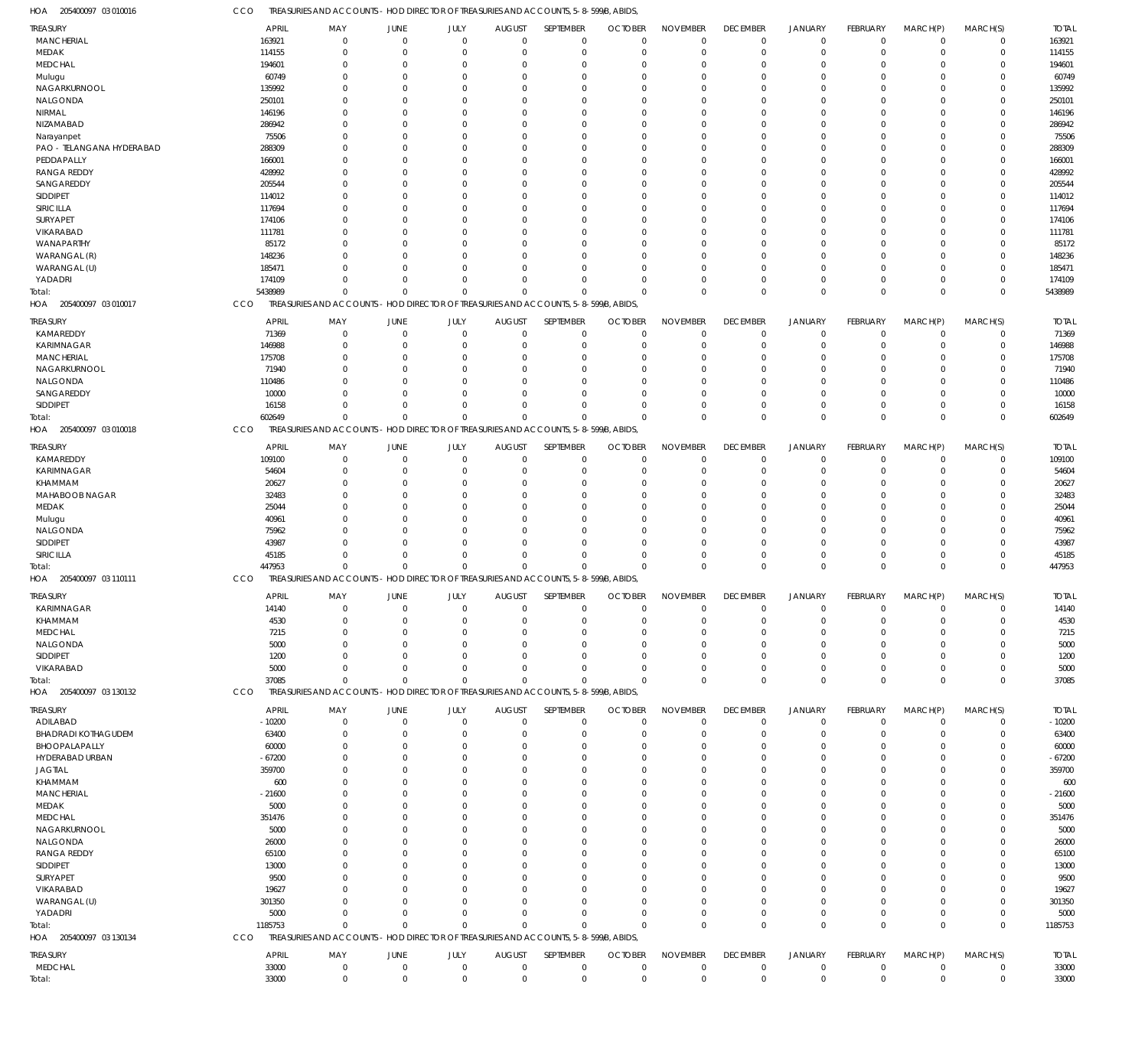CCO TREASURIES AND ACCOUNTS - HOD DIRECTOR OF TREASURIES AND ACCOUNTS, 5-8-599/B, ABIDS,

| HOA<br>205400097 03 010016 | CCO |              | TREASURIES AND ACCOUNTS - HOD DIRECTOR OF TREASURIES AND ACCOUNTS, 5-8-599/B, ABIDS, |             |             |               |             |                |                 |                 |                |                |             |             |              |
|----------------------------|-----|--------------|--------------------------------------------------------------------------------------|-------------|-------------|---------------|-------------|----------------|-----------------|-----------------|----------------|----------------|-------------|-------------|--------------|
| <b>TREASURY</b>            |     | <b>APRIL</b> | MAY                                                                                  | JUNE        | JULY        | <b>AUGUST</b> | SEPTEMBER   | <b>OCTOBER</b> | <b>NOVEMBER</b> | <b>DECEMBER</b> | <b>JANUARY</b> | FEBRUARY       | MARCH(P)    | MARCH(S)    | <b>TOTAL</b> |
| <b>MANCHERIAL</b>          |     | 163921       | $\mathbf 0$                                                                          | $\Omega$    | $\Omega$    | $\Omega$      | $\mathbf 0$ | $\Omega$       | $\Omega$        | $\mathbf 0$     | $\mathbf 0$    | $\Omega$       | $\Omega$    | $\Omega$    | 163921       |
|                            |     |              |                                                                                      |             |             |               |             |                |                 |                 |                |                |             |             |              |
| MEDAK                      |     | 114155       | $\Omega$                                                                             | $\Omega$    | $\Omega$    | $\Omega$      | $\mathbf 0$ | $\Omega$       | $\Omega$        | $\Omega$        | $\mathbf 0$    | $\Omega$       | $\Omega$    | $\Omega$    | 114155       |
| <b>MEDCHAL</b>             |     | 194601       | $\mathbf 0$                                                                          | $\Omega$    | $\Omega$    | $\Omega$      | $\mathbf 0$ | $\Omega$       | $\Omega$        | $\Omega$        | $\mathbf 0$    | $\Omega$       | $\Omega$    | $\Omega$    | 194601       |
| Mulugu                     |     | 60749        | $\Omega$                                                                             | $\Omega$    | $\Omega$    |               | $\Omega$    | $\Omega$       | $\Omega$        | $\Omega$        | $\Omega$       | $\Omega$       | $\Omega$    |             | 60749        |
| NAGARKURNOOL               |     | 135992       | $\Omega$                                                                             |             | $\Omega$    |               | $\Omega$    | $\Omega$       | $\Omega$        | $\Omega$        | $\Omega$       |                | $\Omega$    | $\Omega$    | 135992       |
| NALGONDA                   |     | 250101       | $\Omega$                                                                             | $\Omega$    | $\Omega$    |               | $\Omega$    | $\Omega$       | $\Omega$        | $\Omega$        | $\Omega$       | $\Omega$       | $\Omega$    | $\Omega$    | 250101       |
| NIRMAL                     |     | 146196       | $\Omega$                                                                             |             | $\Omega$    |               | $\Omega$    | $\Omega$       | $\Omega$        | $\Omega$        | $\Omega$       |                | $\Omega$    |             | 146196       |
| NIZAMABAD                  |     | 286942       | $\Omega$                                                                             |             | $\Omega$    |               | $\Omega$    | $\Omega$       | $\Omega$        | $\Omega$        | $\Omega$       |                | $\Omega$    | $\Omega$    | 286942       |
|                            |     |              | $\Omega$                                                                             |             | $\Omega$    |               | $\Omega$    | $\Omega$       | $\Omega$        |                 | $\Omega$       |                | $\Omega$    |             |              |
| Narayanpet                 |     | 75506        |                                                                                      |             |             |               |             |                |                 | $\Omega$        |                |                |             |             | 75506        |
| PAO - TELANGANA HYDERABAD  |     | 288309       | $\Omega$                                                                             | n           | $\Omega$    |               | $\Omega$    | $\Omega$       | $\Omega$        | $\Omega$        | $\Omega$       | $\Omega$       | $\Omega$    | $\Omega$    | 288309       |
| PEDDAPALLY                 |     | 166001       | $\Omega$                                                                             |             | $\Omega$    |               | $\Omega$    | $\Omega$       | $\Omega$        | $\Omega$        | $\Omega$       |                | $\Omega$    |             | 166001       |
| <b>RANGA REDDY</b>         |     | 428992       | $\Omega$                                                                             |             | $\Omega$    |               | $\Omega$    | $\Omega$       | $\Omega$        | $\Omega$        | $\Omega$       | $\Omega$       | $\Omega$    |             | 428992       |
| SANGAREDDY                 |     | 205544       | $\Omega$                                                                             |             | $\Omega$    |               | $\Omega$    | $\Omega$       | $\Omega$        | $\Omega$        | $\Omega$       |                | $\Omega$    |             | 205544       |
| SIDDIPET                   |     | 114012       | $\Omega$                                                                             | $\Omega$    | $\Omega$    |               | $\Omega$    | $\Omega$       | $\Omega$        | $\Omega$        | $\Omega$       | $\Omega$       | $\Omega$    | $\Omega$    | 114012       |
|                            |     |              |                                                                                      |             |             |               |             |                |                 |                 |                |                |             |             |              |
| SIRICILLA                  |     | 117694       | $\Omega$                                                                             |             | $\Omega$    |               | $\Omega$    | $\Omega$       | $\Omega$        | $\Omega$        | $\Omega$       |                | $\Omega$    |             | 117694       |
| SURYAPET                   |     | 174106       | $\Omega$                                                                             |             | $\Omega$    |               | $\Omega$    | $\Omega$       | $\Omega$        | $\Omega$        | $\Omega$       |                | $\Omega$    |             | 174106       |
| VIKARABAD                  |     | 111781       | $\Omega$                                                                             |             | $\Omega$    |               | $\Omega$    | $\Omega$       | $\Omega$        | $\Omega$        | $\Omega$       |                | $\Omega$    | $\Omega$    | 111781       |
| WANAPARTHY                 |     | 85172        | $\Omega$                                                                             | $\Omega$    | $\Omega$    |               | $\Omega$    | $\Omega$       | $\Omega$        | $\Omega$        | $\Omega$       | $\Omega$       | $\Omega$    | $\Omega$    | 85172        |
| WARANGAL (R)               |     | 148236       | $\Omega$                                                                             |             | $\Omega$    |               | $\Omega$    | $\Omega$       | $\Omega$        | $\Omega$        | $\Omega$       |                | $\Omega$    |             | 148236       |
| WARANGAL (U)               |     | 185471       | $\Omega$                                                                             |             | $\Omega$    |               | $\Omega$    | $\Omega$       | $\Omega$        | $\Omega$        | $\Omega$       | $\Omega$       | $\Omega$    | $\Omega$    | 185471       |
|                            |     |              |                                                                                      |             |             |               |             |                |                 |                 |                |                |             |             |              |
| YADADRI                    |     | 174109       | $\Omega$                                                                             | $\Omega$    | $\Omega$    | $\Omega$      | $\Omega$    | $\Omega$       | $\Omega$        | $\Omega$        | $\mathbf 0$    | $\Omega$       | $\Omega$    | $\Omega$    | 174109       |
| Total:                     |     | 5438989      | $\Omega$                                                                             | $\Omega$    | $\Omega$    | $\Omega$      | $\Omega$    | $\cap$         | $\Omega$        | $\Omega$        | $\Omega$       | $\Omega$       | $\Omega$    | $\Omega$    | 5438989      |
| HOA<br>205400097 03 010017 | CCO |              | TREASURIES AND ACCOUNTS - HOD DIRECTOR OF TREASURIES AND ACCOUNTS, 5-8-599/B, ABIDS, |             |             |               |             |                |                 |                 |                |                |             |             |              |
|                            |     |              |                                                                                      |             |             |               |             |                |                 |                 |                |                |             |             |              |
| <b>TREASURY</b>            |     | APRIL        | MAY                                                                                  | <b>JUNE</b> | JULY        | <b>AUGUST</b> | SEPTEMBER   | <b>OCTOBER</b> | <b>NOVEMBER</b> | <b>DECEMBER</b> | <b>JANUARY</b> | FEBRUARY       | MARCH(P)    | MARCH(S)    | <b>TOTAL</b> |
| KAMAREDDY                  |     | 71369        | $\mathbf 0$                                                                          | $\Omega$    | $\mathbf 0$ | $\Omega$      | $\mathbf 0$ | $\Omega$       | $\Omega$        | $\mathbf 0$     | $\mathbf 0$    | $\Omega$       | $\Omega$    | 0           | 71369        |
| KARIMNAGAR                 |     | 146988       | $\mathbf 0$                                                                          | $\Omega$    | $\Omega$    |               | $\mathbf 0$ | $\Omega$       | $\Omega$        | $\Omega$        | $\mathbf 0$    |                | $\Omega$    | $^{\circ}$  | 146988       |
| MANCHERIAL                 |     | 175708       | $\Omega$                                                                             |             | $\Omega$    |               | $\Omega$    | $\Omega$       | $\Omega$        | $\Omega$        | $\Omega$       |                | $\Omega$    |             | 175708       |
| NAGARKURNOOL               |     | 71940        | $\Omega$                                                                             |             | $\Omega$    |               | $\mathbf 0$ |                | $\Omega$        | $\Omega$        | $\mathbf 0$    |                | $\Omega$    | $\Omega$    | 71940        |
| NALGONDA                   |     | 110486       | $\Omega$                                                                             |             | $\Omega$    |               | $\Omega$    | $\Omega$       | $\Omega$        | $\Omega$        | $\Omega$       |                | $\Omega$    |             | 110486       |
|                            |     |              |                                                                                      |             |             |               |             |                |                 |                 |                |                |             |             |              |
| SANGAREDDY                 |     | 10000        | $\Omega$                                                                             |             | $\Omega$    |               | $\Omega$    | $\Omega$       | $\Omega$        | $\Omega$        | $\Omega$       |                | $\Omega$    | $\Omega$    | 10000        |
| <b>SIDDIPET</b>            |     | 16158        | $\Omega$                                                                             |             | $\Omega$    | $\Omega$      | $\Omega$    | $\Omega$       | $\Omega$        | $\Omega$        | $\mathbf 0$    | $\Omega$       | $\Omega$    | $\Omega$    | 16158        |
| Total:                     |     | 602649       | $\Omega$                                                                             | $\cap$      | $\Omega$    | $\Omega$      | $\Omega$    | $\Omega$       | $\Omega$        | $\Omega$        | $\Omega$       | $\Omega$       | $\Omega$    | $\Omega$    | 602649       |
| 205400097 03 010018<br>HOA | CCO |              | TREASURIES AND ACCOUNTS - HOD DIRECTOR OF TREASURIES AND ACCOUNTS, 5-8-599/B, ABIDS, |             |             |               |             |                |                 |                 |                |                |             |             |              |
|                            |     |              |                                                                                      |             |             |               |             |                |                 |                 |                |                |             |             |              |
| <b>TREASURY</b>            |     | <b>APRIL</b> | MAY                                                                                  | JUNE        | JULY        | <b>AUGUST</b> | SEPTEMBER   | <b>OCTOBER</b> | <b>NOVEMBER</b> | <b>DECEMBER</b> | <b>JANUARY</b> | FEBRUARY       | MARCH(P)    | MARCH(S)    | <b>TOTAL</b> |
| KAMAREDDY                  |     | 109100       | $\overline{0}$                                                                       | $\Omega$    | $\mathbf 0$ | $\Omega$      | $\mathbf 0$ | $\Omega$       | $\Omega$        | $\mathbf 0$     | $\mathbf 0$    | $\Omega$       | $\Omega$    | $\Omega$    | 109100       |
| KARIMNAGAR                 |     | 54604        | $\mathbf 0$                                                                          | $\Omega$    | $\Omega$    | $\Omega$      | $\mathbf 0$ | $\Omega$       | $\Omega$        | $\Omega$        | $\mathbf 0$    | $\Omega$       | $\Omega$    | $\Omega$    | 54604        |
| KHAMMAM                    |     | 20627        | $\Omega$                                                                             | $\Omega$    | $\Omega$    | $\Omega$      | $\Omega$    | $\Omega$       | $\Omega$        | $\Omega$        | $\Omega$       | $\Omega$       | $\Omega$    | $\Omega$    | 20627        |
| MAHABOOB NAGAR             |     | 32483        | $\mathbf 0$                                                                          |             | $\Omega$    |               | $\mathbf 0$ | $\Omega$       | $\Omega$        | $\Omega$        | $\mathbf 0$    |                | $\Omega$    | $\Omega$    | 32483        |
|                            |     |              |                                                                                      |             |             |               |             |                |                 |                 |                |                |             |             |              |
| MEDAK                      |     | 25044        | $\Omega$                                                                             | $\Omega$    | $\Omega$    |               | $\Omega$    | $\Omega$       | $\Omega$        | $\Omega$        | $\Omega$       | $\Omega$       | $\Omega$    | $\Omega$    | 25044        |
| Mulugu                     |     | 40961        | $\Omega$                                                                             |             | $\Omega$    |               | $\Omega$    | ſ              | $\Omega$        | $\Omega$        | $\Omega$       |                | $\Omega$    | $\Omega$    | 40961        |
| NALGONDA                   |     | 75962        | $\Omega$                                                                             | $\cap$      | $\Omega$    |               | $\Omega$    | $\Omega$       | $\Omega$        | $\Omega$        | $\Omega$       | $\Omega$       | $\Omega$    | $\Omega$    | 75962        |
| SIDDIPET                   |     | 43987        | $\Omega$                                                                             | $\Omega$    | $\Omega$    | $\Omega$      | $\Omega$    | $\Omega$       | $\Omega$        | $\Omega$        | $\Omega$       | $\Omega$       | $\Omega$    | $\Omega$    | 43987        |
| SIRICILLA                  |     | 45185        | $\Omega$                                                                             | $\Omega$    | $\Omega$    | $\Omega$      | $\Omega$    | $\Omega$       | $\Omega$        | $\Omega$        | $\mathbf 0$    | $\Omega$       | $\Omega$    | $\Omega$    | 45185        |
|                            |     | 447953       | $\Omega$                                                                             | $\Omega$    | $\Omega$    | $\Omega$      | $\Omega$    | $\Omega$       | $\Omega$        | $\Omega$        | $\mathbf{0}$   | $\Omega$       | $\Omega$    | $\Omega$    | 447953       |
| Total:                     |     |              |                                                                                      |             |             |               |             |                |                 |                 |                |                |             |             |              |
| HOA 205400097 03 110111    | CCO |              | TREASURIES AND ACCOUNTS - HOD DIRECTOR OF TREASURIES AND ACCOUNTS, 5-8-599/B, ABIDS, |             |             |               |             |                |                 |                 |                |                |             |             |              |
| TREASURY                   |     | <b>APRIL</b> | MAY                                                                                  | JUNE        | JULY        | <b>AUGUST</b> | SEPTEMBER   | <b>OCTOBER</b> | <b>NOVEMBER</b> | <b>DECEMBER</b> | <b>JANUARY</b> | FEBRUARY       | MARCH(P)    | MARCH(S)    | <b>TOTAL</b> |
| KARIMNAGAR                 |     | 14140        | 0                                                                                    |             |             |               | $\Omega$    |                |                 |                 |                |                |             |             | 14140        |
|                            |     |              |                                                                                      |             |             |               |             |                |                 |                 |                |                |             |             |              |
| KHAMMAM                    |     | 4530         | $\Omega$                                                                             |             | $\Omega$    |               | $\Omega$    | $\Omega$       | $\Omega$        | $\Omega$        | $\Omega$       |                | $\Omega$    |             | 4530         |
| MEDCHAL                    |     | 7215         | $\mathbf 0$                                                                          |             | $\Omega$    |               | $\Omega$    | $\Omega$       | $\mathbf 0$     | $\Omega$        | $\mathbf 0$    |                | $\Omega$    | $\Omega$    | 7215         |
| NALGONDA                   |     | 5000         | $\Omega$                                                                             |             | $\cap$      |               | $\Omega$    | $\Omega$       | $\Omega$        | $\Omega$        | $\Omega$       |                | $\Omega$    |             | 5000         |
| SIDDIPET                   |     | 1200         | $\Omega$                                                                             |             | $\Omega$    |               | $\Omega$    | $\Omega$       | $\Omega$        | $\Omega$        | $\Omega$       |                | $\Omega$    | $\Omega$    | 1200         |
| VIKARABAD                  |     | 5000         | $\mathbf 0$                                                                          |             | $\Omega$    | $\Omega$      | $\Omega$    | $\Omega$       | $\Omega$        | $\Omega$        | $\mathbf 0$    | $\Omega$       | $\Omega$    | $\Omega$    | 5000         |
| Total:                     |     | 37085        | $\mathbf{0}$                                                                         | $\cap$      | $\Omega$    | $\Omega$      | $\Omega$    | $\Omega$       | $\Omega$        | $\Omega$        | $\mathbf{0}$   | $\Omega$       | $\Omega$    | $\Omega$    | 37085        |
|                            |     |              |                                                                                      |             |             |               |             |                |                 |                 |                |                |             |             |              |
| HOA 205400097 03 130132    | CCO |              | TREASURIES AND ACCOUNTS - HOD DIRECTOR OF TREASURIES AND ACCOUNTS, 5-8-599/B, ABIDS, |             |             |               |             |                |                 |                 |                |                |             |             |              |
| TREASURY                   |     | <b>APRIL</b> | MAY                                                                                  | JUNE        | JULY        | <b>AUGUST</b> | SEPTEMBER   | <b>OCTOBER</b> | <b>NOVEMBER</b> | <b>DECEMBER</b> | <b>JANUARY</b> | FEBRUARY       | MARCH(P)    | MARCH(S)    | <b>TOTAL</b> |
| ADILABAD                   |     | $-10200$     | $\mathbf 0$                                                                          | $\Omega$    | $\mathbf 0$ | $\Omega$      | $\mathbf 0$ | $\Omega$       | $\mathbf{0}$    | $\mathbf 0$     | $\mathbf 0$    | $\Omega$       | $\Omega$    | $\Omega$    | $-10200$     |
| <b>BHADRADI KOTHAGUDEM</b> |     | 63400        | $\mathbf 0$                                                                          | $\Omega$    | $\Omega$    | $\Omega$      | $\mathbf 0$ | $\Omega$       | $\Omega$        | $\Omega$        | $\mathbf 0$    | $\Omega$       | $\Omega$    | $\Omega$    | 63400        |
|                            |     |              |                                                                                      |             |             |               |             |                |                 |                 |                |                |             |             |              |
| BHOOPALAPALLY              |     | 60000        | $\Omega$                                                                             | $\Omega$    | $\Omega$    | $\cap$        | $\Omega$    | $\Omega$       | $\Omega$        | $\Omega$        | $\Omega$       | $\Omega$       | $\Omega$    | $\Omega$    | 60000        |
| HYDERABAD URBAN            |     | $-67200$     | $\mathbf 0$                                                                          |             | $\Omega$    | $\Omega$      | $\mathbf 0$ | $\Omega$       | $\Omega$        | $\Omega$        | $\mathbf 0$    | $\Omega$       | $\Omega$    | $\Omega$    | $-67200$     |
| <b>JAGTIAL</b>             |     | 359700       | $\Omega$                                                                             | $\Omega$    | $\Omega$    |               | $\Omega$    | $\Omega$       | $\Omega$        | $\Omega$        | $\Omega$       | $\Omega$       | $\Omega$    |             | 359700       |
| KHAMMAM                    |     | 600          | $\Omega$                                                                             |             | $\Omega$    |               | $\Omega$    | $\Omega$       | $\Omega$        | $\Omega$        | $\Omega$       |                | $\Omega$    |             | 600          |
| MANCHERIAL                 |     | $-21600$     | $\Omega$                                                                             | $\Omega$    | $\Omega$    |               | $\Omega$    | $\Omega$       | $\Omega$        | $\Omega$        | $\Omega$       | $\Omega$       | $\Omega$    | $\Omega$    | $-21600$     |
| MEDAK                      |     | 5000         | $\Omega$                                                                             |             | $\Omega$    |               | $\Omega$    | $\Omega$       | $\Omega$        | $\Omega$        | $\Omega$       |                | $\Omega$    |             | 5000         |
|                            |     |              |                                                                                      |             |             |               |             |                |                 |                 |                |                |             |             |              |
| <b>MEDCHAL</b>             |     | 351476       | $\Omega$                                                                             |             | $\Omega$    |               | $\Omega$    | $\Omega$       | $\Omega$        | $\Omega$        | $\Omega$       |                | $\Omega$    |             | 351476       |
| NAGARKURNOOL               |     | 5000         | $\Omega$                                                                             |             | $\Omega$    |               | $\Omega$    | $\Omega$       | $\Omega$        | $\Omega$        | $\Omega$       |                | $\Omega$    |             | 5000         |
| NALGONDA                   |     | 26000        | $\Omega$                                                                             | $\Omega$    | $\Omega$    |               | $\Omega$    | $\Omega$       | $\Omega$        | $\Omega$        | $\Omega$       | $\Omega$       | $\Omega$    | $\Omega$    | 26000        |
| <b>RANGA REDDY</b>         |     | 65100        | $\mathbf 0$                                                                          |             | $\Omega$    |               | $\Omega$    | $\Omega$       | $\Omega$        | $\Omega$        | $\Omega$       |                | $\Omega$    |             | 65100        |
| SIDDIPET                   |     | 13000        | $\Omega$                                                                             |             | $\Omega$    |               | $\Omega$    | $\Omega$       | $\Omega$        | $\Omega$        | $\Omega$       |                | $\Omega$    |             | 13000        |
|                            |     |              |                                                                                      |             |             |               |             |                |                 |                 |                |                |             |             |              |
| SURYAPET                   |     | 9500         | $\Omega$                                                                             |             | $\Omega$    |               | $\Omega$    | $\Omega$       | $\Omega$        | $\Omega$        | $\Omega$       |                | $\Omega$    |             | 9500         |
| VIKARABAD                  |     | 19627        | $\Omega$                                                                             | $\cap$      | $\Omega$    |               | $\Omega$    | $\Omega$       | $\Omega$        | $\Omega$        | $\Omega$       | $\Omega$       | $\Omega$    | $\Omega$    | 19627        |
| WARANGAL (U)               |     | 301350       | $\mathbf 0$                                                                          | $\Omega$    | $\Omega$    |               | $\Omega$    | $\Omega$       | $\Omega$        | $\Omega$        | $\Omega$       | $\Omega$       | $\Omega$    | $\Omega$    | 301350       |
| YADADRI                    |     | 5000         | $\Omega$                                                                             | $\Omega$    | $\Omega$    | $\Omega$      | $\Omega$    | $\Omega$       | $\Omega$        | $\Omega$        | $\mathbf 0$    | $\Omega$       | $\Omega$    | $\Omega$    | 5000         |
| Total:                     |     | 1185753      | $\mathbf{0}$                                                                         | $\Omega$    | $\Omega$    | $\Omega$      | $\Omega$    | $\Omega$       | $\Omega$        | $\Omega$        | $\mathbf{0}$   | $\Omega$       | $\Omega$    | $\Omega$    | 1185753      |
| HOA 205400097 03 130134    | CCO |              | TREASURIES AND ACCOUNTS - HOD DIRECTOR OF TREASURIES AND ACCOUNTS, 5-8-599/B, ABIDS, |             |             |               |             |                |                 |                 |                |                |             |             |              |
|                            |     |              |                                                                                      |             |             |               |             |                |                 |                 |                |                |             |             |              |
| <b>TREASURY</b>            |     | APRIL        | MAY                                                                                  | JUNE        | JULY        | <b>AUGUST</b> | SEPTEMBER   | <b>OCTOBER</b> | <b>NOVEMBER</b> | <b>DECEMBER</b> | <b>JANUARY</b> | FEBRUARY       | MARCH(P)    | MARCH(S)    | <b>TOTAL</b> |
| <b>MEDCHAL</b>             |     | 33000        | $\overline{0}$                                                                       | $\mathbf 0$ | $\mathbf 0$ | $\mathbf 0$   | $\mathbf 0$ | $\overline{0}$ | $\mathbf 0$     | $\mathbf 0$     | $\mathbf 0$    | $\overline{0}$ | $\mathbf 0$ | $\mathbf 0$ | 33000        |
|                            |     | 33000        | $\mathbf 0$                                                                          |             | $\mathbf 0$ |               | $\mathbf 0$ |                | $\mathbf 0$     |                 | $\mathbf 0$    | $\mathbf{0}$   | $\mathbf 0$ | $\mathbf 0$ |              |
| Total:                     |     |              |                                                                                      | $\mathbf 0$ |             | $\mathbf 0$   |             | $\mathbf 0$    |                 | $\mathbf 0$     |                |                |             |             | 33000        |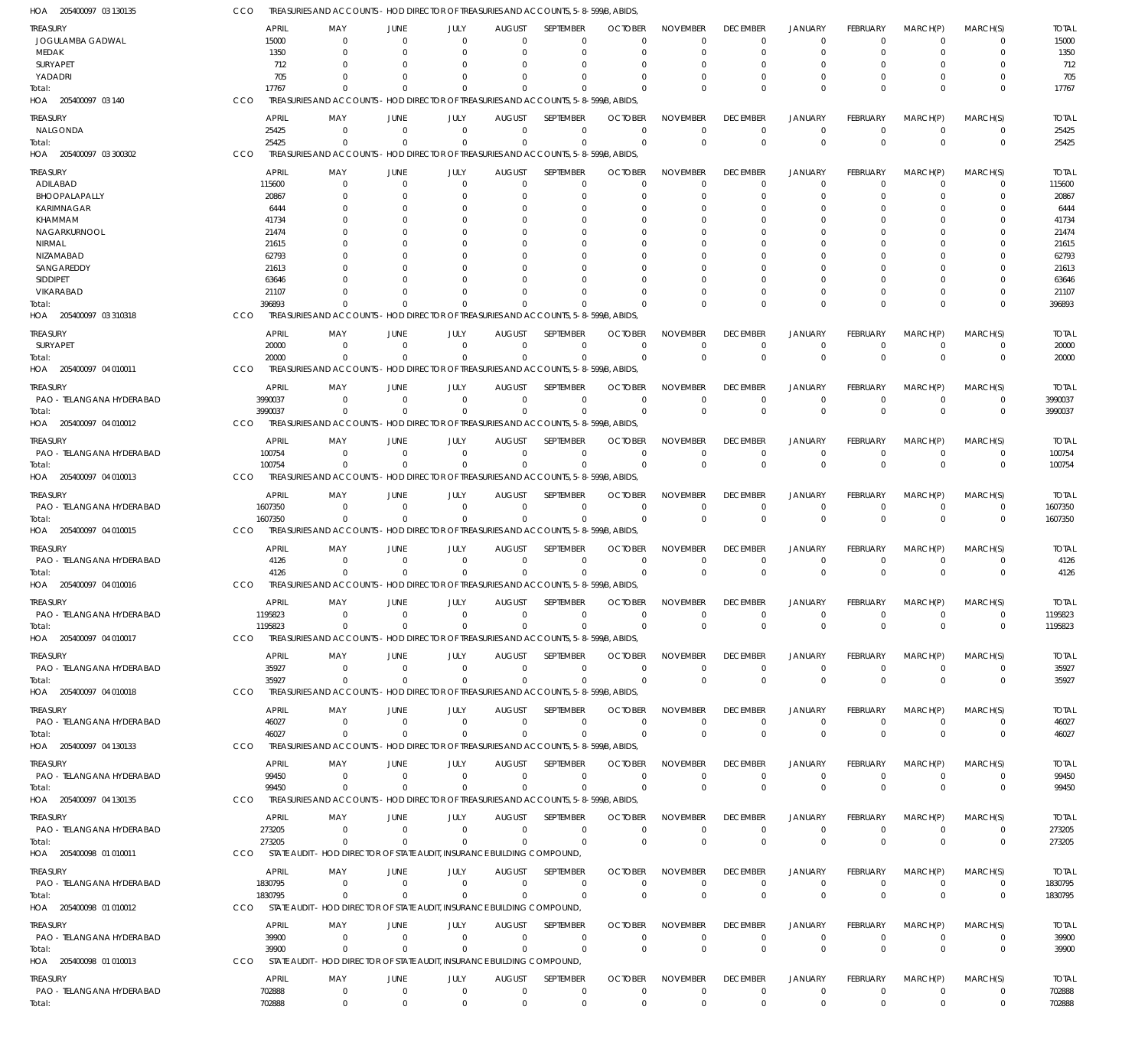| HOA<br>205400097 03 130135                   | ссо |                    | TREASURIES AND ACCOUNTS                                                               |                            |                            |                              | - HOD DIRECTOR OF TREASURIES AND ACCOUNTS, 5-8-599/B, ABIDS                                      |                               |                                   |                                |                                  |                             |                             |                            |                      |
|----------------------------------------------|-----|--------------------|---------------------------------------------------------------------------------------|----------------------------|----------------------------|------------------------------|--------------------------------------------------------------------------------------------------|-------------------------------|-----------------------------------|--------------------------------|----------------------------------|-----------------------------|-----------------------------|----------------------------|----------------------|
| <b>TREASURY</b>                              |     | <b>APRIL</b>       | MAY                                                                                   | JUNE                       | JULY                       | <b>AUGUST</b>                | SEPTEMBER                                                                                        | <b>OCTOBER</b>                | <b>NOVEMBER</b>                   | <b>DECEMBER</b>                | <b>JANUARY</b>                   | <b>FEBRUARY</b>             | MARCH(P)                    | MARCH(S)                   | <b>TOTAL</b>         |
| JOGULAMBA GADWAL                             |     | 15000              | $\overline{0}$                                                                        | $\Omega$                   | $\Omega$                   | $\Omega$                     | $\Omega$                                                                                         | $\Omega$                      | $\mathbf 0$                       | $\mathbf 0$                    | $\Omega$                         | $\Omega$                    | $\Omega$                    | 0                          | 15000                |
| MEDAK                                        |     | 1350               | $\Omega$                                                                              | $\Omega$                   | $\Omega$                   | $\Omega$                     | $\Omega$                                                                                         | $\Omega$                      | $\Omega$                          | $\mathbf 0$                    | $\Omega$                         | $\Omega$                    | $\Omega$                    | $\mathbf 0$                | 1350                 |
| SURYAPET                                     |     | 712                | - 0<br>$\Omega$                                                                       |                            | $\Omega$                   |                              | $\Omega$                                                                                         |                               | $\Omega$<br>$\Omega$              | 0                              |                                  |                             |                             | $\Omega$                   | 712                  |
| YADADRI<br>Total:                            |     | 705<br>17767       | $\Omega$                                                                              | <sup>0</sup><br>$\Omega$   | $\Omega$<br>$\mathbf{0}$   | 0<br>$\Omega$                | $\Omega$<br>$\Omega$                                                                             | $\Omega$<br>$\Omega$          | $\Omega$                          | $\Omega$<br>$\Omega$           | $\Omega$<br>$\Omega$             | 0<br>$\Omega$               | $\Omega$<br>$\Omega$        | $\mathbf 0$<br>$\mathbf 0$ | 705<br>17767         |
| HOA 205400097 03 140                         | CCO |                    |                                                                                       |                            |                            |                              | TREASURIES AND ACCOUNTS - HOD DIRECTOR OF TREASURIES AND ACCOUNTS, 5-8-599/B, ABIDS,             |                               |                                   |                                |                                  |                             |                             |                            |                      |
|                                              |     | <b>APRIL</b>       | MAY                                                                                   | <b>JUNE</b>                |                            |                              | SEPTEMBER                                                                                        | <b>OCTOBER</b>                |                                   |                                |                                  | <b>FEBRUARY</b>             |                             | MARCH(S)                   | <b>TOTAL</b>         |
| <b>TREASURY</b><br>NALGONDA                  |     | 25425              | $\overline{0}$                                                                        | $\Omega$                   | JULY<br>$\overline{0}$     | <b>AUGUST</b><br>$\mathbf 0$ | $\overline{0}$                                                                                   | $\mathbf 0$                   | <b>NOVEMBER</b><br>$\overline{0}$ | <b>DECEMBER</b><br>$\mathbf 0$ | <b>JANUARY</b><br>$\overline{0}$ | $\Omega$                    | MARCH(P)<br>$\mathbf 0$     | $\mathbf 0$                | 25425                |
| Total:                                       |     | 25425              | $\Omega$                                                                              | $\Omega$                   | $\overline{0}$             | $\mathbf 0$                  | $\overline{0}$                                                                                   | $\Omega$                      | $\Omega$                          | $\mathbf 0$                    | $\overline{0}$                   | $\mathbf 0$                 | $\Omega$                    | $\mathbf 0$                | 25425                |
| HOA 205400097 03 300302                      | CCO |                    | <b>TREASURIES AND ACCOUNTS</b>                                                        |                            |                            |                              | - HOD DIRECTOR OF TREASURIES AND ACCOUNTS, 5-8-599/B, ABIDS,                                     |                               |                                   |                                |                                  |                             |                             |                            |                      |
| <b>TREASURY</b>                              |     | <b>APRIL</b>       | MAY                                                                                   | JUNE                       | JULY                       | <b>AUGUST</b>                | SEPTEMBER                                                                                        | <b>OCTOBER</b>                | <b>NOVEMBER</b>                   | <b>DECEMBER</b>                | <b>JANUARY</b>                   | <b>FEBRUARY</b>             | MARCH(P)                    | MARCH(S)                   | <b>TOTAL</b>         |
| ADILABAD                                     |     | 115600             | $\overline{0}$                                                                        | $\Omega$                   | $\Omega$                   | $\mathbf 0$                  | $\mathbf 0$                                                                                      | $\Omega$                      | $\mathbf 0$                       | $\mathbf 0$                    | $^{\circ}$                       | $\Omega$                    | $\Omega$                    | 0                          | 115600               |
| BHOOPALAPALLY                                |     | 20867              | $\Omega$                                                                              | $\Omega$                   | $\Omega$                   | $\Omega$                     | $\Omega$                                                                                         | $\Omega$                      | $\Omega$                          | $\Omega$                       | $\Omega$                         | 0                           | 0                           | $\mathbf 0$                | 20867                |
| KARIMNAGAR                                   |     | 6444               | - 0                                                                                   |                            |                            |                              | $\Omega$                                                                                         |                               | $\Omega$                          |                                |                                  |                             |                             | $\Omega$                   | 6444                 |
| KHAMMAM                                      |     | 41734              | $\Omega$                                                                              |                            |                            |                              | $\Omega$                                                                                         |                               | $\Omega$                          |                                |                                  |                             | O                           | $\Omega$                   | 41734                |
| NAGARKURNOOL                                 |     | 21474              | $\Omega$                                                                              |                            | $\Omega$                   |                              |                                                                                                  |                               |                                   |                                |                                  |                             | O                           | $\Omega$                   | 21474                |
| <b>NIRMAL</b><br>NIZAMABAD                   |     | 21615<br>62793     | $\Omega$                                                                              |                            | $\Omega$                   |                              | $\Omega$                                                                                         |                               |                                   |                                | n                                | C                           | 0<br>O                      | $\Omega$<br>$\Omega$       | 21615<br>62793       |
| SANGAREDDY                                   |     | 21613              | $\Omega$                                                                              |                            |                            |                              | O                                                                                                |                               | $\Omega$                          |                                | n                                | C                           | O                           | $\Omega$                   | 21613                |
| SIDDIPET                                     |     | 63646              | - 0                                                                                   |                            |                            |                              |                                                                                                  |                               |                                   |                                |                                  |                             | 0                           | $\Omega$                   | 63646                |
| VIKARABAD                                    |     | 21107              | $\cap$                                                                                |                            | $\Omega$                   | U                            | $\Omega$                                                                                         | $\Omega$                      | $\Omega$                          | $\Omega$                       | $\Omega$                         | 0                           | $\Omega$                    | $\mathbf 0$                | 21107                |
| Total:                                       |     | 396893             | $\Omega$                                                                              | $\Omega$                   | $\Omega$                   | $\Omega$                     | $\Omega$                                                                                         |                               | $\cap$                            | $\Omega$                       | $\Omega$                         | $\Omega$                    | $\Omega$                    | $\Omega$                   | 396893               |
| HOA 205400097 03 310318                      | CCO |                    | <b>TREASURIES AND ACCOUNTS</b>                                                        |                            |                            |                              | - HOD DIRECTOR OF TREASURIES AND ACCOUNTS, 5-8-599/B, ABIDS                                      |                               |                                   |                                |                                  |                             |                             |                            |                      |
| <b>TREASURY</b>                              |     | <b>APRIL</b>       | MAY                                                                                   | <b>JUNE</b>                | JULY                       | <b>AUGUST</b>                | SEPTEMBER                                                                                        | <b>OCTOBER</b>                | <b>NOVEMBER</b>                   | <b>DECEMBER</b>                | <b>JANUARY</b>                   | <b>FEBRUARY</b>             | MARCH(P)                    | MARCH(S)                   | <b>TOTAL</b>         |
| SURYAPET                                     |     | 20000              | $\overline{0}$                                                                        | $\overline{0}$             | $\overline{0}$             | $\mathbf 0$                  | $\overline{0}$                                                                                   | $\mathbf 0$                   | $\mathbf 0$                       | $\mathbf 0$                    | $\overline{0}$                   | $\mathbf 0$                 | $\mathbf 0$                 | $\mathbf 0$                | 20000                |
| Total:                                       |     | 20000              | $\Omega$                                                                              | $\Omega$                   | $\mathbf{0}$               | $\mathbf 0$                  | $\overline{0}$                                                                                   | $\Omega$                      | $\Omega$                          | $\mathbf 0$                    | $\overline{0}$                   | $\mathbf 0$                 | $\overline{0}$              | $\mathbf 0$                | 20000                |
| HOA 205400097 04 010011                      | CCO |                    |                                                                                       |                            |                            |                              | TREASURIES AND ACCOUNTS - HOD DIRECTOR OF TREASURIES AND ACCOUNTS, 5-8-599/B, ABIDS,             |                               |                                   |                                |                                  |                             |                             |                            |                      |
| <b>TREASURY</b>                              |     | <b>APRIL</b>       | MAY                                                                                   | <b>JUNE</b>                | JULY                       | <b>AUGUST</b>                | SEPTEMBER                                                                                        | <b>OCTOBER</b>                | <b>NOVEMBER</b>                   | <b>DECEMBER</b>                | <b>JANUARY</b>                   | <b>FEBRUARY</b>             | MARCH(P)                    | MARCH(S)                   | <b>TOTAL</b>         |
| PAO - TELANGANA HYDERABAD                    |     | 3990037            | $\Omega$                                                                              | $\Omega$                   | $\Omega$                   | $\mathbf{0}$                 | $\overline{0}$                                                                                   | $\Omega$                      | $\mathbf 0$                       | $\mathbf 0$                    | $\overline{0}$                   | $\Omega$                    | $\mathbf 0$                 | 0                          | 3990037              |
| Total:                                       |     | 3990037            | $\Omega$                                                                              | $\Omega$                   | $\Omega$                   | $\mathbf 0$                  | $\Omega$                                                                                         | $\Omega$                      | $\Omega$                          | $\Omega$                       | $\Omega$                         | $\Omega$                    | $\Omega$                    | $\mathbf 0$                | 3990037              |
| HOA<br>205400097 04 010012                   | CCO |                    | <b>TREASURIES AND ACCOUNTS</b>                                                        |                            |                            |                              | HOD DIRECTOR OF TREASURIES AND ACCOUNTS, 5-8-599/B, ABIDS                                        |                               |                                   |                                |                                  |                             |                             |                            |                      |
| <b>TREASURY</b>                              |     | <b>APRIL</b>       | MAY                                                                                   | JUNE                       | JULY                       | <b>AUGUST</b>                | SEPTEMBER                                                                                        | <b>OCTOBER</b>                | <b>NOVEMBER</b>                   | <b>DECEMBER</b>                | <b>JANUARY</b>                   | <b>FEBRUARY</b>             | MARCH(P)                    | MARCH(S)                   | <b>TOTAL</b>         |
| PAO - TELANGANA HYDERABAD                    |     | 100754             | $\overline{0}$                                                                        | $\overline{0}$             | $\overline{0}$             | $\mathbf{0}$                 | $\mathbf 0$                                                                                      | $\overline{0}$                | $\overline{0}$                    | $\mathbf 0$                    | $\overline{0}$                   | $\mathbf 0$                 | $\mathbf 0$                 | $\mathbf 0$                | 100754               |
| Total:<br>HOA 205400097 04 010013            | CCO | 100754             | $\Omega$                                                                              | $\overline{0}$             | $\mathbf{0}$               | $\Omega$                     | $\Omega$<br>TREASURIES AND ACCOUNTS - HOD DIRECTOR OF TREASURIES AND ACCOUNTS, 5-8-599/B, ABIDS, | $\Omega$                      | $\Omega$                          | $\mathbf 0$                    | $\Omega$                         | $\Omega$                    | $\Omega$                    | $\mathbf 0$                | 100754               |
|                                              |     |                    |                                                                                       |                            |                            |                              |                                                                                                  |                               |                                   |                                |                                  |                             |                             |                            |                      |
| <b>TREASURY</b>                              |     | <b>APRIL</b>       | MAY                                                                                   | JUNE                       | JULY                       | <b>AUGUST</b>                | SEPTEMBER                                                                                        | <b>OCTOBER</b>                | <b>NOVEMBER</b>                   | <b>DECEMBER</b>                | <b>JANUARY</b>                   | <b>FEBRUARY</b>             | MARCH(P)                    | MARCH(S)                   | <b>TOTAL</b>         |
| PAO - TELANGANA HYDERABAD                    |     | 1607350<br>1607350 | $\Omega$<br>$\Omega$                                                                  | $\overline{0}$<br>$\Omega$ | $\mathbf 0$<br>$\mathbf 0$ | $\mathbf 0$<br>$\mathbf 0$   | $\mathbf 0$<br>$\Omega$                                                                          | $\overline{0}$<br>$\Omega$    | $\overline{0}$<br>$\Omega$        | $\mathbf 0$<br>$\mathbf 0$     | $\overline{0}$<br>$\overline{0}$ | $\Omega$<br>$\Omega$        | $\mathbf 0$<br>$\mathbf{0}$ | 0<br>$\mathbf 0$           | 1607350<br>1607350   |
| Total:<br>205400097 04 010015<br>HOA         | CCO |                    |                                                                                       |                            |                            |                              | TREASURIES AND ACCOUNTS - HOD DIRECTOR OF TREASURIES AND ACCOUNTS, 5-8-599/B, ABIDS,             |                               |                                   |                                |                                  |                             |                             |                            |                      |
|                                              |     |                    |                                                                                       |                            |                            |                              |                                                                                                  |                               |                                   |                                |                                  |                             |                             |                            |                      |
| <b>TREASURY</b><br>PAO - TELANGANA HYDERABAD |     | <b>APRIL</b>       | MAY<br>$\Omega$                                                                       | <b>JUNE</b><br>$\Omega$    | JULY<br>$\Omega$           | <b>AUGUST</b><br>$\mathbf 0$ | SEPTEMBER<br>$\mathbf 0$                                                                         | <b>OCTOBER</b><br>$\mathbf 0$ | <b>NOVEMBER</b><br>$\mathbf 0$    | <b>DECEMBER</b><br>$\mathbf 0$ | <b>JANUARY</b><br>$\overline{0}$ | <b>FEBRUARY</b><br>$\Omega$ | MARCH(P)<br>$\mathbf 0$     | MARCH(S)<br>$\mathbf 0$    | <b>TOTAL</b><br>4126 |
| Total:                                       |     | 4126<br>4126       | $\Omega$                                                                              | $\Omega$                   | $\mathbf{0}$               | $\mathbf 0$                  | $\Omega$                                                                                         | $\Omega$                      | $\Omega$                          | $\mathbf 0$                    | $\overline{0}$                   | $\mathbf 0$                 | $\Omega$                    | $\mathbf 0$                | 4126                 |
| 205400097 04 010016<br>HOA                   | CCO |                    |                                                                                       |                            |                            |                              | TREASURIES AND ACCOUNTS - HOD DIRECTOR OF TREASURIES AND ACCOUNTS, 5-8-599/B, ABIDS,             |                               |                                   |                                |                                  |                             |                             |                            |                      |
| <b>TREASURY</b>                              |     | <b>APRIL</b>       | MAY                                                                                   | <b>JUNE</b>                | <b>JULY</b>                | <b>AUGUST</b>                | <b>SEPTEMBER</b>                                                                                 | <b>OCTOBER</b>                | <b>NOVEMBER</b>                   | <b>DECEMBER</b>                | <b>JANUARY</b>                   | <b>FEBRUARY</b>             | MARCH(P)                    |                            | <b>TOTAL</b>         |
| PAO - TELANGANA HYDERABAD                    |     | 1195823            | - 0                                                                                   |                            | $\Omega$                   | 0                            | $\Omega$                                                                                         | $\Omega$                      | $\Omega$                          | $\Omega$                       | $\Omega$                         | $\mathbf 0$                 | $\mathbf 0$                 | MARCH(S)<br>$\mathbf 0$    | 1195823              |
| Total:                                       |     | 1195823            | $\Omega$                                                                              | $\Omega$                   | $\Omega$                   | $\Omega$                     | $\Omega$                                                                                         | $\Omega$                      | $\overline{0}$                    | $\mathbf 0$                    | $\Omega$                         | $\mathbf 0$                 | $\Omega$                    | $\mathbf 0$                | 1195823              |
| HOA 205400097 04 010017                      | CCO |                    |                                                                                       |                            |                            |                              | TREASURIES AND ACCOUNTS - HOD DIRECTOR OF TREASURIES AND ACCOUNTS, 5-8-599/B, ABIDS,             |                               |                                   |                                |                                  |                             |                             |                            |                      |
| <b>TREASURY</b>                              |     | <b>APRIL</b>       | MAY                                                                                   | JUNE                       | JULY                       | <b>AUGUST</b>                | SEPTEMBER                                                                                        | <b>OCTOBER</b>                | <b>NOVEMBER</b>                   | <b>DECEMBER</b>                | <b>JANUARY</b>                   | <b>FEBRUARY</b>             | MARCH(P)                    | MARCH(S)                   | <b>TOTAL</b>         |
| PAO - TELANGANA HYDERABAD                    |     | 35927              | $\mathbf 0$                                                                           | $\mathbf 0$                | $\mathbf 0$                | $\mathbf 0$                  | $\mathbf 0$                                                                                      | $\mathbf 0$                   | $\overline{0}$                    | $\overline{0}$                 | $\overline{0}$                   | $\mathbf 0$                 | $\overline{0}$              | $\mathbf 0$                | 35927                |
| Total:                                       |     | 35927              | $\overline{0}$                                                                        | $\mathbf 0$                | $\mathbf 0$                | $\mathbf{0}$                 | $\overline{0}$                                                                                   | $\overline{0}$                | $\overline{0}$                    | $\mathbf 0$                    | $\overline{0}$                   | $\mathbf 0$                 | $\Omega$                    | $\mathbf 0$                | 35927                |
| HOA 205400097 04 010018                      | CCO |                    |                                                                                       |                            |                            |                              | TREASURIES AND ACCOUNTS - HOD DIRECTOR OF TREASURIES AND ACCOUNTS, 5-8-599/B, ABIDS,             |                               |                                   |                                |                                  |                             |                             |                            |                      |
| <b>TREASURY</b>                              |     | <b>APRIL</b>       | MAY                                                                                   | JUNE                       | JULY                       | <b>AUGUST</b>                | <b>SEPTEMBER</b>                                                                                 | <b>OCTOBER</b>                | <b>NOVEMBER</b>                   | <b>DECEMBER</b>                | <b>JANUARY</b>                   | <b>FEBRUARY</b>             | MARCH(P)                    | MARCH(S)                   | <b>TOTAL</b>         |
| PAO - TELANGANA HYDERABAD                    |     | 46027              | $\overline{0}$                                                                        | $\overline{0}$             | $\mathbf 0$                | $\mathbf{0}$                 | $\mathbf 0$                                                                                      | $\mathbf 0$                   | $\overline{0}$                    | $\mathbf 0$                    | $\overline{0}$                   | $\mathbf 0$                 | $\mathbf 0$                 | $\mathbf 0$                | 46027                |
| Total:                                       |     | 46027              | $\Omega$                                                                              | $\overline{0}$             | $\mathbf{0}$               | $\mathbf 0$                  | $\overline{0}$                                                                                   | $\Omega$                      | $\Omega$                          | $\mathbf 0$                    | $\overline{0}$                   | $\Omega$                    | $\Omega$                    | $\mathbf 0$                | 46027                |
| HOA 205400097 04 130133                      | CCO |                    |                                                                                       |                            |                            |                              | TREASURIES AND ACCOUNTS - HOD DIRECTOR OF TREASURIES AND ACCOUNTS, 5-8-599/B, ABIDS,             |                               |                                   |                                |                                  |                             |                             |                            |                      |
| <b>TREASURY</b>                              |     | <b>APRIL</b>       | MAY                                                                                   | JUNE                       | <b>JULY</b>                | <b>AUGUST</b>                | <b>SEPTEMBER</b>                                                                                 | <b>OCTOBER</b>                | <b>NOVEMBER</b>                   | <b>DECEMBER</b>                | <b>JANUARY</b>                   | <b>FEBRUARY</b>             | MARCH(P)                    | MARCH(S)                   | <b>TOTAL</b>         |
| PAO - TELANGANA HYDERABAD                    |     | 99450              | $\overline{0}$                                                                        | $\mathbf 0$                | $\overline{0}$             | $\mathbf{0}$                 | $\overline{0}$                                                                                   | $\mathbf 0$                   | $^{\circ}$                        | $\overline{0}$                 | $\overline{0}$                   | $\mathbf 0$                 | $\mathbf 0$                 | $\mathbf 0$                | 99450                |
| Total:                                       |     | 99450              | $\overline{0}$                                                                        | $\mathbf 0$                | $\mathbf 0$                | $\mathbf 0$                  | $\overline{0}$                                                                                   | $\overline{0}$                | $\Omega$                          | $\mathbf 0$                    | $\overline{0}$                   | $\mathbf 0$                 | $\mathbf 0$                 | $\mathbf 0$                | 99450                |
| HOA 205400097 04 130135                      | CCO |                    | <b>TREASURIES AND ACCOUNTS -</b>                                                      |                            |                            |                              | - HOD DIRECTOR OF TREASURIES AND ACCOUNTS, 5-8-599/B, ABIDS,                                     |                               |                                   |                                |                                  |                             |                             |                            |                      |
| <b>TREASURY</b>                              |     | APRIL              | MAY                                                                                   | JUNE                       | JULY                       | <b>AUGUST</b>                | SEPTEMBER                                                                                        | <b>OCTOBER</b>                | <b>NOVEMBER</b>                   | <b>DECEMBER</b>                | <b>JANUARY</b>                   | <b>FEBRUARY</b>             | MARCH(P)                    | MARCH(S)                   | <b>TOTAL</b>         |
| PAO - TELANGANA HYDERABAD                    |     | 273205             | $\Omega$                                                                              | $\overline{0}$             | $\mathbf 0$                | $\mathbf{0}$                 | $\overline{0}$                                                                                   | $\mathbf 0$                   | $\overline{0}$                    | $\mathbf 0$                    | $\overline{0}$                   | $\mathbf 0$                 | $\mathbf 0$                 | $\mathbf 0$                | 273205               |
| Total:                                       |     | 273205             | $\Omega$                                                                              | $\mathbf{0}$               | $\mathbf{0}$               | $\Omega$                     | $\Omega$                                                                                         | $\Omega$                      | $\Omega$                          | $\mathbf 0$                    | $\overline{0}$                   | $\Omega$                    | $\Omega$                    | $\mathbf 0$                | 273205               |
| HOA 205400098 01 010011                      | CCO |                    | STATE AUDIT - HOD DIRECTOR OF STATE AUDIT, INSURANCE BUILDING COMPOUND,               |                            |                            |                              |                                                                                                  |                               |                                   |                                |                                  |                             |                             |                            |                      |
| <b>TREASURY</b>                              |     | <b>APRIL</b>       | MAY                                                                                   | JUNE                       | JULY                       | <b>AUGUST</b>                | SEPTEMBER                                                                                        | <b>OCTOBER</b>                | <b>NOVEMBER</b>                   | <b>DECEMBER</b>                | <b>JANUARY</b>                   | <b>FEBRUARY</b>             | MARCH(P)                    | MARCH(S)                   | <b>TOTAL</b>         |
| PAO - TELANGANA HYDERABAD                    |     | 1830795            | $\overline{0}$                                                                        | $\mathbf 0$                | $\mathbf 0$                | $\mathbf{0}$                 | $\overline{0}$                                                                                   | $\mathbf 0$                   | $^{\circ}$                        | $\overline{0}$                 | $\overline{0}$                   | $\mathbf 0$                 | $\overline{0}$              | $\mathbf 0$                | 1830795              |
| Total:                                       |     | 1830795            | $\overline{0}$                                                                        | $\mathbf 0$                | $\mathbf 0$                | $\mathbf 0$                  | $\overline{0}$                                                                                   | $\overline{0}$                | $\overline{0}$                    | $\mathbf 0$                    | $\overline{0}$                   | $\mathbf 0$                 | $\Omega$                    | $\mathbf 0$                | 1830795              |
| HOA 205400098 01 010012                      | CCO |                    | STATE AUDIT - HOD DIRECTOR OF STATE AUDIT, INSURANCE BUILDING COMPOUND,               |                            |                            |                              |                                                                                                  |                               |                                   |                                |                                  |                             |                             |                            |                      |
| <b>TREASURY</b>                              |     | <b>APRIL</b>       | MAY                                                                                   | JUNE                       | JULY                       | <b>AUGUST</b>                | SEPTEMBER                                                                                        | <b>OCTOBER</b>                | <b>NOVEMBER</b>                   | <b>DECEMBER</b>                | <b>JANUARY</b>                   | <b>FEBRUARY</b>             | MARCH(P)                    | MARCH(S)                   | <b>TOTAL</b>         |
| PAO - TELANGANA HYDERABAD                    |     | 39900              | $\overline{0}$                                                                        | $\mathbf{0}$               | $\mathbf 0$                | $\mathbf 0$                  | $\overline{0}$                                                                                   | $\mathbf 0$                   | $\overline{0}$                    | $\mathbf 0$                    | $\overline{0}$                   | $\mathbf 0$                 | $\overline{0}$              | $\mathbf 0$                | 39900                |
| Total:                                       | CCO | 39900              | $^{\circ}$<br>STATE AUDIT - HOD DIRECTOR OF STATE AUDIT, INSURANCE BUILDING COMPOUND, | $\overline{0}$             | $\mathbf 0$                | $\mathbf{0}$                 | $\overline{0}$                                                                                   | $\overline{0}$                | $\overline{0}$                    | $\mathbf 0$                    | $\overline{0}$                   | $\mathbf 0$                 | $\mathbf 0$                 | $\mathbf 0$                | 39900                |
| HOA 205400098 01 010013                      |     |                    |                                                                                       |                            |                            |                              |                                                                                                  |                               |                                   |                                |                                  |                             |                             |                            |                      |
| <b>TREASURY</b>                              |     | <b>APRIL</b>       | MAY                                                                                   | <b>JUNE</b>                | JULY                       | <b>AUGUST</b>                | SEPTEMBER                                                                                        | <b>OCTOBER</b>                | <b>NOVEMBER</b>                   | <b>DECEMBER</b>                | <b>JANUARY</b>                   | FEBRUARY                    | MARCH(P)                    | MARCH(S)                   | <b>TOTAL</b>         |
| PAO - TELANGANA HYDERABAD                    |     | 702888<br>702888   | $\mathbf 0$<br>$\mathbf 0$                                                            | $\mathbf 0$<br>$\mathbf 0$ | $\overline{0}$<br>$\,0\,$  | $\mathbf 0$<br>$\mathbf 0$   | $\overline{0}$<br>$\mathbf{0}$                                                                   | $\mathbf 0$<br>$\mathbf 0$    | $\mathbf 0$<br>$\overline{0}$     | $\mathbf 0$<br>$\mathbf{0}$    | $\overline{0}$<br>$\overline{0}$ | $\mathbf 0$<br>$\mathbf 0$  | 0<br>$\mathbf 0$            | 0<br>$\mathbf 0$           | 702888<br>702888     |
| Total:                                       |     |                    |                                                                                       |                            |                            |                              |                                                                                                  |                               |                                   |                                |                                  |                             |                             |                            |                      |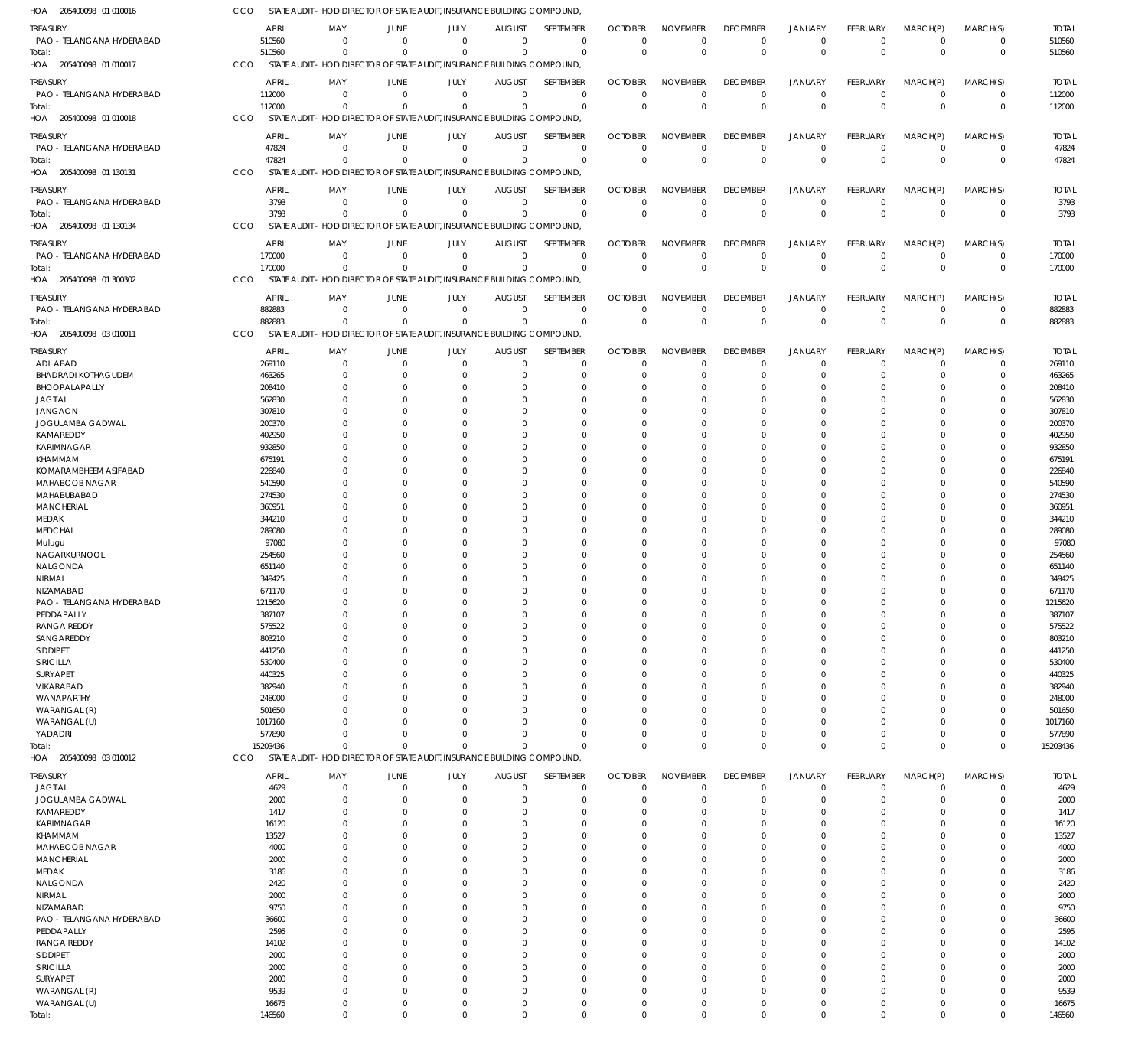| 205400098 01 010016<br>AOF             | CCO |                  |                      |                      | STATE AUDIT - HOD DIRECTOR OF STATE AUDIT, INSURANCE BUILDING COMPOUND,             |                      |                         |                           |                         |                      |                         |                 |                      |               |                  |
|----------------------------------------|-----|------------------|----------------------|----------------------|-------------------------------------------------------------------------------------|----------------------|-------------------------|---------------------------|-------------------------|----------------------|-------------------------|-----------------|----------------------|---------------|------------------|
| <b>TREASURY</b>                        |     | <b>APRIL</b>     | MAY                  | JUNE                 | JULY                                                                                | <b>AUGUST</b>        | <b>SEPTEMBER</b>        | <b>OCTOBER</b>            | <b>NOVEMBER</b>         | <b>DECEMBER</b>      | <b>JANUARY</b>          | <b>FEBRUARY</b> | MARCH(P)             | MARCH(S)      | <b>TOTAL</b>     |
| PAO - TELANGANA HYDERABAD              |     | 510560           | 0                    | $\mathbf 0$          | $\overline{0}$                                                                      | $\overline{0}$       | $\mathbf 0$             | $\overline{0}$            | $\mathbf 0$             | $^{\circ}$           | $\mathbf 0$             | $\Omega$        | $^{\circ}$           | 0             | 510560           |
| Total:                                 |     | 510560           | $^{\circ}$           | $\Omega$             | $\Omega$                                                                            | $\Omega$             | $\Omega$                | $\Omega$                  | $\mathbf 0$             | $\Omega$             | $\mathbf 0$             | $\Omega$        | $\Omega$             | $\mathbf 0$   | 510560           |
| HOA 205400098 01 010017                | CCO |                  |                      |                      | STATE AUDIT - HOD DIRECTOR OF STATE AUDIT, INSURANCE BUILDING COMPOUND,             |                      |                         |                           |                         |                      |                         |                 |                      |               |                  |
| TREASURY                               |     | <b>APRIL</b>     | MAY                  | JUNE                 | JULY                                                                                | <b>AUGUST</b>        | SEPTEMBER               | <b>OCTOBER</b>            | <b>NOVEMBER</b>         | <b>DECEMBER</b>      | <b>JANUARY</b>          | <b>FEBRUARY</b> | MARCH(P)             | MARCH(S)      | <b>TOTAL</b>     |
| PAO - TELANGANA HYDERABAD              |     | 112000           | $\Omega$             | $\overline{0}$       | $\overline{0}$                                                                      | $\overline{0}$       | $\mathbf 0$             | $\overline{0}$            | $\mathbf 0$             | $^{\circ}$           | $\mathbf 0$             | $\Omega$        | $^{\circ}$           | $\mathbf 0$   | 112000           |
| Total:                                 |     | 112000           | $\Omega$             | $\Omega$             | $\mathbf 0$                                                                         | $\Omega$             | $\mathbf 0$             | $\Omega$                  | $\mathbf 0$             | $\Omega$             | $\mathbf{0}$            | $\Omega$        | $\Omega$             | $\mathbf 0$   | 112000           |
| 205400098 01 010018<br>HOA             | CCO |                  |                      |                      | STATE AUDIT - HOD DIRECTOR OF STATE AUDIT, INSURANCE BUILDING COMPOUND,             |                      |                         |                           |                         |                      |                         |                 |                      |               |                  |
| TREASURY                               |     | <b>APRIL</b>     | MAY                  | JUNE                 | JULY                                                                                | <b>AUGUST</b>        | SEPTEMBER               | <b>OCTOBER</b>            | <b>NOVEMBER</b>         | <b>DECEMBER</b>      | <b>JANUARY</b>          | <b>FEBRUARY</b> | MARCH(P)             | MARCH(S)      | <b>TOTAL</b>     |
| PAO - TELANGANA HYDERABAD              |     | 47824            | $\overline{0}$       | $\mathbf 0$          | $\overline{0}$                                                                      | $\overline{0}$       | $\mathbf 0$             | $\mathbf 0$               | $\mathbf 0$             | $\overline{0}$       | $\mathbf 0$             | $\Omega$        | $\Omega$             | $\mathbf 0$   | 47824            |
| Total:                                 |     | 47824            | $^{\circ}$           | $\Omega$             | $\overline{0}$                                                                      | $\Omega$             | $\mathbf 0$             | $\overline{0}$            | $\mathbf 0$             | $\Omega$             | $\mathbf 0$             | $\Omega$        | $\Omega$             | $\mathbf 0$   | 47824            |
| HOA 205400098 01 130131                | CCO |                  |                      |                      | STATE AUDIT - HOD DIRECTOR OF STATE AUDIT, INSURANCE BUILDING COMPOUND,             |                      |                         |                           |                         |                      |                         |                 |                      |               |                  |
| <b>TREASURY</b>                        |     | <b>APRIL</b>     | MAY                  | JUNE                 | JULY                                                                                | <b>AUGUST</b>        | SEPTEMBER               | <b>OCTOBER</b>            | <b>NOVEMBER</b>         | <b>DECEMBER</b>      | <b>JANUARY</b>          | <b>FEBRUARY</b> | MARCH(P)             | MARCH(S)      | <b>TOTAL</b>     |
| PAO - TELANGANA HYDERABAD              |     | 3793             | $\Omega$             | $\overline{0}$       | $\overline{0}$                                                                      | $\mathbf 0$          | 0                       | 0                         | O                       | $^{\circ}$           | 0                       |                 | $^{\circ}$           | $\mathbf 0$   | 3793             |
| Total:                                 |     | 3793             | $\Omega$             | $\Omega$             | $\mathbf 0$                                                                         | $\Omega$             | $\mathbf 0$             | $\Omega$                  | $\Omega$                | $\Omega$             | $\mathbf 0$             | $\Omega$        | $\Omega$             | $\mathbf 0$   | 3793             |
| HOA 205400098 01 130134                | CCO |                  |                      |                      | STATE AUDIT - HOD DIRECTOR OF STATE AUDIT, INSURANCE BUILDING COMPOUND,             |                      |                         |                           |                         |                      |                         |                 |                      |               |                  |
| TREASURY                               |     | <b>APRIL</b>     | MAY                  | JUNE                 | JULY                                                                                | <b>AUGUST</b>        | SEPTEMBER               | <b>OCTOBER</b>            | <b>NOVEMBER</b>         | <b>DECEMBER</b>      | <b>JANUARY</b>          | <b>FEBRUARY</b> | MARCH(P)             | MARCH(S)      | <b>TOTAL</b>     |
| PAO - TELANGANA HYDERABAD              |     | 170000           | - 0                  | $\overline{0}$       | $\overline{0}$                                                                      | $\overline{0}$       | $\mathbf 0$             | $\overline{0}$            | $\mathbf 0$             | $^{\circ}$           | $\mathbf 0$             | $\Omega$        | $\Omega$             | $\mathbf 0$   | 170000           |
| Total:                                 |     | 170000           | $\Omega$             | $\Omega$             | $\overline{0}$                                                                      | $\overline{0}$       | $\mathbf 0$             | $\Omega$                  | $\mathbf{0}$            | $\Omega$             | $\mathbf 0$             | $\Omega$        | $\Omega$             | $\mathbf{0}$  | 170000           |
| 205400098 01 300302<br>HOA             | CCO |                  |                      |                      | STATE AUDIT - HOD DIRECTOR OF STATE AUDIT, INSURANCE BUILDING COMPOUND,             |                      |                         |                           |                         |                      |                         |                 |                      |               |                  |
| TREASURY                               |     | <b>APRIL</b>     | MAY                  | JUNE                 | JULY                                                                                | <b>AUGUST</b>        | SEPTEMBER               | <b>OCTOBER</b>            | <b>NOVEMBER</b>         | <b>DECEMBER</b>      | <b>JANUARY</b>          | <b>FEBRUARY</b> | MARCH(P)             | MARCH(S)      | <b>TOTAL</b>     |
| PAO - TELANGANA HYDERABAD              |     | 882883           | $\overline{0}$       | $\mathbf 0$          | $\overline{0}$                                                                      | $\mathbf 0$          | $\mathbf 0$             | $\overline{0}$            | $\mathbf 0$             | $\overline{0}$       | $\mathbf 0$             | $\Omega$        | $^{\circ}$           | 0             | 882883           |
| Total:                                 |     | 882883           | $\Omega$             | $\Omega$             | $\overline{0}$                                                                      | $\Omega$             | $\mathbf 0$             | $\overline{0}$            | $\mathbf 0$             | $\Omega$             | $\mathbf 0$             | $\Omega$        | $\Omega$             | $\mathbf{0}$  | 882883           |
| HOA 205400098 03 010011                | CCO |                  |                      |                      | STATE AUDIT - HOD DIRECTOR OF STATE AUDIT. INSURANCE BUILDING COMPOUND.             |                      |                         |                           |                         |                      |                         |                 |                      |               |                  |
| TREASURY                               |     | APRIL            | MAY                  | JUNE                 | JULY                                                                                | <b>AUGUST</b>        | SEPTEMBER               | <b>OCTOBER</b>            | <b>NOVEMBER</b>         | <b>DECEMBER</b>      | <b>JANUARY</b>          | <b>FEBRUARY</b> | MARCH(P)             | MARCH(S)      | <b>TOTAL</b>     |
| ADILABAD                               |     | 269110           | $\Omega$             | $\overline{0}$       | $\overline{0}$                                                                      | $\mathbf 0$          | $\mathbf 0$             | $\mathbf 0$               | 0                       | $^{\circ}$           | 0                       | $\Omega$        | $\Omega$             | $\mathbf 0$   | 269110           |
| <b>BHADRADI KOTHAGUDEM</b>             |     | 463265           | $\Omega$             | $\overline{0}$       | 0                                                                                   | $\Omega$             | $\mathbf 0$             | 0                         | $\Omega$                | $\Omega$             | 0                       |                 | $\Omega$             | 0             | 463265           |
| BHOOPALAPALLY                          |     | 208410           | $\Omega$             | $\Omega$             | $\Omega$                                                                            | $\Omega$             | $\Omega$                | $\Omega$                  | $\Omega$                | $\Omega$             | $\Omega$                |                 | $\Omega$             | 0             | 208410           |
| <b>JAGTIAL</b>                         |     | 562830           | 0                    | $\Omega$             | $\Omega$                                                                            | $\Omega$             | $\Omega$                | C                         | $\Omega$                | $\Omega$             | $\Omega$                |                 | $\Omega$             | 0             | 562830           |
| <b>JANGAON</b>                         |     | 307810           | $\Omega$             | $\Omega$             | $\Omega$                                                                            | $\Omega$             | $\Omega$                | $\Omega$                  | $\Omega$                | $\Omega$             | $\Omega$                |                 | $\Omega$             | $\Omega$      | 307810           |
| JOGULAMBA GADWAL<br>KAMAREDDY          |     | 200370<br>402950 | 0                    | $\Omega$<br>$\Omega$ | $\Omega$<br>$\Omega$                                                                | $\Omega$<br>$\Omega$ | $\Omega$<br>$\Omega$    | $\mathcal{L}$<br>$\Omega$ | $\Omega$<br>$\Omega$    | $\Omega$<br>$\Omega$ | $\Omega$<br>$\Omega$    |                 | $\Omega$<br>$\Omega$ | 0<br>$\Omega$ | 200370<br>402950 |
| KARIMNAGAR                             |     | 932850           |                      | $\Omega$             | $\Omega$                                                                            | $\Omega$             | $\Omega$                | C                         | $\Omega$                | $\Omega$             | $\Omega$                |                 | $\Omega$             | 0             | 932850           |
| KHAMMAM                                |     | 675191           |                      | $\Omega$             | $\Omega$                                                                            | $\Omega$             | $\Omega$                | $\Omega$                  | $\Omega$                | $\Omega$             | $\Omega$                |                 | $\Omega$             | 0             | 675191           |
| KOMARAMBHEEM ASIFABAD                  |     | 226840           |                      | $\Omega$             | $\Omega$                                                                            | $\Omega$             | $\Omega$                | C                         | $\Omega$                | $\Omega$             | $\Omega$                |                 | $\Omega$             | 0             | 226840           |
| MAHABOOB NAGAR                         |     | 540590           |                      | $\Omega$             | $\Omega$                                                                            | $\Omega$             | $\Omega$                | $\Omega$                  | $\Omega$                | $\Omega$             | $\Omega$                |                 | $\Omega$             | $\Omega$      | 540590           |
| MAHABUBABAD                            |     | 274530           |                      | $\Omega$             | $\Omega$                                                                            | $\Omega$             | $\Omega$                | $\Omega$                  | $\Omega$                | $\Omega$             | $\Omega$                |                 | $\Omega$             | 0             | 274530           |
| <b>MANCHERIAL</b>                      |     | 360951           |                      | $\Omega$             | $\Omega$                                                                            | $\Omega$             | $\Omega$                | $\Omega$                  | $\Omega$                | $\Omega$             | $\Omega$                |                 | $\Omega$             | 0             | 360951           |
| MEDAK                                  |     | 344210           |                      | $\Omega$             | $\Omega$                                                                            | $\Omega$             | $\Omega$                | $\Omega$                  | $\Omega$                | $\Omega$             | $\Omega$                |                 | $\Omega$             | 0             | 344210           |
| <b>MEDCHAL</b>                         |     | 289080           |                      | $\Omega$<br>$\Omega$ | $\Omega$                                                                            | $\Omega$<br>$\Omega$ | $\Omega$<br>$\Omega$    | $\Omega$<br>C             | $\Omega$<br>$\Omega$    | $\Omega$<br>$\Omega$ | $\Omega$<br>$\Omega$    |                 | $\Omega$<br>$\Omega$ | $\Omega$<br>0 | 289080<br>97080  |
| Mulugu<br>NAGARKURNOOL                 |     | 97080<br>254560  |                      | $\Omega$             | $\Omega$                                                                            | $\Omega$             | $\Omega$                | $\Omega$                  | $\Omega$                | $\Omega$             | $\Omega$                |                 | $\Omega$             | $\Omega$      | 254560           |
| NALGONDA                               |     | 651140           |                      | $\Omega$             | $\Omega$                                                                            | $\Omega$             | $\Omega$                | $\Omega$                  | $\Omega$                | $\Omega$             | $\Omega$                |                 | $\Omega$             | 0             | 651140           |
| NIRMAL                                 |     | 349425           |                      | $\Omega$             | $\Omega$                                                                            | $\Omega$             | $\Omega$                | $\Omega$                  | $\Omega$                | $\Omega$             | $\Omega$                |                 | $\Omega$             | 0             | 349425           |
| NIZAMABAD                              |     | 671170           | $\Omega$             | $\Omega$             | $\Omega$                                                                            | $\Omega$             | $\Omega$                | $\Omega$                  | $\Omega$                | $\Omega$             | $\Omega$                | $\Omega$        | $\Omega$             | $\mathbf 0$   | 671170           |
| PAO - TELANGANA HYDERABAD              |     | 1215620          | $^{\circ}$           | $\Omega$             | $\Omega$                                                                            | $\Omega$             | $\Omega$                | $\Omega$                  | $\mathbf{0}$            | $\Omega$             | $\Omega$                | $\Omega$        | $\mathbf{0}$         | $\Omega$      | 1215620          |
| PEDDAPALLY                             |     | 387107           | 0                    | 0                    |                                                                                     | 0                    | $\mathbf 0$             | 0                         | $\Omega$                |                      | $\Omega$                |                 |                      | 0             | 387107           |
| <b>RANGA REDDY</b>                     |     | 575522           | $\Omega$             | $\overline{0}$       | $\Omega$                                                                            | $\Omega$             | $\mathbf 0$             | 0                         | $\mathbf 0$             | $\Omega$             | $\Omega$                |                 | $\Omega$             | $\Omega$      | 575522           |
| SANGAREDDY<br>SIDDIPET                 |     | 803210<br>441250 | $\Omega$<br>$\Omega$ | $\Omega$<br>$\Omega$ | 0<br>$\Omega$                                                                       | $\Omega$<br>$\Omega$ | $\mathbf 0$<br>$\Omega$ | 0<br>$\Omega$             | $\Omega$<br>$\Omega$    | $\Omega$<br>$\Omega$ | $\Omega$<br>$\Omega$    |                 | $\Omega$<br>$\Omega$ | 0<br>0        | 803210<br>441250 |
| SIRICILLA                              |     | 530400           |                      | $\Omega$             |                                                                                     | $\Omega$             | $\Omega$                | $\Omega$                  | $\Omega$                | $\Omega$             | $\Omega$                |                 | $\Omega$             | 0             | 530400           |
| SURYAPET                               |     | 440325           | $\Omega$             | $\Omega$             |                                                                                     | $\Omega$             | $\Omega$                | $\Omega$                  | $\Omega$                | $\Omega$             | $\Omega$                |                 | $\Omega$             | 0             | 440325           |
| VIKARABAD                              |     | 382940           | 0                    |                      |                                                                                     | $\Omega$             | $\Omega$                | $\Omega$                  | $\Omega$                | $\Omega$             | $\Omega$                |                 | $\Omega$             | 0             | 382940           |
| WANAPARTHY                             |     | 248000           | <sup>0</sup>         | $\Omega$             |                                                                                     | $\Omega$             | $\Omega$                | $\Omega$                  | $\Omega$                | $\Omega$             | $\Omega$                |                 | $\Omega$             | 0             | 248000           |
| WARANGAL (R)                           |     | 501650           | 0                    | $\Omega$             |                                                                                     | $\Omega$             | $\mathbf 0$             | $\Omega$                  | $\Omega$                | $\Omega$             | $\Omega$                |                 | $\Omega$             | 0             | 501650           |
| WARANGAL (U)                           |     | 1017160          |                      |                      |                                                                                     | $\Omega$             | $\Omega$                | $\Omega$                  | $\Omega$                | $\Omega$             | $\Omega$                |                 | $\Omega$             | 0             | 1017160          |
| YADADRI                                |     | 577890           | $\Omega$             | $\Omega$             | $\Omega$                                                                            | $\mathbf{0}$         | $\mathbf 0$             | $\Omega$                  | $\mathbf 0$             | $\Omega$             | $\mathbf 0$             |                 | $\Omega$             | 0             | 577890           |
| Total:<br>HOA 205400098 03 010012      | CCO | 15203436         | $\Omega$             | $\Omega$             | $\Omega$<br>STATE AUDIT - HOD DIRECTOR OF STATE AUDIT, INSURANCE BUILDING COMPOUND, | $\Omega$             | $\Omega$                | $\Omega$                  | $\mathbf 0$             | $\Omega$             | $\Omega$                | $\Omega$        | $\Omega$             | $\mathbf 0$   | 15203436         |
|                                        |     |                  |                      |                      |                                                                                     |                      |                         |                           |                         |                      |                         |                 |                      |               |                  |
| <b>TREASURY</b>                        |     | <b>APRIL</b>     | MAY                  | JUNE                 | JULY                                                                                | <b>AUGUST</b>        | SEPTEMBER               | <b>OCTOBER</b>            | <b>NOVEMBER</b>         | <b>DECEMBER</b>      | <b>JANUARY</b>          | FEBRUARY        | MARCH(P)             | MARCH(S)      | <b>TOTAL</b>     |
| <b>JAGTIAL</b>                         |     | 4629             | 0                    | $\overline{0}$       | $\mathbf 0$                                                                         | $\mathbf 0$          | $\mathbf 0$             | $\overline{0}$            | $\mathbf 0$             | $\overline{0}$       | $\mathbf 0$             | $\Omega$        | $\overline{0}$       | $\mathbf 0$   | 4629             |
| JOGULAMBA GADWAL<br>KAMAREDDY          |     | 2000<br>1417     | $\Omega$<br>0        | $\Omega$<br>$\Omega$ | $\Omega$                                                                            | $\Omega$             | $\mathbf 0$<br>$\Omega$ | 0<br>0                    | $\mathbf 0$<br>$\Omega$ | $\Omega$<br>$\Omega$ | $\mathbf 0$<br>$\Omega$ |                 |                      | 0<br>0        | 2000<br>1417     |
| KARIMNAGAR                             |     | 16120            | $\Omega$             | $\Omega$             |                                                                                     | $\Omega$             | $\Omega$                | 0                         | $\Omega$                | $\Omega$             | $\Omega$                |                 | $\Omega$             | 0             | 16120            |
| KHAMMAM                                |     | 13527            |                      |                      |                                                                                     |                      | $\Omega$                | $\Omega$                  | $\Omega$                |                      | $\Omega$                |                 |                      | 0             | 13527            |
| MAHABOOB NAGAR                         |     | 4000             | 0                    |                      |                                                                                     |                      | $\Omega$                | $\Omega$                  | $\Omega$                |                      | $\Omega$                |                 |                      | 0             | 4000             |
| <b>MANCHERIAL</b>                      |     | 2000             |                      |                      |                                                                                     |                      | $\Omega$                | $\Omega$                  | $\Omega$                |                      | $\Omega$                |                 |                      | $\Omega$      | 2000             |
| MEDAK                                  |     | 3186             | 0                    |                      |                                                                                     | 0                    | $\Omega$                | $\Omega$                  | $\Omega$                | -0                   | $\Omega$                |                 |                      | 0             | 3186             |
| NALGONDA                               |     | 2420             |                      |                      |                                                                                     |                      | O                       | $\Omega$                  | $\Omega$                | -0                   | $\Omega$                |                 |                      | 0             | 2420             |
| NIRMAL                                 |     | 2000             | 0                    |                      |                                                                                     |                      | $\Omega$                | 0                         | $\Omega$                | $\Omega$             | $\Omega$                |                 |                      | 0             | 2000             |
| NIZAMABAD<br>PAO - TELANGANA HYDERABAD |     | 9750<br>36600    |                      |                      |                                                                                     |                      | $\Omega$<br>$\Omega$    | $\Omega$<br>$\Omega$      | $\Omega$<br>$\Omega$    | -0<br>-0             | $\Omega$<br>$\Omega$    |                 |                      | 0<br>0        | 9750<br>36600    |
| PEDDAPALLY                             |     | 2595             |                      |                      |                                                                                     |                      | $\Omega$                | $\Omega$                  | $\Omega$                | $\Omega$             | $\Omega$                |                 |                      | 0             | 2595             |
| <b>RANGA REDDY</b>                     |     | 14102            | 0                    |                      |                                                                                     |                      | $\Omega$                | $\Omega$                  | $\Omega$                | -0                   | $\Omega$                |                 |                      | 0             | 14102            |
| SIDDIPET                               |     | 2000             |                      |                      |                                                                                     |                      | O                       | $\Omega$                  | $\Omega$                |                      |                         |                 |                      | 0             | 2000             |
| SIRICILLA                              |     | 2000             | $\Omega$             |                      |                                                                                     | 0                    | $\Omega$                | $\Omega$                  | $\Omega$                | $\Omega$             | $\Omega$                |                 | $\Omega$             | 0             | 2000             |
| SURYAPET                               |     | 2000             |                      |                      |                                                                                     |                      | $\Omega$                | 0                         | $\Omega$                | -0                   | $\Omega$                |                 |                      | 0             | 2000             |
| WARANGAL (R)                           |     | 9539             | 0                    |                      |                                                                                     | $\Omega$             | $\Omega$                | 0                         | $\Omega$                | -0                   | $\Omega$                |                 | $\Omega$             | 0             | 9539             |
| WARANGAL (U)                           |     | 16675            | $\mathbf 0$          | $\overline{0}$       | $\mathbf 0$                                                                         | $\mathbf 0$          | $\mathbf 0$             | $\mathbf 0$               | $\mathbf 0$             | 0                    | $\mathbf 0$             |                 | $\overline{0}$       | 0             | 16675            |
| Total:                                 |     | 146560           | $\mathbf 0$          | $\mathbf 0$          | $\Omega$                                                                            | $\Omega$             | $\mathbf 0$             | $\mathbf 0$               | $\mathbf 0$             | $\mathbf 0$          | $\Omega$                | $\Omega$        | $\mathbf 0$          | $\mathbf 0$   | 146560           |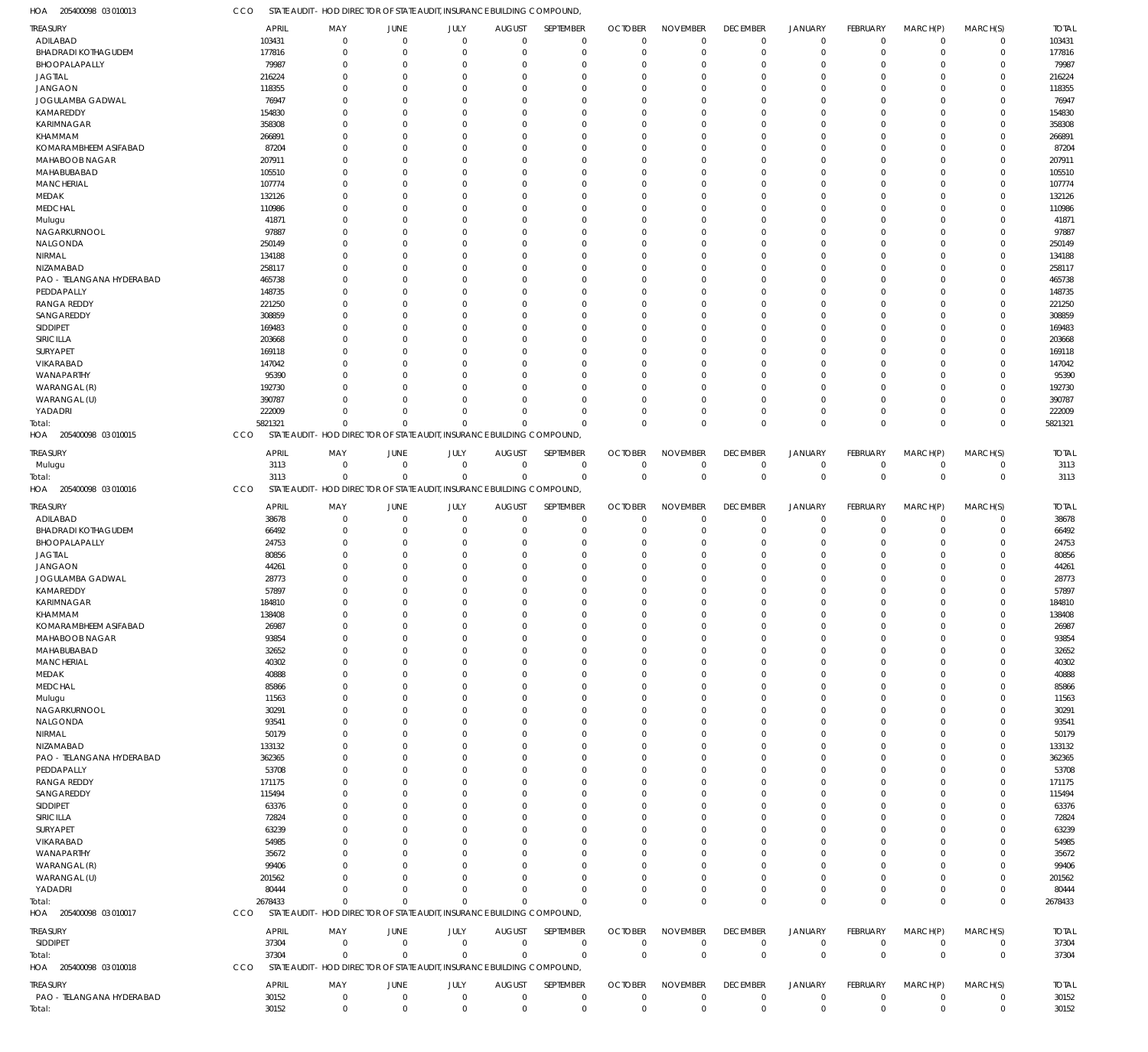205400098 03 010013 HOA CCO STATE AUDIT - HOD DIRECTOR OF STATE AUDIT, INSURANCE BUILDING COMPOUND,

| TREASURY                                     | <b>APRIL</b>         | MAY                                                                                    | <b>JUNE</b>                | JULY                       | <b>AUGUST</b>                | SEPTEMBER                  | <b>OCTOBER</b>                | <b>NOVEMBER</b>                | <b>DECEMBER</b>                | <b>JANUARY</b>                | <b>FEBRUARY</b>                   | MARCH(P)                    | MARCH(S)                   | <b>TOTAL</b>          |
|----------------------------------------------|----------------------|----------------------------------------------------------------------------------------|----------------------------|----------------------------|------------------------------|----------------------------|-------------------------------|--------------------------------|--------------------------------|-------------------------------|-----------------------------------|-----------------------------|----------------------------|-----------------------|
| ADILABAD                                     | 103431               | $\mathbf 0$                                                                            | $\mathbf 0$                | $\mathbf 0$                | $\mathbf 0$                  | $\mathbf 0$                | $\overline{0}$                | $\mathbf 0$                    | $\mathbf 0$                    | $\mathbf 0$                   | $\overline{0}$                    | $\mathbf 0$                 | $\mathbf 0$                | 103431                |
| <b>BHADRADI KOTHAGUDEM</b><br>BHOOPALAPALLY  | 177816<br>79987      | $\mathbf 0$<br>$\mathbf 0$                                                             | $\mathbf 0$<br>$\mathbf 0$ | $\mathbf 0$<br>$\mathbf 0$ | $\Omega$<br>$\Omega$         | $\mathbf 0$<br>$\mathbf 0$ | 0<br>$\Omega$                 | $\mathbf 0$<br>$\Omega$        | $\mathbf 0$<br>$\Omega$        | $\mathbf 0$<br>$\mathbf 0$    | $\Omega$<br>$\Omega$              | $\mathbf 0$<br>$\Omega$     | $\mathbf 0$<br>$\Omega$    | 177816<br>79987       |
| <b>JAGTIAL</b>                               | 216224               | $\mathbf 0$                                                                            | $\mathbf 0$                | $\Omega$                   | $\Omega$                     | $\mathbf 0$                | $\Omega$                      | $\mathbf 0$                    | $\Omega$                       | $\mathbf 0$                   | $\Omega$                          | $\Omega$                    | $\Omega$                   | 216224                |
| <b>JANGAON</b>                               | 118355               | $\mathbf 0$                                                                            | $\Omega$                   | $\Omega$                   | $\Omega$                     | $\Omega$                   | $\cup$                        | $\Omega$                       | $\Omega$                       | $\Omega$                      | $\Omega$                          | $\Omega$                    | $\Omega$                   | 118355                |
| JOGULAMBA GADWAL                             | 76947                | $\mathbf 0$                                                                            | $\Omega$                   | $\Omega$                   | $\Omega$                     | $\mathbf 0$                | $\cup$                        | $\Omega$                       | $\Omega$                       | $\Omega$                      | -C                                | $\Omega$                    | $\Omega$                   | 76947                 |
| KAMAREDDY                                    | 154830               | $\mathbf 0$                                                                            | $\Omega$                   | $\Omega$                   | $\Omega$                     | $\Omega$                   | $\cup$                        | $\Omega$                       | $\Omega$                       | $\Omega$                      | $\Omega$                          | $\Omega$                    | $\Omega$                   | 154830                |
| <b>KARIMNAGAR</b>                            | 358308               | $\mathbf 0$                                                                            | $\Omega$                   | $\Omega$                   | $\Omega$                     | $\mathbf 0$                | $\cup$                        | $\Omega$                       | $\Omega$                       | $\mathbf{0}$                  | -C                                | $\Omega$                    | $\Omega$                   | 358308                |
| KHAMMAM<br>KOMARAMBHEEM ASIFABAD             | 266891<br>87204      | $\Omega$<br>$\mathbf 0$                                                                | $\Omega$<br>$\Omega$       | $\Omega$<br>$\Omega$       | $\Omega$<br>$\Omega$         | $\mathbf 0$<br>$\mathbf 0$ | $\Omega$<br>$\cup$            | $\Omega$<br>$\Omega$           | $\Omega$<br>$\Omega$           | $\Omega$<br>$\mathbf 0$       | $\Omega$<br>$\Omega$              | $\Omega$<br>$\Omega$        | $\Omega$<br>$\Omega$       | 266891<br>87204       |
| MAHABOOB NAGAR                               | 207911               | $\Omega$                                                                               | $\Omega$                   | $\Omega$                   | $\Omega$                     | $\Omega$                   | $\cup$                        | $\Omega$                       | $\Omega$                       | $\Omega$                      | $\Omega$                          | $\Omega$                    | $\Omega$                   | 207911                |
| MAHABUBABAD                                  | 105510               | $\mathbf 0$                                                                            | $\Omega$                   | $\Omega$                   | $\Omega$                     | $\mathbf 0$                | $\Omega$                      | $\Omega$                       | $\Omega$                       | $\mathbf 0$                   | -C                                | $\Omega$                    | $\Omega$                   | 105510                |
| <b>MANCHERIAL</b>                            | 107774               | $\mathbf 0$                                                                            | $\Omega$                   | $\Omega$                   | $\Omega$                     | $\Omega$                   | $\cup$                        | $\Omega$                       | $\Omega$                       | $\Omega$                      | $\Omega$                          | $\Omega$                    | $\Omega$                   | 107774                |
| MEDAK                                        | 132126               | $\mathbf 0$                                                                            | $\Omega$                   | $\Omega$                   | $\Omega$                     | $\mathbf 0$                | $\cup$                        | $\Omega$                       | $\Omega$                       | $\mathbf{0}$                  | -C                                | $\Omega$                    | $\Omega$                   | 132126                |
| MEDCHAL<br>Mulugu                            | 110986<br>41871      | $\mathbf 0$<br>$\mathbf 0$                                                             | $\Omega$<br>$\Omega$       | $\Omega$<br>$\Omega$       | $\Omega$<br>$\Omega$         | $\Omega$<br>$\mathbf 0$    | $\cup$<br>$\cup$              | $\Omega$<br>$\Omega$           | $\Omega$<br>$\Omega$           | $\Omega$<br>$\Omega$          | $\Omega$<br>-C                    | $\Omega$<br>$\Omega$        | $\Omega$<br>$\Omega$       | 110986<br>41871       |
| NAGARKURNOOL                                 | 97887                | $\Omega$                                                                               | $\Omega$                   | $\Omega$                   | $\Omega$                     | $\Omega$                   | $\Omega$                      | $\Omega$                       | $\Omega$                       | $\Omega$                      | $\Omega$                          | $\Omega$                    | $\Omega$                   | 97887                 |
| NALGONDA                                     | 250149               | $\mathbf 0$                                                                            | $\Omega$                   | $\Omega$                   | $\Omega$                     | $\mathbf 0$                | $\cup$                        | $\Omega$                       | $\Omega$                       | $\Omega$                      | $\Omega$                          | $\Omega$                    | $\Omega$                   | 250149                |
| NIRMAL                                       | 134188               | $\Omega$                                                                               | $\Omega$                   | $\Omega$                   | $\Omega$                     | $\Omega$                   | $\cup$                        | $\Omega$                       | $\Omega$                       | $\Omega$                      | -C                                | $\Omega$                    | $\Omega$                   | 134188                |
| NIZAMABAD                                    | 258117               | $\mathbf 0$                                                                            | $\Omega$                   | $\Omega$                   | $\Omega$                     | $\mathbf 0$                | $\Omega$                      | $\Omega$                       | $\Omega$                       | $\mathbf 0$                   | -C                                | $\Omega$<br>$\Omega$        | $\Omega$                   | 258117                |
| PAO - TELANGANA HYDERABAD<br>PEDDAPALLY      | 465738<br>148735     | $\Omega$<br>$\mathbf 0$                                                                | $\Omega$<br>$\Omega$       | $\Omega$<br>$\Omega$       | $\Omega$<br>$\Omega$         | $\Omega$<br>$\mathbf 0$    | $\cup$<br>$\cup$              | $\Omega$<br>$\Omega$           | $\Omega$<br>$\Omega$           | $\Omega$<br>$\Omega$          | $\Omega$<br>-C                    | $\Omega$                    | $\Omega$<br>$\Omega$       | 465738<br>148735      |
| <b>RANGA REDDY</b>                           | 221250               | $\mathbf 0$                                                                            | $\Omega$                   | $\Omega$                   | $\Omega$                     | $\Omega$                   | $\cup$                        | $\Omega$                       | $\Omega$                       | $\Omega$                      | $\Omega$                          | $\Omega$                    | $\Omega$                   | 221250                |
| SANGAREDDY                                   | 308859               | $\mathbf 0$                                                                            | $\Omega$                   | $\Omega$                   | $\Omega$                     | $\mathbf 0$                | $\cup$                        | $\Omega$                       | $\Omega$                       | $\Omega$                      | -C                                | $\Omega$                    | $\Omega$                   | 308859                |
| SIDDIPET                                     | 169483               | $\Omega$                                                                               | $\Omega$                   | $\Omega$                   | $\Omega$                     | $\Omega$                   | $\Omega$                      | $\Omega$                       | $\Omega$                       | $\Omega$                      | $\Omega$                          | $\Omega$                    | $\Omega$                   | 169483                |
| SIRICILLA                                    | 203668               | $\mathbf 0$                                                                            | $\Omega$                   | $\Omega$                   | $\Omega$                     | $\mathbf 0$                | $\cup$                        | $\Omega$                       | $\Omega$                       | $\Omega$                      | $\Omega$                          | $\Omega$                    | $\Omega$                   | 203668                |
| SURYAPET<br>VIKARABAD                        | 169118<br>147042     | $\Omega$<br>$\mathbf 0$                                                                | $\Omega$<br>$\Omega$       | $\Omega$<br>$\Omega$       | $\Omega$<br>$\Omega$         | $\Omega$<br>$\mathbf 0$    | $\cup$<br>$\Omega$            | $\Omega$<br>$\mathbf 0$        | $\Omega$<br>$\Omega$           | $\Omega$<br>$\mathbf 0$       | -C<br>$\Omega$                    | $\Omega$<br>$\Omega$        | $\Omega$<br>$\Omega$       | 169118<br>147042      |
| WANAPARTHY                                   | 95390                | $\Omega$                                                                               | $\Omega$                   | $\Omega$                   | $\Omega$                     | $\Omega$                   | $\cup$                        | $\Omega$                       | $\Omega$                       | $\Omega$                      | $\Omega$                          | $\Omega$                    | $\Omega$                   | 95390                 |
| WARANGAL (R)                                 | 192730               | $\mathbf 0$                                                                            | $\Omega$                   | $\Omega$                   | $\Omega$                     | $\mathbf 0$                | $\cup$                        | $\Omega$                       | $\Omega$                       | $\mathbf{0}$                  | -C                                | $\Omega$                    | $\Omega$                   | 192730                |
| WARANGAL (U)                                 | 390787               | $\Omega$                                                                               | $\Omega$                   | $\mathbf 0$                | $\Omega$                     | $\Omega$                   | $\cup$                        | $\Omega$                       | $\Omega$                       | $\Omega$                      | $\Omega$                          | $\Omega$                    | $\Omega$                   | 390787                |
| YADADRI                                      | 222009               | $\Omega$                                                                               | $\Omega$                   | $\mathbf 0$                | $\Omega$                     | $\mathbf 0$                | $\Omega$                      | $\mathbf 0$                    | $\Omega$                       | $\mathbf 0$                   | $\Omega$                          | $\mathbf{0}$                | $\Omega$                   | 222009                |
| Total:<br>HOA 205400098 03 010015            | 5821321<br>CCO       | $\mathbf 0$<br>STATE AUDIT - HOD DIRECTOR OF STATE AUDIT, INSURANCE BUILDING COMPOUND, | $\mathbf 0$                | $\mathbf 0$                | $\Omega$                     | $\Omega$                   | $\Omega$                      | $\mathbf 0$                    | $\Omega$                       | $\mathbf 0$                   | $\Omega$                          | $\Omega$                    | $\Omega$                   | 5821321               |
|                                              |                      |                                                                                        |                            |                            |                              |                            |                               |                                |                                |                               |                                   |                             |                            |                       |
| <b>TREASURY</b><br>Mulugu                    | <b>APRIL</b><br>3113 | MAY<br>$\overline{0}$                                                                  | JUNE<br>$\mathbf 0$        | JULY<br>$\mathbf 0$        | <b>AUGUST</b><br>$\mathbf 0$ | SEPTEMBER<br>$\mathbf 0$   | <b>OCTOBER</b><br>$\mathbf 0$ | <b>NOVEMBER</b><br>$\mathbf 0$ | <b>DECEMBER</b><br>$\mathbf 0$ | <b>JANUARY</b><br>0           | <b>FEBRUARY</b><br>$\overline{0}$ | MARCH(P)<br>$\Omega$        | MARCH(S)<br>$\Omega$       | <b>TOTAL</b><br>3113  |
| Total:                                       | 3113                 | $\mathbf 0$                                                                            | $\mathbf 0$                | $\Omega$                   | $\Omega$                     | $\mathbf 0$                | $\mathbf 0$                   | $\mathbf 0$                    | $\mathbf 0$                    | $\mathbf 0$                   | $\mathbf 0$                       | $\mathbf{0}$                | $\mathbf{0}$               | 3113                  |
| HOA 205400098 03 010016                      | CCO                  | STATE AUDIT - HOD DIRECTOR OF STATE AUDIT, INSURANCE BUILDING COMPOUND,                |                            |                            |                              |                            |                               |                                |                                |                               |                                   |                             |                            |                       |
|                                              |                      |                                                                                        |                            |                            |                              |                            |                               |                                |                                |                               |                                   |                             |                            |                       |
| TREASURY                                     | <b>APRIL</b>         | MAY                                                                                    | <b>JUNE</b>                | JULY                       | <b>AUGUST</b>                | SEPTEMBER                  | <b>OCTOBER</b>                | <b>NOVEMBER</b>                | <b>DECEMBER</b>                | <b>JANUARY</b>                | <b>FEBRUARY</b>                   | MARCH(P)                    |                            | <b>TOTAL</b>          |
| ADILABAD                                     | 38678                | $\mathbf 0$                                                                            | $\mathbf 0$                | $\mathbf 0$                | $\mathbf 0$                  | $\mathbf 0$                | $\mathbf 0$                   | $\mathbf 0$                    | $\mathbf 0$                    | $\mathbf 0$                   | $\overline{0}$                    | $\mathbf 0$                 | MARCH(S)<br>$\mathbf 0$    | 38678                 |
| <b>BHADRADI KOTHAGUDEM</b>                   | 66492                | $\mathbf 0$                                                                            | 0                          | $\mathbf 0$                | $\Omega$                     | $\mathbf 0$                | $\Omega$                      | $\mathbf 0$                    | 0                              | 0                             | $\Omega$                          | $\Omega$                    | 0                          | 66492                 |
| BHOOPALAPALLY                                | 24753                | $\mathbf 0$                                                                            | 0                          | $\mathbf 0$                | $\Omega$                     | $\mathbf 0$                | $\Omega$                      | $\mathbf 0$                    | $\Omega$                       | $\mathbf 0$                   | $\Omega$                          | $\Omega$                    | $\Omega$                   | 24753                 |
| <b>JAGTIAL</b>                               | 80856                | $\mathbf 0$                                                                            | 0                          | $\mathbf 0$                | $\Omega$                     | $\mathbf 0$                | $\Omega$                      | $\mathbf 0$                    | $\Omega$                       | $\mathbf 0$                   | $\Omega$                          | $\Omega$                    | $\Omega$                   | 80856                 |
| <b>JANGAON</b>                               | 44261                | $\Omega$<br>$\Omega$                                                                   | $\Omega$<br>$\Omega$       | $\Omega$<br>$\Omega$       | $\Omega$<br>$\Omega$         | $\Omega$<br>$\mathbf 0$    | $\Omega$<br>$\Omega$          | $\Omega$<br>$\Omega$           | $\Omega$<br>$\Omega$           | $\Omega$<br>$\Omega$          | $\Omega$<br>-C                    | $\Omega$<br>$\Omega$        | $\Omega$<br>$\Omega$       | 44261                 |
| JOGULAMBA GADWAL<br>KAMAREDDY                | 28773<br>57897       | $\Omega$                                                                               | $\Omega$                   | $\Omega$                   | $\Omega$                     | $\mathbf 0$                | $\Omega$                      | $\Omega$                       | -C                             | $\Omega$                      | $\Omega$                          | $\Omega$                    | $\Omega$                   | 28773<br>57897        |
| <b>KARIMNAGAR</b>                            | 184810               | $\mathbf 0$                                                                            | $\Omega$                   | $\Omega$                   | $\Omega$                     | $\mathbf 0$                | $\Omega$                      | $\Omega$                       | $\Omega$                       | $\Omega$                      | $\Omega$                          | $\Omega$                    | $\Omega$                   | 184810                |
| KHAMMAM                                      | 138408               | $\Omega$                                                                               | $\Omega$                   | $\Omega$                   | $\Omega$                     | $\Omega$                   | $\Omega$                      | $\Omega$                       | $\Omega$                       | $\Omega$                      | $\Omega$                          | $\Omega$                    | $\Omega$                   | 138408                |
| KOMARAMBHEEM ASIFABAD                        | 26987                | $\mathbf 0$                                                                            | 0                          | 0                          | $\Omega$                     | $\mathbf 0$                | $\Omega$                      | $\Omega$                       | -C                             | $\mathbf 0$                   | $\Omega$                          | $\Omega$                    | $\Omega$                   | 26987                 |
| MAHABOOB NAGAR                               | 93854                | $\mathbf 0$<br>$\mathbf 0$                                                             | 0<br>$\Omega$              | $\mathbf 0$<br>$\Omega$    | $\Omega$<br>$\Omega$         | $\mathbf 0$<br>$\mathbf 0$ | 0<br>$\Omega$                 | $\mathbf 0$<br>$\mathbf 0$     | $\Omega$<br>$\Omega$           | $\mathbf 0$<br>$\mathbf 0$    | $\Omega$<br>-C                    | $\Omega$<br>$\Omega$        | $\Omega$<br>$\Omega$       | 93854                 |
| MAHABUBABAD<br><b>MANCHERIAL</b>             | 32652<br>40302       | $\Omega$                                                                               | $\Omega$                   | $\Omega$                   | n                            | $\Omega$                   | $\Omega$                      | $\Omega$                       | $\Omega$                       | $\Omega$                      | -0                                | $\Omega$                    | $\Omega$                   | 32652<br>40302        |
| MEDAK                                        | 40888                | $\mathbf 0$                                                                            | $\Omega$                   | $\Omega$                   | $\Omega$                     | $\mathbf 0$                | O                             | $\mathbf 0$                    | $\Omega$                       | 0                             | -0                                | $\Omega$                    | $\Omega$                   | 40888                 |
| MEDCHAL                                      | 85866                | $\Omega$                                                                               | $\Omega$                   | $\Omega$                   | n                            | $\Omega$                   | $\Omega$                      | $\Omega$                       | $\Omega$                       | $\Omega$                      | -C                                | $\Omega$                    | $\Omega$                   | 85866                 |
| Mulugu                                       | 11563                | $\Omega$                                                                               | -0                         | $\Omega$                   | n                            | $\mathbf 0$                | O                             | $\Omega$                       | $\Omega$                       | 0                             | -0                                | $\Omega$                    | $\Omega$                   | 11563                 |
| NAGARKURNOOL                                 | 30291                | $\Omega$                                                                               | $\Omega$<br>$\Omega$       | $\Omega$<br>$\Omega$       | $\Omega$<br>$\Omega$         | $\mathbf 0$                | $\Omega$<br>O                 | $\Omega$<br>$\Omega$           | $\Omega$<br>$\Omega$           | $\Omega$                      | -C<br>-0                          | $\Omega$<br>$\Omega$        | $\Omega$<br>$\Omega$       | 30291                 |
| NALGONDA<br>NIRMAL                           | 93541<br>50179       | $\mathbf 0$<br>$\Omega$                                                                | $\Omega$                   | $\Omega$                   | n                            | $\mathbf 0$<br>$\mathbf 0$ | $\Omega$                      | $\mathbf 0$                    | $\Omega$                       | 0<br>$\Omega$                 | -0                                | $\Omega$                    | $\Omega$                   | 93541<br>50179        |
| NIZAMABAD                                    | 133132               | $\mathbf 0$                                                                            | $\Omega$                   | $\Omega$                   | $\Omega$                     | $\mathbf 0$                | O                             | $\mathbf 0$                    | $\Omega$                       | 0                             | -0                                | $\Omega$                    | $\Omega$                   | 133132                |
| PAO - TELANGANA HYDERABAD                    | 362365               | $\Omega$                                                                               | $\Omega$                   | $\Omega$                   | n                            | $\Omega$                   | $\Omega$                      | $\Omega$                       | $\Omega$                       | $\Omega$                      | -0                                | $\Omega$                    | $\Omega$                   | 362365                |
| PEDDAPALLY                                   | 53708                | $\mathbf 0$                                                                            | $\Omega$                   | $\Omega$                   | $\Omega$                     | $\mathbf 0$                | O                             | $\mathbf 0$                    | $\Omega$                       | 0                             | -0                                | $\Omega$                    | $\Omega$                   | 53708                 |
| <b>RANGA REDDY</b>                           | 171175               | $\Omega$                                                                               | $\Omega$<br>-0             | $\Omega$<br>$\Omega$       | n<br>n                       | $\Omega$                   | $\Omega$<br>O                 | $\Omega$<br>$\Omega$           | $\Omega$<br>$\Omega$           | $\Omega$<br>$\Omega$          | -C<br>-0                          | $\Omega$<br>$\Omega$        | $\Omega$                   | 171175                |
| SANGAREDDY<br>SIDDIPET                       | 115494<br>63376      | $\mathbf 0$<br>$\Omega$                                                                | $\Omega$                   | $\Omega$                   | $\Omega$                     | $\mathbf 0$<br>$\Omega$    | $\Omega$                      | $\Omega$                       | $\Omega$                       | $\Omega$                      | -C                                | $\Omega$                    | $\Omega$                   | 115494<br>63376       |
| SIRICILLA                                    | 72824                | 0                                                                                      | 0                          | $\Omega$                   | n                            | $\mathbf 0$                | O                             | $\Omega$                       | $\Omega$                       | $\Omega$                      | -0                                | $\Omega$                    | $\Omega$                   | 72824                 |
| SURYAPET                                     | 63239                | $\Omega$                                                                               | $\Omega$                   | $\Omega$                   | n                            | $\Omega$                   | $\Omega$                      | $\mathbf 0$                    | $\Omega$                       | $\Omega$                      |                                   | $\Omega$                    | $\Omega$                   | 63239                 |
| VIKARABAD                                    | 54985                | 0                                                                                      | -0                         | $\Omega$                   | 0                            | $\mathbf 0$                | O                             | $\Omega$                       | $\Omega$                       | 0                             | -0                                | $\Omega$                    | $\Omega$                   | 54985                 |
| WANAPARTHY                                   | 35672                | $\Omega$                                                                               | $\Omega$                   | $\Omega$                   | n<br>n                       | $\Omega$                   | C.<br>C.                      | $\Omega$                       | $\Omega$                       | $\Omega$                      | -0                                | $\Omega$                    | $\Omega$<br>$\Omega$       | 35672                 |
| WARANGAL (R)<br>WARANGAL (U)                 | 99406<br>201562      | $\Omega$<br>$\Omega$                                                                   | 0<br>-0                    | $\Omega$<br>$\Omega$       | n                            | $\mathbf 0$<br>$\Omega$    | C.                            | $\Omega$<br>$\Omega$           | $\Omega$<br>$\Omega$           | 0<br>$\Omega$                 | -0                                | $\Omega$<br>$\Omega$        | $\Omega$                   | 99406<br>201562       |
| YADADRI                                      | 80444                | $\mathbf 0$                                                                            | $\Omega$                   | $\mathbf 0$                | $\Omega$                     | $\mathbf 0$                | O                             | $\mathbf 0$                    | $\Omega$                       | $\mathbf 0$                   | $\Omega$                          | $\mathbf 0$                 | $\Omega$                   | 80444                 |
| Total:                                       | 2678433              | $\mathbf 0$                                                                            | $\mathbf 0$                | $\Omega$                   | $\Omega$                     | $\Omega$                   | $\Omega$                      | $\mathbf 0$                    | $\Omega$                       | $\mathbf 0$                   | $\Omega$                          | $\Omega$                    | $\Omega$                   | 2678433               |
| HOA 205400098 03 010017                      | <b>CCO</b>           | STATE AUDIT - HOD DIRECTOR OF STATE AUDIT, INSURANCE BUILDING COMPOUND,                |                            |                            |                              |                            |                               |                                |                                |                               |                                   |                             |                            |                       |
| <b>TREASURY</b>                              | <b>APRIL</b>         | MAY                                                                                    | <b>JUNE</b>                | JULY                       | <b>AUGUST</b>                | SEPTEMBER                  | <b>OCTOBER</b>                | <b>NOVEMBER</b>                | <b>DECEMBER</b>                | <b>JANUARY</b>                | <b>FEBRUARY</b>                   | MARCH(P)                    | MARCH(S)                   | <b>TOTAL</b>          |
| SIDDIPET                                     | 37304                | $\overline{0}$<br>$\Omega$                                                             | $\mathbf 0$<br>$\Omega$    | $\mathbf 0$<br>$\mathbf 0$ | $\mathbf{0}$<br>$\Omega$     | $\mathbf 0$<br>$\mathbf 0$ | $\mathbf 0$<br>$\Omega$       | $\mathbf 0$                    | $\mathbf 0$                    | 0                             | $\mathbf 0$<br>$\mathbf 0$        | $\mathbf 0$<br>$\mathbf{0}$ | $\mathbf 0$<br>$\mathbf 0$ | 37304                 |
| Total:<br>205400098 03 010018<br>HOA         | 37304<br>CCO         | STATE AUDIT - HOD DIRECTOR OF STATE AUDIT, INSURANCE BUILDING COMPOUND,                |                            |                            |                              |                            |                               | $\mathbf 0$                    | $\mathbf 0$                    | $\mathbf 0$                   |                                   |                             |                            | 37304                 |
|                                              |                      |                                                                                        |                            |                            |                              |                            |                               |                                |                                |                               |                                   |                             |                            |                       |
| <b>TREASURY</b><br>PAO - TELANGANA HYDERABAD | APRIL<br>30152       | MAY<br>$\mathbf 0$                                                                     | JUNE<br>$\mathbf 0$        | JULY<br>$\mathbf 0$        | <b>AUGUST</b><br>$\mathbf 0$ | SEPTEMBER<br>$\mathbf 0$   | <b>OCTOBER</b><br>$\mathbf 0$ | <b>NOVEMBER</b><br>0           | <b>DECEMBER</b><br>$\mathbf 0$ | <b>JANUARY</b><br>$\mathbf 0$ | <b>FEBRUARY</b><br>$\mathbf 0$    | MARCH(P)<br>0               | MARCH(S)<br>$\mathbf 0$    | <b>TOTAL</b><br>30152 |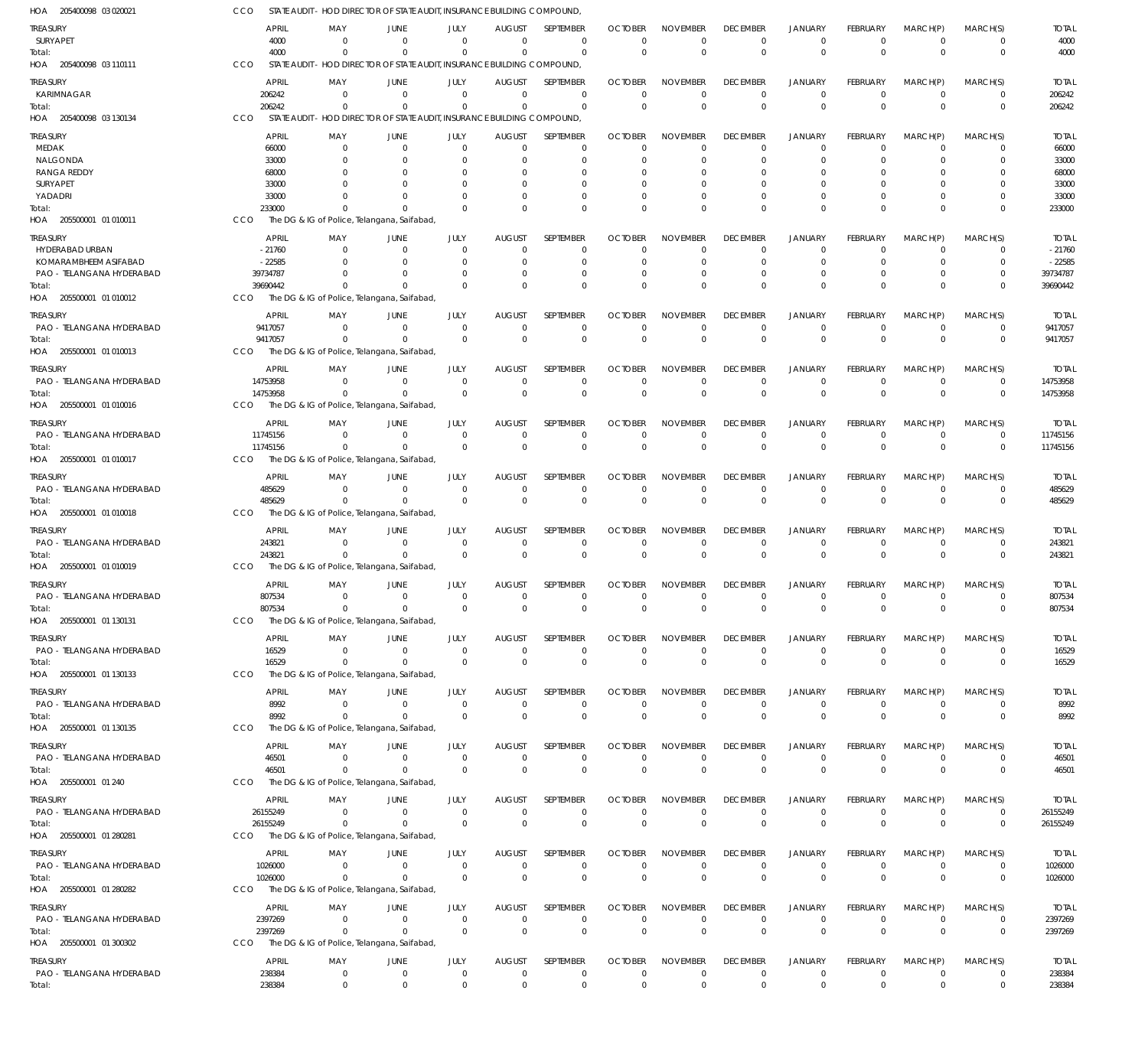| HOA 205400098 03 020021                      | CCO<br>STATE AUDIT                  |                             | - HOD DIRECTOR OF STATE AUDIT, INSURANCE BUILDING COMPOUND              |                               |                                 |                            |                               |                                |                                |                               |                                |                            |                               |                         |
|----------------------------------------------|-------------------------------------|-----------------------------|-------------------------------------------------------------------------|-------------------------------|---------------------------------|----------------------------|-------------------------------|--------------------------------|--------------------------------|-------------------------------|--------------------------------|----------------------------|-------------------------------|-------------------------|
| TREASURY                                     | <b>APRIL</b>                        | MAY                         | <b>JUNE</b>                                                             | JULY                          | <b>AUGUST</b>                   | SEPTEMBER                  | <b>OCTOBER</b>                | <b>NOVEMBER</b>                | <b>DECEMBER</b>                | <b>JANUARY</b>                | <b>FEBRUARY</b>                | MARCH(P)                   | MARCH(S)                      | <b>TOTAL</b>            |
| SURYAPET                                     | 4000                                | $\Omega$                    | $\Omega$                                                                | $\Omega$                      | $\Omega$                        | $\mathbf 0$                | $\Omega$                      | $\Omega$                       | $\Omega$                       | $\mathbf 0$                   | $\Omega$                       | $\overline{0}$             | $\mathbf 0$                   | 4000                    |
| Total:                                       | 4000                                | $\Omega$                    | $\Omega$                                                                | $\Omega$                      | $\Omega$                        | $\Omega$                   | $\Omega$                      | $\mathbf{0}$                   | $\Omega$                       | $\Omega$                      | $\mathbf{0}$                   | $\overline{0}$             | $\mathbf 0$                   | 4000                    |
| HOA 205400098 03 110111                      | CCO                                 |                             | STATE AUDIT - HOD DIRECTOR OF STATE AUDIT, INSURANCE BUILDING COMPOUND, |                               |                                 |                            |                               |                                |                                |                               |                                |                            |                               |                         |
| <b>TREASURY</b>                              | <b>APRIL</b>                        | MAY                         | <b>JUNE</b>                                                             | JULY                          | <b>AUGUST</b>                   | SEPTEMBER                  | <b>OCTOBER</b>                | <b>NOVEMBER</b>                | <b>DECEMBER</b>                | <b>JANUARY</b>                | <b>FEBRUARY</b>                | MARCH(P)                   | MARCH(S)                      | <b>TOTAL</b>            |
| KARIMNAGAR                                   | 206242                              | $\mathbf 0$                 | $\overline{0}$                                                          | $\mathbf 0$                   | $\overline{0}$                  | $\mathbf 0$                | $\mathbf 0$                   | $\mathbf 0$                    | $\Omega$                       | $\mathbf 0$                   | $\overline{0}$                 | $\overline{0}$             | $\overline{0}$                | 206242                  |
| Total:<br>HOA 205400098 03 130134            | 206242<br>CCO<br><b>STATE AUDIT</b> | $\Omega$                    | $\Omega$<br>- HOD DIRECTOR OF STATE AUDIT, INSURANCE BUILDING COMPOUND, | $\mathbf 0$                   | $\overline{0}$                  | $\mathbf{0}$               | $\Omega$                      | $\Omega$                       | $\Omega$                       | $\overline{0}$                | $\Omega$                       | $\Omega$                   | $\mathbf 0$                   | 206242                  |
|                                              |                                     |                             |                                                                         |                               |                                 |                            |                               |                                |                                |                               |                                |                            |                               |                         |
| TREASURY                                     | <b>APRIL</b>                        | MAY                         | <b>JUNE</b>                                                             | JULY                          | <b>AUGUST</b>                   | SEPTEMBER                  | <b>OCTOBER</b>                | <b>NOVEMBER</b>                | <b>DECEMBER</b>                | <b>JANUARY</b>                | <b>FEBRUARY</b>                | MARCH(P)                   | MARCH(S)                      | <b>TOTAL</b>            |
| MEDAK<br>NALGONDA                            | 66000                               | $\Omega$<br>$\Omega$        | $\overline{0}$<br>$\Omega$                                              | $\Omega$<br>$\Omega$          | $\mathbf 0$<br>$\Omega$         | $\mathbf 0$<br>0           | $\Omega$<br>O                 | $\Omega$<br>$\Omega$           | $\Omega$<br>$\Omega$           | $\Omega$<br>$\Omega$          | $\Omega$<br>$\Omega$           | $\Omega$<br>$\Omega$       | $\Omega$<br>$\Omega$          | 66000<br>33000          |
| <b>RANGA REDDY</b>                           | 33000<br>68000                      |                             | $\Omega$                                                                | n                             | 0                               | $\Omega$                   | O                             | $\Omega$                       |                                |                               |                                | $\Omega$                   | $\Omega$                      | 68000                   |
| SURYAPET                                     | 33000                               |                             | $\Omega$                                                                |                               | 0                               | $\Omega$                   |                               | $\Omega$                       |                                | $\Omega$                      |                                | $\Omega$                   | O                             | 33000                   |
| YADADRI                                      | 33000                               |                             | $\Omega$                                                                | U                             | $\Omega$                        | $\Omega$                   | $\Omega$                      | $\Omega$                       |                                | $\Omega$                      | $\Omega$                       | $\Omega$                   | $\Omega$                      | 33000                   |
| Total:                                       | 233000                              | $\Omega$                    | $\Omega$                                                                | $\Omega$                      | $\Omega$                        | $\Omega$                   | $\Omega$                      | $\Omega$                       | $\Omega$                       | $\Omega$                      | $\Omega$                       | $\Omega$                   | $\mathbf 0$                   | 233000                  |
| HOA 205500001 01 010011                      | CCO                                 |                             | The DG & IG of Police, Telangana, Saifabad,                             |                               |                                 |                            |                               |                                |                                |                               |                                |                            |                               |                         |
| TREASURY                                     | <b>APRIL</b>                        | MAY                         | JUNE                                                                    | JULY                          | AUGUST                          | SEPTEMBER                  | <b>OCTOBER</b>                | <b>NOVEMBER</b>                | <b>DECEMBER</b>                | <b>JANUARY</b>                | <b>FEBRUARY</b>                | MARCH(P)                   | MARCH(S)                      | <b>TOTAL</b>            |
| HYDERABAD URBAN                              | $-21760$                            | 0                           | 0                                                                       | 0                             | 0                               | 0                          | O                             | 0                              | -0                             | 0                             | $\Omega$                       | $\Omega$                   | 0                             | $-21760$                |
| KOMARAMBHEEM ASIFABAD                        | $-22585$                            | $\Omega$                    | $\Omega$                                                                | $\Omega$                      | $\Omega$                        | $\mathbf 0$                | 0                             | $\Omega$                       | $\Omega$                       | $\Omega$                      | $\Omega$                       | $\Omega$                   | $\Omega$                      | $-22585$                |
| PAO - TELANGANA HYDERABAD<br>Total:          | 39734787<br>39690442                | $\Omega$<br>$\Omega$        | $\Omega$<br>$\Omega$                                                    | $\Omega$<br>$\Omega$          | 0<br>$\Omega$                   | $\mathbf 0$<br>$\mathbf 0$ | 0<br>$\Omega$                 | $\mathbf 0$<br>$\Omega$        | -0<br>$\Omega$                 | $\Omega$<br>$\Omega$          | $\Omega$<br>$\Omega$           | $\Omega$<br>$\Omega$       | 0<br>$\Omega$                 | 39734787<br>39690442    |
| HOA 205500001 01 010012                      | <b>CCO</b>                          |                             | The DG & IG of Police, Telangana, Saifabad,                             |                               |                                 |                            |                               |                                |                                |                               |                                |                            |                               |                         |
|                                              |                                     |                             |                                                                         |                               |                                 | <b>SEPTEMBER</b>           |                               |                                |                                |                               |                                |                            |                               |                         |
| <b>TREASURY</b><br>PAO - TELANGANA HYDERABAD | <b>APRIL</b><br>9417057             | MAY<br>$\mathbf{0}$         | <b>JUNE</b><br>$\overline{0}$                                           | JULY<br>$\mathbf 0$           | AUGUST<br>$\overline{0}$        | 0                          | <b>OCTOBER</b><br>$\mathbf 0$ | <b>NOVEMBER</b><br>$\mathbf 0$ | <b>DECEMBER</b><br>0           | <b>JANUARY</b><br>$\mathbf 0$ | <b>FEBRUARY</b><br>$^{\circ}$  | MARCH(P)<br>$\mathbf 0$    | MARCH(S)<br>0                 | <b>TOTAL</b><br>9417057 |
| Total:                                       | 9417057                             | $\Omega$                    | $\Omega$                                                                | $\Omega$                      | $\Omega$                        | $\mathbf 0$                | $\Omega$                      | $\Omega$                       | $\Omega$                       | $\Omega$                      | $\mathbf{0}$                   | $\Omega$                   | $\mathbf 0$                   | 9417057                 |
| HOA 205500001 01 010013                      | CCO                                 |                             | The DG & IG of Police, Telangana, Saifabad,                             |                               |                                 |                            |                               |                                |                                |                               |                                |                            |                               |                         |
| treasury                                     | <b>APRIL</b>                        | MAY                         | JUNE                                                                    | JULY                          | <b>AUGUST</b>                   | <b>SEPTEMBER</b>           | <b>OCTOBER</b>                | <b>NOVEMBER</b>                | <b>DECEMBER</b>                | <b>JANUARY</b>                | <b>FEBRUARY</b>                | MARCH(P)                   | MARCH(S)                      | <b>TOTAL</b>            |
| PAO - TELANGANA HYDERABAD                    | 14753958                            | $\mathbf{0}$                | $\overline{0}$                                                          | $\mathbf 0$                   | $\overline{0}$                  | $\mathbf 0$                | $\Omega$                      | $\mathbf 0$                    | $\Omega$                       | $\mathbf 0$                   | $^{\circ}$                     | $\overline{0}$             | $^{\circ}$                    | 14753958                |
| Total:                                       | 14753958                            | $\Omega$                    | $\Omega$                                                                | $\Omega$                      | $\overline{0}$                  | $\mathbf 0$                | $\Omega$                      | $\Omega$                       | $\Omega$                       | $\overline{0}$                | $\Omega$                       | $\overline{0}$             | $\mathbf 0$                   | 14753958                |
| HOA 205500001 01 010016                      | CCO                                 |                             | The DG & IG of Police, Telangana, Saifabad,                             |                               |                                 |                            |                               |                                |                                |                               |                                |                            |                               |                         |
| TREASURY                                     | <b>APRIL</b>                        | MAY                         | <b>JUNE</b>                                                             | JULY                          | <b>AUGUST</b>                   | SEPTEMBER                  | <b>OCTOBER</b>                | <b>NOVEMBER</b>                | <b>DECEMBER</b>                | <b>JANUARY</b>                | <b>FEBRUARY</b>                | MARCH(P)                   | MARCH(S)                      | <b>TOTAL</b>            |
| PAO - TELANGANA HYDERABAD                    | 11745156                            | $\mathbf{0}$                | $\overline{0}$                                                          | $\Omega$                      | $\mathbf 0$                     | $\mathbf 0$                | $\mathbf 0$                   | $\mathbf 0$                    | $\Omega$                       | $\mathbf 0$                   | $\Omega$                       | $\overline{0}$             | $^{\circ}$                    | 11745156                |
| Total:                                       | 11745156                            | $\Omega$                    | $\Omega$                                                                | $\Omega$                      | $\Omega$                        | $\mathbf 0$                | $\mathbf 0$                   | $\mathbf{0}$                   | $\mathbf{0}$                   | $\overline{0}$                | $\mathbf{0}$                   | $\overline{0}$             | $\mathbf 0$                   | 11745156                |
| HOA 205500001 01 010017                      | CCO                                 |                             | The DG & IG of Police, Telangana, Saifabad,                             |                               |                                 |                            |                               |                                |                                |                               |                                |                            |                               |                         |
| TREASURY                                     | <b>APRIL</b>                        | MAY                         | JUNE                                                                    | JULY                          | <b>AUGUST</b>                   | SEPTEMBER                  | <b>OCTOBER</b>                | <b>NOVEMBER</b>                | <b>DECEMBER</b>                | JANUARY                       | <b>FEBRUARY</b>                | MARCH(P)                   | MARCH(S)                      | <b>TOTAL</b>            |
| PAO - TELANGANA HYDERABAD                    | 485629                              | $\mathbf 0$                 | $\overline{0}$                                                          | $\mathbf 0$                   | $\overline{0}$                  | $\mathbf 0$                | 0                             | $\mathbf 0$                    | 0                              | $^{\circ}$                    | $^{\circ}$                     | $\mathbf 0$                | $^{\circ}$                    | 485629                  |
| Total:                                       | 485629                              | $\Omega$                    | $\overline{0}$                                                          | $\Omega$                      | $\mathbf 0$                     | $\mathbf 0$                | $\mathbf{0}$                  | $\Omega$                       | $\Omega$                       | $\overline{0}$                | $\Omega$                       | $\Omega$                   | $\mathbf 0$                   | 485629                  |
| HOA 205500001 01 010018                      | CCO                                 |                             | The DG & IG of Police, Telangana, Saifabad,                             |                               |                                 |                            |                               |                                |                                |                               |                                |                            |                               |                         |
| TREASURY                                     | <b>APRIL</b>                        | MAY                         | <b>JUNE</b>                                                             | JULY                          | <b>AUGUST</b>                   | <b>SEPTEMBER</b>           | <b>OCTOBER</b>                | <b>NOVEMBER</b>                | <b>DECEMBER</b>                | <b>JANUARY</b>                | <b>FEBRUARY</b>                | MARCH(P)                   | MARCH(S)                      | <b>TOTAL</b>            |
| PAO - TELANGANA HYDERABAD<br>Total:          | 243821<br>243821                    | $\overline{0}$<br>$\Omega$  | $\overline{0}$<br>$\Omega$                                              | $\mathbf 0$<br>$\Omega$       | $\overline{0}$<br>$\Omega$      | 0<br>$\mathbf 0$           | $\mathbf 0$<br>$\Omega$       | $\mathbf 0$<br>$\Omega$        | $\Omega$<br>$\Omega$           | $\mathbf 0$<br>$\Omega$       | $\Omega$<br>$\mathbf{0}$       | $\overline{0}$<br>$\Omega$ | $\overline{0}$<br>$\mathbf 0$ | 243821<br>243821        |
| HOA 205500001 01 010019                      | CCO                                 |                             | The DG & IG of Police, Telangana, Saifabad,                             |                               |                                 |                            |                               |                                |                                |                               |                                |                            |                               |                         |
|                                              |                                     |                             |                                                                         |                               |                                 |                            |                               |                                |                                |                               |                                |                            |                               |                         |
| TREASURY<br>PAO - TELANGANA HYDERABAD        | <b>APRIL</b><br>807534              | MAY<br>$\mathbf{0}$         | JUNE<br>$\overline{0}$                                                  | JULY<br>$\mathbf 0$           | <b>AUGUST</b><br>$\overline{0}$ | SEPTEMBER<br>$\mathbf 0$   | <b>OCTOBER</b><br>$\mathbf 0$ | <b>NOVEMBER</b><br>$\mathbf 0$ | <b>DECEMBER</b><br>$\Omega$    | <b>JANUARY</b><br>$\mathbf 0$ | <b>FEBRUARY</b><br>$\mathbf 0$ | MARCH(P)<br>$\mathbf 0$    | MARCH(S)<br>$^{\circ}$        | <b>TOTAL</b><br>807534  |
| Total:                                       | 807534                              | $\mathbf 0$                 | $\Omega$                                                                | $\mathbf{0}$                  | $\mathbf 0$                     | $\mathbf 0$                |                               |                                |                                | $\Omega$                      | $\Omega$                       | $\Omega$                   | $\overline{0}$                | 807534                  |
| HOA 205500001 01 130131                      | CCO                                 |                             | The DG & IG of Police, Telangana, Saifabad,                             |                               |                                 |                            |                               |                                |                                |                               |                                |                            |                               |                         |
| TREASURY                                     | <b>APRIL</b>                        | MAY                         | <b>JUNE</b>                                                             | JULY                          | <b>AUGUST</b>                   | SEPTEMBER                  | <b>OCTOBER</b>                | <b>NOVEMBER</b>                | <b>DECEMBER</b>                | <b>JANUARY</b>                | <b>FEBRUARY</b>                | MARCH(P)                   | MARCH(S)                      | <b>TOTAL</b>            |
| PAO - TELANGANA HYDERABAD                    | 16529                               | $\mathbf{0}$                | $\overline{0}$                                                          | $\Omega$                      | $\overline{0}$                  | $\mathbf 0$                | $\mathbf 0$                   | $\mathbf 0$                    | $\mathbf 0$                    | $\mathbf 0$                   | $\mathbf 0$                    | $\mathbf 0$                | $^{\circ}$                    | 16529                   |
| Total:                                       | 16529                               | $\Omega$                    | $\Omega$                                                                | $\Omega$                      | $\mathbf 0$                     | $\mathbf 0$                | $\mathbf 0$                   | $\mathbf 0$                    | $\mathbf 0$                    | $\overline{0}$                | $\mathbf 0$                    | $\overline{0}$             | $\mathbf 0$                   | 16529                   |
| HOA 205500001 01 130133                      | CCO                                 |                             | The DG & IG of Police, Telangana, Saifabad,                             |                               |                                 |                            |                               |                                |                                |                               |                                |                            |                               |                         |
| <b>TREASURY</b>                              | <b>APRIL</b>                        | MAY                         | JUNE                                                                    | JULY                          | <b>AUGUST</b>                   | SEPTEMBER                  | <b>OCTOBER</b>                | <b>NOVEMBER</b>                | <b>DECEMBER</b>                | <b>JANUARY</b>                | <b>FEBRUARY</b>                | MARCH(P)                   | MARCH(S)                      | <b>TOTAL</b>            |
| PAO - TELANGANA HYDERABAD                    | 8992                                | $\mathbf{0}$                | $\overline{0}$                                                          | $\mathbf 0$                   | $\mathbf 0$                     | $\mathbf 0$                | 0                             | $\mathbf 0$                    | $\mathbf 0$                    | $^{\circ}$                    | $^{\circ}$                     | $\mathbf 0$                | $^{\circ}$                    | 8992                    |
| Total:                                       | 8992                                | $\mathbf{0}$                | $\overline{0}$                                                          | $\Omega$                      | $\overline{0}$                  | $\mathsf 0$                | $\mathbf{0}$                  | $\mathbb O$                    | $\mathbf{0}$                   | $\overline{0}$                | $\mathbf 0$                    | $\overline{0}$             | $\mathbf 0$                   | 8992                    |
| HOA 205500001 01 130135                      | CCO                                 |                             | The DG & IG of Police, Telangana, Saifabad,                             |                               |                                 |                            |                               |                                |                                |                               |                                |                            |                               |                         |
| <b>TREASURY</b>                              | <b>APRIL</b>                        | MAY                         | <b>JUNE</b>                                                             | JULY                          | <b>AUGUST</b>                   | SEPTEMBER                  | <b>OCTOBER</b>                | <b>NOVEMBER</b>                | <b>DECEMBER</b>                | <b>JANUARY</b>                | FEBRUARY                       | MARCH(P)                   | MARCH(S)                      | <b>TOTAL</b>            |
| PAO - TELANGANA HYDERABAD                    | 46501                               | 0                           | $\overline{0}$                                                          | $\mathbf 0$                   | $\overline{0}$                  | $\mathbf 0$                | $\Omega$                      | $\mathbf 0$                    | $\mathbf 0$                    | $\mathbf 0$                   | $\mathbf 0$                    | $\mathbf 0$                | $\overline{0}$                | 46501                   |
| Total:                                       | 46501                               | $\Omega$                    | $\overline{0}$                                                          | $\Omega$                      | $\mathbf 0$                     | $\mathbf 0$                | $\mathbf 0$                   | $\Omega$                       | $\Omega$                       | $\overline{0}$                | $\mathbf 0$                    | $\overline{0}$             | $\overline{0}$                | 46501                   |
| HOA 205500001 01 240                         | CCO                                 |                             | The DG & IG of Police, Telangana, Saifabad,                             |                               |                                 |                            |                               |                                |                                |                               |                                |                            |                               |                         |
| <b>TREASURY</b>                              | <b>APRIL</b>                        | MAY                         | JUNE                                                                    | JULY                          | <b>AUGUST</b>                   | SEPTEMBER                  | <b>OCTOBER</b>                | <b>NOVEMBER</b>                | <b>DECEMBER</b>                | <b>JANUARY</b>                | FEBRUARY                       | MARCH(P)                   | MARCH(S)                      | <b>TOTAL</b>            |
| PAO - TELANGANA HYDERABAD                    | 26155249                            | $\mathbf{0}$<br>$\mathbf 0$ | $\overline{0}$                                                          | $\mathbf 0$<br>$\overline{0}$ | $\overline{0}$                  | $\mathbf 0$                | $\mathbf 0$<br>$\mathbf 0$    | $\mathbf 0$                    | $\mathbf 0$<br>$\mathbf 0$     | $\mathbf 0$<br>$\overline{0}$ | $\mathbf 0$                    | $\overline{0}$<br>$\Omega$ | $\overline{0}$<br>$\mathbf 0$ | 26155249                |
| Total:<br>HOA 205500001 01 280281            | 26155249<br><b>CCO</b>              |                             | $\overline{0}$<br>The DG & IG of Police, Telangana, Saifabad,           |                               | $\overline{0}$                  | $\mathbf 0$                |                               | $\mathbf 0$                    |                                |                               | $\mathbf 0$                    |                            |                               | 26155249                |
|                                              |                                     |                             |                                                                         |                               |                                 |                            |                               |                                |                                |                               |                                |                            |                               |                         |
| TREASURY<br>PAO - TELANGANA HYDERABAD        | <b>APRIL</b>                        | MAY<br>$\Omega$             | JUNE<br>$\Omega$                                                        | JULY<br>$\mathbf 0$           | <b>AUGUST</b><br>$\overline{0}$ | SEPTEMBER<br>$\mathbf 0$   | <b>OCTOBER</b><br>$\mathbf 0$ | <b>NOVEMBER</b><br>$\mathbf 0$ | <b>DECEMBER</b><br>$\mathbf 0$ | <b>JANUARY</b><br>$\mathbf 0$ | FEBRUARY<br>$\overline{0}$     | MARCH(P)<br>$\mathbf 0$    | MARCH(S)<br>$\overline{0}$    | <b>TOTAL</b><br>1026000 |
| Total:                                       | 1026000<br>1026000                  | $\Omega$                    | $\overline{0}$                                                          | $\mathbf 0$                   | $\mathbf 0$                     | $\mathbf 0$                | $\mathbf 0$                   | $\mathbf 0$                    | $\mathbf 0$                    | $\overline{0}$                | $\mathbf 0$                    | $\overline{0}$             | $\mathbf 0$                   | 1026000                 |
| HOA 205500001 01 280282                      | <b>CCO</b>                          |                             | The DG & IG of Police, Telangana, Saifabad,                             |                               |                                 |                            |                               |                                |                                |                               |                                |                            |                               |                         |
| <b>TREASURY</b>                              | <b>APRIL</b>                        | MAY                         | JUNE                                                                    | JULY                          | <b>AUGUST</b>                   | SEPTEMBER                  | <b>OCTOBER</b>                | <b>NOVEMBER</b>                | <b>DECEMBER</b>                | <b>JANUARY</b>                | <b>FEBRUARY</b>                | MARCH(P)                   | MARCH(S)                      | <b>TOTAL</b>            |
| PAO - TELANGANA HYDERABAD                    | 2397269                             | $\mathbf{0}$                | $\overline{0}$                                                          | $\mathbf 0$                   | $\mathbf 0$                     | $\mathbf 0$                | $\mathbf 0$                   | $\mathbf 0$                    | $\mathbf 0$                    | $\mathbf 0$                   | $\overline{0}$                 | $\overline{0}$             | $\overline{0}$                | 2397269                 |
| Total:                                       | 2397269                             | $\mathbf{0}$                | $\overline{0}$                                                          | $\Omega$                      | $\overline{0}$                  | $\mathbf 0$                | $\mathbf{0}$                  | $\mathbf 0$                    | $\mathbf{0}$                   | $\overline{0}$                | $\mathbf 0$                    | $\overline{0}$             | $\mathbf 0$                   | 2397269                 |
| HOA 205500001 01 300302                      | <b>CCO</b>                          |                             | The DG & IG of Police, Telangana, Saifabad,                             |                               |                                 |                            |                               |                                |                                |                               |                                |                            |                               |                         |
| TREASURY                                     | <b>APRIL</b>                        | MAY                         | JUNE                                                                    | JULY                          | <b>AUGUST</b>                   | SEPTEMBER                  | <b>OCTOBER</b>                | <b>NOVEMBER</b>                | <b>DECEMBER</b>                | <b>JANUARY</b>                | FEBRUARY                       | MARCH(P)                   | MARCH(S)                      | <b>TOTAL</b>            |
| PAO - TELANGANA HYDERABAD                    | 238384                              | $\mathbf 0$                 | $\overline{0}$                                                          | $\mathbf 0$                   | $\mathbf 0$                     | $\mathbf 0$                | $\mathbf 0$                   | $\mathbf 0$                    | $\mathbf 0$                    | $\mathbf 0$                   | $\mathbf 0$                    | $\mathbf 0$                | $\overline{0}$                | 238384                  |
| Total:                                       | 238384                              | $\mathbf 0$                 | $\overline{0}$                                                          | $\mathbf 0$                   | $\mathbf 0$                     | $\mathbf 0$                | $\mathbf 0$                   | $\mathbf 0$                    | $\mathbf 0$                    | $\mathbf 0$                   | $\mathbf 0$                    | $\overline{0}$             | $\mathbf 0$                   | 238384                  |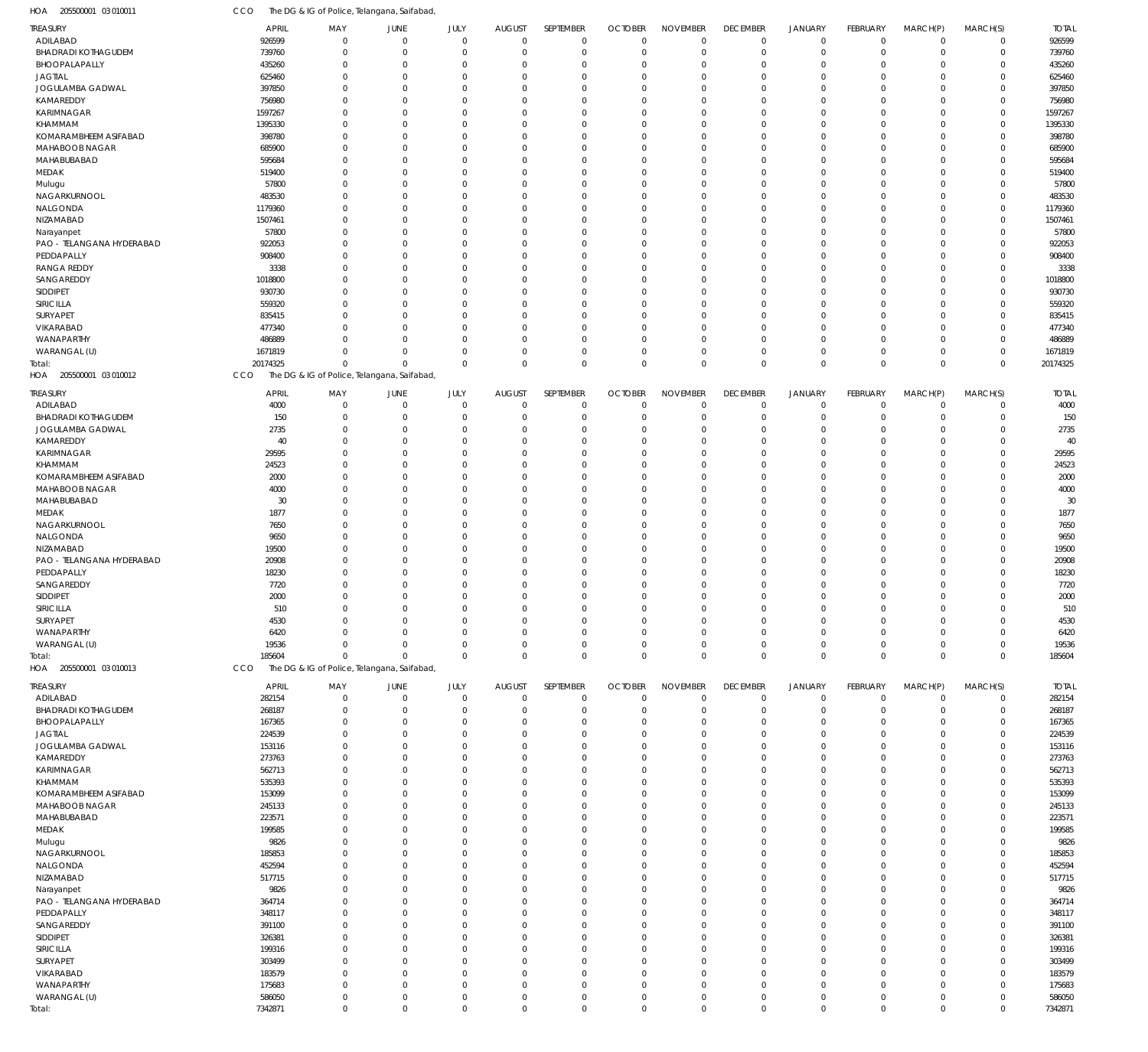| HOA<br>205500001 03 010011         | CCO              | The DG & IG of Police, Telangana, Saifabad  |                            |                      |                            |                            |                            |                               |                            |                           |                      |                      |                            |                  |
|------------------------------------|------------------|---------------------------------------------|----------------------------|----------------------|----------------------------|----------------------------|----------------------------|-------------------------------|----------------------------|---------------------------|----------------------|----------------------|----------------------------|------------------|
| <b>TREASURY</b>                    | APRIL            | MAY                                         | JUNE                       | JULY                 | <b>AUGUST</b>              | SEPTEMBER                  | <b>OCTOBER</b>             | <b>NOVEMBER</b>               | <b>DECEMBER</b>            | <b>JANUARY</b>            | <b>FEBRUARY</b>      | MARCH(P)             | MARCH(S)                   | <b>TOTAL</b>     |
| ADILABAD                           | 926599           | $\mathbf 0$                                 | $\mathbf 0$                | $\mathbf 0$          | $\mathbf 0$                | $\mathbf 0$                | $\mathbf 0$                | $\mathbf 0$                   | $\mathbf 0$                | $\mathbf 0$               | $\mathbf 0$          | $\mathbf 0$          | $\mathbf 0$                | 926599           |
| <b>BHADRADI KOTHAGUDEM</b>         | 739760           | $\mathbf 0$                                 | $\mathbf 0$                | 0                    | $\mathbf 0$                | $\overline{0}$             | $\mathbf 0$                | $\mathbf 0$                   | $\mathbf 0$                | $\overline{0}$            | $\mathbf 0$          | $\Omega$             | $\mathbf 0$                | 739760           |
| BHOOPALAPALLY<br><b>JAGTIAL</b>    | 435260<br>625460 | $\mathbf 0$<br>$\Omega$                     | $\mathbf 0$<br>$\Omega$    | $\Omega$<br>$\Omega$ | $\mathbf 0$<br>$\mathbf 0$ | $\Omega$<br>$\Omega$       | $\mathbf 0$<br>$\mathbf 0$ | $\Omega$<br>$\Omega$          | $\mathbf 0$<br>$\mathbf 0$ | $\Omega$<br>$\Omega$      | $\Omega$<br>$\Omega$ | $\Omega$<br>$\Omega$ | $\mathbf 0$<br>$\mathbf 0$ | 435260<br>625460 |
| JOGULAMBA GADWAL                   | 397850           | $\Omega$                                    | $\Omega$                   | $\Omega$             | $\mathbf 0$                | $\Omega$                   | $\mathbf 0$                | $\Omega$                      | $\mathbf 0$                | $\Omega$                  | $\Omega$             | $\Omega$             | $\mathbf 0$                | 397850           |
| KAMAREDDY                          | 756980           | $\Omega$                                    | $\Omega$                   | $\Omega$             | $\mathbf 0$                | $\Omega$                   | $\mathbf 0$                | $\Omega$                      | $\Omega$                   | $\Omega$                  | $\Omega$             | $\Omega$             | $\mathbf 0$                | 756980           |
| KARIMNAGAR                         | 1597267          | $\Omega$                                    | $\Omega$                   | $\Omega$             | $\mathbf 0$                | $\Omega$                   | $\mathbf 0$                | $\Omega$                      | $\mathbf 0$                | $\Omega$                  | $\Omega$             | $\Omega$             | $\mathbf 0$                | 1597267          |
| KHAMMAM                            | 1395330          | $\Omega$                                    | $\Omega$                   | $\Omega$             | $\mathbf 0$                | $\Omega$                   | $\mathbf 0$                | $\Omega$                      | $\Omega$                   | $\Omega$                  | $\Omega$             | $\Omega$             | $\mathbf 0$                | 1395330          |
| KOMARAMBHEEM ASIFABAD              | 398780           | $\Omega$                                    | $\Omega$                   | $\Omega$             | $\mathbf 0$                | $\Omega$                   | $\mathbf 0$                | $\Omega$                      | $\Omega$                   | $\Omega$                  | $\Omega$             | $\Omega$             | $\mathbf 0$                | 398780           |
| MAHABOOB NAGAR                     | 685900           | $\Omega$                                    | $\Omega$                   | $\Omega$             | $\mathbf 0$                | $\Omega$                   | $\mathbf 0$                | $\Omega$                      | $\Omega$                   | $\Omega$                  | $\Omega$             | $\Omega$             | $\mathbf 0$                | 685900           |
| MAHABUBABAD                        | 595684           | $\Omega$                                    | $\Omega$                   | $\Omega$             | $\mathbf 0$                | $\Omega$                   | $\mathbf 0$                | $\Omega$                      | $\Omega$                   | $\Omega$                  | $\Omega$             | $\Omega$             | $\mathbf 0$                | 595684           |
| MEDAK                              | 519400           | $\Omega$                                    | $\Omega$                   | $\Omega$             | $\mathbf 0$                | $\Omega$                   | $\mathbf 0$                | $\Omega$                      | $\Omega$                   | $\Omega$                  | $\Omega$             | $\Omega$             | $\mathbf 0$                | 519400           |
| Mulugu<br>NAGARKURNOOL             | 57800<br>483530  | $\Omega$<br>$\Omega$                        | $\Omega$<br>$\Omega$       | $\Omega$<br>$\Omega$ | $\mathbf 0$<br>$\mathbf 0$ | $\Omega$<br>$\Omega$       | $\mathbf 0$<br>$\mathbf 0$ | $\Omega$<br>$\Omega$          | $\Omega$<br>$\Omega$       | $\Omega$<br>$\Omega$      | $\Omega$<br>$\Omega$ | $\Omega$<br>$\Omega$ | $\mathbf 0$<br>$\mathbf 0$ | 57800<br>483530  |
| NALGONDA                           | 1179360          | $\Omega$                                    | $\Omega$                   | $\Omega$             | $\mathbf 0$                | $\Omega$                   | $\mathbf 0$                | $\Omega$                      | $\mathbf 0$                | $\Omega$                  | $\Omega$             | $\Omega$             | $\mathbf 0$                | 1179360          |
| NIZAMABAD                          | 1507461          | $\Omega$                                    | $\Omega$                   | $\Omega$             | $\mathbf 0$                | $\Omega$                   | $\mathbf 0$                | $\Omega$                      | $\Omega$                   | $\Omega$                  | $\Omega$             | $\Omega$             | $\mathbf 0$                | 1507461          |
| Narayanpet                         | 57800            | $\Omega$                                    | $\Omega$                   | $\Omega$             | $\mathbf 0$                | $\Omega$                   | $\mathbf 0$                | $\Omega$                      | $\Omega$                   | $\Omega$                  | $\Omega$             | $\Omega$             | $\mathbf 0$                | 57800            |
| PAO - TELANGANA HYDERABAD          | 922053           | $\Omega$                                    | $\Omega$                   | $\Omega$             | $\mathbf 0$                | $\Omega$                   | $\mathbf 0$                | $\Omega$                      | $\Omega$                   | $\Omega$                  | $\Omega$             | $\Omega$             | $\mathbf 0$                | 922053           |
| PEDDAPALLY                         | 908400           | $\Omega$                                    | $\Omega$                   | $\Omega$             | $\mathbf 0$                | $\Omega$                   | $\mathbf 0$                | $\Omega$                      | $\Omega$                   | $\Omega$                  | $\Omega$             | $\Omega$             | $\mathbf 0$                | 908400           |
| <b>RANGA REDDY</b>                 | 3338             | $\Omega$                                    | $\Omega$                   | $\Omega$             | $\mathbf 0$                | $\Omega$                   | $\mathbf 0$                | $\Omega$                      | $\Omega$                   | $\Omega$                  | $\Omega$             | $\Omega$             | $\mathbf 0$                | 3338             |
| SANGAREDDY                         | 1018800          | $\Omega$                                    | $\Omega$                   | $\Omega$             | $\mathbf 0$                | $\Omega$                   | $\mathbf 0$                | $\Omega$                      | $\Omega$                   | $\Omega$                  | $\Omega$             | $\Omega$             | $\mathbf 0$                | 1018800          |
| SIDDIPET                           | 930730           | $\Omega$                                    | $\Omega$<br>$\Omega$       | $\Omega$             | $\mathbf 0$                | $\Omega$<br>$\Omega$       | $\mathbf 0$                | $\Omega$                      | $\Omega$                   | $\Omega$                  | $\Omega$<br>$\Omega$ | $\Omega$<br>$\Omega$ | $\mathbf 0$<br>$\mathbf 0$ | 930730           |
| SIRICILLA<br>SURYAPET              | 559320<br>835415 | $\Omega$<br>$\Omega$                        | $\Omega$                   | $\Omega$<br>$\Omega$ | $\mathbf 0$<br>$\mathbf 0$ | $\Omega$                   | $\mathbf 0$<br>$\mathbf 0$ | $\Omega$<br>$\Omega$          | $\mathbf 0$<br>$\mathbf 0$ | $\Omega$<br>$\Omega$      | $\Omega$             | $\Omega$             | $\mathbf 0$                | 559320<br>835415 |
| VIKARABAD                          | 477340           | $\Omega$                                    | $\Omega$                   | $\Omega$             | $\mathbf 0$                | $\Omega$                   | $\mathbf 0$                | $\Omega$                      | $\mathbf 0$                | $\Omega$                  | $\Omega$             | $\Omega$             | $\mathbf 0$                | 477340           |
| WANAPARTHY                         | 486889           | $\Omega$                                    | $\mathbf 0$                | $\Omega$             | $\mathbf 0$                | $\Omega$                   | $\mathbf 0$                | $\mathbf 0$                   | $\mathbf 0$                | $\Omega$                  | $\Omega$             | $\Omega$             | $\mathbf 0$                | 486889           |
| WARANGAL (U)                       | 1671819          | $\Omega$                                    | $\mathbf 0$                | $\Omega$             | $\mathbf 0$                | $\Omega$                   | $\mathbf 0$                | $\mathbf 0$                   | $\mathbf 0$                | $\Omega$                  | $\Omega$             | $\Omega$             | $\mathbf 0$                | 1671819          |
| Total:                             | 20174325         | $\Omega$                                    | $\Omega$                   | $\Omega$             | $\mathbf 0$                | $\Omega$                   | $\mathbf 0$                | $\mathbf 0$                   | $\mathbb O$                | $\mathbf 0$               | $\mathbf 0$          | $\Omega$             | $\mathbf 0$                | 20174325         |
| 205500001 03 010012<br>HOA         | CCO              | The DG & IG of Police, Telangana, Saifabad, |                            |                      |                            |                            |                            |                               |                            |                           |                      |                      |                            |                  |
| <b>TREASURY</b>                    | <b>APRIL</b>     | MAY                                         | JUNE                       | JULY                 | <b>AUGUST</b>              | SEPTEMBER                  | <b>OCTOBER</b>             | <b>NOVEMBER</b>               | <b>DECEMBER</b>            | JANUARY                   | <b>FEBRUARY</b>      | MARCH(P)             | MARCH(S)                   | <b>TOTAL</b>     |
| ADILABAD                           | 4000             | $\mathbf 0$                                 | $\mathbf 0$                | $\mathbf 0$          | $\mathbf 0$                | $\overline{0}$             | $\mathbf 0$                | $\overline{0}$                | $\mathbf 0$                | $\overline{0}$            | $\mathbf 0$          | $\Omega$             | $\mathbf 0$                | 4000             |
| <b>BHADRADI KOTHAGUDEM</b>         | 150              | O                                           | $\mathbf 0$                | 0                    | $\mathbf 0$                | $\overline{0}$             | $\mathbf 0$                | $\overline{0}$                | $\mathbf 0$                | 0                         | $\mathbf 0$          | $\Omega$             | $\mathbf 0$                | 150              |
| JOGULAMBA GADWAL                   | 2735             | 0                                           | $\mathbf 0$                | $\Omega$             | $\mathbf 0$                | $\Omega$                   | $\mathbf 0$                | $\Omega$                      | $\mathbf 0$                | $\Omega$                  | $\Omega$             |                      | $\mathbf 0$                | 2735             |
| KAMAREDDY                          | 40               | $\Omega$                                    | $\mathbf{0}$               | $\Omega$             | $\mathbf 0$                | $\Omega$                   | $\mathbf 0$                | $\Omega$                      | $\mathbf 0$                | $\Omega$                  | $\Omega$             | $\Omega$             | $\mathbf 0$                | 40               |
| KARIMNAGAR<br><b>KHAMMAM</b>       | 29595            | $\Omega$<br>$\Omega$                        | $\Omega$<br>$\Omega$       | -0                   | $\mathbf 0$<br>$\mathbf 0$ | $\Omega$<br>$\Omega$       | $\mathbf 0$<br>$\mathbf 0$ | $\Omega$<br>$\Omega$          | $\Omega$                   | $\sqrt{ }$<br>$\Omega$    | $\Omega$<br>$\Omega$ | $\Omega$<br>$\Omega$ | $\mathbf 0$<br>$\mathbf 0$ | 29595            |
| KOMARAMBHEEM ASIFABAD              | 24523<br>2000    | $\Omega$                                    | $\Omega$                   | $\Omega$<br>-C       | $\mathbf 0$                | $\Omega$                   | $\mathbf 0$                | $\Omega$                      | $\mathbf 0$<br>$\Omega$    | $\sqrt{ }$                | $\Omega$             |                      | $\mathbf 0$                | 24523<br>2000    |
| MAHABOOB NAGAR                     | 4000             | $\Omega$                                    | $\mathbf 0$                | $\Omega$             | $\mathbf 0$                | $\Omega$                   | $\mathbf 0$                | $\Omega$                      | $\mathbf 0$                | $\Omega$                  | $\Omega$             | $\Omega$             | $\mathbf 0$                | 4000             |
| MAHABUBABAD                        | 30               | $\Omega$                                    | $\Omega$                   | $\Omega$             | $\mathbf 0$                | $\Omega$                   | $\mathbf 0$                | $\Omega$                      | $\Omega$                   | $\sqrt{ }$                | $\Omega$             | $\Omega$             | $\Omega$                   | 30               |
| MEDAK                              | 1877             | $\Omega$                                    | $\Omega$                   | $\Omega$             | $\mathbf 0$                | $\Omega$                   | $\mathbf 0$                | $\Omega$                      | $\mathbf 0$                | ſ                         | $\Omega$             | $\Omega$             | $\mathbf 0$                | 1877             |
| NAGARKURNOOL                       | 7650             | $\Omega$                                    | $\Omega$                   | -0                   | $\mathbf 0$                | $\Omega$                   | $\mathbf 0$                | $\Omega$                      | $\Omega$                   | $\Omega$                  | $\Omega$             |                      | $\mathbf 0$                | 7650             |
| NALGONDA                           | 9650             | $\cup$                                      | $\Omega$                   | $\Omega$             | $\mathbf 0$                | $\Omega$                   | $\mathbf 0$                | $\Omega$                      | $\mathbf 0$                | ſ                         | $\Omega$             | $\Omega$             | $\mathbf 0$                | 9650             |
| NIZAMABAD                          | 19500            | $\Omega$                                    | $\Omega$                   | -0                   | $\mathbf 0$                | $\Omega$                   | $\mathbf 0$                | $\Omega$                      | $\Omega$                   | $\sqrt{ }$                | $\Omega$             | $\Omega$             | $\mathbf 0$                | 19500            |
| PAO - TELANGANA HYDERABAD          | 20908            | C.                                          | $\mathbf{0}$               | $\Omega$             | $\mathbf 0$                | $\Omega$                   | $\mathbf 0$                | $\Omega$                      | $\mathbf 0$                | ſ                         | $\Omega$             | $\Omega$             | $\mathbf 0$                | 20908            |
| PEDDAPALLY                         | 18230            | $\Omega$<br>$\Omega$                        | $\Omega$                   | $\Omega$<br>$\Omega$ | $\mathbf 0$<br>$\mathbf 0$ | $\Omega$<br>$\Omega$       | $\mathbf 0$<br>$\mathbf 0$ | $\Omega$<br>$\Omega$          | $\Omega$<br>$\mathbf 0$    | $\mathcal{L}$<br>$\Omega$ | $\Omega$<br>$\Omega$ | $\Omega$<br>$\Omega$ | $\mathbf 0$<br>$\mathbf 0$ | 18230            |
| SANGAREDDY<br>SIDDIPET             | 7720<br>2000     | $\Omega$                                    | $\mathbf 0$<br>$\mathbf 0$ | $\Omega$             | $\mathbf 0$                | $\Omega$                   | $\mathbf 0$                | $\Omega$                      | $\mathbf 0$                | $\Omega$                  | $\Omega$             | $\Omega$             | $\mathbf 0$                | 7720<br>2000     |
| SIRICILLA                          | 510              | 0                                           | $\Omega$                   |                      | $\mathbf 0$                | $\Omega$                   | $\mathbf 0$                | -0                            | $\mathbf 0$                |                           | $\Omega$             |                      | $\mathbf 0$                | 510              |
| SURYAPET                           | 4530             | $\mathbf 0$                                 | $\mathbf 0$                | $\Omega$             | $\mathbf 0$                | $\overline{0}$             | $\mathbf 0$                | $\Omega$                      | $\mathbf 0$                | $\Omega$                  | $\Omega$             | $\Omega$             | $\mathbf 0$                | 4530             |
| WANAPARTHY                         | 6420             | $\Omega$                                    | $\mathbf 0$                | $\Omega$             | $\mathbf 0$                | $\overline{0}$             | $\mathbf 0$                | $\overline{0}$                | $\mathbf 0$                | $\Omega$                  | $\mathbf 0$          | $\Omega$             | $\mathbf 0$                | 6420             |
| WARANGAL (U)                       | 19536            | $\Omega$                                    | $\mathbf 0$                | $\Omega$             | $\mathbf 0$                | $\overline{0}$             | $\mathbf 0$                | $\mathbf 0$                   | $\mathbf 0$                | $\mathbf 0$               | $\mathbf 0$          | $\Omega$             | $\mathbf 0$                | 19536            |
| Total:                             | 185604           | $\Omega$                                    | $\mathbf 0$                | $\Omega$             | $\mathbf 0$                | $\mathbf 0$                | $\mathbf 0$                | $\mathbf 0$                   | $\mathbb O$                | $\Omega$                  | $\mathbf 0$          | $\Omega$             | $\mathbf 0$                | 185604           |
| 205500001 03 010013<br>HOA         | CCO              | The DG & IG of Police, Telangana, Saifabad, |                            |                      |                            |                            |                            |                               |                            |                           |                      |                      |                            |                  |
| <b>TREASURY</b>                    | APRIL            | MAY                                         | JUNE                       | JULY                 | <b>AUGUST</b>              | SEPTEMBER                  | <b>OCTOBER</b>             | <b>NOVEMBER</b>               | <b>DECEMBER</b>            | <b>JANUARY</b>            | <b>FEBRUARY</b>      | MARCH(P)             | MARCH(S)                   | <b>TOTAL</b>     |
| ADILABAD                           | 282154           | $\mathbf 0$                                 | $\mathbf 0$                | $\mathbf 0$          | $\mathbf 0$                | $\mathbf 0$                | $\overline{0}$             | $\overline{0}$                | $\mathbf 0$                | $\mathbf 0$               | $\mathbf 0$          | $\Omega$             | $\mathbf 0$                | 282154           |
| <b>BHADRADI KOTHAGUDEM</b>         | 268187           | $\mathbf 0$                                 | $\mathbf 0$                | 0                    | $\mathbf 0$                | $^{\circ}$                 | $\mathbf 0$                | $^{\circ}$                    | $\mathbf 0$                | $^{\circ}$                | $\mathbf 0$          | $\Omega$             | $\mathbf 0$                | 268187           |
| BHOOPALAPALLY                      | 167365           | $\mathbf 0$                                 | $\Omega$                   | $\Omega$             | $\mathbf 0$                | $^{\circ}$                 | $\mathbf 0$                | $\mathbf 0$                   | $\mathbf 0$                | $\Omega$                  | $\Omega$             | $\Omega$             | $\mathbf 0$                | 167365           |
| <b>JAGTIAL</b><br>JOGULAMBA GADWAL | 224539<br>153116 | $\mathbf 0$<br>$\mathbf 0$                  | $\Omega$<br>$\mathbf 0$    | $\Omega$<br>$\Omega$ | $\mathbf 0$<br>$\mathbf 0$ | $\Omega$<br>$\Omega$       | $\mathbf 0$<br>$\mathbf 0$ | $\Omega$<br>$\mathbf 0$       | $\mathbf 0$<br>$\mathbf 0$ | $\Omega$<br>$\Omega$      | $\Omega$<br>$\Omega$ | $\Omega$<br>$\Omega$ | $\mathbf 0$<br>$\mathbf 0$ | 224539<br>153116 |
| KAMAREDDY                          | 273763           | $\Omega$                                    | $\Omega$                   | $\Omega$             | $\mathbf 0$                | $\Omega$                   | $\mathbf 0$                | $\Omega$                      | $\mathbf 0$                | $\Omega$                  | $\Omega$             | $\Omega$             | $\mathbf 0$                | 273763           |
| KARIMNAGAR                         | 562713           | $\mathbf 0$                                 | $\Omega$                   | $\Omega$             | $\mathbf 0$                | $\Omega$                   | $\mathbf 0$                | $\mathbf 0$                   | $\mathbf 0$                | $\Omega$                  | $\Omega$             | $\Omega$             | $\mathbf 0$                | 562713           |
| KHAMMAM                            | 535393           | $\Omega$                                    | $\Omega$                   | $\Omega$             | $\mathbf 0$                | $\Omega$                   | $\mathbf 0$                | $\mathbf 0$                   | $\mathbf 0$                | $\Omega$                  | $\Omega$             | $\Omega$             | $\mathbf 0$                | 535393           |
| KOMARAMBHEEM ASIFABAD              | 153099           | $\mathbf 0$                                 | $\Omega$                   | $\Omega$             | $\mathbf 0$                | $\Omega$                   | $\mathbf 0$                | $\Omega$                      | $\mathbf 0$                | $\Omega$                  | $\Omega$             | $\Omega$             | $\mathbf 0$                | 153099           |
| MAHABOOB NAGAR                     | 245133           | $\mathbf 0$                                 | $\Omega$                   | $\Omega$             | $\mathbf 0$                | $\Omega$                   | $\mathbf 0$                | $\mathbf 0$                   | $\mathbf 0$                | $\Omega$                  | $\Omega$             | $\Omega$             | $\mathbf 0$                | 245133           |
| MAHABUBABAD                        | 223571           | $\Omega$                                    | $\Omega$                   | $\Omega$             | $\mathbf 0$                | $\Omega$                   | $\mathbf 0$                | $\mathbf 0$                   | $\mathbf 0$                | $\Omega$                  | $\Omega$             | $\Omega$             | $\mathbf 0$                | 223571           |
| MEDAK                              | 199585           | $\mathbf 0$                                 | $\Omega$                   | $\Omega$             | $\mathbf 0$                | $\Omega$                   | $\mathbf 0$                | $\Omega$                      | $\mathbf 0$                | $\Omega$                  | $\Omega$             | $\Omega$             | $\mathbf 0$                | 199585           |
| Mulugu                             | 9826             | $\Omega$                                    | $\Omega$                   | $\Omega$             | $\mathbf 0$                | $\Omega$                   | $\mathbf 0$                | $\mathbf 0$                   | $\mathbf 0$                | $\Omega$                  | $\Omega$             | $\Omega$             | $\mathbf 0$                | 9826             |
| NAGARKURNOOL<br>NALGONDA           | 185853<br>452594 | $\Omega$<br>$\Omega$                        | $\Omega$<br>$\Omega$       | $\Omega$<br>$\Omega$ | $\mathbf 0$<br>$\mathbf 0$ | $\Omega$<br>$\overline{0}$ | $\mathbf 0$<br>$\mathbf 0$ | $\Omega$<br>$\mathbf 0$       | $\mathbf 0$<br>$\mathbf 0$ | $\Omega$<br>$\Omega$      | $\Omega$<br>$\Omega$ | $\Omega$<br>$\Omega$ | $\mathbf 0$<br>$\mathbf 0$ | 185853<br>452594 |
| NIZAMABAD                          | 517715           | $\Omega$                                    | $\Omega$                   | $\Omega$             | $\mathbf 0$                | $\Omega$                   | $\mathbf 0$                | $\mathbf 0$                   | $\mathbf 0$                | $\Omega$                  | $\Omega$             | $\Omega$             | $\mathbf 0$                | 517715           |
| Narayanpet                         | 9826             | $\mathbf 0$                                 | $\Omega$                   | $\Omega$             | $\mathbf 0$                | $\Omega$                   | $\mathbf 0$                | $\Omega$                      | $\mathbf 0$                | $\Omega$                  | $\Omega$             | $\Omega$             | $\mathbf 0$                | 9826             |
| PAO - TELANGANA HYDERABAD          | 364714           | $\mathbf 0$                                 | $\Omega$                   | $\Omega$             | $\mathbf 0$                | $\Omega$                   | $\mathbf 0$                | $\mathbf 0$                   | $\mathbf 0$                | $\Omega$                  | $\Omega$             | $\Omega$             | $\mathbf 0$                | 364714           |
| PEDDAPALLY                         | 348117           | $\Omega$                                    | $\Omega$                   | $\Omega$             | $\mathbf 0$                | $\Omega$                   | $\mathbf 0$                | $\mathbf 0$                   | $\mathbf 0$                | $\Omega$                  | $\Omega$             | $\Omega$             | $\mathbf 0$                | 348117           |
| SANGAREDDY                         | 391100           | $\mathbf 0$                                 | $\Omega$                   | $\Omega$             | $\mathbf 0$                | $\Omega$                   | $\mathbf 0$                | $\Omega$                      | $\mathbf 0$                | $\Omega$                  | $\Omega$             | $\Omega$             | $\mathbf 0$                | 391100           |
| SIDDIPET                           | 326381           | $\Omega$                                    | $\Omega$                   | $\Omega$             | $\mathbf 0$                | $\Omega$                   | $\mathbf 0$                | $\mathbf 0$                   | $\mathbf 0$                | $\Omega$                  | $\Omega$             | $\Omega$             | $\mathbf 0$                | 326381           |
| SIRICILLA                          | 199316           | $\Omega$                                    | $\Omega$                   | $\Omega$             | $\mathbf 0$                | $\Omega$                   | $\mathbf 0$                | $\Omega$                      | $\mathbf 0$                | $\Omega$                  | $\Omega$             | $\Omega$             | $\mathbf 0$                | 199316           |
| SURYAPET                           | 303499           | $\mathbf 0$                                 | $\mathbf 0$                | $\Omega$             | $\mathbf 0$                | $\overline{0}$             | $\mathbf 0$                | $\mathbf 0$                   | $\mathbf 0$                | $\Omega$                  | $\Omega$             | $\Omega$             | $\mathbf 0$                | 303499           |
| VIKARABAD<br>WANAPARTHY            | 183579<br>175683 | $\Omega$<br>$\mathbf 0$                     | $\Omega$<br>$\mathbf 0$    | $\Omega$<br>$\Omega$ | $\mathbf 0$<br>$\mathbf 0$ | $\Omega$<br>$\overline{0}$ | $\mathbf 0$<br>$\mathbf 0$ | $\mathbf 0$<br>$\overline{0}$ | $\mathbf 0$<br>$\mathbf 0$ | $\Omega$<br>$\Omega$      | $\Omega$<br>$\Omega$ | $\Omega$<br>$\Omega$ | $\mathbf 0$<br>$\mathbf 0$ | 183579<br>175683 |
| WARANGAL (U)                       | 586050           | $\mathbf 0$                                 | $\mathbf 0$                | $\mathbf 0$          | $\mathbf 0$                | $\mathbf 0$                | $\mathbf 0$                | $\mathbf 0$                   | $\mathbf 0$                | $\mathbf 0$               | $\mathbf 0$          | $\mathbf 0$          | $\mathbf 0$                | 586050           |
|                                    |                  |                                             |                            |                      |                            |                            |                            |                               |                            |                           |                      |                      |                            |                  |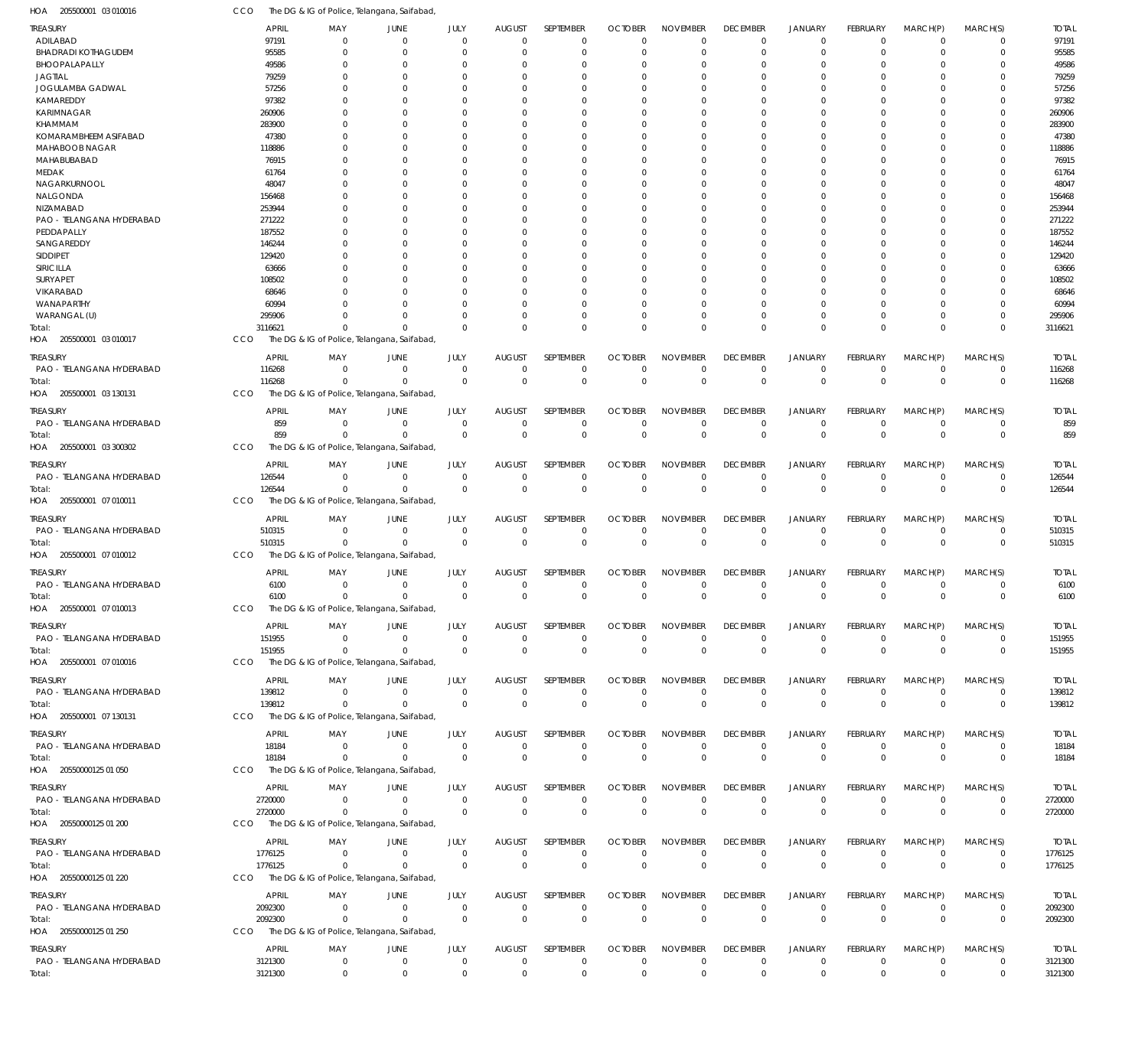| HOA<br>205500001 03 010016            | CCO                   | The DG & IG of Police, Telangana, Saifabad,                |                                  |                               |                                 |                            |                               |                            |                                |                                  |                            |                                  |                            |                        |
|---------------------------------------|-----------------------|------------------------------------------------------------|----------------------------------|-------------------------------|---------------------------------|----------------------------|-------------------------------|----------------------------|--------------------------------|----------------------------------|----------------------------|----------------------------------|----------------------------|------------------------|
| TREASURY                              | <b>APRIL</b>          | MAY                                                        | JUNE                             | JULY                          | <b>AUGUST</b>                   | SEPTEMBER                  | <b>OCTOBER</b>                | <b>NOVEMBER</b>            | <b>DECEMBER</b>                | <b>JANUARY</b>                   | FEBRUARY                   | MARCH(P)                         | MARCH(S)                   | <b>TOTAL</b>           |
| ADILABAD                              | 97191                 | $\Omega$                                                   | $\overline{0}$                   | $\overline{0}$                | $\mathbf 0$                     | $\mathbf 0$                | $\Omega$                      | $\Omega$                   | $\Omega$                       | $\overline{0}$                   | $\mathbf 0$                | $\overline{0}$                   | 0                          | 97191                  |
| <b>BHADRADI KOTHAGUDEM</b>            | 95585                 | $\Omega$                                                   | $\Omega$                         | $\Omega$                      | $\mathbf 0$                     | $\mathbf 0$                | 0                             | $\mathbf 0$                | $\Omega$                       | $\overline{0}$                   | 0                          | $\overline{0}$                   | $\mathbf 0$                | 95585                  |
| BHOOPALAPALLY<br><b>JAGTIAL</b>       | 49586<br>79259        | $\Omega$<br>$\Omega$                                       | - 0<br>$\Omega$                  | $\Omega$<br>$\Omega$          | 0<br>$\cup$                     | 0<br>$\Omega$              | 0<br>0                        | $\Omega$<br>$\Omega$       |                                | $^{\circ}$<br>$\Omega$           | 0<br>O                     | $\Omega$<br>$\Omega$             | 0<br>$\Omega$              | 49586<br>79259         |
| JOGULAMBA GADWAL                      | 57256                 | $\Omega$                                                   | $\Omega$                         | $\Omega$                      | $\Omega$                        | 0                          | O                             | $\Omega$                   |                                | $\Omega$                         |                            | $\Omega$                         | 0                          | 57256                  |
| KAMAREDDY                             | 97382                 | $\Omega$                                                   | $\Omega$                         | $\Omega$                      | $\Omega$                        | $\mathbf 0$                | $\Omega$                      | $\Omega$                   |                                | $\Omega$                         | 0                          | $\Omega$                         | $\Omega$                   | 97382                  |
| <b>KARIMNAGAR</b>                     | 260906                |                                                            | $\Omega$                         | $\Omega$                      | $\Omega$                        | 0                          | O                             | $\Omega$                   |                                | $\Omega$                         |                            | $\Omega$                         | 0                          | 260906                 |
| KHAMMAM                               | 283900                | <sup>0</sup>                                               | $\Omega$                         | $\Omega$                      | $\cup$                          | $\Omega$                   | O                             | $\Omega$                   |                                | $\Omega$                         | O                          | $\Omega$                         | $\Omega$                   | 283900                 |
| KOMARAMBHEEM ASIFABAD                 | 47380                 | <sup>0</sup>                                               | $\Omega$                         | $\Omega$                      | $\Omega$                        | 0                          | O                             | $\Omega$                   |                                | $\Omega$                         |                            | $\Omega$                         | 0                          | 47380                  |
| MAHABOOB NAGAR                        | 118886                |                                                            | $\Omega$<br>$\Omega$             | $\Omega$<br>$\Omega$          | $\Omega$<br>$\Omega$            | $\Omega$                   | $\Omega$                      | $\Omega$<br>$\Omega$       |                                | $\Omega$<br>$\Omega$             | 0<br>O                     | $\Omega$<br>$\Omega$             | $\Omega$<br>0              | 118886<br>76915        |
| MAHABUBABAD<br>MEDAK                  | 76915<br>61764        |                                                            | $\Omega$                         | $\Omega$                      | $\Omega$                        | 0<br>$\mathbf 0$           | O<br>O                        | $\Omega$                   |                                | $\Omega$                         | 0                          | $\Omega$                         | $\Omega$                   | 61764                  |
| NAGARKURNOOL                          | 48047                 |                                                            | - 0                              | $\Omega$                      | $\Omega$                        | 0                          | O                             | $\Omega$                   |                                | $\Omega$                         |                            | $\Omega$                         | 0                          | 4804                   |
| NALGONDA                              | 156468                |                                                            | $\Omega$                         | $\Omega$                      | $\Omega$                        | $\Omega$                   | $\Omega$                      | $\Omega$                   |                                | $\Omega$                         | U                          | $\Omega$                         | $\Omega$                   | 156468                 |
| NIZAMABAD                             | 253944                |                                                            | $\Omega$                         | $\Omega$                      | $\Omega$                        | 0                          | O                             | $\Omega$                   |                                | $\Omega$                         |                            | $\Omega$                         | 0                          | 253944                 |
| PAO - TELANGANA HYDERABAD             | 271222                |                                                            | $\Omega$                         | $\Omega$                      | $\Omega$                        | $\mathbf 0$                | $\Omega$                      | $\Omega$                   |                                | $\Omega$                         | 0                          | $\Omega$                         | $\Omega$                   | 271222                 |
| PEDDAPALLY                            | 187552                |                                                            | $\Omega$                         | $\Omega$                      | $\Omega$                        | 0                          | O                             | $\Omega$                   |                                | $\Omega$                         |                            | $\Omega$                         | 0                          | 187552                 |
| SANGAREDDY<br>SIDDIPET                | 146244<br>129420      |                                                            | $\Omega$<br>$\Omega$             | $\Omega$<br>$\Omega$          | $\Omega$<br>$\Omega$            | $\Omega$<br>0              | O<br>O                        | $\Omega$<br>$\Omega$       |                                | $\Omega$<br>$\Omega$             | U                          | $\Omega$<br>$\Omega$             | $\Omega$<br>0              | 146244<br>129420       |
| SIRICILLA                             | 63666                 |                                                            | $\Omega$                         | $\Omega$                      | $\Omega$                        | $\Omega$                   | $\Omega$                      | $\Omega$                   |                                | $\Omega$                         | U                          | $\Omega$                         | 0                          | 63666                  |
| SURYAPET                              | 108502                |                                                            | $\Omega$                         | $\Omega$                      | $\Omega$                        | 0                          | O                             | $\Omega$                   |                                | $\Omega$                         |                            | $\Omega$                         | 0                          | 108502                 |
| VIKARABAD                             | 68646                 |                                                            | $\Omega$                         | $\Omega$                      | $\Omega$                        | $\Omega$                   | O                             | $\Omega$                   |                                | $\Omega$                         | U                          | $\Omega$                         | $\Omega$                   | 68646                  |
| WANAPARTHY                            | 60994                 |                                                            | $\Omega$                         | $\Omega$                      | $\Omega$                        | 0                          | O                             | $\Omega$                   |                                | $\Omega$                         | 0                          | $\Omega$                         | 0                          | 60994                  |
| WARANGAL (U)                          | 295906                | <sup>n</sup>                                               | $\Omega$                         | $\Omega$                      | $\Omega$                        | $\mathbf 0$                | $\Omega$                      | $\Omega$                   | $\Omega$                       | $\Omega$                         | $\Omega$                   | $\Omega$                         | $\mathbf 0$                | 295906                 |
| Total:<br>HOA 205500001 03 010017     | 3116621<br>CCO        | $\Omega$<br>The DG & IG of Police, Telangana, Saifabad,    | $\Omega$                         | $\Omega$                      | $\Omega$                        | $\Omega$                   | $\Omega$                      | $\Omega$                   | $\Omega$                       | $\Omega$                         | $\Omega$                   | $\Omega$                         | $\mathbf 0$                | 3116621                |
|                                       |                       |                                                            |                                  |                               |                                 |                            |                               |                            |                                |                                  |                            |                                  |                            |                        |
| treasury<br>PAO - TELANGANA HYDERABAD | <b>APRIL</b>          | MAY                                                        | JUNE                             | JULY                          | <b>AUGUST</b><br>$\overline{0}$ | SEPTEMBER                  | <b>OCTOBER</b>                | <b>NOVEMBER</b>            | <b>DECEMBER</b>                | <b>JANUARY</b>                   | FEBRUARY                   | MARCH(P)                         | MARCH(S)                   | <b>TOTAL</b>           |
| Total:                                | 116268<br>116268      | $^{\circ}$<br>$^{\circ}$                                   | $\overline{0}$<br>$\overline{0}$ | $\overline{0}$<br>$\mathbf 0$ | $\overline{0}$                  | $\mathbf 0$<br>$\mathbf 0$ | 0<br>$\mathbf 0$              | $\mathbf 0$<br>$\mathbf 0$ | 0<br>$\Omega$                  | $\overline{0}$<br>$\overline{0}$ | $\mathbf 0$<br>$\mathbf 0$ | $\overline{0}$<br>$\overline{0}$ | $\mathbf 0$<br>$\mathbf 0$ | 116268<br>116268       |
| HOA 205500001 03 130131               | CCO                   | The DG & IG of Police, Telangana, Saifabad,                |                                  |                               |                                 |                            |                               |                            |                                |                                  |                            |                                  |                            |                        |
| treasury                              | <b>APRIL</b>          | MAY                                                        | JUNE                             | JULY                          | <b>AUGUST</b>                   | SEPTEMBER                  | <b>OCTOBER</b>                | <b>NOVEMBER</b>            | <b>DECEMBER</b>                | <b>JANUARY</b>                   | FEBRUARY                   | MARCH(P)                         | MARCH(S)                   | <b>TOTAL</b>           |
| PAO - TELANGANA HYDERABAD             | 859                   | $\Omega$                                                   | $\overline{0}$                   | $^{\circ}$                    | $\mathbf 0$                     | 0                          | 0                             | $\mathbf 0$                | $\Omega$                       | $^{\circ}$                       | $\mathbf 0$                | $\overline{0}$                   | $\mathbf 0$                | 859                    |
| Total:                                | 859                   | $\Omega$                                                   | $\Omega$                         | $\Omega$                      | $\Omega$                        | $\mathbf 0$                | $\Omega$                      | $\mathbf 0$                | $\Omega$                       | $\Omega$                         | $\Omega$                   | $\Omega$                         | $\mathbf 0$                | 859                    |
| 205500001 03 300302<br>HOA            | CCO                   | The DG & IG of Police, Telangana, Saifabad,                |                                  |                               |                                 |                            |                               |                            |                                |                                  |                            |                                  |                            |                        |
| treasury                              | <b>APRIL</b>          | MAY                                                        | JUNE                             | JULY                          | <b>AUGUST</b>                   | SEPTEMBER                  | <b>OCTOBER</b>                | <b>NOVEMBER</b>            | <b>DECEMBER</b>                | <b>JANUARY</b>                   | FEBRUARY                   | MARCH(P)                         | MARCH(S)                   | <b>TOTAL</b>           |
| PAO - TELANGANA HYDERABAD             | 126544                | $^{\circ}$                                                 | $\overline{0}$                   | $\overline{0}$                | $\mathbf 0$                     | $\mathbf 0$                | $\mathbf 0$                   | $\mathbf 0$                | $\Omega$                       | $\overline{0}$                   | $\mathbf 0$                | $\overline{0}$                   | $\mathbf 0$                | 126544                 |
| Total:                                | 126544                | $\Omega$                                                   | $\Omega$                         | $\overline{0}$                | $\Omega$                        | $\mathbf 0$                | $\mathbf 0$                   | $\mathbf 0$                | $\Omega$                       | $\overline{0}$                   | $\mathbf 0$                | $\Omega$                         | $\mathbf 0$                | 126544                 |
| 205500001 07 010011<br>HOA            | CCO                   | The DG & IG of Police, Telangana, Saifabad,                |                                  |                               |                                 |                            |                               |                            |                                |                                  |                            |                                  |                            |                        |
| treasury                              | <b>APRIL</b>          | MAY                                                        | JUNE                             | JULY                          | <b>AUGUST</b>                   | SEPTEMBER                  | <b>OCTOBER</b>                | <b>NOVEMBER</b>            | <b>DECEMBER</b>                | <b>JANUARY</b>                   | FEBRUARY                   | MARCH(P)                         | MARCH(S)                   | <b>TOTAL</b>           |
| PAO - TELANGANA HYDERABAD             | 510315                | $\Omega$                                                   | $\Omega$                         | $\Omega$                      | $\Omega$                        | $\mathbf 0$                | 0                             | $\mathbf 0$                | $\Omega$                       | $\overline{0}$                   | $\mathbf 0$                | $\overline{0}$                   | $\mathbf 0$                | 510315                 |
| Total:                                | 510315                | $\mathbf 0$                                                | $\Omega$                         | $\Omega$                      | $\overline{0}$                  | $\mathbf 0$                | $\mathbf 0$                   | $\mathbf 0$                | $\Omega$                       | $\overline{0}$                   | $\overline{0}$             | $\overline{0}$                   | $\mathbf 0$                | 510315                 |
| HOA 205500001 07 010012               | CCO                   | The DG & IG of Police, Telangana, Saifabad,                |                                  |                               |                                 |                            |                               |                            |                                |                                  |                            |                                  |                            |                        |
| treasury                              | <b>APRIL</b>          | MAY                                                        | JUNE                             | JULY                          | <b>AUGUST</b>                   | SEPTEMBER                  | <b>OCTOBER</b>                | <b>NOVEMBER</b>            | <b>DECEMBER</b>                | <b>JANUARY</b>                   | FEBRUARY                   | MARCH(P)                         | MARCH(S)                   | <b>TOTAL</b>           |
| PAO - TELANGANA HYDERABAD             | 6100<br>6100          | - 0<br>$\mathbf 0$                                         | $\overline{0}$<br>$\Omega$       | $^{\circ}$<br>$\Omega$        | $\mathbf 0$<br>$\overline{0}$   | 0<br>$\mathbf 0$           | 0<br>$\mathbf 0$              | $\mathbf 0$<br>$\mathbf 0$ | 0<br>$\Omega$                  | $^{\circ}$<br>$\overline{0}$     | 0<br>$\mathbf 0$           | - 0<br>$\overline{0}$            | 0<br>$\mathbf 0$           | 6100<br>6100           |
| Total:<br>HOA 205500001 07 010013     | CCO                   | The DG & IG of Police, Telangana, Saifabad,                |                                  |                               |                                 |                            |                               |                            |                                |                                  |                            |                                  |                            |                        |
|                                       |                       |                                                            |                                  |                               |                                 |                            |                               |                            |                                |                                  |                            |                                  |                            |                        |
| Treasury                              | APRIL<br>151955       | MAY<br>$\mathbf 0$                                         | JUNE                             | JULY<br>$\mathbf 0$           | <b>AUGUST</b><br>$\overline{0}$ | SEPTEMBER<br>$\mathbf 0$   | <b>OCTOBER</b><br>$\mathbf 0$ | <b>NOVEMBER</b>            | <b>DECEMBER</b>                | <b>JANUARY</b>                   | FEBRUARY                   | MARCH(P)                         | MARCH(S)                   | <b>TOTAL</b><br>151955 |
| PAO - TELANGANA HYDERABAD<br>Total:   | 151955                | $\mathbf 0$                                                | $\mathbf 0$<br>$\overline{0}$    | $\mathbf{0}$                  | $\overline{0}$                  | $\mathbb O$                | $\mathbf 0$                   | $\mathbf 0$<br>$\mathbf 0$ | 0<br>$\overline{0}$            | $\mathbf 0$<br>$\mathbf 0$       | $\mathbf 0$<br>$\mathbf 0$ | $\overline{0}$<br>$\overline{0}$ | 0<br>$\mathbf 0$           | 151955                 |
| HOA 205500001 07 010016               | <b>CCO</b>            | The DG & IG of Police, Telangana, Saifabad,                |                                  |                               |                                 |                            |                               |                            |                                |                                  |                            |                                  |                            |                        |
| <b>TREASURY</b>                       | <b>APRIL</b>          | MAY                                                        | JUNE                             | JULY                          | <b>AUGUST</b>                   | SEPTEMBER                  | <b>OCTOBER</b>                | <b>NOVEMBER</b>            | <b>DECEMBER</b>                | <b>JANUARY</b>                   | <b>FEBRUARY</b>            | MARCH(P)                         | MARCH(S)                   | <b>TOTAL</b>           |
| PAO - TELANGANA HYDERABAD             | 139812                | $^{\circ}$                                                 | $\mathbf 0$                      | $\mathbf 0$                   | $\overline{0}$                  | $\mathbf 0$                | $\mathbf 0$                   | $\mathbf 0$                | $\mathbf 0$                    | $^{\circ}$                       | $\mathbf 0$                | $\overline{0}$                   | $\mathbf 0$                | 139812                 |
| Total:                                | 139812                | $\Omega$                                                   | $\Omega$                         | $\mathbf 0$                   | $\overline{0}$                  | $\mathbf 0$                | $\mathbf 0$                   | $\mathbf 0$                | $\mathbf 0$                    | $\mathbf 0$                      | $\mathbf 0$                | $\overline{0}$                   | $\mathbf 0$                | 139812                 |
| HOA 205500001 07 130131               | CCO                   | The DG & IG of Police, Telangana, Saifabad,                |                                  |                               |                                 |                            |                               |                            |                                |                                  |                            |                                  |                            |                        |
| treasury                              | <b>APRIL</b>          | MAY                                                        | JUNE                             | JULY                          | <b>AUGUST</b>                   | SEPTEMBER                  | <b>OCTOBER</b>                | <b>NOVEMBER</b>            | <b>DECEMBER</b>                | JANUARY                          | FEBRUARY                   | MARCH(P)                         | MARCH(S)                   | <b>TOTAL</b>           |
| PAO - TELANGANA HYDERABAD             | 18184                 | $\mathbf 0$                                                | $\mathbf 0$                      | $\overline{0}$                | $\overline{0}$                  | $\mathbf 0$                | $\mathbf 0$                   | $\mathbf 0$                | $\mathbf 0$                    | $\overline{0}$                   | $\mathbf 0$                | $\overline{0}$                   | $\mathbf 0$                | 18184                  |
| Total:                                | 18184                 | $\mathbf 0$                                                | $\overline{0}$                   | $\Omega$                      | $\overline{0}$                  | $\mathbf 0$                | $\mathbf 0$                   | $\mathbf 0$                | $\mathbf 0$                    | $\mathbf 0$                      | $\mathbf 0$                | $\overline{0}$                   | $\mathbf 0$                | 18184                  |
| HOA 20550000125 01 050                | CCO                   | The DG & IG of Police, Telangana, Saifabad,                |                                  |                               |                                 |                            |                               |                            |                                |                                  |                            |                                  |                            |                        |
| Treasury                              | APRIL                 | MAY                                                        | JUNE                             | JULY                          | <b>AUGUST</b>                   | SEPTEMBER                  | <b>OCTOBER</b>                | <b>NOVEMBER</b>            | <b>DECEMBER</b>                | <b>JANUARY</b>                   | <b>FEBRUARY</b>            | MARCH(P)                         | MARCH(S)                   | <b>TOTAL</b>           |
| PAO - TELANGANA HYDERABAD             | 2720000               | $\Omega$                                                   | $\mathbf 0$                      | $\mathbf 0$                   | $\overline{0}$                  | $\mathbf 0$                | 0                             | $\mathbf 0$                | $\mathbf 0$                    | $^{\circ}$                       | $\mathbf 0$                | $\overline{0}$                   | $\mathbf 0$                | 2720000                |
| Total:                                | 2720000               | $\Omega$                                                   | $\mathbf 0$                      | $\mathbf 0$                   | $\overline{0}$                  | $\mathbf 0$                | $\mathbf 0$                   | $\mathbf 0$                | $\mathbf 0$                    | $\overline{0}$                   | $\mathbf 0$                | $\overline{0}$                   | $\mathbf 0$                | 2720000                |
| HOA 20550000125 01 200                | CCO                   | The DG & IG of Police, Telangana, Saifabad,                |                                  |                               |                                 |                            |                               |                            |                                |                                  |                            |                                  |                            |                        |
| Treasury                              | <b>APRIL</b>          | MAY                                                        | JUNE                             | JULY                          | <b>AUGUST</b>                   | SEPTEMBER                  | <b>OCTOBER</b>                | <b>NOVEMBER</b>            | <b>DECEMBER</b>                | <b>JANUARY</b>                   | FEBRUARY                   | MARCH(P)                         | MARCH(S)                   | <b>TOTAL</b>           |
| PAO - TELANGANA HYDERABAD             | 1776125               | $^{\circ}$                                                 | $\mathbf 0$                      | $\mathbf 0$                   | $\overline{0}$                  | $\mathbf 0$                | $\mathbf 0$                   | $\mathbf 0$                | $\mathbf 0$                    | $\mathbf 0$                      | $\mathbf 0$                | $\overline{0}$                   | $\mathbf 0$                | 1776125                |
| Total:<br>HOA 20550000125 01 220      | 1776125<br><b>CCO</b> | $\mathbf 0$<br>The DG & IG of Police, Telangana, Saifabad, | $\overline{0}$                   | $\mathbf 0$                   | $\overline{0}$                  | $\mathbf 0$                | $\mathbf 0$                   | $\mathbf 0$                | $\Omega$                       | $\overline{0}$                   | $\mathbf 0$                | $\overline{0}$                   | $\mathbf 0$                | 1776125                |
|                                       |                       |                                                            |                                  |                               |                                 |                            |                               |                            |                                |                                  |                            |                                  |                            |                        |
| treasury                              | <b>APRIL</b>          | MAY                                                        | JUNE                             | JULY<br>$^{\circ}$            | <b>AUGUST</b><br>$\mathbf 0$    | SEPTEMBER                  | <b>OCTOBER</b><br>$\mathbf 0$ | <b>NOVEMBER</b>            | <b>DECEMBER</b><br>$\mathbf 0$ | <b>JANUARY</b><br>$^{\circ}$     | <b>FEBRUARY</b>            | MARCH(P)<br>$\overline{0}$       | MARCH(S)                   | <b>TOTAL</b>           |
| PAO - TELANGANA HYDERABAD<br>Total:   | 2092300<br>2092300    | $^{\circ}$<br>$\Omega$                                     | $\mathbf 0$<br>$\Omega$          | $^{\circ}$                    | $\overline{0}$                  | $\mathbf 0$<br>$\mathbf 0$ | $\mathbf 0$                   | $\mathbf 0$<br>$\mathbf 0$ | $\mathbf 0$                    | $\mathbf 0$                      | $\mathbf 0$<br>$\mathbf 0$ | $\Omega$                         | 0<br>$\mathbf 0$           | 2092300<br>2092300     |
| HOA 20550000125 01 250                | <b>CCO</b>            | The DG & IG of Police, Telangana, Saifabad,                |                                  |                               |                                 |                            |                               |                            |                                |                                  |                            |                                  |                            |                        |
| treasury                              | <b>APRIL</b>          | MAY                                                        | JUNE                             | JULY                          | <b>AUGUST</b>                   | SEPTEMBER                  | <b>OCTOBER</b>                | <b>NOVEMBER</b>            | <b>DECEMBER</b>                | <b>JANUARY</b>                   | <b>FEBRUARY</b>            | MARCH(P)                         | MARCH(S)                   | <b>TOTAL</b>           |
| PAO - TELANGANA HYDERABAD             | 3121300               | $\mathbf 0$                                                | $\mathbf 0$                      | $\mathbf 0$                   | $\overline{0}$                  | $\mathbf 0$                | $\mathbf 0$                   | $\mathbf 0$                | $\mathbf 0$                    | $^{\circ}$                       | $\mathbf 0$                | $\overline{0}$                   | $\mathbf 0$                | 3121300                |
| Total:                                | 3121300               | $\mathbf 0$                                                | $\mathbf 0$                      | $\mathbf 0$                   | $\mathbf 0$                     | $\mathbf 0$                | $\mathbf 0$                   | $\mathbf 0$                | $\mathbf 0$                    | $\mathbf 0$                      | $\mathbf 0$                | $\overline{0}$                   | $\mathbf 0$                | 3121300                |
|                                       |                       |                                                            |                                  |                               |                                 |                            |                               |                            |                                |                                  |                            |                                  |                            |                        |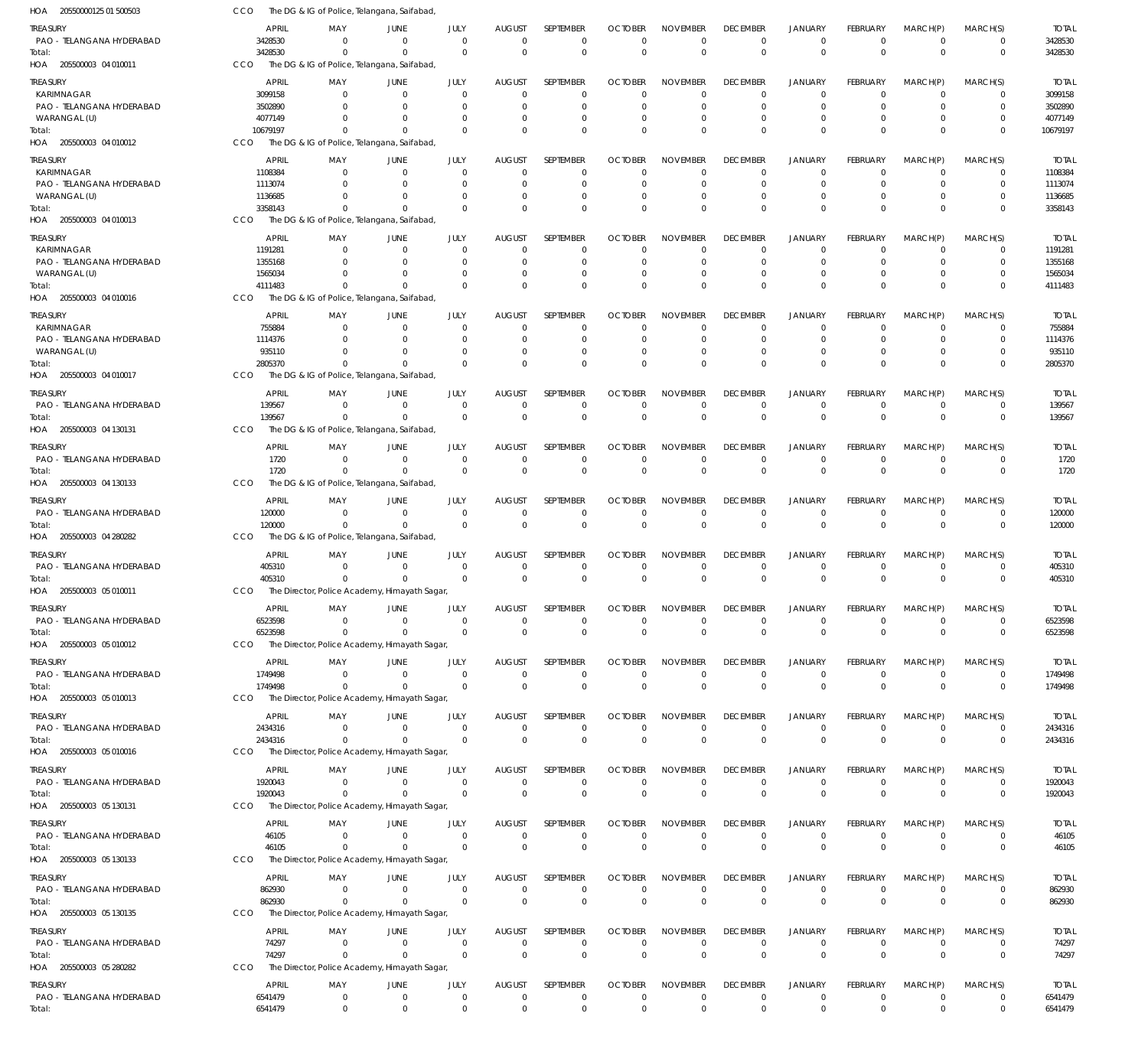| HOA<br>20550000125 01 500503            | CCO                     |                 | The DG & IG of Police, Telangana, Saifabad,             |                        |                                 |                          |                               |                                |                                |                               |                             |                      |                  |                         |
|-----------------------------------------|-------------------------|-----------------|---------------------------------------------------------|------------------------|---------------------------------|--------------------------|-------------------------------|--------------------------------|--------------------------------|-------------------------------|-----------------------------|----------------------|------------------|-------------------------|
| treasury<br>PAO - TELANGANA HYDERABAD   | <b>APRIL</b><br>3428530 | MAY<br>$\Omega$ | JUNE<br>$\Omega$                                        | JULY<br>$\overline{0}$ | <b>AUGUST</b><br>$\overline{0}$ | SEPTEMBER<br>$\mathbf 0$ | <b>OCTOBER</b><br>$\mathbf 0$ | <b>NOVEMBER</b><br>$\mathbf 0$ | <b>DECEMBER</b><br>$\mathbf 0$ | JANUARY<br>$\mathbf 0$        | <b>FEBRUARY</b><br>$\Omega$ | MARCH(P)<br>$\Omega$ | MARCH(S)<br>0    | <b>TOTAL</b><br>3428530 |
| Total:<br>HOA 205500003 04 010011       | 3428530<br><b>CCO</b>   | $\Omega$        | $\Omega$<br>The DG & IG of Police, Telangana, Saifabad, | $\overline{0}$         | $\mathbf{0}$                    | $\mathbf 0$              | $\mathbf{0}$                  | $\mathbf 0$                    | $\mathbf 0$                    | $\mathbf 0$                   | $\Omega$                    | $\Omega$             | $\mathbf 0$      | 3428530                 |
|                                         |                         |                 |                                                         |                        |                                 |                          |                               |                                |                                |                               |                             |                      |                  |                         |
| TREASURY                                | APRIL<br>3099158        | MAY<br>$\Omega$ | JUNE<br>$\overline{0}$                                  | JULY<br>$\Omega$       | <b>AUGUST</b><br>$\overline{0}$ | SEPTEMBER<br>$\mathbf 0$ | <b>OCTOBER</b><br>$\mathbf 0$ | <b>NOVEMBER</b><br>0           | <b>DECEMBER</b><br>0           | <b>JANUARY</b><br>$\mathbf 0$ | <b>FEBRUARY</b>             | MARCH(P)<br>$\Omega$ | MARCH(S)<br>0    | <b>TOTAL</b><br>3099158 |
| KARIMNAGAR<br>PAO - TELANGANA HYDERABAD | 3502890                 |                 | $\Omega$                                                | $\Omega$               | $\Omega$                        | $\mathbf 0$              | 0                             | 0                              | 0                              | $\mathbf 0$                   |                             | $\Omega$             | 0                | 3502890                 |
| WARANGAL (U)                            | 4077149                 |                 | $\Omega$                                                | $\Omega$               | $\Omega$                        | $\mathbf 0$              | 0                             | 0                              | $\Omega$                       | $\mathbf 0$                   |                             | $\Omega$             | 0                | 4077149                 |
| Total:                                  | 10679197                | $\Omega$        | $\Omega$                                                | $\Omega$               | $\Omega$                        | $\mathbf 0$              | $\Omega$                      | $\Omega$                       | $\Omega$                       | $\mathbf 0$                   | $\Omega$                    | $\Omega$             | $\mathbf 0$      | 10679197                |
| HOA 205500003 04 010012                 | CCO                     |                 | The DG & IG of Police, Telangana, Saifabad,             |                        |                                 |                          |                               |                                |                                |                               |                             |                      |                  |                         |
| treasury                                | <b>APRIL</b>            | MAY             | JUNE                                                    | JULY                   | <b>AUGUST</b>                   | <b>SEPTEMBER</b>         | <b>OCTOBER</b>                | <b>NOVEMBER</b>                | <b>DECEMBER</b>                | <b>JANUARY</b>                | <b>FEBRUARY</b>             | MARCH(P)             | MARCH(S)         | TOTAL                   |
| <b>KARIMNAGAR</b>                       | 1108384                 | $\Omega$        | $\Omega$                                                | $\Omega$               | $\overline{0}$                  | 0                        | 0                             | 0                              | 0                              | 0                             |                             | $\Omega$             | 0                | 1108384                 |
| PAO - TELANGANA HYDERABAD               | 1113074                 |                 | $\Omega$                                                | $\Omega$               | $\Omega$                        | $\mathbf 0$              | $\Omega$                      | $\Omega$                       | $\Omega$                       | $\Omega$                      |                             | $\Omega$             | 0                | 1113074                 |
| WARANGAL (U)                            | 1136685                 |                 | $\Omega$                                                | $\Omega$               | $\Omega$                        | $\mathbf 0$              | 0                             | $\Omega$                       | $\Omega$                       | $\mathbf 0$                   |                             | $\Omega$             | $\mathbf 0$      | 1136685                 |
| Total:<br>HOA 205500003 04 010013       | 3358143<br><b>CCO</b>   | $\Omega$        | $\Omega$<br>The DG & IG of Police, Telangana, Saifabad, | $\Omega$               | $\Omega$                        | $\mathbf 0$              | $\Omega$                      | $\Omega$                       | $\Omega$                       | $\mathbf 0$                   | $\Omega$                    | $\Omega$             | $\mathbf 0$      | 3358143                 |
|                                         |                         |                 |                                                         |                        |                                 |                          |                               |                                |                                |                               |                             |                      |                  |                         |
| <b>TREASURY</b>                         | APRIL                   | MAY             | JUNE                                                    | JULY                   | <b>AUGUST</b>                   | SEPTEMBER                | <b>OCTOBER</b>                | <b>NOVEMBER</b>                | <b>DECEMBER</b>                | <b>JANUARY</b>                | <b>FEBRUARY</b>             | MARCH(P)             | MARCH(S)         | TOTAL                   |
| KARIMNAGAR<br>PAO - TELANGANA HYDERABAD | 1191281<br>1355168      |                 | $^{\circ}$<br>$\Omega$                                  | $\Omega$<br>$\Omega$   | $\overline{0}$<br>$\Omega$      | 0<br>$\mathbf 0$         | 0<br>$\Omega$                 | 0<br>0                         | 0<br>$\Omega$                  | 0<br>$\Omega$                 |                             | - 0<br>$\Omega$      | 0<br>$\mathbf 0$ | 1191281<br>1355168      |
| WARANGAL (U)                            | 1565034                 |                 | $\Omega$                                                | $\Omega$               | $\Omega$                        | $\mathbf 0$              | 0                             | 0                              | 0                              | $\mathbf 0$                   |                             | $\Omega$             | $\mathbf 0$      | 1565034                 |
| Total:                                  | 4111483                 | $\Omega$        | $\Omega$                                                | $\Omega$               | $\Omega$                        | $\mathbf 0$              | 0                             | $\mathbf 0$                    | $\Omega$                       | $\Omega$                      |                             | $\Omega$             | $\mathbf 0$      | 4111483                 |
| HOA 205500003 04 010016                 | <b>CCO</b>              |                 | The DG & IG of Police, Telangana, Saifabad,             |                        |                                 |                          |                               |                                |                                |                               |                             |                      |                  |                         |
|                                         |                         |                 |                                                         |                        |                                 | <b>SEPTEMBER</b>         |                               |                                |                                |                               |                             |                      |                  |                         |
| treasury<br><b>KARIMNAGAR</b>           | APRIL<br>755884         | MAY<br>$\Omega$ | JUNE<br>$\Omega$                                        | JULY<br>$\Omega$       | <b>AUGUST</b><br>$\overline{0}$ | 0                        | <b>OCTOBER</b><br>0           | <b>NOVEMBER</b><br>0           | <b>DECEMBER</b><br>0           | <b>JANUARY</b><br>0           | <b>FEBRUARY</b>             | MARCH(P)<br>$\Omega$ | MARCH(S)<br>0    | <b>TOTAL</b><br>755884  |
| PAO - TELANGANA HYDERABAD               | 1114376                 |                 | $\Omega$                                                | $\Omega$               | $\Omega$                        | $\mathbf 0$              | $\Omega$                      | $\Omega$                       | $\Omega$                       | $\Omega$                      | $\Omega$                    | $\Omega$             | $\Omega$         | 1114376                 |
| WARANGAL (U)                            | 935110                  |                 | $\Omega$                                                | $\Omega$               | $\mathbf 0$                     | $\mathbf 0$              | 0                             | $\Omega$                       | 0                              | $\mathbf 0$                   |                             | $\Omega$             | 0                | 935110                  |
| Total:                                  | 2805370                 | $\Omega$        | $\Omega$                                                | $\Omega$               | $\Omega$                        | $\Omega$                 | $\Omega$                      | $\Omega$                       | $\Omega$                       | $\Omega$                      | $\cap$                      | $\Omega$             | $\Omega$         | 2805370                 |
| HOA 205500003 04 010017                 | CCO                     |                 | The DG & IG of Police, Telangana, Saifabad,             |                        |                                 |                          |                               |                                |                                |                               |                             |                      |                  |                         |
| treasury                                | APRIL                   | MAY             | JUNE                                                    | JULY                   | <b>AUGUST</b>                   | SEPTEMBER                | <b>OCTOBER</b>                | <b>NOVEMBER</b>                | <b>DECEMBER</b>                | JANUARY                       | FEBRUARY                    | MARCH(P)             | MARCH(S)         | <b>TOTAL</b>            |
| PAO - TELANGANA HYDERABAD               | 139567                  | $\Omega$        | $\overline{0}$                                          | $\mathbf 0$            | $\overline{0}$                  | $\mathbf 0$              | $\mathbf 0$                   | $\mathbf 0$                    | 0                              | $\mathbf 0$                   | $\Omega$                    | $^{\circ}$           | $\mathbf 0$      | 139567                  |
| Total:                                  | 139567                  |                 | $\Omega$                                                | $\overline{0}$         | $\Omega$                        | $\overline{0}$           | $\mathbf 0$                   | $\mathbf 0$                    | $\Omega$                       | $\mathbf 0$                   | $\Omega$                    | $\Omega$             | $\mathbf 0$      | 139567                  |
| HOA 205500003 04 130131                 | CCO                     |                 | The DG & IG of Police, Telangana, Saifabad,             |                        |                                 |                          |                               |                                |                                |                               |                             |                      |                  |                         |
| treasury                                | <b>APRIL</b>            | MAY             | JUNE                                                    | JULY                   | <b>AUGUST</b>                   | SEPTEMBER                | <b>OCTOBER</b>                | <b>NOVEMBER</b>                | <b>DECEMBER</b>                | <b>JANUARY</b>                | <b>FEBRUARY</b>             | MARCH(P)             | MARCH(S)         | <b>TOTAL</b>            |
| PAO - TELANGANA HYDERABAD               | 1720                    | $\Omega$        | $\Omega$                                                | $\Omega$               | $\overline{0}$                  | $\mathbf 0$              | $\mathbf 0$                   | 0                              | $\mathbf 0$                    | 0                             | $\Omega$                    | $\Omega$             | $\mathbf 0$      | 1720                    |
| Total:                                  | 1720                    | $\Omega$        | $\Omega$                                                | $\overline{0}$         | $\mathbf 0$                     | $\overline{0}$           | $\mathbf 0$                   | $\mathbf 0$                    | $\mathbf 0$                    | $\mathbf 0$                   | $\Omega$                    | $\Omega$             | $\mathbf 0$      | 1720                    |
| HOA 205500003 04 130133                 | CCO                     |                 | The DG & IG of Police, Telangana, Saifabad,             |                        |                                 |                          |                               |                                |                                |                               |                             |                      |                  |                         |
| treasury                                | <b>APRIL</b>            | MAY             | JUNE                                                    | JULY                   | <b>AUGUST</b>                   | SEPTEMBER                | <b>OCTOBER</b>                | <b>NOVEMBER</b>                | <b>DECEMBER</b>                | <b>JANUARY</b>                | <b>FEBRUARY</b>             | MARCH(P)             | MARCH(S)         | <b>TOTAL</b>            |
| PAO - TELANGANA HYDERABAD               | 120000                  | $\Omega$        | $\overline{0}$                                          | $\mathbf 0$            | $\overline{0}$                  | $\mathbf 0$              | 0                             | 0                              | 0                              | $\mathbf 0$                   |                             | $\overline{0}$       | $\mathbf 0$      | 120000                  |
| Total:                                  | 120000                  | $\Omega$        | $\overline{0}$                                          | $\Omega$               | $\Omega$                        | $\overline{0}$           | $\mathbf 0$                   | $\mathbf 0$                    | $\mathbf 0$                    | $\mathbf 0$                   | $\Omega$                    | $\Omega$             | $\mathbf 0$      | 120000                  |
| HOA 205500003 04 280282                 | CCO                     |                 | The DG & IG of Police, Telangana, Saifabad,             |                        |                                 |                          |                               |                                |                                |                               |                             |                      |                  |                         |
| treasury                                | <b>APRIL</b>            | MAY             | JUNE                                                    | JULY                   | <b>AUGUST</b>                   | <b>SEPTEMBER</b>         | <b>OCTOBER</b>                | <b>NOVEMBER</b>                | <b>DECEMBER</b>                | <b>JANUARY</b>                | FEBRUARY                    | MARCH(P)             | MARCH(S)         | <b>TOTAL</b>            |
| PAO - TELANGANA HYDERABAD               | 405310                  | $\Omega$        | $\Omega$                                                | $\Omega$               | $\overline{0}$                  | $\mathbf 0$              | $\mathbf 0$                   | 0                              | $\mathbf 0$                    | $\mathbf 0$                   | $\Omega$                    | $\Omega$             | 0                | 405310                  |
| Total:                                  | 405310                  | $\Omega$        | $\Omega$                                                | $\Omega$               | $\Omega$                        | $\mathbf 0$              | $\Omega$                      | $\Omega$                       | $\Omega$                       | $\mathbf 0$                   | $\Omega$                    | $\Omega$             | $\mathbf 0$      | 405310                  |
| HOA 205500003 05 010011                 | <b>CCO</b>              |                 | The Director, Police Academy, Himayath Sagar,           |                        |                                 |                          |                               |                                |                                |                               |                             |                      |                  |                         |
| treasury                                | <b>APRIL</b>            | MAY             | JUNE                                                    | JULY                   | <b>AUGUST</b>                   | SEPTEMBER                | <b>OCTOBER</b>                | <b>NOVEMBER</b>                | <b>DECEMBER</b>                | JANUARY                       | FEBRUARY                    | MARCH(P)             | MARCH(S)         | <b>TOTAL</b>            |
| PAO - TELANGANA HYDERABAD               | 6523598                 | $\mathbf 0$     | $\overline{0}$                                          | $\mathbf 0$            | $\mathbf 0$                     | $\mathbf 0$              | $\mathbf 0$                   | 0                              | 0                              | $\mathbf 0$                   | $\Omega$                    | $^{\circ}$           | $\mathbf 0$      | 6523598                 |
| Total:                                  | 6523598                 | $\Omega$        | $\Omega$                                                | $\overline{0}$         | $\mathbf{0}$                    | $\mathbf 0$              | $\mathbf 0$                   | $\mathbf 0$                    | $\mathbf 0$                    | $\mathbf 0$                   | $\Omega$                    | $\Omega$             | $\mathbf 0$      | 6523598                 |
| HOA 205500003 05 010012                 | CCO                     |                 | The Director, Police Academy, Himayath Sagar,           |                        |                                 |                          |                               |                                |                                |                               |                             |                      |                  |                         |
| treasury                                | <b>APRIL</b>            | MAY             | JUNE                                                    | JULY                   | <b>AUGUST</b>                   | <b>SEPTEMBER</b>         | <b>OCTOBER</b>                | <b>NOVEMBER</b>                | <b>DECEMBER</b>                | <b>JANUARY</b>                | <b>FEBRUARY</b>             | MARCH(P)             | MARCH(S)         | <b>TOTAL</b>            |
| PAO - TELANGANA HYDERABAD               | 1749498                 | $\Omega$        | $\Omega$                                                | $\mathbf 0$            | $\mathbf 0$                     | $\mathbf 0$              | $\mathbf 0$                   | 0                              | $\mathbf 0$                    | $\mathbf 0$                   | $\Omega$                    | $\Omega$             | $\mathbf 0$      | 1749498                 |
| Total:                                  | 1749498                 | $\Omega$        | $\Omega$                                                | $\overline{0}$         | $\mathbf 0$                     | $\mathbf 0$              | $\mathbf 0$                   | $\mathbf 0$                    | $\mathbf 0$                    | $\mathbf 0$                   | $\Omega$                    | $\overline{0}$       | $\mathbf 0$      | 1749498                 |
| HOA 205500003 05 010013                 | CCO                     |                 | The Director, Police Academy, Himayath Sagar,           |                        |                                 |                          |                               |                                |                                |                               |                             |                      |                  |                         |
| Treasury                                | <b>APRIL</b>            | MAY             | JUNE                                                    | JULY                   | <b>AUGUST</b>                   | SEPTEMBER                | <b>OCTOBER</b>                | <b>NOVEMBER</b>                | <b>DECEMBER</b>                | <b>JANUARY</b>                | <b>FEBRUARY</b>             | MARCH(P)             | MARCH(S)         | <b>TOTAL</b>            |
| PAO - TELANGANA HYDERABAD               | 2434316                 | $\Omega$        | $\overline{0}$                                          | $\mathbf 0$            | $^{\circ}$                      | $\mathbf 0$              | $\mathbf 0$                   | 0                              | $\mathbf 0$                    | $\mathbf 0$                   | $\Omega$                    | $\overline{0}$       | $\mathbf 0$      | 2434316                 |
| Total:                                  | 2434316                 | $\Omega$        | $\overline{0}$                                          | $\mathbf 0$            | $^{\circ}$                      | $\overline{0}$           | $\mathbf 0$                   | $\mathbf 0$                    | $\mathbf 0$                    | $\mathbf 0$                   | $\Omega$                    | $\overline{0}$       | $\mathbf 0$      | 2434316                 |
| HOA 205500003 05 010016                 | CCO                     |                 | The Director, Police Academy, Himayath Sagar,           |                        |                                 |                          |                               |                                |                                |                               |                             |                      |                  |                         |
| Treasury                                | <b>APRIL</b>            | MAY             | JUNE                                                    | JULY                   | <b>AUGUST</b>                   | SEPTEMBER                | <b>OCTOBER</b>                | <b>NOVEMBER</b>                | <b>DECEMBER</b>                | <b>JANUARY</b>                | FEBRUARY                    | MARCH(P)             | MARCH(S)         | <b>TOTAL</b>            |
| PAO - TELANGANA HYDERABAD               | 1920043                 | $\Omega$        | $\overline{0}$                                          | $\mathbf 0$            | $\mathbf 0$                     | $\mathbf 0$              | $\mathbf 0$                   | $\mathbf 0$                    | $\mathbf 0$                    | $\mathbf 0$                   | $\Omega$                    | $\overline{0}$       | $\mathbf 0$      | 1920043                 |
| Total:                                  | 1920043                 | $\mathbf 0$     | $\Omega$                                                | $\overline{0}$         | $\mathbf 0$                     | $\mathbb O$              | $\mathbf 0$                   | $\mathbf 0$                    | $\mathbf 0$                    | $\mathbf 0$                   | $\Omega$                    | $\Omega$             | $\mathbf 0$      | 1920043                 |
| HOA 205500003 05 130131                 | <b>CCO</b>              |                 | The Director, Police Academy, Himayath Sagar,           |                        |                                 |                          |                               |                                |                                |                               |                             |                      |                  |                         |
| treasury                                | <b>APRIL</b>            | MAY             | JUNE                                                    | JULY                   | <b>AUGUST</b>                   | SEPTEMBER                | <b>OCTOBER</b>                | <b>NOVEMBER</b>                | <b>DECEMBER</b>                | <b>JANUARY</b>                | FEBRUARY                    | MARCH(P)             | MARCH(S)         | <b>TOTAL</b>            |
| PAO - TELANGANA HYDERABAD               | 46105                   | $\Omega$        | $\overline{0}$                                          | $\mathbf 0$            | $\mathbf 0$                     | $\overline{0}$           | $\mathbf 0$                   | $\mathbf 0$                    | $\mathbf 0$                    | $\mathbf 0$                   | $\Omega$                    | $\overline{0}$       | $\mathbf 0$      | 46105                   |
| Total:                                  | 46105                   | $\Omega$        | $\Omega$                                                | $\mathbf 0$            | $\overline{0}$                  | $\mathbf 0$              | $\mathbf 0$                   | $\mathbf 0$                    | $\mathbf 0$                    | $\mathbf 0$                   | $\Omega$                    | $\overline{0}$       | $\mathbf 0$      | 46105                   |
| HOA 205500003 05 130133                 | CCO                     |                 | The Director, Police Academy, Himayath Sagar,           |                        |                                 |                          |                               |                                |                                |                               |                             |                      |                  |                         |
| treasury                                | <b>APRIL</b>            | MAY             | JUNE                                                    | JULY                   | <b>AUGUST</b>                   | SEPTEMBER                | <b>OCTOBER</b>                | <b>NOVEMBER</b>                | <b>DECEMBER</b>                | JANUARY                       | FEBRUARY                    | MARCH(P)             | MARCH(S)         | <b>TOTAL</b>            |
| PAO - TELANGANA HYDERABAD               | 862930                  | $\Omega$        | $\mathbf{0}$                                            | $\mathbf 0$            | $\mathbf 0$                     | $\mathbf 0$              | $\mathbf 0$                   | $\mathbf 0$                    | $\mathbf 0$                    | $\mathbf 0$                   | $\Omega$                    | $\overline{0}$       | $\mathbf 0$      | 862930                  |
| Total:                                  | 862930                  | $\Omega$        | $\Omega$                                                | $\overline{0}$         | $\mathbf 0$                     | $\mathbf 0$              | $\mathbf 0$                   | $\mathbf 0$                    | $\mathbf 0$                    | $\mathbf 0$                   | $\overline{0}$              | $\Omega$             | $\mathbf 0$      | 862930                  |
| HOA 205500003 05 130135                 | <b>CCO</b>              |                 | The Director, Police Academy, Himayath Sagar,           |                        |                                 |                          |                               |                                |                                |                               |                             |                      |                  |                         |
| Treasury                                | <b>APRIL</b>            | MAY             | JUNE                                                    | JULY                   | <b>AUGUST</b>                   | SEPTEMBER                | <b>OCTOBER</b>                | <b>NOVEMBER</b>                | <b>DECEMBER</b>                | JANUARY                       | FEBRUARY                    | MARCH(P)             | MARCH(S)         | <b>TOTAL</b>            |
| PAO - TELANGANA HYDERABAD               | 74297                   | $\Omega$        | $\overline{0}$                                          | $\mathbf 0$            | $\mathbf 0$                     | $\mathbf 0$              | $\mathbf 0$                   | 0                              | $\mathbf 0$                    | $\mathbf 0$                   | $\Omega$                    | $\overline{0}$       | $\mathbf 0$      | 74297                   |
| Total:                                  | 74297                   | $\Omega$        | $\overline{0}$                                          | $\mathbf 0$            | $\mathbf 0$                     | $\mathbf 0$              | $\mathbf 0$                   | $\mathbf 0$                    | $\mathbf 0$                    | $\mathbf 0$                   | $\Omega$                    | $\overline{0}$       | $\mathbf 0$      | 74297                   |
| HOA 205500003 05 280282                 | <b>CCO</b>              |                 | The Director, Police Academy, Himayath Sagar,           |                        |                                 |                          |                               |                                |                                |                               |                             |                      |                  |                         |
| Treasury                                | <b>APRIL</b>            | MAY             | <b>JUNE</b>                                             | JULY                   | <b>AUGUST</b>                   | SEPTEMBER                | <b>OCTOBER</b>                | <b>NOVEMBER</b>                | <b>DECEMBER</b>                | <b>JANUARY</b>                | FEBRUARY                    | MARCH(P)             | MARCH(S)         | <b>TOTAL</b>            |
| PAO - TELANGANA HYDERABAD               | 6541479                 | 0               | $\overline{0}$                                          | 0                      | $\mathbf 0$                     | $\overline{0}$           | $\mathbf 0$                   | $\mathbf 0$                    | $\mathbf 0$                    | $\mathbf 0$                   | $\mathbf 0$                 | $\overline{0}$       | $\mathbf 0$      | 6541479                 |
| Total:                                  | 6541479                 | $\mathbf 0$     | $\mathbf 0$                                             | $\mathbf 0$            | $\mathbf 0$                     | $\mathbf 0$              | $\mathbf 0$                   | $\mathbf 0$                    | $\mathbf 0$                    | $\mathbf 0$                   | $\mathbf 0$                 | $\mathbf 0$          | $\mathbf 0$      | 6541479                 |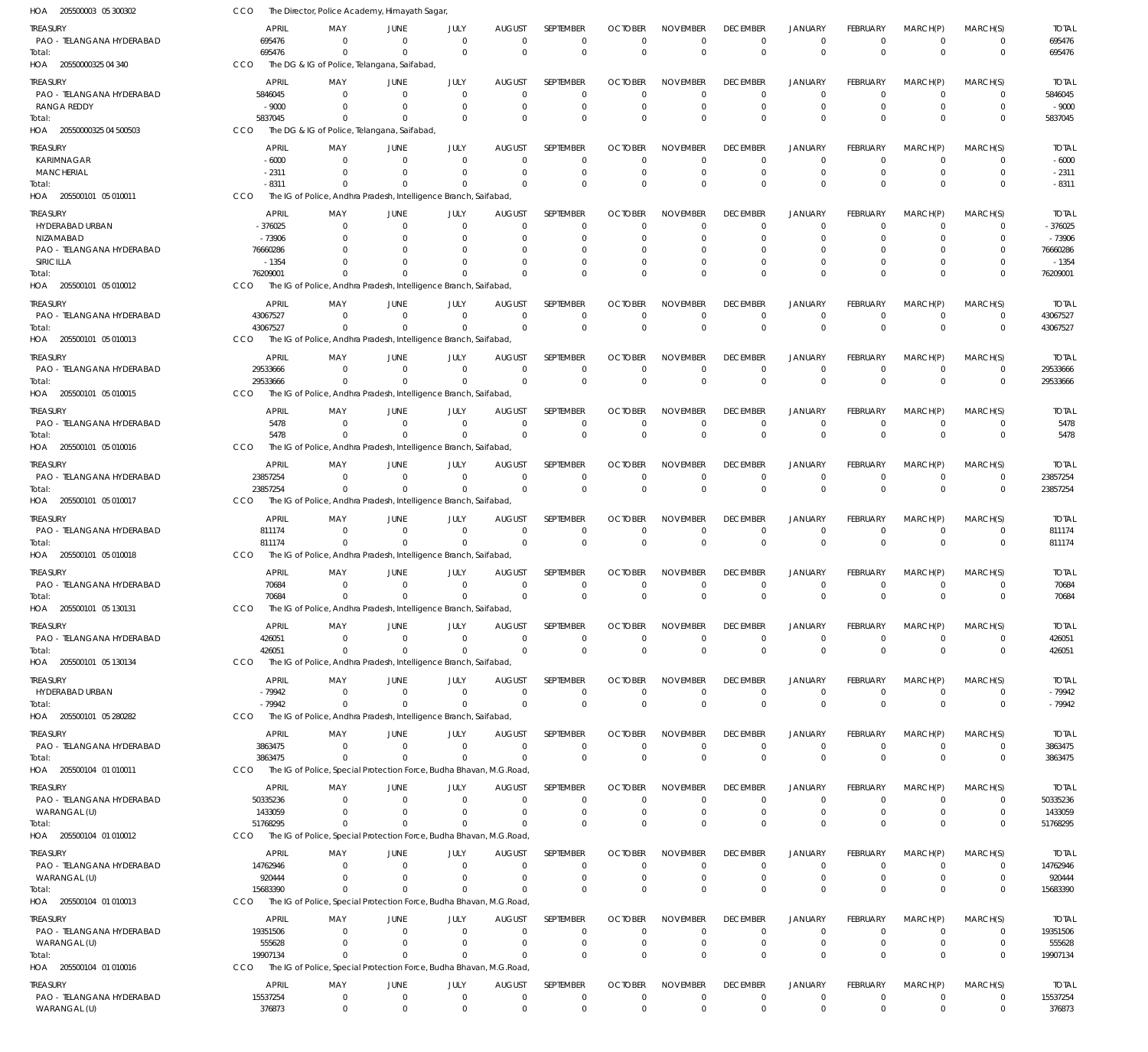| HOA<br>205500003 05 300302                   | CCO                      | The Director, Police Academy, Himayath Sagar,                                  |                               |                            |                               |                                 |                               |                                |                                |                                  |                                |                            |                            |                          |
|----------------------------------------------|--------------------------|--------------------------------------------------------------------------------|-------------------------------|----------------------------|-------------------------------|---------------------------------|-------------------------------|--------------------------------|--------------------------------|----------------------------------|--------------------------------|----------------------------|----------------------------|--------------------------|
| <b>TREASURY</b><br>PAO - TELANGANA HYDERABAD | <b>APRIL</b><br>695476   | MAY<br>$\Omega$                                                                | JUNE<br>$\mathbf 0$           | JULY<br>$\Omega$           | AUGUST<br>$\mathbf 0$         | SEPTEMBER<br>$\mathbf 0$        | <b>OCTOBER</b><br>$\Omega$    | <b>NOVEMBER</b><br>$\Omega$    | <b>DECEMBER</b><br>$\mathbf 0$ | <b>JANUARY</b><br>$^{\circ}$     | <b>FEBRUARY</b><br>$\mathbf 0$ | MARCH(P)<br>$^{\circ}$     | MARCH(S)<br>0              | <b>TOTAL</b><br>695476   |
| Total:<br>HOA 20550000325 04 340             | 695476<br>CCO            | $\mathbf 0$<br>The DG & IG of Police, Telangana, Saifabad,                     | $\Omega$                      | $\Omega$                   | $\Omega$                      | $\mathbf 0$                     | $\Omega$                      | $\Omega$                       | $\Omega$                       | $\Omega$                         | $\Omega$                       | $\Omega$                   | $\mathbf 0$                | 695476                   |
|                                              |                          |                                                                                |                               |                            |                               |                                 |                               |                                |                                |                                  |                                |                            |                            |                          |
| <b>TREASURY</b><br>PAO - TELANGANA HYDERABAD | <b>APRIL</b><br>5846045  | MAY<br>$\Omega$                                                                | JUNE<br>$\overline{0}$        | JULY<br>$\Omega$           | <b>AUGUST</b><br>$\mathbf 0$  | <b>SEPTEMBER</b><br>$\mathbf 0$ | <b>OCTOBER</b><br>$\Omega$    | <b>NOVEMBER</b><br>$\Omega$    | <b>DECEMBER</b><br>$\Omega$    | <b>JANUARY</b><br>$^{\circ}$     | <b>FEBRUARY</b><br>$\Omega$    | MARCH(P)<br>$\overline{0}$ | MARCH(S)<br>$\mathbf 0$    | <b>TOTAL</b><br>5846045  |
| <b>RANGA REDDY</b>                           | $-9000$                  | $\Omega$                                                                       | $\overline{0}$                | $\mathbf 0$                | 0                             | $\mathbf 0$                     | 0                             | $\Omega$                       | $\Omega$                       | $^{\circ}$                       | 0                              | $\overline{0}$             | $\mathbf 0$                | $-9000$                  |
| Total:                                       | 5837045                  | $\Omega$                                                                       | $\Omega$                      | $\Omega$                   | $\Omega$                      | $\mathbf 0$                     | $\Omega$                      | $\Omega$                       | $\Omega$                       | $\Omega$                         | $\Omega$                       | $\Omega$                   | $\mathbf 0$                | 5837045                  |
| HOA 20550000325 04 500503                    | CCO                      | The DG & IG of Police, Telangana, Saifabad,                                    |                               |                            |                               |                                 |                               |                                |                                |                                  |                                |                            |                            |                          |
| <b>TREASURY</b>                              | <b>APRIL</b>             | MAY                                                                            | JUNE                          | JULY                       | AUGUST                        | <b>SEPTEMBER</b>                | <b>OCTOBER</b>                | <b>NOVEMBER</b>                | <b>DECEMBER</b>                | <b>JANUARY</b>                   | <b>FEBRUARY</b>                | MARCH(P)                   | MARCH(S)                   | <b>TOTAL</b>             |
| KARIMNAGAR                                   | $-6000$                  | $\Omega$                                                                       | $\mathbf 0$                   | $\Omega$                   | $\Omega$                      | 0                               | $\Omega$                      | $\Omega$                       | $\Omega$                       | $\Omega$                         | $\Omega$                       | $\Omega$                   | 0                          | $-6000$                  |
| <b>MANCHERIAL</b>                            | $-2311$<br>$-8311$       | $\Omega$<br>$\Omega$                                                           | $\mathbf 0$<br>$\overline{0}$ | $\mathbf 0$<br>$\Omega$    | 0<br>$\mathbf 0$              | $\mathbf 0$<br>$\mathbf 0$      | 0<br>$\Omega$                 | $\Omega$<br>$\Omega$           | $\Omega$<br>$\Omega$           | $\overline{0}$<br>$\Omega$       | $\Omega$<br>$\Omega$           | $\Omega$<br>$\Omega$       | $\mathbf 0$<br>$\mathbf 0$ | $-2311$<br>$-8311$       |
| Total:<br>HOA 205500101 05 010011            | CCO                      | The IG of Police, Andhra Pradesh, Intelligence Branch, Saifabad                |                               |                            |                               |                                 |                               |                                |                                |                                  |                                |                            |                            |                          |
| <b>TREASURY</b>                              | <b>APRIL</b>             | MAY                                                                            | JUNE                          | JULY                       | <b>AUGUST</b>                 | SEPTEMBER                       | <b>OCTOBER</b>                | <b>NOVEMBER</b>                | <b>DECEMBER</b>                | <b>JANUARY</b>                   | <b>FEBRUARY</b>                | MARCH(P)                   | MARCH(S)                   | <b>TOTAL</b>             |
| HYDERABAD URBAN                              | $-376025$                | 0                                                                              | $\overline{0}$                | 0                          | 0                             | $\mathbf 0$                     | $\Omega$                      | $\Omega$                       | $\Omega$                       | $^{\circ}$                       | $\Omega$                       | $\overline{0}$             | 0                          | $-376025$                |
| NIZAMABAD                                    | $-73906$                 | $\Omega$                                                                       | $\Omega$                      | $\Omega$                   | $\Omega$                      | $\mathbf 0$                     | -0                            | $\Omega$                       | $\Omega$                       | $\Omega$                         | $\Omega$                       | $\Omega$                   | $\mathbf 0$                | $-73906$                 |
| PAO - TELANGANA HYDERABAD                    | 76660286                 |                                                                                | $\Omega$                      | $\Omega$                   | 0                             | 0                               |                               | $\Omega$                       | $\Omega$                       | $\Omega$                         | 0                              | $\Omega$                   | 0                          | 76660286                 |
| SIRICILLA                                    | $-1354$                  | U                                                                              | $\Omega$                      | O                          | $\Omega$                      | $\mathbf 0$                     | -0                            | $\Omega$                       |                                | $\overline{0}$                   | $\Omega$                       | $\Omega$                   | $\Omega$                   | $-1354$                  |
| Total:                                       | 76209001                 | $\Omega$                                                                       | $\Omega$                      | $\cap$                     | $\Omega$                      | $\Omega$                        | $\Omega$                      | $\Omega$                       | $\Omega$                       | $\Omega$                         | $\Omega$                       | $\Omega$                   | $\Omega$                   | 76209001                 |
| HOA 205500101 05 010012                      | CCO                      | The IG of Police, Andhra Pradesh, Intelligence Branch, Saifabad                |                               |                            |                               |                                 |                               |                                |                                |                                  |                                |                            |                            |                          |
| TREASURY                                     | <b>APRIL</b>             | MAY                                                                            | JUNE                          | JULY                       | <b>AUGUST</b>                 | SEPTEMBER                       | <b>OCTOBER</b>                | <b>NOVEMBER</b>                | <b>DECEMBER</b>                | JANUARY                          | <b>FEBRUARY</b>                | MARCH(P)                   | MARCH(S)                   | <b>TOTAL</b>             |
| PAO - TELANGANA HYDERABAD                    | 43067527                 | $\Omega$                                                                       | $\overline{0}$                | $\Omega$                   | $\mathbf 0$                   | $\mathbf 0$                     | $\Omega$                      | $\Omega$                       | $\mathbf 0$                    | $^{\circ}$                       | $\mathbf 0$                    | $\overline{0}$             | $\mathbf 0$                | 43067527                 |
| Total:<br>HOA 205500101 05 010013            | 43067527<br><b>CCO</b>   | $\Omega$<br>The IG of Police, Andhra Pradesh, Intelligence Branch, Saifabad    | $\Omega$                      | $\Omega$                   | $\Omega$                      | $\mathbf 0$                     | $\Omega$                      | $\Omega$                       | $\Omega$                       | $\Omega$                         | $\Omega$                       | $\Omega$                   | $\mathbf 0$                | 43067527                 |
|                                              |                          |                                                                                |                               |                            |                               |                                 |                               |                                |                                |                                  |                                |                            |                            |                          |
| TREASURY                                     | <b>APRIL</b>             | MAY                                                                            | JUNE                          | JULY                       | <b>AUGUST</b>                 | SEPTEMBER                       | <b>OCTOBER</b>                | <b>NOVEMBER</b>                | <b>DECEMBER</b>                | <b>JANUARY</b>                   | <b>FEBRUARY</b>                | MARCH(P)                   | MARCH(S)                   | <b>TOTAL</b>             |
| PAO - TELANGANA HYDERABAD                    | 29533666<br>29533666     | $\mathbf 0$<br>$\mathbf 0$                                                     | $\Omega$<br>$\mathbf 0$       | $\mathbf 0$<br>$\mathbf 0$ | $\mathbf 0$<br>$\mathbf 0$    | $\mathbf 0$<br>$\mathbf 0$      | 0<br>$\Omega$                 | $\Omega$<br>$\Omega$           | 0<br>$\Omega$                  | $^{\circ}$<br>$\overline{0}$     | $\mathbf 0$<br>$\mathbf 0$     | $\overline{0}$<br>$\Omega$ | $\mathbf 0$<br>$\mathbf 0$ | 29533666<br>29533666     |
| Total:<br>HOA 205500101 05 010015            | CCO                      | The IG of Police, Andhra Pradesh, Intelligence Branch, Saifabad,               |                               |                            |                               |                                 |                               |                                |                                |                                  |                                |                            |                            |                          |
|                                              |                          |                                                                                |                               |                            |                               |                                 |                               |                                |                                |                                  |                                |                            |                            |                          |
| <b>TREASURY</b><br>PAO - TELANGANA HYDERABAD | <b>APRIL</b><br>5478     | MAY<br>$\Omega$                                                                | JUNE<br>$\mathbf 0$           | JULY<br>$\Omega$           | <b>AUGUST</b><br>$\mathbf 0$  | SEPTEMBER<br>0                  | <b>OCTOBER</b><br>$\mathbf 0$ | <b>NOVEMBER</b><br>0           | <b>DECEMBER</b><br>0           | <b>JANUARY</b><br>$^{\circ}$     | FEBRUARY<br>$\mathbf 0$        | MARCH(P)<br>$\overline{0}$ | MARCH(S)<br>0              | <b>TOTAL</b><br>5478     |
| Total:                                       | 5478                     | $\Omega$                                                                       | $\mathbf{0}$                  | $\Omega$                   | $\Omega$                      | $\mathbf 0$                     | $\Omega$                      | $\Omega$                       | $\Omega$                       | $\Omega$                         | $\Omega$                       | $\Omega$                   | $\Omega$                   | 5478                     |
| HOA 205500101 05 010016                      | CCO                      | The IG of Police, Andhra Pradesh, Intelligence Branch, Saifabad                |                               |                            |                               |                                 |                               |                                |                                |                                  |                                |                            |                            |                          |
| TREASURY                                     | <b>APRIL</b>             | MAY                                                                            | JUNE                          | JULY                       | <b>AUGUST</b>                 | SEPTEMBER                       | <b>OCTOBER</b>                | <b>NOVEMBER</b>                | <b>DECEMBER</b>                | JANUARY                          | FEBRUARY                       | MARCH(P)                   | MARCH(S)                   | <b>TOTAL</b>             |
| PAO - TELANGANA HYDERABAD                    | 23857254                 | $\mathbf{0}$                                                                   | $\mathbf 0$                   | $\mathbf 0$                | $\mathbf 0$                   | $\mathbf 0$                     | $\Omega$                      | $\Omega$                       | 0                              | $\overline{0}$                   | $\mathbf 0$                    | $\overline{0}$             | $\mathbf 0$                | 23857254                 |
| Total:                                       | 23857254                 | $\Omega$                                                                       | $\Omega$                      | $\Omega$                   | $\Omega$                      | $\mathbf 0$                     | $\Omega$                      | $\Omega$                       | $\Omega$                       | $\overline{0}$                   | $\Omega$                       | $\Omega$                   | $\mathbf 0$                | 23857254                 |
| HOA 205500101 05 010017                      | CCO                      | The IG of Police, Andhra Pradesh, Intelligence Branch, Saifabad,               |                               |                            |                               |                                 |                               |                                |                                |                                  |                                |                            |                            |                          |
| TREASURY                                     | <b>APRIL</b>             | MAY                                                                            | <b>JUNE</b>                   | JULY                       | <b>AUGUST</b>                 | SEPTEMBER                       | <b>OCTOBER</b>                | <b>NOVEMBER</b>                | <b>DECEMBER</b>                | <b>JANUARY</b>                   | <b>FEBRUARY</b>                | MARCH(P)                   | MARCH(S)                   | <b>TOTAL</b>             |
| PAO - TELANGANA HYDERABAD                    | 811174                   | $\Omega$                                                                       | $\mathbf 0$                   | $\Omega$                   | $\Omega$                      | $\mathbf 0$                     | $\mathbf 0$                   | $\Omega$                       | $\Omega$                       | $^{\circ}$                       | $\mathbf 0$                    | $\Omega$                   | $\mathbf 0$                | 811174                   |
| Total:                                       | 811174                   | $\mathbf{0}$                                                                   | $\mathbf 0$                   | $\mathbf 0$                | $\mathbf 0$                   | $\mathbf 0$                     | $\mathbf{0}$                  | $\mathbf 0$                    | $\mathbf 0$                    | $\overline{0}$                   | $\Omega$                       | $\Omega$                   | $\mathbf 0$                | 811174                   |
| HOA 205500101 05 010018                      | CCO                      | The IG of Police, Andhra Pradesh, Intelligence Branch, Saifabad                |                               |                            |                               |                                 |                               |                                |                                |                                  |                                |                            |                            |                          |
| <b>TREASURY</b>                              | <b>APRIL</b>             | MAY                                                                            | JUNE                          | JULY                       | <b>AUGUST</b>                 | SEPTEMBER                       | <b>OCTOBER</b>                | <b>NOVEMBER</b>                | <b>DECEMBER</b>                | JANUARY                          | <b>FEBRUARY</b>                | MARCH(P)                   | MARCH(S)                   | <b>TOTAL</b>             |
| PAO - TELANGANA HYDERABAD                    | 70684                    | 0                                                                              | $\overline{0}$                | $\mathbf 0$                | 0                             | 0                               | 0                             | 0                              | 0                              | $^{\circ}$                       | 0                              | - 0                        | 0                          | 70684                    |
| Total:                                       | 70684                    | $\Omega$                                                                       | $\overline{0}$                | $\Omega$                   | $\mathbf 0$                   | $\mathbf 0$                     | $\Omega$                      | $\Omega$                       | $\Omega$                       | $\Omega$                         | $\Omega$                       | $\Omega$                   | $\mathbf 0$                | 70684                    |
| HOA 205500101 05 130131                      | CCO                      | The IG of Police, Andhra Pradesh, Intelligence Branch, Saifabad,               |                               |                            |                               |                                 |                               |                                |                                |                                  |                                |                            |                            |                          |
| <b>TREASURY</b>                              | <b>APRIL</b>             | MAY                                                                            | JUNE                          | JULY                       | <b>AUGUST</b>                 | SEPTEMBER                       | <b>OCTOBER</b>                | <b>NOVEMBER</b>                | <b>DECEMBER</b>                | <b>JANUARY</b>                   | FEBRUARY                       | MARCH(P)                   | MARCH(S)                   | <b>TOTAL</b>             |
| PAO - TELANGANA HYDERABAD                    | 426051                   | $\mathbf 0$                                                                    | $\mathbf 0$                   | $\Omega$                   | $\mathbf 0$<br>$\overline{0}$ | $\mathbf 0$                     | $\mathbf 0$                   | $\mathbf 0$                    | $\mathbf 0$                    | $^{\circ}$                       | $\mathbf 0$                    | $^{\circ}$                 | 0                          | 426051                   |
| Total:<br>HOA 205500101 05 130134            | 426051<br>CCO            | $\mathbf 0$<br>The IG of Police, Andhra Pradesh, Intelligence Branch, Saifabad | $\mathbf 0$                   | $\Omega$                   |                               | $\mathbf 0$                     | $\mathbf 0$                   | $\mathbf 0$                    | $\mathbf 0$                    | $\mathbf 0$                      | $\mathbf 0$                    | $\overline{0}$             | $\mathbf 0$                | 426051                   |
|                                              |                          |                                                                                |                               |                            |                               |                                 |                               |                                |                                |                                  |                                |                            |                            |                          |
| <b>TREASURY</b>                              | <b>APRIL</b>             | MAY                                                                            | JUNE                          | JULY                       | <b>AUGUST</b>                 | SEPTEMBER                       | <b>OCTOBER</b>                | <b>NOVEMBER</b>                | <b>DECEMBER</b>                | <b>JANUARY</b>                   | FEBRUARY                       | MARCH(P)                   | MARCH(S)                   | <b>TOTAL</b>             |
| HYDERABAD URBAN<br>Total:                    | $-79942$<br>$-79942$     | $\overline{0}$<br>$\mathbf 0$                                                  | $\mathbf 0$<br>$\Omega$       | $\mathbf 0$<br>$\mathbf 0$ | $\overline{0}$<br>$\mathbf 0$ | $\mathbf 0$<br>$\mathbf 0$      | $\mathbf 0$<br>$\mathbf 0$    | $\mathbf 0$<br>$\mathbf 0$     | $\mathbf 0$<br>$\mathbf 0$     | $\overline{0}$<br>$\overline{0}$ | $\mathbf 0$<br>$\mathbf 0$     | $\overline{0}$<br>$\Omega$ | $\mathbf 0$<br>$\mathbf 0$ | $-79942$<br>$-79942$     |
| HOA 205500101 05 280282                      | <b>CCO</b>               | The IG of Police, Andhra Pradesh, Intelligence Branch, Saifabad                |                               |                            |                               |                                 |                               |                                |                                |                                  |                                |                            |                            |                          |
|                                              | <b>APRIL</b>             | MAY                                                                            | <b>JUNE</b>                   |                            |                               | SEPTEMBER                       | <b>OCTOBER</b>                | <b>NOVEMBER</b>                | <b>DECEMBER</b>                | JANUARY                          | FEBRUARY                       | MARCH(P)                   | MARCH(S)                   | <b>TOTAL</b>             |
| TREASURY<br>PAO - TELANGANA HYDERABAD        | 3863475                  | $\mathbf 0$                                                                    | $\mathbf 0$                   | JULY<br>$\mathbf 0$        | <b>AUGUST</b><br>$\mathbf 0$  | $\mathbf 0$                     | $\mathbf 0$                   | $\mathbf 0$                    | $\mathbf 0$                    | $\overline{0}$                   | $\mathbf 0$                    | $\overline{0}$             | $\mathbf 0$                | 3863475                  |
| Total:                                       | 3863475                  | $\Omega$                                                                       | $\mathbf{0}$                  | $\Omega$                   | $\mathbf 0$                   | $\mathbf 0$                     | $\mathbf 0$                   | $\mathbf 0$                    | $\mathbf 0$                    | $\mathbf 0$                      | $\mathbf 0$                    | $\Omega$                   | $\mathbf 0$                | 3863475                  |
| HOA 205500104 01 010011                      | CCO                      | The IG of Police, Special Protection Force, Budha Bhavan, M.G.Road,            |                               |                            |                               |                                 |                               |                                |                                |                                  |                                |                            |                            |                          |
| <b>TREASURY</b>                              | <b>APRIL</b>             | MAY                                                                            | JUNE                          | JULY                       | <b>AUGUST</b>                 | SEPTEMBER                       | <b>OCTOBER</b>                | <b>NOVEMBER</b>                | <b>DECEMBER</b>                | <b>JANUARY</b>                   | <b>FEBRUARY</b>                | MARCH(P)                   | MARCH(S)                   | <b>TOTAL</b>             |
| PAO - TELANGANA HYDERABAD                    | 50335236                 | $\Omega$                                                                       | $\Omega$                      | $\mathbf 0$                | $\mathbf 0$                   | $\mathbf 0$                     | O                             | $\Omega$                       | 0                              | $^{\circ}$                       | 0                              | $\mathbf 0$                | 0                          | 50335236                 |
| WARANGAL (U)                                 | 1433059                  | $\mathbf 0$                                                                    | $\overline{0}$                | $\mathbf 0$                | $\mathbf 0$                   | $\mathbf 0$                     | 0                             | $\mathbf 0$                    | $\mathbf 0$                    | $^{\circ}$                       | $\mathbf 0$                    | $\overline{0}$             | $\mathbf 0$                | 1433059                  |
| Total:                                       | 51768295                 | $\mathbf 0$                                                                    | $\Omega$                      | $\Omega$                   | $\mathbf 0$                   | $\mathbf 0$                     | $\Omega$                      | $\Omega$                       | $\Omega$                       | $\overline{0}$                   | $\Omega$                       | $\Omega$                   | $\mathbf 0$                | 51768295                 |
| HOA 205500104 01 010012                      | <b>CCO</b>               | The IG of Police, Special Protection Force, Budha Bhavan, M.G.Road,            |                               |                            |                               |                                 |                               |                                |                                |                                  |                                |                            |                            |                          |
| <b>TREASURY</b>                              | <b>APRIL</b>             | MAY                                                                            | JUNE                          | JULY                       | <b>AUGUST</b>                 | SEPTEMBER                       | <b>OCTOBER</b>                | <b>NOVEMBER</b>                | <b>DECEMBER</b>                | JANUARY                          | FEBRUARY                       | MARCH(P)                   | MARCH(S)                   | <b>TOTAL</b>             |
| PAO - TELANGANA HYDERABAD                    | 14762946                 | $\Omega$                                                                       | $\mathbf 0$                   | $\mathbf 0$                | $\mathbf 0$                   | 0                               | 0                             | $\Omega$                       | $\mathbf 0$                    | $^{\circ}$                       | 0                              | $\overline{0}$             | 0                          | 14762946                 |
| WARANGAL (U)                                 | 920444                   | $\mathbf 0$                                                                    | $\mathbf 0$                   | $\mathbf 0$                | $\mathbf 0$                   | $\mathbf 0$                     | 0                             | $\Omega$                       | $\mathbf 0$                    | $^{\circ}$                       | $\mathbf 0$                    | $\overline{0}$             | $\mathbf 0$                | 920444                   |
| Total:                                       | 15683390                 | $\Omega$                                                                       | $\Omega$                      | $\Omega$                   | $\Omega$                      | $\Omega$                        | $\Omega$                      | $\Omega$                       | $\Omega$                       | $\Omega$                         | $\Omega$                       | $\Omega$                   | $\mathbf 0$                | 15683390                 |
| HOA 205500104 01 010013                      | CCO                      | The IG of Police, Special Protection Force, Budha Bhavan, M.G.Road,            |                               |                            |                               |                                 |                               |                                |                                |                                  |                                |                            |                            |                          |
| TREASURY                                     | <b>APRIL</b>             | MAY                                                                            | JUNE                          | JULY                       | <b>AUGUST</b>                 | SEPTEMBER                       | <b>OCTOBER</b>                | <b>NOVEMBER</b>                | <b>DECEMBER</b>                | <b>JANUARY</b>                   | FEBRUARY                       | MARCH(P)                   | MARCH(S)                   | <b>TOTAL</b>             |
| PAO - TELANGANA HYDERABAD                    | 19351506                 | $\mathbf 0$                                                                    | $\mathbf 0$                   | $\mathbf 0$                | $\mathbf 0$                   | $\mathbf 0$                     | 0                             | $\Omega$                       | 0                              | $\overline{0}$                   | $\mathbf 0$                    | $\overline{0}$             | $\mathbf 0$                | 19351506                 |
| WARANGAL (U)<br>Total:                       | 555628<br>19907134       | $\mathbf 0$<br>$\Omega$                                                        | $\mathbf 0$<br>$\Omega$       | $\mathbf 0$<br>$\Omega$    | 0<br>$\mathbf 0$              | $\mathbf 0$<br>$\mathbf 0$      | 0<br>$\Omega$                 | $\mathbf 0$<br>$\Omega$        | 0<br>$\Omega$                  | $\overline{0}$<br>$\overline{0}$ | 0<br>$\mathbf 0$               | $\overline{0}$<br>$\Omega$ | $\mathbf 0$<br>$\mathbf 0$ | 555628<br>19907134       |
| HOA 205500104 01 010016                      | CCO                      | The IG of Police, Special Protection Force, Budha Bhavan, M.G.Road,            |                               |                            |                               |                                 |                               |                                |                                |                                  |                                |                            |                            |                          |
|                                              |                          |                                                                                |                               |                            |                               |                                 |                               |                                |                                |                                  |                                |                            |                            |                          |
| TREASURY<br>PAO - TELANGANA HYDERABAD        | <b>APRIL</b><br>15537254 | MAY<br>$\mathbf 0$                                                             | <b>JUNE</b><br>$\mathbf 0$    | JULY<br>$\mathbf 0$        | <b>AUGUST</b><br>$\mathbf 0$  | SEPTEMBER<br>$\mathbf 0$        | <b>OCTOBER</b><br>$\mathbf 0$ | <b>NOVEMBER</b><br>$\mathbf 0$ | <b>DECEMBER</b><br>$\mathbf 0$ | <b>JANUARY</b><br>$\overline{0}$ | FEBRUARY<br>$\mathbf 0$        | MARCH(P)<br>$\overline{0}$ | MARCH(S)<br>0              | <b>TOTAL</b><br>15537254 |
| WARANGAL (U)                                 | 376873                   | $\mathbf 0$                                                                    | $\mathbf 0$                   | $\mathbf 0$                | $\mathbf 0$                   | $\mathbf 0$                     | $\mathbf 0$                   | $\mathbf 0$                    | $\mathbf 0$                    | $\overline{0}$                   | $\mathbf 0$                    | $\overline{0}$             | $\mathbf 0$                | 376873                   |
|                                              |                          |                                                                                |                               |                            |                               |                                 |                               |                                |                                |                                  |                                |                            |                            |                          |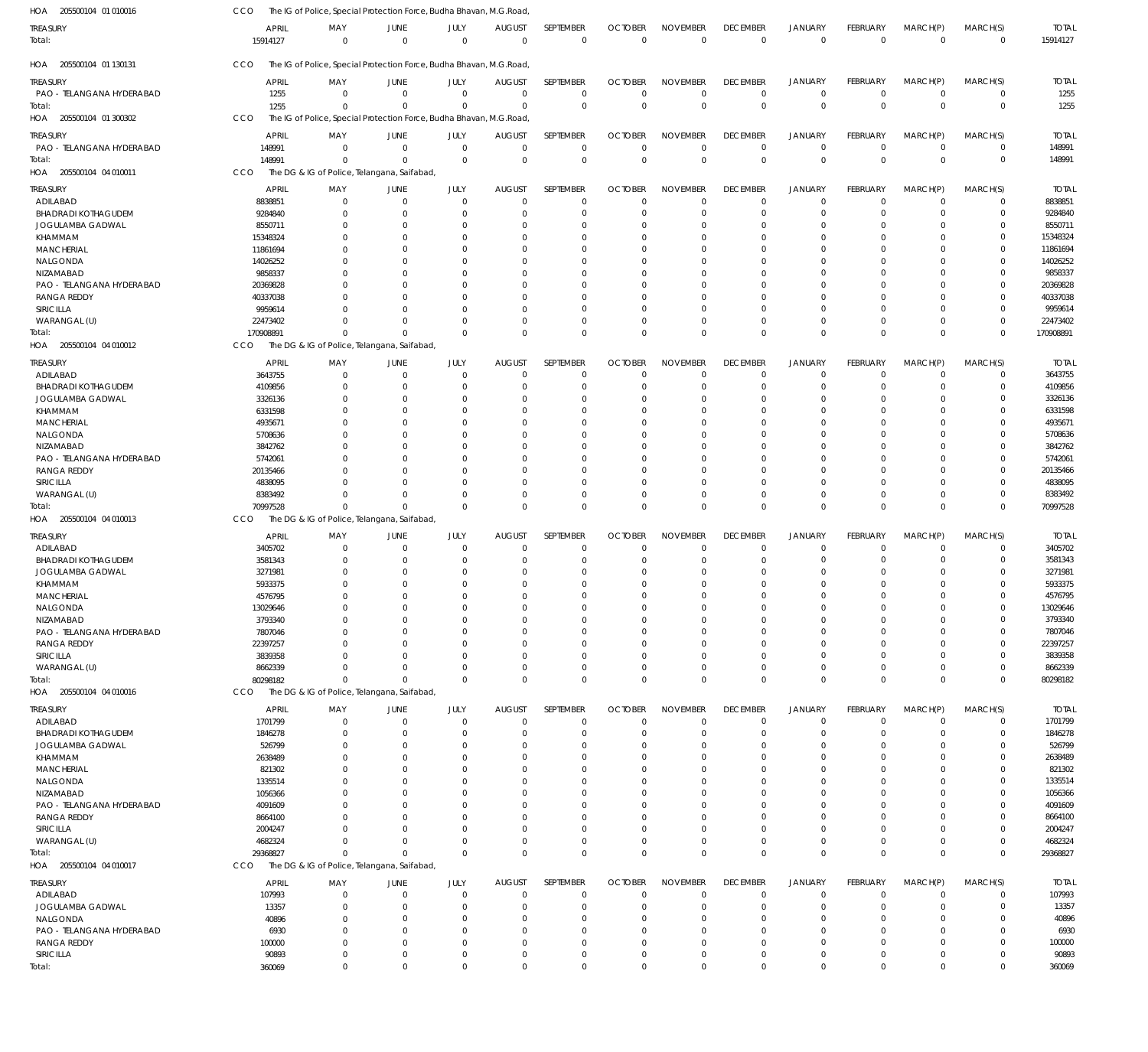| HOA 205500104 01 010016                         | CCO                      | The IG of Police, Special Protection Force, Budha Bhavan, M.G.Road, |                            |                            |                                 |                                 |                               |                                |                                   |                                  |                                |                               |                            |                          |
|-------------------------------------------------|--------------------------|---------------------------------------------------------------------|----------------------------|----------------------------|---------------------------------|---------------------------------|-------------------------------|--------------------------------|-----------------------------------|----------------------------------|--------------------------------|-------------------------------|----------------------------|--------------------------|
| treasury<br>Total:                              | <b>APRIL</b><br>15914127 | MAY<br>$\mathbf 0$                                                  | JUNE<br>$\mathbf 0$        | JULY<br>$\Omega$           | <b>AUGUST</b><br>$\overline{0}$ | SEPTEMBER<br>$\mathbf 0$        | <b>OCTOBER</b><br>$\mathbf 0$ | <b>NOVEMBER</b><br>$\mathbf 0$ | <b>DECEMBER</b><br>$\overline{0}$ | <b>JANUARY</b><br>$\mathbf 0$    | <b>FEBRUARY</b><br>$\mathbf 0$ | MARCH(P)<br>$\overline{0}$    | MARCH(S)<br>$\mathbf 0$    | <b>TOTAL</b><br>15914127 |
| HOA 205500104 01 130131                         | CCO                      | The IG of Police, Special Protection Force, Budha Bhavan, M.G.Road, |                            |                            |                                 |                                 |                               |                                |                                   |                                  |                                |                               |                            |                          |
| treasury                                        | <b>APRIL</b>             | MAY                                                                 | JUNE                       | JULY                       | <b>AUGUST</b>                   | <b>SEPTEMBER</b>                | <b>OCTOBER</b>                | <b>NOVEMBER</b>                | <b>DECEMBER</b>                   | JANUARY                          | FEBRUARY                       | MARCH(P)                      | MARCH(S)                   | <b>TOTAL</b>             |
| PAO - TELANGANA HYDERABAD<br>Total:             | 1255                     | $\overline{0}$<br>$\Omega$                                          | $\mathbf 0$                | $\overline{0}$<br>$\Omega$ | $\overline{0}$<br>$\Omega$      | $\mathbf 0$<br>$\mathbf 0$      | $\mathbf 0$<br>$\mathbf{0}$   | $\mathbf 0$<br>$\mathbf 0$     | $\mathbf 0$<br>$\mathbf{0}$       | $\overline{0}$<br>$\overline{0}$ | $\mathbf 0$<br>$\mathbf 0$     | $\overline{0}$<br>$\Omega$    | $\mathbf 0$<br>$\mathbf 0$ | 1255<br>1255             |
| HOA 205500104 01 300302                         | 1255<br>CCO              | The IG of Police, Special Protection Force, Budha Bhavan, M.G.Road, | $\Omega$                   |                            |                                 |                                 |                               |                                |                                   |                                  |                                |                               |                            |                          |
|                                                 |                          |                                                                     |                            |                            |                                 |                                 |                               |                                |                                   |                                  |                                |                               |                            |                          |
| treasury<br>PAO - TELANGANA HYDERABAD           | <b>APRIL</b><br>148991   | MAY<br>$\Omega$                                                     | JUNE<br>$\overline{0}$     | JULY<br>$\overline{0}$     | <b>AUGUST</b><br>$\overline{0}$ | <b>SEPTEMBER</b><br>$\mathbf 0$ | <b>OCTOBER</b><br>0           | <b>NOVEMBER</b><br>$\mathbf 0$ | <b>DECEMBER</b><br>0              | <b>JANUARY</b><br>$\overline{0}$ | FEBRUARY<br>$\mathbf 0$        | MARCH(P)<br>$\overline{0}$    | MARCH(S)<br>$\mathbf 0$    | <b>TOTAL</b><br>148991   |
| Total:                                          | 148991                   | $\Omega$                                                            | $\Omega$                   | $\Omega$                   | $\overline{0}$                  | $\mathbf 0$                     | $\mathbf 0$                   | $\mathbf 0$                    | $\Omega$                          | $\overline{0}$                   | $\mathbf 0$                    | $\Omega$                      | $\mathbf 0$                | 148991                   |
| HOA 205500104 04 010011                         | CCO                      | The DG & IG of Police, Telangana, Saifabad,                         |                            |                            |                                 |                                 |                               |                                |                                   |                                  |                                |                               |                            |                          |
| treasury                                        | <b>APRIL</b>             | MAY                                                                 | JUNE                       | JULY                       | <b>AUGUST</b>                   | SEPTEMBER                       | <b>OCTOBER</b>                | <b>NOVEMBER</b>                | <b>DECEMBER</b>                   | <b>JANUARY</b>                   | FEBRUARY                       | MARCH(P)                      | MARCH(S)                   | <b>TOTAL</b>             |
| ADILABAD                                        | 8838851                  | $\Omega$                                                            | $\overline{0}$             | $\Omega$                   | $\mathbf 0$                     | $\mathbf 0$                     | $\Omega$                      | $\Omega$                       | $\Omega$                          | $^{\circ}$                       | $\mathbf 0$                    | $^{\circ}$                    | $\mathbf 0$                | 8838851                  |
| <b>BHADRADI KOTHAGUDEM</b><br>JOGULAMBA GADWAL  | 9284840<br>8550711       | $\Omega$                                                            | $\Omega$<br>$\Omega$       | $\Omega$                   | $\Omega$<br>C                   | $\mathbf 0$<br>0                | $\Omega$<br>O                 | $\Omega$<br>$\Omega$           | $\Omega$                          | $^{\circ}$<br>$\Omega$           | $\Omega$<br>0                  | $\Omega$<br>$\Omega$          | $\mathbf 0$<br>$\mathbf 0$ | 9284840<br>8550711       |
| KHAMMAM                                         | 15348324                 |                                                                     | $\Omega$                   |                            | C                               | 0                               |                               | $\Omega$                       |                                   | $\Omega$                         | 0                              | $\Omega$                      | $\mathbf 0$                | 15348324                 |
| <b>MANCHERIAL</b>                               | 11861694                 |                                                                     | $\Omega$                   |                            |                                 | $\Omega$                        |                               | $\Omega$                       |                                   | $\Omega$                         | U                              | $\Omega$                      | $\Omega$                   | 11861694                 |
| NALGONDA                                        | 14026252                 |                                                                     | $\Omega$                   |                            | C                               | 0                               | O                             | $\Omega$                       |                                   | $\Omega$                         | O                              | $\Omega$                      | $\mathbf 0$                | 14026252                 |
| NIZAMABAD                                       | 9858337                  |                                                                     |                            |                            |                                 | $\Omega$                        |                               | $\Omega$                       |                                   | $\Omega$                         | 0                              | $\Omega$                      | $\Omega$                   | 9858337                  |
| PAO - TELANGANA HYDERABAD                       | 20369828                 |                                                                     | $\Omega$                   |                            | C                               | $\Omega$                        |                               | $\Omega$                       |                                   | $\Omega$                         | 0                              | $\Omega$                      | $\mathbf 0$                | 20369828                 |
| <b>RANGA REDDY</b>                              | 40337038                 |                                                                     |                            |                            | C                               | $\Omega$                        | O                             | $\Omega$                       |                                   | $\Omega$                         | U                              | $\Omega$                      | 0                          | 40337038                 |
| SIRICILLA                                       | 9959614                  |                                                                     |                            |                            | $\Omega$                        | $\Omega$                        | O                             | $\Omega$                       |                                   | $\Omega$                         | 0                              | $\Omega$                      | $\mathbf 0$                | 9959614                  |
| WARANGAL (U)                                    | 22473402                 |                                                                     | $\Omega$                   |                            | $\Omega$                        | 0                               | O                             | $\Omega$                       |                                   | $\overline{0}$                   | $\Omega$                       | $\overline{0}$                | $\mathbf 0$                | 22473402                 |
| Total:<br>HOA 205500104 04 010012               | 170908891<br><b>CCO</b>  | $\Omega$<br>The DG & IG of Police, Telangana, Saifabad,             |                            | $\Omega$                   | $\Omega$                        | $\Omega$                        | $\Omega$                      | $\Omega$                       | $\Omega$                          | $\Omega$                         | $\Omega$                       | $\Omega$                      | $\Omega$                   | 170908891                |
| treasury                                        | <b>APRIL</b>             | MAY                                                                 | JUNE                       | JULY                       | <b>AUGUST</b>                   | <b>SEPTEMBER</b>                | <b>OCTOBER</b>                | <b>NOVEMBER</b>                | <b>DECEMBER</b>                   | <b>JANUARY</b>                   | FEBRUARY                       | MARCH(P)                      | MARCH(S)                   | <b>TOTAL</b>             |
| ADILABAD                                        | 3643755                  | $\overline{0}$                                                      | $\mathbf 0$                | $\mathbf 0$                | $\mathbf 0$                     | $\mathbf 0$                     | 0                             | $\overline{0}$                 | 0                                 | $\overline{0}$                   | $\mathbf 0$                    | $\overline{0}$                | 0                          | 3643755                  |
| <b>BHADRADI KOTHAGUDEM</b>                      | 4109856                  | $\Omega$                                                            | $\overline{0}$             | $\Omega$                   | $\Omega$                        | 0                               | $\Omega$                      | $\Omega$                       | $\Omega$                          | $^{\circ}$                       | $\Omega$                       | $\Omega$                      | $\mathbf 0$                | 4109856                  |
| JOGULAMBA GADWAL                                | 3326136                  |                                                                     | $\Omega$                   | $\Omega$                   | $\Omega$                        | $\mathbf 0$                     | $\Omega$                      | $\Omega$                       |                                   | $\Omega$                         | $\Omega$                       | $\Omega$                      | $\Omega$                   | 3326136                  |
| KHAMMAM                                         | 6331598                  |                                                                     | $\Omega$                   |                            | $\Omega$                        | $\mathbf 0$                     | O                             | $\Omega$                       |                                   | $\Omega$                         | U                              | $\Omega$                      | $\mathbf 0$                | 6331598                  |
| <b>MANCHERIAL</b>                               | 4935671                  |                                                                     | $\Omega$                   | $\Omega$                   | $\Omega$                        | $\Omega$                        | $\Omega$                      | $\Omega$                       |                                   | $\Omega$                         | U                              | $\Omega$                      | $\Omega$                   | 4935671                  |
| NALGONDA                                        | 5708636                  |                                                                     | $\Omega$                   |                            | $\Omega$                        | 0                               |                               | $\Omega$                       |                                   | $\Omega$                         | U                              | $\Omega$                      | $\Omega$                   | 5708636                  |
| NIZAMABAD                                       | 3842762                  |                                                                     | $\Omega$                   | $\Omega$                   | $\Omega$                        | $\Omega$                        | $\Omega$                      | $\Omega$                       |                                   | $\Omega$                         | $\Omega$                       | $\Omega$                      | $\Omega$                   | 3842762                  |
| PAO - TELANGANA HYDERABAD                       | 5742061                  |                                                                     | $\Omega$                   |                            | $\Omega$                        | 0                               | O                             | $\Omega$                       |                                   | $\Omega$                         | U                              | $\Omega$                      | $\Omega$                   | 5742061                  |
| <b>RANGA REDDY</b>                              | 20135466                 |                                                                     | $\Omega$                   | $\Omega$                   | $\Omega$                        | $\Omega$                        | $\Omega$                      | $\Omega$                       |                                   | $\Omega$                         | 0                              | $\Omega$                      | $\Omega$                   | 20135466                 |
| SIRICILLA                                       | 4838095                  |                                                                     | $\Omega$                   |                            | $\Omega$                        | $\Omega$                        |                               | $\Omega$                       |                                   | $\Omega$<br>$\Omega$             | 0<br>$\Omega$                  | $\Omega$<br>$\Omega$          | $\mathbf 0$<br>$\mathbf 0$ | 4838095                  |
| WARANGAL (U)<br>Total:                          | 8383492<br>70997528      | $\Omega$<br>$\Omega$                                                | $\Omega$<br>$\Omega$       | $\Omega$<br>$\Omega$       | $\Omega$<br>$\Omega$            | $\mathbf 0$<br>$\mathbf 0$      | $\Omega$<br>$\Omega$          | $\Omega$<br>$\Omega$           | $\Omega$<br>$\Omega$              | $\Omega$                         | $\Omega$                       | $\Omega$                      | $\mathbf 0$                | 8383492<br>70997528      |
| HOA 205500104 04 010013                         | CCO                      | The DG & IG of Police, Telangana, Saifabad,                         |                            |                            |                                 |                                 |                               |                                |                                   |                                  |                                |                               |                            |                          |
| treasury                                        | APRIL                    | MAY                                                                 | JUNE                       | JULY                       | <b>AUGUST</b>                   | SEPTEMBER                       | <b>OCTOBER</b>                | <b>NOVEMBER</b>                | <b>DECEMBER</b>                   | JANUARY                          | FEBRUARY                       | MARCH(P)                      | MARCH(S)                   | <b>TOTAL</b>             |
| ADILABAD                                        | 3405702                  | $\Omega$                                                            | $\overline{0}$             | $\Omega$                   | 0                               | 0                               | O                             | 0                              | 0                                 | $^{\circ}$                       | 0                              | $\overline{0}$                | $\mathbf 0$                | 3405702                  |
| <b>BHADRADI KOTHAGUDEM</b>                      | 3581343                  |                                                                     | $\Omega$                   | $\Omega$                   | C                               | 0                               | $\Omega$                      | $\Omega$                       |                                   | $\Omega$                         | $\Omega$                       | $\overline{0}$                | $\mathbf 0$                | 3581343                  |
| JOGULAMBA GADWAL                                | 3271981                  |                                                                     | $\Omega$                   |                            | C                               | 0                               | O                             | $\Omega$                       |                                   | $\Omega$                         | O                              | $\Omega$                      | 0                          | 3271981                  |
| KHAMMAM                                         | 5933375                  |                                                                     | $\Omega$                   | $\Omega$                   | $\Omega$                        | $\Omega$                        | $\Omega$                      | $\Omega$                       |                                   | $\Omega$                         | 0                              | $\Omega$                      | $\Omega$                   | 5933375                  |
| <b>MANCHERIAL</b>                               | 4576795                  | $\Omega$                                                            |                            |                            | $\Omega$                        | $\Omega$                        | $\Omega$                      | $\Omega$                       |                                   | $\Omega$                         | $\Omega$                       | $\Omega$                      | $\Omega$                   | 4576795                  |
| NALGONDA                                        | 13029646                 | $\mathbf 0$                                                         | $\overline{0}$             | $\Omega$                   | $\Omega$                        | $\mathbf 0$                     | $\Omega$                      | $\Omega$                       | $\Omega$                          | $\overline{0}$                   | $\Omega$                       | $\overline{0}$<br>$\Omega$    | $\mathbf 0$                | 13029646                 |
| NIZAMABAD<br>PAO - TELANGANA HYDERABAD          | 3793340<br>7807046       | $\mathbf 0$                                                         | $\overline{0}$<br>$\Omega$ | $\Omega$                   | $\Omega$<br>C                   | $\mathbf 0$<br>0                | $\Omega$<br>$\Omega$          | $\mathbf 0$<br>$\Omega$        | $\Omega$                          | $\overline{0}$<br>$\Omega$       | $\Omega$<br>0                  | $\Omega$                      | $\mathbf 0$<br>$\Omega$    | 3793340<br>7807046       |
| <b>RANGA REDDY</b>                              | 22397257                 | $\Omega$                                                            | $\Omega$                   |                            | 0                               | $\mathbf 0$                     | O                             | $\Omega$                       |                                   | $\Omega$                         | 0                              | $\Omega$                      | $\mathbf 0$                | 22397257                 |
| SIRICILLA                                       | 3839358                  |                                                                     | $\Omega$                   |                            | C                               | 0                               | $\Omega$                      | $\Omega$                       |                                   | $\Omega$                         | U                              | $\Omega$                      | 0                          | 3839358                  |
| WARANGAL (U)                                    | 8662339                  | $\Omega$                                                            | $\Omega$                   | $\Omega$                   | $\Omega$                        | $\mathbf 0$                     | $\Omega$                      | $^{\circ}$                     | $\Omega$                          | $\overline{0}$                   | $\Omega$                       | $\overline{0}$                | $\mathbf 0$                | 8662339                  |
| Total:                                          | 80298182                 | $\Omega$                                                            | $\Omega$                   | $\Omega$                   | $\Omega$                        | $\mathbf 0$                     | $\Omega$                      | $\Omega$                       | $\Omega$                          | $\Omega$                         | $\Omega$                       | $\Omega$                      | $\mathbf 0$                | 80298182                 |
| HOA 205500104 04 010016                         | CCO                      | The DG & IG of Police, Telangana, Saifabad,                         |                            |                            |                                 |                                 |                               |                                |                                   |                                  |                                |                               |                            |                          |
| Treasury                                        | APRIL                    | MAY                                                                 | JUNE                       | JULY                       | <b>AUGUST</b>                   | SEPTEMBER                       | <b>OCTOBER</b>                | <b>NOVEMBER</b>                | <b>DECEMBER</b>                   | <b>JANUARY</b>                   | FEBRUARY                       | MARCH(P)                      | MARCH(S)                   | <b>TOTAL</b>             |
| ADILABAD                                        | 1701799                  | 0                                                                   | $\mathbf 0$                | $\mathbf 0$                | $\mathbf 0$                     | $\mathbf 0$                     | $\Omega$                      | $\Omega$                       | 0                                 | $\overline{0}$                   | $\mathbf 0$                    | $\overline{0}$                | 0                          | 1701799                  |
| <b>BHADRADI KOTHAGUDEM</b>                      | 1846278                  | $\Omega$                                                            | $\overline{0}$             | 0                          | $\Omega$                        | $\mathbf 0$                     | 0                             | $\mathbf 0$                    | $\Omega$                          | $\overline{0}$                   | $\Omega$                       | $\Omega$                      | $\mathbf 0$                | 1846278                  |
| JOGULAMBA GADWAL                                | 526799                   | $\Omega$                                                            | $\overline{0}$             | $\Omega$                   | $\Omega$                        | $\mathbf 0$                     | $\Omega$                      | $\Omega$                       | $\Omega$                          | $^{\circ}$                       | 0                              | $\Omega$                      | $\mathbf 0$                | 526799                   |
| KHAMMAM                                         | 2638489                  | $\Omega$                                                            | $\overline{0}$             | $\Omega$                   | $\Omega$                        | $\mathbf 0$                     | $\Omega$                      | $\Omega$                       | $\Omega$                          | $\Omega$                         | 0                              | $\Omega$                      | $\Omega$                   | 2638489                  |
| <b>MANCHERIAL</b>                               | 821302                   | $\Omega$                                                            | $\Omega$                   |                            | $\Omega$                        | $\mathbf 0$                     | $\Omega$                      | $\Omega$                       |                                   | $\Omega$                         | U                              | $\Omega$                      | 0                          | 821302                   |
| NALGONDA                                        | 1335514                  | $\Omega$                                                            | $\Omega$                   | $\Omega$                   | $\Omega$                        | $\mathbf 0$                     | $\Omega$                      | $\Omega$                       |                                   | $\Omega$                         | U                              | $\Omega$                      | $\Omega$                   | 1335514                  |
| NIZAMABAD                                       | 1056366<br>4091609       |                                                                     | $\Omega$<br>$\Omega$       | $\Omega$                   | $\Omega$<br>$\Omega$            | $\mathbf 0$<br>$\Omega$         | $\Omega$<br>$\Omega$          | $\Omega$<br>$\Omega$           | $\Omega$                          | $\Omega$<br>$\Omega$             | 0                              | $\Omega$<br>$\Omega$          | 0<br>0                     | 1056366<br>4091609       |
| PAO - TELANGANA HYDERABAD<br><b>RANGA REDDY</b> | 8664100                  | $\Omega$                                                            | $\Omega$                   |                            | $\Omega$                        | $\mathbf 0$                     | 0                             | $\Omega$                       | $\Omega$                          | $\Omega$                         | U                              | $\Omega$                      | 0                          | 8664100                  |
| SIRICILLA                                       | 2004247                  |                                                                     | $\Omega$                   | $\Omega$                   | $\Omega$                        | 0                               | $\Omega$                      | $\Omega$                       | $\Omega$                          | $\Omega$                         | 0                              | $\Omega$                      | 0                          | 2004247                  |
| WARANGAL (U)                                    | 4682324                  | $\Omega$                                                            | $\Omega$                   | $\Omega$                   | $\Omega$                        | $\mathbf 0$                     | $\Omega$                      | $\mathbf 0$                    | $\Omega$                          | $^{\circ}$                       | $\Omega$                       | $\overline{0}$                | $\mathbf 0$                | 4682324                  |
| Total:                                          | 29368827                 | $\Omega$                                                            | $\Omega$                   | $\Omega$                   | $\Omega$                        | $\mathbf 0$                     | $\Omega$                      | $\Omega$                       | $\Omega$                          | $\Omega$                         | $\Omega$                       | $\Omega$                      | $\mathbf 0$                | 29368827                 |
| HOA 205500104 04 010017                         | CCO                      | The DG & IG of Police, Telangana, Saifabad,                         |                            |                            |                                 |                                 |                               |                                |                                   |                                  |                                |                               |                            |                          |
| Treasury                                        | <b>APRIL</b>             | MAY                                                                 | JUNE                       | JULY                       | <b>AUGUST</b>                   | SEPTEMBER                       | <b>OCTOBER</b>                | <b>NOVEMBER</b>                | <b>DECEMBER</b>                   | <b>JANUARY</b>                   | FEBRUARY                       | MARCH(P)                      | MARCH(S)                   | <b>TOTAL</b>             |
| ADILABAD                                        | 107993                   | 0                                                                   | $\mathbf 0$                | $\mathbf 0$                | $\mathbf 0$                     | $\mathbf 0$                     | 0                             | $\overline{0}$                 | $\mathbf 0$                       | $^{\circ}$                       | $\mathbf 0$                    | $^{\circ}$                    | $\mathbf 0$                | 107993                   |
| JOGULAMBA GADWAL                                | 13357                    | $\Omega$                                                            | 0                          | $\Omega$                   | 0                               | $\mathbf 0$                     | $\Omega$                      | $\Omega$                       | $\Omega$                          | $^{\circ}$                       | $\Omega$                       | $\mathbf 0$                   | $\mathbf 0$                | 13357                    |
| NALGONDA                                        | 40896                    | $\Omega$                                                            | $\Omega$                   |                            | C                               | 0                               | $\Omega$                      | $\Omega$                       |                                   | $\Omega$                         | $\Omega$                       | $\Omega$                      | $\mathbf 0$                | 40896                    |
| PAO - TELANGANA HYDERABAD                       | 6930                     | $\Omega$                                                            | $\Omega$                   |                            | $\Omega$                        | $\mathbf 0$                     | O                             | $\Omega$                       |                                   | $\Omega$                         | U                              | $\Omega$                      | $\mathbf 0$                | 6930                     |
| <b>RANGA REDDY</b>                              | 100000                   | $\Omega$                                                            | $\Omega$                   |                            | $\Omega$                        | $\mathbf 0$                     | $\Omega$                      | $\Omega$                       |                                   | $\Omega$                         | 0                              | $\Omega$                      | $\mathbf 0$                | 100000                   |
| SIRICILLA<br>lotal:                             | 90893                    | $^{\circ}$                                                          | 0<br>$\mathbf 0$           | 0<br>$\mathbf 0$           | 0<br>$\mathbf 0$                | 0<br>$\mathbf 0$                | O<br>$\mathbf 0$              | $\mathbf 0$<br>$\Omega$        | $\Omega$<br>$\Omega$              | $\overline{0}$<br>$\overline{0}$ | 0<br>$\mathbf 0$               | $\overline{0}$<br>$\mathbf 0$ | $\mathbf 0$<br>$\mathbf 0$ | 90893<br>360069          |
|                                                 | 360069                   | $^{\circ}$                                                          |                            |                            |                                 |                                 |                               |                                |                                   |                                  |                                |                               |                            |                          |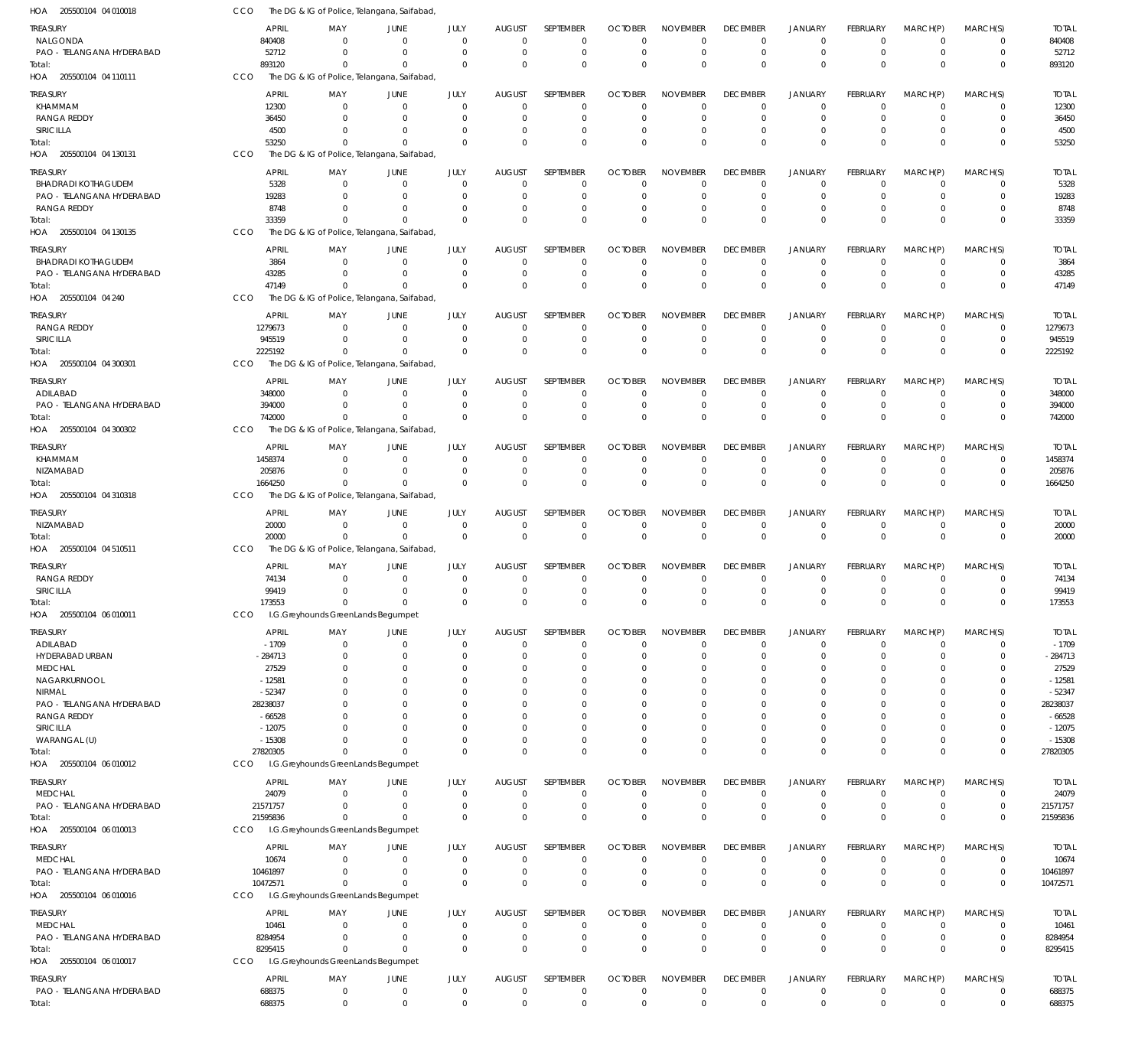| HOA 205500104 04 010018    | CCO                   |                                    | The DG & IG of Police, Telangana, Saifabad,             |                              |                               |                            |                            |                                |                                |                                  |                            |                            |                            |                       |
|----------------------------|-----------------------|------------------------------------|---------------------------------------------------------|------------------------------|-------------------------------|----------------------------|----------------------------|--------------------------------|--------------------------------|----------------------------------|----------------------------|----------------------------|----------------------------|-----------------------|
| <b>TREASURY</b>            | <b>APRIL</b>          | MAY                                | <b>JUNE</b>                                             | JULY                         | <b>AUGUST</b>                 | SEPTEMBER                  | <b>OCTOBER</b>             | <b>NOVEMBER</b>                | <b>DECEMBER</b>                | <b>JANUARY</b>                   | FEBRUARY                   | MARCH(P)                   | MARCH(S)                   | <b>TOTAL</b>          |
| NALGONDA                   | 840408                | $\Omega$                           | $\overline{0}$                                          | $\mathbf{0}$                 | $\Omega$                      | $\mathbf 0$                | $\Omega$                   | $\Omega$                       | $\mathbf 0$                    | $\mathbf 0$                      | $\Omega$                   | $\Omega$                   | $\mathbf 0$                | 840408                |
| PAO - TELANGANA HYDERABAD  | 52712                 | $\Omega$                           | $\Omega$                                                | $\mathbf{0}$                 | $\Omega$                      | $\mathbf 0$                | $\Omega$                   | $\Omega$                       | $\mathbf 0$                    | $\mathbf 0$                      | $\overline{0}$             | $\overline{0}$             | $\mathbf 0$                | 52712                 |
| Total:                     | 893120<br>CCO         | $\Omega$                           | - 0<br>The DG & IG of Police, Telangana, Saifabad,      | $\Omega$                     | $\Omega$                      | $\Omega$                   | $\Omega$                   | $\Omega$                       | $\mathbf 0$                    | $\mathbf 0$                      | $\Omega$                   | $\Omega$                   | $\mathbf 0$                | 893120                |
| HOA 205500104 04 110111    |                       |                                    |                                                         |                              |                               |                            |                            |                                |                                |                                  |                            |                            |                            |                       |
| <b>TREASURY</b>            | <b>APRIL</b>          | MAY                                | JUNE                                                    | JULY                         | <b>AUGUST</b>                 | SEPTEMBER                  | <b>OCTOBER</b>             | <b>NOVEMBER</b>                | <b>DECEMBER</b>                | <b>JANUARY</b>                   | FEBRUARY                   | MARCH(P)                   | MARCH(S)                   | <b>TOTAL</b>          |
| KHAMMAM<br>RANGA REDDY     | 12300<br>36450        | $\mathbf 0$<br>$\mathbf 0$         | $\mathbf 0$<br>$\mathbf 0$                              | $\mathbf{0}$<br>$\mathbf{0}$ | 0<br>$\Omega$                 | $\mathbf 0$<br>$\mathbf 0$ | - 0<br>$\Omega$            | $\Omega$<br>$\Omega$           | $^{\circ}$                     | $\overline{0}$<br>$\overline{0}$ | $\mathbf 0$<br>$\mathbf 0$ | $^{\circ}$<br>$\Omega$     | 0<br>$\mathbf 0$           | 12300                 |
| SIRICILLA                  | 4500                  | $\Omega$                           | 0                                                       | $\mathbf 0$                  | $\Omega$                      | $\mathbf 0$                |                            | $\Omega$                       | $\mathbf 0$<br>$\mathbf 0$     | $\overline{0}$                   | 0                          | $\mathbf 0$                | $\mathbf 0$                | 36450<br>4500         |
| Total:                     | 53250                 | $\mathbf 0$                        | 0                                                       | $\Omega$                     | $\Omega$                      | $\Omega$                   | $\Omega$                   | $\Omega$                       | $\mathbf 0$                    | $\mathbf 0$                      | $\Omega$                   | $\Omega$                   | $\mathbf 0$                | 53250                 |
| HOA 205500104 04 130131    | CCO                   |                                    | The DG & IG of Police, Telangana, Saifabad,             |                              |                               |                            |                            |                                |                                |                                  |                            |                            |                            |                       |
| <b>TREASURY</b>            | <b>APRIL</b>          | MAY                                | JUNE                                                    | JULY                         | <b>AUGUST</b>                 | <b>SEPTEMBER</b>           | <b>OCTOBER</b>             | <b>NOVEMBER</b>                | <b>DECEMBER</b>                | <b>JANUARY</b>                   | FEBRUARY                   | MARCH(P)                   | MARCH(S)                   | <b>TOTAL</b>          |
| <b>BHADRADI KOTHAGUDEM</b> | 5328                  | $\mathbf 0$                        | $\overline{0}$                                          | $\mathbf{0}$                 | $\Omega$                      | 0                          | $\Omega$                   | $\Omega$                       | $\overline{0}$                 | $\overline{0}$                   | $\Omega$                   | $\Omega$                   | 0                          | 5328                  |
| PAO - TELANGANA HYDERABAD  | 19283                 | $\Omega$                           | $\overline{0}$                                          | $\mathbf{0}$                 | $\Omega$                      | $\mathbf 0$                | $\Omega$                   | $\Omega$                       | $\mathbf 0$                    | $\mathbf 0$                      | $\mathbf 0$                | $\Omega$                   | $\mathbf 0$                | 19283                 |
| RANGA REDDY                | 8748                  | $\mathbf 0$                        | 0                                                       | $\mathbf 0$                  | $\Omega$                      | $\mathbf 0$                | $\Omega$                   | $\Omega$                       | $\mathbf 0$                    | $\overline{0}$                   | $\mathbf 0$                | $\mathbf 0$                | $\mathbf 0$                | 8748                  |
| Total:                     | 33359                 | $\Omega$                           | $\Omega$                                                | $\Omega$                     | $\Omega$                      | $\Omega$                   | $\Omega$                   | $\Omega$                       | $\Omega$                       | $\overline{0}$                   | $\Omega$                   | $\Omega$                   | $\mathbf 0$                | 33359                 |
| HOA 205500104 04 130135    | CCO                   |                                    | The DG & IG of Police, Telangana, Saifabad,             |                              |                               |                            |                            |                                |                                |                                  |                            |                            |                            |                       |
| <b>TREASURY</b>            | <b>APRIL</b>          | MAY                                | JUNE                                                    | JULY                         | <b>AUGUST</b>                 | SEPTEMBER                  | <b>OCTOBER</b>             | <b>NOVEMBER</b>                | <b>DECEMBER</b>                | <b>JANUARY</b>                   | FEBRUARY                   | MARCH(P)                   | MARCH(S)                   | <b>TOTAL</b>          |
| <b>BHADRADI KOTHAGUDEM</b> | 3864                  | $\mathbf 0$                        | $\overline{0}$                                          | $\mathbf{0}$                 | $\Omega$                      | $\mathbf 0$                | $\Omega$                   | $\Omega$                       | $\mathbf 0$                    | $\overline{0}$                   | $\overline{0}$             | $\mathbf 0$                | $\mathbf 0$                | 3864                  |
| PAO - TELANGANA HYDERABAD  | 43285                 | $\mathbf 0$                        | $\overline{0}$                                          | $\mathbf{0}$                 | 0                             | $\mathbf 0$                | $\Omega$                   | $\mathbf 0$                    | $\mathbf 0$                    | $\overline{0}$                   | $\mathbf 0$                | $\overline{0}$             | $\mathbf 0$                | 43285                 |
| Total:                     | 47149                 | $\mathbf 0$                        | 0                                                       | $\mathbf 0$                  | $\Omega$                      | $\Omega$                   | $\Omega$                   | $\Omega$                       | $\mathbf 0$                    | $\overline{0}$                   | $\Omega$                   | $\Omega$                   | $\mathbf 0$                | 47149                 |
| HOA 205500104 04 240       | CCO                   |                                    | The DG & IG of Police, Telangana, Saifabad,             |                              |                               |                            |                            |                                |                                |                                  |                            |                            |                            |                       |
| <b>TREASURY</b>            | <b>APRIL</b>          | MAY                                | JUNE                                                    | JULY                         | <b>AUGUST</b>                 | <b>SEPTEMBER</b>           | <b>OCTOBER</b>             | <b>NOVEMBER</b>                | <b>DECEMBER</b>                | <b>JANUARY</b>                   | FEBRUARY                   | MARCH(P)                   | MARCH(S)                   | <b>TOTAL</b>          |
| <b>RANGA REDDY</b>         | 1279673               | $\Omega$                           | $\overline{0}$                                          | $\mathbf{0}$                 | $\Omega$                      | 0                          | $\Omega$                   | $\Omega$                       | $\overline{0}$                 | $\overline{0}$                   | $\overline{0}$             | $\Omega$                   | 0                          | 1279673               |
| SIRICILLA                  | 945519                | $\Omega$                           | $\Omega$                                                | $\mathbf{0}$                 | $\Omega$                      | $\mathbf 0$                | $\Omega$                   | $\Omega$                       | $\mathbf 0$                    | $\mathbf 0$                      | $\overline{0}$             | $\Omega$                   | $\mathbf 0$                | 945519                |
| Total:                     | 2225192               | $\Omega$                           | $\Omega$                                                | $\Omega$                     | $\Omega$                      | $\Omega$                   | $\Omega$                   | $\Omega$                       | $\mathbf 0$                    | $\mathbf 0$                      | $\Omega$                   | $\Omega$                   | $\mathbf 0$                | 2225192               |
| HOA 205500104 04 300301    | CCO                   |                                    | The DG & IG of Police, Telangana, Saifabad,             |                              |                               |                            |                            |                                |                                |                                  |                            |                            |                            |                       |
| <b>TREASURY</b>            | <b>APRIL</b>          | MAY                                | <b>JUNE</b>                                             | JULY                         | <b>AUGUST</b>                 | <b>SEPTEMBER</b>           | <b>OCTOBER</b>             | <b>NOVEMBER</b>                | <b>DECEMBER</b>                | <b>JANUARY</b>                   | FEBRUARY                   | MARCH(P)                   | MARCH(S)                   | <b>TOTAL</b>          |
| ADILABAD                   | 348000                | $\mathbf 0$                        | $\overline{0}$                                          | $\mathbf{0}$                 | 0                             | $^{\circ}$                 | $\Omega$                   | $^{\circ}$                     | $^{\circ}$                     | $\overline{0}$                   | $\overline{0}$             | $^{\circ}$                 | $\mathbf 0$                | 348000                |
| PAO - TELANGANA HYDERABAD  | 394000                | $\mathbf 0$                        | 0                                                       | $\mathbf{0}$                 | $\Omega$                      | $\mathbf 0$                | $\Omega$                   | $\Omega$                       | $\mathbf 0$                    | $\overline{0}$                   | $\mathbf 0$                | $\Omega$                   | $\mathbf 0$                | 394000                |
| Total:                     | 742000<br>CCO         | $\Omega$                           | $\Omega$<br>The DG & IG of Police, Telangana, Saifabad, | $\mathbf 0$                  | $\Omega$                      | $\Omega$                   | $\Omega$                   | $\Omega$                       | $\mathbf 0$                    | $\Omega$                         | $\Omega$                   | $\Omega$                   | $\mathbf 0$                | 742000                |
| HOA 205500104 04 300302    |                       |                                    |                                                         |                              |                               |                            |                            |                                |                                |                                  |                            |                            |                            |                       |
| <b>TREASURY</b>            | <b>APRIL</b>          | MAY                                | <b>JUNE</b>                                             | JULY                         | <b>AUGUST</b>                 | SEPTEMBER                  | <b>OCTOBER</b>             | <b>NOVEMBER</b>                | <b>DECEMBER</b>                | JANUARY                          | FEBRUARY                   | MARCH(P)                   | MARCH(S)                   | <b>TOTAL</b>          |
| KHAMMAM                    | 1458374               | $\Omega$                           | $\overline{0}$                                          | 0                            | 0                             | $\mathbf 0$                | $\Omega$                   | $\Omega$<br>$\Omega$           | $\mathbf 0$                    | $\mathbf 0$                      | $^{\circ}$                 | $\Omega$                   | $\mathbf 0$                | 1458374               |
| NIZAMABAD<br>Total:        | 205876<br>1664250     | $\mathbf 0$<br>$\Omega$            | 0<br>$\Omega$                                           | $\mathbf{0}$<br>$\mathbf 0$  | 0<br>$\Omega$                 | $\mathbf 0$<br>$\Omega$    | $\Omega$<br>$\Omega$       | $\Omega$                       | $\mathbf 0$<br>$\mathbf{0}$    | $\overline{0}$<br>$\overline{0}$ | $\mathbf 0$<br>$\Omega$    | $\mathbf 0$<br>$\Omega$    | $\mathbf 0$<br>$\mathbf 0$ | 205876<br>1664250     |
| HOA 205500104 04 310318    | CCO                   |                                    | The DG & IG of Police, Telangana, Saifabad              |                              |                               |                            |                            |                                |                                |                                  |                            |                            |                            |                       |
|                            |                       |                                    |                                                         |                              |                               |                            |                            |                                |                                |                                  |                            |                            |                            |                       |
| TREASURY<br>NIZAMABAD      | <b>APRIL</b><br>20000 | MAY<br>$\mathbf 0$                 | <b>JUNE</b><br>$\overline{0}$                           | JULY<br>$\mathbf{0}$         | <b>AUGUST</b><br>$\mathbf{0}$ | SEPTEMBER<br>$\mathbf 0$   | <b>OCTOBER</b><br>$\Omega$ | <b>NOVEMBER</b><br>$\mathbf 0$ | <b>DECEMBER</b><br>$\mathbf 0$ | <b>JANUARY</b><br>$\mathbf 0$    | FEBRUARY<br>$\overline{0}$ | MARCH(P)<br>$\overline{0}$ | MARCH(S)<br>$\mathbf 0$    | <b>TOTAL</b><br>20000 |
| Total:                     | 20000                 | $\mathbf 0$                        | $\mathbf 0$                                             | $\mathbf 0$                  | $\Omega$                      | $\mathbf 0$                | $\Omega$                   | $\overline{0}$                 | $\mathbf 0$                    | $\mathbf 0$                      | $\mathbf 0$                | $\Omega$                   | $\mathbf 0$                | 20000                 |
| HOA 205500104 04 510511    | CCO                   |                                    | The DG & IG of Police, Telangana, Saifabad,             |                              |                               |                            |                            |                                |                                |                                  |                            |                            |                            |                       |
| <b>TREASURY</b>            | <b>APRIL</b>          | MAY                                | <b>JUNE</b>                                             | JULY                         | <b>AUGUST</b>                 | <b>SEPTEMBER</b>           | <b>OCTOBER</b>             | <b>NOVEMBER</b>                | <b>DECEMBER</b>                | JANUARY                          | FEBRUARY                   | MARCH(P)                   | MARCH(S)                   | <b>TOTAL</b>          |
| <b>RANGA REDDY</b>         | 74134                 | $\Omega$                           | $\mathbf 0$                                             | $\mathbf 0$                  | 0                             | $^{\circ}$                 | $\Omega$                   | $\Omega$                       | $\mathbf 0$                    | $\mathbf 0$                      | $\overline{0}$             | $\overline{0}$             | $\mathbf 0$                | 74134                 |
| SIRICILLA                  | 99419                 | $\Omega$                           | $^{\circ}$                                              | $\mathbf 0$                  | $\mathbf{0}$                  | $\mathbf 0$                | $\Omega$                   | $\Omega$                       | $\mathbf 0$                    | $\mathbf 0$                      | $\Omega$                   | $\Omega$                   | $\mathbf 0$                | 99419                 |
| Total:                     | 173553                | $\mathbf 0$                        | $\mathbf 0$                                             | $\mathbf{0}$                 | $\mathbf 0$                   | $\mathbf 0$                | $\mathbf{0}$               | $\overline{0}$                 | $\mathbf{0}$                   | $\mathbf{0}$                     | $\mathbf 0$                | $\mathbf 0$                | $\mathbf 0$                | 173553                |
| HOA 205500104 06 010011    | CCO                   | I.G.Greyhounds GreenLands Begumpet |                                                         |                              |                               |                            |                            |                                |                                |                                  |                            |                            |                            |                       |
| TREASURY                   | <b>APRIL</b>          | MAY                                | JUNE                                                    | JULY                         | <b>AUGUST</b>                 | SEPTEMBER                  | <b>OCTOBER</b>             | <b>NOVEMBER</b>                | <b>DECEMBER</b>                | <b>JANUARY</b>                   | FEBRUARY                   | MARCH(P)                   | MARCH(S)                   | <b>TOTAL</b>          |
| ADILABAD                   | $-1709$               | $\mathbf 0$                        | $\mathbf 0$                                             | $\mathbf{0}$                 | $\mathbf{0}$                  | $\mathbf 0$                | $\Omega$                   | $\mathbf 0$                    | $\mathbf 0$                    | $\mathbf 0$                      | $\overline{0}$             | $\overline{0}$             | $\mathbf 0$                | $-1709$               |
| HYDERABAD URBAN            | -284713               | $\mathbf 0$                        | 0                                                       | $\mathbf{0}$                 | $\Omega$                      | $\mathbf 0$                | - 0                        | $\Omega$                       | $\mathbf 0$                    | $\overline{0}$                   | 0                          | $\mathbf 0$                | $\mathbf 0$                | $-284713$             |
| <b>MEDCHAL</b>             | 27529                 | 0                                  | 0                                                       | 0                            | $\Omega$                      | $\Omega$                   |                            | $\Omega$                       | 0                              | $\mathbf 0$                      | $\Omega$                   | $\Omega$                   | $\mathbf 0$                | 27529                 |
| NAGARKURNOOL               | $-12581$              | 0                                  | 0                                                       | $\Omega$                     | $\Omega$                      | $\mathbf 0$                |                            | $\Omega$                       | $\mathbf 0$                    | $\mathbf 0$                      | $\Omega$                   | $\Omega$                   | $\mathbf 0$                | $-12581$              |
| NIRMAL                     | $-52347$              | 0                                  | 0                                                       | $\Omega$                     | -C                            | $\Omega$                   |                            | $\Omega$                       | 0                              | $\Omega$                         | $\Omega$                   | $\Omega$                   | $\Omega$                   | $-52347$              |
| PAO - TELANGANA HYDERABAD  | 28238037              | 0                                  | 0                                                       | $\Omega$                     | $\Omega$                      | $\Omega$                   |                            | $\Omega$                       | 0                              | $\Omega$                         | 0                          | $\Omega$                   | 0                          | 28238037              |
| RANGA REDDY<br>SIRICILLA   | $-66528$<br>$-12075$  | O<br>0                             | $\Omega$<br>0                                           | $\Omega$<br>$\Omega$         | -C<br>$\Omega$                | $\Omega$<br>$\Omega$       |                            | $\Omega$<br>$\Omega$           | $\Omega$<br>0                  | $\Omega$<br>$\Omega$             | 0<br>$\Omega$              | $\Omega$<br>$\Omega$       | $\Omega$<br>0              | $-66528$<br>$-12075$  |
| WARANGAL (U)               | $-15308$              | O                                  | 0                                                       | $\Omega$                     | $\Omega$                      | $\Omega$                   |                            | $\Omega$                       | $\mathbf 0$                    | $\Omega$                         | $\Omega$                   | $\mathbf 0$                | 0                          | $-15308$              |
| Total:                     | 27820305              | $\Omega$                           | $\Omega$                                                | $\mathbf 0$                  | $\Omega$                      | $\Omega$                   | $\Omega$                   | $\overline{0}$                 | $\mathbf 0$                    | $\Omega$                         | $\Omega$                   | $\overline{0}$             | $\mathbf 0$                | 27820305              |
| HOA 205500104 06 010012    | <b>CCO</b>            | I.G.Greyhounds GreenLands Begumpet |                                                         |                              |                               |                            |                            |                                |                                |                                  |                            |                            |                            |                       |
| TREASURY                   | <b>APRIL</b>          | MAY                                | <b>JUNE</b>                                             | JULY                         | <b>AUGUST</b>                 | SEPTEMBER                  | <b>OCTOBER</b>             | <b>NOVEMBER</b>                | <b>DECEMBER</b>                | <b>JANUARY</b>                   | FEBRUARY                   | MARCH(P)                   | MARCH(S)                   | <b>TOTAL</b>          |
| <b>MEDCHAL</b>             | 24079                 | $\mathbf 0$                        | $\mathbf 0$                                             | $\mathbf{0}$                 | $\mathbf{0}$                  | $\mathbf 0$                | $\Omega$                   | $\Omega$                       | $\mathbf 0$                    | $\mathbf 0$                      | $\overline{0}$             | $\mathbf 0$                | $\mathbf 0$                | 24079                 |
| PAO - TELANGANA HYDERABAD  | 21571757              | $\mathbf 0$                        | 0                                                       | $\mathbf{0}$                 | 0                             | 0                          | 0                          | $\mathbf 0$                    | 0                              | $\mathbf 0$                      | $\overline{0}$             | $\mathbf 0$                | $\boldsymbol{0}$           | 21571757              |
| Total:                     | 21595836              | $\Omega$                           | $\Omega$                                                | $\mathbf 0$                  | $\Omega$                      | $\Omega$                   | $\Omega$                   | $\Omega$                       | $\mathbf 0$                    | $\mathbf 0$                      | $\Omega$                   | $\Omega$                   | $\mathbf 0$                | 21595836              |
| HOA 205500104 06 010013    | <b>CCO</b>            | I.G.Greyhounds GreenLands Begumpet |                                                         |                              |                               |                            |                            |                                |                                |                                  |                            |                            |                            |                       |
| TREASURY                   | <b>APRIL</b>          | MAY                                | <b>JUNE</b>                                             | JULY                         | <b>AUGUST</b>                 | SEPTEMBER                  | <b>OCTOBER</b>             | <b>NOVEMBER</b>                | <b>DECEMBER</b>                | <b>JANUARY</b>                   | FEBRUARY                   | MARCH(P)                   | MARCH(S)                   | <b>TOTAL</b>          |
| <b>MEDCHAL</b>             | 10674                 | $\mathbf 0$                        | $\mathbf 0$                                             | $\mathbf{0}$                 | $\mathbf{0}$                  | $\mathbf 0$                | $\Omega$                   | $\mathbf 0$                    | $\mathbf 0$                    | $\mathbf 0$                      | $^{\circ}$                 | $\overline{0}$             | $\mathbf 0$                | 10674                 |
| PAO - TELANGANA HYDERABAD  | 10461897              | $\mathbf 0$                        | $\mathbf 0$                                             | $\mathbf{0}$                 | 0                             | $\mathbf 0$                | $\Omega$                   | $\mathbf 0$                    | $\mathbf 0$                    | $\mathbf 0$                      | $\mathbf 0$                | $\overline{0}$             | $\mathbf 0$                | 10461897              |
| Total:                     | 10472571              | $\mathbf 0$                        | $\mathbf 0$                                             | $\mathbf{0}$                 | $\Omega$                      | $\mathbf 0$                | $\Omega$                   | $\overline{0}$                 | $\mathbf 0$                    | $\mathbf 0$                      | $\mathbf 0$                | $\overline{0}$             | $\mathbf 0$                | 10472571              |
| HOA 205500104 06 010016    | CCO                   | I.G.Greyhounds GreenLands Begumpet |                                                         |                              |                               |                            |                            |                                |                                |                                  |                            |                            |                            |                       |
| <b>TREASURY</b>            | <b>APRIL</b>          | MAY                                | <b>JUNE</b>                                             | JULY                         | <b>AUGUST</b>                 | SEPTEMBER                  | <b>OCTOBER</b>             | <b>NOVEMBER</b>                | <b>DECEMBER</b>                | <b>JANUARY</b>                   | FEBRUARY                   | MARCH(P)                   | MARCH(S)                   | <b>TOTAL</b>          |
| MEDCHAL                    | 10461                 | $\mathbf 0$                        | 0                                                       | $\mathbf{0}$                 | $\mathbf 0$                   | $\mathbf 0$                | $\Omega$                   | $\mathbf 0$                    | $\mathbf 0$                    | $\mathbf 0$                      | $^{\circ}$                 | $\mathbf 0$                | 0                          | 10461                 |
| PAO - TELANGANA HYDERABAD  | 8284954               | $\mathbf 0$                        | $\overline{0}$                                          | $\mathbf{0}$                 | 0                             | $\mathbf 0$                | $\Omega$                   | $\mathbf 0$                    | $\mathbf 0$                    | $\mathbf 0$                      | $\overline{0}$             | $\overline{0}$             | $\mathbf 0$                | 8284954               |
| Total:                     | 8295415               | $\mathbf 0$                        | $\mathbf 0$                                             | $\mathbf 0$                  | $\Omega$                      | $\mathbf 0$                | $\Omega$                   | $\mathbf 0$                    | $\mathbf 0$                    | $\mathbf 0$                      | $\Omega$                   | $\Omega$                   | $\mathbf 0$                | 8295415               |
| HOA 205500104 06 010017    | CCO                   | I.G.Greyhounds GreenLands Begumpet |                                                         |                              |                               |                            |                            |                                |                                |                                  |                            |                            |                            |                       |
| <b>TREASURY</b>            | <b>APRIL</b>          | MAY                                | JUNE                                                    | JULY                         | <b>AUGUST</b>                 | SEPTEMBER                  | <b>OCTOBER</b>             | <b>NOVEMBER</b>                | <b>DECEMBER</b>                | <b>JANUARY</b>                   | FEBRUARY                   | MARCH(P)                   | MARCH(S)                   | <b>TOTAL</b>          |
| PAO - TELANGANA HYDERABAD  | 688375                | 0                                  | $\mathbf 0$                                             | $\mathbf 0$                  | $\mathbf 0$                   | 0                          | 0                          | $\mathbf 0$                    | 0                              | $\overline{0}$                   | $\mathbf 0$                | $\overline{0}$             | 0                          | 688375                |
| Total:                     | 688375                | $\mathbf 0$                        | $\mathbf 0$                                             | $\mathbf 0$                  | $\mathbf 0$                   | $\mathbf 0$                | $\mathbf{0}$               | $\mathbf 0$                    | $\mathbf 0$                    | $\mathbf 0$                      | $\mathbf 0$                | $\overline{0}$             | $\mathbf 0$                | 688375                |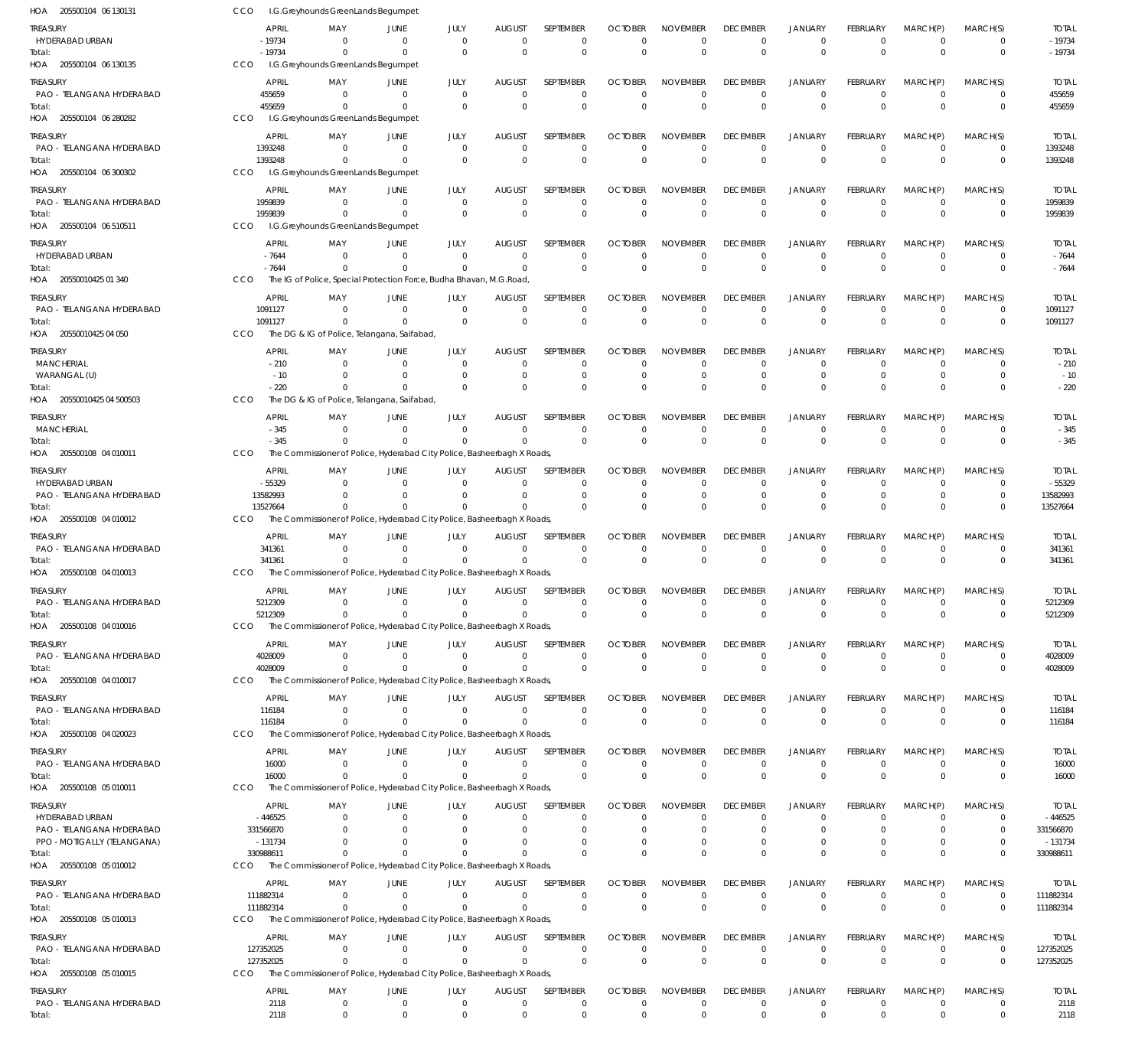| HOA 205500104 06 130131                      | CCO                       | I.G.Greyhounds GreenLands Begumpet                                                    |                                |                                  |                               |                                 |                                  |                                |                                   |                               |                             |                             |                             |                          |
|----------------------------------------------|---------------------------|---------------------------------------------------------------------------------------|--------------------------------|----------------------------------|-------------------------------|---------------------------------|----------------------------------|--------------------------------|-----------------------------------|-------------------------------|-----------------------------|-----------------------------|-----------------------------|--------------------------|
| TREASURY                                     | <b>APRIL</b>              | MAY                                                                                   | JUNE                           | JULY                             | <b>AUGUST</b>                 | SEPTEMBER                       | <b>OCTOBER</b>                   | <b>NOVEMBER</b>                | <b>DECEMBER</b>                   | <b>JANUARY</b>                | <b>FEBRUARY</b>             | MARCH(P)                    | MARCH(S)                    | <b>TOTAL</b>             |
| HYDERABAD URBAN<br>Total:                    | $-19734$<br>$-19734$      | $\Omega$<br>$\mathbf 0$                                                               | $\mathbf 0$<br>$\mathbf{0}$    | $\overline{0}$<br>$\Omega$       | $\mathbf 0$<br>$\Omega$       | $\mathbf 0$<br>$\mathbf 0$      | $\overline{0}$<br>$\overline{0}$ | $\mathbf 0$<br>$\mathbf 0$     | $\mathbf 0$<br>$\mathbf 0$        | $\mathbf 0$<br>$\mathbf{0}$   | $\Omega$<br>$\Omega$        | $\Omega$<br>$\Omega$        | $\mathbf 0$<br>$\mathbf 0$  | $-19734$<br>$-19734$     |
| HOA 205500104 06 130135                      | <b>CCO</b>                | I.G.Greyhounds GreenLands Begumpet                                                    |                                |                                  |                               |                                 |                                  |                                |                                   |                               |                             |                             |                             |                          |
| <b>TREASURY</b>                              | <b>APRIL</b>              | MAY                                                                                   | JUNE                           | JULY                             | <b>AUGUST</b>                 | SEPTEMBER                       | <b>OCTOBER</b>                   | <b>NOVEMBER</b>                | <b>DECEMBER</b>                   | <b>JANUARY</b>                | <b>FEBRUARY</b>             | MARCH(P)                    | MARCH(S)                    | <b>TOTAL</b>             |
| PAO - TELANGANA HYDERABAD                    | 455659                    | $\Omega$<br>$\Omega$                                                                  | $\overline{0}$<br>$\Omega$     | $\overline{0}$<br>$\overline{0}$ | $\mathbf 0$<br>$\Omega$       | $\mathbf 0$<br>$\mathbf 0$      | $\overline{0}$<br>$\overline{0}$ | $\mathbf 0$<br>$\mathbf 0$     | $\overline{0}$<br>$\mathbf 0$     | $\mathbf 0$<br>$\mathbf{0}$   | $\Omega$<br>$\Omega$        | $\overline{0}$<br>$\Omega$  | $\mathbf 0$<br>$\mathbf 0$  | 455659<br>455659         |
| Total:<br>HOA 205500104 06 280282            | 455659<br>CCO             | I.G.Greyhounds GreenLands Begumpet                                                    |                                |                                  |                               |                                 |                                  |                                |                                   |                               |                             |                             |                             |                          |
| TREASURY                                     | <b>APRIL</b>              | MAY                                                                                   | JUNE                           | JULY                             | <b>AUGUST</b>                 | SEPTEMBER                       | <b>OCTOBER</b>                   | <b>NOVEMBER</b>                | <b>DECEMBER</b>                   | <b>JANUARY</b>                | <b>FEBRUARY</b>             | MARCH(P)                    | MARCH(S)                    | <b>TOTAL</b>             |
| PAO - TELANGANA HYDERABAD                    | 1393248                   | $\Omega$                                                                              | $\overline{0}$                 | $\overline{0}$                   | $\mathbf 0$                   | $\mathbf 0$                     | $\mathbf 0$                      | $\mathbf 0$                    | $\mathbf 0$                       | $\mathbf 0$                   | $\Omega$                    | $\Omega$                    | $\mathbf 0$                 | 1393248                  |
| Total:                                       | 1393248                   | $^{\circ}$                                                                            | $\mathbf 0$                    | $\Omega$                         | $\Omega$                      | $\mathbf 0$                     | $\overline{0}$                   | $\mathbf 0$                    | $\mathbf 0$                       | $\mathbf 0$                   | $\Omega$                    | $\Omega$                    | $\mathbf 0$                 | 1393248                  |
| HOA 205500104 06 300302                      | CCO                       | I.G.Greyhounds GreenLands Begumpet                                                    |                                |                                  |                               |                                 |                                  |                                |                                   |                               |                             |                             |                             |                          |
| TREASURY<br>PAO - TELANGANA HYDERABAD        | <b>APRIL</b><br>1959839   | MAY<br>$\Omega$                                                                       | JUNE<br>$\overline{0}$         | JULY<br>$\overline{0}$           | <b>AUGUST</b><br>$\mathbf 0$  | <b>SEPTEMBER</b><br>$\mathbf 0$ | <b>OCTOBER</b><br>$\mathbf 0$    | <b>NOVEMBER</b><br>$\mathbf 0$ | <b>DECEMBER</b><br>$\overline{0}$ | <b>JANUARY</b><br>$\mathbf 0$ | <b>FEBRUARY</b><br>0        | MARCH(P)<br>$\overline{0}$  | MARCH(S)<br>$\mathbf 0$     | <b>TOTAL</b><br>1959839  |
| Total:                                       | 1959839                   | $^{\circ}$                                                                            | $\mathbf 0$                    | $\overline{0}$                   | $\overline{0}$                | $\mathbf 0$                     | $\overline{0}$                   | $\mathbf 0$                    | $\mathbf 0$                       | $\mathbf{0}$                  | $\Omega$                    | $\Omega$                    | $\mathbf 0$                 | 1959839                  |
| HOA 205500104 06 510511                      | <b>CCO</b>                | I.G.Greyhounds GreenLands Begumpet                                                    |                                |                                  |                               |                                 |                                  |                                |                                   |                               |                             |                             |                             |                          |
| TREASURY                                     | <b>APRIL</b>              | MAY                                                                                   | JUNE                           | JULY                             | <b>AUGUST</b>                 | SEPTEMBER                       | <b>OCTOBER</b>                   | <b>NOVEMBER</b>                | <b>DECEMBER</b>                   | <b>JANUARY</b>                | <b>FEBRUARY</b>             | MARCH(P)                    | MARCH(S)                    | <b>TOTAL</b>             |
| HYDERABAD URBAN<br>Total:                    | $-7644$<br>$-7644$        | - 0<br>$\mathbf 0$                                                                    | $\Omega$<br>$\Omega$           | $\Omega$<br>$\Omega$             | $\Omega$<br>$\Omega$          | $\mathbf 0$<br>$\mathbf 0$      | $\overline{0}$<br>$\Omega$       | $\mathbf 0$<br>$\mathbf 0$     | $\overline{0}$<br>$\Omega$        | $\mathbf 0$<br>$\Omega$       | $\Omega$<br>$\Omega$        | $\overline{0}$<br>$\Omega$  | $\mathbf 0$<br>$\mathbf 0$  | $-7644$<br>$-7644$       |
| HOA 20550010425 01 340                       | CCO                       | The IG of Police, Special Protection Force, Budha Bhavan, M.G.Road,                   |                                |                                  |                               |                                 |                                  |                                |                                   |                               |                             |                             |                             |                          |
| TREASURY                                     | <b>APRIL</b>              | MAY                                                                                   | JUNE                           | JULY                             | <b>AUGUST</b>                 | SEPTEMBER                       | <b>OCTOBER</b>                   | <b>NOVEMBER</b>                | <b>DECEMBER</b>                   | JANUARY                       | <b>FEBRUARY</b>             | MARCH(P)                    | MARCH(S)                    | <b>TOTAL</b>             |
| PAO - TELANGANA HYDERABAD                    | 1091127                   | $\overline{0}$                                                                        | $\overline{0}$                 | $\overline{0}$                   | $\overline{0}$                | $\mathbf 0$                     | $\overline{0}$                   | $\mathbf 0$                    | $\overline{0}$                    | $\mathbf 0$                   | $\Omega$                    | $\Omega$                    | $\mathbf 0$                 | 1091127                  |
| Total:<br>HOA 20550010425 04 050             | 1091127<br><b>CCO</b>     | $^{\circ}$<br>The DG & IG of Police, Telangana, Saifabad,                             | $\overline{0}$                 | $\overline{0}$                   | $\overline{0}$                | $\mathbf 0$                     | $\overline{0}$                   | $\mathbf 0$                    | $\mathbf 0$                       | $\mathbf 0$                   | $\Omega$                    | $\Omega$                    | $\mathbf 0$                 | 1091127                  |
| TREASURY                                     | <b>APRIL</b>              | MAY                                                                                   | JUNE                           | JULY                             | <b>AUGUST</b>                 | SEPTEMBER                       | <b>OCTOBER</b>                   | <b>NOVEMBER</b>                | <b>DECEMBER</b>                   | JANUARY                       | <b>FEBRUARY</b>             | MARCH(P)                    | MARCH(S)                    | <b>TOTAL</b>             |
| <b>MANCHERIAL</b>                            | $-210$                    | $\Omega$                                                                              | $\Omega$                       | $\mathbf 0$                      | 0                             | $\mathbf 0$                     | 0                                | 0                              | 0                                 | 0                             | $\Omega$                    | $\Omega$                    | $\mathbf 0$                 | $-210$                   |
| WARANGAL (U)                                 | $-10$                     | $^{\circ}$                                                                            | $\Omega$                       | $\Omega$                         | $\mathbf 0$                   | $\mathbf 0$                     | $\mathbf 0$                      | $\Omega$                       | $\Omega$                          | $\mathbf 0$                   | $\Omega$                    | $\Omega$                    | $\mathbf 0$                 | $-10$                    |
| Total:<br>HOA 20550010425 04 500503          | $-220$<br>CCO             | $\Omega$<br>The DG & IG of Police, Telangana, Saifabad,                               | $\Omega$                       | $\Omega$                         | $\Omega$                      | $\Omega$                        | $\Omega$                         | $\Omega$                       | $\Omega$                          | $\Omega$                      | $\Omega$                    | $\Omega$                    | $\Omega$                    | $-220$                   |
| <b>TREASURY</b>                              | <b>APRIL</b>              | MAY                                                                                   | JUNE                           | JULY                             | <b>AUGUST</b>                 | SEPTEMBER                       | <b>OCTOBER</b>                   | <b>NOVEMBER</b>                | <b>DECEMBER</b>                   | <b>JANUARY</b>                | <b>FEBRUARY</b>             | MARCH(P)                    | MARCH(S)                    | <b>TOTAL</b>             |
| <b>MANCHERIAL</b>                            | $-345$                    | $^{\circ}$                                                                            | $\overline{0}$                 | $\overline{0}$                   | $\mathbf 0$                   | $\mathbf 0$                     | $\overline{0}$                   | $\mathbf 0$                    | $\overline{0}$                    | $\mathbf 0$                   | $\Omega$                    | $\overline{0}$              | $\mathbf 0$                 | $-345$                   |
| Total:                                       | $-345$                    | $^{\circ}$                                                                            | $\Omega$                       | $\Omega$                         | $\mathbf 0$                   | $\mathbf 0$                     | $\overline{0}$                   | $\mathbf 0$                    | $\mathbf 0$                       | $\mathbf 0$                   | $\Omega$                    | $\Omega$                    | $\mathbf 0$                 | $-345$                   |
| HOA 205500108 04 010011                      | CCO                       | The Commissioner of Police, Hyderabad City Police, Basheerbagh X Roads,               |                                |                                  |                               |                                 |                                  |                                |                                   |                               |                             |                             |                             |                          |
| TREASURY<br>HYDERABAD URBAN                  | <b>APRIL</b><br>$-55329$  | MAY<br>$\Omega$                                                                       | JUNE<br>$\overline{0}$         | JULY<br>$\Omega$                 | <b>AUGUST</b><br>$\mathbf 0$  | SEPTEMBER<br>$\mathbf 0$        | <b>OCTOBER</b><br>0              | <b>NOVEMBER</b><br>0           | <b>DECEMBER</b><br>$\mathbf 0$    | <b>JANUARY</b><br>$\Omega$    | <b>FEBRUARY</b><br>$\Omega$ | MARCH(P)<br>$\Omega$        | MARCH(S)<br>$\mathbf 0$     | <b>TOTAL</b><br>$-55329$ |
| PAO - TELANGANA HYDERABAD                    | 13582993                  | $\Omega$                                                                              | $\Omega$                       | $\Omega$                         | $\mathbf 0$                   | $\mathbf 0$                     | $\overline{0}$                   | $\mathbf 0$                    | 0                                 | $\mathbf 0$                   | $\Omega$                    | $\overline{0}$              | $\mathbf 0$                 | 13582993                 |
| Total:                                       | 13527664                  | $\Omega$                                                                              | $\Omega$                       | $\Omega$                         | $\Omega$                      | $\Omega$                        | $\Omega$                         | $\Omega$                       | $\Omega$                          | $\Omega$                      | $\Omega$                    | $\Omega$                    | $\Omega$                    | 13527664                 |
| HOA 205500108 04 010012                      | CCO                       | The Commissioner of Police, Hyderabad City Police, Basheerbagh X Roads                |                                |                                  |                               |                                 |                                  |                                |                                   |                               |                             |                             |                             |                          |
| <b>TREASURY</b><br>PAO - TELANGANA HYDERABAD | <b>APRIL</b><br>341361    | MAY<br>$\overline{0}$                                                                 | JUNE<br>$\mathbf 0$            | JULY<br>$\overline{0}$           | <b>AUGUST</b><br>$\mathbf 0$  | SEPTEMBER<br>$\mathbf 0$        | <b>OCTOBER</b><br>$\overline{0}$ | <b>NOVEMBER</b><br>$\mathbf 0$ | <b>DECEMBER</b><br>$\overline{0}$ | <b>JANUARY</b><br>$\mathbf 0$ | FEBRUARY<br>$\Omega$        | MARCH(P)<br>$\overline{0}$  | MARCH(S)<br>$\mathbf 0$     | <b>TOTAL</b><br>341361   |
| Total:                                       | 341361                    | $\Omega$                                                                              | $\Omega$                       | $\Omega$                         | $\overline{0}$                | $\mathbf 0$                     | $\overline{0}$                   | $\mathbf 0$                    | $^{\circ}$                        | $\mathbf 0$                   | $\Omega$                    | $\Omega$                    | $\mathbf{0}$                | 341361                   |
| HOA 205500108 04 010013                      | CCO                       | The Commissioner of Police, Hyderabad City Police, Basheerbagh X Roads,               |                                |                                  |                               |                                 |                                  |                                |                                   |                               |                             |                             |                             |                          |
| TREASURY                                     | <b>APRIL</b>              | MAY                                                                                   | JUNE                           | JULY                             | <b>AUGUST</b>                 | SEPTEMBER                       | <b>OCTOBER</b>                   | <b>NOVEMBER</b>                | <b>DECEMBER</b>                   | <b>JANUARY</b>                | <b>FEBRUARY</b>             | MARCH(P)                    | MARCH(S)                    | <b>TOTAL</b>             |
| PAO - TELANGANA HYDERABAD<br>Total:          | 5212309<br>5212309        | $^{\circ}$<br>$\mathbf 0$                                                             | $\overline{0}$<br>$\mathbf{0}$ | $\mathbf 0$<br>$\Omega$          | $\overline{0}$<br>$\Omega$    | $\mathbf 0$<br>$\mathbf 0$      | $\mathbf 0$<br>$\mathbf{0}$      | $\mathbf 0$<br>$\Omega$        | $\mathbf 0$<br>$\mathbf 0$        | $\mathbf 0$<br>$\Omega$       | $\mathbf 0$<br>$\Omega$     | $\mathbf 0$<br>$\mathbf{0}$ | 0<br>$\mathbf{0}$           | 5212309<br>5212309       |
| HOA 205500108 04 010016                      | CCO                       | The Commissioner of Police, Hyderabad City Police, Basheerbagh X Roads                |                                |                                  |                               |                                 |                                  |                                |                                   |                               |                             |                             |                             |                          |
| TREASURY                                     | <b>APRIL</b>              | MAY                                                                                   | JUNE                           | JULY                             | AUGUST                        | SEPTEMBER                       | <b>OCTOBER</b>                   | <b>NOVEMBER</b>                | <b>DECEMBER</b>                   | <b>JANUARY</b>                | <b>FEBRUARY</b>             | MARCH(P)                    | MARCH(S)                    | <b>TOTAL</b>             |
| PAO - TELANGANA HYDERABAD                    | 4028009                   | 0                                                                                     | $\overline{0}$                 | $\overline{0}$                   | $\mathbf 0$                   | $\mathbf 0$                     | 0                                | 0                              | $\mathbf 0$                       | $\mathbf 0$                   | 0                           | $^{\circ}$                  | $\mathbf 0$                 | 4028009                  |
| Total:<br>HOA 205500108 04 010017            | 4028009<br>CCO            | $^{\circ}$<br>The Commissioner of Police, Hyderabad City Police, Basheerbagh X Roads, | $\mathbf{0}$                   | $\Omega$                         | $\overline{0}$                | $\mathbf 0$                     | $\overline{0}$                   | $\mathbf 0$                    | $\mathbf 0$                       | $\mathbf 0$                   | $\Omega$                    | $\Omega$                    | $\mathbf{0}$                | 4028009                  |
|                                              |                           |                                                                                       |                                |                                  |                               |                                 |                                  | <b>NOVEMBER</b>                |                                   |                               |                             |                             |                             |                          |
| TREASURY<br>PAO - TELANGANA HYDERABAD        | <b>APRIL</b><br>116184    | MAY<br>- 0                                                                            | JUNE<br>$\mathbf 0$            | JULY<br>$\Omega$                 | <b>AUGUST</b><br>$\Omega$     | SEPTEMBER<br>$\mathbf 0$        | <b>OCTOBER</b><br>$\Omega$       | $\mathbf 0$                    | <b>DECEMBER</b><br>$\mathbf 0$    | <b>JANUARY</b><br>$\mathbf 0$ | FEBRUARY<br>$\Omega$        | MARCH(P)<br>$\Omega$        | MARCH(S)<br>$\mathbf 0$     | <b>TOTAL</b><br>116184   |
| Total:                                       | 116184                    | $^{\circ}$                                                                            | $\Omega$                       | $\Omega$                         | $\Omega$                      | $\Omega$                        | $\Omega$                         | $\Omega$                       | $\mathbf 0$                       | $\Omega$                      | $\Omega$                    | $\Omega$                    | $\mathbf 0$                 | 116184                   |
| HOA 205500108 04 020023                      | CCO                       | The Commissioner of Police, Hyderabad City Police, Basheerbagh X Roads                |                                |                                  |                               |                                 |                                  |                                |                                   |                               |                             |                             |                             |                          |
| TREASURY<br>PAO - TELANGANA HYDERABAD        | <b>APRIL</b><br>16000     | MAY<br>$^{\circ}$                                                                     | JUNE<br>$\mathbf 0$            | JULY<br>$\overline{0}$           | <b>AUGUST</b><br>$\mathbf 0$  | SEPTEMBER<br>$\mathbf 0$        | <b>OCTOBER</b><br>$\overline{0}$ | <b>NOVEMBER</b><br>$\mathbf 0$ | <b>DECEMBER</b><br>$\overline{0}$ | <b>JANUARY</b><br>$\mathbf 0$ | <b>FEBRUARY</b><br>$\Omega$ | MARCH(P)<br>$\overline{0}$  | MARCH(S)<br>$\mathbf 0$     | <b>TOTAL</b><br>16000    |
| Total:                                       | 16000                     | $\Omega$                                                                              | $\overline{0}$                 | $\Omega$                         | $\mathbf 0$                   | $\mathbf 0$                     | $\overline{0}$                   | $\mathbf 0$                    | $\mathbf 0$                       | $\mathbf 0$                   | $\Omega$                    | $\Omega$                    | $\mathbf 0$                 | 16000                    |
| HOA 205500108 05 010011                      | CCO                       | The Commissioner of Police, Hyderabad City Police, Basheerbagh X Roads,               |                                |                                  |                               |                                 |                                  |                                |                                   |                               |                             |                             |                             |                          |
| TREASURY                                     | <b>APRIL</b>              | MAY                                                                                   | JUNE                           | JULY                             | <b>AUGUST</b>                 | SEPTEMBER                       | <b>OCTOBER</b>                   | <b>NOVEMBER</b>                | <b>DECEMBER</b>                   | JANUARY                       | FEBRUARY                    | MARCH(P)                    | MARCH(S)                    | <b>TOTAL</b>             |
| HYDERABAD URBAN<br>PAO - TELANGANA HYDERABAD | $-446525$<br>331566870    | $\Omega$<br>$\Omega$                                                                  | $\Omega$<br>$\Omega$           | $\Omega$<br>$\Omega$             | $\mathbf 0$<br>$\Omega$       | $\mathbf 0$<br>$\mathbf 0$      | 0<br>$\Omega$                    | 0<br>$\Omega$                  | $\overline{0}$<br>$\Omega$        | $\Omega$<br>$\Omega$          | $\Omega$                    | $\Omega$<br>$\Omega$        | $\mathbf 0$<br>$\mathbf 0$  | $-446525$<br>331566870   |
| PPO - MOTIGALLY (TELANGANA)                  | $-131734$                 | $\Omega$                                                                              | $\Omega$                       | $\Omega$                         | $\Omega$                      | $\mathbf 0$                     | 0                                | 0                              | 0                                 | $\mathbf 0$                   | $\Omega$                    | $\Omega$                    | $\mathbf 0$                 | $-131734$                |
| Total:                                       | 330988611                 | $\Omega$                                                                              | $\overline{0}$                 | $\Omega$                         | $\Omega$                      | $\Omega$                        | $\Omega$                         | $\Omega$                       | $\Omega$                          | $\Omega$                      | $\Omega$                    | $\mathbf{0}$                | $\Omega$                    | 330988611                |
| HOA 205500108 05 010012                      | CCO                       | The Commissioner of Police, Hyderabad City Police, Basheerbagh X Roads,               |                                |                                  |                               |                                 |                                  |                                |                                   |                               |                             |                             |                             |                          |
| TREASURY<br>PAO - TELANGANA HYDERABAD        | <b>APRIL</b><br>111882314 | MAY<br>$\Omega$                                                                       | JUNE<br>$\overline{0}$         | JULY<br>$\overline{0}$           | AUGUST<br>$\mathbf 0$         | SEPTEMBER<br>$\mathbf 0$        | <b>OCTOBER</b><br>0              | <b>NOVEMBER</b><br>$\mathbf 0$ | <b>DECEMBER</b><br>$\overline{0}$ | <b>JANUARY</b><br>$\mathbf 0$ | FEBRUARY<br>$\Omega$        | MARCH(P)<br>$\overline{0}$  | MARCH(S)<br>$\mathbf 0$     | TOTAL<br>111882314       |
| Total:                                       | 111882314                 | $^{\circ}$                                                                            | $\mathbf{0}$                   | $\Omega$                         | $\overline{0}$                | $\mathbf 0$                     | $\overline{0}$                   | $\mathbf 0$                    | $\mathbf 0$                       | $\mathbf 0$                   | $\Omega$                    | $\Omega$                    | $\mathbf{0}$                | 111882314                |
| HOA 205500108 05 010013                      | CCO                       | The Commissioner of Police, Hyderabad City Police, Basheerbagh X Roads,               |                                |                                  |                               |                                 |                                  |                                |                                   |                               |                             |                             |                             |                          |
| TREASURY                                     | <b>APRIL</b>              | MAY                                                                                   | <b>JUNE</b>                    | JULY                             | <b>AUGUST</b>                 | SEPTEMBER                       | <b>OCTOBER</b>                   | <b>NOVEMBER</b>                | <b>DECEMBER</b>                   | <b>JANUARY</b>                | FEBRUARY                    | MARCH(P)                    | MARCH(S)                    | <b>TOTAL</b>             |
| PAO - TELANGANA HYDERABAD                    | 127352025<br>127352025    | - 0<br>$^{\circ}$                                                                     | $\mathbf 0$<br>$\mathbf{0}$    | $\overline{0}$<br>$\Omega$       | $\overline{0}$<br>$\mathbf 0$ | $\mathbf 0$<br>$\mathbf 0$      | $\overline{0}$<br>$\Omega$       | $\mathbf 0$<br>$\mathbf 0$     | $^{\circ}$<br>$^{\circ}$          | $\mathbf 0$<br>$\Omega$       | $\Omega$<br>$\Omega$        | $^{\circ}$<br>$\Omega$      | $\mathbf 0$<br>$\mathbf{0}$ | 127352025<br>127352025   |
| Total:<br>HOA 205500108 05 010015            | CCO                       | The Commissioner of Police, Hyderabad City Police, Basheerbagh X Roads                |                                |                                  |                               |                                 |                                  |                                |                                   |                               |                             |                             |                             |                          |
| TREASURY                                     | <b>APRIL</b>              | MAY                                                                                   | JUNE                           | JULY                             | <b>AUGUST</b>                 | SEPTEMBER                       | <b>OCTOBER</b>                   | <b>NOVEMBER</b>                | <b>DECEMBER</b>                   | <b>JANUARY</b>                | FEBRUARY                    | MARCH(P)                    | MARCH(S)                    | <b>TOTAL</b>             |
| PAO - TELANGANA HYDERABAD                    | 2118                      | $^{\circ}$                                                                            | $\overline{0}$                 | $\overline{0}$                   | $\overline{0}$                | 0                               | $\mathbf 0$                      | 0                              | $\mathbf 0$                       | $\mathbf 0$                   | 0                           | $^{\circ}$                  | $\mathbf 0$                 | 2118                     |
| Total:                                       | 2118                      | $\mathbf 0$                                                                           | $\mathbf 0$                    | $\overline{0}$                   | $\mathbf 0$                   | $\mathbf 0$                     | $\mathbf 0$                      | $\mathbf 0$                    | $\mathbf 0$                       | $\mathbf 0$                   | $\Omega$                    | $\mathbf 0$                 | $\mathbf{0}$                | 2118                     |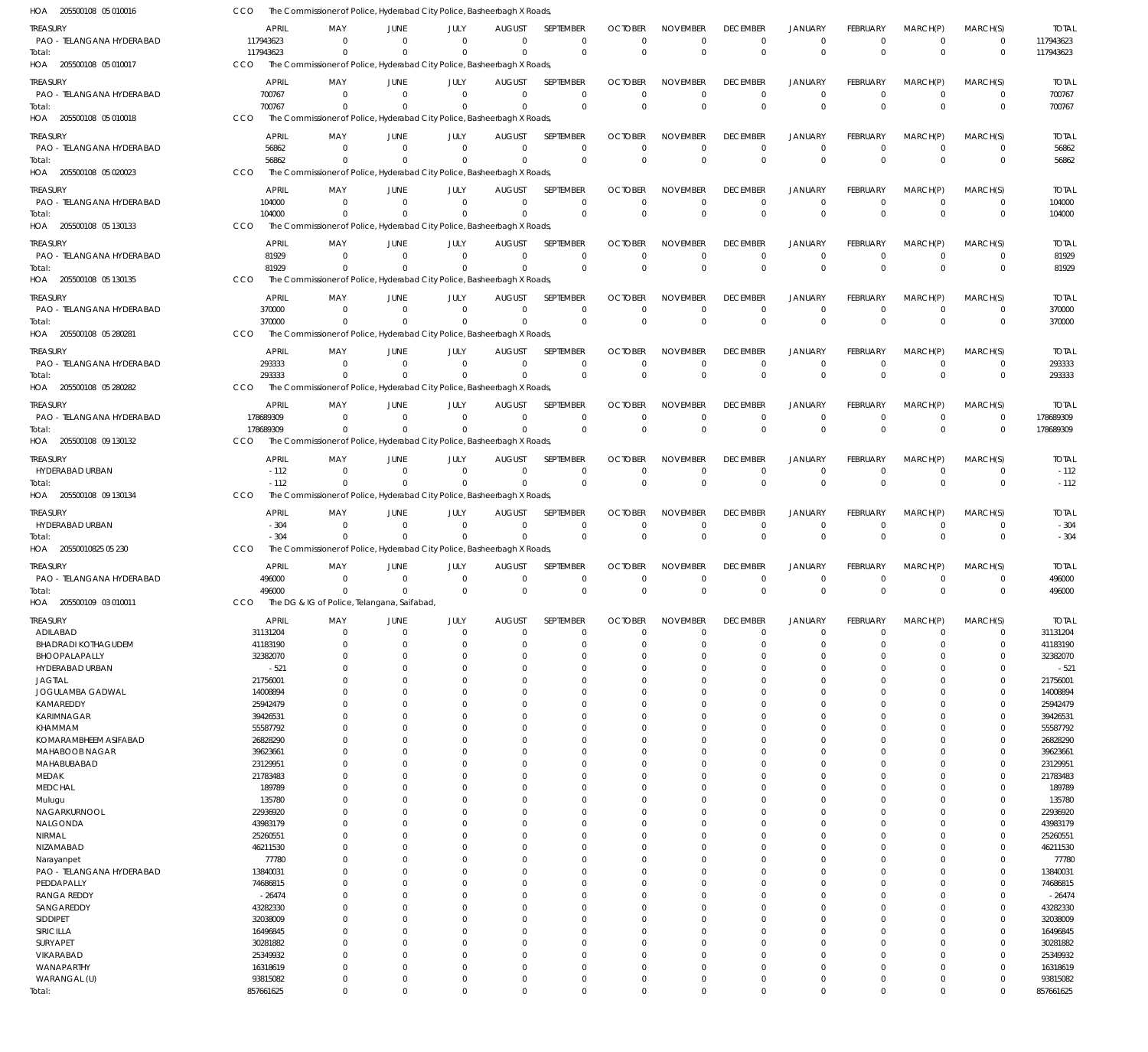205500108 05 010016 HOA 205500108 05 010017 HOA 205500108 05 010018 HOA 205500108 05 020023 HOA 205500108 05 130133 HOA 205500108 05 130135 HOA 205500108 05 280281 HOA 205500108 05 280282 HOA 205500108 09 130132 HOA 205500108 09 130134 HOA 20550010825 05 230 HOA 205500109 03 010011 HOA The Commissioner of Police, Hyderabad City Police, Basheerbagh X Roads, The Commissioner of Police, Hyderabad City Police, Basheerbagh X Roads, The Commissioner of Police, Hyderabad City Police, Basheerbagh X Roads, The Commissioner of Police, Hyderabad City Police, Basheerbagh X Roads, The Commissioner of Police, Hyderabad City Police, Basheerbagh X Roads, The Commissioner of Police, Hyderabad City Police, Basheerbagh X Roads, The Commissioner of Police, Hyderabad City Police, Basheerbagh X Roads, The Commissioner of Police, Hyderabad City Police, Basheerbagh X Roads, The Commissioner of Police, Hyderabad City Police, Basheerbagh X Roads, The Commissioner of Police, Hyderabad City Police, Basheerbagh X Roads, The Commissioner of Police, Hyderabad City Police, Basheerbagh X Roads, The DG & IG of Police, Telangana, Saifabad, CCO **CCO** CCO CCO CCO CCO CCO CCO. CCO CCO CCO. CCO 117943623 700767 56862 104000 81929 370000 293333 178689309 -112 -304 496000 857661625 0 0  $\Omega$ 0 0  $\Omega$ 0  $\Omega$ 0 0 0  $\Omega$ 0 0 0 0  $\Omega$ 0 0 0  $\,$  0  $\,$ 0  $\Omega$  $\Omega$ 0 0 0 0 0 0 0  $\mathbf{0}$ 0 0  $\Omega$  $\Omega$ 0 0  $\Omega$ 0  $\Omega$ 0 0  $\Omega$  $\Omega$ 0  $\Omega$  $\Omega$ 0 0 0 0  $\Omega$ 0 0  $\Omega$ 0 0  $\Omega$  $\theta$ 0 0 0 0  $\Omega$ 0 0  $\Omega$ 0 0  $\Omega$  $\Omega$ 0 0  $\Omega$ 0  $\Omega$ 0 0  $\Omega$ 0 0  $\Omega$  $\Omega$ 0 0 0 0 0 0 0 0 0 0  $\Omega$  $\Omega$ 0 0 0 0  $\Omega$ 0 0  $\Omega$ 0 0  $\Omega$  $\Omega$ 0 0 0 0  $\Omega$  $\boldsymbol{0}$ 0  $\Omega$  $\boldsymbol{0}$ 0  $\Omega$ 0 0 0 0 0  $\Omega$ 0 0 0 0 0  $\Omega$  $\Omega$ 0 0  $\Omega$ 0  $\Omega$ 0 0  $\Omega$ 0 0  $\Omega$  $\Omega$ 117943623 700767 56862 104000 81929 370000 293333 178689309 -112 -304 496000 857661625 PAO - TELANGANA HYDERABAD PAO - TELANGANA HYDERABAD PAO - TELANGANA HYDERABAD PAO - TELANGANA HYDERABAD PAO - TELANGANA HYDERABAD PAO - TELANGANA HYDERABAD PAO - TELANGANA HYDERABAD PAO - TELANGANA HYDERABAD HYDERABAD URBAN HYDERABAD URBAN PAO - TELANGANA HYDERABAD ADILABAD BHADRADI KOTHAGUDEM BHOOPALAPALLY HYDERABAD URBAN JAGTIAL JOGULAMBA GADWAL KAMAREDDY KARIMNAGAR KHAMMAM KOMARAMBHEEM ASIFABAD MAHABOOB NAGAR MAHABUBABAD MEDAK MEDCHAL Mulugu NAGARKURNOOL NALGONDA NIRMAL NIZAMABAD Narayanpet PAO - TELANGANA HYDERABAD PEDDAPALLY RANGA REDDY SANGAREDDY SIDDIPET SIRICILLA SURYAPET VIKARABAD WANAPARTHY WARANGAL (U) TREASURY **TREASURY** TREASURY TREASURY **TREASURY** TREASURY TREASURY **TREASURY** TREASURY TREASURY **TREASURY** TREASURY 117943623 700767 56862 104000 81929 370000 293333 178689309 -112 -304 496000 31131204 41183190 32382070 -521 21756001 14008894 25942479 39426531 55587792 26828290 39623661 23129951 21783483 189789 135780 22936920 43983179 25260551 46211530 77780 13840031 74686815 -26474 43282330 32038009 16496845 30281882 25349932 16318619 93815082 APRIL APRIL APRIL APRIL APRIL APRIL APRIL APRIL APRIL APRIL APRIL APRIL  $\Omega$ 0 0  $\Omega$ 0 0 0 0 0 0 0 0 0  $\Omega$  $\Omega$ 0  $\Omega$  $\Omega$  $\Omega$  $\Omega$ 0  $\Omega$ 0  $\Omega$  $\Omega$ 0  $\Omega$  $\Omega$ 0  $\Omega$  $\Omega$  $\Omega$ 0 0  $\Omega$  $\Omega$  $\Omega$ 0  $\Omega$ 0 0 MAY MAY MAY MAY MAY MAY MAY MAY MAY MAY MAY MAY 0 0 0  $\Omega$ 0 0 0 0 0 0 0 0 0 0  $\Omega$ 0  $\Omega$ 0 0  $\Omega$ 0  $\Omega$ 0 0  $\Omega$ 0  $\Omega$ 0 0 0  $\Omega$  $\Omega$ 0 0 0 0  $\Omega$ 0  $\Omega$ 0 0 JUNE **JUNE** JUNE JUNE **JUNE** JUNE JUNE JUNE JUNE JUNE JUNE JUNE 0 0 0 0 0 0 0 0 0 0 0 0 0 0  $\Omega$ 0  $\Omega$ 0 0  $\Omega$ 0  $\Omega$ 0 0  $\Omega$ 0  $\Omega$ 0 0 0  $\Omega$  $\Omega$ 0 0 0 0  $\Omega$ 0  $\Omega$ 0 0 JULY JULY JULY JULY JULY JULY JULY JULY JULY JULY JULY JULY 0 0 0 0 0 0 0 0 0 0 0 0 0 0  $\Omega$ 0  $\Omega$ 0 0  $\Omega$ 0  $\Omega$ 0 0  $\Omega$ 0  $\Omega$ 0 0 0  $\Omega$  $\Omega$ 0 0 0 0  $\Omega$ 0  $\Omega$ 0 0 AUGUST AUGUST AUGUST AUGUST AUGUST AUGUST AUGUST AUGUST AUGUST AUGUST AUGUST AUGUST  $\Omega$ 0 0  $\Omega$ 0 0  $\Omega$ 0 0 0 0 0 0 0  $\Omega$ 0  $\Omega$  $\Omega$ 0  $\Omega$  $\overline{0}$  $\Omega$ 0  $\Omega$  $\Omega$ 0  $\Omega$  $\Omega$ 0  $\Omega$  $\Omega$  $\Omega$ 0 0  $\Omega$  $\Omega$  $\Omega$  $\overline{0}$  $\Omega$ 0 0 SEPTEMBER **SEPTEMBER** SEPTEMBER SEPTEMBER SEPTEMBER SEPTEMBER SEPTEMBER SEPTEMBER SEPTEMBER SEPTEMBER **SEPTEMBER** SEPTEMBER 0 0 0  $\Omega$ 0 0 0 0 0 0 0 0 0  $\Omega$  $\Omega$ 0  $\Omega$ 0  $\Omega$  $\Omega$ 0  $\Omega$ 0  $\Omega$  $\Omega$ 0  $\Omega$  $\Omega$ 0  $\Omega$  $\Omega$  $\Omega$ 0 0  $\Omega$  $\Omega$  $\Omega$ 0  $\Omega$ 0 0 OCTOBER **OCTOBER** OCTOBER OCTOBER **OCTOBER** OCTOBER OCTOBER **OCTOBER** OCTOBER **OCTOBER OCTOBER** OCTOBER 0 0 0  $\Omega$ 0 0  $\Omega$ 0 0 0 0 0 0 0  $\Omega$ 0  $\Omega$ 0 0  $\Omega$ 0  $\Omega$ 0 0  $\Omega$ 0  $\Omega$  $\overline{0}$ 0  $\Omega$  $\Omega$  $\Omega$ 0 0  $\Omega$  $\Omega$  $\Omega$ 0  $\Omega$ 0 0 NOVEMBER NOVEMBER NOVEMBER NOVEMBER NOVEMBER NOVEMBER NOVEMBER NOVEMBER NOVEMBER NOVEMBER NOVEMBER NOVEMBER 0 0 0  $\Omega$ 0 0 0 0 0 0 0 0 0 0  $\Omega$ 0  $\Omega$ 0 0  $\Omega$ 0  $\Omega$ 0 0  $\Omega$ 0  $\Omega$  $\overline{0}$ 0  $\Omega$  $\Omega$  $\Omega$ 0 0 0  $\Omega$  $\Omega$  $\overline{0}$  $\Omega$ 0 0 DECEMBER **DECEMBER** DECEMBER DECEMBER DECEMBER DECEMBER DECEMBER DECEMBER DECEMBER DECEMBER **DECEMBER** DECEMBER 0 0 0  $\Omega$ 0 0 0 0 0 0 0 0 0  $\Omega$  $\Omega$ 0  $\Omega$ 0 0  $\Omega$ 0  $\Omega$ 0 0  $\Omega$ 0  $\Omega$ 0 0 0  $\Omega$  $\Omega$ 0 0  $\Omega$ 0  $\Omega$ 0  $\Omega$ 0 0 JANUARY JANUARY JANUARY JANUARY JANUARY JANUARY JANUARY JANUARY JANUARY JANUARY JANUARY JANUARY 0 0 0  $\Omega$ 0 0 0 0 0 0 0 0 0 0  $\Omega$ 0  $\Omega$ 0 0  $\Omega$ 0  $\Omega$ 0 0  $\Omega$ 0  $\Omega$  $\overline{0}$ 0 0 0  $\Omega$ 0 0 0 0  $\Omega$ 0  $\Omega$ 0 0 FEBRUARY FEBRUARY FEBRUARY FEBRUARY FEBRUARY FEBRUARY FEBRUARY FEBRUARY FEBRUARY FEBRUARY FEBRUARY FEBRUARY 0 0  $\Omega$ 0 0 0 0 0 0  $\Omega$ 0 0 0  $\Omega$  $\Omega$ 0  $\Omega$ 0  $\Omega$  $\Omega$ 0  $\Omega$  $\overline{0}$  $\Omega$  $\Omega$ 0  $\Omega$  $\overline{0}$ 0  $\Omega$  $\Omega$  $\Omega$ 0 0 0  $\Omega$  $\Omega$ 0  $\Omega$ 0 0 MARCH(P) MARCH(P) MARCH(P) MARCH(P) MARCH(P) MARCH(P) MARCH(P) MARCH(P) MARCH(P) MARCH(P) MARCH(P) MARCH(P)  $\Omega$ 0  $\Omega$  $\Omega$ 0 0  $\Omega$ 0 0  $\Omega$ 0 0 0  $\Omega$  $\Omega$ 0  $\Omega$ 0  $\Omega$  $\Omega$ 0  $\Omega$ 0  $\Omega$  $\Omega$ 0  $\Omega$ 0  $\Omega$ 0  $\Omega$  $\Omega$ 0 0  $\Omega$  $\Omega$  $\Omega$ 0  $\Omega$ 0 0 MARCH(S) MARCH(S) MARCH(S) MARCH(S) MARCH(S) MARCH(S) MARCH(S) MARCH(S) MARCH(S) MARCH(S) MARCH(S) MARCH(S) 117943623 700767 56862 104000 81929 370000 293333 178689309 -112 -304 496000 31131204 41183190 32382070 -521 21756001 14008894 25942479 39426531 55587792 26828290 39623661 23129951 21783483 189789 135780 22936920 43983179 25260551 46211530 77780 13840031 74686815 -26474 43282330 32038009 16496845 30281882 25349932 16318619 93815082 TOTAL TOTAL TOTAL TOTAL TOTAL TOTAL TOTAL TOTAL TOTAL TOTAL TOTAL TOTAL Total: Total: Total: Total: Total: Total: Total: Total: Total: Total: Total: Total: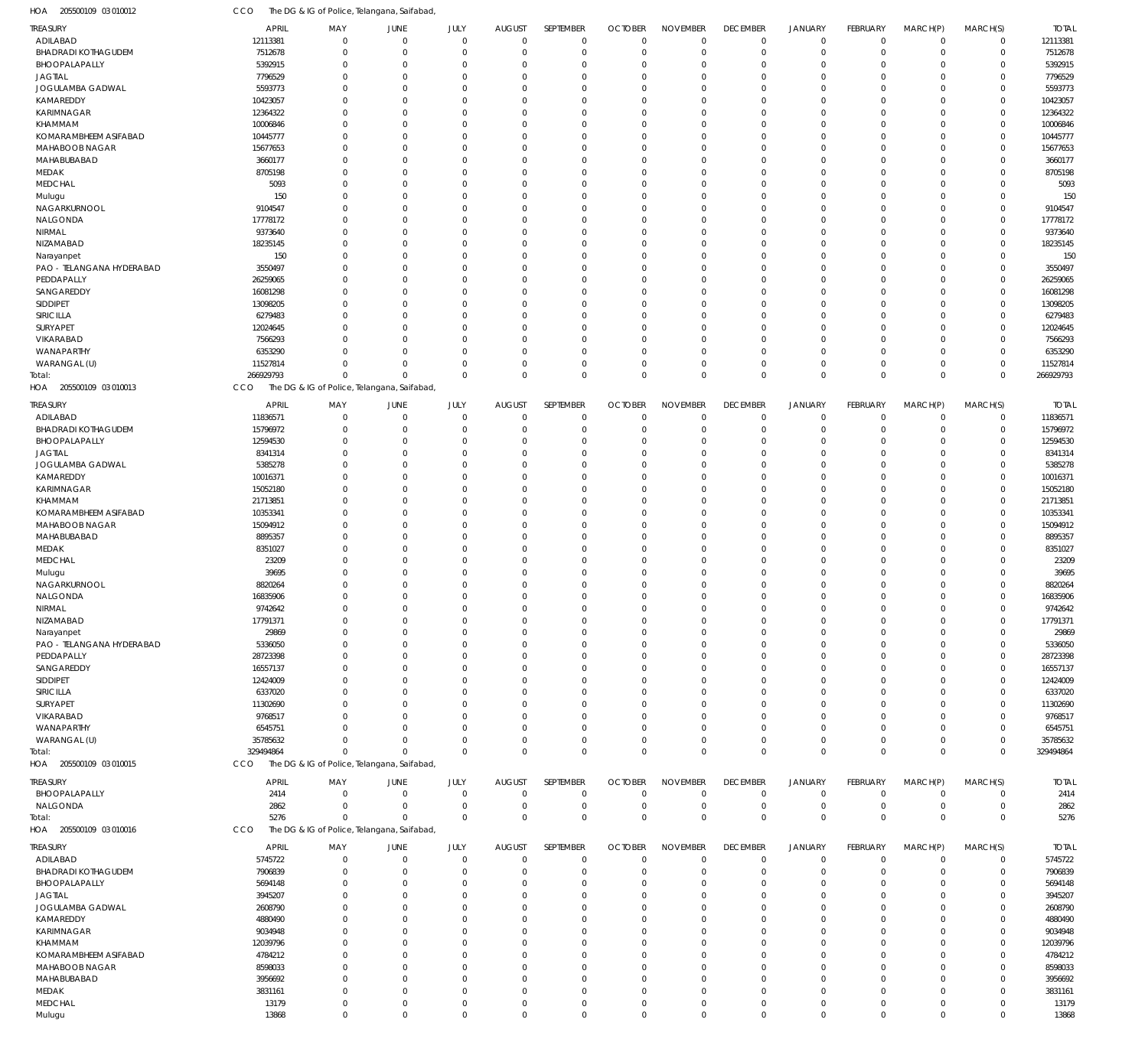| HOA<br>205500109 03 010012 | CCC          |                      | The DG & IG of Police, Telangana, Saifabad, |                         |                                  |                      |                            |                         |                            |                      |                      |             |                         |              |
|----------------------------|--------------|----------------------|---------------------------------------------|-------------------------|----------------------------------|----------------------|----------------------------|-------------------------|----------------------------|----------------------|----------------------|-------------|-------------------------|--------------|
| <b>TREASURY</b>            | <b>APRIL</b> | MAY                  | <b>JUNE</b>                                 | JULY                    | <b>AUGUST</b>                    | SEPTEMBER            | <b>OCTOBER</b>             | <b>NOVEMBER</b>         | <b>DECEMBER</b>            | JANUARY              | FEBRUARY             | MARCH(P)    | MARCH(S)                | <b>TOTAL</b> |
| ADILABAD                   | 12113381     | $\Omega$             | $\overline{0}$                              | $\mathbf{0}$            | $\mathbf 0$                      | $\mathbf 0$          | $\mathbf 0$                | $\mathbf 0$             | $\mathbf 0$                | $\overline{0}$       | $\mathbf 0$          | $\Omega$    | $\mathbf 0$             | 12113381     |
| <b>BHADRADI KOTHAGUDEM</b> | 7512678      | $\Omega$             | $\Omega$                                    | $\mathbf 0$             | $\mathbf 0$                      | $\mathbf 0$          | $\mathbf 0$                | $\mathbf 0$             | $\mathbf 0$                | $\Omega$             | $\Omega$             | $\Omega$    | $\mathbf 0$             | 7512678      |
| BHOOPALAPALLY              | 5392915      | $\Omega$             | $\Omega$                                    | $\Omega$                | $\overline{0}$                   | $\Omega$             | $\mathbf 0$                | $\mathbf 0$             | $\overline{0}$             | $\Omega$             | $\Omega$             | $\Omega$    | $\mathbf 0$             | 5392915      |
| <b>JAGTIAL</b>             | 7796529      | $\Omega$             | $\Omega$                                    | $\Omega$                | $\overline{0}$                   | $\Omega$             | $\mathbf 0$                | $\mathbf 0$             | $\Omega$                   | $\Omega$             | $\Omega$             | $\Omega$    | $\Omega$                | 7796529      |
| JOGULAMBA GADWAL           | 5593773      | $\Omega$             | $\Omega$                                    | $\Omega$                | $\overline{0}$                   | $\Omega$             | $\mathbf 0$                | $\mathbf 0$             | $\Omega$                   | $\Omega$             | $\Omega$             | $\Omega$    | $\Omega$                | 5593773      |
| KAMAREDDY                  | 10423057     | $\Omega$             | $\Omega$                                    | $\Omega$                | $\overline{0}$                   | $\Omega$             | $\mathbf 0$                | $\mathbf 0$             | $\Omega$                   | $\Omega$             | $\Omega$             | $\Omega$    | $\mathbf 0$             | 10423057     |
| <b>KARIMNAGAR</b>          | 12364322     | $\Omega$             | $\Omega$                                    | $\Omega$                | $\overline{0}$                   | $\Omega$             | $\mathbf 0$                | $\mathbf 0$             | $\Omega$                   | $\Omega$             | $\Omega$             | $\Omega$    | $\mathbf 0$             | 12364322     |
| KHAMMAM                    | 10006846     | $\Omega$             | $\Omega$                                    | $\Omega$                | $\overline{0}$                   | $\Omega$             | $\mathbf 0$                | $\mathbf 0$             | $\Omega$                   | $\Omega$             | $\Omega$             | $\Omega$    | $\mathbf 0$             | 10006846     |
| KOMARAMBHEEM ASIFABAD      | 10445777     | $\Omega$             | $\Omega$                                    | $\Omega$                | $\overline{0}$                   | $\Omega$             | $\mathbf 0$                | $\mathbf 0$             | $\Omega$                   | $\Omega$             | $\Omega$             | $\Omega$    | $\mathbf 0$             | 10445777     |
| MAHABOOB NAGAR             | 15677653     | $\Omega$             | $\Omega$                                    | $\Omega$                | $\Omega$                         | $\Omega$             | $\mathbf 0$                | $\mathbf 0$             | $\Omega$                   | $\Omega$             | $\Omega$             | $\Omega$    | $\Omega$                | 15677653     |
| MAHABUBABAD                | 3660177      | $\Omega$             | $\Omega$                                    | $\Omega$                | $\overline{0}$                   | $\Omega$             | $\mathbf 0$                | $\mathbf 0$             | $\Omega$                   | $\Omega$             | $\Omega$             | $\Omega$    | $\mathbf 0$             | 3660177      |
| MEDAK                      | 8705198      | $\Omega$             | $\Omega$                                    | $\Omega$                | $\Omega$                         | $\Omega$             | $\mathbf 0$                | $\mathbf 0$             | $\Omega$                   | $\Omega$             | $\Omega$             | $\Omega$    | $\Omega$                | 8705198      |
| <b>MEDCHAL</b>             | 5093         | $\Omega$             | $\Omega$                                    | $\Omega$                | $\overline{0}$                   | $\Omega$             | $\mathbf 0$                | $\mathbf 0$             | $\Omega$                   | $\Omega$             | $\Omega$             | $\Omega$    | $\mathbf 0$             | 5093         |
| Mulugu                     | 150          | $\Omega$             | $\Omega$                                    | $\Omega$                | $\Omega$                         | $\Omega$             | $\mathbf 0$                | $\mathbf{0}$            | $\Omega$                   | $\Omega$             | $\Omega$             | $\Omega$    | $\Omega$                | 150          |
| NAGARKURNOOL               | 9104547      | $\Omega$             | $\Omega$                                    | $\Omega$                | $\overline{0}$                   | $\Omega$             | $\mathbf 0$                | $\mathbf 0$             | $\Omega$                   | $\Omega$             | $\Omega$             | $\Omega$    | $\mathbf 0$             | 9104547      |
| NALGONDA                   | 17778172     | $\Omega$             | $\Omega$                                    | $\Omega$                | $\overline{0}$                   | $\Omega$             | $\mathbf 0$                | $\mathbf 0$             | $\Omega$                   | $\Omega$             | $\Omega$             | $\Omega$    | $\Omega$                | 17778172     |
| NIRMAL                     | 9373640      | $\Omega$             | $\Omega$                                    | $\Omega$                | $\Omega$                         | $\Omega$             | $\mathbf 0$                | $\mathbf 0$             | $\Omega$                   | $\Omega$             | $\Omega$             | $\Omega$    | $\mathbf 0$             | 9373640      |
| NIZAMABAD                  | 18235145     | $\Omega$             | $\Omega$                                    | $\Omega$                | $\overline{0}$                   | $\Omega$             | $\mathbf 0$                | $\mathbf 0$             | $\Omega$                   | $\Omega$             | $\Omega$             | $\Omega$    | $\mathbf 0$             | 18235145     |
| Narayanpet                 | 150          | $\Omega$             | $\Omega$                                    | $\Omega$                | $\Omega$                         | $\Omega$             | $\mathbf 0$                | $\mathbf 0$             | $\Omega$                   | $\Omega$             | $\Omega$             | $\Omega$    | $\mathbf 0$             | 150          |
| PAO - TELANGANA HYDERABAD  | 3550497      | $\Omega$             | $\Omega$                                    | $\Omega$                | $\overline{0}$                   | $\Omega$             | $\mathbf 0$                | $\mathbf 0$             | $\Omega$                   | $\Omega$             | $\Omega$             | $\Omega$    | $\mathbf 0$             | 3550497      |
| PEDDAPALLY                 | 26259065     | $\Omega$             | $\Omega$                                    | $\Omega$                | $\Omega$                         | $\Omega$             | $\mathbf 0$                | $\mathbf 0$             | $\Omega$                   | $\Omega$             | $\Omega$             | $\Omega$    | $\mathbf 0$             | 26259065     |
| SANGAREDDY                 | 16081298     | $\Omega$             | $\Omega$                                    | $\Omega$                | $\Omega$                         | $\Omega$             | $\mathbf 0$                | $\mathbf 0$             | $\Omega$                   | $\Omega$             | $\Omega$             | $\Omega$    | $\Omega$                | 16081298     |
| SIDDIPET                   | 13098205     | $\Omega$             | $\Omega$                                    | $\Omega$                | $\overline{0}$                   | $\Omega$             | $\mathbf 0$                | $\mathbf 0$             | $\Omega$                   | $\Omega$             | $\Omega$             | $\Omega$    | $\mathbf 0$             | 13098205     |
| SIRICILLA                  | 6279483      | $\Omega$             | $\Omega$                                    | $\Omega$                | $\Omega$                         | $\Omega$             | $\mathbf 0$                | $\mathbf 0$             | $\Omega$                   | $\Omega$             | $\Omega$             | $\Omega$    | $\Omega$                | 6279483      |
| SURYAPET                   | 12024645     | $\Omega$             | $\Omega$                                    | $\Omega$                | $\overline{0}$                   | $\Omega$             | $\mathbf 0$                | $\mathbf 0$             | $\Omega$                   | $\Omega$             | $\Omega$             | $\Omega$    | $\mathbf 0$             | 12024645     |
| VIKARABAD                  | 7566293      | $\Omega$             | $\Omega$                                    | $\Omega$                | $\Omega$                         | $\Omega$             | $\mathbf 0$                | $\mathbf 0$             | $\Omega$                   | $\Omega$             | $\Omega$             | $\Omega$    | $\Omega$                | 7566293      |
| WANAPARTHY                 | 6353290      | $\Omega$             | $\Omega$                                    | $\Omega$                | $\overline{0}$                   | $\Omega$             | $\mathbf 0$                | $\mathbf 0$             | $\Omega$                   | $\Omega$             | $\Omega$             | $\Omega$    | $\mathbf 0$             | 6353290      |
| WARANGAL (U)               | 11527814     | $\Omega$             | $\Omega$                                    | $\mathbf 0$             | $\mathbf 0$                      | $\Omega$             | $\mathbf 0$                | $\mathbf 0$             | $\overline{0}$             | $\Omega$             | $\Omega$             | $\Omega$    | $\mathbf 0$             | 11527814     |
| Total:                     | 266929793    | $\Omega$             | $\Omega$                                    | $\Omega$                | $\mathbf{0}$                     | $\Omega$             | $\mathbf{0}$               | $\mathbf 0$             | $\overline{0}$             | $\Omega$             | $\mathbf 0$          | $\Omega$    | $\mathbf{0}$            | 266929793    |
| 205500109 03 010013<br>HOA | CCO          |                      | The DG & IG of Police, Telangana, Saifabad, |                         |                                  |                      |                            |                         |                            |                      |                      |             |                         |              |
| <b>TREASURY</b>            | <b>APRIL</b> | MAY                  | <b>JUNE</b>                                 | <b>JULY</b>             | <b>AUGUST</b>                    | SEPTEMBER            | <b>OCTOBER</b>             | <b>NOVEMBER</b>         | <b>DECEMBER</b>            | JANUARY              | <b>FEBRUARY</b>      | MARCH(P)    | MARCH(S)                | <b>TOTAL</b> |
|                            |              | $\Omega$             | $\mathbf 0$                                 | $\mathbf{0}$            | $\mathbf 0$                      | $\mathbf 0$          | $\overline{0}$             |                         | $^{\circ}$                 | $^{\circ}$           | $\Omega$             | $\Omega$    | $\mathbf 0$             |              |
| ADILABAD                   | 11836571     | $\Omega$             | $\Omega$                                    |                         |                                  | $\mathbf 0$          | $\overline{0}$             | $\mathbf 0$             | $\overline{0}$             | $\Omega$             | $\Omega$             | $\Omega$    |                         | 11836571     |
| <b>BHADRADI KOTHAGUDEM</b> | 15796972     |                      |                                             | $\mathbf 0$             | $\mathbf 0$                      |                      |                            | $\mathbf 0$             |                            |                      |                      |             | $\mathbf 0$             | 15796972     |
| BHOOPALAPALLY              | 12594530     | $\Omega$<br>$\Omega$ | $\Omega$                                    | $\mathbf 0$             | $\overline{0}$<br>$\Omega$       | $\Omega$<br>$\Omega$ | $\overline{0}$<br>$\Omega$ | $\mathbf 0$             | $\overline{0}$<br>$\Omega$ | $\Omega$<br>$\Omega$ | $\Omega$<br>$\Omega$ |             | $\mathbf 0$<br>$\Omega$ | 12594530     |
| <b>JAGTIAL</b>             | 8341314      |                      | $\Omega$                                    | $\Omega$                |                                  |                      |                            | $\Omega$                | $\Omega$                   |                      | $\Omega$             |             | $\Omega$                | 8341314      |
| JOGULAMBA GADWAL           | 5385278      | $\Omega$<br>$\Omega$ | $\Omega$<br>$\Omega$                        | $\mathbf 0$<br>$\Omega$ | $\overline{0}$<br>$\overline{0}$ | $\Omega$<br>$\Omega$ | $\overline{0}$<br>$\Omega$ | $\mathbf 0$<br>$\Omega$ | $\Omega$                   | $\Omega$             | $\Omega$             |             | $\Omega$                | 5385278      |
| KAMAREDDY                  | 10016371     | $\Omega$             |                                             |                         | $\Omega$                         |                      |                            |                         | $\Omega$                   |                      | $\Omega$             |             | $\Omega$                | 10016371     |
| <b>KARIMNAGAR</b>          | 15052180     |                      | $\Omega$                                    | $\Omega$                |                                  | $\Omega$             | $\overline{0}$             | $\mathbf 0$             |                            | $\Omega$             |                      |             |                         | 15052180     |
| KHAMMAM                    | 21713851     | $\Omega$             | $\Omega$                                    | $\Omega$                | $\overline{0}$                   | $\Omega$             | $\Omega$                   | $\mathbf 0$             | $\Omega$                   |                      | $\Omega$             |             | $\Omega$                | 21713851     |
| KOMARAMBHEEM ASIFABAD      | 10353341     | $\Omega$             | $\Omega$                                    | $\Omega$                | $\Omega$                         | $\Omega$             | $\mathbf 0$                | $\mathbf 0$             | $\Omega$                   | $\Omega$             | $\Omega$             |             | $\Omega$                | 10353341     |
| MAHABOOB NAGAR             | 15094912     | $\Omega$             | $\Omega$                                    | $\Omega$                | $\overline{0}$                   | $\Omega$             | $\overline{0}$             | $\mathbf 0$             | $\Omega$                   |                      | $\Omega$             |             | $\Omega$                | 15094912     |
| MAHABUBABAD                | 8895357      | $\Omega$             | $\Omega$                                    | $\Omega$                | $\Omega$                         | $\Omega$             | $\mathbf 0$                | $\mathbf 0$             | $\Omega$                   |                      | $\Omega$             |             | $\Omega$                | 8895357      |
| MEDAK                      | 8351027      | $\Omega$             | $\Omega$                                    | $\Omega$                | $\mathbf 0$                      | $\Omega$             | $\Omega$                   | $\Omega$                | $\Omega$                   |                      | $\Omega$             |             | $\Omega$                | 8351027      |
| MEDCHAL                    | 23209        | $\Omega$             | $\Omega$                                    | $\Omega$                | $\overline{0}$                   | $\Omega$             | $\mathbf 0$                | $\mathbf 0$             | $\Omega$                   |                      | $\Omega$             |             | $\Omega$                | 23209        |
| Mulugu                     | 39695        | $\Omega$             | $\Omega$                                    | $\Omega$                | $\overline{0}$                   | $\Omega$             | $\Omega$                   | $\Omega$                | $\Omega$                   | $\Omega$             | $\Omega$             |             | $\Omega$                | 39695        |
| NAGARKURNOOL               | 8820264      | $\Omega$             | $\Omega$                                    | $\mathbf 0$             | $\overline{0}$                   | $\Omega$             | $\overline{0}$             | $\mathbf 0$             | $\Omega$                   | $\Omega$             | $\Omega$             |             | $\Omega$                | 8820264      |
| NALGONDA                   | 16835906     | $\Omega$             | $\Omega$                                    | $\Omega$                | $\Omega$                         | $\Omega$             | $\mathbf 0$                | $\Omega$                | $\Omega$                   | $\Omega$             | $\Omega$             | $\Omega$    | $\Omega$                | 16835906     |
| NIRMAL                     | 9742642      | 0                    |                                             |                         | $\Omega$                         | 0                    | $\Omega$                   | $\Omega$                | $\Omega$                   |                      |                      |             | $\Omega$                | 9742642      |
| NIZAMABAD                  | 17791371     | $\Omega$             | $\Omega$                                    | $\mathbf 0$             | $\mathbf 0$                      | $\Omega$             | $\Omega$                   | $\mathbf 0$             | $\Omega$                   | $\Omega$             | $\Omega$             |             | $\Omega$                | 17791371     |
| Narayanpet                 | 29869        | $\Omega$             | $\Omega$                                    | $\mathbf 0$             | $\mathbf 0$                      | $\mathbf 0$          | $\mathbf 0$                | $\mathbf 0$             | $\overline{0}$             | $\Omega$             | $\Omega$             | $\Omega$    | $\Omega$                | 29869        |
| PAO - TELANGANA HYDERABAD  | 5336050      | $\Omega$             | $\Omega$                                    | $\Omega$                | $\overline{0}$                   | $\Omega$             | $\Omega$                   | $\overline{0}$          | $\Omega$                   |                      | $\Omega$             |             | $\Omega$                | 5336050      |
| PEDDAPALLY                 | 28723398     | O                    | $\Omega$                                    | $\Omega$                | $\Omega$                         | $\Omega$             | $\Omega$                   | $\mathbf 0$             | $\Omega$                   |                      | $\Omega$             | $\Omega$    | $\Omega$                | 28723398     |
| SANGAREDDY                 | 16557137     | $\Omega$             | $\Omega$                                    | $\Omega$                | $\Omega$                         | $\Omega$             | $\Omega$                   | $\mathbf 0$             | $\Omega$                   |                      | $\cap$               |             | $\Omega$                | 16557137     |
| SIDDIPET                   | 12424009     | O                    | $\Omega$                                    | $\Omega$                | $\Omega$                         | $\Omega$             | $\Omega$                   | $\mathbf 0$             | $\Omega$                   |                      | $\Omega$             |             | $\Omega$                | 12424009     |
| SIRICILLA                  | 6337020      | O                    | $\Omega$                                    | $\Omega$                | $\Omega$                         | $\Omega$             | $\Omega$                   | $\mathbf 0$             | $\Omega$                   |                      | $\cap$               |             | $\Omega$                | 6337020      |
| SURYAPET                   | 11302690     | O                    | $\Omega$                                    | $\Omega$                | $\Omega$                         | $\Omega$             | $\mathbf 0$                | $\mathbf 0$             | $\Omega$                   |                      | $\Omega$             |             | $\Omega$                | 11302690     |
| VIKARABAD                  | 9768517      | n                    | $\Omega$                                    | $\Omega$                | $\Omega$                         | $\Omega$             | $\Omega$                   | $\Omega$                | $\Omega$                   |                      | $\cap$               |             | $\Omega$                | 9768517      |
| WANAPARTHY                 | 6545751      | O                    | $\Omega$                                    | $\mathbf 0$             | $\overline{0}$                   | $\Omega$             | $\mathbf 0$                | $\mathbf 0$             | $\Omega$                   |                      | $\Omega$             | $\Omega$    | $\Omega$                | 6545751      |
| WARANGAL (U)               | 35785632     | O                    | $\Omega$                                    | $\Omega$                | $\Omega$                         | $\Omega$             | $\overline{0}$             | $\mathbf 0$             | $\overline{0}$             | $\Omega$             | $\Omega$             | $\Omega$    | $\Omega$                | 35785632     |
| Total:                     | 329494864    | $\Omega$             | $\Omega$                                    | $\Omega$                | $\Omega$                         | $\mathbf 0$          | $\mathbb O$                | $\mathbf 0$             | $\mathbb O$                | $\Omega$             | $\Omega$             | $\Omega$    | $\Omega$                | 329494864    |
| 205500109 03 010015<br>HOA | CCO          |                      | The DG & IG of Police, Telangana, Saifabad, |                         |                                  |                      |                            |                         |                            |                      |                      |             |                         |              |
| TREASURY                   | <b>APRIL</b> | MAY                  | JUNE                                        | JULY                    | <b>AUGUST</b>                    | SEPTEMBER            | <b>OCTOBER</b>             | <b>NOVEMBER</b>         | <b>DECEMBER</b>            | JANUARY              | <b>FEBRUARY</b>      | MARCH(P)    | MARCH(S)                | <b>TOTAL</b> |
| BHOOPALAPALLY              | 2414         | $\mathbf 0$          | $\overline{0}$                              | $\mathbf 0$             | $\mathbf 0$                      | $\mathbf 0$          | $\overline{0}$             | $\mathbf 0$             | $\mathbf 0$                | $\overline{0}$       | $\Omega$             | $\Omega$    | $\Omega$                | 2414         |
| NALGONDA                   | 2862         | $\Omega$             | $\overline{0}$                              | $\mathbf 0$             | $\mathbf 0$                      | $\mathbf 0$          | $\mathbf 0$                | $\mathbf 0$             | $\mathbf 0$                | $^{\circ}$           | $\mathbf 0$          | $\Omega$    | $\mathbf 0$             | 2862         |
| Total:                     | 5276         | $\Omega$             | $\Omega$                                    | $\mathbf 0$             | $\mathbf 0$                      | $\mathbf{0}$         | $\mathbf{0}$               | $\mathbf 0$             | $\mathbf 0$                | $\Omega$             | $\Omega$             | $\Omega$    | $\Omega$                | 5276         |
| 205500109 03 010016<br>HOA | CCO          |                      | The DG & IG of Police, Telangana, Saifabad, |                         |                                  |                      |                            |                         |                            |                      |                      |             |                         |              |
|                            |              |                      |                                             |                         |                                  |                      |                            |                         |                            |                      |                      |             |                         |              |
| <b>TREASURY</b>            | <b>APRIL</b> | MAY                  | <b>JUNE</b>                                 | JULY                    | <b>AUGUST</b>                    | SEPTEMBER            | <b>OCTOBER</b>             | <b>NOVEMBER</b>         | <b>DECEMBER</b>            | JANUARY              | <b>FEBRUARY</b>      | MARCH(P)    | MARCH(S)                | <b>TOTAL</b> |
| ADILABAD                   | 5745722      | $\mathbf 0$          | $\overline{0}$                              | $\mathbf{0}$            | $\mathbf 0$                      | $\mathbf 0$          | $\overline{0}$             | $\mathbf 0$             | $\overline{0}$             | $\Omega$             | $\Omega$             | $\Omega$    | $\Omega$                | 5745722      |
| <b>BHADRADI KOTHAGUDEM</b> | 7906839      | $\Omega$             | $\overline{0}$                              | $\mathbf 0$             | $\overline{0}$                   | $\mathbf 0$          | $\overline{0}$             | $\mathbf 0$             | $\overline{0}$             | $\Omega$             | $\Omega$             |             | $\mathbf 0$             | 7906839      |
| BHOOPALAPALLY              | 5694148      | $\Omega$             | $\Omega$                                    | $\Omega$                | $\overline{0}$                   | $\Omega$             | $\Omega$                   | $\mathbf 0$             | $^{\circ}$                 | $\Omega$             | $\Omega$             |             | $\Omega$                | 5694148      |
| <b>JAGTIAL</b>             | 3945207      | 0                    | $\Omega$                                    | 0                       | $\overline{0}$                   | $\Omega$             | $\overline{0}$             | $\mathbf 0$             | $\Omega$                   |                      | $\Omega$             |             | $\Omega$                | 3945207      |
| JOGULAMBA GADWAL           | 2608790      | $\Omega$             | $\Omega$                                    | $\Omega$                | $\Omega$                         | $\Omega$             | $\Omega$                   | $\Omega$                | $\Omega$                   |                      | $\cap$               |             | $\Omega$                | 2608790      |
| KAMAREDDY                  | 4880490      | O                    | $\Omega$                                    | $\Omega$                | $\overline{0}$                   | $\Omega$             | $\overline{0}$             | $\mathbf 0$             | $\Omega$                   |                      | $\Omega$             |             | $\Omega$                | 4880490      |
| <b>KARIMNAGAR</b>          | 9034948      | n                    | $\Omega$                                    | $\Omega$                | $\Omega$                         | $\Omega$             | $\Omega$                   | $\Omega$                | $\Omega$                   |                      | $\cap$               |             | $\Omega$                | 9034948      |
| KHAMMAM                    | 12039796     | O                    | $\Omega$                                    | $\Omega$                | $\Omega$                         | $\Omega$             | $\overline{0}$             | $\mathbf 0$             | $\Omega$                   |                      | $\Omega$             |             | $\Omega$                | 12039796     |
| KOMARAMBHEEM ASIFABAD      | 4784212      | $\Omega$             | $\Omega$                                    | $\Omega$                | $\Omega$                         | $\Omega$             | $\Omega$                   | $\Omega$                | $\Omega$                   |                      | $\Omega$             |             | $\Omega$                | 4784212      |
| MAHABOOB NAGAR             | 8598033      | O                    | $\Omega$                                    | $\Omega$                | $\Omega$                         | $\Omega$             | $\mathbf 0$                | $\mathbf 0$             | $\Omega$                   |                      | $\Omega$             | $\Omega$    | $\Omega$                | 8598033      |
| MAHABUBABAD                | 3956692      | $\Omega$             | $\Omega$                                    | $\Omega$                | $\mathbf 0$                      | $\Omega$             | $\Omega$                   | $\mathbf 0$             | $\Omega$                   |                      | $\cap$               |             | $\Omega$                | 3956692      |
| MEDAK                      | 3831161      | O                    | $\Omega$                                    | $\Omega$                | $\overline{0}$                   | $\Omega$             | $\mathbf 0$                | $\mathbf 0$             | $\Omega$                   |                      | $\Omega$             | $\Omega$    | $\mathbf 0$             | 3831161      |
| MEDCHAL                    | 13179        | $\Omega$             | $\mathbf 0$                                 | $\mathbf 0$             | $\mathbf 0$                      | $\mathbf 0$          | $\mathbf 0$                | $\mathbf 0$             | $\overline{0}$             | $\Omega$             | $\Omega$             | $\Omega$    | $\mathbf 0$             | 13179        |
| Mulugu                     | 13868        | $\mathbf 0$          | $\overline{0}$                              | $\mathbf 0$             | $\mathbf 0$                      | $\mathbf 0$          | $\mathbb O$                | $\mathbf 0$             | $\mathbf 0$                | $\mathbf 0$          | $\mathbf 0$          | $\mathbf 0$ | $\mathbf 0$             | 13868        |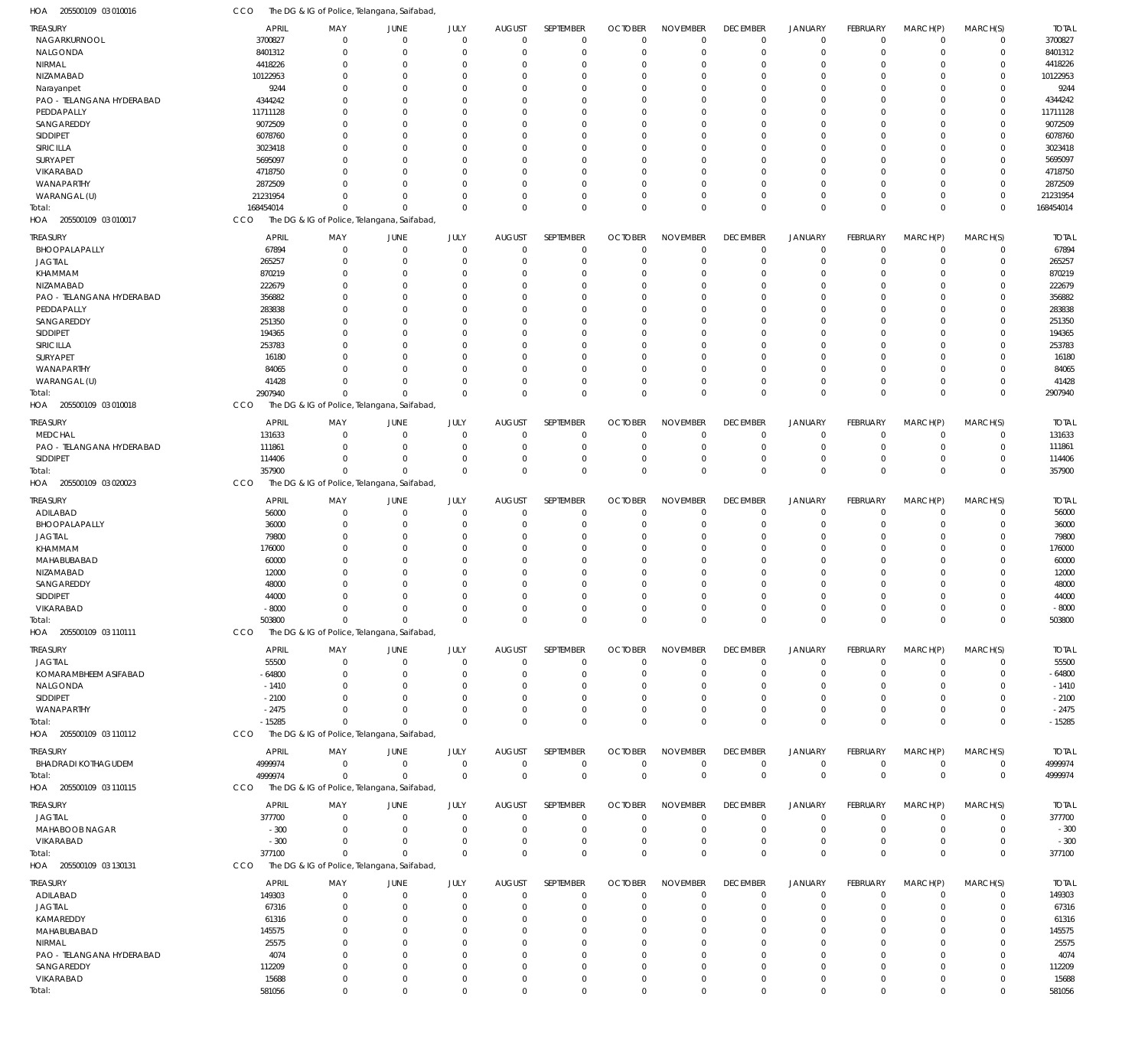| 205500109 03 010016<br>HOA | CCO          |          | The DG & IG of Police, Telangana, Saifabad, |              |                |                  |                |                 |                 |                |                 |             |              |              |
|----------------------------|--------------|----------|---------------------------------------------|--------------|----------------|------------------|----------------|-----------------|-----------------|----------------|-----------------|-------------|--------------|--------------|
| <b>TREASURY</b>            | <b>APRIL</b> | MAY      | JUNE                                        | JULY         | <b>AUGUST</b>  | SEPTEMBER        | <b>OCTOBER</b> | <b>NOVEMBER</b> | <b>DECEMBER</b> | <b>JANUARY</b> | FEBRUARY        | MARCH(P)    | MARCH(S)     | <b>TOTAL</b> |
| NAGARKURNOOL               | 3700827      | $\Omega$ | $\Omega$                                    | $\mathbf 0$  | $\overline{0}$ | $\mathbf 0$      | $\overline{0}$ | $\mathbf 0$     | $\mathbf 0$     | $\Omega$       | $\mathbf 0$     | $\mathbf 0$ | $\mathbf 0$  | 3700827      |
| NALGONDA                   | 8401312      | $\Omega$ | $\Omega$                                    | $\mathbf 0$  | $\overline{0}$ | $\mathbf 0$      | $\overline{0}$ | $\mathbf 0$     | $\mathbf 0$     | $\Omega$       | $\mathbf 0$     | $\mathbf 0$ | $\mathbf 0$  | 8401312      |
| NIRMAL                     | 4418226      | $\Omega$ | $\Omega$                                    | $\mathbf 0$  | $\overline{0}$ | $\Omega$         | $\overline{0}$ | $\mathbf 0$     | $\Omega$        | $\Omega$       | $\Omega$        | $\Omega$    | $\mathbf 0$  | 4418226      |
| NIZAMABAD                  | 10122953     | $\Omega$ | $\Omega$                                    | $\mathbf 0$  | $\Omega$       | $\Omega$         | $\overline{0}$ | $\Omega$        | $\Omega$        | $\Omega$       | $\Omega$        | $\Omega$    | $\Omega$     | 10122953     |
| Narayanpet                 | 9244         | $\Omega$ | $\Omega$                                    | $\mathbf 0$  | $\overline{0}$ | 0                | $\overline{0}$ | $\Omega$        | $\Omega$        | - 0            | $\Omega$        | $\Omega$    | $\mathbf 0$  | 9244         |
| PAO - TELANGANA HYDERABAD  | 4344242      | $\Omega$ | $\Omega$                                    | $\mathbf 0$  | $\Omega$       | $\Omega$         | $\Omega$       | $\Omega$        | $\Omega$        | $\Omega$       | $\Omega$        | $\Omega$    | $\Omega$     | 4344242      |
| PEDDAPALLY                 | 11711128     | $\Omega$ | $\Omega$                                    | $\mathbf 0$  | 0              | $\Omega$         | $\overline{0}$ | $\Omega$        | $\Omega$        | $\cap$         | $\Omega$        | $\Omega$    | $\mathbf 0$  | 11711128     |
| SANGAREDDY                 | 9072509      | $\Omega$ | $\Omega$                                    | $\mathbf 0$  | $\Omega$       | $\Omega$         | $\overline{0}$ | $\Omega$        | $\Omega$        | - 0            | $\Omega$        | $\Omega$    | $\Omega$     | 9072509      |
| SIDDIPET                   | 6078760      | $\Omega$ | $\Omega$                                    | $\mathbf 0$  | $\overline{0}$ | 0                | $\mathbf 0$    | $\Omega$        | $\Omega$        | - 0            | $\Omega$        | $\Omega$    | $\mathbf 0$  | 6078760      |
| SIRICILLA                  | 3023418      | $\Omega$ | $\Omega$                                    | $\mathbf 0$  | $\Omega$       | $\Omega$         | $\overline{0}$ | $\Omega$        | $\Omega$        | $\Omega$       | $\Omega$        | $\Omega$    | $\Omega$     | 3023418      |
| <b>SURYAPET</b>            | 5695097      | $\Omega$ | $\Omega$                                    | $\mathbf 0$  | 0              | $\Omega$         | $\overline{0}$ | $\mathbf 0$     | $\Omega$        | - 0            | $\Omega$        | $\Omega$    | $\mathbf 0$  | 5695097      |
| <b>VIKARABAD</b>           | 4718750      | $\Omega$ | $\Omega$                                    | $\mathbf 0$  | $\Omega$       | $\Omega$         | $\overline{0}$ | $\Omega$        | $\Omega$        | - 0            | $\Omega$        | $\Omega$    | $\mathbf 0$  | 4718750      |
| WANAPARTHY                 | 2872509      | $\Omega$ | $\Omega$                                    | $\mathbf 0$  | $\overline{0}$ | $\Omega$         | $\overline{0}$ | $\mathbf 0$     | $\Omega$        | $\Omega$       | $\Omega$        | $\Omega$    | $\mathbf 0$  | 2872509      |
| WARANGAL (U)               | 21231954     | $\Omega$ | $\Omega$                                    | $\mathbf 0$  | $\Omega$       | $\Omega$         | $\overline{0}$ | $\mathbf 0$     | $\Omega$        | $\Omega$       | $\Omega$        | $\Omega$    | $\mathbf 0$  | 21231954     |
| Total:                     | 168454014    | $\Omega$ | $\Omega$                                    | $\Omega$     | $\Omega$       | $\Omega$         | $\Omega$       | $\mathbf 0$     | $\Omega$        | $\Omega$       | $\Omega$        | $\Omega$    | $\mathbf 0$  | 168454014    |
| 205500109 03 010017<br>HOA | CCO          |          | The DG & IG of Police, Telangana, Saifabad  |              |                |                  |                |                 |                 |                |                 |             |              |              |
| TREASURY                   | <b>APRIL</b> | MAY      | <b>JUNE</b>                                 | JULY         | <b>AUGUST</b>  | SEPTEMBER        | <b>OCTOBER</b> | <b>NOVEMBER</b> | <b>DECEMBER</b> | JANUARY        | <b>FEBRUARY</b> | MARCH(P)    | MARCH(S)     | <b>TOTAL</b> |
| BHOOPALAPALLY              | 67894        | $\Omega$ | $\Omega$                                    | $\mathbf 0$  | $\overline{0}$ | $\mathbf 0$      | $\overline{0}$ | $\mathbf 0$     | $\mathbf 0$     | $\Omega$       | $\mathbf 0$     | $\mathbf 0$ | $\mathbf 0$  | 67894        |
| <b>JAGTIAL</b>             | 265257       | $\Omega$ | $\Omega$                                    | $\mathbf 0$  | $\overline{0}$ | $\Omega$         | $\overline{0}$ | $\mathbf 0$     | $\Omega$        | $\Omega$       | $\mathbf 0$     | $\mathbf 0$ | $\mathbf 0$  | 265257       |
| KHAMMAM                    | 870219       | $\Omega$ | 0                                           | $\mathbf 0$  | $\overline{0}$ | $\Omega$         | $\overline{0}$ | $\mathbf 0$     | $\Omega$        |                | $\mathbf 0$     | 0           | $\mathbf 0$  | 870219       |
| NIZAMABAD                  | 222679       | $\Omega$ | $\Omega$                                    | $\mathbf 0$  | $\overline{0}$ | $\Omega$         | $\overline{0}$ | $\Omega$        | $\Omega$        | - 0            | $\Omega$        | $\Omega$    | $\mathbf 0$  | 222679       |
| PAO - TELANGANA HYDERABAD  | 356882       | $\Omega$ | -C                                          | $\mathbf 0$  | 0              | $\Omega$         | $\mathbf 0$    | $\mathbf 0$     | $\Omega$        |                | $\Omega$        | 0           | $\mathbf 0$  | 356882       |
| PEDDAPALLY                 | 283838       | $\Omega$ | $\cap$                                      | $\Omega$     | $\Omega$       | $\Omega$         | $\Omega$       | $\Omega$        | $\Omega$        |                | $\Omega$        | $\Omega$    | $\mathbf 0$  | 283838       |
| SANGAREDDY                 | 251350       | $\Omega$ | -C                                          | $\mathbf 0$  | 0              | $\Omega$         | $\mathbf 0$    | $\mathbf 0$     | $\Omega$        |                | $\Omega$        | 0           | $\mathbf 0$  | 251350       |
| SIDDIPET                   | 194365       | $\Omega$ |                                             | $\Omega$     | 0              | $\Omega$         | $\mathbf 0$    | $\Omega$        | $\Omega$        |                | $\Omega$        | $\Omega$    | $\mathbf 0$  | 194365       |
| SIRICILLA                  | 253783       | $\Omega$ | -C                                          | $\mathbf 0$  | 0              | $\Omega$         | $\mathbf 0$    | $\mathbf 0$     | $\Omega$        |                | $\Omega$        | 0           | $\mathbf 0$  | 253783       |
| SURYAPET                   | 16180        | $\Omega$ | $\cap$                                      | $\Omega$     | $\Omega$       | $\Omega$         | $\Omega$       | $\Omega$        | $\Omega$        |                | $\Omega$        | $\Omega$    | $\mathbf 0$  | 16180        |
| WANAPARTHY                 | 84065        | $\Omega$ | $\Omega$                                    | $\mathbf{0}$ | 0              | $\Omega$         | $\mathbf 0$    | $\mathbf 0$     | $\Omega$        |                | $\mathbf 0$     | 0           | $\mathbf 0$  | 84065        |
| WARANGAL (U)               | 41428        | $\Omega$ | $\Omega$                                    | $\mathbf 0$  | $\overline{0}$ | $\Omega$         | $\overline{0}$ | $\mathbf 0$     | $\Omega$        | $\Omega$       | $\mathbf 0$     | 0           | $\mathbf 0$  | 41428        |
| Total:                     | 2907940      | $\Omega$ | $\Omega$                                    | $\mathbf{0}$ | $\Omega$       | $\Omega$         | $\Omega$       | $\overline{0}$  | $\Omega$        | $\Omega$       | $\mathbf 0$     | $\Omega$    | $\mathbf 0$  | 2907940      |
| 205500109 03 010018<br>HOA | CCO          |          | The DG & IG of Police, Telangana, Saifabad, |              |                |                  |                |                 |                 |                |                 |             |              |              |
| <b>TREASURY</b>            | <b>APRIL</b> | MAY      | <b>JUNE</b>                                 | JULY         | <b>AUGUST</b>  | SEPTEMBER        | <b>OCTOBER</b> | <b>NOVEMBER</b> | <b>DECEMBER</b> | JANUARY        | <b>FEBRUARY</b> | MARCH(P)    | MARCH(S)     | <b>TOTAL</b> |
| <b>MEDCHAL</b>             | 131633       | $\Omega$ | $\Omega$                                    | $\mathbf 0$  | $\overline{0}$ | $\mathbf 0$      | $\overline{0}$ | $\mathbf 0$     | $\Omega$        | $\Omega$       | $\mathbf 0$     | $\mathbf 0$ | $\mathbf 0$  | 131633       |
| PAO - TELANGANA HYDERABAD  | 111861       | $\Omega$ | $\Omega$                                    | $\mathbf 0$  | $\overline{0}$ | $\mathbf 0$      | $\overline{0}$ | $\mathbf 0$     | $\mathbf 0$     | $\Omega$       | $\mathbf 0$     | 0           | $\mathbf 0$  | 111861       |
| <b>SIDDIPET</b>            | 114406       | $\Omega$ | $\Omega$                                    | $\mathbf 0$  | $\overline{0}$ | $\mathbf 0$      | $\overline{0}$ | $\mathbf 0$     | $\mathbf 0$     | $\Omega$       | $\mathbf 0$     | $\mathbf 0$ | $\mathbf 0$  | 114406       |
| Total:                     | 357900       | $\Omega$ | $\Omega$                                    | $\mathbf 0$  | $\Omega$       | $\Omega$         | $\overline{0}$ | $\mathbf 0$     | $\overline{0}$  | $\Omega$       | $\mathbf 0$     | $\Omega$    | $\mathbf 0$  | 357900       |
| 205500109 03 020023<br>HOA | CCO          |          | The DG & IG of Police, Telangana, Saifabad, |              |                |                  |                |                 |                 |                |                 |             |              |              |
| TREASURY                   | <b>APRIL</b> | MAY      | JUNE                                        | JULY         | <b>AUGUST</b>  | SEPTEMBER        | <b>OCTOBER</b> | <b>NOVEMBER</b> | <b>DECEMBER</b> | JANUARY        | <b>FEBRUARY</b> | MARCH(P)    | MARCH(S)     | <b>TOTAL</b> |
| ADILABAD                   | 56000        | $\Omega$ | 0                                           | $\mathbf 0$  | $\overline{0}$ | $\mathbf 0$      | $\mathbf 0$    | $\overline{0}$  | $\mathbf 0$     | $\Omega$       | $\mathbf 0$     | $\mathbf 0$ | $\mathbf 0$  | 56000        |
| BHOOPALAPALLY              | 36000        | $\Omega$ | $\Omega$                                    | $\mathbf 0$  | $\overline{0}$ | $\Omega$         | $\overline{0}$ | $\mathbf 0$     | $\mathbf 0$     | $\Omega$       | $\mathbf 0$     | 0           | $\mathbf 0$  | 36000        |
| <b>JAGTIAL</b>             | 79800        | $\Omega$ | 0                                           | $\mathbf 0$  | $\overline{0}$ | $\Omega$         | $\overline{0}$ | $\mathbf 0$     | $\Omega$        |                | $\mathbf 0$     | 0           | $\mathbf 0$  | 79800        |
| KHAMMAM                    | 176000       | $\Omega$ | $\Omega$                                    | $\mathbf 0$  | $\overline{0}$ | $\Omega$         | $\Omega$       | $\Omega$        | $\Omega$        |                | $\Omega$        | $\Omega$    | $\mathbf 0$  | 176000       |
| MAHABUBABAD                | 60000        | $\Omega$ | 0                                           | $\mathbf 0$  | 0              | $\Omega$         | $\mathbf 0$    | $\mathbf 0$     | $\Omega$        |                | $\mathbf 0$     | 0           | $\mathbf 0$  | 60000        |
| NIZAMABAD                  | 12000        | $\cap$   | $\Omega$                                    | $\mathbf 0$  | 0              | $\Omega$         | $\Omega$       | $\Omega$        | $\Omega$        |                | $\Omega$        | 0           | $\mathbf 0$  | 12000        |
| SANGAREDDY                 | 48000        | $\Omega$ | 0                                           | $\mathbf 0$  | 0              | 0                | $\mathbf 0$    | $\mathbf 0$     | $\Omega$        |                | $\mathbf 0$     | 0           | $\mathbf 0$  | 48000        |
| SIDDIPET                   | 44000        | $\Omega$ | $\Omega$                                    | $\mathbf 0$  | $\overline{0}$ | $\Omega$         | $\Omega$       | $\Omega$        | $\Omega$        | $\Omega$       | $\mathbf 0$     | $\mathbf 0$ | $\mathbf 0$  | 44000        |
| VIKARABAD                  | $-8000$      | $\Omega$ | $\Omega$                                    | $\mathbf 0$  | 0              | 0                | $\overline{0}$ | 0               | $\mathbf 0$     | -0             | $\mathbf 0$     | 0           | $\mathbf 0$  | $-8000$      |
| Total:                     | 503800       | $\Omega$ | $\Omega$                                    | $\mathbf 0$  | $\mathbf 0$    | $\mathbf 0$      | $\overline{0}$ | $\mathbb O$     | $\mathbf 0$     | $\Omega$       | $\mathbf 0$     | $\mathbf 0$ | $\mathbf 0$  | 503800       |
| 205500109 03 110111<br>HOA | CCO          |          | The DG & IG of Police, Telangana, Saifabad  |              |                |                  |                |                 |                 |                |                 |             |              |              |
| <b>TREASURY</b>            | <b>APRIL</b> | MAY      | <b>JUNE</b>                                 | JULY         | <b>AUGUST</b>  | <b>SEPTEMBER</b> | <b>OCTOBER</b> | <b>NOVEMBER</b> | <b>DECEMBER</b> | <b>JANUARY</b> | FEBRUARY        | MARCH(P)    | MARCH(S)     | <b>TOTAL</b> |
| <b>JAGTIAL</b>             | 55500        | $\Omega$ | $\Omega$                                    | $\mathbf 0$  | $\overline{0}$ | $\Omega$         | $\overline{0}$ | $\mathbf 0$     | $\mathbf 0$     | $\Omega$       | $\mathbf 0$     | $\mathbf 0$ | $\mathbf 0$  | 55500        |
| KOMARAMBHEEM ASIFABAD      | $-64800$     | $\Omega$ | $\Omega$                                    | $\mathbf{0}$ | $\overline{0}$ | $\mathbf 0$      | $\overline{0}$ | $\mathbf 0$     | $\mathbf 0$     | $\Omega$       | $\mathbf 0$     | 0           | $\mathbf 0$  | $-64800$     |
| NALGONDA                   | $-1410$      | $\Omega$ | $\Omega$                                    | $\mathbf 0$  | 0              | $\mathbf 0$      | $\overline{0}$ | $\mathbf 0$     | $\mathbf 0$     | $\Omega$       | $\Omega$        | 0           | $\mathbf 0$  | $-1410$      |
| SIDDIPET                   | $-2100$      | $\Omega$ | $\Omega$                                    | $\mathbf 0$  | $\mathbf 0$    | $\Omega$         | $\overline{0}$ | $\mathbf 0$     | $\Omega$        | $\Omega$       | $\Omega$        | $\Omega$    | $\mathbf 0$  | $-2100$      |
| WANAPARTHY                 | $-2475$      | $\Omega$ | $\Omega$                                    | $\mathbf 0$  | $\mathbf 0$    | $\mathbf 0$      | $\overline{0}$ | $\mathbf 0$     | $\mathbf 0$     | $\Omega$       | $\mathbf 0$     | $\mathbf 0$ | $\mathbf 0$  | $-2475$      |
| Total:                     | $-15285$     | $\Omega$ | $\Omega$                                    | $\mathbf 0$  | $\overline{0}$ | $\Omega$         | $\overline{0}$ | $\overline{0}$  | $\Omega$        | $\Omega$       | $\mathbf 0$     | $\Omega$    | $\mathbf{0}$ | $-15285$     |
| HOA<br>205500109 03 110112 | <b>CCO</b>   |          | The DG & IG of Police, Telangana, Saifabad, |              |                |                  |                |                 |                 |                |                 |             |              |              |
|                            |              |          |                                             |              |                |                  |                |                 |                 |                |                 |             |              |              |
| TREASURY                   | <b>APRIL</b> | MAY      | JUNE                                        | JULY         | <b>AUGUST</b>  | SEPTEMBER        | <b>OCTOBER</b> | <b>NOVEMBER</b> | <b>DECEMBER</b> | <b>JANUARY</b> | FEBRUARY        | MARCH(P)    | MARCH(S)     | <b>TOTAL</b> |
| BHADRADI KOTHAGUDEM        | 4999974      | $\Omega$ | $^{\circ}$                                  | $\mathbf 0$  | $\overline{0}$ | $\mathbf 0$      | $\mathbf 0$    | $\mathbf 0$     | $\mathbf 0$     | $\mathbf 0$    | $\mathbf 0$     | $\mathbf 0$ | $\mathbf 0$  | 4999974      |
| Total:                     | 4999974      | $\Omega$ | $\Omega$                                    | $\mathbf 0$  | $\overline{0}$ | $\overline{0}$   | $\overline{0}$ | $\mathbb O$     | $\overline{0}$  | $\overline{0}$ | $\mathbf 0$     | $\Omega$    | $\mathbf 0$  | 4999974      |
| 205500109 03 110115<br>HOA | <b>CCO</b>   |          | The DG & IG of Police, Telangana, Saifabad, |              |                |                  |                |                 |                 |                |                 |             |              |              |
| <b>TREASURY</b>            | APRIL        | MAY      | JUNE                                        | JULY         | <b>AUGUST</b>  | SEPTEMBER        | <b>OCTOBER</b> | <b>NOVEMBER</b> | <b>DECEMBER</b> | <b>JANUARY</b> | FEBRUARY        | MARCH(P)    | MARCH(S)     | <b>TOTAL</b> |
| <b>JAGTIAL</b>             | 377700       | $\Omega$ | $\Omega$                                    | $\mathbf 0$  | $\overline{0}$ | $\mathbf 0$      | $\overline{0}$ | $\mathbf 0$     | $\mathbf 0$     | $\Omega$       | $\mathbf 0$     | $\mathbf 0$ | $\mathbf 0$  | 377700       |
| <b>MAHABOOB NAGAR</b>      | $-300$       | $\Omega$ | $\Omega$                                    | $\mathbf 0$  | $\overline{0}$ | $\mathbf 0$      | $\overline{0}$ | $\mathbf 0$     | $\mathbf 0$     | $\Omega$       | $\mathbf 0$     | 0           | $\mathbf 0$  | $-300$       |
| VIKARABAD                  | $-300$       | $\Omega$ | $\Omega$                                    | $\mathbf 0$  | $\mathbf 0$    | $\mathbf 0$      | $\mathbf 0$    | $\mathbf 0$     | $\mathbf 0$     | $\Omega$       | $\mathbf 0$     | $\mathbf 0$ | $\mathbf 0$  | $-300$       |
| Total:                     | 377100       | $\Omega$ | $\Omega$                                    | $\mathbf 0$  | $\Omega$       | $\Omega$         | $\overline{0}$ | $\mathbf 0$     | $\mathbf 0$     | $\Omega$       | $\mathbf 0$     | $\Omega$    | $\mathbf 0$  | 377100       |
| 205500109 03 130131<br>HOA | CCO          |          | The DG & IG of Police, Telangana, Saifabad, |              |                |                  |                |                 |                 |                |                 |             |              |              |
| TREASURY                   | <b>APRIL</b> | MAY      | <b>JUNE</b>                                 | JULY         | <b>AUGUST</b>  | SEPTEMBER        | <b>OCTOBER</b> | <b>NOVEMBER</b> | <b>DECEMBER</b> | <b>JANUARY</b> | FEBRUARY        | MARCH(P)    | MARCH(S)     | <b>TOTAL</b> |
| ADILABAD                   | 149303       | $\Omega$ | $\Omega$                                    | $\mathbf 0$  | $\overline{0}$ | $\mathbf 0$      | $\overline{0}$ | $\mathbf 0$     | $\mathbf 0$     | -0             | $\mathbf 0$     | $\mathbf 0$ | $\mathbf 0$  | 149303       |
| <b>JAGTIAL</b>             | 67316        | $\Omega$ | $\Omega$                                    | $\mathbf 0$  | $\overline{0}$ | $\mathbf 0$      | $\overline{0}$ | $\mathbf 0$     | $\mathbf 0$     | $\Omega$       | $\mathbf 0$     | 0           | $\mathbf 0$  | 67316        |
| KAMAREDDY                  | 61316        | $\Omega$ | 0                                           | $\mathbf 0$  | 0              | $\Omega$         | $\overline{0}$ | $\mathbf 0$     | $\Omega$        |                | $\mathbf 0$     | 0           | $\mathbf 0$  | 61316        |
| MAHABUBABAD                | 145575       | $\cap$   | $\cap$                                      | $\mathbf 0$  | 0              | $\Omega$         | $\overline{0}$ | $\Omega$        | $\Omega$        |                | $\Omega$        | $\Omega$    | $\mathbf 0$  | 145575       |
| NIRMAL                     | 25575        | $\Omega$ | $\Omega$                                    | $\mathbf 0$  | 0              | $\Omega$         | $\mathbf 0$    | $\mathbf 0$     | $\Omega$        |                | $\Omega$        | 0           | $\mathbf 0$  | 25575        |
| PAO - TELANGANA HYDERABAD  | 4074         | $\Omega$ |                                             | $\Omega$     | 0              | $\Omega$         | $\Omega$       | $\Omega$        | $\Omega$        |                | $\Omega$        | $\Omega$    | $\mathbf 0$  | 4074         |
| SANGAREDDY                 | 112209       | $\Omega$ | $\Omega$                                    | $\mathbf 0$  | 0              | $\Omega$         | $\overline{0}$ | $\mathbf 0$     | $\Omega$        |                | $\mathbf 0$     | $\mathbf 0$ | $\mathbf 0$  | 112209       |
| VIKARABAD                  | 15688        | $\Omega$ | $\Omega$                                    | $\mathbf 0$  | $\mathbf 0$    | $\mathbf 0$      | $\overline{0}$ | $\mathbf 0$     | $\Omega$        | $\Omega$       | $\mathbf 0$     | $\mathbf 0$ | $\mathbf 0$  | 15688        |
| Total:                     | 581056       | $\Omega$ | $\Omega$                                    | $\Omega$     | $\Omega$       | $\Omega$         | $\overline{0}$ | $\Omega$        | $\Omega$        |                | $\Omega$        | $\mathbf 0$ | $\mathbf 0$  | 581056       |
|                            |              |          |                                             |              |                |                  |                |                 |                 |                |                 |             |              |              |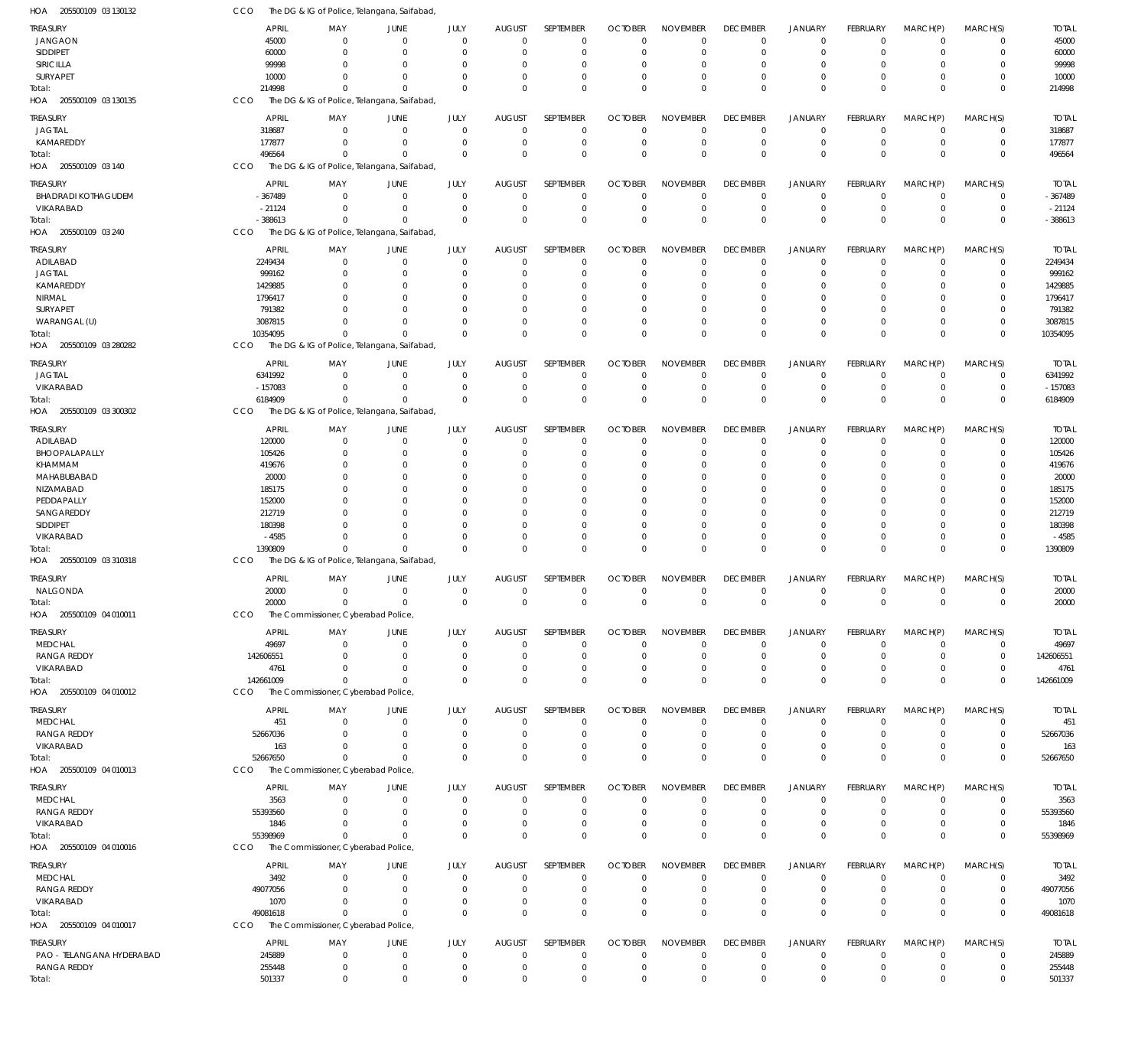| HOA<br>205500109 03 130132 | CCO          |                                     | The DG & IG of Police, Telangana, Saifabad  |             |               |                  |                |                 |                 |                |                 |              |             |              |
|----------------------------|--------------|-------------------------------------|---------------------------------------------|-------------|---------------|------------------|----------------|-----------------|-----------------|----------------|-----------------|--------------|-------------|--------------|
| <b>TREASURY</b>            | <b>APRIL</b> | MAY                                 | JUNE                                        | JULY        | <b>AUGUST</b> | SEPTEMBER        | <b>OCTOBER</b> | <b>NOVEMBER</b> | <b>DECEMBER</b> | <b>JANUARY</b> | FEBRUARY        | MARCH(P)     | MARCH(S)    | <b>TOTAL</b> |
| <b>JANGAON</b>             | 45000        | $\mathbf 0$                         | $\Omega$                                    | $\Omega$    | $\Omega$      | $\Omega$         | $\Omega$       | $\overline{0}$  | $\overline{0}$  | $\overline{0}$ | $\mathbf 0$     | $\mathbf 0$  | $\mathbf 0$ | 45000        |
| SIDDIPET                   | 60000        | $\mathbf 0$                         | 0                                           | $\mathbf 0$ | $\Omega$      | $\Omega$         | $\overline{0}$ | $\overline{0}$  | $\mathbf 0$     | $\overline{0}$ | $\mathbf 0$     | $^{\circ}$   | $\mathbf 0$ | 60000        |
| SIRICILLA                  | 99998        | $\mathbf 0$                         | $\Omega$                                    | $\Omega$    |               | $\Omega$         | $\Omega$       | $\mathbf 0$     | $\mathbf 0$     | -0             | $\Omega$        | 0            | $\mathbf 0$ | 99998        |
| SURYAPET                   | 10000        | $\Omega$                            | $\Omega$                                    | $\Omega$    | $\Omega$      | $\Omega$         | $\Omega$       | $\Omega$        | $\mathbf 0$     | $\Omega$       | $\mathbf 0$     | $\Omega$     | $\mathbf 0$ | 10000        |
|                            |              |                                     |                                             | $\Omega$    | $\Omega$      | $\Omega$         |                |                 |                 | $\Omega$       | $\Omega$        |              |             |              |
| Total:                     | 214998       | $\Omega$                            | $\Omega$                                    |             |               |                  | $\Omega$       | $\mathbf 0$     | $\mathbf 0$     |                |                 | $\Omega$     | $\mathbf 0$ | 214998       |
| HOA 205500109 03 130135    | CCO          |                                     | The DG & IG of Police, Telangana, Saifabad  |             |               |                  |                |                 |                 |                |                 |              |             |              |
| <b>TREASURY</b>            | <b>APRIL</b> | MAY                                 | JUNE                                        | JULY        | <b>AUGUST</b> | SEPTEMBER        | <b>OCTOBER</b> | <b>NOVEMBER</b> | <b>DECEMBER</b> | <b>JANUARY</b> | <b>FEBRUARY</b> | MARCH(P)     | MARCH(S)    | <b>TOTAL</b> |
| <b>JAGTIAL</b>             | 318687       | $\mathbf 0$                         | $\overline{0}$                              | $\mathbf 0$ | $\Omega$      | $\mathbf 0$      | $\overline{0}$ | $\mathbf 0$     | $\mathbf 0$     | $\overline{0}$ | $\mathbf 0$     | $\mathbf 0$  | $\mathbf 0$ | 318687       |
| KAMAREDDY                  | 177877       | $\mathbf 0$                         | 0                                           | $\mathbf 0$ | $\Omega$      | $\mathbf 0$      | $\overline{0}$ | $\overline{0}$  | $\mathbf 0$     | $\overline{0}$ | $\mathbf 0$     | $^{\circ}$   | $\mathbf 0$ | 177877       |
| Total:                     | 496564       | $\mathbf 0$                         | $\Omega$                                    | $\mathbf 0$ | $\Omega$      | $\Omega$         | $\mathbf{0}$   | $\mathbf 0$     | $\mathbf 0$     | $\overline{0}$ | $\mathbf 0$     | $\Omega$     | $\mathbf 0$ | 496564       |
| HOA 205500109 03 140       | CCO          |                                     | The DG & IG of Police, Telangana, Saifabad, |             |               |                  |                |                 |                 |                |                 |              |             |              |
|                            |              |                                     |                                             |             |               |                  |                |                 |                 |                |                 |              |             |              |
| TREASURY                   | <b>APRIL</b> | MAY                                 | JUNE                                        | JULY        | <b>AUGUST</b> | <b>SEPTEMBER</b> | <b>OCTOBER</b> | <b>NOVEMBER</b> | <b>DECEMBER</b> | <b>JANUARY</b> | <b>FEBRUARY</b> | MARCH(P)     | MARCH(S)    | <b>TOTAL</b> |
| <b>BHADRADI KOTHAGUDEM</b> | $-367489$    | $\mathbf 0$                         | $\mathbf{0}$                                | $\mathbf 0$ | $\Omega$      | $\Omega$         | $\Omega$       | $\overline{0}$  | $\overline{0}$  | $\overline{0}$ | $\mathbf 0$     | $\mathbf 0$  | $\mathbf 0$ | $-367489$    |
| VIKARABAD                  | $-21124$     | $\mathbf 0$                         | 0                                           | $\mathbf 0$ | $\Omega$      | $\mathbf 0$      | $^{\circ}$     | $\overline{0}$  | $\overline{0}$  | $\overline{0}$ | $\mathbf 0$     | $^{\circ}$   | 0           | $-21124$     |
| Total:                     | -388613      | $\Omega$                            | $\Omega$                                    | $\Omega$    | $\Omega$      | $\Omega$         | $\Omega$       | $\Omega$        | $\Omega$        | $\Omega$       | $\Omega$        | $\Omega$     | $\mathbf 0$ | -388613      |
| HOA 205500109 03 240       | CCO          |                                     | The DG & IG of Police, Telangana, Saifabad, |             |               |                  |                |                 |                 |                |                 |              |             |              |
| <b>TREASURY</b>            | <b>APRIL</b> | MAY                                 | JUNE                                        | JULY        | <b>AUGUST</b> | SEPTEMBER        | <b>OCTOBER</b> | <b>NOVEMBER</b> | <b>DECEMBER</b> | <b>JANUARY</b> | FEBRUARY        | MARCH(P)     | MARCH(S)    | <b>TOTAL</b> |
|                            |              |                                     |                                             |             | $\Omega$      | $\Omega$         |                |                 |                 |                |                 |              |             |              |
| ADILABAD                   | 2249434      | $\mathbf 0$                         | $\overline{0}$                              | $\mathbf 0$ |               |                  | $^{\circ}$     | $\mathbf 0$     | $^{\circ}$      | $\mathbf 0$    | $\mathbf 0$     | $^{\circ}$   | $\mathbf 0$ | 2249434      |
| <b>JAGTIAL</b>             | 999162       | $\mathbf 0$                         | 0                                           | $\mathbf 0$ |               | $\Omega$         | $^{\circ}$     | $\mathbf 0$     | $\mathbf 0$     | $\overline{0}$ | 0               | 0            | $\mathbf 0$ | 999162       |
| KAMAREDDY                  | 1429885      | $\mathbf 0$                         | 0                                           | $\Omega$    |               | $\Omega$         | $\Omega$       | $\Omega$        | 0               | $^{\circ}$     | 0               | 0            | $\mathbf 0$ | 1429885      |
| NIRMAL                     | 1796417      | $\mathbf 0$                         | 0                                           | $\Omega$    |               | $\Omega$         | $\Omega$       | $\Omega$        | 0               | $\Omega$       | $\Omega$        | $\Omega$     | $\mathbf 0$ | 1796417      |
| SURYAPET                   | 791382       | $\Omega$                            | 0                                           | $\Omega$    |               | $\Omega$         | $\Omega$       | $\Omega$        | $\Omega$        | $\Omega$       | $\mathbf 0$     | $\Omega$     | $\mathbf 0$ | 791382       |
| WARANGAL (U)               | 3087815      | $\mathbf 0$                         | $\Omega$                                    | $\Omega$    |               | $\Omega$         | $\Omega$       | $\overline{0}$  | 0               | $\overline{0}$ | $\mathbf 0$     | $\mathbf 0$  | $\mathbf 0$ | 3087815      |
| Total:                     | 10354095     | $\mathbf 0$                         | $\Omega$                                    | $\Omega$    |               | $\Omega$         | $\Omega$       | $\Omega$        | $\Omega$        | $\Omega$       | $\mathbf 0$     | $\Omega$     | $\mathbf 0$ | 10354095     |
| HOA 205500109 03 280282    | CCO          |                                     | The DG & IG of Police, Telangana, Saifabad, |             |               |                  |                |                 |                 |                |                 |              |             |              |
| <b>TREASURY</b>            | <b>APRIL</b> | MAY                                 | JUNE                                        | JULY        | <b>AUGUST</b> | SEPTEMBER        | <b>OCTOBER</b> | <b>NOVEMBER</b> | <b>DECEMBER</b> | <b>JANUARY</b> | FEBRUARY        | MARCH(P)     | MARCH(S)    | <b>TOTAL</b> |
| <b>JAGTIAL</b>             | 6341992      | $\mathbf 0$                         | 0                                           | $\mathbf 0$ | $\Omega$      | $\Omega$         | $\Omega$       | $\mathbf 0$     | $\overline{0}$  | $\overline{0}$ | $\mathbf 0$     | $^{\circ}$   | 0           | 6341992      |
|                            |              |                                     |                                             |             |               |                  |                |                 |                 |                |                 |              |             |              |
| VIKARABAD                  | $-157083$    | $\mathbf 0$                         | $\Omega$                                    | $\mathbf 0$ | $\Omega$      | $\mathbf 0$      | $\overline{0}$ | $\mathbf 0$     | $\overline{0}$  | $\overline{0}$ | $\mathbf 0$     | $\mathbf 0$  | $\mathbf 0$ | $-157083$    |
| Total:                     | 6184909      | $\mathbf 0$                         | $\Omega$                                    | $\Omega$    | $\Omega$      | $\Omega$         | $\mathbf{0}$   | $\mathbf 0$     | $\mathbf 0$     | $\overline{0}$ | $\mathbf 0$     | $\mathbf{0}$ | $\mathbf 0$ | 6184909      |
| HOA 205500109 03 300302    | CCO          |                                     | The DG & IG of Police, Telangana, Saifabad  |             |               |                  |                |                 |                 |                |                 |              |             |              |
| <b>TREASURY</b>            | <b>APRIL</b> | MAY                                 | JUNE                                        | JULY        | <b>AUGUST</b> | SEPTEMBER        | <b>OCTOBER</b> | <b>NOVEMBER</b> | <b>DECEMBER</b> | <b>JANUARY</b> | FEBRUARY        | MARCH(P)     | MARCH(S)    | <b>TOTAL</b> |
| ADILABAD                   | 120000       | $\mathbf 0$                         | 0                                           | $\mathbf 0$ | $\Omega$      | $\Omega$         | $^{\circ}$     | $\mathbf 0$     | $\overline{0}$  | $\overline{0}$ | 0               | -0           | $\mathbf 0$ | 120000       |
| BHOOPALAPALLY              | 105426       | $\mathbf 0$                         | $\Omega$                                    | $\Omega$    |               | $\Omega$         | $\Omega$       | $\Omega$        | $\mathbf 0$     | $\mathbf 0$    | $\mathbf 0$     | -0           | $\mathbf 0$ | 105426       |
| KHAMMAM                    | 419676       | $\mathbf 0$                         | 0                                           | $\Omega$    |               | $\Omega$         | $\Omega$       | $\mathbf 0$     | 0               | $\Omega$       | 0               | 0            | $\mathbf 0$ | 419676       |
|                            |              |                                     |                                             | $\Omega$    |               | $\Omega$         | $\Omega$       | $\Omega$        | $\Omega$        | $\Omega$       | $\Omega$        |              | $\mathbf 0$ |              |
| MAHABUBABAD                | 20000        | 0                                   | 0                                           |             |               |                  |                |                 |                 |                |                 | 0            |             | 20000        |
| NIZAMABAD                  | 185175       | $\mathbf 0$                         | 0                                           | $\Omega$    |               | $\Omega$         | $\Omega$       | $\Omega$        | $\Omega$        | $\Omega$       | $\Omega$        | $\Omega$     | $\mathbf 0$ | 185175       |
| PEDDAPALLY                 | 152000       | $\mathbf 0$                         | 0                                           | $\Omega$    |               | $\Omega$         | $\Omega$       | $\Omega$        | $\Omega$        | $\Omega$       | $\Omega$        | $\Omega$     | $\mathbf 0$ | 152000       |
| SANGAREDDY                 | 212719       | $\mathbf 0$                         | 0                                           | $\Omega$    |               | $\Omega$         | $\Omega$       | $\Omega$        | 0               | $\Omega$       | $\Omega$        | $\Omega$     | $\mathbf 0$ | 212719       |
| SIDDIPET                   | 180398       | $\Omega$                            | 0                                           | $\Omega$    |               | $\Omega$         | $\Omega$       | $\Omega$        | $\Omega$        | $\Omega$       | 0               | $\Omega$     | $\mathbf 0$ | 180398       |
| VIKARABAD                  | $-4585$      | $\mathbf 0$                         | $\Omega$                                    | $\mathbf 0$ | $\Omega$      | $\Omega$         | 0              | $\overline{0}$  | 0               | $\overline{0}$ | $\mathbf 0$     | $\mathbf 0$  | $\mathbf 0$ | $-4585$      |
| Total:                     | 1390809      | $\mathbf 0$                         | $\Omega$                                    | $\Omega$    | $\Omega$      | $\Omega$         | $\Omega$       | $\Omega$        | $\mathbf 0$     | $\overline{0}$ | $\mathbf 0$     | $\mathbf{0}$ | $\mathbf 0$ | 1390809      |
| HOA 205500109 03 310318    | CCO          |                                     | The DG & IG of Police, Telangana, Saifabad, |             |               |                  |                |                 |                 |                |                 |              |             |              |
|                            |              |                                     |                                             |             |               |                  |                |                 |                 |                |                 |              |             |              |
| <b>TREASURY</b>            | <b>APRIL</b> | MAY                                 | JUNE                                        | JULY        | <b>AUGUST</b> | SEPTEMBER        | <b>OCTOBER</b> | <b>NOVEMBER</b> | <b>DECEMBER</b> | <b>JANUARY</b> | FEBRUARY        | MARCH(P)     | MARCH(S)    | <b>TOTAL</b> |
| NALGONDA                   | 20000        | $\mathbf 0$                         | $\mathbf 0$                                 | $\mathbf 0$ | $\Omega$      | $\Omega$         | $\mathbf 0$    | $\mathbf 0$     | $\overline{0}$  | $\overline{0}$ | $\mathbf 0$     | $\mathbf 0$  | $\mathbf 0$ | 20000        |
| Total:                     | 20000        | $\mathbf 0$                         | $\mathbf 0$                                 | $\mathbf 0$ | $\mathbf{0}$  | $\mathbf 0$      | $\mathbf 0$    | $\mathbf 0$     | $\mathbf 0$     | $\overline{0}$ | $\mathbf 0$     | $\mathbf 0$  | $\mathbf 0$ | 20000        |
| HOA 205500109 04 010011    | CCO          | The Commissioner, Cyberabad Police, |                                             |             |               |                  |                |                 |                 |                |                 |              |             |              |
| <b>TREASURY</b>            | <b>APRIL</b> | MAY                                 | JUNE                                        | JULY        | <b>AUGUST</b> | SEPTEMBER        | <b>OCTOBER</b> | <b>NOVEMBER</b> | <b>DECEMBER</b> | <b>JANUARY</b> | FEBRUARY        | MARCH(P)     | MARCH(S)    | <b>TOTAL</b> |
| <b>MEDCHAL</b>             | 49697        | $\mathbf 0$                         | $\overline{0}$                              | $\mathbf 0$ | $\Omega$      | $\Omega$         | $\overline{0}$ | $\overline{0}$  | $\mathbf 0$     | $\overline{0}$ | $\mathbf 0$     | $\mathbf 0$  | $\mathbf 0$ | 49697        |
| RANGA REDDY                | 142606551    | $\mathbf 0$                         | 0                                           | $\mathbf 0$ | $\Omega$      | $\mathbf 0$      | $^{\circ}$     | $\overline{0}$  | $\overline{0}$  | $\overline{0}$ | 0               | $^{\circ}$   | $\mathbf 0$ | 142606551    |
| VIKARABAD                  | 4761         | $\mathbf 0$                         | 0                                           | $\mathbf 0$ | $\Omega$      | $\Omega$         | $^{\circ}$     | $\overline{0}$  | $\mathbf 0$     | $\overline{0}$ | 0               | $^{\circ}$   | $\mathbf 0$ | 4761         |
|                            | 142661009    | $\mathbf 0$                         | $\Omega$                                    | $\mathbf 0$ | $\Omega$      | $\Omega$         | $\mathbf 0$    | $\mathbf 0$     | $\mathbf 0$     | $\overline{0}$ | $\mathbf 0$     | $\Omega$     | $\mathbf 0$ | 142661009    |
| Total:                     |              |                                     |                                             |             |               |                  |                |                 |                 |                |                 |              |             |              |
| HOA 205500109 04 010012    | CCO          | The Commissioner, Cyberabad Police, |                                             |             |               |                  |                |                 |                 |                |                 |              |             |              |
| <b>TREASURY</b>            | <b>APRIL</b> | MAY                                 | JUNE                                        | JULY        | <b>AUGUST</b> | SEPTEMBER        | <b>OCTOBER</b> | <b>NOVEMBER</b> | <b>DECEMBER</b> | <b>JANUARY</b> | FEBRUARY        | MARCH(P)     | MARCH(S)    | <b>TOTAL</b> |
| <b>MEDCHAL</b>             | 451          | $\mathbf 0$                         | $^{\circ}$                                  | $\mathbf 0$ | $\Omega$      | $\Omega$         | $\overline{0}$ | $\mathbf 0$     | $\overline{0}$  | $\overline{0}$ | $\mathbf 0$     | $\mathbf 0$  | $\mathbf 0$ | 451          |
| <b>RANGA REDDY</b>         | 52667036     | $\mathbf 0$                         | 0                                           | $\mathbf 0$ | $\Omega$      | $\mathbf 0$      | $\Omega$       | $\overline{0}$  | $\overline{0}$  | $\overline{0}$ | $\mathbf 0$     | $^{\circ}$   | $\mathbf 0$ | 52667036     |
| VIKARABAD                  | 163          | $\mathbf 0$                         | $\Omega$                                    | $\mathbf 0$ | $\Omega$      | $\mathbf 0$      | $^{\circ}$     | $\mathbf 0$     | $\mathbf 0$     | $\overline{0}$ | $\mathbf 0$     | $^{\circ}$   | $\mathbf 0$ | 163          |
| Total:                     | 52667650     | $\mathbf 0$                         | $\Omega$                                    | $\mathbf 0$ | $\Omega$      | $\mathbf{0}$     | $\mathbf{0}$   | $\mathbf 0$     | $\mathbf 0$     | $\mathbf 0$    | $\mathbf 0$     | $\mathbf 0$  | $\mathbf 0$ | 52667650     |
| HOA 205500109 04 010013    | CCO          | The Commissioner, Cyberabad Police, |                                             |             |               |                  |                |                 |                 |                |                 |              |             |              |
|                            |              |                                     |                                             |             |               |                  |                |                 |                 |                |                 |              |             |              |
| <b>TREASURY</b>            | <b>APRIL</b> | MAY                                 | JUNE                                        | JULY        | <b>AUGUST</b> | SEPTEMBER        | <b>OCTOBER</b> | <b>NOVEMBER</b> | <b>DECEMBER</b> | <b>JANUARY</b> | <b>FEBRUARY</b> | MARCH(P)     | MARCH(S)    | <b>TOTAL</b> |
| MEDCHAL                    | 3563         | $\mathbf 0$                         | 0                                           | $\mathbf 0$ | $\Omega$      | 0                | $^{\circ}$     | $\mathbf 0$     | $\mathbf 0$     | $\overline{0}$ | $\mathbf 0$     | -0           | $\mathbf 0$ | 3563         |
| RANGA REDDY                | 55393560     | $\mathbf 0$                         | 0                                           | $\mathbf 0$ | $\Omega$      | $\mathbf 0$      | $^{\circ}$     | $\overline{0}$  | $\overline{0}$  | $\overline{0}$ | $\mathbf 0$     | $^{\circ}$   | $\mathbf 0$ | 55393560     |
| VIKARABAD                  | 1846         | $\mathbf 0$                         | $\Omega$                                    | $\mathbf 0$ | $\Omega$      | $\mathbf 0$      | $^{\circ}$     | $\mathbf 0$     | $\mathbf 0$     | $\overline{0}$ | $\mathbf 0$     | $^{\circ}$   | $\mathbf 0$ | 1846         |
| Total:                     | 55398969     | $\mathbf 0$                         | $\overline{0}$                              | $\mathbf 0$ | $\Omega$      | $\mathbf{0}$     | $\mathbf 0$    | $\mathbf 0$     | $\mathbf 0$     | $\overline{0}$ | $\mathbf 0$     | $\mathbf{0}$ | $\mathbf 0$ | 55398969     |
| HOA 205500109 04 010016    | CCO          | The Commissioner, Cyberabad Police, |                                             |             |               |                  |                |                 |                 |                |                 |              |             |              |
|                            |              |                                     |                                             |             |               |                  |                |                 |                 |                |                 |              |             |              |
| <b>TREASURY</b>            | <b>APRIL</b> | MAY                                 | JUNE                                        | JULY        | <b>AUGUST</b> | SEPTEMBER        | <b>OCTOBER</b> | <b>NOVEMBER</b> | <b>DECEMBER</b> | <b>JANUARY</b> | FEBRUARY        | MARCH(P)     | MARCH(S)    | <b>TOTAL</b> |
| <b>MEDCHAL</b>             | 3492         | $\mathbf 0$                         | 0                                           | $\mathbf 0$ | $\Omega$      | $\Omega$         | $\Omega$       | $\mathbf 0$     | $^{\circ}$      | $\overline{0}$ | $\mathbf 0$     | -0           | $^{\circ}$  | 3492         |
| <b>RANGA REDDY</b>         | 49077056     | $\mathbf 0$                         | 0                                           | $\mathbf 0$ | $\Omega$      | $\mathbf 0$      | $^{\circ}$     | $\mathbf 0$     | $\overline{0}$  | $\overline{0}$ | $\mathbf 0$     | $^{\circ}$   | $\mathbf 0$ | 49077056     |
| VIKARABAD                  | 1070         | $\mathbf 0$                         | 0                                           | $\mathbf 0$ | $\Omega$      | $\mathbf 0$      | $^{\circ}$     | $\mathbf 0$     | $\overline{0}$  | $\overline{0}$ | $\mathbf 0$     | $^{\circ}$   | $\mathbf 0$ | 1070         |
| Total:                     | 49081618     | $\mathbf 0$                         | $\Omega$                                    | $\mathbf 0$ | $\Omega$      | $\mathbf{0}$     | $\mathbf 0$    | $\mathbf 0$     | $\mathbf 0$     | $\overline{0}$ | $\mathbf 0$     | $\Omega$     | $\mathbf 0$ | 49081618     |
| HOA 205500109 04 010017    | CCO          | The Commissioner, Cyberabad Police, |                                             |             |               |                  |                |                 |                 |                |                 |              |             |              |
| <b>TREASURY</b>            | <b>APRIL</b> | MAY                                 | JUNE                                        | JULY        | <b>AUGUST</b> | SEPTEMBER        | <b>OCTOBER</b> | <b>NOVEMBER</b> | <b>DECEMBER</b> | <b>JANUARY</b> | FEBRUARY        | MARCH(P)     | MARCH(S)    | <b>TOTAL</b> |
| PAO - TELANGANA HYDERABAD  | 245889       | $\mathbf 0$                         | $\overline{0}$                              | $\mathbf 0$ | $\Omega$      | $\mathbf 0$      | $\overline{0}$ | $\mathbf 0$     | $\mathbf 0$     | $\overline{0}$ | $\mathbf 0$     | $\mathbf 0$  | $\mathbf 0$ | 245889       |
|                            |              |                                     |                                             |             |               | $\mathbf 0$      |                |                 | $\overline{0}$  |                |                 |              |             |              |
| RANGA REDDY                | 255448       | 0                                   | 0                                           | $\mathbf 0$ | $\mathbf{0}$  |                  | 0              | $\mathbf 0$     |                 | $\overline{0}$ | 0               | 0            | $\mathbf 0$ | 255448       |
| Total:                     | 501337       | $\mathbf 0$                         | $\mathbf{0}$                                | $\mathbf 0$ | $\Omega$      | $\mathbf 0$      | $\mathbf 0$    | $\mathbf 0$     | $\mathbf 0$     | $\mathbf 0$    | $\mathbf 0$     | $\mathbf{0}$ | $\mathbf 0$ | 501337       |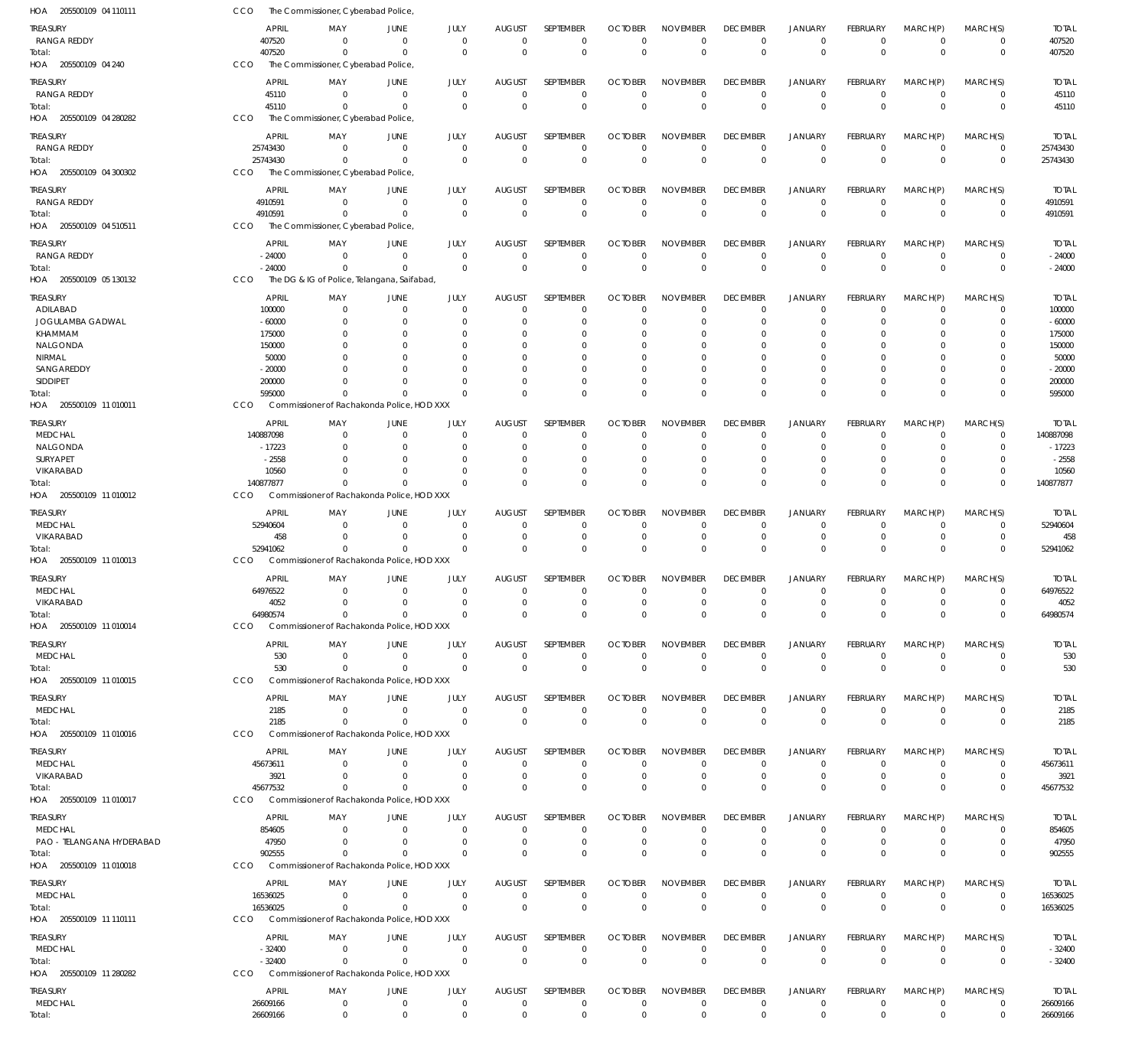| HOA 205500109 04 110111           | CCO                      | The Commissioner, Cyberabad Police,                       |                               |                         |                              |                  |                               |                            |                                |                               |                        |                            |                            |                   |
|-----------------------------------|--------------------------|-----------------------------------------------------------|-------------------------------|-------------------------|------------------------------|------------------|-------------------------------|----------------------------|--------------------------------|-------------------------------|------------------------|----------------------------|----------------------------|-------------------|
| TREASURY                          | <b>APRIL</b>             | MAY                                                       | JUNE                          | JULY                    | <b>AUGUST</b>                | SEPTEMBER        | <b>OCTOBER</b>                | <b>NOVEMBER</b>            | <b>DECEMBER</b>                | <b>JANUARY</b>                | FEBRUARY               | MARCH(P)                   | MARCH(S)                   | <b>TOTAL</b>      |
| <b>RANGA REDDY</b>                | 407520                   | $\mathbf 0$                                               | $\overline{0}$                | $\mathbf 0$             | $\mathbf 0$                  | $\mathbf 0$      | 0                             | $\mathbf 0$                | $\mathbf 0$                    | 0                             | $^{\circ}$             | $\overline{0}$             | $\mathbf 0$                | 407520            |
| Total:                            | 407520                   | $\Omega$                                                  | $\overline{0}$                | $\mathbf 0$             | $\mathbf 0$                  | $\mathbf 0$      | $\mathbf 0$                   | $\mathbb O$                | $\mathbf 0$                    | $\Omega$                      | $\Omega$               | $\Omega$                   | $\mathbf 0$                | 407520            |
| HOA 205500109 04 240              | CCO                      | The Commissioner, Cyberabad Police,                       |                               |                         |                              |                  |                               |                            |                                |                               |                        |                            |                            |                   |
| TREASURY                          | <b>APRIL</b>             | MAY                                                       | <b>JUNE</b>                   | JULY                    | <b>AUGUST</b>                | SEPTEMBER        | <b>OCTOBER</b>                | <b>NOVEMBER</b>            | <b>DECEMBER</b>                | <b>JANUARY</b>                | <b>FEBRUARY</b>        | MARCH(P)                   | MARCH(S)                   | <b>TOTAL</b>      |
| <b>RANGA REDDY</b>                | 45110                    | $\mathbf 0$                                               | $\overline{0}$                | $\mathbf 0$             | $\mathbf 0$                  | $\mathbf 0$      | $\mathbf 0$                   | $\mathbf 0$                | $\Omega$                       | $\mathbf 0$                   | $\Omega$               | $\Omega$                   | $\mathbf 0$                | 45110             |
| Total:                            | 45110                    | $\Omega$                                                  | $\overline{0}$                | $\mathbf 0$             | $\Omega$                     | $\mathbf 0$      | $\Omega$                      | $\mathbf 0$                | $\Omega$                       | $\Omega$                      | $\Omega$               | $\Omega$                   | $\mathbf 0$                | 45110             |
| HOA 205500109 04 280282           | CCO                      | The Commissioner, Cyberabad Police,                       |                               |                         |                              |                  |                               |                            |                                |                               |                        |                            |                            |                   |
|                                   |                          |                                                           |                               |                         |                              |                  |                               |                            |                                |                               |                        |                            |                            |                   |
| treasury                          | <b>APRIL</b>             | MAY                                                       | JUNE                          | JULY                    | <b>AUGUST</b>                | SEPTEMBER        | <b>OCTOBER</b>                | <b>NOVEMBER</b>            | <b>DECEMBER</b>                | <b>JANUARY</b>                | FEBRUARY               | MARCH(P)                   | MARCH(S)                   | <b>TOTAL</b>      |
| RANGA REDDY                       | 25743430                 | $\mathbf 0$                                               | $\overline{0}$                | $\mathbf 0$             | $\mathbf 0$                  | $\mathbf 0$      | $\mathbf 0$                   | $\mathbf 0$                | $\mathbf 0$                    | $\mathbf 0$                   | $\overline{0}$         | $\overline{0}$             | $\mathbf 0$                | 25743430          |
| Total:                            | 25743430                 | $\Omega$                                                  | $\overline{0}$                | $\mathbf 0$             | $\mathbf 0$                  | $\mathbf 0$      | $\mathbf 0$                   | $\mathbf 0$                | $\mathbf 0$                    | $\mathbf 0$                   | $\Omega$               | $\Omega$                   | $\mathbf 0$                | 25743430          |
| HOA 205500109 04 300302           | <b>CCO</b>               | The Commissioner, Cyberabad Police,                       |                               |                         |                              |                  |                               |                            |                                |                               |                        |                            |                            |                   |
| <b>TREASURY</b>                   | <b>APRIL</b>             | MAY                                                       | <b>JUNE</b>                   | JULY                    | <b>AUGUST</b>                | <b>SEPTEMBER</b> | <b>OCTOBER</b>                | <b>NOVEMBER</b>            | <b>DECEMBER</b>                | <b>JANUARY</b>                | FEBRUARY               | MARCH(P)                   | MARCH(S)                   | <b>TOTAL</b>      |
| RANGA REDDY                       | 4910591                  | $\Omega$                                                  | $\overline{0}$                | $\mathbf 0$             | $\mathbf 0$                  | $\mathbf 0$      | $\mathbf 0$                   | $\mathbf 0$                | $\mathbf 0$                    | 0                             | $\Omega$               | $\overline{0}$             | $\mathbf 0$                | 4910591           |
| Total:                            | 4910591                  | $\Omega$                                                  | $\Omega$                      | $\mathbf 0$             | $\mathbf 0$                  | $\mathbf 0$      | $\mathbf 0$                   | $\mathbf 0$                | $\mathbf{0}$                   | $\Omega$                      | $\Omega$               | $\mathbf 0$                | $\mathbf 0$                | 4910591           |
| HOA 205500109 04 510511           | CCO                      | The Commissioner, Cyberabad Police,                       |                               |                         |                              |                  |                               |                            |                                |                               |                        |                            |                            |                   |
| treasury                          | <b>APRIL</b>             | MAY                                                       | <b>JUNE</b>                   | JULY                    | <b>AUGUST</b>                | SEPTEMBER        | <b>OCTOBER</b>                | <b>NOVEMBER</b>            | <b>DECEMBER</b>                | <b>JANUARY</b>                | FEBRUARY               | MARCH(P)                   | MARCH(S)                   | <b>TOTAL</b>      |
| RANGA REDDY                       | $-24000$                 | $\mathbf 0$                                               | $\overline{0}$                | $\mathbf 0$             | $\mathbf 0$                  | $\mathbf 0$      | $\mathbf 0$                   | $\mathbf 0$                | $\mathbf 0$                    | $\mathbf 0$                   | $\Omega$               | $\overline{0}$             | $\mathbf 0$                | $-24000$          |
| Total:                            | $-24000$                 | $\mathbf 0$                                               | $\overline{0}$                | $\Omega$                | $\mathbf 0$                  | $\mathbf 0$      | $\mathbf 0$                   | $\mathbf 0$                | $\Omega$                       | $\Omega$                      | $\Omega$               | $\Omega$                   | $\mathbf 0$                | $-24000$          |
| HOA 205500109 05 130132           | CCO                      | The DG & IG of Police, Telangana, Saifabad,               |                               |                         |                              |                  |                               |                            |                                |                               |                        |                            |                            |                   |
| TREASURY                          | <b>APRIL</b>             | MAY                                                       | <b>JUNE</b>                   | JULY                    | <b>AUGUST</b>                | SEPTEMBER        | <b>OCTOBER</b>                | <b>NOVEMBER</b>            | <b>DECEMBER</b>                | <b>JANUARY</b>                | FEBRUARY               | MARCH(P)                   | MARCH(S)                   | <b>TOTAL</b>      |
| ADILABAD                          | 100000                   | $\mathbf 0$                                               | $\overline{0}$                | $\mathbf 0$             | $\mathbf 0$                  | 0                | $\Omega$                      | $\mathbf 0$                | $\Omega$                       | 0                             | $\Omega$               | $\Omega$                   | 0                          | 100000            |
| JOGULAMBA GADWAL                  | $-60000$                 | $\Omega$                                                  | $\overline{0}$                | $\Omega$                | $\Omega$                     | $\mathbf 0$      | $\Omega$                      | $\mathbf 0$                | $\Omega$                       | $\Omega$                      | $\Omega$               | $\Omega$                   | $\Omega$                   | $-60000$          |
| KHAMMAM                           | 175000                   | $\Omega$                                                  | $\Omega$                      | C                       | $\Omega$                     | 0                | O                             | $\Omega$                   | $\Omega$                       | $\Omega$                      |                        | $\Omega$                   | $\Omega$                   | 175000            |
| NALGONDA                          | 150000                   | $\Omega$                                                  | $\Omega$                      | 0                       | $\Omega$                     | $\mathbf 0$      | $\Omega$                      | $\mathbf 0$                | $\Omega$                       | $\Omega$                      |                        | $\Omega$                   | $\Omega$                   | 150000            |
| <b>NIRMAL</b>                     | 50000                    | $\Omega$                                                  | $\Omega$                      | C                       | $\Omega$                     | $\Omega$         | O                             | $\Omega$                   | $\Omega$                       | $\Omega$                      |                        | $\Omega$                   | $\Omega$                   | 50000             |
| SANGAREDDY                        | $-20000$                 | $\Omega$                                                  | $\Omega$                      | $\Omega$                | $\Omega$                     | $\Omega$         | O                             | $\Omega$                   | $\Omega$                       | $\Omega$                      | $\Omega$               | $\Omega$                   | $\Omega$                   | $-20000$          |
| SIDDIPET                          | 200000                   | $\Omega$                                                  | $\Omega$                      | $\Omega$                | $\mathbf 0$                  | $\mathbf 0$      | 0                             | $\mathbf 0$                | $\Omega$                       | $\mathbf 0$                   | $\Omega$               | $\overline{0}$             | 0                          | 200000            |
| Total:                            | 595000                   | $\Omega$                                                  | $\Omega$                      | $\Omega$                | $\Omega$                     | $\Omega$         | $\Omega$                      | $\Omega$                   | $\Omega$                       | $\Omega$                      | $\Omega$               | $\Omega$                   | $\Omega$                   | 595000            |
| HOA 205500109 11 010011           | CCO                      | Commissioner of Rachakonda Police, HOD XXX                |                               |                         |                              |                  |                               |                            |                                |                               |                        |                            |                            |                   |
| TREASURY                          | <b>APRIL</b>             | MAY                                                       | JUNE                          | JULY                    | <b>AUGUST</b>                | SEPTEMBER        | <b>OCTOBER</b>                | <b>NOVEMBER</b>            | <b>DECEMBER</b>                | <b>JANUARY</b>                | FEBRUARY               | MARCH(P)                   | MARCH(S)                   | <b>TOTAL</b>      |
| <b>MEDCHAL</b>                    | 140887098                | $\mathbf 0$                                               | $\overline{0}$                | $\mathbf 0$             | 0                            | $\mathbf 0$      | $\Omega$                      | $\mathbf 0$                | $\Omega$                       | $\Omega$                      | $\Omega$               | $\Omega$                   | $\mathbf 0$                | 140887098         |
| NALGONDA                          | $-17223$                 | 0                                                         | $\overline{0}$                | $\Omega$                | 0                            | $\mathbf 0$      | O                             | $\mathbf 0$                | 0                              | $\Omega$                      |                        | $\Omega$                   | $\mathbf 0$                | $-17223$          |
| SURYAPET                          | $-2558$                  | $\Omega$                                                  | $\Omega$                      | $\Omega$                | $\Omega$                     | 0                | O                             | $\mathbf 0$                | $\Omega$                       | $\Omega$                      |                        | $\Omega$                   | $\Omega$                   | $-2558$           |
| VIKARABAD                         | 10560                    | $\Omega$                                                  | $\Omega$                      | $\Omega$                | $\mathbf 0$                  | $\mathbf 0$      | $\Omega$                      | $\mathbf 0$                | $\Omega$                       | $\Omega$                      | $\Omega$               | $\Omega$                   | $\mathbf 0$                | 10560             |
| Total:                            | 140877877                | $\Omega$                                                  | $\Omega$                      | $\Omega$                | $\Omega$                     | $\mathbf 0$      | $\Omega$                      | $\Omega$                   | $\Omega$                       | $\Omega$                      | $\Omega$               | $\Omega$                   | $\mathbf 0$                | 140877877         |
| HOA 205500109 11 010012           | <b>CCO</b>               | Commissioner of Rachakonda Police, HOD XXX                |                               |                         |                              |                  |                               |                            |                                |                               |                        |                            |                            |                   |
| TREASURY                          | <b>APRIL</b>             | MAY                                                       | <b>JUNE</b>                   | JULY                    | <b>AUGUST</b>                | SEPTEMBER        | <b>OCTOBER</b>                | <b>NOVEMBER</b>            | <b>DECEMBER</b>                | <b>JANUARY</b>                | FEBRUARY               | MARCH(P)                   | MARCH(S)                   | <b>TOTAL</b>      |
| <b>MEDCHAL</b>                    | 52940604                 | $\mathbf 0$                                               | $\overline{0}$                | $\mathbf 0$             | $\mathbf 0$                  | 0                | $\Omega$                      | $\Omega$                   | $\Omega$                       | $\Omega$                      | $\Omega$               | $\Omega$                   | 0                          | 52940604          |
| VIKARABAD                         | 458                      | $\Omega$                                                  | $\overline{0}$                | $\Omega$                | $\mathbf 0$                  | $\mathbf 0$      | 0                             | $\mathbf 0$                | $\Omega$                       | $\Omega$                      | $\Omega$               | $\Omega$                   | $\mathbf 0$                | 458               |
| Total:                            | 52941062                 | $\Omega$                                                  | $\Omega$                      | $\Omega$                | $\mathbf 0$                  | $\mathbf 0$      | $\Omega$                      | $\mathbf 0$                | $\Omega$                       | $\Omega$                      | $\Omega$               | $\Omega$                   | $\mathbf 0$                | 52941062          |
| HOA 205500109 11 010013           | <b>CCO</b>               | Commissioner of Rachakonda Police, HOD XXX                |                               |                         |                              |                  |                               |                            |                                |                               |                        |                            |                            |                   |
|                                   |                          |                                                           |                               |                         |                              | <b>SEPTEMBER</b> |                               | <b>NOVEMBER</b>            |                                |                               | <b>FEBRUARY</b>        |                            |                            |                   |
| TREASURY<br><b>MEDCHAL</b>        | <b>APRIL</b><br>64976522 | MAY<br>$\mathbf 0$                                        | <b>JUNE</b><br>$\overline{0}$ | JULY<br>$\mathbf 0$     | <b>AUGUST</b><br>$\mathbf 0$ | $\mathbf 0$      | <b>OCTOBER</b><br>$\mathbf 0$ | $\mathbf 0$                | <b>DECEMBER</b><br>$\mathbf 0$ | <b>JANUARY</b><br>$\mathbf 0$ | $^{\circ}$             | MARCH(P)<br>$\overline{0}$ | MARCH(S)<br>$\mathbf 0$    | Total<br>64976522 |
| VIKARABAD                         | 4052                     |                                                           | $\bigcap$                     | $\cap$                  | $\Omega$                     | $\mathbf{0}$     | $\bigcap$                     | $\cap$                     | $\cap$                         | $\cap$                        | $\cap$                 | $\cap$                     | $\Omega$                   | 4052              |
| Total:                            | 64980574                 | $\mathbf 0$                                               | $\Omega$                      | $\Omega$                | $\mathbf 0$                  | $\mathbf 0$      | $\Omega$                      | $\Omega$                   | $\Omega$                       | $\Omega$                      | $\Omega$               | $\Omega$                   | $\mathbf 0$                | 64980574          |
| HOA 205500109 11 010014           | <b>CCO</b>               | Commissioner of Rachakonda Police, HOD XXX                |                               |                         |                              |                  |                               |                            |                                |                               |                        |                            |                            |                   |
|                                   |                          |                                                           |                               |                         |                              |                  |                               |                            |                                |                               |                        |                            |                            |                   |
| <b>TREASURY</b>                   | <b>APRIL</b>             | MAY                                                       | <b>JUNE</b>                   | JULY                    | <b>AUGUST</b>                | <b>SEPTEMBER</b> | <b>OCTOBER</b>                | <b>NOVEMBER</b>            | <b>DECEMBER</b>                | <b>JANUARY</b>                | <b>FEBRUARY</b>        | MARCH(P)                   | MARCH(S)                   | <b>TOTAL</b>      |
| <b>MEDCHAL</b>                    | 530                      | $\mathbf 0$                                               | $^{\circ}$                    | $\mathbf 0$             | $\mathbf 0$                  | $\mathbf 0$      | $\mathbf 0$                   | $\mathbf 0$                | $\mathbf 0$                    | 0                             | $^{\circ}$             | $^{\circ}$                 | $\mathbf 0$                | 530               |
| Total:                            | 530<br>CCO               | $\Omega$<br>Commissioner of Rachakonda Police, HOD XXX    | $\overline{0}$                | $\Omega$                | $\mathbf 0$                  | $\mathbf 0$      | $\mathbf 0$                   | $\mathbb O$                | $\mathbf 0$                    | $\mathbf 0$                   | $\mathbf 0$            | $\mathbf 0$                | $\mathbf 0$                | 530               |
| HOA 205500109 11 010015           |                          |                                                           |                               |                         |                              |                  |                               |                            |                                |                               |                        |                            |                            |                   |
| <b>TREASURY</b>                   | <b>APRIL</b>             | MAY                                                       | JUNE                          | JULY                    | <b>AUGUST</b>                | SEPTEMBER        | <b>OCTOBER</b>                | <b>NOVEMBER</b>            | <b>DECEMBER</b>                | <b>JANUARY</b>                | FEBRUARY               | MARCH(P)                   | MARCH(S)                   | <b>TOTAL</b>      |
| <b>MEDCHAL</b>                    | 2185                     | $\mathbf 0$                                               | $\overline{0}$                | $\mathbf 0$             | $\mathbf 0$                  | $\mathbf 0$      | $\mathbf 0$                   | $\mathbf 0$                | $\mathbf 0$                    | $\mathbf 0$                   | $\Omega$               | $^{\circ}$                 | $\mathbf 0$                | 2185              |
| Total:                            | 2185                     | $\mathbf 0$                                               | $\overline{0}$                | $\Omega$                | $\mathbf 0$                  | $\mathbf 0$      | $\mathbf 0$                   | $\mathbb O$                | $\mathbf 0$                    | $\mathbf 0$                   | $\Omega$               | $\Omega$                   | $\mathbf 0$                | 2185              |
| HOA 205500109 11 010016           | CCO                      | Commissioner of Rachakonda Police, HOD XXX                |                               |                         |                              |                  |                               |                            |                                |                               |                        |                            |                            |                   |
| <b>TREASURY</b>                   | <b>APRIL</b>             | MAY                                                       | JUNE                          | JULY                    | <b>AUGUST</b>                | SEPTEMBER        | <b>OCTOBER</b>                | <b>NOVEMBER</b>            | <b>DECEMBER</b>                | <b>JANUARY</b>                | FEBRUARY               | MARCH(P)                   | MARCH(S)                   | <b>TOTAL</b>      |
| <b>MEDCHAL</b>                    | 45673611                 | $\Omega$                                                  | $\overline{0}$                | $\Omega$                | $\mathbf 0$                  | $\mathbf 0$      | $\Omega$                      | $\Omega$                   | $\mathbf 0$                    | $\mathbf 0$                   | $\Omega$               | $\Omega$                   | 0                          | 45673611          |
| VIKARABAD                         | 3921                     | $\Omega$                                                  | $\Omega$                      | $\Omega$                | $\mathbf 0$                  | $\mathbf 0$      | 0                             | $\mathbf 0$                | $\mathbf 0$                    | $\mathbf 0$                   | $^{\circ}$             | $\Omega$                   | $\mathbf 0$                | 3921              |
| Total:                            | 45677532                 | $\Omega$                                                  | $\Omega$                      | $\Omega$                | $\Omega$                     | $\mathbf 0$      | $\Omega$                      | $\mathbf 0$                | $\Omega$                       | $\Omega$                      | $\Omega$               | $\mathbf 0$                | $\mathbf 0$                | 45677532          |
| HOA 205500109 11 010017           | <b>CCO</b>               | Commissioner of Rachakonda Police, HOD XXX                |                               |                         |                              |                  |                               |                            |                                |                               |                        |                            |                            |                   |
| TREASURY                          | <b>APRIL</b>             | MAY                                                       | JUNE                          | JULY                    | <b>AUGUST</b>                | SEPTEMBER        | <b>OCTOBER</b>                | <b>NOVEMBER</b>            | <b>DECEMBER</b>                | <b>JANUARY</b>                | FEBRUARY               | MARCH(P)                   | MARCH(S)                   | <b>TOTAL</b>      |
| <b>MEDCHAL</b>                    | 854605                   | $\mathbf 0$                                               | $\overline{0}$                | $\mathbf 0$             | $\mathbf 0$                  | $\mathbf 0$      | 0                             | $\mathbf 0$                | $\mathbf 0$                    | $\mathbf 0$                   | $\Omega$               | $\Omega$                   | $\mathbf 0$                | 854605            |
| PAO - TELANGANA HYDERABAD         | 47950                    | $\mathbf 0$                                               | $\overline{0}$                | $\mathbf 0$             | $\mathbf 0$                  | $\mathbf 0$      | $\mathbf 0$                   | $\mathbf 0$                | $\mathbf 0$                    | $\mathbf 0$                   | $\Omega$               | $\Omega$                   | $\mathbf 0$                | 47950             |
| Total:                            | 902555                   | $\Omega$                                                  | $\Omega$                      | $\Omega$                | $\Omega$                     | $\mathbf 0$      | $\Omega$                      | $\mathbf 0$                | $\Omega$                       | $\Omega$                      | $\Omega$               | $\Omega$                   | $\mathbf 0$                | 902555            |
| HOA 205500109 11 010018           | <b>CCO</b>               | Commissioner of Rachakonda Police, HOD XXX                |                               |                         |                              |                  |                               |                            |                                |                               |                        |                            |                            |                   |
| <b>TREASURY</b>                   | <b>APRIL</b>             | MAY                                                       | JUNE                          | JULY                    | <b>AUGUST</b>                | SEPTEMBER        | <b>OCTOBER</b>                | <b>NOVEMBER</b>            | <b>DECEMBER</b>                | <b>JANUARY</b>                | <b>FEBRUARY</b>        | MARCH(P)                   | MARCH(S)                   | <b>TOTAL</b>      |
| <b>MEDCHAL</b>                    | 16536025                 | $\Omega$                                                  | $\overline{0}$                | $\mathbf 0$             | $\mathbf 0$                  | $\mathbf 0$      | $\mathbf 0$                   | $\mathbf 0$                | $\mathbf 0$                    | 0                             | $^{\circ}$             | $^{\circ}$                 | $\mathbf 0$                | 16536025          |
| Total:                            | 16536025                 | $\Omega$                                                  | $\overline{0}$                | $\Omega$                | $\mathbf 0$                  | $\mathbf 0$      | $\mathbf 0$                   | $\mathbb O$                | $\mathbf 0$                    | $\mathbf 0$                   | $\Omega$               | $\mathbf 0$                | $\mathbf 0$                | 16536025          |
| HOA 205500109 11 110111           | CCO                      | Commissioner of Rachakonda Police, HOD XXX                |                               |                         |                              |                  |                               |                            |                                |                               |                        |                            |                            |                   |
|                                   |                          |                                                           |                               |                         |                              |                  |                               |                            |                                |                               |                        |                            |                            |                   |
| <b>TREASURY</b>                   | <b>APRIL</b>             | MAY                                                       | JUNE                          | JULY                    | <b>AUGUST</b>                | SEPTEMBER        | <b>OCTOBER</b>                | <b>NOVEMBER</b>            | <b>DECEMBER</b>                | <b>JANUARY</b>                | <b>FEBRUARY</b>        | MARCH(P)                   | MARCH(S)                   | <b>TOTAL</b>      |
| <b>MEDCHAL</b>                    | $-32400$                 | $\mathbf 0$                                               | $\overline{0}$                | $\mathbf 0$<br>$\Omega$ | $\mathbf 0$                  | $\mathbf 0$      | 0                             | $\mathbf 0$<br>$\mathbb O$ | $\overline{0}$                 | $\mathbf 0$                   | $^{\circ}$<br>$\Omega$ | $\overline{0}$<br>$\Omega$ | $\mathbf 0$<br>$\mathbf 0$ | $-32400$          |
| Total:<br>HOA 205500109 11 280282 | $-32400$<br><b>CCO</b>   | $\mathbf 0$<br>Commissioner of Rachakonda Police, HOD XXX | $\overline{0}$                |                         | $\mathbf 0$                  | $\mathbf 0$      | $\mathbf 0$                   |                            | $\mathbf 0$                    | $\mathbf 0$                   |                        |                            |                            | $-32400$          |
|                                   |                          |                                                           |                               |                         |                              |                  |                               |                            |                                |                               |                        |                            |                            |                   |
| <b>TREASURY</b>                   | <b>APRIL</b>             | MAY                                                       | JUNE                          | JULY                    | <b>AUGUST</b>                | SEPTEMBER        | <b>OCTOBER</b>                | <b>NOVEMBER</b>            | <b>DECEMBER</b>                | <b>JANUARY</b>                | <b>FEBRUARY</b>        | MARCH(P)                   | MARCH(S)                   | Total             |
| <b>MEDCHAL</b>                    | 26609166                 | $\mathbf 0$                                               | $\overline{0}$                | $\mathbf 0$             | $\mathbf 0$                  | $\mathbf 0$      | $\mathbf 0$                   | $\mathbf 0$                | $\mathbf 0$                    | $\mathbf 0$                   | $\mathbf 0$            | $\overline{0}$             | 0                          | 26609166          |
| Total:                            | 26609166                 | $\mathbf 0$                                               | $\overline{0}$                | $\mathbf 0$             | $\mathbf 0$                  | $\mathbf 0$      | $\mathbf 0$                   | $\mathbf 0$                | $\mathbf 0$                    | $\mathbf 0$                   | $\mathbf 0$            | $\mathbf 0$                | $\mathbf 0$                | 26609166          |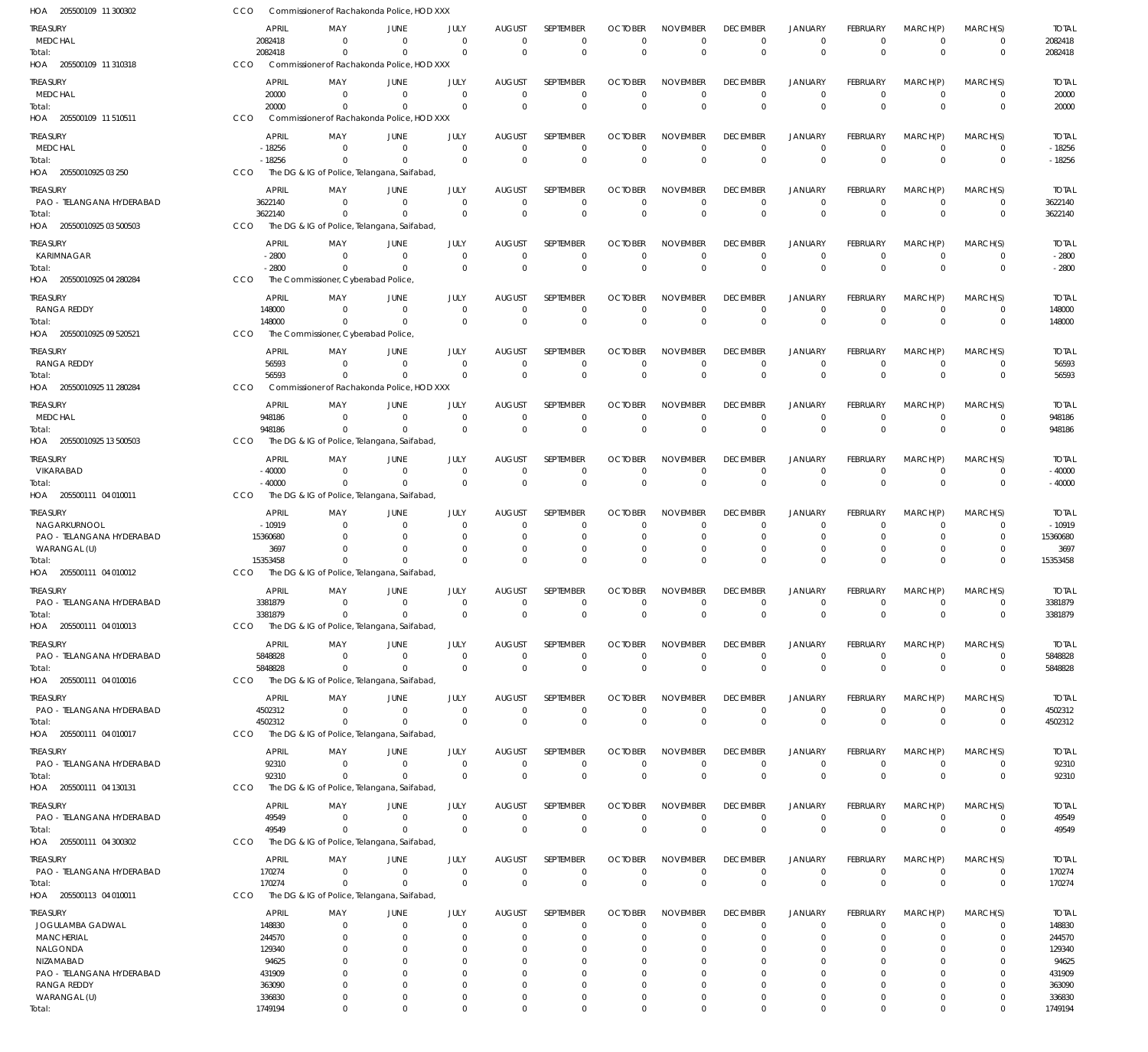| HOA 205500109 11 300302                      | CCO                     |                                     | Commissioner of Rachakonda Police, HOD XXX  |                      |                         |                            |                            |                                |                             |                               |                             |                         |                          |                         |
|----------------------------------------------|-------------------------|-------------------------------------|---------------------------------------------|----------------------|-------------------------|----------------------------|----------------------------|--------------------------------|-----------------------------|-------------------------------|-----------------------------|-------------------------|--------------------------|-------------------------|
| <b>TREASURY</b>                              | <b>APRIL</b>            | MAY                                 | JUNE                                        | JULY                 | AUGUST                  | SEPTEMBER                  | <b>OCTOBER</b>             | <b>NOVEMBER</b>                | <b>DECEMBER</b>             | <b>JANUARY</b>                | <b>FEBRUARY</b>             | MARCH(P)                | MARCH(S)                 | <b>TOTAL</b>            |
| MEDCHAL                                      | 2082418                 | $\Omega$                            | $\overline{0}$                              | $\Omega$             | $\mathbf 0$             | $\mathbf 0$                | $\Omega$                   | $\mathbf 0$                    | $\overline{0}$              | $\mathbf 0$                   | $\mathbf 0$                 | $\mathbf 0$             | 0                        | 2082418                 |
| Total:                                       | 2082418                 | $\Omega$                            | $\Omega$                                    | $\Omega$             | $\Omega$                | $\mathbf 0$                | $\Omega$                   | $\mathbf{0}$                   | $\overline{0}$              | $\Omega$                      | $\mathbf 0$                 | $\Omega$                | $\overline{0}$           | 2082418                 |
| HOA 205500109 11 310318                      | CCO                     |                                     | Commissioner of Rachakonda Police, HOD XXX  |                      |                         |                            |                            |                                |                             |                               |                             |                         |                          |                         |
| TREASURY                                     | <b>APRIL</b>            | MAY                                 | <b>JUNE</b>                                 | JULY                 | <b>AUGUST</b>           | SEPTEMBER                  | <b>OCTOBER</b>             | <b>NOVEMBER</b>                | <b>DECEMBER</b>             | <b>JANUARY</b>                | <b>FEBRUARY</b>             | MARCH(P)                | MARCH(S)                 | <b>TOTAL</b>            |
| MEDCHAL                                      | 20000                   | $\Omega$                            | $\Omega$                                    | $\Omega$             | $\Omega$                | $\mathbf 0$                | $\Omega$                   | $\Omega$                       | $\Omega$                    | $\Omega$                      | $\Omega$                    | $\overline{0}$          | $\overline{0}$           | 20000                   |
| Total:                                       | 20000                   | $\Omega$                            | $\Omega$                                    | $\Omega$             | $\Omega$                | $\mathbf 0$                | $\Omega$                   | $\Omega$                       | $\Omega$                    | $\Omega$                      | $\Omega$                    | $\Omega$                | $\overline{0}$           | 20000                   |
| HOA 205500109 11 510511                      | CCO                     |                                     | Commissioner of Rachakonda Police, HOD XXX  |                      |                         |                            |                            |                                |                             |                               |                             |                         |                          |                         |
| <b>TREASURY</b>                              | APRIL                   | MAY                                 | JUNE                                        | JULY                 | AUGUST                  | SEPTEMBER                  | <b>OCTOBER</b>             | <b>NOVEMBER</b>                | <b>DECEMBER</b>             | <b>JANUARY</b>                | FEBRUARY                    | MARCH(P)                | MARCH(S)                 | <b>TOTAL</b>            |
| <b>MEDCHAL</b>                               | $-18256$                | $\Omega$                            | $\mathbf{0}$                                | $\Omega$             | $\mathbf 0$             | $\mathbf 0$                | $\mathbf 0$                | $\mathbf 0$                    | $\Omega$                    | $\mathbf 0$                   | $^{\circ}$                  | $\mathbf 0$             | $^{\circ}$               | $-18256$                |
| Total:<br>HOA 20550010925 03 250             | $-18256$<br>CCO         | $\Omega$                            | $\Omega$                                    | $\Omega$             | $\Omega$                | $\mathbf 0$                | $\Omega$                   | $\mathbf{0}$                   | $\Omega$                    | $\Omega$                      | $\mathbf 0$                 | $\Omega$                | $\overline{0}$           | $-18256$                |
|                                              |                         |                                     | The DG & IG of Police, Telangana, Saifabad, |                      |                         |                            |                            |                                |                             |                               |                             |                         |                          |                         |
| <b>TREASURY</b>                              | APRIL                   | MAY                                 | JUNE                                        | JULY                 | AUGUST                  | SEPTEMBER                  | <b>OCTOBER</b>             | <b>NOVEMBER</b>                | <b>DECEMBER</b>             | <b>JANUARY</b>                | <b>FEBRUARY</b>             | MARCH(P)                | MARCH(S)                 | <b>TOTAL</b>            |
| PAO - TELANGANA HYDERABAD                    | 3622140<br>3622140      | $\Omega$<br>$\Omega$                | $\Omega$<br>$\Omega$                        | $\Omega$<br>$\Omega$ | $\Omega$<br>$\mathbf 0$ | $\mathbf 0$<br>$\mathbf 0$ | $\Omega$<br>$\mathbf 0$    | $\Omega$<br>$\Omega$           | $\overline{0}$<br>$\Omega$  | $\Omega$<br>$\mathbf 0$       | $\Omega$<br>$\Omega$        | $\Omega$<br>$\Omega$    | $^{\circ}$<br>$^{\circ}$ | 3622140<br>3622140      |
| Total:<br>HOA 20550010925 03 500503          | <b>CCO</b>              |                                     | The DG & IG of Police, Telangana, Saifabad, |                      |                         |                            |                            |                                |                             |                               |                             |                         |                          |                         |
|                                              |                         |                                     |                                             |                      |                         |                            |                            |                                |                             |                               |                             |                         |                          |                         |
| TREASURY<br>KARIMNAGAR                       | APRIL<br>$-2800$        | MAY<br>0                            | JUNE<br>$\mathbf 0$                         | JULY<br>$\Omega$     | AUGUST<br>$\mathbf 0$   | SEPTEMBER<br>$\mathbf 0$   | <b>OCTOBER</b><br>$\Omega$ | <b>NOVEMBER</b><br>$\mathbf 0$ | <b>DECEMBER</b><br>$\Omega$ | <b>JANUARY</b><br>$\mathbf 0$ | FEBRUARY<br>$\Omega$        | MARCH(P)<br>$\mathbf 0$ | MARCH(S)<br>$^{\circ}$   | <b>TOTAL</b><br>$-2800$ |
| Total:                                       | $-2800$                 | $\Omega$                            | $\Omega$                                    | $\Omega$             | $\Omega$                | $\mathbf 0$                | $\Omega$                   | $\Omega$                       | $\Omega$                    | $\Omega$                      | $\Omega$                    | $\Omega$                | $\mathbf 0$              | $-2800$                 |
| HOA 20550010925 04 280284                    | CCO                     | The Commissioner, Cyberabad Police, |                                             |                      |                         |                            |                            |                                |                             |                               |                             |                         |                          |                         |
| <b>TREASURY</b>                              | APRIL                   | MAY                                 | JUNE                                        | JULY                 | <b>AUGUST</b>           | SEPTEMBER                  | <b>OCTOBER</b>             | <b>NOVEMBER</b>                | <b>DECEMBER</b>             | <b>JANUARY</b>                | <b>FEBRUARY</b>             | MARCH(P)                | MARCH(S)                 | <b>TOTAL</b>            |
| RANGA REDDY                                  | 148000                  | $\Omega$                            | $\Omega$                                    | $\Omega$             | $\Omega$                | $\mathbf 0$                | $\Omega$                   | $\mathbf 0$                    | $\Omega$                    | $\Omega$                      | $\Omega$                    | $\Omega$                | $\mathbf 0$              | 148000                  |
| Total:                                       | 148000                  | $\Omega$                            | $\Omega$                                    | $\Omega$             | $\Omega$                | $\mathbf 0$                | $\Omega$                   | $\mathbf 0$                    | $\Omega$                    | $\Omega$                      | $\Omega$                    | $\Omega$                | $\overline{0}$           | 148000                  |
| HOA 20550010925 09 520521                    | CCO                     | The Commissioner, Cyberabad Police, |                                             |                      |                         |                            |                            |                                |                             |                               |                             |                         |                          |                         |
| <b>TREASURY</b>                              | <b>APRIL</b>            | MAY                                 | JUNE                                        | JULY                 | <b>AUGUST</b>           | SEPTEMBER                  | <b>OCTOBER</b>             | <b>NOVEMBER</b>                | <b>DECEMBER</b>             | <b>JANUARY</b>                | FEBRUARY                    | MARCH(P)                | MARCH(S)                 | <b>TOTAL</b>            |
| RANGA REDDY                                  | 56593                   | $\Omega$                            | $\Omega$                                    | $\Omega$             | $\mathbf 0$             | $\mathbf 0$                | 0                          | $\mathbf 0$                    | $\Omega$                    | $\mathbf 0$                   | $^{\circ}$                  | $\mathbf 0$             | $^{\circ}$               | 56593                   |
| Total:                                       | 56593                   | $\Omega$                            | $\Omega$                                    | $\Omega$             | $\Omega$                | $\mathbf 0$                | $\Omega$                   | $\Omega$                       | $\Omega$                    | $\Omega$                      | $\Omega$                    | $\Omega$                | $\mathbf 0$              | 56593                   |
| HOA 20550010925 11 280284                    | CCO                     |                                     | Commissioner of Rachakonda Police, HOD XXX  |                      |                         |                            |                            |                                |                             |                               |                             |                         |                          |                         |
| <b>TREASURY</b>                              | APRIL                   | MAY                                 | JUNE                                        | JULY                 | AUGUST                  | SEPTEMBER                  | <b>OCTOBER</b>             | <b>NOVEMBER</b>                | <b>DECEMBER</b>             | <b>JANUARY</b>                | <b>FEBRUARY</b>             | MARCH(P)                | MARCH(S)                 | <b>TOTAL</b>            |
| MEDCHAL                                      | 948186                  | $\Omega$                            | $\Omega$                                    | $\Omega$             | $\Omega$                | $\mathbf 0$                | $\Omega$                   | $\Omega$                       | $\Omega$                    | $\Omega$                      | $\Omega$                    | $\Omega$                | $\mathbf 0$              | 948186                  |
| Total:                                       | 948186                  | $\Omega$                            | $\overline{0}$                              | $\Omega$             | $\Omega$                | $\mathbf 0$                | $\mathbf 0$                | $\mathbf 0$                    | $\Omega$                    | $\mathbf 0$                   | $\Omega$                    | $\Omega$                | $\overline{0}$           | 948186                  |
| HOA 20550010925 13 500503                    | CCO                     |                                     | The DG & IG of Police, Telangana, Saifabad, |                      |                         |                            |                            |                                |                             |                               |                             |                         |                          |                         |
| TREASURY                                     | APRIL                   | MAY                                 | JUNE                                        | JULY                 | AUGUST                  | SEPTEMBER                  | <b>OCTOBER</b>             | <b>NOVEMBER</b>                | <b>DECEMBER</b>             | <b>JANUARY</b>                | FEBRUARY                    | MARCH(P)                | MARCH(S)                 | <b>TOTAL</b>            |
| VIKARABAD                                    | $-40000$                | $\mathbf 0$                         | $\mathbf 0$                                 | $\Omega$             | $\mathbf 0$             | $\mathbf 0$                | 0                          | $\mathbf 0$                    | $\Omega$                    | $\mathbf 0$                   | $\Omega$                    | 0                       | $^{\circ}$               | $-40000$                |
| Total:                                       | $-40000$                | $\Omega$                            | $\Omega$                                    | $\Omega$             | $\overline{0}$          | $\mathbf 0$                | $\mathbf 0$                | $\mathbf 0$                    | $\Omega$                    | $\Omega$                      | $\Omega$                    | $\Omega$                | $\overline{0}$           | $-40000$                |
| HOA 205500111 04 010011                      | CCO                     |                                     | The DG & IG of Police, Telangana, Saifabad, |                      |                         |                            |                            |                                |                             |                               |                             |                         |                          |                         |
| <b>TREASURY</b>                              | APRIL                   | MAY                                 | JUNE                                        | JULY                 | AUGUST                  | SEPTEMBER                  | <b>OCTOBER</b>             | <b>NOVEMBER</b>                | <b>DECEMBER</b>             | <b>JANUARY</b>                | <b>FEBRUARY</b>             | MARCH(P)                | MARCH(S)                 | <b>TOTAL</b>            |
| NAGARKURNOOL                                 | $-10919$                | $\Omega$                            | $\Omega$                                    | $\Omega$             | $\Omega$                | $\Omega$                   | $\Omega$                   | $\Omega$                       | $\Omega$                    | $\Omega$                      | $\Omega$                    | $\Omega$                | $\Omega$                 | $-10919$                |
| PAO - TELANGANA HYDERABAD                    | 15360680                | $\Omega$                            | $\Omega$                                    | $\Omega$             | $\Omega$                | $\Omega$                   | $\Omega$                   | $\Omega$                       | $\Omega$                    | $\Omega$                      | $\Omega$                    | $\Omega$                | $\Omega$                 | 15360680                |
| WARANGAL (U)<br>Total:                       | 3697<br>15353458        | $\Omega$<br>$\Omega$                | $\Omega$<br>$\Omega$                        | O<br>$\Omega$        | $\Omega$<br>$\Omega$    | $\mathbf 0$<br>$\Omega$    | $\Omega$<br>$\Omega$       | $\Omega$<br>$\Omega$           | $\Omega$<br>$\Omega$        | $\mathbf 0$<br>$\Omega$       | $\Omega$<br>$\Omega$        | 0<br>$\Omega$           | 0<br>$\Omega$            | 3697<br>15353458        |
| HOA 205500111 04 010012                      | CCO                     |                                     | The DG & IG of Police, Telangana, Saifabad, |                      |                         |                            |                            |                                |                             |                               |                             |                         |                          |                         |
|                                              |                         |                                     |                                             |                      |                         |                            |                            |                                |                             |                               |                             |                         |                          |                         |
| <b>TREASURY</b><br>PAO - TELANGANA HYDERABAD | <b>APRIL</b><br>3381879 | MAY<br>$\Omega$                     | JUNE<br>$\Omega$                            | JULY<br>$\Omega$     | AUGUST<br>$\Omega$      | SEPTEMBER<br>$\Omega$      | <b>OCTOBER</b><br>$\Omega$ | <b>NOVEMBER</b><br>$\Omega$    | <b>DECEMBER</b><br>$\Omega$ | <b>JANUARY</b><br>$\Omega$    | <b>FEBRUARY</b><br>$\Omega$ | MARCH(P)<br>$\Omega$    | MARCH(S)                 | <b>TOTAL</b><br>3381879 |
| Total:                                       | 3381879                 | $\mathbf 0$                         | $\Omega$                                    | $\Omega$             | $\Omega$                | $\mathbf 0$                | $\Omega$                   | $\Omega$                       | $\Omega$                    | $\Omega$                      | $\mathbf 0$                 | $\Omega$                | $\mathbf 0$              | 3381879                 |
| HOA 205500111 04 010013                      | <b>CCO</b>              |                                     | The DG & IG of Police, Telangana, Saifabad, |                      |                         |                            |                            |                                |                             |                               |                             |                         |                          |                         |
| <b>TREASURY</b>                              | <b>APRIL</b>            | MAY                                 | JUNE                                        | JULY                 | AUGUST                  | SEPTEMBER                  | <b>OCTOBER</b>             | <b>NOVEMBER</b>                | <b>DECEMBER</b>             | <b>JANUARY</b>                | <b>FEBRUARY</b>             | MARCH(P)                | MARCH(S)                 | <b>TOTAL</b>            |
| PAO - TELANGANA HYDERABAD                    | 5848828                 | $\Omega$                            | $\Omega$                                    | 0                    | $\mathbf 0$             | $\mathbf 0$                | 0                          | $\mathbf 0$                    | $\mathbf 0$                 | $^{\circ}$                    | 0                           | 0                       | $^{\circ}$               | 5848828                 |
| Total:                                       | 5848828                 | $\Omega$                            | $\Omega$                                    | $\Omega$             | $\mathbf 0$             | $\mathbf 0$                | $\mathbf 0$                | $\mathbf 0$                    | $\mathbf 0$                 | $\mathbf 0$                   | $\mathbf 0$                 | $\mathbf 0$             | $\overline{0}$           | 5848828                 |
| HOA 205500111 04 010016                      | CCO                     |                                     | The DG & IG of Police, Telangana, Saifabad, |                      |                         |                            |                            |                                |                             |                               |                             |                         |                          |                         |
| <b>TREASURY</b>                              | APRIL                   | MAY                                 | JUNE                                        | JULY                 | <b>AUGUST</b>           | <b>SEPTEMBER</b>           | <b>OCTOBER</b>             | <b>NOVEMBER</b>                | <b>DECEMBER</b>             | <b>JANUARY</b>                | FEBRUARY                    | MARCH(P)                | MARCH(S)                 | <b>TOTAL</b>            |
| PAO - TELANGANA HYDERABAD                    | 4502312                 | 0                                   | $\mathbf 0$                                 | $\Omega$             | $\mathbf 0$             | $\mathbf 0$                | 0                          | $\mathbf 0$                    | $\mathbf 0$                 | $\mathbf 0$                   | $\overline{0}$              | $\mathbf 0$             | $^{\circ}$               | 4502312                 |
| Total:                                       | 4502312                 | $\Omega$                            | $\Omega$                                    | $\Omega$             | $\Omega$                | $\mathbf 0$                | $\mathbf 0$                | $\mathbb O$                    | $\Omega$                    | $\overline{0}$                | $\overline{0}$              | $\Omega$                | $\overline{0}$           | 4502312                 |
| HOA 205500111 04 010017                      | CCO                     |                                     | The DG & IG of Police, Telangana, Saifabad, |                      |                         |                            |                            |                                |                             |                               |                             |                         |                          |                         |
| <b>TREASURY</b>                              | APRIL                   | MAY                                 | JUNE                                        | JULY                 | <b>AUGUST</b>           | SEPTEMBER                  | <b>OCTOBER</b>             | <b>NOVEMBER</b>                | <b>DECEMBER</b>             | <b>JANUARY</b>                | FEBRUARY                    | MARCH(P)                | MARCH(S)                 | <b>TOTAL</b>            |
| PAO - TELANGANA HYDERABAD                    | 92310                   | $\mathbf 0$                         | $\mathbf 0$                                 | $\Omega$             | $\mathbf 0$             | $\mathbf 0$                | $\mathbf 0$                | $\mathbf 0$                    | $\mathbf 0$                 | $\mathbf 0$                   | $\overline{0}$              | $\mathbf 0$             | $\mathbf 0$              | 92310                   |
| Total:                                       | 92310                   | $\Omega$                            | $\Omega$                                    | $\Omega$             | $\mathbf 0$             | $\mathbf 0$                | $\mathbf 0$                | $\mathbf 0$                    | $\mathbf 0$                 | $\Omega$                      | $\mathbf{0}$                | $\Omega$                | $\overline{0}$           | 92310                   |
| HOA 205500111 04 130131                      | CCO                     |                                     | The DG & IG of Police, Telangana, Saifabad, |                      |                         |                            |                            |                                |                             |                               |                             |                         |                          |                         |
| TREASURY                                     | <b>APRIL</b>            | MAY                                 | JUNE                                        | JULY                 | <b>AUGUST</b>           | SEPTEMBER                  | <b>OCTOBER</b>             | <b>NOVEMBER</b>                | <b>DECEMBER</b>             | <b>JANUARY</b>                | FEBRUARY                    | MARCH(P)                | MARCH(S)                 | <b>TOTAL</b>            |
| PAO - TELANGANA HYDERABAD                    | 49549                   | 0                                   | $\mathbf 0$                                 | 0                    | $\mathbf 0$             | $\mathbf 0$                | 0                          | 0                              | $\mathbf 0$                 | $\mathbf 0$                   | $\mathbf 0$                 | 0                       | $\overline{0}$           | 49549                   |
| Total:                                       | 49549                   | $\Omega$                            | $\Omega$                                    | $\Omega$             | $\overline{0}$          | $\mathbf 0$                | $\mathbf 0$                | $\mathbb O$                    | $\overline{0}$              | $\mathbf 0$                   | $\Omega$                    | $\Omega$                | $\overline{0}$           | 49549                   |
| HOA 205500111 04 300302                      | CCO                     |                                     | The DG & IG of Police, Telangana, Saifabad, |                      |                         |                            |                            |                                |                             |                               |                             |                         |                          |                         |
| <b>TREASURY</b>                              | APRIL                   | MAY                                 | JUNE                                        | JULY                 | <b>AUGUST</b>           | SEPTEMBER                  | <b>OCTOBER</b>             | <b>NOVEMBER</b>                | <b>DECEMBER</b>             | <b>JANUARY</b>                | FEBRUARY                    | MARCH(P)                | MARCH(S)                 | <b>TOTAL</b>            |
| PAO - TELANGANA HYDERABAD                    | 170274                  | $\mathbf 0$                         | $\Omega$                                    | $\Omega$             | $\mathbf 0$             | $\mathbf 0$                | $\Omega$                   | $\mathbf 0$                    | $\mathbf 0$                 | $\mathbf 0$                   | $\Omega$                    | $\mathbf 0$             | $\overline{0}$           | 170274                  |
| Total:                                       | 170274                  | $\mathbf 0$                         | $\mathbf 0$                                 | $\Omega$             | $\mathbf 0$             | $\mathbf 0$                | $\mathbf 0$                | $\mathbf 0$                    | $\mathbf 0$                 | $\mathbf 0$                   | $\mathbf 0$                 | $\overline{0}$          | $\overline{0}$           | 170274                  |
| HOA 205500113 04 010011                      | CCO                     |                                     | The DG & IG of Police, Telangana, Saifabad, |                      |                         |                            |                            |                                |                             |                               |                             |                         |                          |                         |
| TREASURY                                     | APRIL                   | MAY                                 | JUNE                                        | JULY                 | <b>AUGUST</b>           | SEPTEMBER                  | <b>OCTOBER</b>             | <b>NOVEMBER</b>                | <b>DECEMBER</b>             | <b>JANUARY</b>                | <b>FEBRUARY</b>             | MARCH(P)                | MARCH(S)                 | <b>TOTAL</b>            |
| JOGULAMBA GADWAL                             | 148830                  | $\mathbf 0$                         | $\mathbf 0$                                 | 0                    | $\mathbf 0$             | $\mathbf 0$                | $\Omega$                   | $\mathbf 0$                    | 0                           | $^{\circ}$                    | $\Omega$                    | $\Omega$                | 0                        | 148830                  |
| <b>MANCHERIAL</b>                            | 244570                  | $\Omega$                            | $\overline{0}$                              | $\Omega$             | $\Omega$                | $\mathbf 0$                | $\Omega$                   | $\Omega$                       | $\Omega$                    | $\Omega$                      | $\Omega$                    | $\Omega$                | $\Omega$                 | 244570                  |
| NALGONDA<br>NIZAMABAD                        | 129340<br>94625         | 0<br>$\Omega$                       | - 0<br>$\Omega$                             | $\Omega$<br>0        | $\Omega$<br>$\Omega$    | $\Omega$<br>$\Omega$       | O<br>O                     | $\Omega$<br>$\Omega$           | $\Omega$<br>$\Omega$        | $\Omega$<br>$\Omega$          | $\Omega$<br>$\Omega$        | $\Omega$<br>$\Omega$    | $\Omega$<br>$\Omega$     | 129340<br>94625         |
| PAO - TELANGANA HYDERABAD                    | 431909                  | $\Omega$                            | $\Omega$                                    |                      | $\Omega$                | $\Omega$                   | -0                         | $\Omega$                       | $\Omega$                    | $\Omega$                      |                             | $\Omega$                | 0                        | 431909                  |
| <b>RANGA REDDY</b>                           | 363090                  | $\Omega$                            | $\Omega$                                    | O                    | $\Omega$                | $\Omega$                   | C.                         | $\Omega$                       | $\Omega$                    | $\Omega$                      | $\Omega$                    | $\Omega$                | $\Omega$                 | 363090                  |
| WARANGAL (U)                                 | 336830                  | 0                                   | $\mathbf 0$                                 | $\Omega$             | $\mathbf 0$             | $\mathbf 0$                | $\Omega$                   | $\mathbf 0$                    | $\Omega$                    | $\mathbf 0$                   | 0                           | $\mathbf 0$             | 0                        | 336830                  |
| Total:                                       | 1749194                 | $\Omega$                            | $\mathbf 0$                                 | $\Omega$             | $\Omega$                | $\Omega$                   | $\Omega$                   | $\Omega$                       | $\Omega$                    | $\Omega$                      | $\Omega$                    | $\Omega$                | $\Omega$                 | 1749194                 |
|                                              |                         |                                     |                                             |                      |                         |                            |                            |                                |                             |                               |                             |                         |                          |                         |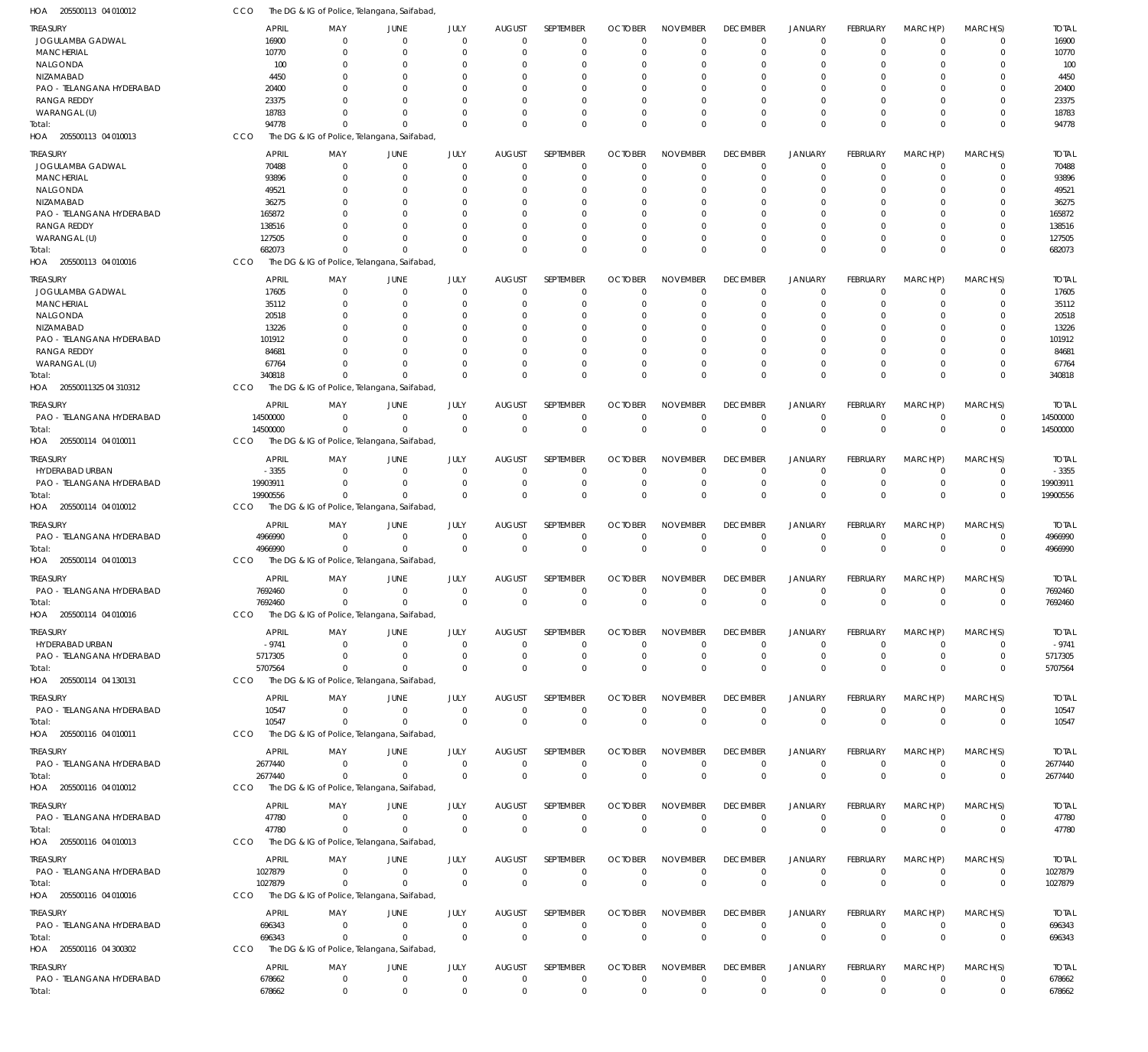| 1OA<br>205500113 04 010012            | CCO          |                   | The DG & IG of Police, Telangana, Saifabad, |                        |                                 |                  |                                  |                                |                 |                               |                             |                            |                         |              |
|---------------------------------------|--------------|-------------------|---------------------------------------------|------------------------|---------------------------------|------------------|----------------------------------|--------------------------------|-----------------|-------------------------------|-----------------------------|----------------------------|-------------------------|--------------|
| TREASURY                              | <b>APRIL</b> | MAY               | JUNE                                        | JULY                   | <b>AUGUST</b>                   | <b>SEPTEMBER</b> | <b>OCTOBER</b>                   | <b>NOVEMBER</b>                | <b>DECEMBER</b> | <b>JANUARY</b>                | <b>FEBRUARY</b>             | MARCH(P)                   | MARCH(S)                | <b>TOTAL</b> |
| JOGULAMBA GADWAL                      | 16900        | $\Omega$          | $\overline{0}$                              | $\Omega$               | $\mathbf 0$                     | $\mathbf 0$      | $\overline{0}$                   | $\mathbf 0$                    | $\mathbf 0$     | $\mathbf 0$                   | $\Omega$                    | $\Omega$                   | 0                       | 16900        |
| <b>MANCHERIAL</b>                     | 10770        | $\Omega$          | $\overline{0}$                              | $\mathbf 0$            | $\mathbf{0}$                    | $\mathbf 0$      | 0                                | $\mathbf 0$                    | $\mathbf 0$     | $\mathbf 0$                   | $\Omega$                    | $\Omega$                   | $\mathbf 0$             | 10770        |
| NALGONDA                              | 100          | $\Omega$          | $\overline{0}$                              | $\Omega$               | 0                               | 0                | 0                                | $\Omega$                       | $\Omega$        | $\Omega$                      |                             | $\Omega$                   | 0                       | 100          |
| NIZAMABAD                             | 4450         | $\Omega$          | $\Omega$                                    | $\Omega$               | $\Omega$                        | $\Omega$         | $\Omega$                         | $\Omega$                       | $\Omega$        | $\Omega$                      |                             | $\Omega$                   | 0                       | 4450         |
| PAO - TELANGANA HYDERABAD             | 20400        | $\Omega$          | $\Omega$                                    |                        | $\Omega$                        | $\Omega$         | $\Omega$                         | $\Omega$                       | $\Omega$        | $\Omega$                      |                             | $\Omega$                   | 0                       | 20400        |
| <b>RANGA REDDY</b>                    | 23375        | $\Omega$          | $\Omega$                                    | $\Omega$               | $\Omega$                        | $\Omega$         | $\Omega$                         | $\Omega$                       | $\Omega$        | $\Omega$                      |                             | $\Omega$                   | $\Omega$                | 23375        |
| WARANGAL (U)                          | 18783        | $\Omega$          | $\Omega$                                    | $\Omega$               | $\Omega$                        | $\Omega$         | 0                                | $\Omega$                       | $\Omega$        | $\Omega$                      | $\Omega$                    | $\Omega$                   | 0                       | 18783        |
| Total:                                | 94778        | $\Omega$          | $\Omega$                                    | $\Omega$               | $\Omega$                        | $\mathbf 0$      | $\Omega$                         | $\Omega$                       | $\Omega$        | $\Omega$                      | $\Omega$                    | $\Omega$                   | $\Omega$                | 94778        |
| HOA 205500113 04 010013               | CCO          |                   | The DG & IG of Police, Telangana, Saifabad, |                        |                                 |                  |                                  |                                |                 |                               |                             |                            |                         |              |
| <b>TREASURY</b>                       | <b>APRIL</b> | MAY               | JUNE                                        | JULY                   | <b>AUGUST</b>                   | SEPTEMBER        | <b>OCTOBER</b>                   | <b>NOVEMBER</b>                | <b>DECEMBER</b> | <b>JANUARY</b>                | <b>FEBRUARY</b>             | MARCH(P)                   | MARCH(S)                | <b>TOTAL</b> |
| JOGULAMBA GADWAL                      | 70488        | $\overline{0}$    | $\overline{0}$                              | $\overline{0}$         | $\mathbf 0$                     | $\mathbf 0$      | $\mathbf 0$                      | $\mathbf 0$                    | $\overline{0}$  | $\mathbf 0$                   | $\Omega$                    | $\Omega$                   | $\mathbf 0$             | 70488        |
| <b>MANCHERIAL</b>                     | 93896        | 0                 | $\overline{0}$                              | $\Omega$               | $\Omega$                        | $\mathbf 0$      | 0                                | 0                              | 0               | $\mathbf 0$                   |                             | $\Omega$                   | $\mathbf 0$             | 93896        |
| NALGONDA                              | 49521        | 0                 | $\Omega$                                    | 0                      | $\Omega$                        | $\Omega$         | 0                                | 0                              | $\Omega$        | $\Omega$                      |                             |                            | 0                       | 49521        |
| NIZAMABAD                             | 36275        | $\Omega$          | $\Omega$                                    | 0                      | $\Omega$                        | 0                | 0                                | 0                              | $\Omega$        | $\Omega$                      |                             | $\Omega$                   | 0                       | 36275        |
| PAO - TELANGANA HYDERABAD             | 165872       | <sup>0</sup>      | $\Omega$                                    | 0                      | $\Omega$                        | $\Omega$         | $\Omega$                         | $\Omega$                       | $\Omega$        | $\Omega$                      |                             | $\Omega$                   | 0                       | 165872       |
| <b>RANGA REDDY</b>                    | 138516       | $\Omega$          | $\Omega$                                    | 0                      | $\Omega$                        | $\Omega$         | 0                                | 0                              | $\Omega$        | $\Omega$                      |                             | $\Omega$                   | 0                       | 138516       |
| WARANGAL (U)                          | 127505       | $\Omega$          | $\Omega$                                    | $\Omega$               | $\Omega$                        | $\mathbf 0$      | 0                                | 0                              | $\Omega$        | $\Omega$                      |                             | $\Omega$                   | $\Omega$                | 127505       |
| Total:                                | 682073       | $\Omega$          | $\Omega$                                    | $\Omega$               | $\Omega$                        | $\mathbf 0$      | 0                                | $\mathbf 0$                    | $\Omega$        | $\Omega$                      | $\Omega$                    | $\Omega$                   | $\mathbf 0$             | 682073       |
| HOA 205500113 04 010016               | CCO          |                   | The DG & IG of Police, Telangana, Saifabad, |                        |                                 |                  |                                  |                                |                 |                               |                             |                            |                         |              |
| TREASURY                              | <b>APRIL</b> | MAY               | JUNE                                        | JULY                   | <b>AUGUST</b>                   | SEPTEMBER        | <b>OCTOBER</b>                   | <b>NOVEMBER</b>                | <b>DECEMBER</b> | JANUARY                       | FEBRUARY                    | MARCH(P)                   | MARCH(S)                | <b>TOTAL</b> |
| JOGULAMBA GADWAL                      | 17605        | 0                 | $\mathbf 0$                                 | $\overline{0}$         | $\mathbf{0}$                    | $\mathbf 0$      | $\mathbf 0$                      | 0                              | $\overline{0}$  | $\Omega$                      | $\Omega$                    | $\Omega$                   | $\mathbf 0$             | 17605        |
| <b>MANCHERIAL</b>                     | 35112        | 0                 | $\overline{0}$                              | $\Omega$               | $\Omega$                        | $\mathbf 0$      | 0                                | $\mathbf 0$                    | $\Omega$        | 0                             |                             | $\Omega$                   | $\mathbf 0$             | 35112        |
| NALGONDA                              | 20518        | $\Omega$          | $\overline{0}$                              | $\Omega$               | $\Omega$                        | $\Omega$         | $\Omega$                         | 0                              | $\Omega$        | $\Omega$                      |                             | $\Omega$                   | $\Omega$                | 20518        |
| NIZAMABAD                             | 13226        | 0                 | $\Omega$                                    | $\Omega$               | $\Omega$                        | $\Omega$         | $\Omega$                         | $\Omega$                       | $\Omega$        | $\Omega$                      |                             | $\Omega$                   | 0                       | 13226        |
| PAO - TELANGANA HYDERABAD             | 101912       | $\Omega$          | $\Omega$                                    | $\Omega$               | $\Omega$                        | $\Omega$         | $\Omega$                         | $\Omega$                       | $\Omega$        | $\Omega$                      |                             | $\Omega$                   | $\Omega$                | 101912       |
| <b>RANGA REDDY</b>                    | 84681        | $\Omega$          | $\Omega$                                    | $\Omega$               | $\Omega$                        | $\Omega$         | $\Omega$                         | $\Omega$                       | $\Omega$        | $\Omega$                      |                             | $\Omega$                   | 0                       | 84681        |
| WARANGAL (U)                          | 67764        | $\Omega$          | $\Omega$                                    | $\Omega$               | $\Omega$                        | $\mathbf 0$      | 0                                | 0                              | $\Omega$        | $\Omega$                      | $\Omega$                    | $\Omega$                   | $\mathbf 0$             | 67764        |
| Total:                                | 340818       | $\Omega$          | $\Omega$                                    | $\Omega$               | $\Omega$                        | $\mathbf 0$      | $\Omega$                         | $\Omega$                       | $\Omega$        | $\Omega$                      | $\Omega$                    | $\Omega$                   | $\mathbf 0$             | 340818       |
| HOA 20550011325 04 310312             | CCO          |                   | The DG & IG of Police, Telangana, Saifabad, |                        |                                 |                  |                                  |                                |                 |                               |                             |                            |                         |              |
| treasury                              | <b>APRIL</b> | MAY               | JUNE                                        | JULY                   | <b>AUGUST</b>                   | SEPTEMBER        | <b>OCTOBER</b>                   | <b>NOVEMBER</b>                | <b>DECEMBER</b> | JANUARY                       | <b>FEBRUARY</b>             | MARCH(P)                   | MARCH(S)                | <b>TOTAL</b> |
| PAO - TELANGANA HYDERABAD             | 14500000     | 0                 | $\overline{0}$                              | $\overline{0}$         | $\mathbf 0$                     | $\mathbf 0$      | $\mathbf 0$                      | $\mathbf 0$                    | $^{\circ}$      | $\mathbf 0$                   | $\Omega$                    | $^{\circ}$                 | $\mathbf 0$             | 14500000     |
| Total:                                | 14500000     | $^{\circ}$        | $\overline{0}$                              | $\mathbf 0$            | $\overline{0}$                  | $\mathbf 0$      | $\overline{0}$                   | $\mathbf 0$                    | $\mathbf 0$     | $\mathbf 0$                   | $\Omega$                    | $\overline{0}$             | $\mathbf{0}$            | 14500000     |
| 205500114 04 010011<br>HOA            | CCO          |                   | The DG & IG of Police, Telangana, Saifabad, |                        |                                 |                  |                                  |                                |                 |                               |                             |                            |                         |              |
| TREASURY                              | <b>APRIL</b> | MAY               | JUNE                                        | JULY                   | <b>AUGUST</b>                   | SEPTEMBER        | <b>OCTOBER</b>                   | <b>NOVEMBER</b>                | <b>DECEMBER</b> | <b>JANUARY</b>                | FEBRUARY                    | MARCH(P)                   | MARCH(S)                | <b>TOTAL</b> |
| HYDERABAD URBAN                       | $-3355$      | $\Omega$          | $\overline{0}$                              | $\mathbf 0$            | $\mathbf 0$                     | 0                | $\mathbf 0$                      | 0                              | 0               | 0                             | $\Omega$                    | $\Omega$                   | 0                       | $-3355$      |
| PAO - TELANGANA HYDERABAD             | 19903911     | $\Omega$          | $\Omega$                                    | $\Omega$               | $\mathbf 0$                     | $\mathbf 0$      | $\mathbf 0$                      | $\mathbf 0$                    | $^{\circ}$      | $\mathbf 0$                   | $\Omega$                    | $\Omega$                   | $\mathbf 0$             | 19903911     |
| Total:                                | 19900556     | $^{\circ}$        | $\Omega$                                    | $\Omega$               | $\Omega$                        | $\mathbf 0$      | $\mathbf 0$                      | $\Omega$                       | $\Omega$        | $\Omega$                      | $\Omega$                    | $\Omega$                   | $\mathbf 0$             | 19900556     |
| HOA 205500114 04 010012               | CCO          |                   | The DG & IG of Police, Telangana, Saifabad, |                        |                                 |                  |                                  |                                |                 |                               |                             |                            |                         |              |
|                                       |              |                   |                                             |                        |                                 |                  |                                  |                                |                 |                               |                             |                            |                         |              |
| TREASURY                              | <b>APRIL</b> | MAY               | JUNE                                        | JULY                   | <b>AUGUST</b>                   | SEPTEMBER        | <b>OCTOBER</b>                   | <b>NOVEMBER</b>                | <b>DECEMBER</b> | <b>JANUARY</b>                | FEBRUARY                    | MARCH(P)                   | MARCH(S)                | <b>TOTAL</b> |
| PAO - TELANGANA HYDERABAD             | 4966990      | $\overline{0}$    | $\overline{0}$                              | $\overline{0}$         | $\mathbf 0$                     | $\mathbf 0$      | 0                                | 0                              | $\overline{0}$  | $\mathbf 0$                   | $\Omega$                    | $^{\circ}$                 | $\mathbf 0$             | 4966990      |
| Total:                                | 4966990      | $^{\circ}$        | $\overline{0}$                              | $\overline{0}$         | $\overline{0}$                  | $\mathbf 0$      | $\overline{0}$                   | $\mathbf 0$                    | $\mathbf 0$     | $\mathbf 0$                   | $\Omega$                    | $\overline{0}$             | $\mathbf{0}$            | 4966990      |
| HOA 205500114 04 010013               | <b>CCO</b>   |                   | The DG & IG of Police, Telangana, Saifabad, |                        |                                 |                  |                                  |                                |                 |                               |                             |                            |                         |              |
| TREASURY                              | <b>APRIL</b> | MAY               | JUNE                                        | JULY                   | <b>AUGUST</b>                   | <b>SEPTEMBER</b> | <b>OCTOBER</b>                   | <b>NOVEMBER</b>                | <b>DECEMBER</b> | <b>JANUARY</b>                | <b>FEBRUARY</b>             | MARCH(P)                   | MARCH(S)                | <b>TOTAL</b> |
| PAO - TELANGANA HYDERABAD             | 7692460      | $^{\circ}$        | $\mathbf 0$                                 | $\overline{0}$         | $\overline{0}$                  | $\mathbf 0$      | $\mathbf 0$                      | $\mathbf 0$                    | $\mathbf 0$     | $\Omega$                      | $\Omega$                    | $\overline{0}$             | $\mathbf 0$             | 7692460      |
| Total:                                | 7692460      | $^{\circ}$        | $\mathbf 0$                                 | $\overline{0}$         | $\mathbf 0$                     | $\mathbf 0$      | $\mathbf 0$                      | $\mathbf 0$                    | $\mathbf 0$     | $\mathbf{0}$                  | $\mathbf 0$                 | $\mathbf 0$                | $\mathbf{0}$            | 7692460      |
| HOA 205500114 04 010016               | CCO          |                   | The DG & IG of Police, Telangana, Saifabad, |                        |                                 |                  |                                  |                                |                 |                               |                             |                            |                         |              |
| TREASURY                              | <b>APRIL</b> | MAY               | JUNE                                        | JULY                   | <b>AUGUST</b>                   | SEPTEMBER        | <b>OCTOBER</b>                   | <b>NOVEMBER</b>                | <b>DECEMBER</b> | <b>JANUARY</b>                | <b>FEBRUARY</b>             | MARCH(P)                   | MARCH(S)                | <b>TOTAL</b> |
| HYDERABAD URBAN                       | $-9741$      | $^{\circ}$        | $\mathbf 0$                                 | $\overline{0}$         | $\overline{0}$                  | $\mathbf 0$      | $\overline{0}$                   | $\mathbf 0$                    | $\overline{0}$  | $\mathbf 0$                   | $\Omega$                    | $\overline{0}$             | $\mathbf 0$             | $-9741$      |
| PAO - TELANGANA HYDERABAD             | 5717305      | $^{\circ}$        | $\mathbf 0$                                 | $\overline{0}$         | $\overline{0}$                  | $\mathbf 0$      | $\overline{0}$                   | $\mathbf 0$                    | $\overline{0}$  | $\mathbf 0$                   | $\Omega$                    | $\overline{0}$             | $\mathbf 0$             | 5717305      |
| Total:                                | 5707564      | $^{\circ}$        | $\mathbf 0$                                 | $\Omega$               | $\overline{0}$                  | $\mathbf 0$      | $\overline{0}$                   | $\mathbf 0$                    | $\Omega$        | $\Omega$                      | $\Omega$                    | $\Omega$                   | $\mathbf 0$             | 5707564      |
| HOA 205500114 04 130131               | <b>CCO</b>   |                   | The DG & IG of Police, Telangana, Saifabad, |                        |                                 |                  |                                  |                                |                 |                               |                             |                            |                         |              |
|                                       | <b>APRIL</b> |                   |                                             |                        |                                 | SEPTEMBER        |                                  |                                | <b>DECEMBER</b> |                               |                             |                            |                         | <b>TOTAL</b> |
| TREASURY<br>PAO - TELANGANA HYDERABAD | 10547        | MAY<br>$^{\circ}$ | JUNE<br>$\mathbf 0$                         | JULY<br>$\overline{0}$ | <b>AUGUST</b><br>$\overline{0}$ | $\mathbf 0$      | <b>OCTOBER</b><br>$\overline{0}$ | <b>NOVEMBER</b><br>$\mathbf 0$ | $\mathbf 0$     | <b>JANUARY</b><br>$\mathbf 0$ | <b>FEBRUARY</b><br>$\Omega$ | MARCH(P)<br>$\overline{0}$ | MARCH(S)<br>$\mathbf 0$ | 10547        |
| Total:                                | 10547        | $\mathbf 0$       | $\mathbf 0$                                 | $\overline{0}$         | $\overline{0}$                  | $\mathbf 0$      | $\overline{0}$                   | $\mathbf 0$                    | $\mathbf 0$     | $\mathbf{0}$                  | $\Omega$                    | $\Omega$                   | $\mathbf 0$             | 10547        |
| HOA 205500116 04 010011               | CCO          |                   | The DG & IG of Police, Telangana, Saifabad, |                        |                                 |                  |                                  |                                |                 |                               |                             |                            |                         |              |
|                                       |              |                   |                                             |                        |                                 |                  |                                  |                                |                 |                               |                             |                            |                         |              |
| <b>TREASURY</b>                       | <b>APRIL</b> | MAY               | JUNE                                        | JULY                   | <b>AUGUST</b>                   | SEPTEMBER        | <b>OCTOBER</b>                   | <b>NOVEMBER</b>                | <b>DECEMBER</b> | <b>JANUARY</b>                | <b>FEBRUARY</b>             | MARCH(P)                   | MARCH(S)                | <b>TOTAL</b> |
| PAO - TELANGANA HYDERABAD             | 2677440      | $^{\circ}$        | $\mathbf 0$                                 | $\overline{0}$         | $\overline{0}$                  | $\mathbf 0$      | $\overline{0}$                   | $\mathbf 0$                    | $\mathbf 0$     | $\mathbf 0$                   | $\mathbf 0$                 | $^{\circ}$                 | $\mathbf 0$             | 2677440      |
| Total:                                | 2677440      | $^{\circ}$        | $\overline{0}$                              | $\overline{0}$         | $\overline{0}$                  | $\mathbf 0$      | $\overline{0}$                   | $\mathbf 0$                    | $\mathbf 0$     | $\mathbf 0$                   | $\Omega$                    | $\Omega$                   | $\mathbf{0}$            | 2677440      |
| HOA 205500116 04 010012               | <b>CCO</b>   |                   | The DG & IG of Police, Telangana, Saifabad, |                        |                                 |                  |                                  |                                |                 |                               |                             |                            |                         |              |
| <b>TREASURY</b>                       | <b>APRIL</b> | MAY               | JUNE                                        | JULY                   | <b>AUGUST</b>                   | SEPTEMBER        | <b>OCTOBER</b>                   | <b>NOVEMBER</b>                | <b>DECEMBER</b> | <b>JANUARY</b>                | <b>FEBRUARY</b>             | MARCH(P)                   | MARCH(S)                | <b>TOTAL</b> |
| PAO - TELANGANA HYDERABAD             | 47780        | $^{\circ}$        | $\mathbf 0$                                 | $\overline{0}$         | $\overline{0}$                  | $\mathbf 0$      | $^{\circ}$                       | 0                              | $\mathbf 0$     | $^{\circ}$                    | 0                           | $^{\circ}$                 | $\mathbf 0$             | 47780        |
| Total:                                | 47780        | $^{\circ}$        | $\overline{0}$                              | $\overline{0}$         | $\overline{0}$                  | $\mathbf 0$      | $\overline{0}$                   | $\mathbf 0$                    | $\mathbf 0$     | $\mathbf 0$                   | $\mathbf{0}$                | $\mathbf 0$                | $\mathbf 0$             | 47780        |
| HOA 205500116 04 010013               | <b>CCO</b>   |                   | The DG & IG of Police, Telangana, Saifabad, |                        |                                 |                  |                                  |                                |                 |                               |                             |                            |                         |              |
| TREASURY                              | <b>APRIL</b> | MAY               | JUNE                                        | JULY                   | <b>AUGUST</b>                   | SEPTEMBER        | <b>OCTOBER</b>                   | <b>NOVEMBER</b>                | <b>DECEMBER</b> | <b>JANUARY</b>                | <b>FEBRUARY</b>             | MARCH(P)                   | MARCH(S)                | <b>TOTAL</b> |
| PAO - TELANGANA HYDERABAD             | 1027879      | $^{\circ}$        | $\mathbf 0$                                 | $\overline{0}$         | $\overline{0}$                  | $\mathbf 0$      | $\overline{0}$                   | $\mathbf 0$                    | $^{\circ}$      | $\mathbf 0$                   | 0                           | $^{\circ}$                 | $\mathbf 0$             | 1027879      |
| Total:                                | 1027879      | $^{\circ}$        | $\mathbf 0$                                 | $\overline{0}$         | $\overline{0}$                  | $\mathbf 0$      | $\overline{0}$                   | $\mathbf 0$                    | $^{\circ}$      | $\mathbf 0$                   | $\mathbf{0}$                | $\overline{0}$             | $\mathbf{0}$            | 1027879      |
| HOA 205500116 04 010016               | <b>CCO</b>   |                   | The DG & IG of Police, Telangana, Saifabad, |                        |                                 |                  |                                  |                                |                 |                               |                             |                            |                         |              |
|                                       |              |                   |                                             |                        |                                 |                  |                                  |                                |                 |                               |                             |                            |                         |              |
| TREASURY                              | <b>APRIL</b> | MAY               | JUNE                                        | JULY                   | <b>AUGUST</b>                   | SEPTEMBER        | <b>OCTOBER</b>                   | <b>NOVEMBER</b>                | <b>DECEMBER</b> | <b>JANUARY</b>                | <b>FEBRUARY</b>             | MARCH(P)                   | MARCH(S)                | TOTAL        |
| PAO - TELANGANA HYDERABAD             | 696343       | $^{\circ}$        | $\mathbf 0$                                 | $\overline{0}$         | $\overline{0}$                  | $\mathbf 0$      | $\mathbf 0$                      | $\mathbf 0$                    | $\mathbf 0$     | $\mathbf 0$                   | $\mathbf 0$                 | $^{\circ}$                 | 0                       | 696343       |
| Total:                                | 696343       | $\mathbf 0$       | $\mathbf 0$                                 | $\overline{0}$         | $\overline{0}$                  | $\mathbf 0$      | $\overline{0}$                   | $\mathbf 0$                    | $\mathbf 0$     | $\mathbf{0}$                  | $\Omega$                    | $\Omega$                   | $\mathbf 0$             | 696343       |
| HOA 205500116 04 300302               | <b>CCO</b>   |                   | The DG & IG of Police, Telangana, Saifabad, |                        |                                 |                  |                                  |                                |                 |                               |                             |                            |                         |              |
| TREASURY                              | <b>APRIL</b> | MAY               | JUNE                                        | JULY                   | <b>AUGUST</b>                   | SEPTEMBER        | <b>OCTOBER</b>                   | <b>NOVEMBER</b>                | <b>DECEMBER</b> | <b>JANUARY</b>                | <b>FEBRUARY</b>             | MARCH(P)                   | MARCH(S)                | TOTAL        |
| PAO - TELANGANA HYDERABAD             | 678662       | $\mathbf 0$       | $\overline{0}$                              | $\overline{0}$         | $\overline{0}$                  | $\mathbf 0$      | $\overline{0}$                   | 0                              | $\mathbf 0$     | $\mathbf 0$                   | $\mathbf 0$                 | $^{\circ}$                 | 0                       | 678662       |
| Total:                                | 678662       | $\mathbf 0$       | $\overline{0}$                              | $\overline{0}$         | $\overline{0}$                  | $\boldsymbol{0}$ | $\overline{0}$                   | $\boldsymbol{0}$               | $\mathbf 0$     | $\mathbf 0$                   | 0                           | $\mathbf 0$                | $\mathbf{0}$            | 678662       |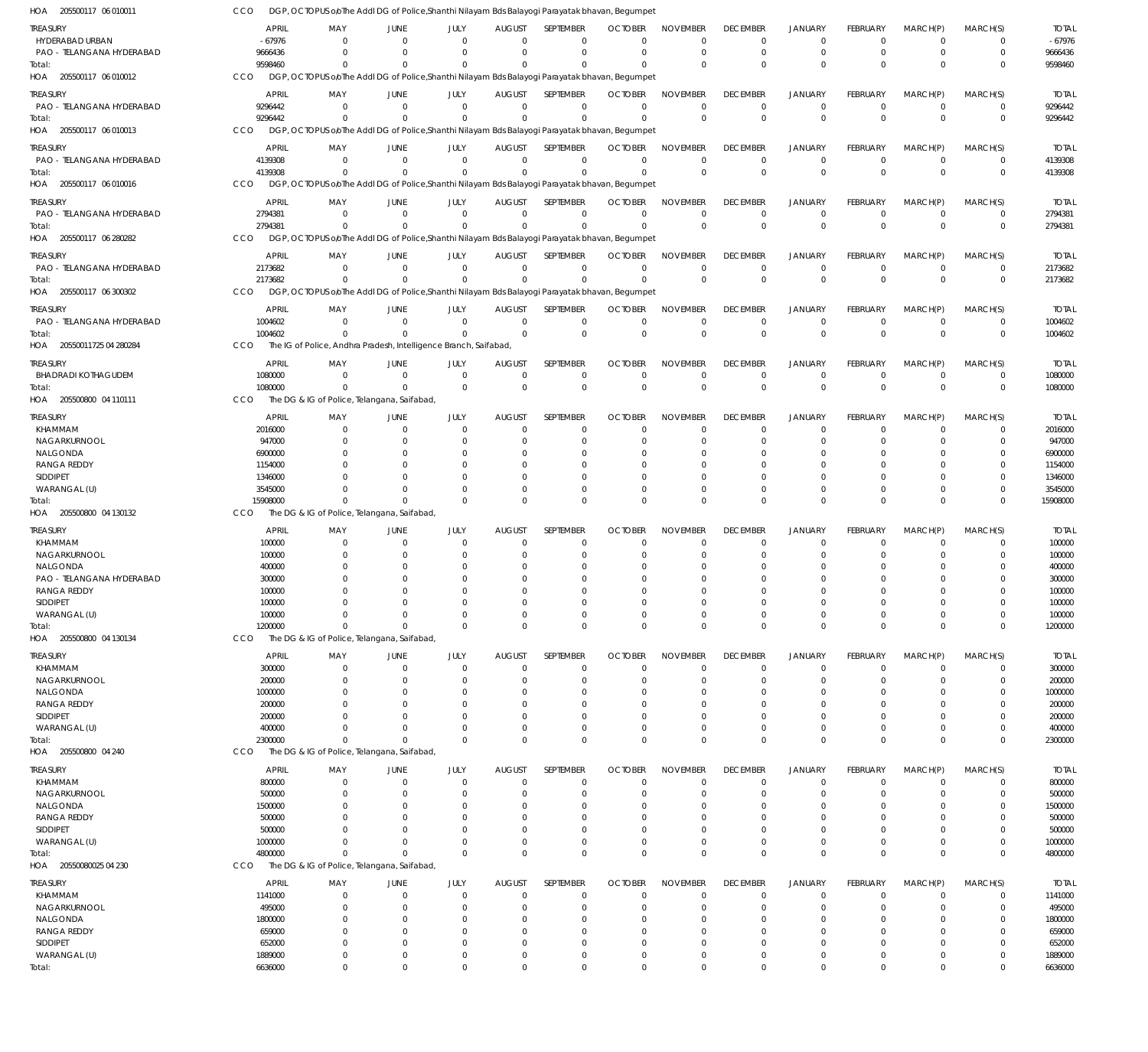| HOA 205500117 06 010011               | CCO                | DGP, OCTOPUS oloThe Addl DG of Police, Shanthi Nilayam Bds Balayogi Parayatak bhavan, Begumpet |                            |                         |                              |                         |                         |                         |                            |                                  |                         |                         |                            |                    |
|---------------------------------------|--------------------|------------------------------------------------------------------------------------------------|----------------------------|-------------------------|------------------------------|-------------------------|-------------------------|-------------------------|----------------------------|----------------------------------|-------------------------|-------------------------|----------------------------|--------------------|
| TREASURY                              | <b>APRIL</b>       | MAY                                                                                            | <b>JUNE</b>                | JULY                    | <b>AUGUST</b>                | <b>SEPTEMBER</b>        | <b>OCTOBER</b>          | <b>NOVEMBER</b>         | <b>DECEMBER</b>            | <b>JANUARY</b>                   | <b>FEBRUARY</b>         | MARCH(P)                | MARCH(S)                   | <b>TOTAL</b>       |
| HYDERABAD URBAN                       | $-67976$           | $\Omega$                                                                                       | $\Omega$                   | $\Omega$                | $\Omega$                     | $\Omega$                | $\Omega$                | $\Omega$                | $\mathbf 0$                | $\mathbf 0$                      | $\Omega$                | $\mathbf 0$             | 0                          | $-67976$           |
| PAO - TELANGANA HYDERABAD             | 9666436            | $\Omega$                                                                                       | $\Omega$                   | $\Omega$                | $\Omega$                     | $\Omega$                | $\Omega$                | $\Omega$                | $\mathbf 0$                | $\mathbf 0$                      | $\mathbf 0$             | $\mathbf 0$             | $\mathbf 0$                | 9666436            |
| Total:                                | 9598460            | $\Omega$                                                                                       | $\Omega$                   | $\Omega$                | $\Omega$                     | $\Omega$                | $\Omega$                | $\Omega$                | $\mathbf 0$                | $\mathbf 0$                      | $\Omega$                | $\Omega$                | $\mathbf 0$                | 9598460            |
| HOA 205500117 06 010012               | CCO                | DGP, OCTOPUS oloThe Addl DG of Police, Shanthi Nilayam Bds Balayogi Parayatak bhavan, Begumpet |                            |                         |                              |                         |                         |                         |                            |                                  |                         |                         |                            |                    |
| treasury                              | <b>APRIL</b>       | MAY                                                                                            | JUNE                       | JULY                    | <b>AUGUST</b>                | <b>SEPTEMBER</b>        | <b>OCTOBER</b>          | <b>NOVEMBER</b>         | <b>DECEMBER</b>            | <b>JANUARY</b>                   | <b>FEBRUARY</b>         | MARCH(P)                | MARCH(S)                   | <b>TOTAL</b>       |
| PAO - TELANGANA HYDERABAD             | 9296442            | $\Omega$                                                                                       | $\Omega$                   | $\mathbf 0$             | $\mathbf 0$                  | $\mathbf 0$             | $\Omega$                | $\Omega$                | $^{\circ}$                 | $\overline{0}$                   | $\mathbf 0$             | $\mathbf 0$             | $\mathbf 0$                | 9296442            |
| Total:                                | 9296442            | $\Omega$                                                                                       | $\Omega$                   | $\Omega$                | $\mathbf 0$                  | $\mathbf 0$             | $\Omega$                | $\Omega$                | $\mathbf 0$                | $\mathbf 0$                      | $\mathbf 0$             | $\mathbf 0$             | $\mathbf 0$                | 9296442            |
| HOA 205500117 06 010013               | CCO                | DGP, OCTOPUS oloThe Addl DG of Police, Shanthi Nilayam Bds Balayogi Parayatak bhavan, Begumpet |                            |                         |                              |                         |                         |                         |                            |                                  |                         |                         |                            |                    |
| treasury                              | <b>APRIL</b>       | MAY                                                                                            | <b>JUNE</b>                | JULY                    | <b>AUGUST</b>                | <b>SEPTEMBER</b>        | <b>OCTOBER</b>          | <b>NOVEMBER</b>         | <b>DECEMBER</b>            | <b>JANUARY</b>                   | FEBRUARY                | MARCH(P)                | MARCH(S)                   | <b>TOTAL</b>       |
| PAO - TELANGANA HYDERABAD             | 4139308            | $\Omega$                                                                                       | $\overline{0}$             | $\Omega$                | $\mathbf 0$                  | $\mathbf 0$             | $\mathbf{0}$            | $\Omega$                | $\mathbf 0$                | $\mathbf 0$                      | $\mathbf 0$             | $\mathbf 0$             | 0                          | 4139308            |
| Total:                                | 4139308            | $\Omega$                                                                                       | $\Omega$                   | $\Omega$                | $\Omega$                     | $\Omega$                | $\Omega$                | $\Omega$                | $\mathbf 0$                | $\mathbf{0}$                     | $\Omega$                | $\Omega$                | $\mathbf 0$                | 4139308            |
| HOA 205500117 06 010016               | CCO                | DGP, OCTOPUS oloThe Addl DG of Police, Shanthi Nilayam Bds Balayogi Parayatak bhavan, Begumpet |                            |                         |                              |                         |                         |                         |                            |                                  |                         |                         |                            |                    |
| treasury                              | <b>APRIL</b>       | MAY                                                                                            | <b>JUNE</b>                | JULY                    | <b>AUGUST</b>                | SEPTEMBER               | <b>OCTOBER</b>          | <b>NOVEMBER</b>         | <b>DECEMBER</b>            | <b>JANUARY</b>                   | FEBRUARY                | MARCH(P)                | MARCH(S)                   | <b>TOTAL</b>       |
| PAO - TELANGANA HYDERABAD             | 2794381            | $\mathbf{0}$                                                                                   | $\Omega$                   | $\Omega$                | $\mathbf 0$                  | $\mathbf 0$             | $\Omega$                | $\Omega$                | $\mathbf 0$                | $\mathbf 0$                      | $\mathbf 0$             | $\mathbf 0$             | $\mathbf 0$                | 2794381            |
| Total:                                | 2794381            | $\Omega$                                                                                       | $\Omega$                   | $\Omega$                | $\Omega$                     | $\mathbf 0$             | $\Omega$                | $\Omega$                | $\mathbf 0$                | $\mathbf 0$                      | $\Omega$                | $\Omega$                | $\mathbf 0$                | 2794381            |
| HOA 205500117 06 280282               | <b>CCO</b>         | DGP, OCTOPUS oloThe Addl DG of Police, Shanthi Nilayam Bds Balayogi Parayatak bhavan, Begumpet |                            |                         |                              |                         |                         |                         |                            |                                  |                         |                         |                            |                    |
| treasury                              | <b>APRIL</b>       | MAY                                                                                            | JUNE                       | JULY                    | <b>AUGUST</b>                | SEPTEMBER               | <b>OCTOBER</b>          | <b>NOVEMBER</b>         | <b>DECEMBER</b>            | JANUARY                          | <b>FEBRUARY</b>         | MARCH(P)                | MARCH(S)                   | <b>TOTAL</b>       |
| PAO - TELANGANA HYDERABAD             | 2173682            | $\Omega$                                                                                       | $\Omega$                   | $\Omega$                | $\mathbf 0$                  | $\mathbf 0$             | $\Omega$                | $\Omega$                | $\mathbf 0$                | $\mathbf 0$                      | $\mathbf 0$             | $\mathbf 0$             | $\mathbf 0$                | 2173682            |
| Total:                                | 2173682            | $\Omega$                                                                                       |                            | $\Omega$                | $\Omega$                     | $\Omega$                | $\Omega$                | $\Omega$                | $\mathbf 0$                | $\mathbf 0$                      | $\Omega$                | $\mathbf 0$             | $\mathbf 0$                | 2173682            |
| HOA 205500117 06 300302               | CCO                | DGP, OCTOPUS oloThe Addl DG of Police, Shanthi Nilayam Bds Balayogi Parayatak bhavan, Begumpet |                            |                         |                              |                         |                         |                         |                            |                                  |                         |                         |                            |                    |
|                                       | <b>APRIL</b>       |                                                                                                |                            |                         |                              | SEPTEMBER               | <b>OCTOBER</b>          | <b>NOVEMBER</b>         | <b>DECEMBER</b>            |                                  | <b>FEBRUARY</b>         |                         |                            | <b>TOTAL</b>       |
| treasury<br>PAO - TELANGANA HYDERABAD | 1004602            | MAY<br>$\Omega$                                                                                | <b>JUNE</b><br>$\Omega$    | JULY<br>$\mathbf 0$     | <b>AUGUST</b><br>$\mathbf 0$ | $\mathbf 0$             | $\mathbf 0$             | $\mathbf 0$             | $\overline{0}$             | <b>JANUARY</b><br>$\mathbf 0$    | $\mathbf 0$             | MARCH(P)<br>$\mathbf 0$ | MARCH(S)<br>$\mathbf 0$    | 1004602            |
| Total:                                | 1004602            | $\Omega$                                                                                       | $\mathbf 0$                | $\Omega$                | $\Omega$                     | $\mathbf 0$             | $\Omega$                | $\Omega$                | $\mathbf 0$                | $\mathbf 0$                      | $\mathbf 0$             | $\mathbf 0$             | $\mathbf 0$                | 1004602            |
| HOA 20550011725 04 280284             | <b>CCO</b>         | The IG of Police, Andhra Pradesh, Intelligence Branch, Saifabad,                               |                            |                         |                              |                         |                         |                         |                            |                                  |                         |                         |                            |                    |
|                                       |                    |                                                                                                |                            |                         |                              |                         |                         |                         |                            |                                  |                         |                         |                            |                    |
| treasury                              | <b>APRIL</b>       | MAY                                                                                            | JUNE                       | JULY                    | <b>AUGUST</b>                | SEPTEMBER               | <b>OCTOBER</b>          | <b>NOVEMBER</b>         | <b>DECEMBER</b>            | <b>JANUARY</b>                   | FEBRUARY                | MARCH(P)                | MARCH(S)                   | <b>TOTAL</b>       |
| <b>BHADRADI KOTHAGUDEM</b>            | 1080000<br>1080000 | $\Omega$<br>$\Omega$                                                                           | $\overline{0}$<br>$\Omega$ | $\Omega$<br>$\Omega$    | $\mathbf 0$<br>$\Omega$      | 0<br>$\mathbf 0$        | $\Omega$<br>$\mathbf 0$ | $\mathbf 0$<br>$\Omega$ | $\mathbf 0$<br>$\mathbf 0$ | $\mathbf 0$<br>$\mathbf{0}$      | $\mathbf 0$<br>$\Omega$ | $\mathbf 0$<br>$\Omega$ | 0<br>$\mathbf 0$           | 1080000<br>1080000 |
| Total:<br>HOA 205500800 04 110111     | CCO                | The DG & IG of Police, Telangana, Saifabad,                                                    |                            |                         |                              |                         |                         |                         |                            |                                  |                         |                         |                            |                    |
|                                       |                    |                                                                                                |                            |                         |                              |                         |                         |                         |                            |                                  |                         |                         |                            |                    |
| TREASURY                              | <b>APRIL</b>       | MAY                                                                                            | JUNE                       | JULY                    | <b>AUGUST</b>                | SEPTEMBER               | <b>OCTOBER</b>          | <b>NOVEMBER</b>         | <b>DECEMBER</b>            | <b>JANUARY</b>                   | FEBRUARY                | MARCH(P)                | MARCH(S)                   | <b>TOTAL</b>       |
| KHAMMAM                               | 2016000            | 0                                                                                              | $\mathbf 0$                | $\Omega$                | 0                            | $\mathbf 0$             | $\Omega$                | $\Omega$                | $\overline{0}$             | $\mathbf 0$                      | $\Omega$                | 0                       | $\mathbf 0$                | 2016000            |
| NAGARKURNOOL<br>NALGONDA              | 947000<br>6900000  | $\Omega$                                                                                       | $\Omega$<br>$\Omega$       | $\Omega$<br>O           | 0<br>0                       | $\mathbf 0$<br>0        |                         |                         | 0<br>$\Omega$              | 0<br>$\Omega$                    |                         | 0<br>0                  | $\mathbf 0$<br>$\mathbf 0$ | 947000<br>6900000  |
| <b>RANGA REDDY</b>                    | 1154000            |                                                                                                | $\Omega$                   |                         | 0                            | $\Omega$                |                         |                         | $\Omega$                   | $\Omega$                         |                         | $\Omega$                | 0                          | 1154000            |
| SIDDIPET                              | 1346000            |                                                                                                | $\Omega$                   |                         | $\Omega$                     | $\Omega$                |                         |                         | $\Omega$                   | $\Omega$                         | O                       | $\Omega$                | $\Omega$                   | 1346000            |
| WARANGAL (U)                          | 3545000            | $\Omega$                                                                                       | $\Omega$                   | 0                       | $\mathbf 0$                  | $\mathbf 0$             | $\Omega$                | $\Omega$                | $\mathbf 0$                | $\mathbf 0$                      | $\Omega$                | 0                       | $\mathbf 0$                | 3545000            |
| Total:                                | 15908000           | $\Omega$                                                                                       | $\Omega$                   | $\Omega$                | $\mathbf 0$                  | $\mathbf 0$             | $\Omega$                | $\Omega$                | $\mathbf 0$                | $\overline{0}$                   | $\Omega$                | $\mathbf 0$             | $\mathbf 0$                | 15908000           |
| HOA 205500800 04 130132               | CCO                | The DG & IG of Police, Telangana, Saifabad,                                                    |                            |                         |                              |                         |                         |                         |                            |                                  |                         |                         |                            |                    |
| Treasury                              | <b>APRIL</b>       | MAY                                                                                            | <b>JUNE</b>                | JULY                    | <b>AUGUST</b>                | SEPTEMBER               | <b>OCTOBER</b>          | <b>NOVEMBER</b>         | <b>DECEMBER</b>            | <b>JANUARY</b>                   | FEBRUARY                | MARCH(P)                | MARCH(S)                   | <b>TOTAL</b>       |
| KHAMMAM                               | 100000             | $\Omega$                                                                                       | $\mathbf 0$                | 0                       | 0                            | 0                       | $\Omega$                | $\Omega$                | $\overline{0}$             | $\overline{0}$                   | $\Omega$                | 0                       | 0                          | 100000             |
| NAGARKURNOOL                          | 100000             | $\Omega$                                                                                       | $\Omega$                   | $\Omega$                | $\Omega$                     | $\mathbf 0$             | $\Omega$                | $\Omega$                | $\Omega$                   | $\Omega$                         | $\Omega$                | $\Omega$                | $\mathbf 0$                | 100000             |
| NALGONDA                              | 400000             |                                                                                                | $\Omega$                   |                         | 0                            | $\Omega$                |                         |                         | $\Omega$                   | $\Omega$                         |                         | 0                       | $\Omega$                   | 400000             |
| PAO - TELANGANA HYDERABAD             | 300000             |                                                                                                | $\Omega$                   | O                       | $\Omega$                     | $\Omega$                |                         |                         | $\Omega$                   | $\Omega$                         | O                       | $\Omega$                | $\Omega$                   | 300000             |
| <b>RANGA REDDY</b>                    | 100000             | <sup>0</sup>                                                                                   | $\Omega$                   | U                       | $\Omega$                     | $\Omega$                | $\Omega$                | $\Omega$                | $\Omega$                   | $\Omega$                         | $\Omega$                | $\Omega$                | $\Omega$                   | 100000             |
| <b>SIDDIPET</b>                       | 100000             | 0                                                                                              |                            |                         | $\Omega$                     | $\Omega$                | $\Omega$                | $\mathbf 0$             | 0                          |                                  |                         | 0                       | 0                          | 100000             |
| WARANGAL (U)                          | 100000             | $\mathbf 0$                                                                                    | $\mathbf 0$                | $\Omega$                | $\mathbf 0$                  | $\mathbf 0$             | $\Omega$                | $\Omega$                | $\mathbf 0$                | $\mathbf 0$                      | $\mathbf 0$             | $\mathbf 0$             | $\mathbf 0$                | 100000             |
| Total:                                | 1200000            | $\mathbf 0$                                                                                    | $\mathbf 0$                | $\Omega$                | $\mathbf 0$                  | $\mathbf 0$             | $\Omega$                | $\Omega$                | $\mathbf 0$                | $\mathbf 0$                      | $\mathbf 0$             | $\mathbf 0$             | $\mathbf 0$                | 1200000            |
| HOA 205500800 04 130134               | <b>CCO</b>         | The DG & IG of Police, Telangana, Saifabad,                                                    |                            |                         |                              |                         |                         |                         |                            |                                  |                         |                         |                            |                    |
| TREASURY                              | <b>APRIL</b>       | MAY                                                                                            | JUNE                       | JULY                    | <b>AUGUST</b>                | SEPTEMBER               | <b>OCTOBER</b>          | <b>NOVEMBER</b>         | <b>DECEMBER</b>            | <b>JANUARY</b>                   | FEBRUARY                | MARCH(P)                | MARCH(S)                   | <b>TOTAL</b>       |
| KHAMMAM                               | 300000             | $\mathbf 0$                                                                                    | $\mathbf 0$                | $\mathbf 0$             | $\mathbf 0$                  | $\mathbf 0$             | $\Omega$                | $\Omega$                | $^{\circ}$                 | $\mathbf 0$                      | $\mathbf 0$             | 0                       | 0                          | 300000             |
| NAGARKURNOOL                          | 200000             | $\Omega$                                                                                       | $\Omega$                   | $\Omega$                | 0                            | $\mathbf 0$             | $\Omega$                | $\Omega$                | 0                          | $\mathbf 0$                      | 0                       | 0                       | $\mathbf 0$                | 200000             |
| NALGONDA                              | 1000000            |                                                                                                | $\Omega$                   |                         | 0                            | 0                       |                         | $\Omega$                | $\Omega$                   | $\Omega$                         |                         | 0                       | 0                          | 1000000            |
| <b>RANGA REDDY</b><br>SIDDIPET        | 200000<br>200000   |                                                                                                | $\Omega$<br>O              |                         | 0<br>$\Omega$                | 0<br>$\Omega$           |                         | $\Omega$                | $\Omega$<br>$\Omega$       | $\Omega$<br>$\Omega$             |                         | 0<br>$\Omega$           | 0<br>$\mathbf 0$           | 200000<br>200000   |
| WARANGAL (U)                          | 400000             | 0                                                                                              | $\Omega$                   | O                       | 0                            | $\mathbf 0$             | $\Omega$                | $\Omega$                | $\mathbf 0$                | 0                                | $\Omega$                | 0                       | $\mathbf 0$                | 400000             |
| Total:                                | 2300000            | $\Omega$                                                                                       | $\mathbf 0$                | $\Omega$                | $\Omega$                     | $\mathbf 0$             | $\Omega$                | $\Omega$                | $\mathbf 0$                | $\overline{0}$                   | $\Omega$                | $\mathbf 0$             | $\mathbf 0$                | 2300000            |
| HOA 205500800 04 240                  | CCO                | The DG & IG of Police, Telangana, Saifabad,                                                    |                            |                         |                              |                         |                         |                         |                            |                                  |                         |                         |                            |                    |
|                                       | <b>APRIL</b>       |                                                                                                |                            |                         |                              | SEPTEMBER               | <b>OCTOBER</b>          | <b>NOVEMBER</b>         | <b>DECEMBER</b>            |                                  | FEBRUARY                |                         |                            | <b>TOTAL</b>       |
| TREASURY<br>KHAMMAM                   | 800000             | MAY<br>$\Omega$                                                                                | JUNE<br>$\mathbf 0$        | JULY<br>$\Omega$        | <b>AUGUST</b><br>$\mathbf 0$ | 0                       | $\Omega$                | $\Omega$                | $^{\circ}$                 | <b>JANUARY</b><br>$\overline{0}$ | $\Omega$                | MARCH(P)<br>$\mathbf 0$ | MARCH(S)<br>0              | 800000             |
| NAGARKURNOOL                          | 500000             | $\Omega$                                                                                       | $\mathbf 0$                | $\Omega$                | 0                            | $\mathbf 0$             | $\Omega$                | $\Omega$                | $\mathbf 0$                | $\mathbf 0$                      | $\Omega$                | 0                       | $\mathbf 0$                | 500000             |
| NALGONDA                              | 1500000            |                                                                                                | $\Omega$                   | O                       | 0                            | 0                       |                         | $\Omega$                | $\Omega$                   | $\Omega$                         |                         | 0                       | 0                          | 1500000            |
| <b>RANGA REDDY</b>                    | 500000             |                                                                                                | O                          |                         | $\Omega$                     | $\Omega$                | $\Omega$                | $\Omega$                | $\Omega$                   | $\Omega$                         |                         | $\Omega$                | $\Omega$                   | 500000             |
| SIDDIPET                              | 500000             |                                                                                                | $\Omega$                   |                         | $\Omega$                     | 0                       |                         | $\Omega$                | $\Omega$                   | $\Omega$                         |                         | 0                       | 0                          | 500000             |
| WARANGAL (U)                          | 1000000            | U                                                                                              | $\Omega$                   | $\Omega$                | $\mathbf 0$                  | $\mathbf 0$             | $\Omega$                | $\Omega$                | $\mathbf 0$                | $\mathbf 0$                      | $\Omega$                | $\mathbf 0$             | $\mathbf 0$                | 1000000            |
| Total:                                | 4800000            | $\Omega$                                                                                       | $\Omega$                   | $\Omega$                | $\Omega$                     | $\Omega$                | $\Omega$                | $\Omega$                | $\mathbf 0$                | $\mathbf{0}$                     | $\Omega$                | $\Omega$                | $\mathbf 0$                | 4800000            |
| HOA 20550080025 04 230                | <b>CCO</b>         | The DG & IG of Police, Telangana, Saifabad,                                                    |                            |                         |                              |                         |                         |                         |                            |                                  |                         |                         |                            |                    |
| TREASURY                              | <b>APRIL</b>       | MAY                                                                                            | JUNE                       | JULY                    | <b>AUGUST</b>                | SEPTEMBER               | <b>OCTOBER</b>          | <b>NOVEMBER</b>         | <b>DECEMBER</b>            | <b>JANUARY</b>                   | FEBRUARY                | MARCH(P)                | MARCH(S)                   | <b>TOTAL</b>       |
| KHAMMAM                               | 1141000            | 0                                                                                              | $\Omega$                   | $\mathbf 0$             | 0                            | $\mathbf 0$             | $\mathcal{L}$           | $\Omega$                | $^{\circ}$                 | $\mathbf 0$                      | 0                       | 0                       | 0                          | 1141000            |
| NAGARKURNOOL                          | 495000             | $\Omega$                                                                                       | $\Omega$                   | $\Omega$                | 0                            | $\mathbf 0$             | $\Omega$                | $\Omega$                | $\mathbf 0$                | $\mathbf 0$                      | 0                       | 0                       | $\mathbf 0$                | 495000             |
| NALGONDA                              | 1800000            | $\Omega$                                                                                       | $\Omega$                   | 0                       | 0                            | 0                       |                         | $\Omega$                | 0                          | $\Omega$                         |                         | 0                       | $\mathbf 0$                | 1800000            |
| <b>RANGA REDDY</b>                    | 659000             |                                                                                                | $\Omega$                   |                         | 0                            | 0                       |                         | $\Omega$                | $\Omega$                   | $\Omega$                         |                         | $\Omega$                | 0                          | 659000             |
| SIDDIPET                              | 652000             | $\Omega$                                                                                       | $\Omega$                   |                         | $\Omega$                     | $\mathbf 0$             |                         | $\Omega$                | 0                          |                                  |                         | 0                       | 0                          | 652000             |
| WARANGAL (U)                          | 1889000            | $\mathbf 0$                                                                                    | $\mathbf 0$<br>$\Omega$    | $\mathbf 0$<br>$\Omega$ | $\mathbf 0$<br>$\Omega$      | $\mathbf 0$<br>$\Omega$ | $\Omega$                | $\Omega$                | $\mathbf 0$                | $\mathbf 0$<br>$\Omega$          | $\mathbf 0$             | $\mathbf 0$             | $\mathbf 0$                | 1889000            |
| Total:                                | 6636000            | $\mathbf 0$                                                                                    |                            |                         |                              |                         | $\Omega$                | $\mathbf 0$             | $\mathbf 0$                |                                  | $\Omega$                | $\mathbf 0$             | $\mathbf 0$                | 6636000            |

 $20.010011$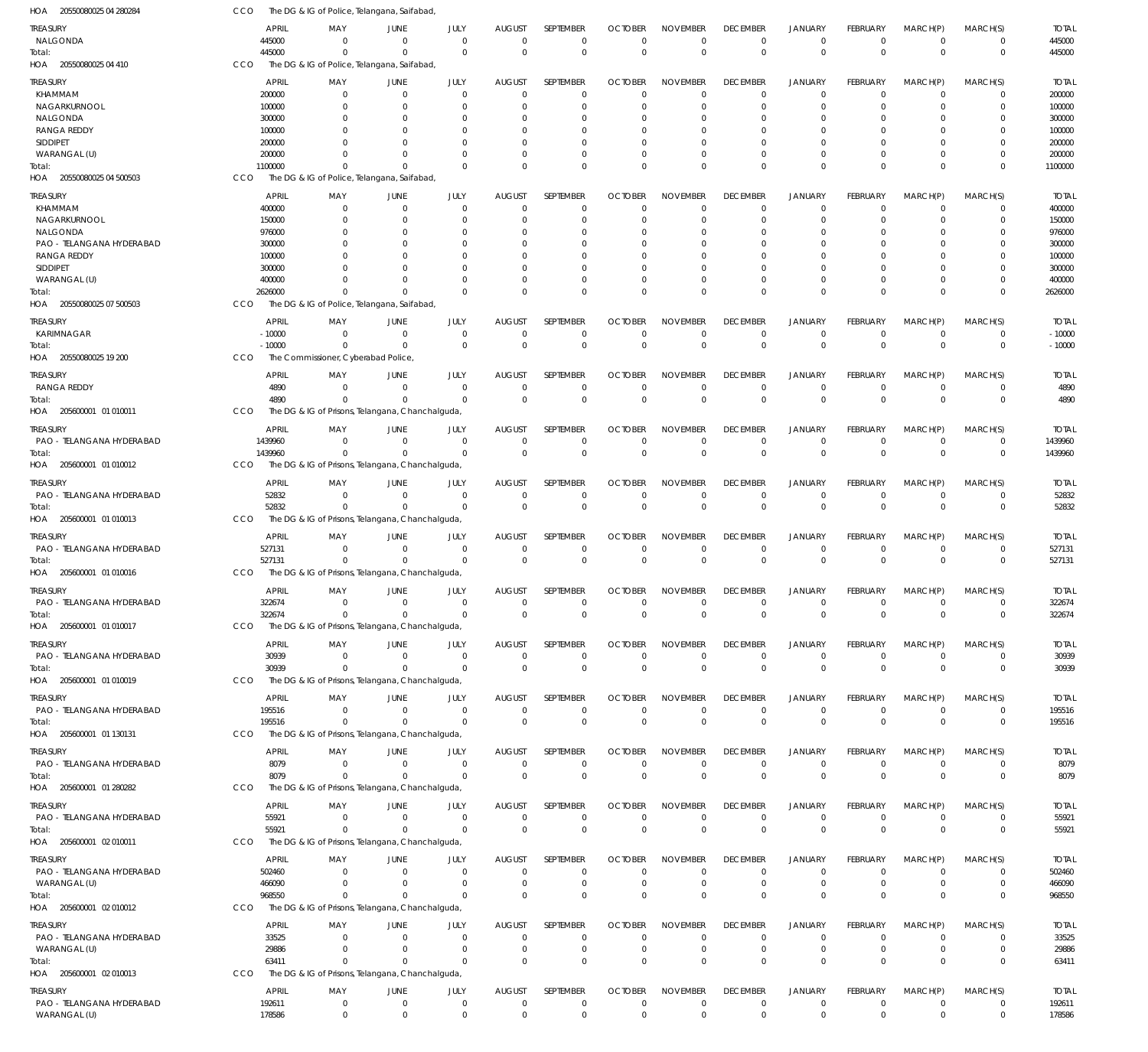| 20550080025 04 280284<br>HOA      | CCO        |                  |                                     | The DG & IG of Police, Telangana, Saifabad,                  |                      |               |                         |                |                      |                 |                      |                 |                      |                         |                  |
|-----------------------------------|------------|------------------|-------------------------------------|--------------------------------------------------------------|----------------------|---------------|-------------------------|----------------|----------------------|-----------------|----------------------|-----------------|----------------------|-------------------------|------------------|
| TREASURY                          |            | <b>APRIL</b>     | MAY                                 | JUNE                                                         | JULY                 | <b>AUGUST</b> | SEPTEMBER               | <b>OCTOBER</b> | <b>NOVEMBER</b>      | <b>DECEMBER</b> | <b>JANUARY</b>       | FEBRUARY        | MARCH(P)             | MARCH(S)                | <b>TOTAL</b>     |
| NALGONDA                          |            | 445000           | $\Omega$                            | $\overline{0}$                                               | $\mathbf 0$          | $\mathbf 0$   | $\mathbf 0$             | $^{\circ}$     | $\Omega$             | $\mathbf 0$     | $\overline{0}$       | $\mathbf 0$     | $\overline{0}$       | $\mathbf 0$             | 445000           |
| Total:                            |            | 445000           | $\Omega$                            | $\Omega$                                                     | $\mathbf 0$          | $\mathbf 0$   | $\mathbf 0$             | $\mathbf 0$    | $\Omega$             | $\mathbf 0$     | $\mathbf 0$          | $\mathbf 0$     | $\Omega$             | $\mathbf 0$             | 445000           |
| HOA 20550080025 04 410            | CCO        |                  |                                     | The DG & IG of Police, Telangana, Saifabad,                  |                      |               |                         |                |                      |                 |                      |                 |                      |                         |                  |
| TREASURY                          |            | <b>APRIL</b>     | MAY                                 | JUNE                                                         | JULY                 | <b>AUGUST</b> | <b>SEPTEMBER</b>        | <b>OCTOBER</b> | <b>NOVEMBER</b>      | <b>DECEMBER</b> | <b>JANUARY</b>       | FEBRUARY        | MARCH(P)             | MARCH(S)                | <b>TOTAL</b>     |
| KHAMMAM                           |            | 200000           | $\overline{0}$                      | $\overline{0}$                                               | $\mathbf 0$          | $\mathbf 0$   | $\mathbf 0$             | $\Omega$       | $\Omega$             | $^{\circ}$      | $\overline{0}$       | $\mathbf 0$     | $\overline{0}$       | $\mathbf 0$             | 200000           |
| NAGARKURNOOL                      |            | 100000           | 0                                   | $\overline{0}$                                               | 0                    | 0             | $\mathbf 0$             | $\Omega$       | $\Omega$             | $^{\circ}$      | $\overline{0}$       | $\Omega$        | $\Omega$             | $\mathbf 0$             | 100000           |
| NALGONDA                          |            | 300000           | $\Omega$                            | $\Omega$                                                     | 0                    | 0             | $\mathbf 0$             | $\Omega$       | $\Omega$             | $\Omega$        | $\Omega$             | 0               | $\Omega$             | $\Omega$                | 300000           |
| <b>RANGA REDDY</b><br>SIDDIPET    |            | 100000<br>200000 | $\Omega$                            | $\Omega$<br>$\Omega$                                         | $\Omega$<br>$\Omega$ | $\Omega$<br>0 | $\mathbf 0$<br>$\Omega$ | $\Omega$<br>-0 | $\Omega$<br>$\Omega$ | $\Omega$        | $\Omega$<br>$\Omega$ | 0<br>$\Omega$   | $\Omega$<br>$\Omega$ | $\mathbf 0$<br>$\Omega$ | 100000<br>200000 |
| WARANGAL (U)                      |            | 200000           | 0                                   | $\Omega$                                                     | $\mathbf 0$          | $\Omega$      | $\mathbf 0$             | $\Omega$       | $\Omega$             | $\Omega$        | $\overline{0}$       | $\Omega$        | $\Omega$             | $\mathbf 0$             | 200000           |
| Total:                            |            | 1100000          | $\Omega$                            | $\Omega$                                                     | $\Omega$             | $\Omega$      | $\mathbf 0$             | $\Omega$       | $\Omega$             | $\Omega$        | $\Omega$             | $\Omega$        | $\Omega$             | $\mathbf 0$             | 1100000          |
| HOA 20550080025 04 500503         | <b>CCO</b> |                  |                                     | The DG & IG of Police, Telangana, Saifabad,                  |                      |               |                         |                |                      |                 |                      |                 |                      |                         |                  |
| <b>TREASURY</b>                   |            | <b>APRIL</b>     | MAY                                 | JUNE                                                         | JULY                 | <b>AUGUST</b> | SEPTEMBER               | <b>OCTOBER</b> | <b>NOVEMBER</b>      | <b>DECEMBER</b> | <b>JANUARY</b>       | FEBRUARY        | MARCH(P)             | MARCH(S)                | <b>TOTAL</b>     |
| KHAMMAM                           |            | 400000           | 0                                   | $\overline{0}$                                               | $\mathbf 0$          | $\mathbf 0$   | $\mathbf 0$             | $\Omega$       | $\Omega$             | $\mathbf 0$     | $\overline{0}$       | $\mathbf 0$     | $\mathbf 0$          | 0                       | 400000           |
| NAGARKURNOOL                      |            | 150000           | $\Omega$                            | $\mathbf 0$                                                  | $\mathbf 0$          | -0            | $\mathbf 0$             | $\Omega$       | $\Omega$             | $\Omega$        | $\Omega$             | $\Omega$        | $\Omega$             | $\mathbf 0$             | 150000           |
| NALGONDA                          |            | 976000           | $\Omega$                            | $\Omega$                                                     | $\Omega$             | 0             | 0                       | $\Omega$       | $\Omega$             | $\Omega$        | $\Omega$             | $\Omega$        | $\Omega$             | 0                       | 976000           |
| PAO - TELANGANA HYDERABAD         |            | 300000           | $\Omega$                            | $\Omega$                                                     | $\Omega$             | $\Omega$      | $\Omega$                | $\Omega$       | $\Omega$             | $\Omega$        | $\Omega$             | $\Omega$        | $\Omega$             | $\Omega$                | 300000           |
| <b>RANGA REDDY</b>                |            | 100000           |                                     | $\Omega$                                                     | $\Omega$             | 0             | $\Omega$                | $\Omega$       | $\Omega$             | $\Omega$        | $\Omega$             | $\Omega$        | $\Omega$             | $\Omega$                | 100000           |
| <b>SIDDIPET</b>                   |            | 300000           |                                     | $\Omega$                                                     | $\Omega$             | $\Omega$      | $\Omega$                | $\Omega$       | $\Omega$             | $\Omega$        | $\Omega$             | $\Omega$        | $\Omega$             | $\Omega$                | 300000           |
| WARANGAL (U)                      |            | 400000           | $\Omega$                            | $\Omega$                                                     | $\Omega$             | $\Omega$      | $\mathbf 0$             | $\Omega$       | $\Omega$             | $\mathbf 0$     | $\overline{0}$       | 0               | $\mathbf 0$          | $\mathbf 0$             | 400000           |
| Total:                            |            | 2626000          | $\Omega$                            | $\Omega$                                                     | $\Omega$             | $\Omega$      | $\Omega$                | $\Omega$       | $\Omega$             | $\Omega$        | $\Omega$             | $\Omega$        | $\Omega$             | $\mathbf 0$             | 2626000          |
| HOA 20550080025 07 500503         | CCO        |                  |                                     | The DG & IG of Police, Telangana, Saifabad,                  |                      |               |                         |                |                      |                 |                      |                 |                      |                         |                  |
| treasury                          |            | <b>APRIL</b>     | MAY                                 | JUNE                                                         | JULY                 | <b>AUGUST</b> | SEPTEMBER               | <b>OCTOBER</b> | <b>NOVEMBER</b>      | <b>DECEMBER</b> | <b>JANUARY</b>       | FEBRUARY        | MARCH(P)             | MARCH(S)                | <b>TOTAL</b>     |
| KARIMNAGAR                        |            | $-10000$         | $\mathbf 0$                         | $\overline{0}$                                               | $\mathbf 0$          | 0             | $\mathbf 0$             | $\Omega$       | $\Omega$             | $^{\circ}$      | $\overline{0}$       | $\mathbf 0$     | $\overline{0}$       | $\mathbf 0$             | $-10000$         |
| Total:                            |            | $-10000$         | $\Omega$                            | $\Omega$                                                     | $\mathbf 0$          | $\mathbf 0$   | $\mathbf 0$             | $\Omega$       | $\Omega$             | $\mathbf 0$     | $\overline{0}$       | $\mathbf 0$     | $\Omega$             | $\mathbf 0$             | $-10000$         |
| HOA 20550080025 19 200            | CCO        |                  | The Commissioner, Cyberabad Police, |                                                              |                      |               |                         |                |                      |                 |                      |                 |                      |                         |                  |
| TREASURY                          |            | <b>APRIL</b>     | MAY                                 | <b>JUNE</b>                                                  | JULY                 | <b>AUGUST</b> | <b>SEPTEMBER</b>        | <b>OCTOBER</b> | <b>NOVEMBER</b>      | <b>DECEMBER</b> | JANUARY              | FEBRUARY        | MARCH(P)             | MARCH(S)                | <b>TOTAL</b>     |
| RANGA REDDY                       |            | 4890             | $\Omega$                            | $\Omega$                                                     | $\mathbf 0$          | $\mathbf 0$   | $\mathbf 0$             | $\overline{0}$ | $\Omega$             | $\mathbf 0$     | $\overline{0}$       | $\mathbf 0$     | $\overline{0}$       | $\mathbf 0$             | 4890             |
| Total:                            |            | 4890             | $\Omega$                            | $\Omega$                                                     | $\mathbf 0$          | $\mathbf 0$   | $\mathbf 0$             | $^{\circ}$     | $\Omega$             | $\mathbf 0$     | $\mathbf 0$          | $\mathbf 0$     | $\Omega$             | $\mathbf 0$             | 4890             |
| HOA 205600001 01 010011           | CCO        |                  |                                     | The DG & IG of Prisons, Telangana, Chanchalguda,             |                      |               |                         |                |                      |                 |                      |                 |                      |                         |                  |
| treasury                          |            | <b>APRIL</b>     | MAY                                 | JUNE                                                         | JULY                 | <b>AUGUST</b> | SEPTEMBER               | <b>OCTOBER</b> | <b>NOVEMBER</b>      | <b>DECEMBER</b> | <b>JANUARY</b>       | FEBRUARY        | MARCH(P)             | MARCH(S)                | <b>TOTAL</b>     |
| PAO - TELANGANA HYDERABAD         |            | 1439960          | $\mathbf 0$                         | $\overline{0}$                                               | $\mathbf 0$          | 0             | $\mathbf 0$             | 0              | $\mathbf 0$          | $^{\circ}$      | $\overline{0}$       | $\mathbf 0$     | $\overline{0}$       | $\mathbf 0$             | 1439960          |
| Total:                            |            | 1439960          | $\Omega$                            | $\Omega$                                                     | $\Omega$             | $\mathbf 0$   | $\mathbf 0$             | $\Omega$       | $\Omega$             | $\mathbf 0$     | $\overline{0}$       | $\mathbf 0$     | $\Omega$             | $\mathbf 0$             | 1439960          |
| HOA 205600001 01 010012           | <b>CCO</b> |                  |                                     | The DG & IG of Prisons, Telangana, Chanchalguda,             |                      |               |                         |                |                      |                 |                      |                 |                      |                         |                  |
| TREASURY                          |            | <b>APRIL</b>     | MAY                                 | <b>JUNE</b>                                                  | JULY                 | <b>AUGUST</b> | SEPTEMBER               | <b>OCTOBER</b> | <b>NOVEMBER</b>      | <b>DECEMBER</b> | <b>JANUARY</b>       | FEBRUARY        | MARCH(P)             | MARCH(S)                | <b>TOTAL</b>     |
| PAO - TELANGANA HYDERABAD         |            | 52832            | $\Omega$                            | $\Omega$                                                     | $\mathbf 0$          | $\mathbf 0$   | $\mathbf 0$             | $\Omega$       | $\Omega$             | $\mathbf 0$     | $\overline{0}$       | $\mathbf 0$     | $\overline{0}$       | $\mathbf 0$             | 52832            |
| Total:                            |            | 52832            | $\Omega$                            | $\Omega$                                                     | $\mathbf 0$          | $\Omega$      | $\mathbf 0$             | $\Omega$       | $\Omega$             | $\mathbf 0$     | $\mathbf 0$          | $\mathbf 0$     | $\Omega$             | $\mathbf 0$             | 52832            |
| HOA 205600001 01 010013           | CCO        |                  |                                     | The DG & IG of Prisons, Telangana, Chanchalguda,             |                      |               |                         |                |                      |                 |                      |                 |                      |                         |                  |
| treasury                          |            | <b>APRIL</b>     | MAY                                 | JUNE                                                         | JULY                 | <b>AUGUST</b> | SEPTEMBER               | <b>OCTOBER</b> | <b>NOVEMBER</b>      | <b>DECEMBER</b> | <b>JANUARY</b>       | FEBRUARY        | MARCH(P)             | MARCH(S)                | <b>TOTAL</b>     |
| PAO - TELANGANA HYDERABAD         |            | 527131           | $\overline{0}$                      | $\overline{0}$                                               | $\mathbf 0$          | 0             | $\mathbf 0$             | $\overline{0}$ | $\Omega$             | $^{\circ}$      | $\overline{0}$       | $\mathbf 0$     | $\overline{0}$       | $\mathbf 0$             | 527131           |
| Total:                            |            | 527131           | $\Omega$                            | $\Omega$                                                     | $\mathbf 0$          | $\mathbf 0$   | $\mathbf 0$             | $^{\circ}$     | $\Omega$             | $\mathbf 0$     | $\mathbf 0$          | $\mathbf 0$     | $\overline{0}$       | $\mathbf 0$             | 527131           |
| HOA 205600001 01 010016           | <b>CCO</b> |                  |                                     | The DG & IG of Prisons, Telangana, Chanchalguda,             |                      |               |                         |                |                      |                 |                      |                 |                      |                         |                  |
| <b>TREASURY</b>                   |            | <b>APRIL</b>     | MAY                                 | <b>JUNE</b>                                                  | JULY                 | <b>AUGUST</b> | SEPTEMBER               | <b>OCTOBER</b> | <b>NOVEMBER</b>      | <b>DECEMBER</b> | JANUARY              | <b>FEBRUARY</b> | MARCH(P)             | MARCH(S)                | <b>TOTAL</b>     |
| PAO - TELANGANA HYDERABAD         |            | 322674           | $\overline{0}$                      | $\mathbf 0$                                                  | $\mathbf 0$          | $\mathbf 0$   | $\mathbf 0$             | $\mathbf 0$    | $\mathbf 0$          | $\overline{0}$  | $\mathbf 0$          | $\mathbf 0$     | $\overline{0}$       | 0                       | 322674           |
| Total:                            |            | 322674           | $\overline{0}$                      | $\Omega$                                                     | $\mathbf 0$          | $\mathbf 0$   | $\mathbf 0$             | $\mathbf 0$    | $\mathbf 0$          | $\mathbf 0$     | $\mathbf 0$          | $\Omega$        | $\mathbf 0$          | $\mathbf 0$             | 322674           |
| HOA 205600001 01 010017           | CCO        |                  |                                     | The DG & IG of Prisons, Telangana, Chanchalguda,             |                      |               |                         |                |                      |                 |                      |                 |                      |                         |                  |
| TREASURY                          |            | <b>APRIL</b>     | MAY                                 | JUNE                                                         | JULY                 | <b>AUGUST</b> | SEPTEMBER               | <b>OCTOBER</b> | <b>NOVEMBER</b>      | <b>DECEMBER</b> | <b>JANUARY</b>       | <b>FEBRUARY</b> | MARCH(P)             | MARCH(S)                | <b>TOTAL</b>     |
| PAO - TELANGANA HYDERABAD         |            | 30939            | $\overline{0}$                      | $\overline{0}$                                               | $\mathbf 0$          | $\mathbf 0$   | $\mathbf 0$             | $\overline{0}$ | $\mathbf 0$          | 0               | $\mathbf 0$          | $\mathbf 0$     | $\overline{0}$       | $\mathbf 0$             | 30939            |
| Total:                            |            | 30939            | $\Omega$                            | $\Omega$                                                     | $\mathbf 0$          | $\mathbf 0$   | $\mathbf 0$             | $^{\circ}$     | $\Omega$             | $\mathbf 0$     | $\mathbf 0$          | $\mathbf 0$     | $\overline{0}$       | $\mathbf 0$             | 30939            |
| HOA 205600001 01 010019           | CCO        |                  |                                     | The DG & IG of Prisons, Telangana, Chanchalguda,             |                      |               |                         |                |                      |                 |                      |                 |                      |                         |                  |
| TREASURY                          |            | <b>APRIL</b>     | MAY                                 | <b>JUNE</b>                                                  | JULY                 | <b>AUGUST</b> | SEPTEMBER               | <b>OCTOBER</b> | <b>NOVEMBER</b>      | <b>DECEMBER</b> | <b>JANUARY</b>       | FEBRUARY        | MARCH(P)             | MARCH(S)                | <b>TOTAL</b>     |
| PAO - TELANGANA HYDERABAD         |            | 195516           | $\overline{0}$                      | $\overline{0}$                                               | $\mathbf 0$          | $\mathbf 0$   | $\mathbf 0$             | $^{\circ}$     | $\Omega$             | $\mathbf 0$     | $^{\circ}$           | $\mathbf 0$     | $\overline{0}$       | $\mathbf 0$             | 195516           |
| Total:                            |            | 195516           | $\Omega$                            | $\Omega$                                                     | $\Omega$             | $\mathbf 0$   | $\mathbf 0$             | $\Omega$       | $\Omega$             | $\mathbf 0$     | $\mathbf 0$          | $\Omega$        | $\Omega$             | $\mathbf 0$             | 195516           |
| HOA 205600001 01 130131           | CCO        |                  |                                     | The DG & IG of Prisons, Telangana, Chanchalguda,             |                      |               |                         |                |                      |                 |                      |                 |                      |                         |                  |
| TREASURY                          |            | <b>APRIL</b>     | MAY                                 | JUNE                                                         | JULY                 | <b>AUGUST</b> | SEPTEMBER               | <b>OCTOBER</b> | <b>NOVEMBER</b>      | <b>DECEMBER</b> | <b>JANUARY</b>       | FEBRUARY        | MARCH(P)             | MARCH(S)                | <b>TOTAL</b>     |
| PAO - TELANGANA HYDERABAD         |            | 8079             | $\overline{0}$                      | $\overline{0}$                                               | $\mathbf 0$          | $\mathbf 0$   | $\mathbf 0$             | $\overline{0}$ | $\mathbf 0$          | $\mathbf 0$     | $\overline{0}$       | $\mathbf 0$     | $\overline{0}$       | $\mathbf 0$             | 8079             |
| Total:                            |            | 8079             | $\mathbf 0$                         | $\Omega$                                                     | $\mathbf 0$          | $\mathbf 0$   | $\mathbf 0$             | $^{\circ}$     | $\Omega$             | $\mathbf 0$     | $\mathbf 0$          | $\mathbf{0}$    | $\Omega$             | $\mathbf 0$             | 8079             |
| HOA 205600001 01 280282           | <b>CCO</b> |                  |                                     | The DG & IG of Prisons, Telangana, Chanchalguda,             |                      |               |                         |                |                      |                 |                      |                 |                      |                         |                  |
| TREASURY                          |            | <b>APRIL</b>     | MAY                                 | JUNE                                                         | JULY                 | <b>AUGUST</b> | SEPTEMBER               | <b>OCTOBER</b> | <b>NOVEMBER</b>      | <b>DECEMBER</b> | <b>JANUARY</b>       | FEBRUARY        | MARCH(P)             | MARCH(S)                | <b>TOTAL</b>     |
| PAO - TELANGANA HYDERABAD         |            | 55921            | $\Omega$                            | $\Omega$                                                     | $\mathbf 0$          | $\mathbf 0$   | $\mathbf 0$             | $\overline{0}$ | 0                    | $\mathbf 0$     | $\mathbf 0$          | $\mathbf 0$     | $\overline{0}$       | $\mathbf 0$             | 55921            |
| Total:                            |            | 55921            | $\Omega$                            | $\Omega$                                                     | $\mathbf 0$          | $\mathbf 0$   | $\mathbf 0$             | $\mathbf 0$    | $\Omega$             | $\mathbf 0$     | $\mathbf 0$          | $\Omega$        | $\Omega$             | $\mathbf 0$             | 55921            |
| HOA 205600001 02 010011           | CCO        |                  |                                     | The DG & IG of Prisons, Telangana, Chanchalguda,             |                      |               |                         |                |                      |                 |                      |                 |                      |                         |                  |
| <b>TREASURY</b>                   |            | <b>APRIL</b>     | MAY                                 | <b>JUNE</b>                                                  | JULY                 | <b>AUGUST</b> | SEPTEMBER               | <b>OCTOBER</b> | <b>NOVEMBER</b>      | <b>DECEMBER</b> | <b>JANUARY</b>       | <b>FEBRUARY</b> | MARCH(P)             | MARCH(S)                | <b>TOTAL</b>     |
| PAO - TELANGANA HYDERABAD         |            | 502460           | $\overline{0}$                      | $\overline{0}$                                               | $\mathbf 0$          | $\mathbf 0$   | $\mathbf 0$             | $\overline{0}$ | $\Omega$             | $^{\circ}$      | $\overline{0}$       | $\mathbf 0$     | $\overline{0}$       | $\mathbf 0$             | 502460           |
| WARANGAL (U)                      |            | 466090           | $\mathbf 0$                         | $\overline{0}$                                               | $\mathbf 0$          | 0             | $\mathbf 0$             | $^{\circ}$     | $\mathbf 0$          | $\mathbf 0$     | $\overline{0}$       | $\mathbf 0$     | $\overline{0}$       | $\mathbf 0$             | 466090           |
| Total:                            |            | 968550           | $\Omega$                            | $\Omega$                                                     | $\mathbf 0$          | $\mathbf 0$   | $\mathbf 0$             | $^{\circ}$     | $\Omega$             | $\mathbf 0$     | $\mathbf 0$          | $\Omega$        | $\Omega$             | $\mathbf 0$             | 968550           |
| HOA 205600001 02 010012           | CCO        |                  |                                     | The DG & IG of Prisons, Telangana, Chanchalguda,             |                      |               |                         |                |                      |                 |                      |                 |                      |                         |                  |
| TREASURY                          |            | <b>APRIL</b>     | MAY                                 | JUNE                                                         | JULY                 | AUGUST        | SEPTEMBER               | <b>OCTOBER</b> | <b>NOVEMBER</b>      | <b>DECEMBER</b> | JANUARY              | FEBRUARY        | MARCH(P)             | MARCH(S)                | <b>TOTAL</b>     |
| PAO - TELANGANA HYDERABAD         |            | 33525            | $\overline{0}$                      | $\overline{0}$                                               | $\mathbf 0$          | $\mathbf 0$   | $\mathbf 0$             | $\Omega$       | $\Omega$             | $\mathbf 0$     | $\overline{0}$       | $\mathbf 0$     | $\overline{0}$       | $\mathbf 0$             | 33525            |
| WARANGAL (U)                      |            | 29886            | $\mathbf 0$                         | $\overline{0}$                                               | $\mathbf 0$          | 0             | $\mathbf 0$             | $\mathbf 0$    | $\mathbf 0$          | $\mathbf 0$     | $^{\circ}$           | $\mathbf 0$     | $^{\circ}$           | $\mathbf 0$             | 29886            |
| Total:<br>HOA 205600001 02 010013 | CCO        | 63411            | $\Omega$                            | $\Omega$<br>The DG & IG of Prisons, Telangana, Chanchalguda, | $\Omega$             | $\Omega$      | $\mathbf 0$             | $^{\circ}$     | $\Omega$             | $\mathbf 0$     | $\mathbf 0$          | $\Omega$        | $\Omega$             | $\mathbf 0$             | 63411            |
|                                   |            |                  |                                     |                                                              |                      |               |                         |                |                      |                 |                      |                 |                      |                         |                  |
| treasury                          |            | <b>APRIL</b>     | MAY                                 | JUNE                                                         | JULY                 | <b>AUGUST</b> | SEPTEMBER               | <b>OCTOBER</b> | <b>NOVEMBER</b>      | <b>DECEMBER</b> | <b>JANUARY</b>       | FEBRUARY        | MARCH(P)             | MARCH(S)                | <b>TOTAL</b>     |
| PAO - TELANGANA HYDERABAD         |            | 192611           | $\overline{0}$                      | $\overline{0}$                                               | $\mathbf 0$          | 0             | $\mathbf 0$             | $\mathbf 0$    | $\mathbf 0$          | $\mathbf 0$     | $^{\circ}$           | $\mathbf 0$     | $^{\circ}$           | $\mathbf 0$             | 192611           |
| WARANGAL (U)                      |            | 178586           | $\overline{0}$                      | $\overline{0}$                                               | $\mathbf 0$          | $\mathbf 0$   | $\mathbf 0$             | $\mathbf 0$    | $\mathbf 0$          | $\mathbf 0$     | $\overline{0}$       | $\mathbf 0$     | $\overline{0}$       | $\mathbf 0$             | 178586           |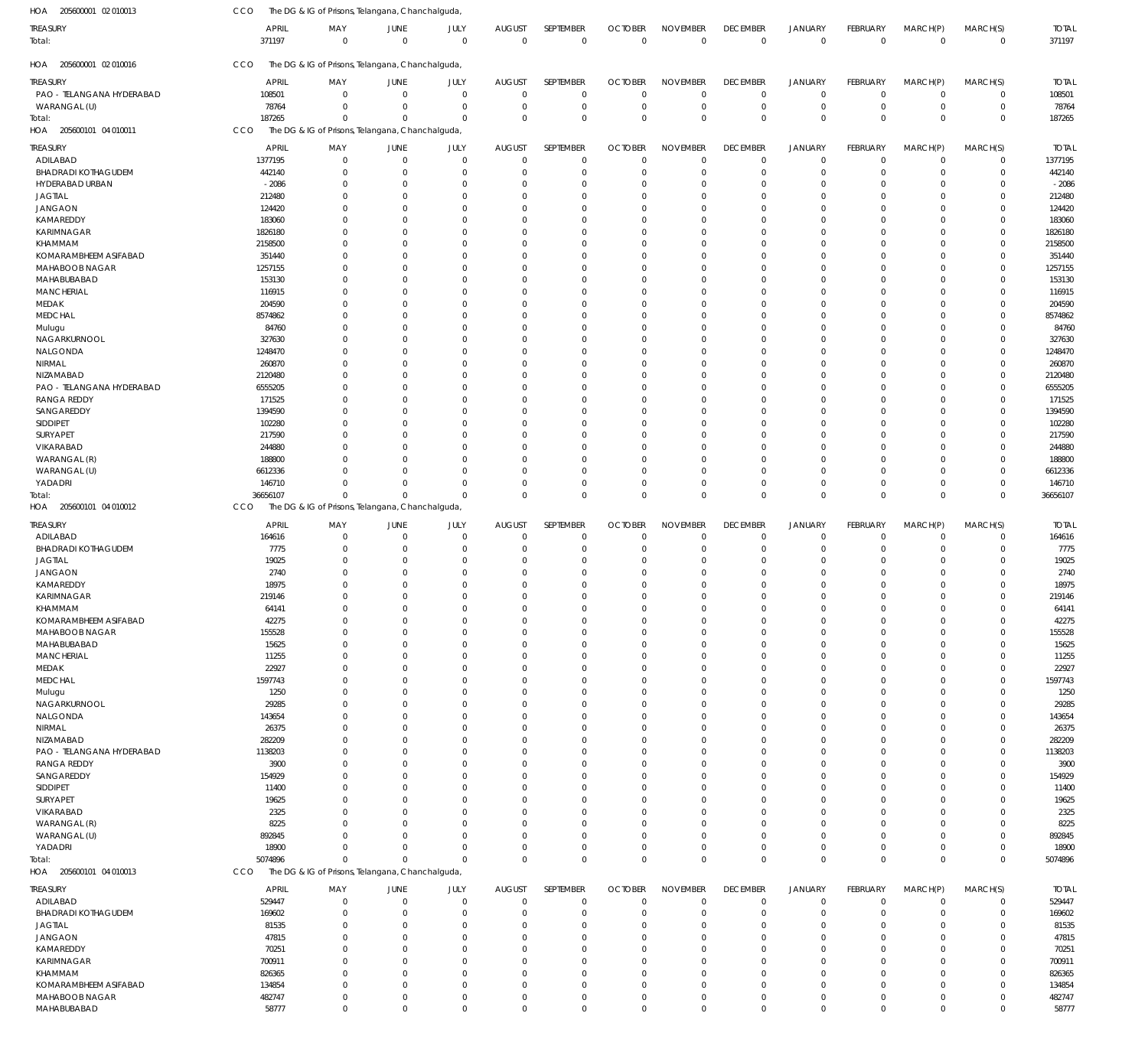| HOA 205600001 02 010013          | CCO                    | The DG & IG of Prisons, Telangana, Chanchalguda, |                             |                            |                              |                            |                               |                                |                                |                                  |                                |                               |                            |                        |
|----------------------------------|------------------------|--------------------------------------------------|-----------------------------|----------------------------|------------------------------|----------------------------|-------------------------------|--------------------------------|--------------------------------|----------------------------------|--------------------------------|-------------------------------|----------------------------|------------------------|
| TREASURY<br>Total:               | <b>APRIL</b><br>371197 | MAY<br>$\mathbf 0$                               | JUNE<br>$\mathbf 0$         | JULY<br>$\overline{0}$     | <b>AUGUST</b><br>$\mathbf 0$ | SEPTEMBER<br>$\mathbf 0$   | <b>OCTOBER</b><br>$\mathbf 0$ | <b>NOVEMBER</b><br>$\mathbf 0$ | <b>DECEMBER</b><br>$\mathbf 0$ | <b>JANUARY</b><br>$\overline{0}$ | <b>FEBRUARY</b><br>$\mathbf 0$ | MARCH(P)<br>$\overline{0}$    | MARCH(S)<br>0              | <b>TOTAL</b><br>371197 |
| HOA 205600001 02 010016          | CCO                    | The DG & IG of Prisons, Telangana, Chanchalguda, |                             |                            |                              |                            |                               |                                |                                |                                  |                                |                               |                            |                        |
| treasury                         | <b>APRIL</b>           | MAY                                              | JUNE                        | JULY                       | <b>AUGUST</b>                | SEPTEMBER                  | <b>OCTOBER</b>                | <b>NOVEMBER</b>                | <b>DECEMBER</b>                | <b>JANUARY</b>                   | FEBRUARY                       | MARCH(P)                      | MARCH(S)                   | <b>TOTAL</b>           |
| PAO - TELANGANA HYDERABAD        | 108501                 | $\Omega$                                         | $\mathbf 0$                 | $\mathbf 0$                | $\mathbf 0$                  | $\mathbf 0$                | $\Omega$                      | $\Omega$                       | $^{\circ}$                     | $\mathbf 0$                      | $\Omega$                       | $\mathbf 0$                   | $\mathbf 0$                | 108501                 |
| WARANGAL (U)                     | 78764                  | $\Omega$                                         | $\Omega$                    | $\mathbf 0$                | $\mathbf 0$                  | $\mathbf 0$                | $\mathbf 0$                   | $\Omega$                       | $\mathbf 0$                    | $\mathbf 0$                      | $\mathbf 0$                    | $\mathbf 0$                   | $\mathsf 0$                | 78764                  |
| Total:                           | 187265                 | $\Omega$                                         | $\Omega$                    | $\Omega$                   | $\Omega$                     | $\mathbf 0$                | $\Omega$                      | $\Omega$                       | $\mathbf 0$                    | $\mathbf 0$                      | $\Omega$                       | $\mathbf 0$                   | $\mathbf 0$                | 187265                 |
| HOA 205600101 04 010011          | CCO                    | The DG & IG of Prisons, Telangana, Chanchalguda, |                             |                            |                              |                            |                               |                                |                                |                                  |                                |                               |                            |                        |
| treasury                         | <b>APRIL</b>           | MAY                                              | JUNE                        | JULY                       | AUGUST                       | SEPTEMBER                  | <b>OCTOBER</b>                | <b>NOVEMBER</b>                | <b>DECEMBER</b>                | <b>JANUARY</b>                   | FEBRUARY                       | MARCH(P)                      | MARCH(S)                   | <b>TOTAL</b>           |
| ADILABAD                         | 1377195                | $\overline{0}$                                   | $\mathbf 0$                 | $\mathbf 0$                | $\mathbf 0$                  | $\mathbf 0$                | $\mathbf 0$                   | $\Omega$                       | $\overline{0}$                 | $\mathbf 0$                      | $\overline{0}$                 | $\mathbf 0$                   | $\mathbf 0$                | 1377195                |
| <b>BHADRADI KOTHAGUDEM</b>       | 442140                 | $\Omega$                                         | $\mathbf 0$                 | $\mathbf 0$                | $\mathbf 0$                  | $\mathbf 0$                | $\mathbf 0$                   | $\Omega$                       | $\overline{0}$                 | $\mathbf 0$                      | $\mathbf 0$                    | $\mathbf 0$                   | $\mathsf 0$                | 442140                 |
| HYDERABAD URBAN                  | $-2086$                | $\Omega$                                         | $\mathbf 0$                 | $\Omega$                   | $\Omega$                     | $\mathbf 0$                | $\Omega$                      | $\Omega$                       | $\Omega$                       | $\Omega$                         | $\Omega$                       | $\Omega$                      | 0                          | $-2086$                |
| <b>JAGTIAL</b>                   | 212480                 | $\Omega$                                         | $\mathbf 0$                 | $\Omega$                   | $\Omega$                     | $\mathbf 0$                | $\Omega$                      | $\Omega$                       | $\Omega$                       | $\Omega$                         | $\Omega$                       | $\Omega$                      | $\mathbf 0$                | 212480                 |
| JANGAON                          | 124420                 | $\Omega$<br>$\Omega$                             | $\mathbf 0$<br>$\Omega$     | $\Omega$                   | $\Omega$                     | $\mathbf 0$                | $\Omega$<br>$\Omega$          | $\Omega$<br>$\Omega$           | $\Omega$                       | $\Omega$<br>$\Omega$             | $\Omega$                       | $\Omega$<br>$\Omega$          | 0                          | 124420                 |
| KAMAREDDY<br><b>KARIMNAGAR</b>   | 183060<br>1826180      | $\Omega$                                         | $\Omega$                    | $\Omega$<br>$\Omega$       | $\Omega$<br>$\Omega$         | $\mathbf 0$<br>$\mathbf 0$ | $\Omega$                      | $\Omega$                       | $\Omega$<br>$\Omega$           | $\Omega$                         | $\Omega$<br>$\Omega$           | $\Omega$                      | $\mathbf 0$<br>0           | 183060<br>1826180      |
| KHAMMAM                          | 2158500                | $\Omega$                                         | $\mathbf 0$                 | $\Omega$                   | $\Omega$                     | $\mathbf 0$                | $\Omega$                      | $\Omega$                       | $\Omega$                       | $\Omega$                         | $\Omega$                       | $\Omega$                      | $\mathbf 0$                | 2158500                |
| KOMARAMBHEEM ASIFABAD            | 351440                 | $\Omega$                                         | $\Omega$                    | $\Omega$                   | $\Omega$                     | $\mathbf 0$                | $\Omega$                      | $\Omega$                       | $\Omega$                       | $\Omega$                         | $\Omega$                       | $\Omega$                      | 0                          | 351440                 |
| MAHABOOB NAGAR                   | 1257155                | $\Omega$                                         | $\Omega$                    | $\Omega$                   | $\Omega$                     | $\mathbf 0$                | $\Omega$                      | $\Omega$                       | $\Omega$                       | $\Omega$                         | $\Omega$                       | $\Omega$                      | $\mathbf 0$                | 1257155                |
| MAHABUBABAD                      | 153130                 | $\Omega$                                         | $\mathbf 0$                 | $\Omega$                   | $\Omega$                     | $\mathbf 0$                | $\Omega$                      | $\Omega$                       | $\Omega$                       | $\Omega$                         | $\Omega$                       | $\Omega$                      | $\mathbf 0$                | 153130                 |
| <b>MANCHERIAL</b>                | 116915                 | $\Omega$                                         | $\Omega$                    | $\Omega$                   | $\Omega$                     | $\mathbf 0$                | $\Omega$                      | $\Omega$                       | $\Omega$                       | $\Omega$                         | $\Omega$                       | $\Omega$                      | $\mathbf 0$                | 116915                 |
| MEDAK                            | 204590                 | $\Omega$                                         | $\Omega$                    | $\Omega$                   | $\Omega$                     | $\mathbf 0$                | $\Omega$                      | $\Omega$                       | $\Omega$                       | $\Omega$                         | $\Omega$                       | $\Omega$                      | 0                          | 204590                 |
| <b>MEDCHAL</b>                   | 8574862                | $\Omega$                                         | $\Omega$                    | $\Omega$                   | $\Omega$                     | $\mathbf 0$                | $\Omega$                      | $\Omega$                       | $\Omega$                       | $\Omega$                         | $\Omega$                       | $\Omega$                      | $\mathbf 0$                | 8574862                |
| Mulugu<br>NAGARKURNOOL           | 84760                  | $\Omega$<br>$\Omega$                             | $\mathbf 0$<br>$\Omega$     | $\Omega$                   | $\Omega$                     | $\mathbf 0$                | $\Omega$<br>$\Omega$          | $\Omega$<br>$\Omega$           | $\Omega$                       | $\Omega$<br>$\Omega$             | $\Omega$                       | $\Omega$<br>$\Omega$          | 0                          | 84760                  |
| NALGONDA                         | 327630<br>1248470      | $\Omega$                                         | $\Omega$                    | $\Omega$<br>$\Omega$       | $\Omega$<br>$\Omega$         | $\mathbf 0$<br>$\mathbf 0$ | $\Omega$                      | $\Omega$                       | $\Omega$<br>$\Omega$           | $\Omega$                         | $\Omega$<br>$\Omega$           | $\Omega$                      | $\mathbf 0$<br>$\mathbf 0$ | 327630<br>1248470      |
| NIRMAL                           | 260870                 | $\Omega$                                         | $\mathbf 0$                 | $\Omega$                   | $\Omega$                     | $\mathbf 0$                | $\Omega$                      | $\Omega$                       | $\Omega$                       | $\Omega$                         | $\Omega$                       | $\Omega$                      | $\mathbf 0$                | 260870                 |
| NIZAMABAD                        | 2120480                | $\Omega$                                         | $\Omega$                    | $\Omega$                   | $\Omega$                     | $\mathbf 0$                | $\Omega$                      | $\Omega$                       | $\Omega$                       | $\Omega$                         | $\Omega$                       | $\Omega$                      | 0                          | 2120480                |
| PAO - TELANGANA HYDERABAD        | 6555205                | $\Omega$                                         | $\Omega$                    | $\Omega$                   | $\Omega$                     | $\mathbf 0$                | $\Omega$                      | $\Omega$                       | $\Omega$                       | $\Omega$                         | $\Omega$                       | $\Omega$                      | $\mathbf 0$                | 6555205                |
| <b>RANGA REDDY</b>               | 171525                 | $\Omega$                                         | $\mathbf 0$                 | $\Omega$                   | $\Omega$                     | $\mathbf 0$                | $\Omega$                      | $\Omega$                       | $\Omega$                       | $\Omega$                         | $\Omega$                       | $\Omega$                      | 0                          | 171525                 |
| SANGAREDDY                       | 1394590                | $\Omega$                                         | $\Omega$                    | $\Omega$                   | $\Omega$                     | $\mathbf 0$                | $\Omega$                      | $\Omega$                       | $\Omega$                       | $\Omega$                         | $\Omega$                       | $\Omega$                      | $\mathbf 0$                | 1394590                |
| SIDDIPET                         | 102280                 | $\Omega$                                         | $\Omega$                    | $\Omega$                   | $\Omega$                     | $\mathbf 0$                | $\Omega$                      | $\Omega$                       | $\Omega$                       | $\Omega$                         | $\Omega$                       | $\Omega$                      | 0                          | 102280                 |
| SURYAPET                         | 217590                 | $\Omega$                                         | $\Omega$                    | $\Omega$                   | $\Omega$                     | $\mathbf 0$                | $\Omega$                      | $\Omega$                       | $\Omega$                       | $\Omega$                         | $\Omega$                       | $\Omega$                      | $\mathbf 0$                | 217590                 |
| VIKARABAD                        | 244880                 | $\Omega$<br><sup>0</sup>                         | $\Omega$<br>$\Omega$        | $\Omega$<br>$\Omega$       | $\Omega$<br>$\Omega$         | $\mathbf 0$<br>$\mathbf 0$ | $\Omega$<br>$\Omega$          | $\Omega$<br>$\Omega$           | $\Omega$<br>$\Omega$           | $\Omega$<br>$\Omega$             | $\Omega$<br>$\Omega$           | $\Omega$<br>$\Omega$          | 0<br>$\mathbf 0$           | 244880                 |
| WARANGAL (R)<br>WARANGAL (U)     | 188800<br>6612336      | <sup>0</sup>                                     | $\Omega$                    | $\Omega$                   | $\Omega$                     | $\mathbf 0$                | $\Omega$                      | $\Omega$                       | $\Omega$                       | $\Omega$                         | $\Omega$                       | $\Omega$                      | $\mathbf 0$                | 188800<br>6612336      |
| YADADRI                          | 146710                 | $\Omega$                                         | $\Omega$                    | $\Omega$                   | $\Omega$                     | $\mathbf 0$                | $\Omega$                      | $\Omega$                       | $\Omega$                       | $\mathbf 0$                      | $\mathbf 0$                    | $\mathbf 0$                   | $\mathsf 0$                | 146710                 |
| Total:                           | 36656107               | $\Omega$                                         | $\Omega$                    | $\Omega$                   | $\Omega$                     | $\mathbf 0$                | $\Omega$                      | $\Omega$                       | $\Omega$                       | $\mathbf 0$                      | $\Omega$                       | $\Omega$                      | $\mathbf 0$                | 36656107               |
| HOA 205600101 04 010012          | <b>CCO</b>             | The DG & IG of Prisons, Telangana, Chanchalguda, |                             |                            |                              |                            |                               |                                |                                |                                  |                                |                               |                            |                        |
| treasury                         | <b>APRIL</b>           | MAY                                              | JUNE                        | JULY                       | <b>AUGUST</b>                | SEPTEMBER                  | <b>OCTOBER</b>                | <b>NOVEMBER</b>                | <b>DECEMBER</b>                | <b>JANUARY</b>                   | FEBRUARY                       | MARCH(P)                      | MARCH(S)                   | <b>TOTAL</b>           |
| ADILABAD                         | 164616                 | $\Omega$                                         | $\mathbf 0$                 | $\mathbf 0$                | $\mathbf 0$                  | $\mathbf 0$                | $\Omega$                      | $\Omega$                       | $\overline{0}$                 | $\mathbf 0$                      | $\mathbf 0$                    | $\mathbf 0$                   | $\mathbf 0$                | 164616                 |
| <b>BHADRADI KOTHAGUDEM</b>       | 7775                   | $\Omega$                                         | $\mathbf 0$                 | $\Omega$                   | $\Omega$                     | $\mathbf 0$                | $\Omega$                      | $\Omega$                       | $\Omega$                       | $\Omega$                         | $\Omega$                       | $\Omega$                      | $\mathbf 0$                | 7775                   |
| <b>JAGTIAL</b>                   | 19025                  | $\Omega$                                         | $\mathbf 0$                 | $\Omega$                   | $\Omega$                     | $\Omega$                   | $\Omega$                      | $\Omega$                       | $\Omega$                       | $\Omega$                         | $\Omega$                       | $\Omega$                      | $\mathbf 0$                | 19025                  |
| <b>JANGAON</b>                   | 2740                   | <sup>0</sup>                                     | $\mathbf 0$                 | $\Omega$                   | $\Omega$                     | 0                          | $\Omega$                      | $\Omega$                       | $\Omega$                       | $\Omega$                         | $\Omega$                       | $\Omega$                      | $\mathbf 0$                | 2740                   |
| KAMAREDDY                        | 18975                  | $\Omega$                                         | $\Omega$                    | $\Omega$                   | $\Omega$                     | $\Omega$                   | $\Omega$                      | $\Omega$                       | $\Omega$                       | $\Omega$                         | $\Omega$                       | $\Omega$                      | $\mathbf 0$                | 18975                  |
| <b>KARIMNAGAR</b>                | 219146                 | $\Omega$                                         | $\mathbf{0}$<br>$\mathbf 0$ | $\Omega$<br>$\Omega$       | $\Omega$                     | $\Omega$<br>$\mathbf 0$    | $\Omega$<br>$\Omega$          | $\Omega$<br>$\Omega$           | $\Omega$                       | $\mathbf 0$                      | $\Omega$<br>$\Omega$           | $\Omega$                      | $\Omega$<br>$\mathbf 0$    | 219146                 |
| KHAMMAM<br>KOMARAMBHEEM ASIFABAD | 64141<br>42275         | $^{\circ}$<br>$\Omega$                           | $\mathbf 0$                 | $\Omega$                   | 0<br>$\Omega$                | $\mathbf 0$                | $\Omega$                      | $\Omega$                       | $\mathbf 0$<br>$\Omega$        | $\mathbf 0$<br>$\Omega$          | $\Omega$                       | 0<br>$\Omega$                 | $\mathbf 0$                | 64141<br>42275         |
| MAHABOOB NAGAR                   | 155528                 | $\Omega$                                         | $\mathbf 0$                 | $\Omega$                   | $\Omega$                     | $\mathbf 0$                | $\Omega$                      | $\Omega$                       | $\Omega$                       | $\mathbf{0}$                     | $\Omega$                       | $\Omega$                      | $\mathbf 0$                | 155528                 |
| MAHABUBABAD                      | 15625                  | $\Omega$                                         | $\mathbf 0$                 | O                          | $\Omega$                     | $\Omega$                   | $\Omega$                      | $\Omega$                       | $\Omega$                       | $\Omega$                         | $\Omega$                       | $\Omega$                      | $\mathbf 0$                | 15625                  |
| <b>MANCHERIAL</b>                | 11255                  | $\Omega$                                         | $\Omega$                    | $\Omega$                   | $\Omega$                     | $\Omega$                   | $\Omega$                      | $\Omega$                       | $\Omega$                       | $\Omega$                         | $\Omega$                       | $\Omega$                      | $\mathbf 0$                | 11255                  |
| MEDAK                            | 22927                  | $\Omega$                                         | $\Omega$                    | O                          | $\Omega$                     | $\Omega$                   | $\Omega$                      | $\Omega$                       | $\Omega$                       | $\Omega$                         | $\Omega$                       | $\Omega$                      | $\mathbf 0$                | 22927                  |
| <b>MEDCHAL</b>                   | 1597743                | $\Omega$                                         | $\Omega$                    | $\Omega$                   | $\Omega$                     | $\Omega$                   | $\Omega$                      | $\Omega$                       | $\Omega$                       | $\Omega$                         | $\Omega$                       | $\Omega$                      | $\mathbf 0$                | 1597743                |
| Mulugu                           | 1250                   | $\Omega$                                         | $\Omega$                    | O                          | $\Omega$                     | $\Omega$                   | $\Omega$                      | $\Omega$                       | $\Omega$                       | $\Omega$                         | $\Omega$                       | $\Omega$                      | $\mathbf 0$                | 1250                   |
| NAGARKURNOOL                     | 29285                  | $\Omega$                                         | $\Omega$<br>$\Omega$        | O<br>O                     | $\Omega$                     | $\Omega$<br>$\Omega$       | $\Omega$<br>$\Omega$          | $\Omega$<br>$\Omega$           | $\Omega$                       | $\Omega$<br>$\Omega$             | $\Omega$<br>$\Omega$           | $\Omega$                      | $\mathbf 0$                | 29285                  |
| NALGONDA<br>NIRMAL               | 143654<br>26375        | $\Omega$<br>$\Omega$                             | $\Omega$                    | O                          | $\Omega$<br>$\Omega$         | $\Omega$                   | $\Omega$                      | $\Omega$                       | $\Omega$<br>$\Omega$           | $\Omega$                         | $\Omega$                       | $\Omega$<br>$\Omega$          | $\mathbf 0$<br>$\mathbf 0$ | 143654<br>26375        |
| NIZAMABAD                        | 282209                 | $\Omega$                                         | $\Omega$                    | O                          | $\Omega$                     | $\Omega$                   | $\Omega$                      | $\Omega$                       | $\Omega$                       | $\Omega$                         | $\Omega$                       | $\Omega$                      | $\mathbf 0$                | 282209                 |
| PAO - TELANGANA HYDERABAD        | 1138203                | $\Omega$                                         | $\Omega$                    | O                          | $\Omega$                     | $\Omega$                   | $\Omega$                      | $\Omega$                       | $\Omega$                       | $\Omega$                         | $\Omega$                       | $\Omega$                      | $\mathbf 0$                | 1138203                |
| <b>RANGA REDDY</b>               | 3900                   | $\Omega$                                         | $\Omega$                    | O                          | $\Omega$                     | $\Omega$                   | $\Omega$                      | $\Omega$                       | $\Omega$                       | $\Omega$                         | $\Omega$                       | $\Omega$                      | $\mathbf 0$                | 3900                   |
| SANGAREDDY                       | 154929                 | $\Omega$                                         | $\Omega$                    | O                          | $\Omega$                     | $\Omega$                   | $\Omega$                      | $\Omega$                       | $\Omega$                       | $\Omega$                         | $\Omega$                       | $\Omega$                      | $\mathbf 0$                | 154929                 |
| SIDDIPET                         | 11400                  | $\Omega$                                         | $\Omega$                    | O                          | $\Omega$                     | $\Omega$                   | $\Omega$                      | $\Omega$                       | $\Omega$                       | $\Omega$                         | $\Omega$                       | $\Omega$                      | $\mathbf 0$                | 11400                  |
| SURYAPET                         | 19625                  | $\Omega$                                         | $\Omega$                    | O                          | $\Omega$                     | $\Omega$                   | $\Omega$                      | $\Omega$                       | $\Omega$                       | $\Omega$                         | $\Omega$                       | $\Omega$                      | $\mathbf 0$                | 19625                  |
| VIKARABAD                        | 2325                   | $\Omega$<br>$\Omega$                             | $\Omega$<br>$\Omega$        | O<br>$\Omega$              | $\Omega$                     | $\Omega$<br>$\Omega$       | $\Omega$<br>$\Omega$          | $\Omega$<br>$\Omega$           | $\Omega$<br>$\Omega$           | $\Omega$<br>$\Omega$             | $\Omega$<br>$\Omega$           | $\Omega$                      | $\mathbf 0$                | 2325                   |
| WARANGAL (R)<br>WARANGAL (U)     | 8225<br>892845         | $\Omega$                                         | $\Omega$                    | O                          | $\Omega$<br>$\Omega$         | $\Omega$                   | $\Omega$                      | $\Omega$                       | $\Omega$                       | $\Omega$                         | $\Omega$                       | $\Omega$<br>$\Omega$          | $\mathbf 0$<br>$\mathbf 0$ | 8225<br>892845         |
| YADADRI                          | 18900                  | $\Omega$                                         | $\Omega$                    | $\Omega$                   | $\Omega$                     | $\mathbf 0$                | $\Omega$                      | $\Omega$                       | $^{\circ}$                     | $\mathbf 0$                      | $\Omega$                       | $\mathbf 0$                   | $\mathbf 0$                | 18900                  |
| Total:                           | 5074896                | $\Omega$                                         | $\Omega$                    | $\Omega$                   | $\Omega$                     | $\mathbf 0$                | $\Omega$                      | $\Omega$                       | $^{\circ}$                     | $\mathbf 0$                      | $\Omega$                       | $\mathbf 0$                   | $\mathbf 0$                | 5074896                |
| HOA 205600101 04 010013          | <b>CCO</b>             | The DG & IG of Prisons, Telangana, Chanchalguda, |                             |                            |                              |                            |                               |                                |                                |                                  |                                |                               |                            |                        |
|                                  | <b>APRIL</b>           | MAY                                              | JUNE                        | JULY                       | <b>AUGUST</b>                | SEPTEMBER                  | <b>OCTOBER</b>                | <b>NOVEMBER</b>                | <b>DECEMBER</b>                | <b>JANUARY</b>                   | FEBRUARY                       | MARCH(P)                      | MARCH(S)                   | <b>TOTAL</b>           |
| treasury<br>ADILABAD             | 529447                 | $^{\circ}$                                       | $\mathbf 0$                 | $\mathbf 0$                | $\mathbf 0$                  | $\mathbf 0$                | 0                             | $\Omega$                       | $^{\circ}$                     | $\mathbf 0$                      | $\mathbf 0$                    | $\mathbf 0$                   | $\mathbf 0$                | 529447                 |
| <b>BHADRADI KOTHAGUDEM</b>       | 169602                 | $\Omega$                                         | $\mathbf 0$                 | 0                          | 0                            | $\mathbf 0$                | $\mathbf 0$                   | $\Omega$                       | $^{\circ}$                     | $\mathbf 0$                      | 0                              | $\mathbf 0$                   | $\mathsf 0$                | 169602                 |
| JAGTIAL                          | 81535                  | 0                                                | $\mathbf 0$                 | $\Omega$                   | $\Omega$                     | $\mathbf 0$                | $\Omega$                      | $\Omega$                       | $^{\circ}$                     | $\overline{0}$                   | $\Omega$                       | $\Omega$                      | 0                          | 81535                  |
| <b>JANGAON</b>                   | 47815                  | $\Omega$                                         | $\Omega$                    | $\Omega$                   | $\Omega$                     | $\mathbf 0$                | $\Omega$                      | $\Omega$                       | $\Omega$                       | $\Omega$                         | $\Omega$                       | $\Omega$                      | $\mathbf 0$                | 47815                  |
| KAMAREDDY                        | 70251                  | $\Omega$                                         | $\Omega$                    | 0                          | $\Omega$                     | $\mathbf 0$                | $\Omega$                      | $\Omega$                       | $\Omega$                       | $\Omega$                         | $\Omega$                       | $\Omega$                      | 0                          | 70251                  |
| KARIMNAGAR                       | 700911                 | $\Omega$                                         | $\Omega$                    | $\Omega$                   | $\Omega$                     | $\mathbf 0$                | $\Omega$                      | $\Omega$                       | $\Omega$                       | $\Omega$                         | $\Omega$                       | $\Omega$                      | $\mathbf 0$                | 700911                 |
| KHAMMAM                          | 826365                 | $\Omega$                                         | $\Omega$                    | $\Omega$                   | $\Omega$                     | $\mathbf 0$                | $\Omega$                      | $\Omega$                       | $\Omega$                       | $\Omega$                         | $\Omega$                       | $\Omega$                      | 0                          | 826365                 |
|                                  |                        |                                                  |                             |                            |                              |                            |                               |                                |                                |                                  |                                |                               |                            |                        |
| KOMARAMBHEEM ASIFABAD            | 134854                 | $\Omega$                                         | $\mathbf 0$                 | $\Omega$                   | $\mathbf 0$                  | $\mathbf 0$                | $\Omega$                      | $\Omega$                       | $\Omega$                       | $\Omega$                         | $\Omega$                       | $\mathbf 0$                   | $\mathsf 0$                | 134854                 |
| MAHABOOB NAGAR<br>MAHABUBABAD    | 482747<br>58777        | 0<br>0                                           | $\mathbf 0$<br>$\mathbf 0$  | $\mathbf 0$<br>$\mathbf 0$ | $\mathbf 0$<br>$\mathbf 0$   | $\mathbf 0$<br>$\mathbf 0$ | $^{\circ}$<br>$\mathbf 0$     | $\mathbf 0$<br>$\mathbf 0$     | $\mathbf 0$<br>$\mathbf 0$     | $\mathbf 0$<br>$\mathbf 0$       | 0<br>$\mathbf 0$               | $\mathbf 0$<br>$\overline{0}$ | $\mathbf 0$<br>$\mathbf 0$ | 482747<br>58777        |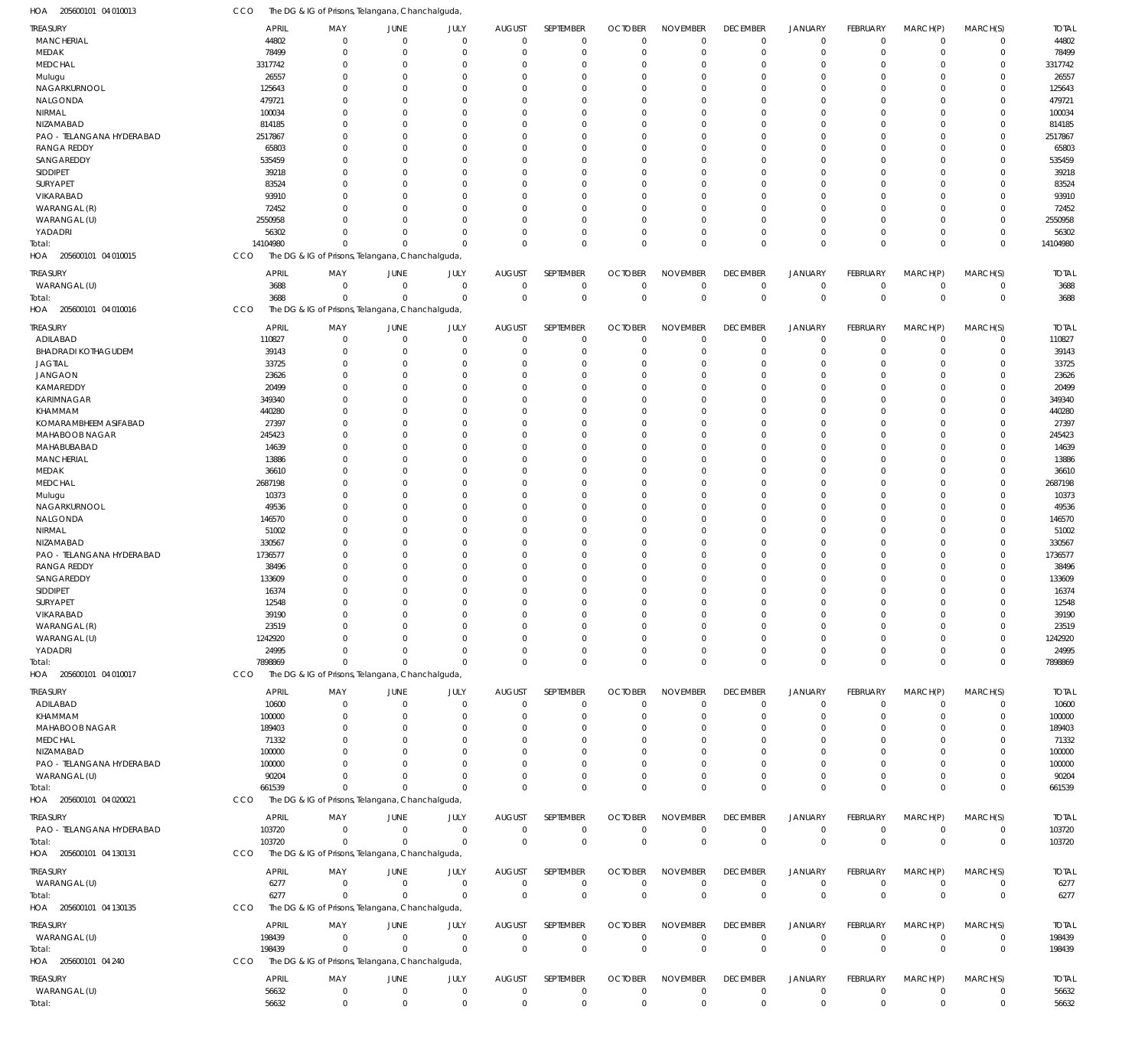| HOA 205600101 04 010013                   | CCO              | The DG & IG of Prisons, Telangana, Chanchalguda, |                                |                         |                         |                            |                      |                         |                      |                            |                         |                               |                            |                  |
|-------------------------------------------|------------------|--------------------------------------------------|--------------------------------|-------------------------|-------------------------|----------------------------|----------------------|-------------------------|----------------------|----------------------------|-------------------------|-------------------------------|----------------------------|------------------|
| TREASURY                                  | <b>APRIL</b>     | MAY                                              | JUNE                           | JULY                    | <b>AUGUST</b>           | SEPTEMBER                  | <b>OCTOBER</b>       | <b>NOVEMBER</b>         | <b>DECEMBER</b>      | <b>JANUARY</b>             | FEBRUARY                | MARCH(P)                      | MARCH(S)                   | <b>TOTAL</b>     |
| <b>MANCHERIAL</b>                         | 44802            | $\overline{0}$                                   | $\mathbf 0$                    | $\mathbf 0$             | $\mathbf 0$             | $\mathbf 0$                | $\mathbf 0$          | $\mathbf 0$             | $\mathbf 0$          | $^{\circ}$                 | $\mathbf 0$             | $\overline{0}$                | $\mathbf 0$                | 44802            |
| MEDAK                                     | 78499            | $^{\circ}$                                       | $\mathbf 0$                    | $\mathbf 0$             | $\mathbf 0$             | $\mathbf 0$                | $\mathbf 0$          | $\mathbf 0$             | $\Omega$             | $\overline{0}$             | $\mathbf 0$             | $\overline{0}$                | $\mathbf 0$                | 78499            |
| <b>MEDCHAL</b><br>Mulugu                  | 3317742<br>26557 | 0<br>$\Omega$                                    | $\overline{0}$<br>$\Omega$     | $\Omega$<br>$\Omega$    | $\Omega$<br>$\Omega$    | $\mathbf 0$<br>$\mathbf 0$ | $\Omega$<br>$\Omega$ | $\Omega$<br>$\Omega$    | $\Omega$<br>$\Omega$ | $\overline{0}$<br>$\Omega$ | $\Omega$<br>$\Omega$    | $\Omega$<br>$\Omega$          | $\mathbf 0$<br>$\Omega$    | 3317742<br>26557 |
| NAGARKURNOOL                              | 125643           | $\Omega$                                         | $\Omega$                       | O                       | $\Omega$                | $\mathbf 0$                | $\Omega$             | $\Omega$                | $\Omega$             | $\Omega$                   | U                       | $\Omega$                      | $\mathbf 0$                | 125643           |
| NALGONDA                                  | 479721           | $\Omega$                                         | $\Omega$                       | $\Omega$                | $\Omega$                | $\mathbf 0$                | $\Omega$             | $\Omega$                | $\Omega$             | $\Omega$                   | $\Omega$                | $\Omega$                      | $\Omega$                   | 479721           |
| NIRMAL                                    | 100034           | $\Omega$                                         | $\Omega$                       | $\Omega$                | $\Omega$                | $\mathbf 0$                | O                    | $\Omega$                | $\Omega$             | $\Omega$                   | U                       | $\Omega$                      | $\mathbf 0$                | 100034           |
| NIZAMABAD                                 | 814185           | $\Omega$                                         | $\Omega$                       | $\Omega$                | $\Omega$                | $\mathbf 0$                | $\Omega$             | $\Omega$                | $\Omega$             | $\Omega$                   | 0                       | $\Omega$                      | $\mathbf 0$                | 814185           |
| PAO - TELANGANA HYDERABAD                 | 2517867          | $\Omega$                                         | $\overline{0}$                 | O                       | $\Omega$                | $\mathbf 0$                | $\Omega$             | $\Omega$                | $\Omega$             | $\Omega$                   | U                       | $\Omega$                      | $\mathbf 0$                | 2517867          |
| <b>RANGA REDDY</b>                        | 65803            | $\Omega$                                         | $\Omega$                       | $\Omega$                | $\Omega$                | $\mathbf 0$                | $\Omega$             | $\Omega$                | $\cap$               | $\Omega$                   | $\Omega$                | $\Omega$                      | $\Omega$                   | 65803            |
| SANGAREDDY                                | 535459           | $\Omega$                                         | $\Omega$                       | O                       | $\Omega$                | $\mathbf 0$                | $\Omega$             | $\Omega$                | $\Omega$             | $\Omega$                   | U                       | $\Omega$                      | $\mathbf 0$                | 535459           |
| SIDDIPET<br>SURYAPET                      | 39218<br>83524   | $\Omega$<br>$\Omega$                             | $\Omega$<br>$\Omega$           | $\Omega$<br>$\Omega$    | $\Omega$<br>$\Omega$    | $\mathbf 0$<br>$\mathbf 0$ | $\Omega$<br>$\Omega$ | $\Omega$<br>$\Omega$    | $\Omega$<br>$\Omega$ | $\Omega$<br>$\Omega$       | $\Omega$<br>U           | $\Omega$<br>$\Omega$          | $\Omega$<br>$\mathbf 0$    | 39218<br>83524   |
| VIKARABAD                                 | 93910            | $\Omega$                                         | $\Omega$                       | $\Omega$                | $\Omega$                | $\mathbf 0$                | $\Omega$             | $\Omega$                | $\cap$               | $\Omega$                   | $\Omega$                | $\Omega$                      | $\Omega$                   | 93910            |
| WARANGAL (R)                              | 72452            | $\Omega$                                         | $\Omega$                       | $\Omega$                | $\Omega$                | $\mathbf 0$                | O                    | $\Omega$                | $\Omega$             | $\Omega$                   | U                       | $\Omega$                      | $\mathbf 0$                | 72452            |
| WARANGAL (U)                              | 2550958          | $\Omega$                                         | $\Omega$                       | $\Omega$                | $\Omega$                | $\mathbf 0$                | $\Omega$             | $\Omega$                | $\Omega$             | $\Omega$                   | $\Omega$                | $\Omega$                      | $\mathbf 0$                | 2550958          |
| YADADRI                                   | 56302            | $\Omega$                                         | $\Omega$                       | $\Omega$                | $\Omega$                | $\mathbf 0$                | $\Omega$             | $\Omega$                | $\Omega$             | $\overline{0}$             | $\Omega$                | $\mathbf 0$                   | $\mathbf 0$                | 56302            |
| Total:                                    | 14104980         | $\Omega$                                         | $\Omega$                       | $\Omega$                | $\Omega$                | $\mathbf 0$                | $\Omega$             | $\Omega$                | $\Omega$             | $\Omega$                   | $\Omega$                | $\Omega$                      | $\mathbf 0$                | 14104980         |
| 205600101 04 010015<br>HOA                | CCO              | The DG & IG of Prisons, Telangana, Chanchalguda, |                                |                         |                         |                            |                      |                         |                      |                            |                         |                               |                            |                  |
| TREASURY                                  | <b>APRIL</b>     | MAY                                              | JUNE                           | JULY                    | <b>AUGUST</b>           | SEPTEMBER                  | <b>OCTOBER</b>       | <b>NOVEMBER</b>         | <b>DECEMBER</b>      | <b>JANUARY</b>             | <b>FEBRUARY</b>         | MARCH(P)                      | MARCH(S)                   | <b>TOTAL</b>     |
| WARANGAL (U)                              | 3688             | $\overline{0}$                                   | $\mathbf 0$                    | $\overline{0}$          | $\overline{0}$          | $\mathsf 0$                | $\mathbf 0$          | $\mathbf 0$             | $\mathbf 0$          | $^{\circ}$                 | $\mathbf 0$             | $\overline{0}$                | 0                          | 3688             |
| Total:                                    | 3688             | $\Omega$                                         | $\Omega$                       | $\Omega$                | $\mathbf 0$             | $\mathbf 0$                | $\mathbf{0}$         | $\mathbf 0$             | $\mathbf{0}$         | $\overline{0}$             | $\mathbf{0}$            | $\Omega$                      | $\mathbf 0$                | 3688             |
| HOA 205600101 04 010016                   | CCO              | The DG & IG of Prisons, Telangana, Chanchalguda, |                                |                         |                         |                            |                      |                         |                      |                            |                         |                               |                            |                  |
| treasury                                  | <b>APRIL</b>     | MAY                                              | JUNE                           | JULY                    | <b>AUGUST</b>           | SEPTEMBER                  | <b>OCTOBER</b>       | <b>NOVEMBER</b>         | <b>DECEMBER</b>      | <b>JANUARY</b>             | FEBRUARY                | MARCH(P)                      | MARCH(S)                   | <b>TOTAL</b>     |
| ADILABAD                                  | 110827           | $^{\circ}$                                       | $\mathbf 0$                    | $\mathbf 0$             | $\mathbf 0$             | $\mathbf 0$                | $\mathbf 0$          | $\mathbf 0$             | $\mathbf 0$          | $^{\circ}$                 | $\mathbf 0$             | $^{\circ}$                    | $\mathbf 0$                | 110827           |
| <b>BHADRADI KOTHAGUDEM</b>                | 39143            | 0<br>$\Omega$                                    | $\overline{0}$<br>$\Omega$     | $\Omega$<br>$\Omega$    | 0<br>$\Omega$           | $\mathbf 0$<br>$\mathbf 0$ | 0<br>$\Omega$        | $\mathbf 0$<br>$\Omega$ | $\Omega$<br>$\Omega$ | $^{\circ}$<br>$\Omega$     | $\mathbf 0$<br>$\Omega$ | $\Omega$<br>$\Omega$          | $\mathbf 0$<br>$\mathbf 0$ | 39143            |
| <b>JAGTIAL</b><br><b>JANGAON</b>          | 33725<br>23626   | $\Omega$                                         | $\overline{0}$                 | $\Omega$                | $\Omega$                | $\mathbf 0$                | $\Omega$             | $\Omega$                | $\Omega$             | $\Omega$                   | 0                       | $\Omega$                      | $\mathbf 0$                | 33725<br>23626   |
| KAMAREDDY                                 | 20499            | $\Omega$                                         | $\Omega$                       | $\Omega$                | $\Omega$                | $\mathbf 0$                | $\Omega$             | $\Omega$                | $\Omega$             | $\Omega$                   | $\Omega$                | $\Omega$                      | $\Omega$                   | 20499            |
| KARIMNAGAR                                | 349340           | $\Omega$                                         | $\Omega$                       | O                       | $\Omega$                | $\mathbf 0$                | $\Omega$             | $\Omega$                | $\Omega$             | $\Omega$                   | U                       | $\Omega$                      | $\mathbf 0$                | 349340           |
| KHAMMAM                                   | 440280           | $\Omega$                                         | $\Omega$                       | $\Omega$                | $\Omega$                | $\mathbf 0$                | $\Omega$             | $\Omega$                | $\Omega$             | $\Omega$                   | $\Omega$                | $\Omega$                      | $\Omega$                   | 440280           |
| KOMARAMBHEEM ASIFABAD                     | 27397            | $\Omega$                                         | $\overline{0}$                 | $\Omega$                | $\Omega$                | $\mathbf 0$                | $\Omega$             | $\Omega$                | $\Omega$             | $\Omega$                   | 0                       | $\Omega$                      | $\mathbf 0$                | 27397            |
| MAHABOOB NAGAR                            | 245423           | $\Omega$                                         | $\Omega$                       | $\Omega$                | $\Omega$                | $\mathbf 0$                | $\Omega$             | $\Omega$                | $\cap$               | $\Omega$                   | $\Omega$                | $\Omega$                      | $\Omega$                   | 245423           |
| MAHABUBABAD                               | 14639            | $\Omega$                                         | $\Omega$                       | O                       | $\Omega$                | $\mathbf 0$                | $\Omega$             | $\Omega$                | $\Omega$             | $\Omega$                   | U                       | $\Omega$                      | $\mathbf 0$                | 14639            |
| <b>MANCHERIAL</b>                         | 13886            | $\Omega$                                         | $\Omega$                       | $\Omega$                | $\Omega$                | $\mathbf 0$                | $\Omega$             | $\Omega$                | $\Omega$             | $\Omega$                   | $\Omega$                | $\Omega$                      | $\mathbf 0$                | 13886            |
| MEDAK                                     | 36610            | $\Omega$                                         | $\Omega$                       | $\Omega$                | $\Omega$                | $\mathbf 0$                | $\Omega$             | $\Omega$                | $\Omega$             | $\Omega$                   | U                       | $\Omega$                      | $\mathbf 0$                | 36610            |
| MEDCHAL                                   | 2687198          | $\Omega$                                         | $\Omega$                       | $\Omega$<br>0           | $\Omega$<br>$\Omega$    | $\mathbf 0$                | $\Omega$             | $\Omega$<br>$\Omega$    | $\Omega$             | $\Omega$<br>$\Omega$       | $\Omega$                | $\Omega$<br>$\Omega$          | $\Omega$                   | 2687198          |
| Mulugu<br>NAGARKURNOOL                    | 10373<br>49536   | $\Omega$<br>$\Omega$                             | $\overline{0}$<br>$\Omega$     | $\Omega$                | $\Omega$                | $\mathbf 0$<br>$\mathbf 0$ | $\Omega$<br>$\Omega$ | $\Omega$                | $\Omega$<br>$\cap$   | $\Omega$                   | 0<br>$\Omega$           | $\Omega$                      | $\mathbf 0$<br>$\Omega$    | 10373<br>49536   |
| NALGONDA                                  | 146570           | $\Omega$                                         | $\Omega$                       | O                       | $\Omega$                | $\mathbf 0$                | $\Omega$             | $\Omega$                | $\Omega$             | $\Omega$                   | U                       | $\Omega$                      | $\Omega$                   | 146570           |
| NIRMAL                                    | 51002            | $\Omega$                                         | $\Omega$                       | $\Omega$                | $\Omega$                | $\mathbf 0$                | $\Omega$             | $\Omega$                | $\Omega$             | $\Omega$                   | $\Omega$                | $\Omega$                      | $\Omega$                   | 51002            |
| NIZAMABAD                                 | 330567           | $\Omega$                                         | $\Omega$                       | $\Omega$                | $\Omega$                | $\mathbf 0$                | $\Omega$             | $\Omega$                | $\Omega$             | $\Omega$                   | 0                       | $\Omega$                      | $\mathbf 0$                | 330567           |
| PAO - TELANGANA HYDERABAD                 | 1736577          | $\Omega$                                         | $\Omega$                       | $\Omega$                | $\Omega$                | $\mathbf 0$                | $\Omega$             | $\Omega$                | $\Omega$             | $\Omega$                   | U                       | $\Omega$                      | $\Omega$                   | 1736577          |
| <b>RANGA REDDY</b>                        | 38496            | $\Omega$                                         | $\Omega$                       | O                       | $\Omega$                | $\mathbf 0$                | $\Omega$             | $\Omega$                |                      | $\Omega$                   | U                       | $\Omega$                      | 0                          | 38496            |
| SANGAREDDY                                | 133609           | $\Omega$                                         | $\Omega$                       | $\Omega$                | $\Omega$                | $\mathbf 0$                | $\Omega$             | $\Omega$                |                      | $\Omega$                   | $\Omega$                | $\mathbf 0$                   | $\mathbf 0$                | 133609           |
| SIDDIPET                                  | 16374            | $\Omega$                                         | $\Omega$                       | $\Omega$                | $\Omega$                | $\mathbf 0$                | $\Omega$             | $\Omega$                | $\Omega$             | $\Omega$                   | $\Omega$                | $\Omega$                      | $\mathbf 0$                | 16374            |
| SURYAPET                                  | 12548            | $^{\circ}$                                       | $\mathbf{0}$                   | $\Omega$                | $\mathbf 0$             | $\mathbf 0$                | $\Omega$             | $\mathbf 0$             | $\mathbf 0$          | $\mathbf 0$                | $\mathbf 0$             | $\overline{0}$                | $\mathbf 0$                | 12548            |
| VIKARABAD<br>WARANGAL (R)                 | 39190<br>23519   | $\mathbf 0$<br>$\mathbf 0$                       | $\overline{0}$<br>$\mathbf{0}$ | $\Omega$<br>$\mathbf 0$ | $\mathbf 0$<br>0        | $\mathbf 0$<br>$\mathbf 0$ | 0<br>0               | $\Omega$<br>$\mathbf 0$ | $\Omega$<br>$\Omega$ | $\Omega$<br>$\overline{0}$ | $\Omega$<br>$\mathbf 0$ | $\mathbf 0$<br>$\overline{0}$ | $\mathbf 0$<br>$\mathbf 0$ | 39190<br>23519   |
| WARANGAL (U)                              | 1242920          | $\Omega$                                         | $\Omega$                       | $\Omega$                | $\Omega$                | $\mathbf 0$                | $\Omega$             | $\Omega$                | $\Omega$             | $\overline{0}$             | $\Omega$                | $\mathbf 0$                   | $\mathbf 0$                | 1242920          |
| YADADRI                                   | 24995            | $\Omega$                                         | $\Omega$                       | $\Omega$                | $\Omega$                | $\mathbf 0$                | 0                    | $\mathbf 0$             | $\Omega$             | $\mathbf 0$                | $\mathbf 0$             | $\overline{0}$                | $\mathbf 0$                | 24995            |
| Total:                                    | 7898869          | $^{\circ}$                                       | $\Omega$                       | $\Omega$                | $\Omega$                | $\mathbf 0$                | $\Omega$             | $\mathbf 0$             | $\mathbf 0$          | $\mathbf 0$                | $\Omega$                | $\overline{0}$                | $\mathbf 0$                | 7898869          |
| HOA 205600101 04 010017                   | CCO              | The DG & IG of Prisons, Telangana, Chanchalguda, |                                |                         |                         |                            |                      |                         |                      |                            |                         |                               |                            |                  |
| TREASURY                                  | <b>APRIL</b>     | MAY                                              | JUNE                           | JULY                    | <b>AUGUST</b>           | SEPTEMBER                  | <b>OCTOBER</b>       | <b>NOVEMBER</b>         | <b>DECEMBER</b>      | <b>JANUARY</b>             | FEBRUARY                | MARCH(P)                      | MARCH(S)                   | <b>TOTAL</b>     |
| ADILABAD                                  | 10600            | 0                                                | $\overline{0}$                 | $\mathbf 0$             | $\mathbf 0$             | $\mathbf 0$                | 0                    | $\mathbf 0$             | 0                    | $^{\circ}$                 | $\mathbf 0$             | $\overline{0}$                | 0                          | 10600            |
| KHAMMAM                                   | 100000           | 0                                                | $\Omega$                       | $\Omega$                | 0                       | $\mathbf 0$                | 0                    | $\mathbf 0$             | $\Omega$             | $^{\circ}$                 | $\Omega$                | $\mathbf 0$                   | $\mathbf 0$                | 100000           |
| MAHABOOB NAGAR                            | 189403           | 0                                                | $\Omega$                       | $\Omega$                | $\Omega$                | 0                          | O                    | $\mathbf 0$             | $\Omega$             | $\Omega$                   | 0                       | $\Omega$                      | $\mathbf 0$                | 189403           |
| <b>MEDCHAL</b>                            | 71332            | $\Omega$                                         | $\Omega$                       | 0                       | $\Omega$                | 0                          | O                    | $\mathbf 0$             |                      | $\Omega$                   | 0                       | $\Omega$                      | 0                          | 71332            |
| NIZAMABAD                                 | 100000           | $\Omega$                                         | $\Omega$                       | 0                       | $\Omega$                | 0                          | 0                    | $\Omega$                |                      | $\Omega$                   | O                       | $\Omega$                      | 0                          | 100000           |
| PAO - TELANGANA HYDERABAD<br>WARANGAL (U) | 100000           | <sup>0</sup><br>$\Omega$                         | $\Omega$                       | $\Omega$<br>$\Omega$    | $\Omega$<br>$\mathbf 0$ | $\mathbf 0$<br>$\mathbf 0$ | 0                    | $\Omega$<br>$\mathbf 0$ | $\Omega$             | $\Omega$<br>$^{\circ}$     | 0                       | $\Omega$<br>$\overline{0}$    | $\mathbf 0$<br>$\mathbf 0$ | 100000           |
| Total:                                    | 90204<br>661539  | $\Omega$                                         | $\Omega$                       | $\Omega$                | $\Omega$                | $\mathbf 0$                | 0<br>$\Omega$        | $\Omega$                | $\Omega$             | $\overline{0}$             | 0<br>$\mathbf 0$        | $\overline{0}$                | $\mathbf 0$                | 90204<br>661539  |
| HOA 205600101 04 020021                   | <b>CCO</b>       | The DG & IG of Prisons, Telangana, Chanchalguda, |                                |                         |                         |                            |                      |                         |                      |                            |                         |                               |                            |                  |
| treasury                                  | <b>APRIL</b>     | MAY                                              | JUNE                           | JULY                    | <b>AUGUST</b>           | SEPTEMBER                  | <b>OCTOBER</b>       | <b>NOVEMBER</b>         | <b>DECEMBER</b>      | <b>JANUARY</b>             | FEBRUARY                | MARCH(P)                      | MARCH(S)                   | <b>TOTAL</b>     |
| PAO - TELANGANA HYDERABAD                 | 103720           | $^{\circ}$                                       | $\overline{0}$                 | $\overline{0}$          | $\overline{0}$          | $\mathbf 0$                | $\mathbf 0$          | $\mathbf 0$             | $\mathbf 0$          | $^{\circ}$                 | $\mathbf 0$             | $\overline{0}$                | $\mathbf 0$                | 103720           |
| Total:                                    | 103720           | $\mathbf 0$                                      | $\Omega$                       | $\Omega$                | $\Omega$                | $\mathsf 0$                | $\mathbf 0$          | $\mathbf 0$             | $\mathbf 0$          | $\overline{0}$             | $\Omega$                | $\Omega$                      | $\mathbf 0$                | 103720           |
| HOA 205600101 04 130131                   | CCO              | The DG & IG of Prisons, Telangana, Chanchalguda, |                                |                         |                         |                            |                      |                         |                      |                            |                         |                               |                            |                  |
| TREASURY                                  | <b>APRIL</b>     | MAY                                              | JUNE                           | JULY                    | <b>AUGUST</b>           | SEPTEMBER                  | <b>OCTOBER</b>       | <b>NOVEMBER</b>         | <b>DECEMBER</b>      | <b>JANUARY</b>             | <b>FEBRUARY</b>         | MARCH(P)                      | MARCH(S)                   | <b>TOTAL</b>     |
| WARANGAL (U)                              | 6277             | $^{\circ}$                                       | $\mathbf 0$                    | $\overline{0}$          | $\overline{0}$          | $\mathbf 0$                | $\mathbf 0$          | $\mathbf 0$             | $\mathbf 0$          | $^{\circ}$                 | $\mathbf 0$             | $\overline{0}$                | $\mathbf 0$                | 6277             |
| Total:                                    | 6277             | $\Omega$                                         | $\Omega$                       | $\Omega$                | $\overline{0}$          | $\mathbf 0$                | $\mathbf{0}$         | $\mathbf 0$             | $\mathbf 0$          | $\overline{0}$             | $\mathbf{0}$            | $\overline{0}$                | $\mathbf 0$                | 6277             |
| HOA 205600101 04 130135                   | CCO              | The DG & IG of Prisons, Telangana, Chanchalguda, |                                |                         |                         |                            |                      |                         |                      |                            |                         |                               |                            |                  |
| treasury                                  | <b>APRIL</b>     | MAY                                              | JUNE                           | JULY                    | <b>AUGUST</b>           | SEPTEMBER                  | <b>OCTOBER</b>       | <b>NOVEMBER</b>         | <b>DECEMBER</b>      | <b>JANUARY</b>             | FEBRUARY                | MARCH(P)                      | MARCH(S)                   | <b>TOTAL</b>     |
| WARANGAL (U)                              | 198439           | $^{\circ}$                                       | $\mathbf 0$                    | $\overline{0}$          | $\mathbf 0$             | $\mathbf 0$                | $\mathbf 0$          | $\mathbf 0$             | $\mathbf 0$          | $\mathbf 0$                | $\mathbf 0$             | $\overline{0}$                | $\mathbf 0$                | 198439           |
| Total:                                    | 198439           | $^{\circ}$                                       | $\overline{0}$                 | $\overline{0}$          | $\mathbf{0}$            | $\mathbf 0$                | $\mathbf 0$          | $\mathbf 0$             | $\overline{0}$       | $\overline{0}$             | $\mathbf 0$             | $\overline{0}$                | $\boldsymbol{0}$           | 198439           |
| HOA 205600101 04 240                      | CCO              | The DG & IG of Prisons, Telangana, Chanchalguda, |                                |                         |                         |                            |                      |                         |                      |                            |                         |                               |                            |                  |
| Treasury                                  | <b>APRIL</b>     | MAY                                              | JUNE                           | JULY                    | <b>AUGUST</b>           | SEPTEMBER                  | <b>OCTOBER</b>       | <b>NOVEMBER</b>         | <b>DECEMBER</b>      | <b>JANUARY</b>             | FEBRUARY                | MARCH(P)                      | MARCH(S)                   | <b>TOTAL</b>     |
| WARANGAL (U)                              | 56632            | $\mathbf 0$                                      | $\overline{0}$                 | $\mathbf 0$             | $\overline{0}$          | $\mathbf 0$                | 0                    | $\mathbf 0$             | $\mathbf 0$          | $\mathbf 0$                | $\mathbf 0$             | $\mathbf 0$                   | 0                          | 56632            |
| Total:                                    | 56632            | $\mathbf 0$                                      | $\mathbf 0$                    | $\mathbf 0$             | $\mathbf{0}$            | $\mathsf 0$                | $\mathbf 0$          | $\mathbf 0$             | $\mathbf 0$          | $\mathbf 0$                | $\mathbf{0}$            | $\overline{0}$                | $\mathbf 0$                | 56632            |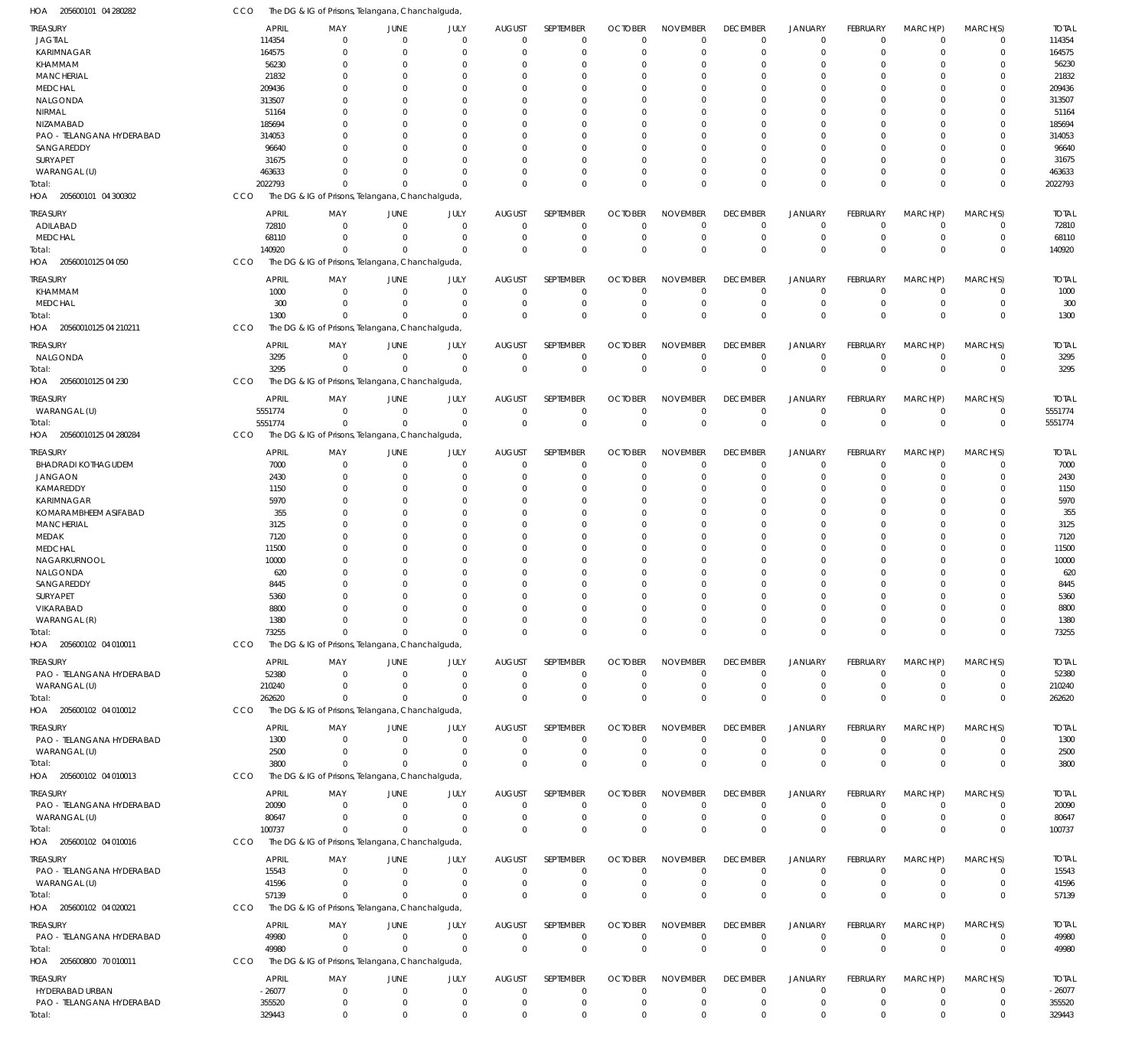| HOA 205600101 04 280282                       | CCO                      | The DG & IG of Prisons, Telangana, Chanchalguda,             |                                  |                            |                               |                            |                               |                                |                                   |                               |                                |                              |                             |                          |
|-----------------------------------------------|--------------------------|--------------------------------------------------------------|----------------------------------|----------------------------|-------------------------------|----------------------------|-------------------------------|--------------------------------|-----------------------------------|-------------------------------|--------------------------------|------------------------------|-----------------------------|--------------------------|
| <b>TREASURY</b>                               | <b>APRIL</b>             | MAY                                                          | JUNE                             | JULY                       | <b>AUGUST</b>                 | SEPTEMBER                  | <b>OCTOBER</b>                | <b>NOVEMBER</b>                | <b>DECEMBER</b>                   | <b>JANUARY</b>                | <b>FEBRUARY</b>                | MARCH(P)                     | MARCH(S)                    | <b>TOTAL</b>             |
| <b>JAGTIAL</b>                                | 114354                   | $\Omega$                                                     | $\overline{0}$                   | $\mathbf{0}$               | $\mathbf 0$                   | $\mathbf 0$                | $\Omega$                      | $\mathbf 0$                    | $\mathbf 0$                       | $\mathbf 0$                   | $\Omega$                       | $\Omega$                     | $\mathbf 0$                 | 114354                   |
| KARIMNAGAR                                    | 164575                   | $\mathbf 0$                                                  | $\overline{0}$                   | $\Omega$                   | 0                             | $\mathbf 0$                | $^{\circ}$                    | $\mathbf 0$                    | $\mathbf 0$                       | $\mathbf 0$                   | $\Omega$                       | $\Omega$                     | $\mathbf 0$                 | 164575                   |
| KHAMMAM                                       | 56230                    | 0<br>$\Omega$                                                | $\overline{0}$                   | $\Omega$                   | $\Omega$                      | 0                          | $\Omega$                      | $\Omega$                       | $\Omega$                          | $\Omega$                      |                                | $\Omega$                     | 0                           | 56230                    |
| <b>MANCHERIAL</b><br><b>MEDCHAL</b>           | 21832<br>209436          | 0                                                            | $\Omega$<br>$\overline{0}$       | $\Omega$<br>0              | $\Omega$<br>$\Omega$          | $\mathbf 0$<br>$\mathbf 0$ | $\Omega$<br>$\Omega$          | $\Omega$<br>$\Omega$           | $\Omega$<br>$\Omega$              | $\Omega$<br>$\Omega$          | $\Omega$                       | $\Omega$<br>$\Omega$         | 0<br>$\Omega$               | 21832<br>209436          |
| NALGONDA                                      | 313507                   | $\Omega$                                                     | $\Omega$                         | $\Omega$                   | $\Omega$                      | $\mathbf 0$                | $\Omega$                      | $\Omega$                       | $\Omega$                          | $\Omega$                      | $\Omega$                       | $\Omega$                     | 0                           | 313507                   |
| NIRMAL                                        | 51164                    | U                                                            | $\Omega$                         | O                          | $\Omega$                      | $\Omega$                   | 0                             | $\Omega$                       | $\Omega$                          | $\Omega$                      |                                | $\Omega$                     | $\Omega$                    | 51164                    |
| NIZAMABAD                                     | 185694                   | <sup>0</sup>                                                 | $\Omega$                         | $\Omega$                   | $\Omega$                      | $\mathbf 0$                | $\Omega$                      | $\mathbf 0$                    | $\Omega$                          | $\Omega$                      | $\Omega$                       | $\Omega$                     | $\Omega$                    | 185694                   |
| PAO - TELANGANA HYDERABAD                     | 314053                   | 0                                                            | $\overline{0}$                   | 0                          | $\Omega$                      | $\mathbf 0$                | 0                             | $\Omega$                       | $\Omega$                          | $\Omega$                      |                                | $\Omega$                     | $\Omega$                    | 314053                   |
| SANGAREDDY                                    | 96640                    | $\Omega$                                                     | $\Omega$                         | $\Omega$                   | $\Omega$                      | $\Omega$                   | $\Omega$                      | $\Omega$                       | $\Omega$                          | $\Omega$                      | $\Omega$                       | $\Omega$                     | $\Omega$                    | 96640                    |
| SURYAPET                                      | 31675                    | 0                                                            | $\Omega$                         | $\Omega$                   | $\Omega$                      | $\mathbf 0$                | $\Omega$                      | $\Omega$                       | $\Omega$                          | $\Omega$                      |                                | $\Omega$                     | 0                           | 31675                    |
| WARANGAL (U)                                  | 463633                   | $\Omega$                                                     | $\Omega$                         | $\Omega$                   | $\Omega$                      | $\mathbf 0$                | -0                            | $\mathbf 0$                    | $\Omega$                          | $\Omega$                      | $\Omega$                       | $\Omega$                     | 0                           | 463633                   |
| Total:                                        | 2022793                  | $\Omega$                                                     | $\Omega$                         | $\Omega$                   | $\Omega$                      | $\Omega$                   | $\Omega$                      | $\Omega$                       | $\Omega$                          | $\Omega$                      | $\Omega$                       | $\mathbf{0}$                 | $\mathbf 0$                 | 2022793                  |
| HOA 205600101 04 300302                       | CCO                      | The DG & IG of Prisons, Telangana, Chanchalguda,             |                                  |                            |                               |                            |                               |                                |                                   |                               |                                |                              |                             |                          |
| <b>TREASURY</b>                               | <b>APRIL</b>             | MAY                                                          | JUNE                             | JULY                       | <b>AUGUST</b>                 | SEPTEMBER                  | <b>OCTOBER</b>                | <b>NOVEMBER</b>                | <b>DECEMBER</b>                   | <b>JANUARY</b>                | FEBRUARY                       | MARCH(P)                     | MARCH(S)                    | <b>TOTAL</b>             |
| ADILABAD                                      | 72810                    | $\mathbf 0$                                                  | $\overline{0}$                   | $\mathbf 0$                | $\mathbf 0$                   | $\mathbf 0$                | $^{\circ}$                    | $\mathbf 0$                    | $^{\circ}$                        | $\mathbf 0$                   | $\Omega$                       | $^{\circ}$                   | $\mathbf 0$                 | 72810                    |
| <b>MEDCHAL</b><br>Total:                      | 68110<br>140920          | $\mathbf 0$<br>$\Omega$                                      | $\overline{0}$<br>$\Omega$       | $\mathbf 0$<br>$\Omega$    | $\mathbf 0$<br>$\Omega$       | $\mathbf 0$<br>$\mathbf 0$ | $^{\circ}$<br>$\Omega$        | $\mathbf 0$<br>$\mathbf 0$     | $\mathbf 0$<br>$\Omega$           | $\mathbf 0$<br>$\Omega$       | $^{\circ}$<br>$\Omega$         | $\overline{0}$<br>$\Omega$   | $\mathbf 0$<br>$\mathbf 0$  | 68110<br>140920          |
| HOA 20560010125 04 050                        | CCO                      | The DG & IG of Prisons, Telangana, Chanchalguda,             |                                  |                            |                               |                            |                               |                                |                                   |                               |                                |                              |                             |                          |
|                                               |                          |                                                              |                                  |                            |                               |                            |                               |                                |                                   |                               |                                |                              |                             |                          |
| treasury                                      | <b>APRIL</b>             | MAY                                                          | <b>JUNE</b>                      | JULY                       | <b>AUGUST</b>                 | <b>SEPTEMBER</b>           | <b>OCTOBER</b>                | <b>NOVEMBER</b>                | <b>DECEMBER</b>                   | <b>JANUARY</b>                | FEBRUARY                       | MARCH(P)<br>$\Omega$         | MARCH(S)                    | <b>TOTAL</b>             |
| KHAMMAM<br><b>MEDCHAL</b>                     | 1000                     | $\mathbf{0}$<br>300<br>$\mathbf 0$                           | $\overline{0}$<br>$\overline{0}$ | $\mathbf 0$<br>$\mathbf 0$ | $\mathbf 0$<br>$\mathbf 0$    | $\mathbf 0$<br>$\mathbf 0$ | $\mathbf 0$<br>$\mathbf 0$    | $\mathbf 0$<br>$\mathbf 0$     | $\mathbf 0$<br>$\mathbf 0$        | $\Omega$<br>$\mathbf 0$       | $\Omega$<br>$\Omega$           | $\Omega$                     | $\mathbf 0$<br>$\mathbf 0$  | 1000<br>300              |
| Total:                                        | 1300                     | $\Omega$                                                     | $\Omega$                         | $\Omega$                   | $\Omega$                      | $\mathbf 0$                | $\Omega$                      | $\Omega$                       | $\Omega$                          | $\Omega$                      | $\Omega$                       | $\Omega$                     | $\mathbf 0$                 | 1300                     |
| HOA 20560010125 04 210211                     | CCO                      | The DG & IG of Prisons, Telangana, Chanchalguda,             |                                  |                            |                               |                            |                               |                                |                                   |                               |                                |                              |                             |                          |
|                                               |                          |                                                              |                                  |                            |                               |                            |                               |                                |                                   |                               |                                |                              |                             |                          |
| <b>TREASURY</b><br>NALGONDA                   | <b>APRIL</b><br>3295     | MAY<br>$\mathbf 0$                                           | JUNE<br>$\overline{0}$           | JULY<br>$\mathbf 0$        | <b>AUGUST</b><br>$\mathbf 0$  | SEPTEMBER<br>$\mathbf 0$   | <b>OCTOBER</b><br>$\mathbf 0$ | <b>NOVEMBER</b><br>$\mathbf 0$ | <b>DECEMBER</b><br>$\overline{0}$ | <b>JANUARY</b><br>$\mathbf 0$ | FEBRUARY<br>$\Omega$           | MARCH(P)<br>$\overline{0}$   | MARCH(S)<br>$\mathbf 0$     | <b>TOTAL</b><br>3295     |
| Total:                                        | 3295                     | $\Omega$                                                     | $\Omega$                         | $\Omega$                   | $\mathbf 0$                   | $\mathbf 0$                | $\mathbf{0}$                  | $\mathbf 0$                    | $\mathbf 0$                       | $\mathbf 0$                   | $\Omega$                       | $\Omega$                     | $\overline{0}$              | 3295                     |
| HOA 20560010125 04 230                        | CCO                      | The DG & IG of Prisons, Telangana, Chanchalguda,             |                                  |                            |                               |                            |                               |                                |                                   |                               |                                |                              |                             |                          |
|                                               |                          |                                                              |                                  |                            |                               |                            |                               |                                |                                   |                               |                                |                              |                             |                          |
| TREASURY<br>WARANGAL (U)                      | <b>APRIL</b><br>5551774  | MAY<br>$\Omega$                                              | <b>JUNE</b><br>$\overline{0}$    | JULY<br>$\mathbf 0$        | <b>AUGUST</b><br>$\mathbf 0$  | SEPTEMBER<br>$\mathbf 0$   | <b>OCTOBER</b><br>$\mathbf 0$ | <b>NOVEMBER</b><br>$\mathbf 0$ | <b>DECEMBER</b><br>$\mathbf 0$    | <b>JANUARY</b><br>0           | FEBRUARY<br>$\Omega$           | MARCH(P)<br>$\Omega$         | MARCH(S)<br>$\mathbf 0$     | <b>TOTAL</b><br>5551774  |
| Total:                                        | 5551774                  | $\Omega$                                                     | $\Omega$                         | $\Omega$                   | $\mathbf 0$                   | $\mathbf 0$                | $\overline{0}$                | $\mathbf 0$                    | $\Omega$                          | $\mathbf 0$                   | $\Omega$                       | $\Omega$                     | $\mathbf 0$                 | 5551774                  |
| HOA 20560010125 04 280284                     | CCO                      | The DG & IG of Prisons, Telangana, Chanchalguda,             |                                  |                            |                               |                            |                               |                                |                                   |                               |                                |                              |                             |                          |
|                                               | <b>APRIL</b>             | MAY                                                          |                                  |                            | <b>AUGUST</b>                 | SEPTEMBER                  | <b>OCTOBER</b>                | <b>NOVEMBER</b>                | <b>DECEMBER</b>                   | <b>JANUARY</b>                | FEBRUARY                       |                              |                             |                          |
| <b>TREASURY</b><br><b>BHADRADI KOTHAGUDEM</b> | 7000                     | $\mathbf 0$                                                  | <b>JUNE</b><br>$\overline{0}$    | JULY<br>$\mathbf 0$        | $\mathbf 0$                   | $\mathbf 0$                | $^{\circ}$                    | $\mathbf 0$                    | $\overline{0}$                    | $\mathbf 0$                   | $\Omega$                       | MARCH(P)<br>$\Omega$         | MARCH(S)<br>$\mathbf 0$     | <b>TOTAL</b><br>7000     |
| <b>JANGAON</b>                                | 2430                     | $\mathbf 0$                                                  | $\overline{0}$                   | $\Omega$                   | 0                             | $\mathbf 0$                | $^{\circ}$                    | $\mathbf 0$                    | $\Omega$                          | $\Omega$                      | $\Omega$                       | $\Omega$                     | $\mathbf 0$                 | 2430                     |
| KAMAREDDY                                     | 1150                     | 0                                                            | $\overline{0}$                   | 0                          | $\Omega$                      | $\mathbf 0$                | -0                            | $\mathbf 0$                    | $\Omega$                          | $\Omega$                      |                                | $\Omega$                     | 0                           | 1150                     |
| KARIMNAGAR                                    | 5970                     | $\Omega$                                                     | $\overline{0}$                   | $\Omega$                   | $\Omega$                      | $\mathbf 0$                | -0                            | $\mathbf 0$                    | $\Omega$                          | $\Omega$                      |                                | $\Omega$                     | $\Omega$                    | 5970                     |
| KOMARAMBHEEM ASIFABAD                         |                          | 355<br>$\Omega$                                              | $\overline{0}$                   | O                          | $\Omega$                      | $\mathbf 0$                | -0                            | $\mathbf 0$                    | $\Omega$                          | $\Omega$                      |                                | $\Omega$                     | 0                           | 355                      |
| <b>MANCHERIAL</b>                             | 3125                     | 0                                                            | $\Omega$                         | O                          | $\Omega$                      | $\mathbf 0$                | -0                            | $\mathbf 0$                    | $\Omega$                          | $\Omega$                      |                                | $\Omega$                     | $\Omega$                    | 3125                     |
| MEDAK                                         | 7120                     | $\Omega$                                                     | $\overline{0}$                   | 0                          | $\Omega$                      | $\mathbf 0$                | -0                            | $\mathbf 0$                    | $\Omega$                          | $\Omega$                      |                                | $\Omega$                     | 0                           | 7120                     |
| <b>MEDCHAL</b><br>NAGARKURNOOL                | 11500                    | $\Omega$<br>0                                                | $\overline{0}$<br>$\Omega$       | O<br>O                     | $\Omega$<br>$\Omega$          | $\mathbf 0$<br>$\mathbf 0$ | -0                            | $\mathbf 0$<br>$\mathbf 0$     | $\Omega$                          | $\Omega$<br>$\Omega$          |                                | $\Omega$<br>$\Omega$         | $\Omega$<br>0               | 11500                    |
| NALGONDA                                      | 10000                    | 620<br>0                                                     | $\Omega$                         | 0                          | $\Omega$                      | $\mathbf 0$                | -0<br>-0                      | $\mathbf 0$                    | $\Omega$<br>$\Omega$              | $\Omega$                      |                                | $\Omega$                     | 0                           | 10000<br>620             |
| SANGAREDDY                                    | 8445                     | 0                                                            | $\overline{0}$                   | 0                          | $\Omega$                      | $\mathbf 0$                | -0                            | $\mathbf 0$                    | $\Omega$                          | $\Omega$                      |                                | $\Omega$                     | 0                           | 8445                     |
| SURYAPET                                      | 5360                     | $\Omega$                                                     | $\Omega$                         | $\Omega$                   | $\Omega$                      | $\mathbf 0$                | $\Omega$                      | $\Omega$                       | $\Omega$                          | $\Omega$                      | $\Omega$                       | $\Omega$                     | $\Omega$                    | 5360                     |
| VIKARABAD                                     | 8800                     | 0                                                            | 0                                | 0                          | $\Omega$                      | 0                          | 0                             | 0                              |                                   | $\Omega$                      |                                | $\Omega$                     | 0                           | 8800                     |
| WARANGAL (R)                                  | 1380                     | $\mathbf 0$                                                  | $\overline{0}$                   | $\Omega$                   | $\mathbf 0$                   | $\mathsf 0$                | $\mathbf 0$                   | $\mathbf 0$                    | $\mathbf 0$                       | $\mathbf 0$                   | $\mathbf 0$                    | $\overline{0}$               | $\mathbf 0$                 | 1380                     |
| Total:                                        | 73255                    | $\Omega$                                                     | $\Omega$                         | $\Omega$                   | $\Omega$                      | $\mathbf 0$                | $\mathbf{0}$                  | $\mathbf 0$                    | $\overline{0}$                    | $\Omega$                      | $\Omega$                       | $\mathbf{0}$                 | $\mathbf 0$                 | 73255                    |
| HOA 205600102 04 010011                       | CCO                      | The DG & IG of Prisons, Telangana, Chanchalguda,             |                                  |                            |                               |                            |                               |                                |                                   |                               |                                |                              |                             |                          |
| TREASURY                                      | <b>APRIL</b>             | MAY                                                          | <b>JUNE</b>                      | JULY                       | <b>AUGUST</b>                 | SEPTEMBER                  | <b>OCTOBER</b>                | <b>NOVEMBER</b>                | <b>DECEMBER</b>                   | <b>JANUARY</b>                | <b>FEBRUARY</b>                | MARCH(P)                     | MARCH(S)                    | <b>TOTAL</b>             |
| PAO - TELANGANA HYDERABAD                     | 52380                    | $\mathbf 0$                                                  | $\overline{0}$                   | $\mathbf{0}$               | $\mathbf 0$                   | $\mathbf 0$                | $\mathbf 0$                   | $\mathbf 0$                    | $\mathbf 0$                       | $\mathbf 0$                   | $\Omega$                       | $\Omega$                     | $\mathbf 0$                 | 52380                    |
| WARANGAL (U)                                  | 210240                   | $\mathbf 0$                                                  | $\overline{0}$                   | $\mathbf 0$                | $\mathbf 0$                   | $\mathbf 0$                | $\mathbf 0$                   | $\mathbf 0$                    | $\mathbf 0$                       | $\mathbf 0$                   | $\Omega$                       | $\overline{0}$               | $\mathbf 0$                 | 210240                   |
| Total:                                        | 262620                   | $\Omega$                                                     | $\Omega$                         | $\Omega$                   | $\Omega$                      | $\mathbf 0$                | $\Omega$                      | $\mathbf 0$                    | $\Omega$                          | $\Omega$                      | $\Omega$                       | $\Omega$                     | $\mathbf 0$                 | 262620                   |
| HOA 205600102 04 010012                       | CCO                      | The DG & IG of Prisons, Telangana, Chanchalguda,             |                                  |                            |                               |                            |                               |                                |                                   |                               |                                |                              |                             |                          |
| <b>TREASURY</b>                               | <b>APRIL</b>             | MAY                                                          | JUNE                             | JULY                       | <b>AUGUST</b>                 | SEPTEMBER                  | <b>OCTOBER</b>                | <b>NOVEMBER</b>                | <b>DECEMBER</b>                   | <b>JANUARY</b>                | <b>FEBRUARY</b>                | MARCH(P)                     | MARCH(S)                    | <b>TOTAL</b>             |
| PAO - TELANGANA HYDERABAD                     | 1300                     | $\mathbf{0}$                                                 | $\overline{0}$                   | $\mathbf{0}$               | $\mathbf 0$                   | $\mathbf 0$                | $\mathbf 0$                   | $\mathbf 0$                    | $\overline{0}$                    | $\mathbf 0$                   | $\Omega$                       | $\Omega$                     | $\mathbf 0$                 | 1300                     |
| WARANGAL (U)                                  | 2500                     | $\mathbf 0$                                                  | $\overline{0}$                   | $\mathbf 0$                | $\mathbf 0$                   | $\mathbf 0$                | $^{\circ}$                    | $\mathbf 0$                    | $\overline{0}$                    | $\mathbf 0$                   | $\Omega$                       | $\overline{0}$               | $\mathbf 0$<br>$\mathbf 0$  | 2500                     |
| Total:<br>HOA 205600102 04 010013             | 3800<br>CCO              | $\Omega$<br>The DG & IG of Prisons, Telangana, Chanchalguda, | $\overline{0}$                   | $\Omega$                   | $\mathbf 0$                   | $\mathbf 0$                | $\overline{0}$                | $\mathbf 0$                    | $\Omega$                          | $\Omega$                      | $\Omega$                       | $\Omega$                     |                             | 3800                     |
|                                               |                          |                                                              |                                  |                            |                               |                            |                               |                                |                                   |                               |                                |                              |                             |                          |
| TREASURY                                      | <b>APRIL</b>             | MAY                                                          | <b>JUNE</b>                      | JULY                       | <b>AUGUST</b>                 | SEPTEMBER                  | <b>OCTOBER</b>                | <b>NOVEMBER</b>                | <b>DECEMBER</b>                   | <b>JANUARY</b>                | FEBRUARY                       | MARCH(P)                     | MARCH(S)                    | <b>TOTAL</b>             |
| PAO - TELANGANA HYDERABAD                     | 20090                    | $\mathbf{0}$                                                 | $\overline{0}$                   | $\mathbf 0$                | $\mathbf 0$                   | $\mathbf 0$                | $^{\circ}$                    | $\mathbf 0$                    | $\mathbf 0$                       | $\mathbf 0$                   | $\Omega$                       | $\Omega$                     | $\mathbf 0$                 | 20090                    |
| WARANGAL (U)<br>Total:                        | 80647<br>100737          | $\mathbf 0$<br>$\Omega$                                      | $\overline{0}$<br>$\Omega$       | $\mathbf 0$<br>$\Omega$    | $\mathbf 0$<br>$\overline{0}$ | $\mathbf 0$<br>$\mathbf 0$ | $^{\circ}$<br>$\mathbf{0}$    | $\mathbf 0$<br>$\mathbf 0$     | $\mathbf 0$<br>$\mathbf 0$        | $\mathbf 0$<br>$\mathbf 0$    | $\Omega$<br>$\Omega$           | $^{\circ}$<br>$\Omega$       | $\mathbf 0$<br>$\mathbf{0}$ | 80647<br>100737          |
| HOA 205600102 04 010016                       | CCO                      | The DG & IG of Prisons, Telangana, Chanchalguda,             |                                  |                            |                               |                            |                               |                                |                                   |                               |                                |                              |                             |                          |
|                                               |                          |                                                              |                                  |                            |                               |                            |                               |                                |                                   |                               |                                |                              |                             |                          |
| <b>TREASURY</b>                               | <b>APRIL</b>             | MAY                                                          | <b>JUNE</b>                      | JULY                       | <b>AUGUST</b>                 | SEPTEMBER                  | <b>OCTOBER</b>                | <b>NOVEMBER</b>                | <b>DECEMBER</b>                   | <b>JANUARY</b>                | FEBRUARY                       | MARCH(P)                     | MARCH(S)                    | <b>TOTAL</b>             |
| PAO - TELANGANA HYDERABAD                     | 15543<br>41596           | $\mathbf{0}$<br>$\mathbf 0$                                  | $\overline{0}$<br>$\overline{0}$ | $\mathbf 0$<br>$\mathbf 0$ | $\mathbf 0$<br>0              | $\mathbf 0$<br>0           | $^{\circ}$<br>$\mathbf 0$     | $\mathbf 0$<br>$\mathbf 0$     | $^{\circ}$<br>$\overline{0}$      | $\mathbf 0$<br>$\mathbf 0$    | $\Omega$<br>$^{\circ}$         | $^{\circ}$<br>$\overline{0}$ | $\mathbf 0$<br>$\mathbf 0$  | 15543<br>41596           |
| WARANGAL (U)<br>Total:                        | 57139                    | $\Omega$                                                     | $\Omega$                         | $\Omega$                   | $\Omega$                      | $\mathbf 0$                | $\mathbf{0}$                  | $\mathbf 0$                    | $\mathbf 0$                       | $\Omega$                      | $\Omega$                       | $\Omega$                     | $\mathbf 0$                 | 57139                    |
| HOA 205600102 04 020021                       | CCO                      | The DG & IG of Prisons, Telangana, Chanchalguda,             |                                  |                            |                               |                            |                               |                                |                                   |                               |                                |                              |                             |                          |
|                                               |                          |                                                              |                                  |                            |                               |                            |                               |                                |                                   |                               |                                |                              |                             |                          |
| TREASURY<br>PAO - TELANGANA HYDERABAD         | <b>APRIL</b><br>49980    | MAY<br>$\mathbf 0$                                           | <b>JUNE</b><br>$\overline{0}$    | JULY<br>$\mathbf 0$        | <b>AUGUST</b><br>$\mathbf 0$  | SEPTEMBER<br>$\mathbf 0$   | <b>OCTOBER</b><br>$\mathbf 0$ | <b>NOVEMBER</b><br>$\mathbf 0$ | <b>DECEMBER</b><br>$\mathbf 0$    | <b>JANUARY</b><br>$\mathbf 0$ | <b>FEBRUARY</b><br>$\mathbf 0$ | MARCH(P)<br>$\overline{0}$   | MARCH(S)<br>$\mathbf 0$     | <b>TOTAL</b><br>49980    |
| Total:                                        | 49980                    | $\mathbf 0$                                                  | $\Omega$                         | $\mathbf 0$                | $\overline{0}$                | $\mathbf 0$                | $\mathbf{0}$                  | $\mathbf 0$                    | $\mathbf 0$                       | $\mathbf 0$                   | $\overline{0}$                 | $\mathbf 0$                  | $\overline{0}$              | 49980                    |
| HOA 205600800 70 010011                       | CCO                      | The DG & IG of Prisons, Telangana, Chanchalguda,             |                                  |                            |                               |                            |                               |                                |                                   |                               |                                |                              |                             |                          |
|                                               |                          |                                                              |                                  |                            |                               |                            |                               |                                |                                   |                               |                                |                              |                             |                          |
| <b>TREASURY</b><br>HYDERABAD URBAN            | <b>APRIL</b><br>$-26077$ | MAY<br>$\mathbf{0}$                                          | JUNE<br>$\overline{0}$           | JULY<br>$\mathbf{0}$       | <b>AUGUST</b><br>$\mathbf 0$  | SEPTEMBER<br>$\mathbf 0$   | <b>OCTOBER</b><br>$^{\circ}$  | <b>NOVEMBER</b><br>$\mathbf 0$ | <b>DECEMBER</b><br>$\overline{0}$ | <b>JANUARY</b><br>$\mathbf 0$ | <b>FEBRUARY</b><br>$^{\circ}$  | MARCH(P)<br>$\overline{0}$   | MARCH(S)<br>$\mathbf 0$     | <b>TOTAL</b><br>$-26077$ |
| PAO - TELANGANA HYDERABAD                     | 355520                   | $\mathbf 0$                                                  | $\overline{0}$                   | $\mathbf 0$                | $\mathbf 0$                   | 0                          | $\mathbf 0$                   | $\mathbf 0$                    | $\mathbf 0$                       | $\mathbf 0$                   | $^{\circ}$                     | $\overline{0}$               | $\mathbf 0$                 | 355520                   |
| Total:                                        | 329443                   | $\mathbf 0$                                                  | $\overline{0}$                   | $\mathbf 0$                | $\mathbf 0$                   | $\mathbf 0$                | $\mathbf{0}$                  | $\mathbf 0$                    | $\mathbf 0$                       | $\mathbf 0$                   | $\overline{0}$                 | $\mathbf 0$                  | $\mathbf 0$                 | 329443                   |
|                                               |                          |                                                              |                                  |                            |                               |                            |                               |                                |                                   |                               |                                |                              |                             |                          |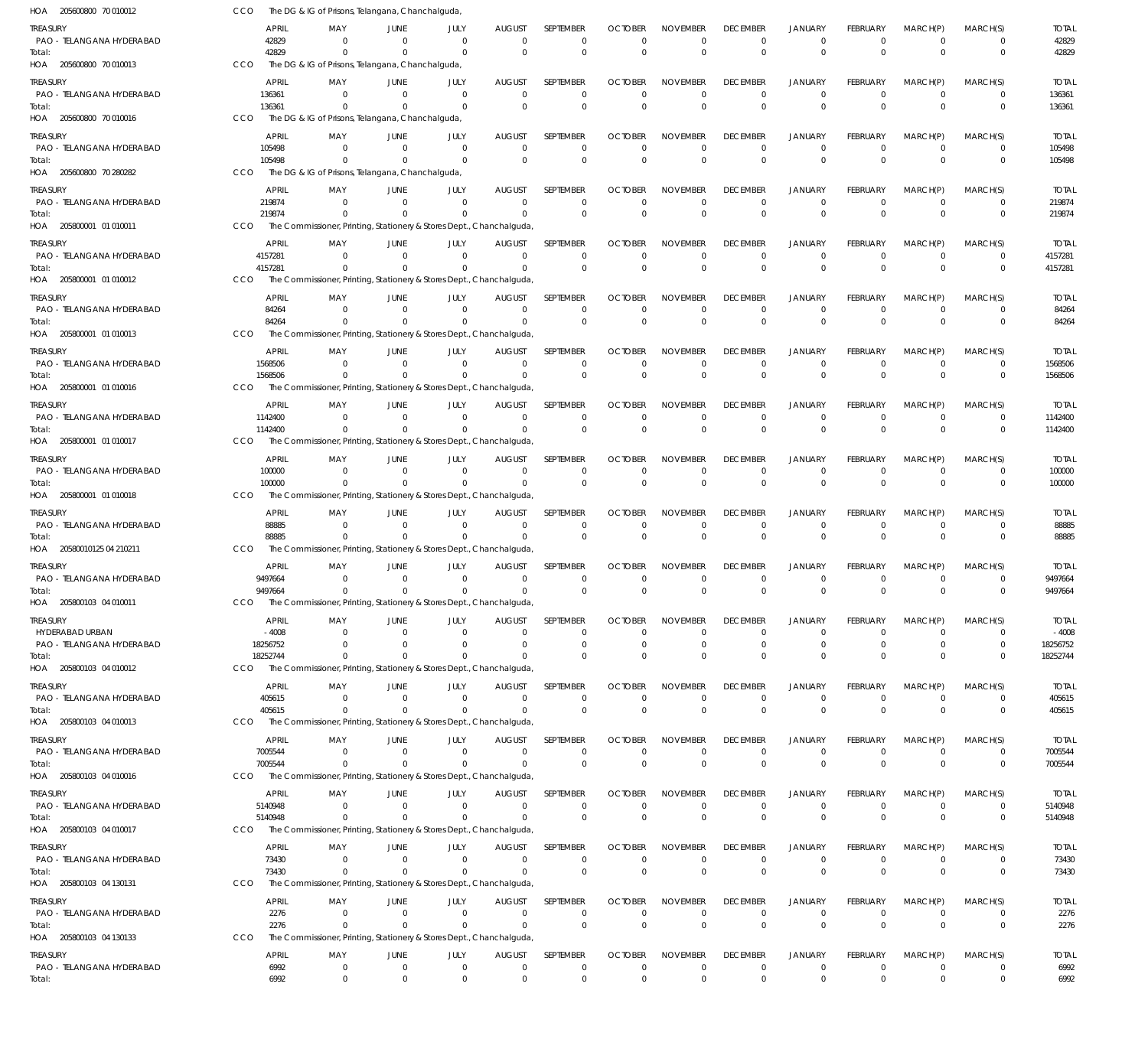| HOA 205600800 70 010012               | CCO                | The DG & IG of Prisons, Telangana, Chanchalguda,                                 |                            |                        |                           |                                 |                            |                             |                                   |                                  |                         |                            |                            |                         |
|---------------------------------------|--------------------|----------------------------------------------------------------------------------|----------------------------|------------------------|---------------------------|---------------------------------|----------------------------|-----------------------------|-----------------------------------|----------------------------------|-------------------------|----------------------------|----------------------------|-------------------------|
| treasury                              | <b>APRIL</b>       | MAY                                                                              | JUNE                       | JULY                   | <b>AUGUST</b>             | <b>SEPTEMBER</b>                | <b>OCTOBER</b>             | <b>NOVEMBER</b>             | <b>DECEMBER</b>                   | <b>JANUARY</b>                   | <b>FEBRUARY</b>         | MARCH(P)                   | MARCH(S)                   | <b>TOTAL</b>            |
| PAO - TELANGANA HYDERABAD             | 42829              | $\Omega$                                                                         | $\Omega$                   | $\Omega$               | $\mathbf 0$               | $\mathbf 0$                     | $\Omega$                   | $\Omega$                    | 0                                 | $^{\circ}$                       | $\Omega$                | $\overline{0}$             | 0                          | 42829                   |
| Total:<br>HOA 205600800 70 010013     | 42829<br>CCO       | $\Omega$                                                                         | $\Omega$                   | $\Omega$               | $\Omega$                  | $\Omega$                        | $\Omega$                   | $\Omega$                    | $\Omega$                          | $\Omega$                         | $\Omega$                | $\Omega$                   | $\mathbf 0$                | 42829                   |
|                                       |                    | The DG & IG of Prisons, Telangana, Chanchalguda,                                 |                            |                        |                           |                                 |                            |                             |                                   |                                  |                         |                            |                            |                         |
| treasury<br>PAO - TELANGANA HYDERABAD | APRIL<br>136361    | MAY<br>- 0                                                                       | JUNE<br>$\Omega$           | JULY<br>- 0            | <b>AUGUST</b><br>$\Omega$ | <b>SEPTEMBER</b><br>$\mathbf 0$ | <b>OCTOBER</b><br>$\Omega$ | <b>NOVEMBER</b><br>$\Omega$ | <b>DECEMBER</b><br>$\Omega$       | <b>JANUARY</b><br>$\overline{0}$ | FEBRUARY<br>$\Omega$    | MARCH(P)<br>$\Omega$       | MARCH(S)<br>$\Omega$       | <b>TOTAL</b><br>136361  |
| Total:                                | 136361             | $\Omega$                                                                         | $\Omega$                   | $\Omega$               | $\Omega$                  | $\Omega$                        | $\Omega$                   | $\Omega$                    | $\Omega$                          | $\Omega$                         | $\Omega$                | $\Omega$                   | $\mathbf 0$                | 136361                  |
| HOA 205600800 70 010016               | CCO                | The DG & IG of Prisons, Telangana, Chanchalguda,                                 |                            |                        |                           |                                 |                            |                             |                                   |                                  |                         |                            |                            |                         |
| treasury                              | APRIL              | MAY                                                                              | JUNE                       | JULY                   | <b>AUGUST</b>             | <b>SEPTEMBER</b>                | <b>OCTOBER</b>             | <b>NOVEMBER</b>             | <b>DECEMBER</b>                   | <b>JANUARY</b>                   | FEBRUARY                | MARCH(P)                   | MARCH(S)                   | <b>TOTAL</b>            |
| PAO - TELANGANA HYDERABAD             | 105498             | - 0                                                                              | $\Omega$                   | $\Omega$               | $\Omega$                  | $\mathbf 0$                     | $\Omega$                   | $\Omega$                    | $\Omega$                          | $\overline{0}$                   | $\Omega$                | $\Omega$                   | $\Omega$                   | 105498                  |
| Total:                                | 105498             | $\Omega$                                                                         |                            | $\Omega$               | $\Omega$                  | $\Omega$                        | $\Omega$                   | $\Omega$                    | $\Omega$                          | $\Omega$                         | $\Omega$                | $\Omega$                   | $\mathbf 0$                | 105498                  |
| HOA 205600800 70 280282               | CCO                | The DG & IG of Prisons, Telangana, Chanchalguda,                                 |                            |                        |                           |                                 |                            |                             |                                   |                                  |                         |                            |                            |                         |
| treasury                              | <b>APRIL</b>       | MAY                                                                              | JUNE                       | JULY                   | <b>AUGUST</b>             | <b>SEPTEMBER</b>                | <b>OCTOBER</b>             | <b>NOVEMBER</b>             | <b>DECEMBER</b>                   | <b>JANUARY</b>                   | FEBRUARY                | MARCH(P)                   | MARCH(S)                   | <b>TOTAL</b>            |
| PAO - TELANGANA HYDERABAD             | 219874<br>219874   | - 0                                                                              | $\Omega$                   | $\Omega$               | $\Omega$<br>$\Omega$      | $\mathbf 0$<br>$\mathbf 0$      | $\Omega$<br>$\Omega$       | $\Omega$<br>$\Omega$        | $\Omega$<br>$\Omega$              | $\overline{0}$<br>$\Omega$       | $\mathbf 0$<br>$\Omega$ | $\overline{0}$<br>$\Omega$ | $\mathbf 0$<br>$\mathbf 0$ | 219874<br>219874        |
| Total:<br>HOA 205800001 01 010011     | CCO                | The Commissioner, Printing, Stationery & Stores Dept., Chanchalguda,             |                            |                        |                           |                                 |                            |                             |                                   |                                  |                         |                            |                            |                         |
| treasury                              | <b>APRIL</b>       | MAY                                                                              | JUNE                       | JULY                   | AUGUST                    | SEPTEMBER                       | <b>OCTOBER</b>             | <b>NOVEMBER</b>             | <b>DECEMBER</b>                   | <b>JANUARY</b>                   | <b>FEBRUARY</b>         | MARCH(P)                   | MARCH(S)                   | <b>TOTAL</b>            |
| PAO - TELANGANA HYDERABAD             | 4157281            | $\Omega$                                                                         | $\Omega$                   | $\Omega$               | $\Omega$                  | $\Omega$                        | $\Omega$                   | $\Omega$                    | $\Omega$                          | $\Omega$                         | $\Omega$                | $\Omega$                   | $\Omega$                   | 4157281                 |
| Total:                                | 4157281            | $\Omega$                                                                         | $\Omega$                   | $\Omega$               | $\Omega$                  | $\Omega$                        | $\Omega$                   | $\Omega$                    | $\Omega$                          | $\overline{0}$                   | $\Omega$                | $\Omega$                   | $\mathbf 0$                | 4157281                 |
| HOA 205800001 01 010012               | CCO                | The Commissioner, Printing, Stationery & Stores Dept., Chanchalguda,             |                            |                        |                           |                                 |                            |                             |                                   |                                  |                         |                            |                            |                         |
| treasury                              | APRIL              | MAY                                                                              | JUNE                       | JULY                   | AUGUST                    | SEPTEMBER                       | <b>OCTOBER</b>             | <b>NOVEMBER</b>             | <b>DECEMBER</b>                   | <b>JANUARY</b>                   | FEBRUARY                | MARCH(P)                   | MARCH(S)                   | <b>TOTAL</b>            |
| PAO - TELANGANA HYDERABAD             | 84264              | - 0                                                                              | $\Omega$                   | $\Omega$               | $\Omega$                  | $\mathbf 0$                     | $\Omega$                   | $\mathbf 0$                 | $\Omega$                          | $^{\circ}$                       | $\mathbf 0$             | $\overline{0}$             | $\mathbf 0$                | 84264                   |
| Total:<br>HOA 205800001 01 010013     | 84264<br>CCO       | $\Omega$<br>The Commissioner, Printing, Stationery & Stores Dept., Chanchalguda, | $\Omega$                   | $\Omega$               | $\overline{0}$            | $\Omega$                        | $\Omega$                   | $\Omega$                    | $\Omega$                          | $\Omega$                         | $\Omega$                | $\Omega$                   | $\mathbf 0$                | 84264                   |
|                                       |                    |                                                                                  |                            |                        |                           |                                 |                            |                             |                                   |                                  |                         |                            |                            |                         |
| treasury<br>PAO - TELANGANA HYDERABAD | APRIL<br>1568506   | MAY<br>$\Omega$                                                                  | JUNE<br>$\Omega$           | JULY<br>$\Omega$       | <b>AUGUST</b><br>$\Omega$ | SEPTEMBER<br>$\mathbf 0$        | <b>OCTOBER</b><br>$\Omega$ | <b>NOVEMBER</b><br>$\Omega$ | <b>DECEMBER</b><br>$\Omega$       | <b>JANUARY</b><br>$^{\circ}$     | FEBRUARY<br>$\Omega$    | MARCH(P)<br>$\Omega$       | MARCH(S)<br>0              | <b>TOTAL</b><br>1568506 |
| Total:                                | 1568506            | $\Omega$                                                                         |                            | $\Omega$               | $\Omega$                  | $\Omega$                        | $\Omega$                   | $\Omega$                    | $\Omega$                          | $\Omega$                         | $\Omega$                | $\Omega$                   | $\Omega$                   | 1568506                 |
| HOA 205800001 01 010016               | CCO                | The Commissioner, Printing, Stationery & Stores Dept., Chanchalguda,             |                            |                        |                           |                                 |                            |                             |                                   |                                  |                         |                            |                            |                         |
| treasury                              | APRIL              | MAY                                                                              | JUNE                       | JULY                   | AUGUST                    | SEPTEMBER                       | <b>OCTOBER</b>             | <b>NOVEMBER</b>             | <b>DECEMBER</b>                   | <b>JANUARY</b>                   | <b>FEBRUARY</b>         | MARCH(P)                   | MARCH(S)                   | <b>TOTAL</b>            |
| PAO - TELANGANA HYDERABAD             | 1142400            | $\Omega$                                                                         | $\Omega$                   | $\Omega$               | $\Omega$                  | $\mathbf 0$                     | $\Omega$                   | $\mathbf 0$                 | $\Omega$                          | $^{\circ}$                       | $\Omega$                | $\Omega$                   | $\mathbf 0$                | 1142400                 |
| Total:                                | 1142400            |                                                                                  |                            |                        | $\Omega$                  | $\Omega$                        | $\Omega$                   | $\mathbf 0$                 | $\Omega$                          | $\Omega$                         | $\Omega$                | $\Omega$                   | $\mathbf 0$                | 1142400                 |
| HOA 205800001 01 010017               | CCO                | The Commissioner, Printing, Stationery & Stores Dept., Chanchalguda,             |                            |                        |                           |                                 |                            |                             |                                   |                                  |                         |                            |                            |                         |
| treasury                              | APRIL              | MAY                                                                              | JUNE                       | JULY<br>$\Omega$       | <b>AUGUST</b><br>$\Omega$ | SEPTEMBER                       | <b>OCTOBER</b>             | <b>NOVEMBER</b><br>$\Omega$ | <b>DECEMBER</b><br>$\Omega$       | <b>JANUARY</b>                   | <b>FEBRUARY</b>         | MARCH(P)<br>$\Omega$       | MARCH(S)                   | <b>TOTAL</b>            |
| PAO - TELANGANA HYDERABAD<br>Total:   | 100000<br>100000   | $\Omega$                                                                         | $\Omega$<br>$\Omega$       | $\Omega$               | $\Omega$                  | $\mathbf 0$<br>$\Omega$         | $\Omega$<br>$\Omega$       | $\Omega$                    | $\Omega$                          | $\Omega$<br>$\Omega$             | $\Omega$<br>$\Omega$    | $\Omega$                   | $\Omega$<br>$\mathbf 0$    | 100000<br>100000        |
| HOA 205800001 01 010018               | CCO                | The Commissioner, Printing, Stationery & Stores Dept., Chanchalguda,             |                            |                        |                           |                                 |                            |                             |                                   |                                  |                         |                            |                            |                         |
| treasury                              | APRIL              | MAY                                                                              | JUNE                       | JULY                   | AUGUST                    | SEPTEMBER                       | <b>OCTOBER</b>             | <b>NOVEMBER</b>             | <b>DECEMBER</b>                   | <b>JANUARY</b>                   | FEBRUARY                | MARCH(P)                   | MARCH(S)                   | <b>TOTAL</b>            |
| PAO - TELANGANA HYDERABAD             | 88885              | - 0                                                                              | $\Omega$                   | $\Omega$               | $\Omega$                  | $\mathbf 0$                     | $\Omega$                   | $\mathbf 0$                 | $\Omega$                          | $\overline{0}$                   | $\Omega$                | $\Omega$                   | 0                          | 88885                   |
| Total:                                | 88885              | $\Omega$                                                                         | $\Omega$                   | $\Omega$               | $\Omega$                  | $\Omega$                        | $\Omega$                   | $\Omega$                    | $\Omega$                          | $\Omega$                         | $\Omega$                | $\Omega$                   | $\mathbf 0$                | 88885                   |
| HOA 20580010125 04 210211             | CCO                | The Commissioner, Printing, Stationery & Stores Dept., Chanchalguda,             |                            |                        |                           |                                 |                            |                             |                                   |                                  |                         |                            |                            |                         |
| treasury                              | APRIL              | MAY                                                                              | JUNE                       | JULY                   | <b>AUGUST</b>             | SEPTEMBER                       | <b>OCTOBER</b>             | <b>NOVEMBER</b>             | <b>DECEMBER</b>                   | <b>JANUARY</b>                   | FEBRUARY                | MARCH(P)                   | MARCH(S)                   | <b>TOTAL</b>            |
| PAO - TELANGANA HYDERABAD<br>Total:   | 9497664<br>9497664 | $\Omega$<br>$^{\circ}$                                                           | $\Omega$<br>$\overline{0}$ | $\Omega$<br>$^{\circ}$ | $\Omega$<br>$\Omega$      | $\mathbf 0$<br>$\Omega$         | $\Omega$<br>$\Omega$       | $^{\circ}$<br>$\Omega$      | $\Omega$<br>$\Omega$              | $\overline{0}$<br>$\Omega$       | $\Omega$<br>$\Omega$    | $\Omega$<br>$\Omega$       | $\Omega$<br>$\Omega$       | 9497664<br>9497664      |
| HOA 205800103 04 010011               | CCO                | The Commissioner, Printing, Stationery & Stores Dept., Chanchalguda,             |                            |                        |                           |                                 |                            |                             |                                   |                                  |                         |                            |                            |                         |
| treasury                              | APRIL              | MAY                                                                              | JUNE                       | JULY                   | <b>AUGUST</b>             | SEPTEMBER                       | <b>OCTOBER</b>             | <b>NOVEMBER</b>             | <b>DECEMBER</b>                   | <b>JANUARY</b>                   | FEBRUARY                | MARCH(P)                   | MARCH(S)                   | <b>TOTAL</b>            |
| HYDERABAD URBAN                       | $-4008$            | $^{\circ}$                                                                       | $\Omega$                   | $\Omega$               | $\Omega$                  | $\mathbf 0$                     | $\Omega$                   | $\mathbf 0$                 | $\Omega$                          | $\overline{0}$                   | $\mathbf 0$             | $\Omega$                   | $\Omega$                   | $-4008$                 |
| PAO - TELANGANA HYDERABAD             | 18256752           | $\Omega$                                                                         | $\Omega$                   | $\Omega$               | 0                         | $\mathbf 0$                     | 0                          | $\mathbf 0$                 | $\Omega$                          | $\mathbf 0$                      | 0                       | $\overline{0}$             | $\mathbf 0$                | 18256752                |
| Total:                                | 18252744           | $\Omega$                                                                         | $\Omega$                   | $\Omega$               | $\Omega$                  | $\Omega$                        | $\Omega$                   | $\Omega$                    | $\Omega$                          | $\Omega$                         | $\Omega$                | $\Omega$                   | $\Omega$                   | 18252744                |
| HOA 205800103 04 010012               | CCO                | The Commissioner, Printing, Stationery & Stores Dept., Chanchalguda              |                            |                        |                           |                                 |                            |                             |                                   |                                  |                         |                            |                            |                         |
| treasury<br>PAO - TELANGANA HYDERABAD | APRIL<br>405615    | MAY<br>$^{\circ}$                                                                | JUNE<br>$\overline{0}$     | JULY<br>$\Omega$       | <b>AUGUST</b><br>$\Omega$ | <b>SEPTEMBER</b><br>$\mathbf 0$ | <b>OCTOBER</b><br>$\Omega$ | <b>NOVEMBER</b><br>$\Omega$ | <b>DECEMBER</b><br>$\overline{0}$ | <b>JANUARY</b><br>$\overline{0}$ | FEBRUARY<br>$\Omega$    | MARCH(P)<br>$\Omega$       | MARCH(S)<br>$\Omega$       | <b>TOTAL</b><br>405615  |
| Total:                                | 405615             | $\Omega$                                                                         | $\Omega$                   | $\Omega$               | $\Omega$                  | $\Omega$                        | $\Omega$                   | $\mathbf 0$                 | $\Omega$                          | $\Omega$                         | $\Omega$                | $\Omega$                   | $\mathbf 0$                | 405615                  |
| HOA 205800103 04 010013               | CCO                | The Commissioner, Printing, Stationery & Stores Dept., Chanchalguda,             |                            |                        |                           |                                 |                            |                             |                                   |                                  |                         |                            |                            |                         |
| treasury                              | <b>APRIL</b>       | MAY                                                                              | JUNE                       | JULY                   | <b>AUGUST</b>             | <b>SEPTEMBER</b>                | <b>OCTOBER</b>             | <b>NOVEMBER</b>             | <b>DECEMBER</b>                   | <b>JANUARY</b>                   | <b>FEBRUARY</b>         | MARCH(P)                   | MARCH(S)                   | <b>TOTAL</b>            |
| PAO - TELANGANA HYDERABAD             | 7005544            | - 0                                                                              | $\Omega$                   | - 0                    | $\Omega$                  | $\mathbf 0$                     | $\Omega$                   | $\mathbf 0$                 | $\overline{0}$                    | $\overline{0}$                   | $\mathbf 0$             | $\overline{0}$             | 0                          | 7005544                 |
| Total:                                | 7005544            | $\Omega$                                                                         | $\Omega$                   | $\Omega$               | $\Omega$                  | $\mathbf 0$                     | $\Omega$                   | $\Omega$                    | $\mathbf{0}$                      | $\overline{0}$                   | $\mathbf{0}$            | $\Omega$                   | $\mathbf 0$                | 7005544                 |
| HOA 205800103 04 010016               | CCO                | The Commissioner, Printing, Stationery & Stores Dept., Chanchalguda              |                            |                        |                           |                                 |                            |                             |                                   |                                  |                         |                            |                            |                         |
| treasury                              | <b>APRIL</b>       | MAY<br>$\Omega$                                                                  | JUNE<br>$\Omega$           | JULY<br>$\Omega$       | AUGUST<br>$\Omega$        | SEPTEMBER                       | <b>OCTOBER</b><br>$\Omega$ | <b>NOVEMBER</b><br>$\Omega$ | <b>DECEMBER</b><br>$\Omega$       | <b>JANUARY</b>                   | FEBRUARY<br>$\Omega$    | MARCH(P)<br>$\overline{0}$ | MARCH(S)                   | <b>TOTAL</b>            |
| PAO - TELANGANA HYDERABAD<br>Total:   | 5140948<br>5140948 | $\Omega$                                                                         | $\Omega$                   | $\Omega$               | $\Omega$                  | 0<br>$\Omega$                   | $\Omega$                   | $\Omega$                    | $\Omega$                          | $^{\circ}$<br>$\overline{0}$     | $\Omega$                | $\Omega$                   | 0<br>$\mathbf 0$           | 5140948<br>5140948      |
| HOA 205800103 04 010017               | CCO                | The Commissioner, Printing, Stationery & Stores Dept., Chanchalguda,             |                            |                        |                           |                                 |                            |                             |                                   |                                  |                         |                            |                            |                         |
| Treasury                              | APRIL              | MAY                                                                              | JUNE                       | JULY                   | <b>AUGUST</b>             | SEPTEMBER                       | <b>OCTOBER</b>             | <b>NOVEMBER</b>             | <b>DECEMBER</b>                   | <b>JANUARY</b>                   | FEBRUARY                | MARCH(P)                   | MARCH(S)                   | <b>TOTAL</b>            |
| PAO - TELANGANA HYDERABAD             | 73430              | - 0                                                                              | $\Omega$                   | $\Omega$               | $\overline{0}$            | $\mathbf 0$                     | $\Omega$                   | $\mathbf 0$                 | $\overline{0}$                    | $\overline{0}$                   | $\mathbf 0$             | $\overline{0}$             | $\mathbf 0$                | 73430                   |
| Total:                                | 73430              | $\Omega$                                                                         | $\Omega$                   | $\Omega$               | $\overline{0}$            | $\mathbf 0$                     | $\Omega$                   | $\mathbf 0$                 | $\Omega$                          | $\overline{0}$                   | $\mathbf{0}$            | $\Omega$                   | $\mathbf 0$                | 73430                   |
| HOA 205800103 04 130131               | CCO                | The Commissioner, Printing, Stationery & Stores Dept., Chanchalguda,             |                            |                        |                           |                                 |                            |                             |                                   |                                  |                         |                            |                            |                         |
| treasury                              | APRIL              | MAY                                                                              | JUNE                       | JULY                   | <b>AUGUST</b>             | SEPTEMBER                       | <b>OCTOBER</b>             | <b>NOVEMBER</b>             | <b>DECEMBER</b>                   | <b>JANUARY</b>                   | <b>FEBRUARY</b>         | MARCH(P)                   | MARCH(S)                   | <b>TOTAL</b>            |
| PAO - TELANGANA HYDERABAD<br>Total:   | 2276<br>2276       | - 0<br>$\Omega$                                                                  | $\overline{0}$<br>$\Omega$ | $\Omega$<br>$\Omega$   | $\mathbf{0}$<br>$\Omega$  | $\mathbf 0$<br>$\mathbf 0$      | $\Omega$<br>$\Omega$       | $\Omega$<br>$\Omega$        | $\overline{0}$<br>$\Omega$        | $\overline{0}$<br>$\Omega$       | $\Omega$<br>$\Omega$    | $\overline{0}$<br>$\Omega$ | 0<br>$\mathbf 0$           | 2276<br>2276            |
| HOA 205800103 04 130133               | CCO                | The Commissioner, Printing, Stationery & Stores Dept., Chanchalguda,             |                            |                        |                           |                                 |                            |                             |                                   |                                  |                         |                            |                            |                         |
| treasury                              | APRIL              | MAY                                                                              | JUNE                       | JULY                   | <b>AUGUST</b>             | SEPTEMBER                       | <b>OCTOBER</b>             | <b>NOVEMBER</b>             | <b>DECEMBER</b>                   | <b>JANUARY</b>                   | FEBRUARY                | MARCH(P)                   | MARCH(S)                   | <b>TOTAL</b>            |
| PAO - TELANGANA HYDERABAD             | 6992               | $\mathbf 0$                                                                      | $\mathbf 0$                | $\overline{0}$         | $\overline{0}$            | $\mathbf 0$                     | 0                          | $\mathbf 0$                 | $\mathbf 0$                       | $\mathbf 0$                      | 0                       | $^{\circ}$                 | $\mathbf 0$                | 6992                    |
| Total:                                | 6992               | $\mathbf 0$                                                                      | $\overline{0}$             | $\Omega$               | $\Omega$                  | $\mathbf 0$                     | $\Omega$                   | $\Omega$                    | $\mathbf 0$                       | $\mathbf 0$                      | $\Omega$                | $\Omega$                   | $\mathbf 0$                | 6992                    |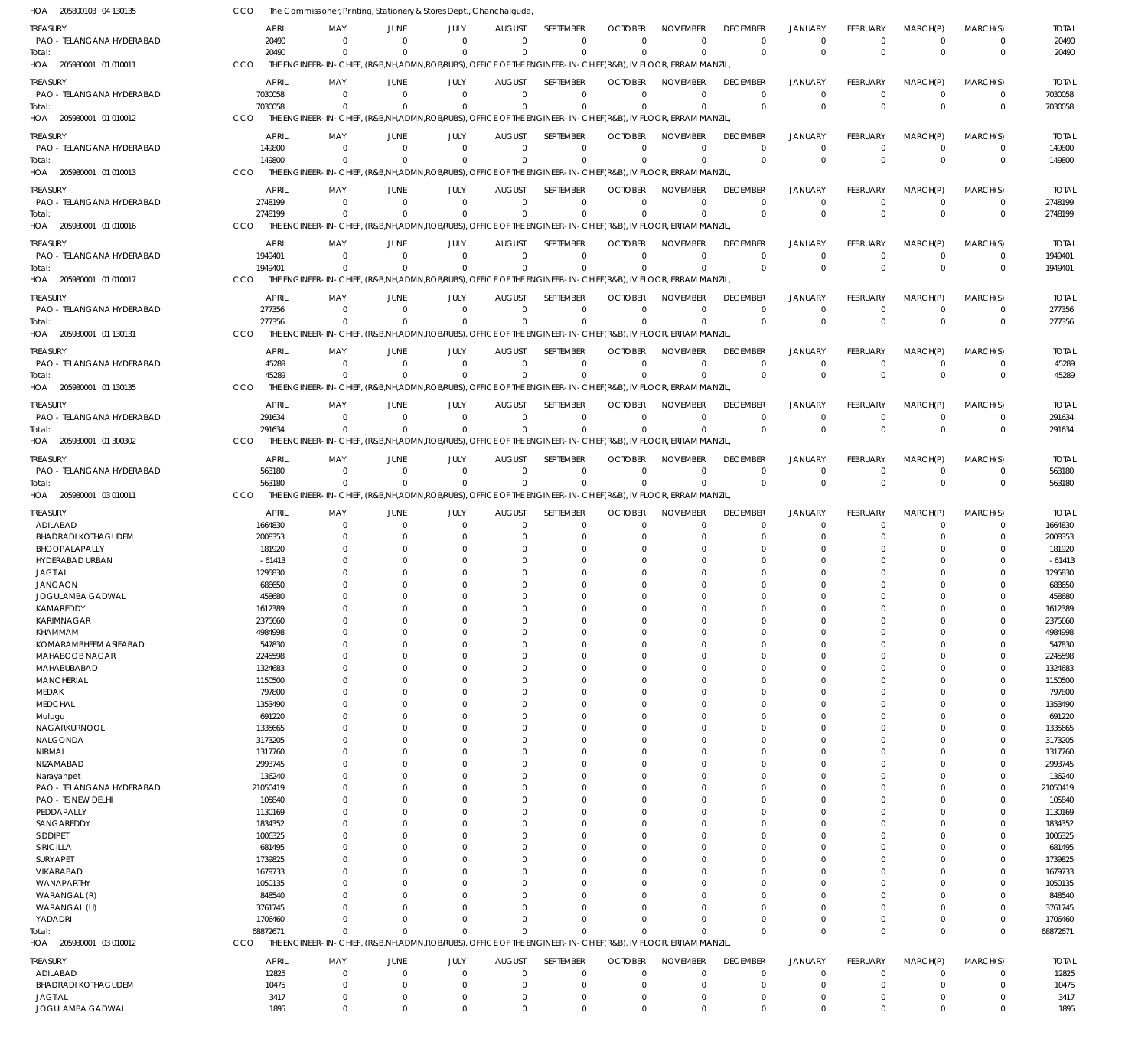| HOA 205800103 04 130135               | CCO                   | The Commissioner, Printing, Stationery & Stores Dept., Chanchalguda,                                                    |                               |                         |                              |                             |                            |                         |                             |                             |                         |                            |                            |                    |
|---------------------------------------|-----------------------|-------------------------------------------------------------------------------------------------------------------------|-------------------------------|-------------------------|------------------------------|-----------------------------|----------------------------|-------------------------|-----------------------------|-----------------------------|-------------------------|----------------------------|----------------------------|--------------------|
| treasury                              | <b>APRIL</b>          | MAY                                                                                                                     | JUNE                          | JULY                    | <b>AUGUST</b>                | SEPTEMBER                   | <b>OCTOBER</b>             | <b>NOVEMBER</b>         | <b>DECEMBER</b>             | <b>JANUARY</b>              | <b>FEBRUARY</b>         | MARCH(P)                   | MARCH(S)                   | <b>TOTAL</b>       |
| PAO - TELANGANA HYDERABAD             | 20490                 | $\Omega$                                                                                                                | $\Omega$                      | $\Omega$                | $\Omega$                     | $\mathbf 0$                 | $\Omega$                   | $\Omega$                | $\mathbf 0$                 | $\mathbf 0$                 | $\Omega$                | $^{\circ}$                 | $\mathbf 0$                | 20490              |
| Total:                                | 20490                 | $\Omega$                                                                                                                |                               | $\Omega$                | $\Omega$                     | $\Omega$                    | $\Omega$                   | $\Omega$                | $\mathbf 0$                 | $\mathbf 0$                 | $\Omega$                | $\mathbf 0$                | $\mathbf 0$                | 20490              |
| HOA 205980001 01 010011               | CCO                   | THE ENGINEER-IN-CHIEF, (R&B,NH,ADMN,ROB/RUBS), OFFICE OF THE ENGINEER-IN-CHIEF(R&B), IV FLOOR, ERRAM MANZIL             |                               |                         |                              |                             |                            |                         |                             |                             |                         |                            |                            |                    |
| treasury                              | <b>APRIL</b>          | MAY                                                                                                                     | <b>JUNE</b>                   | JULY                    | <b>AUGUST</b>                | SEPTEMBER                   | <b>OCTOBER</b>             | <b>NOVEMBER</b>         | <b>DECEMBER</b>             | <b>JANUARY</b>              | <b>FEBRUARY</b>         | MARCH(P)                   | MARCH(S)                   | <b>TOTAL</b>       |
| PAO - TELANGANA HYDERABAD             | 7030058               | $^{\circ}$                                                                                                              | $\Omega$                      | $\Omega$                | $\mathbf 0$                  | $\mathbf 0$                 | $\Omega$                   | $\Omega$                | $\mathbf 0$                 | $\overline{0}$              | $\Omega$                | $\mathbf 0$                | $\mathbf 0$                | 7030058            |
| Total:<br>HOA 205980001 01 010012     | 7030058<br><b>CCO</b> | $\Omega$<br>THE ENGINEER-IN-CHIEF, (R&B,NH,ADMN,ROBIRUBS), OFFICE OF THE ENGINEER-IN-CHIEF(R&B), IV FLOOR, ERRAM MANZIL | $\Omega$                      | $\Omega$                | $\Omega$                     | $\mathbf 0$                 | $\Omega$                   | $\Omega$                | $\mathbf 0$                 | $\Omega$                    | $\Omega$                | $\Omega$                   | $\mathbf 0$                | 7030058            |
|                                       |                       |                                                                                                                         |                               |                         |                              |                             |                            |                         |                             |                             |                         |                            |                            |                    |
| treasury                              | <b>APRIL</b>          | MAY                                                                                                                     | <b>JUNE</b><br>$\Omega$       | JULY                    | <b>AUGUST</b>                | SEPTEMBER                   | <b>OCTOBER</b><br>$\Omega$ | <b>NOVEMBER</b>         | <b>DECEMBER</b>             | <b>JANUARY</b>              | <b>FEBRUARY</b>         | MARCH(P)                   | MARCH(S)                   | <b>TOTAL</b>       |
| PAO - TELANGANA HYDERABAD<br>Total:   | 149800<br>149800      | $\Omega$<br>$\Omega$                                                                                                    | $\Omega$                      | $\Omega$<br>$\Omega$    | $\Omega$<br>$\Omega$         | $\mathbf{0}$<br>$\mathbf 0$ | $\Omega$                   | $\Omega$<br>$\Omega$    | $\mathbf 0$<br>$\mathbf{0}$ | $\mathbf 0$<br>$\mathbf{0}$ | $\Omega$<br>$\Omega$    | $\mathbf 0$<br>$\Omega$    | 0<br>$\mathbf 0$           | 149800<br>149800   |
| HOA 205980001 01 010013               | CCO                   | THE ENGINEER-IN-CHIEF, (R&B,NH,ADMN,ROB/RUBS), OFFICE OF THE ENGINEER-IN-CHIEF(R&B), IV FLOOR, ERRAM MANZIL             |                               |                         |                              |                             |                            |                         |                             |                             |                         |                            |                            |                    |
| treasury                              | <b>APRIL</b>          | MAY                                                                                                                     | JUNE                          | JULY                    | <b>AUGUST</b>                | SEPTEMBER                   | <b>OCTOBER</b>             | <b>NOVEMBER</b>         | <b>DECEMBER</b>             | <b>JANUARY</b>              | <b>FEBRUARY</b>         | MARCH(P)                   | MARCH(S)                   | <b>TOTAL</b>       |
| PAO - TELANGANA HYDERABAD             | 2748199               | $\mathbf{0}$                                                                                                            | $\Omega$                      | $\Omega$                | $\Omega$                     | $\mathbf 0$                 | $\Omega$                   | $\Omega$                | $\mathbf 0$                 | $\mathbf 0$                 | $\Omega$                | $^{\circ}$                 | $\mathbf 0$                | 2748199            |
| Total:                                | 2748199               | $\Omega$                                                                                                                |                               | $\Omega$                | $\Omega$                     | $\mathbf 0$                 |                            | $\Omega$                | $\mathbf 0$                 | $\overline{0}$              | $\Omega$                | $\Omega$                   | $\mathbf 0$                | 2748199            |
| HOA 205980001 01 010016               | CCO                   | THE ENGINEER-IN-CHIEF, (R&B,NH,ADMN,ROBIRUBS), OFFICE OF THE ENGINEER-IN-CHIEF(R&B), IV FLOOR, ERRAM MANZIL             |                               |                         |                              |                             |                            |                         |                             |                             |                         |                            |                            |                    |
| treasury                              | <b>APRIL</b>          | MAY                                                                                                                     | JUNE                          | JULY                    | <b>AUGUST</b>                | SEPTEMBER                   | <b>OCTOBER</b>             | <b>NOVEMBER</b>         | <b>DECEMBER</b>             | <b>JANUARY</b>              | <b>FEBRUARY</b>         | MARCH(P)                   | MARCH(S)                   | <b>TOTAL</b>       |
| PAO - TELANGANA HYDERABAD             | 1949401               | $\mathbf{0}$                                                                                                            | $\overline{0}$                | $\Omega$                | $\Omega$                     | $\mathbf 0$                 | $\Omega$                   | $\Omega$                | $\mathbf 0$                 | $\mathbf 0$                 | $\Omega$                | $^{\circ}$                 | $\mathbf 0$                | 1949401            |
| Total:                                | 1949401               | $\Omega$                                                                                                                | $\Omega$                      | $\Omega$                | $\mathbf 0$                  | $\mathbf 0$                 | $\Omega$                   | $\Omega$                | $\mathbf 0$                 | $\mathbf 0$                 | $\overline{0}$          | $\Omega$                   | $\mathbf 0$                | 1949401            |
| HOA 205980001 01 010017               | CCO                   | THE ENGINEER-IN-CHIEF, (R&B,NH,ADMN,ROB/RUBS), OFFICE OF THE ENGINEER-IN-CHIEF(R&B), IV FLOOR, ERRAM MANZIL             |                               |                         |                              |                             |                            |                         |                             |                             |                         |                            |                            |                    |
| treasury                              | <b>APRIL</b>          | MAY                                                                                                                     | JUNE                          | JULY                    | <b>AUGUST</b>                | SEPTEMBER                   | <b>OCTOBER</b>             | <b>NOVEMBER</b>         | <b>DECEMBER</b>             | <b>JANUARY</b>              | <b>FEBRUARY</b>         | MARCH(P)                   | MARCH(S)                   | <b>TOTAL</b>       |
| PAO - TELANGANA HYDERABAD             | 277356                | $\Omega$                                                                                                                | $\Omega$                      | $\Omega$                | $\mathbf 0$                  | $\mathbf 0$                 | $\Omega$                   | $\mathbf 0$             | $^{\circ}$                  | $\overline{0}$              | $\mathbf 0$             | 0                          | $\mathbf 0$                | 277356             |
| Total:<br>HOA 205980001 01 130131     | 277356<br>CCO         | $\Omega$<br>THE ENGINEER-IN-CHIEF, (R&B,NH,ADMN,ROB/RUBS), OFFICE OF THE ENGINEER-IN-CHIEF(R&B), IV FLOOR, ERRAM MANZIL | $\Omega$                      | $\Omega$                | $\Omega$                     | $\Omega$                    | $\Omega$                   | $\Omega$                | $\mathbf 0$                 | $\Omega$                    | $\Omega$                | $\Omega$                   | $\mathbf 0$                | 277356             |
|                                       |                       |                                                                                                                         |                               |                         |                              |                             |                            |                         |                             |                             |                         |                            |                            |                    |
| treasury                              | <b>APRIL</b>          | MAY                                                                                                                     | <b>JUNE</b>                   | JULY                    | <b>AUGUST</b>                | SEPTEMBER                   | <b>OCTOBER</b>             | <b>NOVEMBER</b>         | <b>DECEMBER</b>             | <b>JANUARY</b>              | FEBRUARY                | MARCH(P)                   | MARCH(S)                   | <b>TOTAL</b>       |
| PAO - TELANGANA HYDERABAD<br>Total:   | 45289<br>45289        | $\Omega$<br>$\Omega$                                                                                                    | $\overline{0}$                | $\Omega$<br>$\Omega$    | $^{\circ}$<br>$\Omega$       | $\mathbf 0$<br>$\mathbf 0$  | $\Omega$<br>$\Omega$       | $\Omega$<br>$\Omega$    | $\mathbf 0$<br>$\mathbf 0$  | $\mathbf 0$<br>$\mathbf{0}$ | $\Omega$<br>$\Omega$    | $\mathbf 0$<br>$\Omega$    | $\mathbf 0$<br>$\mathbf 0$ | 45289<br>45289     |
| HOA 205980001 01 130135               | CCO                   | THE ENGINEER-IN-CHIEF, (R&B,NH,ADMN,ROB/RUBS), OFFICE OF THE ENGINEER-IN-CHIEF(R&B), IV FLOOR, ERRAM MANZIL             |                               |                         |                              |                             |                            |                         |                             |                             |                         |                            |                            |                    |
|                                       | APRIL                 |                                                                                                                         |                               |                         |                              | SEPTEMBER                   | <b>OCTOBER</b>             | <b>NOVEMBER</b>         | <b>DECEMBER</b>             | JANUARY                     | <b>FEBRUARY</b>         |                            |                            | <b>TOTAL</b>       |
| treasury<br>PAO - TELANGANA HYDERABAD | 291634                | MAY<br>$\mathbf{0}$                                                                                                     | JUNE<br>$\Omega$              | JULY<br>$\Omega$        | <b>AUGUST</b><br>$\mathbf 0$ | $\mathbf 0$                 | $\Omega$                   | $\Omega$                | $\mathbf 0$                 | $\mathbf 0$                 | $\overline{0}$          | MARCH(P)<br>$\mathbf 0$    | MARCH(S)<br>$\mathbf 0$    | 291634             |
| Total:                                | 291634                | $\Omega$                                                                                                                | $\Omega$                      | $\Omega$                | $\Omega$                     | $\mathbf 0$                 |                            | $\Omega$                | $\mathbf 0$                 | $\mathbf 0$                 | $\Omega$                | $\Omega$                   | $\mathbf 0$                | 291634             |
| HOA 205980001 01 300302               | CCO                   | THE ENGINEER-IN-CHIEF, (R&B,NH,ADMN,ROB/RUBS), OFFICE OF THE ENGINEER-IN-CHIEF(R&B), IV FLOOR, ERRAM MANZIL             |                               |                         |                              |                             |                            |                         |                             |                             |                         |                            |                            |                    |
| treasury                              | <b>APRIL</b>          | MAY                                                                                                                     | JUNE                          | JULY                    | <b>AUGUST</b>                | SEPTEMBER                   | <b>OCTOBER</b>             | <b>NOVEMBER</b>         | <b>DECEMBER</b>             | <b>JANUARY</b>              | <b>FEBRUARY</b>         | MARCH(P)                   | MARCH(S)                   | <b>TOTAL</b>       |
| PAO - TELANGANA HYDERABAD             | 563180                | $\Omega$                                                                                                                | $\Omega$                      | $\Omega$                | $\Omega$                     | $\mathbf 0$                 | $\Omega$                   | $\Omega$                | $\mathbf 0$                 | $\mathbf 0$                 | $\Omega$                | $\overline{0}$             | $\mathbf 0$                | 563180             |
| Total:                                | 563180                | $\Omega$                                                                                                                | $\Omega$                      | $\Omega$                | $\Omega$                     | $\Omega$                    | $\Omega$                   | $\Omega$                | $\mathbf 0$                 | $\mathbf 0$                 | $\Omega$                | $\mathbf 0$                | $\mathbf 0$                | 563180             |
| HOA 205980001 03 010011               | CCO                   | THE ENGINEER-IN-CHIEF, (R&B,NH,ADMN,ROB/RUBS), OFFICE OF THE ENGINEER-IN-CHIEF(R&B), IV FLOOR, ERRAM MANZIL             |                               |                         |                              |                             |                            |                         |                             |                             |                         |                            |                            |                    |
| Treasury                              | <b>APRIL</b>          | MAY                                                                                                                     | JUNE                          | JULY                    | <b>AUGUST</b>                | SEPTEMBER                   | <b>OCTOBER</b>             | <b>NOVEMBER</b>         | <b>DECEMBER</b>             | <b>JANUARY</b>              | <b>FEBRUARY</b>         | MARCH(P)                   | MARCH(S)                   | <b>TOTAL</b>       |
| ADILABAD                              | 1664830               | $\Omega$                                                                                                                | $\Omega$                      | $\Omega$                | 0                            | 0                           | $\Omega$                   | $\Omega$                | $\overline{0}$              | $\mathbf 0$                 | $\Omega$                | 0                          | 0                          | 1664830            |
| <b>BHADRADI KOTHAGUDEM</b>            | 2008353               | $\Omega$                                                                                                                | $\Omega$                      | $\Omega$<br>O           | $\Omega$                     | $\mathbf 0$                 | $\Omega$                   | $\Omega$                | $\mathbf 0$<br>$\Omega$     | $\mathbf 0$<br>$\Omega$     | $\Omega$                | $\Omega$                   | $\mathbf 0$<br>$\mathbf 0$ | 2008353            |
| BHOOPALAPALLY<br>HYDERABAD URBAN      | 181920<br>$-61413$    |                                                                                                                         | -0<br>$\Omega$                |                         | 0<br>0                       | 0<br>$\Omega$               |                            |                         |                             | $\Omega$                    |                         | 0<br>0                     | $\Omega$                   | 181920<br>$-61413$ |
| JAGTIAL                               | 1295830               |                                                                                                                         |                               |                         | O                            | $\Omega$                    |                            |                         |                             |                             |                         | O                          | $\Omega$                   | 1295830            |
| <b>JANGAON</b>                        | 688650                |                                                                                                                         |                               | O                       | $\Omega$                     | $\Omega$                    |                            |                         |                             | $\Omega$                    | U                       | $\Omega$                   | $\Omega$                   | 688650             |
| JOGULAMBA GADWAL                      | 458680                | $\Omega$                                                                                                                |                               | U                       | $\Omega$                     | $\Omega$                    |                            | $\Omega$                | $\Omega$                    | $\Omega$                    | $\Omega$                | $\Omega$                   | $\Omega$                   | 458680             |
| KAMAREDDY<br>KARIMNAGAR               | 1612389<br>2375660    | $\mathbf 0$<br>$\mathbf 0$                                                                                              | $\mathbf 0$<br>$\overline{0}$ | O<br>$\Omega$           | $\mathbf 0$<br>0             | $\mathbf 0$<br>$\mathbf 0$  | $\Omega$<br>$\Omega$       | $\Omega$<br>$\Omega$    | $\mathbf 0$<br>$\mathbf 0$  | $\Omega$<br>$\mathbf 0$     | O<br>$\Omega$           | $\mathbf 0$<br>0           | $\mathbf 0$<br>$\mathbf 0$ | 1612389<br>2375660 |
| KHAMMAM                               | 4984998               | $\Omega$                                                                                                                | $\mathbf 0$                   | $\Omega$                | $\Omega$                     | $\mathbf 0$                 | $\Omega$                   | $\Omega$                | $\Omega$                    | $\Omega$                    | $\Omega$                | $\Omega$                   | $\mathbf 0$                | 4984998            |
| KOMARAMBHEEM ASIFABAD                 | 547830                | $\Omega$                                                                                                                | $\Omega$                      | O                       | $\Omega$                     | $\mathbf 0$                 | $\Omega$                   | $\Omega$                | $\Omega$                    | $\Omega$                    | O                       | 0                          | $\mathbf 0$                | 547830             |
| MAHABOOB NAGAR                        | 2245598               | $\Omega$                                                                                                                | $\Omega$                      |                         | 0                            | $\Omega$                    |                            | $\Omega$                | $\Omega$                    | $\Omega$                    |                         | $\Omega$                   | $\Omega$                   | 2245598            |
| MAHABUBABAD                           | 1324683               | $\Omega$                                                                                                                | $\Omega$                      | O                       | $\Omega$                     | $\mathbf 0$                 | ſ                          | $\Omega$                | $\Omega$                    | $\Omega$                    | O                       | $\Omega$                   | $\mathbf 0$                | 1324683            |
| <b>MANCHERIAL</b><br>MEDAK            | 1150500<br>797800     | $\Omega$<br>$\Omega$                                                                                                    | $\Omega$<br>$\Omega$          | O                       | $\Omega$<br>$\Omega$         | $\mathbf 0$<br>$\mathbf 0$  |                            | $\Omega$<br>$\Omega$    | $\Omega$<br>$\Omega$        | $\Omega$<br>$\Omega$        | O                       | $\Omega$<br>0              | $\mathbf 0$<br>$\mathbf 0$ | 1150500<br>797800  |
| <b>MEDCHAL</b>                        | 1353490               | 0                                                                                                                       | $\Omega$                      |                         | 0                            | $\Omega$                    |                            | $\Omega$                | $\Omega$                    | $\Omega$                    |                         | 0                          | $\Omega$                   | 1353490            |
| Mulugu                                | 691220                | $\Omega$                                                                                                                | $\Omega$                      | O                       | $\Omega$                     | $\mathbf 0$                 | ſ                          | $\Omega$                | $\Omega$                    | $\Omega$                    |                         | $\Omega$                   | $\mathbf 0$                | 691220             |
| NAGARKURNOOL                          | 1335665               | $\Omega$                                                                                                                | $\Omega$                      | O                       | $\Omega$                     | $\mathbf 0$                 |                            | $\Omega$                | $\Omega$                    | $\Omega$                    |                         | 0                          | $\mathbf 0$                | 1335665            |
| NALGONDA                              | 3173205               | $\Omega$                                                                                                                | $\Omega$                      | U                       | $\Omega$                     | $\mathbf 0$                 |                            | $\Omega$                | $\Omega$                    | $\Omega$                    | O                       | $\Omega$                   | $\mathbf 0$                | 3173205            |
| NIRMAL<br>NIZAMABAD                   | 1317760<br>2993745    | 0<br>$\Omega$                                                                                                           | $\Omega$<br>$\Omega$          |                         | $\Omega$<br>$\Omega$         | $\Omega$<br>$\mathbf 0$     | ſ                          | $\Omega$<br>$\Omega$    | $\Omega$<br>$\Omega$        | $\Omega$<br>$\Omega$        |                         | $\Omega$<br>0              | $\Omega$<br>$\mathbf 0$    | 1317760<br>2993745 |
| Narayanpet                            | 136240                | 0                                                                                                                       | $\Omega$                      |                         | $\Omega$                     | $\mathbf 0$                 |                            | $\Omega$                | $\Omega$                    | $\Omega$                    |                         | $\Omega$                   | $\mathbf 0$                | 136240             |
| PAO - TELANGANA HYDERABAD             | 21050419              | $\Omega$                                                                                                                | $\Omega$                      | U                       | $\Omega$                     | $\mathbf 0$                 |                            | $\Omega$                | $\Omega$                    | $\Omega$                    | O                       | $\Omega$                   | $\mathbf 0$                | 21050419           |
| PAO - TS NEW DELHI                    | 105840                | 0                                                                                                                       | $\Omega$                      |                         | $\Omega$                     | $\Omega$                    |                            | $\Omega$                | $\Omega$                    | $\Omega$                    |                         | $\Omega$                   | $\Omega$                   | 105840             |
| PEDDAPALLY                            | 1130169               | $\Omega$                                                                                                                | $\Omega$                      |                         | $\Omega$                     | $\mathbf 0$                 | $\Omega$                   | $\Omega$                | $\Omega$                    | $\Omega$                    |                         | 0                          | $\mathbf 0$                | 1130169            |
| SANGAREDDY<br>SIDDIPET                | 1834352<br>1006325    | U<br>$\Omega$                                                                                                           | $\Omega$<br>$\Omega$          | O                       | $\Omega$<br>$\Omega$         | $\Omega$<br>$\Omega$        |                            | $\cap$<br>$\Omega$      | $\Omega$<br>$\Omega$        | $\Omega$<br>$\Omega$        | O                       | $\Omega$<br>$\Omega$       | $\mathbf 0$<br>$\mathbf 0$ | 1834352<br>1006325 |
| SIRICILLA                             | 681495                | $\Omega$                                                                                                                | $\Omega$                      |                         | $\Omega$                     | $\Omega$                    |                            | $\Omega$                | $\Omega$                    | $\Omega$                    |                         | $\Omega$                   | $\mathbf 0$                | 681495             |
| SURYAPET                              | 1739825               | $\Omega$                                                                                                                | $\Omega$                      |                         | $\Omega$                     | $\mathbf 0$                 | $\Omega$                   | $\Omega$                | $\Omega$                    | $\Omega$                    |                         | 0                          | $\mathbf 0$                | 1739825            |
| VIKARABAD                             | 1679733               | U                                                                                                                       | $\Omega$                      |                         | $\Omega$                     | $\Omega$                    |                            | $\cap$                  | U                           | $\Omega$                    |                         | $\Omega$                   | $\mathbf 0$                | 1679733            |
| WANAPARTHY                            | 1050135               | $\Omega$                                                                                                                | $\Omega$                      | O                       | $\Omega$                     | $\Omega$                    |                            | $\Omega$                | $\Omega$                    | $\Omega$                    | O                       | $\Omega$                   | $\mathbf 0$                | 1050135            |
| WARANGAL (R)                          | 848540                | 0                                                                                                                       | $\Omega$                      |                         | $\Omega$                     | $\Omega$                    |                            | $\Omega$<br>$\Omega$    | $\Omega$                    | $\Omega$                    |                         | 0                          | $\mathbf 0$                | 848540             |
| WARANGAL (U)<br>YADADRI               | 3761745<br>1706460    | 0<br>$\Omega$                                                                                                           | $\Omega$<br>$\Omega$          | U<br>$\Omega$           | $\Omega$<br>$\mathbf 0$      | $\mathbf 0$<br>$\mathbf 0$  | $\Omega$                   | $\Omega$                | $\Omega$<br>$\Omega$        | $\Omega$<br>$\mathbf 0$     | O<br>$\Omega$           | 0<br>0                     | $\mathbf 0$<br>$\mathbf 0$ | 3761745<br>1706460 |
| iotal:                                | 68872671              | $\mathbf 0$                                                                                                             | $\Omega$                      | $\Omega$                | $\Omega$                     | $\Omega$                    |                            | $\Omega$                | $\Omega$                    | $\mathbf{0}$                | $\Omega$                | $\Omega$                   | $\mathbf 0$                | 68872671           |
| HOA 205980001 03 010012               | CCO                   | THE ENGINEER-IN-CHIEF, (R&B,NH,ADMN,ROBIRUBS), OFFICE OF THE ENGINEER-IN-CHIEF(R&B), IV FLOOR, ERRAM MANZIL,            |                               |                         |                              |                             |                            |                         |                             |                             |                         |                            |                            |                    |
| treasury                              | <b>APRIL</b>          | MAY                                                                                                                     | <b>JUNE</b>                   | JULY                    | <b>AUGUST</b>                | SEPTEMBER                   | <b>OCTOBER</b>             | <b>NOVEMBER</b>         | <b>DECEMBER</b>             | <b>JANUARY</b>              | <b>FEBRUARY</b>         | MARCH(P)                   | MARCH(S)                   | <b>TOTAL</b>       |
| ADILABAD                              | 12825                 | $\mathbf 0$                                                                                                             | $\mathbf 0$                   | $\mathbf 0$             | $\mathbf 0$                  | $\mathbf 0$                 | $\Omega$                   | $\Omega$                | $\mathbf 0$                 | $\mathbf 0$                 | $\Omega$                | $\mathbf 0$                | $\mathbf 0$                | 12825              |
| <b>BHADRADI KOTHAGUDEM</b>            | 10475                 | $\mathbf 0$                                                                                                             | $\mathbf 0$                   | $\mathbf 0$             | 0                            | $\mathbf 0$                 | $\Omega$                   | $\Omega$                | $\mathbf 0$                 | $\mathbf 0$                 | $\mathbf 0$             | 0                          | $\mathbf 0$                | 10475              |
| <b>JAGTIAL</b><br>JOGULAMBA GADWAL    | 3417<br>1895          | $\mathbf 0$<br>$\mathbf 0$                                                                                              | $\mathbf 0$<br>$\mathbf 0$    | $\mathbf 0$<br>$\Omega$ | $\mathbf 0$<br>$\mathbf 0$   | $\mathbf 0$<br>$\mathbf 0$  | $\Omega$<br>$\Omega$       | $\Omega$<br>$\mathbf 0$ | $\mathbf 0$<br>$\mathbf 0$  | $\mathbf 0$<br>$\mathbf 0$  | $\mathbf 0$<br>$\Omega$ | $\mathbf 0$<br>$\mathbf 0$ | $\mathbf 0$<br>$\mathbf 0$ | 3417<br>1895       |
|                                       |                       |                                                                                                                         |                               |                         |                              |                             |                            |                         |                             |                             |                         |                            |                            |                    |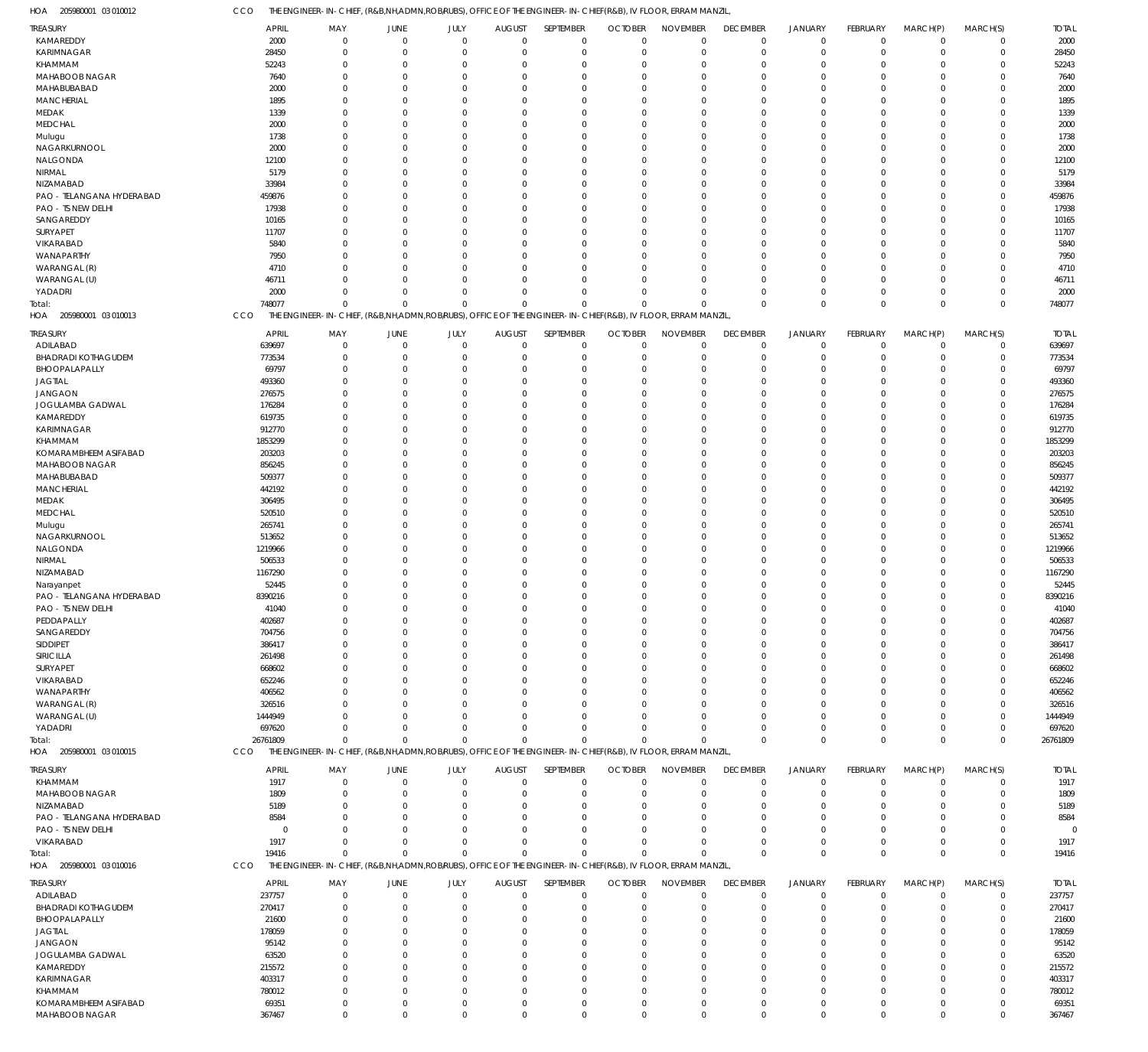CCO THE ENGINEER-IN-CHIEF, (R&B,NH,ADMN,ROB/RUBS), OFFICE OF THE ENGINEER-IN-CHIEF(R&B), IV FLOOR, ERRAM MANZIL,

| HOA<br>205980001 03 010012           | CCO               | THE ENGINEER-IN-CHIEF, (R&B,NH,ADMN,ROB/RUBS), OFFICE OF THE ENGINEER-IN-CHIEF(R&B), IV FLOOR, ERRAM MANZIL  |                                  |                         |                         |                            |                                     |                            |                      |                               |                      |                               |                            |                   |
|--------------------------------------|-------------------|--------------------------------------------------------------------------------------------------------------|----------------------------------|-------------------------|-------------------------|----------------------------|-------------------------------------|----------------------------|----------------------|-------------------------------|----------------------|-------------------------------|----------------------------|-------------------|
| <b>TREASURY</b>                      | <b>APRIL</b>      | MAY                                                                                                          | <b>JUNE</b>                      | JULY                    | <b>AUGUST</b>           | SEPTEMBER                  | <b>OCTOBER</b>                      | <b>NOVEMBER</b>            | <b>DECEMBER</b>      | <b>JANUARY</b>                | <b>FEBRUARY</b>      | MARCH(P)                      | MARCH(S)                   | <b>TOTAL</b>      |
| KAMAREDDY                            | 2000              | $\Omega$                                                                                                     | $\mathbf 0$                      | $\mathbf 0$             | $\overline{0}$          | $\mathbf 0$                | $\overline{0}$                      | $\mathbf 0$                | $\mathbf 0$          | $\mathbf 0$                   | $\Omega$             | $\overline{0}$                | $\mathbf 0$                | 2000              |
| <b>KARIMNAGAR</b><br>KHAMMAM         | 28450<br>52243    | $\Omega$<br>$\Omega$                                                                                         | $\overline{0}$<br>$\overline{0}$ | $\mathbf 0$<br>$\Omega$ | $\mathbf 0$<br>$\Omega$ | $\mathbf 0$<br>$\mathbf 0$ | $\mathbf 0$<br>0                    | $\mathbf 0$<br>$\mathbf 0$ | $\mathbf 0$<br>0     | $\mathbf 0$<br>$\mathbf 0$    | $\Omega$             | $\Omega$<br>$\Omega$          | $\mathbf 0$<br>$\mathbf 0$ | 28450<br>52243    |
| MAHABOOB NAGAR                       | 7640              | $\Omega$                                                                                                     | $\Omega$                         | $\Omega$                | $\Omega$                | $\Omega$                   | $\Omega$                            | $\mathbf 0$                | $\Omega$             | $\Omega$                      |                      | $\Omega$                      | $\Omega$                   | 7640              |
| MAHABUBABAD                          | 2000              | $\Omega$                                                                                                     | $\Omega$                         | $\Omega$                | $\Omega$                | $\Omega$                   | $\mathbf 0$                         | $\Omega$                   | $\Omega$             | $\Omega$                      |                      | $\Omega$                      | $\mathbf 0$                | 2000              |
| <b>MANCHERIAL</b>                    | 1895              | $\Omega$                                                                                                     | $\Omega$                         | $\Omega$                | $\Omega$                | $\Omega$                   | $\Omega$                            | $\overline{0}$             | $\Omega$             | $\Omega$                      |                      | $\Omega$                      | $\Omega$                   | 1895              |
| MEDAK                                | 1339              | $\Omega$                                                                                                     | $\Omega$                         | $\Omega$                | $\Omega$                | $\Omega$                   | $\Omega$                            | $\Omega$                   | $\Omega$             | $\Omega$                      |                      | $\Omega$                      | $\mathbf 0$                | 1339              |
| <b>MEDCHAL</b>                       | 2000              | $\Omega$                                                                                                     | $\Omega$                         | $\Omega$                | $\Omega$                | $\Omega$                   | $\Omega$                            | $\mathbf 0$                | $\Omega$             | $\Omega$                      |                      | $\Omega$                      | $\Omega$                   | 2000              |
| Mulugu                               | 1738              | $\Omega$<br>$\Omega$                                                                                         | $\Omega$<br>$\Omega$             | $\Omega$<br>$\Omega$    | $\Omega$<br>$\Omega$    | $\Omega$<br>$\Omega$       | 0<br>$\Omega$                       | $\Omega$<br>$\Omega$       | $\Omega$             | $\Omega$<br>$\Omega$          |                      | $\Omega$<br>$\Omega$          | $\mathbf 0$<br>$\Omega$    | 1738              |
| NAGARKURNOOL<br>NALGONDA             | 2000<br>12100     | $\Omega$                                                                                                     | $\Omega$                         | O                       | $\Omega$                | $\Omega$                   | $\Omega$                            | $\mathbf 0$                | $\Omega$<br>$\Omega$ | $\Omega$                      |                      | $\Omega$                      | $\mathbf 0$                | 2000<br>12100     |
| NIRMAL                               | 5179              | $\Omega$                                                                                                     | $\Omega$                         | $\Omega$                | $\Omega$                | $\Omega$                   | 0                                   | $\mathbf 0$                | $\Omega$             | $\Omega$                      |                      | $\Omega$                      | $\Omega$                   | 5179              |
| NIZAMABAD                            | 33984             | $\Omega$                                                                                                     | $\Omega$                         | <sup>0</sup>            | $\Omega$                | $\Omega$                   | $\Omega$                            | $\Omega$                   | $\Omega$             | $\Omega$                      |                      | $\Omega$                      | $\mathbf 0$                | 33984             |
| PAO - TELANGANA HYDERABAD            | 459876            | $\Omega$                                                                                                     | $\Omega$                         | $\Omega$                | $\Omega$                | $\Omega$                   | $\Omega$                            | $\mathbf 0$                | $\Omega$             | $\Omega$                      |                      | $\Omega$                      | $\mathbf 0$                | 459876            |
| PAO - TS NEW DELHI                   | 17938             | $\Omega$                                                                                                     | $\Omega$                         | $\Omega$                | $\Omega$                | $\Omega$                   | 0                                   | $\mathbf 0$                | $\Omega$             | $\Omega$                      |                      | $\Omega$                      | $\mathbf 0$                | 17938             |
| SANGAREDDY                           | 10165             | $\Omega$                                                                                                     | $\Omega$                         | $\Omega$                | $\Omega$                | $\Omega$                   | $\Omega$                            | $\mathbf 0$                | $\Omega$             | $\Omega$                      |                      | $\Omega$                      | $\Omega$                   | 10165             |
| SURYAPET                             | 11707             | $\Omega$                                                                                                     | $\Omega$                         | O                       | $\Omega$                | $\Omega$                   | $\Omega$                            | $\Omega$                   | $\Omega$             | $\Omega$                      |                      | $\Omega$                      | $\mathbf 0$                | 11707             |
| VIKARABAD                            | 5840              | $\Omega$<br>$\Omega$                                                                                         | $\Omega$<br>$\Omega$             | $\Omega$<br>$\Omega$    | $\Omega$<br>$\Omega$    | $\Omega$<br>$\Omega$       | $\Omega$<br>$\Omega$                | $\mathbf 0$<br>$\Omega$    | $\Omega$             | $\Omega$<br>$\Omega$          |                      | $\Omega$<br>$\Omega$          | $\mathbf 0$<br>$\mathbf 0$ | 5840              |
| WANAPARTHY<br>WARANGAL (R)           | 7950<br>4710      | $\Omega$                                                                                                     | $\Omega$                         | $\Omega$                | $\Omega$                | $\Omega$                   | $\Omega$                            | $\mathbf 0$                | $\Omega$<br>$\Omega$ | $\Omega$                      |                      | $\Omega$                      | $\Omega$                   | 7950<br>4710      |
| WARANGAL (U)                         | 46711             | $\Omega$                                                                                                     | $\Omega$                         | $\Omega$                | $\Omega$                | $\Omega$                   | $\mathbf 0$                         | $\Omega$                   | $\Omega$             | $\mathbf 0$                   |                      | $\Omega$                      | $\mathbf 0$                | 46711             |
| YADADRI                              | 2000              | $\Omega$                                                                                                     | $\Omega$                         | $\Omega$                | $\Omega$                | $\Omega$                   | $\Omega$                            | $\Omega$                   | $\Omega$             | $\mathbf 0$                   | $\Omega$             | $\Omega$                      | $\mathbf 0$                | 2000              |
| Total:                               | 748077            | $\mathbf 0$                                                                                                  | $\mathbf{0}$                     | $\Omega$                | $\Omega$                | $\Omega$                   | $\Omega$                            | $\Omega$                   | $\Omega$             | $\mathbf 0$                   | $\Omega$             | $\mathbf 0$                   | $\mathbf 0$                | 748077            |
| 205980001 03 010013<br>HOA           | CCO               | THE ENGINEER-IN-CHIEF, (R&B,NH,ADMN,ROB/RUBS), OFFICE OF THE ENGINEER-IN-CHIEF(R&B), IV FLOOR, ERRAM MANZIL, |                                  |                         |                         |                            |                                     |                            |                      |                               |                      |                               |                            |                   |
| TREASURY                             | APRIL             | MAY                                                                                                          | <b>JUNE</b>                      | JULY                    | <b>AUGUST</b>           | SEPTEMBER                  | <b>OCTOBER</b>                      | <b>NOVEMBER</b>            | <b>DECEMBER</b>      | <b>JANUARY</b>                | FEBRUARY             | MARCH(P)                      | MARCH(S)                   | <b>TOTAL</b>      |
| ADILABAD                             | 639697            |                                                                                                              | $\overline{0}$                   | $\mathbf 0$             | $\mathbf 0$             | $\mathbf 0$                | $\mathbf 0$                         | $\mathbf 0$                | $\mathbf 0$          | $\mathbf 0$                   | $\Omega$             | $\overline{0}$                | $\mathbf 0$                | 639697            |
| <b>BHADRADI KOTHAGUDEM</b>           | 773534            | $\Omega$                                                                                                     | $\overline{0}$                   | $\mathbf 0$             | $\Omega$                | $\mathbf 0$                | $\mathbf 0$                         | $\mathbf 0$                | $\mathbf 0$          | $\mathbf 0$                   |                      | $\Omega$                      | $\mathbf 0$                | 773534            |
| BHOOPALAPALLY                        | 69797             |                                                                                                              | $\Omega$                         | 0                       | $\Omega$                | $\Omega$                   | 0                                   | $\mathbf 0$                | $\Omega$             | $\mathbf 0$                   |                      | $\Omega$                      | $\mathbf 0$                | 69797             |
| <b>JAGTIAL</b>                       | 493360            |                                                                                                              | $\Omega$                         | 0                       | $\Omega$                | $\Omega$                   | 0                                   | $\mathbf 0$                | $\Omega$             | $\Omega$                      |                      | $\Omega$                      | 0                          | 493360            |
| <b>JANGAON</b>                       | 276575            |                                                                                                              | $\Omega$<br>$\Omega$             | 0<br>U                  | $\Omega$<br>$\Omega$    | $\mathbf 0$<br>$\Omega$    | 0<br>$\Omega$                       | $\mathbf 0$<br>$\mathbf 0$ | $\Omega$<br>C.       | $\Omega$<br>$\Omega$          |                      | $\Omega$<br>$\Omega$          | $\mathbf 0$<br>0           | 276575            |
| JOGULAMBA GADWAL<br>KAMAREDDY        | 176284<br>619735  |                                                                                                              | $\Omega$                         | 0                       | $\Omega$                | $\Omega$                   | 0                                   | $\mathbf 0$                | $\Omega$             | $\Omega$                      |                      | $\Omega$                      | $\mathbf 0$                | 176284<br>619735  |
| KARIMNAGAR                           | 912770            |                                                                                                              | $\Omega$                         | 0                       | $\Omega$                | $\Omega$                   | 0                                   | $\mathbf 0$                | $\Omega$             | $\Omega$                      |                      | $\Omega$                      | 0                          | 912770            |
| KHAMMAM                              | 1853299           |                                                                                                              | $\Omega$                         | U                       | $\Omega$                | $\Omega$                   | 0                                   | $\mathbf 0$                | $\Omega$             | $\Omega$                      |                      | $\Omega$                      | $\mathbf 0$                | 1853299           |
| KOMARAMBHEEM ASIFABAD                | 203203            |                                                                                                              | $\Omega$                         | U                       | $\Omega$                | $\Omega$                   | $\Omega$                            | $\mathbf 0$                | C.                   | $\Omega$                      |                      | $\Omega$                      | 0                          | 203203            |
| MAHABOOB NAGAR                       | 856245            |                                                                                                              | $\Omega$                         | 0                       | $\Omega$                | $\Omega$                   | 0                                   | $\mathbf 0$                | $\Omega$             | $\Omega$                      |                      | $\Omega$                      | $\mathbf 0$                | 856245            |
| MAHABUBABAD                          | 509377            |                                                                                                              | $\Omega$                         | U                       | $\Omega$                | $\Omega$                   | 0                                   | $\mathbf 0$                | $\Omega$             | $\Omega$                      |                      | $\Omega$                      | 0                          | 509377            |
| <b>MANCHERIAL</b>                    | 442192            |                                                                                                              | $\Omega$                         | U                       | $\Omega$                | $\Omega$                   | 0                                   | $\mathbf 0$                | $\Omega$             | $\Omega$                      |                      | $\Omega$                      | $\mathbf 0$                | 442192            |
| MEDAK<br><b>MEDCHAL</b>              | 306495<br>520510  |                                                                                                              | $\Omega$<br>$\Omega$             | U<br>U                  | $\Omega$<br>$\Omega$    | $\Omega$<br>$\Omega$       | $\mathbf 0$<br>0                    | $\mathbf 0$<br>$\mathbf 0$ | O<br>$\Omega$        | $\Omega$<br>$\Omega$          |                      | $\Omega$<br>$\Omega$          | 0<br>$\mathbf 0$           | 306495<br>520510  |
| Mulugu                               | 265741            |                                                                                                              | $\Omega$                         | U                       | $\Omega$                | $\Omega$                   | 0                                   | $\mathbf 0$                | $\Omega$             | $\Omega$                      |                      | $\Omega$                      | 0                          | 265741            |
| NAGARKURNOOL                         | 513652            |                                                                                                              | $\Omega$                         | 0                       | $\Omega$                | $\Omega$                   | 0                                   | $\mathbf 0$                | $\Omega$             | $\Omega$                      |                      | $\Omega$                      | $\mathbf 0$                | 513652            |
| NALGONDA                             | 1219966           |                                                                                                              | $\Omega$                         | U                       | $\Omega$                | $\Omega$                   | 0                                   | $\mathbf 0$                | O                    | $\Omega$                      |                      | $\Omega$                      | 0                          | 1219966           |
| NIRMAL                               | 506533            |                                                                                                              | $\Omega$                         | U                       | $\Omega$                | $\Omega$                   | 0                                   | $\mathbf 0$                | $\Omega$             | $\Omega$                      |                      | $\Omega$                      | $\mathbf 0$                | 506533            |
| NIZAMABAD                            | 1167290           |                                                                                                              | $\Omega$                         | 0                       | $\Omega$                | $\mathbf 0$                | 0                                   | $\mathbf 0$                | $\Omega$             | $\Omega$                      |                      | $\Omega$                      | $\mathbf 0$                | 1167290           |
| Narayanpet                           | 52445             |                                                                                                              | $\Omega$                         | 0                       | $\Omega$                | $\mathbf 0$                | 0                                   | $\mathbf 0$                | $\Omega$             | $\Omega$                      |                      | $\Omega$                      | $\mathbf 0$                | 52445             |
| PAO - TELANGANA HYDERABAD            | 8390216           | $\Omega$                                                                                                     | $\Omega$                         | $\Omega$                | $\Omega$                | $\Omega$                   | $\mathbf 0$                         | $\mathbf 0$                | $\Omega$             | $\Omega$                      | $\Omega$             | $\Omega$                      | $\Omega$                   | 8390216           |
| PAO - TS NEW DELHI<br>PEDDAPALLY     | 41040<br>402687   |                                                                                                              | $\Omega$<br>$\Omega$             | 0                       | $\Omega$                | $\Omega$                   | $\Omega$<br>0                       | 0<br>$\mathbf 0$           | O                    | $\Omega$                      |                      | $\Omega$<br>$\Omega$          | 0<br>0                     | 41040<br>402687   |
| SANGAREDDY                           | 704756            |                                                                                                              | $\Omega$                         | 0                       | $\Omega$                | $\Omega$                   | 0                                   | $\mathbf 0$                | $\Omega$             | $\Omega$                      |                      | $\Omega$                      | 0                          | 704756            |
| SIDDIPET                             | 386417            |                                                                                                              | - 0                              |                         | $\Omega$                | 0                          | $\Omega$                            | $\mathbf 0$                | C.                   | $\Omega$                      |                      | $\Omega$                      | 0                          | 386417            |
| SIRICILLA                            | 261498            |                                                                                                              | - 0                              | 0                       | $\Omega$                | 0                          | 0                                   | 0                          | O                    | $\Omega$                      |                      | $\Omega$                      | 0                          | 261498            |
| SURYAPET                             | 668602            |                                                                                                              | $\Omega$                         | U                       | $\Omega$                | O                          | $\Omega$                            | 0                          |                      | $\Omega$                      |                      | $\Omega$                      | 0                          | 668602            |
| VIKARABAD                            | 652246            |                                                                                                              | - 0                              | U                       | $\Omega$                | 0                          | $\Omega$                            | 0                          | -0                   | $\Omega$                      |                      | $\Omega$                      | 0                          | 652246            |
| WANAPARTHY                           | 406562            |                                                                                                              |                                  |                         | $\Omega$                |                            | 0                                   | 0                          | O                    | $\Omega$                      |                      | $\Omega$                      | 0                          | 406562            |
| WARANGAL (R)<br>WARANGAL (U)         | 326516<br>1444949 |                                                                                                              | - 0<br>$\Omega$                  | U<br>U                  | $\Omega$<br>$\Omega$    | 0<br>$\Omega$              | $\Omega$<br>$\Omega$                | 0<br>0                     | O<br>C.              | $\Omega$<br>$\Omega$          |                      | $\Omega$<br>$\Omega$          | 0<br>0                     | 326516<br>1444949 |
| YADADRI                              | 697620            |                                                                                                              | $\Omega$                         | 0                       | $\overline{0}$          | $\mathbf 0$                | $\Omega$                            | 0                          | $\Omega$             | $\mathbf 0$                   |                      | $\overline{0}$                | $\mathbf 0$                | 697620            |
| Total:                               | 26761809          | $\Omega$                                                                                                     | $\Omega$                         | $\Omega$                | $\overline{0}$          | $\mathbf 0$                | 0                                   | $\Omega$                   | $\Omega$             | $\Omega$                      | $\Omega$             | $\Omega$                      | $\mathbf 0$                | 26761809          |
| HOA 205980001 03 010015              | <b>CCO</b>        | THE ENGINEER-IN-CHIEF, (R&B,NH,ADMN,ROBIRUBS), OFFICE OF THE ENGINEER-IN-CHIEF(R&B), IV FLOOR, ERRAM MANZIL, |                                  |                         |                         |                            |                                     |                            |                      |                               |                      |                               |                            |                   |
| TREASURY                             | <b>APRIL</b>      | MAY                                                                                                          | <b>JUNE</b>                      | JULY                    | <b>AUGUST</b>           | SEPTEMBER                  | <b>OCTOBER</b>                      | <b>NOVEMBER</b>            | <b>DECEMBER</b>      | <b>JANUARY</b>                | FEBRUARY             | MARCH(P)                      | MARCH(S)                   | <b>TOTAL</b>      |
| KHAMMAM                              | 1917              | $\Omega$                                                                                                     | $\Omega$                         | $\mathbf 0$             | $\mathbf 0$             | $\mathbf 0$                | $\mathbf 0$                         | $\mathbf 0$                | $\mathbf 0$          | $\mathbf 0$                   | $\Omega$             | $\overline{0}$                | $\mathbf 0$                | 1917              |
| MAHABOOB NAGAR                       | 1809              | $\Omega$                                                                                                     | $\Omega$                         | $\mathbf 0$             | $\mathbf 0$             | $\mathbf 0$                | $\mathbf 0$                         | $\mathbf 0$                | 0                    | $\mathbf 0$                   | $\Omega$             | $\Omega$                      | $\mathbf 0$                | 1809              |
| NIZAMABAD                            | 5189              | $\Omega$                                                                                                     | - 0                              | 0                       | $\Omega$                | 0                          | 0                                   | 0                          | 0                    | 0                             |                      | $\Omega$                      | 0                          | 5189              |
| PAO - TELANGANA HYDERABAD            | 8584              |                                                                                                              | $\Omega$                         | <sup>0</sup>            | $\Omega$                | $\Omega$                   | $\Omega$                            | 0                          | $\Omega$             | $\Omega$                      |                      | $\Omega$                      | 0                          | 8584              |
| PAO - TS NEW DELHI                   | $\Omega$          | $\Omega$                                                                                                     | - 0                              | <sup>0</sup>            | $\Omega$                | $\Omega$                   | $\Omega$                            | $\Omega$                   | $\Omega$             | $\Omega$                      |                      | $\Omega$                      | $\mathbf 0$                | $\Omega$          |
| VIKARABAD                            | 1917<br>19416     | $\Omega$<br>$\mathbf 0$                                                                                      | $\Omega$<br>$\mathbf{0}$         | $\Omega$<br>$\Omega$    | $\Omega$<br>$\Omega$    | $\Omega$                   | $\Omega$<br>$\mathbf 0$<br>$\Omega$ | $\Omega$<br>$\Omega$       | $\Omega$<br>$\Omega$ | $\mathbf 0$<br>$\mathbf 0$    | $\Omega$<br>$\Omega$ | $\overline{0}$<br>$\mathbf 0$ | $\mathbf 0$<br>$\mathbf 0$ | 1917<br>19416     |
| Total:<br>205980001 03 010016<br>HOA | CCO               | THE ENGINEER-IN-CHIEF, (R&B,NH,ADMN,ROB/RUBS), OFFICE OF THE ENGINEER-IN-CHIEF(R&B), IV FLOOR, ERRAM MANZIL, |                                  |                         |                         |                            |                                     |                            |                      |                               |                      |                               |                            |                   |
|                                      |                   |                                                                                                              |                                  |                         |                         |                            |                                     |                            |                      |                               |                      |                               |                            |                   |
| TREASURY                             | <b>APRIL</b>      | MAY                                                                                                          | <b>JUNE</b>                      | JULY                    | <b>AUGUST</b>           | SEPTEMBER                  | <b>OCTOBER</b>                      | <b>NOVEMBER</b>            | <b>DECEMBER</b>      | <b>JANUARY</b>                | FEBRUARY             | MARCH(P)                      | MARCH(S)                   | <b>TOTAL</b>      |
| ADILABAD<br>BHADRADI KOTHAGUDEM      | 237757<br>270417  |                                                                                                              | $\overline{0}$<br>$\Omega$       | 0<br>0                  | $\mathbf 0$<br>$\Omega$ | $\mathbf 0$<br>$\mathbf 0$ | $\mathbf 0$<br>$\mathbf 0$          | $\mathbf 0$<br>$\mathbf 0$ | $\mathbf 0$<br>0     | $\overline{0}$<br>$\mathbf 0$ |                      | $^{\circ}$<br>$\Omega$        | $\mathbf 0$<br>$\mathbf 0$ | 237757<br>270417  |
| BHOOPALAPALLY                        | 21600             |                                                                                                              | - 0                              | 0                       | $\Omega$                | 0                          | 0                                   | 0                          | 0                    | 0                             |                      | $\Omega$                      | $\mathbf 0$                | 21600             |
| <b>JAGTIAL</b>                       | 178059            |                                                                                                              | - 0                              | U                       | $\Omega$                | 0                          | 0                                   | 0                          | O                    | $\Omega$                      |                      | $\Omega$                      | 0                          | 178059            |
| <b>JANGAON</b>                       | 95142             |                                                                                                              | - 0                              |                         | $\Omega$                | 0                          | 0                                   | 0                          | O                    | $\Omega$                      |                      | $\Omega$                      | 0                          | 95142             |
| JOGULAMBA GADWAL                     | 63520             |                                                                                                              | $\Omega$                         |                         | $\Omega$                | 0                          | $\Omega$                            | 0                          |                      | $\Omega$                      |                      | $\Omega$                      | $\Omega$                   | 63520             |
| KAMAREDDY                            | 215572            |                                                                                                              | $\Omega$                         | U                       | $\Omega$                | 0                          | 0                                   | 0                          | C.                   | $\Omega$                      |                      | $\Omega$                      | 0                          | 215572            |
| KARIMNAGAR                           | 403317            |                                                                                                              | $\Omega$                         |                         | $\Omega$                | 0                          | 0                                   | 0                          | O                    | $\Omega$                      |                      | $\Omega$                      | 0                          | 403317            |
| KHAMMAM<br>KOMARAMBHEEM ASIFABAD     | 780012<br>69351   | $\Omega$                                                                                                     | $\Omega$<br>$\overline{0}$       | 0<br>0                  | $\Omega$<br>$\mathbf 0$ | $\Omega$<br>$\mathbf 0$    | 0<br>0                              | $\mathbf 0$<br>$\mathbf 0$ | $\Omega$<br>0        | $\Omega$<br>$\mathbf 0$       |                      | $\Omega$<br>$\overline{0}$    | $\mathbf 0$<br>0           | 780012<br>69351   |
| MAHABOOB NAGAR                       | 367467            | $\mathbf 0$                                                                                                  | $\mathbf 0$                      | 0                       | $\overline{0}$          | $\mathbf 0$                | $\mathbf 0$                         | $\mathbf 0$                | $\mathbf 0$          | $\mathbf 0$                   | $\Omega$             | $\mathbf 0$                   | $\mathbf 0$                | 367467            |
|                                      |                   |                                                                                                              |                                  |                         |                         |                            |                                     |                            |                      |                               |                      |                               |                            |                   |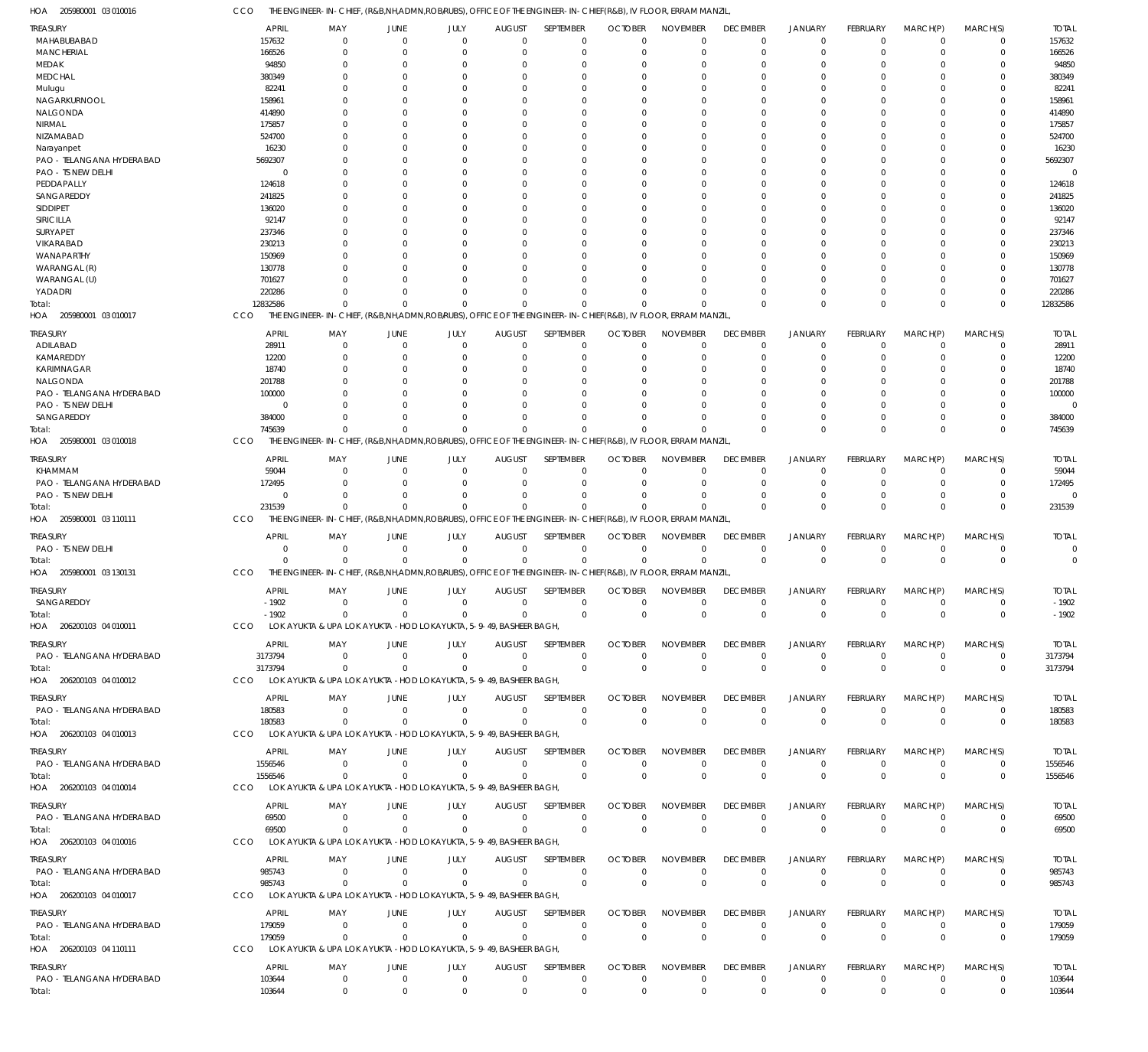CCO THE ENGINEER-IN-CHIEF, (R&B,NH,ADMN,ROB/RUBS), OFFICE OF THE ENGINEER-IN-CHIEF(R&B), IV FLOOR, ERRAM MANZIL,

| HOA<br>205980001 03 010016                   | cco                   | the engineer-in-Chief, (R&B,NH,ADMN,ROB/RUBS), OFFICE OF THE ENGINEER-IN-CHIEF(R&B), IV FLOOR, ERRAM MANZIL |                        |                  |                                 |                          |                               |                                |                                |                                  |                             |                            |                            |                        |
|----------------------------------------------|-----------------------|-------------------------------------------------------------------------------------------------------------|------------------------|------------------|---------------------------------|--------------------------|-------------------------------|--------------------------------|--------------------------------|----------------------------------|-----------------------------|----------------------------|----------------------------|------------------------|
| <b>TREASURY</b>                              | <b>APRIL</b>          | MAY                                                                                                         | <b>JUNE</b>            | JULY             | <b>AUGUST</b>                   | SEPTEMBER                | <b>OCTOBER</b>                | <b>NOVEMBER</b>                | <b>DECEMBER</b>                | <b>JANUARY</b>                   | FEBRUARY                    | MARCH(P)                   | MARCH(S)                   | <b>TOTAL</b>           |
| MAHABUBABAD                                  | 157632                | $\Omega$                                                                                                    | $\Omega$               | $\Omega$         | $\overline{0}$                  | 0                        | $\Omega$                      | $\Omega$                       | $\mathbf 0$                    | $\overline{0}$                   | $\Omega$                    | $\mathbf 0$                | 0                          | 157632                 |
| <b>MANCHERIAL</b>                            | 166526                | 0                                                                                                           | $\Omega$               | 0                | 0                               | $\mathbf 0$              | $\Omega$                      | $\Omega$                       | $\Omega$                       | $\overline{0}$                   | $\Omega$                    | $\Omega$                   | $\mathbf 0$                | 166526                 |
| MEDAK                                        | 94850                 |                                                                                                             | $\Omega$               |                  | 0                               | 0                        |                               | $\Omega$                       |                                | $\Omega$                         |                             | O                          | 0                          | 94850                  |
| <b>MEDCHAL</b>                               | 380349                |                                                                                                             | $\Omega$               | n                | 0                               | $\Omega$                 | -C                            | $\Omega$                       |                                | $\Omega$                         |                             | $\Omega$                   | U                          | 380349                 |
| Mulugu                                       | 82241                 |                                                                                                             | $\Omega$               |                  | 0                               | $\Omega$                 |                               | $\Omega$                       |                                | $\Omega$                         |                             |                            | C                          | 82241                  |
| NAGARKURNOOL                                 | 158961                |                                                                                                             | $\Omega$               | O                | $\Omega$                        | $\Omega$                 | -C                            | $\Omega$                       |                                | $\Omega$                         |                             | $\Omega$                   | U                          | 158961                 |
| NALGONDA                                     | 414890                |                                                                                                             | 0                      |                  | 0                               | $\Omega$                 |                               | $\Omega$                       |                                | $\Omega$                         |                             | $\Omega$                   | C                          | 414890                 |
| <b>NIRMAL</b><br>NIZAMABAD                   | 175857<br>524700      |                                                                                                             | n<br>$\Omega$          |                  | $\Omega$<br>0                   | $\Omega$<br>$\Omega$     | -C                            | $\Omega$<br>$\Omega$           |                                | $\Omega$<br>$\Omega$             |                             | $\Omega$<br>$\Omega$       | U<br>C                     | 175857<br>524700       |
|                                              | 16230                 |                                                                                                             | $\Omega$               | n                | $\Omega$                        | $\Omega$                 | -C                            | $\Omega$                       |                                | $\Omega$                         | O                           | $\Omega$                   | U                          | 16230                  |
| Narayanpet<br>PAO - TELANGANA HYDERABAD      | 5692307               |                                                                                                             | n                      |                  | 0                               | $\Omega$                 |                               | $\Omega$                       |                                | $\Omega$                         |                             | $\Omega$                   | U                          | 5692307                |
| PAO - TS NEW DELHI                           | $\Omega$              |                                                                                                             | $\Omega$               |                  | $\Omega$                        | $\Omega$                 | -C                            | $\Omega$                       |                                | $\Omega$                         |                             | $\Omega$                   | C                          |                        |
| PEDDAPALLY                                   | 124618                |                                                                                                             | $\Omega$               |                  | 0                               | $\Omega$                 |                               | $\Omega$                       |                                | $\Omega$                         |                             | $\Omega$                   |                            | 124618                 |
| SANGAREDDY                                   | 241825                |                                                                                                             | $\Omega$               | O                | $\Omega$                        | $\Omega$                 | -C                            | $\Omega$                       |                                | $\Omega$                         |                             | $\Omega$                   | U                          | 241825                 |
| <b>SIDDIPET</b>                              | 136020                |                                                                                                             | $\Omega$               |                  | 0                               | $\Omega$                 |                               | $\Omega$                       |                                | $\Omega$                         |                             |                            | C                          | 136020                 |
| SIRICILLA                                    | 92147                 |                                                                                                             | $\Omega$               |                  | 0                               | $\Omega$                 | -C                            | $\Omega$                       |                                | $\Omega$                         |                             | $\Omega$                   | U                          | 92147                  |
| SURYAPET                                     | 237346                |                                                                                                             | $\Omega$               |                  | 0                               | $\Omega$                 |                               | $\Omega$                       |                                | $\Omega$                         |                             | $\Omega$                   | C                          | 237346                 |
| VIKARABAD                                    | 230213                |                                                                                                             | $\Omega$               | O                | $\Omega$                        | $\Omega$                 |                               | $\Omega$                       |                                | $\Omega$                         |                             | $\Omega$                   | $\Omega$                   | 230213                 |
| WANAPARTHY                                   | 150969                |                                                                                                             | 0                      |                  | 0                               | $\Omega$                 |                               | $\Omega$                       |                                | $\Omega$                         |                             | $\Omega$                   | 0                          | 150969                 |
| WARANGAL (R)                                 | 130778                |                                                                                                             | n                      |                  | 0                               | $\Omega$                 | -C                            | $\Omega$                       |                                | $\Omega$                         |                             | $\Omega$                   | 0                          | 130778                 |
| WARANGAL (U)                                 | 701627                |                                                                                                             |                        |                  | n                               | $\Omega$                 |                               |                                |                                | $\Omega$                         |                             | $\Omega$                   | 0                          | 701627                 |
| YADADRI                                      | 220286                |                                                                                                             | $\Omega$               | $\Omega$         | $\Omega$                        | $\Omega$                 | -C                            | $\Omega$                       | $\Omega$                       | $\Omega$                         | $\Omega$                    | $\Omega$                   | $\mathbf 0$                | 220286                 |
| Total:                                       | 12832586              | $\Omega$                                                                                                    | $\Omega$               | $\Omega$         | $\mathbf 0$                     | $\Omega$                 | $\Omega$                      | $\cap$                         | $\Omega$                       | $\Omega$                         | $\Omega$                    | $\Omega$                   | $\mathbf 0$                | 12832586               |
| 205980001 03 010017<br>AOF                   | CCO                   | THE ENGINEER-IN-CHIEF, (R&B,NH,ADMN,ROB/RUBS), OFFICE OF THE ENGINEER-IN-CHIEF(R&B), IV FLOOR, ERRAM MANZIL |                        |                  |                                 |                          |                               |                                |                                |                                  |                             |                            |                            |                        |
| TREASURY                                     | <b>APRIL</b>          | MAY                                                                                                         | JUNE                   | JULY             | <b>AUGUST</b>                   | SEPTEMBER                | <b>OCTOBER</b>                | <b>NOVEMBER</b>                | <b>DECEMBER</b>                | <b>JANUARY</b>                   | <b>FEBRUARY</b>             | MARCH(P)                   | MARCH(S)                   | <b>TOTAL</b>           |
| ADILABAD                                     | 28911                 | 0                                                                                                           | $\overline{0}$         | 0                | 0                               | $\mathbf 0$              | 0                             | $\Omega$                       | 0                              | $^{\circ}$                       | 0                           | 0                          | 0                          | 28911                  |
| KAMAREDDY                                    | 12200                 | 0                                                                                                           | $\Omega$               | 0                | $\Omega$                        | $\mathbf 0$              | -0                            | $\Omega$                       |                                | $\Omega$                         | $\Omega$                    | $\Omega$                   | $\Omega$                   | 12200                  |
| KARIMNAGAR                                   | 18740                 |                                                                                                             | $\Omega$               |                  | 0                               | 0                        |                               | $\Omega$                       |                                | $\Omega$                         |                             | O                          | 0                          | 18740                  |
| NALGONDA                                     | 201788                |                                                                                                             | $\Omega$               |                  | 0                               | 0                        |                               | $\Omega$                       |                                | $\Omega$                         |                             | $\Omega$                   | 0                          | 201788                 |
| PAO - TELANGANA HYDERABAD                    | 100000                |                                                                                                             | $\Omega$               | n                | 0                               | 0                        |                               | $\Omega$                       |                                | $\Omega$                         |                             | $\Omega$                   | 0                          | 100000                 |
| PAO - TS NEW DELHI                           | - 0                   |                                                                                                             |                        |                  | n                               | $\Omega$                 |                               |                                |                                | $\Omega$                         |                             | $\Omega$                   | $\Omega$                   |                        |
| SANGAREDDY                                   | 384000                | 0                                                                                                           | $\Omega$               | <sup>0</sup>     | $\Omega$                        | $\mathbf 0$              |                               | $\Omega$                       |                                | $\Omega$                         | $\Omega$                    | $\mathbf 0$                | $\mathbf 0$                | 384000                 |
| Total:                                       | 745639                | $\Omega$                                                                                                    | $\Omega$               | $\Omega$         | $\mathbf 0$                     |                          | $\mathbf 0$<br>$\Omega$       |                                | $\Omega$                       | $\Omega$                         | $\Omega$                    | $\Omega$                   | $\mathbf 0$                | 745639                 |
| 205980001 03 010018<br>HOA                   | CCO                   | THE ENGINEER-IN-CHIEF, (R&B,NH,ADMN,ROB/RUBS), OFFICE OF THE ENGINEER-IN-CHIEF(R&B), IV FLOOR, ERRAM MANZIL |                        |                  |                                 |                          |                               |                                |                                |                                  |                             |                            |                            |                        |
| <b>TREASURY</b>                              | <b>APRIL</b>          | MAY                                                                                                         | JUNE                   | JULY             | <b>AUGUST</b>                   | SEPTEMBER                | <b>OCTOBER</b>                | <b>NOVEMBER</b>                | <b>DECEMBER</b>                | <b>JANUARY</b>                   | FEBRUARY                    | MARCH(P)                   | MARCH(S)                   | <b>TOTAL</b>           |
| KHAMMAM                                      | 59044                 | $\Omega$                                                                                                    | $\Omega$               | $\Omega$         | 0                               | 0                        | $\Omega$                      | $\Omega$                       | $\Omega$                       | $^{\circ}$                       | $\Omega$                    | $\Omega$                   | 0                          | 59044                  |
| PAO - TELANGANA HYDERABAD                    | 172495                | 0                                                                                                           | $\Omega$               | $\Omega$         | $\Omega$                        | $\mathbf 0$              | $\Omega$                      | $\Omega$                       | $\Omega$                       | $\Omega$                         | $\Omega$                    | $\Omega$                   | $\mathbf 0$                | 172495                 |
| PAO - TS NEW DELHI                           | $\Omega$              | 0                                                                                                           | $\Omega$               | $\Omega$         | $\Omega$                        | $\mathbf 0$              | $\Omega$                      | $\Omega$                       | $\Omega$                       | $\overline{0}$                   | $\Omega$                    | $\mathbf 0$                | $\mathbf 0$                |                        |
| Total:                                       | 231539                | $\Omega$                                                                                                    | $\Omega$               | $\Omega$         | $\Omega$                        | $\Omega$                 | $\Omega$                      |                                | $\Omega$                       | $\Omega$                         | $\Omega$                    | $\Omega$                   | $\mathbf 0$                | 231539                 |
| 205980001 03 110111<br>HOA                   | CCO                   | THE ENGINEER-IN-CHIEF, (R&B,NH,ADMN,ROBIRUBS), OFFICE OF THE ENGINEER-IN-CHIEF(R&B), IV FLOOR, ERRAM MANZIL |                        |                  |                                 |                          |                               |                                |                                |                                  |                             |                            |                            |                        |
| ireasury                                     | <b>APRIL</b>          | MAY                                                                                                         | JUNE                   | JULY             | <b>AUGUST</b>                   | SEPTEMBER                | <b>OCTOBER</b>                | <b>NOVEMBER</b>                | <b>DECEMBER</b>                | <b>JANUARY</b>                   | FEBRUARY                    | MARCH(P)                   | MARCH(S)                   | <b>TOTAL</b>           |
| PAO - TS NEW DELHI                           | $\overline{0}$        | $\mathbf{0}$                                                                                                | $\overline{0}$         | $\mathbf{0}$     | $\mathbf 0$                     | $\mathbf 0$              | $\mathbf 0$                   | $\mathbf 0$                    | $\Omega$                       | $\overline{0}$                   | $\mathbf 0$                 | $\overline{0}$             | $\mathbf 0$                |                        |
| Total:                                       | $\Omega$              | $\mathbf 0$                                                                                                 | $\overline{0}$         | $\mathbf 0$      | $\mathbf 0$                     |                          | $\mathbf 0$<br>$\Omega$       | $\Omega$                       | $\mathbf{0}$                   | $\overline{0}$                   | $\mathbf{0}$                | $\overline{0}$             | $\mathbf 0$                |                        |
| HOA 205980001 03 130131                      | CCO                   | THE ENGINEER-IN-CHIEF, (R&B,NH,ADMN,ROB/RUBS), OFFICE OF THE ENGINEER-IN-CHIEF(R&B), IV FLOOR, ERRAM MANZIL |                        |                  |                                 |                          |                               |                                |                                |                                  |                             |                            |                            |                        |
|                                              |                       |                                                                                                             |                        |                  |                                 |                          |                               |                                |                                |                                  |                             |                            |                            |                        |
| <b>TREASURY</b>                              | <b>APRIL</b>          | MAY                                                                                                         | <b>JUNE</b>            | JULY             | <b>AUGUST</b>                   | SEPTEMBER                | <b>OCTOBER</b>                | <b>NOVEMBER</b>                | <b>DECEMBER</b>                | <b>JANUARY</b>                   | <b>FEBRUARY</b>             | MARCH(P)                   | MARCH(S)                   | <b>TOTAL</b>           |
| SANGAREDDY                                   | $-1902$               | $\mathbf{0}$                                                                                                | $\overline{0}$         | $\mathbf 0$      | $\mathbf{0}$                    | $\mathbf 0$              | $\mathbf 0$                   | $\mathbf 0$                    | $\overline{0}$                 | $\mathbf 0$                      | $\mathbf 0$                 | $\overline{0}$             | 0                          | $-1902$                |
| Total:                                       | $-1902$               | $\Omega$                                                                                                    | $\Omega$               | $\mathbf{0}$     | $\Omega$                        |                          | $\mathbf 0$<br>$\mathbf 0$    | $\Omega$                       | $\mathbf 0$                    | $\mathbf{0}$                     | $\Omega$                    | $\Omega$                   | $\mathbf 0$                | $-1902$                |
| HOA 206200103 04 010011                      | <b>CCO</b>            | LOK AYUKTA & UPA LOK AYUKTA - HOD LOKAYUKTA, 5-9-49, BASHEER BAGH                                           |                        |                  |                                 |                          |                               |                                |                                |                                  |                             |                            |                            |                        |
| <b>TREASURY</b>                              | <b>APRIL</b>          | MAY                                                                                                         | JUNE                   | JULY             | <b>AUGUST</b>                   | SEPTEMBER                | <b>OCTOBER</b>                | <b>NOVEMBER</b>                | <b>DECEMBER</b>                | <b>JANUARY</b>                   | <b>FEBRUARY</b>             | MARCH(P)                   | MARCH(S)                   | <b>TOTAL</b>           |
| PAO - TELANGANA HYDERABAD                    | 3173794               | $\mathbf{0}$                                                                                                | $\overline{0}$         | $\overline{0}$   | $\overline{0}$                  | $\mathbf 0$              | 0                             | $\mathbf 0$                    | 0                              | $\overline{0}$                   | $\mathbf 0$                 | $\overline{0}$             | $\mathbf 0$                | 3173794                |
| Total:                                       | 3173794               | $\Omega$                                                                                                    | $\overline{0}$         | $\mathbf{0}$     | $\mathbf 0$                     |                          | $\mathbf 0$<br>$\Omega$       | $\mathbf{0}$                   | $\mathbf 0$                    | $\mathbf 0$                      | $\mathbf 0$                 | $\overline{0}$             | $\mathbf 0$                | 3173794                |
| HOA 206200103 04 010012                      | CCO                   | LOK AYUKTA & UPA LOK AYUKTA - HOD LOKAYUKTA, 5-9-49, BASHEER BAGH,                                          |                        |                  |                                 |                          |                               |                                |                                |                                  |                             |                            |                            |                        |
| TREASURY                                     | <b>APRIL</b>          | MAY                                                                                                         | JUNE                   | JULY             | <b>AUGUST</b>                   | SEPTEMBER                | <b>OCTOBER</b>                | <b>NOVEMBER</b>                | <b>DECEMBER</b>                | <b>JANUARY</b>                   | FEBRUARY                    | MARCH(P)                   | MARCH(S)                   | <b>TOTAL</b>           |
| PAO - TELANGANA HYDERABAD                    | 180583                | 0                                                                                                           | $\overline{0}$         | $\mathbf{0}$     | $\mathbf 0$                     | 0                        | $\Omega$                      | $\Omega$                       | $\mathbf 0$                    | $\overline{0}$                   | $\mathbf 0$                 | $\overline{0}$             | $\mathbf 0$                | 180583                 |
| Total:                                       | 180583                | $\Omega$                                                                                                    | $\Omega$               | $\Omega$         | $\mathbf 0$                     |                          | $\mathbf 0$<br>$\Omega$       | $\Omega$                       | $\mathbf 0$                    | $\mathbf{0}$                     | $\Omega$                    | $\Omega$                   | $\mathbf 0$                | 180583                 |
| HOA 206200103 04 010013                      | CCO                   | LOK AYUKTA & UPA LOK AYUKTA - HOD LOKAYUKTA, 5-9-49, BASHEER BAGH                                           |                        |                  |                                 |                          |                               |                                |                                |                                  |                             |                            |                            |                        |
|                                              |                       |                                                                                                             |                        |                  |                                 |                          |                               |                                |                                |                                  |                             |                            |                            |                        |
| <b>TREASURY</b>                              | APRIL                 | MAY                                                                                                         | JUNE                   | JULY             | <b>AUGUST</b>                   | <b>SEPTEMBER</b>         | <b>OCTOBER</b>                | <b>NOVEMBER</b>                | <b>DECEMBER</b>                | <b>JANUARY</b>                   | FEBRUARY                    | MARCH(P)                   | MARCH(S)                   | <b>TOTAL</b>           |
| PAO - TELANGANA HYDERABAD                    | 1556546               | $\mathbf 0$                                                                                                 | $\overline{0}$         | $\mathbf 0$      | $\overline{0}$                  | $\mathbf 0$              | $\mathbf 0$<br>$\Omega$       | $\mathbf 0$<br>$\mathbf{0}$    | $\mathbf 0$                    | $\overline{0}$<br>$\overline{0}$ | $\mathbf 0$<br>$\mathbf{0}$ | $\overline{0}$<br>$\Omega$ | $\mathbf 0$<br>$\mathbf 0$ | 1556546                |
| Total:<br>HOA 206200103 04 010014            | 1556546<br><b>CCO</b> | $\mathbf{0}$<br>LOK AYUKTA & UPA LOK AYUKTA - HOD LOKAYUKTA, 5-9-49, BASHEER BAGH,                          | $\overline{0}$         | $\mathbf{0}$     | $\mathbf 0$                     |                          | $\mathbf 0$                   |                                | $\mathbf 0$                    |                                  |                             |                            |                            | 1556546                |
|                                              |                       |                                                                                                             |                        |                  |                                 |                          |                               |                                |                                |                                  |                             |                            |                            |                        |
| <b>TREASURY</b>                              | <b>APRIL</b>          | MAY                                                                                                         | JUNE                   | JULY             | <b>AUGUST</b>                   | SEPTEMBER                | <b>OCTOBER</b>                | <b>NOVEMBER</b>                | <b>DECEMBER</b>                | JANUARY                          | FEBRUARY                    | MARCH(P)                   | MARCH(S)                   | <b>TOTAL</b>           |
| PAO - TELANGANA HYDERABAD                    | 69500                 | $\mathbf{0}$                                                                                                | $\overline{0}$         | $\mathbf{0}$     | $\overline{0}$                  | 0                        | 0                             | 0                              | $\mathbf 0$                    | $^{\circ}$                       | $\mathbf 0$                 | $\overline{0}$             | $\mathbf 0$                | 69500                  |
| Total:                                       | 69500                 | $\Omega$                                                                                                    | $\overline{0}$         | $\mathbf{0}$     | $\mathbf{0}$                    |                          | 0<br>$\mathbf{0}$             | $\mathbf{0}$                   | $\mathbf 0$                    | $\overline{0}$                   | $\overline{0}$              | $\Omega$                   | $\mathbf 0$                | 69500                  |
| HOA 206200103 04 010016                      | <b>CCO</b>            | LOK AYUKTA & UPA LOK AYUKTA - HOD LOKAYUKTA, 5-9-49, BASHEER BAGH,                                          |                        |                  |                                 |                          |                               |                                |                                |                                  |                             |                            |                            |                        |
| TREASURY                                     | <b>APRIL</b>          | MAY                                                                                                         | JUNE                   | JULY             | <b>AUGUST</b>                   | SEPTEMBER                | <b>OCTOBER</b>                | <b>NOVEMBER</b>                | <b>DECEMBER</b>                | <b>JANUARY</b>                   | FEBRUARY                    | MARCH(P)                   | MARCH(S)                   | <b>TOTAL</b>           |
| PAO - TELANGANA HYDERABAD                    | 985743                | 0                                                                                                           | $\overline{0}$         | $\overline{0}$   | $\mathbf 0$                     | 0                        | $\Omega$                      | $\mathbf 0$                    | 0                              | $^{\circ}$                       | $\mathbf 0$                 | $^{\circ}$                 | 0                          | 985743                 |
| Total:                                       | 985743                | $\mathbf{0}$                                                                                                | $\overline{0}$         | $\mathbf{0}$     | 0                               |                          | $\mathbf 0$<br>$\Omega$       | $\mathbf{0}$                   | $\mathbf 0$                    | $\mathbf 0$                      | $\mathbf{0}$                | $\Omega$                   | $\mathbf 0$                | 985743                 |
| HOA 206200103 04 010017                      | CCO                   | LOK AYUKTA & UPA LOK AYUKTA - HOD LOKAYUKTA, 5-9-49, BASHEER BAGH,                                          |                        |                  |                                 |                          |                               |                                |                                |                                  |                             |                            |                            |                        |
|                                              |                       |                                                                                                             |                        |                  |                                 |                          |                               |                                |                                |                                  |                             |                            |                            |                        |
| <b>TREASURY</b><br>PAO - TELANGANA HYDERABAD | APRIL<br>179059       | MAY                                                                                                         | JUNE<br>$\overline{0}$ | JULY<br>$\Omega$ | <b>AUGUST</b><br>$\overline{0}$ | SEPTEMBER<br>$\mathbf 0$ | <b>OCTOBER</b><br>$\mathbf 0$ | <b>NOVEMBER</b><br>$\mathbf 0$ | <b>DECEMBER</b><br>$\mathbf 0$ | <b>JANUARY</b><br>$\overline{0}$ | FEBRUARY<br>$\mathbf 0$     | MARCH(P)<br>$\overline{0}$ | MARCH(S)<br>$\mathbf 0$    | <b>TOTAL</b><br>179059 |
|                                              | 179059                | $\mathbf 0$<br>$\mathbf{0}$                                                                                 | $\overline{0}$         | $\Omega$         | $\mathbf 0$                     |                          | $\mathbf 0$<br>$\mathbf{0}$   | $\mathbf{0}$                   | $\mathbf 0$                    | $\overline{0}$                   | $\overline{0}$              | $\Omega$                   | $\mathbf 0$                | 179059                 |
| Total:<br>HOA 206200103 04 110111            | CCO                   | LOK AYUKTA & UPA LOK AYUKTA - HOD LOKAYUKTA, 5-9-49, BASHEER BAGH,                                          |                        |                  |                                 |                          |                               |                                |                                |                                  |                             |                            |                            |                        |
|                                              |                       |                                                                                                             |                        |                  |                                 |                          |                               |                                |                                |                                  |                             |                            |                            |                        |
| TREASURY                                     | <b>APRIL</b>          | MAY                                                                                                         | JUNE                   | JULY             | <b>AUGUST</b>                   | SEPTEMBER                | <b>OCTOBER</b>                | <b>NOVEMBER</b>                | <b>DECEMBER</b>                | <b>JANUARY</b>                   | <b>FEBRUARY</b>             | MARCH(P)                   | MARCH(S)                   | <b>TOTAL</b>           |
| PAO - TELANGANA HYDERABAD                    | 103644                | $\mathbf 0$                                                                                                 | $\overline{0}$         | $\mathbf 0$      | $\overline{0}$                  | $\mathbf 0$              | 0                             | $\mathbf 0$                    | $\mathbf 0$                    | 0                                | $\mathbf 0$                 | $\overline{0}$             | $\mathbf 0$                | 103644                 |
| Total:                                       | 103644                | $\mathbf 0$                                                                                                 | $\overline{0}$         | $\Omega$         | $\Omega$                        |                          | $\mathbf 0$<br>$\Omega$       | $\Omega$                       | $\mathbf 0$                    | $\Omega$                         |                             | $\Omega$                   | $\mathbf 0$                | 103644                 |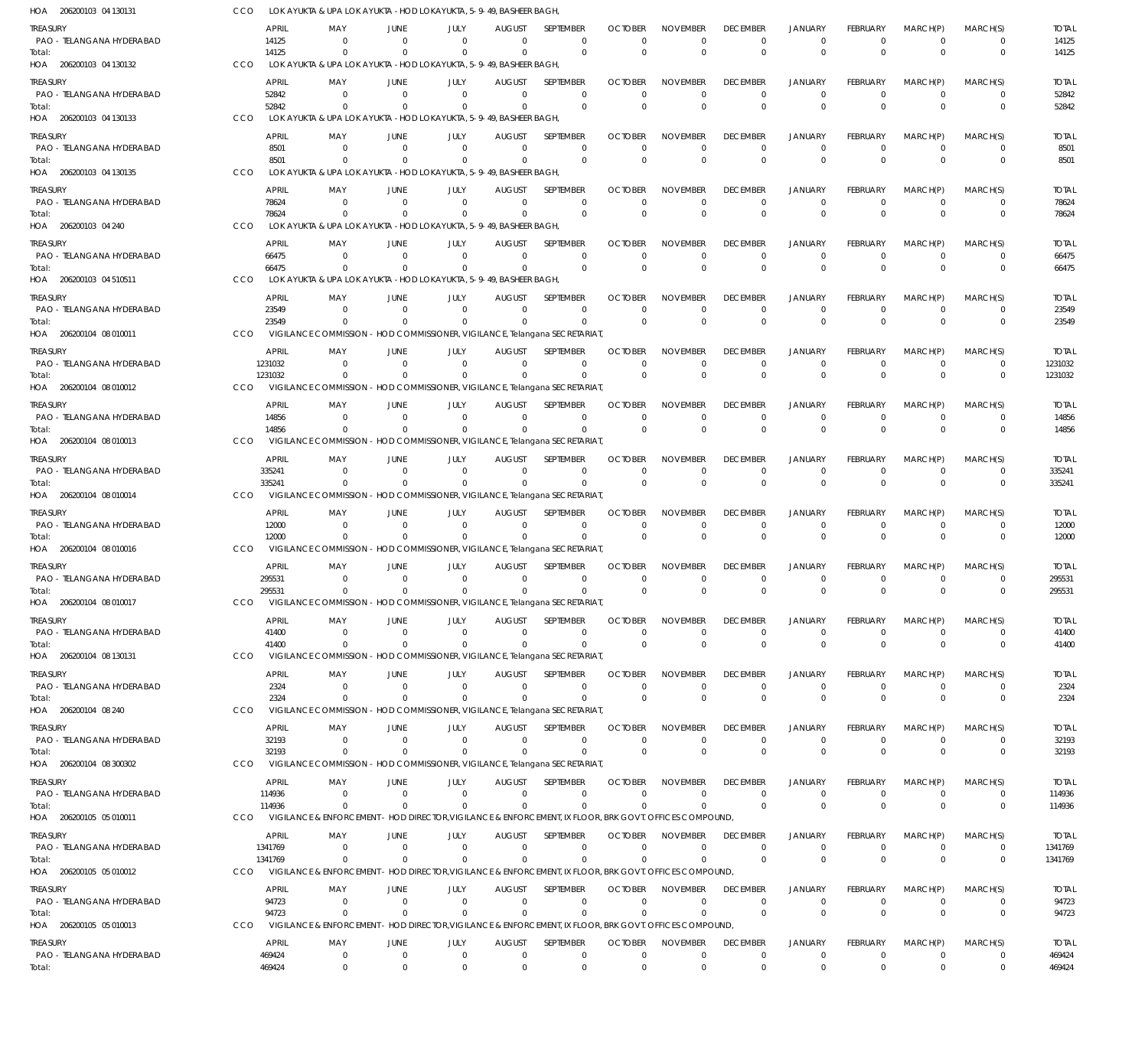| HOA 206200103 04 130131               | <b>CCO</b> |                       | LOK AYUKTA & UPA LOK AYUKTA -HOD LOKAYUKTA, 5-9-49, BASHEER BAGH,              |                                  |                             |                                 |                                                                                                                    |                            |                               |                                |                                  |                                |                            |                             |                        |
|---------------------------------------|------------|-----------------------|--------------------------------------------------------------------------------|----------------------------------|-----------------------------|---------------------------------|--------------------------------------------------------------------------------------------------------------------|----------------------------|-------------------------------|--------------------------------|----------------------------------|--------------------------------|----------------------------|-----------------------------|------------------------|
| Treasury                              |            | <b>APRIL</b>          | MAY                                                                            | JUNE                             | JULY                        | <b>AUGUST</b>                   | <b>SEPTEMBER</b>                                                                                                   | <b>OCTOBER</b>             | <b>NOVEMBER</b>               | <b>DECEMBER</b>                | <b>JANUARY</b>                   | <b>FEBRUARY</b>                | MARCH(P)                   | MARCH(S)                    | <b>TOTAL</b>           |
| PAO - TELANGANA HYDERABAD             |            | 14125                 | $\Omega$                                                                       | $\Omega$                         | $\Omega$                    | $\Omega$                        | $\mathbf 0$                                                                                                        | $\Omega$                   | $\Omega$                      | $\mathbf 0$                    | $\mathbf 0$                      | $\mathbf 0$                    | $\mathbf 0$                | $\mathbf 0$                 | 14125                  |
| Total:<br>HOA 206200103 04 130132     | <b>CCO</b> | 14125                 | $\Omega$<br>LOK AYUKTA & UPA LOK AYUKTA - HOD LOKAYUKTA, 5-9-49, BASHEER BAGH, | $\Omega$                         | $\Omega$                    | $\Omega$                        | $\mathbf 0$                                                                                                        | $\Omega$                   | $\Omega$                      | $\mathbf 0$                    | $\overline{0}$                   | $\Omega$                       | $\Omega$                   | $\mathbf 0$                 | 14125                  |
|                                       |            | <b>APRIL</b>          |                                                                                |                                  | JULY                        | <b>AUGUST</b>                   | SEPTEMBER                                                                                                          | <b>OCTOBER</b>             | <b>NOVEMBER</b>               | <b>DECEMBER</b>                | <b>JANUARY</b>                   | <b>FEBRUARY</b>                | MARCH(P)                   |                             |                        |
| treasury<br>PAO - TELANGANA HYDERABAD |            | 52842                 | MAY<br>$\Omega$                                                                | JUNE<br>$\Omega$                 | $\Omega$                    | $^{\circ}$                      | $\Omega$                                                                                                           | $\Omega$                   | $\Omega$                      | $\mathbf 0$                    | $\mathbf 0$                      | $\Omega$                       | $\Omega$                   | MARCH(S)<br>$\mathbf 0$     | <b>TOTAL</b><br>52842  |
| Total:                                |            | 52842                 | $\Omega$                                                                       | $\Omega$                         | $\Omega$                    | $\Omega$                        | $\mathbf 0$                                                                                                        | $\Omega$                   | $\Omega$                      | $\mathbf 0$                    | $\overline{0}$                   | $\Omega$                       | $\Omega$                   | $\mathbf 0$                 | 52842                  |
| HOA 206200103 04 130133               | CCO        |                       | LOK AYUKTA & UPA LOK AYUKTA - HOD LOKAYUKTA, 5-9-49, BASHEER BAGH,             |                                  |                             |                                 |                                                                                                                    |                            |                               |                                |                                  |                                |                            |                             |                        |
| treasury                              |            | <b>APRIL</b>          | MAY                                                                            | JUNE                             | JULY                        | <b>AUGUST</b>                   | <b>SEPTEMBER</b>                                                                                                   | <b>OCTOBER</b>             | <b>NOVEMBER</b>               | <b>DECEMBER</b>                | <b>JANUARY</b>                   | <b>FEBRUARY</b>                | MARCH(P)                   | MARCH(S)                    | <b>TOTAL</b>           |
| PAO - TELANGANA HYDERABAD             |            | 8501<br>8501          | $\Omega$<br>$\Omega$                                                           | $\Omega$<br>$\Omega$             | $\Omega$<br>$\Omega$        | $\Omega$<br>$\Omega$            | $\mathbf 0$<br>$\mathbf 0$                                                                                         | $\Omega$<br>$\Omega$       | $\Omega$<br>$\Omega$          | $\mathbf 0$<br>$\mathbf 0$     | $\mathbf 0$<br>$\overline{0}$    | $\mathbf 0$<br>$\Omega$        | $\overline{0}$<br>$\Omega$ | $\mathbf 0$<br>$\mathbf 0$  | 8501<br>8501           |
| Total:<br>HOA 206200103 04 130135     | CCO        |                       | LOK AYUKTA & UPA LOK AYUKTA - HOD LOKAYUKTA, 5-9-49, BASHEER BAGH,             |                                  |                             |                                 |                                                                                                                    |                            |                               |                                |                                  |                                |                            |                             |                        |
| treasury                              |            | <b>APRIL</b>          | MAY                                                                            | JUNE                             | JULY                        | <b>AUGUST</b>                   | <b>SEPTEMBER</b>                                                                                                   | <b>OCTOBER</b>             | <b>NOVEMBER</b>               | <b>DECEMBER</b>                | <b>JANUARY</b>                   | <b>FEBRUARY</b>                | MARCH(P)                   | MARCH(S)                    | <b>TOTAL</b>           |
| PAO - TELANGANA HYDERABAD             |            | 78624                 | $\Omega$                                                                       | $\Omega$                         | $\Omega$                    | $\Omega$                        | $\mathbf{0}$                                                                                                       | $\Omega$                   | $\Omega$                      | $\mathbf 0$                    | $\overline{0}$                   | $\Omega$                       | $\Omega$                   | $\mathbf{0}$                | 78624                  |
| Total:                                |            | 78624                 | $\Omega$                                                                       | $\Omega$                         | $\Omega$                    | $\Omega$                        | $\mathbf 0$                                                                                                        | $\Omega$                   | $\Omega$                      | $\mathbf 0$                    | $\overline{0}$                   | $\Omega$                       | $\Omega$                   | $\mathbf 0$                 | 78624                  |
| HOA 206200103 04 240                  | CCO        |                       | LOK AYUKTA & UPA LOK AYUKTA - HOD LOKAYUKTA, 5-9-49, BASHEER BAGH,             |                                  |                             |                                 |                                                                                                                    |                            |                               |                                |                                  |                                |                            |                             |                        |
| treasury<br>PAO - TELANGANA HYDERABAD |            | <b>APRIL</b><br>66475 | MAY<br>$\Omega$                                                                | JUNE<br>$\overline{0}$           | JULY<br>$\Omega$            | <b>AUGUST</b><br>$\Omega$       | SEPTEMBER<br>$\mathbf 0$                                                                                           | <b>OCTOBER</b><br>$\Omega$ | <b>NOVEMBER</b><br>$\Omega$   | <b>DECEMBER</b><br>$\mathbf 0$ | <b>JANUARY</b><br>$\mathbf 0$    | <b>FEBRUARY</b><br>$\Omega$    | MARCH(P)<br>$\Omega$       | MARCH(S)<br>$\mathbf 0$     | <b>TOTAL</b><br>66475  |
| Total:                                |            | 66475                 | $\Omega$                                                                       | $\Omega$                         | $\Omega$                    | $\Omega$                        | $\mathbf 0$                                                                                                        | $\Omega$                   | $\Omega$                      | $\mathbf 0$                    | $\overline{0}$                   | $\Omega$                       | $\Omega$                   | $\mathbf 0$                 | 66475                  |
| HOA 206200103 04 510511               | <b>CCO</b> |                       | LOK AYUKTA & UPA LOK AYUKTA - HOD LOKAYUKTA, 5-9-49, BASHEER BAGH,             |                                  |                             |                                 |                                                                                                                    |                            |                               |                                |                                  |                                |                            |                             |                        |
| treasury                              |            | <b>APRIL</b>          | MAY                                                                            | JUNE                             | JULY                        | <b>AUGUST</b>                   | SEPTEMBER                                                                                                          | <b>OCTOBER</b>             | <b>NOVEMBER</b>               | <b>DECEMBER</b>                | <b>JANUARY</b>                   | <b>FEBRUARY</b>                | MARCH(P)                   | MARCH(S)                    | <b>TOTAL</b>           |
| PAO - TELANGANA HYDERABAD             |            | 23549                 | $\Omega$<br>$\Omega$                                                           | $\Omega$                         | $\Omega$                    | $\Omega$<br>$\Omega$            | $\Omega$<br>$\Omega$                                                                                               | $\Omega$                   | $\Omega$<br>$\Omega$          | $\mathbf 0$                    | $\mathbf 0$                      | $\Omega$<br>$\Omega$           | $\Omega$<br>$\Omega$       | $\mathbf 0$                 | 23549                  |
| Total:<br>HOA 206200104 08 010011     | CCO        | 23549                 |                                                                                | $\Omega$                         | $\Omega$                    |                                 | VIGILANCE COMMISSION - HOD COMMISSIONER, VIGILANCE, Telangana SECRETARIAT,                                         | $\Omega$                   |                               | $\mathbf{0}$                   | $\overline{0}$                   |                                |                            | $\mathbf{0}$                | 23549                  |
| treasury                              |            | <b>APRIL</b>          | MAY                                                                            | JUNE                             | JULY                        | <b>AUGUST</b>                   | SEPTEMBER                                                                                                          | <b>OCTOBER</b>             | <b>NOVEMBER</b>               | <b>DECEMBER</b>                | <b>JANUARY</b>                   | <b>FEBRUARY</b>                | MARCH(P)                   | MARCH(S)                    | <b>TOTAL</b>           |
| PAO - TELANGANA HYDERABAD             |            | 1231032               | $\Omega$                                                                       | $\Omega$                         | $\Omega$                    | $\Omega$                        | $\mathbf 0$                                                                                                        | $\Omega$                   | $\Omega$                      | $\mathbf 0$                    | $\mathbf 0$                      | $\Omega$                       | $\overline{0}$             | $\mathbf 0$                 | 1231032                |
| Total:                                |            | 1231032               | $\Omega$                                                                       |                                  | $\Omega$                    | $\Omega$                        | $\Omega$                                                                                                           | $\Omega$                   | $\Omega$                      | $\mathbf 0$                    | $\overline{0}$                   | $\Omega$                       | $\Omega$                   | $\mathbf 0$                 | 1231032                |
| HOA 206200104 08 010012               | CCO        |                       | <b>VIGILANCE COMMISSION</b>                                                    |                                  |                             |                                 | - HOD COMMISSIONER, VIGILANCE, Telangana SECRETARIAT,                                                              |                            |                               |                                |                                  |                                |                            |                             |                        |
| treasury<br>PAO - TELANGANA HYDERABAD |            | <b>APRIL</b><br>14856 | MAY<br>$\Omega$                                                                | JUNE<br>$\Omega$                 | JULY<br>$\Omega$            | <b>AUGUST</b><br>$\Omega$       | SEPTEMBER<br>$\mathbf{0}$                                                                                          | <b>OCTOBER</b><br>$\Omega$ | <b>NOVEMBER</b><br>$\Omega$   | <b>DECEMBER</b><br>$\mathbf 0$ | <b>JANUARY</b><br>$\mathbf 0$    | <b>FEBRUARY</b><br>$\Omega$    | MARCH(P)<br>$\Omega$       | MARCH(S)<br>$\Omega$        | <b>TOTAL</b><br>14856  |
| Total:                                |            | 14856                 | $\Omega$                                                                       | $\Omega$                         | $\Omega$                    | $\Omega$                        | $\Omega$                                                                                                           | $\Omega$                   | $\Omega$                      | $\mathbf{0}$                   | $\overline{0}$                   | $\Omega$                       | $\Omega$                   | $\mathbf 0$                 | 14856                  |
| HOA 206200104 08 010013               | CCO        |                       |                                                                                |                                  |                             |                                 | VIGILANCE COMMISSION - HOD COMMISSIONER, VIGILANCE, Telangana SECRETARIAT,                                         |                            |                               |                                |                                  |                                |                            |                             |                        |
| treasury                              |            | <b>APRIL</b>          | MAY                                                                            | JUNE                             | JULY                        | <b>AUGUST</b>                   | SEPTEMBER                                                                                                          | <b>OCTOBER</b>             | <b>NOVEMBER</b>               | <b>DECEMBER</b>                | <b>JANUARY</b>                   | <b>FEBRUARY</b>                | MARCH(P)                   | MARCH(S)                    | <b>TOTAL</b>           |
| PAO - TELANGANA HYDERABAD             |            | 335241<br>335241      | $\Omega$<br>$\Omega$                                                           | $\overline{0}$<br>$\Omega$       | $\Omega$<br>$\Omega$        | $\Omega$<br>$\Omega$            | $\mathbf 0$<br>$\Omega$                                                                                            | $\Omega$<br>$\Omega$       | $\Omega$<br>$\Omega$          | $\mathbf 0$<br>$\mathbf 0$     | $\mathbf 0$<br>$\overline{0}$    | $\mathbf 0$<br>$\Omega$        | $\mathbf 0$<br>$\Omega$    | $\mathbf 0$<br>$\mathbf 0$  | 335241<br>335241       |
| Total:<br>HOA 206200104 08 010014     | <b>CCO</b> |                       |                                                                                |                                  |                             |                                 | VIGILANCE COMMISSION - HOD COMMISSIONER, VIGILANCE, Telangana SECRETARIAT,                                         |                            |                               |                                |                                  |                                |                            |                             |                        |
| treasury                              |            | <b>APRIL</b>          | MAY                                                                            | JUNE                             | JULY                        | <b>AUGUST</b>                   | SEPTEMBER                                                                                                          | <b>OCTOBER</b>             | <b>NOVEMBER</b>               | <b>DECEMBER</b>                | <b>JANUARY</b>                   | <b>FEBRUARY</b>                | MARCH(P)                   | MARCH(S)                    | <b>TOTAL</b>           |
| PAO - TELANGANA HYDERABAD             |            | 12000                 | $\Omega$                                                                       | $\Omega$                         | $\Omega$                    | $\Omega$                        | $\Omega$                                                                                                           | $\Omega$                   | $\Omega$                      | $\mathbf 0$                    | $\mathbf 0$                      | $\Omega$                       | $\mathbf 0$                | $\mathbf 0$                 | 12000                  |
| Total:                                |            | 12000                 | $\Omega$                                                                       | $\Omega$                         | $\Omega$                    | $\Omega$                        | $\Omega$                                                                                                           | $\Omega$                   | $\Omega$                      | $\mathbf{0}$                   | $\overline{0}$                   | $\Omega$                       | $\Omega$                   | $\mathbf{0}$                | 12000                  |
| HOA 206200104 08 010016               | CCO        |                       | <b>VIGILANCE COMMISSION</b>                                                    |                                  |                             |                                 | - HOD COMMISSIONER, VIGILANCE, Telangana SECRETARIAT,                                                              |                            |                               |                                |                                  |                                |                            |                             |                        |
| treasury<br>PAO - TELANGANA HYDERABAD |            | APRIL<br>295531       | MAY<br>$\Omega$                                                                | JUNE<br>$\Omega$                 | JULY<br>$\Omega$            | <b>AUGUST</b><br>$\mathbf 0$    | SEPTEMBER<br>$\mathbf 0$                                                                                           | <b>OCTOBER</b><br>$\Omega$ | <b>NOVEMBER</b><br>$\Omega$   | <b>DECEMBER</b><br>$^{\circ}$  | <b>JANUARY</b><br>$\mathbf 0$    | <b>FEBRUARY</b><br>$\mathbf 0$ | MARCH(P)<br>0              | MARCH(S)<br>$\mathbf 0$     | <b>TOTAL</b><br>295531 |
| Total:                                |            | 295531                | $\Omega$                                                                       | $\Omega$                         | $\Omega$                    | $\Omega$                        | $\Omega$                                                                                                           | $\Omega$                   | $\Omega$                      | $\mathbf 0$                    | $\overline{0}$                   | $\Omega$                       | $\Omega$                   | $\mathbf 0$                 | 295531                 |
| HOA 206200104 08 010017               | CCO        |                       |                                                                                |                                  |                             |                                 | VIGILANCE COMMISSION - HOD COMMISSIONER, VIGILANCE, Telangana SECRETARIAT,                                         |                            |                               |                                |                                  |                                |                            |                             |                        |
| Treasury                              |            | APRIL                 | MAY                                                                            | JUNE                             | JULY                        | <b>AUGUST</b>                   | SEPTEMBER                                                                                                          | <b>OCTOBER</b>             | <b>NOVEMBER</b>               | <b>DECEMBER</b>                | <b>JANUARY</b>                   | FEBRUARY                       | MARCH(P)                   | MARCH(S)                    | <b>TOTAL</b>           |
| PAO - TELANGANA HYDERABAD<br>Total:   |            | 41400<br>41400        | $\Omega$<br>$\Omega$                                                           | $\Omega$<br>$\Omega$             | $\Omega$<br>$\Omega$        | $\Omega$<br>$\Omega$            | $\Omega$<br>$\mathbf 0$                                                                                            | $\Omega$<br>$\Omega$       | $\Omega$<br>$\Omega$          | $\mathbf 0$<br>$\mathbf 0$     | $\overline{0}$<br>$\overline{0}$ | $\Omega$<br>$\Omega$           | $^{\circ}$<br>$\mathbf 0$  | $\Omega$<br>$\mathbf 0$     | 41400<br>41400         |
| HOA 206200104 08 130131               | CCO        |                       |                                                                                |                                  |                             |                                 | VIGILANCE COMMISSION - HOD COMMISSIONER, VIGILANCE, Telangana SECRETARIAT,                                         |                            |                               |                                |                                  |                                |                            |                             |                        |
| Treasury                              |            | <b>APRIL</b>          | MAY                                                                            | JUNE                             | JULY                        | <b>AUGUST</b>                   | SEPTEMBER                                                                                                          | <b>OCTOBER</b>             | <b>NOVEMBER</b>               | <b>DECEMBER</b>                | <b>JANUARY</b>                   | <b>FEBRUARY</b>                | MARCH(P)                   | MARCH(S)                    | <b>TOTAL</b>           |
| PAO - TELANGANA HYDERABAD             |            | 2324                  | $\mathbf{0}$                                                                   | $\overline{0}$                   | $\mathbf 0$                 | $\mathbf 0$                     | $\mathbf 0$                                                                                                        | $\Omega$                   | $\Omega$                      | 0                              | $\mathbf 0$                      | $\mathbf 0$                    | $\mathbf 0$                | $\mathbf 0$                 | 2324                   |
| Total:<br>HOA 206200104 08 240        | <b>CCO</b> | 2324                  | $\Omega$                                                                       | $\overline{0}$                   | $\Omega$                    | $\Omega$                        | $\mathbf 0$<br>VIGILANCE COMMISSION - HOD COMMISSIONER, VIGILANCE, Telangana SECRETARIAT,                          | $\Omega$                   | $\Omega$                      | $\mathbf 0$                    | $\overline{0}$                   | $\mathbf 0$                    | $\Omega$                   | $\mathbf 0$                 | 2324                   |
|                                       |            |                       |                                                                                |                                  |                             |                                 |                                                                                                                    |                            |                               |                                |                                  |                                |                            |                             |                        |
| treasury<br>PAO - TELANGANA HYDERABAD |            | <b>APRIL</b><br>32193 | MAY<br>$\Omega$                                                                | JUNE<br>$\overline{0}$           | JULY<br>$\Omega$            | <b>AUGUST</b><br>$\Omega$       | SEPTEMBER<br>$\Omega$                                                                                              | <b>OCTOBER</b><br>$\Omega$ | <b>NOVEMBER</b><br>$\Omega$   | <b>DECEMBER</b><br>$\mathbf 0$ | <b>JANUARY</b><br>$\mathbf 0$    | <b>FEBRUARY</b><br>$\Omega$    | MARCH(P)<br>$\overline{0}$ | MARCH(S)<br>$\mathbf 0$     | <b>TOTAL</b><br>32193  |
| Total:                                |            | 32193                 | $\Omega$                                                                       | $\Omega$                         | $\Omega$                    | $\Omega$                        | $\Omega$                                                                                                           | $\Omega$                   | $\Omega$                      | $\mathbf 0$                    | $\overline{0}$                   | $\Omega$                       | $\Omega$                   | $\mathbf 0$                 | 32193                  |
| HOA 206200104 08 300302               | CCO        |                       | <b>VIGILANCE COMMISSION</b>                                                    |                                  |                             |                                 | - HOD COMMISSIONER, VIGILANCE, Telangana SECRETARIAT,                                                              |                            |                               |                                |                                  |                                |                            |                             |                        |
| treasury                              |            | APRIL                 | MAY                                                                            | JUNE                             | JULY                        | <b>AUGUST</b>                   | SEPTEMBER                                                                                                          | <b>OCTOBER</b>             | <b>NOVEMBER</b>               | <b>DECEMBER</b>                | <b>JANUARY</b>                   | FEBRUARY                       | MARCH(P)                   | MARCH(S)                    | <b>TOTAL</b>           |
| PAO - TELANGANA HYDERABAD<br>Total:   |            | 114936<br>114936      | $\mathbf 0$<br>$\Omega$                                                        | $\overline{0}$<br>$\Omega$       | $\mathbf 0$<br>$\Omega$     | $\mathbf 0$<br>$\Omega$         | $\mathbf 0$<br>$\Omega$                                                                                            | $\Omega$<br>$\Omega$       | 0<br>$\Omega$                 | $\mathbf 0$<br>$\mathbf 0$     | $\mathbf 0$<br>$\overline{0}$    | $\mathbf 0$<br>$\Omega$        | $\overline{0}$<br>$\Omega$ | $\mathbf 0$<br>$\mathbf 0$  | 114936<br>114936       |
| HOA 206200105 05 010011               | <b>CCO</b> |                       |                                                                                |                                  |                             |                                 | VIGILANCE & ENFORCEMENT - HOD DIRECTOR, VIGILANCE & ENFORCEMENT, IX FLOOR, BRK GOVT. OFFICES COMPOUND.             |                            |                               |                                |                                  |                                |                            |                             |                        |
| treasury                              |            | <b>APRIL</b>          | MAY                                                                            | JUNE                             | JULY                        | <b>AUGUST</b>                   | SEPTEMBER                                                                                                          | <b>OCTOBER</b>             | <b>NOVEMBER</b>               | <b>DECEMBER</b>                | <b>JANUARY</b>                   | <b>FEBRUARY</b>                | MARCH(P)                   | MARCH(S)                    | <b>TOTAL</b>           |
| PAO - TELANGANA HYDERABAD             |            | 1341769               | $\Omega$                                                                       | $\Omega$                         | $\Omega$                    | $\Omega$                        | $\mathbf{0}$                                                                                                       | $\Omega$                   | $\Omega$                      | $\mathbf 0$                    | $\mathbf 0$                      | $\Omega$                       | $\Omega$                   | $\mathbf 0$                 | 1341769                |
| Total:<br>HOA 206200105 05 010012     | <b>CCO</b> | 1341769               | $\Omega$                                                                       | $\Omega$                         | $\Omega$                    | $\Omega$                        | $\Omega$<br>VIGILANCE & ENFORCEMENT - HOD DIRECTOR, VIGILANCE & ENFORCEMENT, IX FLOOR, BRK GOVT. OFFICES COMPOUND, | $\Omega$                   | $\Omega$                      | $\mathbf 0$                    | $\overline{0}$                   | $\Omega$                       | $\mathbf 0$                | $\mathbf 0$                 | 1341769                |
|                                       |            | <b>APRIL</b>          | MAY                                                                            |                                  | JULY                        |                                 | SEPTEMBER                                                                                                          | <b>OCTOBER</b>             | <b>NOVEMBER</b>               | <b>DECEMBER</b>                |                                  | <b>FEBRUARY</b>                |                            |                             |                        |
| Treasury<br>PAO - TELANGANA HYDERABAD |            | 94723                 | $\mathbf 0$                                                                    | JUNE<br>$\overline{0}$           | $\mathbf{0}$                | <b>AUGUST</b><br>$\overline{0}$ | $\mathbf 0$                                                                                                        | $\Omega$                   | $\mathbf 0$                   | $\mathbf 0$                    | <b>JANUARY</b><br>$\mathbf 0$    | $\mathbf 0$                    | MARCH(P)<br>$\overline{0}$ | MARCH(S)<br>$\mathbf 0$     | <b>TOTAL</b><br>94723  |
| Total:                                |            | 94723                 | $\Omega$                                                                       | $\overline{0}$                   | $\mathbf 0$                 | $\Omega$                        | $\mathbf{0}$                                                                                                       | $\Omega$                   | $\mathbf{0}$                  | $\mathbf 0$                    | $\overline{0}$                   | $\mathbf 0$                    | $\Omega$                   | $\mathbf 0$                 | 94723                  |
| HOA 206200105 05 010013               | <b>CCO</b> |                       | <b>VIGILANCE &amp; ENFORCEMENT</b>                                             |                                  |                             |                                 | - HOD DIRECTOR, VIGILANCE & ENFORCEMENT, IX FLOOR, BRK GOVT. OFFICES COMPOUND,                                     |                            |                               |                                |                                  |                                |                            |                             |                        |
| treasury                              |            | <b>APRIL</b>          | MAY                                                                            | JUNE                             | JULY                        | <b>AUGUST</b>                   | SEPTEMBER                                                                                                          | <b>OCTOBER</b>             | <b>NOVEMBER</b>               | <b>DECEMBER</b>                | JANUARY                          | <b>FEBRUARY</b>                | MARCH(P)                   | MARCH(S)                    | <b>TOTAL</b>           |
| PAO - TELANGANA HYDERABAD<br>Total:   |            | 469424<br>469424      | $\mathbf 0$<br>$\mathbf 0$                                                     | $\overline{0}$<br>$\overline{0}$ | $\mathbf 0$<br>$\mathbf{0}$ | $\mathbf 0$<br>$\Omega$         | $\mathbf 0$<br>$\mathbf 0$                                                                                         | $\Omega$<br>$\Omega$       | $\mathbf 0$<br>$\overline{0}$ | $\mathbf 0$<br>$\mathbf 0$     | $\mathbf 0$<br>$\overline{0}$    | $\mathbf 0$<br>$\Omega$        | $\mathbf 0$<br>$\Omega$    | $\mathbf{0}$<br>$\mathbf 0$ | 469424<br>469424       |
|                                       |            |                       |                                                                                |                                  |                             |                                 |                                                                                                                    |                            |                               |                                |                                  |                                |                            |                             |                        |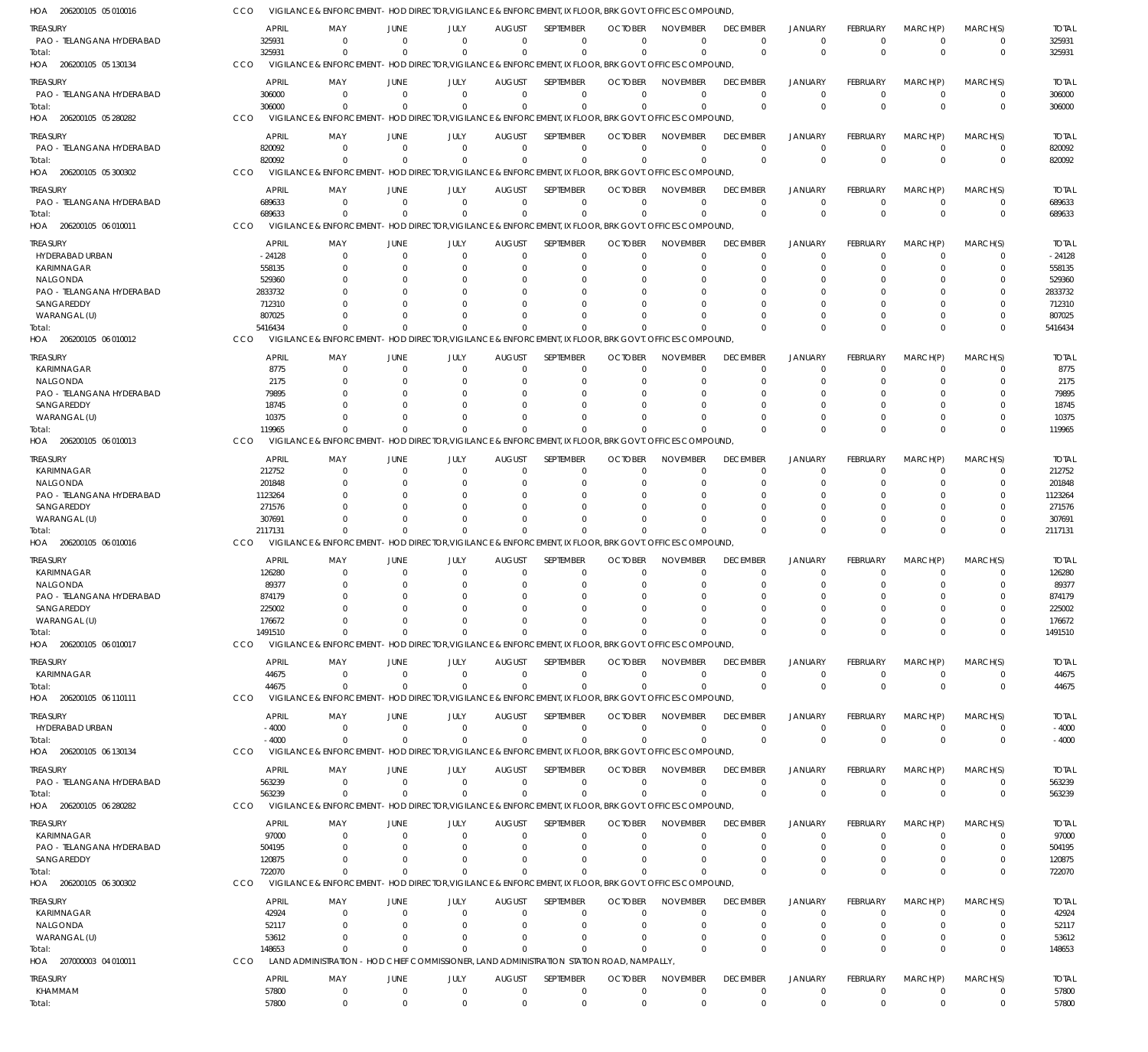| HOA 206200105 05 010016           | CCO              | VIGILANCE & ENFORCEMENT - HOD DIRECTOR, VIGILANCE & ENFORCEMENT, IX FLOOR, BRK GOVT. OFFICES COMPOUND, |                  |                                                                                |                           |                          |                            |                             |                                |                            |                             |                            |                            |                  |
|-----------------------------------|------------------|--------------------------------------------------------------------------------------------------------|------------------|--------------------------------------------------------------------------------|---------------------------|--------------------------|----------------------------|-----------------------------|--------------------------------|----------------------------|-----------------------------|----------------------------|----------------------------|------------------|
| treasury                          | APRIL            | MAY                                                                                                    | JUNE             | JULY                                                                           | <b>AUGUST</b>             | SEPTEMBER                | <b>OCTOBER</b>             | <b>NOVEMBER</b>             | <b>DECEMBER</b>                | <b>JANUARY</b>             | <b>FEBRUARY</b>             | MARCH(P)                   | MARCH(S)                   | <b>TOTAL</b>     |
| PAO - TELANGANA HYDERABAD         | 325931           | - 0                                                                                                    | $\Omega$         | $\Omega$                                                                       | $\Omega$                  | $\Omega$                 | $\Omega$                   | $\Omega$                    | $\Omega$                       | $^{\circ}$                 | $\Omega$                    | $\overline{0}$             | 0                          | 325931           |
| Total:                            | 325931           | $\Omega$                                                                                               | $\Omega$         | $\Omega$                                                                       | $\Omega$                  | $\Omega$                 | $\Omega$                   | $\Omega$                    | $\Omega$                       | $\Omega$                   | $\Omega$                    | $\Omega$                   | $\mathbf 0$                | 325931           |
| HOA 206200105 05 130134           | CCO              | VIGILANCE & ENFORCEMENT - HOD DIRECTOR, VIGILANCE & ENFORCEMENT, IX FLOOR, BRK GOVT. OFFICES COMPOUND, |                  |                                                                                |                           |                          |                            |                             |                                |                            |                             |                            |                            |                  |
| treasury                          | APRIL            | MA <sup>\</sup>                                                                                        | JUNE             | JULY                                                                           | <b>AUGUST</b>             | SEPTEMBER                | <b>OCTOBER</b>             | <b>NOVEMBER</b>             | <b>DECEMBER</b>                | <b>JANUARY</b>             | <b>FEBRUARY</b>             | MARCH(P)                   | MARCH(S)                   | <b>TOTAL</b>     |
| PAO - TELANGANA HYDERABAD         | 306000           | $\Omega$                                                                                               | $\Omega$         | $\Omega$                                                                       | $\overline{0}$            | $\mathbf 0$              | $\Omega$                   | $\Omega$                    | $\Omega$                       | $\Omega$                   | $\Omega$                    | $^{\circ}$                 | 0                          | 306000           |
| Total:                            | 306000           | $\Omega$                                                                                               |                  | $\Omega$                                                                       | $\Omega$                  | $\mathbf 0$              | $\Omega$                   | $\Omega$                    | $\Omega$                       | $\Omega$                   | $\Omega$                    | $\Omega$                   | $\mathbf 0$                | 306000           |
| HOA 206200105 05 280282           | CCO              | <b>VIGILANCE &amp; ENFORCEMENT</b>                                                                     |                  | - HOD DIRECTOR, VIGILANCE & ENFORCEMENT, IX FLOOR, BRK GOVT. OFFICES COMPOUND, |                           |                          |                            |                             |                                |                            |                             |                            |                            |                  |
|                                   |                  |                                                                                                        |                  |                                                                                |                           |                          |                            |                             |                                |                            |                             |                            |                            |                  |
| treasury                          | <b>APRIL</b>     | MAY                                                                                                    | JUNE<br>$\Omega$ | JULY<br>$\Omega$                                                               | <b>AUGUST</b><br>$\Omega$ | SEPTEMBER<br>$\mathbf 0$ | <b>OCTOBER</b><br>$\Omega$ | <b>NOVEMBER</b><br>$\Omega$ | <b>DECEMBER</b><br>$\Omega$    | <b>JANUARY</b><br>$\Omega$ | <b>FEBRUARY</b><br>$\Omega$ | MARCH(P)                   | MARCH(S)                   | <b>TOTAL</b>     |
| PAO - TELANGANA HYDERABAD         | 820092<br>820092 | $\Omega$<br>$\Omega$                                                                                   | $\Omega$         | $\Omega$                                                                       | $\Omega$                  | $\Omega$                 | $\Omega$                   | $\Omega$                    | $\Omega$                       | $\Omega$                   | $\Omega$                    | $\overline{0}$<br>$\Omega$ | $\mathbf 0$<br>$\mathbf 0$ | 820092<br>820092 |
| Total:<br>HOA 206200105 05 300302 | CCO              | VIGILANCE & ENFORCEMENT - HOD DIRECTOR, VIGILANCE & ENFORCEMENT, IX FLOOR, BRK GOVT. OFFICES COMPOUND, |                  |                                                                                |                           |                          |                            |                             |                                |                            |                             |                            |                            |                  |
|                                   |                  |                                                                                                        |                  |                                                                                |                           |                          |                            |                             |                                |                            |                             |                            |                            |                  |
| treasury                          | APRIL            | MAY                                                                                                    | JUNE             | JULY                                                                           | <b>AUGUST</b>             | SEPTEMBER                | <b>OCTOBER</b>             | <b>NOVEMBER</b>             | <b>DECEMBER</b>                | <b>JANUARY</b>             | <b>FEBRUARY</b>             | MARCH(P)                   | MARCH(S)                   | <b>TOTAL</b>     |
| PAO - TELANGANA HYDERABAD         | 689633           | $\Omega$                                                                                               | $\Omega$         | $\Omega$                                                                       | $\overline{0}$            | 0                        | $\Omega$                   | $\mathbf 0$                 | 0                              | $^{\circ}$                 | 0                           | - 0                        | 0                          | 689633           |
| Total:                            | 689633           | $\Omega$                                                                                               | $\Omega$         | $\Omega$                                                                       | $\mathbf 0$               | $\mathbf 0$              | $\Omega$                   | $\Omega$                    | $\Omega$                       | $\Omega$                   | $\Omega$                    | $\Omega$                   | $\mathbf 0$                | 689633           |
| HOA 206200105 06 010011           | CCO              | VIGILANCE & ENFORCEMENT - HOD DIRECTOR, VIGILANCE & ENFORCEMENT, IX FLOOR, BRK GOVT. OFFICES COMPOUND, |                  |                                                                                |                           |                          |                            |                             |                                |                            |                             |                            |                            |                  |
| treasury                          | APRIL            | MAY                                                                                                    | JUNE             | JULY                                                                           | <b>AUGUST</b>             | SEPTEMBER                | <b>OCTOBER</b>             | <b>NOVEMBER</b>             | <b>DECEMBER</b>                | <b>JANUARY</b>             | <b>FEBRUARY</b>             | MARCH(P)                   | MARCH(S)                   | <b>TOTAL</b>     |
| HYDERABAD URBAN                   | $-24128$         | $\Omega$                                                                                               | $\overline{0}$   | $\Omega$                                                                       | $\mathbf 0$               | 0                        | $\Omega$                   | $\Omega$                    | $\Omega$                       | $\Omega$                   | $\Omega$                    | 0                          | 0                          | $-24128$         |
| <b>KARIMNAGAR</b>                 | 558135           |                                                                                                        | $\Omega$         | $\Omega$                                                                       | C                         | $\mathbf 0$              | $\Omega$                   | $\Omega$                    |                                | $\Omega$                   | $\Omega$                    | $\Omega$                   | $\Omega$                   | 558135           |
| NALGONDA                          | 529360           |                                                                                                        | $\Omega$         |                                                                                |                           | $\Omega$                 |                            | $\Omega$                    |                                |                            |                             | $\Omega$                   | $\Omega$                   | 529360           |
| PAO - TELANGANA HYDERABAD         | 2833732          |                                                                                                        |                  |                                                                                |                           | $\Omega$                 |                            | $\Omega$                    |                                |                            |                             | $\Omega$                   | 0                          | 2833732          |
| SANGAREDDY                        | 712310           |                                                                                                        |                  |                                                                                | C                         | $\Omega$                 |                            | $\Omega$                    |                                |                            |                             | $\Omega$                   | 0                          | 712310           |
| WARANGAL (U)                      | 807025           |                                                                                                        |                  |                                                                                | $\Omega$                  | $\Omega$                 |                            | $\Omega$                    |                                | $\Omega$                   | $\Omega$                    | $\Omega$                   | $\mathbf 0$                | 807025           |
| Total:                            | 5416434          | $\Omega$                                                                                               | $\Omega$         |                                                                                | $\Omega$                  | $\overline{0}$           |                            | $\Omega$                    | $\Omega$                       | $\Omega$                   | $\Omega$                    | $\Omega$                   | $\mathbf 0$                | 5416434          |
| HOA 206200105 06 010012           | CCO              | VIGILANCE & ENFORCEMENT - HOD DIRECTOR, VIGILANCE & ENFORCEMENT, IX FLOOR, BRK GOVT. OFFICES COMPOUND, |                  |                                                                                |                           |                          |                            |                             |                                |                            |                             |                            |                            |                  |
| treasury                          | <b>APRIL</b>     | MAY                                                                                                    | JUNE             | JULY                                                                           | <b>AUGUST</b>             | SEPTEMBER                | <b>OCTOBER</b>             | <b>NOVEMBER</b>             | <b>DECEMBER</b>                | <b>JANUARY</b>             | <b>FEBRUARY</b>             | MARCH(P)                   | MARCH(S)                   | <b>TOTAL</b>     |
| KARIMNAGAR                        | 8775             | 0                                                                                                      | 0                | $\Omega$                                                                       | 0                         | 0                        | $\Omega$                   | $\Omega$                    | $\Omega$                       | - 0                        | 0                           | 0                          | C                          | 8775             |
| NALGONDA                          | 2175             |                                                                                                        | $\Omega$         |                                                                                |                           | $\Omega$                 |                            | $\Omega$                    |                                | $\Omega$                   |                             |                            | C                          | 2175             |
| PAO - TELANGANA HYDERABAD         | 79895            |                                                                                                        |                  |                                                                                |                           | $\Omega$                 |                            | $\Omega$                    |                                |                            |                             |                            |                            | 79895            |
| SANGAREDDY                        | 18745            |                                                                                                        |                  |                                                                                |                           |                          |                            |                             |                                |                            |                             | $\Omega$                   |                            | 18745            |
| WARANGAL (U)                      | 10375            |                                                                                                        |                  |                                                                                | $\Omega$                  | $\Omega$                 |                            | $\Omega$                    |                                | $\Omega$                   |                             | $\Omega$                   | 0                          | 10375            |
| Total:                            | 119965           | $\Omega$                                                                                               | $\Omega$         | U                                                                              | $\Omega$                  | $\Omega$                 |                            | $\Omega$                    |                                | $\Omega$                   | 0                           | $\Omega$                   | $\Omega$                   | 119965           |
| HOA 206200105 06 010013           | CCO              | <b>VIGILANCE &amp; ENFORCEMENT</b>                                                                     |                  | - HOD DIRECTOR, VIGILANCE & ENFORCEMENT, IX FLOOR, BRK GOVT. OFFICES COMPOUND, |                           |                          |                            |                             |                                |                            |                             |                            |                            |                  |
| treasury                          | APRIL            | MAY                                                                                                    | JUNE             | JULY                                                                           | <b>AUGUST</b>             | SEPTEMBER                | <b>OCTOBER</b>             | <b>NOVEMBER</b>             | <b>DECEMBER</b>                | <b>JANUARY</b>             | <b>FEBRUARY</b>             | MARCH(P)                   | MARCH(S)                   | <b>TOTAL</b>     |
| KARIMNAGAR                        | 212752           | $\Omega$                                                                                               | $\Omega$         | $\Omega$                                                                       | $\Omega$                  | 0                        | $\Omega$                   | $\Omega$                    | $\Omega$                       | $^{\circ}$                 | $\Omega$                    | $\Omega$                   | 0                          | 212752           |
| NALGONDA                          | 201848           | $\Omega$                                                                                               | $\Omega$         | $\Omega$                                                                       | $\Omega$                  | $\Omega$                 | $\Omega$                   | $\Omega$                    | $\Omega$                       | $\Omega$                   |                             | $\Omega$                   | $\Omega$                   | 201848           |
| PAO - TELANGANA HYDERABAD         | 1123264          |                                                                                                        |                  |                                                                                |                           | $\Omega$                 |                            | $\Omega$                    |                                |                            |                             |                            | 0                          | 1123264          |
| SANGAREDDY                        | 271576           |                                                                                                        |                  |                                                                                |                           | $\Omega$                 |                            | $\Omega$                    |                                | $\Omega$                   |                             | $\Omega$                   | $\Omega$                   | 271576           |
| WARANGAL (U)                      | 307691           | 0                                                                                                      | $\Omega$         | $\Omega$                                                                       | $\Omega$                  | $\Omega$                 | O                          | $\Omega$                    |                                | $\Omega$                   | $\Omega$                    | $\Omega$                   | 0                          | 307691           |
| Total:                            | 2117131          | $\Omega$                                                                                               | $\Omega$         | $\Omega$                                                                       | $\Omega$                  | $\Omega$                 |                            | $\Omega$                    | $\Omega$                       | $\Omega$                   | $\Omega$                    | $\Omega$                   | $\mathbf 0$                | 2117131          |
| HOA 206200105 06 010016           | CCO              | VIGILANCE & ENFORCEMENT - HOD DIRECTOR, VIGILANCE & ENFORCEMENT, IX FLOOR, BRK GOVT. OFFICES COMPOUND, |                  |                                                                                |                           |                          |                            |                             |                                |                            |                             |                            |                            |                  |
| treasury                          | APRIL            | MAY                                                                                                    | JUNE             | JULY                                                                           | <b>AUGUST</b>             | SEPTEMBER                | <b>OCTOBER</b>             | <b>NOVEMBER</b>             | <b>DECEMBER</b>                | <b>JANUARY</b>             | <b>FEBRUARY</b>             | MARCH(P)                   | MARCH(S)                   | <b>TOTAL</b>     |
| <b>KARIMNAGAR</b>                 | 126280           | $\Omega$                                                                                               | $\Omega$         | $\Omega$                                                                       | 0                         | 0                        | $\Omega$                   | $\Omega$                    | $\Omega$                       | $\Omega$                   | $\Omega$                    | $\Omega$                   | C                          | 126280           |
| NALGONDA                          | 89377            |                                                                                                        |                  | 0                                                                              | $\Omega$                  | 0                        | O                          | $\Omega$                    |                                | $\Omega$                   |                             | $\Omega$                   | $\Omega$                   | 89377            |
| PAO - TELANGANA HYDERABAD         | 874179           | $\Omega$                                                                                               | $\Omega$         | $\Omega$                                                                       | $\Omega$                  | $\Omega$                 | $\Omega$                   | $\Omega$                    |                                | $\Omega$                   | 0                           | $\Omega$                   | $\Omega$                   | 874179           |
| SANGAREDDY                        | 225002           |                                                                                                        |                  |                                                                                |                           |                          |                            | $\Omega$                    |                                |                            |                             | 0                          | C                          | 225002           |
| WARANGAL (U)                      | 176672           | $\Omega$                                                                                               |                  |                                                                                |                           | $\Omega$                 |                            | $\Omega$                    |                                | $\Omega$                   | $\Omega$                    | 0                          | 0                          | 176672           |
| Total:                            | 1491510          | $\Omega$                                                                                               |                  |                                                                                | $\Omega$                  | $\Omega$                 |                            | $\Omega$                    | $\Omega$                       | $\Omega$                   | $\Omega$                    | $\Omega$                   | $\Omega$                   | 1491510          |
| HOA 206200105 06 010017           | CCO              | VIGILANCE & ENFORCEMENT - HOD DIRECTOR, VIGILANCE & ENFORCEMENT, IX FLOOR, BRK GOVT. OFFICES COMPOUND, |                  |                                                                                |                           |                          |                            |                             |                                |                            |                             |                            |                            |                  |
|                                   | <b>APRIL</b>     |                                                                                                        |                  | JULY                                                                           |                           |                          |                            |                             |                                | <b>JANUARY</b>             | <b>FEBRUARY</b>             | MARCH(P)                   | MARCH(S)                   | <b>TOTAL</b>     |
| treasury<br>KARIMNAGAR            | 44675            | MAY<br>- 0                                                                                             | JUNE<br>$\Omega$ | $\overline{0}$                                                                 | <b>AUGUST</b><br>$\Omega$ | SEPTEMBER<br>$\mathbf 0$ | <b>OCTOBER</b><br>$\Omega$ | <b>NOVEMBER</b><br>$\Omega$ | <b>DECEMBER</b><br>$\mathbf 0$ | $^{\circ}$                 | 0                           | $\overline{0}$             | $\mathbf 0$                | 44675            |
| Total:                            | 44675            | - 0                                                                                                    | - 0              | $\Omega$                                                                       | $\Omega$                  | $\Omega$                 | $\Omega$                   | $\Omega$                    | $\mathbf{0}$                   | $\overline{0}$             | $\Omega$                    | $\Omega$                   | $\mathbf 0$                | 44675            |
| HOA 206200105 06 110111           | CCO              | VIGILANCE & ENFORCEMENT - HOD DIRECTOR, VIGILANCE & ENFORCEMENT, IX FLOOR, BRK GOVT. OFFICES COMPOUND, |                  |                                                                                |                           |                          |                            |                             |                                |                            |                             |                            |                            |                  |
|                                   |                  |                                                                                                        |                  |                                                                                |                           |                          |                            |                             |                                |                            |                             |                            |                            |                  |
| treasury                          | <b>APRIL</b>     | MAY                                                                                                    | JUNE             | JULY                                                                           | <b>AUGUST</b>             | SEPTEMBER                | <b>OCTOBER</b>             | <b>NOVEMBER</b>             | <b>DECEMBER</b>                | <b>JANUARY</b>             | <b>FEBRUARY</b>             | MARCH(P)                   | MARCH(S)                   | <b>TOTAL</b>     |
| HYDERABAD URBAN                   | $-4000$          | $\Omega$                                                                                               | $\overline{0}$   | $\Omega$                                                                       | 0                         | 0                        | $\Omega$                   | $\Omega$                    | $\mathbf 0$                    | $^{\circ}$                 | 0                           | $\overline{0}$             | 0                          | $-4000$          |
| Total:                            | $-4000$          | $\Omega$                                                                                               | $\Omega$         | $\Omega$                                                                       | $\Omega$                  | $\mathbf 0$              | $\Omega$                   | $\Omega$                    | $\Omega$                       | $\Omega$                   | $\mathbf 0$                 | $\Omega$                   | $\mathbf 0$                | $-4000$          |
| HOA 206200105 06 130134           | CCO              | VIGILANCE & ENFORCEMENT - HOD DIRECTOR, VIGILANCE & ENFORCEMENT, IX FLOOR, BRK GOVT. OFFICES COMPOUND, |                  |                                                                                |                           |                          |                            |                             |                                |                            |                             |                            |                            |                  |
| treasury                          | APRIL            | MAY                                                                                                    | JUNE             | JULY                                                                           | <b>AUGUST</b>             | SEPTEMBER                | <b>OCTOBER</b>             | <b>NOVEMBER</b>             | <b>DECEMBER</b>                | <b>JANUARY</b>             | <b>FEBRUARY</b>             | MARCH(P)                   | MARCH(S)                   | <b>TOTAL</b>     |
| PAO - TELANGANA HYDERABAD         | 563239           | - 0                                                                                                    | $\Omega$         | $\Omega$                                                                       | $\Omega$                  | 0                        | $\Omega$                   | $\Omega$                    | $\Omega$                       | $^{\circ}$                 | $\mathbf 0$                 | $\overline{0}$             | 0                          | 563239           |
| Total:                            | 563239           | $\Omega$                                                                                               | $\Omega$         | $\Omega$                                                                       | $\Omega$                  | $\Omega$                 | $\Omega$                   | $\Omega$                    | $\Omega$                       | $\Omega$                   | $\Omega$                    | $\Omega$                   | $\mathbf 0$                | 563239           |
| HOA 206200105 06 280282           | CCO              | VIGILANCE & ENFORCEMENT - HOD DIRECTOR, VIGILANCE & ENFORCEMENT, IX FLOOR, BRK GOVT. OFFICES COMPOUND, |                  |                                                                                |                           |                          |                            |                             |                                |                            |                             |                            |                            |                  |
| TREASURY                          | <b>APRIL</b>     | MAY                                                                                                    | JUNE             | JULY                                                                           | <b>AUGUST</b>             | SEPTEMBER                | <b>OCTOBER</b>             | <b>NOVEMBER</b>             | <b>DECEMBER</b>                | <b>JANUARY</b>             | <b>FEBRUARY</b>             | MARCH(P)                   | MARCH(S)                   | <b>TOTAL</b>     |
| KARIMNAGAR                        | 97000            | $\Omega$                                                                                               | 0                | $\Omega$                                                                       | 0                         | 0                        | $\Omega$                   | $\Omega$                    | $\Omega$                       | $\Omega$                   | $\Omega$                    | $\Omega$                   | 0                          | 97000            |
| PAO - TELANGANA HYDERABAD         | 504195           |                                                                                                        |                  |                                                                                | C                         | 0                        | O                          | $\Omega$                    |                                |                            |                             |                            | 0                          | 504195           |
| SANGAREDDY                        | 120875           |                                                                                                        |                  |                                                                                | $\Omega$                  | $\Omega$                 | O                          | $\Omega$                    |                                | $^{\circ}$                 |                             | 0                          | 0                          | 120875           |
| Total:                            | 722070           | $\Omega$                                                                                               |                  |                                                                                | $\Omega$                  | $\Omega$                 |                            | $\Omega$                    | $\Omega$                       | $\Omega$                   | $\Omega$                    | $\Omega$                   | $\Omega$                   | 722070           |
| HOA 206200105 06 300302           | CCO              | VIGILANCE & ENFORCEMENT - HOD DIRECTOR, VIGILANCE & ENFORCEMENT, IX FLOOR, BRK GOVT. OFFICES COMPOUND, |                  |                                                                                |                           |                          |                            |                             |                                |                            |                             |                            |                            |                  |
|                                   |                  |                                                                                                        |                  |                                                                                |                           |                          |                            |                             |                                |                            |                             |                            |                            |                  |
| TREASURY                          | APRIL            | MAY                                                                                                    | JUNE             | JULY                                                                           | <b>AUGUST</b>             | SEPTEMBER                | <b>OCTOBER</b>             | <b>NOVEMBER</b>             | <b>DECEMBER</b>                | <b>JANUARY</b>             | <b>FEBRUARY</b>             | MARCH(P)                   | MARCH(S)                   | <b>TOTAL</b>     |
| <b>KARIMNAGAR</b><br>NALGONDA     | 42924<br>52117   | $\Omega$                                                                                               | $\Omega$         | 0<br>0                                                                         | 0<br>$\Omega$             | 0<br>0                   | $\Omega$<br>O              | 0<br>$\Omega$               | $\Omega$<br>$\Omega$           | $\Omega$<br>$\Omega$       | $\Omega$                    | 0                          | $\Omega$<br>0              | 42924<br>52117   |
| WARANGAL (U)                      | 53612            | $\Omega$                                                                                               |                  |                                                                                | $\Omega$                  | $\Omega$                 | $\Omega$                   | $\Omega$                    | $\Omega$                       | $^{\circ}$                 | $\Omega$                    | - 0                        | $\mathbf 0$                | 53612            |
| Total:                            | 148653           | $\Omega$                                                                                               | $\Omega$         | $\Omega$                                                                       | $\Omega$                  | $\Omega$                 | $\Omega$                   | $\Omega$                    | $\Omega$                       | $\Omega$                   | $\Omega$                    | $\Omega$                   | $\mathbf 0$                | 148653           |
| HOA 207000003 04 010011           | CCO              | LAND ADMINISTRATION - HOD CHIEF COMMISSIONER, LAND ADMINISTRATION STATION ROAD, NAMPALLY,              |                  |                                                                                |                           |                          |                            |                             |                                |                            |                             |                            |                            |                  |
|                                   |                  |                                                                                                        |                  |                                                                                |                           |                          |                            |                             |                                |                            |                             |                            |                            |                  |
| TREASURY                          | APRIL            | MAY                                                                                                    | JUNE             | JULY                                                                           | <b>AUGUST</b>             | SEPTEMBER                | <b>OCTOBER</b>             | <b>NOVEMBER</b>             | <b>DECEMBER</b>                | <b>JANUARY</b>             | <b>FEBRUARY</b>             | MARCH(P)                   | MARCH(S)                   | <b>TOTAL</b>     |
| KHAMMAM                           | 57800            | $^{\circ}$                                                                                             | $\overline{0}$   | 0                                                                              | $\overline{0}$            | 0                        | 0                          | $\mathbf 0$                 | 0                              | $^{\circ}$                 | 0                           | $\overline{0}$             | 0                          | 57800            |
| Total:                            | 57800            | $^{\circ}$                                                                                             | $\overline{0}$   | $\Omega$                                                                       | $\Omega$                  | $\mathbf 0$              | $\Omega$                   | $\Omega$                    | $\mathbf 0$                    | $\Omega$                   | $\Omega$                    | $\Omega$                   | $\mathbf 0$                | 57800            |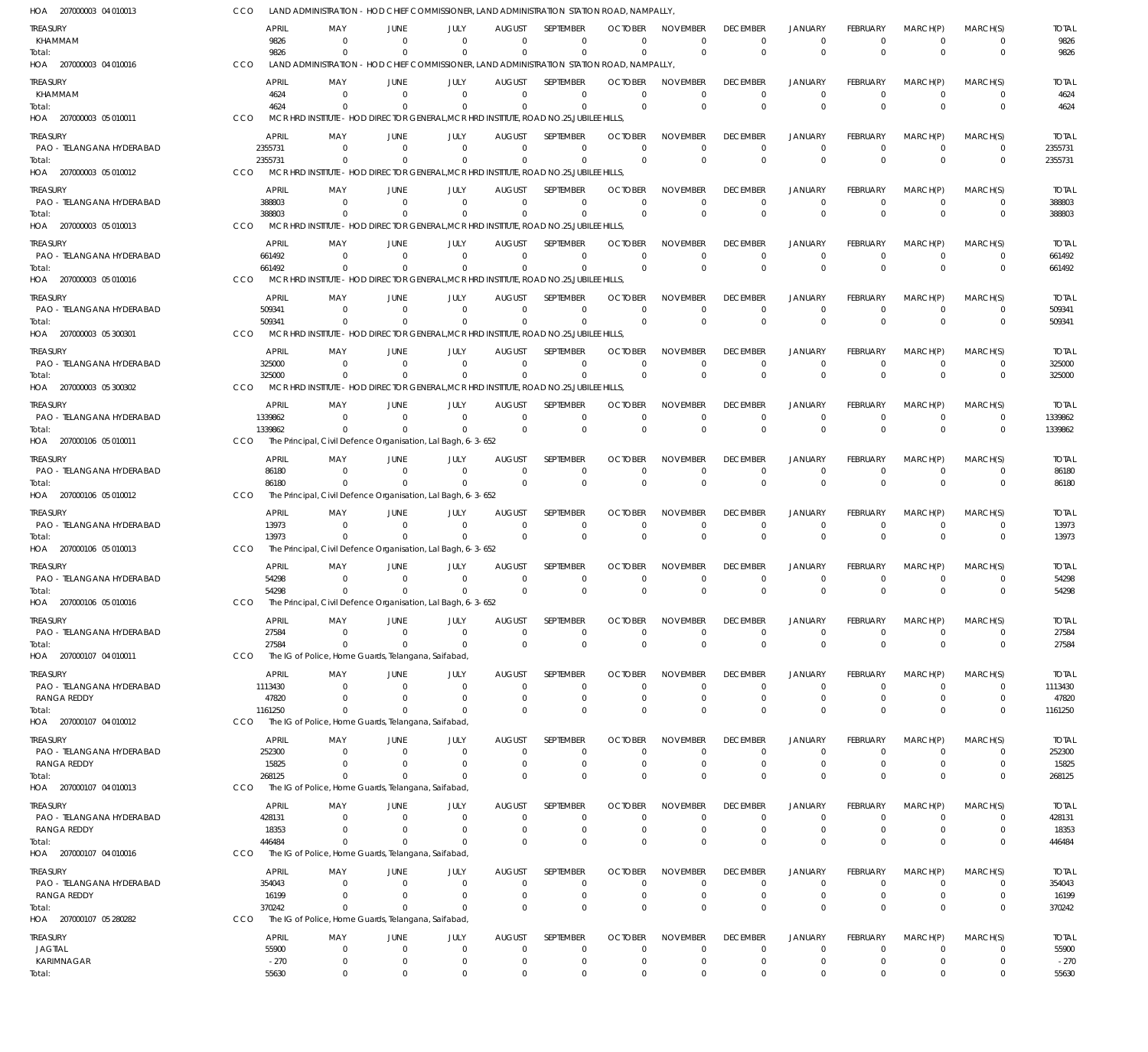| HOA 207000003 04 010013                  | CCO            |                                                     |                      | LAND ADMINISTRATION - HOD CHIEF COMMISSIONER, LAND ADMINISTRATION STATION ROAD, NAMPALLY                        |                           |                                |                            |                             |                             |                                  |                               |                                  |                            |                        |
|------------------------------------------|----------------|-----------------------------------------------------|----------------------|-----------------------------------------------------------------------------------------------------------------|---------------------------|--------------------------------|----------------------------|-----------------------------|-----------------------------|----------------------------------|-------------------------------|----------------------------------|----------------------------|------------------------|
| treasury<br>KHAMMAM                      |                | <b>APRIL</b><br>MAY<br>9826                         | JUNE<br>- 0          | JULY<br>$\Omega$<br>$\Omega$                                                                                    | AUGUST<br>$\Omega$        | <b>SFPIFMBFR</b><br>$^{\circ}$ | <b>OCTOBER</b><br>$\Omega$ | <b>NOVEMBER</b><br>$\Omega$ | <b>DECEMBER</b><br>$\Omega$ | <b>JANUARY</b><br>$^{\circ}$     | <b>FEBRUARY</b><br>0          | MARCH(P)<br>$\overline{0}$       | MARCH(S)<br>0              | <b>TOTAL</b><br>9826   |
| Total:<br>HOA 207000003 04 010016        | CCO            | 9826                                                | $\Omega$             | $\Omega$<br>LAND ADMINISTRATION - HOD CHIEF COMMISSIONER, LAND ADMINISTRATION STATION ROAD, NAMPALLY,           | $\Omega$                  | $\Omega$                       | $\Omega$                   | $\mathbf 0$                 | $\Omega$                    | $\Omega$                         | $\Omega$                      | $\Omega$                         | $\mathbf 0$                | 9826                   |
| treasury                                 |                | <b>APRIL</b><br>MAY                                 | JUNE                 | JULY                                                                                                            | <b>AUGUST</b>             | <b>SFPTFMBFR</b>               | <b>OCTOBER</b>             | <b>NOVEMBER</b>             | <b>DECEMBER</b>             | <b>JANUARY</b>                   | <b>FEBRUARY</b>               | MARCH(P)                         | MARCH(S)                   | <b>TOTAL</b>           |
| KHAMMAM<br>Total:                        |                | 4624<br>4624                                        | $\Omega$<br>$\Omega$ | $\Omega$<br>$\Omega$<br>$\Omega$<br>$\Omega$                                                                    | $\Omega$<br>$\Omega$      | $\Omega$<br>$\mathbf 0$        | $\Omega$<br>$\Omega$       | $\Omega$<br>$\Omega$        | $\Omega$<br>$\Omega$        | $^{\circ}$<br>$\overline{0}$     | $\Omega$<br>$\Omega$          | $\Omega$<br>$\Omega$             | $\Omega$<br>$\mathbf 0$    | 4624<br>4624           |
| HOA 207000003 05 010011                  | CCO            |                                                     |                      | MCR HRD INSTITUTE - HOD DIRECTOR GENERAL, MCR HRD INSTITUTE, ROAD NO.25, JUBILEE HILLS,                         |                           |                                |                            |                             |                             |                                  |                               |                                  |                            |                        |
| treasury                                 |                | APRIL<br>MAY                                        | JUNE                 | JULY                                                                                                            | <b>AUGUST</b>             | SEPTEMBER                      | <b>OCTOBER</b>             | <b>NOVEMBER</b>             | <b>DECEMBER</b>             | <b>JANUARY</b>                   | <b>FEBRUARY</b>               | MARCH(P)                         | MARCH(S)                   | <b>TOTAL</b>           |
| PAO - TELANGANA HYDERABAD                | 2355731        |                                                     | - 0                  | $\Omega$<br>- 0                                                                                                 | $\Omega$                  | 0                              | $\Omega$                   | $\Omega$                    | $\Omega$                    | $^{\circ}$                       | 0                             | $\overline{0}$                   | 0                          | 2355731                |
| Total:<br>HOA 207000003 05 010012        | 2355731<br>CCO |                                                     | $\Omega$             | $\Omega$<br>$\Omega$<br>MCR HRD INSTITUTE - HOD DIRECTOR GENERAL, MCR HRD INSTITUTE, ROAD NO.25, JUBILEE HILLS, | $\Omega$                  | $\Omega$                       | $\Omega$                   | $\Omega$                    | $\Omega$                    | $\Omega$                         | $\Omega$                      | $\Omega$                         | $\mathbf 0$                | 2355731                |
|                                          |                |                                                     |                      |                                                                                                                 |                           |                                |                            |                             |                             |                                  |                               |                                  | MARCH(S)                   |                        |
| treasury<br>PAO - TELANGANA HYDERABAD    |                | APRIL<br>MA۱<br>388803                              | JUNE<br>$\Omega$     | JULY<br>$\Omega$<br>$\Omega$                                                                                    | <b>AUGUST</b><br>$\Omega$ | SEPTEMBER<br>$\Omega$          | <b>OCTOBER</b><br>$\Omega$ | <b>NOVEMBER</b><br>$\Omega$ | <b>DECEMBER</b><br>$\Omega$ | <b>JANUARY</b><br>$\Omega$       | <b>FEBRUARY</b><br>$\Omega$   | MARCH(P)<br>$\overline{0}$       | 0                          | <b>TOTAL</b><br>388803 |
| Total:                                   |                | 388803                                              |                      | $\Omega$                                                                                                        | $\Omega$                  | $\mathbf 0$                    | $\Omega$                   | $\Omega$                    | $\Omega$                    | $\Omega$                         | $\Omega$                      | $\Omega$                         | $\mathbf 0$                | 388803                 |
| HOA 207000003 05 010013                  | CCO            |                                                     |                      | MCR HRD INSTITUTE - HOD DIRECTOR GENERAL, MCR HRD INSTITUTE, ROAD NO.25, JUBILEE HILLS,                         |                           |                                |                            |                             |                             |                                  |                               |                                  |                            |                        |
| treasury                                 |                | <b>APRIL</b><br>MAY                                 | JUNE                 | JULY                                                                                                            | <b>AUGUST</b>             | SEPTEMBER                      | <b>OCTOBER</b>             | <b>NOVEMBER</b>             | <b>DECEMBER</b>             | <b>JANUARY</b>                   | <b>FEBRUARY</b>               | MARCH(P)                         | MARCH(S)                   | <b>TOTAL</b>           |
| PAO - TELANGANA HYDERABAD<br>Total:      |                | 661492<br>661492                                    | $\Omega$<br>$\Omega$ | $\Omega$<br>$\Omega$<br>$\Omega$<br>$\Omega$                                                                    | $\Omega$<br>$\Omega$      | $\Omega$<br>$\Omega$           | $\Omega$<br>$\overline{0}$ | $\Omega$<br>$\mathbf 0$     | $\Omega$<br>$\Omega$        | $^{\circ}$<br>$\overline{0}$     | $\mathbf 0$<br>$\overline{0}$ | $\Omega$<br>$\Omega$             | $\mathbf 0$<br>$\mathbf 0$ | 661492<br>661492       |
| HOA 207000003 05 010016                  | CCO            |                                                     |                      | MCR HRD INSTITUTE - HOD DIRECTOR GENERAL, MCR HRD INSTITUTE, ROAD NO.25, JUBILEE HILLS,                         |                           |                                |                            |                             |                             |                                  |                               |                                  |                            |                        |
| treasury                                 |                | APRIL<br>MAY                                        | JUNE                 | JULY                                                                                                            | <b>AUGUST</b>             | SEPTEMBER                      | <b>OCTOBER</b>             | <b>NOVEMBER</b>             | <b>DECEMBER</b>             | <b>JANUARY</b>                   | <b>FEBRUARY</b>               | MARCH(P)                         | MARCH(S)                   | <b>TOTAL</b>           |
| PAO - TELANGANA HYDERABAD                |                | 509341                                              | $\Omega$             | $\Omega$<br>$\Omega$                                                                                            | $\Omega$                  | 0                              | $\Omega$                   | $\Omega$                    | 0                           | $^{\circ}$                       | 0                             | $\overline{0}$                   | 0                          | 509341                 |
| Total:                                   | CCO            | 509341                                              | $\Omega$             | $\Omega$<br>$\Omega$<br>MCR HRD INSTITUTE - HOD DIRECTOR GENERAL, MCR HRD INSTITUTE, ROAD NO.25, JUBILEE HILLS, | $\Omega$                  | $\Omega$                       | $\Omega$                   | $\Omega$                    | $\Omega$                    | $\Omega$                         | $\Omega$                      | $\Omega$                         | $\mathbf 0$                | 509341                 |
| HOA 207000003 05 300301                  |                |                                                     |                      |                                                                                                                 |                           |                                |                            |                             |                             |                                  |                               |                                  |                            |                        |
| treasury<br>PAO - TELANGANA HYDERABAD    |                | <b>APRIL</b><br>MAY<br>325000                       | JUNE<br>- 0          | JULY<br>$\Omega$<br>$\Omega$                                                                                    | <b>AUGUST</b><br>$\Omega$ | SEPTEMBER<br>$\mathbf 0$       | <b>OCTOBER</b><br>$\Omega$ | <b>NOVEMBER</b><br>$\Omega$ | <b>DECEMBER</b><br>$\Omega$ | <b>JANUARY</b><br>$^{\circ}$     | <b>FEBRUARY</b><br>$\Omega$   | MARCH(P)<br>$\overline{0}$       | MARCH(S)<br>0              | <b>TOTAL</b><br>325000 |
| Total:                                   |                | 325000                                              | $\Omega$             | $\Omega$<br>$\Omega$                                                                                            | $\Omega$                  | $\Omega$                       | $\Omega$                   | $\Omega$                    | $\Omega$                    | $\Omega$                         | $\Omega$                      | $\Omega$                         | $\mathbf 0$                | 325000                 |
| HOA 207000003 05 300302                  | CCO            |                                                     |                      | MCR HRD INSTITUTE - HOD DIRECTOR GENERAL, MCR HRD INSTITUTE, ROAD NO.25, JUBILEE HILLS,                         |                           |                                |                            |                             |                             |                                  |                               |                                  |                            |                        |
| treasury                                 |                | <b>APRIL</b><br>MAY                                 | JUNE                 | JULY                                                                                                            | <b>AUGUST</b>             | SEPTEMBER                      | <b>OCTOBER</b>             | <b>NOVEMBER</b>             | <b>DECEMBER</b>             | <b>JANUARY</b>                   | <b>FEBRUARY</b>               | MARCH(P)                         | MARCH(S)                   | <b>TOTAL</b>           |
| PAO - TELANGANA HYDERABAD                | 1339862        |                                                     | $\Omega$             | $\Omega$<br>$\Omega$                                                                                            | $\Omega$                  | $\mathbf 0$                    | $\mathbf 0$                | $\mathbf 0$                 | $\mathbf 0$                 | $\overline{0}$<br>$\Omega$       | $\mathbf 0$                   | $\Omega$<br>$\Omega$             | $\mathbf 0$                | 1339862                |
| Total:<br>HOA 207000106 05 010011        | CCO            | 1339862                                             |                      | $\Omega$<br>The Principal, Civil Defence Organisation, Lal Bagh, 6-3-652                                        | $\Omega$                  | $\mathbf 0$                    | $\Omega$                   | $\mathbf 0$                 | $\Omega$                    |                                  | $\Omega$                      |                                  | $\mathbf 0$                | 1339862                |
| treasury                                 |                | APRIL<br>MAY                                        | JUNE                 | JULY                                                                                                            | <b>AUGUST</b>             | SEPTEMBER                      | <b>OCTOBER</b>             | <b>NOVEMBER</b>             | <b>DECEMBER</b>             | <b>JANUARY</b>                   | FEBRUARY                      | MARCH(P)                         | MARCH(S)                   | <b>TOTAL</b>           |
| PAO - TELANGANA HYDERABAD                |                | 86180                                               | $\Omega$             | $\Omega$<br>$\Omega$                                                                                            | $\Omega$                  | 0                              | $\Omega$                   | $\mathbf 0$                 | $\Omega$                    | $^{\circ}$                       | $\Omega$                      | $\overline{0}$                   | 0                          | 86180                  |
| Total:                                   |                | 86180                                               |                      | $\Omega$                                                                                                        | $\Omega$                  | $\mathbf 0$                    | $\Omega$                   | $\Omega$                    | $\Omega$                    | $\Omega$                         | $\Omega$                      | $\Omega$                         | $\mathbf 0$                | 86180                  |
| HOA 207000106 05 010012                  | CCO            |                                                     |                      | The Principal, Civil Defence Organisation, Lal Bagh, 6-3-652                                                    |                           |                                |                            |                             |                             |                                  |                               |                                  |                            |                        |
| treasury                                 |                | APRIL<br>MAY                                        | JUNE                 | JULY                                                                                                            | <b>AUGUST</b>             | SEPTEMBER                      | <b>OCTOBER</b>             | <b>NOVEMBER</b>             | <b>DECEMBER</b>             | <b>JANUARY</b>                   | <b>FEBRUARY</b>               | MARCH(P)                         | MARCH(S)                   | <b>TOTAL</b>           |
| PAO - TELANGANA HYDERABAD<br>Total:      |                | 13973<br>13973                                      | $\Omega$<br>$\Omega$ | $\Omega$<br>$\Omega$<br>$\overline{0}$<br>$\Omega$                                                              | $\Omega$<br>$\Omega$      | $\mathbf 0$<br>$\Omega$        | $\Omega$<br>$\Omega$       | $\Omega$<br>$\Omega$        | $\Omega$<br>$\Omega$        | $^{\circ}$<br>$\overline{0}$     | $\Omega$<br>$\Omega$          | $\Omega$<br>$\Omega$             | 0<br>$\mathbf 0$           | 13973<br>13973         |
| HOA 207000106 05 010013                  | CCO            |                                                     |                      | The Principal, Civil Defence Organisation, Lal Bagh, 6-3-652                                                    |                           |                                |                            |                             |                             |                                  |                               |                                  |                            |                        |
| <b>TREASURY</b>                          |                | <b>APRIL</b><br>MAY                                 | JUNE                 | JULY                                                                                                            | <b>AUGUST</b>             | SEPTEMBER                      | <b>OCTOBER</b>             | <b>NOVEMBER</b>             | <b>DECEMBER</b>             | <b>JANUARY</b>                   | <b>FEBRUARY</b>               | MARCH(P)                         | MARCH(S)                   | <b>TOTAL</b>           |
| PAO - TELANGANA HYDERABAD                |                | 54298                                               | - 0                  | - 0<br>$\Omega$                                                                                                 | $\Omega$                  | 0                              | $\Omega$                   | $\Omega$                    | $\Omega$                    | $^{\circ}$                       | $\Omega$                      | $\Omega$                         | 0                          | 54298                  |
| Total:<br>HOA 207000106 05 010016        | CCO            | 54298                                               | $^{\circ}$           | $\overline{0}$<br>$\Omega$<br>The Principal, Civil Defence Organisation, Lal Bagh, 6-3-652                      | $\Omega$                  | $\mathbf 0$                    | $\Omega$                   | $\Omega$                    | $\Omega$                    | $\Omega$                         | $\Omega$                      | $\Omega$                         | $\mathbf 0$                | 54298                  |
| treasury                                 |                | APRIL<br>MAY                                        | JUNE                 | JULY                                                                                                            | <b>AUGUST</b>             | SEPTEMBER                      | <b>OCTOBER</b>             | <b>NOVEMBER</b>             | <b>DECEMBER</b>             | <b>JANUARY</b>                   | <b>FEBRUARY</b>               | MARCH(P)                         | MARCH(S)                   | <b>TOTAL</b>           |
| PAO - TELANGANA HYDERABAD                |                | 27584                                               | 0                    | $\overline{0}$<br>0                                                                                             | $\overline{0}$            | 0                              | 0                          | $\overline{0}$              | 0                           | $^{\circ}$                       | 0                             | $\overline{0}$                   | 0                          | 27584                  |
| Total:                                   |                | 27584                                               | $\Omega$             | $\Omega$<br>$\Omega$                                                                                            | $\Omega$                  | $\mathbf 0$                    | $\Omega$                   | $\mathbf 0$                 | $\mathbf{0}$                | $\overline{0}$                   | $\mathbf{0}$                  | $\Omega$                         | $\mathbf 0$                | 27584                  |
| HOA 207000107 04 010011                  | CCO            | The IG of Police, Home Guards, Telangana, Saifabad, |                      |                                                                                                                 |                           |                                |                            |                             |                             |                                  |                               |                                  |                            |                        |
| treasury                                 |                | APRIL<br>MAY                                        | JUNE                 | JULY                                                                                                            | <b>AUGUST</b>             | <b>SEPTEMBER</b>               | <b>OCTOBER</b>             | <b>NOVEMBER</b>             | <b>DECEMBER</b>             | <b>JANUARY</b>                   | FEBRUARY                      | MARCH(P)                         | MARCH(S)                   | <b>TOTAL</b>           |
| PAO - TELANGANA HYDERABAD<br>RANGA REDDY | 1113430        | 47820                                               | $\Omega$<br>$\Omega$ | $\Omega$<br>0<br>$\overline{0}$<br>0                                                                            | 0<br>0                    | 0<br>$\mathbf 0$               | $\Omega$<br>0              | 0<br>$\mathbf 0$            | $\Omega$<br>0               | $\Omega$<br>$\overline{0}$       | $\Omega$<br>0                 | - 0<br>$\overline{0}$            | 0<br>$\mathbf 0$           | 1113430<br>47820       |
| Total:                                   | 1161250        |                                                     | $\Omega$             | $\Omega$<br>$\Omega$                                                                                            | $\Omega$                  | $\mathbf 0$                    | $\Omega$                   | $\Omega$                    | $\Omega$                    | $\Omega$                         | $\Omega$                      | $\Omega$                         | $\mathbf 0$                | 1161250                |
| HOA 207000107 04 010012                  | CCO            | The IG of Police, Home Guards, Telangana, Saifabad, |                      |                                                                                                                 |                           |                                |                            |                             |                             |                                  |                               |                                  |                            |                        |
| treasury                                 |                | APRIL<br>MAY                                        | JUNE                 | JULY                                                                                                            | <b>AUGUST</b>             | <b>SEPTEMBER</b>               | <b>OCTOBER</b>             | <b>NOVEMBER</b>             | <b>DECEMBER</b>             | <b>JANUARY</b>                   | FEBRUARY                      | MARCH(P)                         | MARCH(S)                   | <b>TOTAL</b>           |
| PAO - TELANGANA HYDERABAD<br>RANGA REDDY |                | 252300<br>15825                                     | $\Omega$<br>$\Omega$ | $\overline{0}$<br>$\Omega$<br>- 0<br>0                                                                          | 0<br>0                    | 0<br>$\mathbf 0$               | $\Omega$<br>0              | $\Omega$<br>$\mathbf 0$     | $\Omega$<br>$\Omega$        | $\Omega$<br>$^{\circ}$           | $\Omega$<br>0                 | - 0<br>$\overline{0}$            | 0<br>$\mathbf 0$           | 252300<br>15825        |
| Total:                                   |                | 268125                                              | $\Omega$             | $\Omega$<br>$\Omega$                                                                                            | $\Omega$                  | $\mathbf 0$                    | 0                          | $\Omega$                    | $\Omega$                    | $\overline{0}$                   | $\Omega$                      | $\Omega$                         | $\mathbf 0$                | 268125                 |
| HOA 207000107 04 010013                  | CCO            | The IG of Police, Home Guards, Telangana, Saifabad, |                      |                                                                                                                 |                           |                                |                            |                             |                             |                                  |                               |                                  |                            |                        |
| TREASURY                                 |                | APRIL<br>MAY                                        | JUNE                 | JULY                                                                                                            | <b>AUGUST</b>             | SEPTEMBER                      | <b>OCTOBER</b>             | <b>NOVEMBER</b>             | <b>DECEMBER</b>             | <b>JANUARY</b>                   | FEBRUARY                      | MARCH(P)                         | MARCH(S)                   | <b>TOTAL</b>           |
| PAO - TELANGANA HYDERABAD                |                | 428131<br>18353                                     | - 0<br>$\Omega$      | $\overline{0}$<br>0<br>$\Omega$<br>0                                                                            | $\overline{0}$<br>0       | 0<br>$\mathbf 0$               | $\Omega$<br>0              | $\Omega$<br>$\mathbf 0$     | $\Omega$<br>$\Omega$        | $^{\circ}$<br>$^{\circ}$         | $\Omega$<br>0                 | $\overline{0}$<br>$\overline{0}$ | 0<br>$\mathbf 0$           | 428131                 |
| RANGA REDDY<br>Total:                    |                | 446484                                              | $\Omega$             | $\Omega$<br>$\Omega$                                                                                            | $\Omega$                  | $\mathbf 0$                    | $\Omega$                   | $\Omega$                    | $\Omega$                    | $\Omega$                         | $\Omega$                      | $\Omega$                         | $\mathbf 0$                | 18353<br>446484        |
| HOA 207000107 04 010016                  | CCO            | The IG of Police, Home Guards, Telangana, Saifabad, |                      |                                                                                                                 |                           |                                |                            |                             |                             |                                  |                               |                                  |                            |                        |
| Treasury                                 |                | APRIL<br>MAY                                        | JUNE                 | JULY                                                                                                            | <b>AUGUST</b>             | SEPTEMBER                      | <b>OCTOBER</b>             | <b>NOVEMBER</b>             | <b>DECEMBER</b>             | <b>JANUARY</b>                   | FEBRUARY                      | MARCH(P)                         | MARCH(S)                   | <b>TOTAL</b>           |
| PAO - TELANGANA HYDERABAD                |                | 354043                                              | $\Omega$             | $\Omega$<br>0                                                                                                   | 0                         | 0                              | $\Omega$                   | $\Omega$                    | 0                           | $^{\circ}$                       | $\Omega$                      | $^{\circ}$                       | 0                          | 354043                 |
| <b>RANGA REDDY</b><br>Total:             |                | 16199<br>370242                                     | $\Omega$<br>$\Omega$ | $\Omega$<br>0<br>$\Omega$<br>$\Omega$                                                                           | 0<br>$\Omega$             | $\mathbf 0$<br>$\mathbf 0$     | 0<br>$\Omega$              | $\mathbf 0$<br>$\Omega$     | 0<br>$\Omega$               | $\overline{0}$<br>$\overline{0}$ | $\mathbf 0$<br>$\Omega$       | $\overline{0}$<br>$\Omega$       | $\mathbf 0$<br>$\mathbf 0$ | 16199<br>370242        |
| HOA 207000107 05 280282                  | CCO            | The IG of Police, Home Guards, Telangana, Saifabad, |                      |                                                                                                                 |                           |                                |                            |                             |                             |                                  |                               |                                  |                            |                        |
| treasury                                 |                | APRIL<br>MAY                                        | JUNE                 | JULY                                                                                                            | <b>AUGUST</b>             | SEPTEMBER                      | <b>OCTOBER</b>             | <b>NOVEMBER</b>             | <b>DECEMBER</b>             | <b>JANUARY</b>                   | <b>FEBRUARY</b>               | MARCH(P)                         | MARCH(S)                   | <b>TOTAL</b>           |
| JAGTIAL                                  |                | 55900                                               | 0                    | $\overline{0}$<br>0                                                                                             | 0                         | 0                              | 0                          | $\mathbf 0$                 | 0                           | $^{\circ}$                       | 0                             | - 0                              | 0                          | 55900                  |
| KARIMNAGAR                               |                | $-270$                                              | $^{\circ}$           | $\overline{0}$<br>0                                                                                             | $\overline{0}$            | 0                              | 0                          | $\mathbf 0$                 | $\mathbf 0$                 | $^{\circ}$                       | 0                             | $^{\circ}$                       | $\mathbf 0$                | $-270$                 |
| Total:                                   |                | 55630                                               | $\mathbf 0$          | $\mathbf 0$<br>$\mathbf 0$                                                                                      | $\mathbf 0$               | $\mathbf 0$                    | $\mathbf 0$                | $\mathbf 0$                 | $\mathbf 0$                 | $\overline{0}$                   | $\mathbf 0$                   | $\mathbf 0$                      | $\mathbf 0$                | 55630                  |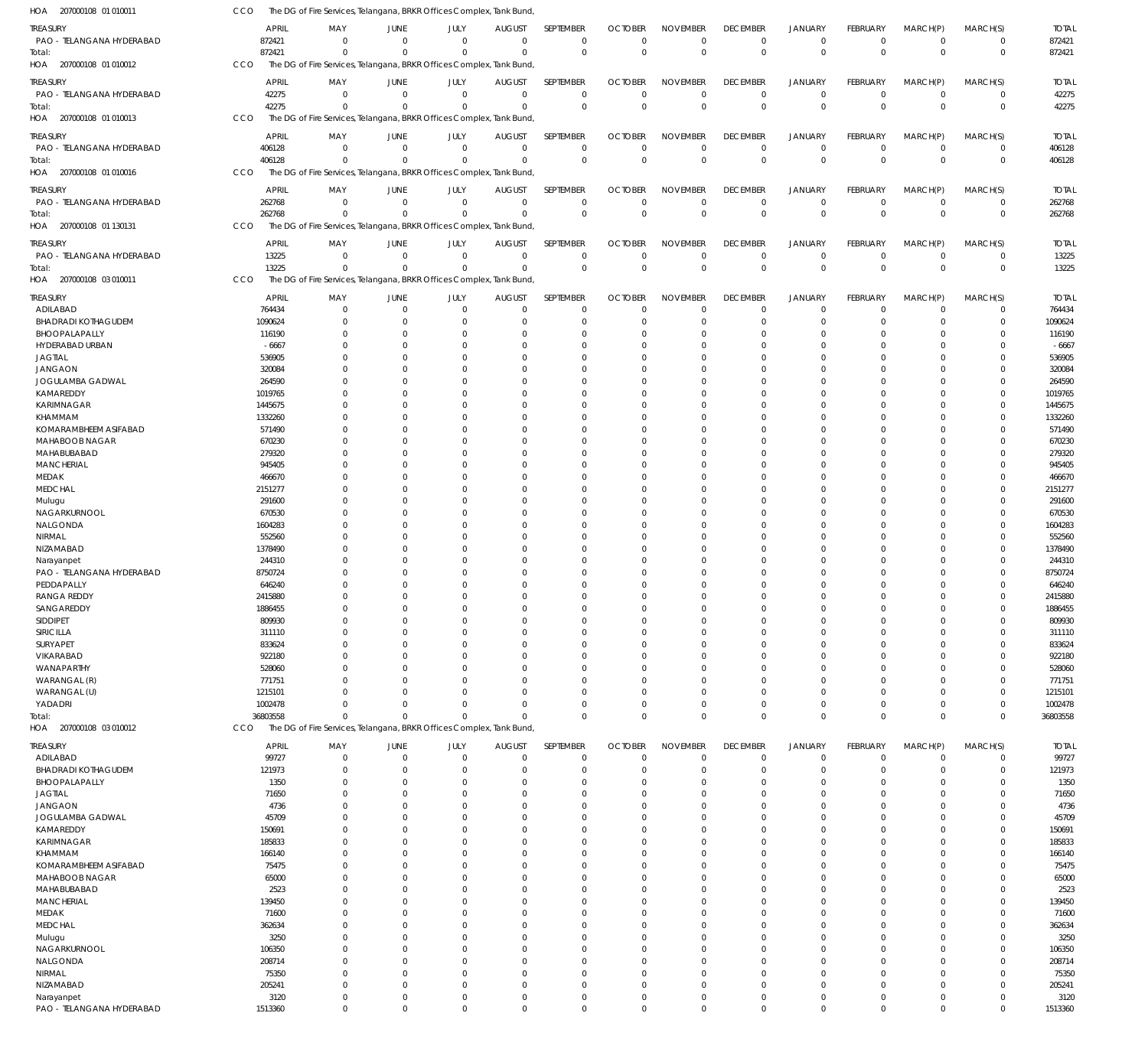| 207000108 01 010011<br>HOA              | CCO             | The DG of Fire Services, Telangana, BRKR Offices Complex, Tank Bund  |                            |                            |               |                            |                            |                             |                            |                               |                  |                                  |                            |                 |
|-----------------------------------------|-----------------|----------------------------------------------------------------------|----------------------------|----------------------------|---------------|----------------------------|----------------------------|-----------------------------|----------------------------|-------------------------------|------------------|----------------------------------|----------------------------|-----------------|
| TREASURY                                | APRIL           | MAY                                                                  | <b>JUNE</b>                | JULY                       | <b>AUGUST</b> | SEPTEMBER                  | <b>OCTOBER</b>             | <b>NOVEMBER</b>             | <b>DECEMBER</b>            | <b>JANUARY</b>                | FEBRUARY         | MARCH(P)                         | MARCH(S)                   | <b>TOTAL</b>    |
| PAO - TELANGANA HYDERABAD               | 872421          | $\mathbf 0$                                                          | $\mathbf 0$                | $\mathbf 0$                | $\mathbf 0$   | $\mathbf 0$                | $\Omega$                   | $\mathbf 0$                 | $\mathbf 0$                | $\mathbf 0$                   | $^{\circ}$       | $\overline{0}$                   | $\mathbf 0$                | 872421          |
| Total:                                  | 872421          | $\Omega$                                                             | $\Omega$                   | $\mathbf{0}$               | $\mathbf 0$   | $\mathbf 0$                | $\overline{0}$             | $\Omega$                    | $\mathbf 0$                | $\mathbb O$                   | $\overline{0}$   | $\overline{0}$                   | $\mathbf 0$                | 872421          |
| HOA 207000108 01 010012                 | CCO             | The DG of Fire Services, Telangana, BRKR Offices Complex, Tank Bund  |                            |                            |               |                            |                            |                             |                            |                               |                  |                                  |                            |                 |
|                                         |                 |                                                                      |                            |                            |               |                            |                            |                             |                            |                               |                  |                                  |                            |                 |
| TREASURY                                | <b>APRIL</b>    | MAY                                                                  | JUNE                       | JULY                       | <b>AUGUST</b> | SEPTEMBER                  | <b>OCTOBER</b>             | <b>NOVEMBER</b>             | <b>DECEMBER</b>            | <b>JANUARY</b>                | FEBRUARY         | MARCH(P)                         | MARCH(S)                   | <b>TOTAL</b>    |
| PAO - TELANGANA HYDERABAD               | 42275           | $\mathbf 0$                                                          | $\overline{0}$             | $\mathbf 0$                | $\mathbf 0$   | $\mathbf 0$                | $\Omega$                   | $\mathbf 0$                 | $\mathbf 0$                | $\mathbf 0$                   | $\overline{0}$   | $\mathbf 0$                      | $\mathbf 0$                | 42275           |
| Total:                                  | 42275           | $\Omega$                                                             | $\Omega$                   | $\Omega$                   | $\mathbf 0$   | $\mathbb O$                | $\Omega$                   | $\Omega$                    | $\mathbb O$                | $\mathbb O$                   | $\Omega$         | $\Omega$                         | $\mathbf 0$                | 42275           |
| 207000108 01 010013<br>HOA              | CCO             | The DG of Fire Services, Telangana, BRKR Offices Complex, Tank Bund  |                            |                            |               |                            |                            |                             |                            |                               |                  |                                  |                            |                 |
| TREASURY                                | <b>APRIL</b>    | MAY                                                                  | <b>JUNE</b>                | JULY                       | <b>AUGUST</b> | SEPTEMBER                  | <b>OCTOBER</b>             | <b>NOVEMBER</b>             | <b>DECEMBER</b>            | <b>JANUARY</b>                | FEBRUARY         | MARCH(P)                         | MARCH(S)                   | <b>TOTAL</b>    |
| PAO - TELANGANA HYDERABAD               | 406128          | $\mathbf 0$                                                          | $\overline{0}$             | $\mathbf 0$                | $\mathbf 0$   | $\mathbf 0$                | $\Omega$                   | $\Omega$                    | $\mathbf 0$                | $\mathbf 0$                   | $^{\circ}$       | $\overline{0}$                   | $\mathbf 0$                | 406128          |
| Total:                                  | 406128          | $\Omega$                                                             | $\Omega$                   | $\Omega$                   | $\mathbf 0$   | $\mathbf 0$                | $\overline{0}$             | $\Omega$                    | $\mathbf 0$                | $\mathbf 0$                   | $\overline{0}$   | $\Omega$                         | $\mathbf 0$                | 406128          |
| HOA 207000108 01 010016                 | CCO             | The DG of Fire Services, Telangana, BRKR Offices Complex, Tank Bund, |                            |                            |               |                            |                            |                             |                            |                               |                  |                                  |                            |                 |
|                                         |                 |                                                                      |                            |                            |               |                            |                            |                             |                            |                               |                  |                                  |                            |                 |
| TREASURY                                | APRIL           | MAY                                                                  | JUNE                       | JULY                       | <b>AUGUST</b> | SEPTEMBER                  | <b>OCTOBER</b>             | <b>NOVEMBER</b>             | <b>DECEMBER</b>            | <b>JANUARY</b>                | FEBRUARY         | MARCH(P)                         | MARCH(S)                   | <b>TOTAL</b>    |
| PAO - TELANGANA HYDERABAD               | 262768          | $\mathbf 0$                                                          | $\mathbf 0$                | $\mathbf 0$                | $\mathbf 0$   | $\mathbf 0$                | $\Omega$                   | $\Omega$                    | $^{\circ}$                 | $\mathbf 0$                   | $\mathbf 0$      | $^{\circ}$                       | 0                          | 262768          |
| Total:                                  | 262768          | $\Omega$                                                             | $\Omega$                   | $\Omega$                   | $\Omega$      | $\mathbb O$                | $\Omega$                   | $\Omega$                    | $\mathbb O$                | $\mathbb O$                   | $\mathbf 0$      | $\overline{0}$                   | $\mathbf 0$                | 262768          |
| HOA 207000108 01 130131                 | CCO             | The DG of Fire Services, Telangana, BRKR Offices Complex, Tank Bund, |                            |                            |               |                            |                            |                             |                            |                               |                  |                                  |                            |                 |
| TREASURY                                | APRIL           | MAY                                                                  | <b>JUNE</b>                | JULY                       | <b>AUGUST</b> | SEPTEMBER                  | <b>OCTOBER</b>             | <b>NOVEMBER</b>             | <b>DECEMBER</b>            | <b>JANUARY</b>                | FEBRUARY         | MARCH(P)                         | MARCH(S)                   | <b>TOTAL</b>    |
| PAO - TELANGANA HYDERABAD               | 13225           | $\mathbf 0$                                                          | $\mathbf 0$                | $\mathbf 0$                | $\mathbf 0$   | $\mathbf 0$                | $\Omega$                   | $\Omega$                    | $\mathbf 0$                | $\mathbf 0$                   | $\overline{0}$   | $\overline{0}$                   | $\mathbf 0$                | 13225           |
| Total:                                  | 13225           | $\Omega$                                                             | $\Omega$                   | $\mathbf 0$                | $\mathbf 0$   | $\mathbf 0$                | $\Omega$                   | $\Omega$                    | $\mathbf 0$                | $\overline{0}$                | $\overline{0}$   | $\Omega$                         | $\mathbf 0$                | 13225           |
| 207000108 03 010011<br>HOA              | CCO             | The DG of Fire Services, Telangana, BRKR Offices Complex, Tank Bund, |                            |                            |               |                            |                            |                             |                            |                               |                  |                                  |                            |                 |
|                                         |                 |                                                                      |                            |                            |               |                            |                            |                             |                            |                               |                  |                                  |                            |                 |
| <b>TREASURY</b>                         | <b>APRIL</b>    | MAY                                                                  | <b>JUNE</b>                | JULY                       | <b>AUGUST</b> | SEPTEMBER                  | <b>OCTOBER</b>             | <b>NOVEMBER</b>             | <b>DECEMBER</b>            | <b>JANUARY</b>                | FEBRUARY         | MARCH(P)                         | MARCH(S)                   | <b>TOTAL</b>    |
| ADILABAD                                | 764434          | $\mathbf 0$                                                          | $\mathbf 0$                | $\mathbf 0$                | $\Omega$      | $\mathbf 0$                | $\Omega$                   | $\Omega$                    | $^{\circ}$                 | $\overline{0}$                | $\mathbf 0$      | $\Omega$                         | 0                          | 764434          |
| <b>BHADRADI KOTHAGUDEM</b>              | 1090624         | $\Omega$                                                             | 0                          | $\Omega$                   | O             | $\mathbf 0$                |                            | $\Omega$                    | $\mathbf 0$                | $\overline{0}$                | 0                | $\Omega$                         | $\mathbf 0$                | 1090624         |
| BHOOPALAPALLY                           | 116190          | 0                                                                    | 0                          | $\Omega$                   |               | $\Omega$                   |                            | $\Omega$                    | $\Omega$                   | $\mathbf 0$                   | $\Omega$         | $\Omega$                         | 0                          | 116190          |
| HYDERABAD URBAN                         | $-6667$         |                                                                      | 0                          | $\Omega$                   |               | $\Omega$                   |                            | $\Omega$                    | $\Omega$                   | $\Omega$                      | $\Omega$         | $\Omega$                         | 0                          | $-6667$         |
| <b>JAGTIAL</b>                          | 536905          |                                                                      | O                          | $\Omega$                   |               | $\Omega$                   |                            | $\Omega$                    | $\Omega$                   | $\Omega$                      |                  | $\Omega$                         | $\Omega$                   | 536905          |
| <b>JANGAON</b>                          | 320084          |                                                                      | $\Omega$                   | $\Omega$                   | O             | $\Omega$                   |                            | $\Omega$                    | $\Omega$                   | $\Omega$                      | $\Omega$         | $\Omega$                         | 0                          | 320084          |
| JOGULAMBA GADWAL                        | 264590          |                                                                      | O                          | $\Omega$                   |               | $\Omega$                   |                            | $\Omega$                    | $\Omega$                   | $\Omega$                      | $\Omega$         | $\Omega$                         | $\Omega$                   | 264590          |
| KAMAREDDY                               | 1019765         |                                                                      | O                          | $\Omega$                   |               | $\Omega$                   |                            | $\Omega$                    | $\Omega$                   | $\Omega$                      | $\Omega$         | $\Omega$                         | $\mathbf 0$                | 1019765         |
| KARIMNAGAR                              | 1445675         |                                                                      | O                          | $\Omega$                   |               | $\Omega$                   |                            | $\Omega$                    | $\Omega$                   | $\Omega$                      | 0                | $\Omega$                         | $\Omega$                   | 1445675         |
| KHAMMAM                                 | 1332260         |                                                                      | O                          | $\Omega$                   |               | $\Omega$                   |                            | $\Omega$                    | $\Omega$                   | $\Omega$                      | $\Omega$         | $\Omega$                         | 0                          | 1332260         |
| KOMARAMBHEEM ASIFABAD                   | 571490          |                                                                      | O                          | $\Omega$                   |               | $\Omega$                   |                            | $\Omega$                    | $\Omega$                   | $\Omega$                      | 0                | $\Omega$                         | $\Omega$                   | 571490          |
| MAHABOOB NAGAR                          | 670230          |                                                                      | $\Omega$                   | $\Omega$                   | O             | $\Omega$                   |                            | $\Omega$                    | $\Omega$                   | $\Omega$                      | 0                | $\Omega$                         | $\mathbf 0$                | 670230          |
| MAHABUBABAD                             | 279320          |                                                                      | O                          | $\Omega$                   |               | $\Omega$                   |                            | $\Omega$                    | $\Omega$                   | $\Omega$                      | 0                | $\Omega$                         | $\Omega$                   | 279320          |
| <b>MANCHERIAL</b>                       | 945405          |                                                                      | O                          | $\Omega$                   |               | $\Omega$                   |                            | $\Omega$                    | $\Omega$                   | $\Omega$                      | 0                | $\Omega$                         | $\mathbf 0$                | 945405          |
| MEDAK                                   | 466670          |                                                                      | O                          | $\Omega$                   |               | $\Omega$                   |                            | $\Omega$                    | $\Omega$                   | $\Omega$                      | 0                | $\Omega$                         | $\Omega$                   | 466670          |
| <b>MEDCHAL</b>                          | 2151277         |                                                                      | 0                          | $\Omega$                   | O             | $\Omega$                   |                            | $\Omega$                    | $\Omega$                   | $\Omega$                      | $\Omega$         | $\Omega$                         | $\mathbf 0$                | 2151277         |
|                                         | 291600          |                                                                      | O                          | $\Omega$                   |               | $\Omega$                   |                            | $\Omega$                    | $\Omega$                   | $\Omega$                      | 0                | $\Omega$                         | $\Omega$                   | 291600          |
| Mulugu<br>NAGARKURNOOL                  | 670530          |                                                                      | $\Omega$                   | $\Omega$                   | O             | $\Omega$                   |                            | $\Omega$                    | $\Omega$                   | $\Omega$                      | $\Omega$         | $\Omega$                         | $\mathbf 0$                | 670530          |
|                                         |                 |                                                                      | $\Omega$                   | $\Omega$                   |               | $\Omega$                   |                            | $\Omega$                    | $\Omega$                   | $\Omega$                      | $\Omega$         | $\Omega$                         | $\Omega$                   |                 |
| NALGONDA                                | 1604283         |                                                                      |                            |                            |               |                            |                            |                             |                            |                               |                  |                                  |                            | 1604283         |
| NIRMAL                                  | 552560          |                                                                      | O                          | $\Omega$                   |               | $\Omega$                   |                            | $\Omega$                    | $\Omega$                   | $\Omega$                      | $\Omega$         | $\Omega$                         | 0                          | 552560          |
|                                         |                 |                                                                      |                            |                            |               | $\Omega$                   |                            | $\Omega$                    | $\Omega$                   | $\Omega$                      | 0                | $\Omega$                         | $\Omega$                   | 1378490         |
| NIZAMABAD                               | 1378490         |                                                                      | O                          | $\Omega$                   |               |                            |                            |                             |                            |                               |                  | $\Omega$                         |                            |                 |
| Narayanpet                              | 244310          |                                                                      | $\Omega$                   | $\Omega$                   | O             | $\Omega$                   |                            | $\Omega$                    | $\Omega$                   | $\Omega$                      | $\Omega$         |                                  | 0                          | 244310          |
| PAO - TELANGANA HYDERABAD               | 8750724         |                                                                      | O                          | $\Omega$                   |               | $\Omega$                   |                            | $\Omega$                    | $\Omega$                   | $\Omega$                      | $\Omega$         | $\Omega$                         | $\Omega$                   | 8750724         |
| PEDDAPALLY                              | 646240          |                                                                      | $\Omega$                   | $\Omega$                   | O             | $\Omega$                   |                            | $\Omega$                    | $\Omega$                   | $\Omega$                      | $\Omega$         | $\Omega$                         | 0                          | 646240          |
| <b>RANGA REDDY</b>                      | 2415880         | $\Omega$                                                             | $\Omega$                   | $\Omega$                   | $\Omega$      | $\Omega$                   | $\Omega$                   | $\Omega$                    | $\Omega$                   | $\Omega$                      | $\Omega$         | $\Omega$                         | $\Omega$                   | 2415880         |
| SANGAREDDY                              | 1886455         | 0                                                                    | 0                          | 0                          |               | $\Omega$                   |                            | $\Omega$                    | 0                          | 0                             | 0                | 0                                | 0                          | 1886455         |
| SIDDIPET                                | 809930          | $\Omega$                                                             | 0                          | $\Omega$                   |               | $\Omega$                   | $\Omega$                   | $\Omega$                    | $\Omega$                   | $\mathbf 0$                   | $\Omega$         | $\Omega$                         | $\mathbf 0$                | 809930          |
| <b>SIRICILLA</b>                        | 311110          | $\Omega$                                                             | 0                          | $\Omega$                   | O             | $\mathbf 0$                | $\Omega$                   | $\Omega$                    | $\mathbf 0$                | $\mathbf 0$                   | $\Omega$         | $\Omega$                         | $\mathbf 0$                | 311110          |
| SURYAPET                                | 833624          | 0                                                                    | 0                          | $\Omega$                   |               | $\Omega$                   |                            | $\Omega$                    | $\Omega$                   | $\Omega$                      | $\Omega$         | $\Omega$                         | $\Omega$                   | 833624          |
| VIKARABAD                               | 922180          | 0                                                                    | 0                          | $\Omega$                   |               | $\Omega$                   |                            | $\Omega$                    | $\Omega$                   | $\Omega$                      | 0                | $\Omega$                         | $\mathbf 0$                | 922180          |
| WANAPARTHY                              | 528060          | $\Omega$                                                             | 0                          | $\Omega$                   |               | $\Omega$                   |                            | $\Omega$                    | $\Omega$                   | $\Omega$                      | 0                | $\Omega$                         | $\Omega$                   | 528060          |
| WARANGAL (R)                            | 771751          | $\Omega$                                                             | $\Omega$                   | $\Omega$                   | O             | $\Omega$                   |                            | $\Omega$                    | $\mathbf 0$                | $\Omega$                      | $\Omega$         | $\Omega$                         | $\mathbf 0$                | 771751          |
| WARANGAL (U)                            | 1215101         | 0                                                                    | $\Omega$                   | $\Omega$                   |               | $\Omega$                   |                            | $\Omega$                    | $\Omega$                   | $\Omega$                      | 0                | $\Omega$                         | 0                          | 1215101         |
| YADADRI                                 | 1002478         | $\Omega$                                                             | $\Omega$                   | $\Omega$                   | $\Omega$      | $\Omega$                   |                            | $\Omega$                    | $\mathbf 0$                | $\overline{0}$                | $\Omega$         | $\Omega$                         | $\mathbf 0$                | 1002478         |
| Total:                                  | 36803558        | $\Omega$                                                             | $\Omega$                   | $\Omega$                   | $\Omega$      | $\mathbf 0$                | $\Omega$                   | $\Omega$                    | $\mathbf 0$                | $\overline{0}$                | $\Omega$         | $\overline{0}$                   | $\mathbf 0$                | 36803558        |
| HOA 207000108 03 010012                 | CCO             | The DG of Fire Services, Telangana, BRKR Offices Complex, Tank Bund, |                            |                            |               |                            |                            |                             |                            |                               |                  |                                  |                            |                 |
|                                         |                 |                                                                      |                            |                            |               |                            |                            |                             |                            |                               | FEBRUARY         |                                  |                            |                 |
| TREASURY                                | APRIL           | MAY                                                                  | <b>JUNE</b>                | JULY                       | <b>AUGUST</b> | SEPTEMBER                  | <b>OCTOBER</b><br>$\Omega$ | <b>NOVEMBER</b><br>$\Omega$ | <b>DECEMBER</b>            | <b>JANUARY</b>                |                  | MARCH(P)                         | MARCH(S)                   | <b>TOTAL</b>    |
| ADILABAD                                | 99727           | $\mathbf 0$                                                          | $\mathbf 0$                | $\mathbf 0$                | $\mathbf 0$   | $\mathbf 0$                |                            |                             | $\mathbf 0$                | $\mathbf 0$                   | $\mathbf 0$      | $\mathbf 0$                      | $\mathbf 0$                | 99727           |
| <b>BHADRADI KOTHAGUDEM</b>              | 121973          | $\mathbf 0$                                                          | $\mathbf 0$                | $\mathbf 0$                | $\Omega$      | $\mathbf 0$                | $\Omega$                   | $\Omega$                    | $\overline{0}$             | $\overline{0}$                | 0                | $\mathbf{0}$                     | $\mathbf 0$                | 121973          |
| BHOOPALAPALLY                           | 1350            | $\mathbf 0$                                                          | $\mathbf 0$                | $\mathbf 0$                | $\Omega$      | $\mathbf 0$                | $\Omega$                   | $\Omega$                    | $\overline{0}$             | $\overline{0}$                | $\Omega$         | $\Omega$                         | $\mathbf 0$                | 1350            |
| <b>JAGTIAL</b>                          | 71650           | $\Omega$                                                             | $\mathbf 0$                | $\Omega$                   | $\Omega$      | $\Omega$                   | $\Omega$                   | $\Omega$                    | $\Omega$                   | $\overline{0}$                | $\Omega$         | $\Omega$                         | $\mathbf 0$                | 71650           |
| <b>JANGAON</b>                          | 4736            | $\mathbf 0$                                                          | $\mathbf 0$                | $\Omega$                   | $\Omega$      | $\mathbf 0$                |                            | $\Omega$                    | $\Omega$                   | $\Omega$                      | $\Omega$         | $\Omega$                         | $\mathbf 0$                | 4736            |
| JOGULAMBA GADWAL                        | 45709           | $\Omega$                                                             | 0                          | $\Omega$                   | $\Omega$      | $\Omega$                   | $\Omega$                   | $\Omega$                    | $\Omega$                   | $\Omega$                      | $\Omega$         | $\Omega$                         | $\mathbf 0$                | 45709           |
| KAMAREDDY                               | 150691          | $\Omega$                                                             | 0                          | $\Omega$                   | $\Omega$      | $\mathbf 0$                | $\Omega$                   | $\Omega$                    | $\Omega$                   | $\overline{0}$                | $\Omega$         | $\Omega$                         | $\mathbf 0$                | 150691          |
| KARIMNAGAR                              | 185833          | $\Omega$                                                             | $\mathbf 0$                | $\Omega$                   | $\Omega$      | $\Omega$                   | $\Omega$                   | $\Omega$                    | $\Omega$                   | $\Omega$                      | $\Omega$         | $\Omega$                         | $\mathbf 0$                | 185833          |
| KHAMMAM                                 | 166140          | $\Omega$                                                             | $\mathbf 0$                | $\Omega$                   | $\Omega$      | $\mathbf 0$                |                            | $\Omega$                    | $\mathbf 0$                | $\Omega$                      | $\Omega$         | $\Omega$                         | $\mathbf 0$                | 166140          |
| KOMARAMBHEEM ASIFABAD                   | 75475           | $\Omega$                                                             | 0                          | $\Omega$                   | $\Omega$      | $\Omega$                   | $\Omega$                   | $\Omega$                    | $\Omega$                   | $\Omega$                      | $\Omega$         | $\Omega$                         | $\mathbf 0$                | 75475           |
| MAHABOOB NAGAR                          | 65000           | $\Omega$                                                             | $\mathbf 0$                | $\Omega$                   | $\Omega$      | $\Omega$                   |                            | $\Omega$                    | $\Omega$                   | $\Omega$                      | $\Omega$         | $\Omega$                         | $\mathbf 0$                | 65000           |
| MAHABUBABAD                             | 2523            | $\Omega$                                                             | $\mathbf 0$                | $\Omega$                   | $\Omega$      | $\Omega$                   | $\Omega$                   | $\Omega$                    | $\Omega$                   | $\Omega$                      | $\Omega$         | $\Omega$                         | $\mathbf 0$                | 2523            |
| <b>MANCHERIAL</b>                       | 139450          | $\mathbf 0$                                                          | 0                          | $\Omega$                   | $\Omega$      | $\mathbf 0$                | $\Omega$                   | $\Omega$                    | $\mathbf 0$                | $\overline{0}$                | $\Omega$         | $\Omega$                         | $\mathbf 0$                | 139450          |
| MEDAK                                   | 71600           | $\Omega$                                                             | 0                          | $\Omega$                   | $\Omega$      | $\Omega$                   | $\Omega$                   | $\Omega$                    | $\Omega$                   | $\Omega$                      | $\Omega$         | $\Omega$                         | $\mathbf 0$                | 71600           |
| <b>MEDCHAL</b>                          | 362634          | $\Omega$                                                             | $\mathbf 0$                | $\Omega$                   | $\Omega$      | $\Omega$                   |                            | $\Omega$                    | $\Omega$                   | $\Omega$                      | $\Omega$         | $\Omega$                         | $\mathbf 0$                | 362634          |
| Mulugu                                  | 3250            | $\Omega$                                                             | $\mathbf 0$                | $\Omega$                   | $\Omega$      | $\Omega$                   | $\Omega$                   | $\Omega$                    | $\Omega$                   | $\Omega$                      | $\Omega$         | $\Omega$                         | $\mathbf 0$                | 3250            |
| NAGARKURNOOL                            | 106350          | $\mathbf 0$                                                          | 0                          | $\Omega$                   | $\Omega$      | $\mathbf 0$                | $\Omega$                   | $\Omega$                    | 0                          | $\Omega$                      | $\Omega$         | $\Omega$                         | $\mathbf 0$                | 106350          |
| NALGONDA                                | 208714          | $\Omega$                                                             | $\Omega$                   | $\Omega$                   | $\Omega$      | $\Omega$                   | $\Omega$                   | $\Omega$                    | $\Omega$                   | $\Omega$                      | $\Omega$         | $\Omega$                         | $\mathbf 0$                | 208714          |
| NIRMAL                                  | 75350           | $\mathbf 0$                                                          | $\mathbf 0$                | $\Omega$                   | $\Omega$      | $\mathbf 0$                | $\Omega$                   | $\Omega$                    | $\Omega$                   | $\Omega$                      | $\Omega$         | $\Omega$                         | $\mathbf 0$                | 75350           |
| NIZAMABAD                               | 205241          | $\Omega$                                                             | $\Omega$                   | $\Omega$                   | $\Omega$      | $\Omega$                   | $\Omega$                   | $\Omega$                    | $\Omega$                   | $\Omega$                      | $\Omega$         | $\Omega$                         | $\mathbf 0$                | 205241          |
| Narayanpet<br>PAO - TELANGANA HYDERABAD | 3120<br>1513360 | $\mathbf 0$<br>$\mathbf 0$                                           | $\mathbf 0$<br>$\mathbf 0$ | $\mathbf 0$<br>$\mathbf 0$ | 0<br>$\Omega$ | $\mathbf 0$<br>$\mathbf 0$ | $\Omega$<br>$\Omega$       | $\mathbf 0$<br>$\mathsf 0$  | $\mathbf 0$<br>$\mathbb O$ | $\overline{0}$<br>$\mathbf 0$ | 0<br>$\mathbf 0$ | $\overline{0}$<br>$\overline{0}$ | $\mathbf 0$<br>$\mathbf 0$ | 3120<br>1513360 |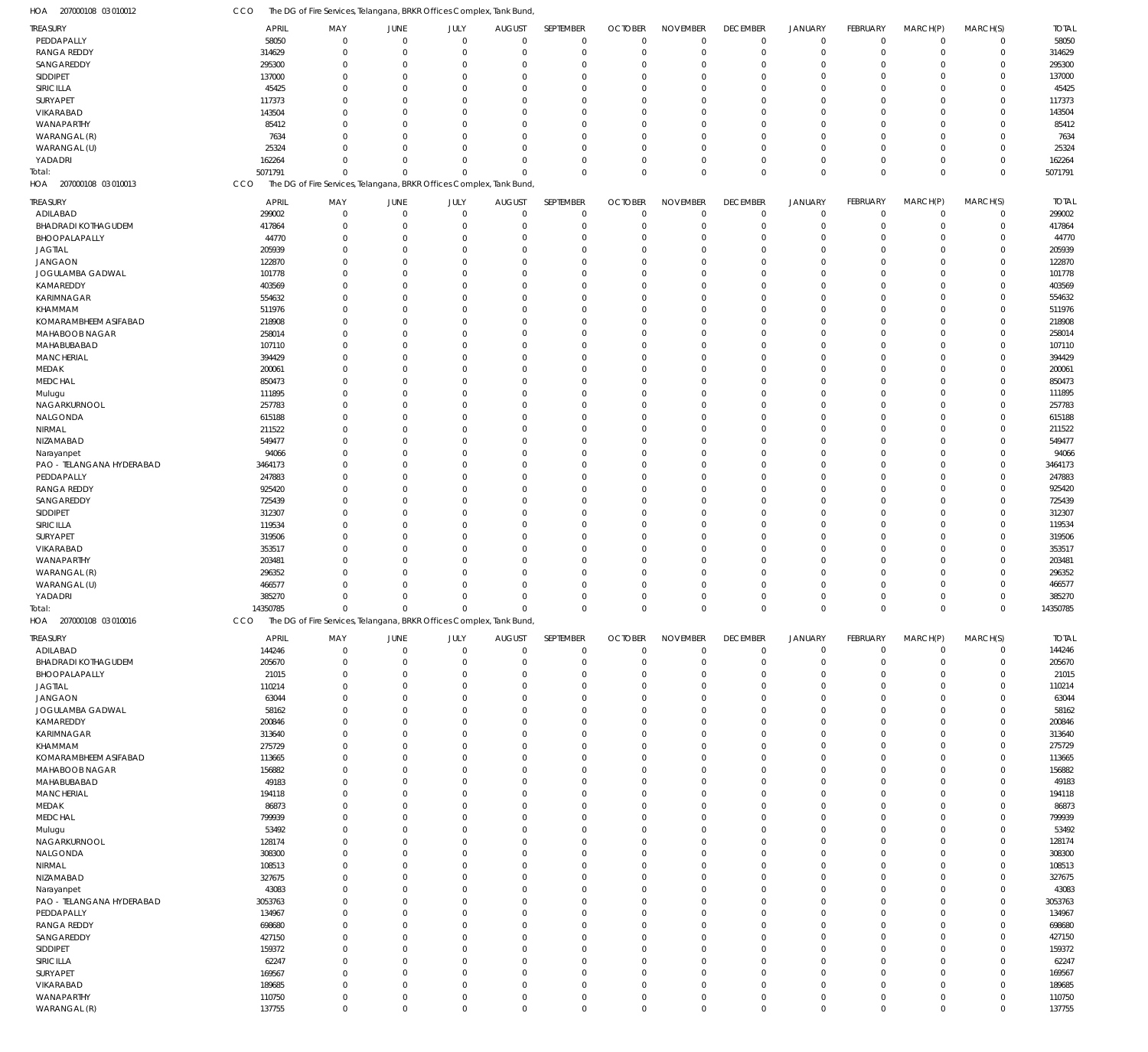| HOA<br>207000108 03 010012       | CCO                | The DG of Fire Services, Telangana, BRKR Offices Complex, Tank Bund  |                            |                            |                            |                            |                         |                      |                         |                                  |                      |                         |                            |                    |
|----------------------------------|--------------------|----------------------------------------------------------------------|----------------------------|----------------------------|----------------------------|----------------------------|-------------------------|----------------------|-------------------------|----------------------------------|----------------------|-------------------------|----------------------------|--------------------|
| TREASURY                         | <b>APRIL</b>       | MAY                                                                  | JUNE                       | JULY                       | <b>AUGUST</b>              | SEPTEMBER                  | <b>OCTOBER</b>          | <b>NOVEMBER</b>      | <b>DECEMBER</b>         | <b>JANUARY</b>                   | FEBRUARY             | MARCH(P)                | MARCH(S)                   | <b>TOTAL</b>       |
| PEDDAPALLY                       | 58050              | $\mathbf 0$                                                          | $\overline{0}$             | $\mathbf 0$                | $\mathbf 0$                | $\mathbf 0$                | $\mathbf 0$             | $\Omega$             | $\mathbf 0$             | $\overline{0}$                   | $\mathbf 0$          | $\mathbf 0$             | $\mathbf 0$                | 58050              |
| <b>RANGA REDDY</b>               | 314629             | $\mathbf 0$                                                          | $\mathbf 0$                | $\mathbf 0$                | 0                          | $\mathbf 0$                | $\overline{0}$          | $\Omega$             | $\mathbf 0$             | $\overline{0}$                   | $\mathbf 0$          | $\mathbf 0$             | $\mathbf 0$                | 314629             |
| SANGAREDDY<br>SIDDIPET           | 295300             | $\mathbf 0$<br>$\Omega$                                              | $\mathbf 0$<br>$\Omega$    | $\mathbf 0$<br>$\mathbf 0$ | 0<br>$\Omega$              | $\mathbf 0$<br>$\mathbf 0$ | $\Omega$<br>$\Omega$    | $\Omega$<br>$\Omega$ | $\mathbf 0$<br>$\Omega$ | $\overline{0}$<br>$\Omega$       | $\Omega$<br>$\Omega$ | $\Omega$<br>$\Omega$    | $\mathbf 0$<br>$\Omega$    | 295300             |
| SIRICILLA                        | 137000<br>45425    | $\mathbf 0$                                                          | $\mathbf 0$                | $\mathbf 0$                | 0                          | $\mathbf 0$                | $\Omega$                | $\Omega$             | $\Omega$                | $\overline{0}$                   | $\Omega$             | $\Omega$                | $\mathbf 0$                | 137000<br>45425    |
| SURYAPET                         | 117373             | $\Omega$                                                             | $\Omega$                   | $\mathbf 0$                | $\Omega$                   | $\mathbf 0$                | $\Omega$                | $\Omega$             | $\Omega$                | $\Omega$                         | $\Omega$             | $\Omega$                | $\Omega$                   | 117373             |
| VIKARABAD                        | 143504             | $\Omega$                                                             | $\Omega$                   | $\mathbf 0$                | $\Omega$                   | $\mathbf 0$                | $\Omega$                | $\Omega$             | $\Omega$                | $\Omega$                         | $\Omega$             | $\Omega$                | $\mathbf 0$                | 143504             |
| WANAPARTHY                       | 85412              | $\Omega$                                                             | $\Omega$                   | $\mathbf 0$                | 0                          | $\mathbf 0$                | $\Omega$                | $\Omega$             | $\Omega$                | $\Omega$                         | $\Omega$             | $\Omega$                | $\mathbf 0$                | 85412              |
| WARANGAL (R)                     | 7634               | $\Omega$                                                             | $\Omega$                   | $\mathbf 0$                | $\Omega$                   | $\mathbf 0$                | $\Omega$                | $\Omega$             | $\Omega$                | $\overline{0}$                   | $\Omega$             | $\Omega$                | $\mathbf 0$                | 7634               |
| WARANGAL (U)                     | 25324              | $\Omega$<br>$\mathbf 0$                                              | $\Omega$<br>$\mathbf 0$    | $\mathbf 0$<br>$\mathbf 0$ | $\Omega$<br>$\mathbf 0$    | $\mathbf 0$<br>$\mathbf 0$ | $\Omega$<br>$\Omega$    | $\Omega$<br>$\Omega$ | $\Omega$<br>$\mathbf 0$ | $\Omega$<br>$\overline{0}$       | $\Omega$<br>$\Omega$ | $\Omega$<br>$\mathbf 0$ | $\mathbf 0$<br>$\mathbf 0$ | 25324              |
| YADADRI<br>Total:                | 162264<br>5071791  | $\Omega$                                                             | $\Omega$                   | $\Omega$                   | $\Omega$                   | $\mathbf 0$                | $\Omega$                | $\Omega$             | $\mathbf 0$             | $\mathbf 0$                      | $\Omega$             | $\Omega$                | $\Omega$                   | 162264<br>5071791  |
| HOA 207000108 03 010013          | CCO                | The DG of Fire Services, Telangana, BRKR Offices Complex, Tank Bund  |                            |                            |                            |                            |                         |                      |                         |                                  |                      |                         |                            |                    |
| TREASURY                         | <b>APRIL</b>       | MAY                                                                  | JUNE                       | JULY                       | <b>AUGUST</b>              | SEPTEMBER                  | <b>OCTOBER</b>          | <b>NOVEMBER</b>      | <b>DECEMBER</b>         | <b>JANUARY</b>                   | <b>FEBRUARY</b>      | MARCH(P)                | MARCH(S)                   | <b>TOTAL</b>       |
| ADILABAD                         | 299002             | $\mathbf 0$                                                          | $\mathbf 0$                | $\mathbf 0$                | $\mathbf 0$                | $\mathbf 0$                | $\overline{0}$          | $\overline{0}$       | $\mathbf 0$             | $\mathbf 0$                      | $\mathbf 0$          | $\mathbf 0$             | $\mathbf 0$                | 299002             |
| <b>BHADRADI KOTHAGUDEM</b>       | 417864             | $\mathbf 0$                                                          | $\mathbf 0$                | $\mathbf 0$                | -0                         | $\mathbf 0$                | $\mathbf 0$             | $\mathbf 0$          | $\mathbf 0$             | $\overline{0}$                   | $\mathbf 0$          | $\overline{0}$          | $\mathbf 0$                | 417864             |
| BHOOPALAPALLY                    | 44770              | $\mathbf 0$                                                          | $\mathbf 0$                | $\mathbf 0$                | 0                          | $\mathbf 0$                | $\Omega$                | $\Omega$             | $\Omega$                | $\overline{0}$                   | $\Omega$             | $\Omega$                | $\mathbf 0$                | 44770              |
| <b>JAGTIAL</b>                   | 205939             | $\mathbf 0$                                                          | $\mathbf 0$                | $\mathbf 0$                | $\Omega$                   | $\mathbf 0$                | $\Omega$                | $\Omega$             | $\Omega$                | $\overline{0}$                   | $\Omega$             | $\Omega$                | $\mathbf 0$                | 205939             |
| <b>JANGAON</b>                   | 122870             | $\mathbf 0$<br>$\Omega$                                              | $\mathbf 0$<br>$\mathbf 0$ | $\mathbf 0$<br>$\mathbf 0$ | 0<br>$\Omega$              | $\mathbf 0$<br>$\mathbf 0$ | $\Omega$<br>$\Omega$    | $\Omega$<br>$\Omega$ | $\Omega$<br>$\Omega$    | $\Omega$<br>$\overline{0}$       | $\Omega$<br>$\Omega$ | $\Omega$<br>$\Omega$    | $\mathbf 0$<br>$\mathbf 0$ | 122870             |
| JOGULAMBA GADWAL<br>KAMAREDDY    | 101778<br>403569   | $\Omega$                                                             | $\mathbf 0$                | $\mathbf 0$                | $\Omega$                   | $\mathbf 0$                | $\Omega$                | $\Omega$             | $\Omega$                | $\Omega$                         | $\Omega$             | $\Omega$                | $\mathbf 0$                | 101778<br>403569   |
| <b>KARIMNAGAR</b>                | 554632             | $\mathbf 0$                                                          | $\mathbf 0$                | $\mathbf 0$                | 0                          | $\mathbf 0$                | $\Omega$                | $\Omega$             | $\Omega$                | $\overline{0}$                   | $\Omega$             | $\Omega$                | $\mathbf 0$                | 554632             |
| KHAMMAM                          | 511976             | $\Omega$                                                             | $\mathbf 0$                | $\mathbf 0$                | $\Omega$                   | $\mathbf 0$                | $\Omega$                | $\Omega$             | $\Omega$                | $\Omega$                         | $\Omega$             | $\Omega$                | $\Omega$                   | 511976             |
| KOMARAMBHEEM ASIFABAD            | 218908             | $\Omega$                                                             | $\Omega$                   | $\mathbf 0$                | $\Omega$                   | $\mathbf 0$                | $\Omega$                | $\Omega$             | $\Omega$                | $\Omega$                         | $\Omega$             | $\Omega$                | $\mathbf 0$                | 218908             |
| MAHABOOB NAGAR                   | 258014             | $\Omega$                                                             | $\mathbf 0$                | $\mathbf 0$                | 0                          | $\mathbf 0$                | $\Omega$                | $\Omega$             | $\Omega$                | $\overline{0}$                   | $\Omega$             | $\Omega$                | $\mathbf 0$                | 258014             |
| MAHABUBABAD                      | 107110             | $\Omega$                                                             | $\mathbf 0$                | $\mathbf 0$                | $\Omega$                   | $\mathbf 0$                | $\Omega$                | $\Omega$             | $\Omega$                | $\Omega$                         | $\Omega$             | $\Omega$                | $\mathbf 0$                | 107110             |
| <b>MANCHERIAL</b>                | 394429             | $\Omega$                                                             | $\Omega$                   | $\mathbf 0$                | $\Omega$                   | $\mathbf 0$                | $\Omega$                | $\Omega$             | $\Omega$                | $\Omega$                         | $\Omega$             | $\Omega$                | $\mathbf 0$                | 394429             |
| MEDAK                            | 200061             | $\mathbf 0$                                                          | $\mathbf 0$                | $\mathbf 0$                | 0                          | $\mathbf 0$                | $\Omega$                | $\Omega$<br>$\Omega$ | $\Omega$                | $\overline{0}$<br>$\Omega$       | $\Omega$<br>$\Omega$ | $\Omega$                | $\mathbf 0$                | 200061             |
| <b>MEDCHAL</b><br>Mulugu         | 850473<br>111895   | $\Omega$<br>$\Omega$                                                 | $\mathbf 0$<br>$\mathbf 0$ | $\mathbf 0$<br>$\mathbf 0$ | $\Omega$<br>$\Omega$       | $\mathbf 0$<br>$\mathbf 0$ | $\Omega$<br>$\Omega$    | $\Omega$             | $\Omega$<br>$\Omega$    | $\Omega$                         | $\Omega$             | $\Omega$<br>$\Omega$    | $\Omega$<br>$\mathbf 0$    | 850473<br>111895   |
| NAGARKURNOOL                     | 257783             | $\Omega$                                                             | $\mathbf 0$                | $\mathbf 0$                | $\Omega$                   | $\mathbf 0$                | $\Omega$                | $\Omega$             | $\Omega$                | $\Omega$                         | $\Omega$             | $\Omega$                | $\mathbf 0$                | 257783             |
| NALGONDA                         | 615188             | $\Omega$                                                             | $\Omega$                   | $\mathbf 0$                | $\Omega$                   | $\mathbf 0$                | $\Omega$                | $\Omega$             | $\Omega$                | $\Omega$                         | U                    | $\Omega$                | $\mathbf 0$                | 615188             |
| NIRMAL                           | 211522             | $\Omega$                                                             | $\mathbf 0$                | $\mathbf 0$                | $\Omega$                   | $\mathbf 0$                | $\Omega$                | $\Omega$             | $\Omega$                | $\Omega$                         | $\Omega$             | $\Omega$                | $\mathbf 0$                | 211522             |
| NIZAMABAD                        | 549477             | $\mathbf 0$                                                          | $\mathbf 0$                | $\mathbf 0$                | 0                          | $\mathbf 0$                | $\Omega$                | $\Omega$             | $\Omega$                | $\overline{0}$                   | $\Omega$             | $\Omega$                | $\mathbf 0$                | 549477             |
| Narayanpet                       | 94066              | $\Omega$                                                             | $\Omega$                   | $\mathbf 0$                | $\Omega$                   | $\mathbf 0$                | $\Omega$                | $\Omega$             | $\Omega$                | $\Omega$                         | $\Omega$             | $\Omega$                | $\Omega$                   | 94066              |
| PAO - TELANGANA HYDERABAD        | 3464173            | $\Omega$                                                             | $\mathbf 0$                | $\mathbf 0$                | $\Omega$                   | $\mathbf 0$                | $\Omega$                | $\Omega$             | $\Omega$                | $\Omega$                         | $\Omega$             | $\Omega$                | $\mathbf 0$                | 3464173            |
| PEDDAPALLY                       | 247883             | $\Omega$                                                             | $\mathbf 0$                | $\mathbf 0$                | $\Omega$                   | $\mathbf 0$                | $\Omega$                | $\Omega$             | $\Omega$                | $\overline{0}$                   | $\Omega$             | $\Omega$                | $\mathbf 0$                | 247883             |
| <b>RANGA REDDY</b><br>SANGAREDDY | 925420<br>725439   | $\Omega$<br>$\Omega$                                                 | $\Omega$<br>$\mathbf 0$    | $\mathbf 0$<br>$\mathbf 0$ | $\Omega$<br>$\Omega$       | $\mathbf 0$<br>$\mathbf 0$ | $\Omega$<br>$\Omega$    | $\Omega$<br>$\Omega$ | $\Omega$<br>$\Omega$    | $\Omega$<br>$\Omega$             | U<br>$\Omega$        | $\Omega$<br>$\Omega$    | $\mathbf 0$<br>$\mathbf 0$ | 925420<br>725439   |
| SIDDIPET                         | 312307             | $\mathbf 0$                                                          | $\mathbf 0$                | $\mathbf 0$                | 0                          | $\mathbf 0$                | $\Omega$                | $\Omega$             | $\Omega$                | $\overline{0}$                   | $\Omega$             | $\Omega$                | $\mathbf 0$                | 312307             |
| SIRICILLA                        | 119534             | $\Omega$                                                             | $\mathbf 0$                | $\mathbf 0$                | $\Omega$                   | $\mathbf 0$                | $\Omega$                | $\Omega$             | $\Omega$                | $\Omega$                         | $\Omega$             | $\Omega$                | $\Omega$                   | 119534             |
| SURYAPET                         | 319506             | $\Omega$                                                             | $\mathbf 0$                | $\mathbf 0$                | $\Omega$                   | $\mathbf 0$                | $\Omega$                | $\Omega$             | $\Omega$                | $\Omega$                         | $\Omega$             | $\Omega$                | $\mathbf 0$                | 319506             |
| VIKARABAD                        | 353517             | $\Omega$                                                             | $\mathbf 0$                | $\mathbf 0$                | $\Omega$                   | $\mathbf 0$                | $\Omega$                | $\Omega$             | $\Omega$                | $\Omega$                         | $\Omega$             | $\Omega$                | $\mathbf 0$                | 353517             |
| WANAPARTHY                       | 203481             | $\Omega$                                                             | $\Omega$                   | $\mathbf 0$                | $\Omega$                   | $\mathbf 0$                | $\Omega$                | $\Omega$             | $\Omega$                | $\Omega$                         | U                    | $\Omega$                | $\mathbf 0$                | 203481             |
| WARANGAL (R)                     | 296352             | $\Omega$                                                             | $\mathbf 0$                | $\mathbf 0$                | 0                          | $\mathbf 0$                | $\Omega$                | $\Omega$             | $\Omega$                | $\Omega$                         | $\Omega$             | $\Omega$                | $\mathbf 0$                | 296352             |
| WARANGAL (U)                     | 466577             | $\Omega$<br>$\Omega$                                                 | $\mathbf 0$                | $\mathbf 0$                | 0                          | $\mathbf 0$                | $\Omega$                | $\Omega$<br>$\Omega$ | $\Omega$                | $\overline{0}$                   | 0<br>$\Omega$        | $\mathbf 0$<br>$\Omega$ | $\mathbf 0$<br>$\Omega$    | 466577             |
| YADADRI<br>Total:                | 385270<br>14350785 | $\mathbf 0$                                                          | $\mathbf 0$<br>$\mathbf 0$ | $\mathbf 0$<br>$\mathbf 0$ | $\mathbf 0$<br>$\mathbf 0$ | $\mathbf 0$<br>$\mathbf 0$ | $\Omega$<br>$\mathbf 0$ | $\mathbf 0$          | $\Omega$<br>$\mathbf 0$ | $\mathbf 0$<br>$\mathbf 0$       | $\mathbf 0$          | $\mathbf 0$             | $\mathbf 0$                | 385270<br>14350785 |
| HOA<br>207000108 03 010016       | CCO                | The DG of Fire Services, Telangana, BRKR Offices Complex, Tank Bund, |                            |                            |                            |                            |                         |                      |                         |                                  |                      |                         |                            |                    |
| TREASURY                         | <b>APRIL</b>       | MAY                                                                  | JUNE                       | JULY                       | <b>AUGUST</b>              | SEPTEMBER                  | <b>OCTOBER</b>          | <b>NOVEMBER</b>      | <b>DECEMBER</b>         | <b>JANUARY</b>                   | FEBRUARY             | MARCH(P)                | MARCH(S)                   | <b>TOTAL</b>       |
| ADILABAD                         | 144246             | $\mathbf 0$                                                          | $\mathbf 0$                | $\mathbf 0$                | $\mathbf 0$                | $\mathbf 0$                | $\overline{0}$          | $\overline{0}$       | $\mathbf 0$             | $\overline{0}$                   | $\mathbf 0$          | $\mathbf 0$             | $\overline{0}$             | 144246             |
| <b>BHADRADI KOTHAGUDEM</b>       | 205670             | $\mathbf 0$                                                          | $\mathbf 0$                | $\mathbf 0$                | 0                          | $\mathbf 0$                | $\Omega$                | $\Omega$             | $\mathbf 0$             | $\mathbf 0$                      | $\mathbf 0$          | $\mathbf 0$             | $\mathbf 0$                | 205670             |
| BHOOPALAPALLY                    | 21015              | $\mathbf 0$                                                          | $\mathbf 0$                | $\mathbf 0$                | 0                          | $\mathbf 0$                | $\Omega$                | $\Omega$             | $\mathbf 0$             | $\overline{0}$                   | $\Omega$             | $\Omega$                | $\mathbf 0$                | 21015              |
| <b>JAGTIAL</b>                   | 110214             | $\mathbf 0$                                                          | $\mathbf 0$                | $\mathbf 0$                | 0                          | $\mathbf 0$                | $\Omega$                | $\Omega$             | $\mathbf 0$             | $\overline{0}$                   | $\Omega$             | $\mathbf 0$             | $\mathbf 0$                | 110214             |
| <b>JANGAON</b>                   | 63044              | $\Omega$                                                             | $\Omega$                   | $\mathbf 0$                | $\Omega$                   | $\mathbf 0$                | $\Omega$                | $\Omega$             | $\Omega$                | $\Omega$                         | $\Omega$             | $\Omega$                | $\Omega$                   | 63044              |
| JOGULAMBA GADWAL                 | 58162              | $\Omega$                                                             | $\mathbf 0$                | $\mathbf 0$                | $\Omega$                   | $\mathbf 0$                | $\Omega$                | $\Omega$             | $\Omega$                | $\overline{0}$                   | $\Omega$             | $\Omega$                | $\mathbf 0$                | 58162              |
| KAMAREDDY                        | 200846             | $\Omega$<br>$\Omega$                                                 | $\mathbf 0$                | $\mathbf 0$<br>$\Omega$    | $\Omega$                   | $\mathbf 0$                | $\Omega$                | $\Omega$<br>$\Omega$ | $\Omega$                | $\overline{0}$<br>$\overline{0}$ | $\Omega$<br>$\Omega$ | $\Omega$<br>$\Omega$    | $\mathbf 0$                | 200846             |
| KARIMNAGAR<br>KHAMMAM            | 313640<br>275729   | $\Omega$                                                             | $\mathbf 0$<br>$\Omega$    | $\mathbf 0$                | $\Omega$<br>$\Omega$       | $\mathbf 0$<br>$\mathbf 0$ | $\Omega$<br>$\Omega$    | $\Omega$             | $\Omega$<br>$\Omega$    | $\Omega$                         | $\Omega$             | $\Omega$                | $\mathbf 0$<br>$\Omega$    | 313640<br>275729   |
| KOMARAMBHEEM ASIFABAD            | 113665             | $\mathbf 0$                                                          | $\mathbf 0$                | $\mathbf 0$                | 0                          | $\mathbf 0$                | $\Omega$                | $\Omega$             | $\mathbf 0$             | $\overline{0}$                   | $\Omega$             | $\mathbf 0$             | $\mathbf 0$                | 113665             |
| MAHABOOB NAGAR                   | 156882             | $\Omega$                                                             | $\Omega$                   | $\mathbf 0$                | $\Omega$                   | $\mathbf 0$                | $\Omega$                | $\Omega$             | $\Omega$                | $\Omega$                         | $\Omega$             | $\Omega$                | $\Omega$                   | 156882             |
| MAHABUBABAD                      | 49183              | $\Omega$                                                             | $\mathbf 0$                | $\Omega$                   | $\Omega$                   | $\mathbf 0$                | $\Omega$                | $\Omega$             | $\Omega$                | $\overline{0}$                   | $\Omega$             | $\Omega$                | $\mathbf 0$                | 49183              |
| <b>MANCHERIAL</b>                | 194118             | $\Omega$                                                             | $\mathbf 0$                | $\mathbf 0$                | $\Omega$                   | $\mathbf 0$                | $\Omega$                | $\Omega$             | $\Omega$                | $\overline{0}$                   | $\Omega$             | $\Omega$                | $\mathbf 0$                | 194118             |
| MEDAK                            | 86873              | $\Omega$                                                             | $\mathbf 0$                | $\mathbf 0$                | $\Omega$                   | $\mathbf 0$                | $\Omega$                | $\Omega$             | $\Omega$                | $\overline{0}$                   | $\Omega$             | $\Omega$                | $\mathbf 0$                | 86873              |
| <b>MEDCHAL</b>                   | 799939             | $\Omega$                                                             | $\Omega$                   | $\mathbf 0$                | $\Omega$                   | $\mathbf 0$                | $\Omega$                | $\Omega$             | $\Omega$                | $\Omega$                         | $\Omega$             | $\Omega$                | $\mathbf 0$                | 799939             |
| Mulugu<br>NAGARKURNOOL           | 53492<br>128174    | $\mathbf 0$<br>$\Omega$                                              | $\mathbf 0$<br>$\Omega$    | $\mathbf 0$<br>$\mathbf 0$ | 0<br>$\Omega$              | $\mathbf 0$<br>$\mathbf 0$ | $\Omega$<br>$\Omega$    | $\Omega$<br>$\Omega$ | $\Omega$<br>$\Omega$    | $\overline{0}$<br>$\Omega$       | $\Omega$<br>$\Omega$ | $\mathbf 0$<br>$\Omega$ | $\mathbf 0$<br>$\Omega$    | 53492<br>128174    |
| NALGONDA                         | 308300             | $\Omega$                                                             | $\mathbf 0$                | $\mathbf 0$                | $\Omega$                   | $\mathbf 0$                | $\Omega$                | $\Omega$             | $\Omega$                | $\overline{0}$                   | $\Omega$             | $\Omega$                | $\mathbf 0$                | 308300             |
| NIRMAL                           | 108513             | $\Omega$                                                             | $\mathbf 0$                | $\mathbf 0$                | $\Omega$                   | $\mathbf 0$                | $\Omega$                | $\Omega$             | $\Omega$                | $\overline{0}$                   | $\Omega$             | $\Omega$                | $\mathbf 0$                | 108513             |
| NIZAMABAD                        | 327675             | $\Omega$                                                             | $\mathbf 0$                | $\Omega$                   | $\Omega$                   | $\mathbf 0$                | $\Omega$                | $\Omega$             | $\Omega$                | $\overline{0}$                   | $\Omega$             | $\Omega$                | $\mathbf 0$                | 327675             |
| Narayanpet                       | 43083              | $\Omega$                                                             | $\Omega$                   | $\mathbf 0$                | $\Omega$                   | $\mathbf 0$                | $\Omega$                | $\Omega$             | $\Omega$                | $\Omega$                         | $\Omega$             | $\Omega$                | $\Omega$                   | 43083              |
| PAO - TELANGANA HYDERABAD        | 3053763            | $\mathbf 0$                                                          | $\mathbf 0$                | $\mathbf 0$                | 0                          | $\mathbf 0$                | $\Omega$                | $\Omega$             | $\Omega$                | $\overline{0}$                   | 0                    | $\mathbf 0$             | $\mathbf 0$                | 3053763            |
| PEDDAPALLY                       | 134967             | $\Omega$                                                             | $\Omega$                   | $\mathbf 0$                | $\Omega$                   | $\mathbf 0$                | $\Omega$                | $\Omega$             | $\Omega$                | $\Omega$                         | $\Omega$             | $\Omega$                | $\Omega$                   | 134967             |
| <b>RANGA REDDY</b>               | 698680             | $\Omega$                                                             | $\mathbf 0$                | $\mathbf 0$                | $\Omega$                   | $\mathbf 0$                | $\Omega$                | $\Omega$             | $\Omega$                | $\overline{0}$                   | $\Omega$             | $\Omega$                | $\mathbf 0$                | 698680             |
| SANGAREDDY<br>SIDDIPET           | 427150<br>159372   | $\Omega$<br>$\Omega$                                                 | $\Omega$<br>$\mathbf 0$    | $\mathbf 0$<br>$\Omega$    | $\Omega$<br>$\Omega$       | $\mathbf 0$<br>$\mathbf 0$ | $\Omega$<br>$\Omega$    | $\Omega$<br>$\Omega$ | $\Omega$<br>$\Omega$    | $\overline{0}$<br>$\overline{0}$ | $\Omega$<br>$\Omega$ | $\Omega$<br>$\Omega$    | $\mathbf 0$<br>$\mathbf 0$ | 427150<br>159372   |
| SIRICILLA                        | 62247              | $\Omega$                                                             | $\Omega$                   | $\mathbf 0$                | $\Omega$                   | $\mathbf 0$                | $\Omega$                | $\Omega$             | $\Omega$                | $\Omega$                         | $\Omega$             | $\Omega$                | $\mathbf 0$                | 62247              |
| SURYAPET                         | 169567             | $\mathbf 0$                                                          | $\mathbf 0$                | $\mathbf 0$                | $\Omega$                   | $\mathbf 0$                | $\Omega$                | $\Omega$             | $\Omega$                | $\overline{0}$                   | $\Omega$             | $\mathbf 0$             | $\mathbf 0$                | 169567             |
| VIKARABAD                        | 189685             | $\Omega$                                                             | $\Omega$                   | $\mathbf 0$                | $\Omega$                   | $\mathbf 0$                | $\Omega$                | $\Omega$             | $\Omega$                | $\Omega$                         | $\Omega$             | $\Omega$                | $\Omega$                   | 189685             |
| WANAPARTHY                       | 110750             | $\mathbf 0$                                                          | $\mathbf 0$                | $\mathbf 0$                | $\mathbf 0$                | $\mathbf 0$                | $\mathbf 0$             | $\mathbf 0$          | $\mathbf 0$             | $\mathbf 0$                      | $\mathbf 0$          | $\mathbf 0$             | $\mathbf 0$                | 110750             |
| WARANGAL (R)                     | 137755             | $\mathbf 0$                                                          | $\mathbf 0$                | $\mathbf 0$                | $\mathbf 0$                | $\mathbf 0$                | $\mathbf 0$             | $\mathbf 0$          | $\mathbf 0$             | $\mathbf 0$                      | $\mathbf 0$          | $\mathbf 0$             | $\mathbf 0$                | 137755             |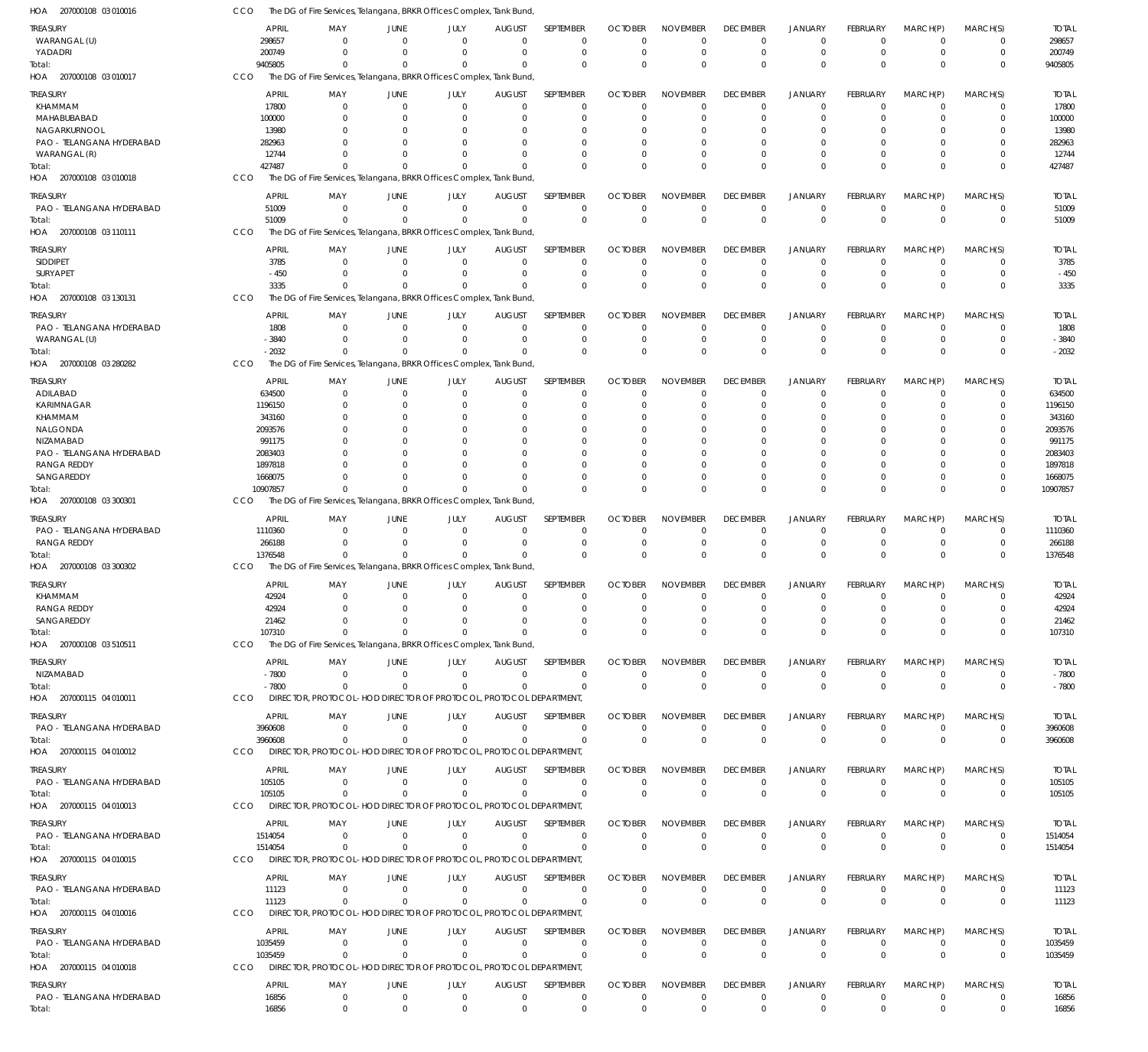| HOA 207000108 03 010016                   | CCO                    | The DG of Fire Services, Telangana, BRKR Offices Complex, Tank Bund,             |                        |                        |                                  |                            |                            |                             |                             |                                  |                         |                               |                            |                        |
|-------------------------------------------|------------------------|----------------------------------------------------------------------------------|------------------------|------------------------|----------------------------------|----------------------------|----------------------------|-----------------------------|-----------------------------|----------------------------------|-------------------------|-------------------------------|----------------------------|------------------------|
| TREASURY<br>WARANGAL (U)                  | <b>APRIL</b><br>298657 | MAY<br>$\Omega$                                                                  | JUNE<br>$\Omega$       | JULY<br>$\Omega$       | <b>AUGUST</b><br>$\overline{0}$  | SEPTEMBER<br>$\mathbf 0$   | <b>OCTOBER</b><br>$\Omega$ | <b>NOVEMBER</b><br>$\Omega$ | <b>DECEMBER</b><br>$\Omega$ | <b>JANUARY</b><br>$^{\circ}$     | FEBRUARY<br>$\Omega$    | MARCH(P)<br>$^{\circ}$        | MARCH(S)<br>0              | <b>TOTAL</b><br>298657 |
| YADADRI                                   | 200749                 | $\Omega$                                                                         | $\Omega$               | $\Omega$               | $\Omega$                         | $\mathbf 0$                | 0                          | $\mathbf 0$                 | $\Omega$                    | $\overline{0}$                   | $\mathbf 0$             | $\overline{0}$                | $\mathbf 0$                | 200749                 |
| Total:                                    | 9405805                | $\Omega$                                                                         | $\Omega$               | $\Omega$               | $\Omega$                         | $\mathbf 0$                | $\Omega$                   | $\Omega$                    | $\Omega$                    | $\Omega$                         | $\Omega$                | $\Omega$                      | $\mathbf 0$                | 9405805                |
| HOA 207000108 03 010017                   | CCO                    | The DG of Fire Services, Telangana, BRKR Offices Complex, Tank Bund,             |                        |                        |                                  |                            |                            |                             |                             |                                  |                         |                               |                            |                        |
| TREASURY                                  | <b>APRIL</b>           | MAY                                                                              | JUNE                   | JULY                   | <b>AUGUST</b>                    | SEPTEMBER                  | <b>OCTOBER</b>             | <b>NOVEMBER</b>             | <b>DECEMBER</b>             | <b>JANUARY</b>                   | <b>FEBRUARY</b>         | MARCH(P)                      | MARCH(S)                   | <b>TOTAL</b>           |
| KHAMMAM                                   | 17800                  | 0                                                                                | $\Omega$               | 0                      | $\mathbf 0$                      | 0                          | O                          | $\mathbf 0$                 | 0                           | $^{\circ}$                       | 0                       | $\overline{0}$                | 0                          | 17800                  |
| MAHABUBABAD                               | 100000                 | $\Omega$                                                                         | $\Omega$               | $\Omega$               | $\Omega$                         | $\mathbf 0$                | $\Omega$                   | $\Omega$                    | $\Omega$                    | $\Omega$                         | $\Omega$                | $\Omega$                      | $\Omega$                   | 100000                 |
| NAGARKURNOOL                              | 13980                  | 0                                                                                | $\Omega$               | n                      | $\Omega$                         | 0                          | O                          | $\Omega$                    |                             | $\Omega$                         |                         | $\Omega$                      | $\Omega$                   | 13980                  |
| PAO - TELANGANA HYDERABAD                 | 282963                 |                                                                                  |                        |                        | $\Omega$                         | 0                          | O                          | $\Omega$                    |                             | $\Omega$                         |                         | $\Omega$                      | $\Omega$                   | 282963                 |
| WARANGAL (R)                              | 12744                  | <sup>0</sup>                                                                     | $\Omega$               | $\Omega$               | $\Omega$                         | 0                          | $\Omega$                   | $\Omega$                    |                             | $\Omega$                         | $\Omega$                | $\Omega$                      | $\mathbf 0$                | 12744                  |
| Total:<br>HOA 207000108 03 010018         | 427487<br>CCO          | $\Omega$<br>The DG of Fire Services, Telangana, BRKR Offices Complex, Tank Bund, | $\Omega$               | $\Omega$               | $\Omega$                         | $\Omega$                   | $\Omega$                   | $\Omega$                    | $\Omega$                    | $\Omega$                         | $\Omega$                | $\Omega$                      | $\mathbf 0$                | 427487                 |
|                                           |                        |                                                                                  |                        |                        |                                  |                            |                            |                             |                             |                                  |                         |                               |                            |                        |
| treasury                                  | <b>APRIL</b>           | MAY                                                                              | JUNE                   | JULY                   | <b>AUGUST</b>                    | <b>SEPTEMBER</b>           | <b>OCTOBER</b>             | <b>NOVEMBER</b>             | <b>DECEMBER</b>             | <b>JANUARY</b>                   | FEBRUARY                | MARCH(P)                      | MARCH(S)                   | <b>TOTAL</b>           |
| PAO - TELANGANA HYDERABAD                 | 51009                  | - 0                                                                              | $\overline{0}$         | $\Omega$               | $\mathbf 0$                      | $\mathbf 0$                | $\Omega$                   | $\Omega$                    | $\Omega$                    | $\overline{0}$                   | $\mathbf 0$             | $\overline{0}$                | $\mathbf 0$                | 51009                  |
| Total:<br>HOA 207000108 03 110111         | 51009<br>CCO           | $\Omega$<br>The DG of Fire Services, Telangana, BRKR Offices Complex, Tank Bund, | $\Omega$               | $\Omega$               | $\Omega$                         | $\mathbf 0$                | $\Omega$                   | $\Omega$                    | $\Omega$                    | $\Omega$                         | $\Omega$                | $\Omega$                      | $\mathbf 0$                | 51009                  |
|                                           |                        |                                                                                  |                        |                        |                                  |                            |                            |                             |                             |                                  |                         |                               |                            |                        |
| treasury                                  | <b>APRIL</b>           | MAY                                                                              | JUNE                   | JULY                   | <b>AUGUST</b>                    | SEPTEMBER                  | <b>OCTOBER</b>             | <b>NOVEMBER</b>             | <b>DECEMBER</b>             | JANUARY                          | FEBRUARY                | MARCH(P)                      | MARCH(S)                   | <b>TOTAL</b>           |
| <b>SIDDIPET</b>                           | 3785                   | - 0                                                                              | $\Omega$               | $\mathbf 0$            | $\overline{0}$                   | $\mathbf 0$                | 0                          | $\mathbf 0$                 | $\Omega$                    | $\overline{0}$                   | $\mathbf 0$             | $\overline{0}$                | $\mathbf 0$                | 3785                   |
| SURYAPET                                  | $-450$<br>3335         | $\Omega$<br>$\Omega$                                                             | $\Omega$<br>$\Omega$   | $\Omega$<br>$\Omega$   | 0<br>$\Omega$                    | $\mathbf 0$<br>$\mathbf 0$ | $\Omega$<br>$\Omega$       | $\mathbf 0$<br>$\Omega$     | $\Omega$<br>$\Omega$        | $\overline{0}$<br>$\Omega$       | 0<br>$\Omega$           | $\overline{0}$<br>$\Omega$    | $\mathbf 0$<br>$\mathbf 0$ | $-450$<br>3335         |
| Total:<br>HOA 207000108 03 130131         | CCO                    | The DG of Fire Services, Telangana, BRKR Offices Complex, Tank Bund,             |                        |                        |                                  |                            |                            |                             |                             |                                  |                         |                               |                            |                        |
|                                           |                        |                                                                                  |                        |                        |                                  |                            |                            |                             |                             |                                  |                         |                               |                            |                        |
| treasury                                  | <b>APRIL</b>           | MAY                                                                              | JUNE                   | JULY                   | <b>AUGUST</b>                    | SEPTEMBER                  | <b>OCTOBER</b>             | <b>NOVEMBER</b>             | <b>DECEMBER</b>             | <b>JANUARY</b>                   | FEBRUARY                | MARCH(P)                      | MARCH(S)                   | <b>TOTAL</b>           |
| PAO - TELANGANA HYDERABAD<br>WARANGAL (U) | 1808<br>$-3840$        | $\Omega$<br>$\Omega$                                                             | $\Omega$<br>$\Omega$   | $\Omega$<br>$\Omega$   | $\overline{0}$<br>$\overline{0}$ | $\mathbf 0$<br>$\mathbf 0$ | $\Omega$<br>0              | $\Omega$<br>$\mathbf 0$     | $\Omega$<br>$\Omega$        | $\overline{0}$<br>$\overline{0}$ | $\Omega$<br>$\mathbf 0$ | $\mathbf 0$<br>$\overline{0}$ | 0<br>$\mathbf 0$           | 1808<br>$-3840$        |
| Total:                                    | $-2032$                | $\Omega$                                                                         | $\overline{0}$         | $\Omega$               | $\Omega$                         | $\mathbf 0$                | $\Omega$                   | $\Omega$                    | $\Omega$                    | $\Omega$                         | $\Omega$                | $\Omega$                      | $\mathbf 0$                | $-2032$                |
| HOA 207000108 03 280282                   | CCO                    | The DG of Fire Services, Telangana, BRKR Offices Complex, Tank Bund,             |                        |                        |                                  |                            |                            |                             |                             |                                  |                         |                               |                            |                        |
|                                           |                        |                                                                                  |                        |                        |                                  |                            |                            |                             |                             |                                  |                         |                               |                            |                        |
| TREASURY                                  | <b>APRIL</b>           | MAY                                                                              | JUNE<br>$\Omega$       | JULY                   | <b>AUGUST</b>                    | SEPTEMBER                  | <b>OCTOBER</b>             | <b>NOVEMBER</b>             | <b>DECEMBER</b>             | <b>JANUARY</b>                   | <b>FEBRUARY</b>         | MARCH(P)                      | MARCH(S)                   | <b>TOTAL</b>           |
| ADILABAD<br><b>KARIMNAGAR</b>             | 634500<br>1196150      | 0<br>$\Omega$                                                                    | $\Omega$               | $\Omega$<br>$\Omega$   | $\mathbf 0$<br>$\Omega$          | 0<br>$\mathbf 0$           | O<br>$\Omega$              | $\mathbf 0$<br>$\Omega$     | $\Omega$                    | $^{\circ}$<br>$\Omega$           | 0<br>0                  | - 0<br>$\Omega$               | 0<br>$\mathbf 0$           | 634500<br>1196150      |
| KHAMMAM                                   | 343160                 | 0                                                                                | $\Omega$               | 0                      | $\Omega$                         | 0                          | O                          | $\Omega$                    |                             | $\Omega$                         |                         | $\Omega$                      | $\mathbf 0$                | 343160                 |
| NALGONDA                                  | 2093576                |                                                                                  | $\Omega$               |                        | C                                | $\Omega$                   | O                          | $\Omega$                    |                             | $\Omega$                         |                         | $\Omega$                      | C                          | 2093576                |
| NIZAMABAD                                 | 991175                 |                                                                                  | $\Omega$               |                        | $\Omega$                         | 0                          | O                          | $\Omega$                    |                             | $\Omega$                         | O                       | $\Omega$                      | 0                          | 991175                 |
| PAO - TELANGANA HYDERABAD                 | 2083403                |                                                                                  |                        |                        | C                                | $\Omega$                   |                            | $\Omega$                    |                             | $\Omega$                         |                         | $\Omega$                      | C                          | 2083403                |
| <b>RANGA REDDY</b>                        | 1897818                |                                                                                  | $\Omega$               | Ω                      | $\Omega$                         | 0                          | O                          | $\Omega$                    |                             | $\Omega$                         | 0                       | $\Omega$                      | 0                          | 1897818                |
| SANGAREDDY                                | 1668075                |                                                                                  | $\Omega$               | U                      | $\Omega$                         | $\Omega$                   | O                          | $\Omega$                    |                             | $\Omega$                         | $\Omega$                | $\Omega$                      | $\mathbf 0$                | 1668075                |
| otal:                                     | 10907857               | $\Omega$                                                                         |                        |                        | $\Omega$                         | $\Omega$                   | $\Omega$                   | $\Omega$                    | $\Omega$                    | $\Omega$                         | $\Omega$                | $\Omega$                      | $\mathbf 0$                | 10907857               |
| HOA 207000108 03 300301                   | CCO                    | The DG of Fire Services, Telangana, BRKR Offices Complex, Tank Bund,             |                        |                        |                                  |                            |                            |                             |                             |                                  |                         |                               |                            |                        |
| treasury                                  | <b>APRIL</b>           | MAY                                                                              | JUNE                   | JULY                   | <b>AUGUST</b>                    | SEPTEMBER                  | <b>OCTOBER</b>             | <b>NOVEMBER</b>             | <b>DECEMBER</b>             | <b>JANUARY</b>                   | FEBRUARY                | MARCH(P)                      | MARCH(S)                   | <b>TOTAL</b>           |
| PAO - TELANGANA HYDERABAD                 | 1110360                | $\Omega$                                                                         | $\Omega$               | $\mathbf 0$            | $\overline{0}$                   | $\mathbf 0$                | $\Omega$                   | $\Omega$                    | $\Omega$                    | $\Omega$                         | $\mathbf 0$             | $\overline{0}$                | 0                          | 1110360                |
| <b>RANGA REDDY</b>                        | 266188                 | $\Omega$<br>$\Omega$                                                             | $\Omega$<br>$\Omega$   | $\Omega$<br>$\Omega$   | 0<br>$\Omega$                    | $\mathbf 0$<br>$\Omega$    | 0<br>$\Omega$              | $\mathbf 0$<br>$\Omega$     | $\Omega$<br>$\Omega$        | $\overline{0}$<br>$\Omega$       | $\mathbf 0$<br>$\Omega$ | $\overline{0}$<br>$\Omega$    | $\mathbf 0$<br>$\mathbf 0$ | 266188                 |
| Total:<br>HOA 207000108 03 300302         | 1376548<br>CCO         | The DG of Fire Services, Telangana, BRKR Offices Complex, Tank Bund,             |                        |                        |                                  |                            |                            |                             |                             |                                  |                         |                               |                            | 1376548                |
|                                           |                        |                                                                                  |                        |                        |                                  |                            |                            |                             |                             |                                  |                         |                               |                            |                        |
| Treasury                                  | <b>APRIL</b>           | MAY                                                                              | JUNE                   | JULY                   | <b>AUGUST</b>                    | SEPTEMBER                  | <b>OCTOBER</b>             | <b>NOVEMBER</b>             | <b>DECEMBER</b>             | <b>JANUARY</b>                   | FEBRUARY                | MARCH(P)                      | MARCH(S)                   | <b>TOTAL</b>           |
| KHAMMAM<br><b>RANGA REDDY</b>             | 42924<br>42924         | $^{\circ}$<br>0                                                                  | $\mathbf 0$            | $\overline{0}$         | $\mathbf 0$<br>$\Omega$          | $\mathbf 0$<br>0           | $\mathbf 0$<br>O           | $\mathbf 0$<br>$\Omega$     | $\mathbf 0$                 | $\overline{0}$<br>- 0            | $\mathbf 0$             | $\overline{0}$<br>$\Omega$    | $\mathbf 0$<br>0           | 42924<br>42924         |
| SANGAREDDY                                | 21462                  | $\mathbf 0$                                                                      | $\Omega$               | $\Omega$               | $\mathbf 0$                      | $\mathbf 0$                | 0                          | $\mathbf 0$                 | $\Omega$                    | $\overline{0}$                   | $\mathbf 0$             | $\overline{0}$                | $\mathbf 0$                | 21462                  |
| Total:                                    | 107310                 | $\Omega$                                                                         |                        |                        | $\Omega$                         | $\mathbf 0$                | $\Omega$                   | $\Omega$                    | $\mathbf{0}$                | $\mathbf 0$                      | $\Omega$                | $\Omega$                      | $\mathbf 0$                | 107310                 |
| HOA 207000108 03 510511                   | CCO                    | The DG of Fire Services, Telangana, BRKR Offices Complex, Tank Bund,             |                        |                        |                                  |                            |                            |                             |                             |                                  |                         |                               |                            |                        |
| treasury                                  | <b>APRIL</b>           | MAY                                                                              | JUNE                   | JULY                   | <b>AUGUST</b>                    | SEPTEMBER                  | <b>OCTOBER</b>             | <b>NOVEMBER</b>             | <b>DECEMBER</b>             | <b>JANUARY</b>                   | <b>FEBRUARY</b>         | MARCH(P)                      | MARCH(S)                   | <b>TOTAL</b>           |
| NIZAMABAD                                 | $-7800$                | - 0                                                                              | $\Omega$               | $\overline{0}$         | $\mathbf{0}$                     | $\mathbf 0$                | $\Omega$                   | $\Omega$                    | $\mathbf 0$                 | $\overline{0}$                   | $\Omega$                | $\overline{0}$                | $\mathbf 0$                | $-7800$                |
| Total:                                    | $-7800$                | $^{\circ}$                                                                       | $\Omega$               | $\Omega$               | $\Omega$                         | $\mathbf 0$                | $\Omega$                   | $\mathbf 0$                 | $\mathbf 0$                 | $\overline{0}$                   | $\Omega$                | $\Omega$                      | $\mathbf 0$                | $-7800$                |
| HOA 207000115 04 010011                   | CCO                    | DIRECTOR, PROTOCOL-HOD DIRECTOR OF PROTOCOL, PROTOCOL DEPARTMENT,                |                        |                        |                                  |                            |                            |                             |                             |                                  |                         |                               |                            |                        |
| Treasury                                  | <b>APRIL</b>           | MAY                                                                              | JUNE                   | JULY                   | <b>AUGUST</b>                    | SEPTEMBER                  | <b>OCTOBER</b>             | <b>NOVEMBER</b>             | <b>DECEMBER</b>             | <b>JANUARY</b>                   | <b>FEBRUARY</b>         | MARCH(P)                      | MARCH(S)                   | <b>TOTAL</b>           |
| PAO - TELANGANA HYDERABAD                 | 3960608                | 0                                                                                | $\overline{0}$         | $\overline{0}$         | $\overline{0}$                   | $\overline{0}$             | $\Omega$                   | $\mathbf 0$                 | $\mathbf 0$                 | $\overline{0}$                   | $\mathbf 0$             | $\overline{0}$                | $\mathbf 0$                | 3960608                |
| Total:                                    | 3960608                | $\overline{0}$                                                                   | $\overline{0}$         | $\mathbf 0$            | $\overline{0}$                   | $\mathbf 0$                | $\mathbf{0}$               | $\mathbf 0$                 | $\mathbf{0}$                | $\overline{0}$                   | $\mathbf 0$             | $\overline{0}$                | $\mathbf 0$                | 3960608                |
| HOA 207000115 04 010012                   | CCO                    | DIRECTOR, PROTOCOL-HOD DIRECTOR OF PROTOCOL, PROTOCOL DEPARTMENT,                |                        |                        |                                  |                            |                            |                             |                             |                                  |                         |                               |                            |                        |
| treasury                                  | APRIL                  | MAY                                                                              | JUNE                   | JULY                   | <b>AUGUST</b>                    | SEPTEMBER                  | <b>OCTOBER</b>             | <b>NOVEMBER</b>             | <b>DECEMBER</b>             | <b>JANUARY</b>                   | FEBRUARY                | MARCH(P)                      | MARCH(S)                   | <b>TOTAL</b>           |
| PAO - TELANGANA HYDERABAD                 | 105105                 | 0                                                                                | $\overline{0}$         | $\overline{0}$         | $\mathbf{0}$                     | $\overline{0}$             | $\mathbf 0$                | $\mathbf 0$                 | 0                           | $\overline{0}$                   | $\mathbf 0$             | $\overline{0}$                | 0                          | 105105                 |
| Total:                                    | 105105                 | $^{\circ}$                                                                       | $\overline{0}$         | $\Omega$               | $\Omega$                         | $\Omega$                   | $\Omega$                   | $\mathbf 0$                 | $\mathbf 0$                 | $\Omega$                         | $\Omega$                | $\Omega$                      | $\mathbf 0$                | 105105                 |
| HOA 207000115 04 010013                   | CCO                    | DIRECTOR, PROTOCOL-HOD DIRECTOR OF PROTOCOL, PROTOCOL DEPARTMENT,                |                        |                        |                                  |                            |                            |                             |                             |                                  |                         |                               |                            |                        |
| treasury                                  | <b>APRIL</b>           | MAY                                                                              | JUNE                   | JULY                   | <b>AUGUST</b>                    | SEPTEMBER                  | <b>OCTOBER</b>             | <b>NOVEMBER</b>             | <b>DECEMBER</b>             | <b>JANUARY</b>                   | FEBRUARY                | MARCH(P)                      | MARCH(S)                   | <b>TOTAL</b>           |
| PAO - TELANGANA HYDERABAD                 | 1514054                | 0                                                                                | $\overline{0}$         | $\overline{0}$         | $\overline{0}$                   | $\mathbf 0$                | $\mathbf 0$                | $\mathbf 0$                 | $\mathbf 0$                 | $\overline{0}$                   | $\mathbf 0$             | $\overline{0}$                | $\mathbf 0$                | 1514054                |
| Total:                                    | 1514054                | $\Omega$                                                                         | $\Omega$               | $\Omega$               | $\mathbf 0$                      | $\mathbf 0$                | $\mathbf{0}$               | $\Omega$                    | $\mathbf{0}$                | $\overline{0}$                   | $\mathbf{0}$            | $\overline{0}$                | $\mathbf 0$                | 1514054                |
| HOA 207000115 04 010015                   | CCO                    | DIRECTOR, PROTOCOL-HOD DIRECTOR OF PROTOCOL, PROTOCOL DEPARTMENT,                |                        |                        |                                  |                            |                            |                             |                             |                                  |                         |                               |                            |                        |
|                                           | APRIL                  |                                                                                  |                        |                        |                                  | SEPTEMBER                  | <b>OCTOBER</b>             | <b>NOVEMBER</b>             | <b>DECEMBER</b>             | <b>JANUARY</b>                   |                         |                               |                            | <b>TOTAL</b>           |
| treasury<br>PAO - TELANGANA HYDERABAD     | 11123                  | MAY<br>$\Omega$                                                                  | JUNE<br>$\overline{0}$ | JULY<br>$\overline{0}$ | <b>AUGUST</b><br>$\Omega$        | $^{\circ}$                 | $\Omega$                   | $\mathbf 0$                 | $\mathbf 0$                 | $^{\circ}$                       | FEBRUARY<br>$\mathbf 0$ | MARCH(P)<br>$\overline{0}$    | MARCH(S)<br>$\mathbf 0$    | 11123                  |
| Total:                                    | 11123                  | $^{\circ}$                                                                       | $\overline{0}$         | $\Omega$               | $\Omega$                         | $\mathbf 0$                | $\mathbf 0$                | $\mathbf 0$                 | $\mathbf 0$                 | $\overline{0}$                   | $\mathbf 0$             | $\Omega$                      | $\mathbf 0$                | 11123                  |
| HOA 207000115 04 010016                   | CCO                    | DIRECTOR, PROTOCOL-HOD DIRECTOR OF PROTOCOL, PROTOCOL DEPARTMENT,                |                        |                        |                                  |                            |                            |                             |                             |                                  |                         |                               |                            |                        |
| Treasury                                  | APRIL                  | MAY                                                                              |                        | JULY                   | <b>AUGUST</b>                    | SEPTEMBER                  | <b>OCTOBER</b>             | <b>NOVEMBER</b>             | <b>DECEMBER</b>             | <b>JANUARY</b>                   | FEBRUARY                | MARCH(P)                      | MARCH(S)                   | <b>TOTAL</b>           |
| PAO - TELANGANA HYDERABAD                 | 1035459                | 0                                                                                | JUNE<br>$\overline{0}$ | $\overline{0}$         | $\overline{0}$                   | $^{\circ}$                 | 0                          | $\mathbf 0$                 | 0                           | $^{\circ}$                       | $\mathbf 0$             | $\overline{0}$                | $\mathbf 0$                | 1035459                |
| Total:                                    | 1035459                | $^{\circ}$                                                                       | $\overline{0}$         | $\overline{0}$         | $\mathbf{0}$                     | $\mathbf 0$                | $\Omega$                   | $\Omega$                    | $\Omega$                    | $\overline{0}$                   | $\mathbf{0}$            | $\overline{0}$                | $\mathbf 0$                | 1035459                |
| HOA 207000115 04 010018                   | <b>CCO</b>             | DIRECTOR, PROTOCOL-HOD DIRECTOR OF PROTOCOL, PROTOCOL DEPARTMENT,                |                        |                        |                                  |                            |                            |                             |                             |                                  |                         |                               |                            |                        |
| treasury                                  | <b>APRIL</b>           | MAY                                                                              | JUNE                   | JULY                   | <b>AUGUST</b>                    | SEPTEMBER                  | <b>OCTOBER</b>             | <b>NOVEMBER</b>             | <b>DECEMBER</b>             | <b>JANUARY</b>                   | FEBRUARY                | MARCH(P)                      | MARCH(S)                   | <b>TOTAL</b>           |
| PAO - TELANGANA HYDERABAD                 | 16856                  | $^{\circ}$                                                                       | $\overline{0}$         | $\overline{0}$         | $\mathbf{0}$                     | $\mathbf 0$                | $\mathbf 0$                | $\mathbf 0$                 | $\mathbf 0$                 | $\overline{0}$                   | $\mathbf 0$             | $\overline{0}$                | $\mathbf 0$                | 16856                  |
| Total:                                    | 16856                  | $\mathbf 0$                                                                      | $\mathbf 0$            | $\mathbf 0$            | $\mathbf 0$                      | $\mathbf 0$                | $\mathbf{0}$               | $\mathbf 0$                 | $\mathbf 0$                 | $\overline{0}$                   | $\mathbf 0$             | $\mathbf 0$                   | $\mathbf 0$                | 16856                  |
|                                           |                        |                                                                                  |                        |                        |                                  |                            |                            |                             |                             |                                  |                         |                               |                            |                        |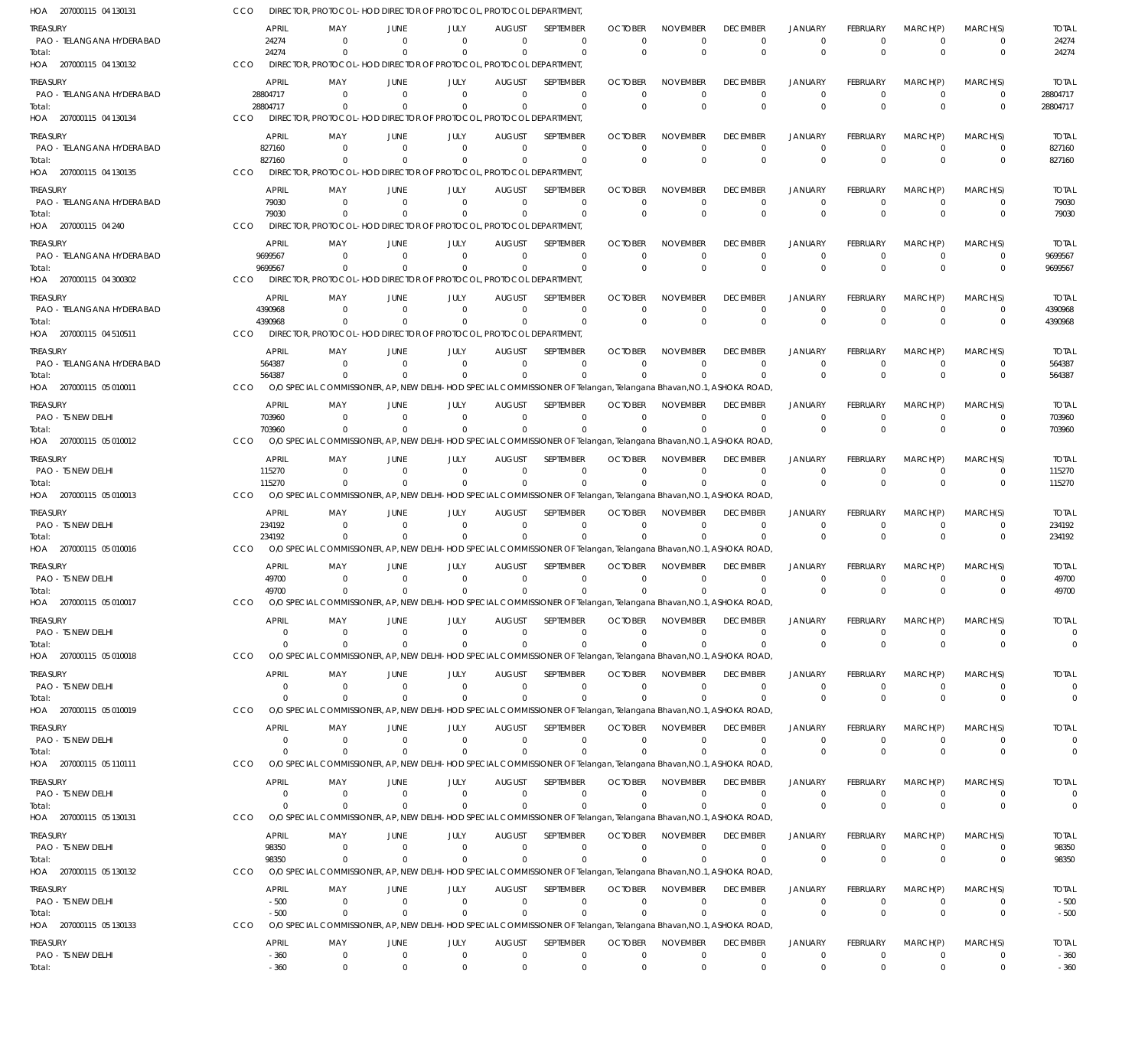| HOA 207000115 04 130131                      | CCO                      | DIRECTOR, PROTOCOL-HOD DIRECTOR OF PROTOCOL, PROTOCOL DEPARTMENT                                                              |                                  |                                                             |                                |                            |                               |                                |                                 |                               |                         |                            |                             |                             |
|----------------------------------------------|--------------------------|-------------------------------------------------------------------------------------------------------------------------------|----------------------------------|-------------------------------------------------------------|--------------------------------|----------------------------|-------------------------------|--------------------------------|---------------------------------|-------------------------------|-------------------------|----------------------------|-----------------------------|-----------------------------|
| <b>TREASURY</b>                              | <b>APRIL</b>             | MAY                                                                                                                           | JUNE                             | JULY                                                        | <b>AUGUST</b>                  | SEPTEMBER                  | <b>OCTOBER</b>                | <b>NOVEMBER</b>                | <b>DECEMBER</b>                 | <b>JANUARY</b>                | FEBRUARY                | MARCH(P)                   | MARCH(S)                    | <b>TOTAL</b>                |
| PAO - TELANGANA HYDERABAD<br>Total:          | 24274<br>24274           | $\mathbf{0}$<br>$\Omega$                                                                                                      | $\Omega$<br>$\Omega$             | $\mathbf 0$<br>$\Omega$                                     | $\mathbf 0$<br>$\Omega$        | $\mathbf 0$<br>$\Omega$    | -0<br>$\Omega$                | $\mathbf 0$<br>$\mathbf 0$     | 0<br>$\Omega$                   | $\mathbf 0$<br>$\Omega$       | $\Omega$<br>$\Omega$    | $\overline{0}$<br>$\Omega$ | $\mathbf 0$<br>$\mathbf 0$  | 24274<br>24274              |
| HOA 207000115 04 130132                      | CCO                      | DIRECTOR, PROTOCOL-HOD DIRECTOR OF PROTOCOL, PROTOCOL DEPARTMENT,                                                             |                                  |                                                             |                                |                            |                               |                                |                                 |                               |                         |                            |                             |                             |
| TREASURY                                     | <b>APRIL</b>             | MAY                                                                                                                           | <b>JUNE</b>                      | JULY                                                        | <b>AUGUST</b>                  | SEPTEMBER                  | <b>OCTOBER</b>                | <b>NOVEMBER</b>                | <b>DECEMBER</b>                 | <b>JANUARY</b>                | FEBRUARY                | MARCH(P)                   | MARCH(S)                    | <b>TOTAL</b>                |
| PAO - TELANGANA HYDERABAD                    | 28804717                 | $\Omega$                                                                                                                      | $\Omega$                         | $\Omega$                                                    | $\Omega$                       | $\Omega$                   | $\Omega$                      | $\Omega$                       | $\Omega$                        | $\Omega$                      | $\Omega$                | $\Omega$                   | $\mathbf 0$                 | 28804717                    |
| Total:<br>HOA 207000115 04 130134            | 28804717<br>CCO          | $\Omega$<br>DIRECTOR, PROTOCOL                                                                                                | $\Omega$                         | $\Omega$<br>-HOD DIRECTOR OF PROTOCOL, PROTOCOL DEPARTMENT, | $\Omega$                       | $\Omega$                   | $\Omega$                      | $\Omega$                       | $\Omega$                        | $\Omega$                      | $\Omega$                | $\Omega$                   | $\mathbf 0$                 | 28804717                    |
|                                              |                          |                                                                                                                               |                                  |                                                             |                                |                            |                               |                                |                                 |                               |                         |                            |                             |                             |
| TREASURY<br>PAO - TELANGANA HYDERABAD        | <b>APRIL</b><br>827160   | MAY<br>$\mathbf{0}$                                                                                                           | <b>JUNE</b><br>$\overline{0}$    | JULY<br>$\mathbf 0$                                         | <b>AUGUST</b><br>$\mathbf 0$   | SEPTEMBER<br>$\mathbf 0$   | <b>OCTOBER</b><br>$\mathbf 0$ | <b>NOVEMBER</b><br>$\mathbf 0$ | <b>DECEMBER</b><br>$\mathbf 0$  | <b>JANUARY</b><br>$\mathbf 0$ | FEBRUARY<br>$\Omega$    | MARCH(P)<br>$\Omega$       | MARCH(S)<br>$\mathbf 0$     | <b>TOTAL</b><br>827160      |
| Total:                                       | 827160                   | $\Omega$                                                                                                                      | $\Omega$                         | $\Omega$                                                    | $\Omega$                       | $\mathbf 0$                | $\Omega$                      | $\mathbf 0$                    | $\Omega$                        | $\Omega$                      | $\Omega$                | $\Omega$                   | $\mathbf 0$                 | 827160                      |
| HOA 207000115 04 130135                      | CCO                      | DIRECTOR, PROTOCOL-HOD DIRECTOR OF PROTOCOL, PROTOCOL DEPARTMENT,                                                             |                                  |                                                             |                                |                            |                               |                                |                                 |                               |                         |                            |                             |                             |
| <b>TREASURY</b><br>PAO - TELANGANA HYDERABAD | <b>APRIL</b><br>79030    | MAY<br>$\Omega$                                                                                                               | <b>JUNE</b><br>$\Omega$          | JULY<br>$\Omega$                                            | <b>AUGUST</b><br>$\Omega$      | SEPTEMBER<br>$\mathbf 0$   | <b>OCTOBER</b><br>$\Omega$    | <b>NOVEMBER</b><br>0           | <b>DECEMBER</b><br>$\mathbf 0$  | <b>JANUARY</b><br>$\Omega$    | FEBRUARY<br>$\Omega$    | MARCH(P)<br>$\Omega$       | MARCH(S)<br>$\mathbf 0$     | <b>TOTAL</b><br>79030       |
| Total:                                       | 79030                    | $\Omega$                                                                                                                      | $\Omega$                         | $\Omega$                                                    | $\Omega$                       | $\Omega$                   | $\Omega$                      | $\Omega$                       | $\Omega$                        | $\Omega$                      | $\Omega$                | $\Omega$                   | $\mathbf 0$                 | 79030                       |
| HOA 207000115 04 240                         | CCO                      | DIRECTOR, PROTOCOL-HOD DIRECTOR OF PROTOCOL, PROTOCOL DEPARTMENT,                                                             |                                  |                                                             |                                |                            |                               |                                |                                 |                               |                         |                            |                             |                             |
| treasury                                     | <b>APRIL</b>             | MAY                                                                                                                           | <b>JUNE</b>                      | JULY                                                        | <b>AUGUST</b>                  | SEPTEMBER                  | <b>OCTOBER</b>                | <b>NOVEMBER</b>                | <b>DECEMBER</b>                 | <b>JANUARY</b>                | FEBRUARY                | MARCH(P)                   | MARCH(S)                    | <b>TOTAL</b>                |
| PAO - TELANGANA HYDERABAD<br>Total:          | 9699567<br>9699567       | $\overline{0}$<br>$\mathbf 0$                                                                                                 | $\overline{0}$<br>$\Omega$       | $\mathbf 0$<br>$\Omega$                                     | $\overline{0}$<br>$\mathbf{0}$ | $\mathbf 0$<br>$\mathbf 0$ | -0<br>$\Omega$                | $\mathbf 0$<br>$\Omega$        | $\mathbf 0$<br>$\Omega$         | $\mathbf 0$<br>$\Omega$       | $\Omega$<br>$\Omega$    | $\overline{0}$<br>$\Omega$ | $\mathbf 0$<br>$\mathbf{0}$ | 9699567<br>9699567          |
| HOA 207000115 04 300302                      | CCO                      | DIRECTOR, PROTOCOL-HOD DIRECTOR OF PROTOCOL, PROTOCOL DEPARTMENT,                                                             |                                  |                                                             |                                |                            |                               |                                |                                 |                               |                         |                            |                             |                             |
| TREASURY                                     | <b>APRIL</b>             | MAY                                                                                                                           | <b>JUNE</b>                      | JULY                                                        | <b>AUGUST</b>                  | SEPTEMBER                  | <b>OCTOBER</b>                | <b>NOVEMBER</b>                | <b>DECEMBER</b>                 | <b>JANUARY</b>                | FEBRUARY                | MARCH(P)                   | MARCH(S)                    | <b>TOTAL</b>                |
| PAO - TELANGANA HYDERABAD                    | 4390968                  | $\Omega$                                                                                                                      | $\Omega$                         | $\Omega$                                                    | $\Omega$                       | $\mathbf 0$                | $\Omega$                      | $\mathbf 0$                    | $\Omega$                        | $\mathbf 0$                   | $\Omega$                | $\Omega$                   | 0                           | 4390968                     |
| Total:<br>HOA 207000115 04 510511            | 4390968<br><b>CCO</b>    | $\Omega$<br>DIRECTOR, PROTOCOL-HOD DIRECTOR OF PROTOCOL, PROTOCOL DEPARTMENT,                                                 | $\Omega$                         | $\Omega$                                                    | $\Omega$                       | $\Omega$                   | $\Omega$                      | $\Omega$                       | $\Omega$                        | $\Omega$                      | $\Omega$                | $\Omega$                   | $\Omega$                    | 4390968                     |
|                                              | <b>APRIL</b>             | MAY                                                                                                                           | JUNE                             | JULY                                                        | <b>AUGUST</b>                  | SEPTEMBER                  | <b>OCTOBER</b>                | <b>NOVEMBER</b>                | <b>DECEMBER</b>                 | <b>JANUARY</b>                | FEBRUARY                | MARCH(P)                   | MARCH(S)                    | <b>TOTAL</b>                |
| TREASURY<br>PAO - TELANGANA HYDERABAD        | 564387                   | $\overline{0}$                                                                                                                | $\Omega$                         | $\mathbf 0$                                                 | $\mathbf{0}$                   | $\mathbf 0$                | $\Omega$                      | $\mathbf 0$                    | $\overline{0}$                  | $\Omega$                      | $\Omega$                | $\Omega$                   | $\mathbf 0$                 | 564387                      |
| Total:                                       | 564387                   | $\Omega$                                                                                                                      |                                  | $\Omega$                                                    | $\mathbf 0$                    | $\mathbf 0$                | $\Omega$                      | $\Omega$                       | $\Omega$                        | $\Omega$                      | $\Omega$                | $\Omega$                   | $\mathbf{0}$                | 564387                      |
| HOA 207000115 05 010011                      | CCO                      | O/O SPECIAL COMMISSIONER, AP, NEW DELHI-HOD SPECIAL COMMISSIONER OF Telangan, Telangana Bhavan, NO.1, ASHOKA ROAD,            |                                  |                                                             |                                |                            |                               |                                |                                 |                               |                         |                            |                             |                             |
| <b>TREASURY</b><br>PAO - TS NEW DELHI        | <b>APRIL</b><br>703960   | MAY<br>$\Omega$                                                                                                               | <b>JUNE</b><br>$\overline{0}$    | JULY<br>$\Omega$                                            | <b>AUGUST</b><br>$\Omega$      | SEPTEMBER<br>$\mathbf 0$   | <b>OCTOBER</b><br>$\Omega$    | <b>NOVEMBER</b><br>$\Omega$    | <b>DECEMBER</b><br>$\mathbf{0}$ | <b>JANUARY</b><br>$\Omega$    | FEBRUARY<br>$\Omega$    | MARCH(P)<br>$\Omega$       | MARCH(S)<br>$\mathbf 0$     | <b>TOTAL</b><br>703960      |
| Total:                                       | 703960                   | $\Omega$                                                                                                                      | $\Omega$                         | $\Omega$                                                    | $\Omega$                       | $\Omega$                   | $\Omega$                      | $\Omega$                       | $\Omega$                        | $\Omega$                      | $\Omega$                | $\Omega$                   | $\mathbf 0$                 | 703960                      |
| HOA 207000115 05 010012                      | CCO                      | O/O SPECIAL COMMISSIONER, AP, NEW DELHI-HOD SPECIAL COMMISSIONER OF Telangan, Telangana Bhavan, NO.1, ASHOKA ROAD             |                                  |                                                             |                                |                            |                               |                                |                                 |                               |                         |                            |                             |                             |
| <b>TREASURY</b>                              | <b>APRIL</b>             | MAY                                                                                                                           | JUNE                             | JULY                                                        | <b>AUGUST</b>                  | SEPTEMBER                  | <b>OCTOBER</b>                | <b>NOVEMBER</b>                | <b>DECEMBER</b>                 | <b>JANUARY</b>                | FEBRUARY                | MARCH(P)                   | MARCH(S)                    | <b>TOTAL</b>                |
| PAO - TS NEW DELHI<br>Total:                 | 115270<br>115270         | $\mathbf 0$<br>$\Omega$                                                                                                       | $\Omega$<br>$\Omega$             | $\Omega$<br>$\Omega$                                        | $\mathbf 0$<br>$\mathbf{0}$    | $\mathbf 0$<br>$\mathbf 0$ | $\Omega$<br>$\Omega$          | $\mathbf 0$<br>$\Omega$        | $\overline{0}$<br>$\Omega$      | $\mathbf 0$<br>$\Omega$       | $\Omega$                | $\Omega$<br>$\Omega$       | $\mathbf 0$<br>$\mathbf{0}$ | 115270<br>115270            |
| HOA 207000115 05 010013                      | CCO                      | O/O SPECIAL COMMISSIONER, AP, NEW DELHI-HOD SPECIAL COMMISSIONER OF Telangan, Telangana Bhavan, NO.1, ASHOKA ROAD             |                                  |                                                             |                                |                            |                               |                                |                                 |                               |                         |                            |                             |                             |
| TREASURY                                     | <b>APRIL</b>             | MAY                                                                                                                           | <b>JUNE</b>                      | JULY                                                        | <b>AUGUST</b>                  | SEPTEMBER                  | <b>OCTOBER</b>                | <b>NOVEMBER</b>                | <b>DECEMBER</b>                 | <b>JANUARY</b>                | FEBRUARY                | MARCH(P)                   | MARCH(S)                    | <b>TOTAL</b>                |
| PAO - TS NEW DELHI                           | 234192                   | $\Omega$                                                                                                                      | $\overline{0}$                   | $\Omega$                                                    | $\Omega$                       | $\mathbf 0$                | $\Omega$                      | $\Omega$                       | $\Omega$                        | $\Omega$                      | $\Omega$                | $\Omega$                   | $\mathbf 0$                 | 234192                      |
| Total:<br>HOA 207000115 05 010016            | 234192<br>CCO            | $\Omega$<br>O/O SPECIAL COMMISSIONER, AP, NEW DELHI-HOD SPECIAL COMMISSIONER OF Telangan, Telangana Bhavan, NO.1, ASHOKA ROAD | $\Omega$                         | $\Omega$                                                    | $\Omega$                       | $\Omega$                   | $\Omega$                      | $\Omega$                       | $\Omega$                        | $\Omega$                      | $\Omega$                | $\Omega$                   | $\Omega$                    | 234192                      |
| TREASURY                                     | <b>APRIL</b>             | MAY                                                                                                                           | JUNE                             | JULY                                                        | <b>AUGUST</b>                  | SEPTEMBER                  | <b>OCTOBER</b>                | <b>NOVEMBER</b>                | <b>DECEMBER</b>                 | <b>JANUARY</b>                | FEBRUARY                | MARCH(P)                   | MARCH(S)                    | <b>TOTAL</b>                |
| PAO - TS NEW DELHI                           | 49700                    | $\Omega$                                                                                                                      | $\Omega$                         | $\Omega$                                                    | $\Omega$                       | $\mathbf 0$                | $\Omega$                      | $\mathbf 0$                    | $\Omega$                        | $\Omega$                      | $\Omega$                | $\Omega$                   | 0                           | 49700                       |
| Total:                                       | 49700                    | $\mathbf 0$                                                                                                                   | $\Omega$                         | $\mathbf 0$                                                 | $\mathbf 0$                    | $\mathbf 0$                | $\Omega$                      | $\Omega$                       | $\Omega$                        | $\Omega$                      | $\Omega$                | $\Omega$                   | $\mathbf 0$                 | 49700                       |
| HOA 207000115 05 010017                      | <b>CCO</b>               | O/O SPECIAL COMMISSIONER, AP, NEW DELHI-HOD SPECIAL COMMISSIONER OF Telangan, Telangana Bhavan, NO.1, ASHOKA ROAD             |                                  |                                                             |                                |                            |                               |                                |                                 |                               |                         |                            |                             |                             |
| TREASURY<br>PAO - TS NEW DELHI               | <b>APRIL</b><br>- 0      | MAY<br>$\mathbf{0}$                                                                                                           | JUNE<br>$\Omega$                 | JULY<br>$\Omega$                                            | <b>AUGUST</b><br>$\Omega$      | SEPTEMBER<br>$\Omega$      | <b>OCTOBER</b><br>$\Omega$    | <b>NOVEMBER</b><br>$\Omega$    | <b>DECEMBER</b><br>$^{\circ}$   | JANUARY<br>$\Omega$           | FEBRUARY<br>$\Omega$    | MARCH(P)<br>$^{\circ}$     | MARCH(S)<br>0               | <b>TOTAL</b><br>0           |
| Total:                                       | $\overline{0}$           | $\Omega$                                                                                                                      | $\Omega$                         | $\Omega$                                                    | $\Omega$                       | $\mathbf 0$                | $\Omega$                      | $\Omega$                       | $\mathbf 0$                     | $\mathbf{0}$                  | $\mathbf 0$             | $\mathbf{0}$               | $\mathbf 0$                 | $\Omega$                    |
| HOA 207000115 05 010018                      | <b>CCO</b>               | O/O SPECIAL COMMISSIONER, AP, NEW DELHI-HOD SPECIAL COMMISSIONER OF Telangan, Telangana Bhavan, NO.1, ASHOKA ROAD             |                                  |                                                             |                                |                            |                               |                                |                                 |                               |                         |                            |                             |                             |
| TREASURY                                     | <b>APRIL</b><br>$\Omega$ | MAY<br>$\mathbf{0}$                                                                                                           | JUNE<br>$\overline{0}$           | JULY<br>$\mathbf 0$                                         | <b>AUGUST</b><br>$\mathbf 0$   | SEPTEMBER                  | <b>OCTOBER</b>                | <b>NOVEMBER</b>                | <b>DECEMBER</b>                 | <b>JANUARY</b><br>$\mathbf 0$ | <b>FEBRUARY</b>         | MARCH(P)<br>$\Omega$       | MARCH(S)<br>$\mathbf 0$     | <b>TOTAL</b><br>$\mathbf 0$ |
| PAO - TS NEW DELHI<br>Total:                 | $\Omega$                 | $\Omega$                                                                                                                      | $\Omega$                         | $\Omega$                                                    | $\mathbf{0}$                   | 0<br>$\mathbf 0$           | -0<br>$\Omega$                | 0<br>$\Omega$                  | $\mathbf 0$<br>$\mathbf{0}$     | $\Omega$                      | $\Omega$<br>$\Omega$    | $\Omega$                   | $\mathbf{0}$                | $\mathbf 0$                 |
| HOA 207000115 05 010019                      | <b>CCO</b>               | O/O SPECIAL COMMISSIONER, AP, NEW DELHI-HOD SPECIAL COMMISSIONER OF Telangan, Telangana Bhavan, NO.1, ASHOKA ROAD             |                                  |                                                             |                                |                            |                               |                                |                                 |                               |                         |                            |                             |                             |
| <b>TREASURY</b>                              | <b>APRIL</b>             | MAY                                                                                                                           | <b>JUNE</b>                      | JULY                                                        | <b>AUGUST</b>                  | SEPTEMBER                  | <b>OCTOBER</b>                | <b>NOVEMBER</b>                | <b>DECEMBER</b>                 | <b>JANUARY</b>                | FEBRUARY                | MARCH(P)                   | MARCH(S)                    | <b>TOTAL</b>                |
| PAO - TS NEW DELHI<br>Total:                 | 0<br>$\Omega$            | $\mathbf{0}$<br>$\Omega$                                                                                                      | $\overline{0}$<br>$\Omega$       | $\mathbf 0$<br>$\Omega$                                     | $\Omega$<br>$\Omega$           | 0<br>$\mathbf 0$           | $\Omega$<br>$\Omega$          | $\Omega$<br>$\Omega$           | $\mathbf 0$<br>$\Omega$         | $^{\circ}$<br>$\Omega$        | $\Omega$<br>$\Omega$    | $\Omega$<br>$\Omega$       | $\mathbf 0$<br>$\mathbf{0}$ | $\Omega$<br>$\mathbf 0$     |
| HOA 207000115 05 110111                      | CCO                      | O/O SPECIAL COMMISSIONER, AP, NEW DELHI-HOD SPECIAL COMMISSIONER OF Telangan, Telangana Bhavan, NO.1, ASHOKA ROAD             |                                  |                                                             |                                |                            |                               |                                |                                 |                               |                         |                            |                             |                             |
| <b>TREASURY</b>                              | <b>APRIL</b>             | MAY                                                                                                                           | JUNE                             | JULY                                                        | <b>AUGUST</b>                  | SEPTEMBER                  | <b>OCTOBER</b>                | <b>NOVEMBER</b>                | <b>DECEMBER</b>                 | <b>JANUARY</b>                | FEBRUARY                | MARCH(P)                   | MARCH(S)                    | <b>TOTAL</b>                |
| PAO - TS NEW DELHI                           | $\overline{0}$           | $\mathbf{0}$                                                                                                                  | $\overline{0}$                   | $\mathbf 0$                                                 | $\mathbf 0$                    | $\mathbf 0$                | $\Omega$                      | $\mathbf 0$                    | $\mathbf 0$                     | $\mathbf 0$                   | $\Omega$                | $\Omega$                   | $\mathbf 0$                 | $\mathbf 0$                 |
| Total:<br>HOA 207000115 05 130131            | $\Omega$<br>CCO          | $\Omega$<br>O/O SPECIAL COMMISSIONER, AP, NEW DELHI-HOD SPECIAL COMMISSIONER OF Telangan, Telangana Bhavan, NO.1, ASHOKA ROAD | $\Omega$                         | $\mathbf 0$                                                 | $\mathbf 0$                    | $\mathbf 0$                |                               | $\Omega$                       | $\mathbf 0$                     | $\Omega$                      | $\Omega$                | $\Omega$                   | $\mathbf 0$                 | $\mathbf 0$                 |
| TREASURY                                     | <b>APRIL</b>             | MAY                                                                                                                           | JUNE                             | JULY                                                        | <b>AUGUST</b>                  | SEPTEMBER                  | <b>OCTOBER</b>                | <b>NOVEMBER</b>                | <b>DECEMBER</b>                 | <b>JANUARY</b>                | FEBRUARY                | MARCH(P)                   | MARCH(S)                    | <b>TOTAL</b>                |
| PAO - TS NEW DELHI                           | 98350                    | $\Omega$                                                                                                                      | $\Omega$                         | $\mathbf 0$                                                 | $\mathbf 0$                    | $\mathbf 0$                | $\Omega$                      | $\mathbf 0$                    | $\mathbf 0$                     | $\Omega$                      | $\Omega$                | $\Omega$                   | $\mathbf 0$                 | 98350                       |
| Total:                                       | 98350                    | $\Omega$                                                                                                                      | $\Omega$                         | $\Omega$                                                    | $\Omega$                       | $\mathbf 0$                | $\Omega$                      | $\Omega$                       | $\Omega$                        | $\Omega$                      | $\Omega$                | $\Omega$                   | $\mathbf{0}$                | 98350                       |
| HOA 207000115 05 130132                      | CCO                      | O/O SPECIAL COMMISSIONER, AP, NEW DELHI-HOD SPECIAL COMMISSIONER OF Telangan, Telangana Bhavan, NO.1, ASHOKA ROAD             |                                  |                                                             |                                |                            |                               |                                |                                 |                               |                         |                            |                             |                             |
| <b>TREASURY</b><br>PAO - TS NEW DELHI        | <b>APRIL</b><br>$-500$   | MAY<br>$\mathbf{0}$                                                                                                           | <b>JUNE</b><br>$\overline{0}$    | JULY<br>$\mathbf 0$                                         | <b>AUGUST</b><br>$\mathbf 0$   | SEPTEMBER<br>0             | <b>OCTOBER</b><br>-0          | <b>NOVEMBER</b><br>0           | <b>DECEMBER</b><br>$^{\circ}$   | <b>JANUARY</b><br>0           | <b>FEBRUARY</b>         | MARCH(P)<br>$^{\circ}$     | MARCH(S)<br>0               | <b>TOTAL</b><br>$-500$      |
| Total:                                       | $-500$                   | $\mathbf{0}$                                                                                                                  | $\overline{0}$                   | $\mathbf 0$                                                 | $\mathbf{0}$                   | $\mathbf 0$                | $\Omega$                      | $\Omega$                       | $\mathbf 0$                     | $\Omega$                      | $\Omega$                | $\Omega$                   | $\mathbf{0}$                | $-500$                      |
| HOA 207000115 05 130133                      | <b>CCO</b>               | O/O SPECIAL COMMISSIONER, AP, NEW DELHI-HOD SPECIAL COMMISSIONER OF Telangan, Telangana Bhavan, NO.1, ASHOKA ROAD             |                                  |                                                             |                                |                            |                               |                                |                                 |                               |                         |                            |                             |                             |
| <b>TREASURY</b>                              | <b>APRIL</b>             | MAY                                                                                                                           | JUNE                             | JULY                                                        | <b>AUGUST</b>                  | SEPTEMBER                  | <b>OCTOBER</b>                | <b>NOVEMBER</b>                | <b>DECEMBER</b>                 | <b>JANUARY</b>                | <b>FEBRUARY</b>         | MARCH(P)                   | MARCH(S)                    | <b>TOTAL</b>                |
| PAO - TS NEW DELHI<br>Total:                 | $-360$<br>$-360$         | $\mathbf 0$<br>$\mathbf 0$                                                                                                    | $\overline{0}$<br>$\overline{0}$ | $\mathbf 0$<br>$\Omega$                                     | $\mathbf{0}$<br>$\mathbf{0}$   | $\mathbf 0$<br>$\mathbf 0$ | $\mathbf 0$<br>$\mathbf{0}$   | $\mathbf 0$<br>$\mathbf 0$     | $\mathbf 0$<br>$\mathbf 0$      | $\mathbf 0$<br>$\Omega$       | $\mathbf 0$<br>$\Omega$ | $^{\circ}$<br>$\Omega$     | $\mathbf 0$<br>$\mathbf{0}$ | $-360$<br>$-360$            |
|                                              |                          |                                                                                                                               |                                  |                                                             |                                |                            |                               |                                |                                 |                               |                         |                            |                             |                             |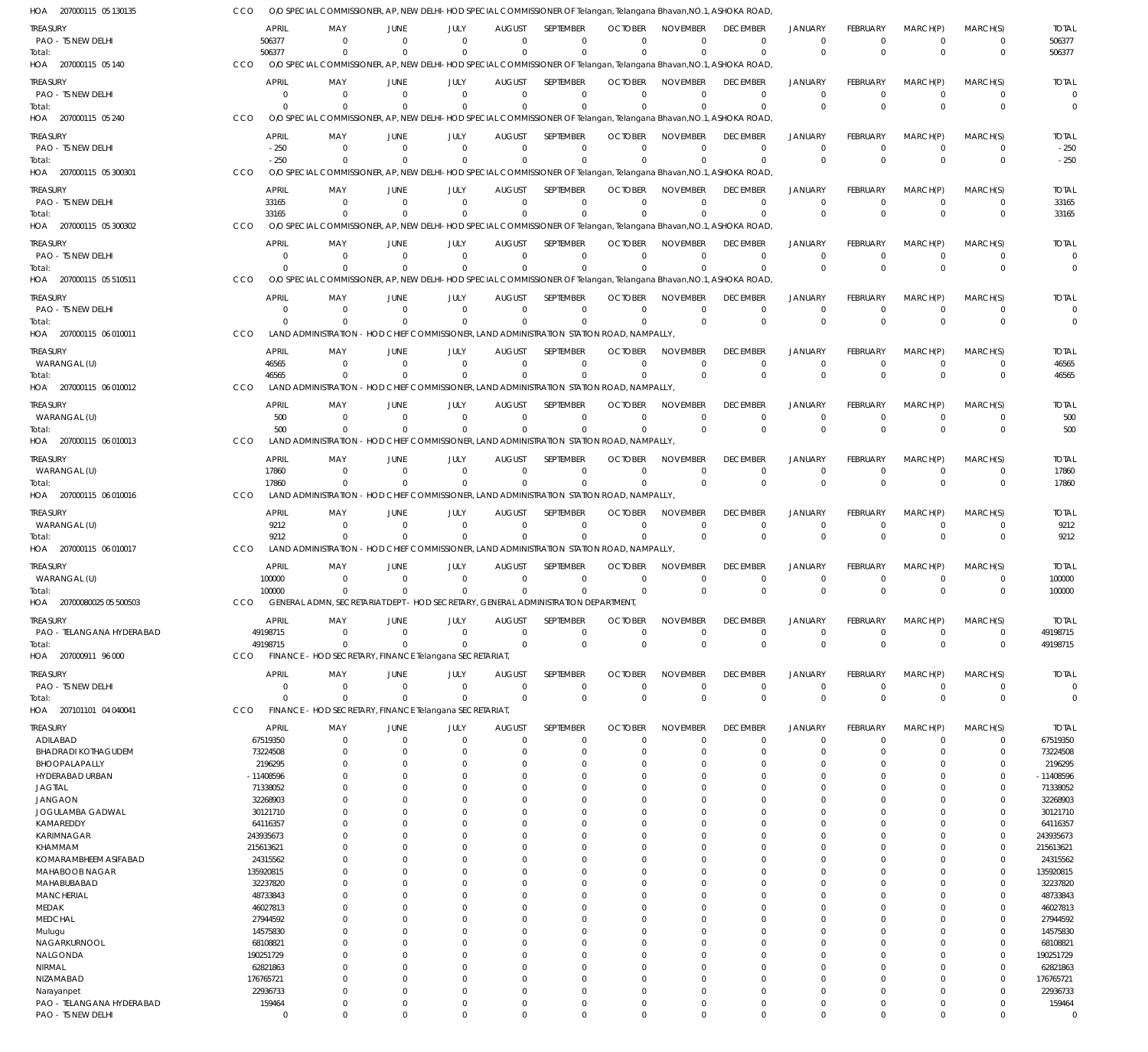| HOA 207000115 05 130135                | CCO                            | O/O SPECIAL COMMISSIONER, AP, NEW DELHI-HOD SPECIAL COMMISSIONER OF Telangan, Telangana Bhavan, NO.1, ASHOKA ROAD             |                            |                         |                           |                                                                                   |                            |                             |                                |                                  |                                |                         |                            |                                |
|----------------------------------------|--------------------------------|-------------------------------------------------------------------------------------------------------------------------------|----------------------------|-------------------------|---------------------------|-----------------------------------------------------------------------------------|----------------------------|-----------------------------|--------------------------------|----------------------------------|--------------------------------|-------------------------|----------------------------|--------------------------------|
| TREASURY<br>PAO - TS NEW DELHI         | <b>APRIL</b><br>506377         | MAY<br>$\Omega$                                                                                                               | JUNE<br>$\Omega$           | JULY<br>$\Omega$        | <b>AUGUST</b><br>$\Omega$ | SEPTEMBER<br>$\mathbf 0$                                                          | <b>OCTOBER</b><br>$\Omega$ | <b>NOVEMBER</b><br>$\Omega$ | <b>DECEMBER</b><br>$\Omega$    | <b>JANUARY</b><br>$\overline{0}$ | FEBRUARY<br>$\mathbf 0$        | MARCH(P)<br>$\mathbf 0$ | MARCH(S)<br>$\overline{0}$ | <b>TOTAL</b><br>506377         |
| Total:<br>HOA 207000115 05 140         | 506377<br><b>CCO</b>           | $\Omega$<br>O/O SPECIAL COMMISSIONER, AP, NEW DELHI-HOD SPECIAL COMMISSIONER OF Telangan, Telangana Bhavan, NO.1, ASHOKA ROAD | $\Omega$                   | $\Omega$                | $\Omega$                  | $\Omega$                                                                          |                            | $\Omega$                    | $\mathbf 0$                    | $\Omega$                         | $\Omega$                       | $\Omega$                | $\mathbf 0$                | 506377                         |
| TREASURY                               | <b>APRIL</b>                   | MAY                                                                                                                           | <b>JUNE</b>                | JULY                    | <b>AUGUST</b>             | SEPTEMBER                                                                         | <b>OCTOBER</b>             | <b>NOVEMBER</b>             | <b>DECEMBER</b>                | <b>JANUARY</b>                   | <b>FEBRUARY</b>                | MARCH(P)                | MARCH(S)                   | <b>TOTAL</b>                   |
| PAO - TS NEW DELHI                     | $\Omega$                       | $\Omega$                                                                                                                      | $\Omega$                   | $\Omega$                | $\Omega$                  | $\Omega$                                                                          | $\Omega$                   | $\Omega$                    | $\Omega$                       | $\Omega$                         | $\Omega$                       | $\Omega$                | $\Omega$                   | 0                              |
| Total:<br>HOA 207000115 05 240         | $\Omega$<br>CCO                | $\Omega$<br>O/O SPECIAL COMMISSIONER, AP, NEW DELHI-HOD SPECIAL COMMISSIONER OF Telangan, Telangana Bhavan, NO.1, ASHOKA ROAD | $\Omega$                   | $\Omega$                | $\Omega$                  | $\Omega$                                                                          |                            | $\Omega$                    | $\overline{0}$                 | $\Omega$                         | $\Omega$                       | $\Omega$                | $\mathbf 0$                | $\mathbf 0$                    |
|                                        | <b>APRIL</b>                   |                                                                                                                               | <b>JUNE</b>                |                         |                           | SEPTEMBER                                                                         |                            | <b>NOVEMBER</b>             | <b>DECEMBER</b>                | <b>JANUARY</b>                   | <b>FEBRUARY</b>                |                         | MARCH(S)                   | <b>TOTAL</b>                   |
| <b>TREASURY</b><br>PAO - TS NEW DELHI  | $-250$                         | MAY<br>$\Omega$                                                                                                               | $\Omega$                   | JULY<br>$\Omega$        | <b>AUGUST</b><br>$\Omega$ | $\mathbf 0$                                                                       | <b>OCTOBER</b><br>$\Omega$ | $\Omega$                    | $\Omega$                       | $\overline{0}$                   | $\mathbf 0$                    | MARCH(P)<br>0           | 0                          | $-250$                         |
| Total:                                 | $-250$                         | $\Omega$                                                                                                                      | $\Omega$                   | $\Omega$                | $\Omega$                  | $\Omega$                                                                          | $\Omega$                   | $\Omega$                    | $\mathbf 0$                    | $\Omega$                         | $\Omega$                       | $\Omega$                | $\mathbf 0$                | $-250$                         |
| HOA 207000115 05 300301                | CCO                            | O/O SPECIAL COMMISSIONER, AP, NEW DELHI-HOD SPECIAL COMMISSIONER OF Telangan, Telangana Bhavan, NO.1, ASHOKA ROAD             |                            |                         |                           |                                                                                   |                            |                             |                                |                                  |                                |                         |                            |                                |
| TREASURY<br>PAO - TS NEW DELHI         | <b>APRIL</b><br>33165          | MAY<br>$\Omega$                                                                                                               | JUNE<br>$\Omega$           | JULY<br>$\Omega$        | <b>AUGUST</b><br>$\Omega$ | SEPTEMBER<br>$\Omega$                                                             | <b>OCTOBER</b><br>$\Omega$ | <b>NOVEMBER</b><br>$\Omega$ | <b>DECEMBER</b><br>$\Omega$    | <b>JANUARY</b><br>$\Omega$       | <b>FEBRUARY</b><br>$\Omega$    | MARCH(P)<br>$\Omega$    | MARCH(S)<br>$\mathbf 0$    | <b>TOTAL</b><br>33165          |
| Total:                                 | 33165                          | $\Omega$                                                                                                                      |                            | $\Omega$                | $\Omega$                  | $\Omega$                                                                          |                            | $\Omega$                    | $\overline{0}$                 | $\Omega$                         | $\Omega$                       | $\Omega$                | $\Omega$                   | 33165                          |
| HOA 207000115 05 300302                | CCO                            | O/O SPECIAL COMMISSIONER, AP, NEW DELHI-HOD SPECIAL COMMISSIONER OF Telangan, Telangana Bhavan, NO.1, ASHOKA ROAD             |                            |                         |                           |                                                                                   |                            |                             |                                |                                  |                                |                         |                            |                                |
| TREASURY<br>PAO - TS NEW DELHI         | <b>APRIL</b><br>$\overline{0}$ | MAY<br>$\mathbf 0$                                                                                                            | <b>JUNE</b><br>$\Omega$    | JULY<br>$\Omega$        | <b>AUGUST</b><br>$\Omega$ | SEPTEMBER<br>$\mathbf 0$                                                          | <b>OCTOBER</b><br>$\Omega$ | <b>NOVEMBER</b><br>$\Omega$ | <b>DECEMBER</b><br>$\Omega$    | <b>JANUARY</b><br>$\overline{0}$ | <b>FEBRUARY</b><br>$\mathbf 0$ | MARCH(P)<br>$\Omega$    | MARCH(S)<br>$\mathbf 0$    | <b>TOTAL</b><br>$\overline{0}$ |
| Total:                                 | $\Omega$                       | $\Omega$                                                                                                                      | $\Omega$                   | $\Omega$                | $\Omega$                  | $\Omega$                                                                          |                            | $\Omega$                    | $\mathbf 0$                    | $\Omega$                         | $\Omega$                       | $\Omega$                | $\mathbf 0$                | $\Omega$                       |
| HOA 207000115 05 510511                | CCO                            | O/O SPECIAL COMMISSIONER, AP, NEW DELHI-HOD SPECIAL COMMISSIONER OF Telangan, Telangana Bhavan, NO.1, ASHOKA ROAD             |                            |                         |                           |                                                                                   |                            |                             |                                |                                  |                                |                         |                            |                                |
| TREASURY                               | <b>APRIL</b>                   | MAY                                                                                                                           | <b>JUNE</b>                | JULY                    | <b>AUGUST</b>             | SEPTEMBER                                                                         | <b>OCTOBER</b>             | <b>NOVEMBER</b>             | <b>DECEMBER</b>                | <b>JANUARY</b>                   | <b>FEBRUARY</b>                | MARCH(P)                | MARCH(S)                   | <b>TOTAL</b>                   |
| PAO - TS NEW DELHI<br>Total:           | $\Omega$<br>$\Omega$           | $\Omega$<br>$\Omega$                                                                                                          | $\Omega$<br>$\Omega$       | $\Omega$<br>$\Omega$    | $\Omega$<br>$\Omega$      | $\Omega$<br>$\Omega$                                                              | $\Omega$<br>$\Omega$       | $\Omega$<br>$\Omega$        | $\mathbf 0$<br>$\Omega$        | $^{\circ}$<br>$\Omega$           | $\Omega$<br>$\Omega$           | $\Omega$<br>$\Omega$    | $\Omega$<br>$\mathbf 0$    | $\mathbf 0$<br>$\mathbf 0$     |
| HOA 207000115 06 010011                | <b>CCO</b>                     | LAND ADMINISTRATION - HOD CHIEF COMMISSIONER, LAND ADMINISTRATION STATION ROAD, NAMPALLY,                                     |                            |                         |                           |                                                                                   |                            |                             |                                |                                  |                                |                         |                            |                                |
| TREASURY                               | <b>APRIL</b>                   | MAY                                                                                                                           | <b>JUNE</b>                | JULY                    | <b>AUGUST</b>             | <b>SEPTEMBER</b>                                                                  | <b>OCTOBER</b>             | <b>NOVEMBER</b>             | <b>DECEMBER</b>                | <b>JANUARY</b>                   | <b>FEBRUARY</b>                | MARCH(P)                | MARCH(S)                   | <b>TOTAL</b>                   |
| WARANGAL (U)<br>Total:                 | 46565<br>46565                 | $\Omega$<br>$\Omega$                                                                                                          | $\Omega$<br>$\Omega$       | $\mathbf 0$<br>$\Omega$ | $\Omega$<br>$\Omega$      | $\mathbf 0$<br>$\Omega$                                                           | $\Omega$<br>$\Omega$       | $\Omega$<br>$\Omega$        | $^{\circ}$<br>$\Omega$         | $^{\circ}$<br>$\Omega$           | $\Omega$<br>$\Omega$           | $\mathbf 0$<br>$\Omega$ | $^{\circ}$<br>$\Omega$     | 46565<br>46565                 |
| HOA 207000115 06 010012                | CCO                            | <b>LAND ADMINISTRATION</b>                                                                                                    |                            |                         |                           | - HOD CHIEF COMMISSIONER, LAND ADMINISTRATION STATION ROAD, NAMPALLY,             |                            |                             |                                |                                  |                                |                         |                            |                                |
| <b>TREASURY</b>                        | APRIL                          | MAY                                                                                                                           | JUNE                       | JULY                    | <b>AUGUST</b>             | SEPTEMBER                                                                         | <b>OCTOBER</b>             | <b>NOVEMBER</b>             | <b>DECEMBER</b>                | <b>JANUARY</b>                   | <b>FEBRUARY</b>                | MARCH(P)                | MARCH(S)                   | <b>TOTAL</b>                   |
| WARANGAL (U)                           | 500                            | $\Omega$                                                                                                                      | $\Omega$                   | $\Omega$                | $\Omega$                  | $\Omega$                                                                          | $\Omega$                   | $\Omega$                    | $\Omega$                       | $^{\circ}$                       | $\Omega$                       | $\Omega$                | 0                          | 500                            |
| Total:<br>HOA 207000115 06 010013      | 500<br><b>CCO</b>              | $\Omega$<br>LAND ADMINISTRATION - HOD CHIEF COMMISSIONER, LAND ADMINISTRATION STATION ROAD, NAMPALLY                          | $\Omega$                   | $\Omega$                | $\Omega$                  | $\Omega$                                                                          | $\Omega$                   | $\Omega$                    | $\Omega$                       | $\Omega$                         | $\Omega$                       | $\Omega$                | $\mathbf 0$                | 500                            |
| TREASURY                               | <b>APRIL</b>                   | MAY                                                                                                                           | <b>JUNE</b>                | JULY                    | <b>AUGUST</b>             | SEPTEMBER                                                                         | <b>OCTOBER</b>             | <b>NOVEMBER</b>             | <b>DECEMBER</b>                | <b>JANUARY</b>                   | <b>FEBRUARY</b>                | MARCH(P)                | MARCH(S)                   | <b>TOTAL</b>                   |
| WARANGAL (U)                           | 17860                          | $\Omega$                                                                                                                      | $\Omega$                   | $\mathbf 0$             | $\Omega$                  | $\mathbf 0$                                                                       | $\Omega$                   | $\Omega$                    | $^{\circ}$                     | $^{\circ}$                       | $\mathbf 0$                    | $\mathbf 0$             | $\mathbf 0$                | 17860                          |
| Total:<br>HOA 207000115 06 010016      | 17860<br>CCO                   | $\Omega$<br><b>LAND ADMINISTRATION</b>                                                                                        | $\Omega$                   | $\Omega$                | $\Omega$                  | $\Omega$<br>- HOD CHIEF COMMISSIONER, LAND ADMINISTRATION STATION ROAD, NAMPALLY, | $\Omega$                   | $\Omega$                    | $\Omega$                       | $\Omega$                         | $\Omega$                       | $\Omega$                | $\Omega$                   | 17860                          |
|                                        | <b>APRIL</b>                   | MAY                                                                                                                           |                            |                         |                           | SEPTEMBER                                                                         | <b>OCTOBER</b>             | <b>NOVEMBER</b>             | <b>DECEMBER</b>                |                                  | <b>FEBRUARY</b>                |                         | MARCH(S)                   |                                |
| <b>TREASURY</b><br>WARANGAL (U)        | 9212                           | $\Omega$                                                                                                                      | JUNE<br>$\Omega$           | JULY<br>$\Omega$        | <b>AUGUST</b><br>$\Omega$ | $\Omega$                                                                          | $\Omega$                   | $\Omega$                    | $\Omega$                       | <b>JANUARY</b><br>$^{\circ}$     | $\Omega$                       | MARCH(P)<br>$\Omega$    | $\Omega$                   | <b>TOTAL</b><br>9212           |
| Total:                                 | 9212                           | $\Omega$                                                                                                                      | $\Omega$                   | $\Omega$                | $\Omega$                  | $\Omega$                                                                          | $\Omega$                   | $\Omega$                    | $\overline{0}$                 | $\Omega$                         | $\Omega$                       | $\Omega$                | $\mathbf{0}$               | 9212                           |
| HOA 207000115 06 010017                | CCO                            | LAND ADMINISTRATION - HOD CHIEF COMMISSIONER, LAND ADMINISTRATION STATION ROAD, NAMPALLY,                                     |                            |                         |                           |                                                                                   |                            |                             |                                |                                  |                                |                         |                            |                                |
| TREASURY<br>WARANGAL (U)               | APRIL<br>100000                | MAY<br>$\Omega$                                                                                                               | JUNE<br>$\Omega$           | JULY<br>0               | <b>AUGUST</b><br>$\Omega$ | SEPTEMBER<br>0                                                                    | <b>OCTOBER</b><br>$\Omega$ | <b>NOVEMBER</b><br>$\Omega$ | <b>DECEMBER</b><br>$^{\circ}$  | <b>JANUARY</b><br>$^{\circ}$     | FEBRUARY<br>$\Omega$           | MARCH(P)<br>$\Omega$    | MARCH(S)<br>0              | <b>TOTAL</b><br>100000         |
| Total:                                 | 100000                         | $\Omega$                                                                                                                      | $\Omega$                   | $\Omega$                | $\Omega$                  | $\Omega$                                                                          | $\Omega$                   | $\Omega$                    | $\mathbf 0$                    | $\Omega$                         | $\Omega$                       | $\Omega$                | $\Omega$                   | 100000                         |
| HOA<br>20700080025 05 500503           | CCO                            | GENERAL ADMN, SECRETARIAT DEPT - HOD SECRETARY, GENERAL ADMINISTRATION DEPARTMENT                                             |                            |                         |                           |                                                                                   |                            |                             |                                |                                  |                                |                         |                            |                                |
| TREASURY<br>PAO - TELANGANA HYDERABAD  | <b>APRIL</b><br>49198715       | MAY<br>$\Omega$                                                                                                               | JUNE<br>$\Omega$           | JULY<br>$\Omega$        | <b>AUGUST</b><br>$\Omega$ | SEPTEMBER<br>$\Omega$                                                             | <b>OCTOBER</b><br>$\Omega$ | <b>NOVEMBER</b><br>$\Omega$ | <b>DECEMBER</b><br>$\mathbf 0$ | <b>JANUARY</b><br>$\overline{0}$ | <b>FEBRUARY</b><br>$\Omega$    | MARCH(P)<br>$\mathbf 0$ | MARCH(S)<br>0              | <b>TOTAL</b><br>49198715       |
| Total:                                 | 49198715                       | $\Omega$                                                                                                                      | $\Omega$                   | $\Omega$                | $\Omega$                  | $\Omega$                                                                          | $\Omega$                   | $\Omega$                    | $\mathbf 0$                    | $\Omega$                         | $\Omega$                       | $\Omega$                | $\mathbf 0$                | 49198715                       |
| HOA 207000911 96 000                   | <b>CCO</b>                     | FINANCE - HOD SECRETARY, FINANCE Telangana SECRETARIAT                                                                        |                            |                         |                           |                                                                                   |                            |                             |                                |                                  |                                |                         |                            |                                |
| TREASURY                               | <b>APRIL</b>                   | MAY                                                                                                                           | JUNE                       | JULY                    | <b>AUGUST</b>             | SEPTEMBER                                                                         | <b>OCTOBER</b>             | <b>NOVEMBER</b>             | <b>DECEMBER</b>                | <b>JANUARY</b>                   | <b>FEBRUARY</b>                | MARCH(P)                | MARCH(S)                   | <b>TOTAL</b>                   |
| PAO - TS NEW DELHI<br>Total:           | $\mathbf 0$<br>$\Omega$        | $\mathbf 0$<br>$\Omega$                                                                                                       | $\overline{0}$<br>$\Omega$ | $\mathbf 0$<br>$\Omega$ | $\Omega$<br>$\Omega$      | $\mathbf 0$<br>$\mathbf{0}$                                                       | $\Omega$<br>$\Omega$       | $\Omega$<br>$\Omega$        | $^{\circ}$<br>$\Omega$         | $\overline{0}$<br>$\Omega$       | $\Omega$<br>$\Omega$           | $\mathbf 0$<br>$\Omega$ | 0<br>$\mathbf 0$           | $\mathbf 0$<br>$\Omega$        |
| HOA 207101101 04 040041                | <b>CCO</b>                     | FINANCE - HOD SECRETARY, FINANCE Telangana SECRETARIAT                                                                        |                            |                         |                           |                                                                                   |                            |                             |                                |                                  |                                |                         |                            |                                |
| TREASURY                               | APRIL                          | MAY                                                                                                                           | <b>JUNE</b>                | JULY                    | <b>AUGUST</b>             | <b>SEPTEMBER</b>                                                                  | <b>OCTOBER</b>             | <b>NOVEMBER</b>             | <b>DECEMBER</b>                | <b>JANUARY</b>                   | <b>FEBRUARY</b>                | MARCH(P)                | MARCH(S)                   | <b>TOTAL</b>                   |
| ADILABAD<br><b>BHADRADI KOTHAGUDEM</b> | 67519350<br>73224508           | $\Omega$<br>0                                                                                                                 | $\Omega$<br>$\Omega$       | $\Omega$<br>$\Omega$    | $\Omega$<br>-0            | $\Omega$<br>$\Omega$                                                              | $\Omega$<br>$\Omega$       | $\Omega$<br>$\Omega$        | $\Omega$<br>$\Omega$           | $\overline{0}$<br>$\overline{0}$ | $\Omega$<br>0                  | $\mathbf 0$<br>$\Omega$ | 0<br>$\mathbf 0$           | 67519350<br>73224508           |
| BHOOPALAPALLY                          | 2196295                        | 0                                                                                                                             | $\Omega$                   | $\Omega$                |                           | $\Omega$                                                                          | $\Omega$                   | $\Omega$                    | $\Omega$                       | $\Omega$                         | U                              | $\Omega$                | $\Omega$                   | 2196295                        |
| HYDERABAD URBAN<br><b>JAGTIAL</b>      | $-11408596$<br>71338052        | O                                                                                                                             | $\Omega$<br>$\Omega$       | $\Omega$<br>$\Omega$    |                           | $\Omega$<br>$\Omega$                                                              | $\sqrt{ }$<br>$\sqrt{ }$   | $\Omega$<br>$\Omega$        | $\Omega$<br>$\Omega$           | $\Omega$<br>$\Omega$             |                                | $\Omega$<br>$\Omega$    | $\Omega$<br>$\Omega$       | $-11408596$<br>71338052        |
| <b>JANGAON</b>                         | 32268903                       |                                                                                                                               | $\Omega$                   | $\Omega$                |                           | $\Omega$                                                                          | $\sqrt{ }$                 | $\Omega$                    | $\Omega$                       | $\Omega$                         |                                | $\Omega$                | 0                          | 32268903                       |
| JOGULAMBA GADWAL                       | 30121710                       |                                                                                                                               | C                          | $\Omega$                |                           | $\Omega$                                                                          | $\sqrt{ }$                 | $\Omega$                    | $\Omega$                       | $\Omega$                         |                                | $\Omega$                | 0                          | 30121710                       |
| KAMAREDDY<br>KARIMNAGAR                | 64116357<br>243935673          |                                                                                                                               | C<br>$\Omega$              | ſ<br>$\Omega$           |                           | $\Omega$<br>$\Omega$                                                              | $\sqrt{ }$                 | $\Omega$<br>$\Omega$        | $\Omega$                       | $\Omega$<br>$\Omega$             |                                | $\Omega$<br>$\Omega$    | $\Omega$<br>$\Omega$       | 64116357<br>243935673          |
| KHAMMAM                                | 215613621                      |                                                                                                                               | C                          | $\Omega$                |                           | $\Omega$                                                                          | $\sqrt{ }$                 | $\Omega$                    | $\Omega$                       | $\Omega$                         |                                | $\Omega$                | $\Omega$                   | 215613621                      |
| KOMARAMBHEEM ASIFABAD                  | 24315562                       |                                                                                                                               | C                          | $\Omega$                |                           | $\Omega$                                                                          | $\sqrt{ }$                 | $\Omega$                    | $\Omega$                       | $\Omega$                         |                                | $\Omega$                | $\Omega$                   | 24315562                       |
| MAHABOOB NAGAR<br>MAHABUBABAD          | 135920815<br>32237820          |                                                                                                                               | C<br>$\Omega$              | ſ<br>$\Omega$           |                           | $\Omega$<br>$\Omega$                                                              | $\sqrt{ }$<br>$\sqrt{ }$   | $\Omega$<br>$\Omega$        | $\Omega$<br>$\Omega$           | $\Omega$<br>$\Omega$             |                                | $\Omega$<br>$\Omega$    | $\Omega$<br>$\Omega$       | 135920815<br>32237820          |
| <b>MANCHERIAL</b>                      | 48733843                       |                                                                                                                               | C                          | ſ                       |                           | $\Omega$                                                                          | $\sqrt{ }$                 | $\Omega$                    | $\Omega$                       | $\Omega$                         |                                | U                       | 0                          | 48733843                       |
| <b>MEDAK</b>                           | 46027813                       |                                                                                                                               | $\Omega$                   | $\Omega$                |                           | $\Omega$                                                                          | $\sqrt{ }$                 | $\Omega$                    | $\Omega$                       | $\Omega$                         |                                | $\Omega$                | 0                          | 46027813                       |
| <b>MEDCHAL</b>                         | 27944592<br>14575830           |                                                                                                                               | C<br>C                     | $\Omega$<br>$\Omega$    |                           | $\Omega$<br>$\Omega$                                                              | $\sqrt{ }$<br>$\sqrt{ }$   | $\Omega$<br>$\Omega$        | $\Omega$<br>$\Omega$           | $\Omega$<br>$\Omega$             |                                | $\Omega$<br>$\Omega$    | 0<br>0                     | 27944592<br>14575830           |
| Mulugu<br>NAGARKURNOOL                 | 68108821                       |                                                                                                                               | C                          | $\Omega$                |                           | $\Omega$                                                                          | $\sqrt{ }$                 | $\Omega$                    | $\Omega$                       | $\Omega$                         |                                | $\Omega$                | 0                          | 68108821                       |
| NALGONDA                               | 190251729                      |                                                                                                                               | $\Omega$                   | $\Omega$                |                           | $\Omega$                                                                          | $\sqrt{ }$                 | $\Omega$                    | $\Omega$                       | $\Omega$                         |                                | $\Omega$                | $\Omega$                   | 190251729                      |
| NIRMAL                                 | 62821863                       |                                                                                                                               | C                          | ſ                       |                           | $\Omega$                                                                          |                            | $\Omega$                    |                                | $\Omega$                         |                                | $\Omega$                | $\Omega$                   | 62821863                       |
| NIZAMABAD<br>Narayanpet                | 176765721<br>22936733          |                                                                                                                               | $\Omega$<br>$\Omega$       | $\Omega$<br>$\Omega$    |                           | $\Omega$<br>$\Omega$                                                              | $\Omega$<br>$\Omega$       | $\Omega$<br>$\Omega$        | $\Omega$<br>$\Omega$           | $\Omega$<br>$\Omega$             |                                | $\Omega$<br>$\Omega$    | $\Omega$<br>$\Omega$       | 176765721<br>22936733          |
| PAO - TELANGANA HYDERABAD              | 159464                         | 0                                                                                                                             | $\Omega$                   | $\Omega$                | $\Omega$                  | $\Omega$                                                                          | $\Omega$                   | $\Omega$                    | $\Omega$                       | $\overline{0}$                   | 0                              | $\Omega$                | 0                          | 159464                         |
| PAO - TS NEW DELHI                     | $\mathbf 0$                    | $\Omega$                                                                                                                      | $\Omega$                   | $\Omega$                | $\Omega$                  | $\Omega$                                                                          | $\Omega$                   | $\Omega$                    | $\Omega$                       | $\Omega$                         | $\Omega$                       | $\Omega$                | $\mathbf 0$                | $\mathbf 0$                    |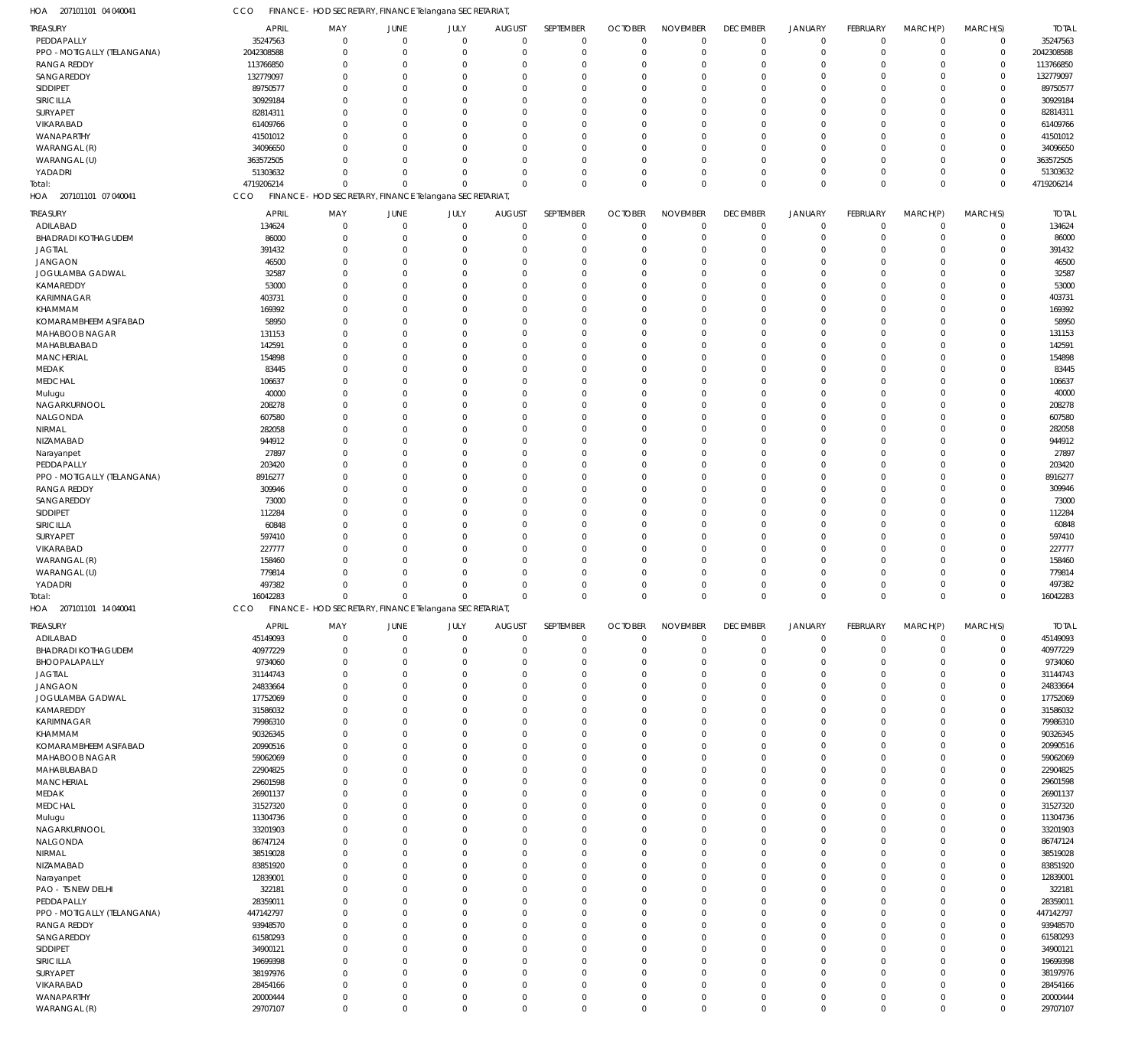| <b>TREASURY</b><br>PEDDAPALLY |                      |                            |                                                        |                            |                            |                            |                            |                            |                            |                            |                            |                            |                            |                      |
|-------------------------------|----------------------|----------------------------|--------------------------------------------------------|----------------------------|----------------------------|----------------------------|----------------------------|----------------------------|----------------------------|----------------------------|----------------------------|----------------------------|----------------------------|----------------------|
|                               | <b>APRIL</b>         | MAY                        | JUNE                                                   | JULY                       | <b>AUGUST</b>              | SEPTEMBER                  | <b>OCTOBER</b>             | <b>NOVEMBER</b>            | <b>DECEMBER</b>            | <b>JANUARY</b>             | FEBRUARY                   | MARCH(P)                   | MARCH(S)                   | <b>TOTAL</b>         |
|                               | 35247563             | $\overline{0}$             | $\mathbf 0$                                            | $\mathbf 0$                | $\mathbf 0$                | $\mathbf 0$                | $\mathbf 0$                | $\mathbf 0$                | $\mathbf 0$                | $\mathbf 0$                | $\mathbf 0$                | $\mathbf 0$                | $\mathbf 0$                | 35247563             |
|                               |                      |                            |                                                        |                            |                            |                            |                            |                            |                            |                            |                            |                            |                            |                      |
| PPO - MOTIGALLY (TELANGANA)   | 2042308588           | $\overline{0}$             | $\mathbf 0$                                            | $\mathbf 0$                | $\mathbf 0$                | $\mathbf 0$                | $\mathbf 0$                | $\mathbf 0$                | $\mathbf 0$                | $\mathbf 0$                | $\mathbf 0$                | $\Omega$                   | $\mathbf 0$                | 2042308588           |
| <b>RANGA REDDY</b>            | 113766850            | $\mathbf 0$                | $\Omega$                                               | $\Omega$                   | $\mathbf 0$                | $^{\circ}$                 | $\mathbf 0$                | 0                          | $\mathbf 0$                | $\Omega$                   | $\Omega$                   | $\Omega$                   | $\mathbf 0$                | 113766850            |
| SANGAREDDY                    | 132779097            | $\mathbf 0$                | $\Omega$                                               | $\mathbf 0$                | $\mathbf 0$                | $\Omega$                   | $\mathbf 0$                | $\mathbf 0$                | $\mathbf 0$                | $\Omega$                   | $\Omega$                   | $\Omega$                   | $\mathbf 0$                | 132779097            |
|                               |                      |                            |                                                        |                            |                            |                            |                            |                            |                            |                            |                            |                            |                            |                      |
| SIDDIPET                      | 89750577             | $\mathbf 0$                | $\Omega$                                               | $\Omega$                   | $\mathbf 0$                | $\Omega$                   | $\Omega$                   | $\Omega$                   | $\mathbf 0$                | $\Omega$                   | $\Omega$                   | $\Omega$                   | $\mathbf 0$                | 89750577             |
| SIRICILLA                     | 30929184             | $\Omega$                   | $\Omega$                                               | $\Omega$                   | $\mathbf 0$                | $\Omega$                   | $\mathbf 0$                | $\Omega$                   | $\Omega$                   | $\Omega$                   | $\Omega$                   | $\Omega$                   | $\mathbf 0$                | 30929184             |
| SURYAPET                      | 82814311             | $\mathbf 0$                | $\Omega$                                               | $\mathbf 0$                | $\mathbf 0$                | $\Omega$                   | $\Omega$                   | $\Omega$                   | $\mathbf 0$                | $\Omega$                   | $\Omega$                   | $\Omega$                   | $\mathbf 0$                | 82814311             |
|                               |                      |                            |                                                        |                            |                            |                            |                            |                            |                            |                            |                            |                            |                            |                      |
| VIKARABAD                     | 61409766             | $\Omega$                   | $\Omega$                                               | $\Omega$                   | $\mathbf 0$                | $\Omega$                   | $\Omega$                   | $\Omega$                   | $\Omega$                   | $\Omega$                   | $\Omega$                   | $\Omega$                   | $\mathbf 0$                | 61409766             |
| WANAPARTHY                    | 41501012             | $\mathbf 0$                | $\Omega$                                               | $\mathbf 0$                | $\mathbf 0$                | $\Omega$                   | $\mathbf 0$                | 0                          | $\mathbf 0$                | $\Omega$                   | $\Omega$                   | $\Omega$                   | $\mathbf 0$                | 41501012             |
| WARANGAL (R)                  |                      | $\Omega$                   | $\Omega$                                               | $\Omega$                   | $\mathbf 0$                |                            |                            | $\Omega$                   | $\mathbf 0$                |                            | $\Omega$                   | $\Omega$                   | $\mathbf 0$                |                      |
|                               | 34096650             |                            |                                                        |                            |                            | $\Omega$                   | $\mathbf 0$                |                            |                            | $\Omega$                   |                            |                            |                            | 34096650             |
| WARANGAL (U)                  | 363572505            | $\Omega$                   | $\Omega$                                               | $\Omega$                   | $\mathbf 0$                | $\Omega$                   | $\Omega$                   | $\Omega$                   | $\Omega$                   | $\Omega$                   | $\Omega$                   | $\Omega$                   | $\mathbf 0$                | 363572505            |
| YADADRI                       | 51303632             | $\Omega$                   | $\mathbf 0$                                            | $\mathbf 0$                | $\mathbf 0$                | $^{\circ}$                 | $\mathbf 0$                | $\mathbf 0$                | $\mathbf 0$                | $\Omega$                   | $\mathbf 0$                | $\Omega$                   | $\mathbf 0$                | 51303632             |
|                               |                      |                            |                                                        |                            |                            |                            |                            |                            |                            |                            |                            |                            |                            |                      |
| Total:                        | 4719206214           | $\mathbf 0$                | $\mathbf 0$                                            | $\mathbf 0$                | $\mathbf 0$                | $\Omega$                   | $\mathbf 0$                | $\mathbf 0$                | $\mathbf 0$                | $\Omega$                   | $\mathbf 0$                | $\Omega$                   | $\mathbf 0$                | 4719206214           |
| 207101101 07 040041<br>HOA    | CCO                  |                            | FINANCE - HOD SECRETARY, FINANCE Telangana SECRETARIAT |                            |                            |                            |                            |                            |                            |                            |                            |                            |                            |                      |
|                               |                      |                            |                                                        |                            |                            |                            |                            |                            |                            |                            |                            |                            |                            |                      |
| <b>TREASURY</b>               | <b>APRIL</b>         | MAY                        | JUNE                                                   | JULY                       | <b>AUGUST</b>              | SEPTEMBER                  | <b>OCTOBER</b>             | <b>NOVEMBER</b>            | <b>DECEMBER</b>            | JANUARY                    | <b>FEBRUARY</b>            | MARCH(P)                   | MARCH(S)                   | <b>TOTAL</b>         |
| ADILABAD                      | 134624               | $\mathbf 0$                | $\mathbf 0$                                            | $\mathbf 0$                | $\mathbf 0$                | $^{\circ}$                 | $\overline{0}$             | $\mathbf 0$                | $\mathbf 0$                | $\mathbf 0$                | $\mathbf 0$                | $\mathbf 0$                | $\mathbf 0$                | 134624               |
|                               |                      |                            |                                                        |                            |                            |                            |                            |                            |                            |                            |                            |                            |                            |                      |
| <b>BHADRADI KOTHAGUDEM</b>    | 86000                | $\overline{0}$             | $\mathbf 0$                                            | $\mathbf 0$                | $\mathbf 0$                | $^{\circ}$                 | $\mathbf 0$                | $\mathbf 0$                | $\mathbf 0$                | $\mathbf 0$                | $\mathbf 0$                | $\Omega$                   | $\mathbf 0$                | 86000                |
| <b>JAGTIAL</b>                | 391432               | $\mathbf 0$                | $\mathbf 0$                                            | $\mathbf 0$                | $\mathbf 0$                | $^{\circ}$                 | $\mathbf 0$                | $\Omega$                   | $\mathbf 0$                | $\Omega$                   | $\Omega$                   | $\Omega$                   | $\mathbf 0$                | 391432               |
| JANGAON                       | 46500                | $\mathbf 0$                | $\mathbf 0$                                            | 0                          | $\mathbf 0$                | $^{\circ}$                 | $\mathbf 0$                | 0                          | $\mathbf 0$                | $\Omega$                   | $\Omega$                   | $\Omega$                   | $\mathbf 0$                | 46500                |
|                               |                      |                            |                                                        |                            |                            |                            |                            |                            |                            |                            |                            |                            |                            |                      |
| JOGULAMBA GADWAL              | 32587                | $\mathbf 0$                | $\mathbf 0$                                            | $\mathbf 0$                | $\mathbf 0$                | -0                         | $\mathbf 0$                | $\Omega$                   | $\mathbf 0$                | $\Omega$                   | $\Omega$                   | $\Omega$                   | $\mathbf 0$                | 32587                |
| KAMAREDDY                     | 53000                | $\mathbf 0$                | $\Omega$                                               | $\Omega$                   | $\mathbf 0$                | $^{\circ}$                 | $\mathbf 0$                | $\Omega$                   | $\Omega$                   | $\Omega$                   | $\Omega$                   | $\Omega$                   | $\mathbf 0$                | 53000                |
|                               |                      | $\mathbf 0$                | $\mathbf 0$                                            | $\mathbf 0$                | $\mathbf 0$                | $^{\circ}$                 | $\mathbf 0$                |                            |                            | $\Omega$                   | $\Omega$                   | $\Omega$                   | $\mathbf 0$                | 403731               |
| KARIMNAGAR                    | 403731               |                            |                                                        |                            |                            |                            |                            | 0                          | $\mathbf 0$                |                            |                            |                            |                            |                      |
| KHAMMAM                       | 169392               | $\mathbf 0$                | $\Omega$                                               | $\Omega$                   | $\mathbf 0$                | $^{\circ}$                 | $\mathbf 0$                | $\Omega$                   | $\mathbf 0$                | $\Omega$                   | $\Omega$                   | $\Omega$                   | $\mathbf 0$                | 169392               |
| KOMARAMBHEEM ASIFABAD         | 58950                | $\mathbf 0$                | $\mathbf 0$                                            | $\mathbf 0$                | $\mathbf 0$                | $^{\circ}$                 | $\mathbf 0$                | $\Omega$                   | $\mathbf 0$                | $\Omega$                   | $\Omega$                   | $\Omega$                   | $\mathbf 0$                | 58950                |
|                               |                      |                            |                                                        |                            |                            |                            |                            |                            |                            |                            |                            |                            |                            |                      |
| <b>MAHABOOB NAGAR</b>         | 131153               | $\mathbf 0$                | $\Omega$                                               | $\mathbf 0$                | $\mathbf 0$                | $^{\circ}$                 | $\mathbf 0$                | $\Omega$                   | $\mathbf 0$                | $\Omega$                   | $\Omega$                   | $\Omega$                   | $\mathbf 0$                | 131153               |
| MAHABUBABAD                   | 142591               | $\mathbf 0$                | $\Omega$                                               | $\mathbf 0$                | $\mathbf 0$                | $^{\circ}$                 | $\mathbf 0$                | $\Omega$                   | $\mathbf 0$                | $\Omega$                   | $\Omega$                   | $\Omega$                   | $\mathbf 0$                | 142591               |
| <b>MANCHERIAL</b>             | 154898               | $\mathbf 0$                | $\mathbf 0$                                            | $\mathbf 0$                | $\mathbf 0$                | $^{\circ}$                 | $\mathbf 0$                | $\Omega$                   | $\mathbf 0$                | $\Omega$                   | $\Omega$                   | $\Omega$                   | $\mathbf 0$                | 154898               |
|                               |                      |                            |                                                        |                            |                            |                            |                            |                            |                            |                            |                            |                            |                            |                      |
| MEDAK                         | 83445                | $\mathbf 0$                | $\mathbf 0$                                            | $\mathbf 0$                | $\mathbf 0$                | $^{\circ}$                 | $\mathbf 0$                | $\Omega$                   | $\mathbf 0$                | $\Omega$                   | $\Omega$                   | $\Omega$                   | $\mathbf 0$                | 83445                |
| <b>MEDCHAL</b>                | 106637               | $\mathbf 0$                | $\Omega$                                               | $\Omega$                   | $\mathbf 0$                | $^{\circ}$                 | $\mathbf 0$                | $\Omega$                   | $\Omega$                   | $\Omega$                   | $\Omega$                   | $\Omega$                   | $\mathbf 0$                | 106637               |
|                               |                      |                            |                                                        |                            | $\mathbf 0$                |                            |                            |                            |                            |                            | $\Omega$                   |                            | $\mathbf 0$                |                      |
| Mulugu                        | 40000                | $\mathbf 0$                | $\mathbf 0$                                            | $\mathbf 0$                |                            | $^{\circ}$                 | $\mathbf 0$                | 0                          | $\mathbf 0$                | $\Omega$                   |                            | $\Omega$                   |                            | 40000                |
| NAGARKURNOOL                  | 208278               | $\mathbf 0$                | $\Omega$                                               | $\Omega$                   | $\mathbf 0$                | $^{\circ}$                 | $\mathbf 0$                | $\Omega$                   | $\mathbf 0$                | $\Omega$                   | $\Omega$                   | $\Omega$                   | $\Omega$                   | 208278               |
| NALGONDA                      | 607580               | $\mathbf 0$                | $\mathbf 0$                                            | $\mathbf 0$                | $\mathbf 0$                | $^{\circ}$                 | $\mathbf 0$                | $\Omega$                   | $\mathbf 0$                | $\Omega$                   | $\Omega$                   | $\Omega$                   | $\mathbf 0$                | 607580               |
|                               |                      |                            |                                                        |                            |                            |                            |                            |                            |                            |                            |                            |                            |                            |                      |
| NIRMAL                        | 282058               | $\mathbf 0$                | $\Omega$                                               | $\mathbf 0$                | $\mathbf 0$                | $^{\circ}$                 | $\mathbf 0$                | $\Omega$                   | $\mathbf 0$                | $\Omega$                   | $\Omega$                   | $\Omega$                   | $\mathbf 0$                | 282058               |
| NIZAMABAD                     | 944912               | $\mathbf 0$                | $\Omega$                                               | $\mathbf 0$                | $\mathbf 0$                | $^{\circ}$                 | $\mathbf 0$                | $\Omega$                   | $\mathbf 0$                | $\Omega$                   | $\Omega$                   | $\Omega$                   | $\mathbf 0$                | 944912               |
|                               | 27897                | $\mathbf 0$                | $\mathbf 0$                                            | $\mathbf 0$                | $\mathbf 0$                | $^{\circ}$                 | $\mathbf 0$                | $\Omega$                   | $\mathbf 0$                | $\Omega$                   | $\Omega$                   | $\Omega$                   | $\mathbf 0$                | 27897                |
| Narayanpet                    |                      |                            |                                                        |                            |                            |                            |                            |                            |                            |                            |                            |                            |                            |                      |
| PEDDAPALLY                    | 203420               | $\mathbf 0$                | $\Omega$                                               | $\mathbf 0$                | $\mathbf 0$                | $^{\circ}$                 | $\mathbf 0$                | $\Omega$                   | $\mathbf 0$                | $\Omega$                   | $\Omega$                   | $\Omega$                   | $\mathbf 0$                | 203420               |
| PPO - MOTIGALLY (TELANGANA)   | 8916277              | $\mathbf 0$                | $\Omega$                                               | $\Omega$                   | $\mathbf 0$                | $^{\circ}$                 | $\mathbf 0$                | $\Omega$                   | $\mathbf 0$                | $\Omega$                   | $\Omega$                   | $\Omega$                   | $\mathbf 0$                | 8916277              |
|                               |                      |                            |                                                        |                            |                            |                            |                            |                            |                            |                            |                            |                            |                            |                      |
| <b>RANGA REDDY</b>            | 309946               | $\mathbf 0$                | $\mathbf 0$                                            | $\mathbf 0$                | $\mathbf 0$                | $^{\circ}$                 | $\mathbf 0$                | 0                          | $\mathbf 0$                | $\Omega$                   | $\Omega$                   | $\Omega$                   | $\mathbf 0$                | 309946               |
| SANGAREDDY                    | 73000                | $\mathbf 0$                | $\Omega$                                               | $\Omega$                   | $\mathbf 0$                | $^{\circ}$                 | $\mathbf 0$                | $\Omega$                   | $\mathbf 0$                | $\Omega$                   | $\Omega$                   | $\Omega$                   | $\mathbf 0$                | 73000                |
| SIDDIPET                      | 112284               | $\mathbf 0$                | $\mathbf 0$                                            | $\mathbf 0$                | $\mathbf 0$                | $^{\circ}$                 | $\mathbf 0$                | $\Omega$                   | $\mathbf 0$                | $\Omega$                   | $\Omega$                   | $\Omega$                   | $\mathbf 0$                | 112284               |
|                               |                      |                            |                                                        |                            |                            |                            |                            |                            |                            |                            |                            |                            |                            |                      |
| SIRICILLA                     | 60848                | $\mathbf 0$                | $\Omega$                                               | $\mathbf 0$                | $\mathbf 0$                | $^{\circ}$                 | $\mathbf 0$                | $\Omega$                   | $\mathbf 0$                | $\Omega$                   | $\Omega$                   | $\Omega$                   | $\mathbf 0$                | 60848                |
| SURYAPET                      | 597410               | $\mathbf 0$                | $\Omega$                                               | $\mathbf 0$                | $\mathbf 0$                | $^{\circ}$                 | $\mathbf 0$                | $\Omega$                   | $\mathbf 0$                | $\Omega$                   | $\Omega$                   | $\Omega$                   | $\mathbf 0$                | 597410               |
| VIKARABAD                     | 227777               | $\mathbf 0$                | $\mathbf 0$                                            | $\mathbf 0$                | $\mathbf 0$                | $^{\circ}$                 | $\mathbf 0$                | 0                          | $\mathbf 0$                | $\Omega$                   | $\Omega$                   | $\Omega$                   | $\mathbf 0$                | 227777               |
|                               |                      |                            |                                                        |                            |                            |                            |                            |                            |                            |                            |                            |                            |                            |                      |
| WARANGAL (R)                  | 158460               | $\Omega$                   | $\mathbf 0$                                            | $\mathbf 0$                | $\mathbf 0$                | -0                         | $\mathbf 0$                | $\Omega$                   | $\mathbf 0$                | $\Omega$                   | $\Omega$                   | $\Omega$                   | $\mathbf 0$                | 158460               |
| WARANGAL (U)                  | 779814               | $\Omega$                   | $\mathbf 0$                                            | $\mathbf 0$                | $\mathbf 0$                | $^{\circ}$                 | $\mathbf 0$                | $\Omega$                   | $\mathbf 0$                | $\Omega$                   | $\Omega$                   | $\Omega$                   | $\mathbf 0$                | 779814               |
|                               |                      |                            | $\mathbf 0$                                            |                            | $\mathbf 0$                |                            |                            |                            |                            |                            |                            |                            |                            |                      |
| YADADRI                       | 497382               | $\Omega$                   |                                                        |                            |                            |                            |                            | $\Omega$                   | $\mathbf 0$                | $\Omega$                   | $\mathbf 0$                | $\Omega$                   | $\mathbf 0$                |                      |
| Total:                        |                      |                            |                                                        | $\mathbf 0$                |                            | -0                         | $\mathbf 0$                |                            |                            |                            |                            | $\Omega$                   |                            | 497382               |
|                               | 16042283             | $\mathbf 0$                | $\mathbf 0$                                            | $\mathbf 0$                | $\mathbf 0$                | $\Omega$                   | $\mathbf 0$                | $\Omega$                   | $\mathbf 0$                | $\Omega$                   | $\mathbf 0$                |                            | $\mathbf 0$                | 16042283             |
|                               |                      |                            |                                                        |                            |                            |                            |                            |                            |                            |                            |                            |                            |                            |                      |
| HOA 207101101 14 040041       | CCO                  |                            | FINANCE - HOD SECRETARY, FINANCE Telangana SECRETARIAT |                            |                            |                            |                            |                            |                            |                            |                            |                            |                            |                      |
|                               |                      |                            |                                                        |                            |                            |                            |                            |                            |                            |                            |                            |                            |                            |                      |
| TREASURY                      | <b>APRIL</b>         | MAY                        | JUNE                                                   | JULY                       | <b>AUGUST</b>              | SEPTEMBER                  | <b>OCTOBER</b>             | <b>NOVEMBER</b>            | <b>DECEMBER</b>            | <b>JANUARY</b>             | FEBRUARY                   | MARCH(P)                   | MARCH(S)                   | <b>TOTAL</b>         |
| ADILABAD                      | 45149093             | $\overline{0}$             | $\mathbf 0$                                            | $\mathbf 0$                | $\mathbf 0$                | $\mathbf 0$                | $\mathbf 0$                | $\mathbf 0$                | $\mathbf 0$                | $\mathbf 0$                | $\mathbf 0$                | $\mathbf 0$                | $\mathbf 0$                | 45149093             |
|                               |                      |                            |                                                        |                            |                            |                            |                            |                            |                            |                            |                            | $\Omega$                   |                            |                      |
| <b>BHADRADI KOTHAGUDEM</b>    | 40977229             | $\mathbf 0$                | $\mathbf 0$                                            | $\mathbf 0$                | $\mathbf 0$                | $\mathbf 0$                | $\mathbf 0$                | $\mathbf 0$                | $\mathbf 0$                | $\mathbf 0$                | $\mathbf 0$                |                            | $\mathbf 0$                | 40977229             |
| BHOOPALAPALLY                 | 9734060              | $\mathbf 0$                | $\Omega$                                               | $\mathbf 0$                | $\mathbf 0$                | $^{\circ}$                 | $\mathbf 0$                | $\mathbf 0$                | $\mathbf 0$                | $\Omega$                   | $\Omega$                   | $\Omega$                   | $\mathbf 0$                | 9734060              |
| <b>JAGTIAL</b>                | 31144743             | $\mathbf 0$                | $\mathbf 0$                                            | $\mathbf 0$                | $\mathbf 0$                | $^{\circ}$                 | $\mathbf 0$                | $\mathbf 0$                | $\mathbf 0$                | $\Omega$                   | $\mathbf 0$                | $\Omega$                   | $\mathbf 0$                | 31144743             |
|                               |                      |                            | $\Omega$                                               | $\Omega$                   |                            | $\Omega$                   |                            |                            |                            | $\Omega$                   | $\Omega$                   | $\Omega$                   |                            |                      |
| <b>JANGAON</b>                | 24833664             | $\mathbf 0$                |                                                        |                            | $\mathbf 0$                |                            | $\mathbf 0$                | $\mathbf 0$                | $\mathbf 0$                |                            |                            |                            | $\mathbf 0$                | 24833664             |
| JOGULAMBA GADWAL              | 17752069             | $\mathbf 0$                | $\Omega$                                               | $\Omega$                   | $\mathbf 0$                | $\Omega$                   | $\mathbf 0$                | $\mathbf 0$                | $\mathbf 0$                | $\Omega$                   | $\Omega$                   | $\Omega$                   | $\mathbf 0$                | 17752069             |
| KAMAREDDY                     | 31586032             | $\mathbf 0$                | $\Omega$                                               | $\mathbf 0$                | $\mathbf 0$                | $^{\circ}$                 | $\mathbf 0$                | $\mathbf 0$                | $\mathbf 0$                | $\Omega$                   | $\Omega$                   | $\Omega$                   | $\mathbf 0$                | 31586032             |
|                               |                      |                            |                                                        |                            |                            |                            |                            |                            |                            |                            |                            | $\Omega$                   |                            |                      |
| KARIMNAGAR                    | 79986310             | $\mathbf 0$                | $\Omega$                                               | $\Omega$                   | $\mathbf 0$                | $\Omega$                   | $\mathbf 0$                | $\Omega$                   | $\mathbf 0$                | $\Omega$                   | $\mathbf 0$                |                            | $\mathbf 0$                | 79986310             |
| KHAMMAM                       | 90326345             | $\mathbf 0$                | $\Omega$                                               | $\mathbf 0$                | $\mathbf 0$                | $^{\circ}$                 | $\mathbf 0$                | $\mathbf 0$                | $\mathbf 0$                | $\Omega$                   | $\Omega$                   | $\Omega$                   | $\mathbf 0$                | 90326345             |
| KOMARAMBHEEM ASIFABAD         | 20990516             | $\mathbf 0$                | $\Omega$                                               | $\Omega$                   | $\mathbf 0$                | $\mathbf 0$                | $\mathbf 0$                | $\mathbf 0$                | $\mathbf 0$                | $\Omega$                   | $\mathbf 0$                | $\Omega$                   | $\mathbf 0$                | 20990516             |
|                               |                      |                            |                                                        |                            |                            |                            |                            |                            |                            |                            |                            |                            |                            |                      |
| MAHABOOB NAGAR                | 59062069             | $\mathbf 0$                | $\Omega$                                               | $\Omega$                   | $\mathbf 0$                | $\Omega$                   | $\mathbf 0$                | $\Omega$                   | $\mathbf 0$                | $\Omega$                   | $\Omega$                   | $\Omega$                   | $\mathbf 0$                | 59062069             |
| MAHABUBABAD                   | 22904825             | $\mathbf 0$                | $\Omega$                                               | $\mathbf 0$                | $\mathbf 0$                | $^{\circ}$                 | $\mathbf 0$                | $\mathbf 0$                | $\mathbf 0$                | $\Omega$                   | $\mathbf 0$                | $\Omega$                   | $\mathbf 0$                | 22904825             |
|                               |                      |                            |                                                        |                            |                            |                            |                            |                            |                            |                            |                            | $\Omega$                   |                            |                      |
| <b>MANCHERIAL</b>             | 29601598             | $\mathbf 0$                | $\Omega$                                               | $\Omega$                   | $\mathbf 0$                | $\Omega$                   | $\mathbf 0$                | $\mathbf 0$                | $\mathbf 0$                | $\Omega$                   | $\Omega$                   |                            | $\mathbf 0$                | 29601598             |
| MEDAK                         | 26901137             | $\mathbf 0$                | $\Omega$                                               | $\Omega$                   | $\mathbf 0$                | $^{\circ}$                 | $\mathbf 0$                | $\mathbf 0$                | $\mathbf 0$                | $\Omega$                   | $\Omega$                   | $\Omega$                   | $\mathbf 0$                | 26901137             |
| MEDCHAL                       | 31527320             | $\mathbf 0$                | $\Omega$                                               | $\mathbf 0$                | $\mathbf 0$                | $^{\circ}$                 | $\mathbf 0$                | $\mathbf 0$                | $\mathbf 0$                | $\Omega$                   | $\Omega$                   | $\Omega$                   | $\mathbf 0$                | 31527320             |
|                               |                      |                            |                                                        |                            |                            |                            |                            |                            |                            |                            |                            |                            |                            |                      |
| Mulugu                        | 11304736             | $\mathbf 0$                | $\Omega$                                               | $\Omega$                   | $\mathbf 0$                | $\Omega$                   | $\mathbf 0$                | $\Omega$                   | $\mathbf 0$                | $\Omega$                   | $\mathbf 0$                | $\Omega$                   | $\mathbf 0$                | 11304736             |
| NAGARKURNOOL                  | 33201903             | $\mathbf 0$                | $\Omega$                                               | $\mathbf 0$                | $\mathbf 0$                | $^{\circ}$                 | $\mathbf 0$                | $\mathbf 0$                | $\mathbf 0$                | $\Omega$                   | $\Omega$                   | $\Omega$                   | $\mathbf 0$                | 33201903             |
| NALGONDA                      | 86747124             | $\mathbf 0$                | $\Omega$                                               | $\Omega$                   | $\mathbf 0$                | $\mathbf 0$                | $\mathbf 0$                | $\Omega$                   | $\mathbf 0$                | $\Omega$                   | $\Omega$                   | $\Omega$                   | $\mathbf 0$                | 86747124             |
|                               |                      |                            |                                                        |                            |                            |                            |                            |                            |                            |                            |                            |                            |                            |                      |
| NIRMAL                        | 38519028             | $\mathbf 0$                | $\Omega$                                               | $\Omega$                   | $\mathbf 0$                | $\Omega$                   | $\mathbf 0$                | $\Omega$                   | $\mathbf 0$                | $\Omega$                   | $\Omega$                   | $\Omega$                   | $\mathbf 0$                | 38519028             |
| NIZAMABAD                     | 83851920             | $\mathbf 0$                | $\Omega$                                               | $\mathbf 0$                | $\mathbf 0$                | $^{\circ}$                 | $\mathbf 0$                | $\mathbf 0$                | $\mathbf 0$                | $\Omega$                   | $\mathbf 0$                | $\Omega$                   | $\mathbf 0$                | 83851920             |
|                               |                      |                            | $\Omega$                                               | $\Omega$                   |                            | $\Omega$                   |                            |                            |                            | $\Omega$                   | $\Omega$                   | $\Omega$                   |                            |                      |
| Narayanpet                    | 12839001             | $\mathbf 0$                |                                                        |                            | $\mathbf 0$                |                            | $\mathbf 0$                | $\mathbf 0$                | $\mathbf 0$                |                            |                            |                            | $\mathbf 0$                | 12839001             |
| PAO - TS NEW DELHI            | 322181               | $\mathbf 0$                | $\Omega$                                               | $\Omega$                   | $\mathbf 0$                | $^{\circ}$                 | $\mathbf 0$                | $\mathbf 0$                | $\mathbf 0$                | $\Omega$                   | $\Omega$                   | $\Omega$                   | $\mathbf 0$                | 322181               |
| PEDDAPALLY                    | 28359011             | $\mathbf 0$                | $\Omega$                                               | $\mathbf 0$                | $\mathbf 0$                | $^{\circ}$                 | $\mathbf 0$                | $\mathbf 0$                | $\mathbf 0$                | $\Omega$                   | $\Omega$                   | $\Omega$                   | $\mathbf 0$                | 28359011             |
|                               |                      |                            |                                                        |                            |                            |                            |                            |                            |                            |                            |                            |                            |                            |                      |
| PPO - MOTIGALLY (TELANGANA)   | 447142797            | $\mathbf 0$                | $\Omega$                                               | $\Omega$                   | $\mathbf 0$                | $\Omega$                   | $\mathbf 0$                | $\Omega$                   | $\mathbf 0$                | $\Omega$                   | $\mathbf 0$                | $\Omega$                   | $\mathbf 0$                | 447142797            |
| <b>RANGA REDDY</b>            | 93948570             | $\mathbf 0$                | $\Omega$                                               | $\mathbf 0$                | $\mathbf 0$                | $^{\circ}$                 | $\mathbf 0$                | $\mathbf 0$                | $\mathbf 0$                | $\Omega$                   | $\Omega$                   | $\Omega$                   | $\mathbf 0$                | 93948570             |
|                               |                      | $\mathbf 0$                | $\Omega$                                               | $\Omega$                   | $\mathbf 0$                | $\mathbf 0$                | $\mathbf 0$                | $\Omega$                   | $\mathbf 0$                | $\Omega$                   | $\Omega$                   | $\Omega$                   | $\mathbf 0$                |                      |
| SANGAREDDY                    | 61580293             |                            |                                                        |                            |                            |                            |                            |                            |                            |                            |                            |                            |                            | 61580293             |
| <b>SIDDIPET</b>               | 34900121             | $\mathbf 0$                | $\Omega$                                               | $\Omega$                   | $\mathbf 0$                | $\Omega$                   | $\mathbf 0$                | $\Omega$                   | $\mathbf 0$                | $\Omega$                   | $\Omega$                   | $\Omega$                   | $\mathbf 0$                | 34900121             |
| SIRICILLA                     | 19699398             | $\mathbf 0$                | $\Omega$                                               | $\Omega$                   | $\mathbf 0$                | $\mathbf 0$                | $\mathbf 0$                | $\mathbf 0$                | $\mathbf 0$                | $\Omega$                   | $\mathbf 0$                | $\Omega$                   | $\mathbf 0$                | 19699398             |
|                               |                      |                            |                                                        |                            |                            |                            |                            |                            |                            | $\Omega$                   |                            | $\Omega$                   |                            |                      |
| <b>SURYAPET</b>               | 38197976             | $\mathbf 0$                | $\mathbf 0$                                            | $\mathbf 0$                | $\mathbf 0$                | $^{\circ}$                 | $\mathbf 0$                | $\mathbf 0$                | $\mathbf 0$                |                            | $\mathbf 0$                |                            | $\mathbf 0$                | 38197976             |
| VIKARABAD<br>WANAPARTHY       | 28454166<br>20000444 | $\mathbf 0$<br>$\mathbf 0$ | $\mathbf 0$<br>$\mathbf 0$                             | $\mathbf 0$<br>$\mathbf 0$ | $\mathbf 0$<br>$\mathbf 0$ | $\mathbf 0$<br>$\mathbf 0$ | $\mathbf 0$<br>$\mathbf 0$ | $\mathbf 0$<br>$\mathbf 0$ | $\mathbf 0$<br>$\mathsf 0$ | $\mathbf 0$<br>$\mathbf 0$ | $\mathbf 0$<br>$\mathbf 0$ | $\mathbf 0$<br>$\mathbf 0$ | $\mathbf 0$<br>$\mathbf 0$ | 28454166<br>20000444 |

CCO FINANCE - HOD SECRETARY, FINANCE Telangana SECRETARIAT,

207101101 04 040041 HOA

WARANGAL (R)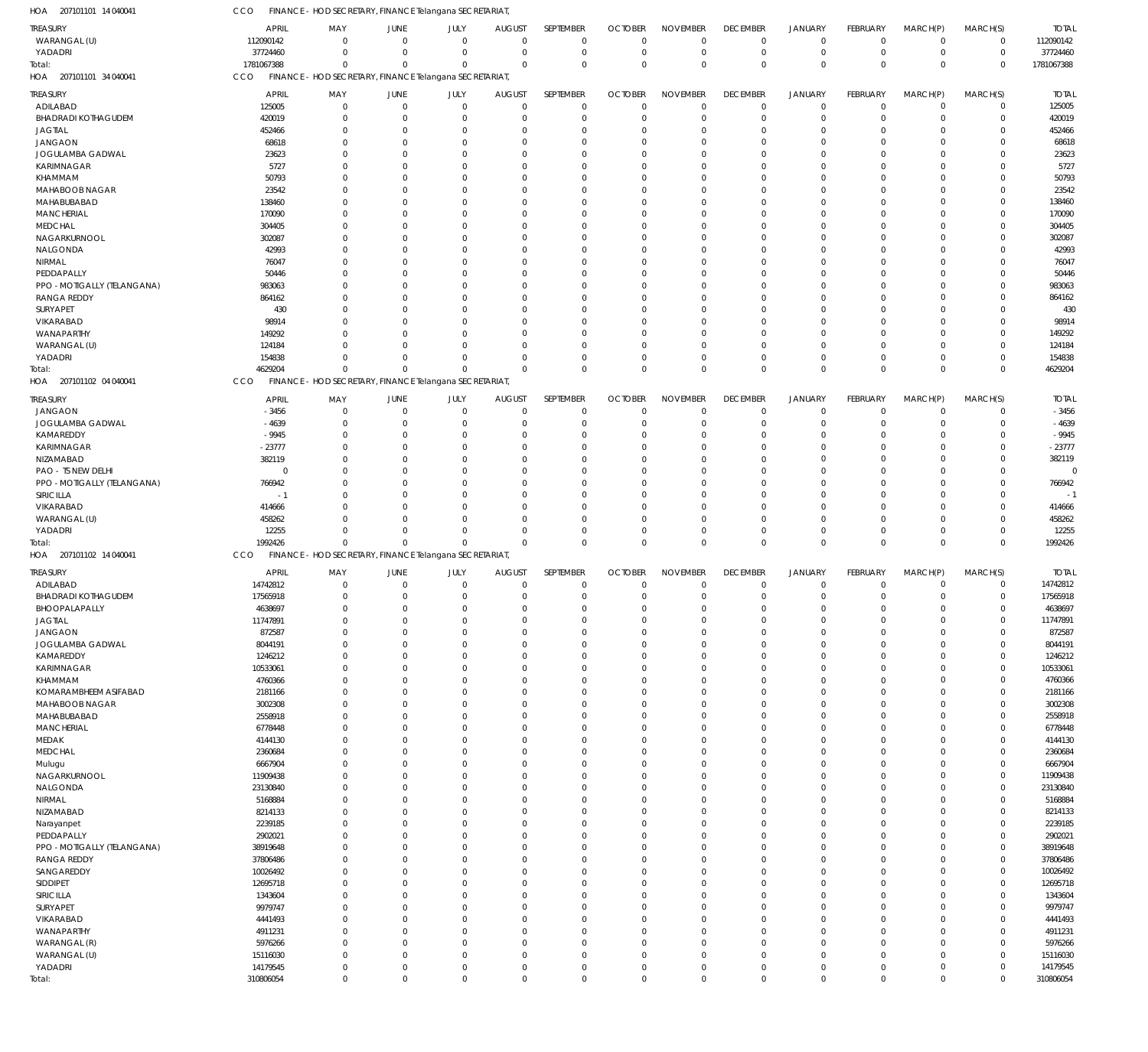| HOA<br>207101101 14 040041                        | CCO                  | FINANCE - HOD SECRETARY, FINANCE Telangana SECRETARIAT |                          |                      |                          |                                  |                         |                                  |                            |                            |                            |                      |                            |                     |
|---------------------------------------------------|----------------------|--------------------------------------------------------|--------------------------|----------------------|--------------------------|----------------------------------|-------------------------|----------------------------------|----------------------------|----------------------------|----------------------------|----------------------|----------------------------|---------------------|
| <b>TREASURY</b>                                   | <b>APRIL</b>         | MAY                                                    | JUNE                     | JULY                 | <b>AUGUST</b>            | SEPTEMBER                        | <b>OCTOBER</b>          | <b>NOVEMBER</b>                  | <b>DECEMBER</b>            | <b>JANUARY</b>             | FEBRUARY                   | MARCH(P)             | MARCH(S)                   | <b>TOTAL</b>        |
| WARANGAL (U)                                      | 112090142            | $\mathbf 0$                                            | $\Omega$                 | $\Omega$             | $\Omega$                 | $\mathbf 0$                      | $\mathbf 0$             | $\overline{0}$                   | $\overline{0}$             | $\overline{0}$             | $\mathbf 0$                | $\mathbf 0$          | $\mathbf 0$                | 112090142           |
| YADADRI                                           | 37724460             | $\mathbf 0$                                            | $\Omega$                 | $\Omega$             | $\Omega$                 | $\mathbf 0$                      | $\mathbf 0$             | $\mathbf 0$                      | $\overline{0}$             | $\mathbf 0$                | $\mathbf 0$                | $\mathbf 0$          | $\mathbf 0$                | 37724460            |
| Total:                                            | 1781067388           | $\mathbf 0$                                            | $\Omega$                 | $\Omega$             | $\mathbf 0$              | $\mathbf 0$                      | $\Omega$                | $\overline{0}$                   | $\mathbf 0$                | $\mathbf 0$                | $\mathbf 0$                | $\Omega$             | $\mathbf 0$                | 1781067388          |
| HOA 207101101 34 040041                           | CCO                  | FINANCE - HOD SECRETARY, FINANCE Telangana SECRETARIAT |                          |                      |                          |                                  |                         |                                  |                            |                            |                            |                      |                            |                     |
| <b>TREASURY</b>                                   | <b>APRIL</b>         | MAY                                                    | JUNE                     | JULY                 | <b>AUGUST</b>            | SEPTEMBER                        | <b>OCTOBER</b>          | <b>NOVEMBER</b>                  | <b>DECEMBER</b>            | <b>JANUARY</b>             | FEBRUARY                   | MARCH(P)             | MARCH(S)                   | <b>TOTAL</b>        |
| ADILABAD                                          | 125005               | $\mathbf 0$                                            | $\mathbf 0$              | $\Omega$             | $^{\circ}$               | $\overline{0}$                   | $\mathbf 0$             | $\overline{0}$                   | $\mathbf 0$                | $\mathbf 0$                | $\mathbf 0$                | 0                    | $\mathbf 0$                | 125005              |
| <b>BHADRADI KOTHAGUDEM</b>                        | 420019               | $\mathbf 0$                                            | $\Omega$<br>$\Omega$     | $\Omega$<br>$\Omega$ | $\Omega$                 | $\overline{0}$<br>$\overline{0}$ | $\mathbf 0$<br>0        | $\overline{0}$<br>$\mathbf 0$    | $\mathbf 0$<br>$\mathbf 0$ | $\mathbf 0$<br>$\mathbf 0$ | $\mathbf 0$                | 0                    | $\mathbf 0$<br>$\mathbf 0$ | 420019              |
| <b>JAGTIAL</b><br><b>JANGAON</b>                  | 452466<br>68618      | $\mathbf 0$<br>$\mathbf 0$                             | $\Omega$                 | $\Omega$             | $\Omega$                 | $\Omega$                         | $\Omega$                | $\overline{0}$                   | $\Omega$                   | $\Omega$                   | 0<br>0                     | 0<br>0               | $\mathbf 0$                | 452466<br>68618     |
| JOGULAMBA GADWAL                                  | 23623                | $\mathbf 0$                                            | C                        | $\Omega$             | $\Omega$                 | $\Omega$                         | 0                       | $\Omega$                         | $\Omega$                   | $\Omega$                   | 0                          | 0                    | $\mathbf 0$                | 23623               |
| <b>KARIMNAGAR</b>                                 | 5727                 | $\Omega$                                               | ſ                        | $\Omega$             |                          | $\Omega$                         | $\Omega$                | $\Omega$                         | $\Omega$                   | $\Omega$                   | $\mathbf 0$                | 0                    | $\mathbf 0$                | 5727                |
| KHAMMAM                                           | 50793                | $\mathbf 0$                                            | ſ                        | $\cap$               | $\Omega$                 | $\Omega$                         | 0                       | $\Omega$                         | 0                          | $\Omega$                   | 0                          | $\Omega$             | $\mathbf 0$                | 50793               |
| MAHABOOB NAGAR                                    | 23542                | $\Omega$                                               | ſ                        | $\Omega$             |                          | $\Omega$                         | $\Omega$                | $\Omega$                         | 0                          | $\Omega$                   | $\Omega$                   | O                    | $\mathbf 0$                | 23542               |
| MAHABUBABAD                                       | 138460               | $\mathbf 0$                                            | ſ                        | $\Omega$             | $\Omega$                 | $\Omega$                         | 0                       | $\mathbf 0$                      | $\Omega$                   | $\Omega$                   | 0                          | O                    | $\mathbf 0$                | 138460              |
| <b>MANCHERIAL</b>                                 | 170090               | $\Omega$                                               | ſ                        | $\Omega$<br>$\Omega$ |                          | $\Omega$                         | $\Omega$                | $\Omega$                         | O                          | $\Omega$                   | 0                          | O                    | $\mathbf 0$                | 170090              |
| <b>MEDCHAL</b><br>NAGARKURNOOL                    | 304405<br>302087     | $\Omega$<br>$\Omega$                                   | ſ<br>ſ                   | $\Omega$             | $\Omega$                 | $\Omega$<br>$\Omega$             | 0<br>$\Omega$           | $\Omega$<br>$\mathbf 0$          | $\Omega$<br>0              | $\Omega$<br>$\Omega$       | 0<br>$\mathbf 0$           | O<br>O               | $\mathbf 0$<br>$\mathbf 0$ | 304405<br>302087    |
| NALGONDA                                          | 42993                | $\Omega$                                               | ſ                        | $\Omega$             |                          | $\Omega$                         | 0                       | $\Omega$                         | 0                          | $\Omega$                   | 0                          | O                    | $\mathbf 0$                | 42993               |
| NIRMAL                                            | 76047                | $\Omega$                                               | ſ                        | $\Omega$             |                          | $\Omega$                         | 0                       | $\Omega$                         | O                          | $\Omega$                   | $\Omega$                   | O                    | $\mathbf 0$                | 76047               |
| PEDDAPALLY                                        | 50446                | $\Omega$                                               | ſ                        | $\Omega$             | $\Omega$                 | $\Omega$                         | 0                       | $\mathbf 0$                      | $\Omega$                   | $\Omega$                   | 0                          | O                    | $\mathbf 0$                | 50446               |
| PPO - MOTIGALLY (TELANGANA)                       | 983063               | $\Omega$                                               | ſ                        | $\Omega$             |                          | $\Omega$                         | $\Omega$                | $\Omega$                         | 0                          | $\Omega$                   | 0                          | O                    | $\mathbf 0$                | 983063              |
| <b>RANGA REDDY</b>                                | 864162               | $\Omega$                                               | ſ                        | $\Omega$             | $\Omega$                 | $\Omega$                         | 0                       | $\Omega$                         | $\Omega$                   | $\Omega$                   | 0                          | O                    | $\mathbf 0$                | 864162              |
| SURYAPET                                          | 430                  | $\Omega$                                               | ſ                        | $\Omega$             |                          | $\Omega$                         | $\Omega$                | $\Omega$                         | $\Omega$                   | $\Omega$                   | $\Omega$                   | O                    | $\mathbf 0$                | 430                 |
| VIKARABAD<br>WANAPARTHY                           | 98914<br>149292      | $\mathbf 0$<br>$\Omega$                                | ſ<br>ſ                   | $\Omega$<br>$\cap$   |                          | $\Omega$<br>$\Omega$             | 0<br>$\Omega$           | $\mathbf 0$<br>$\mathbf 0$       | $\Omega$<br>$\Omega$       | $\Omega$<br>$\Omega$       | 0<br>0                     | O<br>O               | $\mathbf 0$<br>$\mathbf 0$ | 98914<br>149292     |
| WARANGAL (U)                                      | 124184               | $\Omega$                                               | ſ                        | $\Omega$             | $\Omega$                 | $\Omega$                         | 0                       | $\mathbf 0$                      | $\Omega$                   | $\Omega$                   | 0                          | $\Omega$             | $\mathbf 0$                | 124184              |
| YADADRI                                           | 154838               | $\mathbf 0$                                            | $\Omega$                 | $\Omega$             | $\Omega$                 | $\Omega$                         | $\Omega$                | $\overline{0}$                   | $\mathbf 0$                | $\mathbf 0$                | $\mathbf 0$                | $\Omega$             | $\mathbf 0$                | 154838              |
| Total:                                            | 4629204              | $\mathbf 0$                                            |                          | $\Omega$             | $\Omega$                 | $\Omega$                         | $\Omega$                | $\Omega$                         | $\mathbf 0$                | $\Omega$                   | $\mathbf 0$                | $\Omega$             | $\mathbf 0$                | 4629204             |
| HOA 207101102 04 040041                           | CCO                  | FINANCE - HOD SECRETARY, FINANCE Telangana SECRETARIAT |                          |                      |                          |                                  |                         |                                  |                            |                            |                            |                      |                            |                     |
| <b>TREASURY</b>                                   | <b>APRIL</b>         | MAY                                                    | JUNE                     | JULY                 | <b>AUGUST</b>            | SEPTEMBER                        | <b>OCTOBER</b>          | <b>NOVEMBER</b>                  | <b>DECEMBER</b>            | <b>JANUARY</b>             | FEBRUARY                   | MARCH(P)             | MARCH(S)                   | <b>TOTAL</b>        |
| <b>JANGAON</b>                                    | $-3456$              | $\mathbf 0$                                            | $^{\circ}$               | $\Omega$             | $\Omega$                 | $^{\circ}$                       | $\mathbf 0$             | $\overline{0}$                   | $\mathbf 0$                | $\mathbf 0$                | $\mathbf 0$                | $\mathbf 0$          | $\mathbf 0$                | $-3456$             |
| JOGULAMBA GADWAL                                  | $-4639$              | $\mathbf 0$                                            | $\Omega$                 | $\Omega$             | $\Omega$                 | $\overline{0}$                   | $\Omega$                | $\Omega$                         | $\mathbf 0$                | $\mathbf 0$                | $\mathbf 0$                | $\Omega$             | $\mathbf 0$                | $-4639$             |
| KAMAREDDY                                         | $-9945$              | $\Omega$                                               | $\Omega$                 | $\Omega$             | $\Omega$                 | $\Omega$                         | $\Omega$                | $\overline{0}$                   | $\Omega$                   | $\Omega$                   | $\mathbf 0$                | $\Omega$             | $\mathbf 0$                | $-9945$             |
| <b>KARIMNAGAR</b>                                 | $-23777$             | $\Omega$                                               | $\Omega$                 | $\Omega$             | $\Omega$                 | $\Omega$                         | $\Omega$                | $\Omega$                         | $\Omega$                   | $\Omega$                   | $\Omega$                   | O                    | $\mathbf 0$                | $-23777$            |
| NIZAMABAD                                         | 382119               | $\Omega$                                               | $\Omega$                 | $\Omega$             | $\Omega$                 | $\Omega$                         | $\Omega$                | $\Omega$                         | $\Omega$                   | $\Omega$                   | $\Omega$                   | O                    | $\mathbf 0$                | 382119              |
| PAO - TS NEW DELHI<br>PPO - MOTIGALLY (TELANGANA) | $^{\circ}$<br>766942 | $\Omega$<br>$\Omega$                                   | $\Omega$<br>$\Omega$     | $\Omega$<br>$\Omega$ | $\Omega$<br>$\Omega$     | $\Omega$<br>$\Omega$             | $\Omega$<br>$\Omega$    | $\Omega$<br>$\Omega$             | $\Omega$<br>$\Omega$       | $\Omega$<br>$\Omega$       | $\Omega$<br>$\Omega$       | O<br>$\Omega$        | $\mathbf 0$<br>$\mathbf 0$ | 766942              |
| SIRICILLA                                         | $-1$                 | $\Omega$                                               | $\sqrt{ }$               | $\Omega$             | $\Omega$                 | $\Omega$                         | $\Omega$                | $\mathbf 0$                      | $\Omega$                   | $\Omega$                   | $\Omega$                   | O                    | $\mathbf 0$                | $-1$                |
| VIKARABAD                                         | 414666               | $\Omega$                                               | $\Omega$                 | $\Omega$             | $\Omega$                 | $\Omega$                         | $\Omega$                | $\overline{0}$                   | $\Omega$                   | $\Omega$                   | $\mathbf 0$                | $\Omega$             | $\mathbf 0$                | 414666              |
| WARANGAL (U)                                      | 458262               | $\Omega$                                               | $\Omega$                 | $\Omega$             | $\Omega$                 | $\Omega$                         | $\Omega$                | $\Omega$                         | $\Omega$                   | $\Omega$                   | $\Omega$                   | $\Omega$             | $\mathbf 0$                | 458262              |
| YADADRI                                           | 12255                | $\Omega$                                               | $\Omega$                 | $\Omega$             | $\Omega$                 | $\Omega$                         | $\Omega$                | $\overline{0}$                   | $\mathbf 0$                | $\mathbf 0$                | $\mathbf 0$                | $\Omega$             | $\mathbf 0$                | 12255               |
| Total:                                            | 1992426              | $\mathbf 0$                                            | $\Omega$                 | $\Omega$             | $\mathbf 0$              | $\mathbf{0}$                     | $\Omega$                | $\Omega$                         | $\mathbf 0$                | $\mathbf 0$                | $\mathbf 0$                | $\Omega$             | $\mathbf 0$                | 1992426             |
| HOA 207101102 14 040041                           | CCO                  | FINANCE - HOD SECRETARY, FINANCE Telangana SECRETARIAT |                          |                      |                          |                                  |                         |                                  |                            |                            |                            |                      |                            |                     |
| TREASURY                                          | <b>APRIL</b>         | MAY                                                    | JUNE                     | JULY                 | <b>AUGUST</b>            | SEPTEMBER                        | <b>OCTOBER</b>          | <b>NOVEMBER</b>                  | <b>DECEMBER</b>            | <b>JANUARY</b>             | FEBRUARY                   | MARCH(P)             | MARCH(S)                   | <b>TOTAL</b>        |
| ADILABAD                                          | 14742812             | $\mathbf 0$                                            | $\overline{0}$           | $\Omega$             | $^{\circ}$               | $\overline{0}$                   | $\mathbf 0$             | $^{\circ}$                       | $\mathbf 0$                | $\mathbf 0$                | 0                          | 0                    | $\mathbf 0$                | 14742812            |
| <b>BHADRADI KOTHAGUDEM</b>                        | 17565918             | $\mathbf 0$                                            | $\Omega$                 | $\Omega$             | $\Omega$                 | $\mathbf 0$                      | $\mathbf 0$             | $\overline{0}$                   | $\mathbf 0$                | $\overline{0}$             | $\mathbf 0$                | $\mathbf 0$          | $\mathbf 0$                | 17565918            |
| BHOOPALAPALLY<br><b>JAGTIAL</b>                   | 4638697<br>11747891  | $\mathbf 0$<br>$\mathbf 0$                             | $\Omega$                 | $\Omega$             | $\Omega$                 | $^{\circ}$<br>$\mathbf 0$        | $\Omega$<br>$\mathbf 0$ | 0<br>$\overline{0}$              | $\mathbf 0$                | O<br>$\mathbf 0$           | 0<br>$\mathbf 0$           | O<br>0               | $\mathbf 0$<br>$\mathbf 0$ | 4638697<br>11747891 |
| <b>JANGAON</b>                                    | 872587               | $\mathbf 0$                                            | $\Omega$                 | $\Omega$             | $\Omega$                 | $\mathbf 0$                      | $\mathbf 0$             | $\overline{0}$                   | $\mathbf 0$                | $\mathbf 0$                | $\mathbf 0$                | $\Omega$             | $\mathbf 0$                | 872587              |
| JOGULAMBA GADWAL                                  | 8044191              | $\mathbf 0$                                            | $\mathcal{L}$            | $\Omega$             | $\Omega$                 | $\overline{0}$                   | $\overline{0}$          | $\overline{0}$                   | $\Omega$                   | $\mathbf 0$                | $\mathbf 0$                | $\Omega$             | $\mathbf 0$                | 8044191             |
| KAMAREDDY                                         | 1246212              | $\mathbf 0$                                            | $\Omega$                 | $\Omega$             | $\Omega$                 | $\overline{0}$                   | 0                       | $\overline{0}$                   | $\Omega$                   | $\mathbf 0$                | $\mathbf 0$                | 0                    | $\mathbf 0$                | 1246212             |
| <b>KARIMNAGAR</b>                                 | 10533061             | $\mathbf 0$                                            | $\sqrt{ }$               | $\Omega$             | $\Omega$                 | $\overline{0}$                   | $\Omega$                | $\overline{0}$                   | $\Omega$                   | $\Omega$                   | $\mathbf 0$                | $\Omega$             | $\mathbf 0$                | 10533061            |
| KHAMMAM                                           | 4760366              | $\mathbf 0$                                            | $\mathcal{L}$            | $\Omega$             | $\Omega$                 | $\overline{0}$                   | $\Omega$                | $\mathbf 0$                      | $\Omega$                   | $\mathbf 0$                | $\mathbf 0$                | $\Omega$             | $\mathbf 0$                | 4760366             |
| KOMARAMBHEEM ASIFABAD                             | 2181166              | $\mathbf 0$                                            | $\mathcal{L}$            | $\Omega$             |                          | $\overline{0}$                   | 0                       | $\overline{0}$                   | $\Omega$                   | $\mathbf 0$                | $\mathbf 0$                | $\Omega$             | $\mathbf 0$                | 2181166             |
| MAHABOOB NAGAR<br>MAHABUBABAD                     | 3002308<br>2558918   | $\mathbf 0$<br>$\mathbf 0$                             | $\Omega$<br>$\sqrt{ }$   | $\Omega$<br>$\Omega$ | $\Omega$<br>$\Omega$     | $\overline{0}$<br>$\overline{0}$ | $\Omega$<br>$\Omega$    | $\overline{0}$<br>$\mathbf 0$    | $\Omega$<br>$\Omega$       | $\Omega$<br>$\Omega$       | $\mathbf 0$<br>$\mathbf 0$ | $\Omega$<br>$\Omega$ | $\mathbf 0$<br>$\mathbf 0$ | 3002308<br>2558918  |
| <b>MANCHERIAL</b>                                 | 6778448              | $\mathbf 0$                                            | $\Omega$                 | $\Omega$             | $\Omega$                 | $\overline{0}$                   | $\Omega$                | $\overline{0}$                   | $\mathbf 0$                | $\mathbf 0$                | $\mathbf 0$                | 0                    | $\mathbf 0$                | 6778448             |
| MEDAK                                             | 4144130              | $\mathbf 0$                                            | $\sqrt{ }$               | $\Omega$             |                          | $\overline{0}$                   | $\Omega$                | $\overline{0}$                   | $\Omega$                   | $\Omega$                   | $\mathbf 0$                | $\Omega$             | $\mathbf 0$                | 4144130             |
| MEDCHAL                                           | 2360684              | $\mathbf 0$                                            | $\mathcal{L}$            | $\Omega$             | $\Omega$                 | $\overline{0}$                   | $\Omega$                | $\overline{0}$                   | $\Omega$                   | $\Omega$                   | $\mathbf 0$                | $\Omega$             | $\mathbf 0$                | 2360684             |
| Mulugu                                            | 6667904              | $\mathbf 0$                                            | $\mathcal{L}$            | $\Omega$             | $\Omega$                 | $\overline{0}$                   | $\Omega$                | $\overline{0}$                   | $\Omega$                   | $\mathbf 0$                | $\mathbf 0$                | 0                    | $\mathbf 0$                | 6667904             |
| NAGARKURNOOL                                      | 11909438             | $\mathbf 0$                                            | $\Omega$                 | $\Omega$             | $\Omega$                 | $\overline{0}$                   | $\Omega$                | $\overline{0}$                   | $\Omega$                   | $\Omega$                   | $\mathbf 0$                | 0                    | $\mathbf 0$                | 11909438            |
| NALGONDA                                          | 23130840             | $\mathbf 0$                                            | ſ                        | $\Omega$             | <sup>0</sup>             | $\overline{0}$                   | $\Omega$                | $\mathbf 0$                      | $\Omega$                   | $\Omega$                   | $\mathbf 0$                | $\Omega$             | $\mathbf 0$                | 23130840            |
| NIRMAL                                            | 5168884              | $\mathbf 0$                                            | $\Omega$                 | $\Omega$<br>$\Omega$ | $\Omega$                 | $\overline{0}$                   | $\Omega$                | $\overline{0}$                   | $\Omega$                   | $\mathbf 0$                | $\mathbf 0$                | 0                    | $\mathbf 0$                | 5168884             |
| NIZAMABAD<br>Narayanpet                           | 8214133<br>2239185   | $\mathbf 0$<br>$\mathbf 0$                             | $\sqrt{ }$<br>$\sqrt{ }$ | $\Omega$             | $\Omega$<br>$\Omega$     | $\overline{0}$<br>$\overline{0}$ | $\Omega$<br>$\Omega$    | $\overline{0}$<br>$\overline{0}$ | $\Omega$<br>$\Omega$       | $\mathbf 0$<br>$\Omega$    | $\mathbf 0$<br>$\mathbf 0$ | $\Omega$<br>$\Omega$ | $\mathbf 0$<br>$\mathbf 0$ | 8214133<br>2239185  |
| PEDDAPALLY                                        | 2902021              | $\mathbf 0$                                            | $\sqrt{ }$               | $\Omega$             | $\Omega$                 | $\overline{0}$                   | 0                       | $\mathbf 0$                      | $\Omega$                   | $\mathbf 0$                | $\mathbf 0$                | $\Omega$             | $\mathbf 0$                | 2902021             |
| PPO - MOTIGALLY (TELANGANA)                       | 38919648             | $\mathbf 0$                                            | $\Omega$                 | $\Omega$             | $\Omega$                 | $\overline{0}$                   | $\Omega$                | $\overline{0}$                   | $\Omega$                   | $\mathbf 0$                | $\mathbf 0$                | 0                    | $\mathbf 0$                | 38919648            |
| <b>RANGA REDDY</b>                                | 37806486             | $\mathbf 0$                                            | $\sqrt{ }$               | $\Omega$             | $\Omega$                 | $\Omega$                         | $\Omega$                | $\mathbf 0$                      | $\Omega$                   | $\Omega$                   | $\mathbf 0$                | $\Omega$             | $\mathbf 0$                | 37806486            |
| SANGAREDDY                                        | 10026492             | $\mathbf 0$                                            | $\mathcal{L}$            | $\Omega$             | $\Omega$                 | $\overline{0}$                   | $\Omega$                | $\overline{0}$                   | $\Omega$                   | $\mathbf 0$                | $\mathbf 0$                | 0                    | $\mathbf 0$                | 10026492            |
| SIDDIPET                                          | 12695718             | $\mathbf 0$                                            | $\sqrt{ }$               | $\Omega$             |                          | $\overline{0}$                   | $\Omega$                | $\overline{0}$                   | $\Omega$                   | $\mathbf 0$                | $\mathbf 0$                | $\Omega$             | $\mathbf 0$                | 12695718            |
| SIRICILLA                                         | 1343604              | $\mathbf 0$                                            | $\Omega$                 | $\Omega$             | $\Omega$                 | $\overline{0}$                   | $\Omega$                | $\overline{0}$                   | $\Omega$                   | $\Omega$                   | $\mathbf 0$                | $\Omega$             | $\mathbf 0$                | 1343604             |
| SURYAPET                                          | 9979747              | $\mathbf 0$                                            | $\sqrt{ }$               | $\Omega$             | $\Omega$                 | $\overline{0}$                   | $\Omega$                | $\mathbf 0$                      | $\Omega$                   | $\Omega$                   | $\mathbf 0$                | $\Omega$             | $\mathbf 0$                | 9979747             |
| VIKARABAD<br>WANAPARTHY                           | 4441493<br>4911231   | $\mathbf 0$<br>$\mathbf 0$                             | $\Omega$<br>ſ            | $\Omega$<br>$\Omega$ | $\Omega$<br><sup>0</sup> | $\overline{0}$<br>$\overline{0}$ | $\Omega$<br>$\Omega$    | $\overline{0}$<br>$\mathbf 0$    | $\Omega$<br>$\Omega$       | $\mathbf 0$<br>$\Omega$    | $\mathbf 0$<br>$\mathbf 0$ | 0<br>$\Omega$        | $\mathbf 0$<br>$\mathbf 0$ | 4441493<br>4911231  |
| WARANGAL (R)                                      | 5976266              | $\mathbf 0$                                            | $\Omega$                 | $\Omega$             | $\Omega$                 | $\overline{0}$                   | 0                       | $\overline{0}$                   | $\mathbf 0$                | $\mathbf 0$                | $\mathbf 0$                | 0                    | $\mathbf 0$                | 5976266             |
| WARANGAL (U)                                      | 15116030             | $\mathbf 0$                                            | $\Omega$                 | $\Omega$             | $\Omega$                 | $\overline{0}$                   | 0                       | $\overline{0}$                   | $\mathbf 0$                | $\mathbf 0$                | $\mathbf 0$                | $\mathbf 0$          | $\mathbf 0$                | 15116030            |
|                                                   |                      |                                                        |                          |                      |                          |                                  |                         |                                  |                            |                            |                            |                      |                            |                     |
| YADADRI                                           | 14179545             | $\mathbf 0$                                            | $\mathbf 0$              | $\mathbf 0$          | $\mathbf 0$              | $\mathbf 0$                      | $\mathbf 0$             | $\mathbf 0$                      | $\mathbf 0$                | $\mathbf 0$                | $\mathbf 0$                | $\mathbf 0$          | $\mathbf 0$                | 14179545            |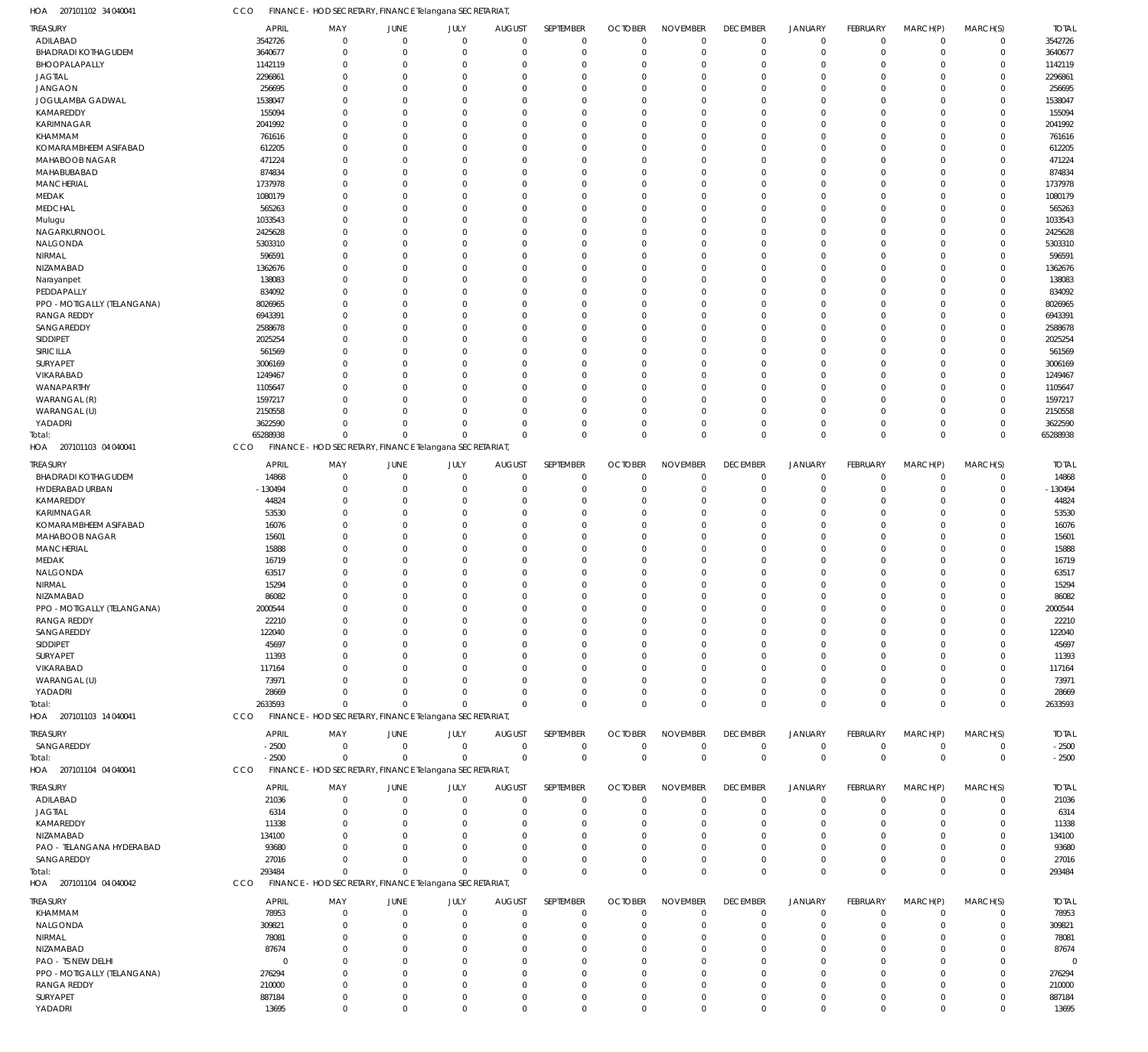207101102 34 040041 HOA CCO FINANCE - HOD SECRETARY, FINANCE Telangana SECRETARIAT,

| TREASURY                                          | <b>APRIL</b>       | MAY                                                    | JUNE                 | JULY                    | <b>AUGUST</b>        | SEPTEMBER               | <b>OCTOBER</b>          | <b>NOVEMBER</b>               | <b>DECEMBER</b>      | JANUARY                 | FEBRUARY             | MARCH(P)         | MARCH(S)                   | <b>TOTAL</b>       |
|---------------------------------------------------|--------------------|--------------------------------------------------------|----------------------|-------------------------|----------------------|-------------------------|-------------------------|-------------------------------|----------------------|-------------------------|----------------------|------------------|----------------------------|--------------------|
| ADILABAD                                          | 3542726            | $\mathsf 0$                                            | $\overline{0}$       | $\mathbf 0$             | $\Omega$             | $\mathbf 0$             | $\mathbf 0$             | $\mathbf 0$                   | $\mathbf 0$          | $\overline{0}$          | $\mathbf 0$          | $\mathbf 0$      | $\mathbf 0$                | 3542726            |
| <b>BHADRADI KOTHAGUDEM</b>                        | 3640677            | $\mathbf 0$                                            | $\Omega$             | $\mathbf 0$             | $\Omega$             | $\Omega$                | $\Omega$                | $\overline{0}$                | $\mathbf 0$          | $\overline{0}$          | $\Omega$             | $\mathbf 0$      | $\mathbf 0$                | 3640677            |
| BHOOPALAPALLY                                     | 1142119            | $\mathbf 0$                                            | $\Omega$             | $\mathbf 0$             |                      | $\Omega$                | $\Omega$                | $\Omega$                      | 0                    | $\overline{0}$          | $\Omega$             | 0                | $\mathbf 0$                | 1142119            |
| <b>JAGTIAL</b>                                    | 2296861            | $\mathbf 0$                                            | $\Omega$             | $\mathbf 0$             |                      | $\Omega$                | $\Omega$                | $\overline{0}$                | 0                    | $\Omega$                | $\Omega$             | $\mathbf 0$      | $\mathbf 0$                | 2296861            |
| <b>JANGAON</b>                                    | 256695             | $\mathbf 0$                                            | $\Omega$             | $\Omega$                |                      | $\Omega$                | $\Omega$                | $\Omega$                      | $\Omega$             | $\Omega$                | $\Omega$             | 0                | $\mathbf 0$                | 256695             |
| JOGULAMBA GADWAL                                  | 1538047            | $\mathbf 0$                                            | $\Omega$             | $\Omega$                |                      | $\Omega$                | $\Omega$                | $\Omega$                      | $\Omega$             | $\Omega$                | U                    | 0                | $\mathbf 0$                | 1538047            |
| KAMAREDDY                                         | 155094             | $\mathbf 0$<br>$\mathbf 0$                             | $\Omega$<br>$\Omega$ | $\Omega$<br>$\Omega$    |                      | $\Omega$<br>$\Omega$    | $\Omega$<br>$\Omega$    | $\Omega$<br>$\Omega$          | $\Omega$<br>$\Omega$ | $\Omega$<br>$\Omega$    | $\Omega$<br>U        | 0                | $\mathbf 0$<br>$\mathbf 0$ | 155094             |
| <b>KARIMNAGAR</b><br>KHAMMAM                      | 2041992<br>761616  | $\mathbf 0$                                            | $\Omega$             | $\Omega$                |                      | $\Omega$                | $\Omega$                | $\Omega$                      | $\Omega$             | $\Omega$                | $\Omega$             | 0<br>$\Omega$    | $\mathbf 0$                | 2041992<br>761616  |
| KOMARAMBHEEM ASIFABAD                             | 612205             | $\mathbf 0$                                            | $\Omega$             | $\Omega$                |                      | $\Omega$                | $\Omega$                | $\Omega$                      | $\Omega$             | $\Omega$                | U                    | 0                | $\mathbf 0$                | 612205             |
| MAHABOOB NAGAR                                    | 471224             | $\mathbf 0$                                            | $\Omega$             | $\Omega$                |                      | $\Omega$                | $\Omega$                | $\Omega$                      | $\Omega$             | $\Omega$                | $\Omega$             | 0                | $\mathbf 0$                | 471224             |
| MAHABUBABAD                                       | 874834             | $\mathbf 0$                                            | 0                    | $\Omega$                |                      | $\Omega$                | $\Omega$                | $\Omega$                      | $\Omega$             | $\Omega$                | U                    | 0                | $\mathbf 0$                | 874834             |
| <b>MANCHERIAL</b>                                 | 1737978            | $\mathbf 0$                                            | $\Omega$             | $\Omega$                |                      | $\Omega$                | $\Omega$                | $\Omega$                      | $\Omega$             | $\Omega$                | $\Omega$             | 0                | $\mathbf 0$                | 1737978            |
| MEDAK                                             | 1080179            | $\mathbf 0$                                            | $\Omega$             | $\Omega$                |                      | $\Omega$                | $\Omega$                | $\Omega$                      | $\Omega$             | $\Omega$                | U                    | 0                | $\mathbf 0$                | 1080179            |
| <b>MEDCHAL</b>                                    | 565263             | $\mathbf 0$                                            | $\Omega$             | $\Omega$                |                      | $\Omega$                | $\Omega$                | $\Omega$                      | $\Omega$             | $\Omega$                | $\Omega$             | $\Omega$         | $\mathbf 0$                | 565263             |
| Mulugu                                            | 1033543            | $\mathbf 0$                                            | 0                    | $\Omega$                |                      | $\Omega$                | $\Omega$                | $\Omega$                      | $\Omega$             | $\Omega$                | $\Omega$             | $\mathbf 0$      | $\mathbf 0$                | 1033543            |
| NAGARKURNOOL                                      | 2425628            | $\mathbf 0$                                            | $\Omega$             | $\Omega$                |                      | $\Omega$                | $\Omega$                | $\Omega$                      | $\Omega$             | $\Omega$                | $\Omega$             | 0                | $\mathbf 0$                | 2425628            |
| NALGONDA                                          | 5303310            | $\mathbf 0$                                            | 0                    | $\Omega$                |                      | $\Omega$                | $\Omega$                | $\Omega$                      | $\Omega$             | $\Omega$                | U                    | 0                | $\mathbf 0$                | 5303310            |
| NIRMAL                                            | 596591             | $\mathbf 0$                                            | $\Omega$             | $\Omega$                |                      | $\Omega$                | $\Omega$                | $\Omega$                      | $\Omega$             | $\Omega$                | $\Omega$             | $\Omega$         | $\mathbf 0$                | 596591             |
| NIZAMABAD                                         | 1362676            | $\mathbf 0$                                            | 0                    | $\Omega$                |                      | $\Omega$                | $\Omega$                | $\Omega$                      | 0                    | $\Omega$                | $\Omega$             | 0                | $\mathbf 0$                | 1362676            |
| Narayanpet                                        | 138083             | $\mathbf 0$                                            | $\Omega$             | $\Omega$                |                      | $\Omega$                | $\Omega$                | $\Omega$                      | $\Omega$             | $\Omega$                | U                    | $\Omega$         | $\mathbf 0$                | 138083             |
| PEDDAPALLY                                        | 834092             | $\mathbf 0$                                            | 0                    | $\Omega$                |                      | $\Omega$                | $\Omega$                | $\Omega$                      | $\Omega$             | $\Omega$                | U                    | 0                | $\mathbf 0$                | 834092             |
| PPO - MOTIGALLY (TELANGANA)                       | 8026965            | $\mathbf 0$                                            | $\Omega$             | $\Omega$                |                      | $\Omega$<br>$\Omega$    | $\Omega$                | $\Omega$                      | $\Omega$             | $\Omega$                | $\Omega$             | 0                | $\mathbf 0$                | 8026965            |
| <b>RANGA REDDY</b><br>SANGAREDDY                  | 6943391            | $\mathbf 0$<br>$\mathbf 0$                             | 0<br>$\Omega$        | $\Omega$<br>$\Omega$    |                      | $\Omega$                | $\Omega$<br>$\Omega$    | $\Omega$<br>$\Omega$          | $\Omega$<br>$\Omega$ | $\Omega$<br>$\Omega$    | U<br>$\Omega$        | 0<br>$\Omega$    | $\mathbf 0$<br>$\mathbf 0$ | 6943391            |
| <b>SIDDIPET</b>                                   | 2588678<br>2025254 | $\mathbf 0$                                            | $\Omega$             | $\Omega$                |                      | $\Omega$                | $\Omega$                | $\Omega$                      | 0                    | $\Omega$                | U                    | 0                | $\mathbf 0$                | 2588678<br>2025254 |
| SIRICILLA                                         | 561569             | $\mathbf 0$                                            | $\Omega$             | $\Omega$                |                      | $\Omega$                | $\Omega$                | $\Omega$                      | $\Omega$             | $\Omega$                | $\Omega$             | $\Omega$         | $\mathbf 0$                | 561569             |
| SURYAPET                                          | 3006169            | $\mathbf 0$                                            | 0                    | $\Omega$                |                      | $\Omega$                | $\Omega$                | $\Omega$                      | $\Omega$             | $\Omega$                | $\Omega$             | 0                | $\mathbf 0$                | 3006169            |
| VIKARABAD                                         | 1249467            | $\mathbf 0$                                            | $\Omega$             | $\Omega$                |                      | $\Omega$                | $\Omega$                | $\Omega$                      | $\Omega$             | $\Omega$                | $\Omega$             | 0                | $\mathbf 0$                | 1249467            |
| WANAPARTHY                                        | 1105647            | $\mathbf 0$                                            | $\Omega$             | $\Omega$                |                      | $\Omega$                | $\Omega$                | $\Omega$                      | $\Omega$             | $\Omega$                | U                    | 0                | $\mathbf 0$                | 1105647            |
| WARANGAL (R)                                      | 1597217            | $\mathbf 0$                                            | $\Omega$             | $\Omega$                |                      | $\Omega$                | $\Omega$                | $\Omega$                      | $\Omega$             | $\Omega$                | $\Omega$             | $\Omega$         | $\mathbf 0$                | 1597217            |
| WARANGAL (U)                                      | 2150558            | $\mathbf 0$                                            | $\Omega$             | $\mathbf 0$             |                      | $\Omega$                | $\Omega$                | $\overline{0}$                | 0                    | $\overline{0}$          | $\Omega$             | $\mathbf 0$      | $\mathbf 0$                | 2150558            |
| YADADRI                                           | 3622590            | $\mathbf 0$                                            | $\Omega$             | $\mathbf 0$             |                      | $\Omega$                | $\Omega$                | $\overline{0}$                | $\mathbf 0$          | $\overline{0}$          | $\Omega$             | $\mathbf 0$      | $\mathbf 0$                | 3622590            |
| Total:                                            | 65288938           | $\mathbf 0$                                            |                      | $\Omega$                | $\Omega$             | $\Omega$                | $\Omega$                | $\mathbf{0}$                  | $\mathbf 0$          | $\overline{0}$          | $\Omega$             | $\mathbf 0$      | $\mathbf 0$                | 65288938           |
| HOA 207101103 04 040041                           | CCO                | FINANCE - HOD SECRETARY, FINANCE Telangana SECRETARIAT |                      |                         |                      |                         |                         |                               |                      |                         |                      |                  |                            |                    |
| <b>TREASURY</b>                                   | <b>APRIL</b>       | MAY                                                    | JUNE                 | JULY                    | <b>AUGUST</b>        | SEPTEMBER               | <b>OCTOBER</b>          | <b>NOVEMBER</b>               | <b>DECEMBER</b>      | JANUARY                 | FEBRUARY             | MARCH(P)         | MARCH(S)                   | <b>TOTAL</b>       |
| <b>BHADRADI KOTHAGUDEM</b>                        | 14868              | $\mathbf 0$                                            | $\mathbf 0$          | $\mathbf 0$             | $\Omega$             | $\Omega$                | $\Omega$                | $\mathbf 0$                   | $\mathbf 0$          | $\overline{0}$          | $\mathbf 0$          | $\mathbf 0$      | $\mathbf 0$                | 14868              |
| HYDERABAD URBAN                                   | -130494            | $\mathbf 0$                                            | 0                    | $\mathbf 0$             | $\Omega$             | $\mathbf 0$             | $\Omega$                | $\mathbf 0$                   | $\mathbf 0$          | $\overline{0}$          | $\mathbf 0$          | $\mathbf 0$      | 0                          | $-130494$          |
| KAMAREDDY                                         | 44824              | $\mathbf 0$                                            | $\Omega$             | $\Omega$                | $\Omega$             | $\Omega$                | $\Omega$                | $\mathbf 0$                   | $\Omega$             | $\Omega$                | $\Omega$             | $\mathbf 0$      | $\mathbf 0$                | 44824              |
| <b>KARIMNAGAR</b>                                 | 53530              | $\mathbf 0$                                            | $\Omega$             | $\Omega$                |                      | $\Omega$                | $\Omega$                | $\Omega$                      | $\Omega$             | $\Omega$                | $\Omega$             | $\Omega$         | $\mathbf 0$                | 53530              |
| KOMARAMBHEEM ASIFABAD                             | 16076              | $\mathbf 0$                                            | $\Omega$             | $\Omega$                | $\cap$               | $\Omega$                | $\Omega$                | $\mathbf 0$                   | $\Omega$             | $\Omega$                | $\Omega$             | $\mathbf 0$      | $\mathbf 0$                | 16076              |
| MAHABOOB NAGAR                                    | 15601              | $\mathbf 0$                                            | $\Omega$             | $\Omega$                |                      | $\Omega$                | $\Omega$                | $\mathbf 0$                   | $\Omega$             | $\Omega$                | $\Omega$             | $\mathbf 0$      | $\mathbf 0$                | 15601              |
| <b>MANCHERIAL</b>                                 | 15888              | $\Omega$                                               | $\Omega$             | $\Omega$                |                      | $\Omega$                | $\Omega$                | $\Omega$                      | $\Omega$             | $\Omega$                | $\Omega$             | $\Omega$         | $\mathbf 0$                | 15888              |
| MEDAK                                             | 16719              | $\mathbf 0$                                            | $\Omega$             | $\Omega$                |                      | $\Omega$                | $\Omega$                | $\Omega$                      | $\Omega$             | $\Omega$                | $\Omega$             | $\mathbf 0$      | $\mathbf 0$                | 16719              |
| NALGONDA                                          | 63517              | $\Omega$                                               | $\Omega$             | $\Omega$                | $\cap$               | $\Omega$                | $\Omega$                | $\mathbf 0$                   | $\Omega$             | $\Omega$                | $\Omega$             | $\mathbf 0$      | $\mathbf 0$                | 63517              |
| NIRMAL                                            | 15294              | $\Omega$                                               | $\Omega$             | $\Omega$                | $\Omega$             | $\Omega$                | $\Omega$                | $\Omega$                      | $\Omega$             | $\Omega$                | $\Omega$             | $\mathbf 0$      | $\mathbf 0$                | 15294              |
| NIZAMABAD                                         | 86082              | $\Omega$                                               | $\Omega$             | $\Omega$                | $\Omega$<br>$\Omega$ | $\Omega$                | $\Omega$                | $\Omega$                      | $\Omega$             | $\Omega$                | $\Omega$             | $\Omega$         | $\mathbf 0$                | 86082              |
| PPO - MOTIGALLY (TELANGANA)                       | 2000544            | $\mathbf 0$                                            | $\Omega$             | $\mathbf 0$             |                      | $\Omega$<br>$\Omega$    | $\Omega$                | $\mathbf 0$                   | $\Omega$             | $\Omega$<br>$\Omega$    | $\Omega$             | $\Omega$         | $\mathbf 0$                | 2000544            |
| RANGA REDDY<br>SANGAREDDY                         | 22210<br>122040    | $\mathbf 0$<br>$\mathbf 0$                             | $\Omega$<br>$\Omega$ | $\Omega$<br>$\Omega$    | $\Omega$             | $\Omega$                | $\mathbf 0$<br>$\Omega$ | $\mathbf 0$<br>$\overline{0}$ | $\mathbf 0$<br>0     | $\mathbf 0$             | $\Omega$<br>$\Omega$ | 0<br>$\mathbf 0$ | 0<br>$\mathbf 0$           | 22210<br>122040    |
| SIDDIPET                                          | 45697              | $\mathbf 0$                                            | $\Omega$             | $\Omega$                |                      | $\Omega$                | $\Omega$                | $\mathbf 0$                   | 0                    | $\Omega$                | $\Omega$             | 0                | $\mathbf 0$                | 45697              |
| SURYAPET                                          | 11393              | 0                                                      | O                    | $\Omega$                |                      | $\Omega$                | $\Omega$                | $\overline{0}$                | $\Omega$             | $\Omega$                | C                    | $\Omega$         | $\mathbf 0$                | 11393              |
| VIKARABAD                                         | 117164             | $\Omega$                                               | C.                   | $\Omega$                |                      | $\Omega$                | $\Omega$                | $\overline{0}$                | $\Omega$             | $\Omega$                | C                    | $\Omega$         | $\mathbf 0$                | 117164             |
| WARANGAL (U)                                      | 73971              | 0                                                      | O                    | $\Omega$                |                      | $\Omega$                | $\Omega$                | $\mathbf 0$                   | 0                    | $\Omega$                | C                    | 0                | $\mathbf 0$                | 73971              |
| YADADRI                                           | 28669              | $\Omega$                                               | $\Omega$             | $\mathbf 0$             | $\cap$               | $\Omega$                | $\Omega$                | $\mathbf 0$                   | 0                    | $^{\circ}$              | $\Omega$             | $\mathbf 0$      | $\mathbf 0$                | 28669              |
| Total:                                            | 2633593            | $\mathbf 0$                                            | $\Omega$             | $\Omega$                | $\Omega$             | $\Omega$                | $^{\circ}$              | $\mathbf 0$                   | $\mathbf 0$          | $\overline{0}$          | $\Omega$             | $\mathbf 0$      | $\mathbf 0$                | 2633593            |
| HOA 207101103 14 040041                           | CCO                | FINANCE - HOD SECRETARY, FINANCE Telangana SECRETARIAT |                      |                         |                      |                         |                         |                               |                      |                         |                      |                  |                            |                    |
| TREASURY                                          | APRIL              | MAY                                                    | JUNE                 | JULY                    | <b>AUGUST</b>        | SEPTEMBER               | <b>OCTOBER</b>          | <b>NOVEMBER</b>               | <b>DECEMBER</b>      | JANUARY                 | FEBRUARY             | MARCH(P)         | MARCH(S)                   | <b>TOTAL</b>       |
| SANGAREDDY                                        | $-2500$            | $\mathbf 0$                                            | $\mathbf 0$          | $\mathbf 0$             | $\Omega$             | $\mathbf 0$             | $^{\circ}$              | $\overline{0}$                | $\mathbf 0$          | $\overline{0}$          | $\mathbf 0$          | $\mathbf 0$      | $\mathbf 0$                | $-2500$            |
| Total:                                            | $-2500$            | $\mathbf 0$                                            | $\mathbf{0}$         | $\mathbf 0$             | $\Omega$             | $\overline{0}$          | $\mathbf 0$             | $\,0\,$                       | $\overline{0}$       | $\overline{0}$          | $\mathbf 0$          | $\overline{0}$   | $\mathbf 0$                | $-2500$            |
| HOA 207101104 04 040041                           | CCO                | FINANCE - HOD SECRETARY, FINANCE Telangana SECRETARIAT |                      |                         |                      |                         |                         |                               |                      |                         |                      |                  |                            |                    |
|                                                   |                    |                                                        |                      |                         |                      |                         |                         |                               |                      |                         |                      |                  |                            |                    |
| TREASURY                                          | APRIL              | MAY                                                    | JUNE                 | JULY                    | <b>AUGUST</b>        | SEPTEMBER               | <b>OCTOBER</b>          | <b>NOVEMBER</b>               | <b>DECEMBER</b>      | JANUARY                 | FEBRUARY             | MARCH(P)         | MARCH(S)                   | <b>TOTAL</b>       |
| ADILABAD                                          | 21036              | $\mathbf 0$                                            | $\mathbf 0$          | $\mathbf 0$             | $\Omega$             | $\Omega$                | $\Omega$                | $\overline{0}$                | $\mathbf 0$          | $\overline{0}$          | $\Omega$             | $\mathbf 0$      | $\mathbf 0$                | 21036              |
| <b>JAGTIAL</b>                                    | 6314               | $\mathbf 0$                                            | $\Omega$             | $^{\circ}$              | $\Omega$             | $\Omega$                | $^{\circ}$              | $\Omega$                      | $\mathbf 0$          | $\overline{0}$          | $\Omega$             | $\mathbf 0$      | $\mathbf 0$                | 6314               |
| KAMAREDDY                                         | 11338              | $\mathbf 0$                                            | O                    | $\mathbf 0$<br>$\Omega$ |                      | $\mathbf 0$<br>$\Omega$ | $^{\circ}$              | $\overline{0}$<br>$\mathbf 0$ | 0                    | $\mathbf 0$<br>$\Omega$ | C                    | 0                | $\mathbf 0$                | 11338              |
| NIZAMABAD<br>PAO - TELANGANA HYDERABAD            | 134100<br>93680    | $\mathbf 0$<br>$\mathbf 0$                             | $\Omega$<br>O        | $\Omega$                |                      | $\Omega$                | $\Omega$<br>$\Omega$    | $\mathbf 0$                   | 0<br>0               | $\Omega$                | $\Omega$<br>U        | 0<br>0           | $\mathbf 0$<br>$\mathbf 0$ | 134100<br>93680    |
| SANGAREDDY                                        | 27016              | $\mathbf 0$                                            | $\Omega$             | $\mathbf 0$             |                      | $\Omega$                | $^{\circ}$              | $\mathbf 0$                   | $\mathbf 0$          | $^{\circ}$              | $\Omega$             | $\mathbf 0$      | $\mathbf 0$                | 27016              |
| Total:                                            | 293484             | $\mathbf 0$                                            | $\Omega$             | $\Omega$                | $\Omega$             | $\mathbf{0}$            | $\mathbf 0$             | $\mathbf 0$                   | $\overline{0}$       | $\overline{0}$          | $\mathbf 0$          | $\mathbf 0$      | $\mathbf 0$                | 293484             |
| HOA 207101104 04 040042                           | CCO                | FINANCE - HOD SECRETARY, FINANCE Telangana SECRETARIAT |                      |                         |                      |                         |                         |                               |                      |                         |                      |                  |                            |                    |
|                                                   |                    |                                                        |                      |                         |                      |                         |                         |                               |                      |                         |                      |                  |                            |                    |
| <b>TREASURY</b>                                   | <b>APRIL</b>       | MAY                                                    | JUNE                 | JULY                    | <b>AUGUST</b>        | SEPTEMBER               | <b>OCTOBER</b>          | <b>NOVEMBER</b>               | <b>DECEMBER</b>      | JANUARY                 | FEBRUARY             | MARCH(P)         | MARCH(S)                   | <b>TOTAL</b>       |
| KHAMMAM                                           | 78953              | $\mathbf 0$                                            | $\mathbf 0$          | $\mathbf 0$             | $\Omega$             | $\Omega$                | $^{\circ}$              | $\overline{0}$                | $\mathbf 0$          | $\overline{0}$          | $\mathbf 0$          | $\mathbf 0$      | $\mathbf 0$                | 78953              |
| NALGONDA                                          | 309821             | $\mathbf 0$                                            | O                    | $\mathbf 0$             |                      | $\mathbf 0$             | $^{\circ}$              | $\overline{0}$                | $\mathbf 0$          | $^{\circ}$              | $\mathbf 0$          | 0                | $\mathbf 0$                | 309821             |
| NIRMAL                                            | 78081              | $\mathbf 0$                                            | O                    | $\mathbf 0$             |                      | $\Omega$                | 0                       | $\overline{0}$                | 0                    | $\overline{0}$          | C                    | 0                | $\mathbf 0$                | 78081              |
| NIZAMABAD                                         | 87674              | $\mathbf 0$                                            | O                    | $\Omega$                |                      | $\Omega$                | $\Omega$                | $\Omega$                      | $\Omega$             | $\Omega$                | C                    | 0                | $\mathbf 0$                | 87674              |
| PAO - TS NEW DELHI                                | $\overline{0}$     | $\mathbf 0$<br>$\mathbf 0$                             | O                    | $\Omega$<br>$\Omega$    |                      | $\Omega$<br>$\Omega$    | $\Omega$<br>$\Omega$    | $\overline{0}$<br>$\Omega$    | 0<br>0               | $\Omega$<br>$\Omega$    | C<br>C               | 0                | $\mathbf 0$<br>$\mathbf 0$ | $\Omega$           |
| PPO - MOTIGALLY (TELANGANA)<br><b>RANGA REDDY</b> | 276294<br>210000   | $\mathbf 0$                                            | O<br>O               | $^{\circ}$              |                      | $\Omega$                | $\Omega$                | $\mathbf 0$                   | 0                    | $\Omega$                | 0                    | 0<br>0           | $\mathbf 0$                | 276294<br>210000   |
| SURYAPET                                          | 887184             | $\mathbf 0$                                            | 0                    | $\mathbf 0$             |                      | $\Omega$                | $^{\circ}$              | $\mathbf 0$                   | 0                    | $\overline{0}$          | $\mathbf 0$          | $\mathbf 0$      | $\mathbf 0$                | 887184             |
| YADADRI                                           | 13695              | $\mathbf 0$                                            | $\mathbf 0$          | $\mathbf 0$             | $\Omega$             | $\Omega$                | $\mathbf 0$             | $\mathbb O$                   | $\mathbf 0$          | $\overline{0}$          | $\mathbf 0$          | $\mathbf 0$      | $\mathbf 0$                | 13695              |
|                                                   |                    |                                                        |                      |                         |                      |                         |                         |                               |                      |                         |                      |                  |                            |                    |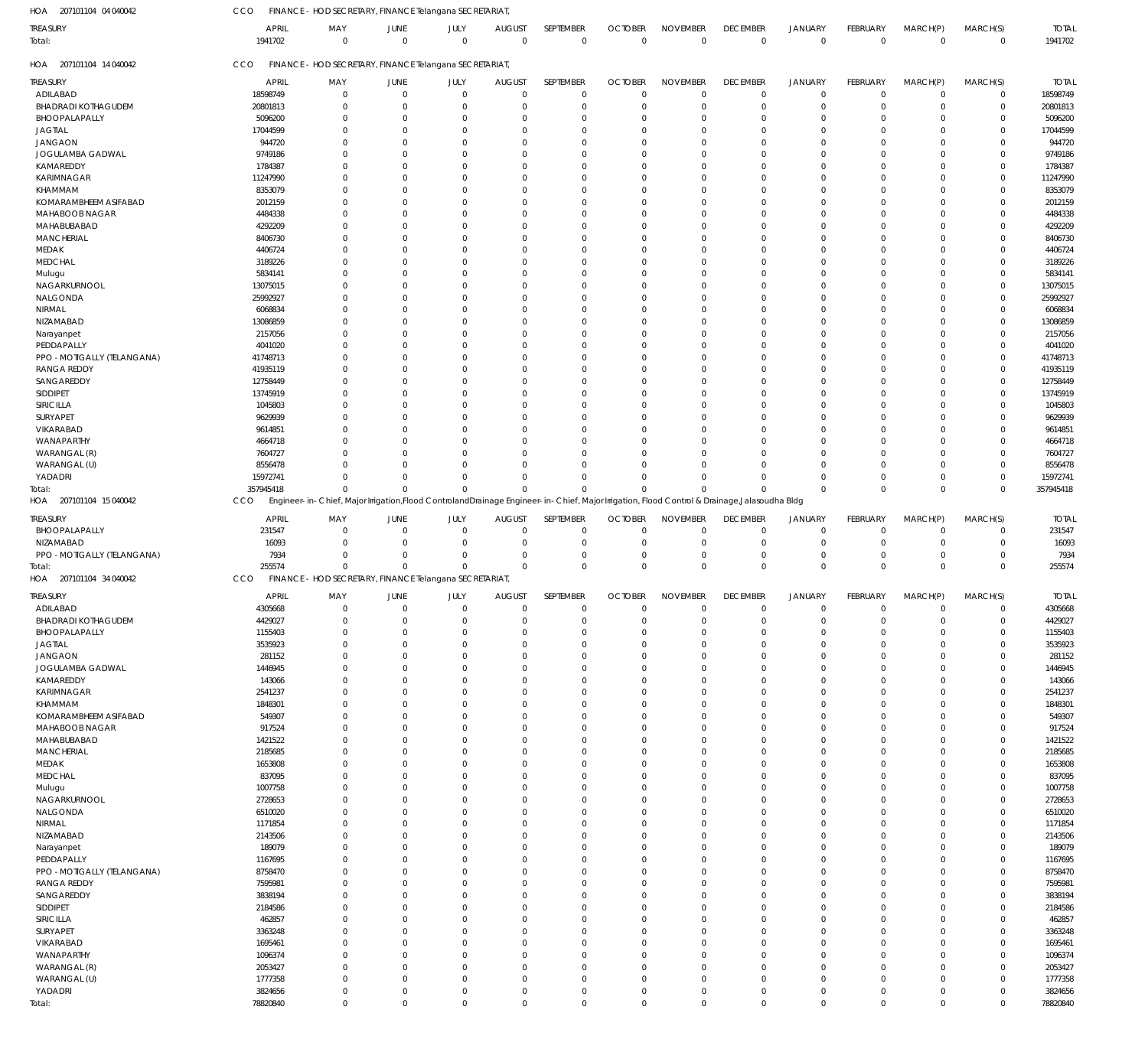207101104 04 040042 HOA

CCO FINANCE - HOD SECRETARY, FINANCE Telangana SECRETARIAT,

| <b>TREASURY</b>                        | <b>APRIL</b><br>1941702 | MAY<br>$\mathbf 0$                                                                                                                            | JUNE<br>$\mathbf 0$     | JULY<br>$\mathbf 0$        | <b>AUGUST</b><br>$\mathbf 0$ | SEPTEMBER<br>$\mathbf 0$   | <b>OCTOBER</b><br>$\mathbf 0$ | <b>NOVEMBER</b><br>$\mathbb O$ | <b>DECEMBER</b><br>$\overline{0}$ | <b>JANUARY</b><br>$\overline{0}$ | FEBRUARY<br>$\mathbf 0$    | MARCH(P)<br>$\mathbf 0$ | MARCH(S)<br>$\mathbf 0$    | <b>TOTAL</b><br>1941702 |
|----------------------------------------|-------------------------|-----------------------------------------------------------------------------------------------------------------------------------------------|-------------------------|----------------------------|------------------------------|----------------------------|-------------------------------|--------------------------------|-----------------------------------|----------------------------------|----------------------------|-------------------------|----------------------------|-------------------------|
| Total:                                 |                         |                                                                                                                                               |                         |                            |                              |                            |                               |                                |                                   |                                  |                            |                         |                            |                         |
| HOA 207101104 14 040042                | CCO                     | FINANCE - HOD SECRETARY, FINANCE Telangana SECRETARIAT,                                                                                       |                         |                            |                              |                            |                               |                                |                                   |                                  |                            |                         |                            |                         |
| <b>TREASURY</b>                        | <b>APRIL</b>            | MAY                                                                                                                                           | JUNE                    | JULY                       | <b>AUGUST</b>                | SEPTEMBER                  | <b>OCTOBER</b>                | <b>NOVEMBER</b>                | <b>DECEMBER</b>                   | <b>JANUARY</b>                   | FEBRUARY                   | MARCH(P)                | MARCH(S)                   | <b>TOTAL</b>            |
| ADILABAD<br><b>BHADRADI KOTHAGUDEM</b> | 18598749<br>20801813    | $\mathbf 0$<br>0                                                                                                                              | $\mathbf 0$<br>$\Omega$ | $\mathbf 0$<br>$\mathbf 0$ | $\Omega$<br>$\Omega$         | $\mathbf 0$<br>$\mathbf 0$ | $\overline{0}$<br>$\Omega$    | $\mathbf 0$<br>$\overline{0}$  | $\overline{0}$<br>$\mathbf 0$     | $\overline{0}$<br>$\overline{0}$ | $\mathbf 0$<br>$\mathbf 0$ | $\mathbf 0$<br>0        | $\mathbf 0$<br>$\mathbf 0$ | 18598749<br>20801813    |
| BHOOPALAPALLY                          | 5096200                 | $\Omega$                                                                                                                                      | $\Omega$                | $\Omega$                   |                              | $\Omega$                   | $\Omega$                      | $\Omega$                       | 0                                 | $\Omega$                         | $\Omega$                   | $\Omega$                | $\mathbf 0$                | 5096200                 |
| <b>JAGTIAL</b>                         | 17044599                | $\Omega$                                                                                                                                      | $\Omega$                | $\Omega$                   |                              | $\Omega$                   |                               | $\Omega$                       | $\Omega$                          | $\Omega$                         | $\Omega$                   | $\Omega$                | $\mathbf 0$                | 17044599                |
| <b>JANGAON</b>                         | 944720                  | $\Omega$                                                                                                                                      | $\Omega$                | $\Omega$                   | $\Omega$                     | $\Omega$                   | $\Omega$                      | $\Omega$                       | $\Omega$                          | $\Omega$                         | $\Omega$                   | $\Omega$                | $\mathbf 0$                | 944720                  |
| JOGULAMBA GADWAL                       | 9749186                 | $\Omega$                                                                                                                                      | C                       | $\Omega$                   |                              | $\Omega$                   |                               | $\Omega$                       | $\Omega$                          | $\Omega$                         | $\Omega$                   | $\Omega$                | $\mathbf 0$                | 9749186                 |
| KAMAREDDY                              | 1784387                 | $\Omega$                                                                                                                                      | $\Omega$                | $\Omega$                   |                              | $\Omega$                   | $\Omega$                      | $\Omega$                       | $\Omega$                          | $\Omega$                         | $\Omega$                   | $\Omega$                | $\mathbf 0$                | 1784387                 |
| <b>KARIMNAGAR</b>                      | 11247990                | $\Omega$                                                                                                                                      | $\Omega$                | $\Omega$                   | $\Omega$                     | $\Omega$                   | $\Omega$                      | $\Omega$                       | $\Omega$                          | $\Omega$                         | $\Omega$                   | $\Omega$                | $\mathbf 0$                | 11247990                |
| <b>KHAMMAM</b>                         | 8353079                 | $\Omega$                                                                                                                                      | $\Omega$                | $\Omega$                   |                              | $\Omega$                   | $\Omega$                      | $\Omega$                       | 0                                 | $\Omega$                         | $\Omega$                   | $\Omega$                | $\mathbf 0$                | 8353079                 |
| KOMARAMBHEEM ASIFABAD                  | 2012159                 | $\Omega$                                                                                                                                      | C                       | $\Omega$                   |                              | $\Omega$                   | $\Omega$                      | $\Omega$                       | $\Omega$                          | $\Omega$                         | $\Omega$                   | $\Omega$                | $\mathbf 0$                | 2012159                 |
| MAHABOOB NAGAR                         | 4484338                 | $\Omega$                                                                                                                                      | $\Omega$                | $\Omega$                   | $\Omega$                     | $\Omega$                   | $\Omega$                      | $\Omega$                       | $\Omega$                          | $\Omega$                         | $\Omega$                   | $\Omega$                | $\mathbf 0$                | 4484338                 |
| MAHABUBABAD                            | 4292209                 | $\Omega$                                                                                                                                      | C                       | $\Omega$                   | $\Omega$                     | $\Omega$                   | $\Omega$                      | $\Omega$                       | $\Omega$                          | $\Omega$                         | $\Omega$                   | $\Omega$                | $\mathbf 0$                | 4292209                 |
| <b>MANCHERIAL</b>                      | 8406730                 | $\Omega$                                                                                                                                      | $\Omega$                | $\Omega$                   |                              | $\Omega$                   | $\Omega$                      | $\Omega$                       | $\Omega$                          | $\Omega$                         | $\Omega$                   | $\Omega$                | $\mathbf 0$                | 8406730                 |
| MEDAK                                  | 4406724                 | $\Omega$                                                                                                                                      | $\Omega$                | $\Omega$                   | $\Omega$                     | $\Omega$                   | $\Omega$                      | $\Omega$                       | $\Omega$                          | $\Omega$                         | $\Omega$                   | $\Omega$                | $\mathbf 0$                | 4406724                 |
| <b>MEDCHAL</b>                         | 3189226                 | $\Omega$                                                                                                                                      | $\Omega$                | $\Omega$                   |                              | $\Omega$                   | $\Omega$                      | $\Omega$                       | $\Omega$                          | $\Omega$                         | $\Omega$                   | $\Omega$                | $\mathbf 0$                | 3189226                 |
| Mulugu                                 | 5834141                 | $\Omega$                                                                                                                                      | C                       | $\Omega$                   |                              | $\Omega$                   |                               | $\Omega$                       | 0                                 | $\Omega$                         | $\Omega$                   | $\Omega$                | $\mathbf 0$                | 5834141                 |
| NAGARKURNOOL                           | 13075015                | $\Omega$                                                                                                                                      | $\Omega$                | $\Omega$                   | $\Omega$                     | $\Omega$                   | $\Omega$                      | $\Omega$                       | $\Omega$                          | $\Omega$                         | $\Omega$                   | $\Omega$                | $\mathbf 0$                | 13075015                |
| NALGONDA                               | 25992927                | $\Omega$                                                                                                                                      | C                       | $\Omega$                   | $\Omega$                     | $\Omega$                   | $\Omega$                      | $\Omega$                       | $\Omega$                          | $\Omega$                         | $\Omega$                   | $\Omega$                | $\mathbf 0$                | 25992927                |
| NIRMAL                                 | 6068834                 | $\Omega$                                                                                                                                      | $\Omega$                | $\Omega$                   |                              | $\Omega$                   | $\Omega$                      | $\Omega$                       | 0                                 | $\Omega$                         | $\Omega$                   | $\Omega$                | $\mathbf 0$                | 6068834                 |
| NIZAMABAD<br>Narayanpet                | 13086859<br>2157056     | $\Omega$<br>$\Omega$                                                                                                                          | $\Omega$<br>$\Omega$    | $\Omega$<br>$\Omega$       | $\Omega$<br>$\Omega$         | $\Omega$<br>$\Omega$       | $\Omega$<br>$\Omega$          | $\Omega$<br>$\Omega$           | $\Omega$<br>$\Omega$              | $\Omega$<br>$\Omega$             | $\Omega$<br>$\Omega$       | $\Omega$<br>$\Omega$    | $\mathbf 0$<br>$\mathbf 0$ | 13086859<br>2157056     |
| PEDDAPALLY                             | 4041020                 | $\Omega$                                                                                                                                      | C                       | $\Omega$                   |                              | $\Omega$                   |                               | $\Omega$                       | 0                                 | $\Omega$                         | $\Omega$                   | $\Omega$                | $\mathbf 0$                | 4041020                 |
| PPO - MOTIGALLY (TELANGANA)            | 41748713                | $\Omega$                                                                                                                                      | $\Omega$                | $\Omega$                   |                              | $\Omega$                   | $\Omega$                      | $\Omega$                       | $\Omega$                          | $\Omega$                         | $\Omega$                   | $\Omega$                | $\mathbf 0$                | 41748713                |
| <b>RANGA REDDY</b>                     | 41935119                | $\Omega$                                                                                                                                      | $\Omega$                | $\Omega$                   | $\Omega$                     | $\Omega$                   | $\Omega$                      | $\Omega$                       | $\Omega$                          | $\Omega$                         | $\Omega$                   | $\Omega$                | $\mathbf 0$                | 41935119                |
| SANGAREDDY                             | 12758449                | $\Omega$                                                                                                                                      | $\Omega$                | $\Omega$                   |                              | $\Omega$                   | $\Omega$                      | $\Omega$                       | 0                                 | $\Omega$                         | $\Omega$                   | $\Omega$                | $\mathbf 0$                | 12758449                |
| SIDDIPET                               | 13745919                | $\Omega$                                                                                                                                      | C                       | $\Omega$                   |                              | $\Omega$                   | $\Omega$                      | $\Omega$                       | $\Omega$                          | $\Omega$                         | $\Omega$                   | $\Omega$                | $\mathbf 0$                | 13745919                |
| SIRICILLA                              | 1045803                 | $\Omega$                                                                                                                                      | $\Omega$                | $\Omega$                   |                              | $\Omega$                   | $\Omega$                      | $\Omega$                       | $\Omega$                          | $\Omega$                         | $\Omega$                   | $\Omega$                | $\mathbf 0$                | 1045803                 |
| <b>SURYAPET</b>                        | 9629939                 | $\Omega$                                                                                                                                      | C                       | $\Omega$                   |                              | $\Omega$                   |                               | $\Omega$                       | 0                                 | $\Omega$                         | $\Omega$                   | $\Omega$                | 0                          | 9629939                 |
| VIKARABAD                              | 9614851                 | $\Omega$                                                                                                                                      | $\Omega$                | $\Omega$                   |                              | $\Omega$                   | $\Omega$                      | $\Omega$                       | 0                                 | $\Omega$                         | $\Omega$                   | $\Omega$                | $\mathbf 0$                | 9614851                 |
| WANAPARTHY                             | 4664718                 | $\Omega$                                                                                                                                      | $\Omega$                | $\Omega$                   |                              | $\Omega$                   |                               | $\Omega$                       | $\Omega$                          | $\Omega$                         | $\Omega$                   | $\Omega$                | $\mathbf 0$                | 4664718                 |
| WARANGAL (R)                           | 7604727                 | $\Omega$                                                                                                                                      | $\Omega$                | $\Omega$                   |                              | $\Omega$                   | $\Omega$                      | $\Omega$                       | 0                                 | $\Omega$                         | $\Omega$                   | $\Omega$                | $\mathbf 0$                | 7604727                 |
| WARANGAL (U)                           | 8556478                 | $\Omega$                                                                                                                                      | $\Omega$                | $\Omega$                   |                              | $\Omega$                   |                               | $\Omega$                       | 0                                 | $\Omega$                         | $\Omega$                   | $\Omega$                | $\mathbf 0$                | 8556478                 |
| YADADRI                                | 15972741                | $\Omega$                                                                                                                                      | $\Omega$                | $\mathbf 0$                | $\Omega$                     | $\Omega$                   | $\Omega$                      | $\Omega$                       | $\Omega$                          | $\Omega$                         | $\mathbf 0$                | $\Omega$                | $\mathbf 0$                | 15972741                |
| Total:                                 | 357945418               | $\Omega$                                                                                                                                      | $\Omega$                | $\Omega$                   | $\Omega$                     | $\Omega$                   | $\Omega$                      | $\Omega$                       | $\Omega$                          | $\Omega$                         | $\Omega$                   | $\Omega$                | $\mathbf 0$                | 357945418               |
| HOA 207101104 15 040042                | CCO                     | Engineer-in-Chief, Major Irrigation, Flood Controland Drainage Engineer-in-Chief, Major Irrigation, Flood Control & Drainage, Jalasoudha Bldg |                         |                            |                              |                            |                               |                                |                                   |                                  |                            |                         |                            |                         |
| <b>TREASURY</b>                        | <b>APRIL</b>            | MAY                                                                                                                                           | JUNE                    | JULY                       | <b>AUGUST</b>                | SEPTEMBER                  | <b>OCTOBER</b>                | <b>NOVEMBER</b>                | <b>DECEMBER</b>                   | <b>JANUARY</b>                   | FEBRUARY                   | MARCH(P)                | MARCH(S)                   | <b>TOTAL</b>            |
| BHOOPALAPALLY                          | 231547                  | $\mathbf 0$                                                                                                                                   | -0                      | $\mathbf 0$                | 0                            | $\Omega$                   | $\mathbf 0$                   | $\mathbf 0$                    | $\overline{0}$                    | $\mathbf 0$                      | 0                          | 0                       | $\mathbf 0$                | 231547                  |
| NIZAMABAD                              | 16093                   | $\Omega$                                                                                                                                      | $\Omega$                | $\mathbf 0$                | $\Omega$                     | $\Omega$                   | $\Omega$                      | $\Omega$                       | $\mathbf 0$                       | $^{\circ}$                       | $\mathbf 0$                | 0                       | $\mathbf 0$                | 16093                   |
| PPO - MOTIGALLY (TELANGANA)            | 7934                    | $\Omega$                                                                                                                                      | $\Omega$                | $\Omega$                   | $\Omega$                     | $\Omega$                   | $\Omega$                      | $\mathbf 0$                    | $\mathbf 0$                       | $\mathbf 0$                      | $\mathbf 0$                | 0                       | $\mathbf 0$                | 7934                    |
| Total:                                 | 255574                  | $\mathbf 0$                                                                                                                                   | $\mathbf 0$             | $\mathbf 0$                | $\Omega$                     | $\Omega$                   | $\Omega$                      | $\Omega$                       | $\mathbf 0$                       | $\overline{0}$                   | $\mathbf 0$                | $\Omega$                | $\mathbf 0$                | 255574                  |
| HOA 207101104 34 040042                | CCO                     | FINANCE - HOD SECRETARY, FINANCE Telangana SECRETARIAT                                                                                        |                         |                            |                              |                            |                               |                                |                                   |                                  |                            |                         |                            |                         |
| <b>TREASURY</b>                        | <b>APRIL</b>            | MAY                                                                                                                                           | JUNE                    | JULY                       | <b>AUGUST</b>                | SEPTEMBER                  | <b>OCTOBER</b>                | <b>NOVEMBER</b>                | <b>DECEMBER</b>                   | <b>JANUARY</b>                   | <b>FEBRUARY</b>            | MARCH(P)                | MARCH(S)                   | <b>TOTAL</b>            |
| ADILABAD                               | 4305668                 | $\Omega$                                                                                                                                      | $\Omega$                | $\mathbf 0$                | $\mathbf 0$                  | $\Omega$                   | $\Omega$                      | $\Omega$                       | $\overline{0}$                    | $\Omega$                         | $\Omega$                   | $\Omega$                | $\mathbf 0$                | 4305668                 |
| <b>BHADRADI KOTHAGUDEM</b>             | 4429027                 | $\mathbf 0$                                                                                                                                   | 0                       | $\mathbf 0$                | 0                            | $\mathbf 0$                | $\Omega$                      | $\mathbf 0$                    | $\mathbf 0$                       | $\mathbf 0$                      | $\mathbf 0$                | 0                       | $\mathbf 0$                | 4429027                 |
| BHOOPALAPALLY                          | 1155403                 | $\mathbf 0$                                                                                                                                   | $^{\circ}$              | $\mathbf 0$                | $\Omega$                     | $\mathbf 0$                | $\Omega$                      | $\mathbf 0$                    | $\mathbf 0$                       | $\overline{0}$                   | $\mathbf 0$                | $^{\circ}$              | $\mathbf 0$                | 1155403                 |
| <b>JAGTIAL</b>                         | 3535923                 | $\mathbf 0$                                                                                                                                   | $^{\circ}$              | $\mathbf 0$                | $\Omega$                     | $\Omega$                   | $\Omega$                      | $\Omega$                       | 0                                 | $\Omega$                         | $\mathbf 0$                | $\Omega$                | $\mathbf 0$                | 3535923                 |
| <b>JANGAON</b>                         | 281152                  | $\mathbf 0$                                                                                                                                   | 0                       | $\mathbf 0$                | $\Omega$                     | $\Omega$                   | $\Omega$                      | $\overline{0}$                 | 0                                 | $\Omega$                         | $\Omega$                   | 0                       | $\mathbf 0$                | 281152                  |
| JOGULAMBA GADWAL                       | 1446945                 | $\mathbf 0$                                                                                                                                   | $\Omega$                | $\mathbf 0$                | $\Omega$                     | $\Omega$                   | $\Omega$                      | $\Omega$                       | 0                                 | $\Omega$                         | 0                          | $\Omega$                | $\mathbf 0$                | 1446945                 |
| KAMAREDDY                              | 143066                  | $\mathbf 0$                                                                                                                                   | $\Omega$                | $\mathbf 0$                | $\Omega$                     | $\Omega$                   | $\Omega$                      | $\Omega$                       | 0                                 | $\Omega$                         | $\Omega$                   | $\Omega$                | $\mathbf 0$                | 143066                  |
| <b>KARIMNAGAR</b>                      | 2541237                 | $\mathbf 0$                                                                                                                                   | $\Omega$                | $\mathbf 0$                | $\Omega$                     | $\Omega$                   | $\Omega$                      | $\Omega$                       | $\Omega$                          | $\Omega$                         | $\mathbf 0$                | $\Omega$                | $\mathbf 0$                | 2541237                 |
| KHAMMAM                                | 1848301                 | $\mathbf 0$                                                                                                                                   | $\Omega$                | $\mathbf 0$                | $\Omega$                     | $\Omega$                   | $\Omega$                      | $\mathbf 0$                    | 0                                 | $\Omega$                         | $\Omega$                   | 0                       | $\mathbf 0$                | 1848301                 |
| <b>KOMARAMBHEEM ASIFABAD</b>           | 549307                  | $\mathbf 0$                                                                                                                                   | $\Omega$                | $\mathbf 0$                | $\Omega$                     | $\Omega$                   | $\Omega$                      | $\Omega$                       | $\Omega$                          | $\Omega$                         | 0                          | $\Omega$                | $\mathbf 0$                | 549307                  |
| MAHABOOB NAGAR                         | 917524                  | $\mathbf 0$                                                                                                                                   | $\Omega$                | $\mathbf 0$                | $\Omega$                     | $\Omega$                   | $\Omega$                      | $\Omega$                       | 0                                 | $\Omega$                         | $\Omega$                   | $\Omega$                | $\mathbf 0$                | 917524                  |
| MAHABUBABAD                            | 1421522                 | $\mathbf 0$                                                                                                                                   | $\Omega$                | $\mathbf 0$                | $\Omega$                     | $\Omega$                   | $\Omega$                      | $\Omega$                       | $\Omega$                          | $\Omega$                         | $\mathbf 0$                | $\Omega$                | $\mathbf 0$                | 1421522                 |
| <b>MANCHERIAL</b>                      | 2185685                 | $\mathbf 0$                                                                                                                                   | $\Omega$                | $\mathbf 0$                | $\Omega$                     | $\Omega$                   | $\Omega$                      | $\overline{0}$                 | 0                                 | $\Omega$                         | $\Omega$                   | $\Omega$                | $\mathbf 0$                | 2185685                 |
| MEDAK                                  | 1653808                 | $\mathbf 0$                                                                                                                                   | $\Omega$                | $\mathbf 0$                | $\Omega$                     | $\Omega$                   | $\Omega$                      | $\Omega$                       | $\Omega$                          | $\Omega$                         | 0                          | $\Omega$                | $\mathbf 0$                | 1653808                 |
| <b>MEDCHAL</b>                         | 837095                  | $\mathbf 0$                                                                                                                                   | 0                       | $\mathbf 0$                | $\Omega$                     | $\Omega$                   | $\Omega$                      | $\overline{0}$                 | 0                                 | $\Omega$                         | 0                          | 0                       | $\mathbf 0$                | 837095                  |
| Mulugu                                 | 1007758                 | $\mathbf 0$                                                                                                                                   | $\Omega$                | $\mathbf 0$                | $\Omega$                     | $\Omega$                   | $\Omega$                      | $\Omega$                       | $\Omega$                          | $\Omega$                         | $\mathbf 0$                | $\Omega$                | $\mathbf 0$                | 1007758                 |
| NAGARKURNOOL                           | 2728653                 | $\mathbf 0$                                                                                                                                   | $\Omega$                | $\mathbf 0$                | $\Omega$                     | $\Omega$                   | $\Omega$                      | $\overline{0}$                 | 0                                 | $\Omega$                         | $\Omega$                   | $\Omega$                | $\mathbf 0$                | 2728653                 |
| NALGONDA                               | 6510020                 | $\mathbf 0$                                                                                                                                   | $\Omega$                | $\mathbf 0$                | $\Omega$                     | $\Omega$                   | $\Omega$                      | $\overline{0}$<br>$\Omega$     | 0                                 | $\Omega$                         | 0                          | $\Omega$                | $\mathbf 0$                | 6510020                 |
| NIRMAL                                 | 1171854                 | $\mathbf 0$                                                                                                                                   | $\Omega$                | $\mathbf 0$                | $\Omega$                     | $\Omega$<br>$\Omega$       | $\Omega$                      | $\Omega$                       | 0                                 | $\Omega$<br>$\Omega$             | $\Omega$                   | $\Omega$                | $\mathbf 0$                | 1171854                 |
| NIZAMABAD                              | 2143506<br>189079       | $\mathbf 0$<br>$\mathbf 0$                                                                                                                    | $\Omega$<br>$\Omega$    | $\mathbf 0$<br>$\mathbf 0$ | $\Omega$<br>$\Omega$         | $\Omega$                   | $\Omega$<br>$\Omega$          | $\overline{0}$                 | $\Omega$<br>0                     | $\Omega$                         | $\mathbf 0$<br>0           | $\Omega$<br>0           | $\mathbf 0$<br>$\mathbf 0$ | 2143506<br>189079       |
| Narayanpet<br>PEDDAPALLY               | 1167695                 | $\mathbf 0$                                                                                                                                   | $\Omega$                | $\mathbf 0$                | $\Omega$                     | $\Omega$                   | $\Omega$                      | $\Omega$                       | $\Omega$                          | $\Omega$                         | 0                          | $\Omega$                | $\mathbf 0$                | 1167695                 |
| PPO - MOTIGALLY (TELANGANA)            | 8758470                 | $\mathbf 0$                                                                                                                                   | $\Omega$                | $\mathbf 0$                | $\Omega$                     | $\Omega$                   | $\Omega$                      | $\Omega$                       | 0                                 | $\Omega$                         | $\Omega$                   | $\Omega$                | $\mathbf 0$                | 8758470                 |
| <b>RANGA REDDY</b>                     | 7595981                 | $\mathbf 0$                                                                                                                                   | $\Omega$                | $\mathbf 0$                | $\Omega$                     | $\Omega$                   | $\Omega$                      | $\Omega$                       | $\Omega$                          | $\Omega$                         | $\mathbf 0$                | $\Omega$                | $\mathbf 0$                | 7595981                 |
| SANGAREDDY                             | 3838194                 | $\mathbf 0$                                                                                                                                   | $\Omega$                | $\mathbf 0$                | $\Omega$                     | $\Omega$                   | $\Omega$                      | $\mathbf 0$                    | 0                                 | $\Omega$                         | $\Omega$                   | 0                       | $\mathbf 0$                | 3838194                 |
| SIDDIPET                               | 2184586                 | $\mathbf 0$                                                                                                                                   | $\Omega$                | $\mathbf 0$                | $\Omega$                     | $\Omega$                   | $\Omega$                      | $\Omega$                       | $\Omega$                          | $\Omega$                         | 0                          | $\Omega$                | $\mathbf 0$                | 2184586                 |
| SIRICILLA                              | 462857                  | $\mathbf 0$                                                                                                                                   | $\Omega$                | $\mathbf 0$                | $\Omega$                     | $\Omega$                   | $\Omega$                      | $\overline{0}$                 | 0                                 | $\Omega$                         | 0                          | $\Omega$                | $\mathbf 0$                | 462857                  |
| SURYAPET                               | 3363248                 | $\mathbf 0$                                                                                                                                   | $\Omega$                | $\mathbf 0$                | $\Omega$                     | $\Omega$                   | $\Omega$                      | $\Omega$                       | $\Omega$                          | $\Omega$                         | $\mathbf 0$                | $\Omega$                | $\mathbf 0$                | 3363248                 |
| VIKARABAD                              | 1695461                 | $\mathbf 0$                                                                                                                                   | $\Omega$                | $\mathbf 0$                | $\Omega$                     | $\Omega$                   | $\Omega$                      | $\overline{0}$                 | 0                                 | $\Omega$                         | $\Omega$                   | $\Omega$                | $\mathbf 0$                | 1695461                 |
| WANAPARTHY                             | 1096374                 | $\mathbf 0$                                                                                                                                   | $\Omega$                | $\mathbf 0$                | $\Omega$                     | $\Omega$                   | $\Omega$                      | $\Omega$                       | 0                                 | $\Omega$                         | 0                          | $\Omega$                | $\mathbf 0$                | 1096374                 |
| WARANGAL (R)                           | 2053427                 | $\mathbf 0$                                                                                                                                   | $\Omega$                | $\mathbf 0$                | $\Omega$                     | $\Omega$                   | $\Omega$                      | $\overline{0}$                 | 0                                 | $\Omega$                         | $\mathbf 0$                | $\Omega$                | $\mathbf 0$                | 2053427                 |
| WARANGAL (U)                           | 1777358                 | $\mathbf 0$                                                                                                                                   | $^{\circ}$              | $\mathbf 0$                | $\Omega$                     | $\Omega$                   | $\Omega$                      | $\overline{0}$                 | 0                                 | $\Omega$                         | $\mathbf 0$                | $\mathbf 0$             | $\mathbf 0$                | 1777358                 |
| YADADRI                                | 3824656                 | $\mathbf 0$                                                                                                                                   | $^{\circ}$              | $\mathbf 0$                | $\mathbf 0$                  | $\mathbf 0$                | $\overline{0}$                | $\mathbf 0$                    | $\mathbf 0$                       | $\overline{0}$                   | $\mathbf 0$                | $\mathbf 0$             | $\mathbf 0$                | 3824656                 |
| Total:                                 | 78820840                | $\mathbf 0$                                                                                                                                   | $\mathbf 0$             | $\mathsf 0$                | $\mathbf 0$                  | $\mathbf 0$                | $\mathbf 0$                   | $\mathbb O$                    | $\overline{0}$                    | $\overline{0}$                   | $\mathbf 0$                | $\mathbf 0$             | $\mathbf 0$                | 78820840                |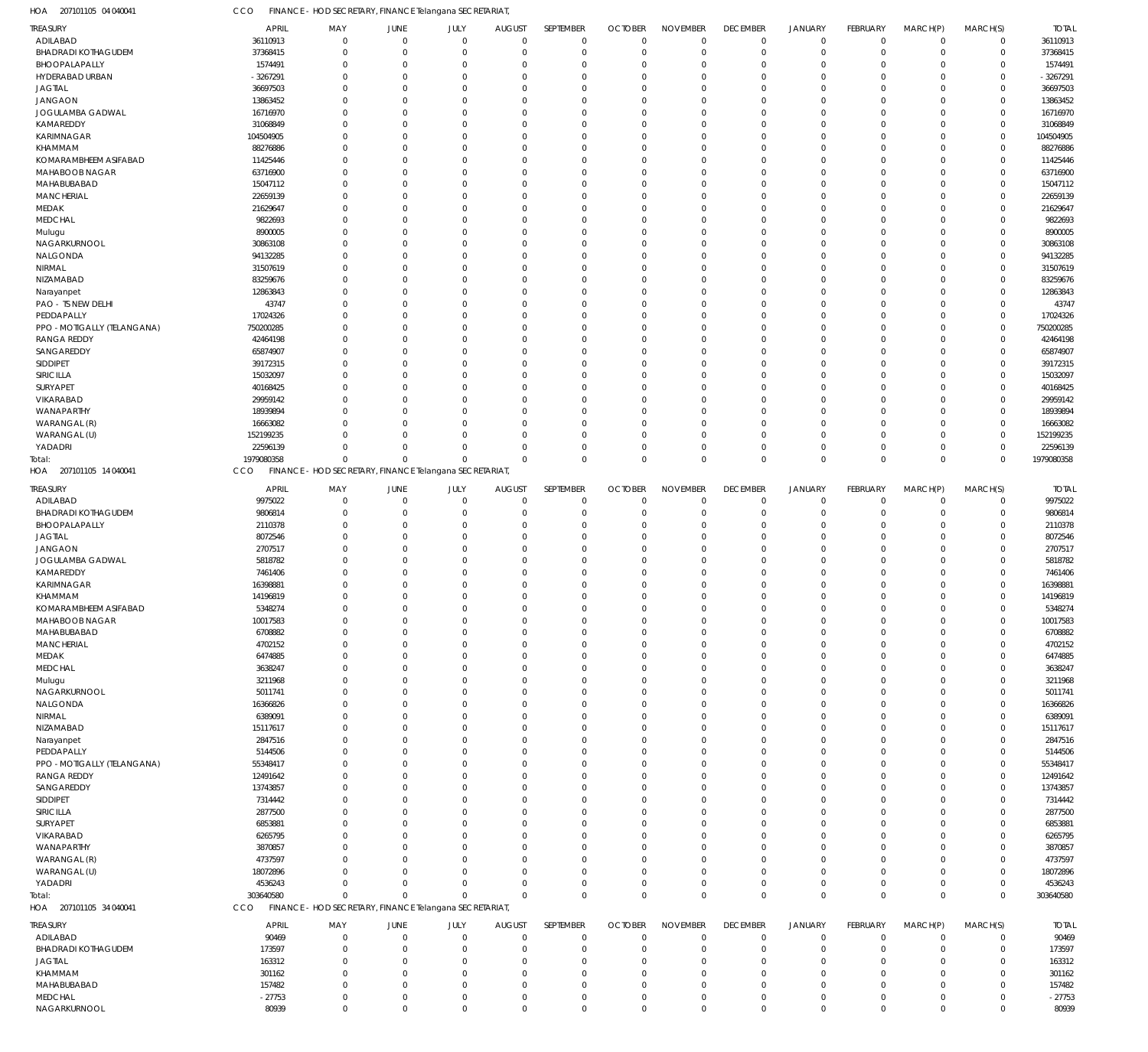207101105 04 040041 HOA CCO FINANCE - HOD SECRETARY, FINANCE Telangana SECRETARIAT,

| TREASURY                                | <b>APRIL</b>         | MAY                                                     | JUNE                 | JULY                 | <b>AUGUST</b>        | SEPTEMBER              | <b>OCTOBER</b>       | <b>NOVEMBER</b>      | <b>DECEMBER</b>      | <b>JANUARY</b>       | FEBRUARY             | MARCH(P)             | MARCH(S)                   | <b>TOTAL</b>         |
|-----------------------------------------|----------------------|---------------------------------------------------------|----------------------|----------------------|----------------------|------------------------|----------------------|----------------------|----------------------|----------------------|----------------------|----------------------|----------------------------|----------------------|
| ADILABAD                                | 36110913             | $\mathbf 0$                                             | $\mathbf 0$          | $\mathbf 0$          | $\mathbf{0}$         | $\mathbf 0$            | $\mathbf 0$          | $\mathbf 0$          | $\overline{0}$       | $\overline{0}$       | $\mathbf 0$          | $\mathbf 0$          | $\mathbf 0$                | 36110913             |
| <b>BHADRADI KOTHAGUDEM</b>              | 37368415             | $\mathbf{0}$                                            | $\Omega$             | $\Omega$             | $\Omega$             | $\overline{0}$         | $\Omega$             | $\mathbf 0$          | $\mathbf 0$          | $\overline{0}$       | $\mathbf 0$          | 0                    | $\mathbf 0$                | 37368415             |
| BHOOPALAPALLY                           | 1574491              | $\mathbf{0}$                                            | $\Omega$             | $\Omega$             | $\Omega$             | $\Omega$               | $\Omega$             | $\mathbf 0$          | $\Omega$             | $\Omega$             | $\Omega$             | $\Omega$             | $\mathbf 0$                | 1574491              |
| HYDERABAD URBAN                         | $-3267291$           | $\mathbf 0$                                             | $\Omega$             | $\Omega$             | $\Omega$             | $\Omega$               | $\Omega$             | $\mathbf 0$          | $\Omega$             | $\Omega$             | $\Omega$             | $\Omega$             | $\mathbf 0$                | $-3267291$           |
| <b>JAGTIAL</b>                          | 36697503             | $\Omega$                                                | $\Omega$             | $\Omega$             | $\Omega$             | $\Omega$               | $\Omega$             | $\Omega$             | $\Omega$             | $\Omega$             | $\Omega$             | $\Omega$             | $\mathbf 0$                | 36697503             |
| <b>JANGAON</b>                          | 13863452             | $\Omega$                                                | $\mathsf{C}$         | $\Omega$             | $\Omega$             | $\Omega$               | $\Omega$             | $\Omega$             | $\Omega$             | $\Omega$             | $\Omega$             | $\Omega$             | $\mathbf 0$                | 13863452             |
| JOGULAMBA GADWAL                        | 16716970             | $\Omega$                                                | $\Omega$             | $\Omega$             | $\Omega$             | $\Omega$               | $\Omega$             | $\Omega$             | $\Omega$             | $\Omega$             | $\Omega$             | $\Omega$             | $\mathbf 0$                | 16716970             |
| KAMAREDDY                               | 31068849             | $\Omega$                                                | $\Omega$             | $\Omega$             | $\Omega$             | $\Omega$               | $\Omega$             | $\Omega$             | $\Omega$             | $\Omega$             | $\Omega$             | $\Omega$             | $\mathbf 0$                | 31068849             |
| <b>KARIMNAGAR</b>                       | 104504905            | $\Omega$                                                | $\Omega$             | $\Omega$             | $\Omega$             | $\Omega$               | $\Omega$             | $\Omega$             | $\Omega$             | $\Omega$             | $\Omega$             | $\Omega$             | $\mathbf 0$                | 104504905            |
| KHAMMAM                                 | 88276886             | $\Omega$                                                | $\Omega$<br>$\Omega$ | $\Omega$<br>$\Omega$ | $\Omega$<br>$\Omega$ | $\Omega$<br>$\Omega$   | $\Omega$<br>$\Omega$ | $\Omega$<br>$\Omega$ | $\Omega$<br>$\Omega$ | $\Omega$<br>$\Omega$ | $\Omega$             | $\Omega$             | $\mathbf 0$                | 88276886             |
| KOMARAMBHEEM ASIFABAD<br>MAHABOOB NAGAR | 11425446             | $\Omega$<br>$\Omega$                                    | C                    | $\Omega$             | $\Omega$             | $\Omega$               | $\Omega$             | $\Omega$             | $\Omega$             | $\Omega$             | $\Omega$<br>$\Omega$ | $\Omega$<br>$\Omega$ | $\mathbf 0$<br>$\mathbf 0$ | 11425446<br>63716900 |
| MAHABUBABAD                             | 63716900<br>15047112 | $\Omega$                                                | $\Omega$             | $\Omega$             | $\Omega$             | $\Omega$               | $\Omega$             | $\Omega$             | $\Omega$             | $\Omega$             | $\Omega$             | $\Omega$             | $\mathbf 0$                | 15047112             |
| <b>MANCHERIAL</b>                       | 22659139             | $\Omega$                                                | $\Omega$             | $\Omega$             | $\Omega$             | $\Omega$               | $\Omega$             | $\Omega$             | $\Omega$             | $\Omega$             | $\Omega$             | $\Omega$             | $\mathbf 0$                | 22659139             |
| MEDAK                                   | 21629647             | $\Omega$                                                | $\Omega$             | $\Omega$             | $\Omega$             | $\Omega$               | $\Omega$             | $\Omega$             | $\Omega$             | $\Omega$             | $\Omega$             | $\Omega$             | $\mathbf 0$                | 21629647             |
| MEDCHAL                                 | 9822693              | $\mathbf 0$                                             | $\Omega$             | $\Omega$             | $\Omega$             | $\Omega$               | $\Omega$             | $\Omega$             | $\Omega$             | $\Omega$             | $\Omega$             | $\Omega$             | $\mathbf 0$                | 9822693              |
| Mulugu                                  | 8900005              | $\Omega$                                                | $\Omega$             | $\Omega$             | $\Omega$             | $\Omega$               | $\Omega$             | $\Omega$             | $\Omega$             | $\Omega$             | $\Omega$             | $\Omega$             | $\mathbf 0$                | 8900005              |
| NAGARKURNOOL                            | 30863108             | $\Omega$                                                | C                    | $\Omega$             | $\Omega$             | $\Omega$               | $\Omega$             | $\Omega$             | $\Omega$             | $\Omega$             | $\Omega$             | $\Omega$             | $\mathbf 0$                | 30863108             |
| NALGONDA                                | 94132285             | $\Omega$                                                | $\Omega$             | $\Omega$             | $\Omega$             | $\Omega$               | $\Omega$             | $\Omega$             | $\Omega$             | $\Omega$             | $\Omega$             | $\Omega$             | $\mathbf 0$                | 94132285             |
| NIRMAL                                  | 31507619             | $\Omega$                                                | $\Omega$             | $\Omega$             | $\Omega$             | $\Omega$               | $\Omega$             | $\Omega$             | $\Omega$             | $\Omega$             | $\Omega$             | $\Omega$             | $\mathbf 0$                | 31507619             |
| NIZAMABAD                               | 83259676             | $\Omega$                                                | $\Omega$             | $\Omega$             | $\Omega$             | $\Omega$               | $\Omega$             | $\Omega$             | $\Omega$             | $\Omega$             | $\Omega$             | $\Omega$             | $\mathbf 0$                | 83259676             |
| Narayanpet                              | 12863843             | $\mathbf 0$                                             | $\Omega$             | $\Omega$             | $\Omega$             | $\Omega$               | $\Omega$             | $\Omega$             | $\Omega$             | $\Omega$             | $\Omega$             | $\Omega$             | $\mathbf 0$                | 12863843             |
| PAO - TS NEW DELHI                      | 43747                | $\Omega$                                                | $\Omega$             | $\Omega$             | $\Omega$             | $\Omega$               | $\Omega$             | $\Omega$             | $\Omega$             | $\Omega$             | $\Omega$             | $\Omega$             | $\mathbf 0$                | 43747                |
| PEDDAPALLY                              | 17024326             | $\Omega$                                                | C                    | $\Omega$             | $\Omega$             | $\Omega$               | $\Omega$             | $\Omega$             | $\Omega$             | $\Omega$             | $\Omega$             | $\Omega$             | $\mathbf 0$                | 17024326             |
| PPO - MOTIGALLY (TELANGANA)             | 750200285            | $\Omega$                                                | $\Omega$             | $\Omega$             | $\Omega$             | $\Omega$               | $\Omega$             | $\Omega$             | $\Omega$             | $\Omega$             | $\Omega$             | $\Omega$             | $\mathbf 0$                | 750200285            |
| <b>RANGA REDDY</b>                      | 42464198             | $\Omega$                                                | $\Omega$             | $\Omega$             | $\Omega$             | $\Omega$               | $\Omega$             | $\Omega$             | $\Omega$             | $\Omega$             | $\Omega$             | $\Omega$             | $\mathbf 0$                | 42464198             |
| SANGAREDDY                              | 65874907             | $\Omega$                                                | $\Omega$             | $\Omega$             | $\Omega$             | $\Omega$               | $\Omega$             | $\Omega$             | $\Omega$             | $\Omega$             | $\Omega$             | $\Omega$             | $\mathbf 0$                | 65874907             |
| SIDDIPET                                | 39172315             | $\Omega$                                                | $\Omega$             | $\Omega$             | $\Omega$             | $\Omega$               | $\Omega$             | $\Omega$             | $\Omega$             | $\Omega$             | $\Omega$             | $\Omega$             | $\mathbf 0$                | 39172315             |
| SIRICILLA                               | 15032097             | $\Omega$                                                | $\Omega$             | $\Omega$             | $\Omega$             | $\Omega$               | $\Omega$             | $\Omega$             | $\Omega$             | $\Omega$             | $\Omega$             | $\Omega$             | $\mathbf 0$                | 15032097             |
| SURYAPET                                | 40168425             | $\Omega$                                                | $\Omega$             | $\Omega$             | $\Omega$             | $\Omega$               | $\Omega$             | $\Omega$             | $\Omega$             | $\Omega$             | $\Omega$             | $\Omega$             | $\mathbf 0$                | 40168425             |
| VIKARABAD                               | 29959142             | $\Omega$                                                | $\Omega$             | $\Omega$             | $\Omega$             | $\Omega$               | $\Omega$             | $\Omega$             | $\Omega$             | $\Omega$             | $\Omega$             | $\Omega$             | $\mathbf 0$                | 29959142             |
| WANAPARTHY                              | 18939894             | $\Omega$                                                | $\Omega$             | $\Omega$             | $\Omega$             | $\Omega$               | $\Omega$             | $\mathbf 0$          | $\Omega$             | $\Omega$             | $\Omega$             | $\Omega$             | $\mathbf 0$                | 18939894             |
| WARANGAL (R)                            | 16663082             | $\Omega$                                                | $\Omega$             | $\Omega$             | $\Omega$             | $\Omega$               | $\Omega$             | $\Omega$             | $\Omega$             | $\Omega$             | $\Omega$             | $\Omega$             | $\mathbf 0$                | 16663082             |
| WARANGAL (U)                            | 152199235            | $\Omega$                                                | $\Omega$             | $\Omega$             | $\Omega$             | $\Omega$               | $\Omega$             | $\Omega$             | $\Omega$             | $\Omega$             | $\Omega$             | $\Omega$             | $\mathbf 0$                | 152199235            |
| YADADRI                                 | 22596139             | $\Omega$                                                | $\Omega$             | $\Omega$             | $\Omega$             | $\Omega$               | $\Omega$             | $\mathbf 0$          | $\mathbf 0$          | $\mathbf 0$          | $\mathbf 0$          | $\mathbf 0$          | $\mathbf 0$                | 22596139             |
| Total:                                  | 1979080358           | $\mathbf 0$                                             | $\Omega$             | $\Omega$             | $\Omega$             | $\mathbf 0$            | $\Omega$             | $\Omega$             | $\mathbf{0}$         | $\Omega$             | $\Omega$             | $\Omega$             | $\mathbf 0$                | 1979080358           |
| HOA 207101105 14 040041                 | CCO                  | FINANCE - HOD SECRETARY, FINANCE Telangana SECRETARIAT  |                      |                      |                      |                        |                      |                      |                      |                      |                      |                      |                            |                      |
| TREASURY                                | <b>APRIL</b>         | MAY                                                     | JUNE                 | JULY                 | <b>AUGUST</b>        | SEPTEMBER              | <b>OCTOBER</b>       | <b>NOVEMBER</b>      | <b>DECEMBER</b>      | JANUARY              | FEBRUARY             | MARCH(P)             | MARCH(S)                   | <b>TOTAL</b>         |
| ADILABAD                                | 9975022              | $\mathbf{0}$                                            | $\overline{0}$       | $\mathbf 0$          | $\Omega$             | $\overline{0}$         | $\mathbf 0$          | $\mathbf 0$          | $\mathbf 0$          | $\overline{0}$       | $\mathbf 0$          | $^{\circ}$           | $\mathbf 0$                | 9975022              |
| <b>BHADRADI KOTHAGUDEM</b>              | 9806814              | $\mathbf 0$                                             | $\mathbf 0$          | $\Omega$             | $\Omega$             | $\Omega$               | $\Omega$             | $\overline{0}$       | $\mathbf 0$          | $\overline{0}$       | $\mathbf 0$          | $^{\circ}$           | $\mathbf 0$                | 9806814              |
|                                         |                      |                                                         |                      |                      |                      |                        |                      |                      |                      |                      |                      |                      |                            |                      |
|                                         |                      |                                                         |                      |                      |                      |                        |                      |                      |                      |                      |                      |                      |                            |                      |
| BHOOPALAPALLY                           | 2110378              | $\mathbf 0$                                             | $\Omega$             | $\Omega$             |                      | $\Omega$               | $\Omega$             | $\overline{0}$       | $\mathbf 0$          | $\mathbf 0$          | $\mathbf 0$          | 0                    | $\mathbf 0$                | 2110378              |
| <b>JAGTIAL</b>                          | 8072546              | $\mathbf 0$                                             | $\Omega$             | $\Omega$             |                      | $\Omega$               | $\Omega$             | $\Omega$             | $\Omega$             | $\Omega$             | $\mathbf 0$          | $\Omega$             | $\mathbf 0$                | 8072546              |
| <b>JANGAON</b>                          | 2707517              | $\mathbf 0$                                             | C                    | $\Omega$             | $\Omega$             | $\Omega$               | $\Omega$             | $\Omega$             | $\Omega$             | $\Omega$             | $\mathbf 0$          | 0                    | $\mathbf 0$                | 2707517              |
| JOGULAMBA GADWAL                        | 5818782              | $\mathbf 0$                                             | C                    | $\Omega$             |                      | $\Omega$               | $\Omega$             | $\Omega$             | O                    | $\Omega$             | $\mathbf 0$          | $\Omega$             | $\mathbf 0$                | 5818782              |
| KAMAREDDY                               | 7461406              | $\mathbf 0$                                             | $\Omega$             | $\Omega$             | $\Omega$             | $\Omega$               | $\Omega$             | $\Omega$             | $\Omega$             | $\Omega$             | $\mathbf 0$          | $\Omega$             | $\mathbf 0$                | 7461406              |
| <b>KARIMNAGAR</b>                       | 16398881             | $\mathbf 0$                                             | $\Omega$             | $\Omega$             | $\Omega$             | $\Omega$               | $\Omega$             | $\Omega$             | $\Omega$             | $\Omega$             | $\mathbf 0$          | 0                    | $\mathbf 0$                | 16398881             |
| KHAMMAM                                 | 14196819             | $\mathbf 0$                                             | $\Omega$<br>$\Omega$ | $\Omega$<br>$\Omega$ | $\Omega$<br>$\Omega$ | $^{\circ}$<br>$\Omega$ | $\Omega$<br>$\Omega$ | $\Omega$<br>$\Omega$ | $\Omega$<br>$\Omega$ | $\Omega$<br>$\Omega$ | $\mathbf 0$          | 0<br>$\Omega$        | $\mathbf 0$                | 14196819             |
| KOMARAMBHEEM ASIFABAD                   | 5348274              | $\mathbf 0$                                             |                      |                      |                      | - 0                    |                      | 0                    |                      | C.                   | $\mathbf 0$          | 0                    | $\mathbf 0$                | 5348274              |
| <b>MAHABOOB NAGAR</b>                   | 10017583             | 0                                                       | $\Omega$             | $\Omega$             |                      | $\overline{0}$         | $\Omega$             | $\mathbf 0$          | $\Omega$             | $\mathbf 0$          | 0<br>$\mathbf 0$     | 0                    | $\mathbf 0$                | 10017583             |
| MAHABUBABAD                             | 6708882              | $\mathbf 0$<br>$\mathbf 0$                              | $\Omega$             | $\Omega$             | $\Omega$             | $\overline{0}$         | $\Omega$             | $\mathbf 0$          | $\Omega$             | $\Omega$             | $\mathbf 0$          | $\Omega$             | $\mathbf 0$<br>$\mathbf 0$ | 6708882              |
| <b>MANCHERIAL</b>                       | 4702152              | $\mathbf 0$                                             | -C                   | $\Omega$             |                      | $\Omega$               | $\Omega$             | $\mathbf 0$          | $\Omega$             | $\Omega$             | $\Omega$             | $\Omega$             | $\mathbf 0$                | 4702152              |
| MEDAK<br><b>MEDCHAL</b>                 | 6474885<br>3638247   | $\mathbf 0$                                             | C                    | $\Omega$             |                      | $\overline{0}$         | $\Omega$             | $\mathbf 0$          | $\Omega$             | $\Omega$             | 0                    | 0                    | $\mathbf 0$                | 6474885<br>3638247   |
|                                         | 3211968              | $\mathbf 0$                                             | -C                   | $\cap$               |                      | $\Omega$               | $\Omega$             | $\Omega$             | O                    | $\Omega$             | $\Omega$             | $\Omega$             | $\mathbf 0$                | 3211968              |
| Mulugu<br>NAGARKURNOOL                  | 5011741              | $\mathbf{0}$                                            | C                    | $\Omega$             | $\Omega$             | $\Omega$               | $\Omega$             | $\mathbf 0$          | 0                    | $\Omega$             | 0                    | $\Omega$             | $\mathbf 0$                | 5011741              |
| NALGONDA                                | 16366826             | $\mathbf 0$                                             | C                    | $\Omega$             |                      | $\Omega$               | $\Omega$             | $\mathbf 0$          | 0                    | $\Omega$             | 0                    | $\Omega$             | $\mathbf 0$                | 16366826             |
| NIRMAL                                  | 6389091              | $\mathbf{0}$                                            | -C                   | $\Omega$             |                      | $\Omega$               | $\Omega$             | $\mathbf 0$          | $\Omega$             | $\Omega$             | 0                    | $\Omega$             | $\mathbf 0$                | 6389091              |
| NIZAMABAD                               | 15117617             | $\mathbf 0$                                             | -C                   | $\Omega$             |                      | $\Omega$               | $\Omega$             | $\Omega$             | 0                    | $\Omega$             | $\Omega$             | $\Omega$             | $\mathbf 0$                | 15117617             |
| Narayanpet                              | 2847516              | $\mathbf 0$                                             | C                    | $\Omega$             | $\Omega$             | $\Omega$               | $\Omega$             | $\mathbf 0$          | 0                    | $\Omega$             | $\mathbf 0$          | 0                    | $\mathbf 0$                | 2847516              |
| PEDDAPALLY                              | 5144506              | $\mathbf 0$                                             | -C                   | $\cap$               |                      | $\Omega$               | $\Omega$             | $\mathbf 0$          | 0                    | $\Omega$             | $\Omega$             | 0                    | $\mathbf 0$                | 5144506              |
| PPO - MOTIGALLY (TELANGANA)             | 55348417             | $\mathbf 0$                                             | -C                   | $\Omega$             |                      | $\Omega$               | $\Omega$             | $\mathbf 0$          | 0                    | $\Omega$             | 0                    | $\Omega$             | $\mathbf 0$                | 55348417             |
| RANGA REDDY                             | 12491642             | $\mathbf 0$                                             | -C                   | $\Omega$             |                      | $\Omega$               | $\Omega$             | $\mathbf 0$          | 0                    | $\Omega$             | $\mathbf 0$          | 0                    | $\mathbf 0$                | 12491642             |
| SANGAREDDY                              | 13743857             | $\mathbf{0}$                                            | -C                   | $\Omega$             |                      | $\Omega$               | $\Omega$             | $\mathbf 0$          | $\Omega$             | $\Omega$             | 0                    | $\Omega$             | $\mathbf 0$                | 13743857             |
| SIDDIPET                                | 7314442              | $\mathbf 0$                                             | -C                   | $\cap$               |                      | $\Omega$               | $\Omega$             | $\Omega$             | 0                    | $\Omega$             | $\Omega$             | 0                    | $\mathbf 0$                | 7314442              |
| SIRICILLA                               | 2877500              | $\mathbf 0$                                             | C                    | $\Omega$             |                      | $\Omega$               | $\Omega$             | $\mathbf 0$          | 0                    | $\Omega$             | 0                    | 0                    | $\mathbf 0$                | 2877500              |
| SURYAPET                                | 6853881              | $\mathbf 0$                                             | -C                   | $\cap$               |                      | $\Omega$               | $\Omega$             | $\Omega$             | O                    | $\Omega$             | $\Omega$             | $\Omega$             | $\mathbf 0$                | 6853881              |
| VIKARABAD                               | 6265795              | $\mathbf 0$                                             | -C                   | $\Omega$             |                      | $\Omega$               | $\Omega$             | $\mathbf 0$          | 0                    | $\Omega$             | $\Omega$             | $\Omega$             | $\mathbf 0$                | 6265795              |
| WANAPARTHY                              | 3870857              | $\mathbf 0$                                             | -C                   | $\Omega$             |                      | $\Omega$               | $\Omega$             | $\mathbf 0$          | 0                    | $\Omega$             | $\Omega$             | 0                    | $\mathbf 0$                | 3870857              |
| WARANGAL (R)                            | 4737597              | $\mathbf 0$                                             | -C                   | $\Omega$             |                      | $\Omega$               | $\Omega$             | $\mathbf 0$          | $\Omega$             | $\Omega$             | 0                    | 0                    | $\mathbf 0$                | 4737597              |
| WARANGAL (U)                            | 18072896             | $\Omega$                                                | -C                   | $\Omega$             |                      | $\Omega$               | $\Omega$             | $\Omega$             | $\Omega$             | $\Omega$             | 0                    | $\Omega$             | $\mathbf 0$                | 18072896             |
| YADADRI                                 | 4536243              | $\mathbf 0$                                             | $\Omega$             | $\Omega$             | $\Omega$             | $\Omega$               | $\Omega$             | $\mathbf 0$          | $\mathbf 0$          | $\mathbf 0$          | $\mathbf 0$          | $\mathbf 0$          | $\mathbf 0$                | 4536243              |
| Total:                                  | 303640580            | $\mathbf 0$                                             | $\Omega$             | $\Omega$             | $\Omega$             | $\Omega$               | $\Omega$             | $\overline{0}$       | $\mathbf 0$          | $\mathbf 0$          | $\mathbf 0$          | $\mathbf 0$          | $\mathbf 0$                | 303640580            |
| HOA 207101105 34 040041                 | CCO                  | FINANCE - HOD SECRETARY, FINANCE Telangana SECRETARIAT, |                      |                      |                      |                        |                      |                      |                      |                      |                      |                      |                            |                      |
| TREASURY                                | <b>APRIL</b>         | MAY                                                     | JUNE                 | JULY                 | <b>AUGUST</b>        | SEPTEMBER              | <b>OCTOBER</b>       | <b>NOVEMBER</b>      | <b>DECEMBER</b>      | <b>JANUARY</b>       | FEBRUARY             | MARCH(P)             |                            | <b>TOTAL</b>         |
| ADILABAD                                | 90469                | $\overline{0}$                                          | $\Omega$             | $\Omega$             | $\Omega$             | $^{\circ}$             | $\Omega$             | $\mathbf 0$          | $\mathbf 0$          | $\mathbf 0$          | $\mathbf 0$          | $\mathbf 0$          | MARCH(S)<br>$\mathbf 0$    | 90469                |
| <b>BHADRADI KOTHAGUDEM</b>              | 173597               | $\mathbf 0$                                             | $\Omega$             | $\Omega$             | $\Omega$             | $\overline{0}$         | $\mathbf 0$          | $\mathbf 0$          | $\mathbf 0$          | $\mathbf 0$          | $\mathbf 0$          | 0                    | $\mathbf 0$                | 173597               |
| <b>JAGTIAL</b>                          | 163312               | $\mathbf{0}$                                            | $\Omega$             | $\Omega$             | $\Omega$             | $^{\circ}$             | $\Omega$             | $\overline{0}$       | $\mathbf 0$          | $\mathbf 0$          | $\mathbf 0$          | 0                    | $\mathbf 0$                | 163312               |
| KHAMMAM                                 | 301162               | $\mathbf 0$                                             | $\Omega$             | $\Omega$             | $\Omega$             | $\Omega$               | $\Omega$             | $\mathbf 0$          | $\Omega$             | $\Omega$             | $\Omega$             | $\Omega$             | $\mathbf 0$                | 301162               |
| MAHABUBABAD                             | 157482               | $\mathbf{0}$                                            | $\Omega$             | $\Omega$             | $\Omega$             | $\Omega$               | $\Omega$             | $\mathbf 0$          | $\Omega$             | $\Omega$             | $\Omega$             | 0                    | $\mathbf 0$                | 157482               |
| MEDCHAL                                 | $-27753$             | $\mathbf 0$                                             | $\mathbf{0}$         | $\Omega$             | $\mathbf{0}$         | $\overline{0}$         | $\mathbf 0$          | $\mathbf 0$          | $\mathbf 0$          | $\mathbf 0$          | $\mathbf 0$          | $\mathbf 0$          | $\mathbf 0$                | $-27753$             |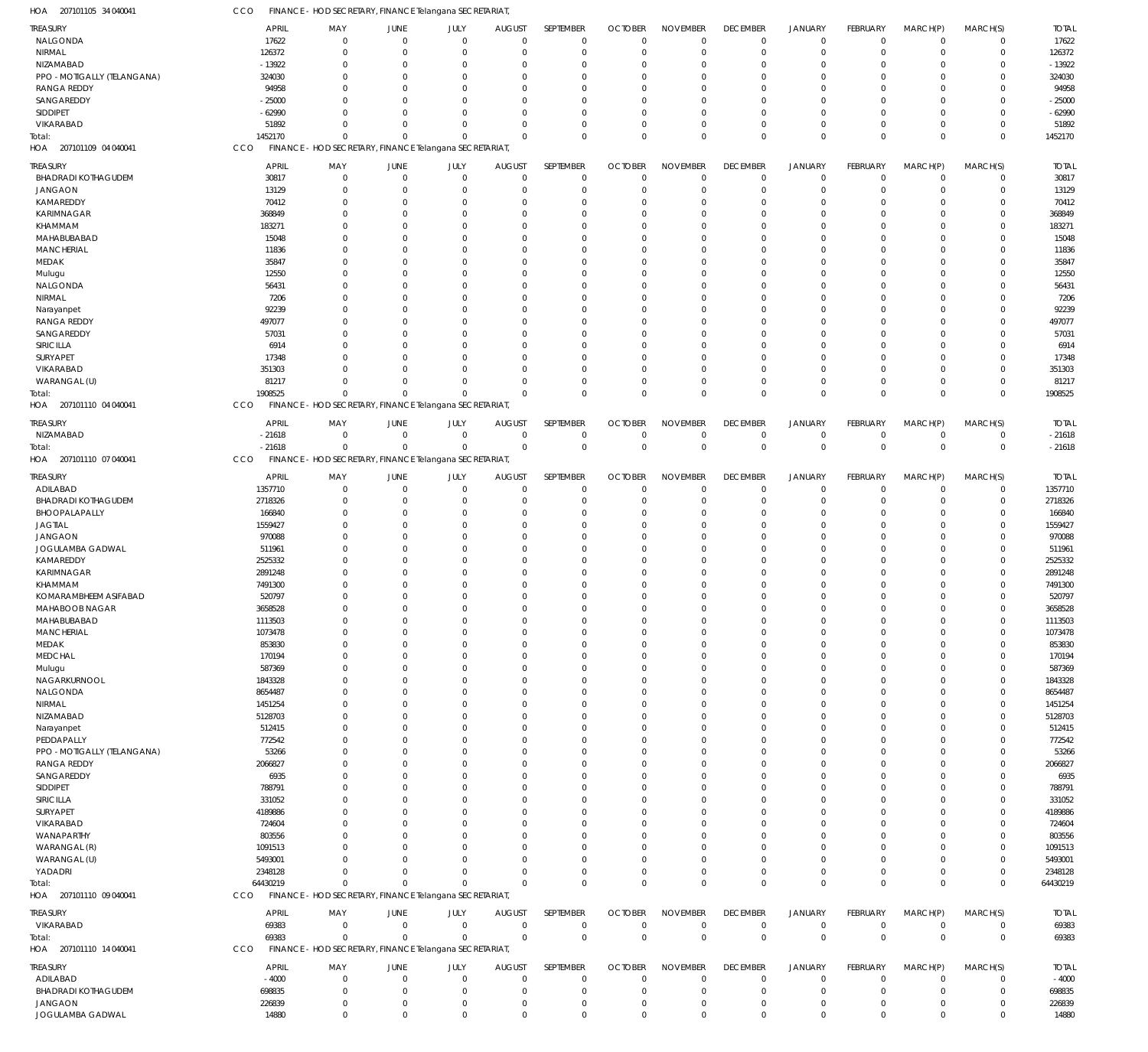207101105 34 040041 HOA 207101109 04 040041 HOA 207101110 04 040041 HOA 207101110 07 040041 HOA 207101110 09 040041 HOA 207101110 14 040041 HOA FINANCE - HOD SECRETARY, FINANCE Telangana SECRETARIAT, FINANCE - HOD SECRETARY, FINANCE Telangana SECRETARIAT, FINANCE - HOD SECRETARY, FINANCE Telangana SECRETARIAT, FINANCE - HOD SECRETARY, FINANCE Telangana SECRETARIAT, FINANCE - HOD SECRETARY, FINANCE Telangana SECRETARIAT, FINANCE - HOD SECRETARY, FINANCE Telangana SECRETARIAT, CCO CCO CCO **CCO CCO** CCO 1452170 1908525 -21618 64430219 69383 0 0  $\Omega$ 0 0 0 0  $\Omega$ 0 0 0  $\Omega$  $\Omega$ 0 0 0  $\Omega$  $\Omega$ 0 0  $\Omega$  $\Omega$ 0 0 0  $\overline{0}$  $\Omega$ 0 0 0  $\Omega$  $\Omega$  $\Omega$ 0 0 0  $\Omega$ 0 0 0  $\Omega$ 0 0 0 0 0 0 0 0 0  $\Omega$  $\Omega$  $\Omega$ 0 0 0  $\Omega$  $\Omega$ 0 0 1452170 1908525 -21618 64430219 69383 NALGONDA NIRMAL NIZAMABAD PPO -MOTIGALLY (TELANGANA) RANGA REDDY SANGAREDDY SIDDIPET VIKARABAD BHADRADI KOTHAGUDEM JANGAON KAMAREDDY KARIMNAGAR KHAMMAM MAHABUBABAD **MANCHERIAL** MEDAK Mulugu NALGONDA NIRMAL Narayanpet RANGA REDDY SANGAREDDY SIRICILLA SURYAPET VIKARABAD WARANGAL (U) NIZAMABAD ADILABAD BHADRADI KOTHAGUDEM BHOOPALAPALLY JAGTIAL JANGAON JOGULAMBA GADWAL KAMAREDDY KARIMNAGAR KHAMMAM KOMARAMBHEEM ASIFABAD MAHABOOB NAGAR MAHABUBABAD **MANCHERIAL** MEDAK MEDCHAL Mulugu NAGARKURNOOL NALGONDA NIRMAL NIZAMABAD Narayanpet PEDDAPALLY PPO -MOTIGALLY (TELANGANA) RANGA REDDY SANGAREDDY SIDDIPET SIRICILLA SURYAPET VIKARABAD WANAPARTHY WARANGAL (R) WARANGAL (U) YADADRI VIKARABAD ADILABAD BHADRADI KOTHAGUDEM JANGAON TREASURY **TREASURY** TREASURY TREASURY **TREASURY** TREASURY 17622 126372 -13922 324030 94958 -25000 -62990 51892 30817 13129 70412 368849 183271 15048 11836 35847 12550 56431 7206 92239 497077 57031 6914 17348 351303 81217 -21618 1357710 2718326 166840 1559427 970088 511961 2525332 2891248 7491300 520797 3658528 1113503 1073478 853830 170194 587369 1843328 8654487 1451254 5128703 512415 772542 53266 2066827 6935 788791 331052 4189886 724604 803556 1091513 5493001 2348128 69383 -4000 698835 226839 APRIL APRIL APRIL APRIL APRIL APRIL  $\Omega$ 0  $\Omega$ 0  $\Omega$  $\Omega$ 0  $\Omega$ 0 0  $\Omega$ 0  $\Omega$ 0 0  $\Omega$ 0  $\Omega$  $\Omega$ 0  $\Omega$  $\Omega$  $\Omega$ 0 0  $\Omega$ 0  $\Omega$ 0 0  $\Omega$ 0  $\Omega$ 0 0  $\Omega$  $\Omega$  $\Omega$ 0 0 0  $\Omega$  $\Omega$ 0  $\Omega$ 0 0  $\Omega$ 0  $\Omega$ 0 0  $\bigcap$ 0  $\Omega$  $\Omega$ 0  $\Omega$  $\Omega$  $\Omega$ 0 0  $\Omega$  $\,$  0  $\,$ MAY MAY MAY MAY MAY MAY 0 0  $\Omega$ 0 0  $\sqrt{2}$ 0  $\Omega$ 0 0  $\Omega$ 0  $\Omega$ 0 0  $\Omega$ 0  $\Omega$ 0 0 0  $\Omega$  $\Omega$ 0 0 0 0  $\Omega$ 0 0  $\Omega$ 0  $\Omega$ 0 0  $\Omega$ 0  $\Omega$ 0 0 0 0  $\Omega$ 0  $\Omega$ 0 0  $\Omega$ 0  $\Omega$ 0 0  $\Omega$ 0  $\Omega$ 0 0  $\Omega$  $\Omega$  $\Omega$ 0 0  $\Omega$  $\boldsymbol{0}$ JUNE JUNE JUNE JUNE **JUNE** JUNE 0 0  $\Omega$ 0 0  $\Omega$ 0  $\Omega$ 0 0  $\sqrt{0}$ 0  $\Omega$ 0 0  $\Omega$ 0  $\Omega$  $\Omega$ 0 0  $\Omega$  $\Omega$ 0 0  $\Omega$ 0  $\Omega$ 0 0 0 0  $\Omega$ 0 0 0  $\Omega$  $\Omega$ 0 0 0 0  $\Omega$ 0  $\Omega$ 0 0  $\Omega$ 0  $\Omega$ 0 0  $\Omega$ 0  $\Omega$  $\Omega$ 0  $\Omega$  $\Omega$  $\Omega$ 0 0 0  $\,$  0  $\,$ JULY JULY JULY JULY JULY JULY  $\Omega$ 0  $\Omega$ 0  $\Omega$  $\sqrt{2}$ 0  $\Omega$ 0 0  $\Omega$ 0  $\Omega$ 0 0  $\Omega$ 0  $\Omega$ 0 0  $\Omega$  $\Omega$  $\Omega$ 0 0  $\Omega$ 0  $\Omega$ 0 0  $\Omega$ 0  $\Omega$ 0 0  $\Omega$  $\Omega$  $\Omega$ 0 0 0  $\Omega$  $\Omega$ 0  $\Omega$ 0 0  $\Omega$ 0  $\Omega$ 0  $\Omega$  $\Omega$ 0  $\Omega$ 0 0  $\Omega$  $\Omega$  $\Omega$ 0 0  $\Omega$  $\,$  0  $\,$ AUGUST **AUGUST** AUGUST AUGUST AUGUST AUGUST  $\Omega$  $\overline{0}$  $\Omega$ 0 0  $\Omega$ 0  $\Omega$ 0 0  $\Omega$ 0  $\Omega$ 0 0  $\Omega$ 0  $\Omega$  $\theta$ 0  $\Omega$  $\Omega$  $\Omega$  $\overline{0}$ 0  $\Omega$ 0  $\Omega$ 0 0  $\Omega$ 0  $\Omega$  $\overline{0}$ 0  $\Omega$  $\Omega$  $\Omega$  $\theta$ 0  $\Omega$  $\Omega$  $\Omega$  $\overline{0}$  $\Omega$  $\Omega$  $\Omega$  $\Omega$ 0  $\Omega$  $\overline{0}$  $\Omega$  $\Omega$ 0  $\Omega$  $\Omega$ 0  $\Omega$  $\Omega$  $\Omega$ 0 0  $\Omega$ 0 SEPTEMBER **SEPTEMBER** SEPTEMBER SEPTEMBER **SEPTEMBER** SEPTEMBER  $\Omega$ 0  $\Omega$ 0  $\Omega$  $\Omega$ 0  $\Omega$ 0 0  $\Omega$ 0  $\Omega$ 0  $\Omega$  $\Omega$ 0  $\Omega$ 0  $\Omega$  $\Omega$  $\Omega$  $\Omega$ 0 0 0 0  $\Omega$ 0 0  $\Omega$ 0  $\Omega$ 0 0  $\Omega$  $\Omega$  $\Omega$ 0 0 0  $\Omega$  $\Omega$ 0  $\sqrt{2}$ 0  $\Omega$  $\Omega$ 0  $\Omega$  $\overline{0}$  $\Omega$  $\Omega$ 0  $\Omega$ 0  $\Omega$  $\Omega$  $\Omega$  $\Omega$ 0 0  $\Omega$  $\,$   $\,$   $\,$ **OCTOBER** OCTOBER **OCTOBER** OCTOBER **OCTOBER** OCTOBER  $\Omega$ 0  $\Omega$ 0 0  $\Omega$ 0  $\Omega$ 0 0  $\Omega$ 0  $\Omega$ 0 0  $\Omega$ 0  $\Omega$ 0 0  $\Omega$  $\Omega$  $\Omega$ 0 0 0 0  $\Omega$  $\mathbf 0$ 0  $\Omega$ 0  $\Omega$ 0 0  $\Omega$  $\Omega$  $\Omega$ 0 0 0  $\Omega$  $\Omega$ 0  $\Omega$ 0 0  $\Omega$ 0  $\Omega$ 0 0  $\Omega$ 0  $\Omega$ 0 0  $\Omega$  $\Omega$  $\Omega$ 0 0  $\Omega$ 0 NOVEMBER NOVEMBER NOVEMBER NOVEMBER NOVEMBER NOVEMBER 0 0  $\Omega$ 0  $\Omega$  $\Omega$ 0  $\Omega$ 0 0  $\Omega$ 0  $\Omega$  $\overline{0}$ 0  $\Omega$ 0  $\Omega$ 0 0  $\Omega$  $\Omega$  $\Omega$  $\overline{0}$ 0 0 0  $\Omega$  $\overline{0}$ 0  $\Omega$ 0  $\Omega$  $\overline{0}$ 0  $\Omega$  $\Omega$  $\Omega$ 0 0 0  $\Omega$  $\Omega$  $\overline{0}$  $\Omega$ 0  $\Omega$  $\Omega$ 0  $\Omega$  $\overline{0}$  $\Omega$  $\Omega$ 0  $\Omega$ 0 0  $\Omega$  $\Omega$  $\Omega$ 0 0 0 0 DECEMBER **DECEMBER DECEMBER** DECEMBER **DECEMBER** DECEMBER  $\Omega$ 0  $\Omega$ 0  $\Omega$  $\Omega$ 0  $\Omega$ 0 0  $\Omega$ 0  $\Omega$ 0  $\Omega$  $\Omega$ 0  $\Omega$ 0 0  $\Omega$  $\Omega$  $\Omega$ 0 0 0 0  $\Omega$ 0 0  $\Omega$ 0  $\Omega$ 0 0  $\Omega$  $\Omega$  $\Omega$ 0 0 0  $\Omega$  $\Omega$ 0  $\Omega$ 0 0  $\Omega$ 0  $\Omega$ 0  $\Omega$  $\Omega$ 0  $\Omega$ 0 0  $\Omega$  $\Omega$  $\Omega$ 0 0  $\Omega$  $\,$  0  $\,$ JANUARY JANUARY JANUARY JANUARY JANUARY JANUARY 0 0  $\Omega$ 0 0  $\Omega$ 0  $\Omega$ 0 0  $\Omega$ 0  $\Omega$  $\overline{0}$ 0  $\Omega$ 0  $\Omega$  $\overline{0}$ 0 0 0  $\Omega$ 0 0 0 0  $\Omega$  $\overline{0}$ 0 0 0  $\Omega$ 0 0 0 0  $\Omega$ 0 0 0 0  $\Omega$ 0  $\Omega$ 0 0  $\Omega$ 0  $\Omega$  $\overline{0}$ 0  $\Omega$ 0  $\Omega$  $\overline{0}$ 0 0 0 0 0 0  $\Omega$  $\boldsymbol{0}$ FEBRUARY FEBRUARY FEBRUARY FEBRUARY FEBRUARY FEBRUARY  $\Omega$ 0  $\Omega$ 0  $\Omega$  $\Omega$ 0  $\Omega$ 0 0  $\Omega$ 0  $\Omega$  $\overline{0}$  $\Omega$  $\Omega$ 0  $\Omega$ 0  $\Omega$  $\Omega$  $\Omega$  $\Omega$  $\overline{0}$ 0 0 0  $\Omega$  $\overline{0}$ 0  $\Omega$ 0  $\Omega$  $\overline{0}$ 0  $\Omega$  $\Omega$  $\Omega$ 0 0 0  $\Omega$  $\Omega$  $\overline{0}$  $\Omega$ 0  $\Omega$  $\Omega$ 0  $\Omega$  $\overline{0}$  $\Omega$  $\Omega$ 0  $\Omega$ 0 0  $\Omega$  $\Omega$  $\Omega$ 0 0  $\Omega$  $\,$  0  $\,$ MARCH(P) MARCH(P) MARCH(P) MARCH(P) MARCH(P) MARCH(P)  $\Omega$ 0  $\Omega$ 0  $\Omega$  $\Omega$ 0  $\Omega$ 0  $\Omega$  $\Omega$ 0  $\Omega$ 0  $\Omega$  $\Omega$ 0  $\Omega$ 0  $\Omega$ 0  $\Omega$  $\Omega$ 0 0 0 0  $\Omega$ 0 0  $\Omega$ 0  $\Omega$ 0 0 0  $\Omega$  $\Omega$ 0 0 0  $\Omega$  $\Omega$ 0  $\Omega$ 0  $\Omega$  $\Omega$ 0  $\Omega$ 0  $\Omega$ 0 0  $\Omega$ 0  $\Omega$ 0  $\Omega$  $\Omega$ 0 0  $\Omega$  $\,$   $\,$   $\,$ MARCH(S) MARCH(S) MARCH(S) MARCH(S) MARCH(S) MARCH(S) 17622 126372 -13922 324030 94958 -25000 -62990 51892 30817 13129 70412 368849 183271 15048 11836 35847 12550 56431 7206 92239 497077 57031 6914 17348 351303 81217 -21618 1357710 2718326 166840 1559427 970088 511961 2525332 2891248 7491300 520797 3658528 1113503 1073478 853830 170194 587369 1843328 8654487 1451254 5128703 512415 772542 53266 2066827 6935 788791 331052 4189886 724604 803556 1091513 5493001 2348128 69383 -4000 698835 226839 TOTAL TOTAL TOTAL TOTAL TOTAL TOTAL Total: Total: Total: Total: Total:

JOGULAMBA GADWAL

14880

 $\Omega$ 

 $\Omega$ 

 $\Omega$ 

 $\Omega$ 

 $\Omega$ 

 $\Omega$ 

 $\Omega$ 

 $\Omega$ 

 $\Omega$ 

 $\Omega$ 

 $\Omega$ 

 $\Omega$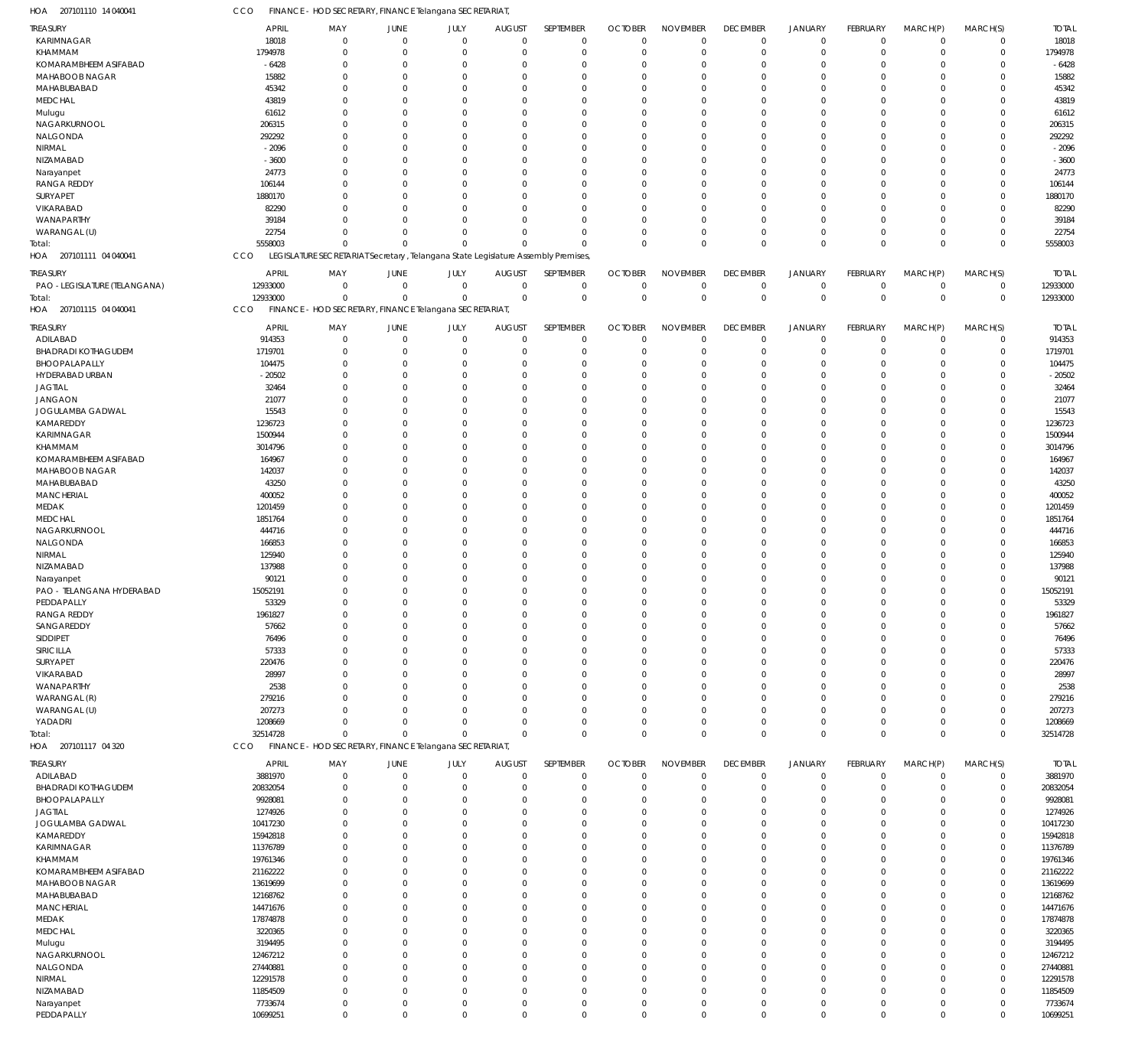207101110 14 040041 HOA 207101111 04 040041 HOA 207101115 04 040041 HOA 207101117 04 320 HOA LEGISLATURE SECRETARIAT Secretary , Telangana State Legislature Assembly Premises, FINANCE - HOD SECRETARY, FINANCE Telangana SECRETARIAT, FINANCE - HOD SECRETARY, FINANCE Telangana SECRETARIAT, CCO **CCO** CCO 5558003 12933000 32514728  $\Omega$ 0 0  $\Omega$ 0 0  $\Omega$ 0  $\Omega$  $\Omega$ 0 0  $\Omega$ 0 0  $\Omega$ 0 0  $\Omega$ 0 0  $\Omega$ 0 0  $\Omega$ 0 0  $\Omega$ 0 0  $\Omega$  $\overline{0}$ 0  $\Omega$ 0  $\Omega$ 5558003 12933000 32514728 KARIMNAGAR KHAMMAM KOMARAMBHEEM ASIFABAD MAHABOOB NAGAR MAHABUBABAD MEDCHAL Mulugu NAGARKURNOOL NALGONDA NIRMAL NIZAMABAD Narayanpet RANGA REDDY SURYAPET VIKARABAD WANAPARTHY WARANGAL (U) PAO -LEGISLATURE (TELANGANA) ADILABAD BHADRADI KOTHAGUDEM BHOOPALAPALLY HYDERABAD URBAN JAGTIAL JANGAON JOGULAMBA GADWAL KAMAREDDY KARIMNAGAR KHAMMAM KOMARAMBHEEM ASIFABAD MAHABOOB NAGAR MAHABUBABAD MANCHERIAL MEDAK MEDCHAL NAGARKURNOOL NALGONDA NIRMAL NIZAMABAD Narayanpet PAO - TELANGANA HYDERABAD PEDDAPALLY RANGA REDDY SANGAREDDY SIDDIPET SIRICILLA SURYAPET VIKARABAD WANAPARTHY WARANGAL (R) WARANGAL (U) YADADRI ADILABAD BHADRADI KOTHAGUDEM BHOOPALAPALLY JAGTIAL JOGULAMBA GADWAL KAMAREDDY KARIMNAGAR KHAMMAM KOMARAMBHEEM ASIFABAD MAHABOOB NAGAR MAHABUBABAD MANCHERIAL MEDAK MEDCHAL Mulugu NAGARKURNOOL NALGONDA NIRMAL NIZAMABAD TREASURY TREASURY **TREASURY** TREASURY 18018 1794978 -6428 15882 45342 43819 61612 206315 292292 -2096 -3600 24773 106144 1880170 82290 39184 22754 12933000 914353 1719701 104475 -20502 32464 21077 15543 1236723 1500944 3014796 164967 142037 43250 400052 1201459 1851764 444716 166853 125940 137988 90121 15052191 53329 1961827 57662 76496 57333 220476 28997 2538 279216 207273 1208669 3881970 20832054 9928081 1274926 10417230 15942818 11376789 19761346 21162222 13619699 12168762 14471676 17874878 3220365 3194495 12467212 27440881 12291578 11854509 APRIL APRIL APRIL APRIL  $\Omega$ 0  $\Omega$ 0  $\Omega$  $\sqrt{2}$ 0  $\Omega$  $\Omega$ 0  $\Omega$ 0  $\Omega$ 0 0  $\Omega$  $\Omega$  $\Omega$ 0 0  $\sqrt{2}$ 0  $\Omega$  $\Omega$ 0  $\Omega$ 0  $\Omega$  $\Omega$ 0  $\Omega$  $\Omega$  $\Omega$ 0  $\Omega$  $\Omega$  $\Omega$  $\Omega$ 0  $\Omega$ 0 0  $\sqrt{2}$ 0  $\Omega$  $\Omega$  $\Omega$  $\Omega$ 0  $\Omega$ 0 0  $\Omega$ 0  $\Omega$  $\Omega$ 0  $\Omega$  $\Omega$  $\Omega$ 0 0  $\Omega$  $\Omega$  $\Omega$ 0  $\Omega$ 0 0  $\Omega$ MAY MAY MAY MAY 0 0  $\Omega$ 0 0  $\Omega$ 0  $\Omega$ 0 0 0 0  $\Omega$ 0 0 0 0 0 0 0  $\Omega$ 0  $\Omega$ 0 0  $\Omega$ 0  $\Omega$ 0 0 0 0  $\Omega$ 0  $\Omega$ 0 0  $\Omega$ 0  $\Omega$ 0 0  $\Omega$ 0  $\Omega$ 0 0 0 0  $\Omega$ 0 0  $\Omega$ 0  $\Omega$ 0 0 0 0  $\Omega$ 0 0 0 0  $\Omega$ 0  $\Omega$ 0 0  $\Omega$ JUNE JUNE JUNE JUNE 0 0  $\Omega$ 0 0  $\Omega$ 0  $\Omega$ 0 0 0 0  $\Omega$ 0 0 0 0 0 0 0 0 0  $\Omega$ 0 0  $\Omega$ 0  $\Omega$ 0 0 0  $\Omega$  $\Omega$ 0  $\Omega$ 0 0 0 0  $\Omega$ 0 0  $\Omega$ 0  $\Omega$  $\Omega$ 0 0 0  $\Omega$ 0 0 0 0  $\Omega$ 0 0 0  $\Omega$  $\Omega$ 0 0 0 0 0 0  $\Omega$ 0 0  $\Omega$ JULY JULY JULY JULY 0 0  $\Omega$ 0 0  $\Omega$ 0  $\Omega$ 0 0  $\Omega$ 0  $\Omega$ 0 0  $\Omega$  $\Omega$ 0 0 0  $\Omega$ 0  $\Omega$ 0 0  $\Omega$ 0  $\Omega$ 0 0 0 0  $\Omega$ 0  $\Omega$ 0 0  $\Omega$ 0  $\Omega$ 0 0  $\Omega$ 0  $\Omega$ 0 0 0 0  $\Omega$ 0 0  $\Omega$ 0  $\Omega$ 0 0 0  $\Omega$  $\Omega$ 0 0 0 0  $\Omega$ 0  $\Omega$ 0 0  $\Omega$ AUGUST AUGUST **AUGUST** AUGUST  $\Omega$ 0  $\Omega$ 0 0  $\Omega$ 0  $\Omega$  $\Omega$ 0  $\Omega$  $\overline{0}$  $\Omega$ 0 0  $\Omega$  $\Omega$  $\Omega$ 0 0  $\Omega$ 0  $\Omega$ 0 0  $\Omega$ 0  $\Omega$  $\overline{0}$ 0  $\Omega$  $\Omega$  $\Omega$ 0  $\Omega$  $\Omega$ 0  $\Omega$  $\overline{0}$  $\Omega$ 0 0  $\Omega$ 0  $\Omega$  $\Omega$ 0  $\Omega$ 0  $\Omega$ 0 0  $\Omega$ 0  $\Omega$ 0 0  $\Omega$  $\Omega$  $\Omega$ 0 0  $\Omega$  $\Omega$  $\Omega$  $\overline{0}$  $\Omega$ 0 0  $\Omega$ SEPTEMBER SEPTEMBER SEPTEMBER SEPTEMBER  $\Omega$ 0  $\Omega$ 0 0  $\Omega$ 0  $\Omega$  $\Omega$ 0  $\Omega$ 0  $\Omega$ 0 0  $\Omega$  $\Omega$  $\Omega$ 0 0  $\Omega$ 0  $\Omega$ 0 0  $\Omega$ 0  $\Omega$ 0 0  $\Omega$  $\Omega$  $\Omega$ 0  $\Omega$ 0  $\Omega$  $\Omega$ 0  $\Omega$ 0  $\Omega$  $\Omega$ 0  $\Omega$ 0 0  $\Omega$ 0  $\Omega$ 0 0  $\Omega$ 0  $\Omega$ 0 0  $\Omega$  $\Omega$  $\Omega$ 0 0 0  $\Omega$  $\Omega$ 0  $\Omega$ 0 0  $\Omega$ **OCTOBER** OCTOBER OCTOBER OCTOBER 0 0  $\Omega$ 0 0  $\Omega$ 0  $\Omega$ 0 0  $\Omega$ 0  $\Omega$ 0 0 0 0  $\Omega$ 0 0  $\Omega$ 0  $\Omega$ 0 0  $\Omega$ 0  $\Omega$ 0 0 0  $\Omega$  $\Omega$ 0  $\Omega$ 0  $\Omega$  $\Omega$ 0  $\Omega$ 0 0  $\Omega$ 0  $\Omega$  $\overline{0}$ 0  $\Omega$ 0  $\Omega$ 0 0  $\Omega$ 0  $\Omega$ 0 0 0  $\Omega$  $\Omega$ 0 0 0 0  $\Omega$ 0  $\Omega$ 0 0  $\Omega$ NOVEMBER NOVEMBER NOVEMBER NOVEMBER 0 0  $\Omega$ 0 0  $\Omega$ 0  $\Omega$  $\Omega$ 0  $\Omega$ 0  $\Omega$  $\overline{0}$ 0 0  $\overline{0}$  $\Omega$ 0 0 0 0  $\Omega$  $\overline{0}$ 0  $\Omega$ 0  $\Omega$  $\overline{0}$ 0 0  $\Omega$  $\Omega$ 0  $\Omega$ 0 0  $\Omega$ 0  $\Omega$ 0 0  $\Omega$ 0  $\Omega$  $\Omega$ 0 0 0  $\Omega$ 0 0  $\Omega$ 0  $\Omega$  $\overline{0}$ 0 0  $\Omega$  $\Omega$ 0 0 0 0  $\Omega$  $\overline{0}$  $\Omega$ 0 0  $\Omega$ DECEMBER DECEMBER **DECEMBER** DECEMBER 0 0  $\Omega$ 0 0  $\Omega$ 0  $\Omega$  $\Omega$ 0  $\Omega$ 0  $\Omega$ 0 0 0 0  $\Omega$ 0 0 0 0  $\Omega$ 0 0  $\Omega$ 0  $\Omega$ 0 0 0  $\Omega$  $\Omega$ 0  $\Omega$ 0 0  $\Omega$ 0  $\Omega$ 0 0  $\Omega$ 0  $\Omega$  $\Omega$ 0 0 0  $\Omega$ 0 0  $\Omega$ 0  $\Omega$ 0 0 0  $\Omega$  $\Omega$ 0 0 0 0  $\Omega$ 0  $\Omega$ 0 0  $\Omega$ JANUARY JANUARY JANUARY JANUARY 0 0  $\Omega$ 0 0  $\Omega$ 0  $\Omega$  $\overline{0}$ 0 0 0  $\Omega$ 0 0 0 0  $\Omega$ 0 0 0 0  $\Omega$ 0 0 0 0  $\Omega$ 0 0 0 0  $\Omega$ 0  $\Omega$ 0 0 0 0  $\Omega$ 0 0  $\Omega$ 0  $\Omega$  $\overline{0}$ 0 0 0  $\Omega$  $\boldsymbol{0}$ 0 0 0  $\Omega$  $\overline{0}$ 0 0 0  $\Omega$ 0 0 0 0 0 0  $\Omega$ 0 0  $\Omega$ FEBRUARY FEBRUARY FEBRUARY FEBRUARY 0 0  $\Omega$ 0 0  $\Omega$ 0  $\Omega$  $\Omega$ 0  $\Omega$ 0  $\Omega$  $\overline{0}$ 0 0 0  $\Omega$ 0 0  $\Omega$ 0  $\Omega$  $\overline{0}$ 0  $\Omega$ 0  $\Omega$  $\overline{0}$ 0 0  $\Omega$  $\Omega$ 0  $\Omega$ 0 0  $\Omega$ 0  $\Omega$ 0 0  $\Omega$ 0  $\Omega$  $\overline{0}$ 0 0 0  $\Omega$ 0 0  $\Omega$ 0  $\Omega$  $\overline{0}$ 0 0  $\Omega$  $\Omega$ 0 0 0  $\Omega$  $\Omega$ 0  $\Omega$ 0 0  $\Omega$ MARCH(P) MARCH(P) MARCH(P) MARCH(P)  $\Omega$ 0  $\Omega$ 0  $\Omega$  $\Omega$ 0  $\Omega$ 0  $\Omega$  $\Omega$ 0  $\Omega$ 0 0 0  $\Omega$  $\Omega$ 0 0  $\Omega$ 0  $\Omega$ 0 0  $\Omega$ 0  $\Omega$ 0 0 0  $\Omega$  $\Omega$ 0  $\Omega$ 0  $\Omega$  $\Omega$ 0  $\Omega$ 0 0  $\Omega$ 0  $\Omega$ 0  $\Omega$ 0 0  $\Omega$ 0  $\Omega$  $\Omega$ 0  $\Omega$ 0 0 0  $\Omega$  $\Omega$ 0 0 0  $\Omega$  $\Omega$ 0  $\Omega$ 0 0  $\Omega$ MARCH(S) MARCH(S) MARCH(S) MARCH(S) 18018 1794978 -6428 15882 45342 43819 61612 206315 292292 -2096 -3600 24773 106144 1880170 82290 39184 22754 12933000 914353 1719701 104475 -20502 32464 21077 15543 1236723 1500944 3014796 164967 142037 43250 400052 1201459 1851764 444716 166853 125940 137988 90121 15052191 53329 1961827 57662 76496 57333 220476 28997 2538 279216 207273 1208669 3881970 20832054 9928081 1274926 10417230 15942818 11376789 19761346 21162222 13619699 12168762 14471676 17874878 3220365 3194495 12467212 27440881 12291578 11854509 TOTAL TOTAL TOTAL TOTAL Total: Total: Total:

FINANCE - HOD SECRETARY, FINANCE Telangana SECRETARIAT,

CCO

Narayanpet PEDDAPALLY

7733674 10699251

0  $\Omega$ 

 $\,$  0  $\,$  $\Omega$ 

0  $\Omega$ 

 $\,$   $\,$   $\,$  $\Omega$ 

0  $\Omega$ 

 $\,$   $\,$   $\,$  $\Omega$ 

 $\,$  0  $\,$  $\Omega$ 

0  $\Omega$   $\,$  0  $\,$  $\Omega$ 

 $\boldsymbol{0}$  $\Omega$ 

 $\,$  0  $\,$  $\Omega$ 

0  $\Omega$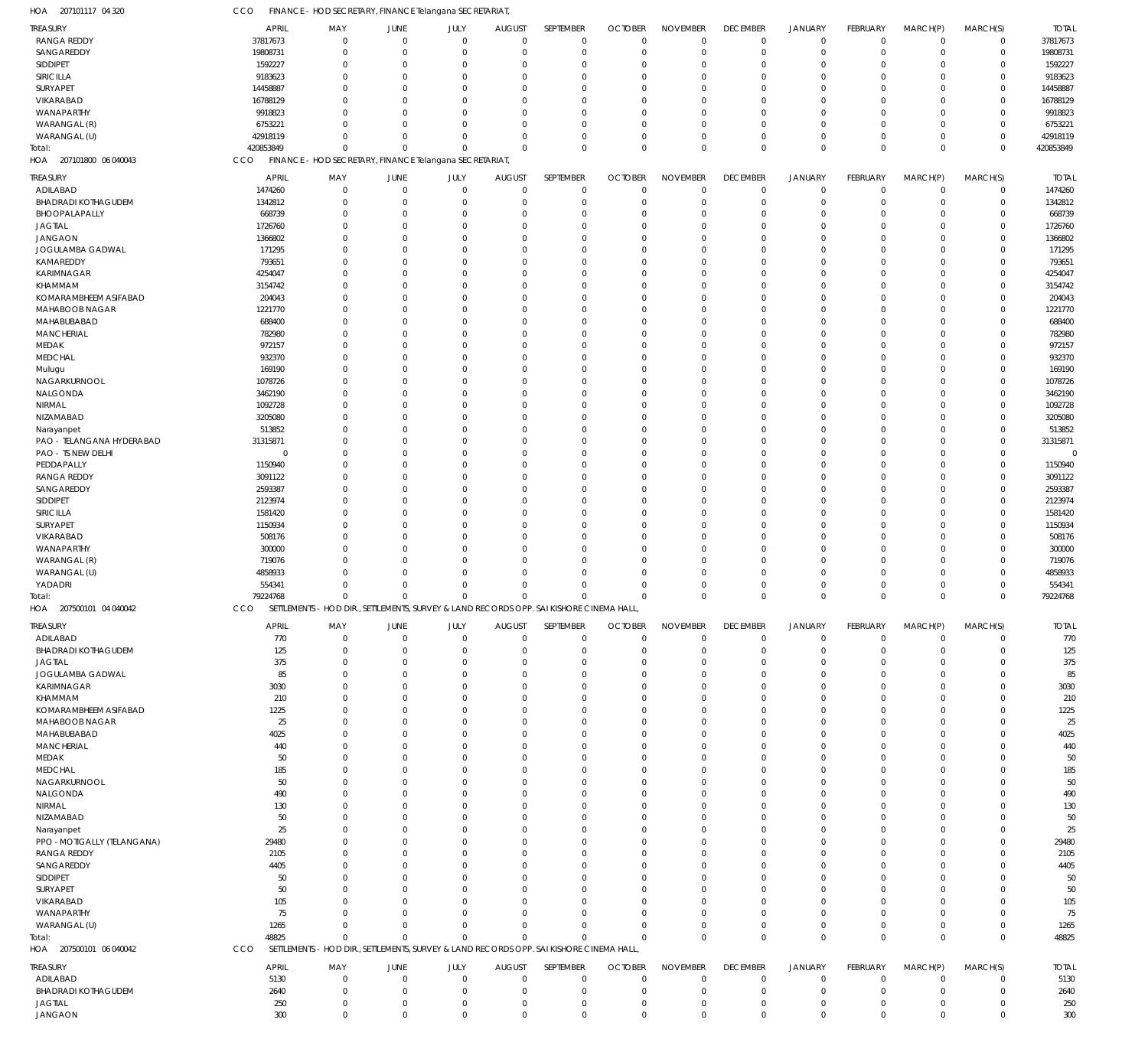| TREASURY                         | <b>APRIL</b>   | MAY                                                                                      | JUNE             | JULY                       | <b>AUGUST</b>    | SEPTEMBER                  | <b>OCTOBER</b>   | <b>NOVEMBER</b>            | <b>DECEMBER</b>  | <b>JANUARY</b>             | FEBRUARY                     | MARCH(P)                      | MARCH(S)         | <b>TOTAL</b> |
|----------------------------------|----------------|------------------------------------------------------------------------------------------|------------------|----------------------------|------------------|----------------------------|------------------|----------------------------|------------------|----------------------------|------------------------------|-------------------------------|------------------|--------------|
| <b>RANGA REDDY</b>               | 37817673       | $\mathbf{0}$                                                                             | $\mathbf 0$      | $\overline{0}$             | $\mathbf 0$      | $\mathbf 0$                | $\Omega$         | $\mathbf{0}$               | $\mathbf{0}$     | $\overline{0}$             | $\Omega$                     | $\mathbf{0}$                  | $\mathbf 0$      | 37817673     |
| SANGAREDDY                       | 19808731       | $\Omega$                                                                                 | $\mathbf 0$      | $\overline{0}$             | $\Omega$         | $\mathbf 0$                | $\Omega$         | $\mathbf 0$                | $\Omega$         | $\overline{0}$             | $\Omega$                     | $\Omega$                      | $\mathbf 0$      | 19808731     |
| SIDDIPET                         | 1592227        | $\Omega$                                                                                 | $\mathbf 0$      | $\Omega$                   | $\Omega$         | $\Omega$                   | $\Omega$         | $\Omega$                   | $\Omega$         | $\Omega$                   | $\Omega$                     | $\Omega$                      | 0                | 1592227      |
| SIRICILLA                        | 9183623        | $\Omega$                                                                                 | $\Omega$         | $\Omega$                   | $\Omega$         | $\Omega$                   | $\Omega$         | $\Omega$                   | $\Omega$         | $\Omega$                   | $\Omega$                     | $\Omega$                      | $\Omega$         | 9183623      |
| <b>SURYAPET</b>                  | 14458887       | $\Omega$                                                                                 | $\Omega$         | $\Omega$                   | $\Omega$         | $\Omega$                   | $\Omega$         | $\Omega$                   | $\Omega$         | $\Omega$                   | $\Omega$                     | $\Omega$                      | $\Omega$         | 14458887     |
| VIKARABAD                        | 16788129       | $\Omega$                                                                                 | $\Omega$         | $\Omega$                   | $\Omega$         | $\Omega$                   | $\Omega$         | $\Omega$                   | $\Omega$         | $\Omega$                   | $\Omega$                     | $\Omega$                      | $\Omega$         | 16788129     |
| WANAPARTHY                       | 9918823        | $\Omega$                                                                                 | $\Omega$         | $\Omega$                   | $\Omega$         | $\Omega$                   | $\Omega$         | $\Omega$                   | $\Omega$         | $\Omega$                   | $\Omega$                     | $\Omega$                      | $\Omega$         | 9918823      |
| WARANGAL (R)                     | 6753221        | $\Omega$                                                                                 | $\Omega$         | $\Omega$                   | $\Omega$         | $\Omega$                   | $\Omega$         | $\mathbf{0}$               | $\Omega$         | $\Omega$                   | $\Omega$                     | $\Omega$                      | $\Omega$         | 6753221      |
| WARANGAL (U)                     | 42918119       | $\Omega$                                                                                 | $\Omega$         | $\Omega$                   | $\Omega$         | $\mathbf 0$                | $\Omega$         | $\mathbf{0}$               | $\Omega$         | $\Omega$                   | $\Omega$                     | $\Omega$                      | 0                | 42918119     |
| Total:                           | 420853849      | $\Omega$                                                                                 | $\Omega$         | $\Omega$                   | $\Omega$         | $\mathbf 0$                | $\Omega$         | $\Omega$                   | $\Omega$         | $\mathbf 0$                | $\Omega$                     | $\Omega$                      | $\Omega$         | 420853849    |
| HOA 207101800 06 040043          | CCO            | FINANCE - HOD SECRETARY, FINANCE Telangana SECRETARIAT                                   |                  |                            |                  |                            |                  |                            |                  |                            |                              |                               |                  |              |
|                                  |                |                                                                                          |                  |                            |                  |                            |                  |                            |                  |                            |                              |                               |                  |              |
| TREASURY                         | <b>APRIL</b>   | MAY                                                                                      | JUNE             | JULY                       | <b>AUGUST</b>    | SEPTEMBER                  | <b>OCTOBER</b>   | <b>NOVEMBER</b>            | <b>DECEMBER</b>  | <b>JANUARY</b>             | FEBRUARY                     | MARCH(P)                      | MARCH(S)         | <b>TOTAL</b> |
| ADILABAD                         | 1474260        | 0                                                                                        | $\mathbf 0$      | $\mathbf 0$                | 0                | $\mathbf 0$                | $\Omega$         | $\mathbf 0$                | $\mathbf{0}$     | $\mathbf 0$                | $^{\circ}$                   | $\Omega$                      | $\mathbf 0$      | 1474260      |
| <b>BHADRADI KOTHAGUDEM</b>       | 1342812        | $\mathbf{0}$                                                                             | $\mathbf 0$      | $\overline{0}$             | 0                | $\mathbf 0$                | $\mathbf 0$      | $\mathbf 0$                | $\mathbf 0$      | $\mathbf 0$                | $^{\circ}$                   | $\Omega$                      | $\pmb{0}$        | 1342812      |
| BHOOPALAPALLY                    | 668739         | $\Omega$                                                                                 | $\mathbf 0$      | $\mathbf 0$                | $\Omega$         | $\mathbf 0$                | $\Omega$         | $\mathbf 0$                | $\Omega$         | $\Omega$                   | $\Omega$                     | $\Omega$                      | 0                | 668739       |
| <b>JAGTIAL</b>                   | 1726760        | $\Omega$                                                                                 | $\mathbf 0$      | $\Omega$                   | $\Omega$         | $\mathbf 0$                | $\Omega$         | $\Omega$                   | $\Omega$         | $\Omega$                   | $\Omega$                     | $\Omega$                      | 0                | 1726760      |
| <b>JANGAON</b>                   | 1366802        | $\Omega$                                                                                 | $\Omega$         | $\mathbf 0$                | $\Omega$         | $\mathbf 0$                | $\Omega$         | $\Omega$                   | $\Omega$         | $\Omega$                   | $\Omega$                     | $\Omega$                      | 0                | 1366802      |
| JOGULAMBA GADWAL                 | 171295         | $\Omega$                                                                                 | $\mathbf 0$      | $\Omega$                   | $\Omega$         | $\mathbf 0$                | $\Omega$         | $\Omega$                   | $\Omega$         | $\Omega$                   | $\Omega$                     | $\Omega$                      | 0                | 171295       |
|                                  |                |                                                                                          |                  |                            |                  |                            |                  |                            |                  |                            |                              | $\Omega$                      |                  |              |
| KAMAREDDY                        | 793651         | $\Omega$                                                                                 | $\Omega$         | $\Omega$                   | $\Omega$         | $\mathbf 0$                | $\Omega$         | $\Omega$                   | $\Omega$         | $\Omega$                   | $\Omega$                     |                               | 0                | 793651       |
| KARIMNAGAR                       | 4254047        | $\Omega$                                                                                 | $\mathbf 0$      | $\mathbf 0$                | $\Omega$         | $\mathbf 0$                | $\Omega$         | $\Omega$                   | $\Omega$         | $\Omega$                   | $\Omega$                     | $\Omega$                      | 0                | 4254047      |
| KHAMMAM                          | 3154742        | $\Omega$                                                                                 | $\Omega$         | $\Omega$                   | $\Omega$         | $\Omega$                   | $\Omega$         | $\Omega$                   | $\Omega$         | $\Omega$                   | $\Omega$                     | $\Omega$                      | $\Omega$         | 3154742      |
| KOMARAMBHEEM ASIFABAD            | 204043         | $\Omega$                                                                                 | $\Omega$         | $\Omega$                   | $\Omega$         | $\mathbf 0$                | $\Omega$         | $\Omega$                   | $\Omega$         | $\Omega$                   | $\Omega$                     | $\Omega$                      | 0                | 204043       |
| MAHABOOB NAGAR                   | 1221770        | $\Omega$                                                                                 | $\Omega$         | $\overline{0}$             | $\Omega$         | $\mathbf 0$                | $\Omega$         | $\mathbf{0}$               | $\Omega$         | $\Omega$                   | $\Omega$                     | $\Omega$                      | 0                | 1221770      |
| MAHABUBABAD                      | 688400         | $\Omega$                                                                                 | $\mathbf 0$      | $\Omega$                   | $\Omega$         | $\mathbf 0$                | $\Omega$         | $\mathbf{0}$               | $\Omega$         | $\Omega$                   | $\Omega$                     | $\Omega$                      | 0                | 688400       |
| MANCHERIAL                       | 782980         | $\Omega$                                                                                 | $\Omega$         | $\Omega$                   | $\Omega$         | $\Omega$                   | $\Omega$         | $\Omega$                   | $\Omega$         | $\Omega$                   | $\Omega$                     | $\Omega$                      | 0                | 782980       |
| MEDAK                            | 972157         | $\mathbf 0$                                                                              | $\mathbf 0$      | $\overline{0}$             | $\Omega$         | $\mathbf 0$                | $\Omega$         | $\mathbf{0}$               | $\Omega$         | $\Omega$                   | $\Omega$                     | $\Omega$                      | 0                | 972157       |
| <b>MEDCHAL</b>                   | 932370         | $\Omega$                                                                                 | $\Omega$         | $\Omega$                   | $\Omega$         | $\Omega$                   | $\Omega$         | $\Omega$                   | $\Omega$         | $\Omega$                   | $\Omega$                     | $\Omega$                      | $\Omega$         | 932370       |
| Mulugu                           | 169190         | $\Omega$                                                                                 | $\Omega$         | $\Omega$                   | $\Omega$         | $\mathbf 0$                | $\Omega$         | $\Omega$                   | $\Omega$         | $\Omega$                   | $\Omega$                     | $\Omega$                      | 0                | 169190       |
|                                  |                |                                                                                          |                  |                            |                  |                            |                  |                            |                  | $\Omega$                   |                              | $\Omega$                      |                  |              |
| NAGARKURNOOL                     | 1078726        | $\Omega$                                                                                 | $\Omega$         | $\overline{0}$             | $\Omega$         | $\mathbf 0$                | $\Omega$         | $\Omega$                   | $\Omega$         |                            | $\Omega$                     |                               | 0                | 1078726      |
| NALGONDA                         | 3462190        | $\Omega$                                                                                 | $\Omega$         | $\Omega$                   | $\Omega$         | $\mathbf 0$                | $\Omega$         | $\mathbf{0}$               | $\Omega$         | $\Omega$                   | $\Omega$                     | $\Omega$                      | 0                | 3462190      |
| NIRMAL                           | 1092728        | $\Omega$                                                                                 | $\Omega$         | $\Omega$                   | $\Omega$         | $\mathbf 0$                | $\Omega$         | $\mathbf{0}$               | $\Omega$         | $\Omega$                   | $\Omega$                     | $\Omega$                      | 0                | 1092728      |
| NIZAMABAD                        | 3205080        | $\Omega$                                                                                 | $\mathbf 0$      | $\overline{0}$             | $\Omega$         | $\mathbf 0$                | $\Omega$         | $\Omega$                   | $\Omega$         | $\Omega$                   | $\Omega$                     | $\Omega$                      | 0                | 3205080      |
| Narayanpet                       | 513852         | $\Omega$                                                                                 | $\Omega$         | $\Omega$                   | $\Omega$         | $\Omega$                   | $\Omega$         | $\Omega$                   | $\Omega$         | $\Omega$                   | $\Omega$                     | $\Omega$                      | 0                | 513852       |
| PAO - TELANGANA HYDERABAD        | 31315871       | $\Omega$                                                                                 | $\Omega$         | $\Omega$                   | $\Omega$         | $\mathbf 0$                | $\Omega$         | $\Omega$                   | $\Omega$         | $\Omega$                   | $\Omega$                     | $\Omega$                      | 0                | 31315871     |
| PAO - TS NEW DELHI               | $\overline{0}$ | $\Omega$                                                                                 | $\Omega$         | $\overline{0}$             | $\Omega$         | $\mathbf 0$                | $\Omega$         | $\Omega$                   | $\Omega$         | $\Omega$                   | $\Omega$                     | $\Omega$                      | $\Omega$         | $\Omega$     |
| PEDDAPALLY                       | 1150940        | $\Omega$                                                                                 | $\Omega$         | $\Omega$                   | $\Omega$         | $\Omega$                   | $\Omega$         | $\Omega$                   | $\Omega$         | $\Omega$                   | $\Omega$                     | $\Omega$                      | 0                | 1150940      |
| <b>RANGA REDDY</b>               | 3091122        | $\Omega$                                                                                 | $\Omega$         | $\Omega$                   | $\Omega$         | $\Omega$                   | $\Omega$         | $\Omega$                   | $\Omega$         | $\Omega$                   | $\Omega$                     | $\Omega$                      | $\Omega$         | 3091122      |
|                                  |                | $\Omega$                                                                                 | $\mathbf 0$      | $\overline{0}$             | $\Omega$         | $\mathbf 0$                | $\Omega$         | $\mathbf{0}$               | $\Omega$         | $\Omega$                   | $\Omega$                     | $\Omega$                      | 0                |              |
| SANGAREDDY                       | 2593387        |                                                                                          |                  |                            |                  |                            |                  |                            |                  |                            |                              |                               |                  | 2593387      |
| <b>SIDDIPET</b>                  | 2123974        | $\Omega$                                                                                 | $\Omega$         | $\Omega$                   | $\Omega$         | $\Omega$                   | $\Omega$         | $\Omega$                   | $\Omega$         | $\Omega$                   | $\Omega$                     | $\Omega$                      | $\Omega$         | 2123974      |
| SIRICILLA                        | 1581420        | $\Omega$                                                                                 | $\Omega$         | $\Omega$                   | $\Omega$         | $\mathbf 0$                | $\Omega$         | $\Omega$                   | $\Omega$         | $\Omega$                   | $\Omega$                     | $\Omega$                      | 0                | 1581420      |
| SURYAPET                         | 1150934        | $\Omega$                                                                                 | $\Omega$         | $\overline{0}$             | $\Omega$         | $\Omega$                   | $\Omega$         | $\Omega$                   | $\Omega$         | $\Omega$                   | $\Omega$                     | $\Omega$                      | $\Omega$         | 1150934      |
| VIKARABAD                        | 508176         | $\Omega$                                                                                 | $\Omega$         | $\Omega$                   | $\Omega$         | $\Omega$                   | $\Omega$         | $\mathbf{0}$               | $\Omega$         | $\Omega$                   | $\Omega$                     | $\Omega$                      | 0                | 508176       |
| WANAPARTHY                       | 300000         | $\Omega$                                                                                 | $\Omega$         | $\overline{0}$             | $\Omega$         | $\mathbf 0$                | $\Omega$         | $\mathbf{0}$               | $\Omega$         | $\Omega$                   | $\Omega$                     | $\Omega$                      | 0                | 300000       |
|                                  |                |                                                                                          |                  |                            |                  |                            |                  |                            | $\Omega$         |                            |                              |                               |                  |              |
|                                  |                | $\Omega$                                                                                 | $\Omega$         | $\mathbf 0$                | $\Omega$         | $\mathbf 0$                | $\Omega$         | $\mathbf{0}$               |                  | $\Omega$                   | $\Omega$                     | $\Omega$                      | 0                |              |
| WARANGAL (R)                     | 719076         | O                                                                                        |                  |                            |                  |                            | $\Omega$         |                            | $\Omega$         | $\Omega$                   | $\Omega$                     | $\Omega$                      |                  | 719076       |
| WARANGAL (U)                     | 4858933        |                                                                                          | $\Omega$         | $\Omega$                   | $\Omega$         | $\Omega$                   |                  | $\Omega$                   |                  |                            |                              |                               | 0                | 4858933      |
| YADADRI                          | 554341         | $\Omega$                                                                                 | $\Omega$         | $\mathbf 0$                | $\Omega$         | $\mathbf 0$                | $\Omega$         | $\Omega$                   | $\Omega$         | $\Omega$                   | $\Omega$                     | $\Omega$                      | 0                | 554341       |
| Total:                           | 79224768       | $\mathbf 0$                                                                              | $\mathbf 0$      | $\mathbf 0$                | $\mathbf 0$      | $\mathbf 0$                | $\Omega$         | $\Omega$                   | $\Omega$         | $\mathbf{0}$               | $\Omega$                     | $\Omega$                      | $\mathbf 0$      | 79224768     |
| HOA 207500101 04 040042          | CCO            | SETTLEMENTS - HOD DIR., SETTLEMENTS, SURVEY & LAND RECORDS OPP. SAI KISHORE CINEMA HALL  |                  |                            |                  |                            |                  |                            |                  |                            |                              |                               |                  |              |
|                                  |                |                                                                                          |                  |                            |                  |                            |                  |                            |                  |                            |                              |                               |                  |              |
| TREASURY                         | <b>APRIL</b>   | MAY                                                                                      | JUNE             | JULY                       | <b>AUGUST</b>    | SEPTEMBER                  | <b>OCTOBER</b>   | <b>NOVEMBER</b>            | <b>DECEMBER</b>  | <b>JANUARY</b>             | FEBRUARY                     | MARCH(P)                      | MARCH(S)         | <b>TOTAL</b> |
| ADILABAD                         | 770            | $\mathbf{0}$                                                                             | $\mathbf 0$      | $\overline{0}$             | $\Omega$         | $\mathbf 0$                | $\Omega$         | $\Omega$                   | $\Omega$         | $\overline{0}$             | $\Omega$                     | $\Omega$                      | $\mathbf 0$      | 770          |
| <b>BHADRADI KOTHAGUDEM</b>       | 125            | $\Omega$                                                                                 | $\mathbf 0$      | $\Omega$                   | $\Omega$         | $\mathbf 0$                | $\Omega$         | $\Omega$                   | $\Omega$         | $\Omega$                   | $\Omega$                     | $\Omega$                      | $\mathbf 0$      | 125          |
| JAGTIAL                          | 375            | $\mathbf{0}$                                                                             | 0                | $\Omega$                   | 0                | $\Omega$                   | $\Omega$         | $\Omega$                   | $\Omega$         | $\Omega$                   | $\Omega$                     | $\Omega$                      | 0                | 375          |
| JOGULAMBA GADWAL                 | 85             | $\Omega$                                                                                 | $\Omega$         | $\Omega$                   | n                | $\Omega$                   | $\Omega$         | $\Omega$                   | $\Omega$         | $\Omega$                   | $\Omega$                     | $\Omega$                      | $\Omega$         | 85           |
| KARIMNAGAR                       | 3030           | $\Omega$                                                                                 | $\Omega$         | $\Omega$                   | n                | $\Omega$                   | $\Omega$         | $\Omega$                   | $\Omega$         | $\Omega$                   | $\Omega$                     | $\Omega$                      | $\Omega$         | 3030         |
| KHAMMAM                          | 210            | $\Omega$                                                                                 | $\Omega$         | $\Omega$                   | $\Omega$         | $\Omega$                   | $\Omega$         | $\mathbf{0}$               | $\Omega$         | $\Omega$                   | $\Omega$                     | $\Omega$                      | $\Omega$         | 210          |
| KOMARAMBHEEM ASIFABAD            | 1225           | $\Omega$                                                                                 | $\Omega$         | $\Omega$                   | n                | $\Omega$                   | $\Omega$         | $\Omega$                   | $\Omega$         | $\Omega$                   |                              | $\Omega$                      | $\Omega$         | 1225         |
| MAHABOOB NAGAR                   | 25             | $\Omega$                                                                                 | $\Omega$         | $\Omega$                   | $\Omega$         | $\Omega$                   | $\Omega$         | $\mathbf{0}$               | $\Omega$         | $\Omega$                   | $\Omega$                     | $\Omega$                      | $\Omega$         | 25           |
| MAHABUBABAD                      | 4025           | 0                                                                                        | $\Omega$         | $\Omega$                   | n                | $\Omega$                   | $\Omega$         | $\Omega$                   | $\Omega$         | $\Omega$                   | $\Omega$                     | $\Omega$                      | $\Omega$         | 4025         |
| <b>MANCHERIAL</b>                | 440            | $\Omega$                                                                                 | $\Omega$         | $\Omega$                   | n                | $\Omega$                   | $\Omega$         | $\mathbf{0}$               | $\Omega$         | $\Omega$                   | $\Omega$                     | $\Omega$                      | $\Omega$         | 440          |
|                                  |                | $\Omega$                                                                                 | $\Omega$         | $\Omega$                   | n                | $\Omega$                   | $\Omega$         | $\Omega$                   | $\Omega$         | $\Omega$                   | $\Omega$                     | $\Omega$                      | $\Omega$         |              |
| MEDAK                            | 50             |                                                                                          |                  |                            | $\Omega$         |                            |                  |                            | $\Omega$         |                            | $\Omega$                     | $\Omega$                      |                  | 50           |
| <b>MEDCHAL</b>                   | 185            | $\Omega$                                                                                 | $\Omega$         | $\Omega$                   |                  | $\Omega$                   | $\Omega$         | $\mathbf{0}$               |                  | $\Omega$                   |                              |                               | $\Omega$         | 185          |
| NAGARKURNOOL                     | 50             | 0                                                                                        | $\Omega$         | $\Omega$                   | n                | $\cup$                     | $\Omega$         | $\Omega$                   | $\Omega$         | $\Omega$                   | $\Omega$                     | $\Omega$                      | $\Omega$         | 50           |
| NALGONDA                         | 490            | $\Omega$                                                                                 | $\Omega$         | $\Omega$                   | $\Omega$         | $\Omega$                   | $\Omega$         | $\mathbf{0}$               | $\Omega$         | $\Omega$                   | $\Omega$                     | $\Omega$                      | $\Omega$         | 490          |
| NIRMAL                           | 130            | $\Omega$                                                                                 | $\Omega$         | $\Omega$                   | n                | $\Omega$                   | $\Omega$         | $\Omega$                   | $\Omega$         | $\Omega$                   |                              | $\Omega$                      | $\Omega$         | 130          |
| NIZAMABAD                        | 50             | $\Omega$                                                                                 | $\Omega$         | $\Omega$                   | n                | $\Omega$                   | $\Omega$         | $\mathbf{0}$               | $\Omega$         | $\Omega$                   | $\Omega$                     | $\Omega$                      | $\Omega$         | 50           |
| Narayanpet                       | 25             | 0                                                                                        | $\Omega$         | $\Omega$                   | n                | $\Omega$                   | $\Omega$         | $\Omega$                   | $\Omega$         | $\Omega$                   | $\mathbf{0}$                 | $\Omega$                      | $\Omega$         | 25           |
| PPO - MOTIGALLY (TELANGANA)      | 29480          | $\Omega$                                                                                 | $\Omega$         | $\Omega$                   | n                | $\Omega$                   | $\Omega$         | $\mathbf{0}$               | $\Omega$         | $\Omega$                   | $\Omega$                     | $\Omega$                      | $\Omega$         | 29480        |
| <b>RANGA REDDY</b>               | 2105           | $\Omega$                                                                                 | $\Omega$         | $\Omega$                   | n                | $\cup$                     | $\Omega$         | $\Omega$                   | $\Omega$         | $\Omega$                   |                              | $\Omega$                      | $\Omega$         | 2105         |
| SANGAREDDY                       | 4405           | $\Omega$                                                                                 | $\Omega$         | $\Omega$                   | $\Omega$         | $\Omega$                   | $\Omega$         | $\mathbf{0}$               | $\Omega$         | $\Omega$                   | $\Omega$                     | $\Omega$                      | $\Omega$         | 4405         |
| SIDDIPET                         | 50             | 0                                                                                        | $\Omega$         | $\Omega$                   | n                | $\Omega$                   | $\Omega$         | $\Omega$                   | $\Omega$         | $\Omega$                   |                              | $\Omega$                      | $\Omega$         | 50           |
|                                  | 50             | $\Omega$                                                                                 | $\Omega$         | $\Omega$                   | n                | $\Omega$                   | $\Omega$         | $\mathbf{0}$               | $\Omega$         | $\Omega$                   | $\Omega$                     | $\Omega$                      | $\Omega$         | 50           |
| SURYAPET                         |                | $\Omega$                                                                                 | $\Omega$         | $\Omega$                   | n                | $\Omega$                   | $\Omega$         | $\Omega$                   | $\Omega$         | $\Omega$                   |                              | $\Omega$                      | $\Omega$         |              |
| VIKARABAD                        | 105            |                                                                                          |                  |                            |                  |                            |                  |                            |                  |                            |                              |                               |                  | 105          |
| WANAPARTHY                       | 75             | $\Omega$                                                                                 | $\Omega$         | $\Omega$                   | $\Omega$         | $\Omega$                   | $\Omega$         | $\Omega$                   | $\Omega$         | $\Omega$                   | $\Omega$                     | $\Omega$                      | $\Omega$         | 75           |
| WARANGAL (U)                     | 1265           | $\Omega$                                                                                 | $\Omega$         | $\Omega$                   | $\Omega$         | $\Omega$                   | $\Omega$         | $\Omega$                   | $\Omega$         | $\mathbf 0$                | $\Omega$                     | $\Omega$                      | 0                | 1265         |
| Total:                           | 48825          | $\Omega$                                                                                 | $\Omega$         | $\Omega$                   | $\Omega$         | $\Omega$                   | $\sqrt{ }$       | $\Omega$                   | $\Omega$         | $\mathbf 0$                | $^{\circ}$                   | $\Omega$                      | $\Omega$         | 48825        |
| HOA 207500101 06 040042          | CCO            | SETTLEMENTS - HOD DIR., SETTLEMENTS, SURVEY & LAND RECORDS OPP. SAI KISHORE CINEMA HALL, |                  |                            |                  |                            |                  |                            |                  |                            |                              |                               |                  |              |
|                                  |                |                                                                                          |                  |                            |                  |                            |                  |                            |                  |                            |                              |                               |                  |              |
| TREASURY                         | <b>APRIL</b>   | MAY                                                                                      | JUNE             | JULY                       | <b>AUGUST</b>    | SEPTEMBER                  | <b>OCTOBER</b>   | <b>NOVEMBER</b>            | <b>DECEMBER</b>  | <b>JANUARY</b>             | FEBRUARY                     | MARCH(P)                      | MARCH(S)         | <b>TOTAL</b> |
| ADILABAD                         | 5130           | 0                                                                                        | $\mathbf 0$      | $\mathbf 0$                | $\mathbf 0$      | 0                          | $\mathbf 0$      | $\mathbf 0$                | $\Omega$         | $\mathbf 0$                | $\overline{0}$               | $\Omega$                      | $\mathbf 0$      | 5130         |
| <b>BHADRADI KOTHAGUDEM</b>       | 2640           | 0                                                                                        | $\mathbf 0$      | $\mathbf 0$                | 0                | $\mathbf 0$                | $\Omega$         | $\mathbf 0$                | $\Omega$         | $\mathbf 0$                | - 0                          | 0                             | 0                | 2640         |
| <b>JAGTIAL</b><br><b>JANGAON</b> | 250<br>300     | 0<br>$\mathbf 0$                                                                         | 0<br>$\mathbf 0$ | $\mathbf 0$<br>$\mathbf 0$ | 0<br>$\mathbf 0$ | $\mathbf 0$<br>$\mathbf 0$ | 0<br>$\mathbf 0$ | $\mathbf 0$<br>$\mathbf 0$ | 0<br>$\mathbf 0$ | $\mathbf 0$<br>$\mathbf 0$ | $^{\circ}$<br>$\overline{0}$ | $\overline{0}$<br>$\mathbf 0$ | 0<br>$\mathbf 0$ | 250<br>300   |

CCO FINANCE - HOD SECRETARY, FINANCE Telangana SECRETARIAT,

207101117 04 320 HOA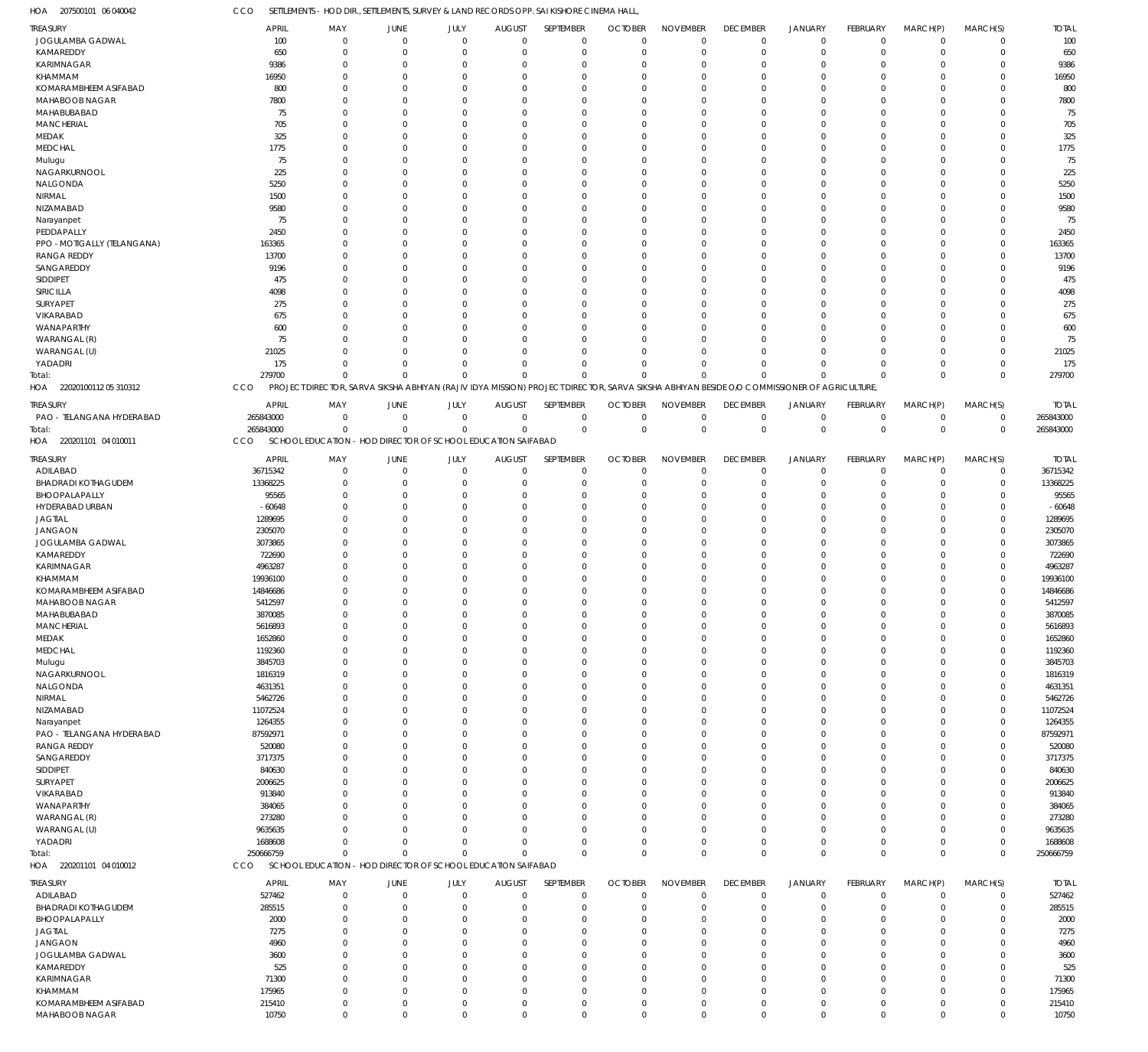207500101 06 040042 HOA

CCO SETTLEMENTS - HOD DIR., SETTLEMENTS, SURVEY & LAND RECORDS OPP. SAI KISHORE CINEMA HALL,

| <b>TREASURY</b>                   | <b>APRIL</b>     | MAY                        | <b>JUNE</b>            | JULY               | <b>AUGUST</b>                                                | SEPTEMBER                                                                                                                                  | <b>OCTOBER</b>          | <b>NOVEMBER</b>            | <b>DECEMBER</b>            | JANUARY                          | FEBRUARY                | MARCH(P)                   | MARCH(S)                   | <b>TOTAL</b> |
|-----------------------------------|------------------|----------------------------|------------------------|--------------------|--------------------------------------------------------------|--------------------------------------------------------------------------------------------------------------------------------------------|-------------------------|----------------------------|----------------------------|----------------------------------|-------------------------|----------------------------|----------------------------|--------------|
| JOGULAMBA GADWAL                  | 100              | $\mathbf 0$                | $\overline{0}$         | $\Omega$           | $\Omega$                                                     | $\overline{0}$                                                                                                                             | $\overline{0}$          | $\mathbf 0$                | $\mathbf 0$                | $\overline{0}$                   | $\mathbf 0$             | $\mathbf 0$                | $\mathbf 0$                | 100          |
| KAMAREDDY                         | 650              | $\mathbf 0$                | $\Omega$               | $\Omega$           | $\Omega$                                                     | $\overline{0}$                                                                                                                             | $\overline{0}$          | $\Omega$                   | $\mathbf 0$                | $\overline{0}$                   | $\mathbf 0$             | $\mathbf 0$                | $\mathbf 0$                | 650          |
| KARIMNAGAR                        | 9386             | $\mathbf 0$                | C.                     | $\Omega$           |                                                              | $\Omega$                                                                                                                                   | $\Omega$                | $\mathbf 0$                | 0                          | $\Omega$                         | $\Omega$                | 0                          | $\mathbf 0$                | 9386         |
| KHAMMAM                           | 16950            | $\Omega$                   | -C                     | $\cap$             |                                                              | $\Omega$                                                                                                                                   | $\Omega$                | $\Omega$                   | $\Omega$                   | $\Omega$                         | $\Omega$                | $\Omega$                   | $\mathbf 0$                | 16950        |
| KOMARAMBHEEM ASIFABAD             | 800              | $\mathbf 0$                | -C                     | $\Omega$           |                                                              | $\Omega$                                                                                                                                   | $\Omega$                | $\Omega$                   | $\Omega$                   | $\Omega$                         | $\Omega$                | 0                          | $\mathbf 0$                | 800          |
| MAHABOOB NAGAR                    | 7800             | $\mathbf 0$                | -C                     | $\cap$             |                                                              | $\Omega$                                                                                                                                   | $\Omega$                | $\Omega$                   | $\Omega$                   | $\Omega$                         | C                       | $\Omega$                   | $\mathbf 0$                | 7800         |
| MAHABUBABAD                       | 75               | $\Omega$                   | -C                     | $\cap$             |                                                              | $\Omega$                                                                                                                                   | $\Omega$                | $\Omega$                   | $\Omega$                   | $\Omega$                         | $\Omega$                | $\Omega$                   | $\mathbf 0$                | 75           |
| <b>MANCHERIAL</b>                 | 705              | $\Omega$                   | -C                     | $\cap$             |                                                              | $\Omega$                                                                                                                                   | $\Omega$                | $\Omega$                   | 0                          | $\Omega$                         | C                       | $\Omega$                   | $\mathbf 0$                | 705          |
| MEDAK                             | 325              | $\mathbf 0$                | -C                     | $\cap$             |                                                              | $\Omega$                                                                                                                                   | $\Omega$                | $\Omega$                   | $\Omega$                   | $\Omega$                         | $\Omega$                | 0                          | $\mathbf 0$                | 325          |
| MEDCHAL                           | 1775             | $\Omega$                   | -C                     | $\cap$             |                                                              | $\Omega$                                                                                                                                   | $\Omega$                | $\Omega$                   | 0                          | $\Omega$                         | $\Omega$                | 0                          | $\mathbf 0$                | 1775         |
| Mulugu                            | 75               | $\Omega$                   | -C                     | $\cap$             |                                                              | $\Omega$                                                                                                                                   | $\Omega$                | $\Omega$                   | 0                          | $\Omega$                         | C                       | 0                          | $\mathbf 0$                | 75           |
| NAGARKURNOOL                      | 225              | $\Omega$                   | -C                     | $\cap$<br>$\cap$   |                                                              | $\Omega$<br>$\Omega$                                                                                                                       | $\Omega$                | $\Omega$                   | 0                          | $\Omega$<br>$\Omega$             | C                       | $\Omega$                   | $\mathbf 0$                | 225          |
| NALGONDA                          | 5250             | $\Omega$<br>$\Omega$       | -C                     | $\cap$             |                                                              | $\Omega$                                                                                                                                   | $\Omega$<br>$\Omega$    | $\Omega$<br>$\Omega$       | 0                          | $\Omega$                         | $\Omega$<br>C           | $\Omega$                   | $\mathbf 0$<br>$\mathbf 0$ | 5250         |
| NIRMAL<br>NIZAMABAD               | 1500<br>9580     | $\Omega$                   | -C<br>-C               | $\cap$             |                                                              | $\Omega$                                                                                                                                   | $\Omega$                | $\Omega$                   | 0<br>$\Omega$              | $\Omega$                         | $\Omega$                | $\Omega$<br>$\Omega$       | $\mathbf 0$                | 1500<br>9580 |
|                                   | 75               | $\Omega$                   | -C                     | $\cap$             |                                                              | $\Omega$                                                                                                                                   | $\Omega$                | $\Omega$                   | 0                          | $\Omega$                         | C                       | $\Omega$                   | $\mathbf 0$                | 75           |
| Narayanpet<br>PEDDAPALLY          | 2450             | $\Omega$                   | -C                     | $\cap$             |                                                              | $\Omega$                                                                                                                                   | $\Omega$                | $\Omega$                   | 0                          | $\Omega$                         | $\Omega$                | 0                          | $\mathbf 0$                | 2450         |
| PPO - MOTIGALLY (TELANGANA)       | 163365           | $\Omega$                   | -C                     | $\cap$             |                                                              | $\Omega$                                                                                                                                   | $\Omega$                | $\Omega$                   | $\Omega$                   | $\Omega$                         | C                       | $\Omega$                   | $\mathbf 0$                | 163365       |
| <b>RANGA REDDY</b>                | 13700            | $\Omega$                   | -C                     | $\cap$             |                                                              | $\Omega$                                                                                                                                   | $\Omega$                | $\Omega$                   | 0                          | $\Omega$                         | $\Omega$                | $\Omega$                   | $\mathbf 0$                | 13700        |
| SANGAREDDY                        | 9196             | $\Omega$                   | -C                     | $\cap$             |                                                              | $\Omega$                                                                                                                                   | $\Omega$                | $\Omega$                   | 0                          | $\Omega$                         | C                       | $\Omega$                   | $\mathbf 0$                | 9196         |
| SIDDIPET                          | 475              | $\Omega$                   | -C                     | $\cap$             |                                                              | $\Omega$                                                                                                                                   | $\Omega$                | $\Omega$                   | $\Omega$                   | $\Omega$                         | $\Omega$                | $\Omega$                   | $\mathbf 0$                | 475          |
| SIRICILLA                         | 4098             | $\Omega$                   | -C                     | $\cap$             |                                                              | $\Omega$                                                                                                                                   | $\Omega$                | $\Omega$                   | 0                          | $\Omega$                         | C                       | 0                          | $\mathbf 0$                | 4098         |
| SURYAPET                          | 275              | $\mathbf 0$                | -C                     | $\Omega$           |                                                              | $\Omega$                                                                                                                                   | $\Omega$                | $\Omega$                   | $\Omega$                   | $\Omega$                         | C                       | 0                          | $\mathbf 0$                | 275          |
| VIKARABAD                         | 675              | $\Omega$                   | -C                     | $\cap$             |                                                              | $\Omega$                                                                                                                                   | $\Omega$                | $\Omega$                   | U                          | $\Omega$                         | C                       | $\Omega$                   | $\mathbf 0$                | 675          |
| WANAPARTHY                        | 600              | $\Omega$                   | -C                     | $\cap$             |                                                              | $\Omega$                                                                                                                                   | $\Omega$                | $\Omega$                   | 0                          | $\Omega$                         | $\Omega$                | $\Omega$                   | $\mathbf 0$                | 600          |
| WARANGAL (R)                      | 75               | $\Omega$                   | -C                     | $\cap$             |                                                              | $\Omega$                                                                                                                                   | $\Omega$                | $\Omega$                   |                            | $\Omega$                         | C                       | $\Omega$                   | $\mathbf 0$                | 75           |
| WARANGAL (U)                      | 21025            | $\Omega$                   | -C                     | $\Omega$           |                                                              | $\Omega$                                                                                                                                   | $\Omega$                | $\Omega$                   | U                          | $\Omega$                         | $\Omega$                | 0                          | $\mathbf 0$                | 21025        |
| YADADRI                           | 175              | $\mathbf 0$                | $\Omega$               | $\Omega$           | $\Omega$                                                     | $\Omega$                                                                                                                                   | $\Omega$                | $\Omega$                   | 0                          | $\Omega$                         | $\Omega$                | 0                          | $\mathbf 0$                | 175          |
| Total:                            | 279700           | $\mathbf 0$                | $\Omega$               | $\Omega$           | $\Omega$                                                     | $\Omega$                                                                                                                                   | $\Omega$                | $\Omega$                   | $\Omega$                   | $\Omega$                         | $\mathbf 0$             | $\Omega$                   | $\mathbf 0$                | 279700       |
| 22020100112 05 310312<br>HOA      | CCO              |                            |                        |                    |                                                              | PROJECT DIRECTOR, SARVA SIKSHA ABHIYAN (RAJIV IDYA MISSION) PROJECT DIRECTOR, SARVA SIKSHA ABHIYAN BESIDE OIO COMMISSIONER OF AGRICULTURE, |                         |                            |                            |                                  |                         |                            |                            |              |
|                                   |                  |                            |                        |                    |                                                              |                                                                                                                                            |                         |                            |                            |                                  |                         |                            |                            |              |
| TREASURY                          | <b>APRIL</b>     | MAY                        | <b>JUNE</b>            | JULY               | <b>AUGUST</b>                                                | SEPTEMBER                                                                                                                                  | <b>OCTOBER</b>          | <b>NOVEMBER</b>            | <b>DECEMBER</b>            | JANUARY                          | FEBRUARY                | MARCH(P)                   | MARCH(S)                   | <b>TOTAL</b> |
| PAO - TELANGANA HYDERABAD         | 265843000        | $\mathbf 0$                | $\Omega$               | $\mathbf 0$        | $\Omega$                                                     | $\mathbf 0$                                                                                                                                | $\mathbf 0$             | $\mathbf 0$                | $\overline{0}$             | $\overline{0}$                   | $\mathbf 0$             | $\mathbf 0$                | $\mathbf 0$                | 265843000    |
| Total:                            | 265843000        | $\mathbf 0$                | $\Omega$               | $\Omega$           | $\Omega$                                                     | $\overline{0}$                                                                                                                             | $\mathbf{0}$            | $\mathbf 0$                | $\overline{0}$             | $\overline{0}$                   | $\mathbf 0$             | $\mathbf 0$                | $\mathbf 0$                | 265843000    |
| 220201101 04 010011<br>HOA        | CCO              |                            |                        |                    | SCHOOL EDUCATION - HOD DIRECTOR OF SCHOOL EDUCATION SAIFABAD |                                                                                                                                            |                         |                            |                            |                                  |                         |                            |                            |              |
| <b>TREASURY</b>                   | <b>APRIL</b>     | MAY                        | JUNE                   | JULY               | <b>AUGUST</b>                                                | SEPTEMBER                                                                                                                                  | <b>OCTOBER</b>          | <b>NOVEMBER</b>            | <b>DECEMBER</b>            | JANUARY                          | FEBRUARY                | MARCH(P)                   | MARCH(S)                   | <b>TOTAL</b> |
| ADILABAD                          | 36715342         | $\mathbf{0}$               | $\overline{0}$         | $\Omega$           | $\Omega$                                                     | $\overline{0}$                                                                                                                             | $\mathbf 0$             | $\overline{0}$             | $\overline{0}$             | $\overline{0}$                   | $\mathbf 0$             | $\mathbf 0$                | $\mathbf 0$                | 36715342     |
| <b>BHADRADI KOTHAGUDEM</b>        | 13368225         | $\mathbf 0$                | $\Omega$               | $\Omega$           |                                                              | $\overline{0}$                                                                                                                             | $\mathbf 0$             | $\overline{0}$             | $\mathbf 0$                | $\overline{0}$                   | $\Omega$                | $\mathbf 0$                | $\mathbf 0$                | 13368225     |
| BHOOPALAPALLY                     | 95565            | $\mathbf 0$                | -C                     | $\Omega$           |                                                              | $\Omega$                                                                                                                                   | $\Omega$                | $\Omega$                   | 0                          | $\Omega$                         | $\Omega$                | 0                          | $\mathbf 0$                | 95565        |
| HYDERABAD URBAN                   | $-60648$         | $\Omega$                   | -C                     | $\cap$             |                                                              | $\Omega$                                                                                                                                   | $\Omega$                | $\Omega$                   | 0                          | $\Omega$                         | $\Omega$                | $\Omega$                   | $\mathbf 0$                | $-60648$     |
| <b>JAGTIAL</b>                    | 1289695          | $\mathbf 0$                | -C                     | $\cap$             |                                                              | $\Omega$                                                                                                                                   | $\Omega$                | $\Omega$                   | $\Omega$                   | $\Omega$                         | $\Omega$                | 0                          | $\mathbf 0$                | 1289695      |
| <b>JANGAON</b>                    | 2305070          | $\Omega$                   | -C                     | $\cap$             |                                                              | $\Omega$                                                                                                                                   | $\Omega$                | $\Omega$                   | 0                          | $\Omega$                         | $\Omega$                | $\Omega$                   | $\mathbf 0$                | 2305070      |
| JOGULAMBA GADWAL                  | 3073865          | $\Omega$                   | -C                     | $\Omega$           |                                                              | $\Omega$                                                                                                                                   | $\Omega$                | $\Omega$                   | 0                          | $\Omega$                         | $\Omega$                | 0                          | $\mathbf 0$                | 3073865      |
| KAMAREDDY                         | 722690           | $\Omega$                   | -C                     | $\cap$             |                                                              | $\Omega$                                                                                                                                   | $\Omega$                | $\Omega$                   | 0                          | $\Omega$                         | $\Omega$                | 0                          | $\mathbf 0$                | 722690       |
| <b>KARIMNAGAR</b>                 | 4963287          | $\Omega$                   |                        | $\cap$             |                                                              | $\Omega$                                                                                                                                   | $\Omega$                | $\Omega$                   | $\Omega$                   | $\Omega$                         | $\Omega$                | 0                          | $\mathbf 0$                | 4963287      |
| KHAMMAM                           | 19936100         | $\Omega$                   | -C                     | $\cap$             |                                                              | $\Omega$                                                                                                                                   | $\Omega$                | $\Omega$                   | 0                          | $\Omega$                         | $\Omega$                | 0                          | $\mathbf 0$                | 19936100     |
| KOMARAMBHEEM ASIFABAD             | 14846686         | $\Omega$                   | -C                     | $\Omega$           | $\Omega$                                                     | $\Omega$                                                                                                                                   | $\Omega$                | $\Omega$                   | $\Omega$                   | $\Omega$                         | $\Omega$                | 0                          | $\mathbf 0$                | 14846686     |
| MAHABOOB NAGAR                    | 5412597          | $\mathbf 0$                | $\Omega$               | $\Omega$           | $\Omega$                                                     | $\Omega$                                                                                                                                   | $\Omega$                | $\Omega$                   | $\Omega$                   | $\Omega$                         | $\Omega$                | $\Omega$                   | $\mathbf 0$                | 5412597      |
| MAHABUBABAD                       | 3870085          | 0                          |                        |                    |                                                              | - 0                                                                                                                                        | $\Omega$                | 0                          | 0                          | n                                |                         | 0                          | $\mathbf 0$                | 3870085      |
| <b>MANCHERIAL</b>                 | 5616893          | $\mathbf 0$                | $\Omega$               | $\Omega$           | $\Omega$                                                     | $\overline{0}$                                                                                                                             | $\mathbf 0$             | $\mathbf 0$                | 0                          | $\mathbf 0$                      | $\Omega$                | 0                          | $\mathbf 0$                | 5616893      |
| MEDAK                             | 1652860          | $\mathbf 0$                | $\Omega$               | $\Omega$           | $\Omega$                                                     | $\overline{0}$                                                                                                                             | $\mathbf 0$             | $\mathbf 0$                | 0                          | $\mathbf 0$                      | $\Omega$                | $\mathbf 0$                | $\mathbf 0$                | 1652860      |
| MEDCHAL                           | 1192360          | $\mathbf 0$                | -C                     | $\cap$             |                                                              | $\Omega$                                                                                                                                   | $\mathbf 0$             | $\overline{0}$             | 0                          | $\Omega$                         | $\Omega$                | 0                          | $\mathbf 0$                | 1192360      |
| Mulugu                            | 3845703          | $\mathbf 0$                | $\Omega$               | $\Omega$           | $\Omega$                                                     | $\overline{0}$                                                                                                                             | $\Omega$                | $\mathbf 0$                | 0                          | $\Omega$                         | $\Omega$                | 0                          | $\mathbf 0$                | 3845703      |
| NAGARKURNOOL                      | 1816319          | $\mathbf 0$                | -C                     | $\cap$             | $\cap$                                                       | $\Omega$                                                                                                                                   | $\Omega$                | $\Omega$                   | $\Omega$                   | $\Omega$                         | $\Omega$                | 0                          | $\mathbf 0$                | 1816319      |
| NALGONDA                          | 4631351          | $\mathbf 0$                | -C                     | $\Omega$           | $\Omega$                                                     | $\Omega$                                                                                                                                   | $\Omega$                | $\overline{0}$             | 0                          | $\Omega$                         | $\Omega$                | 0                          | $\mathbf 0$                | 4631351      |
| NIRMAL                            | 5462726          | $\mathbf 0$                | -C                     | $\cap$             |                                                              | $\Omega$                                                                                                                                   | $\Omega$                | $\Omega$                   | 0                          | $\Omega$                         | $\Omega$                | 0                          | $\mathbf 0$                | 5462726      |
| NIZAMABAD                         | 11072524         | $\mathbf 0$                | -C                     | $\Omega$           | $\Omega$                                                     | $\Omega$                                                                                                                                   | $\Omega$                | $\Omega$                   | 0                          | $\Omega$                         | $\Omega$                | 0                          | $\mathbf 0$                | 11072524     |
| Narayanpet                        | 1264355          | $\mathbf 0$                | -C                     | $\cap$             |                                                              | $\Omega$                                                                                                                                   | $\Omega$                | $\Omega$                   | 0                          | $\Omega$                         | $\Omega$                | 0                          | $\mathbf 0$                | 1264355      |
| PAO - TELANGANA HYDERABAD         | 87592971         | $\mathbf 0$                | -C                     | $\cap$             | $\Omega$                                                     | $\Omega$                                                                                                                                   | $\Omega$                | $\mathbf 0$                | 0                          | $\Omega$                         | $\Omega$                | 0                          | $\mathbf 0$                | 87592971     |
| <b>RANGA REDDY</b>                | 520080           | $\mathbf 0$                | -C                     | $\cap$             |                                                              | $\Omega$                                                                                                                                   | $\Omega$                | $\Omega$                   | $\Omega$                   | $\Omega$                         | $\Omega$                | 0                          | $\mathbf 0$                | 520080       |
| SANGAREDDY                        | 3717375          | $\mathbf 0$                | -C                     | $\Omega$           | $\Omega$                                                     | $\Omega$                                                                                                                                   | $\Omega$                | $\overline{0}$             | 0                          | $\Omega$                         | $\Omega$                | 0                          | $\mathbf 0$                | 3717375      |
| SIDDIPET                          | 840630           | $\mathbf 0$                | -C                     | $\cap$             |                                                              | $\Omega$                                                                                                                                   | $\Omega$                | $\Omega$                   | $\Omega$                   | $\Omega$                         | $\Omega$                | 0                          | $\mathbf 0$                | 840630       |
| SURYAPET                          | 2006625          | $\mathbf 0$                | -C                     | $\Omega$           | $\Omega$                                                     | $\Omega$                                                                                                                                   | $\Omega$                | $\mathbf 0$                | 0                          | $\Omega$                         | $\Omega$                | 0                          | $\mathbf 0$                | 2006625      |
| VIKARABAD                         | 913840           | $\mathbf 0$                | -C                     | $\cap$             |                                                              | $\Omega$                                                                                                                                   | $\Omega$                | $\overline{0}$             | 0                          | $\Omega$                         | $\Omega$                | 0                          | $\mathbf 0$                | 913840       |
| WANAPARTHY                        | 384065           | $\mathbf 0$                | -C                     | $\cap$             | $\Omega$                                                     | $\Omega$                                                                                                                                   | $\Omega$                | $\mathbf 0$                | 0                          | $\Omega$                         | $\Omega$                | 0                          | $\mathbf 0$                | 384065       |
| WARANGAL (R)                      | 273280           | $\Omega$                   | -C                     | $\cap$<br>$\Omega$ |                                                              | $\Omega$                                                                                                                                   | $\Omega$                | $\Omega$                   | $\Omega$                   | $\Omega$                         | $\Omega$                | 0                          | $\mathbf 0$                | 273280       |
| WARANGAL (U)                      | 9635635          | $\mathbf 0$                | $\Omega$               | $\Omega$           | $\Omega$                                                     | $\Omega$                                                                                                                                   | $\Omega$                | $\mathbf 0$                | 0                          | $\mathbf 0$                      | $\Omega$                | $\mathbf 0$                | $\mathbf 0$                | 9635635      |
| YADADRI                           | 1688608          | $\mathbf 0$<br>$\mathbf 0$ | $\Omega$<br>$\sqrt{ }$ | $\Omega$           | $\Omega$<br>$\Omega$                                         | $\Omega$<br>$\mathbf 0$                                                                                                                    | $\mathbf 0$<br>$\Omega$ | $\mathbf 0$<br>$\mathbf 0$ | $\mathbf 0$<br>$\mathbf 0$ | $\overline{0}$<br>$\overline{0}$ | $\Omega$<br>$\mathbf 0$ | $\mathbf 0$<br>$\mathbf 0$ | $\mathbf 0$                | 1688608      |
| Total:<br>HOA 220201101 04 010012 | 250666759<br>CCO |                            |                        |                    | SCHOOL EDUCATION - HOD DIRECTOR OF SCHOOL EDUCATION SAIFABAD |                                                                                                                                            |                         |                            |                            |                                  |                         |                            | $\mathbf 0$                | 250666759    |
|                                   |                  |                            |                        |                    |                                                              |                                                                                                                                            |                         |                            |                            |                                  |                         |                            |                            |              |
| <b>TREASURY</b>                   | <b>APRIL</b>     | MAY                        | <b>JUNE</b>            | JULY               | <b>AUGUST</b>                                                | SEPTEMBER                                                                                                                                  | <b>OCTOBER</b>          | <b>NOVEMBER</b>            | <b>DECEMBER</b>            | JANUARY                          | FEBRUARY                | MARCH(P)                   | MARCH(S)                   | <b>TOTAL</b> |
| ADILABAD                          | 527462           | $\mathbf 0$                | $\overline{0}$         | $\mathbf{0}$       | $\mathbf 0$                                                  | $\mathbf 0$                                                                                                                                | $\overline{0}$          | $\mathbf 0$                | $\overline{0}$             | $\overline{0}$                   | $\mathbf 0$             | $\mathbf 0$                | $\mathbf 0$                | 527462       |
| <b>BHADRADI KOTHAGUDEM</b>        | 285515           | $\mathbf 0$                | $\Omega$               | $\Omega$           | $\Omega$                                                     | $\overline{0}$                                                                                                                             | $\mathbf 0$             | $\mathbf 0$                | $\mathbf 0$                | $\overline{0}$                   | $\mathbf 0$             | $\mathbf 0$                | 0                          | 285515       |
| BHOOPALAPALLY                     | 2000             | $\mathbf 0$                | $\Omega$               | $\Omega$           | $\Omega$                                                     | $\overline{0}$                                                                                                                             | $\Omega$                | $\mathbf 0$                | $\mathbf 0$                | $\Omega$                         | $\Omega$                | $\mathbf 0$                | $\mathbf 0$                | 2000         |
| <b>JAGTIAL</b>                    | 7275             | $\mathbf 0$                | $\Omega$               | $\Omega$           | $\Omega$                                                     | $\overline{0}$                                                                                                                             | $\Omega$                | $\mathbf 0$                | $\Omega$                   | $\Omega$                         | $\Omega$                | $\mathbf 0$                | $\mathbf 0$                | 7275         |
| <b>JANGAON</b>                    | 4960             | $\mathbf 0$                | $\Omega$               | $\Omega$           | $\Omega$                                                     | $\Omega$                                                                                                                                   | $\Omega$                | $\Omega$                   | $\Omega$                   | $\Omega$                         | $\Omega$                | $\mathbf 0$                | $\mathbf 0$                | 4960         |
| JOGULAMBA GADWAL                  | 3600             | $\mathbf 0$                | $\Omega$               | $\Omega$           | $\Omega$                                                     | $\Omega$                                                                                                                                   | $\Omega$                | $\Omega$                   | $\Omega$                   | $\Omega$                         | $\Omega$                | $\mathbf 0$                | $\mathbf 0$                | 3600         |
| KAMAREDDY                         | 525              | $\mathbf 0$                | $\Omega$               | $\Omega$           | $\Omega$                                                     | $\Omega$                                                                                                                                   | $\Omega$                | $\mathbf 0$                | $\Omega$                   | $\Omega$                         | $\Omega$                | $\mathbf 0$                | $\mathbf 0$                | 525          |
| <b>KARIMNAGAR</b>                 | 71300            | $\mathbf 0$                | $\Omega$               | $\Omega$           | $\Omega$                                                     | $\Omega$                                                                                                                                   | $\Omega$                | $\mathbf 0$                | $\Omega$                   | $\Omega$                         | $\Omega$                | $\mathbf 0$                | $\mathbf 0$                | 71300        |
| KHAMMAM                           | 175965           | $\mathbf 0$                | $\Omega$               | $\Omega$           | $\Omega$                                                     | $\Omega$                                                                                                                                   | $\Omega$                | $\mathbf 0$                | $\Omega$                   | $\Omega$                         | $\Omega$                | $\mathbf 0$                | $\mathbf 0$                | 175965       |
| KOMARAMBHEEM ASIFABAD             | 215410           | $\boldsymbol{0}$           | $\mathbf 0$            | $\mathbf{0}$       | $\mathbf 0$                                                  | $\overline{0}$                                                                                                                             | $\mathbf 0$             | $\mathbf 0$                | $\mathbf 0$                | $\mathbf 0$                      | $\mathbf 0$             | $\mathbf 0$                | $\mathbf 0$                | 215410       |
| MAHABOOB NAGAR                    | 10750            | $\mathbf 0$                | $\mathbf 0$            | $\mathbf 0$        | $\mathbf 0$                                                  | $\mathbf 0$                                                                                                                                | $\mathbf 0$             | $\mathbb O$                | $\mathbf 0$                | $\mathbf 0$                      | $\mathbf 0$             | $\mathbf 0$                | $\mathbf 0$                | 10750        |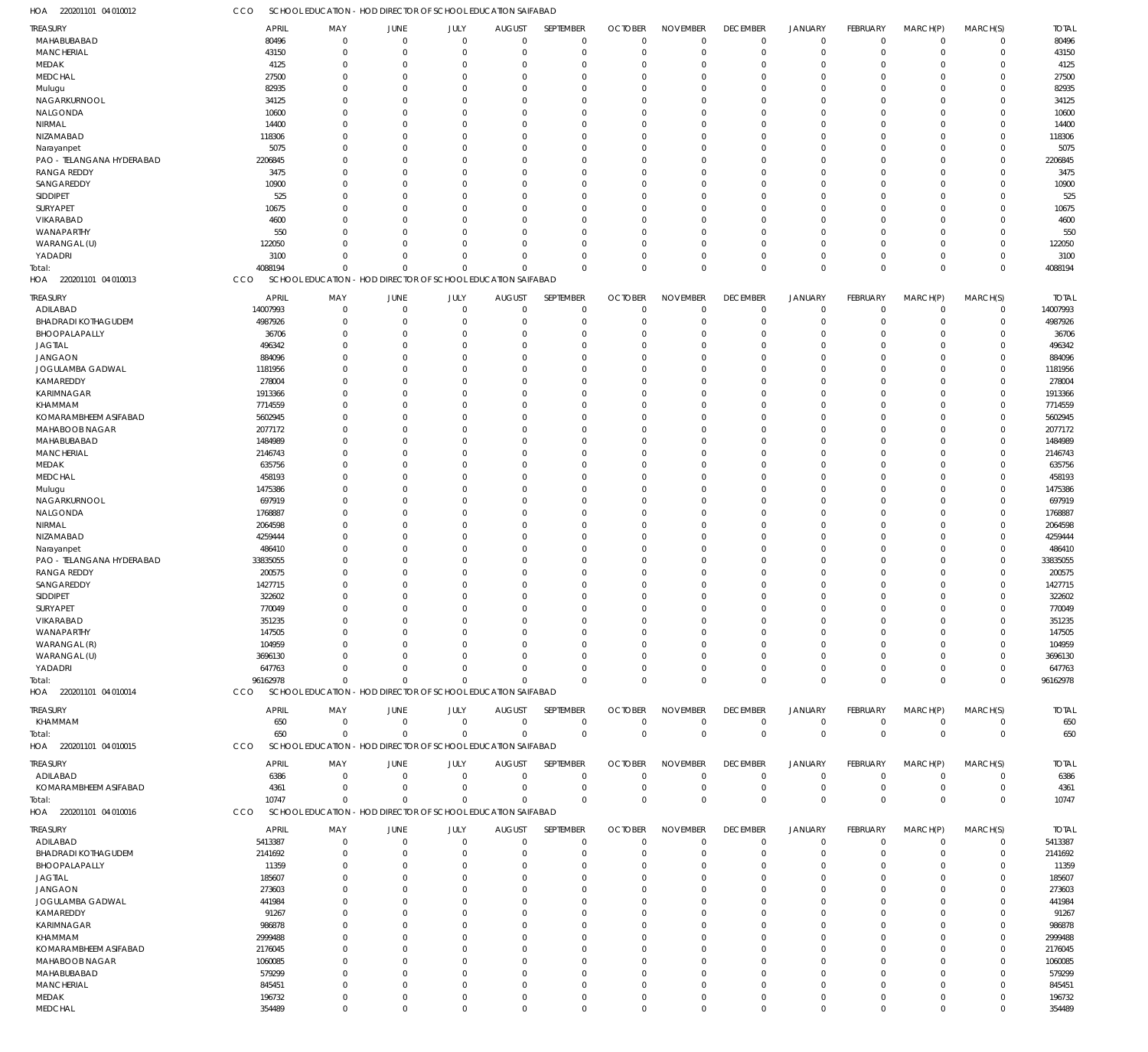220201101 04 010012 HOA CCO SCHOOL EDUCATION - HOD DIRECTOR OF SCHOOL EDUCATION SAIFABAD

| TREASURY                   | <b>APRIL</b> | MAY         | JUNE           | JULY                                                         | <b>AUGUST</b>  | SEPTEMBER   | <b>OCTOBER</b> | <b>NOVEMBER</b> | <b>DECEMBER</b> | <b>JANUARY</b> | FEBRUARY        | MARCH(P)     | MARCH(S)    | <b>TOTAL</b> |
|----------------------------|--------------|-------------|----------------|--------------------------------------------------------------|----------------|-------------|----------------|-----------------|-----------------|----------------|-----------------|--------------|-------------|--------------|
| MAHABUBABAD                | 80496        | $\mathbf 0$ | $\overline{0}$ | $\mathbf 0$                                                  | $\overline{0}$ | $\mathbf 0$ | $\overline{0}$ | $\mathbf 0$     | $\mathbf 0$     | $\mathbf 0$    | $\mathbf 0$     | $\mathbf 0$  | $\mathbf 0$ | 80496        |
| MANCHERIAL                 | 43150        | $\Omega$    | $\overline{0}$ | $\mathbf 0$                                                  | $\mathbf 0$    | $\mathbf 0$ | $\mathbf 0$    | $\mathbf 0$     | $\mathbf 0$     | $\mathbf 0$    | $\mathbf 0$     | $\mathbf 0$  | $\mathbf 0$ | 43150        |
| MEDAK                      | 4125         | $\Omega$    | $\overline{0}$ | $\Omega$                                                     | $\Omega$       | $\mathbf 0$ | $\mathbf 0$    | $\mathbf 0$     | $\mathbf 0$     | $\mathbf 0$    | $\Omega$        | $\Omega$     | $\Omega$    | 4125         |
| <b>MEDCHAL</b>             | 27500        | $\Omega$    | $\Omega$       | $\Omega$                                                     | $\Omega$       | $\Omega$    | $\mathbf 0$    | $\mathbf 0$     | $\mathbf 0$     | $\mathbf 0$    | $\Omega$        | $\Omega$     | $\Omega$    | 27500        |
| Mulugu                     | 82935        | $\Omega$    | $\mathbf 0$    | $\Omega$                                                     | $\Omega$       | $\mathbf 0$ | $\mathbf 0$    | $\mathbf 0$     | $\mathbf 0$     | $\mathbf 0$    | $\Omega$        | $\Omega$     | $\Omega$    | 82935        |
| NAGARKURNOOL               | 34125        | $\Omega$    | $\Omega$       | $\Omega$                                                     | $\Omega$       | $\Omega$    | $\Omega$       | $\mathbf 0$     | $\mathbf 0$     | $\mathbf 0$    | $\Omega$        | $\Omega$     | $\Omega$    | 34125        |
| NALGONDA                   | 10600        | $\Omega$    | $\Omega$       | $\Omega$                                                     | $\Omega$       | $\mathbf 0$ | $\mathbf 0$    | $\mathbf 0$     | $\mathbf 0$     | $\mathbf 0$    | $\Omega$        | $\Omega$     | $\Omega$    | 10600        |
| NIRMAL                     | 14400        | $\Omega$    | $\Omega$       | $\Omega$                                                     | $\Omega$       | $\Omega$    | $\Omega$       | $\mathbf 0$     | $\mathbf 0$     | $\mathbf 0$    | $\Omega$        | $\Omega$     | $\Omega$    | 14400        |
|                            |              |             |                |                                                              |                |             |                |                 |                 |                |                 |              |             |              |
| NIZAMABAD                  | 118306       | $\Omega$    | $\Omega$       | $\Omega$                                                     | $\Omega$       | $\Omega$    | $\Omega$       | $\mathbf 0$     | $\mathbf 0$     | $\mathbf 0$    | $\Omega$        | $\Omega$     | $\Omega$    | 118306       |
| Narayanpet                 | 5075         | $\Omega$    | $\Omega$       | $\Omega$                                                     | $\Omega$       | $\Omega$    | $\mathbf 0$    | $\mathbf 0$     | $\mathbf 0$     | $\mathbf 0$    | $\Omega$        | $\Omega$     | $\Omega$    | 5075         |
| PAO - TELANGANA HYDERABAD  | 2206845      | $\Omega$    | $\Omega$       | $\Omega$                                                     | $\Omega$       | $\Omega$    | $\Omega$       | $\Omega$        | $\mathbf 0$     | $\mathbf 0$    | $\Omega$        | $\Omega$     | $\Omega$    | 2206845      |
| <b>RANGA REDDY</b>         | 3475         | $\Omega$    | $\Omega$       | $\Omega$                                                     | $\Omega$       | $\Omega$    | $\Omega$       | $\mathbf 0$     | $\mathbf 0$     | $\mathbf 0$    | $\Omega$        | $\Omega$     | $\Omega$    | 3475         |
| SANGAREDDY                 | 10900        | $\Omega$    | $\Omega$       | $\Omega$                                                     | $\Omega$       | $\mathbf 0$ | $\mathbf 0$    | $\mathbf 0$     | $\mathbf 0$     | $\mathbf 0$    | $\Omega$        | $\Omega$     | $\Omega$    | 10900        |
| SIDDIPET                   | 525          | $\Omega$    | $\Omega$       | $\Omega$                                                     | $\Omega$       | $\Omega$    | $\Omega$       | $\mathbf 0$     | $\mathbf 0$     | $\mathbf 0$    | $\Omega$        | $\Omega$     | $\Omega$    | 525          |
| SURYAPET                   | 10675        | $\Omega$    | $\Omega$       | $\Omega$                                                     | $\Omega$       | $\Omega$    | $\Omega$       | $\mathbf 0$     | $\mathbf 0$     | $\mathbf 0$    | $\Omega$        | $\Omega$     | $\Omega$    | 10675        |
| VIKARABAD                  | 4600         | $\Omega$    | $\Omega$       | $\Omega$                                                     | $\Omega$       | $\Omega$    | $\Omega$       | $\mathbf 0$     | $\mathbf 0$     | $\mathbf 0$    | $\Omega$        | $\Omega$     | $\Omega$    | 4600         |
|                            |              |             |                |                                                              |                |             |                |                 |                 |                |                 |              |             |              |
| WANAPARTHY                 | 550          | $\Omega$    | $\Omega$       | $\Omega$                                                     | $\Omega$       | $\Omega$    | $\Omega$       | $\mathbf 0$     | $\mathbf 0$     | $\mathbf 0$    | $\Omega$        | $\Omega$     | $\Omega$    | 550          |
| WARANGAL (U)               | 122050       | $\Omega$    | $\Omega$       | $\Omega$                                                     | $\Omega$       | $\Omega$    | $\mathbf 0$    | $\mathbf 0$     | $\mathbf 0$     | $\mathbf 0$    | $\Omega$        | $\Omega$     | $\Omega$    | 122050       |
| YADADRI                    | 3100         | $\Omega$    | $\Omega$       | $\Omega$                                                     | $\mathbf 0$    | $\mathbf 0$ | $\mathbf 0$    | $\mathbf 0$     | $\mathbf 0$     | $\mathbf 0$    | 0               | $\mathbf 0$  | $\Omega$    | 3100         |
| Total:                     | 4088194      | $\Omega$    | $\Omega$       | $\Omega$                                                     | $\Omega$       | $\Omega$    | $\Omega$       | $\mathbf 0$     | $\mathbf 0$     | $\mathbf 0$    | $\Omega$        | $\Omega$     | $\Omega$    | 4088194      |
| HOA 220201101 04 010013    | CCO          |             |                | SCHOOL EDUCATION - HOD DIRECTOR OF SCHOOL EDUCATION SAIFABAD |                |             |                |                 |                 |                |                 |              |             |              |
|                            |              |             |                |                                                              |                |             |                |                 |                 |                |                 |              |             |              |
| TREASURY                   | <b>APRIL</b> | MAY         | JUNE           | JULY                                                         | <b>AUGUST</b>  | SEPTEMBER   | <b>OCTOBER</b> | <b>NOVEMBER</b> | <b>DECEMBER</b> | <b>JANUARY</b> | FEBRUARY        | MARCH(P)     | MARCH(S)    | <b>TOTAL</b> |
| ADILABAD                   | 14007993     | $\mathbf 0$ | $\overline{0}$ | $\mathbf 0$                                                  | $\overline{0}$ | $\mathbf 0$ | $\mathbf 0$    | $\mathbf 0$     | $\mathbf 0$     | $\mathbf 0$    | $\mathbf 0$     | $\mathbf 0$  | $\mathbf 0$ | 14007993     |
| <b>BHADRADI KOTHAGUDEM</b> | 4987926      | $\mathbf 0$ | $\overline{0}$ | $\mathbf 0$                                                  | $\mathbf 0$    | $\mathbf 0$ | $\mathbf 0$    | $\mathbf 0$     | $\mathbf 0$     | $\mathbf 0$    | $\Omega$        | $\mathbf 0$  | $\mathbf 0$ | 4987926      |
| BHOOPALAPALLY              | 36706        | $\Omega$    | $\mathbf 0$    | $\Omega$                                                     | $\Omega$       | $\mathbf 0$ | $\mathbf 0$    | $\mathbf 0$     | $\mathbf 0$     | $\mathbf 0$    | $\Omega$        | $\Omega$     | $\Omega$    | 36706        |
| <b>JAGTIAL</b>             | 496342       | $\mathbf 0$ | 0              | $\Omega$                                                     | $\Omega$       | $\mathbf 0$ | $\mathbf 0$    | $\mathbf 0$     | $\mathbf 0$     | $\mathbf 0$    | O               | $\mathbf 0$  | 0           | 496342       |
| <b>JANGAON</b>             | 884096       | $\Omega$    | $\Omega$       | $\Omega$                                                     | $\Omega$       | $\Omega$    | $\mathbf 0$    | $\mathbf 0$     | 0               | $\mathbf 0$    | C.              | $\Omega$     | $\Omega$    | 884096       |
| JOGULAMBA GADWAL           | 1181956      | $\Omega$    | $\Omega$       | $\Omega$                                                     | $\Omega$       | $\mathbf 0$ | $\mathbf 0$    | $\mathbf 0$     | $\mathbf 0$     | $\mathbf 0$    | C.              | $\Omega$     | $\Omega$    | 1181956      |
| KAMAREDDY                  | 278004       | $\Omega$    | $\Omega$       | $\Omega$                                                     | $\Omega$       | $\Omega$    | $\mathbf 0$    | $\mathbf 0$     | 0               | $\mathbf 0$    | O               | $\Omega$     | $\Omega$    | 278004       |
|                            |              |             |                |                                                              |                |             |                |                 |                 |                |                 |              |             |              |
| KARIMNAGAR                 | 1913366      | $\Omega$    | $\Omega$       | $\Omega$                                                     | $\Omega$       | $\Omega$    | 0              | $\mathbf 0$     | 0               | $\mathbf 0$    | C.              | $\Omega$     | $\Omega$    | 1913366      |
| KHAMMAM                    | 7714559      | $\Omega$    | $\Omega$       | $\Omega$                                                     | $\Omega$       | $\mathbf 0$ | $\mathbf 0$    | $\mathbf 0$     | 0               | $\mathbf 0$    | O               | $\Omega$     | $\Omega$    | 7714559      |
| KOMARAMBHEEM ASIFABAD      | 5602945      | $\Omega$    | 0              | $\Omega$                                                     | $\Omega$       | $\mathbf 0$ | $\mathbf 0$    | $\mathbf 0$     | $\mathbf 0$     | $\mathbf 0$    | O               | $\Omega$     | $\Omega$    | 5602945      |
| MAHABOOB NAGAR             | 2077172      | $\Omega$    | $\Omega$       | $\Omega$                                                     | $\Omega$       | $\Omega$    | $\Omega$       | $\mathbf 0$     | 0               | $\mathbf 0$    | C.              | $\Omega$     | $\Omega$    | 2077172      |
| MAHABUBABAD                | 1484989      | $\mathbf 0$ | $\Omega$       | $\Omega$                                                     | $\Omega$       | $\mathbf 0$ | $\mathbf 0$    | $\mathbf 0$     | $\mathbf 0$     | $\mathbf 0$    | O               | $\Omega$     | $\Omega$    | 1484989      |
| <b>MANCHERIAL</b>          | 2146743      | $\Omega$    | $\Omega$       | $\Omega$                                                     | $\Omega$       | $\Omega$    | $\mathbf 0$    | $\mathbf 0$     | 0               | $\mathbf 0$    | O               | $\Omega$     | $\Omega$    | 2146743      |
| MEDAK                      | 635756       | $\Omega$    | $\Omega$       | $\Omega$                                                     | $\Omega$       | $\mathbf 0$ | $\mathbf 0$    | $\mathbf 0$     | $\mathbf 0$     | $\mathbf 0$    | C.              | $\Omega$     | $\Omega$    | 635756       |
| <b>MEDCHAL</b>             | 458193       | $\Omega$    | $\Omega$       | $\Omega$                                                     | $\Omega$       | $\Omega$    | $\mathbf 0$    | $\mathbf 0$     | $\mathbf 0$     | $\mathbf 0$    | O               | $\Omega$     | $\Omega$    | 458193       |
|                            |              |             |                |                                                              |                |             |                |                 |                 |                |                 |              |             |              |
| Mulugu                     | 1475386      | $\Omega$    | $\Omega$       | $\Omega$                                                     | $\Omega$       | $\mathbf 0$ | 0              | $\mathbf 0$     | $\mathbf 0$     | $\mathbf 0$    | C.              | $\Omega$     | $\Omega$    | 1475386      |
| NAGARKURNOOL               | 697919       | $\Omega$    | $\Omega$       | $\Omega$                                                     | $\Omega$       | $\Omega$    | $\mathbf 0$    | $\mathbf 0$     | 0               | $\mathbf 0$    | O               | $\Omega$     | $\Omega$    | 697919       |
| NALGONDA                   | 1768887      | $\Omega$    | 0              | $\Omega$                                                     | $\Omega$       | $\mathbf 0$ | $\mathbf 0$    | $\mathbf 0$     | $\mathbf 0$     | $\mathbf 0$    | O               | $\mathbf 0$  | 0           | 1768887      |
| NIRMAL                     | 2064598      | $\Omega$    | $\Omega$       | $\Omega$                                                     | $\Omega$       | $\Omega$    | $\mathbf 0$    | $\mathbf 0$     | 0               | $\mathbf 0$    | C.              | $\Omega$     | $\Omega$    | 2064598      |
| NIZAMABAD                  | 4259444      | $\Omega$    | $\Omega$       | $\Omega$                                                     | $\Omega$       | $\mathbf 0$ | $\mathbf 0$    | $\mathbf 0$     | $\mathbf 0$     | $\mathbf 0$    | O               | $\Omega$     | $\Omega$    | 4259444      |
| Narayanpet                 | 486410       | $\Omega$    | $\Omega$       | $\Omega$                                                     | $\Omega$       | $\mathbf 0$ | $\mathbf 0$    | $\mathbf 0$     | $\mathbf 0$     | $\mathbf 0$    | O               | $\Omega$     | $\Omega$    | 486410       |
| PAO - TELANGANA HYDERABAD  | 33835055     | $\Omega$    | $\Omega$       | $\Omega$                                                     | $\Omega$       | $\mathbf 0$ | $\mathbf 0$    | $\mathbf 0$     | $\mathbf 0$     | $\mathbf 0$    | C.              | $\Omega$     | $\Omega$    | 33835055     |
| <b>RANGA REDDY</b>         | 200575       | 0           | $\Omega$       | $\Omega$                                                     | $\Omega$       | $\Omega$    | $\mathbf 0$    | $\mathbf 0$     | 0               | $\mathbf 0$    | O               | $\Omega$     | $\Omega$    | 200575       |
| SANGAREDDY                 | 1427715      | $\Omega$    | $\Omega$       | 0                                                            | $\Omega$       | $\mathbf 0$ | 0              | $\mathbf 0$     | 0               | $\mathbf 0$    | O               | $\Omega$     | $\Omega$    | 1427715      |
|                            |              | $\Omega$    | $\Omega$       | $\Omega$                                                     | $\Omega$       | $\Omega$    | $\Omega$       |                 | $\Omega$        | $\mathbf 0$    | $\Omega$        | $\Omega$     |             |              |
| SIDDIPET                   | 322602       |             |                |                                                              |                |             |                | $\mathbf 0$     |                 |                |                 |              | $\Omega$    | 322602       |
| <b>SURYAPET</b>            | 770049       | $\Omega$    | $\Omega$       | $\Omega$                                                     | $\Omega$       | $\Omega$    | $\Omega$       | $\Omega$        | $\Omega$        | $\Omega$       | $\Omega$        | $\Omega$     | $\Omega$    | 770049       |
| VIKARABAD                  | 351235       | $\mathbf 0$ | $\overline{0}$ | $\Omega$                                                     | $\mathbf 0$    | $\mathbf 0$ | $\mathbf 0$    | $\mathbf 0$     | $\mathbf 0$     | $\mathbf 0$    | $\Omega$        | $\Omega$     | $\Omega$    | 351235       |
| WANAPARTHY                 | 147505       | $\mathbf 0$ | $\overline{0}$ | $\Omega$                                                     | $\Omega$       | $\mathbf 0$ | $\mathbf 0$    | $\mathbf 0$     | $\mathbf 0$     | $\mathbf 0$    | O               | $\mathbf 0$  | $\Omega$    | 147505       |
| WARANGAL (R)               | 104959       | $\mathbf 0$ | 0              | $\Omega$                                                     | $\Omega$       | $\Omega$    | 0              | $\mathbf 0$     | 0               | $\mathbf 0$    | O               | $\mathbf 0$  | ſ           | 104959       |
| WARANGAL (U)               | 3696130      | 0           | $\Omega$       | $\Omega$                                                     | $\Omega$       | $\Omega$    | $\Omega$       | 0               | 0               | $\mathbf 0$    | O               | $\mathbf{0}$ | $\Omega$    | 3696130      |
| YADADRI                    | 647763       | $\Omega$    | $\Omega$       | $\Omega$                                                     | $\mathbf 0$    | $\Omega$    | 0              | $\mathbf 0$     | 0               | $\mathbf 0$    | O               | $\mathbf 0$  | $\Omega$    | 647763       |
| Total:                     | 96162978     | $\Omega$    | $\Omega$       | $\Omega$                                                     | $\Omega$       | $\mathbf 0$ | $\overline{0}$ | $\mathbf 0$     | $\mathbf 0$     | $\mathbf 0$    | $\Omega$        | $\mathbf 0$  | $\Omega$    | 96162978     |
| HOA 220201101 04 010014    | CCO          |             |                | SCHOOL EDUCATION - HOD DIRECTOR OF SCHOOL EDUCATION SAIFABAD |                |             |                |                 |                 |                |                 |              |             |              |
|                            |              |             |                |                                                              |                |             |                |                 |                 |                |                 |              |             |              |
| TREASURY                   | <b>APRIL</b> | MAY         | <b>JUNE</b>    | JULY                                                         | <b>AUGUST</b>  | SEPTEMBER   | <b>OCTOBER</b> | <b>NOVEMBER</b> | <b>DECEMBER</b> | <b>JANUARY</b> | FEBRUARY        | MARCH(P)     | MARCH(S)    | <b>TOTAL</b> |
| KHAMMAM                    | 650          | $\mathbf 0$ | $\overline{0}$ | $\mathbf 0$                                                  | $\overline{0}$ | $\mathbf 0$ | $\mathbf 0$    | $\mathbf 0$     | $\mathbf 0$     | $\mathbf 0$    | $\mathbf 0$     | $\mathbf 0$  | $\mathbf 0$ | 650          |
| Total:                     | 650          | $\mathbf 0$ | $\overline{0}$ | $\mathbf 0$                                                  | $\Omega$       | $\mathbf 0$ | $\overline{0}$ | $\mathbf 0$     | $\mathbf 0$     | $\mathbf 0$    | $\mathbf 0$     | $\mathbf 0$  | $\mathbf 0$ | 650          |
| HOA 220201101 04 010015    | CCO          |             |                | SCHOOL EDUCATION - HOD DIRECTOR OF SCHOOL EDUCATION SAIFABAD |                |             |                |                 |                 |                |                 |              |             |              |
|                            |              |             |                |                                                              |                |             |                |                 |                 |                |                 |              |             |              |
| TREASURY                   | APRIL        | MAY         | JUNE           | JULY                                                         | <b>AUGUST</b>  | SEPTEMBER   | <b>OCTOBER</b> | <b>NOVEMBER</b> | <b>DECEMBER</b> | <b>JANUARY</b> | <b>FEBRUARY</b> | MARCH(P)     | MARCH(S)    | <b>TOTAL</b> |
| ADILABAD                   | 6386         | $\mathbf 0$ | $\overline{0}$ | $\mathbf 0$                                                  | $\overline{0}$ | $\mathbf 0$ | $\mathbf 0$    | $\mathbf 0$     | $\mathbf 0$     | $\mathbf 0$    | 0               | $\mathbf 0$  | $\mathbf 0$ | 6386         |
| KOMARAMBHEEM ASIFABAD      | 4361         | $\mathbf 0$ | $\overline{0}$ | $\mathbf 0$                                                  | $\overline{0}$ | $\mathbf 0$ | $\mathbf 0$    | $\mathbf 0$     | $\mathbf 0$     | $\mathbf 0$    | $\mathbf 0$     | $\mathbf 0$  | $\mathbf 0$ | 4361         |
| Total:                     | 10747        | $\mathbf 0$ | $\Omega$       | $\Omega$                                                     | $\Omega$       | $\mathbf 0$ | $\overline{0}$ | $\mathbf 0$     | $\mathbf 0$     | $\mathbf 0$    | $\Omega$        | $\mathbf 0$  | $\Omega$    | 10747        |
| HOA 220201101 04 010016    | CCO          |             |                | SCHOOL EDUCATION - HOD DIRECTOR OF SCHOOL EDUCATION SAIFABAD |                |             |                |                 |                 |                |                 |              |             |              |
|                            |              |             |                |                                                              |                |             |                |                 |                 |                |                 |              |             |              |
| TREASURY                   | APRIL        | MAY         | <b>JUNE</b>    | JULY                                                         | <b>AUGUST</b>  | SEPTEMBER   | <b>OCTOBER</b> | <b>NOVEMBER</b> | <b>DECEMBER</b> | <b>JANUARY</b> | <b>FEBRUARY</b> | MARCH(P)     | MARCH(S)    | <b>TOTAL</b> |
| ADILABAD                   | 5413387      | $\mathbf 0$ | $\overline{0}$ | $\mathbf 0$                                                  | $\mathbf 0$    | $\mathbf 0$ | $\mathbf 0$    | $\mathbf 0$     | $\mathbf 0$     | $\mathbf 0$    | $\mathbf 0$     | $\mathbf 0$  | $\mathbf 0$ | 5413387      |
| <b>BHADRADI KOTHAGUDEM</b> | 2141692      | $\mathbf 0$ | $\overline{0}$ | $\Omega$                                                     | $\mathbf 0$    | $\mathbf 0$ | $\mathbf 0$    | $\mathbf 0$     | $\mathbf 0$     | $\mathbf 0$    | $\Omega$        | $\mathbf 0$  | 0           | 2141692      |
| BHOOPALAPALLY              | 11359        | $\Omega$    | $\Omega$       | $\Omega$                                                     | $\Omega$       | $\mathbf 0$ | $\mathbf 0$    | $\mathbf 0$     | $\mathbf 0$     | $\mathbf 0$    | $\Omega$        | $\Omega$     | $\Omega$    | 11359        |
| <b>JAGTIAL</b>             | 185607       | 0           | $\mathbf 0$    | 0                                                            | $\Omega$       | $\mathbf 0$ | 0              | $\mathbf 0$     | 0               | $\mathbf 0$    | O               | $\Omega$     | $\Omega$    | 185607       |
| <b>JANGAON</b>             | 273603       | $\Omega$    | $\Omega$       | $\Omega$                                                     | $\Omega$       | $\Omega$    | $\Omega$       | $\mathbf 0$     | 0               | $\Omega$       | C.              | $\Omega$     | $\Omega$    | 273603       |
| JOGULAMBA GADWAL           | 441984       | 0           | $\Omega$       | O                                                            | $\Omega$       | $\Omega$    | $\Omega$       | $\Omega$        | 0               | $\mathbf 0$    | O               | $\Omega$     | $\Omega$    | 441984       |
| KAMAREDDY                  | 91267        | $\Omega$    | $\Omega$       | $\Omega$                                                     | $\Omega$       | $\Omega$    | $\Omega$       | $\mathbf 0$     | $\mathbf 0$     | $\mathbf 0$    | $\Omega$        | $\Omega$     | $\Omega$    | 91267        |
|                            |              |             |                |                                                              |                |             |                |                 |                 |                |                 |              |             |              |
| KARIMNAGAR                 | 986878       | 0           | $\Omega$       | O                                                            | $\Omega$       | $\Omega$    | $\Omega$       | $\Omega$        | 0               | 0              | C.              | $\Omega$     | $\Omega$    | 986878       |
| KHAMMAM                    | 2999488      | U           | $\Omega$       | $\Omega$                                                     | $\Omega$       | $\Omega$    | $\Omega$       | $\mathbf 0$     | $\mathbf 0$     | $\Omega$       | O               | $\Omega$     | $\Omega$    | 2999488      |
| KOMARAMBHEEM ASIFABAD      | 2176045      | $\Omega$    | $\Omega$       | 0                                                            | $\Omega$       | $\Omega$    | 0              | $\Omega$        | 0               | $\mathbf 0$    | O               | $\Omega$     | $\Omega$    | 2176045      |
| MAHABOOB NAGAR             | 1060085      | $\Omega$    | $\Omega$       | $\Omega$                                                     | $\Omega$       | $\Omega$    | $\Omega$       | $\Omega$        | $\mathbf 0$     | $\Omega$       | $\Omega$        | $\Omega$     | $\Omega$    | 1060085      |
| MAHABUBABAD                | 579299       | $\Omega$    | $\Omega$       | $\Omega$                                                     | $\Omega$       | $\Omega$    | $\Omega$       | $\Omega$        | 0               | $\mathbf 0$    | O               | $\Omega$     | $\Omega$    | 579299       |
| <b>MANCHERIAL</b>          | 845451       | $\Omega$    | $\Omega$       | $\Omega$                                                     | $\Omega$       | $\Omega$    | 0              | $\mathbf 0$     | $\mathbf 0$     | $\mathbf 0$    | $\Omega$        | $\Omega$     | $\Omega$    | 845451       |
| MEDAK                      | 196732       | $\mathbf 0$ | $\overline{0}$ | $\mathbf 0$                                                  | $\mathbf 0$    | $\mathbf 0$ | $\mathbf 0$    | $\mathbf 0$     | $\mathbf 0$     | $\mathbf 0$    | 0               | $\mathbf 0$  | $\Omega$    | 196732       |
| <b>MEDCHAL</b>             | 354489       | $\mathbf 0$ | $\mathbf 0$    | $\mathbf 0$                                                  | $\mathbf{0}$   | $\mathbf 0$ | $\mathbf 0$    | $\mathbf 0$     | $\mathbf 0$     | $\mathbf 0$    | $\mathbf 0$     | $\mathbf 0$  | $\mathbf 0$ | 354489       |
|                            |              |             |                |                                                              |                |             |                |                 |                 |                |                 |              |             |              |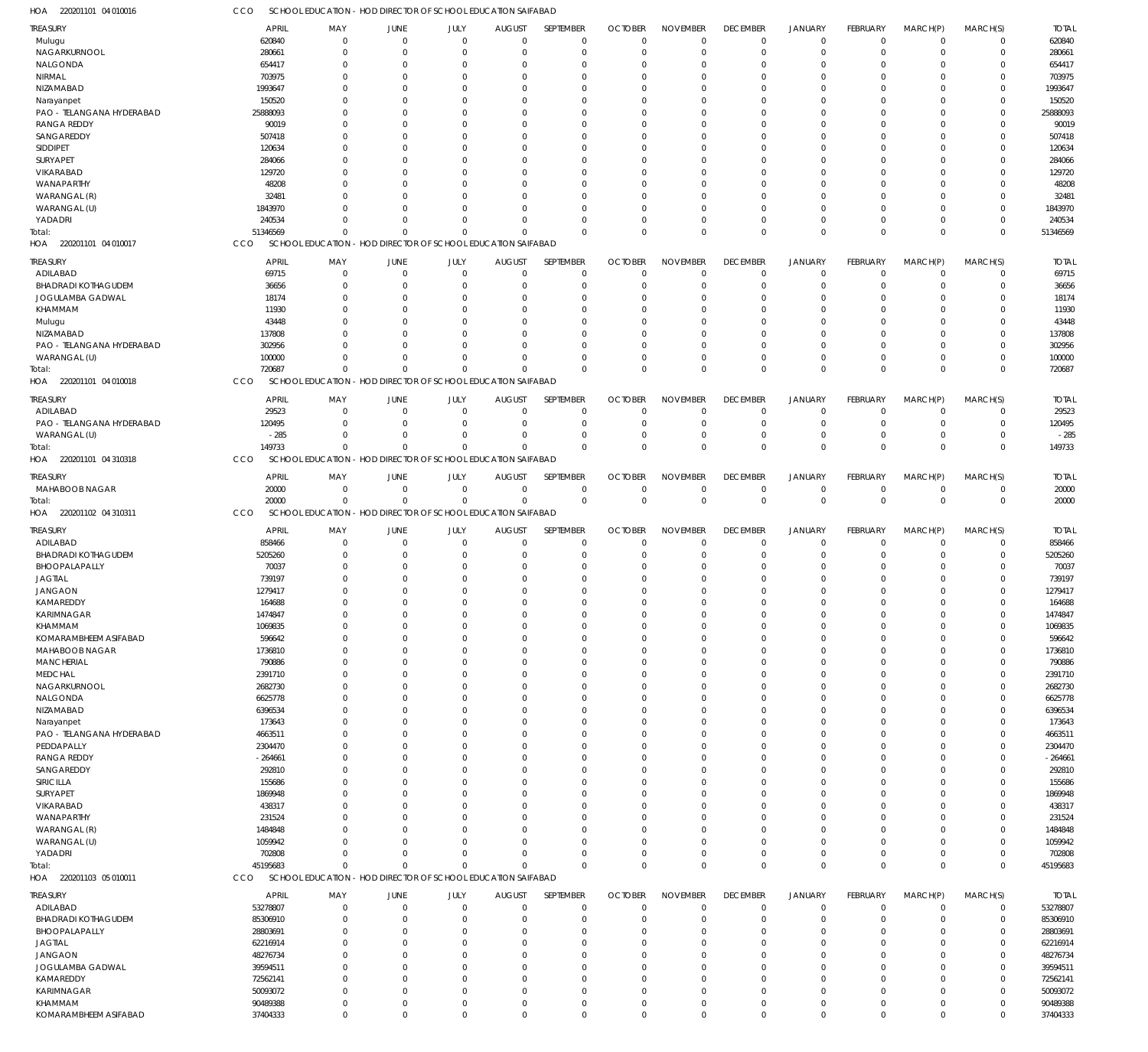220201101 04 010016 HOA CCO SCHOOL EDUCATION - HOD DIRECTOR OF SCHOOL EDUCATION SAIFABAD

| <b>TREASURY</b>              | <b>APRIL</b> | MAY         | JUNE                                                         | JULY         | <b>AUGUST</b> | SEPTEMBER   | <b>OCTOBER</b> | <b>NOVEMBER</b> | <b>DECEMBER</b> | <b>JANUARY</b> | <b>FEBRUARY</b> | MARCH(P)    | MARCH(S)    | <b>TOTAL</b> |
|------------------------------|--------------|-------------|--------------------------------------------------------------|--------------|---------------|-------------|----------------|-----------------|-----------------|----------------|-----------------|-------------|-------------|--------------|
| Mulugu                       | 620840       | $\mathbf 0$ | $\overline{0}$                                               | $\mathbf 0$  | $\Omega$      | $\Omega$    | $\mathbf 0$    | $\mathbf 0$     | $\overline{0}$  | $\overline{0}$ | $\mathbf 0$     | $\mathbf 0$ | $\mathbf 0$ | 620840       |
| NAGARKURNOOL                 | 280661       | $\mathbf 0$ | $^{\circ}$                                                   | $\mathbf 0$  | $\Omega$      | $\Omega$    | $\Omega$       | $\Omega$        | $\mathbf 0$     | $\overline{0}$ | $\mathbf 0$     | $^{\circ}$  | $\mathbf 0$ | 280661       |
| NALGONDA                     | 654417       | $\mathbf 0$ | -0                                                           | $\Omega$     | $\Omega$      | $\Omega$    | $\Omega$       | $\Omega$        | 0               | $\Omega$       | $\Omega$        | $\Omega$    | $\mathbf 0$ | 654417       |
| NIRMAL                       | 703975       | $\Omega$    | $\Omega$                                                     | $\Omega$     | $\Omega$      | $\Omega$    | $\Omega$       | $\Omega$        | $\Omega$        | $\Omega$       | $\Omega$        | $\Omega$    | $\mathbf 0$ | 703975       |
| NIZAMABAD                    | 1993647      | $\mathbf 0$ | -0                                                           | $\Omega$     | $\Omega$      | $\Omega$    | $\Omega$       | $\Omega$        | 0               | $\Omega$       | $\Omega$        | $\Omega$    | $\mathbf 0$ | 1993647      |
|                              |              |             |                                                              |              |               |             |                |                 |                 |                |                 |             |             |              |
| Narayanpet                   | 150520       | $\Omega$    | $\Omega$                                                     | $\Omega$     | $\Omega$      | $\Omega$    | $\Omega$       | $\Omega$        | $\Omega$        | $\Omega$       | $\Omega$        | $\Omega$    | $\mathbf 0$ | 150520       |
| PAO - TELANGANA HYDERABAD    | 25888093     | $\Omega$    | $\Omega$                                                     | $\Omega$     |               | $\Omega$    | $\Omega$       | $\Omega$        | $\Omega$        | $\Omega$       | $\Omega$        | $\Omega$    | $\mathbf 0$ | 25888093     |
| <b>RANGA REDDY</b>           | 90019        | $\Omega$    | $\Omega$                                                     | $\Omega$     | $\Omega$      | $\Omega$    | $\Omega$       | $\Omega$        | $\Omega$        | $\Omega$       | $\Omega$        | $\Omega$    | $\mathbf 0$ | 90019        |
| SANGAREDDY                   | 507418       | $\Omega$    | $\Omega$                                                     | $\Omega$     | $\Omega$      | $\Omega$    | $\Omega$       | $\Omega$        | $\Omega$        | $\Omega$       | $\Omega$        | $\Omega$    | $\mathbf 0$ | 507418       |
| SIDDIPET                     | 120634       | $\Omega$    | $\Omega$                                                     | $\Omega$     | $\Omega$      | $\Omega$    | $\Omega$       | $\Omega$        | $\Omega$        | $\Omega$       | $\Omega$        | $\Omega$    | $\mathbf 0$ | 120634       |
| SURYAPET                     | 284066       | $\Omega$    | $\Omega$                                                     | $\Omega$     | $\Omega$      | $\Omega$    | $\Omega$       | $\Omega$        | $\Omega$        | $\Omega$       | $\Omega$        | $\Omega$    | $\mathbf 0$ | 284066       |
| VIKARABAD                    | 129720       | $\Omega$    | $\Omega$                                                     | $\Omega$     | $\Omega$      | $\Omega$    | $\Omega$       | $\Omega$        | $\Omega$        | $\Omega$       | $\Omega$        | $\Omega$    | $\mathbf 0$ | 129720       |
| WANAPARTHY                   | 48208        | $\Omega$    | $\Omega$                                                     | $\Omega$     |               | $\Omega$    | $\Omega$       | $\Omega$        | $\Omega$        | $\Omega$       | $\Omega$        | $\Omega$    | $\mathbf 0$ | 48208        |
| WARANGAL (R)                 | 32481        | $\Omega$    | $\Omega$                                                     | $\Omega$     |               | $\Omega$    | $\Omega$       | $\Omega$        | $\Omega$        | $\Omega$       | $\Omega$        | $\Omega$    | $\mathbf 0$ | 32481        |
|                              |              |             |                                                              |              |               |             |                |                 |                 |                |                 |             |             |              |
| WARANGAL (U)                 | 1843970      | $\Omega$    | $\Omega$                                                     | $\Omega$     | $\Omega$      | $\Omega$    | $\Omega$       | $\Omega$        | $\Omega$        | $\Omega$       | $\Omega$        | $\Omega$    | $\mathbf 0$ | 1843970      |
| YADADRI                      | 240534       | $\Omega$    | $\Omega$                                                     | $\Omega$     | $\Omega$      | $\Omega$    | $\Omega$       | $\Omega$        | $\Omega$        | $\Omega$       | $\Omega$        | $\Omega$    | $\mathbf 0$ | 240534       |
| Total:                       | 51346569     | $\Omega$    | $\Omega$                                                     | $\Omega$     | $\Omega$      | $\Omega$    | $\Omega$       | $\overline{0}$  | $\Omega$        | $\Omega$       | $\Omega$        | $\Omega$    | $\mathbf 0$ | 51346569     |
| 220201101 04 010017<br>HOA   | CCO          |             | SCHOOL EDUCATION - HOD DIRECTOR OF SCHOOL EDUCATION SAIFABAD |              |               |             |                |                 |                 |                |                 |             |             |              |
|                              | <b>APRIL</b> | MAY         |                                                              |              |               | SEPTEMBER   | <b>OCTOBER</b> | <b>NOVEMBER</b> | <b>DECEMBER</b> | <b>JANUARY</b> | FEBRUARY        |             |             | <b>TOTAL</b> |
| <b>TREASURY</b>              |              |             | JUNE                                                         | JULY         | <b>AUGUST</b> |             |                |                 |                 |                |                 | MARCH(P)    | MARCH(S)    |              |
| ADILABAD                     | 69715        | $\mathbf 0$ | $^{\circ}$                                                   | $\mathbf 0$  | $\Omega$      | $\Omega$    | $\overline{0}$ | $\overline{0}$  | $\mathbf 0$     | $\overline{0}$ | $\mathbf 0$     | $^{\circ}$  | 0           | 69715        |
| <b>BHADRADI KOTHAGUDEM</b>   | 36656        | $\mathbf 0$ | $^{\circ}$                                                   | $\mathbf 0$  | $\Omega$      | $\Omega$    | $\Omega$       | $\Omega$        | $\mathbf 0$     | $\overline{0}$ | $\mathbf 0$     | $^{\circ}$  | $\mathbf 0$ | 36656        |
| JOGULAMBA GADWAL             | 18174        | $\mathbf 0$ | -0                                                           | $\Omega$     |               | $\Omega$    | $\Omega$       | $\Omega$        | 0               | $\Omega$       | 0               | $\Omega$    | $\mathbf 0$ | 18174        |
| KHAMMAM                      | 11930        | 0           | -0                                                           | $\Omega$     |               | $\Omega$    | $\Omega$       | $\Omega$        | 0               | $\mathbf 0$    | $\mathbf 0$     | $\Omega$    | $\mathbf 0$ | 11930        |
| Mulugu                       | 43448        | $\mathbf 0$ | -0                                                           | $\Omega$     |               | $\Omega$    | $\Omega$       | $\Omega$        | 0               | $\Omega$       | 0               | $\Omega$    | $\mathbf 0$ | 43448        |
| NIZAMABAD                    | 137808       | $\Omega$    | $\Omega$                                                     | $\Omega$     |               | $\Omega$    | $\Omega$       | $\Omega$        | $\Omega$        | $\Omega$       | $\Omega$        | $\Omega$    | $\mathbf 0$ | 137808       |
| PAO - TELANGANA HYDERABAD    | 302956       | $\mathbf 0$ | -0                                                           | $\mathbf 0$  | $\Omega$      | $\Omega$    | $\Omega$       | $\Omega$        | 0               | $\Omega$       | $\mathbf 0$     | -0          | $\mathbf 0$ | 302956       |
| WARANGAL (U)                 | 100000       | $\Omega$    | $\Omega$                                                     | $\mathbf{0}$ | $\Omega$      | $\Omega$    | $\Omega$       | $\Omega$        | 0               | $\overline{0}$ | $\mathbf 0$     | -0          | $\mathbf 0$ | 100000       |
|                              |              | $\Omega$    | $\Omega$                                                     | $\Omega$     |               | $\Omega$    | $\Omega$       | $\overline{0}$  | $\mathbf 0$     | $\Omega$       | $\mathbf 0$     | $\Omega$    | $\mathbf 0$ |              |
| Total:                       | 720687       |             |                                                              |              |               |             |                |                 |                 |                |                 |             |             | 720687       |
| 220201101 04 010018<br>HOA   | CCO          |             | SCHOOL EDUCATION - HOD DIRECTOR OF SCHOOL EDUCATION SAIFABAD |              |               |             |                |                 |                 |                |                 |             |             |              |
| <b>TREASURY</b>              | <b>APRIL</b> | MAY         | JUNE                                                         | JULY         | <b>AUGUST</b> | SEPTEMBER   | <b>OCTOBER</b> | <b>NOVEMBER</b> | <b>DECEMBER</b> | <b>JANUARY</b> | FEBRUARY        | MARCH(P)    | MARCH(S)    | <b>TOTAL</b> |
| ADILABAD                     | 29523        | $\mathbf 0$ | $\mathbf 0$                                                  | $\mathbf 0$  | $\Omega$      | $\Omega$    | $\Omega$       | $\overline{0}$  | $\overline{0}$  | $\overline{0}$ | $\mathbf 0$     | $\Omega$    | $\mathbf 0$ | 29523        |
| PAO - TELANGANA HYDERABAD    | 120495       | $\mathbf 0$ | 0                                                            | $\mathbf 0$  | $\Omega$      | $\mathbf 0$ | $^{\circ}$     | $\overline{0}$  | $\mathbf 0$     | $\overline{0}$ | $\mathbf 0$     | -0          | $\mathbf 0$ | 120495       |
| WARANGAL (U)                 | $-285$       | $\Omega$    | $\Omega$                                                     | $\mathbf 0$  | $\Omega$      | $\Omega$    | $^{\circ}$     | $\mathbf 0$     | $\mathbf 0$     | $\overline{0}$ | $\mathbf 0$     | $^{\circ}$  | $\mathbf 0$ | $-285$       |
|                              |              | $\Omega$    |                                                              | $\Omega$     | $\Omega$      | $\Omega$    | $\Omega$       |                 |                 | $\Omega$       | $\Omega$        | $\Omega$    |             |              |
| Total:                       | 149733       |             | $\Omega$                                                     |              |               |             |                | $\overline{0}$  | $\mathbf 0$     |                |                 |             | $\mathbf 0$ | 149733       |
| HOA 220201101 04 310318      | CCO          |             | SCHOOL EDUCATION - HOD DIRECTOR OF SCHOOL EDUCATION SAIFABAD |              |               |             |                |                 |                 |                |                 |             |             |              |
| <b>TREASURY</b>              | <b>APRIL</b> | MAY         | JUNE                                                         | JULY         | <b>AUGUST</b> | SEPTEMBER   | <b>OCTOBER</b> | <b>NOVEMBER</b> | <b>DECEMBER</b> | <b>JANUARY</b> | FEBRUARY        | MARCH(P)    | MARCH(S)    | <b>TOTAL</b> |
| MAHABOOB NAGAR               | 20000        | $\mathbf 0$ | $\mathbf 0$                                                  | $\mathbf 0$  | $\Omega$      | $\mathbf 0$ | $^{\circ}$     | $\overline{0}$  | $\overline{0}$  | $\overline{0}$ | $\mathbf 0$     | $^{\circ}$  | $\mathbf 0$ | 20000        |
| Total:                       | 20000        | $\mathbf 0$ | $\mathbf 0$                                                  | $\mathbf 0$  | $\Omega$      | $\Omega$    | $\overline{0}$ | $\mathbb O$     | $\overline{0}$  | $\overline{0}$ | $\mathbf 0$     | $\mathbf 0$ | $\mathbf 0$ | 20000        |
|                              | CCO          |             | SCHOOL EDUCATION - HOD DIRECTOR OF SCHOOL EDUCATION SAIFABAD |              |               |             |                |                 |                 |                |                 |             |             |              |
| HOA 220201102 04 310311      |              |             |                                                              |              |               |             |                |                 |                 |                |                 |             |             |              |
| <b>TREASURY</b>              | <b>APRIL</b> | MAY         | JUNE                                                         | JULY         | <b>AUGUST</b> | SEPTEMBER   | <b>OCTOBER</b> | <b>NOVEMBER</b> | <b>DECEMBER</b> | <b>JANUARY</b> | FEBRUARY        | MARCH(P)    | MARCH(S)    | <b>TOTAL</b> |
| ADILABAD                     | 858466       | $\mathbf 0$ | $^{\circ}$                                                   | $\mathbf 0$  | $\Omega$      | $\Omega$    | $\Omega$       | $\mathbf 0$     | $\overline{0}$  | $\overline{0}$ | $\mathbf 0$     | -0          | $\mathbf 0$ | 858466       |
| <b>BHADRADI KOTHAGUDEM</b>   | 5205260      | $\mathbf 0$ | $\mathbf 0$                                                  | $\mathbf 0$  | $\Omega$      | $\Omega$    | $\overline{0}$ | $\mathbf 0$     | $\mathbf 0$     | $\overline{0}$ | $\mathbf 0$     | $\Omega$    | $\mathbf 0$ | 5205260      |
|                              |              |             |                                                              | $\Omega$     |               | $\Omega$    | $\Omega$       |                 |                 | $\Omega$       | $\Omega$        |             |             |              |
| BHOOPALAPALLY                | 70037        | $\mathbf 0$ | -0                                                           |              | $\Omega$      |             |                | $\mathbf 0$     | 0               |                |                 | $\Omega$    | $\mathbf 0$ | 70037        |
| <b>JAGTIAL</b>               | 739197       | $\Omega$    | $\Omega$                                                     | $\Omega$     | $\Omega$      | $\Omega$    | $\Omega$       | $\Omega$        | $\Omega$        | $\Omega$       | $\Omega$        | $\Omega$    | $\mathbf 0$ | 739197       |
| <b>JANGAON</b>               | 1279417      | $\Omega$    | $\Omega$                                                     | $\Omega$     | $\Omega$      | $\Omega$    | $\Omega$       | $\Omega$        | $\Omega$        | $\Omega$       | $\Omega$        | $\Omega$    | $\mathbf 0$ | 1279417      |
| KAMAREDDY                    | 164688       | $\Omega$    | $\Omega$                                                     | $\Omega$     | $\Omega$      | $\Omega$    | $\mathbf{0}$   | $\Omega$        | $\Omega$        | $\Omega$       | $\Omega$        | $\Omega$    | $\Omega$    | 164688       |
| <b>KARIMNAGAR</b>            | 1474847      |             |                                                              |              |               |             |                |                 |                 |                |                 |             |             | 1474847      |
| <b>KHAMMAM</b>               | 1069835      | $\mathbf 0$ | 0                                                            | $\Omega$     | $\Omega$      | $\Omega$    | $\Omega$       | $\Omega$        | $\Omega$        | $\Omega$       | $\mathbf 0$     | $\Omega$    | $\mathbf 0$ | 1069835      |
| <b>KOMARAMBHEEM ASIFABAD</b> | 596642       | $\mathbf 0$ | $^{\circ}$                                                   | $\mathbf 0$  | $\Omega$      | $\mathbf 0$ | $\overline{0}$ | $\mathbf 0$     | 0               | $\Omega$       | $\mathbf 0$     | -0          | $\mathbf 0$ | 596642       |
| MAHABOOB NAGAR               | 1736810      | $\Omega$    | $\Omega$                                                     | $\Omega$     |               |             |                |                 |                 |                |                 |             |             | 1736810      |
| <b>MANCHERIAL</b>            | 790886       | $\Omega$    |                                                              |              |               |             |                |                 |                 | $\Omega$       |                 |             |             |              |
|                              | 2391710      |             |                                                              |              |               | $\Omega$    | $\Omega$       | $\Omega$        | $\Omega$        |                | $\Omega$        | $\Omega$    | $\mathbf 0$ |              |
| <b>MEDCHAL</b>               |              |             | $\Omega$                                                     | $\Omega$     |               | $\Omega$    | $\Omega$       | $\Omega$        | $\Omega$        | $\Omega$       | $\Omega$        | $\Omega$    | $\mathbf 0$ | 790886       |
| NAGARKURNOOL                 |              | $\Omega$    | $\Omega$                                                     | $\Omega$     | $\Omega$      | $\Omega$    | $\Omega$       | $\Omega$        | $\Omega$        | $\Omega$       | $\Omega$        | $\Omega$    | $\mathbf 0$ | 2391710      |
|                              | 2682730      | 0           | $\Omega$                                                     | $\Omega$     | $\Omega$      | $\Omega$    | $\Omega$       | $\Omega$        | $\Omega$        | $\Omega$       | $\Omega$        | $\Omega$    | $\mathbf 0$ | 2682730      |
| NALGONDA                     | 6625778      | $\Omega$    | $\Omega$                                                     | $\Omega$     | $\Omega$      | $\Omega$    | $\Omega$       | $\Omega$        | $\Omega$        | $\Omega$       | $\Omega$        | $\Omega$    | $\mathbf 0$ | 6625778      |
| NIZAMABAD                    | 6396534      | $\Omega$    | $\Omega$                                                     | $\Omega$     |               | $\Omega$    | $\Omega$       | $\Omega$        | $\Omega$        | $\Omega$       | $\Omega$        | $\Omega$    | $\mathbf 0$ | 6396534      |
| Narayanpet                   | 173643       | $\Omega$    | $\Omega$                                                     | $\Omega$     | $\Omega$      | $\Omega$    | $\Omega$       | $\Omega$        | $\Omega$        | $\Omega$       | $\Omega$        | $\Omega$    | $\mathbf 0$ | 173643       |
| PAO - TELANGANA HYDERABAD    | 4663511      | 0           | $\Omega$                                                     | $\Omega$     |               | $\Omega$    | $\Omega$       | $\Omega$        | $\Omega$        | $\Omega$       | $\Omega$        | $\Omega$    | $\mathbf 0$ | 4663511      |
| PEDDAPALLY                   | 2304470      | $\Omega$    | $\Omega$                                                     | $\Omega$     |               | $\Omega$    | $\Omega$       | $\Omega$        | $\Omega$        | $\Omega$       | $\Omega$        | $\Omega$    | $\mathbf 0$ | 2304470      |
|                              |              | $\Omega$    | $\Omega$                                                     | $\Omega$     |               | $\Omega$    | $\Omega$       | $\Omega$        | $\Omega$        | $\Omega$       | $\Omega$        | $\Omega$    | $\mathbf 0$ |              |
| <b>RANGA REDDY</b>           | $-264661$    |             |                                                              |              | $\Omega$      |             |                |                 |                 |                |                 |             |             | $-264661$    |
| SANGAREDDY                   | 292810       | $\Omega$    | $\Omega$                                                     | $\Omega$     |               | $\Omega$    | $\Omega$       | $\Omega$        | $\Omega$        | $\Omega$       | $\Omega$        | $\Omega$    | $\mathbf 0$ | 292810       |
| SIRICILLA                    | 155686       | $\Omega$    | $\Omega$                                                     | $\Omega$     |               | $\Omega$    | $\Omega$       | $\Omega$        | $\Omega$        | $\Omega$       | $\Omega$        | $\Omega$    | $\mathbf 0$ | 155686       |
| SURYAPET                     | 1869948      | $\Omega$    | $\Omega$                                                     | $\Omega$     |               | $\Omega$    | $\Omega$       | $\Omega$        | $\Omega$        | $\Omega$       | $\Omega$        | $\Omega$    | $\mathbf 0$ | 1869948      |
| VIKARABAD                    | 438317       | $\Omega$    | $\Omega$                                                     | $\Omega$     |               | $\Omega$    | $\Omega$       | $\Omega$        | $\Omega$        | $\Omega$       | $\Omega$        | $\Omega$    | $\mathbf 0$ | 438317       |
| WANAPARTHY                   | 231524       | $\Omega$    | $\Omega$                                                     | $\Omega$     |               | $\Omega$    | $\Omega$       | $\Omega$        | $\Omega$        | $\Omega$       | $\Omega$        | $\Omega$    | $\mathbf 0$ | 231524       |
| WARANGAL (R)                 | 1484848      | $\Omega$    | $\Omega$                                                     | $\Omega$     |               | $\Omega$    | $\Omega$       | $\Omega$        | $\Omega$        | $\Omega$       | $\Omega$        | $\Omega$    | $\mathbf 0$ | 1484848      |
| WARANGAL (U)                 | 1059942      | $\Omega$    | $\Omega$                                                     | $\Omega$     | $\Omega$      | $\Omega$    | $\Omega$       | $\Omega$        | $\Omega$        | $\Omega$       | $\Omega$        | $\Omega$    | $\mathbf 0$ | 1059942      |
| YADADRI                      | 702808       | $\mathbf 0$ | $\Omega$                                                     | $\Omega$     | $\Omega$      | $\Omega$    | $\Omega$       | $\Omega$        | 0               | $\mathbf 0$    | $\mathbf 0$     | $^{\circ}$  | $\mathbf 0$ | 702808       |
| Total:                       | 45195683     | $\Omega$    | $\Omega$                                                     | $\mathbf 0$  | $\Omega$      | $\Omega$    | $\Omega$       | $\overline{0}$  | $\Omega$        | $\Omega$       | $\Omega$        | $\Omega$    | $\mathbf 0$ | 45195683     |
|                              | CCO          |             | SCHOOL EDUCATION - HOD DIRECTOR OF SCHOOL EDUCATION SAIFABAD |              |               |             |                |                 |                 |                |                 |             |             |              |
| HOA 220201103 05 010011      |              |             |                                                              |              |               |             |                |                 |                 |                |                 |             |             |              |
| <b>TREASURY</b>              | <b>APRIL</b> | MAY         | JUNE                                                         | JULY         | <b>AUGUST</b> | SEPTEMBER   | <b>OCTOBER</b> | <b>NOVEMBER</b> | <b>DECEMBER</b> | <b>JANUARY</b> | <b>FEBRUARY</b> | MARCH(P)    | MARCH(S)    | <b>TOTAL</b> |
| ADILABAD                     | 53278807     | $\mathbf 0$ | $^{\circ}$                                                   | $\mathbf 0$  | $\Omega$      | $\mathbf 0$ | $\overline{0}$ | $\overline{0}$  | $\overline{0}$  | $\overline{0}$ | $\mathbf 0$     | $^{\circ}$  | $\mathbf 0$ | 53278807     |
| <b>BHADRADI KOTHAGUDEM</b>   | 85306910     | $\mathbf 0$ | -0                                                           | $\mathbf 0$  |               | $\Omega$    | $\Omega$       | $\Omega$        | 0               | $^{\circ}$     | 0               | 0           | $\mathbf 0$ | 85306910     |
|                              |              | $\mathbf 0$ | -0                                                           | $\Omega$     |               | $\Omega$    | $\Omega$       | $\Omega$        | 0               | $\Omega$       | 0               | $\Omega$    | $\mathbf 0$ |              |
| BHOOPALAPALLY                | 28803691     |             |                                                              |              |               |             |                |                 |                 |                |                 |             |             | 28803691     |
| JAGTIAL                      | 62216914     | $\mathbf 0$ | 0                                                            | $\Omega$     |               | $\Omega$    | $\Omega$       | $\Omega$        | 0               | $\Omega$       | 0               | 0           | $\mathbf 0$ | 62216914     |
| <b>JANGAON</b>               | 48276734     | 0           | $\Omega$                                                     | $\Omega$     |               | $\Omega$    | $\Omega$       | $\Omega$        | $\Omega$        | $\Omega$       | $\Omega$        | $\Omega$    | $\mathbf 0$ | 48276734     |
| JOGULAMBA GADWAL             | 39594511     | 0           | $\Omega$                                                     | $\Omega$     |               | $\Omega$    | $\Omega$       | $\Omega$        | $\Omega$        | $\Omega$       | $\Omega$        | $\Omega$    | $\mathbf 0$ | 39594511     |
| KAMAREDDY                    | 72562141     | 0           | $\Omega$                                                     | $\Omega$     |               | $\Omega$    | $\Omega$       | $\Omega$        | $\Omega$        | $\Omega$       | $\Omega$        | $\Omega$    | $\mathbf 0$ | 72562141     |
| <b>KARIMNAGAR</b>            | 50093072     | $\mathbf 0$ | -0                                                           | $\mathbf 0$  | $\Omega$      | $\Omega$    | $\Omega$       | $\overline{0}$  | 0               | $\Omega$       | $\mathbf 0$     | $^{\circ}$  | $\mathbf 0$ | 50093072     |
| KHAMMAM                      | 90489388     | $\mathbf 0$ | $\mathbf 0$                                                  | $\mathbf 0$  | $\Omega$      | $\mathbf 0$ | $\mathbf 0$    | $\mathbf 0$     | 0               | $\overline{0}$ | $\mathbf 0$     | $\mathbf 0$ | $\mathbf 0$ | 90489388     |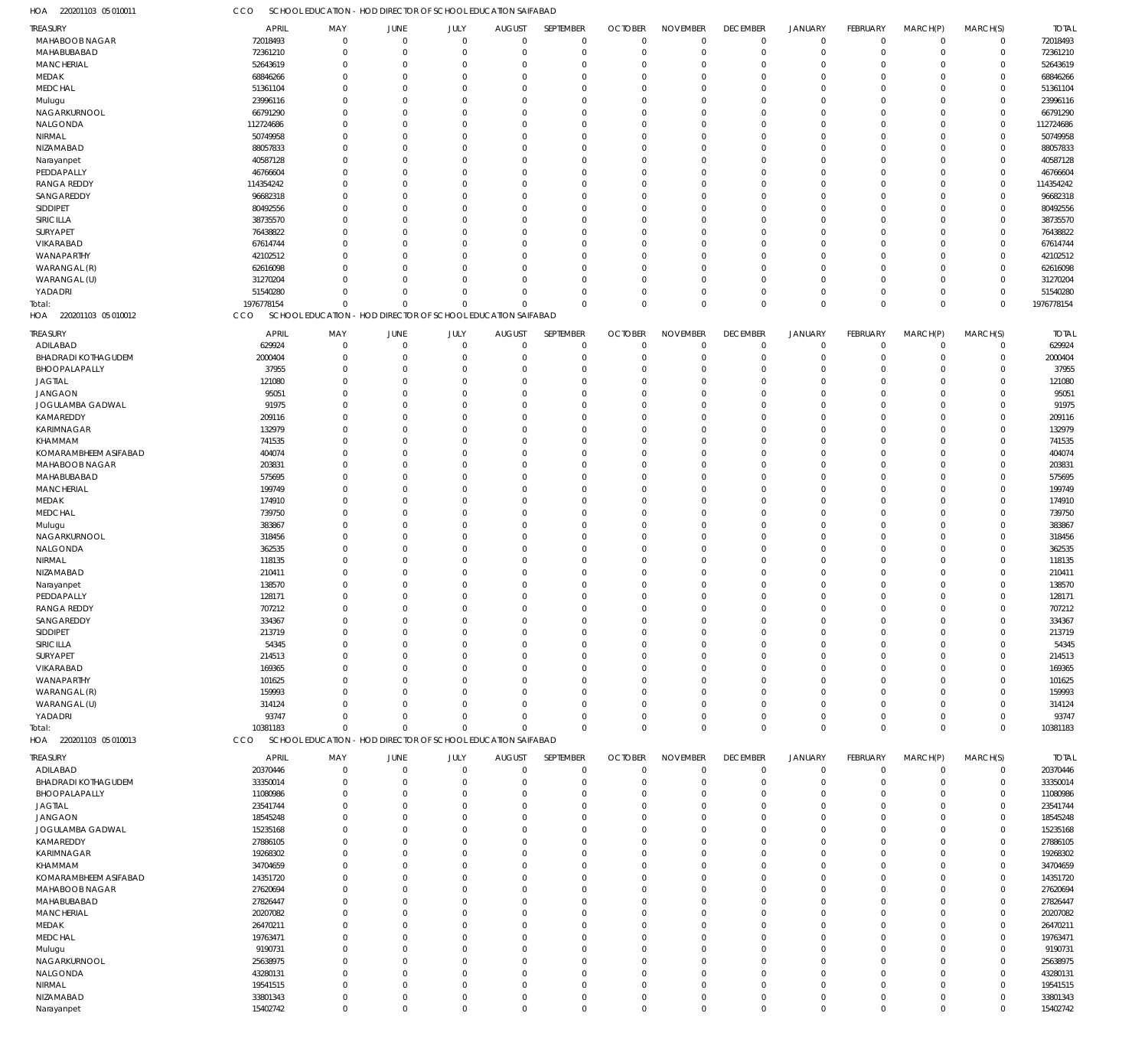220201103 05 010011 HOA CCO SCHOOL EDUCATION - HOD DIRECTOR OF SCHOOL EDUCATION SAIFABAD

| TREASURY                   | <b>APRIL</b>         | MAY                                                          | JUNE                    | JULY           | <b>AUGUST</b>                  | SEPTEMBER               | <b>OCTOBER</b>          | <b>NOVEMBER</b>            | <b>DECEMBER</b>            | <b>JANUARY</b>              | FEBRUARY      | MARCH(P)                | MARCH(S)             | <b>TOTAL</b>         |
|----------------------------|----------------------|--------------------------------------------------------------|-------------------------|----------------|--------------------------------|-------------------------|-------------------------|----------------------------|----------------------------|-----------------------------|---------------|-------------------------|----------------------|----------------------|
| MAHABOOB NAGAR             |                      |                                                              |                         |                |                                |                         | $\overline{0}$          |                            |                            |                             |               |                         |                      |                      |
|                            | 72018493             | 0                                                            | $\mathbf 0$             | $\overline{0}$ | $\overline{0}$                 | $\mathbf 0$             |                         | $\mathbf 0$                | $\mathbf 0$                | 0                           | $\mathbf 0$   | 0                       | $\mathbf 0$          | 72018493             |
| MAHABUBABAD                | 72361210             | $\Omega$                                                     | $\overline{0}$          | $\Omega$       | $\Omega$                       | $\mathbf 0$             | $\mathbf 0$             | $\Omega$                   | $\mathbf 0$                | $\mathbf 0$                 | $\Omega$      | $\mathbf 0$             | $\mathbf 0$          | 72361210             |
| <b>MANCHERIAL</b>          | 52643619             | $\Omega$                                                     | $\overline{0}$          | $\Omega$       | $\Omega$                       | $\Omega$                | $\mathbf 0$             | $\mathbf 0$                | $\Omega$                   | $\mathbf 0$                 | $\Omega$      | $\Omega$                | $\Omega$             | 52643619             |
| MEDAK                      | 68846266             | $\Omega$                                                     | $\overline{0}$          | $\Omega$       | $\Omega$                       | $\mathbf 0$             | $\mathbf 0$             | $\mathbf 0$                | $\mathbf 0$                | $\mathbf 0$                 | $\Omega$      | $\Omega$                | $\Omega$             | 68846266             |
| <b>MEDCHAL</b>             | 51361104             | $\Omega$                                                     | $\Omega$                | $\Omega$       | $\Omega$                       | $\Omega$                | $\Omega$                | $\Omega$                   | $\Omega$                   | $\Omega$                    | $\Omega$      | $\Omega$                | $\Omega$             | 51361104             |
| Mulugu                     | 23996116             | $\Omega$                                                     | $\overline{0}$          | $\Omega$       | $\Omega$                       | $\Omega$                | $\Omega$                | $\Omega$                   | $\Omega$                   | $\Omega$                    | $\Omega$      | $\Omega$                | $\Omega$             | 23996116             |
| NAGARKURNOOL               | 66791290             | $\Omega$                                                     | $\Omega$                | $\Omega$       | $\Omega$                       | $\Omega$                | $\Omega$                | $\mathbf 0$                | $\Omega$                   | $\Omega$                    | $\Omega$      | $\Omega$                | $\Omega$             | 66791290             |
| NALGONDA                   | 112724686            | $\Omega$                                                     | $\Omega$                | $\Omega$       | $\Omega$                       | $\Omega$                | $\Omega$                | $\Omega$                   | $\Omega$                   | $\Omega$                    | $\Omega$      | $\Omega$                | $\Omega$             | 112724686            |
| NIRMAL                     | 50749958             | $\Omega$                                                     | $\Omega$                | $\Omega$       | $\Omega$                       | $\Omega$                | $\mathbf 0$             | $\mathbf 0$                | $\Omega$                   | $\Omega$                    | $\Omega$      | $\Omega$                | $\Omega$             | 50749958             |
|                            |                      |                                                              |                         |                |                                |                         |                         |                            |                            |                             |               |                         |                      |                      |
| NIZAMABAD                  | 88057833             | $\Omega$                                                     | $\Omega$                | O              | $\Omega$                       | $\Omega$                | $\Omega$                | $\Omega$                   | $\Omega$                   | $\Omega$                    | $\Omega$      | $\Omega$                | $\Omega$             | 88057833             |
| Narayanpet                 | 40587128             | $\Omega$                                                     | $\Omega$                | $\Omega$       | $\Omega$                       | $\Omega$                | $\Omega$                | $\Omega$                   | $\Omega$                   | $\Omega$                    | $\Omega$      | $\Omega$                | $\Omega$             | 40587128             |
| PEDDAPALLY                 | 46766604             | $\Omega$                                                     | $\overline{0}$          | 0              | $\Omega$                       | $\Omega$                | $\mathbf 0$             | $\mathbf 0$                | $\Omega$                   | $\mathbf 0$                 | $\Omega$      | $\Omega$                | $\Omega$             | 46766604             |
| <b>RANGA REDDY</b>         | 114354242            | $\Omega$                                                     | $\Omega$                | $\Omega$       | $\Omega$                       | $\Omega$                | $\Omega$                | $\Omega$                   | $\Omega$                   | $\Omega$                    | $\Omega$      | $\Omega$                | $\Omega$             | 114354242            |
| SANGAREDDY                 | 96682318             | $\Omega$                                                     | $\Omega$                | 0              | $\Omega$                       | $\Omega$                | $\Omega$                | $\Omega$                   | $\Omega$                   | $\Omega$                    | $\Omega$      | $\Omega$                | $\Omega$             | 96682318             |
|                            |                      |                                                              |                         |                |                                |                         |                         |                            |                            |                             |               |                         |                      |                      |
| SIDDIPET                   | 80492556             | $\Omega$                                                     | $\Omega$                | $\Omega$       | $\Omega$                       | $\Omega$                | $\Omega$                | $\mathbf 0$                | $\Omega$                   | $\Omega$                    | $\Omega$      | $\Omega$                | $\Omega$             | 80492556             |
| SIRICILLA                  | 38735570             | $\Omega$                                                     | $\Omega$                | $\Omega$       | $\Omega$                       | $\Omega$                | $\Omega$                | $\Omega$                   | $\Omega$                   | $\Omega$                    | $\Omega$      | $\Omega$                | $\Omega$             | 38735570             |
| <b>SURYAPET</b>            | 76438822             | $\Omega$                                                     | $\Omega$                | $\Omega$       | $\Omega$                       | $\Omega$                | $\Omega$                | $\mathbf 0$                | $\Omega$                   | $\Omega$                    | $\Omega$      | $\Omega$                | $\Omega$             | 76438822             |
| VIKARABAD                  | 67614744             | $\Omega$                                                     | $\Omega$                | 0              | $\Omega$                       | $\Omega$                | $\Omega$                | $\Omega$                   | $\Omega$                   | $\Omega$                    | $\Omega$      | $\Omega$                | $\Omega$             | 67614744             |
| WANAPARTHY                 | 42102512             | $\Omega$                                                     | $\Omega$                | $\Omega$       | $\Omega$                       | $\Omega$                | $\Omega$                | $\Omega$                   | $\Omega$                   | $\Omega$                    | $\Omega$      | $\Omega$                | $\Omega$             | 42102512             |
| WARANGAL (R)               | 62616098             | $\Omega$                                                     | $\Omega$                | $\Omega$       | $\Omega$                       | $\Omega$                | $\Omega$                | $\mathbf 0$                | $\Omega$                   | $\mathbf 0$                 | $\Omega$      | $\Omega$                | $\Omega$             | 62616098             |
|                            |                      |                                                              | $\Omega$                | $\Omega$       | $\Omega$                       | $\Omega$                | $\Omega$                |                            | $\Omega$                   | $\Omega$                    |               | $\Omega$                | $\Omega$             |                      |
| WARANGAL (U)               | 31270204             | $\Omega$                                                     |                         |                |                                |                         |                         | $\mathbf 0$                |                            |                             | $\Omega$      |                         |                      | 31270204             |
| YADADRI                    | 51540280             | $\Omega$                                                     | $\overline{0}$          | $\Omega$       | $\Omega$                       | $\Omega$                | $\Omega$                | $\Omega$                   | $\Omega$                   | $\mathbf 0$                 | $\Omega$      | $\mathbf 0$             | $\Omega$             | 51540280             |
| Total:                     | 1976778154           | $\Omega$                                                     | $\Omega$                | $\Omega$       | $\Omega$                       | $\Omega$                | $\mathbf 0$             | $\mathbf 0$                | $\mathbf 0$                | $\mathbf 0$                 | $\Omega$      | $\Omega$                | $\Omega$             | 1976778154           |
| HOA 220201103 05 010012    | CCO                  | SCHOOL EDUCATION - HOD DIRECTOR OF SCHOOL EDUCATION SAIFABAD |                         |                |                                |                         |                         |                            |                            |                             |               |                         |                      |                      |
|                            |                      |                                                              |                         |                |                                |                         |                         |                            |                            |                             |               |                         |                      |                      |
| TREASURY                   | <b>APRIL</b>         | MAY                                                          | <b>JUNE</b>             | JULY           | <b>AUGUST</b>                  | SEPTEMBER               | <b>OCTOBER</b>          | <b>NOVEMBER</b>            | <b>DECEMBER</b>            | <b>JANUARY</b>              | FEBRUARY      | MARCH(P)                | MARCH(S)             | <b>TOTAL</b>         |
| ADILABAD                   | 629924               | $\Omega$                                                     | $\overline{0}$          | $\Omega$       | $\mathbf 0$                    | $\mathbf 0$             | $\mathbf 0$             | $\mathbf 0$                | $\mathbf 0$                | $\mathbf 0$                 | $\Omega$      | $\mathbf 0$             | $\Omega$             | 629924               |
| <b>BHADRADI KOTHAGUDEM</b> | 2000404              | $\Omega$                                                     | $\Omega$                | $\Omega$       | $\mathbf 0$                    | $\mathbf 0$             | $\mathbf 0$             | $\Omega$                   | $\mathbf 0$                | $\mathbf 0$                 | $\Omega$      | $\Omega$                | $\Omega$             | 2000404              |
| BHOOPALAPALLY              | 37955                | $\Omega$                                                     | $^{\circ}$              | $\Omega$       | $\Omega$                       | $\Omega$                | $\Omega$                | $\Omega$                   | $\Omega$                   | $\Omega$                    | $\Omega$      | $\Omega$                | $\Omega$             | 37955                |
| JAGTIAL                    | 121080               | $\Omega$                                                     | $\Omega$                | $\Omega$       | $\Omega$                       | $\Omega$                | $\Omega$                | $\Omega$                   | $\Omega$                   | $\Omega$                    | C.            | $\Omega$                | $\Omega$             | 121080               |
| <b>JANGAON</b>             | 95051                | $\Omega$                                                     | $\Omega$                | $\Omega$       | $\Omega$                       | $\Omega$                | $\Omega$                | $\Omega$                   | $\Omega$                   | $\Omega$                    | C.            | $\Omega$                | $\Omega$             | 95051                |
|                            |                      |                                                              |                         |                |                                |                         |                         |                            |                            |                             |               |                         |                      |                      |
| JOGULAMBA GADWAL           | 91975                | $\Omega$                                                     | $\Omega$                | 0              | $\Omega$                       | $\Omega$                | $\Omega$                | $\Omega$                   | $\Omega$                   | $\Omega$                    | C.            | $\Omega$                | $\Omega$             | 91975                |
| KAMAREDDY                  | 209116               | 0                                                            | $\Omega$                | O              | $\Omega$                       | $\Omega$                | $\Omega$                | $\Omega$                   | $\Omega$                   | $\Omega$                    | ſ             | $\Omega$                | $\Omega$             | 209116               |
| KARIMNAGAR                 | 132979               | $\Omega$                                                     | $\Omega$                | $\Omega$       | $\Omega$                       | $\Omega$                | $\Omega$                | $\Omega$                   | $\Omega$                   | $\Omega$                    | C.            | $\Omega$                | $\Omega$             | 132979               |
| KHAMMAM                    | 741535               | 0                                                            | $\Omega$                | O              | $\Omega$                       | $\Omega$                | $\Omega$                | $\Omega$                   | $\Omega$                   | $\Omega$                    | ſ             | $\Omega$                | $\Omega$             | 741535               |
| KOMARAMBHEEM ASIFABAD      | 404074               | $\Omega$                                                     | $\Omega$                | 0              | $\Omega$                       | $\Omega$                | $\Omega$                | $\Omega$                   | $\Omega$                   | $\Omega$                    | C.            | $\Omega$                | $\Omega$             | 404074               |
|                            |                      |                                                              | $\Omega$                | O              | $\Omega$                       | $\Omega$                | $\Omega$                | $\Omega$                   |                            | $\Omega$                    |               | $\Omega$                | $\Omega$             |                      |
| MAHABOOB NAGAR             | 203831               | $\Omega$                                                     |                         |                |                                |                         |                         |                            | $\Omega$                   |                             | C.            |                         |                      | 203831               |
| MAHABUBABAD                | 575695               | $\Omega$                                                     | $\Omega$                | $\Omega$       | $\Omega$                       | $\Omega$                | $\Omega$                | $\Omega$                   | $\Omega$                   | $\Omega$                    | C.            | $\Omega$                | $\Omega$             | 575695               |
| <b>MANCHERIAL</b>          | 199749               | 0                                                            | $\Omega$                | O              | $\Omega$                       | $\Omega$                | $\Omega$                | $\Omega$                   | $\Omega$                   | $\Omega$                    | C.            | $\Omega$                | $\Omega$             | 199749               |
| MEDAK                      | 174910               | $\Omega$                                                     | $\Omega$                | 0              | $\Omega$                       | $\Omega$                | $\Omega$                | $\Omega$                   | $\Omega$                   | $\Omega$                    | C.            | $\Omega$                | $\Omega$             | 174910               |
| MEDCHAL                    | 739750               | 0                                                            | $\Omega$                | O              | $\Omega$                       | $\Omega$                | $\Omega$                | $\Omega$                   | $\Omega$                   | $\Omega$                    |               | $\Omega$                | $\Omega$             | 739750               |
| Mulugu                     | 383867               | $\Omega$                                                     | $\Omega$                | $\Omega$       | $\Omega$                       | $\Omega$                | $\Omega$                | $\Omega$                   | $\Omega$                   | $\Omega$                    | C.            | $\Omega$                | $\Omega$             | 383867               |
|                            |                      |                                                              |                         |                |                                |                         |                         |                            |                            |                             |               | $\Omega$                |                      |                      |
| NAGARKURNOOL               | 318456               | 0                                                            | $\Omega$                | O              | $\Omega$                       | $\Omega$                | $\Omega$                | $\Omega$                   | $\Omega$                   | $\Omega$                    | ſ             |                         | $\Omega$             | 318456               |
| NALGONDA                   | 362535               | $\Omega$                                                     | $\Omega$                | 0              | $\Omega$                       | $\Omega$                | $\Omega$                | $\Omega$                   | $\Omega$                   | $\Omega$                    | C.            | $\Omega$                | $\Omega$             | 362535               |
| NIRMAL                     | 118135               | 0                                                            | $\Omega$                |                | $\Omega$                       | $\Omega$                | $\Omega$                | $\Omega$                   | $\Omega$                   | $\Omega$                    | ſ             | $\Omega$                | $\Omega$             | 118135               |
| NIZAMABAD                  | 210411               | $\Omega$                                                     | $\Omega$                | $\Omega$       | $\Omega$                       | $\Omega$                | $\Omega$                | $\Omega$                   | $\Omega$                   | $\Omega$                    | C.            | $\Omega$                | $\Omega$             | 210411               |
| Narayanpet                 | 138570               | U                                                            | $\Omega$                | O              | $\Omega$                       | $\Omega$                | $\Omega$                | $\Omega$                   | $\Omega$                   | $\Omega$                    | C.            | $\Omega$                | $\Omega$             | 138570               |
| PEDDAPALLY                 | 128171               | $\Omega$                                                     | $\Omega$                | $\Omega$       | $\Omega$                       | $\Omega$                | $\Omega$                | $\Omega$                   | $\Omega$                   | $\Omega$                    | O             | $\Omega$                | $\Omega$             | 128171               |
|                            |                      |                                                              | $\Omega$                |                |                                |                         |                         |                            |                            |                             |               |                         |                      |                      |
| <b>RANGA REDDY</b>         | 707212               | $\Omega$                                                     |                         | $\Omega$       | $\Omega$                       | $\Omega$                | $\Omega$                | $\Omega$                   | $\Omega$                   | $\mathbf{0}$                | $\Omega$      | $\Omega$                | $\Omega$             | 707212               |
| SANGAREDDY                 | 334367               | 0                                                            | 0                       | $\Omega$       | $\Omega$                       | $\Omega$                | 0                       | $\Omega$                   | $\Omega$                   | $\Omega$                    | $\Omega$      | $\Omega$                | $\Omega$             | 334367               |
| SIDDIPET                   | 213719               | $\Omega$                                                     | $\mathbf 0$             | $\Omega$       | $\Omega$                       | $\Omega$                | $\mathbf 0$             | $\Omega$                   | $\Omega$                   | $\Omega$                    | O             | $\Omega$                | $\Omega$             | 213719               |
| SIRICILLA                  | 54345                | $\Omega$                                                     | $\Omega$                | $\Omega$       | $\Omega$                       | $\Omega$                | $\Omega$                | $\Omega$                   | $\Omega$                   | $\Omega$                    | 0             | $\Omega$                | $\Omega$             | 54345                |
| SURYAPET                   | 214513               | $\Omega$                                                     | $\Omega$                | O              | $\Omega$                       | 0                       | $\Omega$                | $\Omega$                   | $\Omega$                   | $\Omega$                    | -0            | $\Omega$                | $\Omega$             | 214513               |
| VIKARABAD                  | 169365               | $\Omega$                                                     | $\Omega$                | 0              | $\Omega$                       | $\Omega$                | $\Omega$                | $\Omega$                   | $\Omega$                   | $\Omega$                    | -0            | $\Omega$                | $\Omega$             | 169365               |
|                            |                      |                                                              | $\Omega$                |                | $\Omega$                       | 0                       | $\Omega$                | $\Omega$                   | $\Omega$                   | $\Omega$                    |               | $\Omega$                | $\Omega$             |                      |
| WANAPARTHY                 | 101625               | 0                                                            |                         |                |                                |                         |                         |                            |                            |                             | -0            |                         |                      | 101625               |
| WARANGAL (R)               | 159993               | $\Omega$                                                     | $\Omega$                | O              | $\Omega$                       | $\Omega$                | $\Omega$                | $\Omega$                   | $\Omega$                   | $\Omega$                    | -0            | $\Omega$                | $\Omega$             | 159993               |
| WARANGAL (U)               | 314124               | 0                                                            | $\Omega$                | O              | $\Omega$                       | 0                       | $\Omega$                | $\Omega$                   | $\Omega$                   | $\Omega$                    | C.            | $\Omega$                | $\Omega$             | 314124               |
| YADADRI                    | 93747                | $\Omega$                                                     | $\Omega$                | $\Omega$       | $\Omega$                       | $\Omega$                | $\Omega$                | $\Omega$                   | $\mathbf 0$                | $\mathbf 0$                 | 0             | $\Omega$                | $\Omega$             | 93747                |
| Total:                     | 10381183             | $\Omega$                                                     | $\Omega$                | $\Omega$       | $\Omega$                       | $\Omega$                | $\Omega$                | $\Omega$                   | $\mathbf 0$                | $\mathbf 0$                 | $\Omega$      | $\Omega$                | $\Omega$             | 10381183             |
| HOA 220201103 05 010013    | <b>CCO</b>           | SCHOOL EDUCATION - HOD DIRECTOR OF SCHOOL EDUCATION SAIFABAD |                         |                |                                |                         |                         |                            |                            |                             |               |                         |                      |                      |
|                            |                      |                                                              |                         |                |                                |                         |                         |                            |                            |                             |               |                         |                      |                      |
| TREASURY                   | <b>APRIL</b>         | MAY                                                          | <b>JUNE</b>             | JULY           | <b>AUGUST</b>                  | SEPTEMBER               | <b>OCTOBER</b>          | <b>NOVEMBER</b>            | <b>DECEMBER</b>            | <b>JANUARY</b>              | FEBRUARY      | MARCH(P)                | MARCH(S)             | <b>TOTAL</b>         |
| ADILABAD                   | 20370446             | 0                                                            | $\mathbf 0$             | $\mathbf 0$    | $\mathbf 0$                    | 0                       | $\mathbf 0$             | $\mathbf 0$                | $\mathbf 0$                | $\mathbf 0$                 | 0             | $\mathbf 0$             | $\mathbf 0$          | 20370446             |
| <b>BHADRADI KOTHAGUDEM</b> | 33350014             | $\Omega$                                                     | $^{\circ}$              | $\Omega$       | $\Omega$                       | $\mathbf 0$             | $\mathbf 0$             | $\mathbf 0$                | $\Omega$                   | $\mathbf 0$                 | $\Omega$      | $\mathbf{0}$            | $\mathbf 0$          | 33350014             |
| BHOOPALAPALLY              | 11080986             | 0                                                            | $\overline{0}$          | $\Omega$       | $\Omega$                       | $\mathbf 0$             | $\mathbf 0$             | $\mathbf 0$                | $\mathbf 0$                | $\mathbf 0$                 | $\Omega$      | $\Omega$                | $\Omega$             | 11080986             |
|                            |                      |                                                              |                         |                |                                |                         |                         |                            |                            |                             |               |                         |                      |                      |
| <b>JAGTIAL</b>             | 23541744             | $\Omega$                                                     | $\Omega$                | $\Omega$       | $\Omega$                       | $\Omega$                | $\mathbf 0$             | $\mathbf 0$                | $\Omega$                   | $\mathbf 0$                 | $\Omega$      | $\Omega$                | $\Omega$             | 23541744             |
| <b>JANGAON</b>             | 18545248             | $\Omega$                                                     | $\Omega$                | 0              | $\Omega$                       | $\Omega$                | $\Omega$                | $\Omega$                   | $\Omega$                   | $\Omega$                    | 0             | $\Omega$                | $\Omega$             | 18545248             |
| JOGULAMBA GADWAL           | 15235168             | $\Omega$                                                     | $\Omega$                | 0              | $\Omega$                       | $\Omega$                | $\Omega$                | $\Omega$                   | $\Omega$                   | $\Omega$                    | 0             | $\Omega$                | $\Omega$             | 15235168             |
| KAMAREDDY                  | 27886105             | $\Omega$                                                     | $\Omega$                | 0              | $\Omega$                       | $\Omega$                | $\mathbf 0$             | $\Omega$                   | $\Omega$                   | $\Omega$                    | 0             | $\Omega$                | $\Omega$             | 27886105             |
| KARIMNAGAR                 | 19268302             | $\Omega$                                                     | $\Omega$                | 0              | $\Omega$                       | $\Omega$                | $\Omega$                | $\Omega$                   | $\Omega$                   | $\Omega$                    | 0             | $\Omega$                | $\Omega$             | 19268302             |
| KHAMMAM                    | 34704659             | $\Omega$                                                     | $\mathbf 0$             | 0              | $\Omega$                       | $\Omega$                | $\mathbf 0$             | $\Omega$                   | $\mathbf 0$                | $\mathbf 0$                 | 0             | $\Omega$                | $\Omega$             | 34704659             |
|                            |                      |                                                              |                         |                |                                |                         |                         |                            |                            |                             |               |                         |                      |                      |
| KOMARAMBHEEM ASIFABAD      | 14351720             | $\Omega$                                                     | $\Omega$                | 0              | $\Omega$                       | $\Omega$                | $\Omega$                | $\Omega$                   | $\Omega$                   | $\Omega$                    | O             | $\Omega$                | $\Omega$             | 14351720             |
| MAHABOOB NAGAR             | 27620694             | $\Omega$                                                     | $\Omega$                | 0              | $\Omega$                       | $\Omega$                | $\Omega$                | $\Omega$                   | $\Omega$                   | $\Omega$                    | O             | $\Omega$                | $\Omega$             | 27620694             |
| MAHABUBABAD                | 27826447             | $\Omega$                                                     | $\Omega$                | 0              | $\Omega$                       | $\Omega$                | $\Omega$                | $\mathbf 0$                | $\Omega$                   | $\Omega$                    | $\Omega$      | $\Omega$                | $\Omega$             | 27826447             |
| <b>MANCHERIAL</b>          | 20207082             | $\Omega$                                                     | $\Omega$                | O              | $\Omega$                       | $\Omega$                | $\Omega$                | $\Omega$                   | $\Omega$                   | $\Omega$                    | O             | $\Omega$                | $\Omega$             | 20207082             |
| MEDAK                      | 26470211             | $\Omega$                                                     | $\Omega$                | 0              | $\Omega$                       | $\Omega$                | $\Omega$                | $\Omega$                   | $\Omega$                   | $\Omega$                    | O             | $\Omega$                | $\Omega$             | 26470211             |
|                            |                      |                                                              |                         |                |                                |                         |                         |                            |                            |                             |               |                         |                      |                      |
| MEDCHAL                    | 19763471             | $\Omega$                                                     | $\Omega$                | 0              | $\Omega$                       | $\Omega$                | $\mathbf 0$             | $\Omega$                   | $\Omega$                   | $\Omega$                    | O             | $\Omega$                | $\Omega$             | 19763471             |
| Mulugu                     | 9190731              | $\Omega$                                                     | $\Omega$                | 0              | $\Omega$                       | $\Omega$                | $\Omega$                | $\Omega$                   | $\Omega$                   | $\Omega$                    | O             | $\Omega$                | $\Omega$             | 9190731              |
| NAGARKURNOOL               | 25638975             | 0                                                            | $\Omega$                | 0              | $\Omega$                       | $\Omega$                | $\Omega$                | $\Omega$                   | $\Omega$                   | $\Omega$                    | O             | $\Omega$                | $\Omega$             | 25638975             |
| NALGONDA                   | 43280131             | $\Omega$                                                     | $\Omega$                | 0              | $\Omega$                       | $\Omega$                | $\mathbf 0$             | $\mathbf 0$                | $\Omega$                   | $\Omega$                    | O             | $\Omega$                | $\Omega$             | 43280131             |
| NIRMAL                     | 19541515             | 0                                                            | $\overline{0}$          | 0              | $\Omega$                       | $\Omega$                | $\Omega$                | $\Omega$                   | $\Omega$                   | $\Omega$                    | O             | $\Omega$                | $\Omega$             | 19541515             |
|                            |                      |                                                              |                         |                |                                |                         |                         |                            |                            |                             |               |                         |                      |                      |
|                            |                      |                                                              |                         |                |                                |                         |                         |                            |                            |                             |               |                         |                      |                      |
| NIZAMABAD<br>Narayanpet    | 33801343<br>15402742 | 0<br>$\mathbf 0$                                             | $\mathbf 0$<br>$\Omega$ | 0<br>$\Omega$  | $\overline{0}$<br>$\mathbf{0}$ | $\mathbf 0$<br>$\Omega$ | $\mathbf 0$<br>$\Omega$ | $\mathbf 0$<br>$\mathbf 0$ | $\mathbf 0$<br>$\mathbf 0$ | $\mathbf 0$<br>$\mathbf{0}$ | 0<br>$\Omega$ | $\mathbf 0$<br>$\Omega$ | $\Omega$<br>$\Omega$ | 33801343<br>15402742 |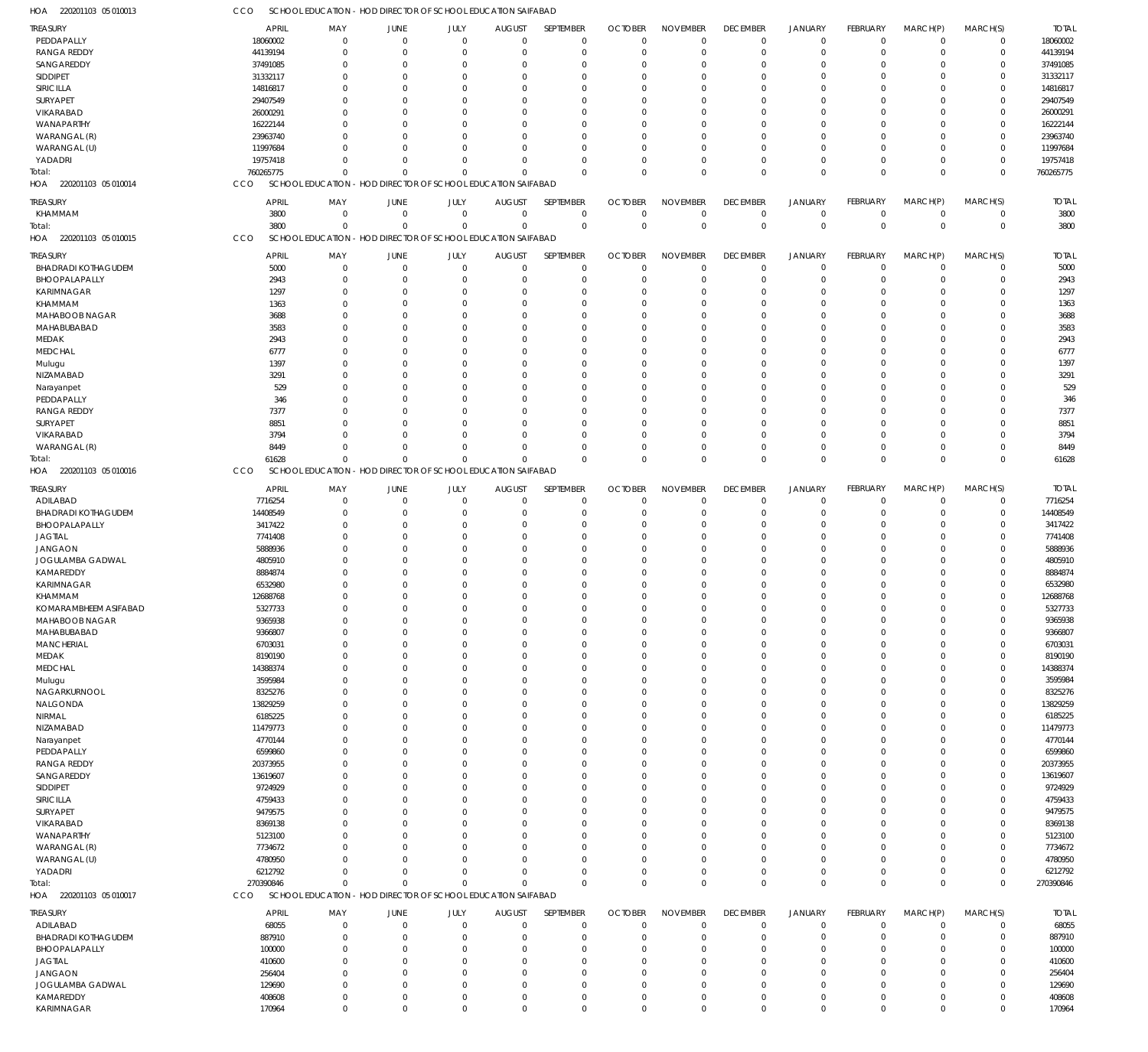| TREASURY                   | <b>APRIL</b> | MAY                                                          | JUNE                                        | JULY           | <b>AUGUST</b> | SEPTEMBER    | <b>OCTOBER</b> | <b>NOVEMBER</b> | <b>DECEMBER</b> | <b>JANUARY</b> | <b>FEBRUARY</b> | MARCH(P)       | MARCH(S)    | <b>TOTAL</b> |
|----------------------------|--------------|--------------------------------------------------------------|---------------------------------------------|----------------|---------------|--------------|----------------|-----------------|-----------------|----------------|-----------------|----------------|-------------|--------------|
| PEDDAPALLY                 | 18060002     | $\mathbf{0}$                                                 | $\mathbf 0$                                 | $\Omega$       | $\mathbf 0$   | $\mathbf 0$  | $\Omega$       | $\Omega$        | $\Omega$        | $\Omega$       | $\Omega$        | $\Omega$       | $\mathbf 0$ | 18060002     |
| <b>RANGA REDDY</b>         | 44139194     | 0                                                            | $\Omega$                                    | $\Omega$       | $\Omega$      | $\Omega$     | $\Omega$       | $\Omega$        | $\Omega$        | $\Omega$       | $\Omega$        | $\Omega$       | $\mathbf 0$ | 44139194     |
| SANGAREDDY                 |              | O                                                            | $\Omega$                                    | $\Omega$       |               | $\Omega$     | $\Omega$       | $\Omega$        | $\Omega$        | $\Omega$       | $\Omega$        | $\Omega$       | $\Omega$    | 37491085     |
|                            | 37491085     |                                                              |                                             |                | 0             |              |                |                 |                 |                |                 |                |             |              |
| SIDDIPET                   | 31332117     | 0                                                            | $\Omega$                                    | $\Omega$       | $\Omega$      | $\Omega$     | -0             | $\Omega$        | $\Omega$        | $\Omega$       | $\Omega$        | $\Omega$       | $\Omega$    | 31332117     |
| SIRICILLA                  | 14816817     |                                                              | C                                           | $\Omega$       | n             | $\Omega$     | -C             | $\Omega$        |                 | $\Omega$       |                 |                | $\Omega$    | 14816817     |
| SURYAPET                   | 29407549     | n                                                            | $\Omega$                                    | $\Omega$       | $\Omega$      | $\Omega$     | -0             | $\Omega$        | $\Omega$        | $\Omega$       | <sup>0</sup>    | $\Omega$       | $\Omega$    | 29407549     |
| VIKARABAD                  | 26000291     |                                                              | C                                           | $\Omega$       | 0             | $\Omega$     | -C             | $\Omega$        |                 | $\Omega$       |                 | $\Omega$       | $\Omega$    | 26000291     |
| WANAPARTHY                 | 16222144     |                                                              | C                                           | $\Omega$       | $\Omega$      | $\Omega$     | -C             | $\Omega$        |                 | $\Omega$       |                 | $\Omega$       | $\Omega$    | 16222144     |
|                            |              |                                                              |                                             |                |               |              |                |                 |                 |                |                 |                |             |              |
| WARANGAL (R)               | 23963740     |                                                              | C                                           | $\Omega$       | n             | $\Omega$     | -C             | $\Omega$        | $\Omega$        | $\Omega$       |                 | $\Omega$       | $\Omega$    | 23963740     |
| WARANGAL (U)               | 11997684     |                                                              | C                                           | $\Omega$       | $\Omega$      | $\Omega$     | $\Omega$       | $\Omega$        | $\Omega$        | $\Omega$       | $\Omega$        | $\Omega$       | $\Omega$    | 11997684     |
| YADADRI                    | 19757418     | 0                                                            | $\Omega$                                    | $\Omega$       | $\Omega$      | $\Omega$     | $\Omega$       | $\Omega$        | $\Omega$        | $\Omega$       | $\Omega$        | $\Omega$       | $\Omega$    | 19757418     |
| Total:                     | 760265775    | $\Omega$                                                     | $\mathsf{C}$                                | $\Omega$       | $\Omega$      | $\Omega$     | $\Omega$       | $\Omega$        | $\Omega$        | $\Omega$       | $\Omega$        | $\Omega$       | $\Omega$    | 760265775    |
|                            | CCO          | SCHOOL EDUCATION - HOD DIRECTOR OF SCHOOL EDUCATION SAIFABAD |                                             |                |               |              |                |                 |                 |                |                 |                |             |              |
| HOA<br>220201103 05 010014 |              |                                                              |                                             |                |               |              |                |                 |                 |                |                 |                |             |              |
| TREASURY                   | <b>APRIL</b> | MAY                                                          | JUNE                                        | JULY           | <b>AUGUST</b> | SEPTEMBER    | <b>OCTOBER</b> | <b>NOVEMBER</b> | <b>DECEMBER</b> | <b>JANUARY</b> | FEBRUARY        | MARCH(P)       | MARCH(S)    | <b>TOTAL</b> |
|                            | 3800         | $\mathbf{0}$                                                 | $\overline{0}$                              | $\mathbf 0$    | $\mathbf 0$   |              | $\mathbf 0$    | $\overline{0}$  |                 | $\mathbf 0$    | $\overline{0}$  | $\overline{0}$ |             |              |
| KHAMMAM                    |              |                                                              |                                             |                |               | $\mathbf 0$  |                |                 | $\mathbf 0$     |                |                 |                | $\mathbf 0$ | 3800         |
| Total:                     | 3800         | $\Omega$                                                     | $\Omega$                                    | $\mathbf 0$    | $\Omega$      | $\mathbf 0$  | $\Omega$       | $\mathbf 0$     | $\Omega$        | $\overline{0}$ | $\overline{0}$  | $\overline{0}$ | $\mathbf 0$ | 3800         |
| HOA 220201103 05 010015    | CCO          | SCHOOL EDUCATION                                             | - HOD DIRECTOR OF SCHOOL EDUCATION SAIFABAD |                |               |              |                |                 |                 |                |                 |                |             |              |
|                            |              |                                                              |                                             |                |               |              |                |                 |                 |                |                 |                |             |              |
| TREASURY                   | <b>APRIL</b> | MAY                                                          | JUNE                                        | JULY           | <b>AUGUST</b> | SEPTEMBER    | <b>OCTOBER</b> | <b>NOVEMBER</b> | <b>DECEMBER</b> | JANUARY        | FEBRUARY        | MARCH(P)       | MARCH(S)    | <b>TOTAL</b> |
| <b>BHADRADI KOTHAGUDEM</b> | 5000         | 0                                                            | $\mathbf 0$                                 | $\overline{0}$ | $\Omega$      | $\mathbf 0$  | $\Omega$       | $\Omega$        | $\Omega$        | $\Omega$       | $\Omega$        | $\Omega$       | 0           | 5000         |
| BHOOPALAPALLY              | 2943         | $\Omega$                                                     | $\Omega$                                    | $\Omega$       | $\Omega$      | $\Omega$     | $\Omega$       | $\Omega$        | $\Omega$        | $\Omega$       | $\Omega$        | $\Omega$       | 0           | 2943         |
| KARIMNAGAR                 | 1297         | 0                                                            | $\Omega$                                    | $\Omega$       | $\Omega$      | $\Omega$     | $\Omega$       | $\Omega$        | $\Omega$        | $\Omega$       | $\Omega$        | $\Omega$       | $\Omega$    | 1297         |
| KHAMMAM                    | 1363         | O                                                            | $\Omega$                                    | $\Omega$       | 0             | $\Omega$     | -C             | $\Omega$        |                 | $\Omega$       |                 |                | $\Omega$    |              |
|                            |              |                                                              |                                             |                |               |              |                |                 |                 |                |                 |                |             | 1363         |
| MAHABOOB NAGAR             | 3688         | O                                                            | $\Omega$                                    | $\Omega$       | $\Omega$      | $\Omega$     | -0             | $\Omega$        | $\Omega$        | $\Omega$       | <sup>0</sup>    | $\Omega$       | $\Omega$    | 3688         |
| MAHABUBABAD                | 3583         |                                                              | C                                           | $\Omega$       | 0             | $\Omega$     | -C             | $\Omega$        |                 | $\Omega$       |                 |                | 0           | 3583         |
| MEDAK                      | 2943         | O                                                            | C                                           | $\Omega$       | $\Omega$      | $\Omega$     | -0             | $\Omega$        |                 | $\Omega$       |                 | $\Omega$       | $\Omega$    | 2943         |
| MEDCHAL                    | 6777         | O                                                            | C                                           | $\Omega$       | 0             | $\Omega$     | -C             | $\Omega$        |                 | $\Omega$       |                 |                | $\Omega$    | 6777         |
|                            |              |                                                              |                                             |                |               |              |                |                 |                 |                |                 |                |             |              |
| Mulugu                     | 1397         | O                                                            | C                                           | $\Omega$       | $\Omega$      | $\Omega$     | -0             | $\Omega$        |                 | $\Omega$       |                 | $\Omega$       | $\Omega$    | 1397         |
| NIZAMABAD                  | 3291         |                                                              | C                                           | $\Omega$       | n             | $\Omega$     | -C             | $\Omega$        |                 | $\Omega$       |                 |                | $\Omega$    | 3291         |
| Narayanpet                 | 529          | O                                                            | C                                           | $\Omega$       | $\Omega$      | $\Omega$     | $\Omega$       | $\Omega$        | $\Omega$        | $\Omega$       | <sup>0</sup>    | $\Omega$       | $\Omega$    | 529          |
| PEDDAPALLY                 | 346          |                                                              | C                                           | $\Omega$       | 0             | $\Omega$     | -C             | $\Omega$        |                 | $\Omega$       |                 |                | $\Omega$    | 346          |
|                            |              |                                                              | C                                           | $\Omega$       | $\Omega$      | $\Omega$     | -C             | $\Omega$        |                 | $\Omega$       |                 | $\Omega$       | $\Omega$    | 7377         |
| <b>RANGA REDDY</b>         | 7377         |                                                              |                                             |                |               |              |                |                 |                 |                |                 |                |             |              |
| SURYAPET                   | 8851         |                                                              | C                                           | $\Omega$       | 0             | $\Omega$     | -C             | $\Omega$        | $\Omega$        | $\Omega$       |                 |                | 0           | 8851         |
| VIKARABAD                  | 3794         |                                                              | C                                           | $\Omega$       | $\Omega$      | $\Omega$     | -0             | $\Omega$        | $\Omega$        | $\Omega$       | $\Omega$        | $\Omega$       | $\Omega$    | 3794         |
| WARANGAL (R)               | 8449         | 0                                                            | $\Omega$                                    | $\Omega$       | $\Omega$      | $\Omega$     | $\Omega$       | $\Omega$        | $\Omega$        | $\Omega$       | $\Omega$        | $\Omega$       | $\Omega$    | 8449         |
| Total:                     | 61628        | $\Omega$                                                     | $\Omega$                                    | $\Omega$       | $\Omega$      | $\Omega$     | $\Omega$       | $\Omega$        | $\Omega$        | $\Omega$       | $\Omega$        | $\Omega$       | $\Omega$    | 61628        |
|                            |              |                                                              |                                             |                |               |              |                |                 |                 |                |                 |                |             |              |
| HOA 220201103 05 010016    | CCO          | SCHOOL EDUCATION - HOD DIRECTOR OF SCHOOL EDUCATION SAIFABAD |                                             |                |               |              |                |                 |                 |                |                 |                |             |              |
| TREASURY                   | <b>APRIL</b> | MAY                                                          | JUNE                                        | <b>JULY</b>    | <b>AUGUST</b> | SEPTEMBER    | <b>OCTOBER</b> | <b>NOVEMBER</b> | <b>DECEMBER</b> | <b>JANUARY</b> | FEBRUARY        | MARCH(P)       | MARCH(S)    | <b>TOTAL</b> |
|                            |              |                                                              | $\overline{0}$                              |                |               |              | $\Omega$       |                 | $\Omega$        |                | $\Omega$        |                |             |              |
| ADILABAD                   | 7716254      | $\mathbf{0}$                                                 |                                             | $\mathbf 0$    | $\mathbf 0$   | $\mathbf 0$  |                | $\overline{0}$  |                 | $\mathbf 0$    |                 | $\Omega$       | $\mathbf 0$ | 7716254      |
| <b>BHADRADI KOTHAGUDEM</b> | 14408549     | $\Omega$                                                     | $\mathbf 0$                                 | $\overline{0}$ | $\Omega$      | $\mathbf 0$  | $\Omega$       | $\Omega$        | $\Omega$        | $\Omega$       | $\Omega$        | $\Omega$       | $\mathbf 0$ | 14408549     |
| BHOOPALAPALLY              | 3417422      | $\Omega$                                                     | $\Omega$                                    | $\Omega$       | $\Omega$      | $\Omega$     | $\Omega$       | $\Omega$        | $\Omega$        | $\Omega$       | $\Omega$        | $\Omega$       | $\Omega$    | 3417422      |
| <b>JAGTIAL</b>             | 7741408      | $\Omega$                                                     | $\Omega$                                    | $\Omega$       | $\Omega$      | $\mathbf 0$  | $\Omega$       | $\Omega$        | $\Omega$        | $\Omega$       | $\Omega$        | $\Omega$       | 0           | 7741408      |
| <b>JANGAON</b>             | 5888936      | 0                                                            | $\Omega$                                    | $\Omega$       | $\Omega$      | $\Omega$     | $\Omega$       | $\Omega$        | $\Omega$        | $\Omega$       | $\Omega$        | $\Omega$       | $\Omega$    | 5888936      |
|                            |              |                                                              |                                             |                |               |              |                |                 |                 |                |                 |                |             |              |
| JOGULAMBA GADWAL           | 4805910      | $\Omega$                                                     | $\Omega$                                    | $\Omega$       | $\Omega$      | $\Omega$     | -0             | $\Omega$        | $\Omega$        | $\Omega$       | $\Omega$        | $\Omega$       | $\Omega$    | 4805910      |
| KAMAREDDY                  | 8884874      | O                                                            | C                                           | $\Omega$       | $\Omega$      | $\Omega$     | $\Omega$       | $\Omega$        |                 | $\Omega$       | $\Omega$        | $\Omega$       | $\Omega$    | 8884874      |
| KARIMNAGAR                 | 6532980      | 0                                                            | C                                           | $\Omega$       | $\Omega$      | $\mathbf 0$  | -0             | $\Omega$        | $\Omega$        | $\Omega$       |                 | $\Omega$       | $\Omega$    | 6532980      |
| KHAMMAM                    | 12688768     | $\Omega$                                                     | C                                           | $\Omega$       | $\Omega$      | $\Omega$     | $\Omega$       | $\Omega$        |                 | $\Omega$       | $\Omega$        | $\Omega$       | $\Omega$    | 12688768     |
| KOMARAMBHEEM ASIFABAD      | 5327733      | $\Omega$                                                     | $\Omega$                                    | $\Omega$       | $\Omega$      | $\mathbf{0}$ | $\Omega$       | $\Omega$        | $\Omega$        | $\Omega$       | $\Omega$        | $\Omega$       | $\Omega$    | 5327733      |
|                            |              |                                                              |                                             |                |               |              |                |                 |                 |                |                 |                |             |              |
| MAHABOOB NAGAR             | 9365938      | $\mathbf{0}$                                                 | $\Omega$                                    | $\Omega$       | $\Omega$      | $\mathbf 0$  | $\Omega$       | $\Omega$        | $\Omega$        | $\Omega$       | $\Omega$        | $\Omega$       | $\mathbf 0$ | 9365938      |
| MAHABUBABAD                | 9366807      | $\Omega$                                                     | $\mathbf 0$                                 | $\Omega$       | $\Omega$      | $\mathbf 0$  | $\Omega$       | $\Omega$        | $\Omega$        | $\Omega$       | $\Omega$        | $\Omega$       | 0           | 9366807      |
| <b>MANCHERIAL</b>          | 6703031      | $\Omega$                                                     | $\Omega$                                    | $\Omega$       | $\Omega$      | $\mathbf 0$  | $\Omega$       | $\Omega$        | $\Omega$        | $\Omega$       | $\Omega$        | $\Omega$       | $\Omega$    | 6703031      |
| MEDAK                      | 8190190      | $\Omega$                                                     | $\Omega$                                    | $\Omega$       | $\Omega$      | $\Omega$     | $\Omega$       | $\Omega$        | $\Omega$        | $\Omega$       | $\Omega$        | $\Omega$       | 0           | 8190190      |
|                            |              | $\Omega$                                                     | $\Omega$                                    | $\Omega$       | $\Omega$      | $\Omega$     | $\Omega$       | $\Omega$        | $\Omega$        | $\Omega$       | $\Omega$        | $\Omega$       | $\Omega$    |              |
| <b>MEDCHAL</b>             | 14388374     |                                                              |                                             |                |               |              |                |                 |                 |                |                 |                |             | 14388374     |
| Mulugu                     | 3595984      | $\Omega$                                                     | $\Omega$                                    | $\Omega$       | $\Omega$      | $\mathbf 0$  | $\Omega$       | $\Omega$        | $\Omega$        | $\Omega$       | $\Omega$        | $\Omega$       | 0           | 3595984      |
| NAGARKURNOOL               | 8325276      | $\Omega$                                                     | $\Omega$                                    | $\Omega$       | $\Omega$      | $\Omega$     | $\Omega$       | $\Omega$        | $\Omega$        | $\Omega$       | $\Omega$        | $\Omega$       | $\Omega$    | 8325276      |
| NALGONDA                   | 13829259     | $\Omega$                                                     | $\Omega$                                    | $\Omega$       | $\Omega$      | $\Omega$     | $\Omega$       | $\Omega$        | $\Omega$        | $\Omega$       | $\Omega$        | $\Omega$       | 0           | 13829259     |
| NIRMAL                     |              |                                                              |                                             |                |               |              |                |                 |                 |                |                 |                |             | 6185225      |
|                            |              |                                                              |                                             |                |               |              |                |                 |                 |                |                 |                |             |              |
| NIZAMABAD                  | 6185225      | $\Omega$                                                     | C                                           | $\Omega$       | $\Omega$      | $\Omega$     | $\Omega$       | $\Omega$        | $\Omega$        | $\Omega$       | $\Omega$        | $\Omega$       | $\Omega$    |              |
|                            | 11479773     | $\Omega$                                                     | $\Omega$                                    | $\Omega$       | $\Omega$      | $\Omega$     | $\Omega$       | $\Omega$        | $\Omega$        | $\Omega$       | $\Omega$        | $\Omega$       | 0           | 11479773     |
| Narayanpet                 | 4770144      | $\Omega$                                                     | $\Omega$                                    | $\Omega$       | $\Omega$      | $\Omega$     | $\Omega$       | $\Omega$        | $\Omega$        | $\Omega$       | $\Omega$        | $\Omega$       | $\Omega$    | 4770144      |
| PEDDAPALLY                 | 6599860      | $\Omega$                                                     | $\Omega$                                    | $\Omega$       | $\Omega$      | $\mathbf 0$  | $\Omega$       | $\Omega$        | $\Omega$        | $\Omega$       | $\Omega$        | $\Omega$       | 0           | 6599860      |
|                            |              | 0                                                            | $\Omega$                                    | $\Omega$       | $\Omega$      | $\Omega$     | $\Omega$       | $\Omega$        | $\Omega$        | $\Omega$       | $\Omega$        | $\Omega$       | $\Omega$    |              |
| <b>RANGA REDDY</b>         | 20373955     |                                                              |                                             |                |               |              |                |                 |                 |                |                 |                |             | 20373955     |
| SANGAREDDY                 | 13619607     | $\Omega$                                                     | $\Omega$                                    | $\Omega$       | $\Omega$      | $\Omega$     | $\Omega$       | $\Omega$        | $\Omega$        | $\Omega$       | $\Omega$        | $\Omega$       | 0           | 13619607     |
| SIDDIPET                   | 9724929      | $\Omega$                                                     | $\Omega$                                    | $\Omega$       | $\Omega$      | $\Omega$     | $\Omega$       | $\Omega$        | $\Omega$        | $\Omega$       | $\Omega$        | $\Omega$       | $\Omega$    | 9724929      |
| SIRICILLA                  | 4759433      | $\Omega$                                                     | $\Omega$                                    | $\Omega$       | $\Omega$      | $\Omega$     | $\Omega$       | $\Omega$        | $\Omega$        | $\Omega$       | $\Omega$        | $\Omega$       | $\Omega$    | 4759433      |
| SURYAPET                   | 9479575      | $\Omega$                                                     | C                                           | $\Omega$       | $\Omega$      | $\Omega$     | $\Omega$       | $\Omega$        | $\Omega$        | $\Omega$       | $\Omega$        | $\Omega$       | $\Omega$    | 9479575      |
| VIKARABAD                  | 8369138      | $\Omega$                                                     | $\Omega$                                    | $\Omega$       | $\Omega$      | $\mathbf 0$  | $\Omega$       | $\Omega$        | $\Omega$        | $\Omega$       | $\Omega$        | $\Omega$       | 0           | 8369138      |
|                            |              |                                                              |                                             |                |               |              |                |                 | $\Omega$        |                |                 |                |             |              |
| WANAPARTHY                 | 5123100      | $\Omega$                                                     | $\Omega$                                    | $\Omega$       | $\Omega$      | $\Omega$     | $\Omega$       | $\Omega$        |                 | $\Omega$       | $\Omega$        | $\Omega$       | $\Omega$    | 5123100      |
| WARANGAL (R)               | 7734672      | $\Omega$                                                     | $\Omega$                                    | $\Omega$       | $\Omega$      | $\Omega$     | -0             | $\Omega$        | $\Omega$        | $\Omega$       | $\Omega$        | $\Omega$       | 0           | 7734672      |
| WARANGAL (U)               | 4780950      | 0                                                            | $\Omega$                                    | $\Omega$       | $\Omega$      | $\Omega$     | $\Omega$       | $\Omega$        | $\Omega$        | $\Omega$       | $\Omega$        | $\Omega$       | $\Omega$    | 4780950      |
| YADADRI                    | 6212792      | $\Omega$                                                     | $\Omega$                                    | $\mathbf 0$    | $\Omega$      | $\mathbf 0$  | $\Omega$       | $\mathbf{0}$    | $\Omega$        | $\Omega$       | $\Omega$        | $\Omega$       | 0           | 6212792      |
|                            |              | $\Omega$                                                     | $\Omega$                                    | $\Omega$       | $\Omega$      | $\Omega$     | $\Omega$       | $\Omega$        | $\Omega$        | $\mathbf 0$    | $\Omega$        | $\mathbf{0}$   | $\Omega$    |              |
| Total:                     | 270390846    |                                                              |                                             |                |               |              |                |                 |                 |                |                 |                |             | 270390846    |
| HOA 220201103 05 010017    | <b>CCO</b>   | SCHOOL EDUCATION - HOD DIRECTOR OF SCHOOL EDUCATION SAIFABAD |                                             |                |               |              |                |                 |                 |                |                 |                |             |              |
|                            |              |                                                              |                                             |                |               |              |                |                 |                 |                |                 |                |             |              |
| TREASURY                   | <b>APRIL</b> | MAY                                                          | JUNE                                        | JULY           | <b>AUGUST</b> | SEPTEMBER    | <b>OCTOBER</b> | <b>NOVEMBER</b> | <b>DECEMBER</b> | <b>JANUARY</b> | FEBRUARY        | MARCH(P)       | MARCH(S)    | <b>TOTAL</b> |
| ADILABAD                   | 68055        | 0                                                            | $\mathbf 0$                                 | $\mathbf 0$    | 0             | $\mathbf 0$  | $\Omega$       | $\Omega$        | $\Omega$        | $\Omega$       | $\Omega$        | $\Omega$       | 0           | 68055        |
| <b>BHADRADI KOTHAGUDEM</b> | 887910       | $\Omega$                                                     | $\Omega$                                    | $\Omega$       | $\Omega$      | $\Omega$     | $\Omega$       | $\Omega$        | $\Omega$        | $\Omega$       | $\Omega$        | $\Omega$       | 0           | 887910       |
| BHOOPALAPALLY              | 100000       | $\Omega$                                                     | $\Omega$                                    | $\Omega$       | 0             | $\Omega$     | $\Omega$       | $\Omega$        | $\Omega$        | $\Omega$       | $\Omega$        | $\Omega$       | $\Omega$    | 100000       |
|                            |              | 0                                                            | $\Omega$                                    | $\Omega$       | $\Omega$      | $\Omega$     | $\Omega$       | $\Omega$        | $\Omega$        | $\Omega$       | $\Omega$        | $\Omega$       | 0           |              |
| <b>JAGTIAL</b>             | 410600       |                                                              |                                             |                |               |              |                |                 |                 |                |                 |                |             | 410600       |
| <b>JANGAON</b>             | 256404       | 0                                                            | $\Omega$                                    | $\Omega$       | 0             | $\Omega$     | $\Omega$       | $\Omega$        | $\Omega$        | $\Omega$       | $\Omega$        | $\Omega$       | $\Omega$    | 256404       |
| JOGULAMBA GADWAL           | 129690       | $\Omega$                                                     | $\Omega$                                    | $\Omega$       | $\Omega$      | $\Omega$     | $\Omega$       | $\mathbf{0}$    | $\Omega$        | $\Omega$       | $\Omega$        | $\Omega$       | $\Omega$    | 129690       |
| KAMAREDDY                  | 408608       | $\mathbf{0}$                                                 | $\mathbf 0$                                 | $\mathbf 0$    | 0             | $\mathbf 0$  | $\Omega$       | $\mathbf 0$     | $\Omega$        | $\mathbf 0$    | $\mathbf 0$     | $\mathbf 0$    | 0           | 408608       |

CCO SCHOOL EDUCATION - HOD DIRECTOR OF SCHOOL EDUCATION SAIFABAD

220201103 05 010013 HOA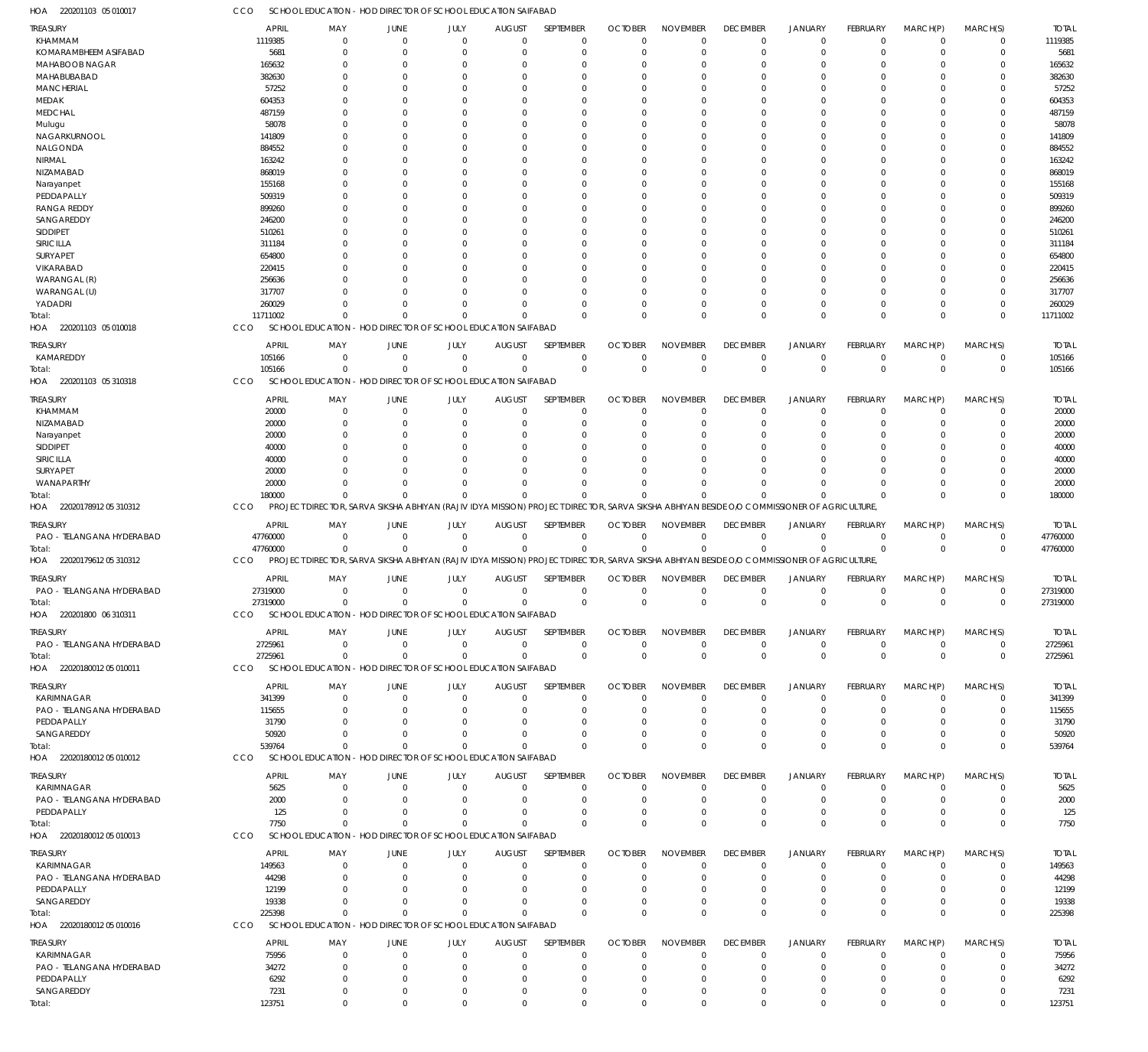220201103 05 010017 HOA CCO SCHOOL EDUCATION - HOD DIRECTOR OF SCHOOL EDUCATION SAIFABAD

| TREASURY                     | <b>APRIL</b>   | MAY                        | <b>JUNE</b>    | JULY                 | <b>AUGUST</b>                                                | SEPTEMBER               | <b>OCTOBER</b>                                                                                                                             | <b>NOVEMBER</b>            | <b>DECEMBER</b>            | <b>JANUARY</b>                | FEBRUARY       | MARCH(P)                      | MARCH(S)                   | <b>TOTAL</b>   |
|------------------------------|----------------|----------------------------|----------------|----------------------|--------------------------------------------------------------|-------------------------|--------------------------------------------------------------------------------------------------------------------------------------------|----------------------------|----------------------------|-------------------------------|----------------|-------------------------------|----------------------------|----------------|
| KHAMMAM                      | 1119385        | $\mathbf 0$                | $\overline{0}$ | $\Omega$             | $\Omega$                                                     | $\Omega$                | $\Omega$                                                                                                                                   | $\Omega$                   | $\mathbf 0$                | $\mathbf 0$                   | $\mathbf 0$    | $\overline{0}$                | $\mathbf 0$                | 1119385        |
| KOMARAMBHEEM ASIFABAD        | 5681           | $\Omega$                   | $\Omega$       | $\Omega$             |                                                              | $\Omega$                | $\Omega$                                                                                                                                   | $\Omega$                   | $\mathbf 0$                | $\overline{0}$                | $\Omega$       | $\Omega$                      | $\mathbf 0$                | 5681           |
| MAHABOOB NAGAR               |                | $\Omega$                   | -C             | $\Omega$             |                                                              | $\Omega$                |                                                                                                                                            | $\Omega$                   |                            | $\Omega$                      | $\Omega$       | $\Omega$                      | $\Omega$                   |                |
|                              | 165632         |                            |                |                      |                                                              |                         |                                                                                                                                            |                            | $^{\circ}$                 |                               |                |                               |                            | 165632         |
| MAHABUBABAD                  | 382630         | $\Omega$                   | 0              | $\Omega$             |                                                              | $\Omega$                | $\Omega$                                                                                                                                   | $\Omega$                   | $\Omega$                   | $\Omega$                      | $\Omega$       | $\Omega$                      | 0                          | 382630         |
| <b>MANCHERIAL</b>            | 57252          | $\Omega$                   | -C             | $\Omega$             |                                                              | $\Omega$                |                                                                                                                                            | $\Omega$                   | $\Omega$                   | $\Omega$                      |                | $\Omega$                      | 0                          | 57252          |
| MEDAK                        | 604353         | $\Omega$                   | -C             | $\Omega$             |                                                              | $\Omega$                | $\Omega$                                                                                                                                   | $\Omega$                   | $\Omega$                   | $\Omega$                      |                | $\Omega$                      | 0                          | 604353         |
| <b>MEDCHAL</b>               | 487159         | $\Omega$                   | -C             | $\Omega$             |                                                              | $\Omega$                |                                                                                                                                            | $\Omega$                   | $\Omega$                   | $\Omega$                      |                | $\Omega$                      | 0                          | 487159         |
|                              |                | $\Omega$                   | $\Omega$       | $\Omega$             |                                                              | $\cap$                  | $\Omega$                                                                                                                                   | $\Omega$                   | $\Omega$                   | $\Omega$                      | $\Omega$       | $\Omega$                      | $\Omega$                   | 58078          |
| Mulugu                       | 58078          |                            |                |                      |                                                              |                         |                                                                                                                                            |                            |                            |                               |                |                               |                            |                |
| NAGARKURNOOL                 | 141809         | $\Omega$                   | -C             | $\Omega$             |                                                              | $\Omega$                |                                                                                                                                            | $\Omega$                   | $\Omega$                   | $\Omega$                      |                | $\Omega$                      | 0                          | 141809         |
| NALGONDA                     | 884552         | $\Omega$                   | -C             | $\Omega$             |                                                              | $\Omega$                | $\Omega$                                                                                                                                   | $\Omega$                   | $\Omega$                   | $\Omega$                      | $\Omega$       | $\Omega$                      | 0                          | 884552         |
| NIRMAL                       | 163242         | $\Omega$                   | -C             | $\Omega$             |                                                              | $\Omega$                |                                                                                                                                            | $\Omega$                   | $\Omega$                   | $\Omega$                      |                | $\Omega$                      | 0                          | 163242         |
| NIZAMABAD                    | 868019         | $\Omega$                   | -C             | $\Omega$             |                                                              | $\Omega$                | $\Omega$                                                                                                                                   | $\Omega$                   | $\Omega$                   | $\Omega$                      |                | $\Omega$                      | 0                          | 868019         |
|                              |                |                            |                |                      |                                                              |                         |                                                                                                                                            |                            |                            |                               |                |                               |                            |                |
| Narayanpet                   | 155168         | $\Omega$                   | -C             | $\Omega$             |                                                              | $\Omega$                |                                                                                                                                            | $\Omega$                   | $\Omega$                   | $\Omega$                      |                | $\Omega$                      | 0                          | 155168         |
| PEDDAPALLY                   | 509319         | $\Omega$                   | -C             | $\cap$               |                                                              | $\Omega$                | $\Omega$                                                                                                                                   | $\Omega$                   | $\Omega$                   | $\Omega$                      | U              | $\Omega$                      | $\Omega$                   | 509319         |
| <b>RANGA REDDY</b>           | 899260         | $\Omega$                   |                | $\Omega$             |                                                              | $\Omega$                |                                                                                                                                            | $\Omega$                   | $\Omega$                   | $\Omega$                      |                | $\Omega$                      | 0                          | 899260         |
| SANGAREDDY                   | 246200         | $\Omega$                   | -C             | $\Omega$             |                                                              | $\cap$                  | $\Omega$                                                                                                                                   | $\Omega$                   | $\Omega$                   | $\Omega$                      | $\Omega$       | $\Omega$                      | 0                          | 246200         |
|                              |                | $\Omega$                   | -C             | $\cap$               |                                                              | $\Omega$                |                                                                                                                                            | $\Omega$                   | $\Omega$                   | $\Omega$                      |                | $\Omega$                      | 0                          |                |
| SIDDIPET                     | 510261         |                            |                |                      |                                                              |                         |                                                                                                                                            |                            |                            |                               |                |                               |                            | 510261         |
| SIRICILLA                    | 311184         | $\Omega$                   | -C             | $\Omega$             |                                                              | $\Omega$                | $\Omega$                                                                                                                                   | $\Omega$                   | $\Omega$                   | $\Omega$                      |                | $\Omega$                      | 0                          | 311184         |
| SURYAPET                     | 654800         | $\Omega$                   | -C             | $\Omega$             |                                                              | $\Omega$                |                                                                                                                                            | $\Omega$                   | $\Omega$                   | $\Omega$                      |                | $\Omega$                      | 0                          | 654800         |
| VIKARABAD                    | 220415         | $\Omega$                   | -C             | $\Omega$             |                                                              | $\cap$                  | $\Omega$                                                                                                                                   | $\Omega$                   | $\Omega$                   | $\Omega$                      | U              | $\Omega$                      | 0                          | 220415         |
| WARANGAL (R)                 | 256636         | $\Omega$                   |                | $\Omega$             |                                                              | $\Omega$                |                                                                                                                                            | $\Omega$                   | $\Omega$                   | $\Omega$                      |                | $\Omega$                      | 0                          | 256636         |
|                              |                |                            |                |                      |                                                              |                         |                                                                                                                                            |                            |                            |                               |                |                               |                            |                |
| WARANGAL (U)                 | 317707         | $\Omega$                   | $\Omega$       | $\Omega$             |                                                              | $\cap$                  | $\Omega$                                                                                                                                   | $\Omega$                   | $\Omega$                   | $\Omega$                      | $\Omega$       | $\Omega$                      | $\Omega$                   | 317707         |
| YADADRI                      | 260029         | $\Omega$                   | $\Omega$       | $\Omega$             |                                                              | $\Omega$                |                                                                                                                                            | $\Omega$                   | $\Omega$                   | $\Omega$                      | $\Omega$       | $\Omega$                      | $\mathbf 0$                | 260029         |
| Total:                       | 11711002       | $\Omega$                   | $\Omega$       | $\Omega$             | $\Omega$                                                     | $\Omega$                | $\Omega$                                                                                                                                   | $\Omega$                   | $\Omega$                   | $\Omega$                      | $\Omega$       | $\Omega$                      | $\Omega$                   | 11711002       |
| 220201103 05 010018<br>HOA   | CCO            | SCHOOL EDUCATION           |                |                      | - HOD DIRECTOR OF SCHOOL EDUCATION SAIFABAD                  |                         |                                                                                                                                            |                            |                            |                               |                |                               |                            |                |
|                              |                |                            |                |                      |                                                              |                         |                                                                                                                                            |                            |                            |                               |                |                               |                            |                |
| TREASURY                     | <b>APRIL</b>   | MAY                        | <b>JUNE</b>    | JULY                 | <b>AUGUST</b>                                                | SEPTEMBER               | <b>OCTOBER</b>                                                                                                                             | <b>NOVEMBER</b>            | <b>DECEMBER</b>            | <b>JANUARY</b>                | FEBRUARY       | MARCH(P)                      | MARCH(S)                   | <b>TOTAL</b>   |
| KAMAREDDY                    | 105166         | $\mathbf 0$                | $\Omega$       | $\mathbf 0$          | $\Omega$                                                     | $\Omega$                | $\Omega$                                                                                                                                   | $\overline{0}$             | $\mathbf 0$                | $\mathbf 0$                   | $\mathbf 0$    | $\overline{0}$                | $\mathbf 0$                | 105166         |
|                              |                |                            |                |                      |                                                              |                         |                                                                                                                                            |                            |                            |                               |                |                               |                            |                |
| Total:                       | 105166         | $\Omega$                   | -C             | $\Omega$             |                                                              | $\Omega$                | $\Omega$                                                                                                                                   | $\Omega$                   | $\mathbf 0$                | $\overline{0}$                | $\Omega$       | $\Omega$                      | $\mathbf 0$                | 105166         |
| 220201103 05 310318<br>HOA   | CCO            | <b>SCHOOL EDUCATION</b>    |                |                      | HOD DIRECTOR OF SCHOOL EDUCATION SAIFABAD                    |                         |                                                                                                                                            |                            |                            |                               |                |                               |                            |                |
|                              |                |                            |                |                      |                                                              |                         |                                                                                                                                            |                            |                            |                               |                |                               |                            |                |
| TREASURY                     | <b>APRIL</b>   | MAY                        | JUNE           | JULY                 | <b>AUGUST</b>                                                | SEPTEMBER               | <b>OCTOBER</b>                                                                                                                             | <b>NOVEMBER</b>            | <b>DECEMBER</b>            | <b>JANUARY</b>                | FEBRUARY       | MARCH(P)                      | MARCH(S)                   | <b>TOTAL</b>   |
| KHAMMAM                      | 20000          | $\mathbf 0$                | $\Omega$       | $\Omega$             | $\Omega$                                                     | $\Omega$                | $\Omega$                                                                                                                                   | $\Omega$                   | $\overline{0}$             | $\overline{0}$                | $\mathbf 0$    | $\overline{0}$                | $\mathbf 0$                | 20000          |
| NIZAMABAD                    | 20000          | $\mathbf 0$                | 0              | $\Omega$             |                                                              | $\Omega$                | $\Omega$                                                                                                                                   | $\Omega$                   | $\mathbf 0$                | $\overline{0}$                | $\Omega$       | $\Omega$                      | $\mathbf 0$                | 20000          |
| Narayanpet                   | 20000          | $\Omega$                   | $\Omega$       | $\Omega$             |                                                              | $\Omega$                | $\Omega$                                                                                                                                   | $\Omega$                   | $\Omega$                   | $\Omega$                      | $\Omega$       | $\Omega$                      | $\Omega$                   | 20000          |
|                              |                |                            |                |                      |                                                              |                         |                                                                                                                                            |                            |                            |                               |                |                               |                            |                |
| <b>SIDDIPET</b>              | 40000          | $\Omega$                   | -C             | $\Omega$             |                                                              | $\Omega$                |                                                                                                                                            | $\Omega$                   | $\Omega$                   | $\Omega$                      |                | $\Omega$                      | 0                          | 40000          |
| SIRICILLA                    | 40000          | $\Omega$                   | $\Omega$       | $\Omega$             |                                                              | $\Omega$                | $\Omega$                                                                                                                                   | $\Omega$                   | $\Omega$                   | $\Omega$                      | $\Omega$       | $\Omega$                      | $\Omega$                   | 40000          |
| SURYAPET                     | 20000          | $\Omega$                   | -C             | $\Omega$             |                                                              | $\Omega$                |                                                                                                                                            | $\Omega$                   | $\Omega$                   | $\Omega$                      | $\Omega$       | $\Omega$                      | $\mathbf 0$                | 20000          |
| WANAPARTHY                   | 20000          | $\Omega$                   | $\Omega$       | $\Omega$             |                                                              | $\Omega$                | $\Omega$                                                                                                                                   | $\Omega$                   | $\Omega$                   | $\Omega$                      | $\Omega$       | $\Omega$                      | $\mathbf 0$                | 20000          |
|                              |                | $\Omega$                   | $\Omega$       | $\Omega$             | $\Omega$                                                     | $\Omega$                | $\Omega$                                                                                                                                   | $\Omega$                   | $\Omega$                   | $\Omega$                      | $\Omega$       | $\Omega$                      | $\mathbf 0$                |                |
| Total:                       | 180000         |                            |                |                      |                                                              |                         |                                                                                                                                            |                            |                            |                               |                |                               |                            | 180000         |
| HOA 22020178912 05 310312    | CCO            |                            |                |                      |                                                              |                         | PROJECT DIRECTOR, SARVA SIKSHA ABHIYAN (RAJIV IDYA MISSION) PROJECT DIRECTOR, SARVA SIKSHA ABHIYAN BESIDE OIO COMMISSIONER OF AGRICULTURE, |                            |                            |                               |                |                               |                            |                |
|                              |                |                            |                |                      |                                                              |                         |                                                                                                                                            |                            |                            |                               |                |                               |                            |                |
| TREASURY                     | <b>APRIL</b>   | MAY                        | JUNE           | JULY                 | <b>AUGUST</b>                                                | SEPTEMBER               | <b>OCTOBER</b>                                                                                                                             | <b>NOVEMBER</b>            | <b>DECEMBER</b>            | <b>JANUARY</b>                | FEBRUARY       | MARCH(P)                      | MARCH(S)                   | <b>TOTAL</b>   |
| PAO - TELANGANA HYDERABAD    | 47760000       | $\mathbf 0$                | $\Omega$       | $\mathbf 0$          | $\Omega$                                                     | $\mathbf 0$             | $^{\circ}$                                                                                                                                 | $\overline{0}$             | $\mathbf 0$                | $\overline{0}$                | $\mathbf 0$    | $^{\circ}$                    | $\mathbf 0$                | 47760000       |
| Total:                       | 47760000       | $\mathbf 0$                | $\Omega$       | $\Omega$             | $\Omega$                                                     | $\mathbf 0$             | $\overline{0}$                                                                                                                             | $\mathbf 0$                | $\mathbf 0$                | $\overline{0}$                | $\mathbf 0$    | $\Omega$                      | $\mathbf 0$                | 47760000       |
| 22020179612 05 310312<br>HOA | CCO            |                            |                |                      |                                                              |                         | PROJECT DIRECTOR, SARVA SIKSHA ABHIYAN (RAJIV IDYA MISSION) PROJECT DIRECTOR, SARVA SIKSHA ABHIYAN BESIDE OIO COMMISSIONER OF AGRICULTURE, |                            |                            |                               |                |                               |                            |                |
|                              |                |                            |                |                      |                                                              |                         |                                                                                                                                            |                            |                            |                               |                |                               |                            |                |
| TREASURY                     | <b>APRIL</b>   | MAY                        | <b>JUNE</b>    | JULY                 | <b>AUGUST</b>                                                | SEPTEMBER               | <b>OCTOBER</b>                                                                                                                             | <b>NOVEMBER</b>            | <b>DECEMBER</b>            | <b>JANUARY</b>                | FEBRUARY       | MARCH(P)                      | MARCH(S)                   | <b>TOTAL</b>   |
| PAO - TELANGANA HYDERABAD    | 27319000       | $\mathbf 0$                | $\Omega$       | $\Omega$             | $\Omega$                                                     |                         |                                                                                                                                            | $\overline{0}$             | $\overline{0}$             | $\overline{0}$                | $\mathbf 0$    |                               |                            | 27319000       |
|                              |                |                            |                |                      |                                                              |                         |                                                                                                                                            |                            |                            |                               |                |                               |                            |                |
| Total:                       | 27319000       |                            |                |                      |                                                              | $\Omega$                | $\Omega$                                                                                                                                   |                            |                            |                               |                | $\overline{0}$                | $^{\circ}$                 |                |
| 220201800 06 310311<br>HOA   |                | $\mathbf 0$                | $\mathbf 0$    | $\Omega$             | $\Omega$                                                     | $\Omega$                | $\Omega$                                                                                                                                   | $\Omega$                   | $\mathbf 0$                | $\Omega$                      | $\Omega$       | $\Omega$                      | $\Omega$                   | 27319000       |
|                              | CCO            | SCHOOL EDUCATION           |                |                      | - HOD DIRECTOR OF SCHOOL EDUCATION SAIFABAD                  |                         |                                                                                                                                            |                            |                            |                               |                |                               |                            |                |
| TREASURY                     |                |                            |                |                      |                                                              |                         |                                                                                                                                            |                            |                            |                               |                |                               |                            |                |
|                              | <b>APRIL</b>   | MAY                        | <b>JUNE</b>    | JULY                 | <b>AUGUST</b>                                                | SEPTEMBER               | <b>OCTOBER</b>                                                                                                                             | <b>NOVEMBER</b>            | <b>DECEMBER</b>            | <b>JANUARY</b>                | FEBRUARY       | MARCH(P)                      | MARCH(S)                   | <b>TOTAL</b>   |
| PAO - TELANGANA HYDERABAD    | 2725961        | $\mathbf 0$                | $\mathbf 0$    | $\mathbf 0$          | $\Omega$                                                     | $\mathbf 0$             | $\mathbf 0$                                                                                                                                | $\overline{0}$             | 0                          | $\mathbf 0$                   | $\mathbf 0$    | $\overline{0}$                | $\mathbf 0$                | 2725961        |
|                              |                |                            | $\Omega$       | $\Omega$             | $\Omega$                                                     | $\Omega$                | $\overline{0}$                                                                                                                             |                            |                            |                               | $\overline{0}$ | $\Omega$                      | $\mathbf 0$                |                |
| Total:                       | 2725961        | $\mathbf 0$                |                |                      |                                                              |                         |                                                                                                                                            | $\mathbf 0$                | $\mathbf 0$                | $\mathbf 0$                   |                |                               |                            | 2725961        |
| HOA 22020180012 05 010011    | CCO            |                            |                |                      | SCHOOL EDUCATION - HOD DIRECTOR OF SCHOOL EDUCATION SAIFABAD |                         |                                                                                                                                            |                            |                            |                               |                |                               |                            |                |
|                              |                |                            |                |                      |                                                              |                         |                                                                                                                                            |                            |                            |                               |                |                               |                            |                |
| <b>TREASURY</b>              | <b>APRIL</b>   | MAY                        | <b>JUNE</b>    | JULY                 | <b>AUGUST</b><br>$\Omega$                                    | SEPTEMBER               | <b>OCTOBER</b>                                                                                                                             | <b>NOVEMBER</b>            | <b>DECEMBER</b>            | <b>JANUARY</b>                | FEBRUARY       | MARCH(P)                      | MARCH(S)                   | <b>TOTAL</b>   |
| <b>KARIMNAGAR</b>            | 341399         | $^{\circ}$                 | $\Omega$       | $\Omega$             |                                                              | $\Omega$                | $\Omega$                                                                                                                                   | $\Omega$                   | $\mathbf 0$                | $\overline{0}$                | $\mathbf 0$    | $\overline{0}$                | $\mathbf 0$                | 341399         |
| PAO - TELANGANA HYDERABAD    | 115655         | $\mathbf 0$                | $\Omega$       | $\Omega$             | $\Omega$                                                     | 0                       | $\Omega$                                                                                                                                   | $\Omega$                   | $\mathbf 0$                | $\overline{0}$                | $\Omega$       | $\Omega$                      | $\mathbf 0$                | 115655         |
| PEDDAPALLY                   | 31790          | $\Omega$                   | $\Omega$       | $\Omega$             |                                                              | $\Omega$                | $\Omega$                                                                                                                                   | $\Omega$                   | $\Omega$                   | $\Omega$                      | $\Omega$       | $\Omega$                      | $\Omega$                   | 31790          |
| SANGAREDDY                   | 50920          | $\Omega$                   | $\Omega$       | $\Omega$             | $\Omega$                                                     | $\Omega$                | $\Omega$                                                                                                                                   | $\Omega$                   | $\mathbf 0$                | $\overline{0}$                | $\Omega$       | $\mathbf 0$                   | $\mathbf 0$                | 50920          |
|                              |                | $\Omega$                   | $\Omega$       | $\Omega$             | $\Omega$                                                     | $\Omega$                | $\Omega$                                                                                                                                   | $\Omega$                   |                            |                               | $\Omega$       | $\Omega$                      |                            |                |
| Total:                       | 539764         |                            |                |                      |                                                              |                         |                                                                                                                                            |                            | $\mathbf 0$                | $\overline{0}$                |                |                               | $\mathbf 0$                | 539764         |
| HOA 22020180012 05 010012    | CCO            |                            |                |                      | SCHOOL EDUCATION - HOD DIRECTOR OF SCHOOL EDUCATION SAIFABAD |                         |                                                                                                                                            |                            |                            |                               |                |                               |                            |                |
|                              |                |                            |                |                      |                                                              |                         |                                                                                                                                            |                            |                            |                               |                |                               |                            |                |
| TREASURY                     | <b>APRIL</b>   | MAY                        | <b>JUNE</b>    | JULY                 | <b>AUGUST</b>                                                | SEPTEMBER               | <b>OCTOBER</b>                                                                                                                             | <b>NOVEMBER</b>            | <b>DECEMBER</b>            | <b>JANUARY</b>                | FEBRUARY       | MARCH(P)                      | MARCH(S)                   | <b>TOTAL</b>   |
| KARIMNAGAR                   | 5625           | $\mathbf 0$                | $\Omega$       | $\Omega$             | $\Omega$                                                     | $\Omega$                | $\Omega$                                                                                                                                   | $^{\circ}$                 | $\overline{0}$             | $\overline{0}$                | $\mathbf 0$    | $\overline{0}$                | $\mathbf 0$                | 5625           |
| PAO - TELANGANA HYDERABAD    | 2000           | $\mathbf 0$                | 0              | $\Omega$             |                                                              | $\Omega$                | $\Omega$                                                                                                                                   | $\overline{0}$             | $\mathbf 0$                | $\overline{0}$                | 0              | 0                             | $\mathbf 0$                | 2000           |
| PEDDAPALLY                   | 125            | $\mathbf 0$                | $\Omega$       | $\Omega$             |                                                              | $\Omega$                |                                                                                                                                            | $\overline{0}$             | $\mathbf 0$                | $\overline{0}$                | 0              | $\Omega$                      | $\mathbf 0$                | 125            |
|                              |                | $\Omega$                   | $\cap$         | $\Omega$             |                                                              | $\Omega$                | $\Omega$                                                                                                                                   | $\Omega$                   |                            |                               | $\Omega$       | $\Omega$                      | $\mathbf 0$                |                |
| Total:                       | 7750           |                            |                |                      |                                                              |                         |                                                                                                                                            |                            | $\mathbf 0$                | $\mathbf 0$                   |                |                               |                            | 7750           |
| HOA 22020180012 05 010013    | CCO            | SCHOOL EDUCATION           |                |                      | - HOD DIRECTOR OF SCHOOL EDUCATION SAIFABAD                  |                         |                                                                                                                                            |                            |                            |                               |                |                               |                            |                |
|                              |                |                            |                |                      |                                                              |                         |                                                                                                                                            |                            |                            |                               |                |                               |                            |                |
| TREASURY                     | <b>APRIL</b>   | MAY                        | <b>JUNE</b>    | JULY                 | <b>AUGUST</b>                                                | SEPTEMBER               | <b>OCTOBER</b>                                                                                                                             | <b>NOVEMBER</b>            | <b>DECEMBER</b>            | JANUARY                       | FEBRUARY       | MARCH(P)                      | MARCH(S)                   | <b>TOTAL</b>   |
| <b>KARIMNAGAR</b>            | 149563         | $\mathbf 0$                | $\Omega$       | $\Omega$             | $\Omega$                                                     | $\Omega$                | $\Omega$                                                                                                                                   | $\Omega$                   | $\mathbf 0$                | $\overline{0}$                | $\mathbf 0$    | $\Omega$                      | $\mathbf 0$                | 149563         |
| PAO - TELANGANA HYDERABAD    | 44298          | $\mathbf 0$                | 0              | $\Omega$             |                                                              | $\Omega$                | $\Omega$                                                                                                                                   | $\overline{0}$             | $\mathbf 0$                | $\overline{0}$                | $\Omega$       | $\Omega$                      | $\mathbf 0$                | 44298          |
| PEDDAPALLY                   | 12199          | $\Omega$                   | $\Omega$       | $\Omega$             |                                                              | $\Omega$                | $\Omega$                                                                                                                                   | $\Omega$                   | $\mathbf 0$                | $\Omega$                      | $\Omega$       | $\Omega$                      | $\Omega$                   | 12199          |
|                              |                |                            | $\Omega$       | $\Omega$             | $\Omega$                                                     | $\Omega$                | $\Omega$                                                                                                                                   |                            |                            |                               | $\Omega$       |                               |                            |                |
| SANGAREDDY                   | 19338          | $\mathbf 0$                |                |                      |                                                              |                         |                                                                                                                                            | $\overline{0}$             | $\mathbf 0$                | $\overline{0}$                |                | $\mathbf 0$                   | $\mathbf 0$                | 19338          |
| Total:                       | 225398         | $\Omega$                   | $\Omega$       | $\Omega$             | $\Omega$                                                     | $\Omega$                | $\Omega$                                                                                                                                   | $\mathbf{0}$               | $\Omega$                   | $\overline{0}$                | $\Omega$       | $\Omega$                      | $\mathbf 0$                | 225398         |
| HOA 22020180012 05 010016    | CCO            |                            |                |                      | SCHOOL EDUCATION - HOD DIRECTOR OF SCHOOL EDUCATION SAIFABAD |                         |                                                                                                                                            |                            |                            |                               |                |                               |                            |                |
|                              |                |                            |                |                      |                                                              |                         |                                                                                                                                            |                            |                            |                               |                |                               |                            |                |
| <b>TREASURY</b>              | APRIL          | MAY                        | <b>JUNE</b>    | JULY                 | <b>AUGUST</b>                                                | SEPTEMBER               | <b>OCTOBER</b>                                                                                                                             | <b>NOVEMBER</b>            | <b>DECEMBER</b>            | <b>JANUARY</b>                | FEBRUARY       | MARCH(P)                      | MARCH(S)                   | <b>TOTAL</b>   |
| <b>KARIMNAGAR</b>            | 75956          | $\mathbf 0$                | $\Omega$       | $\Omega$             | $\Omega$                                                     | $\Omega$                | $\Omega$                                                                                                                                   | $\Omega$                   | $\overline{0}$             | $\overline{0}$                | $\mathbf 0$    | $\overline{0}$                | $\mathbf 0$                | 75956          |
| PAO - TELANGANA HYDERABAD    | 34272          | $\mathbf 0$                | 0              | $\Omega$             |                                                              | $\Omega$                | $\Omega$                                                                                                                                   | $^{\circ}$                 | $\mathbf 0$                | $\overline{0}$                | 0              | $\Omega$                      | $\mathbf 0$                | 34272          |
|                              |                | $\mathbf 0$                | 0              | $\Omega$             |                                                              | $\Omega$                |                                                                                                                                            | $\overline{0}$             | $\mathbf 0$                | $\Omega$                      | $\Omega$       | $\Omega$                      | $\Omega$                   |                |
| PEDDAPALLY                   | 6292           |                            |                |                      |                                                              |                         |                                                                                                                                            |                            |                            |                               |                |                               |                            | 6292           |
| SANGAREDDY<br>Total:         | 7231<br>123751 | $\mathbf 0$<br>$\mathbf 0$ | 0<br>$\Omega$  | $\Omega$<br>$\Omega$ | $\Omega$<br>$\Omega$                                         | $\Omega$<br>$\mathbf 0$ | $\Omega$<br>$\overline{0}$                                                                                                                 | $\mathbf 0$<br>$\mathbf 0$ | $\mathbf 0$<br>$\mathbf 0$ | $\overline{0}$<br>$\mathbf 0$ | 0<br>$\Omega$  | $\overline{0}$<br>$\mathbf 0$ | $\mathbf 0$<br>$\mathbf 0$ | 7231<br>123751 |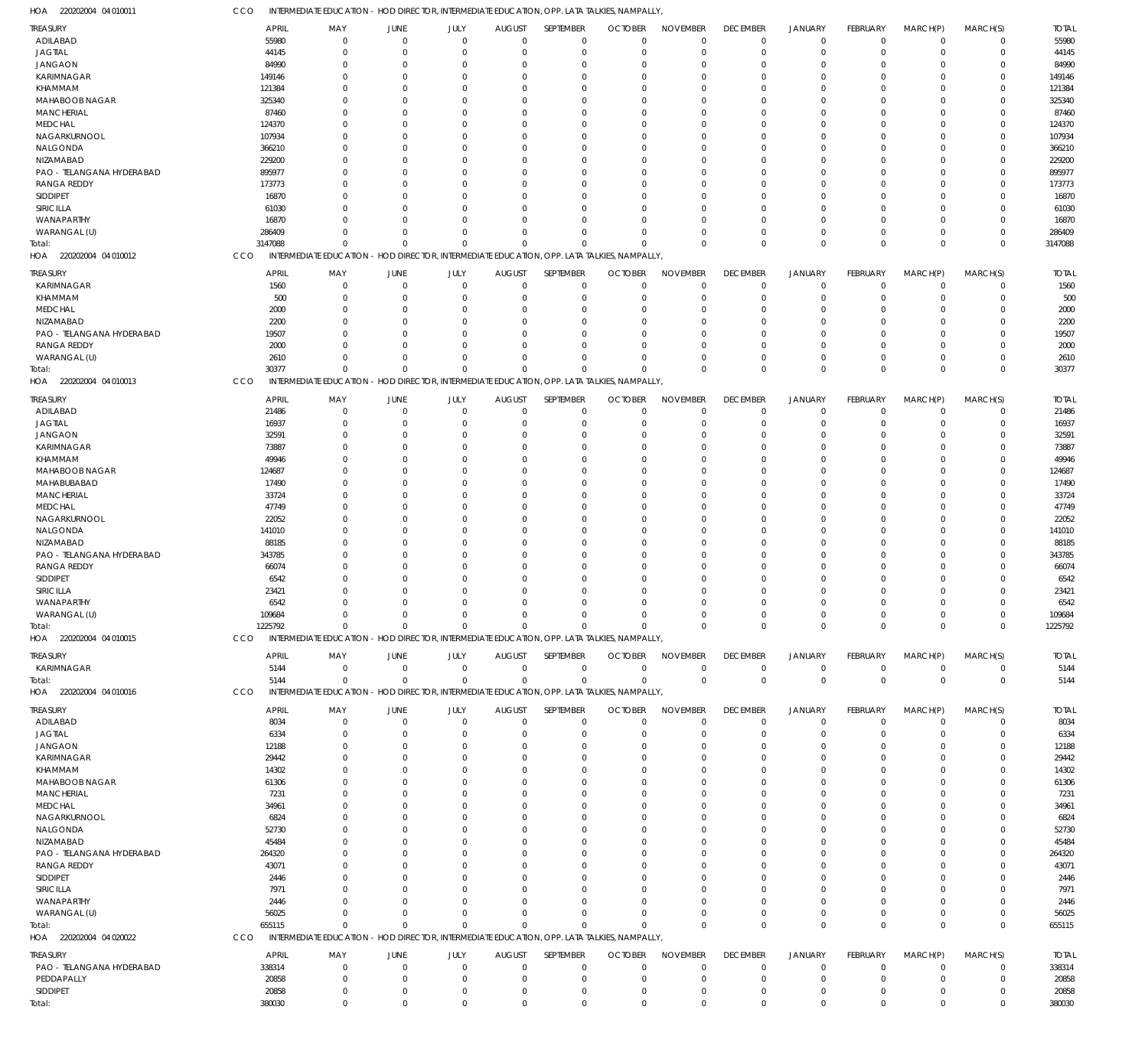CCO INTERMEDIATE EDUCATION - HOD DIRECTOR, INTERMEDIATE EDUCATION, OPP. LATA TALKIES, NAMPALLY,

| HOA 220202004 04 010011             | CCO     | INTERMEDIATE EDUCATION - HOD DIRECTOR, INTERMEDIATE EDUCATION, OPP. LATA TALKIES, NAMPALLY          |                                                        |                            |                      |                            |                               |                        |                               |                                  |                            |                            |                            |                 |
|-------------------------------------|---------|-----------------------------------------------------------------------------------------------------|--------------------------------------------------------|----------------------------|----------------------|----------------------------|-------------------------------|------------------------|-------------------------------|----------------------------------|----------------------------|----------------------------|----------------------------|-----------------|
| <b>TREASURY</b>                     |         | <b>APRIL</b><br>MAY                                                                                 | JUNE                                                   | JULY                       | <b>AUGUST</b>        | SEPTEMBER                  | <b>OCTOBER</b>                | <b>NOVEMBER</b>        | <b>DECEMBER</b>               | <b>JANUARY</b>                   | FEBRUARY                   | MARCH(P)                   | MARCH(S)                   | <b>TOTAL</b>    |
| ADILABAD                            |         | 55980                                                                                               | $\mathbf 0$<br>$\Omega$                                | $\Omega$                   | $\Omega$             | $\Omega$                   | $\Omega$                      | $\mathbf 0$            | $\mathbf 0$                   | $\overline{0}$                   | $\Omega$                   | $\mathbf 0$                | $\mathbf 0$                | 55980           |
| <b>JAGTIAL</b>                      |         | 44145                                                                                               | $\mathbf 0$<br>0                                       | $\Omega$                   | $\Omega$             | $\mathbf 0$                | $\Omega$                      | $\mathbf 0$            | $\mathbf 0$                   | $\overline{0}$                   | $\mathbf 0$                | $\mathbf 0$                | $\mathbf 0$                | 44145           |
| <b>JANGAON</b>                      |         | 84990                                                                                               | $\mathbf 0$<br>$\Omega$                                | $\Omega$                   |                      | $\Omega$                   | $\Omega$                      | $\Omega$               | $\mathbf 0$                   | $\Omega$                         | $\Omega$                   | $\Omega$                   | $\mathbf 0$                | 84990           |
| KARIMNAGAR                          | 149146  |                                                                                                     | $\Omega$<br>$\Omega$                                   | $\Omega$                   |                      | $\Omega$                   | $\Omega$                      | $\Omega$               | $\Omega$                      | $\Omega$                         | $\Omega$                   | $\Omega$                   | $\mathbf 0$                | 149146          |
| KHAMMAM                             | 121384  |                                                                                                     | $\Omega$<br>C                                          | $\Omega$                   |                      | $\Omega$                   | $\Omega$                      | $\Omega$               | $\Omega$                      | $\Omega$                         | C                          | $\Omega$                   | $\mathbf 0$                | 121384          |
| <b>MAHABOOB NAGAR</b>               | 325340  |                                                                                                     | $\Omega$<br>$\Omega$                                   | $\Omega$                   |                      | $\Omega$                   | $\Omega$                      | $\Omega$               | $\Omega$                      | $\Omega$                         | $\Omega$                   | $\Omega$                   | $\mathbf 0$                | 325340          |
| <b>MANCHERIAL</b>                   |         | 87460                                                                                               | $\Omega$<br>-C                                         | $\Omega$                   |                      | $\Omega$                   | $\Omega$                      | $\Omega$               | $\Omega$                      | $\Omega$                         | $\Omega$                   | $\Omega$                   | $\mathbf 0$                | 87460           |
| MEDCHAL                             | 124370  |                                                                                                     | $\Omega$<br>C                                          | $\Omega$                   |                      | $\Omega$                   | $\Omega$                      | $\Omega$               | $\Omega$                      | $\Omega$                         | $\Omega$                   | $\Omega$                   | $\mathbf 0$                | 124370          |
| NAGARKURNOOL                        | 107934  |                                                                                                     | $\Omega$<br>C                                          | $\Omega$                   |                      | $\Omega$                   | $\Omega$                      | $\Omega$               | $\Omega$                      | $\Omega$                         | U                          | $\Omega$                   | $\mathbf 0$                | 107934          |
| NALGONDA                            | 366210  |                                                                                                     | $\Omega$<br>$\Omega$                                   | $\Omega$                   |                      | $\Omega$                   | $\Omega$                      | $\Omega$               | $\Omega$                      | $\Omega$                         | $\Omega$                   | $\Omega$                   | $\mathbf 0$                | 366210          |
| NIZAMABAD                           | 229200  |                                                                                                     | $\Omega$<br>C                                          | $\Omega$                   |                      | $\Omega$                   | $\Omega$                      | $\Omega$               | $\Omega$                      | $\Omega$                         | $\Omega$                   | $\Omega$                   | $\mathbf 0$                | 229200          |
| PAO - TELANGANA HYDERABAD           | 895977  |                                                                                                     | $\Omega$<br>C                                          | $\Omega$                   |                      | $\Omega$                   | $\Omega$                      | $\Omega$               | $\Omega$                      | $\Omega$                         | $\Omega$                   | $\Omega$                   | $\mathbf 0$                | 895977          |
| RANGA REDDY                         | 173773  |                                                                                                     | $\Omega$<br>-C                                         | $\Omega$                   |                      | $\Omega$                   | $\Omega$                      | $\Omega$               | $\Omega$                      | $\Omega$                         | U                          | $\Omega$                   | $\mathbf 0$                | 173773          |
| SIDDIPET                            |         | 16870                                                                                               | $\Omega$<br>C                                          | $\Omega$                   |                      | $\Omega$                   | $\Omega$                      | $\Omega$               | $\Omega$                      | $\Omega$                         | $\Omega$<br>$\Omega$       | $\Omega$                   | $\mathbf 0$                | 16870           |
| SIRICILLA                           |         | 61030                                                                                               | $\Omega$<br>C<br>$\Omega$<br>$\Omega$                  | $\Omega$<br>$\Omega$       |                      | $\Omega$<br>$\Omega$       | $\Omega$<br>$\Omega$          | $\Omega$<br>$\Omega$   | $\Omega$<br>$\Omega$          | $\Omega$<br>$\Omega$             | $\Omega$                   | 0<br>$\Omega$              | $\mathbf 0$<br>$\mathbf 0$ | 61030<br>16870  |
| WANAPARTHY<br>WARANGAL (U)          | 286409  | 16870                                                                                               | $\Omega$<br>$\Omega$                                   | $\Omega$                   | $\Omega$             | $\Omega$                   | $\Omega$                      | $\Omega$               | $\Omega$                      | $^{\circ}$                       | $\Omega$                   | $\mathbf 0$                | $\mathbf 0$                | 286409          |
| Total:                              | 3147088 |                                                                                                     | $\mathbf 0$<br>$\Omega$                                | $\mathbf 0$                | $\Omega$             | $\Omega$                   | $\Omega$                      | $\mathbf{0}$           | $\Omega$                      | $\Omega$                         | $\Omega$                   | $\Omega$                   | $\mathbf 0$                | 3147088         |
| HOA 220202004 04 010012             | CCO     | INTERMEDIATE EDUCATION - HOD DIRECTOR, INTERMEDIATE EDUCATION, OPP. LATA TALKIES, NAMPALLY          |                                                        |                            |                      |                            |                               |                        |                               |                                  |                            |                            |                            |                 |
|                                     |         |                                                                                                     |                                                        |                            |                      |                            |                               |                        |                               |                                  |                            |                            |                            |                 |
| TREASURY                            |         | <b>APRIL</b><br>MAY                                                                                 | JUNE                                                   | JULY                       | <b>AUGUST</b>        | SEPTEMBER                  | <b>OCTOBER</b>                | <b>NOVEMBER</b>        | <b>DECEMBER</b>               | JANUARY                          | FEBRUARY                   | MARCH(P)                   | MARCH(S)                   | <b>TOTAL</b>    |
| <b>KARIMNAGAR</b>                   |         | 1560                                                                                                | $\mathbf 0$<br>$\overline{0}$                          | $\mathbf 0$                | $\Omega$             | $\mathbf 0$                | $\Omega$                      | $\overline{0}$         | $\mathbf 0$                   | $\overline{0}$                   | $\mathbf 0$                | $\mathbf 0$                | $\mathbf 0$                | 1560            |
| KHAMMAM                             |         | 500                                                                                                 | $\mathbf 0$<br>C                                       | $\mathbf 0$                |                      | $\Omega$                   | $\Omega$                      | $\Omega$               | $\mathbf 0$                   | $\overline{0}$                   | C                          | 0                          | $\mathbf 0$                | 500             |
| <b>MEDCHAL</b>                      |         | 2000                                                                                                | $\mathbf 0$<br>C                                       | $\Omega$                   |                      | $\Omega$                   | $\Omega$                      | $\Omega$               | 0                             | $\Omega$                         | $\Omega$                   | $\Omega$                   | $\mathbf 0$                | 2000            |
| NIZAMABAD                           |         | 2200                                                                                                | $\mathbf 0$<br>C                                       | $\Omega$                   |                      | $\Omega$                   | $\Omega$                      | $\Omega$               | 0                             | $\Omega$                         | 0                          | 0                          | $\mathbf 0$                | 2200            |
| PAO - TELANGANA HYDERABAD           |         | 19507                                                                                               | $\mathbf 0$<br>-C                                      | $\Omega$                   |                      | $\Omega$                   | $\Omega$                      | $\Omega$               | $\Omega$                      | $\Omega$                         | C                          | $\Omega$                   | $\mathbf 0$                | 19507           |
| RANGA REDDY                         |         | 2000                                                                                                | $\mathbf 0$<br>-C                                      | $\Omega$                   |                      | $\Omega$                   | $\Omega$                      | $\Omega$               | 0                             | $\Omega$                         | 0                          | 0                          | $\mathbf 0$                | 2000            |
| WARANGAL (U)                        |         | 2610                                                                                                | $\mathbf 0$<br>$\Omega$                                | $\Omega$<br>$\Omega$       | $\Omega$             | $\Omega$<br>$\Omega$       | $\Omega$                      | $\Omega$<br>$\Omega$   | 0                             | $\overline{0}$<br>$\Omega$       | $\Omega$<br>$\Omega$       | $\mathbf 0$<br>$\Omega$    | $\mathbf 0$                | 2610            |
| Total:<br>HOA 220202004 04 010013   | CCO     | 30377<br>INTERMEDIATE EDUCATION - HOD DIRECTOR, INTERMEDIATE EDUCATION, OPP. LATA TALKIES, NAMPALLY | $\mathbf 0$<br>$\Omega$                                |                            |                      |                            | $\Omega$                      |                        | $\mathbf 0$                   |                                  |                            |                            | $\mathbf 0$                | 30377           |
|                                     |         |                                                                                                     |                                                        |                            |                      |                            |                               |                        |                               |                                  |                            |                            |                            |                 |
| TREASURY                            |         | <b>APRIL</b><br>MAY                                                                                 | JUNE                                                   | JULY                       | <b>AUGUST</b>        | SEPTEMBER                  | <b>OCTOBER</b>                | <b>NOVEMBER</b>        | <b>DECEMBER</b>               | JANUARY                          | FEBRUARY                   | MARCH(P)                   | MARCH(S)                   | <b>TOTAL</b>    |
| ADILABAD                            |         | 21486                                                                                               | $\mathbf 0$<br>$\mathbf{0}$                            | $^{\circ}$                 | $\Omega$             | $\mathbf 0$                | $\Omega$                      | $\mathbf 0$            | $\mathbf 0$                   | $\overline{0}$                   | $\mathbf 0$                | $\mathbf 0$                | $\mathbf 0$                | 21486           |
| <b>JAGTIAL</b>                      |         | 16937                                                                                               | $\mathbf 0$<br>$\Omega$                                | $\Omega$                   | $\Omega$             | $\Omega$                   | $\Omega$                      | $\Omega$               | $\mathbf 0$                   | $\overline{0}$                   | $\Omega$                   | $\mathbf 0$                | $\mathbf 0$                | 16937           |
| <b>JANGAON</b>                      |         | 32591                                                                                               | $\Omega$<br>$\Omega$                                   | $\Omega$                   |                      | $\Omega$                   | $\Omega$                      | $\Omega$               | $\Omega$                      | $\Omega$                         | $\Omega$                   | $\Omega$                   | $\mathbf 0$                | 32591           |
| KARIMNAGAR                          |         | 73887                                                                                               | $\Omega$<br>C                                          | $\Omega$                   |                      | $\Omega$                   | $\Omega$                      | $\Omega$               | $\Omega$                      | $\Omega$                         | $\Omega$                   | $\Omega$                   | $\mathbf 0$                | 73887           |
| KHAMMAM                             |         | 49946                                                                                               | $\Omega$<br>C                                          | $\Omega$                   |                      | $\Omega$                   | $\Omega$                      | $\Omega$               | $\Omega$                      | $\Omega$                         | $\Omega$                   | $\Omega$                   | $\mathbf 0$                | 49946           |
| MAHABOOB NAGAR                      | 124687  |                                                                                                     | $\Omega$<br>C                                          | $\Omega$                   |                      | $\Omega$                   | $\Omega$                      | $\Omega$               | $\Omega$                      | $\Omega$                         | U                          | $\Omega$                   | $\mathbf 0$                | 124687          |
| MAHABUBABAD                         |         | 17490                                                                                               | $\Omega$<br>$\Omega$                                   | $\Omega$                   |                      | $\Omega$                   | $\Omega$                      | $\Omega$               | $\Omega$                      | $\Omega$                         | $\Omega$                   | $\Omega$                   | $\mathbf 0$                | 17490           |
| <b>MANCHERIAL</b>                   |         | 33724                                                                                               | $\Omega$<br>-C                                         | $\Omega$                   |                      | $\Omega$                   | $\Omega$                      | $\Omega$               | $\Omega$                      | $\Omega$                         | $\Omega$                   | $\Omega$                   | $\mathbf 0$                | 33724           |
| MEDCHAL                             |         | 47749                                                                                               | $\Omega$<br>C                                          | $\Omega$                   |                      | $\Omega$                   | $\Omega$                      | $\Omega$               | $\Omega$                      | $\Omega$                         | $\Omega$                   | $\Omega$                   | $\mathbf 0$                | 47749           |
| NAGARKURNOOL                        |         | 22052                                                                                               | $\Omega$<br>C                                          | $\Omega$                   |                      | $\Omega$<br>$\Omega$       | $\Omega$                      | $\Omega$<br>$\Omega$   | $\Omega$<br>$\Omega$          | $\Omega$<br>$\Omega$             | U<br>$\Omega$              | $\Omega$                   | $\mathbf 0$                | 22052           |
| NALGONDA<br>NIZAMABAD               | 141010  |                                                                                                     | $\Omega$<br>C<br>$\Omega$                              | $\Omega$<br>$\Omega$       |                      | $\Omega$                   | $\Omega$<br>$\Omega$          | $\Omega$               | $\Omega$                      | $\Omega$                         | $\Omega$                   | $\Omega$                   | $\mathbf 0$<br>$\mathbf 0$ | 141010<br>88185 |
| PAO - TELANGANA HYDERABAD           | 343785  | 88185                                                                                               | C<br>$\Omega$<br>$\Omega$                              | $\Omega$                   |                      | $\Omega$                   | $\Omega$                      | $\Omega$               | $\Omega$                      | $\Omega$                         | $\Omega$                   | 0<br>$\Omega$              | $\mathbf 0$                | 343785          |
| <b>RANGA REDDY</b>                  |         | 66074                                                                                               | $\Omega$<br>-C                                         | $\Omega$                   |                      | $\Omega$                   | $\Omega$                      | $\Omega$               | U                             | $\Omega$                         | C                          | $\Omega$                   | $\mathbf 0$                | 66074           |
| SIDDIPET                            |         | 6542                                                                                                | $\Omega$<br>C                                          | $\Omega$                   |                      | $\Omega$                   | $\Omega$                      | $\Omega$               | $\Omega$                      | $\Omega$                         | $\Omega$                   | $\mathbf 0$                | $\mathbf 0$                | 6542            |
| SIRICILLA                           |         | 23421                                                                                               | $\Omega$<br>$\Omega$                                   | $\Omega$                   | $\Omega$             | $\Omega$                   | $\Omega$                      | $\mathbf 0$            | $\Omega$                      | $\Omega$                         | $\Omega$                   | $\Omega$                   | $\mathbf 0$                | 23421           |
| WANAPARTHY                          |         | 6542                                                                                                | $\Omega$<br>$\Omega$                                   | $\mathbf 0$                | $\Omega$             | $\Omega$                   | $\mathbf 0$                   | $\mathbf 0$            | $\mathbf 0$                   | $\Omega$                         | $\Omega$                   | $\mathbf 0$                | $\mathbf 0$                | 6542            |
| WARANGAL (U)                        | 109684  |                                                                                                     | $\mathbf 0$<br>$\Omega$                                | $\Omega$                   | $\Omega$             | $\Omega$                   | $\mathbf 0$                   | $\Omega$               | $\mathbf 0$                   | $\overline{0}$                   | $\mathbf 0$                | $\mathbf 0$                | $\mathbf 0$                | 109684          |
| Total:                              | 1225792 |                                                                                                     | $\mathbf 0$<br>$\Omega$                                | $\mathbf 0$                | $\Omega$             | $\Omega$                   | $\Omega$                      | $\mathbf 0$            | $\overline{0}$                | $\overline{0}$                   | $\mathbf 0$                | $\mathbf 0$                | $\mathbf 0$                | 1225792         |
| HOA 220202004 04 010015             | CCO     | INTERMEDIATE EDUCATION - HOD DIRECTOR, INTERMEDIATE EDUCATION, OPP. LATA TALKIES, NAMPALLY          |                                                        |                            |                      |                            |                               |                        |                               |                                  |                            |                            |                            |                 |
|                                     |         |                                                                                                     |                                                        |                            |                      |                            |                               |                        |                               |                                  |                            |                            |                            |                 |
| TREASURY                            |         | <b>APRIL</b><br>MAY                                                                                 | JUNE                                                   | JULY                       | <b>AUGUST</b>        | SEPTEMBER                  | <b>OCTOBER</b>                | <b>NOVEMBER</b>        | <b>DECEMBER</b>               | JANUARY                          | FEBRUARY                   | MARCH(P)                   | MARCH(S)                   | <b>TOTAL</b>    |
| <b>KARIMNAGAR</b>                   |         | 5144<br>5144                                                                                        | $\mathbf 0$<br>$\mathbf{0}$<br>$\mathbf 0$<br>$\Omega$ | $\mathbf 0$<br>$\mathbf 0$ | $\Omega$<br>$\Omega$ | $\mathbf 0$<br>$\mathbf 0$ | $\mathbf 0$<br>$\overline{0}$ | $\mathbf 0$<br>$\,0\,$ | $\mathbf 0$<br>$\overline{0}$ | $\overline{0}$<br>$\overline{0}$ | $\mathbf 0$<br>$\mathbf 0$ | $\mathbf 0$<br>$\mathbf 0$ | $\mathbf 0$<br>$\mathbf 0$ | 5144<br>5144    |
| Total:<br>HOA 220202004 04 010016   | CCO     | INTERMEDIATE EDUCATION - HOD DIRECTOR, INTERMEDIATE EDUCATION, OPP. LATA TALKIES, NAMPALLY,         |                                                        |                            |                      |                            |                               |                        |                               |                                  |                            |                            |                            |                 |
|                                     |         |                                                                                                     |                                                        |                            |                      |                            |                               |                        |                               |                                  |                            |                            |                            |                 |
| TREASURY                            |         | <b>APRIL</b><br>MAY                                                                                 | JUNE                                                   | JULY                       | <b>AUGUST</b>        | SEPTEMBER                  | <b>OCTOBER</b>                | <b>NOVEMBER</b>        | <b>DECEMBER</b>               | JANUARY                          | FEBRUARY                   | MARCH(P)                   | MARCH(S)                   | <b>TOTAL</b>    |
| ADILABAD                            |         | 8034                                                                                                | $\mathbf 0$<br>$\mathbf{0}$                            | $^{\circ}$                 | $\Omega$             | $\mathbf 0$                | $\overline{0}$                | $\mathbf 0$            | $\mathbf 0$                   | $\overline{0}$                   | $\mathbf 0$                | $\mathbf 0$                | $\mathbf 0$                | 8034            |
| <b>JAGTIAL</b>                      |         | 6334                                                                                                | $\mathbf 0$<br>$\Omega$                                | $\Omega$                   | $\Omega$             | $\mathbf 0$                | $\Omega$                      | $\Omega$               | $\mathbf 0$                   | $\overline{0}$                   | $\Omega$                   | 0                          | $\mathbf 0$                | 6334            |
| <b>JANGAON</b>                      |         | 12188                                                                                               | $\Omega$<br>$\Omega$                                   | $\Omega$                   |                      | $\Omega$                   | $\Omega$                      | $\Omega$               | $\Omega$                      | $\Omega$                         | 0                          | $\Omega$                   | $\mathbf 0$                | 12188           |
| KARIMNAGAR                          |         | 29442                                                                                               | $\Omega$<br>C                                          | $\Omega$                   |                      | $\Omega$                   | $\Omega$                      | $\Omega$               | 0                             | $\Omega$                         | U                          | $\Omega$                   | $\mathbf 0$                | 29442           |
| KHAMMAM                             |         | 14302                                                                                               | $\Omega$<br>-C                                         | $\Omega$                   |                      | $\Omega$                   | $\Omega$                      | $\Omega$               | $\Omega$                      | $\Omega$                         | C                          | $\Omega$                   | $\mathbf 0$                | 14302           |
| MAHABOOB NAGAR                      |         | 61306                                                                                               | $\Omega$<br>-C<br>$\Omega$<br>-C                       | $\Omega$<br>$\Omega$       |                      | $\Omega$<br>$\Omega$       | $\Omega$<br>$\Omega$          | $\Omega$<br>$\Omega$   | $\Omega$<br>$\Omega$          | $\Omega$<br>$\Omega$             | C<br>U                     | $\Omega$<br>$\Omega$       | $\mathbf 0$<br>$\mathbf 0$ | 61306           |
| <b>MANCHERIAL</b><br><b>MEDCHAL</b> |         | 7231<br>34961                                                                                       | $\Omega$<br>C                                          | $\Omega$                   |                      | $\Omega$                   | $\Omega$                      | $\Omega$               | $\Omega$                      | $\Omega$                         | C                          | $\Omega$                   | $\mathbf 0$                | 7231<br>34961   |
| NAGARKURNOOL                        |         | 6824                                                                                                | $\Omega$<br>-C                                         | $\Omega$                   |                      | $\Omega$                   | $\Omega$                      | $\Omega$               | $\Omega$                      | $\Omega$                         | U                          | $\Omega$                   | $\mathbf 0$                | 6824            |
| NALGONDA                            |         | 52730                                                                                               | $\Omega$<br>-C                                         | $\Omega$                   |                      | $\Omega$                   | $\Omega$                      | $\Omega$               | $\Omega$                      | $\Omega$                         | C                          | $\Omega$                   | $\mathbf 0$                | 52730           |
| NIZAMABAD                           |         | 45484                                                                                               | $\Omega$<br>C                                          | $\Omega$                   |                      | $\Omega$                   | $\Omega$                      | $\Omega$               | $\Omega$                      | $\Omega$                         | U                          | $\Omega$                   | $\mathbf 0$                | 45484           |
| PAO - TELANGANA HYDERABAD           | 264320  |                                                                                                     | $\Omega$<br>-C                                         | $\Omega$                   |                      | $\Omega$                   | $\Omega$                      | $\Omega$               | $\Omega$                      | $\Omega$                         | C                          | $\Omega$                   | $\mathbf 0$                | 264320          |
| RANGA REDDY                         |         | 43071                                                                                               | $\Omega$<br>-C                                         | $\Omega$                   |                      | $\Omega$                   | $\Omega$                      | $\Omega$               | $\Omega$                      | $\Omega$                         | C                          | $\Omega$                   | $\mathbf 0$                | 43071           |
| SIDDIPET                            |         | 2446                                                                                                | $\Omega$<br>-C                                         | $\Omega$                   |                      | $\Omega$                   | $\Omega$                      | $\Omega$               | $\Omega$                      | $\Omega$                         | C                          | $\Omega$                   | $\mathbf 0$                | 2446            |
| SIRICILLA                           |         | 7971                                                                                                | $\Omega$<br>$\Omega$                                   | $\Omega$                   |                      | $\Omega$                   | $\Omega$                      | $\Omega$               | $\Omega$                      | $\Omega$                         | U                          | $\Omega$                   | $\mathbf 0$                | 7971            |
| WANAPARTHY                          |         | 2446                                                                                                | $\Omega$<br>-C                                         | $\Omega$                   |                      | $\Omega$                   | $\Omega$                      | $\Omega$               | $\Omega$                      | $\Omega$                         | U                          | $\Omega$                   | $\mathbf 0$                | 2446            |
| WARANGAL (U)                        |         | 56025                                                                                               | $\Omega$<br>$\Omega$                                   | $\Omega$                   | $\Omega$             | $\Omega$                   | $\Omega$                      | $\Omega$               | $\mathbf 0$                   | $\mathbf 0$                      | $\Omega$                   | $\mathbf 0$                | $\mathbf 0$                | 56025           |
| Total:                              |         | 655115                                                                                              | $\mathbf 0$<br>$\Omega$                                | $\Omega$                   | $\Omega$             | $\Omega$                   | $\Omega$                      | $\mathbf{0}$           | $\mathbf 0$                   | $\Omega$                         | $\Omega$                   | $\mathbf 0$                | $\mathbf 0$                | 655115          |
| HOA 220202004 04 020022             | CCO     | INTERMEDIATE EDUCATION - HOD DIRECTOR, INTERMEDIATE EDUCATION, OPP. LATA TALKIES, NAMPALLY,         |                                                        |                            |                      |                            |                               |                        |                               |                                  |                            |                            |                            |                 |
| <b>TREASURY</b>                     |         | <b>APRIL</b><br>MAY                                                                                 | JUNE                                                   | JULY                       | <b>AUGUST</b>        | SEPTEMBER                  | <b>OCTOBER</b>                | <b>NOVEMBER</b>        | <b>DECEMBER</b>               | JANUARY                          | FEBRUARY                   | MARCH(P)                   | MARCH(S)                   | <b>TOTAL</b>    |
| PAO - TELANGANA HYDERABAD           | 338314  |                                                                                                     | $\mathbf 0$<br>0                                       | $^{\circ}$                 | $\Omega$             | 0                          | $^{\circ}$                    | $\overline{0}$         | $\mathbf 0$                   | $\overline{0}$                   | $\mathbf 0$                | $\mathbf 0$                | $\mathbf 0$                | 338314          |
| PEDDAPALLY                          |         | 20858                                                                                               | $\mathbf 0$<br>$\Omega$                                | $^{\circ}$                 | $\Omega$             | $\mathbf 0$                | $\overline{0}$                | $\overline{0}$         | $\mathbf 0$                   | $\overline{0}$                   | $\mathbf 0$                | $\mathbf 0$                | $\mathbf 0$                | 20858           |
| <b>SIDDIPET</b>                     |         | 20858                                                                                               | $\mathbf 0$<br>0                                       | $^{\circ}$                 | $\mathbf{0}$         | $\mathbf 0$                | $^{\circ}$                    | $\mathbf 0$            | $\mathbf 0$                   | $\overline{0}$                   | $\mathbf 0$                | $\mathbf 0$                | $\mathbf 0$                | 20858           |
| Total:                              | 380030  |                                                                                                     | $\mathbf 0$<br>$\mathbf{0}$                            | $\Omega$                   | $\Omega$             | $\mathbf 0$                | $\mathbf 0$                   | $\mathbf 0$            | $\overline{0}$                | $\overline{0}$                   | $\Omega$                   | $\mathbf 0$                | $\mathbf 0$                | 380030          |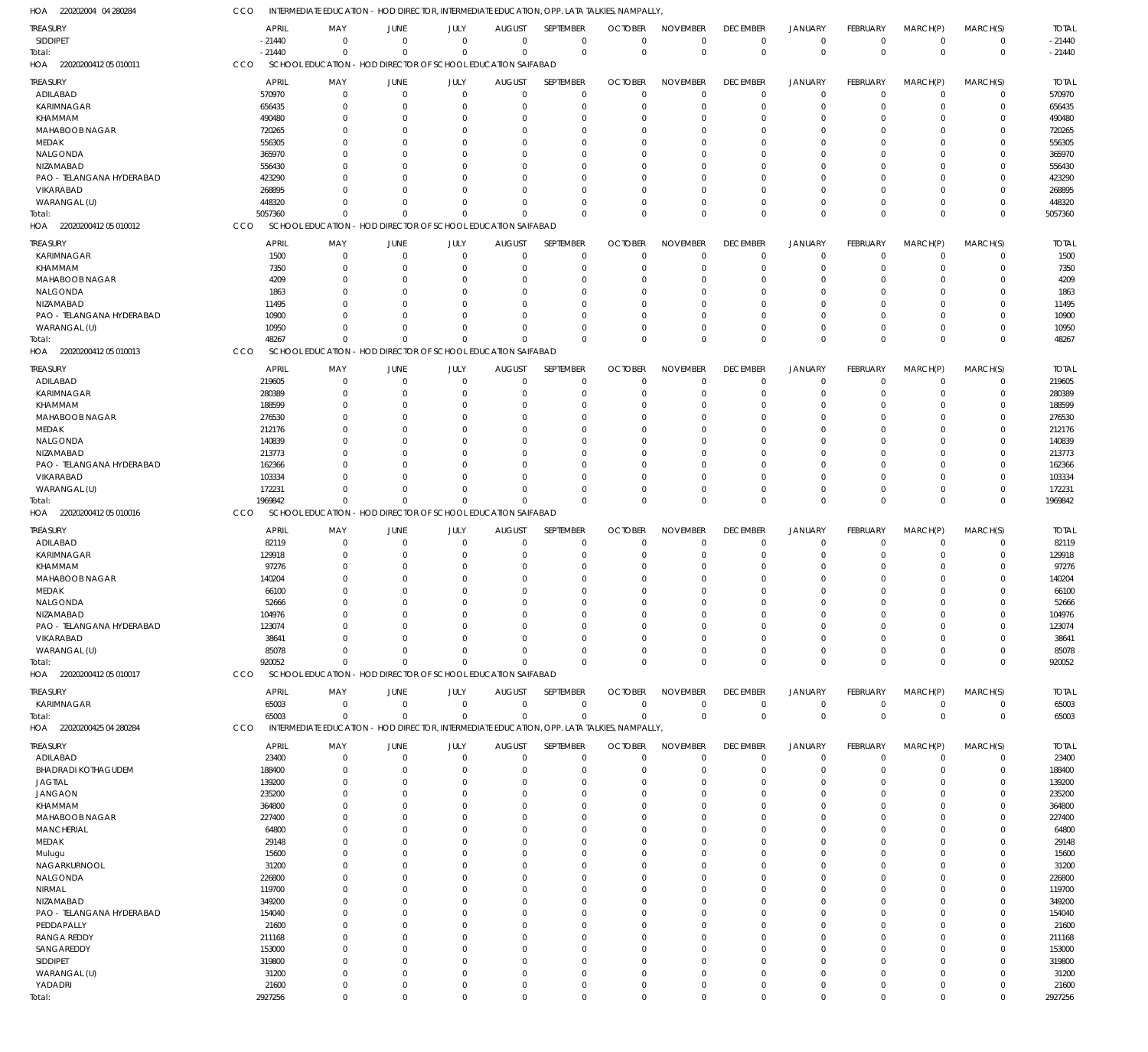| 1OA<br>220202004 04 280284             | cco                    | intermediate education - hod director, intermediate education, opp. lata talkies, nampally  |                            |                     |                              |                            |                               |                                |                                |                                  |                         |                            |                         |                        |
|----------------------------------------|------------------------|---------------------------------------------------------------------------------------------|----------------------------|---------------------|------------------------------|----------------------------|-------------------------------|--------------------------------|--------------------------------|----------------------------------|-------------------------|----------------------------|-------------------------|------------------------|
| <b>TREASURY</b>                        | <b>APRIL</b>           | MAY                                                                                         | <b>JUNE</b>                | JULY                | <b>AUGUST</b>                | SEPTEMBER                  | <b>OCTOBER</b>                | <b>NOVEMBER</b>                | <b>DECEMBER</b>                | <b>JANUARY</b>                   | FEBRUARY                | MARCH(P)                   | MARCH(S)                | <b>TOTAL</b>           |
| SIDDIPET                               | $-21440$               | $\overline{0}$                                                                              | $\mathbf 0$                | $\mathbf 0$         | $\mathbf 0$                  | $\mathbf 0$                | $\mathbf{0}$                  | $\Omega$                       | $\mathbf 0$                    | $\mathbf 0$                      | $\mathbf 0$             | $\overline{0}$             | $\mathbf 0$             | $-21440$               |
| Total:                                 | $-21440$               | $\Omega$                                                                                    | $\mathbf{0}$               | $\Omega$            | $\mathbf 0$                  | $\mathbf 0$                | $\mathbf 0$                   | $\mathbf 0$                    | $\mathbf 0$                    | $\mathbf 0$                      | $\mathbf 0$             | $\Omega$                   | $\mathbf 0$             | $-21440$               |
| HOA 22020200412 05 010011              | CCO                    | SCHOOL EDUCATION - HOD DIRECTOR OF SCHOOL EDUCATION SAIFABAD                                |                            |                     |                              |                            |                               |                                |                                |                                  |                         |                            |                         |                        |
| <b>TREASURY</b>                        | APRIL                  | MAY                                                                                         | <b>JUNE</b>                | JULY                | <b>AUGUST</b>                | SEPTEMBER                  | <b>OCTOBER</b>                | <b>NOVEMBER</b>                | <b>DECEMBER</b>                | <b>JANUARY</b>                   | FEBRUARY                | MARCH(P)                   | MARCH(S)                | <b>TOTAL</b>           |
| ADILABAD                               | 570970                 | $\mathbf 0$                                                                                 | $\mathbf 0$                | $\mathbf 0$         | $\mathbf 0$                  | $\mathbf 0$                | $\mathbf 0$                   | $\Omega$                       | $\mathbf 0$                    | $\overline{0}$                   | $\mathbf 0$             | $\overline{0}$             | $\mathbf 0$             | 570970                 |
| KARIMNAGAR                             | 656435                 | $\mathbf 0$                                                                                 | $\mathbf 0$                | $\Omega$            | 0                            | $\mathbf 0$                | $\Omega$                      | $\Omega$                       | $\Omega$                       | $^{\circ}$                       | $\Omega$                | $\mathbf 0$                | $\mathbf 0$             | 656435                 |
| <b>KHAMMAM</b>                         | 490480                 | $\Omega$                                                                                    | $\Omega$                   | O                   | $\Omega$                     | $\mathbf 0$                | -0                            | $\Omega$                       | $\Omega$                       | $\Omega$                         | $\Omega$                | $\Omega$                   | $\Omega$                | 490480                 |
| MAHABOOB NAGAR                         | 720265                 | $\Omega$                                                                                    | $\mathbf 0$                | 0                   | $\Omega$                     | $\mathbf 0$                | -0                            | $\Omega$                       | $\Omega$                       | $\Omega$                         | $\Omega$                | $\Omega$                   | $\mathbf 0$             | 720265                 |
| MEDAK                                  | 556305                 | 0                                                                                           | $\mathbf 0$                | 0                   | $\Omega$                     | $\mathbf 0$                | -0                            | $\Omega$                       |                                | $\Omega$                         | $\Omega$                | $\Omega$                   | $\Omega$                | 556305                 |
| NALGONDA                               | 365970                 | $\Omega$                                                                                    | $\Omega$                   | O                   | $\Omega$                     | $\mathbf 0$                | -C                            | $\Omega$                       |                                | $\Omega$                         | $\Omega$                | $\Omega$                   | $\mathbf 0$             | 365970                 |
| NIZAMABAD                              | 556430                 |                                                                                             | $\Omega$                   |                     | $\Omega$                     | $\mathbf 0$                | -C                            | $\Omega$                       |                                | $\Omega$                         | $\Omega$                | $\Omega$                   | $\Omega$                | 556430                 |
| PAO - TELANGANA HYDERABAD              | 423290                 | 0                                                                                           | $\Omega$                   | 0                   | $\Omega$                     | $\mathbf 0$                | -0                            | $\Omega$                       | $\Omega$                       | $\Omega$                         | $\Omega$                | $\Omega$                   | $\mathbf 0$             | 423290                 |
| VIKARABAD                              | 268895                 |                                                                                             | $\Omega$                   | O                   | $\Omega$                     | $\mathbf 0$                | -0                            | $\Omega$                       |                                | $\Omega$                         | $\Omega$                | $\Omega$                   | $\Omega$                | 268895                 |
| WARANGAL (U)                           | 448320                 | $\Omega$                                                                                    | $\Omega$                   | $\Omega$            | $\mathbf 0$                  | $\mathbf 0$                | -0                            | $\Omega$                       | $\Omega$                       | $\Omega$                         | $\Omega$                | $\Omega$                   | $\mathbf 0$             | 448320                 |
| Total:                                 | 5057360                | $\Omega$                                                                                    | $\Omega$                   | $\Omega$            | $\mathbf 0$                  | $\mathbf 0$                | $\Omega$                      | $\Omega$                       | $\Omega$                       | $\Omega$                         | $\Omega$                | $\Omega$                   | $\mathbf 0$             | 5057360                |
| HOA 22020200412 05 010012              | CCO                    | SCHOOL EDUCATION - HOD DIRECTOR OF SCHOOL EDUCATION SAIFABAD                                |                            |                     |                              |                            |                               |                                |                                |                                  |                         |                            |                         |                        |
| <b>TREASURY</b>                        | <b>APRIL</b>           | MAY                                                                                         | <b>JUNE</b>                | JULY                | <b>AUGUST</b>                | SEPTEMBER                  | <b>OCTOBER</b>                | <b>NOVEMBER</b>                | <b>DECEMBER</b>                | <b>JANUARY</b>                   | FEBRUARY                | MARCH(P)                   | MARCH(S)                | <b>TOTAL</b>           |
| KARIMNAGAR                             | 1500                   | $\mathbf 0$                                                                                 | $\mathbf 0$                | $\mathbf 0$         | $\mathbf 0$                  | $\mathbf 0$                | $\Omega$                      | $\Omega$                       | $\mathbf 0$                    | $^{\circ}$                       | $\mathbf 0$             | $\overline{0}$             | $\mathbf 0$             | 1500                   |
| <b>KHAMMAM</b>                         | 7350                   | $\Omega$                                                                                    | $\mathbf 0$                | $\Omega$            | 0                            | $\mathbf 0$                | 0                             | $\Omega$                       | $\Omega$                       | $^{\circ}$                       | $\mathbf 0$             | $\Omega$                   | $\mathbf 0$             | 7350                   |
| MAHABOOB NAGAR                         | 4209                   | $\Omega$                                                                                    | $\mathbf 0$                | $\Omega$            | $\Omega$                     | $\mathbf 0$                | $\Omega$                      | $\Omega$                       | $\Omega$                       | $\Omega$                         | $\Omega$                | $\Omega$                   | $\Omega$                | 4209                   |
| NALGONDA                               | 1863                   | $\Omega$                                                                                    | $\mathbf 0$                | $\Omega$            | $\Omega$                     | $\mathbf 0$                | $\Omega$                      | $\Omega$                       | $\Omega$                       | $\Omega$                         | $\Omega$                | $\Omega$                   | $\Omega$                | 1863                   |
| NIZAMABAD                              | 11495                  | 0                                                                                           | $\mathbf 0$                | $\Omega$            | $\Omega$                     | $\mathbf 0$                | $\Omega$                      | $\Omega$                       | $\Omega$                       | $\Omega$                         | $\Omega$                | $\Omega$                   | $\mathbf 0$             | 11495                  |
| PAO - TELANGANA HYDERABAD              | 10900                  | U                                                                                           | $\Omega$                   | $\Omega$            | $\Omega$                     | $\Omega$                   | $\Omega$                      | $\Omega$                       | $\Omega$                       | $\Omega$                         | $\Omega$                | $\Omega$                   | $\Omega$                | 10900                  |
| WARANGAL (U)                           | 10950                  | $\Omega$                                                                                    | $\Omega$                   | $\Omega$            | $\mathbf 0$                  | $\mathbf 0$                | $\Omega$                      | $\Omega$                       | $\Omega$                       | $\overline{0}$                   | $\Omega$                | $\Omega$                   | $\mathbf 0$             | 10950                  |
| Total:                                 | 48267                  | $\Omega$                                                                                    | $\Omega$                   | $\Omega$            | $\Omega$                     | $\Omega$                   | $\Omega$                      | $\Omega$                       | $\Omega$                       | $\Omega$                         | $\Omega$                | $\Omega$                   | $\mathbf 0$             | 48267                  |
| 22020200412 05 010013<br>HOA           | CCO                    | SCHOOL EDUCATION - HOD DIRECTOR OF SCHOOL EDUCATION SAIFABAD                                |                            |                     |                              |                            |                               |                                |                                |                                  |                         |                            |                         |                        |
|                                        |                        |                                                                                             |                            |                     |                              |                            |                               |                                | <b>DECEMBER</b>                |                                  |                         |                            |                         |                        |
| <b>TREASURY</b><br>ADILABAD            | <b>APRIL</b><br>219605 | MAY<br>$\mathbf 0$                                                                          | <b>JUNE</b><br>$\mathbf 0$ | JULY<br>$\mathbf 0$ | <b>AUGUST</b><br>$\mathbf 0$ | SEPTEMBER<br>$\mathbf 0$   | <b>OCTOBER</b><br>$\mathbf 0$ | <b>NOVEMBER</b><br>$\Omega$    | 0                              | <b>JANUARY</b><br>$^{\circ}$     | FEBRUARY<br>$\mathbf 0$ | MARCH(P)<br>$\overline{0}$ | MARCH(S)<br>$\mathbf 0$ | <b>TOTAL</b><br>219605 |
| KARIMNAGAR                             | 280389                 | $\Omega$                                                                                    | $\mathbf 0$                | $\Omega$            | 0                            | $\mathbf 0$                | $\Omega$                      | $\Omega$                       | $\Omega$                       | $^{\circ}$                       | $\Omega$                | $\Omega$                   | $\mathbf 0$             | 280389                 |
| <b>KHAMMAM</b>                         | 188599                 | $\Omega$                                                                                    | $\mathbf 0$                | 0                   | $\Omega$                     | $\mathbf 0$                | -0                            | $\Omega$                       | $\Omega$                       | $\Omega$                         | $\Omega$                | $\Omega$                   | $\mathbf 0$             | 188599                 |
| MAHABOOB NAGAR                         | 276530                 | $\Omega$                                                                                    | $\mathbf 0$                | 0                   | $\Omega$                     | $\mathbf 0$                | -0                            | $\Omega$                       | $\Omega$                       | $\Omega$                         | $\Omega$                | $\Omega$                   | $\mathbf 0$             | 276530                 |
| MEDAK                                  | 212176                 | U                                                                                           | $\Omega$                   | O                   | $\Omega$                     | $\mathbf 0$                | -C                            | $\Omega$                       |                                | $\Omega$                         | $\Omega$                | $\Omega$                   | $\Omega$                | 212176                 |
| NALGONDA                               | 140839                 | 0                                                                                           | $\Omega$                   | O                   | $\Omega$                     | $\mathbf 0$                | -C                            | $\Omega$                       |                                | $\Omega$                         | O                       | $\Omega$                   | $\mathbf 0$             | 140839                 |
| NIZAMABAD                              | 213773                 | U                                                                                           | $\Omega$                   |                     | $\Omega$                     | $\mathbf 0$                | -C                            | $\Omega$                       |                                | $\Omega$                         | $\Omega$                | $\Omega$                   | $\Omega$                | 213773                 |
| PAO - TELANGANA HYDERABAD              | 162366                 | 0                                                                                           | $\Omega$                   | O                   | $\Omega$                     | $\mathbf 0$                | -0                            | $\Omega$                       | $\Omega$                       | $\Omega$                         | $\Omega$                | $\Omega$                   | $\mathbf 0$             | 162366                 |
| VIKARABAD                              | 103334                 |                                                                                             | $\Omega$                   | O                   | $\Omega$                     | $\mathbf 0$                | -0                            | $\Omega$                       | $\Omega$                       | $\Omega$                         | $\Omega$                | $\Omega$                   | $\Omega$                | 103334                 |
| WARANGAL (U)                           | 172231                 | $\Omega$                                                                                    | $\Omega$                   | $\Omega$            | $\mathbf 0$                  | $\mathbf 0$                | $\Omega$                      | $\Omega$                       | $\Omega$                       | $\overline{0}$                   | $\Omega$                | $\mathbf 0$                | $\mathbf 0$             | 172231                 |
| Total:                                 | 1969842                | $\Omega$                                                                                    | $\Omega$                   | $\Omega$            | $\Omega$                     | $\mathbf 0$                | $\Omega$                      | $\Omega$                       | $\Omega$                       | $\Omega$                         | $\Omega$                | $\Omega$                   | $\mathbf 0$             | 1969842                |
| HOA 22020200412 05 010016              | CCO                    | SCHOOL EDUCATION - HOD DIRECTOR OF SCHOOL EDUCATION SAIFABAD                                |                            |                     |                              |                            |                               |                                |                                |                                  |                         |                            |                         |                        |
|                                        |                        |                                                                                             |                            |                     |                              |                            |                               |                                |                                |                                  |                         |                            |                         |                        |
| <b>TREASURY</b>                        | <b>APRIL</b>           | MAY<br>$\mathbf 0$                                                                          | <b>JUNE</b><br>$\mathbf 0$ | JULY<br>$\mathbf 0$ | <b>AUGUST</b><br>$\mathbf 0$ | SEPTEMBER<br>$\mathbf 0$   | <b>OCTOBER</b><br>$\Omega$    | <b>NOVEMBER</b><br>$\Omega$    | <b>DECEMBER</b><br>$\mathbf 0$ | <b>JANUARY</b><br>$\overline{0}$ | FEBRUARY<br>$\mathbf 0$ | MARCH(P)<br>$\mathbf 0$    | MARCH(S)<br>$\mathbf 0$ | <b>TOTAL</b><br>82119  |
| ADILABAD                               | 82119                  | $\Omega$                                                                                    | $\mathbf 0$                | $\Omega$            |                              | $\mathbf 0$                |                               | $\Omega$                       | $\Omega$                       | $\overline{0}$                   | $\Omega$                | $\Omega$                   | $\mathbf 0$             |                        |
| KARIMNAGAR<br><b>KHAMMAM</b>           | 129918<br>97276        | U                                                                                           | $\Omega$                   | O                   | 0<br>$\Omega$                | $\mathbf 0$                | 0<br>$\Omega$                 | $\Omega$                       | $\Omega$                       | $\Omega$                         | $\Omega$                | $\Omega$                   | $\mathbf 0$             | 129918<br>97276        |
| MAHABOOB NAGAR                         | 140204                 |                                                                                             | $\Omega$                   | $\Omega$            | $\Omega$                     | $\mathbf 0$                | $\Omega$                      | $\Omega$                       | $\Omega$                       | $\Omega$                         | $\Omega$                | $\Omega$                   | $\Omega$                | 140204                 |
| MEDAK                                  | 66100                  | $\Omega$                                                                                    | $\Omega$                   | $\Omega$            | $\Omega$                     | $\Omega$                   | $\Omega$                      | $\Omega$                       | $\Omega$                       | $\Omega$                         | $\Omega$                | $\Omega$                   | $\Omega$                | 66100                  |
| NALGONDA                               | 52666                  | $\mathbf 0$                                                                                 | $\mathbf 0$                | $\Omega$            | $\mathbf 0$                  | $\Omega$                   | $\Omega$                      | $\mathbf 0$                    | $\mathbf 0$                    | $\mathbf 0$                      | $\mathbf 0$             | $\mathbf 0$                | $\Omega$                | 52666                  |
| NIZAMABAD                              | 104976                 | $\mathbf 0$                                                                                 | $\mathbf 0$                | $\Omega$            | $\mathbf 0$                  | $\mathbf 0$                | $\mathbf 0$                   | $\Omega$                       | $\Omega$                       | $\overline{0}$                   | $\Omega$                | $\mathbf 0$                | $\mathbf 0$             | 104976                 |
| PAO - TELANGANA HYDERABAD              | 123074                 | $\Omega$                                                                                    | $\mathbf 0$                | $\mathbf 0$         | $\Omega$                     | $\mathbf 0$                | 0                             | $\Omega$                       | $\Omega$                       | $\overline{0}$                   | $\mathbf 0$             | $\mathbf 0$                | $\mathbf 0$             | 123074                 |
| VIKARABAD                              | 38641                  | $\Omega$                                                                                    | $\mathbf 0$                | $\Omega$            | $\Omega$                     | $\mathbf 0$                | $\Omega$                      | $\Omega$                       | $\Omega$                       | $\overline{0}$                   | $\Omega$                | $\Omega$                   | $\mathbf 0$             | 38641                  |
| WARANGAL (U)                           | 85078                  | $\Omega$                                                                                    | $\Omega$                   | $\Omega$            | $\Omega$                     | $\mathbf 0$                | $\Omega$                      | $\Omega$                       | $\Omega$                       | $^{\circ}$                       | $\mathbf 0$             | $\mathbf 0$                | $\mathbf 0$             | 85078                  |
| Total:                                 | 920052                 | $\Omega$                                                                                    | $\mathbf 0$                | $\Omega$            | $\mathbf 0$                  | $\mathbf 0$                | $\Omega$                      | $\Omega$                       | $\Omega$                       | $\mathbf 0$                      | $\Omega$                | $\Omega$                   | $\mathbf 0$             | 920052                 |
| HOA 22020200412 05 010017              | CCO                    | SCHOOL EDUCATION - HOD DIRECTOR OF SCHOOL EDUCATION SAIFABAD                                |                            |                     |                              |                            |                               |                                |                                |                                  |                         |                            |                         |                        |
|                                        |                        |                                                                                             |                            |                     |                              |                            |                               |                                |                                |                                  |                         |                            |                         |                        |
| TREASURY                               | <b>APRIL</b><br>65003  | MAY<br>$\mathbf 0$                                                                          | JUNE<br>$\mathbf 0$        | JULY<br>$\mathbf 0$ | AUGUST<br>0                  | SEPTEMBER<br>$\mathbf 0$   | <b>OCTOBER</b><br>0           | <b>NOVEMBER</b><br>$\mathbf 0$ | <b>DECEMBER</b><br>$\mathbf 0$ | <b>JANUARY</b><br>$^{\circ}$     | FEBRUARY<br>$\mathbf 0$ | MARCH(P)<br>$^{\circ}$     | MARCH(S)<br>$\mathbf 0$ | <b>TOTAL</b><br>65003  |
| KARIMNAGAR<br>Total:                   | 65003                  | $\Omega$                                                                                    | $\mathbf 0$                | $\mathbf 0$         | $\mathbf 0$                  | $\mathbf 0$                | $\mathbf 0$                   | $\Omega$                       | $\mathbf 0$                    | $\overline{0}$                   | $\mathbf 0$             | $\overline{0}$             | $\mathbf 0$             | 65003                  |
| HOA 22020200425 04 280284              | CCO                    | INTERMEDIATE EDUCATION - HOD DIRECTOR, INTERMEDIATE EDUCATION, OPP. LATA TALKIES, NAMPALLY, |                            |                     |                              |                            |                               |                                |                                |                                  |                         |                            |                         |                        |
|                                        |                        |                                                                                             |                            |                     |                              |                            |                               |                                |                                |                                  |                         |                            |                         |                        |
| <b>TREASURY</b>                        | <b>APRIL</b>           | MAY                                                                                         | <b>JUNE</b>                | JULY                | <b>AUGUST</b>                | SEPTEMBER                  | <b>OCTOBER</b>                | <b>NOVEMBER</b>                | <b>DECEMBER</b>                | <b>JANUARY</b>                   | FEBRUARY                | MARCH(P)                   | MARCH(S)                | <b>TOTAL</b>           |
| ADILABAD                               | 23400                  | $\mathbf 0$                                                                                 | $\mathbf 0$                | $\mathbf 0$         | $\mathbf 0$                  | $\mathbf 0$                | $\Omega$                      | $\Omega$                       | $\mathbf 0$                    | $^{\circ}$                       | $\mathbf 0$             | $\overline{0}$             | $\mathbf 0$             | 23400                  |
| <b>BHADRADI KOTHAGUDEM</b>             | 188400                 | $\Omega$                                                                                    | $\overline{0}$             | $\Omega$            | $\mathbf 0$                  | $\mathbf 0$                | $\mathbf 0$                   | $\Omega$                       | $\Omega$                       | $\overline{0}$                   | $\mathbf 0$             | $\Omega$                   | $\mathbf 0$             | 188400                 |
| <b>JAGTIAL</b>                         | 139200                 | $\mathbf 0$                                                                                 | $\mathbf 0$                | 0                   | 0                            | $\mathbf 0$                | $\Omega$                      | $\Omega$                       | $\Omega$                       | $^{\circ}$                       | $\Omega$                | $\Omega$                   | $\mathbf 0$             | 139200                 |
| <b>JANGAON</b>                         | 235200                 | $\Omega$                                                                                    | $\mathbf 0$                | $\Omega$            | $\Omega$                     | $\mathbf 0$                | $\Omega$                      | $\Omega$                       | $\Omega$                       | $\Omega$                         | $\Omega$                | $\Omega$                   | $\Omega$                | 235200                 |
| <b>KHAMMAM</b>                         | 364800                 | 0                                                                                           | $\mathbf 0$                | O                   | $\Omega$                     | $\mathbf 0$                | $\Omega$                      | $\Omega$                       | $\Omega$                       | $\Omega$                         | $\Omega$                | $\Omega$                   | $\mathbf 0$             | 364800                 |
| MAHABOOB NAGAR                         | 227400                 | $\Omega$                                                                                    | $\mathbf 0$                | 0                   | $\Omega$                     | $\mathbf 0$                | $\Omega$                      | $\Omega$                       | $\Omega$                       | $\Omega$                         | $\Omega$                | $\Omega$                   | $\mathbf 0$             | 227400                 |
| <b>MANCHERIAL</b>                      | 64800                  | 0                                                                                           | $\mathbf 0$                | O                   | $\Omega$                     | $\mathbf 0$                | $\Omega$                      | $\Omega$                       | $\Omega$                       | $\Omega$                         | $\Omega$                | $\Omega$                   | $\mathbf 0$             | 64800                  |
| MEDAK                                  | 29148                  | $\Omega$                                                                                    | $\Omega$                   | $\Omega$            | $\Omega$                     | $\mathbf 0$                | $\Omega$                      | $\Omega$                       | $\Omega$                       | $\Omega$                         | $\Omega$                | $\Omega$                   | $\Omega$                | 29148                  |
| Mulugu                                 | 15600                  | 0<br>$\Omega$                                                                               | $\mathbf 0$                | 0                   | $\Omega$                     | $\mathbf 0$                | $\Omega$                      | $\Omega$                       | $\Omega$                       | $\Omega$                         | $\Omega$                | $\Omega$                   | $\mathbf 0$             | 15600                  |
| NAGARKURNOOL                           | 31200                  |                                                                                             | $\Omega$<br>$\Omega$       | O<br>O              | $\Omega$                     | $\mathbf 0$                | $\Omega$                      | $\Omega$<br>$\Omega$           | $\Omega$<br>$\Omega$           | $\Omega$<br>$\Omega$             | $\Omega$<br>$\Omega$    | $\Omega$<br>$\Omega$       | $\Omega$<br>$\Omega$    | 31200                  |
| NALGONDA                               | 226800                 | 0<br>$\Omega$                                                                               | $\Omega$                   | $\Omega$            | $\Omega$<br>$\Omega$         | $\mathbf 0$                | $\Omega$                      | $\Omega$                       | $\Omega$                       | $\Omega$                         |                         | $\Omega$                   | $\Omega$                | 226800                 |
| NIRMAL                                 | 119700                 |                                                                                             |                            |                     |                              | $\mathbf 0$                | $\Omega$                      | $\Omega$                       |                                | $\Omega$                         | $\Omega$<br>$\Omega$    | $\Omega$                   |                         | 119700                 |
| NIZAMABAD<br>PAO - TELANGANA HYDERABAD | 349200<br>154040       | 0<br>$\Omega$                                                                               | $\mathbf 0$<br>$\Omega$    | 0<br>O              | $\Omega$<br>$\Omega$         | $\mathbf 0$<br>$\mathbf 0$ | $\Omega$<br>$\Omega$          | $\Omega$                       | $\Omega$<br>$\Omega$           | $\Omega$                         | $\Omega$                | $\Omega$                   | $\mathbf 0$<br>$\Omega$ | 349200<br>154040       |
| PEDDAPALLY                             | 21600                  | $\Omega$                                                                                    | $\mathbf 0$                | O                   | $\Omega$                     | $\mathbf 0$                | $\Omega$                      | $\Omega$                       | $\Omega$                       | $\Omega$                         | $\Omega$                | $\Omega$                   | $\Omega$                | 21600                  |
| <b>RANGA REDDY</b>                     | 211168                 | $\Omega$                                                                                    | $\mathbf 0$                | $\Omega$            | $\Omega$                     | $\mathbf 0$                | $\Omega$                      | $\Omega$                       | $\Omega$                       | $\Omega$                         | $\Omega$                | $\Omega$                   | $\Omega$                | 211168                 |
| SANGAREDDY                             | 153000                 | 0                                                                                           | $\Omega$                   | O                   | $\Omega$                     | $\mathbf 0$                | $\Omega$                      | $\Omega$                       | $\Omega$                       | $\Omega$                         | $\Omega$                | $\Omega$                   | $\mathbf 0$             | 153000                 |
| SIDDIPET                               | 319800                 | $\Omega$                                                                                    | $\Omega$                   | O                   | $\Omega$                     | $\mathbf 0$                | $\Omega$                      | $\Omega$                       | $\Omega$                       | $\Omega$                         | $\Omega$                | $\Omega$                   | $\mathbf 0$             | 319800                 |
| WARANGAL (U)                           | 31200                  | $\mathbf 0$                                                                                 | $\mathbf 0$                | $\Omega$            | $\Omega$                     | $\mathbf 0$                | $\Omega$                      | $\Omega$                       | $\Omega$                       | $\Omega$                         | $\Omega$                | $\Omega$                   | $\mathbf 0$             | 31200                  |
| YADADRI                                | 21600                  | $\mathbf 0$                                                                                 | $\mathbf 0$                | $\mathbf 0$         | $\mathbf 0$                  | $\mathbf 0$                | 0                             | $\mathbf 0$                    | $\Omega$                       | $\overline{0}$                   | 0                       | $\overline{0}$             | $\mathbf 0$             | 21600                  |
| Total:                                 | 2927256                | $\mathbf 0$                                                                                 | $\mathbf 0$                | $\Omega$            | $\Omega$                     | $\mathbf 0$                | $\Omega$                      | $\mathbf 0$                    | $\mathbf 0$                    | $\mathbf 0$                      | $\Omega$                | $\mathbf 0$                | $\mathbf 0$             | 2927256                |
|                                        |                        |                                                                                             |                            |                     |                              |                            |                               |                                |                                |                                  |                         |                            |                         |                        |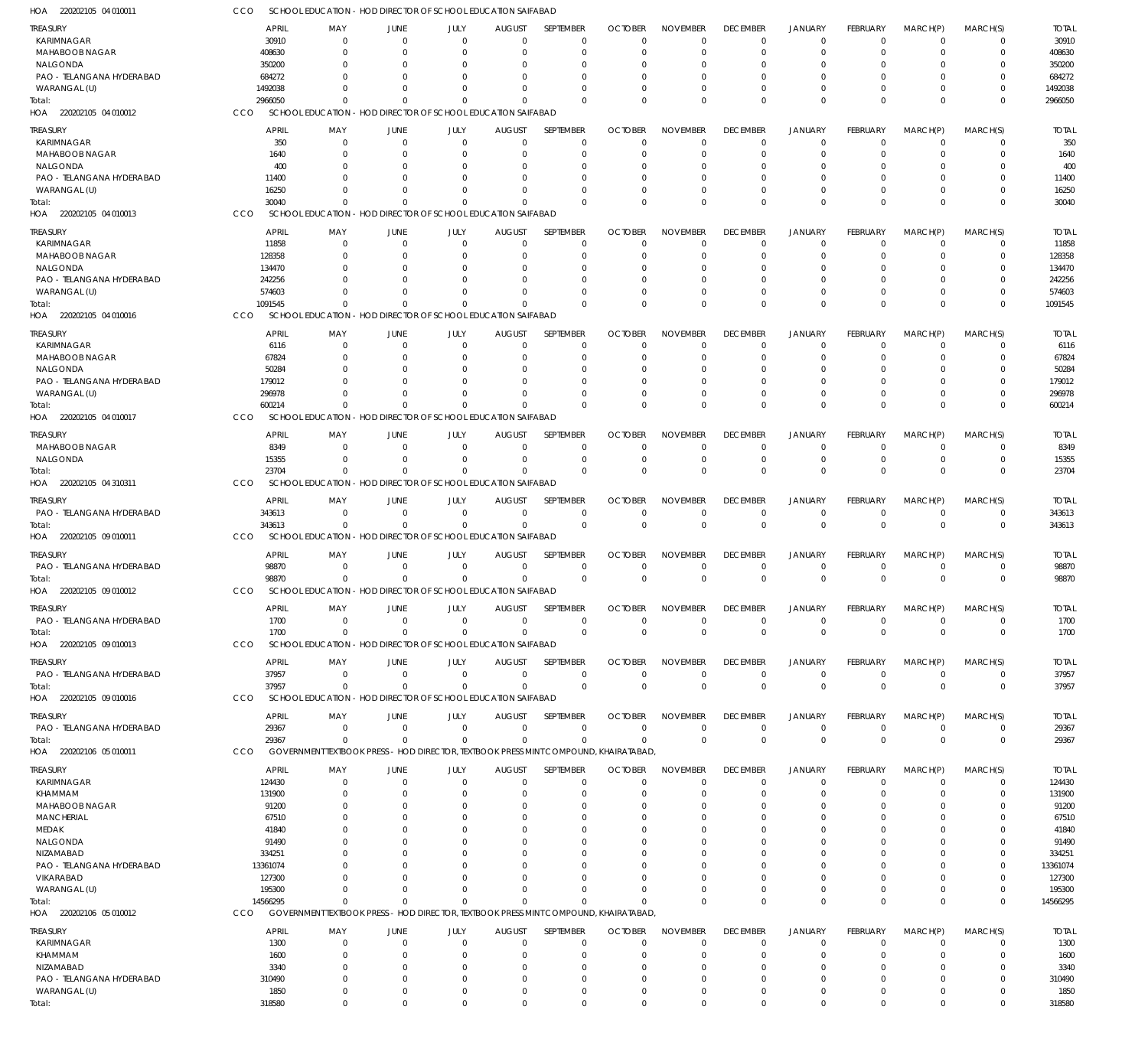| TREASURY                                  | <b>APRIL</b>      | MAY                                 | JUNE                                                                                 | JULY                 | <b>AUGUST</b>             | SEPTEMBER                | <b>OCTOBER</b>             | <b>NOVEMBER</b>             | <b>DECEMBER</b>         | <b>JANUARY</b>             | FEBRUARY                   | MARCH(P)             | MARCH(S)                   | <b>TOTAL</b>      |
|-------------------------------------------|-------------------|-------------------------------------|--------------------------------------------------------------------------------------|----------------------|---------------------------|--------------------------|----------------------------|-----------------------------|-------------------------|----------------------------|----------------------------|----------------------|----------------------------|-------------------|
| KARIMNAGAR                                | 30910             | $\mathbf 0$                         | $\Omega$                                                                             | $\mathbf{0}$         | $\Omega$                  | $\mathbf 0$              | $\Omega$                   | $\Omega$                    | $\Omega$                | $\Omega$                   | $\Omega$                   | $\Omega$             | $\mathbf 0$                | 30910             |
| MAHABOOB NAGAR                            | 408630            | $\Omega$                            | $\Omega$                                                                             | $\Omega$             | -C                        | $\Omega$                 | $\sqrt{ }$                 | $\Omega$                    | $\Omega$                | $\Omega$                   | $\Omega$                   | $\Omega$             | $\Omega$                   | 408630            |
| NALGONDA                                  | 350200            | $\Omega$                            | $\Omega$                                                                             | $\Omega$             |                           | $\Omega$                 |                            | $\Omega$<br>$\Omega$        | $\Omega$                | $\Omega$                   | $\Omega$                   |                      | $\Omega$                   | 350200            |
| PAO - TELANGANA HYDERABAD<br>WARANGAL (U) | 684272<br>1492038 | $\Omega$<br>$\Omega$                | 0<br>$\Omega$                                                                        | $\Omega$<br>$\Omega$ | -C<br>$\Omega$            | $\Omega$<br>$\Omega$     | $\Omega$                   | $\Omega$                    | $\Omega$<br>$\Omega$    | $\Omega$<br>$\Omega$       | $\Omega$                   | $\Omega$<br>$\Omega$ | $\Omega$<br>$\Omega$       | 684272<br>1492038 |
| Total:                                    | 2966050           | $\Omega$                            | $\Omega$                                                                             | $\Omega$             | $\Omega$                  | $\Omega$                 | $\Omega$                   | $\Omega$                    | $\Omega$                | $\Omega$                   | $\Omega$                   | $\Omega$             | $\Omega$                   | 2966050           |
| HOA 220202105 04 010012                   | CCO               | SCHOOL EDUCATION -                  | - HOD DIRECTOR OF SCHOOL EDUCATION SAIFABAD                                          |                      |                           |                          |                            |                             |                         |                            |                            |                      |                            |                   |
|                                           |                   |                                     |                                                                                      |                      |                           |                          |                            |                             |                         |                            |                            |                      |                            |                   |
| <b>TREASURY</b>                           | <b>APRIL</b>      | MAY                                 | JUNE                                                                                 | JULY                 | <b>AUGUST</b>             | SEPTEMBER                | <b>OCTOBER</b>             | <b>NOVEMBER</b>             | <b>DECEMBER</b>         | <b>JANUARY</b>             | <b>FEBRUARY</b>            | MARCH(P)             | MARCH(S)                   | <b>TOTAL</b>      |
| KARIMNAGAR                                | 350               | 0                                   | $\Omega$                                                                             | $\Omega$             | $\Omega$                  | $\Omega$                 | $\Omega$                   | $\Omega$                    | $\Omega$                | $\Omega$                   | $\Omega$                   | $\Omega$             | $\Omega$                   | 350               |
| MAHABOOB NAGAR                            | 1640              | $\Omega$                            | 0                                                                                    | $\Omega$             | $\Omega$                  | $\Omega$                 | $\Omega$                   | $\Omega$                    | $\Omega$                | $\Omega$                   | $\Omega$                   | $\Omega$             | $\Omega$                   | 1640              |
| NALGONDA                                  | 400               | $\Omega$                            | 0                                                                                    | $\Omega$             | $\Omega$                  | $\Omega$                 | $\Omega$                   | $\Omega$                    | $\Omega$                | $\Omega$                   |                            | $\Omega$             | $\Omega$                   | 400               |
| PAO - TELANGANA HYDERABAD                 | 11400             | $\Omega$                            | n                                                                                    | -C                   |                           | $\Omega$                 |                            | $\Omega$                    | $\Omega$                | $\Omega$                   |                            |                      | 0                          | 11400             |
| WARANGAL (U)                              | 16250<br>30040    | $\Omega$<br>$\Omega$                | n<br>$\Omega$                                                                        | $\Omega$<br>$\Omega$ | $\Omega$<br>$\Omega$      | $\Omega$<br>$\Omega$     | $\Omega$                   | $\Omega$<br>$\Omega$        | $\Omega$<br>$\Omega$    | $\Omega$<br>$\Omega$       | $\Omega$<br>$\Omega$       | $\Omega$<br>$\Omega$ | $\Omega$<br>$\Omega$       | 16250<br>30040    |
| Total:<br>HOA 220202105 04 010013         | CCO               | <b>SCHOOL EDUCATION</b>             | HOD DIRECTOR OF SCHOOL EDUCATION SAIFABAD                                            |                      |                           |                          |                            |                             |                         |                            |                            |                      |                            |                   |
|                                           |                   |                                     |                                                                                      |                      |                           |                          |                            |                             |                         |                            |                            |                      |                            |                   |
| TREASURY                                  | <b>APRIL</b>      | MAY                                 | JUNE                                                                                 | JULY                 | <b>AUGUST</b>             | SEPTEMBER                | <b>OCTOBER</b>             | <b>NOVEMBER</b>             | <b>DECEMBER</b>         | <b>JANUARY</b>             | FEBRUARY                   | MARCH(P)             | MARCH(S)                   | <b>TOTAL</b>      |
| KARIMNAGAR                                | 11858             | $\mathbf 0$                         | $\Omega$                                                                             | $\Omega$             | $\Omega$                  | $\mathbf 0$              | $\mathcal{L}$              | $\Omega$                    | $\Omega$                | $\overline{0}$             | $\Omega$                   | $\Omega$             | 0                          | 11858             |
| MAHABOOB NAGAR                            | 128358            | $\Omega$                            | $\Omega$                                                                             | $\Omega$             | $\Omega$                  | $\Omega$                 | $\Omega$                   | $\Omega$                    | $\Omega$                | $\Omega$                   | $\Omega$                   | $\Omega$             | $\Omega$                   | 128358            |
| NALGONDA                                  | 134470            | $\Omega$                            | $\Omega$                                                                             | $\Omega$             | 0                         | $\Omega$                 |                            | $\Omega$                    | $\Omega$                | $\Omega$                   |                            | $\Omega$             | $\Omega$                   | 134470            |
| PAO - TELANGANA HYDERABAD                 | 242256            | $\Omega$                            | 0                                                                                    | $\Omega$             |                           | $\Omega$                 | ſ                          | $\Omega$                    | $\Omega$                | $\Omega$                   | $\Omega$                   | $\Omega$             | $\Omega$                   | 242256            |
| WARANGAL (U)                              | 574603            | $\Omega$                            | $\Omega$                                                                             | $\Omega$             | $\Omega$                  | $\Omega$                 | $\Omega$                   | $\Omega$                    | $\Omega$                | $\Omega$                   | $\Omega$                   | $\Omega$             | $\Omega$                   | 574603            |
| Total:                                    | 1091545           | $\Omega$<br><b>SCHOOL EDUCATION</b> | $\Omega$                                                                             | $\Omega$             | $\Omega$                  | $\Omega$                 | $\Omega$                   | $\Omega$                    | $\Omega$                | $\Omega$                   | $\Omega$                   | $\Omega$             | $\mathbf 0$                | 1091545           |
| HOA 220202105 04 010016                   | CCO               |                                     | HOD DIRECTOR OF SCHOOL EDUCATION SAIFABAD                                            |                      |                           |                          |                            |                             |                         |                            |                            |                      |                            |                   |
| <b>TREASURY</b>                           | <b>APRIL</b>      | MAY                                 | JUNE                                                                                 | JULY                 | <b>AUGUST</b>             | SEPTEMBER                | <b>OCTOBER</b>             | <b>NOVEMBER</b>             | <b>DECEMBER</b>         | JANUARY                    | <b>FEBRUARY</b>            | MARCH(P)             | MARCH(S)                   | <b>TOTAL</b>      |
| KARIMNAGAR                                | 6116              | $\Omega$                            | $\Omega$                                                                             | $\Omega$             | $\Omega$                  | $\Omega$                 | $\Omega$                   | $\Omega$                    | $\Omega$                | $\Omega$                   | $\Omega$                   | $\Omega$             | $\Omega$                   | 6116              |
| MAHABOOB NAGAR                            | 67824             | $\Omega$                            | 0                                                                                    | $\Omega$             | 0                         | $\Omega$                 | $\Omega$                   | $\Omega$                    | $\Omega$                | $\Omega$                   | $\Omega$                   | $\Omega$             | $\Omega$                   | 67824             |
| NALGONDA                                  | 50284             | $\Omega$                            | n                                                                                    | -C                   |                           | $\Omega$                 |                            | $\Omega$                    | $\Omega$                | $\Omega$                   |                            |                      | U                          | 50284             |
| PAO - TELANGANA HYDERABAD                 | 179012            | $\Omega$                            | n                                                                                    | $\Omega$             | $\Omega$                  | $\Omega$                 | $\Omega$                   | $\Omega$                    | $\Omega$                | $\Omega$                   | <sup>0</sup>               | $\Omega$             | $\Omega$                   | 179012            |
| WARANGAL (U)                              | 296978            | $\Omega$                            | n                                                                                    | $\Omega$             | $\Omega$                  | $\Omega$                 | $\Omega$                   | $\Omega$                    | $\Omega$                | $\Omega$                   | $\Omega$                   | $\Omega$             | $\Omega$                   | 296978            |
| Total:                                    | 600214            | $\Omega$                            |                                                                                      | $\Omega$             | $\Omega$                  | $\Omega$                 |                            | $\Omega$                    | $\Omega$                | $\Omega$                   | $\Omega$                   | $\Omega$             | $\Omega$                   | 600214            |
| HOA 220202105 04 010017                   | CCO               | <b>SCHOOL EDUCATION</b>             | HOD DIRECTOR OF SCHOOL EDUCATION SAIFABAD                                            |                      |                           |                          |                            |                             |                         |                            |                            |                      |                            |                   |
| TREASURY                                  | APRIL             | MAY                                 | JUNE                                                                                 | JULY                 | <b>AUGUST</b>             | SEPTEMBER                | <b>OCTOBER</b>             | <b>NOVEMBER</b>             | <b>DECEMBER</b>         | <b>JANUARY</b>             | FEBRUARY                   | MARCH(P)             | MARCH(S)                   | <b>TOTAL</b>      |
| MAHABOOB NAGAR                            | 8349              | $\mathbf 0$                         | $\Omega$                                                                             | $\mathbf 0$          | $\Omega$                  | $\mathbf 0$              | $\Omega$                   | $\Omega$                    | $\Omega$                | $\Omega$                   | $\Omega$                   | $\Omega$             | $\mathbf 0$                | 8349              |
| NALGONDA                                  | 15355             | $\Omega$                            | $\Omega$                                                                             | $\mathbf 0$          | $\Omega$                  | $\mathbf 0$              | $\Omega$                   | $\Omega$                    | $\Omega$                | $\overline{0}$             | $\Omega$                   | $\Omega$             | $\mathbf 0$                | 15355             |
| Total                                     | 23704             | $\Omega$                            | $\Omega$                                                                             | $\Omega$             | $\Omega$                  | $\Omega$                 | $\Omega$                   | $\Omega$                    | $\Omega$                | $\Omega$                   | $\Omega$                   | $\Omega$             | $\Omega$                   | 23704             |
| HOA 220202105 04 310311                   | CCO               | SCHOOL EDUCATION                    | HOD DIRECTOR OF SCHOOL EDUCATION SAIFABAD                                            |                      |                           |                          |                            |                             |                         |                            |                            |                      |                            |                   |
| <b>TREASURY</b>                           | <b>APRIL</b>      | MAY                                 | JUNE                                                                                 | JULY                 | <b>AUGUST</b>             | SEPTEMBER                | <b>OCTOBER</b>             | <b>NOVEMBER</b>             | <b>DECEMBER</b>         | <b>JANUARY</b>             | FEBRUARY                   | MARCH(P)             | MARCH(S)                   | <b>TOTAL</b>      |
| PAO - TELANGANA HYDERABAD                 | 343613            | $\Omega$                            | $\Omega$                                                                             | $\Omega$             | $\Omega$                  | $\Omega$                 | $\Omega$                   | $\Omega$                    | 0                       | $\overline{0}$             | $\Omega$                   | $\Omega$             | 0                          | 343613            |
| Total:                                    | 343613            | $\Omega$                            | $\Omega$                                                                             | $\Omega$             | $\Omega$                  | $\mathbf 0$              | $\Omega$                   | $\Omega$                    | $\Omega$                | $\Omega$                   | $\Omega$                   | $\Omega$             | $\mathbf 0$                | 343613            |
| HOA 220202105 09 010011                   | CCO               |                                     | SCHOOL EDUCATION - HOD DIRECTOR OF SCHOOL EDUCATION SAIFABAD                         |                      |                           |                          |                            |                             |                         |                            |                            |                      |                            |                   |
|                                           |                   |                                     |                                                                                      |                      |                           |                          |                            |                             |                         |                            |                            |                      |                            |                   |
| TREASURY                                  | <b>APRIL</b>      | MAY                                 | JUNE                                                                                 | JULY                 | <b>AUGUST</b>             | <b>SEPTEMBER</b>         | <b>OCTOBER</b>             | <b>NOVEMBER</b>             | <b>DECEMBER</b>         | <b>JANUARY</b>             | FEBRUARY                   | MARCH(P)             | MARCH(S)                   | <b>TOTAL</b>      |
| PAO - TELANGANA HYDERABAD                 | 98870             | $\mathbf 0$                         | $\Omega$                                                                             | $\mathbf 0$          | $\mathbf{0}$              | $\mathbf 0$              | $\Omega$                   | $\Omega$                    | $\Omega$                | $\overline{0}$             | $\overline{0}$             | $\Omega$             | 0                          | 98870             |
| Total:                                    | 98870             | $\Omega$                            | $\Omega$                                                                             | $\Omega$             | $\Omega$                  | $\mathbf 0$              | $\Omega$                   | $\Omega$                    | $\Omega$                | $\Omega$                   | $\Omega$                   | $\Omega$             | $\mathbf{0}$               | 98870             |
| HOA 220202105 09 010012                   | CCO               | <b>SCHOOL EDUCATION</b>             | HOD DIRECTOR OF SCHOOL EDUCATION SAIFABAD                                            |                      |                           |                          |                            |                             |                         |                            |                            |                      |                            |                   |
| TREASURY                                  | APRIL             | MAY                                 | JUNE                                                                                 | JULY                 | <b>AUGUST</b>             | <b>SEPTEMBER</b>         | <b>OCTOBER</b>             | <b>NOVEMBER</b>             | <b>DECEMBER</b>         | <b>JANUARY</b>             | <b>FEBRUARY</b>            | MARCH(P)             | MARCH(S)                   | <b>TOTAL</b>      |
| PAO - TELANGANA HYDERABAD                 | 1700              | $\Omega$                            | 0                                                                                    | $\Omega$             | $\mathbf{0}$              | $\mathbf{0}$             | $\Omega$                   | $\Omega$                    | $\mathbf 0$             | $\mathbf 0$                | 0                          | 0                    | $\mathbf 0$                | 1700              |
| Total:                                    | 1700              | $\Omega$                            | $\Omega$                                                                             | $\Omega$             | $\Omega$                  | $\Omega$                 | $\Omega$                   | $\Omega$                    | $\mathbf 0$             | $\mathbf 0$                | $\Omega$                   | $\mathbf 0$          | $\mathbf 0$                | 1700              |
| HOA 220202105 09 010013                   | CCO               |                                     | SCHOOL EDUCATION - HOD DIRECTOR OF SCHOOL EDUCATION SAIFABAD                         |                      |                           |                          |                            |                             |                         |                            |                            |                      |                            |                   |
| <b>TREASURY</b>                           | <b>APRIL</b>      | MAY                                 | JUNE                                                                                 | JULY                 | <b>AUGUST</b>             | SEPTEMBER                | <b>OCTOBER</b>             | <b>NOVEMBER</b>             | <b>DECEMBER</b>         | <b>JANUARY</b>             | FEBRUARY                   | MARCH(P)             | MARCH(S)                   | <b>TOTAL</b>      |
| PAO - TELANGANA HYDERABAD                 | 37957             | $\mathbf 0$                         | $\mathbf 0$                                                                          | $\mathbf 0$          | $\mathbf{0}$              | $\mathbf 0$              | $\Omega$                   | $\Omega$                    | 0                       | $\overline{0}$             | $\overline{0}$             | 0                    | $\mathbf 0$                | 37957             |
| Total:                                    | 37957             | $\Omega$                            | $\Omega$                                                                             | $\mathbf 0$          | $\Omega$                  | $\Omega$                 | $\Omega$                   | $\Omega$                    | $\Omega$                | $\overline{0}$             | $\Omega$                   | $\Omega$             | $\mathbf 0$                | 37957             |
| HOA 220202105 09 010016                   | CCO               |                                     | SCHOOL EDUCATION - HOD DIRECTOR OF SCHOOL EDUCATION SAIFABAD                         |                      |                           |                          |                            |                             |                         |                            |                            |                      |                            |                   |
|                                           |                   |                                     |                                                                                      |                      |                           |                          |                            |                             |                         |                            |                            |                      |                            |                   |
| TREASURY<br>PAO - TELANGANA HYDERABAD     | APRIL             | MAY                                 | JUNE<br>$\Omega$                                                                     | JULY<br>$\Omega$     | <b>AUGUST</b><br>$\Omega$ | SEPTEMBER                | <b>OCTOBER</b><br>$\Omega$ | <b>NOVEMBER</b><br>$\Omega$ | <b>DECEMBER</b>         | <b>JANUARY</b>             | <b>FEBRUARY</b>            | MARCH(P)<br>$\Omega$ | MARCH(S)                   | <b>TOTAL</b>      |
|                                           | 29367<br>29367    | $\mathbf 0$<br>$\Omega$             | $\Omega$                                                                             | $\Omega$             | $\Omega$                  | $^{\circ}$<br>$^{\circ}$ | $\Omega$                   | $\Omega$                    | $\mathbf 0$<br>$\Omega$ | $\overline{0}$<br>$\Omega$ | $\overline{0}$<br>$\Omega$ | $\Omega$             | $\mathbf 0$<br>$\mathbf 0$ | 29367             |
| Total:<br>HOA 220202106 05 010011         | CCO               |                                     | GOVERNMENT TEXTBOOK PRESS - HOD DIRECTOR, TEXTBOOK PRESS MINT COMPOUND, KHAIRATABAD, |                      |                           |                          |                            |                             |                         |                            |                            |                      |                            | 29367             |
|                                           |                   |                                     |                                                                                      |                      |                           |                          |                            |                             |                         |                            |                            |                      |                            |                   |
| TREASURY                                  | APRIL             | MAY                                 | JUNE                                                                                 | JULY                 | <b>AUGUST</b>             | SEPTEMBER                | <b>OCTOBER</b>             | <b>NOVEMBER</b>             | <b>DECEMBER</b>         | <b>JANUARY</b>             | FEBRUARY                   | MARCH(P)             | MARCH(S)                   | TOTAL             |
| <b>KARIMNAGAR</b>                         | 124430            | $\mathbf 0$                         | $\Omega$                                                                             | 0                    | $\Omega$                  | $\mathbf 0$              | $\Omega$                   | $\Omega$                    | $\Omega$                | $\overline{0}$             | $\Omega$                   | $\Omega$             | $\mathbf 0$                | 124430            |
| KHAMMAM                                   | 131900            | $\mathbf 0$                         | $\Omega$                                                                             | $\Omega$             | $\Omega$                  | $\mathbf 0$              | $\Omega$                   | $\Omega$                    | $\Omega$                | $\overline{0}$             | $\Omega$                   | $\Omega$             | 0                          | 131900            |
| MAHABOOB NAGAR                            | 91200             | $\Omega$                            | $\Omega$                                                                             | $\Omega$             | -C                        | $\Omega$                 | $\Omega$                   | $\Omega$                    | $\Omega$                | $\Omega$                   | $\Omega$                   | $\Omega$             | $\Omega$                   | 91200             |
| <b>MANCHERIAL</b>                         | 67510             | $\Omega$                            | 0                                                                                    | $\Omega$             | $\Omega$                  | $\Omega$                 | ſ                          | $\Omega$                    | $\Omega$                | $\Omega$                   | <sup>0</sup>               | $\Omega$             | $\Omega$                   | 67510             |
| MEDAK                                     | 41840             | $\Omega$                            | 0                                                                                    | $\Omega$             |                           | $\Omega$                 |                            | $\Omega$                    |                         | $\Omega$                   | <sup>0</sup>               |                      | 0                          | 41840             |
| NALGONDA                                  | 91490             | $\Omega$                            | n                                                                                    | $\Omega$             |                           | $\Omega$                 |                            | $\Omega$                    |                         | $\Omega$                   |                            | $\Omega$             | 0                          | 91490             |
| NIZAMABAD                                 | 334251            | $\Omega$                            | n                                                                                    | $\Omega$             |                           | $\Omega$                 |                            | $\Omega$                    |                         | $\Omega$                   | <sup>0</sup>               | $\Omega$             | $\Omega$                   | 334251            |
| PAO - TELANGANA HYDERABAD                 | 13361074          | $\Omega$                            | ſ                                                                                    | $\Omega$             |                           | $\Omega$                 |                            | $\Omega$                    | $\Omega$                | $\Omega$                   |                            | $\Omega$             | $\Omega$                   | 13361074          |
| VIKARABAD                                 | 127300            | $\Omega$                            | n                                                                                    | $\Omega$             |                           | $\Omega$                 |                            | $\Omega$                    | $\Omega$                | $\Omega$                   | <sup>0</sup>               |                      | 0                          | 127300            |
| WARANGAL (U)                              | 195300            | $\Omega$                            | $\Omega$                                                                             | $\Omega$             | $\Omega$                  | $\Omega$                 | $\Omega$                   | $\Omega$                    | $\Omega$                | $\Omega$                   | $\Omega$                   | $\Omega$             | $\Omega$                   | 195300            |
| Total:                                    | 14566295          | $\Omega$                            | $\Omega$                                                                             | $\Omega$             | $\Omega$                  | $\Omega$                 | $\Omega$                   | $\Omega$                    | $\Omega$                | $\Omega$                   | $\Omega$                   | $\Omega$             | $\Omega$                   | 14566295          |
| HOA 220202106 05 010012                   | <b>CCO</b>        |                                     | GOVERNMENT TEXTBOOK PRESS - HOD DIRECTOR, TEXTBOOK PRESS MINT COMPOUND, KHAIRATABAD, |                      |                           |                          |                            |                             |                         |                            |                            |                      |                            |                   |
| TREASURY                                  | APRIL             | MAY                                 | JUNE                                                                                 | JULY                 | <b>AUGUST</b>             | SEPTEMBER                | <b>OCTOBER</b>             | <b>NOVEMBER</b>             | <b>DECEMBER</b>         | <b>JANUARY</b>             | <b>FEBRUARY</b>            | MARCH(P)             | MARCH(S)                   | <b>TOTAL</b>      |
| KARIMNAGAR                                | 1300              | 0                                   | $\Omega$                                                                             | $\Omega$             | $\Omega$                  | $\Omega$                 | $\Omega$                   | $\Omega$                    | $\Omega$                | $\Omega$                   | $\Omega$                   | $\Omega$             | $\Omega$                   | 1300              |
| KHAMMAM                                   | 1600              | $\Omega$                            | 0                                                                                    | $\Omega$             | $\Omega$                  | $\Omega$                 | $\Omega$                   | $\Omega$                    | $\Omega$                | $\Omega$                   | $\Omega$                   | $\Omega$             | $\Omega$                   | 1600              |
| NIZAMABAD                                 | 3340              | $\Omega$                            | 0                                                                                    | -C                   |                           | $\Omega$                 | $\Omega$                   | $\Omega$                    | $\Omega$                | $\Omega$                   | $\Omega$                   |                      | $\Omega$                   | 3340              |
| PAO - TELANGANA HYDERABAD                 | 310490            | $\Omega$                            | 0                                                                                    | $\Omega$             | $\Omega$                  | $\Omega$                 | $\Omega$                   | $\Omega$                    | $\Omega$                | $\Omega$                   | $\Omega$                   | $\Omega$             | $\Omega$                   | 310490            |
| WARANGAL (U)                              | 1850              | 0                                   | $\Omega$                                                                             | $\Omega$             | $\Omega$                  | $\mathbf 0$              | $\Omega$                   | $\Omega$                    | $\Omega$                | $\overline{0}$             | $\Omega$                   | $\mathbf 0$          | 0                          | 1850              |
| Total:                                    | 318580            | $\Omega$                            | $\Omega$                                                                             | $\Omega$             | $\Omega$                  | $\Omega$                 | $\Omega$                   | $\mathbf 0$                 | $\mathbf{0}$            | $\mathbf 0$                | $\Omega$                   | $\Omega$             | $\Omega$                   | 318580            |

CCO SCHOOL EDUCATION - HOD DIRECTOR OF SCHOOL EDUCATION SAIFABAD

220202105 04 010011 HOA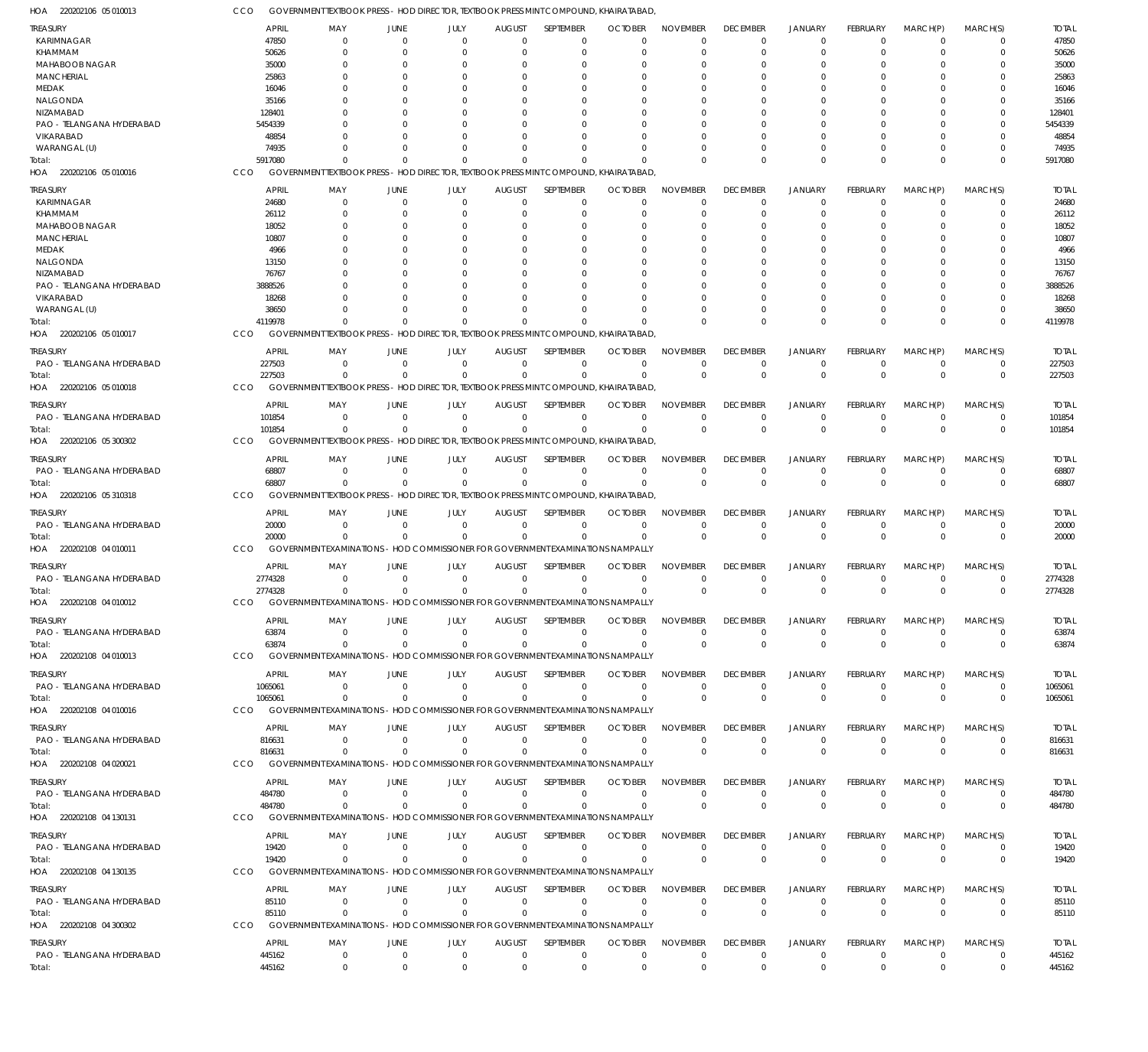220202106 05 010013 HOA 220202106 05 010016 HOA 220202106 05 010017 HOA 220202106 05 010018 HOA 220202106 05 300302 HOA 220202106 05 310318 HOA 220202108 04 010011 HOA 220202108 04 010012 HOA 220202108 04 010013 HOA 220202108 04 010016 HOA 220202108 04 020021 HOA 220202108 04 130131 HOA 220202108 04 130135 HOA 220202108 04 300302 HOA GOVERNMENT TEXTBOOK PRESS - HOD DIRECTOR, TEXTBOOK PRESS MINT COMPOUND, KHAIRATABAD, GOVERNMENT TEXTBOOK PRESS - HOD DIRECTOR, TEXTBOOK PRESS MINT COMPOUND, KHAIRATABAD, GOVERNMENT TEXTBOOK PRESS - HOD DIRECTOR, TEXTBOOK PRESS MINT COMPOUND, KHAIRATABAD, GOVERNMENT TEXTBOOK PRESS - HOD DIRECTOR, TEXTBOOK PRESS MINT COMPOUND, KHAIRATABAD, GOVERNMENT TEXTBOOK PRESS - HOD DIRECTOR, TEXTBOOK PRESS MINT COMPOUND, KHAIRATABAD, GOVERNMENT TEXTBOOK PRESS - HOD DIRECTOR, TEXTBOOK PRESS MINT COMPOUND, KHAIRATABAD, GOVERNMENT EXAMINATIONS - HOD COMMISSIONER FOR GOVERNMENT EXAMINATIONS NAMPALLY GOVERNMENT EXAMINATIONS - HOD COMMISSIONER FOR GOVERNMENT EXAMINATIONS NAMPALLY GOVERNMENT EXAMINATIONS - HOD COMMISSIONER FOR GOVERNMENT EXAMINATIONS NAMPALLY GOVERNMENT EXAMINATIONS - HOD COMMISSIONER FOR GOVERNMENT EXAMINATIONS NAMPALLY GOVERNMENT EXAMINATIONS - HOD COMMISSIONER FOR GOVERNMENT EXAMINATIONS NAMPALLY GOVERNMENT EXAMINATIONS - HOD COMMISSIONER FOR GOVERNMENT EXAMINATIONS NAMPALLY GOVERNMENT EXAMINATIONS - HOD COMMISSIONER FOR GOVERNMENT EXAMINATIONS NAMPALLY GOVERNMENT EXAMINATIONS - HOD COMMISSIONER FOR GOVERNMENT EXAMINATIONS NAMPALLY **CCO** CCO CCO CCO. CCO CCO CCO. CCO **CCO** CCO **CCO CCO** CCO CCO 5917080 4119978 227503 101854 68807 20000 2774328 63874 1065061 816631 484780 19420 85110 445162  $\Omega$  $\Omega$ 0  $\Omega$  $\Omega$ 0 0 0 0 0 0  $\Omega$  $\Omega$ 0  $\Omega$  $\Omega$ 0  $\Omega$ 0 0 0 0 0  $\Omega$  $\,$  0  $\,$ 0  $\Omega$ 0  $\sqrt{0}$  $\sqrt{0}$ 0  $\mathbf{0}$ 0 0  $\Omega$ 0 0  $\Omega$ 0  $\Omega$  $\Omega$ 0  $\Omega$  $\Omega$ 0  $\Omega$  $\Omega$ 0  $\Omega$ 0 0  $\Omega$ 0  $\Omega$  $\Omega$ 0  $\Omega$  $\Omega$ 0  $\Omega$ 0 0  $\Omega$ 0 0  $\Omega$ 0  $\Omega$  $\Omega$ 0  $\bigcap$  $\Omega$ 0  $\Omega$  $\Omega$ 0  $\Omega$  $\Omega$ 0  $\Omega$  $\Omega$  $\Omega$  $\Omega$ 0  $\Omega$  $\Omega$ 0  $\Omega$  $\Omega$ 0  $\Omega$ 0 0  $\Omega$ 0  $\Omega$  $\Omega$ 0  $\Omega$ 0 0  $\Omega$ 0 0  $\Omega$ 0 0 0 0  $\Omega$ 0 0  $\Omega$ 0 0  $\Omega$ 0 0  $\Omega$ 0 0  $\Omega$ 0  $\Omega$  $\Omega$ 0 0 0 0  $\Omega$ 0 0  $\Omega$  $\boldsymbol{0}$ 0  $\Omega$ 0  $\Omega$  $\Omega$ 0  $\Omega$ 0 0  $\Omega$ 0 0  $\Omega$ 0 0  $\Omega$ 0  $\Omega$  $\Omega$ 0  $\Omega$  $\Omega$ 0  $\Omega$ 0 0  $\Omega$ 0 0  $\Omega$ 0  $\Omega$  $\Omega$ 0 5917080 4119978 227503 101854 68807 20000 2774328 63874 1065061 816631 484780 19420 85110 445162 KARIMNAGAR KHAMMAM MAHABOOB NAGAR MANCHERIAL MEDAK NALGONDA NIZAMABAD PAO - TELANGANA HYDERABAD VIKARABAD WARANGAL (U) KARIMNAGAR KHAMMAM MAHABOOB NAGAR MANCHERIAL MEDAK NALGONDA NIZAMABAD PAO - TELANGANA HYDERABAD VIKARABAD WARANGAL (U) PAO - TELANGANA HYDERABAD PAO - TELANGANA HYDERABAD PAO - TELANGANA HYDERABAD PAO - TELANGANA HYDERABAD PAO - TELANGANA HYDERABAD PAO - TELANGANA HYDERABAD PAO - TELANGANA HYDERABAD PAO - TELANGANA HYDERABAD PAO - TELANGANA HYDERABAD PAO - TELANGANA HYDERABAD PAO - TELANGANA HYDERABAD PAO - TELANGANA HYDERABAD TREASURY TREASURY TREASURY **TREASURY** TREASURY TREASURY **TREASURY** TREASURY TREASURY **TREASURY** TREASURY TREASURY **TREASURY** TREASURY 47850 50626 35000 25863 16046 35166 128401 5454339 48854 74935 24680 26112 18052 10807 4966 13150 76767 3888526 18268 38650 227503 101854 68807 20000 2774328 63874 1065061 816631 484780 19420 85110 445162 APRIL APRIL APRIL APRIL APRIL APRIL APRIL APRIL APRIL APRIL APRIL APRIL APRIL APRIL  $\Omega$ 0  $\Omega$ 0  $\Omega$  $\sqrt{2}$ 0  $\Omega$  $\Omega$ 0  $\Omega$ 0  $\Omega$ 0 0  $\sqrt{2}$ 0  $\Omega$  $\Omega$ 0  $\Omega$ 0 0 0 0 0 0 0  $\Omega$ 0 0  $\Omega$ MAY MAY MAY MAY MAY MAY MAY MAY MAY MAY MAY MAY MAY MAY 0 0  $\Omega$ 0 0  $\sqrt{2}$ 0  $\Omega$ 0 0  $\Omega$ 0  $\Omega$ 0 0  $\sqrt{2}$ 0  $\Omega$ 0 0 0  $\,$  0  $\,$ 0 0 0 0  $\,$  0  $\,$ 0  $\Omega$ 0 0  $\Omega$ JUNE JUNE JUNE **JUNE** JUNE JUNE JUNE JUNE JUNE JUNE JUNE JUNE JUNE JUNE 0 0  $\Omega$ 0 0  $\sqrt{2}$ 0  $\Omega$  $\Omega$ 0  $\sqrt{0}$ 0  $\Omega$ 0 0  $\Omega$ 0  $\Omega$  $\Omega$ 0 0  $\,$  0  $\,$ 0  $\,$  0  $\,$ 0 0 0  $\,$  0  $\,$  $\Omega$ 0 0  $\Omega$ JULY JULY JULY JULY JULY JULY JULY JULY JULY JULY JULY JULY JULY JULY  $\Omega$ 0  $\Omega$ 0  $\Omega$  $\sqrt{2}$ 0  $\Omega$  $\Omega$ 0  $\Omega$ 0  $\Omega$ 0  $\Omega$  $\Omega$ 0  $\Omega$ 0  $\Omega$  $\Omega$ 0 0 0 0 0 0 0  $\Omega$ 0 0  $\Omega$ AUGUST AUGUST AUGUST AUGUST AUGUST AUGUST AUGUST AUGUST AUGUST **AUGUST** AUGUST AUGUST AUGUST AUGUST  $\Omega$  $\overline{0}$  $\Omega$ 0  $\Omega$  $\Omega$ 0  $\Omega$  $\Omega$ 0  $\Omega$  $\overline{0}$  $\Omega$ 0  $\Omega$  $\Omega$ 0  $\Omega$  $\Omega$  $\Omega$  $\Omega$ 0 0  $\Omega$ 0 0 0 0  $\Omega$ 0 0  $\Omega$ SEPTEMBER SEPTEMBER SEPTEMBER **SEPTEMBER** SEPTEMBER SEPTEMBER **SEPTEMBER** SEPTEMBER SEPTEMBER **SEPTEMBER** SEPTEMBER SEPTEMBER **SEPTEMBER** SEPTEMBER  $\Omega$ 0  $\Omega$ 0  $\Omega$  $\Omega$ 0  $\Omega$  $\Omega$  $\Omega$  $\Omega$ 0  $\Omega$ 0  $\Omega$  $\Omega$ 0  $\Omega$ 0  $\Omega$  $\Omega$ 0 0  $\Omega$ 0 0 0 0  $\Omega$  $\Omega$ 0  $\Omega$ **OCTOBER OCTOBER OCTOBER OCTOBER** OCTOBER **OCTOBER OCTOBER** OCTOBER **OCTOBER OCTOBER OCTOBER OCTOBER** OCTOBER **OCTOBER**  $\Omega$ 0  $\Omega$ 0  $\Omega$  $\Omega$ 0  $\Omega$  $\Omega$ 0  $\Omega$ 0  $\Omega$ 0 0  $\Omega$ 0  $\Omega$  $\Omega$ 0  $\Omega$ 0 0  $\Omega$ 0 0  $\Omega$ 0  $\Omega$  $\Omega$ 0  $\Omega$ NOVEMBER NOVEMBER NOVEMBER NOVEMBER NOVEMBER NOVEMBER NOVEMBER NOVEMBER NOVEMBER NOVEMBER NOVEMBER NOVEMBER NOVEMBER NOVEMBER  $\Omega$ 0  $\Omega$ 0  $\Omega$  $\Omega$ 0  $\Omega$  $\Omega$ 0  $\Omega$ 0  $\Omega$ 0  $\Omega$  $\Omega$ 0  $\Omega$  $\Omega$ 0  $\Omega$ 0 0  $\Omega$ 0 0 0 0  $\Omega$  $\Omega$ 0  $\Omega$ DECEMBER DECEMBER DECEMBER **DECEMBER** DECEMBER DECEMBER **DECEMBER** DECEMBER DECEMBER **DECEMBER** DECEMBER DECEMBER **DECEMBER** DECEMBER  $\Omega$ 0  $\Omega$ 0  $\Omega$  $\Omega$ 0  $\Omega$  $\Omega$ 0  $\Omega$ 0  $\Omega$ 0  $\Omega$  $\Omega$ 0  $\Omega$  $\Omega$ 0  $\Omega$ 0 0  $\Omega$ 0 0 0 0  $\Omega$  $\Omega$ 0  $\Omega$ JANUARY JANUARY JANUARY JANUARY JANUARY JANUARY JANUARY JANUARY JANUARY JANUARY JANUARY JANUARY JANUARY JANUARY  $\Omega$ 0  $\Omega$ 0 0  $\Omega$ 0  $\Omega$  $\overline{0}$ 0  $\Omega$ 0  $\Omega$  $\overline{0}$ 0  $\Omega$ 0  $\Omega$  $\overline{0}$ 0  $\Omega$ 0 0  $\Omega$ 0 0 0 0  $\Omega$ 0 0  $\Omega$ FEBRUARY FEBRUARY FEBRUARY FEBRUARY FEBRUARY FEBRUARY FEBRUARY FEBRUARY FEBRUARY FEBRUARY FEBRUARY FEBRUARY FEBRUARY FEBRUARY  $\Omega$ 0  $\Omega$ 0  $\Omega$  $\Omega$ 0  $\Omega$  $\Omega$ 0  $\Omega$ 0  $\Omega$  $\overline{0}$  $\Omega$  $\Omega$ 0  $\Omega$  $\Omega$ 0  $\Omega$ 0  $\Omega$  $\Omega$ 0 0 0 0 0  $\Omega$ 0  $\Omega$ MARCH(P) MARCH(P) MARCH(P) MARCH(P) MARCH(P) MARCH(P) MARCH(P) MARCH(P) MARCH(P) MARCH(P) MARCH(P) MARCH(P) MARCH(P) MARCH(P)  $\Omega$ 0  $\Omega$ 0  $\Omega$  $\Omega$ 0  $\Omega$ 0  $\Omega$  $\Omega$ 0  $\Omega$ 0  $\Omega$  $\Omega$ 0  $\Omega$ 0  $\Omega$  $\Omega$ 0  $\Omega$  $\Omega$ 0 0  $\Omega$ 0  $\Omega$ 0 0  $\Omega$ MARCH(S) MARCH(S) MARCH(S) MARCH(S) MARCH(S) MARCH(S) MARCH(S) MARCH(S) MARCH(S) MARCH(S) MARCH(S) MARCH(S) MARCH(S) MARCH(S) 47850 50626 35000 25863 16046 35166 128401 5454339 48854 74935 24680 26112 18052 10807 4966 13150 76767 3888526 18268 38650 227503 101854 68807 20000 2774328 63874 1065061 816631 484780 19420 85110 445162 TOTAL TOTAL TOTAL TOTAL TOTAL TOTAL TOTAL TOTAL TOTAL TOTAL TOTAL TOTAL TOTAL TOTAL Total: Total: Total: Total: Total: Total: Total: Total: Total: Total: Total: Total: Total: Total: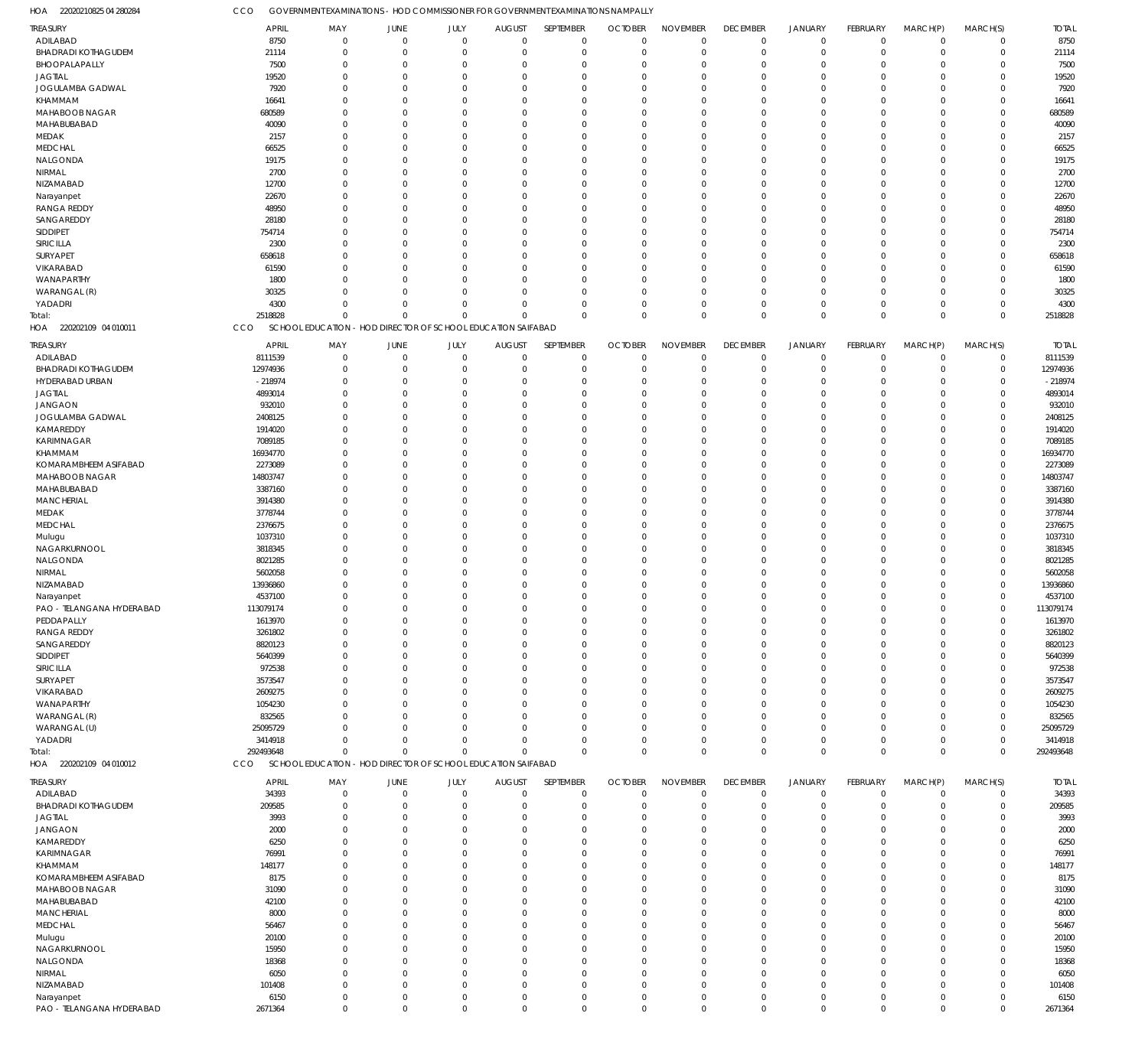22020210825 04 280284 HOA 220202109 04 010011 HOA 220202109 04 010012 HOA GOVERNMENT EXAMINATIONS - HOD COMMISSIONER FOR GOVERNMENT EXAMINATIONS NAMPALLY SCHOOL EDUCATION - HOD DIRECTOR OF SCHOOL EDUCATION SAIFABAD SCHOOL EDUCATION - HOD DIRECTOR OF SCHOOL EDUCATION SAIFABAD CCO CCO CCO 2518828 292493648 0  $\Omega$ 0  $\Omega$ 0  $\Omega$ 0  $\Omega$ 0  $\Omega$ 0  $\Omega$ 0  $\Omega$ 0  $\Omega$ 0  $\Omega$  $\boldsymbol{0}$  $\Omega$ 0  $\Omega$ 0  $\Omega$ 2518828 292493648 ADILABAD BHADRADI KOTHAGUDEM BHOOPALAPALLY JAGTIAL JOGULAMBA GADWAL KHAMMAM MAHABOOB NAGAR MAHABUBABAD MEDAK MEDCHAL NALGONDA NIRMAL NIZAMABAD Narayanpet RANGA REDDY SANGAREDDY SIDDIPET SIRICILLA SURYAPET VIKARABAD WANAPARTHY WARANGAL (R) YADADRI ADILABAD BHADRADI KOTHAGUDEM HYDERABAD URBAN JAGTIAL JANGAON JOGULAMBA GADWAL KAMAREDDY KARIMNAGAR KHAMMAM KOMARAMBHEEM ASIFABAD MAHABOOB NAGAR MAHABUBABAD MANCHERIAL MEDAK MEDCHAL Mulugu NAGARKURNOOL NALGONDA NIRMAL NIZAMABAD Narayanpet PAO - TELANGANA HYDERABAD PEDDAPALLY RANGA REDDY SANGAREDDY SIDDIPET SIRICILLA SURYAPET VIKARABAD WANAPARTHY WARANGAL (R) WARANGAL (U) YADADRI ADILABAD BHADRADI KOTHAGUDEM JAGTIAL JANGAON KAMAREDDY KARIMNAGAR KHAMMAM KOMARAMBHEEM ASIFABAD MAHABOOB NAGAR MAHABUBABAD **MANCHERIAL** MEDCHAL Mulugu NAGARKURNOOL NALGONDA NIRMAL NIZAMABAD Narayanpet TREASURY TREASURY TREASURY 8750 21114 7500 19520 7920 16641 680589 40090 2157 66525 19175 2700 12700 22670 48950 28180 754714 2300 658618 61590 1800 30325 4300 8111539 12974936 -218974 4893014 932010 2408125 1914020 7089185 16934770 2273089 14803747 3387160 3914380 3778744 2376675 1037310 3818345 8021285 5602058 13936860 4537100 113079174 1613970 3261802 8820123 5640399 972538 3573547 2609275 1054230 832565 25095729 3414918 34393 209585 3993 2000 6250 76991 148177 8175 31090 42100 8000 56467 20100 15950 18368 6050 101408 6150 APRIL APRIL APRIL 0 0  $\Omega$ 0 0  $\Omega$ 0  $\Omega$  $\Omega$ 0  $\Omega$ 0  $\Omega$ 0 0  $\Omega$  $\Omega$  $\Omega$ 0  $\Omega$ 0  $\Omega$  $\Omega$ 0 0  $\Omega$ 0  $\Omega$ 0  $\Omega$ 0 0  $\Omega$ 0  $\Omega$ 0 0  $\Omega$ 0  $\Omega$ 0 0  $\Omega$  $\Omega$  $\Omega$ 0 0 0  $\Omega$  $\Omega$ 0  $\Omega$  $\Omega$ 0  $\Omega$ 0  $\Omega$  $\,$  0  $\,$  $\Omega$  $\Omega$ 0  $\Omega$ 0 0  $\Omega$ 0  $\Omega$ 0 0  $\Omega$ 0  $\Omega$ 0 0 MAY MAY MAY 0 0  $\Omega$ 0 0  $\Omega$ 0  $\Omega$ 0 0 0 0  $\Omega$ 0 0 0 0  $\Omega$ 0  $\Omega$ 0 0  $\Omega$ 0 0 0 0  $\Omega$ 0  $\Omega$ 0 0  $\Omega$ 0  $\Omega$ 0 0  $\Omega$ 0  $\Omega$ 0 0 0 0  $\Omega$ 0 0 0 0  $\Omega$ 0  $\Omega$ 0 0  $\Omega$  $\,$  0  $\,$  $\Omega$ 0 0  $\Omega$ 0  $\Omega$ 0 0  $\Omega$ 0  $\Omega$ 0 0  $\Omega$ 0  $\Omega$ 0 0 JUNE **JUNE** JUNE 0 0  $\Omega$ 0 0  $\sqrt{0}$ 0  $\Omega$ 0 0 0 0  $\Omega$ 0 0 0 0  $\Omega$ 0  $\Omega$ 0 0  $\sqrt{0}$ 0 0 0 0 0 0  $\Omega$ 0 0  $\sqrt{0}$ 0  $\Omega$ 0 0 0 0  $\Omega$ 0 0 0 0  $\Omega$ 0 0 0 0  $\Omega$ 0  $\Omega$ 0 0  $\sqrt{0}$ 0  $\sqrt{0}$ 0 0  $\sqrt{0}$ 0  $\Omega$ 0 0  $\sqrt{0}$ 0  $\Omega$ 0 0 0 0  $\Omega$ 0 0 JULY JULY JULY 0 0  $\Omega$ 0 0  $\sqrt{2}$ 0  $\Omega$ 0 0  $\Omega$ 0  $\Omega$ 0 0  $\Omega$ 0  $\Omega$ 0  $\Omega$ 0 0  $\Omega$ 0 0 0 0  $\Omega$ 0  $\Omega$ 0 0  $\Omega$ 0  $\Omega$ 0 0  $\Omega$ 0  $\Omega$ 0 0  $\Omega$ 0  $\Omega$ 0 0 0 0  $\Omega$ 0  $\Omega$  $\Omega$ 0  $\Omega$ 0  $\Omega$ 0 0  $\Omega$ 0  $\Omega$ 0 0  $\Omega$ 0  $\Omega$ 0 0  $\Omega$ 0  $\Omega$ 0 0 AUGUST AUGUST AUGUST 0 0  $\Omega$ 0 0  $\Omega$ 0  $\Omega$  $\Omega$ 0  $\Omega$ 0  $\Omega$ 0 0  $\Omega$  $\Omega$  $\Omega$  $\overline{0}$  $\Omega$ 0 0  $\Omega$  $\overline{0}$ 0 0 0  $\Omega$  $\overline{0}$  $\Omega$ 0 0  $\Omega$ 0  $\Omega$ 0 0  $\Omega$ 0  $\Omega$ 0 0  $\Omega$  $\Omega$  $\Omega$  $\overline{0}$ 0 0  $\Omega$  $\Omega$  $\overline{0}$  $\Omega$  $\Omega$ 0  $\Omega$ 0  $\Omega$ 0 0  $\Omega$ 0  $\Omega$ 0 0  $\Omega$ 0  $\Omega$ 0 0  $\Omega$ 0  $\Omega$ 0 0 SEPTEMBER SEPTEMBER SEPTEMBER 0 0  $\Omega$ 0 0  $\Omega$ 0  $\Omega$  $\Omega$ 0  $\Omega$ 0  $\Omega$ 0 0  $\Omega$  $\Omega$  $\Omega$ 0  $\Omega$ 0 0  $\Omega$ 0 0 0 0  $\Omega$ 0  $\Omega$ 0  $\Omega$  $\Omega$ 0  $\Omega$ 0 0  $\Omega$ 0  $\Omega$ 0 0  $\Omega$  $\Omega$  $\Omega$ 0 0 0  $\Omega$  $\Omega$ 0  $\Omega$ 0 0  $\Omega$ 0  $\Omega$ 0  $\Omega$  $\Omega$ 0  $\Omega$ 0 0  $\Omega$ 0  $\Omega$ 0 0  $\Omega$ 0  $\Omega$ 0 0 **OCTOBER OCTOBER** OCTOBER 0 0  $\Omega$ 0 0  $\Omega$ 0  $\Omega$ 0 0  $\Omega$ 0  $\Omega$ 0 0  $\Omega$  $\Omega$  $\Omega$ 0  $\Omega$ 0 0  $\Omega$ 0 0 0 0  $\Omega$ 0  $\Omega$ 0 0  $\Omega$ 0  $\Omega$ 0 0  $\Omega$ 0  $\Omega$ 0 0  $\Omega$  $\Omega$  $\Omega$ 0 0 0 0  $\Omega$ 0  $\Omega$ 0 0  $\Omega$ 0  $\Omega$ 0 0  $\Omega$ 0  $\Omega$ 0 0  $\Omega$ 0  $\Omega$ 0 0  $\Omega$ 0  $\Omega$ 0 0 NOVEMBER NOVEMBER NOVEMBER 0 0  $\Omega$ 0 0  $\Omega$ 0  $\Omega$  $\overline{0}$ 0  $\Omega$ 0  $\Omega$  $\overline{0}$ 0  $\Omega$  $\Omega$  $\Omega$  $\overline{0}$  $\Omega$ 0 0 0 0 0 0 0  $\Omega$  $\overline{0}$  $\Omega$ 0 0  $\Omega$ 0  $\Omega$  $\overline{0}$ 0  $\Omega$ 0  $\Omega$ 0 0  $\Omega$  $\Omega$  $\Omega$  $\overline{0}$ 0 0 0  $\Omega$  $\overline{0}$  $\Omega$ 0 0  $\Omega$ 0  $\Omega$ 0 0  $\Omega$ 0  $\Omega$ 0 0  $\Omega$ 0  $\Omega$ 0 0  $\Omega$ 0  $\Omega$ 0 0 DECEMBER DECEMBER DECEMBER 0 0  $\Omega$ 0 0  $\Omega$ 0  $\Omega$  $\Omega$ 0  $\Omega$ 0  $\Omega$ 0 0  $\Omega$ 0  $\Omega$ 0  $\Omega$ 0 0 0 0 0 0 0  $\Omega$ 0  $\Omega$ 0  $\Omega$  $\Omega$ 0  $\Omega$ 0 0  $\Omega$ 0  $\Omega$ 0 0  $\Omega$ 0  $\Omega$ 0 0 0  $\Omega$  $\Omega$ 0  $\Omega$ 0 0 0 0  $\Omega$ 0 0  $\Omega$ 0  $\Omega$ 0 0  $\Omega$ 0  $\Omega$ 0 0  $\Omega$ 0  $\Omega$ 0 0 JANUARY JANUARY JANUARY 0 0  $\Omega$ 0 0  $\Omega$ 0  $\Omega$  $\overline{0}$ 0 0 0  $\Omega$ 0 0 0 0  $\Omega$ 0  $\Omega$ 0 0 0 0 0 0 0 0 0  $\Omega$ 0 0  $\Omega$ 0  $\Omega$  $\overline{0}$ 0 0 0  $\Omega$ 0 0 0 0  $\Omega$ 0 0 0 0  $\Omega$ 0  $\Omega$ 0 0 0 0  $\Omega$ 0 0 0 0  $\Omega$ 0 0 0 0  $\Omega$ 0 0 0 0 0 0 0 FEBRUARY FEBRUARY FEBRUARY 0 0  $\Omega$ 0 0  $\Omega$ 0  $\Omega$  $\overline{0}$ 0  $\Omega$ 0  $\Omega$ 0 0 0  $\Omega$  $\Omega$ 0  $\Omega$ 0 0 0 0 0 0 0  $\Omega$ 0  $\Omega$ 0 0  $\Omega$ 0  $\Omega$  $\overline{0}$ 0  $\Omega$ 0  $\Omega$ 0 0 0  $\Omega$  $\Omega$  $\overline{0}$ 0 0  $\Omega$  $\Omega$ 0  $\Omega$ 0 0  $\Omega$ 0  $\Omega$ 0  $\Omega$  $\Omega$ 0  $\Omega$ 0 0  $\Omega$ 0  $\Omega$  $\overline{0}$ 0  $\Omega$ 0  $\Omega$ 0 0 MARCH(P) MARCH(P) MARCH(P)  $\Omega$ 0  $\Omega$ 0 0  $\Omega$ 0  $\Omega$ 0 0  $\Omega$ 0  $\Omega$ 0 0 0  $\Omega$  $\Omega$ 0  $\Omega$ 0 0 0 0 0 0  $\Omega$  $\Omega$ 0  $\Omega$ 0 0  $\Omega$ 0  $\Omega$ 0 0  $\Omega$ 0  $\Omega$ 0 0 0  $\Omega$  $\Omega$ 0 0 0  $\Omega$  $\Omega$ 0  $\Omega$ 0  $\Omega$  $\Omega$ 0  $\Omega$ 0  $\Omega$  $\Omega$ 0  $\Omega$ 0 0  $\Omega$ 0  $\Omega$ 0 0  $\Omega$ 0  $\Omega$ 0 0 MARCH(S) MARCH(S) MARCH(S) 8750 21114 7500 19520 7920 16641 680589 40090 2157 66525 19175 2700 12700 22670 48950 28180 754714 2300 658618 61590 1800 30325 4300 8111539 12974936 -218974 4893014 932010 2408125 1914020 7089185 16934770 2273089 14803747 3387160 3914380 3778744 2376675 1037310 3818345 8021285 5602058 13936860 4537100 113079174 1613970 3261802 8820123 5640399 972538 3573547 2609275 1054230 832565 25095729 3414918 34393 209585 3993 2000 6250 76991 148177 8175 31090 42100 8000 56467 20100 15950 18368 6050 101408 6150 TOTAL TOTAL TOTAL Total: Total:

PAO - TELANGANA HYDERABAD

2671364

 $\,$  0  $\,$ 

 $\boldsymbol{0}$ 

0

 $\boldsymbol{0}$ 

0

 $\,$   $\,$   $\,$ 

 $\,$  0  $\,$ 

0

 $\,$  0  $\,$ 

 $\boldsymbol{0}$ 

0

0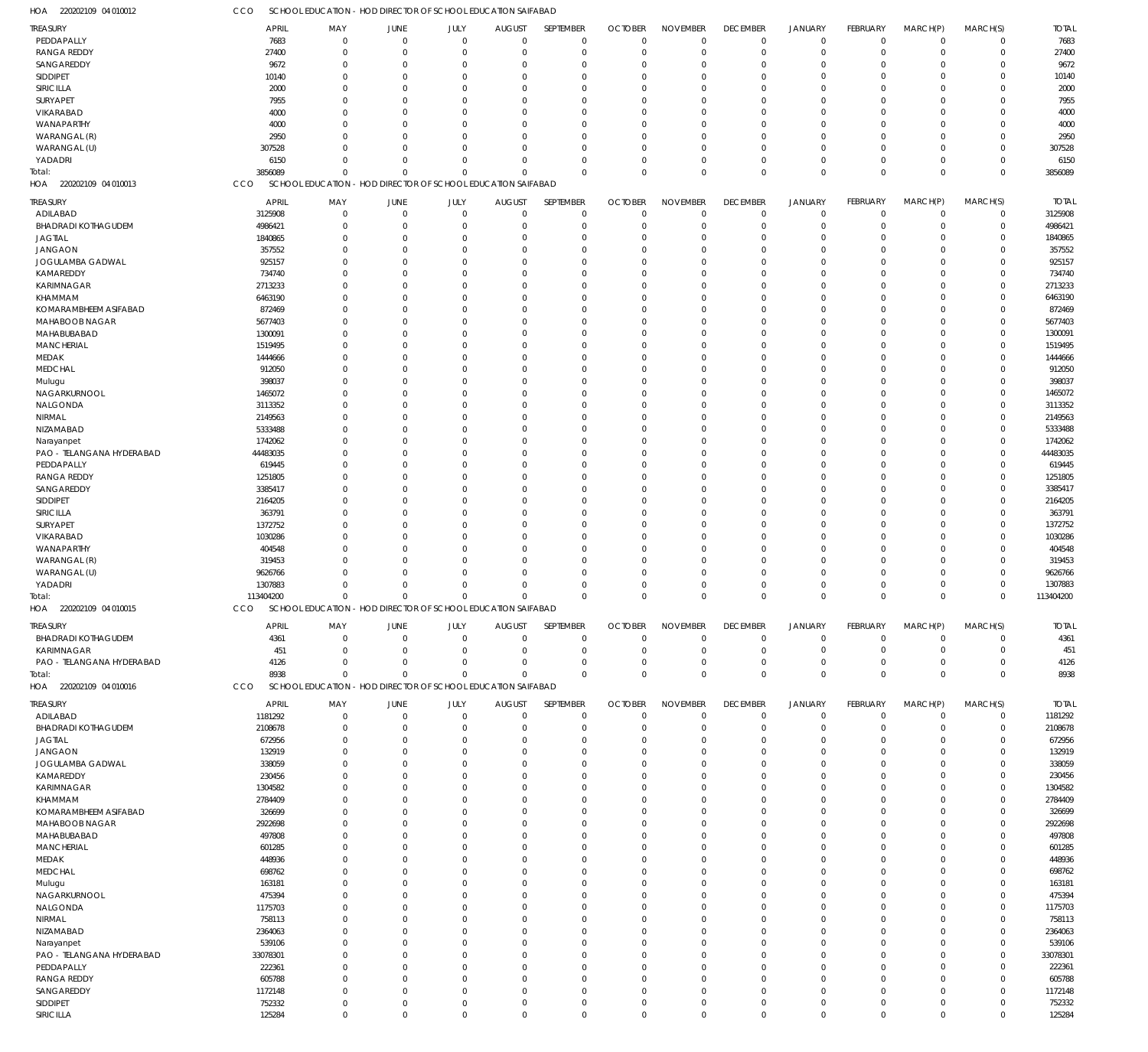|                            |                  |              |                                                              |                |               |             |                            | <b>NOVEMBER</b> |                             |                |                             |                |             |                  |
|----------------------------|------------------|--------------|--------------------------------------------------------------|----------------|---------------|-------------|----------------------------|-----------------|-----------------------------|----------------|-----------------------------|----------------|-------------|------------------|
| TREASURY                   | <b>APRIL</b>     | MAY          | JUNE                                                         | JULY           | <b>AUGUST</b> | SEPTEMBER   | <b>OCTOBER</b><br>$\Omega$ |                 | <b>DECEMBER</b><br>$\Omega$ | <b>JANUARY</b> | <b>FEBRUARY</b><br>$\Omega$ | MARCH(P)       | MARCH(S)    | <b>TOTAL</b>     |
| PEDDAPALLY                 | 7683             | $\mathbf{0}$ | $\mathbf 0$                                                  | $\overline{0}$ | $\mathbf 0$   | $\mathbf 0$ |                            | $\mathbf{0}$    |                             | $\mathbf 0$    |                             | $\mathbf{0}$   | $\mathbf 0$ | 7683             |
| <b>RANGA REDDY</b>         | 27400            | $\Omega$     | $\mathbf 0$                                                  | $\Omega$       | $\Omega$      | $\mathbf 0$ | $\Omega$                   | $\mathbf 0$     | $\Omega$                    | $\Omega$       | $\Omega$                    | $\Omega$       | $\mathbf 0$ | 27400            |
| SANGAREDDY                 | 9672             | $\Omega$     | $\mathbf 0$                                                  | $\Omega$       | 0             | $\Omega$    | $\Omega$                   | $\Omega$        | $\Omega$                    | $\Omega$       | $\Omega$                    | $\Omega$       | 0           | 9672             |
| SIDDIPET                   | 10140            | $\Omega$     | $\Omega$                                                     | $\Omega$       | $\Omega$      | $\Omega$    | $\Omega$                   | $\Omega$        | $\Omega$                    | $\Omega$       | $\Omega$                    | $\Omega$       | $\Omega$    | 10140            |
| SIRICILLA                  | 2000             | $\Omega$     | $\Omega$                                                     | $\Omega$       | $\Omega$      | $\Omega$    | $\Omega$                   | $\Omega$        | $\Omega$                    | $\Omega$       | $\Omega$                    | $\Omega$       | $\Omega$    | 2000             |
| SURYAPET                   | 7955             | $\Omega$     | $\Omega$                                                     | $\Omega$       | $\Omega$      | $\Omega$    | $\Omega$                   | $\Omega$        | $\Omega$                    | $\Omega$       | $\Omega$                    | $\Omega$       | $\Omega$    | 7955             |
| VIKARABAD                  | 4000             | O            | $\Omega$                                                     | $\Omega$       | $\Omega$      | $\Omega$    | $\Omega$                   | $\Omega$        | $\Omega$                    | $\Omega$       |                             | $\Omega$       | $\Omega$    | 4000             |
| WANAPARTHY                 | 4000             | $\Omega$     | $\Omega$                                                     | $\Omega$       | $\Omega$      | $\Omega$    | $\Omega$                   | $\Omega$        | $\Omega$                    | $\Omega$       | $\Omega$                    | $\Omega$       | $\Omega$    | 4000             |
| WARANGAL (R)               | 2950             | O            | $\Omega$                                                     | $\Omega$       | $\Omega$      | $\Omega$    | $\Omega$                   | $\Omega$        | $\Omega$                    | $\Omega$       | $\Omega$                    | $\Omega$       | $\Omega$    | 2950             |
| WARANGAL (U)               | 307528           | <sup>0</sup> | $\Omega$                                                     | $\Omega$       | $\Omega$      | $\Omega$    | $\Omega$                   | $\Omega$        | $\Omega$                    | $\Omega$       | $\Omega$                    | $\Omega$       | $\Omega$    | 307528           |
| YADADRI                    | 6150             | $\Omega$     | $\Omega$                                                     | $\Omega$       | $\Omega$      | $\Omega$    | $\Omega$                   | $\Omega$        | $\Omega$                    | $\Omega$       | $\Omega$                    | $\Omega$       | 0           | 6150             |
| Total:                     | 3856089          | $\Omega$     | $\Omega$                                                     | $\Omega$       | $\Omega$      | $\mathbf 0$ | $\Omega$                   | $\Omega$        | $\Omega$                    | $\Omega$       | $\Omega$                    | $\Omega$       | $\Omega$    | 3856089          |
| 220202109 04 010013<br>HOA | CCO              |              | SCHOOL EDUCATION - HOD DIRECTOR OF SCHOOL EDUCATION SAIFABAD |                |               |             |                            |                 |                             |                |                             |                |             |                  |
|                            |                  |              |                                                              |                |               |             |                            |                 |                             |                |                             |                |             |                  |
| TREASURY                   | <b>APRIL</b>     | MAY          | JUNE                                                         | JULY           | <b>AUGUST</b> | SEPTEMBER   | <b>OCTOBER</b>             | <b>NOVEMBER</b> | <b>DECEMBER</b>             | <b>JANUARY</b> | <b>FEBRUARY</b>             | MARCH(P)       | MARCH(S)    | <b>TOTAL</b>     |
| ADILABAD                   | 3125908          | $\mathbf 0$  | 0                                                            | $\mathbf 0$    | $\mathbf 0$   | $\mathbf 0$ | $\mathbf 0$                | $\mathbf 0$     | $\mathbf 0$                 | $\mathbf 0$    | $^{\circ}$                  | $\Omega$       | $\mathbf 0$ | 3125908          |
| <b>BHADRADI KOTHAGUDEM</b> | 4986421          | $\mathbf 0$  | $\mathbf 0$                                                  | $\overline{0}$ | $\Omega$      | $\mathbf 0$ | $\Omega$                   | $\Omega$        | $\Omega$                    | $\mathbf 0$    | $\Omega$                    | $\Omega$       | $\pmb{0}$   | 4986421          |
| <b>JAGTIAL</b>             | 1840865          | $\Omega$     | $\mathbf 0$                                                  | $\overline{0}$ | $\Omega$      | $\mathbf 0$ | $\Omega$                   | $\Omega$        | $\Omega$                    | $\Omega$       | $\Omega$                    | $\Omega$       | 0           | 1840865          |
| <b>JANGAON</b>             | 357552           | $\mathbf 0$  | $\mathbf 0$                                                  | $\Omega$       | $\Omega$      | $\mathbf 0$ | -C                         | $\Omega$        | $\Omega$                    | $\Omega$       | $\Omega$                    | $\Omega$       | 0           | 357552           |
| JOGULAMBA GADWAL           | 925157           | $\Omega$     | $\Omega$                                                     | $\Omega$       | $\Omega$      | $\Omega$    | $\Omega$                   | $\Omega$        | $\Omega$                    | $\Omega$       | $\Omega$                    | $\Omega$       | $\Omega$    | 925157           |
| KAMAREDDY                  | 734740           | $\Omega$     | $\Omega$                                                     | $\overline{0}$ | $\Omega$      | $\mathbf 0$ | $\Omega$                   | $\Omega$        | $\Omega$                    | $\Omega$       | $\Omega$                    | $\Omega$       | 0           | 734740           |
| KARIMNAGAR                 | 2713233          | $\Omega$     | $\Omega$                                                     | $\Omega$       | $\Omega$      | $\Omega$    | $\Omega$                   | $\Omega$        |                             | $\Omega$       | $\Omega$                    | $\Omega$       | $\Omega$    | 2713233          |
|                            |                  | $\Omega$     | $\Omega$                                                     | $\Omega$       | $\Omega$      |             |                            | $\Omega$        |                             | $\Omega$       |                             | $\Omega$       |             |                  |
| KHAMMAM                    | 6463190          |              |                                                              |                |               | $\mathbf 0$ | -C                         |                 | $\Omega$                    |                | $\Omega$                    |                | 0           | 6463190          |
| KOMARAMBHEEM ASIFABAD      | 872469           | $\Omega$     | $\Omega$                                                     | $\Omega$       | $\Omega$      | $\mathbf 0$ | $\Omega$                   | $\Omega$        | $\Omega$                    | $\Omega$       | $\Omega$                    | $\Omega$       | $\Omega$    | 872469           |
| MAHABOOB NAGAR             | 5677403          | $\Omega$     | $\Omega$                                                     | $\Omega$       | $\Omega$      | $\mathbf 0$ | -C                         | $\Omega$        | $\Omega$                    | $\Omega$       | $\Omega$                    | $\Omega$       | 0           | 5677403          |
| MAHABUBABAD                | 1300091          | $\Omega$     | $\Omega$                                                     | $\Omega$       | $\Omega$      | $\Omega$    | $\Omega$                   | $\Omega$        | $\Omega$                    | $\Omega$       | $\Omega$                    | $\Omega$       | 0           | 1300091          |
| <b>MANCHERIAL</b>          | 1519495          | $\Omega$     | $\Omega$                                                     | $\Omega$       | $\Omega$      | $\mathbf 0$ | $\Omega$                   | $\Omega$        | $\Omega$                    | $\Omega$       | $\Omega$                    | $\Omega$       | 0           | 1519495          |
| MEDAK                      | 1444666          | $\Omega$     | $\Omega$                                                     | $\Omega$       | $\Omega$      | $\Omega$    | $\Omega$                   | $\Omega$        | $\Omega$                    | $\Omega$       | $\Omega$                    | $\Omega$       | $\Omega$    | 1444666          |
| <b>MEDCHAL</b>             | 912050           | $\Omega$     | $\Omega$                                                     | $\Omega$       | $\Omega$      | $\mathbf 0$ | $\Omega$                   | $\Omega$        | $\Omega$                    | $\Omega$       | $\Omega$                    | $\Omega$       | 0           | 912050           |
| Mulugu                     | 398037           | $\Omega$     | $\Omega$                                                     | $\Omega$       | $\Omega$      | $\Omega$    | $\Omega$                   | $\Omega$        |                             | $\Omega$       | $\Omega$                    | $\Omega$       | 0           | 398037           |
| NAGARKURNOOL               | 1465072          | $\Omega$     | $\Omega$                                                     | $\Omega$       | $\Omega$      | $\mathbf 0$ | -C                         | $\Omega$        | $\Omega$                    | $\Omega$       | $\Omega$                    | $\Omega$       | 0           | 1465072          |
| NALGONDA                   | 3113352          | $\Omega$     | $\Omega$                                                     | $\Omega$       | $\Omega$      | $\Omega$    | $\Omega$                   | $\Omega$        | $\Omega$                    | $\Omega$       | $\Omega$                    | $\Omega$       | $\Omega$    | 3113352          |
| NIRMAL                     | 2149563          | $\Omega$     | $\Omega$                                                     | $\Omega$       | $\Omega$      | $\mathbf 0$ | $\Omega$                   | $\Omega$        | $\Omega$                    | $\Omega$       | $\Omega$                    | $\Omega$       | 0           | 2149563          |
| NIZAMABAD                  | 5333488          | $\Omega$     | $\Omega$                                                     | $\Omega$       | $\Omega$      | $\Omega$    | $\Omega$                   | $\Omega$        |                             | $\Omega$       | $\Omega$                    | $\Omega$       | $\Omega$    | 5333488          |
|                            | 1742062          | $\Omega$     | $\Omega$                                                     | $\Omega$       | $\Omega$      | $\mathbf 0$ | -C                         | $\Omega$        | $\Omega$                    | $\Omega$       | $\Omega$                    | $\Omega$       | 0           | 1742062          |
| Narayanpet                 |                  |              |                                                              |                |               |             |                            |                 |                             |                |                             |                |             |                  |
| PAO - TELANGANA HYDERABAD  | 44483035         | $\Omega$     | $\Omega$                                                     | $\Omega$       | $\Omega$      | $\Omega$    | $\Omega$                   | $\Omega$        | $\Omega$                    | $\Omega$       | $\Omega$                    | $\Omega$       | $\Omega$    | 44483035         |
| PEDDAPALLY                 | 619445           | $\Omega$     | $\Omega$                                                     | $\Omega$       | $\Omega$      | $\mathbf 0$ | -C                         | $\Omega$        | $\Omega$                    | $\Omega$       | $\Omega$                    | $\Omega$       | 0           | 619445           |
| <b>RANGA REDDY</b>         | 1251805          | $\Omega$     | $\Omega$                                                     | $\Omega$       | $\Omega$      | $\Omega$    | $\Omega$                   | $\Omega$        | $\Omega$                    | $\Omega$       | $\Omega$                    | $\Omega$       | $\Omega$    | 1251805          |
| SANGAREDDY                 | 3385417          | $\Omega$     | $\Omega$                                                     | $\Omega$       | $\Omega$      | $\mathbf 0$ | $\Omega$                   | $\Omega$        | $\Omega$                    | $\Omega$       | $\Omega$                    | $\Omega$       | 0           | 3385417          |
| <b>SIDDIPET</b>            | 2164205          | $\Omega$     | $\Omega$                                                     | $\Omega$       | $\Omega$      | $\Omega$    | $\Omega$                   | $\Omega$        | $\Omega$                    | $\Omega$       | $\Omega$                    | $\Omega$       | $\Omega$    | 2164205          |
| SIRICILLA                  | 363791           | $\Omega$     | $\Omega$                                                     | $\Omega$       | $\Omega$      | $\mathbf 0$ | $\Omega$                   | $\Omega$        | $\Omega$                    | $\Omega$       | $\Omega$                    | $\Omega$       | 0           | 363791           |
| SURYAPET                   | 1372752          | $\Omega$     | $\Omega$                                                     | $\Omega$       | $\Omega$      | $\Omega$    | $\Omega$                   | $\Omega$        |                             | $\Omega$       | $\Omega$                    | $\Omega$       | $\Omega$    | 1372752          |
| VIKARABAD                  | 1030286          | $\Omega$     | $\Omega$                                                     | $\Omega$       | $\Omega$      | $\Omega$    | -C                         | $\Omega$        | $\Omega$                    | $\Omega$       | $\Omega$                    | $\Omega$       | 0           | 1030286          |
| WANAPARTHY                 | 404548           | $\Omega$     | $\Omega$                                                     | $\Omega$       | $\Omega$      | $\Omega$    | $\Omega$                   | $\Omega$        | $\Omega$                    | $\Omega$       | $\Omega$                    | $\Omega$       | 0           | 404548           |
| WARANGAL (R)               | 319453           | $\Omega$     | $\Omega$                                                     | $\mathbf 0$    | $\Omega$      | $\mathbf 0$ | $\Omega$                   | $\Omega$        | $\Omega$                    | $\Omega$       | $\Omega$                    | $\Omega$       | 0           | 319453           |
| WARANGAL (U)               | 9626766          | O            | $\Omega$                                                     | $\Omega$       | $\Omega$      | $\Omega$    | -C                         | $\Omega$        | $\Omega$                    | $\Omega$       | $\Omega$                    | $\Omega$       | 0           | 9626766          |
|                            |                  | $\Omega$     | $\Omega$                                                     | $\Omega$       | $\Omega$      | $\mathbf 0$ |                            | $\Omega$        | $\Omega$                    | $\Omega$       | $\Omega$                    | $\Omega$       | 0           |                  |
| YADADRI                    | 1307883          |              |                                                              |                |               |             | -0                         |                 |                             |                |                             |                |             | 1307883          |
| Total:                     | 113404200        | $\mathbf 0$  | $\mathbf 0$                                                  | $\mathbf 0$    | $\mathbf 0$   | $\mathbf 0$ | $\Omega$                   | $\Omega$        | $\Omega$                    | $\Omega$       | $\Omega$                    | $\Omega$       | $\mathbf 0$ | 113404200        |
| HOA 220202109 04 010015    | CCO              |              | SCHOOL EDUCATION - HOD DIRECTOR OF SCHOOL EDUCATION SAIFABAD |                |               |             |                            |                 |                             |                |                             |                |             |                  |
| TREASURY                   | <b>APRIL</b>     | MAY          | JUNE                                                         | JULY           | <b>AUGUST</b> | SEPTEMBER   | <b>OCTOBER</b>             | <b>NOVEMBER</b> | <b>DECEMBER</b>             | <b>JANUARY</b> | <b>FEBRUARY</b>             | MARCH(P)       | MARCH(S)    | <b>TOTAL</b>     |
| <b>BHADRADI KOTHAGUDEM</b> | 4361             | $\mathbf{0}$ | $\mathbf 0$                                                  | $\overline{0}$ | $\Omega$      | $\mathbf 0$ | $\Omega$                   | $\Omega$        | $\Omega$                    | $\overline{0}$ | $\Omega$                    | $\Omega$       | $\mathbf 0$ | 4361             |
| KARIMNAGAR                 | 451              | $\Omega$     | $\mathbf 0$                                                  | $\mathbf 0$    | 0             | $\mathbf 0$ | $\Omega$                   | $\Omega$        | $\Omega$                    | $\mathbf 0$    | $\Omega$                    | $\Omega$       | $\mathbf 0$ | 451              |
|                            |                  |              |                                                              |                |               |             |                            |                 |                             |                |                             |                |             |                  |
| PAO - TELANGANA HYDERABAD  | 4126             | $\mathbf{0}$ | $\mathbf 0$                                                  | $\mathbf 0$    | 0             | $\mathbf 0$ | $\Omega$                   | $\mathbf 0$     | $\Omega$                    | $\mathbf 0$    | $^{\circ}$                  | $\Omega$       | 0           | 4126             |
| Total:                     | 8938             | $\Omega$     | $\Omega$                                                     | $\Omega$       | $\Omega$      | $\mathbf 0$ | $\Omega$                   | $\Omega$        | $\Omega$                    | $\mathbf 0$    | $^{\circ}$                  | $\Omega$       | $\Omega$    | 8938             |
| HOA 220202109 04 010016    | CCO              |              | SCHOOL EDUCATION - HOD DIRECTOR OF SCHOOL EDUCATION SAIFABAD |                |               |             |                            |                 |                             |                |                             |                |             |                  |
| TREASURY                   | <b>APRIL</b>     | MAY          | JUNE                                                         | JULY           | <b>AUGUST</b> | SEPTEMBER   | <b>OCTOBER</b>             | <b>NOVEMBER</b> | <b>DECEMBER</b>             | <b>JANUARY</b> | <b>FEBRUARY</b>             | MARCH(P)       | MARCH(S)    | <b>TOTAL</b>     |
| ADILABAD                   | 1181292          | $\mathbf{0}$ | $\mathbf 0$                                                  | $\mathbf 0$    | $\mathbf 0$   | $\mathbf 0$ | $\mathbf 0$                | $\mathbf 0$     | $\mathbf 0$                 | $\mathbf 0$    | $\overline{0}$              | $\Omega$       | $\mathbf 0$ | 1181292          |
| <b>BHADRADI KOTHAGUDEM</b> | 2108678          | $\mathbf{0}$ | $\mathbf 0$                                                  | $\overline{0}$ | 0             | $\mathbf 0$ | $\Omega$                   | $\overline{0}$  | $\Omega$                    | $\mathbf 0$    | $\Omega$                    | $\Omega$       | $\pmb{0}$   | 2108678          |
|                            |                  |              |                                                              |                |               |             |                            |                 |                             |                |                             | $\Omega$       |             |                  |
| JAGTIAL                    | 672956           | $\Omega$     | $\mathbf 0$                                                  | $\overline{0}$ | $\Omega$      | $\mathbf 0$ | $\Omega$                   | $\Omega$        | $\Omega$                    | $\Omega$       | $\Omega$                    |                | 0           | 672956           |
| <b>JANGAON</b>             | 132919           | $\mathbf{0}$ | $\mathbf 0$                                                  | $\Omega$       | $\Omega$      | $\mathbf 0$ | -0                         | $\mathbf{0}$    | $\Omega$                    | $\Omega$       | $\Omega$                    | $\Omega$       | 0           | 132919           |
| JOGULAMBA GADWAL           | 338059           | $\Omega$     | $\Omega$                                                     | $\Omega$       | $\Omega$      | $\mathbf 0$ | $\Omega$                   | $\Omega$        | $\Omega$                    | $\Omega$       | $\Omega$                    | $\Omega$       | $\Omega$    | 338059           |
| KAMAREDDY                  | 230456           | $\Omega$     | $\Omega$                                                     | $\Omega$       | $\Omega$      | $\mathbf 0$ | $\Omega$                   | $\Omega$        | $\Omega$                    | $\Omega$       | $\Omega$                    | $\Omega$       | 0           | 230456           |
| KARIMNAGAR                 | 1304582          | $\Omega$     | $\Omega$                                                     | $\Omega$       | $\Omega$      | $\Omega$    | $\Omega$                   | $\Omega$        | $\Omega$                    | $\Omega$       | $\Omega$                    | $\Omega$       | $\Omega$    | 1304582          |
| KHAMMAM                    | 2784409          | $\Omega$     | $\Omega$                                                     | $\Omega$       | $\Omega$      | $\mathbf 0$ | $\Omega$                   | $\Omega$        | $\Omega$                    | $\Omega$       | $\Omega$                    | $\Omega$       | 0           | 2784409          |
| KOMARAMBHEEM ASIFABAD      | 326699           | $\Omega$     | $\Omega$                                                     | $\Omega$       | $\Omega$      | $\Omega$    | $\Omega$                   | $\Omega$        | $\Omega$                    | $\Omega$       | $\Omega$                    | $\Omega$       | $\Omega$    | 326699           |
| MAHABOOB NAGAR             | 2922698          | $\Omega$     | $\Omega$                                                     | $\Omega$       | $\Omega$      | $\mathbf 0$ | -C                         | $\Omega$        | $\Omega$                    | $\Omega$       | $\Omega$                    | $\Omega$       | 0           | 2922698          |
| MAHABUBABAD                | 497808           | $\Omega$     | $\Omega$                                                     | $\Omega$       | $\Omega$      | $\Omega$    | $\Omega$                   | $\Omega$        | $\Omega$                    | $\Omega$       | $\Omega$                    | $\Omega$       | $\Omega$    | 497808           |
| <b>MANCHERIAL</b>          | 601285           | $\Omega$     | $\Omega$                                                     | $\Omega$       | $\Omega$      | $\mathbf 0$ | -C                         | $\Omega$        | $\Omega$                    | $\Omega$       | $\Omega$                    | $\Omega$       | 0           | 601285           |
| MEDAK                      | 448936           | $\Omega$     | $\Omega$                                                     | $\Omega$       | $\Omega$      | $\Omega$    | $\Omega$                   | $\Omega$        | $\Omega$                    | $\Omega$       | $\Omega$                    | $\Omega$       | $\Omega$    | 448936           |
| <b>MEDCHAL</b>             | 698762           | $\Omega$     | $\Omega$                                                     | $\Omega$       | $\Omega$      | $\mathbf 0$ | $\Omega$                   | $\Omega$        | $\Omega$                    | $\Omega$       | $\Omega$                    | $\Omega$       | 0           | 698762           |
| Mulugu                     | 163181           | $\Omega$     | $\Omega$                                                     | $\Omega$       | $\Omega$      | $\Omega$    | $\Omega$                   | $\Omega$        | $\Omega$                    | $\Omega$       | $\Omega$                    | $\Omega$       | $\Omega$    | 163181           |
|                            |                  |              |                                                              | $\Omega$       | $\Omega$      | $\mathbf 0$ |                            | $\Omega$        | $\Omega$                    | $\Omega$       | $\Omega$                    | $\Omega$       | 0           |                  |
|                            |                  |              |                                                              |                |               |             | -0                         |                 |                             |                |                             |                |             | 475394           |
| NAGARKURNOOL               | 475394           | $\Omega$     | $\Omega$                                                     |                |               |             |                            |                 |                             |                |                             |                |             |                  |
| NALGONDA                   | 1175703          | $\Omega$     | $\Omega$                                                     | $\Omega$       | $\Omega$      | $\mathbf 0$ | $\Omega$                   | $\mathbf{0}$    | $\Omega$                    | $\Omega$       | $\Omega$                    | $\Omega$       | $\Omega$    | 1175703          |
| NIRMAL                     | 758113           | $\Omega$     | $\Omega$                                                     | $\Omega$       | $\Omega$      | $\mathbf 0$ | $\Omega$                   | $\Omega$        | $\Omega$                    | $\Omega$       | $\Omega$                    | $\Omega$       | 0           | 758113           |
| NIZAMABAD                  | 2364063          | $\Omega$     | $\Omega$                                                     | $\Omega$       | $\Omega$      | $\Omega$    | $\Omega$                   | $\Omega$        | $\Omega$                    | $\Omega$       | $\Omega$                    | $\Omega$       | $\Omega$    | 2364063          |
| Narayanpet                 | 539106           | $\Omega$     | $\Omega$                                                     | $\Omega$       | $\Omega$      | $\mathbf 0$ | $\Omega$                   | $\mathbf{0}$    | $\Omega$                    | $\Omega$       | $\Omega$                    | $\Omega$       | 0           | 539106           |
| PAO - TELANGANA HYDERABAD  | 33078301         | $\Omega$     | $\Omega$                                                     | $\Omega$       | $\Omega$      | $\Omega$    | $\Omega$                   | $\Omega$        | $\Omega$                    | $\Omega$       | $\Omega$                    | $\Omega$       | $\Omega$    | 33078301         |
| PEDDAPALLY                 | 222361           | $\Omega$     | $\Omega$                                                     | $\Omega$       | $\Omega$      | $\mathbf 0$ | $\Omega$                   | $\Omega$        | $\Omega$                    | $\Omega$       | $\Omega$                    | $\Omega$       | 0           | 222361           |
| <b>RANGA REDDY</b>         | 605788           | $\Omega$     | $\Omega$                                                     | $\Omega$       | $\Omega$      | $\mathbf 0$ | $\Omega$                   | $\Omega$        | $\Omega$                    | $\Omega$       | $\Omega$                    | $\Omega$       | 0           | 605788           |
| SANGAREDDY                 | 1172148          | $\mathbf{0}$ | $\Omega$                                                     | $\Omega$       | $\Omega$      | $\mathbf 0$ | $\Omega$                   | $\mathbf{0}$    | $\Omega$                    | $\Omega$       | $\Omega$                    | $\Omega$       | 0           | 1172148          |
|                            |                  | $\mathbf{0}$ | $\mathbf 0$                                                  | $\mathbf 0$    | 0             | $\mathbf 0$ | 0                          | $\mathbf 0$     | $\Omega$                    | 0              | $\Omega$                    | $\overline{0}$ | 0           |                  |
| SIDDIPET<br>SIRICILLA      | 752332<br>125284 | $\mathbf 0$  | $\mathbf 0$                                                  | $\mathbb O$    | $\mathbf 0$   | $\mathbf 0$ | $\mathbf 0$                | $\mathbf 0$     | $\mathbf 0$                 | $\mathbf 0$    | $\overline{0}$              | $\mathbf 0$    | 0           | 752332<br>125284 |

CCO SCHOOL EDUCATION - HOD DIRECTOR OF SCHOOL EDUCATION SAIFABAD

220202109 04 010012 HOA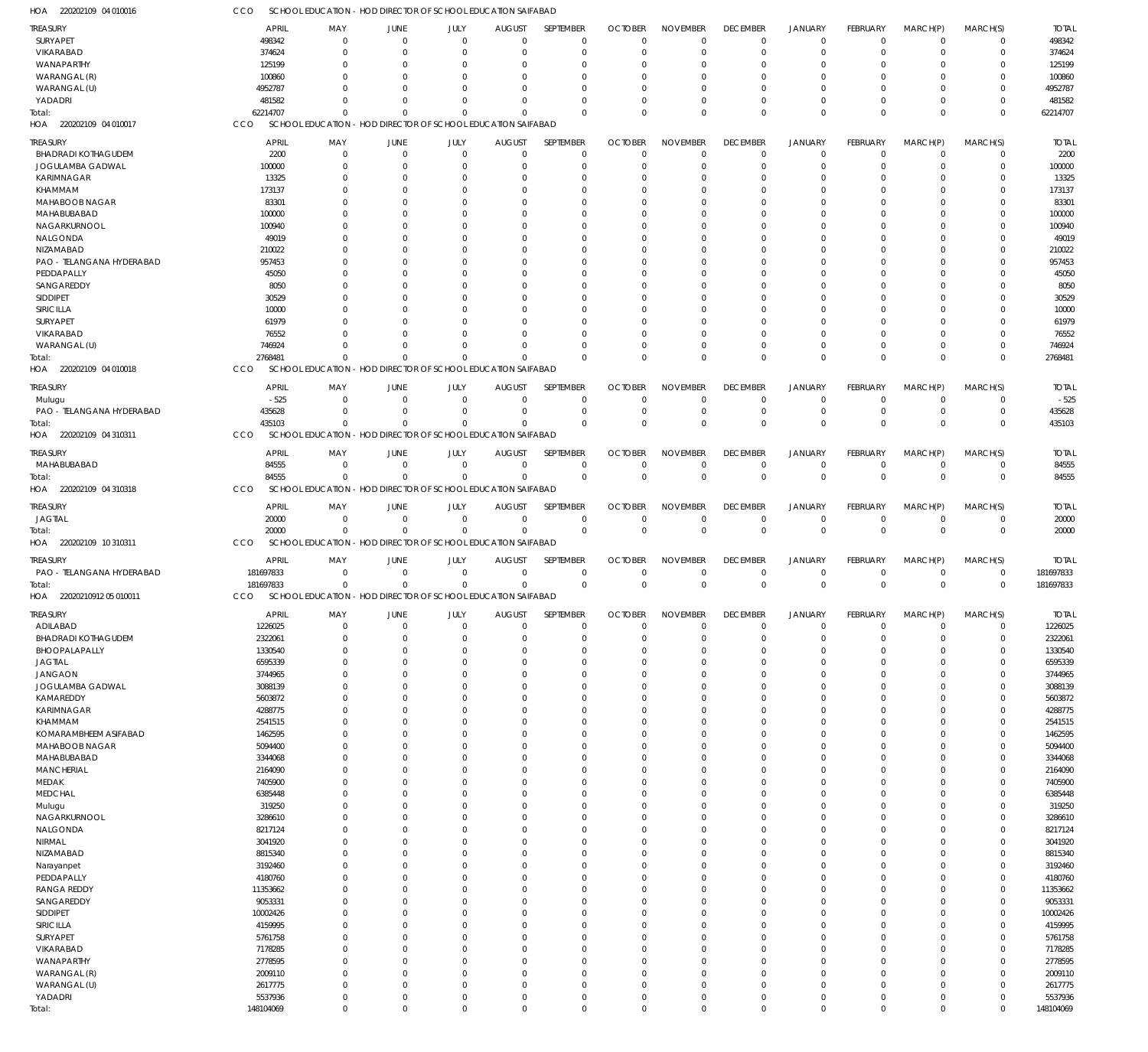| HOA<br>220202109 04 010016              | cco                 |                                  | SCHOOL EDUCATION - HOD DIRECTOR OF SCHOOL EDUCATION SAIFABAD             |                      |                      |                      |                      |                            |                            |                            |                            |                      |                            |                     |
|-----------------------------------------|---------------------|----------------------------------|--------------------------------------------------------------------------|----------------------|----------------------|----------------------|----------------------|----------------------------|----------------------------|----------------------------|----------------------------|----------------------|----------------------------|---------------------|
| <b>TREASURY</b>                         | <b>APRIL</b>        | MAY                              | JUNE                                                                     | JULY                 | <b>AUGUST</b>        | SEPTEMBER            | <b>OCTOBER</b>       | <b>NOVEMBER</b>            | <b>DECEMBER</b>            | JANUARY                    | FEBRUARY                   | MARCH(P)             | MARCH(S)                   | <b>TOTAL</b>        |
| SURYAPET                                | 498342              | $\mathbf 0$                      | $\Omega$                                                                 | $\mathbf 0$          | $\mathbf 0$          | $\overline{0}$       | $\Omega$             | $\mathbf 0$                | $\mathbf 0$                | $\overline{0}$             | $\mathbf 0$                | $\mathbf 0$          | 0                          | 498342              |
| VIKARABAD                               | 374624              | $\overline{0}$                   | $\Omega$                                                                 | $\Omega$             | $\mathbf 0$          | $\mathbf 0$          | $\mathbf 0$          | $\mathbf 0$                | $\mathbf 0$                | 0                          | 0                          | 0                    | $\mathbf 0$                | 374624              |
| WANAPARTHY                              | 125199              | $\Omega$                         | $\Omega$                                                                 | $\Omega$             | $\Omega$             | $\Omega$             | $\Omega$             | $\Omega$                   | 0                          | $\Omega$                   | $\Omega$                   | 0                    | 0                          | 125199              |
| WARANGAL (R)                            | 100860              | $\Omega$                         | $\Omega$                                                                 | $\Omega$             | $\Omega$             | $\Omega$             | $\Omega$             | 0                          | $\mathbf 0$                | $\Omega$                   | $\Omega$                   | 0                    | $\mathbf 0$                | 100860              |
| WARANGAL (U)                            | 4952787             | $\Omega$                         | $\Omega$                                                                 | $\Omega$             | $\Omega$             | $\Omega$             | $\Omega$             | 0                          | 0                          | $\Omega$                   | $\Omega$                   | $\Omega$             | 0                          | 4952787             |
| YADADRI                                 | 481582              | $\Omega$                         | $\Omega$                                                                 | $\Omega$             | $\Omega$             | $\Omega$             | $\Omega$             | $\mathbf 0$                | $\mathbf 0$                | $\mathbf 0$                | $\mathbf 0$                | $\Omega$             | $\mathbf 0$                | 481582              |
| Total:<br>220202109 04 010017<br>HOA    | 62214707<br>CCO     | $\Omega$                         | $\Omega$<br>SCHOOL EDUCATION - HOD DIRECTOR OF SCHOOL EDUCATION SAIFABAD | $\Omega$             | $\Omega$             | $\overline{0}$       | $\Omega$             | $\mathbf 0$                | $\mathbf 0$                | $\mathbf 0$                | $\Omega$                   | $\Omega$             | $\mathbf 0$                | 62214707            |
| <b>TREASURY</b>                         | <b>APRIL</b>        | MAY                              | JUNE                                                                     | JULY                 | <b>AUGUST</b>        | SEPTEMBER            | <b>OCTOBER</b>       | <b>NOVEMBER</b>            | <b>DECEMBER</b>            | <b>JANUARY</b>             | FEBRUARY                   | MARCH(P)             | MARCH(S)                   | <b>TOTAL</b>        |
| <b>BHADRADI KOTHAGUDEM</b>              | 2200                | $\overline{0}$                   | 0                                                                        | $\overline{0}$       | $\mathbf 0$          | $\overline{0}$       | $\mathbf 0$          | $\mathbf 0$                | $\mathbf 0$                | 0                          | $\mathbf 0$                | -0                   | $\mathbf 0$                | 2200                |
| JOGULAMBA GADWAL                        | 100000              | $\overline{0}$                   | $\Omega$                                                                 | $\Omega$             | $\mathbf 0$          | $\overline{0}$       | $\mathbf 0$          | $\mathbf 0$                | $\mathbf 0$                | $\mathbf 0$                | $\mathbf 0$                | 0                    | $\mathbf 0$                | 100000              |
| KARIMNAGAR                              | 13325               | $\overline{0}$                   | 0                                                                        | $\Omega$             | $\mathbf 0$          | $\Omega$             | $\Omega$             | 0                          | 0                          | 0                          | 0                          | 0                    | $\mathbf 0$                | 13325               |
| KHAMMAM                                 | 173137              | $\Omega$                         | O                                                                        | $\Omega$             | 0                    | $\Omega$             | $\Omega$             | $\Omega$                   | 0                          | 0                          | 0                          | 0                    | $\mathbf 0$                | 173137              |
| <b>MAHABOOB NAGAR</b>                   | 83301               | $\Omega$                         | 0                                                                        | $\Omega$             | $\Omega$             | $\Omega$             | $\Omega$             | 0                          | 0                          | 0                          | 0                          | 0                    | $\mathbf 0$                | 83301               |
| MAHABUBABAD<br>NAGARKURNOOL             | 100000<br>100940    | $\Omega$<br>$\Omega$             | O<br>O                                                                   | $\Omega$<br>$\Omega$ | $\Omega$<br>$\Omega$ | $\Omega$<br>$\Omega$ | $\Omega$<br>$\Omega$ | $\Omega$<br>$\Omega$       | 0<br>0                     | 0<br>0                     | 0<br>0                     | 0<br>0               | $\mathbf 0$<br>$\mathbf 0$ | 100000<br>100940    |
| NALGONDA                                | 49019               | $\Omega$                         |                                                                          | $\Omega$             | 0                    | $\Omega$             | $\Omega$             | $\Omega$                   | 0                          | 0                          | 0                          | 0                    | $\mathbf 0$                | 49019               |
| NIZAMABAD                               | 210022              | $\Omega$                         | O                                                                        | $\Omega$             | 0                    | $\Omega$             | $\Omega$             | $\Omega$                   | 0                          | 0                          | 0                          | 0                    | $\mathbf 0$                | 210022              |
| PAO - TELANGANA HYDERABAD               | 957453              | $\Omega$                         |                                                                          | $\Omega$             | $\Omega$             | $\Omega$             | $\Omega$             | $\Omega$                   | 0                          | 0                          | 0                          | 0                    | $\mathbf 0$                | 957453              |
| PEDDAPALLY                              | 45050               | $\Omega$                         | O                                                                        | $\Omega$             | 0                    | $\Omega$             | $\Omega$             | 0                          | 0                          | 0                          | 0                          | 0                    | $\mathbf 0$                | 45050               |
| SANGAREDDY                              | 8050                | $\Omega$                         | O                                                                        | $\Omega$             | U                    | $\Omega$             | $\Omega$             | $\Omega$                   | $\Omega$                   | 0                          | 0                          | 0                    | $\mathbf 0$                | 8050                |
| <b>SIDDIPET</b>                         | 30529               | $\Omega$                         | 0                                                                        | $\Omega$             | 0                    | $\Omega$             | $\Omega$             | 0                          | 0                          | 0                          | 0                          | 0                    | $\mathbf 0$                | 30529               |
| SIRICILLA                               | 10000               | $\Omega$                         | O                                                                        | $\Omega$             | U                    | $\sqrt{ }$           | $\Omega$             | $\Omega$                   | $\Omega$                   | $\Omega$                   | $\Omega$                   | 0                    | $\mathbf 0$                | 10000               |
| SURYAPET                                | 61979               | $\Omega$                         | O                                                                        | $\Omega$             | $\Omega$             | $\Omega$             | $\Omega$             | 0                          | 0                          | 0                          | 0                          | 0                    | $\mathbf 0$                | 61979               |
| VIKARABAD                               | 76552               | $\Omega$                         | $\Omega$                                                                 | $\Omega$             | $\Omega$             | $\Omega$             | $\Omega$             | 0                          | $\mathbf 0$                | 0                          | 0                          | 0                    | $\mathbf 0$                | 76552               |
| WARANGAL (U)                            | 746924              | $\Omega$                         | $\Omega$                                                                 | $\Omega$             | $\Omega$             | $\Omega$             | $\Omega$             | 0                          | $\mathbf 0$                | 0                          | $\mathbf 0$                | $\Omega$             | $\mathbf 0$                | 746924              |
| Total:                                  | 2768481             | $\Omega$                         | $\Omega$                                                                 | $\Omega$             | $\Omega$             | $\Omega$             | $\Omega$             | $\overline{0}$             | $\mathbf 0$                | 0                          | $\mathbf 0$                | $\Omega$             | $\mathbf 0$                | 2768481             |
| HOA 220202109 04 010018                 | CCO                 | <b>SCHOOL EDUCATION</b>          | - HOD DIRECTOR OF SCHOOL EDUCATION SAIFABAD                              |                      |                      |                      |                      |                            |                            |                            |                            |                      |                            |                     |
| <b>TREASURY</b>                         | <b>APRIL</b>        | MAY                              | JUNE                                                                     | JULY                 | <b>AUGUST</b>        | SEPTEMBER            | <b>OCTOBER</b>       | <b>NOVEMBER</b>            | <b>DECEMBER</b>            | JANUARY                    | <b>FEBRUARY</b>            | MARCH(P)             | MARCH(S)                   | <b>TOTAL</b>        |
| Mulugu                                  | $-525$              | $\mathbf 0$                      | $\overline{0}$                                                           | $\overline{0}$       | $\mathbf 0$          | $\overline{0}$       | $\Omega$             | $\mathbf 0$                | $\mathbf 0$                | $\overline{0}$             | $\mathbf 0$                | 0                    | $\mathbf 0$                | $-525$              |
| PAO - TELANGANA HYDERABAD               | 435628              | $\mathbf 0$                      | $\Omega$                                                                 | $\overline{0}$       | $\mathbf 0$          | $\overline{0}$       | $\mathbf 0$          | $\mathbf 0$                | $\mathbf 0$                | $\overline{0}$             | $\mathbf 0$                | 0                    | $\mathbf 0$                | 435628              |
| Total:                                  | 435103              | $\Omega$                         | $\Omega$                                                                 | $\Omega$             | $\Omega$             | $\overline{0}$       | $\Omega$             | $\mathbf 0$                | $\mathbf 0$                | $\mathbf 0$                | $\mathbf 0$                | $\Omega$             | $\mathbf 0$                | 435103              |
| 220202109 04 310311<br>HOA              | CCO                 | <b>SCHOOL EDUCATION</b>          | - HOD DIRECTOR OF SCHOOL EDUCATION SAIFABAD                              |                      |                      |                      |                      |                            |                            |                            |                            |                      |                            |                     |
| <b>TREASURY</b>                         | <b>APRIL</b>        | MAY                              | JUNE                                                                     | JULY                 | <b>AUGUST</b>        | SEPTEMBER            | <b>OCTOBER</b>       | <b>NOVEMBER</b>            | <b>DECEMBER</b>            | JANUARY                    | FEBRUARY                   | MARCH(P)             | MARCH(S)                   | <b>TOTAL</b>        |
| MAHABUBABAD                             | 84555               | $\mathbf 0$                      | $\mathbf 0$                                                              | $\overline{0}$       | $\mathbf 0$          | $\overline{0}$       | $\mathbf 0$          | $\mathbf 0$                | $\mathbf 0$                | $\mathbf 0$                | $\mathbf 0$                | $^{\circ}$           | $\mathbf 0$                | 84555               |
| Total:                                  | 84555               | $\overline{0}$                   | $\mathbf 0$                                                              | $\overline{0}$       | $\mathbf 0$          | $\overline{0}$       | $\mathbf 0$          | $\mathbf 0$                | $\mathbf 0$                | $\mathbf 0$                | $\mathbf 0$                | $\Omega$             | $\mathbf 0$                | 84555               |
| HOA 220202109 04 310318                 | CCO                 |                                  | SCHOOL EDUCATION - HOD DIRECTOR OF SCHOOL EDUCATION SAIFABAD             |                      |                      |                      |                      |                            |                            |                            |                            |                      |                            |                     |
| <b>TREASURY</b>                         | <b>APRIL</b>        | MAY                              | JUNE                                                                     | JULY                 | <b>AUGUST</b>        | SEPTEMBER            | <b>OCTOBER</b>       | <b>NOVEMBER</b>            | <b>DECEMBER</b>            | JANUARY                    | FEBRUARY                   | MARCH(P)             | MARCH(S)                   | <b>TOTAL</b>        |
| <b>JAGTIAL</b>                          | 20000               | $\mathbf 0$                      | $\Omega$                                                                 | $\overline{0}$       | $\mathbf 0$          | $\overline{0}$       | $\mathbf 0$          | $\mathbf 0$                | $\mathbf 0$                | $\overline{0}$             | 0                          | -0                   | $\mathbf 0$                | 20000               |
| Total:                                  | 20000               | $\overline{0}$                   | $\Omega$                                                                 | $\Omega$             | $\mathbf 0$          | $\overline{0}$       | $\mathbf 0$          | $\mathbf 0$                | $\mathbf 0$                | $\mathbf 0$                | $\mathbf 0$                | $\Omega$             | $\mathbf 0$                | 20000               |
| 220202109 10 310311<br>HOA              | CCO                 | <b>SCHOOL EDUCATION</b>          | - HOD DIRECTOR OF SCHOOL EDUCATION SAIFABAD                              |                      |                      |                      |                      |                            |                            |                            |                            |                      |                            |                     |
| <b>TREASURY</b>                         | <b>APRIL</b>        | MAY                              | JUNE                                                                     | JULY                 | <b>AUGUST</b>        | SEPTEMBER            | <b>OCTOBER</b>       | <b>NOVEMBER</b>            | <b>DECEMBER</b>            | JANUARY                    | <b>FEBRUARY</b>            | MARCH(P)             | MARCH(S)                   | <b>TOTAL</b>        |
| PAO - TELANGANA HYDERABAD               | 181697833           | $\mathbf 0$                      | $\mathbf 0$                                                              | $\overline{0}$       | $\mathbf 0$          | $\overline{0}$       | $\mathbf 0$          | $\mathbf 0$                | $\mathbf 0$                | $^{\circ}$                 | $\mathbf 0$                | 0                    | $\mathbf 0$                | 181697833           |
| Total:                                  | 181697833           | 0                                | $\mathbf 0$                                                              | $\overline{0}$       | $\mathbf 0$          | $\overline{0}$       | $\mathbf 0$          | $\mathbf 0$                | $\mathbf 0$                | $\overline{0}$             | $\mathbf{0}$               | $\mathbf 0$          | $\mathbf 0$                | 181697833           |
| 22020210912 05 010011<br>HOA            | CCO                 |                                  | SCHOOL EDUCATION - HOD DIRECTOR OF SCHOOL EDUCATION SAIFABAD             |                      |                      |                      |                      |                            |                            |                            |                            |                      |                            |                     |
| <b>TREASURY</b>                         | <b>APRIL</b>        | MAY                              | <b>JUNE</b>                                                              | JULY                 | <b>AUGUST</b>        | SEPTEMBER            | <b>OCTOBER</b>       | <b>NOVEMBER</b>            | <b>DECEMBER</b>            | JANUARY                    | FEBRUARY                   | MARCH(P)             | MARCH(S)                   | <b>TOTAL</b>        |
| ADILABAD                                | 1226025             | $\mathbf 0$                      | $\mathbf 0$                                                              | $\overline{0}$       | $\mathbf 0$          | $\overline{0}$       | $\mathbf 0$          | $\mathbf 0$                | $\mathbf 0$                | $\mathbf 0$                | $\mathbf 0$                | $\mathbf 0$          | $\mathbf 0$                | 1226025             |
| <b>BHADRADI KOTHAGUDEM</b>              | 2322061             | $\mathbf 0$                      | $\Omega$                                                                 | $\Omega$             | $\mathbf 0$          | $\overline{0}$       | $\Omega$             | $\mathbf 0$                | $\mathbf 0$                | $\mathbf 0$                | $\mathbf 0$                | 0                    | $\mathbf 0$                | 2322061             |
| BHOOPALAPALLY                           | 1330540             | $\overline{0}$                   | $\Omega$                                                                 | $\Omega$             | $\Omega$             | $\Omega$             | $\Omega$             | $\mathbf 0$                | $\mathbf 0$                | $\mathbf 0$                | $\mathbf 0$                | $\Omega$             | $\mathbf 0$                | 1330540             |
| <b>JAGTIAL</b>                          | 6595339             | $\overline{0}$                   | $\Omega$                                                                 | $\Omega$             | $\Omega$             | $\Omega$             | $\Omega$             | $\mathbf 0$                | $\mathbf 0$                | $\mathbf 0$                | $\Omega$                   | $\Omega$             | $\mathbf 0$                | 6595339             |
| <b>JANGAON</b>                          | 3744965             | $\overline{0}$                   | $\Omega$                                                                 | $\Omega$             | $\Omega$             | $\Omega$             | $\Omega$             | $\mathbf 0$                | $\mathbf 0$                | $\mathbf 0$                | $\mathbf 0$                | $\Omega$             | $\mathbf 0$                | 3744965             |
| JOGULAMBA GADWAL                        | 3088139             | $\overline{0}$                   | $\Omega$                                                                 | $\Omega$             | $\Omega$             | $\Omega$             | $\Omega$             | $\mathbf 0$                | $\mathbf 0$                | $\mathbf 0$                | $\Omega$                   | $\Omega$             | $\mathbf 0$                | 3088139             |
| KAMAREDDY                               | 5603872             | $\overline{0}$                   | $\Omega$                                                                 | $\Omega$             | $\Omega$             | $\Omega$             | $\Omega$             | $\Omega$                   | $\Omega$                   | $\mathbf 0$                | $\mathbf 0$                | $\Omega$             | $\mathbf 0$                | 5603872             |
| <b>KARIMNAGAR</b>                       | 4288775             | $\overline{0}$                   | $\Omega$                                                                 | $\Omega$             | $\mathbf 0$          | $\Omega$             | $\Omega$             | $\mathbf 0$                | $\mathbf 0$                | $\mathbf 0$                | $\mathbf 0$                | 0                    | $\mathbf 0$                | 4288775             |
| KHAMMAM                                 | 2541515             | $\overline{0}$                   | $\Omega$                                                                 | $\Omega$             | $\Omega$             | $\Omega$             | $\Omega$             | $\mathbf 0$                | $\mathbf 0$                | $\mathbf 0$                | $\mathbf 0$                | $\Omega$             | $\mathbf 0$                | 2541515             |
| KOMARAMBHEEM ASIFABAD<br>MAHABOOB NAGAR | 1462595<br>5094400  | $\overline{0}$<br>$\overline{0}$ | $\Omega$<br>$\Omega$                                                     | $\Omega$<br>$\Omega$ | $\Omega$<br>$\Omega$ | $\Omega$<br>$\Omega$ | $\Omega$<br>$\Omega$ | $\mathbf 0$<br>$\mathbf 0$ | $\mathbf 0$<br>$\mathbf 0$ | $\mathbf 0$<br>$\mathbf 0$ | $\Omega$<br>$\mathbf 0$    | $\Omega$<br>$\Omega$ | $\mathbf 0$<br>$\mathbf 0$ | 1462595<br>5094400  |
| MAHABUBABAD                             | 3344068             | $\overline{0}$                   | $\Omega$                                                                 | $\Omega$             | $\Omega$             | $\Omega$             | $\Omega$             | $\mathbf 0$                | $\mathbf 0$                | $\mathbf 0$                | $\Omega$                   | $\Omega$             | $\mathbf 0$                | 3344068             |
| <b>MANCHERIAL</b>                       | 2164090             | $\overline{0}$                   | $\Omega$                                                                 | $\Omega$             | $\Omega$             | $\Omega$             | $\Omega$             | $\mathbf 0$                | $\mathbf 0$                | $\mathbf 0$                | $\mathbf 0$                | $\mathbf 0$          | $\mathbf 0$                | 2164090             |
| MEDAK                                   | 7405900             | $\overline{0}$                   | $\Omega$                                                                 | $\Omega$             | $\Omega$             | $\Omega$             | $\Omega$             | $\mathbf 0$                | $\mathbf 0$                | $\mathbf 0$                | $\Omega$                   | $\Omega$             | $\mathbf 0$                | 7405900             |
| <b>MEDCHAL</b>                          | 6385448             | $\overline{0}$                   | $\Omega$                                                                 | $\Omega$             | $\Omega$             | $\Omega$             | $\Omega$             | $\Omega$                   | $\mathbf 0$                | $\mathbf 0$                | $\mathbf 0$                | $\Omega$             | $\mathbf 0$                | 6385448             |
| Mulugu                                  | 319250              | $\overline{0}$                   | $\Omega$                                                                 | $\Omega$             | $\mathbf 0$          | $\Omega$             | $\Omega$             | $\mathbf 0$                | $\mathbf 0$                | $\mathbf 0$                | $\mathbf 0$                | 0                    | $\mathbf 0$                | 319250              |
| NAGARKURNOOL                            | 3286610             | $\overline{0}$                   | $\Omega$                                                                 | $\Omega$             | $\Omega$             | $\Omega$             | $\Omega$             | $\Omega$                   | $\mathbf 0$                | $\mathbf 0$                | $\mathbf 0$                | $\Omega$             | $\mathbf 0$                | 3286610             |
| NALGONDA                                | 8217124             | $^{\circ}$                       | $\Omega$                                                                 | $\Omega$             | $\Omega$             | $\Omega$             | $\Omega$             | $\mathbf 0$                | $\mathbf 0$                | $\mathbf 0$                | $\mathbf 0$                | $\Omega$             | $\mathbf 0$                | 8217124             |
| NIRMAL                                  | 3041920             | $\overline{0}$                   | $\Omega$                                                                 | $\Omega$             | $\Omega$             | $\Omega$             | $\Omega$             | $\mathbf 0$                | $\mathbf 0$                | $\mathbf 0$                | $\mathbf 0$                | $\Omega$             | $\mathbf 0$                | 3041920             |
| NIZAMABAD                               | 8815340             | $^{\circ}$                       | $\Omega$                                                                 | $\Omega$             | $\Omega$             | $\Omega$             | $\Omega$             | $\mathbf 0$                | $\mathbf 0$                | $\mathbf 0$                | $\Omega$                   | $\Omega$             | $\mathbf 0$                | 8815340             |
| Narayanpet                              | 3192460             | $^{\circ}$                       | $\Omega$                                                                 | $\Omega$             | $\Omega$             | $\Omega$             | $\Omega$             | $\mathbf 0$                | $\mathbf 0$                | $\mathbf 0$                | $\mathbf 0$                | $\mathbf 0$          | $\mathbf 0$                | 3192460             |
| PEDDAPALLY                              | 4180760             | $\overline{0}$                   | $\Omega$<br>$\Omega$                                                     | $\Omega$             | $\Omega$<br>$\Omega$ | $\Omega$             | $\Omega$             | $\mathbf 0$                | $\mathbf 0$                | $\mathbf 0$                | $\Omega$                   | $\Omega$             | $\mathbf 0$                | 4180760             |
| RANGA REDDY<br>SANGAREDDY               | 11353662<br>9053331 | $\overline{0}$<br>$\overline{0}$ | $\Omega$                                                                 | $\Omega$<br>$\Omega$ | $\mathbf 0$          | $\Omega$<br>$\Omega$ | $\Omega$<br>$\Omega$ | $\Omega$<br>$\mathbf 0$    | $\mathbf 0$<br>$\mathbf 0$ | $\mathbf 0$<br>$\mathbf 0$ | $\mathbf 0$<br>$\mathbf 0$ | $\Omega$<br>0        | $\mathbf 0$<br>$\mathbf 0$ | 11353662<br>9053331 |
| <b>SIDDIPET</b>                         | 10002426            | $\overline{0}$                   | $\Omega$                                                                 | $\Omega$             | $\Omega$             | $\Omega$             | $\Omega$             | $\Omega$                   | $\mathbf 0$                | $\mathbf 0$                | $\mathbf 0$                | $\Omega$             | $\mathbf 0$                | 10002426            |
| SIRICILLA                               | 4159995             | $\overline{0}$                   | $\Omega$                                                                 | $\Omega$             | $\Omega$             | $\Omega$             | $\Omega$             | $\mathbf 0$                | $\mathbf 0$                | $\mathbf 0$                | $\mathbf 0$                | $\Omega$             | $\mathbf 0$                | 4159995             |
| SURYAPET                                | 5761758             | $\overline{0}$                   | $\Omega$                                                                 | $\Omega$             | $\Omega$             | $\Omega$             | $\Omega$             | $\mathbf 0$                | $\mathbf 0$                | $\mathbf 0$                | $\mathbf 0$                | $\Omega$             | $\mathbf 0$                | 5761758             |
| VIKARABAD                               | 7178285             | $\overline{0}$                   | $\Omega$                                                                 | $\Omega$             | $\Omega$             | $\Omega$             | $\Omega$             | $\mathbf 0$                | $\mathbf 0$                | $\mathbf 0$                | $\Omega$                   | $\Omega$             | $\mathbf 0$                | 7178285             |
| WANAPARTHY                              | 2778595             | $\overline{0}$                   | $\Omega$                                                                 | $\Omega$             | $\Omega$             | $\Omega$             | $\Omega$             | $\mathbf 0$                | $\mathbf 0$                | $\mathbf 0$                | $\mathbf 0$                | $\mathbf 0$          | $\mathbf 0$                | 2778595             |
| WARANGAL (R)                            | 2009110             | $\overline{0}$                   | $\Omega$                                                                 | $\Omega$             | $\Omega$             | $\Omega$             | $\Omega$             | $\mathbf 0$                | $\mathbf 0$                | $\mathbf 0$                | $\Omega$                   | $\Omega$             | $\mathbf 0$                | 2009110             |
| WARANGAL (U)                            | 2617775             | $\overline{0}$                   | $\Omega$                                                                 | $\Omega$             | $\Omega$             | $\Omega$             | $\Omega$             | $\mathbf 0$                | $\mathbf 0$                | $\mathbf 0$                | $\mathbf 0$                | $\mathbf 0$          | $\mathbf 0$                | 2617775             |
| YADADRI                                 | 5537936             | $\mathbf 0$                      | $\mathbf 0$                                                              | $\mathbf 0$          | $\mathbf 0$          | $\mathbf 0$          | $\mathbf 0$          | $\mathbf 0$                | $\mathsf 0$                | $\mathbf 0$                | $\mathbf 0$                | $\mathbf 0$          | $\mathbf 0$                | 5537936             |
| Total:                                  | 148104069           | $\overline{0}$                   | $\mathbf 0$                                                              | $\mathbf 0$          | $\mathbf 0$          | $\mathbf 0$          | $\mathbf 0$          | $\mathbf 0$                | $\mathbf 0$                | $\mathbf 0$                | $\mathbf 0$                | $\mathbf 0$          | $\mathbf 0$                | 148104069           |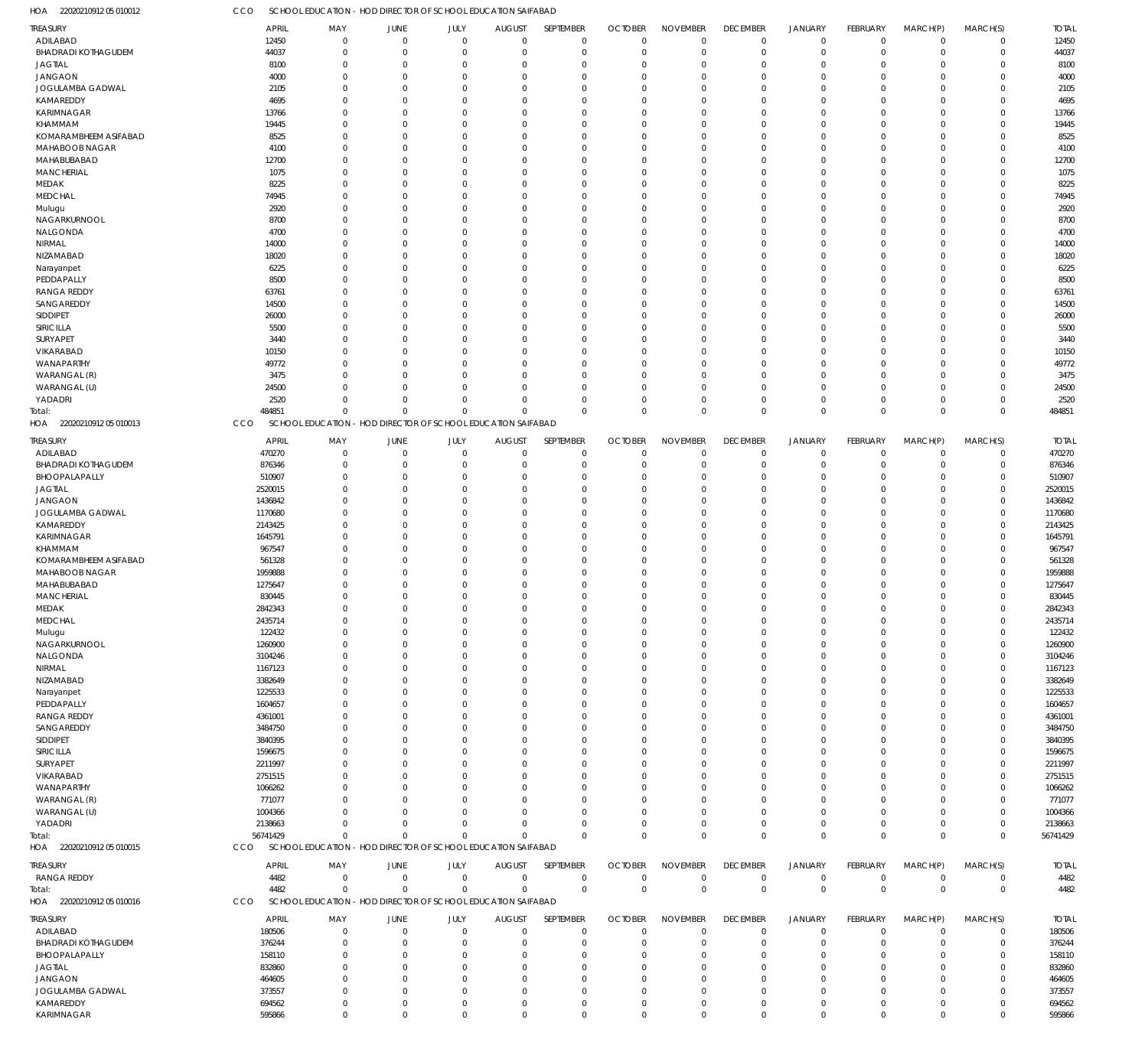22020210912 05 010012 HOA 22020210912 05 010013 HOA 22020210912 05 010015 HOA 22020210912 05 010016 HOA SCHOOL EDUCATION - HOD DIRECTOR OF SCHOOL EDUCATION SAIFABAD SCHOOL EDUCATION - HOD DIRECTOR OF SCHOOL EDUCATION SAIFABAD SCHOOL EDUCATION - HOD DIRECTOR OF SCHOOL EDUCATION SAIFABAD SCHOOL EDUCATION - HOD DIRECTOR OF SCHOOL EDUCATION SAIFABAD CCO **CCO** CCO CCO 484851 56741429 4482 0 0  $\Omega$ 0 0 0 0 0  $\Omega$ 0 0  $\Omega$ 0 0 0  $\Omega$ 0 0 0 0 0 0 0 0 0 0  $\,$  0  $\,$ 0 0 0  $\Omega$ 0 0  $\Omega$ 0 0 484851 56741429 4482 ADILABAD BHADRADI KOTHAGUDEM JAGTIAL JANGAON JOGULAMBA GADWAL KAMAREDDY KARIMNAGAR KHAMMAM KOMARAMBHEEM ASIFABAD MAHABOOB NAGAR MAHABUBABAD MANCHERIAL MEDAK MEDCHAL Mulugu NAGARKURNOOL NALGONDA NIRMAL NIZAMABAD Narayanpet PEDDAPALLY RANGA REDDY SANGAREDDY SIDDIPET SIRICILLA SURYAPET VIKARABAD WANAPARTHY WARANGAL (R) WARANGAL (U) YADADRI ADILABAD BHADRADI KOTHAGUDEM BHOOPALAPALLY JAGTIAL JANGAON JOGULAMBA GADWAL KAMAREDDY KARIMNAGAR KHAMMAM KOMARAMBHEEM ASIFABAD MAHABOOB NAGAR MAHABUBABAD MANCHERIAL MEDAK MEDCHAL Mulugu NAGARKURNOOL NALGONDA NIRMAL NIZAMABAD Narayanpet PEDDAPALLY RANGA REDDY SANGAREDDY SIDDIPET SIRICILLA SURYAPET VIKARABAD WANAPARTHY WARANGAL (R) WARANGAL (U) YADADRI RANGA REDDY ADILABAD BHADRADI KOTHAGUDEM BHOOPALAPALLY JAGTIAL JANGAON JOGULAMBA GADWAL KAMAREDDY TREASURY TREASURY TREASURY TREASURY 12450 44037 8100 4000 2105 4695 13766 19445 8525 4100 12700 1075 8225 74945 2920 8700 4700 14000 18020 6225 8500 63761 14500 26000 5500 3440 10150 49772 3475 24500 2520 470270 876346 510907 2520015 1436842 1170680 2143425 1645791 967547 561328 1959888 1275647 830445 2842343 2435714 122432 1260900 3104246 1167123 3382649 1225533 1604657 4361001 3484750 3840395 1596675 2211997 2751515 1066262 771077 1004366 2138663 4482 180506 376244 158110 832860 464605 373557 694562 APRIL APRIL APRIL APRIL 0 0  $\Omega$ 0 0  $\Omega$ 0  $\Omega$  $\Omega$ 0  $\Omega$ 0  $\Omega$ 0 0  $\Omega$ 0  $\Omega$ 0  $\Omega$ 0 0  $\Omega$ 0  $\Omega$ 0 0  $\Omega$ 0  $\Omega$ 0 0  $\Omega$ 0  $\Omega$ 0 0  $\Omega$ 0  $\Omega$ 0 0  $\Omega$  $\Omega$  $\Omega$ 0 0 0  $\Omega$  $\Omega$ 0  $\Omega$ 0 0  $\Omega$ 0  $\Omega$ 0 0  $\sqrt{2}$ 0  $\Omega$ 0 0 0 0  $\Omega$ 0 0  $\Omega$  $\,$  0  $\,$ MAY MAY MAY MAY 0 0  $\Omega$ 0 0  $\Omega$ 0  $\Omega$ 0 0 0 0  $\Omega$ 0 0 0 0  $\Omega$ 0  $\Omega$ 0 0  $\Omega$ 0  $\Omega$ 0 0  $\Omega$ 0  $\Omega$ 0 0  $\Omega$ 0  $\Omega$ 0 0  $\Omega$ 0  $\Omega$ 0 0 0 0  $\Omega$ 0 0 0 0  $\Omega$ 0  $\Omega$ 0 0  $\Omega$ 0  $\Omega$ 0 0  $\Omega$ 0  $\Omega$ 0 0 0 0  $\Omega$ 0 0  $\Omega$  $\boldsymbol{0}$ JUNE JUNE JUNE JUNE 0 0  $\Omega$ 0 0  $\sqrt{0}$ 0  $\Omega$ 0 0 0 0  $\Omega$ 0 0 0 0  $\Omega$ 0  $\Omega$ 0 0  $\sqrt{0}$ 0  $\Omega$ 0 0  $\Omega$ 0  $\Omega$ 0 0  $\sqrt{0}$ 0  $\Omega$ 0 0 0 0  $\Omega$ 0 0 0 0  $\Omega$ 0 0 0 0  $\Omega$ 0  $\Omega$ 0 0  $\sqrt{0}$ 0  $\Omega$ 0 0  $\Omega$ 0  $\Omega$ 0 0 0 0  $\Omega$ 0 0  $\sqrt{0}$ 0 JULY JULY JULY JULY 0 0  $\Omega$ 0 0  $\sqrt{2}$ 0  $\Omega$ 0 0  $\Omega$ 0  $\Omega$ 0 0  $\Omega$ 0  $\Omega$ 0  $\Omega$ 0 0  $\Omega$ 0  $\Omega$ 0 0  $\sqrt{2}$ 0  $\Omega$ 0 0  $\Omega$ 0  $\Omega$ 0 0  $\Omega$ 0  $\Omega$ 0 0  $\Omega$ 0  $\Omega$ 0 0 0 0  $\Omega$ 0  $\Omega$ 0 0  $\Omega$ 0  $\Omega$ 0 0  $\Omega$ 0  $\Omega$ 0 0  $\Omega$ 0  $\Omega$ 0 0  $\Omega$  $\boldsymbol{0}$ AUGUST AUGUST AUGUST AUGUST 0 0  $\Omega$ 0 0  $\Omega$ 0  $\Omega$  $\Omega$ 0  $\Omega$ 0  $\Omega$ 0 0  $\Omega$  $\Omega$  $\Omega$  $\overline{0}$  $\Omega$ 0 0  $\Omega$  $\overline{0}$  $\Omega$ 0 0  $\Omega$  $\overline{0}$  $\Omega$ 0 0  $\Omega$ 0  $\Omega$ 0 0  $\Omega$ 0  $\Omega$ 0 0  $\Omega$  $\Omega$  $\Omega$  $\overline{0}$ 0 0  $\Omega$  $\Omega$  $\overline{0}$  $\Omega$  $\Omega$ 0  $\Omega$  $\overline{0}$  $\Omega$ 0 0  $\Omega$ 0  $\Omega$ 0 0  $\Omega$  $\overline{0}$  $\Omega$ 0 0  $\Omega$ 0 SEPTEMBER SEPTEMBER SEPTEMBER SEPTEMBER 0 0  $\Omega$ 0 0  $\Omega$ 0  $\Omega$  $\Omega$ 0  $\Omega$ 0  $\Omega$ 0 0  $\Omega$  $\Omega$  $\Omega$ 0  $\Omega$ 0  $\Omega$  $\Omega$ 0  $\Omega$ 0  $\Omega$  $\Omega$ 0  $\Omega$ 0 0  $\Omega$ 0  $\Omega$ 0 0  $\Omega$ 0  $\Omega$ 0 0  $\Omega$  $\Omega$  $\Omega$ 0 0 0  $\Omega$  $\Omega$ 0  $\Omega$ 0  $\Omega$  $\Omega$ 0  $\Omega$ 0  $\Omega$  $\Omega$ 0  $\Omega$ 0 0  $\Omega$ 0  $\Omega$ 0 0  $\Omega$  $\,$   $\,$   $\,$ OCTOBER OCTOBER OCTOBER OCTOBER 0 0  $\Omega$ 0 0  $\Omega$ 0  $\Omega$ 0 0  $\Omega$ 0  $\Omega$ 0 0  $\Omega$  $\Omega$  $\Omega$ 0  $\Omega$ 0 0  $\Omega$ 0  $\Omega$ 0 0  $\Omega$ 0  $\Omega$ 0 0  $\Omega$ 0  $\Omega$ 0 0  $\Omega$ 0  $\Omega$ 0 0  $\Omega$  $\Omega$  $\Omega$ 0 0 0 0  $\Omega$ 0  $\Omega$ 0 0  $\Omega$ 0  $\Omega$ 0 0  $\Omega$ 0  $\Omega$ 0 0  $\Omega$ 0  $\Omega$ 0 0  $\Omega$ 0 NOVEMBER NOVEMBER NOVEMBER NOVEMBER 0 0  $\Omega$ 0 0  $\Omega$ 0  $\Omega$  $\overline{0}$ 0  $\Omega$ 0  $\Omega$ 0 0  $\Omega$  $\Omega$  $\Omega$  $\overline{0}$  $\Omega$ 0 0  $\Omega$ 0  $\Omega$ 0 0  $\Omega$ 0  $\Omega$ 0 0  $\Omega$ 0  $\Omega$  $\overline{0}$ 0  $\Omega$ 0  $\Omega$ 0 0  $\Omega$  $\Omega$  $\Omega$  $\overline{0}$ 0 0 0  $\Omega$  $\overline{0}$  $\Omega$ 0 0  $\Omega$ 0  $\Omega$  $\overline{0}$ 0  $\Omega$ 0  $\Omega$ 0 0  $\Omega$ 0  $\Omega$ 0 0  $\Omega$  $\,$   $\,$   $\,$ DECEMBER DECEMBER DECEMBER DECEMBER 0 0  $\Omega$ 0 0  $\Omega$ 0  $\Omega$  $\Omega$ 0  $\Omega$ 0  $\Omega$ 0 0  $\Omega$ 0  $\Omega$ 0  $\Omega$ 0  $\Omega$  $\Omega$ 0  $\Omega$ 0 0  $\Omega$ 0  $\Omega$ 0 0  $\Omega$ 0  $\Omega$ 0 0  $\Omega$ 0  $\Omega$ 0 0  $\Omega$ 0  $\Omega$ 0 0 0  $\Omega$  $\Omega$ 0  $\Omega$ 0 0  $\Omega$ 0  $\Omega$ 0 0  $\Omega$ 0  $\Omega$ 0 0  $\Omega$ 0  $\Omega$ 0 0  $\Omega$  $\,$  0  $\,$ JANUARY JANUARY JANUARY JANUARY 0 0  $\Omega$ 0 0  $\Omega$ 0  $\Omega$  $\overline{0}$ 0 0 0  $\Omega$ 0 0 0 0  $\Omega$ 0  $\Omega$ 0 0  $\Omega$ 0  $\Omega$ 0 0 0 0  $\Omega$ 0 0  $\Omega$ 0  $\Omega$  $\overline{0}$ 0 0 0  $\Omega$ 0 0 0 0  $\Omega$ 0 0 0 0  $\Omega$ 0  $\Omega$ 0 0  $\Omega$ 0  $\Omega$ 0 0 0 0 0 0 0  $\Omega$ 0  $\Omega$ 0 0  $\Omega$  $\boldsymbol{0}$ FEBRUARY FEBRUARY FEBRUARY FEBRUARY 0 0  $\Omega$ 0 0  $\Omega$ 0  $\Omega$  $\overline{0}$ 0  $\Omega$ 0  $\Omega$ 0 0 0  $\Omega$  $\Omega$ 0  $\Omega$ 0  $\Omega$  $\Omega$ 0  $\Omega$ 0 0  $\Omega$ 0  $\Omega$ 0 0  $\Omega$ 0  $\Omega$  $\overline{0}$ 0  $\Omega$ 0  $\Omega$ 0 0 0  $\Omega$  $\Omega$  $\overline{0}$ 0 0  $\Omega$  $\Omega$ 0  $\Omega$ 0 0  $\Omega$ 0  $\Omega$  $\overline{0}$ 0  $\Omega$ 0  $\Omega$ 0 0  $\Omega$ 0  $\Omega$ 0 0  $\Omega$  $\,$  0  $\,$ MARCH(P) MARCH(P) MARCH(P) MARCH(P)  $\Omega$ 0  $\Omega$ 0 0  $\Omega$ 0  $\Omega$ 0 0  $\Omega$ 0  $\Omega$ 0 0 0  $\Omega$  $\Omega$ 0  $\Omega$ 0 0  $\Omega$ 0  $\Omega$ 0 0  $\Omega$ 0  $\Omega$ 0  $\Omega$  $\Omega$ 0  $\Omega$ 0 0  $\Omega$ 0  $\Omega$ 0 0 0  $\Omega$  $\Omega$ 0 0 0  $\Omega$  $\Omega$ 0  $\Omega$ 0  $\Omega$  $\Omega$ 0  $\Omega$ 0 0  $\Omega$ 0  $\Omega$ 0 0  $\Omega$ 0  $\Omega$ 0 0  $\Omega$ 0 MARCH(S) MARCH(S) MARCH(S) MARCH(S) 12450 44037 8100 4000 2105 4695 13766 19445 8525 4100 12700 1075 8225 74945 2920 8700 4700 14000 18020 6225 8500 63761 14500 26000 5500 3440 10150 49772 3475 24500 2520 470270 876346 510907 2520015 1436842 1170680 2143425 1645791 967547 561328 1959888 1275647 830445 2842343 2435714 122432 1260900 3104246 1167123 3382649 1225533 1604657 4361001 3484750 3840395 1596675 2211997 2751515 1066262 771077 1004366 2138663 4482 180506 376244 158110 832860 464605 373557 694562 TOTAL TOTAL TOTAL TOTAL Total: Total: Total:

KARIMNAGAR

595866

 $\Omega$ 

 $\Omega$ 

 $\Omega$ 

 $\Omega$ 

 $\Omega$ 

 $\Omega$ 

 $\Omega$ 

 $\Omega$ 

 $\Omega$ 

 $\Omega$ 

 $\Omega$ 

 $\Omega$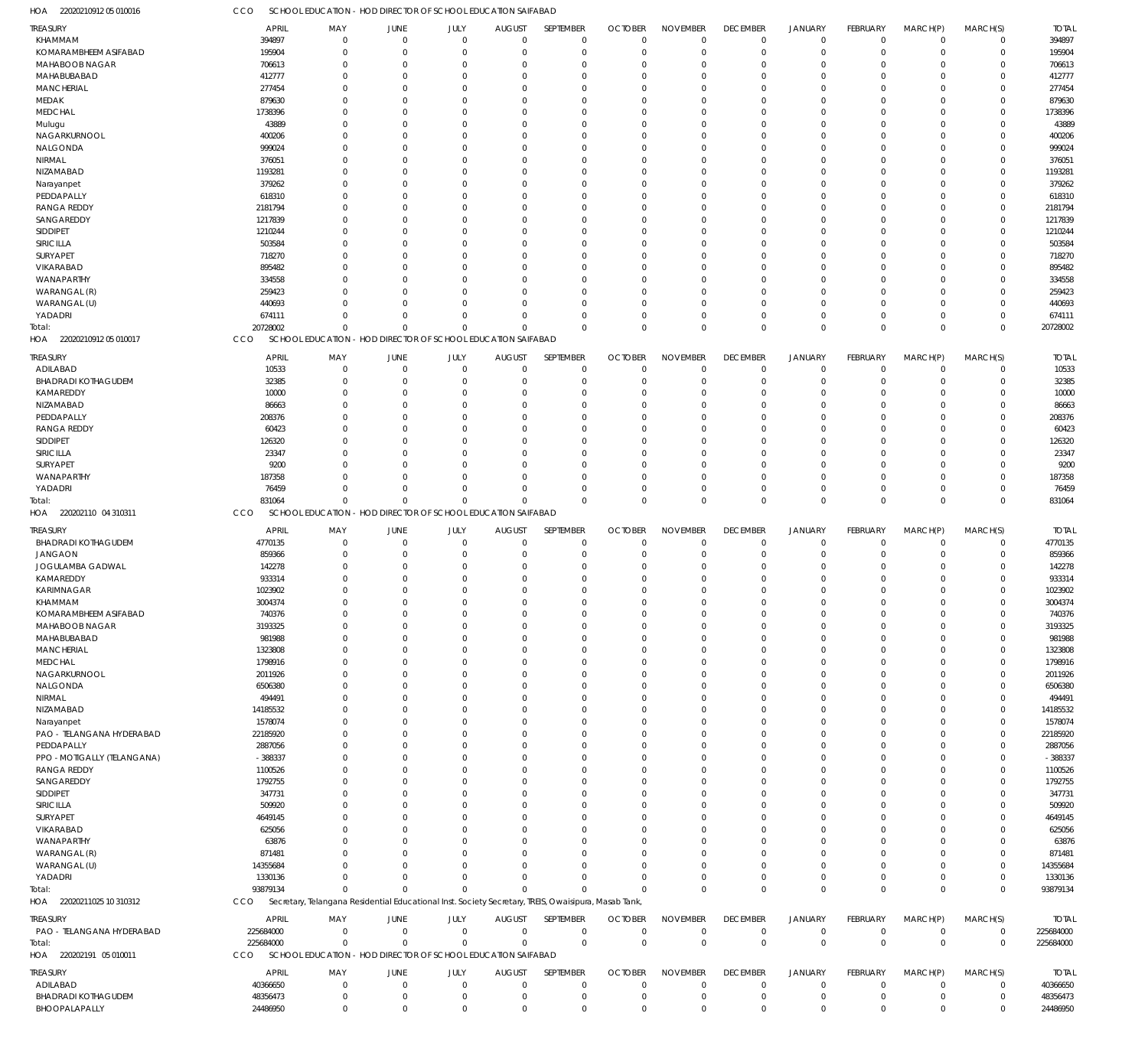22020210912 05 010016 HOA CCO SCHOOL EDUCATION - HOD DIRECTOR OF SCHOOL EDUCATION SAIFABAD

| TREASURY<br><b>APRIL</b><br>MAY<br><b>JUNE</b><br>JULY<br><b>AUGUST</b><br>SEPTEMBER<br><b>OCTOBER</b>                                                                                        | <b>NOVEMBER</b><br><b>DECEMBER</b><br><b>JANUARY</b><br>FEBRUARY<br>MARCH(P)<br>MARCH(S)<br><b>TOTAL</b>                                                         |
|-----------------------------------------------------------------------------------------------------------------------------------------------------------------------------------------------|------------------------------------------------------------------------------------------------------------------------------------------------------------------|
| KHAMMAM<br>394897<br>$\overline{0}$<br>$\overline{0}$<br>$\mathbf 0$<br>$\overline{0}$<br>0<br>$\mathbf 0$                                                                                    | 394897<br>$\mathbf 0$<br>$\mathbf 0$<br>0<br>$\Omega$<br>$\mathbf 0$<br>$\mathbf 0$                                                                              |
| KOMARAMBHEEM ASIFABAD<br>195904<br>$\overline{0}$<br>$\mathbf 0$<br>$\mathbf 0$<br>$\mathbf 0$<br>$\mathbf 0$<br>$\mathbf 0$                                                                  | $\mathbf 0$<br>195904<br>$\mathbf 0$<br>$\mathbf 0$<br>$\mathbf 0$<br>$\Omega$<br>$\Omega$                                                                       |
| MAHABOOB NAGAR<br>706613<br>$\Omega$<br>$\Omega$<br>$\Omega$<br>$\Omega$<br>$\mathbf 0$<br>$\Omega$                                                                                           | 706613<br>$\mathbf 0$<br>$\Omega$<br>$\mathbf 0$<br>$\Omega$<br>$\cup$<br>$\Omega$                                                                               |
| MAHABUBABAD<br>412777<br>$\overline{0}$<br>$\Omega$<br>$\Omega$<br>$\Omega$<br>0<br>0                                                                                                         | 412777<br>$\Omega$<br>$\mathbf 0$<br>$\mathbf 0$<br>$\Omega$<br>$\Omega$<br>C.                                                                                   |
| <b>MANCHERIAL</b><br>277454<br>$\Omega$<br>$\Omega$<br>$\Omega$<br>$\Omega$<br>$\Omega$<br>O                                                                                                  | 277454<br>$\Omega$<br>$\Omega$<br>$\mathbf 0$<br>$\Omega$<br>$\Omega$<br>C.                                                                                      |
| MEDAK<br>879630<br>$\Omega$<br>$\Omega$<br>$\Omega$<br>$\Omega$<br>O<br>$\Omega$                                                                                                              | 879630<br>$\Omega$<br>$\Omega$<br>$\Omega$<br>$\Omega$<br>$\Omega$<br>C.                                                                                         |
| <b>MEDCHAL</b><br>1738396<br>$\Omega$<br>$\Omega$<br>$\Omega$<br>$\Omega$<br>U<br>O                                                                                                           | 1738396<br>$\Omega$<br>$\Omega$<br>$\Omega$<br>$\Omega$<br>$\Omega$<br>C.                                                                                        |
| 43889<br>Mulugu<br>$\Omega$<br>$\Omega$<br>$\Omega$<br>$\Omega$<br>O<br>$\Omega$                                                                                                              | 43889<br>$\Omega$<br>$\Omega$<br>$\Omega$<br>$\Omega$<br>$\Omega$<br>C.                                                                                          |
| NAGARKURNOOL<br>400206<br>$\Omega$<br>$\Omega$<br>$\Omega$<br>$\Omega$<br>$\Omega$<br>O                                                                                                       | 400206<br>$\Omega$<br>$\Omega$<br>$\Omega$<br>$\Omega$<br>C.<br>$\Omega$                                                                                         |
| NALGONDA<br>999024<br>$\Omega$<br>$\Omega$<br>$\Omega$<br>$\Omega$<br>$\Omega$<br>O                                                                                                           | 999024<br>$\Omega$<br>$\Omega$<br>$\Omega$<br>$\Omega$<br>$\Omega$<br>C.                                                                                         |
| NIRMAL<br>376051<br>$\Omega$<br>$\Omega$<br>$\Omega$<br>$\Omega$<br>$\Omega$<br>O                                                                                                             | 376051<br>$\Omega$<br>$\Omega$<br>$\Omega$<br>$\Omega$<br>$\Omega$<br>C.                                                                                         |
| NIZAMABAD<br>1193281<br>$\Omega$<br>$\Omega$<br>$\Omega$<br>$\Omega$<br>O<br>$\Omega$                                                                                                         | 1193281<br>$\Omega$<br>$\Omega$<br>$\Omega$<br>$\Omega$<br>$\Omega$<br>C.                                                                                        |
| 379262<br>Narayanpet<br>$\Omega$<br>$\Omega$<br>$\Omega$<br>$\Omega$<br>$\Omega$<br>O                                                                                                         | 379262<br>$\mathbf 0$<br>$\Omega$<br>$\Omega$<br>$\Omega$<br>$\Omega$<br>C.                                                                                      |
| PEDDAPALLY<br>618310<br>$\Omega$<br>$\Omega$<br>$\Omega$<br>$\Omega$<br>O<br>$\Omega$                                                                                                         | 618310<br>$\Omega$<br>$\Omega$<br>$\Omega$<br>$\Omega$<br>$\Omega$<br>C.                                                                                         |
| <b>RANGA REDDY</b><br>2181794<br>$\Omega$<br>$\Omega$<br>$\Omega$<br>$\Omega$<br>$\Omega$<br>O                                                                                                | 2181794<br>$\Omega$<br>$\Omega$<br>$\Omega$<br>$\Omega$<br>$\Omega$<br>C.                                                                                        |
| SANGAREDDY<br>1217839<br>$\Omega$<br>$\Omega$<br>$\Omega$<br>$\Omega$<br>O<br>$\Omega$                                                                                                        | 1217839<br>$\mathbf 0$<br>$\mathbf 0$<br>$\mathbf 0$<br>$\Omega$<br>$\Omega$<br>C.                                                                               |
| SIDDIPET<br>1210244<br>$\Omega$<br>$\Omega$<br>$\Omega$<br>$\Omega$<br>O<br>$\Omega$                                                                                                          | 1210244<br>$\Omega$<br>$\Omega$<br>$\Omega$<br>$\Omega$<br>C.<br>$\Omega$                                                                                        |
| SIRICILLA<br>503584<br>$\Omega$<br>$\Omega$<br>$\Omega$<br>$\Omega$<br>$\Omega$<br>O                                                                                                          | 503584<br>$\Omega$<br>$\Omega$<br>$\Omega$<br>$\Omega$<br>$\Omega$<br>C.                                                                                         |
| SURYAPET<br>718270<br>$\Omega$<br>$\Omega$<br>$\Omega$<br>$\Omega$<br>$\Omega$<br>O                                                                                                           | 718270<br>$\Omega$<br>$\Omega$<br>$\Omega$<br>$\Omega$<br>$\Omega$<br>C.                                                                                         |
| VIKARABAD<br>895482<br>$\Omega$<br>$\Omega$<br>$\Omega$<br>$\Omega$<br>O<br>$\Omega$                                                                                                          | 895482<br>$\Omega$<br>$\Omega$<br>$\Omega$<br>$\Omega$<br>C.<br>$\Omega$                                                                                         |
| WANAPARTHY<br>334558<br>$\Omega$<br>$\Omega$<br>$\Omega$<br>$\Omega$<br>U<br>O                                                                                                                | 334558<br>$\mathbf 0$<br>$\Omega$<br>$\Omega$<br>$\Omega$<br>C.<br>$\Omega$                                                                                      |
| WARANGAL (R)<br>259423<br>$\Omega$<br>$\Omega$<br>$\Omega$<br>$\Omega$<br>O<br>$\Omega$                                                                                                       | 259423<br>$\Omega$<br>$\mathbf 0$<br>$\mathbf 0$<br>$\Omega$<br>$\Omega$<br>C.                                                                                   |
| WARANGAL (U)<br>440693<br>$\Omega$<br>$\Omega$<br>$\Omega$<br>$\Omega$<br>U<br>$\Omega$                                                                                                       | 440693<br>$\Omega$<br>$\Omega$<br>$\Omega$<br>$\Omega$<br>$\Omega$<br>C.                                                                                         |
| YADADRI<br>674111<br>$\Omega$<br>$\Omega$<br>$\Omega$<br>$\mathbf 0$<br>$\Omega$<br>$\Omega$                                                                                                  | $\mathbf 0$<br>674111<br>$\mathbf 0$<br>$\mathbf 0$<br>$\mathbf 0$<br>$\Omega$<br>$\Omega$                                                                       |
| 20728002<br>$\Omega$<br>$\mathbf 0$<br>$\Omega$<br>Total:<br>$\Omega$<br>$\Omega$<br>$\Omega$                                                                                                 | $\mathbf 0$<br>$\Omega$<br>20728002<br>$\Omega$<br>$\Omega$<br>$\Omega$<br>$\Omega$                                                                              |
| 22020210912 05 010017<br><b>CCO</b><br>SCHOOL EDUCATION - HOD DIRECTOR OF SCHOOL EDUCATION SAIFABAD<br>HOA                                                                                    |                                                                                                                                                                  |
| SEPTEMBER<br><b>OCTOBER</b>                                                                                                                                                                   | <b>NOVEMBER</b><br>FEBRUARY<br><b>DECEMBER</b><br><b>JANUARY</b><br><b>TOTAL</b>                                                                                 |
| TREASURY<br><b>APRIL</b><br>MAY<br><b>JUNE</b><br>JULY<br><b>AUGUST</b><br>$\Omega$<br>$\Omega$<br>$\Omega$<br>$\Omega$<br>$\mathbf 0$<br>$\mathbf 0$                                         | MARCH(P)<br>MARCH(S)<br>10533<br>$\mathbf 0$<br>$\mathbf 0$<br>$^{\circ}$<br>$\Omega$<br>$\Omega$<br>$\Omega$                                                    |
| ADILABAD<br>10533<br>$\Omega$<br>$\Omega$<br>$\Omega$<br>$\Omega$<br>$\Omega$<br>$\Omega$                                                                                                     | $\Omega$<br>$\mathbf 0$<br>$\Omega$<br>$\Omega$<br>$\Omega$                                                                                                      |
| <b>BHADRADI KOTHAGUDEM</b><br>32385<br>KAMAREDDY<br>$\Omega$<br>$\Omega$<br>$\Omega$<br>O<br>$\Omega$<br>0                                                                                    | 32385<br>O<br>$\Omega$<br>$\Omega$<br>$\Omega$<br>$\Omega$<br>$\Omega$<br>C.                                                                                     |
| 10000<br>0<br>U<br>$\Omega$<br>O<br>0<br>$\Omega$                                                                                                                                             | 10000<br>$\Omega$<br>$\Omega$<br>$\Omega$<br>$\Omega$<br>$\Omega$                                                                                                |
| NIZAMABAD<br>86663<br>$\Omega$<br>U<br>O<br>C                                                                                                                                                 | 86663<br>-0<br>$\Omega$<br>$\Omega$                                                                                                                              |
| PEDDAPALLY<br>208376<br>$\Omega$<br>$\Omega$<br>0<br>U<br>O                                                                                                                                   | 208376<br>$\Omega$<br>$\Omega$<br>$\Omega$<br>$\Omega$<br>$\Omega$                                                                                               |
| <b>RANGA REDDY</b><br>60423<br>$\Omega$<br>$\Omega$<br>U<br>O<br>C                                                                                                                            | 60423<br>$\Omega$<br>$\Omega$<br>$\Omega$<br>-0<br>$\Omega$<br>$\Omega$                                                                                          |
| SIDDIPET<br>126320<br>$\Omega$<br>O<br>$\Omega$<br>U<br>$\Omega$<br>O<br>0<br>$\Omega$                                                                                                        | 126320<br>$\Omega$<br>$\Omega$<br>23347<br>$\Omega$<br>$\Omega$<br>$\Omega$<br>$\Omega$<br>$\Omega$                                                              |
| SIRICILLA<br>23347<br>SURYAPET<br>$\Omega$<br>O<br>C<br>O                                                                                                                                     | -0<br>$\Omega$<br>$\Omega$<br>$\Omega$<br>$\Omega$<br>$\Omega$                                                                                                   |
| 9200                                                                                                                                                                                          | 9200                                                                                                                                                             |
|                                                                                                                                                                                               |                                                                                                                                                                  |
| WANAPARTHY<br>187358<br>$\Omega$<br>$\Omega$<br>$\Omega$<br>U<br>0<br>$\Omega$                                                                                                                | 187358<br>$\Omega$<br>$\Omega$<br>$\Omega$<br>$\Omega$<br>$\Omega$<br>C.                                                                                         |
| 76459<br>YADADRI<br>$\Omega$<br>$\Omega$<br>$\Omega$<br>$\Omega$<br>$\Omega$<br>U                                                                                                             | 76459<br>$\Omega$<br>$\Omega$<br>$\Omega$<br>$\Omega$<br>$\Omega$<br>O                                                                                           |
| 831064<br>$\Omega$<br>$\Omega$<br>Total:<br>$\Omega$<br>$\Omega$<br>$\Omega$<br>$\Omega$                                                                                                      | 831064<br>$\Omega$<br>$\Omega$<br>$\mathbf 0$<br>$\Omega$<br>$\Omega$<br>$\Omega$                                                                                |
| HOA 220202110 04 310311<br>CCO<br>SCHOOL EDUCATION - HOD DIRECTOR OF SCHOOL EDUCATION SAIFABAD                                                                                                |                                                                                                                                                                  |
| TREASURY<br><b>APRIL</b><br>JUNE<br>JULY<br><b>AUGUST</b><br>SEPTEMBER<br><b>OCTOBER</b><br>MAY                                                                                               | <b>NOVEMBER</b><br><b>DECEMBER</b><br><b>JANUARY</b><br>FEBRUARY<br>MARCH(P)<br>MARCH(S)<br><b>TOTAL</b>                                                         |
| <b>BHADRADI KOTHAGUDEM</b><br>4770135<br>$\overline{0}$<br>$\mathbf 0$<br>$\mathbf 0$<br>$\mathbf 0$<br>$\mathbf 0$<br>$\mathbf 0$                                                            | 4770135<br>$\mathbf 0$<br>$\mathbf 0$<br>$\mathbf 0$<br>$\Omega$<br>$\mathbf 0$<br>$\mathbf 0$                                                                   |
| <b>JANGAON</b><br>859366<br>$\mathbf 0$<br>$\overline{0}$<br>$\mathbf 0$<br>$\mathbf 0$<br>$\mathbf 0$<br>0                                                                                   | 859366<br>0<br>0<br>$\mathbf 0$<br>$\mathbf 0$<br>$\Omega$<br>0                                                                                                  |
| JOGULAMBA GADWAL<br>142278<br>$\Omega$<br>$\Omega$<br>$\Omega$<br>$\mathbf 0$<br>$\Omega$<br>$\Omega$                                                                                         | 142278<br>$\mathbf 0$<br>$\Omega$<br>$\mathbf 0$<br>$\Omega$<br>C.<br>$\Omega$                                                                                   |
| KAMAREDDY<br>933314<br>$\Omega$<br>$\Omega$<br>$\mathbf 0$<br>$\Omega$<br>$\Omega$<br>0                                                                                                       | 933314<br>$\Omega$<br>$\Omega$<br>$\mathbf 0$<br>$\Omega$<br>C.<br>$\Omega$                                                                                      |
| KARIMNAGAR<br>1023902<br>$\Omega$<br>$\Omega$<br>$\Omega$<br>$\Omega$<br>O                                                                                                                    | 1023902<br>$\Omega$<br>$\Omega$<br>$\Omega$<br>$\Omega$<br>$\Omega$<br>C.                                                                                        |
| KHAMMAM<br>3004374<br>$\Omega$<br>$\Omega$<br>$\Omega$<br>$\Omega$<br>$\Omega$<br>$\Omega$                                                                                                    | 3004374<br>$\mathbf{0}$<br>$\Omega$<br>$\Omega$<br>$\Omega$<br>$\Omega$<br>$\Omega$                                                                              |
| 740376<br>KOMARAMBHEEM ASIFABAD<br>$\Omega$<br>$\Omega$<br>$\Omega$<br>$\cap$<br>$\Omega$<br>$\Omega$                                                                                         | 740376<br>$\Omega$<br>$\Omega$<br>$\Omega$<br>$\Omega$<br>$\Omega$<br>$\Omega$                                                                                   |
| MAHABOOB NAGAR<br>3193325<br>$\mathbf 0$<br>$\mathbf 0$<br>0<br>0<br>$\Omega$<br>0                                                                                                            | 3193325<br>$\mathbf 0$<br>$\mathbf 0$<br>0<br>$\Omega$<br>C.<br>$\Omega$                                                                                         |
| MAHABUBABAD<br>981988<br>$\mathbf 0$<br>$\overline{0}$<br>$\Omega$<br>$\Omega$<br>$\mathbf 0$<br>$\mathbf 0$                                                                                  | 981988<br>$\mathbf 0$<br>$\mathbf 0$<br>$\mathbf{0}$<br>0<br>$\Omega$<br>- ( )                                                                                   |
| <b>MANCHERIAL</b><br>1323808<br>$\Omega$<br>$\Omega$<br>$\Omega$<br>$\mathbf 0$<br>$\Omega$<br>O                                                                                              | 1323808<br>$\mathbf 0$<br>$\Omega$<br>$\mathbf 0$<br>$\Omega$<br>C.<br>$\Omega$                                                                                  |
| MEDCHAL<br>1798916<br>$\Omega$<br>$\Omega$<br>$\Omega$<br>$\Omega$<br>U<br>O                                                                                                                  | 1798916<br>$\Omega$<br>$\Omega$<br>$\Omega$<br>$\Omega$<br>C.<br>ſ                                                                                               |
| NAGARKURNOOL<br>2011926<br>$\Omega$<br>$\Omega$<br>$\Omega$<br>$\Omega$<br>0<br>n                                                                                                             | 2011926<br>$\Omega$<br>$\Omega$<br>$\Omega$<br>0<br>C.<br>$\Omega$                                                                                               |
| NALGONDA<br>6506380<br>$\Omega$<br>$\Omega$<br>$\Omega$<br>$\Omega$<br>$\Omega$<br>O                                                                                                          | 6506380<br>$\mathbf 0$<br>$\Omega$<br>$\Omega$<br>$\Omega$<br>C.                                                                                                 |
| NIRMAL<br>494491<br>$\Omega$<br>$\Omega$<br>$\Omega$<br>$\Omega$<br>$\Omega$<br>n                                                                                                             | 494491<br>$\Omega$<br>$\Omega$<br>$\Omega$<br>$\Omega$<br>$\Omega$<br>-0                                                                                         |
| NIZAMABAD<br>14185532<br>$\Omega$<br>$\Omega$<br>$\Omega$<br>$\Omega$<br>$\Omega$<br>O                                                                                                        | 14185532<br>$\Omega$<br>$\Omega$<br>$\Omega$<br>$\Omega$<br>C.<br>$\Omega$                                                                                       |
| 1578074<br>Narayanpet<br>$\Omega$<br>$\Omega$<br>$\Omega$<br>$\Omega$<br>$\Omega$<br>n                                                                                                        | 1578074<br>$\mathbf 0$<br>$\Omega$<br>$\Omega$<br>0<br>$\Omega$<br>-0                                                                                            |
| PAO - TELANGANA HYDERABAD<br>22185920<br>$\Omega$<br>$\Omega$<br>$\Omega$<br>0<br>$\Omega$<br>n                                                                                               | 22185920<br>$\Omega$<br>$\Omega$<br>$\Omega$<br>$\Omega$<br>C.<br>$\Omega$                                                                                       |
| PEDDAPALLY<br>2887056<br>$\Omega$<br>$\Omega$<br>$\Omega$<br>$\Omega$<br>$\Omega$<br>n                                                                                                        | 2887056<br>$\mathbf 0$<br>$\mathbf 0$<br>$\Omega$<br>$\Omega$<br>$\Omega$<br>-0                                                                                  |
| PPO - MOTIGALLY (TELANGANA)<br>$-388337$<br>$\Omega$<br>$\Omega$<br>$\Omega$<br>$\Omega$<br>O<br>$\Omega$                                                                                     | $-388337$<br>$\Omega$<br>$\Omega$<br>$\Omega$<br>$\Omega$<br>C.<br>ſ                                                                                             |
| <b>RANGA REDDY</b><br>1100526<br>$\Omega$<br>$\Omega$<br>$\Omega$<br>$\Omega$<br>$\Omega$<br>n                                                                                                | 1100526<br>$\Omega$<br>$\Omega$<br>$\Omega$<br>$\Omega$<br>$\Omega$<br>-0                                                                                        |
| SANGAREDDY<br>1792755<br>$\Omega$<br>$\Omega$<br>$\Omega$<br>$\Omega$<br>$\Omega$<br>O                                                                                                        | 1792755<br>$\mathbf 0$<br>$\mathbf 0$<br>$\Omega$<br>$\Omega$<br>C.                                                                                              |
| SIDDIPET<br>347731<br>$\Omega$<br>$\Omega$<br>$\Omega$<br>$\Omega$<br>$\Omega$<br>n                                                                                                           | 347731<br>$\Omega$<br>$\Omega$<br>$\Omega$<br>$\Omega$<br>$\Omega$<br>-0                                                                                         |
| SIRICILLA<br>509920<br>$\Omega$<br>$\Omega$<br>$\Omega$<br>$\Omega$<br>O<br>$\Omega$                                                                                                          | 509920<br>$\Omega$<br>$\Omega$<br>$\Omega$<br>$\Omega$<br>C.<br>$\Omega$                                                                                         |
| SURYAPET<br>4649145<br>$\Omega$<br>$\Omega$<br>$\Omega$<br>0<br>$\Omega$<br>n                                                                                                                 | 4649145<br>$\mathbf 0$<br>$\Omega$<br>$\Omega$<br>0<br>$\Omega$<br>-0                                                                                            |
| VIKARABAD<br>625056<br>U<br>$\Omega$<br>$\Omega$<br>U<br>$\Omega$                                                                                                                             | 625056<br>$\Omega$<br>$\Omega$<br>$\Omega$<br>$\Omega$<br>-0                                                                                                     |
| WANAPARTHY<br>63876<br>$\Omega$<br>$\Omega$<br>0<br>$\Omega$<br>U                                                                                                                             | 63876<br>$\Omega$<br>$\Omega$<br>$\Omega$<br>$\Omega$<br>-0<br>- ( )                                                                                             |
| WARANGAL (R)<br>871481<br>$\Omega$<br>$\Omega$<br>U<br>$\Omega$<br>O<br>$\Omega$                                                                                                              | 871481<br>$\Omega$<br>$\Omega$<br>$\Omega$<br>$\Omega$<br>C.<br>$\Omega$                                                                                         |
| WARANGAL (U)<br>14355684<br>$\Omega$<br>$\Omega$<br>$\Omega$<br>$\Omega$<br>U<br>n                                                                                                            | 14355684<br>$\mathbf 0$<br>$\Omega$<br>$\Omega$<br>$\Omega$<br>$\Omega$<br>-0                                                                                    |
| YADADRI<br>1330136<br>$\Omega$<br>$\Omega$<br>$\Omega$<br>$\Omega$<br>O<br>$\Omega$                                                                                                           | 1330136<br>$\mathbf 0$<br>$\mathbf 0$<br>$\mathbf 0$<br>$\Omega$<br>O<br>$\Omega$                                                                                |
| 93879134<br>$\Omega$<br>$\Omega$<br>Total:<br>$\Omega$<br>$\Omega$<br>$\Omega$<br>$\Omega$                                                                                                    | 93879134<br>$\mathbf 0$<br>$\mathbf 0$<br>$\mathbf 0$<br>$\mathbf{0}$<br>$\Omega$<br>$\Omega$                                                                    |
| 22020211025 10 310312<br>Secretary, Telangana Residential Educational Inst. Society Secretary, TREIS, Owaisipura, Masab Tank,<br>HOA<br><b>CCO</b>                                            |                                                                                                                                                                  |
| <b>APRIL</b><br><b>JUNE</b><br>JULY<br>SEPTEMBER<br><b>OCTOBER</b><br>TREASURY<br>MAY<br><b>AUGUST</b>                                                                                        | <b>NOVEMBER</b><br><b>DECEMBER</b><br><b>JANUARY</b><br>FEBRUARY<br><b>TOTAL</b><br>MARCH(P)<br>MARCH(S)                                                         |
| 225684000<br>$\overline{0}$<br>PAO - TELANGANA HYDERABAD<br>$\mathbf 0$<br>$\mathbf 0$<br>$\mathbf 0$<br>$\mathbf 0$<br>$\mathbf 0$                                                           | 225684000<br>$\mathbf 0$<br>$\mathbf 0$<br>$\mathbf 0$<br>$\mathbf 0$<br>$\mathbf 0$<br>$\mathbf 0$                                                              |
| Total:<br>225684000<br>$\mathbf 0$<br>$\overline{0}$<br>$\mathbf 0$<br>$\mathbf 0$<br>$\mathbf 0$<br>$\overline{0}$                                                                           | 225684000<br>$\mathbf 0$<br>$\mathbf 0$<br>$\mathbf 0$<br>$\mathbf 0$<br>$\Omega$<br>$\mathbf 0$                                                                 |
| HOA 220202191 05 010011<br>CCO<br>SCHOOL EDUCATION - HOD DIRECTOR OF SCHOOL EDUCATION SAIFABAD                                                                                                |                                                                                                                                                                  |
|                                                                                                                                                                                               |                                                                                                                                                                  |
| TREASURY<br><b>APRIL</b><br>MAY<br><b>JUNE</b><br>JULY<br><b>AUGUST</b><br>SEPTEMBER<br><b>OCTOBER</b>                                                                                        | <b>NOVEMBER</b><br><b>DECEMBER</b><br><b>JANUARY</b><br>FEBRUARY<br>MARCH(P)<br>MARCH(S)<br><b>TOTAL</b>                                                         |
| 40366650<br>ADILABAD<br>0<br>$\overline{0}$<br>0<br>$\overline{0}$<br>0<br>0<br><b>BHADRADI KOTHAGUDEM</b><br>48356473<br>$\overline{0}$<br>$\mathbf 0$<br>$\pmb{0}$<br>$\mathbf 0$<br>0<br>0 | 40366650<br>0<br>0<br>$\mathbf 0$<br>0<br>$\mathbf 0$<br>0<br>$\mathbf 0$<br>$\mathbf 0$<br>$\mathbf 0$<br>48356473<br>$\mathbf 0$<br>$\mathbf 0$<br>$\mathbf 0$ |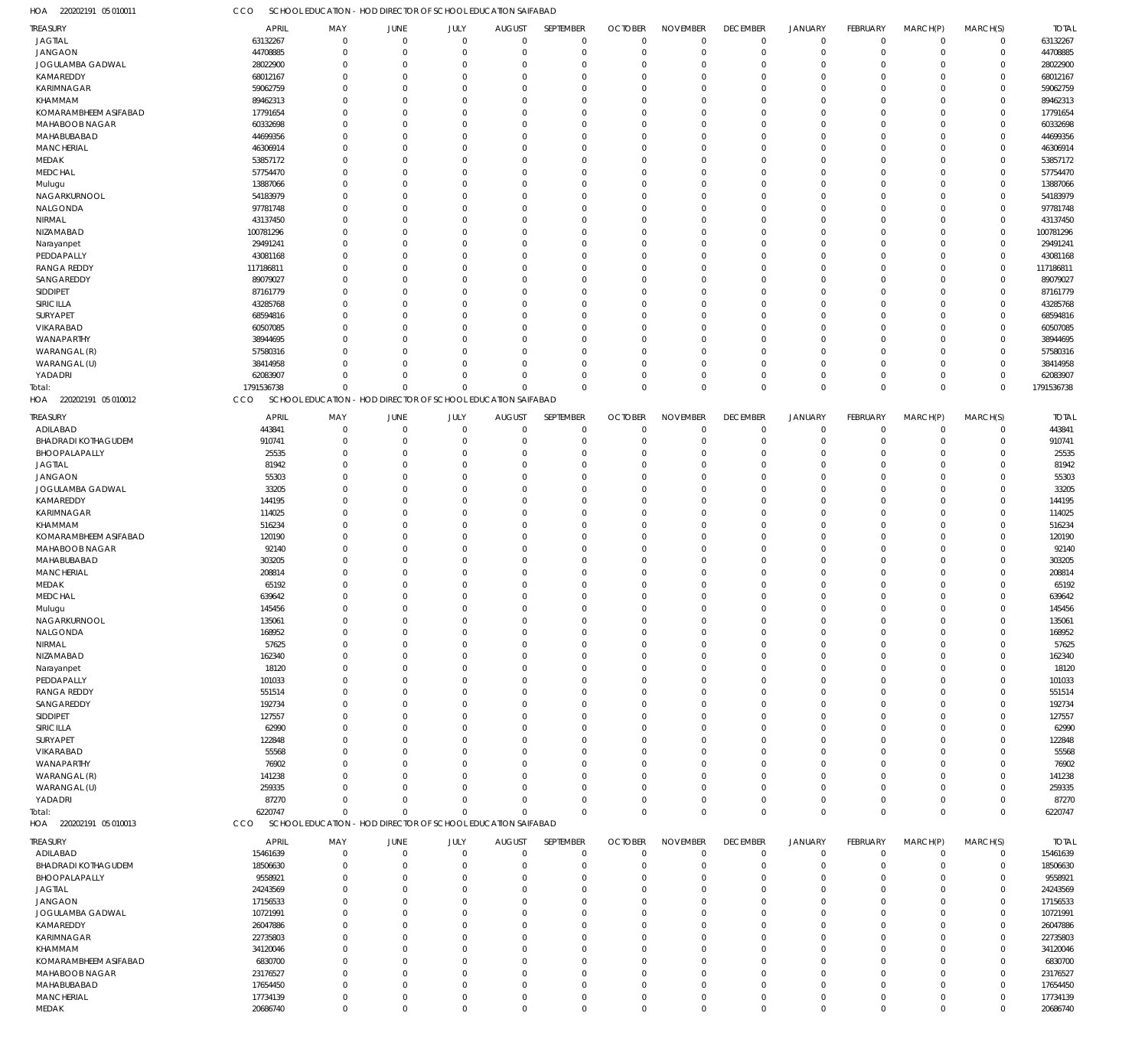220202191 05 010011 HOA CCO SCHOOL EDUCATION - HOD DIRECTOR OF SCHOOL EDUCATION SAIFABAD

| TREASURY                   |            |                                                              |          |             |               |                |                |                 |                 |                |             |             |              |              |
|----------------------------|------------|--------------------------------------------------------------|----------|-------------|---------------|----------------|----------------|-----------------|-----------------|----------------|-------------|-------------|--------------|--------------|
|                            | APRIL      | MAY                                                          | JUNE     | JULY        | <b>AUGUST</b> | SEPTEMBER      | <b>OCTOBER</b> | <b>NOVEMBER</b> | <b>DECEMBER</b> | JANUARY        | FEBRUARY    | MARCH(P)    | MARCH(S)     | <b>TOTAL</b> |
| <b>JAGTIAL</b>             | 63132267   | $\mathbf 0$                                                  | $\Omega$ | $\Omega$    | $\Omega$      | $\mathbf 0$    | $\mathbf 0$    | $\mathbf 0$     | $\overline{0}$  | $\overline{0}$ | $\Omega$    | $\mathbf 0$ | $\mathbf 0$  | 63132267     |
| <b>JANGAON</b>             | 44708885   | $\Omega$                                                     | $\Omega$ | $\Omega$    | $\Omega$      | $\Omega$       | $\Omega$       | $\Omega$        | $\Omega$        | $\overline{0}$ | $\Omega$    | $\Omega$    | $\mathbf 0$  | 44708885     |
|                            |            |                                                              |          |             |               |                |                |                 |                 |                |             |             |              |              |
| JOGULAMBA GADWAL           | 28022900   | $\Omega$                                                     | $\Omega$ | $\Omega$    | $\Omega$      | $\Omega$       | $\Omega$       | $\Omega$        | $\Omega$        | $\Omega$       | $\Omega$    | $\Omega$    | $\Omega$     | 28022900     |
| KAMAREDDY                  | 68012167   | $\Omega$                                                     | $\Omega$ | $\Omega$    | $\Omega$      | $\Omega$       | $\Omega$       | $\Omega$        | $\Omega$        | $\Omega$       | $\Omega$    | $\Omega$    | $\Omega$     | 68012167     |
| <b>KARIMNAGAR</b>          | 59062759   | $\Omega$                                                     |          |             | $\Omega$      | $\Omega$       | $\Omega$       | $\Omega$        | $\Omega$        | $\Omega$       |             | O           | $\Omega$     | 59062759     |
|                            |            |                                                              |          |             |               |                |                |                 |                 |                |             |             |              |              |
| KHAMMAM                    | 89462313   | $\Omega$                                                     | $\Omega$ | $\Omega$    | $\Omega$      | $\Omega$       | $\Omega$       | $\Omega$        | $\Omega$        | $\Omega$       | O           | $\Omega$    | $\Omega$     | 89462313     |
| KOMARAMBHEEM ASIFABAD      | 17791654   | $\Omega$                                                     |          |             | $\Omega$      | $\Omega$       | $\Omega$       | $\Omega$        | $\Omega$        | $\Omega$       |             | O           | $\Omega$     | 17791654     |
| MAHABOOB NAGAR             | 60332698   | $\Omega$                                                     |          | $\Omega$    | $\Omega$      | $\Omega$       | $\Omega$       | $\Omega$        | $\Omega$        | $\Omega$       | O           | $\Omega$    | $\Omega$     | 60332698     |
|                            |            |                                                              |          |             |               |                |                |                 |                 |                |             |             |              |              |
| MAHABUBABAD                | 44699356   | $\Omega$                                                     | $\Omega$ | $\Omega$    | $\Omega$      | $\Omega$       | $\Omega$       | $\Omega$        | $\Omega$        | $\Omega$       |             | $\Omega$    | $\Omega$     | 44699356     |
| MANCHERIAL                 | 46306914   | $\Omega$                                                     |          | $\Omega$    | $\Omega$      | $\Omega$       | $\Omega$       | $\Omega$        | $\Omega$        | $\Omega$       |             | O           | $\Omega$     | 46306914     |
| MEDAK                      |            | $\Omega$                                                     |          |             | $\Omega$      | $\Omega$       | $\Omega$       | $\Omega$        | $\Omega$        | $\Omega$       |             | O           | $\Omega$     | 53857172     |
|                            | 53857172   |                                                              |          |             |               |                |                |                 |                 |                |             |             |              |              |
| <b>MEDCHAL</b>             | 57754470   | $\Omega$                                                     |          | $\Omega$    | $\Omega$      | $\Omega$       | $\Omega$       | $\Omega$        | $\Omega$        | $\Omega$       | $\Omega$    | $\Omega$    | $\Omega$     | 57754470     |
| Mulugu                     | 13887066   | $\Omega$                                                     |          |             | $\Omega$      | $\Omega$       | $\Omega$       | $\Omega$        | $\Omega$        | $\Omega$       |             | O           | $\Omega$     | 13887066     |
|                            |            |                                                              |          |             |               |                |                |                 |                 |                |             |             |              |              |
| NAGARKURNOOL               | 54183979   | $\Omega$                                                     | $\Omega$ | $\Omega$    | $\Omega$      | $\Omega$       | $\Omega$       | $\Omega$        | $\Omega$        | $\Omega$       | O           | $\Omega$    | $\Omega$     | 54183979     |
| NALGONDA                   | 97781748   | $\Omega$                                                     |          |             | $\Omega$      | $\Omega$       | $\Omega$       | $\Omega$        | $\Omega$        | $\Omega$       |             | O           | $\Omega$     | 97781748     |
| NIRMAL                     | 43137450   | $\Omega$                                                     |          | $\Omega$    | $\Omega$      | $\Omega$       | $\Omega$       | $\Omega$        | $\Omega$        | $\Omega$       | O           | $\Omega$    | $\Omega$     | 43137450     |
|                            |            |                                                              |          |             |               |                |                |                 |                 |                |             |             |              |              |
| NIZAMABAD                  | 100781296  | $\Omega$                                                     | $\Omega$ | $\Omega$    | $\Omega$      | $\Omega$       | $\Omega$       | $\Omega$        | $\Omega$        | $\Omega$       |             | $\Omega$    | $\Omega$     | 100781296    |
| Narayanpet                 | 29491241   | $\Omega$                                                     |          | $\Omega$    | $\Omega$      | $\Omega$       | $\Omega$       | $\Omega$        | $\Omega$        | $\Omega$       |             | O           | $\Omega$     | 29491241     |
| PEDDAPALLY                 | 43081168   | $\Omega$                                                     |          |             | $\Omega$      | $\Omega$       | $\Omega$       | $\Omega$        | $\Omega$        | $\Omega$       |             | O           | $\Omega$     | 43081168     |
|                            |            |                                                              |          |             |               |                |                |                 |                 |                |             |             |              |              |
| <b>RANGA REDDY</b>         | 117186811  | $\Omega$                                                     | $\Omega$ | $\Omega$    | $\Omega$      | $\Omega$       | $\Omega$       | $\Omega$        | $\Omega$        | $\Omega$       | $\Omega$    | $\Omega$    | $\Omega$     | 117186811    |
| SANGAREDDY                 | 89079027   | $\Omega$                                                     |          |             | $\Omega$      | $\Omega$       | $\Omega$       | $\Omega$        | $\Omega$        | $\Omega$       |             | O           | $\Omega$     | 89079027     |
| SIDDIPET                   | 87161779   | $\Omega$                                                     | $\Omega$ | $\Omega$    | $\Omega$      | $\Omega$       | $\Omega$       | $\Omega$        | $\Omega$        | $\Omega$       | O           | O           | $\Omega$     | 87161779     |
|                            |            |                                                              |          |             |               |                |                |                 |                 |                |             |             |              |              |
| SIRICILLA                  | 43285768   | $\Omega$                                                     |          |             | $\Omega$      | $\Omega$       | $\Omega$       | $\Omega$        | $\Omega$        | $\Omega$       |             | $\Omega$    | $\Omega$     | 43285768     |
| SURYAPET                   | 68594816   | $\Omega$                                                     |          | $\Omega$    | $\Omega$      | $\Omega$       | $\Omega$       | $\Omega$        | $\Omega$        | $\Omega$       | O           | O           | $\Omega$     | 68594816     |
|                            |            |                                                              |          |             |               |                |                |                 |                 |                |             |             |              |              |
| VIKARABAD                  | 60507085   | $\Omega$                                                     |          | $\Omega$    | $\Omega$      | $\Omega$       | $\Omega$       | $\Omega$        | $\Omega$        | $\Omega$       |             | O           | $\Omega$     | 60507085     |
| WANAPARTHY                 | 38944695   | $\Omega$                                                     | $\Omega$ | $\Omega$    | $\Omega$      | $\Omega$       | $\Omega$       | $\Omega$        | $\Omega$        | $\Omega$       | O           | $\Omega$    | $\Omega$     | 38944695     |
| WARANGAL (R)               | 57580316   | $\Omega$                                                     |          | $\Omega$    | $\Omega$      | $\Omega$       | $\Omega$       | $\Omega$        | $\Omega$        | $\Omega$       |             | C           | $\Omega$     | 57580316     |
|                            |            |                                                              |          |             |               |                |                |                 |                 |                |             |             |              |              |
| WARANGAL (U)               | 38414958   | $\Omega$                                                     | $\Omega$ | $\Omega$    | $\Omega$      | $\Omega$       | $\Omega$       | $\Omega$        | $\Omega$        | $\Omega$       | $\Omega$    | $\Omega$    | $\Omega$     | 38414958     |
| YADADRI                    | 62083907   | $\Omega$                                                     | $\Omega$ | $\Omega$    | $\Omega$      | $\Omega$       | $\Omega$       | $\Omega$        | 0               | $\overline{0}$ | $\Omega$    | $\Omega$    | $\mathbf 0$  | 62083907     |
|                            | 1791536738 | $\Omega$                                                     | $\Omega$ | $\Omega$    | $\Omega$      | $\Omega$       | $\Omega$       | $\Omega$        | $\Omega$        | $\overline{0}$ | $\Omega$    | $\Omega$    | $\Omega$     | 1791536738   |
| Total:                     |            |                                                              |          |             |               |                |                |                 |                 |                |             |             |              |              |
| 220202191 05 010012<br>HOA | CCO        | SCHOOL EDUCATION - HOD DIRECTOR OF SCHOOL EDUCATION SAIFABAD |          |             |               |                |                |                 |                 |                |             |             |              |              |
|                            |            |                                                              |          |             |               |                |                |                 |                 |                |             |             |              |              |
| <b>TREASURY</b>            | APRIL      | MAY                                                          | JUNE     | JULY        | <b>AUGUST</b> | SEPTEMBER      | <b>OCTOBER</b> | <b>NOVEMBER</b> | <b>DECEMBER</b> | JANUARY        | FEBRUARY    | MARCH(P)    | MARCH(S)     | <b>TOTAL</b> |
| ADILABAD                   | 443841     | $\mathbf 0$                                                  | $\Omega$ | $\Omega$    | $\Omega$      | $\mathbf 0$    | $\Omega$       | $\mathbf 0$     | $\mathbf 0$     | $\overline{0}$ | $\Omega$    | $\Omega$    | $\mathbf 0$  | 443841       |
| <b>BHADRADI KOTHAGUDEM</b> | 910741     | $\mathbf 0$                                                  | $\Omega$ | $\Omega$    | $\Omega$      | $\overline{0}$ | $\Omega$       | $\mathbf 0$     | $\mathbf 0$     | $\overline{0}$ | $\Omega$    | $\Omega$    | $\mathsf 0$  | 910741       |
|                            |            |                                                              |          |             |               |                |                |                 |                 |                |             |             |              |              |
| BHOOPALAPALLY              | 25535      | $\Omega$                                                     | $\Omega$ | $\Omega$    | $\Omega$      | $\Omega$       | $\Omega$       | $\Omega$        | $\Omega$        | $\Omega$       | $\Omega$    | $\Omega$    | $\mathbf 0$  | 25535        |
| <b>JAGTIAL</b>             | 81942      | $\Omega$                                                     | $\Omega$ | $\Omega$    | $\Omega$      | $\Omega$       | $\Omega$       | $\Omega$        | $\Omega$        | $\Omega$       | $\Omega$    | $\Omega$    | $\mathbf 0$  | 81942        |
|                            |            |                                                              | $\Omega$ | $\Omega$    |               | $\Omega$       |                | $\Omega$        |                 |                |             |             |              |              |
| <b>JANGAON</b>             | 55303      | $\Omega$                                                     |          |             | $\Omega$      |                | $\Omega$       |                 | $\Omega$        | $\Omega$       | $\Omega$    | $\Omega$    | $\mathbf 0$  | 55303        |
| JOGULAMBA GADWAL           | 33205      | $\Omega$                                                     | $\Omega$ | $\Omega$    | $\Omega$      | $\Omega$       | $\Omega$       | $\Omega$        | $\Omega$        | $\Omega$       | $\Omega$    | $\Omega$    | $\mathbf 0$  | 33205        |
| KAMAREDDY                  | 144195     | $\Omega$                                                     | $\Omega$ | $\Omega$    | $\Omega$      | $\Omega$       | $\Omega$       | $\Omega$        | $\Omega$        | $\Omega$       | $\Omega$    | $\Omega$    | $\mathbf 0$  | 144195       |
|                            |            |                                                              |          |             |               |                |                |                 |                 |                |             |             |              |              |
| KARIMNAGAR                 | 114025     | $\Omega$                                                     | $\Omega$ | $\Omega$    | $\Omega$      | $\Omega$       | $\Omega$       | $\Omega$        | $\Omega$        | $\Omega$       | $\Omega$    | $\Omega$    | $\mathbf 0$  | 114025       |
| KHAMMAM                    | 516234     | $\Omega$                                                     | $\Omega$ | $\Omega$    | $\Omega$      | $\Omega$       | $\Omega$       | $\Omega$        | $\Omega$        | $\Omega$       | $\Omega$    | $\Omega$    | $\mathbf 0$  | 516234       |
| KOMARAMBHEEM ASIFABAD      | 120190     | $\Omega$                                                     | $\Omega$ | $\Omega$    | $\Omega$      | $\Omega$       | $\Omega$       | $\Omega$        | $\Omega$        | $\Omega$       | $\Omega$    | $\Omega$    | $\mathbf 0$  | 120190       |
|                            |            |                                                              |          |             |               |                |                |                 |                 |                |             |             |              |              |
|                            |            |                                                              |          |             |               |                |                |                 |                 |                |             |             |              |              |
| MAHABOOB NAGAR             | 92140      | $\Omega$                                                     | $\Omega$ | $\Omega$    | $\Omega$      | $\Omega$       | $\Omega$       | $\Omega$        | $\Omega$        | $\Omega$       | $\Omega$    | $\Omega$    | $\mathbf 0$  | 92140        |
|                            |            | $\Omega$                                                     | $\Omega$ | $\Omega$    | $\Omega$      | $\Omega$       | $\Omega$       | $\Omega$        | $\Omega$        | $\Omega$       | $\Omega$    | $\Omega$    |              |              |
| MAHABUBABAD                | 303205     |                                                              |          |             |               |                |                |                 |                 |                |             |             | $\mathbf 0$  | 303205       |
| <b>MANCHERIAL</b>          | 208814     | $\Omega$                                                     | $\Omega$ | $\Omega$    | $\Omega$      | $\Omega$       | $\Omega$       | $\Omega$        | $\Omega$        | $\Omega$       | $\Omega$    | $\Omega$    | $\mathbf 0$  | 208814       |
| MEDAK                      | 65192      | $\Omega$                                                     | $\Omega$ | $\Omega$    | $\Omega$      | $\Omega$       | $\Omega$       | $\Omega$        | $\Omega$        | $\Omega$       | $\Omega$    | $\Omega$    | $\mathbf 0$  | 65192        |
|                            |            |                                                              |          |             |               |                |                |                 |                 |                |             |             |              |              |
| <b>MEDCHAL</b>             | 639642     | $\Omega$                                                     | $\Omega$ | $\Omega$    | $\Omega$      | $\Omega$       | $\Omega$       | $\Omega$        | $\Omega$        | $\Omega$       | $\Omega$    | $\Omega$    | $\Omega$     | 639642       |
| Mulugu                     | 145456     | $\Omega$                                                     | $\Omega$ | $\Omega$    | $\Omega$      | $\Omega$       | $\Omega$       | $\Omega$        | $\Omega$        | $\Omega$       | $\Omega$    | $\Omega$    | $\mathbf{0}$ | 145456       |
|                            |            | $\mathbf{0}$                                                 | $\Omega$ | $\Omega$    | $\mathbf{0}$  | $\mathbf 0$    | $\Omega$       | $\Omega$        | $\Omega$        | $\Omega$       | $\Omega$    | $\Omega$    | $\mathbf 0$  |              |
| NAGARKURNOOL               | 135061     |                                                              |          |             |               |                |                |                 |                 |                |             |             |              | 135061       |
| NALGONDA                   | 168952     | $\mathbf 0$                                                  | $\Omega$ | $\Omega$    | $\Omega$      | $\mathbf 0$    | $\Omega$       | $\mathbf 0$     | 0               | $^{\circ}$     | $\Omega$    | $\Omega$    | $\mathbf 0$  | 168952       |
| <b>NIRMAL</b>              | 57625      | $\Omega$                                                     | $\Omega$ | $\Omega$    | $\Omega$      | $^{\circ}$     | $\Omega$       | $\mathbf 0$     | $\Omega$        | $\Omega$       | 0           | $\Omega$    | $\mathbf 0$  | 57625        |
|                            |            | $\Omega$                                                     | - 0      | $\Omega$    | $\Omega$      | $\Omega$       | $\Omega$       | $\Omega$        | $\Omega$        | $\Omega$       | O           | $\Omega$    | $\mathbf 0$  |              |
| NIZAMABAD                  | 162340     |                                                              |          |             |               |                |                |                 |                 |                |             |             |              | 162340       |
| Narayanpet                 | 18120      | $\Omega$                                                     |          |             | $\Omega$      | $\Omega$       | $\Omega$       | $\Omega$        | $\Omega$        | $\Omega$       | O           | $\Omega$    | $\mathbf 0$  | 18120        |
| PEDDAPALLY                 | 101033     | $\Omega$                                                     |          | $\Omega$    | $\Omega$      | $\Omega$       | $\Omega$       | $\Omega$        | $\Omega$        | $\Omega$       | O           | $\Omega$    | $\mathbf 0$  | 101033       |
|                            |            | $\Omega$                                                     | - 0      | $\Omega$    | $\Omega$      | $\Omega$       | $\Omega$       | $\Omega$        | $\Omega$        | $\Omega$       | O           | $\Omega$    | $\Omega$     |              |
| <b>RANGA REDDY</b>         | 551514     |                                                              |          |             |               |                |                |                 |                 |                |             |             |              | 551514       |
| SANGAREDDY                 | 192734     | $\Omega$                                                     |          | $\Omega$    | $\Omega$      | $\Omega$       | $\Omega$       | $\Omega$        | $\Omega$        | $\Omega$       | O           | $\Omega$    | $\mathbf 0$  | 192734       |
| SIDDIPET                   | 127557     | $\Omega$                                                     |          |             | <sup>0</sup>  | $\Omega$       | $\Omega$       | $\Omega$        | $\Omega$        | $\Omega$       | O           | $\Omega$    | $\mathbf 0$  | 127557       |
|                            |            | $\Omega$                                                     |          | $\Omega$    | $\Omega$      | $\Omega$       | 0              | $\Omega$        | $\Omega$        | $\Omega$       | O           | $\Omega$    |              |              |
| SIRICILLA                  | 62990      |                                                              |          |             |               |                |                |                 |                 |                |             |             | $\mathbf 0$  | 62990        |
| <b>SURYAPET</b>            | 122848     | $\Omega$                                                     |          | $\Omega$    | $\Omega$      | $\Omega$       | $\Omega$       | $\Omega$        | $\Omega$        | $\Omega$       | 0           | $\Omega$    | $\mathbf 0$  | 122848       |
| VIKARABAD                  | 55568      | $\Omega$                                                     |          | $\Omega$    | $\Omega$      | $\Omega$       | $\Omega$       | $\Omega$        | $\Omega$        | $\Omega$       | O           | $\Omega$    | $\mathbf 0$  | 55568        |
|                            |            | $\Omega$                                                     |          | $\Omega$    | $\Omega$      | $\Omega$       | $\Omega$       | $\Omega$        | $\Omega$        | $\Omega$       | O           | $\Omega$    | $\Omega$     |              |
| WANAPARTHY                 | 76902      |                                                              |          |             |               |                |                |                 |                 |                |             |             |              | 76902        |
| WARANGAL (R)               | 141238     | $\Omega$                                                     | - 0      | $\Omega$    | $\Omega$      | $\Omega$       | $\Omega$       | $\Omega$        | $\Omega$        | $\Omega$       | 0           | $\Omega$    | $\mathbf 0$  | 141238       |
| WARANGAL (U)               | 259335     | $\Omega$                                                     | $\Omega$ | $\Omega$    | $\Omega$      | $\Omega$       | $\Omega$       | $\Omega$        | $\Omega$        | $\Omega$       | 0           | $\Omega$    | $\mathbf 0$  | 259335       |
|                            |            |                                                              |          |             |               |                |                |                 |                 |                |             |             |              |              |
| YADADRI                    | 87270      | $\mathbf{0}$                                                 | $\Omega$ | $\Omega$    | $\Omega$      | $\Omega$       | $\Omega$       | $\mathbf 0$     | 0               | $\overline{0}$ | $\Omega$    | $\Omega$    | $\mathbf 0$  | 87270        |
| Total:                     | 6220747    | $\Omega$                                                     | $\Omega$ | $\Omega$    | $\Omega$      | $\Omega$       | $\Omega$       | $\Omega$        | $\mathbf 0$     | $\overline{0}$ | $\Omega$    | $\mathbf 0$ | $\mathbf 0$  | 6220747      |
| HOA 220202191 05 010013    | CCO        | SCHOOL EDUCATION - HOD DIRECTOR OF SCHOOL EDUCATION SAIFABAD |          |             |               |                |                |                 |                 |                |             |             |              |              |
|                            |            |                                                              |          |             |               |                |                |                 |                 |                |             |             |              |              |
|                            |            |                                                              |          |             |               |                |                |                 |                 |                |             |             |              |              |
| <b>TREASURY</b>            | APRIL      | MAY                                                          | JUNE     | JULY        | <b>AUGUST</b> | SEPTEMBER      | <b>OCTOBER</b> | <b>NOVEMBER</b> | <b>DECEMBER</b> | JANUARY        | FEBRUARY    | MARCH(P)    | MARCH(S)     | <b>TOTAL</b> |
| ADILABAD                   | 15461639   | $\Omega$                                                     | $\Omega$ | $\Omega$    | $\Omega$      | $\overline{0}$ | $\Omega$       | $\Omega$        | $\mathbf 0$     | $\overline{0}$ | $\Omega$    | $\Omega$    | 0            | 15461639     |
| <b>BHADRADI KOTHAGUDEM</b> | 18506630   | $\Omega$                                                     | $\Omega$ | $\Omega$    | $\Omega$      | $\mathbf 0$    | $\Omega$       | $\Omega$        | 0               | $\overline{0}$ | $\Omega$    | $\Omega$    | $\mathbf 0$  | 18506630     |
|                            |            |                                                              |          |             |               |                |                |                 |                 |                |             |             |              |              |
| BHOOPALAPALLY              | 9558921    | $\Omega$                                                     |          |             | $\Omega$      | $\Omega$       | $\Omega$       | $\Omega$        | $\Omega$        | $\Omega$       |             | O           | $\Omega$     | 9558921      |
| <b>JAGTIAL</b>             | 24243569   | $\Omega$                                                     |          | $\Omega$    | $\Omega$      | $\Omega$       | $\Omega$       | $\Omega$        | $\Omega$        | $\Omega$       |             | $\Omega$    | $\Omega$     | 24243569     |
|                            |            | $\Omega$                                                     |          |             | $\Omega$      | $\Omega$       | U              | $\Omega$        | $\Omega$        | $\Omega$       |             | $\Omega$    | $\Omega$     |              |
| <b>JANGAON</b>             | 17156533   |                                                              |          |             |               |                |                |                 |                 |                |             |             |              | 17156533     |
| JOGULAMBA GADWAL           | 10721991   | $\Omega$                                                     |          |             | $\Omega$      | $\Omega$       | 0              | $\Omega$        | $\Omega$        | $\Omega$       |             | $\Omega$    | $\Omega$     | 10721991     |
| KAMAREDDY                  | 26047886   | $\Omega$                                                     |          |             | <sup>0</sup>  | $\Omega$       | 0              | $\Omega$        | $\Omega$        | $\Omega$       |             | $\Omega$    | $\Omega$     | 26047886     |
|                            |            | $\Omega$                                                     |          |             | $\Omega$      | $\Omega$       | $\Omega$       | $\Omega$        | $\Omega$        | $\Omega$       |             | $\Omega$    | $\Omega$     |              |
| KARIMNAGAR                 | 22735803   |                                                              |          |             |               |                |                |                 |                 |                |             |             |              | 22735803     |
| KHAMMAM                    | 34120046   | $\Omega$                                                     |          |             | $\Omega$      | $\Omega$       | U              | $\Omega$        | $\Omega$        | $\Omega$       |             | O           | $\Omega$     | 34120046     |
| KOMARAMBHEEM ASIFABAD      | 6830700    | $\Omega$                                                     |          | $\Omega$    | $\Omega$      | $\Omega$       | $\Omega$       | $\Omega$        | $\Omega$        | $\Omega$       | O           | $\Omega$    | $\Omega$     | 6830700      |
|                            |            |                                                              |          |             |               |                |                |                 |                 |                |             |             |              |              |
| MAHABOOB NAGAR             | 23176527   | $\Omega$                                                     |          |             | $\Omega$      | $\Omega$       | 0              | $\Omega$        | $\Omega$        | $\Omega$       |             | $\Omega$    | $\Omega$     | 23176527     |
| MAHABUBABAD                | 17654450   | $\Omega$                                                     |          | $\Omega$    | $\Omega$      | $\Omega$       | $\Omega$       | $\Omega$        | $\Omega$        | $\Omega$       | O           | $\Omega$    | $\Omega$     | 17654450     |
| MANCHERIAL                 | 17734139   | $\overline{0}$                                               | $\Omega$ | $\Omega$    | $\Omega$      | $\mathbf 0$    | $\Omega$       | $\mathbf 0$     | 0               | $\mathbf 0$    | $\Omega$    | $\mathbf 0$ | $\Omega$     | 17734139     |
| MEDAK                      | 20686740   | $\mathbf 0$                                                  | $\Omega$ | $\mathbf 0$ | $\mathbf 0$   | $\mathbb O$    | $\mathbf 0$    | $\mathbf 0$     | $\mathbf 0$     | $\overline{0}$ | $\mathbf 0$ | $\mathbf 0$ | $\Omega$     | 20686740     |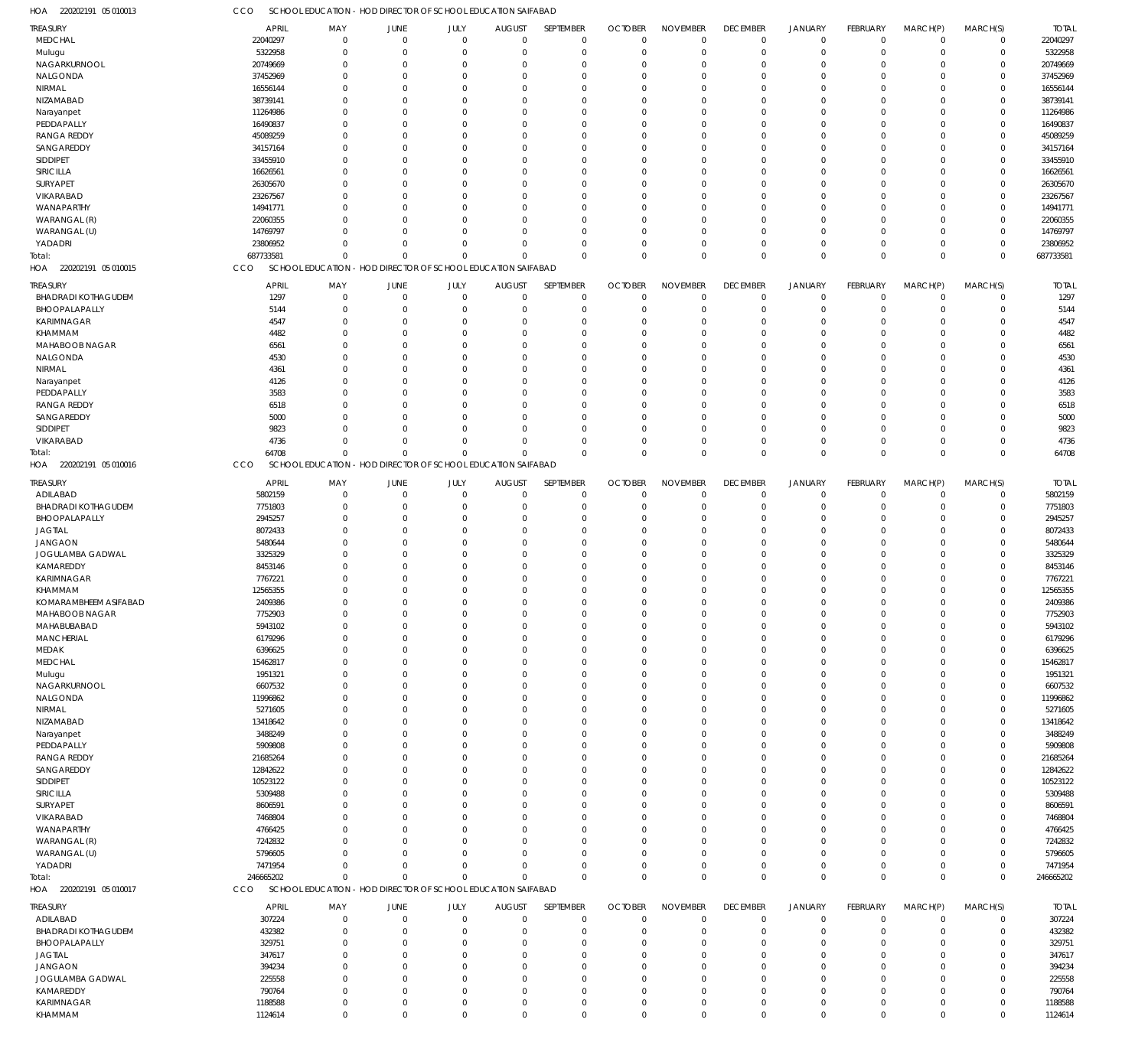220202191 05 010013 HOA CCO SCHOOL EDUCATION - HOD DIRECTOR OF SCHOOL EDUCATION SAIFABAD

| TREASURY<br><b>MEDCHAL</b> |              |                |                                                              |             |               |              |                |                 |                 |                |                 |             |             |              |
|----------------------------|--------------|----------------|--------------------------------------------------------------|-------------|---------------|--------------|----------------|-----------------|-----------------|----------------|-----------------|-------------|-------------|--------------|
|                            | APRIL        | MAY            | <b>JUNE</b>                                                  | JULY        | <b>AUGUST</b> | SEPTEMBER    | <b>OCTOBER</b> | <b>NOVEMBER</b> | <b>DECEMBER</b> | <b>JANUARY</b> | FEBRUARY        | MARCH(P)    | MARCH(S)    | <b>TOTAL</b> |
|                            | 22040297     | $\mathbf 0$    | $\mathbf 0$                                                  | $\mathbf 0$ | $\mathbf 0$   | $\mathbf 0$  | $\overline{0}$ | $\mathbf 0$     | $\mathbf 0$     | $\mathbf 0$    | $^{\circ}$      | $\mathbf 0$ | $\mathbf 0$ | 22040297     |
|                            | 5322958      | $\mathbf 0$    |                                                              | $\Omega$    | $\Omega$      | $\mathbf 0$  | O              | $\mathbf 0$     |                 | $\mathbf 0$    | $\Omega$        | $\Omega$    | $\mathbf 0$ | 5322958      |
| Mulugu                     |              |                | 0                                                            |             |               |              |                |                 | 0               |                |                 |             |             |              |
| NAGARKURNOOL               | 20749669     | $\Omega$       | $\Omega$                                                     | $\Omega$    |               | $\Omega$     | $\Omega$       | $\Omega$        | $\Omega$        | $\Omega$       | $\Omega$        | $\Omega$    | $\Omega$    | 20749669     |
| NALGONDA                   | 37452969     | $\mathbf 0$    | $\Omega$                                                     | $\Omega$    | $\Omega$      | $\mathbf 0$  | $\Omega$       | $\Omega$        | $\Omega$        | $\mathbf 0$    | $\Omega$        | $\Omega$    | $\Omega$    | 37452969     |
| NIRMAL                     | 16556144     | $\Omega$       | $\Omega$                                                     | $\Omega$    |               | $\Omega$     | $\Omega$       | $\Omega$        | -0              | $\Omega$       | $\Omega$        | $\Omega$    | $\Omega$    | 16556144     |
|                            |              |                |                                                              |             |               |              |                |                 |                 |                |                 |             |             |              |
| NIZAMABAD                  | 38739141     | $\Omega$       | $\Omega$                                                     | $\Omega$    | 0             | $\Omega$     | $\Omega$       | $\Omega$        | -0              | $\Omega$       | -C              | $\Omega$    | $\Omega$    | 38739141     |
| Narayanpet                 | 11264986     | $\Omega$       | $\Omega$                                                     | $\Omega$    |               | $\Omega$     | $\Omega$       | $\Omega$        |                 | $\Omega$       | -0              | $\Omega$    | $\Omega$    | 11264986     |
| PEDDAPALLY                 |              | $\Omega$       | $\Omega$                                                     | $\Omega$    | $\Omega$      | $\Omega$     | $\Omega$       | $\Omega$        |                 | $\Omega$       | -C              | $\Omega$    | $\Omega$    | 16490837     |
|                            | 16490837     |                |                                                              |             |               |              |                |                 | -0              |                |                 |             |             |              |
| <b>RANGA REDDY</b>         | 45089259     | $\Omega$       | $\Omega$                                                     | $\Omega$    |               | $\Omega$     | $\Omega$       | $\Omega$        | -0              | $\Omega$       |                 | $\Omega$    | $\Omega$    | 45089259     |
| SANGAREDDY                 | 34157164     | $\Omega$       | $\Omega$                                                     | $\Omega$    | $\Omega$      | $\Omega$     | $\Omega$       | $\Omega$        | $\Omega$        | $\Omega$       | $\Omega$        | $\Omega$    | $\Omega$    | 34157164     |
|                            |              |                |                                                              |             |               |              |                |                 |                 |                |                 |             |             |              |
| SIDDIPET                   | 33455910     | $\Omega$       | $\Omega$                                                     | $\Omega$    |               | $\Omega$     | $\Omega$       | $\Omega$        |                 | $\Omega$       |                 | $\Omega$    | $\Omega$    | 33455910     |
| SIRICILLA                  | 16626561     | $\Omega$       | $\Omega$                                                     | $\Omega$    | $\Omega$      | $\Omega$     | $\Omega$       | $\Omega$        | -0              | $\Omega$       | -0              | $\Omega$    | $\Omega$    | 16626561     |
| SURYAPET                   | 26305670     | $\Omega$       | $\Omega$                                                     | $\Omega$    |               | $\Omega$     | $\Omega$       | $\Omega$        | -0              | $\Omega$       | $\Omega$        | $\Omega$    | $\Omega$    | 26305670     |
|                            |              |                |                                                              |             |               |              |                |                 |                 |                |                 |             |             |              |
| VIKARABAD                  | 23267567     | $\Omega$       | $\Omega$                                                     | $\Omega$    | 0             | $\Omega$     | $\Omega$       | $\Omega$        | -0              | $\Omega$       |                 | $\Omega$    | $\Omega$    | 23267567     |
| WANAPARTHY                 | 14941771     | $\Omega$       | $\Omega$                                                     | $\Omega$    |               | $\Omega$     | $\Omega$       | $\Omega$        | -0              | $\Omega$       |                 | $\Omega$    | $\Omega$    | 14941771     |
| WARANGAL (R)               | 22060355     | $\Omega$       | $\Omega$                                                     | $\Omega$    | $\Omega$      | $\Omega$     | $\Omega$       | $\Omega$        | $\Omega$        | $\Omega$       | -C              | $\Omega$    | $\Omega$    | 22060355     |
|                            |              |                |                                                              |             |               |              |                |                 |                 |                |                 |             |             |              |
| WARANGAL (U)               | 14769797     | $\Omega$       | $\Omega$                                                     | $\Omega$    | 0             | $\Omega$     | $\Omega$       | $\Omega$        | $\Omega$        | $\Omega$       | $\Omega$        | $\Omega$    | $\Omega$    | 14769797     |
| YADADRI                    | 23806952     | $\Omega$       | $\Omega$                                                     | $\mathbf 0$ | $\Omega$      | $\mathbf 0$  | $\Omega$       | $\mathbf 0$     | $\Omega$        | $\mathbf 0$    | $\Omega$        | $\Omega$    | $\Omega$    | 23806952     |
| Total:                     | 687733581    | $\mathbf 0$    | $\Omega$                                                     | $\Omega$    | $\Omega$      | $\Omega$     | C              | $\Omega$        | $\Omega$        | $\mathbf 0$    | $\Omega$        | $\Omega$    | $\Omega$    | 687733581    |
|                            |              |                |                                                              |             |               |              |                |                 |                 |                |                 |             |             |              |
| HOA 220202191 05 010015    | CCO          |                | SCHOOL EDUCATION - HOD DIRECTOR OF SCHOOL EDUCATION SAIFABAD |             |               |              |                |                 |                 |                |                 |             |             |              |
|                            |              |                |                                                              |             |               |              |                |                 |                 |                |                 |             |             |              |
| TREASURY                   | <b>APRIL</b> | MAY            | JUNE                                                         | JULY        | <b>AUGUST</b> | SEPTEMBER    | <b>OCTOBER</b> | <b>NOVEMBER</b> | <b>DECEMBER</b> | <b>JANUARY</b> | <b>FEBRUARY</b> | MARCH(P)    | MARCH(S)    | <b>TOTAL</b> |
| <b>BHADRADI KOTHAGUDEM</b> | 1297         | $\mathbf 0$    | $\mathbf 0$                                                  | $\mathbf 0$ | $\mathbf 0$   | $\mathbf 0$  | $\mathbf 0$    | $\mathbf 0$     | $\mathbf 0$     | $\mathbf 0$    | $\Omega$        | $\Omega$    | $\Omega$    | 1297         |
| BHOOPALAPALLY              | 5144         | $\mathbf 0$    | $\mathbf 0$                                                  | $\mathbf 0$ | 0             | $\mathbf 0$  | 0              | $\mathbf 0$     | $\mathbf 0$     | $\mathbf 0$    | $\Omega$        | $\Omega$    | $\mathbf 0$ | 5144         |
|                            |              |                |                                                              |             |               |              |                |                 |                 |                |                 |             |             |              |
| KARIMNAGAR                 | 4547         | $\mathbf 0$    | $\mathbf 0$                                                  | $\mathbf 0$ | $\Omega$      | $\mathbf 0$  | $\Omega$       | $\mathbf 0$     | 0               | $\mathbf 0$    | $\Omega$        | $\Omega$    | $\Omega$    | 4547         |
| KHAMMAM                    | 4482         | $\Omega$       | $\Omega$                                                     | $\Omega$    | $\Omega$      | $\mathbf 0$  | $\Omega$       | $\Omega$        | $\Omega$        | $\Omega$       | $\Omega$        | $\Omega$    | $\Omega$    | 4482         |
| MAHABOOB NAGAR             | 6561         | $\mathbf 0$    | 0                                                            | $\Omega$    | $\Omega$      | $\mathbf 0$  | $\Omega$       | $\Omega$        | $\Omega$        | $\mathbf 0$    | $\Omega$        | $\Omega$    | $\Omega$    | 6561         |
|                            |              |                |                                                              |             |               |              |                |                 |                 |                |                 |             |             |              |
| NALGONDA                   | 4530         | $\Omega$       | $\Omega$                                                     | $\Omega$    | $\Omega$      | $\mathbf 0$  | $\Omega$       | $\Omega$        | $\Omega$        | $\Omega$       | $\Omega$        | $\Omega$    | $\Omega$    | 4530         |
| NIRMAL                     | 4361         | $\Omega$       | $\Omega$                                                     | $\Omega$    | $\Omega$      | $\mathbf 0$  | $\Omega$       | $\Omega$        | $\Omega$        | $\Omega$       | $\Omega$        | $\Omega$    | $\Omega$    | 4361         |
|                            |              | $\Omega$       | $\Omega$                                                     |             |               | $\mathbf 0$  |                |                 |                 | $\Omega$       |                 | $\Omega$    | $\Omega$    |              |
| Narayanpet                 | 4126         |                |                                                              | $\mathbf 0$ | $\Omega$      |              | $\Omega$       | $\mathbf 0$     | $\Omega$        |                | $\Omega$        |             |             | 4126         |
| PEDDAPALLY                 | 3583         | $\mathbf 0$    | $\Omega$                                                     | $\Omega$    | $\Omega$      | $\mathbf 0$  | $\Omega$       | $\Omega$        | $\Omega$        | $\Omega$       | $\Omega$        | $\Omega$    | $\Omega$    | 3583         |
| <b>RANGA REDDY</b>         | 6518         | $\Omega$       | $\Omega$                                                     | $\Omega$    | $\Omega$      | $\mathbf 0$  | $\Omega$       | $\mathbf 0$     | $\Omega$        | $\Omega$       | $\Omega$        | $\Omega$    | $\Omega$    | 6518         |
|                            |              |                |                                                              |             |               |              |                |                 |                 |                |                 |             |             |              |
| SANGAREDDY                 | 5000         | $\mathbf 0$    | 0                                                            | $\Omega$    | $\Omega$      | $\mathbf 0$  | $\Omega$       | $\Omega$        | $\Omega$        | $\mathbf 0$    | $\Omega$        | $\Omega$    | $\Omega$    | 5000         |
| SIDDIPET                   | 9823         | $\Omega$       | $\Omega$                                                     | $\mathbf 0$ | $\Omega$      | $\Omega$     | $\Omega$       | $\Omega$        | $\Omega$        | $\Omega$       | $\Omega$        | $\Omega$    | $\Omega$    | 9823         |
| VIKARABAD                  | 4736         | $\mathbf 0$    | $\Omega$                                                     | $\mathbf 0$ | $\mathbf{0}$  | $\mathbf 0$  | $\Omega$       | $\mathbf 0$     | $\mathbf 0$     | $\mathbf 0$    | $\Omega$        | $\Omega$    | $\Omega$    | 4736         |
|                            |              |                |                                                              |             |               |              |                |                 |                 |                |                 |             |             |              |
| Total:                     | 64708        | $\Omega$       | $\Omega$                                                     | $\Omega$    | $\Omega$      | $\mathbf{0}$ | $\Omega$       | $\Omega$        | $\Omega$        | $\mathbf 0$    | $\Omega$        | $\Omega$    | $\Omega$    | 64708        |
| 220202191 05 010016<br>HOA | CCO          |                | SCHOOL EDUCATION - HOD DIRECTOR OF SCHOOL EDUCATION SAIFABAD |             |               |              |                |                 |                 |                |                 |             |             |              |
|                            |              |                |                                                              |             |               |              |                |                 |                 |                |                 |             |             |              |
| TREASURY                   | APRIL        | MAY            | <b>JUNE</b>                                                  | JULY        | <b>AUGUST</b> | SEPTEMBER    | <b>OCTOBER</b> | <b>NOVEMBER</b> | <b>DECEMBER</b> | <b>JANUARY</b> | FEBRUARY        | MARCH(P)    | MARCH(S)    | <b>TOTAL</b> |
|                            | 5802159      | $\overline{0}$ | $\mathbf 0$                                                  | $\mathbf 0$ | $\mathbf 0$   | $\mathbf 0$  | $\mathbf 0$    | $\mathbf 0$     | $\mathbf 0$     | $\mathbf 0$    | $\Omega$        | $\Omega$    |             | 5802159      |
| ADILABAD                   |              |                |                                                              |             |               |              |                |                 |                 |                |                 |             | 0           |              |
| <b>BHADRADI KOTHAGUDEM</b> | 7751803      | $\mathbf 0$    | $\Omega$                                                     | $\Omega$    | $\Omega$      | $\mathbf 0$  | $\Omega$       | $\mathbf 0$     | 0               | $\mathbf 0$    | $\Omega$        | $\Omega$    | $\Omega$    | 7751803      |
| BHOOPALAPALLY              | 2945257      | $\mathbf 0$    | $\Omega$                                                     | $\Omega$    | 0             | $\mathbf 0$  | $\Omega$       | $\Omega$        | $\Omega$        | $\mathbf 0$    | $\Omega$        | $\Omega$    |             | 2945257      |
|                            |              |                |                                                              |             |               |              |                |                 |                 |                |                 |             |             |              |
| <b>JAGTIAL</b>             | 8072433      | $\Omega$       | $\Omega$                                                     | $\Omega$    | $\Omega$      | $\mathbf 0$  | $\Omega$       | $\Omega$        | $\Omega$        | $\Omega$       | $\Omega$        | $\Omega$    |             | 8072433      |
| <b>JANGAON</b>             | 5480644      | $\Omega$       | $\Omega$                                                     | $\Omega$    |               | $\Omega$     | $\Omega$       | $\Omega$        |                 | $\Omega$       |                 | $\Omega$    |             | 5480644      |
| JOGULAMBA GADWAL           | 3325329      | $\Omega$       | $\Omega$                                                     | $\Omega$    | $\Omega$      | $\mathbf 0$  | $\Omega$       | $\Omega$        | -0              | $\Omega$       | -0              | $\Omega$    |             | 3325329      |
|                            |              |                |                                                              |             |               |              |                |                 |                 |                |                 |             |             |              |
| KAMAREDDY                  | 8453146      | $\Omega$       | $\Omega$                                                     |             |               | $\Omega$     | $\Omega$       | $\Omega$        |                 | $\Omega$       |                 | $\Omega$    |             | 8453146      |
| <b>KARIMNAGAR</b>          |              |                |                                                              | $\Omega$    |               |              |                |                 |                 |                |                 |             |             |              |
|                            | 7767221      | $\Omega$       | $\Omega$                                                     | $\Omega$    | $\Omega$      | $\mathbf 0$  | $\Omega$       | $\Omega$        |                 | $\Omega$       |                 | $\Omega$    |             | 7767221      |
|                            |              |                |                                                              |             |               |              |                |                 |                 |                |                 |             |             |              |
| KHAMMAM                    | 12565355     | $\Omega$       | $\Omega$                                                     | $\Omega$    | $\Omega$      | $\Omega$     | $\Omega$       | $\Omega$        |                 | $\Omega$       | $\Omega$        | $\Omega$    |             | 12565355     |
| KOMARAMBHEEM ASIFABAD      | 2409386      | $\Omega$       | $\Omega$                                                     | $\Omega$    | $\Omega$      | $\Omega$     | $\Omega$       | $\Omega$        | $\Omega$        | $\Omega$       | $\Omega$        | $\Omega$    | $\Omega$    | 2409386      |
|                            |              | $\Omega$       |                                                              | $\cap$      |               | $\Omega$     |                | $\bigcap$       |                 |                |                 | $\Omega$    |             |              |
| MAHABOOB NAGAR             | 7752903      |                |                                                              |             |               |              |                |                 |                 |                |                 |             |             | 7752903      |
| MAHABUBABAD                | 5943102      | 0              | 0                                                            | $\Omega$    | 0             | $\mathbf 0$  | $\Omega$       | $\Omega$        | -0              | $\mathbf 0$    | $\Omega$        | $\Omega$    |             | 5943102      |
| <b>MANCHERIAL</b>          | 6179296      | $\mathbf 0$    | 0                                                            | $\Omega$    | 0             | $\mathbf 0$  | 0              | $\mathbf 0$     | $\Omega$        | $\mathbf 0$    | $\Omega$        | $\Omega$    |             | 6179296      |
|                            |              | $\mathbf 0$    | $\Omega$                                                     | $\Omega$    | $\Omega$      | $\mathbf 0$  | $\Omega$       | $\Omega$        | $\Omega$        | $\Omega$       | $\Omega$        | $\Omega$    |             |              |
| MEDAK                      | 6396625      |                |                                                              |             |               |              |                |                 |                 |                |                 |             |             | 6396625      |
| <b>MEDCHAL</b>             | 15462817     | $\Omega$       | $\Omega$                                                     | $\Omega$    |               | $\Omega$     | $\Omega$       | $\Omega$        | -0              | $\Omega$       |                 | $\Omega$    |             | 15462817     |
| Mulugu                     | 1951321      | $\mathbf 0$    | $\Omega$                                                     | $\Omega$    | $\Omega$      | $\mathbf 0$  | $\Omega$       | $\Omega$        | -0              | $\Omega$       | -0              | $\Omega$    | $\Omega$    | 1951321      |
|                            |              | $\Omega$       | $\Omega$                                                     | $\Omega$    |               | $\Omega$     | $\Omega$       | $\Omega$        | -0              | $\Omega$       | -0              | $\Omega$    |             |              |
| NAGARKURNOOL               | 6607532      |                |                                                              |             |               |              |                |                 |                 |                |                 |             |             | 6607532      |
| NALGONDA                   | 11996862     | $\Omega$       | C                                                            | $\Omega$    | 0             | $\Omega$     | $\Omega$       | $\Omega$        | -0              | $\Omega$       |                 | $\Omega$    |             | 11996862     |
| NIRMAL                     | 5271605      | $\Omega$       | $\Omega$                                                     | $\Omega$    | 0             | $\Omega$     | $\Omega$       | $\Omega$        | -0              | $\Omega$       |                 | $\Omega$    |             | 5271605      |
| NIZAMABAD                  | 13418642     | 0              | $\Omega$                                                     | $\Omega$    | $\Omega$      | $\Omega$     | $\Omega$       | $\Omega$        | -0              | $\Omega$       | -C              | $\Omega$    |             | 13418642     |
|                            |              |                |                                                              |             |               |              |                |                 |                 |                |                 |             |             |              |
| Narayanpet                 | 3488249      | $\Omega$       | $\Omega$                                                     | $\Omega$    |               | $\Omega$     | $\Omega$       | $\Omega$        | -0              | $\Omega$       |                 | $\Omega$    |             | 3488249      |
| PEDDAPALLY                 | 5909808      | 0              | $\Omega$                                                     | $\Omega$    | $\Omega$      | $\mathbf 0$  | $\Omega$       | $\Omega$        | $\Omega$        | $\Omega$       | -0              | $\Omega$    | $\Omega$    | 5909808      |
| <b>RANGA REDDY</b>         | 21685264     | $\Omega$       | $\Omega$                                                     | $\Omega$    |               | $\Omega$     | $\Omega$       | $\Omega$        |                 | $\Omega$       |                 | $\Omega$    |             | 21685264     |
|                            |              |                |                                                              |             |               |              |                |                 |                 |                |                 |             |             |              |
| SANGAREDDY                 | 12842622     | $\mathbf 0$    | $\Omega$                                                     | $\Omega$    | $\Omega$      | $\Omega$     | $\Omega$       | $\Omega$        | -0              | $\Omega$       |                 | $\Omega$    | $\Omega$    | 12842622     |
| SIDDIPET                   | 10523122     | $\Omega$       | $\Omega$                                                     | $\Omega$    |               | $\Omega$     | $\Omega$       | $\Omega$        | -0              | $\Omega$       |                 | $\Omega$    |             | 10523122     |
|                            |              | $\Omega$       | C                                                            | $\Omega$    | 0             | $\Omega$     | $\Omega$       | $\Omega$        | -0              | $\Omega$       |                 | $\Omega$    |             |              |
| SIRICILLA                  | 5309488      |                |                                                              |             |               |              |                |                 |                 |                |                 |             |             | 5309488      |
| SURYAPET                   | 8606591      | $\Omega$       | $\Omega$                                                     | $\Omega$    |               | $\Omega$     | $\Omega$       | $\Omega$        | -0              | $\Omega$       |                 | $\Omega$    |             | 8606591      |
| VIKARABAD                  | 7468804      | $\Omega$       | $\Omega$                                                     | $\Omega$    | $\Omega$      | $\Omega$     | $\Omega$       | $\Omega$        | -0              | $\Omega$       |                 | $\Omega$    |             | 7468804      |
|                            |              | $\Omega$       | $\Omega$                                                     | $\Omega$    |               | $\Omega$     | $\Omega$       | $\Omega$        | -0              | $\Omega$       |                 | $\Omega$    |             |              |
| WANAPARTHY                 | 4766425      |                |                                                              |             |               |              |                |                 |                 |                |                 |             |             | 4766425      |
| WARANGAL (R)               | 7242832      | $\Omega$       | $\Omega$                                                     | $\Omega$    | $\Omega$      | $\mathbf 0$  | $\Omega$       | $\Omega$        | $\Omega$        | $\Omega$       | -0              | $\Omega$    |             | 7242832      |
| WARANGAL (U)               | 5796605      | $\Omega$       | $\Omega$                                                     | $\Omega$    | $\Omega$      | $\Omega$     | O              | $\Omega$        | -0              | $\Omega$       | -C              | $\Omega$    |             | 5796605      |
|                            |              |                | $\Omega$                                                     | $\Omega$    | $\Omega$      |              | $\Omega$       |                 |                 |                | $\Omega$        | $\Omega$    | $\Omega$    |              |
| YADADRI                    | 7471954      | $\mathbf 0$    |                                                              |             |               | $\mathbf 0$  |                | $\mathbf 0$     | 0               | $\mathbf 0$    |                 |             |             | 7471954      |
| Total:                     | 246665202    | $\mathbf 0$    | $\mathbf 0$                                                  | $\Omega$    | $\Omega$      | $\mathbf 0$  | C              | $\mathbf 0$     | $\Omega$        | $\mathbf 0$    | $\Omega$        | $\Omega$    | $\Omega$    | 246665202    |
| HOA 220202191 05 010017    | CCO          |                | SCHOOL EDUCATION - HOD DIRECTOR OF SCHOOL EDUCATION SAIFABAD |             |               |              |                |                 |                 |                |                 |             |             |              |
|                            |              |                |                                                              |             |               |              |                |                 |                 |                |                 |             |             |              |
| TREASURY                   | <b>APRIL</b> | MAY            | <b>JUNE</b>                                                  | JULY        | <b>AUGUST</b> | SEPTEMBER    | <b>OCTOBER</b> | <b>NOVEMBER</b> | <b>DECEMBER</b> | <b>JANUARY</b> | <b>FEBRUARY</b> | MARCH(P)    | MARCH(S)    | <b>TOTAL</b> |
|                            |              | $\overline{0}$ | $\mathbf 0$                                                  | $\mathbf 0$ | $\mathbf 0$   | $\mathbf 0$  | $\mathbf 0$    | $\mathbf 0$     | $\mathbf 0$     |                | $^{\circ}$      | $\Omega$    | $\mathbf 0$ |              |
| ADILABAD                   | 307224       |                |                                                              |             |               |              |                |                 |                 | $\mathbf 0$    |                 |             |             | 307224       |
| <b>BHADRADI KOTHAGUDEM</b> | 432382       | $\mathbf 0$    | $\mathbf 0$                                                  | $\mathbf 0$ | 0             | $\mathbf 0$  | $\mathbf 0$    | $\mathbf 0$     | $\mathbf 0$     | $\mathbf 0$    | $\overline{0}$  | $\mathbf 0$ | $\Omega$    | 432382       |
| BHOOPALAPALLY              | 329751       | $\mathbf 0$    | 0                                                            | $\mathbf 0$ | $\Omega$      | $\mathbf 0$  | O              | $\mathbf 0$     | 0               | $\mathbf 0$    | $\Omega$        | $\Omega$    | $\Omega$    | 329751       |
|                            |              |                |                                                              |             |               |              |                |                 |                 |                | $\Omega$        |             | $\Omega$    |              |
| <b>JAGTIAL</b>             | 347617       | $\mathbf 0$    | $\Omega$                                                     | $\mathbf 0$ | $\Omega$      | $\mathbf 0$  | $\Omega$       | $\mathbf 0$     | $\Omega$        | $\Omega$       |                 | $\Omega$    |             | 347617       |
| <b>JANGAON</b>             | 394234       | $\mathbf 0$    | $\Omega$                                                     | $\Omega$    | $\Omega$      | $\mathbf 0$  | $\Omega$       | $\Omega$        | $\Omega$        | $\Omega$       | $\Omega$        | $\Omega$    | $\Omega$    | 394234       |
| JOGULAMBA GADWAL           | 225558       | $\mathbf 0$    | $\Omega$                                                     | $\mathbf 0$ | $\Omega$      | $\mathbf 0$  | $\Omega$       | $\mathbf 0$     | $\Omega$        | $\Omega$       | $\Omega$        | $\Omega$    | $\Omega$    | 225558       |
|                            |              |                |                                                              |             |               |              |                |                 |                 |                |                 |             |             |              |
| KAMAREDDY                  | 790764       | $\mathbf 0$    | 0                                                            | $\mathbf 0$ | $\Omega$      | $\mathbf 0$  | O              | $\mathbf 0$     | 0               | $\mathbf 0$    | $\Omega$        | $\Omega$    | $\Omega$    | 790764       |
| <b>KARIMNAGAR</b>          | 1188588      | $\mathbf 0$    | $\mathbf 0$                                                  | $\mathbf 0$ | $\mathbf{0}$  | $\mathbf 0$  | 0              | $\mathbf 0$     | 0               | $\mathbf 0$    | 0               | $\mathbf 0$ | $\Omega$    | 1188588      |
| KHAMMAM                    | 1124614      | $\mathbf 0$    | $\mathbf 0$                                                  | $\mathbf 0$ | $\mathbf 0$   | $\mathbf 0$  | $\mathbf 0$    | $\mathbf 0$     | $\mathbf 0$     | $\mathbf 0$    | $\Omega$        | $\mathbf 0$ | $\Omega$    | 1124614      |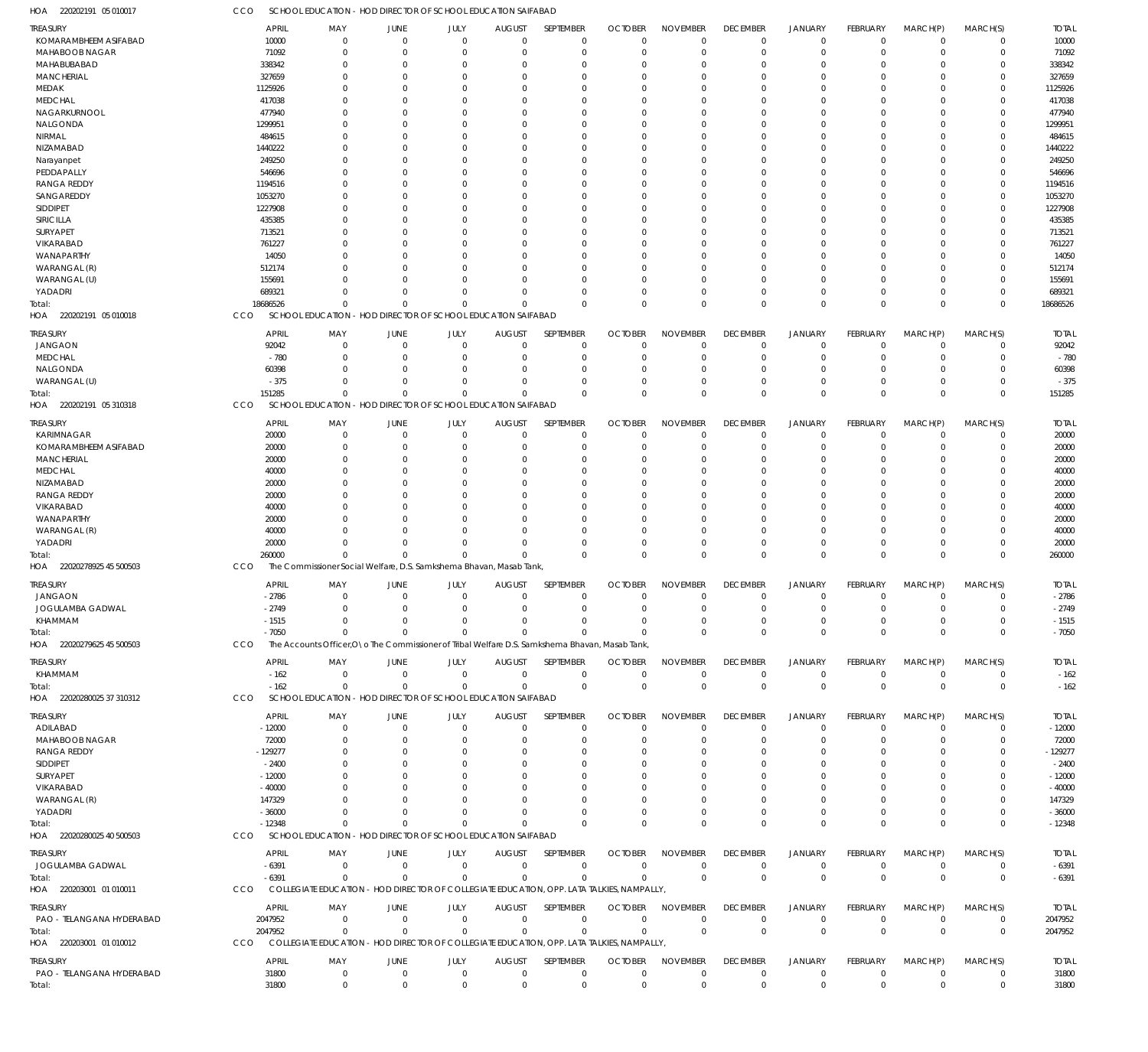CCO SCHOOL EDUCATION - HOD DIRECTOR OF SCHOOL EDUCATION SAIFABAD

| HOA<br>220202191 05 010017   | cco      | SCHOOL EDUCATION - HOD DIRECTOR OF SCHOOL EDUCATION SAIFABAD                                    |                |                                             |                |                |                |                 |                 |                |                 |             |                |              |
|------------------------------|----------|-------------------------------------------------------------------------------------------------|----------------|---------------------------------------------|----------------|----------------|----------------|-----------------|-----------------|----------------|-----------------|-------------|----------------|--------------|
| <b>TREASURY</b>              |          | <b>APRIL</b><br>MAY                                                                             | <b>JUNE</b>    | JULY                                        | <b>AUGUST</b>  | SEPTEMBER      | <b>OCTOBER</b> | <b>NOVEMBER</b> | <b>DECEMBER</b> | <b>JANUARY</b> | FEBRUARY        | MARCH(P)    | MARCH(S)       | <b>TOTAL</b> |
| KOMARAMBHEEM ASIFABAD        | 10000    | $\mathbf 0$                                                                                     | $\overline{0}$ | $\mathbf 0$                                 | $\mathbf 0$    | $\mathbf 0$    | $\overline{0}$ | $\Omega$        | $\overline{0}$  | $\mathbf 0$    | $\mathbf 0$     | $\mathbf 0$ | $\mathbf 0$    | 10000        |
| <b>MAHABOOB NAGAR</b>        | 71092    | $\Omega$                                                                                        | $\overline{0}$ | $\Omega$                                    | $\mathbf 0$    | $\mathbf 0$    | $\overline{0}$ | $\Omega$        | $\mathbf 0$     | $\mathbf 0$    | $\mathbf 0$     | $\mathbf 0$ | $\mathbf 0$    | 71092        |
| MAHABUBABAD                  | 338342   | $\Omega$                                                                                        | $\Omega$       | $\Omega$                                    | $\Omega$       | $\Omega$       | $\Omega$       | $\Omega$        | $\Omega$        | $\mathbf 0$    | $\Omega$        | $\Omega$    | 0              | 338342       |
|                              |          | $\Omega$                                                                                        | $\Omega$       | $\Omega$                                    | $\Omega$       | $\Omega$       | $\Omega$       | $\Omega$        | $\Omega$        | $\Omega$       | $\Omega$        | $\Omega$    | $\mathbf 0$    |              |
| <b>MANCHERIAL</b>            | 327659   |                                                                                                 |                |                                             |                |                |                |                 |                 |                |                 |             |                | 327659       |
| MEDAK                        | 1125926  | $\Omega$                                                                                        | $\Omega$       | U                                           | $\Omega$       | $\Omega$       | $\Omega$       | 0               | $\Omega$        | $\Omega$       | $\Omega$        | $\Omega$    | 0              | 1125926      |
| <b>MEDCHAL</b>               | 417038   | O                                                                                               | $\Omega$       | O                                           | $\Omega$       | $\Omega$       | $\Omega$       | $\Omega$        | $\Omega$        | $\Omega$       | $\Omega$        | $\Omega$    | $\Omega$       | 417038       |
| NAGARKURNOOL                 | 477940   | 0                                                                                               | $\Omega$       | U                                           | $\Omega$       | 0              | $\Omega$       | 0               | $\Omega$        | $\Omega$       | $\Omega$        | $\Omega$    | 0              | 477940       |
| NALGONDA                     | 1299951  | U                                                                                               | $\Omega$       | U                                           | $\Omega$       | $\Omega$       | $\Omega$       | $\Omega$        | $\Omega$        | $\Omega$       | $\Omega$        | $\Omega$    | $\Omega$       | 1299951      |
| NIRMAL                       | 484615   |                                                                                                 | $\Omega$       |                                             | $\Omega$       | $\Omega$       | $\Omega$       | $\Omega$        | $\Omega$        | $\Omega$       | $\Omega$        | $\Omega$    | 0              | 484615       |
| NIZAMABAD                    | 1440222  | U                                                                                               | $\Omega$       | O                                           | $\Omega$       | $\Omega$       | $\Omega$       | $\Omega$        | $\Omega$        | $\Omega$       | $\Omega$        | $\Omega$    | $\Omega$       | 1440222      |
| Narayanpet                   | 249250   | U                                                                                               | $\Omega$       | U                                           | $\Omega$       | $\Omega$       | $\Omega$       | $\Omega$        | $\Omega$        | $\Omega$       | $\Omega$        | $\Omega$    | $\Omega$       | 249250       |
| PEDDAPALLY                   | 546696   | O                                                                                               | $\Omega$       | O                                           | $\Omega$       | $\Omega$       | $\Omega$       | $\Omega$        | $\Omega$        | $\Omega$       | $\Omega$        | $\Omega$    | $\Omega$       | 546696       |
| <b>RANGA REDDY</b>           | 1194516  | U                                                                                               | $\Omega$       | U                                           | $\Omega$       | 0              | $\Omega$       | O               | $\Omega$        | $\Omega$       | $\Omega$        | $\Omega$    | $\Omega$       | 1194516      |
| SANGAREDDY                   | 1053270  | U                                                                                               | $\Omega$       | O                                           | $\Omega$       | $\Omega$       | $\Omega$       | $\Omega$        | $\Omega$        | $\Omega$       | $\Omega$        | $\Omega$    | $\Omega$       | 1053270      |
| <b>SIDDIPET</b>              | 1227908  | 0                                                                                               | $\Omega$       | U                                           | $\Omega$       | 0              | $\Omega$       | 0               | $\Omega$        | $\Omega$       | $\Omega$        | $\Omega$    | 0              | 1227908      |
| SIRICILLA                    | 435385   | $\Omega$                                                                                        | $\Omega$       | U                                           | $\Omega$       | $\Omega$       | $\Omega$       | $\Omega$        | $\Omega$        | $\Omega$       | $\Omega$        | $\Omega$    | $\Omega$       | 435385       |
|                              |          |                                                                                                 |                |                                             |                |                |                |                 |                 |                |                 |             |                |              |
| SURYAPET                     | 713521   | U                                                                                               | $\Omega$       |                                             | $\Omega$       | $\Omega$       | $\Omega$       | $\Omega$        | $\Omega$        | $\Omega$       | $\Omega$        | $\Omega$    | 0              | 713521       |
| VIKARABAD                    | 761227   | U                                                                                               | $\Omega$       | $\Omega$                                    | $\Omega$       | $\Omega$       | $\Omega$       | $\Omega$        | $\Omega$        | $\Omega$       | $\Omega$        | $\Omega$    | $\Omega$       | 761227       |
| WANAPARTHY                   | 14050    |                                                                                                 | $\Omega$       | U                                           | $\Omega$       | 0              | $\Omega$       | $\Omega$        | $\Omega$        | $\Omega$       | $\Omega$        | $\Omega$    | $\Omega$       | 14050        |
| WARANGAL (R)                 | 512174   | O                                                                                               | $\Omega$       | $\Omega$                                    | $\Omega$       | $\Omega$       | $\Omega$       | $\Omega$        | $\Omega$        | $\Omega$       | $\Omega$        | $\Omega$    | $\mathbf 0$    | 512174       |
| WARANGAL (U)                 | 155691   |                                                                                                 | $\Omega$       | $\Omega$                                    | $\Omega$       | $\Omega$       | $\Omega$       | O               | $\Omega$        | $\Omega$       | $\Omega$        | $\Omega$    | 0              | 155691       |
| YADADRI                      | 689321   | $\Omega$                                                                                        | $\Omega$       | $\Omega$                                    | $\Omega$       | $\Omega$       | $\Omega$       | $\Omega$        | $\Omega$        | $\mathbf 0$    | $\mathbf 0$     | $\Omega$    | $\mathbf 0$    | 689321       |
| Total:                       | 18686526 | $\Omega$                                                                                        | $\Omega$       | $\Omega$                                    | $\Omega$       | $\Omega$       | $\Omega$       | $\Omega$        | $\mathbf 0$     | $\mathbf 0$    | $\Omega$        | $\Omega$    | $\mathbf 0$    | 18686526     |
| 220202191 05 010018<br>HOA   | CCO      | SCHOOL EDUCATION - HOD DIRECTOR OF SCHOOL EDUCATION SAIFABAD                                    |                |                                             |                |                |                |                 |                 |                |                 |             |                |              |
|                              |          |                                                                                                 |                |                                             |                |                |                |                 |                 |                |                 |             |                |              |
| <b>TREASURY</b>              |          | <b>APRIL</b><br>MAY                                                                             | <b>JUNE</b>    | JULY                                        | <b>AUGUST</b>  | SEPTEMBER      | <b>OCTOBER</b> | <b>NOVEMBER</b> | <b>DECEMBER</b> | <b>JANUARY</b> | FEBRUARY        | MARCH(P)    | MARCH(S)       | <b>TOTAL</b> |
| <b>JANGAON</b>               | 92042    | 0                                                                                               | $\overline{0}$ | 0                                           | $\mathbf 0$    | $\mathbf 0$    | $\mathbf 0$    | $\mathbf 0$     | $\mathbf 0$     | $\mathbf 0$    | 0               | 0           | $\mathbf 0$    | 92042        |
| <b>MEDCHAL</b>               |          | $-780$<br>$\mathbf 0$                                                                           | $\overline{0}$ | $\Omega$                                    | $\Omega$       | $\mathbf 0$    | $\mathbf{0}$   | $\Omega$        | $\mathbf 0$     | $\mathbf 0$    | $\mathbf 0$     | $\mathbf 0$ | $\mathbf 0$    | $-780$       |
| NALGONDA                     | 60398    | $\mathbf 0$                                                                                     | $\overline{0}$ | $\Omega$                                    | $\Omega$       | 0              | $^{\circ}$     | $\Omega$        | $\mathbf 0$     | $\mathbf 0$    | 0               | 0           | $\mathbf 0$    | 60398        |
| WARANGAL (U)                 |          | $-375$<br>$\Omega$                                                                              | $\Omega$       | $\Omega$                                    | $\Omega$       | $\Omega$       | $\mathbf{0}$   | $\mathbf 0$     | $\mathbf 0$     | $\mathbf 0$    | $\mathbf 0$     | $\mathbf 0$ | 0              | $-375$       |
| Total:                       | 151285   | $\Omega$                                                                                        | $\Omega$       | O                                           | $\Omega$       | $\Omega$       | $\Omega$       | $\Omega$        | $\mathbf 0$     | $\mathbf 0$    | $\Omega$        | $\mathbf 0$ | $\mathbf 0$    | 151285       |
| HOA<br>220202191 05 310318   | CCO      | <b>SCHOOL EDUCATION</b>                                                                         |                | - HOD DIRECTOR OF SCHOOL EDUCATION SAIFABAD |                |                |                |                 |                 |                |                 |             |                |              |
|                              |          |                                                                                                 |                |                                             |                |                |                |                 |                 |                |                 |             |                |              |
| <b>TREASURY</b>              |          | <b>APRIL</b><br>MAY                                                                             | JUNE           | JULY                                        | <b>AUGUST</b>  | SEPTEMBER      | <b>OCTOBER</b> | <b>NOVEMBER</b> | <b>DECEMBER</b> | <b>JANUARY</b> | FEBRUARY        | MARCH(P)    | MARCH(S)       | <b>TOTAL</b> |
| KARIMNAGAR                   | 20000    | $\Omega$                                                                                        | $\overline{0}$ | $\mathbf 0$                                 | $\mathbf 0$    | $\mathbf 0$    | $\Omega$       | $\Omega$        | $\mathbf 0$     | $\mathbf 0$    | $\mathbf 0$     | 0           | $\mathbf 0$    | 20000        |
| KOMARAMBHEEM ASIFABAD        | 20000    | $\Omega$                                                                                        | $\overline{0}$ | $\Omega$                                    | $\Omega$       | $\mathbf 0$    | $\Omega$       | $\Omega$        | $\mathbf 0$     | $\mathbf 0$    | $\mathbf 0$     | $\Omega$    | $\mathbf 0$    | 20000        |
| <b>MANCHERIAL</b>            | 20000    | $\Omega$                                                                                        | $\Omega$       | $\Omega$                                    | $\Omega$       | $\Omega$       | $\Omega$       | $\Omega$        | $\Omega$        | $\Omega$       | $\Omega$        | $\Omega$    | $\mathbf 0$    | 20000        |
| <b>MEDCHAL</b>               | 40000    | $\Omega$                                                                                        | $\Omega$       | U                                           | $\Omega$       | $\Omega$       | $\Omega$       | $\Omega$        | $\Omega$        | $\Omega$       | $\Omega$        | $\Omega$    | $\Omega$       | 40000        |
| NIZAMABAD                    | 20000    | O                                                                                               | $\Omega$       | O                                           | $\Omega$       | $\Omega$       | $\Omega$       | $\Omega$        | $\Omega$        | $\Omega$       | $\Omega$        | $\Omega$    | $\Omega$       | 20000        |
| <b>RANGA REDDY</b>           | 20000    | 0                                                                                               | $\Omega$       | U                                           | $\Omega$       | 0              | $\Omega$       | 0               | $\Omega$        | $\Omega$       | $\Omega$        | $\Omega$    | 0              | 20000        |
| VIKARABAD                    | 40000    | O                                                                                               | $\Omega$       | O                                           | $\Omega$       | $\Omega$       | $\Omega$       | $\Omega$        | $\Omega$        | $\Omega$       | $\Omega$        | $\Omega$    | $\Omega$       | 40000        |
| WANAPARTHY                   | 20000    | 0                                                                                               | $\Omega$       | O                                           | $\Omega$       | $\Omega$       | $\Omega$       | $\Omega$        | $\Omega$        | $\Omega$       | $\Omega$        | $\Omega$    | 0              | 20000        |
|                              |          | $\Omega$                                                                                        | $\Omega$       | $\Omega$                                    | $\Omega$       | $\Omega$       | $\Omega$       | $\Omega$        | $\Omega$        | $\Omega$       | $\Omega$        | $\Omega$    | $\mathbf 0$    |              |
| WARANGAL (R)                 | 40000    |                                                                                                 |                |                                             |                |                |                |                 |                 |                |                 |             |                | 40000        |
| YADADRI                      | 20000    | $\Omega$                                                                                        | $\Omega$       | $\Omega$                                    | $\Omega$       | $\mathbf 0$    | $\mathbf 0$    | $\Omega$        | $\mathbf 0$     | $\mathbf 0$    | $\mathbf 0$     | $\mathbf 0$ | $\mathbf 0$    | 20000        |
| Total:                       | 260000   | $\Omega$                                                                                        | $\Omega$       | $\Omega$                                    | $\Omega$       | $\Omega$       | $\Omega$       | $\Omega$        | $\Omega$        | $\mathbf 0$    | $\Omega$        | $\Omega$    | $\mathbf 0$    | 260000       |
| 22020278925 45 500503<br>HOA | CCO      | The Commissioner Social Welfare, D.S. Samkshema Bhavan, Masab Tank,                             |                |                                             |                |                |                |                 |                 |                |                 |             |                |              |
| <b>TREASURY</b>              |          | <b>APRIL</b><br>MAY                                                                             | JUNE           | JULY                                        | <b>AUGUST</b>  | SEPTEMBER      | <b>OCTOBER</b> | <b>NOVEMBER</b> | <b>DECEMBER</b> | <b>JANUARY</b> | FEBRUARY        | MARCH(P)    | MARCH(S)       | <b>TOTAL</b> |
| <b>JANGAON</b>               | $-2786$  | $\mathbf{0}$                                                                                    | $\overline{0}$ | $\mathbf 0$                                 | $\overline{0}$ | $\mathbf 0$    | $\overline{0}$ | $\overline{0}$  | $\overline{0}$  | $\mathbf 0$    | $\mathbf 0$     | $\mathbf 0$ | $\mathbf 0$    | $-2786$      |
| JOGULAMBA GADWAL             | $-2749$  |                                                                                                 |                |                                             |                |                | 0              | 0               | 0               |                | $\Omega$        | 0           |                | $-2749$      |
|                              |          | 0                                                                                               |                |                                             |                | 0              |                |                 |                 | 0              |                 |             | 0              |              |
| KHAMMAM                      | $-1515$  | $\mathbf{0}$                                                                                    | $\Omega$       | $\Omega$                                    | $\Omega$       | $\mathbf 0$    | $\overline{0}$ | $\mathbf 0$     | $\mathbf 0$     | $\mathbf 0$    | $\mathbf 0$     | $\mathbf 0$ | $\mathbf 0$    | $-1515$      |
| Total:                       |          | $-7050$<br>$\Omega$                                                                             | $\Omega$       | $\Omega$                                    | $\Omega$       | $\Omega$       | $\Omega$       | $\mathbf 0$     | $\mathbf{0}$    | $\mathbf 0$    | $\overline{0}$  | $\mathbf 0$ | $\mathbf 0$    | $-7050$      |
| HOA 22020279625 45 500503    | CCO      | The Accounts Officer, O \o The Commissioner of Tribal Welfare D.S. Samkshema Bhavan, Masab Tank |                |                                             |                |                |                |                 |                 |                |                 |             |                |              |
| <b>TREASURY</b>              |          | <b>APRIL</b><br>MAY                                                                             | JUNE           | JULY                                        | <b>AUGUST</b>  | SEPTEMBER      | <b>OCTOBER</b> | <b>NOVEMBER</b> | <b>DECEMBER</b> | <b>JANUARY</b> | <b>FEBRUARY</b> | MARCH(P)    | MARCH(S)       | <b>TOTAL</b> |
| KHAMMAM                      |          | $-162$<br>$\mathbf{0}$                                                                          | $\overline{0}$ | $\overline{0}$                              | $\overline{0}$ | $\mathbf 0$    | $\overline{0}$ | $\mathbf 0$     | $\overline{0}$  | 0              | $\mathbf 0$     | $\mathbf 0$ | $\mathbf 0$    | $-162$       |
|                              |          | $\mathbf{0}$                                                                                    |                | $\overline{0}$                              | $\overline{0}$ | $\mathbf 0$    |                | $\mathbf{0}$    | $\mathbf{0}$    |                |                 | $\mathbf 0$ |                |              |
| Total:                       |          | $-162$<br>SCHOOL EDUCATION - HOD DIRECTOR OF SCHOOL EDUCATION SAIFABAD                          | $\overline{0}$ |                                             |                |                | $\overline{0}$ |                 |                 | $\mathbf 0$    | $\overline{0}$  |             | $\mathbf 0$    | $-162$       |
| HOA 22020280025 37 310312    | CCO      |                                                                                                 |                |                                             |                |                |                |                 |                 |                |                 |             |                |              |
| TREASURY                     |          | <b>APRIL</b><br>MAY                                                                             | <b>JUNE</b>    | JULY                                        | <b>AUGUST</b>  | SEPTEMBER      | <b>OCTOBER</b> | <b>NOVEMBER</b> | <b>DECEMBER</b> | <b>JANUARY</b> | FEBRUARY        | MARCH(P)    | MARCH(S)       | <b>TOTAL</b> |
| ADILABAD                     | $-12000$ | $\mathbf{0}$                                                                                    | $\overline{0}$ | $\mathbf 0$                                 | $\mathbf 0$    | $\mathbf 0$    | $\overline{0}$ | $\Omega$        | $\overline{0}$  | $\mathbf 0$    | $\mathbf 0$     | $\mathbf 0$ | $\mathbf 0$    | $-12000$     |
| MAHABOOB NAGAR               | 72000    | $\mathbf 0$                                                                                     | $\overline{0}$ | $\Omega$                                    | $\Omega$       | $\mathbf 0$    | $\overline{0}$ | $\mathbf 0$     | $\mathbf 0$     | $\mathbf 0$    | 0               | 0           | $\mathbf 0$    | 72000        |
| RANGA REDDY                  | -129277  | 0                                                                                               | $\Omega$       | 0                                           | $\Omega$       | 0              | $^{\circ}$     | $\Omega$        | $\mathbf 0$     | 0              | 0               | $\Omega$    | 0              | $-129277$    |
| SIDDIPET                     | $-2400$  | 0                                                                                               | $\Omega$       |                                             | $\Omega$       | 0              | $\Omega$       | 0               | $\Omega$        | $\Omega$       | -0              | $\Omega$    | 0              | $-2400$      |
|                              |          |                                                                                                 | $\Omega$       |                                             | $\Omega$       | 0              | $\Omega$       |                 | $\Omega$        | $\Omega$       |                 | $\Omega$    |                |              |
| SURYAPET                     | $-12000$ | 0                                                                                               |                |                                             |                |                |                |                 |                 |                | O               |             | 0              | $-12000$     |
| VIKARABAD                    | $-40000$ |                                                                                                 |                |                                             |                |                | $\Omega$       |                 | $\Omega$        | O              | O               | $\Omega$    | 0              | $-40000$     |
| WARANGAL (R)                 | 147329   |                                                                                                 |                |                                             | $\Omega$       |                | $\Omega$       |                 | $\Omega$        | $\Omega$       | O               | $\Omega$    | 0              | 147329       |
| YADADRI                      | $-36000$ | $\Omega$                                                                                        | $\Omega$       | $\Omega$                                    | $\Omega$       | O              | $\Omega$       | 0               | $\mathbf 0$     | $\mathbf 0$    | 0               | $\mathbf 0$ | 0              | $-36000$     |
| Total:                       | $-12348$ | $\Omega$                                                                                        | $\Omega$       | $\Omega$                                    | $\Omega$       | $\Omega$       | $\Omega$       | $\Omega$        | $\mathbf 0$     | $\mathbf 0$    | $\Omega$        | $\mathbf 0$ | $\mathbf 0$    | $-12348$     |
| HOA 22020280025 40 500503    | CCO      | SCHOOL EDUCATION - HOD DIRECTOR OF SCHOOL EDUCATION SAIFABAD                                    |                |                                             |                |                |                |                 |                 |                |                 |             |                |              |
|                              |          |                                                                                                 |                |                                             |                |                |                |                 |                 |                |                 |             |                |              |
| <b>TREASURY</b>              |          | <b>APRIL</b><br>MAY                                                                             | JUNE           | JULY                                        | <b>AUGUST</b>  | SEPTEMBER      | <b>OCTOBER</b> | <b>NOVEMBER</b> | <b>DECEMBER</b> | <b>JANUARY</b> | <b>FEBRUARY</b> | MARCH(P)    | MARCH(S)       | <b>TOTAL</b> |
| JOGULAMBA GADWAL             | $-6391$  | $\mathbf{0}$                                                                                    | $\overline{0}$ | $\overline{0}$                              | $\overline{0}$ | $\mathbf 0$    | $\mathbf 0$    | $\mathbf 0$     | $\overline{0}$  | $\mathbf 0$    | $\mathbf 0$     | $\mathbf 0$ | $\mathbf 0$    | $-6391$      |
| Total:                       | $-6391$  | $\Omega$                                                                                        | $\Omega$       | $\mathbf 0$                                 | $\Omega$       | $\mathbf 0$    | $\Omega$       | $\mathbf 0$     | $\mathbf 0$     | $\mathbf 0$    | $\overline{0}$  | $\mathbf 0$ | $^{\circ}$     | $-6391$      |
| HOA 220203001 01 010011      | CCO      | COLLEGIATE EDUCATION - HOD DIRECTOR OF COLLEGIATE EDUCATION, OPP. LATA TALKIES, NAMPALLY,       |                |                                             |                |                |                |                 |                 |                |                 |             |                |              |
| <b>TREASURY</b>              |          | <b>APRIL</b><br>MAY                                                                             | <b>JUNE</b>    | JULY                                        | <b>AUGUST</b>  | SEPTEMBER      | <b>OCTOBER</b> | <b>NOVEMBER</b> | <b>DECEMBER</b> | <b>JANUARY</b> | <b>FEBRUARY</b> | MARCH(P)    | MARCH(S)       | <b>TOTAL</b> |
| PAO - TELANGANA HYDERABAD    | 2047952  | $\mathbf{0}$                                                                                    | $\overline{0}$ | $\overline{0}$                              | $\overline{0}$ | $\overline{0}$ | $\overline{0}$ | $\mathbf 0$     | $\overline{0}$  | $\mathbf 0$    | $\mathbf 0$     | $\mathbf 0$ | $\overline{0}$ | 2047952      |
|                              |          |                                                                                                 |                |                                             |                |                |                |                 |                 |                |                 |             |                |              |
| Total:                       | 2047952  | $\mathbf 0$                                                                                     | $\overline{0}$ | $\mathbf 0$                                 | $\overline{0}$ | $\mathbf 0$    | $\overline{0}$ | $\mathbf 0$     | $\mathbf 0$     | $\mathbf 0$    | $\overline{0}$  | $\mathbf 0$ | $\mathbf 0$    | 2047952      |
| HOA 220203001 01 010012      | CCO      | COLLEGIATE EDUCATION - HOD DIRECTOR OF COLLEGIATE EDUCATION, OPP. LATA TALKIES, NAMPALLY,       |                |                                             |                |                |                |                 |                 |                |                 |             |                |              |
| <b>TREASURY</b>              |          | <b>APRIL</b><br>MAY                                                                             | <b>JUNE</b>    | JULY                                        | <b>AUGUST</b>  | SEPTEMBER      | <b>OCTOBER</b> | <b>NOVEMBER</b> | <b>DECEMBER</b> | <b>JANUARY</b> | FEBRUARY        | MARCH(P)    | MARCH(S)       | <b>TOTAL</b> |
| PAO - TELANGANA HYDERABAD    | 31800    | $\mathbf 0$                                                                                     | $\overline{0}$ | $\mathbf 0$                                 | $\overline{0}$ | $\mathbf 0$    | $\overline{0}$ | 0               | $\mathbf 0$     | 0              | $\mathbf 0$     | $\mathbf 0$ | $\mathbf 0$    | 31800        |
| Total:                       | 31800    | $\boldsymbol{0}$                                                                                | $\overline{0}$ | $\mathbf 0$                                 | $\overline{0}$ | $\mathbf 0$    | $\overline{0}$ | $\mathbf 0$     | $\mathbf 0$     | $\mathbf 0$    | $\overline{0}$  | $\mathbf 0$ | $\mathbf 0$    | 31800        |
|                              |          |                                                                                                 |                |                                             |                |                |                |                 |                 |                |                 |             |                |              |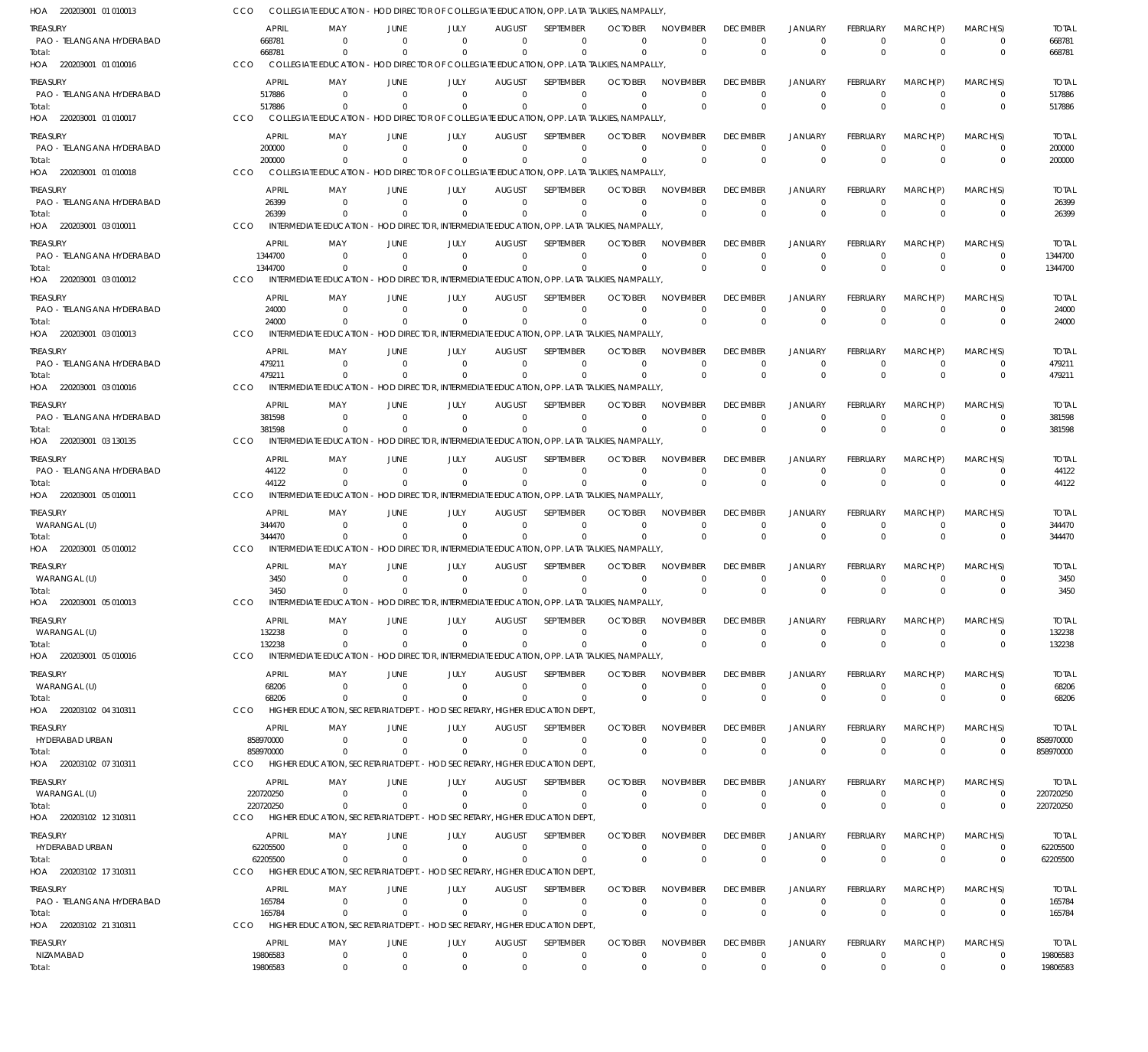220203001 01 010013 HOA 220203001 01 010016 HOA 220203001 01 010017 HOA 220203001 01 010018 HOA 220203001 03 010011 HOA 220203001 03 010012 HOA 220203001 03 010013 HOA 220203001 03 010016 HOA 220203001 03 130135 HOA 220203001 05 010011 HOA 220203001 05 010012 HOA 220203001 05 010013 HOA 220203001 05 010016 HOA 220203102 04 310311 HOA 220203102 07 310311 HOA 220203102 12 310311 HOA 220203102 17 310311 HOA 220203102 21 310311 HOA COLLEGIATE EDUCATION - HOD DIRECTOR OF COLLEGIATE EDUCATION, OPP. LATA TALKIES, NAMPALLY, COLLEGIATE EDUCATION - HOD DIRECTOR OF COLLEGIATE EDUCATION, OPP. LATA TALKIES, NAMPALLY, COLLEGIATE EDUCATION - HOD DIRECTOR OF COLLEGIATE EDUCATION, OPP. LATA TALKIES, NAMPALLY, COLLEGIATE EDUCATION - HOD DIRECTOR OF COLLEGIATE EDUCATION, OPP. LATA TALKIES, NAMPALLY, INTERMEDIATE EDUCATION - HOD DIRECTOR, INTERMEDIATE EDUCATION, OPP. LATA TALKIES, NAMPALLY, INTERMEDIATE EDUCATION - HOD DIRECTOR, INTERMEDIATE EDUCATION, OPP. LATA TALKIES, NAMPALLY, INTERMEDIATE EDUCATION - HOD DIRECTOR, INTERMEDIATE EDUCATION, OPP. LATA TALKIES, NAMPALLY, INTERMEDIATE EDUCATION - HOD DIRECTOR, INTERMEDIATE EDUCATION, OPP. LATA TALKIES, NAMPALLY, INTERMEDIATE EDUCATION - HOD DIRECTOR, INTERMEDIATE EDUCATION, OPP. LATA TALKIES, NAMPALLY, INTERMEDIATE EDUCATION - HOD DIRECTOR, INTERMEDIATE EDUCATION, OPP. LATA TALKIES, NAMPALLY, INTERMEDIATE EDUCATION - HOD DIRECTOR, INTERMEDIATE EDUCATION, OPP. LATA TALKIES, NAMPALLY, INTERMEDIATE EDUCATION - HOD DIRECTOR, INTERMEDIATE EDUCATION, OPP. LATA TALKIES, NAMPALLY, INTERMEDIATE EDUCATION - HOD DIRECTOR, INTERMEDIATE EDUCATION, OPP. LATA TALKIES, NAMPALLY, HIGHER EDUCATION, SECRETARIAT DEPT. - HOD SECRETARY, HIGHER EDUCATION DEPT. HIGHER EDUCATION, SECRETARIAT DEPT. - HOD SECRETARY, HIGHER EDUCATION DEPT., HIGHER EDUCATION, SECRETARIAT DEPT. - HOD SECRETARY, HIGHER EDUCATION DEPT., HIGHER EDUCATION, SECRETARIAT DEPT. - HOD SECRETARY, HIGHER EDUCATION DEPT., HIGHER EDUCATION, SECRETARIAT DEPT. - HOD SECRETARY, HIGHER EDUCATION DEPT., CCO CCO **CCO CCO** CCO CCO CCO CCO CCO CCO C<sub>CO</sub> **CCO** CCO CCO. CCO **CCO** CCO **CCO** 668781 517886 200000 26399 1344700 24000 479211 381598 44122 344470 3450 132238 68206 858970000 220720250 62205500 165784 19806583 0 0  $\sqrt{2}$ 0  $\Omega$  $\sqrt{2}$ 0  $\Omega$  $\Omega$ 0  $\Omega$  $\Omega$ 0  $\Omega$  $\Omega$  $\Omega$  $\Omega$ 0 0 0 0 0  $\Omega$ 0 0  $\Omega$ 0 0  $\Omega$ 0 0  $\Omega$ 0  $\Omega$  $\Omega$ 0 0 0  $\Omega$ 0  $\Omega$ 0 0  $\mathbf{0}$ 0 0  $\Omega$ 0 0  $\mathbf{0}$ 0  $\Omega$  $\Omega$ 0 0 0  $\Omega$ 0  $\Omega$  $\Omega$ 0  $\Omega$ 0 0  $\Omega$ 0 0  $\Omega$ 0  $\Omega$  $\Omega$ 0 0 0  $\sqrt{2}$ 0  $\Omega$  $\Omega$ 0  $\overline{0}$  $\Omega$ 0  $\Omega$ 0 0  $\Omega$ 0  $\Omega$  $\Omega$ 0 0  $\Omega$  $\Omega$ 0  $\Omega$  $\Omega$ 0  $\Omega$  $\Omega$ 0  $\Omega$ 0 0  $\Omega$ 0 0  $\Omega$ 0 0  $\Omega$  $\Omega$ 0  $\Omega$ 0 0  $\Omega$  $\Omega$ 0  $\Omega$ 0 0  $\Omega$ 0  $\Omega$  $\Omega$ 0 0  $\Omega$  $\Omega$ 0  $\Omega$ 0 0  $\Omega$  $\Omega$ 0  $\Omega$ 0 0  $\Omega$ 0  $\Omega$  $\Omega$ 0 0 0  $\Omega$ 0  $\Omega$ 0 0  $\Omega$ 0 0  $\Omega$ 0 0  $\Omega$ 0  $\Omega$  $\Omega$ 0  $\overline{0}$ 0 0 0  $\Omega$ 0 0  $\Omega$ 0 0  $\Omega$ 0 0  $\Omega$ 0  $\Omega$  $\Omega$ 0 0 0  $\Omega$ 0  $\Omega$ 0 0  $\Omega$ 0 0  $\Omega$ 0 0  $\Omega$ 0  $\Omega$  $\Omega$ 0 0  $\Omega$  $\Omega$ 0  $\Omega$  $\Omega$ 0  $\Omega$  $\Omega$ 0  $\Omega$ 0 0  $\Omega$ 0  $\Omega$  $\Omega$ 0 668781 517886 200000 26399 1344700 24000 479211 381598 44122 344470 3450 132238 68206 858970000 220720250 62205500 165784 19806583 PAO - TELANGANA HYDERABAD PAO - TELANGANA HYDERABAD PAO - TELANGANA HYDERABAD PAO - TELANGANA HYDERABAD PAO - TELANGANA HYDERABAD PAO - TELANGANA HYDERABAD PAO - TELANGANA HYDERABAD PAO - TELANGANA HYDERABAD PAO - TELANGANA HYDERABAD WARANGAL (U) WARANGAL (U) WARANGAL (U) WARANGAL (U) HYDERABAD URBAN WARANGAL (II) HYDERABAD URBAN PAO - TELANGANA HYDERABAD NIZAMABAD TREASURY **TREASURY** TREASURY TREASURY **TREASURY** TREASURY TREASURY **TREASURY** TREASURY TREASURY TREASURY TREASURY TREASURY **TREASURY** TREASURY TREASURY **TREASURY** TREASURY 668781 517886 200000 26399 1344700 24000 479211 381598 44122 344470 3450 132238 68206 858970000 220720250 62205500 165784 19806583 APRIL APRIL APRIL APRIL APRIL APRIL APRIL APRIL APRIL APRIL APRIL APRIL APRIL APRIL APRIL APRIL APRIL APRIL  $\Omega$ 0 0  $\Omega$ 0 0  $\Omega$ 0 0 0 0 0 0 0  $\Omega$ 0 0  $\Omega$ MAY MAY MAY MAY MAY MAY MAY MAY MAY MAY MAY MAY MAY MAY MAY MAY MAY MAY 0 0 0  $\Omega$ 0 0 0 0 0 0 0 0  $\,$  0  $\,$ 0  $\Omega$ 0 0  $\Omega$ JUNE **JUNE** JUNE JUNE **JUNE** JUNE JUNE **JUNE** JUNE JUNE **JUNE** JUNE JUNE **JUNE** JUNE JUNE JUNE JUNE 0 0 0 0 0 0 0  $\,$  0  $\,$ 0  $\,$  0  $\,$ 0 0 0 0  $\Omega$ 0 0  $\Omega$ JULY JULY JULY JULY JULY JULY JULY JULY JULY JULY JULY JULY JULY JULY JULY JULY JULY JULY  $\Omega$ 0 0  $\Omega$ 0 0 0 0 0 0 0 0 0 0  $\Omega$ 0 0  $\Omega$ AUGUST AUGUST AUGUST AUGUST AUGUST AUGUST AUGUST AUGUST AUGUST AUGUST AUGUST AUGUST AUGUST **AUGUST** AUGUST AUGUST AUGUST AUGUST  $\Omega$ 0 0  $\Omega$ 0 0  $\Omega$ 0 0  $\Omega$ 0 0  $\Omega$ 0  $\Omega$  $\Omega$ 0  $\Omega$ SEPTEMBER **SEPTEMBER** SEPTEMBER SEPTEMBER **SEPTEMBER** SEPTEMBER SEPTEMBER **SEPTEMBER** SEPTEMBER SEPTEMBER **SEPTEMBER** SEPTEMBER SEPTEMBER **SEPTEMBER** SEPTEMBER SEPTEMBER **SEPTEMBER** SEPTEMBER  $\Omega$ 0  $\Omega$  $\Omega$ 0 0  $\Omega$ 0 0  $\Omega$ 0 0  $\Omega$ 0  $\Omega$  $\Omega$ 0  $\Omega$ **OCTOBER OCTOBER** OCTOBER **OCTOBER OCTOBER** OCTOBER **OCTOBER OCTOBER** OCTOBER **OCTOBER OCTOBER** OCTOBER **OCTOBER OCTOBER OCTOBER OCTOBER** OCTOBER **OCTOBER**  $\Omega$ 0 0  $\Omega$ 0 0  $\Omega$ 0 0  $\Omega$ 0 0 0 0  $\Omega$  $\Omega$ 0  $\Omega$ NOVEMBER NOVEMBER NOVEMBER NOVEMBER NOVEMBER NOVEMBER NOVEMBER NOVEMBER NOVEMBER NOVEMBER NOVEMBER NOVEMBER NOVEMBER NOVEMBER NOVEMBER NOVEMBER NOVEMBER NOVEMBER  $\Omega$ 0 0  $\Omega$ 0 0  $\Omega$ 0 0  $\Omega$ 0 0  $\Omega$ 0  $\Omega$  $\Omega$ 0  $\Omega$ DECEMBER **DECEMBER** DECEMBER DECEMBER **DECEMBER** DECEMBER DECEMBER **DECEMBER** DECEMBER DECEMBER **DECEMBER** DECEMBER DECEMBER **DECEMBER** DECEMBER DECEMBER **DECEMBER** DECEMBER  $\Omega$ 0 0  $\Omega$ 0 0  $\Omega$ 0 0  $\Omega$ 0 0  $\Omega$ 0  $\Omega$  $\Omega$ 0  $\Omega$ JANUARY JANUARY JANUARY JANUARY JANUARY JANUARY JANUARY JANUARY JANUARY JANUARY JANUARY JANUARY JANUARY JANUARY JANUARY JANUARY JANUARY JANUARY  $\Omega$ 0  $\Omega$  $\Omega$ 0 0 0 0 0  $\Omega$ 0 0 0 0  $\Omega$ 0 0  $\Omega$ FEBRUARY FEBRUARY FEBRUARY FEBRUARY FEBRUARY FEBRUARY FEBRUARY FEBRUARY FEBRUARY FEBRUARY FEBRUARY FEBRUARY FEBRUARY FEBRUARY FEBRUARY FEBRUARY FEBRUARY FEBRUARY  $\Omega$ 0  $\Omega$  $\Omega$ 0 0  $\Omega$ 0  $\Omega$  $\Omega$ 0 0 0 0 0  $\Omega$ 0  $\Omega$ MARCH(P) MARCH(P) MARCH(P) MARCH(P) MARCH(P) MARCH(P) MARCH(P) MARCH(P) MARCH(P) MARCH(P) MARCH(P) MARCH(P) MARCH(P) MARCH(P) MARCH(P) MARCH(P) MARCH(P) MARCH(P)  $\Omega$ 0  $\Omega$  $\Omega$ 0  $\Omega$  $\Omega$ 0  $\Omega$  $\Omega$ 0  $\Omega$  $\Omega$ 0  $\Omega$ 0 0  $\Omega$ MARCH(S) MARCH(S) MARCH(S) MARCH(S) MARCH(S) MARCH(S) MARCH(S) MARCH(S) MARCH(S) MARCH(S) MARCH(S) MARCH(S) MARCH(S) MARCH(S) MARCH(S) MARCH(S) MARCH(S) MARCH(S) 668781 517886 200000 26399 1344700 24000 479211 381598 44122 344470 3450 132238 68206 858970000 220720250 62205500 165784 19806583 TOTAL TOTAL TOTAL TOTAL TOTAL TOTAL TOTAL TOTAL TOTAL TOTAL TOTAL TOTAL TOTAL TOTAL TOTAL TOTAL TOTAL TOTAL Total: Total: Total: Total: Total: Total: Total: Total: Total: Total: Total: Total: Total: Total: Total: Total: Total: Total: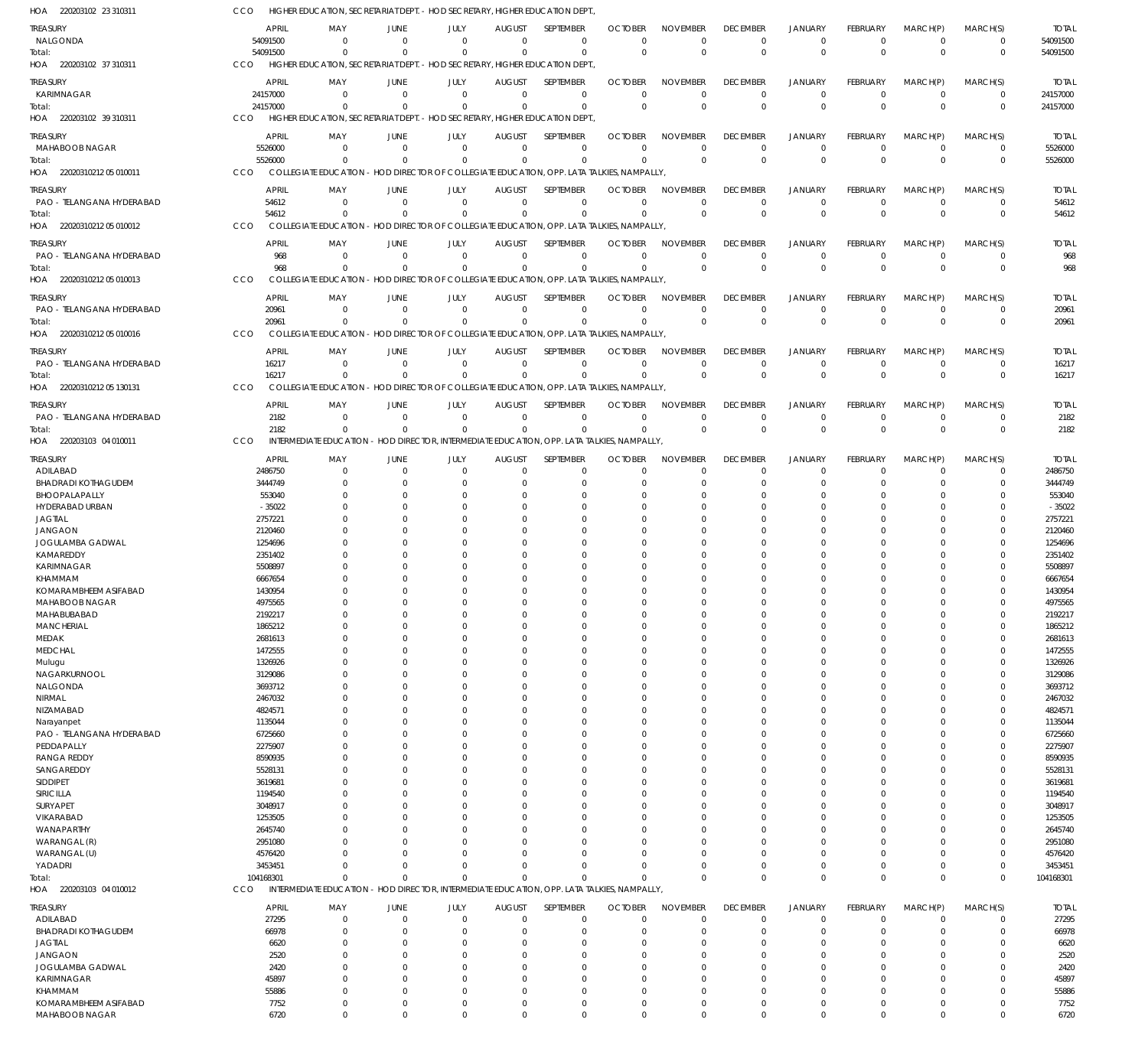220203102 23 310311 HOA 220203102 37 310311 HOA 220203102 39 310311 HOA 22020310212 05 010011 HOA 22020310212 05 010012 HOA 22020310212 05 010013 HOA 22020310212 05 010016 HOA 22020310212 05 130131 HOA 220203103 04 010011 HOA 220203103 04 010012 HOA HIGHER EDUCATION, SECRETARIAT DEPT. - HOD SECRETARY, HIGHER EDUCATION DEPT., HIGHER EDUCATION, SECRETARIAT DEPT. - HOD SECRETARY, HIGHER EDUCATION DEPT. HIGHER EDUCATION, SECRETARIAT DEPT. - HOD SECRETARY, HIGHER EDUCATION DEPT., COLLEGIATE EDUCATION - HOD DIRECTOR OF COLLEGIATE EDUCATION, OPP. LATA TALKIES, NAMPALLY, COLLEGIATE EDUCATION - HOD DIRECTOR OF COLLEGIATE EDUCATION, OPP. LATA TALKIES, NAMPALLY, COLLEGIATE EDUCATION - HOD DIRECTOR OF COLLEGIATE EDUCATION, OPP. LATA TALKIES, NAMPALLY, COLLEGIATE EDUCATION - HOD DIRECTOR OF COLLEGIATE EDUCATION, OPP. LATA TALKIES, NAMPALLY, COLLEGIATE EDUCATION - HOD DIRECTOR OF COLLEGIATE EDUCATION, OPP. LATA TALKIES, NAMPALLY, INTERMEDIATE EDUCATION - HOD DIRECTOR, INTERMEDIATE EDUCATION, OPP. LATA TALKIES, NAMPALLY, INTERMEDIATE EDUCATION - HOD DIRECTOR, INTERMEDIATE EDUCATION, OPP. LATA TALKIES, NAMPALLY, **CCO** C<sub>CO</sub> CCO CCO C<sub>CO</sub> **CCO** CCO C<sub>CO</sub> CCO CCO 54091500 24157000 5526000 54612 968 20961 16217 2182 104168301 0 0  $\Omega$ 0  $\Omega$  $\Omega$ 0 0  $\Omega$ 0 0  $\Omega$ 0  $\Omega$ 0 0  $\Omega$ 0 0 0  $\Omega$ 0  $\Omega$ 0 0  $\mathbf{0}$ 0 0 0  $\sqrt{2}$ 0  $\Omega$  $\Omega$ 0  $\Omega$  $\Omega$ 0 0  $\Omega$ 0  $\Omega$  $\Omega$ 0  $\Omega$ 0 0  $\Omega$  $\bigcap$ 0  $\Omega$  $\Omega$ 0  $\Omega$  $\Omega$ 0 0  $\Omega$ 0  $\Omega$ 0 0  $\Omega$  $\Omega$ 0 0 0 0 0 0 0 0  $\Omega$ 0 0 0 0  $\Omega$ 0 0  $\Omega$ 0 0 0 0 0  $\Omega$  $\boldsymbol{0}$ 0  $\Omega$ 0 0 0 0 0  $\Omega$ 0 0 0  $\Omega$ 0 0  $\Omega$ 0  $\Omega$ 0 0  $\Omega$  $\Omega$ 54091500 24157000 5526000 54612 968 20961 16217 2182 104168301 NALGONDA KARIMNAGAR MAHABOOB NAGAR PAO - TELANGANA HYDERABAD PAO - TELANGANA HYDERABAD PAO - TELANGANA HYDERABAD PAO - TELANGANA HYDERABAD PAO - TELANGANA HYDERABAD ADILABAD BHADRADI KOTHAGUDEM BHOOPALAPALLY HYDERABAD URBAN JAGTIAL JANGAON JOGULAMBA GADWAL KAMAREDDY KARIMNAGAR KHAMMAM KOMARAMBHEEM ASIFABAD MAHABOOB NAGAR MAHABUBABAD **MANCHERIAL** MEDAK MEDCHAL Mulugu NAGARKURNOOL NALGONDA NIRMAL NIZAMABAD Narayanpet PAO - TELANGANA HYDERABAD PEDDAPALLY RANGA REDDY SANGAREDDY SIDDIPET SIRICILLA SURYAPET VIKARABAD WANAPARTHY WARANGAL (R) WARANGAL (U) YADADRI ADILABAD BHADRADI KOTHAGUDEM JAGTIAL JANGAON JOGULAMBA GADWAL KARIMNAGAR KHAMMAM KOMARAMBHEEM ASIFABAD TREASURY **TREASURY** TREASURY TREASURY **TREASURY** TREASURY TREASURY **TREASURY** TREASURY TREASURY 54091500 24157000 5526000 54612 968 20961 16217 2182 2486750 3444749 553040 -35022 2757221 2120460 1254696 2351402 5508897 6667654 1430954 4975565 2192217 1865212 2681613 1472555 1326926 3129086 3693712 2467032 4824571 1135044 6725660 2275907 8590935 5528131 3619681 1194540 3048917 1253505 2645740 2951080 4576420 3453451 27295 66978 6620 2520 2420 45897 55886 7752 APRIL APRIL APRIL APRIL APRIL APRIL APRIL APRIL APRIL APRIL  $\Omega$ 0 0  $\sqrt{0}$ 0 0  $\Omega$ 0 0 0  $\Omega$  $\Omega$ 0  $\Omega$  $\Omega$  $\Omega$  $\Omega$ 0  $\Omega$ 0  $\Omega$  $\Omega$ 0  $\Omega$  $\Omega$ 0  $\Omega$ 0  $\Omega$ 0 0  $\Omega$  $\Omega$  $\Omega$ 0  $\Omega$ 0  $\Omega$  $\Omega$ 0  $\Omega$ 0 0  $\Omega$ 0  $\Omega$ 0 0  $\Omega$ 0 MAY MAY MAY MAY MAY MAY MAY MAY MAY MAY  $\Omega$ 0 0  $\Omega$ 0 0 0  $\,$  0  $\,$ 0 0  $\Omega$  $\Omega$ 0  $\Omega$ 0 0  $\Omega$ 0  $\Omega$ 0 0  $\sqrt{2}$ 0  $\Omega$ 0 0  $\Omega$ 0  $\Omega$ 0 0  $\Omega$  $\Omega$  $\Omega$ 0  $\Omega$ 0  $\Omega$  $\Omega$ 0  $\Omega$ 0 0  $\Omega$ 0  $\Omega$ 0 0  $\Omega$  $\boldsymbol{0}$ JUNE **JUNE** JUNE JUNE **JUNE** JUNE JUNE JUNE JUNE JUNE 0 0 0  $\sqrt{0}$ 0 0 0 0 0 0  $\Omega$  $\Omega$ 0  $\Omega$ 0 0  $\Omega$ 0  $\Omega$ 0 0  $\Omega$ 0  $\Omega$  $\Omega$ 0  $\Omega$ 0  $\Omega$ 0 0  $\Omega$  $\Omega$  $\Omega$ 0  $\Omega$ 0  $\Omega$  $\Omega$ 0  $\Omega$ 0 0 0 0  $\Omega$ 0 0  $\sqrt{0}$ 0 JULY JULY JULY JULY JULY JULY JULY JULY JULY JULY  $\Omega$ 0 0  $\Omega$ 0 0 0 0 0 0  $\Omega$  $\Omega$ 0  $\Omega$  $\Omega$  $\Omega$  $\Omega$ 0  $\Omega$ 0  $\Omega$  $\Omega$ 0  $\Omega$ 0 0  $\Omega$ 0  $\Omega$ 0  $\Omega$  $\Omega$  $\Omega$  $\Omega$ 0  $\Omega$ 0 0  $\Omega$ 0  $\Omega$ 0 0  $\Omega$ 0  $\Omega$ 0 0  $\Omega$ 0 AUGUST AUGUST AUGUST AUGUST AUGUST AUGUST AUGUST AUGUST AUGUST AUGUST  $\Omega$ 0 0  $\Omega$ 0 0 0 0 0  $\Omega$  $\Omega$  $\Omega$  $\overline{0}$  $\Omega$  $\Omega$  $\Omega$  $\Omega$ 0  $\Omega$ 0  $\Omega$  $\Omega$ 0  $\Omega$  $\theta$ 0  $\Omega$ 0  $\Omega$  $\theta$  $\Omega$  $\Omega$  $\Omega$  $\Omega$ 0  $\Omega$  $\Omega$  $\Omega$  $\Omega$  $\overline{0}$  $\Omega$ 0  $\Omega$  $\Omega$  $\overline{0}$  $\Omega$ 0 0  $\Omega$ 0 SEPTEMBER **SEPTEMBER SEPTEMBER** SEPTEMBER SEPTEMBER SEPTEMBER SEPTEMBER **SEPTEMBER** SEPTEMBER **SEPTEMBER**  $\Omega$ 0  $\Omega$  $\Omega$ 0 0  $\Omega$ 0 0  $\Omega$  $\Omega$  $\Omega$ 0  $\Omega$ 0  $\Omega$  $\Omega$ 0  $\Omega$ 0  $\Omega$  $\Omega$ 0  $\Omega$ 0  $\Omega$  $\Omega$ 0  $\Omega$ 0  $\Omega$ 0  $\Omega$  $\Omega$ 0  $\Omega$ 0 0  $\Omega$ 0  $\sqrt{2}$ 0  $\Omega$  $\Omega$ 0  $\Omega$ 0  $\Omega$  $\Omega$ 0 **OCTOBER OCTOBER** OCTOBER **OCTOBER OCTOBER** OCTOBER **OCTOBER OCTOBER** OCTOBER **OCTOBER**  $\Omega$ 0 0  $\Omega$ 0 0  $\Omega$ 0 0 0  $\Omega$  $\Omega$ 0  $\Omega$  $\Omega$  $\Omega$  $\Omega$ 0  $\Omega$ 0  $\Omega$  $\Omega$ 0  $\Omega$ 0  $\Omega$  $\Omega$ 0  $\Omega$ 0  $\Omega$  $\sqrt{2}$  $\Omega$  $\Omega$ 0  $\Omega$ 0  $\sqrt{2}$  $\Omega$ 0  $\Omega$ 0  $\Omega$  $\Omega$ 0  $\Omega$ 0 0  $\Omega$ 0 NOVEMBER NOVEMBER NOVEMBER NOVEMBER NOVEMBER NOVEMBER NOVEMBER NOVEMBER NOVEMBER NOVEMBER 0 0 0  $\Omega$ 0 0  $\Omega$ 0 0 0  $\Omega$  $\Omega$ 0  $\Omega$  $\Omega$  $\Omega$  $\Omega$ 0  $\Omega$ 0  $\Omega$  $\Omega$ 0  $\Omega$ 0  $\Omega$  $\Omega$ 0  $\Omega$  $\overline{0}$  $\Omega$  $\Omega$  $\Omega$  $\Omega$ 0  $\Omega$  $\Omega$  $\Omega$  $\Omega$ 0  $\Omega$ 0  $\Omega$  $\Omega$ 0  $\Omega$ 0 0  $\Omega$ 0 DECEMBER DECEMBER DECEMBER DECEMBER DECEMBER DECEMBER DECEMBER DECEMBER DECEMBER DECEMBER  $\Omega$ 0 0  $\Omega$ 0 0  $\Omega$ 0 0 0  $\Omega$  $\Omega$ 0  $\Omega$ 0  $\Omega$  $\Omega$ 0  $\Omega$ 0  $\Omega$  $\Omega$ 0  $\Omega$ 0 0  $\Omega$ 0  $\Omega$ 0  $\Omega$ 0  $\Omega$  $\Omega$ 0  $\Omega$  $\Omega$  $\Omega$  $\Omega$ 0  $\Omega$ 0  $\Omega$  $\Omega$ 0  $\Omega$ 0  $\Omega$  $\Omega$ 0 JANUARY JANUARY JANUARY JANUARY JANUARY JANUARY JANUARY JANUARY JANUARY JANUARY 0 0 0  $\Omega$ 0 0 0 0 0 0  $\Omega$  $\Omega$ 0  $\Omega$ 0 0  $\Omega$ 0  $\Omega$ 0 0  $\Omega$ 0  $\Omega$  $\overline{0}$ 0 0 0  $\Omega$  $\overline{0}$ 0 0 0  $\Omega$ 0  $\Omega$ 0  $\Omega$  $\Omega$ 0  $\Omega$ 0  $\Omega$  $\Omega$ 0  $\Omega$ 0 0  $\Omega$  $\boldsymbol{0}$ FEBRUARY FEBRUARY FEBRUARY FEBRUARY FEBRUARY FEBRUARY FEBRUARY FEBRUARY FEBRUARY FEBRUARY  $\Omega$ 0  $\Omega$  $\Omega$ 0 0 0 0  $\Omega$ 0  $\Omega$  $\Omega$ 0  $\Omega$ 0  $\Omega$  $\Omega$ 0  $\Omega$ 0  $\Omega$  $\Omega$ 0  $\Omega$ 0  $\Omega$  $\Omega$ 0  $\Omega$ 0  $\Omega$  $\Omega$  $\Omega$  $\Omega$ 0  $\Omega$  $\Omega$  $\Omega$  $\Omega$ 0  $\Omega$ 0  $\Omega$  $\Omega$ 0  $\Omega$ 0  $\Omega$  $\Omega$ 0 MARCH(P) MARCH(P) MARCH(P) MARCH(P) MARCH(P) MARCH(P) MARCH(P) MARCH(P) MARCH(P) MARCH(P)  $\Omega$ 0  $\Omega$  $\Omega$ 0 0  $\Omega$ 0  $\Omega$ 0  $\Omega$  $\Omega$ 0  $\Omega$ 0  $\Omega$ 0 0  $\Omega$ 0  $\Omega$ 0 0  $\Omega$ 0  $\Omega$ 0 0  $\Omega$ 0  $\Omega$ 0  $\Omega$  $\Omega$ 0  $\Omega$ 0 0  $\Omega$ 0  $\Omega$ 0  $\Omega$  $\Omega$ 0  $\Omega$ 0  $\Omega$  $\Omega$ 0 MARCH(S) MARCH(S) MARCH(S) MARCH(S) MARCH(S) MARCH(S) MARCH(S) MARCH(S) MARCH(S) MARCH(S) 54091500 24157000 5526000 54612 968 20961 16217 2182 2486750 3444749 553040 -35022 2757221 2120460 1254696 2351402 5508897 6667654 1430954 4975565 2192217 1865212 2681613 1472555 1326926 3129086 3693712 2467032 4824571 1135044 6725660 2275907 8590935 5528131 3619681 1194540 3048917 1253505 2645740 2951080 4576420 3453451 27295 66978 6620 2520 2420 45897 55886 7752 TOTAL TOTAL TOTAL TOTAL TOTAL TOTAL TOTAL TOTAL TOTAL TOTAL Total: Total: Total: Total: Total: Total: Total: Total: Total:

MAHABOOB NAGAR

6720

 $\Omega$ 

 $\Omega$ 

 $\Omega$ 

 $\Omega$ 

 $\Omega$ 

 $\Omega$ 

 $\Omega$ 

 $\Omega$ 

 $\Omega$ 

 $\Omega$ 

 $\Omega$ 

 $\Omega$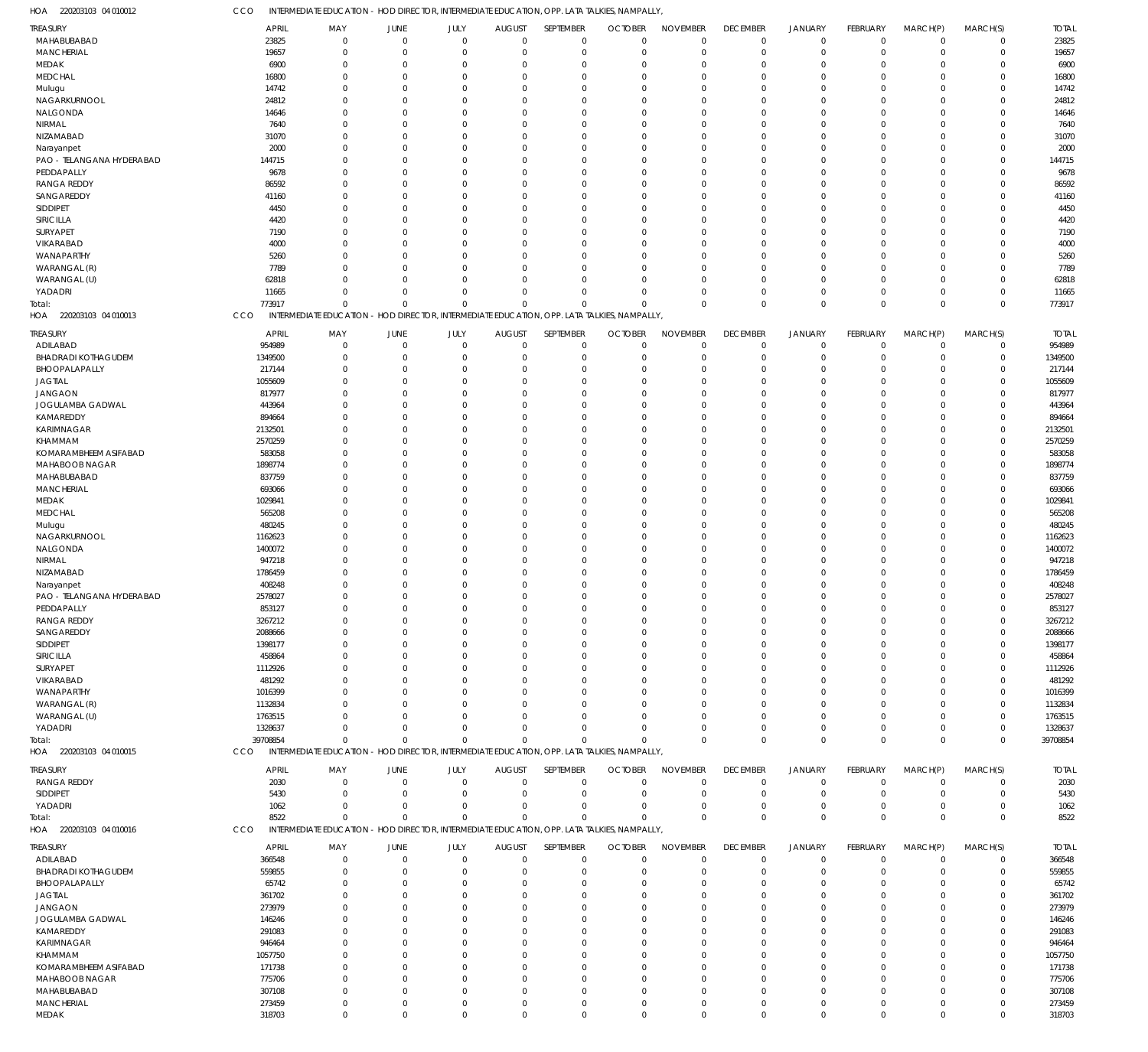220203103 04 010012 HOA

CCO INTERMEDIATE EDUCATION - HOD DIRECTOR, INTERMEDIATE EDUCATION, OPP. LATA TALKIES, NAMPALLY,

| <b>REASURY</b>             | <b>APRIL</b> | MAY                                                                                         | JUNE           | JULY         | <b>AUGUST</b>  | SEPTEMBER   | <b>OCTOBER</b> | <b>NOVEMBER</b> | <b>DECEMBER</b> | <b>JANUARY</b> | FEBRUARY       | MARCH(P)       | MARCH(S)    | <b>TOTAL</b> |
|----------------------------|--------------|---------------------------------------------------------------------------------------------|----------------|--------------|----------------|-------------|----------------|-----------------|-----------------|----------------|----------------|----------------|-------------|--------------|
| MAHABUBABAD                | 23825        | $\mathbf 0$                                                                                 | $\overline{0}$ | $\mathbf 0$  | $\mathbf 0$    | $\mathbf 0$ | $\Omega$       | $\Omega$        | $\mathbf 0$     | $\mathbf 0$    | $\overline{0}$ | $\overline{0}$ | $\mathbf 0$ | 23825        |
| <b>MANCHERIAL</b>          | 19657        | $\Omega$                                                                                    | $\mathbf 0$    | $\mathbf{0}$ | $\mathbf 0$    | $\mathbf 0$ | $\mathbf 0$    | $\Omega$        | $\mathbf 0$     | $\mathbf 0$    | $\mathbf 0$    | $\mathbf 0$    | $\mathbf 0$ | 19657        |
|                            |              |                                                                                             |                |              |                |             |                |                 |                 |                |                |                |             |              |
| MEDAK                      | 6900         | $\Omega$                                                                                    | $\overline{0}$ | $\Omega$     | 0              | $\mathbf 0$ | $\Omega$       | $\Omega$        | $\overline{0}$  | $\overline{0}$ | $\Omega$       | $\Omega$       | $\mathbf 0$ | 6900         |
| MEDCHAL                    | 16800        | $\Omega$                                                                                    | $\Omega$       | $\Omega$     | $\Omega$       | $\mathbf 0$ | $\Omega$       | $\Omega$        | $\Omega$        | $\Omega$       | $\Omega$       | $\Omega$       | $\mathbf 0$ | 16800        |
| Mulugu                     | 14742        | $\Omega$                                                                                    | $\overline{0}$ | $\Omega$     | $\overline{0}$ | $\mathbf 0$ | $\Omega$       | $\Omega$        | $\Omega$        | $\Omega$       | $\Omega$       | $\Omega$       | $\mathbf 0$ | 14742        |
| NAGARKURNOOL               | 24812        | $\Omega$                                                                                    | $\Omega$       | $\Omega$     | $\Omega$       | $\mathbf 0$ | $\Omega$       | $\Omega$        | $\Omega$        | $\Omega$       | $\Omega$       | $\Omega$       | $\mathbf 0$ | 24812        |
| NALGONDA                   | 14646        | $\Omega$                                                                                    | $\Omega$       | $\Omega$     | $\Omega$       | $\mathbf 0$ | $\Omega$       | $\Omega$        | $\Omega$        | $\Omega$       | $\Omega$       | $\Omega$       | $\mathbf 0$ | 14646        |
|                            |              | $\Omega$                                                                                    | $\Omega$       | $\Omega$     | $\Omega$       | $\mathbf 0$ |                | $\Omega$        |                 | $\Omega$       | $\Omega$       | $\Omega$       | $\mathbf 0$ |              |
| NIRMAL                     | 7640         |                                                                                             |                |              |                |             | $\Omega$       |                 | $\Omega$        |                |                |                |             | 7640         |
| NIZAMABAD                  | 31070        | $\Omega$                                                                                    | $\mathbf 0$    | $\Omega$     | $\overline{0}$ | $\mathbf 0$ | $\Omega$       | $\Omega$        | $\Omega$        | $\Omega$       | $\Omega$       | $\Omega$       | $\mathbf 0$ | 31070        |
| Narayanpet                 | 2000         | $\Omega$                                                                                    | $\Omega$       | $\Omega$     | $\Omega$       | $\mathbf 0$ | $\Omega$       | $\Omega$        | $\Omega$        | $\Omega$       | $\Omega$       | $\Omega$       | $\mathbf 0$ | 2000         |
| PAO - TELANGANA HYDERABAD  | 144715       | $\Omega$                                                                                    | $\Omega$       | $\Omega$     | $\Omega$       | $\mathbf 0$ | $\Omega$       | $\Omega$        | $\Omega$        | $\Omega$       | $\Omega$       | $\Omega$       | $\mathbf 0$ | 144715       |
| PEDDAPALLY                 | 9678         | $\Omega$                                                                                    | $\Omega$       | $\Omega$     | $\overline{0}$ | $\mathbf 0$ | $\Omega$       | $\Omega$        | $\Omega$        | $\Omega$       | $\Omega$       | $\Omega$       | $\mathbf 0$ | 9678         |
|                            |              |                                                                                             |                | $\Omega$     |                |             |                |                 |                 |                |                |                |             |              |
| <b>RANGA REDDY</b>         | 86592        | 0                                                                                           | $\Omega$       |              | 0              | $\mathbf 0$ | $\Omega$       | $\Omega$        | $\Omega$        | $\Omega$       | $\Omega$       | $\Omega$       | $\mathbf 0$ | 86592        |
| SANGAREDDY                 | 41160        | $\Omega$                                                                                    | $\Omega$       | $\Omega$     | $\Omega$       | $\mathbf 0$ | $\Omega$       | $\Omega$        | $\Omega$        | $\Omega$       | $\Omega$       | $\Omega$       | $\mathbf 0$ | 41160        |
| SIDDIPET                   | 4450         | $\Omega$                                                                                    | $\Omega$       | $\Omega$     | $\Omega$       | $\mathbf 0$ | $\Omega$       | $\Omega$        | $\Omega$        | $\Omega$       | $\Omega$       | $\Omega$       | $\mathbf 0$ | 4450         |
| SIRICILLA                  | 4420         | $\Omega$                                                                                    | $\Omega$       | $\Omega$     | $\Omega$       | $\mathbf 0$ | $\Omega$       | $\Omega$        | $\Omega$        | $\Omega$       | $\Omega$       | $\Omega$       | $\mathbf 0$ | 4420         |
| SURYAPET                   | 7190         | 0                                                                                           | $\Omega$       | $\Omega$     | $\Omega$       | $\mathbf 0$ | $\Omega$       | $\Omega$        | $\Omega$        | $\Omega$       | $\Omega$       | $\Omega$       | $\mathbf 0$ | 7190         |
|                            |              |                                                                                             |                |              |                |             |                |                 |                 |                |                |                |             |              |
| VIKARABAD                  | 4000         | $\Omega$                                                                                    | $\Omega$       | $\Omega$     | $\Omega$       | $\mathbf 0$ | $\Omega$       | $\Omega$        | $\Omega$        | $\Omega$       | $\Omega$       | $\Omega$       | $\mathbf 0$ | 4000         |
| WANAPARTHY                 | 5260         | <sup>0</sup>                                                                                | $\Omega$       | O            | $\Omega$       | $\mathbf 0$ | $\Omega$       | $\Omega$        | $\Omega$        | $\Omega$       | $\Omega$       | $\Omega$       | $\mathbf 0$ | 5260         |
| WARANGAL (R)               | 7789         | $\Omega$                                                                                    | $\Omega$       | $\Omega$     | $\Omega$       | $\mathbf 0$ | $\Omega$       | $\Omega$        | $\Omega$        | $\Omega$       | $\Omega$       | $\Omega$       | $\mathbf 0$ | 7789         |
| WARANGAL (U)               | 62818        | 0                                                                                           | $\Omega$       | $\Omega$     | $\overline{0}$ | $\mathbf 0$ | $\Omega$       | $\Omega$        | $\Omega$        | $\Omega$       | $\Omega$       | $\Omega$       | $\mathbf 0$ | 62818        |
| YADADRI                    | 11665        | $\Omega$                                                                                    | $\Omega$       | $\Omega$     | $\mathbf 0$    | $\mathbf 0$ | $\Omega$       | $\Omega$        | $\Omega$        | $\overline{0}$ | 0              | $\mathbf 0$    | $\mathbf 0$ | 11665        |
|                            |              |                                                                                             |                |              |                |             |                |                 |                 |                |                |                |             |              |
| Total:                     | 773917       | $\Omega$                                                                                    | $\Omega$       | $\Omega$     | $\mathbf 0$    | $\Omega$    | $\Omega$       | $\Omega$        | $\mathbf 0$     | $\mathbf 0$    | $\Omega$       | $\mathbf 0$    | $\mathbf 0$ | 773917       |
| HOA 220203103 04 010013    | CCO          | INTERMEDIATE EDUCATION - HOD DIRECTOR, INTERMEDIATE EDUCATION, OPP. LATA TALKIES, NAMPALLY, |                |              |                |             |                |                 |                 |                |                |                |             |              |
|                            | <b>APRIL</b> | MAY                                                                                         | JUNE           | JULY         | <b>AUGUST</b>  | SEPTEMBER   | <b>OCTOBER</b> | <b>NOVEMBER</b> | <b>DECEMBER</b> | <b>JANUARY</b> | FEBRUARY       | MARCH(P)       | MARCH(S)    | <b>TOTAL</b> |
| Treasury                   |              |                                                                                             |                |              |                |             |                |                 |                 |                |                |                |             |              |
| ADILABAD                   | 954989       | $\mathbf 0$                                                                                 | $\overline{0}$ | $\mathbf{0}$ | $\mathbf 0$    | $\mathbf 0$ | $\mathbf 0$    | $\Omega$        | $^{\circ}$      | $\overline{0}$ | $\mathbf 0$    | $\mathbf 0$    | $\mathbf 0$ | 954989       |
| <b>BHADRADI KOTHAGUDEM</b> | 1349500      | $\mathbf 0$                                                                                 | $\overline{0}$ | $\Omega$     | 0              | $\mathbf 0$ | $\mathbf 0$    | $\Omega$        | $\overline{0}$  | $\overline{0}$ | $\mathbf 0$    | $\mathbf 0$    | $\mathsf 0$ | 1349500      |
| BHOOPALAPALLY              | 217144       | $\mathbf 0$                                                                                 | $\overline{0}$ | $\Omega$     | 0              | $\mathbf 0$ | $\Omega$       | $\Omega$        | 0               | $\overline{0}$ | $\Omega$       | $\Omega$       | $\mathsf 0$ | 217144       |
| <b>JAGTIAL</b>             | 1055609      | 0                                                                                           | $\mathbf 0$    | $\Omega$     | 0              | $\mathbf 0$ | $\Omega$       | $\Omega$        | $\Omega$        | $\Omega$       | $\Omega$       | $\Omega$       | $\mathbf 0$ | 1055609      |
|                            |              |                                                                                             | $\Omega$       | O            |                |             |                | $\Omega$        |                 | $\Omega$       |                | $\Omega$       |             | 817977       |
| <b>JANGAON</b>             | 817977       | $\Omega$                                                                                    |                |              | 0              | $\mathbf 0$ | $\Omega$       |                 | $\Omega$        |                | $\Omega$       |                | $\mathbf 0$ |              |
| JOGULAMBA GADWAL           | 443964       | 0                                                                                           | $\Omega$       | $\Omega$     | 0              | $\mathbf 0$ | $\Omega$       | $\Omega$        | 0               | $\Omega$       | $\Omega$       | $\Omega$       | $\mathbf 0$ | 443964       |
| KAMAREDDY                  | 894664       | $\Omega$                                                                                    | $\Omega$       | O            | 0              | $\mathbf 0$ | $\Omega$       | $\Omega$        | $\Omega$        | $\Omega$       | $\Omega$       | $\Omega$       | 0           | 894664       |
| KARIMNAGAR                 | 2132501      | <sup>0</sup>                                                                                | $\Omega$       | O            | $\Omega$       | $\mathbf 0$ | $\Omega$       | $\Omega$        |                 | $\Omega$       | $\Omega$       | $\Omega$       | $\mathbf 0$ | 2132501      |
| KHAMMAM                    | 2570259      | $\Omega$                                                                                    | $\Omega$       | O            | 0              | $\mathbf 0$ | $\Omega$       | $\Omega$        | $\Omega$        | $\Omega$       | $\Omega$       | $\Omega$       | $\mathbf 0$ | 2570259      |
|                            |              |                                                                                             |                |              |                |             |                |                 |                 |                |                |                |             |              |
| KOMARAMBHEEM ASIFABAD      | 583058       | $\Omega$                                                                                    | $\Omega$       | $\Omega$     | 0              | $\mathbf 0$ | $\Omega$       | $\Omega$        | 0               | $\Omega$       | $\Omega$       | $\Omega$       | $\mathbf 0$ | 583058       |
| MAHABOOB NAGAR             | 1898774      | $\Omega$                                                                                    | $\Omega$       | O            | 0              | $\mathbf 0$ | $\Omega$       | $\Omega$        | $\Omega$        | $\Omega$       | $\Omega$       | $\Omega$       | 0           | 1898774      |
| MAHABUBABAD                | 837759       | $\Omega$                                                                                    | $\Omega$       | O            | $\Omega$       | $\mathbf 0$ | $\Omega$       | $\Omega$        | <sup>0</sup>    | $\Omega$       | $\Omega$       | $\Omega$       | $\mathbf 0$ | 837759       |
| <b>MANCHERIAL</b>          | 693066       | $\Omega$                                                                                    | $\Omega$       | O            | 0              | $\mathbf 0$ | $\Omega$       | $\Omega$        | $\Omega$        | $\Omega$       | $\Omega$       | $\Omega$       | $\mathsf 0$ | 693066       |
| MEDAK                      | 1029841      | 0                                                                                           | $\Omega$       | O            | 0              | $\mathbf 0$ | $\Omega$       | $\Omega$        |                 | $\Omega$       | $\Omega$       | $\Omega$       | $\mathbf 0$ | 1029841      |
|                            |              |                                                                                             |                |              |                |             |                |                 |                 |                |                |                |             |              |
| <b>MEDCHAL</b>             | 565208       | $\Omega$                                                                                    | $\Omega$       | O            | 0              | $\mathbf 0$ | $\Omega$       | $\Omega$        | $\Omega$        | $\Omega$       | $\Omega$       | $\Omega$       | $\mathbf 0$ | 565208       |
| Mulugu                     | 480245       | $\Omega$                                                                                    | $\Omega$       | $\Omega$     | $\Omega$       | $\mathbf 0$ | $\Omega$       | $\Omega$        | <sup>0</sup>    | $\Omega$       | $\Omega$       | $\Omega$       | $\mathbf 0$ | 480245       |
| NAGARKURNOOL               | 1162623      | $\Omega$                                                                                    | $\Omega$       | O            | 0              | $\mathbf 0$ | $\Omega$       | $\Omega$        | $\Omega$        | $\Omega$       | $\Omega$       | $\Omega$       | $\mathsf 0$ | 1162623      |
| NALGONDA                   | 1400072      | <sup>0</sup>                                                                                | $\Omega$       | O            | $\Omega$       | $\mathbf 0$ | $\Omega$       | $\Omega$        |                 | $\Omega$       | $\Omega$       | $\Omega$       | $\mathbf 0$ | 1400072      |
|                            |              | $\Omega$                                                                                    | $\Omega$       |              |                |             |                | $\Omega$        |                 | $\Omega$       |                | $\Omega$       | $\mathbf 0$ |              |
| NIRMAL                     | 947218       |                                                                                             |                | 0            | 0              | $\mathbf 0$ | $\Omega$       |                 | $\Omega$        |                | $\Omega$       |                |             | 947218       |
| NIZAMABAD                  | 1786459      | 0                                                                                           | $\Omega$       | O            | 0              | $\mathbf 0$ | $\Omega$       | $\Omega$        |                 | $\Omega$       | $\Omega$       | $\mathbf 0$    | $\mathbf 0$ | 1786459      |
| Narayanpet                 | 408248       | <sup>0</sup>                                                                                | $\Omega$       | O            | 0              | $\mathbf 0$ | $\Omega$       | $\Omega$        |                 | $\Omega$       | $\Omega$       | $\Omega$       | $\mathbf 0$ | 408248       |
| PAO - TELANGANA HYDERABAD  | 2578027      | $\Omega$                                                                                    | $\Omega$       | $\Omega$     | $\overline{0}$ | $\mathbf 0$ | $\Omega$       | $\Omega$        | <sup>0</sup>    | $\Omega$       | $\Omega$       | $\Omega$       | $\mathbf 0$ | 2578027      |
| PEDDAPALLY                 | 853127       | $\Omega$                                                                                    | $\Omega$       | $\Omega$     | $\Omega$       | $\mathbf 0$ | $\Omega$       | $\Omega$        | $\Omega$        | $\Omega$       | $\Omega$       | $\Omega$       | $\mathbf 0$ | 853127       |
|                            |              |                                                                                             |                | $\Omega$     |                | $\mathbf 0$ |                | $\Omega$        |                 | $\Omega$       | $\Omega$       |                |             |              |
| <b>RANGA REDDY</b>         | 3267212      | $\mathbf 0$                                                                                 | $\mathbf{0}$   |              | $\mathbf 0$    |             | $\Omega$       |                 | $\Omega$        |                |                | $\mathbf 0$    | 0           | 3267212      |
| SANGAREDDY                 | 2088666      | $\mathbf 0$                                                                                 | $\mathbf 0$    | $\Omega$     | 0              | $\mathbf 0$ | $\Omega$       | $\Omega$        | 0               | $\overline{0}$ | 0              | $\Omega$       | $\mathbf 0$ | 2088666      |
| SIDDIPET                   | 1398177      | $\Omega$                                                                                    | $\mathbf 0$    | 0            | 0              | $\mathbf 0$ | $\Omega$       | $\Omega$        | $\Omega$        | $\Omega$       | $\Omega$       | $\Omega$       | $\mathbf 0$ | 1398177      |
| SIRICILLA                  | 458864       | $\Omega$                                                                                    | $\Omega$       | n            | 0              | $\mathbf 0$ | $\Omega$       | $\Omega$        | $\Omega$        | $\Omega$       | $\Omega$       | $\Omega$       | 0           | 458864       |
| SURYAPET                   | 1112926      | 0                                                                                           | $\Omega$       |              | 0              | $\mathbf 0$ | $\Omega$       | $\Omega$        |                 | $\Omega$       | 0              | $\Omega$       | $\mathbf 0$ | 1112926      |
|                            |              |                                                                                             |                |              |                |             |                |                 |                 |                |                |                |             |              |
| VIKARABAD                  | 481292       | 0                                                                                           | $\Omega$       |              | $\Omega$       | $\mathbf 0$ | $\Omega$       | $\Omega$        | $\Omega$        | $\Omega$       | 0              | $\Omega$       | $\mathbf 0$ | 481292       |
| WANAPARTHY                 | 1016399      | 0                                                                                           | $\Omega$       |              | 0              | $\mathbf 0$ | -0             | $\Omega$        |                 | $\Omega$       | $\Omega$       | $\Omega$       | $\mathbf 0$ | 1016399      |
| WARANGAL (R)               | 1132834      | 0                                                                                           | $\Omega$       | n            | $\Omega$       | $\mathbf 0$ | $\Omega$       | $\Omega$        | $\Omega$        | $\Omega$       | $\Omega$       | $\Omega$       | $\mathbf 0$ | 1132834      |
| WARANGAL (U)               | 1763515      | <sup>0</sup>                                                                                | $\Omega$       |              | $\Omega$       | $\mathbf 0$ | -0             | $\Omega$        | $\Omega$        | $\Omega$       | $\Omega$       | $\Omega$       | $\mathbf 0$ | 1763515      |
| YADADRI                    | 1328637      | $\mathbf 0$                                                                                 | $\Omega$       | $\Omega$     | $\mathbf 0$    | $\mathbf 0$ | $\Omega$       | $\Omega$        | $^{\circ}$      | $\overline{0}$ | 0              | $\mathbf 0$    | 0           | 1328637      |
|                            |              | $\Omega$                                                                                    |                | $\Omega$     |                |             |                | $\Omega$        |                 |                |                |                |             |              |
| Total:                     | 39708854     |                                                                                             | $\mathbf 0$    |              | $\mathbf 0$    | $\mathbf 0$ | $\Omega$       |                 | $\mathbf 0$     | $\mathbf 0$    | $\mathbf 0$    | $\mathbf 0$    | $\mathbf 0$ | 39708854     |
| HOA 220203103 04 010015    | CCO          | INTERMEDIATE EDUCATION - HOD DIRECTOR, INTERMEDIATE EDUCATION, OPP. LATA TALKIES, NAMPALLY, |                |              |                |             |                |                 |                 |                |                |                |             |              |
|                            |              |                                                                                             |                |              |                |             |                |                 |                 |                |                |                | MARCH(S)    |              |
| TREASURY                   | <b>APRIL</b> | MAY                                                                                         | JUNE           | JULY         | <b>AUGUST</b>  | SEPTEMBER   | <b>OCTOBER</b> | <b>NOVEMBER</b> | <b>DECEMBER</b> | <b>JANUARY</b> | FEBRUARY       | MARCH(P)       |             | <b>TOTAL</b> |
| <b>RANGA REDDY</b>         | 2030         | 0                                                                                           | $\overline{0}$ | $\mathbf{0}$ | $\mathbf 0$    | $\mathbf 0$ | $\mathbf 0$    | $\Omega$        | $\mathbf 0$     | $\mathbf 0$    | $\overline{0}$ | $\mathbf 0$    | $\mathbf 0$ | 2030         |
| SIDDIPET                   | 5430         | $\Omega$                                                                                    | $\overline{0}$ | $\Omega$     | $\mathbf 0$    | $\mathbf 0$ | $\mathbf 0$    | $\Omega$        | $\mathbf 0$     | $\overline{0}$ | $\mathbf 0$    | $\mathbf 0$    | $\mathbf 0$ | 5430         |
| YADADRI                    | 1062         | $\mathbf 0$                                                                                 | $\mathbf{0}$   | $\mathbf{0}$ | $\mathbf 0$    | $\mathbf 0$ | 0              | $\Omega$        | $\mathbf 0$     | $\overline{0}$ | $\mathbf 0$    | $\mathbf 0$    | $\mathbf 0$ | 1062         |
| Total:                     | 8522         | $\Omega$                                                                                    | $\Omega$       | $\mathbf 0$  | $\mathbf 0$    | $\mathbf 0$ | $\Omega$       | $\Omega$        | $\mathbf 0$     | $\mathbf 0$    | $\Omega$       | $\Omega$       | $\mathbf 0$ | 8522         |
|                            |              |                                                                                             |                |              |                |             |                |                 |                 |                |                |                |             |              |
| HOA 220203103 04 010016    | CCO          | INTERMEDIATE EDUCATION - HOD DIRECTOR, INTERMEDIATE EDUCATION, OPP. LATA TALKIES, NAMPALLY, |                |              |                |             |                |                 |                 |                |                |                |             |              |
| TREASURY                   | <b>APRIL</b> | MAY                                                                                         | JUNE           | JULY         | <b>AUGUST</b>  | SEPTEMBER   | <b>OCTOBER</b> | <b>NOVEMBER</b> | <b>DECEMBER</b> | <b>JANUARY</b> | FEBRUARY       | MARCH(P)       | MARCH(S)    | <b>TOTAL</b> |
|                            |              |                                                                                             |                |              |                |             |                |                 |                 |                |                |                |             |              |
| ADILABAD                   | 366548       | $\mathbf 0$                                                                                 | $\overline{0}$ | $\mathbf{0}$ | $\mathbf 0$    | $\mathbf 0$ | $\mathbf 0$    | $\Omega$        | $^{\circ}$      | $\mathbf 0$    | $^{\circ}$     | $\mathbf 0$    | $\mathbf 0$ | 366548       |
| <b>BHADRADI KOTHAGUDEM</b> | 559855       | 0                                                                                           | $\overline{0}$ | $\Omega$     | 0              | $\mathbf 0$ | 0              | $\Omega$        | 0               | $\overline{0}$ | 0              | $\mathbf 0$    | 0           | 559855       |
| BHOOPALAPALLY              | 65742        | $\Omega$                                                                                    | $\mathbf 0$    | 0            | 0              | $\mathbf 0$ | $\Omega$       | $\Omega$        | $\Omega$        | $\Omega$       | $\Omega$       | $\Omega$       | $\mathbf 0$ | 65742        |
| <b>JAGTIAL</b>             | 361702       | 0                                                                                           | $\mathbf 0$    | n            | 0              | $\mathbf 0$ | $\Omega$       | $\Omega$        | $\Omega$        | $\Omega$       | 0              | $\Omega$       | 0           | 361702       |
| <b>JANGAON</b>             | 273979       | 0                                                                                           | $\Omega$       |              | $\Omega$       | $\mathbf 0$ | $\Omega$       | $\Omega$        |                 | $\Omega$       | O              | $\Omega$       | $\mathbf 0$ | 273979       |
|                            |              |                                                                                             |                |              |                |             |                |                 |                 |                |                |                |             |              |
| JOGULAMBA GADWAL           | 146246       | 0                                                                                           | $\Omega$       | n            | 0              | $\mathbf 0$ | $\Omega$       | $\Omega$        | $\Omega$        | $\Omega$       | 0              | $\Omega$       | $\mathbf 0$ | 146246       |
| KAMAREDDY                  | 291083       | 0                                                                                           | $\Omega$       | O            | 0              | $\mathbf 0$ | $\Omega$       | $\Omega$        |                 | $\Omega$       | $\Omega$       | $\mathbf 0$    | $\mathbf 0$ | 291083       |
| KARIMNAGAR                 | 946464       | 0                                                                                           | $\Omega$       | n            | 0              | $\mathbf 0$ | $\Omega$       | $\Omega$        | $\Omega$        | $\Omega$       | 0              | $\Omega$       | 0           | 946464       |
| KHAMMAM                    | 1057750      | 0                                                                                           | $\Omega$       |              | $\Omega$       | $\mathbf 0$ | $\Omega$       | $\Omega$        | 0               | $\Omega$       | 0              | $\Omega$       | $\mathbf 0$ | 1057750      |
| KOMARAMBHEEM ASIFABAD      | 171738       | $\Omega$                                                                                    | $\Omega$       |              | 0              | $\mathbf 0$ | $\Omega$       | $\Omega$        | $\Omega$        | $\Omega$       | 0              | $\Omega$       | $\mathbf 0$ | 171738       |
|                            |              |                                                                                             |                |              |                |             |                |                 |                 |                |                |                |             |              |
| MAHABOOB NAGAR             | 775706       | $\Omega$                                                                                    | $\Omega$       | O            | 0              | $\mathbf 0$ | $\Omega$       | $\Omega$        |                 | $\Omega$       | $\Omega$       | $\Omega$       | $\mathbf 0$ | 775706       |
| MAHABUBABAD                | 307108       | 0                                                                                           | $\Omega$       | O            | 0              | $\mathbf 0$ | $\Omega$       | $\Omega$        | $\Omega$        | $\Omega$       | $\Omega$       | $\mathbf 0$    | $\mathbf 0$ | 307108       |
| <b>MANCHERIAL</b>          | 273459       | $\mathbf 0$                                                                                 | $\mathbf 0$    | 0            | 0              | $\mathbf 0$ | 0              | $\mathbf 0$     | $^{\circ}$      | $\mathbf 0$    | 0              | $\overline{0}$ | $\mathbf 0$ | 273459       |
| MEDAK                      | 318703       | $\mathbf 0$                                                                                 | $\mathbf 0$    | $\mathbf 0$  | $\mathbf 0$    | $\mathbf 0$ | $\mathbf 0$    | $\mathbf 0$     | $\mathbf 0$     | $\mathbb O$    | $\mathbf 0$    | $\mathbf 0$    | $\mathbf 0$ | 318703       |
|                            |              |                                                                                             |                |              |                |             |                |                 |                 |                |                |                |             |              |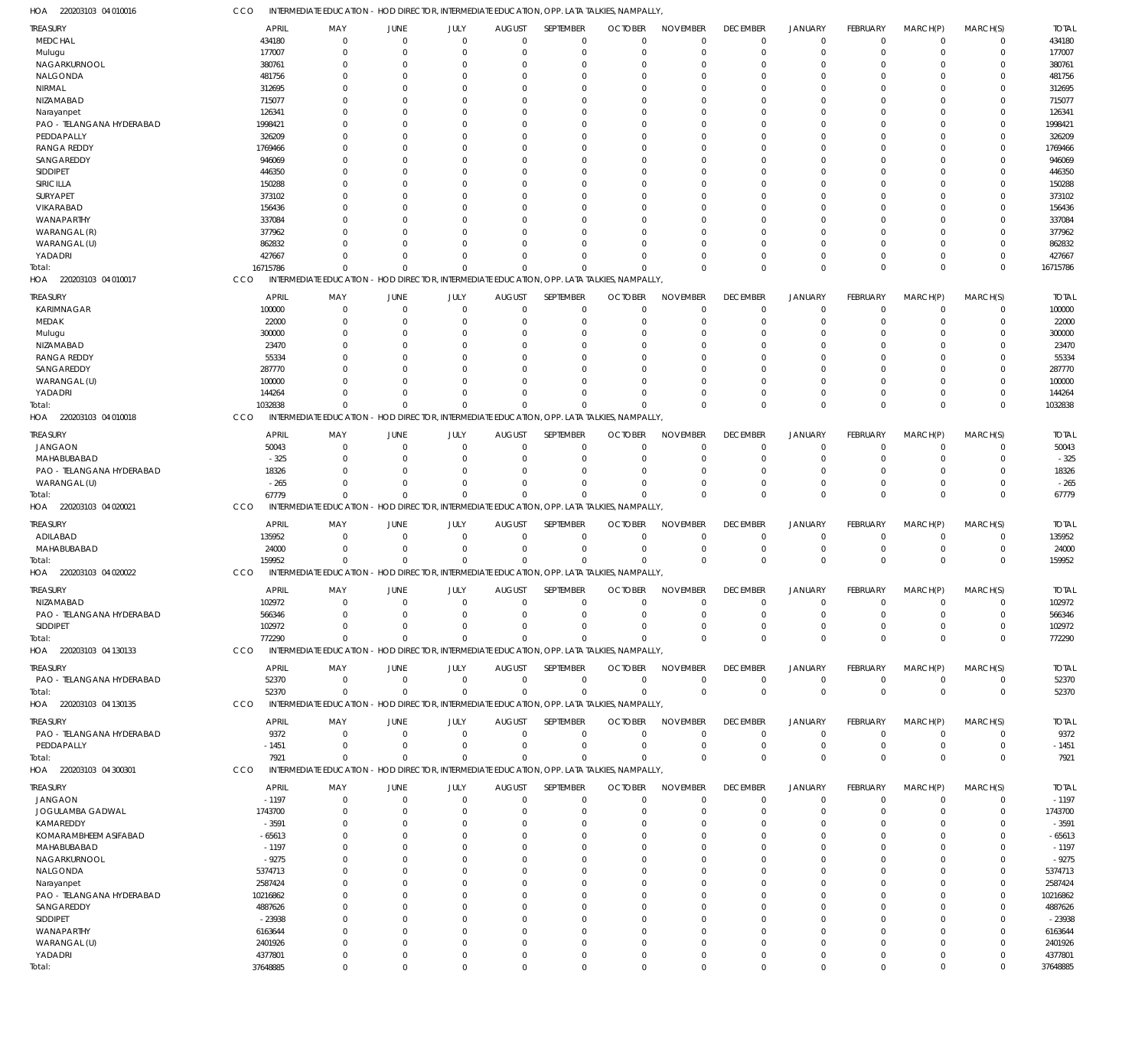220203103 04 010016 HOA

CCO INTERMEDIATE EDUCATION - HOD DIRECTOR, INTERMEDIATE EDUCATION, OPP. LATA TALKIES, NAMPALLY,

| TREASURY                  | APRIL        | MAY                                                                                         | JUNE         | JULY        | <b>AUGUST</b> | SEPTEMBER        | <b>OCTOBER</b> | <b>NOVEMBER</b> | <b>DECEMBER</b> | JANUARY        | FEBRUARY        | MARCH(P)    | MARCH(S)    | <b>TOTAL</b> |
|---------------------------|--------------|---------------------------------------------------------------------------------------------|--------------|-------------|---------------|------------------|----------------|-----------------|-----------------|----------------|-----------------|-------------|-------------|--------------|
| MEDCHAL                   | 434180       | $\mathbf 0$                                                                                 | $\Omega$     | $\Omega$    | $\Omega$      | $\Omega$         | $\Omega$       | $\Omega$        | $\mathbf 0$     | $\overline{0}$ | $\Omega$        | $\Omega$    | $\mathbf 0$ | 434180       |
| Mulugu                    | 177007       | $\Omega$                                                                                    | 0            | $\Omega$    | $\Omega$      | $\Omega$         | $\Omega$       | $\Omega$        | $\Omega$        | $\Omega$       | C               | $\Omega$    | $\Omega$    | 177007       |
| NAGARKURNOOL              | 380761       | $\Omega$                                                                                    | O            | $\Omega$    |               | $\Omega$         | $\Omega$       | $\Omega$        | $\Omega$        | $\Omega$       |                 | 0           | $\Omega$    | 380761       |
|                           |              |                                                                                             |              |             |               |                  |                |                 |                 |                |                 |             |             |              |
| NALGONDA                  | 481756       | $\Omega$                                                                                    | O            | $\Omega$    |               | $\Omega$         | $\Omega$       | $\Omega$        | $\Omega$        | $\Omega$       |                 | $\Omega$    | $\Omega$    | 481756       |
| NIRMAL                    | 312695       | $\Omega$                                                                                    |              | $\Omega$    |               | $\Omega$         |                | $\Omega$        | 0               | $\Omega$       |                 | $\Omega$    | $\Omega$    | 312695       |
| NIZAMABAD                 | 715077       | $\Omega$                                                                                    | T            | $\Omega$    |               | $\Omega$         | $\Omega$       | $\Omega$        | U               | $\Omega$       |                 | $\Omega$    | $\Omega$    | 715077       |
| Narayanpet                | 126341       | $\Omega$                                                                                    |              | $\Omega$    |               | $\Omega$         |                |                 | U               | $\Omega$       |                 | $\Omega$    | $\Omega$    | 126341       |
| PAO - TELANGANA HYDERABAD | 1998421      | $\Omega$                                                                                    | T            | $\Omega$    |               | $\Omega$         |                | $\Omega$        | U               | $\Omega$       |                 | $\Omega$    | $\Omega$    | 1998421      |
| PEDDAPALLY                | 326209       | O                                                                                           |              | $\Omega$    |               |                  |                | $\Omega$        | U               | $\Omega$       |                 | 0           | $\Omega$    | 326209       |
| <b>RANGA REDDY</b>        |              | $\Omega$                                                                                    |              | $\Omega$    |               | $\Omega$         | $\Omega$       | $\Omega$        |                 | $\Omega$       |                 | $\Omega$    | $\Omega$    |              |
|                           | 1769466      |                                                                                             | T            |             |               |                  |                |                 | 0               |                |                 |             |             | 1769466      |
| SANGAREDDY                | 946069       | $\Omega$                                                                                    |              | $\Omega$    |               |                  |                | $\Omega$        | U               | $\Omega$       |                 | $\Omega$    | $\Omega$    | 946069       |
| SIDDIPET                  | 446350       | $\Omega$                                                                                    | T            | $\Omega$    |               | $\Omega$         | $\Omega$       | $\Omega$        | U               | $\Omega$       |                 | $\Omega$    | $\Omega$    | 446350       |
| SIRICILLA                 | 150288       | $\Omega$                                                                                    |              | $\Omega$    |               | $\Omega$         | $\Omega$       | $\Omega$        | 0               | $\Omega$       |                 | $\Omega$    | $\Omega$    | 150288       |
| SURYAPET                  | 373102       | $\Omega$                                                                                    | T            | $\Omega$    |               | $\Omega$         | $\Omega$       | $\Omega$        | 0               | $\Omega$       |                 | $\Omega$    | $\Omega$    | 373102       |
| <b>VIKARABAD</b>          | 156436       | ſ                                                                                           |              | $\Omega$    |               |                  |                |                 | U               | $\Omega$       |                 | O           | $\Omega$    | 156436       |
| WANAPARTHY                | 337084       | $\Omega$                                                                                    | -0           | $\Omega$    |               | $\Omega$         | $\Omega$       | $\Omega$        | 0               | $\Omega$       |                 | $\Omega$    | $\Omega$    | 337084       |
|                           |              |                                                                                             |              |             |               |                  |                |                 |                 |                |                 |             |             |              |
| WARANGAL (R)              | 377962       | $\Omega$                                                                                    |              | $\Omega$    |               |                  |                | $\Omega$        | 0               | $\Omega$       |                 | $\Omega$    | $\Omega$    | 377962       |
| WARANGAL (U)              | 862832       | $\Omega$                                                                                    |              | $\Omega$    |               |                  | $\Omega$       | $\Omega$        | $\Omega$        | $\Omega$       |                 | $\Omega$    | $\Omega$    | 862832       |
| YADADRI                   | 427667       | $\Omega$                                                                                    | C.           | $\Omega$    | $\Omega$      | $\Omega$         | $\Omega$       | $\Omega$        | $\Omega$        | $\Omega$       | C               | $\Omega$    | $\Omega$    | 427667       |
| Total:                    | 16715786     | $\Omega$                                                                                    | $\cup$       | $\Omega$    | $\Omega$      | $\Omega$         |                | $\Omega$        | $\Omega$        | $\Omega$       | $\Omega$        | $\Omega$    | $\Omega$    | 16715786     |
| HOA 220203103 04 010017   | CCO          | INTERMEDIATE EDUCATION - HOD DIRECTOR, INTERMEDIATE EDUCATION, OPP. LATA TALKIES, NAMPALLY  |              |             |               |                  |                |                 |                 |                |                 |             |             |              |
|                           |              |                                                                                             |              |             |               |                  |                |                 |                 |                |                 |             |             |              |
| treasury                  | <b>APRIL</b> | MAY                                                                                         | JUNE         | JULY        | <b>AUGUST</b> | SEPTEMBER        | <b>OCTOBER</b> | <b>NOVEMBER</b> | <b>DECEMBER</b> | JANUARY        | FEBRUARY        | MARCH(P)    | MARCH(S)    | <b>TOTAL</b> |
| KARIMNAGAR                | 100000       | $\mathbf 0$                                                                                 | $\mathbf 0$  | $\mathbf 0$ | $\Omega$      | $\Omega$         | $\Omega$       | $\mathbf 0$     | $\mathbf 0$     | $\overline{0}$ | $\Omega$        | $\Omega$    | $\mathbf 0$ | 100000       |
| MEDAK                     | 22000        | $\mathbf 0$                                                                                 | $\Omega$     | $\Omega$    | $\Omega$      | $\Omega$         | $\Omega$       | $\Omega$        | 0               | $\Omega$       | C               | $\Omega$    | $\mathbf 0$ | 22000        |
|                           |              |                                                                                             |              |             |               |                  |                |                 |                 |                |                 |             |             |              |
| Mulugu                    | 300000       | $\Omega$                                                                                    | $\Omega$     | $\Omega$    | $\Omega$      | $\Omega$         | $\Omega$       | $\Omega$        | $\Omega$        | $\Omega$       | C               | $\Omega$    | $\Omega$    | 300000       |
| NIZAMABAD                 | 23470        | $\Omega$                                                                                    | O            | $\Omega$    | $\Omega$      | $\Omega$         | $\Omega$       | $\Omega$        | $\Omega$        | $\Omega$       | C               | $\Omega$    | $\mathbf 0$ | 23470        |
| <b>RANGA REDDY</b>        | 55334        | $\Omega$                                                                                    | O            | $\Omega$    |               | $\Omega$         |                | $\Omega$        | $\Omega$        | $\Omega$       | C               | $\Omega$    | $\Omega$    | 55334        |
| SANGAREDDY                | 287770       | $\Omega$                                                                                    | C.           | $\Omega$    | $\Omega$      | $\Omega$         |                | $\Omega$        | $\Omega$        | $\Omega$       | C               | $\Omega$    | $\Omega$    | 287770       |
| WARANGAL (U)              | 100000       | $\Omega$                                                                                    | $\cup$       | $\Omega$    |               | $\Omega$         | $\Omega$       | $\Omega$        | $\Omega$        | $\Omega$       | C               | $\Omega$    | $\Omega$    | 100000       |
|                           | 144264       | $\Omega$                                                                                    | $\Omega$     | $\Omega$    | $\Omega$      | $\Omega$         | $\Omega$       | $\Omega$        | 0               | $\mathbf 0$    | $\Omega$        | $\Omega$    | $\mathbf 0$ | 144264       |
| YADADRI                   |              |                                                                                             |              |             |               |                  |                |                 |                 |                |                 |             |             |              |
| Total:                    | 1032838      | $\Omega$                                                                                    | $\cup$       | $\Omega$    | $\Omega$      | $\Omega$         | $\Omega$       | $\Omega$        | $\Omega$        | $\Omega$       | $\Omega$        | $\Omega$    | $\Omega$    | 1032838      |
| HOA 220203103 04 010018   | CCO          | INTERMEDIATE EDUCATION - HOD DIRECTOR, INTERMEDIATE EDUCATION, OPP. LATA TALKIES, NAMPALLY  |              |             |               |                  |                |                 |                 |                |                 |             |             |              |
|                           | APRIL        |                                                                                             |              |             |               | SEPTEMBER        |                | <b>NOVEMBER</b> |                 |                | FEBRUARY        |             |             | <b>TOTAL</b> |
| TREASURY                  |              | MAY                                                                                         | JUNE         | JULY        | <b>AUGUST</b> |                  | <b>OCTOBER</b> |                 | <b>DECEMBER</b> | <b>JANUARY</b> |                 | MARCH(P)    | MARCH(S)    |              |
| <b>JANGAON</b>            | 50043        | $\Omega$                                                                                    | $\Omega$     | $\Omega$    | $\Omega$      | $\Omega$         | $\Omega$       | $\Omega$        | $\mathbf 0$     | $\overline{0}$ | 0               | $\Omega$    | $\Omega$    | 50043        |
| MAHABUBABAD               | $-325$       | $\Omega$                                                                                    | O            | $\Omega$    | $\Omega$      | $\Omega$         | $\Omega$       | $\Omega$        | 0               | $\mathbf 0$    | C               | $\Omega$    | $\Omega$    | $-325$       |
| PAO - TELANGANA HYDERABAD | 18326        | $\Omega$                                                                                    | C.           | $\Omega$    |               | $\Omega$         | $\Omega$       | $\Omega$        | $\Omega$        | $\Omega$       | C               | $\Omega$    | $\Omega$    | 18326        |
| WARANGAL (U)              | $-265$       | $\Omega$                                                                                    | 0            | $\Omega$    | $\Omega$      | $\Omega$         | $\Omega$       | $\Omega$        | $\Omega$        | $\Omega$       | C               | $\Omega$    | $\mathbf 0$ | $-265$       |
| Total:                    | 67779        | $\Omega$                                                                                    | $\cup$       | $\Omega$    | $\Omega$      | $\Omega$         | $\Omega$       | $\Omega$        | $\Omega$        | $\Omega$       | $\Omega$        | $\Omega$    | $\mathbf 0$ | 67779        |
|                           | CCO          | INTERMEDIATE EDUCATION - HOD DIRECTOR, INTERMEDIATE EDUCATION, OPP. LATA TALKIES, NAMPALLY, |              |             |               |                  |                |                 |                 |                |                 |             |             |              |
| HOA 220203103 04 020021   |              |                                                                                             |              |             |               |                  |                |                 |                 |                |                 |             |             |              |
| treasury                  | <b>APRIL</b> | MAY                                                                                         | JUNE         | JULY        | <b>AUGUST</b> | SEPTEMBER        | <b>OCTOBER</b> | <b>NOVEMBER</b> | <b>DECEMBER</b> | JANUARY        | FEBRUARY        | MARCH(P)    | MARCH(S)    | <b>TOTAL</b> |
| ADILABAD                  | 135952       | $\mathbf 0$                                                                                 | $\Omega$     | $\mathbf 0$ | $\Omega$      | $\Omega$         | $^{\circ}$     | $\Omega$        | $\mathbf 0$     | $\overline{0}$ | $\mathbf 0$     | $\mathbf 0$ | $\mathbf 0$ | 135952       |
|                           |              |                                                                                             |              |             |               |                  |                |                 |                 |                |                 |             |             |              |
| MAHABUBABAD               | 24000        | $\Omega$                                                                                    | $\Omega$     | $\mathbf 0$ | $\Omega$      | $\Omega$         | $^{\circ}$     | $\Omega$        | $\mathbf 0$     | $\overline{0}$ | $\mathbf 0$     | $\mathbf 0$ | $\mathbf 0$ | 24000        |
| Total:                    | 159952       | $\overline{0}$                                                                              | $\cup$       | $\Omega$    | $\Omega$      | $\Omega$         | $\Omega$       | $\Omega$        | $\mathbf 0$     | $\overline{0}$ | $\Omega$        | $\Omega$    | $\mathbf 0$ | 159952       |
| HOA 220203103 04 020022   | CCO          | INTERMEDIATE EDUCATION - HOD DIRECTOR, INTERMEDIATE EDUCATION, OPP. LATA TALKIES, NAMPALLY, |              |             |               |                  |                |                 |                 |                |                 |             |             |              |
|                           |              |                                                                                             |              |             |               |                  |                |                 |                 |                |                 |             |             |              |
| TREASURY                  | APRIL        | MAY                                                                                         | JUNE         | JULY        | <b>AUGUST</b> | <b>SEPTEMBER</b> | <b>OCTOBER</b> | <b>NOVEMBER</b> | <b>DECEMBER</b> | JANUARY        | <b>FEBRUARY</b> | MARCH(P)    | MARCH(S)    | <b>TOTAL</b> |
| NIZAMABAD                 | 102972       | $\Omega$                                                                                    | $\mathbf{0}$ | $\mathbf 0$ | $\Omega$      | $\Omega$         | $\mathbf 0$    | $\Omega$        | $\mathbf 0$     | $\overline{0}$ | $\Omega$        | $\Omega$    | $\Omega$    | 102972       |
| PAO - TELANGANA HYDERABAD | 566346       | $\Omega$                                                                                    | $\Omega$     | $\sim$      | $\bigcap$     | $\sqrt{2}$       | $\sqrt{ }$     | $\sqrt{ }$      |                 | $\Omega$       | $\bigcap$       | $\Omega$    |             | 566346       |
| <b>SIDDIPET</b>           | 102972       | $\Omega$                                                                                    | $\Omega$     | $\Omega$    | $\Omega$      | $\Omega$         | $\Omega$       | $\Omega$        | $\mathbf 0$     | $\Omega$       | 0               | $\Omega$    | $\mathbf 0$ | 102972       |
| Total:                    | 772290       | $\Omega$                                                                                    | $\Omega$     | $\Omega$    | $\Omega$      | $\Omega$         | $\Omega$       | $\Omega$        | $\mathbf 0$     | $\overline{0}$ | $\Omega$        | $\Omega$    | $\mathbf 0$ | 772290       |
| HOA 220203103 04 130133   | CCO          | INTERMEDIATE EDUCATION - HOD DIRECTOR, INTERMEDIATE EDUCATION, OPP. LATA TALKIES, NAMPALLY, |              |             |               |                  |                |                 |                 |                |                 |             |             |              |
|                           |              |                                                                                             |              |             |               |                  |                |                 |                 |                |                 |             |             |              |
| <b>TREASURY</b>           | APRIL        | MAY                                                                                         | JUNE         | JULY        | <b>AUGUST</b> | SEPTEMBER        | <b>OCTOBER</b> | <b>NOVEMBER</b> | <b>DECEMBER</b> | <b>JANUARY</b> | FEBRUARY        | MARCH(P)    | MARCH(S)    | <b>TOTAL</b> |
| PAO - TELANGANA HYDERABAD | 52370        | $\mathbf 0$                                                                                 | $\Omega$     | $\mathbf 0$ | $\Omega$      | $\Omega$         | $^{\circ}$     | $\overline{0}$  | $\mathbf 0$     | $\overline{0}$ | $\mathbf 0$     | $\mathbf 0$ | $\mathbf 0$ | 52370        |
|                           |              |                                                                                             |              |             |               | $\Omega$         |                | $\Omega$        | $\overline{0}$  |                |                 | $\Omega$    |             |              |
| Total:                    | 52370        | $\mathbf 0$                                                                                 | $\Omega$     | $\mathbf 0$ | $\Omega$      |                  | $\Omega$       |                 |                 | $\overline{0}$ | $\mathbf 0$     |             | $\mathbf 0$ | 52370        |
| HOA 220203103 04 130135   | CCO          | INTERMEDIATE EDUCATION - HOD DIRECTOR, INTERMEDIATE EDUCATION, OPP. LATA TALKIES, NAMPALLY, |              |             |               |                  |                |                 |                 |                |                 |             |             |              |
| treasury                  | APRIL        | MAY                                                                                         | JUNE         | JULY        | <b>AUGUST</b> | <b>SEPTEMBER</b> | <b>OCTOBER</b> | <b>NOVEMBER</b> | <b>DECEMBER</b> | JANUARY        | FEBRUARY        | MARCH(P)    | MARCH(S)    | <b>TOTAL</b> |
|                           |              | $\mathbf 0$                                                                                 | $\Omega$     | $\mathbf 0$ | $\Omega$      | $\Omega$         | $\Omega$       | $\Omega$        | $\mathbf 0$     | $\overline{0}$ | $\Omega$        |             |             | 9372         |
| PAO - TELANGANA HYDERABAD | 9372         |                                                                                             |              |             |               |                  |                |                 |                 |                |                 | 0           | 0           |              |
| PEDDAPALLY                | $-1451$      | $\Omega$                                                                                    | $\Omega$     | $\mathbf 0$ | $\Omega$      | $\Omega$         | $\overline{0}$ | $\Omega$        | $\mathbf 0$     | $\overline{0}$ | $\Omega$        | $\Omega$    | $\mathbf 0$ | $-1451$      |
| Total:                    | 7921         | $\Omega$                                                                                    | $\Omega$     | $\Omega$    | $\Omega$      | $\Omega$         | $\Omega$       | $\Omega$        | $\mathbf 0$     | $\overline{0}$ | $\Omega$        | $\Omega$    | $\mathbf 0$ | 7921         |
| HOA 220203103 04 300301   | CCO          | INTERMEDIATE EDUCATION - HOD DIRECTOR, INTERMEDIATE EDUCATION, OPP. LATA TALKIES, NAMPALLY, |              |             |               |                  |                |                 |                 |                |                 |             |             |              |
|                           |              |                                                                                             |              |             |               |                  |                |                 |                 |                |                 |             |             |              |
| treasury                  | <b>APRIL</b> | MAY                                                                                         | JUNE         | JULY        | <b>AUGUST</b> | SEPTEMBER        | <b>OCTOBER</b> | <b>NOVEMBER</b> | <b>DECEMBER</b> | <b>JANUARY</b> | FEBRUARY        | MARCH(P)    | MARCH(S)    | <b>TOTAL</b> |
| JANGAON                   | $-1197$      | $\mathbf 0$                                                                                 | 0            | $\mathbf 0$ | $\Omega$      | $\Omega$         | $\Omega$       | $\Omega$        | $\mathbf 0$     | $\overline{0}$ | $\Omega$        | $\mathbf 0$ | $\mathbf 0$ | $-1197$      |
| JOGULAMBA GADWAL          | 1743700      | $\mathbf 0$                                                                                 | $\Omega$     | $\Omega$    | $\Omega$      | $\Omega$         | $\Omega$       | $\Omega$        | 0               | $\overline{0}$ | $\Omega$        | $\Omega$    | $\mathbf 0$ | 1743700      |
| KAMAREDDY                 | $-3591$      | $\Omega$                                                                                    | $\Omega$     | $\Omega$    | $\Omega$      | $\Omega$         | $\Omega$       | $\Omega$        | 0               | $\Omega$       | C               | $\Omega$    | $\mathbf 0$ | $-3591$      |
| KOMARAMBHEEM ASIFABAD     | -65613       | $\Omega$                                                                                    | $\Omega$     | $\Omega$    | $\Omega$      | $\Omega$         | $\Omega$       | $\Omega$        | $\Omega$        | $\Omega$       | C               | $\Omega$    | $\Omega$    | $-65613$     |
|                           |              | $\Omega$                                                                                    |              | $\Omega$    | $\Omega$      | $\Omega$         | $\Omega$       | $\Omega$        | $\Omega$        | $\Omega$       | C               | $\Omega$    | $\Omega$    |              |
| MAHABUBABAD               | $-1197$      |                                                                                             | 0            |             |               |                  |                |                 |                 |                |                 |             |             | $-1197$      |
| NAGARKURNOOL              | $-9275$      | $\Omega$                                                                                    | 0            | $\Omega$    |               | $\Omega$         | $\Omega$       | $\Omega$        | $\Omega$        | $\Omega$       | C               | $\Omega$    | $\Omega$    | $-9275$      |
| NALGONDA                  | 5374713      | $\Omega$                                                                                    | 0            | $\Omega$    | $\Omega$      | $\Omega$         | $\Omega$       | $\Omega$        | $\Omega$        | $\Omega$       | C               | $\Omega$    | $\Omega$    | 5374713      |
| Narayanpet                | 2587424      | $\Omega$                                                                                    | $\Omega$     | $\Omega$    |               | $\Omega$         | $\Omega$       | $\Omega$        | $\Omega$        | $\Omega$       | C               | $\Omega$    | $\Omega$    | 2587424      |
| PAO - TELANGANA HYDERABAD | 10216862     | $\Omega$                                                                                    | C.           | $\Omega$    | $\Omega$      | $\Omega$         | $\Omega$       | $\Omega$        | $\Omega$        | $\Omega$       | C               | $\Omega$    | $\Omega$    | 10216862     |
|                           |              | $\Omega$                                                                                    |              | $\Omega$    |               | $\Omega$         | $\Omega$       | $\Omega$        | $\Omega$        | $\Omega$       | C               | $\Omega$    | $\Omega$    |              |
| SANGAREDDY                | 4887626      |                                                                                             | 0            |             |               |                  |                |                 |                 |                |                 |             |             | 4887626      |
| SIDDIPET                  | $-23938$     | $\Omega$                                                                                    | C.           | $\Omega$    | $\Omega$      | $\Omega$         | $\Omega$       | $\Omega$        | $\Omega$        | $\Omega$       | C               | $\Omega$    | $\Omega$    | $-23938$     |
| WANAPARTHY                | 6163644      | $\Omega$                                                                                    | $\cup$       | $\Omega$    |               | $\Omega$         | $\Omega$       | $\Omega$        | $\Omega$        | $\Omega$       | C               | $\Omega$    | $\Omega$    | 6163644      |
| WARANGAL (U)              | 2401926      | 0                                                                                           | $\Omega$     | $\Omega$    | $\Omega$      | $\Omega$         | $\Omega$       | $\overline{0}$  | 0               | $\Omega$       | 0               | $\Omega$    | $\Omega$    | 2401926      |
| YADADRI                   | 4377801      | $\mathbf 0$                                                                                 | $\Omega$     | $\mathbf 0$ | $\Omega$      | $\Omega$         | $^{\circ}$     | $\mathbf 0$     | 0               | $\mathbf 0$    | $\Omega$        | $\mathbf 0$ | $\Omega$    | 4377801      |
| Total:                    | 37648885     | $\Omega$                                                                                    | $\Omega$     | $\Omega$    | $\Omega$      | $\Omega$         | $\Omega$       | $\mathbf{0}$    | $\Omega$        | $\Omega$       | $\Omega$        | $\Omega$    | $\Omega$    | 37648885     |
|                           |              |                                                                                             |              |             |               |                  |                |                 |                 |                |                 |             |             |              |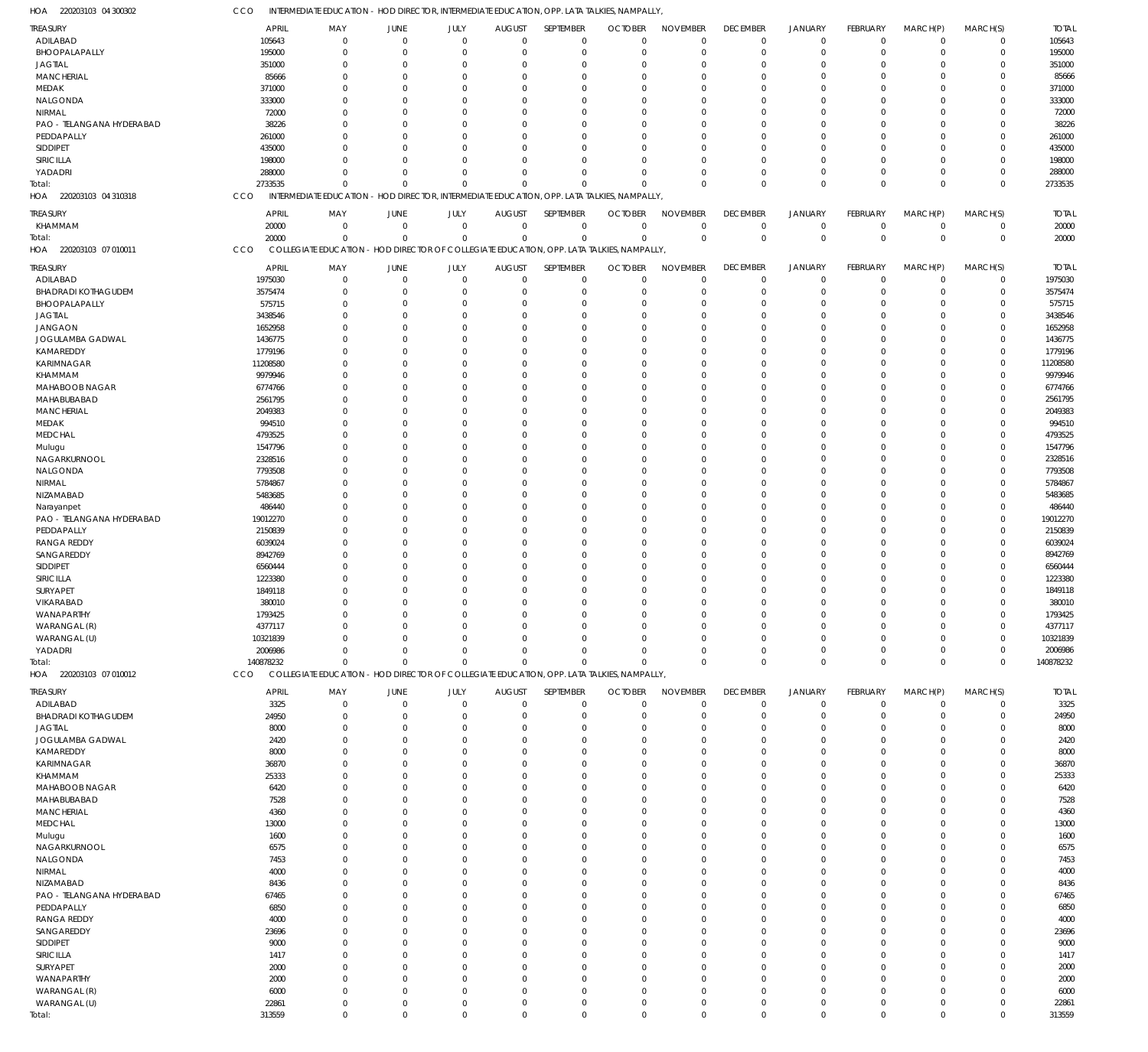| TREASURY                   | APRIL        | MAY                                                                                         | JUNE         | JULY           | <b>AUGUST</b>  | SEPTEMBER      | <b>OCTOBER</b> | <b>NOVEMBER</b> | <b>DECEMBER</b> | JANUARY        | FEBRUARY    | MARCH(P)       | MARCH(S)       | <b>TOTAL</b> |
|----------------------------|--------------|---------------------------------------------------------------------------------------------|--------------|----------------|----------------|----------------|----------------|-----------------|-----------------|----------------|-------------|----------------|----------------|--------------|
| ADILABAD                   | 105643       | $\mathbf 0$                                                                                 | $\mathbf{0}$ | $\overline{0}$ | $\overline{0}$ | $\mathbf 0$    | $\overline{0}$ | $\overline{0}$  | $\overline{0}$  | $\overline{0}$ | $\mathbf 0$ | $\overline{0}$ | $\overline{0}$ | 105643       |
| BHOOPALAPALLY              | 195000       | $\Omega$                                                                                    | $\Omega$     | $\Omega$       | $\mathbf 0$    | $\mathbf 0$    | $\mathbf 0$    | $\overline{0}$  | $\mathbf 0$     | $\overline{0}$ | $\Omega$    | $\Omega$       | $\mathbf 0$    | 195000       |
| <b>JAGTIAL</b>             | 351000       | $\overline{0}$                                                                              | $\Omega$     | $\Omega$       | $\Omega$       | $\overline{0}$ | $\Omega$       | $\Omega$        | $\mathbf 0$     | $\overline{0}$ | $\Omega$    | $\Omega$       | $\mathbf 0$    | 351000       |
| <b>MANCHERIAL</b>          | 85666        | $\Omega$                                                                                    | $\Omega$     | $\Omega$       | $\Omega$       | $\Omega$       | $\Omega$       | $\Omega$        | $\Omega$        | $\Omega$       | $\Omega$    | $\Omega$       | $\mathbf 0$    | 85666        |
|                            |              |                                                                                             |              |                |                |                |                |                 |                 |                |             |                |                |              |
| MEDAK                      | 371000       | $\Omega$                                                                                    | $\Omega$     | $\Omega$       | $\Omega$       | $\Omega$       | $\Omega$       | $\Omega$        | $\Omega$        | $\Omega$       | $\Omega$    | $\Omega$       | $\Omega$       | 371000       |
| NALGONDA                   | 333000       | $\Omega$                                                                                    | $\Omega$     | $\Omega$       | $\Omega$       | $\overline{0}$ | $\Omega$       | $\Omega$        | $\Omega$        | $\Omega$       | $\Omega$    | $\Omega$       | $\mathbf 0$    | 333000       |
| NIRMAL                     | 72000        | $\Omega$                                                                                    | $\Omega$     | $\Omega$       | $\Omega$       | $\Omega$       | $\Omega$       | $\Omega$        | $\Omega$        | $\Omega$       | $\Omega$    | $\Omega$       | $\Omega$       | 72000        |
| PAO - TELANGANA HYDERABAD  | 38226        | $\Omega$                                                                                    | $\Omega$     | $\Omega$       | $\Omega$       | $\Omega$       | $\Omega$       | $\Omega$        | $\Omega$        | $\Omega$       | $\Omega$    | $\Omega$       | $\mathbf 0$    | 38226        |
| PEDDAPALLY                 | 261000       | $\Omega$                                                                                    | $\Omega$     | $\Omega$       | $\Omega$       | $\Omega$       | $\Omega$       | $\Omega$        | $\Omega$        | $\Omega$       | $\Omega$    | $\Omega$       | $\Omega$       | 261000       |
|                            |              |                                                                                             |              |                |                |                |                |                 |                 |                |             |                |                |              |
| <b>SIDDIPET</b>            | 435000       | $\Omega$                                                                                    | $\Omega$     | $\Omega$       | $\Omega$       | $\Omega$       | $\Omega$       | $\Omega$        | $\Omega$        | $\Omega$       | $\Omega$    | $\Omega$       | $\mathbf 0$    | 435000       |
| SIRICILLA                  | 198000       | $\Omega$                                                                                    | $\Omega$     | $\Omega$       | $\Omega$       | $\Omega$       | $\Omega$       | $\Omega$        | $\Omega$        | $\Omega$       | $\Omega$    | $\Omega$       | $\mathbf 0$    | 198000       |
| YADADRI                    | 288000       | $\Omega$                                                                                    | $\Omega$     | $\Omega$       | $\Omega$       | $\Omega$       | $\Omega$       | $\Omega$        | $\Omega$        | $\Omega$       | $\Omega$    | $\Omega$       | $\mathbf 0$    | 288000       |
| Total:                     | 2733535      | $\Omega$                                                                                    | $\Omega$     | $\Omega$       | $\mathbf 0$    | $\Omega$       | Ŭ              | $\Omega$        | $\mathbf 0$     | $\Omega$       | $\Omega$    | $\Omega$       | $\mathbf 0$    | 2733535      |
| 220203103 04 310318        |              |                                                                                             |              |                |                |                |                |                 |                 |                |             |                |                |              |
| HOA                        | CCO          | INTERMEDIATE EDUCATION - HOD DIRECTOR, INTERMEDIATE EDUCATION, OPP. LATA TALKIES, NAMPALLY, |              |                |                |                |                |                 |                 |                |             |                |                |              |
| TREASURY                   | APRIL        | MAY                                                                                         | JUNE         | JULY           | <b>AUGUST</b>  | SEPTEMBER      | <b>OCTOBER</b> | <b>NOVEMBER</b> | <b>DECEMBER</b> | JANUARY        | FEBRUARY    | MARCH(P)       | MARCH(S)       | <b>TOTAL</b> |
|                            |              |                                                                                             |              |                |                |                |                |                 |                 |                |             |                |                |              |
| KHAMMAM                    | 20000        | $\mathbf 0$                                                                                 | $\mathbf 0$  | $\overline{0}$ | $\overline{0}$ | $\mathbf 0$    | $\overline{0}$ | $\overline{0}$  | $\overline{0}$  | $\overline{0}$ | $\mathbf 0$ | $\overline{0}$ | $\mathbf 0$    | 20000        |
| Total:                     | 20000        | $\mathbf 0$                                                                                 | $\Omega$     | $\overline{0}$ | $\mathbf 0$    | $\overline{0}$ | $\Omega$       | $\Omega$        | $\mathbb O$     | $\overline{0}$ | $\mathbf 0$ | $\Omega$       | $\mathbf 0$    | 20000        |
| 220203103 07 010011<br>HOA | CCO          | COLLEGIATE EDUCATION - HOD DIRECTOR OF COLLEGIATE EDUCATION, OPP. LATA TALKIES, NAMPALLY,   |              |                |                |                |                |                 |                 |                |             |                |                |              |
|                            |              |                                                                                             |              |                |                |                |                |                 |                 |                |             |                |                |              |
| <b>TREASURY</b>            | <b>APRIL</b> | MAY                                                                                         | JUNE         | JULY           | <b>AUGUST</b>  | SEPTEMBER      | <b>OCTOBER</b> | <b>NOVEMBER</b> | <b>DECEMBER</b> | JANUARY        | FEBRUARY    | MARCH(P)       | MARCH(S)       | <b>TOTAL</b> |
| ADILABAD                   | 1975030      | $\mathbf 0$                                                                                 | $\mathbf 0$  | $\overline{0}$ | $\overline{0}$ | $\mathbf 0$    | $\mathbf 0$    | $\overline{0}$  | $\overline{0}$  | $\overline{0}$ | $\mathbf 0$ | $\overline{0}$ | $\mathbf 0$    | 1975030      |
| <b>BHADRADI KOTHAGUDEM</b> | 3575474      | $\overline{0}$                                                                              | $\Omega$     | $\overline{0}$ | $\mathbf 0$    | $\mathbf 0$    | $\mathbf 0$    | $\overline{0}$  | $\mathbf 0$     | $\overline{0}$ | $\Omega$    | $\mathbf 0$    | $\mathbf 0$    | 3575474      |
|                            |              | $\Omega$                                                                                    |              |                |                |                |                | $\Omega$        |                 | $\Omega$       |             | $\Omega$       |                |              |
| BHOOPALAPALLY              | 575715       |                                                                                             | $\Omega$     | $\Omega$       | $\Omega$       | $\overline{0}$ | $\Omega$       |                 | $\Omega$        |                | $\Omega$    |                | $\mathbf 0$    | 575715       |
| <b>JAGTIAL</b>             | 3438546      | $\Omega$                                                                                    | $\Omega$     | $\Omega$       | $\Omega$       | $\overline{0}$ | $\Omega$       | $\mathbf 0$     | $\Omega$        | $\Omega$       | 0           | $\Omega$       | $\mathbf 0$    | 3438546      |
| <b>JANGAON</b>             | 1652958      | $\Omega$                                                                                    | $\Omega$     | $\Omega$       | $\Omega$       | $\Omega$       | $\Omega$       | $\Omega$        | $\Omega$        | $\Omega$       | $\Omega$    | $\Omega$       | $\Omega$       | 1652958      |
| JOGULAMBA GADWAL           | 1436775      | $\Omega$                                                                                    | $\Omega$     | $\Omega$       | $\Omega$       | $\Omega$       | $\Omega$       | $\Omega$        | $\Omega$        | $\Omega$       | $\Omega$    | $\Omega$       | $\mathbf 0$    | 1436775      |
|                            |              |                                                                                             |              |                |                |                |                |                 |                 |                |             |                |                |              |
| KAMAREDDY                  | 1779196      | $\Omega$                                                                                    | $\Omega$     | $\Omega$       | $\Omega$       | $\Omega$       | $\Omega$       | $\Omega$        | $\Omega$        | $\Omega$       | $\Omega$    | $\Omega$       | $\Omega$       | 1779196      |
| KARIMNAGAR                 | 11208580     | $\Omega$                                                                                    | $\Omega$     | $\Omega$       | $\Omega$       | $\Omega$       | $\Omega$       | $\Omega$        | $\Omega$        | $\Omega$       | $\Omega$    | $\Omega$       | $\mathbf 0$    | 11208580     |
| <b>KHAMMAM</b>             | 9979946      | $\Omega$                                                                                    | 0            | $\Omega$       | $\Omega$       | $\Omega$       | $\Omega$       | $\Omega$        | $\Omega$        | $\Omega$       | $\Omega$    | $\Omega$       | $\Omega$       | 9979946      |
| <b>MAHABOOB NAGAR</b>      | 6774766      | $\Omega$                                                                                    | $\Omega$     | $\Omega$       | $\Omega$       | $\overline{0}$ | $\Omega$       | $\Omega$        | $\Omega$        | $\Omega$       | $\Omega$    | $\Omega$       | $\mathbf 0$    | 6774766      |
|                            |              |                                                                                             |              |                |                |                |                |                 |                 |                |             |                |                |              |
| MAHABUBABAD                | 2561795      | $\Omega$                                                                                    | $\Omega$     | $\Omega$       | $\Omega$       | $\Omega$       | $\Omega$       | $\Omega$        | $\Omega$        | $\Omega$       | $\Omega$    | $\Omega$       | $\Omega$       | 2561795      |
| MANCHERIAL                 | 2049383      | $\Omega$                                                                                    | $\Omega$     | $\Omega$       | $\Omega$       | $\overline{0}$ | $\Omega$       | $\mathbf 0$     | $\Omega$        | $\Omega$       | $\Omega$    | $\Omega$       | $\mathbf 0$    | 2049383      |
| MEDAK                      | 994510       | $\Omega$                                                                                    | $\Omega$     | $\Omega$       | $\Omega$       | $\Omega$       | $\Omega$       | $\Omega$        | $\Omega$        | $\Omega$       | $\Omega$    | $\Omega$       | $\Omega$       | 994510       |
|                            |              | $\Omega$                                                                                    | $\Omega$     | $\Omega$       | $\Omega$       | $\Omega$       | $\Omega$       | $\Omega$        | $\Omega$        | $\Omega$       | $\Omega$    | $\Omega$       | $\mathbf 0$    |              |
| <b>MEDCHAL</b>             | 4793525      |                                                                                             |              |                |                |                |                |                 |                 |                |             |                |                | 4793525      |
| Mulugu                     | 1547796      | $\Omega$                                                                                    | $\Omega$     | $\Omega$       | $\Omega$       | $\Omega$       | $\Omega$       | $\Omega$        | $\Omega$        | $\Omega$       | $\Omega$    | $\Omega$       | $\Omega$       | 1547796      |
| NAGARKURNOOL               | 2328516      | $\Omega$                                                                                    | $\Omega$     | $\Omega$       | $\Omega$       | $\Omega$       | $\Omega$       | $\Omega$        | $\Omega$        | $\Omega$       | $\Omega$    | $\Omega$       | $\mathbf 0$    | 2328516      |
| NALGONDA                   | 7793508      | $\Omega$                                                                                    | 0            | $\Omega$       | $\Omega$       | $\Omega$       | $\Omega$       | $\Omega$        | $\Omega$        | $\Omega$       | $\Omega$    | $\Omega$       | $\Omega$       | 7793508      |
|                            |              |                                                                                             |              |                |                |                |                |                 |                 |                |             |                |                |              |
| NIRMAL                     | 5784867      | $\Omega$                                                                                    | $\Omega$     | $\Omega$       | $\Omega$       | $\Omega$       | $\Omega$       | $\Omega$        | $\Omega$        | $\Omega$       | $\Omega$    | $\Omega$       | $\mathbf 0$    | 5784867      |
| NIZAMABAD                  | 5483685      | $\Omega$                                                                                    | $\Omega$     | $\Omega$       | $\Omega$       | $\Omega$       | $\Omega$       | $\Omega$        | $\Omega$        | $\Omega$       | $\Omega$    | $\Omega$       | $\Omega$       | 5483685      |
| Narayanpet                 | 486440       | $\Omega$                                                                                    | $\Omega$     | $\Omega$       | $\Omega$       | $\overline{0}$ | $\Omega$       | $\mathbf 0$     | $\Omega$        | $\Omega$       | $\Omega$    | $\Omega$       | $\mathbf 0$    | 486440       |
| PAO - TELANGANA HYDERABAD  | 19012270     | $\Omega$                                                                                    | $\Omega$     | $\Omega$       | $\Omega$       | $\Omega$       | $\Omega$       | $\Omega$        | $\Omega$        | $\Omega$       | $\Omega$    | $\Omega$       | $\Omega$       | 19012270     |
|                            |              |                                                                                             |              |                |                |                |                |                 |                 |                |             |                |                |              |
| PEDDAPALLY                 | 2150839      | $\Omega$                                                                                    | $\Omega$     | $\Omega$       | $\Omega$       | $\Omega$       | $\Omega$       | $\Omega$        | $\Omega$        | $\Omega$       | $\Omega$    | $\Omega$       | $\mathbf 0$    | 2150839      |
| RANGA REDDY                | 6039024      | $\Omega$                                                                                    | $\Omega$     | $\Omega$       | $\Omega$       | $\Omega$       | $\Omega$       | $\Omega$        | $\Omega$        | $\Omega$       | $\Omega$    | $\Omega$       | $\Omega$       | 6039024      |
| SANGAREDDY                 | 8942769      | $\Omega$                                                                                    | $\Omega$     | $\Omega$       | $\Omega$       | $\Omega$       | $\Omega$       | $\Omega$        | $\Omega$        | $\Omega$       | $\Omega$    | $\Omega$       | $\mathbf 0$    | 8942769      |
| SIDDIPET                   |              | $\Omega$                                                                                    | 0            | $\Omega$       | $\Omega$       | $\mathbf 0$    | $\Omega$       | $\Omega$        | $\Omega$        | $\Omega$       | $\Omega$    | $\Omega$       | $\Omega$       |              |
|                            | 6560444      |                                                                                             |              |                |                |                |                |                 |                 |                |             |                |                | 6560444      |
| SIRICILLA                  | 1223380      | $\Omega$                                                                                    | $\Omega$     | $\Omega$       | $\Omega$       | $\overline{0}$ | $\Omega$       | $\Omega$        | O               | $\Omega$       | O           | $\Omega$       | $\mathbf 0$    | 1223380      |
| SURYAPET                   | 1849118      | $\Omega$                                                                                    | $\Omega$     | $\Omega$       | $\Omega$       | $\mathbf 0$    | $\Omega$       | $\Omega$        |                 | $\Omega$       | $\Omega$    | $\Omega$       | $\Omega$       | 1849118      |
| VIKARABAD                  | 380010       | $\Omega$                                                                                    | $\Omega$     | $\Omega$       | $\Omega$       | $\Omega$       | $\Omega$       | $\Omega$        | $\Omega$        | $\Omega$       | $\Omega$    | $\Omega$       | $\mathbf 0$    | 380010       |
| WANAPARTHY                 | 1793425      | $\Omega$                                                                                    | $\Omega$     | $\Omega$       |                | $\Omega$       |                | $\Omega$        |                 | $\Omega$       | $\cap$      | $\Omega$       | $\cap$         | 1793425      |
|                            |              |                                                                                             |              |                |                |                |                |                 |                 |                |             |                |                |              |
| WARANGAL (R)               | 4377117      | $\mathbf 0$                                                                                 | $\Omega$     | $\Omega$       | $\Omega$       | $\overline{0}$ | $\Omega$       | $\Omega$        | $\Omega$        | $\Omega$       | 0           | $\Omega$       | $\mathbf 0$    | 4377117      |
| WARANGAL (U)               | 10321839     | $\mathbf 0$                                                                                 | $\mathbf 0$  | $\overline{0}$ | $\mathbf 0$    | $\overline{0}$ | $\mathbf 0$    | $\overline{0}$  | $\mathbf 0$     | $\overline{0}$ | $\mathbf 0$ | $\mathbf 0$    | $\mathbf 0$    | 10321839     |
| YADADRI                    | 2006986      | $\mathbf 0$                                                                                 | $\Omega$     | $\mathbf 0$    | $\mathbf 0$    | $\overline{0}$ | 0              | $\overline{0}$  | $\mathbf 0$     | $\overline{0}$ | $\Omega$    | $\overline{0}$ | $\mathbf 0$    | 2006986      |
|                            | 140878232    | $\mathbf{0}$                                                                                | $\mathbf 0$  | $\Omega$       | $\Omega$       | $\Omega$       | $\Omega$       | $\overline{0}$  | $\mathbf 0$     | $\overline{0}$ | $\mathbf 0$ | $\overline{0}$ | $\mathbf 0$    | 140878232    |
| Total:                     |              |                                                                                             |              |                |                |                |                |                 |                 |                |             |                |                |              |
| HOA 220203103 07 010012    | <b>CCO</b>   | COLLEGIATE EDUCATION - HOD DIRECTOR OF COLLEGIATE EDUCATION, OPP. LATA TALKIES, NAMPALLY,   |              |                |                |                |                |                 |                 |                |             |                |                |              |
|                            | <b>APRIL</b> |                                                                                             |              |                |                | SEPTEMBER      |                |                 | <b>DECEMBER</b> | JANUARY        | FEBRUARY    |                |                |              |
| <b>TREASURY</b>            |              | MAY                                                                                         | JUNE         | JULY           | <b>AUGUST</b>  |                | <b>OCTOBER</b> | <b>NOVEMBER</b> |                 |                |             | MARCH(P)       | MARCH(S)       | <b>TOTAL</b> |
| ADILABAD                   | 3325         | $\overline{0}$                                                                              | $\mathbf 0$  | $\overline{0}$ | $\overline{0}$ | $\mathbf 0$    | $\mathbf 0$    | $\overline{0}$  | $\mathbf 0$     | $\overline{0}$ | $\mathbf 0$ | $\overline{0}$ | $\mathbf 0$    | 3325         |
| <b>BHADRADI KOTHAGUDEM</b> | 24950        | $\mathbf 0$                                                                                 | $\Omega$     | $\Omega$       | $\mathbf 0$    | $\mathbf 0$    | $\mathbf 0$    | $\overline{0}$  | $\mathbf 0$     | $\overline{0}$ | $\mathbf 0$ | $\mathbf 0$    | $\mathbf 0$    | 24950        |
| <b>JAGTIAL</b>             | 8000         | $\mathbf 0$                                                                                 | $\Omega$     | $\Omega$       | $\Omega$       | $\overline{0}$ | $\mathbf 0$    | $\mathbf 0$     | $\mathbf 0$     | $\mathbf 0$    | $\Omega$    | $\Omega$       | $\mathbf 0$    | 8000         |
| JOGULAMBA GADWAL           | 2420         | $\mathbf{0}$                                                                                | $\Omega$     | $\Omega$       | $\Omega$       | $\overline{0}$ | $\Omega$       | $\Omega$        | $\Omega$        | $\Omega$       | $\Omega$    | $\Omega$       | $\mathbf 0$    | 2420         |
|                            |              |                                                                                             |              |                |                |                |                |                 |                 |                |             |                |                |              |
| KAMAREDDY                  | 8000         | $\overline{0}$                                                                              | O            | $\Omega$       | $\Omega$       | $\overline{0}$ | $\Omega$       | $\Omega$        | $\Omega$        | $\Omega$       | $\Omega$    | $\Omega$       | $\mathbf 0$    | 8000         |
| KARIMNAGAR                 | 36870        | $\Omega$                                                                                    | $\Omega$     | $\Omega$       | $\Omega$       | $\overline{0}$ | $\Omega$       | $\mathbf 0$     | $\Omega$        | $\Omega$       | $\Omega$    | $\Omega$       | $\mathbf 0$    | 36870        |
| KHAMMAM                    | 25333        | $\Omega$                                                                                    | n            | $\Omega$       | $\Omega$       | $\Omega$       | $\Omega$       | $\Omega$        | $\Omega$        | $\Omega$       | $\Omega$    | $\Omega$       | $\mathbf 0$    | 25333        |
| <b>MAHABOOB NAGAR</b>      | 6420         | $\overline{0}$                                                                              | $\Omega$     | $\Omega$       | $\Omega$       | $\Omega$       | $\Omega$       | $\Omega$        | $\Omega$        | $\Omega$       | $\Omega$    | $\Omega$       | $\Omega$       | 6420         |
|                            |              |                                                                                             | $\Omega$     | $\Omega$       |                |                | $\Omega$       | $\mathbf 0$     |                 | $\Omega$       | $\Omega$    | $\Omega$       |                |              |
| MAHABUBABAD                | 7528         | $\overline{0}$                                                                              |              |                | $\Omega$       | $\overline{0}$ |                |                 | $\Omega$        |                |             |                | $\mathbf 0$    | 7528         |
| <b>MANCHERIAL</b>          | 4360         | $\Omega$                                                                                    | $\Omega$     | $\Omega$       | $\Omega$       | $\Omega$       | $\Omega$       | $\Omega$        | $\Omega$        | $\Omega$       | $\Omega$    | $\Omega$       | $\mathbf 0$    | 4360         |
| <b>MEDCHAL</b>             | 13000        | $\overline{0}$                                                                              | O            | $\Omega$       | $\Omega$       | $\overline{0}$ | $\Omega$       | $\mathbf 0$     | $\Omega$        | $\Omega$       | $\Omega$    | $\Omega$       | $\mathbf 0$    | 13000        |
| Mulugu                     | 1600         | $\Omega$                                                                                    | $\Omega$     | $\Omega$       | $\Omega$       | $\Omega$       | $\Omega$       | $\Omega$        | $\Omega$        | $\Omega$       | $\Omega$    | $\Omega$       | $\Omega$       | 1600         |
|                            |              |                                                                                             | O            |                |                |                | $\Omega$       |                 |                 |                | $\Omega$    |                |                |              |
| NAGARKURNOOL               | 6575         | $\overline{0}$                                                                              |              | $\Omega$       | $\Omega$       | $\mathbf 0$    |                | $\mathbf 0$     | $\Omega$        | $\Omega$       |             | $\Omega$       | $\mathbf 0$    | 6575         |
| NALGONDA                   | 7453         | $\Omega$                                                                                    | $\Omega$     | $\Omega$       | $\Omega$       | $\overline{0}$ | $\Omega$       | $\overline{0}$  | $\Omega$        | $\Omega$       | $\Omega$    | $\Omega$       | $\Omega$       | 7453         |
| NIRMAL                     | 4000         | $\Omega$                                                                                    | n            | $\Omega$       | $\Omega$       | $\Omega$       | $\Omega$       | $\Omega$        | $\Omega$        | $\Omega$       | $\Omega$    | $\Omega$       | $\Omega$       | 4000         |
| NIZAMABAD                  | 8436         | $\Omega$                                                                                    | $\Omega$     | $\Omega$       | $\Omega$       | $\overline{0}$ | $\Omega$       | $\mathbf 0$     | $\Omega$        | $\Omega$       | $\Omega$    | $\Omega$       | $\Omega$       | 8436         |
|                            |              |                                                                                             |              |                |                |                |                |                 |                 |                |             |                |                |              |
| PAO - TELANGANA HYDERABAD  | 67465        | $\Omega$                                                                                    | $\Omega$     | $\Omega$       | $\Omega$       | $\overline{0}$ | $\Omega$       | $\mathbf 0$     | $\Omega$        | $\Omega$       | $\Omega$    | $\Omega$       | $\mathbf 0$    | 67465        |
| PEDDAPALLY                 | 6850         | $\Omega$                                                                                    | $\Omega$     | $\Omega$       | $\Omega$       | $\Omega$       | $\Omega$       | $\Omega$        | $\Omega$        | $\Omega$       | $\Omega$    | $\Omega$       | $\Omega$       | 6850         |
| RANGA REDDY                | 4000         | $\overline{0}$                                                                              | O            | $\Omega$       | $\Omega$       | $\overline{0}$ | $\Omega$       | $\Omega$        | $\Omega$        | $\Omega$       | $\Omega$    | $\Omega$       | $\mathbf 0$    | 4000         |
| SANGAREDDY                 | 23696        | $\Omega$                                                                                    | $\Omega$     | $\Omega$       | $\Omega$       | $\Omega$       | $\Omega$       | $\Omega$        | $\Omega$        | $\Omega$       | $\Omega$    | $\Omega$       | $\Omega$       | 23696        |
|                            |              |                                                                                             |              |                |                |                |                |                 |                 |                |             |                |                |              |
| <b>SIDDIPET</b>            | 9000         | $\overline{0}$                                                                              |              | $\Omega$       | $\Omega$       | $\mathbf 0$    | $\Omega$       | $\mathbf 0$     | $\Omega$        | $\Omega$       | $\Omega$    | $\Omega$       | $\mathbf 0$    | 9000         |
| SIRICILLA                  | 1417         | $\Omega$                                                                                    | $\Omega$     | $\Omega$       | $\Omega$       | $\overline{0}$ | $\Omega$       | $\overline{0}$  | $\Omega$        | $\Omega$       | $\Omega$    | $\Omega$       | $\Omega$       | 1417         |
| SURYAPET                   | 2000         | $\Omega$                                                                                    | U            | $\Omega$       | $\Omega$       | $\Omega$       | $\Omega$       | $\Omega$        | $\Omega$        | $\Omega$       | $\Omega$    | $\Omega$       | $\mathbf 0$    | 2000         |
| WANAPARTHY                 | 2000         | $\Omega$                                                                                    | $\Omega$     | $\Omega$       | $\Omega$       | $\Omega$       | $\Omega$       | $\overline{0}$  | $\Omega$        | $\Omega$       | $\Omega$    | $\Omega$       | $\mathbf 0$    | 2000         |
|                            |              |                                                                                             |              |                |                |                |                |                 |                 |                |             |                |                |              |
| WARANGAL (R)               | 6000         | $\overline{0}$                                                                              | $\Omega$     | $\Omega$       | $\Omega$       | $\overline{0}$ | $\Omega$       | $\overline{0}$  | $\Omega$        | $\Omega$       | $\Omega$    | $\mathbf 0$    | $\mathbf 0$    | 6000         |
| WARANGAL (U)               | 22861        | $\mathbf 0$                                                                                 | $\Omega$     | $\mathbf{0}$   | $\mathbf 0$    | $\overline{0}$ | $\mathbf 0$    | $\overline{0}$  | $\mathbf 0$     | $\mathbf 0$    | $\mathbf 0$ | $\overline{0}$ | $\mathbf 0$    | 22861        |
| Total:                     | 313559       | $\mathbf 0$                                                                                 | $\mathbf 0$  | $\overline{0}$ | $\mathbf 0$    | $\overline{0}$ | $\mathbf 0$    | $\overline{0}$  | $\mathbf 0$     | $\mathbf 0$    | $\mathbf 0$ | $\mathbf{0}$   | $\mathbf 0$    | 313559       |

CCO INTERMEDIATE EDUCATION - HOD DIRECTOR, INTERMEDIATE EDUCATION, OPP. LATA TALKIES, NAMPALLY,

220203103 04 300302 HOA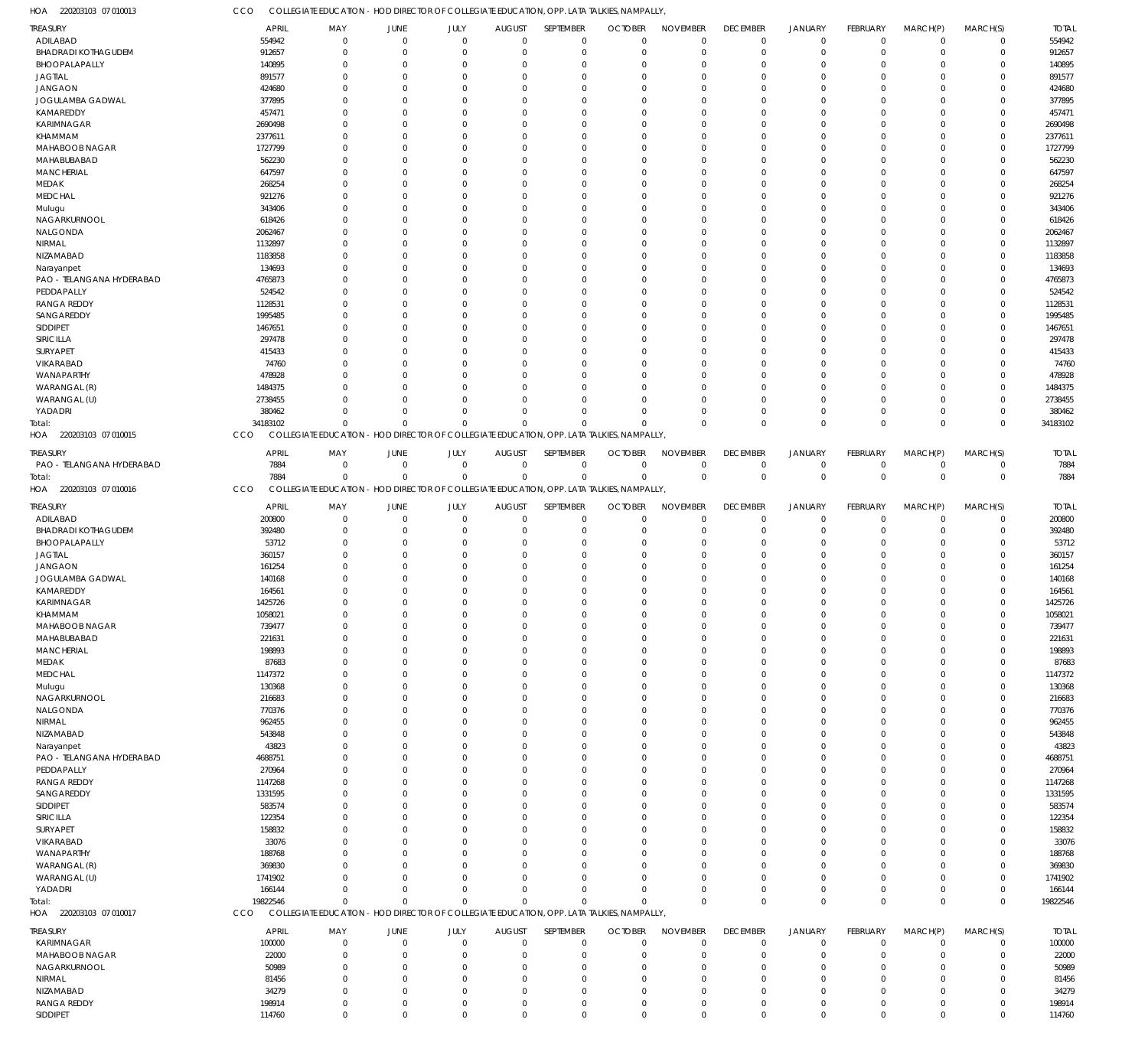220203103 07 010013 HOA

COLLEGIATE EDUCATION - HOD DIRECTOR OF COLLEGIATE EDUCATION, OPP. LATA TALKIES, NAMPALLY, CCO

| <b>TREASURY</b>                | <b>APRIL</b>     | MAY                                                                                       | JUNE        | JULY                       | <b>AUGUST</b> | SEPTEMBER   | <b>OCTOBER</b> | <b>NOVEMBER</b>            | <b>DECEMBER</b> | <b>JANUARY</b>             | <b>FEBRUARY</b> | MARCH(P)                   | MARCH(S)    | <b>TOTAL</b>     |
|--------------------------------|------------------|-------------------------------------------------------------------------------------------|-------------|----------------------------|---------------|-------------|----------------|----------------------------|-----------------|----------------------------|-----------------|----------------------------|-------------|------------------|
| ADILABAD                       | 554942           | $^{\circ}$                                                                                | $\Omega$    | $\Omega$                   | $\Omega$      | $\Omega$    | $\Omega$       | $\Omega$                   | $\mathbf 0$     | $\mathbf 0$                | $\Omega$        | $\Omega$                   | $\Omega$    | 554942           |
| <b>BHADRADI KOTHAGUDEM</b>     | 912657           | $\Omega$                                                                                  | $\Omega$    | $\Omega$                   | O             | $\Omega$    | $\Omega$       | $\Omega$                   | $\Omega$        | $\mathbf 0$                | $\Omega$        | $\Omega$                   | $\Omega$    | 912657           |
| BHOOPALAPALLY                  | 140895           | $\Omega$                                                                                  | $\Omega$    | $\Omega$                   | C.            | $\Omega$    | $\Omega$       | $\Omega$                   | $\Omega$        | $\Omega$                   | $\sqrt{ }$      | $\Omega$                   | $\Omega$    | 140895           |
|                                |                  |                                                                                           |             |                            |               |             |                |                            |                 |                            |                 |                            |             |                  |
| <b>JAGTIAL</b>                 | 891577           | $\Omega$                                                                                  | $\Omega$    | $\Omega$                   |               | $\Omega$    | -C             | $\Omega$                   | $\Omega$        | $\Omega$                   | $\sqrt{ }$      | $\Omega$                   |             | 891577           |
| <b>JANGAON</b>                 | 424680           | $\Omega$                                                                                  | $\Omega$    | $\Omega$                   | C.            | $\Omega$    | -C             | $\Omega$                   | $\Omega$        | $\Omega$                   | $\sqrt{ }$      | $\Omega$                   | $\Omega$    | 424680           |
| JOGULAMBA GADWAL               | 377895           | $\Omega$                                                                                  | 0           | $\Omega$                   |               | $\Omega$    | -C             | $\Omega$                   | $\Omega$        | $\Omega$                   |                 | $\Omega$                   |             | 377895           |
| KAMAREDDY                      | 457471           | $\Omega$                                                                                  | $\Omega$    | $\Omega$                   | C.            | $\Omega$    | -C             | $\Omega$                   | $\Omega$        | $\Omega$                   | $\sqrt{ }$      | $\Omega$                   | $\Omega$    | 457471           |
| KARIMNAGAR                     | 2690498          | $\Omega$                                                                                  | C           | $\Omega$                   |               | $\Omega$    | -C             | $\Omega$                   | -C              | $\Omega$                   |                 | $\Omega$                   |             | 2690498          |
| KHAMMAM                        | 2377611          | $\Omega$                                                                                  | $\Omega$    | $\Omega$                   | C.            | $\Omega$    | -C             | $\Omega$                   | $\Omega$        | $\Omega$                   | $\sqrt{ }$      | $\Omega$                   | $\Omega$    | 2377611          |
| MAHABOOB NAGAR                 | 1727799          | $\Omega$                                                                                  | $\Omega$    | $\Omega$                   |               | $\Omega$    | -C             | $\Omega$                   | $\Omega$        | $\Omega$                   | $\sqrt{ }$      | $\Omega$                   |             | 1727799          |
| MAHABUBABAD                    |                  |                                                                                           |             |                            |               |             | $\Omega$       | $\Omega$                   | $\Omega$        |                            |                 | $\Omega$                   | $\Omega$    |                  |
|                                | 562230           | $\Omega$                                                                                  | 0           | $\Omega$                   | C             | $\Omega$    |                |                            |                 | $\Omega$                   |                 |                            |             | 562230           |
| <b>MANCHERIAL</b>              | 647597           | $\Omega$                                                                                  | 0           | $\Omega$                   |               | $\cup$      | -C             | $\Omega$                   | -C              | $\Omega$                   |                 | $\Omega$                   |             | 647597           |
| MEDAK                          | 268254           | $\Omega$                                                                                  | $\Omega$    | $\Omega$                   | C.            | $\Omega$    | -C             | $\Omega$                   | $\Omega$        | $\Omega$                   | $\sqrt{ }$      | $\Omega$                   | $\Omega$    | 268254           |
| MEDCHAL                        | 921276           | $\Omega$                                                                                  | 0           | $\Omega$                   |               | $\Omega$    | -C             | $\Omega$                   | $\Omega$        | $\Omega$                   |                 | $\Omega$                   |             | 921276           |
| Mulugu                         | 343406           | $\Omega$                                                                                  | $\Omega$    | $\Omega$                   | C.            | $\Omega$    | -0             | $\Omega$                   | $\Omega$        | $\Omega$                   | $\sqrt{ }$      | $\Omega$                   | $\Omega$    | 343406           |
| NAGARKURNOOL                   | 618426           | $\Omega$                                                                                  | C           | $\Omega$                   |               | $\Omega$    | -0             | $\Omega$                   | $\Omega$        | $\Omega$                   |                 | $\Omega$                   |             | 618426           |
| NALGONDA                       | 2062467          | $\Omega$                                                                                  | 0           | $\Omega$                   | C.            | $\Omega$    | -C             | $\Omega$                   | $\Omega$        | $\Omega$                   | ſ               | $\Omega$                   | $\Omega$    | 2062467          |
| NIRMAL                         | 1132897          | $\Omega$                                                                                  | 0           | $\Omega$                   |               | $\Omega$    | -C             | $\Omega$                   | $\Omega$        | $\Omega$                   |                 | $\Omega$                   |             | 1132897          |
|                                |                  |                                                                                           |             |                            |               |             |                |                            |                 |                            |                 |                            |             |                  |
| NIZAMABAD                      | 1183858          | $\Omega$                                                                                  | 0           | $\Omega$                   |               | $\Omega$    | $\Omega$       | $\Omega$                   | $\Omega$        | $\Omega$                   |                 | $\Omega$                   | $\Omega$    | 1183858          |
| Narayanpet                     | 134693           | $\Omega$                                                                                  | 0           | $\Omega$                   |               | $\cup$      | -C             | $\Omega$                   | -C              | $\Omega$                   |                 | $\Omega$                   | $\Omega$    | 134693           |
| PAO - TELANGANA HYDERABAD      | 4765873          | $\Omega$                                                                                  | $\Omega$    | $\Omega$                   | C.            | $\Omega$    | -C             | $\Omega$                   | $\Omega$        | $\Omega$                   | $\sqrt{ }$      | $\Omega$                   | $\Omega$    | 4765873          |
| PEDDAPALLY                     | 524542           | $\Omega$                                                                                  | 0           | $\Omega$                   |               | $\cup$      | -C             | $\Omega$                   | $\Omega$        | $\Omega$                   |                 | $\Omega$                   |             | 524542           |
| <b>RANGA REDDY</b>             | 1128531          | $\Omega$                                                                                  | $\Omega$    | $\Omega$                   | C.            | $\Omega$    | -C             | $\Omega$                   | $\Omega$        | $\Omega$                   | $\sqrt{ }$      | $\Omega$                   | $\Omega$    | 1128531          |
| SANGAREDDY                     | 1995485          | $\Omega$                                                                                  | C           | $\Omega$                   |               | $\Omega$    |                | $\Omega$                   | -C              | $\Omega$                   |                 | $\Omega$                   |             | 1995485          |
| SIDDIPET                       | 1467651          | $\Omega$                                                                                  | $\Omega$    | $\Omega$                   | C.            | $\Omega$    | -C             | $\Omega$                   | $\Omega$        | $\Omega$                   | $\sqrt{ }$      | $\Omega$                   | $\Omega$    | 1467651          |
|                                |                  |                                                                                           |             |                            |               |             |                |                            |                 |                            |                 |                            |             |                  |
| SIRICILLA                      | 297478           | $\Omega$                                                                                  | $\Omega$    | $\Omega$                   |               | $\Omega$    | -C             | $\Omega$                   | $\Omega$        | $\Omega$                   |                 | $\Omega$                   |             | 297478           |
| SURYAPET                       | 415433           | $\Omega$                                                                                  | 0           | $\Omega$                   |               | $\Omega$    | -C             | $\Omega$                   | $\Omega$        | $\Omega$                   |                 | $\Omega$                   | $\Omega$    | 415433           |
| VIKARABAD                      | 74760            | $\Omega$                                                                                  | 0           | $\Omega$                   |               | $\cup$      |                | $\Omega$                   | -C              | $\Omega$                   |                 | $\Omega$                   |             | 74760            |
| WANAPARTHY                     | 478928           | $\Omega$                                                                                  | $\Omega$    | $\Omega$                   | C.            | $\Omega$    | -C             | $\Omega$                   | $\Omega$        | $\Omega$                   | $\sqrt{ }$      | $\Omega$                   | $\Omega$    | 478928           |
| WARANGAL (R)                   | 1484375          | $\Omega$                                                                                  | n           | $\Omega$                   |               | $\cup$      | -C             | $\Omega$                   | $\Omega$        | $\Omega$                   |                 | $\Omega$                   |             | 1484375          |
| WARANGAL (U)                   | 2738455          | $\Omega$                                                                                  | 0           | $\Omega$                   | C.            | $\Omega$    | -0             | $\Omega$                   | $\Omega$        | $\Omega$                   | $\sqrt{ }$      | $\Omega$                   | $\Omega$    | 2738455          |
| YADADRI                        | 380462           | $\Omega$                                                                                  | $\Omega$    | $\Omega$                   | $\Omega$      | $\Omega$    | $\Omega$       | $\Omega$                   | $\Omega$        | $\Omega$                   | $\Omega$        | $\Omega$                   | $\Omega$    | 380462           |
|                                |                  |                                                                                           |             |                            |               |             |                |                            |                 |                            |                 |                            |             |                  |
| Total:                         | 34183102         | $\Omega$                                                                                  | $\Omega$    | $\Omega$                   | $\Omega$      | $\Omega$    |                | $\Omega$                   | $\Omega$        | $\mathbf{0}$               | $\Omega$        | $\Omega$                   | $\Omega$    | 34183102         |
| 220203103 07 010015<br>HOA     | CCO              | COLLEGIATE EDUCATION - HOD DIRECTOR OF COLLEGIATE EDUCATION, OPP. LATA TALKIES, NAMPALLY, |             |                            |               |             |                |                            |                 |                            |                 |                            |             |                  |
| <b>TREASURY</b>                | <b>APRIL</b>     | MAY                                                                                       | JUNE        | JULY                       | <b>AUGUST</b> | SEPTEMBER   | <b>OCTOBER</b> | <b>NOVEMBER</b>            | <b>DECEMBER</b> | <b>JANUARY</b>             | <b>FEBRUARY</b> | MARCH(P)                   | MARCH(S)    | <b>TOTAL</b>     |
| PAO - TELANGANA HYDERABAD      | 7884             | $\mathbf 0$                                                                               | $\mathbf 0$ | $\mathbf 0$                | $\mathbf 0$   | $\mathbf 0$ | $\mathbf 0$    | 0                          | $^{\circ}$      | $\mathbf 0$                | $\overline{0}$  | $^{\circ}$                 | $^{\circ}$  | 7884             |
|                                |                  |                                                                                           |             |                            |               |             |                |                            |                 |                            |                 |                            |             |                  |
| Total:                         | 7884             | $\Omega$                                                                                  | $\Omega$    | $\mathbf{0}$               | $\Omega$      | $\mathbf 0$ | $\Omega$       | $\mathbf 0$                | $\overline{0}$  | $\mathbb O$                | $\Omega$        | $\mathbf 0$                | $^{\circ}$  | 7884             |
| 220203103 07 010016<br>HOA     | CCO              | COLLEGIATE EDUCATION - HOD DIRECTOR OF COLLEGIATE EDUCATION, OPP. LATA TALKIES, NAMPALLY, |             |                            |               |             |                |                            |                 |                            |                 |                            |             |                  |
| <b>TREASURY</b>                | <b>APRIL</b>     | MAY                                                                                       | JUNE        | JULY                       | <b>AUGUST</b> | SEPTEMBER   | <b>OCTOBER</b> | <b>NOVEMBER</b>            | <b>DECEMBER</b> | JANUARY                    | <b>FEBRUARY</b> | MARCH(P)                   | MARCH(S)    | <b>TOTAL</b>     |
| ADILABAD                       | 200800           | $^{\circ}$                                                                                | $\Omega$    | $\Omega$                   | $\Omega$      | $\Omega$    | $\Omega$       | $\Omega$                   | $^{\circ}$      | $\mathbf 0$                | $\Omega$        | $\Omega$                   | $\Omega$    | 200800           |
|                                |                  |                                                                                           |             |                            |               |             |                |                            |                 |                            |                 | $\Omega$                   | $\Omega$    | 392480           |
|                                |                  |                                                                                           |             |                            |               |             |                |                            |                 |                            |                 |                            |             |                  |
| <b>BHADRADI KOTHAGUDEM</b>     | 392480           | $\Omega$                                                                                  | $\Omega$    | $\Omega$                   | O             | $\Omega$    | $\Omega$       | $\Omega$                   | $\Omega$        | $\mathbf 0$                | $\Omega$        |                            |             |                  |
| BHOOPALAPALLY                  | 53712            | $\Omega$                                                                                  | $\Omega$    | $\Omega$                   | C.            | $\Omega$    | $\Omega$       | $\Omega$                   | $\Omega$        | $\Omega$                   | $\sqrt{ }$      | $\Omega$                   | $\Omega$    | 53712            |
| <b>JAGTIAL</b>                 | 360157           | $\Omega$                                                                                  | $\Omega$    | $\Omega$                   | C.            | $\Omega$    | -C             | $\Omega$                   | $\Omega$        | $\Omega$                   | $\sqrt{ }$      | $\Omega$                   | $\Omega$    | 360157           |
| <b>JANGAON</b>                 | 161254           | $\Omega$                                                                                  | 0           | $\Omega$                   | C.            | $\Omega$    | -C             | $\Omega$                   | $\Omega$        | $\Omega$                   |                 | $\Omega$                   | $\Omega$    | 161254           |
| JOGULAMBA GADWAL               | 140168           | $\Omega$                                                                                  | 0           | $\Omega$                   | C.            | $\Omega$    | -C             | $\Omega$                   | -C              | $\Omega$                   | $\sqrt{ }$      | $\Omega$                   |             | 140168           |
|                                |                  | $\Omega$                                                                                  | $\Omega$    | $\Omega$                   | $\Omega$      | $\Omega$    | $\Omega$       | $\Omega$                   | $\Omega$        | $\Omega$                   | $\sqrt{ }$      | $\Omega$                   | $\Omega$    |                  |
| KAMAREDDY                      | 164561           |                                                                                           |             |                            |               |             |                |                            |                 |                            |                 |                            |             | 164561           |
| <b>KARIMNAGAR</b>              | 1425726          | $\Omega$                                                                                  | $\Omega$    | $\Omega$                   | $\Omega$      | $\Omega$    | $\Omega$       | $\Omega$                   | $\Omega$        | $\Omega$                   | $\Omega$        | $\Omega$                   | $\Omega$    | 1425726          |
| KHAMMAM                        | 1058021          | 0                                                                                         | -0          | 0                          | $\Omega$      | $\Omega$    | $\Omega$       | $\Omega$                   | $\Omega$        | $\mathbf{0}$               | $\Omega$        | $\Omega$                   | $\Omega$    | 1058021          |
| MAHABOOB NAGAR                 | 739477           | $\Omega$                                                                                  | $\Omega$    | $\Omega$                   | C.            | $\Omega$    | $\Omega$       | $\Omega$                   | $\Omega$        | $\Omega$                   | $\Omega$        | $\Omega$                   | $\Omega$    | 739477           |
| MAHABUBABAD                    | 221631           | $\Omega$                                                                                  | $\Omega$    | $\Omega$                   | O             | $\Omega$    | $\Omega$       | $\Omega$                   | $\Omega$        | $\Omega$                   | $\Omega$        | $\Omega$                   | $\Omega$    | 221631           |
| MANCHERIAL                     | 198893           | $\Omega$                                                                                  | $\Omega$    | $\Omega$                   | -0            | $\Omega$    | $\Omega$       | $\Omega$                   | $\Omega$        | $\Omega$                   | $\sqrt{ }$      | $\Omega$                   |             | 198893           |
| MEDAK                          | 87683            | $\Omega$                                                                                  | 0           | $\Omega$                   | C.            | $\Omega$    | $\Omega$       | $\Omega$                   | $\Omega$        | $\Omega$                   | $\sqrt{ }$      | $\Omega$                   | $\Omega$    | 87683            |
| <b>MEDCHAL</b>                 |                  | $\Omega$                                                                                  | 0           | $\Omega$                   | -0            | $\Omega$    | -C             | $\Omega$                   | $\Omega$        | $\Omega$                   | ſ               | $\Omega$                   | $\Omega$    |                  |
|                                | 1147372          |                                                                                           |             |                            |               |             |                |                            |                 |                            |                 |                            |             | 1147372          |
| Mulugu                         | 130368           | $\Omega$                                                                                  | $\Omega$    | $\Omega$                   | C.            | $\Omega$    | -0             | $\Omega$                   | $\Omega$        | $\Omega$                   | $\sqrt{ }$      | $\Omega$                   | $\Omega$    | 130368           |
| NAGARKURNOOL                   | 216683           | $\Omega$                                                                                  | 0           | $\Omega$                   |               | $\Omega$    | -0             | $\Omega$                   | $\Omega$        | $\Omega$                   |                 | $\Omega$                   |             | 216683           |
| NALGONDA                       | 770376           | $\Omega$                                                                                  | 0           | $\Omega$                   | -0            | $\Omega$    | -0             | $\Omega$                   | $\Omega$        | $\Omega$                   | ſ               | $\Omega$                   | $\Omega$    | 770376           |
| NIRMAL                         | 962455           | $\Omega$                                                                                  | 0           | $\Omega$                   | -0            | $\Omega$    | -C             | $\Omega$                   | $\Omega$        | $\Omega$                   |                 | $\Omega$                   |             | 962455           |
| NIZAMABAD                      | 543848           | $\Omega$                                                                                  | 0           | $\Omega$                   | C.            | $\Omega$    | -0             | $\Omega$                   | $\Omega$        | $\Omega$                   | ſ               | $\Omega$                   | $\Omega$    | 543848           |
| Narayanpet                     | 43823            | $\Omega$                                                                                  | 0           | $\Omega$                   | -0            | $\Omega$    | -0             | $\Omega$                   | $\Omega$        | $\Omega$                   | $\sqrt{ }$      | $\Omega$                   |             | 43823            |
| PAO - TELANGANA HYDERABAD      | 4688751          | $\Omega$                                                                                  | 0           | $\Omega$                   | C.            | $\Omega$    | $\Omega$       | $\Omega$                   | $\Omega$        | $\Omega$                   | ſ               | $\Omega$                   | $\Omega$    | 4688751          |
| PEDDAPALLY                     |                  | $\Omega$                                                                                  | 0           | $\Omega$                   | -0            | $\Omega$    | -C             | $\Omega$                   | $\Omega$        | $\Omega$                   | ſ               | $\Omega$                   | $\Omega$    |                  |
|                                | 270964           | $\Omega$                                                                                  | 0           | $\Omega$                   | C.            | $\Omega$    | -0             | $\Omega$                   | $\Omega$        | $\Omega$                   | $\sqrt{ }$      | $\Omega$                   | $\Omega$    | 270964           |
| <b>RANGA REDDY</b>             | 1147268          |                                                                                           |             |                            |               |             |                |                            |                 |                            |                 |                            |             | 1147268          |
| SANGAREDDY                     | 1331595          | $\Omega$                                                                                  | 0           | $\Omega$                   |               | $\Omega$    | -C             | $\Omega$                   | $\Omega$        | $\Omega$                   |                 | $\Omega$                   |             | 1331595          |
| SIDDIPET                       | 583574           | $\Omega$                                                                                  | 0           | $\Omega$                   | -0            | $\Omega$    | -0             | $\Omega$                   | $\Omega$        | $\Omega$                   | ſ               | $\Omega$                   | $\Omega$    | 583574           |
| SIRICILLA                      | 122354           | $\Omega$                                                                                  | 0           | $\Omega$                   |               | $\Omega$    | -C             | $\Omega$                   | $\Omega$        | $\Omega$                   |                 | $\Omega$                   |             | 122354           |
| SURYAPET                       | 158832           | $\Omega$                                                                                  | 0           | $\Omega$                   | C.            | $\Omega$    | -0             | $\Omega$                   | $\Omega$        | $\Omega$                   | ſ               | $\Omega$                   | $\Omega$    | 158832           |
| VIKARABAD                      | 33076            | $\Omega$                                                                                  | 0           | $\Omega$                   |               | $\Omega$    | -0             | $\Omega$                   | $\Omega$        | $\Omega$                   |                 | $\Omega$                   |             | 33076            |
| WANAPARTHY                     | 188768           | $\Omega$                                                                                  | 0           | $\Omega$                   | -0            | $\Omega$    | -0             | $\Omega$                   | $\Omega$        | $\Omega$                   | ſ               | $\Omega$                   | $\Omega$    | 188768           |
| WARANGAL (R)                   | 369830           | $\Omega$                                                                                  | $\Omega$    | $\Omega$                   |               | $\cup$      | -C             | $\Omega$                   | $\Omega$        | $\Omega$                   |                 | $\Omega$                   | $\Omega$    | 369830           |
|                                |                  | $\Omega$                                                                                  | $\Omega$    | $\Omega$                   | O             | $\Omega$    | -0             | $\Omega$                   | $\Omega$        | $\Omega$                   | $\mathcal{L}$   | $\Omega$                   | $\Omega$    |                  |
| WARANGAL (U)                   | 1741902          |                                                                                           |             |                            |               |             |                |                            |                 |                            |                 |                            |             | 1741902          |
| YADADRI                        | 166144           | $\Omega$                                                                                  | $\Omega$    | $\Omega$                   | O             | $\Omega$    | $\Omega$       | $\Omega$                   | $\Omega$        | $\Omega$                   | $\Omega$        | $\Omega$                   | $\Omega$    | 166144           |
| Total:                         | 19822546         | $\Omega$                                                                                  | $\Omega$    | $\Omega$                   | $\cup$        | $\Omega$    |                | $\Omega$                   | $\Omega$        | $\mathbf{0}$               | $\Omega$        | $\Omega$                   | $\Omega$    | 19822546         |
| 220203103 07 010017<br>HOA     | CCO              | COLLEGIATE EDUCATION - HOD DIRECTOR OF COLLEGIATE EDUCATION, OPP. LATA TALKIES, NAMPALLY, |             |                            |               |             |                |                            |                 |                            |                 |                            |             |                  |
| <b>TREASURY</b>                | <b>APRIL</b>     | MAY                                                                                       | JUNE        | JULY                       | <b>AUGUST</b> | SEPTEMBER   | <b>OCTOBER</b> | <b>NOVEMBER</b>            | <b>DECEMBER</b> | <b>JANUARY</b>             | FEBRUARY        | MARCH(P)                   | MARCH(S)    | <b>TOTAL</b>     |
| KARIMNAGAR                     |                  | $\mathbf 0$                                                                               | $\mathbf 0$ | $\mathbf 0$                | $\Omega$      | $\mathbf 0$ | $\mathbf 0$    | $\mathbf 0$                | $\overline{0}$  | $\mathbf 0$                | $\Omega$        | $\Omega$                   | $\mathbf 0$ |                  |
|                                | 100000           |                                                                                           |             |                            |               |             |                |                            |                 |                            |                 |                            |             | 100000           |
| MAHABOOB NAGAR                 | 22000            | $\mathbf 0$                                                                               | $\Omega$    | $\Omega$                   | $\Omega$      | $\mathbf 0$ | $\Omega$       | $\mathbf 0$                | $\Omega$        | $\mathbf 0$                | $\Omega$        | $\Omega$                   | $\Omega$    | 22000            |
| NAGARKURNOOL                   | 50989            | $\mathbf 0$                                                                               | $\Omega$    | $\Omega$                   | $\Omega$      | $\Omega$    | $\Omega$       | $\mathbf 0$                | $\Omega$        | $\mathbf 0$                | $\mathcal{L}$   | $\Omega$                   | $\Omega$    | 50989            |
| NIRMAL                         | 81456            | $\mathbf 0$                                                                               | $\Omega$    | $\mathbf 0$                | $\Omega$      | $\Omega$    | $\Omega$       | $\Omega$                   | $\Omega$        | $\mathbf 0$                | $\mathcal{L}$   | $\Omega$                   | $\Omega$    | 81456            |
| NIZAMABAD                      | 34279            | $\mathbf 0$                                                                               | $\Omega$    | $\Omega$                   | $\Omega$      | $\Omega$    | $\Omega$       | $\mathbf{0}$               | $\Omega$        | $\mathbf 0$                | $\mathcal{L}$   | $\Omega$                   | $\Omega$    | 34279            |
| <b>RANGA REDDY</b><br>SIDDIPET | 198914<br>114760 | $\mathbf 0$<br>$\mathbf 0$                                                                | $^{\circ}$  | $\mathbf 0$<br>$\mathbf 0$ | $\mathbf 0$   | 0           | $\mathbf 0$    | $\mathbf 0$<br>$\mathbf 0$ | $\overline{0}$  | $\mathbf 0$<br>$\mathbf 0$ | $\mathbf 0$     | $\mathbf 0$<br>$\mathbf 0$ | $\mathbf 0$ | 198914<br>114760 |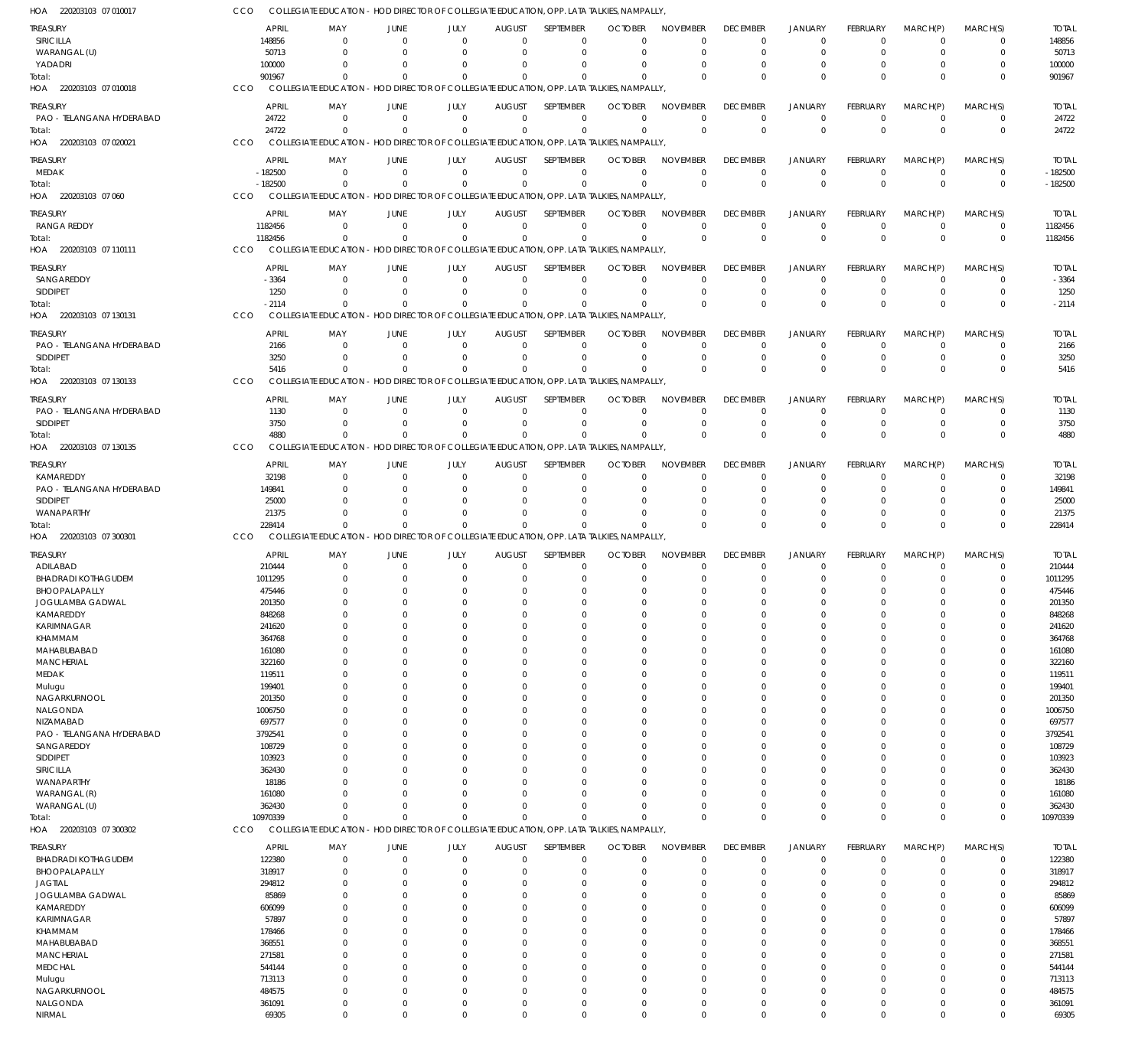| HOA 220203103 07 010017                      | CCO              | COLLEGIATE EDUCATION - HOD DIRECTOR OF COLLEGIATE EDUCATION, OPP. LATA TALKIES, NAMPALLY, |                      |                                                                                  |                           |                         |                            |                         |                 |                        |                         |                            |                      |                      |
|----------------------------------------------|------------------|-------------------------------------------------------------------------------------------|----------------------|----------------------------------------------------------------------------------|---------------------------|-------------------------|----------------------------|-------------------------|-----------------|------------------------|-------------------------|----------------------------|----------------------|----------------------|
| TREASURY                                     |                  | <b>APRIL</b><br>MAY                                                                       | JUNE                 | JULY                                                                             | <b>AUGUST</b>             | SEPTEMBER               | <b>OCTOBER</b>             | <b>NOVEMBER</b>         | <b>DECEMBER</b> | <b>JANUARY</b>         | FEBRUARY                | MARCH(P)                   | MARCH(S)             | <b>TOTAL</b>         |
| SIRICILLA                                    | 148856           | $\mathbf 0$                                                                               | $\Omega$             | $\Omega$                                                                         | $\Omega$                  | $\mathbf 0$             | $\Omega$                   | $\Omega$                | $^{\circ}$      | $\overline{0}$         | $\mathbf 0$             | $\Omega$                   | 0                    | 148856               |
| WARANGAL (U)                                 |                  | 50713<br>$\Omega$                                                                         | $\Omega$             | $\Omega$                                                                         | $\Omega$                  | $\Omega$                | $\Omega$                   | $\Omega$                | $\Omega$        | $\Omega$               | $\Omega$                | $\Omega$                   | $\mathbf 0$          | 50713                |
| YADADRI                                      | 100000           | $\Omega$                                                                                  | $\Omega$             | $\Omega$                                                                         | $\Omega$                  | $\Omega$                | -0                         | $\Omega$                | $\Omega$        | $\Omega$               | $\Omega$                | $\Omega$                   | 0                    | 100000               |
| Total:                                       | 901967           | $\Omega$                                                                                  | $\Omega$             | $\Omega$                                                                         | $\Omega$                  | $\Omega$                | $\Omega$                   | $\Omega$                | $\Omega$        | $\Omega$               | $\Omega$                | $\Omega$                   | $\Omega$             | 901967               |
| HOA 220203103 07 010018                      | CCO              | COLLEGIATE EDUCATION - HOD DIRECTOR OF COLLEGIATE EDUCATION, OPP. LATA TALKIES, NAMPALLY, |                      |                                                                                  |                           |                         |                            |                         |                 |                        |                         |                            |                      |                      |
| TREASURY                                     |                  | <b>APRIL</b><br>MAY                                                                       | JUNE                 | JULY                                                                             | <b>AUGUST</b>             | SEPTEMBER               | <b>OCTOBER</b>             | <b>NOVEMBER</b>         | <b>DECEMBER</b> | <b>JANUARY</b>         | FEBRUARY                | MARCH(P)                   | MARCH(S)             | <b>TOTAL</b>         |
| PAO - TELANGANA HYDERABAD                    |                  | 24722<br>$\Omega$                                                                         | $\Omega$             | $\Omega$                                                                         | $\Omega$                  | $\mathbf 0$             | $\Omega$                   | $\Omega$                | $\mathbf 0$     | $\overline{0}$         | $\mathbf 0$             | $\Omega$                   | 0                    | 24722                |
| Total:                                       |                  | 24722<br>$\Omega$                                                                         | $\Omega$             | $\Omega$                                                                         | $\Omega$                  | $\Omega$                | $\Omega$                   | $\Omega$                | $\Omega$        | $\Omega$               | $\Omega$                | $\Omega$                   | $\mathbf 0$          | 24722                |
| HOA 220203103 07 020021                      | CCO              | COLLEGIATE EDUCATION - HOD DIRECTOR OF COLLEGIATE EDUCATION, OPP. LATA TALKIES, NAMPALLY, |                      |                                                                                  |                           |                         |                            |                         |                 |                        |                         |                            |                      |                      |
|                                              |                  |                                                                                           |                      |                                                                                  |                           |                         |                            |                         |                 |                        |                         |                            |                      |                      |
| TREASURY                                     |                  | <b>APRIL</b><br>MAY                                                                       | JUNE                 | JULY                                                                             | <b>AUGUST</b>             | SEPTEMBER               | <b>OCTOBER</b>             | <b>NOVEMBER</b>         | <b>DECEMBER</b> | <b>JANUARY</b>         | FEBRUARY                | MARCH(P)                   | MARCH(S)             | <b>TOTAL</b>         |
| MEDAK                                        | $-182500$        | $\mathbf 0$<br>$\Omega$                                                                   | $\Omega$<br>$\Omega$ | $\mathbf 0$                                                                      | $\overline{0}$            | $\mathbf 0$             | $\Omega$                   | $\Omega$<br>$\Omega$    | $^{\circ}$      | $^{\circ}$<br>$\Omega$ | $\mathbf 0$<br>$\Omega$ | $^{\circ}$<br>$\Omega$     | $\mathbf 0$          | $-182500$            |
| Total:                                       | $-182500$        | <b>COLLEGIATE EDUCATION</b>                                                               |                      | $\Omega$<br>- HOD DIRECTOR OF COLLEGIATE EDUCATION, OPP. LATA TALKIES, NAMPALLY, | $\Omega$                  | $\mathbf 0$             | $\Omega$                   |                         | $\Omega$        |                        |                         |                            | $\mathbf 0$          | $-182500$            |
| HOA 220203103 07 060                         | CCO              |                                                                                           |                      |                                                                                  |                           |                         |                            |                         |                 |                        |                         |                            |                      |                      |
| TREASURY                                     |                  | <b>APRIL</b><br>MAY                                                                       | <b>JUNE</b>          | JULY                                                                             | <b>AUGUST</b>             | SEPTEMBER               | <b>OCTOBER</b>             | <b>NOVEMBER</b>         | <b>DECEMBER</b> | <b>JANUARY</b>         | FEBRUARY                | MARCH(P)                   | MARCH(S)             | <b>TOTAL</b>         |
| RANGA REDDY                                  | 1182456          | $\Omega$                                                                                  | $\Omega$             | $\Omega$                                                                         | $\Omega$                  | $\mathbf 0$             | $\Omega$                   | $\Omega$                | $\mathbf 0$     | $\mathbf 0$            | $\Omega$                | $\Omega$                   | $\Omega$             | 1182456              |
| Total:                                       | 1182456          | $\Omega$                                                                                  | $\Omega$             | $\Omega$                                                                         | $\Omega$                  | $\mathbf 0$             | $\Omega$                   | $\Omega$                | $\mathbf 0$     | $\overline{0}$         | $\Omega$                | $\Omega$                   | $\mathbf 0$          | 1182456              |
| HOA 220203103 07 110111                      | CCO              | COLLEGIATE EDUCATION - HOD DIRECTOR OF COLLEGIATE EDUCATION, OPP. LATA TALKIES, NAMPALLY, |                      |                                                                                  |                           |                         |                            |                         |                 |                        |                         |                            |                      |                      |
| TREASURY                                     |                  | <b>APRIL</b><br>MAY                                                                       | JUNE                 | JULY                                                                             | <b>AUGUST</b>             | SEPTEMBER               | <b>OCTOBER</b>             | <b>NOVEMBER</b>         | <b>DECEMBER</b> | <b>JANUARY</b>         | <b>FEBRUARY</b>         | MARCH(P)                   | MARCH(S)             | <b>TOTAL</b>         |
| SANGAREDDY                                   |                  | -3364<br>0                                                                                | $^{\circ}$           | $\Omega$                                                                         | $\mathbf 0$               | $\mathbf 0$             | $\Omega$                   | $\Omega$                | 0               | $^{\circ}$             | 0                       | $\Omega$                   | 0                    | $-3364$              |
| SIDDIPET                                     |                  | 1250<br>$\Omega$                                                                          | $\Omega$             | $\Omega$                                                                         | $\Omega$                  | $\mathbf 0$             | $\Omega$                   | $\Omega$                | $\Omega$        | $\Omega$               | $\mathbf 0$             | $\Omega$                   | $\mathbf 0$          | 1250                 |
| Total:                                       |                  | $-2114$<br>$\Omega$                                                                       | $\Omega$             | $\Omega$                                                                         | $\Omega$                  | $\Omega$                | $\Omega$                   | $\Omega$                | $\Omega$        | $\Omega$               | $\Omega$                | $\Omega$                   | $\mathbf 0$          | $-2114$              |
| HOA 220203103 07 130131                      | CCO              | COLLEGIATE EDUCATION - HOD DIRECTOR OF COLLEGIATE EDUCATION, OPP. LATA TALKIES, NAMPALLY, |                      |                                                                                  |                           |                         |                            |                         |                 |                        |                         |                            |                      |                      |
|                                              |                  | <b>APRIL</b>                                                                              | <b>JUNE</b>          |                                                                                  |                           | SEPTEMBER               |                            | <b>NOVEMBER</b>         | <b>DECEMBER</b> |                        | <b>FEBRUARY</b>         |                            | MARCH(S)             |                      |
| <b>TREASURY</b><br>PAO - TELANGANA HYDERABAD |                  | MAY<br>$\Omega$                                                                           | $\Omega$             | JULY<br>$\Omega$                                                                 | <b>AUGUST</b><br>$\Omega$ | $\mathbf 0$             | <b>OCTOBER</b><br>$\Omega$ | $\Omega$                | $^{\circ}$      | JANUARY<br>$^{\circ}$  | $\Omega$                | MARCH(P)<br>$\Omega$       | $\Omega$             | <b>TOTAL</b><br>2166 |
| <b>SIDDIPET</b>                              |                  | 2166<br>3250<br>$\Omega$                                                                  | $\Omega$             | $\Omega$                                                                         | $\Omega$                  | $\Omega$                | $\Omega$                   | $\Omega$                | $\Omega$        | $\Omega$               | $\Omega$                | $\Omega$                   | 0                    | 3250                 |
| Total:                                       |                  | 5416<br>$\Omega$                                                                          | $\Omega$             | $\Omega$                                                                         | $\Omega$                  | $\Omega$                | $\Omega$                   | $\Omega$                | $\Omega$        | $\Omega$               | $\Omega$                | $\Omega$                   | $\Omega$             | 5416                 |
| HOA 220203103 07 130133                      | CCO              | COLLEGIATE EDUCATION - HOD DIRECTOR OF COLLEGIATE EDUCATION, OPP. LATA TALKIES, NAMPALLY, |                      |                                                                                  |                           |                         |                            |                         |                 |                        |                         |                            |                      |                      |
|                                              |                  |                                                                                           |                      |                                                                                  |                           |                         |                            |                         |                 |                        |                         |                            |                      |                      |
| TREASURY                                     |                  | <b>APRIL</b><br>MAY                                                                       | JUNE                 | JULY                                                                             | <b>AUGUST</b>             | SEPTEMBER               | <b>OCTOBER</b>             | <b>NOVEMBER</b>         | <b>DECEMBER</b> | <b>JANUARY</b>         | <b>FEBRUARY</b>         | MARCH(P)                   | MARCH(S)             | <b>TOTAL</b>         |
| PAO - TELANGANA HYDERABAD                    |                  | 1130<br>$\mathbf 0$                                                                       | $^{\circ}$           | $\mathbf 0$                                                                      | $\mathbf 0$               | $\mathbf 0$             | $\Omega$                   | $\Omega$                | $\Omega$        | $\Omega$               | $\mathbf 0$             | $\Omega$                   | $\mathbf 0$          | 1130                 |
| <b>SIDDIPET</b>                              |                  | 3750<br>$\Omega$                                                                          | $\overline{0}$       | $\mathbf 0$                                                                      | 0                         | $\mathbf 0$             | $\Omega$                   | $\Omega$                | $\Omega$        | $^{\circ}$             | $\Omega$                | $\mathbf 0$                | $\mathbf 0$          | 3750                 |
| Total:                                       |                  | 4880<br>$\Omega$                                                                          | $\Omega$             | $\Omega$                                                                         | $\Omega$                  | $\Omega$                | $\Omega$                   | $\Omega$                | $\Omega$        | $\Omega$               | $\Omega$                | $\Omega$                   | $\mathbf 0$          | 4880                 |
| HOA 220203103 07 130135                      | CCO              | COLLEGIATE EDUCATION - HOD DIRECTOR OF COLLEGIATE EDUCATION, OPP. LATA TALKIES, NAMPALLY, |                      |                                                                                  |                           |                         |                            |                         |                 |                        |                         |                            |                      |                      |
| <b>TREASURY</b>                              |                  | <b>APRIL</b><br>MAY                                                                       | JUNE                 | JULY                                                                             | <b>AUGUST</b>             | SEPTEMBER               | <b>OCTOBER</b>             | <b>NOVEMBER</b>         | <b>DECEMBER</b> | <b>JANUARY</b>         | FEBRUARY                | MARCH(P)                   | MARCH(S)             | <b>TOTAL</b>         |
| KAMAREDDY                                    |                  | 32198<br>$\Omega$                                                                         | $^{\circ}$           | $\Omega$                                                                         | $\Omega$                  | $\Omega$                | $\Omega$                   | $\Omega$                | $\Omega$        | $\Omega$               | $\Omega$                | $\Omega$                   | $\Omega$             | 32198                |
| PAO - TELANGANA HYDERABAD                    | 149841           | $\Omega$                                                                                  | $\Omega$             | $\Omega$                                                                         | $\Omega$                  | $\Omega$                | $\Omega$                   | $\Omega$                | $\Omega$        | $\Omega$               | $\Omega$                | $\Omega$                   | $\Omega$             | 149841               |
| <b>SIDDIPET</b>                              |                  | 25000                                                                                     | n                    |                                                                                  | ſ                         | C.                      |                            | $\Omega$                | $\Omega$        | $\Omega$               | $\Omega$                | $\Omega$                   | $\Omega$             | 25000                |
| WANAPARTHY                                   |                  | 21375<br>$\Omega$                                                                         | $\Omega$             | $\Omega$                                                                         | $\Omega$                  | $\Omega$                | $\Omega$                   | $\Omega$                | $\Omega$        | $\Omega$               | $\Omega$                | $\Omega$                   | $\Omega$             | 21375                |
| Total:                                       | 228414           | $\Omega$                                                                                  | $\Omega$             | $\Omega$                                                                         | $\Omega$                  | $\Omega$                | $\Omega$                   | $\Omega$                | $\Omega$        | $\Omega$               | $\Omega$                | $\Omega$                   | $\Omega$             | 228414               |
| HOA 220203103 07 300301                      | CCO              | COLLEGIATE EDUCATION - HOD DIRECTOR OF COLLEGIATE EDUCATION, OPP. LATA TALKIES, NAMPALLY, |                      |                                                                                  |                           |                         |                            |                         |                 |                        |                         |                            |                      |                      |
| <b>TREASURY</b>                              |                  | <b>APRIL</b><br>MAY                                                                       | JUNE                 | JULY                                                                             | <b>AUGUST</b>             | SEPTEMBER               | <b>OCTOBER</b>             | <b>NOVEMBER</b>         | <b>DECEMBER</b> | <b>JANUARY</b>         | <b>FEBRUARY</b>         | MARCH(P)                   | MARCH(S)             | <b>TOTAL</b>         |
| ADILABAD                                     | 210444           | $\Omega$                                                                                  | $\Omega$             | $\Omega$                                                                         | 0                         | $\mathbf 0$             | -C                         | $\Omega$                | $\Omega$        | $^{\circ}$             | $\Omega$                | $\Omega$                   | 0                    | 210444               |
| <b>BHADRADI KOTHAGUDEM</b>                   | 1011295          | $\Omega$                                                                                  | $\Omega$             | $\Omega$                                                                         | $\Omega$                  | $\Omega$                | -C                         | $\Omega$                |                 | $\Omega$               | $\Omega$                | $\Omega$                   | $\Omega$             | 1011295              |
| BHOOPALAPALLY                                | 475446           | $\Omega$                                                                                  | $\Omega$             | $\Omega$                                                                         | $\Omega$                  | $\Omega$                | $\Omega$                   | $\Omega$                | $\Omega$        | $\Omega$               | $\Omega$                | $\Omega$                   | $\Omega$             | 475446               |
| JOGULAMBA GADWAL                             | 201350           |                                                                                           |                      |                                                                                  |                           |                         |                            |                         |                 |                        |                         |                            |                      | 201350               |
| KAMAREDDY                                    | 848268           | 0                                                                                         | $\Omega$             | $\Omega$                                                                         | $\Omega$                  | $\mathbf 0$             | $\Omega$                   |                         |                 | $\Omega$               | $\Omega$                | $\Omega$                   | $\mathbf 0$          | 848268               |
| KARIMNAGAR                                   | 241620           | 0                                                                                         | $\mathbf 0$          | $\Omega$                                                                         | $\Omega$                  | $\mathbf 0$             | $\Omega$                   | $\Omega$                | $\Omega$        | $\overline{0}$         | 0                       | $\Omega$                   | $\mathbf 0$          | 241620               |
| KHAMMAM                                      | 364768           | $\Omega$                                                                                  | $\Omega$             | $\Omega$                                                                         | $\Omega$                  | $\mathbf 0$             | $\Omega$                   | $\Omega$                | $\Omega$        | $\Omega$               | $\Omega$                | $\Omega$                   | $\Omega$             | 364768               |
| MAHABUBABAD                                  | 161080           |                                                                                           | $\Omega$<br>U        | $\Omega$                                                                         | $\Omega$                  | $\Omega$                | $\Omega$                   | $\Omega$                |                 | $\Omega$               | $\Omega$                | $\Omega$                   | $\Omega$             | 161080               |
| <b>MANCHERIAL</b>                            | 322160           | $\Omega$                                                                                  | $\Omega$             | O                                                                                | $\Omega$                  | $\Omega$                | -C                         | $\Omega$                | $\left($        | $\Omega$               | O                       | $\Omega$                   | $\Omega$             | 322160               |
| MEDAK                                        | 119511           | $\Omega$                                                                                  | $\Omega$             | C                                                                                | $\Omega$                  | $\Omega$                | $\Omega$                   | $\Omega$<br>$\Omega$    |                 | $\Omega$               | U                       | $\Omega$                   | $\Omega$             | 119511               |
| Mulugu<br>NAGARKURNOOL                       | 199401<br>201350 | $\Omega$<br>$\Omega$                                                                      | $\Omega$<br>$\Omega$ | O<br>O                                                                           | $\Omega$<br>$\Omega$      | $\Omega$<br>$\Omega$    | -C<br>-C                   | $\Omega$                |                 | $\Omega$<br>$\Omega$   | U<br>$\Omega$           | $\Omega$<br>$\Omega$       | $\Omega$<br>$\Omega$ | 199401<br>201350     |
| NALGONDA                                     | 1006750          | 0                                                                                         | $\Omega$             | O                                                                                | $\Omega$                  | $\Omega$                | -C                         | $\Omega$                | $\Omega$        | $\Omega$               | U                       | $\Omega$                   | 0                    | 1006750              |
| NIZAMABAD                                    | 697577           | $\Omega$                                                                                  | $\Omega$             | C                                                                                | $\Omega$                  | $\Omega$                | $\Omega$                   | $\Omega$                |                 | $\Omega$               | U                       | $\Omega$                   | $\Omega$             | 697577               |
| PAO - TELANGANA HYDERABAD                    | 3792541          | $\Omega$                                                                                  | $\Omega$             | O                                                                                | 0                         | $\Omega$                | -C                         | $\Omega$                |                 | $\Omega$               | U                       | $\Omega$                   | $\Omega$             | 3792541              |
| SANGAREDDY                                   | 108729           | $\Omega$                                                                                  | $\Omega$             | $\Omega$                                                                         | $\Omega$                  | $\Omega$                | -C                         | $\Omega$                |                 | $\Omega$               | $\Omega$                | $\Omega$                   | $\Omega$             | 108729               |
| SIDDIPET                                     | 103923           | $\Omega$                                                                                  | $\Omega$             | O                                                                                | $\Omega$                  | $\Omega$                | -C                         | $\Omega$                | $\Omega$        | $\Omega$               | U                       | $\Omega$                   | 0                    | 103923               |
| SIRICILLA                                    | 362430           |                                                                                           | U<br>$\Omega$        | C                                                                                | O                         | $\Omega$                | -C                         | $\Omega$                |                 | $\Omega$               | U                       | $\Omega$                   | $\Omega$             | 362430               |
| WANAPARTHY                                   |                  | 18186<br>$\Omega$                                                                         | $\Omega$             | O                                                                                | $\Omega$                  | $\Omega$                | -C                         | $\Omega$                | $\Omega$        | $\Omega$               | U                       | $\Omega$                   | $\Omega$             | 18186                |
| WARANGAL (R)                                 | 161080           |                                                                                           | $\Omega$<br>U        | $\Omega$                                                                         | $\Omega$                  | $\Omega$                | $\Omega$                   | $\Omega$                | $\Omega$        | $\Omega$               | $\Omega$                | $\Omega$                   | $\Omega$             | 161080               |
| WARANGAL (U)                                 | 362430           | $\Omega$                                                                                  | $\Omega$             | $\Omega$                                                                         | $\Omega$                  | $\mathbf 0$             | $\Omega$                   | $\Omega$                | $\Omega$        | $\overline{0}$         | $\Omega$                | $\mathbf 0$                | $\mathbf 0$          | 362430               |
| Total:                                       | 10970339         | $\Omega$                                                                                  | $\Omega$             | $\Omega$                                                                         | $\mathbf 0$               | $\Omega$                | -C                         | $\Omega$                | $\Omega$        | $\overline{0}$         | $\Omega$                | $\mathbf 0$                | $\mathbf 0$          | 10970339             |
| HOA 220203103 07 300302                      | <b>CCO</b>       | COLLEGIATE EDUCATION - HOD DIRECTOR OF COLLEGIATE EDUCATION, OPP. LATA TALKIES, NAMPALLY, |                      |                                                                                  |                           |                         |                            |                         |                 |                        |                         |                            |                      |                      |
| <b>TREASURY</b>                              |                  | <b>APRIL</b><br>MAY                                                                       | JUNE                 | JULY                                                                             | <b>AUGUST</b>             | SEPTEMBER               | <b>OCTOBER</b>             | <b>NOVEMBER</b>         | <b>DECEMBER</b> | <b>JANUARY</b>         | FEBRUARY                | MARCH(P)                   | MARCH(S)             | <b>TOTAL</b>         |
| <b>BHADRADI KOTHAGUDEM</b>                   | 122380           | $\Omega$                                                                                  | $\mathbf 0$          | $\Omega$                                                                         | $\Omega$                  | $\mathbf 0$             | $\Omega$                   | $\Omega$                | $\mathbf 0$     | $\overline{0}$         | 0                       | $\Omega$                   | $\mathbf 0$          | 122380               |
| BHOOPALAPALLY                                | 318917           | $\Omega$                                                                                  | $\Omega$             | $\Omega$                                                                         | $\Omega$                  | $\mathbf 0$             | $\Omega$                   | $\Omega$                | $^{\circ}$      | $\overline{0}$         | $\Omega$                | $\Omega$                   | $\mathbf 0$          | 318917               |
| <b>JAGTIAL</b>                               | 294812           | $\Omega$                                                                                  | $\Omega$             | O                                                                                | 0                         | $\Omega$                | $\Omega$                   | $\Omega$                | $\Omega$        | $\Omega$               | $\Omega$                | $\Omega$                   | $\Omega$             | 294812               |
| JOGULAMBA GADWAL                             |                  | 85869                                                                                     | U<br>$\Omega$        | O                                                                                | O                         | $\Omega$                | $\Omega$                   | $\Omega$                | $\Omega$        | $\Omega$               | U                       | $\Omega$                   | $\Omega$             | 85869                |
| KAMAREDDY                                    | 606099           |                                                                                           | U<br>$\Omega$        | O                                                                                | 0                         | $\Omega$                | -C                         | $\Omega$                | $\Omega$        | $\Omega$               |                         | $\Omega$                   | $\Omega$             | 606099               |
| KARIMNAGAR                                   |                  | 57897                                                                                     | U<br>$\Omega$        | O                                                                                | $\Omega$                  | $\Omega$                | $\Omega$                   | $\Omega$                | $\Omega$        | $\Omega$               | $\Omega$                | $\Omega$                   | $\Omega$             | 57897                |
| KHAMMAM                                      | 178466           |                                                                                           | $\Omega$<br>U        | O                                                                                | O                         | $\cup$                  | $\Omega$                   | $\Omega$                | $\Omega$        | $\Omega$               |                         | $\Omega$                   | $\Omega$             | 178466               |
| MAHABUBABAD                                  | 368551           | $\Omega$                                                                                  | n                    | O                                                                                | O                         | $\Omega$                | $\Omega$                   | $\Omega$                | $\Omega$        | $\Omega$               | U                       | $\Omega$                   | $\Omega$             | 368551               |
| <b>MANCHERIAL</b>                            | 271581           |                                                                                           | U<br>$\Omega$        | O                                                                                | O                         | $\cup$                  | -C                         | $\Omega$                | $\Omega$        | $\Omega$               |                         | $\Omega$                   | $\Omega$             | 271581               |
| <b>MEDCHAL</b>                               | 544144           | $\Omega$                                                                                  | $\Omega$             | C                                                                                | $\Omega$                  | $\Omega$                | $\Omega$                   | $\Omega$                | $\Omega$        | $\Omega$               | $\Omega$                | $\Omega$                   | $\Omega$             | 544144               |
| Mulugu                                       | 713113           |                                                                                           | 0<br>$\Omega$        | O                                                                                | O                         | $\Omega$                | $\Omega$                   | $\Omega$                | $\Omega$        | $\Omega$               |                         | $\Omega$                   | $\Omega$             | 713113               |
| NAGARKURNOOL                                 | 484575           | $\Omega$                                                                                  | $\Omega$             | C                                                                                | $\Omega$                  | $\Omega$                | $\Omega$                   | $\Omega$                | $\Omega$        | $\Omega$               | U                       | $\Omega$                   | $\Omega$             | 484575               |
| NALGONDA                                     | 361091           | 0                                                                                         | 0<br>$\mathbf 0$     | $\Omega$<br>$\mathbf 0$                                                          | 0                         | $\Omega$<br>$\mathbf 0$ | $\Omega$                   | $\Omega$<br>$\mathbf 0$ | $^{\circ}$      | $^{\circ}$             | $\Omega$                | $\mathbf 0$<br>$\mathbf 0$ | 0<br>$\mathbf 0$     | 361091               |
| NIRMAL                                       |                  | 69305<br>$\mathbf 0$                                                                      |                      |                                                                                  | $\mathbf 0$               |                         | $\mathbf 0$                |                         | $\mathbf 0$     | $\mathbf 0$            | 0                       |                            |                      | 69305                |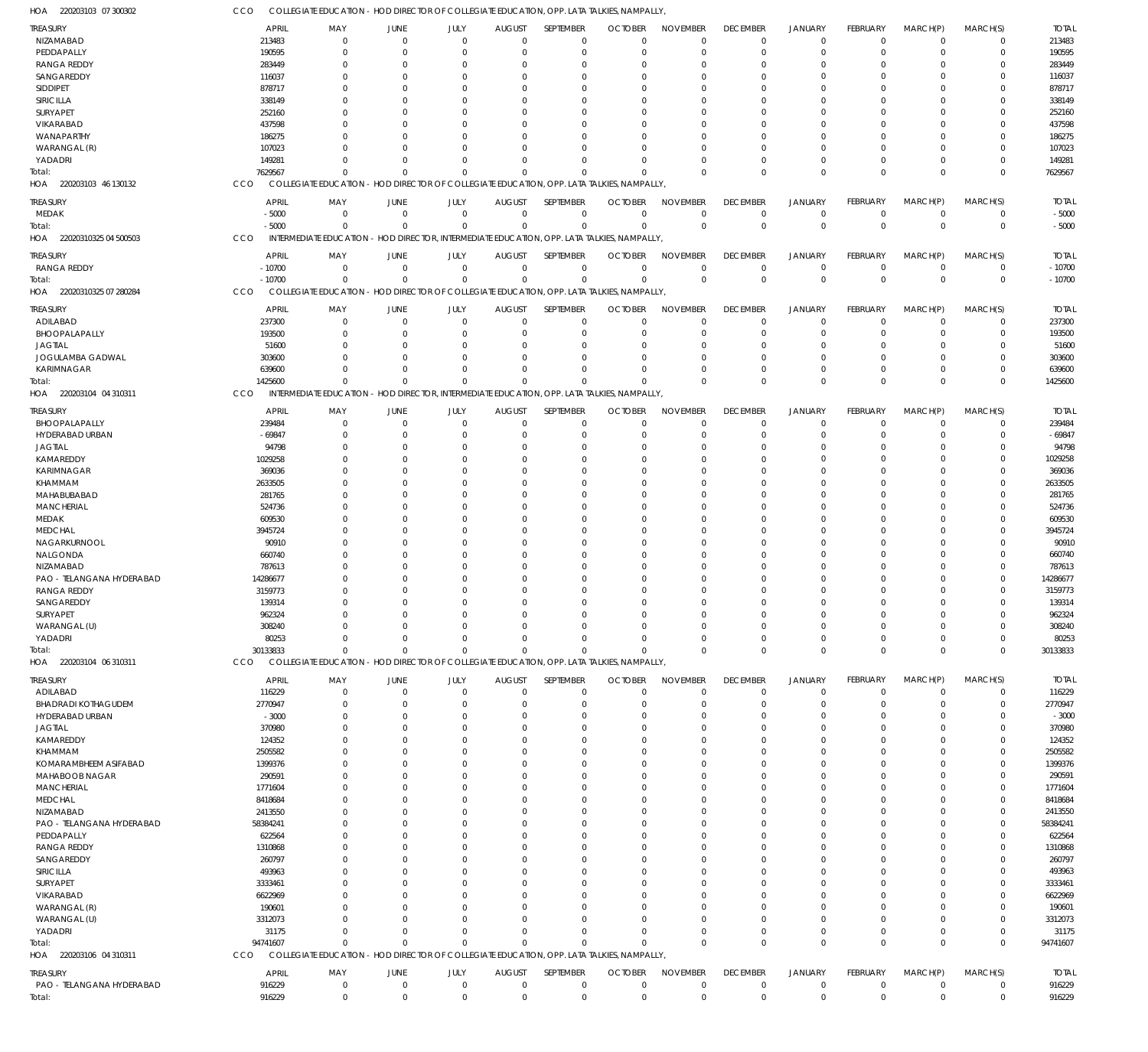220203103 07 300302 HOA 220203103 46 130132 HOA 22020310325 04 500503 22020310325 07 280284 HOA 220203104 04 310311 HOA 220203104 06 310311 HOA 220203106 04 310311 HOA HOA COLLEGIATE EDUCATION - HOD DIRECTOR OF COLLEGIATE EDUCATION, OPP. LATA TALKIES, NAMPALLY, COLLEGIATE EDUCATION - HOD DIRECTOR OF COLLEGIATE EDUCATION, OPP. LATA TALKIES, NAMPALLY, INTERMEDIATE EDUCATION - HOD DIRECTOR, INTERMEDIATE EDUCATION, OPP. LATA TALKIES, NAMPALLY, COLLEGIATE EDUCATION - HOD DIRECTOR OF COLLEGIATE EDUCATION, OPP. LATA TALKIES, NAMPALLY, INTERMEDIATE EDUCATION - HOD DIRECTOR, INTERMEDIATE EDUCATION, OPP. LATA TALKIES, NAMPALLY, COLLEGIATE EDUCATION - HOD DIRECTOR OF COLLEGIATE EDUCATION, OPP. LATA TALKIES, NAMPALLY, COLLEGIATE EDUCATION - HOD DIRECTOR OF COLLEGIATE EDUCATION, OPP. LATA TALKIES, NAMPALLY, CCO CCO CCO **CCO CCO** CCO CCO 7629567 -5000 -10700 1425600 30133833 94741607 916229 0 0 0  $\Omega$  $\Omega$ 0 0 0  $\Omega$  $\boldsymbol{0}$ 0  $\Omega$ 0 0 0 0  $\,$  0  $\,$ 0 0 0 0 0  $\Omega$ 0  $\Omega$ 0 0 0 0  $\Omega$ 0 0  $\Omega$ 0 0 0  $\Omega$ 0  $\Omega$ 0 0 0 0  $\Omega$  $\,$  0  $\,$  $\Omega$  $\Omega$ 0 0 0  $\Omega$ 0 0  $\Omega$ 0 0 0  $\Omega$  $\,$  0  $\,$ 0  $\Omega$ 0 0 0  $\Omega$  $\boldsymbol{0}$ 0  $\Omega$ 0 0 0  $\Omega$ 0  $\Omega$  $\Omega$ 0 0 0  $\Omega$ 0 0  $\Omega$ 0 0 7629567 -5000 -10700 1425600 30133833 94741607 916229 NIZAMABAD PEDDAPALLY RANGA REDDY SANGAREDDY SIDDIPET SIRICILLA SURYAPET VIKARABAD WANAPARTHY WARANGAL (R) YADADRI MEDAK RANGA REDDY ADILABAD BHOOPALAPALLY JAGTIAL JOGULAMBA GADWAL KARIMNAGAR BHOOPALAPALLY HYDERABAD URBAN JAGTIAL KAMAREDDY KARIMNAGAR KHAMMAM MAHABUBABAD **MANCHERIAL** MEDAK **MEDCHAL** NAGARKURNOOL NALGONDA NIZAMABAD PAO - TELANGANA HYDERABAD RANGA REDDY SANGAREDDY SURYAPET WARANGAL (U) YADADRI ADILABAD BHADRADI KOTHAGUDEM HYDERABAD URBAN JAGTIAL KAMAREDDY KHAMMAM KOMARAMBHEEM ASIFABAD MAHABOOB NAGAR **MANCHERIAL** MEDCHAL NIZAMABAD PAO - TELANGANA HYDERABAD PEDDAPALLY RANGA REDDY SANGAREDDY SIRICILLA **SURYAPET** VIKARABAD WARANGAL (R) WARANGAL (U) YADADRI PAO - TELANGANA HYDERABAD TREASURY **TREASURY** TREASURY TREASURY TREASURY TREASURY **TREASURY** 213483 190595 283449 116037 878717 338149 252160 437598 186275 107023 149281 -5000  $-10700$ 237300 193500 51600 303600 639600 239484 -69847 94798 1029258 369036 2633505 281765 524736 609530 3945724 90910 660740 787613 14286677 3159773 139314 962324 308240 80253 116229 2770947 -3000 370980 124352 2505582 1399376 290591 1771604 8418684 2413550 58384241 622564 1310868 260797 493963 3333461 6622969 190601 3312073 31175 916229 APRIL APRIL APRIL APRIL APRIL APRIL APRIL 0 0  $\Omega$ 0 0  $\sqrt{2}$ 0  $\Omega$  $\Omega$ 0  $\Omega$ 0  $\Omega$ 0  $\Omega$  $\Omega$ 0 0  $\sqrt{0}$ 0  $\Omega$ 0 0 0  $\Omega$  $\Omega$ 0  $\Omega$ 0 0  $\Omega$ 0  $\Omega$ 0 0  $\sqrt{2}$ 0 0 0 0  $\Omega$ 0  $\Omega$ 0 0  $\Omega$ 0  $\Omega$ 0 0  $\Omega$  $\Omega$  $\Omega$ 0 0  $\Omega$  $\Omega$  $\Omega$ 0 MAY MAY MAY MAY MAY MAY MAY 0 0  $\Omega$ 0 0  $\sqrt{2}$ 0  $\Omega$ 0 0  $\Omega$ 0 0 0 0  $\Omega$ 0 0 0 0  $\Omega$ 0 0 0 0  $\Omega$ 0  $\Omega$ 0 0  $\Omega$ 0  $\Omega$ 0 0  $\sqrt{2}$ 0  $\Omega$ 0 0  $\Omega$ 0  $\Omega$ 0 0  $\Omega$ 0  $\Omega$ 0 0 0  $\Omega$  $\Omega$ 0 0 0 0  $\Omega$ 0 JUNE JUNE JUNE JUNE JUNE JUNE **JUNE** 0 0  $\Omega$ 0 0  $\sqrt{2}$ 0  $\Omega$  $\Omega$ 0  $\Omega$ 0  $\sqrt{0}$ 0 0  $\Omega$ 0 0 0 0  $\Omega$ 0 0 0  $\Omega$  $\Omega$ 0  $\Omega$ 0 0  $\Omega$ 0  $\Omega$ 0 0  $\sqrt{0}$ 0  $\Omega$ 0 0  $\sqrt{0}$ 0  $\Omega$ 0 0  $\Omega$ 0  $\Omega$ 0 0 0  $\Omega$  $\Omega$ 0 0 0  $\sqrt{0}$  $\Omega$ 0 JULY JULY JULY JULY JULY JULY JULY  $\Omega$ 0  $\Omega$ 0 0  $\sqrt{2}$ 0  $\Omega$  $\Omega$ 0  $\Omega$ 0  $\Omega$ 0  $\Omega$  $\Omega$ 0  $\Omega$  $\Omega$ 0  $\Omega$ 0 0 0  $\Omega$  $\Omega$ 0  $\Omega$  $\Omega$ 0  $\Omega$ 0  $\Omega$ 0 0  $\sqrt{2}$ 0  $\Omega$ 0 0  $\Omega$ 0  $\Omega$ 0 0  $\Omega$ 0  $\Omega$  $\Omega$ 0  $\Omega$  $\Omega$  $\Omega$ 0 0  $\Omega$  $\Omega$  $\Omega$ 0 AUGUST **AUGUST** AUGUST AUGUST AUGUST AUGUST **AUGUST**  $\Omega$  $\overline{0}$  $\Omega$ 0  $\Omega$  $\Omega$ 0  $\Omega$  $\Omega$  $\Omega$  $\Omega$ 0  $\Omega$ 0  $\Omega$  $\Omega$ 0  $\Omega$  $\Omega$ 0  $\Omega$ 0 0  $\Omega$  $\Omega$  $\Omega$  $\overline{0}$  $\Omega$  $\Omega$  $\Omega$  $\Omega$  $\overline{0}$  $\Omega$ 0 0  $\Omega$ 0  $\Omega$  $\Omega$ 0  $\Omega$  $\overline{0}$  $\Omega$ 0  $\Omega$  $\Omega$ 0  $\Omega$  $\Omega$ 0  $\Omega$  $\Omega$  $\Omega$  $\overline{0}$ 0  $\Omega$  $\Omega$  $\Omega$ 0 SEPTEMBER **SEPTEMBER** SEPTEMBER SEPTEMBER SEPTEMBER SEPTEMBER **SEPTEMBER**  $\Omega$ 0  $\Omega$ 0  $\Omega$  $\Omega$ 0  $\Omega$  $\Omega$  $\Omega$ 0 0  $\Omega$ 0  $\Omega$  $\Omega$ 0  $\Omega$  $\Omega$ 0  $\Omega$ 0 0  $\Omega$  $\Omega$  $\Omega$ 0  $\Omega$  $\Omega$  $\Omega$  $\Omega$ 0  $\Omega$ 0  $\Omega$  $\Omega$ 0  $\Omega$  $\Omega$  $\Omega$  $\Omega$ 0  $\Omega$ 0  $\Omega$  $\Omega$ 0  $\Omega$ 0  $\Omega$  $\Omega$  $\Omega$  $\Omega$ 0 0  $\Omega$  $\Omega$  $\Omega$ 0 **OCTOBER** OCTOBER OCTOBER **OCTOBER OCTOBER** OCTOBER **OCTOBER**  $\Omega$ 0  $\Omega$ 0 0  $\Omega$ 0  $\Omega$  $\Omega$ 0  $\Omega$ 0  $\Omega$ 0  $\Omega$  $\Omega$ 0 0  $\Omega$ 0  $\Omega$ 0 0 0  $\Omega$  $\Omega$ 0  $\Omega$  $\Omega$  $\Omega$  $\Omega$ 0  $\Omega$ 0 0  $\sqrt{2}$ 0  $\Omega$ 0 0  $\Omega$ 0  $\Omega$ 0 0  $\Omega$ 0  $\Omega$ 0 0  $\Omega$  $\Omega$  $\Omega$ 0 0 0  $\Omega$  $\Omega$ 0 NOVEMBER NOVEMBER NOVEMBER NOVEMBER NOVEMBER NOVEMBER NOVEMBER  $\Omega$ 0  $\Omega$ 0  $\Omega$  $\Omega$ 0  $\Omega$  $\Omega$ 0  $\Omega$ 0  $\Omega$ 0  $\Omega$  $\Omega$ 0 0  $\Omega$ 0  $\Omega$  $\overline{0}$ 0 0  $\Omega$  $\Omega$  $\overline{0}$  $\Omega$  $\Omega$  $\Omega$  $\Omega$ 0  $\Omega$ 0 0  $\Omega$ 0  $\Omega$ 0 0  $\Omega$ 0  $\Omega$  $\overline{0}$  $\Omega$  $\Omega$ 0  $\Omega$  $\Omega$ 0  $\Omega$  $\Omega$  $\Omega$  $\overline{0}$ 0  $\Omega$  $\Omega$  $\Omega$ 0 DECEMBER **DECEMBER** DECEMBER DECEMBER DECEMBER DECEMBER DECEMBER  $\Omega$ 0  $\Omega$ 0  $\Omega$  $\Omega$ 0  $\Omega$  $\Omega$ 0 0 0  $\Omega$ 0  $\Omega$  $\Omega$ 0 0  $\Omega$ 0  $\Omega$ 0 0 0  $\Omega$  $\Omega$ 0  $\Omega$  $\Omega$  $\Omega$  $\Omega$ 0  $\Omega$ 0 0  $\Omega$ 0  $\Omega$ 0 0  $\Omega$ 0  $\Omega$ 0  $\Omega$  $\Omega$ 0  $\Omega$  $\Omega$ 0  $\Omega$  $\Omega$  $\Omega$ 0 0  $\Omega$ 0 0 0 JANUARY JANUARY JANUARY JANUARY JANUARY JANUARY JANUARY 0 0  $\Omega$ 0 0  $\Omega$ 0  $\Omega$  $\overline{0}$ 0 0 0  $\Omega$ 0 0  $\Omega$ 0 0 0 0  $\Omega$  $\overline{0}$ 0 0 0  $\Omega$ 0  $\Omega$ 0 0  $\Omega$ 0  $\Omega$ 0 0  $\Omega$ 0  $\Omega$ 0 0  $\Omega$ 0  $\Omega$ 0 0  $\Omega$ 0  $\Omega$  $\overline{0}$ 0 0 0  $\Omega$ 0 0 0 0 0 0 FEBRUARY FEBRUARY FEBRUARY FEBRUARY FEBRUARY FEBRUARY FEBRUARY  $\Omega$ 0  $\Omega$ 0  $\Omega$  $\Omega$ 0  $\Omega$  $\Omega$ 0  $\Omega$ 0  $\Omega$ 0  $\Omega$  $\Omega$ 0 0  $\Omega$ 0  $\Omega$  $\overline{0}$ 0  $\Omega$  $\Omega$  $\Omega$  $\overline{0}$  $\Omega$ 0  $\Omega$  $\Omega$ 0  $\Omega$ 0  $\Omega$  $\Omega$ 0  $\Omega$ 0  $\Omega$  $\Omega$ 0  $\Omega$  $\overline{0}$  $\Omega$  $\Omega$ 0  $\Omega$  $\overline{0}$ 0  $\Omega$  $\Omega$  $\Omega$  $\overline{0}$ 0 0  $\Omega$  $\Omega$ 0 MARCH(P) MARCH(P) MARCH(P) MARCH(P) MARCH(P) MARCH(P) MARCH(P)  $\Omega$ 0  $\Omega$ 0  $\Omega$ 0 0  $\Omega$ 0  $\Omega$  $\Omega$ 0  $\Omega$ 0  $\Omega$  $\Omega$ 0 0  $\Omega$ 0  $\Omega$ 0  $\Omega$ 0  $\Omega$  $\Omega$ 0  $\Omega$ 0  $\Omega$  $\Omega$ 0  $\Omega$ 0  $\Omega$  $\Omega$ 0  $\Omega$ 0  $\Omega$  $\Omega$ 0  $\Omega$ 0  $\Omega$ 0 0  $\Omega$ 0  $\Omega$ 0 0  $\Omega$ 0 0 0  $\Omega$  $\Omega$ 0 MARCH(S) MARCH(S) MARCH(S) MARCH(S) MARCH(S) MARCH(S) MARCH(S) 213483 190595 283449 116037 878717 338149 252160 437598 186275 107023 149281 -5000  $-10700$ 237300 193500 51600 303600 639600 239484 -69847 94798 1029258 369036 2633505 281765 524736 609530 3945724 90910 660740 787613 14286677 3159773 139314 962324 308240 80253 116229 2770947 -3000 370980 124352 2505582 1399376 290591 1771604 8418684 2413550 58384241 622564 1310868 260797 493963 3333461 6622969 190601 3312073 31175 916229 TOTAL TOTAL TOTAL TOTAL TOTAL TOTAL TOTAL Total: Total: Total: Total: Total: Total: Total: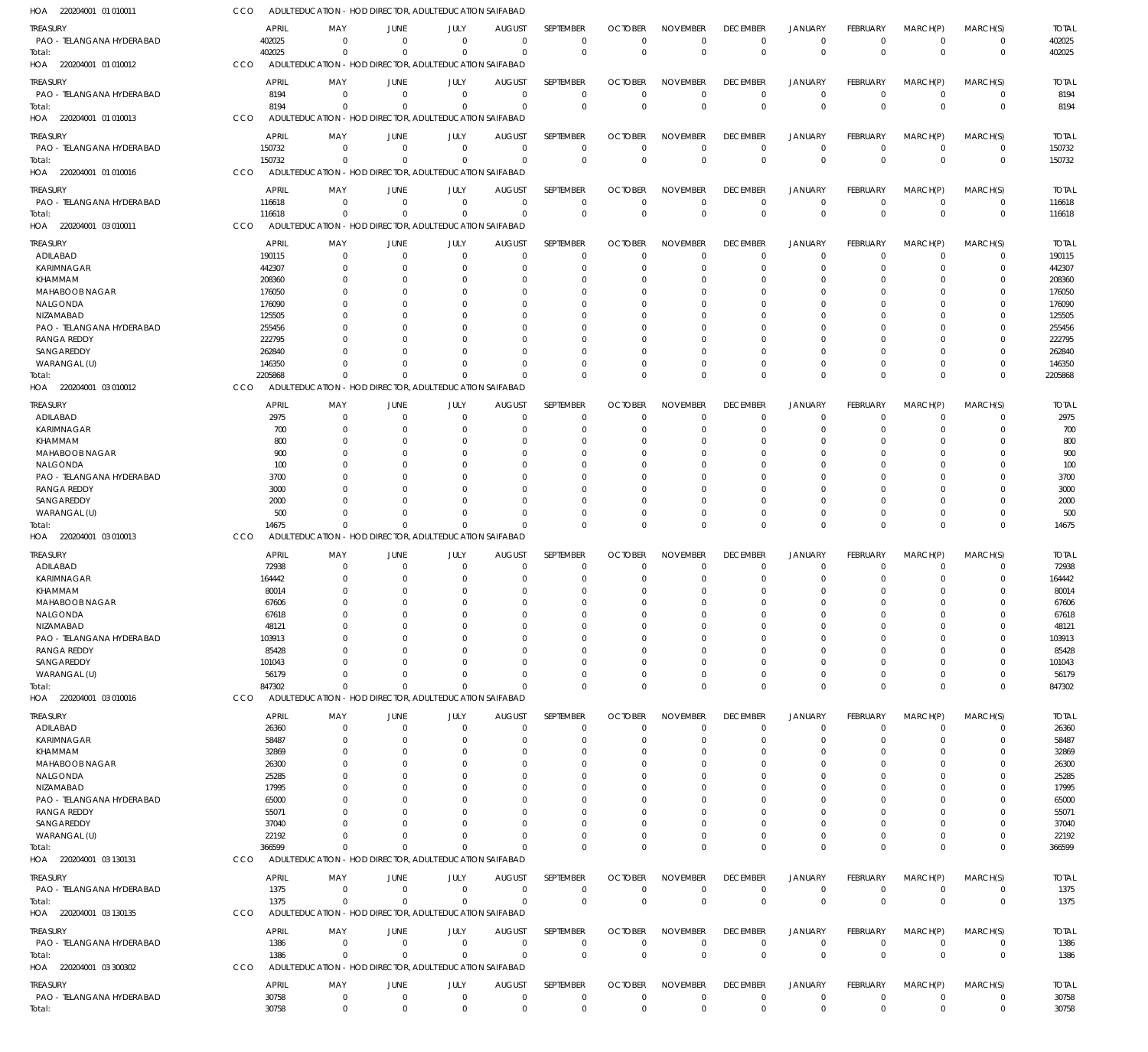| HOA 220204001 01 010011                         | CCO |                  | ADULT EDUCATION - HOD DIRECTOR, ADULT EDUCATION SAIFABAD |                                              |                      |                      |                      |                        |                 |                        |                      |                      |                            |                  |
|-------------------------------------------------|-----|------------------|----------------------------------------------------------|----------------------------------------------|----------------------|----------------------|----------------------|------------------------|-----------------|------------------------|----------------------|----------------------|----------------------------|------------------|
| treasury                                        |     | APRIL            | MAY                                                      | JUNE<br>JULY                                 | <b>AUGUST</b>        | SEPTEMBER            | <b>OCTOBER</b>       | <b>NOVEMBER</b>        | <b>DECEMBER</b> | <b>JANUARY</b>         | <b>FEBRUARY</b>      | MARCH(P)             | MARCH(S)                   | <b>TOTAL</b>     |
| PAO - TELANGANA HYDERABAD                       |     | 402025           | - 0                                                      | $\Omega$<br>$\Omega$                         | $\overline{0}$       | $\mathbf 0$          | 0                    | $\mathbf 0$            | 0               | $^{\circ}$             | $\mathbf 0$          | $\overline{0}$       | $\mathbf 0$                | 402025           |
| Total:                                          |     | 402025           | $\Omega$                                                 | $\Omega$<br>$\Omega$                         | $\Omega$             | $\mathbf 0$          | $\Omega$             | $\mathbf 0$            | $\Omega$        | $\overline{0}$         | $\mathbf 0$          | $\Omega$             | $\mathbf 0$                | 402025           |
| HOA 220204001 01 010012                         | CCO |                  | ADULT EDUCATION - HOD DIRECTOR, ADULT EDUCATION SAIFABAD |                                              |                      |                      |                      |                        |                 |                        |                      |                      |                            |                  |
| treasury                                        |     | <b>APRIL</b>     | MAY                                                      | JULY<br>JUNE                                 | <b>AUGUST</b>        | SEPTEMBER            | <b>OCTOBER</b>       | <b>NOVEMBER</b>        | <b>DECEMBER</b> | <b>JANUARY</b>         | <b>FEBRUARY</b>      | MARCH(P)             | MARCH(S)                   | <b>TOTAL</b>     |
| PAO - TELANGANA HYDERABAD                       |     | 8194             | - 0                                                      | $\overline{0}$<br>$\overline{0}$             | $\overline{0}$       | $\mathbf 0$          | $\Omega$             | $\Omega$               | $\Omega$        | $^{\circ}$             | $\mathbf 0$          | $\overline{0}$       | $\mathbf 0$                | 8194             |
| Total:                                          |     | 8194             | $\Omega$                                                 | $\Omega$<br>$\Omega$                         | $\Omega$             | $\mathbf 0$          | $\Omega$             | $\Omega$               | $\Omega$        | $\Omega$               | $\Omega$             | $\Omega$             | $\mathbf 0$                | 8194             |
| HOA 220204001 01010013                          | CCO |                  | ADULT EDUCATION - HOD DIRECTOR, ADULT EDUCATION SAIFABAD |                                              |                      |                      |                      |                        |                 |                        |                      |                      |                            |                  |
| treasury                                        |     | <b>APRIL</b>     | MAY<br>JUNE                                              | JULY                                         | <b>AUGUST</b>        | SEPTEMBER            | <b>OCTOBER</b>       | <b>NOVEMBER</b>        | <b>DECEMBER</b> | <b>JANUARY</b>         | <b>FEBRUARY</b>      | MARCH(P)             | MARCH(S)                   | <b>TOTAL</b>     |
| PAO - TELANGANA HYDERABAD                       |     | 150732           | $\Omega$                                                 | $\mathbf 0$<br>$\Omega$                      | $\mathbf 0$          | 0                    | 0                    | $^{\circ}$             | $\Omega$        | $^{\circ}$             | $\mathbf 0$          | $^{\circ}$           | 0                          | 150732           |
| Total:                                          |     | 150732           | $\Omega$                                                 | $\Omega$                                     | $\Omega$<br>$\Omega$ | $\mathbf 0$          | $\Omega$             | $\mathbf 0$            | $\Omega$        | $\Omega$               | $\Omega$             | $\Omega$             | $\mathbf 0$                | 150732           |
| HOA 220204001 01 010016                         | CCO |                  | ADULT EDUCATION - HOD DIRECTOR, ADULT EDUCATION SAIFABAD |                                              |                      |                      |                      |                        |                 |                        |                      |                      |                            |                  |
| treasury                                        |     | <b>APRIL</b>     | MAY                                                      | JUNE<br>JULY                                 | <b>AUGUST</b>        | <b>SEPTEMBER</b>     | <b>OCTOBER</b>       | <b>NOVEMBER</b>        | <b>DECEMBER</b> | <b>JANUARY</b>         | <b>FEBRUARY</b>      | MARCH(P)             | MARCH(S)                   | <b>TOTAL</b>     |
| PAO - TELANGANA HYDERABAD                       |     | 116618           | $\Omega$                                                 | $\overline{0}$<br>$\overline{0}$             | $\overline{0}$       | $\mathbf 0$          | $\Omega$             | $\mathbf 0$            | 0               | $\overline{0}$         | $\mathbf 0$          | $\overline{0}$       | $\mathbf 0$                | 116618           |
| Total:                                          |     | 116618           | $\Omega$                                                 | $\Omega$<br>$\Omega$                         | $\Omega$             | $\mathbf 0$          | $\Omega$             | $\mathbf 0$            | $\Omega$        | $\overline{0}$         | $\Omega$             | $\Omega$             | $\mathbf 0$                | 116618           |
| HOA 220204001 03 010011                         | CCO |                  | ADULT EDUCATION - HOD DIRECTOR, ADULT EDUCATION SAIFABAD |                                              |                      |                      |                      |                        |                 |                        |                      |                      |                            |                  |
| treasury                                        |     | APRIL            | MAY                                                      | JULY<br>JUNE                                 | <b>AUGUST</b>        | SEPTEMBER            | <b>OCTOBER</b>       | <b>NOVEMBER</b>        | <b>DECEMBER</b> | <b>JANUARY</b>         | <b>FEBRUARY</b>      | MARCH(P)             | MARCH(S)                   | <b>TOTAL</b>     |
| ADILABAD                                        |     | 190115           | 0                                                        | $\overline{0}$<br>0                          | 0                    | 0                    | $\Omega$             | $\Omega$               | $\Omega$        | $^{\circ}$             | $\Omega$             | $^{\circ}$           | 0                          | 190115           |
| KARIMNAGAR                                      |     | 442307           |                                                          | $\Omega$<br>$\Omega$                         | C                    | 0                    | $\Omega$             | $\Omega$               |                 | $\Omega$               | 0                    | $\Omega$             | 0                          | 442307           |
| KHAMMAM                                         |     | 208360           |                                                          | $\Omega$                                     | C                    | 0                    | O                    | $\Omega$               |                 |                        |                      | $\Omega$             | 0                          | 208360           |
| <b>MAHABOOB NAGAR</b>                           |     | 176050           |                                                          | $\Omega$                                     |                      | $\Omega$             |                      | $\Omega$               |                 |                        |                      | $\Omega$             | C                          | 176050           |
| NALGONDA                                        |     | 176090           |                                                          |                                              |                      | $\Omega$             |                      | $\Omega$               |                 |                        |                      | $\Omega$             | 0                          | 176090           |
| NIZAMABAD                                       |     | 125505           |                                                          |                                              |                      | $\Omega$             |                      | $\Omega$               |                 |                        |                      |                      |                            | 125505           |
| PAO - TELANGANA HYDERABAD<br><b>RANGA REDDY</b> |     | 255456<br>222795 |                                                          |                                              |                      | $\Omega$<br>$\Omega$ | O                    | $\Omega$<br>$\Omega$   |                 |                        |                      | $\Omega$<br>$\Omega$ | 0                          | 255456<br>222795 |
| SANGAREDDY                                      |     | 262840           |                                                          |                                              | C                    | $\Omega$             |                      | $\Omega$               |                 |                        |                      | $\Omega$             | 0                          | 262840           |
| WARANGAL (U)                                    |     | 146350           |                                                          |                                              | $\Omega$             | $\Omega$             | O                    | $\Omega$               |                 | $\Omega$               | 0                    | $\Omega$             | $\Omega$                   | 146350           |
| Total:                                          |     | 2205868          | $\Omega$                                                 |                                              | $\Omega$             | $\Omega$             | $\Omega$             | $\Omega$               | $\Omega$        | $\Omega$               | $\Omega$             | $\Omega$             | $\mathbf 0$                | 2205868          |
| HOA 220204001 03 010012                         | CCO |                  | ADULT EDUCATION - HOD DIRECTOR, ADULT EDUCATION SAIFABAD |                                              |                      |                      |                      |                        |                 |                        |                      |                      |                            |                  |
| treasury                                        |     | <b>APRIL</b>     | MAY<br>JUNE                                              | JULY                                         | <b>AUGUST</b>        | SEPTEMBER            | <b>OCTOBER</b>       | <b>NOVEMBER</b>        | <b>DECEMBER</b> | <b>JANUARY</b>         | <b>FEBRUARY</b>      | MARCH(P)             | MARCH(S)                   | <b>TOTAL</b>     |
| ADILABAD                                        |     | 2975             | - 0                                                      | $\overline{0}$<br>$\Omega$                   | $\Omega$             | 0                    | $\Omega$             | $\Omega$               | $\Omega$        | $\Omega$               | $\Omega$             | - 0                  | 0                          | 2975             |
| KARIMNAGAR                                      |     | 700              | $\Omega$                                                 | $\Omega$<br>$\Omega$                         | $\Omega$             | 0                    | $\Omega$             | $\Omega$               | $\Omega$        | $\Omega$               | 0                    | $\Omega$             | $\mathbf 0$                | 700              |
| KHAMMAM                                         |     | 800              |                                                          | $\Omega$                                     | C                    | $\Omega$             | O                    | $\Omega$               |                 | $\Omega$               |                      | $\Omega$             | $\Omega$                   | 800              |
| <b>MAHABOOB NAGAR</b>                           |     | 900              |                                                          | $\Omega$                                     | $\Omega$             | 0                    | O                    | $\Omega$               |                 | $\Omega$               |                      | $\Omega$             | 0                          | 900              |
| NALGONDA                                        |     | 100              |                                                          | $\Omega$<br>$\Omega$                         | $\Omega$             | $\Omega$             | O                    | $\Omega$               |                 | $\Omega$               |                      | $\Omega$             | $\Omega$                   | 100              |
| PAO - TELANGANA HYDERABAD                       |     | 3700             |                                                          |                                              | C                    | $\Omega$             |                      | $\Omega$               |                 |                        |                      | $\Omega$             | 0                          | 3700             |
| <b>RANGA REDDY</b>                              |     | 3000             |                                                          | $\Omega$<br>$\Omega$                         | $\Omega$             | $\Omega$             | $\Omega$             | $\Omega$               |                 | $\Omega$               |                      | $\Omega$             | $\Omega$                   | 3000             |
| SANGAREDDY                                      |     | 2000             |                                                          | $\Omega$<br>$\Omega$<br>$\Omega$<br>$\Omega$ | $\Omega$<br>$\Omega$ | $\Omega$<br>$\Omega$ |                      | $\Omega$<br>$\Omega$   |                 | $\Omega$<br>$\Omega$   |                      | $\Omega$<br>$\Omega$ | 0                          | 2000             |
| WARANGAL (U)<br>Total:                          |     | 500<br>14675     | $^{\circ}$                                               | $\Omega$                                     | $\Omega$<br>$\Omega$ | $\Omega$             | $\Omega$<br>$\Omega$ | $\Omega$               | $\Omega$        | $\Omega$               | $\Omega$<br>$\Omega$ | $\Omega$             | $\mathbf 0$<br>$\mathbf 0$ | 500<br>14675     |
| HOA 220204001 03 010013                         | CCO |                  | ADULT EDUCATION - HOD DIRECTOR, ADULT EDUCATION SAIFABAD |                                              |                      |                      |                      |                        |                 |                        |                      |                      |                            |                  |
|                                                 |     |                  |                                                          |                                              |                      |                      |                      |                        |                 |                        |                      |                      |                            |                  |
| TREASURY                                        |     | <b>APRIL</b>     | MAY                                                      | JUNE<br>JULY                                 | <b>AUGUST</b>        | <b>SEPTEMBER</b>     | <b>OCTOBER</b>       | <b>NOVEMBER</b>        | <b>DECEMBER</b> | <b>JANUARY</b>         | <b>FEBRUARY</b>      | MARCH(P)             | MARCH(S)                   | <b>TOTAL</b>     |
| ADILABAD<br><b>KARIMNAGAR</b>                   |     | 72938<br>164442  | $\Omega$                                                 | $\Omega$<br>0<br>$\Omega$<br>$\Omega$        | 0<br>C               | 0<br>$\mathbf 0$     | $\Omega$<br>0        | $\Omega$<br>$\Omega$   | $\Omega$        | $^{\circ}$<br>$\Omega$ | $\Omega$             | 0<br>$\Omega$        | $\Omega$                   | 72938<br>164442  |
| KHAMMAM                                         |     | 80014            | $\Omega$                                                 | $\Omega$<br>$\Omega$                         | $\Omega$             | $\Omega$             | $\Omega$             | $\Omega$               |                 | $\Omega$               | 0                    | $\Omega$             | $\Omega$                   | 80014            |
| MAHABOOB NAGAR                                  |     | 67606            |                                                          |                                              |                      |                      |                      |                        |                 |                        |                      |                      |                            | 67606            |
| NALGONDA                                        |     | 67618            | 0                                                        | 0                                            | 0<br>0               | 0                    | $\Omega$             | $\Omega$               |                 | $\Omega$               |                      | 0                    | 0                          | 67618            |
| NIZAMABAD                                       |     | 48121            |                                                          | $\Omega$                                     | C                    | 0                    | 0                    | $\Omega$               |                 |                        |                      | $\Omega$             |                            | 48121            |
| PAO - TELANGANA HYDERABAD                       |     | 103913           |                                                          |                                              |                      | $\Omega$             | 0                    | $\Omega$               |                 |                        |                      | $\Omega$             |                            | 103913           |
| <b>RANGA REDDY</b>                              |     | 85428            |                                                          |                                              |                      | $\Omega$             |                      | $\Omega$               |                 |                        |                      | $\Omega$             |                            | 85428            |
| SANGAREDDY                                      |     | 101043           |                                                          |                                              | C                    | $\Omega$             |                      | $\Omega$               |                 |                        |                      | $\Omega$             | C                          | 101043           |
| WARANGAL (U)                                    |     | 56179<br>847302  | $\Omega$                                                 | $\Omega$                                     | C<br>$\Omega$        | $\Omega$<br>$\Omega$ | $\Omega$             | $\Omega$<br>$\Omega$   | $\Omega$        | $\Omega$               | $\Omega$             | $\Omega$<br>$\Omega$ | C<br>$\mathbf 0$           | 56179<br>847302  |
| Total:<br>HOA 220204001 03 010016               | CCO |                  | ADULT EDUCATION - HOD DIRECTOR, ADULT EDUCATION SAIFABAD |                                              |                      |                      |                      |                        |                 |                        |                      |                      |                            |                  |
|                                                 |     |                  |                                                          |                                              |                      |                      |                      |                        |                 |                        |                      |                      |                            |                  |
| Treasury                                        |     | <b>APRIL</b>     | JUNE<br>MAY                                              | JULY                                         | <b>AUGUST</b>        | <b>SEPTEMBER</b>     | <b>OCTOBER</b>       | <b>NOVEMBER</b>        | <b>DECEMBER</b> | <b>JANUARY</b>         | <b>FEBRUARY</b>      | MARCH(P)             | MARCH(S)                   | <b>TOTAL</b>     |
| ADILABAD                                        |     | 26360            | 0                                                        | $\mathbf 0$<br>$\mathbf 0$                   | $\mathbf 0$          | $\mathbf 0$          | $\Omega$             | $^{\circ}$<br>$\Omega$ | $\Omega$        | $\overline{0}$         | $\mathbf 0$          | $\overline{0}$       | 0                          | 26360            |
| <b>KARIMNAGAR</b><br>KHAMMAM                    |     | 58487<br>32869   | $\Omega$                                                 | 0<br>$\Omega$                                | 0<br>C               | 0<br>0               | $\Omega$<br>0        | $\Omega$               | $\Omega$        | $^{\circ}$<br>$\Omega$ | $\Omega$             | 0                    | $\mathbf 0$<br>0           | 58487<br>32869   |
| <b>MAHABOOB NAGAR</b>                           |     | 26300            |                                                          | $\Omega$                                     | C                    | $\mathbf 0$          | 0                    | $\Omega$               |                 |                        |                      | $\Omega$             | 0                          | 26300            |
| NALGONDA                                        |     | 25285            |                                                          |                                              | $\Omega$             | $\Omega$             |                      | $\Omega$               |                 | $\Omega$               |                      | $\Omega$             | $\Omega$                   | 25285            |
| NIZAMABAD                                       |     | 17995            |                                                          |                                              |                      | 0                    |                      | $\Omega$               |                 |                        |                      | $\Omega$             | 0                          | 17995            |
| PAO - TELANGANA HYDERABAD                       |     | 65000            |                                                          |                                              |                      | $\Omega$             |                      | $\Omega$               |                 |                        |                      |                      | 0                          | 65000            |
| <b>RANGA REDDY</b>                              |     | 55071            |                                                          |                                              |                      | $\Omega$             |                      | $\Omega$               |                 |                        |                      | $\Omega$             | 0                          | 55071            |
| SANGAREDDY                                      |     | 37040            |                                                          |                                              | $\Omega$             | $\Omega$             |                      | $\Omega$               |                 | $\Omega$               |                      | $\Omega$             | $\Omega$                   | 37040            |
| WARANGAL (U)                                    |     | 22192            | $\Omega$                                                 |                                              | $\Omega$             | $\Omega$             | O                    | $\Omega$               |                 | $\Omega$               | 0                    | $\mathbf 0$          | $\mathbf 0$                | 22192            |
| Total:                                          |     | 366599           | $\Omega$                                                 | $\Omega$<br>$\Omega$                         | $\Omega$             | $\Omega$             | $\Omega$             | $\Omega$               | $\Omega$        | $\Omega$               | $\Omega$             | $\Omega$             | $\mathbf 0$                | 366599           |
| HOA 220204001 03 130131                         | CCO |                  | ADULT EDUCATION - HOD DIRECTOR, ADULT EDUCATION SAIFABAD |                                              |                      |                      |                      |                        |                 |                        |                      |                      |                            |                  |
| treasury                                        |     | APRIL            | MAY<br>JUNE                                              | JULY                                         | <b>AUGUST</b>        | SEPTEMBER            | <b>OCTOBER</b>       | <b>NOVEMBER</b>        | <b>DECEMBER</b> | <b>JANUARY</b>         | FEBRUARY             | MARCH(P)             | MARCH(S)                   | <b>TOTAL</b>     |
| PAO - TELANGANA HYDERABAD                       |     | 1375             | 0                                                        | $\mathbf 0$<br>$\mathbf 0$                   | $\overline{0}$       | $\mathbf 0$          | $\mathbf 0$          | $\mathbf 0$            | $\mathbf 0$     | $^{\circ}$             | $\mathbf 0$          | $^{\circ}$           | 0                          | 1375             |
| Total:                                          |     | 1375             | $\Omega$                                                 | $\overline{0}$<br>$\mathbf 0$                | $\mathbf 0$          | $\mathbf 0$          | $\Omega$             | $\mathbf 0$            | $\mathbf{0}$    | $\overline{0}$         | $\mathbf{0}$         | $\overline{0}$       | $\mathbf 0$                | 1375             |
| HOA 220204001 03 130135                         | CCO |                  | ADULT EDUCATION - HOD DIRECTOR, ADULT EDUCATION SAIFABAD |                                              |                      |                      |                      |                        |                 |                        |                      |                      |                            |                  |
| treasury                                        |     | <b>APRIL</b>     | MAY<br>JUNE                                              | JULY                                         | <b>AUGUST</b>        | SEPTEMBER            | <b>OCTOBER</b>       | <b>NOVEMBER</b>        | <b>DECEMBER</b> | JANUARY                | FEBRUARY             | MARCH(P)             | MARCH(S)                   | <b>TOTAL</b>     |
| PAO - TELANGANA HYDERABAD                       |     | 1386             | - 0                                                      | $\overline{0}$<br>$\overline{0}$             | $\overline{0}$       | $\mathbf 0$          | 0                    | $^{\circ}$             | 0               | $^{\circ}$             | 0                    | $\overline{0}$       | 0                          | 1386             |
| Total:                                          |     | 1386             | $\Omega$                                                 | $\Omega$<br>$\Omega$                         | $\Omega$             | $\mathbf 0$          | $\mathbf{0}$         | $\mathbf 0$            | $\mathbf{0}$    | $\overline{0}$         | $\mathbf{0}$         | $\overline{0}$       | $\mathbf 0$                | 1386             |
| HOA 220204001 03 300302                         | CCO |                  | ADULT EDUCATION - HOD DIRECTOR, ADULT EDUCATION SAIFABAD |                                              |                      |                      |                      |                        |                 |                        |                      |                      |                            |                  |
| treasury                                        |     | <b>APRIL</b>     | MAY                                                      | JULY<br>JUNE                                 | <b>AUGUST</b>        | SEPTEMBER            | <b>OCTOBER</b>       | <b>NOVEMBER</b>        | <b>DECEMBER</b> | JANUARY                | <b>FEBRUARY</b>      | MARCH(P)             | MARCH(S)                   | <b>TOTAL</b>     |
| PAO - TELANGANA HYDERABAD                       |     | 30758            | $^{\circ}$                                               | $\mathbf 0$<br>$\mathbf 0$                   | $\overline{0}$       | $\mathbf 0$          | $\mathbf 0$          | $\mathbf 0$            | $\mathbf 0$     | $\overline{0}$         | $\mathbf 0$          | $\overline{0}$       | $\mathbf 0$                | 30758            |
| Total:                                          |     | 30758            | $\mathbf 0$                                              | $\mathbf 0$<br>$\mathbf 0$                   | $\mathbf{0}$         | $\mathbf 0$          | $\mathbf 0$          | $\mathbf 0$            | $\mathbf 0$     | $\mathbf 0$            | $\mathbf 0$          | $\overline{0}$       | $\mathbf 0$                | 30758            |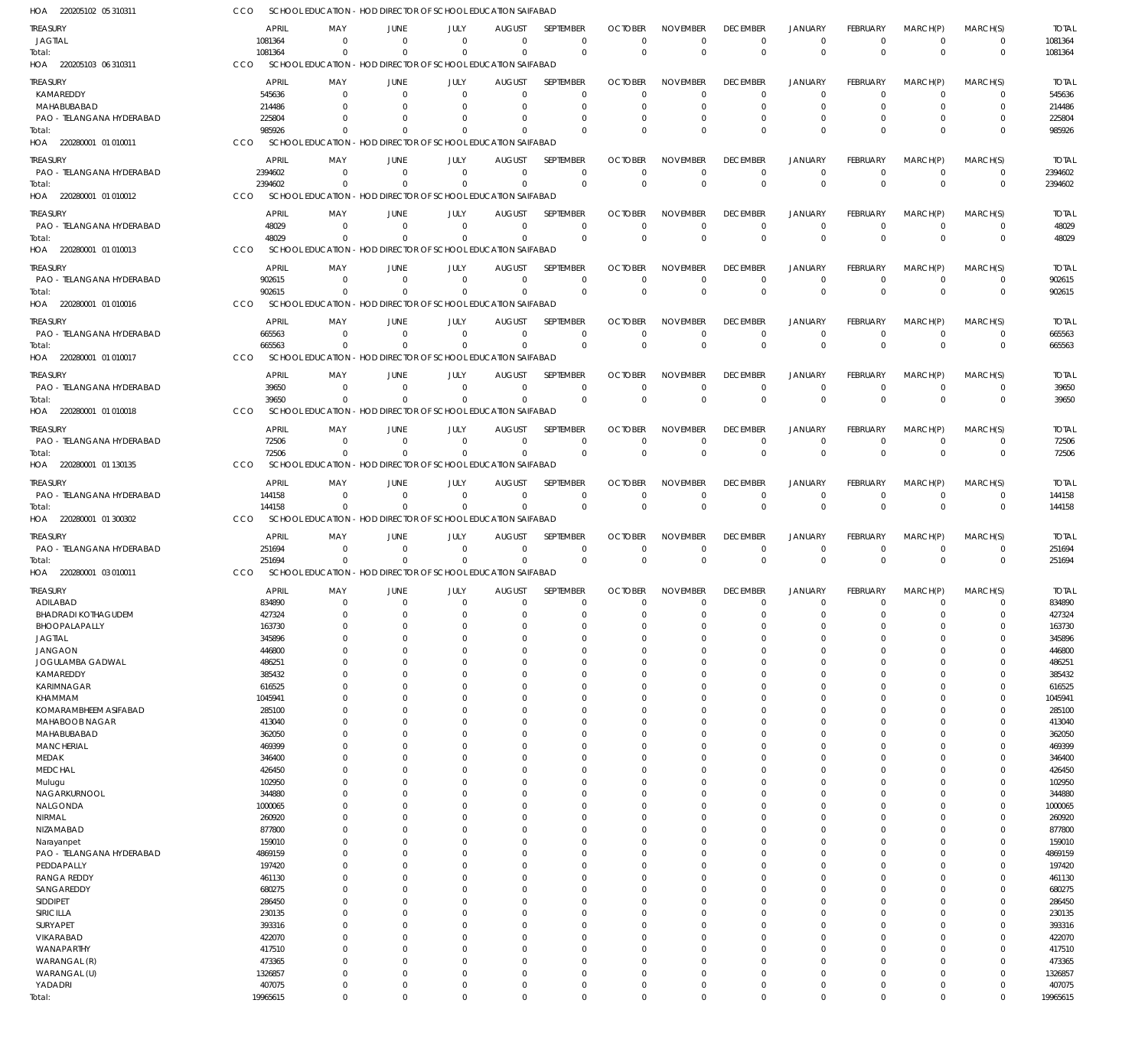| HOA 220205102 05 310311      | CCO |                   |                      | SCHOOL EDUCATION - HOD DIRECTOR OF SCHOOL EDUCATION SAIFABAD |                      |                      |                            |                |                      |                         |                               |                      |                  |                            |                   |
|------------------------------|-----|-------------------|----------------------|--------------------------------------------------------------|----------------------|----------------------|----------------------------|----------------|----------------------|-------------------------|-------------------------------|----------------------|------------------|----------------------------|-------------------|
| <b>TREASURY</b>              |     | <b>APRIL</b>      | MAY                  | <b>JUNE</b>                                                  | JULY                 | <b>AUGUST</b>        | SEPTEMBER                  | <b>OCTOBER</b> | <b>NOVEMBER</b>      | <b>DECEMBER</b>         | <b>JANUARY</b>                | <b>FEBRUARY</b>      | MARCH(P)         | MARCH(S)                   | <b>TOTAL</b>      |
| JAGTIAL                      |     | 1081364           | $\Omega$             | $\overline{0}$                                               | $\Omega$             | $\mathbf 0$          | $\mathbf 0$                | $\Omega$       | $\overline{0}$       | $\mathbf 0$             | $\mathbf 0$                   | $\Omega$             | $\mathbf 0$      | 0                          | 1081364           |
| Total:                       |     | 1081364           | $\Omega$             | $\Omega$                                                     | $\Omega$             | $\Omega$             | $\mathbf 0$                | $\Omega$       | $\Omega$             | $\mathbf 0$             | $\mathbf{0}$                  | $\Omega$             | $\Omega$         | $\mathbf 0$                | 1081364           |
| HOA 220205103 06 310311      | CCO |                   |                      | SCHOOL EDUCATION - HOD DIRECTOR OF SCHOOL EDUCATION SAIFABAD |                      |                      |                            |                |                      |                         |                               |                      |                  |                            |                   |
| <b>TREASURY</b>              |     | <b>APRIL</b>      | MAY                  | <b>JUNE</b>                                                  | JULY                 | <b>AUGUST</b>        | SEPTEMBER                  | <b>OCTOBER</b> | <b>NOVEMBER</b>      | <b>DECEMBER</b>         | <b>JANUARY</b>                | <b>FEBRUARY</b>      | MARCH(P)         | MARCH(S)                   | <b>TOTAL</b>      |
| KAMAREDDY                    |     | 545636            | 0                    | $\overline{0}$                                               | $\mathbf 0$          | -0                   | $\mathbf 0$                | $\cap$         | $\Omega$             | $\mathbf 0$             | $\overline{0}$                | $\Omega$             | $\mathbf 0$      | $\mathbf 0$                | 545636            |
| MAHABUBABAD                  |     | 214486            | $\Omega$             | $\Omega$                                                     | 0                    | -0                   | $\mathbf 0$                |                |                      | $\mathbf 0$             | $\overline{0}$                | C                    | $\Omega$         | $\mathbf 0$                | 214486            |
| PAO - TELANGANA HYDERABAD    |     | 225804            |                      | $\Omega$                                                     | $\Omega$             | -0                   | $\Omega$                   |                | $\Omega$             | 0                       | $\overline{0}$                | C                    | $\Omega$         | $\mathbf 0$                | 225804            |
| Total:                       |     | 985926            | $\Omega$             | $\Omega$                                                     | $\Omega$             | $\Omega$             | $\Omega$                   |                | $\Omega$             | $\mathbf 0$             | $\mathbf{0}$                  | $\Omega$             | $\Omega$         | $\mathbf 0$                | 985926            |
| HOA 220280001 01 010011      | CCO |                   |                      | SCHOOL EDUCATION - HOD DIRECTOR OF SCHOOL EDUCATION SAIFABAD |                      |                      |                            |                |                      |                         |                               |                      |                  |                            |                   |
| <b>TREASURY</b>              |     | <b>APRIL</b>      | MAY                  | <b>JUNE</b>                                                  | JULY                 | <b>AUGUST</b>        | SEPTEMBER                  | <b>OCTOBER</b> | <b>NOVEMBER</b>      | <b>DECEMBER</b>         | <b>JANUARY</b>                | <b>FEBRUARY</b>      | MARCH(P)         | MARCH(S)                   | <b>TOTAL</b>      |
| PAO - TELANGANA HYDERABAD    |     | 2394602           | $\Omega$             | $\Omega$                                                     | $\mathbf 0$          | $\mathbf 0$          | $\mathbf 0$                | $\Omega$       | $\Omega$             | $\mathbf 0$             | $\mathbf 0$                   | $\Omega$             | $^{\circ}$       | $\mathbf 0$                | 2394602           |
| Total:                       |     | 2394602           | $\Omega$             | $\Omega$                                                     | $\Omega$             | $\Omega$             | $\mathbf 0$                | $\mathbf{0}$   | $\Omega$             | $\mathbf 0$             | $\mathbf 0$                   | $\Omega$             | $\overline{0}$   | $\mathbf 0$                | 2394602           |
| HOA 220280001 01 010012      | CCO |                   |                      | SCHOOL EDUCATION - HOD DIRECTOR OF SCHOOL EDUCATION SAIFABAD |                      |                      |                            |                |                      |                         |                               |                      |                  |                            |                   |
| <b>TREASURY</b>              |     | <b>APRIL</b>      | MAY                  | <b>JUNE</b>                                                  | JULY                 | <b>AUGUST</b>        | SEPTEMBER                  | <b>OCTOBER</b> | <b>NOVEMBER</b>      | <b>DECEMBER</b>         | <b>JANUARY</b>                | <b>FEBRUARY</b>      | MARCH(P)         | MARCH(S)                   | <b>TOTAL</b>      |
| PAO - TELANGANA HYDERABAD    |     | 48029             | 0                    | $\overline{0}$                                               | $\mathbf 0$          | $\mathbf 0$          | $\mathbf 0$                | $\Omega$       | $^{\circ}$           | $\mathbf 0$             | $\mathbf 0$                   | $\mathbf 0$          | $\mathbf 0$      | $\mathbf 0$                | 48029             |
| Total:                       |     | 48029             | $\Omega$             | $\Omega$                                                     | $\mathbf 0$          | $\mathbf 0$          | $\mathbf 0$                | $\Omega$       | $\Omega$             | $\mathbf 0$             | $\mathbf 0$                   | $\Omega$             | $\Omega$         | $\mathbf 0$                | 48029             |
| HOA 220280001 01 010013      | CCO |                   |                      | SCHOOL EDUCATION - HOD DIRECTOR OF SCHOOL EDUCATION SAIFABAD |                      |                      |                            |                |                      |                         |                               |                      |                  |                            |                   |
| TREASURY                     |     | <b>APRIL</b>      | MAY                  | <b>JUNE</b>                                                  | JULY                 | <b>AUGUST</b>        | SEPTEMBER                  | <b>OCTOBER</b> | <b>NOVEMBER</b>      | <b>DECEMBER</b>         | <b>JANUARY</b>                | <b>FEBRUARY</b>      | MARCH(P)         | MARCH(S)                   | <b>TOTAL</b>      |
| PAO - TELANGANA HYDERABAD    |     | 902615            | $\Omega$             | $\Omega$                                                     | $\Omega$             | $\mathbf 0$          | $\mathbf 0$                | $\Omega$       | $\overline{0}$       | $\mathbf 0$             | $\mathbf 0$                   | $\mathbf 0$          | $\mathbf 0$      | 0                          | 902615            |
| Total:                       |     | 902615            | $\Omega$             | $\Omega$                                                     | $\Omega$             | $\Omega$             | $\mathbf 0$                | $\Omega$       | $\Omega$             | $\mathbf 0$             | $\mathbf{0}$                  | $\Omega$             | $\Omega$         | $\mathbf 0$                | 902615            |
| HOA 220280001 01 010016      | CCO |                   |                      | SCHOOL EDUCATION - HOD DIRECTOR OF SCHOOL EDUCATION SAIFABAD |                      |                      |                            |                |                      |                         |                               |                      |                  |                            |                   |
| <b>TREASURY</b>              |     | <b>APRIL</b>      | MAY                  | <b>JUNE</b>                                                  | JULY                 | <b>AUGUST</b>        | SEPTEMBER                  | <b>OCTOBER</b> | <b>NOVEMBER</b>      | <b>DECEMBER</b>         | <b>JANUARY</b>                | <b>FEBRUARY</b>      | MARCH(P)         | MARCH(S)                   | <b>TOTAL</b>      |
| PAO - TELANGANA HYDERABAD    |     | 665563            | $\mathbf 0$          | $\Omega$                                                     | $\mathbf 0$          | $\mathbf 0$          | $\mathbf 0$                | $\Omega$       | $\Omega$             | $\mathbf 0$             | $\mathbf 0$                   | $\mathbf 0$          | $\overline{0}$   | $\mathbf 0$                | 665563            |
| Total:                       |     | 665563            | $\Omega$             | $\Omega$                                                     | $\mathbf 0$          | $\mathbf 0$          | $\mathbf 0$                | $\Omega$       | $\Omega$             | $\mathbf 0$             | $\mathbf 0$                   | $\Omega$             | $\mathbf 0$      | $\mathbf 0$                | 665563            |
| HOA 220280001 01 010017      | CCO |                   |                      | SCHOOL EDUCATION - HOD DIRECTOR OF SCHOOL EDUCATION SAIFABAD |                      |                      |                            |                |                      |                         |                               |                      |                  |                            |                   |
| TREASURY                     |     | <b>APRIL</b>      | MAY                  | <b>JUNE</b>                                                  | JULY                 | <b>AUGUST</b>        | SEPTEMBER                  | <b>OCTOBER</b> | <b>NOVEMBER</b>      | <b>DECEMBER</b>         | <b>JANUARY</b>                | <b>FEBRUARY</b>      | MARCH(P)         | MARCH(S)                   | <b>TOTAL</b>      |
| PAO - TELANGANA HYDERABAD    |     | 39650             | $\Omega$             | $\Omega$                                                     | $\mathbf 0$          | $\mathbf 0$          | $\mathbf 0$                | $\Omega$       | $\overline{0}$       | $\mathbf 0$             | $\mathbf 0$                   | $\mathbf 0$          | $\overline{0}$   | $\mathbf 0$                | 39650             |
| Total:                       |     | 39650             | $\Omega$             | $\Omega$                                                     | $\Omega$             | $\Omega$             | $\mathbf 0$                | $\mathbf{0}$   | $\mathbf 0$          | $\mathbf 0$             | $\mathbf 0$                   | $\Omega$             | $\mathbf 0$      | $\mathbf 0$                | 39650             |
| HOA 220280001 01 010018      | CCO |                   |                      | SCHOOL EDUCATION - HOD DIRECTOR OF SCHOOL EDUCATION SAIFABAD |                      |                      |                            |                |                      |                         |                               |                      |                  |                            |                   |
| <b>TREASURY</b>              |     | <b>APRIL</b>      | MAY                  | JUNE                                                         | JULY                 | <b>AUGUST</b>        | SEPTEMBER                  | <b>OCTOBER</b> | <b>NOVEMBER</b>      | <b>DECEMBER</b>         | <b>JANUARY</b>                | <b>FEBRUARY</b>      | MARCH(P)         | MARCH(S)                   | <b>TOTAL</b>      |
| PAO - TELANGANA HYDERABAD    |     | 72506             | $\mathbf 0$          | $\overline{0}$                                               | $\mathbf 0$          | $\mathbf 0$          | $\mathbf 0$                | $\Omega$       | $^{\circ}$           | $\mathbf 0$             | $\mathbf 0$                   | $\mathbf 0$          | $\mathbf 0$      | $\mathbf 0$                | 72506             |
| Total:                       |     | 72506             | $\Omega$             | $\Omega$                                                     | $\mathbf 0$          | $\Omega$             | $\mathbf 0$                | $\Omega$       | $\Omega$             | $\mathbf 0$             | $\mathbf 0$                   | $\Omega$             | $\overline{0}$   | $\mathbf 0$                | 72506             |
| HOA 220280001 01 130135      | CCO |                   |                      | SCHOOL EDUCATION - HOD DIRECTOR OF SCHOOL EDUCATION SAIFABAD |                      |                      |                            |                |                      |                         |                               |                      |                  |                            |                   |
| TREASURY                     |     | <b>APRIL</b>      | MAY                  | <b>JUNE</b>                                                  | JULY                 | <b>AUGUST</b>        | SEPTEMBER                  | <b>OCTOBER</b> | <b>NOVEMBER</b>      | <b>DECEMBER</b>         | <b>JANUARY</b>                | <b>FEBRUARY</b>      | MARCH(P)         | MARCH(S)                   | <b>TOTAL</b>      |
| PAO - TELANGANA HYDERABAD    |     | 144158            | $\Omega$             | $\Omega$                                                     | $\mathbf 0$          | $\mathbf 0$          | $\mathbf 0$                | $\Omega$       | $\Omega$             | $\mathbf 0$             | $\mathbf 0$                   | $\Omega$             | $\mathbf 0$      | $\mathbf 0$                | 144158            |
| Total:                       |     | 144158            | $\Omega$             | $\Omega$                                                     | $\Omega$             | $\Omega$             | $\mathbf 0$                | $\Omega$       | $\Omega$             | $\mathbf 0$             | $\mathbf 0$                   | $\Omega$             | $\Omega$         | $\mathbf 0$                | 144158            |
| HOA 220280001 01 300302      | CCO |                   |                      | SCHOOL EDUCATION - HOD DIRECTOR OF SCHOOL EDUCATION SAIFABAD |                      |                      |                            |                |                      |                         |                               |                      |                  |                            |                   |
| TREASURY                     |     | <b>APRIL</b>      | MAY                  | JUNE                                                         | JULY                 | <b>AUGUST</b>        | <b>SEPTEMBER</b>           | <b>OCTOBER</b> | <b>NOVEMBER</b>      | <b>DECEMBER</b>         | <b>JANUARY</b>                | <b>FEBRUARY</b>      | MARCH(P)         | MARCH(S)                   | <b>TOTAL</b>      |
| PAO - TELANGANA HYDERABAD    |     | 251694            | $\mathbf 0$          | $\overline{0}$                                               | $\mathbf 0$          | $\mathbf 0$          | $\mathbf 0$                | $\Omega$       | $\overline{0}$       | $\mathbf 0$             | $\mathbf 0$                   | $\mathbf 0$          | $\mathbf 0$      | $\mathbf 0$                | 251694            |
| Total:                       |     | 251694            | $\Omega$             | $\Omega$                                                     | $\mathbf 0$          | $\mathbf 0$          | $\mathbf 0$                | $\mathbf{0}$   | $\Omega$             | $\mathbf 0$             | $\mathbf 0$                   | $\Omega$             | $\Omega$         | $\mathbf 0$                | 251694            |
| HOA 220280001 03 010011      | CCO |                   |                      | SCHOOL EDUCATION - HOD DIRECTOR OF SCHOOL EDUCATION SAIFABAD |                      |                      |                            |                |                      |                         |                               |                      |                  |                            |                   |
| <b>TREASURY</b>              |     | <b>APRIL</b>      | MAY                  | <b>JUNE</b>                                                  | JULY                 | <b>AUGUST</b>        | <b>SEPTEMBER</b>           | <b>OCTOBER</b> | <b>NOVEMBER</b>      | <b>DECEMBER</b>         | <b>JANUARY</b>                | FEBRUARY             | MARCH(P)         | MARCH(S)                   | <b>TOTAL</b>      |
| ADILABAD                     |     | 834890            | $\mathbf 0$          | $\overline{0}$                                               | $\mathbf 0$          | $\mathbf 0$          | $\mathbf 0$                | $\mathbf 0$    | $\overline{0}$       | $\overline{0}$          | $\overline{0}$                | $\mathbf 0$          | $\mathbf 0$      | 0                          | 834890            |
| <b>BHADRADI KOTHAGUDEM</b>   |     | 427324            | 0                    | $\mathbf 0$                                                  | $\mathbf 0$          | $\mathbf 0$          | $\mathbf 0$                | $\Omega$       | $\Omega$             | $\mathbf 0$             | $\overline{0}$                | $\Omega$             | $\mathbf 0$      | $\mathbf 0$                | 427324            |
| BHOOPALAPALLY                |     | 163730            | 0                    | $\overline{0}$                                               | $\mathbf 0$          | 0                    | $\mathbf 0$                | $\Omega$       | $\overline{0}$       | $\mathbf 0$             | $\overline{0}$                | $\Omega$             | $\mathbf 0$      | $\mathbf 0$                | 163730            |
| <b>JAGTIAL</b>               |     | 345896            | 0                    | $\mathbf 0$                                                  | $\Omega$             | $\Omega$             | $\mathbf 0$                | $\Omega$       | $\Omega$             | $\mathbf 0$             | $\overline{0}$                | $\Omega$             | 0                | $\mathbf 0$                | 345896            |
| <b>JANGAON</b>               |     | 446800            | $\Omega$             | $\Omega$                                                     | $\Omega$             | 0                    | $\mathbf 0$                | $\Omega$       | $\Omega$             | $\Omega$                | $\Omega$                      | $\Omega$             | $\mathbf 0$      | $\mathbf 0$                | 446800            |
| JOGULAMBA GADWAL             |     | 486251            | 0                    | $\mathbf 0$                                                  | $\Omega$             | 0                    | $\mathbf 0$                |                | $\overline{0}$       | $\mathbf 0$             | $\overline{0}$                | $\Omega$             | 0                | $\mathbf 0$                | 486251            |
| KAMAREDDY<br>KARIMNAGAR      |     | 385432<br>616525  | $\Omega$<br>$\Omega$ | $\Omega$<br>$\Omega$                                         | $\Omega$<br>$\Omega$ | $\Omega$<br>0        | $\mathbf 0$<br>$\mathbf 0$ | $\Omega$       | $\Omega$<br>$\Omega$ | $\Omega$<br>$\mathbf 0$ | $\Omega$<br>$\overline{0}$    | $\Omega$<br>$\Omega$ | $\mathbf 0$<br>0 | $\mathbf 0$<br>$\mathbf 0$ | 385432<br>616525  |
| <b>KHAMMAM</b>               |     | 1045941           | $\Omega$             | $\Omega$                                                     | $\Omega$             | $\mathbf 0$          | $\mathbf 0$                | $\Omega$       | $\Omega$             | $\Omega$                | $\overline{0}$                | $\Omega$             | $\mathbf 0$      | $\mathbf 0$                | 1045941           |
| KOMARAMBHEEM ASIFABAD        |     | 285100            | $\Omega$             | $\Omega$                                                     | $\Omega$             | 0                    | $\mathbf 0$                |                | $\Omega$             | $\mathbf 0$             | $\overline{0}$                | $\Omega$             | 0                | $\mathbf 0$                | 285100            |
| MAHABOOB NAGAR               |     | 413040            | $\Omega$             | $\Omega$                                                     | $\Omega$             | $\Omega$             | $\mathbf 0$                | $\Omega$       | $\Omega$             | $\Omega$                | $\Omega$                      | $\Omega$             | $\mathbf 0$      | $\mathbf 0$                | 413040            |
| MAHABUBABAD                  |     | 362050            | 0                    | $\mathbf 0$                                                  | $\Omega$             | 0                    | $\mathbf 0$                |                | $\Omega$             | $\mathbf 0$             | $\overline{0}$                | $\Omega$             | 0                | $\mathbf 0$                | 362050            |
| <b>MANCHERIAL</b>            |     | 469399            | $\Omega$             | $\Omega$                                                     | $\Omega$             | 0                    | $\mathbf 0$                | $\Omega$       | $\Omega$             | $\Omega$                | $\Omega$                      | $\Omega$             | $\mathbf 0$      | $\mathbf 0$                | 469399            |
| MEDAK                        |     | 346400            | $\Omega$             | $\Omega$                                                     | $\Omega$             | $\Omega$             | $\mathbf 0$                |                | $\Omega$             | $\Omega$                | $\mathbf 0$                   | $\Omega$             | 0                | $\mathbf 0$                | 346400            |
| <b>MEDCHAL</b>               |     | 426450            | $\Omega$             | $\Omega$                                                     | $\Omega$             | $\Omega$             | $\mathbf 0$                | $\Omega$       | $\Omega$             | $\Omega$                | $\Omega$                      | $\Omega$             | $\mathbf 0$      | $\mathbf 0$                | 426450            |
| Mulugu                       |     | 102950            | 0                    | $\mathbf 0$                                                  | $\Omega$             | 0                    | $\mathbf 0$                |                | $\Omega$             | $\mathbf 0$             | $\overline{0}$                | $\Omega$             | 0                | $\mathbf 0$                | 102950            |
| NAGARKURNOOL                 |     | 344880            | $\Omega$             | $\Omega$                                                     | $\Omega$             | $\Omega$             | $\mathbf 0$                | $\Omega$       | $\Omega$             | $\Omega$                | $\Omega$                      | $\Omega$             | $\mathbf 0$      | $\mathbf 0$                | 344880            |
| NALGONDA<br>NIRMAL           |     | 1000065<br>260920 | $\Omega$<br>$\Omega$ | $\Omega$<br>$\Omega$                                         | $\Omega$<br>$\Omega$ | 0<br>0               | $\mathbf 0$<br>$\mathbf 0$ | $\Omega$       | $\Omega$<br>$\Omega$ | $\mathbf 0$<br>$\Omega$ | $\mathbf 0$<br>$\overline{0}$ | $\Omega$<br>$\Omega$ | 0<br>$\mathbf 0$ | $\mathbf 0$<br>$\mathbf 0$ | 1000065<br>260920 |
| NIZAMABAD                    |     | 877800            | $\Omega$             | $\Omega$                                                     | $\Omega$             | 0                    | $\mathbf 0$                |                | $\Omega$             | $\Omega$                | $\overline{0}$                | $\Omega$             | 0                | $\mathbf 0$                | 877800            |
| Narayanpet                   |     | 159010            | $\Omega$             | $\Omega$                                                     | $\Omega$             | $\Omega$             | $\mathbf 0$                | $\Omega$       | $\Omega$             | $\Omega$                | $\Omega$                      | $\Omega$             | $\mathbf 0$      | $\mathbf 0$                | 159010            |
| PAO - TELANGANA HYDERABAD    |     | 4869159           | 0                    | $\Omega$                                                     | $\Omega$             | 0                    | $\mathbf 0$                |                | $\overline{0}$       | $\mathbf 0$             | $\overline{0}$                | $\Omega$             | 0                | $\mathbf 0$                | 4869159           |
| PEDDAPALLY                   |     | 197420            | $\Omega$             | $\Omega$                                                     | $\Omega$             | $\Omega$             | $\mathbf 0$                | $\Omega$       | $\Omega$             | $\Omega$                | $\Omega$                      | $\Omega$             | 0                | $\mathbf 0$                | 197420            |
| <b>RANGA REDDY</b>           |     | 461130            | $\Omega$             | $\Omega$                                                     | $\Omega$             | $\Omega$             | $\mathbf 0$                |                | $\Omega$             | $\Omega$                | $\overline{0}$                | $\Omega$             | 0                | $\mathbf 0$                | 461130            |
| SANGAREDDY                   |     | 680275            | $\Omega$             | $\Omega$                                                     | $\Omega$             | $\mathbf 0$          | $\mathbf 0$                | $\Omega$       | $\Omega$             | $\Omega$                | $\Omega$                      | $\Omega$             | $\mathbf 0$      | $\mathbf 0$                | 680275            |
| SIDDIPET                     |     | 286450            | 0                    | $\Omega$                                                     | $\Omega$             | 0                    | $\mathbf 0$                |                | $\overline{0}$       | $\mathbf 0$             | $\overline{0}$                | $\Omega$             | 0                | $\mathbf 0$                | 286450            |
| SIRICILLA                    |     |                   |                      |                                                              | $\Omega$             | $\Omega$             | $\mathbf 0$                | $\Omega$       | $\Omega$             | $\Omega$                | $\Omega$                      | $\Omega$             | $\mathbf 0$      | $\mathbf 0$                | 230135            |
|                              |     | 230135            | $\Omega$             | $\Omega$                                                     |                      |                      |                            |                |                      |                         |                               |                      |                  |                            |                   |
| SURYAPET                     |     | 393316            | $\Omega$             | $\Omega$                                                     | $\Omega$             | 0                    | $\mathbf 0$                |                | $\Omega$             | $\Omega$                | $^{\circ}$                    | $\Omega$             | 0                | $\mathbf 0$                | 393316            |
| VIKARABAD                    |     | 422070            | $\Omega$             | $\Omega$                                                     | $\Omega$             | 0                    | $\mathbf 0$                | $\Omega$       | $\Omega$             | $\Omega$                | $\Omega$                      | $\Omega$             | $\mathbf 0$      | $\mathbf 0$                | 422070            |
| WANAPARTHY                   |     | 417510            | $\Omega$<br>$\Omega$ | $\Omega$<br>$\Omega$                                         | $\Omega$<br>$\Omega$ | $\Omega$<br>$\Omega$ | $\mathbf 0$<br>$\mathbf 0$ | $\Omega$       | $\Omega$<br>$\Omega$ | $\mathbf 0$<br>$\Omega$ | $\Omega$<br>$\Omega$          | $\Omega$<br>$\Omega$ | 0<br>$\mathbf 0$ | $\mathbf 0$<br>$\mathbf 0$ | 417510            |
| WARANGAL (R)<br>WARANGAL (U) |     | 473365<br>1326857 | 0                    | $\mathbf 0$                                                  | $\mathbf 0$          | 0                    | $\mathbf 0$                | $\Omega$       | $\overline{0}$       | $\mathbf 0$             | $\overline{0}$                | $\mathbf 0$          | $\mathbf 0$      | $\mathbf 0$                | 473365<br>1326857 |
| YADADRI                      |     | 407075            | $\mathbf 0$          | $\mathbf 0$                                                  | $\mathbf 0$          | $\mathbf 0$          | $\mathbf 0$                | $\Omega$       | $\mathbf 0$          | $\mathbf 0$             | $\overline{0}$                | $\mathbf 0$          | $\mathbf 0$      | $\mathbf 0$                | 407075            |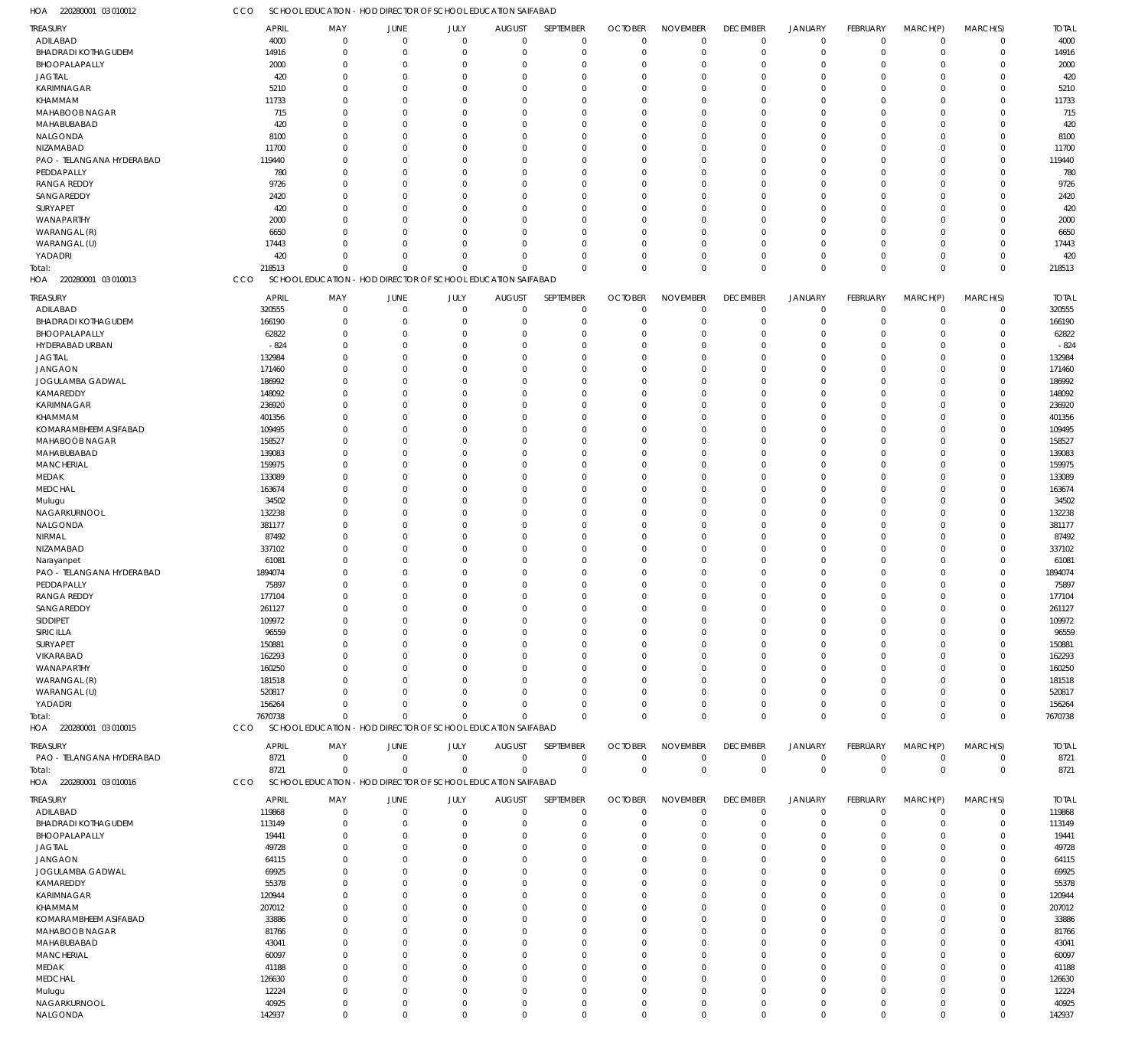220280001 03 010012 HOA CCO SCHOOL EDUCATION - HOD DIRECTOR OF SCHOOL EDUCATION SAIFABAD

| TREASURY                   | <b>APRIL</b> | MAY            | JUNE                                                         | JULY        | <b>AUGUST</b> | <b>SEPTEMBER</b> | <b>OCTOBER</b> | <b>NOVEMBER</b> | <b>DECEMBER</b> | <b>JANUARY</b> | <b>FEBRUARY</b> | MARCH(P)       | MARCH(S)    | <b>TOTAL</b> |
|----------------------------|--------------|----------------|--------------------------------------------------------------|-------------|---------------|------------------|----------------|-----------------|-----------------|----------------|-----------------|----------------|-------------|--------------|
| ADILABAD                   | 4000         | $\mathbf 0$    | $\mathbf 0$                                                  | $\mathbf 0$ | $\mathbf 0$   | $\mathbf 0$      | $\mathbf 0$    | $\mathbf 0$     | $\mathbf 0$     | $\mathbf 0$    | $\overline{0}$  | $\mathbf 0$    | $\mathbf 0$ | 4000         |
| <b>BHADRADI KOTHAGUDEM</b> | 14916        | $\mathbf 0$    | $\mathbf 0$                                                  | $\mathbf 0$ | $\mathbf 0$   | $\mathbf 0$      | 0              | $\mathbf 0$     | $\overline{0}$  | $\mathbf 0$    | $\overline{0}$  | $\overline{0}$ | $^{\circ}$  | 14916        |
| BHOOPALAPALLY              | 2000         | $\mathbf 0$    | 0                                                            | $\mathbf 0$ | $\Omega$      | $\mathbf 0$      | $\Omega$       | $\mathbf 0$     | 0               | $\mathbf 0$    | $\Omega$        | $\Omega$       | $\Omega$    | 2000         |
| <b>JAGTIAL</b>             | 420          | $\mathbf 0$    | 0                                                            | $\mathbf 0$ | $\Omega$      | $\mathbf 0$      | $\Omega$       | $\mathbf 0$     | $\Omega$        | $\mathbf 0$    | $\Omega$        | $\Omega$       | $\Omega$    | 420          |
| <b>KARIMNAGAR</b>          | 5210         | $\mathbf 0$    | $\Omega$                                                     | $\Omega$    | $\Omega$      | $\mathbf 0$      | $\Omega$       | $\mathbf 0$     | $\Omega$        | $\mathbf 0$    | $\Omega$        | $\Omega$       | $\Omega$    | 5210         |
| KHAMMAM                    | 11733        | $\mathbf 0$    | $\Omega$                                                     | $\Omega$    | $\Omega$      | $\mathbf 0$      | $\Omega$       | $\mathbf 0$     | $\Omega$        | $\mathbf 0$    | $\Omega$        | $\Omega$       | $\Omega$    | 11733        |
| MAHABOOB NAGAR             | 715          | $\mathbf 0$    | $\Omega$                                                     | $\Omega$    | $\Omega$      | $\mathbf 0$      | $\Omega$       | $\Omega$        | $\Omega$        | $\mathbf 0$    | $\Omega$        | $\Omega$       | $\Omega$    | 715          |
| MAHABUBABAD                | 420          | $\mathbf 0$    | $\Omega$                                                     | $\Omega$    | $\Omega$      | $\mathbf 0$      | $\Omega$       | $\mathbf 0$     | $\Omega$        | $\Omega$       | $\Omega$        | $\Omega$       | $\Omega$    | 420          |
| NALGONDA                   | 8100         | $\mathbf 0$    | $\Omega$                                                     | $\Omega$    | $\Omega$      | $\mathbf 0$      | $\Omega$       | $\mathbf 0$     | $\Omega$        | $\mathbf 0$    | $\Omega$        | $\Omega$       | $\Omega$    | 8100         |
| NIZAMABAD                  | 11700        | $\mathbf 0$    | $\Omega$                                                     | $\Omega$    | $\Omega$      | $\mathbf 0$      | $\Omega$       | $\mathbf 0$     | $\Omega$        | $\mathbf 0$    | $\Omega$        | $\Omega$       | $\Omega$    | 11700        |
| PAO - TELANGANA HYDERABAD  | 119440       | $\mathbf 0$    | $\Omega$                                                     | $\Omega$    | $\Omega$      | $\mathbf 0$      | $\Omega$       | $\mathbf 0$     | $\Omega$        | $\mathbf 0$    | $\Omega$        | $\Omega$       | $\Omega$    | 119440       |
| PEDDAPALLY                 | 780          | $\mathbf 0$    | $\Omega$                                                     | $\Omega$    | $\Omega$      | $\mathbf 0$      | $\Omega$       | $\Omega$        | $\Omega$        | $\Omega$       | $\Omega$        | $\Omega$       | $\Omega$    | 780          |
| <b>RANGA REDDY</b>         | 9726         | $\mathbf 0$    | $\Omega$                                                     | $\Omega$    | $\Omega$      | $\mathbf 0$      | $\Omega$       | $\Omega$        | $\Omega$        | $\mathbf 0$    | $\Omega$        | $\Omega$       | $\Omega$    | 9726         |
| SANGAREDDY                 | 2420         | $\mathbf 0$    | $\Omega$                                                     | $\Omega$    | $\Omega$      | $\mathbf 0$      | $\Omega$       | $\mathbf 0$     | $\Omega$        | $\mathbf 0$    | $\Omega$        | $\Omega$       | $\Omega$    | 2420         |
| SURYAPET                   | 420          | $\mathbf 0$    | $\Omega$                                                     | $\Omega$    | $\Omega$      | $\mathbf 0$      | C              | $\Omega$        | $\Omega$        | $\mathbf 0$    | $\Omega$        | $\Omega$       | $\Omega$    | 420          |
| WANAPARTHY                 | 2000         | $\Omega$       | $\Omega$                                                     | $\mathbf 0$ | $\Omega$      | $\mathbf 0$      | $\Omega$       | $\mathbf 0$     | $\Omega$        | $\mathbf 0$    | $\Omega$        | $\Omega$       | $\Omega$    | 2000         |
| WARANGAL (R)               | 6650         | $\mathbf 0$    | $\Omega$                                                     | $\Omega$    | $\Omega$      | $\mathbf 0$      | $\Omega$       | $\mathbf 0$     | $\Omega$        | $\mathbf 0$    | $\Omega$        | $\Omega$       | $\Omega$    | 6650         |
|                            |              | $\Omega$       |                                                              |             |               | $\mathbf 0$      |                |                 |                 |                |                 | $\Omega$       |             |              |
| WARANGAL (U)               | 17443        |                | $\Omega$                                                     | $\mathbf 0$ | $\Omega$      |                  | $\Omega$       | $\mathbf 0$     | $\Omega$        | $\mathbf 0$    | $\Omega$        |                | $\Omega$    | 17443        |
| YADADRI                    | 420          | $\mathbf 0$    | 0                                                            | $\mathbf 0$ | 0             | $\mathbf 0$      | $\Omega$       | $\mathbf 0$     | 0               | $\mathbf 0$    | $\Omega$        | $\mathbf 0$    | $\Omega$    | 420          |
| Total:                     | 218513       | $\mathbf 0$    | $\Omega$                                                     | $\mathbf 0$ | $\Omega$      | $\mathbf 0$      | $\Omega$       | $\mathbf 0$     | $\Omega$        | $\mathbf 0$    | $\Omega$        | $\Omega$       | $\Omega$    | 218513       |
| HOA 220280001 03 010013    | CCO          |                | SCHOOL EDUCATION - HOD DIRECTOR OF SCHOOL EDUCATION SAIFABAD |             |               |                  |                |                 |                 |                |                 |                |             |              |
| <b>TREASURY</b>            | <b>APRIL</b> | MAY            | <b>JUNE</b>                                                  | JULY        | <b>AUGUST</b> | SEPTEMBER        | <b>OCTOBER</b> | <b>NOVEMBER</b> | <b>DECEMBER</b> | <b>JANUARY</b> | <b>FEBRUARY</b> | MARCH(P)       | MARCH(S)    | <b>TOTAL</b> |
| ADILABAD                   | 320555       | $\overline{0}$ | $\mathbf 0$                                                  | $\mathbf 0$ | $\mathbf 0$   | $\mathbf 0$      | $\overline{0}$ | $\mathbf 0$     | $\mathbf 0$     | $\mathbf 0$    | $\overline{0}$  | $\mathbf 0$    | $\mathbf 0$ | 320555       |
| <b>BHADRADI KOTHAGUDEM</b> | 166190       | $\overline{0}$ | 0                                                            | $\mathbf 0$ | 0             | $\mathbf 0$      | O              | $\mathbf 0$     | O               | $\mathbf 0$    | $\Omega$        | $\Omega$       | 0           | 166190       |
| BHOOPALAPALLY              | 62822        | $\mathbf 0$    | 0                                                            | $\Omega$    | 0             | $\mathbf 0$      | $\Omega$       | $\Omega$        | $\Omega$        | $\mathbf 0$    | $\Omega$        | $\Omega$       | $\Omega$    | 62822        |
| HYDERABAD URBAN            | $-824$       | $\mathbf 0$    | 0                                                            | $\Omega$    | $\Omega$      | $\mathbf 0$      | $\Omega$       | $\Omega$        | $\Omega$        | $\mathbf 0$    | $\Omega$        | $\Omega$       | $\Omega$    | $-824$       |
| <b>JAGTIAL</b>             | 132984       | $\Omega$       | $\Omega$                                                     | $\Omega$    |               | $\Omega$         | $\Omega$       | $\Omega$        | -0              | $\Omega$       | $\Omega$        | $\Omega$       |             | 132984       |
|                            |              | $\mathbf 0$    | $\Omega$                                                     | $\Omega$    | $\Omega$      | $\mathbf 0$      | $\Omega$       | $\Omega$        |                 | $\Omega$       | $\Omega$        | $\Omega$       | $\Omega$    | 171460       |
| <b>JANGAON</b>             | 171460       |                |                                                              |             |               |                  |                |                 | -0              |                |                 |                |             |              |
| JOGULAMBA GADWAL           | 186992       | $\Omega$       | $\Omega$                                                     | $\Omega$    | 0             | $\Omega$         | $\Omega$       | $\Omega$        | -0              | $\Omega$       | $\Omega$        | $\Omega$       | $\Omega$    | 186992       |
| KAMAREDDY                  | 148092       | $\mathbf 0$    | $\Omega$                                                     | $\Omega$    | $\Omega$      | $\Omega$         | $\Omega$       | $\Omega$        | -0              | $\Omega$       | -0              | $\Omega$       | $\Omega$    | 148092       |
| <b>KARIMNAGAR</b>          | 236920       | $\Omega$       | $\Omega$                                                     | $\Omega$    | 0             | $\Omega$         | $\Omega$       | $\Omega$        | -0              | $\Omega$       | $\Omega$        | $\Omega$       | $\Omega$    | 236920       |
| KHAMMAM                    | 401356       | $\mathbf 0$    | $\Omega$                                                     | $\Omega$    | $\Omega$      | $\mathbf 0$      | $\Omega$       | $\Omega$        | -0              | $\Omega$       | $\Omega$        | $\Omega$       | $\Omega$    | 401356       |
| KOMARAMBHEEM ASIFABAD      | 109495       | $\Omega$       | $\Omega$                                                     | $\Omega$    | 0             | $\Omega$         | $\Omega$       | $\Omega$        | -0              | $\Omega$       | $\Omega$        | $\Omega$       |             | 109495       |
| MAHABOOB NAGAR             | 158527       | $\mathbf 0$    | $\Omega$                                                     | $\Omega$    | $\Omega$      | $\mathbf 0$      | $\Omega$       | $\Omega$        | $\Omega$        | $\Omega$       | $\Omega$        | $\Omega$       | $\Omega$    | 158527       |
| MAHABUBABAD                | 139083       | $\Omega$       | $\Omega$                                                     | $\Omega$    |               | $\Omega$         | $\Omega$       | $\Omega$        | -0              | $\Omega$       | -0              | $\Omega$       |             | 139083       |
| <b>MANCHERIAL</b>          | 159975       | $\mathbf 0$    | $\Omega$                                                     | $\Omega$    | $\Omega$      | $\mathbf 0$      | $\Omega$       | $\Omega$        | $\Omega$        | $\Omega$       | $\Omega$        | $\Omega$       | $\Omega$    | 159975       |
| MEDAK                      | 133089       | $\Omega$       | $\Omega$                                                     | $\Omega$    | 0             | $\Omega$         | $\Omega$       | $\Omega$        | -0              | $\Omega$       | $\Omega$        | $\Omega$       | $\Omega$    | 133089       |
| MEDCHAL                    | 163674       | $\mathbf 0$    | $\Omega$                                                     | $\Omega$    | $\Omega$      | $\mathbf 0$      | $\Omega$       | $\Omega$        | -0              | $\Omega$       | -0              | $\Omega$       | $\Omega$    | 163674       |
| Mulugu                     | 34502        | $\Omega$       | $\Omega$                                                     | $\Omega$    | 0             | $\Omega$         | $\Omega$       | $\Omega$        | $\Omega$        | $\Omega$       | $\Omega$        | $\Omega$       | $\Omega$    | 34502        |
| NAGARKURNOOL               | 132238       | $\mathbf 0$    | $\Omega$                                                     | $\Omega$    | $\Omega$      | $\mathbf 0$      | $\Omega$       | $\Omega$        | -0              | $\Omega$       | $\Omega$        | $\Omega$       | $\Omega$    | 132238       |
| NALGONDA                   | 381177       | $\mathbf 0$    | $\Omega$                                                     | $\Omega$    | 0             | $\Omega$         | $\Omega$       | $\Omega$        | -0              | $\Omega$       | $\Omega$        | $\Omega$       | $\Omega$    | 381177       |
| NIRMAL                     | 87492        | $\mathbf 0$    | $\Omega$                                                     | $\Omega$    | $\Omega$      | $\mathbf 0$      | $\Omega$       | $\Omega$        | $\Omega$        | $\Omega$       | $\Omega$        | $\Omega$       | $\Omega$    | 87492        |
| NIZAMABAD                  | 337102       | $\Omega$       | $\Omega$                                                     | $\Omega$    |               | $\Omega$         | $\Omega$       | $\Omega$        | -0              | $\Omega$       | -0              | $\Omega$       |             | 337102       |
| Narayanpet                 | 61081        | $\Omega$       | $\Omega$                                                     | $\Omega$    | $\Omega$      | $\mathbf 0$      | $\Omega$       | $\Omega$        | -0              | $\Omega$       | $\Omega$        | $\Omega$       | $\Omega$    | 61081        |
| PAO - TELANGANA HYDERABAD  | 1894074      | $\Omega$       | $\Omega$                                                     | $\Omega$    | 0             | $\Omega$         | $\Omega$       | $\Omega$        |                 | $\Omega$       | $\Omega$        | $\Omega$       | $\Omega$    | 1894074      |
| PEDDAPALLY                 | 75897        | $\Omega$       | $\Omega$                                                     | $\Omega$    | $\Omega$      | $\mathbf 0$      | $\Omega$       | $\Omega$        |                 | $\Omega$       | -0              | $\Omega$       | $\Omega$    | 75897        |
| <b>RANGA REDDY</b>         | 177104       | $\Omega$       | $\Omega$                                                     | $\Omega$    | $\Omega$      | $\Omega$         | $\Omega$       | $\Omega$        | $\Omega$        | $\Omega$       | $\Omega$        | $\Omega$       | $\Omega$    | 177104       |
|                            |              | $\Omega$       | $\Omega$                                                     | $\Omega$    |               | $\Omega$         | $\Omega$       | $\Omega$        | $\Omega$        | $\Omega$       | $\Omega$        | $\Omega$       |             |              |
| SANGAREDDY                 | 261127       |                |                                                              |             | $\Omega$      |                  |                |                 |                 |                |                 |                | $\Omega$    | 261127       |
| SIDDIPET                   | 109972       | $\mathbf 0$    | 0                                                            | $\Omega$    | $\Omega$      | $\mathbf 0$      | $\Omega$       | $\Omega$        | $\Omega$        | $\mathbf 0$    | $\Omega$        | $\Omega$       | $\Omega$    | 109972       |
| SIRICILLA                  | 96559        | $\mathbf 0$    | 0                                                            | $\mathbf 0$ | $\Omega$      | $\mathbf 0$      | O              | $\mathbf 0$     | 0               | $\mathbf 0$    | $\Omega$        | $\Omega$       | $\Omega$    | 96559        |
| SURYAPET                   | 150881       | $\mathbf 0$    | 0                                                            | $\Omega$    | 0             | $\Omega$         | $\Omega$       | $\Omega$        | -0              | $\Omega$       | $\Omega$        | $\Omega$       |             | 150881       |
| VIKARABAD                  | 162293       | $\mathbf 0$    | 0                                                            | $\Omega$    | $\Omega$      | $\mathbf 0$      | $\Omega$       | $\Omega$        | $\Omega$        | $\mathbf 0$    | -0              | $\Omega$       | $\Omega$    | 162293       |
| WANAPARTHY                 | 160250       | $\Omega$       | $\Omega$                                                     | $\Omega$    |               | $\Omega$         | 0              | $\Omega$        | -0              | $\Omega$       | -0              | $\Omega$       |             | 160250       |
| WARANGAL (R)               | 181518       | $\Omega$       | $\Omega$                                                     | $\Omega$    | 0             | $\Omega$         | 0              | $\Omega$        | $\Omega$        | $\Omega$       | -0              | $\Omega$       | $\Omega$    | 181518       |
| WARANGAL (U)               | 520817       | $\Omega$       | $\Omega$                                                     | $\Omega$    | $\Omega$      | $\Omega$         | $\Omega$       | $\Omega$        | $\Omega$        | $\Omega$       | $\Omega$        | $\Omega$       |             | 520817       |
| YADADRI                    | 156264       | $\mathbf 0$    | $\Omega$                                                     | $\Omega$    | $\Omega$      | $\mathbf 0$      | $\Omega$       | $\Omega$        | $\Omega$        | $\mathbf 0$    | $\Omega$        | $\Omega$       | $\Omega$    | 156264       |
| Total:                     | 7670738      | $\mathbf 0$    | $\Omega$                                                     | $\mathbf 0$ | $\Omega$      | $\Omega$         | C              | $\Omega$        | $\Omega$        | $\mathbf 0$    | $\Omega$        | $\Omega$       | $\Omega$    | 7670738      |
| HOA 220280001 03 010015    | <b>CCO</b>   |                | SCHOOL EDUCATION - HOD DIRECTOR OF SCHOOL EDUCATION SAIFABAD |             |               |                  |                |                 |                 |                |                 |                |             |              |
| TREASURY                   | <b>APRIL</b> | MAY            | JUNE                                                         | JULY        | <b>AUGUST</b> | SEPTEMBER        | <b>OCTOBER</b> | <b>NOVEMBER</b> | <b>DECEMBER</b> | <b>JANUARY</b> | <b>FEBRUARY</b> | MARCH(P)       | MARCH(S)    | <b>TOTAL</b> |
| PAO - TELANGANA HYDERABAD  | 8721         | $\mathbf 0$    | $\overline{0}$                                               | 0           | $\mathbf 0$   | $\mathbf 0$      | $\mathbf 0$    | $\mathbf 0$     | $\mathbf 0$     | $\mathbf 0$    | $^{\circ}$      | $\mathbf 0$    | $^{\circ}$  | 8721         |
| Total:                     | 8721         | $\mathbf 0$    | $\mathbf 0$                                                  | $\mathbf 0$ | $\mathbf 0$   | $\mathbf 0$      | $\mathbf{0}$   | $\mathbf 0$     | $\mathbf{0}$    | $\mathbf 0$    | $\mathbf 0$     | $\mathbf 0$    | $\mathbf 0$ | 8721         |
| HOA 220280001 03 010016    | CCO          |                | SCHOOL EDUCATION - HOD DIRECTOR OF SCHOOL EDUCATION SAIFABAD |             |               |                  |                |                 |                 |                |                 |                |             |              |
|                            |              |                |                                                              |             |               |                  |                |                 |                 |                |                 |                |             |              |
| TREASURY                   | <b>APRIL</b> | MAY            | <b>JUNE</b>                                                  | JULY        | <b>AUGUST</b> | SEPTEMBER        | <b>OCTOBER</b> | <b>NOVEMBER</b> | <b>DECEMBER</b> | <b>JANUARY</b> | <b>FEBRUARY</b> | MARCH(P)       | MARCH(S)    | <b>TOTAL</b> |
| ADILABAD                   | 119868       | $\overline{0}$ | $\mathbf 0$                                                  | $\mathbf 0$ | $\mathbf 0$   | $\mathbf 0$      | $\overline{0}$ | $\mathbf 0$     | $\mathbf 0$     | $\mathbf 0$    | $^{\circ}$      | $\mathbf 0$    | 0           | 119868       |
| <b>BHADRADI KOTHAGUDEM</b> | 113149       | $\mathbf 0$    | 0                                                            | $\mathbf 0$ | $\Omega$      | $\mathbf 0$      | O              | $\Omega$        | $\Omega$        | $\mathbf 0$    | $\Omega$        | $\Omega$       | $\Omega$    | 113149       |
| BHOOPALAPALLY              | 19441        | $\mathbf 0$    | 0                                                            | $\Omega$    | 0             | $\mathbf 0$      | $\Omega$       | $\Omega$        | -0              | $\mathbf 0$    | $\Omega$        | $\Omega$       | $\Omega$    | 19441        |
| <b>JAGTIAL</b>             | 49728        | $\mathbf 0$    | 0                                                            | $\Omega$    | $\Omega$      | $\mathbf 0$      | $\Omega$       | $\Omega$        | $\Omega$        | $\mathbf 0$    | $\Omega$        | $\Omega$       | $\Omega$    | 49728        |
| <b>JANGAON</b>             | 64115        | $\Omega$       | $\Omega$                                                     | $\Omega$    |               | $\Omega$         | O              | $\Omega$        | -0              | $\Omega$       |                 | $\Omega$       |             | 64115        |
| JOGULAMBA GADWAL           | 69925        | $\Omega$       | $\Omega$                                                     | $\Omega$    | $\Omega$      | $\mathbf 0$      | $\Omega$       | $\Omega$        | -0              | $\Omega$       |                 | $\Omega$       | $\Omega$    | 69925        |
| KAMAREDDY                  | 55378        | $\Omega$       | $\Omega$                                                     | $\Omega$    | 0             | $\Omega$         | $\Omega$       | $\Omega$        | -0              | $\Omega$       | -0              | $\Omega$       |             | 55378        |
| KARIMNAGAR                 | 120944       | 0              | $\Omega$                                                     | $\Omega$    | $\Omega$      | $\Omega$         | O              | $\Omega$        | -0              | $\Omega$       |                 | $\Omega$       | $\Omega$    | 120944       |
| KHAMMAM                    | 207012       | $\Omega$       | $\Omega$                                                     | $\Omega$    | 0             | $\Omega$         | $\Omega$       | $\Omega$        | -0              | $\Omega$       | -0              | $\Omega$       |             | 207012       |
| KOMARAMBHEEM ASIFABAD      | 33886        | 0              | $\Omega$                                                     | $\Omega$    | $\Omega$      | $\Omega$         | $\Omega$       | $\Omega$        | $\Omega$        | $\Omega$       | -C              | $\Omega$       | $\Omega$    | 33886        |
|                            |              |                |                                                              |             |               | $\Omega$         |                |                 |                 |                |                 |                |             |              |
| MAHABOOB NAGAR             | 81766        | $\Omega$       | $\Omega$                                                     | $\Omega$    | 0             |                  | $\Omega$       | $\Omega$        | -0              | $\Omega$       |                 | $\Omega$       |             | 81766        |
| MAHABUBABAD                | 43041        | $\mathbf 0$    | $\Omega$                                                     | $\Omega$    | $\Omega$      | $\mathbf 0$      | $\Omega$       | $\Omega$        | -0              | $\Omega$       | -0              | $\Omega$       | $\Omega$    | 43041        |
| <b>MANCHERIAL</b>          | 60097        | $\Omega$       | $\Omega$                                                     | $\Omega$    |               | $\Omega$         | O              | $\Omega$        | -0              | $\Omega$       |                 | $\Omega$       |             | 60097        |
| MEDAK                      | 41188        | $\Omega$       | $\Omega$                                                     | $\Omega$    | $\Omega$      | $\Omega$         | $\Omega$       | $\Omega$        | $\Omega$        | $\Omega$       |                 | $\Omega$       | $\Omega$    | 41188        |
| <b>MEDCHAL</b>             | 126630       | $\Omega$       | $\Omega$                                                     | $\Omega$    | 0             | $\Omega$         | $\Omega$       | $\Omega$        | $\Omega$        | $\Omega$       | $\Omega$        | $\Omega$       |             | 126630       |
| Mulugu                     | 12224        | $\mathbf 0$    | $\Omega$                                                     | $\Omega$    | $\Omega$      | $\mathbf 0$      | $\Omega$       | $\Omega$        | $\Omega$        | $\mathbf 0$    | -0              | $\Omega$       | $\Omega$    | 12224        |
| NAGARKURNOOL               | 40925        | $\mathbf 0$    | $\mathbf 0$                                                  | $\mathbf 0$ | 0             | $\mathbf 0$      | 0              | $\mathbf 0$     | 0               | $\mathbf 0$    | $\Omega$        | $\mathbf 0$    | $\Omega$    | 40925        |
| NALGONDA                   | 142937       | $\mathbf 0$    | $\Omega$                                                     | $\mathbf 0$ | $\mathbf 0$   | $\mathbf{0}$     | $\mathbf 0$    | $\mathbf 0$     | $\mathbf 0$     | $\mathbf 0$    | $\Omega$        | $\Omega$       | $\mathbf 0$ | 142937       |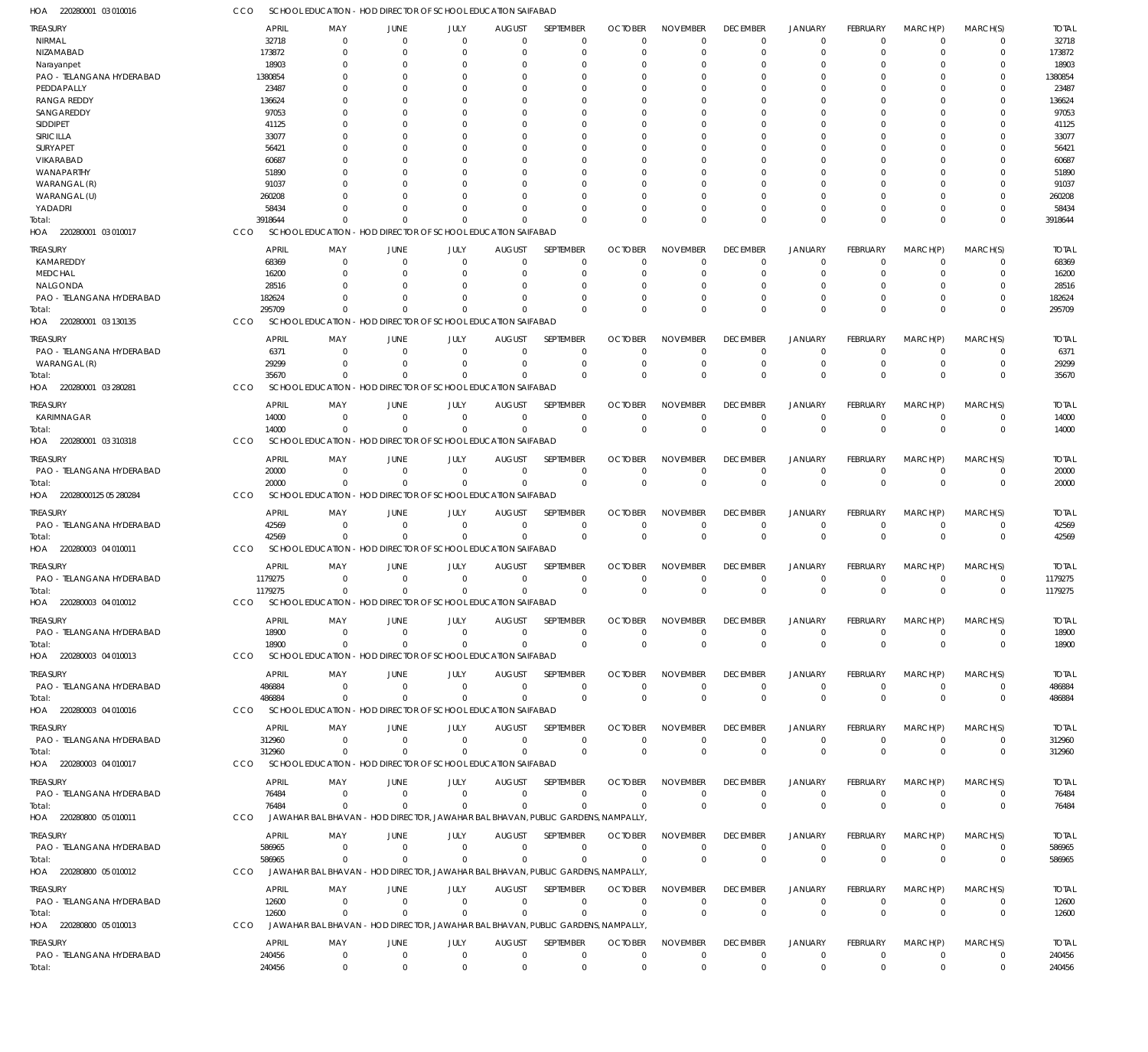220280001 03 010017 HOA 220280001 03 130135 HOA 220280001 03 280281 HOA 220280001 03 310318 HOA 22028000125 05 280284 HOA 220280003 04 010011 HOA 220280003 04 010012 HOA 220280003 04 010013 HOA 220280003 04 010016 HOA 220280003 04 010017 HOA 220280800 05 010011 HOA 220280800 05 010012 HOA 220280800 05 010013 HOA SCHOOL EDUCATION - HOD DIRECTOR OF SCHOOL EDUCATION SAIFABAD SCHOOL EDUCATION - HOD DIRECTOR OF SCHOOL EDUCATION SAIFABAD SCHOOL EDUCATION - HOD DIRECTOR OF SCHOOL EDUCATION SAIFABAD SCHOOL EDUCATION - HOD DIRECTOR OF SCHOOL EDUCATION SAIFABAD SCHOOL EDUCATION - HOD DIRECTOR OF SCHOOL EDUCATION SAIFABAD SCHOOL EDUCATION - HOD DIRECTOR OF SCHOOL EDUCATION SAIFABAD SCHOOL EDUCATION - HOD DIRECTOR OF SCHOOL EDUCATION SAIFABAD SCHOOL EDUCATION - HOD DIRECTOR OF SCHOOL EDUCATION SAIFABAD SCHOOL EDUCATION - HOD DIRECTOR OF SCHOOL EDUCATION SAIFABAD SCHOOL EDUCATION - HOD DIRECTOR OF SCHOOL EDUCATION SAIFABAD JAWAHAR BAL BHAVAN - HOD DIRECTOR, JAWAHAR BAL BHAVAN, PUBLIC GARDENS, NAMPALLY, JAWAHAR BAL BHAVAN - HOD DIRECTOR, JAWAHAR BAL BHAVAN, PUBLIC GARDENS, NAMPALLY, JAWAHAR BAL BHAVAN - HOD DIRECTOR, JAWAHAR BAL BHAVAN, PUBLIC GARDENS, NAMPALLY, CCO **CCO** C<sub>CO</sub> CCO CCO CCO. CCO **CCO** C<sub>CO</sub> **CCO CCO CCO** CCO 3918644 295709 35670 14000 20000 42569 1179275 18900 486884 312960 76484 586965 12600  $\Omega$ 0 0  $\Omega$ 0 0 0 0 0 0 0  $\Omega$ 0  $\Omega$ 0 0  $\Omega$ 0 0 0 0 0 0  $\,$  0  $\,$ 0  $\Omega$  $\sqrt{0}$ 0 0  $\mathbf{0}$ 0 0  $\Omega$ 0 0  $\Omega$ 0  $\Omega$ 0  $\Omega$ 0 0  $\Omega$  $\Omega$ 0  $\Omega$ 0 0  $\Omega$ 0  $\Omega$  $\Omega$  $\Omega$ 0 0  $\Omega$ 0 0  $\Omega$ 0 0  $\Omega$ 0  $\Omega$  $\Omega$  $\Omega$ 0 0  $\Omega$ 0 0  $\Omega$ 0 0  $\Omega$ 0  $\Omega$  $\Omega$  $\Omega$ 0 0  $\Omega$  $\Omega$ 0  $\Omega$ 0 0  $\Omega$ 0  $\Omega$  $\Omega$  $\Omega$ 0 0  $\Omega$ 0 0  $\Omega$ 0 0 0 0  $\Omega$ 0  $\Omega$ 0 0  $\Omega$ 0 0  $\Omega$ 0 0  $\Omega$ 0  $\Omega$  $\Omega$ 0 0 0  $\Omega$ 0 0  $\Omega$  $\boldsymbol{0}$ 0  $\Omega$  $\,$  0  $\,$  $\Omega$  $\Omega$  $\Omega$ 0 0  $\Omega$ 0 0  $\Omega$ 0 0  $\Omega$ 0  $\Omega$  $\Omega$  $\Omega$  $\Omega$ 0  $\Omega$ 0 0  $\Omega$ 0 0  $\Omega$ 0  $\Omega$  $\Omega$ 3918644 295709 35670 1179275 486884 312960 586965 12600 NIRMAL NIZAMABAD Narayanpet PAO - TELANGANA HYDERABAD PEDDAPALLY RANGA REDDY SANGAREDDY SIDDIPET SIRICILLA SURYAPET VIKARABAD WANAPARTHY WARANGAL (R) WARANGAL (U) YADADRI KAMAREDDY MEDCHAL NALGONDA PAO - TELANGANA HYDERABAD PAO - TELANGANA HYDERABAD WARANGAL (R) KARIMNAGAR PAO - TELANGANA HYDERABAD PAO - TELANGANA HYDERABAD PAO - TELANGANA HYDERABAD PAO - TELANGANA HYDERABAD PAO - TELANGANA HYDERABAD PAO - TELANGANA HYDERABAD PAO - TELANGANA HYDERABAD PAO - TELANGANA HYDERABAD PAO - TELANGANA HYDERABAD PAO - TELANGANA HYDERABAD TREASURY TREASURY TREASURY **TREASURY** TREASURY TREASURY **TREASURY** TREASURY TREASURY **TREASURY** TREASURY TREASURY **TREASURY** TREASURY 32718 173872 18903 1380854 23487 136624 97053 41125 33077 56421 60687 51890 91037 260208 58434 68369 16200 28516 182624 6371 29299 14000 20000 42569 1179275 18900 486884 312960 76484 586965 12600 240456 APRIL APRIL APRIL APRIL APRIL APRIL APRIL APRIL APRIL APRIL APRIL APRIL APRIL APRIL  $\Omega$ 0  $\Omega$ 0 0  $\sqrt{2}$ 0  $\Omega$  $\Omega$ 0  $\Omega$ 0  $\Omega$ 0 0  $\sqrt{0}$ 0  $\Omega$  $\Omega$ 0  $\Omega$ 0 0 0 0 0 0 0 0 0 0 MAY MAY MAY MAY MAY MAY MAY MAY MAY MAY MAY MAY MAY MAY 0 0  $\Omega$ 0 0  $\sqrt{2}$ 0  $\Omega$ 0 0  $\Omega$ 0  $\Omega$ 0 0 0 0  $\Omega$ 0 0 0  $\,$  0  $\,$ 0 0 0 0  $\,$  0  $\,$ 0 0  $\boldsymbol{0}$ 0 JUNE JUNE JUNE **JUNE** JUNE JUNE JUNE JUNE JUNE JUNE JUNE JUNE JUNE JUNE 0 0  $\Omega$ 0 0  $\sqrt{2}$ 0  $\Omega$  $\Omega$ 0  $\Omega$ 0  $\Omega$ 0 0 0 0  $\Omega$ 0 0 0  $\,$  0  $\,$ 0  $\,$  0  $\,$ 0 0  $\,$  0  $\,$  $\,$  0  $\,$  $\Omega$ 0 0 JULY JULY JULY JULY JULY JULY JULY JULY JULY JULY JULY JULY JULY JULY  $\Omega$ 0  $\Omega$ 0  $\Omega$  $\sqrt{2}$ 0  $\Omega$  $\Omega$ 0  $\Omega$ 0  $\Omega$ 0 0  $\Omega$ 0  $\Omega$  $\Omega$ 0  $\Omega$ 0 0 0 0 0 0 0  $\Omega$ 0 0 AUGUST AUGUST AUGUST AUGUST AUGUST AUGUST AUGUST AUGUST AUGUST **AUGUST** AUGUST AUGUST AUGUST AUGUST  $\Omega$  $\overline{0}$  $\Omega$ 0  $\Omega$  $\Omega$ 0  $\Omega$  $\Omega$  $\Omega$  $\Omega$  $\overline{0}$  $\Omega$ 0 0  $\Omega$ 0  $\Omega$  $\Omega$ 0  $\Omega$ 0 0  $\Omega$ 0 0 0 0  $\Omega$ 0 0 SEPTEMBER SEPTEMBER SEPTEMBER **SEPTEMBER** SEPTEMBER SEPTEMBER **SEPTEMBER** SEPTEMBER SEPTEMBER **SEPTEMBER** SEPTEMBER SEPTEMBER **SEPTEMBER** SEPTEMBER  $\Omega$ 0  $\Omega$ 0  $\Omega$  $\Omega$ 0  $\Omega$  $\Omega$  $\Omega$  $\Omega$ 0  $\Omega$ 0 0  $\Omega$ 0  $\Omega$ 0 0  $\Omega$ 0 0  $\Omega$ 0 0 0 0  $\Omega$ 0 0 OCTOBER **OCTOBER** OCTOBER **OCTOBER** OCTOBER **OCTOBER OCTOBER** OCTOBER **OCTOBER OCTOBER OCTOBER OCTOBER** OCTOBER **OCTOBER**  $\Omega$ 0  $\Omega$ 0 0  $\Omega$ 0  $\Omega$  $\Omega$  $\Omega$  $\Omega$ 0  $\Omega$ 0 0  $\Omega$ 0  $\Omega$ 0 0  $\Omega$ 0 0  $\Omega$ 0 0 0 0  $\Omega$ 0 0 NOVEMBER NOVEMBER NOVEMBER NOVEMBER NOVEMBER NOVEMBER NOVEMBER NOVEMBER NOVEMBER NOVEMBER NOVEMBER NOVEMBER NOVEMBER NOVEMBER  $\Omega$ 0  $\Omega$ 0  $\Omega$  $\Omega$ 0  $\Omega$  $\Omega$  $\Omega$  $\Omega$ 0  $\Omega$ 0 0  $\Omega$ 0  $\Omega$  $\overline{0}$ 0  $\Omega$ 0 0  $\Omega$ 0 0 0 0  $\Omega$  $\Omega$ 0 DECEMBER DECEMBER DECEMBER **DECEMBER** DECEMBER DECEMBER **DECEMBER** DECEMBER DECEMBER **DECEMBER** DECEMBER DECEMBER **DECEMBER** DECEMBER  $\Omega$ 0  $\Omega$ 0  $\Omega$  $\Omega$ 0  $\Omega$  $\Omega$ 0  $\Omega$ 0  $\Omega$ 0 0  $\Omega$ 0  $\Omega$ 0 0  $\Omega$ 0 0  $\Omega$ 0 0 0 0  $\Omega$  $\Omega$ 0 JANUARY JANUARY JANUARY JANUARY JANUARY JANUARY JANUARY JANUARY JANUARY JANUARY JANUARY JANUARY JANUARY JANUARY  $\Omega$ 0  $\Omega$ 0 0  $\Omega$ 0  $\Omega$  $\overline{0}$ 0 0 0  $\Omega$ 0 0  $\Omega$ 0  $\Omega$  $\overline{0}$ 0 0 0 0 0 0 0 0 0  $\Omega$ 0 0 FEBRUARY FEBRUARY FEBRUARY FEBRUARY FEBRUARY FEBRUARY FEBRUARY FEBRUARY FEBRUARY FEBRUARY FEBRUARY FEBRUARY FEBRUARY FEBRUARY  $\Omega$ 0  $\Omega$ 0  $\Omega$  $\Omega$ 0  $\Omega$  $\Omega$  $\Omega$  $\Omega$ 0  $\Omega$ 0 0  $\Omega$ 0  $\Omega$  $\overline{0}$  $\Omega$  $\Omega$ 0  $\Omega$  $\Omega$ 0 0 0 0  $\Omega$  $\Omega$ 0 MARCH(P) MARCH(P) MARCH(P) MARCH(P) MARCH(P) MARCH(P) MARCH(P) MARCH(P) MARCH(P) MARCH(P) MARCH(P) MARCH(P) MARCH(P) MARCH(P)  $\Omega$ 0  $\Omega$ 0  $\Omega$ 0 0  $\Omega$ 0  $\Omega$ 0 0  $\Omega$ 0 0  $\Omega$ 0  $\Omega$ 0  $\Omega$  $\Omega$ 0  $\Omega$  $\Omega$ 0 0  $\Omega$ 0  $\Omega$ 0 0 MARCH(S) MARCH(S) MARCH(S) MARCH(S) MARCH(S) MARCH(S) MARCH(S) MARCH(S) MARCH(S) MARCH(S) MARCH(S) MARCH(S) MARCH(S) MARCH(S) 32718 173872 18903 1380854 23487 136624 41125 56421 60687 51890 91037 260208 58434 28516 182624 29299 20000 1179275 486884 312960 586965 240456 TOTAL TOTAL TOTAL TOTAL TOTAL TOTAL TOTAL TOTAL TOTAL TOTAL TOTAL TOTAL TOTAL TOTAL Total: Total: Total: Total: Total: Total: Total: Total: Total: Total: Total: Total: Total:

SCHOOL EDUCATION - HOD DIRECTOR OF SCHOOL EDUCATION SAIFABAD

220280001 03 010016 HOA

CCO

240456

Total:

0

 $\Omega$ 

0

 $\Omega$ 

0

 $\Omega$ 

0

 $\Omega$ 

0

 $\Omega$ 

0

 $\Omega$ 

0

 $\Omega$ 

0

 $\Omega$ 

0

 $\Omega$ 

0

 $\Omega$ 

0

 $\Omega$ 

0

 $\Omega$ 

14000

14000

6371

97053

33077

68369 16200

20000

42569

42569

18900

18900

76484

76484

240456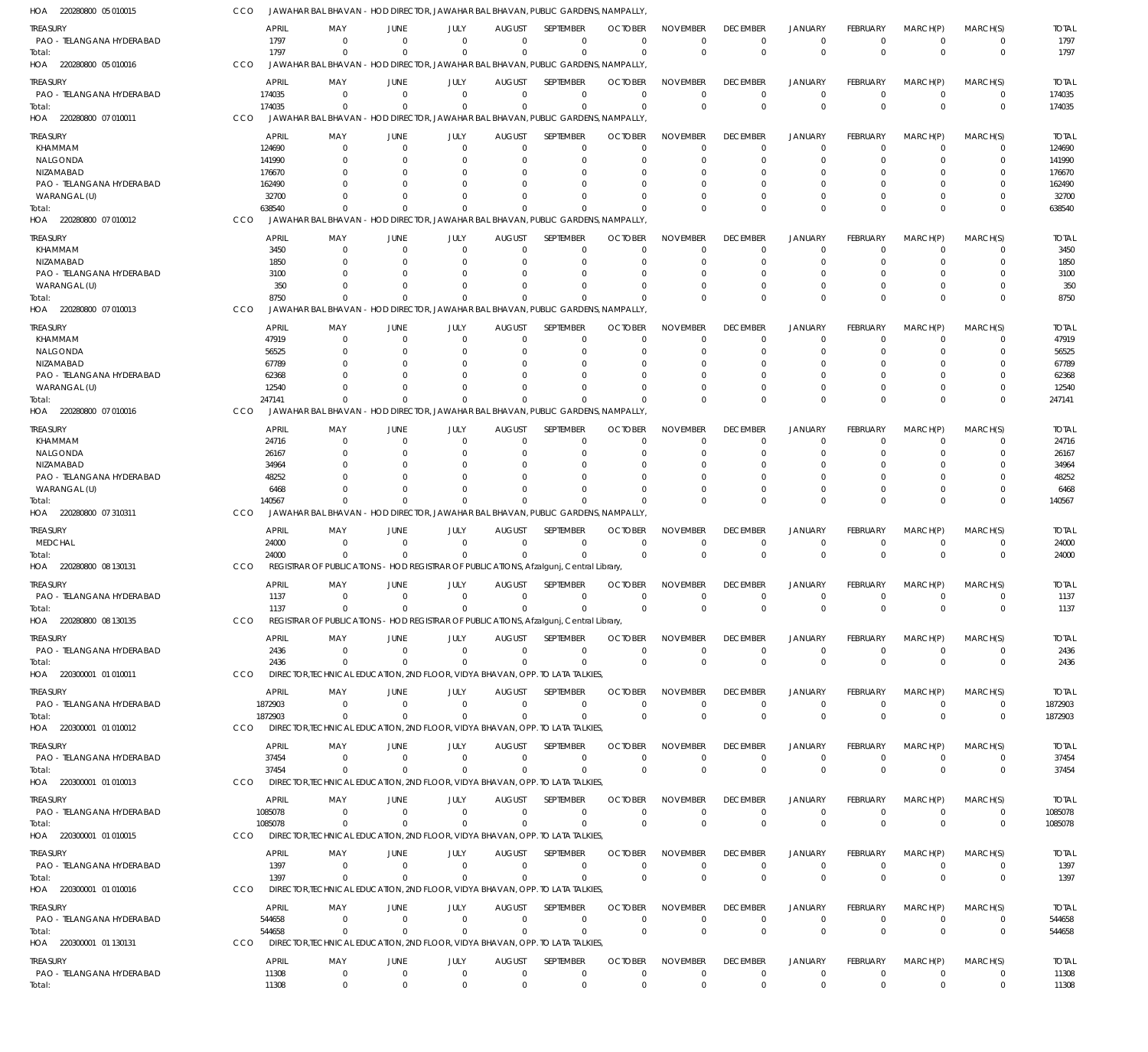| HOA<br>220280800 05 010015            |            |                       | JAWAHAR BAL BHAVAN                                                                          |                            | - HOD DIRECTOR, JAWAHAR BAL BHAVAN, PUBLIC GARDENS, NAMPALLY             |                                 |                            |                             |                             |                             |                                  |                               |                            |                               |                         |
|---------------------------------------|------------|-----------------------|---------------------------------------------------------------------------------------------|----------------------------|--------------------------------------------------------------------------|---------------------------------|----------------------------|-----------------------------|-----------------------------|-----------------------------|----------------------------------|-------------------------------|----------------------------|-------------------------------|-------------------------|
| treasury<br>PAO - TELANGANA HYDERABAD |            | <b>APRIL</b><br>1797  | MAY<br>- 0                                                                                  | JUNE<br>$\Omega$           | JULY<br>$\Omega$                                                         | <b>AUGUST</b><br>$\Omega$       | SEPTEMBER<br>$\mathbf 0$   | <b>OCTOBER</b><br>$\Omega$  | <b>NOVEMBER</b><br>$\Omega$ | <b>DECEMBER</b><br>$\Omega$ | <b>JANUARY</b><br>$^{\circ}$     | FEBRUARY<br>$\mathbf 0$       | MARCH(P)<br>$^{\circ}$     | MARCH(S)<br>$\mathbf 0$       | <b>TOTAL</b><br>1797    |
| Total:<br>220280800 05 010016<br>HOA  | CCO        | 1797                  | $\Omega$<br>JAWAHAR BAL BHAVAN - HOD DIRECTOR, JAWAHAR BAL BHAVAN, PUBLIC GARDENS, NAMPALLY | $\Omega$                   | $\Omega$                                                                 | $\Omega$                        | $\Omega$                   | $\Omega$                    | $\Omega$                    | $\Omega$                    | $\Omega$                         | $\Omega$                      | $\Omega$                   | $\mathbf 0$                   | 1797                    |
| treasury                              |            | <b>APRIL</b>          | MAY                                                                                         | JUNE                       | JULY                                                                     | <b>AUGUST</b>                   | SEPTEMBER                  | <b>OCTOBER</b>              | <b>NOVEMBER</b>             | <b>DECEMBER</b>             | <b>JANUARY</b>                   | <b>FEBRUARY</b>               | MARCH(P)                   | MARCH(S)                      | <b>TOTAL</b>            |
| PAO - TELANGANA HYDERABAD             |            | 174035                | $\Omega$                                                                                    | $\overline{0}$             | $\overline{0}$                                                           | $\overline{0}$                  | $\mathbf 0$                | $\mathbf 0$                 | $\mathbf 0$                 | $\Omega$                    | $\overline{0}$                   | $\mathbf 0$                   | $\overline{0}$             | $\mathbf 0$                   | 174035                  |
| Total:                                |            | 174035                | $\Omega$                                                                                    | $\Omega$                   | $\Omega$                                                                 | $\mathbf 0$                     | $\mathbf 0$                | 0                           | $\Omega$                    | $\Omega$                    | $\overline{0}$                   | $\Omega$                      | $\Omega$                   | $\mathbf 0$                   | 174035                  |
| HOA 220280800 07 010011               | CCO        |                       | JAWAHAR BAL BHAVAN                                                                          |                            | - HOD DIRECTOR, JAWAHAR BAL BHAVAN, PUBLIC GARDENS, NAMPALLY             |                                 |                            |                             |                             |                             |                                  |                               |                            |                               |                         |
| treasury                              |            | APRIL                 | MAY                                                                                         | JUNE                       | JULY                                                                     | <b>AUGUST</b>                   | SEPTEMBER                  | <b>OCTOBER</b>              | <b>NOVEMBER</b>             | <b>DECEMBER</b>             | <b>JANUARY</b>                   | <b>FEBRUARY</b>               | MARCH(P)                   | MARCH(S)                      | <b>TOTAL</b>            |
| KHAMMAM                               |            | 124690                | - 0                                                                                         | $\overline{0}$             | $\mathbf 0$                                                              | $\mathbf 0$                     | $\mathbf 0$                | $\Omega$                    | $\Omega$                    | $\Omega$                    | $^{\circ}$                       | $\Omega$                      | $\overline{0}$             | $\Omega$                      | 124690                  |
| NALGONDA<br>NIZAMABAD                 |            | 141990<br>176670      | $\Omega$                                                                                    | $\Omega$<br>$\Omega$       | $\Omega$                                                                 | $\Omega$<br>C                   | 0<br>$\Omega$              | O<br>O                      | $\Omega$<br>$\Omega$        | $\Omega$                    | $\Omega$<br>$\Omega$             | 0                             | $\Omega$<br>$\Omega$       | 0<br>$\Omega$                 | 141990<br>176670        |
| PAO - TELANGANA HYDERABAD             |            | 162490                |                                                                                             | $\Omega$                   |                                                                          | O                               | $\Omega$                   |                             | $\Omega$                    |                             | $\Omega$                         |                               | $\Omega$                   | 0                             | 162490                  |
| WARANGAL (U)                          |            | 32700                 | n                                                                                           | $\Omega$                   | $\Omega$                                                                 | $\Omega$                        | $\Omega$                   | C.                          | $\Omega$                    |                             | $\Omega$                         | $\Omega$                      | $\Omega$                   | $\Omega$                      | 32700                   |
| Total:                                |            | 638540                | $\Omega$                                                                                    | $\Omega$                   | $\Omega$                                                                 | $\Omega$                        | $\Omega$                   |                             | $\Omega$                    | $\Omega$                    | $\Omega$                         | $\Omega$                      | $\Omega$                   | $\mathbf 0$                   | 638540                  |
| HOA 220280800 07 010012               | CCO        |                       | JAWAHAR BAL BHAVAN                                                                          |                            | - HOD DIRECTOR, JAWAHAR BAL BHAVAN, PUBLIC GARDENS, NAMPALLY             |                                 |                            |                             |                             |                             |                                  |                               |                            |                               |                         |
| <b>TREASURY</b>                       |            | <b>APRIL</b>          | MAY                                                                                         | JUNE                       | JULY                                                                     | <b>AUGUST</b>                   | SEPTEMBER                  | <b>OCTOBER</b>              | <b>NOVEMBER</b>             | <b>DECEMBER</b>             | <b>JANUARY</b>                   | <b>FEBRUARY</b>               | MARCH(P)                   | MARCH(S)                      | <b>TOTAL</b>            |
| KHAMMAM<br>NIZAMABAD                  |            | 3450<br>1850          | 0<br>$\Omega$                                                                               | $\Omega$<br>$\Omega$       | $\Omega$<br>$\Omega$                                                     | $\mathbf 0$<br>$\Omega$         | 0<br>$\mathbf 0$           | 0<br>0                      | $\mathbf 0$<br>$\Omega$     | $\Omega$                    | $^{\circ}$<br>$\Omega$           | 0<br>0                        | 0<br>$\Omega$              | 0<br>$\mathbf 0$              | 3450<br>1850            |
| PAO - TELANGANA HYDERABAD             |            | 3100                  | 0                                                                                           | $\Omega$                   | n                                                                        | $\Omega$                        | 0                          | 0                           | $\Omega$                    |                             | - 0                              |                               | $\Omega$                   | 0                             | 3100                    |
| WARANGAL (U)                          |            | 350                   |                                                                                             |                            |                                                                          | $\Omega$                        | $\Omega$                   | 0                           | $\Omega$                    |                             | $\Omega$                         | 0                             | $\Omega$                   | $\mathbf 0$                   | 350                     |
| lotal:                                |            | 8750                  | $\Omega$                                                                                    |                            |                                                                          | $\Omega$                        | $\Omega$                   | -C                          | $\Omega$                    | $\Omega$                    | $\Omega$                         | $\Omega$                      | $\Omega$                   | $\mathbf 0$                   | 8750                    |
| HOA 220280800 07 010013               | CCO        |                       | JAWAHAR BAL BHAVAN                                                                          |                            | HOD DIRECTOR, JAWAHAR BAL BHAVAN, PUBLIC GARDENS, NAMPALLY               |                                 |                            |                             |                             |                             |                                  |                               |                            |                               |                         |
| treasury                              |            | APRIL                 | MAY                                                                                         | JUNE                       | JULY                                                                     | <b>AUGUST</b>                   | SEPTEMBER                  | <b>OCTOBER</b>              | <b>NOVEMBER</b>             | <b>DECEMBER</b>             | <b>JANUARY</b>                   | <b>FEBRUARY</b>               | MARCH(P)                   | MARCH(S)                      | <b>TOTAL</b>            |
| KHAMMAM<br>NALGONDA                   |            | 47919<br>56525        | $\Omega$<br>$\Omega$                                                                        | $\overline{0}$<br>$\Omega$ | 0<br>$\Omega$                                                            | $\mathbf 0$<br>$\Omega$         | $\mathbf 0$<br>0           | $\Omega$<br>0               | $\Omega$<br>$\Omega$        | $\Omega$<br>$\Omega$        | $\Omega$<br>$\Omega$             | $\Omega$<br>0                 | $\overline{0}$<br>$\Omega$ | $\Omega$<br>0                 | 47919<br>56525          |
| NIZAMABAD                             |            | 67789                 |                                                                                             | $\Omega$                   |                                                                          | C                               | $\Omega$                   | 0                           | $\Omega$                    |                             | $\Omega$                         |                               | $\Omega$                   | 0                             | 67789                   |
| PAO - TELANGANA HYDERABAD             |            | 62368                 |                                                                                             | $\Omega$                   |                                                                          | $\Omega$                        | $\Omega$                   |                             | $\Omega$                    |                             | $\Omega$                         |                               | $\Omega$                   | 0                             | 62368                   |
| WARANGAL (U)                          |            | 12540                 | <sup>n</sup>                                                                                | $\Omega$                   | $\Omega$                                                                 | $\Omega$                        | $\Omega$                   | C.                          | $\Omega$                    |                             | $\Omega$                         | $\Omega$                      | $\Omega$                   | $\mathbf 0$                   | 12540                   |
| Total:                                |            | 247141                | $\Omega$                                                                                    | $\Omega$                   | $\Omega$                                                                 | $\Omega$                        | $\Omega$                   | $\Omega$                    | $\Omega$                    | $\Omega$                    | $\Omega$                         | $\Omega$                      | $\Omega$                   | $\mathbf 0$                   | 247141                  |
| HOA 220280800 07 010016               | CCO        |                       | JAWAHAR BAL BHAVAN                                                                          |                            | - HOD DIRECTOR, JAWAHAR BAL BHAVAN, PUBLIC GARDENS, NAMPALLY             |                                 |                            |                             |                             |                             |                                  |                               |                            |                               |                         |
| <b>TREASURY</b>                       |            | <b>APRIL</b>          | MAY                                                                                         | JUNE                       | JULY                                                                     | <b>AUGUST</b>                   | SEPTEMBER                  | <b>OCTOBER</b>              | <b>NOVEMBER</b>             | <b>DECEMBER</b>             | JANUARY                          | <b>FEBRUARY</b>               | MARCH(P)                   | MARCH(S)                      | <b>TOTAL</b>            |
| KHAMMAM<br>NALGONDA                   |            | 24716<br>26167        | $\Omega$<br>0                                                                               | $\Omega$<br>$\Omega$       | $\Omega$<br>$\Omega$                                                     | $\mathbf 0$<br>C                | 0<br>$\mathbf 0$           | $\Omega$<br>O               | $\Omega$<br>$\Omega$        | -0                          | $^{\circ}$<br>$\Omega$           | $\Omega$<br>0                 | 0<br>$\Omega$              | 0<br>$\Omega$                 | 24716<br>26167          |
| NIZAMABAD                             |            | 34964                 |                                                                                             | $\Omega$                   |                                                                          | C                               | 0                          |                             | $\Omega$                    |                             |                                  |                               | 0                          | 0                             | 34964                   |
| PAO - TELANGANA HYDERABAD             |            | 48252                 |                                                                                             | $\Omega$                   |                                                                          | -C                              | $\Omega$                   | O                           | $\Omega$                    |                             | - 0                              |                               | $\Omega$                   | 0                             | 48252                   |
| WARANGAL (U)                          |            | 6468                  | <sup>0</sup>                                                                                | $\Omega$                   | $\Omega$                                                                 | $\Omega$                        | $\mathbf 0$                | O                           | $\Omega$                    |                             | $\Omega$                         | $\Omega$                      | $\Omega$                   | $\mathbf 0$                   | 6468                    |
| Total:<br>HOA 220280800 07 310311     | CCO        | 140567                | $\Omega$<br>JAWAHAR BAL BHAVAN                                                              | $\Omega$                   | $\Omega$<br>- HOD DIRECTOR, JAWAHAR BAL BHAVAN, PUBLIC GARDENS, NAMPALLY | $\Omega$                        | $\Omega$                   | C                           | $\Omega$                    |                             | $\Omega$                         | $\Omega$                      | $\Omega$                   | $\mathbf 0$                   | 140567                  |
|                                       |            |                       |                                                                                             |                            |                                                                          |                                 |                            |                             |                             |                             |                                  |                               |                            |                               |                         |
| treasury<br><b>MEDCHAL</b>            |            | <b>APRIL</b><br>24000 | MAY<br>- 0                                                                                  | JUNE<br>$\Omega$           | JULY<br>$\overline{0}$                                                   | <b>AUGUST</b><br>$\mathbf{0}$   | SEPTEMBER<br>$\mathbf 0$   | <b>OCTOBER</b><br>$\Omega$  | <b>NOVEMBER</b><br>$\Omega$ | <b>DECEMBER</b><br>$\Omega$ | <b>JANUARY</b><br>$\overline{0}$ | FEBRUARY<br>$\mathbf 0$       | MARCH(P)<br>$\overline{0}$ | MARCH(S)<br>0                 | <b>TOTAL</b><br>24000   |
| Total:                                |            | 24000                 | $\Omega$                                                                                    | $\Omega$                   | $\Omega$                                                                 | $\Omega$                        | $\Omega$                   | $\Omega$                    | $\Omega$                    | $\Omega$                    | $\Omega$                         | $\Omega$                      | $\Omega$                   | $\mathbf 0$                   | 24000                   |
| HOA 220280800 08 130131               | CCO        |                       | REGISTRAR OF PUBLICATIONS                                                                   |                            | - HOD REGISTRAR OF PUBLICATIONS, Afzalgunj, Central Library              |                                 |                            |                             |                             |                             |                                  |                               |                            |                               |                         |
| treasury                              |            | <b>APRIL</b>          | MAY                                                                                         | JUNE                       | JULY                                                                     | <b>AUGUST</b>                   | SEPTEMBER                  | <b>OCTOBER</b>              | <b>NOVEMBER</b>             | <b>DECEMBER</b>             | <b>JANUARY</b>                   | FEBRUARY                      | MARCH(P)                   | MARCH(S)                      | <b>TOTAL</b>            |
| PAO - TELANGANA HYDERABAD             |            | 1137                  | $^{\circ}$                                                                                  | $\mathbf 0$                | $\mathbf 0$                                                              | $\mathbf 0$                     | $\mathbf 0$                | $\mathbf 0$                 | $\mathbf 0$                 | $\Omega$                    | $\overline{0}$                   | $\mathbf 0$                   | $\overline{0}$             | $\mathbf 0$                   | 1137                    |
| Total:                                |            | 1137                  |                                                                                             |                            |                                                                          |                                 |                            |                             |                             |                             |                                  |                               | $\Omega$                   | $\mathbf 0$                   | 1137                    |
| HOA 220280800 08 130135               | CCO        |                       | REGISTRAR OF PUBLICATIONS - HOD REGISTRAR OF PUBLICATIONS, Afzalgunj, Central Library       |                            |                                                                          |                                 |                            |                             |                             |                             |                                  |                               |                            |                               |                         |
| treasury                              |            | <b>APRIL</b>          | MAY                                                                                         | JUNE                       | JULY                                                                     | <b>AUGUST</b>                   | SEPTEMBER                  | <b>OCTOBER</b>              | <b>NOVEMBER</b>             | <b>DECEMBER</b>             | <b>JANUARY</b>                   | <b>FEBRUARY</b>               | MARCH(P)                   | MARCH(S)                      | <b>TOTAL</b>            |
| PAO - TELANGANA HYDERABAD             |            | 2436<br>2436          | $^{\circ}$                                                                                  | $\overline{0}$<br>- 0      | $\Omega$<br>$\Omega$                                                     | $\Omega$<br>$\Omega$            | $\mathbf 0$<br>$\mathbf 0$ | $\Omega$                    | $^{\circ}$<br>$\mathbf 0$   | $\Omega$<br>$\mathbf{0}$    | $\Omega$<br>$\overline{0}$       | $\mathbf 0$<br>$\Omega$       | $\overline{0}$<br>$\Omega$ | $\Omega$<br>$\mathbf 0$       | 2436                    |
| Total:<br>HOA 220300001 01 010011     | CCO        |                       | $^{\circ}$<br>DIRECTOR, TECHNICAL EDUCATION, 2ND FLOOR, VIDYA BHAVAN, OPP. TO LATA TALKIES, |                            |                                                                          |                                 |                            | $\mathbf{0}$                |                             |                             |                                  |                               |                            |                               | 2436                    |
|                                       |            | APRIL                 |                                                                                             |                            |                                                                          |                                 |                            | <b>OCTOBER</b>              | <b>NOVEMBER</b>             | <b>DECEMBER</b>             | <b>JANUARY</b>                   | <b>FEBRUARY</b>               |                            | MARCH(S)                      |                         |
| treasury<br>PAO - TELANGANA HYDERABAD |            | 1872903               | MAY<br>0                                                                                    | JUNE<br>$\overline{0}$     | JULY<br>$\overline{0}$                                                   | <b>AUGUST</b><br>$\overline{0}$ | SEPTEMBER<br>0             | 0                           | $\mathbf 0$                 | 0                           | $^{\circ}$                       | 0                             | MARCH(P)<br>$\overline{0}$ | $\mathbf 0$                   | <b>TOTAL</b><br>1872903 |
| Total:                                |            | 1872903               | - 0                                                                                         | - 0                        | $\Omega$                                                                 | $\Omega$                        | $\mathbf 0$                | $\Omega$                    | $\Omega$                    | $\Omega$                    | $\overline{0}$                   | $\Omega$                      | $\Omega$                   | $\mathbf 0$                   | 1872903                 |
| HOA 220300001 01 010012               | <b>CCO</b> |                       | DIRECTOR, TECHNICAL EDUCATION, 2ND FLOOR, VIDYA BHAVAN, OPP. TO LATA TALKIES,               |                            |                                                                          |                                 |                            |                             |                             |                             |                                  |                               |                            |                               |                         |
| treasury                              |            | <b>APRIL</b>          | MAY                                                                                         | <b>JUNE</b>                | JULY                                                                     | <b>AUGUST</b>                   | SEPTEMBER                  | <b>OCTOBER</b>              | <b>NOVEMBER</b>             | <b>DECEMBER</b>             | <b>JANUARY</b>                   | FEBRUARY                      | MARCH(P)                   | MARCH(S)                      | <b>TOTAL</b>            |
| PAO - TELANGANA HYDERABAD             |            | 37454                 | - 0                                                                                         | $\overline{0}$             | $\Omega$                                                                 | $\overline{0}$                  | $\mathbf 0$                | $\Omega$                    | $\Omega$                    | $\Omega$                    | $\overline{0}$                   | $\mathbf 0$                   | $\overline{0}$             | $\mathbf 0$                   | 37454                   |
| Total:                                |            | 37454                 | $^{\circ}$                                                                                  | $\Omega$                   | $\Omega$                                                                 | $\Omega$                        | $\mathbf 0$                | $\Omega$                    | $\Omega$                    | $\Omega$                    | $\Omega$                         | $\Omega$                      | $\Omega$                   | $\mathbf 0$                   | 37454                   |
| HOA 220300001 01 010013               | CCO        |                       | DIRECTOR, TECHNICAL EDUCATION, 2ND FLOOR, VIDYA BHAVAN, OPP. TO LATA TALKIES,               |                            |                                                                          |                                 |                            |                             |                             |                             |                                  |                               |                            |                               |                         |
| treasury                              |            | <b>APRIL</b>          | MAY                                                                                         | JUNE                       | JULY                                                                     | <b>AUGUST</b>                   | SEPTEMBER                  | <b>OCTOBER</b>              | <b>NOVEMBER</b>             | <b>DECEMBER</b>             | <b>JANUARY</b>                   | <b>FEBRUARY</b>               | MARCH(P)                   | MARCH(S)                      | <b>TOTAL</b>            |
| PAO - TELANGANA HYDERABAD             |            | 1085078<br>1085078    | $^{\circ}$<br>$\Omega$                                                                      | $\overline{0}$<br>- 0      | $\overline{0}$<br>$\Omega$                                               | $\mathbf{0}$<br>$\Omega$        | $\mathbf 0$<br>$\mathbf 0$ | $\mathbf 0$<br>$\Omega$     | $\mathbf 0$<br>$\Omega$     | $\Omega$<br>$\mathbf{0}$    | $\overline{0}$<br>$\overline{0}$ | $\mathbf 0$<br>$\mathbf{0}$   | $\overline{0}$<br>$\Omega$ | $\mathbf 0$<br>$\mathbf 0$    | 1085078<br>1085078      |
| Total:<br>HOA 220300001 01 010015     | CCO        |                       | DIRECTOR, TECHNICAL EDUCATION, 2ND FLOOR, VIDYA BHAVAN, OPP. TO LATA TALKIES,               |                            |                                                                          |                                 |                            |                             |                             |                             |                                  |                               |                            |                               |                         |
| treasury                              |            | <b>APRIL</b>          | MAY                                                                                         | JUNE                       | JULY                                                                     | <b>AUGUST</b>                   | SEPTEMBER                  | <b>OCTOBER</b>              | <b>NOVEMBER</b>             | <b>DECEMBER</b>             | <b>JANUARY</b>                   | FEBRUARY                      | MARCH(P)                   | MARCH(S)                      | <b>TOTAL</b>            |
| PAO - TELANGANA HYDERABAD             |            | 1397                  | - 0                                                                                         | $\overline{0}$             | $\overline{0}$                                                           | $\Omega$                        | $\mathbf 0$                | $\Omega$                    | $\Omega$                    | 0                           | $^{\circ}$                       | $\mathbf 0$                   | $\overline{0}$             | $\mathbf 0$                   | 1397                    |
| Total:                                |            | 1397                  | $\Omega$                                                                                    | $\Omega$                   | $\Omega$                                                                 | $\Omega$                        | $\Omega$                   | $\mathbf{0}$                | $\Omega$                    | $\mathbf 0$                 | $\Omega$                         | $\Omega$                      | $\Omega$                   | $\mathbf 0$                   | 1397                    |
| HOA 220300001 01 010016               | CCO        |                       | DIRECTOR, TECHNICAL EDUCATION, 2ND FLOOR, VIDYA BHAVAN, OPP. TO LATA TALKIES,               |                            |                                                                          |                                 |                            |                             |                             |                             |                                  |                               |                            |                               |                         |
| treasury                              |            | <b>APRIL</b>          | MAY                                                                                         | JUNE                       | JULY                                                                     | <b>AUGUST</b>                   | SEPTEMBER                  | <b>OCTOBER</b>              | <b>NOVEMBER</b>             | <b>DECEMBER</b>             | <b>JANUARY</b>                   | FEBRUARY                      | MARCH(P)                   | MARCH(S)                      | <b>TOTAL</b>            |
| PAO - TELANGANA HYDERABAD             |            | 544658                | 0                                                                                           | $\overline{0}$             | $\overline{0}$                                                           | $\mathbf{0}$                    | $\mathbf 0$                | 0                           | $\mathbf 0$                 | $\mathbf 0$                 | $^{\circ}$                       | $\mathbf 0$                   | $\overline{0}$             | $\mathbf 0$                   | 544658                  |
| Total:                                |            | 544658                | $^{\circ}$                                                                                  | $\overline{0}$             | $\mathbf 0$                                                              | $\mathbf{0}$                    | $\mathbf 0$                | $\Omega$                    | $\Omega$                    | $\Omega$                    | $\overline{0}$                   | $\mathbf{0}$                  | $\Omega$                   | $\mathbf 0$                   | 544658                  |
| HOA 220300001 01 130131               | CCO        |                       | DIRECTOR, TECHNICAL EDUCATION, 2ND FLOOR, VIDYA BHAVAN, OPP. TO LATA TALKIES,               |                            |                                                                          |                                 |                            |                             |                             |                             |                                  |                               |                            |                               |                         |
| treasury                              |            | APRIL                 | MAY                                                                                         | JUNE                       | JULY                                                                     | <b>AUGUST</b>                   | SEPTEMBER                  | <b>OCTOBER</b>              | <b>NOVEMBER</b>             | <b>DECEMBER</b>             | <b>JANUARY</b>                   | FEBRUARY                      | MARCH(P)<br>$\overline{0}$ | MARCH(S)                      | <b>TOTAL</b>            |
| PAO - TELANGANA HYDERABAD<br>Total:   |            | 11308<br>11308        | $^{\circ}$<br>$\mathbf 0$                                                                   | $\mathbf 0$<br>$\mathbf 0$ | $\overline{0}$<br>$\overline{0}$                                         | $\mathbf{0}$<br>$\mathbf{0}$    | $\mathbf 0$<br>$\mathbf 0$ | $\mathbf 0$<br>$\mathbf{0}$ | $\mathbf 0$<br>$\mathbf 0$  | $\mathbf 0$<br>$\mathbf 0$  | $^{\circ}$<br>$\mathbf 0$        | $\mathbf 0$<br>$\overline{0}$ | $\overline{0}$             | $\mathbf 0$<br>$\overline{0}$ | 11308<br>11308          |
|                                       |            |                       |                                                                                             |                            |                                                                          |                                 |                            |                             |                             |                             |                                  |                               |                            |                               |                         |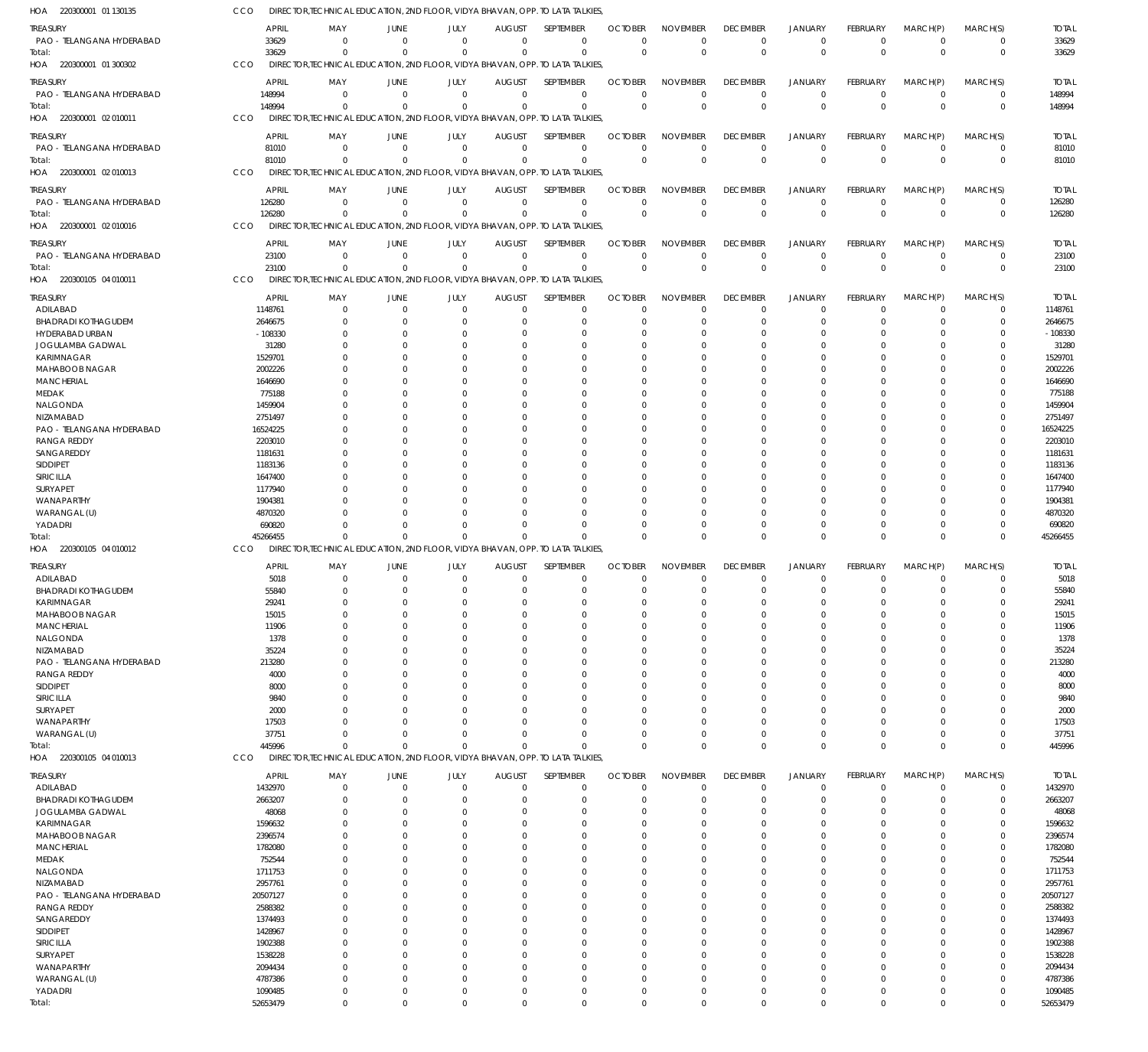| HOA 220300001 01 130135                        | CCO                 | DIRECTOR, TECHNICAL EDUCATION, 2ND FLOOR, VIDYA BHAVAN, OPP. TO LATA TALKIES, |                            |                      |                            |                            |                      |                         |                      |                               |               |                               |                      |                     |
|------------------------------------------------|---------------------|-------------------------------------------------------------------------------|----------------------------|----------------------|----------------------------|----------------------------|----------------------|-------------------------|----------------------|-------------------------------|---------------|-------------------------------|----------------------|---------------------|
| treasury                                       | <b>APRIL</b>        | MAY                                                                           | JUNE                       | JULY                 | <b>AUGUST</b>              | SEPTEMBER                  | <b>OCTOBER</b>       | <b>NOVEMBER</b>         | <b>DECEMBER</b>      | <b>JANUARY</b>                | FEBRUARY      | MARCH(P)                      | MARCH(S)             | <b>TOTAL</b>        |
| PAO - TELANGANA HYDERABAD                      | 33629               | $\Omega$                                                                      | $\Omega$                   | $^{\circ}$           | $\overline{0}$             | $\mathbf 0$                | $\mathbf 0$          | $\mathbf 0$             | $\mathbf 0$          | $^{\circ}$                    | $\mathbf 0$   | $^{\circ}$                    | 0                    | 33629               |
| Total:                                         | 33629               | $\Omega$                                                                      | $\Omega$                   | $\Omega$             | $\Omega$                   | $\mathbf 0$                | $\Omega$             | $\mathbf 0$             | $\Omega$             | $\overline{0}$                | $\mathbf 0$   | $\Omega$                      | $\mathbf 0$          | 33629               |
| 220300001 01 300302<br>HOA                     | CCO                 | DIRECTOR, TECHNICAL EDUCATION, 2ND FLOOR, VIDYA BHAVAN, OPP. TO LATA TALKIES, |                            |                      |                            |                            |                      |                         |                      |                               |               |                               |                      |                     |
| treasury                                       | <b>APRIL</b>        | MAY                                                                           | JUNE                       | JULY                 | <b>AUGUST</b>              | SEPTEMBER                  | <b>OCTOBER</b>       | <b>NOVEMBER</b>         | <b>DECEMBER</b>      | <b>JANUARY</b>                | FEBRUARY      | MARCH(P)                      | MARCH(S)             | <b>TOTAL</b>        |
| PAO - TELANGANA HYDERABAD                      | 148994              | $\Omega$                                                                      | $\Omega$                   | $\Omega$             | $\overline{0}$             | $\mathbf 0$                | $\Omega$             | $\Omega$                | $\Omega$             | $\overline{0}$                | $\mathbf 0$   | $\overline{0}$                | 0                    | 148994              |
| Total:                                         | 148994              | $\Omega$                                                                      | $\Omega$                   | $\Omega$             | $\Omega$                   | $\mathbf 0$                | $\Omega$             | $\mathbf 0$             | $\Omega$             | $\Omega$                      | $\Omega$      | $\Omega$                      | $\mathbf 0$          | 148994              |
| 220300001 02 010011<br>HOA                     | CCO                 | DIRECTOR, TECHNICAL EDUCATION, 2ND FLOOR, VIDYA BHAVAN, OPP. TO LATA TALKIES, |                            |                      |                            |                            |                      |                         |                      |                               |               |                               |                      |                     |
|                                                |                     |                                                                               |                            |                      |                            |                            |                      |                         |                      |                               |               |                               |                      |                     |
| treasury                                       | <b>APRIL</b>        | MAY                                                                           | JUNE                       | JULY                 | <b>AUGUST</b>              | SEPTEMBER                  | <b>OCTOBER</b>       | <b>NOVEMBER</b>         | <b>DECEMBER</b>      | JANUARY                       | FEBRUARY      | MARCH(P)                      | MARCH(S)             | <b>TOTAL</b>        |
| PAO - TELANGANA HYDERABAD                      | 81010               | $\Omega$                                                                      | $\overline{0}$             | $\overline{0}$       | $\overline{0}$             | $\mathbf 0$                | $\Omega$             | $\mathbf 0$             | $\Omega$             | $\overline{0}$                | $\mathbf 0$   | $\overline{0}$                | $\mathbf 0$          | 81010               |
| iotal:                                         | 81010               | $\Omega$                                                                      | $\Omega$                   | $\Omega$             | $\Omega$                   | $\mathbf 0$                | $\Omega$             | $\mathbf 0$             | $\Omega$             | $\overline{0}$                | $\Omega$      | $\Omega$                      | $\mathbf 0$          | 81010               |
| 220300001 02 010013<br>HOA                     | CCO                 | DIRECTOR, TECHNICAL EDUCATION, 2ND FLOOR, VIDYA BHAVAN, OPP. TO LATA TALKIES, |                            |                      |                            |                            |                      |                         |                      |                               |               |                               |                      |                     |
| treasury                                       | APRIL               | MAY                                                                           | JUNE                       | JULY                 | <b>AUGUST</b>              | SEPTEMBER                  | <b>OCTOBER</b>       | <b>NOVEMBER</b>         | <b>DECEMBER</b>      | JANUARY                       | FEBRUARY      | MARCH(P)                      | MARCH(S)             | <b>TOTAL</b>        |
| PAO - TELANGANA HYDERABAD                      | 126280              | $\Omega$                                                                      | $\overline{0}$             | $\Omega$             | $\Omega$                   | $\mathbf 0$                | $\Omega$             | $\Omega$                | 0                    | $^{\circ}$                    | $\Omega$      | $\overline{0}$                | 0                    | 126280              |
| iotal:                                         | 126280              | $\Omega$                                                                      | $\Omega$                   | $\Omega$             | $\Omega$                   | $\mathbf 0$                | $\Omega$             | $\Omega$                | $\Omega$             | $\Omega$                      | $\Omega$      | $\Omega$                      | 0                    | 126280              |
| 220300001 02 010016<br>HOA                     | CCO                 | DIRECTOR, TECHNICAL EDUCATION, 2ND FLOOR, VIDYA BHAVAN, OPP. TO LATA TALKIES, |                            |                      |                            |                            |                      |                         |                      |                               |               |                               |                      |                     |
| treasury                                       | APRIL               | MAY                                                                           | JUNE                       | JULY                 | <b>AUGUST</b>              | SEPTEMBER                  | <b>OCTOBER</b>       | <b>NOVEMBER</b>         | <b>DECEMBER</b>      | <b>JANUARY</b>                | FEBRUARY      | MARCH(P)                      | MARCH(S)             | <b>TOTAL</b>        |
| PAO - TELANGANA HYDERABAD                      | 23100               | - 0                                                                           | $\overline{0}$             | $\overline{0}$       | $\overline{0}$             | $\mathbf 0$                | $\Omega$             | $\mathbf 0$             | $\Omega$             | $\overline{0}$                | $\mathbf 0$   | $\overline{0}$                | 0                    | 23100               |
| Total:                                         | 23100               | $\Omega$                                                                      | $\Omega$                   | $\Omega$             | $\Omega$                   | $\mathbf 0$                | $\Omega$             | $\mathbf 0$             | $\Omega$             | $\Omega$                      | $\Omega$      | $\Omega$                      | $\pmb{0}$            | 23100               |
| HOA 220300105 04 010011                        | CCO                 | DIRECTOR, TECHNICAL EDUCATION, 2ND FLOOR, VIDYA BHAVAN, OPP. TO LATA TALKIES, |                            |                      |                            |                            |                      |                         |                      |                               |               |                               |                      |                     |
|                                                |                     |                                                                               |                            |                      |                            |                            |                      |                         |                      |                               |               |                               |                      |                     |
| treasury                                       | <b>APRIL</b>        | MAY                                                                           | JUNE                       | JULY                 | <b>AUGUST</b>              | SEPTEMBER                  | <b>OCTOBER</b>       | <b>NOVEMBER</b>         | <b>DECEMBER</b>      | <b>JANUARY</b>                | FEBRUARY      | MARCH(P)                      | MARCH(S)             | <b>TOTAL</b>        |
| ADILABAD                                       | 1148761             | $\Omega$                                                                      | $\Omega$                   | $\Omega$             | $\mathbf 0$                | 0<br>$\Omega$              | $\Omega$             | $\Omega$<br>$\Omega$    | $\Omega$<br>$\Omega$ | $\Omega$                      | $\Omega$      | $\Omega$                      | 0<br>$\Omega$        | 1148761             |
| <b>BHADRADI KOTHAGUDEM</b>                     | 2646675             | $\Omega$                                                                      | $\Omega$                   | $\Omega$             | $\Omega$                   |                            | $\Omega$             |                         |                      | $\Omega$                      | $\Omega$      | $\Omega$                      |                      | 2646675             |
| HYDERABAD URBAN<br>JOGULAMBA GADWAL            | $-108330$<br>31280  |                                                                               | $\Omega$<br>$\Omega$       | O<br>O               | C.<br>C.                   | $\Omega$<br>$\Omega$       | -0<br>-0             | $\Omega$<br>$\Omega$    |                      | - 0<br>- 0                    |               | O<br>$\Omega$                 | C<br>C               | $-108330$<br>31280  |
|                                                |                     |                                                                               | $\Omega$                   | O                    | $\cup$                     | $\Omega$                   |                      | $\Omega$                |                      | - 0                           |               | $\Omega$                      | C                    |                     |
| KARIMNAGAR<br><b>MAHABOOB NAGAR</b>            | 1529701<br>2002226  |                                                                               | $\Omega$                   | $\Omega$             | $\cup$                     | $\Omega$                   | -0<br>-0             | $\Omega$                |                      | - 0                           | O             | $\Omega$                      | U                    | 1529701<br>2002226  |
| <b>MANCHERIAL</b>                              | 1646690             |                                                                               | $\Omega$                   | U                    | C                          | $\Omega$                   | -0                   | $\Omega$                |                      | - 0                           |               | $\Omega$                      | C                    | 1646690             |
| MEDAK                                          | 775188              |                                                                               | $\Omega$                   | $\Omega$             | $\cup$                     | $\Omega$                   | C.                   | $\Omega$                |                      | - 0                           | O             | $\Omega$                      | U                    | 775188              |
| NALGONDA                                       | 1459904             |                                                                               | $\Omega$                   | U                    | C.                         | $\Omega$                   | -0                   | $\Omega$                |                      | - 0                           |               | $\Omega$                      | C                    | 1459904             |
| NIZAMABAD                                      | 2751497             |                                                                               | $\Omega$                   | $\Omega$             | C.                         | $\Omega$                   | -0                   | $\Omega$                |                      | - 0                           | O             | $\Omega$                      | U                    | 2751497             |
| PAO - TELANGANA HYDERABAD                      | 16524225            |                                                                               | $\Omega$                   | U                    | C                          | $\Omega$                   | -0                   | $\Omega$                |                      | - 0                           |               | $\Omega$                      | C                    | 16524225            |
| <b>RANGA REDDY</b>                             | 2203010             |                                                                               | $\Omega$                   | $\Omega$             | C.                         | $\Omega$                   | C.                   | $\Omega$                |                      | - 0                           | O             | $\Omega$                      | C                    | 2203010             |
| SANGAREDDY                                     | 1181631             |                                                                               | $\Omega$                   | U                    | C                          | $\Omega$                   | -0                   | $\Omega$                |                      | - 0                           |               | $\Omega$                      | C                    | 1181631             |
| SIDDIPET                                       | 1183136             |                                                                               | $\Omega$                   | $\Omega$             | $\cup$                     | $\Omega$                   | -0                   | $\Omega$                |                      | - 0                           | O             | $\Omega$                      | U                    | 1183136             |
| SIRICILLA                                      | 1647400             |                                                                               | $\Omega$                   | U                    | C                          | $\Omega$                   | -0                   | $\Omega$                |                      | - 0                           |               | $\Omega$                      | C                    | 1647400             |
| SURYAPET                                       | 1177940             |                                                                               | $\Omega$                   | $\Omega$             | C.                         | $\Omega$                   | -0                   | $\Omega$                |                      | $\Omega$                      | O             | $\Omega$                      | U                    | 1177940             |
| WANAPARTHY                                     | 1904381             |                                                                               | $\Omega$                   | O                    | C                          | $\Omega$                   |                      | $\Omega$                |                      | - 0                           |               | $\Omega$                      | C                    | 1904381             |
| WARANGAL (U)                                   | 4870320             |                                                                               | $\Omega$                   | $\Omega$             | $\cup$                     | $\Omega$                   | -0                   | $\Omega$                |                      | $\Omega$                      | O             | $\Omega$                      | 0                    | 4870320             |
| YADADRI                                        | 690820              | $\Omega$                                                                      | $\Omega$                   | $\Omega$             | $\Omega$                   | $\Omega$                   | C.                   | $\Omega$                | $\Omega$             | $^{\circ}$                    | 0             | $\Omega$                      | 0                    | 690820              |
| lotal:                                         | 45266455            | $\Omega$                                                                      | $\Omega$                   | $\Omega$             | $\Omega$                   | $\Omega$                   | $\cup$               | $\Omega$                | $\Omega$             | $\Omega$                      | $\Omega$      | $\Omega$                      | $\Omega$             | 45266455            |
| HOA 220300105 04 010012                        | CCO                 | DIRECTOR, TECHNICAL EDUCATION, 2ND FLOOR, VIDYA BHAVAN, OPP. TO LATA TALKIES, |                            |                      |                            |                            |                      |                         |                      |                               |               |                               |                      |                     |
| treasury                                       | <b>APRIL</b>        | MAY                                                                           | JUNE                       | JULY                 | <b>AUGUST</b>              | SEPTEMBER                  | <b>OCTOBER</b>       | <b>NOVEMBER</b>         | <b>DECEMBER</b>      | <b>JANUARY</b>                | FEBRUARY      | MARCH(P)                      | MARCH(S)             | <b>TOTAL</b>        |
| ADILABAD                                       | 5018                | $\Omega$                                                                      | $\Omega$                   | $\mathbf 0$          | $\mathbf 0$                | $\mathbf 0$                | 0                    | $\mathbf 0$             | $\Omega$             | $\Omega$                      | 0             | $\Omega$                      | 0                    | 5018                |
| <b>BHADRADI KOTHAGUDEM</b>                     | 55840               | $\Omega$                                                                      | $\Omega$                   | $\Omega$             | $\Omega$                   | $\mathbf 0$                | $\Omega$             | $\Omega$                | $\Omega$             | $\Omega$                      | $\Omega$      | $\Omega$                      | $\mathbf 0$          | 55840               |
| KARIMNAGAR                                     | 29241               |                                                                               |                            |                      | $\Omega$                   | $\Omega$                   |                      |                         |                      |                               |               |                               |                      | 29241               |
| MAHABOOB NAGAR                                 | 15015               | $\Omega$                                                                      | $\Omega$                   | $\Omega$             | $\Omega$                   | $\mathbf 0$                | $\Omega$             | $\Omega$                |                      | $\Omega$                      | 0             | $\Omega$                      | $\mathbf 0$          | 15015               |
| <b>MANCHERIAL</b>                              | 11906               | $\Omega$                                                                      | $\overline{0}$             | 0                    | $\Omega$                   | $\mathbf 0$                | $\Omega$             | $\mathbf 0$             | $\Omega$             | $\overline{0}$                | $\mathbf 0$   | $\Omega$                      | $\mathbf 0$          | 11906               |
| NALGONDA                                       | 1378                | $\Omega$                                                                      | $\Omega$                   | $\Omega$             | $\Omega$                   | $\mathbf 0$                | $\Omega$             | $\Omega$                | $\Omega$             | $\Omega$                      | U             | $\Omega$                      | $\Omega$             | 1378                |
| NIZAMABAD                                      | 35224               |                                                                               | $\Omega$                   | $\Omega$             | $\Omega$                   | $\Omega$                   | $\cup$               | $\Omega$                |                      | $\Omega$                      | U             | $\Omega$                      | $\Omega$             | 35224               |
| PAO - TELANGANA HYDERABAD                      | 213280              |                                                                               | $\Omega$                   | $\Omega$             | $\Omega$                   | $\mathbf 0$                | C.                   | $\Omega$                |                      | $\Omega$                      | O             | $\Omega$                      | $\mathbf 0$          | 213280              |
| <b>RANGA REDDY</b>                             | 4000                | $\Omega$                                                                      | $\Omega$                   | $\Omega$             | $\Omega$                   | $\Omega$                   | $\cup$               | $\Omega$                |                      | $\Omega$                      | U             | $\Omega$                      | $\Omega$             | 4000                |
| SIDDIPET                                       | 8000                | <sup>0</sup>                                                                  | $\Omega$                   | $\Omega$             | $\Omega$                   | $\mathbf 0$                | 0                    | $\Omega$                |                      | $\Omega$                      | O             | $\Omega$                      | $\Omega$             | 8000                |
| SIRICILLA                                      | 9840                |                                                                               | $\Omega$                   | $\Omega$             | $\Omega$<br>$\Omega$       | $\Omega$                   | $\cup$               | $\Omega$                |                      | $\Omega$                      | U             | $\Omega$                      | $\Omega$             | 9840                |
| SURYAPET<br>WANAPARTHY                         | 2000<br>17503       |                                                                               | $\Omega$<br>$\Omega$       | $\Omega$<br>$\Omega$ | $\Omega$                   | $\Omega$<br>$\Omega$       | C.<br>$\cup$         | $\Omega$<br>$\Omega$    | $\Omega$             | $\Omega$<br>$\Omega$          | O<br>U        | $\Omega$<br>$\Omega$          | $\Omega$<br>$\Omega$ | 2000<br>17503       |
| WARANGAL (U)                                   | 37751               | $\Omega$                                                                      | $\Omega$                   | $\Omega$             | $\mathbf 0$                | $\mathbf 0$                | $\Omega$             | $\mathbf 0$             | $\Omega$             | $\overline{0}$                | 0             | $\mathbf 0$                   | $\mathbf 0$          | 37751               |
| lotal:                                         | 445996              | $\Omega$                                                                      | $\Omega$                   | $\Omega$             | $\Omega$                   | $\mathbf 0$                | $\Omega$             | $\Omega$                | $\Omega$             | $\Omega$                      | $\Omega$      | $\Omega$                      | $\mathbf 0$          | 445996              |
| HOA 220300105 04 010013                        | CCO                 | DIRECTOR, TECHNICAL EDUCATION, 2ND FLOOR, VIDYA BHAVAN, OPP. TO LATA TALKIES, |                            |                      |                            |                            |                      |                         |                      |                               |               |                               |                      |                     |
|                                                |                     |                                                                               |                            |                      |                            |                            |                      |                         |                      |                               |               |                               |                      |                     |
| treasury                                       | <b>APRIL</b>        | MAY                                                                           | JUNE                       | JULY                 | <b>AUGUST</b>              | SEPTEMBER                  | <b>OCTOBER</b>       | <b>NOVEMBER</b>         | <b>DECEMBER</b>      | <b>JANUARY</b>                | FEBRUARY      | MARCH(P)                      | MARCH(S)             | <b>TOTAL</b>        |
| ADILABAD                                       | 1432970             | $\Omega$<br>$\Omega$                                                          | $\overline{0}$<br>$\Omega$ | $\Omega$<br>$\Omega$ | $\mathbf 0$<br>$\Omega$    | $\mathbf 0$                | $\Omega$             | $\Omega$<br>$\Omega$    | $\Omega$<br>$\Omega$ | $\overline{0}$                | $\Omega$      | $\mathbf 0$<br>$\Omega$       | $\mathbf 0$          | 1432970             |
| <b>BHADRADI KOTHAGUDEM</b><br>JOGULAMBA GADWAL | 2663207<br>48068    | $\Omega$                                                                      | $\Omega$                   | $\Omega$             | $\Omega$                   | $\mathbf 0$<br>$\Omega$    | $\Omega$<br>C.       | $\Omega$                | $\Omega$             | $\overline{0}$<br>$\Omega$    | 0<br>U        | $\Omega$                      | $\mathbf 0$<br>0     | 2663207<br>48068    |
| KARIMNAGAR                                     | 1596632             | $\Omega$                                                                      | $\Omega$                   | $\Omega$             | $\Omega$                   | $\Omega$                   | C.                   | $\Omega$                | $\Omega$             | $\Omega$                      | U             | $\Omega$                      | U                    | 1596632             |
| MAHABOOB NAGAR                                 | 2396574             | $\Omega$                                                                      | $\Omega$                   | $\Omega$             | $\Omega$                   | $\Omega$                   | C.                   | $\Omega$                |                      | $\Omega$                      |               | $\Omega$                      | C                    | 2396574             |
| <b>MANCHERIAL</b>                              | 1782080             | $\Omega$                                                                      | $\Omega$                   | $\Omega$             | $\Omega$                   | $\Omega$                   | C.                   | $\Omega$                |                      | $\Omega$                      | O             | $\Omega$                      | C                    | 1782080             |
| MEDAK                                          | 752544              | $\Omega$                                                                      | $\Omega$                   | U                    | $\cup$                     | $\Omega$                   | C.                   | $\Omega$                |                      | $\Omega$                      |               | $\Omega$                      | C                    | 752544              |
| NALGONDA                                       | 1711753             | $\Omega$                                                                      | $\Omega$                   | $\Omega$             | $\Omega$                   | $\Omega$                   | C.                   | $\Omega$                |                      | $\Omega$                      | U             | $\Omega$                      | U                    | 1711753             |
|                                                |                     |                                                                               | $\Omega$                   | U                    | $\Omega$                   | $\Omega$                   | C.                   | $\Omega$                |                      | $\Omega$                      |               | $\Omega$                      | C                    | 2957761             |
| NIZAMABAD                                      | 2957761             | $\Omega$                                                                      |                            |                      |                            | $\Omega$                   | C.                   | $\Omega$                |                      | $\Omega$                      | O             | $\Omega$                      | C                    | 20507127            |
| PAO - TELANGANA HYDERABAD                      | 20507127            | <sup>0</sup>                                                                  | $\Omega$                   | $\Omega$             | $\cup$                     |                            |                      |                         |                      |                               |               |                               |                      |                     |
| <b>RANGA REDDY</b>                             | 2588382             | $\Omega$                                                                      | $\Omega$                   | U                    | $\cup$                     | $\Omega$                   | C.                   | $\Omega$                |                      | $\Omega$                      |               | $\Omega$                      | C                    | 2588382             |
| SANGAREDDY                                     | 1374493             | $\Omega$                                                                      | $\Omega$                   | $\Omega$             | $\Omega$                   | $\Omega$                   | C.                   | $\Omega$                |                      | $\Omega$                      | U             | $\Omega$                      | C                    | 1374493             |
| SIDDIPET                                       | 1428967             | <sup>0</sup>                                                                  | $\Omega$                   | U                    | C                          | $\Omega$                   | C.                   | $\Omega$                |                      | $\Omega$                      |               | $\Omega$                      |                      | 1428967             |
| SIRICILLA                                      | 1902388             | $\Omega$                                                                      | $\Omega$                   | $\Omega$             | $\Omega$                   | $\Omega$                   | C.                   | $\Omega$                |                      | $\Omega$                      | O             | $\Omega$                      | C                    | 1902388             |
| SURYAPET                                       | 1538228             | <sup>0</sup>                                                                  | $\Omega$                   | U                    | C                          | $\Omega$                   | C.                   | $\Omega$                |                      | $\Omega$                      |               | $\Omega$                      | C                    | 1538228             |
| WANAPARTHY                                     | 2094434             | $\Omega$                                                                      | $\Omega$                   | $\Omega$             | $\Omega$                   | $\Omega$                   | C.                   | $\Omega$                |                      | $\Omega$                      | U             | $\Omega$                      | U                    | 2094434             |
| WARANGAL (U)                                   | 4787386             | $\Omega$                                                                      | $\Omega$                   | $\Omega$             | $\Omega$                   | $\Omega$                   | C.                   | $\Omega$                | $\Omega$             | $\Omega$                      | U             | $\Omega$                      | C                    | 4787386             |
| YADADRI<br>Total:                              | 1090485<br>52653479 | $\Omega$<br>$\overline{0}$                                                    | $\Omega$<br>$\mathbf 0$    | $\Omega$<br>$\Omega$ | $\mathbf 0$<br>$\mathbf 0$ | $\mathbf 0$<br>$\mathbf 0$ | $\Omega$<br>$\Omega$ | $\mathbf 0$<br>$\Omega$ | $\Omega$<br>$\Omega$ | $\overline{0}$<br>$\mathbf 0$ | 0<br>$\Omega$ | $\overline{0}$<br>$\mathbf 0$ | 0<br>$\Omega$        | 1090485<br>52653479 |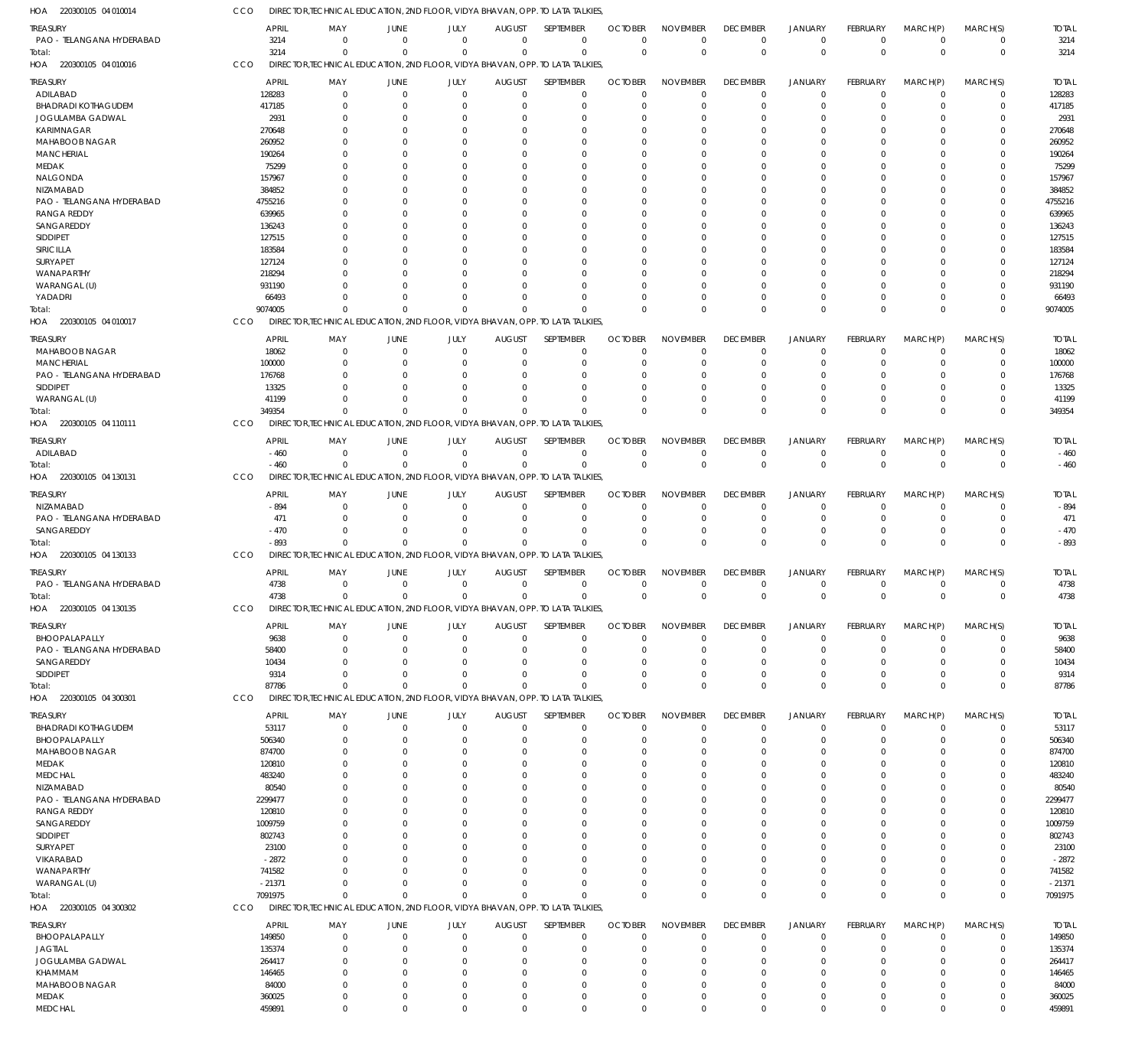220300105 04 010014 HOA 220300105 04 010016 HOA 220300105 04 010017 HOA 220300105 04 110111 HOA 220300105 04 130131 HOA 220300105 04 130133 HOA 220300105 04 130135 HOA 220300105 04 300301 HOA 220300105 04 300302 HOA DIRECTOR,TECHNICAL EDUCATION, 2ND FLOOR, VIDYA BHAVAN, OPP. TO LATA TALKIES, DIRECTOR,TECHNICAL EDUCATION, 2ND FLOOR, VIDYA BHAVAN, OPP. TO LATA TALKIES, DIRECTOR,TECHNICAL EDUCATION, 2ND FLOOR, VIDYA BHAVAN, OPP. TO LATA TALKIES, DIRECTOR,TECHNICAL EDUCATION, 2ND FLOOR, VIDYA BHAVAN, OPP. TO LATA TALKIES, DIRECTOR,TECHNICAL EDUCATION, 2ND FLOOR, VIDYA BHAVAN, OPP. TO LATA TALKIES, DIRECTOR,TECHNICAL EDUCATION, 2ND FLOOR, VIDYA BHAVAN, OPP. TO LATA TALKIES, DIRECTOR,TECHNICAL EDUCATION, 2ND FLOOR, VIDYA BHAVAN, OPP. TO LATA TALKIES, DIRECTOR,TECHNICAL EDUCATION, 2ND FLOOR, VIDYA BHAVAN, OPP. TO LATA TALKIES, DIRECTOR,TECHNICAL EDUCATION, 2ND FLOOR, VIDYA BHAVAN, OPP. TO LATA TALKIES, CCO CCO **CCO CCO CCO CCO** CCO CCO CCO 3214 9074005 349354  $-460$ -893 4738 87786 7091975 0 0  $\Omega$  $\Omega$  $\Omega$  $\Omega$  $\Omega$ 0 0 0 0  $\Omega$ 0 0  $\Omega$ 0 0 0  $\Omega$  $\Omega$  $\Omega$ 0  $\Omega$ 0 0  $\Omega$  $\Omega$  $\Omega$ 0  $\Omega$  $\Omega$  $\Omega$ 0  $\Omega$  $\Omega$  $\Omega$  $\Omega$  $\Omega$  $\Omega$  $\Omega$ 0  $\Omega$  $\Omega$  $\Omega$ 0  $\Omega$ 0 0 0 0 0  $\Omega$ 0  $\Omega$ 0 0 0 0  $\Omega$  $\Omega$ 0  $\Omega$ 0 0 0 0 0  $\Omega$ 0  $\Omega$ 0 0 0 0 0  $\Omega$ 0 0 0 0 0 0  $\Omega$  $\Omega$ 0  $\Omega$ 0 0 0  $\Omega$  $\Omega$  $\Omega$ 0  $\Omega$  $\Omega$ 0 3214 9074005 349354  $-460$ -893 4738 87786 7091975 PAO - TELANGANA HYDERABAD ADILABAD BHADRADI KOTHAGUDEM JOGULAMBA GADWAL KARIMNAGAR MAHABOOB NAGAR MANCHERIAL MEDAK NALGONDA NIZAMABAD PAO - TELANGANA HYDERABAD RANGA REDDY SANGAREDDY SIDDIPET SIRICILLA **SURYAPET** WANAPARTHY WARANGAL (U) YADADRI MAHABOOB NAGAR **MANCHERIAL** PAO - TELANGANA HYDERABAD SIDDIPET WARANGAL (U) ADILABAD NIZAMABAD PAO - TELANGANA HYDERABAD **SANGAREDDY** PAO - TELANGANA HYDERABAD BHOOPALAPALLY PAO - TELANGANA HYDERABAD SANGAREDDY SIDDIPET BHADRADI KOTHAGUDEM BHOOPALAPALLY MAHABOOB NAGAR MEDAK MEDCHAL NIZAMABAD PAO - TELANGANA HYDERABAD RANGA REDDY SANGAREDDY SIDDIPET SURYAPET VIKARABAD WANAPARTHY WARANGAL (U) BHOOPALAPALLY JAGTIAL JOGULAMBA GADWAL KHAMMAM MAHABOOB NAGAR MEDAK TREASURY **TREASURY** TREASURY **TREASURY** TREASURY TREASURY TREASURY TREASURY TREASURY 3214 128283 417185 2931 270648 260952 190264 75299 157967 384852 4755216 639965 136243 127515 183584 127124 218294 931190 66493 18062 100000 176768 13325 41199 -460 -894 471  $-470$ 4738 9638 58400 10434 9314 53117 506340 874700 120810 483240 80540 2299477 120810 1009759 802743 23100 -2872 741582 -21371 149850 135374 264417 146465 84000 360025 APRIL APRIL APRIL APRIL APRIL APRIL APRIL APRIL APRIL  $\Omega$ 0 0  $\Omega$  $\Omega$  $\Omega$ 0  $\Omega$  $\Omega$  $\Omega$  $\Omega$ 0  $\Omega$ 0  $\Omega$  $\Omega$ 0  $\Omega$  $\Omega$ 0  $\Omega$ 0  $\Omega$  $\Omega$ 0  $\Omega$ 0  $\Omega$ 0 0  $\Omega$  $\Omega$ 0 0 0  $\Omega$ 0  $\Omega$  $\Omega$ 0  $\Omega$  $\Omega$  $\Omega$  $\Omega$  $\Omega$  $\Omega$ 0 0  $\Omega$ 0  $\Omega$ 0 0 MAY MAY MAY MAY MAY MAY MAY MAY MAY 0 0 0 0  $\Omega$  $\Omega$ 0  $\Omega$ 0 0  $\Omega$ 0  $\Omega$ 0 0  $\Omega$ 0  $\Omega$ 0 0  $\Omega$ 0  $\Omega$ 0 0  $\Omega$ 0  $\Omega$ 0 0  $\Omega$ 0 0 0 0  $\Omega$ 0 0  $\Omega$ 0  $\Omega$ 0 0 0  $\Omega$  $\Omega$ 0 0 0 0  $\Omega$ 0 0 JUNE JUNE JUNE JUNE JUNE JUNE JUNE JUNE JUNE 0 0 0 0 0 0 0 0 0 0 0 0 0 0 0  $\Omega$ 0 0  $\Omega$ 0  $\Omega$ 0  $\Omega$ 0 0  $\Omega$ 0  $\Omega$ 0 0  $\Omega$ 0 0 0 0 0 0 0 0 0 0 0 0 0 0 0 0 0 0 0  $\Omega$ 0 0 JULY JULY JULY JULY JULY JULY JULY JULY JULY 0 0 0 0  $\Omega$  $\Omega$ 0  $\Omega$ 0  $\Omega$  $\Omega$ 0  $\Omega$ 0  $\Omega$  $\Omega$ 0  $\Omega$ 0 0  $\Omega$ 0  $\Omega$  $\Omega$ 0  $\Omega$ 0  $\Omega$ 0 0  $\Omega$ 0 0  $\Omega$ 0  $\Omega$ 0 0  $\Omega$ 0  $\Omega$ 0 0  $\Omega$  $\Omega$  $\Omega$ 0 0  $\Omega$ 0  $\Omega$ 0 0 AUGUST AUGUST AUGUST AUGUST AUGUST AUGUST **AUGUST** AUGUST AUGUST  $\Omega$ 0 0 0  $\Omega$  $\Omega$ 0  $\Omega$  $\Omega$  $\Omega$  $\Omega$  $\mathbf 0$  $\Omega$ 0  $\Omega$  $\Omega$ 0  $\Omega$  $\Omega$ 0  $\Omega$ 0  $\Omega$  $\Omega$ 0  $\Omega$ 0  $\Omega$ 0 0  $\Omega$  $\Omega$  $\Omega$  $\Omega$ 0  $\Omega$ 0  $\Omega$  $\Omega$ 0  $\Omega$  $\Omega$  $\Omega$  $\Omega$  $\Omega$  $\Omega$ 0 0  $\Omega$ 0  $\Omega$ 0 0 SEPTEMBER SEPTEMBER SEPTEMBER SEPTEMBER SEPTEMBER SEPTEMBER **SEPTEMBER** SEPTEMBER SEPTEMBER  $\Omega$ 0 0 0 0 0 0 0  $\Omega$ 0 0 0 0 0 0  $\Omega$ 0 0 0  $\Omega$  $\Omega$ 0  $\Omega$ 0 0  $\Omega$ 0  $\Omega$ 0 0  $\Omega$ 0 0 0 0  $\Omega$ 0 0  $\Omega$ 0 0 0 0  $\Omega$  $\Omega$ 0 0 0  $\Omega$ 0  $\Omega$ 0 0 OCTOBER OCTOBER OCTOBER OCTOBER OCTOBER OCTOBER OCTOBER OCTOBER OCTOBER 0 0 0 0  $\Omega$  $\Omega$ 0  $\Omega$ 0  $\Omega$  $\Omega$ 0  $\Omega$ 0  $\Omega$  $\Omega$ 0  $\Omega$ 0 0  $\Omega$ 0  $\Omega$ 0 0  $\Omega$ 0  $\Omega$ 0 0  $\Omega$ 0 0  $\Omega$ 0  $\Omega$ 0 0  $\Omega$ 0  $\Omega$ 0  $\Omega$  $\Omega$  $\Omega$  $\Omega$ 0 0  $\Omega$ 0  $\Omega$ 0 0 NOVEMBER NOVEMBER NOVEMBER NOVEMBER NOVEMBER NOVEMBER NOVEMBER NOVEMBER NOVEMBER 0 0 0 0  $\Omega$  $\Omega$ 0  $\Omega$  $\Omega$  $\Omega$  $\Omega$ 0  $\Omega$ 0  $\Omega$  $\Omega$ 0  $\Omega$ 0 0  $\Omega$ 0  $\Omega$ 0 0  $\Omega$ 0  $\Omega$ 0 0  $\Omega$ 0 0 0 0 0 0  $\Omega$  $\Omega$ 0  $\Omega$  $\Omega$  $\Omega$  $\Omega$  $\Omega$  $\Omega$ 0 0  $\Omega$ 0  $\Omega$  $\overline{0}$ 0 DECEMBER **DECEMBER** DECEMBER DECEMBER DECEMBER DECEMBER **DECEMBER** DECEMBER DECEMBER  $\Omega$ 0 0 0  $\Omega$  $\Omega$ 0  $\Omega$  $\Omega$  $\Omega$  $\Omega$ 0  $\Omega$ 0  $\Omega$  $\Omega$ 0  $\Omega$ 0 0  $\Omega$ 0  $\Omega$ 0 0  $\Omega$ 0  $\Omega$ 0 0  $\Omega$ 0 0  $\Omega$ 0  $\Omega$ 0  $\Omega$  $\Omega$ 0  $\Omega$ 0 0  $\Omega$  $\Omega$  $\Omega$ 0 0  $\Omega$ 0  $\Omega$ 0 0 JANUARY JANUARY JANUARY JANUARY JANUARY JANUARY JANUARY JANUARY JANUARY 0 0 0 0  $\Omega$  $\Omega$ 0  $\Omega$ 0 0  $\theta$ 0  $\Omega$ 0 0  $\Omega$ 0  $\Omega$ 0 0 0 0  $\Omega$ 0 0  $\Omega$  $\boldsymbol{0}$  $\Omega$ 0 0  $\Omega$  $\overline{0}$ 0  $\theta$ 0  $\Omega$ 0 0  $\Omega$ 0  $\Omega$ 0 0 0 0  $\Omega$ 0 0 0 0  $\Omega$ 0 0 FEBRUARY FEBRUARY FEBRUARY FEBRUARY FEBRUARY FEBRUARY FEBRUARY FEBRUARY FEBRUARY 0 0 0 0  $\Omega$  $\Omega$ 0  $\Omega$ 0  $\Omega$  $\Omega$ 0  $\Omega$ 0  $\Omega$  $\Omega$ 0  $\Omega$ 0  $\Omega$  $\Omega$ 0  $\Omega$ 0 0  $\Omega$ 0  $\Omega$ 0 0  $\Omega$ 0 0 0 0  $\Omega$ 0 0  $\Omega$ 0 0 0  $\Omega$  $\Omega$  $\Omega$  $\Omega$ 0 0  $\Omega$ 0  $\Omega$ 0 0 MARCH(P) MARCH(P) MARCH(P) MARCH(P) MARCH(P) MARCH(P) MARCH(P) MARCH(P) MARCH(P)  $\Omega$ 0  $\Omega$ 0 0 0 0  $\Omega$ 0 0 0 0  $\Omega$ 0 0  $\Omega$ 0  $\Omega$ 0  $\Omega$  $\Omega$ 0  $\Omega$ 0  $\Omega$  $\Omega$ 0  $\Omega$ 0 0  $\Omega$ 0 0  $\Omega$ 0  $\Omega$ 0 0 0 0  $\Omega$ 0  $\Omega$ 0  $\Omega$  $\Omega$ 0  $\Omega$  $\Omega$ 0  $\Omega$ 0 0 MARCH(S) MARCH(S) MARCH(S) MARCH(S) MARCH(S) MARCH(S) MARCH(S) MARCH(S) MARCH(S) 3214 128283 417185 2931 270648 260952 190264 75299 157967 384852 4755216 639965 136243 127515 183584 127124 218294 931190 66493 18062 100000 176768 13325 41199 -460 -894 471  $-470$ 4738 9638 58400 10434 9314 53117 506340 874700 120810 483240 80540 2299477 120810 1009759 802743 23100 -2872 741582 -21371 149850 135374 264417 146465 84000 360025 TOTAL TOTAL TOTAL TOTAL TOTAL TOTAL TOTAL TOTAL TOTAL Total: Total: Total: Total: Total: Total: Total: Total:

MEDCHAL

459891

0

0

0

0

0

0

 $\,$  0  $\,$ 

0

0

 $\boldsymbol{0}$ 

0

0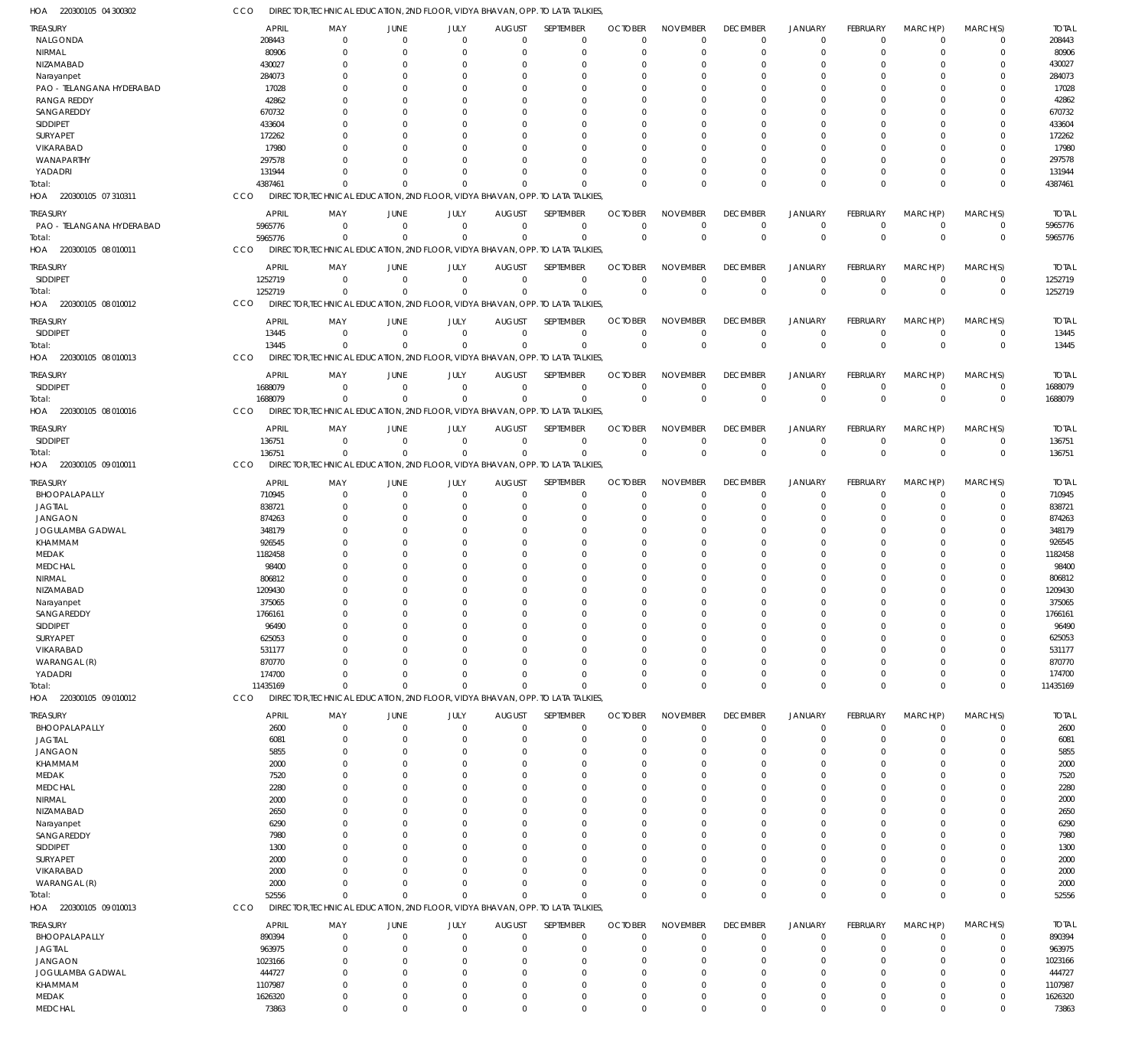220300105 04 300302 HOA CCO DIRECTOR,TECHNICAL EDUCATION, 2ND FLOOR, VIDYA BHAVAN, OPP. TO LATA TALKIES,

| <b>TREASURY</b>            | <b>APRIL</b>     | MAY                        | JUNE           | JULY                    | <b>AUGUST</b>        | SEPTEMBER                                                                     | <b>OCTOBER</b>          | <b>NOVEMBER</b>            | <b>DECEMBER</b>         | <b>JANUARY</b>          | <b>FEBRUARY</b>      | MARCH(P)                   | MARCH(S)                  | <b>TOTAL</b>     |
|----------------------------|------------------|----------------------------|----------------|-------------------------|----------------------|-------------------------------------------------------------------------------|-------------------------|----------------------------|-------------------------|-------------------------|----------------------|----------------------------|---------------------------|------------------|
| NALGONDA                   | 208443           | $\mathbf 0$                | $\Omega$       | $\Omega$                | $\Omega$             | $\mathbf 0$                                                                   | $\Omega$                | $\Omega$                   | $\Omega$                | $\mathbf 0$             | $\Omega$             | $\Omega$                   | $\mathbf 0$               | 208443           |
| NIRMAL                     | 80906            | $\mathbf 0$                | $\Omega$       | $\Omega$                |                      | $\Omega$                                                                      | $\Omega$                | $\Omega$                   | $\Omega$                | $\Omega$                |                      | $\Omega$                   | $\Omega$                  | 80906            |
| NIZAMABAD                  | 430027           | $\mathbf 0$                | $\Omega$       | $\Omega$                |                      | $\Omega$                                                                      |                         | $\Omega$                   | $\Omega$                | $\Omega$                |                      | $\cap$                     | $\Omega$                  | 430027           |
| Narayanpet                 | 284073           | $\Omega$                   |                | $\Omega$                |                      | $\Omega$                                                                      |                         | $\Omega$                   |                         | $\Omega$                |                      |                            |                           | 284073           |
| PAO - TELANGANA HYDERABAD  | 17028            | $\Omega$                   |                | $\Omega$                |                      | $\Omega$                                                                      |                         | $\Omega$                   |                         | $\Omega$                |                      | $\Omega$                   |                           | 17028            |
| <b>RANGA REDDY</b>         | 42862            | $\Omega$                   |                | $\cap$                  |                      | $\Omega$                                                                      |                         | $\Omega$                   |                         | $\Omega$                |                      |                            |                           | 42862            |
|                            | 670732           | $\Omega$                   |                | $\Omega$                |                      | $\Omega$                                                                      |                         | $\Omega$                   |                         | $\Omega$                |                      | $\Omega$                   |                           | 670732           |
| SANGAREDDY                 |                  |                            |                | $\cap$                  |                      |                                                                               |                         | $\Omega$                   |                         | $\Omega$                |                      |                            |                           |                  |
| <b>SIDDIPET</b>            | 433604           | $\Omega$                   |                |                         |                      | $\Omega$                                                                      |                         |                            |                         |                         |                      |                            |                           | 433604           |
| SURYAPET                   | 172262           | $\Omega$                   |                | $\Omega$                |                      | $\Omega$                                                                      |                         | $\Omega$                   |                         | $\Omega$                |                      | $\Omega$                   |                           | 172262           |
| VIKARABAD                  | 17980            | $\Omega$                   |                | $\cap$                  |                      | $\Omega$                                                                      |                         | $\Omega$                   |                         | $\Omega$                |                      |                            |                           | 17980            |
| WANAPARTHY                 | 297578           | $\Omega$                   |                | $\Omega$                |                      | $\Omega$                                                                      |                         | $\Omega$                   |                         | $\Omega$                |                      | $\Omega$                   |                           | 297578           |
| YADADRI                    | 131944           | $\Omega$                   |                | $\Omega$                |                      | $\Omega$                                                                      |                         | $\Omega$                   |                         | $\Omega$                |                      | $\Omega$                   |                           | 131944           |
| Total:                     | 4387461          | $\Omega$                   |                | $\Omega$                | $\Omega$             | $\Omega$                                                                      |                         | $\Omega$                   | $\Omega$                | $\Omega$                |                      | $\Omega$                   | $\Omega$                  | 4387461          |
| 220300105 07 310311<br>HOA | CCO              |                            |                |                         |                      | DIRECTOR, TECHNICAL EDUCATION, 2ND FLOOR, VIDYA BHAVAN, OPP. TO LATA TALKIES, |                         |                            |                         |                         |                      |                            |                           |                  |
|                            |                  |                            |                |                         |                      |                                                                               |                         |                            |                         |                         |                      |                            |                           |                  |
| TREASURY                   | <b>APRIL</b>     | MAY                        | <b>JUNE</b>    | JULY                    | <b>AUGUST</b>        | SEPTEMBER                                                                     | <b>OCTOBER</b>          | <b>NOVEMBER</b>            | <b>DECEMBER</b>         | <b>JANUARY</b>          | FEBRUARY             | MARCH(P)                   | MARCH(S)                  | <b>TOTAL</b>     |
| PAO - TELANGANA HYDERABAD  | 5965776          | $\mathbf 0$                | $\mathbf 0$    | $\mathbf 0$             | $\Omega$             | $\mathbf 0$                                                                   | $\Omega$                | $\Omega$                   | $\Omega$                | $\Omega$                | $\Omega$             | $\Omega$                   | $\mathbf 0$               | 5965776          |
| Total:                     | 5965776          | $\Omega$                   | $\Omega$       | $\Omega$                | $\Omega$             | $\Omega$                                                                      | $\Omega$                | $\Omega$                   | $\Omega$                | $\mathbf{0}$            | $\Omega$             | $\Omega$                   | $\mathbf 0$               | 5965776          |
| 220300105 08 010011<br>HOA | CCO              |                            |                |                         |                      | DIRECTOR, TECHNICAL EDUCATION, 2ND FLOOR, VIDYA BHAVAN, OPP. TO LATA TALKIES, |                         |                            |                         |                         |                      |                            |                           |                  |
| <b>TREASURY</b>            | <b>APRIL</b>     | MAY                        | <b>JUNE</b>    | JULY                    | <b>AUGUST</b>        | SEPTEMBER                                                                     | <b>OCTOBER</b>          | <b>NOVEMBER</b>            | <b>DECEMBER</b>         | <b>JANUARY</b>          | <b>FEBRUARY</b>      | MARCH(P)                   | MARCH(S)                  | <b>TOTAL</b>     |
| SIDDIPET                   | 1252719          | $\mathbf 0$                | $\Omega$       | $\mathbf 0$             | $\Omega$             | $\mathbf 0$                                                                   | $\Omega$                | $\Omega$                   | $\mathbf 0$             | $\mathbf 0$             | $\Omega$             | $\Omega$                   | $\mathbf 0$               | 1252719          |
| Total:                     | 1252719          | $\mathbf 0$                | $\Omega$       | $\mathbf 0$             | $\Omega$             | $\mathbf 0$                                                                   | $\Omega$                | $\Omega$                   | $\Omega$                | $\Omega$                | $\Omega$             | $\Omega$                   | $\mathbf 0$               | 1252719          |
| HOA 220300105 08 010012    | CCO              |                            |                |                         |                      | DIRECTOR, TECHNICAL EDUCATION, 2ND FLOOR, VIDYA BHAVAN, OPP. TO LATA TALKIES, |                         |                            |                         |                         |                      |                            |                           |                  |
|                            |                  |                            |                |                         |                      |                                                                               |                         |                            |                         |                         |                      |                            |                           |                  |
| <b>TREASURY</b>            | <b>APRIL</b>     | MAY                        | JUNE           | JULY                    | <b>AUGUST</b>        | SEPTEMBER                                                                     | <b>OCTOBER</b>          | <b>NOVEMBER</b>            | <b>DECEMBER</b>         | <b>JANUARY</b>          | <b>FEBRUARY</b>      | MARCH(P)                   | MARCH(S)                  | <b>TOTAL</b>     |
| SIDDIPET                   | 13445            | $\mathbf 0$                | $\mathbf 0$    | $\Omega$                | $\Omega$             | $\mathbf 0$                                                                   | $\Omega$                | $\Omega$                   | $\Omega$                | $\mathbf 0$             | $\Omega$             | $\Omega$                   | $\mathbf 0$               | 13445            |
| Total:                     | 13445            | $\mathbf 0$                | $\Omega$       | $\Omega$                | $\Omega$             | $\Omega$                                                                      | $\overline{0}$          | $\Omega$                   | $\Omega$                | $\Omega$                | $\Omega$             | $\Omega$                   | $\mathbf 0$               | 13445            |
| HOA 220300105 08 010013    | CCO              |                            |                |                         |                      | DIRECTOR.TECHNICAL EDUCATION, 2ND FLOOR, VIDYA BHAVAN, OPP. TO LATA TALKIES.  |                         |                            |                         |                         |                      |                            |                           |                  |
|                            |                  |                            |                |                         |                      |                                                                               |                         |                            |                         |                         |                      |                            |                           |                  |
| <b>TREASURY</b>            | <b>APRIL</b>     | MAY                        | <b>JUNE</b>    | JULY                    | <b>AUGUST</b>        | SEPTEMBER                                                                     | <b>OCTOBER</b>          | <b>NOVEMBER</b>            | <b>DECEMBER</b>         | <b>JANUARY</b>          | <b>FEBRUARY</b>      | MARCH(P)                   | MARCH(S)                  | <b>TOTAL</b>     |
| SIDDIPET                   | 1688079          | $\mathbf 0$                | $\Omega$       | $\mathbf 0$             | $\Omega$             | $\mathbf 0$                                                                   | $\Omega$                | $\Omega$                   | $\Omega$                | $\mathbf 0$             | $\Omega$             | $\Omega$                   | $^{\circ}$                | 1688079          |
| Total:                     | 1688079          | $\Omega$                   | $\Omega$       | $\Omega$                | $\Omega$             | $\mathbf 0$                                                                   | $\Omega$                | $\Omega$                   | $\Omega$                | $\Omega$                | $\Omega$             | $\Omega$                   | $\Omega$                  | 1688079          |
| 220300105 08 010016<br>HOA | CCO              |                            |                |                         |                      | DIRECTOR, TECHNICAL EDUCATION, 2ND FLOOR, VIDYA BHAVAN, OPP. TO LATA TALKIES, |                         |                            |                         |                         |                      |                            |                           |                  |
|                            |                  |                            |                |                         |                      |                                                                               |                         |                            |                         |                         |                      |                            |                           |                  |
| <b>TREASURY</b>            | <b>APRIL</b>     | MAY                        | <b>JUNE</b>    | JULY                    | <b>AUGUST</b>        | SEPTEMBER                                                                     | <b>OCTOBER</b>          | <b>NOVEMBER</b>            | <b>DECEMBER</b>         | <b>JANUARY</b>          | FEBRUARY             | MARCH(P)                   | MARCH(S)                  | <b>TOTAL</b>     |
| SIDDIPET                   | 136751           | $\mathbf 0$                | $\mathbf 0$    | $\mathbf 0$             | $\Omega$             | $\mathbf 0$                                                                   | $\Omega$                | $\Omega$                   | $\Omega$                | $\Omega$                | $\Omega$             | $\Omega$                   | $\mathbf 0$               | 136751           |
| Total:                     | 136751           | $\mathbf 0$                | $^{\circ}$     | $\mathbf 0$             | $\Omega$             | $\Omega$                                                                      | $\overline{0}$          | $\Omega$                   | $\Omega$                | $\mathbf 0$             | $\Omega$             | $\Omega$                   | $\mathbf 0$               | 136751           |
| HOA 220300105 09 010011    | CCO              |                            |                |                         |                      | DIRECTOR, TECHNICAL EDUCATION, 2ND FLOOR, VIDYA BHAVAN, OPP. TO LATA TALKIES, |                         |                            |                         |                         |                      |                            |                           |                  |
| TREASURY                   | <b>APRIL</b>     | MAY                        | JUNE           | JULY                    | <b>AUGUST</b>        | SEPTEMBER                                                                     | <b>OCTOBER</b>          | <b>NOVEMBER</b>            | <b>DECEMBER</b>         | <b>JANUARY</b>          | <b>FEBRUARY</b>      | MARCH(P)                   | MARCH(S)                  | <b>TOTAL</b>     |
| BHOOPALAPALLY              | 710945           | $\mathbf 0$                | $\Omega$       | $\mathbf 0$             | $\Omega$             | $\mathbf 0$                                                                   | $\Omega$                | $\Omega$                   | 0                       | $\mathbf 0$             | $\Omega$             | $\Omega$                   | $^{\circ}$                | 710945           |
| <b>JAGTIAL</b>             | 838721           | $\mathbf 0$                | $\Omega$       | $\Omega$                |                      | $\Omega$                                                                      | $\Omega$                | $\Omega$                   | $\Omega$                | $\Omega$                |                      | $\cap$                     | $\Omega$                  | 838721           |
|                            |                  |                            |                |                         |                      |                                                                               |                         |                            |                         |                         |                      |                            |                           |                  |
|                            |                  |                            |                |                         |                      |                                                                               |                         |                            |                         |                         |                      |                            |                           |                  |
| <b>JANGAON</b>             | 874263           | $\mathbf 0$                | -0             | $\Omega$                |                      | $\Omega$                                                                      |                         | $\Omega$                   | $\Omega$                | $\Omega$                |                      | $\Omega$                   |                           | 874263           |
| JOGULAMBA GADWAL           | 348179           | $\Omega$                   | $\Omega$       | $\Omega$                |                      | $\Omega$                                                                      |                         | $\Omega$                   |                         | $\Omega$                |                      |                            |                           | 348179           |
| KHAMMAM                    | 926545           | $\Omega$                   | -C             | $\Omega$                |                      | $\Omega$                                                                      |                         | $\Omega$                   |                         | $\Omega$                |                      | $\Omega$                   |                           | 926545           |
| <b>MEDAK</b>               | 1182458          | $\Omega$                   |                | $\Omega$                |                      | $\Omega$                                                                      |                         | $\Omega$                   |                         | $\Omega$                |                      | $\cap$                     |                           | 1182458          |
| <b>MEDCHAL</b>             | 98400            | $\Omega$                   |                | $\Omega$                |                      | $\Omega$                                                                      |                         | $\Omega$                   |                         | $\cap$                  |                      | $\cap$                     |                           | 98400            |
| NIRMAL                     | 806812           | $\Omega$                   |                | $\Omega$                |                      | $\Omega$                                                                      |                         | $\Omega$                   |                         | $\Omega$                |                      |                            |                           | 806812           |
| NIZAMABAD                  | 1209430          | $\Omega$                   | $\Omega$       | $\Omega$                |                      | $\Omega$                                                                      |                         | $\Omega$                   |                         | $\Omega$                |                      | $\Omega$                   |                           | 1209430          |
| Narayanpet                 | 375065           | $\Omega$                   | $\cap$         | $\Omega$                | $\cap$               | $\Omega$                                                                      | $\cap$                  | $\Omega$                   | $\Omega$                | $\Omega$                | $\Omega$             | $\Omega$                   | $\Omega$                  | 375065           |
| SANGAREDDY                 | 1766161          | 0                          |                |                         |                      | $\Omega$                                                                      |                         |                            |                         |                         |                      |                            | 0                         | 1766161          |
| SIDDIPET                   | 96490            | $\mathbf 0$                | $\Omega$       | $\Omega$                |                      | $\Omega$                                                                      | $\Omega$                | $\Omega$                   |                         | $\Omega$                |                      | $\Omega$                   | $\Omega$                  | 96490            |
| SURYAPET                   | 625053           | $\mathbf 0$                | $\Omega$       | $\Omega$                |                      | $\Omega$                                                                      | $\Omega$                | $\Omega$                   | $\Omega$                | $\Omega$                |                      | $\Omega$                   | $\Omega$                  | 625053           |
|                            |                  | $\Omega$                   |                | $\Omega$                |                      | $\Omega$                                                                      | $\Omega$                | $\Omega$                   |                         | $\Omega$                |                      |                            |                           |                  |
| VIKARABAD                  | 531177           | $\Omega$                   |                | $\Omega$                |                      | $\Omega$                                                                      | $\Omega$                | $\Omega$                   | $\Omega$                | $\Omega$                |                      | $\Omega$                   | $\Omega$                  | 531177           |
| WARANGAL (R)               | 870770           |                            | $\Omega$       |                         |                      |                                                                               | $\Omega$                |                            | $\Omega$                |                         |                      | $\Omega$                   |                           | 870770           |
| YADADRI                    | 174700           | $\Omega$                   |                | $\Omega$                |                      | $\Omega$                                                                      |                         | $\Omega$                   |                         | $\Omega$                |                      |                            | $\Omega$                  | 174700           |
| Total:                     | 11435169         | $\mathbf 0$                | $\Omega$       | $\Omega$                | $\Omega$             | $\Omega$                                                                      | $\Omega$                | $\Omega$                   | $\Omega$                | $\Omega$                | $\Omega$             | $\Omega$                   | $\Omega$                  | 11435169         |
| HOA 220300105 09 010012    | CCO              |                            |                |                         |                      | DIRECTOR, TECHNICAL EDUCATION, 2ND FLOOR, VIDYA BHAVAN, OPP. TO LATA TALKIES, |                         |                            |                         |                         |                      |                            |                           |                  |
| TREASURY                   | <b>APRIL</b>     | MAY                        | JUNE           | JULY                    | <b>AUGUST</b>        | SEPTEMBER                                                                     | <b>OCTOBER</b>          | <b>NOVEMBER</b>            | <b>DECEMBER</b>         | <b>JANUARY</b>          | FEBRUARY             | MARCH(P)                   | MARCH(S)                  | <b>TOTAL</b>     |
| BHOOPALAPALLY              | 2600             | $^{\circ}$                 | $\Omega$       | $\Omega$                | $\Omega$             | $\mathbf 0$                                                                   | $\Omega$                | $\Omega$                   | $\mathbf 0$             | $\mathbf 0$             | $\Omega$             | $\Omega$                   | $\mathbf 0$               | 2600             |
| <b>JAGTIAL</b>             | 6081             | $\mathbf 0$                | $\Omega$       | $\Omega$                | $\Omega$             | $\mathbf 0$                                                                   | $\Omega$                | $\Omega$                   | $\Omega$                | $\mathbf 0$             |                      | $\Omega$                   | $\mathbf 0$               | 6081             |
| <b>JANGAON</b>             | 5855             | $\mathbf 0$                | $\Omega$       | $\Omega$                | $\Omega$             | $\Omega$                                                                      | $\Omega$                | $\Omega$                   | $\Omega$                | $\Omega$                |                      | $\Omega$                   | $\Omega$                  | 5855             |
| KHAMMAM                    | 2000             | $\mathbf 0$                | $\Omega$       | $\Omega$                | $\Omega$             | $\Omega$                                                                      | $\Omega$                | $\Omega$                   | $\Omega$                | $\Omega$                |                      | $\Omega$                   | $\Omega$                  | 2000             |
|                            |                  | $\Omega$                   | $\Omega$       | $\Omega$                |                      | $\Omega$                                                                      | $\Omega$                | $\Omega$                   | $\Omega$                | $\Omega$                |                      | $\Omega$                   | $\Omega$                  |                  |
| MEDAK                      | 7520             | $\Omega$                   | $\Omega$       | $\Omega$                |                      | $\Omega$                                                                      | $\Omega$                | $\Omega$                   | $\Omega$                | $\Omega$                |                      | $\Omega$                   | $\Omega$                  | 7520             |
| <b>MEDCHAL</b>             | 2280             | $\Omega$                   | $\Omega$       | $\Omega$                |                      | $\Omega$                                                                      | $\Omega$                | $\Omega$                   | $\Omega$                | $\Omega$                |                      | $\Omega$                   | $\Omega$                  | 2280             |
| NIRMAL                     | 2000             | $\mathbf 0$                | -C             | $\Omega$                |                      | $\Omega$                                                                      | $\Omega$                | $\Omega$                   | $\Omega$                | $\Omega$                |                      | $\Omega$                   | $\Omega$                  | 2000             |
| NIZAMABAD                  | 2650             |                            | $\Omega$       | $\Omega$                |                      |                                                                               | $\Omega$                | $\Omega$                   | $\Omega$                | $\Omega$                |                      | $\Omega$                   |                           | 2650             |
| Narayanpet                 | 6290             | $\Omega$<br>$\Omega$       |                | $\Omega$                |                      | $\Omega$<br>$\Omega$                                                          |                         | $\Omega$                   |                         | $\Omega$                |                      | $\Omega$                   | $\Omega$<br>$\Omega$      | 6290             |
| SANGAREDDY                 | 7980             |                            | $\Omega$       | $\Omega$                |                      |                                                                               | $\Omega$                |                            | $\cap$                  | $\Omega$                |                      | $\Omega$                   |                           | 7980             |
| SIDDIPET                   | 1300             | $\Omega$                   |                |                         |                      | $\Omega$                                                                      |                         | $\Omega$                   |                         |                         |                      |                            | $\Omega$                  | 1300             |
| SURYAPET                   | 2000             | $\Omega$                   |                | $\Omega$                |                      | $\Omega$                                                                      |                         | $\Omega$                   | $\Omega$                | $\Omega$                |                      | $\Omega$                   | $\Omega$                  | 2000             |
| VIKARABAD                  | 2000             | $\Omega$                   | $\Omega$       | $\Omega$                |                      | $\Omega$                                                                      | $\Omega$                | $\Omega$                   | $\Omega$                | $\Omega$                |                      | $\Omega$                   | $\Omega$                  | 2000             |
| WARANGAL (R)               | 2000             | $\mathbf 0$                | $\Omega$       | $\Omega$                | $\Omega$             | $\Omega$                                                                      | $\Omega$                | $\Omega$                   | $\Omega$                | $\Omega$                | $\Omega$             | $\Omega$                   | $\mathbf 0$               | 2000             |
| Total:                     | 52556            | $\mathbf 0$                | $\Omega$       | $\Omega$                | $\Omega$             | $\Omega$                                                                      | $\Omega$                | $\Omega$                   | $\Omega$                | $\Omega$                | $\Omega$             | $\Omega$                   | $\mathbf 0$               | 52556            |
| HOA 220300105 09 010013    | CCO              |                            |                |                         |                      | DIRECTOR, TECHNICAL EDUCATION, 2ND FLOOR, VIDYA BHAVAN, OPP. TO LATA TALKIES, |                         |                            |                         |                         |                      |                            |                           |                  |
|                            |                  |                            |                |                         |                      |                                                                               |                         |                            |                         |                         |                      |                            |                           |                  |
| TREASURY                   | <b>APRIL</b>     | MAY                        | JUNE           | JULY                    | <b>AUGUST</b>        | SEPTEMBER                                                                     | <b>OCTOBER</b>          | <b>NOVEMBER</b>            | <b>DECEMBER</b>         | <b>JANUARY</b>          | FEBRUARY<br>$\Omega$ | MARCH(P)                   | MARCH(S)                  | <b>TOTAL</b>     |
| BHOOPALAPALLY              | 890394           | $\mathbf 0$                | $\mathbf 0$    | $\mathbf 0$             | $\Omega$             | $\mathbf 0$                                                                   | $\Omega$                | $\Omega$                   | $\mathbf 0$             | $\mathbf 0$             |                      | $\Omega$                   | $^{\circ}$                | 890394           |
| <b>JAGTIAL</b>             | 963975           | $\mathbf 0$                | -C             | $\Omega$                |                      | $\mathbf 0$                                                                   | $\Omega$                | $\Omega$                   | $\Omega$                | $\Omega$                |                      | $\Omega$                   | $\Omega$                  | 963975           |
| <b>JANGAON</b>             | 1023166          | $\mathbf 0$                | -C             | $\Omega$                |                      | $\Omega$                                                                      | $\Omega$                | $\Omega$                   |                         | $\Omega$                |                      | $\Omega$                   |                           | 1023166          |
| <b>JOGULAMBA GADWAL</b>    | 444727           | $\mathbf 0$                |                | $\Omega$                |                      | $\Omega$                                                                      | $\Omega$                | $\Omega$                   | $\Omega$                | $\Omega$                |                      | $\Omega$                   | $\Omega$                  | 444727           |
| KHAMMAM                    | 1107987          | $\mathbf 0$                |                | $\Omega$                |                      | $\Omega$                                                                      | $\Omega$                | $\Omega$                   | $\Omega$                | $\Omega$                |                      | $\Omega$                   | $\Omega$                  | 1107987          |
| MEDAK<br><b>MEDCHAL</b>    | 1626320<br>73863 | $\mathbf 0$<br>$\mathbf 0$ | -0<br>$\Omega$ | $\mathbf 0$<br>$\Omega$ | $\Omega$<br>$\Omega$ | $\mathbf 0$<br>$\mathbf 0$                                                    | $\Omega$<br>$\mathbf 0$ | $\mathbf 0$<br>$\mathbf 0$ | $\mathbf 0$<br>$\Omega$ | $\mathbf 0$<br>$\Omega$ | $\Omega$             | $\mathbf 0$<br>$\mathbf 0$ | $^{\circ}$<br>$\mathbf 0$ | 1626320<br>73863 |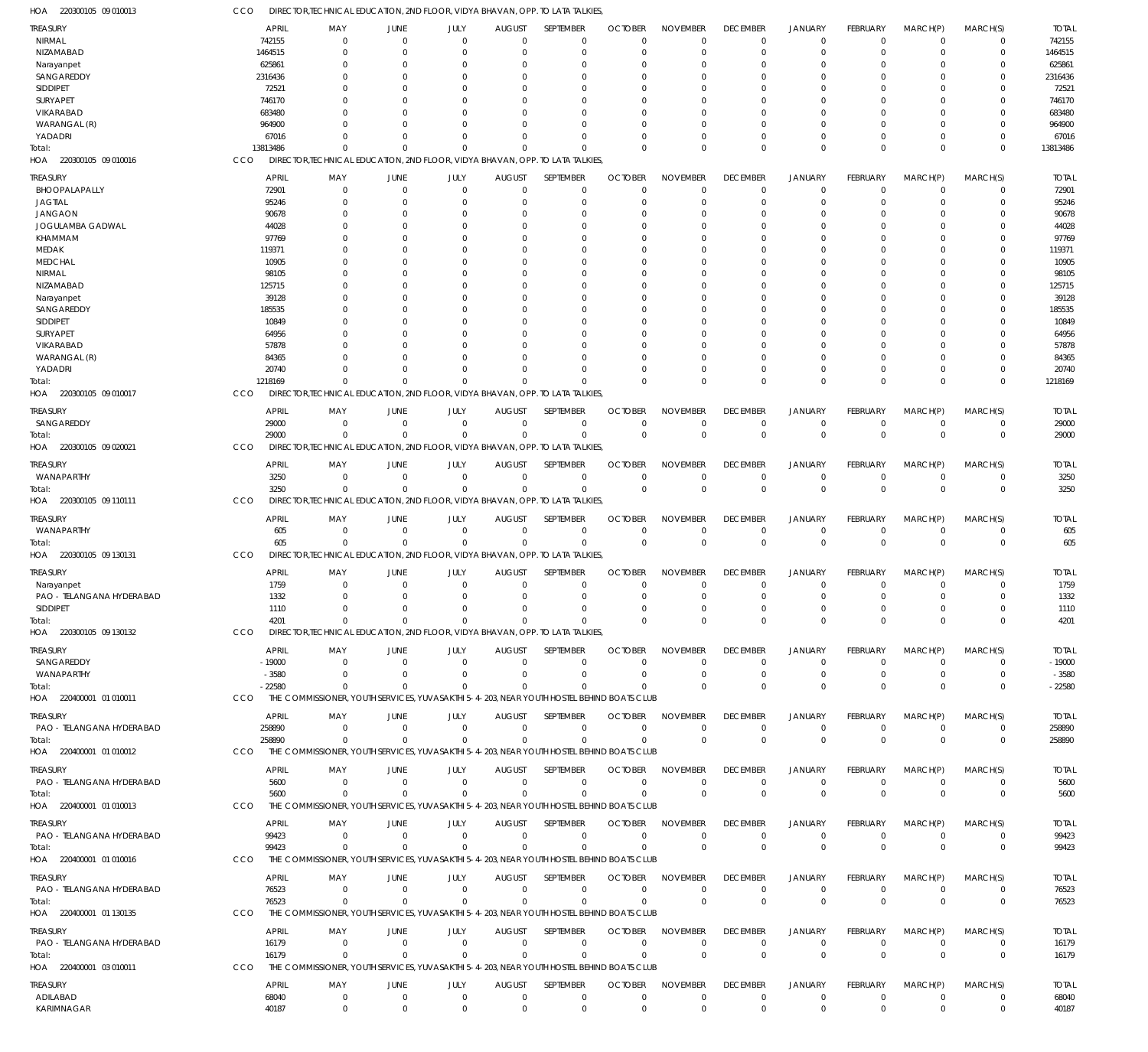220300105 09 010016 HOA 220300105 09 010017 HOA 220300105 09 020021 HOA 220300105 09 110111 HOA 220300105 09 130131 HOA 220300105 09 130132 HOA 220400001 01 010011 HOA 220400001 01 010012 HOA 220400001 01 010013 HOA 220400001 01 010016 HOA 220400001 01 130135 HOA 220400001 03 010011 HOA DIRECTOR,TECHNICAL EDUCATION, 2ND FLOOR, VIDYA BHAVAN, OPP. TO LATA TALKIES, DIRECTOR,TECHNICAL EDUCATION, 2ND FLOOR, VIDYA BHAVAN, OPP. TO LATA TALKIES, DIRECTOR,TECHNICAL EDUCATION, 2ND FLOOR, VIDYA BHAVAN, OPP. TO LATA TALKIES, DIRECTOR,TECHNICAL EDUCATION, 2ND FLOOR, VIDYA BHAVAN, OPP. TO LATA TALKIES, DIRECTOR,TECHNICAL EDUCATION, 2ND FLOOR, VIDYA BHAVAN, OPP. TO LATA TALKIES, DIRECTOR,TECHNICAL EDUCATION, 2ND FLOOR, VIDYA BHAVAN, OPP. TO LATA TALKIES, THE COMMISSIONER, YOUTH SERVICES, YUVASAKTHI 5-4-203, NEAR YOUTH HOSTEL BEHIND BOATS CLUB THE COMMISSIONER, YOUTH SERVICES, YUVASAKTHI 5-4-203, NEAR YOUTH HOSTEL BEHIND BOATS CLUB THE COMMISSIONER, YOUTH SERVICES, YUVASAKTHI 5-4-203, NEAR YOUTH HOSTEL BEHIND BOATS CLUB THE COMMISSIONER, YOUTH SERVICES, YUVASAKTHI 5-4-203, NEAR YOUTH HOSTEL BEHIND BOATS CLUB THE COMMISSIONER, YOUTH SERVICES, YUVASAKTHI 5-4-203, NEAR YOUTH HOSTEL BEHIND BOATS CLUB THE COMMISSIONER, YOUTH SERVICES, YUVASAKTHI 5-4-203, NEAR YOUTH HOSTEL BEHIND BOATS CLUB CCO **CCO** CCO CCO **CCO** CCO CCO CCO CCO CCO CCO CCO 13813486 1218169 29000 3250 605 4201 -22580 258890 5600 99423 76523 16179 0  $\Omega$ 0  $\Omega$  $\Omega$ 0  $\sqrt{2}$ 0 0  $\Omega$ 0 0 0  $\Omega$ 0  $\Omega$ 0 0  $\Omega$ 0  $\Omega$ 0 0  $\Omega$ 0  $\Omega$ 0  $\Omega$ 0 0  $\sqrt{0}$ 0  $\Omega$ 0 0 0  $\Omega$ 0 0  $\Omega$  $\Omega$ 0  $\Omega$ 0  $\Omega$  $\Omega$ 0  $\Omega$ 0  $\Omega$ 0  $\Omega$  $\Omega$ 0  $\Omega$ 0  $\Omega$  $\Omega$ 0  $\Omega$  $\Omega$  $\Omega$ 0  $\Omega$  $\Omega$ 0  $\bigcap$ 0  $\Omega$  $\Omega$ 0  $\Omega$  $\Omega$ 0 0  $\Omega$  $\Omega$ 0  $\Omega$ 0  $\Omega$  $\Omega$ 0  $\Omega$  $\Omega$  $\Omega$ 0  $\Omega$ 0 0 0 0  $\Omega$ 0 0  $\Omega$ 0  $\Omega$ 0  $\Omega$ 0 0 0 0  $\Omega$ 0 0  $\Omega$ 0 0 0  $\Omega$ 0 0 0 0  $\Omega$ 0 0  $\Omega$  $\Omega$  $\Omega$ 0  $\Omega$ 0 0 0 0 0 0 0  $\Omega$  $\Omega$ 0 0  $\Omega$ 0 0  $\Omega$ 0  $\Omega$ 0 0  $\Omega$ 13813486 1218169 29000 3250 605 4201 -22580 258890 5600 99423 76523 16179 NIRMAL NIZAMABAD Narayanpet SANGAREDDY SIDDIPET SURYAPET VIKARABAD WARANGAL (R) YADADRI BHOOPALAPALLY JAGTIAL JANGAON JOGULAMBA GADWAL KHAMMAM MEDAK MEDCHAL NIRMAL NIZAMABAD Narayanpet SANGAREDDY SIDDIPET SURYAPET VIKARABAD WARANGAL (R) YADADRI SANGAREDDY WANAPARTHY WANAPARTHY Narayanpet PAO - TELANGANA HYDERABAD SIDDIPET SANGAREDDY WANAPARTHY PAO - TELANGANA HYDERABAD PAO - TELANGANA HYDERABAD PAO - TELANGANA HYDERABAD PAO - TELANGANA HYDERABAD PAO - TELANGANA HYDERABAD ADILABAD TREASURY **TREASURY TREASURY TREASURY** TREASURY TREASURY **TREASURY** TREASURY **TREASURY** TREASURY TREASURY **TREASURY** TREASURY 742155 1464515 625861 2316436 72521 746170 683480 964900 67016 72901 95246 90678 44028 97769 119371 10905 98105 125715 39128 185535 10849 64956 57878 84365 20740 29000 3250 605 1759 1332 1110 -19000 -3580 258890 5600 99423 76523 16179 68040 APRIL APRIL APRIL APRIL APRIL APRIL APRIL APRIL APRIL APRIL APRIL APRIL APRIL  $\Omega$ 0  $\Omega$ 0  $\Omega$  $\bigcap$ 0  $\Omega$  $\Omega$ 0  $\Omega$ 0  $\Omega$ 0 0  $\Omega$ 0  $\Omega$  $\Omega$ 0  $\Omega$  $\Omega$  $\Omega$ 0  $\Omega$  $\Omega$ 0 0 0  $\Omega$  $\Omega$ 0 0  $\sqrt{0}$ 0 0 0 0 0 MAY MAY MAY MAY MAY MAY MAY MAY MAY MAY MAY MAY MAY  $\Omega$ 0  $\Omega$ 0 0  $\Omega$ 0  $\Omega$ 0 0  $\Omega$ 0  $\Omega$ 0 0  $\Omega$ 0  $\Omega$ 0 0  $\Omega$  $\Omega$  $\Omega$ 0  $\Omega$ 0 0 0 0 0  $\Omega$ 0 0  $\Omega$ 0 0 0 0 0 JUNE JUNE JUNE JUNE JUNE JUNE **JUNE** JUNE **JUNE** JUNE JUNE **JUNE** JUNE 0 0  $\Omega$ 0  $\Omega$  $\bigcap$ 0  $\Omega$ 0 0  $\sqrt{0}$ 0  $\Omega$ 0 0  $\Omega$ 0  $\Omega$  $\Omega$ 0  $\Omega$  $\Omega$  $\Omega$  $\Omega$  $\Omega$ 0 0  $\Omega$ 0 0  $\Omega$ 0 0  $\sqrt{0}$ 0 0 0 0 0 JULY JULY JULY JULY JULY JULY JULY JULY JULY JULY JULY JULY JULY  $\Omega$ 0  $\Omega$ 0  $\Omega$  $\Omega$ 0  $\Omega$ 0 0  $\Omega$ 0  $\Omega$ 0  $\Omega$  $\Omega$ 0  $\cap$ 0 0  $\Omega$ 0  $\Omega$ 0 0 0 0  $\Omega$ 0  $\Omega$  $\Omega$ 0 0  $\Omega$ 0 0 0 0 0 AUGUST AUGUST AUGUST AUGUST AUGUST AUGUST **AUGUST** AUGUST AUGUST AUGUST AUGUST **AUGUST** AUGUST  $\Omega$  $\overline{0}$  $\Omega$ 0  $\Omega$  $\Omega$ 0  $\Omega$  $\Omega$  $\Omega$  $\Omega$  $\overline{0}$  $\Omega$  $\overline{0}$  $\Omega$  $\Omega$ 0  $\Omega$  $\overline{0}$  $\Omega$  $\Omega$  $\Omega$  $\Omega$ 0  $\Omega$  $\Omega$ 0  $\Omega$  $\Omega$  $\Omega$  $\Omega$  $\Omega$ 0  $\Omega$ 0 0  $\Omega$ 0 0 SEPTEMBER SEPTEMBER SEPTEMBER **SEPTEMBER** SEPTEMBER SEPTEMBER **SEPTEMBER** SEPTEMBER **SEPTEMBER** SEPTEMBER SEPTEMBER **SEPTEMBER** SEPTEMBER  $\Omega$ 0  $\Omega$ 0  $\Omega$  $\Omega$ 0  $\Omega$ 0  $\Omega$  $\Omega$ 0  $\Omega$ 0  $\Omega$  $\Omega$ 0  $\Omega$ 0  $\Omega$ 0 0  $\Omega$ 0  $\Omega$  $\Omega$ 0  $\Omega$  $\Omega$  $\Omega$  $\Omega$ 0 0  $\Omega$ 0 0  $\Omega$ 0 0 **OCTOBER** OCTOBER OCTOBER **OCTOBER** OCTOBER **OCTOBER OCTOBER OCTOBER OCTOBER** OCTOBER **OCTOBER OCTOBER** OCTOBER  $\Omega$ 0  $\Omega$ 0  $\Omega$  $\Omega$ 0  $\Omega$  $\Omega$  $\Omega$  $\Omega$ 0  $\Omega$ 0  $\Omega$  $\Omega$ 0  $\Omega$ 0  $\Omega$  $\sqrt{2}$  $\Omega$  $\Omega$ 0 0  $\Omega$ 0  $\Omega$ 0  $\Omega$  $\Omega$ 0 0  $\Omega$ 0 0  $\Omega$ 0 0 NOVEMBER NOVEMBER NOVEMBER NOVEMBER NOVEMBER NOVEMBER NOVEMBER NOVEMBER NOVEMBER NOVEMBER NOVEMBER NOVEMBER NOVEMBER  $\Omega$ 0  $\Omega$ 0  $\Omega$  $\Omega$ 0  $\Omega$  $\Omega$  $\Omega$  $\Omega$ 0  $\Omega$  $\overline{0}$  $\Omega$  $\Omega$ 0  $\Omega$ 0  $\Omega$  $\Omega$  $\Omega$  $\Omega$  $\overline{0}$  $\Omega$  $\Omega$ 0  $\Omega$  $\Omega$  $\Omega$  $\Omega$ 0 0  $\Omega$ 0 0  $\Omega$ 0 0 DECEMBER DECEMBER DECEMBER **DECEMBER** DECEMBER DECEMBER **DECEMBER** DECEMBER **DECEMBER** DECEMBER DECEMBER **DECEMBER** DECEMBER  $\Omega$ 0  $\Omega$ 0  $\Omega$  $\Omega$ 0  $\Omega$  $\Omega$  $\Omega$  $\Omega$ 0  $\Omega$ 0  $\Omega$  $\Omega$ 0  $\Omega$ 0  $\Omega$ 0 0  $\Omega$ 0 0  $\Omega$ 0  $\Omega$  $\Omega$  $\Omega$  $\Omega$ 0 0  $\Omega$ 0 0  $\Omega$ 0 0 JANUARY JANUARY JANUARY JANUARY JANUARY JANUARY JANUARY JANUARY JANUARY JANUARY JANUARY JANUARY JANUARY  $\Omega$ 0  $\Omega$ 0  $\Omega$  $\Omega$ 0  $\Omega$  $\overline{0}$  $\Omega$  $\Omega$ 0  $\Omega$  $\overline{0}$ 0  $\Omega$ 0  $\Omega$  $\overline{0}$ 0 0  $\Omega$  $\Omega$  $\overline{0}$ 0 0 0  $\Omega$ 0 0  $\Omega$ 0 0  $\Omega$ 0 0  $\Omega$ 0 0 FEBRUARY FEBRUARY FEBRUARY FEBRUARY FEBRUARY FEBRUARY FEBRUARY FEBRUARY FEBRUARY FEBRUARY FEBRUARY FEBRUARY FEBRUARY  $\Omega$ 0  $\Omega$ 0  $\Omega$  $\Omega$ 0  $\Omega$  $\Omega$  $\Omega$  $\Omega$ 0  $\Omega$ 0  $\Omega$  $\Omega$ 0  $\Omega$ 0  $\Omega$  $\Omega$  $\Omega$  $\Omega$ 0  $\Omega$  $\Omega$ 0  $\Omega$  $\Omega$  $\Omega$  $\Omega$ 0 0  $\Omega$ 0  $\Omega$  $\Omega$ 0 0 MARCH(P) MARCH(P) MARCH(P) MARCH(P) MARCH(P) MARCH(P) MARCH(P) MARCH(P) MARCH(P) MARCH(P) MARCH(P) MARCH(P) MARCH(P)  $\Omega$ 0  $\Omega$ 0 0 0 0  $\Omega$ 0  $\Omega$  $\Omega$ 0  $\Omega$ 0  $\Omega$ 0 0 0 0 0 0 0  $\Omega$ 0  $\Omega$ 0 0  $\Omega$ 0  $\Omega$  $\Omega$ 0 0  $\Omega$ 0  $\Omega$ 0 0 0 MARCH(S) MARCH(S) MARCH(S) MARCH(S) MARCH(S) MARCH(S) MARCH(S) MARCH(S) MARCH(S) MARCH(S) MARCH(S) MARCH(S) MARCH(S) 742155 1464515 625861 2316436 72521 746170 683480 964900 67016 72901 95246 90678 44028 97769 119371 10905 98105 125715 39128 185535 10849 64956 57878 84365 20740 29000 3250 605 1759 1332 1110 -19000 -3580 258890 5600 99423 76523 16179 68040 TOTAL TOTAL TOTAL TOTAL TOTAL TOTAL TOTAL TOTAL TOTAL TOTAL TOTAL TOTAL TOTAL Total: Total: Total: Total: Total: Total: Total: Total: Total: Total: Total: Total:

DIRECTOR,TECHNICAL EDUCATION, 2ND FLOOR, VIDYA BHAVAN, OPP. TO LATA TALKIES,

220300105 09 010013 HOA

KARIMNAGAR

40187

0

 $\boldsymbol{0}$ 

0

0

0

0

0

0

0

 $\boldsymbol{0}$ 

0

0

40187

**CCO**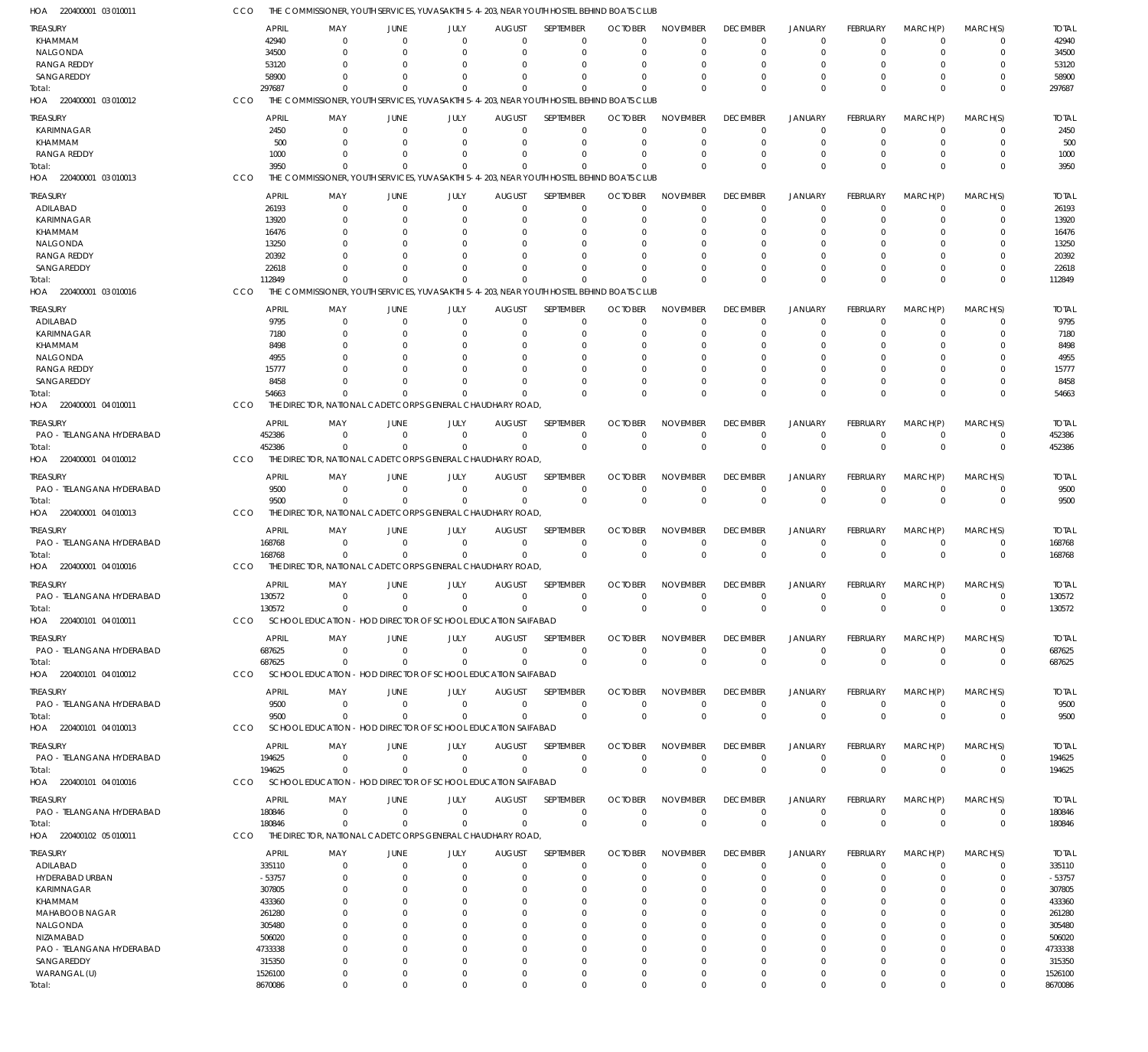| - AOF<br>220400001 03 010011           | CCO               | THE  COMMISSIONER, YOUTH SERVICES, YUVASAKTHI 5-4-203, NEAR YOUTH HOSTEL BEHIND BOATS CLUB |                                  |                            |                      |                            |                      |                               |                            |                                  |                            |                               |                            |                   |
|----------------------------------------|-------------------|--------------------------------------------------------------------------------------------|----------------------------------|----------------------------|----------------------|----------------------------|----------------------|-------------------------------|----------------------------|----------------------------------|----------------------------|-------------------------------|----------------------------|-------------------|
| <b>TREASURY</b>                        |                   | <b>APRIL</b><br>MAY                                                                        | <b>JUNE</b>                      | JULY                       | <b>AUGUST</b>        | SEPTEMBER                  | <b>OCTOBER</b>       | <b>NOVEMBER</b>               | <b>DECEMBER</b>            | JANUARY                          | FEBRUARY                   | MARCH(P)                      | MARCH(S)                   | <b>TOTAL</b>      |
| KHAMMAM                                |                   | 42940<br>$\Omega$                                                                          | $\Omega$                         | 0                          | $\Omega$             | $\Omega$                   |                      | $\Omega$                      | $\mathbf 0$                | $\overline{0}$                   | $\Omega$                   | $\mathbf 0$                   | 0                          | 42940             |
| NALGONDA<br><b>RANGA REDDY</b>         |                   | 34500<br>$\Omega$<br>53120<br>$\Omega$                                                     | $\Omega$<br>O                    | $\Omega$<br>$\Omega$       | $\Omega$<br>O        | $\Omega$<br>$\Omega$       |                      | $\Omega$<br>$\Omega$          | $\mathbf 0$<br>0           | $\overline{0}$<br>$\Omega$       | $\Omega$<br>O              | 0<br>0                        | $\mathbf 0$<br>0           | 34500<br>53120    |
| SANGAREDDY                             |                   | 58900<br>U                                                                                 | C.                               | $\Omega$                   | $\Omega$             | $\Omega$                   |                      | $\Omega$                      | $\Omega$                   | $\Omega$                         | $\Omega$                   | $\Omega$                      | $\mathbf 0$                | 58900             |
| Total:                                 | 297687            | $\Omega$                                                                                   | $\Omega$                         | $\Omega$                   | $\Omega$             | $\Omega$                   | $\Omega$             | $\Omega$                      | $\Omega$                   | $\Omega$                         | $\Omega$                   | $\Omega$                      | $\mathbf 0$                | 297687            |
| HOA 220400001 03 010012                | CCO               | THE COMMISSIONER, YOUTH SERVICES, YUVASAKTHI 5-4-203, NEAR YOUTH HOSTEL BEHIND BOATS CLUB  |                                  |                            |                      |                            |                      |                               |                            |                                  |                            |                               |                            |                   |
| <b>TREASURY</b>                        |                   | <b>APRIL</b><br>MAY                                                                        | JUNE                             | JULY                       | <b>AUGUST</b>        | SEPTEMBER                  | <b>OCTOBER</b>       | <b>NOVEMBER</b>               | <b>DECEMBER</b>            | <b>JANUARY</b>                   | <b>FEBRUARY</b>            | MARCH(P)                      | MARCH(S)                   | <b>TOTAL</b>      |
| KARIMNAGAR                             |                   | 2450<br>0                                                                                  | $\mathbf 0$                      | $\mathbf 0$                | 0                    | $\mathbf 0$                |                      | $\Omega$                      | $\mathbf 0$                | $\overline{0}$                   | $\Omega$                   | $\mathbf 0$                   | $\mathbf 0$                | 2450              |
| KHAMMAM                                |                   | 500<br>$\Omega$                                                                            | $\Omega$                         | $\mathbf 0$                | O                    | $\Omega$                   |                      | $\Omega$                      | $\mathbf 0$                | $\overline{0}$<br>$\Omega$       | $\Omega$                   | 0                             | $\mathbf 0$                | 500               |
| <b>RANGA REDDY</b><br>Total:           |                   | 1000<br>$\Omega$<br>3950<br>$\Omega$                                                       | $\Omega$<br>$\Omega$             | 0<br>$\Omega$              | $\Omega$<br>$\Omega$ | $\mathbf 0$<br>$\Omega$    |                      | $\Omega$<br>$\Omega$          | $\mathbf 0$<br>$\Omega$    | $\Omega$                         | $\Omega$<br>$\Omega$       | 0<br>$\Omega$                 | $\mathbf 0$<br>$\mathbf 0$ | 1000<br>3950      |
| HOA 220400001 03 010013                | CCO               | THE COMMISSIONER, YOUTH SERVICES, YUVASAKTHI 5-4-203, NEAR YOUTH HOSTEL BEHIND BOATS CLUB  |                                  |                            |                      |                            |                      |                               |                            |                                  |                            |                               |                            |                   |
| <b>TREASURY</b>                        |                   | <b>APRIL</b><br>MAY                                                                        | <b>JUNE</b>                      | JULY                       | <b>AUGUST</b>        | SEPTEMBER                  | <b>OCTOBER</b>       | <b>NOVEMBER</b>               | <b>DECEMBER</b>            | <b>JANUARY</b>                   | <b>FEBRUARY</b>            | MARCH(P)                      | MARCH(S)                   | <b>TOTAL</b>      |
| ADILABAD                               |                   | 26193<br>0                                                                                 | $\mathbf 0$                      | $\mathbf 0$                | $\mathbf 0$          | $\mathbf 0$                | $\Omega$             | $\Omega$                      | $\mathbf 0$                | $\overline{0}$                   | $\Omega$                   | $\Omega$                      | $\mathbf 0$                | 26193             |
| KARIMNAGAR                             |                   | 13920<br>$\Omega$                                                                          | $\Omega$                         | 0                          | $\Omega$             | $\mathbf 0$                |                      | $\Omega$                      | $\mathbf 0$                | $\Omega$                         | $\Omega$                   | 0                             | $\mathbf 0$                | 13920             |
| KHAMMAM                                |                   | 16476<br>0                                                                                 | O                                | $\Omega$                   |                      | $\Omega$                   |                      | $\Omega$                      | $\Omega$                   | $\Omega$                         | O                          | 0                             | 0                          | 16476             |
| NALGONDA<br><b>RANGA REDDY</b>         |                   | 13250<br>20392<br>O                                                                        | $\cup$<br>O                      | $\Omega$<br>$\Omega$       | O                    | $\Omega$<br>$\Omega$       |                      | $\Omega$<br>$\Omega$          | $\Omega$<br>$\Omega$       | $\Omega$<br>$\Omega$             | $\Omega$<br>$\Omega$       | $\Omega$<br>0                 | $\Omega$<br>0              | 13250<br>20392    |
| SANGAREDDY                             |                   | 22618<br>O                                                                                 | O                                | $\Omega$                   | $\Omega$             | $\Omega$                   |                      | $\Omega$                      | $\Omega$                   | $\Omega$                         | $\Omega$                   | 0                             | $\mathbf 0$                | 22618             |
| Total:                                 | 112849            | $\Omega$                                                                                   | $\Omega$                         | $\Omega$                   | $\Omega$             | $\Omega$                   | $\Omega$             | $\Omega$                      | $\Omega$                   | $\Omega$                         | $\Omega$                   | $\Omega$                      | $\mathbf 0$                | 112849            |
| HOA 220400001 03 010016                | CCO               | THE COMMISSIONER, YOUTH SERVICES, YUVASAKTHI 5-4-203, NEAR YOUTH HOSTEL BEHIND BOATS CLUB  |                                  |                            |                      |                            |                      |                               |                            |                                  |                            |                               |                            |                   |
| <b>TREASURY</b>                        |                   | <b>APRIL</b><br>MAY                                                                        | JUNE                             | JULY                       | <b>AUGUST</b>        | SEPTEMBER                  | <b>OCTOBER</b>       | <b>NOVEMBER</b>               | <b>DECEMBER</b>            | <b>JANUARY</b>                   | <b>FEBRUARY</b>            | MARCH(P)                      | MARCH(S)                   | <b>TOTAL</b>      |
| ADILABAD                               |                   | 9795<br>0                                                                                  | $\mathbf 0$                      | $\mathbf 0$                | 0                    | $\mathbf 0$                |                      | $\Omega$                      | $\mathbf 0$                | $\overline{0}$                   | $\Omega$                   | $\mathbf 0$                   | $\mathbf 0$                | 9795              |
| KARIMNAGAR                             |                   | 7180<br>$\Omega$                                                                           | $\Omega$                         | 0                          |                      | $\Omega$                   |                      | $\Omega$                      | 0                          | $\Omega$                         | $\Omega$                   | 0                             | $\mathbf 0$                | 7180              |
| KHAMMAM<br>NALGONDA                    |                   | 8498<br>0<br>4955                                                                          | O<br>C.                          | $\Omega$<br>$\Omega$       |                      | $\Omega$<br>$\Omega$       |                      | $\Omega$<br>$\Omega$          | 0<br>$\Omega$              | $\Omega$<br>$\Omega$             | O                          | 0<br>0                        | $\mathbf 0$<br>$\Omega$    | 8498<br>4955      |
| <b>RANGA REDDY</b>                     |                   | 15777                                                                                      | $\Omega$                         | $\Omega$                   |                      | $\Omega$                   |                      | $\Omega$                      | 0                          | $\Omega$                         | 0                          | 0                             | 0                          | 15777             |
| SANGAREDDY                             |                   | 8458                                                                                       | $\cup$                           | $\Omega$                   | $\Omega$             | $\Omega$                   |                      | $\Omega$                      | 0                          | $\overline{0}$                   | $\Omega$                   | 0                             | $\mathbf 0$                | 8458              |
| Total:                                 |                   | 54663                                                                                      | $\sqrt{ }$                       | $\Omega$                   | $\Omega$             | $\Omega$                   |                      | $\Omega$                      | $\mathbf 0$                | $\Omega$                         | $\Omega$                   | $\Omega$                      | $\mathbf 0$                | 54663             |
| HOA 220400001 04 010011                | CCO               | THE DIRECTOR, NATIONAL CADET CORPS GENERAL CHAUDHARY ROAD                                  |                                  |                            |                      |                            |                      |                               |                            |                                  |                            |                               |                            |                   |
| treasury                               |                   | <b>APRIL</b><br>MAY                                                                        | JUNE                             | JULY                       | <b>AUGUST</b>        | SEPTEMBER                  | <b>OCTOBER</b>       | <b>NOVEMBER</b>               | <b>DECEMBER</b>            | JANUARY                          | FEBRUARY                   | MARCH(P)                      | MARCH(S)                   | <b>TOTAL</b>      |
| PAO - TELANGANA HYDERABAD              | 452386            | $\Omega$                                                                                   | $\Omega$                         | $\mathbf 0$                | $\Omega$             | $\Omega$                   | $\Omega$             | $\overline{0}$                | $\mathbf 0$                | $\overline{0}$                   | $\Omega$                   | $\mathbf 0$                   | $\mathbf 0$                | 452386            |
| Total:<br>HOA 220400001 04 010012      | 452386<br>CCO     | $\Omega$<br>THE DIRECTOR, NATIONAL CADET CORPS GENERAL CHAUDHARY ROAD,                     | $\Omega$                         | $\Omega$                   | $\Omega$             | $\mathbf 0$                | $\Omega$             | $\Omega$                      | $\mathbf 0$                | $\overline{0}$                   | $\Omega$                   | $\mathbf 0$                   | $\mathbf 0$                | 452386            |
|                                        |                   |                                                                                            |                                  |                            |                      |                            |                      |                               |                            |                                  |                            |                               |                            |                   |
| <b>TREASURY</b>                        |                   | <b>APRIL</b><br>MAY                                                                        | <b>JUNE</b>                      | JULY                       | <b>AUGUST</b>        | SEPTEMBER                  | <b>OCTOBER</b>       | <b>NOVEMBER</b>               | <b>DECEMBER</b>            | JANUARY                          | <b>FEBRUARY</b>            | MARCH(P)                      | MARCH(S)                   | <b>TOTAL</b>      |
| PAO - TELANGANA HYDERABAD<br>Total:    |                   | 9500<br>$\mathbf 0$<br>9500<br>$\Omega$                                                    | $\mathbf 0$<br>$\overline{0}$    | $\mathbf 0$<br>$\mathbf 0$ | 0<br>$\Omega$        | $\mathbf 0$<br>$\mathbf 0$ | -0<br>$\Omega$       | $^{\circ}$<br>$\Omega$        | $\mathbf 0$<br>$\mathbf 0$ | $\overline{0}$<br>$\overline{0}$ | $\mathbf 0$<br>$\mathbf 0$ | $\mathbf 0$<br>$\mathbf 0$    | $\mathbf 0$<br>$\mathbf 0$ | 9500<br>9500      |
| HOA 220400001 04 010013                | CCO               | THE DIRECTOR, NATIONAL CADET CORPS GENERAL CHAUDHARY ROAD,                                 |                                  |                            |                      |                            |                      |                               |                            |                                  |                            |                               |                            |                   |
| treasury                               |                   | <b>APRIL</b><br>MAY                                                                        | JUNE                             | JULY                       | <b>AUGUST</b>        | SEPTEMBER                  | <b>OCTOBER</b>       | <b>NOVEMBER</b>               | <b>DECEMBER</b>            | JANUARY                          | FEBRUARY                   | MARCH(P)                      | MARCH(S)                   | <b>TOTAL</b>      |
| PAO - TELANGANA HYDERABAD              | 168768            | $\mathbf 0$                                                                                | $\mathbf 0$                      | $\mathbf 0$                | $\mathbf 0$          | $\mathbf 0$                | $\Omega$             | $\overline{0}$                | $\mathbf 0$                | $\overline{0}$                   | $\mathbf 0$                | $\mathbf 0$                   | $\mathbf 0$                | 168768            |
| Total:                                 | 168768            | $\Omega$                                                                                   | $\Omega$                         | $\mathbf 0$                | $\mathbf 0$          | $\Omega$                   | $\Omega$             | $\Omega$                      | $\mathbf 0$                | $\overline{0}$                   | $\Omega$                   | $\Omega$                      | $\mathbf 0$                | 168768            |
| HOA 220400001 04 010016                | CCO               | THE DIRECTOR, NATIONAL CADET CORPS GENERAL CHAUDHARY ROAD,                                 |                                  |                            |                      |                            |                      |                               |                            |                                  |                            |                               |                            |                   |
| treasury                               |                   | <b>APRIL</b><br>MAY                                                                        | JUNE                             | JULY                       | <b>AUGUST</b>        | SEPTEMBER                  | <b>OCTOBER</b>       | <b>NOVEMBER</b>               | <b>DECEMBER</b>            | JANUARY                          | <b>FEBRUARY</b>            | MARCH(P)                      | MARCH(S)                   | <b>TOTAL</b>      |
| PAO - TELANGANA HYDERABAD              | 130572            | $\overline{0}$                                                                             | $\overline{0}$                   | $\mathbf 0$                | $\mathbf 0$          | $\mathbf 0$                | $\Omega$             | $\overline{0}$                | $\mathbf 0$                | $\overline{0}$                   | $\mathbf 0$                | $\mathbf 0$                   | $\mathbf 0$                | 130572            |
| Total:                                 | 130572            | $\mathbf 0$                                                                                | 0                                | 0                          |                      | $\Omega$                   |                      | $\mathbf 0$                   | 0                          | $\Omega$                         | $\Omega$                   | $\mathbf 0$                   | $\mathbf 0$                | 130572            |
| HOA 220400101 04 010011                | CCO               | SCHOOL EDUCATION - HOD DIRECTOR OF SCHOOL EDUCATION SAIFABAD                               |                                  |                            |                      |                            |                      |                               |                            |                                  |                            |                               |                            |                   |
| TREASURY                               |                   | <b>APRIL</b><br>MAY                                                                        | <b>JUNE</b>                      | JULY                       | <b>AUGUST</b>        | <b>SEPTEMBER</b>           | <b>OCTOBER</b>       | <b>NOVEMBER</b>               | <b>DECEMBER</b>            | JANUARY                          | <b>FEBRUARY</b>            | MARCH(P)                      | MARCH(S)                   | <b>TOTAL</b>      |
| PAO - TELANGANA HYDERABAD<br>Total:    | 687625<br>687625  | $\overline{0}$<br>$\Omega$                                                                 | $\mathbf 0$<br>$\Omega$          | $\mathbf 0$<br>$\mathbf 0$ | $\mathbf 0$<br>0     | $\mathbf 0$<br>$\mathbf 0$ | $\Omega$<br>$\Omega$ | $\overline{0}$<br>$\mathbf 0$ | $\mathbf 0$<br>$\mathbf 0$ | $\overline{0}$<br>$\overline{0}$ | $\mathbf 0$<br>$\mathbf 0$ | $\overline{0}$<br>$\mathbf 0$ | $\mathbf 0$<br>$\mathbf 0$ | 687625<br>687625  |
| HOA 220400101 04 010012                | CCO               | SCHOOL EDUCATION - HOD DIRECTOR OF SCHOOL EDUCATION SAIFABAD                               |                                  |                            |                      |                            |                      |                               |                            |                                  |                            |                               |                            |                   |
| TREASURY                               |                   | <b>APRIL</b><br>MAY                                                                        | <b>JUNE</b>                      | JULY                       | <b>AUGUST</b>        | SEPTEMBER                  | <b>OCTOBER</b>       | <b>NOVEMBER</b>               | <b>DECEMBER</b>            | JANUARY                          | <b>FEBRUARY</b>            | MARCH(P)                      | MARCH(S)                   | <b>TOTAL</b>      |
| PAO - TELANGANA HYDERABAD              |                   | 9500<br>$\mathbf 0$                                                                        | $\overline{0}$                   | $\mathbf 0$                | 0                    | $\mathbf 0$                |                      | $\overline{0}$                | $\mathbf 0$                | $\overline{0}$                   | $\mathbf 0$                | $\mathbf 0$                   | $\mathbf 0$                | 9500              |
| Total:                                 |                   | 9500<br>$\Omega$                                                                           | $\mathbf 0$                      | $\mathbf 0$                | $\Omega$             | $\mathbf 0$                | $\Omega$             | $\overline{0}$                | $\mathbf 0$                | $\overline{0}$                   | $\mathbf 0$                | $\mathbf 0$                   | $\mathbf 0$                | 9500              |
| HOA 220400101 04 010013                | CCO               | SCHOOL EDUCATION - HOD DIRECTOR OF SCHOOL EDUCATION SAIFABAD                               |                                  |                            |                      |                            |                      |                               |                            |                                  |                            |                               |                            |                   |
| TREASURY                               |                   | <b>APRIL</b><br>MAY                                                                        | <b>JUNE</b>                      | JULY                       | <b>AUGUST</b>        | SEPTEMBER                  | <b>OCTOBER</b>       | <b>NOVEMBER</b>               | <b>DECEMBER</b>            | JANUARY                          | <b>FEBRUARY</b>            | MARCH(P)                      | MARCH(S)                   | <b>TOTAL</b>      |
| PAO - TELANGANA HYDERABAD              | 194625            | 0                                                                                          | $\overline{0}$                   | $\mathbf 0$                | $\mathbf 0$          | $\mathbf 0$                | $\Omega$             | $^{\circ}$                    | $\mathbf 0$                | $\overline{0}$                   | $\mathbf 0$                | $\mathbf 0$                   | $\mathbf 0$                | 194625            |
| Total:                                 | 194625            | $\Omega$                                                                                   | $\Omega$                         | $\mathbf 0$                | $\Omega$             | $\mathbf 0$                | $\Omega$             | $\Omega$                      | $\mathbf 0$                | $\overline{0}$                   | $\Omega$                   | $\mathbf 0$                   | $\mathbf 0$                | 194625            |
| HOA 220400101 04 010016                | CCO               | SCHOOL EDUCATION - HOD DIRECTOR OF SCHOOL EDUCATION SAIFABAD                               |                                  |                            |                      |                            |                      |                               |                            |                                  |                            |                               |                            |                   |
| <b>TREASURY</b>                        |                   | <b>APRIL</b><br>MAY                                                                        | JUNE                             | JULY                       | <b>AUGUST</b>        | SEPTEMBER                  | <b>OCTOBER</b>       | <b>NOVEMBER</b>               | <b>DECEMBER</b>            | JANUARY                          | <b>FEBRUARY</b>            | MARCH(P)                      | MARCH(S)                   | <b>TOTAL</b>      |
| PAO - TELANGANA HYDERABAD              | 180846<br>180846  | $^{\circ}$<br>$\mathbf 0$                                                                  | $\overline{0}$<br>$\overline{0}$ | $\mathbf 0$<br>$\mathbf 0$ | $\mathbf 0$<br>0     | $\mathbf 0$<br>$\mathbf 0$ | $\Omega$<br>$\Omega$ | $^{\circ}$<br>$\overline{0}$  | $\mathbf 0$<br>$\mathbf 0$ | $\overline{0}$<br>$\overline{0}$ | $\mathbf 0$<br>$\mathbf 0$ | $\mathbf 0$<br>$\mathbf 0$    | $\mathbf 0$<br>$\mathbf 0$ | 180846<br>180846  |
| Total:<br>HOA 220400102 05 010011      | CCO               | THE DIRECTOR, NATIONAL CADET CORPS GENERAL CHAUDHARY ROAD                                  |                                  |                            |                      |                            |                      |                               |                            |                                  |                            |                               |                            |                   |
|                                        |                   |                                                                                            | <b>JUNE</b>                      |                            |                      | SEPTEMBER                  | <b>OCTOBER</b>       | <b>NOVEMBER</b>               | <b>DECEMBER</b>            |                                  | <b>FEBRUARY</b>            |                               |                            | <b>TOTAL</b>      |
| <b>TREASURY</b><br>ADILABAD            | 335110            | <b>APRIL</b><br>MAY<br>0                                                                   | 0                                | JULY<br>0                  | <b>AUGUST</b><br>0   | 0                          | $\Omega$             | $^{\circ}$                    | $\mathbf 0$                | JANUARY<br>$^{\circ}$            | 0                          | MARCH(P)<br>0                 | MARCH(S)<br>0              | 335110            |
| HYDERABAD URBAN                        | $-53757$          | $\Omega$                                                                                   | $\Omega$                         | 0                          | $\Omega$             | $\mathbf 0$                |                      | $\Omega$                      | $\mathbf 0$                | $\Omega$                         | $\Omega$                   | $\Omega$                      | $\mathbf 0$                | $-53757$          |
| KARIMNAGAR                             | 307805            | $\Omega$                                                                                   | $\Omega$                         | 0                          | $\Omega$             | $\Omega$                   |                      | $\Omega$                      | 0                          | $\Omega$                         | $\Omega$                   | $\Omega$                      | $\mathbf 0$                | 307805            |
| KHAMMAM                                | 433360            |                                                                                            | O                                | $\Omega$                   | $\Omega$             | 0                          |                      | $\Omega$                      | 0                          | $\Omega$                         | 0                          | 0                             | 0                          | 433360            |
| MAHABOOB NAGAR                         | 261280            |                                                                                            | C.                               | $\Omega$                   |                      | $\Omega$                   |                      | $\Omega$                      | $\Omega$                   | $\Omega$                         | O                          | 0                             | $\Omega$                   | 261280            |
| NALGONDA                               | 305480            |                                                                                            | O                                | $\Omega$                   |                      | $\Omega$                   |                      | $\Omega$                      | 0                          | $\Omega$                         | O                          | $\Omega$                      | $\Omega$                   | 305480            |
| NIZAMABAD<br>PAO - TELANGANA HYDERABAD | 506020<br>4733338 |                                                                                            | C.<br>O                          | $\Omega$<br>$\Omega$       | $\Omega$             | $\Omega$<br>$\Omega$       |                      | $\Omega$<br>$\Omega$          | $\Omega$<br>$\Omega$       | $\Omega$<br>O                    | $\Omega$<br>$\Omega$       | $\Omega$<br>$\Omega$          | $\Omega$<br>$\Omega$       | 506020<br>4733338 |
| SANGAREDDY                             | 315350            | O                                                                                          | O                                | $\Omega$                   |                      | $\Omega$                   | $\Omega$             | $\overline{0}$                | $\Omega$                   | $\Omega$                         | $\Omega$                   | $\Omega$                      | $\Omega$                   | 315350            |
| WARANGAL (U)                           | 1526100           | 0                                                                                          | $\mathbf 0$                      | $\mathbf 0$                | 0                    | $\mathbf 0$                | $\Omega$             | $\mathbf 0$                   | $\mathbf 0$                | $\overline{0}$                   | $\mathbf 0$                | 0                             | 0                          | 1526100           |
| Total:                                 | 8670086           | $\mathbf 0$                                                                                | $\Omega$                         | $\mathbf 0$                | $\Omega$             | $\Omega$                   | $\Omega$             | $\mathbf 0$                   | $\mathbf 0$                | $\Omega$                         | $\Omega$                   | $\mathbf 0$                   | $\mathbf 0$                | 8670086           |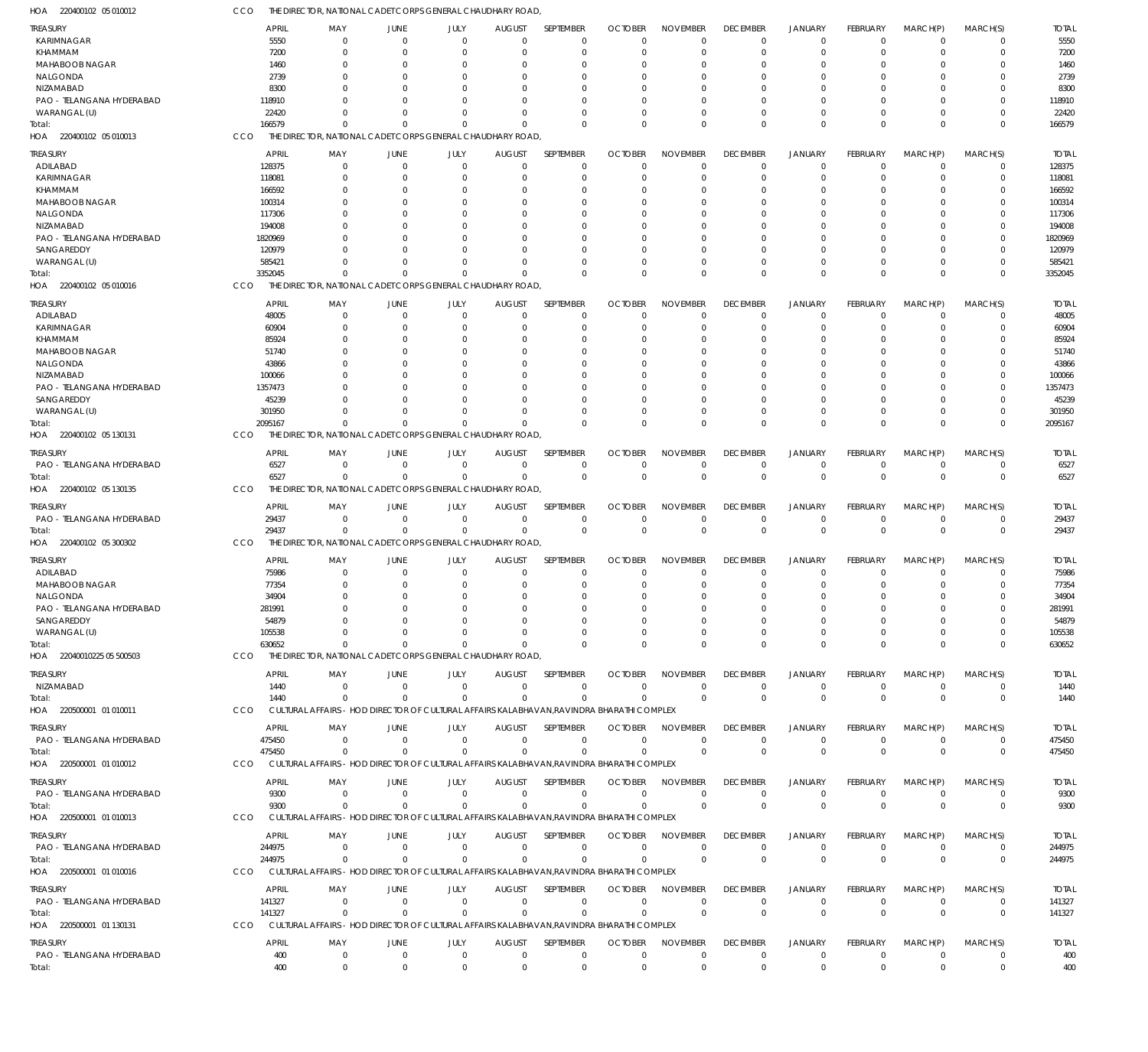| 1OA<br>220400102 05 010012                   | cco                    | THE DIRECTOR, NATIONAL CADET CORPS GENERAL CHAUDHARY ROAD,                                |                                  |                          |                                 |                            |                             |                                |                             |                                  |                                |                            |                            |                        |
|----------------------------------------------|------------------------|-------------------------------------------------------------------------------------------|----------------------------------|--------------------------|---------------------------------|----------------------------|-----------------------------|--------------------------------|-----------------------------|----------------------------------|--------------------------------|----------------------------|----------------------------|------------------------|
| TREASURY                                     | <b>APRIL</b>           | MAY                                                                                       | <b>JUNE</b>                      | JULY                     | <b>AUGUST</b>                   | SEPTEMBER                  | <b>OCTOBER</b>              | <b>NOVEMBER</b>                | <b>DECEMBER</b>             | <b>JANUARY</b>                   | FEBRUARY                       | MARCH(P)                   | MARCH(S)                   | <b>TOTAL</b>           |
| KARIMNAGAR                                   | 5550                   | $\mathbf 0$                                                                               | $\overline{0}$                   | $\Omega$                 | $\overline{0}$                  | $\mathbf 0$                | $\Omega$                    | $\Omega$                       | $\mathbf 0$                 | $\overline{0}$                   | $\Omega$                       | $\mathbf 0$                | $\mathbf 0$                | 5550                   |
| <b>KHAMMAM</b>                               | 7200                   | $\Omega$                                                                                  | $\overline{0}$                   | $\Omega$                 | 0                               | $\mathbf 0$                | $\Omega$                    | $\Omega$                       | $\Omega$                    | $\overline{0}$                   | $\mathbf 0$                    | $\Omega$                   | $\mathbf 0$                | 7200                   |
| MAHABOOB NAGAR                               | 1460                   | 0                                                                                         | $\overline{0}$                   | 0                        | 0                               | 0                          | -0                          | $\Omega$                       | $\Omega$                    | $\Omega$                         | 0                              | 0                          | 0                          | 1460                   |
| NALGONDA                                     | 2739                   | <sup>0</sup>                                                                              | $\Omega$                         | O                        | $\Omega$                        | $\Omega$                   | $\Omega$                    | $\Omega$                       | $\Omega$                    | $\Omega$                         | $\Omega$                       | $\Omega$                   | $\Omega$                   | 2739                   |
| NIZAMABAD                                    | 8300                   |                                                                                           | $\Omega$                         |                          | $\Omega$                        | $\Omega$                   | -C                          | $\Omega$                       | $\Omega$                    | $\Omega$                         |                                | $\Omega$                   | 0                          | 8300                   |
| PAO - TELANGANA HYDERABAD<br>WARANGAL (U)    | 118910<br>22420        | O                                                                                         | $\Omega$<br>$\Omega$             | 0<br>0                   | $\Omega$<br>$\Omega$            | $\Omega$<br>0              | $\Omega$<br>$\Omega$        | $\Omega$<br>$\Omega$           | $\Omega$<br>$\Omega$        | $\Omega$<br>$\Omega$             | $\Omega$<br>$\Omega$           | $\Omega$<br>$\Omega$       | $\Omega$<br>$\mathbf 0$    | 118910<br>22420        |
| Total:                                       | 166579                 | $\Omega$                                                                                  | $\Omega$                         | $\Omega$                 | $\Omega$                        | $\Omega$                   | $\Omega$                    | $\Omega$                       | $\Omega$                    | $\Omega$                         | $\Omega$                       | $\Omega$                   | $\mathbf 0$                | 166579                 |
| HOA 220400102 05 010013                      | CCO                    | THE DIRECTOR, NATIONAL CADET CORPS GENERAL CHAUDHARY ROAD,                                |                                  |                          |                                 |                            |                             |                                |                             |                                  |                                |                            |                            |                        |
|                                              |                        |                                                                                           |                                  |                          |                                 |                            |                             |                                |                             |                                  |                                |                            |                            |                        |
| <b>TREASURY</b><br>ADILABAD                  | <b>APRIL</b><br>128375 | MAY<br>$\mathbf 0$                                                                        | <b>JUNE</b><br>$\overline{0}$    | JULY<br>$\mathbf{0}$     | <b>AUGUST</b><br>$\overline{0}$ | SEPTEMBER<br>$\mathbf 0$   | <b>OCTOBER</b><br>$\Omega$  | <b>NOVEMBER</b><br>$\Omega$    | <b>DECEMBER</b><br>$\Omega$ | <b>JANUARY</b><br>$^{\circ}$     | <b>FEBRUARY</b><br>$\mathbf 0$ | MARCH(P)<br>$\Omega$       | MARCH(S)<br>$\mathbf 0$    | <b>TOTAL</b><br>128375 |
| KARIMNAGAR                                   | 118081                 | 0                                                                                         | $\overline{0}$                   | $\Omega$                 | 0                               | $\mathbf 0$                | -0                          | $\Omega$                       | $\Omega$                    | $^{\circ}$                       | $\Omega$                       | 0                          | $\mathbf 0$                | 118081                 |
| KHAMMAM                                      | 166592                 | 0                                                                                         | $\Omega$                         | O                        | 0                               | 0                          |                             | $\Omega$                       |                             | $\Omega$                         | 0                              | $\Omega$                   | 0                          | 166592                 |
| MAHABOOB NAGAR                               | 100314                 | 0                                                                                         | $\Omega$                         | 0                        | 0                               | 0                          | -C                          | $\Omega$                       |                             | $\Omega$                         |                                | $\Omega$                   | 0                          | 100314                 |
| NALGONDA                                     | 117306                 |                                                                                           | $\Omega$                         |                          | 0                               | $\mathbf 0$                |                             | $\Omega$                       |                             | $\Omega$                         |                                | $\Omega$                   | $\Omega$                   | 117306                 |
| NIZAMABAD                                    | 194008                 | 0                                                                                         | $\Omega$                         |                          | 0                               | 0                          |                             | $\Omega$                       |                             | $\Omega$                         |                                | $\Omega$                   | 0                          | 194008                 |
| PAO - TELANGANA HYDERABAD                    | 1820969                |                                                                                           | $\Omega$                         |                          | 0                               | $\Omega$                   |                             | $\Omega$                       |                             | $\Omega$                         |                                | $\Omega$                   | C                          | 1820969                |
| SANGAREDDY                                   | 120979                 |                                                                                           | $\Omega$                         | O                        | $\Omega$                        | $\mathbf 0$                |                             | $\Omega$                       |                             | $\Omega$                         | 0                              | $\Omega$                   | $\Omega$                   | 120979                 |
| WARANGAL (U)                                 | 585421                 | <sup>0</sup>                                                                              | $\Omega$                         | 0                        | 0                               | $\mathbf 0$                | -0                          | $\Omega$                       |                             | $^{\circ}$                       | $\Omega$                       | $\Omega$                   | $\mathbf 0$                | 585421                 |
| Total:                                       | 3352045                | $\Omega$                                                                                  | $\Omega$                         | $\Omega$                 | $\Omega$                        | $\Omega$                   | $\Omega$                    | $\Omega$                       | $\Omega$                    | $\Omega$                         | $\Omega$                       | $\Omega$                   | $\mathbf 0$                | 3352045                |
| HOA 220400102 05 010016                      | CCO                    | THE DIRECTOR, NATIONAL CADET CORPS GENERAL CHAUDHARY ROAD,                                |                                  |                          |                                 |                            |                             |                                |                             |                                  |                                |                            |                            |                        |
| <b>TREASURY</b>                              | <b>APRIL</b>           | MAY                                                                                       | <b>JUNE</b>                      | JULY                     | <b>AUGUST</b>                   | SEPTEMBER                  | <b>OCTOBER</b>              | <b>NOVEMBER</b>                | <b>DECEMBER</b>             | JANUARY                          | FEBRUARY                       | MARCH(P)                   | MARCH(S)                   | <b>TOTAL</b>           |
| ADILABAD                                     | 48005                  | $\Omega$                                                                                  | $\overline{0}$                   | $\mathbf 0$              | $\overline{0}$                  | $\mathbf 0$                | $\Omega$                    | $\Omega$                       | $\Omega$                    | $^{\circ}$                       | $\mathbf 0$                    | $\Omega$                   | $\Omega$                   | 48005                  |
| KARIMNAGAR                                   | 60904                  | 0                                                                                         | $\Omega$                         | $\Omega$                 | $\Omega$                        | $\mathbf 0$                | -0                          | $\Omega$                       | $\Omega$                    | $\Omega$                         | $\Omega$                       | $\Omega$                   | 0                          | 60904                  |
| <b>KHAMMAM</b>                               | 85924                  | <sup>0</sup>                                                                              | $\Omega$                         | $\Omega$                 | $\Omega$                        | 0                          | -0                          | $\Omega$                       | $\Omega$                    | $\Omega$                         | 0                              | $\Omega$                   | $\Omega$                   | 85924                  |
| MAHABOOB NAGAR                               | 51740                  |                                                                                           | $\Omega$                         | n                        | $\Omega$                        | 0                          | -C                          | $\Omega$                       | $\Omega$                    | $\Omega$                         |                                | $\Omega$                   | 0                          | 51740                  |
| NALGONDA                                     | 43866                  |                                                                                           | $\Omega$                         | O                        | $\Omega$                        | $\Omega$                   | -C                          | $\Omega$                       |                             | $\Omega$                         | O                              | $\Omega$                   | U                          | 43866                  |
| NIZAMABAD                                    | 100066                 |                                                                                           | $\Omega$                         |                          | $\Omega$                        | $\Omega$                   | -0                          | $\Omega$                       |                             | $\Omega$                         |                                | $\Omega$                   | 0                          | 100066                 |
| PAO - TELANGANA HYDERABAD<br>SANGAREDDY      | 1357473<br>45239       |                                                                                           | $\Omega$<br>$\Omega$             | O<br>O                   | $\Omega$<br>$\Omega$            | $\Omega$<br>$\Omega$       | $\Omega$<br>-C              | $\Omega$<br>$\Omega$           | $\Omega$                    | $\Omega$<br>$\Omega$             | $\Omega$<br>$\Omega$           | $\Omega$<br>$\Omega$       | $\Omega$<br>0              | 1357473<br>45239       |
| WARANGAL (U)                                 | 301950                 | $\Omega$                                                                                  | $\Omega$                         | $\Omega$                 | $\Omega$                        | $\Omega$                   | $\Omega$                    | $\Omega$                       | $\Omega$                    | $\Omega$                         | $\Omega$                       | $\Omega$                   | $\mathbf 0$                | 301950                 |
| Total:                                       | 2095167                | $\Omega$                                                                                  | $\Omega$                         | $\Omega$                 | $\Omega$                        | $\Omega$                   | $\Omega$                    | $\Omega$                       | $\Omega$                    | $\Omega$                         | $\Omega$                       | $\Omega$                   | $\mathbf 0$                | 2095167                |
| HOA 220400102 05 130131                      | CCO                    | THE DIRECTOR, NATIONAL CADET CORPS GENERAL CHAUDHARY ROAD,                                |                                  |                          |                                 |                            |                             |                                |                             |                                  |                                |                            |                            |                        |
|                                              | <b>APRIL</b>           |                                                                                           |                                  |                          |                                 | SEPTEMBER                  | <b>OCTOBER</b>              |                                | <b>DECEMBER</b>             | <b>JANUARY</b>                   | <b>FEBRUARY</b>                |                            |                            |                        |
| <b>TREASURY</b><br>PAO - TELANGANA HYDERABAD | 6527                   | MAY<br>$\mathbf 0$                                                                        | <b>JUNE</b><br>$\overline{0}$    | JULY<br>$\mathbf{0}$     | <b>AUGUST</b><br>$\overline{0}$ | $\mathbf 0$                | 0                           | <b>NOVEMBER</b><br>$\Omega$    | 0                           | $\overline{0}$                   | $\mathbf 0$                    | MARCH(P)<br>$\overline{0}$ | MARCH(S)<br>$\mathbf 0$    | <b>TOTAL</b><br>6527   |
| Total:                                       | 6527                   | $\mathbf 0$                                                                               | $\overline{0}$                   | $\mathbf 0$              | $\mathbf 0$                     | $\mathbf 0$                | $\Omega$                    | $\Omega$                       | $\Omega$                    | $\overline{0}$                   | $\mathbf 0$                    | $\Omega$                   | $\mathbf 0$                | 6527                   |
| HOA 220400102 05 130135                      | CCO                    | THE DIRECTOR, NATIONAL CADET CORPS GENERAL CHAUDHARY ROAD                                 |                                  |                          |                                 |                            |                             |                                |                             |                                  |                                |                            |                            |                        |
|                                              |                        |                                                                                           |                                  |                          |                                 |                            |                             |                                |                             |                                  |                                |                            |                            |                        |
| <b>TREASURY</b>                              | <b>APRIL</b>           | MAY                                                                                       | <b>JUNE</b>                      | JULY<br>$\Omega$         | <b>AUGUST</b>                   | SEPTEMBER                  | <b>OCTOBER</b>              | <b>NOVEMBER</b>                | <b>DECEMBER</b>             | <b>JANUARY</b>                   | FEBRUARY                       | MARCH(P)                   | MARCH(S)                   | <b>TOTAL</b>           |
| PAO - TELANGANA HYDERABAD<br>Total:          | 29437<br>29437         | $\overline{0}$<br>$\Omega$                                                                | $\overline{0}$<br>$\Omega$       | $\Omega$                 | $\overline{0}$<br>$\mathbf 0$   | $\mathbf 0$<br>$\mathbf 0$ | $\mathbf 0$<br>$\mathbf 0$  | $\Omega$<br>$\Omega$           | 0<br>$\Omega$               | $\overline{0}$<br>$\Omega$       | $\mathbf 0$<br>$\Omega$        | $\mathbf 0$<br>$\Omega$    | $\mathbf 0$<br>$\mathbf 0$ | 29437<br>29437         |
| 220400102 05 300302<br>HOA                   | CCO                    | THE DIRECTOR, NATIONAL CADET CORPS GENERAL CHAUDHARY ROAD,                                |                                  |                          |                                 |                            |                             |                                |                             |                                  |                                |                            |                            |                        |
|                                              |                        |                                                                                           |                                  |                          |                                 |                            |                             |                                |                             |                                  |                                |                            |                            |                        |
| TREASURY                                     | <b>APRIL</b>           | MAY                                                                                       | JUNE                             | JULY                     | <b>AUGUST</b>                   | SEPTEMBER                  | <b>OCTOBER</b>              | <b>NOVEMBER</b>                | <b>DECEMBER</b>             | JANUARY                          | FEBRUARY                       | MARCH(P)                   | MARCH(S)                   | <b>TOTAL</b>           |
| ADILABAD                                     | 75986                  | $\overline{0}$                                                                            | $\overline{0}$                   | $\mathbf 0$              | $\overline{0}$                  | $\mathbf 0$                | $\mathbf 0$                 | $\Omega$                       | $\Omega$                    | $^{\circ}$                       | $\mathbf 0$                    | $\overline{0}$             | $\mathbf 0$                | 75986                  |
| MAHABOOB NAGAR<br>NALGONDA                   | 77354<br>34904         | $\mathbf 0$<br>$\Omega$                                                                   | $\overline{0}$<br>$\Omega$       | $\Omega$<br>$\Omega$     | 0<br>$\Omega$                   | $\mathbf 0$<br>$\mathbf 0$ | $\Omega$<br>$\Omega$        | $\Omega$<br>$\Omega$           | $\Omega$<br>$\Omega$        | $^{\circ}$<br>$\Omega$           | 0<br>$\Omega$                  | 0<br>$\Omega$              | $\mathbf 0$<br>$\mathbf 0$ | 77354<br>34904         |
| PAO - TELANGANA HYDERABAD                    | 281991                 | 0                                                                                         |                                  |                          |                                 | 0                          |                             |                                |                             |                                  |                                |                            | O                          | 281991                 |
| SANGAREDDY                                   | 54879                  | 0                                                                                         | $\Omega$                         |                          | 0                               | $\mathbf 0$                | $\Omega$                    | $\Omega$                       |                             | $\Omega$                         | $\Omega$                       | $\Omega$                   | $\Omega$                   | 54879                  |
| WARANGAL (U)                                 | 105538                 | 0                                                                                         | $\Omega$                         | $\Omega$                 | $\Omega$                        | 0                          | $\Omega$                    | $\Omega$                       | $\Omega$                    | $^{\circ}$                       | $\Omega$                       | $^{\circ}$                 | 0                          | 105538                 |
| Total:                                       | 630652                 | $\Omega$                                                                                  | $\Omega$                         | $\Omega$                 | $\Omega$                        | $\Omega$                   | $\Omega$                    | $\Omega$                       | $\Omega$                    | $\Omega$                         | $\Omega$                       | $\Omega$                   | $\mathbf 0$                | 630652                 |
| HOA 22040010225 05 500503                    | CCO                    | THE DIRECTOR, NATIONAL CADET CORPS GENERAL CHAUDHARY ROAD,                                |                                  |                          |                                 |                            |                             |                                |                             |                                  |                                |                            |                            |                        |
| <b>TREASURY</b>                              | <b>APRIL</b>           | MAY                                                                                       | <b>JUNE</b>                      | JULY                     | <b>AUGUST</b>                   | <b>SEPTEMBER</b>           | <b>OCTOBER</b>              | <b>NOVEMBER</b>                | <b>DECEMBER</b>             | <b>JANUARY</b>                   | FEBRUARY                       | MARCH(P)                   | MARCH(S)                   | <b>TOTAL</b>           |
| NIZAMABAD                                    | 1440                   | $\mathbf 0$                                                                               | $\overline{0}$                   | $\Omega$                 | $\mathbf 0$                     | $\mathbf 0$                | $\Omega$                    | $\Omega$                       | $\mathbf 0$                 | $^{\circ}$                       | $\mathbf 0$                    | $^{\circ}$                 | $\mathbf 0$                | 1440                   |
| Total:                                       | 1440                   | $\Omega$                                                                                  | $\overline{0}$                   | $\Omega$                 | $\mathbf{0}$                    | $\mathbf 0$                | $\Omega$                    | $\Omega$                       | $\mathbf 0$                 | $\mathbf{0}$                     | $\mathbf{0}$                   | $\Omega$                   | $\mathbf 0$                | 1440                   |
| HOA 220500001 01 010011                      | CCO                    | CULTURAL AFFAIRS - HOD DIRECTOR OF CULTURAL AFFAIRS KALABHAVAN, RAVINDRA BHARATHI COMPLEX |                                  |                          |                                 |                            |                             |                                |                             |                                  |                                |                            |                            |                        |
| <b>TREASURY</b>                              | <b>APRIL</b>           | MAY                                                                                       | JUNE                             | JULY                     | <b>AUGUST</b>                   | SEPTEMBER                  | <b>OCTOBER</b>              | <b>NOVEMBER</b>                | <b>DECEMBER</b>             | <b>JANUARY</b>                   | <b>FEBRUARY</b>                | MARCH(P)                   | MARCH(S)                   | <b>TOTAL</b>           |
| PAO - TELANGANA HYDERABAD                    | 475450                 | $\mathbf{0}$                                                                              | $\overline{0}$                   | $\overline{0}$           | $\overline{0}$                  | $\mathbf 0$                | 0                           | $\mathbf 0$                    | $\mathbf 0$                 | $^{\circ}$                       | $\mathbf 0$                    | $\overline{0}$             | $\mathbf 0$                | 475450                 |
| Total:                                       | 475450                 | $\Omega$                                                                                  | $\Omega$                         | $\Omega$                 | $\mathbf 0$                     | 0                          | $\Omega$                    | $\Omega$                       | $\mathbf 0$                 | $\overline{0}$                   | $\mathbf{0}$                   | $\Omega$                   | $\mathbf 0$                | 475450                 |
| HOA 220500001 01 010012                      | CCO                    | CULTURAL AFFAIRS - HOD DIRECTOR OF CULTURAL AFFAIRS KALABHAVAN.RAVINDRA BHARATHI COMPLEX  |                                  |                          |                                 |                            |                             |                                |                             |                                  |                                |                            |                            |                        |
| TREASURY                                     | <b>APRIL</b>           | MAY                                                                                       | <b>JUNE</b>                      | JULY                     | <b>AUGUST</b>                   | SEPTEMBER                  | <b>OCTOBER</b>              | <b>NOVEMBER</b>                | <b>DECEMBER</b>             | JANUARY                          | FEBRUARY                       | MARCH(P)                   | MARCH(S)                   | <b>TOTAL</b>           |
| PAO - TELANGANA HYDERABAD                    | 9300                   | $\mathbf 0$                                                                               | $\overline{0}$                   | $\mathbf{0}$             | $\mathbf 0$                     | $\mathbf 0$                | $\Omega$                    | $\Omega$                       | $\mathbf 0$                 | $\mathbf 0$                      | $\mathbf 0$                    | $\overline{0}$             | $\mathbf 0$                | 9300                   |
| Total:                                       | 9300                   | $\Omega$                                                                                  | $\Omega$                         | $\Omega$                 | $\Omega$                        | 0                          | $\Omega$                    | $\Omega$                       | $\mathbf 0$                 | $\mathbf 0$                      | $\mathbf 0$                    | $\Omega$                   | $\mathbf 0$                | 9300                   |
| HOA 220500001 01 010013                      | CCO                    | CULTURAL AFFAIRS - HOD DIRECTOR OF CULTURAL AFFAIRS KALABHAVAN, RAVINDRA BHARATHI COMPLEX |                                  |                          |                                 |                            |                             |                                |                             |                                  |                                |                            |                            |                        |
|                                              |                        |                                                                                           |                                  |                          |                                 |                            |                             |                                |                             |                                  |                                |                            |                            |                        |
| <b>TREASURY</b><br>PAO - TELANGANA HYDERABAD | <b>APRIL</b><br>244975 | MAY<br>$\mathbf{0}$                                                                       | JUNE<br>$\overline{0}$           | JULY<br>$\overline{0}$   | <b>AUGUST</b><br>$\overline{0}$ | SEPTEMBER<br>$\mathbf 0$   | <b>OCTOBER</b><br>0         | <b>NOVEMBER</b><br>$\mathbf 0$ | <b>DECEMBER</b><br>0        | <b>JANUARY</b><br>$\overline{0}$ | FEBRUARY<br>$\mathbf 0$        | MARCH(P)<br>$\overline{0}$ | MARCH(S)<br>$\mathbf 0$    | <b>TOTAL</b><br>244975 |
| Total:                                       | 244975                 | $\Omega$                                                                                  | $\overline{0}$                   | $\Omega$                 | $\mathbf 0$                     | $\mathbf 0$                | $\Omega$                    | $\Omega$                       | $\mathbf 0$                 | $\overline{0}$                   | $\mathbf{0}$                   | $\overline{0}$             | $\mathbf 0$                | 244975                 |
| HOA 220500001 01 010016                      | <b>CCO</b>             | CULTURAL AFFAIRS - HOD DIRECTOR OF CULTURAL AFFAIRS KALABHAVAN, RAVINDRA BHARATHI COMPLEX |                                  |                          |                                 |                            |                             |                                |                             |                                  |                                |                            |                            |                        |
|                                              |                        |                                                                                           |                                  |                          |                                 |                            |                             |                                |                             |                                  |                                |                            |                            |                        |
| <b>TREASURY</b>                              | <b>APRIL</b>           | MAY                                                                                       | <b>JUNE</b>                      | JULY                     | <b>AUGUST</b>                   | SEPTEMBER                  | <b>OCTOBER</b>              | <b>NOVEMBER</b>                | <b>DECEMBER</b>             | <b>JANUARY</b>                   | FEBRUARY                       | MARCH(P)                   | MARCH(S)                   | <b>TOTAL</b>           |
| PAO - TELANGANA HYDERABAD                    | 141327<br>141327       | 0<br>$\Omega$                                                                             | $\overline{0}$<br>$\Omega$       | $\mathbf{0}$<br>$\Omega$ | $\mathbf 0$<br>$\Omega$         | 0<br>$\mathbf 0$           | $\mathbf 0$<br>$\mathbf{0}$ | $\Omega$<br>$\Omega$           | $\mathbf 0$<br>$\mathbf 0$  | $^{\circ}$<br>$\mathbf{0}$       | $\mathbf 0$<br>$\Omega$        | $^{\circ}$<br>$\Omega$     | $\mathbf 0$<br>$\mathbf 0$ | 141327<br>141327       |
| Total:<br>HOA 220500001 01 130131            | CCO                    | CULTURAL AFFAIRS - HOD DIRECTOR OF CULTURAL AFFAIRS KALABHAVAN, RAVINDRA BHARATHI COMPLEX |                                  |                          |                                 |                            |                             |                                |                             |                                  |                                |                            |                            |                        |
|                                              |                        |                                                                                           |                                  |                          |                                 |                            |                             |                                |                             |                                  |                                |                            |                            |                        |
| TREASURY                                     | <b>APRIL</b>           | MAY                                                                                       | JUNE                             | JULY                     | <b>AUGUST</b>                   | SEPTEMBER                  | <b>OCTOBER</b>              | <b>NOVEMBER</b>                | <b>DECEMBER</b>             | <b>JANUARY</b>                   | FEBRUARY                       | MARCH(P)                   | MARCH(S)                   | <b>TOTAL</b>           |
| PAO - TELANGANA HYDERABAD                    | 400                    | $\mathbf 0$                                                                               | $\overline{0}$<br>$\overline{0}$ | $\mathbf{0}$<br>$\Omega$ | $\overline{0}$<br>$\Omega$      | $\mathbf 0$<br>$\mathbf 0$ | $\mathbf 0$<br>$\Omega$     | $\mathbf 0$<br>$\Omega$        | $\mathbf 0$                 | $\mathbf 0$<br>$\Omega$          | $\mathbf 0$<br>$\Omega$        | $\overline{0}$<br>$\Omega$ | $\mathbf 0$<br>$\mathbf 0$ | 400                    |
| Total:                                       | 400                    | $\mathbf 0$                                                                               |                                  |                          |                                 |                            |                             |                                | $\mathbf 0$                 |                                  |                                |                            |                            | 400                    |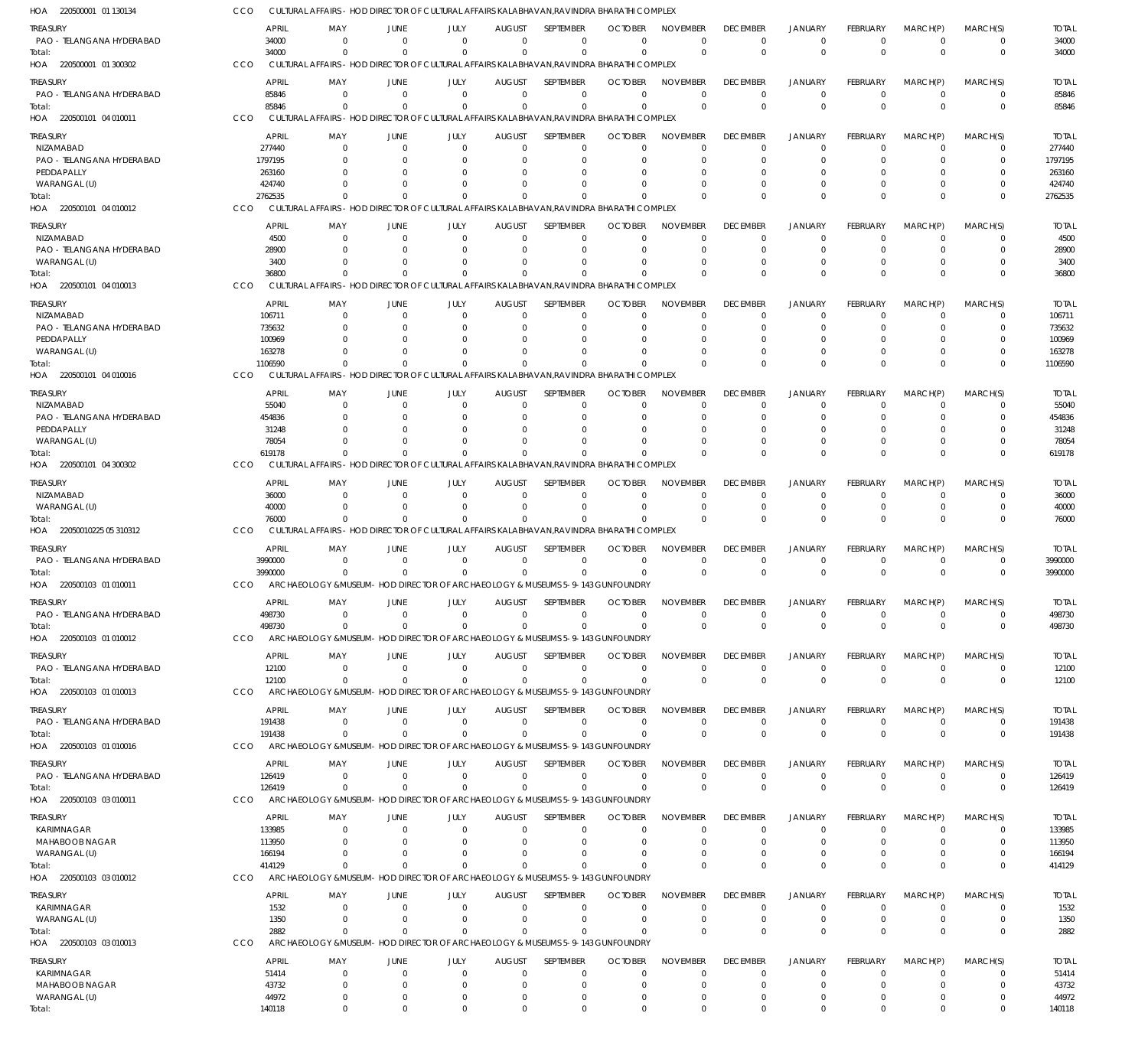| HOA 220500001 01 130134                       | CCO        |                       |                        |                      | CULTURAL AFFAIRS - HOD DIRECTOR OF CULTURAL AFFAIRS KALABHAVAN, RAVINDRA BHARATHI COMPLEX             |                           |                              |                            |                             |                             |                              |                      |                      |                         |                        |
|-----------------------------------------------|------------|-----------------------|------------------------|----------------------|-------------------------------------------------------------------------------------------------------|---------------------------|------------------------------|----------------------------|-----------------------------|-----------------------------|------------------------------|----------------------|----------------------|-------------------------|------------------------|
| treasury                                      |            | <b>APRIL</b>          | MAY                    | JUNE                 | JULY                                                                                                  | <b>AUGUST</b>             | <b>SFPIFMBFR</b>             | <b>OCTOBER</b>             | <b>NOVEMBER</b>             | <b>DECEMBER</b>             | <b>JANUARY</b>               | <b>FEBRUARY</b>      | MARCH(P)             | MARCH(S)                | <b>TOTAL</b>           |
| PAO - TELANGANA HYDERABAD                     |            | 34000                 | $\Omega$               | $\Omega$             | $\Omega$                                                                                              | $\Omega$                  | $\Omega$                     | $\Omega$                   | $\Omega$                    | $\Omega$                    | $^{\circ}$                   | $\Omega$             | $\overline{0}$       | 0                       | 34000                  |
| Total:                                        |            | 34000                 | $\Omega$               | $\Omega$             | $\Omega$                                                                                              | $\Omega$                  | $\Omega$                     | $\Omega$                   | $\Omega$                    | $\Omega$                    | $\Omega$                     | $\Omega$             | $\Omega$             | $\mathbf 0$             | 34000                  |
| HOA 220500001 01 300302                       | CCO        |                       |                        |                      | CULTURAL AFFAIRS - HOD DIRECTOR OF CULTURAL AFFAIRS KALABHAVAN, RAVINDRA BHARATHI COMPLEX             |                           |                              |                            |                             |                             |                              |                      |                      |                         |                        |
| treasury                                      |            | <b>APRIL</b>          | MAY                    | JUNE                 | JULY                                                                                                  | <b>AUGUST</b>             | <b>SEPTEMBER</b>             | <b>OCTOBER</b>             | <b>NOVEMBER</b>             | <b>DECEMBER</b>             | <b>JANUARY</b>               | <b>FEBRUARY</b>      | MARCH(P)             | MARCH(S)                | <b>TOTAL</b>           |
| PAO - TELANGANA HYDERABAD                     |            | 85846                 | $\Omega$               | $\Omega$             | $\Omega$                                                                                              | $\Omega$                  | $\mathbf 0$                  | $\Omega$                   | $\Omega$                    | $\Omega$                    | $\overline{0}$               | $\Omega$             | $\Omega$             | $\mathbf 0$             | 85846                  |
| Total:<br>HOA 220500101 04 010011             | CCO        | 85846                 | $\Omega$               | $\Omega$             | $\Omega$<br>CULTURAL AFFAIRS - HOD DIRECTOR OF CULTURAL AFFAIRS KALABHAVAN, RAVINDRA BHARATHI COMPLEX | $\Omega$                  | $\Omega$                     | $\Omega$                   | $\Omega$                    | $\Omega$                    | $\Omega$                     | $\Omega$             | $\Omega$             | $\mathbf 0$             | 85846                  |
|                                               |            |                       |                        |                      |                                                                                                       |                           |                              |                            |                             |                             |                              |                      |                      |                         |                        |
| treasury                                      |            | <b>APRIL</b>          | MAY                    | JUNE                 | JULY                                                                                                  | <b>AUGUST</b>             | SEPTEMBER                    | <b>OCTOBER</b>             | <b>NOVEMBER</b>             | <b>DECEMBER</b>             | <b>JANUARY</b>               | <b>FEBRUARY</b>      | MARCH(P)             | MARCH(S)                | <b>TOTAL</b>           |
| <b>NIZAMABAD</b><br>PAO - TELANGANA HYDERABAD |            | 277440<br>1797195     | $\Omega$               | $\Omega$             | $\Omega$<br>n                                                                                         | $\Omega$<br>$\Omega$      | $\Omega$<br>$\Omega$         | $\Omega$<br>O              | $\Omega$<br>$\Omega$        | $\Omega$<br>$\Omega$        | $\Omega$<br>$\Omega$         | $\Omega$<br>O        | $\Omega$<br>$\Omega$ | $\Omega$<br>$\Omega$    | 277440<br>1797195      |
| PEDDAPALLY                                    |            | 263160                |                        |                      |                                                                                                       |                           | O                            |                            |                             |                             | $\Omega$                     |                      | O                    |                         | 263160                 |
| WARANGAL (U)                                  |            | 424740                |                        |                      |                                                                                                       | $\Omega$                  | $\Omega$                     | -0                         | $\Omega$                    |                             | $\Omega$                     |                      | $\Omega$             | $\Omega$                | 424740                 |
| Total:                                        |            | 2762535               |                        | $\Omega$             | $\Omega$                                                                                              | $\Omega$                  | $\Omega$                     |                            | $\Omega$                    | $\Omega$                    | $\Omega$                     | <sup>0</sup>         | $\Omega$             | $\mathbf 0$             | 2762535                |
| HOA 220500101 04 010012                       | CCO        |                       |                        |                      | CULTURAL AFFAIRS - HOD DIRECTOR OF CULTURAL AFFAIRS KALABHAVAN, RAVINDRA BHARATHI COMPLEX             |                           |                              |                            |                             |                             |                              |                      |                      |                         |                        |
| treasury                                      |            | <b>APRIL</b>          | MAY                    | JUNE                 | JULY                                                                                                  | <b>AUGUST</b>             | SEPTEMBER                    | <b>OCTOBER</b>             | <b>NOVEMBER</b>             | <b>DECEMBER</b>             | <b>JANUARY</b>               | <b>FEBRUARY</b>      | MARCH(P)             | MARCH(S)                | <b>TOTAL</b>           |
| NIZAMABAD                                     |            | 4500                  | $\Omega$               | 0                    | $\Omega$                                                                                              | $\Omega$                  | $\mathbf 0$                  | $\Omega$                   | $\Omega$                    | $\Omega$                    | $\Omega$                     | 0                    | $\Omega$             | 0                       | 4500                   |
| PAO - TELANGANA HYDERABAD                     |            | 28900                 |                        | $\Omega$             | $\Omega$                                                                                              | $\Omega$                  | $\Omega$                     | $\Omega$                   | $\Omega$                    | $\Omega$                    | $\Omega$                     | $\Omega$             | $\Omega$             | $\Omega$                | 28900                  |
| WARANGAL (U)                                  |            | 3400                  | $\Omega$               | $\Omega$             | n                                                                                                     | $\Omega$                  | $\Omega$                     | $\Omega$                   | $\Omega$                    | $\Omega$                    | $\Omega$                     | 0                    | $\Omega$             | $\Omega$                | 3400                   |
| Total:                                        |            | 36800                 |                        |                      | $\Omega$                                                                                              | $\Omega$                  | $\Omega$                     |                            | $\Omega$                    | $\Omega$                    | $\Omega$                     | $\Omega$             | $\Omega$             | $\mathbf 0$             | 36800                  |
| HOA 220500101 04 010013                       | CCO        |                       |                        |                      | CULTURAL AFFAIRS - HOD DIRECTOR OF CULTURAL AFFAIRS KALABHAVAN, RAVINDRA BHARATHI COMPLEX             |                           |                              |                            |                             |                             |                              |                      |                      |                         |                        |
| treasury                                      |            | <b>APRIL</b>          | MAY                    | JUNE                 | JULY                                                                                                  | <b>AUGUST</b>             | SEPTEMBER                    | <b>OCTOBER</b>             | <b>NOVEMBER</b>             | <b>DECEMBER</b>             | <b>JANUARY</b>               | FEBRUARY             | MARCH(P)             | MARCH(S)                | <b>TOTAL</b>           |
| <b>NIZAMABAD</b>                              |            | 106711                | $\Omega$               | $\Omega$             | $\Omega$                                                                                              | $\Omega$                  | $\Omega$                     | $\Omega$                   | $\Omega$                    | $\Omega$                    | $\Omega$                     | 0                    | $\Omega$             | $\Omega$                | 106711                 |
| PAO - TELANGANA HYDERABAD<br>PEDDAPALLY       |            | 735632<br>100969      |                        | $\Omega$             | n                                                                                                     | $\Omega$                  | $\Omega$<br>$\Omega$         | O                          | $\Omega$                    | $\Omega$                    | $\Omega$<br>$\Omega$         |                      | $\Omega$<br>$\Omega$ | $\Omega$<br>C           | 735632<br>100969       |
| WARANGAL (U)                                  |            | 163278                |                        |                      |                                                                                                       | $\Omega$                  | $\Omega$                     |                            | $\Omega$                    |                             | $\Omega$                     | 0                    | $\Omega$             | $\Omega$                | 163278                 |
| Total:                                        |            | 1106590               | $\Omega$               | $\Omega$             | $\Omega$                                                                                              | $\Omega$                  | $\Omega$                     |                            | $\Omega$                    | $\Omega$                    | $\Omega$                     | U                    | $\Omega$             | $\Omega$                | 1106590                |
| HOA 220500101 04 010016                       | CCO        |                       |                        |                      | CULTURAL AFFAIRS - HOD DIRECTOR OF CULTURAL AFFAIRS KALABHAVAN, RAVINDRA BHARATHI COMPLEX             |                           |                              |                            |                             |                             |                              |                      |                      |                         |                        |
| treasury                                      |            | APRIL                 | MAY                    | JUNE                 | JULY                                                                                                  | <b>AUGUST</b>             | SEPTEMBER                    | <b>OCTOBER</b>             | <b>NOVEMBER</b>             | <b>DECEMBER</b>             | <b>JANUARY</b>               | <b>FEBRUARY</b>      | MARCH(P)             | MARCH(S)                | <b>TOTAL</b>           |
| NIZAMABAD                                     |            | 55040                 | $\Omega$               | $\Omega$             | 0                                                                                                     | $\Omega$                  | 0                            | $\Omega$                   | $\Omega$                    | $\Omega$                    | $^{\circ}$                   | $\Omega$             | $\Omega$             | $\Omega$                | 55040                  |
| PAO - TELANGANA HYDERABAD                     |            | 454836                | $\Omega$               | $\Omega$             | n                                                                                                     | $\Omega$                  | $\Omega$                     | C.                         | $\Omega$                    | $\Omega$                    | $\Omega$                     | 0                    | $\Omega$             | $\Omega$                | 454836                 |
| PEDDAPALLY                                    |            | 31248                 | <sup>0</sup>           | $\Omega$             |                                                                                                       | C                         | $\Omega$                     | C.                         | $\Omega$                    | $\Omega$                    | $\Omega$                     |                      | 0                    | $\Omega$                | 31248                  |
| WARANGAL (U)                                  |            | 78054                 |                        |                      |                                                                                                       | $\Omega$                  | $\Omega$                     | C.                         | $\Omega$                    |                             | $\Omega$                     | $\Omega$             | $\Omega$             | $\Omega$                | 78054                  |
| Total:                                        |            | 619178                |                        |                      |                                                                                                       | $\Omega$                  | $\Omega$                     |                            | $\Omega$                    | $\Omega$                    | $\Omega$                     | $\Omega$             | $\Omega$             | $\Omega$                | 619178                 |
| HOA 220500101 04 300302                       | CCO        |                       |                        |                      | CULTURAL AFFAIRS - HOD DIRECTOR OF CULTURAL AFFAIRS KALABHAVAN, RAVINDRA BHARATHI COMPLEX             |                           |                              |                            |                             |                             |                              |                      |                      |                         |                        |
| treasury                                      |            | APRIL                 | MAY                    | JUNE                 | JULY                                                                                                  | <b>AUGUST</b>             | SEPTEMBER                    | <b>OCTOBER</b>             | <b>NOVEMBER</b>             | <b>DECEMBER</b>             | <b>JANUARY</b>               | <b>FEBRUARY</b>      | MARCH(P)             | MARCH(S)                | <b>TOTAL</b>           |
| NIZAMABAD                                     |            | 36000                 | $\Omega$               | $\Omega$             | $\Omega$                                                                                              | $\Omega$                  | $\Omega$                     | $\Omega$                   | $\Omega$                    | $\Omega$                    | $\Omega$                     | $\Omega$             | $\Omega$             | $\Omega$                | 36000                  |
| WARANGAL (U)                                  |            | 40000                 | <sup>0</sup>           |                      | $\Omega$                                                                                              | $\Omega$                  | $\Omega$                     | $\Omega$                   | $\Omega$                    | $\Omega$                    | $\overline{0}$               | $\Omega$             | $\Omega$             | $\Omega$                | 40000                  |
| lotal:<br>HOA 22050010225 05 310312           | CCO        | 76000                 |                        |                      | CULTURAL AFFAIRS - HOD DIRECTOR OF CULTURAL AFFAIRS KALABHAVAN, RAVINDRA BHARATHI COMPLEX             | $\Omega$                  | $\Omega$                     |                            | $\Omega$                    | $\Omega$                    | $\Omega$                     | 0                    | $\Omega$             | $\Omega$                | 76000                  |
|                                               |            |                       |                        |                      |                                                                                                       |                           |                              |                            |                             |                             |                              |                      |                      |                         |                        |
| treasury                                      |            | APRIL                 | MAY                    | JUNE                 | JULY                                                                                                  | <b>AUGUST</b>             | SEPTEMBER                    | <b>OCTOBER</b>             | <b>NOVEMBER</b>             | <b>DECEMBER</b>             | <b>JANUARY</b>               | <b>FEBRUARY</b>      | MARCH(P)             | MARCH(S)                | <b>TOTAL</b>           |
| PAO - TELANGANA HYDERABAD                     |            | 3990000<br>3990000    | $\Omega$<br>$\Omega$   | $\Omega$<br>$\Omega$ | $\Omega$<br>$\Omega$                                                                                  | $\Omega$<br>$\Omega$      | $\Omega$<br>$\Omega$         | $\Omega$                   | $\mathbf 0$<br>$\Omega$     | $\Omega$<br>$\Omega$        | $^{\circ}$<br>$\Omega$       | 0<br>$\Omega$        | $\Omega$<br>$\Omega$ | 0<br>$\mathbf 0$        | 3990000<br>3990000     |
| Total:<br>HOA 220500103 01 010011             | <b>CCO</b> |                       |                        |                      | ARCHAEOLOGY & MUSEUM - HOD DIRECTOR OF ARCHAEOLOGY & MUSEUMS 5-9-143 GUNFOUNDRY                       |                           |                              |                            |                             |                             |                              |                      |                      |                         |                        |
|                                               |            |                       |                        |                      |                                                                                                       |                           |                              |                            |                             |                             |                              |                      |                      |                         |                        |
| TREASURY                                      |            | <b>APRIL</b>          | MAY                    | <b>JUNE</b>          | JULY                                                                                                  | <b>AUGUST</b>             | SEPTEMBER                    | <b>OCTOBER</b><br>$\cup$   | NOVEMBER                    | <b>DECEMBER</b>             | <b>JANUARY</b>               | FEBRUARY             | MARCH(P)             | MARCH(S)                | <b>TOTAL</b><br>498730 |
| PAO - TELANGANA HYDERABAD<br>Total:           |            | 498730<br>498730      | $\Omega$<br>$\Omega$   | $\Omega$<br>$\Omega$ | $\Omega$<br>$\Omega$                                                                                  | $\Omega$<br>$\Omega$      | $\Omega$<br>$\Omega$         | $\Omega$                   | $\Omega$<br>$\Omega$        | $\Omega$<br>$\Omega$        | $\Omega$<br>$\overline{0}$   | $\Omega$<br>$\Omega$ | $\Omega$<br>$\Omega$ | $\Omega$<br>$\mathbf 0$ | 498730                 |
| HOA 220500103 01 010012                       | CCO        |                       |                        |                      | ARCHAEOLOGY & MUSEUM - HOD DIRECTOR OF ARCHAEOLOGY & MUSEUMS 5-9-143 GUNFOUNDRY                       |                           |                              |                            |                             |                             |                              |                      |                      |                         |                        |
|                                               |            |                       |                        |                      |                                                                                                       |                           |                              |                            |                             |                             |                              |                      |                      |                         |                        |
| Treasury<br>PAO - TELANGANA HYDERABAD         |            | <b>APRIL</b><br>12100 | MAY<br>- 0             | JUNE<br>$\Omega$     | JULY<br>$\Omega$                                                                                      | <b>AUGUST</b><br>$\Omega$ | <b>SEPTEMBER</b><br>$\Omega$ | <b>OCTOBER</b><br>$\Omega$ | <b>NOVEMBER</b><br>$\Omega$ | <b>DECEMBER</b><br>$\Omega$ | <b>JANUARY</b><br>$^{\circ}$ | FEBRUARY<br>0        | MARCH(P)<br>- 0      | MARCH(S)<br>$\mathbf 0$ | <b>TOTAL</b><br>12100  |
| Total:                                        |            | 12100                 | $\Omega$               | $\Omega$             | $\Omega$                                                                                              | $\Omega$                  | $\Omega$                     | $\Omega$                   | $\Omega$                    | $\Omega$                    | $\overline{0}$               | $\Omega$             | $\Omega$             | $\mathbf 0$             | 12100                  |
| HOA 220500103 01 010013                       | <b>CCO</b> |                       |                        |                      | ARCHAEOLOGY & MUSEUM- HOD DIRECTOR OF ARCHAEOLOGY & MUSEUMS 5-9-143 GUNFOUNDRY                        |                           |                              |                            |                             |                             |                              |                      |                      |                         |                        |
| treasury                                      |            | <b>APRIL</b>          | MAY                    | JUNE                 | JULY                                                                                                  | <b>AUGUST</b>             | SEPTEMBER                    | <b>OCTOBER</b>             | <b>NOVEMBER</b>             | <b>DECEMBER</b>             | <b>JANUARY</b>               | FEBRUARY             | MARCH(P)             | MARCH(S)                | <b>TOTAL</b>           |
| PAO - TELANGANA HYDERABAD                     |            | 191438                | $\Omega$               | $\Omega$             | $\Omega$                                                                                              | $\mathbf 0$               | $\Omega$                     | $\Omega$                   | $\Omega$                    | $\Omega$                    | $^{\circ}$                   | $\Omega$             | $\overline{0}$       | 0                       | 191438                 |
| Total:                                        |            | 191438                | $\Omega$               | $\Omega$             | $\Omega$                                                                                              | $\Omega$                  | $\Omega$                     | $\Omega$                   | $\Omega$                    | $\Omega$                    | $\Omega$                     | $\Omega$             | $\Omega$             | $\mathbf 0$             | 191438                 |
| HOA 220500103 01 010016                       | CCO        |                       |                        |                      | ARCHAEOLOGY & MUSEUM- HOD DIRECTOR OF ARCHAEOLOGY & MUSEUMS 5-9-143 GUNFOUNDRY                        |                           |                              |                            |                             |                             |                              |                      |                      |                         |                        |
| treasury                                      |            | APRIL                 | MAY                    | JUNE                 | JULY                                                                                                  | <b>AUGUST</b>             | SEPTEMBER                    | <b>OCTOBER</b>             | <b>NOVEMBER</b>             | <b>DECEMBER</b>             | <b>JANUARY</b>               | <b>FEBRUARY</b>      | MARCH(P)             | MARCH(S)                | <b>TOTAL</b>           |
| PAO - TELANGANA HYDERABAD                     |            | 126419                | $\Omega$               | $\Omega$             | $\Omega$                                                                                              | $\Omega$                  | $\Omega$                     | $\Omega$                   | $\Omega$                    | $\Omega$                    | $\overline{0}$               | $\Omega$             | $\Omega$             | $\mathbf 0$             | 126419                 |
| Total:                                        |            | 126419                | $\Omega$               | $\Omega$             | $\Omega$                                                                                              | $\Omega$                  | $\Omega$                     | $\Omega$                   | $\Omega$                    | $\Omega$                    | $\overline{0}$               | $\Omega$             | $\Omega$             | $\mathbf 0$             | 126419                 |
| HOA 220500103 03 010011                       | CCO        |                       |                        |                      | ARCHAEOLOGY & MUSEUM- HOD DIRECTOR OF ARCHAEOLOGY & MUSEUMS 5-9-143 GUNFOUNDRY                        |                           |                              |                            |                             |                             |                              |                      |                      |                         |                        |
| Treasury                                      |            | APRIL                 | MAY                    | JUNE                 | JULY                                                                                                  | <b>AUGUST</b>             | SEPTEMBER                    | <b>OCTOBER</b>             | <b>NOVEMBER</b>             | <b>DECEMBER</b>             | <b>JANUARY</b>               | <b>FEBRUARY</b>      | MARCH(P)             | MARCH(S)                | <b>TOTAL</b>           |
| KARIMNAGAR                                    |            | 133985                | $\Omega$               | $\Omega$             | $\Omega$                                                                                              | $\Omega$                  | 0                            | -0                         | $\Omega$                    | $\Omega$                    | $\Omega$                     | $\Omega$             | $\Omega$             | $\Omega$                | 133985                 |
| MAHABOOB NAGAR                                |            | 113950                |                        |                      | $\Omega$                                                                                              | $\Omega$                  | $\Omega$                     | O                          | $\Omega$                    | $\Omega$                    | $\Omega$                     |                      | $\Omega$             | $\Omega$                | 113950                 |
| WARANGAL (U)                                  |            | 166194                | <sup>0</sup>           |                      | n                                                                                                     | $\Omega$                  | $\Omega$                     | O                          | $\Omega$                    | $\Omega$                    | $\Omega$                     | 0                    | $\Omega$             | $\Omega$                | 166194                 |
| Total:                                        |            | 414129                | $\Omega$               | $\Omega$             | $\Omega$                                                                                              | $\Omega$                  | $\Omega$                     | $\Omega$                   | $\Omega$                    | $\Omega$                    | $\Omega$                     | 0                    | $\Omega$             | $\Omega$                | 414129                 |
| HOA 220500103 03 010012                       | CCO        |                       |                        |                      | ARCHAEOLOGY & MUSEUM - HOD DIRECTOR OF ARCHAEOLOGY & MUSEUMS 5-9-143 GUNFOUNDRY                       |                           |                              |                            |                             |                             |                              |                      |                      |                         |                        |
| Treasury                                      |            | <b>APRIL</b>          | MAY                    | JUNE                 | JULY                                                                                                  | <b>AUGUST</b>             | SEPTEMBER                    | <b>OCTOBER</b>             | <b>NOVEMBER</b>             | <b>DECEMBER</b>             | <b>JANUARY</b>               | FEBRUARY             | MARCH(P)             | MARCH(S)                | <b>TOTAL</b>           |
| KARIMNAGAR                                    |            | 1532                  | $\Omega$               | $\Omega$             | $\Omega$                                                                                              | $\Omega$                  | $\mathbf 0$                  | $\Omega$                   | $\Omega$                    | $\Omega$                    | $^{\circ}$                   | $\Omega$             | $\Omega$             | 0                       | 1532                   |
| WARANGAL (U)                                  |            | 1350                  | $\Omega$               | $\Omega$             | $\Omega$                                                                                              | $\Omega$                  | $\Omega$                     | $\Omega$                   | $\mathbf 0$                 | $\Omega$                    | $\overline{0}$               | 0                    | $\overline{0}$       | $\mathbf 0$             | 1350                   |
| Total:                                        | CCO        | 2882                  | $\Omega$               | $\Omega$             | $\Omega$<br>ARCHAEOLOGY & MUSEUM - HOD DIRECTOR OF ARCHAEOLOGY & MUSEUMS 5-9-143 GUNFOUNDRY           | $\Omega$                  | $\Omega$                     | $\Omega$                   | $\Omega$                    | $\Omega$                    | $\Omega$                     | $\Omega$             | $\Omega$             | $\mathbf 0$             | 2882                   |
| HOA 220500103 03 010013                       |            |                       |                        |                      |                                                                                                       |                           |                              |                            |                             |                             |                              |                      |                      |                         |                        |
| Treasury                                      |            | <b>APRIL</b>          | MAY                    | JUNE                 | JULY                                                                                                  | <b>AUGUST</b>             | SEPTEMBER                    | <b>OCTOBER</b>             | <b>NOVEMBER</b>             | <b>DECEMBER</b>             | <b>JANUARY</b>               | <b>FEBRUARY</b>      | MARCH(P)             | MARCH(S)                | <b>TOTAL</b>           |
| KARIMNAGAR                                    |            | 51414                 | $\Omega$               | $\Omega$             | $\Omega$                                                                                              | $\Omega$                  | $\Omega$                     | $\Omega$                   | $\Omega$                    | $\Omega$                    | $\Omega$                     | $\Omega$             | $\Omega$             | $\Omega$                | 51414                  |
| MAHABOOB NAGAR<br>WARANGAL (U)                |            | 43732<br>44972        | $\Omega$<br>$^{\circ}$ | - 0<br>0             | $\Omega$<br>$\Omega$                                                                                  | $\Omega$<br>0             | $\Omega$<br>$\mathbf 0$      | $\Omega$<br>0              | $\Omega$<br>$\mathbf 0$     | $\Omega$<br>$\Omega$        | $\Omega$<br>$^{\circ}$       | 0<br>$\Omega$        | $\Omega$<br>0        | $\Omega$<br>0           | 43732<br>44972         |
| Total:                                        |            | 140118                | $\Omega$               | $\Omega$             | $\Omega$                                                                                              | $\Omega$                  | $\Omega$                     | $\Omega$                   | $\Omega$                    | $\Omega$                    | $^{\circ}$                   | $\Omega$             | $\Omega$             | $\Omega$                | 140118                 |
|                                               |            |                       |                        |                      |                                                                                                       |                           |                              |                            |                             |                             |                              |                      |                      |                         |                        |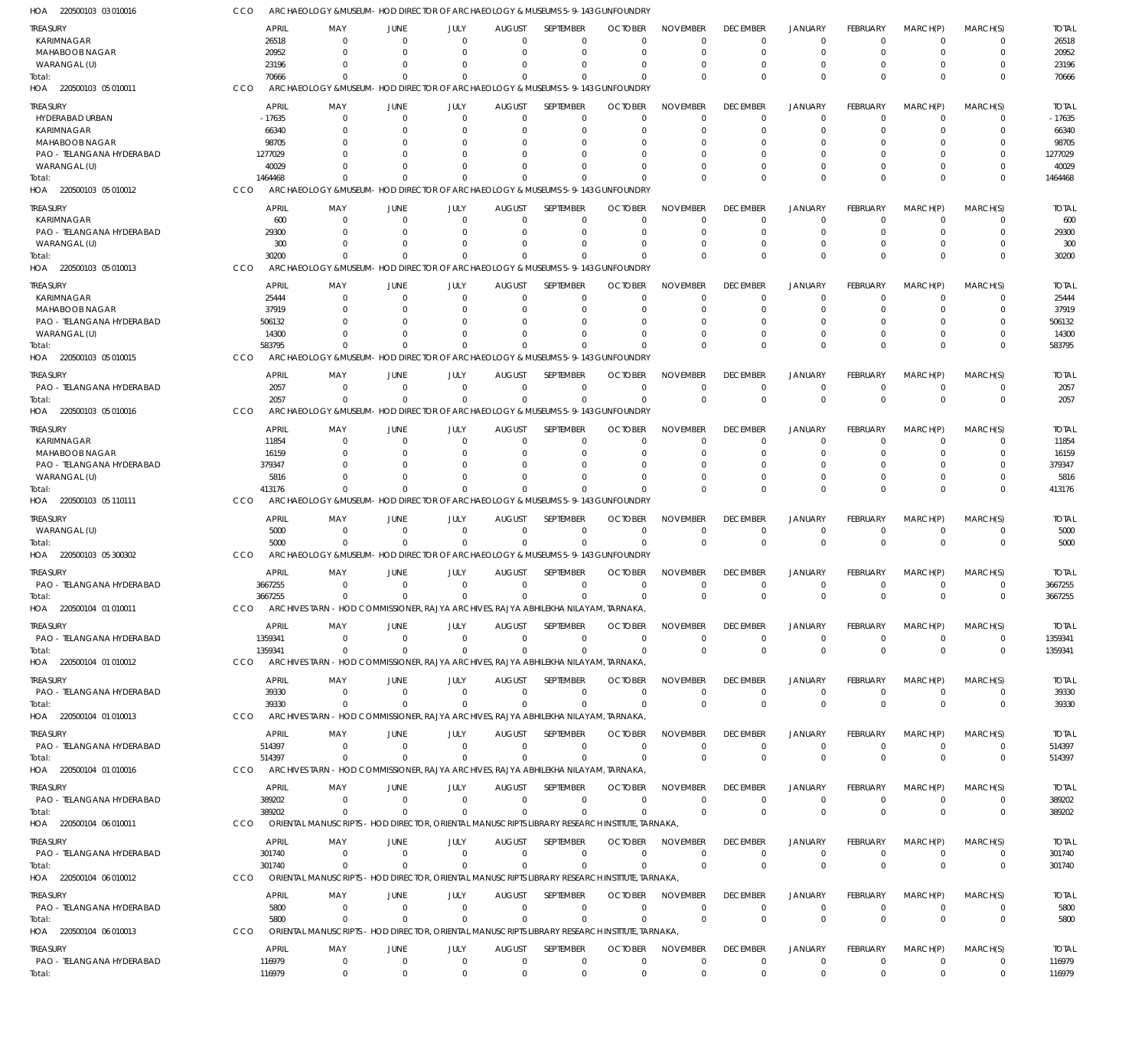| HOA 220500103 03 010016               |                         | ARCHAEOLOGY &MUSEUM- HOD DIRECTOR OF ARCHAEOLOGY & MUSEUMS 5-9-143 GUNFOUNDRY                  |                                  |                                                                          |                                |                            |                                  |                                |                                |                                  |                                |                                  |                            |                         |
|---------------------------------------|-------------------------|------------------------------------------------------------------------------------------------|----------------------------------|--------------------------------------------------------------------------|--------------------------------|----------------------------|----------------------------------|--------------------------------|--------------------------------|----------------------------------|--------------------------------|----------------------------------|----------------------------|-------------------------|
| <b>TREASURY</b>                       | <b>APRIL</b>            | MAY                                                                                            | JUNE                             | JULY                                                                     | <b>AUGUST</b>                  | SEPTEMBER                  | <b>OCTOBER</b>                   | <b>NOVEMBER</b>                | <b>DECEMBER</b>                | <b>JANUARY</b>                   | FEBRUARY                       | MARCH(P)                         | MARCH(S)                   | <b>TOTAL</b>            |
| <b>KARIMNAGAR</b>                     | 26518                   | $\Omega$                                                                                       | $\Omega$                         | $\Omega$                                                                 | $\Omega$                       | 0                          | $\Omega$                         | $\Omega$                       | $\Omega$                       | $\Omega$                         | $\Omega$                       | $\mathbf 0$                      | 0                          | 26518                   |
| <b>MAHABOOB NAGAR</b>                 | 20952                   | $\Omega$                                                                                       | $\Omega$                         | $\Omega$                                                                 | $\Omega$                       | $\mathbf 0$                | $\Omega$                         | $\Omega$                       | $\Omega$                       | $\Omega$                         | $\Omega$                       | $\Omega$                         | $\mathbf 0$                | 20952                   |
| WARANGAL (U)                          | 23196                   | $\Omega$<br>$\Omega$                                                                           | - 0<br>$\Omega$                  | n<br>$\Omega$                                                            | $\Omega$<br>$\Omega$           | $\Omega$<br>$\Omega$       | O                                | $\Omega$<br>$\Omega$           | $\Omega$                       | $^{\circ}$<br>$\Omega$           | $\Omega$<br>$\Omega$           | $\Omega$<br>$\Omega$             | 0<br>$\Omega$              | 23196                   |
| Total:<br>HOA 220500103 05 010011     | 70666<br>CCO            | ARCHAEOLOGY & MUSEUM - HOD DIRECTOR OF ARCHAEOLOGY & MUSEUMS 5-9-143 GUNFOUNDRY                |                                  |                                                                          |                                |                            | $\Omega$                         |                                |                                |                                  |                                |                                  |                            | 70666                   |
|                                       |                         |                                                                                                |                                  |                                                                          |                                |                            |                                  |                                |                                |                                  |                                |                                  |                            |                         |
| treasury                              | <b>APRIL</b>            | MAY                                                                                            | JUNE                             | JULY                                                                     | <b>AUGUST</b>                  | SEPTEMBER                  | <b>OCTOBER</b>                   | <b>NOVEMBER</b>                | <b>DECEMBER</b>                | <b>JANUARY</b>                   | FEBRUARY                       | MARCH(P)                         | MARCH(S)                   | <b>TOTAL</b>            |
| HYDERABAD URBAN<br><b>KARIMNAGAR</b>  | $-17635$<br>66340       | $\Omega$<br>0                                                                                  | $\Omega$                         | $\Omega$<br>0                                                            | $\mathbf 0$<br>$\Omega$        | $\mathbf 0$<br>$\mathbf 0$ | $\Omega$<br>O                    | $\Omega$<br>$\Omega$           | $\Omega$                       | $\overline{0}$<br>$\Omega$       | $\Omega$<br>0                  | $\overline{0}$<br>$\Omega$       | 0<br>$\mathbf 0$           | $-17635$<br>66340       |
| MAHABOOB NAGAR                        | 98705                   |                                                                                                |                                  |                                                                          |                                | $\Omega$                   |                                  | $\Omega$                       |                                |                                  |                                |                                  |                            | 98705                   |
| PAO - TELANGANA HYDERABAD             | 1277029                 |                                                                                                | $\Omega$                         |                                                                          | $\Omega$                       | $\Omega$                   | O                                | $\Omega$                       |                                | - 0                              |                                | $\Omega$                         | 0                          | 1277029                 |
| WARANGAL (U)                          | 40029                   |                                                                                                |                                  |                                                                          | $\Omega$                       | $\Omega$                   |                                  | $\Omega$                       |                                | $\Omega$                         | 0                              | $\Omega$                         | $\Omega$                   | 40029                   |
| Total:                                | 1464468                 | $\Omega$                                                                                       | $\Omega$                         |                                                                          | $\Omega$                       | $\Omega$                   |                                  | $\Omega$                       | $\Omega$                       | $\Omega$                         | $\Omega$                       | $\Omega$                         | $\mathbf 0$                | 1464468                 |
| HOA 220500103 05 010012               | CCO                     | ARCHAEOLOGY & MUSEUM - HOD DIRECTOR OF ARCHAEOLOGY & MUSEUMS 5-9-143 GUNFOUNDRY                |                                  |                                                                          |                                |                            |                                  |                                |                                |                                  |                                |                                  |                            |                         |
| treasury                              | <b>APRIL</b>            | MAY                                                                                            | JUNE                             | JULY                                                                     | <b>AUGUST</b>                  | SEPTEMBER                  | <b>OCTOBER</b>                   | <b>NOVEMBER</b>                | <b>DECEMBER</b>                | <b>JANUARY</b>                   | FEBRUARY                       | MARCH(P)                         | MARCH(S)                   | <b>TOTAL</b>            |
| <b>KARIMNAGAR</b>                     | 600                     | $\Omega$                                                                                       | $\Omega$                         | $\mathbf 0$                                                              | $\mathbf 0$                    | $\mathbf 0$                | $\Omega$                         | $\Omega$                       | $\Omega$                       | $\Omega$                         | $\Omega$                       | $\overline{0}$                   | 0                          | 600                     |
| PAO - TELANGANA HYDERABAD             | 29300                   | $\Omega$                                                                                       | $\Omega$                         | $\Omega$                                                                 | $\Omega$                       | $\mathbf 0$                | O                                | $\Omega$                       | $\Omega$                       | $\Omega$                         |                                | $\Omega$                         | $\Omega$                   | 29300                   |
| WARANGAL (U)                          | 300                     | $\Omega$                                                                                       | $\Omega$                         | $\Omega$                                                                 | $\Omega$                       | $\Omega$                   | O                                | $\Omega$                       | $\Omega$                       | $\Omega$                         | $\Omega$                       | $\Omega$                         | $\mathbf 0$                | 300                     |
| Total:                                | 30200                   | $\Omega$                                                                                       | $\Omega$                         | $\Omega$                                                                 | $\Omega$                       | $\Omega$                   | $\Omega$                         | $\Omega$                       | $\Omega$                       | $\Omega$                         | $\Omega$                       | $\Omega$                         | $\mathbf 0$                | 30200                   |
| HOA 220500103 05 010013               | CCO                     | ARCHAEOLOGY & MUSEUM - HOD DIRECTOR OF ARCHAEOLOGY & MUSEUMS 5-9-143 GUNFOUNDRY                |                                  |                                                                          |                                |                            |                                  |                                |                                |                                  |                                |                                  |                            |                         |
| <b>TREASURY</b>                       | APRIL                   | MAY                                                                                            | JUNE                             | JULY                                                                     | <b>AUGUST</b>                  | SEPTEMBER                  | <b>OCTOBER</b>                   | <b>NOVEMBER</b>                | <b>DECEMBER</b>                | <b>JANUARY</b>                   | <b>FEBRUARY</b>                | MARCH(P)                         | MARCH(S)                   | <b>TOTAL</b>            |
| KARIMNAGAR                            | 25444                   | $\Omega$                                                                                       | $\Omega$                         | $\Omega$                                                                 | $\mathbf 0$                    | 0                          | O                                | $\Omega$                       | -0                             | $^{\circ}$                       | 0                              | 0                                | 0                          | 25444                   |
| MAHABOOB NAGAR                        | 37919                   | <sup>0</sup>                                                                                   | $\Omega$                         | $\Omega$                                                                 | $\Omega$                       | $\mathbf 0$                | O                                | $\Omega$                       |                                | $\Omega$                         | U                              | $\Omega$                         | 0                          | 37919                   |
| PAO - TELANGANA HYDERABAD             | 506132                  |                                                                                                | $\Omega$                         |                                                                          | $\Omega$                       | 0                          | O                                | $\Omega$                       |                                | - 0                              |                                | $\Omega$                         | 0                          | 506132                  |
| WARANGAL (U)                          | 14300                   |                                                                                                |                                  |                                                                          | $\Omega$                       | $\Omega$                   | O                                | $\Omega$                       |                                | $\Omega$                         | $\Omega$                       | $\Omega$                         | $\mathbf 0$                | 14300                   |
| lotal:<br>HOA 220500103 05 010015     | 583795                  | $\Omega$<br>ARCHAEOLOGY & MUSEUM - HOD DIRECTOR OF ARCHAEOLOGY & MUSEUMS 5-9-143 GUNFOUNDRY    |                                  |                                                                          | $\Omega$                       | $\Omega$                   | -C                               | $\Omega$                       | $\Omega$                       | $\Omega$                         | $\Omega$                       | $\Omega$                         | $\mathbf 0$                | 583795                  |
|                                       | CCO                     |                                                                                                |                                  |                                                                          |                                |                            |                                  |                                |                                |                                  |                                |                                  |                            |                         |
| treasury                              | APRIL                   | MAY                                                                                            | JUNE                             | JULY                                                                     | <b>AUGUST</b>                  | SEPTEMBER                  | <b>OCTOBER</b>                   | <b>NOVEMBER</b>                | <b>DECEMBER</b>                | <b>JANUARY</b>                   | <b>FEBRUARY</b>                | MARCH(P)                         | MARCH(S)                   | <b>TOTAL</b>            |
| PAO - TELANGANA HYDERABAD             | 2057                    | $\Omega$                                                                                       | $\Omega$                         | $\overline{0}$                                                           | $\mathbf 0$                    | $\mathbf 0$                | $\Omega$                         | $\Omega$                       | $\Omega$                       | $\overline{0}$                   | $\Omega$                       | $\overline{0}$                   | $\mathbf 0$                | 2057                    |
| Total:                                | 2057                    | $\Omega$                                                                                       | $\Omega$                         | $\Omega$                                                                 | $\mathbf 0$                    | $\Omega$                   | $\Omega$                         | $\Omega$                       | $\Omega$                       | $\Omega$                         | $\Omega$                       | $\Omega$                         | $\mathbf 0$                | 2057                    |
| HOA 220500103 05 010016               | CCO                     | ARCHAEOLOGY & MUSEUM- HOD DIRECTOR OF ARCHAEOLOGY & MUSEUMS 5-9-143 GUNFOUNDRY                 |                                  |                                                                          |                                |                            |                                  |                                |                                |                                  |                                |                                  |                            |                         |
| treasury                              | <b>APRIL</b>            | MAY                                                                                            | JUNE                             | JULY                                                                     | <b>AUGUST</b>                  | SEPTEMBER                  | <b>OCTOBER</b>                   | <b>NOVEMBER</b>                | <b>DECEMBER</b>                | <b>JANUARY</b>                   | <b>FEBRUARY</b>                | MARCH(P)                         | MARCH(S)                   | <b>TOTAL</b>            |
| <b>KARIMNAGAR</b>                     | 11854                   | $\Omega$                                                                                       | $\Omega$                         | $\Omega$                                                                 | 0                              | 0                          | $\Omega$                         | $\Omega$                       | -0                             | $^{\circ}$                       | $\Omega$                       | $\Omega$                         | 0                          | 11854                   |
| MAHABOOB NAGAR                        | 16159                   |                                                                                                | $\Omega$                         | $\Omega$                                                                 | $\Omega$                       | $\mathbf 0$                | O                                | $\Omega$                       |                                |                                  |                                | $\Omega$                         | 0                          | 16159                   |
| PAO - TELANGANA HYDERABAD             | 379347                  |                                                                                                | $\Omega$                         | n                                                                        | $\Omega$<br>$\Omega$           | 0                          | O                                | $\Omega$                       |                                | - 0                              |                                | $\Omega$<br>$\Omega$             | 0<br>$\Omega$              | 379347                  |
| WARANGAL (U)<br>otal:                 | 5816<br>413176          | $\Omega$                                                                                       |                                  |                                                                          | $\Omega$                       | $\Omega$<br>$\Omega$       | O                                | $\Omega$<br>$\Omega$           | $\Omega$                       | $\Omega$<br>$\Omega$             | $\Omega$<br>$\Omega$           | $\Omega$                         | $\Omega$                   | 5816<br>413176          |
| HOA 220500103 05 110111               | CCO                     | ARCHAEOLOGY & MUSEUM - HOD DIRECTOR OF ARCHAEOLOGY & MUSEUMS 5-9-143 GUNFOUNDRY                |                                  |                                                                          |                                |                            |                                  |                                |                                |                                  |                                |                                  |                            |                         |
|                                       |                         |                                                                                                |                                  |                                                                          |                                |                            |                                  |                                |                                |                                  |                                |                                  |                            |                         |
| treasury                              | APRIL<br>5000           | MAY<br>$\Omega$                                                                                | JUNE<br>$\Omega$                 | JULY<br>$\Omega$                                                         | <b>AUGUST</b><br>$\Omega$      | SEPTEMBER<br>$\mathbf 0$   | <b>OCTOBER</b><br>$\Omega$       | <b>NOVEMBER</b><br>$\Omega$    | <b>DECEMBER</b><br>$\Omega$    | <b>JANUARY</b><br>$^{\circ}$     | <b>FEBRUARY</b><br>$\Omega$    | MARCH(P)<br>$\Omega$             | MARCH(S)<br>$\mathbf 0$    | <b>TOTAL</b><br>5000    |
| WARANGAL (U)<br>Total:                | 5000                    | $^{\circ}$                                                                                     | $\overline{0}$                   | $\Omega$                                                                 | $\mathbf 0$                    | $\mathbf 0$                | $\Omega$                         | $\Omega$                       | $\Omega$                       | $\overline{0}$                   | $\Omega$                       | $\Omega$                         | $\mathbf 0$                | 5000                    |
| HOA 220500103 05 300302               | CCO                     | ARCHAEOLOGY & MUSEUM- HOD DIRECTOR OF ARCHAEOLOGY & MUSEUMS 5-9-143 GUNFOUNDRY                 |                                  |                                                                          |                                |                            |                                  |                                |                                |                                  |                                |                                  |                            |                         |
|                                       |                         |                                                                                                |                                  |                                                                          |                                |                            |                                  |                                |                                |                                  |                                |                                  |                            |                         |
| treasury<br>PAO - TELANGANA HYDERABAD | <b>APRIL</b><br>3667255 | MAY<br>$\Omega$                                                                                | JUNE<br>$\Omega$                 | JULY<br>0                                                                | <b>AUGUST</b><br>0             | SEPTEMBER<br>0             | <b>OCTOBER</b><br>0              | <b>NOVEMBER</b><br>$\mathbf 0$ | <b>DECEMBER</b><br>-0          | <b>JANUARY</b><br>$^{\circ}$     | <b>FEBRUARY</b><br>0           | MARCH(P)<br>- 0                  | MARCH(S)<br>0              | <b>TOTAL</b><br>3667255 |
| Total:                                | 3667255                 | $^{\circ}$                                                                                     | $\Omega$                         | $\Omega$                                                                 | $\Omega$                       | $\mathbf 0$                | $\Omega$                         | $\Omega$                       | $\Omega$                       | $\Omega$                         | $\Omega$                       | $\Omega$                         | $\mathbf 0$                | 3667255                 |
| HOA 220500104 01 010011               |                         | ARCHIVES TARN - HOD COMMISSIONER, RAJYA ARCHIVES, RAJYA ABHILEKHA NILAYAM, TARNAKA             |                                  |                                                                          |                                |                            |                                  |                                |                                |                                  |                                |                                  |                            |                         |
|                                       |                         |                                                                                                |                                  |                                                                          |                                |                            |                                  |                                |                                |                                  |                                |                                  |                            |                         |
| Treasury<br>PAO - TELANGANA HYDERABAD | <b>APRIL</b><br>1359341 | MAY<br>$^{\circ}$                                                                              | JUNE<br>$\overline{0}$           | JULY<br>$\Omega$                                                         | <b>AUGUST</b><br>$\mathbf{0}$  | SEPTEMBER<br>0             | <b>OCTOBER</b><br>$\Omega$       | <b>NOVEMBER</b><br>$\Omega$    | <b>DECEMBER</b><br>$\Omega$    | <b>JANUARY</b><br>$\overline{0}$ | FEBRUARY<br>$\mathbf 0$        | MARCH(P)<br>$\overline{0}$       | MARCH(S)<br>0              | <b>TOTAL</b><br>1359341 |
| Total:                                | 1359341                 | $^{\circ}$                                                                                     | $\overline{0}$                   | $\Omega$                                                                 | $\Omega$                       | $\Omega$                   | $\Omega$                         | $\Omega$                       | $\mathbf 0$                    | $\Omega$                         | $\Omega$                       | $\Omega$                         | $\mathbf 0$                | 1359341                 |
| HOA 220500104 01 010012               | <b>CCO</b>              | ARCHIVES TARN - HOD COMMISSIONER, RAJYA ARCHIVES, RAJYA ABHILEKHA NILAYAM, TARNAKA             |                                  |                                                                          |                                |                            |                                  |                                |                                |                                  |                                |                                  |                            |                         |
|                                       |                         |                                                                                                |                                  |                                                                          |                                |                            |                                  |                                |                                |                                  |                                |                                  |                            |                         |
| treasury                              | <b>APRIL</b>            | MAY                                                                                            | JUNE<br>$\overline{0}$           | JULY<br>$\overline{0}$                                                   | <b>AUGUST</b>                  | SEPTEMBER                  | <b>OCTOBER</b><br>$\overline{0}$ | <b>NOVEMBER</b><br>$\mathbf 0$ | <b>DECEMBER</b><br>$\mathbf 0$ | <b>JANUARY</b><br>$\overline{0}$ | <b>FEBRUARY</b><br>$\mathbf 0$ | MARCH(P)                         | MARCH(S)<br>$\mathbf 0$    | <b>TOTAL</b>            |
| PAO - TELANGANA HYDERABAD<br>Total:   | 39330<br>39330          | 0<br>- 0                                                                                       | $\Omega$                         | $\Omega$                                                                 | $\overline{0}$<br>$\mathbf 0$  | $\mathbf 0$<br>$\mathbf 0$ | $\Omega$                         | $\Omega$                       | $\mathbf{0}$                   | $\overline{0}$                   | $\mathbf{0}$                   | $\overline{0}$<br>$\overline{0}$ | $\mathbf 0$                | 39330<br>39330          |
| HOA 220500104 01 010013               | CCO                     | ARCHIVES TARN - HOD COMMISSIONER, RAJYA ARCHIVES, RAJYA ABHILEKHA NILAYAM, TARNAKA,            |                                  |                                                                          |                                |                            |                                  |                                |                                |                                  |                                |                                  |                            |                         |
|                                       |                         |                                                                                                |                                  |                                                                          |                                |                            |                                  |                                |                                |                                  |                                |                                  |                            |                         |
| treasury                              | APRIL                   | MAY                                                                                            | JUNE                             | JULY                                                                     | <b>AUGUST</b>                  | SEPTEMBER                  | <b>OCTOBER</b>                   | <b>NOVEMBER</b>                | <b>DECEMBER</b>                | <b>JANUARY</b>                   | FEBRUARY                       | MARCH(P)                         | MARCH(S)                   | <b>TOTAL</b>            |
| PAO - TELANGANA HYDERABAD<br>Total:   | 514397<br>514397        | $^{\circ}$<br>$^{\circ}$                                                                       | $\overline{0}$<br>$\overline{0}$ | $\overline{0}$<br>$\Omega$                                               | $\mathbf{0}$<br>$\Omega$       | 0<br>$\Omega$              | $\Omega$<br>$\Omega$             | $\Omega$<br>$\Omega$           | $\mathbf 0$<br>$\mathbf 0$     | $\overline{0}$<br>$\overline{0}$ | $\mathbf 0$<br>$\mathbf 0$     | $\overline{0}$<br>$\Omega$       | $\mathbf 0$<br>$\mathbf 0$ | 514397<br>514397        |
| HOA 220500104 01 010016               | CCO                     | ARCHIVES TARN - HOD COMMISSIONER, RAJYA ARCHIVES, RAJYA ABHILEKHA NILAYAM, TARNAKA             |                                  |                                                                          |                                |                            |                                  |                                |                                |                                  |                                |                                  |                            |                         |
|                                       |                         |                                                                                                |                                  |                                                                          |                                |                            |                                  |                                |                                |                                  |                                |                                  |                            |                         |
| Treasury                              | APRIL                   | MAY                                                                                            | JUNE                             | JULY                                                                     | <b>AUGUST</b>                  | SEPTEMBER                  | <b>OCTOBER</b>                   | <b>NOVEMBER</b>                | <b>DECEMBER</b>                | JANUARY                          | FEBRUARY                       | MARCH(P)                         | MARCH(S)                   | <b>TOTAL</b>            |
| PAO - TELANGANA HYDERABAD<br>Total:   | 389202<br>389202        | 0<br>$^{\circ}$                                                                                | - 0<br>$\Omega$                  | $\overline{0}$<br>$\Omega$                                               | $\overline{0}$<br>$\mathbf{0}$ | 0<br>$\mathbf 0$           | 0<br>$\Omega$                    | $\mathbf 0$<br>$\Omega$        | 0<br>$\Omega$                  | $^{\circ}$<br>$\overline{0}$     | 0<br>$\mathbf{0}$              | $\overline{0}$<br>$\overline{0}$ | $\mathbf 0$<br>$\mathbf 0$ | 389202<br>389202        |
| HOA 220500104 06 010011               | <b>CCO</b>              | ORIENTAL MANUSCRIPTS - HOD DIRECTOR, ORIENTAL MANUSCRIPTS LIBRARY RESEARCH INSTITUTE, TARNAKA, |                                  |                                                                          |                                |                            |                                  |                                |                                |                                  |                                |                                  |                            |                         |
|                                       |                         |                                                                                                |                                  |                                                                          |                                |                            |                                  |                                |                                |                                  |                                |                                  |                            |                         |
| Treasury                              | <b>APRIL</b>            | MAY                                                                                            | JUNE                             | JULY                                                                     | <b>AUGUST</b>                  | SEPTEMBER                  | <b>OCTOBER</b>                   | <b>NOVEMBER</b>                | <b>DECEMBER</b>                | <b>JANUARY</b>                   | FEBRUARY                       | MARCH(P)                         | MARCH(S)                   | <b>TOTAL</b>            |
| PAO - TELANGANA HYDERABAD<br>Total:   | 301740<br>301740        | 0<br>$^{\circ}$                                                                                | $\overline{0}$<br>$\Omega$       | $\overline{0}$<br>$\Omega$                                               | $\overline{0}$<br>$\mathbf{0}$ | $\mathbf 0$<br>$\mathbf 0$ | $\Omega$<br>$\Omega$             | $\Omega$<br>$\Omega$           | $\mathbf 0$<br>$\mathbf 0$     | $\overline{0}$<br>$\Omega$       | $\mathbf 0$<br>$\mathbf 0$     | $\overline{0}$<br>$\Omega$       | $\mathbf 0$<br>$\mathbf 0$ | 301740<br>301740        |
| HOA 220500104 06 010012               | CCO                     | ORIENTAL MANUSCRIPTS                                                                           |                                  | - HOD DIRECTOR, ORIENTAL MANUSCRIPTS LIBRARY RESEARCH INSTITUTE, TARNAKA |                                |                            |                                  |                                |                                |                                  |                                |                                  |                            |                         |
|                                       |                         |                                                                                                |                                  |                                                                          |                                |                            |                                  |                                |                                |                                  |                                |                                  |                            |                         |
| treasury                              | <b>APRIL</b>            | MAY                                                                                            | JUNE                             | JULY                                                                     | <b>AUGUST</b>                  | SEPTEMBER                  | <b>OCTOBER</b>                   | <b>NOVEMBER</b>                | <b>DECEMBER</b>                | <b>JANUARY</b>                   | FEBRUARY                       | MARCH(P)                         | MARCH(S)                   | <b>TOTAL</b>            |
| PAO - TELANGANA HYDERABAD             | 5800                    | $^{\circ}$<br>$\Omega$                                                                         | $\overline{0}$<br>$\Omega$       | $\overline{0}$<br>$\Omega$                                               | $\mathbf{0}$<br>$\overline{0}$ | 0<br>$\mathbf 0$           | 0                                | $\mathbf 0$<br>$\Omega$        | 0<br>$\mathbf{0}$              | $^{\circ}$<br>$\overline{0}$     | $\mathbf 0$<br>$\mathbf{0}$    | $^{\circ}$<br>$\Omega$           | $\mathbf 0$<br>$\mathbf 0$ | 5800<br>5800            |
| Total:<br>HOA 220500104 06 010013     | 5800<br>CCO             | ORIENTAL MANUSCRIPTS - HOD DIRECTOR, ORIENTAL MANUSCRIPTS LIBRARY RESEARCH INSTITUTE, TARNAKA  |                                  |                                                                          |                                |                            | $\Omega$                         |                                |                                |                                  |                                |                                  |                            |                         |
|                                       |                         |                                                                                                |                                  |                                                                          |                                |                            |                                  |                                |                                |                                  |                                |                                  |                            |                         |
| treasury                              | APRIL                   | MAY                                                                                            | JUNE                             | JULY                                                                     | <b>AUGUST</b>                  | SEPTEMBER                  | <b>OCTOBER</b>                   | <b>NOVEMBER</b>                | <b>DECEMBER</b>                | <b>JANUARY</b>                   | FEBRUARY                       | MARCH(P)                         | MARCH(S)                   | <b>TOTAL</b>            |
| PAO - TELANGANA HYDERABAD             | 116979                  | $^{\circ}$<br>$\mathbf 0$                                                                      | $\overline{0}$<br>$\mathbf 0$    | $\overline{0}$<br>$\mathbf 0$                                            | $\mathbf{0}$<br>$\mathbf 0$    | $\mathbf 0$<br>$\mathbf 0$ | $\mathbf 0$                      | $\mathbf 0$<br>$\mathbf 0$     | $\mathbf 0$<br>$\mathbf 0$     | $^{\circ}$<br>$\mathbf 0$        | $\mathbf 0$<br>$\mathbf{0}$    | $\overline{0}$<br>$\overline{0}$ | $\mathbf 0$<br>$\mathbf 0$ | 116979                  |
| Total:                                | 116979                  |                                                                                                |                                  |                                                                          |                                |                            | $\mathbf 0$                      |                                |                                |                                  |                                |                                  |                            | 116979                  |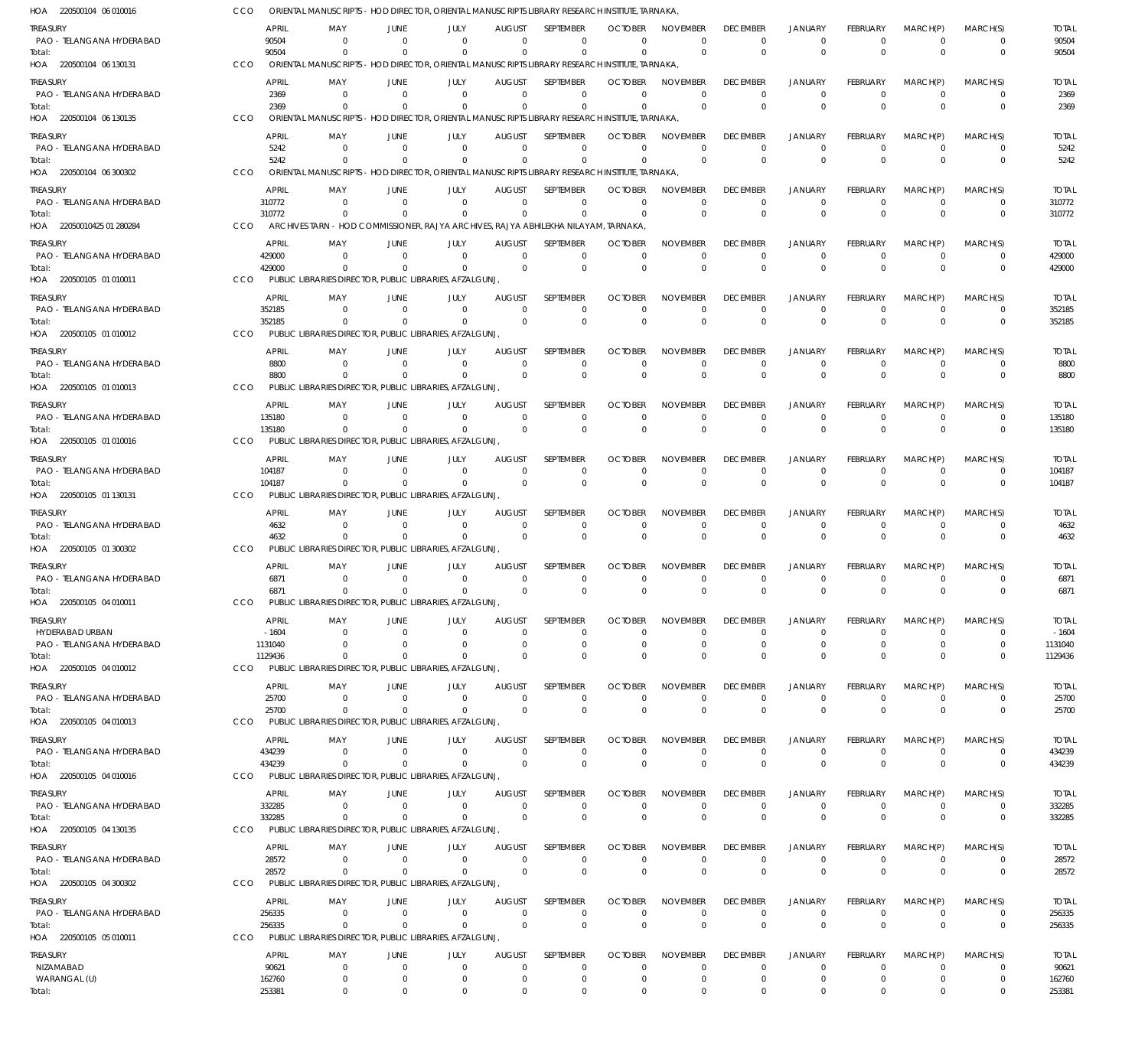| HOA 220500104 06 010016               | CCO        |                        | ORIENTAL MANUSCRIPTS - HOD DIRECTOR, ORIENTAL MANUSCRIPTS LIBRARY RESEARCH INSTITUTE, TARNAKA   |                                  |                                                                          |                                 |                                 |                               |                                |                                |                                  |                                |                               |                            |                        |
|---------------------------------------|------------|------------------------|-------------------------------------------------------------------------------------------------|----------------------------------|--------------------------------------------------------------------------|---------------------------------|---------------------------------|-------------------------------|--------------------------------|--------------------------------|----------------------------------|--------------------------------|-------------------------------|----------------------------|------------------------|
| Treasury                              |            | <b>APRIL</b>           | MAY                                                                                             | JUNE                             | JULY                                                                     | <b>AUGUST</b>                   | <b>SEPTEMBER</b>                | <b>OCTOBER</b>                | <b>NOVEMBER</b>                | <b>DECEMBER</b>                | <b>JANUARY</b>                   | <b>FEBRUARY</b>                | MARCH(P)                      | MARCH(S)                   | <b>TOTAL</b>           |
| PAO - TELANGANA HYDERABAD<br>Total:   |            | 90504<br>90504         | - 0<br>$\Omega$                                                                                 | $\Omega$<br>$\Omega$             | $\Omega$<br>$\Omega$                                                     | $\Omega$<br>$\Omega$            | $\mathbf 0$<br>$\Omega$         | $\Omega$<br>$\Omega$          | $\Omega$<br>$\Omega$           | $\Omega$<br>$\Omega$           | $\overline{0}$<br>$\Omega$       | $\mathbf 0$<br>$\Omega$        | $\overline{0}$<br>$\Omega$    | $\mathbf 0$<br>$\mathbf 0$ | 90504<br>90504         |
| HOA 220500104 06 130131               | CCO        |                        | ORIENTAL MANUSCRIPTS - HOD DIRECTOR, ORIENTAL MANUSCRIPTS LIBRARY RESEARCH INSTITUTE, TARNAKA,  |                                  |                                                                          |                                 |                                 |                               |                                |                                |                                  |                                |                               |                            |                        |
| treasury                              |            | <b>APRIL</b>           | MAY                                                                                             | JUNE                             | JULY                                                                     | <b>AUGUST</b>                   | <b>SEPTEMBER</b>                | <b>OCTOBER</b>                | <b>NOVEMBER</b>                | <b>DECEMBER</b>                | <b>JANUARY</b>                   | <b>FEBRUARY</b>                | MARCH(P)                      | MARCH(S)                   | <b>TOTAL</b>           |
| PAO - TELANGANA HYDERABAD             |            | 2369                   | $\Omega$                                                                                        | $\Omega$                         | $\Omega$                                                                 | $\Omega$                        | $\Omega$                        | $\Omega$                      | $\Omega$                       | $\Omega$                       | $\Omega$                         | $\Omega$                       | $\Omega$                      | $\mathbf 0$                | 2369                   |
| Total:                                |            | 2369                   | $\Omega$                                                                                        | $\Omega$                         | $\Omega$                                                                 | $\Omega$                        | $\Omega$                        | $\Omega$                      | $\Omega$                       | $\Omega$                       | $\Omega$                         | $\Omega$                       | $\Omega$                      | $\mathbf 0$                | 2369                   |
| HOA 220500104 06 130135               | CCO        |                        | ORIENTAL MANUSCRIPTS                                                                            |                                  | - HOD DIRECTOR, ORIENTAL MANUSCRIPTS LIBRARY RESEARCH INSTITUTE, TARNAKA |                                 |                                 |                               |                                |                                |                                  |                                |                               |                            |                        |
| treasury<br>PAO - TELANGANA HYDERABAD |            | <b>APRIL</b><br>5242   | MAY<br>$\Omega$                                                                                 | JUNE<br>$\overline{0}$           | JULY<br>$\Omega$                                                         | <b>AUGUST</b><br>$\Omega$       | SEPTEMBER<br>$\mathbf 0$        | <b>OCTOBER</b><br>$\Omega$    | <b>NOVEMBER</b><br>$\mathbf 0$ | <b>DECEMBER</b><br>$\Omega$    | <b>JANUARY</b><br>$\overline{0}$ | <b>FEBRUARY</b><br>$\mathbf 0$ | MARCH(P)<br>$\Omega$          | MARCH(S)<br>$\mathbf 0$    | <b>TOTAL</b><br>5242   |
| Total:                                |            | 5242                   | $\Omega$                                                                                        | $\Omega$                         | $\Omega$                                                                 | $\Omega$                        | $\Omega$                        | $\Omega$                      | $\mathbf 0$                    | $\Omega$                       | $\Omega$                         | $\Omega$                       | $\Omega$                      | $\mathbf 0$                | 5242                   |
| HOA 220500104 06 300302               | CCO        |                        | ORIENTAL MANUSCRIPTS - HOD DIRECTOR, ORIENTAL MANUSCRIPTS LIBRARY RESEARCH INSTITUTE, TARNAKA,  |                                  |                                                                          |                                 |                                 |                               |                                |                                |                                  |                                |                               |                            |                        |
| treasury                              |            | APRIL                  | MAY                                                                                             | JUNE                             | JULY                                                                     | <b>AUGUST</b>                   | SEPTEMBER                       | <b>OCTOBER</b>                | <b>NOVEMBER</b>                | <b>DECEMBER</b>                | <b>JANUARY</b>                   | <b>FEBRUARY</b>                | MARCH(P)                      | MARCH(S)                   | <b>TOTAL</b>           |
| PAO - TELANGANA HYDERABAD             |            | 310772                 | $\Omega$                                                                                        | $\Omega$                         | $\Omega$                                                                 | $\Omega$                        | $\Omega$                        | $\Omega$                      | $\Omega$                       | $\Omega$                       | $\Omega$                         | $\Omega$                       | $\Omega$                      | $\Omega$                   | 310772                 |
| Total:<br>HOA 22050010425 01 280284   | CCO        | 310772                 | $\Omega$<br>ARCHIVES TARN - HOD COMMISSIONER, RAJYA ARCHIVES, RAJYA ABHILEKHA NILAYAM, TARNAKA, | $\Omega$                         | $\Omega$                                                                 | $\Omega$                        | $\Omega$                        | $\Omega$                      | $\Omega$                       | $\Omega$                       | $\Omega$                         | $\Omega$                       | $\Omega$                      | $\mathbf 0$                | 310772                 |
| treasury                              |            | <b>APRIL</b>           | MAY                                                                                             | JUNE                             | JULY                                                                     | <b>AUGUST</b>                   | SEPTEMBER                       | <b>OCTOBER</b>                | <b>NOVEMBER</b>                | <b>DECEMBER</b>                | <b>JANUARY</b>                   | <b>FEBRUARY</b>                | MARCH(P)                      | MARCH(S)                   | <b>TOTAL</b>           |
| PAO - TELANGANA HYDERABAD             |            | 429000                 | - 0                                                                                             | $\Omega$                         | $\overline{0}$                                                           | $\Omega$                        | $\mathbf 0$                     | $\Omega$                      | $\Omega$                       | $\Omega$                       | $^{\circ}$                       | $\mathbf 0$                    | $^{\circ}$                    | $\mathbf 0$                | 429000                 |
| Total:                                |            | 429000                 | $\Omega$                                                                                        | $\Omega$                         | $\Omega$                                                                 | $\Omega$                        | $\Omega$                        | $\Omega$                      | $\Omega$                       | $\Omega$                       | $\Omega$                         | $\Omega$                       | $\Omega$                      | $\mathbf 0$                | 429000                 |
| HOA 220500105 01 010011               | <b>CCO</b> |                        | PUBLIC LIBRARIES DIRECTOR, PUBLIC LIBRARIES, AFZALGUNJ,                                         |                                  |                                                                          |                                 |                                 |                               |                                |                                |                                  |                                |                               |                            |                        |
| treasury                              |            | <b>APRIL</b>           | MAY                                                                                             | JUNE                             | JULY                                                                     | <b>AUGUST</b>                   | SEPTEMBER                       | <b>OCTOBER</b>                | <b>NOVEMBER</b>                | <b>DECEMBER</b>                | <b>JANUARY</b>                   | FEBRUARY                       | MARCH(P)                      | MARCH(S)                   | <b>TOTAL</b>           |
| PAO - TELANGANA HYDERABAD<br>Total:   |            | 352185<br>352185       | $\Omega$<br>$\Omega$                                                                            | - 0<br>$\Omega$                  | $\Omega$<br>$\Omega$                                                     | $\Omega$<br>$\Omega$            | $\mathbf 0$<br>$\Omega$         | $\Omega$<br>$\Omega$          | $^{\circ}$<br>$\Omega$         | $\Omega$<br>$\Omega$           | $^{\circ}$<br>$\Omega$           | $\Omega$<br>$\Omega$           | $\Omega$<br>$\Omega$          | $\mathbf 0$<br>$\Omega$    | 352185<br>352185       |
| HOA 220500105 01 010012               | CCO        |                        | PUBLIC LIBRARIES DIRECTOR, PUBLIC LIBRARIES, AFZALGUNJ,                                         |                                  |                                                                          |                                 |                                 |                               |                                |                                |                                  |                                |                               |                            |                        |
| treasury                              |            | <b>APRIL</b>           | MAY                                                                                             | JUNE                             | JULY                                                                     | <b>AUGUST</b>                   | SEPTEMBER                       | <b>OCTOBER</b>                | <b>NOVEMBER</b>                | <b>DECEMBER</b>                | <b>JANUARY</b>                   | <b>FEBRUARY</b>                | MARCH(P)                      | MARCH(S)                   | <b>TOTAL</b>           |
| PAO - TELANGANA HYDERABAD             |            | 8800                   | $\Omega$                                                                                        | $\overline{0}$                   | $\Omega$                                                                 | $\Omega$                        | $\mathbf 0$                     | $\Omega$                      | $^{\circ}$                     | $\Omega$                       | $^{\circ}$                       | $\mathbf 0$                    | $\overline{0}$                | $\mathbf 0$                | 8800                   |
| Total:<br>HOA 220500105 01 010013     | CCO        | 8800                   | $\Omega$<br>PUBLIC LIBRARIES DIRECTOR, PUBLIC LIBRARIES, AFZALGUNJ,                             | $\Omega$                         | $\Omega$                                                                 | $\Omega$                        | $\mathbf 0$                     | $\Omega$                      | $\Omega$                       | $\Omega$                       | $\Omega$                         | $\Omega$                       | $\Omega$                      | $\mathbf 0$                | 8800                   |
|                                       |            |                        |                                                                                                 |                                  |                                                                          |                                 |                                 |                               |                                |                                |                                  |                                |                               |                            |                        |
| treasury<br>PAO - TELANGANA HYDERABAD |            | <b>APRIL</b><br>135180 | MAY<br>$\Omega$                                                                                 | JUNE<br>$\Omega$                 | JULY<br>$\Omega$                                                         | <b>AUGUST</b><br>$\Omega$       | SEPTEMBER<br>$\mathbf 0$        | <b>OCTOBER</b><br>$\Omega$    | <b>NOVEMBER</b><br>$\Omega$    | <b>DECEMBER</b><br>$\Omega$    | <b>JANUARY</b><br>$\Omega$       | <b>FEBRUARY</b><br>$\Omega$    | MARCH(P)<br>$\Omega$          | MARCH(S)<br>$\Omega$       | <b>TOTAL</b><br>135180 |
| Total:                                |            | 135180                 | $\Omega$                                                                                        | $\overline{0}$                   | $\Omega$                                                                 | $\Omega$                        | $\Omega$                        | $\Omega$                      | $\Omega$                       | $\Omega$                       | $\Omega$                         | $\Omega$                       | $\Omega$                      | $\mathbf 0$                | 135180                 |
| HOA 220500105 01 010016               | CCO        |                        | PUBLIC LIBRARIES DIRECTOR, PUBLIC LIBRARIES, AFZALGUNJ,                                         |                                  |                                                                          |                                 |                                 |                               |                                |                                |                                  |                                |                               |                            |                        |
| treasury                              |            | <b>APRIL</b>           | MAY                                                                                             | JUNE                             | JULY                                                                     | <b>AUGUST</b>                   | SEPTEMBER                       | <b>OCTOBER</b>                | <b>NOVEMBER</b>                | <b>DECEMBER</b>                | <b>JANUARY</b>                   | FEBRUARY                       | MARCH(P)                      | MARCH(S)                   | <b>TOTAL</b>           |
| PAO - TELANGANA HYDERABAD             |            | 104187<br>104187       | - 0<br>$\Omega$                                                                                 | $\Omega$<br>$\overline{0}$       | $\Omega$<br>$\Omega$                                                     | $\overline{0}$<br>$\Omega$      | $\mathbf 0$<br>$\mathbf 0$      | $\Omega$<br>$\Omega$          | $\mathbf 0$<br>$\Omega$        | $\Omega$<br>$\Omega$           | $^{\circ}$<br>$\Omega$           | $\mathbf 0$<br>$\Omega$        | $\overline{0}$<br>$\Omega$    | $\mathbf 0$<br>$\mathbf 0$ | 104187<br>104187       |
| Total:<br>HOA 220500105 01 130131     | CCO        |                        | PUBLIC LIBRARIES DIRECTOR, PUBLIC LIBRARIES, AFZALGUNJ,                                         |                                  |                                                                          |                                 |                                 |                               |                                |                                |                                  |                                |                               |                            |                        |
| treasury                              |            | <b>APRIL</b>           | MAY                                                                                             | JUNE                             | JULY                                                                     | AUGUST                          | SEPTEMBER                       | <b>OCTOBER</b>                | <b>NOVEMBER</b>                | <b>DECEMBER</b>                | <b>JANUARY</b>                   | FEBRUARY                       | MARCH(P)                      | MARCH(S)                   | <b>TOTAL</b>           |
| PAO - TELANGANA HYDERABAD             |            | 4632                   | $\Omega$                                                                                        | $\overline{0}$                   | $\Omega$                                                                 | $\Omega$                        | $\mathbf 0$                     | $\Omega$                      | $\Omega$                       | $\Omega$                       | $\Omega$                         | $\Omega$                       | $\Omega$                      | $\mathbf 0$                | 4632                   |
| Total:                                |            | 4632                   | $^{\circ}$                                                                                      | $\Omega$                         | $\Omega$                                                                 | $\Omega$                        | $\Omega$                        | $\Omega$                      | $\Omega$                       | $\Omega$                       | $\Omega$                         | $\Omega$                       | $\Omega$                      | $\mathbf 0$                | 4632                   |
| HOA 220500105 01 300302               | CCO        |                        | PUBLIC LIBRARIES DIRECTOR, PUBLIC LIBRARIES, AFZALGUNJ                                          |                                  |                                                                          |                                 |                                 |                               |                                |                                |                                  |                                |                               |                            |                        |
| treasury<br>PAO - TELANGANA HYDERABAD |            | <b>APRIL</b><br>6871   | MAY<br>$\Omega$                                                                                 | JUNE<br>$\Omega$                 | JULY<br>$\Omega$                                                         | <b>AUGUST</b><br>$\Omega$       | <b>SEPTEMBER</b><br>$\mathbf 0$ | <b>OCTOBER</b><br>0           | <b>NOVEMBER</b><br>$\mathbf 0$ | <b>DECEMBER</b><br>$\Omega$    | <b>JANUARY</b><br>$^{\circ}$     | FEBRUARY<br>$\mathbf 0$        | MARCH(P)<br>$\overline{0}$    | MARCH(S)<br>0              | <b>TOTAL</b><br>6871   |
| Total:                                |            | 6871                   | $^{\circ}$                                                                                      | $\Omega$                         | $\Omega$                                                                 | $\Omega$                        | $\Omega$                        | $\Omega$                      | $\Omega$                       | $\Omega$                       | $\Omega$                         | $\Omega$                       | $\Omega$                      | $\Omega$                   | 6871                   |
| HOA 220500105 04 010011               | CCO        |                        | PUBLIC LIBRARIES DIRECTOR, PUBLIC LIBRARIES, AFZALGUNJ,                                         |                                  |                                                                          |                                 |                                 |                               |                                |                                |                                  |                                |                               |                            |                        |
| TREASURY                              |            | APRIL                  | MAY                                                                                             | JUNE                             | JULY                                                                     | <b>AUGUST</b>                   | SEPTEMBER                       | <b>OCTOBER</b>                | <b>NOVEMBER</b>                | <b>DECEMBER</b>                | <b>JANUARY</b>                   | FEBRUARY                       | MARCH(P)                      | MARCH(S)                   | <b>TOTAL</b>           |
| HYDERABAD URBAN                       |            | $-1604$                | - 0                                                                                             | $\Omega$                         | $\Omega$                                                                 | $\Omega$                        | $\Omega$                        | $\Omega$                      | $\Omega$                       | $\Omega$                       | $\Omega$                         | $\Omega$                       | $\Omega$                      | $\Omega$                   | $-1604$                |
| PAO - TELANGANA HYDERABAD<br>Total:   |            | 1131040<br>1129436     | $^{\circ}$<br>$^{\circ}$                                                                        | $\overline{0}$<br>$\Omega$       | $\Omega$<br>$\Omega$                                                     | 0<br>$\Omega$                   | $\mathbf 0$<br>$\mathbf 0$      | 0<br>$\Omega$                 | $\mathbf 0$<br>$\Omega$        | 0<br>$\mathbf{0}$              | $^{\circ}$<br>$\Omega$           | $\mathbf 0$<br>$\Omega$        | $^{\circ}$<br>$\Omega$        | $\mathbf 0$<br>$\mathbf 0$ | 1131040<br>1129436     |
| HOA 220500105 04 010012               | CCO        |                        | PUBLIC LIBRARIES DIRECTOR, PUBLIC LIBRARIES, AFZALGUNJ                                          |                                  |                                                                          |                                 |                                 |                               |                                |                                |                                  |                                |                               |                            |                        |
| treasury                              |            | APRIL                  | MAY                                                                                             | JUNE                             | JULY                                                                     | <b>AUGUST</b>                   | <b>SEPTEMBER</b>                | <b>OCTOBER</b>                | <b>NOVEMBER</b>                | <b>DECEMBER</b>                | JANUARY                          | FEBRUARY                       | MARCH(P)                      | MARCH(S)                   | <b>TOTAL</b>           |
| PAO - TELANGANA HYDERABAD             |            | 25700                  | $^{\circ}$                                                                                      | $\overline{0}$                   | $\overline{0}$                                                           | $\overline{0}$                  | $\mathbf 0$                     | $\Omega$                      | $\mathbf 0$                    | $\Omega$                       | $^{\circ}$                       | $\mathbf 0$                    | $^{\circ}$                    | $\mathbf 0$                | 25700                  |
| Total:<br>HOA 220500105 04 010013     | CCO        | 25700                  | - 0<br>PUBLIC LIBRARIES DIRECTOR, PUBLIC LIBRARIES, AFZALGUNJ                                   | $\Omega$                         | $\Omega$                                                                 | $\Omega$                        | $\mathbf 0$                     | $\Omega$                      | $\Omega$                       | $\Omega$                       | $\overline{0}$                   | $\mathbf{0}$                   | $\Omega$                      | $\mathbf 0$                | 25700                  |
|                                       |            |                        |                                                                                                 |                                  |                                                                          |                                 |                                 |                               |                                |                                |                                  |                                |                               | MARCH(S)                   |                        |
| treasury<br>PAO - TELANGANA HYDERABAD |            | APRIL<br>434239        | MAY<br>$\Omega$                                                                                 | JUNE<br>$\overline{0}$           | JULY<br>$\Omega$                                                         | <b>AUGUST</b><br>$\overline{0}$ | SEPTEMBER<br>$\mathbf 0$        | <b>OCTOBER</b><br>$\Omega$    | <b>NOVEMBER</b><br>$\Omega$    | <b>DECEMBER</b><br>$\mathbf 0$ | <b>JANUARY</b><br>$^{\circ}$     | FEBRUARY<br>$\Omega$           | MARCH(P)<br>$\overline{0}$    | $\Omega$                   | <b>TOTAL</b><br>434239 |
| Total:                                |            | 434239                 | $^{\circ}$                                                                                      | $\overline{0}$                   | $\Omega$                                                                 | $\Omega$                        | $\mathbf 0$                     | $\Omega$                      | $\Omega$                       | $\mathbf 0$                    | $\overline{0}$                   | $\Omega$                       | $\overline{0}$                | $\mathbf 0$                | 434239                 |
| HOA 220500105 04 010016               | <b>CCO</b> |                        | PUBLIC LIBRARIES DIRECTOR, PUBLIC LIBRARIES, AFZALGUNJ                                          |                                  |                                                                          |                                 |                                 |                               |                                |                                |                                  |                                |                               |                            |                        |
| Treasury                              |            | APRIL                  | MAY                                                                                             | JUNE                             | JULY                                                                     | <b>AUGUST</b>                   | SEPTEMBER                       | <b>OCTOBER</b>                | <b>NOVEMBER</b>                | <b>DECEMBER</b>                | <b>JANUARY</b>                   | FEBRUARY                       | MARCH(P)                      | MARCH(S)                   | <b>TOTAL</b>           |
| PAO - TELANGANA HYDERABAD<br>Total:   |            | 332285<br>332285       | 0<br>$^{\circ}$                                                                                 | $\overline{0}$<br>$\overline{0}$ | $\overline{0}$<br>$\mathbf 0$                                            | $\overline{0}$<br>$\Omega$      | $\mathbf 0$<br>$\mathbf 0$      | $\Omega$<br>$\Omega$          | $\mathbf 0$<br>$\Omega$        | $\mathbf 0$<br>$\Omega$        | $\overline{0}$<br>$\overline{0}$ | $\mathbf 0$<br>$\mathbf{0}$    | $\overline{0}$<br>$\Omega$    | $\mathbf 0$<br>$\mathbf 0$ | 332285<br>332285       |
| HOA 220500105 04 130135               | CCO        |                        | PUBLIC LIBRARIES DIRECTOR, PUBLIC LIBRARIES, AFZALGUNJ                                          |                                  |                                                                          |                                 |                                 |                               |                                |                                |                                  |                                |                               |                            |                        |
| treasury                              |            | APRIL                  | MAY                                                                                             | JUNE                             | JULY                                                                     | <b>AUGUST</b>                   | SEPTEMBER                       | <b>OCTOBER</b>                | <b>NOVEMBER</b>                | <b>DECEMBER</b>                | <b>JANUARY</b>                   | FEBRUARY                       | MARCH(P)                      | MARCH(S)                   | <b>TOTAL</b>           |
| PAO - TELANGANA HYDERABAD             |            | 28572                  | $^{\circ}$                                                                                      | $\overline{0}$                   | $\overline{0}$                                                           | $\mathbf 0$                     | $\mathbf 0$                     | $\Omega$                      | $\mathbf 0$                    | 0                              | $\overline{0}$                   | $\mathbf 0$                    | $\overline{0}$                | 0                          | 28572                  |
| Total:                                |            | 28572                  | $^{\circ}$                                                                                      | $\overline{0}$                   | $\Omega$                                                                 | $\Omega$                        | $\Omega$                        | $\Omega$                      | $\mathbf 0$                    | $\mathbf 0$                    | $\Omega$                         | $\Omega$                       | $\Omega$                      | $\Omega$                   | 28572                  |
| HOA 220500105 04 300302               | CCO        |                        | PUBLIC LIBRARIES DIRECTOR, PUBLIC LIBRARIES, AFZALGUNJ                                          |                                  |                                                                          |                                 |                                 |                               |                                |                                |                                  |                                |                               |                            |                        |
| treasury<br>PAO - TELANGANA HYDERABAD |            | <b>APRIL</b><br>256335 | MAY<br>$\overline{0}$                                                                           | JUNE<br>$\overline{0}$           | JULY<br>$\overline{0}$                                                   | <b>AUGUST</b><br>$\overline{0}$ | SEPTEMBER<br>$\mathbf 0$        | <b>OCTOBER</b><br>$\mathbf 0$ | <b>NOVEMBER</b><br>$\mathbf 0$ | <b>DECEMBER</b><br>$\mathbf 0$ | <b>JANUARY</b><br>$\overline{0}$ | FEBRUARY<br>$\mathbf 0$        | MARCH(P)<br>$\overline{0}$    | MARCH(S)<br>$\mathbf 0$    | <b>TOTAL</b><br>256335 |
| Total:                                |            | 256335                 | $^{\circ}$                                                                                      | $\overline{0}$                   | $\mathbf 0$                                                              | $\Omega$                        | $\mathbf 0$                     | $\Omega$                      | $\Omega$                       | $\mathbf{0}$                   | $\overline{0}$                   | $\mathbf{0}$                   | $\overline{0}$                | $\mathbf 0$                | 256335                 |
| HOA 220500105 05 010011               | CCO        |                        | PUBLIC LIBRARIES DIRECTOR, PUBLIC LIBRARIES, AFZALGUNJ                                          |                                  |                                                                          |                                 |                                 |                               |                                |                                |                                  |                                |                               |                            |                        |
| Treasury                              |            | <b>APRIL</b>           | MAY                                                                                             | JUNE                             | JULY                                                                     | <b>AUGUST</b>                   | SEPTEMBER                       | <b>OCTOBER</b>                | <b>NOVEMBER</b>                | <b>DECEMBER</b>                | JANUARY                          | FEBRUARY                       | MARCH(P)                      | MARCH(S)                   | <b>TOTAL</b>           |
| NIZAMABAD                             |            | 90621                  | $^{\circ}$                                                                                      | $\overline{0}$                   | $\overline{0}$                                                           | $\overline{0}$                  | 0                               | 0                             | $\mathbf 0$                    | 0                              | $^{\circ}$                       | 0                              | $\overline{0}$                | $\Omega$                   | 90621                  |
| WARANGAL (U)<br>Total:                |            | 162760<br>253381       | $\mathbf 0$<br>$^{\circ}$                                                                       | $\mathbf 0$<br>$\mathbf 0$       | $\overline{0}$<br>$\mathbf 0$                                            | $\mathbf 0$<br>$\mathbf 0$      | 0<br>$\mathbf 0$                | $\mathbf 0$<br>$\mathbf 0$    | $\mathbf 0$<br>$\mathbf 0$     | $\mathbf 0$<br>$\mathbf 0$     | $\mathbf 0$<br>$^{\circ}$        | $\mathbf 0$<br>$\mathbf{0}$    | $\mathbf 0$<br>$\overline{0}$ | $\mathbf 0$<br>$\mathbf 0$ | 162760<br>253381       |
|                                       |            |                        |                                                                                                 |                                  |                                                                          |                                 |                                 |                               |                                |                                |                                  |                                |                               |                            |                        |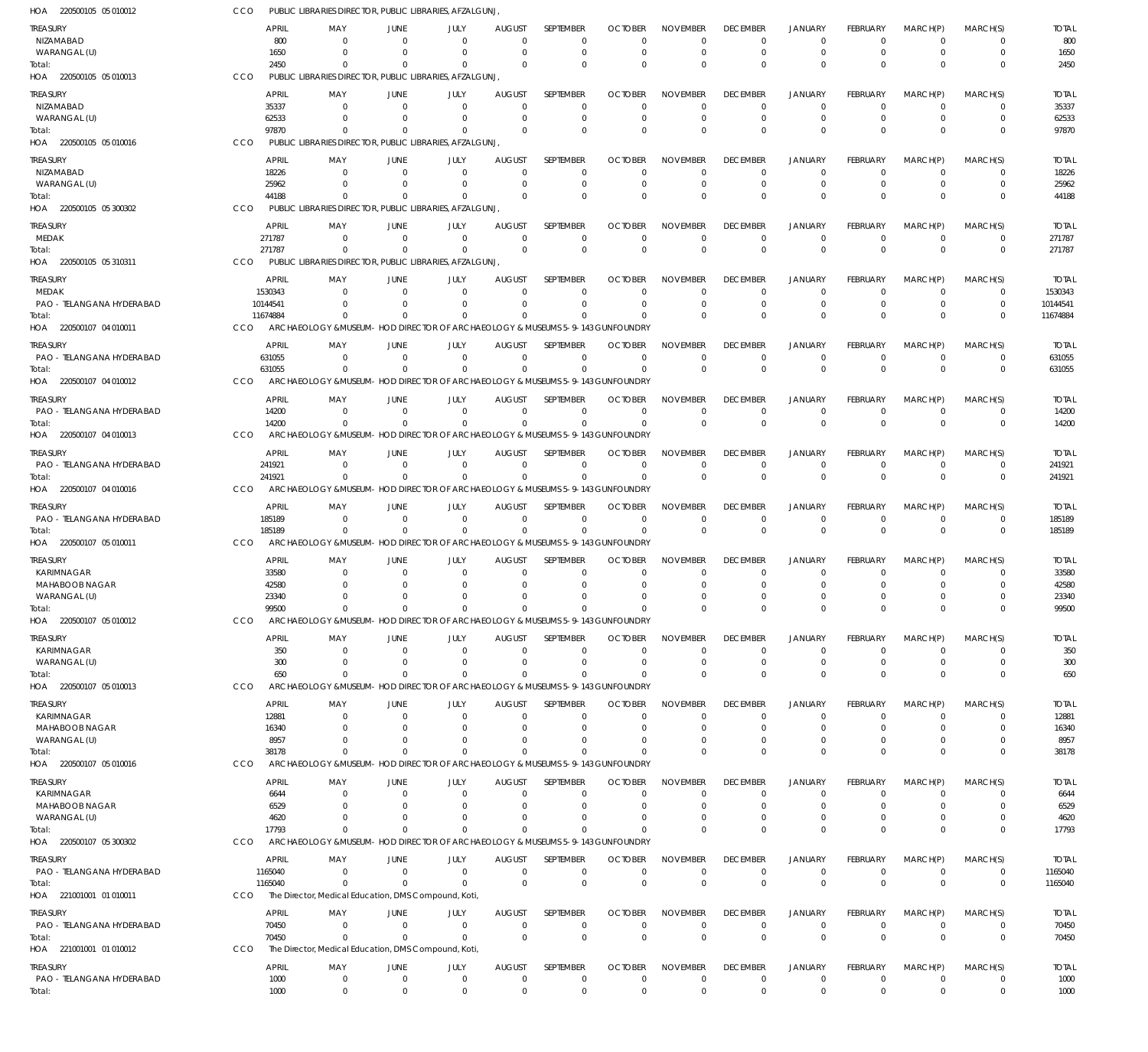| HOA 220500105 05 010012                      | CCO             | PUBLIC LIBRARIES DIRECTOR, PUBLIC LIBRARIES, AFZALGUNJ,                                               |                        |                                                            |                              |                          |                                  |                                |                               |                               |                             |                        |                         |                        |
|----------------------------------------------|-----------------|-------------------------------------------------------------------------------------------------------|------------------------|------------------------------------------------------------|------------------------------|--------------------------|----------------------------------|--------------------------------|-------------------------------|-------------------------------|-----------------------------|------------------------|-------------------------|------------------------|
| <b>TREASURY</b>                              |                 | <b>APRIL</b><br>MAY                                                                                   | JUNE                   | JULY                                                       | <b>AUGUST</b>                | <b>SEPTEMBER</b>         | <b>OCTOBER</b>                   | <b>NOVEMBER</b>                | <b>DECEMBER</b>               | JANUARY                       | <b>FEBRUARY</b>             | MARCH(P)               | MARCH(S)                | <b>TOTAL</b>           |
| NIZAMABAD                                    |                 | 800<br>$\Omega$                                                                                       | $\Omega$               | $\Omega$                                                   | $\Omega$                     | $\mathbf 0$              | 0                                | $\Omega$                       | 0                             | $\mathbf 0$                   |                             | $\Omega$               | 0                       | 800                    |
| WARANGAL (U)                                 |                 | 1650<br>$\Omega$                                                                                      | $\Omega$               | $\Omega$                                                   | $\Omega$                     | $\mathbf 0$              | 0                                | $\Omega$                       | $\Omega$                      | $\mathbf 0$                   |                             | $\Omega$               | $\mathbf 0$             | 1650                   |
| Total:<br>HOA 220500105 05 010013            | CCO             | 2450<br>$\Omega$<br>PUBLIC LIBRARIES DIRECTOR, PUBLIC LIBRARIES, AFZALGUNJ                            | $\Omega$               | $\Omega$                                                   | $\Omega$                     | $\Omega$                 | $\Omega$                         | $\Omega$                       | $\Omega$                      | $\Omega$                      |                             | $\Omega$               | $\Omega$                | 2450                   |
|                                              |                 |                                                                                                       |                        |                                                            |                              |                          |                                  |                                | <b>DECEMBER</b>               |                               |                             |                        |                         |                        |
| TREASURY<br>NIZAMABAD                        |                 | <b>APRIL</b><br>MAY<br>35337<br>$\Omega$                                                              | JUNE<br>$\Omega$       | JULY<br>$\Omega$                                           | <b>AUGUST</b><br>$\Omega$    | SEPTEMBER<br>$\mathbf 0$ | <b>OCTOBER</b><br>$\Omega$       | <b>NOVEMBER</b><br>0           | $\Omega$                      | <b>JANUARY</b><br>$\Omega$    | FEBRUARY                    | MARCH(P)<br>$\Omega$   | MARCH(S)<br>0           | <b>TOTAL</b><br>35337  |
| WARANGAL (U)                                 |                 | 62533<br>$\Omega$                                                                                     | $\Omega$               | $\Omega$                                                   | $\Omega$                     | $\mathbf 0$              | $\Omega$                         | $\Omega$                       | $\Omega$                      | $\mathbf 0$                   |                             | $\Omega$               | $\mathbf 0$             | 62533                  |
| Total:                                       |                 | 97870<br>$\Omega$                                                                                     | $\Omega$               | $\Omega$                                                   | $\Omega$                     | $\Omega$                 | $\Omega$                         | $\Omega$                       | $\Omega$                      | $\Omega$                      |                             | $\Omega$               | $\Omega$                | 97870                  |
| HOA 220500105 05 010016                      | CCO             | PUBLIC LIBRARIES DIRECTOR, PUBLIC LIBRARIES, AFZALGUNJ,                                               |                        |                                                            |                              |                          |                                  |                                |                               |                               |                             |                        |                         |                        |
| <b>TREASURY</b>                              |                 | <b>APRIL</b><br>MAY                                                                                   | JUNE                   | JULY                                                       | <b>AUGUST</b>                | SEPTEMBER                | <b>OCTOBER</b>                   | <b>NOVEMBER</b>                | <b>DECEMBER</b>               | <b>JANUARY</b>                | <b>FEBRUARY</b>             | MARCH(P)               | MARCH(S)                | <b>TOTAL</b>           |
| NIZAMABAD                                    |                 | 18226<br>$\Omega$                                                                                     | $\Omega$               | $\Omega$                                                   | $\Omega$                     | 0                        | $\Omega$                         | $\Omega$                       | $\Omega$                      | $\Omega$                      |                             | $\Omega$               | 0                       | 18226                  |
| WARANGAL (U)<br>Total:                       |                 | 25962<br>$\Omega$<br>44188<br>$\Omega$                                                                | $\Omega$<br>$\Omega$   | 0<br>$\Omega$                                              | $\Omega$<br>$\Omega$         | $\mathbf 0$<br>$\Omega$  | 0<br>$\Omega$                    | $\Omega$<br>$\Omega$           | $\Omega$<br>$\Omega$          | $\mathbf 0$<br>$\Omega$       |                             | $\Omega$<br>$\Omega$   | $\mathbf 0$<br>$\Omega$ | 25962<br>44188         |
| HOA 220500105 05 300302                      | CCO             | PUBLIC LIBRARIES DIRECTOR, PUBLIC LIBRARIES, AFZALGUNJ,                                               |                        |                                                            |                              |                          |                                  |                                |                               |                               |                             |                        |                         |                        |
| TREASURY                                     |                 | <b>APRIL</b><br>MAY                                                                                   | <b>JUNE</b>            | JULY                                                       | <b>AUGUST</b>                | SEPTEMBER                | <b>OCTOBER</b>                   | <b>NOVEMBER</b>                | <b>DECEMBER</b>               | <b>JANUARY</b>                | <b>FEBRUARY</b>             | MARCH(P)               | MARCH(S)                | <b>TOTAL</b>           |
| MEDAK                                        | 271787          | - 0                                                                                                   | $\overline{0}$         | $\overline{0}$                                             | $\Omega$                     | $\mathbf 0$              | $\Omega$                         | 0                              | $\overline{0}$                | $\mathbf 0$                   | $\Omega$                    | $\Omega$               | $\mathbf 0$             | 271787                 |
| Total:                                       | 271787          | $\Omega$                                                                                              | $\Omega$               | $\mathbf 0$                                                | $\Omega$                     | $\mathbf 0$              | $\Omega$                         | $\mathbf 0$                    | $\Omega$                      | $\Omega$                      | $\Omega$                    | $\Omega$               | $\mathbf 0$             | 271787                 |
| HOA 220500105 05 310311                      | CCO             | PUBLIC LIBRARIES DIRECTOR, PUBLIC LIBRARIES, AFZALGUNJ,                                               |                        |                                                            |                              |                          |                                  |                                |                               |                               |                             |                        |                         |                        |
| TREASURY                                     |                 | APRIL<br>MAY                                                                                          | JUNE                   | JULY                                                       | <b>AUGUST</b>                | SEPTEMBER                | <b>OCTOBER</b>                   | <b>NOVEMBER</b>                | <b>DECEMBER</b>               | <b>JANUARY</b>                | <b>FEBRUARY</b>             | MARCH(P)               | MARCH(S)                | TOTAL                  |
| <b>MEDAK</b>                                 | 1530343         | $\Omega$                                                                                              | $\Omega$               | $\Omega$                                                   | $\Omega$                     | $\Omega$                 | $\Omega$                         | $\Omega$                       | $\Omega$                      | $\Omega$                      |                             | $\Omega$               | 0                       | 1530343                |
| PAO - TELANGANA HYDERABAD                    | 10144541        | $\Omega$                                                                                              | $\Omega$               | $\Omega$                                                   | $\Omega$                     | $\mathbf 0$              | $\Omega$                         | $\Omega$                       | 0                             | $\mathbf 0$                   |                             | $\Omega$               | $\mathbf 0$             | 10144541               |
| Total:<br>HOA 220500107 04 010011            | 11674884<br>CCO | $\Omega$<br>ARCHAEOLOGY & MUSEUM- HOD DIRECTOR OF ARCHAEOLOGY & MUSEUMS 5-9-143 GUNFOUNDRY            | $\Omega$               | $\Omega$                                                   | $\Omega$                     | $\Omega$                 | $\Omega$                         | $\Omega$                       | $\Omega$                      | $\Omega$                      |                             | $\Omega$               | $\Omega$                | 11674884               |
|                                              |                 |                                                                                                       |                        |                                                            |                              |                          |                                  |                                |                               |                               |                             |                        |                         |                        |
| <b>TREASURY</b><br>PAO - TELANGANA HYDERABAD | 631055          | APRIL<br>MAY<br>- 0                                                                                   | JUNE<br>$\Omega$       | JULY<br>$\Omega$                                           | <b>AUGUST</b><br>$\Omega$    | SEPTEMBER<br>0           | <b>OCTOBER</b><br>$\Omega$       | <b>NOVEMBER</b><br>0           | <b>DECEMBER</b><br>0          | <b>JANUARY</b><br>0           | <b>FEBRUARY</b><br>$\Omega$ | MARCH(P)<br>$\Omega$   | MARCH(S)<br>0           | <b>TOTAL</b><br>631055 |
| Total:                                       | 631055          | $\Omega$                                                                                              | $\Omega$               | $\Omega$                                                   | $\Omega$                     | $\Omega$                 | $\Omega$                         | $\mathbf 0$                    | $\Omega$                      | $\Omega$                      | $\Omega$                    | $\Omega$               | $\mathbf 0$             | 631055                 |
| HOA 220500107 04 010012                      | <b>CCO</b>      | ARCHAEOLOGY & MUSEUM - HOD DIRECTOR OF ARCHAEOLOGY & MUSEUMS 5-9-143 GUNFOUNDRY                       |                        |                                                            |                              |                          |                                  |                                |                               |                               |                             |                        |                         |                        |
| TREASURY                                     |                 | <b>APRIL</b><br>MAY                                                                                   | JUNE                   | JULY                                                       | <b>AUGUST</b>                | SEPTEMBER                | <b>OCTOBER</b>                   | <b>NOVEMBER</b>                | <b>DECEMBER</b>               | <b>JANUARY</b>                | <b>FEBRUARY</b>             | MARCH(P)               | MARCH(S)                | <b>TOTAL</b>           |
| PAO - TELANGANA HYDERABAD                    |                 | 14200<br>$\Omega$                                                                                     | $\Omega$               | $\overline{0}$                                             | $\Omega$                     | $\mathbf 0$              | $\Omega$                         | $\mathbf 0$                    | $^{\circ}$                    | $\mathbf 0$                   | $\Omega$                    | $\Omega$               | $\mathbf 0$             | 14200                  |
| Total:                                       |                 | 14200<br>$\Omega$                                                                                     | $\Omega$               | $\Omega$                                                   | $\Omega$                     | $\mathbf 0$              | $\Omega$                         | $\Omega$                       | $\Omega$                      | $\Omega$                      | $\Omega$                    | $\Omega$               | $\mathbf 0$             | 14200                  |
| HOA 220500107 04 010013                      | CCO             | ARCHAEOLOGY & MUSEUM-                                                                                 |                        | - HOD DIRECTOR OF ARCHAEOLOGY & MUSEUMS 5-9-143 GUNFOUNDRY |                              |                          |                                  |                                |                               |                               |                             |                        |                         |                        |
| TREASURY                                     |                 | APRIL<br>MAY                                                                                          | JUNE                   | JULY                                                       | <b>AUGUST</b>                | SEPTEMBER                | <b>OCTOBER</b>                   | <b>NOVEMBER</b>                | <b>DECEMBER</b>               | <b>JANUARY</b>                | FEBRUARY                    | MARCH(P)               | MARCH(S)                | <b>TOTAL</b>           |
| PAO - TELANGANA HYDERABAD                    | 241921          | $\Omega$                                                                                              | $\Omega$               | $\overline{0}$                                             | $\mathbf 0$                  | $\mathbf 0$              | - 0                              | 0                              | $^{\circ}$                    | 0                             | $\Omega$                    | $\Omega$               | $\mathbf 0$             | 241921                 |
| Total:<br>HOA 220500107 04 010016            | 241921<br>CCO   | $\Omega$<br>ARCHAEOLOGY & MUSEUM- HOD DIRECTOR OF ARCHAEOLOGY & MUSEUMS 5-9-143 GUNFOUNDRY            | $\Omega$               | $\Omega$                                                   | $\Omega$                     | $\Omega$                 | $\Omega$                         | $\mathbf 0$                    | $\Omega$                      | $\mathbf 0$                   | $\Omega$                    | $\Omega$               | $\mathbf{0}$            | 241921                 |
|                                              |                 |                                                                                                       |                        |                                                            |                              |                          |                                  |                                |                               |                               |                             |                        |                         |                        |
| <b>TREASURY</b><br>PAO - TELANGANA HYDERABAD | 185189          | <b>APRIL</b><br>MAY<br>$\Omega$                                                                       | JUNE<br>$\Omega$       | JULY<br>$\overline{0}$                                     | <b>AUGUST</b><br>$\mathbf 0$ | SEPTEMBER<br>$\mathbf 0$ | <b>OCTOBER</b><br>- 0            | <b>NOVEMBER</b><br>$\Omega$    | <b>DECEMBER</b><br>$^{\circ}$ | JANUARY<br>0                  | FEBRUARY                    | MARCH(P)<br>$\Omega$   | MARCH(S)<br>$\mathbf 0$ | TOTAL<br>185189        |
| Total:                                       | 185189          | $\Omega$                                                                                              | $\Omega$               | $\mathbf 0$                                                | $\Omega$                     | $\mathbf 0$              | $\Omega$                         | $\Omega$                       | $\Omega$                      | $\Omega$                      | $\Omega$                    | $\Omega$               | $\mathbf{0}$            | 185189                 |
| HOA 220500107 05 010011                      | CCO             | ARCHAEOLOGY & MUSEUM- HOD DIRECTOR OF ARCHAEOLOGY & MUSEUMS 5-9-143 GUNFOUNDRY                        |                        |                                                            |                              |                          |                                  |                                |                               |                               |                             |                        |                         |                        |
| <b>TREASURY</b>                              |                 | <b>APRIL</b><br>MAY                                                                                   | JUNE                   | JULY                                                       | <b>AUGUST</b>                | SEPTEMBER                | <b>OCTOBER</b>                   | <b>NOVEMBER</b>                | <b>DECEMBER</b>               | <b>JANUARY</b>                | FEBRUARY                    | MARCH(P)               | MARCH(S)                | <b>TOTAL</b>           |
| KARIMNAGAR                                   |                 | 33580<br>$\Omega$                                                                                     | 0                      | $\Omega$                                                   | $\Omega$                     | 0                        | 0                                | $\Omega$                       | $\Omega$                      | $\Omega$                      |                             |                        | 0                       | 33580                  |
| MAHABOOB NAGAR                               |                 | 42580<br>$\Omega$                                                                                     | $\Omega$               | $\Omega$                                                   | $\Omega$                     | $\Omega$                 | $\Omega$                         | $\Omega$                       | $\Omega$                      | $\Omega$                      |                             | $\Omega$               | $\Omega$                | 42580                  |
| WARANGAL (U)                                 |                 | 23340<br>$\Omega$                                                                                     | $\Omega$               | $\Omega$                                                   | $\Omega$                     | $\Omega$                 | $\Omega$                         | $\Omega$                       | $\Omega$                      | $\Omega$                      |                             | $\Omega$               | $\Omega$                | 23340                  |
| Total:<br>HOA 220500107 05 010012            | <b>CCO</b>      | 99500<br>$^{\circ}$<br>ARCHAEOLOGY & MUSEUM- HOD DIRECTOR OF ARCHAEOLOGY & MUSEUMS 5-9-143 GUNFOUNDRY | $\mathbf{0}$           | $\Omega$                                                   | $\Omega$                     | $\mathbf 0$              | $\Omega$                         | $\mathbf 0$                    | $\mathbf 0$                   | $\mathbf 0$                   | $\mathbf{0}$                | $\mathbf 0$            | $\overline{0}$          | 99500                  |
|                                              |                 |                                                                                                       |                        |                                                            |                              |                          |                                  |                                |                               |                               |                             |                        |                         |                        |
| <b>TREASURY</b><br>KARIMNAGAR                |                 | <b>APRIL</b><br>MAY<br>350<br>$\Omega$                                                                | JUNE<br>$\overline{0}$ | JULY<br>$\mathbf 0$                                        | <b>AUGUST</b><br>$\Omega$    | SEPTEMBER<br>0           | <b>OCTOBER</b><br>$\overline{0}$ | <b>NOVEMBER</b><br>$\mathbf 0$ | <b>DECEMBER</b><br>$^{\circ}$ | <b>JANUARY</b><br>$\mathbf 0$ | <b>FEBRUARY</b><br>$\Omega$ | MARCH(P)<br>$\Omega$   | MARCH(S)<br>0           | <b>TOTAL</b><br>350    |
| WARANGAL (U)                                 |                 | 300<br>$\Omega$                                                                                       | $\Omega$               | $\Omega$                                                   | $\Omega$                     | $\mathbf 0$              | 0                                | 0                              | 0                             | $\mathbf 0$                   |                             | $\Omega$               | 0                       | 300                    |
| Total:                                       |                 | 650<br>$^{\circ}$                                                                                     | $\Omega$               | $\Omega$                                                   | $\Omega$                     | $\mathbf 0$              | $\Omega$                         | $\Omega$                       | $\Omega$                      | $\Omega$                      | $\Omega$                    | $\Omega$               | $\mathbf 0$             | 650                    |
| HOA 220500107 05 010013                      | CCO             | ARCHAEOLOGY & MUSEUM- HOD DIRECTOR OF ARCHAEOLOGY & MUSEUMS 5-9-143 GUNFOUNDRY                        |                        |                                                            |                              |                          |                                  |                                |                               |                               |                             |                        |                         |                        |
| <b>TREASURY</b>                              |                 | <b>APRIL</b><br>MAY                                                                                   | JUNE                   | JULY                                                       | <b>AUGUST</b>                | SEPTEMBER                | <b>OCTOBER</b>                   | <b>NOVEMBER</b>                | <b>DECEMBER</b>               | <b>JANUARY</b>                | FEBRUARY                    | MARCH(P)               | MARCH(S)                | <b>TOTAL</b>           |
| KARIMNAGAR                                   |                 | 12881<br>$\Omega$                                                                                     | $\Omega$               | $\Omega$                                                   | $\Omega$                     | $\mathbf 0$              | $\Omega$                         | $\Omega$                       | $\mathbf 0$                   | $\mathbf 0$                   |                             |                        | 0                       | 12881                  |
| MAHABOOB NAGAR                               |                 | 16340<br>$\Omega$                                                                                     | $\Omega$               | $\Omega$                                                   | $\Omega$                     | $\mathbf 0$              | 0                                | 0                              | $\Omega$                      | $\Omega$                      |                             | $\Omega$               | $\mathbf 0$             | 16340                  |
| WARANGAL (U)<br>Total:                       |                 | 8957<br>$\Omega$<br>38178<br>$\Omega$                                                                 | $\Omega$<br>$\Omega$   | $\Omega$<br>$\Omega$                                       | $\Omega$<br>$\Omega$         | $\Omega$<br>$\Omega$     | $\Omega$<br>$\Omega$             | $\Omega$<br>$\Omega$           | $\Omega$<br>$\Omega$          | 0<br>$\Omega$                 | $\Omega$                    | $\Omega$<br>$\Omega$   | 0<br>$\mathbf 0$        | 8957<br>38178          |
| HOA 220500107 05 010016                      | CCO             | ARCHAEOLOGY & MUSEUM- HOD DIRECTOR OF ARCHAEOLOGY & MUSEUMS 5-9-143 GUNFOUNDRY                        |                        |                                                            |                              |                          |                                  |                                |                               |                               |                             |                        |                         |                        |
| <b>TREASURY</b>                              |                 | <b>APRIL</b><br>MAY                                                                                   | JUNE                   | JULY                                                       | <b>AUGUST</b>                | SEPTEMBER                | <b>OCTOBER</b>                   | <b>NOVEMBER</b>                | <b>DECEMBER</b>               | <b>JANUARY</b>                | <b>FEBRUARY</b>             | MARCH(P)               | MARCH(S)                | <b>TOTAL</b>           |
| KARIMNAGAR                                   |                 | 6644<br>$\Omega$                                                                                      | $\Omega$               | $\Omega$                                                   | $\Omega$                     | 0                        | 0                                | $\Omega$                       | 0                             | $\mathbf 0$                   |                             | $\Omega$               | 0                       | 6644                   |
| MAHABOOB NAGAR                               |                 | 6529<br>0                                                                                             | $\Omega$               | $\Omega$                                                   | $\Omega$                     | 0                        | 0                                | $\Omega$                       | 0                             | 0                             |                             |                        | 0                       | 6529                   |
| WARANGAL (U)                                 |                 | 4620<br>0                                                                                             |                        |                                                            | $\Omega$                     | $\Omega$                 | $\Omega$                         | $\Omega$                       | $\Omega$                      | $\Omega$                      |                             |                        | 0                       | 4620                   |
| Total:                                       |                 | 17793<br>$\Omega$                                                                                     | $\Omega$               |                                                            | $\Omega$                     | $\Omega$                 | $\Omega$                         | $\Omega$                       | $\Omega$                      | $\Omega$                      | $\Omega$                    | $\Omega$               | $\mathbf 0$             | 17793                  |
| HOA 220500107 05 300302                      | CCO             | ARCHAEOLOGY & MUSEUM - HOD DIRECTOR OF ARCHAEOLOGY & MUSEUMS 5-9-143 GUNFOUNDRY                       |                        |                                                            |                              |                          |                                  |                                |                               |                               |                             |                        |                         |                        |
| TREASURY                                     |                 | APRIL<br>MAY                                                                                          | JUNE                   | JULY                                                       | <b>AUGUST</b>                | SEPTEMBER                | <b>OCTOBER</b>                   | <b>NOVEMBER</b>                | <b>DECEMBER</b>               | <b>JANUARY</b>                | <b>FEBRUARY</b>             | MARCH(P)               | MARCH(S)                | <b>TOTAL</b>           |
| PAO - TELANGANA HYDERABAD                    | 1165040         | $\overline{0}$                                                                                        | $\mathbf 0$            | $\overline{0}$                                             | $\mathbf 0$                  | $\mathbf 0$              | $\overline{0}$                   | $\mathbf 0$                    | $^{\circ}$                    | $\mathbf 0$                   | $\Omega$                    | $\Omega$               | $\mathbf 0$             | 1165040                |
| Total:<br>HOA 221001001 01 010011            | 1165040<br>CCO  | $^{\circ}$<br>The Director, Medical Education, DMS Compound, Koti,                                    | $\Omega$               | $\overline{0}$                                             | $\Omega$                     | $\mathbf 0$              | $\overline{0}$                   | $\mathbf 0$                    | $\overline{0}$                | $\mathbf 0$                   | $\Omega$                    | $\Omega$               | $\mathbf{0}$            | 1165040                |
|                                              |                 |                                                                                                       |                        |                                                            |                              |                          |                                  |                                |                               |                               |                             |                        |                         |                        |
| <b>TREASURY</b><br>PAO - TELANGANA HYDERABAD |                 | <b>APRIL</b><br>MAY<br>70450<br>0                                                                     | JUNE<br>$\overline{0}$ | JULY<br>0                                                  | <b>AUGUST</b><br>$\mathbf 0$ | SEPTEMBER<br>0           | <b>OCTOBER</b><br>0              | <b>NOVEMBER</b><br>O           | <b>DECEMBER</b><br>$^{\circ}$ | <b>JANUARY</b><br>0           | <b>FEBRUARY</b>             | MARCH(P)<br>$^{\circ}$ | MARCH(S)<br>$\mathbf 0$ | <b>TOTAL</b><br>70450  |
| Total:                                       |                 | 70450<br>$^{\circ}$                                                                                   | $\overline{0}$         | $\overline{0}$                                             | $\Omega$                     | $\mathbf 0$              | $\mathbf 0$                      | $\mathbf 0$                    | $\overline{0}$                | $\mathbf 0$                   | $\Omega$                    | $\Omega$               | $\mathbf{0}$            | 70450                  |
| HOA 221001001 01 010012                      | CCO             | The Director, Medical Education, DMS Compound, Koti,                                                  |                        |                                                            |                              |                          |                                  |                                |                               |                               |                             |                        |                         |                        |
| TREASURY                                     |                 | <b>APRIL</b><br>MAY                                                                                   | <b>JUNE</b>            | JULY                                                       | <b>AUGUST</b>                | SEPTEMBER                | <b>OCTOBER</b>                   | <b>NOVEMBER</b>                | <b>DECEMBER</b>               | <b>JANUARY</b>                | <b>FEBRUARY</b>             | MARCH(P)               | MARCH(S)                | <b>TOTAL</b>           |
| PAO - TELANGANA HYDERABAD                    |                 | 1000<br>$^{\circ}$                                                                                    | $\mathbf 0$            | $\overline{0}$                                             | $\overline{0}$               | $\mathbf 0$              | $\overline{0}$                   | $\mathbf 0$                    | $^{\circ}$                    | $\mathbf 0$                   | $\Omega$                    | $^{\circ}$             | $\mathbf 0$             | 1000                   |
| Total:                                       |                 | 1000<br>$\mathbf 0$                                                                                   | $\mathbf 0$            | $\overline{0}$                                             | $\overline{0}$               | $\mathbf 0$              | $\mathbf 0$                      | $\mathbf 0$                    | $\mathbf 0$                   | $\mathbf 0$                   | $\mathbf{0}$                | $\overline{0}$         | $\mathbf 0$             | 1000                   |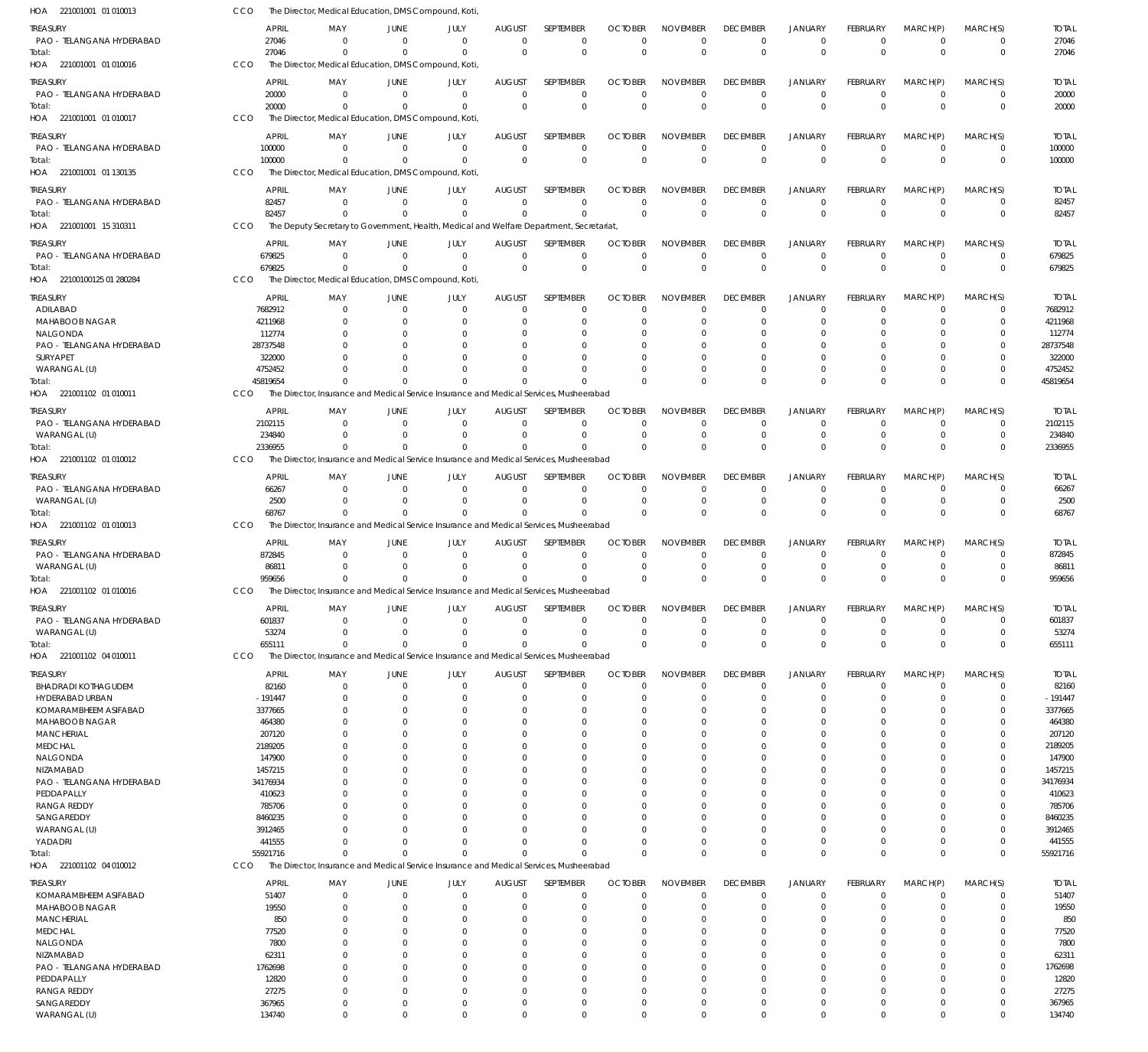| HOA 221001001 01 010013                 | CCO               | The Director, Medical Education, DMS Compound, Koti, |                      |                                                                                          |                      |                      |                      |                      |                      |                              |                      |                         |                         |                   |
|-----------------------------------------|-------------------|------------------------------------------------------|----------------------|------------------------------------------------------------------------------------------|----------------------|----------------------|----------------------|----------------------|----------------------|------------------------------|----------------------|-------------------------|-------------------------|-------------------|
| TREASURY                                | <b>APRIL</b>      | MAY                                                  | JUNE                 | JULY                                                                                     | AUGUST               | <b>SEPTEMBER</b>     | <b>OCTOBER</b>       | <b>NOVEMBER</b>      | <b>DECEMBER</b>      | <b>JANUARY</b>               | <b>FEBRUARY</b>      | MARCH(P)                | MARCH(S)                | <b>TOTAL</b>      |
| PAO - TELANGANA HYDERABAD               | 27046             | $\Omega$                                             | $\Omega$             | $\Omega$                                                                                 | $\mathbf 0$          | $\mathbf 0$          | 0                    | $\Omega$             | 0                    | $^{\circ}$                   | $\mathbf 0$          | $\overline{0}$          | $\mathbf 0$             | 27046             |
| Total:                                  | 27046             | $\Omega$                                             | $\Omega$             | $\Omega$                                                                                 | $\Omega$             | $\mathbf 0$          | $\Omega$             | $\mathbf 0$          | $\Omega$             | $\overline{0}$               | $\Omega$             | $\Omega$                | $\mathbf 0$             | 27046             |
| HOA 221001001 01 010016                 | CCO               | The Director, Medical Education, DMS Compound, Koti, |                      |                                                                                          |                      |                      |                      |                      |                      |                              |                      |                         |                         |                   |
| TREASURY                                | <b>APRIL</b>      | MAY                                                  | JUNE                 | JULY                                                                                     | <b>AUGUST</b>        | SEPTEMBER            | <b>OCTOBER</b>       | <b>NOVEMBER</b>      | <b>DECEMBER</b>      | <b>JANUARY</b>               | <b>FEBRUARY</b>      | MARCH(P)                | MARCH(S)                | <b>TOTAL</b>      |
| PAO - TELANGANA HYDERABAD               | 20000             | $\Omega$                                             | $\Omega$             | $\Omega$                                                                                 | $\Omega$             | $\Omega$             | $\Omega$             | $\Omega$             | $\Omega$             | $^{\circ}$                   | $\Omega$             | $^{\circ}$              | $\mathbf 0$             | 20000             |
| Total:                                  | 20000             | $\Omega$                                             | $\Omega$             | $\Omega$                                                                                 | $\Omega$             | $\mathbf 0$          | $\Omega$             | $\Omega$             | $\Omega$             | $\Omega$                     | $\Omega$             | $\Omega$                | $\mathbf 0$             | 20000             |
| HOA 221001001 01 010017                 | CCO               | The Director, Medical Education, DMS Compound, Koti, |                      |                                                                                          |                      |                      |                      |                      |                      |                              |                      |                         |                         |                   |
|                                         |                   |                                                      |                      |                                                                                          |                      |                      |                      |                      |                      |                              |                      |                         |                         |                   |
| TREASURY                                | APRIL             | MAY                                                  | JUNE                 | JULY                                                                                     | AUGUST               | <b>SEPTEMBER</b>     | <b>OCTOBER</b>       | <b>NOVEMBER</b>      | <b>DECEMBER</b>      | <b>JANUARY</b>               | <b>FEBRUARY</b>      | MARCH(P)                | MARCH(S)                | <b>TOTAL</b>      |
| PAO - TELANGANA HYDERABAD               | 100000            | $\mathbf 0$                                          | $\mathbf 0$          | $\mathbf 0$                                                                              | $\mathbf 0$          | $\mathbf 0$          | $\mathbf 0$          | $\mathbf 0$          | $\Omega$             | $\overline{0}$               | $\mathbf 0$          | $\overline{0}$          | $\mathbf 0$             | 100000            |
| Total:                                  | 100000            | $\Omega$                                             | $\Omega$             | $\Omega$                                                                                 | $\Omega$             | $\mathbf 0$          | $\Omega$             | $\mathbf 0$          | $\Omega$             | $\overline{0}$               | $\Omega$             | $\Omega$                | $\mathbf 0$             | 100000            |
| HOA 221001001 01 130135                 | CCO               | The Director, Medical Education, DMS Compound, Koti, |                      |                                                                                          |                      |                      |                      |                      |                      |                              |                      |                         |                         |                   |
| TREASURY                                | <b>APRIL</b>      | MAY                                                  | JUNE                 | JULY                                                                                     | <b>AUGUST</b>        | SEPTEMBER            | <b>OCTOBER</b>       | <b>NOVEMBER</b>      | <b>DECEMBER</b>      | <b>JANUARY</b>               | <b>FEBRUARY</b>      | MARCH(P)                | MARCH(S)                | <b>TOTAL</b>      |
| PAO - TELANGANA HYDERABAD               | 82457             | $\Omega$                                             | $\Omega$             | $\Omega$                                                                                 | $\Omega$             | $\mathbf 0$          | $\Omega$             | $\Omega$             | 0                    | $^{\circ}$                   | 0                    | $\overline{0}$          | 0                       | 82457             |
| Total:                                  | 82457             | $\Omega$                                             | $\Omega$             | $\Omega$                                                                                 | $\Omega$             | $\Omega$             | $\Omega$             | $\Omega$             | $\Omega$             | $\overline{0}$               | $\Omega$             | $\Omega$                | $\mathbf 0$             | 82457             |
| HOA 221001001 15 310311                 | CCO               |                                                      |                      | The Deputy Secretary to Government, Health, Medical and Welfare Department, Secretariat, |                      |                      |                      |                      |                      |                              |                      |                         |                         |                   |
| TREASURY                                | <b>APRIL</b>      | MAY                                                  | JUNE                 | JULY                                                                                     | AUGUST               | SEPTEMBER            | <b>OCTOBER</b>       | <b>NOVEMBER</b>      | <b>DECEMBER</b>      | <b>JANUARY</b>               | <b>FEBRUARY</b>      | MARCH(P)                | MARCH(S)                | <b>TOTAL</b>      |
| PAO - TELANGANA HYDERABAD               | 679825            | 0                                                    | $\Omega$             | $\Omega$                                                                                 | $\Omega$             | $\mathbf 0$          | $\Omega$             | $\Omega$             | $\Omega$             | $\overline{0}$               | $\Omega$             | $\overline{0}$          | $\mathbf 0$             | 679825            |
| Total:                                  | 679825            | $\Omega$                                             | $\mathbf 0$          | $\mathbf 0$                                                                              | $\Omega$             | $\mathbf 0$          | $\Omega$             | $\Omega$             | $\Omega$             | $\overline{0}$               | $\mathbf 0$          | $\Omega$                | $\mathbf 0$             | 679825            |
| HOA 22100100125 01 280284               | CCO               | The Director, Medical Education, DMS Compound, Koti, |                      |                                                                                          |                      |                      |                      |                      |                      |                              |                      |                         |                         |                   |
| TREASURY                                | APRIL             | MAY                                                  | JUNE                 | JULY                                                                                     | AUGUST               | SEPTEMBER            | <b>OCTOBER</b>       | <b>NOVEMBER</b>      | <b>DECEMBER</b>      | <b>JANUARY</b>               | <b>FEBRUARY</b>      | MARCH(P)                | MARCH(S)                | <b>TOTAL</b>      |
| ADILABAD                                | 7682912           | $\Omega$                                             | $\Omega$             | $\Omega$                                                                                 | $\Omega$             | $\Omega$             | $\Omega$             | $\Omega$             | $\Omega$             | $^{\circ}$                   | $\Omega$             | $\Omega$                | $\Omega$                | 7682912           |
| MAHABOOB NAGAR                          | 4211968           | $\Omega$                                             | $\Omega$             | $\Omega$                                                                                 | $\Omega$             | $\Omega$             | $\Omega$             | $\Omega$             | $\Omega$             | $\Omega$                     | $\Omega$             | $\Omega$                | $\Omega$                | 4211968           |
| NALGONDA                                | 112774            | 0                                                    | $\Omega$             |                                                                                          | O                    | 0                    |                      | $\Omega$             | 0                    | $\Omega$                     |                      | 0                       | C                       | 112774            |
| PAO - TELANGANA HYDERABAD               | 28737548          | O                                                    | $\Omega$             |                                                                                          | 0                    | $\Omega$             | -C                   | $\Omega$             | $\Omega$             | $\Omega$                     |                      | $\Omega$                | C                       | 28737548          |
| SURYAPET                                | 322000            |                                                      | $\Omega$             |                                                                                          | O                    | $\Omega$             |                      | $\Omega$             |                      | $\Omega$                     |                      | $\Omega$                |                         | 322000            |
| WARANGAL (U)                            | 4752452           | U                                                    | $\Omega$             |                                                                                          | $\Omega$             | $\Omega$             | -0                   | $\Omega$             | $\Omega$             | $\Omega$                     | $\Omega$             | $\Omega$                | $\Omega$                | 4752452           |
| Total:                                  | 45819654          | $\Omega$                                             | $\Omega$             | $\Omega$                                                                                 | $\Omega$             | $\Omega$             | $\Omega$             | $\Omega$             | $\Omega$             | $\Omega$                     | $\Omega$             | $\Omega$                | $\Omega$                | 45819654          |
| HOA 221001102 01 010011                 | CCO               |                                                      |                      | The Director, Insurance and Medical Service Insurance and Medical Services, Musheerabad  |                      |                      |                      |                      |                      |                              |                      |                         |                         |                   |
| TREASURY                                | <b>APRIL</b>      | MAY                                                  | JUNE                 | JULY                                                                                     | AUGUST               | SEPTEMBER            | <b>OCTOBER</b>       | <b>NOVEMBER</b>      | <b>DECEMBER</b>      | <b>JANUARY</b>               | <b>FEBRUARY</b>      | MARCH(P)                | MARCH(S)                | <b>TOTAL</b>      |
| PAO - TELANGANA HYDERABAD               | 2102115           | $\Omega$                                             | $\mathbf 0$          | $\Omega$                                                                                 | $\Omega$             | $\mathbf 0$          | $\Omega$             | $\Omega$             | $\Omega$             | $\overline{0}$               | $\Omega$             | $\Omega$                | 0                       | 2102115           |
| WARANGAL (U)                            | 234840            | $\Omega$                                             | $\Omega$             | $\Omega$                                                                                 | $\mathbf 0$          | $\mathbf 0$          | $\Omega$             | $\Omega$             | $\Omega$             | $\overline{0}$               | $\mathbf 0$          | $\Omega$                | $\mathbf 0$             | 234840            |
| Total:                                  | 2336955           | $\Omega$                                             | $\Omega$             | $\Omega$                                                                                 | $\Omega$             | $\Omega$             | $\Omega$             | $\Omega$             | $\Omega$             | $\Omega$                     | $\Omega$             | $\Omega$                | $\Omega$                | 2336955           |
| HOA 221001102 01 010012                 | CCO               |                                                      |                      | The Director, Insurance and Medical Service Insurance and Medical Services, Musheerabad  |                      |                      |                      |                      |                      |                              |                      |                         |                         |                   |
| TREASURY                                | <b>APRIL</b>      | MAY                                                  | JUNE                 | JULY                                                                                     | <b>AUGUST</b>        | SEPTEMBER            | <b>OCTOBER</b>       | <b>NOVEMBER</b>      | <b>DECEMBER</b>      | <b>JANUARY</b>               | <b>FEBRUARY</b>      | MARCH(P)                | MARCH(S)                | <b>TOTAL</b>      |
| PAO - TELANGANA HYDERABAD               | 66267             | $\Omega$                                             | $\Omega$             | $\Omega$                                                                                 | $\Omega$             | $\Omega$             | $\Omega$             | $\Omega$             | $\Omega$             | $^{\circ}$                   | $\Omega$             | $\Omega$                | $\Omega$                | 66267             |
| WARANGAL (U)                            | 2500              | $\Omega$                                             | $\Omega$             | $\Omega$                                                                                 | $\Omega$             | $\mathbf 0$          | $\Omega$             | $\Omega$             | $\Omega$             | $\overline{0}$               | $\Omega$             | $\Omega$                | 0                       | 2500              |
| Total:                                  | 68767             | $\Omega$                                             | $\Omega$             | $\Omega$                                                                                 | $\Omega$             | $\Omega$             | $\Omega$             | $\Omega$             | $\Omega$             | $\Omega$                     | $\Omega$             | $\Omega$                | $\Omega$                | 68767             |
| HOA 221001102 01 010013                 | CCO               |                                                      |                      | The Director, Insurance and Medical Service Insurance and Medical Services, Musheerabad  |                      |                      |                      |                      |                      |                              |                      |                         |                         |                   |
| TREASURY                                | APRIL             | MAY                                                  | JUNE                 | JULY                                                                                     | <b>AUGUST</b>        | SEPTEMBER            | <b>OCTOBER</b>       | <b>NOVEMBER</b>      | <b>DECEMBER</b>      | <b>JANUARY</b>               | <b>FEBRUARY</b>      | MARCH(P)                | MARCH(S)                | <b>TOTAL</b>      |
| PAO - TELANGANA HYDERABAD               | 872845            | $\Omega$                                             | $\Omega$             | $\Omega$                                                                                 | $\mathbf 0$          | $\mathbf 0$          | $\Omega$             | $\Omega$             | $\Omega$             | $\overline{0}$               | $\Omega$             | 0                       | $\mathbf 0$             | 872845            |
| WARANGAL (U)                            | 86811             | $\Omega$                                             | $\Omega$             | $\Omega$                                                                                 | $\Omega$             | $\mathbf 0$          | $\Omega$             | $\Omega$             | $\Omega$             | $\overline{0}$               | $\Omega$             | $\mathbf 0$             | $\mathbf 0$             | 86811             |
| lotal:                                  | 959656            | $\Omega$                                             | $\Omega$             | $\Omega$                                                                                 | $\Omega$             | $\Omega$             | $\Omega$             | $\Omega$             | $\Omega$             | $\Omega$                     | $\Omega$             | $\Omega$                | $\mathbf 0$             | 959656            |
| HOA 221001102 01 010016                 | CCO               |                                                      |                      | The Director, Insurance and Medical Service Insurance and Medical Services, Musheerabad  |                      |                      |                      |                      |                      |                              |                      |                         |                         |                   |
|                                         |                   |                                                      |                      |                                                                                          |                      |                      |                      |                      |                      |                              |                      |                         |                         |                   |
| ireasury                                | APRIL             | MAY                                                  | JUNE                 | JULY                                                                                     | <b>AUGUST</b>        | SEPTEMBER            | <b>OCTOBER</b>       | <b>NOVEMBER</b>      | <b>DECEMBER</b>      | <b>JANUARY</b>               | FEBRUARY             | MARCH(P)                | MARCH(S)                | <b>TOTAL</b>      |
| PAO - TELANGANA HYDERABAD               | 601837<br>53274   | $\Omega$<br>0                                        | $\Omega$<br>$\Omega$ | $\Omega$<br>$\Omega$                                                                     | $\Omega$<br>$\Omega$ | 0<br>$\mathbf 0$     | $\Omega$<br>$\Omega$ | $\Omega$<br>$\Omega$ | $\Omega$<br>$\Omega$ | $^{\circ}$<br>$\overline{0}$ | $\Omega$<br>$\Omega$ | $\Omega$<br>$\mathbf 0$ | $\Omega$<br>$\mathbf 0$ | 601837<br>53274   |
| WARANGAL (U)<br>Total:                  | 655111            | $\Omega$                                             | $\Omega$             | $\Omega$                                                                                 | $\Omega$             | $\Omega$             | $\Omega$             | $\Omega$             | $\Omega$             | $\Omega$                     | $\Omega$             | $\Omega$                | $\Omega$                | 655111            |
| HOA 221001102 04 010011                 | CCO               |                                                      |                      | The Director, Insurance and Medical Service Insurance and Medical Services, Musheerabad  |                      |                      |                      |                      |                      |                              |                      |                         |                         |                   |
|                                         |                   |                                                      |                      |                                                                                          |                      |                      |                      |                      |                      |                              |                      |                         |                         |                   |
| TREASURY                                | <b>APRIL</b>      | MAY                                                  | JUNE                 | JULY                                                                                     | AUGUST               | SEPTEMBER            | <b>OCTOBER</b>       | <b>NOVEMBER</b>      | <b>DECEMBER</b>      | <b>JANUARY</b>               | FEBRUARY             | MARCH(P)                | MARCH(S)                | <b>TOTAL</b>      |
| <b>BHADRADI KOTHAGUDEM</b>              | 82160             | $\Omega$                                             | $\Omega$             | $\Omega$                                                                                 | $\mathbf 0$          | $\mathbf 0$          | $\Omega$             | $\Omega$             | $\Omega$             | $\overline{0}$               | $\Omega$             | $\Omega$                | 0                       | 82160             |
| HYDERABAD URBAN                         | $-191447$         | $\Omega$                                             | $\Omega$             | $\Omega$                                                                                 | $\Omega$             | $\mathbf 0$          | $\Omega$             | $\Omega$             | $\Omega$             | $\overline{0}$               | $\Omega$             | $\Omega$                | $\mathbf 0$             | $-191447$         |
| KOMARAMBHEEM ASIFABAD<br>MAHABOOB NAGAR | 3377665<br>464380 | $\Omega$<br>U                                        | $\Omega$<br>$\Omega$ | O                                                                                        | $\Omega$<br>$\Omega$ | $\Omega$<br>$\Omega$ | -0<br>-0             | $\Omega$<br>$\Omega$ | $\Omega$             | $\Omega$<br>$\Omega$         | 0<br>O               | $\Omega$<br>$\Omega$    | $\Omega$<br>0           | 3377665<br>464380 |
| <b>MANCHERIAL</b>                       | 207120            | 0                                                    | $\Omega$             |                                                                                          | $\Omega$             | $\Omega$             | -C                   | $\Omega$             | $\Omega$             | $\Omega$                     |                      | $\Omega$                | 0                       | 207120            |
| <b>MEDCHAL</b>                          | 2189205           |                                                      | $\Omega$             |                                                                                          | $\Omega$             | $\Omega$             | -C                   | $\Omega$             |                      | $\Omega$                     | U                    | $\Omega$                | 0                       | 2189205           |
| NALGONDA                                | 147900            | O                                                    | 0                    |                                                                                          | $\Omega$             | $\Omega$             |                      | $\Omega$             |                      | $\Omega$                     |                      | $\Omega$                | 0                       | 147900            |
| <b>NIZAMABAD</b>                        | 1457215           |                                                      | O                    |                                                                                          | C                    | $\Omega$             | -C                   | $\Omega$             |                      | $\Omega$                     |                      | $\Omega$                | $\Omega$                | 1457215           |
| PAO - TELANGANA HYDERABAD               | 34176934          | U                                                    | 0                    |                                                                                          | $\Omega$             | $\Omega$             | -C                   | $\Omega$             |                      | $\Omega$                     |                      | $\Omega$                | 0                       | 34176934          |
| PEDDAPALLY                              | 410623            |                                                      | $\Omega$             |                                                                                          | $\Omega$             | $\Omega$             | -C                   | $\Omega$             |                      | $\Omega$                     | U                    | $\Omega$                | 0                       | 410623            |
| RANGA REDDY                             | 785706            | O                                                    | O                    |                                                                                          | C                    | $\Omega$             |                      | $\Omega$             |                      | $\Omega$                     |                      | $\Omega$                | 0                       | 785706            |
| SANGAREDDY                              | 8460235           |                                                      |                      |                                                                                          | O                    | $\Omega$             | -C                   | $\Omega$             |                      | $\Omega$                     |                      | $\Omega$                | 0                       | 8460235           |
| WARANGAL (U)                            | 3912465           |                                                      | 0                    |                                                                                          | $\Omega$             | $\Omega$             |                      | $\Omega$             |                      | $\Omega$                     |                      | $\Omega$                | 0                       | 3912465           |
| YADADRI                                 | 441555            | U                                                    | $\Omega$             | O                                                                                        | $\Omega$             | $\Omega$             | -0                   | $\Omega$             | $\Omega$             | $\Omega$                     | $\Omega$             | $\Omega$                | $\Omega$                | 441555            |
| Total:                                  | 55921716          | $\Omega$                                             | $\Omega$             | $\Omega$                                                                                 | $\Omega$             | $\Omega$             | $\Omega$             | $\Omega$             | $\Omega$             | $\Omega$                     | $\Omega$             | $\Omega$                | $\Omega$                | 55921716          |
| HOA 221001102 04 010012                 | CCO               |                                                      |                      | The Director, Insurance and Medical Service Insurance and Medical Services, Musheerabad  |                      |                      |                      |                      |                      |                              |                      |                         |                         |                   |
| TREASURY                                | <b>APRIL</b>      | MAY                                                  | JUNE                 | JULY                                                                                     | <b>AUGUST</b>        | SEPTEMBER            | <b>OCTOBER</b>       | <b>NOVEMBER</b>      | <b>DECEMBER</b>      | <b>JANUARY</b>               | <b>FEBRUARY</b>      | MARCH(P)                | MARCH(S)                | <b>TOTAL</b>      |
| KOMARAMBHEEM ASIFABAD                   | 51407             | $\Omega$                                             | $\Omega$             | $\Omega$                                                                                 | $\mathbf 0$          | $\mathbf 0$          | $\Omega$             | $\Omega$             | $\Omega$             | $^{\circ}$                   | $\Omega$             | 0                       | $\Omega$                | 51407             |
| MAHABOOB NAGAR                          | 19550             | $\Omega$                                             | $\Omega$             | 0                                                                                        | $\Omega$             | $\Omega$             | $\Omega$             | $\Omega$             | $\Omega$             | $\Omega$                     | $\Omega$             | $\Omega$                | 0                       | 19550             |
| <b>MANCHERIAL</b>                       | 850               | U                                                    | $\Omega$             | O                                                                                        | 0                    | $\Omega$             | -C                   | $\Omega$             | $\Omega$             | $\Omega$                     |                      | $\Omega$                | 0                       | 850               |
| <b>MEDCHAL</b>                          | 77520             |                                                      | 0                    |                                                                                          | 0                    | $\Omega$             | -C                   | $\Omega$             | $\left( \right)$     | $\Omega$                     |                      | $\Omega$                | 0                       | 77520             |
| NALGONDA                                | 7800              |                                                      | 0                    |                                                                                          | 0                    | $\Omega$             | -C                   | $\Omega$             |                      | $\Omega$                     |                      | $\Omega$                | C                       | 7800              |
| NIZAMABAD                               | 62311             |                                                      | O                    |                                                                                          | O                    | $\Omega$             |                      | $\Omega$             |                      | $\Omega$                     |                      | $\Omega$                | C                       | 62311             |
| PAO - TELANGANA HYDERABAD               |                   |                                                      |                      |                                                                                          |                      |                      |                      |                      |                      |                              |                      |                         |                         |                   |
|                                         | 1762698           | O                                                    | O                    |                                                                                          | $\Omega$             | $\Omega$             | -0                   | $\Omega$             |                      | $\Omega$                     |                      | $\Omega$                | 0                       | 1762698           |
| PEDDAPALLY                              | 12820             | O<br>0                                               | O<br>0               |                                                                                          | O<br>0               | $\Omega$<br>$\Omega$ | -C<br>-C             | $\Omega$<br>$\Omega$ |                      | $\Omega$<br>$\Omega$         |                      | $\Omega$<br>$\Omega$    | 0<br>$\Omega$           | 12820             |
| <b>RANGA REDDY</b><br>SANGAREDDY        | 27275<br>367965   | $\Omega$                                             | $\Omega$             | 0                                                                                        | $\Omega$             | $\Omega$             | $\Omega$             | $\Omega$             | $\Omega$             | $\overline{0}$               | $\Omega$             | $\Omega$                | $\Omega$                | 27275<br>367965   |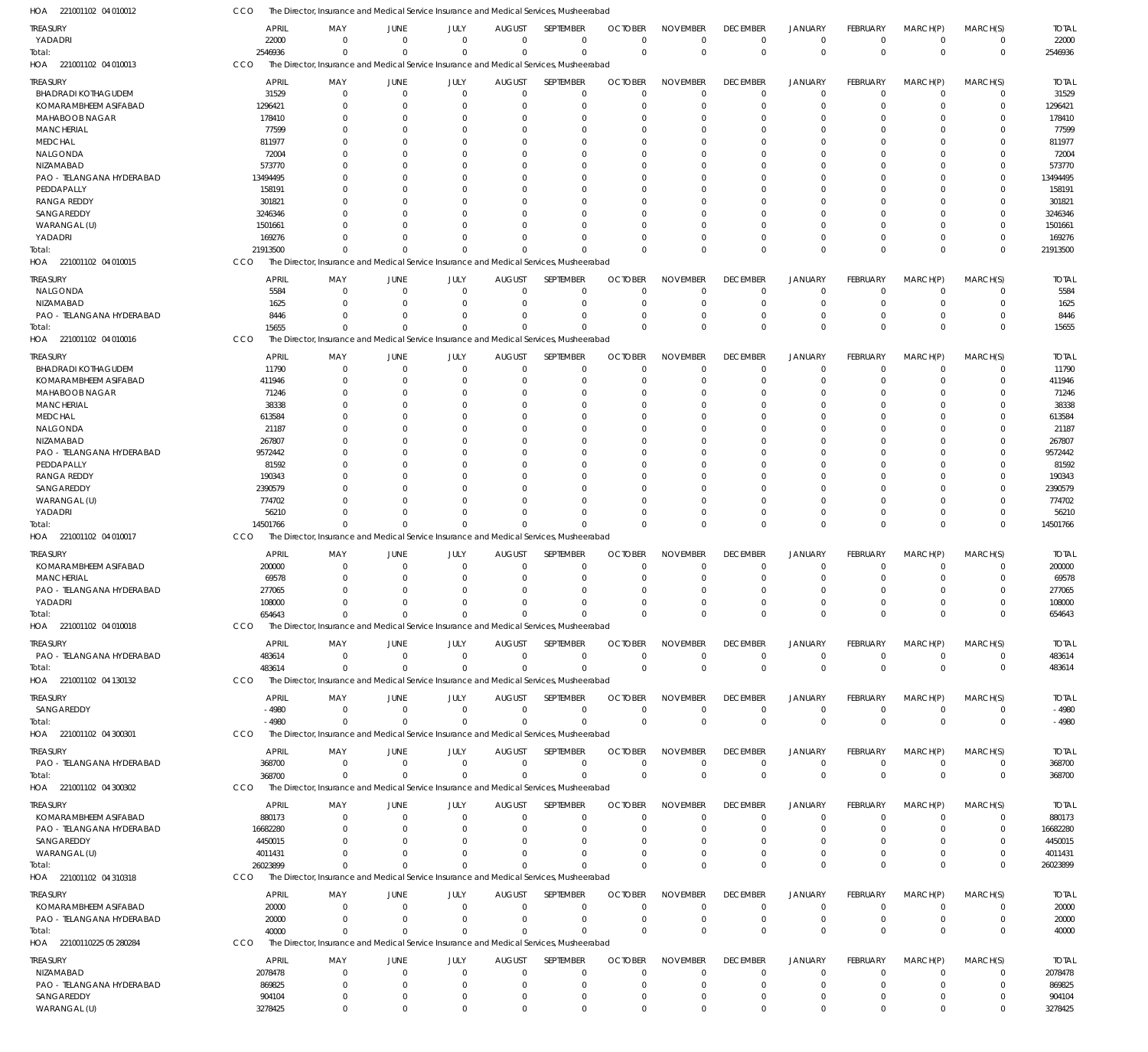221001102 04 010012 HOA 221001102 04 010013 HOA 221001102 04 010015 HOA 221001102 04 010016 HOA 221001102 04 010017 HOA 221001102 04 010018 HOA 221001102 04 130132 HOA 221001102 04 300301 HOA 221001102 04 300302 HOA 221001102 04 310318 HOA 22100110225 05 280284 HOA The Director, Insurance and Medical Service Insurance and Medical Services, Musheerabad The Director, Insurance and Medical Service Insurance and Medical Services, Musheerabad The Director, Insurance and Medical Service Insurance and Medical Services, Musheerabad The Director, Insurance and Medical Service Insurance and Medical Services, Musheerabad The Director, Insurance and Medical Service Insurance and Medical Services, Musheerabad The Director, Insurance and Medical Service Insurance and Medical Services, Musheerabad The Director, Insurance and Medical Service Insurance and Medical Services, Musheerabad The Director, Insurance and Medical Service Insurance and Medical Services, Musheerabad The Director, Insurance and Medical Service Insurance and Medical Services, Musheerabad The Director, Insurance and Medical Service Insurance and Medical Services, Musheerabad The Director, Insurance and Medical Service Insurance and Medical Services, Musheerabad CCO CCO CCO **CCO** CCO CCO **CCO CCO CCO** CCO CCO 2546936 21913500 15655 14501766 654643 483614 -4980 368700 26023899 40000 0 0  $\Omega$  $\Omega$ 0  $\Omega$ 0 0 0  $\Omega$ 0 0  $\Omega$  $\Omega$ 0  $\Omega$  $\mathbf 0$ 0 0  $\Omega$ 0 0  $\Omega$ 0 0  $\Omega$ 0 0 0  $\Omega$ 0  $\Omega$  $\Omega$  $\Omega$  $\Omega$ 0 0 0 0 0 0 0  $\Omega$  $\Omega$ 0  $\Omega$ 0 0 0  $\Omega$ 0  $\Omega$  $\Omega$  $\Omega$  $\Omega$ 0 0  $\Omega$  $\Omega$ 0 0  $\Omega$  $\Omega$  $\Omega$  $\Omega$ 0 0 0 0 0 0 0 0  $\Omega$ 0 0 0 0 0 0 0 0 0 0 0 0 0 0 0 0 0 0  $\Omega$  $\Omega$ 0  $\Omega$ 0 0 0 0 0  $\Omega$  $\Omega$  $\Omega$  $\Omega$ 0 0  $\Omega$ 0 0 0  $\Omega$  $\Omega$  $\Omega$  $\Omega$ 0 0  $\Omega$ 0  $\Omega$ 2546936 21913500 15655 14501766 654643 483614 -4980 368700 26023899 40000 YADADRI BHADRADI KOTHAGUDEM KOMARAMBHEEM ASIFABAD MAHABOOB NAGAR **MANCHERIAL MEDCHAL** NALGONDA NIZAMABAD PAO - TELANGANA HYDERABAD **PEDDAPALLY** RANGA REDDY SANGAREDDY WARANGAL (U) YADADRI NALGONDA NIZAMABAD PAO - TELANGANA HYDERABAD BHADRADI KOTHAGUDEM KOMARAMBHEEM ASIFABAD MAHABOOB NAGAR **MANCHERIAL MEDCHAL** NALGONDA NIZAMABAD PAO - TELANGANA HYDERABAD **PEDDAPALLY** RANGA REDDY SANGAREDDY WARANGAL (U) YADADRI KOMARAMBHEEM ASIFABAD **MANCHERIAL** PAO - TELANGANA HYDERABAD YADADRI PAO - TELANGANA HYDERABAD SANGAREDDY PAO - TELANGANA HYDERABAD KOMARAMBHEEM ASIFABAD PAO - TELANGANA HYDERABAD SANGAREDDY WARANGAL (U) KOMARAMBHEEM ASIFABAD PAO - TELANGANA HYDERABAD NIZAMABAD PAO - TELANGANA HYDERABAD SANGAREDDY **TREASURY** TREASURY TREASURY TREASURY **TREASURY** TREASURY TREASURY TREASURY TREASURY TREASURY **TREASURY** 22000 31529 1296421 178410 77599 811977 72004 573770 13494495 158191 301821 3246346 1501661 169276 5584 1625 8446 11790 411946 71246 38338 613584 21187 267807 9572442 81592 190343 2390579 774702 56210 200000 69578 277065 108000 483614 -4980 368700 880173 16682280 4450015 4011431 20000 20000 2078478 869825 904104 APRIL APRIL APRIL APRIL APRIL APRIL APRIL APRIL APRIL APRIL APRIL 0  $\sqrt{2}$  $\overline{0}$  $\Omega$  $\Omega$ 0  $\Omega$  $\Omega$  $\Omega$  $\theta$  $\Omega$  $\Omega$  $\Omega$  $\Omega$ 0  $\theta$ 0  $\Omega$  $\Omega$  $\theta$ 0  $\Omega$  $\Omega$  $\Omega$  $\theta$  $\theta$  $\Omega$  $\Omega$  $\Omega$  $\overline{0}$  $\Omega$ 0 0 0  $\overline{0}$ 0 0 0  $\theta$ 0 0  $\bigcap$ 0 0 0 0 MAY MAY MAY MAY MAY MAY MAY MAY MAY MAY MAY 0  $\Omega$ 0  $\Omega$  $\overline{0}$  $\Omega$ 0  $\Omega$  $\Omega$  $\theta$ 0  $\Omega$  $\Omega$  $\Omega$ 0  $\Omega$ 0  $\theta$  $\Omega$  $\overline{0}$  $\Omega$  $\Omega$  $\theta$  $\Omega$  $\overline{0}$  $\Omega$ 0  $\Omega$  $\Omega$  $\theta$ 0 0  $\Omega$ 0  $\overline{0}$ 0  $\theta$ 0 0 0 0  $\bigcap$  $\theta$ 0 0 0 JUNE JUNE JUNE JUNE JUNE **JUNE** JUNE JUNE JUNE JUNE JUNE 0  $\sqrt{2}$ 0  $\sqrt{2}$  $\overline{0}$ 0  $\Omega$  $\Omega$  $\sqrt{2}$  $\theta$  $\Omega$  $\Omega$ 0 0 0 0 0 0  $\sqrt{2}$  $\overline{0}$ 0  $\Omega$  $\sqrt{2}$  $\sqrt{2}$  $\overline{0}$ 0  $\Omega$  $\Omega$  $\sqrt{2}$  $\overline{0}$ 0 0 0 0 0 0 0 0 0 0 0  $\sqrt{2}$ 0 0 0 0 JULY JULY JULY JULY JULY JULY JULY JULY JULY JULY JULY 0  $\Omega$  $\theta$  $\Omega$  $\overline{0}$  $\Omega$  $\Omega$  $\Omega$  $\Omega$ 0  $\Omega$  $\sqrt{2}$  $\Omega$  $\Omega$ 0 0 0  $\theta$  $\Omega$  $\theta$  $\Omega$  $\sqrt{2}$  $\Omega$  $\Omega$ 0 0  $\Omega$  $\Omega$  $\Omega$  $\theta$  $\Omega$ 0  $\Omega$ 0  $\theta$ 0  $\Omega$  $\Omega$ 0 0  $\Omega$  $\Omega$  $\theta$ 0 0 0 AUGUST AUGUST AUGUST **AUGUST** AUGUST **AUGUST** AUGUST AUGUST AUGUST AUGUST AUGUST  $\Omega$  $\Omega$  $\theta$  $\Omega$  $\Omega$  $\Omega$  $\Omega$  $\Omega$  $\Omega$  $\Omega$  $\Omega$  $\sqrt{2}$  $\Omega$  $\Omega$ 0  $\Omega$ 0  $\theta$  $\Omega$  $\Omega$  $\Omega$  $\sqrt{2}$  $\Omega$  $\Omega$  $\overline{0}$  $\Omega$  $\Omega$  $\Omega$  $\Omega$  $\overline{0}$  $\Omega$ 0  $\Omega$ 0  $\Omega$  $\Omega$  $\Omega$  $\Omega$  $\Omega$ 0  $\Omega$  $\Omega$  $\theta$  $\Omega$ 0 0 SEPTEMBER SEPTEMBER SEPTEMBER **SEPTEMBER** SEPTEMBER **SEPTEMBER** SEPTEMBER SEPTEMBER SEPTEMBER SEPTEMBER SEPTEMBER 0  $\Omega$  $\Omega$  $\Omega$ 0 0  $\Omega$  $\Omega$  $\Omega$ 0  $\Omega$  $\sqrt{2}$  $\Omega$  $\Omega$ 0  $\Omega$ 0  $\Omega$  $\Omega$  $\Omega$ 0  $\Omega$  $\Omega$  $\Omega$ 0  $\Omega$  $\Omega$  $\Omega$  $\Omega$  $\Omega$ 0 0 0 0  $\theta$ 0  $\Omega$ 0  $\Omega$ 0 0  $\Omega$  $\theta$ 0 0 0 OCTOBER OCTOBER OCTOBER OCTOBER OCTOBER OCTOBER OCTOBER OCTOBER OCTOBER OCTOBER OCTOBER  $\Omega$  $\Omega$  $\Omega$  $\Omega$  $\theta$  $\Omega$  $\Omega$  $\Omega$  $\Omega$ 0  $\Omega$  $\Omega$  $\Omega$  $\Omega$ 0  $\theta$ 0  $\Omega$  $\Omega$  $\Omega$  $\Omega$  $\Omega$  $\Omega$  $\Omega$ 0  $\Omega$  $\Omega$  $\Omega$  $\Omega$  $\theta$  $\Omega$ 0  $\Omega$ 0  $\theta$  $\Omega$  $\Omega$  $\Omega$  $\Omega$ 0  $\Omega$  $\Omega$  $\theta$  $\Omega$ 0 0 NOVEMBER NOVEMBER NOVEMBER NOVEMBER NOVEMBER NOVEMBER NOVEMBER NOVEMBER NOVEMBER NOVEMBER NOVEMBER 0  $\Omega$  $\theta$  $\Omega$  $\Omega$  $\Omega$  $\Omega$  $\Omega$  $\Omega$  $\overline{0}$  $\Omega$  $\Omega$  $\Omega$  $\Omega$ 0  $\Omega$ 0  $\theta$  $\Omega$  $\Omega$ 0  $\sqrt{2}$  $\Omega$  $\Omega$ 0  $\Omega$  $\Omega$  $\Omega$  $\Omega$  $\Omega$ 0 0 0 0  $\Omega$ 0  $\Omega$ 0  $\Omega$ 0 0  $\Omega$  $\theta$ 0 0 0 DECEMBER **DECEMBER** DECEMBER **DECEMBER** DECEMBER **DECEMBER** DECEMBER DECEMBER DECEMBER **DECEMBER** DECEMBER  $\Omega$  $\Omega$  $\Omega$  $\Omega$ 0  $\Omega$  $\Omega$  $\Omega$  $\Omega$  $\theta$  $\Omega$  $\Omega$  $\Omega$  $\Omega$ 0  $\Omega$ 0  $\Omega$  $\Omega$  $\theta$  $\Omega$  $\Omega$  $\Omega$  $\Omega$ 0  $\Omega$  $\Omega$  $\Omega$  $\Omega$  $\theta$  $\Omega$ 0  $\Omega$ 0  $\theta$  $\Omega$  $\Omega$  $\Omega$  $\Omega$ 0  $\Omega$  $\Omega$  $\theta$  $\Omega$ 0 0 JANUARY JANUARY JANUARY JANUARY JANUARY JANUARY JANUARY JANUARY JANUARY JANUARY JANUARY 0  $\Omega$ 0  $\Omega$  $\overline{0}$  $\Omega$  $\theta$  $\Omega$  $\Omega$  $\overline{0}$  $\Omega$  $\Omega$  $\Omega$  $\Omega$ 0  $\Omega$ 0  $\theta$  $\Omega$  $\overline{0}$  $\Omega$  $\Omega$  $\Omega$  $\Omega$  $\overline{0}$  $\Omega$  $\theta$  $\Omega$  $\Omega$  $\theta$  $\theta$ 0  $\Omega$ 0  $\Omega$  $\Omega$  $\Omega$ 0  $\Omega$ 0  $\Omega$  $\Omega$  $\theta$  $\Omega$ 0 0 FEBRUARY FEBRUARY FEBRUARY FEBRUARY FEBRUARY FEBRUARY FEBRUARY FEBRUARY FEBRUARY FEBRUARY FEBRUARY 0  $\Omega$  $\Omega$  $\Omega$ 0  $\Omega$  $\Omega$  $\Omega$  $\Omega$ 0  $\Omega$  $\Omega$  $\Omega$  $\Omega$ 0 0 0 0  $\Omega$  $\overline{0}$  $\Omega$  $\sqrt{2}$  $\Omega$  $\Omega$ 0  $\Omega$  $\Omega$  $\Omega$  $\Omega$  $\theta$ 0 0  $\Omega$ 0  $\theta$ 0  $\Omega$ 0  $\Omega$ 0 0  $\Omega$  $\theta$ 0 0 0 MARCH(P) MARCH(P) MARCH(P) MARCH(P) MARCH(P) MARCH(P) MARCH(P) MARCH(P) MARCH(P) MARCH(P) MARCH(P)  $\Omega$  $\overline{0}$  $\theta$  $\Omega$ 0  $\Omega$ 0 0  $\Omega$ 0  $\Omega$ 0  $\Omega$  $\Omega$  $\Omega$  $\Omega$ 0  $\Omega$  $\Omega$ 0  $\Omega$ 0  $\Omega$  $\Omega$ 0  $\Omega$ 0  $\Omega$  $\Omega$  $\theta$  $\Omega$ 0  $\Omega$ 0 0  $\Omega$  $\Omega$  $\Omega$  $\Omega$ 0  $\Omega$  $\Omega$  $\theta$  $\Omega$ 0 0 MARCH(S) MARCH(S) MARCH(S) MARCH(S) MARCH(S) MARCH(S) MARCH(S) MARCH(S) MARCH(S) MARCH(S) MARCH(S) 22000 31529 1296421 178410 77599 811977 72004 573770 13494495 158191 301821 3246346 1501661 169276 5584 1625 8446 11790 411946 71246 38338 613584 21187 267807 9572442 81592 190343 2390579 774702 56210 200000 69578 277065 108000 483614 -4980 368700 880173 16682280 4450015 4011431 20000 20000 2078478 869825 904104 TOTAL TOTAL TOTAL TOTAL TOTAL TOTAL TOTAL TOTAL TOTAL TOTAL TOTAL Total: Total: Total: Total: Total: Total: Total: Total: Total: Total:

WARANGAL (U)

3278425

0

 $\pmb{0}$ 

0

0

0

0

0

0

0

0

0

0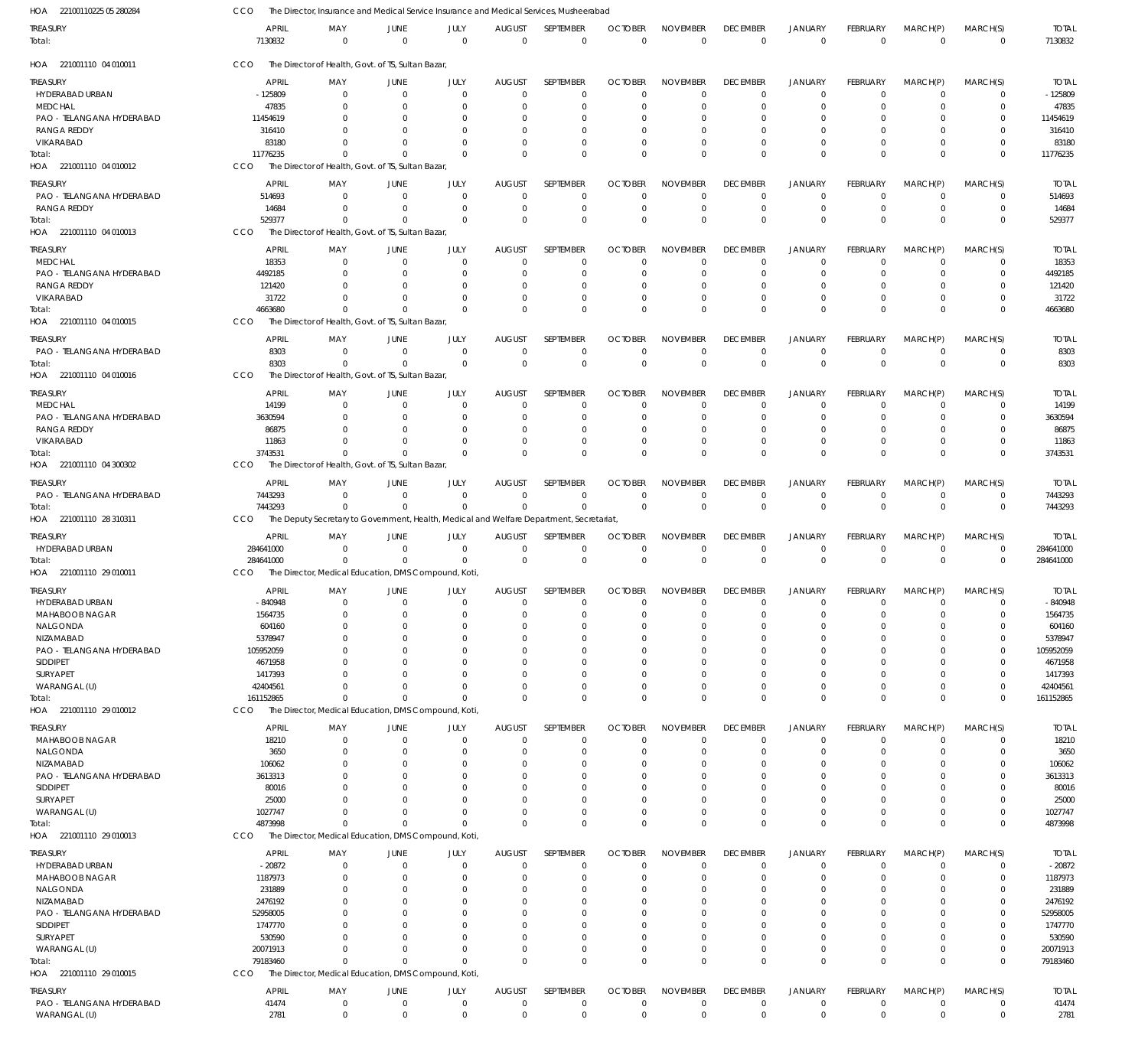| HOA<br>22100110225 05 280284 | CCO              | The Director, Insurance and Medical Service Insurance and Medical Services, Musheerabad  |                      |                  |                              |                          |                               |                                |                                |                               |                                 |                         |                         |                         |
|------------------------------|------------------|------------------------------------------------------------------------------------------|----------------------|------------------|------------------------------|--------------------------|-------------------------------|--------------------------------|--------------------------------|-------------------------------|---------------------------------|-------------------------|-------------------------|-------------------------|
| treasury<br>Total:           | APRIL<br>7130832 | MAY<br>$\mathbf{0}$                                                                      | JUNE<br>$\mathbf{0}$ | JULY<br>$\Omega$ | <b>AUGUST</b><br>$\mathbf 0$ | SEPTEMBER<br>$\mathbf 0$ | <b>OCTOBER</b><br>$\mathbf 0$ | <b>NOVEMBER</b><br>$\mathbf 0$ | <b>DECEMBER</b><br>$\mathbf 0$ | <b>JANUARY</b><br>$\mathbf 0$ | <b>FEBRUARY</b><br>$\mathbf{0}$ | MARCH(P)<br>$\mathbf 0$ | MARCH(S)<br>$\mathbf 0$ | <b>TOTAL</b><br>7130832 |
| HOA 221001110 04 010011      | CCO              | The Director of Health, Govt. of TS, Sultan Bazar,                                       |                      |                  |                              |                          |                               |                                |                                |                               |                                 |                         |                         |                         |
| <b>TREASURY</b>              | <b>APRIL</b>     | MAY                                                                                      | JUNE                 | JULY             | <b>AUGUST</b>                | SEPTEMBER                | <b>OCTOBER</b>                | <b>NOVEMBER</b>                | <b>DECEMBER</b>                | <b>JANUARY</b>                | FEBRUARY                        | MARCH(P)                | MARCH(S)                | <b>TOTAL</b>            |
| HYDERABAD URBAN              | $-125809$        | $\overline{0}$                                                                           | $\mathbf 0$          | $\mathbf 0$      | $\mathbf 0$                  | $\mathbf 0$              | $\Omega$                      | $\Omega$                       | $^{\circ}$                     | $\overline{0}$                | $\overline{0}$                  | $\mathbf 0$             | $\mathbf 0$             | $-125809$               |
| MEDCHAL                      | 47835            | $\Omega$                                                                                 | $\Omega$             | $\Omega$         | 0                            | $\mathbf 0$              | $\Omega$                      | $\Omega$                       | $^{\circ}$                     | $\overline{0}$                | $\Omega$                        | $\Omega$                | $\mathbf 0$             | 47835                   |
| PAO - TELANGANA HYDERABAD    | 11454619         |                                                                                          | $\Omega$             | n                | O                            | 0                        | -C                            |                                |                                | $\Omega$                      | O                               | $\cup$                  | 0                       | 11454619                |
| <b>RANGA REDDY</b>           | 316410           |                                                                                          | -0                   | 0                | $\Omega$                     | $\mathbf 0$              | $\Omega$                      | $\Omega$                       | $\Omega$                       | $\Omega$                      | 0                               | $\Omega$                | 0                       | 316410                  |
| VIKARABAD                    | 83180            |                                                                                          | $\Omega$             | $\Omega$         | $\Omega$                     | $\mathbf 0$              | $\Omega$                      | $\Omega$                       |                                | $\Omega$                      | $\Omega$                        | $\mathbf 0$             | $\mathbf 0$             | 83180                   |
| Total:                       | 11776235         | $\Omega$                                                                                 | $\Omega$             | $\Omega$         | $\Omega$                     | $\mathbf 0$              | $\Omega$                      | $\Omega$                       | $\Omega$                       | $\Omega$                      | $\Omega$                        | $\Omega$                | $\mathbf 0$             | 11776235                |
| HOA 221001110 04 010012      | CCO              | The Director of Health, Govt. of TS, Sultan Bazar                                        |                      |                  |                              |                          |                               |                                |                                |                               |                                 |                         |                         |                         |
|                              |                  |                                                                                          |                      |                  |                              |                          |                               |                                |                                |                               |                                 |                         |                         |                         |
| treasury                     | <b>APRIL</b>     | MAY                                                                                      | JUNE                 | JULY             | <b>AUGUST</b>                | SEPTEMBER                | <b>OCTOBER</b>                | <b>NOVEMBER</b>                | <b>DECEMBER</b>                | JANUARY                       | FEBRUARY                        | MARCH(P)                | MARCH(S)                | <b>TOTAL</b>            |
| PAO - TELANGANA HYDERABAD    | 514693           | $\Omega$                                                                                 | $\overline{0}$       | $\Omega$         | $\Omega$                     | $\mathbf 0$              | $\Omega$                      | $\Omega$                       | $\overline{0}$                 | $\Omega$                      | $\overline{0}$                  | $\Omega$                | 0                       | 514693                  |
| <b>RANGA REDDY</b>           | 14684            | $\Omega$                                                                                 | $\Omega$             | $\Omega$         | 0                            | $\mathbf 0$              | $^{\circ}$                    | $\Omega$                       | $\overline{0}$                 | $\overline{0}$                | $\mathbf 0$                     | $\mathbf 0$             | $\mathbf 0$             | 14684                   |
| Total:                       | 529377           | $\Omega$                                                                                 | $\Omega$             | $\Omega$         | $\Omega$                     | $\mathbf 0$              | $\Omega$                      | $\Omega$                       | $\Omega$                       | $\Omega$                      | $\Omega$                        | $\Omega$                | $\mathbf 0$             | 529377                  |
| HOA 221001110 04 010013      | CCO              | The Director of Health, Govt. of TS, Sultan Bazar,                                       |                      |                  |                              |                          |                               |                                |                                |                               |                                 |                         |                         |                         |
| TREASURY                     | <b>APRIL</b>     | MAY                                                                                      | JUNE                 | JULY             | <b>AUGUST</b>                | SEPTEMBER                | <b>OCTOBER</b>                | <b>NOVEMBER</b>                | <b>DECEMBER</b>                | <b>JANUARY</b>                | FEBRUARY                        | MARCH(P)                | MARCH(S)                | <b>TOTAL</b>            |
| MEDCHAL                      | 18353            | $^{\circ}$                                                                               | $\mathbf 0$          | $\mathbf 0$      | 0                            | $\mathbf 0$              | $\Omega$                      | $\Omega$                       | $^{\circ}$                     | $\overline{0}$                | $\overline{0}$                  | $\Omega$                | 0                       | 18353                   |
| PAO - TELANGANA HYDERABAD    | 4492185          | $\Omega$                                                                                 | $\Omega$             | 0                | $\Omega$                     | $\mathbf 0$              | $\Omega$                      | $\Omega$                       | $^{\circ}$                     | $\overline{0}$                | $\Omega$                        | $\Omega$                | $\mathbf 0$             | 4492185                 |
| <b>RANGA REDDY</b>           | 121420           |                                                                                          | $\Omega$             | 0                | $\Omega$                     | 0                        | $\Omega$                      | $\Omega$                       | $\Omega$                       | $\Omega$                      | 0                               | $\Omega$                | 0                       | 121420                  |
| VIKARABAD                    | 31722            | $\Omega$                                                                                 | $\Omega$             | $\Omega$         | $\Omega$                     | $\mathbf 0$              | $\Omega$                      | $\Omega$                       | $\Omega$                       | $\overline{0}$                | 0                               | $\Omega$                | $\mathbf 0$             | 31722                   |
| Total:                       | 4663680          | $\Omega$                                                                                 | $\Omega$             | $\Omega$         | $\Omega$                     | $\mathbf 0$              | $\Omega$                      | $\Omega$                       | $\Omega$                       | $\Omega$                      | $\Omega$                        | $\Omega$                | $\mathbf 0$             | 4663680                 |
| HOA 221001110 04 010015      | <b>CCO</b>       | The Director of Health, Govt. of TS, Sultan Bazar,                                       |                      |                  |                              |                          |                               |                                |                                |                               |                                 |                         |                         |                         |
|                              |                  |                                                                                          |                      |                  |                              |                          |                               |                                |                                |                               |                                 |                         |                         |                         |
| treasury                     | <b>APRIL</b>     | MAY                                                                                      | JUNE                 | JULY             | <b>AUGUST</b>                | <b>SEPTEMBER</b>         | <b>OCTOBER</b>                | <b>NOVEMBER</b>                | <b>DECEMBER</b>                | <b>JANUARY</b>                | FEBRUARY                        | MARCH(P)                | MARCH(S)                | <b>TOTAL</b>            |
| PAO - TELANGANA HYDERABAD    | 8303             | $\Omega$                                                                                 | $\mathbf 0$          | $\mathbf 0$      | $\mathbf 0$                  | $\mathbf 0$              | $\Omega$                      | $\Omega$                       | $\overline{0}$                 | $\mathbf 0$                   | $\overline{0}$                  | $\mathbf 0$             | $\mathbf 0$             | 8303                    |
| Total:                       | 8303             | $\Omega$                                                                                 | $\Omega$             | $\Omega$         | $\Omega$                     | $\mathbf 0$              | $\Omega$                      | $\Omega$                       | $\mathbf 0$                    | $\mathbf 0$                   | $\Omega$                        | $\Omega$                | $\mathbf 0$             | 8303                    |
| HOA 221001110 04 010016      | CCO              | The Director of Health, Govt. of TS, Sultan Bazar                                        |                      |                  |                              |                          |                               |                                |                                |                               |                                 |                         |                         |                         |
| treasury                     | <b>APRIL</b>     | MAY                                                                                      | JUNE                 | JULY             | <b>AUGUST</b>                | SEPTEMBER                | <b>OCTOBER</b>                | <b>NOVEMBER</b>                | <b>DECEMBER</b>                | <b>JANUARY</b>                | FEBRUARY                        | MARCH(P)                | MARCH(S)                | <b>TOTAL</b>            |
| MEDCHAL                      | 14199            | $\Omega$                                                                                 | $\Omega$             | $\mathbf 0$      | $\mathbf 0$                  | $\mathbf 0$              | $\Omega$                      | $\Omega$                       | $^{\circ}$                     | $\overline{0}$                | $\mathbf 0$                     | $\Omega$                | 0                       | 14199                   |
| PAO - TELANGANA HYDERABAD    | 3630594          | 0                                                                                        | $\Omega$             | 0                | 0                            | $\mathbf 0$              | $\Omega$                      | $\Omega$                       | $^{\circ}$                     | $\overline{0}$                | $\Omega$                        | $\Omega$                | $\mathbf 0$             | 3630594                 |
| <b>RANGA REDDY</b>           | 86875            |                                                                                          | $\Omega$             | n                | 0                            | 0                        | -0                            | $\Omega$                       |                                | $\Omega$                      | 0                               | 0                       | 0                       | 86875                   |
| VIKARABAD                    | 11863            | $\Omega$                                                                                 | $\Omega$             | $\Omega$         | $\Omega$                     | $\mathbf 0$              | $\Omega$                      | $\Omega$                       | $\Omega$                       | $\Omega$                      | $\Omega$                        | $\Omega$                | $\mathbf 0$             | 11863                   |
| Total:                       | 3743531          | $\Omega$                                                                                 | $\Omega$             | $\Omega$         | $\Omega$                     | $\mathbf 0$              | $\Omega$                      | $\Omega$                       | $\Omega$                       | $\Omega$                      | $\Omega$                        | $\Omega$                | $\mathbf 0$             | 3743531                 |
| HOA 221001110 04 300302      | <b>CCO</b>       | The Director of Health, Govt. of TS, Sultan Bazar                                        |                      |                  |                              |                          |                               |                                |                                |                               |                                 |                         |                         |                         |
|                              |                  |                                                                                          |                      |                  |                              |                          |                               |                                |                                |                               |                                 |                         |                         |                         |
| treasury                     | <b>APRIL</b>     | MAY                                                                                      | <b>JUNE</b>          | JULY             | <b>AUGUST</b>                | SEPTEMBER                | <b>OCTOBER</b>                | <b>NOVEMBER</b>                | <b>DECEMBER</b>                | <b>JANUARY</b>                | FEBRUARY                        | MARCH(P)                | MARCH(S)                | <b>TOTAL</b>            |
| PAO - TELANGANA HYDERABAD    | 7443293          | $\Omega$                                                                                 | $\Omega$             | $\Omega$         | $\mathbf 0$                  | $\mathbf 0$              | $\Omega$                      | $\Omega$                       | $\overline{0}$                 | $\overline{0}$                | $\overline{0}$                  | $\mathbf 0$             | 0                       | 7443293                 |
| Total:                       | 7443293          | $\Omega$                                                                                 | $\Omega$             | $\Omega$         | $\mathbf 0$                  | $\mathbf 0$              | $\Omega$                      | $\Omega$                       | $\mathbf 0$                    | $\mathbf 0$                   | $\Omega$                        | $\Omega$                | $\mathbf 0$             | 7443293                 |
| HOA 221001110 28 310311      | CCO              | The Deputy Secretary to Government, Health, Medical and Welfare Department, Secretariat, |                      |                  |                              |                          |                               |                                |                                |                               |                                 |                         |                         |                         |
| treasury                     | <b>APRIL</b>     | MAY                                                                                      | JUNE                 | JULY             | <b>AUGUST</b>                | SEPTEMBER                | <b>OCTOBER</b>                | <b>NOVEMBER</b>                | <b>DECEMBER</b>                | <b>JANUARY</b>                | FEBRUARY                        | MARCH(P)                | MARCH(S)                | <b>TOTAL</b>            |
| HYDERABAD URBAN              | 284641000        | $\Omega$                                                                                 | $\Omega$             | $\mathbf 0$      | $\mathbf 0$                  | $\mathbf 0$              | $\mathbf 0$                   | $\Omega$                       | $^{\circ}$                     | $\overline{0}$                | $\overline{0}$                  | $\mathbf 0$             | 0                       | 284641000               |
| Total:                       | 284641000        | $\Omega$                                                                                 | $\Omega$             | $\mathbf 0$      | $\mathbf 0$                  | $\mathbf 0$              | $\Omega$                      | $\mathbf 0$                    | $\mathbf 0$                    | $\mathbf 0$                   | $\overline{0}$                  | $\Omega$                | $\mathbf 0$             | 284641000               |
| HOA 221001110 29 010011      | <b>CCO</b>       | The Director, Medical Education, DMS Compound, Koti,                                     |                      |                  |                              |                          |                               |                                |                                |                               |                                 |                         |                         |                         |
|                              |                  |                                                                                          |                      |                  |                              |                          |                               |                                |                                |                               |                                 |                         |                         |                         |
| Treasury                     | <b>APRIL</b>     | MAY                                                                                      | JUNE                 | JULY             | <b>AUGUST</b>                | SEPTEMBER                | <b>OCTOBER</b>                | <b>NOVEMBER</b>                | <b>DECEMBER</b>                | JANUARY                       | <b>FEBRUARY</b>                 | MARCH(P)                | MARCH(S)                | <b>TOTAL</b>            |
| HYDERABAD URBAN              | -840948          | $\mathbf 0$                                                                              | $\overline{0}$       | $\overline{0}$   | $\mathbf 0$                  | 0                        | $\mathbf 0$                   | $\mathbf 0$                    | $\overline{0}$                 | $\mathbf 0$                   | $\overline{0}$                  | $\mathbf 0$             | 0                       | $-840948$               |
| MAHABOOB NAGAR               | 1564735          | 0                                                                                        | $\mathbf 0$          | $\Omega$         | $\mathbf 0$                  | $\mathbf 0$              | $\Omega$                      | $\Omega$                       | $\Omega$                       | $\Omega$                      | $\Omega$                        | $\Omega$                | $\mathbf 0$             | 1564735                 |
| NALGONDA                     | 604160           | $\Omega$                                                                                 | $\mathbf 0$          | $\Omega$         | 0                            | $\mathbf 0$              | 0                             | $\Omega$                       | $\Omega$                       | $\Omega$                      | $\Omega$                        | $\Omega$                | $\mathbf 0$             | 604160                  |
| NIZAMABAD                    | 5378947          | 0                                                                                        | $\Omega$             | O                | $\Omega$                     | 0                        | $\Omega$                      | $\Omega$                       | $\Omega$                       | $\Omega$                      | $\Omega$                        | $\Omega$                | 0                       | 5378947                 |
| PAO - TELANGANA HYDERABAD    | 105952059        |                                                                                          | $\Omega$             | $\Omega$         | $\Omega$                     | $\Omega$                 | $\Omega$                      | $\Omega$                       | $\Omega$                       | $\Omega$                      | $\Omega$                        | $\Omega$                | $\Omega$                | 105952059               |
| SIDDIPET                     | 4671958          |                                                                                          |                      |                  | $\Omega$                     | 0                        | $\Omega$                      | $\Omega$                       | $\Omega$                       | $\Omega$                      | $\Omega$                        | $\Omega$                | 0                       | 4671958                 |
| SURYAPET                     | 1417393          |                                                                                          |                      | O                | $\Omega$                     | $\Omega$                 | $\Omega$                      | $\Omega$                       | $\Omega$                       | $\Omega$                      | $\Omega$                        | $\Omega$                | 0                       | 1417393                 |
| WARANGAL (U)                 | 42404561         | $\Omega$                                                                                 | $\Omega$             | $\Omega$         | $\Omega$                     | $\mathbf 0$              | $\Omega$                      | $\Omega$                       | $\overline{0}$                 | $\overline{0}$                | $\Omega$                        | $\mathbf 0$             | $\mathbf 0$             | 42404561                |
| Total:                       | 161152865        | $\mathbf{0}$                                                                             | $\Omega$             | $\Omega$         | $\Omega$                     | $\mathbf 0$              | $\Omega$                      | $\Omega$                       | $\Omega$                       | $\Omega$                      | $\Omega$                        | $\Omega$                | $\Omega$                | 161152865               |
| HOA 221001110 29 010012      | <b>CCO</b>       | The Director, Medical Education, DMS Compound, Koti                                      |                      |                  |                              |                          |                               |                                |                                |                               |                                 |                         |                         |                         |
| TREASURY                     | <b>APRIL</b>     | MAY                                                                                      | JUNE                 | JULY             | <b>AUGUST</b>                | SEPTEMBER                | <b>OCTOBER</b>                | <b>NOVEMBER</b>                | <b>DECEMBER</b>                | <b>JANUARY</b>                | FEBRUARY                        | MARCH(P)                | MARCH(S)                | <b>TOTAL</b>            |
| MAHABOOB NAGAR               | 18210            | $^{\circ}$                                                                               | $\mathbf 0$          | $\mathbf 0$      | $\mathbf 0$                  | $\mathbf 0$              | $\Omega$                      | $\Omega$                       | $\overline{0}$                 | $\overline{0}$                | $\overline{0}$                  | $\mathbf 0$             | $\mathbf 0$             | 18210                   |
| NALGONDA                     | 3650             | $\Omega$                                                                                 | $\Omega$             | $\Omega$         | 0                            | $\mathbf 0$              | $\Omega$                      | $\Omega$                       | $^{\circ}$                     | $\overline{0}$                | $\Omega$                        | $\Omega$                | $\mathbf 0$             | 3650                    |
| NIZAMABAD                    | 106062           |                                                                                          | $\Omega$             | 0                | $\Omega$                     | $\mathbf 0$              | $\Omega$                      | $\Omega$                       | $\Omega$                       | $\Omega$                      | 0                               | $\Omega$                | $\mathbf 0$             | 106062                  |
| PAO - TELANGANA HYDERABAD    | 3613313          |                                                                                          | $\Omega$             |                  | $\Omega$                     | $\mathbf 0$              | $\Omega$                      | $\Omega$                       | $\Omega$                       | $\Omega$                      | 0                               | $\Omega$                | $\mathbf 0$             | 3613313                 |
| SIDDIPET                     | 80016            |                                                                                          |                      |                  | 0                            | 0                        | -0                            |                                |                                | $\Omega$                      | O                               | $\Omega$                | 0                       | 80016                   |
| SURYAPET                     | 25000            |                                                                                          |                      |                  | $\Omega$                     | $\mathbf 0$              | $\Omega$                      | $\Omega$                       | $\Omega$                       | $\Omega$                      | 0                               | $\Omega$                | $\mathbf 0$             | 25000                   |
| WARANGAL (U)                 | 1027747          | $\Omega$                                                                                 | $\Omega$             | $\Omega$         | $\Omega$                     | $\mathbf 0$              | $\Omega$                      | $\Omega$                       | $\Omega$                       | $\overline{0}$                | $\Omega$                        | $\mathbf 0$             | $\mathbf 0$             | 1027747                 |
| Total:                       | 4873998          | $\Omega$                                                                                 | $\Omega$             | $\Omega$         | $\Omega$                     | $\mathbf 0$              | $\Omega$                      | $\Omega$                       | $\Omega$                       | $\Omega$                      | $\Omega$                        | $\Omega$                | $\mathbf 0$             | 4873998                 |
| HOA 221001110 29 010013      | CCO              | The Director, Medical Education, DMS Compound, Koti                                      |                      |                  |                              |                          |                               |                                |                                |                               |                                 |                         |                         |                         |
|                              |                  |                                                                                          |                      |                  |                              |                          |                               |                                |                                |                               |                                 |                         |                         |                         |
| Treasury                     | <b>APRIL</b>     | MAY                                                                                      | JUNE                 | JULY             | <b>AUGUST</b>                | SEPTEMBER                | <b>OCTOBER</b>                | <b>NOVEMBER</b>                | <b>DECEMBER</b>                | <b>JANUARY</b>                | FEBRUARY                        | MARCH(P)                | MARCH(S)                | <b>TOTAL</b>            |
| HYDERABAD URBAN              | $-20872$         | $^{\circ}$                                                                               | $\mathbf 0$          | $\mathbf 0$      | $\mathbf 0$                  | $\mathbf 0$              | $\Omega$                      | $\Omega$                       | $\overline{0}$                 | $\overline{0}$                | $\overline{0}$                  | 0                       | 0                       | $-20872$                |
| MAHABOOB NAGAR               | 1187973          | $\Omega$                                                                                 | $\Omega$             | $\Omega$         | $\Omega$                     | $\mathbf 0$              | $\Omega$                      | $\Omega$                       | $\overline{0}$                 | $\Omega$                      | $\Omega$                        | $\Omega$                | $\mathbf 0$             | 1187973                 |
| NALGONDA                     | 231889           | $\Omega$                                                                                 | $\Omega$             | $\Omega$         | $\Omega$                     | $\mathbf 0$              | $\Omega$                      | $\Omega$                       | $\Omega$                       | $\Omega$                      | $\Omega$                        | $\Omega$                | $\mathbf 0$             | 231889                  |
| NIZAMABAD                    | 2476192          |                                                                                          | $\Omega$             |                  | $\Omega$                     | 0                        | $\Omega$                      | $\Omega$                       | $\Omega$                       | $\Omega$                      | $\Omega$                        | $\Omega$                | 0                       | 2476192                 |
| PAO - TELANGANA HYDERABAD    | 52958005         |                                                                                          | O                    |                  | $\Omega$                     | $\Omega$                 | $\Omega$                      | $\Omega$                       | $\Omega$                       | $\Omega$                      | O                               | $\cup$                  | 0                       | 52958005                |
| SIDDIPET                     | 1747770          | <sup>0</sup>                                                                             | $\Omega$             |                  | $\Omega$                     | $\Omega$                 | $\Omega$                      | $\Omega$                       | $\Omega$                       | $\Omega$                      |                                 | $\Omega$                | $\Omega$                | 1747770                 |
| SURYAPET                     | 530590           | $\Omega$                                                                                 | $\Omega$             | $\Omega$         | $\Omega$                     | $\Omega$                 | $\Omega$                      | $\Omega$                       | $\Omega$                       | $\Omega$                      | $\Omega$                        | $\Omega$                | $\mathbf 0$             | 530590                  |
| WARANGAL (U)                 | 20071913         | $\Omega$                                                                                 | $\Omega$             | $\Omega$         | $\Omega$                     | $\mathbf 0$              | 0                             | $\Omega$                       | $\overline{0}$                 | $\overline{0}$                | $\mathbf 0$                     | $\mathbf 0$             | $\mathbf 0$             | 20071913                |
| Total:                       | 79183460         | $\Omega$                                                                                 | $\Omega$             | $\Omega$         | $\Omega$                     | $\Omega$                 | $\Omega$                      | $\Omega$                       | $\mathbf 0$                    | $\mathbf 0$                   | $\Omega$                        | $\Omega$                | $\mathbf 0$             | 79183460                |
| HOA 221001110 29 010015      | CCO              | The Director, Medical Education, DMS Compound, Koti,                                     |                      |                  |                              |                          |                               |                                |                                |                               |                                 |                         |                         |                         |
| treasury                     | <b>APRIL</b>     | MAY                                                                                      | JUNE                 | JULY             | <b>AUGUST</b>                | SEPTEMBER                | <b>OCTOBER</b>                | <b>NOVEMBER</b>                | <b>DECEMBER</b>                | <b>JANUARY</b>                | FEBRUARY                        | MARCH(P)                | MARCH(S)                | <b>TOTAL</b>            |
| PAO - TELANGANA HYDERABAD    | 41474            | $\mathbf 0$                                                                              | $\mathbf 0$          | $\mathbf 0$      | $\mathbf 0$                  | $\mathbf 0$              | $\mathbf 0$                   | $\mathbf 0$                    | $\overline{0}$                 | $\mathbf 0$                   | $\overline{0}$                  | $\mathbf 0$             | $\mathbf 0$             | 41474                   |
| WARANGAL (U)                 | 2781             | $\mathbf 0$                                                                              | $\mathbf 0$          | $\mathbf 0$      | $\mathbf 0$                  | $\mathbf 0$              | $\mathbf 0$                   | $\mathbf 0$                    | $\mathbf 0$                    | $\mathbb O$                   | $\mathbf 0$                     | $\mathbf 0$             | $\mathbf 0$             | 2781                    |
|                              |                  |                                                                                          |                      |                  |                              |                          |                               |                                |                                |                               |                                 |                         |                         |                         |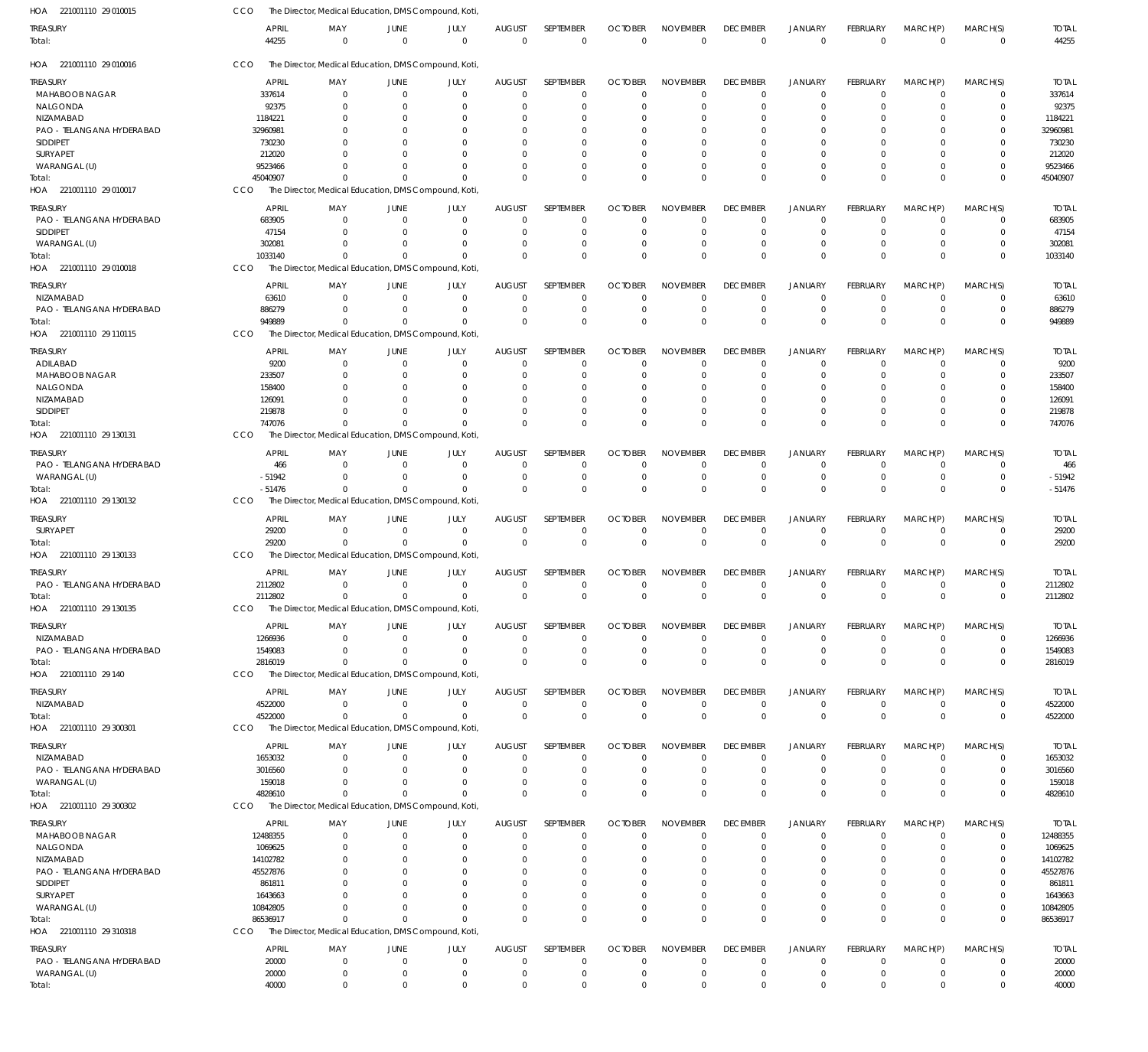| HOA 221001110 29 010015           | CCO          | The Director, Medical Education, DMS Compound, Koti |                        |                     |                              |                  |                |                 |                 |                |                 |               |               |                         |
|-----------------------------------|--------------|-----------------------------------------------------|------------------------|---------------------|------------------------------|------------------|----------------|-----------------|-----------------|----------------|-----------------|---------------|---------------|-------------------------|
| treasury                          | <b>APRIL</b> | MAY                                                 | JUNE                   | JULY                | <b>AUGUST</b>                | SEPTEMBER        | <b>OCTOBER</b> | <b>NOVEMBER</b> | <b>DECEMBER</b> | <b>JANUARY</b> | <b>FEBRUARY</b> | MARCH(P)      | MARCH(S)      | <b>TOTAL</b>            |
| Total:                            | 44255        | $\mathbf 0$                                         | $\overline{0}$         | $\mathbf 0$         | $\mathbf 0$                  | $\mathbf 0$      | $\overline{0}$ | $\mathbf 0$     | $\mathbf 0$     | $\overline{0}$ | $\mathbf 0$     | $\mathbf 0$   | $\mathbf 0$   | 44255                   |
| HOA 221001110 29 010016           | CCO          | The Director, Medical Education, DMS Compound, Koti |                        |                     |                              |                  |                |                 |                 |                |                 |               |               |                         |
| treasury                          | <b>APRIL</b> | MAY                                                 | JUNE                   | JULY                | <b>AUGUST</b>                | SEPTEMBER        | <b>OCTOBER</b> | <b>NOVEMBER</b> | <b>DECEMBER</b> | <b>JANUARY</b> | FEBRUARY        | MARCH(P)      | MARCH(S)      | <b>TOTAL</b>            |
| MAHABOOB NAGAR                    | 337614       | $\Omega$                                            | $\overline{0}$         | $\Omega$            | 0                            | $\mathbf 0$      | $\Omega$       | $\Omega$        | $^{\circ}$      | $\overline{0}$ | $\Omega$        | 0             | 0             | 337614                  |
| NALGONDA                          | 92375        |                                                     | $\Omega$               | 0                   | 0                            | $\mathbf 0$      |                |                 | 0               | 0              |                 | 0             | $\Omega$      | 92375                   |
| NIZAMABAD                         | 1184221      |                                                     | 0                      |                     | 0                            | $\Omega$         |                |                 | 0               | $\Omega$       |                 | 0             | $\Omega$      | 1184221                 |
| PAO - TELANGANA HYDERABAD         | 32960981     |                                                     |                        |                     | 0                            | $\Omega$         |                |                 | 0               | $\Omega$       |                 | 0             | $\Omega$      | 32960981                |
| SIDDIPET                          | 730230       |                                                     |                        |                     |                              |                  |                |                 |                 |                |                 |               |               | 730230                  |
| SURYAPET                          | 212020       |                                                     |                        |                     |                              | $\Omega$         |                |                 |                 | $\Omega$       |                 | 0             | $\Omega$      | 212020                  |
| WARANGAL (U)                      | 9523466      |                                                     |                        |                     | $\Omega$                     | $\Omega$         |                |                 | $\Omega$        | 0              |                 | 0             | $\Omega$      | 9523466                 |
| Total:                            | 45040907     | 0                                                   | $\Omega$               | 0                   | $\Omega$                     | $\Omega$         |                | $\Omega$        | $\Omega$        | $\Omega$       | $\Omega$        | $\Omega$      | $\Omega$      | 45040907                |
| HOA 221001110 29 010017           | CCO          | The Director, Medical Education, DMS Compound, Koti |                        |                     |                              |                  |                |                 |                 |                |                 |               |               |                         |
| treasury                          | <b>APRIL</b> | MAY                                                 | JUNE                   | JULY                | AUGUST                       | SEPTEMBER        | <b>OCTOBER</b> | <b>NOVEMBER</b> | <b>DECEMBER</b> | <b>JANUARY</b> | <b>FEBRUARY</b> | MARCH(P)      | MARCH(S)      | <b>TOTAL</b>            |
| PAO - TELANGANA HYDERABAD         | 683905       | $\Omega$                                            | $\Omega$               | $\Omega$            | 0                            | 0                | $\Omega$       |                 | $^{\circ}$      | - 0            | $\Omega$        | 0             | 0             | 683905                  |
| <b>SIDDIPET</b>                   | 47154        | 0                                                   | $\Omega$               | $\Omega$            | $\Omega$                     | 0                |                |                 | 0               | $\mathbf 0$    |                 | $\Omega$      | 0             | 47154                   |
| WARANGAL (U)                      | 302081       | <sup>0</sup>                                        | $\Omega$               | $\Omega$            | $\Omega$                     | $\mathbf 0$      | $\Omega$       |                 | $\Omega$        | $\mathbf 0$    | $\Omega$        | $\Omega$      | $\mathbf 0$   | 302081                  |
| Total:                            | 1033140      | $\Omega$                                            | $\Omega$               | $\Omega$            | $\Omega$                     | $\mathbf 0$      | $\Omega$       | $\Omega$        | $\mathbf 0$     | $\overline{0}$ | $\Omega$        | $\Omega$      | $\mathbf 0$   | 1033140                 |
| HOA 221001110 29 010018           | CCO          | The Director, Medical Education, DMS Compound, Koti |                        |                     |                              |                  |                |                 |                 |                |                 |               |               |                         |
| treasury                          | APRIL        | MAY                                                 | JUNE                   | JULY                | AUGUST                       | SEPTEMBER        | <b>OCTOBER</b> | <b>NOVEMBER</b> | <b>DECEMBER</b> | <b>JANUARY</b> | <b>FEBRUARY</b> | MARCH(P)      | MARCH(S)      | <b>TOTAL</b>            |
| NIZAMABAD                         | 63610        | $\Omega$                                            | $\Omega$               | $\Omega$            | 0                            | 0                | $\Omega$       | $\Omega$        | $^{\circ}$      | $\mathbf 0$    | 0               | 0             | 0             | 63610                   |
| PAO - TELANGANA HYDERABAD         | 886279       | 0                                                   | $\Omega$               | $\Omega$            | 0                            | $\mathbf 0$      | $\Omega$       | $\Omega$        | $\mathbf 0$     | $\mathbf 0$    | $\Omega$        | 0             | $\mathbf 0$   | 886279                  |
| Total:                            | 949889       | $\Omega$                                            | $\Omega$               | 0                   | $\Omega$                     | $\mathbf 0$      | $\Omega$       | $\Omega$        | $\mathbf 0$     | $\Omega$       | $\Omega$        | $\Omega$      | $\mathbf 0$   | 949889                  |
| HOA 221001110 29 110115           | CCO          | The Director, Medical Education, DMS Compound, Koti |                        |                     |                              |                  |                |                 |                 |                |                 |               |               |                         |
|                                   |              |                                                     |                        |                     |                              |                  |                |                 |                 |                |                 |               |               |                         |
| treasury                          | <b>APRIL</b> | MAY                                                 | JUNE                   | JULY                | <b>AUGUST</b>                | SEPTEMBER        | <b>OCTOBER</b> | <b>NOVEMBER</b> | <b>DECEMBER</b> | <b>JANUARY</b> | <b>FEBRUARY</b> | MARCH(P)      | MARCH(S)      | <b>TOTAL</b>            |
| ADILABAD                          | 9200         | $\Omega$                                            | $\Omega$               | $\Omega$            | 0                            | 0                | $\Omega$       |                 | $^{\circ}$      | $\mathbf 0$    | $\Omega$        | 0             | 0             | 9200                    |
| MAHABOOB NAGAR                    | 233507       | 0                                                   | $\Omega$               | 0                   | $\Omega$                     | 0                |                |                 | $\Omega$        | 0              |                 | $\Omega$      | 0             | 233507                  |
| NALGONDA                          | 158400       |                                                     | $\Omega$               | 0                   | $\Omega$                     | $\Omega$         |                |                 | $\Omega$        | $\Omega$       |                 | $\Omega$      | $\Omega$      | 158400                  |
| NIZAMABAD                         | 126091       |                                                     | $\Omega$               | 0                   | $\Omega$                     | 0                |                |                 | $\Omega$        | 0              |                 | $\Omega$      | 0             | 126091                  |
| <b>SIDDIPET</b>                   | 219878       |                                                     |                        | 0                   | $\Omega$                     | $\mathbf 0$      | $\Omega$       |                 | $\Omega$        | $\mathbf 0$    | $\Omega$        | $\Omega$      | $\mathbf 0$   | 219878                  |
| Total:                            | 747076       | $\Omega$                                            |                        | $\Omega$            | $\Omega$                     | $\mathbf 0$      | $\Omega$       | $\Omega$        | $\mathbf 0$     | $\Omega$       | $\Omega$        | $\Omega$      | $\mathbf 0$   | 747076                  |
| HOA 221001110 29 130131           | CCO          | The Director, Medical Education, DMS Compound, Koti |                        |                     |                              |                  |                |                 |                 |                |                 |               |               |                         |
| treasury                          | <b>APRIL</b> | MAY                                                 | JUNE                   | JULY                | AUGUST                       | <b>SEPTEMBER</b> | <b>OCTOBER</b> | <b>NOVEMBER</b> | <b>DECEMBER</b> | <b>JANUARY</b> | <b>FEBRUARY</b> | MARCH(P)      | MARCH(S)      | <b>TOTAL</b>            |
| PAO - TELANGANA HYDERABAD         | 466          | $\Omega$                                            | $\Omega$               | 0                   | 0                            | 0                | $\Omega$       | $\Omega$        | $\mathbf 0$     | $\mathbf 0$    | 0               | 0             | 0             | 466                     |
| WARANGAL (U)                      | $-51942$     | 0                                                   | $\Omega$               | 0                   | 0                            | $\mathbf 0$      | 0              | $\Omega$        | $\mathbf 0$     | $\mathbf 0$    | $\Omega$        | 0             | $\mathbf 0$   | $-51942$                |
| Total:                            | $-51476$     | <sup>0</sup>                                        |                        | 0                   | $\Omega$                     | $\mathbf 0$      | $\Omega$       | $\Omega$        | $\mathbf 0$     | $\Omega$       | $\Omega$        | $\Omega$      | $\mathbf 0$   | $-51476$                |
| HOA 221001110 29 130132           | CCO          | The Director, Medical Education, DMS Compound, Koti |                        |                     |                              |                  |                |                 |                 |                |                 |               |               |                         |
| treasury                          | APRIL        | MAY                                                 | JUNE                   | JULY                | AUGUST                       | SEPTEMBER        | <b>OCTOBER</b> | <b>NOVEMBER</b> | <b>DECEMBER</b> | <b>JANUARY</b> | <b>FEBRUARY</b> | MARCH(P)      | MARCH(S)      | <b>TOTAL</b>            |
| SURYAPE <sup>®</sup>              | 29200        | $\Omega$                                            | $\Omega$               | $\Omega$            | $\Omega$                     | 0                | $\Omega$       | $\Omega$        | $\overline{0}$  | $\overline{0}$ | $\Omega$        | 0             | 0             | 29200                   |
| Total:                            | 29200        | $\Omega$                                            | $\Omega$               | $\Omega$            | $\Omega$                     | $\mathbf 0$      | $\overline{0}$ | $\Omega$        | $\mathbf 0$     | $\overline{0}$ | $\Omega$        | $\Omega$      | $\mathbf 0$   | 29200                   |
| HOA 221001110 29 130133           | CCO          | The Director, Medical Education, DMS Compound, Koti |                        |                     |                              |                  |                |                 |                 |                |                 |               |               |                         |
|                                   |              |                                                     |                        |                     |                              |                  |                |                 |                 |                |                 |               |               |                         |
| treasury                          | <b>APRIL</b> | MAY                                                 | JUNE                   | JULY                | <b>AUGUST</b>                | <b>SEPTEMBER</b> | <b>OCTOBER</b> | <b>NOVEMBER</b> | <b>DECEMBER</b> | <b>JANUARY</b> | <b>FEBRUARY</b> | MARCH(P)      | MARCH(S)      | <b>TOTAL</b>            |
| PAO - TELANGANA HYDERABAD         | 2112802      | $\Omega$                                            | $\Omega$               | $\Omega$            | 0                            | 0                | $\Omega$       | $\Omega$        | $^{\circ}$      | 0              | 0               | 0             | 0             | 2112802                 |
| Total:<br>HOA 221001110 29 130135 | 2112802      | $\Omega$                                            | $\Omega$               | $\Omega$            | $\Omega$                     | $\mathbf 0$      | $\Omega$       | $\Omega$        | $\mathbf 0$     | $\Omega$       | $\Omega$        | $\Omega$      | $\mathbf 0$   | 2112802                 |
|                                   | CCO          | The Director, Medical Education, DMS Compound, Koti |                        |                     |                              |                  |                |                 |                 |                |                 |               |               |                         |
| TREASURY                          | APRIL        | MAY                                                 | JUNE                   | JULY                | <b>AUGUST</b>                | SEPTEMBER        | <b>OCTOBER</b> | <b>NOVEMBER</b> | <b>DECEMBER</b> | <b>JANUARY</b> | <b>FEBRUARY</b> | MARCH(P)      | MARCH(S)      | <b>TOTAL</b>            |
| NIZAMABAD                         | 1266936      | $\Omega$                                            | $\Omega$               | $\Omega$            | $\mathbf 0$                  | 0                | $\Omega$       | $\Omega$        | $\mathbf 0$     | $\mathbf 0$    | $\Omega$        | 0             | 0             | 1266936                 |
| PAO - TELANGANA HYDERABAD         | 1549083      | $\Omega$                                            | $\Omega$               | $\mathbf 0$         | 0                            | $\mathbf 0$      | $^{\circ}$     | $\mathbf 0$     | $\mathbf 0$     | $\mathbf 0$    | 0               | 0             | $\mathbf 0$   | 1549083                 |
| Total:                            | 2816019      | $\Omega$                                            | $\Omega$               | $\Omega$            | $\Omega$                     | $\mathbf 0$      | $\Omega$       | $\Omega$        | $\mathbf 0$     | $\overline{0}$ | $\Omega$        | $\Omega$      | $\mathbf 0$   | 2816019                 |
| HOA 221001110 29 140              | <b>CCO</b>   | The Director, Medical Education, DMS Compound, Koti |                        |                     |                              |                  |                |                 |                 |                |                 |               |               |                         |
| treasury                          | APRIL        | MAY                                                 | JUNE                   | JULY                | <b>AUGUST</b>                | <b>SEPTEMBER</b> | <b>OCTOBER</b> | <b>NOVEMBER</b> | <b>DECEMBER</b> | <b>JANUARY</b> | <b>FEBRUARY</b> | MARCH(P)      | MARCH(S)      | <b>TOTAL</b>            |
| NIZAMABAD                         | 4522000      | $\Omega$                                            | $\overline{0}$         | 0                   | 0                            | $\mathbf 0$      | 0              | 0               | 0               | $\mathbf 0$    | 0               | 0             | 0             | 4522000                 |
| Total:                            | 4522000      | $\Omega$                                            | $\Omega$               | $\mathbf 0$         | $\mathbf 0$                  | $\mathbf 0$      | $\mathbf 0$    | $\mathbf 0$     | $\mathbb O$     | $\overline{0}$ | $\mathbf 0$     | $\mathbf 0$   | $\mathbf 0$   | 4522000                 |
| HOA 221001110 29 300301           | CCO          | The Director, Medical Education, DMS Compound, Koti |                        |                     |                              |                  |                |                 |                 |                |                 |               |               |                         |
|                                   | <b>APRIL</b> |                                                     |                        |                     |                              | SEPTEMBER        | <b>OCTOBER</b> | <b>NOVEMBER</b> | <b>DECEMBER</b> | <b>JANUARY</b> | <b>FEBRUARY</b> |               |               |                         |
| Treasury<br>NIZAMABAD             | 1653032      | MAY<br>0                                            | JUNE<br>$\overline{0}$ | JULY<br>$\mathbf 0$ | <b>AUGUST</b><br>$\mathbf 0$ | 0                | $\Omega$       | $\Omega$        | $\mathbf 0$     | $\overline{0}$ | $\Omega$        | MARCH(P)<br>0 | MARCH(S)<br>0 | <b>TOTAL</b><br>1653032 |
| PAO - TELANGANA HYDERABAD         | 3016560      | $\Omega$                                            | $\Omega$               | 0                   | 0                            | $\mathbf 0$      | $^{\circ}$     | $\Omega$        | $\mathbf 0$     | $\overline{0}$ | $\Omega$        | 0             | $\mathbf 0$   | 3016560                 |
|                                   | 159018       | 0                                                   | $\Omega$               | 0                   | 0                            | $\mathbf 0$      | $\Omega$       | $\Omega$        | $\mathbf 0$     | $\mathbf 0$    | 0               | 0             | 0             | 159018                  |
| WARANGAL (U)<br>Total:            | 4828610      | $\Omega$                                            | $\Omega$               | $\Omega$            | $\Omega$                     | $\mathbf 0$      | $\Omega$       | $\Omega$        | $\Omega$        | $\overline{0}$ | $\Omega$        | $\Omega$      | $\mathbf 0$   | 4828610                 |
| HOA 221001110 29 300302           | <b>CCO</b>   | The Director, Medical Education, DMS Compound, Koti |                        |                     |                              |                  |                |                 |                 |                |                 |               |               |                         |
|                                   |              |                                                     |                        |                     |                              |                  |                |                 |                 |                |                 |               |               |                         |
| Treasury                          | <b>APRIL</b> | MAY                                                 | JUNE                   | JULY                | <b>AUGUST</b>                | SEPTEMBER        | <b>OCTOBER</b> | <b>NOVEMBER</b> | <b>DECEMBER</b> | <b>JANUARY</b> | <b>FEBRUARY</b> | MARCH(P)      | MARCH(S)      | <b>TOTAL</b>            |
| MAHABOOB NAGAR                    | 12488355     | 0                                                   | $\overline{0}$         | $\mathbf 0$         | 0                            | 0                | $\Omega$       | $\Omega$        | $\mathbf 0$     | $\overline{0}$ | 0               | 0             | 0             | 12488355                |
| NALGONDA                          | 1069625      | 0                                                   | $\Omega$               | 0                   | $\Omega$                     | $\mathbf 0$      | $\Omega$       | $\Omega$        | $\mathbf 0$     | 0              |                 | 0             | 0             | 1069625                 |
| NIZAMABAD                         | 14102782     |                                                     | $\Omega$               |                     | 0                            | $\Omega$         | $\Omega$       |                 | $\Omega$        | 0              |                 | 0             | $\Omega$      | 14102782                |
| PAO - TELANGANA HYDERABAD         | 45527876     |                                                     |                        |                     | 0                            | $\Omega$         |                |                 | $\Omega$        | $\Omega$       |                 | $\Omega$      | $\Omega$      | 45527876                |
| <b>SIDDIPET</b>                   | 861811       |                                                     |                        |                     | 0                            | $\Omega$         |                |                 | 0               | 0              |                 | $\Omega$      |               | 861811                  |
| SURYAPET                          | 1643663      |                                                     |                        |                     | $\Omega$                     | $\Omega$         | $\Omega$       |                 | $\Omega$        | $\Omega$       |                 | $\Omega$      | $\Omega$      | 1643663                 |
| WARANGAL (U)                      | 10842805     |                                                     | $\Omega$               | 0                   | $\Omega$                     | $\mathbf 0$      | $\Omega$       | $\Omega$        | 0               | $\mathbf 0$    | 0               | 0             | 0             | 10842805                |
| Total:                            | 86536917     | $\Omega$                                            | $\Omega$               | $\Omega$            | $\Omega$                     | $\Omega$         |                | $\Omega$        | $\mathbf 0$     | $\overline{0}$ | $\Omega$        | $\Omega$      | $\Omega$      | 86536917                |
| HOA 221001110 29 310318           | CCO          | The Director, Medical Education, DMS Compound, Koti |                        |                     |                              |                  |                |                 |                 |                |                 |               |               |                         |
| treasury                          | <b>APRIL</b> | MAY                                                 | JUNE                   | JULY                | <b>AUGUST</b>                | SEPTEMBER        | <b>OCTOBER</b> | <b>NOVEMBER</b> | <b>DECEMBER</b> | JANUARY        | FEBRUARY        | MARCH(P)      | MARCH(S)      | <b>TOTAL</b>            |
| PAO - TELANGANA HYDERABAD         | 20000        | $\mathbf{0}$                                        | $\overline{0}$         | $\mathbf 0$         | 0                            | 0                | $\Omega$       | $\Omega$        | $\overline{0}$  | $\overline{0}$ | 0               | 0             | 0             | 20000                   |
| WARANGAL (U)                      | 20000        | $\mathbf{0}$                                        | $\overline{0}$         | $\mathbf 0$         | 0                            | $\mathbf 0$      | 0              | $\mathbf 0$     | $\mathbf 0$     | $\mathbf 0$    | $\mathbf 0$     | 0             | $\mathbf 0$   | 20000                   |
| Total:                            | 40000        | $\mathbf 0$                                         | $\overline{0}$         | $\mathbf 0$         | $\mathbf 0$                  | $\mathbf 0$      | $^{\circ}$     | $\mathbf 0$     | $\mathbf 0$     | $\overline{0}$ | $\mathbf 0$     | $\mathbf 0$   | $\mathbf 0$   | 40000                   |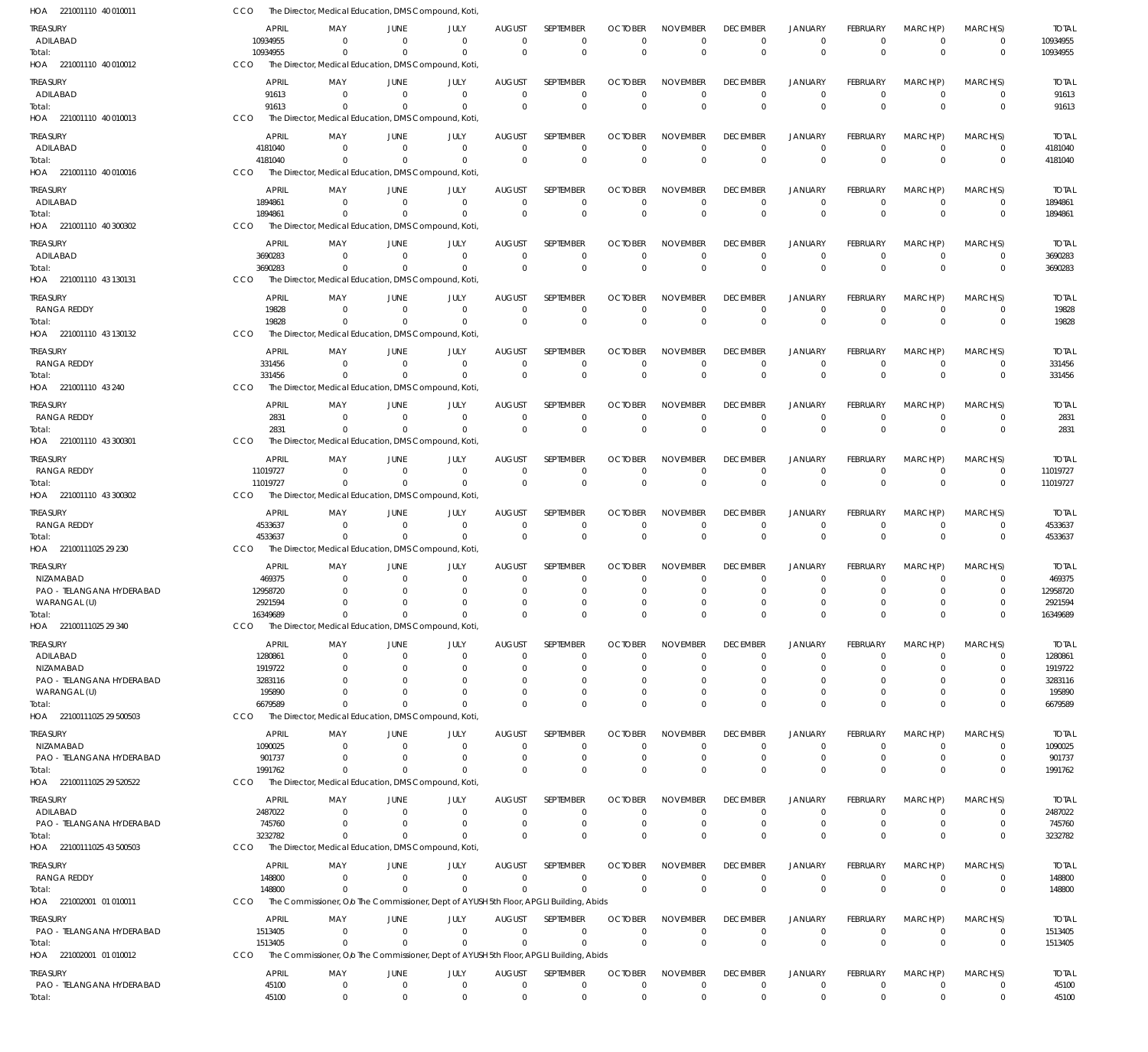| HOA 221001110 40 010011        | CCO                     | The Director, Medical Education, DMS Compound, Koti                                    |                            |                      |                               |                          |                            |                             |                                   |                                  |                            |                            |                         |                         |
|--------------------------------|-------------------------|----------------------------------------------------------------------------------------|----------------------------|----------------------|-------------------------------|--------------------------|----------------------------|-----------------------------|-----------------------------------|----------------------------------|----------------------------|----------------------------|-------------------------|-------------------------|
| TREASURY                       | <b>APRIL</b>            | MAY                                                                                    | JUNE                       | JULY                 | <b>AUGUST</b>                 | SEPTEMBER                | <b>OCTOBER</b>             | <b>NOVEMBER</b>             | <b>DECEMBER</b>                   | <b>JANUARY</b>                   | FEBRUARY                   | MARCH(P)                   | MARCH(S)                | <b>TOTAL</b>            |
| ADILABAD                       | 10934955                | $\Omega$                                                                               | $\overline{0}$             | $\mathbf 0$          | $\mathbf{0}$                  | $\mathbf 0$              | $\Omega$                   | $\mathbf 0$                 | $\mathbf 0$                       | $\mathbf 0$                      | $\overline{0}$             | $\overline{0}$             | $\mathbf 0$             | 10934955                |
| Total:                         | 10934955                | $\Omega$                                                                               | $\Omega$                   | $\mathbf 0$          | $\mathbf 0$                   | $\mathbf{0}$             | $\overline{0}$             | $\Omega$                    | $\mathbb O$                       | $\mathbf 0$                      | $\Omega$                   | $\Omega$                   | $\mathbf 0$             | 10934955                |
| HOA 221001110 40 010012        | CCO                     | The Director, Medical Education, DMS Compound, Koti,                                   |                            |                      |                               |                          |                            |                             |                                   |                                  |                            |                            |                         |                         |
| <b>TREASURY</b>                | <b>APRIL</b>            | MAY                                                                                    | <b>JUNE</b>                | JULY                 | <b>AUGUST</b>                 | SEPTEMBER                | <b>OCTOBER</b>             | <b>NOVEMBER</b>             | <b>DECEMBER</b>                   | <b>JANUARY</b>                   | FEBRUARY                   | MARCH(P)                   | MARCH(S)                | <b>TOTAL</b>            |
| ADILABAD                       | 91613                   | $\mathbf 0$                                                                            | $\overline{0}$             | $\mathbf 0$          | $\mathbf{0}$                  | $\mathbf 0$              | $\Omega$                   | $\Omega$                    | $\mathbf 0$                       | $\overline{0}$                   | $\overline{0}$             | $\overline{0}$             | $\mathbf 0$             | 91613                   |
| Total:                         | 91613                   | $\Omega$                                                                               | $\Omega$                   | $\mathbf 0$          | $\Omega$                      | $\mathbf 0$              | $\Omega$                   | $\Omega$                    | $\mathbf 0$                       | $\mathbf 0$                      | $\Omega$                   | $\Omega$                   | $\mathbf 0$             | 91613                   |
| HOA 221001110 40 010013        | CCO                     | The Director, Medical Education, DMS Compound, Koti                                    |                            |                      |                               |                          |                            |                             |                                   |                                  |                            |                            |                         |                         |
| <b>TREASURY</b>                | <b>APRIL</b>            | MAY                                                                                    | <b>JUNE</b>                | JULY                 | <b>AUGUST</b>                 | SEPTEMBER                | <b>OCTOBER</b>             | <b>NOVEMBER</b>             | <b>DECEMBER</b>                   | <b>JANUARY</b>                   | FEBRUARY                   | MARCH(P)                   | MARCH(S)                | <b>TOTAL</b>            |
| ADILABAD                       | 4181040                 | $\Omega$                                                                               | $\mathbf 0$                | $\mathbf 0$          | $\Omega$                      | $\mathbf 0$              | $\Omega$                   | $\mathbf 0$                 | $\mathbf 0$                       | $\mathbf 0$                      | $\overline{0}$             | $\Omega$                   | $\mathbf 0$             | 4181040                 |
| Total:                         | 4181040                 | $\Omega$                                                                               | $\Omega$                   | $\mathbf 0$          | $\Omega$                      | $\mathbf 0$              | $\Omega$                   | $\mathbf 0$                 | $\mathbf 0$                       | $\mathbf 0$                      | $\Omega$                   | $\Omega$                   | $\mathbf 0$             | 4181040                 |
| HOA 221001110 40 010016        | CCO                     | The Director, Medical Education, DMS Compound, Koti                                    |                            |                      |                               |                          |                            |                             |                                   |                                  |                            |                            |                         |                         |
| <b>TREASURY</b>                | <b>APRIL</b>            | MAY                                                                                    | <b>JUNE</b>                | JULY                 | <b>AUGUST</b>                 | <b>SEPTEMBER</b>         | <b>OCTOBER</b>             | <b>NOVEMBER</b>             | <b>DECEMBER</b>                   | <b>JANUARY</b>                   | FEBRUARY                   | MARCH(P)                   | MARCH(S)                | <b>TOTAL</b>            |
| ADILABAD                       | 1894861                 | $\mathbf 0$                                                                            | $\overline{0}$             | $\mathbf{0}$         | $\mathbf{0}$                  | $\mathbf 0$              | $\Omega$                   | $\mathbf 0$                 | $\overline{0}$                    | $\overline{0}$                   | $\overline{0}$             | $\overline{0}$             | $\mathbf 0$             | 1894861                 |
| Total:                         | 1894861                 | $\mathbf 0$                                                                            | $\mathbf 0$                | $\mathbf 0$          | $\Omega$                      | $\mathbf 0$              | $\Omega$                   | $\overline{0}$              | $\mathbf 0$                       | $\overline{0}$                   | $\mathbf 0$                | $\Omega$                   | $\mathbf 0$             | 1894861                 |
| HOA 221001110 40 300302        | CCO                     | The Director, Medical Education, DMS Compound, Koti,                                   |                            |                      |                               |                          |                            |                             |                                   |                                  |                            |                            |                         |                         |
| <b>TREASURY</b>                | <b>APRIL</b>            | MAY                                                                                    | <b>JUNE</b>                | JULY                 | <b>AUGUST</b>                 | SEPTEMBER                | <b>OCTOBER</b>             | <b>NOVEMBER</b>             | <b>DECEMBER</b>                   | <b>JANUARY</b>                   | FEBRUARY                   | MARCH(P)                   | MARCH(S)                | <b>TOTAL</b>            |
| ADILABAD                       | 3690283                 | $\mathbf 0$                                                                            | $\overline{0}$             | $\mathbf 0$          | $\Omega$                      | $\mathbf 0$              | $\Omega$                   | $\Omega$                    | $\mathbf 0$                       | $\mathbf 0$                      | $\overline{0}$             | $\overline{0}$             | $\mathbf 0$             | 3690283                 |
| Total:                         | 3690283                 | $\Omega$                                                                               | $\Omega$                   | $\mathbf 0$          | $\Omega$                      | $\Omega$                 | $\Omega$                   | $\Omega$                    | $\mathbf 0$                       | $\mathbf 0$                      | $\Omega$                   | $\Omega$                   | $\mathbf 0$             | 3690283                 |
| HOA 221001110 43 130131        | CCO                     | The Director, Medical Education, DMS Compound, Koti                                    |                            |                      |                               |                          |                            |                             |                                   |                                  |                            |                            |                         |                         |
| <b>TREASURY</b>                | <b>APRIL</b>            | MAY                                                                                    | <b>JUNE</b>                | JULY                 | <b>AUGUST</b>                 | SEPTEMBER                | <b>OCTOBER</b>             | <b>NOVEMBER</b>             | <b>DECEMBER</b>                   | <b>JANUARY</b>                   | FEBRUARY                   | MARCH(P)                   | MARCH(S)                | <b>TOTAL</b>            |
| RANGA REDDY                    | 19828                   | $\mathbf 0$                                                                            | $\mathbf 0$                | $\mathbf 0$          | $\Omega$                      | $\mathbf 0$              | $\Omega$                   | $\mathbf 0$                 | $\mathbf 0$                       | $\mathbf 0$                      | $\overline{0}$             | $\overline{0}$             | $\mathbf 0$             | 19828                   |
| Total:                         | 19828                   | $\Omega$                                                                               | $\overline{0}$             | $\mathbf 0$          | $\Omega$                      | $\mathbf 0$              | $\Omega$                   | $\overline{0}$              | $\mathbf 0$                       | $\mathbf 0$                      | $\Omega$                   | $\Omega$                   | $\mathbf 0$             | 19828                   |
| HOA 221001110 43 130132        | CCO                     | The Director, Medical Education, DMS Compound, Koti                                    |                            |                      |                               |                          |                            |                             |                                   |                                  |                            |                            |                         |                         |
| <b>TREASURY</b>                | <b>APRIL</b>            | MAY                                                                                    | <b>JUNE</b>                | JULY                 | <b>AUGUST</b>                 | SEPTEMBER                | <b>OCTOBER</b>             | <b>NOVEMBER</b>             | <b>DECEMBER</b>                   | <b>JANUARY</b>                   | FEBRUARY                   | MARCH(P)                   | MARCH(S)                | <b>TOTAL</b>            |
| RANGA REDDY                    | 331456                  | $\Omega$                                                                               | $^{\circ}$                 | $\mathbf 0$          | $\mathbf{0}$                  | $\mathbf 0$              | $\Omega$                   | $\mathbf 0$                 | $\mathbf 0$                       | $\mathbf 0$                      | $\overline{0}$             | $\overline{0}$             | $\mathbf 0$             | 331456                  |
| Total:                         | 331456                  | $\Omega$                                                                               | $\Omega$                   | $\mathbf 0$          | $\Omega$                      | $\mathbf 0$              | $\Omega$                   | $\Omega$                    | $\mathbf 0$                       | $\mathbf 0$                      | $\Omega$                   | $\Omega$                   | $\mathbf 0$             | 331456                  |
| HOA 221001110 43 240           | CCO                     | The Director, Medical Education, DMS Compound, Koti                                    |                            |                      |                               |                          |                            |                             |                                   |                                  |                            |                            |                         |                         |
| <b>TREASURY</b>                | <b>APRIL</b>            | MAY                                                                                    | <b>JUNE</b>                | JULY                 | <b>AUGUST</b>                 | SEPTEMBER                | <b>OCTOBER</b>             | <b>NOVEMBER</b>             | <b>DECEMBER</b>                   | <b>JANUARY</b>                   | FEBRUARY                   | MARCH(P)                   | MARCH(S)                | <b>TOTAL</b>            |
| RANGA REDDY                    | 2831                    | $\mathbf 0$                                                                            | $\overline{0}$             | $\mathbf{0}$         | $\Omega$                      | $\mathbf 0$              | $\Omega$                   | $\Omega$                    | $\overline{0}$                    | $\overline{0}$                   | $\overline{0}$             | $\overline{0}$             | $\mathbf 0$             | 2831                    |
| Total:                         | 2831                    | $\mathbf 0$                                                                            | $\overline{0}$             | $\mathbf 0$          | $\Omega$                      | $\Omega$                 | $\Omega$                   | $\overline{0}$              | $\mathbf 0$                       | $\mathbf 0$                      | $\mathbf 0$                | $\Omega$                   | $\mathbf 0$             | 2831                    |
| HOA 221001110 43 300301        | CCO                     | The Director, Medical Education, DMS Compound, Koti                                    |                            |                      |                               |                          |                            |                             |                                   |                                  |                            |                            |                         |                         |
| <b>TREASURY</b>                | <b>APRIL</b>            | MAY                                                                                    | JUNE                       | JULY                 | <b>AUGUST</b>                 | SEPTEMBER                | <b>OCTOBER</b>             | <b>NOVEMBER</b>             | <b>DECEMBER</b>                   | <b>JANUARY</b>                   | FEBRUARY                   | MARCH(P)                   | MARCH(S)                | <b>TOTAL</b>            |
| RANGA REDDY                    | 11019727                | $\mathbf 0$                                                                            | $\overline{0}$             | $\mathbf 0$          | $\mathbf 0$                   | $\mathbf 0$              | $\Omega$                   | $\mathbf 0$                 | $\mathbf 0$                       | $\mathbf 0$                      | $\overline{0}$             | $\mathbf 0$                | $\mathbf 0$             | 11019727                |
| Total:                         | 11019727                | $\Omega$                                                                               | $\mathbf 0$                | $\mathbf 0$          | $\Omega$                      | $\mathbf{0}$             | $\Omega$                   | $\Omega$                    | $\mathbf{0}$                      | $\overline{0}$                   | $\Omega$                   | $\Omega$                   | $\mathbf 0$             | 11019727                |
| HOA 221001110 43 300302        | CCO                     | The Director, Medical Education, DMS Compound, Koti,                                   |                            |                      |                               |                          |                            |                             |                                   |                                  |                            |                            |                         |                         |
|                                |                         |                                                                                        |                            |                      |                               |                          |                            |                             |                                   |                                  |                            |                            |                         |                         |
| <b>TREASURY</b><br>RANGA REDDY | <b>APRIL</b><br>4533637 | MAY<br>$\mathbf 0$                                                                     | <b>JUNE</b><br>$\mathbf 0$ | JULY<br>$\mathbf 0$  | <b>AUGUST</b><br>$\mathbf{0}$ | SEPTEMBER<br>$\mathbf 0$ | <b>OCTOBER</b><br>$\Omega$ | <b>NOVEMBER</b><br>$\Omega$ | <b>DECEMBER</b><br>$\mathbf 0$    | <b>JANUARY</b><br>$\mathbf 0$    | FEBRUARY<br>$\overline{0}$ | MARCH(P)<br>$\overline{0}$ | MARCH(S)<br>$\mathbf 0$ | <b>TOTAL</b><br>4533637 |
| Total:                         | 4533637                 | $\mathbf 0$                                                                            | $\overline{0}$             | $\mathbf 0$          | $\Omega$                      | $\mathbf 0$              | $\Omega$                   | $\Omega$                    | $\mathbf 0$                       | $\mathbf 0$                      | $\Omega$                   | $\Omega$                   | $\mathbf 0$             | 4533637                 |
| HOA 22100111025 29 230         | CCO                     | The Director, Medical Education, DMS Compound, Koti                                    |                            |                      |                               |                          |                            |                             |                                   |                                  |                            |                            |                         |                         |
|                                |                         |                                                                                        |                            |                      |                               |                          |                            |                             |                                   |                                  |                            |                            |                         |                         |
| <b>TREASURY</b><br>NIZAMABAD   | <b>APRIL</b><br>469375  | MAY<br>$\Omega$                                                                        | <b>JUNE</b><br>$^{\circ}$  | JULY<br>$\mathbf{0}$ | <b>AUGUST</b><br>$\Omega$     | SEPTEMBER<br>0           | <b>OCTOBER</b><br>$\Omega$ | <b>NOVEMBER</b><br>$\Omega$ | <b>DECEMBER</b><br>$\overline{0}$ | <b>JANUARY</b><br>$\overline{0}$ | FEBRUARY<br>$\overline{0}$ | MARCH(P)<br>$\overline{0}$ | MARCH(S)<br>$\mathbf 0$ | <b>TOTAL</b><br>469375  |
| PAO - TELANGANA HYDERABAD      | 12958720                | $\Omega$                                                                               | $\Omega$                   | $\mathbf{0}$         | $\Omega$                      | $\Omega$                 | $\Omega$                   | $\Omega$                    | $\mathbf 0$                       | $\overline{0}$                   | $\Omega$                   | $\Omega$                   | $\mathbf 0$             | 12958720                |
| WARANGAL (U)                   | 2921594                 | $\mathbf 0$                                                                            | $\mathbf 0$                | $\mathbf 0$          | $\mathbf 0$                   | $\mathbf 0$              |                            | $\mathbf 0$                 | $\mathbf 0$                       | 0                                | 0                          | $\Omega$                   |                         | 2921594                 |
| Total:                         | 16349689                | $\mathbf 0$                                                                            | $^{\circ}$                 | $\mathbf 0$          | $\mathbf 0$                   | $\Omega$                 | $\Omega$                   | $\mathbf 0$                 | $\mathbf 0$                       | $\mathbf 0$                      | $\Omega$                   | $\mathbf 0$                | $\mathbf 0$             | 16349689                |
| HOA 22100111025 29 340         | <b>CCO</b>              | The Director, Medical Education, DMS Compound, Koti                                    |                            |                      |                               |                          |                            |                             |                                   |                                  |                            |                            |                         |                         |
| <b>TREASURY</b>                | <b>APRIL</b>            | MAY                                                                                    | JUNE                       | JULY                 | <b>AUGUST</b>                 | SEPTEMBER                | <b>OCTOBER</b>             | <b>NOVEMBER</b>             | <b>DECEMBER</b>                   | <b>JANUARY</b>                   | FEBRUARY                   | MARCH(P)                   | MARCH(S)                | <b>TOTAL</b>            |
| ADILABAD                       | 1280861                 | $\mathbf 0$                                                                            | 0                          | 0                    | 0                             | $\mathbf 0$              | $\Omega$                   | $^{\circ}$                  | $\mathbf 0$                       | $\overline{0}$                   | 0                          | $^{\circ}$                 | 0                       | 1280861                 |
| NIZAMABAD                      | 1919722                 | $\Omega$                                                                               | $\Omega$                   | $\Omega$             | $\Omega$                      | $\mathbf 0$              | $\Omega$                   | $\Omega$                    | $\overline{0}$                    | $\Omega$                         | $\Omega$                   | $\Omega$                   | $\mathbf 0$             | 1919722                 |
| PAO - TELANGANA HYDERABAD      | 3283116                 | 0                                                                                      | -0                         | $\Omega$             | $\Omega$                      | 0                        |                            | $\Omega$                    | 0                                 | $\Omega$                         |                            | $\Omega$                   | 0                       | 3283116                 |
| WARANGAL (U)                   | 195890                  | 0                                                                                      | $\Omega$                   | $\mathbf 0$          | $\Omega$                      | $\Omega$                 |                            | $\Omega$                    | $\mathbf 0$                       | $\mathbf 0$                      | $\Omega$                   | $\mathbf 0$                | 0                       | 195890                  |
| Total:                         | 6679589                 | $\Omega$                                                                               | $\Omega$                   | $\Omega$             | $\Omega$                      | $\Omega$                 | $\Omega$                   | $\Omega$                    | $\mathbf 0$                       | $\Omega$                         | $\Omega$                   | $\Omega$                   | $\mathbf 0$             | 6679589                 |
| HOA 22100111025 29 500503      | <b>CCO</b>              | The Director, Medical Education, DMS Compound, Koti                                    |                            |                      |                               |                          |                            |                             |                                   |                                  |                            |                            |                         |                         |
| TREASURY                       | <b>APRIL</b>            | MAY                                                                                    | <b>JUNE</b>                | JULY                 | <b>AUGUST</b>                 | SEPTEMBER                | <b>OCTOBER</b>             | <b>NOVEMBER</b>             | <b>DECEMBER</b>                   | <b>JANUARY</b>                   | FEBRUARY                   | MARCH(P)                   | MARCH(S)                | <b>TOTAL</b>            |
| NIZAMABAD                      | 1090025                 | $\mathbf 0$                                                                            | $^{\circ}$                 | $^{\circ}$           | $\Omega$                      | $\mathbf 0$              | $\Omega$                   | $\Omega$                    | $\mathbf 0$                       | $\mathbf 0$                      | $\overline{0}$             | $\Omega$                   | $\mathbf 0$             | 1090025                 |
| PAO - TELANGANA HYDERABAD      | 901737                  | $\mathbf 0$                                                                            | $\Omega$                   | $\mathbf{0}$         | $\Omega$                      | $\mathbf 0$              | $\Omega$                   | $\mathbf 0$                 | $\mathbf 0$                       | $\overline{0}$                   | $\mathbf 0$                | $\mathbf 0$                | $\mathbf 0$             | 901737                  |
| Total:                         | 1991762                 | $\Omega$                                                                               | $\Omega$                   | $\mathbf 0$          | $\Omega$                      | $\Omega$                 | $\Omega$                   | $\Omega$                    | $\mathbf 0$                       | $\mathbf 0$                      | $\Omega$                   | $\Omega$                   | $\mathbf 0$             | 1991762                 |
| HOA 22100111025 29 520522      | <b>CCO</b>              | The Director, Medical Education, DMS Compound, Koti                                    |                            |                      |                               |                          |                            |                             |                                   |                                  |                            |                            |                         |                         |
| TREASURY                       | <b>APRIL</b>            | MAY                                                                                    | <b>JUNE</b>                | JULY                 | <b>AUGUST</b>                 | SEPTEMBER                | <b>OCTOBER</b>             | <b>NOVEMBER</b>             | <b>DECEMBER</b>                   | <b>JANUARY</b>                   | FEBRUARY                   | MARCH(P)                   | MARCH(S)                | <b>TOTAL</b>            |
| ADILABAD                       | 2487022                 | $\mathbf 0$                                                                            | $\mathbf 0$                | $\mathbf{0}$         | $\Omega$                      | $\mathbf 0$              | $\Omega$                   | $^{\circ}$                  | $\overline{0}$                    | $\overline{0}$                   | $\overline{0}$             | $\mathbf 0$                | 0                       | 2487022                 |
| PAO - TELANGANA HYDERABAD      | 745760                  | $\mathbf 0$                                                                            | $\Omega$                   | $\mathbf{0}$         | $\Omega$                      | $\mathbf 0$              | -0                         | $\mathbf 0$                 | $\mathbf 0$                       | $\overline{0}$                   | $\mathbf 0$                | $\mathbf 0$                | $\mathbf 0$             | 745760                  |
| Total:                         | 3232782                 | $\mathbf 0$                                                                            | 0                          | $\mathbf 0$          | $\Omega$                      | $\Omega$                 | $\Omega$                   | $\Omega$                    | $\mathbf 0$                       | $\overline{0}$                   | $\Omega$                   | $\Omega$                   | $\mathbf 0$             | 3232782                 |
| HOA 22100111025 43 500503      | CCO                     | The Director, Medical Education, DMS Compound, Koti                                    |                            |                      |                               |                          |                            |                             |                                   |                                  |                            |                            |                         |                         |
| <b>TREASURY</b>                | <b>APRIL</b>            | MAY                                                                                    | <b>JUNE</b>                | JULY                 | <b>AUGUST</b>                 | SEPTEMBER                | <b>OCTOBER</b>             | <b>NOVEMBER</b>             | <b>DECEMBER</b>                   | <b>JANUARY</b>                   | FEBRUARY                   | MARCH(P)                   | MARCH(S)                | <b>TOTAL</b>            |
| RANGA REDDY                    | 148800                  | $\mathbf 0$                                                                            | $^{\circ}$                 | $\mathbf 0$          | $\mathbf 0$                   | $\mathbf 0$              | $\Omega$                   | $\mathbf 0$                 | $\mathbf 0$                       | $\mathbf 0$                      | $\overline{0}$             | $\mathbf 0$                | $\mathbf 0$             | 148800                  |
| Total:                         | 148800                  | $\Omega$                                                                               | $^{\circ}$                 | $\mathbf 0$          | $\Omega$                      | $\Omega$                 | $\Omega$                   | $\Omega$                    | $\mathbf 0$                       | $\mathbf 0$                      | $\Omega$                   | $\Omega$                   | $\mathbf 0$             | 148800                  |
| HOA 221002001 01 010011        | CCO                     | The Commissioner, O/o The Commissioner, Dept of AYUSH 5th Floor, APGLI Building, Abids |                            |                      |                               |                          |                            |                             |                                   |                                  |                            |                            |                         |                         |
| TREASURY                       | APRIL                   | MAY                                                                                    | JUNE                       | JULY                 | AUGUST                        | SEPTEMBER                | <b>OCTOBER</b>             | <b>NOVEMBER</b>             | <b>DECEMBER</b>                   | <b>JANUARY</b>                   | <b>FEBRUARY</b>            | MARCH(P)                   | MARCH(S)                | <b>TOTAL</b>            |
| PAO - TELANGANA HYDERABAD      | 1513405                 | $\mathbf 0$                                                                            | $\overline{0}$             | $\mathbf 0$          | $\mathbf 0$                   | $\mathbf 0$              | $\Omega$                   | $\mathbf 0$                 | $\mathbf 0$                       | $\mathbf 0$                      | $\overline{0}$             | $\overline{0}$             | $\mathbf 0$             | 1513405                 |
| Total:                         | 1513405                 | $\Omega$                                                                               | $\Omega$                   | $\mathbf 0$          | $\Omega$                      | $\mathbf 0$              | $\Omega$                   | $\overline{0}$              | $\mathbf 0$                       | $\mathbf 0$                      | $\mathbf 0$                | $\overline{0}$             | $\mathbf 0$             | 1513405                 |
| HOA 221002001 01 010012        | <b>CCO</b>              | The Commissioner, Olo The Commissioner, Dept of AYUSH 5th Floor, APGLI Building, Abids |                            |                      |                               |                          |                            |                             |                                   |                                  |                            |                            |                         |                         |
| TREASURY                       | APRIL                   | MAY                                                                                    | JUNE                       | JULY                 | <b>AUGUST</b>                 | SEPTEMBER                | <b>OCTOBER</b>             | <b>NOVEMBER</b>             | <b>DECEMBER</b>                   | <b>JANUARY</b>                   | FEBRUARY                   | MARCH(P)                   | MARCH(S)                | <b>TOTAL</b>            |
| PAO - TELANGANA HYDERABAD      | 45100                   | $\mathbf 0$                                                                            | $^{\circ}$                 | $\mathbf 0$          | $\mathbf 0$                   | $\mathbf 0$              | $\Omega$                   | $\mathbf 0$                 | $\mathbf 0$                       | $\mathbf 0$                      | $\overline{0}$             | $\overline{0}$             | $\mathbf 0$             | 45100                   |
| Total:                         | 45100                   | $\mathbf 0$                                                                            | $^{\circ}$                 | $\mathbf 0$          | $\mathbf 0$                   | $\mathbf 0$              | $\mathbf 0$                | $\mathbf 0$                 | $\mathbf 0$                       | $\mathbf 0$                      | $\mathbf 0$                | $\mathbf 0$                | $\mathbf 0$             | 45100                   |
|                                |                         |                                                                                        |                            |                      |                               |                          |                            |                             |                                   |                                  |                            |                            |                         |                         |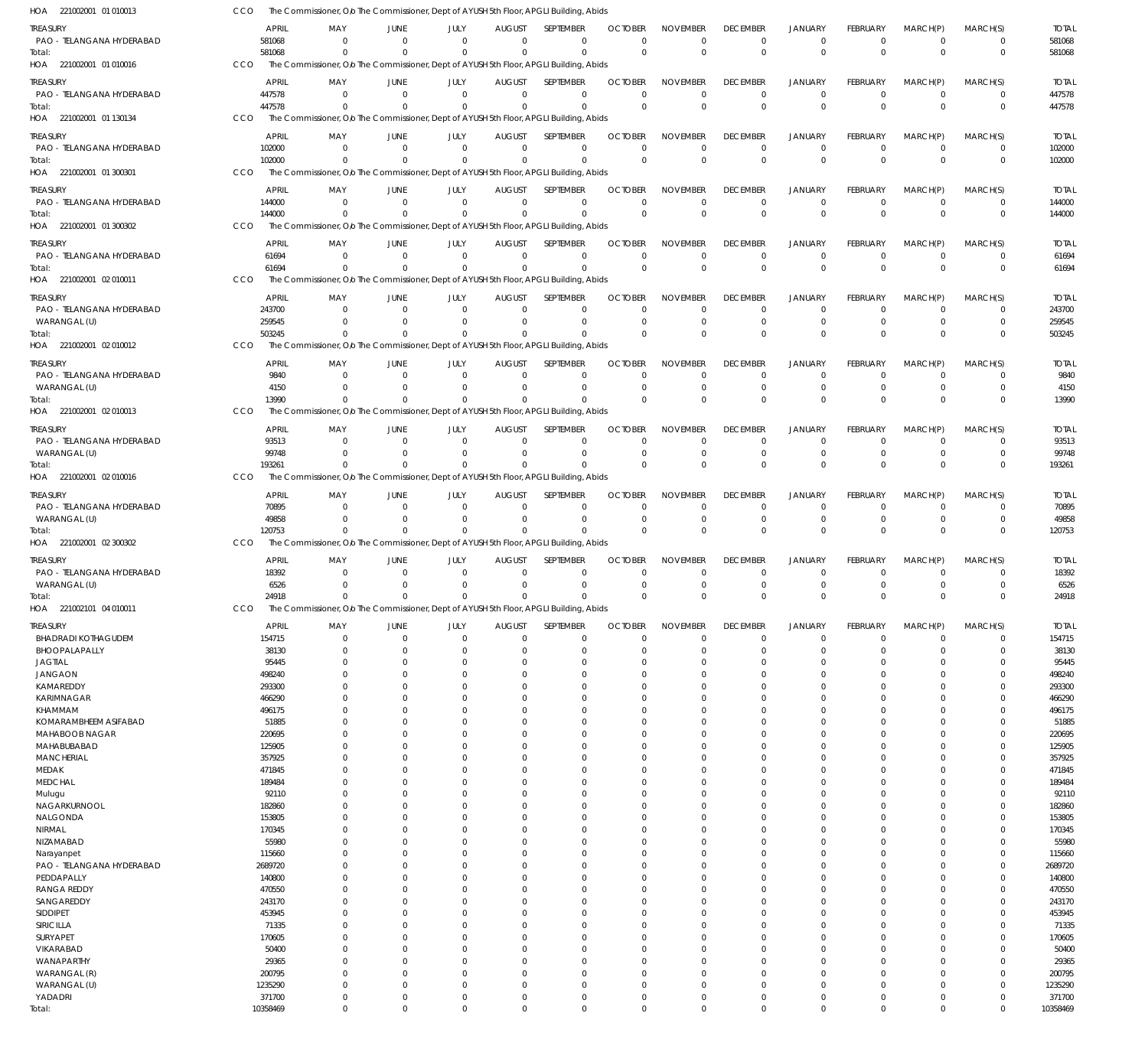| HOA 221002001 01 010013                      | CCO | The Commissioner, O/o The Commissioner, Dept of AYUSH 5th Floor, APGLI Building, Abids           |                         |                                                    |                           |                  |                                                    |                                |                             |                                  |                                |                            |                            |                        |
|----------------------------------------------|-----|--------------------------------------------------------------------------------------------------|-------------------------|----------------------------------------------------|---------------------------|------------------|----------------------------------------------------|--------------------------------|-----------------------------|----------------------------------|--------------------------------|----------------------------|----------------------------|------------------------|
| TREASURY                                     |     | APRIL                                                                                            | MAY<br>JUNE             | JULY                                               | <b>AUGUST</b>             | <b>SEPTEMBER</b> | <b>OCTOBER</b>                                     | <b>NOVEMBER</b>                | <b>DECEMBER</b>             | <b>JANUARY</b>                   | <b>FEBRUARY</b>                | MARCH(P)                   | MARCH(S)                   | <b>TOTAL</b>           |
| PAO - TELANGANA HYDERABAD                    |     | 581068                                                                                           | $\Omega$                | $\Omega$<br>$\Omega$                               | $\Omega$                  |                  | $\mathbf 0$<br>$\Omega$                            | $\Omega$                       | 0                           | $^{\circ}$                       | $\mathbf 0$                    | $\overline{0}$             | $\mathbf 0$                | 581068                 |
| Total:                                       |     | 581068                                                                                           | $\Omega$                | $\Omega$<br>$\Omega$                               | $\Omega$                  |                  | $\mathbf 0$<br>$\Omega$                            | $\mathbf 0$                    | $\Omega$                    | $\overline{0}$                   | $\mathbf 0$                    | $\Omega$                   | $\mathbf 0$                | 581068                 |
| HOA 221002001 01 010016                      | CCO | The Commissioner, Olo The Commissioner, Dept of AYUSH 5th Floor, APGLI Building, Abids           |                         |                                                    |                           |                  |                                                    |                                |                             |                                  |                                |                            |                            |                        |
| treasury                                     |     | APRIL                                                                                            | MAY<br>JUNE             | JULY                                               | <b>AUGUST</b>             | SEPTEMBER        | <b>OCTOBER</b>                                     | <b>NOVEMBER</b>                | <b>DECEMBER</b>             | <b>JANUARY</b>                   | <b>FEBRUARY</b>                | MARCH(P)                   | MARCH(S)                   | <b>TOTAL</b>           |
| PAO - TELANGANA HYDERABAD                    |     | 447578<br>447578                                                                                 | - 0<br>$\Omega$         | $\overline{0}$<br>$\Omega$<br>$\Omega$<br>$\Omega$ | $\Omega$<br>$\Omega$      |                  | $\mathbf 0$<br>$\Omega$<br>$\mathbf 0$<br>$\Omega$ | $\Omega$<br>$\mathbf 0$        | $\Omega$<br>$\Omega$        | $\overline{0}$<br>$\overline{0}$ | $\mathbf 0$<br>$\overline{0}$  | $\overline{0}$<br>$\Omega$ | $\mathbf 0$<br>$\mathbf 0$ | 447578<br>447578       |
| Total:<br>HOA 221002001 01 130134            | CCO | The Commissioner, Olo The Commissioner, Dept of AYUSH 5th Floor, APGLI Building, Abids           |                         |                                                    |                           |                  |                                                    |                                |                             |                                  |                                |                            |                            |                        |
|                                              |     |                                                                                                  |                         |                                                    |                           |                  |                                                    |                                |                             |                                  |                                |                            |                            |                        |
| treasury<br>PAO - TELANGANA HYDERABAD        |     | <b>APRIL</b><br>102000                                                                           | MAY<br>JUNE<br>$\Omega$ | JULY<br>$\Omega$<br>$\Omega$                       | <b>AUGUST</b><br>$\Omega$ | SEPTEMBER        | <b>OCTOBER</b><br>$\mathbf 0$<br>0                 | <b>NOVEMBER</b><br>$\mathbf 0$ | <b>DECEMBER</b><br>0        | <b>JANUARY</b><br>$\overline{0}$ | <b>FEBRUARY</b><br>$\mathbf 0$ | MARCH(P)<br>$\overline{0}$ | MARCH(S)<br>0              | <b>TOTAL</b><br>102000 |
| Total:                                       |     | 102000                                                                                           |                         | $\Omega$<br>$\Omega$                               | $\Omega$                  |                  | $\mathbf 0$<br>$\overline{0}$                      | $\mathbf{0}$                   | $\Omega$                    | $\Omega$                         | $\overline{0}$                 | $\Omega$                   | $\mathbf 0$                | 102000                 |
| HOA 221002001 01 300301                      | CCO | The Commissioner, O/o The Commissioner, Dept of AYUSH 5th Floor, APGLI Building, Abids           |                         |                                                    |                           |                  |                                                    |                                |                             |                                  |                                |                            |                            |                        |
| treasury                                     |     | <b>APRIL</b>                                                                                     | JUNE<br>MAY             | JULY                                               | <b>AUGUST</b>             | <b>SEPTEMBER</b> | <b>OCTOBER</b>                                     | <b>NOVEMBER</b>                | <b>DECEMBER</b>             | <b>JANUARY</b>                   | <b>FEBRUARY</b>                | MARCH(P)                   | MARCH(S)                   | <b>TOTAL</b>           |
| PAO - TELANGANA HYDERABAD                    |     | 144000                                                                                           | $\Omega$                | $\Omega$<br>$\Omega$                               | $\Omega$                  |                  | $\mathbf 0$<br>$\Omega$                            | $\mathbf 0$                    | 0                           | $\overline{0}$                   | $\mathbf 0$                    | $\overline{0}$             | $\mathbf 0$                | 144000                 |
| Total:                                       |     | 144000                                                                                           |                         | $\Omega$<br>$\Omega$                               | $\Omega$                  |                  | $\Omega$<br>$\overline{0}$                         | $\mathbf 0$                    | $\overline{0}$              | $\mathbf 0$                      | $\overline{0}$                 | $\Omega$                   | $\mathbf 0$                | 144000                 |
| HOA 221002001 01 300302                      | CCO | The Commissioner, Olo The Commissioner, Dept of AYUSH 5th Floor, APGLI Building, Abids           |                         |                                                    |                           |                  |                                                    |                                |                             |                                  |                                |                            |                            |                        |
| treasury                                     |     | <b>APRIL</b>                                                                                     | MAY<br>JUNE             | JULY                                               | <b>AUGUST</b>             | SEPTEMBER        | <b>OCTOBER</b>                                     | <b>NOVEMBER</b>                | <b>DECEMBER</b>             | <b>JANUARY</b>                   | <b>FEBRUARY</b>                | MARCH(P)                   | MARCH(S)                   | <b>TOTAL</b>           |
| PAO - TELANGANA HYDERABAD                    |     | 61694                                                                                            | $\Omega$                | $\Omega$<br>$\Omega$                               | $\Omega$                  |                  | $\Omega$<br>0                                      | $\mathbf 0$                    | 0                           | $^{\circ}$                       | $\mathbf 0$                    | $\overline{0}$             | 0                          | 61694                  |
| Total:                                       |     | 61694                                                                                            | $\Omega$                | $\mathbf 0$<br>$\Omega$                            | $\Omega$                  |                  | $\mathbf 0$<br>$\Omega$                            | $\mathbf 0$                    | $\Omega$                    | $\overline{0}$                   | $\mathbf 0$                    | $\Omega$                   | $\mathbf 0$                | 61694                  |
| HOA 221002001 02 010011                      | CCO | The Commissioner, O/o The Commissioner, Dept of AYUSH 5th Floor, APGLI Building, Abids           |                         |                                                    |                           |                  |                                                    |                                |                             |                                  |                                |                            |                            |                        |
| treasury                                     |     | APRIL                                                                                            | MAY<br>JUNE             | JULY                                               | <b>AUGUST</b>             | SEPTEMBER        | <b>OCTOBER</b>                                     | <b>NOVEMBER</b>                | <b>DECEMBER</b>             | <b>JANUARY</b>                   | <b>FEBRUARY</b>                | MARCH(P)                   | MARCH(S)                   | <b>TOTAL</b>           |
| PAO - TELANGANA HYDERABAD                    |     | 243700                                                                                           |                         | $\Omega$<br>$\Omega$                               | $\Omega$                  |                  | 0<br>$\Omega$                                      | $\Omega$                       | $\Omega$                    | $^{\circ}$                       | $\Omega$                       | 0                          | 0                          | 243700                 |
| WARANGAL (U)                                 |     | 259545                                                                                           | $\Omega$                | $\Omega$<br>$\Omega$                               | $\Omega$                  |                  | $\mathbf 0$<br>$\Omega$                            | $\Omega$                       | $\Omega$                    | $\overline{0}$                   | $\mathbf 0$                    | $^{\circ}$                 | $\mathbf 0$                | 259545                 |
| Total:<br>HOA 221002001 02 010012            | CCO | 503245<br>The Commissioner, O/o The Commissioner, Dept of AYUSH 5th Floor, APGLI Building, Abids | $\Omega$                | $\Omega$<br>$\Omega$                               | $\Omega$                  |                  | $\Omega$<br>$\Omega$                               | $^{\circ}$                     | $\Omega$                    | $\Omega$                         | $\Omega$                       | $\Omega$                   | $\mathbf 0$                | 503245                 |
|                                              |     |                                                                                                  |                         |                                                    |                           |                  |                                                    |                                |                             |                                  |                                |                            |                            |                        |
| treasury                                     |     | <b>APRIL</b>                                                                                     | JUNE<br>MAY             | JULY                                               | <b>AUGUST</b>             | SEPTEMBER        | <b>OCTOBER</b>                                     | <b>NOVEMBER</b>                | <b>DECEMBER</b>             | <b>JANUARY</b>                   | <b>FEBRUARY</b>                | MARCH(P)                   | MARCH(S)                   | <b>TOTAL</b>           |
| PAO - TELANGANA HYDERABAD                    |     | 9840<br>4150                                                                                     |                         | $\Omega$<br>$\Omega$<br>$\Omega$<br>$\Omega$       | $\Omega$<br>$\Omega$      | 0                | O<br>$\mathbf 0$<br>$\Omega$                       | $\Omega$<br>$\Omega$           | 0<br>$\Omega$               | $^{\circ}$<br>$\overline{0}$     | $\Omega$                       | 0<br>$\Omega$              | 0                          | 9840                   |
| WARANGAL (U)<br>Total:                       |     | 13990                                                                                            |                         | $\Omega$                                           | $\Omega$                  |                  | $\Omega$<br>$\Omega$                               | $\Omega$                       | $\Omega$                    | $\Omega$                         | 0<br>$\Omega$                  | $\Omega$                   | 0<br>$\Omega$              | 4150<br>13990          |
| HOA 221002001 02 010013                      | CCO | The Commissioner, O/o The Commissioner, Dept of AYUSH 5th Floor, APGLI Building, Abids           |                         |                                                    |                           |                  |                                                    |                                |                             |                                  |                                |                            |                            |                        |
|                                              |     |                                                                                                  |                         |                                                    |                           |                  |                                                    |                                |                             |                                  |                                |                            |                            |                        |
| treasury<br>PAO - TELANGANA HYDERABAD        |     | <b>APRIL</b><br>93513                                                                            | JUNE<br>MAY<br>$\Omega$ | JULY<br>$\Omega$<br>$\Omega$                       | <b>AUGUST</b><br>$\Omega$ | SEPTEMBER        | <b>OCTOBER</b><br>$\mathbf 0$<br>$\Omega$          | <b>NOVEMBER</b><br>$\Omega$    | <b>DECEMBER</b><br>$\Omega$ | <b>JANUARY</b><br>$\Omega$       | <b>FEBRUARY</b><br>$\Omega$    | MARCH(P)<br>- 0            | MARCH(S)<br>$\Omega$       | <b>TOTAL</b><br>93513  |
| WARANGAL (U)                                 |     | 99748                                                                                            |                         | $\Omega$<br>$\Omega$                               | $\Omega$                  |                  | 0<br>$\Omega$                                      | $\Omega$                       | $\Omega$                    | $^{\circ}$                       | $\Omega$                       | $\overline{0}$             | $\mathbf 0$                | 99748                  |
| Total:                                       |     | 193261                                                                                           | $\Omega$                | $\Omega$<br>$\Omega$                               | $\Omega$                  |                  | $\Omega$<br>$\Omega$                               | $\Omega$                       | $\Omega$                    | $\Omega$                         | $\Omega$                       | $\Omega$                   | $\mathbf 0$                | 193261                 |
| HOA 221002001 02 010016                      | CCO | The Commissioner, O/o The Commissioner, Dept of AYUSH 5th Floor, APGLI Building, Abids           |                         |                                                    |                           |                  |                                                    |                                |                             |                                  |                                |                            |                            |                        |
| treasury                                     |     | <b>APRIL</b>                                                                                     | JUNE<br>MAY             | JULY                                               | <b>AUGUST</b>             | SEPTEMBER        | <b>OCTOBER</b>                                     | <b>NOVEMBER</b>                | <b>DECEMBER</b>             | <b>JANUARY</b>                   | <b>FEBRUARY</b>                | MARCH(P)                   | MARCH(S)                   | <b>TOTAL</b>           |
| PAO - TELANGANA HYDERABAD                    |     | 70895                                                                                            | $\Omega$                | $\Omega$<br>$\mathbf 0$                            | $\Omega$                  | 0                | $\Omega$                                           | $\Omega$                       | $\Omega$                    | $\Omega$                         | $\Omega$                       | - 0                        | 0                          | 70895                  |
| WARANGAL (U)                                 |     | 49858                                                                                            |                         | $\Omega$<br>$\Omega$                               | $\Omega$                  |                  | $\mathbf 0$<br>$\Omega$                            | $\Omega$                       | $\Omega$                    | $^{\circ}$                       | 0                              | $\overline{0}$             | $\mathbf 0$                | 49858                  |
| Total:                                       |     | 120753                                                                                           |                         | $\Omega$<br>$\Omega$                               | $\Omega$                  |                  | $\Omega$<br>$\Omega$                               | $\Omega$                       | $\Omega$                    | $\overline{0}$                   | $\Omega$                       | $\Omega$                   | $\mathbf 0$                | 120753                 |
| HOA 221002001 02 300302                      | CCO | The Commissioner, O/o The Commissioner, Dept of AYUSH 5th Floor, APGLI Building, Abids           |                         |                                                    |                           |                  |                                                    |                                |                             |                                  |                                |                            |                            |                        |
| treasury                                     |     | <b>APRIL</b>                                                                                     | MAY<br>JUNE             | JULY                                               | <b>AUGUST</b>             | SEPTEMBER        | <b>OCTOBER</b>                                     | <b>NOVEMBER</b>                | <b>DECEMBER</b>             | <b>JANUARY</b>                   | <b>FEBRUARY</b>                | MARCH(P)                   | MARCH(S)                   | <b>TOTAL</b>           |
| PAO - TELANGANA HYDERABAD                    |     | 18392                                                                                            | $\Omega$                | $\Omega$<br>- 0                                    | $\Omega$                  |                  | 0<br>$\Omega$                                      | $\Omega$                       | $\Omega$                    | $\Omega$                         | $\Omega$                       | $\Omega$                   | 0                          | 18392                  |
| WARANGAL (U)<br>Total:                       |     | 6526<br>24918                                                                                    | $\Omega$                | $\Omega$<br>$\Omega$<br>$\Omega$<br>$\Omega$       | $\Omega$<br>$\Omega$      |                  | 0<br>$\Omega$<br>$\Omega$<br>$\Omega$              | $\Omega$<br>$\Omega$           | $\Omega$<br>$\Omega$        | $\Omega$<br>$\Omega$             | $\Omega$<br>$\Omega$           | $\Omega$<br>$\Omega$       | $\Omega$<br>$\Omega$       | 6526<br>24918          |
| HOA 221002101 04 010011                      | CCO | The Commissioner, Olo The Commissioner, Dept of AYUSH 5th Floor, APGLI Building, Abids           |                         |                                                    |                           |                  |                                                    |                                |                             |                                  |                                |                            |                            |                        |
|                                              |     | <b>APRIL</b>                                                                                     | MAY                     |                                                    | <b>AUGUST</b>             | SEPTEMBER        | <b>OCTOBER</b>                                     | <b>NOVEMBER</b>                | <b>DECEMBER</b>             | <b>JANUARY</b>                   | <b>FEBRUARY</b>                |                            | MARCH(S)                   | <b>TOTAL</b>           |
| <b>REASURY</b><br><b>BHADRADI KOTHAGUDEM</b> |     | 154715                                                                                           | JUNE<br>$\Omega$        | JULY<br>$\mathbf 0$<br>0                           | $\mathbf 0$               |                  | $\mathbf 0$<br>$\mathbf 0$                         | $\mathbf 0$                    | $\mathbf 0$                 | $\overline{0}$                   | $\mathbf 0$                    | MARCH(P)<br>$\overline{0}$ | $\mathbf 0$                | 154715                 |
| BHOOPALAPALLY                                |     | 38130                                                                                            | $\Omega$                | $\overline{0}$<br>$\Omega$                         | $\Omega$                  |                  | $\mathbf 0$<br>$\mathbf 0$                         | $\Omega$                       | $\Omega$                    | $\overline{0}$                   | $\mathbf 0$                    | $\overline{0}$             | $\mathbf 0$                | 38130                  |
| <b>JAGTIAL</b>                               |     | 95445                                                                                            |                         | $\Omega$<br>0                                      | C                         |                  | 0<br>C                                             | $\Omega$                       |                             | $\Omega$                         |                                | $\Omega$                   | 0                          | 95445                  |
| <b>JANGAON</b>                               |     | 498240                                                                                           |                         | $\Omega$                                           |                           |                  | 0<br>$\Omega$                                      | $\Omega$                       |                             | $\Omega$                         |                                | $\Omega$                   | $\Omega$                   | 498240                 |
| KAMAREDDY                                    |     | 293300                                                                                           |                         | $\Omega$                                           | $\Omega$                  |                  | 0<br>$\Omega$                                      | $\Omega$                       |                             | $\Omega$                         |                                | $\Omega$                   | $\Omega$                   | 293300                 |
| <b>KARIMNAGAR</b><br><b>KHAMMAM</b>          |     | 466290<br>496175                                                                                 |                         | $\Omega$<br>$\Omega$                               | C                         |                  | 0<br>$\Omega$<br>0<br>O                            | $\Omega$<br>$\Omega$           |                             | $\Omega$<br>$\Omega$             |                                | $\Omega$<br>$\Omega$       | $\Omega$<br>$\Omega$       | 466290<br>496175       |
| KOMARAMBHEEM ASIFABAD                        |     | 51885                                                                                            |                         | $\Omega$                                           |                           |                  | 0<br>$\Omega$                                      | $\Omega$                       |                             |                                  |                                | $\Omega$                   | $\Omega$                   | 51885                  |
| MAHABOOB NAGAR                               |     | 220695                                                                                           |                         | $\Omega$                                           | C                         |                  | 0<br>$\Omega$                                      | $\Omega$                       |                             | $\Omega$                         |                                | $\Omega$                   | 0                          | 220695                 |
| MAHABUBABAD                                  |     | 125905                                                                                           |                         | $\Omega$                                           |                           |                  | $\Omega$<br>O                                      | $\Omega$                       |                             | $\Omega$                         |                                | $\Omega$                   | $\Omega$                   | 125905                 |
| <b>MANCHERIAL</b>                            |     | 357925                                                                                           |                         | $\Omega$                                           | $\Omega$                  |                  | 0<br>$\Omega$                                      | $\Omega$                       |                             | $\Omega$                         |                                | $\Omega$                   | $\Omega$                   | 357925                 |
| MEDAK                                        |     | 471845                                                                                           |                         | $\Omega$                                           |                           |                  | 0<br>$\Omega$                                      | $\Omega$                       |                             | $\Omega$                         |                                | $\Omega$                   | $\Omega$                   | 471845                 |
| MEDCHAL                                      |     | 189484<br>92110                                                                                  |                         | $\Omega$<br>$\Omega$                               | C                         |                  | 0<br>$\Omega$<br>$\Omega$<br>$\Omega$              | $\Omega$<br>$\Omega$           |                             | $\Omega$<br>$\Omega$             |                                | $\Omega$<br>$\Omega$       | $\Omega$<br>$\Omega$       | 189484<br>92110        |
| Mulugu<br>NAGARKURNOOL                       |     | 182860                                                                                           |                         | $\Omega$                                           | $\Omega$                  |                  | 0<br>$\Omega$                                      | $\Omega$                       |                             | $\Omega$                         |                                | $\Omega$                   | 0                          | 182860                 |
| NALGONDA                                     |     | 153805                                                                                           |                         |                                                    |                           |                  | $\Omega$<br>$\Omega$                               | $\Omega$                       |                             |                                  |                                | $\Omega$                   | 0                          | 153805                 |
| NIRMAL                                       |     | 170345                                                                                           |                         | $\Omega$                                           | C                         |                  | 0<br>$\Omega$                                      | $\Omega$                       |                             | $\Omega$                         |                                | $\Omega$                   | $\Omega$                   | 170345                 |
| NIZAMABAD                                    |     | 55980                                                                                            |                         | $\Omega$                                           |                           |                  | $\Omega$<br>$\Omega$                               | $\Omega$                       |                             | $\Omega$                         |                                | $\Omega$                   | $\Omega$                   | 55980                  |
| Narayanpet                                   |     | 115660                                                                                           |                         | $\Omega$                                           | $\Omega$                  |                  | 0<br>$\Omega$                                      | $\Omega$                       |                             | $\Omega$                         |                                | $\Omega$                   | $\Omega$                   | 115660                 |
| PAO - TELANGANA HYDERABAD<br>PEDDAPALLY      |     | 2689720                                                                                          |                         | $\Omega$                                           | C                         |                  | $\Omega$<br>O<br>0<br>$\Omega$                     | $\Omega$<br>$\Omega$           |                             | $\Omega$                         |                                | $\Omega$<br>$\Omega$       | C<br>$\Omega$              | 2689720                |
| <b>RANGA REDDY</b>                           |     | 140800<br>470550                                                                                 |                         | $\Omega$                                           | C                         |                  | 0<br>$\Omega$                                      | $\Omega$                       |                             | $\Omega$                         |                                | $\Omega$                   | $\Omega$                   | 140800<br>470550       |
| SANGAREDDY                                   |     | 243170                                                                                           |                         | $\Omega$                                           | C                         |                  | 0<br>O                                             | $\Omega$                       |                             | $\Omega$                         |                                | $\Omega$                   | $\Omega$                   | 243170                 |
| SIDDIPET                                     |     | 453945                                                                                           |                         |                                                    |                           |                  | $\Omega$<br>O                                      | $\Omega$                       |                             |                                  |                                | $\Omega$                   | $\Omega$                   | 453945                 |
| SIRICILLA                                    |     | 71335                                                                                            |                         | $\Omega$                                           | C                         |                  | 0<br>$\Omega$                                      | $\Omega$                       |                             | $\Omega$                         |                                | $\Omega$                   | $\Omega$                   | 71335                  |
| SURYAPET                                     |     | 170605                                                                                           |                         | $\Omega$                                           |                           |                  | $\Omega$<br>$\Omega$                               | $\Omega$                       |                             | $\Omega$                         |                                | $\Omega$                   | $\Omega$                   | 170605                 |
| VIKARABAD<br>WANAPARTHY                      |     | 50400<br>29365                                                                                   |                         | $\Omega$                                           | C                         |                  | 0<br>0<br>$\Omega$<br>$\Omega$                     | $\Omega$<br>$\Omega$           |                             | $\Omega$                         |                                | $\Omega$<br>$\Omega$       | $\Omega$<br>0              | 50400                  |
| WARANGAL (R)                                 |     | 200795                                                                                           |                         | $\Omega$                                           | $\Omega$                  |                  | 0<br>$\Omega$                                      | $\Omega$                       |                             | $\Omega$                         |                                | $\Omega$                   | 0                          | 29365<br>200795        |
| WARANGAL (U)                                 |     | 1235290                                                                                          |                         | $\Omega$                                           | $\Omega$                  |                  | 0<br>$\Omega$                                      | $\Omega$                       |                             | $\Omega$                         |                                | $\Omega$                   | $\Omega$                   | 1235290                |
| YADADRI                                      |     | 371700                                                                                           | 0                       | $\overline{0}$<br>0                                | $\overline{0}$            |                  | $\mathbf 0$<br>O                                   | $\mathbf 0$                    | $\Omega$                    | $\overline{0}$                   | 0                              | $\overline{0}$             | $\mathbf 0$                | 371700                 |
| Total:                                       |     | 10358469                                                                                         | $\mathbf 0$             | $\mathbf 0$<br>$\mathbf 0$                         | $\mathbf 0$               |                  | $\mathbf 0$<br>$\mathbf 0$                         | $\mathbf 0$                    | $\Omega$                    | $\overline{0}$                   | $\mathbf 0$                    | $\overline{0}$             | $\Omega$                   | 10358469               |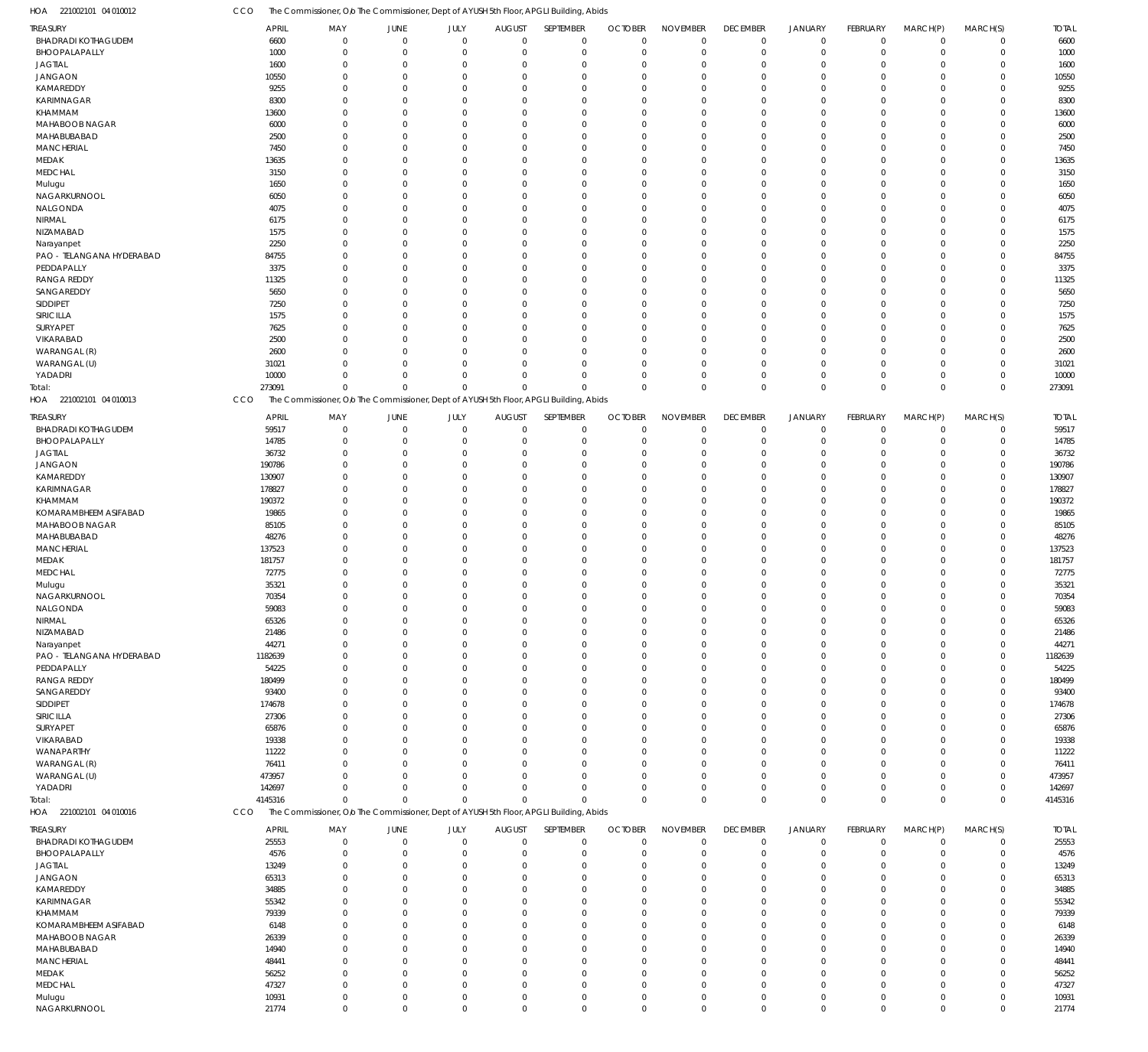CCO The Commissioner, Olo The Commissioner, Dept of AYUSH 5th Floor, APGLI Building, Abids

| HOA<br>221002101 04 010012 | CCO          |             | The Commissioner, O/o The Commissioner, Dept of AYUSH 5th Floor, APGLI Building, Abids |             |               |                |                |                 |                 |                |             |                |             |              |
|----------------------------|--------------|-------------|----------------------------------------------------------------------------------------|-------------|---------------|----------------|----------------|-----------------|-----------------|----------------|-------------|----------------|-------------|--------------|
| TREASURY                   | APRIL        | MAY         | <b>JUNE</b>                                                                            | JULY        | <b>AUGUST</b> | SEPTEMBER      | <b>OCTOBER</b> | <b>NOVEMBER</b> | <b>DECEMBER</b> | <b>JANUARY</b> | FEBRUARY    | MARCH(P)       | MARCH(S)    | <b>TOTAL</b> |
| <b>BHADRADI KOTHAGUDEM</b> | 6600         | $\mathbf 0$ | $\mathbf 0$                                                                            | $\Omega$    | $\Omega$      | $\mathbf 0$    | $\mathbf 0$    | $\mathbf 0$     | $\mathbf 0$     | $\mathbf 0$    | $\mathbf 0$ | $\overline{0}$ | $\mathbf 0$ | 6600         |
| BHOOPALAPALLY              | 1000         | $\mathbf 0$ | $^{\circ}$                                                                             | $\Omega$    | $\Omega$      | $\mathbf 0$    | $\mathbf 0$    | $\mathbf 0$     | $\mathbf 0$     | $\mathbf 0$    | $\mathbf 0$ | $\overline{0}$ | $\mathbf 0$ | 1000         |
| <b>JAGTIAL</b>             | 1600         | $\mathbf 0$ | $\Omega$                                                                               | $\Omega$    | $\Omega$      | $^{\circ}$     | $\Omega$       | $\mathbf 0$     | $\mathbf 0$     | $^{\circ}$     | $\Omega$    | $\Omega$       | $\mathbf 0$ | 1600         |
| <b>JANGAON</b>             | 10550        | $\mathbf 0$ | $\Omega$                                                                               | $\Omega$    | $\Omega$      | $\Omega$       | $\Omega$       | $\mathbf 0$     | $\Omega$        | $\Omega$       | $\Omega$    | $\Omega$       | $\mathbf 0$ | 10550        |
| KAMAREDDY                  | 9255         | $\mathbf 0$ | $\Omega$                                                                               | $\Omega$    | $\Omega$      | $\overline{0}$ | $\Omega$       | $\mathbf 0$     | $\Omega$        | $\overline{0}$ | $\Omega$    | $\Omega$       | $\mathbf 0$ | 9255         |
| <b>KARIMNAGAR</b>          | 8300         | $\Omega$    | $\Omega$                                                                               | $\Omega$    | $\Omega$      | $\Omega$       | $\Omega$       | $\mathbf 0$     | $\Omega$        | $\Omega$       | $\Omega$    | $\Omega$       | $\mathbf 0$ | 8300         |
| KHAMMAM                    | 13600        | $\mathbf 0$ | $\Omega$                                                                               | $\Omega$    | $\Omega$      | $\Omega$       | $\Omega$       | $\mathbf 0$     | $\Omega$        | $\Omega$       | $\Omega$    | $\Omega$       | $\mathbf 0$ | 13600        |
| MAHABOOB NAGAR             | 6000         | $\mathbf 0$ | $\Omega$                                                                               | $\Omega$    | $\Omega$      | $\Omega$       | $\Omega$       | $\mathbf 0$     | $\Omega$        | $\Omega$       | $\Omega$    | $\Omega$       | $\mathbf 0$ | 6000         |
| MAHABUBABAD                | 2500         | $\Omega$    | $\Omega$                                                                               | $\Omega$    | $\Omega$      | $\Omega$       | $\Omega$       | $\mathbf 0$     | $\Omega$        | $\Omega$       | $\Omega$    | $\Omega$       | $\mathbf 0$ | 2500         |
| <b>MANCHERIAL</b>          | 7450         | $\Omega$    | $\Omega$                                                                               | $\Omega$    | $\Omega$      | $\Omega$       | $\Omega$       | $\mathbf 0$     | $\Omega$        | $\Omega$       | $\Omega$    | $\Omega$       | $\mathbf 0$ | 7450         |
| MEDAK                      | 13635        | $\mathbf 0$ | $\Omega$                                                                               | $\Omega$    | $\Omega$      | $^{\circ}$     | $\Omega$       | $\mathbf 0$     | 0               | $\overline{0}$ | $\Omega$    | $\Omega$       | $\mathbf 0$ | 13635        |
| MEDCHAL                    | 3150         | $\Omega$    | $\Omega$                                                                               | $\Omega$    | $\Omega$      | $\Omega$       | $\Omega$       | $\mathbf 0$     | $\Omega$        | $\Omega$       | $\Omega$    | $\Omega$       | $\mathbf 0$ | 3150         |
| Mulugu                     | 1650         | $\Omega$    | $\Omega$                                                                               | $\Omega$    | $\Omega$      | $\Omega$       | $\Omega$       | $\mathbf 0$     | $\Omega$        | $\Omega$       | $\Omega$    | $\Omega$       | $\mathbf 0$ | 1650         |
| NAGARKURNOOL               | 6050         | $\Omega$    | $\Omega$                                                                               | $\Omega$    | $\Omega$      | $\Omega$       | $\Omega$       | $\mathbf 0$     | $\Omega$        | $\Omega$       | $\Omega$    | $\Omega$       | $\mathbf 0$ | 6050         |
| NALGONDA                   | 4075         | $\Omega$    | $\Omega$                                                                               | $\Omega$    | $\Omega$      | $\Omega$       | $\Omega$       | $\mathbf 0$     | $\Omega$        | $\Omega$       | $\Omega$    | $\Omega$       | $\mathbf 0$ | 4075         |
| NIRMAL                     | 6175         | $\Omega$    | $\Omega$                                                                               | $\Omega$    | $\Omega$      | $\Omega$       | $\Omega$       | $\mathbf 0$     | $\Omega$        | $\Omega$       | $\Omega$    | $\Omega$       | $\mathbf 0$ | 6175         |
| NIZAMABAD                  | 1575         | $\mathbf 0$ | $\Omega$                                                                               | $\Omega$    | $\Omega$      | $\Omega$       | $\Omega$       | $\mathbf 0$     | $\Omega$        | $\Omega$       | $\Omega$    | $\Omega$       | $\mathbf 0$ | 1575         |
| Narayanpet                 | 2250         | $\Omega$    | $\Omega$                                                                               | $\Omega$    | $\Omega$      | $\Omega$       | $\Omega$       | $\mathbf 0$     | $\Omega$        | $\Omega$       | $\Omega$    | $\Omega$       | $\mathbf 0$ | 2250         |
| PAO - TELANGANA HYDERABAD  | 84755        | $\mathbf 0$ | $\Omega$                                                                               | $\Omega$    | $\Omega$      | $\Omega$       | $\Omega$       | $\mathbf 0$     | $\Omega$        | $\Omega$       | $\Omega$    | $\Omega$       | $\mathbf 0$ | 84755        |
| PEDDAPALLY                 | 3375         | $\mathbf 0$ | $\Omega$                                                                               | $\Omega$    | $\Omega$      | $\Omega$       | $\Omega$       | $\mathbf 0$     | $\Omega$        | $\Omega$       | $\Omega$    | $\Omega$       | $\mathbf 0$ | 3375         |
| <b>RANGA REDDY</b>         | 11325        | $\Omega$    | $\Omega$                                                                               | $\Omega$    | $\Omega$      | $\Omega$       | $\Omega$       | $\mathbf 0$     | $\Omega$        | $\Omega$       | $\Omega$    | $\Omega$       | $\mathbf 0$ | 11325        |
| SANGAREDDY                 | 5650         | $\Omega$    | $\Omega$                                                                               | $\Omega$    | $\Omega$      | $\Omega$       | $\Omega$       | $\mathbf 0$     | $\Omega$        | $\Omega$       | $\Omega$    | $\Omega$       | $\mathbf 0$ | 5650         |
| SIDDIPET                   | 7250         | $\mathbf 0$ | $\Omega$                                                                               | $\Omega$    | $\Omega$      | $\Omega$       | $\Omega$       | $\mathbf 0$     | $\Omega$        | $\overline{0}$ | $\Omega$    | $\Omega$       | $\mathbf 0$ | 7250         |
| SIRICILLA                  | 1575         | $\Omega$    | $\Omega$                                                                               | $\Omega$    | $\Omega$      | $\Omega$       | $\Omega$       | $\mathbf 0$     | $\Omega$        | $\Omega$       | $\Omega$    | $\Omega$       | $\mathbf 0$ | 1575         |
| SURYAPET                   | 7625         | $\Omega$    | $\Omega$                                                                               | $\Omega$    |               | $\Omega$       | $\Omega$       | $\mathbf 0$     | $\Omega$        | $\Omega$       | $\Omega$    | $\Omega$       | $\mathbf 0$ | 7625         |
| VIKARABAD                  | 2500         | $\Omega$    | $\Omega$                                                                               | $\Omega$    | $\Omega$      | $\Omega$       | $\Omega$       | $\mathbf 0$     | $\Omega$        | $\Omega$       | $\Omega$    | $\Omega$       | $\mathbf 0$ | 2500         |
| WARANGAL (R)               | 2600         | $\Omega$    | $\Omega$                                                                               | $\Omega$    | $\Omega$      | $\Omega$       | $\Omega$       | $\mathbf 0$     | $\Omega$        | $\Omega$       | $\Omega$    | $\Omega$       | $\mathbf 0$ | 2600         |
| WARANGAL (U)               | 31021        | $\Omega$    | $\Omega$                                                                               | $\Omega$    | $\Omega$      | $\Omega$       | $\Omega$       | $\mathbf 0$     | 0               | $\overline{0}$ | $\Omega$    | $\Omega$       | $\mathbf 0$ | 31021        |
| YADADRI                    | 10000        | $\mathbf 0$ | $\Omega$                                                                               | $\Omega$    | $\Omega$      | $\overline{0}$ | $\Omega$       | $\mathbf 0$     | $\mathbf 0$     | $\mathbf 0$    | $\Omega$    | $\mathbf 0$    | $\mathsf 0$ | 10000        |
| Total:                     | 273091       | $\mathbf 0$ | $\Omega$                                                                               | $\Omega$    | $\Omega$      | $\Omega$       | $\mathbf 0$    | $\mathbf 0$     | $\Omega$        | $\mathbf{0}$   | $\Omega$    | $\Omega$       | $\mathbf 0$ | 273091       |
| HOA 221002101 04 010013    | CCO          |             | The Commissioner, O/o The Commissioner, Dept of AYUSH 5th Floor, APGLI Building, Abids |             |               |                |                |                 |                 |                |             |                |             |              |
|                            |              |             |                                                                                        |             |               |                |                |                 |                 |                |             |                |             |              |
| TREASURY                   | <b>APRIL</b> | MAY         | JUNE                                                                                   | JULY        | <b>AUGUST</b> | SEPTEMBER      | <b>OCTOBER</b> | <b>NOVEMBER</b> | <b>DECEMBER</b> | <b>JANUARY</b> | FEBRUARY    | MARCH(P)       | MARCH(S)    | <b>TOTAL</b> |
| <b>BHADRADI KOTHAGUDEM</b> | 59517        | $\mathbf 0$ | $\overline{0}$                                                                         | $\mathbf 0$ | $\Omega$      | $\mathbf 0$    | $\mathbf 0$    | $\mathbf 0$     | $\mathbf 0$     | $\mathbf 0$    | $\mathbf 0$ | $\overline{0}$ | $\mathsf 0$ | 59517        |
| BHOOPALAPALLY              | 14785        | $\mathbf 0$ | $\Omega$                                                                               | $\Omega$    |               | $\overline{0}$ | $\overline{0}$ | $\overline{0}$  | $\mathbf 0$     | $\mathbf 0$    | $\mathbf 0$ | $\mathbf 0$    | $\mathsf 0$ | 14785        |
| <b>JAGTIAL</b>             | 36732        | $\mathbf 0$ | $\Omega$                                                                               | $\Omega$    |               | $\Omega$       | $\Omega$       | $\Omega$        | $\mathbf 0$     | $\overline{0}$ | $\Omega$    | $\Omega$       | $\mathbf 0$ | 36732        |
| <b>JANGAON</b>             | 190786       | $\mathbf 0$ | $\Omega$                                                                               | $\Omega$    |               | $\Omega$       | $\Omega$       | $\overline{0}$  | 0               | $\Omega$       | $\Omega$    | $\Omega$       | $\mathbf 0$ | 190786       |
| KAMAREDDY                  | 130907       | $\mathbf 0$ | $\Omega$                                                                               | $\Omega$    |               | $\Omega$       | $\Omega$       | $\Omega$        | 0               | $\overline{0}$ | $\Omega$    | $\Omega$       | $\mathbf 0$ | 130907       |
| <b>KARIMNAGAR</b>          | 178827       | $\mathbf 0$ | $\Omega$                                                                               | $\Omega$    |               | $\Omega$       | $\Omega$       | $\Omega$        | $\Omega$        | $\Omega$       | O           | $\Omega$       | $\mathbf 0$ | 178827       |
| KHAMMAM                    | 190372       | $\mathbf 0$ | $\mathcal{L}$                                                                          | $\Omega$    |               | $\Omega$       | $\Omega$       | $\Omega$        | $\Omega$        | $\Omega$       | $\Omega$    | $\Omega$       | $\mathbf 0$ | 190372       |
| KOMARAMBHEEM ASIFABAD      | 19865        | $\mathbf 0$ | $\Omega$                                                                               | $\Omega$    |               | $\Omega$       | $\Omega$       | $\mathbf 0$     | 0               | $\overline{0}$ | $\Omega$    | $\Omega$       | $\mathbf 0$ | 19865        |
| MAHABOOB NAGAR             | 85105        | $\mathbf 0$ | $\Omega$                                                                               | $\Omega$    |               | $\Omega$       | $\Omega$       | $\Omega$        | $\Omega$        | $\Omega$       | $\Omega$    | $\Omega$       | $\mathbf 0$ | 85105        |
| MAHABUBABAD                | 48276        | $\mathbf 0$ | $\mathcal{L}$                                                                          | $\Omega$    |               | $\Omega$       | $\Omega$       | $\overline{0}$  | 0               | $\Omega$       | $\Omega$    | $\Omega$       | $\mathbf 0$ | 48276        |
| <b>MANCHERIAL</b>          | 137523       | $\mathbf 0$ | $\Omega$                                                                               | $\Omega$    |               | $\Omega$       | $\Omega$       | $\Omega$        | $\Omega$        | $\Omega$       | $\Omega$    | $\Omega$       | $\mathbf 0$ | 137523       |
| MEDAK                      | 181757       | $\mathbf 0$ | $\Omega$                                                                               | $\Omega$    |               | $\Omega$       | $\Omega$       | $\mathbf 0$     | $\Omega$        | $\Omega$       | O           | $\Omega$       | $\mathbf 0$ | 181757       |
| MEDCHAL                    | 72775        | $\mathbf 0$ | $\Omega$                                                                               | $\Omega$    |               | $\Omega$       | $\mathbf 0$    | $\Omega$        | $\Omega$        | $\Omega$       | $\Omega$    | $\mathbf 0$    | $\mathbf 0$ | 72775        |
| Mulugu                     | 35321        | $\mathbf 0$ | $\Omega$                                                                               | $\Omega$    | $\Omega$      | $\overline{0}$ | $\Omega$       | $\Omega$        | $\Omega$        | $\overline{0}$ | 0           | $\Omega$       | $\mathbf 0$ | 35321        |
| NAGARKURNOOL               | 70354        | $\mathbf 0$ | $\Omega$                                                                               | $\Omega$    | $\Omega$      | $\Omega$       | $\Omega$       | $\mathbf 0$     | 0               | $\Omega$       | $\Omega$    | $\Omega$       | $\mathbf 0$ | 70354        |
| NALGONDA                   | 59083        | 0           |                                                                                        |             |               | - 0            | $\Omega$       | $\Omega$        |                 | $\Omega$       |             | 0              | $\mathbf 0$ | 59083        |
| NIRMAL                     | 65326        | $\mathbf 0$ | $\Omega$                                                                               | $\Omega$    |               | $\overline{0}$ | $^{\circ}$     | $\Omega$        | 0               | $\overline{0}$ | $\Omega$    | $\Omega$       | $\mathbf 0$ | 65326        |
| NIZAMABAD                  | 21486        | $\mathbf 0$ | $\Omega$                                                                               | $\Omega$    | $\Omega$      | $\overline{0}$ | $^{\circ}$     | $\mathbf 0$     | $\mathbf 0$     | $\overline{0}$ | $\Omega$    | $\Omega$       | $\mathbf 0$ | 21486        |
| Narayanpet                 | 44271        | $\mathbf 0$ | $\Omega$                                                                               | $\Omega$    |               | $\Omega$       | $^{\circ}$     | $\Omega$        | 0               | $\overline{0}$ | $\Omega$    | $\Omega$       | $\mathbf 0$ | 44271        |
| PAO - TELANGANA HYDERABAD  | 1182639      | $\mathbf 0$ | $\Omega$                                                                               | $\Omega$    |               | $\overline{0}$ | $\Omega$       | $\mathbf 0$     | 0               | $\overline{0}$ | 0           | $\Omega$       | $\mathbf 0$ | 1182639      |
| PEDDAPALLY                 | 54225        | $\mathbf 0$ | $\sqrt{ }$                                                                             | $\Omega$    |               | $\Omega$       | $\Omega$       | $\Omega$        | $\Omega$        | $\Omega$       | O           | $\Omega$       | $\mathbf 0$ | 54225        |
| <b>RANGA REDDY</b>         | 180499       | $\mathbf 0$ | $\mathcal{L}$                                                                          | $\Omega$    |               | $\Omega$       | $\Omega$       | $\mathbf 0$     | 0               | $\Omega$       | O           | $\Omega$       | $\mathbf 0$ | 180499       |
| SANGAREDDY                 | 93400        | $\mathbf 0$ | $\sqrt{ }$                                                                             | $\Omega$    |               | $\Omega$       | $\Omega$       | $\Omega$        | 0               | $\Omega$       | O           | $\Omega$       | $\mathbf 0$ | 93400        |
| SIDDIPET                   | 174678       | $\mathbf 0$ | ſ                                                                                      | $\Omega$    |               | $\Omega$       | $\Omega$       | $\mathbf 0$     | $\Omega$        | $\Omega$       | O           | $\Omega$       | $\mathbf 0$ | 174678       |
| SIRICILLA                  | 27306        | $\mathbf 0$ | $\sqrt{ }$                                                                             | $\Omega$    |               | $\Omega$       | $\Omega$       | $\Omega$        | $\Omega$        | $\Omega$       | O           | $\Omega$       | $\mathbf 0$ | 27306        |
| SURYAPET                   | 65876        | $\mathbf 0$ | $\sqrt{ }$                                                                             | $\Omega$    |               | $\Omega$       | $\Omega$       | $\mathbf 0$     | 0               | $\Omega$       | O           | $\Omega$       | $\mathbf 0$ | 65876        |
| VIKARABAD                  | 19338        | $\mathbf 0$ | ſ                                                                                      | $\cap$      |               | $\Omega$       | $\Omega$       | $\Omega$        | $\Omega$        | $\Omega$       | O           | $\Omega$       | $\mathbf 0$ | 19338        |
| WANAPARTHY                 | 11222        | $\mathbf 0$ | ſ                                                                                      | $\Omega$    |               | $\Omega$       | $\Omega$       | $\mathbf 0$     | 0               | $\Omega$       | 0           | $\Omega$       | $\mathbf 0$ | 11222        |
| WARANGAL (R)               | 76411        | $\mathbf 0$ | $\sqrt{ }$                                                                             | $\Omega$    |               | $\Omega$       | $\Omega$       | $\Omega$        | $\Omega$        | $\Omega$       | O           | $\Omega$       | $\mathbf 0$ | 76411        |
| WARANGAL (U)               | 473957       | $\mathbf 0$ | $\Omega$                                                                               | $\Omega$    | $\Omega$      | $\Omega$       | $\Omega$       | $\mathbf 0$     | 0               | $\overline{0}$ | 0           | $\Omega$       | $\mathbf 0$ | 473957       |
| YADADRI                    | 142697       | $\mathbf 0$ | $\Omega$                                                                               | $\Omega$    |               | $\Omega$       | $\mathbf 0$    | $\overline{0}$  | 0               | $\overline{0}$ | $\Omega$    | $\mathbf 0$    | $\mathbf 0$ | 142697       |
| Total:                     | 4145316      | $\mathbf 0$ | $\Omega$                                                                               | $\Omega$    | $\Omega$      | $\Omega$       | $\Omega$       | $\mathbf 0$     | $\mathbf 0$     | $\mathbf 0$    | $\Omega$    | $\overline{0}$ | $\mathbf 0$ | 4145316      |
| HOA 221002101 04 010016    | CCO          |             | The Commissioner, O/o The Commissioner, Dept of AYUSH 5th Floor, APGLI Building, Abids |             |               |                |                |                 |                 |                |             |                |             |              |
|                            |              |             |                                                                                        |             |               |                |                |                 |                 |                |             |                |             |              |
| TREASURY                   | <b>APRIL</b> | MAY         | JUNE                                                                                   | JULY        | <b>AUGUST</b> | SEPTEMBER      | <b>OCTOBER</b> | <b>NOVEMBER</b> | <b>DECEMBER</b> | <b>JANUARY</b> | FEBRUARY    | MARCH(P)       | MARCH(S)    | <b>TOTAL</b> |
| <b>BHADRADI KOTHAGUDEM</b> | 25553        | $\mathbf 0$ | $\mathbf 0$                                                                            | $\mathbf 0$ | $\Omega$      | $\mathbf 0$    | $\overline{0}$ | $\mathbf 0$     | $\mathbf 0$     | $\mathbf 0$    | $\mathbf 0$ | $\mathbf 0$    | $\mathbf 0$ | 25553        |
| BHOOPALAPALLY              | 4576         | $\mathbf 0$ | $\Omega$                                                                               | $\Omega$    | $\Omega$      | $\overline{0}$ | $\overline{0}$ | $\mathbf 0$     | $\mathbf 0$     | $\mathbf 0$    | $\mathbf 0$ | $\mathbf 0$    | $\mathbf 0$ | 4576         |
| <b>JAGTIAL</b>             | 13249        | $\mathbf 0$ | $\Omega$                                                                               | $\Omega$    | $\Omega$      | $\overline{0}$ | $\overline{0}$ | $\mathbf 0$     | $\mathbf 0$     | $\overline{0}$ | $\Omega$    | $\Omega$       | $\mathbf 0$ | 13249        |
| <b>JANGAON</b>             | 65313        | $\mathbf 0$ | $\Omega$                                                                               | $\Omega$    | $\Omega$      | $\Omega$       | $\Omega$       | $\mathbf 0$     | $\Omega$        | $\Omega$       | $\Omega$    | $\Omega$       | $\mathbf 0$ | 65313        |
| KAMAREDDY                  | 34885        | $\mathbf 0$ | $\Omega$                                                                               | $\Omega$    | $\Omega$      | $\Omega$       | $\Omega$       | $\mathbf 0$     | $\Omega$        | $\Omega$       | $\Omega$    | $\Omega$       | $\mathbf 0$ | 34885        |
| <b>KARIMNAGAR</b>          | 55342        | $\mathbf 0$ | $\Omega$                                                                               | $\Omega$    | $\Omega$      | $\overline{0}$ | $\Omega$       | $\mathbf 0$     | 0               | $\overline{0}$ | 0           | $\Omega$       | $\mathbf 0$ | 55342        |
| KHAMMAM                    | 79339        | $\Omega$    | $\Omega$                                                                               | $\Omega$    | $\Omega$      | $\Omega$       | $\Omega$       | $\mathbf 0$     | $\Omega$        | $\Omega$       | $\Omega$    | $\Omega$       | $\mathbf 0$ | 79339        |
| KOMARAMBHEEM ASIFABAD      | 6148         | $\mathbf 0$ | $\Omega$                                                                               | $\Omega$    | $\Omega$      | $\Omega$       | $\Omega$       | $\mathbf 0$     | $\Omega$        | $\Omega$       | $\Omega$    | $\Omega$       | $\mathbf 0$ | 6148         |
| MAHABOOB NAGAR             | 26339        | $\mathbf 0$ | $\Omega$                                                                               | $\Omega$    | $\Omega$      | $\Omega$       | $\Omega$       | $\mathbf 0$     | $\Omega$        | $\Omega$       | $\Omega$    | $\Omega$       | $\mathbf 0$ | 26339        |
| MAHABUBABAD                | 14940        | $\mathbf 0$ | $\Omega$                                                                               | $\Omega$    | $\Omega$      | $\Omega$       | $\Omega$       | $\mathbf 0$     | $\Omega$        | $\Omega$       | $\Omega$    | $\Omega$       | $\mathbf 0$ | 14940        |
| <b>MANCHERIAL</b>          | 48441        | $\mathbf 0$ | $\Omega$                                                                               | $\Omega$    | $\Omega$      | $\Omega$       | $\Omega$       | $\mathbf 0$     | $\Omega$        | $\Omega$       | $\Omega$    | $\Omega$       | $\mathbf 0$ | 48441        |
| MEDAK                      | 56252        | $\mathbf 0$ | $\Omega$                                                                               | $\Omega$    | $\Omega$      | $\Omega$       | $\Omega$       | $\mathbf 0$     | 0               | $\Omega$       | $\Omega$    | $\Omega$       | $\mathbf 0$ | 56252        |
| MEDCHAL                    | 47327        | $\mathbf 0$ | $\Omega$                                                                               | $\Omega$    | $\Omega$      | $\Omega$       | $\mathbf{0}$   | $\mathbf 0$     | $\Omega$        | $\Omega$       | $\Omega$    | $\Omega$       | $\mathbf 0$ | 47327        |
| Mulugu                     | 10931        | $\mathbf 0$ | $\mathbf 0$                                                                            | $\mathbf 0$ | $\mathbf 0$   | $\overline{0}$ | $\mathbf 0$    | $\mathbf 0$     | $\mathbf 0$     | $\overline{0}$ | $\mathbf 0$ | $\overline{0}$ | $\mathbf 0$ | 10931        |
| NAGARKURNOOL               | 21774        | $\mathbf 0$ | $\overline{0}$                                                                         | $\mathbf 0$ | $\mathbf 0$   | $\mathbf 0$    | $\mathbf 0$    | $\mathbf 0$     | $\mathbf 0$     | $\overline{0}$ | $\mathbf 0$ | $\mathbf 0$    | $\mathbf 0$ | 21774        |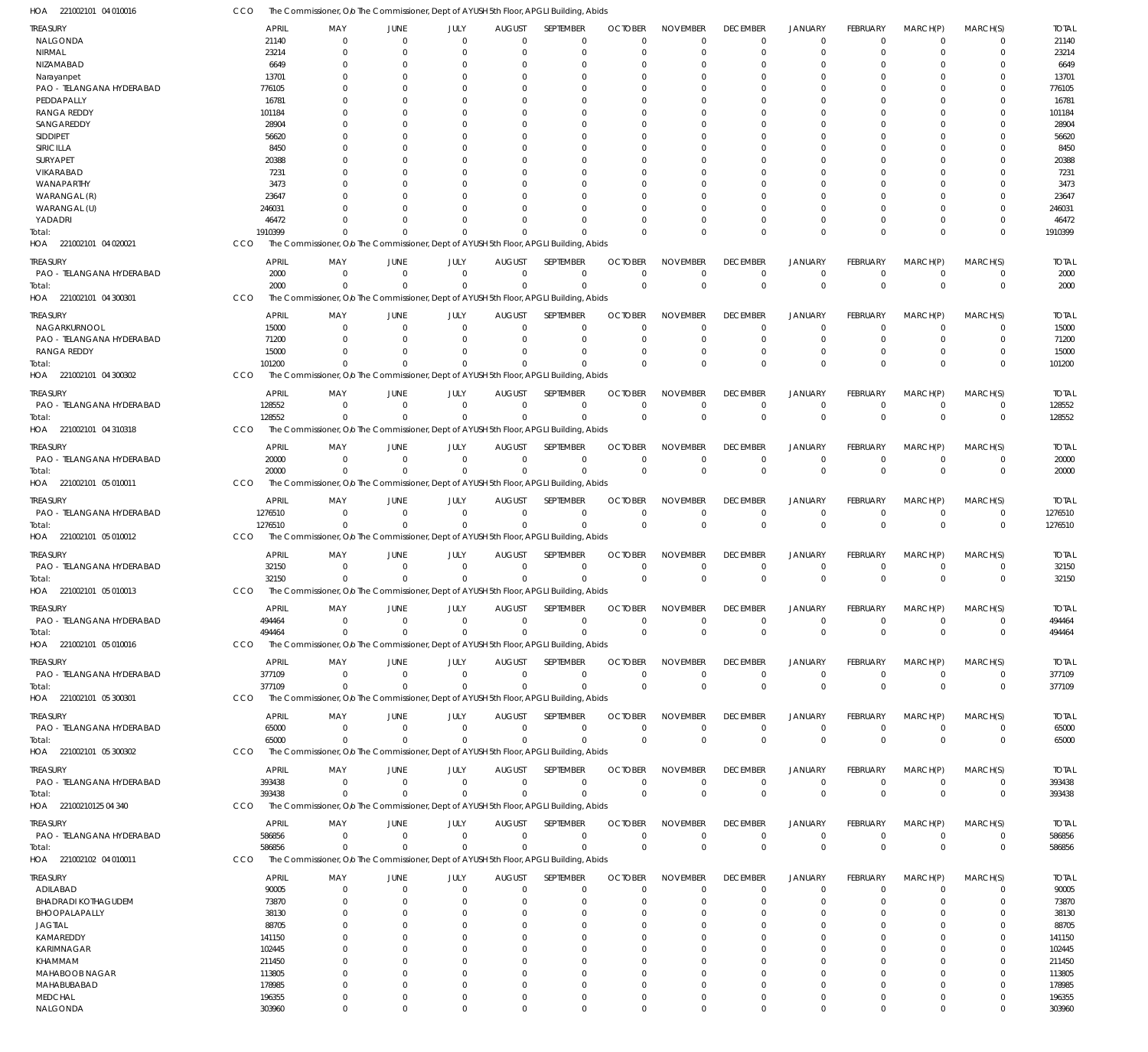CCO The Commissioner, Olo The Commissioner, Dept of AYUSH 5th Floor, APGLI Building, Abids

| HOA<br>221002101 04 010016               |                    | The Commissioner, Olo The Commissioner, Dept of AYUSH 5th Floor, APGLI Building, Abids           |                                                          |                            |                              |                          |                                  |                                   |                                |                                  |                                |                             |                            |                       |
|------------------------------------------|--------------------|--------------------------------------------------------------------------------------------------|----------------------------------------------------------|----------------------------|------------------------------|--------------------------|----------------------------------|-----------------------------------|--------------------------------|----------------------------------|--------------------------------|-----------------------------|----------------------------|-----------------------|
| <b>TREASURY</b>                          |                    | <b>APRIL</b><br>MAY                                                                              | JUNE                                                     | JULY                       | <b>AUGUST</b>                | SEPTEMBER                | <b>OCTOBER</b>                   | <b>NOVEMBER</b>                   | <b>DECEMBER</b>                | JANUARY                          | FEBRUARY                       | MARCH(P)                    | MARCH(S)                   | <b>TOTAL</b>          |
| NALGONDA                                 |                    | 21140                                                                                            | $\mathbf 0$<br>0                                         | $\Omega$                   | $\Omega$                     | $\Omega$                 | $\Omega$                         | $\Omega$                          | $\mathbf 0$                    | $\overline{0}$                   | $\Omega$                       | $\mathbf 0$                 | $\mathbf 0$                | 21140                 |
| <b>NIRMAL</b><br>NIZAMABAD               |                    | 23214<br>6649                                                                                    | $\Omega$<br>0<br>0<br>0                                  | $\Omega$<br>$\Omega$       | $\Omega$                     | $\Omega$<br>-0           | $\Omega$                         | $\Omega$<br>$\Omega$              | $\mathbf 0$<br>$\Omega$        | $\overline{0}$<br>0              | $\Omega$<br>$\Omega$           | 0<br>0                      | $\mathbf 0$<br>0           | 23214<br>6649         |
| Narayanpet                               |                    | 13701                                                                                            | O<br>-0                                                  | $\Omega$                   |                              | $\Omega$                 | $\Omega$                         | $\Omega$                          | $\Omega$                       | $\Omega$                         | $\Omega$                       | 0                           | $\Omega$                   | 13701                 |
| PAO - TELANGANA HYDERABAD                |                    | 776105                                                                                           | O<br>0                                                   | $\Omega$                   |                              | $\Omega$                 |                                  | $\Omega$                          | 0                              | $\Omega$                         | $\Omega$                       | 0                           | $\Omega$                   | 776105                |
| PEDDAPALLY                               |                    | 16781                                                                                            | <sup>0</sup><br>$\Omega$                                 | $\Omega$                   | $\Omega$                     | $\Omega$                 | $\Omega$                         | $\Omega$                          | $\Omega$                       | $\Omega$                         | $\Omega$                       | $\Omega$                    | $\Omega$                   | 16781                 |
| <b>RANGA REDDY</b>                       |                    | 101184                                                                                           | O<br>0                                                   | $\Omega$                   |                              | $\Omega$                 |                                  | $\Omega$                          | 0                              | $\Omega$                         | $\Omega$                       | 0                           | $\Omega$                   | 101184                |
| SANGAREDDY<br>SIDDIPET                   |                    | 28904<br>56620                                                                                   | n<br>-0<br>O<br>0                                        | $\Omega$<br>$\Omega$       |                              | $\Omega$<br>$\Omega$     | $\Omega$                         | $\Omega$<br>$\Omega$              | $\Omega$<br>$\Omega$           | $\Omega$<br>$\Omega$             | $\Omega$<br>$\Omega$           | $\Omega$<br>0               | $\Omega$<br>$\Omega$       | 28904<br>56620        |
| SIRICILLA                                |                    | 8450                                                                                             | $\Omega$<br>n                                            | $\Omega$                   |                              | $\Omega$                 | $\Omega$                         | $\Omega$                          | $\Omega$                       | $\Omega$                         | $\Omega$                       | 0                           | $\Omega$                   | 8450                  |
| SURYAPET                                 |                    | 20388                                                                                            | C<br>0                                                   | $\Omega$                   |                              | $\Omega$                 | $\Omega$                         | $\Omega$                          | 0                              | $\Omega$                         | $\Omega$                       | 0                           | $\Omega$                   | 20388                 |
| VIKARABAD                                |                    | 7231                                                                                             | n<br>-0                                                  | $\Omega$                   |                              | $\Omega$                 | $\Omega$                         | $\Omega$                          | $\Omega$                       | $\Omega$                         | $\Omega$                       | 0                           | $\Omega$                   | 7231                  |
| WANAPARTHY                               |                    | 3473                                                                                             | O<br>0                                                   | $\Omega$                   |                              | $\Omega$                 |                                  | $\Omega$                          | $\Omega$                       | $\Omega$                         | $\Omega$                       | 0                           | $\Omega$                   | 3473                  |
| WARANGAL (R)<br>WARANGAL (U)             |                    | 23647<br>246031                                                                                  | U<br>$\Omega$<br>O<br>0                                  | $\Omega$<br>$\Omega$       |                              | $\Omega$<br>$\Omega$     | $\Omega$                         | $\Omega$<br>$\Omega$              | $\Omega$<br>$\Omega$           | $\Omega$<br>$\Omega$             | $\Omega$<br>$\Omega$           | 0<br>0                      | $\Omega$<br>$\Omega$       | 23647<br>246031       |
| YADADRI                                  |                    | 46472                                                                                            | U<br>$\Omega$                                            | $\Omega$                   | $\Omega$                     | $\Omega$                 | $\Omega$                         | $\Omega$                          | $\Omega$                       | $\Omega$                         | $\Omega$                       | 0                           | $\mathbf 0$                | 46472                 |
| Total:                                   | 1910399            |                                                                                                  | $\Omega$<br>$\Omega$                                     | $\Omega$                   | $\Omega$                     | $\Omega$                 | $\Omega$                         | $\mathbf{0}$                      | $\Omega$                       | $\Omega$                         | $\Omega$                       | $\Omega$                    | $\Omega$                   | 1910399               |
| HOA 221002101 04 020021                  | CCO                | The Commissioner, O/o The Commissioner, Dept of AYUSH 5th Floor, APGLI Building, Abids           |                                                          |                            |                              |                          |                                  |                                   |                                |                                  |                                |                             |                            |                       |
| ireasury                                 |                    | <b>APRIL</b><br>MAY                                                                              | <b>JUNE</b>                                              | JULY                       | <b>AUGUST</b>                | SEPTEMBER                | <b>OCTOBER</b>                   | <b>NOVEMBER</b>                   | <b>DECEMBER</b>                | JANUARY                          | FEBRUARY                       | MARCH(P)                    | MARCH(S)                   | <b>TOTAL</b>          |
| PAO - TELANGANA HYDERABAD                |                    | 2000                                                                                             | $\mathbf 0$<br>$\mathbf 0$                               | $\mathbf 0$                | $\Omega$                     | $\mathbf 0$              | $\Omega$                         | $\overline{0}$                    | $\mathbf 0$                    | $\overline{0}$                   | $\mathbf 0$                    | $\mathbf 0$                 | $\mathbf 0$                | 2000                  |
| Total:                                   |                    | 2000                                                                                             | $\Omega$<br>$\Omega$                                     | $\mathbf 0$                | $\Omega$                     | $\Omega$                 | $\Omega$                         | $\Omega$                          | $\mathbf 0$                    | $\overline{0}$                   | $\mathbf 0$                    | $\mathbf 0$                 | $\mathbf 0$                | 2000                  |
| HOA 221002101 04 300301                  | CCO                | The Commissioner, Olo The Commissioner, Dept of AYUSH 5th Floor, APGLI Building, Abids           |                                                          |                            |                              |                          |                                  |                                   |                                |                                  |                                |                             |                            |                       |
| <b>TREASURY</b>                          |                    | <b>APRIL</b><br>MAY                                                                              | <b>JUNE</b>                                              | JULY                       | <b>AUGUST</b>                | SEPTEMBER                | <b>OCTOBER</b>                   | <b>NOVEMBER</b>                   | <b>DECEMBER</b>                | JANUARY                          | FEBRUARY                       | MARCH(P)                    | MARCH(S)                   | <b>TOTAL</b>          |
| NAGARKURNOOL                             |                    | 15000                                                                                            | $\mathbf 0$<br>$\Omega$                                  | $\Omega$                   | $\Omega$                     | $\Omega$                 | $\Omega$                         | $\Omega$                          | $\mathbf 0$                    | $\overline{0}$                   | $\Omega$                       | $\Omega$                    | $\mathbf 0$                | 15000                 |
| PAO - TELANGANA HYDERABAD<br>RANGA REDDY |                    | 71200<br>15000                                                                                   | $\Omega$<br>$\Omega$<br>$\Omega$<br>$\Omega$             | $\mathbf 0$<br>$\Omega$    | $\Omega$<br>$\Omega$         | $\Omega$<br>$\Omega$     | $\Omega$<br>$\Omega$             | $\Omega$<br>$\Omega$              | $\mathbf 0$<br>$\mathbf 0$     | $\overline{0}$<br>$\overline{0}$ | $\mathbf 0$<br>$\mathbf 0$     | 0<br>0                      | $\mathbf 0$<br>$\mathbf 0$ | 71200<br>15000        |
| Total:                                   |                    | 101200                                                                                           | $\Omega$<br>$\Omega$                                     | $\Omega$                   | $\Omega$                     | $\Omega$                 | $\Omega$                         | $\Omega$                          | $\Omega$                       | $\Omega$                         | $\Omega$                       | $\Omega$                    | $\Omega$                   | 101200                |
| HOA 221002101 04 300302                  | CCO                | The Commissioner, O/o The Commissioner, Dept of AYUSH 5th Floor, APGLI Building, Abids           |                                                          |                            |                              |                          |                                  |                                   |                                |                                  |                                |                             |                            |                       |
| treasury                                 |                    | <b>APRIL</b><br>MAY                                                                              | <b>JUNE</b>                                              | JULY                       | <b>AUGUST</b>                | SEPTEMBER                | <b>OCTOBER</b>                   | <b>NOVEMBER</b>                   | <b>DECEMBER</b>                | JANUARY                          | FEBRUARY                       | MARCH(P)                    | MARCH(S)                   | <b>TOTAL</b>          |
| PAO - TELANGANA HYDERABAD                |                    | 128552                                                                                           | $\mathbf 0$<br>$\mathbf 0$                               | $\mathbf 0$                | $\Omega$                     | $\Omega$                 | $\Omega$                         | $\overline{0}$                    | $\mathbf 0$                    | $\overline{0}$                   | $\mathbf 0$                    | $\mathbf 0$                 | $\mathbf 0$                | 128552                |
| Total:                                   |                    | 128552                                                                                           | $\Omega$<br>$\mathbf 0$                                  | $\mathbf 0$                | $\Omega$                     | $\Omega$                 | $\Omega$                         | $\overline{0}$                    | $\overline{0}$                 | $\overline{0}$                   | $\mathbf 0$                    | $\Omega$                    | $\mathbf 0$                | 128552                |
| HOA 221002101 04 310318                  | CCO                | The Commissioner, O/o The Commissioner, Dept of AYUSH 5th Floor, APGLI Building, Abids           |                                                          |                            |                              |                          |                                  |                                   |                                |                                  |                                |                             |                            |                       |
| treasury                                 |                    | <b>APRIL</b><br>MAY                                                                              | <b>JUNE</b>                                              | JULY                       | <b>AUGUST</b>                | SEPTEMBER                | <b>OCTOBER</b>                   | <b>NOVEMBER</b>                   | <b>DECEMBER</b>                | JANUARY                          | <b>FEBRUARY</b>                | MARCH(P)                    | MARCH(S)                   | <b>TOTAL</b>          |
| PAO - TELANGANA HYDERABAD                |                    | 20000                                                                                            | $\Omega$<br>$\mathbf 0$                                  | $\mathbf 0$                | $\Omega$                     | $\Omega$                 | $\Omega$                         | $\overline{0}$                    | $\mathbf 0$                    | $^{\circ}$                       | $\mathbf 0$                    | $\mathbf 0$                 | $\mathbf 0$                | 20000                 |
| Total:                                   |                    | 20000                                                                                            | $\Omega$<br>$\Omega$                                     | $\Omega$                   | $\Omega$                     | $\Omega$                 | $\Omega$                         | $\mathbf 0$                       | $\overline{0}$                 | $\overline{0}$                   | $\Omega$                       | $\mathbf{0}$                | $\mathbf 0$                | 20000                 |
| HOA 221002101 05 010011                  | CCO                | The Commissioner, O/o The Commissioner, Dept of AYUSH 5th Floor, APGLI Building, Abids           |                                                          |                            |                              |                          |                                  |                                   |                                |                                  |                                |                             |                            |                       |
| treasury                                 |                    | APRIL<br>MAY                                                                                     | <b>JUNE</b>                                              | JULY                       | <b>AUGUST</b>                | SEPTEMBER                | <b>OCTOBER</b>                   | <b>NOVEMBER</b>                   | <b>DECEMBER</b>                | JANUARY                          | <b>FEBRUARY</b>                | MARCH(P)                    | MARCH(S)                   | <b>TOTAL</b>          |
| PAO - TELANGANA HYDERABAD                | 1276510<br>1276510 |                                                                                                  | $\mathbf 0$<br>$\mathbf 0$<br>$\mathbf 0$<br>$\mathbf 0$ | $\mathbf 0$<br>$\mathbf 0$ | $\Omega$<br>$\Omega$         | $\mathbf 0$<br>$\Omega$  | $\Omega$                         | $\overline{0}$<br>$\Omega$        | $\mathbf 0$<br>$\overline{0}$  | $^{\circ}$<br>$\overline{0}$     | $\mathbf 0$<br>$\mathbf 0$     | $\mathbf 0$<br>$\mathbf{0}$ | $\mathbf 0$<br>$\mathbf 0$ | 1276510<br>1276510    |
| Total:<br>HOA 221002101 05 010012        | CCO                | The Commissioner, Olo The Commissioner, Dept of AYUSH 5th Floor, APGLI Building, Abids           |                                                          |                            |                              |                          |                                  |                                   |                                |                                  |                                |                             |                            |                       |
|                                          |                    | <b>APRIL</b>                                                                                     |                                                          |                            |                              | SEPTEMBER                |                                  | <b>NOVEMBER</b>                   | <b>DECEMBER</b>                |                                  |                                |                             |                            | <b>TOTAL</b>          |
| treasury<br>PAO - TELANGANA HYDERABAD    |                    | MAY<br>32150                                                                                     | <b>JUNE</b><br>$\mathbf 0$<br>$\Omega$                   | JULY<br>$\mathbf 0$        | <b>AUGUST</b><br>$\Omega$    | $\Omega$                 | <b>OCTOBER</b><br>$\Omega$       | $\Omega$                          | $\mathbf 0$                    | JANUARY<br>$^{\circ}$            | FEBRUARY<br>$\mathbf 0$        | MARCH(P)<br>0               | MARCH(S)<br>$\mathbf 0$    | 32150                 |
| Total:                                   |                    | 32150                                                                                            | $\Omega$<br>$\Omega$                                     | $\mathbf 0$                | $\Omega$                     | $\Omega$                 | $\Omega$                         | $\mathbf{0}$                      | $\overline{0}$                 | $\Omega$                         | $\Omega$                       | $\Omega$                    | $\mathbf 0$                | 32150                 |
| HOA 221002101 05 010013                  | CCO                | The Commissioner, O/o The Commissioner, Dept of AYUSH 5th Floor, APGLI Building, Abids           |                                                          |                            |                              |                          |                                  |                                   |                                |                                  |                                |                             |                            |                       |
| ireasury                                 |                    | <b>APRIL</b><br>MAY                                                                              | JUNE                                                     | JULY                       | <b>AUGUST</b>                | SEPTEMBER                | <b>OCTOBER</b>                   | <b>NOVEMBER</b>                   | <b>DECEMBER</b>                | <b>JANUARY</b>                   | FEBRUARY                       | MARCH(P)                    | MARCH(S)                   | <b>TOTAL</b>          |
| PAO - TELANGANA HYDERABAD                |                    | 494464                                                                                           | $\mathbf 0$<br>$\overline{0}$                            | $\mathbf 0$                | $\overline{0}$               | $\Omega$                 | $\Omega$                         | $\overline{0}$                    | $\mathbf 0$                    | $\overline{0}$                   | 0                              | 0                           | $\mathbf 0$                | 494464                |
| Total:                                   |                    | 494464                                                                                           | $\Omega$<br>$\Omega$                                     | $\Omega$                   | $\Omega$                     | $\Omega$                 | $\Omega$                         | $\mathbf 0$                       | $\overline{0}$                 | $\overline{0}$                   | $\mathbf 0$                    | $\Omega$                    | $\mathbf 0$                | 494464                |
| HOA 221002101 05 010016                  | CCO                | The Commissioner, O/o The Commissioner, Dept of AYUSH 5th Floor, APGLI Building, Abids           |                                                          |                            |                              |                          |                                  |                                   |                                |                                  |                                |                             |                            |                       |
| <b>TREASURY</b>                          |                    | <b>APRIL</b><br>MAY                                                                              | JUNE                                                     | JULY                       | <b>AUGUST</b>                | SEPTEMBER                | <b>OCTOBER</b>                   | <b>NOVEMBER</b>                   | <b>DECEMBER</b>                | <b>JANUARY</b>                   | FEBRUARY                       | MARCH(P)                    | MARCH(S)                   | <b>TOTAL</b>          |
| PAO - TELANGANA HYDERABAD                |                    | 377109                                                                                           | $\Omega$<br>$\mathbf 0$<br>$\Omega$                      | $\mathbf 0$<br>$\Omega$    | $\Omega$<br>$\Omega$         | 0<br>$\Omega$            | $\overline{0}$<br>$\overline{0}$ | $\overline{0}$                    | $\mathbf 0$<br>$\overline{0}$  | $\overline{0}$                   | $\mathbf 0$<br>$\mathbf 0$     | $\mathbf 0$                 | $\mathbf 0$                | 377109                |
| Total:<br>HOA 221002101 05 300301        | CCO                | 377109<br>The Commissioner, O/o The Commissioner, Dept of AYUSH 5th Floor, APGLI Building, Abids | $\Omega$                                                 |                            |                              |                          |                                  | $\mathbf 0$                       |                                | $\overline{0}$                   |                                | $\mathbf{0}$                | $\mathbf 0$                | 377109                |
|                                          |                    |                                                                                                  |                                                          |                            |                              |                          |                                  |                                   |                                |                                  |                                |                             |                            |                       |
| treasury<br>PAO - TELANGANA HYDERABAD    |                    | <b>APRIL</b><br>MAY<br>65000                                                                     | <b>JUNE</b><br>$\mathbf 0$<br>$\mathbf 0$                | JULY<br>$\mathbf 0$        | <b>AUGUST</b><br>$\mathbf 0$ | SEPTEMBER<br>$\mathbf 0$ | <b>OCTOBER</b><br>$\Omega$       | <b>NOVEMBER</b><br>$\overline{0}$ | <b>DECEMBER</b><br>$\mathbf 0$ | JANUARY<br>$\overline{0}$        | <b>FEBRUARY</b><br>$\mathbf 0$ | MARCH(P)<br>$\mathbf 0$     | MARCH(S)<br>$\mathbf 0$    | <b>TOTAL</b><br>65000 |
| Total:                                   |                    | 65000                                                                                            | $\Omega$<br>0                                            | $\mathbf 0$                | $\Omega$                     | $\Omega$                 | $\Omega$                         | $\overline{0}$                    | $\overline{0}$                 | $\overline{0}$                   | $\mathbf 0$                    | $\mathbf 0$                 | $\mathbf 0$                | 65000                 |
| HOA 221002101 05 300302                  | CCO                | The Commissioner, O/o The Commissioner, Dept of AYUSH 5th Floor, APGLI Building, Abids           |                                                          |                            |                              |                          |                                  |                                   |                                |                                  |                                |                             |                            |                       |
| <b>TREASURY</b>                          |                    | <b>APRIL</b><br>MAY                                                                              | <b>JUNE</b>                                              | JULY                       | <b>AUGUST</b>                | SEPTEMBER                | <b>OCTOBER</b>                   | <b>NOVEMBER</b>                   | <b>DECEMBER</b>                | JANUARY                          | <b>FEBRUARY</b>                | MARCH(P)                    | MARCH(S)                   | <b>TOTAL</b>          |
| PAO - TELANGANA HYDERABAD                |                    | 393438                                                                                           | $\mathbf 0$<br>$^{\circ}$                                | $\mathbf 0$                | $\Omega$                     | $\Omega$                 | $\Omega$                         | $\overline{0}$                    | $\mathbf 0$                    | $\overline{0}$                   | $\mathbf 0$                    | 0                           | $\mathbf 0$                | 393438                |
| Total:                                   |                    | 393438                                                                                           | $\Omega$<br>$\Omega$                                     | $\Omega$                   | $\Omega$                     | $\Omega$                 | $\Omega$                         | $\mathbf 0$                       | $\overline{0}$                 | $\overline{0}$                   | $\mathbf 0$                    | $\Omega$                    | $\mathbf 0$                | 393438                |
| HOA 22100210125 04 340                   | CCO                | The Commissioner, O/o The Commissioner, Dept of AYUSH 5th Floor, APGLI Building, Abids           |                                                          |                            |                              |                          |                                  |                                   |                                |                                  |                                |                             |                            |                       |
| treasury                                 |                    | <b>APRIL</b><br>MAY                                                                              | JUNE                                                     | JULY                       | <b>AUGUST</b>                | SEPTEMBER                | <b>OCTOBER</b>                   | <b>NOVEMBER</b>                   | <b>DECEMBER</b>                | JANUARY                          | <b>FEBRUARY</b>                | MARCH(P)                    | MARCH(S)                   | <b>TOTAL</b>          |
| PAO - TELANGANA HYDERABAD                |                    | 586856                                                                                           | $\mathbf 0$<br>$\mathbf 0$                               | $\mathbf 0$                | $\Omega$                     | $\mathbf 0$              | $\Omega$                         | $\overline{0}$                    | $\mathbf 0$                    | $\overline{0}$                   | $\mathbf 0$                    | $\mathbf 0$                 | $\mathbf 0$                | 586856                |
| Total:                                   |                    | 586856                                                                                           | $\Omega$<br>$\Omega$                                     | $\mathbf 0$                | $\Omega$                     | $\Omega$                 | $\Omega$                         | $\overline{0}$                    | $\overline{0}$                 | $\overline{0}$                   | $\mathbf 0$                    | $\mathbf 0$                 | $\mathbf 0$                | 586856                |
| HOA 221002102 04 010011                  | CCO                | The Commissioner, O/o The Commissioner, Dept of AYUSH 5th Floor, APGLI Building, Abids           |                                                          |                            |                              |                          |                                  |                                   |                                |                                  |                                |                             |                            |                       |
| <b>TREASURY</b>                          |                    | <b>APRIL</b><br>MAY                                                                              | JUNE                                                     | JULY                       | <b>AUGUST</b>                | SEPTEMBER                | <b>OCTOBER</b>                   | <b>NOVEMBER</b>                   | <b>DECEMBER</b>                | JANUARY                          | <b>FEBRUARY</b>                | MARCH(P)                    | MARCH(S)                   | <b>TOTAL</b>          |
| ADILABAD<br><b>BHADRADI KOTHAGUDEM</b>   |                    | 90005<br>73870                                                                                   | $\mathbf 0$<br>$\mathbf 0$<br>0<br>0                     | 0<br>0                     | $\Omega$<br>$\Omega$         | $\Omega$<br>0            | $\Omega$<br>$\Omega$             | $\Omega$<br>$\overline{0}$        | $\mathbf 0$<br>$\mathbf 0$     | $^{\circ}$<br>- 0                | $\mathbf 0$<br>$\Omega$        | $\mathbf 0$<br>0            | $\mathbf 0$<br>$\mathbf 0$ | 90005<br>73870        |
| BHOOPALAPALLY                            |                    | 38130                                                                                            | 0<br>-0                                                  | $\Omega$                   |                              | $\Omega$                 | $\Omega$                         | $\Omega$                          | $\Omega$                       | $\Omega$                         | $\Omega$                       | 0                           | $\mathbf 0$                | 38130                 |
| <b>JAGTIAL</b>                           |                    | 88705                                                                                            | 0<br>-0                                                  | $\Omega$                   | $\Omega$                     | $\Omega$                 | $\Omega$                         | $\Omega$                          | $\Omega$                       | $\Omega$                         | $\Omega$                       | 0                           | $\Omega$                   | 88705                 |
| KAMAREDDY                                |                    | 141150                                                                                           | U<br>$\Omega$                                            | $\Omega$                   | $\Omega$                     | $\Omega$                 | $\Omega$                         | $\Omega$                          | $\Omega$                       | $\Omega$                         | $\Omega$                       | $\Omega$                    | $\Omega$                   | 141150                |
| KARIMNAGAR                               |                    | 102445                                                                                           | 0                                                        | $\Omega$                   |                              | $\Omega$                 | $\Omega$                         | $\Omega$                          | $\Omega$                       |                                  | $\Omega$                       | $\Omega$                    | $\Omega$                   | 102445                |
| KHAMMAM                                  |                    | 211450                                                                                           | O<br>-0                                                  | $\Omega$<br>$\Omega$       |                              | $\Omega$<br>$\Omega$     | $\Omega$<br>$\Omega$             | $\Omega$<br>$\Omega$              | $\Omega$<br>$\Omega$           | $\Omega$<br>$\Omega$             | $\Omega$<br>$\Omega$           | $\Omega$<br>$\Omega$        | $\Omega$                   | 211450                |
| MAHABOOB NAGAR<br>MAHABUBABAD            |                    | 113805<br>178985                                                                                 | 0<br>-0<br>0<br>$\Omega$                                 | $\Omega$                   | $\Omega$                     | $\Omega$                 | $\Omega$                         | $\mathbf 0$                       | $\Omega$                       | $\Omega$                         | $\Omega$                       | $\Omega$                    | 0<br>$\mathbf 0$           | 113805<br>178985      |
| <b>MEDCHAL</b>                           |                    | 196355                                                                                           | $\mathbf 0$<br>0                                         | $\mathbf 0$                | $\Omega$                     | $\mathbf 0$              | $^{\circ}$                       | $\mathbf 0$                       | $\mathbf 0$                    | $\Omega$                         | $\mathbf 0$                    | 0                           | $\mathbf 0$                | 196355                |
| NALGONDA                                 |                    | 303960                                                                                           | $\Omega$<br>0                                            | $\Omega$                   | $\Omega$                     | $\Omega$                 | $^{\circ}$                       | $\mathbf 0$                       | $\mathbf 0$                    | $\Omega$                         | $\mathbf 0$                    | $\mathbf 0$                 | $\mathbf 0$                | 303960                |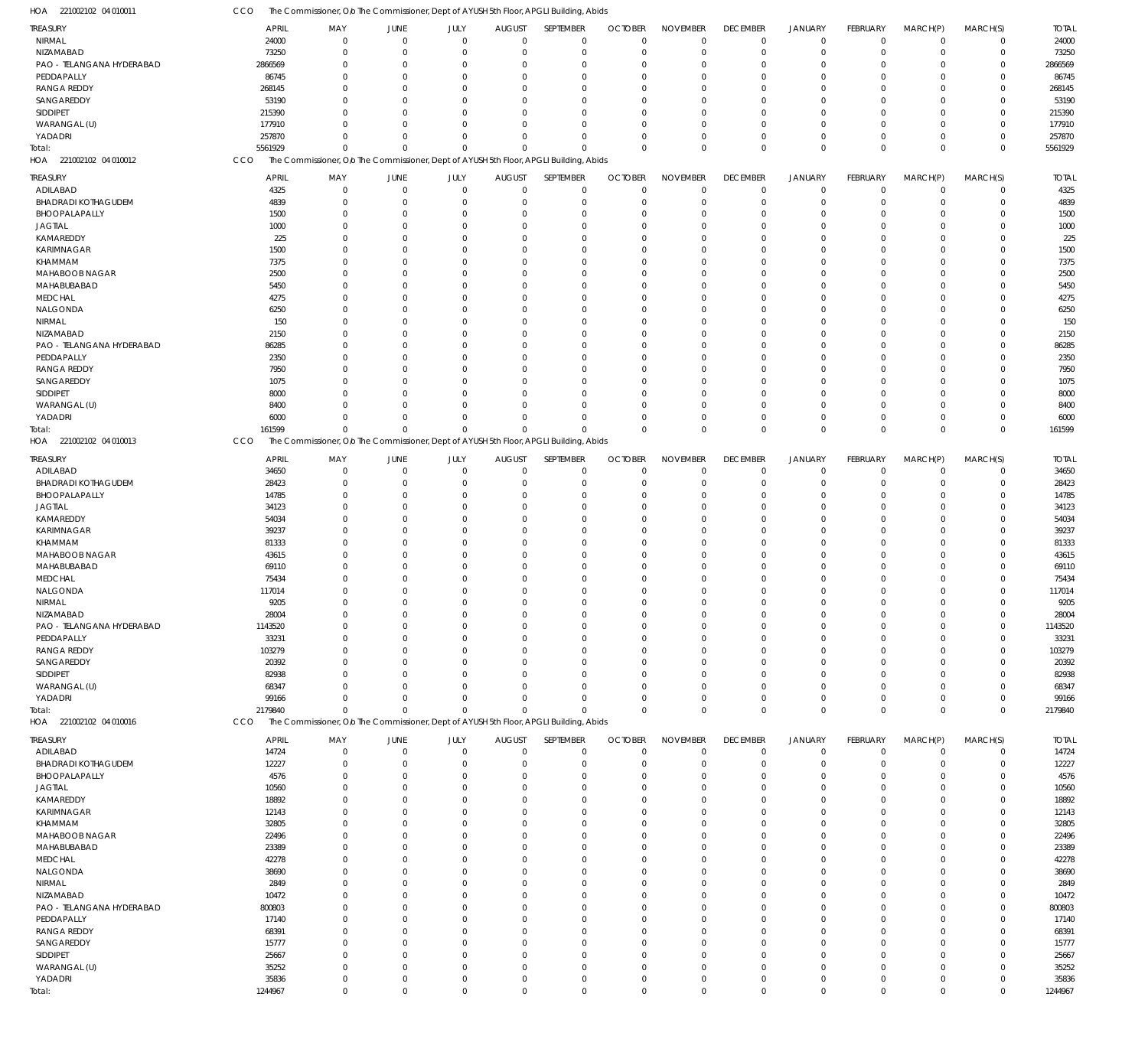| HOA 221002102 04 010011                 | CCO             | The Commissioner, O/o The Commissioner, Dept of AYUSH 5th Floor, APGLI Building, Abids |                            |                      |                            |                            |                      |                      |                         |                            |                      |                      |                            |                 |
|-----------------------------------------|-----------------|----------------------------------------------------------------------------------------|----------------------------|----------------------|----------------------------|----------------------------|----------------------|----------------------|-------------------------|----------------------------|----------------------|----------------------|----------------------------|-----------------|
| <b>TREASURY</b>                         | <b>APRIL</b>    | MAY                                                                                    | JUNE                       | JULY                 | <b>AUGUST</b>              | SEPTEMBER                  | <b>OCTOBER</b>       | <b>NOVEMBER</b>      | <b>DECEMBER</b>         | <b>JANUARY</b>             | <b>FEBRUARY</b>      | MARCH(P)             | MARCH(S)                   | <b>TOTAL</b>    |
| <b>NIRMAL</b>                           | 24000           | $\Omega$                                                                               | $\overline{0}$             | $\mathbf 0$          | $\mathbf 0$                | $\mathbf 0$                | $\mathbf 0$          | $\Omega$             | $\mathbf 0$             | $\mathbf 0$                | $\mathbf 0$          | $\overline{0}$       | $\mathbf 0$                | 24000           |
| NIZAMABAD                               | 73250           | $\Omega$                                                                               | $\overline{0}$             | $\mathbf 0$          | $\mathbf 0$                | $\mathbf 0$                | $^{\circ}$           | $\Omega$             | $\mathbf 0$             | $\mathbf 0$                | $\mathbf 0$          | $\overline{0}$       | $\mathbf 0$                | 73250           |
| PAO - TELANGANA HYDERABAD<br>PEDDAPALLY | 2866569         | $\Omega$<br>$\Omega$                                                                   | $^{\circ}$<br>$\Omega$     | $\Omega$<br>$\Omega$ | 0<br>$\Omega$              | $\mathbf 0$<br>$\mathbf 0$ | $\Omega$<br>$\Omega$ | $\Omega$<br>$\Omega$ | $\mathbf 0$<br>$\Omega$ | $^{\circ}$<br>$\Omega$     | $\Omega$<br>$\Omega$ | $\Omega$<br>$\Omega$ | $\mathbf 0$<br>$\Omega$    | 2866569         |
| <b>RANGA REDDY</b>                      | 86745<br>268145 | $\Omega$                                                                               | $\Omega$                   | $\Omega$             | $\mathbf 0$                | $\mathbf 0$                | $\Omega$             | $\Omega$             | $\Omega$                | $\Omega$                   | $\Omega$             | $\Omega$             | $\mathbf 0$                | 86745<br>268145 |
| SANGAREDDY                              | 53190           | $\Omega$                                                                               | $\Omega$                   | $\Omega$             | $\Omega$                   | $\mathbf 0$                | $\Omega$             | $\Omega$             | $\Omega$                | $\Omega$                   | $\Omega$             | $\Omega$             | $\Omega$                   | 53190           |
| SIDDIPET                                | 215390          | $\Omega$                                                                               | $\Omega$                   | $\Omega$             | $\Omega$                   | $\mathbf 0$                | $\Omega$             | $\Omega$             | $\Omega$                | $\Omega$                   | $\Omega$             | $\Omega$             | $\mathbf 0$                | 215390          |
| WARANGAL (U)                            | 177910          | $\Omega$                                                                               | $\Omega$                   | $\Omega$             | $\Omega$                   | $\mathbf 0$                | $\Omega$             | $\Omega$             | $\Omega$                | $\Omega$                   | $\Omega$             | $\Omega$             | $\mathbf 0$                | 177910          |
| YADADRI                                 | 257870          | $\Omega$                                                                               | $\Omega$                   | $\Omega$             | $\mathbf 0$                | $\mathbf 0$                | $\Omega$             | $\Omega$             | $\Omega$                | $\mathbf 0$                | $\Omega$             | $\Omega$             | $\mathbf 0$                | 257870          |
| Total:                                  | 5561929         | $\Omega$                                                                               | $\Omega$                   | $\Omega$             | $\Omega$                   | $\mathbf 0$                | $\Omega$             | $\Omega$             | $\Omega$                | $\mathbf 0$                | $\Omega$             | $\Omega$             | $\mathbf 0$                | 5561929         |
| HOA 221002102 04 010012                 | CCO             | The Commissioner, Olo The Commissioner, Dept of AYUSH 5th Floor, APGLI Building, Abids |                            |                      |                            |                            |                      |                      |                         |                            |                      |                      |                            |                 |
| <b>TREASURY</b>                         | <b>APRIL</b>    | MAY                                                                                    | JUNE                       | JULY                 | <b>AUGUST</b>              | SEPTEMBER                  | <b>OCTOBER</b>       | <b>NOVEMBER</b>      | <b>DECEMBER</b>         | <b>JANUARY</b>             | <b>FEBRUARY</b>      | MARCH(P)             | MARCH(S)                   | <b>TOTAL</b>    |
| ADILABAD                                | 4325            | $\mathbf 0$                                                                            | $\overline{0}$             | $\mathbf 0$          | $\mathbf 0$                | $\mathbf 0$                | $\mathbf 0$          | $\mathbf 0$          | $\mathbf 0$             | $\mathbf 0$                | $\mathbf 0$          | $\overline{0}$       | $\mathbf 0$                | 4325            |
| <b>BHADRADI KOTHAGUDEM</b>              | 4839            | 0                                                                                      | $\overline{0}$<br>$\Omega$ | $\mathbf 0$          | $\mathbf 0$                | $\mathbf 0$                | $\mathbf 0$          | $\Omega$<br>$\Omega$ | $\mathbf 0$             | $\overline{0}$             | 0                    | $\mathbf 0$          | $\mathbf 0$                | 4839            |
| BHOOPALAPALLY<br><b>JAGTIAL</b>         | 1500<br>1000    | $\Omega$<br>0                                                                          | $\Omega$                   | $\Omega$<br>$\Omega$ | 0<br>$\mathbf 0$           | $\mathbf 0$<br>$\mathbf 0$ | $\Omega$<br>$\Omega$ | $\Omega$             | $\Omega$<br>$\Omega$    | $\overline{0}$<br>$\Omega$ | $\Omega$<br>$\Omega$ | $\Omega$<br>$\Omega$ | $\mathbf 0$<br>$\mathbf 0$ | 1500<br>1000    |
| KAMAREDDY                               | 225             | $\Omega$                                                                               | $\mathbf 0$                | $\Omega$             | $\mathbf 0$                | $\mathbf 0$                | $\Omega$             | $\Omega$             | $\Omega$                | $\Omega$                   | $\Omega$             | $\Omega$             | $\mathbf 0$                | 225             |
| KARIMNAGAR                              | 1500            | $\Omega$                                                                               | $\Omega$                   | $\Omega$             | $\mathbf 0$                | $\mathbf 0$                | $\Omega$             | $\Omega$             | $\Omega$                | $\Omega$                   | $\Omega$             | $\Omega$             | $\mathbf 0$                | 1500            |
| KHAMMAM                                 | 7375            | $\Omega$                                                                               | $\Omega$                   | $\Omega$             | $\Omega$                   | $\mathbf 0$                | $\Omega$             | $\Omega$             | $\Omega$                | $\Omega$                   | $\Omega$             | $\Omega$             | $\mathbf 0$                | 7375            |
| MAHABOOB NAGAR                          | 2500            | $\Omega$                                                                               | $\Omega$                   | $\Omega$             | $\mathbf 0$                | $\mathbf 0$                | $\Omega$             | $\Omega$             | $\Omega$                | $\Omega$                   | $\Omega$             | $\Omega$             | $\mathbf 0$                | 2500            |
| MAHABUBABAD                             | 5450            | $\Omega$                                                                               | $\Omega$                   | $\Omega$             | 0                          | $\mathbf 0$                | $\Omega$             | $\Omega$             | $\Omega$                | $\Omega$                   | $\Omega$             | $\Omega$             | $\mathbf 0$                | 5450            |
| <b>MEDCHAL</b>                          | 4275            | $\Omega$                                                                               | $\Omega$                   | $\Omega$             | $\Omega$                   | $\mathbf 0$                | $\Omega$             | $\Omega$             | $\Omega$                | $\Omega$                   | $\Omega$             | $\Omega$             | $\mathbf 0$                | 4275            |
| NALGONDA                                | 6250            | $\Omega$                                                                               | $\Omega$                   | $\Omega$             | $\mathbf 0$                | $\mathbf 0$                | $\Omega$             | $\Omega$             | $\Omega$                | $\Omega$                   | $\Omega$             | $\Omega$             | $\mathbf 0$                | 6250            |
| NIRMAL                                  | 150             | $\Omega$                                                                               | $\Omega$                   | $\Omega$             | $\mathbf 0$                | $\mathbf 0$                | $\Omega$             | $\Omega$             | $\Omega$                | $\Omega$                   | $\Omega$             | $\Omega$             | $\mathbf 0$                | 150             |
| NIZAMABAD                               | 2150            | $\Omega$<br>$\Omega$                                                                   | $\Omega$<br>$\Omega$       | $\Omega$<br>$\Omega$ | $\Omega$                   | $\mathbf 0$<br>$\mathbf 0$ | $\Omega$             | $\Omega$<br>$\Omega$ | $\Omega$                | $\Omega$<br>$\Omega$       | $\Omega$             | $\Omega$<br>$\Omega$ | $\mathbf 0$<br>$\mathbf 0$ | 2150            |
| PAO - TELANGANA HYDERABAD<br>PEDDAPALLY | 86285<br>2350   | $\Omega$                                                                               | $\Omega$                   | $\Omega$             | $\mathbf 0$<br>$\mathbf 0$ | $\mathbf 0$                | $\Omega$<br>$\Omega$ | $\Omega$             | $\Omega$<br>$\Omega$    | $\Omega$                   | $\Omega$<br>$\Omega$ | $\Omega$             | $\mathbf 0$                | 86285<br>2350   |
| <b>RANGA REDDY</b>                      | 7950            | $\Omega$                                                                               | $\Omega$                   | $\Omega$             | $\mathbf 0$                | $\mathbf 0$                | $\Omega$             | $\Omega$             | $\Omega$                | $\Omega$                   | $\Omega$             | $\Omega$             | $\mathbf 0$                | 7950            |
| SANGAREDDY                              | 1075            | $\Omega$                                                                               | $\Omega$                   | $\Omega$             | 0                          | $\mathbf 0$                | $\Omega$             | $\Omega$             | $\Omega$                | $\Omega$                   | $\Omega$             | $\Omega$             | $\mathbf 0$                | 1075            |
| SIDDIPET                                | 8000            | $\Omega$                                                                               | $\Omega$                   | $\Omega$             | $\mathbf 0$                | $\mathbf 0$                | $\Omega$             | $\Omega$             | $\Omega$                | $\Omega$                   | $\Omega$             | $\Omega$             | $\mathbf 0$                | 8000            |
| WARANGAL (U)                            | 8400            | U                                                                                      | $\Omega$                   | $\Omega$             | $\mathbf 0$                | $\mathbf 0$                | $\Omega$             | $\Omega$             | $\Omega$                | $\Omega$                   | $\Omega$             | $\Omega$             | $\mathbf 0$                | 8400            |
| YADADRI                                 | 6000            | $\Omega$                                                                               | $\Omega$                   | $\Omega$             | $\mathbf 0$                | $\mathbf 0$                | $\Omega$             | $\Omega$             | $\Omega$                | $\overline{0}$             | $\Omega$             | $\mathbf 0$          | $\mathbf 0$                | 6000            |
| Total:                                  | 161599          | $\Omega$                                                                               | $\Omega$                   | $\mathbf 0$          | $\mathbf 0$                | $\mathbf 0$                | $\Omega$             | $\Omega$             | $\Omega$                | $\mathbb O$                | $\mathbf 0$          | $\Omega$             | $\mathbf 0$                | 161599          |
| HOA 221002102 04 010013                 | CCO             | The Commissioner, Olo The Commissioner, Dept of AYUSH 5th Floor, APGLI Building, Abids |                            |                      |                            |                            |                      |                      |                         |                            |                      |                      |                            |                 |
| <b>TREASURY</b>                         | <b>APRIL</b>    | MAY                                                                                    | JUNE                       | JULY                 | <b>AUGUST</b>              | SEPTEMBER                  | <b>OCTOBER</b>       | <b>NOVEMBER</b>      | <b>DECEMBER</b>         | <b>JANUARY</b>             | FEBRUARY             | MARCH(P)             | MARCH(S)                   | <b>TOTAL</b>    |
| ADILABAD                                | 34650           | $\mathbf 0$                                                                            | $\overline{0}$             | $\mathbf 0$          | $\mathbf 0$                | $\mathbf 0$                | $\Omega$             | $\Omega$             | $\mathbf 0$             | $\mathbf 0$                | $\mathbf 0$          | $\mathbf 0$          | $\mathbf 0$                | 34650           |
| <b>BHADRADI KOTHAGUDEM</b>              | 28423           | $\Omega$                                                                               | $\overline{0}$             | $\Omega$             | $\mathbf 0$                | $\mathbf 0$                | $\Omega$             | $\Omega$             | $\mathbf 0$             | $\mathbf 0$                | $\mathbf 0$          | $\Omega$             | $\mathbf 0$                | 28423           |
| BHOOPALAPALLY                           | 14785           | 0                                                                                      | $\overline{0}$             | $\Omega$             | $\mathbf 0$                | $\mathbf 0$                | $\Omega$             | $\Omega$             | $\mathbf 0$             | $\overline{0}$             | $\Omega$             | $\Omega$             | $\mathbf 0$                | 14785           |
| <b>JAGTIAL</b>                          | 34123           | $\Omega$                                                                               | $\Omega$                   | $\Omega$             | $\mathbf 0$                | $\mathbf 0$                | $\Omega$             | $\Omega$             | $\Omega$                | $\Omega$                   | $\Omega$             | $\Omega$             | $\mathbf 0$                | 34123           |
| KAMAREDDY<br>KARIMNAGAR                 | 54034<br>39237  | $\Omega$<br>$\Omega$                                                                   | $\Omega$<br>$\Omega$       | $\Omega$<br>$\Omega$ | $\mathbf 0$<br>$\Omega$    | $\mathbf 0$<br>$\mathbf 0$ | $\Omega$<br>$\Omega$ | $\Omega$<br>$\Omega$ | $\Omega$<br>$\Omega$    | $\Omega$<br>$\Omega$       | $\Omega$<br>$\Omega$ | $\Omega$<br>$\Omega$ | $\mathbf 0$<br>$\mathbf 0$ | 54034<br>39237  |
| KHAMMAM                                 | 81333           | $\Omega$                                                                               | $\Omega$                   | $\Omega$             | $\mathbf 0$                | $\mathbf 0$                | $\Omega$             | $\Omega$             | $\Omega$                | $\Omega$                   | $\Omega$             | $\Omega$             | $\mathbf 0$                | 81333           |
| MAHABOOB NAGAR                          | 43615           | $\Omega$                                                                               | $\Omega$                   | $\Omega$             | $\Omega$                   | $\mathbf 0$                | $\Omega$             | $\Omega$             | $\Omega$                | $\Omega$                   | $\Omega$             | $\Omega$             | $\Omega$                   | 43615           |
| MAHABUBABAD                             | 69110           | U                                                                                      | $\Omega$                   | $\Omega$             | $\mathbf 0$                | $\mathbf 0$                | $\Omega$             | $\Omega$             | $\Omega$                | $\Omega$                   | $\Omega$             | $\Omega$             | $\mathbf 0$                | 69110           |
| <b>MEDCHAL</b>                          | 75434           |                                                                                        | $\Omega$                   | $\Omega$             | $\mathbf 0$                | $\mathbf 0$                | $\Omega$             | $\Omega$             | $\Omega$                | $\Omega$                   | $\Omega$             | $\Omega$             | $\mathbf 0$                | 75434           |
| NALGONDA                                | 117014          | $\Omega$                                                                               | $\Omega$                   | $\Omega$             | $\mathbf 0$                | $\mathbf 0$                | $\Omega$             | $\Omega$             | $\mathbf{0}$            | $\mathbf 0$                | $\Omega$             | $\Omega$             | $\mathbf 0$                | 117014          |
| NIRMAL                                  | 9205            | $\mathbf 0$                                                                            | $\Omega$                   | $\mathbf 0$          | $\mathbf 0$                | $\Omega$                   | $\Omega$             | $\mathbf 0$          | $\mathbf 0$             | $\mathbf 0$                | $\mathbf 0$          | $\mathbf 0$          | $\mathbf 0$                | 9205            |
| NIZAMABAD                               | 28004           | 0                                                                                      | $\overline{0}$             | $\Omega$             | $\mathbf 0$                | $\mathbf 0$                | $\Omega$             | $\Omega$             | $\mathbf 0$             | $\mathbf 0$                | 0                    | $\mathbf 0$          | $\mathbf 0$                | 28004           |
| PAO - TELANGANA HYDERABAD               | 1143520         | $\mathbf 0$                                                                            | $\overline{0}$             | $\mathbf 0$          | $\mathbf 0$                | $\mathbf 0$                | $\mathbf 0$          | $\Omega$             | $\mathbf 0$             | $\mathbf 0$                | $\mathbf 0$          | $\mathbf 0$          | $\mathbf 0$                | 1143520         |
| PEDDAPALLY<br><b>RANGA REDDY</b>        | 33231<br>103279 | 0<br>$\Omega$                                                                          | $\Omega$<br>$\Omega$       | $\Omega$<br>$\Omega$ | 0<br>$\mathbf 0$           | $\mathbf 0$<br>$\mathbf 0$ | $\Omega$<br>$\Omega$ | $\Omega$<br>$\Omega$ | $\mathbf 0$<br>$\Omega$ | $\Omega$<br>$\Omega$       | $\Omega$<br>$\Omega$ | $\Omega$<br>$\Omega$ | $\mathbf 0$<br>$\mathbf 0$ | 33231<br>103279 |
| SANGAREDDY                              | 20392           | $\Omega$                                                                               | $\Omega$                   | $\Omega$             | 0                          | $\mathbf 0$                | $\Omega$             | $\Omega$             | $\Omega$                | $\Omega$                   | $\Omega$             | $\Omega$             | $\mathbf 0$                | 20392           |
| SIDDIPET                                | 82938           | $\Omega$                                                                               | $\Omega$                   | $\Omega$             | $\Omega$                   | $\mathbf 0$                | $\Omega$             | $\Omega$             | $\Omega$                | $\Omega$                   | $\Omega$             | $\Omega$             | $\mathbf 0$                | 82938           |
| WARANGAL (U)                            | 68347           | $\Omega$                                                                               | $\Omega$                   | $\Omega$             | $\mathbf 0$                | $\mathbf 0$                | $\Omega$             | $\Omega$             | $\Omega$                | $\Omega$                   | $\Omega$             | $\Omega$             | $\mathbf 0$                | 68347           |
| YADADRI                                 | 99166           | $\Omega$                                                                               | $\Omega$                   | $\Omega$             | $\mathbf 0$                | $\mathbf 0$                | $\Omega$             | $\Omega$             | $\Omega$                | $\mathbf 0$                | $\Omega$             | $\mathbf 0$          | $\mathbf 0$                | 99166           |
| Total:                                  | 2179840         | $\Omega$                                                                               | $\Omega$                   | $\Omega$             | $\mathbf 0$                | $\mathbf 0$                | $\Omega$             | $\Omega$             | $\mathbf 0$             | $\mathbf 0$                | $\Omega$             | $\Omega$             | $\mathbf 0$                | 2179840         |
| HOA 221002102 04 010016                 | CCO             | The Commissioner, O/o The Commissioner, Dept of AYUSH 5th Floor, APGLI Building, Abids |                            |                      |                            |                            |                      |                      |                         |                            |                      |                      |                            |                 |
| <b>TREASURY</b>                         | <b>APRIL</b>    | MAY                                                                                    | JUNE                       | JULY                 | <b>AUGUST</b>              | SEPTEMBER                  | <b>OCTOBER</b>       | <b>NOVEMBER</b>      | <b>DECEMBER</b>         | <b>JANUARY</b>             | FEBRUARY             | MARCH(P)             | MARCH(S)                   | <b>TOTAL</b>    |
| ADILABAD                                | 14724           | 0                                                                                      | $\overline{0}$             | $\mathbf 0$          | $\mathbf 0$                | $\mathbf 0$                | $\overline{0}$       | $\Omega$             | $\mathbf 0$             | $\overline{0}$             | $\mathbf 0$          | $\overline{0}$       | $\mathbf 0$                | 14724           |
| <b>BHADRADI KOTHAGUDEM</b>              | 12227           | 0                                                                                      | $\overline{0}$             | $\mathbf 0$          | 0                          | $\mathbf 0$                | $\overline{0}$       | $\Omega$             | $\mathbf 0$             | $\overline{0}$             | 0                    | $\overline{0}$       | $\mathbf 0$                | 12227           |
| BHOOPALAPALLY                           | 4576            | 0                                                                                      | $\overline{0}$             | $\Omega$             | 0                          | $\mathbf 0$                | $\Omega$             | $\Omega$             | $\Omega$                | $\overline{0}$             | $\Omega$             | $\Omega$             | $\mathbf 0$                | 4576            |
| <b>JAGTIAL</b>                          | 10560           | $\Omega$                                                                               | $\Omega$                   | $\Omega$             | 0                          | $\mathbf 0$                | $\Omega$             | $\Omega$             | $\Omega$                | $\Omega$                   | $\Omega$             | $\Omega$             | $\mathbf 0$                | 10560           |
| KAMAREDDY<br>KARIMNAGAR                 | 18892<br>12143  | 0<br>$\Omega$                                                                          | $\Omega$<br>$\Omega$       | $\Omega$<br>$\Omega$ | 0<br>0                     | $\mathbf 0$<br>$\mathbf 0$ | $\Omega$<br>$\Omega$ | $\Omega$<br>$\Omega$ | $\Omega$                | $\Omega$<br>$\Omega$       | $\Omega$<br>$\Omega$ | $\Omega$<br>$\Omega$ | $\mathbf 0$<br>$\mathbf 0$ | 18892<br>12143  |
| KHAMMAM                                 | 32805           | $\Omega$                                                                               | $\Omega$                   | $\Omega$             | 0                          | $\mathbf 0$                | $\Omega$             | $\Omega$             | $\Omega$                | $\Omega$                   | U                    | $\Omega$             | $\mathbf 0$                | 32805           |
| MAHABOOB NAGAR                          | 22496           | $\Omega$                                                                               | $\Omega$                   | $\Omega$             | 0                          | $\mathbf 0$                | $\Omega$             | $\Omega$             | $\Omega$                | $\Omega$                   | 0                    | $\Omega$             | $\mathbf 0$                | 22496           |
| MAHABUBABAD                             | 23389           | $\Omega$                                                                               | $\Omega$                   | $\Omega$             | 0                          | $\mathbf 0$                | $\Omega$             | $\Omega$             | $\Omega$                | $\Omega$                   | $\Omega$             | $\Omega$             | $\mathbf 0$                | 23389           |
| <b>MEDCHAL</b>                          | 42278           | $\Omega$                                                                               | $\Omega$                   | $\Omega$             | 0                          | $\mathbf 0$                | $\Omega$             | $\Omega$             | $\Omega$                | $\Omega$                   | U                    | $\Omega$             | $\mathbf 0$                | 42278           |
| NALGONDA                                | 38690           | 0                                                                                      | $\Omega$                   | $\Omega$             | 0                          | $\mathbf 0$                | $\Omega$             | $\Omega$             | $\Omega$                | $\Omega$                   | 0                    | $\Omega$             | $\mathbf 0$                | 38690           |
| NIRMAL                                  | 2849            | $\Omega$                                                                               | $\Omega$                   | $\Omega$             | 0                          | $\mathbf 0$                | $\Omega$             | $\Omega$             | $\Omega$                | $\Omega$                   | $\Omega$             | $\Omega$             | $\mathbf 0$                | 2849            |
| NIZAMABAD                               | 10472           | $\Omega$                                                                               | $\Omega$                   | $\Omega$             | 0                          | $\mathbf 0$                | $\Omega$             | $\Omega$             | $\Omega$                | $\Omega$                   | O                    | $\Omega$             | $\mathbf 0$                | 10472           |
| PAO - TELANGANA HYDERABAD               | 800803          | $\Omega$                                                                               | $\Omega$                   | $\Omega$             | 0                          | $\mathbf 0$                | $\Omega$             | $\Omega$             | $\Omega$                | $\Omega$                   | 0                    | $\Omega$             | $\mathbf 0$                | 800803          |
| PEDDAPALLY                              | 17140           | 0<br>$\Omega$                                                                          | $\Omega$<br>$\Omega$       | $\Omega$<br>$\Omega$ | 0                          | $\mathbf 0$<br>$\mathbf 0$ | $\Omega$<br>$\Omega$ | $\Omega$<br>$\Omega$ | $\Omega$<br>$\Omega$    | $\Omega$<br>$\Omega$       | $\Omega$<br>$\Omega$ | $\Omega$<br>$\Omega$ | $\mathbf 0$<br>$\mathbf 0$ | 17140           |
| <b>RANGA REDDY</b><br>SANGAREDDY        | 68391<br>15777  | $\Omega$                                                                               | $\Omega$                   | $\Omega$             | 0<br>0                     | $\mathbf 0$                | $\Omega$             | $\Omega$             | $\Omega$                | $\Omega$                   | 0                    | $\Omega$             | $\mathbf 0$                | 68391<br>15777  |
| SIDDIPET                                | 25667           | $\Omega$                                                                               | $\Omega$                   | $\Omega$             | $\mathbf 0$                | $\mathbf 0$                | $\Omega$             | $\Omega$             | $\Omega$                | $\Omega$                   | $\Omega$             | $\Omega$             | $\mathbf 0$                | 25667           |
| WARANGAL (U)                            | 35252           | 0                                                                                      | $\mathbf 0$                | $\Omega$             | $\mathbf 0$                | $\mathbf 0$                | $\Omega$             | $\Omega$             | $\Omega$                | $\overline{0}$             | $\Omega$             | $\mathbf 0$          | $\mathbf 0$                | 35252           |
| YADADRI                                 | 35836           | 0                                                                                      | $\mathbf 0$                | $\mathbf 0$          | $\mathbf 0$                | $\mathbf 0$                | 0                    | $\mathbf 0$          | $\mathbf 0$             | $\mathbf 0$                | 0                    | $\overline{0}$       | $\mathbf 0$                | 35836           |
| Total:                                  | 1244967         | $\mathbf 0$                                                                            | $\overline{0}$             | $\mathbf 0$          | $\mathbf 0$                | $\mathbf 0$                | $\mathbf 0$          | $\mathbf 0$          | $\mathbf 0$             | $\mathbb O$                | $\mathbf 0$          | $\overline{0}$       | $\mathbf 0$                | 1244967         |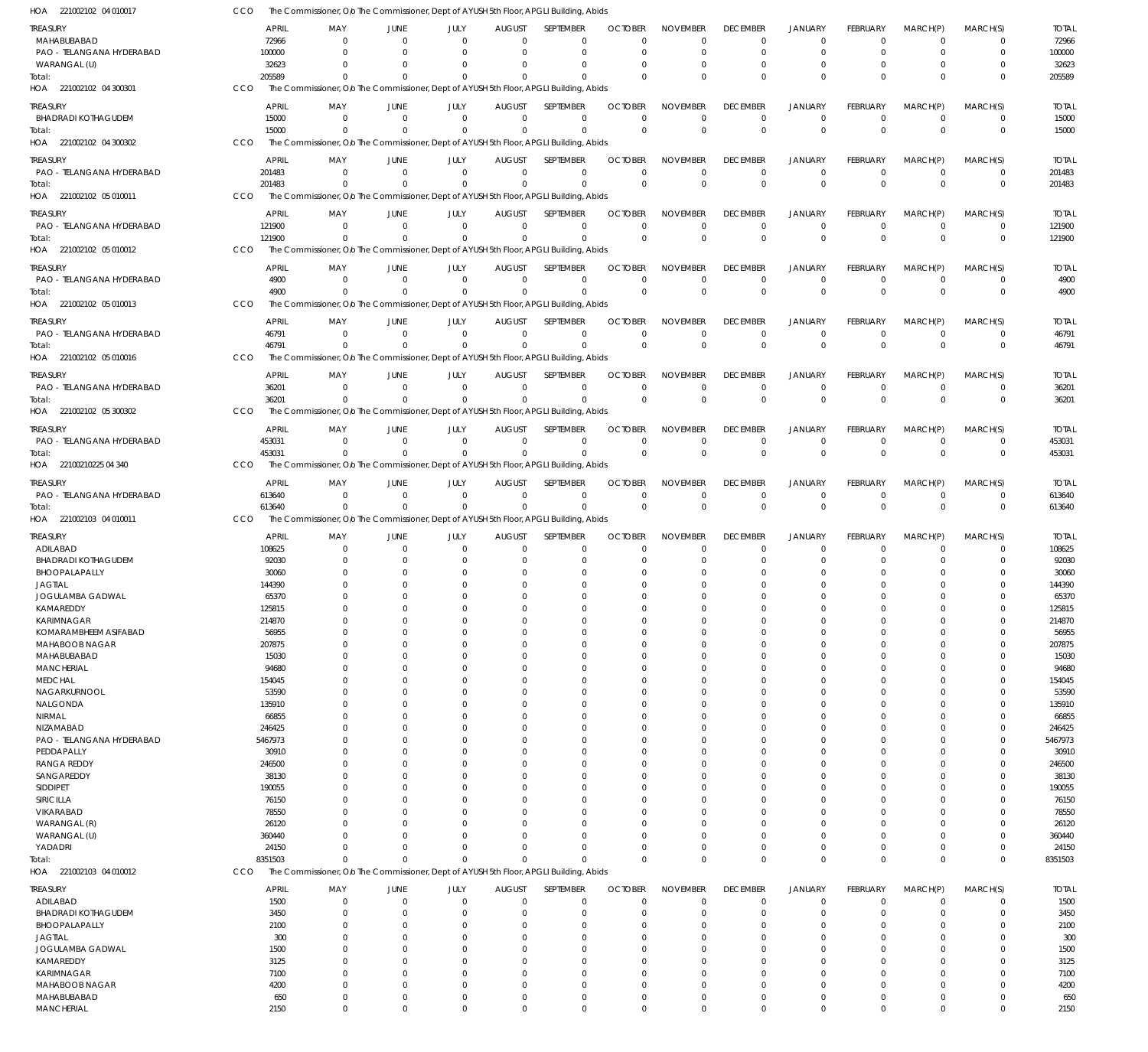| HOA 221002102 04 010017                      | CCO        |                        |                         |                               |                             |                              | The Commissioner, O/o The Commissioner, Dept of AYUSH 5th Floor, APGLI Building, Abids                |                            |                                |                                |                                  |                                   |                               |                            |                        |
|----------------------------------------------|------------|------------------------|-------------------------|-------------------------------|-----------------------------|------------------------------|-------------------------------------------------------------------------------------------------------|----------------------------|--------------------------------|--------------------------------|----------------------------------|-----------------------------------|-------------------------------|----------------------------|------------------------|
| <b>TREASURY</b>                              |            | <b>APRIL</b>           | MAY                     | JUNE                          | JULY                        | <b>AUGUST</b>                | SEPTEMBER                                                                                             | <b>OCTOBER</b>             | <b>NOVEMBER</b>                | <b>DECEMBER</b>                | <b>JANUARY</b>                   | FEBRUARY                          | MARCH(P)                      | MARCH(S)                   | <b>TOTAL</b>           |
| MAHABUBABAD                                  |            | 72966                  | $\Omega$                | $\Omega$                      | $\Omega$                    | $\Omega$                     | 0                                                                                                     | $\Omega$                   | $\Omega$                       | $\mathbf 0$                    | $\mathbf 0$                      | $\Omega$                          | $\Omega$                      | 0                          | 72966                  |
| PAO - TELANGANA HYDERABAD<br>WARANGAL (U)    |            | 100000<br>32623        | $\Omega$<br>$\Omega$    | $\Omega$<br>$\Omega$          | $\Omega$<br>$\Omega$        | $\Omega$<br>$\Omega$         | $\mathbf 0$<br>$\Omega$                                                                               | $\Omega$                   | $\Omega$<br>$\Omega$           | $\mathbf 0$<br>$^{\circ}$      | $\mathbf 0$<br>0                 | $\mathbf 0$<br>$\Omega$           | $\Omega$<br>$\Omega$          | $\mathbf 0$<br>$\mathbf 0$ | 100000<br>32623        |
| Total:                                       |            | 205589                 | $\Omega$                | $\Omega$                      | $\Omega$                    | $\Omega$                     | $\Omega$                                                                                              | $\Omega$                   | $\Omega$                       | $\mathbf 0$                    | $\mathbf{0}$                     | $\Omega$                          | $\Omega$                      | $\mathbf 0$                | 205589                 |
| HOA 221002102 04 300301                      | CCO        |                        |                         |                               |                             |                              | The Commissioner, O/o The Commissioner, Dept of AYUSH 5th Floor, APGLI Building, Abids                |                            |                                |                                |                                  |                                   |                               |                            |                        |
| treasury                                     |            | <b>APRIL</b>           | MAY                     | JUNE                          | JULY                        | <b>AUGUST</b>                | SEPTEMBER                                                                                             | <b>OCTOBER</b>             | <b>NOVEMBER</b>                | <b>DECEMBER</b>                | <b>JANUARY</b>                   | <b>FEBRUARY</b>                   | MARCH(P)                      | MARCH(S)                   | <b>TOTAL</b>           |
| <b>BHADRADI KOTHAGUDEM</b>                   |            | 15000                  | $\overline{0}$          | $\overline{0}$                | $\mathbf 0$                 | $\mathbf 0$                  | $\mathbf 0$                                                                                           | $\Omega$                   | $\mathbf 0$                    | $\mathbf 0$                    | $\mathbf 0$                      | $\overline{0}$                    | $\mathbf 0$                   | $\mathbf 0$                | 15000                  |
| Total:                                       |            | 15000                  | $\Omega$                | $\Omega$                      | $\mathbf 0$                 | $\mathbf 0$                  | $\mathbf 0$                                                                                           | $\mathbf{0}$               | $\Omega$                       | $\mathbf 0$                    | $\mathbf 0$                      | $\mathbf 0$                       | $\Omega$                      | $\mathbf 0$                | 15000                  |
| HOA 221002102 04 300302                      | CCO        |                        |                         |                               |                             |                              | The Commissioner, O/o The Commissioner, Dept of AYUSH 5th Floor, APGLI Building, Abids                |                            |                                |                                |                                  |                                   |                               |                            |                        |
| <b>TREASURY</b>                              |            | <b>APRIL</b>           | MAY                     | <b>JUNE</b><br>$\Omega$       | JULY                        | <b>AUGUST</b>                | <b>SEPTEMBER</b>                                                                                      | <b>OCTOBER</b>             | <b>NOVEMBER</b>                | <b>DECEMBER</b>                | <b>JANUARY</b>                   | FEBRUARY                          | MARCH(P)                      | MARCH(S)                   | <b>TOTAL</b>           |
| PAO - TELANGANA HYDERABAD<br>Total:          |            | 201483<br>201483       | $\Omega$<br>$\Omega$    | $\Omega$                      | $\mathbf 0$<br>$\mathbf{0}$ | $\mathbf 0$<br>$\mathbf{0}$  | $\mathbf 0$<br>$\mathbf 0$                                                                            | $\Omega$<br>$\mathbf 0$    | $\mathbf 0$<br>$\mathbf 0$     | $\mathbf 0$<br>$\mathbf 0$     | $\mathbf 0$<br>$\mathbf 0$       | $^{\circ}$<br>$\Omega$            | $\mathbf 0$<br>$\mathbf 0$    | $\mathbf 0$<br>$\mathbf 0$ | 201483<br>201483       |
| HOA 221002102 05 010011                      | CCO        |                        |                         |                               |                             |                              | The Commissioner, O/o The Commissioner, Dept of AYUSH 5th Floor, APGLI Building, Abids                |                            |                                |                                |                                  |                                   |                               |                            |                        |
| treasury                                     |            | <b>APRIL</b>           | MAY                     | <b>JUNE</b>                   | JULY                        | <b>AUGUST</b>                | SEPTEMBER                                                                                             | <b>OCTOBER</b>             | <b>NOVEMBER</b>                | <b>DECEMBER</b>                | <b>JANUARY</b>                   | FEBRUARY                          | MARCH(P)                      | MARCH(S)                   | <b>TOTAL</b>           |
| PAO - TELANGANA HYDERABAD                    |            | 121900                 | $^{\circ}$              | $\overline{0}$                | $\mathbf 0$                 | $\mathbf 0$                  | $\mathbf 0$                                                                                           | $\Omega$                   | $\mathbf 0$                    | $\mathbf 0$                    | $\mathbf 0$                      | $\mathbf 0$                       | $\mathbf 0$                   | $\mathbf 0$                | 121900                 |
| Total:                                       |            | 121900                 | $\Omega$                | $\Omega$                      | $\mathbf 0$                 | $\mathbf 0$                  | $\mathbf 0$                                                                                           | $\Omega$                   | $\Omega$                       | $\mathbf 0$                    | $\mathbf 0$                      | $\mathbf 0$                       | $\Omega$                      | $\mathbf 0$                | 121900                 |
| HOA 221002102 05 010012                      | CCO        |                        |                         |                               |                             |                              | The Commissioner, O/o The Commissioner, Dept of AYUSH 5th Floor, APGLI Building, Abids                |                            |                                |                                |                                  |                                   |                               |                            |                        |
| TREASURY                                     |            | <b>APRIL</b>           | MAY                     | JUNE                          | JULY                        | <b>AUGUST</b>                | SEPTEMBER                                                                                             | <b>OCTOBER</b>             | <b>NOVEMBER</b>                | <b>DECEMBER</b>                | <b>JANUARY</b>                   | FEBRUARY                          | MARCH(P)                      | MARCH(S)                   | <b>TOTAL</b>           |
| PAO - TELANGANA HYDERABAD                    |            | 4900                   | $\Omega$                | $\Omega$                      | $\mathbf 0$                 | $\mathbf 0$                  | $\mathbf 0$                                                                                           | $\Omega$                   | $\mathbf 0$                    | $\mathbf 0$                    | $\mathbf 0$                      | $\mathbf 0$                       | $\mathbf 0$                   | $\mathbf 0$                | 4900                   |
| Total:<br>HOA 221002102 05 010013            | CCO        | 4900                   | $\Omega$                | $\Omega$                      | $\Omega$                    | $\Omega$                     | $\mathbf 0$<br>The Commissioner, O/o The Commissioner, Dept of AYUSH 5th Floor, APGLI Building, Abids | $\Omega$                   | $\Omega$                       | $\mathbf 0$                    | $\mathbf{0}$                     | $\Omega$                          | $\Omega$                      | $\mathbf 0$                | 4900                   |
|                                              |            |                        |                         |                               |                             |                              |                                                                                                       |                            |                                |                                |                                  |                                   |                               |                            |                        |
| <b>TREASURY</b><br>PAO - TELANGANA HYDERABAD |            | <b>APRIL</b><br>46791  | MAY<br>$\overline{0}$   | <b>JUNE</b><br>$\overline{0}$ | JULY<br>$\mathbf 0$         | <b>AUGUST</b><br>$\mathbf 0$ | SEPTEMBER<br>$\mathbf 0$                                                                              | <b>OCTOBER</b><br>$\Omega$ | <b>NOVEMBER</b><br>$\mathbf 0$ | <b>DECEMBER</b><br>$\mathbf 0$ | <b>JANUARY</b><br>$\mathbf 0$    | <b>FEBRUARY</b><br>$\overline{0}$ | MARCH(P)<br>$\overline{0}$    | MARCH(S)<br>$\mathbf 0$    | <b>TOTAL</b><br>46791  |
| Total:                                       |            | 46791                  | $\Omega$                | $\Omega$                      | $\mathbf 0$                 | $\mathbf 0$                  | $\mathbf 0$                                                                                           | $\Omega$                   | $\Omega$                       | $\mathbf 0$                    | $\mathbf 0$                      | $\Omega$                          | $\Omega$                      | $\mathbf 0$                | 46791                  |
| HOA 221002102 05 010016                      | CCO        |                        |                         |                               |                             |                              | The Commissioner, O/o The Commissioner, Dept of AYUSH 5th Floor, APGLI Building, Abids                |                            |                                |                                |                                  |                                   |                               |                            |                        |
| TREASURY                                     |            | <b>APRIL</b>           | MAY                     | JUNE                          | JULY                        | <b>AUGUST</b>                | SEPTEMBER                                                                                             | <b>OCTOBER</b>             | <b>NOVEMBER</b>                | <b>DECEMBER</b>                | <b>JANUARY</b>                   | FEBRUARY                          | MARCH(P)                      | MARCH(S)                   | <b>TOTAL</b>           |
| PAO - TELANGANA HYDERABAD                    |            | 36201                  | $\overline{0}$          | $\Omega$                      | $\mathbf 0$                 | $\mathbf 0$                  | $\mathbf 0$                                                                                           | $\Omega$                   | $\mathbf 0$                    | $\mathbf 0$                    | $\mathbf 0$                      | $\mathbf 0$                       | $\mathbf 0$                   | $\mathbf 0$                | 36201                  |
| Total:                                       |            | 36201                  | $\Omega$                | $\Omega$                      | $\mathbf{0}$                | $\mathbf{0}$                 | $\Omega$                                                                                              | $\mathbf 0$                | $\Omega$                       | $\mathbf 0$                    | $\mathbf 0$                      | $\Omega$                          | $\Omega$                      | $\mathbf 0$                | 36201                  |
| HOA 221002102 05 300302                      | CCO        |                        |                         |                               |                             |                              | The Commissioner, O/o The Commissioner, Dept of AYUSH 5th Floor, APGLI Building, Abids                |                            |                                |                                |                                  |                                   |                               |                            |                        |
| <b>TREASURY</b>                              |            | <b>APRIL</b>           | MAY                     | <b>JUNE</b>                   | JULY                        | <b>AUGUST</b>                | SEPTEMBER                                                                                             | <b>OCTOBER</b>             | <b>NOVEMBER</b>                | <b>DECEMBER</b>                | <b>JANUARY</b>                   | <b>FEBRUARY</b>                   | MARCH(P)                      | MARCH(S)                   | <b>TOTAL</b>           |
| PAO - TELANGANA HYDERABAD                    |            | 453031<br>453031       | $\mathbf 0$<br>$\Omega$ | $\overline{0}$<br>$\Omega$    | $\mathbf 0$<br>$\mathbf 0$  | $\mathbf 0$<br>$\mathbf 0$   | $\mathbf 0$<br>$\mathbf 0$                                                                            | $\Omega$<br>$\Omega$       | $\mathbf 0$<br>$\Omega$        | $^{\circ}$<br>$\mathbf 0$      | $\overline{0}$<br>$\overline{0}$ | $\mathbf 0$<br>$\Omega$           | $\mathbf 0$<br>$\overline{0}$ | $\mathbf 0$<br>$\mathbf 0$ | 453031                 |
| Total:<br>HOA 22100210225 04 340             | <b>CCO</b> |                        |                         |                               |                             |                              | The Commissioner, O/o The Commissioner, Dept of AYUSH 5th Floor, APGLI Building, Abids                |                            |                                |                                |                                  |                                   |                               |                            | 453031                 |
|                                              |            |                        |                         |                               |                             |                              |                                                                                                       |                            |                                |                                |                                  |                                   |                               |                            |                        |
| TREASURY<br>PAO - TELANGANA HYDERABAD        |            | <b>APRIL</b><br>613640 | MAY<br>$^{\circ}$       | <b>JUNE</b><br>$\overline{0}$ | JULY<br>$\mathbf 0$         | <b>AUGUST</b><br>$\mathbf 0$ | SEPTEMBER<br>$\mathbf 0$                                                                              | <b>OCTOBER</b><br>$\Omega$ | <b>NOVEMBER</b><br>$\Omega$    | <b>DECEMBER</b><br>$\mathbf 0$ | <b>JANUARY</b><br>$\mathbf 0$    | FEBRUARY<br>$\overline{0}$        | MARCH(P)<br>$\mathbf 0$       | MARCH(S)<br>$\mathbf 0$    | <b>TOTAL</b><br>613640 |
| Total:                                       |            | 613640                 | $\Omega$                | $\Omega$                      | $\mathbf 0$                 | $\mathbf 0$                  | $\mathbf 0$                                                                                           | $\Omega$                   | $\Omega$                       | $\mathbf 0$                    | $\mathbf 0$                      | $\Omega$                          | $\Omega$                      | $\mathbf 0$                | 613640                 |
| HOA 221002103 04 010011                      | CCO        |                        |                         |                               |                             |                              | The Commissioner, O/o The Commissioner, Dept of AYUSH 5th Floor, APGLI Building, Abids                |                            |                                |                                |                                  |                                   |                               |                            |                        |
| TREASURY                                     |            | <b>APRIL</b>           | MAY                     | JUNE                          | JULY                        | <b>AUGUST</b>                | SEPTEMBER                                                                                             | <b>OCTOBER</b>             | <b>NOVEMBER</b>                | <b>DECEMBER</b>                | <b>JANUARY</b>                   | FEBRUARY                          | MARCH(P)                      | MARCH(S)                   | <b>TOTAL</b>           |
| ADILABAD                                     |            | 108625                 | $\mathbf 0$             | $\mathbf 0$                   | $\mathbf 0$                 | 0                            | $\mathbf 0$                                                                                           | $\Omega$                   | $\Omega$                       | $^{\circ}$                     | $\mathbf 0$                      | $\mathbf 0$                       | 0                             | $\mathbf 0$                | 108625                 |
| <b>BHADRADI KOTHAGUDEM</b>                   |            | 92030                  | $\Omega$                | $\Omega$                      | 0                           | 0                            | $\mathbf 0$                                                                                           |                            | $\Omega$                       | $\mathbf 0$                    | $\Omega$                         | $\Omega$                          | $\Omega$                      | $\mathbf 0$                | 92030                  |
| BHOOPALAPALLY<br><b>JAGTIAL</b>              |            | 30060<br>144390        | 0                       | $\Omega$<br>$\Omega$          | $\Omega$<br>$\Omega$        | 0<br>$\Omega$                | $\mathbf 0$<br>$\mathbf 0$                                                                            |                            | $\Omega$<br>$\Omega$           | $\Omega$<br>$\Omega$           | $\Omega$<br>$\Omega$             | 0                                 | O<br>$\Omega$                 | $\mathbf 0$<br>$\mathbf 0$ | 30060<br>144390        |
| JOGULAMBA GADWAL                             |            | 65370                  | $\Omega$                | $\Omega$                      | $\Omega$                    | $\Omega$                     | $\Omega$                                                                                              | $\Omega$                   | $\Omega$                       | $\Omega$                       | $\Omega$                         | $\Omega$                          | $\Omega$                      | $\mathbf 0$                | 65370                  |
| KAMAREDDY                                    |            | 125815                 | 0                       |                               | 0                           | 0                            | 0                                                                                                     |                            |                                |                                | 0                                |                                   | O                             | 0                          | 125815                 |
| KARIMNAGAR                                   |            | 214870                 | 0                       | $^{\circ}$                    | 0                           | 0                            | $\mathbf 0$                                                                                           | $\Omega$                   | $\Omega$                       | $\Omega$                       | $\mathbf 0$                      | 0                                 | $\Omega$                      | $\mathbf 0$                | 214870                 |
| KOMARAMBHEEM ASIFABAD                        |            | 56955                  | 0                       | $\Omega$                      | 0                           | $\Omega$                     | $\mathbf 0$                                                                                           | $\Omega$                   | $\Omega$                       | 0                              | $\Omega$                         | 0                                 | $\Omega$                      | $\mathbf 0$                | 56955                  |
| MAHABOOB NAGAR                               |            | 207875                 | 0<br>$\Omega$           | $\Omega$<br>$\Omega$          | $\Omega$                    | 0<br>$\Omega$                | $\mathbf 0$<br>$\mathbf 0$                                                                            | - 0<br>- 0                 | $\Omega$<br>$\Omega$           | $\Omega$                       | $\Omega$<br>$\Omega$             |                                   | $\Omega$<br>$\Omega$          | $\mathbf 0$<br>$\mathbf 0$ | 207875                 |
| MAHABUBABAD<br><b>MANCHERIAL</b>             |            | 15030<br>94680         | 0                       | $\Omega$                      | 0<br>$\Omega$               | 0                            | $\mathbf 0$                                                                                           |                            | $\Omega$                       | 0<br>$\Omega$                  | $\Omega$                         |                                   | $\Omega$                      | $\mathbf 0$                | 15030<br>94680         |
| <b>MEDCHAL</b>                               |            | 154045                 | 0                       | $\Omega$                      | $\Omega$                    | $\Omega$                     | $\mathbf 0$                                                                                           |                            | $\Omega$                       | $\Omega$                       | $\Omega$                         |                                   | $\Omega$                      | $\mathbf 0$                | 154045                 |
| NAGARKURNOOL                                 |            | 53590                  | 0                       | $\Omega$                      | $\Omega$                    | 0                            | $\mathbf 0$                                                                                           |                            | $\Omega$                       | $\Omega$                       | $\Omega$                         |                                   | $\Omega$                      | $\mathbf 0$                | 53590                  |
| NALGONDA                                     |            | 135910                 | $\Omega$                | $\Omega$                      | $\Omega$                    | $\Omega$                     | $\mathbf 0$                                                                                           |                            | $\Omega$                       | $\Omega$                       | $\Omega$                         |                                   | $\Omega$                      | $\mathbf 0$                | 135910                 |
| NIRMAL                                       |            | 66855                  | 0                       | $\Omega$                      | $\Omega$                    | 0                            | $\Omega$                                                                                              |                            | $\Omega$                       | $\Omega$                       | $\Omega$                         |                                   | $\Omega$                      | $\mathbf 0$                | 66855                  |
| NIZAMABAD<br>PAO - TELANGANA HYDERABAD       |            | 246425<br>5467973      | 0<br>0                  | $\Omega$<br>$\Omega$          | $\Omega$<br>$\Omega$        | $\Omega$<br>0                | $\mathbf 0$<br>$\mathbf 0$                                                                            |                            | $\Omega$<br>$\Omega$           | 0<br>$\Omega$                  | $\Omega$<br>$\Omega$             |                                   | $\Omega$<br>$\Omega$          | $\mathbf 0$<br>$\mathbf 0$ | 246425<br>5467973      |
| PEDDAPALLY                                   |            | 30910                  | $\Omega$                | $\Omega$                      | $\Omega$                    | 0                            | $\mathbf 0$                                                                                           |                            | $\Omega$                       | $\Omega$                       | $\Omega$                         |                                   | $\Omega$                      | $\mathbf 0$                | 30910                  |
| <b>RANGA REDDY</b>                           |            | 246500                 | 0                       | $\Omega$                      | $\Omega$                    | 0                            | $\mathbf 0$                                                                                           |                            | $\Omega$                       | $\Omega$                       | $\Omega$                         |                                   | $\Omega$                      | $\mathbf 0$                | 246500                 |
| SANGAREDDY                                   |            | 38130                  | 0                       | $\Omega$                      | $\Omega$                    | $\Omega$                     | $\mathbf 0$                                                                                           |                            | $\Omega$                       | 0                              | $\Omega$                         |                                   | $\Omega$                      | $\mathbf 0$                | 38130                  |
| SIDDIPET                                     |            | 190055                 | $\Omega$                | $\Omega$                      | $\Omega$                    | 0                            | $\mathbf 0$                                                                                           |                            | $\Omega$                       | $\Omega$                       | $\Omega$                         |                                   | $\Omega$                      | $\mathbf 0$                | 190055                 |
| SIRICILLA                                    |            | 76150                  | 0                       | $\Omega$                      | $\Omega$                    | 0                            | $\mathbf 0$                                                                                           |                            | $\Omega$                       | $\Omega$                       | $\Omega$                         |                                   | $\Omega$                      | $\mathbf 0$                | 76150                  |
| VIKARABAD<br>WARANGAL (R)                    |            | 78550<br>26120         | 0<br>$\Omega$           | $\Omega$<br>$\Omega$          | $\Omega$<br>$\Omega$        | 0<br>$\Omega$                | $\mathbf 0$<br>$\mathbf 0$                                                                            |                            | $\Omega$<br>$\Omega$           | $\Omega$<br>0                  | $\Omega$<br>$\Omega$             |                                   | $\Omega$<br>$\Omega$          | $\mathbf 0$<br>$\mathbf 0$ | 78550<br>26120         |
| WARANGAL (U)                                 |            | 360440                 | U                       | $\Omega$                      | $\Omega$                    | 0                            | $\Omega$                                                                                              |                            | $\Omega$                       | $\Omega$                       | $\Omega$                         |                                   | $\Omega$                      | $\mathbf 0$                | 360440                 |
| YADADRI                                      |            | 24150                  | $\Omega$                | $\Omega$                      | $\mathbf 0$                 | 0                            | $\mathbf 0$                                                                                           |                            | $\Omega$                       | $\mathbf 0$                    | $\mathbf 0$                      | $\Omega$                          | $\mathbf 0$                   | $\mathbf 0$                | 24150                  |
| Total:                                       |            | 8351503                | $\Omega$                | $\Omega$                      | $\mathbf 0$                 | $\Omega$                     | $\Omega$                                                                                              | $\Omega$                   | $\Omega$                       | $\mathbf 0$                    | $\overline{0}$                   | $\Omega$                          | $\mathbf 0$                   | $\mathbf 0$                | 8351503                |
| HOA 221002103 04 010012                      | <b>CCO</b> |                        |                         |                               |                             |                              | The Commissioner, O/o The Commissioner, Dept of AYUSH 5th Floor, APGLI Building, Abids                |                            |                                |                                |                                  |                                   |                               |                            |                        |
| TREASURY                                     |            | <b>APRIL</b>           | MAY                     | JUNE                          | JULY                        | <b>AUGUST</b>                | SEPTEMBER                                                                                             | <b>OCTOBER</b>             | <b>NOVEMBER</b>                | <b>DECEMBER</b>                | <b>JANUARY</b>                   | FEBRUARY                          | MARCH(P)                      | MARCH(S)                   | <b>TOTAL</b>           |
| ADILABAD                                     |            | 1500                   | $\mathbf 0$             | $\mathbf 0$                   | $\mathbf 0$                 | $\mathbf 0$                  | $\mathbf 0$                                                                                           | $\Omega$                   | $\Omega$                       | $^{\circ}$                     | $\overline{0}$                   | $\mathbf 0$                       | $\mathbf 0$                   | 0                          | 1500                   |
| <b>BHADRADI KOTHAGUDEM</b>                   |            | 3450                   | $\Omega$                | $\Omega$                      | $\mathbf 0$                 | 0                            | $\mathbf 0$                                                                                           | $\Omega$                   | $\Omega$                       | $\mathbf 0$                    | $\mathbf 0$                      | $\Omega$                          | $\Omega$                      | $\mathbf 0$                | 3450                   |
| BHOOPALAPALLY<br><b>JAGTIAL</b>              |            | 2100<br>300            | $\Omega$<br>$\Omega$    | $\Omega$<br>$\Omega$          | $\Omega$<br>$\Omega$        | 0<br>$\Omega$                | $\mathbf 0$<br>$\mathbf 0$                                                                            | $\Omega$                   | $\Omega$<br>$\Omega$           | $\mathbf 0$<br>$\Omega$        | $\mathbf 0$<br>$\Omega$          | 0<br>$\Omega$                     | $\Omega$<br>$\Omega$          | $\mathbf 0$<br>$\mathbf 0$ | 2100<br>300            |
| JOGULAMBA GADWAL                             |            | 1500                   | $\Omega$                | $\Omega$                      | $\Omega$                    | $\Omega$                     | $\mathbf 0$                                                                                           |                            | $\Omega$                       | $\Omega$                       | $\Omega$                         | O                                 | $\Omega$                      | $\mathbf 0$                | 1500                   |
| KAMAREDDY                                    |            | 3125                   | $\Omega$                | $\Omega$                      | $\Omega$                    | $\Omega$                     | $\Omega$                                                                                              | - 0                        | $\Omega$                       | $\Omega$                       | $\Omega$                         | O                                 | $\Omega$                      | $\mathbf 0$                | 3125                   |
| KARIMNAGAR                                   |            | 7100                   | $\Omega$                | $\Omega$                      | $\Omega$                    | $\Omega$                     | $\mathbf 0$                                                                                           | - 0                        | $\Omega$                       | $\Omega$                       | $\Omega$                         | O                                 | $\Omega$                      | $\mathbf 0$                | 7100                   |
| MAHABOOB NAGAR                               |            | 4200                   | $\Omega$                | $\Omega$                      | $\Omega$                    | $\Omega$                     | $\mathbf 0$                                                                                           | $\Omega$                   | $\Omega$                       | $\Omega$                       | $\Omega$                         | $\Omega$                          | $\Omega$                      | $\mathbf 0$                | 4200                   |
| MAHABUBABAD                                  |            | 650<br>2150            | 0<br>$\mathbf 0$        | $\mathbf 0$<br>$\mathbf 0$    | $\mathbf 0$<br>$\mathbf 0$  | 0<br>$\mathbf 0$             | $\mathbf 0$<br>$\mathbf 0$                                                                            | $\Omega$<br>$\Omega$       | $\mathbf 0$<br>$\mathbf 0$     | $\mathbf 0$<br>$\mathbf 0$     | $\mathbf 0$<br>$\mathbf 0$       | $\Omega$<br>$\mathbf 0$           | $\mathbf 0$<br>$\mathbf 0$    | $\mathbf 0$<br>$\mathbf 0$ | 650                    |
| <b>MANCHERIAL</b>                            |            |                        |                         |                               |                             |                              |                                                                                                       |                            |                                |                                |                                  |                                   |                               |                            | 2150                   |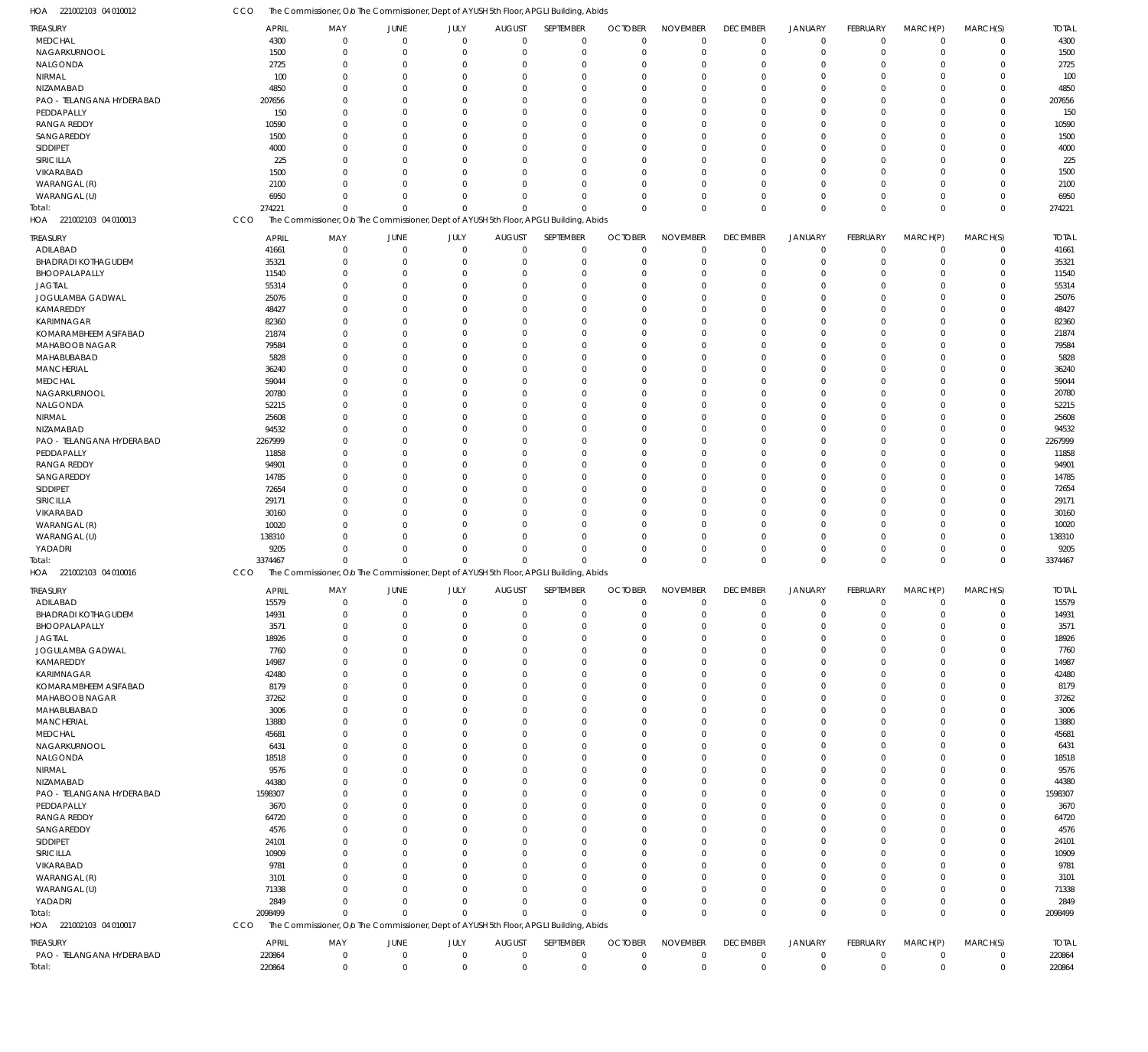221002103 04 010012 HOA 221002103 04 010013 HOA 221002103 04 010016 HOA 221002103 04 010017 HOA The Commissioner, O/o The Commissioner, Dept of AYUSH 5th Floor, APGLI Building, Abids The Commissioner, O/o The Commissioner, Dept of AYUSH 5th Floor, APGLI Building, Abids The Commissioner, Olo The Commissioner, Dept of AYUSH 5th Floor, APGLI Building, Abids The Commissioner, O/o The Commissioner, Dept of AYUSH 5th Floor, APGLI Building, Abids CCO CCO **CCO** CCO 274221 3374467 2098499 220864 0 0  $\Omega$ 0 0  $\mathbf 0$  $\Omega$ 0 0 0  $\Omega$ 0 0 0  $\Omega$ 0 0 0  $\Omega$ 0 0 0  $\Omega$ 0 0 0  $\Omega$ 0 0 0  $\Omega$ 0 0 0  $\Omega$ 0 0  $\mathbf 0$  $\Omega$ 0 0 0  $\Omega$ 0 0 0  $\Omega$ 274221 3374467 2098499 220864 MEDCHAL NAGARKURNOOL NALGONDA NIRMAL NIZAMABAD PAO - TELANGANA HYDERABAD PEDDAPALLY RANGA REDDY SANGAREDDY SIDDIPET SIRICILLA VIKARABAD WARANGAL (R) WARANGAL (U) ADILABAD BHADRADI KOTHAGUDEM BHOOPALAPALLY JAGTIAL JOGULAMBA GADWAL KAMAREDDY KARIMNAGAR KOMARAMBHEEM ASIFABAD MAHABOOB NAGAR MAHABUBABAD MANCHERIAL MEDCHAL NAGARKURNOOL NALGONDA NIRMAL NIZAMABAD PAO - TELANGANA HYDERABAD PEDDAPALLY RANGA REDDY SANGAREDDY SIDDIPET SIRICILLA VIKARABAD WARANGAL (R) WARANGAL (U) YADADRI ADILABAD BHADRADI KOTHAGUDEM BHOOPALAPALLY JAGTIAL JOGULAMBA GADWAL KAMAREDDY KARIMNAGAR KOMARAMBHEEM ASIFABAD MAHABOOB NAGAR MAHABUBABAD MANCHERIAL MEDCHAL NAGARKURNOOL NALGONDA NIRMAL NIZAMABAD PAO - TELANGANA HYDERABAD PEDDAPALLY RANGA REDDY SANGAREDDY SIDDIPET SIRICILLA VIKARABAD WARANGAL (R) WARANGAL (U) YADADRI PAO - TELANGANA HYDERABAD TREASURY TREASURY TREASURY TREASURY 4300 1500 2725 100 4850 207656 150 10590 1500 4000 225 1500 2100 6950 41661 35321 11540 55314 25076 48427 82360 21874 79584 5828 36240 59044 20780 52215 25608 94532 2267999 11858 94901 14785 72654 29171 30160 10020 138310 9205 15579 14931 3571 18926 7760 14987 42480 8179 37262 3006 13880 45681 6431 18518 9576 44380 1598307 3670 64720 4576 24101 10909 9781 3101 71338 2849 220864 APRIL APRIL APRIL APRIL 0 0  $\Omega$ 0 0  $\Omega$ 0  $\Omega$ 0 0  $\Omega$ 0  $\Omega$ 0 0  $\Omega$ 0  $\Omega$ 0 0 0  $\Omega$  $\Omega$ 0 0  $\Omega$ 0  $\Omega$ 0  $\Omega$ 0 0  $\Omega$ 0  $\Omega$ 0 0  $\Omega$ 0 0 0 0  $\Omega$ 0  $\Omega$ 0 0  $\Omega$ 0  $\Omega$ 0 0  $\Omega$ 0  $\Omega$ 0  $\Omega$ 0 0  $\Omega$ 0  $\Omega$ 0 0  $\Omega$ 0 0 MAY MAY MAY MAY 0 0  $\Omega$ 0 0  $\Omega$ 0  $\Omega$ 0 0 0 0  $\Omega$ 0 0  $\Omega$ 0  $\Omega$ 0 0 0 0  $\Omega$ 0 0 0 0  $\Omega$ 0  $\Omega$ 0 0  $\Omega$ 0  $\Omega$ 0 0  $\Omega$ 0  $\Omega$ 0 0  $\Omega$ 0  $\Omega$ 0 0 0 0  $\Omega$ 0 0 0 0  $\Omega$ 0  $\Omega$  $\boldsymbol{0}$ 0  $\Omega$ 0  $\Omega$ 0 0  $\Omega$ 0 0 JUNE JUNE **JUNE** JUNE 0 0  $\Omega$ 0 0  $\sqrt{0}$ 0  $\Omega$ 0 0 0 0  $\Omega$ 0 0 0 0  $\Omega$ 0 0 0 0  $\Omega$ 0 0 0 0  $\Omega$ 0  $\Omega$ 0 0  $\sqrt{0}$ 0  $\Omega$ 0 0 0 0  $\Omega$ 0 0 0 0  $\Omega$ 0 0 0 0  $\Omega$ 0 0  $\Omega$ 0  $\Omega$ 0  $\sqrt{0}$ 0 0  $\sqrt{0}$ 0  $\Omega$ 0 0  $\sqrt{0}$ 0  $\sqrt{0}$ JULY JULY JULY JULY  $\Omega$ 0  $\Omega$ 0 0  $\sqrt{2}$ 0  $\Omega$  $\Omega$ 0  $\Omega$ 0  $\Omega$ 0 0  $\Omega$ 0  $\Omega$ 0 0 0 0  $\Omega$ 0 0  $\Omega$ 0  $\Omega$ 0  $\Omega$ 0 0  $\Omega$ 0  $\Omega$ 0 0  $\Omega$ 0  $\Omega$ 0 0  $\Omega$ 0  $\Omega$ 0 0  $\Omega$ 0  $\Omega$ 0 0  $\Omega$ 0  $\Omega$ 0  $\Omega$ 0 0  $\Omega$ 0  $\Omega$ 0 0  $\sqrt{2}$ 0  $\Omega$ AUGUST AUGUST **AUGUST** AUGUST  $\Omega$ 0  $\Omega$ 0 0  $\Omega$ 0  $\Omega$  $\Omega$ 0  $\Omega$  $\overline{0}$  $\Omega$ 0 0  $\Omega$ 0  $\Omega$ 0 0  $\Omega$  $\Omega$  $\Omega$ 0 0  $\Omega$ 0  $\Omega$  $\overline{0}$  $\Omega$ 0 0  $\Omega$ 0  $\Omega$ 0 0  $\Omega$ 0  $\Omega$ 0 0  $\Omega$ 0  $\Omega$  $\Omega$ 0  $\Omega$ 0  $\Omega$ 0 0  $\Omega$  $\Omega$  $\Omega$  $\overline{0}$  $\Omega$ 0  $\Omega$  $\Omega$ 0  $\Omega$ 0 0  $\Omega$ 0  $\Omega$ SEPTEMBER SEPTEMBER SEPTEMBER SEPTEMBER 0 0  $\Omega$ 0 0  $\Omega$ 0  $\Omega$  $\Omega$ 0  $\Omega$ 0  $\Omega$ 0 0  $\Omega$ 0  $\Omega$ 0 0 0  $\Omega$  $\Omega$ 0 0  $\Omega$  $\Omega$  $\Omega$ 0  $\Omega$ 0  $\Omega$  $\Omega$ 0  $\Omega$ 0 0  $\Omega$ 0  $\Omega$ 0 0  $\Omega$ 0  $\Omega$ 0 0  $\Omega$ 0  $\Omega$ 0 0  $\Omega$  $\Omega$  $\Omega$ 0  $\Omega$ 0  $\Omega$  $\Omega$ 0  $\Omega$ 0 0  $\Omega$ 0  $\Omega$ OCTOBER OCTOBER **OCTOBER** OCTOBER 0 0  $\Omega$ 0 0  $\Omega$ 0  $\Omega$ 0 0  $\Omega$ 0  $\Omega$ 0 0  $\Omega$ 0  $\Omega$ 0 0 0 0  $\Omega$ 0 0 0 0  $\Omega$ 0  $\Omega$ 0 0  $\Omega$ 0  $\Omega$ 0 0  $\Omega$ 0  $\Omega$ 0 0  $\Omega$ 0  $\Omega$ 0 0  $\Omega$ 0  $\Omega$ 0 0  $\Omega$ 0  $\Omega$ 0  $\Omega$ 0 0  $\Omega$ 0  $\Omega$ 0 0  $\Omega$ 0  $\Omega$ NOVEMBER NOVEMBER NOVEMBER NOVEMBER 0 0  $\Omega$ 0 0  $\Omega$ 0  $\Omega$  $\overline{0}$ 0  $\Omega$ 0  $\Omega$ 0 0  $\Omega$ 0  $\Omega$  $\overline{0}$ 0 0  $\Omega$  $\Omega$ 0 0  $\Omega$ 0  $\Omega$ 0  $\Omega$ 0 0  $\Omega$ 0  $\Omega$  $\overline{0}$ 0  $\Omega$ 0  $\Omega$ 0 0  $\Omega$ 0  $\Omega$  $\overline{0}$ 0 0 0  $\Omega$ 0 0  $\Omega$ 0  $\Omega$  $\overline{0}$  $\Omega$ 0 0  $\Omega$ 0  $\Omega$ 0 0  $\Omega$ 0  $\Omega$ DECEMBER DECEMBER **DECEMBER** DECEMBER 0 0  $\Omega$ 0 0  $\Omega$ 0  $\Omega$  $\Omega$ 0  $\Omega$ 0  $\Omega$  $\,$  0  $\,$ 0  $\Omega$ 0  $\Omega$ 0 0 0  $\Omega$  $\Omega$ 0 0  $\Omega$ 0  $\Omega$ 0  $\Omega$ 0 0  $\Omega$ 0  $\Omega$ 0 0 0 0  $\Omega$ 0 0  $\Omega$ 0  $\Omega$ 0 0 0 0  $\Omega$ 0 0  $\Omega$ 0  $\Omega$ 0  $\Omega$ 0  $\Omega$  $\Omega$ 0  $\Omega$ 0 0 0 0  $\Omega$ JANUARY JANUARY JANUARY JANUARY 0 0  $\Omega$ 0 0  $\Omega$ 0  $\Omega$  $\overline{0}$ 0 0 0  $\Omega$  $\boldsymbol{0}$ 0 0 0  $\Omega$  $\overline{0}$ 0 0 0  $\Omega$ 0 0 0 0 0 0  $\Omega$ 0 0  $\Omega$ 0  $\Omega$  $\overline{0}$ 0 0 0  $\Omega$ 0 0  $\Omega$ 0  $\Omega$  $\overline{0}$ 0 0 0  $\Omega$ 0 0 0 0 0 0  $\Omega$ 0 0 0 0  $\Omega$ 0 0 0 0  $\Omega$ FEBRUARY FEBRUARY FEBRUARY FEBRUARY 0 0  $\Omega$ 0 0  $\Omega$ 0  $\Omega$  $\Omega$ 0  $\Omega$ 0  $\Omega$ 0 0  $\Omega$ 0  $\Omega$ 0 0 0  $\Omega$  $\Omega$ 0 0 0  $\Omega$  $\Omega$ 0  $\Omega$ 0 0  $\Omega$ 0  $\Omega$  $\overline{0}$ 0  $\Omega$ 0  $\Omega$ 0 0  $\Omega$ 0  $\Omega$  $\Omega$ 0 0 0  $\Omega$  $\overline{0}$ 0 0  $\Omega$  $\Omega$ 0  $\Omega$ 0  $\Omega$  $\Omega$ 0  $\Omega$ 0 0  $\Omega$ 0  $\Omega$ MARCH(P) MARCH(P) MARCH(P) MARCH(P)  $\Omega$ 0  $\Omega$ 0  $\Omega$  $\Omega$ 0  $\Omega$ 0  $\Omega$  $\Omega$ 0  $\Omega$ 0 0  $\Omega$ 0  $\Omega$ 0 0 0  $\Omega$  $\Omega$ 0 0 0  $\Omega$  $\Omega$ 0  $\Omega$ 0  $\Omega$  $\Omega$ 0  $\Omega$ 0 0  $\Omega$ 0  $\Omega$ 0 0  $\Omega$ 0  $\Omega$ 0 0  $\Omega$ 0  $\Omega$ 0 0  $\Omega$  $\Omega$  $\Omega$ 0  $\Omega$ 0  $\Omega$  $\Omega$ 0  $\Omega$ 0 0  $\Omega$ 0  $\Omega$ MARCH(S) MARCH(S) MARCH(S) MARCH(S) 4300 1500 2725 100 4850 207656 150 10590 1500 4000 225 1500 2100 6950 41661 35321 11540 55314 25076 48427 82360 21874 79584 5828 36240 59044 20780 52215 25608 94532 2267999 11858 94901 14785 72654 29171 30160 10020 138310 9205 15579 14931 3571 18926 7760 14987 42480 8179 37262 3006 13880 45681 6431 18518 9576 44380 1598307 3670 64720 4576 24101 10909 9781 3101 71338 2849 220864 TOTAL TOTAL TOTAL TOTAL Total: Total: Total: Total: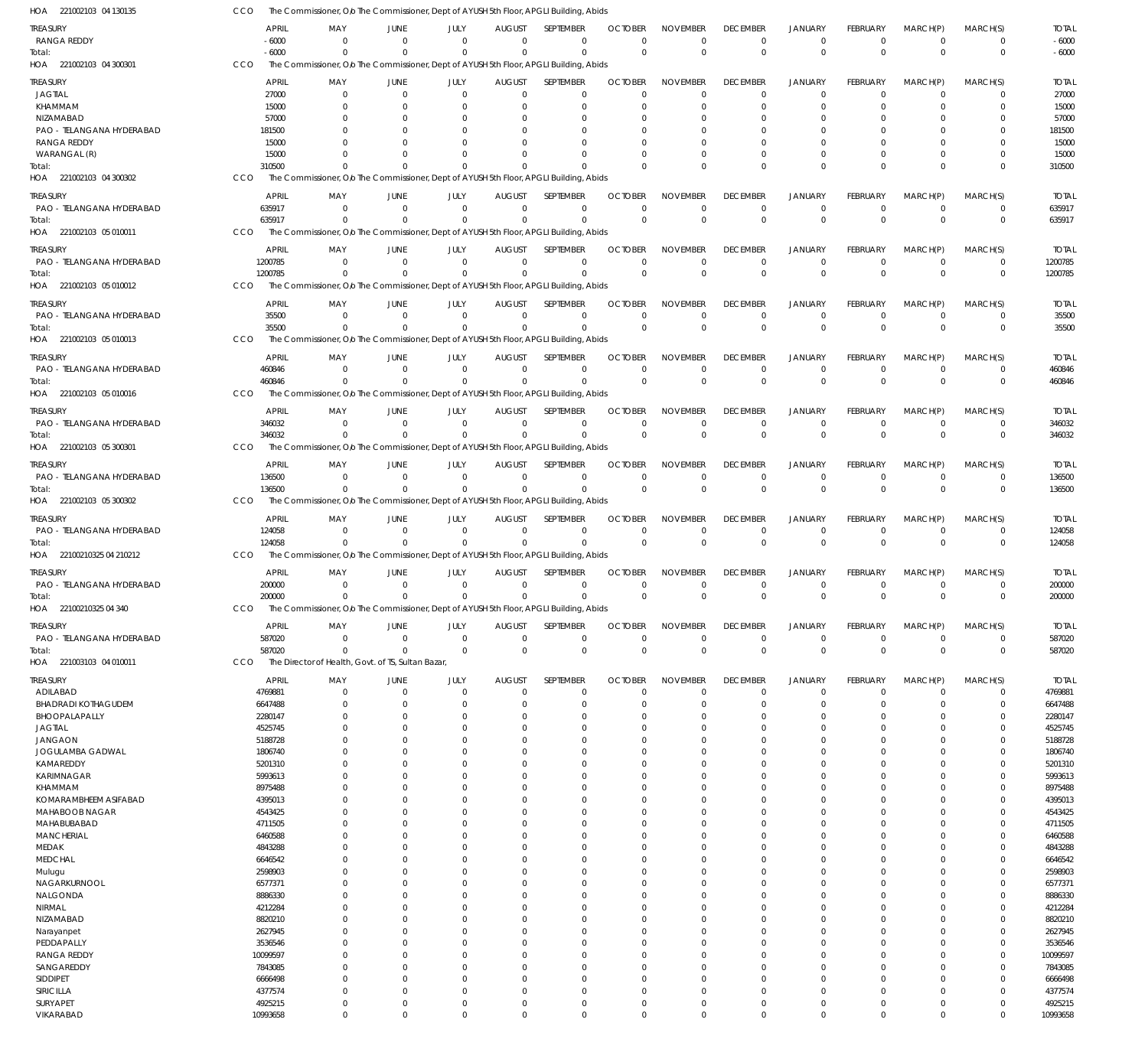| HOA 221002103 04 130135                         | cco |                        |                            |                                                    |                                  |                           | The Commissioner, Olo The Commissioner, Dept of AYUSH 5th Floor, APGLI Building, Abids             |                            |                                |                         |                             |                            |                            |                                  |                        |
|-------------------------------------------------|-----|------------------------|----------------------------|----------------------------------------------------|----------------------------------|---------------------------|----------------------------------------------------------------------------------------------------|----------------------------|--------------------------------|-------------------------|-----------------------------|----------------------------|----------------------------|----------------------------------|------------------------|
| TREASURY                                        |     | <b>APRIL</b>           | MAY                        | JUNE                                               | JULY                             | <b>AUGUST</b>             | SEPTEMBER                                                                                          | <b>OCTOBER</b>             | <b>NOVEMBER</b>                | <b>DECEMBER</b>         | <b>JANUARY</b>              | <b>FEBRUARY</b>            | MARCH(P)                   | MARCH(S)                         | <b>TOTAL</b>           |
| <b>RANGA REDDY</b>                              |     | $-6000$                | $\Omega$<br>$\Omega$       | $\Omega$                                           | $\Omega$<br>$\Omega$             | $\Omega$<br>$\Omega$      | $\Omega$<br>$\Omega$                                                                               | $\Omega$<br>$\Omega$       | $\mathbf 0$                    | $\mathbf 0$             | $\mathbf 0$                 | $\mathbf 0$                | $\mathbf 0$                | $\Omega$                         | $-6000$                |
| Total:<br>HOA 221002103 04 300301               | CCO | $-6000$                |                            | $\Omega$                                           |                                  |                           | The Commissioner, Olo The Commissioner, Dept of AYUSH 5th Floor, APGLI Building, Abids             |                            | $\mathbf 0$                    | $\mathbf 0$             | $\mathbf 0$                 | $\mathbf{0}$               | $\mathbf 0$                | $\overline{0}$                   | $-6000$                |
| TREASURY                                        |     | <b>APRIL</b>           | MAY                        | JUNE                                               | JULY                             | <b>AUGUST</b>             | <b>SEPTEMBER</b>                                                                                   | <b>OCTOBER</b>             | <b>NOVEMBER</b>                | <b>DECEMBER</b>         | JANUARY                     | <b>FEBRUARY</b>            | MARCH(P)                   | MARCH(S)                         | <b>TOTAL</b>           |
| <b>JAGTIAL</b>                                  |     | 27000                  | - 0                        | $\overline{0}$                                     | $\overline{0}$                   | $\Omega$                  | $\Omega$                                                                                           | $\Omega$                   | $\mathbf 0$                    | $\Omega$                | $\mathbf 0$                 | 0                          | $\mathbf 0$                | $\mathbf 0$                      | 27000                  |
| KHAMMAM                                         |     | 15000                  | $\Omega$                   | 0                                                  | - 0                              |                           | $\Omega$                                                                                           |                            | $\mathbf 0$                    | $\Omega$                | $\Omega$                    | 0                          | 0                          | 0                                | 15000                  |
| NIZAMABAD                                       |     | 57000                  |                            |                                                    | - 0                              |                           |                                                                                                    |                            | $\Omega$                       | -0                      | $\Omega$                    | 0                          | $\Omega$                   | 0                                | 57000                  |
| PAO - TELANGANA HYDERABAD<br><b>RANGA REDDY</b> |     | 181500<br>15000        |                            | 0                                                  | - 0<br>- 0                       |                           |                                                                                                    |                            | $\Omega$<br>$\Omega$           |                         | $\Omega$<br>$\Omega$        | 0<br>0                     | $\Omega$<br>$\Omega$       | 0<br>$\Omega$                    | 181500<br>15000        |
| WARANGAL (R)                                    |     | 15000                  | $\cap$                     | $\Omega$                                           | $\Omega$                         |                           | $\Omega$                                                                                           |                            | $\Omega$                       | $\Omega$                | $\Omega$                    | $\Omega$                   | 0                          | 0                                | 15000                  |
| Total:                                          |     | 310500                 | $\Omega$                   | $\Omega$                                           | $\Omega$                         |                           | $\Omega$                                                                                           |                            | $\Omega$                       | $\Omega$                | $\Omega$                    | $\Omega$                   | $\mathbf 0$                | $\mathbf 0$                      | 310500                 |
| HOA 221002103 04 300302                         | CCO |                        |                            |                                                    |                                  |                           | The Commissioner, O/o The Commissioner, Dept of AYUSH 5th Floor, APGLI Building, Abids             |                            |                                |                         |                             |                            |                            |                                  |                        |
| treasury                                        |     | <b>APRIL</b>           | MAY                        | JUNE                                               | JULY                             | <b>AUGUST</b>             | SEPTEMBER                                                                                          | <b>OCTOBER</b>             | <b>NOVEMBER</b>                | <b>DECEMBER</b>         | <b>JANUARY</b>              | <b>FEBRUARY</b>            | MARCH(P)                   | MARCH(S)                         | <b>TOTAL</b>           |
| PAO - TELANGANA HYDERABAD                       |     | 635917                 | - 0<br>$\Omega$            | - 0<br>$\Omega$                                    | $\Omega$<br>$\Omega$             | $\Omega$<br>$\Omega$      | $\Omega$<br>$\Omega$                                                                               | $\Omega$<br>$\Omega$       | $\mathbf 0$<br>$\Omega$        | $\mathbf 0$<br>$\Omega$ | 0<br>$\mathbf 0$            | 0<br>$\Omega$              | 0                          | $\overline{0}$                   | 635917                 |
| Total:<br>HOA 221002103 05 010011               | CCO | 635917                 |                            |                                                    |                                  |                           | The Commissioner, O/o The Commissioner, Dept of AYUSH 5th Floor, APGLI Building, Abids             |                            |                                |                         |                             |                            | $\mathbf 0$                | $\overline{0}$                   | 635917                 |
| treasury                                        |     | <b>APRIL</b>           | MAY                        | JUNE                                               | JULY                             | <b>AUGUST</b>             | SEPTEMBER                                                                                          | <b>OCTOBER</b>             | <b>NOVEMBER</b>                | <b>DECEMBER</b>         | <b>JANUARY</b>              | FEBRUARY                   | MARCH(P)                   | MARCH(S)                         | <b>TOTAL</b>           |
| PAO - TELANGANA HYDERABAD                       |     | 1200785                | $\Omega$                   | $\mathbf 0$                                        | $\overline{0}$                   | $\Omega$                  | $\Omega$                                                                                           | $\Omega$                   | $\mathbf 0$                    | $\mathbf 0$             | $\mathbf 0$                 | 0                          | 0                          | $^{\circ}$                       | 1200785                |
| Total:                                          |     | 1200785                | $\Omega$                   | $\Omega$                                           | $\Omega$                         | $\Omega$                  | $\Omega$                                                                                           | $\Omega$                   | $\mathbf 0$                    | $\Omega$                | $\mathbf 0$                 | $\Omega$                   | $\mathbf 0$                | $\overline{0}$                   | 1200785                |
| HOA 221002103 05 010012                         | CCO |                        |                            |                                                    |                                  |                           | The Commissioner, Olo The Commissioner, Dept of AYUSH 5th Floor, APGLI Building, Abids             |                            |                                |                         |                             |                            |                            |                                  |                        |
| treasury                                        |     | <b>APRIL</b>           | MAY                        | JUNE                                               | JULY                             | <b>AUGUST</b>             | <b>SEPTEMBER</b>                                                                                   | <b>OCTOBER</b>             | <b>NOVEMBER</b>                | <b>DECEMBER</b>         | <b>JANUARY</b>              | FEBRUARY                   | MARCH(P)                   | MARCH(S)                         | <b>TOTAL</b>           |
| PAO - TELANGANA HYDERABAD                       |     | 35500                  | $\Omega$                   | $^{\circ}$                                         | $\Omega$                         | $\Omega$                  | $\Omega$                                                                                           | $\Omega$                   | $\mathbf 0$                    | $\mathbf 0$             | 0                           | 0                          | 0                          | $^{\circ}$                       | 35500                  |
| Total:<br>HOA 221002103 05 010013               | CCO | 35500                  | $\cap$                     | $\cap$                                             | $\Omega$                         | $\Omega$                  | $\Omega$<br>The Commissioner, O/o The Commissioner, Dept of AYUSH 5th Floor, APGLI Building, Abids | $\Omega$                   | $\mathbf 0$                    | $\Omega$                | $\Omega$                    | $\mathbf{0}$               | $\mathbf 0$                | $\mathbf 0$                      | 35500                  |
|                                                 |     |                        |                            |                                                    |                                  |                           |                                                                                                    |                            |                                |                         |                             |                            |                            |                                  |                        |
| treasury<br>PAO - TELANGANA HYDERABAD           |     | <b>APRIL</b><br>460846 | MAY<br>$\Omega$            | JUNE<br>$\Omega$                                   | JULY<br>$\overline{0}$           | <b>AUGUST</b>             | SEPTEMBER<br>$\Omega$                                                                              | <b>OCTOBER</b><br>$\Omega$ | <b>NOVEMBER</b><br>$\mathbf 0$ | <b>DECEMBER</b><br>0    | <b>JANUARY</b><br>0         | <b>FEBRUARY</b><br>0       | MARCH(P)<br>0              | MARCH(S)<br>$\overline{0}$       | <b>TOTAL</b><br>460846 |
| Total:                                          |     | 460846                 | $\Omega$                   | $\Omega$                                           | $\Omega$                         | $\Omega$                  | $\Omega$                                                                                           | $\Omega$                   | $\Omega$                       | $\Omega$                | $\mathbf 0$                 | $\Omega$                   | $\mathbf 0$                | $\overline{0}$                   | 460846                 |
| HOA 221002103 05 010016                         | CCO |                        |                            |                                                    |                                  |                           | The Commissioner, Olo The Commissioner, Dept of AYUSH 5th Floor, APGLI Building, Abids             |                            |                                |                         |                             |                            |                            |                                  |                        |
| treasury                                        |     | <b>APRIL</b>           | MAY                        | JUNE                                               | JULY                             | <b>AUGUST</b>             | SEPTEMBER                                                                                          | <b>OCTOBER</b>             | <b>NOVEMBER</b>                | <b>DECEMBER</b>         | <b>JANUARY</b>              | FEBRUARY                   | MARCH(P)                   | MARCH(S)                         | <b>TOTAL</b>           |
| PAO - TELANGANA HYDERABAD                       |     | 346032                 | $\Omega$                   | $\Omega$                                           | $\Omega$                         | $\Omega$                  | $\Omega$                                                                                           | $\Omega$                   | $\mathbf 0$                    | $^{\circ}$              | 0                           | 0                          | 0                          | $\overline{0}$                   | 346032                 |
| Total:                                          |     | 346032                 | $\Omega$                   | $\Omega$                                           | $\Omega$                         | $\Omega$                  | $\Omega$                                                                                           | $\Omega$                   | $\mathbf 0$                    | $\Omega$                | $\mathbf 0$                 | $\mathbf{0}$               | $\mathbf 0$                | $\overline{0}$                   | 346032                 |
| HOA 221002103 05 300301                         | CCO |                        |                            |                                                    |                                  |                           | The Commissioner, Olo The Commissioner, Dept of AYUSH 5th Floor, APGLI Building, Abids             |                            |                                |                         |                             |                            |                            |                                  |                        |
| treasury                                        |     | <b>APRIL</b>           | MAY<br>$\Omega$            | JUNE                                               | JULY                             | <b>AUGUST</b><br>$\Omega$ | SEPTEMBER<br>$\Omega$                                                                              | <b>OCTOBER</b>             | <b>NOVEMBER</b>                | <b>DECEMBER</b>         | <b>JANUARY</b>              | <b>FEBRUARY</b>            | MARCH(P)                   | MARCH(S)                         | <b>TOTAL</b>           |
| PAO - TELANGANA HYDERABAD<br>Total:             |     | 136500<br>136500       | $\Omega$                   | $\mathbf 0$<br>$\Omega$                            | $\overline{0}$<br>$\Omega$       |                           | $\Omega$                                                                                           | $\Omega$<br>$\Omega$       | $\mathbf 0$<br>$\mathbf 0$     | $\mathbf 0$<br>$\Omega$ | $\mathbf 0$<br>$\mathbf{0}$ | 0<br>$\Omega$              | $\mathbf 0$<br>$\mathbf 0$ | $\overline{0}$<br>$\overline{0}$ | 136500<br>136500       |
| HOA 221002103 05 300302                         | CCO |                        |                            |                                                    |                                  |                           | The Commissioner, Olo The Commissioner, Dept of AYUSH 5th Floor, APGLI Building, Abids             |                            |                                |                         |                             |                            |                            |                                  |                        |
| treasury                                        |     | <b>APRIL</b>           | MAY                        | JUNE                                               | JULY                             | <b>AUGUST</b>             | SEPTEMBER                                                                                          | <b>OCTOBER</b>             | <b>NOVEMBER</b>                | <b>DECEMBER</b>         | <b>JANUARY</b>              | <b>FEBRUARY</b>            | MARCH(P)                   | MARCH(S)                         | <b>TOTAL</b>           |
| PAO - TELANGANA HYDERABAD                       |     | 124058                 | $\Omega$                   | $\Omega$                                           | $\Omega$                         | $\Omega$                  | $\Omega$                                                                                           | $\Omega$                   | $\mathbf 0$                    | $\mathbf 0$             | 0                           | 0                          | 0                          | $\overline{0}$                   | 124058                 |
| Total:                                          |     | 124058                 | $\Omega$                   | $\Omega$                                           | $\Omega$                         | $\Omega$                  | $\Omega$                                                                                           | $\Omega$                   | $\mathbf 0$                    | $\mathbf{0}$            | $\mathbf 0$                 | $\mathbf 0$                | $\mathbf 0$                | $\overline{0}$                   | 124058                 |
| HOA 22100210325 04 210212                       | CCO |                        |                            |                                                    |                                  |                           | The Commissioner, Olo The Commissioner, Dept of AYUSH 5th Floor, APGLI Building, Abids             |                            |                                |                         |                             |                            |                            |                                  |                        |
| treasury                                        |     | <b>APRIL</b>           | MAY                        | JUNE                                               | JULY                             | <b>AUGUST</b>             | SEPTEMBER                                                                                          | <b>OCTOBER</b>             | <b>NOVEMBER</b>                | <b>DECEMBER</b>         | <b>JANUARY</b>              | <b>FEBRUARY</b>            | MARCH(P)                   | MARCH(S)                         | <b>TOTAL</b>           |
| PAO - TELANGANA HYDERABAD<br>Total:             |     | 200000<br>200000       | $\Omega$<br>$\Omega$       | 0<br>$^{\circ}$                                    | $\overline{0}$<br>$\Omega$       | $\Omega$<br>$\Omega$      | $\Omega$<br>$\Omega$                                                                               | $\Omega$<br>$\Omega$       | $\mathbf 0$<br>$\Omega$        | $^{\circ}$<br>$\Omega$  | 0<br>$\Omega$               | 0<br>$\Omega$              | 0<br>0                     | 0<br>$\Omega$                    | 200000<br>200000       |
| HOA<br>22100210325 04 340                       | CCO |                        |                            |                                                    |                                  |                           | The Commissioner, Olo The Commissioner, Dept of AYUSH 5th Floor, APGLI Building, Abids             |                            |                                |                         |                             |                            |                            |                                  |                        |
| <b>TREASURY</b>                                 |     | <b>APRIL</b>           | MAY                        | <b>JUNE</b>                                        | JULY                             | <b>AUGUST</b>             | SEPTEMBER                                                                                          | <b>OCTOBER</b>             | <b>NOVEMBER</b>                | <b>DECEMBER</b>         | <b>JANUARY</b>              | FEBRUARY                   | MARCH(P)                   | MARCH(S)                         | <b>TOTAL</b>           |
| PAO - TELANGANA HYDERABAD                       |     | 587020                 | $\Omega$                   | $\mathbf 0$                                        | $\overline{0}$                   | $\Omega$                  | $\Omega$                                                                                           | $\Omega$                   | $\mathbf 0$                    | $\mathbf 0$             | $\mathbf 0$                 | $\mathbf 0$                | $\mathbf 0$                | $^{\circ}$                       | 587020                 |
| Total:                                          |     | 587020                 | $\Omega$                   | $\Omega$                                           | $\Omega$                         | $\Omega$                  | $\Omega$                                                                                           | $\Omega$                   | $\mathbf 0$                    | $\mathbf 0$             | $\mathbf 0$                 | $\mathbf{0}$               | $\mathbf 0$                | $\overline{0}$                   | 587020                 |
| HOA 221003103 04 010011                         | CCO |                        |                            | The Director of Health, Govt. of TS, Sultan Bazar, |                                  |                           |                                                                                                    |                            |                                |                         |                             |                            |                            |                                  |                        |
| TREASURY                                        |     | <b>APRIL</b>           | MAY                        | JUNE                                               | JULY                             | <b>AUGUST</b>             | SEPTEMBER                                                                                          | <b>OCTOBER</b>             | <b>NOVEMBER</b>                | <b>DECEMBER</b>         | <b>JANUARY</b>              | FEBRUARY                   | MARCH(P)                   | MARCH(S)                         | <b>TOTAL</b>           |
| ADILABAD<br><b>BHADRADI KOTHAGUDEM</b>          |     | 4769881<br>6647488     | $\overline{0}$<br>$\Omega$ | $\mathbf 0$<br>$\mathbf 0$                         | $\overline{0}$<br>$\overline{0}$ | $\Omega$                  | $\Omega$<br>$\Omega$                                                                               | $\Omega$                   | $\mathbf 0$<br>$\mathbf 0$     | $\mathbf 0$<br>0        | $\mathbf 0$<br>$\mathbf 0$  | $\mathbf 0$<br>0           | $\mathbf 0$<br>$\mathbf 0$ | $\mathbf 0$<br>$\mathbf 0$       | 4769881<br>6647488     |
| BHOOPALAPALLY                                   |     | 2280147                | $\Omega$                   | $\Omega$                                           | $\overline{0}$                   |                           | $\Omega$                                                                                           |                            | $\mathbf 0$                    | $\Omega$                | $\mathbf 0$                 | 0                          | $\mathbf 0$                | $\mathbf 0$                      | 2280147                |
| JAGTIAL                                         |     | 4525745                | $\Omega$                   | $\mathbf 0$                                        | $\Omega$                         |                           | $\Omega$                                                                                           |                            | $\mathbf 0$                    | $\Omega$                | $\mathbf 0$                 | 0                          | $\mathbf 0$                | $\mathbf 0$                      | 4525745                |
| <b>JANGAON</b>                                  |     | 5188728                | $\Omega$                   | $\Omega$                                           | $\Omega$                         |                           |                                                                                                    |                            | $\Omega$                       | $\Omega$                | $\Omega$                    | $\Omega$                   | $\mathbf 0$                | $\mathbf 0$                      | 5188728                |
| JOGULAMBA GADWAL<br>KAMAREDDY                   |     | 1806740<br>5201310     | $\Omega$<br>$\Omega$       | $\mathbf 0$<br>$\Omega$                            | $\Omega$<br>$\Omega$             |                           | $\Omega$<br>$\Omega$                                                                               |                            | $\mathbf 0$<br>$\Omega$        | $\Omega$<br>$\Omega$    | $\mathbf 0$<br>$\Omega$     | 0<br>$\Omega$              | $\mathbf 0$<br>$\mathbf 0$ | $\mathbf 0$<br>$\mathbf 0$       | 1806740<br>5201310     |
| <b>KARIMNAGAR</b>                               |     | 5993613                | $\Omega$                   | $\mathbf 0$                                        | $\Omega$                         |                           | $\Omega$                                                                                           |                            | $\mathbf 0$                    | $\Omega$                | $\mathbf 0$                 | 0                          | $\mathbf 0$                | $\mathbf 0$                      | 5993613                |
| KHAMMAM                                         |     | 8975488                | $\Omega$                   | $\Omega$                                           | $\Omega$                         |                           |                                                                                                    |                            | $\Omega$                       | $\Omega$                | $\Omega$                    | $\Omega$                   | $\mathbf 0$                | $\mathbf 0$                      | 8975488                |
| KOMARAMBHEEM ASIFABAD                           |     | 4395013                | $\Omega$                   | $\mathbf 0$                                        | $\Omega$                         |                           | $\Omega$                                                                                           |                            | $\mathbf 0$                    | $\Omega$                | $\mathbf 0$                 | 0                          | $\mathbf 0$                | $\mathbf 0$                      | 4395013                |
| MAHABOOB NAGAR<br>MAHABUBABAD                   |     | 4543425<br>4711505     | $\Omega$<br>$\Omega$       | $\Omega$<br>$\mathbf 0$                            | $\Omega$<br>$\Omega$             |                           | $\Omega$<br>$\Omega$                                                                               |                            | $\Omega$<br>$\mathbf 0$        | $\Omega$<br>$\Omega$    | $\Omega$<br>$\Omega$        | $\Omega$<br>0              | $\mathbf 0$<br>$\mathbf 0$ | $\mathbf 0$<br>$\mathbf 0$       | 4543425<br>4711505     |
| <b>MANCHERIAL</b>                               |     | 6460588                | $\Omega$                   | $\Omega$                                           | $\Omega$                         |                           |                                                                                                    |                            | $\Omega$                       | $\Omega$                | $\mathbf 0$                 | $\Omega$                   | $\mathbf 0$                | $\mathbf 0$                      | 6460588                |
| MEDAK                                           |     | 4843288                | $\Omega$                   | $\mathbf 0$                                        | $\Omega$                         |                           | $\Omega$                                                                                           |                            | $\mathbf 0$                    | $\Omega$                | $\Omega$                    | $\Omega$                   | $\mathbf 0$                | $\mathbf 0$                      | 4843288                |
| <b>MEDCHAL</b>                                  |     | 6646542                | $\Omega$                   | $\Omega$                                           | $\Omega$                         |                           | $\Omega$                                                                                           |                            | $\Omega$                       | $\Omega$                | $\Omega$                    | $\Omega$                   | $\mathbf 0$                | $\mathbf 0$                      | 6646542                |
| Mulugu<br>NAGARKURNOOL                          |     | 2598903<br>6577371     | $\Omega$<br>$\Omega$       | $\Omega$<br>$\Omega$                               | $\Omega$<br>$\Omega$             |                           | $\Omega$                                                                                           |                            | $\mathbf 0$<br>$\Omega$        | $\Omega$<br>$\Omega$    | $\Omega$<br>$\mathbf 0$     | $\Omega$<br>0              | $\mathbf 0$<br>$\mathbf 0$ | $\mathbf 0$<br>$\mathbf 0$       | 2598903<br>6577371     |
| NALGONDA                                        |     | 8886330                | $\Omega$                   | $\Omega$                                           | $\Omega$                         |                           | $\Omega$                                                                                           |                            | $\mathbf 0$                    | $\Omega$                | $\Omega$                    | $\Omega$                   | $\mathbf 0$                | $\mathbf 0$                      | 8886330                |
| NIRMAL                                          |     | 4212284                | $\Omega$                   | $\Omega$                                           | $\Omega$                         |                           | $\Omega$                                                                                           |                            | $\Omega$                       | $\Omega$                | $\Omega$                    | $\Omega$                   | $\mathbf 0$                | $\mathbf 0$                      | 4212284                |
| NIZAMABAD                                       |     | 8820210                | $\Omega$                   | $\Omega$                                           | $\Omega$                         |                           | $\Omega$                                                                                           |                            | $\mathbf 0$                    | $\Omega$                | $\Omega$                    | 0                          | $\mathbf 0$                | $\mathbf 0$                      | 8820210                |
| Narayanpet<br>PEDDAPALLY                        |     | 2627945<br>3536546     | $\Omega$<br>$\Omega$       | $\Omega$<br>$\mathbf 0$                            | $\Omega$<br>$\Omega$             |                           | $\Omega$                                                                                           |                            | $\Omega$<br>$\mathbf 0$        | $\Omega$<br>$\Omega$    | $\mathbf 0$<br>$\mathbf 0$  | $\Omega$<br>0              | $\mathbf 0$<br>$\mathbf 0$ | $\mathbf 0$<br>$\mathbf 0$       | 2627945<br>3536546     |
| <b>RANGA REDDY</b>                              |     | 10099597               | $\Omega$                   | $\Omega$                                           | $\Omega$                         |                           | $\cap$                                                                                             |                            | $\Omega$                       | $\Omega$                | $\Omega$                    | $\Omega$                   | $\mathbf 0$                | $\mathbf 0$                      | 10099597               |
| SANGAREDDY                                      |     | 7843085                | $\Omega$                   | $\mathbf 0$                                        | $\Omega$                         |                           | $\Omega$                                                                                           |                            | $\mathbf 0$                    | $\Omega$                | $\mathbf 0$                 | 0                          | $\mathbf 0$                | $\mathbf 0$                      | 7843085                |
| <b>SIDDIPET</b>                                 |     | 6666498                | $\Omega$                   | $\Omega$                                           | $\Omega$                         |                           | $\cap$                                                                                             |                            | $\Omega$                       | $\Omega$                | $\mathbf 0$                 | $\Omega$                   | $\mathbf 0$                | $\mathbf 0$                      | 6666498                |
| SIRICILLA<br>SURYAPET                           |     | 4377574<br>4925215     | $\Omega$<br>$\mathbf 0$    | $\mathbf 0$<br>$\mathbf 0$                         | $\Omega$<br>$\overline{0}$       | $\Omega$                  | $\Omega$<br>$\Omega$                                                                               | $\Omega$                   | $\mathbf 0$<br>$\mathbf 0$     | $\Omega$<br>$\Omega$    | $\mathbf 0$<br>$\mathbf 0$  | $\mathbf 0$<br>$\mathbf 0$ | $\mathbf 0$<br>$\mathbf 0$ | $\mathbf 0$<br>$\mathbf 0$       | 4377574<br>4925215     |
|                                                 |     |                        |                            |                                                    | $\overline{0}$                   |                           | $\Omega$                                                                                           |                            | $\Omega$                       | $\mathbf 0$             | $\mathbf 0$                 | $\mathbf 0$                | $\mathbf 0$                | $\mathbf 0$                      |                        |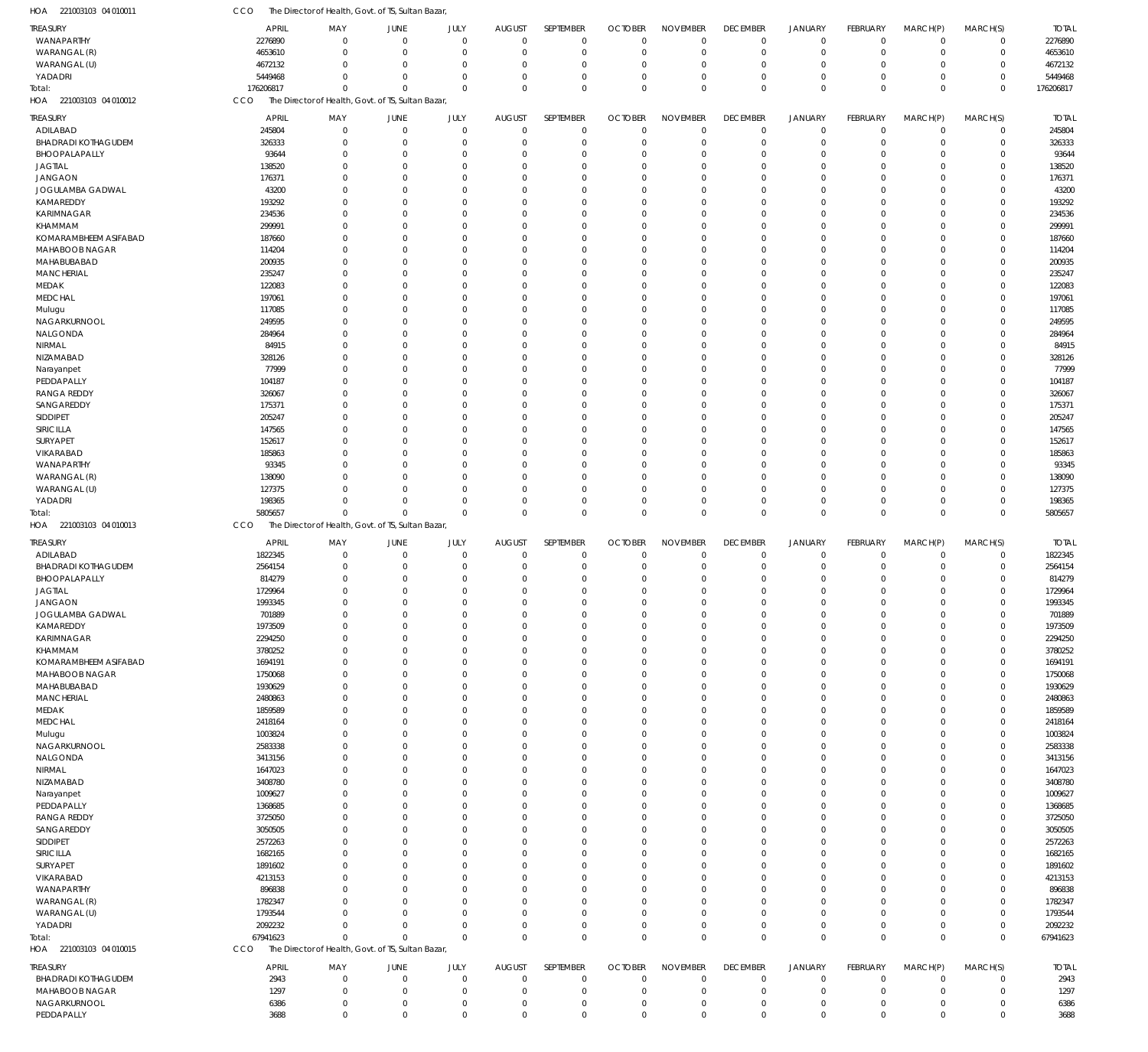| HOA 221003103 04 010011                       | CCO                  | The Director of Health, Govt. of TS, Sultan Bazar |                         |                         |                           |                             |                               |                                |                                |                                  |                            |                        |                            |                      |
|-----------------------------------------------|----------------------|---------------------------------------------------|-------------------------|-------------------------|---------------------------|-----------------------------|-------------------------------|--------------------------------|--------------------------------|----------------------------------|----------------------------|------------------------|----------------------------|----------------------|
| TREASURY                                      | APRIL                | MAY                                               | JUNE                    | JULY                    | <b>AUGUST</b>             | SEPTEMBER                   | <b>OCTOBER</b>                | <b>NOVEMBER</b>                | <b>DECEMBER</b>                | <b>JANUARY</b>                   | FEBRUARY                   | MARCH(P)               | MARCH(S)                   | <b>TOTAL</b>         |
| WANAPARTHY                                    | 2276890              | $\mathbf 0$                                       | $\Omega$                | $\mathbf 0$             | $\Omega$                  | $\overline{0}$              | $\mathbf 0$                   | $\mathbf 0$                    | $\overline{0}$                 | $\overline{0}$                   | $\mathbf 0$                | $\mathbf 0$            | $\mathbf 0$                | 2276890              |
| WARANGAL (R)                                  | 4653610              | $\mathbf 0$                                       | 0                       | $\mathbf 0$             | $\Omega$                  | $\overline{0}$              | $\mathbf 0$                   | $\mathbf 0$                    | $\mathbf 0$                    | $\overline{0}$                   | $\mathbf 0$                | $\mathbf 0$            | $\mathbf 0$                | 4653610              |
| WARANGAL (U)                                  | 4672132              | $\mathbf 0$                                       | $\Omega$                | $\Omega$                | $\Omega$                  | $\overline{0}$              | $\Omega$                      | $\mathbf 0$                    | $\mathbf 0$                    | $\mathbf 0$                      | $\mathbf 0$                | $\Omega$               | $\mathbf 0$                | 4672132              |
| YADADRI                                       | 5449468              | $\mathbf 0$                                       | $\Omega$                | $\Omega$                | $\Omega$                  | $\Omega$                    | $\Omega$                      | $\mathbf 0$                    | $\Omega$                       | $\Omega$                         | $\mathbf 0$                | $\mathbf 0$            | $\mathbf 0$                | 5449468              |
| Total:                                        | 176206817            | $\mathbf 0$                                       | $\Omega$                | $\Omega$                | $\Omega$                  | $\Omega$                    | $\Omega$                      | $\mathbf 0$                    | $\mathbf 0$                    | $\Omega$                         | $\mathbf 0$                | $\mathbf 0$            | $\mathbf 0$                | 176206817            |
| HOA 221003103 04 010012                       | CCO                  | The Director of Health, Govt. of TS, Sultan Bazar |                         |                         |                           |                             |                               |                                |                                |                                  |                            |                        |                            |                      |
| <b>TREASURY</b>                               | <b>APRIL</b>         | MAY                                               | JUNE                    | JULY                    | <b>AUGUST</b>             | SEPTEMBER                   | <b>OCTOBER</b>                | <b>NOVEMBER</b>                | <b>DECEMBER</b>                | <b>JANUARY</b>                   | <b>FEBRUARY</b>            | MARCH(P)               | MARCH(S)                   | <b>TOTAL</b>         |
| ADILABAD                                      | 245804               | $\mathbf 0$                                       | $\mathbf 0$             | $\mathbf 0$             | $\Omega$                  | $\overline{0}$              | $\mathbf 0$                   | $\mathbf 0$                    | $\overline{0}$                 | $\overline{0}$                   | $\mathbf 0$                | $\mathbf 0$            | $\mathbf 0$                | 245804               |
| <b>BHADRADI KOTHAGUDEM</b>                    | 326333               | $\mathbf 0$                                       | $\Omega$                | $\Omega$                |                           | $\overline{0}$              | $\overline{0}$                | $\mathbf 0$                    | $\mathbf 0$                    | $\overline{0}$                   | $\mathbf 0$                | 0                      | $\mathbf 0$                | 326333               |
| BHOOPALAPALLY                                 | 93644                | $\mathbf 0$                                       | $\Omega$                | $\Omega$                |                           | $\overline{0}$              | $\Omega$                      | $\mathbf 0$                    | $\mathbf 0$                    | $\overline{0}$                   | $\mathbf 0$                | 0                      | $\mathbf 0$                | 93644                |
| <b>JAGTIAL</b>                                | 138520               | $\mathbf 0$                                       | $\Omega$                | $\Omega$                |                           | $\Omega$                    | $\Omega$                      | $\overline{0}$                 | $\Omega$                       | $\Omega$                         | $\mathbf 0$                | 0                      | $\mathbf 0$                | 138520               |
| <b>JANGAON</b>                                | 176371               | $\mathbf 0$                                       | C.                      | $\Omega$                |                           | $\Omega$                    | $\Omega$                      | $\mathbf 0$                    | $\Omega$                       | $\Omega$                         | $\mathbf 0$                | $\Omega$               | $\mathbf 0$                | 176371               |
| JOGULAMBA GADWAL                              | 43200                | $\mathbf 0$                                       | C.                      | $\Omega$                |                           | $\Omega$                    | $\Omega$                      | $\Omega$                       | 0                              | $\Omega$                         | $\Omega$                   | $\Omega$               | $\mathbf 0$                | 43200                |
| KAMAREDDY                                     | 193292               | $\mathbf 0$                                       | O                       | $\Omega$                |                           | $\Omega$                    | $\Omega$                      | $\mathbf 0$                    | $\Omega$                       | $\Omega$                         | $\mathbf 0$                | 0                      | $\mathbf 0$                | 193292               |
| KARIMNAGAR                                    | 234536               | $\mathbf 0$                                       | C.                      | $\Omega$                |                           | $\Omega$                    | $\Omega$                      | $\Omega$                       | O                              | $\Omega$                         | $\mathbf 0$                | $\Omega$               | $\mathbf 0$                | 234536               |
| KHAMMAM                                       | 299991               | $\mathbf 0$                                       | C.                      | $\Omega$                |                           | $\Omega$                    | $\Omega$                      | $\Omega$                       | $\Omega$                       | $\Omega$                         | $\Omega$                   | $\Omega$               | $\mathbf 0$                | 299991               |
| KOMARAMBHEEM ASIFABAD                         | 187660               | $\mathbf 0$                                       | O                       | $\Omega$                |                           | $\Omega$                    | $\Omega$                      | $\mathbf 0$                    | $\Omega$                       | $\Omega$                         | $\overline{0}$             | $\Omega$               | $\mathbf 0$                | 187660               |
| MAHABOOB NAGAR                                | 114204               | $\mathbf 0$                                       | C.                      | $\Omega$                |                           | $\Omega$                    | $\Omega$                      | $\overline{0}$                 | $\Omega$                       | $\Omega$                         | $\mathbf 0$                | $\Omega$               | $\mathbf 0$                | 114204               |
| MAHABUBABAD                                   | 200935               | $\mathbf 0$                                       | C.                      | $\Omega$                |                           | $\Omega$                    | $\Omega$                      | $\Omega$                       | O                              | $\Omega$                         | $\Omega$                   | $\Omega$               | $\mathbf 0$                | 200935               |
| <b>MANCHERIAL</b>                             | 235247               | $\mathbf 0$                                       | O                       | $\Omega$                |                           | $\Omega$                    | $\Omega$                      | $\mathbf 0$                    | $\Omega$                       | $\Omega$                         | $\mathbf 0$                | $\Omega$               | $\mathbf 0$                | 235247               |
| MEDAK                                         | 122083               | $\mathbf 0$                                       | O                       | $\Omega$                |                           | $\Omega$                    | $\Omega$                      | $\overline{0}$                 | $\Omega$                       | $\Omega$                         | $\overline{0}$             | $\Omega$               | $\mathbf 0$                | 122083               |
| MEDCHAL                                       | 197061               | $\mathbf 0$                                       | C.                      | $\Omega$                |                           | $\Omega$                    | $\Omega$                      | $\Omega$                       | $\Omega$                       | $\Omega$                         | $\Omega$                   | $\Omega$               | $\mathbf 0$                | 197061               |
| Mulugu                                        | 117085               | $\mathbf 0$                                       | C.                      | $\Omega$                |                           | $\Omega$                    | $\Omega$                      | $\Omega$                       | $\Omega$                       | $\Omega$                         | $\Omega$                   | $\Omega$               | $\mathbf 0$                | 117085               |
| NAGARKURNOOL                                  | 249595               | $\mathbf 0$                                       | O                       | $\Omega$<br>$\Omega$    |                           | $\Omega$<br>$\Omega$        | $\Omega$<br>$\Omega$          | $\overline{0}$<br>$\Omega$     | $\Omega$<br>O                  | $\Omega$<br>$\Omega$             | $\mathbf 0$<br>$\Omega$    | $\Omega$               | $\mathbf 0$                | 249595               |
| NALGONDA                                      | 284964               | $\mathbf 0$<br>$\mathbf 0$                        | C.                      | $\Omega$                |                           | $\Omega$                    | $\Omega$                      | $\mathbf 0$                    | $\Omega$                       | $\Omega$                         | $\mathbf 0$                | $\Omega$<br>$\Omega$   | $\mathbf 0$<br>$\mathbf 0$ | 284964<br>84915      |
| NIRMAL<br>NIZAMABAD                           | 84915<br>328126      | $\mathbf 0$                                       | O<br>O                  | $\Omega$                |                           | $\Omega$                    | $\Omega$                      | $\Omega$                       | $\Omega$                       | $\Omega$                         | $\mathbf 0$                | $\Omega$               | $\mathbf 0$                | 328126               |
| Narayanpet                                    | 77999                | $\mathbf 0$                                       | C.                      | $\Omega$                |                           | $\Omega$                    | $\Omega$                      | $\Omega$                       | $\Omega$                       | $\Omega$                         | $\Omega$                   | $\Omega$               | $\mathbf 0$                | 77999                |
| PEDDAPALLY                                    | 104187               | $\mathbf 0$                                       | C.                      | $\Omega$                |                           | $\Omega$                    | $\Omega$                      | $\Omega$                       | $\Omega$                       | $\Omega$                         | $\Omega$                   | $\Omega$               | $\mathbf 0$                | 104187               |
| <b>RANGA REDDY</b>                            | 326067               | $\mathbf 0$                                       | O                       | $\Omega$                |                           | $\Omega$                    | $\Omega$                      | $\overline{0}$                 | $\Omega$                       | $\Omega$                         | $\mathbf 0$                | 0                      | $\mathbf 0$                | 326067               |
| SANGAREDDY                                    | 175371               | $\mathbf 0$                                       | C.                      | $\Omega$                |                           | $\Omega$                    | $\Omega$                      | $\Omega$                       | O                              | $\Omega$                         | $\Omega$                   | $\Omega$               | $\mathbf 0$                | 175371               |
| SIDDIPET                                      | 205247               | $\mathbf 0$                                       | C.                      | $\Omega$                |                           | $\Omega$                    | $\Omega$                      | $\mathbf 0$                    | $\Omega$                       | $\Omega$                         | $\mathbf 0$                | $\Omega$               | $\mathbf 0$                | 205247               |
| SIRICILLA                                     | 147565               | $\mathbf 0$                                       | O                       | $\Omega$                |                           | $\Omega$                    | $\Omega$                      | $\mathbf 0$                    | $\Omega$                       | $\Omega$                         | $\mathbf 0$                | $\Omega$               | $\mathbf 0$                | 147565               |
| SURYAPET                                      | 152617               | $\mathbf 0$                                       | C.                      | $\Omega$                |                           | $\Omega$                    | $\Omega$                      | $\Omega$                       | $\Omega$                       | $\Omega$                         | $\mathbf 0$                | $\Omega$               | $\mathbf 0$                | 152617               |
| VIKARABAD                                     | 185863               | $\mathbf 0$                                       | C.                      | $\Omega$                |                           | $\Omega$                    | $\Omega$                      | $\Omega$                       | $\Omega$                       | $\Omega$                         | $\Omega$                   | $\Omega$               | $\mathbf 0$                | 185863               |
| WANAPARTHY                                    | 93345                | $\mathbf 0$                                       | O                       | $\Omega$                |                           | $\Omega$                    | $\Omega$                      | $\mathbf 0$                    | $\Omega$                       | $\Omega$                         | $\mathbf 0$                | 0                      | $\mathbf 0$                | 93345                |
| WARANGAL (R)                                  | 138090               | $\mathbf 0$                                       | C.                      | $\Omega$                |                           | $\Omega$                    | $\Omega$                      | $\mathbf 0$                    | $\Omega$                       | $\Omega$                         | $\mathbf 0$                | $\Omega$               | $\mathbf 0$                | 138090               |
| WARANGAL (U)                                  | 127375               | $\mathbf 0$                                       | O                       | $\Omega$                |                           | $\Omega$                    | $\Omega$                      | $\mathbf 0$                    | $\Omega$                       | $\Omega$                         | $\mathbf 0$                | 0                      | $\mathbf 0$                | 127375               |
| YADADRI                                       | 198365               | $\mathbf 0$                                       | $\Omega$                | $\Omega$                |                           | $\Omega$                    | $\Omega$                      | $\overline{0}$                 | $\mathbf 0$                    | $\overline{0}$                   | $\mathbf 0$                | -0                     | $\mathbf 0$                | 198365               |
| Total:                                        | 5805657              | $\mathbf 0$                                       | $\sqrt{ }$              | $\Omega$                | $\Omega$                  | $\Omega$                    | $\Omega$                      | $\Omega$                       | $\mathbf 0$                    | $\Omega$                         | $\mathbf 0$                | $\mathbf 0$            | $\mathbf 0$                | 5805657              |
|                                               |                      |                                                   |                         |                         |                           |                             |                               |                                |                                |                                  |                            |                        |                            |                      |
| HOA 221003103 04 010013                       | CCO                  | The Director of Health, Govt. of TS, Sultan Bazar |                         |                         |                           |                             |                               |                                |                                |                                  |                            |                        |                            |                      |
|                                               |                      |                                                   |                         |                         |                           |                             |                               |                                |                                |                                  |                            |                        |                            |                      |
| TREASURY                                      | <b>APRIL</b>         | MAY                                               | JUNE                    | JULY                    | <b>AUGUST</b><br>$\Omega$ | SEPTEMBER                   | <b>OCTOBER</b>                | <b>NOVEMBER</b>                | <b>DECEMBER</b>                | <b>JANUARY</b>                   | FEBRUARY                   | MARCH(P)               | MARCH(S)                   | <b>TOTAL</b>         |
| ADILABAD                                      | 1822345              | $\mathbf 0$                                       | $\mathbf 0$<br>$\Omega$ | $\mathbf 0$             | $\Omega$                  | $^{\circ}$                  | $\mathbf 0$<br>$\Omega$       | $\mathbf 0$                    | $\mathbf 0$                    | $\mathbf 0$                      | $\mathbf 0$                | $\mathbf 0$            | $\mathbf 0$                | 1822345              |
| <b>BHADRADI KOTHAGUDEM</b>                    | 2564154              | $\mathbf 0$<br>$\Omega$                           | $\Omega$                | $\mathbf 0$<br>$\Omega$ | $\Omega$                  | $^{\circ}$<br>$^{\circ}$    | $\Omega$                      | $\mathbf 0$<br>$\mathbf 0$     | $\mathbf 0$<br>$\Omega$        | $\mathbf 0$<br>$\Omega$          | $\mathbf 0$<br>$\mathbf 0$ | 0<br>0                 | $\mathbf 0$<br>$\mathbf 0$ | 2564154              |
| BHOOPALAPALLY<br><b>JAGTIAL</b>               | 814279<br>1729964    | $\Omega$                                          | $\Omega$                | $\Omega$                | $\Omega$                  | $\mathbf 0$                 | $\Omega$                      | $\mathbf{0}$                   | $\Omega$                       | $\Omega$                         | $\Omega$                   | $\mathbf 0$            | $\mathbf 0$                | 814279<br>1729964    |
| <b>JANGAON</b>                                | 1993345              | $\mathbf 0$                                       | $\Omega$                | $\mathbf 0$             | $\mathbf 0$               | $\mathbf 0$                 | $\mathbf 0$                   | $\mathbf 0$                    | $\mathbf 0$                    | $\Omega$                         | $\mathbf 0$                | $\mathbf 0$            | $\mathbf 0$                | 1993345              |
| JOGULAMBA GADWAL                              | 701889               | $\mathbf 0$                                       | $\mathbf 0$             | $\Omega$                | $\Omega$                  | $\overline{0}$              | $\Omega$                      | $\mathbf 0$                    | $\mathbf 0$                    | $\mathbf 0$                      | $\mathbf 0$                | $\mathbf 0$            | $\mathbf 0$                | 701889               |
| KAMAREDDY                                     | 1973509              | $\mathbf 0$                                       | $\mathbf 0$             | $\Omega$                | $\Omega$                  | $\overline{0}$              | $\mathbf 0$                   | $\mathbf 0$                    | $\mathbf 0$                    | $\mathbf 0$                      | $\mathbf 0$                | 0                      | $\mathbf 0$                | 1973509              |
| KARIMNAGAR                                    | 2294250              | $\mathbf 0$                                       | $\Omega$                | $\Omega$                | $\Omega$                  | $\overline{0}$              | $\Omega$                      | $\mathbf 0$                    | $\Omega$                       | $\mathbf 0$                      | $\Omega$                   | 0                      | $\mathbf 0$                | 2294250              |
| <b>KHAMMAM</b>                                | 3780252              | $\mathbf 0$                                       | $\Omega$                | $\Omega$                | $\Omega$                  | $\Omega$                    | $\Omega$                      | $\mathbf 0$                    | $\Omega$                       | $\Omega$                         | $\mathbf 0$                | 0                      | $\mathbf 0$                | 3780252              |
| KOMARAMBHEEM ASIFABAD                         | 1694191              | $\mathbf 0$                                       | $\Omega$                | $\Omega$                | $\Omega$                  | $\overline{0}$              | $\Omega$                      | $\mathbf 0$                    | $\Omega$                       | $\Omega$                         | $\mathbf 0$                | 0                      | $\mathbf 0$                | 1694191              |
| MAHABOOB NAGAR                                | 1750068              | $\mathbf 0$                                       | $\Omega$                | $\Omega$                |                           | $\Omega$                    | $\Omega$                      | $\mathbf 0$                    | $\Omega$                       | $\Omega$                         | $\Omega$                   | $\Omega$               | $\mathbf 0$                | 1750068              |
| MAHABUBABAD                                   | 1930629              | $\mathbf 0$                                       | $\Omega$                | $\Omega$                |                           | $\overline{0}$              | $\Omega$                      | $\mathbf 0$                    | $\Omega$                       | $\Omega$                         | $\Omega$                   | 0                      | $\mathbf 0$                | 1930629              |
| <b>MANCHERIAL</b>                             | 2480863              | $\mathbf 0$                                       | $\Omega$                | $\Omega$                | $\Omega$                  | $\Omega$                    | $\Omega$                      | $\mathbf 0$                    | $\Omega$                       | $\Omega$                         | $\mathbf 0$                | 0                      | $\mathbf 0$                | 2480863              |
| MEDAK                                         | 1859589              | $\mathbf 0$                                       | $\Omega$                | $\Omega$                |                           | $\Omega$                    | $\Omega$                      | $\mathbf 0$                    | $\Omega$                       | $\Omega$                         | $\Omega$                   | $\Omega$               | $\mathbf 0$                | 1859589              |
| MEDCHAL                                       | 2418164              | $\mathbf 0$                                       | $\Omega$                | $\Omega$                |                           | $\Omega$                    | $\Omega$                      | $\mathbf 0$                    | $\Omega$                       | $\Omega$                         | $\Omega$                   | $\Omega$               | $\mathbf 0$                | 2418164              |
| Mulugu                                        | 1003824              | $\mathbf 0$                                       | $\Omega$                | $\Omega$                |                           | $\overline{0}$              | $\Omega$                      | $\mathbf 0$                    | $\Omega$                       | $\Omega$                         | $\Omega$                   | 0                      | $\mathbf 0$                | 1003824              |
| NAGARKURNOOL                                  | 2583338              | $\mathbf 0$                                       | $\Omega$                | $\Omega$                | $\cap$                    | $\Omega$                    | $\Omega$                      | $\mathbf 0$                    | $\Omega$                       | $\Omega$                         | $\Omega$                   | $\Omega$               | $\mathbf 0$                | 2583338              |
| NALGONDA                                      | 3413156              | $\mathbf 0$                                       | $\Omega$                | $\Omega$                |                           | $\overline{0}$              | $\Omega$                      | $\mathbf 0$                    | $\Omega$                       | $\Omega$                         | $\Omega$                   | 0                      | $\mathbf 0$                | 3413156              |
| NIRMAL                                        | 1647023              | $\mathbf 0$                                       | $\Omega$                | $\Omega$                |                           | $\Omega$                    | $\Omega$                      | $\mathbf 0$                    | $\Omega$                       | $\Omega$                         | $\Omega$                   | 0                      | $\mathbf 0$                | 1647023              |
| NIZAMABAD                                     | 3408780              | $\mathbf 0$                                       | $\Omega$                | $\Omega$                |                           | $\Omega$                    | $\Omega$                      | $\mathbf 0$                    | $\Omega$                       | $\Omega$                         | $\Omega$                   | $\Omega$               | $\mathbf 0$                | 3408780              |
| Narayanpet                                    | 1009627              | $\mathbf 0$                                       | $\Omega$                | $\Omega$                |                           | $\Omega$                    | $\Omega$                      | $\mathbf 0$                    | $\Omega$                       | $\Omega$                         | $\mathbf 0$                | $\Omega$               | $\mathbf 0$                | 1009627              |
| PEDDAPALLY                                    | 1368685              | $\mathbf 0$                                       | $\Omega$                | $\Omega$                |                           | $\overline{0}$              | $\Omega$                      | $\mathbf 0$                    | $\Omega$                       | $\Omega$                         | $\mathbf 0$                | 0                      | $\mathbf 0$                | 1368685              |
| <b>RANGA REDDY</b>                            | 3725050              | $\mathbf 0$                                       | $\Omega$                | $\Omega$                |                           | $\Omega$                    | $\Omega$                      | $\mathbf 0$                    | $\Omega$                       | $\Omega$                         | $\Omega$                   | $\Omega$               | $\mathbf 0$                | 3725050              |
| SANGAREDDY                                    | 3050505              | $\mathbf 0$<br>$\mathbf 0$                        | $\Omega$<br>$\Omega$    | $\Omega$<br>$\Omega$    | $\Omega$                  | $\Omega$<br>$\Omega$        | $\Omega$<br>$\Omega$          | $\mathbf 0$<br>$\mathbf 0$     | $\Omega$<br>$\Omega$           | $\Omega$<br>$\Omega$             | $\Omega$<br>$\mathbf 0$    | 0<br>0                 | $\mathbf 0$                | 3050505              |
| SIDDIPET                                      | 2572263              | $\mathbf 0$                                       | O                       | $\Omega$                |                           | $\Omega$                    | $\Omega$                      | $\mathbf 0$                    | $\Omega$                       | $\Omega$                         | $\Omega$                   | $\Omega$               | $\mathbf 0$<br>$\mathbf 0$ | 2572263              |
| SIRICILLA<br>SURYAPET                         | 1682165<br>1891602   | $\mathbf 0$                                       | $\Omega$                | $\Omega$                |                           | $\Omega$                    | $\Omega$                      | $\mathbf 0$                    | $\Omega$                       | $\Omega$                         | $\Omega$                   | $\Omega$               | $\mathbf 0$                | 1682165<br>1891602   |
| VIKARABAD                                     | 4213153              | $\mathbf 0$                                       | $\Omega$                | $\Omega$                |                           | $\overline{0}$              | $\Omega$                      | $\mathbf 0$                    | $\Omega$                       | $\Omega$                         | $\Omega$                   | 0                      | $\mathbf 0$                | 4213153              |
| WANAPARTHY                                    | 896838               | $\mathbf 0$                                       | $\Omega$                | $\Omega$                | $\Omega$                  | $\Omega$                    | $\Omega$                      | $\mathbf 0$                    | $\Omega$                       | $\Omega$                         | $\mathbf 0$                | $\Omega$               | $\mathbf 0$                | 896838               |
| WARANGAL (R)                                  | 1782347              | $\mathbf 0$                                       | O                       | $\Omega$                |                           | $\Omega$                    | $\Omega$                      | $\mathbf 0$                    | $\Omega$                       | $\Omega$                         | $\Omega$                   | 0                      | $\mathbf 0$                | 1782347              |
| WARANGAL (U)                                  | 1793544              | $\mathbf 0$                                       | $\Omega$                | $\Omega$                | $\Omega$                  | $\Omega$                    | $\Omega$                      | $\mathbf 0$                    | $\mathbf 0$                    | $\Omega$                         | $\mathbf 0$                | 0                      | $\mathbf 0$                | 1793544              |
| YADADRI                                       | 2092232              | $\mathbf 0$                                       | 0                       | $\Omega$                | $\Omega$                  | $\overline{0}$              | $\Omega$                      | $\mathbf 0$                    | $\mathbf 0$                    | $\mathbf 0$                      | $\mathbf 0$                | 0                      | $\mathbf 0$                | 2092232              |
| Total:                                        | 67941623             | $\mathbf 0$                                       | $\Omega$                | $\Omega$                | $\Omega$                  | $\Omega$                    | $\Omega$                      | $\Omega$                       | $\mathbf 0$                    | $\Omega$                         | $\Omega$                   | $\Omega$               | $\mathbf 0$                | 67941623             |
| HOA 221003103 04 010015                       | <b>CCO</b>           | The Director of Health, Govt. of TS, Sultan Bazar |                         |                         |                           |                             |                               |                                |                                |                                  |                            |                        |                            |                      |
|                                               |                      |                                                   |                         |                         |                           |                             |                               |                                |                                |                                  |                            |                        |                            |                      |
| <b>TREASURY</b><br><b>BHADRADI KOTHAGUDEM</b> | <b>APRIL</b><br>2943 | MAY<br>$\mathbf 0$                                | JUNE<br>$\mathbf 0$     | JULY<br>$\mathbf 0$     | <b>AUGUST</b><br>$\Omega$ | SEPTEMBER<br>$\overline{0}$ | <b>OCTOBER</b><br>$\mathbf 0$ | <b>NOVEMBER</b><br>$\mathbf 0$ | <b>DECEMBER</b><br>$\mathbf 0$ | <b>JANUARY</b><br>$\overline{0}$ | FEBRUARY<br>$\mathbf 0$    | MARCH(P)<br>$^{\circ}$ | MARCH(S)<br>$\mathbf 0$    | <b>TOTAL</b><br>2943 |
| MAHABOOB NAGAR                                | 1297                 | $\mathbf 0$                                       | 0                       | $\mathbf 0$             |                           | $^{\circ}$                  | $\mathbf 0$                   | $\mathbf 0$                    | $\mathbf 0$                    | $\mathbf 0$                      | $\mathbf 0$                | -0                     | $\mathbf 0$                | 1297                 |
| NAGARKURNOOL                                  | 6386                 | $\mathbf 0$                                       | 0                       | $\mathbf 0$             |                           | $^{\circ}$                  | $\mathbf 0$                   | $\mathbf 0$                    | $\mathbf 0$                    | $\mathbf 0$                      | $\mathbf 0$                | 0                      | $\mathbf 0$                | 6386                 |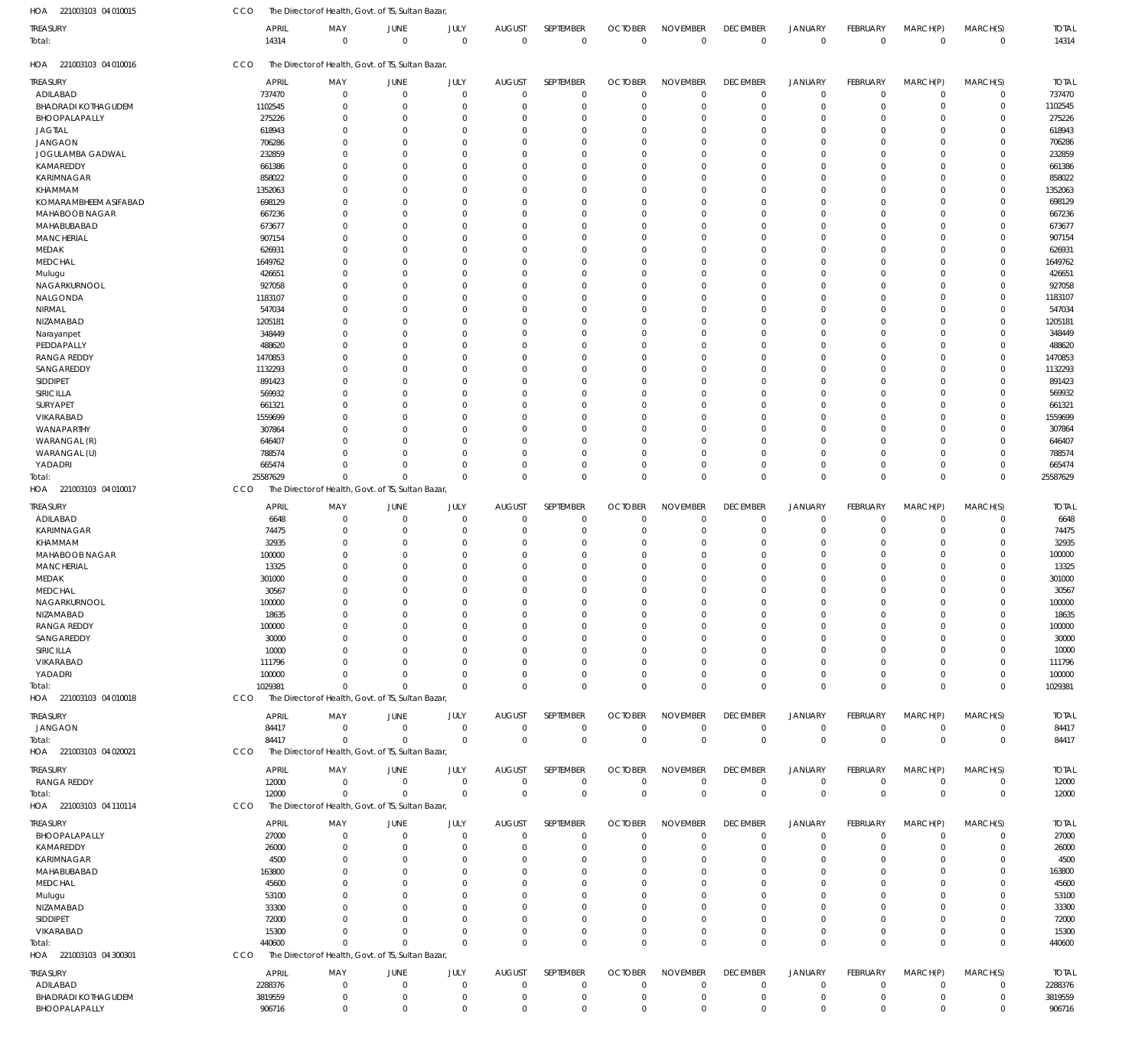| TREASURY<br>APRIL<br>MAY<br><b>JUNE</b><br>JULY<br><b>AUGUST</b><br>SEPTEMBER<br><b>OCTOBER</b><br><b>NOVEMBER</b><br><b>DECEMBER</b><br>JANUARY<br>FEBRUARY<br>MARCH(P)<br>MARCH(S)<br>14314<br>$\overline{0}$<br>$\mathbf 0$<br>$\mathbf 0$<br>$\mathbf 0$<br>$\overline{0}$<br>$\Omega$<br>$\mathbf{0}$<br>$\overline{0}$<br>$\overline{0}$<br>$\mathbf 0$<br>$\mathbf 0$<br>$\mathbf 0$<br>Total:<br>221003103 04 010016<br>CCO<br>The Director of Health, Govt. of TS, Sultan Bazar,<br>HOA<br>TREASURY<br><b>APRIL</b><br>MAY<br>JUNE<br>JULY<br><b>AUGUST</b><br>SEPTEMBER<br><b>OCTOBER</b><br><b>NOVEMBER</b><br><b>DECEMBER</b><br>JANUARY<br>FEBRUARY<br>MARCH(P)<br>MARCH(S)<br>737470<br>$\overline{0}$<br>$\mathbf{0}$<br>$\mathbf 0$<br>$\overline{0}$<br>$\mathbf 0$<br>ADILABAD<br>$\overline{0}$<br>$\Omega$<br>$\mathbf 0$<br>$\overline{0}$<br>$^{\circ}$<br>$\mathbf 0$<br>$\mathbf 0$<br><b>BHADRADI KOTHAGUDEM</b><br>1102545<br>$\overline{0}$<br>$\mathbf 0$<br>$\mathbf 0$<br>$\mathbf 0$<br>$\mathbf 0$<br>$\overline{0}$<br>$\mathbf 0$<br>$\mathbf 0$<br>$\mathbf 0$<br>- 0<br>$\Omega$<br>$\Omega$<br>BHOOPALAPALLY<br>275226<br>$\overline{0}$<br>$\Omega$<br>$\overline{0}$<br>$\mathbf 0$<br>$\mathbf 0$<br>$\Omega$<br>$\Omega$<br>0<br>0<br>$\Omega$<br>0<br>-0<br><b>JAGTIAL</b><br>618943<br>$\overline{0}$<br>$^{\circ}$<br>$\mathbf 0$<br>$\mathbf 0$<br>$\Omega$<br>$\Omega$<br>$\Omega$<br>$\Omega$<br>$\Omega$<br>0<br>$\Omega$<br>0<br><b>JANGAON</b><br>706286<br>$\Omega$<br>$\Omega$<br>$^{\circ}$<br>$\Omega$<br>$\Omega$<br>$\Omega$<br>$\Omega$<br>$\Omega$<br>0<br>$\Omega$<br>$\Omega$<br>$\Omega$<br>JOGULAMBA GADWAL<br>232859<br>$\overline{0}$<br>$\Omega$<br>$^{\circ}$<br>$\mathbf 0$<br>$\Omega$<br>$\Omega$<br>$\Omega$<br>$\Omega$<br>$\Omega$<br>0<br>$\Omega$<br>$\Omega$<br>KAMAREDDY<br>661386<br>$\Omega$<br>$\Omega$<br>$\Omega$<br>$\Omega$<br>$\Omega$<br>$\Omega$<br>$\Omega$<br>$\Omega$<br>0<br>$\Omega$<br>0<br>- 0<br>KARIMNAGAR<br>858022<br>$\overline{0}$<br>$^{\circ}$<br>$\mathbf 0$<br>$\Omega$<br>$\Omega$<br>$\Omega$<br>$\Omega$<br>$\Omega$<br>$\Omega$<br>0<br>$\Omega$<br>$\Omega$<br>KHAMMAM<br>1352063<br>$\Omega$<br>$\Omega$<br>$^{\circ}$<br>$\Omega$<br>$\Omega$<br>$\Omega$<br>$\Omega$<br>$\Omega$<br>0<br>$\Omega$<br>$\Omega$<br>$\Omega$<br>KOMARAMBHEEM ASIFABAD<br>698129<br>$\overline{0}$<br>$\mathbf 0$<br>$\Omega$<br>$^{\circ}$<br>$\Omega$<br>$\Omega$<br>$\Omega$<br>$\Omega$<br>$\Omega$<br>0<br>$\Omega$<br>$\Omega$<br>MAHABOOB NAGAR<br>667236<br>$\Omega$<br>$\Omega$<br>$\Omega$<br>$\mathbf 0$<br>$\Omega$<br>$\Omega$<br>$\Omega$<br>$\Omega$<br>0<br>$\Omega$<br>$\Omega$<br>- 0<br>MAHABUBABAD<br>673677<br>$\overline{0}$<br>$^{\circ}$<br>$\mathbf 0$<br>$\Omega$<br>$\Omega$<br>$\Omega$<br>$\Omega$<br>$\Omega$<br>$\Omega$<br>0<br>$\Omega$<br>$\Omega$<br>MANCHERIAL<br>907154<br>$\Omega$<br>$\Omega$<br>$^{\circ}$<br>$\Omega$<br>$\Omega$<br>$\Omega$<br>$\Omega$<br>$\Omega$<br>0<br>$\Omega$<br>$\Omega$<br>$\Omega$<br>626931<br>$\overline{0}$<br>$\mathbf 0$<br>MEDAK<br>$\Omega$<br>$^{\circ}$<br>$\Omega$<br>$\Omega$<br>$\Omega$<br>$\Omega$<br>$\Omega$<br>0<br>$\Omega$<br>$\Omega$<br><b>MEDCHAL</b><br>1649762<br>$\Omega$<br>$\Omega$<br>$\Omega$<br>$\mathbf 0$<br>$\Omega$<br>$\Omega$<br>$\Omega$<br>$\Omega$<br>0<br>$\Omega$<br>$\Omega$<br>- 0<br>426651<br>$\overline{0}$<br>$^{\circ}$<br>$\mathbf 0$<br>$\Omega$<br>$\Omega$<br>$\Omega$<br>$\Omega$<br>Mulugu<br>$\Omega$<br>$\Omega$<br>0<br>$\Omega$<br>$\Omega$<br>NAGARKURNOOL<br>927058<br>$\Omega$<br>$\Omega$<br>$^{\circ}$<br>$\Omega$<br>$\Omega$<br>$\Omega$<br>$\Omega$<br>$\Omega$<br>0<br>$\Omega$<br>$\Omega$<br>$\Omega$<br>NALGONDA<br>1183107<br>$\overline{0}$<br>$\mathbf 0$<br>$\Omega$<br>1183107<br>$\Omega$<br>$^{\circ}$<br>$\Omega$<br>$\Omega$<br>$\Omega$<br>$\Omega$<br>0<br>$\Omega$<br>$\Omega$<br>547034<br>$\Omega$<br>NIRMAL<br>$\Omega$<br>$\Omega$<br>$\mathbf 0$<br>$\Omega$<br>$\Omega$<br>$\Omega$<br>$\Omega$<br>$\Omega$<br>0<br>$\Omega$<br>- 0<br>NIZAMABAD<br>1205181<br>$\overline{0}$<br>$\overline{0}$<br>$^{\circ}$<br>$\mathbf 0$<br>$\Omega$<br>$\Omega$<br>$\Omega$<br>$\Omega$<br>$\Omega$<br>0<br>$\Omega$<br>$\Omega$<br>348449<br>$\Omega$<br>$\Omega$<br>$^{\circ}$<br>$\Omega$<br>$\Omega$<br>$\Omega$<br>$\Omega$<br>Narayanpet<br>$\Omega$<br>$\Omega$<br>$\Omega$<br>$\Omega$<br>$\Omega$<br>PEDDAPALLY<br>488620<br>$\overline{0}$<br>$\Omega$<br>$\Omega$<br>$^{\circ}$<br>$\mathbf 0$<br>$\Omega$<br>$\Omega$<br>$\Omega$<br>$\Omega$<br>0<br>$\Omega$<br>$\Omega$<br><b>RANGA REDDY</b><br>1470853<br>$\Omega$<br>$\Omega$<br>$\Omega$<br>$\Omega$<br>$\Omega$<br>$\Omega$<br>$\Omega$<br>$\Omega$<br>$\Omega$<br>0<br>$\Omega$<br>- 0<br>SANGAREDDY<br>1132293<br>$\overline{0}$<br>$\Omega$<br>$^{\circ}$<br>$\mathbf 0$<br>$\Omega$<br>$\Omega$<br>$\Omega$<br>$\Omega$<br>$\Omega$<br>0<br>$\Omega$<br>-0<br>SIDDIPET<br>891423<br>$\Omega$<br>$\Omega$<br>$^{\circ}$<br>$\mathbf 0$<br>$\Omega$<br>$\Omega$<br>$\Omega$<br>$\Omega$<br>$\Omega$<br>$\Omega$<br>$\Omega$<br>$\Omega$<br>569932<br>$\overline{0}$<br>SIRICILLA<br>$\Omega$<br>$^{\circ}$<br>$\mathbf 0$<br>$\Omega$<br>$\Omega$<br>$\Omega$<br>$\Omega$<br>$\Omega$<br>0<br>$\Omega$<br>$\Omega$<br>SURYAPET<br>661321<br>$\Omega$<br>$\Omega$<br>$\Omega$<br>$\Omega$<br>$\Omega$<br>$\Omega$<br>$\Omega$<br>$\Omega$<br>$\Omega$<br>0<br>$\Omega$<br>VIKARABAD<br>1559699<br>$\overline{0}$<br>$^{\circ}$<br>$\mathbf 0$<br>$\mathbf 0$<br>$\Omega$<br>$\Omega$<br>$\Omega$<br>$\Omega$<br>$\Omega$<br>0<br>$\Omega$<br>-0<br>WANAPARTHY<br>307864<br>$\Omega$<br>$\Omega$<br>$^{\circ}$<br>$\mathbf 0$<br>$\Omega$<br>$\Omega$<br>$\Omega$<br>$\Omega$<br>$\Omega$<br>$\Omega$<br>$\Omega$<br>$\Omega$<br>WARANGAL (R)<br>$\overline{0}$<br>$\mathbf 0$<br>646407<br>$\Omega$<br>$^{\circ}$<br>$\Omega$<br>$\Omega$<br>$\Omega$<br>$\Omega$<br>$\Omega$<br>$\Omega$<br>0<br>$\Omega$<br>WARANGAL (U)<br>788574<br>$\Omega$<br>$\mathbf 0$<br>$\Omega$<br>$^{\circ}$<br>$\Omega$<br>$\Omega$<br>$\mathbf 0$<br>$\mathbf 0$<br>$\Omega$<br>$\Omega$<br>$\Omega$<br>$\Omega$<br>YADADRI<br>665474<br>$\Omega$<br>$\mathbf 0$<br>$\mathbf 0$<br>$\Omega$<br>$\mathbf 0$<br>$\Omega$<br>$^{\circ}$<br>$\mathbf 0$<br>$\Omega$<br>$\mathbf 0$<br>$\Omega$<br>$\Omega$<br>25587629<br>$\Omega$<br>$\mathbf 0$<br>$\Omega$<br>$\mathbf 0$<br>$\Omega$<br>$\mathbf 0$<br>$\Omega$<br>$\Omega$<br>$\Omega$<br>$\Omega$<br>$\overline{0}$<br>$\Omega$<br>Total:<br>HOA 221003103 04 010017<br>The Director of Health, Govt. of TS, Sultan Bazar,<br>CCO<br><b>DECEMBER</b><br>TREASURY<br><b>APRIL</b><br>MAY<br>JUNE<br>JULY<br><b>AUGUST</b><br>SEPTEMBER<br><b>OCTOBER</b><br><b>NOVEMBER</b><br>JANUARY<br>FEBRUARY<br>MARCH(P)<br>MARCH(S)<br>$\mathbf 0$<br>$\mathbf 0$<br>ADILABAD<br>6648<br>$\overline{0}$<br>$\circ$<br>$\overline{0}$<br>$\mathbf 0$<br>$\overline{0}$<br>$\mathbf 0$<br>$\Omega$<br>0<br>$\Omega$<br>0<br>KARIMNAGAR<br>74475<br>$\overline{0}$<br>$\overline{0}$<br>$\mathbf 0$<br>$\mathbf 0$<br>$\mathbf 0$<br>$\mathbf 0$<br>$\overline{0}$<br>$\Omega$<br>$\overline{0}$<br>$\mathbf 0$<br>$\mathbf 0$<br>$\overline{0}$<br>KHAMMAM<br>32935<br>$\mathbf 0$<br>$\overline{0}$<br>$\mathbf 0$<br>$\mathbf{0}$<br>$\mathbf 0$<br>$\Omega$<br>$\mathbf 0$<br>$\mathbf 0$<br>0<br>$\Omega$<br>$\Omega$<br>$\Omega$<br>MAHABOOB NAGAR<br>100000<br>$\overline{0}$<br>$\Omega$<br>$\overline{0}$<br>$\Omega$<br>$^{\circ}$<br>$\Omega$<br>$\Omega$<br>$\Omega$<br>$\Omega$<br>$\Omega$<br>$\Omega$<br>$\Omega$<br><b>MANCHERIAL</b><br>13325<br>$\Omega$<br>$\Omega$<br>$\Omega$<br>$\Omega$<br>$\Omega$<br>$\Omega$<br>$\mathbf 0$<br>$\Omega$<br>$\Omega$<br>0<br>$\Omega$<br>$\Omega$<br>MEDAK<br>301000<br>$\Omega$<br>$\Omega$<br>$\Omega$<br>$\Omega$<br>$\mathbf 0$<br>$\Omega$<br>$\Omega$<br>$\Omega$<br>$\Omega$<br>$\Omega$<br>$\Omega$<br>$\Omega$<br><b>MEDCHAL</b><br>30567<br>$\mathbf 0$<br>$\Omega$<br>$\mathbf 0$<br>$\Omega$<br>$\Omega$<br>$\Omega$<br>$\mathbf 0$<br>$\Omega$<br>$\Omega$<br>$\Omega$<br>$\Omega$<br>$\Omega$<br>100000<br>NAGARKURNOOL<br>$\mathbf 0$<br>$\mathbf 0$<br>$\overline{0}$<br>$\Omega$<br>$\mathbf 0$<br>$\Omega$<br>$\mathbf{0}$<br>$\Omega$<br>$\mathbf 0$<br>$\mathbf 0$<br>$\mathbf 0$<br>$\mathbf 0$<br>NIZAMABAD<br>18635<br>$\overline{0}$<br>$\mathbf 0$<br>$\mathbf 0$<br>$\mathbf 0$<br>$\Omega$<br>$\Omega$<br>$\Omega$<br>$\Omega$<br>$\Omega$<br>$\Omega$<br>$\Omega$<br>$\Omega$<br><b>RANGA REDDY</b><br>100000<br>$\overline{0}$<br>$\overline{0}$<br>$\mathbf 0$<br>$^{\circ}$<br>$\mathbf 0$<br>$\Omega$<br>$\mathbf 0$<br>$\Omega$<br>$\overline{0}$<br>$\Omega$<br>$\Omega$<br>$^{\circ}$<br>SANGAREDDY<br>30000<br>$\overline{0}$<br>$\mathbf 0$<br>$\mathbf 0$<br>$\Omega$<br>$\mathbf{0}$<br>$\Omega$<br>$\Omega$<br>0<br>$\Omega$<br>$\Omega$<br>$\Omega$<br>0<br>SIRICILLA<br>10000<br>$\Omega$<br>$\Omega$<br>$\mathbf 0$<br>$\Omega$<br>$\Omega$<br>$\Omega$<br>$\Omega$<br>$\Omega$<br>$\Omega$<br>$\Omega$<br>$\Omega$<br>0<br>VIKARABAD<br>111796<br>$\mathbf 0$<br>$\mathbf 0$<br>- 0<br>$\Omega$<br>$\Omega$<br>$\Omega$<br>0<br>$\Omega$<br>0<br>$\Omega$<br>$\Omega$<br>$\Omega$<br>YADADRI<br>100000<br>$\overline{0}$<br>$\Omega$<br>$\Omega$<br>$\mathbf 0$<br>$\mathbf 0$<br>$\mathbf 0$<br>$\Omega$<br>$\Omega$<br>$\Omega$<br>0<br>$\Omega$<br>0<br>1029381<br>$\mathbf 0$<br>$\mathbf 0$<br>$\Omega$<br>$\mathbf 0$<br>$\Omega$<br>$\Omega$<br>$\Omega$<br>$\Omega$<br>$\overline{0}$<br>$\Omega$<br>$\Omega$<br>Total:<br>$\Omega$<br>HOA 221003103 04 010018<br>CCO<br>The Director of Health, Govt. of TS, Sultan Bazar,<br>TREASURY<br><b>APRIL</b><br>MAY<br>JUNE<br>JULY<br><b>SEPTEMBER</b><br><b>OCTOBER</b><br><b>NOVEMBER</b><br><b>DECEMBER</b><br>JANUARY<br>FEBRUARY<br>MARCH(P)<br>MARCH(S)<br><b>AUGUST</b><br>84417<br>$\overline{0}$<br>$\overline{0}$<br>JANGAON<br>$\overline{0}$<br>$\mathbf 0$<br>$\overline{0}$<br>$\overline{0}$<br>$\mathbf 0$<br>$\overline{0}$<br>$\overline{0}$<br>$\mathbf 0$<br>$\mathbf 0$<br>$\Omega$<br>84417<br>$\mathbf 0$<br>$\mathbf 0$<br>$\overline{0}$<br>$\mathbf 0$<br>$\mathbf 0$<br>$\overline{0}$<br>$\mathbf 0$<br>$\mathbf 0$<br>$\mathbf 0$<br>$\overline{0}$<br>$\Omega$<br>Total:<br>$^{\circ}$<br>HOA 221003103 04 020021<br>The Director of Health, Govt. of TS, Sultan Bazar,<br>CCO<br>APRIL<br>MAY<br>JUNE<br>JULY<br><b>AUGUST</b><br>SEPTEMBER<br><b>OCTOBER</b><br><b>NOVEMBER</b><br><b>DECEMBER</b><br>JANUARY<br>FEBRUARY<br>MARCH(P)<br>MARCH(S)<br>treasury<br>12000<br>$\mathbf 0$<br>$\overline{0}$<br>$\overline{0}$<br>RANGA REDDY<br>$^{\circ}$<br>$\mathbf 0$<br>$\overline{0}$<br>$\mathbf 0$<br>0<br>$\mathbf 0$<br>$\mathbf 0$<br>$\mathbf 0$<br>$\mathbf 0$<br>$\overline{0}$<br>12000<br>$\mathbf 0$<br>$\overline{0}$<br>$\mathbf 0$<br>$\overline{0}$<br>$\Omega$<br>$\overline{0}$<br>$\overline{0}$<br>$\mathbf 0$<br>$\mathbf 0$<br>$\mathbf 0$<br>$\Omega$<br>Total:<br>HOA 221003103 04 110114<br>CCO<br>The Director of Health, Govt. of TS, Sultan Bazar,<br>TREASURY<br><b>APRIL</b><br>MAY<br><b>JUNE</b><br>JULY<br><b>AUGUST</b><br>SEPTEMBER<br><b>OCTOBER</b><br><b>NOVEMBER</b><br><b>DECEMBER</b><br>JANUARY<br>FEBRUARY<br>MARCH(P)<br>MARCH(S)<br>BHOOPALAPALLY<br>27000<br>$\overline{0}$<br>$\overline{0}$<br>$\mathbf{0}$<br>$\overline{0}$<br>$\overline{0}$<br>$\mathbf 0$<br>$\mathbf 0$<br>$\overline{0}$<br>$\overline{0}$<br>$\mathbf 0$<br>$\mathbf 0$<br>- 0<br>KAMAREDDY<br>26000<br>$\overline{0}$<br>$\Omega$<br>$\mathbf 0$<br>$\mathbf 0$<br>$\Omega$<br>$\mathbf 0$<br>- 0<br>0<br>0<br>0<br>- 0<br>$\Omega$<br>KARIMNAGAR<br>4500<br>$\overline{0}$<br>$\mathbf 0$<br>$\mathbf 0$<br>$\mathbf 0$<br>$\Omega$<br>$\mathbf{0}$<br>$\Omega$<br>0<br>0<br>-0<br>$\Omega$<br>MAHABUBABAD<br>163800<br>$\overline{0}$<br>$\mathbf 0$<br>$\mathbf 0$<br>$\mathbf 0$<br>$\mathbf{0}$<br>$\Omega$<br>$\Omega$<br>0<br>0<br>$\Omega$<br>0<br>$\Omega$<br><b>MEDCHAL</b><br>45600<br>$\overline{0}$<br>$\Omega$<br>$\Omega$<br>$\Omega$<br>0<br>$\Omega$<br>$\Omega$<br>0<br>$\Omega$<br>$\Omega$<br><sup>0</sup><br>53100<br>$\overline{0}$<br>$\mathbf 0$<br>$\Omega$<br>Mulugu<br>$\Omega$<br>$\Omega$<br>$\Omega$<br>$\Omega$<br>$\Omega$<br>0<br>0<br>$\Omega$<br>NIZAMABAD<br>33300<br>$\Omega$<br>$\Omega$<br>$\Omega$<br>$\Omega$<br>0<br>$\Omega$<br>$\Omega$<br>0<br>$\Omega$<br>$\Omega$<br>SIDDIPET<br>72000<br>$\overline{0}$<br>$\mathbf 0$<br>$\mathbf 0$<br>$\Omega$<br>$\mathbf{0}$<br>$\Omega$<br>$\Omega$<br>0<br>0<br>$\Omega$<br>0<br>$\Omega$<br>VIKARABAD<br>15300<br>$\Omega$<br>$^{\circ}$<br>$\overline{0}$<br>$\mathbf 0$<br>$\mathbf 0$<br>$\mathbf 0$<br>$\Omega$<br>$\Omega$<br>$\Omega$<br>0<br>$\Omega$<br>$\Omega$<br>440600<br>$\mathbf 0$<br>$\overline{0}$<br>$\Omega$<br>$\mathbf 0$<br>$\overline{0}$<br>$\mathbf 0$<br>$\mathbf 0$<br>$\Omega$<br>$\Omega$<br>$\Omega$<br>$\overline{0}$<br>$^{\circ}$<br>Total:<br>HOA 221003103 04 300301<br>The Director of Health, Govt. of TS, Sultan Bazar,<br>CCO<br><b>APRIL</b><br>MAY<br><b>JUNE</b><br>JULY<br><b>AUGUST</b><br>SEPTEMBER<br><b>OCTOBER</b><br><b>NOVEMBER</b><br><b>DECEMBER</b><br>JANUARY<br>FEBRUARY<br>MARCH(P)<br>MARCH(S)<br>treasury<br>2288376<br>$\overline{0}$<br>ADILABAD<br>$^{\circ}$<br>$\mathbf 0$<br>$\mathbf{0}$<br>$\overline{0}$<br>$\mathbf 0$<br>$\mathbf 0$<br>$\overline{0}$<br>$\overline{0}$<br>$\mathbf 0$<br>$\mathbf 0$<br>$\Omega$<br><b>BHADRADI KOTHAGUDEM</b><br>3819559<br>$\mathbf 0$<br>$\overline{0}$<br>$\mathbf 0$<br>$\mathbf 0$<br>$^{\circ}$<br>$\mathbf{0}$<br>$\mathbf 0$<br>$\mathbf 0$<br>$\overline{0}$<br>$\mathbf 0$<br>$\mathbf 0$<br>$\mathbf{0}$ | HOA<br>221003103 04 010015 | CCO    | The Director of Health, Govt. of TS, Sultan Bazar |              |             |             |                |             |                |             |             |             |             |             |                       |  |
|------------------------------------------------------------------------------------------------------------------------------------------------------------------------------------------------------------------------------------------------------------------------------------------------------------------------------------------------------------------------------------------------------------------------------------------------------------------------------------------------------------------------------------------------------------------------------------------------------------------------------------------------------------------------------------------------------------------------------------------------------------------------------------------------------------------------------------------------------------------------------------------------------------------------------------------------------------------------------------------------------------------------------------------------------------------------------------------------------------------------------------------------------------------------------------------------------------------------------------------------------------------------------------------------------------------------------------------------------------------------------------------------------------------------------------------------------------------------------------------------------------------------------------------------------------------------------------------------------------------------------------------------------------------------------------------------------------------------------------------------------------------------------------------------------------------------------------------------------------------------------------------------------------------------------------------------------------------------------------------------------------------------------------------------------------------------------------------------------------------------------------------------------------------------------------------------------------------------------------------------------------------------------------------------------------------------------------------------------------------------------------------------------------------------------------------------------------------------------------------------------------------------------------------------------------------------------------------------------------------------------------------------------------------------------------------------------------------------------------------------------------------------------------------------------------------------------------------------------------------------------------------------------------------------------------------------------------------------------------------------------------------------------------------------------------------------------------------------------------------------------------------------------------------------------------------------------------------------------------------------------------------------------------------------------------------------------------------------------------------------------------------------------------------------------------------------------------------------------------------------------------------------------------------------------------------------------------------------------------------------------------------------------------------------------------------------------------------------------------------------------------------------------------------------------------------------------------------------------------------------------------------------------------------------------------------------------------------------------------------------------------------------------------------------------------------------------------------------------------------------------------------------------------------------------------------------------------------------------------------------------------------------------------------------------------------------------------------------------------------------------------------------------------------------------------------------------------------------------------------------------------------------------------------------------------------------------------------------------------------------------------------------------------------------------------------------------------------------------------------------------------------------------------------------------------------------------------------------------------------------------------------------------------------------------------------------------------------------------------------------------------------------------------------------------------------------------------------------------------------------------------------------------------------------------------------------------------------------------------------------------------------------------------------------------------------------------------------------------------------------------------------------------------------------------------------------------------------------------------------------------------------------------------------------------------------------------------------------------------------------------------------------------------------------------------------------------------------------------------------------------------------------------------------------------------------------------------------------------------------------------------------------------------------------------------------------------------------------------------------------------------------------------------------------------------------------------------------------------------------------------------------------------------------------------------------------------------------------------------------------------------------------------------------------------------------------------------------------------------------------------------------------------------------------------------------------------------------------------------------------------------------------------------------------------------------------------------------------------------------------------------------------------------------------------------------------------------------------------------------------------------------------------------------------------------------------------------------------------------------------------------------------------------------------------------------------------------------------------------------------------------------------------------------------------------------------------------------------------------------------------------------------------------------------------------------------------------------------------------------------------------------------------------------------------------------------------------------------------------------------------------------------------------------------------------------------------------------------------------------------------------------------------------------------------------------------------------------------------------------------------------------------------------------------------------------------------------------------------------------------------------------------------------------------------------------------------------------------------------------------------------------------------------------------------------------------------------------------------------------------------------------------------------------------------------------------------------------------------------------------------------------------------------------------------------------------------------------------------------------------------------------------------------------------------------------------------------------------------------------------------------------------------------------------------------------------------------------------------------------------------------------------------------------------------------------------------------------------------------------------------------------------------------------------------------------------------------------------------------------------------------------------------------------------------------------------------------------------------------------------------------------------------------------------------------------------------------------------------------------------------------------------------------------------------------------------------------------------------------------------------------------------------------------------------------------------------------------------------------------------------------------------------------------------------------------------------------------------------------------------------------------------------------------------------------------------------------------------------------------------------------------------------------------------------------------------------------------------------------------------------------------------------------------------------------------------------------------------------------------------------------------------------------------------------------------------------------------------------------------------------------------------------------------------------------------------------------------------------------------------------------------------------------------------------------------------------------------------------------------------------------------------------------------------------------------------------------------------------------------------------------------------------------------------------------------------------------------------------------------------------------------------------------------------------------------------------------------------------------------------------------------------------------------------------------------------------------------------------------------------------------------------------------------------------------------------------------------------------------------------------------------------------------------------------------------------------------------------------------------------------------------------------------------------------------------------------------------------------------------------------------------------------------------------------------------------------------------------------------------------------------------------------------------------------------------------------------------------------------------------------------------------------------------------------------------------------------------------------------------------------------------------------------------------------------------------------------------------------------------------------------------------------------------------------------------------------------------------------------------------------------------------------------------------------------------------------------------------------------------------------------------------------------------------------------------------------------------------------------------------------------------------------------------------------------------------------------------------------------------------------------------------------------------------------------------------------------------------------------------------------------------------------------------------------------------------------------------------------------------------------------------------------------------------------------------------------------------------------------------------------------------------------------------------------------------------------------------------------------------------------------------------------------------------------------------------------------------------------------------------------------------------------------------------------------------------------------------------------------------------------------------------------------------------------------------------------------------------------------------------------------------------------------------------------------------------------------------------------------------------------------------------------------------------------------------------------------------------------------------------------------------------------------------------------------------------------------------------------------------------------------------------------------------------------------------------------------------------------------------------------------------------------------------------------------------------------------------------------------------------------------------------------------------------------------------------------------------------------------------------------------------------------------------------------------------------------------------------------------------------------------------------------------------------------------------------------------------------------------------------------|----------------------------|--------|---------------------------------------------------|--------------|-------------|-------------|----------------|-------------|----------------|-------------|-------------|-------------|-------------|-------------|-----------------------|--|
|                                                                                                                                                                                                                                                                                                                                                                                                                                                                                                                                                                                                                                                                                                                                                                                                                                                                                                                                                                                                                                                                                                                                                                                                                                                                                                                                                                                                                                                                                                                                                                                                                                                                                                                                                                                                                                                                                                                                                                                                                                                                                                                                                                                                                                                                                                                                                                                                                                                                                                                                                                                                                                                                                                                                                                                                                                                                                                                                                                                                                                                                                                                                                                                                                                                                                                                                                                                                                                                                                                                                                                                                                                                                                                                                                                                                                                                                                                                                                                                                                                                                                                                                                                                                                                                                                                                                                                                                                                                                                                                                                                                                                                                                                                                                                                                                                                                                                                                                                                                                                                                                                                                                                                                                                                                                                                                                                                                                                                                                                                                                                                                                                                                                                                                                                                                                                                                                                                                                                                                                                                                                                                                                                                                                                                                                                                                                                                                                                                                                                                                                                                                                                                                                                                                                                                                                                                                                                                                                                                                                                                                                                                                                                                                                                                                                                                                                                                                                                                                                                                                                                                                                                                                                                                                                                                                                                                                                                                                                                                                                                                                                                                                                                                                                                                                                                                                                                                                                                                                                                                                                                                                                                                                                                                                                                                                                                                                                                                                                                                                                                                                                                                                                                                                                                                                                                                                                                                                                                                                                                                                                                                                                                                                                                                                                                                                                                                                                                                                                                                                                                                                                                                                                                                                                                                                                                                                                                                                                                                                                                                                                                                                                                                                                                                                                                                                                                                                                                                                                                                                                                                                                                                                                                                                                                                                                                                                                                                                                                                                                                                                                                                                                                                                                                                                                                                                                                                                                                                                                                                                                                                                                                                                                                                                                                                                                                                                                                                                                                                                                                                                                                                                                                                                                                                                                                                                                                                                                                                                                                                                                                                                                                                                                                                                                                                                                                                                                                                                                                                                                                                                                                                                                                                                                                                                                                                                                                                                                              |                            |        |                                                   |              |             |             |                |             |                |             |             |             |             |             | <b>TOTAL</b><br>14314 |  |
|                                                                                                                                                                                                                                                                                                                                                                                                                                                                                                                                                                                                                                                                                                                                                                                                                                                                                                                                                                                                                                                                                                                                                                                                                                                                                                                                                                                                                                                                                                                                                                                                                                                                                                                                                                                                                                                                                                                                                                                                                                                                                                                                                                                                                                                                                                                                                                                                                                                                                                                                                                                                                                                                                                                                                                                                                                                                                                                                                                                                                                                                                                                                                                                                                                                                                                                                                                                                                                                                                                                                                                                                                                                                                                                                                                                                                                                                                                                                                                                                                                                                                                                                                                                                                                                                                                                                                                                                                                                                                                                                                                                                                                                                                                                                                                                                                                                                                                                                                                                                                                                                                                                                                                                                                                                                                                                                                                                                                                                                                                                                                                                                                                                                                                                                                                                                                                                                                                                                                                                                                                                                                                                                                                                                                                                                                                                                                                                                                                                                                                                                                                                                                                                                                                                                                                                                                                                                                                                                                                                                                                                                                                                                                                                                                                                                                                                                                                                                                                                                                                                                                                                                                                                                                                                                                                                                                                                                                                                                                                                                                                                                                                                                                                                                                                                                                                                                                                                                                                                                                                                                                                                                                                                                                                                                                                                                                                                                                                                                                                                                                                                                                                                                                                                                                                                                                                                                                                                                                                                                                                                                                                                                                                                                                                                                                                                                                                                                                                                                                                                                                                                                                                                                                                                                                                                                                                                                                                                                                                                                                                                                                                                                                                                                                                                                                                                                                                                                                                                                                                                                                                                                                                                                                                                                                                                                                                                                                                                                                                                                                                                                                                                                                                                                                                                                                                                                                                                                                                                                                                                                                                                                                                                                                                                                                                                                                                                                                                                                                                                                                                                                                                                                                                                                                                                                                                                                                                                                                                                                                                                                                                                                                                                                                                                                                                                                                                                                                                                                                                                                                                                                                                                                                                                                                                                                                                                                                                                                              |                            |        |                                                   |              |             |             |                |             |                |             |             |             |             |             |                       |  |
|                                                                                                                                                                                                                                                                                                                                                                                                                                                                                                                                                                                                                                                                                                                                                                                                                                                                                                                                                                                                                                                                                                                                                                                                                                                                                                                                                                                                                                                                                                                                                                                                                                                                                                                                                                                                                                                                                                                                                                                                                                                                                                                                                                                                                                                                                                                                                                                                                                                                                                                                                                                                                                                                                                                                                                                                                                                                                                                                                                                                                                                                                                                                                                                                                                                                                                                                                                                                                                                                                                                                                                                                                                                                                                                                                                                                                                                                                                                                                                                                                                                                                                                                                                                                                                                                                                                                                                                                                                                                                                                                                                                                                                                                                                                                                                                                                                                                                                                                                                                                                                                                                                                                                                                                                                                                                                                                                                                                                                                                                                                                                                                                                                                                                                                                                                                                                                                                                                                                                                                                                                                                                                                                                                                                                                                                                                                                                                                                                                                                                                                                                                                                                                                                                                                                                                                                                                                                                                                                                                                                                                                                                                                                                                                                                                                                                                                                                                                                                                                                                                                                                                                                                                                                                                                                                                                                                                                                                                                                                                                                                                                                                                                                                                                                                                                                                                                                                                                                                                                                                                                                                                                                                                                                                                                                                                                                                                                                                                                                                                                                                                                                                                                                                                                                                                                                                                                                                                                                                                                                                                                                                                                                                                                                                                                                                                                                                                                                                                                                                                                                                                                                                                                                                                                                                                                                                                                                                                                                                                                                                                                                                                                                                                                                                                                                                                                                                                                                                                                                                                                                                                                                                                                                                                                                                                                                                                                                                                                                                                                                                                                                                                                                                                                                                                                                                                                                                                                                                                                                                                                                                                                                                                                                                                                                                                                                                                                                                                                                                                                                                                                                                                                                                                                                                                                                                                                                                                                                                                                                                                                                                                                                                                                                                                                                                                                                                                                                                                                                                                                                                                                                                                                                                                                                                                                                                                                                                                                                              |                            |        |                                                   |              |             |             |                |             |                |             |             |             |             |             | <b>TOTAL</b>          |  |
|                                                                                                                                                                                                                                                                                                                                                                                                                                                                                                                                                                                                                                                                                                                                                                                                                                                                                                                                                                                                                                                                                                                                                                                                                                                                                                                                                                                                                                                                                                                                                                                                                                                                                                                                                                                                                                                                                                                                                                                                                                                                                                                                                                                                                                                                                                                                                                                                                                                                                                                                                                                                                                                                                                                                                                                                                                                                                                                                                                                                                                                                                                                                                                                                                                                                                                                                                                                                                                                                                                                                                                                                                                                                                                                                                                                                                                                                                                                                                                                                                                                                                                                                                                                                                                                                                                                                                                                                                                                                                                                                                                                                                                                                                                                                                                                                                                                                                                                                                                                                                                                                                                                                                                                                                                                                                                                                                                                                                                                                                                                                                                                                                                                                                                                                                                                                                                                                                                                                                                                                                                                                                                                                                                                                                                                                                                                                                                                                                                                                                                                                                                                                                                                                                                                                                                                                                                                                                                                                                                                                                                                                                                                                                                                                                                                                                                                                                                                                                                                                                                                                                                                                                                                                                                                                                                                                                                                                                                                                                                                                                                                                                                                                                                                                                                                                                                                                                                                                                                                                                                                                                                                                                                                                                                                                                                                                                                                                                                                                                                                                                                                                                                                                                                                                                                                                                                                                                                                                                                                                                                                                                                                                                                                                                                                                                                                                                                                                                                                                                                                                                                                                                                                                                                                                                                                                                                                                                                                                                                                                                                                                                                                                                                                                                                                                                                                                                                                                                                                                                                                                                                                                                                                                                                                                                                                                                                                                                                                                                                                                                                                                                                                                                                                                                                                                                                                                                                                                                                                                                                                                                                                                                                                                                                                                                                                                                                                                                                                                                                                                                                                                                                                                                                                                                                                                                                                                                                                                                                                                                                                                                                                                                                                                                                                                                                                                                                                                                                                                                                                                                                                                                                                                                                                                                                                                                                                                                                                                              |                            |        |                                                   |              |             |             |                |             |                |             |             |             |             |             | 737470                |  |
|                                                                                                                                                                                                                                                                                                                                                                                                                                                                                                                                                                                                                                                                                                                                                                                                                                                                                                                                                                                                                                                                                                                                                                                                                                                                                                                                                                                                                                                                                                                                                                                                                                                                                                                                                                                                                                                                                                                                                                                                                                                                                                                                                                                                                                                                                                                                                                                                                                                                                                                                                                                                                                                                                                                                                                                                                                                                                                                                                                                                                                                                                                                                                                                                                                                                                                                                                                                                                                                                                                                                                                                                                                                                                                                                                                                                                                                                                                                                                                                                                                                                                                                                                                                                                                                                                                                                                                                                                                                                                                                                                                                                                                                                                                                                                                                                                                                                                                                                                                                                                                                                                                                                                                                                                                                                                                                                                                                                                                                                                                                                                                                                                                                                                                                                                                                                                                                                                                                                                                                                                                                                                                                                                                                                                                                                                                                                                                                                                                                                                                                                                                                                                                                                                                                                                                                                                                                                                                                                                                                                                                                                                                                                                                                                                                                                                                                                                                                                                                                                                                                                                                                                                                                                                                                                                                                                                                                                                                                                                                                                                                                                                                                                                                                                                                                                                                                                                                                                                                                                                                                                                                                                                                                                                                                                                                                                                                                                                                                                                                                                                                                                                                                                                                                                                                                                                                                                                                                                                                                                                                                                                                                                                                                                                                                                                                                                                                                                                                                                                                                                                                                                                                                                                                                                                                                                                                                                                                                                                                                                                                                                                                                                                                                                                                                                                                                                                                                                                                                                                                                                                                                                                                                                                                                                                                                                                                                                                                                                                                                                                                                                                                                                                                                                                                                                                                                                                                                                                                                                                                                                                                                                                                                                                                                                                                                                                                                                                                                                                                                                                                                                                                                                                                                                                                                                                                                                                                                                                                                                                                                                                                                                                                                                                                                                                                                                                                                                                                                                                                                                                                                                                                                                                                                                                                                                                                                                                                                                              |                            |        |                                                   |              |             |             |                |             |                |             |             |             |             |             | 1102545               |  |
|                                                                                                                                                                                                                                                                                                                                                                                                                                                                                                                                                                                                                                                                                                                                                                                                                                                                                                                                                                                                                                                                                                                                                                                                                                                                                                                                                                                                                                                                                                                                                                                                                                                                                                                                                                                                                                                                                                                                                                                                                                                                                                                                                                                                                                                                                                                                                                                                                                                                                                                                                                                                                                                                                                                                                                                                                                                                                                                                                                                                                                                                                                                                                                                                                                                                                                                                                                                                                                                                                                                                                                                                                                                                                                                                                                                                                                                                                                                                                                                                                                                                                                                                                                                                                                                                                                                                                                                                                                                                                                                                                                                                                                                                                                                                                                                                                                                                                                                                                                                                                                                                                                                                                                                                                                                                                                                                                                                                                                                                                                                                                                                                                                                                                                                                                                                                                                                                                                                                                                                                                                                                                                                                                                                                                                                                                                                                                                                                                                                                                                                                                                                                                                                                                                                                                                                                                                                                                                                                                                                                                                                                                                                                                                                                                                                                                                                                                                                                                                                                                                                                                                                                                                                                                                                                                                                                                                                                                                                                                                                                                                                                                                                                                                                                                                                                                                                                                                                                                                                                                                                                                                                                                                                                                                                                                                                                                                                                                                                                                                                                                                                                                                                                                                                                                                                                                                                                                                                                                                                                                                                                                                                                                                                                                                                                                                                                                                                                                                                                                                                                                                                                                                                                                                                                                                                                                                                                                                                                                                                                                                                                                                                                                                                                                                                                                                                                                                                                                                                                                                                                                                                                                                                                                                                                                                                                                                                                                                                                                                                                                                                                                                                                                                                                                                                                                                                                                                                                                                                                                                                                                                                                                                                                                                                                                                                                                                                                                                                                                                                                                                                                                                                                                                                                                                                                                                                                                                                                                                                                                                                                                                                                                                                                                                                                                                                                                                                                                                                                                                                                                                                                                                                                                                                                                                                                                                                                                                                                              |                            |        |                                                   |              |             |             |                |             |                |             |             |             |             |             | 275226                |  |
|                                                                                                                                                                                                                                                                                                                                                                                                                                                                                                                                                                                                                                                                                                                                                                                                                                                                                                                                                                                                                                                                                                                                                                                                                                                                                                                                                                                                                                                                                                                                                                                                                                                                                                                                                                                                                                                                                                                                                                                                                                                                                                                                                                                                                                                                                                                                                                                                                                                                                                                                                                                                                                                                                                                                                                                                                                                                                                                                                                                                                                                                                                                                                                                                                                                                                                                                                                                                                                                                                                                                                                                                                                                                                                                                                                                                                                                                                                                                                                                                                                                                                                                                                                                                                                                                                                                                                                                                                                                                                                                                                                                                                                                                                                                                                                                                                                                                                                                                                                                                                                                                                                                                                                                                                                                                                                                                                                                                                                                                                                                                                                                                                                                                                                                                                                                                                                                                                                                                                                                                                                                                                                                                                                                                                                                                                                                                                                                                                                                                                                                                                                                                                                                                                                                                                                                                                                                                                                                                                                                                                                                                                                                                                                                                                                                                                                                                                                                                                                                                                                                                                                                                                                                                                                                                                                                                                                                                                                                                                                                                                                                                                                                                                                                                                                                                                                                                                                                                                                                                                                                                                                                                                                                                                                                                                                                                                                                                                                                                                                                                                                                                                                                                                                                                                                                                                                                                                                                                                                                                                                                                                                                                                                                                                                                                                                                                                                                                                                                                                                                                                                                                                                                                                                                                                                                                                                                                                                                                                                                                                                                                                                                                                                                                                                                                                                                                                                                                                                                                                                                                                                                                                                                                                                                                                                                                                                                                                                                                                                                                                                                                                                                                                                                                                                                                                                                                                                                                                                                                                                                                                                                                                                                                                                                                                                                                                                                                                                                                                                                                                                                                                                                                                                                                                                                                                                                                                                                                                                                                                                                                                                                                                                                                                                                                                                                                                                                                                                                                                                                                                                                                                                                                                                                                                                                                                                                                                                                                              |                            |        |                                                   |              |             |             |                |             |                |             |             |             |             |             | 618943                |  |
|                                                                                                                                                                                                                                                                                                                                                                                                                                                                                                                                                                                                                                                                                                                                                                                                                                                                                                                                                                                                                                                                                                                                                                                                                                                                                                                                                                                                                                                                                                                                                                                                                                                                                                                                                                                                                                                                                                                                                                                                                                                                                                                                                                                                                                                                                                                                                                                                                                                                                                                                                                                                                                                                                                                                                                                                                                                                                                                                                                                                                                                                                                                                                                                                                                                                                                                                                                                                                                                                                                                                                                                                                                                                                                                                                                                                                                                                                                                                                                                                                                                                                                                                                                                                                                                                                                                                                                                                                                                                                                                                                                                                                                                                                                                                                                                                                                                                                                                                                                                                                                                                                                                                                                                                                                                                                                                                                                                                                                                                                                                                                                                                                                                                                                                                                                                                                                                                                                                                                                                                                                                                                                                                                                                                                                                                                                                                                                                                                                                                                                                                                                                                                                                                                                                                                                                                                                                                                                                                                                                                                                                                                                                                                                                                                                                                                                                                                                                                                                                                                                                                                                                                                                                                                                                                                                                                                                                                                                                                                                                                                                                                                                                                                                                                                                                                                                                                                                                                                                                                                                                                                                                                                                                                                                                                                                                                                                                                                                                                                                                                                                                                                                                                                                                                                                                                                                                                                                                                                                                                                                                                                                                                                                                                                                                                                                                                                                                                                                                                                                                                                                                                                                                                                                                                                                                                                                                                                                                                                                                                                                                                                                                                                                                                                                                                                                                                                                                                                                                                                                                                                                                                                                                                                                                                                                                                                                                                                                                                                                                                                                                                                                                                                                                                                                                                                                                                                                                                                                                                                                                                                                                                                                                                                                                                                                                                                                                                                                                                                                                                                                                                                                                                                                                                                                                                                                                                                                                                                                                                                                                                                                                                                                                                                                                                                                                                                                                                                                                                                                                                                                                                                                                                                                                                                                                                                                                                                                                                              |                            |        |                                                   |              |             |             |                |             |                |             |             |             |             |             | 706286                |  |
|                                                                                                                                                                                                                                                                                                                                                                                                                                                                                                                                                                                                                                                                                                                                                                                                                                                                                                                                                                                                                                                                                                                                                                                                                                                                                                                                                                                                                                                                                                                                                                                                                                                                                                                                                                                                                                                                                                                                                                                                                                                                                                                                                                                                                                                                                                                                                                                                                                                                                                                                                                                                                                                                                                                                                                                                                                                                                                                                                                                                                                                                                                                                                                                                                                                                                                                                                                                                                                                                                                                                                                                                                                                                                                                                                                                                                                                                                                                                                                                                                                                                                                                                                                                                                                                                                                                                                                                                                                                                                                                                                                                                                                                                                                                                                                                                                                                                                                                                                                                                                                                                                                                                                                                                                                                                                                                                                                                                                                                                                                                                                                                                                                                                                                                                                                                                                                                                                                                                                                                                                                                                                                                                                                                                                                                                                                                                                                                                                                                                                                                                                                                                                                                                                                                                                                                                                                                                                                                                                                                                                                                                                                                                                                                                                                                                                                                                                                                                                                                                                                                                                                                                                                                                                                                                                                                                                                                                                                                                                                                                                                                                                                                                                                                                                                                                                                                                                                                                                                                                                                                                                                                                                                                                                                                                                                                                                                                                                                                                                                                                                                                                                                                                                                                                                                                                                                                                                                                                                                                                                                                                                                                                                                                                                                                                                                                                                                                                                                                                                                                                                                                                                                                                                                                                                                                                                                                                                                                                                                                                                                                                                                                                                                                                                                                                                                                                                                                                                                                                                                                                                                                                                                                                                                                                                                                                                                                                                                                                                                                                                                                                                                                                                                                                                                                                                                                                                                                                                                                                                                                                                                                                                                                                                                                                                                                                                                                                                                                                                                                                                                                                                                                                                                                                                                                                                                                                                                                                                                                                                                                                                                                                                                                                                                                                                                                                                                                                                                                                                                                                                                                                                                                                                                                                                                                                                                                                                                                                              |                            |        |                                                   |              |             |             |                |             |                |             |             |             |             |             | 232859                |  |
|                                                                                                                                                                                                                                                                                                                                                                                                                                                                                                                                                                                                                                                                                                                                                                                                                                                                                                                                                                                                                                                                                                                                                                                                                                                                                                                                                                                                                                                                                                                                                                                                                                                                                                                                                                                                                                                                                                                                                                                                                                                                                                                                                                                                                                                                                                                                                                                                                                                                                                                                                                                                                                                                                                                                                                                                                                                                                                                                                                                                                                                                                                                                                                                                                                                                                                                                                                                                                                                                                                                                                                                                                                                                                                                                                                                                                                                                                                                                                                                                                                                                                                                                                                                                                                                                                                                                                                                                                                                                                                                                                                                                                                                                                                                                                                                                                                                                                                                                                                                                                                                                                                                                                                                                                                                                                                                                                                                                                                                                                                                                                                                                                                                                                                                                                                                                                                                                                                                                                                                                                                                                                                                                                                                                                                                                                                                                                                                                                                                                                                                                                                                                                                                                                                                                                                                                                                                                                                                                                                                                                                                                                                                                                                                                                                                                                                                                                                                                                                                                                                                                                                                                                                                                                                                                                                                                                                                                                                                                                                                                                                                                                                                                                                                                                                                                                                                                                                                                                                                                                                                                                                                                                                                                                                                                                                                                                                                                                                                                                                                                                                                                                                                                                                                                                                                                                                                                                                                                                                                                                                                                                                                                                                                                                                                                                                                                                                                                                                                                                                                                                                                                                                                                                                                                                                                                                                                                                                                                                                                                                                                                                                                                                                                                                                                                                                                                                                                                                                                                                                                                                                                                                                                                                                                                                                                                                                                                                                                                                                                                                                                                                                                                                                                                                                                                                                                                                                                                                                                                                                                                                                                                                                                                                                                                                                                                                                                                                                                                                                                                                                                                                                                                                                                                                                                                                                                                                                                                                                                                                                                                                                                                                                                                                                                                                                                                                                                                                                                                                                                                                                                                                                                                                                                                                                                                                                                                                                                                              |                            |        |                                                   |              |             |             |                |             |                |             |             |             |             |             | 661386                |  |
|                                                                                                                                                                                                                                                                                                                                                                                                                                                                                                                                                                                                                                                                                                                                                                                                                                                                                                                                                                                                                                                                                                                                                                                                                                                                                                                                                                                                                                                                                                                                                                                                                                                                                                                                                                                                                                                                                                                                                                                                                                                                                                                                                                                                                                                                                                                                                                                                                                                                                                                                                                                                                                                                                                                                                                                                                                                                                                                                                                                                                                                                                                                                                                                                                                                                                                                                                                                                                                                                                                                                                                                                                                                                                                                                                                                                                                                                                                                                                                                                                                                                                                                                                                                                                                                                                                                                                                                                                                                                                                                                                                                                                                                                                                                                                                                                                                                                                                                                                                                                                                                                                                                                                                                                                                                                                                                                                                                                                                                                                                                                                                                                                                                                                                                                                                                                                                                                                                                                                                                                                                                                                                                                                                                                                                                                                                                                                                                                                                                                                                                                                                                                                                                                                                                                                                                                                                                                                                                                                                                                                                                                                                                                                                                                                                                                                                                                                                                                                                                                                                                                                                                                                                                                                                                                                                                                                                                                                                                                                                                                                                                                                                                                                                                                                                                                                                                                                                                                                                                                                                                                                                                                                                                                                                                                                                                                                                                                                                                                                                                                                                                                                                                                                                                                                                                                                                                                                                                                                                                                                                                                                                                                                                                                                                                                                                                                                                                                                                                                                                                                                                                                                                                                                                                                                                                                                                                                                                                                                                                                                                                                                                                                                                                                                                                                                                                                                                                                                                                                                                                                                                                                                                                                                                                                                                                                                                                                                                                                                                                                                                                                                                                                                                                                                                                                                                                                                                                                                                                                                                                                                                                                                                                                                                                                                                                                                                                                                                                                                                                                                                                                                                                                                                                                                                                                                                                                                                                                                                                                                                                                                                                                                                                                                                                                                                                                                                                                                                                                                                                                                                                                                                                                                                                                                                                                                                                                                                                                              |                            |        |                                                   |              |             |             |                |             |                |             |             |             |             |             | 858022                |  |
|                                                                                                                                                                                                                                                                                                                                                                                                                                                                                                                                                                                                                                                                                                                                                                                                                                                                                                                                                                                                                                                                                                                                                                                                                                                                                                                                                                                                                                                                                                                                                                                                                                                                                                                                                                                                                                                                                                                                                                                                                                                                                                                                                                                                                                                                                                                                                                                                                                                                                                                                                                                                                                                                                                                                                                                                                                                                                                                                                                                                                                                                                                                                                                                                                                                                                                                                                                                                                                                                                                                                                                                                                                                                                                                                                                                                                                                                                                                                                                                                                                                                                                                                                                                                                                                                                                                                                                                                                                                                                                                                                                                                                                                                                                                                                                                                                                                                                                                                                                                                                                                                                                                                                                                                                                                                                                                                                                                                                                                                                                                                                                                                                                                                                                                                                                                                                                                                                                                                                                                                                                                                                                                                                                                                                                                                                                                                                                                                                                                                                                                                                                                                                                                                                                                                                                                                                                                                                                                                                                                                                                                                                                                                                                                                                                                                                                                                                                                                                                                                                                                                                                                                                                                                                                                                                                                                                                                                                                                                                                                                                                                                                                                                                                                                                                                                                                                                                                                                                                                                                                                                                                                                                                                                                                                                                                                                                                                                                                                                                                                                                                                                                                                                                                                                                                                                                                                                                                                                                                                                                                                                                                                                                                                                                                                                                                                                                                                                                                                                                                                                                                                                                                                                                                                                                                                                                                                                                                                                                                                                                                                                                                                                                                                                                                                                                                                                                                                                                                                                                                                                                                                                                                                                                                                                                                                                                                                                                                                                                                                                                                                                                                                                                                                                                                                                                                                                                                                                                                                                                                                                                                                                                                                                                                                                                                                                                                                                                                                                                                                                                                                                                                                                                                                                                                                                                                                                                                                                                                                                                                                                                                                                                                                                                                                                                                                                                                                                                                                                                                                                                                                                                                                                                                                                                                                                                                                                                                                                              |                            |        |                                                   |              |             |             |                |             |                |             |             |             |             |             | 1352063               |  |
|                                                                                                                                                                                                                                                                                                                                                                                                                                                                                                                                                                                                                                                                                                                                                                                                                                                                                                                                                                                                                                                                                                                                                                                                                                                                                                                                                                                                                                                                                                                                                                                                                                                                                                                                                                                                                                                                                                                                                                                                                                                                                                                                                                                                                                                                                                                                                                                                                                                                                                                                                                                                                                                                                                                                                                                                                                                                                                                                                                                                                                                                                                                                                                                                                                                                                                                                                                                                                                                                                                                                                                                                                                                                                                                                                                                                                                                                                                                                                                                                                                                                                                                                                                                                                                                                                                                                                                                                                                                                                                                                                                                                                                                                                                                                                                                                                                                                                                                                                                                                                                                                                                                                                                                                                                                                                                                                                                                                                                                                                                                                                                                                                                                                                                                                                                                                                                                                                                                                                                                                                                                                                                                                                                                                                                                                                                                                                                                                                                                                                                                                                                                                                                                                                                                                                                                                                                                                                                                                                                                                                                                                                                                                                                                                                                                                                                                                                                                                                                                                                                                                                                                                                                                                                                                                                                                                                                                                                                                                                                                                                                                                                                                                                                                                                                                                                                                                                                                                                                                                                                                                                                                                                                                                                                                                                                                                                                                                                                                                                                                                                                                                                                                                                                                                                                                                                                                                                                                                                                                                                                                                                                                                                                                                                                                                                                                                                                                                                                                                                                                                                                                                                                                                                                                                                                                                                                                                                                                                                                                                                                                                                                                                                                                                                                                                                                                                                                                                                                                                                                                                                                                                                                                                                                                                                                                                                                                                                                                                                                                                                                                                                                                                                                                                                                                                                                                                                                                                                                                                                                                                                                                                                                                                                                                                                                                                                                                                                                                                                                                                                                                                                                                                                                                                                                                                                                                                                                                                                                                                                                                                                                                                                                                                                                                                                                                                                                                                                                                                                                                                                                                                                                                                                                                                                                                                                                                                                                                                              |                            |        |                                                   |              |             |             |                |             |                |             |             |             |             |             | 698129                |  |
|                                                                                                                                                                                                                                                                                                                                                                                                                                                                                                                                                                                                                                                                                                                                                                                                                                                                                                                                                                                                                                                                                                                                                                                                                                                                                                                                                                                                                                                                                                                                                                                                                                                                                                                                                                                                                                                                                                                                                                                                                                                                                                                                                                                                                                                                                                                                                                                                                                                                                                                                                                                                                                                                                                                                                                                                                                                                                                                                                                                                                                                                                                                                                                                                                                                                                                                                                                                                                                                                                                                                                                                                                                                                                                                                                                                                                                                                                                                                                                                                                                                                                                                                                                                                                                                                                                                                                                                                                                                                                                                                                                                                                                                                                                                                                                                                                                                                                                                                                                                                                                                                                                                                                                                                                                                                                                                                                                                                                                                                                                                                                                                                                                                                                                                                                                                                                                                                                                                                                                                                                                                                                                                                                                                                                                                                                                                                                                                                                                                                                                                                                                                                                                                                                                                                                                                                                                                                                                                                                                                                                                                                                                                                                                                                                                                                                                                                                                                                                                                                                                                                                                                                                                                                                                                                                                                                                                                                                                                                                                                                                                                                                                                                                                                                                                                                                                                                                                                                                                                                                                                                                                                                                                                                                                                                                                                                                                                                                                                                                                                                                                                                                                                                                                                                                                                                                                                                                                                                                                                                                                                                                                                                                                                                                                                                                                                                                                                                                                                                                                                                                                                                                                                                                                                                                                                                                                                                                                                                                                                                                                                                                                                                                                                                                                                                                                                                                                                                                                                                                                                                                                                                                                                                                                                                                                                                                                                                                                                                                                                                                                                                                                                                                                                                                                                                                                                                                                                                                                                                                                                                                                                                                                                                                                                                                                                                                                                                                                                                                                                                                                                                                                                                                                                                                                                                                                                                                                                                                                                                                                                                                                                                                                                                                                                                                                                                                                                                                                                                                                                                                                                                                                                                                                                                                                                                                                                                                                                                              |                            |        |                                                   |              |             |             |                |             |                |             |             |             |             |             | 667236                |  |
|                                                                                                                                                                                                                                                                                                                                                                                                                                                                                                                                                                                                                                                                                                                                                                                                                                                                                                                                                                                                                                                                                                                                                                                                                                                                                                                                                                                                                                                                                                                                                                                                                                                                                                                                                                                                                                                                                                                                                                                                                                                                                                                                                                                                                                                                                                                                                                                                                                                                                                                                                                                                                                                                                                                                                                                                                                                                                                                                                                                                                                                                                                                                                                                                                                                                                                                                                                                                                                                                                                                                                                                                                                                                                                                                                                                                                                                                                                                                                                                                                                                                                                                                                                                                                                                                                                                                                                                                                                                                                                                                                                                                                                                                                                                                                                                                                                                                                                                                                                                                                                                                                                                                                                                                                                                                                                                                                                                                                                                                                                                                                                                                                                                                                                                                                                                                                                                                                                                                                                                                                                                                                                                                                                                                                                                                                                                                                                                                                                                                                                                                                                                                                                                                                                                                                                                                                                                                                                                                                                                                                                                                                                                                                                                                                                                                                                                                                                                                                                                                                                                                                                                                                                                                                                                                                                                                                                                                                                                                                                                                                                                                                                                                                                                                                                                                                                                                                                                                                                                                                                                                                                                                                                                                                                                                                                                                                                                                                                                                                                                                                                                                                                                                                                                                                                                                                                                                                                                                                                                                                                                                                                                                                                                                                                                                                                                                                                                                                                                                                                                                                                                                                                                                                                                                                                                                                                                                                                                                                                                                                                                                                                                                                                                                                                                                                                                                                                                                                                                                                                                                                                                                                                                                                                                                                                                                                                                                                                                                                                                                                                                                                                                                                                                                                                                                                                                                                                                                                                                                                                                                                                                                                                                                                                                                                                                                                                                                                                                                                                                                                                                                                                                                                                                                                                                                                                                                                                                                                                                                                                                                                                                                                                                                                                                                                                                                                                                                                                                                                                                                                                                                                                                                                                                                                                                                                                                                                                                                              |                            |        |                                                   |              |             |             |                |             |                |             |             |             |             |             | 673677                |  |
|                                                                                                                                                                                                                                                                                                                                                                                                                                                                                                                                                                                                                                                                                                                                                                                                                                                                                                                                                                                                                                                                                                                                                                                                                                                                                                                                                                                                                                                                                                                                                                                                                                                                                                                                                                                                                                                                                                                                                                                                                                                                                                                                                                                                                                                                                                                                                                                                                                                                                                                                                                                                                                                                                                                                                                                                                                                                                                                                                                                                                                                                                                                                                                                                                                                                                                                                                                                                                                                                                                                                                                                                                                                                                                                                                                                                                                                                                                                                                                                                                                                                                                                                                                                                                                                                                                                                                                                                                                                                                                                                                                                                                                                                                                                                                                                                                                                                                                                                                                                                                                                                                                                                                                                                                                                                                                                                                                                                                                                                                                                                                                                                                                                                                                                                                                                                                                                                                                                                                                                                                                                                                                                                                                                                                                                                                                                                                                                                                                                                                                                                                                                                                                                                                                                                                                                                                                                                                                                                                                                                                                                                                                                                                                                                                                                                                                                                                                                                                                                                                                                                                                                                                                                                                                                                                                                                                                                                                                                                                                                                                                                                                                                                                                                                                                                                                                                                                                                                                                                                                                                                                                                                                                                                                                                                                                                                                                                                                                                                                                                                                                                                                                                                                                                                                                                                                                                                                                                                                                                                                                                                                                                                                                                                                                                                                                                                                                                                                                                                                                                                                                                                                                                                                                                                                                                                                                                                                                                                                                                                                                                                                                                                                                                                                                                                                                                                                                                                                                                                                                                                                                                                                                                                                                                                                                                                                                                                                                                                                                                                                                                                                                                                                                                                                                                                                                                                                                                                                                                                                                                                                                                                                                                                                                                                                                                                                                                                                                                                                                                                                                                                                                                                                                                                                                                                                                                                                                                                                                                                                                                                                                                                                                                                                                                                                                                                                                                                                                                                                                                                                                                                                                                                                                                                                                                                                                                                                                                                              |                            |        |                                                   |              |             |             |                |             |                |             |             |             |             |             | 907154                |  |
|                                                                                                                                                                                                                                                                                                                                                                                                                                                                                                                                                                                                                                                                                                                                                                                                                                                                                                                                                                                                                                                                                                                                                                                                                                                                                                                                                                                                                                                                                                                                                                                                                                                                                                                                                                                                                                                                                                                                                                                                                                                                                                                                                                                                                                                                                                                                                                                                                                                                                                                                                                                                                                                                                                                                                                                                                                                                                                                                                                                                                                                                                                                                                                                                                                                                                                                                                                                                                                                                                                                                                                                                                                                                                                                                                                                                                                                                                                                                                                                                                                                                                                                                                                                                                                                                                                                                                                                                                                                                                                                                                                                                                                                                                                                                                                                                                                                                                                                                                                                                                                                                                                                                                                                                                                                                                                                                                                                                                                                                                                                                                                                                                                                                                                                                                                                                                                                                                                                                                                                                                                                                                                                                                                                                                                                                                                                                                                                                                                                                                                                                                                                                                                                                                                                                                                                                                                                                                                                                                                                                                                                                                                                                                                                                                                                                                                                                                                                                                                                                                                                                                                                                                                                                                                                                                                                                                                                                                                                                                                                                                                                                                                                                                                                                                                                                                                                                                                                                                                                                                                                                                                                                                                                                                                                                                                                                                                                                                                                                                                                                                                                                                                                                                                                                                                                                                                                                                                                                                                                                                                                                                                                                                                                                                                                                                                                                                                                                                                                                                                                                                                                                                                                                                                                                                                                                                                                                                                                                                                                                                                                                                                                                                                                                                                                                                                                                                                                                                                                                                                                                                                                                                                                                                                                                                                                                                                                                                                                                                                                                                                                                                                                                                                                                                                                                                                                                                                                                                                                                                                                                                                                                                                                                                                                                                                                                                                                                                                                                                                                                                                                                                                                                                                                                                                                                                                                                                                                                                                                                                                                                                                                                                                                                                                                                                                                                                                                                                                                                                                                                                                                                                                                                                                                                                                                                                                                                                                                                              |                            |        |                                                   |              |             |             |                |             |                |             |             |             |             |             | 626931                |  |
|                                                                                                                                                                                                                                                                                                                                                                                                                                                                                                                                                                                                                                                                                                                                                                                                                                                                                                                                                                                                                                                                                                                                                                                                                                                                                                                                                                                                                                                                                                                                                                                                                                                                                                                                                                                                                                                                                                                                                                                                                                                                                                                                                                                                                                                                                                                                                                                                                                                                                                                                                                                                                                                                                                                                                                                                                                                                                                                                                                                                                                                                                                                                                                                                                                                                                                                                                                                                                                                                                                                                                                                                                                                                                                                                                                                                                                                                                                                                                                                                                                                                                                                                                                                                                                                                                                                                                                                                                                                                                                                                                                                                                                                                                                                                                                                                                                                                                                                                                                                                                                                                                                                                                                                                                                                                                                                                                                                                                                                                                                                                                                                                                                                                                                                                                                                                                                                                                                                                                                                                                                                                                                                                                                                                                                                                                                                                                                                                                                                                                                                                                                                                                                                                                                                                                                                                                                                                                                                                                                                                                                                                                                                                                                                                                                                                                                                                                                                                                                                                                                                                                                                                                                                                                                                                                                                                                                                                                                                                                                                                                                                                                                                                                                                                                                                                                                                                                                                                                                                                                                                                                                                                                                                                                                                                                                                                                                                                                                                                                                                                                                                                                                                                                                                                                                                                                                                                                                                                                                                                                                                                                                                                                                                                                                                                                                                                                                                                                                                                                                                                                                                                                                                                                                                                                                                                                                                                                                                                                                                                                                                                                                                                                                                                                                                                                                                                                                                                                                                                                                                                                                                                                                                                                                                                                                                                                                                                                                                                                                                                                                                                                                                                                                                                                                                                                                                                                                                                                                                                                                                                                                                                                                                                                                                                                                                                                                                                                                                                                                                                                                                                                                                                                                                                                                                                                                                                                                                                                                                                                                                                                                                                                                                                                                                                                                                                                                                                                                                                                                                                                                                                                                                                                                                                                                                                                                                                                                                                              |                            |        |                                                   |              |             |             |                |             |                |             |             |             |             |             | 1649762               |  |
|                                                                                                                                                                                                                                                                                                                                                                                                                                                                                                                                                                                                                                                                                                                                                                                                                                                                                                                                                                                                                                                                                                                                                                                                                                                                                                                                                                                                                                                                                                                                                                                                                                                                                                                                                                                                                                                                                                                                                                                                                                                                                                                                                                                                                                                                                                                                                                                                                                                                                                                                                                                                                                                                                                                                                                                                                                                                                                                                                                                                                                                                                                                                                                                                                                                                                                                                                                                                                                                                                                                                                                                                                                                                                                                                                                                                                                                                                                                                                                                                                                                                                                                                                                                                                                                                                                                                                                                                                                                                                                                                                                                                                                                                                                                                                                                                                                                                                                                                                                                                                                                                                                                                                                                                                                                                                                                                                                                                                                                                                                                                                                                                                                                                                                                                                                                                                                                                                                                                                                                                                                                                                                                                                                                                                                                                                                                                                                                                                                                                                                                                                                                                                                                                                                                                                                                                                                                                                                                                                                                                                                                                                                                                                                                                                                                                                                                                                                                                                                                                                                                                                                                                                                                                                                                                                                                                                                                                                                                                                                                                                                                                                                                                                                                                                                                                                                                                                                                                                                                                                                                                                                                                                                                                                                                                                                                                                                                                                                                                                                                                                                                                                                                                                                                                                                                                                                                                                                                                                                                                                                                                                                                                                                                                                                                                                                                                                                                                                                                                                                                                                                                                                                                                                                                                                                                                                                                                                                                                                                                                                                                                                                                                                                                                                                                                                                                                                                                                                                                                                                                                                                                                                                                                                                                                                                                                                                                                                                                                                                                                                                                                                                                                                                                                                                                                                                                                                                                                                                                                                                                                                                                                                                                                                                                                                                                                                                                                                                                                                                                                                                                                                                                                                                                                                                                                                                                                                                                                                                                                                                                                                                                                                                                                                                                                                                                                                                                                                                                                                                                                                                                                                                                                                                                                                                                                                                                                                                                                              |                            |        |                                                   |              |             |             |                |             |                |             |             |             |             |             | 426651                |  |
|                                                                                                                                                                                                                                                                                                                                                                                                                                                                                                                                                                                                                                                                                                                                                                                                                                                                                                                                                                                                                                                                                                                                                                                                                                                                                                                                                                                                                                                                                                                                                                                                                                                                                                                                                                                                                                                                                                                                                                                                                                                                                                                                                                                                                                                                                                                                                                                                                                                                                                                                                                                                                                                                                                                                                                                                                                                                                                                                                                                                                                                                                                                                                                                                                                                                                                                                                                                                                                                                                                                                                                                                                                                                                                                                                                                                                                                                                                                                                                                                                                                                                                                                                                                                                                                                                                                                                                                                                                                                                                                                                                                                                                                                                                                                                                                                                                                                                                                                                                                                                                                                                                                                                                                                                                                                                                                                                                                                                                                                                                                                                                                                                                                                                                                                                                                                                                                                                                                                                                                                                                                                                                                                                                                                                                                                                                                                                                                                                                                                                                                                                                                                                                                                                                                                                                                                                                                                                                                                                                                                                                                                                                                                                                                                                                                                                                                                                                                                                                                                                                                                                                                                                                                                                                                                                                                                                                                                                                                                                                                                                                                                                                                                                                                                                                                                                                                                                                                                                                                                                                                                                                                                                                                                                                                                                                                                                                                                                                                                                                                                                                                                                                                                                                                                                                                                                                                                                                                                                                                                                                                                                                                                                                                                                                                                                                                                                                                                                                                                                                                                                                                                                                                                                                                                                                                                                                                                                                                                                                                                                                                                                                                                                                                                                                                                                                                                                                                                                                                                                                                                                                                                                                                                                                                                                                                                                                                                                                                                                                                                                                                                                                                                                                                                                                                                                                                                                                                                                                                                                                                                                                                                                                                                                                                                                                                                                                                                                                                                                                                                                                                                                                                                                                                                                                                                                                                                                                                                                                                                                                                                                                                                                                                                                                                                                                                                                                                                                                                                                                                                                                                                                                                                                                                                                                                                                                                                                                                                              |                            |        |                                                   |              |             |             |                |             |                |             |             |             |             |             | 927058                |  |
|                                                                                                                                                                                                                                                                                                                                                                                                                                                                                                                                                                                                                                                                                                                                                                                                                                                                                                                                                                                                                                                                                                                                                                                                                                                                                                                                                                                                                                                                                                                                                                                                                                                                                                                                                                                                                                                                                                                                                                                                                                                                                                                                                                                                                                                                                                                                                                                                                                                                                                                                                                                                                                                                                                                                                                                                                                                                                                                                                                                                                                                                                                                                                                                                                                                                                                                                                                                                                                                                                                                                                                                                                                                                                                                                                                                                                                                                                                                                                                                                                                                                                                                                                                                                                                                                                                                                                                                                                                                                                                                                                                                                                                                                                                                                                                                                                                                                                                                                                                                                                                                                                                                                                                                                                                                                                                                                                                                                                                                                                                                                                                                                                                                                                                                                                                                                                                                                                                                                                                                                                                                                                                                                                                                                                                                                                                                                                                                                                                                                                                                                                                                                                                                                                                                                                                                                                                                                                                                                                                                                                                                                                                                                                                                                                                                                                                                                                                                                                                                                                                                                                                                                                                                                                                                                                                                                                                                                                                                                                                                                                                                                                                                                                                                                                                                                                                                                                                                                                                                                                                                                                                                                                                                                                                                                                                                                                                                                                                                                                                                                                                                                                                                                                                                                                                                                                                                                                                                                                                                                                                                                                                                                                                                                                                                                                                                                                                                                                                                                                                                                                                                                                                                                                                                                                                                                                                                                                                                                                                                                                                                                                                                                                                                                                                                                                                                                                                                                                                                                                                                                                                                                                                                                                                                                                                                                                                                                                                                                                                                                                                                                                                                                                                                                                                                                                                                                                                                                                                                                                                                                                                                                                                                                                                                                                                                                                                                                                                                                                                                                                                                                                                                                                                                                                                                                                                                                                                                                                                                                                                                                                                                                                                                                                                                                                                                                                                                                                                                                                                                                                                                                                                                                                                                                                                                                                                                                                                                                              |                            |        |                                                   |              |             |             |                |             |                |             |             |             |             |             | 547034                |  |
|                                                                                                                                                                                                                                                                                                                                                                                                                                                                                                                                                                                                                                                                                                                                                                                                                                                                                                                                                                                                                                                                                                                                                                                                                                                                                                                                                                                                                                                                                                                                                                                                                                                                                                                                                                                                                                                                                                                                                                                                                                                                                                                                                                                                                                                                                                                                                                                                                                                                                                                                                                                                                                                                                                                                                                                                                                                                                                                                                                                                                                                                                                                                                                                                                                                                                                                                                                                                                                                                                                                                                                                                                                                                                                                                                                                                                                                                                                                                                                                                                                                                                                                                                                                                                                                                                                                                                                                                                                                                                                                                                                                                                                                                                                                                                                                                                                                                                                                                                                                                                                                                                                                                                                                                                                                                                                                                                                                                                                                                                                                                                                                                                                                                                                                                                                                                                                                                                                                                                                                                                                                                                                                                                                                                                                                                                                                                                                                                                                                                                                                                                                                                                                                                                                                                                                                                                                                                                                                                                                                                                                                                                                                                                                                                                                                                                                                                                                                                                                                                                                                                                                                                                                                                                                                                                                                                                                                                                                                                                                                                                                                                                                                                                                                                                                                                                                                                                                                                                                                                                                                                                                                                                                                                                                                                                                                                                                                                                                                                                                                                                                                                                                                                                                                                                                                                                                                                                                                                                                                                                                                                                                                                                                                                                                                                                                                                                                                                                                                                                                                                                                                                                                                                                                                                                                                                                                                                                                                                                                                                                                                                                                                                                                                                                                                                                                                                                                                                                                                                                                                                                                                                                                                                                                                                                                                                                                                                                                                                                                                                                                                                                                                                                                                                                                                                                                                                                                                                                                                                                                                                                                                                                                                                                                                                                                                                                                                                                                                                                                                                                                                                                                                                                                                                                                                                                                                                                                                                                                                                                                                                                                                                                                                                                                                                                                                                                                                                                                                                                                                                                                                                                                                                                                                                                                                                                                                                                                                                              |                            |        |                                                   |              |             |             |                |             |                |             |             |             |             |             | 1205181               |  |
|                                                                                                                                                                                                                                                                                                                                                                                                                                                                                                                                                                                                                                                                                                                                                                                                                                                                                                                                                                                                                                                                                                                                                                                                                                                                                                                                                                                                                                                                                                                                                                                                                                                                                                                                                                                                                                                                                                                                                                                                                                                                                                                                                                                                                                                                                                                                                                                                                                                                                                                                                                                                                                                                                                                                                                                                                                                                                                                                                                                                                                                                                                                                                                                                                                                                                                                                                                                                                                                                                                                                                                                                                                                                                                                                                                                                                                                                                                                                                                                                                                                                                                                                                                                                                                                                                                                                                                                                                                                                                                                                                                                                                                                                                                                                                                                                                                                                                                                                                                                                                                                                                                                                                                                                                                                                                                                                                                                                                                                                                                                                                                                                                                                                                                                                                                                                                                                                                                                                                                                                                                                                                                                                                                                                                                                                                                                                                                                                                                                                                                                                                                                                                                                                                                                                                                                                                                                                                                                                                                                                                                                                                                                                                                                                                                                                                                                                                                                                                                                                                                                                                                                                                                                                                                                                                                                                                                                                                                                                                                                                                                                                                                                                                                                                                                                                                                                                                                                                                                                                                                                                                                                                                                                                                                                                                                                                                                                                                                                                                                                                                                                                                                                                                                                                                                                                                                                                                                                                                                                                                                                                                                                                                                                                                                                                                                                                                                                                                                                                                                                                                                                                                                                                                                                                                                                                                                                                                                                                                                                                                                                                                                                                                                                                                                                                                                                                                                                                                                                                                                                                                                                                                                                                                                                                                                                                                                                                                                                                                                                                                                                                                                                                                                                                                                                                                                                                                                                                                                                                                                                                                                                                                                                                                                                                                                                                                                                                                                                                                                                                                                                                                                                                                                                                                                                                                                                                                                                                                                                                                                                                                                                                                                                                                                                                                                                                                                                                                                                                                                                                                                                                                                                                                                                                                                                                                                                                                                                                              |                            |        |                                                   |              |             |             |                |             |                |             |             |             |             |             | 348449                |  |
|                                                                                                                                                                                                                                                                                                                                                                                                                                                                                                                                                                                                                                                                                                                                                                                                                                                                                                                                                                                                                                                                                                                                                                                                                                                                                                                                                                                                                                                                                                                                                                                                                                                                                                                                                                                                                                                                                                                                                                                                                                                                                                                                                                                                                                                                                                                                                                                                                                                                                                                                                                                                                                                                                                                                                                                                                                                                                                                                                                                                                                                                                                                                                                                                                                                                                                                                                                                                                                                                                                                                                                                                                                                                                                                                                                                                                                                                                                                                                                                                                                                                                                                                                                                                                                                                                                                                                                                                                                                                                                                                                                                                                                                                                                                                                                                                                                                                                                                                                                                                                                                                                                                                                                                                                                                                                                                                                                                                                                                                                                                                                                                                                                                                                                                                                                                                                                                                                                                                                                                                                                                                                                                                                                                                                                                                                                                                                                                                                                                                                                                                                                                                                                                                                                                                                                                                                                                                                                                                                                                                                                                                                                                                                                                                                                                                                                                                                                                                                                                                                                                                                                                                                                                                                                                                                                                                                                                                                                                                                                                                                                                                                                                                                                                                                                                                                                                                                                                                                                                                                                                                                                                                                                                                                                                                                                                                                                                                                                                                                                                                                                                                                                                                                                                                                                                                                                                                                                                                                                                                                                                                                                                                                                                                                                                                                                                                                                                                                                                                                                                                                                                                                                                                                                                                                                                                                                                                                                                                                                                                                                                                                                                                                                                                                                                                                                                                                                                                                                                                                                                                                                                                                                                                                                                                                                                                                                                                                                                                                                                                                                                                                                                                                                                                                                                                                                                                                                                                                                                                                                                                                                                                                                                                                                                                                                                                                                                                                                                                                                                                                                                                                                                                                                                                                                                                                                                                                                                                                                                                                                                                                                                                                                                                                                                                                                                                                                                                                                                                                                                                                                                                                                                                                                                                                                                                                                                                                                                                              |                            |        |                                                   |              |             |             |                |             |                |             |             |             |             |             | 488620                |  |
|                                                                                                                                                                                                                                                                                                                                                                                                                                                                                                                                                                                                                                                                                                                                                                                                                                                                                                                                                                                                                                                                                                                                                                                                                                                                                                                                                                                                                                                                                                                                                                                                                                                                                                                                                                                                                                                                                                                                                                                                                                                                                                                                                                                                                                                                                                                                                                                                                                                                                                                                                                                                                                                                                                                                                                                                                                                                                                                                                                                                                                                                                                                                                                                                                                                                                                                                                                                                                                                                                                                                                                                                                                                                                                                                                                                                                                                                                                                                                                                                                                                                                                                                                                                                                                                                                                                                                                                                                                                                                                                                                                                                                                                                                                                                                                                                                                                                                                                                                                                                                                                                                                                                                                                                                                                                                                                                                                                                                                                                                                                                                                                                                                                                                                                                                                                                                                                                                                                                                                                                                                                                                                                                                                                                                                                                                                                                                                                                                                                                                                                                                                                                                                                                                                                                                                                                                                                                                                                                                                                                                                                                                                                                                                                                                                                                                                                                                                                                                                                                                                                                                                                                                                                                                                                                                                                                                                                                                                                                                                                                                                                                                                                                                                                                                                                                                                                                                                                                                                                                                                                                                                                                                                                                                                                                                                                                                                                                                                                                                                                                                                                                                                                                                                                                                                                                                                                                                                                                                                                                                                                                                                                                                                                                                                                                                                                                                                                                                                                                                                                                                                                                                                                                                                                                                                                                                                                                                                                                                                                                                                                                                                                                                                                                                                                                                                                                                                                                                                                                                                                                                                                                                                                                                                                                                                                                                                                                                                                                                                                                                                                                                                                                                                                                                                                                                                                                                                                                                                                                                                                                                                                                                                                                                                                                                                                                                                                                                                                                                                                                                                                                                                                                                                                                                                                                                                                                                                                                                                                                                                                                                                                                                                                                                                                                                                                                                                                                                                                                                                                                                                                                                                                                                                                                                                                                                                                                                                                                              |                            |        |                                                   |              |             |             |                |             |                |             |             |             |             |             | 1470853               |  |
|                                                                                                                                                                                                                                                                                                                                                                                                                                                                                                                                                                                                                                                                                                                                                                                                                                                                                                                                                                                                                                                                                                                                                                                                                                                                                                                                                                                                                                                                                                                                                                                                                                                                                                                                                                                                                                                                                                                                                                                                                                                                                                                                                                                                                                                                                                                                                                                                                                                                                                                                                                                                                                                                                                                                                                                                                                                                                                                                                                                                                                                                                                                                                                                                                                                                                                                                                                                                                                                                                                                                                                                                                                                                                                                                                                                                                                                                                                                                                                                                                                                                                                                                                                                                                                                                                                                                                                                                                                                                                                                                                                                                                                                                                                                                                                                                                                                                                                                                                                                                                                                                                                                                                                                                                                                                                                                                                                                                                                                                                                                                                                                                                                                                                                                                                                                                                                                                                                                                                                                                                                                                                                                                                                                                                                                                                                                                                                                                                                                                                                                                                                                                                                                                                                                                                                                                                                                                                                                                                                                                                                                                                                                                                                                                                                                                                                                                                                                                                                                                                                                                                                                                                                                                                                                                                                                                                                                                                                                                                                                                                                                                                                                                                                                                                                                                                                                                                                                                                                                                                                                                                                                                                                                                                                                                                                                                                                                                                                                                                                                                                                                                                                                                                                                                                                                                                                                                                                                                                                                                                                                                                                                                                                                                                                                                                                                                                                                                                                                                                                                                                                                                                                                                                                                                                                                                                                                                                                                                                                                                                                                                                                                                                                                                                                                                                                                                                                                                                                                                                                                                                                                                                                                                                                                                                                                                                                                                                                                                                                                                                                                                                                                                                                                                                                                                                                                                                                                                                                                                                                                                                                                                                                                                                                                                                                                                                                                                                                                                                                                                                                                                                                                                                                                                                                                                                                                                                                                                                                                                                                                                                                                                                                                                                                                                                                                                                                                                                                                                                                                                                                                                                                                                                                                                                                                                                                                                                                                                              |                            |        |                                                   |              |             |             |                |             |                |             |             |             |             |             | 1132293               |  |
|                                                                                                                                                                                                                                                                                                                                                                                                                                                                                                                                                                                                                                                                                                                                                                                                                                                                                                                                                                                                                                                                                                                                                                                                                                                                                                                                                                                                                                                                                                                                                                                                                                                                                                                                                                                                                                                                                                                                                                                                                                                                                                                                                                                                                                                                                                                                                                                                                                                                                                                                                                                                                                                                                                                                                                                                                                                                                                                                                                                                                                                                                                                                                                                                                                                                                                                                                                                                                                                                                                                                                                                                                                                                                                                                                                                                                                                                                                                                                                                                                                                                                                                                                                                                                                                                                                                                                                                                                                                                                                                                                                                                                                                                                                                                                                                                                                                                                                                                                                                                                                                                                                                                                                                                                                                                                                                                                                                                                                                                                                                                                                                                                                                                                                                                                                                                                                                                                                                                                                                                                                                                                                                                                                                                                                                                                                                                                                                                                                                                                                                                                                                                                                                                                                                                                                                                                                                                                                                                                                                                                                                                                                                                                                                                                                                                                                                                                                                                                                                                                                                                                                                                                                                                                                                                                                                                                                                                                                                                                                                                                                                                                                                                                                                                                                                                                                                                                                                                                                                                                                                                                                                                                                                                                                                                                                                                                                                                                                                                                                                                                                                                                                                                                                                                                                                                                                                                                                                                                                                                                                                                                                                                                                                                                                                                                                                                                                                                                                                                                                                                                                                                                                                                                                                                                                                                                                                                                                                                                                                                                                                                                                                                                                                                                                                                                                                                                                                                                                                                                                                                                                                                                                                                                                                                                                                                                                                                                                                                                                                                                                                                                                                                                                                                                                                                                                                                                                                                                                                                                                                                                                                                                                                                                                                                                                                                                                                                                                                                                                                                                                                                                                                                                                                                                                                                                                                                                                                                                                                                                                                                                                                                                                                                                                                                                                                                                                                                                                                                                                                                                                                                                                                                                                                                                                                                                                                                                                                                              |                            |        |                                                   |              |             |             |                |             |                |             |             |             |             |             | 891423                |  |
|                                                                                                                                                                                                                                                                                                                                                                                                                                                                                                                                                                                                                                                                                                                                                                                                                                                                                                                                                                                                                                                                                                                                                                                                                                                                                                                                                                                                                                                                                                                                                                                                                                                                                                                                                                                                                                                                                                                                                                                                                                                                                                                                                                                                                                                                                                                                                                                                                                                                                                                                                                                                                                                                                                                                                                                                                                                                                                                                                                                                                                                                                                                                                                                                                                                                                                                                                                                                                                                                                                                                                                                                                                                                                                                                                                                                                                                                                                                                                                                                                                                                                                                                                                                                                                                                                                                                                                                                                                                                                                                                                                                                                                                                                                                                                                                                                                                                                                                                                                                                                                                                                                                                                                                                                                                                                                                                                                                                                                                                                                                                                                                                                                                                                                                                                                                                                                                                                                                                                                                                                                                                                                                                                                                                                                                                                                                                                                                                                                                                                                                                                                                                                                                                                                                                                                                                                                                                                                                                                                                                                                                                                                                                                                                                                                                                                                                                                                                                                                                                                                                                                                                                                                                                                                                                                                                                                                                                                                                                                                                                                                                                                                                                                                                                                                                                                                                                                                                                                                                                                                                                                                                                                                                                                                                                                                                                                                                                                                                                                                                                                                                                                                                                                                                                                                                                                                                                                                                                                                                                                                                                                                                                                                                                                                                                                                                                                                                                                                                                                                                                                                                                                                                                                                                                                                                                                                                                                                                                                                                                                                                                                                                                                                                                                                                                                                                                                                                                                                                                                                                                                                                                                                                                                                                                                                                                                                                                                                                                                                                                                                                                                                                                                                                                                                                                                                                                                                                                                                                                                                                                                                                                                                                                                                                                                                                                                                                                                                                                                                                                                                                                                                                                                                                                                                                                                                                                                                                                                                                                                                                                                                                                                                                                                                                                                                                                                                                                                                                                                                                                                                                                                                                                                                                                                                                                                                                                                                                                              |                            |        |                                                   |              |             |             |                |             |                |             |             |             |             |             | 569932                |  |
|                                                                                                                                                                                                                                                                                                                                                                                                                                                                                                                                                                                                                                                                                                                                                                                                                                                                                                                                                                                                                                                                                                                                                                                                                                                                                                                                                                                                                                                                                                                                                                                                                                                                                                                                                                                                                                                                                                                                                                                                                                                                                                                                                                                                                                                                                                                                                                                                                                                                                                                                                                                                                                                                                                                                                                                                                                                                                                                                                                                                                                                                                                                                                                                                                                                                                                                                                                                                                                                                                                                                                                                                                                                                                                                                                                                                                                                                                                                                                                                                                                                                                                                                                                                                                                                                                                                                                                                                                                                                                                                                                                                                                                                                                                                                                                                                                                                                                                                                                                                                                                                                                                                                                                                                                                                                                                                                                                                                                                                                                                                                                                                                                                                                                                                                                                                                                                                                                                                                                                                                                                                                                                                                                                                                                                                                                                                                                                                                                                                                                                                                                                                                                                                                                                                                                                                                                                                                                                                                                                                                                                                                                                                                                                                                                                                                                                                                                                                                                                                                                                                                                                                                                                                                                                                                                                                                                                                                                                                                                                                                                                                                                                                                                                                                                                                                                                                                                                                                                                                                                                                                                                                                                                                                                                                                                                                                                                                                                                                                                                                                                                                                                                                                                                                                                                                                                                                                                                                                                                                                                                                                                                                                                                                                                                                                                                                                                                                                                                                                                                                                                                                                                                                                                                                                                                                                                                                                                                                                                                                                                                                                                                                                                                                                                                                                                                                                                                                                                                                                                                                                                                                                                                                                                                                                                                                                                                                                                                                                                                                                                                                                                                                                                                                                                                                                                                                                                                                                                                                                                                                                                                                                                                                                                                                                                                                                                                                                                                                                                                                                                                                                                                                                                                                                                                                                                                                                                                                                                                                                                                                                                                                                                                                                                                                                                                                                                                                                                                                                                                                                                                                                                                                                                                                                                                                                                                                                                                                                              |                            |        |                                                   |              |             |             |                |             |                |             |             |             |             |             | 661321                |  |
|                                                                                                                                                                                                                                                                                                                                                                                                                                                                                                                                                                                                                                                                                                                                                                                                                                                                                                                                                                                                                                                                                                                                                                                                                                                                                                                                                                                                                                                                                                                                                                                                                                                                                                                                                                                                                                                                                                                                                                                                                                                                                                                                                                                                                                                                                                                                                                                                                                                                                                                                                                                                                                                                                                                                                                                                                                                                                                                                                                                                                                                                                                                                                                                                                                                                                                                                                                                                                                                                                                                                                                                                                                                                                                                                                                                                                                                                                                                                                                                                                                                                                                                                                                                                                                                                                                                                                                                                                                                                                                                                                                                                                                                                                                                                                                                                                                                                                                                                                                                                                                                                                                                                                                                                                                                                                                                                                                                                                                                                                                                                                                                                                                                                                                                                                                                                                                                                                                                                                                                                                                                                                                                                                                                                                                                                                                                                                                                                                                                                                                                                                                                                                                                                                                                                                                                                                                                                                                                                                                                                                                                                                                                                                                                                                                                                                                                                                                                                                                                                                                                                                                                                                                                                                                                                                                                                                                                                                                                                                                                                                                                                                                                                                                                                                                                                                                                                                                                                                                                                                                                                                                                                                                                                                                                                                                                                                                                                                                                                                                                                                                                                                                                                                                                                                                                                                                                                                                                                                                                                                                                                                                                                                                                                                                                                                                                                                                                                                                                                                                                                                                                                                                                                                                                                                                                                                                                                                                                                                                                                                                                                                                                                                                                                                                                                                                                                                                                                                                                                                                                                                                                                                                                                                                                                                                                                                                                                                                                                                                                                                                                                                                                                                                                                                                                                                                                                                                                                                                                                                                                                                                                                                                                                                                                                                                                                                                                                                                                                                                                                                                                                                                                                                                                                                                                                                                                                                                                                                                                                                                                                                                                                                                                                                                                                                                                                                                                                                                                                                                                                                                                                                                                                                                                                                                                                                                                                                                                                              |                            |        |                                                   |              |             |             |                |             |                |             |             |             |             |             | 1559699               |  |
|                                                                                                                                                                                                                                                                                                                                                                                                                                                                                                                                                                                                                                                                                                                                                                                                                                                                                                                                                                                                                                                                                                                                                                                                                                                                                                                                                                                                                                                                                                                                                                                                                                                                                                                                                                                                                                                                                                                                                                                                                                                                                                                                                                                                                                                                                                                                                                                                                                                                                                                                                                                                                                                                                                                                                                                                                                                                                                                                                                                                                                                                                                                                                                                                                                                                                                                                                                                                                                                                                                                                                                                                                                                                                                                                                                                                                                                                                                                                                                                                                                                                                                                                                                                                                                                                                                                                                                                                                                                                                                                                                                                                                                                                                                                                                                                                                                                                                                                                                                                                                                                                                                                                                                                                                                                                                                                                                                                                                                                                                                                                                                                                                                                                                                                                                                                                                                                                                                                                                                                                                                                                                                                                                                                                                                                                                                                                                                                                                                                                                                                                                                                                                                                                                                                                                                                                                                                                                                                                                                                                                                                                                                                                                                                                                                                                                                                                                                                                                                                                                                                                                                                                                                                                                                                                                                                                                                                                                                                                                                                                                                                                                                                                                                                                                                                                                                                                                                                                                                                                                                                                                                                                                                                                                                                                                                                                                                                                                                                                                                                                                                                                                                                                                                                                                                                                                                                                                                                                                                                                                                                                                                                                                                                                                                                                                                                                                                                                                                                                                                                                                                                                                                                                                                                                                                                                                                                                                                                                                                                                                                                                                                                                                                                                                                                                                                                                                                                                                                                                                                                                                                                                                                                                                                                                                                                                                                                                                                                                                                                                                                                                                                                                                                                                                                                                                                                                                                                                                                                                                                                                                                                                                                                                                                                                                                                                                                                                                                                                                                                                                                                                                                                                                                                                                                                                                                                                                                                                                                                                                                                                                                                                                                                                                                                                                                                                                                                                                                                                                                                                                                                                                                                                                                                                                                                                                                                                                                                                              |                            |        |                                                   |              |             |             |                |             |                |             |             |             |             |             | 307864                |  |
|                                                                                                                                                                                                                                                                                                                                                                                                                                                                                                                                                                                                                                                                                                                                                                                                                                                                                                                                                                                                                                                                                                                                                                                                                                                                                                                                                                                                                                                                                                                                                                                                                                                                                                                                                                                                                                                                                                                                                                                                                                                                                                                                                                                                                                                                                                                                                                                                                                                                                                                                                                                                                                                                                                                                                                                                                                                                                                                                                                                                                                                                                                                                                                                                                                                                                                                                                                                                                                                                                                                                                                                                                                                                                                                                                                                                                                                                                                                                                                                                                                                                                                                                                                                                                                                                                                                                                                                                                                                                                                                                                                                                                                                                                                                                                                                                                                                                                                                                                                                                                                                                                                                                                                                                                                                                                                                                                                                                                                                                                                                                                                                                                                                                                                                                                                                                                                                                                                                                                                                                                                                                                                                                                                                                                                                                                                                                                                                                                                                                                                                                                                                                                                                                                                                                                                                                                                                                                                                                                                                                                                                                                                                                                                                                                                                                                                                                                                                                                                                                                                                                                                                                                                                                                                                                                                                                                                                                                                                                                                                                                                                                                                                                                                                                                                                                                                                                                                                                                                                                                                                                                                                                                                                                                                                                                                                                                                                                                                                                                                                                                                                                                                                                                                                                                                                                                                                                                                                                                                                                                                                                                                                                                                                                                                                                                                                                                                                                                                                                                                                                                                                                                                                                                                                                                                                                                                                                                                                                                                                                                                                                                                                                                                                                                                                                                                                                                                                                                                                                                                                                                                                                                                                                                                                                                                                                                                                                                                                                                                                                                                                                                                                                                                                                                                                                                                                                                                                                                                                                                                                                                                                                                                                                                                                                                                                                                                                                                                                                                                                                                                                                                                                                                                                                                                                                                                                                                                                                                                                                                                                                                                                                                                                                                                                                                                                                                                                                                                                                                                                                                                                                                                                                                                                                                                                                                                                                                                                                              |                            |        |                                                   |              |             |             |                |             |                |             |             |             |             |             | 646407                |  |
|                                                                                                                                                                                                                                                                                                                                                                                                                                                                                                                                                                                                                                                                                                                                                                                                                                                                                                                                                                                                                                                                                                                                                                                                                                                                                                                                                                                                                                                                                                                                                                                                                                                                                                                                                                                                                                                                                                                                                                                                                                                                                                                                                                                                                                                                                                                                                                                                                                                                                                                                                                                                                                                                                                                                                                                                                                                                                                                                                                                                                                                                                                                                                                                                                                                                                                                                                                                                                                                                                                                                                                                                                                                                                                                                                                                                                                                                                                                                                                                                                                                                                                                                                                                                                                                                                                                                                                                                                                                                                                                                                                                                                                                                                                                                                                                                                                                                                                                                                                                                                                                                                                                                                                                                                                                                                                                                                                                                                                                                                                                                                                                                                                                                                                                                                                                                                                                                                                                                                                                                                                                                                                                                                                                                                                                                                                                                                                                                                                                                                                                                                                                                                                                                                                                                                                                                                                                                                                                                                                                                                                                                                                                                                                                                                                                                                                                                                                                                                                                                                                                                                                                                                                                                                                                                                                                                                                                                                                                                                                                                                                                                                                                                                                                                                                                                                                                                                                                                                                                                                                                                                                                                                                                                                                                                                                                                                                                                                                                                                                                                                                                                                                                                                                                                                                                                                                                                                                                                                                                                                                                                                                                                                                                                                                                                                                                                                                                                                                                                                                                                                                                                                                                                                                                                                                                                                                                                                                                                                                                                                                                                                                                                                                                                                                                                                                                                                                                                                                                                                                                                                                                                                                                                                                                                                                                                                                                                                                                                                                                                                                                                                                                                                                                                                                                                                                                                                                                                                                                                                                                                                                                                                                                                                                                                                                                                                                                                                                                                                                                                                                                                                                                                                                                                                                                                                                                                                                                                                                                                                                                                                                                                                                                                                                                                                                                                                                                                                                                                                                                                                                                                                                                                                                                                                                                                                                                                                                                                              |                            |        |                                                   |              |             |             |                |             |                |             |             |             |             |             | 788574                |  |
|                                                                                                                                                                                                                                                                                                                                                                                                                                                                                                                                                                                                                                                                                                                                                                                                                                                                                                                                                                                                                                                                                                                                                                                                                                                                                                                                                                                                                                                                                                                                                                                                                                                                                                                                                                                                                                                                                                                                                                                                                                                                                                                                                                                                                                                                                                                                                                                                                                                                                                                                                                                                                                                                                                                                                                                                                                                                                                                                                                                                                                                                                                                                                                                                                                                                                                                                                                                                                                                                                                                                                                                                                                                                                                                                                                                                                                                                                                                                                                                                                                                                                                                                                                                                                                                                                                                                                                                                                                                                                                                                                                                                                                                                                                                                                                                                                                                                                                                                                                                                                                                                                                                                                                                                                                                                                                                                                                                                                                                                                                                                                                                                                                                                                                                                                                                                                                                                                                                                                                                                                                                                                                                                                                                                                                                                                                                                                                                                                                                                                                                                                                                                                                                                                                                                                                                                                                                                                                                                                                                                                                                                                                                                                                                                                                                                                                                                                                                                                                                                                                                                                                                                                                                                                                                                                                                                                                                                                                                                                                                                                                                                                                                                                                                                                                                                                                                                                                                                                                                                                                                                                                                                                                                                                                                                                                                                                                                                                                                                                                                                                                                                                                                                                                                                                                                                                                                                                                                                                                                                                                                                                                                                                                                                                                                                                                                                                                                                                                                                                                                                                                                                                                                                                                                                                                                                                                                                                                                                                                                                                                                                                                                                                                                                                                                                                                                                                                                                                                                                                                                                                                                                                                                                                                                                                                                                                                                                                                                                                                                                                                                                                                                                                                                                                                                                                                                                                                                                                                                                                                                                                                                                                                                                                                                                                                                                                                                                                                                                                                                                                                                                                                                                                                                                                                                                                                                                                                                                                                                                                                                                                                                                                                                                                                                                                                                                                                                                                                                                                                                                                                                                                                                                                                                                                                                                                                                                                                                                              |                            |        |                                                   |              |             |             |                |             |                |             |             |             |             |             | 665474                |  |
|                                                                                                                                                                                                                                                                                                                                                                                                                                                                                                                                                                                                                                                                                                                                                                                                                                                                                                                                                                                                                                                                                                                                                                                                                                                                                                                                                                                                                                                                                                                                                                                                                                                                                                                                                                                                                                                                                                                                                                                                                                                                                                                                                                                                                                                                                                                                                                                                                                                                                                                                                                                                                                                                                                                                                                                                                                                                                                                                                                                                                                                                                                                                                                                                                                                                                                                                                                                                                                                                                                                                                                                                                                                                                                                                                                                                                                                                                                                                                                                                                                                                                                                                                                                                                                                                                                                                                                                                                                                                                                                                                                                                                                                                                                                                                                                                                                                                                                                                                                                                                                                                                                                                                                                                                                                                                                                                                                                                                                                                                                                                                                                                                                                                                                                                                                                                                                                                                                                                                                                                                                                                                                                                                                                                                                                                                                                                                                                                                                                                                                                                                                                                                                                                                                                                                                                                                                                                                                                                                                                                                                                                                                                                                                                                                                                                                                                                                                                                                                                                                                                                                                                                                                                                                                                                                                                                                                                                                                                                                                                                                                                                                                                                                                                                                                                                                                                                                                                                                                                                                                                                                                                                                                                                                                                                                                                                                                                                                                                                                                                                                                                                                                                                                                                                                                                                                                                                                                                                                                                                                                                                                                                                                                                                                                                                                                                                                                                                                                                                                                                                                                                                                                                                                                                                                                                                                                                                                                                                                                                                                                                                                                                                                                                                                                                                                                                                                                                                                                                                                                                                                                                                                                                                                                                                                                                                                                                                                                                                                                                                                                                                                                                                                                                                                                                                                                                                                                                                                                                                                                                                                                                                                                                                                                                                                                                                                                                                                                                                                                                                                                                                                                                                                                                                                                                                                                                                                                                                                                                                                                                                                                                                                                                                                                                                                                                                                                                                                                                                                                                                                                                                                                                                                                                                                                                                                                                                                                                                              |                            |        |                                                   |              |             |             |                |             |                |             |             |             |             |             | 25587629              |  |
|                                                                                                                                                                                                                                                                                                                                                                                                                                                                                                                                                                                                                                                                                                                                                                                                                                                                                                                                                                                                                                                                                                                                                                                                                                                                                                                                                                                                                                                                                                                                                                                                                                                                                                                                                                                                                                                                                                                                                                                                                                                                                                                                                                                                                                                                                                                                                                                                                                                                                                                                                                                                                                                                                                                                                                                                                                                                                                                                                                                                                                                                                                                                                                                                                                                                                                                                                                                                                                                                                                                                                                                                                                                                                                                                                                                                                                                                                                                                                                                                                                                                                                                                                                                                                                                                                                                                                                                                                                                                                                                                                                                                                                                                                                                                                                                                                                                                                                                                                                                                                                                                                                                                                                                                                                                                                                                                                                                                                                                                                                                                                                                                                                                                                                                                                                                                                                                                                                                                                                                                                                                                                                                                                                                                                                                                                                                                                                                                                                                                                                                                                                                                                                                                                                                                                                                                                                                                                                                                                                                                                                                                                                                                                                                                                                                                                                                                                                                                                                                                                                                                                                                                                                                                                                                                                                                                                                                                                                                                                                                                                                                                                                                                                                                                                                                                                                                                                                                                                                                                                                                                                                                                                                                                                                                                                                                                                                                                                                                                                                                                                                                                                                                                                                                                                                                                                                                                                                                                                                                                                                                                                                                                                                                                                                                                                                                                                                                                                                                                                                                                                                                                                                                                                                                                                                                                                                                                                                                                                                                                                                                                                                                                                                                                                                                                                                                                                                                                                                                                                                                                                                                                                                                                                                                                                                                                                                                                                                                                                                                                                                                                                                                                                                                                                                                                                                                                                                                                                                                                                                                                                                                                                                                                                                                                                                                                                                                                                                                                                                                                                                                                                                                                                                                                                                                                                                                                                                                                                                                                                                                                                                                                                                                                                                                                                                                                                                                                                                                                                                                                                                                                                                                                                                                                                                                                                                                                                                                                              |                            |        |                                                   |              |             |             |                |             |                |             |             |             |             |             |                       |  |
|                                                                                                                                                                                                                                                                                                                                                                                                                                                                                                                                                                                                                                                                                                                                                                                                                                                                                                                                                                                                                                                                                                                                                                                                                                                                                                                                                                                                                                                                                                                                                                                                                                                                                                                                                                                                                                                                                                                                                                                                                                                                                                                                                                                                                                                                                                                                                                                                                                                                                                                                                                                                                                                                                                                                                                                                                                                                                                                                                                                                                                                                                                                                                                                                                                                                                                                                                                                                                                                                                                                                                                                                                                                                                                                                                                                                                                                                                                                                                                                                                                                                                                                                                                                                                                                                                                                                                                                                                                                                                                                                                                                                                                                                                                                                                                                                                                                                                                                                                                                                                                                                                                                                                                                                                                                                                                                                                                                                                                                                                                                                                                                                                                                                                                                                                                                                                                                                                                                                                                                                                                                                                                                                                                                                                                                                                                                                                                                                                                                                                                                                                                                                                                                                                                                                                                                                                                                                                                                                                                                                                                                                                                                                                                                                                                                                                                                                                                                                                                                                                                                                                                                                                                                                                                                                                                                                                                                                                                                                                                                                                                                                                                                                                                                                                                                                                                                                                                                                                                                                                                                                                                                                                                                                                                                                                                                                                                                                                                                                                                                                                                                                                                                                                                                                                                                                                                                                                                                                                                                                                                                                                                                                                                                                                                                                                                                                                                                                                                                                                                                                                                                                                                                                                                                                                                                                                                                                                                                                                                                                                                                                                                                                                                                                                                                                                                                                                                                                                                                                                                                                                                                                                                                                                                                                                                                                                                                                                                                                                                                                                                                                                                                                                                                                                                                                                                                                                                                                                                                                                                                                                                                                                                                                                                                                                                                                                                                                                                                                                                                                                                                                                                                                                                                                                                                                                                                                                                                                                                                                                                                                                                                                                                                                                                                                                                                                                                                                                                                                                                                                                                                                                                                                                                                                                                                                                                                                                                                                              |                            |        |                                                   |              |             |             |                |             |                |             |             |             |             |             | <b>TOTAL</b>          |  |
|                                                                                                                                                                                                                                                                                                                                                                                                                                                                                                                                                                                                                                                                                                                                                                                                                                                                                                                                                                                                                                                                                                                                                                                                                                                                                                                                                                                                                                                                                                                                                                                                                                                                                                                                                                                                                                                                                                                                                                                                                                                                                                                                                                                                                                                                                                                                                                                                                                                                                                                                                                                                                                                                                                                                                                                                                                                                                                                                                                                                                                                                                                                                                                                                                                                                                                                                                                                                                                                                                                                                                                                                                                                                                                                                                                                                                                                                                                                                                                                                                                                                                                                                                                                                                                                                                                                                                                                                                                                                                                                                                                                                                                                                                                                                                                                                                                                                                                                                                                                                                                                                                                                                                                                                                                                                                                                                                                                                                                                                                                                                                                                                                                                                                                                                                                                                                                                                                                                                                                                                                                                                                                                                                                                                                                                                                                                                                                                                                                                                                                                                                                                                                                                                                                                                                                                                                                                                                                                                                                                                                                                                                                                                                                                                                                                                                                                                                                                                                                                                                                                                                                                                                                                                                                                                                                                                                                                                                                                                                                                                                                                                                                                                                                                                                                                                                                                                                                                                                                                                                                                                                                                                                                                                                                                                                                                                                                                                                                                                                                                                                                                                                                                                                                                                                                                                                                                                                                                                                                                                                                                                                                                                                                                                                                                                                                                                                                                                                                                                                                                                                                                                                                                                                                                                                                                                                                                                                                                                                                                                                                                                                                                                                                                                                                                                                                                                                                                                                                                                                                                                                                                                                                                                                                                                                                                                                                                                                                                                                                                                                                                                                                                                                                                                                                                                                                                                                                                                                                                                                                                                                                                                                                                                                                                                                                                                                                                                                                                                                                                                                                                                                                                                                                                                                                                                                                                                                                                                                                                                                                                                                                                                                                                                                                                                                                                                                                                                                                                                                                                                                                                                                                                                                                                                                                                                                                                                                                                                              |                            |        |                                                   |              |             |             |                |             |                |             |             |             |             |             | 6648                  |  |
|                                                                                                                                                                                                                                                                                                                                                                                                                                                                                                                                                                                                                                                                                                                                                                                                                                                                                                                                                                                                                                                                                                                                                                                                                                                                                                                                                                                                                                                                                                                                                                                                                                                                                                                                                                                                                                                                                                                                                                                                                                                                                                                                                                                                                                                                                                                                                                                                                                                                                                                                                                                                                                                                                                                                                                                                                                                                                                                                                                                                                                                                                                                                                                                                                                                                                                                                                                                                                                                                                                                                                                                                                                                                                                                                                                                                                                                                                                                                                                                                                                                                                                                                                                                                                                                                                                                                                                                                                                                                                                                                                                                                                                                                                                                                                                                                                                                                                                                                                                                                                                                                                                                                                                                                                                                                                                                                                                                                                                                                                                                                                                                                                                                                                                                                                                                                                                                                                                                                                                                                                                                                                                                                                                                                                                                                                                                                                                                                                                                                                                                                                                                                                                                                                                                                                                                                                                                                                                                                                                                                                                                                                                                                                                                                                                                                                                                                                                                                                                                                                                                                                                                                                                                                                                                                                                                                                                                                                                                                                                                                                                                                                                                                                                                                                                                                                                                                                                                                                                                                                                                                                                                                                                                                                                                                                                                                                                                                                                                                                                                                                                                                                                                                                                                                                                                                                                                                                                                                                                                                                                                                                                                                                                                                                                                                                                                                                                                                                                                                                                                                                                                                                                                                                                                                                                                                                                                                                                                                                                                                                                                                                                                                                                                                                                                                                                                                                                                                                                                                                                                                                                                                                                                                                                                                                                                                                                                                                                                                                                                                                                                                                                                                                                                                                                                                                                                                                                                                                                                                                                                                                                                                                                                                                                                                                                                                                                                                                                                                                                                                                                                                                                                                                                                                                                                                                                                                                                                                                                                                                                                                                                                                                                                                                                                                                                                                                                                                                                                                                                                                                                                                                                                                                                                                                                                                                                                                                                                                              |                            |        |                                                   |              |             |             |                |             |                |             |             |             |             |             | 74475                 |  |
|                                                                                                                                                                                                                                                                                                                                                                                                                                                                                                                                                                                                                                                                                                                                                                                                                                                                                                                                                                                                                                                                                                                                                                                                                                                                                                                                                                                                                                                                                                                                                                                                                                                                                                                                                                                                                                                                                                                                                                                                                                                                                                                                                                                                                                                                                                                                                                                                                                                                                                                                                                                                                                                                                                                                                                                                                                                                                                                                                                                                                                                                                                                                                                                                                                                                                                                                                                                                                                                                                                                                                                                                                                                                                                                                                                                                                                                                                                                                                                                                                                                                                                                                                                                                                                                                                                                                                                                                                                                                                                                                                                                                                                                                                                                                                                                                                                                                                                                                                                                                                                                                                                                                                                                                                                                                                                                                                                                                                                                                                                                                                                                                                                                                                                                                                                                                                                                                                                                                                                                                                                                                                                                                                                                                                                                                                                                                                                                                                                                                                                                                                                                                                                                                                                                                                                                                                                                                                                                                                                                                                                                                                                                                                                                                                                                                                                                                                                                                                                                                                                                                                                                                                                                                                                                                                                                                                                                                                                                                                                                                                                                                                                                                                                                                                                                                                                                                                                                                                                                                                                                                                                                                                                                                                                                                                                                                                                                                                                                                                                                                                                                                                                                                                                                                                                                                                                                                                                                                                                                                                                                                                                                                                                                                                                                                                                                                                                                                                                                                                                                                                                                                                                                                                                                                                                                                                                                                                                                                                                                                                                                                                                                                                                                                                                                                                                                                                                                                                                                                                                                                                                                                                                                                                                                                                                                                                                                                                                                                                                                                                                                                                                                                                                                                                                                                                                                                                                                                                                                                                                                                                                                                                                                                                                                                                                                                                                                                                                                                                                                                                                                                                                                                                                                                                                                                                                                                                                                                                                                                                                                                                                                                                                                                                                                                                                                                                                                                                                                                                                                                                                                                                                                                                                                                                                                                                                                                                                                                              |                            |        |                                                   |              |             |             |                |             |                |             |             |             |             |             | 32935                 |  |
|                                                                                                                                                                                                                                                                                                                                                                                                                                                                                                                                                                                                                                                                                                                                                                                                                                                                                                                                                                                                                                                                                                                                                                                                                                                                                                                                                                                                                                                                                                                                                                                                                                                                                                                                                                                                                                                                                                                                                                                                                                                                                                                                                                                                                                                                                                                                                                                                                                                                                                                                                                                                                                                                                                                                                                                                                                                                                                                                                                                                                                                                                                                                                                                                                                                                                                                                                                                                                                                                                                                                                                                                                                                                                                                                                                                                                                                                                                                                                                                                                                                                                                                                                                                                                                                                                                                                                                                                                                                                                                                                                                                                                                                                                                                                                                                                                                                                                                                                                                                                                                                                                                                                                                                                                                                                                                                                                                                                                                                                                                                                                                                                                                                                                                                                                                                                                                                                                                                                                                                                                                                                                                                                                                                                                                                                                                                                                                                                                                                                                                                                                                                                                                                                                                                                                                                                                                                                                                                                                                                                                                                                                                                                                                                                                                                                                                                                                                                                                                                                                                                                                                                                                                                                                                                                                                                                                                                                                                                                                                                                                                                                                                                                                                                                                                                                                                                                                                                                                                                                                                                                                                                                                                                                                                                                                                                                                                                                                                                                                                                                                                                                                                                                                                                                                                                                                                                                                                                                                                                                                                                                                                                                                                                                                                                                                                                                                                                                                                                                                                                                                                                                                                                                                                                                                                                                                                                                                                                                                                                                                                                                                                                                                                                                                                                                                                                                                                                                                                                                                                                                                                                                                                                                                                                                                                                                                                                                                                                                                                                                                                                                                                                                                                                                                                                                                                                                                                                                                                                                                                                                                                                                                                                                                                                                                                                                                                                                                                                                                                                                                                                                                                                                                                                                                                                                                                                                                                                                                                                                                                                                                                                                                                                                                                                                                                                                                                                                                                                                                                                                                                                                                                                                                                                                                                                                                                                                                                                                              |                            |        |                                                   |              |             |             |                |             |                |             |             |             |             |             | 100000                |  |
|                                                                                                                                                                                                                                                                                                                                                                                                                                                                                                                                                                                                                                                                                                                                                                                                                                                                                                                                                                                                                                                                                                                                                                                                                                                                                                                                                                                                                                                                                                                                                                                                                                                                                                                                                                                                                                                                                                                                                                                                                                                                                                                                                                                                                                                                                                                                                                                                                                                                                                                                                                                                                                                                                                                                                                                                                                                                                                                                                                                                                                                                                                                                                                                                                                                                                                                                                                                                                                                                                                                                                                                                                                                                                                                                                                                                                                                                                                                                                                                                                                                                                                                                                                                                                                                                                                                                                                                                                                                                                                                                                                                                                                                                                                                                                                                                                                                                                                                                                                                                                                                                                                                                                                                                                                                                                                                                                                                                                                                                                                                                                                                                                                                                                                                                                                                                                                                                                                                                                                                                                                                                                                                                                                                                                                                                                                                                                                                                                                                                                                                                                                                                                                                                                                                                                                                                                                                                                                                                                                                                                                                                                                                                                                                                                                                                                                                                                                                                                                                                                                                                                                                                                                                                                                                                                                                                                                                                                                                                                                                                                                                                                                                                                                                                                                                                                                                                                                                                                                                                                                                                                                                                                                                                                                                                                                                                                                                                                                                                                                                                                                                                                                                                                                                                                                                                                                                                                                                                                                                                                                                                                                                                                                                                                                                                                                                                                                                                                                                                                                                                                                                                                                                                                                                                                                                                                                                                                                                                                                                                                                                                                                                                                                                                                                                                                                                                                                                                                                                                                                                                                                                                                                                                                                                                                                                                                                                                                                                                                                                                                                                                                                                                                                                                                                                                                                                                                                                                                                                                                                                                                                                                                                                                                                                                                                                                                                                                                                                                                                                                                                                                                                                                                                                                                                                                                                                                                                                                                                                                                                                                                                                                                                                                                                                                                                                                                                                                                                                                                                                                                                                                                                                                                                                                                                                                                                                                                                                                              |                            |        |                                                   |              |             |             |                |             |                |             |             |             |             |             | 13325                 |  |
|                                                                                                                                                                                                                                                                                                                                                                                                                                                                                                                                                                                                                                                                                                                                                                                                                                                                                                                                                                                                                                                                                                                                                                                                                                                                                                                                                                                                                                                                                                                                                                                                                                                                                                                                                                                                                                                                                                                                                                                                                                                                                                                                                                                                                                                                                                                                                                                                                                                                                                                                                                                                                                                                                                                                                                                                                                                                                                                                                                                                                                                                                                                                                                                                                                                                                                                                                                                                                                                                                                                                                                                                                                                                                                                                                                                                                                                                                                                                                                                                                                                                                                                                                                                                                                                                                                                                                                                                                                                                                                                                                                                                                                                                                                                                                                                                                                                                                                                                                                                                                                                                                                                                                                                                                                                                                                                                                                                                                                                                                                                                                                                                                                                                                                                                                                                                                                                                                                                                                                                                                                                                                                                                                                                                                                                                                                                                                                                                                                                                                                                                                                                                                                                                                                                                                                                                                                                                                                                                                                                                                                                                                                                                                                                                                                                                                                                                                                                                                                                                                                                                                                                                                                                                                                                                                                                                                                                                                                                                                                                                                                                                                                                                                                                                                                                                                                                                                                                                                                                                                                                                                                                                                                                                                                                                                                                                                                                                                                                                                                                                                                                                                                                                                                                                                                                                                                                                                                                                                                                                                                                                                                                                                                                                                                                                                                                                                                                                                                                                                                                                                                                                                                                                                                                                                                                                                                                                                                                                                                                                                                                                                                                                                                                                                                                                                                                                                                                                                                                                                                                                                                                                                                                                                                                                                                                                                                                                                                                                                                                                                                                                                                                                                                                                                                                                                                                                                                                                                                                                                                                                                                                                                                                                                                                                                                                                                                                                                                                                                                                                                                                                                                                                                                                                                                                                                                                                                                                                                                                                                                                                                                                                                                                                                                                                                                                                                                                                                                                                                                                                                                                                                                                                                                                                                                                                                                                                                                                                              |                            |        |                                                   |              |             |             |                |             |                |             |             |             |             |             | 301000                |  |
|                                                                                                                                                                                                                                                                                                                                                                                                                                                                                                                                                                                                                                                                                                                                                                                                                                                                                                                                                                                                                                                                                                                                                                                                                                                                                                                                                                                                                                                                                                                                                                                                                                                                                                                                                                                                                                                                                                                                                                                                                                                                                                                                                                                                                                                                                                                                                                                                                                                                                                                                                                                                                                                                                                                                                                                                                                                                                                                                                                                                                                                                                                                                                                                                                                                                                                                                                                                                                                                                                                                                                                                                                                                                                                                                                                                                                                                                                                                                                                                                                                                                                                                                                                                                                                                                                                                                                                                                                                                                                                                                                                                                                                                                                                                                                                                                                                                                                                                                                                                                                                                                                                                                                                                                                                                                                                                                                                                                                                                                                                                                                                                                                                                                                                                                                                                                                                                                                                                                                                                                                                                                                                                                                                                                                                                                                                                                                                                                                                                                                                                                                                                                                                                                                                                                                                                                                                                                                                                                                                                                                                                                                                                                                                                                                                                                                                                                                                                                                                                                                                                                                                                                                                                                                                                                                                                                                                                                                                                                                                                                                                                                                                                                                                                                                                                                                                                                                                                                                                                                                                                                                                                                                                                                                                                                                                                                                                                                                                                                                                                                                                                                                                                                                                                                                                                                                                                                                                                                                                                                                                                                                                                                                                                                                                                                                                                                                                                                                                                                                                                                                                                                                                                                                                                                                                                                                                                                                                                                                                                                                                                                                                                                                                                                                                                                                                                                                                                                                                                                                                                                                                                                                                                                                                                                                                                                                                                                                                                                                                                                                                                                                                                                                                                                                                                                                                                                                                                                                                                                                                                                                                                                                                                                                                                                                                                                                                                                                                                                                                                                                                                                                                                                                                                                                                                                                                                                                                                                                                                                                                                                                                                                                                                                                                                                                                                                                                                                                                                                                                                                                                                                                                                                                                                                                                                                                                                                                                                                              |                            |        |                                                   |              |             |             |                |             |                |             |             |             |             |             | 30567                 |  |
|                                                                                                                                                                                                                                                                                                                                                                                                                                                                                                                                                                                                                                                                                                                                                                                                                                                                                                                                                                                                                                                                                                                                                                                                                                                                                                                                                                                                                                                                                                                                                                                                                                                                                                                                                                                                                                                                                                                                                                                                                                                                                                                                                                                                                                                                                                                                                                                                                                                                                                                                                                                                                                                                                                                                                                                                                                                                                                                                                                                                                                                                                                                                                                                                                                                                                                                                                                                                                                                                                                                                                                                                                                                                                                                                                                                                                                                                                                                                                                                                                                                                                                                                                                                                                                                                                                                                                                                                                                                                                                                                                                                                                                                                                                                                                                                                                                                                                                                                                                                                                                                                                                                                                                                                                                                                                                                                                                                                                                                                                                                                                                                                                                                                                                                                                                                                                                                                                                                                                                                                                                                                                                                                                                                                                                                                                                                                                                                                                                                                                                                                                                                                                                                                                                                                                                                                                                                                                                                                                                                                                                                                                                                                                                                                                                                                                                                                                                                                                                                                                                                                                                                                                                                                                                                                                                                                                                                                                                                                                                                                                                                                                                                                                                                                                                                                                                                                                                                                                                                                                                                                                                                                                                                                                                                                                                                                                                                                                                                                                                                                                                                                                                                                                                                                                                                                                                                                                                                                                                                                                                                                                                                                                                                                                                                                                                                                                                                                                                                                                                                                                                                                                                                                                                                                                                                                                                                                                                                                                                                                                                                                                                                                                                                                                                                                                                                                                                                                                                                                                                                                                                                                                                                                                                                                                                                                                                                                                                                                                                                                                                                                                                                                                                                                                                                                                                                                                                                                                                                                                                                                                                                                                                                                                                                                                                                                                                                                                                                                                                                                                                                                                                                                                                                                                                                                                                                                                                                                                                                                                                                                                                                                                                                                                                                                                                                                                                                                                                                                                                                                                                                                                                                                                                                                                                                                                                                                                                                                              |                            |        |                                                   |              |             |             |                |             |                |             |             |             |             |             | 100000                |  |
|                                                                                                                                                                                                                                                                                                                                                                                                                                                                                                                                                                                                                                                                                                                                                                                                                                                                                                                                                                                                                                                                                                                                                                                                                                                                                                                                                                                                                                                                                                                                                                                                                                                                                                                                                                                                                                                                                                                                                                                                                                                                                                                                                                                                                                                                                                                                                                                                                                                                                                                                                                                                                                                                                                                                                                                                                                                                                                                                                                                                                                                                                                                                                                                                                                                                                                                                                                                                                                                                                                                                                                                                                                                                                                                                                                                                                                                                                                                                                                                                                                                                                                                                                                                                                                                                                                                                                                                                                                                                                                                                                                                                                                                                                                                                                                                                                                                                                                                                                                                                                                                                                                                                                                                                                                                                                                                                                                                                                                                                                                                                                                                                                                                                                                                                                                                                                                                                                                                                                                                                                                                                                                                                                                                                                                                                                                                                                                                                                                                                                                                                                                                                                                                                                                                                                                                                                                                                                                                                                                                                                                                                                                                                                                                                                                                                                                                                                                                                                                                                                                                                                                                                                                                                                                                                                                                                                                                                                                                                                                                                                                                                                                                                                                                                                                                                                                                                                                                                                                                                                                                                                                                                                                                                                                                                                                                                                                                                                                                                                                                                                                                                                                                                                                                                                                                                                                                                                                                                                                                                                                                                                                                                                                                                                                                                                                                                                                                                                                                                                                                                                                                                                                                                                                                                                                                                                                                                                                                                                                                                                                                                                                                                                                                                                                                                                                                                                                                                                                                                                                                                                                                                                                                                                                                                                                                                                                                                                                                                                                                                                                                                                                                                                                                                                                                                                                                                                                                                                                                                                                                                                                                                                                                                                                                                                                                                                                                                                                                                                                                                                                                                                                                                                                                                                                                                                                                                                                                                                                                                                                                                                                                                                                                                                                                                                                                                                                                                                                                                                                                                                                                                                                                                                                                                                                                                                                                                                                                                              |                            |        |                                                   |              |             |             |                |             |                |             |             |             |             |             | 18635                 |  |
|                                                                                                                                                                                                                                                                                                                                                                                                                                                                                                                                                                                                                                                                                                                                                                                                                                                                                                                                                                                                                                                                                                                                                                                                                                                                                                                                                                                                                                                                                                                                                                                                                                                                                                                                                                                                                                                                                                                                                                                                                                                                                                                                                                                                                                                                                                                                                                                                                                                                                                                                                                                                                                                                                                                                                                                                                                                                                                                                                                                                                                                                                                                                                                                                                                                                                                                                                                                                                                                                                                                                                                                                                                                                                                                                                                                                                                                                                                                                                                                                                                                                                                                                                                                                                                                                                                                                                                                                                                                                                                                                                                                                                                                                                                                                                                                                                                                                                                                                                                                                                                                                                                                                                                                                                                                                                                                                                                                                                                                                                                                                                                                                                                                                                                                                                                                                                                                                                                                                                                                                                                                                                                                                                                                                                                                                                                                                                                                                                                                                                                                                                                                                                                                                                                                                                                                                                                                                                                                                                                                                                                                                                                                                                                                                                                                                                                                                                                                                                                                                                                                                                                                                                                                                                                                                                                                                                                                                                                                                                                                                                                                                                                                                                                                                                                                                                                                                                                                                                                                                                                                                                                                                                                                                                                                                                                                                                                                                                                                                                                                                                                                                                                                                                                                                                                                                                                                                                                                                                                                                                                                                                                                                                                                                                                                                                                                                                                                                                                                                                                                                                                                                                                                                                                                                                                                                                                                                                                                                                                                                                                                                                                                                                                                                                                                                                                                                                                                                                                                                                                                                                                                                                                                                                                                                                                                                                                                                                                                                                                                                                                                                                                                                                                                                                                                                                                                                                                                                                                                                                                                                                                                                                                                                                                                                                                                                                                                                                                                                                                                                                                                                                                                                                                                                                                                                                                                                                                                                                                                                                                                                                                                                                                                                                                                                                                                                                                                                                                                                                                                                                                                                                                                                                                                                                                                                                                                                                                                                              |                            |        |                                                   |              |             |             |                |             |                |             |             |             |             |             | 100000                |  |
|                                                                                                                                                                                                                                                                                                                                                                                                                                                                                                                                                                                                                                                                                                                                                                                                                                                                                                                                                                                                                                                                                                                                                                                                                                                                                                                                                                                                                                                                                                                                                                                                                                                                                                                                                                                                                                                                                                                                                                                                                                                                                                                                                                                                                                                                                                                                                                                                                                                                                                                                                                                                                                                                                                                                                                                                                                                                                                                                                                                                                                                                                                                                                                                                                                                                                                                                                                                                                                                                                                                                                                                                                                                                                                                                                                                                                                                                                                                                                                                                                                                                                                                                                                                                                                                                                                                                                                                                                                                                                                                                                                                                                                                                                                                                                                                                                                                                                                                                                                                                                                                                                                                                                                                                                                                                                                                                                                                                                                                                                                                                                                                                                                                                                                                                                                                                                                                                                                                                                                                                                                                                                                                                                                                                                                                                                                                                                                                                                                                                                                                                                                                                                                                                                                                                                                                                                                                                                                                                                                                                                                                                                                                                                                                                                                                                                                                                                                                                                                                                                                                                                                                                                                                                                                                                                                                                                                                                                                                                                                                                                                                                                                                                                                                                                                                                                                                                                                                                                                                                                                                                                                                                                                                                                                                                                                                                                                                                                                                                                                                                                                                                                                                                                                                                                                                                                                                                                                                                                                                                                                                                                                                                                                                                                                                                                                                                                                                                                                                                                                                                                                                                                                                                                                                                                                                                                                                                                                                                                                                                                                                                                                                                                                                                                                                                                                                                                                                                                                                                                                                                                                                                                                                                                                                                                                                                                                                                                                                                                                                                                                                                                                                                                                                                                                                                                                                                                                                                                                                                                                                                                                                                                                                                                                                                                                                                                                                                                                                                                                                                                                                                                                                                                                                                                                                                                                                                                                                                                                                                                                                                                                                                                                                                                                                                                                                                                                                                                                                                                                                                                                                                                                                                                                                                                                                                                                                                                                                                              |                            |        |                                                   |              |             |             |                |             |                |             |             |             |             |             | 30000                 |  |
|                                                                                                                                                                                                                                                                                                                                                                                                                                                                                                                                                                                                                                                                                                                                                                                                                                                                                                                                                                                                                                                                                                                                                                                                                                                                                                                                                                                                                                                                                                                                                                                                                                                                                                                                                                                                                                                                                                                                                                                                                                                                                                                                                                                                                                                                                                                                                                                                                                                                                                                                                                                                                                                                                                                                                                                                                                                                                                                                                                                                                                                                                                                                                                                                                                                                                                                                                                                                                                                                                                                                                                                                                                                                                                                                                                                                                                                                                                                                                                                                                                                                                                                                                                                                                                                                                                                                                                                                                                                                                                                                                                                                                                                                                                                                                                                                                                                                                                                                                                                                                                                                                                                                                                                                                                                                                                                                                                                                                                                                                                                                                                                                                                                                                                                                                                                                                                                                                                                                                                                                                                                                                                                                                                                                                                                                                                                                                                                                                                                                                                                                                                                                                                                                                                                                                                                                                                                                                                                                                                                                                                                                                                                                                                                                                                                                                                                                                                                                                                                                                                                                                                                                                                                                                                                                                                                                                                                                                                                                                                                                                                                                                                                                                                                                                                                                                                                                                                                                                                                                                                                                                                                                                                                                                                                                                                                                                                                                                                                                                                                                                                                                                                                                                                                                                                                                                                                                                                                                                                                                                                                                                                                                                                                                                                                                                                                                                                                                                                                                                                                                                                                                                                                                                                                                                                                                                                                                                                                                                                                                                                                                                                                                                                                                                                                                                                                                                                                                                                                                                                                                                                                                                                                                                                                                                                                                                                                                                                                                                                                                                                                                                                                                                                                                                                                                                                                                                                                                                                                                                                                                                                                                                                                                                                                                                                                                                                                                                                                                                                                                                                                                                                                                                                                                                                                                                                                                                                                                                                                                                                                                                                                                                                                                                                                                                                                                                                                                                                                                                                                                                                                                                                                                                                                                                                                                                                                                                                                                              |                            |        |                                                   |              |             |             |                |             |                |             |             |             |             |             | 10000                 |  |
|                                                                                                                                                                                                                                                                                                                                                                                                                                                                                                                                                                                                                                                                                                                                                                                                                                                                                                                                                                                                                                                                                                                                                                                                                                                                                                                                                                                                                                                                                                                                                                                                                                                                                                                                                                                                                                                                                                                                                                                                                                                                                                                                                                                                                                                                                                                                                                                                                                                                                                                                                                                                                                                                                                                                                                                                                                                                                                                                                                                                                                                                                                                                                                                                                                                                                                                                                                                                                                                                                                                                                                                                                                                                                                                                                                                                                                                                                                                                                                                                                                                                                                                                                                                                                                                                                                                                                                                                                                                                                                                                                                                                                                                                                                                                                                                                                                                                                                                                                                                                                                                                                                                                                                                                                                                                                                                                                                                                                                                                                                                                                                                                                                                                                                                                                                                                                                                                                                                                                                                                                                                                                                                                                                                                                                                                                                                                                                                                                                                                                                                                                                                                                                                                                                                                                                                                                                                                                                                                                                                                                                                                                                                                                                                                                                                                                                                                                                                                                                                                                                                                                                                                                                                                                                                                                                                                                                                                                                                                                                                                                                                                                                                                                                                                                                                                                                                                                                                                                                                                                                                                                                                                                                                                                                                                                                                                                                                                                                                                                                                                                                                                                                                                                                                                                                                                                                                                                                                                                                                                                                                                                                                                                                                                                                                                                                                                                                                                                                                                                                                                                                                                                                                                                                                                                                                                                                                                                                                                                                                                                                                                                                                                                                                                                                                                                                                                                                                                                                                                                                                                                                                                                                                                                                                                                                                                                                                                                                                                                                                                                                                                                                                                                                                                                                                                                                                                                                                                                                                                                                                                                                                                                                                                                                                                                                                                                                                                                                                                                                                                                                                                                                                                                                                                                                                                                                                                                                                                                                                                                                                                                                                                                                                                                                                                                                                                                                                                                                                                                                                                                                                                                                                                                                                                                                                                                                                                                                                                              |                            |        |                                                   |              |             |             |                |             |                |             |             |             |             |             | 111796                |  |
|                                                                                                                                                                                                                                                                                                                                                                                                                                                                                                                                                                                                                                                                                                                                                                                                                                                                                                                                                                                                                                                                                                                                                                                                                                                                                                                                                                                                                                                                                                                                                                                                                                                                                                                                                                                                                                                                                                                                                                                                                                                                                                                                                                                                                                                                                                                                                                                                                                                                                                                                                                                                                                                                                                                                                                                                                                                                                                                                                                                                                                                                                                                                                                                                                                                                                                                                                                                                                                                                                                                                                                                                                                                                                                                                                                                                                                                                                                                                                                                                                                                                                                                                                                                                                                                                                                                                                                                                                                                                                                                                                                                                                                                                                                                                                                                                                                                                                                                                                                                                                                                                                                                                                                                                                                                                                                                                                                                                                                                                                                                                                                                                                                                                                                                                                                                                                                                                                                                                                                                                                                                                                                                                                                                                                                                                                                                                                                                                                                                                                                                                                                                                                                                                                                                                                                                                                                                                                                                                                                                                                                                                                                                                                                                                                                                                                                                                                                                                                                                                                                                                                                                                                                                                                                                                                                                                                                                                                                                                                                                                                                                                                                                                                                                                                                                                                                                                                                                                                                                                                                                                                                                                                                                                                                                                                                                                                                                                                                                                                                                                                                                                                                                                                                                                                                                                                                                                                                                                                                                                                                                                                                                                                                                                                                                                                                                                                                                                                                                                                                                                                                                                                                                                                                                                                                                                                                                                                                                                                                                                                                                                                                                                                                                                                                                                                                                                                                                                                                                                                                                                                                                                                                                                                                                                                                                                                                                                                                                                                                                                                                                                                                                                                                                                                                                                                                                                                                                                                                                                                                                                                                                                                                                                                                                                                                                                                                                                                                                                                                                                                                                                                                                                                                                                                                                                                                                                                                                                                                                                                                                                                                                                                                                                                                                                                                                                                                                                                                                                                                                                                                                                                                                                                                                                                                                                                                                                                                                                              |                            |        |                                                   |              |             |             |                |             |                |             |             |             |             |             | 100000                |  |
|                                                                                                                                                                                                                                                                                                                                                                                                                                                                                                                                                                                                                                                                                                                                                                                                                                                                                                                                                                                                                                                                                                                                                                                                                                                                                                                                                                                                                                                                                                                                                                                                                                                                                                                                                                                                                                                                                                                                                                                                                                                                                                                                                                                                                                                                                                                                                                                                                                                                                                                                                                                                                                                                                                                                                                                                                                                                                                                                                                                                                                                                                                                                                                                                                                                                                                                                                                                                                                                                                                                                                                                                                                                                                                                                                                                                                                                                                                                                                                                                                                                                                                                                                                                                                                                                                                                                                                                                                                                                                                                                                                                                                                                                                                                                                                                                                                                                                                                                                                                                                                                                                                                                                                                                                                                                                                                                                                                                                                                                                                                                                                                                                                                                                                                                                                                                                                                                                                                                                                                                                                                                                                                                                                                                                                                                                                                                                                                                                                                                                                                                                                                                                                                                                                                                                                                                                                                                                                                                                                                                                                                                                                                                                                                                                                                                                                                                                                                                                                                                                                                                                                                                                                                                                                                                                                                                                                                                                                                                                                                                                                                                                                                                                                                                                                                                                                                                                                                                                                                                                                                                                                                                                                                                                                                                                                                                                                                                                                                                                                                                                                                                                                                                                                                                                                                                                                                                                                                                                                                                                                                                                                                                                                                                                                                                                                                                                                                                                                                                                                                                                                                                                                                                                                                                                                                                                                                                                                                                                                                                                                                                                                                                                                                                                                                                                                                                                                                                                                                                                                                                                                                                                                                                                                                                                                                                                                                                                                                                                                                                                                                                                                                                                                                                                                                                                                                                                                                                                                                                                                                                                                                                                                                                                                                                                                                                                                                                                                                                                                                                                                                                                                                                                                                                                                                                                                                                                                                                                                                                                                                                                                                                                                                                                                                                                                                                                                                                                                                                                                                                                                                                                                                                                                                                                                                                                                                                                                                                              |                            |        |                                                   |              |             |             |                |             |                |             |             |             |             |             | 1029381               |  |
|                                                                                                                                                                                                                                                                                                                                                                                                                                                                                                                                                                                                                                                                                                                                                                                                                                                                                                                                                                                                                                                                                                                                                                                                                                                                                                                                                                                                                                                                                                                                                                                                                                                                                                                                                                                                                                                                                                                                                                                                                                                                                                                                                                                                                                                                                                                                                                                                                                                                                                                                                                                                                                                                                                                                                                                                                                                                                                                                                                                                                                                                                                                                                                                                                                                                                                                                                                                                                                                                                                                                                                                                                                                                                                                                                                                                                                                                                                                                                                                                                                                                                                                                                                                                                                                                                                                                                                                                                                                                                                                                                                                                                                                                                                                                                                                                                                                                                                                                                                                                                                                                                                                                                                                                                                                                                                                                                                                                                                                                                                                                                                                                                                                                                                                                                                                                                                                                                                                                                                                                                                                                                                                                                                                                                                                                                                                                                                                                                                                                                                                                                                                                                                                                                                                                                                                                                                                                                                                                                                                                                                                                                                                                                                                                                                                                                                                                                                                                                                                                                                                                                                                                                                                                                                                                                                                                                                                                                                                                                                                                                                                                                                                                                                                                                                                                                                                                                                                                                                                                                                                                                                                                                                                                                                                                                                                                                                                                                                                                                                                                                                                                                                                                                                                                                                                                                                                                                                                                                                                                                                                                                                                                                                                                                                                                                                                                                                                                                                                                                                                                                                                                                                                                                                                                                                                                                                                                                                                                                                                                                                                                                                                                                                                                                                                                                                                                                                                                                                                                                                                                                                                                                                                                                                                                                                                                                                                                                                                                                                                                                                                                                                                                                                                                                                                                                                                                                                                                                                                                                                                                                                                                                                                                                                                                                                                                                                                                                                                                                                                                                                                                                                                                                                                                                                                                                                                                                                                                                                                                                                                                                                                                                                                                                                                                                                                                                                                                                                                                                                                                                                                                                                                                                                                                                                                                                                                                                                                                              |                            |        |                                                   |              |             |             |                |             |                |             |             |             |             |             |                       |  |
|                                                                                                                                                                                                                                                                                                                                                                                                                                                                                                                                                                                                                                                                                                                                                                                                                                                                                                                                                                                                                                                                                                                                                                                                                                                                                                                                                                                                                                                                                                                                                                                                                                                                                                                                                                                                                                                                                                                                                                                                                                                                                                                                                                                                                                                                                                                                                                                                                                                                                                                                                                                                                                                                                                                                                                                                                                                                                                                                                                                                                                                                                                                                                                                                                                                                                                                                                                                                                                                                                                                                                                                                                                                                                                                                                                                                                                                                                                                                                                                                                                                                                                                                                                                                                                                                                                                                                                                                                                                                                                                                                                                                                                                                                                                                                                                                                                                                                                                                                                                                                                                                                                                                                                                                                                                                                                                                                                                                                                                                                                                                                                                                                                                                                                                                                                                                                                                                                                                                                                                                                                                                                                                                                                                                                                                                                                                                                                                                                                                                                                                                                                                                                                                                                                                                                                                                                                                                                                                                                                                                                                                                                                                                                                                                                                                                                                                                                                                                                                                                                                                                                                                                                                                                                                                                                                                                                                                                                                                                                                                                                                                                                                                                                                                                                                                                                                                                                                                                                                                                                                                                                                                                                                                                                                                                                                                                                                                                                                                                                                                                                                                                                                                                                                                                                                                                                                                                                                                                                                                                                                                                                                                                                                                                                                                                                                                                                                                                                                                                                                                                                                                                                                                                                                                                                                                                                                                                                                                                                                                                                                                                                                                                                                                                                                                                                                                                                                                                                                                                                                                                                                                                                                                                                                                                                                                                                                                                                                                                                                                                                                                                                                                                                                                                                                                                                                                                                                                                                                                                                                                                                                                                                                                                                                                                                                                                                                                                                                                                                                                                                                                                                                                                                                                                                                                                                                                                                                                                                                                                                                                                                                                                                                                                                                                                                                                                                                                                                                                                                                                                                                                                                                                                                                                                                                                                                                                                                                                                              |                            |        |                                                   |              |             |             |                |             |                |             |             |             |             |             | <b>TOTAL</b>          |  |
|                                                                                                                                                                                                                                                                                                                                                                                                                                                                                                                                                                                                                                                                                                                                                                                                                                                                                                                                                                                                                                                                                                                                                                                                                                                                                                                                                                                                                                                                                                                                                                                                                                                                                                                                                                                                                                                                                                                                                                                                                                                                                                                                                                                                                                                                                                                                                                                                                                                                                                                                                                                                                                                                                                                                                                                                                                                                                                                                                                                                                                                                                                                                                                                                                                                                                                                                                                                                                                                                                                                                                                                                                                                                                                                                                                                                                                                                                                                                                                                                                                                                                                                                                                                                                                                                                                                                                                                                                                                                                                                                                                                                                                                                                                                                                                                                                                                                                                                                                                                                                                                                                                                                                                                                                                                                                                                                                                                                                                                                                                                                                                                                                                                                                                                                                                                                                                                                                                                                                                                                                                                                                                                                                                                                                                                                                                                                                                                                                                                                                                                                                                                                                                                                                                                                                                                                                                                                                                                                                                                                                                                                                                                                                                                                                                                                                                                                                                                                                                                                                                                                                                                                                                                                                                                                                                                                                                                                                                                                                                                                                                                                                                                                                                                                                                                                                                                                                                                                                                                                                                                                                                                                                                                                                                                                                                                                                                                                                                                                                                                                                                                                                                                                                                                                                                                                                                                                                                                                                                                                                                                                                                                                                                                                                                                                                                                                                                                                                                                                                                                                                                                                                                                                                                                                                                                                                                                                                                                                                                                                                                                                                                                                                                                                                                                                                                                                                                                                                                                                                                                                                                                                                                                                                                                                                                                                                                                                                                                                                                                                                                                                                                                                                                                                                                                                                                                                                                                                                                                                                                                                                                                                                                                                                                                                                                                                                                                                                                                                                                                                                                                                                                                                                                                                                                                                                                                                                                                                                                                                                                                                                                                                                                                                                                                                                                                                                                                                                                                                                                                                                                                                                                                                                                                                                                                                                                                                                                                                              |                            |        |                                                   |              |             |             |                |             |                |             |             |             |             |             | 84417                 |  |
|                                                                                                                                                                                                                                                                                                                                                                                                                                                                                                                                                                                                                                                                                                                                                                                                                                                                                                                                                                                                                                                                                                                                                                                                                                                                                                                                                                                                                                                                                                                                                                                                                                                                                                                                                                                                                                                                                                                                                                                                                                                                                                                                                                                                                                                                                                                                                                                                                                                                                                                                                                                                                                                                                                                                                                                                                                                                                                                                                                                                                                                                                                                                                                                                                                                                                                                                                                                                                                                                                                                                                                                                                                                                                                                                                                                                                                                                                                                                                                                                                                                                                                                                                                                                                                                                                                                                                                                                                                                                                                                                                                                                                                                                                                                                                                                                                                                                                                                                                                                                                                                                                                                                                                                                                                                                                                                                                                                                                                                                                                                                                                                                                                                                                                                                                                                                                                                                                                                                                                                                                                                                                                                                                                                                                                                                                                                                                                                                                                                                                                                                                                                                                                                                                                                                                                                                                                                                                                                                                                                                                                                                                                                                                                                                                                                                                                                                                                                                                                                                                                                                                                                                                                                                                                                                                                                                                                                                                                                                                                                                                                                                                                                                                                                                                                                                                                                                                                                                                                                                                                                                                                                                                                                                                                                                                                                                                                                                                                                                                                                                                                                                                                                                                                                                                                                                                                                                                                                                                                                                                                                                                                                                                                                                                                                                                                                                                                                                                                                                                                                                                                                                                                                                                                                                                                                                                                                                                                                                                                                                                                                                                                                                                                                                                                                                                                                                                                                                                                                                                                                                                                                                                                                                                                                                                                                                                                                                                                                                                                                                                                                                                                                                                                                                                                                                                                                                                                                                                                                                                                                                                                                                                                                                                                                                                                                                                                                                                                                                                                                                                                                                                                                                                                                                                                                                                                                                                                                                                                                                                                                                                                                                                                                                                                                                                                                                                                                                                                                                                                                                                                                                                                                                                                                                                                                                                                                                                                                                              |                            |        |                                                   |              |             |             |                |             |                |             |             |             |             |             | 84417                 |  |
|                                                                                                                                                                                                                                                                                                                                                                                                                                                                                                                                                                                                                                                                                                                                                                                                                                                                                                                                                                                                                                                                                                                                                                                                                                                                                                                                                                                                                                                                                                                                                                                                                                                                                                                                                                                                                                                                                                                                                                                                                                                                                                                                                                                                                                                                                                                                                                                                                                                                                                                                                                                                                                                                                                                                                                                                                                                                                                                                                                                                                                                                                                                                                                                                                                                                                                                                                                                                                                                                                                                                                                                                                                                                                                                                                                                                                                                                                                                                                                                                                                                                                                                                                                                                                                                                                                                                                                                                                                                                                                                                                                                                                                                                                                                                                                                                                                                                                                                                                                                                                                                                                                                                                                                                                                                                                                                                                                                                                                                                                                                                                                                                                                                                                                                                                                                                                                                                                                                                                                                                                                                                                                                                                                                                                                                                                                                                                                                                                                                                                                                                                                                                                                                                                                                                                                                                                                                                                                                                                                                                                                                                                                                                                                                                                                                                                                                                                                                                                                                                                                                                                                                                                                                                                                                                                                                                                                                                                                                                                                                                                                                                                                                                                                                                                                                                                                                                                                                                                                                                                                                                                                                                                                                                                                                                                                                                                                                                                                                                                                                                                                                                                                                                                                                                                                                                                                                                                                                                                                                                                                                                                                                                                                                                                                                                                                                                                                                                                                                                                                                                                                                                                                                                                                                                                                                                                                                                                                                                                                                                                                                                                                                                                                                                                                                                                                                                                                                                                                                                                                                                                                                                                                                                                                                                                                                                                                                                                                                                                                                                                                                                                                                                                                                                                                                                                                                                                                                                                                                                                                                                                                                                                                                                                                                                                                                                                                                                                                                                                                                                                                                                                                                                                                                                                                                                                                                                                                                                                                                                                                                                                                                                                                                                                                                                                                                                                                                                                                                                                                                                                                                                                                                                                                                                                                                                                                                                                                                                              |                            |        |                                                   |              |             |             |                |             |                |             |             |             |             |             |                       |  |
|                                                                                                                                                                                                                                                                                                                                                                                                                                                                                                                                                                                                                                                                                                                                                                                                                                                                                                                                                                                                                                                                                                                                                                                                                                                                                                                                                                                                                                                                                                                                                                                                                                                                                                                                                                                                                                                                                                                                                                                                                                                                                                                                                                                                                                                                                                                                                                                                                                                                                                                                                                                                                                                                                                                                                                                                                                                                                                                                                                                                                                                                                                                                                                                                                                                                                                                                                                                                                                                                                                                                                                                                                                                                                                                                                                                                                                                                                                                                                                                                                                                                                                                                                                                                                                                                                                                                                                                                                                                                                                                                                                                                                                                                                                                                                                                                                                                                                                                                                                                                                                                                                                                                                                                                                                                                                                                                                                                                                                                                                                                                                                                                                                                                                                                                                                                                                                                                                                                                                                                                                                                                                                                                                                                                                                                                                                                                                                                                                                                                                                                                                                                                                                                                                                                                                                                                                                                                                                                                                                                                                                                                                                                                                                                                                                                                                                                                                                                                                                                                                                                                                                                                                                                                                                                                                                                                                                                                                                                                                                                                                                                                                                                                                                                                                                                                                                                                                                                                                                                                                                                                                                                                                                                                                                                                                                                                                                                                                                                                                                                                                                                                                                                                                                                                                                                                                                                                                                                                                                                                                                                                                                                                                                                                                                                                                                                                                                                                                                                                                                                                                                                                                                                                                                                                                                                                                                                                                                                                                                                                                                                                                                                                                                                                                                                                                                                                                                                                                                                                                                                                                                                                                                                                                                                                                                                                                                                                                                                                                                                                                                                                                                                                                                                                                                                                                                                                                                                                                                                                                                                                                                                                                                                                                                                                                                                                                                                                                                                                                                                                                                                                                                                                                                                                                                                                                                                                                                                                                                                                                                                                                                                                                                                                                                                                                                                                                                                                                                                                                                                                                                                                                                                                                                                                                                                                                                                                                                                                              |                            |        |                                                   |              |             |             |                |             |                |             |             |             |             |             | <b>TOTAL</b>          |  |
|                                                                                                                                                                                                                                                                                                                                                                                                                                                                                                                                                                                                                                                                                                                                                                                                                                                                                                                                                                                                                                                                                                                                                                                                                                                                                                                                                                                                                                                                                                                                                                                                                                                                                                                                                                                                                                                                                                                                                                                                                                                                                                                                                                                                                                                                                                                                                                                                                                                                                                                                                                                                                                                                                                                                                                                                                                                                                                                                                                                                                                                                                                                                                                                                                                                                                                                                                                                                                                                                                                                                                                                                                                                                                                                                                                                                                                                                                                                                                                                                                                                                                                                                                                                                                                                                                                                                                                                                                                                                                                                                                                                                                                                                                                                                                                                                                                                                                                                                                                                                                                                                                                                                                                                                                                                                                                                                                                                                                                                                                                                                                                                                                                                                                                                                                                                                                                                                                                                                                                                                                                                                                                                                                                                                                                                                                                                                                                                                                                                                                                                                                                                                                                                                                                                                                                                                                                                                                                                                                                                                                                                                                                                                                                                                                                                                                                                                                                                                                                                                                                                                                                                                                                                                                                                                                                                                                                                                                                                                                                                                                                                                                                                                                                                                                                                                                                                                                                                                                                                                                                                                                                                                                                                                                                                                                                                                                                                                                                                                                                                                                                                                                                                                                                                                                                                                                                                                                                                                                                                                                                                                                                                                                                                                                                                                                                                                                                                                                                                                                                                                                                                                                                                                                                                                                                                                                                                                                                                                                                                                                                                                                                                                                                                                                                                                                                                                                                                                                                                                                                                                                                                                                                                                                                                                                                                                                                                                                                                                                                                                                                                                                                                                                                                                                                                                                                                                                                                                                                                                                                                                                                                                                                                                                                                                                                                                                                                                                                                                                                                                                                                                                                                                                                                                                                                                                                                                                                                                                                                                                                                                                                                                                                                                                                                                                                                                                                                                                                                                                                                                                                                                                                                                                                                                                                                                                                                                                                                                              |                            |        |                                                   |              |             |             |                |             |                |             |             |             |             |             | 12000                 |  |
|                                                                                                                                                                                                                                                                                                                                                                                                                                                                                                                                                                                                                                                                                                                                                                                                                                                                                                                                                                                                                                                                                                                                                                                                                                                                                                                                                                                                                                                                                                                                                                                                                                                                                                                                                                                                                                                                                                                                                                                                                                                                                                                                                                                                                                                                                                                                                                                                                                                                                                                                                                                                                                                                                                                                                                                                                                                                                                                                                                                                                                                                                                                                                                                                                                                                                                                                                                                                                                                                                                                                                                                                                                                                                                                                                                                                                                                                                                                                                                                                                                                                                                                                                                                                                                                                                                                                                                                                                                                                                                                                                                                                                                                                                                                                                                                                                                                                                                                                                                                                                                                                                                                                                                                                                                                                                                                                                                                                                                                                                                                                                                                                                                                                                                                                                                                                                                                                                                                                                                                                                                                                                                                                                                                                                                                                                                                                                                                                                                                                                                                                                                                                                                                                                                                                                                                                                                                                                                                                                                                                                                                                                                                                                                                                                                                                                                                                                                                                                                                                                                                                                                                                                                                                                                                                                                                                                                                                                                                                                                                                                                                                                                                                                                                                                                                                                                                                                                                                                                                                                                                                                                                                                                                                                                                                                                                                                                                                                                                                                                                                                                                                                                                                                                                                                                                                                                                                                                                                                                                                                                                                                                                                                                                                                                                                                                                                                                                                                                                                                                                                                                                                                                                                                                                                                                                                                                                                                                                                                                                                                                                                                                                                                                                                                                                                                                                                                                                                                                                                                                                                                                                                                                                                                                                                                                                                                                                                                                                                                                                                                                                                                                                                                                                                                                                                                                                                                                                                                                                                                                                                                                                                                                                                                                                                                                                                                                                                                                                                                                                                                                                                                                                                                                                                                                                                                                                                                                                                                                                                                                                                                                                                                                                                                                                                                                                                                                                                                                                                                                                                                                                                                                                                                                                                                                                                                                                                                                                                              |                            |        |                                                   |              |             |             |                |             |                |             |             |             |             |             | 12000                 |  |
|                                                                                                                                                                                                                                                                                                                                                                                                                                                                                                                                                                                                                                                                                                                                                                                                                                                                                                                                                                                                                                                                                                                                                                                                                                                                                                                                                                                                                                                                                                                                                                                                                                                                                                                                                                                                                                                                                                                                                                                                                                                                                                                                                                                                                                                                                                                                                                                                                                                                                                                                                                                                                                                                                                                                                                                                                                                                                                                                                                                                                                                                                                                                                                                                                                                                                                                                                                                                                                                                                                                                                                                                                                                                                                                                                                                                                                                                                                                                                                                                                                                                                                                                                                                                                                                                                                                                                                                                                                                                                                                                                                                                                                                                                                                                                                                                                                                                                                                                                                                                                                                                                                                                                                                                                                                                                                                                                                                                                                                                                                                                                                                                                                                                                                                                                                                                                                                                                                                                                                                                                                                                                                                                                                                                                                                                                                                                                                                                                                                                                                                                                                                                                                                                                                                                                                                                                                                                                                                                                                                                                                                                                                                                                                                                                                                                                                                                                                                                                                                                                                                                                                                                                                                                                                                                                                                                                                                                                                                                                                                                                                                                                                                                                                                                                                                                                                                                                                                                                                                                                                                                                                                                                                                                                                                                                                                                                                                                                                                                                                                                                                                                                                                                                                                                                                                                                                                                                                                                                                                                                                                                                                                                                                                                                                                                                                                                                                                                                                                                                                                                                                                                                                                                                                                                                                                                                                                                                                                                                                                                                                                                                                                                                                                                                                                                                                                                                                                                                                                                                                                                                                                                                                                                                                                                                                                                                                                                                                                                                                                                                                                                                                                                                                                                                                                                                                                                                                                                                                                                                                                                                                                                                                                                                                                                                                                                                                                                                                                                                                                                                                                                                                                                                                                                                                                                                                                                                                                                                                                                                                                                                                                                                                                                                                                                                                                                                                                                                                                                                                                                                                                                                                                                                                                                                                                                                                                                                                                                              |                            |        |                                                   |              |             |             |                |             |                |             |             |             |             |             |                       |  |
|                                                                                                                                                                                                                                                                                                                                                                                                                                                                                                                                                                                                                                                                                                                                                                                                                                                                                                                                                                                                                                                                                                                                                                                                                                                                                                                                                                                                                                                                                                                                                                                                                                                                                                                                                                                                                                                                                                                                                                                                                                                                                                                                                                                                                                                                                                                                                                                                                                                                                                                                                                                                                                                                                                                                                                                                                                                                                                                                                                                                                                                                                                                                                                                                                                                                                                                                                                                                                                                                                                                                                                                                                                                                                                                                                                                                                                                                                                                                                                                                                                                                                                                                                                                                                                                                                                                                                                                                                                                                                                                                                                                                                                                                                                                                                                                                                                                                                                                                                                                                                                                                                                                                                                                                                                                                                                                                                                                                                                                                                                                                                                                                                                                                                                                                                                                                                                                                                                                                                                                                                                                                                                                                                                                                                                                                                                                                                                                                                                                                                                                                                                                                                                                                                                                                                                                                                                                                                                                                                                                                                                                                                                                                                                                                                                                                                                                                                                                                                                                                                                                                                                                                                                                                                                                                                                                                                                                                                                                                                                                                                                                                                                                                                                                                                                                                                                                                                                                                                                                                                                                                                                                                                                                                                                                                                                                                                                                                                                                                                                                                                                                                                                                                                                                                                                                                                                                                                                                                                                                                                                                                                                                                                                                                                                                                                                                                                                                                                                                                                                                                                                                                                                                                                                                                                                                                                                                                                                                                                                                                                                                                                                                                                                                                                                                                                                                                                                                                                                                                                                                                                                                                                                                                                                                                                                                                                                                                                                                                                                                                                                                                                                                                                                                                                                                                                                                                                                                                                                                                                                                                                                                                                                                                                                                                                                                                                                                                                                                                                                                                                                                                                                                                                                                                                                                                                                                                                                                                                                                                                                                                                                                                                                                                                                                                                                                                                                                                                                                                                                                                                                                                                                                                                                                                                                                                                                                                                                                                              |                            |        |                                                   |              |             |             |                |             |                |             |             |             |             |             | <b>TOTAL</b>          |  |
|                                                                                                                                                                                                                                                                                                                                                                                                                                                                                                                                                                                                                                                                                                                                                                                                                                                                                                                                                                                                                                                                                                                                                                                                                                                                                                                                                                                                                                                                                                                                                                                                                                                                                                                                                                                                                                                                                                                                                                                                                                                                                                                                                                                                                                                                                                                                                                                                                                                                                                                                                                                                                                                                                                                                                                                                                                                                                                                                                                                                                                                                                                                                                                                                                                                                                                                                                                                                                                                                                                                                                                                                                                                                                                                                                                                                                                                                                                                                                                                                                                                                                                                                                                                                                                                                                                                                                                                                                                                                                                                                                                                                                                                                                                                                                                                                                                                                                                                                                                                                                                                                                                                                                                                                                                                                                                                                                                                                                                                                                                                                                                                                                                                                                                                                                                                                                                                                                                                                                                                                                                                                                                                                                                                                                                                                                                                                                                                                                                                                                                                                                                                                                                                                                                                                                                                                                                                                                                                                                                                                                                                                                                                                                                                                                                                                                                                                                                                                                                                                                                                                                                                                                                                                                                                                                                                                                                                                                                                                                                                                                                                                                                                                                                                                                                                                                                                                                                                                                                                                                                                                                                                                                                                                                                                                                                                                                                                                                                                                                                                                                                                                                                                                                                                                                                                                                                                                                                                                                                                                                                                                                                                                                                                                                                                                                                                                                                                                                                                                                                                                                                                                                                                                                                                                                                                                                                                                                                                                                                                                                                                                                                                                                                                                                                                                                                                                                                                                                                                                                                                                                                                                                                                                                                                                                                                                                                                                                                                                                                                                                                                                                                                                                                                                                                                                                                                                                                                                                                                                                                                                                                                                                                                                                                                                                                                                                                                                                                                                                                                                                                                                                                                                                                                                                                                                                                                                                                                                                                                                                                                                                                                                                                                                                                                                                                                                                                                                                                                                                                                                                                                                                                                                                                                                                                                                                                                                                                                                              |                            |        |                                                   |              |             |             |                |             |                |             |             |             |             |             | 27000                 |  |
|                                                                                                                                                                                                                                                                                                                                                                                                                                                                                                                                                                                                                                                                                                                                                                                                                                                                                                                                                                                                                                                                                                                                                                                                                                                                                                                                                                                                                                                                                                                                                                                                                                                                                                                                                                                                                                                                                                                                                                                                                                                                                                                                                                                                                                                                                                                                                                                                                                                                                                                                                                                                                                                                                                                                                                                                                                                                                                                                                                                                                                                                                                                                                                                                                                                                                                                                                                                                                                                                                                                                                                                                                                                                                                                                                                                                                                                                                                                                                                                                                                                                                                                                                                                                                                                                                                                                                                                                                                                                                                                                                                                                                                                                                                                                                                                                                                                                                                                                                                                                                                                                                                                                                                                                                                                                                                                                                                                                                                                                                                                                                                                                                                                                                                                                                                                                                                                                                                                                                                                                                                                                                                                                                                                                                                                                                                                                                                                                                                                                                                                                                                                                                                                                                                                                                                                                                                                                                                                                                                                                                                                                                                                                                                                                                                                                                                                                                                                                                                                                                                                                                                                                                                                                                                                                                                                                                                                                                                                                                                                                                                                                                                                                                                                                                                                                                                                                                                                                                                                                                                                                                                                                                                                                                                                                                                                                                                                                                                                                                                                                                                                                                                                                                                                                                                                                                                                                                                                                                                                                                                                                                                                                                                                                                                                                                                                                                                                                                                                                                                                                                                                                                                                                                                                                                                                                                                                                                                                                                                                                                                                                                                                                                                                                                                                                                                                                                                                                                                                                                                                                                                                                                                                                                                                                                                                                                                                                                                                                                                                                                                                                                                                                                                                                                                                                                                                                                                                                                                                                                                                                                                                                                                                                                                                                                                                                                                                                                                                                                                                                                                                                                                                                                                                                                                                                                                                                                                                                                                                                                                                                                                                                                                                                                                                                                                                                                                                                                                                                                                                                                                                                                                                                                                                                                                                                                                                                                                                                              |                            |        |                                                   |              |             |             |                |             |                |             |             |             |             |             | 26000                 |  |
|                                                                                                                                                                                                                                                                                                                                                                                                                                                                                                                                                                                                                                                                                                                                                                                                                                                                                                                                                                                                                                                                                                                                                                                                                                                                                                                                                                                                                                                                                                                                                                                                                                                                                                                                                                                                                                                                                                                                                                                                                                                                                                                                                                                                                                                                                                                                                                                                                                                                                                                                                                                                                                                                                                                                                                                                                                                                                                                                                                                                                                                                                                                                                                                                                                                                                                                                                                                                                                                                                                                                                                                                                                                                                                                                                                                                                                                                                                                                                                                                                                                                                                                                                                                                                                                                                                                                                                                                                                                                                                                                                                                                                                                                                                                                                                                                                                                                                                                                                                                                                                                                                                                                                                                                                                                                                                                                                                                                                                                                                                                                                                                                                                                                                                                                                                                                                                                                                                                                                                                                                                                                                                                                                                                                                                                                                                                                                                                                                                                                                                                                                                                                                                                                                                                                                                                                                                                                                                                                                                                                                                                                                                                                                                                                                                                                                                                                                                                                                                                                                                                                                                                                                                                                                                                                                                                                                                                                                                                                                                                                                                                                                                                                                                                                                                                                                                                                                                                                                                                                                                                                                                                                                                                                                                                                                                                                                                                                                                                                                                                                                                                                                                                                                                                                                                                                                                                                                                                                                                                                                                                                                                                                                                                                                                                                                                                                                                                                                                                                                                                                                                                                                                                                                                                                                                                                                                                                                                                                                                                                                                                                                                                                                                                                                                                                                                                                                                                                                                                                                                                                                                                                                                                                                                                                                                                                                                                                                                                                                                                                                                                                                                                                                                                                                                                                                                                                                                                                                                                                                                                                                                                                                                                                                                                                                                                                                                                                                                                                                                                                                                                                                                                                                                                                                                                                                                                                                                                                                                                                                                                                                                                                                                                                                                                                                                                                                                                                                                                                                                                                                                                                                                                                                                                                                                                                                                                                                                                                              |                            |        |                                                   |              |             |             |                |             |                |             |             |             |             |             | 4500                  |  |
|                                                                                                                                                                                                                                                                                                                                                                                                                                                                                                                                                                                                                                                                                                                                                                                                                                                                                                                                                                                                                                                                                                                                                                                                                                                                                                                                                                                                                                                                                                                                                                                                                                                                                                                                                                                                                                                                                                                                                                                                                                                                                                                                                                                                                                                                                                                                                                                                                                                                                                                                                                                                                                                                                                                                                                                                                                                                                                                                                                                                                                                                                                                                                                                                                                                                                                                                                                                                                                                                                                                                                                                                                                                                                                                                                                                                                                                                                                                                                                                                                                                                                                                                                                                                                                                                                                                                                                                                                                                                                                                                                                                                                                                                                                                                                                                                                                                                                                                                                                                                                                                                                                                                                                                                                                                                                                                                                                                                                                                                                                                                                                                                                                                                                                                                                                                                                                                                                                                                                                                                                                                                                                                                                                                                                                                                                                                                                                                                                                                                                                                                                                                                                                                                                                                                                                                                                                                                                                                                                                                                                                                                                                                                                                                                                                                                                                                                                                                                                                                                                                                                                                                                                                                                                                                                                                                                                                                                                                                                                                                                                                                                                                                                                                                                                                                                                                                                                                                                                                                                                                                                                                                                                                                                                                                                                                                                                                                                                                                                                                                                                                                                                                                                                                                                                                                                                                                                                                                                                                                                                                                                                                                                                                                                                                                                                                                                                                                                                                                                                                                                                                                                                                                                                                                                                                                                                                                                                                                                                                                                                                                                                                                                                                                                                                                                                                                                                                                                                                                                                                                                                                                                                                                                                                                                                                                                                                                                                                                                                                                                                                                                                                                                                                                                                                                                                                                                                                                                                                                                                                                                                                                                                                                                                                                                                                                                                                                                                                                                                                                                                                                                                                                                                                                                                                                                                                                                                                                                                                                                                                                                                                                                                                                                                                                                                                                                                                                                                                                                                                                                                                                                                                                                                                                                                                                                                                                                                                                                              |                            |        |                                                   |              |             |             |                |             |                |             |             |             |             |             | 163800                |  |
|                                                                                                                                                                                                                                                                                                                                                                                                                                                                                                                                                                                                                                                                                                                                                                                                                                                                                                                                                                                                                                                                                                                                                                                                                                                                                                                                                                                                                                                                                                                                                                                                                                                                                                                                                                                                                                                                                                                                                                                                                                                                                                                                                                                                                                                                                                                                                                                                                                                                                                                                                                                                                                                                                                                                                                                                                                                                                                                                                                                                                                                                                                                                                                                                                                                                                                                                                                                                                                                                                                                                                                                                                                                                                                                                                                                                                                                                                                                                                                                                                                                                                                                                                                                                                                                                                                                                                                                                                                                                                                                                                                                                                                                                                                                                                                                                                                                                                                                                                                                                                                                                                                                                                                                                                                                                                                                                                                                                                                                                                                                                                                                                                                                                                                                                                                                                                                                                                                                                                                                                                                                                                                                                                                                                                                                                                                                                                                                                                                                                                                                                                                                                                                                                                                                                                                                                                                                                                                                                                                                                                                                                                                                                                                                                                                                                                                                                                                                                                                                                                                                                                                                                                                                                                                                                                                                                                                                                                                                                                                                                                                                                                                                                                                                                                                                                                                                                                                                                                                                                                                                                                                                                                                                                                                                                                                                                                                                                                                                                                                                                                                                                                                                                                                                                                                                                                                                                                                                                                                                                                                                                                                                                                                                                                                                                                                                                                                                                                                                                                                                                                                                                                                                                                                                                                                                                                                                                                                                                                                                                                                                                                                                                                                                                                                                                                                                                                                                                                                                                                                                                                                                                                                                                                                                                                                                                                                                                                                                                                                                                                                                                                                                                                                                                                                                                                                                                                                                                                                                                                                                                                                                                                                                                                                                                                                                                                                                                                                                                                                                                                                                                                                                                                                                                                                                                                                                                                                                                                                                                                                                                                                                                                                                                                                                                                                                                                                                                                                                                                                                                                                                                                                                                                                                                                                                                                                                                                                                                              |                            |        |                                                   |              |             |             |                |             |                |             |             |             |             |             | 45600                 |  |
|                                                                                                                                                                                                                                                                                                                                                                                                                                                                                                                                                                                                                                                                                                                                                                                                                                                                                                                                                                                                                                                                                                                                                                                                                                                                                                                                                                                                                                                                                                                                                                                                                                                                                                                                                                                                                                                                                                                                                                                                                                                                                                                                                                                                                                                                                                                                                                                                                                                                                                                                                                                                                                                                                                                                                                                                                                                                                                                                                                                                                                                                                                                                                                                                                                                                                                                                                                                                                                                                                                                                                                                                                                                                                                                                                                                                                                                                                                                                                                                                                                                                                                                                                                                                                                                                                                                                                                                                                                                                                                                                                                                                                                                                                                                                                                                                                                                                                                                                                                                                                                                                                                                                                                                                                                                                                                                                                                                                                                                                                                                                                                                                                                                                                                                                                                                                                                                                                                                                                                                                                                                                                                                                                                                                                                                                                                                                                                                                                                                                                                                                                                                                                                                                                                                                                                                                                                                                                                                                                                                                                                                                                                                                                                                                                                                                                                                                                                                                                                                                                                                                                                                                                                                                                                                                                                                                                                                                                                                                                                                                                                                                                                                                                                                                                                                                                                                                                                                                                                                                                                                                                                                                                                                                                                                                                                                                                                                                                                                                                                                                                                                                                                                                                                                                                                                                                                                                                                                                                                                                                                                                                                                                                                                                                                                                                                                                                                                                                                                                                                                                                                                                                                                                                                                                                                                                                                                                                                                                                                                                                                                                                                                                                                                                                                                                                                                                                                                                                                                                                                                                                                                                                                                                                                                                                                                                                                                                                                                                                                                                                                                                                                                                                                                                                                                                                                                                                                                                                                                                                                                                                                                                                                                                                                                                                                                                                                                                                                                                                                                                                                                                                                                                                                                                                                                                                                                                                                                                                                                                                                                                                                                                                                                                                                                                                                                                                                                                                                                                                                                                                                                                                                                                                                                                                                                                                                                                                                                                              |                            |        |                                                   |              |             |             |                |             |                |             |             |             |             |             | 53100                 |  |
|                                                                                                                                                                                                                                                                                                                                                                                                                                                                                                                                                                                                                                                                                                                                                                                                                                                                                                                                                                                                                                                                                                                                                                                                                                                                                                                                                                                                                                                                                                                                                                                                                                                                                                                                                                                                                                                                                                                                                                                                                                                                                                                                                                                                                                                                                                                                                                                                                                                                                                                                                                                                                                                                                                                                                                                                                                                                                                                                                                                                                                                                                                                                                                                                                                                                                                                                                                                                                                                                                                                                                                                                                                                                                                                                                                                                                                                                                                                                                                                                                                                                                                                                                                                                                                                                                                                                                                                                                                                                                                                                                                                                                                                                                                                                                                                                                                                                                                                                                                                                                                                                                                                                                                                                                                                                                                                                                                                                                                                                                                                                                                                                                                                                                                                                                                                                                                                                                                                                                                                                                                                                                                                                                                                                                                                                                                                                                                                                                                                                                                                                                                                                                                                                                                                                                                                                                                                                                                                                                                                                                                                                                                                                                                                                                                                                                                                                                                                                                                                                                                                                                                                                                                                                                                                                                                                                                                                                                                                                                                                                                                                                                                                                                                                                                                                                                                                                                                                                                                                                                                                                                                                                                                                                                                                                                                                                                                                                                                                                                                                                                                                                                                                                                                                                                                                                                                                                                                                                                                                                                                                                                                                                                                                                                                                                                                                                                                                                                                                                                                                                                                                                                                                                                                                                                                                                                                                                                                                                                                                                                                                                                                                                                                                                                                                                                                                                                                                                                                                                                                                                                                                                                                                                                                                                                                                                                                                                                                                                                                                                                                                                                                                                                                                                                                                                                                                                                                                                                                                                                                                                                                                                                                                                                                                                                                                                                                                                                                                                                                                                                                                                                                                                                                                                                                                                                                                                                                                                                                                                                                                                                                                                                                                                                                                                                                                                                                                                                                                                                                                                                                                                                                                                                                                                                                                                                                                                                                                                              |                            |        |                                                   |              |             |             |                |             |                |             |             |             |             |             | 33300                 |  |
|                                                                                                                                                                                                                                                                                                                                                                                                                                                                                                                                                                                                                                                                                                                                                                                                                                                                                                                                                                                                                                                                                                                                                                                                                                                                                                                                                                                                                                                                                                                                                                                                                                                                                                                                                                                                                                                                                                                                                                                                                                                                                                                                                                                                                                                                                                                                                                                                                                                                                                                                                                                                                                                                                                                                                                                                                                                                                                                                                                                                                                                                                                                                                                                                                                                                                                                                                                                                                                                                                                                                                                                                                                                                                                                                                                                                                                                                                                                                                                                                                                                                                                                                                                                                                                                                                                                                                                                                                                                                                                                                                                                                                                                                                                                                                                                                                                                                                                                                                                                                                                                                                                                                                                                                                                                                                                                                                                                                                                                                                                                                                                                                                                                                                                                                                                                                                                                                                                                                                                                                                                                                                                                                                                                                                                                                                                                                                                                                                                                                                                                                                                                                                                                                                                                                                                                                                                                                                                                                                                                                                                                                                                                                                                                                                                                                                                                                                                                                                                                                                                                                                                                                                                                                                                                                                                                                                                                                                                                                                                                                                                                                                                                                                                                                                                                                                                                                                                                                                                                                                                                                                                                                                                                                                                                                                                                                                                                                                                                                                                                                                                                                                                                                                                                                                                                                                                                                                                                                                                                                                                                                                                                                                                                                                                                                                                                                                                                                                                                                                                                                                                                                                                                                                                                                                                                                                                                                                                                                                                                                                                                                                                                                                                                                                                                                                                                                                                                                                                                                                                                                                                                                                                                                                                                                                                                                                                                                                                                                                                                                                                                                                                                                                                                                                                                                                                                                                                                                                                                                                                                                                                                                                                                                                                                                                                                                                                                                                                                                                                                                                                                                                                                                                                                                                                                                                                                                                                                                                                                                                                                                                                                                                                                                                                                                                                                                                                                                                                                                                                                                                                                                                                                                                                                                                                                                                                                                                                                                              |                            |        |                                                   |              |             |             |                |             |                |             |             |             |             |             | 72000                 |  |
|                                                                                                                                                                                                                                                                                                                                                                                                                                                                                                                                                                                                                                                                                                                                                                                                                                                                                                                                                                                                                                                                                                                                                                                                                                                                                                                                                                                                                                                                                                                                                                                                                                                                                                                                                                                                                                                                                                                                                                                                                                                                                                                                                                                                                                                                                                                                                                                                                                                                                                                                                                                                                                                                                                                                                                                                                                                                                                                                                                                                                                                                                                                                                                                                                                                                                                                                                                                                                                                                                                                                                                                                                                                                                                                                                                                                                                                                                                                                                                                                                                                                                                                                                                                                                                                                                                                                                                                                                                                                                                                                                                                                                                                                                                                                                                                                                                                                                                                                                                                                                                                                                                                                                                                                                                                                                                                                                                                                                                                                                                                                                                                                                                                                                                                                                                                                                                                                                                                                                                                                                                                                                                                                                                                                                                                                                                                                                                                                                                                                                                                                                                                                                                                                                                                                                                                                                                                                                                                                                                                                                                                                                                                                                                                                                                                                                                                                                                                                                                                                                                                                                                                                                                                                                                                                                                                                                                                                                                                                                                                                                                                                                                                                                                                                                                                                                                                                                                                                                                                                                                                                                                                                                                                                                                                                                                                                                                                                                                                                                                                                                                                                                                                                                                                                                                                                                                                                                                                                                                                                                                                                                                                                                                                                                                                                                                                                                                                                                                                                                                                                                                                                                                                                                                                                                                                                                                                                                                                                                                                                                                                                                                                                                                                                                                                                                                                                                                                                                                                                                                                                                                                                                                                                                                                                                                                                                                                                                                                                                                                                                                                                                                                                                                                                                                                                                                                                                                                                                                                                                                                                                                                                                                                                                                                                                                                                                                                                                                                                                                                                                                                                                                                                                                                                                                                                                                                                                                                                                                                                                                                                                                                                                                                                                                                                                                                                                                                                                                                                                                                                                                                                                                                                                                                                                                                                                                                                                                                                              |                            |        |                                                   |              |             |             |                |             |                |             |             |             |             |             | 15300                 |  |
|                                                                                                                                                                                                                                                                                                                                                                                                                                                                                                                                                                                                                                                                                                                                                                                                                                                                                                                                                                                                                                                                                                                                                                                                                                                                                                                                                                                                                                                                                                                                                                                                                                                                                                                                                                                                                                                                                                                                                                                                                                                                                                                                                                                                                                                                                                                                                                                                                                                                                                                                                                                                                                                                                                                                                                                                                                                                                                                                                                                                                                                                                                                                                                                                                                                                                                                                                                                                                                                                                                                                                                                                                                                                                                                                                                                                                                                                                                                                                                                                                                                                                                                                                                                                                                                                                                                                                                                                                                                                                                                                                                                                                                                                                                                                                                                                                                                                                                                                                                                                                                                                                                                                                                                                                                                                                                                                                                                                                                                                                                                                                                                                                                                                                                                                                                                                                                                                                                                                                                                                                                                                                                                                                                                                                                                                                                                                                                                                                                                                                                                                                                                                                                                                                                                                                                                                                                                                                                                                                                                                                                                                                                                                                                                                                                                                                                                                                                                                                                                                                                                                                                                                                                                                                                                                                                                                                                                                                                                                                                                                                                                                                                                                                                                                                                                                                                                                                                                                                                                                                                                                                                                                                                                                                                                                                                                                                                                                                                                                                                                                                                                                                                                                                                                                                                                                                                                                                                                                                                                                                                                                                                                                                                                                                                                                                                                                                                                                                                                                                                                                                                                                                                                                                                                                                                                                                                                                                                                                                                                                                                                                                                                                                                                                                                                                                                                                                                                                                                                                                                                                                                                                                                                                                                                                                                                                                                                                                                                                                                                                                                                                                                                                                                                                                                                                                                                                                                                                                                                                                                                                                                                                                                                                                                                                                                                                                                                                                                                                                                                                                                                                                                                                                                                                                                                                                                                                                                                                                                                                                                                                                                                                                                                                                                                                                                                                                                                                                                                                                                                                                                                                                                                                                                                                                                                                                                                                                                                                              |                            |        |                                                   |              |             |             |                |             |                |             |             |             |             |             | 440600                |  |
|                                                                                                                                                                                                                                                                                                                                                                                                                                                                                                                                                                                                                                                                                                                                                                                                                                                                                                                                                                                                                                                                                                                                                                                                                                                                                                                                                                                                                                                                                                                                                                                                                                                                                                                                                                                                                                                                                                                                                                                                                                                                                                                                                                                                                                                                                                                                                                                                                                                                                                                                                                                                                                                                                                                                                                                                                                                                                                                                                                                                                                                                                                                                                                                                                                                                                                                                                                                                                                                                                                                                                                                                                                                                                                                                                                                                                                                                                                                                                                                                                                                                                                                                                                                                                                                                                                                                                                                                                                                                                                                                                                                                                                                                                                                                                                                                                                                                                                                                                                                                                                                                                                                                                                                                                                                                                                                                                                                                                                                                                                                                                                                                                                                                                                                                                                                                                                                                                                                                                                                                                                                                                                                                                                                                                                                                                                                                                                                                                                                                                                                                                                                                                                                                                                                                                                                                                                                                                                                                                                                                                                                                                                                                                                                                                                                                                                                                                                                                                                                                                                                                                                                                                                                                                                                                                                                                                                                                                                                                                                                                                                                                                                                                                                                                                                                                                                                                                                                                                                                                                                                                                                                                                                                                                                                                                                                                                                                                                                                                                                                                                                                                                                                                                                                                                                                                                                                                                                                                                                                                                                                                                                                                                                                                                                                                                                                                                                                                                                                                                                                                                                                                                                                                                                                                                                                                                                                                                                                                                                                                                                                                                                                                                                                                                                                                                                                                                                                                                                                                                                                                                                                                                                                                                                                                                                                                                                                                                                                                                                                                                                                                                                                                                                                                                                                                                                                                                                                                                                                                                                                                                                                                                                                                                                                                                                                                                                                                                                                                                                                                                                                                                                                                                                                                                                                                                                                                                                                                                                                                                                                                                                                                                                                                                                                                                                                                                                                                                                                                                                                                                                                                                                                                                                                                                                                                                                                                                                                                              |                            |        |                                                   |              |             |             |                |             |                |             |             |             |             |             |                       |  |
|                                                                                                                                                                                                                                                                                                                                                                                                                                                                                                                                                                                                                                                                                                                                                                                                                                                                                                                                                                                                                                                                                                                                                                                                                                                                                                                                                                                                                                                                                                                                                                                                                                                                                                                                                                                                                                                                                                                                                                                                                                                                                                                                                                                                                                                                                                                                                                                                                                                                                                                                                                                                                                                                                                                                                                                                                                                                                                                                                                                                                                                                                                                                                                                                                                                                                                                                                                                                                                                                                                                                                                                                                                                                                                                                                                                                                                                                                                                                                                                                                                                                                                                                                                                                                                                                                                                                                                                                                                                                                                                                                                                                                                                                                                                                                                                                                                                                                                                                                                                                                                                                                                                                                                                                                                                                                                                                                                                                                                                                                                                                                                                                                                                                                                                                                                                                                                                                                                                                                                                                                                                                                                                                                                                                                                                                                                                                                                                                                                                                                                                                                                                                                                                                                                                                                                                                                                                                                                                                                                                                                                                                                                                                                                                                                                                                                                                                                                                                                                                                                                                                                                                                                                                                                                                                                                                                                                                                                                                                                                                                                                                                                                                                                                                                                                                                                                                                                                                                                                                                                                                                                                                                                                                                                                                                                                                                                                                                                                                                                                                                                                                                                                                                                                                                                                                                                                                                                                                                                                                                                                                                                                                                                                                                                                                                                                                                                                                                                                                                                                                                                                                                                                                                                                                                                                                                                                                                                                                                                                                                                                                                                                                                                                                                                                                                                                                                                                                                                                                                                                                                                                                                                                                                                                                                                                                                                                                                                                                                                                                                                                                                                                                                                                                                                                                                                                                                                                                                                                                                                                                                                                                                                                                                                                                                                                                                                                                                                                                                                                                                                                                                                                                                                                                                                                                                                                                                                                                                                                                                                                                                                                                                                                                                                                                                                                                                                                                                                                                                                                                                                                                                                                                                                                                                                                                                                                                                                                                                              |                            |        |                                                   |              |             |             |                |             |                |             |             |             |             |             | <b>TOTAL</b>          |  |
|                                                                                                                                                                                                                                                                                                                                                                                                                                                                                                                                                                                                                                                                                                                                                                                                                                                                                                                                                                                                                                                                                                                                                                                                                                                                                                                                                                                                                                                                                                                                                                                                                                                                                                                                                                                                                                                                                                                                                                                                                                                                                                                                                                                                                                                                                                                                                                                                                                                                                                                                                                                                                                                                                                                                                                                                                                                                                                                                                                                                                                                                                                                                                                                                                                                                                                                                                                                                                                                                                                                                                                                                                                                                                                                                                                                                                                                                                                                                                                                                                                                                                                                                                                                                                                                                                                                                                                                                                                                                                                                                                                                                                                                                                                                                                                                                                                                                                                                                                                                                                                                                                                                                                                                                                                                                                                                                                                                                                                                                                                                                                                                                                                                                                                                                                                                                                                                                                                                                                                                                                                                                                                                                                                                                                                                                                                                                                                                                                                                                                                                                                                                                                                                                                                                                                                                                                                                                                                                                                                                                                                                                                                                                                                                                                                                                                                                                                                                                                                                                                                                                                                                                                                                                                                                                                                                                                                                                                                                                                                                                                                                                                                                                                                                                                                                                                                                                                                                                                                                                                                                                                                                                                                                                                                                                                                                                                                                                                                                                                                                                                                                                                                                                                                                                                                                                                                                                                                                                                                                                                                                                                                                                                                                                                                                                                                                                                                                                                                                                                                                                                                                                                                                                                                                                                                                                                                                                                                                                                                                                                                                                                                                                                                                                                                                                                                                                                                                                                                                                                                                                                                                                                                                                                                                                                                                                                                                                                                                                                                                                                                                                                                                                                                                                                                                                                                                                                                                                                                                                                                                                                                                                                                                                                                                                                                                                                                                                                                                                                                                                                                                                                                                                                                                                                                                                                                                                                                                                                                                                                                                                                                                                                                                                                                                                                                                                                                                                                                                                                                                                                                                                                                                                                                                                                                                                                                                                                                                                              |                            |        |                                                   |              |             |             |                |             |                |             |             |             |             |             | 2288376               |  |
|                                                                                                                                                                                                                                                                                                                                                                                                                                                                                                                                                                                                                                                                                                                                                                                                                                                                                                                                                                                                                                                                                                                                                                                                                                                                                                                                                                                                                                                                                                                                                                                                                                                                                                                                                                                                                                                                                                                                                                                                                                                                                                                                                                                                                                                                                                                                                                                                                                                                                                                                                                                                                                                                                                                                                                                                                                                                                                                                                                                                                                                                                                                                                                                                                                                                                                                                                                                                                                                                                                                                                                                                                                                                                                                                                                                                                                                                                                                                                                                                                                                                                                                                                                                                                                                                                                                                                                                                                                                                                                                                                                                                                                                                                                                                                                                                                                                                                                                                                                                                                                                                                                                                                                                                                                                                                                                                                                                                                                                                                                                                                                                                                                                                                                                                                                                                                                                                                                                                                                                                                                                                                                                                                                                                                                                                                                                                                                                                                                                                                                                                                                                                                                                                                                                                                                                                                                                                                                                                                                                                                                                                                                                                                                                                                                                                                                                                                                                                                                                                                                                                                                                                                                                                                                                                                                                                                                                                                                                                                                                                                                                                                                                                                                                                                                                                                                                                                                                                                                                                                                                                                                                                                                                                                                                                                                                                                                                                                                                                                                                                                                                                                                                                                                                                                                                                                                                                                                                                                                                                                                                                                                                                                                                                                                                                                                                                                                                                                                                                                                                                                                                                                                                                                                                                                                                                                                                                                                                                                                                                                                                                                                                                                                                                                                                                                                                                                                                                                                                                                                                                                                                                                                                                                                                                                                                                                                                                                                                                                                                                                                                                                                                                                                                                                                                                                                                                                                                                                                                                                                                                                                                                                                                                                                                                                                                                                                                                                                                                                                                                                                                                                                                                                                                                                                                                                                                                                                                                                                                                                                                                                                                                                                                                                                                                                                                                                                                                                                                                                                                                                                                                                                                                                                                                                                                                                                                                                                                                              |                            |        |                                                   |              |             |             |                |             |                |             |             |             |             |             | 3819559               |  |
|                                                                                                                                                                                                                                                                                                                                                                                                                                                                                                                                                                                                                                                                                                                                                                                                                                                                                                                                                                                                                                                                                                                                                                                                                                                                                                                                                                                                                                                                                                                                                                                                                                                                                                                                                                                                                                                                                                                                                                                                                                                                                                                                                                                                                                                                                                                                                                                                                                                                                                                                                                                                                                                                                                                                                                                                                                                                                                                                                                                                                                                                                                                                                                                                                                                                                                                                                                                                                                                                                                                                                                                                                                                                                                                                                                                                                                                                                                                                                                                                                                                                                                                                                                                                                                                                                                                                                                                                                                                                                                                                                                                                                                                                                                                                                                                                                                                                                                                                                                                                                                                                                                                                                                                                                                                                                                                                                                                                                                                                                                                                                                                                                                                                                                                                                                                                                                                                                                                                                                                                                                                                                                                                                                                                                                                                                                                                                                                                                                                                                                                                                                                                                                                                                                                                                                                                                                                                                                                                                                                                                                                                                                                                                                                                                                                                                                                                                                                                                                                                                                                                                                                                                                                                                                                                                                                                                                                                                                                                                                                                                                                                                                                                                                                                                                                                                                                                                                                                                                                                                                                                                                                                                                                                                                                                                                                                                                                                                                                                                                                                                                                                                                                                                                                                                                                                                                                                                                                                                                                                                                                                                                                                                                                                                                                                                                                                                                                                                                                                                                                                                                                                                                                                                                                                                                                                                                                                                                                                                                                                                                                                                                                                                                                                                                                                                                                                                                                                                                                                                                                                                                                                                                                                                                                                                                                                                                                                                                                                                                                                                                                                                                                                                                                                                                                                                                                                                                                                                                                                                                                                                                                                                                                                                                                                                                                                                                                                                                                                                                                                                                                                                                                                                                                                                                                                                                                                                                                                                                                                                                                                                                                                                                                                                                                                                                                                                                                                                                                                                                                                                                                                                                                                                                                                                                                                                                                                                                                                              | BHOOPALAPALLY              | 906716 | $\mathbf 0$                                       | $\mathbf{0}$ | $\mathbf 0$ | $\mathbf 0$ | $\overline{0}$ | $\mathbf 0$ | $\overline{0}$ | $\mathbf 0$ | $\mathbf 0$ | $\mathbf 0$ | $\mathbf 0$ | $\mathbf 0$ | 906716                |  |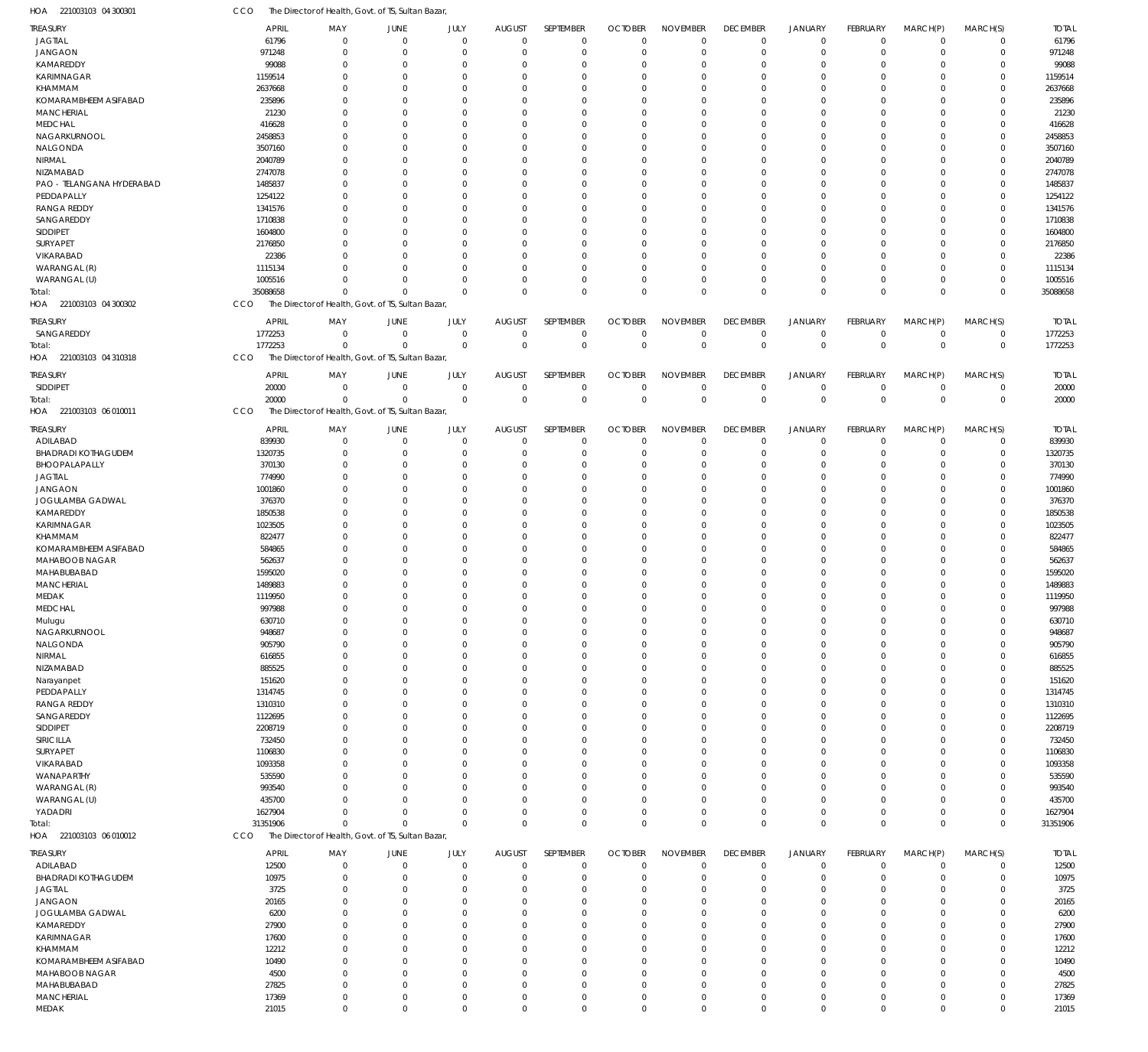| TREASURY                   | APRIL        | MAY                                                | JUNE        | JULY        | <b>AUGUST</b>  | SEPTEMBER   | <b>OCTOBER</b> | <b>NOVEMBER</b> | <b>DECEMBER</b> | JANUARY        | <b>FEBRUARY</b> | MARCH(P) | MARCH(S)    | <b>TOTAL</b> |
|----------------------------|--------------|----------------------------------------------------|-------------|-------------|----------------|-------------|----------------|-----------------|-----------------|----------------|-----------------|----------|-------------|--------------|
| <b>JAGTIAL</b>             | 61796        | $\mathbf 0$                                        | $\mathbf 0$ | $\mathbf 0$ | $\overline{0}$ | $\mathbf 0$ | $\overline{0}$ | $\mathbf 0$     | $\mathbf 0$     | $\mathbf 0$    | $\Omega$        | $\Omega$ | $\mathbf 0$ | 61796        |
| <b>JANGAON</b>             | 971248       | $\mathbf 0$                                        | $\Omega$    | $\mathbf 0$ | $\overline{0}$ | $\Omega$    | $\overline{0}$ | $\mathbf 0$     | $\mathbf 0$     | $\Omega$       | $\Omega$        | $\Omega$ | $\mathbf 0$ | 971248       |
| KAMAREDDY                  | 99088        | $\mathbf 0$                                        | 0           | $\mathbf 0$ | $\mathbf 0$    | $\Omega$    | $\overline{0}$ | $\mathbf 0$     | $\overline{0}$  | $\Omega$       | $\Omega$        |          | $\mathbf 0$ | 99088        |
| <b>KARIMNAGAR</b>          | 1159514      | $\Omega$                                           | $\Omega$    | $\Omega$    | $\Omega$       | $\Omega$    | $\overline{0}$ | $\Omega$        | $\Omega$        | $\Omega$       | $\Omega$        | $\Omega$ | $\mathbf 0$ | 1159514      |
| KHAMMAM                    | 2637668      | $\mathbf 0$                                        | $\Omega$    | $\mathbf 0$ | $\Omega$       | $\Omega$    | $\overline{0}$ | $\mathbf 0$     | $\Omega$        | $\Omega$       | $\Omega$        |          | $\mathbf 0$ | 2637668      |
| KOMARAMBHEEM ASIFABAD      | 235896       | $\Omega$                                           | $\Omega$    | $\Omega$    | $\Omega$       | $\Omega$    | $\overline{0}$ | $\Omega$        | $\Omega$        | $\Omega$       | $\Omega$        |          | $\Omega$    | 235896       |
| MANCHERIAL                 | 21230        | $\Omega$                                           | $\Omega$    | $\mathbf 0$ | $\Omega$       | $\Omega$    | $\mathbf 0$    | $\Omega$        | $\Omega$        | $\Omega$       | $\Omega$        |          | $\mathbf 0$ | 21230        |
|                            |              |                                                    |             |             |                |             |                |                 |                 |                |                 |          |             |              |
| <b>MEDCHAL</b>             | 416628       | $\Omega$                                           | $\Omega$    | $\Omega$    | $\Omega$       | $\Omega$    | $\overline{0}$ | $\Omega$        | $\Omega$        | $\Omega$       | $\Omega$        |          | $\Omega$    | 416628       |
| NAGARKURNOOL               | 2458853      | $\Omega$                                           | $\Omega$    | $\mathbf 0$ | $\Omega$       | $\Omega$    | $\mathbf 0$    | 0               | $\Omega$        | $\Omega$       | $\Omega$        |          | $\Omega$    | 2458853      |
| NALGONDA                   | 3507160      | $\Omega$                                           | $\Omega$    | $\mathbf 0$ | $\Omega$       | $\Omega$    | $\overline{0}$ | $\Omega$        | $\Omega$        | $\Omega$       | $\Omega$        |          | $\Omega$    | 3507160      |
| NIRMAL                     | 2040789      | $\Omega$                                           | $\Omega$    | $\Omega$    | $\Omega$       | $\Omega$    | $\mathbf 0$    | $\Omega$        | $\Omega$        | $\Omega$       | $\Omega$        |          | $\Omega$    | 2040789      |
| <b>NIZAMABAD</b>           | 2747078      | $\mathbf 0$                                        | $\Omega$    | $\mathbf 0$ | $\Omega$       | $\Omega$    | $\overline{0}$ | $\Omega$        | $\Omega$        | $\Omega$       | $\Omega$        |          | $\mathbf 0$ | 2747078      |
| PAO - TELANGANA HYDERABAD  | 1485837      | $\Omega$                                           | $\Omega$    | $\Omega$    | $\Omega$       | $\Omega$    | $\overline{0}$ | $\Omega$        | $\Omega$        | $\Omega$       | $\Omega$        |          | $\Omega$    | 1485837      |
| PEDDAPALLY                 | 1254122      | $\mathbf 0$                                        | $\Omega$    | $\mathbf 0$ | $\Omega$       | $\Omega$    | $\overline{0}$ | $\Omega$        | $\Omega$        | $\Omega$       | $\Omega$        |          | $\mathbf 0$ | 1254122      |
| <b>RANGA REDDY</b>         | 1341576      | $\Omega$                                           | $\Omega$    | $\Omega$    | $\Omega$       | $\Omega$    | $\overline{0}$ | $\Omega$        | $\Omega$        | $\Omega$       | $\Omega$        |          | $\Omega$    | 1341576      |
| SANGAREDDY                 | 1710838      | $\mathbf 0$                                        | $\Omega$    | $\Omega$    | $\Omega$       | $\Omega$    | $\overline{0}$ | $\Omega$        | $\Omega$        | $\Omega$       | $\Omega$        |          | $\mathbf 0$ | 1710838      |
| SIDDIPET                   | 1604800      | $\Omega$                                           | $\Omega$    | $\mathbf 0$ | $\Omega$       | $\Omega$    | $\overline{0}$ | $\mathbf 0$     | $\Omega$        | $\Omega$       | $\Omega$        |          | $\mathbf 0$ | 1604800      |
|                            |              |                                                    |             |             |                |             |                | $\Omega$        | $\Omega$        |                | $\Omega$        |          |             |              |
| SURYAPET                   | 2176850      | $\Omega$                                           | $\Omega$    | $\mathbf 0$ | $\Omega$       | $\Omega$    | $\overline{0}$ |                 |                 | $\Omega$       |                 |          | $\mathbf 0$ | 2176850      |
| VIKARABAD                  | 22386        | $\Omega$                                           | $\Omega$    | $\Omega$    | $\Omega$       | $\Omega$    | $\overline{0}$ | $\Omega$        | $\Omega$        | $\Omega$       | $\Omega$        |          | $\mathbf 0$ | 22386        |
| WARANGAL (R)               | 1115134      | $\Omega$                                           | $\Omega$    | $\Omega$    | $\Omega$       | $\Omega$    | $\overline{0}$ | $\Omega$        | $\Omega$        | $\Omega$       | $\Omega$        | $\Omega$ | $\mathbf 0$ | 1115134      |
| WARANGAL (U)               | 1005516      | $\Omega$                                           | $\mathbf 0$ | $\mathbf 0$ | $\mathbf 0$    | $\mathbf 0$ | $\overline{0}$ | $\mathbf 0$     | $\overline{0}$  | $\Omega$       | $\Omega$        | $\Omega$ | $\mathbf 0$ | 1005516      |
| Total:                     | 35088658     | $\mathbf 0$                                        | $\Omega$    | $\Omega$    | $\Omega$       | $\Omega$    | $\Omega$       | $\Omega$        | $\mathbf{0}$    | $\Omega$       | $\Omega$        | $\Omega$ | $\mathbf 0$ | 35088658     |
| HOA<br>221003103 04 300302 | CCO          | The Director of Health, Govt. of TS, Sultan Bazar, |             |             |                |             |                |                 |                 |                |                 |          |             |              |
|                            |              |                                                    |             |             |                |             |                |                 |                 |                |                 |          |             |              |
| TREASURY                   | <b>APRIL</b> | MAY                                                | JUNE        | JULY        | <b>AUGUST</b>  | SEPTEMBER   | <b>OCTOBER</b> | <b>NOVEMBER</b> | <b>DECEMBER</b> | JANUARY        | <b>FEBRUARY</b> | MARCH(P) | MARCH(S)    | <b>TOTAL</b> |
| SANGAREDDY                 | 1772253      | $\mathbf 0$                                        | $\mathbf 0$ | $\mathbf 0$ | $\overline{0}$ | $\mathbf 0$ | $\mathbf 0$    | $\mathbf 0$     | $\mathbf 0$     | $\overline{0}$ | $\Omega$        | $\Omega$ | $\mathbf 0$ | 1772253      |
| Total:                     | 1772253      | $\mathbf 0$                                        | $\mathbf 0$ | $\mathbf 0$ | $\overline{0}$ | $\mathbf 0$ | $\mathbf 0$    | $\mathbf 0$     | $\mathbb O$     | $\overline{0}$ | $\Omega$        | $\Omega$ | $\mathbb O$ | 1772253      |
| HOA<br>221003103 04 310318 | CCO          | The Director of Health, Govt. of TS, Sultan Bazar  |             |             |                |             |                |                 |                 |                |                 |          |             |              |
|                            |              |                                                    |             |             |                |             |                |                 |                 |                |                 |          |             |              |
| TREASURY                   | <b>APRIL</b> | MAY                                                | JUNE        | JULY        | <b>AUGUST</b>  | SEPTEMBER   | <b>OCTOBER</b> | <b>NOVEMBER</b> | <b>DECEMBER</b> | JANUARY        | <b>FEBRUARY</b> | MARCH(P) | MARCH(S)    | <b>TOTAL</b> |
| SIDDIPET                   | 20000        | $\mathbf 0$                                        | $\mathbf 0$ | $\mathbf 0$ | $\mathbf 0$    | $\mathbf 0$ | $\overline{0}$ | $\mathbf 0$     | $\mathbf 0$     | $^{\circ}$     | $\Omega$        | $\Omega$ | $\mathbf 0$ | 20000        |
| Total:                     | 20000        | $\mathbf 0$                                        | $\Omega$    | $\mathbf 0$ | $\overline{0}$ | $\mathbf 0$ | $\mathbf 0$    | $\mathbf 0$     | $\mathbf 0$     | $\Omega$       | $\Omega$        | $\Omega$ | $\mathbf 0$ | 20000        |
| HOA<br>221003103 06 010011 | CCO          | The Director of Health, Govt. of TS, Sultan Bazar, |             |             |                |             |                |                 |                 |                |                 |          |             |              |
|                            |              |                                                    |             |             |                |             |                |                 |                 |                |                 |          |             |              |
| TREASURY                   | <b>APRIL</b> | MAY                                                | JUNE        | JULY        | <b>AUGUST</b>  | SEPTEMBER   | <b>OCTOBER</b> | <b>NOVEMBER</b> | <b>DECEMBER</b> | JANUARY        | <b>FEBRUARY</b> | MARCH(P) | MARCH(S)    | <b>TOTAL</b> |
| ADILABAD                   | 839930       | $\mathbf 0$                                        | $\mathbf 0$ | $\mathbf 0$ | $\overline{0}$ | $\mathbf 0$ | $\overline{0}$ | $\mathbf 0$     | $^{\circ}$      | $\Omega$       | $\Omega$        | $\Omega$ | $\mathbf 0$ | 839930       |
| <b>BHADRADI KOTHAGUDEM</b> | 1320735      | $\mathbf 0$                                        | 0           | $\mathbf 0$ | $\overline{0}$ | $\mathbf 0$ | $\overline{0}$ | $\mathbf 0$     | $\overline{0}$  | $\Omega$       | $\Omega$        | $\Omega$ | $\mathbf 0$ | 1320735      |
| BHOOPALAPALLY              | 370130       | $\mathbf 0$                                        | 0           | $\mathbf 0$ | $\Omega$       | $\Omega$    | $\overline{0}$ | $\mathbf 0$     | $\overline{0}$  | $\Omega$       | $\Omega$        |          | $\mathbf 0$ | 370130       |
| <b>JAGTIAL</b>             | 774990       | $\mathbf 0$                                        | $\Omega$    | $\mathbf 0$ | $\Omega$       | $\Omega$    | $\mathbf 0$    | $\Omega$        | $\Omega$        | $\Omega$       | $\Omega$        |          | $\mathbf 0$ | 774990       |
| <b>JANGAON</b>             | 1001860      | $\mathbf 0$                                        | $\mathbf 0$ | $\mathbf 0$ | $\Omega$       | $\Omega$    | $\overline{0}$ | $\mathbf 0$     | $\Omega$        | $\Omega$       | $\Omega$        |          | $\mathbf 0$ | 1001860      |
| JOGULAMBA GADWAL           | 376370       | $\mathbf 0$                                        | 0           | $\mathbf 0$ | $\Omega$       | $\Omega$    | $\mathbf 0$    | $\Omega$        | $\Omega$        | $\Omega$       | $\cap$          |          | $\mathbf 0$ | 376370       |
| KAMAREDDY                  | 1850538      | $\mathbf 0$                                        | $\mathbf 0$ | $\mathbf 0$ | $\Omega$       | $\Omega$    | $\overline{0}$ | $\Omega$        | $\Omega$        | $\Omega$       | $\Omega$        |          | $\mathbf 0$ | 1850538      |
| <b>KARIMNAGAR</b>          | 1023505      | $\mathbf 0$                                        | $\Omega$    | $\mathbf 0$ | $\Omega$       | $\Omega$    | $\mathbf 0$    | $\Omega$        | $\Omega$        | $\Omega$       | $\Omega$        |          | $\Omega$    | 1023505      |
| KHAMMAM                    | 822477       | $\mathbf 0$                                        | $\mathbf 0$ | $\mathbf 0$ | $\Omega$       | $\Omega$    | $\overline{0}$ | 0               | $\Omega$        | $\Omega$       | $\Omega$        |          | $\mathbf 0$ | 822477       |
|                            |              |                                                    |             |             |                |             |                |                 |                 |                |                 |          |             |              |
| KOMARAMBHEEM ASIFABAD      | 584865       | $\mathbf 0$                                        | $\Omega$    | $\mathbf 0$ | $\Omega$       | $\Omega$    | $\mathbf 0$    | $\Omega$        | $\Omega$        | $\Omega$       | $\cap$          |          | $\Omega$    | 584865       |
| MAHABOOB NAGAR             | 562637       | $\mathbf 0$                                        | $\mathbf 0$ | $\mathbf 0$ | $\Omega$       | $\Omega$    | $\overline{0}$ | 0               | $\Omega$        | $\Omega$       | $\Omega$        |          | $\mathbf 0$ | 562637       |
| MAHABUBABAD                | 1595020      | $\mathbf 0$                                        | $\Omega$    | $\mathbf 0$ | $\Omega$       | $\Omega$    | $\Omega$       | $\Omega$        | $\Omega$        | $\Omega$       | $\cap$          |          | $\Omega$    | 1595020      |
| <b>MANCHERIAL</b>          | 1489883      | $\Omega$                                           | $\mathbf 0$ | $\mathbf 0$ | $\mathbf 0$    | $\Omega$    | $\mathbf 0$    | $\Omega$        | $\Omega$        | $\Omega$       | $\Omega$        |          | $\mathbf 0$ | 1489883      |
| MEDAK                      | 1119950      | $\mathbf 0$                                        | $\Omega$    | $\mathbf 0$ | $\Omega$       | $\Omega$    | $\Omega$       | $\Omega$        | $\Omega$        | $\Omega$       | $\Omega$        |          | $\Omega$    | 1119950      |
| <b>MEDCHAL</b>             | 997988       | $\Omega$                                           | $\Omega$    | $\Omega$    | $\Omega$       | $\Omega$    | $\Omega$       | $\Omega$        | $\Omega$        | $\Omega$       | $\Omega$        |          | $\Omega$    | 997988       |
| Mulugu                     | 630710       | $\mathbf 0$                                        | $\mathbf 0$ | $\mathbf 0$ | $\overline{0}$ | $\Omega$    | $\overline{0}$ | $\mathbf 0$     | $\Omega$        | $\Omega$       | $\Omega$        | $\Omega$ | $\mathbf 0$ | 630710       |
| NAGARKURNOOL               | 948687       | $\mathbf 0$                                        | $\mathbf 0$ | $\mathbf 0$ | $\overline{0}$ | $\mathbf 0$ | $\overline{0}$ | $\mathbf 0$     | $\mathbf 0$     | 0              | $\Omega$        | $\Omega$ | $\mathbf 0$ | 948687       |
| NALGONDA                   | 905790       | $\mathbf 0$                                        | 0           | $\mathbf 0$ | $\overline{0}$ | $\Omega$    | $\overline{0}$ | $\mathbf 0$     | $\overline{0}$  | $\Omega$       | $\Omega$        |          | $\mathbf 0$ | 905790       |
| NIRMAL                     | 616855       | $\mathbf 0$                                        | 0           | $\mathbf 0$ | $\mathbf 0$    | $\Omega$    | $\overline{0}$ | $\mathbf 0$     | $\Omega$        | $\Omega$       | $\Omega$        | $\Omega$ | $\mathbf 0$ | 616855       |
|                            |              | $\mathbf 0$                                        |             |             | $\overline{0}$ | $\Omega$    | $\overline{0}$ |                 | $\Omega$        |                | $\cap$          |          | $\mathbf 0$ |              |
| NIZAMABAD                  | 885525       |                                                    | 0           | $\mathbf 0$ |                |             |                | 0               |                 |                |                 |          |             | 885525       |
| Narayanpet                 | 151620       | $\mathbf 0$                                        | 0           | $\mathbf 0$ | $\overline{0}$ | $\Omega$    | $\overline{0}$ | 0               | $\Omega$        | $\Omega$       | $\Omega$        |          | $\mathbf 0$ | 151620       |
| PEDDAPALLY                 | 1314745      | $\mathbf 0$                                        | 0           | $\mathbf 0$ | $\overline{0}$ | $\Omega$    | $\overline{0}$ | 0               | $\Omega$        | $\Omega$       | $\cap$          |          | $\mathbf 0$ | 1314745      |
| <b>RANGA REDDY</b>         | 1310310      | $\mathbf 0$                                        | 0           | $\mathbf 0$ | $\overline{0}$ | $\Omega$    | $\overline{0}$ | 0               | $\Omega$        | $\Omega$       | $\Omega$        | $\cap$   | $\mathbf 0$ | 1310310      |
| SANGAREDDY                 | 1122695      | $\mathbf 0$                                        | 0           | $\mathbf 0$ | $\overline{0}$ | $\Omega$    | $\overline{0}$ | 0               | $\Omega$        |                | $\Omega$        |          | $\mathbf 0$ | 1122695      |
| SIDDIPET                   | 2208719      | $\mathbf 0$                                        | 0           | $\mathbf 0$ | $\mathbf 0$    | $\Omega$    | $\overline{0}$ | 0               | $\Omega$        | $\Omega$       | $\Omega$        |          | $\mathbf 0$ | 2208719      |
| SIRICILLA                  | 732450       | $\mathbf 0$                                        | 0           | $\mathbf 0$ | $\mathbf 0$    | $\Omega$    | $\overline{0}$ | 0               | $\Omega$        | $\Omega$       | $\Omega$        |          | $\mathbf 0$ | 732450       |
| SURYAPET                   | 1106830      | $\mathbf 0$                                        | 0           | $\mathbf 0$ | $\Omega$       | $\Omega$    | $\overline{0}$ | 0               | $\Omega$        | $\Omega$       | $\Omega$        |          | $\mathbf 0$ | 1106830      |
| VIKARABAD                  | 1093358      | $\mathbf 0$                                        | 0           | $\mathbf 0$ | $\overline{0}$ | $\Omega$    | $\overline{0}$ | 0               | $\Omega$        | $\Omega$       | $\cap$          |          | $\mathbf 0$ | 1093358      |
| WANAPARTHY                 | 535590       | $\mathbf 0$                                        | 0           | $\mathbf 0$ | $\mathbf 0$    | $\Omega$    | $\overline{0}$ | 0               | $\Omega$        | $\Omega$       | $\Omega$        |          | $\mathbf 0$ | 535590       |
| WARANGAL (R)               | 993540       | $\mathbf 0$                                        | 0           | $\mathbf 0$ | $\mathbf 0$    | $\Omega$    | $\mathbf 0$    | 0               | $\Omega$        | $\Omega$       | $\Omega$        |          | $\mathbf 0$ | 993540       |
|                            |              |                                                    |             |             |                |             |                |                 |                 |                |                 |          |             |              |
| WARANGAL (U)               | 435700       | $\mathbf 0$                                        | $\mathbf 0$ | $\mathbf 0$ | $\mathbf 0$    | $\Omega$    | $\overline{0}$ | $\mathbf 0$     | $\overline{0}$  | $\Omega$       | $\Omega$        | $\Omega$ | $\mathbf 0$ | 435700       |
| YADADRI                    | 1627904      | $\mathbf 0$                                        | $\mathbf 0$ | $\mathbf 0$ | $\overline{0}$ | $\mathbf 0$ | $\overline{0}$ | $\mathbf 0$     | $\overline{0}$  | $\Omega$       | $\Omega$        | $\Omega$ | $\mathbf 0$ | 1627904      |
| Total:                     | 31351906     | $\mathbf 0$                                        | $\Omega$    | $\mathbf 0$ | $\overline{0}$ | $\mathbf 0$ | $\mathbf 0$    | $\mathbf 0$     | $\mathbf 0$     | $\Omega$       | $\Omega$        | $\Omega$ | $\mathbf 0$ | 31351906     |
| HOA<br>221003103 06 010012 | CCO          | The Director of Health, Govt. of TS, Sultan Bazar, |             |             |                |             |                |                 |                 |                |                 |          |             |              |
| TREASURY                   | <b>APRIL</b> | MAY                                                | JUNE        | JULY        | <b>AUGUST</b>  | SEPTEMBER   | <b>OCTOBER</b> | <b>NOVEMBER</b> | <b>DECEMBER</b> | <b>JANUARY</b> | <b>FEBRUARY</b> | MARCH(P) |             | <b>TOTAL</b> |
|                            |              |                                                    |             |             |                |             |                |                 |                 |                |                 |          | MARCH(S)    |              |
| ADILABAD                   | 12500        | $\mathbf 0$                                        | $\mathbf 0$ | $\mathbf 0$ | $\overline{0}$ | $\mathbf 0$ | $\overline{0}$ | $\mathbf 0$     | $\mathbf 0$     | $\mathbf 0$    | $\Omega$        | $\Omega$ | $\mathbf 0$ | 12500        |
| <b>BHADRADI KOTHAGUDEM</b> | 10975        | $\mathbf 0$                                        | 0           | $\mathbf 0$ | $\mathbf 0$    | $\mathbf 0$ | $\overline{0}$ | $\mathbf 0$     | $\overline{0}$  | $\Omega$       | $\Omega$        | $\Omega$ | $\mathbf 0$ | 10975        |
| <b>JAGTIAL</b>             | 3725         | $\mathbf 0$                                        | $\mathbf 0$ | $\mathbf 0$ | $\mathbf 0$    | $\mathbf 0$ | $\overline{0}$ | $\mathbf 0$     | $\overline{0}$  | $\Omega$       | $\Omega$        | $\Omega$ | $\mathbf 0$ | 3725         |
| <b>JANGAON</b>             | 20165        | $\mathbf 0$                                        | 0           | $\mathbf 0$ | $\mathbf 0$    | $\Omega$    | $\overline{0}$ | $\mathbf 0$     | $\overline{0}$  | $\Omega$       | $\Omega$        | $\Omega$ | $\mathbf 0$ | 20165        |
| JOGULAMBA GADWAL           | 6200         | $\mathbf 0$                                        | $\mathbf 0$ | $\mathbf 0$ | $\Omega$       | $\Omega$    | $\overline{0}$ | $\Omega$        | $\Omega$        | $\Omega$       | $\Omega$        | $\Omega$ | $\mathbf 0$ | 6200         |
| KAMAREDDY                  | 27900        | $\mathbf 0$                                        | 0           | $\mathbf 0$ | $\mathbf 0$    | $\Omega$    | $\overline{0}$ | 0               | $\overline{0}$  | $\Omega$       | $\Omega$        | $\Omega$ | $\mathbf 0$ | 27900        |
| <b>KARIMNAGAR</b>          | 17600        | $\mathbf 0$                                        | $\Omega$    | $\mathbf 0$ | $\Omega$       | $\Omega$    | $\overline{0}$ | $\Omega$        | $\Omega$        | $\Omega$       | $\Omega$        | $\Omega$ | $\mathbf 0$ | 17600        |
| KHAMMAM                    | 12212        | $\mathbf 0$                                        | $\mathbf 0$ | $\mathbf 0$ | $\mathbf 0$    | $\Omega$    | $\overline{0}$ | 0               | $\overline{0}$  | $\Omega$       | $\Omega$        | $\Omega$ | $\mathbf 0$ | 12212        |
| KOMARAMBHEEM ASIFABAD      | 10490        | $\mathbf 0$                                        | $\Omega$    | $\mathbf 0$ | $\Omega$       | $\Omega$    | $\overline{0}$ | $\Omega$        | $\Omega$        | $\Omega$       | $\Omega$        | $\Omega$ | $\mathbf 0$ | 10490        |
|                            |              |                                                    |             |             |                |             |                |                 |                 |                |                 |          |             |              |
| MAHABOOB NAGAR             | 4500         | $\mathbf 0$                                        | $\mathbf 0$ | $\mathbf 0$ | $\mathbf 0$    | $\mathbf 0$ | $\overline{0}$ | $\mathbf 0$     | $\Omega$        | $\Omega$       | $\Omega$        | $\Omega$ | $\mathbf 0$ | 4500         |
| MAHABUBABAD                | 27825        | $\mathbf 0$                                        | $\mathbf 0$ | $\mathbf 0$ | $\mathbf 0$    | $\mathbf 0$ | $\mathbf 0$    | $\mathbf 0$     | $\overline{0}$  | $\Omega$       | $\Omega$        | $\Omega$ | $\mathbf 0$ | 27825        |
| <b>MANCHERIAL</b>          | 17369        | $\mathbf 0$                                        | $\mathbf 0$ | $\mathbf 0$ | $\mathbf 0$    | $\mathbf 0$ | $\overline{0}$ | $\mathbf 0$     | $\mathbf 0$     | $\mathbf 0$    | $\mathbf 0$     | $\Omega$ | $\mathbf 0$ | 17369        |
| MEDAK                      | 21015        | $\mathbf 0$                                        | $\mathbf 0$ | $\mathbf 0$ | $\overline{0}$ | $\mathbf 0$ | $\mathbf 0$    | $\mathbf 0$     | $\mathbf 0$     | $\mathbf 0$    | $\mathbf 0$     | $\Omega$ | $\mathbf 0$ | 21015        |

221003103 04 300301 HOA

CCO The Director of Health, Govt. of TS, Sultan Bazar,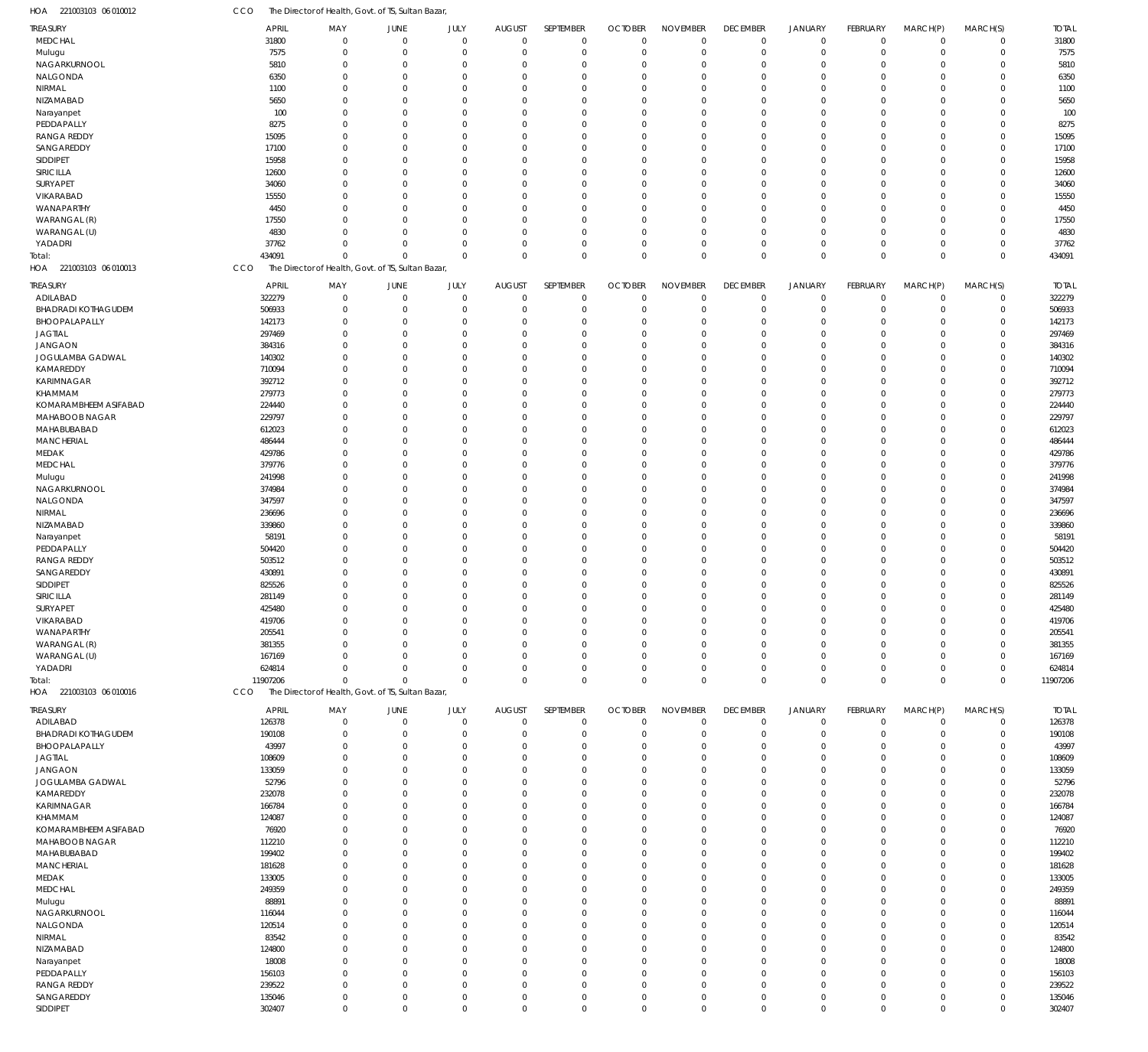| HOA 221003103 06 010012       | CCO      |                                                    |                         | The Director of Health, Govt. of TS, Sultan Bazar, |                      |                              |                            |                               |                                |                                |                               |                         |                            |                            |                        |
|-------------------------------|----------|----------------------------------------------------|-------------------------|----------------------------------------------------|----------------------|------------------------------|----------------------------|-------------------------------|--------------------------------|--------------------------------|-------------------------------|-------------------------|----------------------------|----------------------------|------------------------|
| TREASURY                      |          | <b>APRIL</b>                                       | MAY                     | JUNE                                               | JULY                 | <b>AUGUST</b>                | SEPTEMBER                  | <b>OCTOBER</b>                | <b>NOVEMBER</b>                | <b>DECEMBER</b>                | <b>JANUARY</b>                | FEBRUARY                | MARCH(P)                   | MARCH(S)                   | <b>TOTAL</b>           |
| <b>MEDCHAL</b>                |          | 31800                                              | $\mathbf 0$             | $\mathbf 0$                                        | $\mathbf 0$          | $\mathbf 0$                  | $\mathbf 0$                | $\mathbf 0$                   | $\mathbf 0$                    | $\overline{0}$                 | $\overline{0}$                | $\mathbf 0$             | $\overline{0}$             | $\mathbf 0$                | 31800                  |
| Mulugu                        |          | 7575                                               | $\mathbf 0$             | $\mathbf 0$                                        | $\mathbf 0$          | $\mathbf 0$                  | $\mathbf 0$                | $\mathbf 0$                   | $\mathbf 0$                    | $\mathbf 0$                    | $\overline{0}$                | $\mathbf 0$             | $\overline{0}$             | $\mathbf 0$                | 7575                   |
| NAGARKURNOOL                  |          | 5810                                               | $\mathbf 0$<br>$\Omega$ | $\mathbf 0$<br>$\mathbf 0$                         | $\Omega$<br>$\Omega$ | 0<br>$\Omega$                | $\mathbf 0$                | 0                             | $\Omega$<br>$\Omega$           | $\mathbf 0$<br>$\Omega$        | $^{\circ}$<br>$\Omega$        | $\Omega$<br>$\Omega$    | $\Omega$<br>$\Omega$       | $\mathbf 0$<br>$\mathbf 0$ | 5810                   |
| NALGONDA<br>NIRMAL            |          | 6350<br>1100                                       | $\mathbf 0$             | $\mathbf 0$                                        | 0                    | $\Omega$                     | $\mathbf 0$<br>$\mathbf 0$ | $\Omega$<br>$\Omega$          | $\Omega$                       | $\Omega$                       | $\overline{0}$                | $\Omega$                | $\Omega$                   | $\mathbf 0$                | 6350<br>1100           |
| NIZAMABAD                     |          | 5650                                               | $\Omega$                | $\mathbf 0$                                        | $\Omega$             | $\mathbf 0$                  | $\mathbf 0$                | $\Omega$                      | $\Omega$                       | $\Omega$                       | $\mathbf 0$                   | $\Omega$                | $\Omega$                   | $\mathbf 0$                | 5650                   |
| Narayanpet                    |          | 100                                                | $\Omega$                | $\mathbf 0$                                        | $\Omega$             | $\Omega$                     | $\mathbf 0$                | $\Omega$                      | $\Omega$                       | $\Omega$                       | $\overline{0}$                | $\Omega$                | $\Omega$                   | $\mathbf 0$                | 100                    |
| PEDDAPALLY                    |          | 8275                                               | $\Omega$                | $\mathbf 0$                                        | $\Omega$             | $\Omega$                     | $\mathbf 0$                | $\Omega$                      | $\Omega$                       | $\Omega$                       | $\Omega$                      | $\Omega$                | $\Omega$                   | $\mathbf 0$                | 8275                   |
| <b>RANGA REDDY</b>            |          | 15095                                              | $\mathbf 0$             | $\mathbf 0$                                        | $\Omega$             | $\mathbf 0$                  | $\mathbf 0$                | $\Omega$                      | $\Omega$                       | $\Omega$                       | $\overline{0}$                | $\Omega$                | $\Omega$                   | $\mathbf 0$                | 15095                  |
| SANGAREDDY                    |          | 17100                                              | $\Omega$                | $\mathbf 0$                                        | $\Omega$             | $\mathbf 0$                  | $\mathbf 0$                | $\Omega$                      | $\Omega$                       | $\Omega$                       | $\Omega$                      | $\Omega$                | $\Omega$                   | $\mathbf 0$                | 17100                  |
| SIDDIPET                      |          | 15958                                              | $\Omega$                | $\mathbf 0$                                        | $\Omega$             | $\Omega$                     | $\mathbf 0$                | $\Omega$                      | $\Omega$                       | $\Omega$                       | $\Omega$                      | $\Omega$                | $\Omega$                   | $\mathbf 0$                | 15958                  |
| SIRICILLA                     |          | 12600                                              | $\Omega$                | $\mathbf 0$                                        | $\Omega$             | $\Omega$                     | $\mathbf 0$                | $\Omega$                      | $\Omega$                       | $\Omega$                       | $\Omega$                      | $\Omega$                | $\Omega$                   | $\mathbf 0$                | 12600                  |
| SURYAPET                      |          | 34060                                              | $\Omega$<br>$\Omega$    | $\mathbf 0$<br>$\Omega$                            | 0<br>$\Omega$        | $\mathbf 0$<br>$\Omega$      | $\mathbf 0$<br>$\mathbf 0$ | $\Omega$                      | $\Omega$<br>$\Omega$           | $\Omega$<br>$\Omega$           | $\overline{0}$<br>$\Omega$    | $\Omega$<br>$\Omega$    | $\Omega$<br>$\Omega$       | $\mathbf 0$<br>$\mathbf 0$ | 34060                  |
| VIKARABAD<br>WANAPARTHY       |          | 15550<br>4450                                      | $\Omega$                | $\overline{0}$                                     | 0                    | $\mathbf 0$                  | $\mathbf 0$                | $\Omega$<br>$\Omega$          | $\Omega$                       | $\Omega$                       | $\Omega$                      | $\Omega$                | $\Omega$                   | $\mathbf 0$                | 15550<br>4450          |
| WARANGAL (R)                  |          | 17550                                              | $\Omega$                | $\mathbf 0$                                        | $\Omega$             | $\mathbf 0$                  | $\mathbf 0$                | 0                             | $\Omega$                       | $\Omega$                       | $\Omega$                      | $\Omega$                | $\Omega$                   | $\mathbf 0$                | 17550                  |
| WARANGAL (U)                  |          | 4830                                               | $\Omega$                | $\mathbf 0$                                        | $\Omega$             | $\Omega$                     | $\mathbf 0$                | $\Omega$                      | $\Omega$                       | $\Omega$                       | $\overline{0}$                | $\Omega$                | $\Omega$                   | $\mathbf 0$                | 4830                   |
| YADADRI                       |          | 37762                                              | $\Omega$                | $\Omega$                                           | $\Omega$             | $\Omega$                     | $\mathbf 0$                | $\Omega$                      | $\Omega$                       | $\Omega$                       | $\mathbf 0$                   | $\Omega$                | $\Omega$                   | $\mathbf 0$                | 37762                  |
| Total:                        |          | 434091                                             | $\mathbf 0$             | $\Omega$                                           | $\Omega$             | $\mathbf 0$                  | $\mathbf 0$                | $\Omega$                      | $\mathbf 0$                    | $\mathbf 0$                    | $\overline{0}$                | $\Omega$                | $\Omega$                   | $\mathbf 0$                | 434091                 |
| HOA 221003103 06 010013       | CCO      | The Director of Health, Govt. of TS, Sultan Bazar, |                         |                                                    |                      |                              |                            |                               |                                |                                |                               |                         |                            |                            |                        |
| TREASURY                      |          | <b>APRIL</b>                                       | MAY                     | JUNE                                               | JULY                 | <b>AUGUST</b>                | SEPTEMBER                  | <b>OCTOBER</b>                | <b>NOVEMBER</b>                | <b>DECEMBER</b>                | <b>JANUARY</b>                | FEBRUARY                | MARCH(P)                   | MARCH(S)                   | <b>TOTAL</b>           |
| ADILABAD                      |          | 322279                                             | $\mathbf 0$             | $\mathbf 0$                                        | $\mathbf 0$          | 0                            | $\mathbf 0$                | $\mathbf 0$                   | $\mathbf 0$                    | $\mathbf 0$                    | $\overline{0}$                | $\mathbf 0$             | $\overline{0}$             | 0                          | 322279                 |
| <b>BHADRADI KOTHAGUDEM</b>    |          | 506933                                             | $\mathbf 0$             | $\mathbf 0$                                        | $\Omega$             | $\mathbf 0$                  | $\mathbf 0$                | $\mathbf 0$                   | $\mathbf 0$                    | $\Omega$                       | $\overline{0}$                | $\mathbf 0$             | $\overline{0}$             | $\mathbf 0$                | 506933                 |
| BHOOPALAPALLY                 |          | 142173                                             | $\mathbf 0$             | $\mathbf 0$                                        | $\Omega$             | $\mathbf 0$                  | $\mathbf 0$                | $\Omega$                      | $\mathbf 0$                    | $\Omega$                       | $\overline{0}$                | $\Omega$                | $\Omega$                   | $\mathbf 0$                | 142173                 |
| <b>JAGTIAL</b>                |          | 297469                                             | $\mathbf 0$             | $\mathbf 0$                                        | $\Omega$             | $\mathbf 0$                  | $\mathbf 0$                | $\Omega$                      | $\mathbf 0$                    | $\Omega$                       | $\overline{0}$                | $\Omega$                | $\Omega$                   | $\mathbf 0$                | 297469                 |
| <b>JANGAON</b>                |          | 384316                                             | $\mathbf 0$             | $\mathbf 0$                                        | $\Omega$<br>$\Omega$ | $\mathbf 0$                  | $\mathbf 0$                | $\Omega$                      | $\Omega$                       | $\Omega$                       | $\overline{0}$                | $\Omega$<br>$\Omega$    | $\Omega$                   | $\mathbf 0$                | 384316                 |
| JOGULAMBA GADWAL<br>KAMAREDDY |          | 140302<br>710094                                   | $\Omega$<br>$\mathbf 0$ | $\overline{0}$<br>$\overline{0}$                   | $\Omega$             | $\Omega$<br>$\mathbf 0$      | $\mathbf 0$<br>$\mathbf 0$ | $\Omega$<br>$\Omega$          | $\Omega$<br>$\mathbf 0$        | $\Omega$<br>$\Omega$           | $\Omega$<br>$\overline{0}$    | $\Omega$                | $\Omega$<br>$\Omega$       | $\mathbf 0$<br>$\mathbf 0$ | 140302<br>710094       |
| KARIMNAGAR                    |          | 392712                                             | $\mathbf 0$             | $\overline{0}$                                     | $\Omega$             | $\mathbf 0$                  | $\mathbf 0$                | $\Omega$                      | $\Omega$                       | $\Omega$                       | $\overline{0}$                | $\Omega$                | $\Omega$                   | $\mathbf 0$                | 392712                 |
| <b>KHAMMAM</b>                |          | 279773                                             | $\mathbf 0$             | $\mathbf 0$                                        | $\Omega$             | $\mathbf 0$                  | $\mathbf 0$                | $\Omega$                      | $\Omega$                       | $\Omega$                       | $\Omega$                      | $\Omega$                | $\Omega$                   | $\mathbf 0$                | 279773                 |
| KOMARAMBHEEM ASIFABAD         |          | 224440                                             | $\Omega$                | $\overline{0}$                                     | $\Omega$             | $\Omega$                     | $\mathbf 0$                | $\Omega$                      | $\Omega$                       | $\Omega$                       | $\Omega$                      | $\Omega$                | $\Omega$                   | $\mathbf 0$                | 224440                 |
| MAHABOOB NAGAR                |          | 229797                                             | $\mathbf 0$             | $\overline{0}$                                     | $\Omega$             | $\mathbf 0$                  | $\mathbf 0$                | $\Omega$                      | $\mathbf 0$                    | $\Omega$                       | $\overline{0}$                | $\Omega$                | $\Omega$                   | $\mathbf 0$                | 229797                 |
| MAHABUBABAD                   |          | 612023                                             | $\Omega$                | $\overline{0}$                                     | $\Omega$             | 0                            | $\mathbf 0$                | $\Omega$                      | $\Omega$                       | $\Omega$                       | $\Omega$                      | $\Omega$                | $\Omega$                   | $\mathbf 0$                | 612023                 |
| <b>MANCHERIAL</b>             |          | 486444                                             | $\mathbf 0$             | $\overline{0}$                                     | $\Omega$             | $\Omega$                     | $\mathbf 0$                | $\Omega$                      | $\Omega$                       | $\Omega$                       | $\Omega$                      | $\Omega$                | $\Omega$                   | $\mathbf 0$                | 486444                 |
| MEDAK                         |          | 429786                                             | $\Omega$                | $\overline{0}$                                     | $\Omega$             | $\Omega$                     | $\mathbf 0$                | $\Omega$                      | $\Omega$                       | $\Omega$                       | $\Omega$                      | $\Omega$                | $\Omega$                   | $\mathbf 0$                | 429786                 |
| <b>MEDCHAL</b>                |          | 379776                                             | $\mathbf 0$             | $\overline{0}$                                     | $\Omega$<br>$\Omega$ | $\mathbf 0$                  | $\mathbf 0$                | $\Omega$                      | $\Omega$                       | $\Omega$                       | $\overline{0}$                | $\Omega$                | $\Omega$                   | $\mathbf 0$                | 379776                 |
| Mulugu<br>NAGARKURNOOL        |          | 241998<br>374984                                   | $\Omega$<br>$\mathbf 0$ | $\overline{0}$<br>$\overline{0}$                   | $\Omega$             | $\Omega$<br>$\mathbf 0$      | $\mathbf 0$<br>$\mathbf 0$ | $\Omega$<br>$\Omega$          | $\Omega$<br>$\Omega$           | $\Omega$<br>$\Omega$           | $\Omega$<br>$\overline{0}$    | $\Omega$<br>$\Omega$    | $\Omega$<br>$\Omega$       | $\mathbf 0$<br>$\mathbf 0$ | 241998<br>374984       |
| NALGONDA                      |          | 347597                                             | $\Omega$                | $\overline{0}$                                     | $\Omega$             | $\mathbf 0$                  | $\mathbf 0$                | $\Omega$                      | $\Omega$                       | $\Omega$                       | $\Omega$                      | $\Omega$                | $\Omega$                   | $\mathbf 0$                | 347597                 |
| NIRMAL                        |          | 236696                                             | $\mathbf 0$             | $\overline{0}$                                     | $\Omega$             | $\mathbf 0$                  | $\mathbf 0$                | $\Omega$                      | $\Omega$                       | $\Omega$                       | $\Omega$                      | $\Omega$                | $\Omega$                   | $\mathbf 0$                | 236696                 |
| NIZAMABAD                     |          | 339860                                             | $\Omega$                | $\overline{0}$                                     | $\Omega$             | $\mathbf 0$                  | $\mathbf 0$                | $\Omega$                      | $\Omega$                       | $\Omega$                       | $\Omega$                      | $\Omega$                | $\Omega$                   | $\mathbf 0$                | 339860                 |
| Narayanpet                    |          | 58191                                              | $\mathbf 0$             | $\overline{0}$                                     | $\Omega$             | $\mathbf 0$                  | $\mathbf 0$                | $\Omega$                      | $\Omega$                       | $\Omega$                       | $\overline{0}$                | $\Omega$                | $\Omega$                   | $\mathbf 0$                | 58191                  |
| PEDDAPALLY                    |          | 504420                                             | $\Omega$                | $\overline{0}$                                     | $\Omega$             | 0                            | $\mathbf 0$                | $\Omega$                      | $\Omega$                       | $\Omega$                       | $\Omega$                      | $\Omega$                | $\Omega$                   | $\mathbf 0$                | 504420                 |
| <b>RANGA REDDY</b>            |          | 503512                                             | $\mathbf 0$             | $\Omega$                                           | $\Omega$             | $\mathbf 0$                  | $\mathbf 0$                | $\Omega$                      | $\Omega$                       | $\Omega$                       | $\Omega$                      | $\Omega$                | $\Omega$                   | $\mathbf 0$                | 503512                 |
| SANGAREDDY                    |          | 430891                                             | $\Omega$                | $\overline{0}$                                     | $\Omega$             | $\mathbf 0$                  | $\mathbf 0$                | $\Omega$                      | $\Omega$                       | $\Omega$                       | $^{\circ}$                    | $\Omega$                | $\Omega$                   | $\mathbf 0$                | 430891                 |
| SIDDIPET                      |          | 825526                                             | $\Omega$<br>$\Omega$    | $\mathbf 0$                                        | $\Omega$<br>$\Omega$ | $\mathbf 0$                  | $\mathbf 0$                | $\Omega$                      | $\Omega$                       | $\Omega$                       | $^{\circ}$                    | $\Omega$<br>$\Omega$    | $\mathbf 0$<br>$\Omega$    | $\mathbf 0$                | 825526                 |
| SIRICILLA<br>SURYAPET         |          | 281149<br>425480                                   | 0                       | $\mathbf 0$<br>0                                   |                      | $\mathbf 0$<br>0             | $\mathbf 0$<br>0           | $\Omega$<br>-0                | $\mathbf 0$<br>$\Omega$        | $\Omega$                       | $\mathbf 0$<br>- 0            |                         | 0                          | $\mathbf 0$<br>0           | 281149<br>425480       |
| VIKARABAD                     |          | 419706                                             | $\mathbf 0$             | $\mathbf 0$                                        | $\Omega$             | 0                            | $\mathbf 0$                | 0                             | $\Omega$                       | $\Omega$                       | $\overline{0}$                | 0                       | $\mathbf 0$                | $\mathbf 0$                | 419706                 |
| WANAPARTHY                    |          | 205541                                             | $\mathbf 0$             | $\mathbf 0$                                        | $\Omega$             | $\mathbf 0$                  | $\mathbf 0$                | 0                             | $\mathbf 0$                    | $\Omega$                       | $\overline{0}$                | $\Omega$                | $\mathbf 0$                | $\mathbf 0$                | 205541                 |
| WARANGAL (R)                  |          | 381355                                             | $\Omega$                | $\mathbf 0$                                        | $\Omega$             | $\Omega$                     | $\mathbf 0$                | $\Omega$                      | $\Omega$                       | $\Omega$                       | $^{\circ}$                    | $\Omega$                | $\Omega$                   | $\mathbf 0$                | 381355                 |
| WARANGAL (U)                  |          | 167169                                             | $\mathbf 0$             | $\mathbf 0$                                        | $\Omega$             | $\mathbf 0$                  | $\mathbf 0$                | 0                             | $\mathbf 0$                    | $\Omega$                       | $^{\circ}$                    | $\Omega$                | $\mathbf 0$                | $\mathbf 0$                | 167169                 |
| YADADRI                       |          | 624814                                             | $\Omega$                | $\mathbf 0$                                        | $\Omega$             | $\mathbf 0$                  | $\mathbf 0$                | 0                             | $\Omega$                       | $\Omega$                       | $\mathbf 0$                   | 0                       | $\overline{0}$             | $\mathbf 0$                | 624814                 |
| Total:                        | 11907206 |                                                    | $\Omega$                | $\Omega$                                           | $\Omega$             | $\Omega$                     | $\mathbf 0$                | $\Omega$                      | $\mathbf 0$                    | $\Omega$                       | $\mathbf 0$                   | $\Omega$                | $\Omega$                   | $\mathbf 0$                | 11907206               |
| HOA 221003103 06 010016       | CCO      | The Director of Health, Govt. of TS, Sultan Bazar, |                         |                                                    |                      |                              |                            |                               |                                |                                |                               |                         |                            |                            |                        |
| <b>TREASURY</b><br>ADILABAD   |          | APRIL<br>126378                                    | MAY<br>$\mathbf 0$      | JUNE<br>$\mathbf 0$                                | JULY<br>$\mathbf 0$  | <b>AUGUST</b><br>$\mathbf 0$ | SEPTEMBER<br>$\mathbf 0$   | <b>OCTOBER</b><br>$\mathbf 0$ | <b>NOVEMBER</b><br>$\mathbf 0$ | <b>DECEMBER</b><br>$\mathbf 0$ | <b>JANUARY</b><br>$\mathbf 0$ | FEBRUARY<br>$\mathbf 0$ | MARCH(P)<br>$\overline{0}$ | MARCH(S)<br>$\mathbf 0$    | <b>TOTAL</b><br>126378 |
| <b>BHADRADI KOTHAGUDEM</b>    |          | 190108                                             | $\mathbf 0$             | $\mathbf 0$                                        | $\mathbf 0$          | $\mathbf 0$                  | $\mathbf 0$                | $\mathbf 0$                   | $\Omega$                       | $\mathbf 0$                    | $\mathbf 0$                   | $\mathbf 0$             | $\mathbf 0$                | $\pmb{0}$                  | 190108                 |
| BHOOPALAPALLY                 |          | 43997                                              | $\Omega$                | $\mathbf 0$                                        | $\Omega$             | 0                            | $\mathbf 0$                | 0                             | $\Omega$                       | $\Omega$                       | $\overline{0}$                | $\Omega$                | $\mathbf 0$                | $\mathbf 0$                | 43997                  |
| <b>JAGTIAL</b>                |          | 108609                                             | $\mathbf 0$             | $\mathbf 0$                                        | $\Omega$             | $\mathbf 0$                  | $\mathbf 0$                | $\Omega$                      | $\Omega$                       | $\Omega$                       | $\overline{0}$                | $\Omega$                | $\Omega$                   | $\mathbf 0$                | 108609                 |
| <b>JANGAON</b>                |          | 133059                                             | $\Omega$                | $\mathbf 0$                                        | $\Omega$             | $\mathbf 0$                  | $\mathbf 0$                | 0                             | $\Omega$                       | $\Omega$                       | $\overline{0}$                | $\Omega$                | $\Omega$                   | $\mathbf 0$                | 133059                 |
| JOGULAMBA GADWAL              |          | 52796                                              | $\mathbf 0$             | $\mathbf 0$                                        | 0                    | $\mathbf 0$                  | $\mathbf 0$                | $\Omega$                      | $\Omega$                       | $\Omega$                       | $\overline{0}$                | $\Omega$                | 0                          | $\mathbf 0$                | 52796                  |
| KAMAREDDY                     |          | 232078                                             | $\Omega$                | $\mathbf 0$                                        | $\Omega$             | $\Omega$                     | $\mathbf 0$                | $\Omega$                      | $\Omega$                       | $\Omega$                       | $\Omega$                      | $\Omega$                | $\Omega$                   | $\mathbf 0$                | 232078                 |
| KARIMNAGAR                    |          | 166784                                             | $\mathbf 0$             | $\mathbf 0$                                        | $\Omega$             | $\mathbf 0$                  | $\mathbf 0$                | $\Omega$                      | $\Omega$                       | $\Omega$                       | $\overline{0}$                | $\Omega$                | $\Omega$                   | $\mathbf 0$                | 166784                 |
| <b>KHAMMAM</b>                |          | 124087                                             | $\Omega$                | $\mathbf 0$                                        | $\Omega$             | $\mathbf 0$                  | $\mathbf 0$                | 0                             | $\Omega$                       | $\Omega$                       | $\overline{0}$                | $\Omega$                | $\Omega$                   | $\mathbf 0$                | 124087                 |
| KOMARAMBHEEM ASIFABAD         |          | 76920                                              | $\Omega$<br>$\Omega$    | $\mathbf 0$<br>$\mathbf 0$                         | 0<br>$\Omega$        | $\mathbf 0$<br>$\Omega$      | $\mathbf 0$<br>$\mathbf 0$ | $\Omega$<br>$\Omega$          | $\Omega$<br>$\Omega$           | $\Omega$<br>$\Omega$           | $\overline{0}$<br>$\Omega$    | $\Omega$<br>$\Omega$    | $\Omega$<br>$\Omega$       | $\mathbf 0$<br>$\mathbf 0$ | 76920                  |
| MAHABOOB NAGAR<br>MAHABUBABAD |          | 112210<br>199402                                   | $\mathbf 0$             | $\mathbf 0$                                        | $\Omega$             | $\mathbf 0$                  | $\mathbf 0$                | $\Omega$                      | $\Omega$                       | $\Omega$                       | $\overline{0}$                | $\Omega$                | 0                          | $\mathbf 0$                | 112210<br>199402       |
| <b>MANCHERIAL</b>             |          | 181628                                             | $\Omega$                | $\mathbf 0$                                        | $\Omega$             | $\mathbf 0$                  | $\mathbf 0$                | 0                             | $\Omega$                       | $\Omega$                       | $\overline{0}$                | $\Omega$                | $\Omega$                   | $\mathbf 0$                | 181628                 |
| MEDAK                         |          | 133005                                             | $\Omega$                | $\mathbf 0$                                        | $\Omega$             | $\Omega$                     | $\mathbf 0$                | $\Omega$                      | $\Omega$                       | $\Omega$                       | $\overline{0}$                | $\Omega$                | $\Omega$                   | $\mathbf 0$                | 133005                 |
| <b>MEDCHAL</b>                |          | 249359                                             | $\Omega$                | $\mathbf 0$                                        | $\Omega$             | $\mathbf 0$                  | $\mathbf 0$                | $\Omega$                      | $\Omega$                       | $\Omega$                       | $\Omega$                      | $\Omega$                | $\Omega$                   | $\mathbf 0$                | 249359                 |
| Mulugu                        |          | 88891                                              | 0                       | $\mathbf 0$                                        | 0                    | $\mathbf 0$                  | $\mathbf 0$                | $\Omega$                      | $\Omega$                       | $\Omega$                       | $\overline{0}$                | $\Omega$                | 0                          | $\mathbf 0$                | 88891                  |
| NAGARKURNOOL                  |          | 116044                                             | $\Omega$                | $\mathbf 0$                                        | $\Omega$             | $\Omega$                     | $\mathbf 0$                | $\Omega$                      | $\Omega$                       | $\Omega$                       | $\Omega$                      | $\Omega$                | $\Omega$                   | $\mathbf 0$                | 116044                 |
| NALGONDA                      |          | 120514                                             | $\Omega$                | $\mathbf 0$                                        | $\Omega$             | $\mathbf 0$                  | $\mathbf 0$                | $\Omega$                      | $\Omega$                       | $\Omega$                       | $\overline{0}$                | $\Omega$                | $\Omega$                   | $\mathbf 0$                | 120514                 |
| NIRMAL                        |          | 83542                                              | $\Omega$                | $\mathbf 0$                                        | $\Omega$             | $\mathbf 0$                  | $\mathbf 0$                | 0                             | $\Omega$                       | $\Omega$                       | $\overline{0}$                | $\Omega$                | $\mathbf 0$                | $\mathbf 0$                | 83542                  |
| NIZAMABAD                     |          | 124800                                             | $\Omega$<br>$\Omega$    | $\mathbf 0$<br>$\mathbf 0$                         | 0<br>$\Omega$        | $\mathbf 0$<br>$\Omega$      | $\mathbf 0$<br>$\mathbf 0$ | $\Omega$<br>$\Omega$          | $\Omega$<br>$\Omega$           | $\Omega$<br>$\Omega$           | $\overline{0}$<br>$\Omega$    | $\Omega$<br>$\Omega$    | $\Omega$<br>$\Omega$       | $\mathbf 0$<br>$\mathbf 0$ | 124800                 |
| Narayanpet<br>PEDDAPALLY      |          | 18008<br>156103                                    | $\mathbf 0$             | $\mathbf 0$                                        | $\Omega$             | $\mathbf 0$                  | $\mathbf 0$                | $\Omega$                      | $\Omega$                       | $\Omega$                       | $\overline{0}$                | $\Omega$                | $\mathbf 0$                | $\mathbf 0$                | 18008<br>156103        |
| <b>RANGA REDDY</b>            |          | 239522                                             | $\Omega$                | $\mathbf 0$                                        | $\Omega$             | $\mathbf 0$                  | $\mathbf 0$                | 0                             | $\mathbf{0}$                   | $\Omega$                       | $\mathbf 0$                   | $\Omega$                | $\mathbf 0$                | $\mathbf 0$                | 239522                 |
| SANGAREDDY                    |          | 135046                                             | $\mathbf 0$             | $\mathbf 0$                                        | $\mathbf 0$          | $\mathbf 0$                  | $\mathbf 0$                | 0                             | $\mathbf 0$                    | $\mathbf 0$                    | $\mathbf 0$                   | 0                       | $\mathbf 0$                | $\mathbf 0$                | 135046                 |
| SIDDIPET                      |          | 302407                                             | $\mathbf 0$             | $\mathbf 0$                                        | $\mathbf 0$          | $\mathbf 0$                  | $\mathbf 0$                | $\mathbf 0$                   | $\mathbf 0$                    | $\mathbf 0$                    | $\mathbf 0$                   | $\mathbf 0$             | $\mathbf 0$                | $\mathbf 0$                | 302407                 |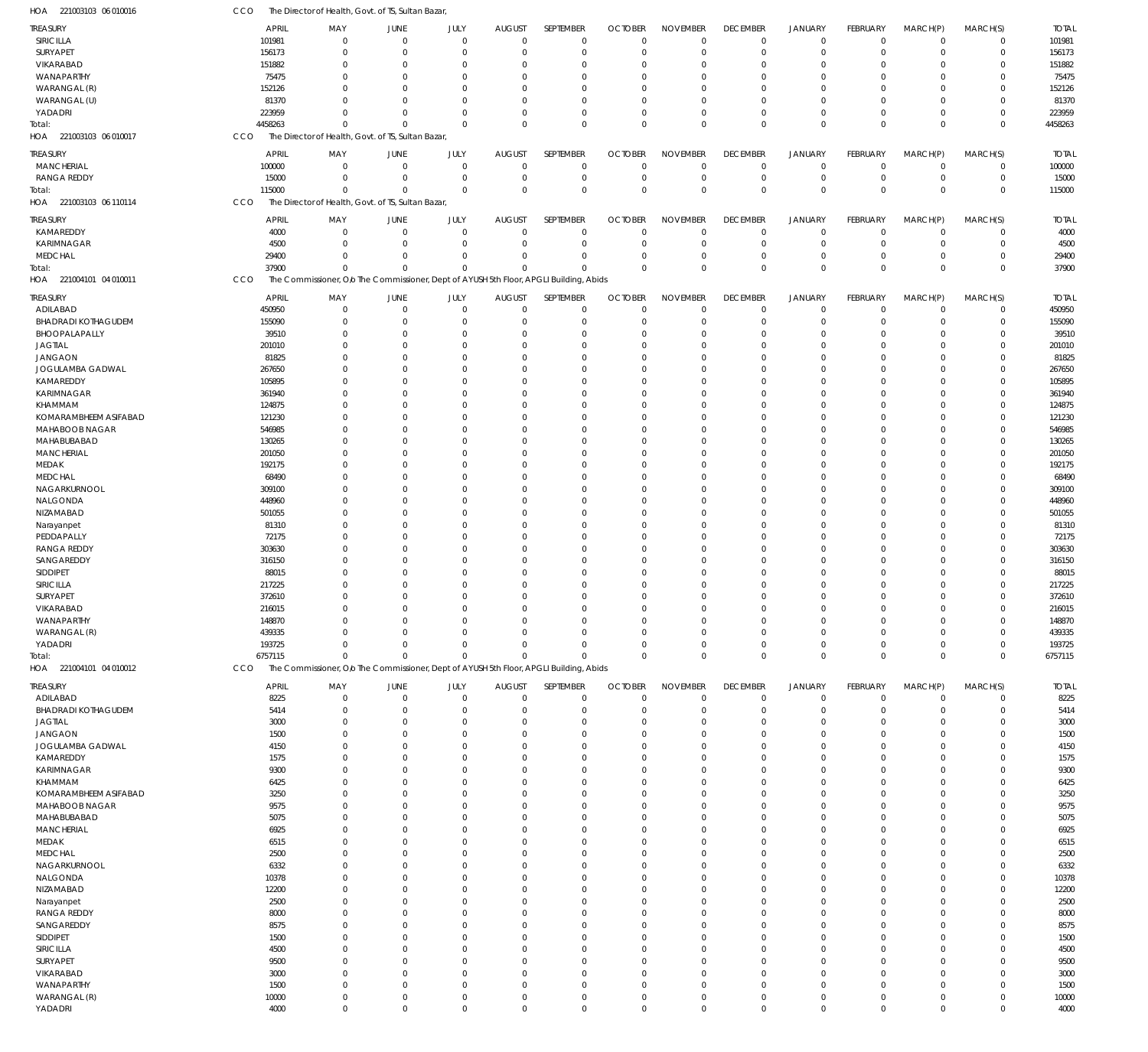| HOA 221003103 06 010016    | CCO     | The Director of Health, Govt. of TS, Sultan Bazar,                                     |                            |             |                               |             |                      |                 |                 |                      |                 |                |             |              |
|----------------------------|---------|----------------------------------------------------------------------------------------|----------------------------|-------------|-------------------------------|-------------|----------------------|-----------------|-----------------|----------------------|-----------------|----------------|-------------|--------------|
| TREASURY                   |         | APRIL<br>MAY                                                                           | JUNE                       | JULY        | <b>AUGUST</b>                 | SEPTEMBER   | <b>OCTOBER</b>       | <b>NOVEMBER</b> | <b>DECEMBER</b> | <b>JANUARY</b>       | <b>FEBRUARY</b> | MARCH(P)       | MARCH(S)    | <b>TOTAL</b> |
| SIRICILLA                  | 101981  |                                                                                        | $\mathbf 0$<br>$\mathbf 0$ |             | $\mathbf 0$<br>$\mathbf 0$    | $\mathbf 0$ | $\Omega$             | $\mathbf 0$     | $\mathbf 0$     | $\mathbf 0$          | $\overline{0}$  | $\overline{0}$ | $\mathbf 0$ | 101981       |
| SURYAPET                   |         | 156173                                                                                 | $\mathbf 0$<br>$\mathbf 0$ | $\mathbf 0$ | $\Omega$                      | $\mathbf 0$ | $\Omega$             | $\mathbf 0$     | $\mathbf 0$     | $\mathbf 0$          | $\mathbf 0$     | $\mathbf 0$    | $\mathbf 0$ | 156173       |
| VIKARABAD                  |         | 151882                                                                                 | $\mathbf 0$<br>-0          | $\Omega$    | $\Omega$                      | $\Omega$    | $\Omega$             | $^{\circ}$      | $\mathbf 0$     | $\mathbf 0$          | $\Omega$        | $\Omega$       | $\mathbf 0$ | 151882       |
| WANAPARTHY                 |         | 75475                                                                                  | $\Omega$<br>-0             | $\Omega$    | $\Omega$                      | $\Omega$    | $\Omega$             | $\Omega$        | $\Omega$        | $\Omega$             | $\Omega$        | $\Omega$       | $\mathbf 0$ | 75475        |
| WARANGAL (R)               |         | 152126                                                                                 | $\mathbf 0$<br>-0          | $\mathbf 0$ | $\Omega$                      | $\Omega$    |                      | $^{\circ}$      | $\mathbf 0$     | $\mathbf 0$          | $\Omega$        | $\Omega$       | $\mathbf 0$ | 152126       |
| WARANGAL (U)               |         | 81370                                                                                  | $\Omega$<br>$\mathbf 0$    | $\Omega$    | $\Omega$                      | $\Omega$    | $\Omega$             | $\Omega$        | $\Omega$        | $\Omega$             | $\Omega$        | $\Omega$       | $\mathbf 0$ | 81370        |
| YADADRI                    | 223959  |                                                                                        | $\Omega$<br>$\mathbf 0$    | $\mathbf 0$ | $\Omega$                      | $\mathbf 0$ | $\Omega$             | $\mathbf 0$     | $\mathbf 0$     | $\overline{0}$       | $\Omega$        | $\mathbf 0$    | $\mathbf 0$ | 223959       |
| Total:                     | 4458263 |                                                                                        | $\Omega$<br>$\Omega$       |             | $\mathbf 0$<br>$\Omega$       | $\Omega$    | $\Omega$             | $\mathbf 0$     | $\mathbf 0$     | $\mathbf{0}$         | $\Omega$        | $\Omega$       | $\mathbf 0$ | 4458263      |
| HOA 221003103 06 010017    | CCO     | The Director of Health, Govt. of TS, Sultan Bazar,                                     |                            |             |                               |             |                      |                 |                 |                      |                 |                |             |              |
|                            |         |                                                                                        |                            |             |                               |             |                      |                 |                 |                      |                 |                |             |              |
| TREASURY                   |         | <b>APRIL</b><br>MAY                                                                    | JUNE                       | JULY        | <b>AUGUST</b>                 | SEPTEMBER   | <b>OCTOBER</b>       | <b>NOVEMBER</b> | <b>DECEMBER</b> | <b>JANUARY</b>       | FEBRUARY        | MARCH(P)       | MARCH(S)    | <b>TOTAL</b> |
| <b>MANCHERIAL</b>          |         | 100000                                                                                 | $\mathbf 0$<br>$\mathbf 0$ |             | $\mathbf 0$<br>$\overline{0}$ | $\mathbf 0$ | $\Omega$             | $\overline{0}$  | $\mathbf 0$     | $\mathbf 0$          | $\overline{0}$  | $\overline{0}$ | $\mathbf 0$ | 100000       |
| <b>RANGA REDDY</b>         |         | 15000                                                                                  | $\mathbf 0$<br>$^{\circ}$  |             | $\mathbf 0$<br>$\Omega$       | $\mathbf 0$ | $\Omega$             | $\overline{0}$  | $\mathbf 0$     | $\mathbf 0$          | $\mathbf 0$     | $\overline{0}$ | $\mathbf 0$ | 15000        |
| Total:                     |         | 115000                                                                                 | $\mathbf 0$<br>$^{\circ}$  |             | $\mathbf 0$<br>$\Omega$       | $\Omega$    | $\Omega$             | $\Omega$        | $\mathbf 0$     | $\mathbf 0$          | $\mathbf 0$     | $\Omega$       | $\mathbf 0$ | 115000       |
| HOA 221003103 06 110114    | CCO     | The Director of Health, Govt. of TS, Sultan Bazar                                      |                            |             |                               |             |                      |                 |                 |                      |                 |                |             |              |
| <b>TREASURY</b>            |         | <b>APRIL</b><br>MAY                                                                    | JUNE                       | JULY        | <b>AUGUST</b>                 | SEPTEMBER   | <b>OCTOBER</b>       | <b>NOVEMBER</b> | <b>DECEMBER</b> | <b>JANUARY</b>       | FEBRUARY        | MARCH(P)       | MARCH(S)    | <b>TOTAL</b> |
| KAMAREDDY                  |         | 4000                                                                                   | $\mathbf 0$<br>$\mathbf 0$ |             | $\mathbf 0$<br>$\Omega$       | $\mathbf 0$ | $\Omega$             | $\overline{0}$  | $\mathbf 0$     | $\mathbf 0$          | $\mathbf 0$     | $\mathbf 0$    | $\mathbf 0$ | 4000         |
| <b>KARIMNAGAR</b>          |         | 4500                                                                                   | $\mathbf 0$<br>$\mathbf 0$ |             | $\mathbf 0$<br>$\Omega$       | $\mathbf 0$ | $\Omega$             | $\mathbf 0$     | $\mathbf 0$     | $\mathbf 0$          | $\mathbf 0$     | $\overline{0}$ | $\mathbf 0$ | 4500         |
| MEDCHAL                    |         | 29400                                                                                  | $\mathbf 0$<br>$\mathbf 0$ |             | $\mathbf 0$<br>$\Omega$       | $\mathbf 0$ | $\Omega$             | $\overline{0}$  | $\mathbf 0$     | $\mathbf 0$          | $\mathbf 0$     | $\overline{0}$ | $\mathbf 0$ | 29400        |
| Total:                     |         | 37900                                                                                  | $\Omega$<br>$\Omega$       |             | $\mathbf 0$<br>$\Omega$       | $\Omega$    | $\Omega$             | $\mathbf 0$     | $\mathbf 0$     | $\mathbf 0$          | $\Omega$        | $\Omega$       | $\mathbf 0$ | 37900        |
| HOA 221004101 04 010011    | CCO     | The Commissioner, Olo The Commissioner, Dept of AYUSH 5th Floor, APGLI Building, Abids |                            |             |                               |             |                      |                 |                 |                      |                 |                |             |              |
|                            |         |                                                                                        |                            |             |                               |             |                      |                 |                 |                      |                 |                |             |              |
| TREASURY                   |         | <b>APRIL</b><br>MAY                                                                    | JUNE                       | JULY        | <b>AUGUST</b>                 | SEPTEMBER   | <b>OCTOBER</b>       | <b>NOVEMBER</b> | <b>DECEMBER</b> | <b>JANUARY</b>       | FEBRUARY        | MARCH(P)       | MARCH(S)    | <b>TOTAL</b> |
| ADILABAD                   |         | 450950                                                                                 | $\mathbf 0$<br>$^{\circ}$  |             | $\mathbf 0$<br>$\Omega$       | $\mathbf 0$ | $\Omega$             | $\overline{0}$  | $\mathbf 0$     | $\mathbf 0$          | $\mathbf 0$     | $\mathbf 0$    | $\mathbf 0$ | 450950       |
| <b>BHADRADI KOTHAGUDEM</b> |         | 155090                                                                                 | $\mathbf 0$<br>-0          | $\mathbf 0$ | $\Omega$                      | $\mathbf 0$ | $\Omega$             | $\overline{0}$  | $\mathbf 0$     | $\overline{0}$       | 0               | $\mathbf 0$    | $\mathbf 0$ | 155090       |
| BHOOPALAPALLY              |         | 39510                                                                                  | $\mathbf 0$<br>$^{\circ}$  | $\mathbf 0$ | $\Omega$                      | $\Omega$    |                      | $^{\circ}$      | $\mathbf 0$     | $\overline{0}$       | $\Omega$        | $\Omega$       | $\mathbf 0$ | 39510        |
| <b>JAGTIAL</b>             |         | 201010                                                                                 | $\mathbf 0$<br>-0          | $\Omega$    | $\Omega$                      | $\Omega$    |                      | $\Omega$        | $\Omega$        | $\Omega$             | $\Omega$        | $\Omega$       | $\mathbf 0$ | 201010       |
| <b>JANGAON</b>             |         | 81825                                                                                  | $\mathbf 0$<br>-0          | $\Omega$    | $\Omega$                      | $\Omega$    |                      | $\Omega$        | $\Omega$        | $\Omega$             | $\Omega$        | $\Omega$       | $\mathbf 0$ | 81825        |
| JOGULAMBA GADWAL           | 267650  |                                                                                        | $\mathbf 0$<br>-0          | $\mathbf 0$ | $\Omega$                      | $\Omega$    |                      | $^{\circ}$      | $\mathbf 0$     | $\Omega$             | $\Omega$        | $\Omega$       | $\mathbf 0$ | 267650       |
| KAMAREDDY                  |         | 105895                                                                                 | $\mathbf 0$<br>-0          | $\Omega$    | $\Omega$                      | $\Omega$    |                      | $\Omega$        | $\Omega$        | $\Omega$             | $\Omega$        | $\Omega$       | $\mathbf 0$ | 105895       |
| <b>KARIMNAGAR</b>          | 361940  |                                                                                        | $\mathbf 0$<br>-0          | $\Omega$    | $\Omega$                      | $\Omega$    |                      | $\Omega$        | $\mathbf 0$     | $\Omega$             | $\Omega$        | $\Omega$       | $\mathbf 0$ | 361940       |
| KHAMMAM                    |         | 124875                                                                                 | $\mathbf 0$<br>-0          | $\Omega$    | $\Omega$                      | $\Omega$    |                      | $\Omega$        | $\Omega$        | $\Omega$             | $\Omega$        | $\Omega$       | $\mathbf 0$ | 124875       |
| KOMARAMBHEEM ASIFABAD      |         | 121230                                                                                 | $\mathbf 0$<br>-0          | $\Omega$    | $\Omega$                      | $\Omega$    |                      | $\Omega$        | $\Omega$        | $\Omega$             | $\Omega$        | $\Omega$       | $\mathbf 0$ | 121230       |
| MAHABOOB NAGAR             | 546985  |                                                                                        | $\mathbf 0$<br>-0          | $\Omega$    | -C                            | $\Omega$    |                      | $\Omega$        | $\Omega$        | $\Omega$             | $\Omega$        | $\Omega$       | $\mathbf 0$ | 546985       |
| MAHABUBABAD                |         | 130265                                                                                 | $\mathbf 0$<br>-0          | $\Omega$    | $\Omega$                      | $\Omega$    |                      | $\overline{0}$  | $\mathbf 0$     | $\Omega$             | $\Omega$        | $\Omega$       | $\mathbf 0$ | 130265       |
| <b>MANCHERIAL</b>          |         | 201050                                                                                 | $\mathbf 0$<br>$\Omega$    | $\Omega$    | $\Omega$                      | $\Omega$    |                      | $\Omega$        | $\Omega$        | $\Omega$             | $\Omega$        | $\Omega$       | $\mathbf 0$ | 201050       |
| MEDAK                      |         | 192175                                                                                 | $\mathbf 0$<br>-0          | $\Omega$    | $\Omega$                      | $\Omega$    |                      | $\Omega$        | $\mathbf 0$     | $\Omega$             | $\Omega$        | $\Omega$       | $\mathbf 0$ | 192175       |
| MEDCHAL                    |         | 68490                                                                                  | $\mathbf 0$<br>-0          | $\Omega$    | $\Omega$                      | $\Omega$    |                      | $\Omega$        | $\Omega$        | $\Omega$             | $\Omega$        | $\Omega$       | $\mathbf 0$ | 68490        |
| NAGARKURNOOL               |         | 309100                                                                                 | $\mathbf 0$<br>-0          | $\Omega$    | $\Omega$                      | $\Omega$    |                      | $\Omega$        | $\Omega$        | $\Omega$             | $\Omega$        | $\Omega$       | $\mathbf 0$ | 309100       |
| NALGONDA                   |         | 448960                                                                                 | $\mathbf 0$<br>-0          | $\Omega$    | $\Omega$                      | $\Omega$    |                      | $\Omega$        | $\Omega$        | $\Omega$             | $\Omega$        | $\Omega$       | $\mathbf 0$ | 448960       |
| NIZAMABAD                  |         | 501055                                                                                 | $\mathbf 0$<br>-0          | $\Omega$    | $\Omega$                      | $\Omega$    |                      | $\overline{0}$  | $\mathbf 0$     | $\Omega$             | $\Omega$        | $\Omega$       | $\mathbf 0$ | 501055       |
|                            |         | 81310                                                                                  | $\mathbf 0$<br>-0          | $\Omega$    | $\Omega$                      | $\Omega$    |                      | $\Omega$        | $\Omega$        | $\Omega$             | $\Omega$        | $\Omega$       | $\mathbf 0$ | 81310        |
| Narayanpet                 |         |                                                                                        | $\mathbf 0$                | $\Omega$    |                               | $\Omega$    |                      | $\Omega$        | $\mathbf 0$     | $\Omega$             | $\Omega$        | $\Omega$       | $\mathbf 0$ |              |
| PEDDAPALLY                 |         | 72175                                                                                  | -0                         |             | $\Omega$                      |             |                      |                 |                 |                      |                 |                |             | 72175        |
| <b>RANGA REDDY</b>         |         | 303630                                                                                 | $\mathbf 0$<br>-0          | $\Omega$    | $\Omega$                      | $\Omega$    |                      | $\Omega$        | $\Omega$        | $\Omega$             | $\Omega$        | $\Omega$       | $\mathbf 0$ | 303630       |
| SANGAREDDY                 | 316150  |                                                                                        | $\mathbf 0$<br>$\Omega$    | $\Omega$    | $\Omega$                      | $\Omega$    |                      | $\Omega$        | $\Omega$        | $\Omega$             | $\Omega$        | $\Omega$       | $\mathbf 0$ | 316150       |
| SIDDIPET                   |         | 88015                                                                                  | $\mathbf 0$<br>-0          | $\Omega$    | $\Omega$                      | $\Omega$    |                      | $\Omega$        | $\Omega$        | $\Omega$             | $\Omega$        | $\Omega$       | $\mathbf 0$ | 88015        |
| SIRICILLA                  | 217225  |                                                                                        | $\mathbf 0$<br>-0          | $\mathbf 0$ | $\Omega$                      | $\Omega$    |                      | $\Omega$        | $\Omega$        | $\Omega$             | $\Omega$        | $\Omega$       | $\mathbf 0$ | 217225       |
| SURYAPET                   |         | 372610                                                                                 | $\mathbf 0$<br>$\mathbf 0$ |             | $\mathbf 0$<br>$\Omega$       | $\Omega$    | $\Omega$             | $\Omega$        | $\Omega$        | $\Omega$             | $\Omega$        | $\Omega$       | $\mathbf 0$ | 372610       |
| VIKARABAD                  |         | 216015                                                                                 | 0<br>-0                    | $\Omega$    |                               | -0          |                      | $\Omega$        | 0               | $\Omega$             | 0               | 0              | $\mathbf 0$ | 216015       |
| WANAPARTHY                 |         | 148870                                                                                 | $\mathbf 0$<br>$\mathbf 0$ | $\mathbf 0$ | $\Omega$                      | $\Omega$    | $\Omega$             | $\overline{0}$  | $\mathbf 0$     | $\mathbf 0$          | $\Omega$        | $\Omega$       | $\mathbf 0$ | 148870       |
| WARANGAL (R)               |         | 439335                                                                                 | $\mathbf 0$<br>$\mathbf 0$ |             | $\mathbf 0$<br>$\Omega$       | $\Omega$    | $\Omega$             | $\mathbf 0$     | $\mathbf 0$     | $\mathbf 0$          | 0               | $\Omega$       | $\mathbf 0$ | 439335       |
| YADADRI                    |         | 193725                                                                                 | $\mathbf 0$<br>$\mathbf 0$ |             | $\mathbf 0$<br>$\Omega$       | $\Omega$    | $\Omega$             | $\mathbf 0$     | $\mathbf 0$     | $\mathbf 0$          | 0               | $\overline{0}$ | $\mathbf 0$ | 193725       |
| Total:                     | 6757115 |                                                                                        | $\mathbf 0$<br>$\Omega$    |             | $\mathbf 0$<br>$\Omega$       | $\Omega$    | $\Omega$             | $\mathbf 0$     | $\mathbf 0$     | $\mathbf 0$          | $\Omega$        | $\overline{0}$ | $\mathbf 0$ | 6757115      |
| HOA 221004101 04 010012    | CCO     | The Commissioner, O/o The Commissioner, Dept of AYUSH 5th Floor, APGLI Building, Abids |                            |             |                               |             |                      |                 |                 |                      |                 |                |             |              |
| TREASURY                   |         | <b>APRIL</b><br>MAY                                                                    | JUNE                       | JULY        | <b>AUGUST</b>                 | SEPTEMBER   | <b>OCTOBER</b>       | <b>NOVEMBER</b> | <b>DECEMBER</b> | <b>JANUARY</b>       | FEBRUARY        | MARCH(P)       | MARCH(S)    | <b>TOTAL</b> |
| ADILABAD                   |         | 8225                                                                                   | $\mathbf 0$<br>$\mathbf 0$ |             | $\mathbf 0$<br>$\mathbf 0$    | $\mathbf 0$ | $\Omega$             | $\mathbf 0$     | $\mathbf 0$     | $\mathbf 0$          | $\overline{0}$  | $\mathbf 0$    | $\mathbf 0$ | 8225         |
| <b>BHADRADI KOTHAGUDEM</b> |         | 5414                                                                                   | $\mathbf 0$<br>$^{\circ}$  | $\mathbf 0$ | $\Omega$                      | $\mathbf 0$ | $\Omega$             | $\Omega$        | $\mathbf 0$     | $\mathbf 0$          | $\mathbf 0$     | $\Omega$       | $\mathbf 0$ | 5414         |
| <b>JAGTIAL</b>             |         | 3000                                                                                   | $\mathbf 0$<br>$^{\circ}$  | $\mathbf 0$ | $\Omega$                      | $\mathbf 0$ | $\Omega$             | $\mathbf 0$     | $\mathbf 0$     | $\mathbf 0$          | $\Omega$        | $\Omega$       | $\mathbf 0$ | 3000         |
| <b>JANGAON</b>             |         | 1500                                                                                   | $\mathbf 0$<br>$^{\circ}$  | $\Omega$    | $\Omega$                      | $\Omega$    | $\Omega$             | $\mathbf 0$     | $\mathbf 0$     | $\Omega$             | $\Omega$        | $\Omega$       | $\mathbf 0$ | 1500         |
| JOGULAMBA GADWAL           |         | 4150                                                                                   | $\mathbf 0$<br>$^{\circ}$  | $\Omega$    | $\Omega$                      | $\Omega$    | $\Omega$             | $\mathbf 0$     | $\Omega$        | $\Omega$             | $\Omega$        | $\Omega$       | $\mathbf 0$ | 4150         |
| KAMAREDDY                  |         | 1575                                                                                   | $\mathbf 0$<br>$^{\circ}$  | $\Omega$    | $\Omega$                      | $\Omega$    | $\Omega$             | $\mathbf 0$     | $\mathbf 0$     | $\mathbf 0$          | $\Omega$        | $\Omega$       | $\mathbf 0$ | 1575         |
| <b>KARIMNAGAR</b>          |         | 9300                                                                                   | $\mathbf 0$<br>$\Omega$    | $\Omega$    | $\Omega$                      | $\Omega$    | $\Omega$             | $\mathbf 0$     | $\Omega$        | $\Omega$             | $\Omega$        | $\Omega$       | $\mathbf 0$ | 9300         |
| KHAMMAM                    |         | 6425                                                                                   | $\mathbf 0$<br>$^{\circ}$  | $\Omega$    | $\Omega$                      | $\Omega$    | $\Omega$             | $\mathbf 0$     | $\Omega$        | $\Omega$             | $\Omega$        | $\Omega$       | $\mathbf 0$ | 6425         |
| KOMARAMBHEEM ASIFABAD      |         | 3250                                                                                   | $\mathbf 0$<br>$^{\circ}$  | $\Omega$    | $\Omega$                      | $\Omega$    | $\Omega$             | $\mathbf 0$     | $\Omega$        | $\Omega$             | $\Omega$        | $\Omega$       | $\mathbf 0$ | 3250         |
| MAHABOOB NAGAR             |         | 9575                                                                                   | $\mathbf 0$<br>$\Omega$    | $\Omega$    | $\Omega$                      | $\Omega$    | $\Omega$             | $\mathbf 0$     | $\Omega$        | $\Omega$             | $\Omega$        | $\Omega$       | $\mathbf 0$ | 9575         |
| MAHABUBABAD                |         | 5075                                                                                   | $\mathbf 0$<br>$\Omega$    | $\Omega$    | $\Omega$                      | $\Omega$    | $\Omega$             | $\mathbf 0$     | $\Omega$        | $\Omega$             | $\Omega$        | $\Omega$       | $\mathbf 0$ | 5075         |
| <b>MANCHERIAL</b>          |         | 6925                                                                                   | $\mathbf 0$<br>$^{\circ}$  | $\Omega$    | $\Omega$                      | $\Omega$    | $\Omega$             | $\mathbf 0$     | $\Omega$        | $\Omega$             | $\Omega$        | $\Omega$       | $\mathbf 0$ | 6925         |
| MEDAK                      |         | 6515                                                                                   | $\Omega$<br>$\Omega$       | $\Omega$    | $\Omega$                      | $\Omega$    | $\Omega$             | $\mathbf 0$     | $\Omega$        | $\Omega$             | $\Omega$        | $\Omega$       | $\mathbf 0$ | 6515         |
| MEDCHAL                    |         | 2500                                                                                   | $\mathbf 0$<br>$^{\circ}$  | $\Omega$    | $\Omega$                      | $\Omega$    | $\Omega$             | $\mathbf 0$     | $\mathbf 0$     | $\Omega$             | $\Omega$        | $\Omega$       | $\mathbf 0$ | 2500         |
| NAGARKURNOOL               |         | 6332                                                                                   | $\mathbf 0$<br>$^{\circ}$  | $\Omega$    | $\Omega$                      | $\Omega$    | $\Omega$             | $\mathbf 0$     | $\Omega$        | $\Omega$             | $\Omega$        | $\Omega$       | $\mathbf 0$ | 6332         |
| NALGONDA                   |         | 10378                                                                                  | $\mathbf 0$<br>$^{\circ}$  | $\Omega$    | $\Omega$                      | $\Omega$    | $\Omega$             | $\mathbf 0$     | $\Omega$        | $\Omega$             | $\Omega$        | $\Omega$       | $\mathbf 0$ | 10378        |
| NIZAMABAD                  |         | 12200                                                                                  | $\mathbf 0$<br>$\Omega$    | $\Omega$    | $\Omega$                      | $\Omega$    | $\Omega$             | $\mathbf 0$     | $\Omega$        | $\Omega$             | $\Omega$        | $\Omega$       | $\mathbf 0$ | 12200        |
|                            |         |                                                                                        |                            | $\Omega$    | $\Omega$                      | $\Omega$    | $\Omega$             |                 |                 | $\Omega$             | $\Omega$        | $\Omega$       | $\mathbf 0$ |              |
| Narayanpet                 |         | 2500                                                                                   | $\mathbf 0$<br>-0          |             |                               |             |                      | $\mathbf 0$     | $\mathbf 0$     |                      | $\Omega$        |                |             | 2500         |
| <b>RANGA REDDY</b>         |         | 8000                                                                                   | $\mathbf 0$<br>$\Omega$    | $\Omega$    | $\Omega$                      | $\Omega$    | $\Omega$<br>$\Omega$ | $\mathbf 0$     | $\Omega$        | $\Omega$<br>$\Omega$ | $\Omega$        | $\Omega$       | $\mathbf 0$ | 8000         |
| SANGAREDDY                 |         | 8575                                                                                   | $\mathbf 0$<br>$^{\circ}$  | $\Omega$    | $\Omega$                      | $\Omega$    |                      | $\mathbf 0$     | $\Omega$        |                      |                 | $\Omega$       | $\mathbf 0$ | 8575         |
| SIDDIPET                   |         | 1500                                                                                   | $\mathbf 0$<br>$^{\circ}$  | $\Omega$    | $\Omega$                      | $\Omega$    | $\Omega$             | $\mathbf 0$     | $\Omega$        | $\Omega$             | $\Omega$        | $\Omega$       | $\mathbf 0$ | 1500         |
| SIRICILLA                  |         | 4500                                                                                   | $\mathbf 0$<br>$\Omega$    | $\Omega$    | $\Omega$                      | $\Omega$    | $\Omega$             | $\mathbf 0$     | $\Omega$        | $\Omega$             | $\Omega$        | $\Omega$       | $\mathbf 0$ | 4500         |
| SURYAPET                   |         | 9500                                                                                   | $\mathbf 0$<br>$\Omega$    | $\Omega$    | $\Omega$                      | $\Omega$    | $\Omega$             | $\mathbf 0$     | $\Omega$        | $\Omega$             | $\Omega$        | $\Omega$       | $\mathbf 0$ | 9500         |
| VIKARABAD                  |         | 3000                                                                                   | $\mathbf 0$<br>$^{\circ}$  | $\Omega$    | $\Omega$                      | $\Omega$    | $\Omega$             | $\mathbf 0$     | $\Omega$        | $\Omega$             | $\Omega$        | $\Omega$       | $\mathbf 0$ | 3000         |
| WANAPARTHY                 |         | 1500                                                                                   | $\mathbf 0$<br>$\Omega$    | $\Omega$    | $\Omega$                      | $\Omega$    | $\Omega$             | $\mathbf 0$     | $\Omega$        | $\Omega$             | $\Omega$        | $\Omega$       | $\mathbf 0$ | 1500         |
| WARANGAL (R)               |         | 10000                                                                                  | $\mathbf 0$<br>$^{\circ}$  |             | $\mathbf 0$<br>0              | $\mathbf 0$ | $\Omega$             | $\mathbf 0$     | $\mathbf 0$     | $\mathbf 0$          | $\Omega$        | $\mathbf 0$    | $\mathbf 0$ | 10000        |
| YADADRI                    |         | 4000                                                                                   | $\mathbf 0$<br>$\mathbf 0$ |             | $\mathbf 0$<br>$\Omega$       | $\mathbf 0$ | $\Omega$             | $\mathbf 0$     | $\mathbf 0$     | $\mathbf 0$          | $\mathbf 0$     | $\overline{0}$ | $\mathbf 0$ | 4000         |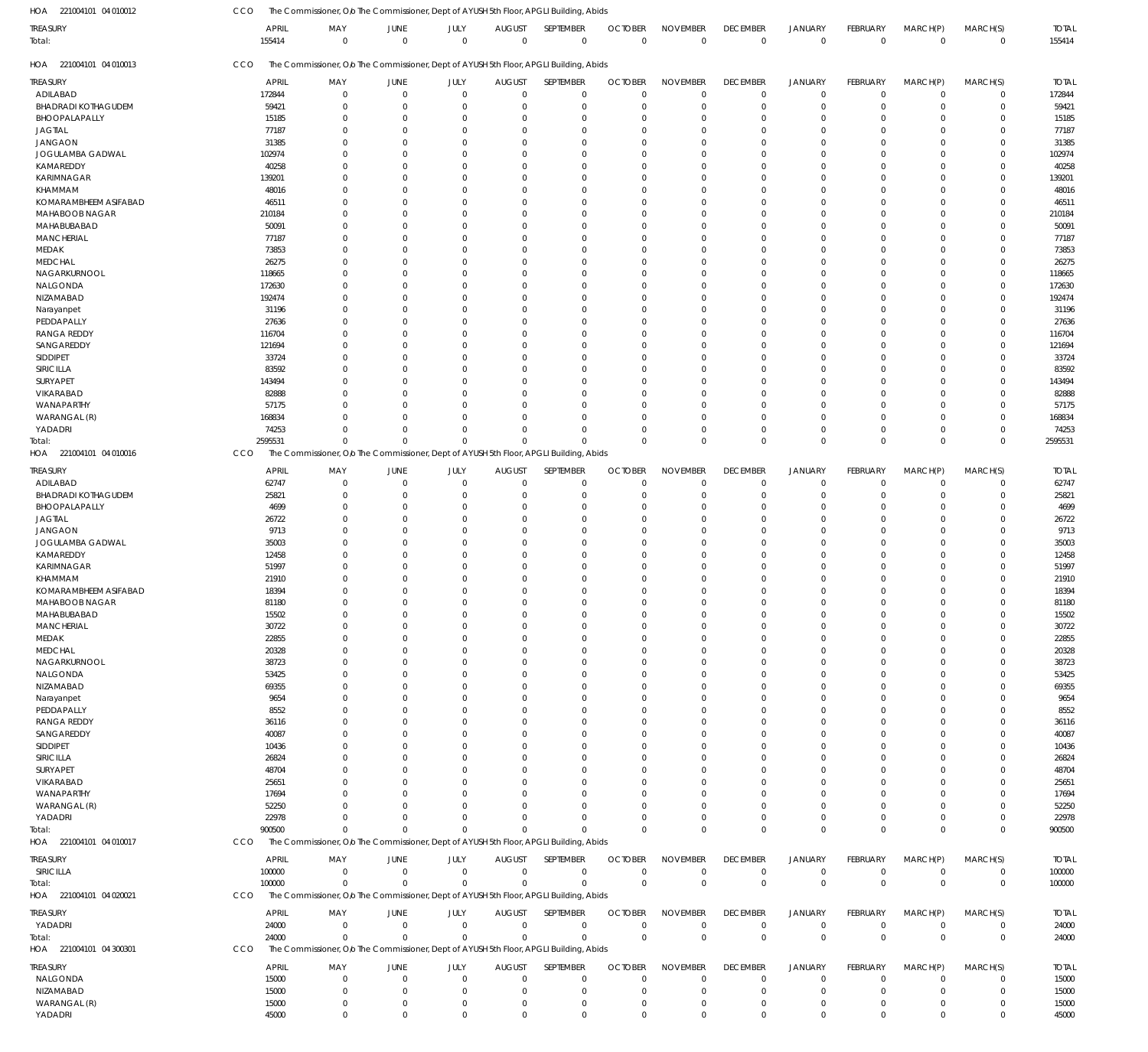221004101 04 010012 HOA 221004101 04 010013 HOA 221004101 04 010016 HOA 221004101 04 010017 HOA 221004101 04 020021 HOA 221004101 04 300301 HOA The Commissioner, O/o The Commissioner, Dept of AYUSH 5th Floor, APGLI Building, Abids The Commissioner, O/o The Commissioner, Dept of AYUSH 5th Floor, APGLI Building, Abids The Commissioner, O/o The Commissioner, Dept of AYUSH 5th Floor, APGLI Building, Abids The Commissioner, O/o The Commissioner, Dept of AYUSH 5th Floor, APGLI Building, Abids The Commissioner, O/o The Commissioner, Dept of AYUSH 5th Floor, APGLI Building, Abids The Commissioner, O/o The Commissioner, Dept of AYUSH 5th Floor, APGLI Building, Abids CCO CCO CCO CCO **CCO** CCO 155414 2595531 900500 100000 24000 0 0  $\Omega$ 0 0 0 0  $\Omega$  $\boldsymbol{0}$ 0 0 0  $\Omega$ 0 0 0 0  $\Omega$ 0 0 0  $\,$  0  $\,$  $\theta$ 0 0 0 0  $\Omega$ 0 0 0 0  $\Omega$ 0 0 0 0  $\Omega$ 0 0 0 0 0  $\,$  0  $\,$ 0 0 0 0  $\boldsymbol{0}$ 0  $\Omega$ 0  $\Omega$ 0 0  $\Omega$ 0  $\Omega$ 0 0 155414 2595531 900500 100000 24000 ADILABAD BHADRADI KOTHAGUDEM BHOOPALAPALLY JAGTIAL JANGAON JOGULAMBA GADWAL KAMAREDDY KARIMNAGAR KHAMMAM KOMARAMBHEEM ASIFABAD MAHABOOB NAGAR MAHABUBABAD MANCHERIAL MEDAK MEDCHAL NAGARKURNOOL NALGONDA NIZAMABAD Narayanpet PEDDAPALLY RANGA REDDY SANGAREDDY SIDDIPET SIRICILLA SURYAPET VIKARABAD WANAPARTHY WARANGAL (R) YADADRI ADILABAD BHADRADI KOTHAGUDEM BHOOPALAPALLY JAGTIAL JANGAON JOGULAMBA GADWAL KAMAREDDY KARIMNAGAR KHAMMAM KOMARAMBHEEM ASIFABAD MAHABOOB NAGAR MAHABUBABAD **MANCHERIAL** MEDAK MEDCHAL NAGARKURNOOL NALGONDA NIZAMABAD Narayanpet PEDDAPALLY RANGA REDDY SANGAREDDY SIDDIPET SIRICILLA SURYAPET VIKARABAD WANAPARTHY WARANGAL (R) YADADRI SIRICILLA YADADRI NALGONDA NIZAMABAD TREASURY **TREASURY** TREASURY TREASURY **TREASURY** TREASURY 172844 59421 15185 77187 31385 102974 40258 139201 48016 46511 210184 50091 77187 73853 26275 118665 172630 192474 31196 27636 116704 121694 33724 83592 143494 82888 57175 168834 74253 62747 25821 4699 26722 9713 35003 12458 51997 21910 18394 81180 15502 30722 22855 20328 38723 53425 69355 9654 8552 36116 40087 10436 26824 48704 25651 17694 52250 22978 100000 24000 15000 15000 APRIL APRIL APRIL APRIL APRIL APRIL 0 0 0  $\Omega$  $\Omega$ 0  $\Omega$ 0 0  $\Omega$ 0  $\Omega$ 0 0  $\Omega$ 0  $\Omega$ 0 0 0  $\Omega$  $\Omega$ 0 0  $\Omega$  $\Omega$  $\Omega$ 0  $\Omega$ 0  $\Omega$  $\Omega$ 0  $\Omega$ 0 0  $\Omega$ 0  $\Omega$ 0 0  $\sqrt{2}$ 0  $\Omega$  $\Omega$ 0  $\Omega$ 0  $\Omega$ 0 0  $\Omega$  $\Omega$  $\Omega$ 0  $\Omega$ 0  $\Omega$  $\Omega$ 0 0  $\Omega$ MAY MAY MAY MAY MAY MAY 0 0 0 0  $\Omega$ 0  $\Omega$ 0 0  $\Omega$ 0  $\Omega$ 0 0  $\Omega$ 0  $\Omega$ 0 0 0 0  $\Omega$ 0 0 0 0  $\Omega$ 0  $\Omega$ 0 0  $\Omega$ 0  $\Omega$ 0 0  $\Omega$ 0  $\Omega$ 0 0  $\Omega$ 0  $\Omega$ 0 0 0 0  $\Omega$ 0 0  $\Omega$ 0  $\Omega$ 0  $\Omega$ 0 0  $\Omega$ 0 0  $\Omega$ JUNE JUNE JUNE JUNE **JUNE** JUNE 0 0 0 0  $\Omega$ 0  $\Omega$ 0 0  $\sqrt{0}$ 0  $\Omega$ 0 0  $\Omega$ 0  $\Omega$ 0 0 0 0  $\Omega$ 0 0  $\Omega$ 0  $\Omega$ 0  $\Omega$ 0 0  $\Omega$ 0  $\Omega$ 0 0 0 0  $\Omega$ 0 0  $\sqrt{0}$ 0  $\Omega$  $\Omega$ 0 0 0  $\Omega$ 0 0  $\Omega$ 0  $\Omega$ 0  $\Omega$ 0  $\Omega$ 0 0 0 0 JULY JULY JULY JULY JULY JULY 0 0 0  $\Omega$  $\Omega$ 0  $\Omega$ 0 0  $\Omega$ 0  $\Omega$ 0 0  $\sqrt{2}$ 0  $\Omega$  $\Omega$ 0 0  $\Omega$  $\Omega$ 0 0  $\Omega$  $\Omega$  $\Omega$ 0  $\Omega$ 0  $\Omega$  $\Omega$ 0  $\Omega$ 0 0  $\Omega$ 0  $\Omega$ 0 0  $\sqrt{2}$ 0  $\Omega$  $\Omega$ 0  $\Omega$ 0  $\Omega$ 0 0  $\Omega$ 0  $\Omega$ 0  $\Omega$ 0  $\Omega$  $\Omega$ 0 0  $\Omega$ AUGUST AUGUST AUGUST AUGUST AUGUST AUGUST 0 0 0  $\Omega$  $\Omega$ 0  $\Omega$  $\Omega$ 0  $\Omega$  $\overline{0}$  $\Omega$ 0 0  $\Omega$ 0  $\Omega$  $\Omega$ 0  $\Omega$  $\Omega$  $\Omega$  $\overline{0}$ 0  $\Omega$  $\Omega$  $\Omega$  $\overline{0}$  $\Omega$ 0  $\Omega$  $\Omega$ 0  $\Omega$  $\Omega$ 0  $\Omega$  $\overline{0}$  $\Omega$ 0 0  $\Omega$ 0  $\Omega$  $\Omega$ 0  $\Omega$  $\overline{0}$  $\Omega$  $\overline{0}$ 0  $\Omega$  $\Omega$  $\Omega$  $\overline{0}$  $\Omega$  $\Omega$  $\Omega$  $\Omega$ 0 0  $\Omega$ SEPTEMBER **SEPTEMBER** SEPTEMBER SEPTEMBER **SEPTEMBER** SEPTEMBER 0 0 0  $\Omega$  $\Omega$ 0  $\Omega$ 0  $\Omega$  $\Omega$ 0  $\Omega$ 0  $\Omega$  $\Omega$ 0  $\Omega$ 0 0  $\Omega$  $\Omega$  $\Omega$ 0  $\Omega$  $\Omega$  $\Omega$  $\Omega$ 0  $\Omega$ 0  $\Omega$  $\Omega$ 0  $\Omega$ 0  $\Omega$  $\Omega$ 0  $\Omega$ 0  $\Omega$  $\Omega$ 0  $\Omega$ 0 0  $\Omega$ 0  $\Omega$ 0  $\Omega$  $\Omega$  $\Omega$  $\Omega$ 0  $\Omega$ 0  $\Omega$  $\Omega$ 0 0  $\Omega$ OCTOBER **OCTOBER OCTOBER** OCTOBER **OCTOBER** OCTOBER 0 0 0 0  $\Omega$ 0  $\Omega$ 0 0  $\Omega$ 0  $\Omega$ 0 0  $\Omega$ 0  $\Omega$ 0 0  $\Omega$  $\Omega$  $\Omega$ 0 0  $\Omega$  $\Omega$  $\Omega$ 0  $\Omega$ 0 0  $\Omega$ 0  $\Omega$ 0 0  $\Omega$ 0  $\Omega$ 0 0  $\Omega$ 0  $\Omega$  $\Omega$ 0  $\Omega$ 0  $\Omega$ 0 0  $\Omega$  $\Omega$  $\Omega$ 0  $\Omega$ 0 0  $\Omega$ 0 0  $\Omega$ NOVEMBER NOVEMBER NOVEMBER NOVEMBER NOVEMBER NOVEMBER 0 0 0  $\Omega$  $\Omega$ 0  $\Omega$ 0  $\Omega$  $\Omega$ 0  $\Omega$  $\overline{0}$ 0  $\Omega$ 0  $\Omega$  $\Omega$ 0  $\Omega$  $\Omega$  $\Omega$  $\overline{0}$ 0  $\Omega$  $\Omega$  $\Omega$  $\overline{0}$  $\Omega$ 0  $\Omega$  $\Omega$ 0  $\Omega$ 0  $\Omega$  $\Omega$ 0  $\Omega$ 0 0  $\Omega$ 0  $\Omega$  $\Omega$ 0  $\Omega$ 0  $\Omega$  $\overline{0}$ 0  $\Omega$  $\Omega$  $\Omega$  $\overline{0}$  $\Omega$ 0 0  $\Omega$ 0 0  $\Omega$ DECEMBER DECEMBER DECEMBER DECEMBER **DECEMBER** DECEMBER 0 0 0  $\Omega$  $\Omega$ 0  $\Omega$  $\Omega$ 0  $\Omega$ 0  $\Omega$ 0 0  $\Omega$ 0  $\Omega$ 0 0  $\Omega$  $\Omega$  $\Omega$ 0 0  $\Omega$ 0  $\Omega$ 0  $\Omega$  $\Omega$  $\Omega$  $\Omega$ 0  $\Omega$  $\Omega$ 0  $\Omega$ 0  $\Omega$ 0  $\Omega$  $\Omega$ 0  $\Omega$ 0 0  $\Omega$ 0  $\Omega$ 0 0  $\Omega$  $\Omega$  $\Omega$ 0  $\Omega$ 0 0  $\Omega$ 0 0  $\Omega$ JANUARY JANUARY JANUARY JANUARY **JANUARY** JANUARY 0 0 0 0  $\Omega$ 0  $\Omega$ 0 0  $\Omega$ 0  $\Omega$ 0 0  $\Omega$ 0  $\Omega$  $\overline{0}$ 0 0 0  $\Omega$ 0 0 0 0 0 0  $\Omega$ 0 0  $\Omega$ 0  $\Omega$ 0 0  $\Omega$ 0  $\Omega$ 0 0  $\Omega$ 0  $\Omega$  $\overline{0}$ 0 0 0  $\Omega$ 0 0 0 0  $\Omega$ 0  $\Omega$ 0 0 0 0 0  $\Omega$ FEBRUARY FEBRUARY FEBRUARY FEBRUARY FEBRUARY FEBRUARY 0 0 0  $\Omega$  $\Omega$ 0  $\Omega$ 0  $\Omega$  $\Omega$ 0  $\Omega$  $\overline{0}$ 0  $\Omega$ 0  $\Omega$ 0 0 0  $\Omega$  $\Omega$  $\overline{0}$ 0  $\Omega$  $\Omega$  $\Omega$ 0  $\Omega$  $\Omega$  $\Omega$  $\Omega$  $\overline{0}$  $\Omega$ 0  $\Omega$  $\Omega$ 0  $\Omega$ 0  $\Omega$  $\Omega$ 0  $\Omega$ 0 0  $\Omega$ 0  $\Omega$  $\overline{0}$ 0  $\Omega$  $\Omega$  $\Omega$ 0  $\Omega$ 0  $\Omega$  $\Omega$ 0 0  $\Omega$ MARCH(P) MARCH(P) MARCH(P) MARCH(P) MARCH(P) MARCH(P) 0 0 0  $\Omega$  $\Omega$ 0  $\Omega$ 0  $\Omega$  $\Omega$ 0  $\Omega$ 0  $\Omega$  $\Omega$ 0  $\Omega$ 0  $\Omega$  $\Omega$  $\Omega$  $\Omega$ 0  $\Omega$ 0  $\Omega$  $\Omega$ 0  $\Omega$ 0  $\Omega$  $\Omega$ 0  $\Omega$ 0  $\Omega$  $\Omega$ 0  $\Omega$ 0  $\Omega$  $\Omega$ 0  $\Omega$ 0  $\Omega$  $\Omega$ 0  $\Omega$ 0  $\Omega$ 0  $\Omega$  $\Omega$ 0  $\Omega$ 0  $\Omega$  $\Omega$ 0 0  $\Omega$ MARCH(S) MARCH(S) MARCH(S) MARCH(S) MARCH(S) MARCH(S) 172844 59421 15185 77187 31385 102974 40258 139201 48016 46511 210184 50091 77187 73853 26275 118665 172630 192474 31196 27636 116704 121694 33724 83592 143494 82888 57175 168834 74253 62747 25821 4699 26722 9713 35003 12458 51997 21910 18394 81180 15502 30722 22855 20328 38723 53425 69355 9654 8552 36116 40087 10436 26824 48704 25651 17694 52250 22978 100000 24000 15000 15000 TOTAL TOTAL TOTAL TOTAL TOTAL TOTAL Total: Total: Total: Total: Total:

WARANGAL (R) YADADRI

15000 45000  $\,$  0  $\,$  $\Omega$ 

 $\boldsymbol{0}$  $\Omega$ 

 $\,$  0  $\,$  $\Omega$ 

 $\boldsymbol{0}$  $\Omega$ 

0  $\Omega$   $\,$   $\,$   $\,$  $\Omega$ 

 $\,$  0  $\,$  $\Omega$ 

0  $\Omega$   $\,$  0  $\,$  $\Omega$ 

 $\boldsymbol{0}$  $\Omega$ 

 $\,$  0  $\,$  $\Omega$ 

0  $\Omega$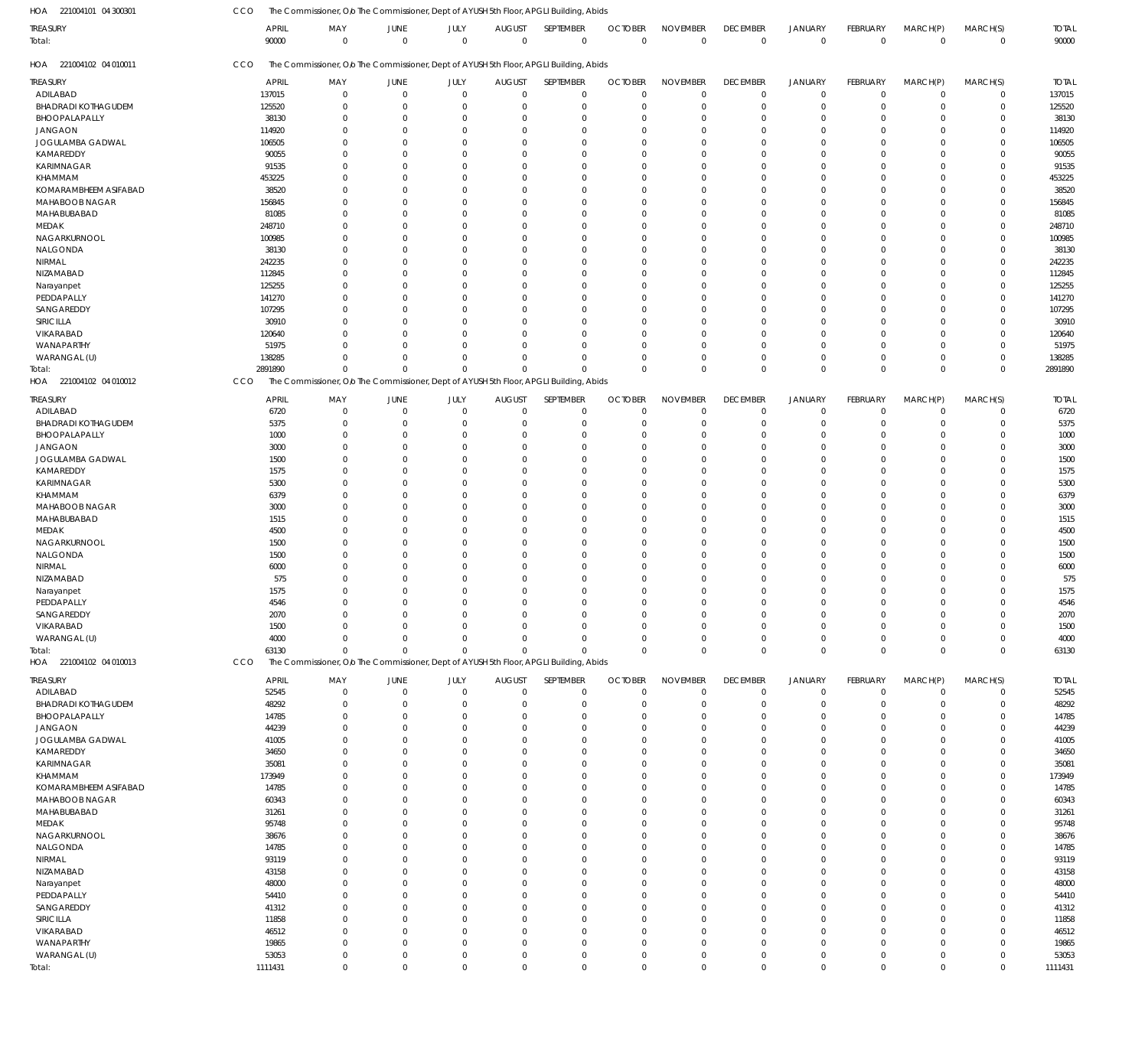| HOA 221004101 04 300301    | CCO                   | The Commissioner, Olo The Commissioner, Dept of AYUSH 5th Floor, APGLI Building, Abids |                  |                     |                              |                          |                            |                                |                                |                                  |                         |                         |                         |                       |
|----------------------------|-----------------------|----------------------------------------------------------------------------------------|------------------|---------------------|------------------------------|--------------------------|----------------------------|--------------------------------|--------------------------------|----------------------------------|-------------------------|-------------------------|-------------------------|-----------------------|
| TREASURY<br>Total:         | <b>APRIL</b><br>90000 | MAY<br>$\Omega$                                                                        | JUNE<br>$\Omega$ | JULY<br>$\mathbf 0$ | <b>AUGUST</b><br>$\mathbf 0$ | SEPTEMBER<br>$\mathbf 0$ | <b>OCTOBER</b><br>$\Omega$ | <b>NOVEMBER</b><br>$\mathbf 0$ | <b>DECEMBER</b><br>$\mathbf 0$ | <b>JANUARY</b><br>$\overline{0}$ | FEBRUARY<br>$\mathbf 0$ | MARCH(P)<br>$\mathbf 0$ | MARCH(S)<br>$\mathbf 0$ | <b>TOTAL</b><br>90000 |
| HOA 221004102 04 010011    | CCO                   | The Commissioner, Olo The Commissioner, Dept of AYUSH 5th Floor, APGLI Building, Abids |                  |                     |                              |                          |                            |                                |                                |                                  |                         |                         |                         |                       |
| treasury                   | <b>APRIL</b>          | MAY                                                                                    | JUNE             | JULY                | <b>AUGUST</b>                | SEPTEMBER                | <b>OCTOBER</b>             | <b>NOVEMBER</b>                | <b>DECEMBER</b>                | <b>JANUARY</b>                   | FEBRUARY                | MARCH(P)                | MARCH(S)                | <b>TOTAL</b>          |
| ADILABAD                   | 137015                | $\mathbf 0$                                                                            | $\overline{0}$   | $\mathbf 0$         | $\mathbf 0$                  | $\mathbf 0$              | $\Omega$                   | $\overline{0}$                 | $\mathbf 0$                    | $\overline{0}$                   | $\mathbf 0$             | $\mathbf 0$             | $\mathbf 0$             | 137015                |
| <b>BHADRADI KOTHAGUDEM</b> | 125520                | $\Omega$                                                                               | $\Omega$         | $\mathbf 0$         | $\Omega$                     | $\mathbf 0$              | $\Omega$                   | $\Omega$                       | $\mathbf 0$                    | $\overline{0}$                   | $\Omega$                | $\Omega$                | $\mathbf 0$             | 125520                |
| BHOOPALAPALLY              | 38130                 | $\Omega$                                                                               | $\Omega$         | $\mathbf 0$         | O                            | $\mathbf 0$              | $\Omega$                   | $\overline{0}$                 | $\mathbf 0$                    | $\overline{0}$                   | $\Omega$                | $\Omega$                | $\mathbf 0$             | 38130                 |
| <b>JANGAON</b>             | 114920                | $\Omega$                                                                               | $\Omega$         | $\Omega$            | O                            | $\Omega$                 |                            | $\Omega$                       | $\Omega$                       | $\Omega$                         | $\Omega$                | $\Omega$                | $\mathbf 0$             | 114920                |
| JOGULAMBA GADWAL           | 106505                | $\Omega$                                                                               | $\Omega$         | $\Omega$            | O                            | $\Omega$                 |                            | $\Omega$                       | $\Omega$                       | $\Omega$                         | $\Omega$                | $\Omega$                | $\mathbf 0$             | 106505                |
| KAMAREDDY                  | 90055                 | $\Omega$                                                                               | $\Omega$         | $\Omega$            | $\Omega$                     | $\Omega$                 |                            | $\Omega$                       | $\Omega$                       | $\Omega$                         | $\Omega$                | $\Omega$                | $\mathbf 0$             | 90055                 |
| KARIMNAGAR                 | 91535                 | $\Omega$                                                                               | $\Omega$         | $\Omega$            | $\Omega$                     | $\Omega$                 |                            | $\Omega$                       | $\Omega$                       | $\Omega$                         | $\Omega$                | $\Omega$                | $\mathbf 0$             | 91535                 |
| KHAMMAM                    | 453225                | O                                                                                      | $\Omega$         | $\Omega$            | O                            | $\Omega$                 |                            | $\Omega$                       | $\Omega$                       | $\Omega$                         | $\Omega$                | $\Omega$                | $\Omega$                | 453225                |
| KOMARAMBHEEM ASIFABAD      | 38520                 | $\Omega$                                                                               | $\Omega$         | $\Omega$            | $\Omega$                     | $\Omega$                 |                            | $\Omega$                       | $\Omega$                       | $\Omega$                         | $\Omega$                | $\Omega$                | $\mathbf 0$             | 38520                 |
| MAHABOOB NAGAR             | 156845                | $\Omega$                                                                               | $\Omega$         | $\Omega$            | $\Omega$                     | $\Omega$                 |                            | $\Omega$                       | $\Omega$                       | $\Omega$                         | $\Omega$                | $\Omega$                | $\mathbf 0$             | 156845                |
| MAHABUBABAD                | 81085                 | $\Omega$                                                                               | $\Omega$         | $\Omega$            | O                            | $\Omega$                 |                            | $\Omega$                       | $\Omega$                       | $\Omega$                         | $\Omega$                | $\Omega$                | $\mathbf 0$             | 81085                 |
| MEDAK                      | 248710                | $\Omega$                                                                               | $\Omega$         | $\Omega$            | $\Omega$                     | $\Omega$                 |                            | $\Omega$                       | $\Omega$                       | $\Omega$                         | $\Omega$                | $\Omega$                | $\Omega$                | 248710                |
|                            |                       | $\Omega$                                                                               | $\Omega$         | $\Omega$            | $\Omega$                     | $\Omega$                 |                            | $\overline{0}$                 | $\Omega$                       | $\Omega$                         | $\Omega$                | $\Omega$                |                         |                       |
| NAGARKURNOOL               | 100985                |                                                                                        |                  |                     |                              |                          |                            |                                |                                |                                  |                         |                         | $\mathbf 0$             | 100985                |
| NALGONDA                   | 38130                 | $\Omega$                                                                               | $\Omega$         | $\Omega$            | 0                            | $\Omega$                 |                            | $\Omega$                       | $\Omega$                       | $\Omega$                         | $\Omega$                | $\Omega$                | $\Omega$                | 38130                 |
| NIRMAL                     | 242235                | $\Omega$                                                                               | $\Omega$         | $\Omega$            | 0                            | $\Omega$                 |                            | $\Omega$                       | $\Omega$                       | $\Omega$                         | $\Omega$                | $\Omega$                | $\mathbf 0$             | 242235                |
| NIZAMABAD                  | 112845                | $\Omega$                                                                               | $\Omega$         | $\Omega$            | $\Omega$                     | $\Omega$                 |                            | $\Omega$                       | $\Omega$                       | $\Omega$                         | $\Omega$                | $\Omega$                | $\mathbf 0$             | 112845                |
| Narayanpet                 | 125255                | $\Omega$                                                                               | $\Omega$         | $\Omega$            | 0                            | $\Omega$                 |                            | $\Omega$                       | $\Omega$                       | $\Omega$                         | $\Omega$                | $\Omega$                | $\mathbf 0$             | 125255                |
| PEDDAPALLY                 | 141270                | $\Omega$                                                                               | $\Omega$         | $\Omega$            | 0                            | $\Omega$                 |                            | $\Omega$                       | $\Omega$                       | $\Omega$                         | $\Omega$                | $\Omega$                | $\Omega$                | 141270                |
| SANGAREDDY                 | 107295                | $\Omega$                                                                               | $\Omega$         | $\Omega$            | 0                            | $\Omega$                 |                            | $\Omega$                       | $\Omega$                       | $\Omega$                         | $\Omega$                | $\Omega$                | $\mathbf 0$             | 107295                |
| SIRICILLA                  | 30910                 | $\Omega$                                                                               | $\Omega$         | $\Omega$            | $\Omega$                     | $\Omega$                 |                            | $\Omega$                       | $\Omega$                       | $\Omega$                         | $\Omega$                | $\Omega$                | $\mathbf 0$             | 30910                 |
| VIKARABAD                  | 120640                | $\Omega$                                                                               | $\Omega$         | $\Omega$            | 0                            | $\Omega$                 |                            | $\Omega$                       | $\Omega$                       | $\Omega$                         | $\Omega$                | $\Omega$                | $\mathbf 0$             | 120640                |
| WANAPARTHY                 | 51975                 | O                                                                                      | $\Omega$         | $\Omega$            | $\Omega$                     | $\Omega$                 | $\Omega$                   | $\Omega$                       | $\Omega$                       | $\Omega$                         | $\Omega$                | $\Omega$                | $\mathbf 0$             | 51975                 |
| WARANGAL (U)               | 138285                | $\Omega$                                                                               | $\Omega$         | $\mathbf 0$         | $\Omega$                     | $\mathbf{0}$             |                            | $\overline{0}$                 | 0                              | $\overline{0}$                   | $\Omega$                | $\Omega$                | 0                       | 138285                |
| Total:                     | 2891890               | $\Omega$                                                                               | $\Omega$         | $\mathbf 0$         | $\Omega$                     | $\Omega$                 | $\Omega$                   | $\Omega$                       | $\Omega$                       | $\Omega$                         | $\Omega$                | $\Omega$                | $\mathbf 0$             | 2891890               |
| HOA 221004102 04 010012    | CCO                   | The Commissioner, O/o The Commissioner, Dept of AYUSH 5th Floor, APGLI Building, Abids |                  |                     |                              |                          |                            |                                |                                |                                  |                         |                         |                         |                       |
|                            |                       |                                                                                        |                  |                     |                              |                          |                            |                                |                                |                                  |                         |                         |                         |                       |
| TREASURY                   | <b>APRIL</b>          | MAY                                                                                    | JUNE             | JULY                | <b>AUGUST</b>                | SEPTEMBER                | <b>OCTOBER</b>             | <b>NOVEMBER</b>                | <b>DECEMBER</b>                | JANUARY                          | FEBRUARY                | MARCH(P)                | MARCH(S)                | <b>TOTAL</b>          |
| ADILABAD                   | 6720                  | $\Omega$                                                                               | $\mathbf 0$      | $\mathbf 0$         | $\Omega$                     | $\Omega$                 | $\Omega$                   | $^{\circ}$                     | $\mathbf 0$                    | $\overline{0}$                   | $\Omega$                | 0                       | $\mathbf 0$             | 6720                  |
| <b>BHADRADI KOTHAGUDEM</b> | 5375                  | $\Omega$                                                                               | $\Omega$         | $\Omega$            | O                            | $\Omega$                 | $\Omega$                   | $\Omega$                       | $\mathbf 0$                    | $^{\circ}$                       | $\Omega$                | $\Omega$                | $\mathbf 0$             | 5375                  |
| BHOOPALAPALLY              | 1000                  | $\Omega$                                                                               | $\Omega$         | $\Omega$            | C.                           | $\Omega$                 |                            | $\Omega$                       | $\Omega$                       | $\mathbf 0$                      | O                       | $\Omega$                | $\Omega$                | 1000                  |
| <b>JANGAON</b>             | 3000                  | $\Omega$                                                                               | $\Omega$         | $\Omega$            | C.                           | $\Omega$                 |                            | $\Omega$                       | $\Omega$                       | $\Omega$                         | C                       | $\Omega$                | $\Omega$                | 3000                  |
| JOGULAMBA GADWAL           | 1500                  | $\Omega$                                                                               | $\Omega$         | $\Omega$            | -0                           | $\Omega$                 |                            | $\Omega$                       | $\Omega$                       | $\Omega$                         | C                       | $\Omega$                | $\Omega$                | 1500                  |
| KAMAREDDY                  | 1575                  | $\Omega$                                                                               | $\Omega$         | $\Omega$            | C.                           | $\Omega$                 |                            | $\Omega$                       | $\Omega$                       | $\Omega$                         | C                       | $\Omega$                | $\Omega$                | 1575                  |
| KARIMNAGAR                 | 5300                  | $\Omega$                                                                               | $\Omega$         | $\Omega$            | C.                           | $\Omega$                 |                            | $\Omega$                       | $\Omega$                       | $\Omega$                         | C                       | $\Omega$                | $\Omega$                | 5300                  |
| KHAMMAM                    | 6379                  | $\Omega$                                                                               | $\Omega$         | $\Omega$            | C.                           | $\Omega$                 | $\Omega$                   | $\Omega$                       | $\Omega$                       | $\Omega$                         | C                       | $\Omega$                | $\Omega$                | 6379                  |
| MAHABOOB NAGAR             |                       | $\Omega$                                                                               | $\Omega$         | $\Omega$            | C.                           | $\Omega$                 |                            | $\Omega$                       | $\Omega$                       | $\Omega$                         | C                       | $\Omega$                | $\Omega$                |                       |
|                            | 3000                  |                                                                                        |                  |                     |                              |                          |                            |                                |                                |                                  |                         |                         |                         | 3000                  |
| MAHABUBABAD                | 1515                  | $\Omega$                                                                               | O                | $\Omega$            | C.                           | $\Omega$                 |                            | $\Omega$                       | $\Omega$                       | $\Omega$                         | C                       | $\Omega$                | $\Omega$                | 1515                  |
| MEDAK                      | 4500                  | O                                                                                      | $\Omega$         | $\Omega$            | -0                           | $\Omega$                 |                            | $\Omega$                       | $\Omega$                       | $\Omega$                         | C                       | $\Omega$                | $\Omega$                | 4500                  |
| NAGARKURNOOL               | 1500                  | $\Omega$                                                                               | $\Omega$         | $\Omega$            | C.                           | $\Omega$                 | $\Omega$                   | $\mathbf{0}$                   | $\Omega$                       | $\Omega$                         | $\Omega$                | $\Omega$                | $\Omega$                | 1500                  |
| NALGONDA                   | 1500                  | 0                                                                                      | $\Omega$         | $\Omega$            | C.                           | $\Omega$                 |                            | $\Omega$                       | $\Omega$                       | $\Omega$                         | C                       | $\Omega$                | $\Omega$                | 1500                  |
| NIRMAL                     | 6000                  | O                                                                                      | C                | $\Omega$            | C.                           | $\Omega$                 |                            | $\Omega$                       | $\Omega$                       | $\Omega$                         | C                       | $\Omega$                | $\Omega$                | 6000                  |
| NIZAMABAD                  | 575                   |                                                                                        | C                | $\Omega$            | -0                           | $\Omega$                 |                            | $\Omega$                       |                                | $\Omega$                         | C                       | $\Omega$                | $\Omega$                | 575                   |
| Narayanpet                 | 1575                  | $\Omega$                                                                               | $\Omega$         | $\Omega$            | $\Omega$                     | $\Omega$                 | $\Omega$                   | $\Omega$                       | $\Omega$                       | $\Omega$                         | $\Omega$                | $\Omega$                | $\Omega$                | 1575                  |
| PEDDAPALLY                 | 4546                  |                                                                                        |                  | $\Omega$            |                              |                          |                            |                                |                                |                                  |                         |                         |                         | 4546                  |
| SANGAREDDY                 | 2070                  | $\Omega$                                                                               | $\Omega$         | $\Omega$            | -0                           | $\Omega$                 | $\Omega$                   | $\Omega$                       | $\Omega$                       | $\Omega$                         | $\Omega$                | $\Omega$                | $\Omega$                | 2070                  |
| VIKARABAD                  | 1500                  | $\Omega$                                                                               | $\Omega$         | $\Omega$            | $\Omega$                     | $\Omega$                 | $\Omega$                   | $\mathbf{0}$                   | 0                              | $\overline{0}$                   | $\Omega$                | $\Omega$                | $\mathbf 0$             | 1500                  |
| WARANGAL (U)               | 4000                  | $\Omega$                                                                               | $\Omega$         | $\Omega$            | $\Omega$                     | $\Omega$                 | $\Omega$                   | $\mathbf 0$                    | 0                              | $\mathbf 0$                      | $\Omega$                | $\Omega$                | $\mathbf 0$             | 4000                  |
| Total:                     | 63130                 | $\Omega$                                                                               | $\Omega$         | $\Omega$            | $\Omega$                     | $\Omega$                 | $\Omega$                   | $\mathbf 0$                    | $\mathbf 0$                    | $\overline{0}$                   | $\Omega$                | $\Omega$                | $\mathbf 0$             | 63130                 |
| HOA 221004102 04 010013    | CCO                   | The Commissioner, Olo The Commissioner, Dept of AYUSH 5th Floor, APGLI Building, Abids |                  |                     |                              |                          |                            |                                |                                |                                  |                         |                         |                         |                       |
|                            |                       |                                                                                        |                  |                     |                              |                          |                            |                                |                                |                                  |                         |                         |                         |                       |
| treasury                   | <b>APRIL</b>          | MAY                                                                                    | JUNE             | JULY                | <b>AUGUST</b>                | SEPTEMBER                | <b>OCTOBER</b>             | <b>NOVEMBER</b>                | <b>DECEMBER</b>                | <b>JANUARY</b>                   | FEBRUARY                | MARCH(P)                | MARCH(S)                | <b>TOTAL</b>          |
| ADILABAD                   | 52545                 | $\mathbf 0$                                                                            | $\mathbf 0$      | $\mathbf 0$         | $\mathbf 0$                  | $\mathbf 0$              | $\Omega$                   | $\Omega$                       | $\mathbf 0$                    | $\overline{0}$                   | $\mathbf 0$             | $\mathbf 0$             | 0                       | 52545                 |
| <b>BHADRADI KOTHAGUDEM</b> | 48292                 | $\Omega$                                                                               | $\Omega$         | $\mathbf 0$         | $\Omega$                     | $\mathbf 0$              | $\Omega$                   | $\Omega$                       | $\mathbf 0$                    | $\overline{0}$                   | $\mathbf 0$             | $\Omega$                | $\mathbf 0$             | 48292                 |
| BHOOPALAPALLY              | 14785                 | 0                                                                                      | $\mathbf 0$      | $\mathbf 0$         | $\Omega$                     | $\mathbf 0$              | $\Omega$                   | $^{\circ}$                     | $\mathbf 0$                    | $^{\circ}$                       | $\Omega$                | $\Omega$                | 0                       | 14785                 |
| <b>JANGAON</b>             | 44239                 | $\Omega$                                                                               | $\Omega$         | $\Omega$            | $\Omega$                     | $\Omega$                 | $\Omega$                   | $\Omega$                       | $\Omega$                       | $\Omega$                         | $\Omega$                | $\Omega$                | $\mathbf 0$             | 44239                 |
| JOGULAMBA GADWAL           | 41005                 | $\Omega$                                                                               | $\Omega$         | $\Omega$            | $\Omega$                     | $\Omega$                 |                            | $\Omega$                       | $\Omega$                       | $\Omega$                         | $\Omega$                | $\Omega$                | $\mathbf 0$             | 41005                 |
| KAMAREDDY                  | 34650                 | $\Omega$                                                                               | $\Omega$         | $\Omega$            | $\Omega$                     | $\Omega$                 | $\Omega$                   | $\Omega$                       | $\Omega$                       | $\Omega$                         | $\Omega$                | $\Omega$                | $\mathbf 0$             | 34650                 |
| KARIMNAGAR                 | 35081                 | $\Omega$                                                                               | $\Omega$         | $\Omega$            | 0                            | $\Omega$                 |                            | $\Omega$                       | $\Omega$                       | $\Omega$                         | $\Omega$                | $\Omega$                | $\mathbf 0$             | 35081                 |
| KHAMMAM                    | 173949                | $\Omega$                                                                               | $\Omega$         | $\Omega$            | $\Omega$                     | $\Omega$                 | $\Omega$                   | $\Omega$                       | $\Omega$                       | $\Omega$                         | $\Omega$                | $\Omega$                | $\Omega$                | 173949                |
|                            |                       |                                                                                        |                  |                     |                              |                          |                            |                                |                                |                                  |                         |                         |                         |                       |
| KOMARAMBHEEM ASIFABAD      | 14785                 | $\Omega$                                                                               | $\Omega$         | $\Omega$            | $\Omega$                     | $\Omega$                 |                            | $\mathbf{0}$                   | $\Omega$                       | $\Omega$                         | $\Omega$                | $\Omega$                | $\mathbf 0$             | 14785                 |
| MAHABOOB NAGAR             | 60343                 | $\Omega$                                                                               | $\Omega$         | $\Omega$            | 0                            | $\Omega$                 |                            | $\Omega$                       | $\Omega$                       | $\Omega$                         | $\Omega$                | $\Omega$                | $\mathbf 0$             | 60343                 |
| MAHABUBABAD                | 31261                 | $\Omega$                                                                               | $\Omega$         | $\Omega$            | 0                            | $\Omega$                 |                            | $\Omega$                       | $\Omega$                       | $\Omega$                         | $\Omega$                | $\Omega$                | $\mathbf 0$             | 31261                 |
| MEDAK                      | 95748                 | $\Omega$                                                                               | $\Omega$         | $\Omega$            | $\Omega$                     | $\Omega$                 |                            | $\Omega$                       | $\Omega$                       | $\Omega$                         | $\Omega$                | $\Omega$                | $\mathbf 0$             | 95748                 |
| NAGARKURNOOL               | 38676                 | $\Omega$                                                                               | $\Omega$         | $\Omega$            | $\Omega$                     | $\Omega$                 |                            | $\mathbf 0$                    | $\Omega$                       | $\Omega$                         | $\Omega$                | $\Omega$                | $\mathbf 0$             | 38676                 |
| NALGONDA                   | 14785                 | $\Omega$                                                                               | $\Omega$         | $\Omega$            | 0                            | $\Omega$                 |                            | $\Omega$                       | $\Omega$                       | $\Omega$                         | $\Omega$                | $\Omega$                | $\mathbf 0$             | 14785                 |
| NIRMAL                     | 93119                 | $\Omega$                                                                               | $\Omega$         | $\Omega$            | 0                            | $\Omega$                 |                            | $\Omega$                       | $\Omega$                       | $\Omega$                         | $\Omega$                | $\Omega$                | $\mathbf 0$             | 93119                 |
| NIZAMABAD                  | 43158                 | $\Omega$                                                                               | $\Omega$         | $\Omega$            | $\Omega$                     | $\Omega$                 |                            | $\Omega$                       | $\Omega$                       | $\Omega$                         | $\Omega$                | $\Omega$                | $\mathbf 0$             | 43158                 |
| Narayanpet                 | 48000                 | $\Omega$                                                                               | $\Omega$         | $\Omega$            | 0                            | $\Omega$                 |                            | $\mathbf 0$                    | $\Omega$                       | $\Omega$                         | $\Omega$                | $\Omega$                | $\mathbf 0$             | 48000                 |
| PEDDAPALLY                 | 54410                 | $\Omega$                                                                               | $\Omega$         | $\Omega$            | C.                           | $\Omega$                 | $\Omega$                   | $\Omega$                       | $\Omega$                       | $\Omega$                         | $\Omega$                | $\Omega$                | $\mathbf 0$             | 54410                 |
| SANGAREDDY                 | 41312                 | $\Omega$                                                                               | $\Omega$         | $\Omega$            | 0                            | $\Omega$                 |                            | $\Omega$                       | $\Omega$                       | $\Omega$                         | $\Omega$                | $\Omega$                | $\mathbf 0$             | 41312                 |
|                            |                       | $\Omega$                                                                               | $\Omega$         | $\Omega$            | $\Omega$                     | $\Omega$                 |                            | $\Omega$                       | $\Omega$                       | $\Omega$                         | $\Omega$                | $\Omega$                | $\mathbf 0$             |                       |
| SIRICILLA                  | 11858                 |                                                                                        |                  |                     |                              |                          |                            | $\Omega$                       |                                |                                  |                         |                         |                         | 11858                 |
| VIKARABAD                  | 46512                 | $\Omega$                                                                               | $\Omega$         | $\Omega$            | 0                            | $\Omega$                 | $\Omega$                   |                                | $\Omega$                       | $\Omega$                         | $\Omega$                | $\Omega$                | $\mathbf 0$             | 46512                 |
| WANAPARTHY                 | 19865                 | $\Omega$                                                                               | $\Omega$         | $\Omega$            | $\Omega$                     | $\Omega$                 | $\Omega$                   | $\Omega$                       | 0                              | $\Omega$                         | $\Omega$                | $\Omega$                | $\mathbf 0$             | 19865                 |
| WARANGAL (U)               | 53053                 | 0                                                                                      | $\mathbf 0$      | $\mathbf 0$         | 0                            | $\mathbf 0$              | $\Omega$                   | $\mathbf 0$                    | 0                              | $\overline{0}$                   | $\mathbf 0$             | $\mathbf 0$             | $\mathbf 0$             | 53053                 |
| Total:                     | 1111431               | $\mathbf 0$                                                                            | $\mathbf 0$      | $\mathbf 0$         | $\mathbf{0}$                 | $\mathbf 0$              | $\mathbf 0$                | $\mathbb O$                    | $\mathbf 0$                    | $\overline{0}$                   | $\mathbf 0$             | $\mathbf 0$             | $\mathbf{0}$            | 1111431               |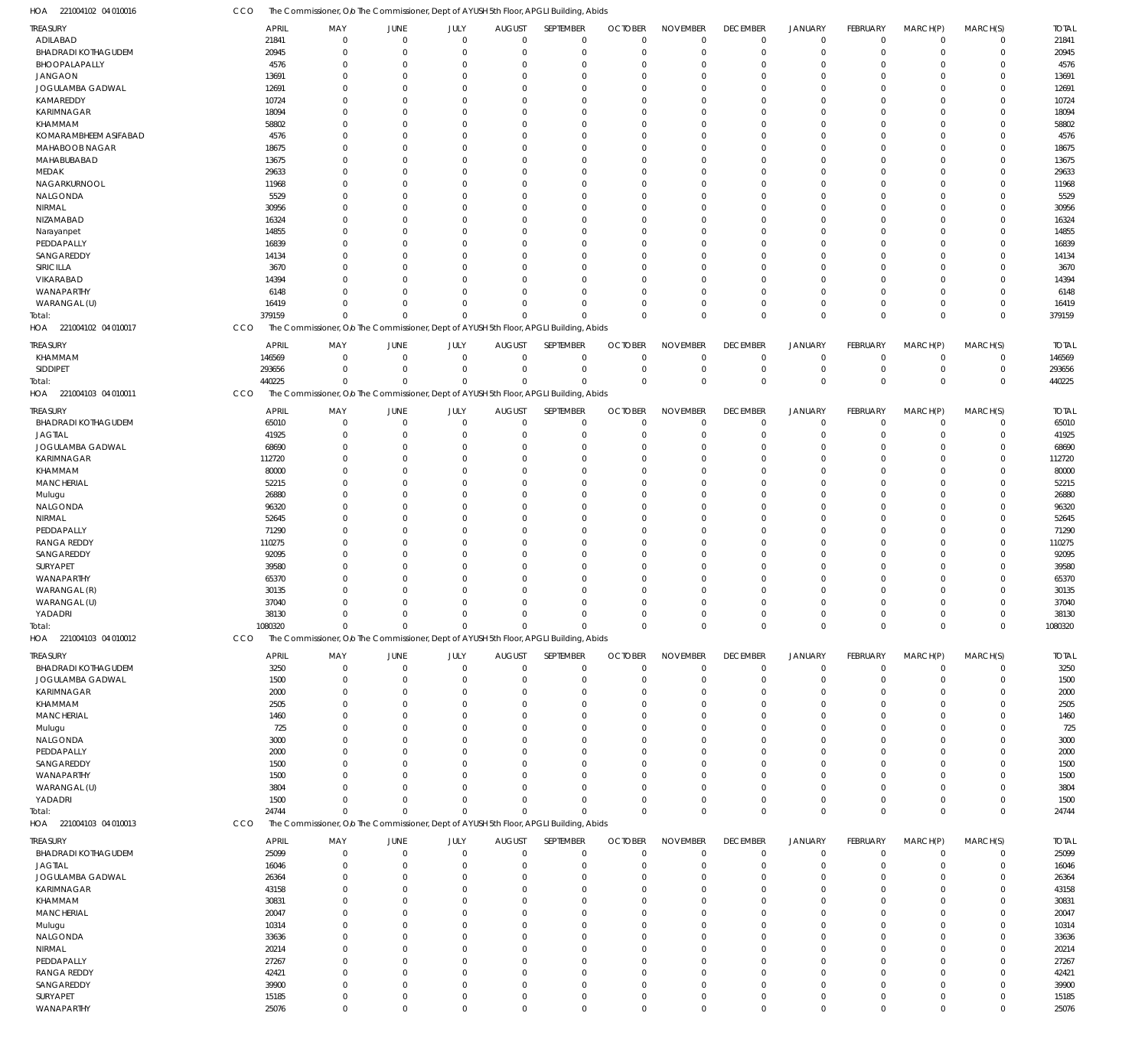221004102 04 010016 HOA 221004102 04 010017 HOA 221004103 04 010011 HOA 221004103 04 010012 HOA 221004103 04 010013 HOA The Commissioner, O/o The Commissioner, Dept of AYUSH 5th Floor, APGLI Building, Abids The Commissioner, O/o The Commissioner, Dept of AYUSH 5th Floor, APGLI Building, Abids The Commissioner, O/o The Commissioner, Dept of AYUSH 5th Floor, APGLI Building, Abids The Commissioner, Olo The Commissioner, Dept of AYUSH 5th Floor, APGLI Building, Abids The Commissioner, O/o The Commissioner, Dept of AYUSH 5th Floor, APGLI Building, Abids CCO CCO **CCO** CCO **CCO** 379159 440225 1080320 24744 0 0  $\Omega$ 0  $\,$  0  $\,$  $\boldsymbol{0}$  $\Omega$ 0 0 0  $\sqrt{0}$ 0 0 0  $\sqrt{2}$  $\Omega$ 0 0  $\theta$  $\Omega$ 0 0  $\Omega$  $\Omega$ 0 0  $\Omega$  $\Omega$ 0 0  $\Omega$  $\Omega$ 0 0  $\Omega$  $\Omega$ 0  $\boldsymbol{0}$ 0  $\Omega$ 0 0  $\Omega$  $\Omega$ 0 0  $\Omega$  $\Omega$ 379159 440225 1080320 24744 ADILABAD BHADRADI KOTHAGUDEM BHOOPALAPALLY JANGAON JOGULAMBA GADWAL KAMAREDDY KARIMNAGAR KHAMMAM KOMARAMBHEEM ASIFABAD MAHABOOB NAGAR MAHABUBABAD MEDAK NAGARKURNOOL NALGONDA NIRMAL NIZAMABAD Narayanpet PEDDAPALLY SANGAREDDY SIRICILLA VIKARABAD WANAPARTHY WARANGAL (U) KHAMMAM SIDDIPET BHADRADI KOTHAGUDEM JAGTIAL JOGULAMBA GADWAL KARIMNAGAR KHAMMAM MANCHERIAL Mulugu NALGONDA NIRMAL **PEDDAPALLY** RANGA REDDY SANGAREDDY SURYAPET WANAPARTHY WARANGAL (R) WARANGAL (U) YADADRI BHADRADI KOTHAGUDEM JOGULAMBA GADWAL KARIMNAGAR KHAMMAM MANCHERIAL Mulugu NALGONDA **PEDDAPALLY** SANGAREDDY WANAPARTHY WARANGAL (U) YADADRI BHADRADI KOTHAGUDEM JAGTIAL JOGULAMBA GADWAL KARIMNAGAR KHAMMAM **MANCHERIAL** Mulugu NALGONDA NIRMAL PEDDAPALLY RANGA REDDY SANGAREDDY SURYAPET WANAPARTHY TREASURY TREASURY TREASURY TREASURY TREASURY 21841 20945 4576 13691 12691 10724 18094 58802 4576 18675 13675 29633 11968 5529 30956 16324 14855 16839 14134 3670 14394 6148 16419 146569 293656 65010 41925 68690 112720 80000 52215 26880 96320 52645 71290 110275 92095 39580 65370 30135 37040 38130 3250 1500 2000 2505 1460 725 3000 2000 1500 1500 3804 1500 25099 16046 26364 43158 30831 20047 10314 33636 20214 27267 42421 39900 15185 25076 APRIL APRIL APRIL APRIL APRIL 0 0  $\Omega$ 0 0  $\sqrt{2}$ 0  $\Omega$  $\Omega$ 0  $\Omega$ 0  $\Omega$ 0 0  $\Omega$  $\Omega$  $\Omega$ 0  $\Omega$ 0 0 0  $\,$  0  $\,$ 0 0 0  $\Omega$ 0 0 0  $\Omega$  $\Omega$ 0  $\Omega$ 0 0  $\Omega$ 0  $\Omega$ 0 0 0 0 0 0 0  $\theta$ 0 0 0 0  $\theta$  $\,$  0  $\,$  $\Omega$ 0 0  $\Omega$ 0  $\Omega$ 0 0  $\Omega$ 0  $\Omega$ 0 0  $\,$  0  $\,$ MAY MAY MAY MAY MAY 0 0  $\Omega$ 0 0  $\Omega$ 0  $\Omega$ 0 0  $\Omega$ 0  $\Omega$ 0 0 0 0  $\Omega$ 0  $\Omega$ 0 0  $\Omega$  $\,$  0  $\,$ 0 0 0  $\Omega$ 0 0 0 0  $\Omega$ 0  $\Omega$ 0 0  $\Omega$ 0  $\Omega$ 0 0 0 0  $\Omega$ 0 0  $\Omega$ 0  $\Omega$ 0 0 0  $\boldsymbol{0}$  $\Omega$ 0 0  $\Omega$ 0  $\Omega$ 0 0  $\Omega$ 0  $\Omega$ 0 0  $\boldsymbol{0}$ JUNE JUNE JUNE JUNE JUNE 0 0  $\Omega$ 0 0  $\sqrt{0}$ 0  $\Omega$ 0 0 0 0  $\Omega$ 0 0 0 0  $\Omega$ 0  $\Omega$ 0 0 0 0 0 0 0  $\Omega$ 0 0 0  $\Omega$  $\Omega$ 0  $\Omega$ 0 0  $\Omega$ 0  $\Omega$ 0 0 0 0 0 0 0 0 0 0 0 0 0 0  $\Omega$ 0 0  $\sqrt{0}$ 0  $\Omega$ 0 0  $\sqrt{0}$ 0  $\Omega$ 0 0 0 JULY JULY JULY JULY JULY  $\Omega$ 0  $\Omega$ 0 0  $\sqrt{2}$ 0  $\Omega$  $\Omega$ 0  $\Omega$ 0  $\Omega$ 0 0  $\Omega$  $\Omega$  $\Omega$ 0  $\Omega$ 0 0  $\Omega$ 0 0  $\Omega$ 0  $\Omega$ 0 0 0  $\Omega$  $\Omega$ 0  $\Omega$ 0 0  $\Omega$ 0  $\Omega$ 0 0 0 0 0 0 0 0 0  $\Omega$ 0 0  $\Omega$ 0  $\Omega$ 0 0  $\Omega$ 0  $\Omega$ 0 0  $\Omega$ 0  $\Omega$ 0 0  $\pmb{0}$ AUGUST AUGUST AUGUST AUGUST AUGUST  $\Omega$  $\overline{0}$  $\Omega$ 0 0  $\Omega$ 0  $\Omega$  $\Omega$ 0  $\Omega$  $\overline{0}$  $\Omega$ 0 0  $\Omega$  $\Omega$  $\Omega$  $\overline{0}$  $\Omega$ 0 0  $\Omega$ 0 0  $\Omega$ 0  $\Omega$ 0 0  $\Omega$  $\Omega$  $\Omega$ 0  $\Omega$  $\Omega$  $\Omega$  $\Omega$  $\overline{0}$  $\Omega$ 0 0  $\Omega$ 0  $\Omega$ 0 0  $\Omega$ 0  $\Omega$ 0 0  $\Omega$ 0  $\Omega$ 0 0  $\Omega$ 0  $\Omega$ 0 0  $\Omega$ 0  $\Omega$ 0 0 0 SEPTEMBER SEPTEMBER SEPTEMBER SEPTEMBER SEPTEMBER 0 0  $\Omega$ 0 0  $\Omega$ 0  $\Omega$  $\Omega$ 0  $\Omega$ 0  $\Omega$ 0 0  $\Omega$  $\Omega$  $\Omega$ 0  $\Omega$ 0  $\Omega$  $\Omega$ 0 0  $\Omega$ 0  $\Omega$ 0 0 0  $\Omega$  $\Omega$ 0  $\Omega$  $\Omega$  $\Omega$  $\Omega$ 0  $\Omega$ 0  $\Omega$ 0 0 0 0 0  $\Omega$ 0 0 0 0  $\Omega$ 0  $\Omega$ 0 0  $\Omega$ 0  $\Omega$ 0 0  $\Omega$ 0  $\Omega$ 0 0  $\,$   $\,$   $\,$ OCTOBER **OCTOBER** OCTOBER OCTOBER OCTOBER 0 0  $\Omega$ 0 0  $\Omega$ 0  $\Omega$ 0 0  $\Omega$ 0  $\Omega$ 0 0  $\Omega$  $\Omega$  $\Omega$ 0  $\Omega$ 0 0  $\Omega$ 0 0 0 0  $\Omega$ 0 0 0 0  $\Omega$ 0  $\Omega$ 0  $\Omega$  $\Omega$ 0  $\Omega$ 0 0  $\Omega$ 0  $\Omega$ 0 0  $\Omega$ 0  $\Omega$ 0 0  $\Omega$ 0  $\Omega$ 0 0  $\Omega$ 0  $\Omega$ 0 0  $\Omega$ 0  $\Omega$ 0 0  $\,$  0  $\,$ NOVEMBER NOVEMBER NOVEMBER NOVEMBER NOVEMBER 0 0  $\Omega$ 0 0  $\Omega$ 0  $\Omega$  $\Omega$ 0  $\Omega$ 0  $\Omega$  $\overline{0}$ 0  $\Omega$  $\Omega$  $\Omega$ 0  $\Omega$ 0 0  $\Omega$ 0 0  $\Omega$ 0  $\Omega$  $\overline{0}$ 0 0  $\Omega$  $\Omega$ 0  $\Omega$ 0  $\Omega$  $\Omega$ 0  $\Omega$ 0 0 0 0 0 0 0  $\Omega$ 0  $\Omega$ 0 0  $\theta$ 0  $\Omega$ 0 0  $\Omega$ 0  $\Omega$ 0 0  $\Omega$ 0  $\Omega$ 0 0 0 DECEMBER DECEMBER DECEMBER DECEMBER DECEMBER 0 0  $\Omega$ 0 0  $\Omega$ 0  $\Omega$  $\Omega$ 0  $\Omega$ 0  $\Omega$ 0 0  $\Omega$  $\Omega$  $\Omega$ 0  $\Omega$ 0 0  $\Omega$ 0 0  $\Omega$ 0  $\Omega$ 0 0 0  $\Omega$  $\Omega$ 0  $\Omega$  $\Omega$ 0  $\Omega$ 0  $\Omega$ 0 0  $\Omega$ 0  $\Omega$ 0 0  $\Omega$ 0  $\Omega$ 0 0  $\Omega$ 0  $\Omega$ 0 0  $\Omega$ 0  $\Omega$ 0 0  $\Omega$ 0  $\Omega$ 0 0  $\,$  0  $\,$ JANUARY JANUARY JANUARY JANUARY JANUARY 0 0  $\Omega$ 0 0  $\Omega$ 0  $\Omega$  $\overline{0}$ 0 0 0  $\Omega$ 0 0 0 0  $\Omega$ 0  $\Omega$ 0 0 0 0 0 0 0  $\Omega$  $\overline{0}$ 0 0 0  $\Omega$ 0  $\Omega$ 0 0 0 0  $\Omega$ 0 0  $\Omega$ 0  $\Omega$ 0 0  $\Omega$ 0  $\Omega$ 0 0 0  $\boldsymbol{0}$  $\Omega$ 0 0  $\Omega$ 0  $\Omega$ 0 0 0 0  $\Omega$ 0 0  $\boldsymbol{0}$ FEBRUARY FEBRUARY FEBRUARY FEBRUARY FEBRUARY 0 0  $\Omega$ 0  $\Omega$  $\Omega$ 0  $\Omega$  $\Omega$ 0  $\Omega$ 0  $\Omega$  $\overline{0}$ 0  $\Omega$  $\Omega$  $\Omega$ 0  $\Omega$ 0 0  $\Omega$ 0 0  $\Omega$ 0  $\Omega$ 0 0 0  $\Omega$  $\Omega$  $\overline{0}$  $\Omega$ 0  $\Omega$  $\Omega$ 0  $\Omega$ 0 0 0 0  $\Omega$ 0  $\Omega$  $\Omega$ 0  $\Omega$ 0 0  $\Omega$ 0  $\Omega$ 0 0  $\Omega$ 0  $\Omega$  $\overline{0}$ 0  $\Omega$ 0  $\Omega$ 0 0 0 MARCH(P) MARCH(P) MARCH(P) MARCH(P) MARCH(P)  $\Omega$ 0  $\Omega$ 0  $\Omega$  $\Omega$ 0  $\Omega$ 0  $\Omega$  $\Omega$ 0  $\Omega$ 0 0  $\Omega$  $\Omega$  $\Omega$ 0  $\Omega$ 0 0  $\Omega$ 0 0  $\Omega$ 0  $\Omega$ 0 0  $\Omega$  $\Omega$  $\Omega$ 0  $\Omega$ 0  $\Omega$  $\Omega$ 0  $\Omega$ 0 0  $\Omega$ 0  $\Omega$ 0  $\Omega$  $\Omega$ 0  $\Omega$ 0 0  $\Omega$ 0  $\Omega$ 0 0  $\Omega$ 0  $\Omega$ 0 0  $\Omega$ 0  $\Omega$ 0 0 0 MARCH(S) MARCH(S) MARCH(S) MARCH(S) MARCH(S) 21841 20945 4576 13691 12691 10724 18094 58802 4576 18675 13675 29633 11968 5529 30956 16324 14855 16839 14134 3670 14394 6148 16419 146569 293656 65010 41925 68690 112720 80000 52215 26880 96320 52645 71290 110275 92095 39580 65370 30135 37040 38130 3250 1500 2000 2505 1460 725 3000 2000 1500 1500 3804 1500 25099 16046 26364 43158 30831 20047 10314 33636 20214 27267 42421 39900 15185 25076 TOTAL TOTAL TOTAL TOTAL TOTAL Total: Total: Total: Total: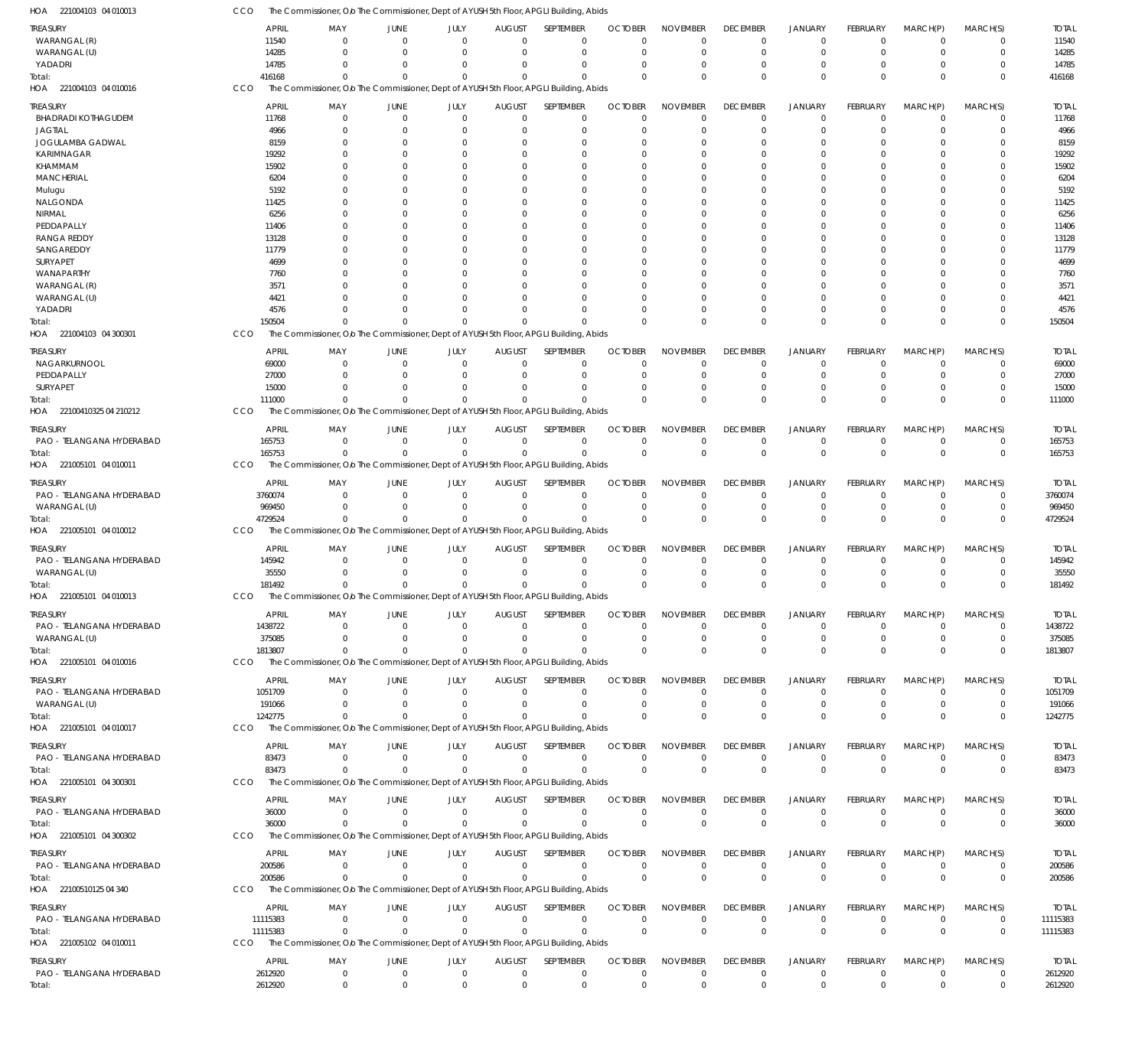| TREASURY                           | <b>APRIL</b>         | MAY                                                                                                | JUNE                       | JULY                          | <b>AUGUST</b>                    | SEPTEMBER                  | <b>OCTOBER</b>             | <b>NOVEMBER</b>            | <b>DECEMBER</b>            | <b>JANUARY</b>                   | FEBRUARY                   | MARCH(P)                         | MARCH(S)                   | <b>TOTAL</b>         |
|------------------------------------|----------------------|----------------------------------------------------------------------------------------------------|----------------------------|-------------------------------|----------------------------------|----------------------------|----------------------------|----------------------------|----------------------------|----------------------------------|----------------------------|----------------------------------|----------------------------|----------------------|
| WARANGAL (R)                       | 11540                | $\Omega$                                                                                           | $\Omega$                   | $\Omega$                      | $\Omega$                         | $\mathbf 0$                | $\Omega$                   | $\Omega$                   | $\Omega$                   | $\overline{0}$                   | $\Omega$                   | $\overline{0}$                   | $\mathbf 0$                | 11540                |
| WARANGAL (U)                       | 14285                | $\Omega$                                                                                           | $\Omega$                   | $\Omega$                      | $\Omega$                         | $\mathbf 0$                | 0                          | $\Omega$                   | $\Omega$                   | $\overline{0}$                   | $\Omega$                   | $\Omega$                         | $\mathbf 0$                | 14285                |
| YADADRI                            | 14785                | $\Omega$                                                                                           | $\Omega$                   | $\Omega$                      | $\Omega$                         | $\mathbf 0$                | $\Omega$                   | $\Omega$                   | $\Omega$                   | $\overline{0}$                   | $\Omega$                   | $\Omega$                         | $\mathbf 0$                | 14785                |
| Total:<br>HOA 221004103 04 010016  | 416168<br>CCO        | $\Omega$<br>The Commissioner, O/o The Commissioner, Dept of AYUSH 5th Floor, APGLI Building, Abids | $\Omega$                   | $\Omega$                      | $\Omega$                         | $\Omega$                   | $\Omega$                   | $\Omega$                   | $\Omega$                   | $\Omega$                         | $\Omega$                   | $\Omega$                         | $\Omega$                   | 416168               |
|                                    |                      |                                                                                                    |                            |                               |                                  |                            |                            |                            |                            |                                  |                            |                                  |                            |                      |
| treasury                           | <b>APRIL</b>         | MAY                                                                                                | JUNE                       | JULY                          | <b>AUGUST</b>                    | SEPTEMBER                  | <b>OCTOBER</b>             | <b>NOVEMBER</b>            | <b>DECEMBER</b>            | <b>JANUARY</b>                   | FEBRUARY                   | MARCH(P)                         | MARCH(S)                   | <b>TOTAL</b>         |
| <b>BHADRADI KOTHAGUDEM</b>         | 11768<br>4966        | $\Omega$                                                                                           | $\overline{0}$<br>$\Omega$ | $\overline{0}$<br>$\Omega$    | $\overline{0}$<br>$\Omega$       | $\mathbf 0$<br>$\mathbf 0$ | $\mathbf 0$<br>O           | $\Omega$<br>$\Omega$       | $\Omega$                   | $\overline{0}$<br>$\Omega$       | $\mathbf 0$<br>0           | $\overline{0}$<br>$\mathbf 0$    | $\mathbf 0$<br>$\mathbf 0$ | 11768<br>4966        |
| <b>JAGTIAL</b><br>JOGULAMBA GADWAL | 8159                 |                                                                                                    |                            | O                             | $\cup$                           | 0                          | 0                          | $\Omega$                   |                            | $\Omega$                         |                            | $\Omega$                         | $\Omega$                   | 8159                 |
| <b>KARIMNAGAR</b>                  | 19292                |                                                                                                    | $\Omega$                   | O                             | $\cup$                           | 0                          | C.                         | $\Omega$                   |                            | $\Omega$                         |                            | $\Omega$                         | $\Omega$                   | 19292                |
| KHAMMAM                            | 15902                |                                                                                                    |                            |                               | C                                | 0                          |                            | $\Omega$                   |                            |                                  |                            | $\Omega$                         | C                          | 15902                |
| <b>MANCHERIAL</b>                  | 6204                 |                                                                                                    |                            |                               | $\Omega$                         | 0                          | O                          | $\Omega$                   |                            |                                  |                            | $\Omega$                         | 0                          | 6204                 |
| Mulugu                             | 5192                 |                                                                                                    |                            |                               | C                                | $\Omega$                   |                            | $\Omega$                   |                            |                                  |                            | $\Omega$                         | 0                          | 5192                 |
| NALGONDA                           | 11425                |                                                                                                    |                            |                               | $\cup$                           | 0                          |                            | $\Omega$                   |                            | $\Omega$                         |                            | $\Omega$                         | $\Omega$                   | 11425                |
| NIRMAL                             | 6256                 |                                                                                                    |                            |                               | C                                | 0                          |                            | $\Omega$                   |                            |                                  |                            | $\Omega$                         | C                          | 6256                 |
| PEDDAPALLY                         | 11406                |                                                                                                    |                            | O                             | $\cup$                           | 0                          | C.                         | $\Omega$                   |                            | $\Omega$                         |                            | $\Omega$                         | 0                          | 11406                |
| <b>RANGA REDDY</b>                 | 13128                |                                                                                                    |                            |                               | C                                | $\Omega$                   |                            | $\Omega$                   |                            |                                  |                            | $\Omega$                         | $\Omega$                   | 13128                |
| SANGAREDDY                         | 11779                |                                                                                                    |                            |                               | $\cup$                           | 0                          |                            | $\Omega$                   |                            | $\Omega$                         |                            | $\Omega$                         | $\Omega$                   | 11779                |
| SURYAPET                           | 4699                 |                                                                                                    |                            |                               |                                  | $\Omega$                   |                            | $\Omega$                   |                            |                                  |                            | $\Omega$                         | C                          | 4699                 |
| WANAPARTHY<br>WARANGAL (R)         | 7760<br>3571         |                                                                                                    |                            |                               | $\cup$<br>C                      | $\Omega$<br>$\Omega$       |                            | $\Omega$<br>$\Omega$       |                            | - 0                              |                            | $\Omega$<br>$\Omega$             | 0<br>0                     | 7760                 |
| WARANGAL (U)                       | 4421                 |                                                                                                    |                            | O                             | $\cup$                           | 0                          |                            | $\Omega$                   |                            | $\Omega$                         |                            | $\Omega$                         | 0                          | 3571<br>4421         |
| YADADRI                            | 4576                 |                                                                                                    |                            | O                             | $\cup$                           | $\Omega$                   |                            | $\Omega$                   |                            | $\Omega$                         | 0                          | $\Omega$                         | $\Omega$                   | 4576                 |
| otal:                              | 150504               |                                                                                                    |                            |                               | $\sqrt{ }$                       | $\Omega$                   | $\cup$                     | $\Omega$                   | $\Omega$                   | $\Omega$                         | $\Omega$                   | $\Omega$                         | $\mathbf 0$                | 150504               |
| HOA 221004103 04 300301            | CCO                  | The Commissioner, Olo The Commissioner, Dept of AYUSH 5th Floor, APGLI Building, Abids             |                            |                               |                                  |                            |                            |                            |                            |                                  |                            |                                  |                            |                      |
|                                    |                      |                                                                                                    |                            |                               |                                  |                            |                            |                            |                            |                                  |                            |                                  |                            |                      |
| treasury                           | <b>APRIL</b>         | MAY                                                                                                | JUNE                       | JULY                          | <b>AUGUST</b>                    | SEPTEMBER                  | <b>OCTOBER</b>             | <b>NOVEMBER</b>            | <b>DECEMBER</b>            | <b>JANUARY</b>                   | FEBRUARY                   | MARCH(P)                         | MARCH(S)                   | <b>TOTAL</b>         |
| NAGARKURNOOL<br>PEDDAPALLY         | 69000<br>27000       | $\Omega$                                                                                           | $\Omega$<br>$\Omega$       | $\mathbf 0$<br>$\Omega$       | $\Omega$<br>$\Omega$             | $\mathbf 0$<br>0           | $\Omega$<br>O              | $\Omega$<br>$\Omega$       | $\Omega$<br>$\Omega$       | $\Omega$<br>$^{\circ}$           | $\Omega$<br>$\Omega$       | $\Omega$<br>$\mathbf 0$          | $\Omega$<br>$\mathbf 0$    | 69000<br>27000       |
| SURYAPET                           | 15000                |                                                                                                    | $\Omega$                   | $\Omega$                      | $\Omega$                         | $\Omega$                   | O                          | $\Omega$                   |                            | $\Omega$                         | $\Omega$                   | $\Omega$                         | $\mathbf 0$                | 15000                |
| Total:                             | 111000               |                                                                                                    | $\Omega$                   |                               | $\Omega$                         | $\Omega$                   | $\Omega$                   | $\Omega$                   | $\Omega$                   | $\Omega$                         | $\Omega$                   | $\Omega$                         | $\mathbf 0$                | 111000               |
| HOA 22100410325 04 210212          | CCO                  | The Commissioner, Olo The Commissioner, Dept of AYUSH 5th Floor, APGLI Building, Abids             |                            |                               |                                  |                            |                            |                            |                            |                                  |                            |                                  |                            |                      |
|                                    |                      |                                                                                                    |                            |                               |                                  |                            |                            |                            |                            |                                  |                            |                                  |                            |                      |
| Treasury                           | <b>APRIL</b>         | MAY                                                                                                | JUNE                       | JULY                          | <b>AUGUST</b>                    | SEPTEMBER                  | <b>OCTOBER</b>             | <b>NOVEMBER</b>            | <b>DECEMBER</b>            | <b>JANUARY</b>                   | <b>FEBRUARY</b>            | MARCH(P)                         | MARCH(S)                   | <b>TOTAL</b>         |
| PAO - TELANGANA HYDERABAD          | 165753               | $\Omega$                                                                                           | $\Omega$<br>$\Omega$       | $\overline{0}$<br>$\mathbf 0$ | $\overline{0}$<br>$\overline{0}$ | $\mathbf 0$<br>$\mathbf 0$ | $\mathbf 0$<br>$\Omega$    | $\mathbf 0$<br>$\Omega$    | $\mathbf 0$<br>$\Omega$    | $\overline{0}$<br>$\overline{0}$ | $\mathbf 0$<br>$\mathbf 0$ | $\overline{0}$<br>$\Omega$       | $\mathbf 0$<br>$\mathbf 0$ | 165753               |
| Total:                             | 165753<br>CCO        | $\Omega$<br>The Commissioner, O/o The Commissioner, Dept of AYUSH 5th Floor, APGLI Building, Abids |                            |                               |                                  |                            |                            |                            |                            |                                  |                            |                                  |                            | 165753               |
| HOA 221005101 04 010011            |                      |                                                                                                    |                            |                               |                                  |                            |                            |                            |                            |                                  |                            |                                  |                            |                      |
| treasury                           | <b>APRIL</b>         | MAY                                                                                                | JUNE                       | JULY                          | <b>AUGUST</b>                    | SEPTEMBER                  | <b>OCTOBER</b>             | <b>NOVEMBER</b>            | <b>DECEMBER</b>            | <b>JANUARY</b>                   | FEBRUARY                   | MARCH(P)                         | MARCH(S)                   | <b>TOTAL</b>         |
| PAO - TELANGANA HYDERABAD          | 3760074              | $\Omega$                                                                                           | $\Omega$                   | $\Omega$                      | $\mathbf 0$                      | 0                          | $\Omega$                   | $\Omega$                   | $\Omega$                   | $^{\circ}$                       | $\Omega$                   | $\mathbf 0$                      | 0                          | 3760074              |
| WARANGAL (U)                       | 969450               | $\Omega$                                                                                           | $\Omega$                   | $\Omega$                      | $\Omega$                         | $\mathbf 0$                | $\Omega$                   | $\mathbf 0$                | $\Omega$                   | $^{\circ}$                       | $\mathbf 0$                | $\overline{0}$                   | $\mathbf 0$                | 969450               |
| Total:                             | 4729524              | $\Omega$                                                                                           | $\Omega$                   | $\Omega$                      | $\Omega$                         | $\Omega$                   | $\Omega$                   | $\Omega$                   | $\Omega$                   | $\Omega$                         | $\Omega$                   | $\Omega$                         | $\mathbf 0$                | 4729524              |
| HOA 221005101 04 010012            | CCO                  | The Commissioner, O/o The Commissioner, Dept of AYUSH 5th Floor, APGLI Building, Abids             |                            |                               |                                  |                            |                            |                            |                            |                                  |                            |                                  |                            |                      |
| treasury                           | <b>APRIL</b>         | MAY                                                                                                | JUNE                       | JULY                          | <b>AUGUST</b>                    | SEPTEMBER                  | <b>OCTOBER</b>             | <b>NOVEMBER</b>            | <b>DECEMBER</b>            | <b>JANUARY</b>                   | <b>FEBRUARY</b>            | MARCH(P)                         | MARCH(S)                   | <b>TOTAL</b>         |
| PAO - TELANGANA HYDERABAD          | 145942               | $\Omega$                                                                                           | $\Omega$                   | $\mathbf 0$                   | $\mathbf 0$                      | $\mathbf 0$                | 0                          | $\mathbf 0$                | 0                          | $^{\circ}$                       | 0                          | $\overline{0}$                   | $\mathbf 0$                | 145942               |
| WARANGAL (U)                       | 35550                | $\Omega$                                                                                           | $\Omega$                   | $\Omega$                      | $\mathbf 0$                      | $\mathbf 0$                | $\Omega$                   | $\mathbf 0$                | $\Omega$                   | $^{\circ}$                       | $\mathbf 0$                | $\mathbf 0$                      | $\mathbf 0$                | 35550                |
| Total:                             | 181492               |                                                                                                    | $\Omega$                   |                               | $\Omega$                         | $\Omega$                   | $\Omega$                   | $\Omega$                   | $\Omega$                   | $\Omega$                         | $\Omega$                   | $\Omega$                         | $\mathbf 0$                | 181492               |
| HOA 221005101 04 010013            | CCO                  | The Commissioner, O/o The Commissioner, Dept of AYUSH 5th Floor, APGLI Building, Abids             |                            |                               |                                  |                            |                            |                            |                            |                                  |                            |                                  |                            |                      |
| TREASURY                           | APRIL                | MAY                                                                                                | JUNE                       | JULY                          |                                  | AUGUST SEPTEMBER           |                            | OCTOBER NOVEMBER           | <b>DECEMBER</b>            | <b>JANUARY</b>                   | FEBRUARY                   | MARCH(P)                         | MARCH(S)                   | <b>TOTAL</b>         |
| PAO - TELANGANA HYDERABAD          | 1438722              | $\mathbf 0$                                                                                        | $\overline{0}$             | $\Omega$                      | $\Omega$                         | 0                          | -0                         | $\Omega$                   | $\Omega$                   | $\Omega$                         | $\Omega$                   | $\Omega$                         | 0                          | 1438722              |
| WARANGAL (U)                       | 375085               | $\Omega$                                                                                           | $\Omega$                   | $\Omega$                      | $\Omega$                         | $\mathbf 0$                | -0                         | $\Omega$                   | $\Omega$                   | $^{\circ}$                       | 0                          | $\Omega$                         | $\mathbf 0$                | 375085               |
| Total:                             | 1813807              | $\mathbf 0$                                                                                        | $\Omega$                   | $\Omega$                      | $\Omega$                         | $\Omega$                   | $\Omega$                   | $\mathbf 0$                | $\Omega$                   | $\Omega$                         | $\Omega$                   | $\Omega$                         | $\mathbf 0$                | 1813807              |
| HOA 221005101 04 010016            | <b>CCO</b>           | The Commissioner, O/o The Commissioner, Dept of AYUSH 5th Floor, APGLI Building, Abids             |                            |                               |                                  |                            |                            |                            |                            |                                  |                            |                                  |                            |                      |
| TREASURY                           | <b>APRIL</b>         | MAY                                                                                                | JUNE                       | JULY                          | <b>AUGUST</b>                    | SEPTEMBER                  | <b>OCTOBER</b>             | <b>NOVEMBER</b>            | <b>DECEMBER</b>            | <b>JANUARY</b>                   | <b>FEBRUARY</b>            | MARCH(P)                         | MARCH(S)                   | <b>TOTAL</b>         |
| PAO - TELANGANA HYDERABAD          | 1051709              | $\Omega$                                                                                           | $\Omega$                   | $\Omega$                      | $\mathbf 0$                      | 0                          | 0                          | $\mathbf 0$                | $\mathbf 0$                | $^{\circ}$                       | $\mathbf 0$                | $^{\circ}$                       | $\mathbf 0$                | 1051709              |
| WARANGAL (U)                       | 191066               | $\Omega$                                                                                           | $\Omega$                   | $\Omega$                      | $\Omega$                         | $\mathbf 0$                | -0                         | $\mathbf 0$                | 0                          | $\overline{0}$                   | 0                          | $\overline{0}$                   | $\mathbf 0$                | 191066               |
| Total:                             | 1242775              | - 0                                                                                                | $\Omega$                   | $\Omega$                      | $\Omega$                         | $\mathbf 0$                | $\Omega$                   | $\Omega$                   | $\Omega$                   | $\Omega$                         | $\Omega$                   | $\Omega$                         | $\mathbf 0$                | 1242775              |
| HOA 221005101 04 010017            | CCO                  | The Commissioner, O/o The Commissioner, Dept of AYUSH 5th Floor, APGLI Building, Abids             |                            |                               |                                  |                            |                            |                            |                            |                                  |                            |                                  |                            |                      |
| Treasury                           | <b>APRIL</b>         | MAY                                                                                                | JUNE                       | JULY                          | <b>AUGUST</b>                    | SEPTEMBER                  | <b>OCTOBER</b>             | <b>NOVEMBER</b>            | <b>DECEMBER</b>            | <b>JANUARY</b>                   | FEBRUARY                   | MARCH(P)                         | MARCH(S)                   | <b>TOTAL</b>         |
| PAO - TELANGANA HYDERABAD          | 83473                | $\Omega$                                                                                           | $\overline{0}$             | $\Omega$                      | $\Omega$                         | $\mathbf 0$                | $\Omega$                   | $\Omega$                   | $\mathbf 0$                | $\overline{0}$                   | $\mathbf 0$                | $\overline{0}$                   | $\mathbf 0$                | 83473                |
| Total:                             | 83473                | $\mathbf 0$                                                                                        | $\Omega$                   | $\Omega$                      | $\overline{0}$                   | $\mathbf 0$                | $\Omega$                   | $\mathbf 0$                | $\Omega$                   | $\Omega$                         | $\overline{0}$             | $\overline{0}$                   | $\mathbf 0$                | 83473                |
| HOA 221005101 04 300301            | CCO                  | The Commissioner, O/o The Commissioner, Dept of AYUSH 5th Floor, APGLI Building, Abids             |                            |                               |                                  |                            |                            |                            |                            |                                  |                            |                                  |                            |                      |
| TREASURY                           | <b>APRIL</b>         | MAY                                                                                                | JUNE                       | JULY                          | <b>AUGUST</b>                    | SEPTEMBER                  | <b>OCTOBER</b>             | <b>NOVEMBER</b>            | <b>DECEMBER</b>            | <b>JANUARY</b>                   | <b>FEBRUARY</b>            | MARCH(P)                         | MARCH(S)                   | <b>TOTAL</b>         |
| PAO - TELANGANA HYDERABAD          | 36000                | $\Omega$                                                                                           | $\overline{0}$             | $\overline{0}$                | $\overline{0}$                   | $\mathbf 0$                | $\mathbf 0$                | $\mathbf 0$                | $\mathbf 0$                | $\overline{0}$                   | $\mathbf 0$                | $\overline{0}$                   | $\mathbf 0$                | 36000                |
| Total:                             | 36000                | $\Omega$                                                                                           | $\Omega$                   | $\Omega$                      | $\Omega$                         | $\mathbf 0$                | $\Omega$                   | $\mathbf 0$                | $\mathbf 0$                | $\overline{0}$                   | $\mathbf 0$                | $\Omega$                         | $\mathbf 0$                | 36000                |
| HOA 221005101 04 300302            | CCO                  | The Commissioner, Olo The Commissioner, Dept of AYUSH 5th Floor, APGLI Building, Abids             |                            |                               |                                  |                            |                            |                            |                            |                                  |                            |                                  |                            |                      |
| Treasury                           | <b>APRIL</b>         |                                                                                                    |                            |                               |                                  |                            |                            | <b>NOVEMBER</b>            | <b>DECEMBER</b>            | JANUARY                          | FEBRUARY                   | MARCH(P)                         | MARCH(S)                   | <b>TOTAL</b>         |
| PAO - TELANGANA HYDERABAD          | 200586               | MAY<br>$\Omega$                                                                                    | JUNE<br>$\overline{0}$     | JULY<br>$^{\circ}$            | <b>AUGUST</b><br>$\Omega$        | SEPTEMBER<br>$\mathbf 0$   | <b>OCTOBER</b><br>$\Omega$ | $\mathbf 0$                | $\mathbf 0$                | $^{\circ}$                       | $\mathbf 0$                | $\overline{0}$                   | $\mathbf 0$                | 200586               |
| Total:                             | 200586               | $\Omega$                                                                                           | $\Omega$                   | $\Omega$                      | $\Omega$                         | $\Omega$                   | $\mathbf 0$                | $\mathbf 0$                | $\Omega$                   | $\overline{0}$                   | $\overline{0}$             | $\Omega$                         | $\mathbf 0$                | 200586               |
| HOA 22100510125 04 340             | CCO                  | The Commissioner, O/o The Commissioner, Dept of AYUSH 5th Floor, APGLI Building, Abids             |                            |                               |                                  |                            |                            |                            |                            |                                  |                            |                                  |                            |                      |
|                                    |                      |                                                                                                    |                            |                               |                                  |                            |                            |                            |                            |                                  |                            |                                  |                            |                      |
| Treasury                           | APRIL                | MAY                                                                                                | JUNE                       | JULY                          | <b>AUGUST</b>                    | SEPTEMBER                  | <b>OCTOBER</b>             | <b>NOVEMBER</b>            | <b>DECEMBER</b>            | <b>JANUARY</b>                   | <b>FEBRUARY</b>            | MARCH(P)                         | MARCH(S)                   | <b>TOTAL</b>         |
| PAO - TELANGANA HYDERABAD          | 11115383<br>11115383 | $\Omega$<br>$\Omega$                                                                               | $\Omega$<br>$\Omega$       | $^{\circ}$<br>$\Omega$        | $\mathbf 0$<br>$\Omega$          | $\mathbf 0$<br>$\mathbf 0$ | 0<br>$\Omega$              | $\mathbf 0$<br>$\mathbf 0$ | $\mathbf 0$<br>$\mathbf 0$ | $^{\circ}$<br>$\overline{0}$     | $\mathbf 0$<br>$\mathbf 0$ | $\overline{0}$<br>$\overline{0}$ | $\mathbf 0$<br>$\mathbf 0$ | 11115383<br>11115383 |
| Total:<br>HOA 221005102 04 010011  | CCO                  | The Commissioner, Olo The Commissioner, Dept of AYUSH 5th Floor, APGLI Building, Abids             |                            |                               |                                  |                            |                            |                            |                            |                                  |                            |                                  |                            |                      |
|                                    |                      |                                                                                                    |                            |                               |                                  |                            |                            |                            |                            |                                  |                            |                                  |                            |                      |
| Treasury                           | <b>APRIL</b>         | MAY                                                                                                | JUNE                       | JULY                          | <b>AUGUST</b>                    | SEPTEMBER                  | <b>OCTOBER</b>             | <b>NOVEMBER</b>            | <b>DECEMBER</b>            | <b>JANUARY</b>                   | <b>FEBRUARY</b>            | MARCH(P)                         | MARCH(S)                   | <b>TOTAL</b>         |
| PAO - TELANGANA HYDERABAD          | 2612920              | $\mathbf 0$                                                                                        | $\mathbf 0$                | $\mathbf 0$                   | $\mathbf 0$                      | $\mathbf 0$                | $\mathbf 0$                | $\mathbf 0$                | $\mathbf 0$                | $\overline{0}$                   | $\mathbf 0$                | $\overline{0}$                   | 0                          | 2612920              |
| Total:                             | 2612920              | $\mathbf 0$                                                                                        | $\mathbf 0$                | $\overline{0}$                | $\mathbf 0$                      | $\mathbf 0$                | $\mathbf 0$                | $\mathbf 0$                | $\overline{0}$             | $\overline{0}$                   | $\Omega$                   | $\overline{0}$                   | $\mathbf 0$                | 2612920              |

CCO The Commissioner, Olo The Commissioner, Dept of AYUSH 5th Floor, APGLI Building, Abids

221004103 04 010013 HOA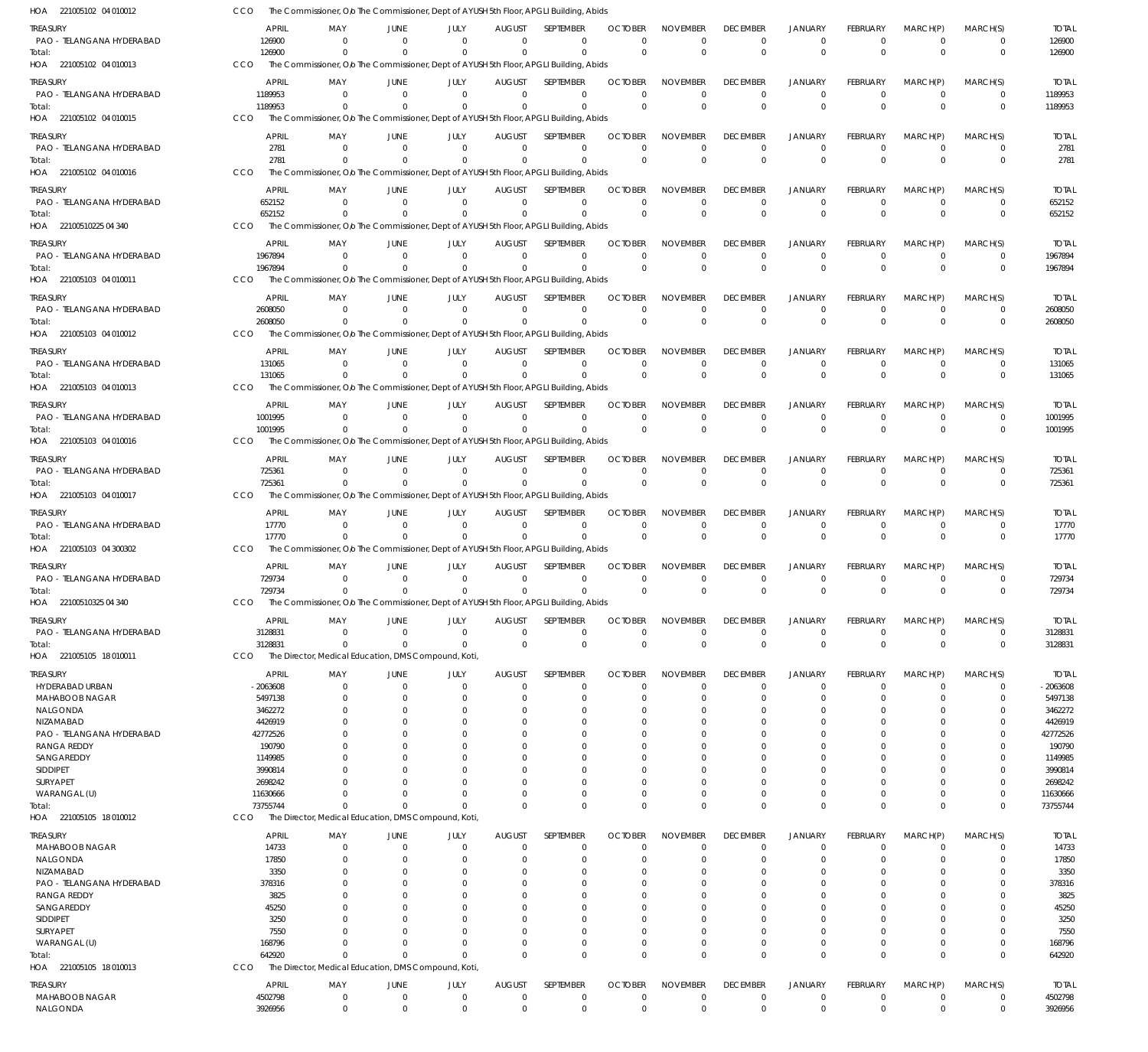| HOA 221005102 04 010012                  | CCO                   |                                                     |                      |                            |                      |                           | The Commissioner, Olo The Commissioner, Dept of AYUSH 5th Floor, APGLI Building, Abids                |                            |                                |                                |                                  |                             |                        |                         |                         |
|------------------------------------------|-----------------------|-----------------------------------------------------|----------------------|----------------------------|----------------------|---------------------------|-------------------------------------------------------------------------------------------------------|----------------------------|--------------------------------|--------------------------------|----------------------------------|-----------------------------|------------------------|-------------------------|-------------------------|
| TREASURY                                 |                       | APRIL                                               | MAY                  | JUNE                       | JULY                 | <b>AUGUST</b>             | <b>SFPTFMBFR</b>                                                                                      | <b>OCTOBER</b>             | <b>NOVEMBER</b>                | <b>DECEMBER</b>                | <b>JANUARY</b>                   | <b>FEBRUARY</b>             | MARCH(P)               | MARCH(S)                | <b>TOTAL</b>            |
| PAO - TELANGANA HYDERABAD                |                       | 126900                                              | $\Omega$             | $\Omega$                   | $\Omega$             | $\Omega$                  | 0                                                                                                     | $\Omega$                   | $\Omega$                       | $^{\circ}$                     | $\mathbf 0$                      | $\Omega$                    | $\Omega$               | $\mathbf 0$             | 126900                  |
| Total:                                   | CCO                   | 126900                                              | $\Omega$             | $\Omega$                   | $\Omega$             | $\Omega$                  | $\mathbf 0$                                                                                           | $\overline{0}$             | $\Omega$                       | $\mathbf{0}$                   | $\overline{0}$                   | $\Omega$                    | $\Omega$               | $\mathbf 0$             | 126900                  |
| HOA 221005102 04 010013                  |                       |                                                     |                      |                            |                      |                           | The Commissioner, Olo The Commissioner, Dept of AYUSH 5th Floor, APGLI Building, Abids                |                            |                                |                                |                                  |                             |                        |                         |                         |
| treasury                                 |                       | <b>APRIL</b>                                        | MAY                  | JUNE<br>$\Omega$           | JULY                 | <b>AUGUST</b>             | SEPTEMBER<br>$\Omega$                                                                                 | <b>OCTOBER</b><br>$\Omega$ | <b>NOVEMBER</b>                | <b>DECEMBER</b>                | <b>JANUARY</b>                   | <b>FEBRUARY</b><br>$\Omega$ | MARCH(P)               | MARCH(S)                | <b>TOTAL</b>            |
| PAO - TELANGANA HYDERABAD<br>Total:      |                       | 1189953<br>1189953                                  | $\Omega$<br>$\Omega$ |                            | $\Omega$<br>$\Omega$ | $\Omega$<br>$\Omega$      | $\mathbf 0$                                                                                           | $\Omega$                   | $\Omega$<br>$\Omega$           | $^{\circ}$<br>$\mathbf 0$      | $\overline{0}$<br>$\overline{0}$ | $\Omega$                    | $^{\circ}$<br>$\Omega$ | 0<br>$\mathbf 0$        | 1189953<br>1189953      |
| HOA 221005102 04 010015                  | CCO                   |                                                     |                      |                            |                      |                           | The Commissioner, O/o The Commissioner, Dept of AYUSH 5th Floor, APGLI Building, Abids                |                            |                                |                                |                                  |                             |                        |                         |                         |
| treasury                                 |                       | <b>APRIL</b>                                        | MAY                  | JUNE                       | JULY                 | <b>AUGUST</b>             | SEPTEMBER                                                                                             | <b>OCTOBER</b>             | <b>NOVEMBER</b>                | <b>DECEMBER</b>                | <b>JANUARY</b>                   | <b>FEBRUARY</b>             | MARCH(P)               | MARCH(S)                | <b>TOTAL</b>            |
| PAO - TELANGANA HYDERABAD                |                       | 2781                                                | $\Omega$             | $\Omega$                   | $\Omega$             | $\Omega$                  | $\Omega$                                                                                              | $\Omega$                   | $\Omega$                       | $\mathbf 0$                    | $\mathbf 0$                      | $\Omega$                    | $\Omega$               | 0                       | 2781                    |
| Total:                                   |                       | 2781                                                | $\Omega$             |                            | $\Omega$             | $\Omega$                  | $\mathbf 0$                                                                                           | $\overline{0}$             | $\Omega$                       | $\mathbf 0$                    | $\overline{0}$                   | $\Omega$                    | $\Omega$               | $\mathbf 0$             | 2781                    |
| HOA 221005102 04 010016                  | CCO                   |                                                     |                      |                            |                      |                           | The Commissioner, Olo The Commissioner, Dept of AYUSH 5th Floor, APGLI Building, Abids                |                            |                                |                                |                                  |                             |                        |                         |                         |
| treasury                                 |                       | <b>APRIL</b>                                        | MAY                  | JUNE                       | JULY                 | <b>AUGUST</b>             | SEPTEMBER                                                                                             | <b>OCTOBER</b>             | <b>NOVEMBER</b>                | <b>DECEMBER</b>                | <b>JANUARY</b>                   | <b>FEBRUARY</b>             | MARCH(P)               | MARCH(S)                | <b>TOTAL</b>            |
| PAO - TELANGANA HYDERABAD                |                       | 652152                                              | $\Omega$             | $\Omega$                   | $\Omega$             | $\Omega$                  | $\mathbf 0$                                                                                           | $\Omega$                   | $\Omega$                       | $\mathbf 0$                    | $\mathbf 0$                      | $\Omega$                    | 0                      | $\mathbf 0$             | 652152                  |
| Total:                                   |                       | 652152                                              | $\Omega$             | $\Omega$                   | $\Omega$             | $\Omega$                  | $\Omega$                                                                                              | $\Omega$                   | $\Omega$                       | $\mathbf 0$                    | $\overline{0}$                   | $\Omega$                    | $\Omega$               | $\mathbf 0$             | 652152                  |
| HOA 22100510225 04 340                   | <b>CCO</b>            |                                                     |                      |                            |                      |                           | The Commissioner, O/o The Commissioner, Dept of AYUSH 5th Floor, APGLI Building, Abids                |                            |                                |                                |                                  |                             |                        |                         |                         |
| treasury                                 |                       | <b>APRIL</b>                                        | MAY                  | <b>JUNE</b>                | JULY                 | <b>AUGUST</b>             | <b>SEPTEMBER</b>                                                                                      | <b>OCTOBER</b>             | <b>NOVEMBER</b>                | <b>DECEMBER</b>                | <b>JANUARY</b>                   | <b>FEBRUARY</b>             | MARCH(P)               | MARCH(S)                | <b>TOTAL</b>            |
| PAO - TELANGANA HYDERABAD                |                       | 1967894                                             | $\Omega$             | $\Omega$                   | $\Omega$             | $\Omega$                  | $\mathbf 0$                                                                                           | $\Omega$<br>$\Omega$       | $\Omega$<br>$\Omega$           | $\mathbf 0$                    | $\mathbf 0$                      | $\Omega$                    | $\Omega$               | $\mathbf 0$             | 1967894                 |
| Total:<br>HOA 221005103 04 010011        | <b>CCO</b>            | 1967894                                             | $\Omega$             |                            | $\Omega$             | $\Omega$                  | $\mathbf 0$<br>The Commissioner, Olo The Commissioner, Dept of AYUSH 5th Floor, APGLI Building, Abids |                            |                                | $\mathbf 0$                    | $\overline{0}$                   | $\Omega$                    | $\Omega$               | $\mathbf 0$             | 1967894                 |
|                                          |                       |                                                     |                      |                            |                      |                           |                                                                                                       |                            |                                |                                |                                  |                             |                        |                         |                         |
| treasury<br>PAO - TELANGANA HYDERABAD    |                       | APRIL<br>2608050                                    | MAY<br>$\Omega$      | JUNE<br>$\Omega$           | JULY<br>$\Omega$     | <b>AUGUST</b><br>$\Omega$ | SEPTEMBER<br>$\mathbf 0$                                                                              | <b>OCTOBER</b><br>$\Omega$ | <b>NOVEMBER</b><br>$\mathbf 0$ | <b>DECEMBER</b><br>$\mathbf 0$ | <b>JANUARY</b><br>$\mathbf 0$    | <b>FEBRUARY</b><br>$\Omega$ | MARCH(P)<br>0          | MARCH(S)<br>0           | <b>TOTAL</b><br>2608050 |
| Total:                                   |                       | 2608050                                             |                      |                            | $\Omega$             | $\Omega$                  | $\Omega$                                                                                              | $\Omega$                   | $\Omega$                       | $\mathbf 0$                    | $\overline{0}$                   | $\Omega$                    | $\Omega$               | $\mathbf 0$             | 2608050                 |
| HOA 221005103 04 010012                  | <b>CCO</b>            |                                                     |                      |                            |                      |                           | The Commissioner, Olo The Commissioner, Dept of AYUSH 5th Floor, APGLI Building, Abids                |                            |                                |                                |                                  |                             |                        |                         |                         |
| treasury                                 |                       | <b>APRIL</b>                                        | MAY                  | JUNE                       | JULY                 | <b>AUGUST</b>             | SEPTEMBER                                                                                             | <b>OCTOBER</b>             | <b>NOVEMBER</b>                | <b>DECEMBER</b>                | <b>JANUARY</b>                   | <b>FEBRUARY</b>             | MARCH(P)               | MARCH(S)                | <b>TOTAL</b>            |
| PAO - TELANGANA HYDERABAD                |                       | 131065                                              | $\Omega$             | $\Omega$                   | $\Omega$             | $\Omega$                  | $\mathbf 0$                                                                                           | $\Omega$                   | $\Omega$                       | $\mathbf 0$                    | $\overline{0}$                   | $\Omega$                    | - 0                    | $\mathbf 0$             | 131065                  |
| Total:                                   |                       | 131065                                              |                      |                            | $\Omega$             | $\Omega$                  | $\Omega$                                                                                              | $\overline{0}$             | $\Omega$                       | $\mathbf 0$                    | $\Omega$                         | $\Omega$                    | $\Omega$               | $\mathbf 0$             | 131065                  |
| HOA 221005103 04 010013                  | <b>CCO</b>            |                                                     |                      |                            |                      |                           | The Commissioner, Olo The Commissioner, Dept of AYUSH 5th Floor, APGLI Building, Abids                |                            |                                |                                |                                  |                             |                        |                         |                         |
| treasury                                 |                       | <b>APRIL</b>                                        | MAY                  | JUNE                       | JULY                 | <b>AUGUST</b>             | SEPTEMBER                                                                                             | <b>OCTOBER</b>             | <b>NOVEMBER</b>                | <b>DECEMBER</b>                | <b>JANUARY</b>                   | <b>FEBRUARY</b>             | MARCH(P)               | MARCH(S)                | <b>TOTAL</b>            |
| PAO - TELANGANA HYDERABAD                |                       | 1001995                                             | $\Omega$             | $\Omega$                   | $\Omega$             | $\Omega$                  | $\mathbf 0$                                                                                           | $\Omega$                   | $\Omega$                       | $\mathbf 0$                    | $\mathbf 0$                      | $\Omega$                    | $\mathbf 0$            | $\mathbf 0$             | 1001995                 |
| Total:                                   |                       | 1001995                                             | $\Omega$             | $\Omega$                   | $\Omega$             | $\Omega$                  | $\Omega$                                                                                              | $\Omega$                   | $\Omega$                       | $\mathbf 0$                    | $\overline{0}$                   | $\Omega$                    | $\Omega$               | $\mathbf 0$             | 1001995                 |
| HOA 221005103 04 010016                  | <b>CCO</b>            |                                                     |                      |                            |                      |                           | The Commissioner, Olo The Commissioner, Dept of AYUSH 5th Floor, APGLI Building, Abids                |                            |                                |                                |                                  |                             |                        |                         |                         |
| treasury                                 |                       | <b>APRIL</b>                                        | MAY                  | JUNE                       | JULY                 | <b>AUGUST</b>             | SEPTEMBER                                                                                             | <b>OCTOBER</b>             | <b>NOVEMBER</b>                | <b>DECEMBER</b>                | <b>JANUARY</b>                   | <b>FEBRUARY</b>             | MARCH(P)               | MARCH(S)                | <b>TOTAL</b>            |
| PAO - TELANGANA HYDERABAD                |                       | 725361                                              | $\Omega$<br>$\Omega$ | $\Omega$                   | $\Omega$             | $\Omega$                  | 0<br>$\Omega$                                                                                         | $\Omega$                   | $\Omega$<br>$\Omega$           | $^{\circ}$                     | $\overline{0}$                   | $\Omega$                    | $\Omega$               | 0                       | 725361                  |
| Total:<br>HOA 221005103 04 010017        | CCO                   | 725361                                              |                      | $\Omega$                   | $\Omega$             | $\Omega$                  | The Commissioner, Olo The Commissioner, Dept of AYUSH 5th Floor, APGLI Building, Abids                | $\Omega$                   |                                | $\mathbf{0}$                   | $\overline{0}$                   | $\Omega$                    | $\Omega$               | $\mathbf 0$             | 725361                  |
|                                          |                       |                                                     |                      |                            |                      |                           |                                                                                                       |                            |                                |                                |                                  |                             |                        |                         |                         |
| treasury<br>PAO - TELANGANA HYDERABAD    |                       | <b>APRIL</b><br>17770                               | MAY<br>$\Omega$      | JUNE<br>$\Omega$           | JULY<br>$\Omega$     | <b>AUGUST</b><br>$\Omega$ | SEPTEMBER<br>$\Omega$                                                                                 | <b>OCTOBER</b><br>$\Omega$ | <b>NOVEMBER</b><br>$\Omega$    | <b>DECEMBER</b><br>$^{\circ}$  | <b>JANUARY</b><br>$\overline{0}$ | <b>FEBRUARY</b><br>$\Omega$ | MARCH(P)<br>0          | MARCH(S)<br>$\mathbf 0$ | <b>TOTAL</b><br>17770   |
| Total:                                   |                       | 17770                                               | $\Omega$             |                            | $\Omega$             | $\Omega$                  | $\Omega$                                                                                              | $\Omega$                   | $\Omega$                       | $\mathbf 0$                    | $\Omega$                         | $\Omega$                    | $\Omega$               | $\mathbf 0$             | 17770                   |
| HOA 221005103 04 300302                  | CCO                   |                                                     |                      |                            |                      |                           | The Commissioner, Olo The Commissioner, Dept of AYUSH 5th Floor, APGLI Building, Abids                |                            |                                |                                |                                  |                             |                        |                         |                         |
| treasury                                 |                       | APRIL                                               | MAY                  | JUNE                       | JULY                 | <b>AUGUST</b>             | SEPTEMBER                                                                                             | <b>OCTOBER</b>             | <b>NOVEMBER</b>                | <b>DECEMBER</b>                | <b>JANUARY</b>                   | <b>FEBRUARY</b>             | MARCH(P)               | MARCH(S)                | <b>TOTAL</b>            |
| PAO - TELANGANA HYDERABAD                |                       | 729734                                              | $\Omega$             | $\Omega$                   | $\Omega$             | $\Omega$                  | 0                                                                                                     | $\Omega$                   | $\Omega$                       | $\overline{0}$                 | $\overline{0}$                   | $\Omega$                    | $\Omega$               | 0                       | 729734                  |
| Total:                                   |                       | 729734                                              | $\Omega$             |                            | $\Omega$             | $\Omega$                  | $\Omega$                                                                                              | $\overline{0}$             | $\Omega$                       | $\mathbf 0$                    | $\overline{0}$                   | $\Omega$                    | $\Omega$               | $\mathbf 0$             | 729734                  |
| HOA 22100510325 04 340                   | <b>CCO</b>            |                                                     |                      |                            |                      |                           | The Commissioner, Olo The Commissioner, Dept of AYUSH 5th Floor, APGLI Building, Abids                |                            |                                |                                |                                  |                             |                        |                         |                         |
| treasury                                 |                       | APRIL                                               | MAY                  | JUNE                       | JULY                 | <b>AUGUST</b>             | SEPTEMBER                                                                                             | <b>OCTOBER</b>             | <b>NOVEMBER</b>                | <b>DECEMBER</b>                | <b>JANUARY</b>                   | FEBRUARY                    | MARCH(P)               | MARCH(S)                | <b>TOTAL</b>            |
| PAO - TELANGANA HYDERABAD                | 3128831               |                                                     | $\Omega$             | $\Omega$                   | $\mathbf 0$          | $\mathbf 0$               | $\mathbf 0$                                                                                           | $\Omega$                   | $\Omega$                       | $\mathbf 0$                    | $\mathbf 0$                      | $\Omega$                    | 0                      | 0                       | 3128831                 |
| Total:<br>HOA 221005105 18010011         | 3128831<br><b>CCO</b> | The Director, Medical Education, DMS Compound, Koti | $\Omega$             | $\Omega$                   | $\mathbf 0$          | $\Omega$                  | $\mathbf 0$                                                                                           | $\Omega$                   | $\Omega$                       | $\mathbf 0$                    | $\overline{0}$                   | $\mathbf 0$                 | $\mathbf 0$            | $\mathbf 0$             | 3128831                 |
|                                          |                       |                                                     |                      |                            |                      |                           |                                                                                                       |                            |                                |                                |                                  |                             |                        |                         |                         |
| treasury                                 |                       | APRIL                                               | MAY                  | JUNE                       | JULY                 | <b>AUGUST</b>             | SEPTEMBER                                                                                             | <b>OCTOBER</b>             | <b>NOVEMBER</b>                | <b>DECEMBER</b>                | <b>JANUARY</b>                   | <b>FEBRUARY</b>             | MARCH(P)               | MARCH(S)                | <b>TOTAL</b>            |
| HYDERABAD URBAN<br><b>MAHABOOB NAGAR</b> | -2063608              | 5497138                                             | 0<br>$\Omega$        | $\overline{0}$<br>$\Omega$ | $\Omega$<br>0        | 0<br>$\Omega$             | 0<br>$\mathbf 0$                                                                                      | $\Omega$<br>$\Omega$       | $\Omega$<br>$\Omega$           | $^{\circ}$<br>$\mathbf 0$      | $\overline{0}$<br>$\mathbf 0$    | $\Omega$<br>$\Omega$        | $\Omega$<br>$\Omega$   | 0<br>$\mathbf 0$        | -2063608<br>5497138     |
| NALGONDA                                 |                       | 3462272                                             | 0                    | $\Omega$                   | 0                    | 0                         | $\Omega$                                                                                              |                            |                                | $\Omega$                       | $\Omega$                         |                             | O                      | 0                       | 3462272                 |
| NIZAMABAD                                |                       | 4426919                                             |                      |                            |                      | $\Omega$                  | $\Omega$                                                                                              |                            |                                |                                |                                  |                             | O                      | $\Omega$                | 4426919                 |
| PAO - TELANGANA HYDERABAD                | 42772526              |                                                     |                      |                            |                      | $\Omega$                  | $\Omega$                                                                                              |                            |                                |                                | $\Omega$                         |                             | 0                      | $\Omega$                | 42772526                |
| <b>RANGA REDDY</b>                       |                       | 190790                                              |                      |                            | 0                    | $\Omega$                  | $\Omega$                                                                                              |                            |                                |                                |                                  |                             | $\Omega$               | $\Omega$                | 190790                  |
| SANGAREDDY<br>SIDDIPET                   |                       | 1149985<br>3990814                                  |                      |                            |                      | $\Omega$<br>$\Omega$      | $\Omega$<br>$\Omega$                                                                                  | $\Omega$                   |                                | $\Omega$                       | 0                                |                             | $\Omega$<br>$\Omega$   | $\Omega$<br>$\Omega$    | 1149985<br>3990814      |
| SURYAPET                                 |                       | 2698242                                             |                      |                            |                      | $\Omega$                  | $\Omega$                                                                                              |                            |                                | $\Omega$                       | $\Omega$                         |                             | $\Omega$               | 0                       | 2698242                 |
| WARANGAL (U)                             | 11630666              |                                                     |                      |                            | 0                    | $\Omega$                  | $\Omega$                                                                                              | $\Omega$                   | $\Omega$                       | $\Omega$                       | $\mathbf 0$                      | 0                           | $\Omega$               | $\mathbf 0$             | 11630666                |
| Total:                                   | 73755744              |                                                     | $\Omega$             | $\Omega$                   | $\Omega$             | $\Omega$                  | $\Omega$                                                                                              | $\Omega$                   | $\Omega$                       | $\mathbf 0$                    | $\Omega$                         | $\Omega$                    | $\Omega$               | $\mathbf 0$             | 73755744                |
| HOA 221005105 18 010012                  | CCO                   | The Director, Medical Education, DMS Compound, Koti |                      |                            |                      |                           |                                                                                                       |                            |                                |                                |                                  |                             |                        |                         |                         |
| treasury                                 |                       | <b>APRIL</b>                                        | MAY                  | JUNE                       | JULY                 | <b>AUGUST</b>             | SEPTEMBER                                                                                             | <b>OCTOBER</b>             | <b>NOVEMBER</b>                | <b>DECEMBER</b>                | <b>JANUARY</b>                   | <b>FEBRUARY</b>             | MARCH(P)               | MARCH(S)                | <b>TOTAL</b>            |
| MAHABOOB NAGAR                           |                       | 14733                                               | 0                    | $\Omega$                   | 0                    | 0                         | 0                                                                                                     | $\Omega$                   |                                | $^{\circ}$                     | 0                                | 0                           | 0                      | 0                       | 14733                   |
| NALGONDA<br>NIZAMABAD                    |                       | 17850<br>3350                                       | 0                    | $\Omega$                   | 0                    | 0<br>C                    | $\Omega$<br>$\Omega$                                                                                  | $\mathcal{L}$              | $\Omega$                       | $\Omega$<br>0                  | $\mathbf 0$                      |                             | 0<br>O                 | $\Omega$<br>$\Omega$    | 17850<br>3350           |
| PAO - TELANGANA HYDERABAD                |                       | 378316                                              |                      |                            |                      | 0                         | $\Omega$                                                                                              |                            |                                |                                | 0                                |                             | 0                      | $\Omega$                | 378316                  |
| <b>RANGA REDDY</b>                       |                       | 3825                                                |                      |                            |                      | 0                         | $\Omega$                                                                                              |                            |                                |                                |                                  |                             | 0                      | $\Omega$                | 3825                    |
| SANGAREDDY                               |                       | 45250                                               |                      |                            |                      |                           | $\Omega$                                                                                              |                            |                                |                                |                                  |                             | O                      | $\Omega$                | 45250                   |
| SIDDIPET                                 |                       | 3250                                                |                      |                            |                      |                           | $\Omega$                                                                                              |                            |                                |                                |                                  |                             | 0                      | $\Omega$                | 3250                    |
| SURYAPET<br>WARANGAL (U)                 |                       | 7550<br>168796                                      |                      | $\Omega$                   | 0                    | $\Omega$                  | $\Omega$<br>$\Omega$                                                                                  | $\Omega$                   | $\Omega$                       | 0                              | 0<br>0                           |                             | 0<br>0                 | $\Omega$<br>$\mathbf 0$ | 7550<br>168796          |
| Total:                                   |                       | 642920                                              | <sup>0</sup>         | $\Omega$                   | $\Omega$             | $\Omega$                  | $\Omega$                                                                                              | $\Omega$                   | $\Omega$                       | $\mathbf{0}$                   | $\Omega$                         | 0                           | $\Omega$               | $\mathbf 0$             | 642920                  |
| HOA 221005105 18010013                   | CCO                   | The Director, Medical Education, DMS Compound, Koti |                      |                            |                      |                           |                                                                                                       |                            |                                |                                |                                  |                             |                        |                         |                         |
| Treasury                                 |                       | APRIL                                               | MAY                  | JUNE                       | JULY                 | <b>AUGUST</b>             | SEPTEMBER                                                                                             | <b>OCTOBER</b>             | <b>NOVEMBER</b>                | <b>DECEMBER</b>                | <b>JANUARY</b>                   | <b>FEBRUARY</b>             | MARCH(P)               | MARCH(S)                | <b>TOTAL</b>            |
| MAHABOOB NAGAR                           |                       | 4502798                                             | $\mathbf 0$          | $\overline{0}$             | $\mathbf 0$          | 0                         | 0                                                                                                     | $^{\circ}$                 | 0                              | 0                              | $\mathbf 0$                      | $\mathbf 0$                 | 0                      | 0                       | 4502798                 |
| NALGONDA                                 |                       | 3926956                                             | $\mathbf{0}$         | $\overline{0}$             | $\mathbf 0$          | $\mathbf 0$               | $\mathbf 0$                                                                                           | $\mathbf 0$                | $\mathbf 0$                    | $\mathbf 0$                    | $\mathbf 0$                      | $\mathbf 0$                 | $\mathbf 0$            | $\mathbf 0$             | 3926956                 |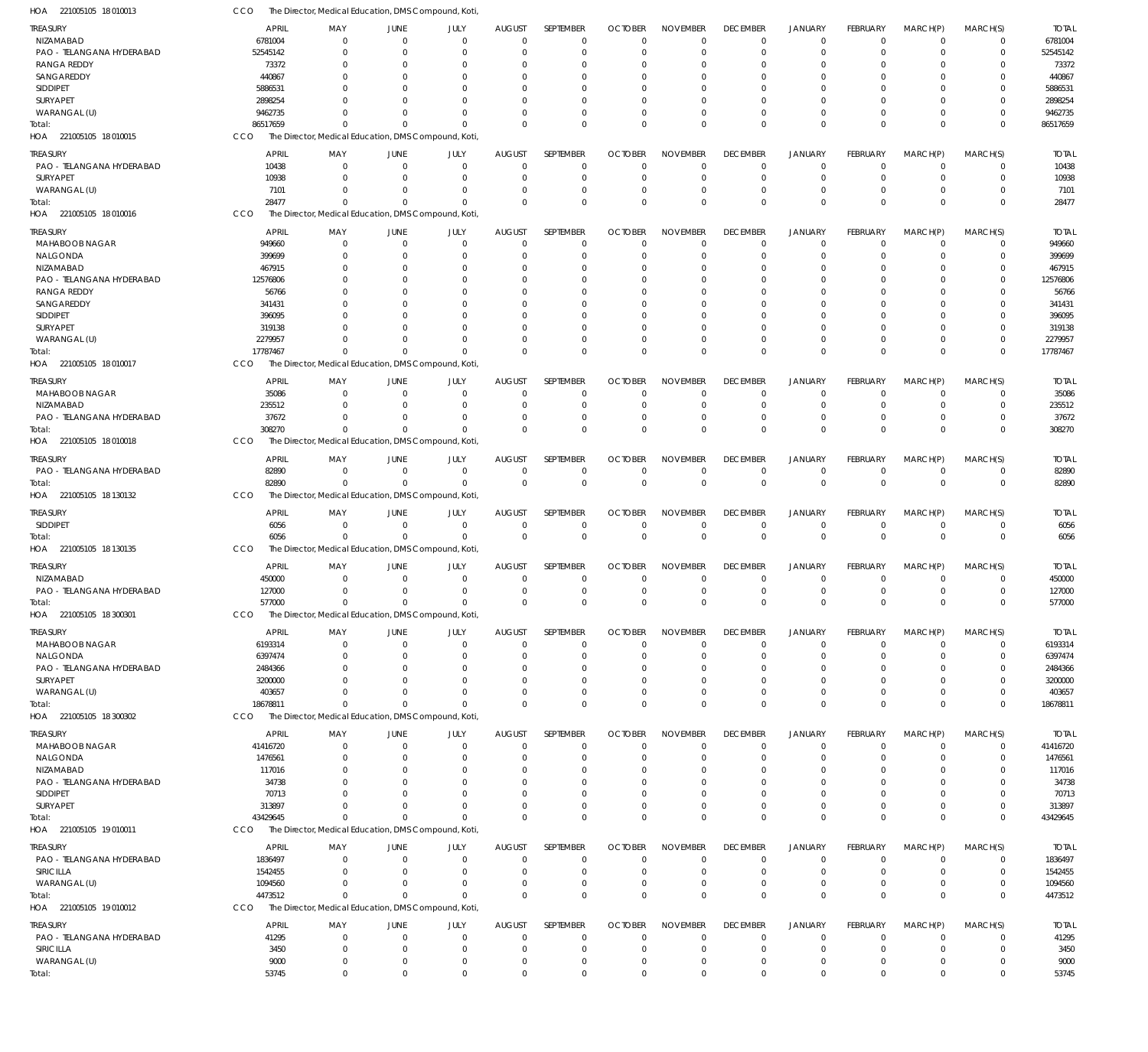| HOA 221005105 18 010013           | cco                | The Director, Medical Education, DMS Compound, Koti |                               |                              |                      |                            |                      |                                  |                            |                               |                      |                         |                            |                    |
|-----------------------------------|--------------------|-----------------------------------------------------|-------------------------------|------------------------------|----------------------|----------------------------|----------------------|----------------------------------|----------------------------|-------------------------------|----------------------|-------------------------|----------------------------|--------------------|
| TREASURY                          | <b>APRIL</b>       | MAY                                                 | <b>JUNE</b>                   | JULY                         | <b>AUGUST</b>        | SEPTEMBER                  | <b>OCTOBER</b>       | <b>NOVEMBER</b>                  | <b>DECEMBER</b>            | <b>JANUARY</b>                | FEBRUARY             | MARCH(P)                | MARCH(S)                   | <b>TOTAL</b>       |
| NIZAMABAD                         | 6781004            | $\Omega$                                            | $\overline{0}$                | $\mathbf{0}$                 | $\mathbf{0}$         | $\mathbf 0$                | $\Omega$             | $\Omega$                         | $\mathbf 0$                | $\mathbf 0$                   | $\Omega$             | $\mathbf 0$             | 0                          | 6781004            |
| PAO - TELANGANA HYDERABAD         | 52545142           | $\Omega$                                            | 0                             | 0                            | $\Omega$             | $\mathbf 0$                | $\Omega$             | $\Omega$                         | $\mathbf 0$                | $\mathbf 0$                   | $\mathbf 0$          | 0                       | $\mathbf 0$                | 52545142           |
| RANGA REDDY                       | 73372              | 0                                                   | 0                             | $\Omega$                     | $\Omega$             | $\Omega$                   |                      | $\Omega$                         | 0                          | 0                             | 0                    | 0                       | 0                          | 73372              |
| SANGAREDDY                        | 440867             | U<br>O                                              | $\Omega$                      | $\Omega$<br>$\Omega$         | $\Omega$<br>$\Omega$ | $\Omega$<br>$\Omega$       |                      | $\Omega$<br>$\Omega$             | $\Omega$<br>$\Omega$       | $\Omega$<br>$\mathbf 0$       | O                    | $\Omega$<br>$\Omega$    | $\Omega$<br>$\Omega$       | 440867<br>5886531  |
| SIDDIPET<br>SURYAPET              | 5886531<br>2898254 | U                                                   | 0<br>$\Omega$                 | $\Omega$                     | $\Omega$             | $\Omega$                   |                      | $\Omega$                         | $\Omega$                   | $\mathbf 0$                   | $\Omega$             | $\Omega$                | 0                          | 2898254            |
| WARANGAL (U)                      | 9462735            | U                                                   | $\Omega$                      | $\Omega$                     | $\Omega$             | $\Omega$                   |                      | $\Omega$                         | $\Omega$                   | $\mathbf 0$                   | $\Omega$             | $\mathbf 0$             | $\mathbf 0$                | 9462735            |
| Total:                            | 86517659           | $\Omega$                                            | $\Omega$                      | $\mathbf 0$                  | $\Omega$             | $\Omega$                   | $\Omega$             | $\Omega$                         | $\Omega$                   | $\Omega$                      | $\Omega$             | $\Omega$                | $\mathbf 0$                | 86517659           |
| HOA 221005105 18010015            | CCO                | The Director, Medical Education, DMS Compound, Koti |                               |                              |                      |                            |                      |                                  |                            |                               |                      |                         |                            |                    |
| TREASURY                          | <b>APRIL</b>       | MAY                                                 | <b>JUNE</b>                   | JULY                         | <b>AUGUST</b>        | SEPTEMBER                  | <b>OCTOBER</b>       | <b>NOVEMBER</b>                  | <b>DECEMBER</b>            | <b>JANUARY</b>                | <b>FEBRUARY</b>      | MARCH(P)                | MARCH(S)                   | <b>TOTAL</b>       |
| PAO - TELANGANA HYDERABAD         | 10438              | $\mathbf 0$                                         | $\overline{0}$                | $\mathbf{0}$                 | $\mathbf 0$          | $\mathbf 0$                | $\Omega$             | $\overline{0}$                   | $\mathbf 0$                | $\mathbf 0$                   | $\mathbf 0$          | $\mathbf 0$             | $\mathbf 0$                | 10438              |
| SURYAPET                          | 10938              | $\Omega$                                            | 0                             | $\mathbf{0}$                 | $\Omega$             | $\mathbf 0$                |                      | $\overline{0}$                   | $\mathbf 0$                | $\overline{0}$                | 0                    | 0                       | $\mathbf 0$                | 10938              |
| WARANGAL (U)                      | 7101               | $\Omega$                                            | $\Omega$                      | $\mathbf{0}$                 | $\Omega$             | $\mathbf 0$                |                      | $\Omega$                         | $\mathbf 0$                | $\mathbf 0$                   | $\Omega$             | 0                       | $\mathbf 0$                | 7101               |
| Total:                            | 28477              | $\Omega$                                            | $\Omega$                      | $\mathbf 0$                  | $\Omega$             | $\Omega$                   | $\Omega$             | $\Omega$                         | $\mathbf 0$                | $\overline{0}$                | $\Omega$             | $\Omega$                | $\mathbf 0$                | 28477              |
| HOA 221005105 18010016            | CCO                | The Director, Medical Education, DMS Compound, Koti |                               |                              |                      |                            |                      |                                  |                            |                               |                      |                         |                            |                    |
| TREASURY                          | <b>APRIL</b>       | MAY                                                 | <b>JUNE</b>                   | JULY                         | <b>AUGUST</b>        | SEPTEMBER                  | <b>OCTOBER</b>       | <b>NOVEMBER</b>                  | <b>DECEMBER</b>            | <b>JANUARY</b>                | FEBRUARY             | MARCH(P)                | MARCH(S)                   | <b>TOTAL</b>       |
| MAHABOOB NAGAR                    | 949660             | $\mathbf 0$                                         | $\mathbf 0$                   | $\mathbf{0}$                 | $\Omega$             | $\mathbf 0$                | $\Omega$             | $\Omega$                         | $\mathbf 0$                | $\mathbf 0$                   | $\mathbf 0$          | $\mathbf 0$             | 0                          | 949660             |
| NALGONDA                          | 399699             | $\Omega$                                            | 0                             | 0                            | $\Omega$             | $\mathbf 0$                | $\Omega$             | $\Omega$                         | $\mathbf 0$                | $\mathbf 0$                   | $\Omega$             | $\Omega$                | 0                          | 399699             |
| NIZAMABAD                         | 467915             | $\Omega$                                            | $\Omega$                      | $\Omega$                     | $\Omega$             | $\Omega$                   |                      | $\Omega$                         | $\Omega$                   | $\mathbf 0$                   | $\Omega$             | $\Omega$                | $\mathbf 0$                | 467915             |
| PAO - TELANGANA HYDERABAD         | 12576806           | 0                                                   | 0                             | $\Omega$                     | $\Omega$             | $\Omega$                   |                      | $\Omega$                         | $\Omega$                   | $\mathbf 0$                   |                      | $\Omega$                | 0                          | 12576806           |
| <b>RANGA REDDY</b>                | 56766              | U                                                   | $\Omega$                      | $\Omega$                     | $\Omega$             | $\Omega$                   |                      | $\Omega$                         | $\Omega$                   | $\Omega$                      | $\Omega$             | $\Omega$                | $\Omega$                   | 56766              |
| SANGAREDDY                        | 341431             |                                                     | $\Omega$                      | $\Omega$                     | $\Omega$             | $\Omega$                   |                      | $\Omega$                         | 0                          | $\Omega$                      |                      | $\Omega$                | $\Omega$                   | 341431             |
| SIDDIPET                          | 396095             |                                                     | $\Omega$                      | $\Omega$                     | $\Omega$             | $\Omega$                   |                      | $\Omega$                         | $\Omega$                   | $\Omega$                      | 0                    | $\Omega$                | $\Omega$                   | 396095             |
| SURYAPET                          | 319138             |                                                     | $\Omega$                      | $\Omega$                     | $\Omega$             | $\Omega$                   |                      | $\Omega$                         | $\Omega$                   | $\Omega$                      | O                    | $\Omega$                | 0                          | 319138             |
| WARANGAL (U)                      | 2279957            | $\Omega$                                            | $\Omega$                      | $\Omega$                     | $\Omega$             | $\Omega$                   |                      | $\Omega$                         | $\Omega$                   | $\mathbf 0$                   | $\Omega$             | $\Omega$                | $\mathbf 0$                | 2279957            |
| Total:                            | 17787467           | $\Omega$                                            | $\Omega$                      | $\Omega$                     | $\Omega$             | $\Omega$                   | $\Omega$             | $\mathbf 0$                      | $\mathbf 0$                | $\Omega$                      | $\Omega$             | $\Omega$                | $\mathbf 0$                | 17787467           |
| HOA 221005105 18010017            | CCO                | The Director, Medical Education, DMS Compound, Koti |                               |                              |                      |                            |                      |                                  |                            |                               |                      |                         |                            |                    |
| TREASURY                          | <b>APRIL</b>       | MAY                                                 | <b>JUNE</b>                   | JULY                         | <b>AUGUST</b>        | SEPTEMBER                  | <b>OCTOBER</b>       | <b>NOVEMBER</b>                  | <b>DECEMBER</b>            | <b>JANUARY</b>                | FEBRUARY             | MARCH(P)                | MARCH(S)                   | <b>TOTAL</b>       |
| MAHABOOB NAGAR                    | 35086              | $\mathbf 0$                                         | 0                             | $\mathbf 0$                  | 0                    | $\mathbf 0$                |                      | $^{\circ}$                       | $\overline{0}$             | $\mathbf 0$                   | 0                    | 0                       | 0                          | 35086              |
| NIZAMABAD                         | 235512             | $\Omega$                                            | 0                             | $\mathbf{0}$                 | $\Omega$             | $\mathbf 0$                |                      | $\Omega$                         | $\mathbf 0$                | $\overline{0}$                | $\Omega$             | 0                       | $\mathbf 0$                | 235512             |
| PAO - TELANGANA HYDERABAD         | 37672              | $\Omega$                                            | $\Omega$                      | $\mathbf{0}$                 | $\Omega$             | $\mathbf 0$                |                      | $\overline{0}$                   | $\mathbf 0$                | $\mathbf 0$                   | $\Omega$             | $\mathbf 0$             | $\mathbf 0$                | 37672              |
| Total:                            | 308270             | $\Omega$                                            | $\mathbf 0$                   | $\mathbf 0$                  | $\Omega$             | $\Omega$                   | $\Omega$             | $\Omega$                         | $\mathbf 0$                | $\overline{0}$                | $\Omega$             | $\overline{0}$          | $\mathbf 0$                | 308270             |
| HOA 221005105 18010018            | CCO                | The Director, Medical Education, DMS Compound, Koti |                               |                              |                      |                            |                      |                                  |                            |                               |                      |                         |                            |                    |
| <b>TREASURY</b>                   | <b>APRIL</b>       | MAY                                                 | <b>JUNE</b>                   | JULY                         | <b>AUGUST</b>        | SEPTEMBER                  | <b>OCTOBER</b>       | <b>NOVEMBER</b>                  | <b>DECEMBER</b>            | <b>JANUARY</b>                | FEBRUARY             | MARCH(P)                | MARCH(S)                   | <b>TOTAL</b>       |
| PAO - TELANGANA HYDERABAD         | 82890              | $\overline{0}$                                      | $\overline{0}$                | $\mathbf{0}$                 | $\mathbf 0$          | 0                          | $\Omega$             | $\overline{0}$                   | $\mathbf 0$                | $\mathbf 0$                   | $\mathbf 0$          | $\mathbf 0$             | 0                          | 82890              |
| Total:                            | 82890              | $\Omega$                                            | $\Omega$                      | $\mathbf 0$                  | $\mathbf{0}$         | $\mathbf{0}$               | $\Omega$             | $\mathbf 0$                      | $\mathbf 0$                | $\overline{0}$                | $\Omega$             | $\Omega$                | $\mathbf 0$                | 82890              |
| HOA 221005105 18 130132           | CCO                | The Director, Medical Education, DMS Compound, Koti |                               |                              |                      |                            |                      |                                  |                            |                               |                      |                         |                            |                    |
| treasury                          | <b>APRIL</b>       | MAY                                                 | <b>JUNE</b>                   | JULY                         | <b>AUGUST</b>        | SEPTEMBER                  | <b>OCTOBER</b>       | <b>NOVEMBER</b>                  | <b>DECEMBER</b>            | <b>JANUARY</b>                | FEBRUARY             | MARCH(P)                | MARCH(S)                   | <b>TOTAL</b>       |
| SIDDIPET                          | 6056               | $\mathbf 0$                                         | $\overline{0}$                | $\mathbf 0$                  | $\mathbf{0}$         | $\mathbf 0$                | $\Omega$             | $\overline{0}$                   | $\mathbf 0$                | $\mathbf 0$                   | $\mathbf 0$          | $\mathbf 0$             | $\mathbf 0$                | 6056               |
| Total:                            | 6056               | $\Omega$                                            | $\overline{0}$                | 0                            | $\Omega$             | $\mathbf 0$                | $\Omega$             | $\overline{0}$                   | $\mathbf 0$                | $\overline{0}$                | $\mathbf{0}$         | $\overline{0}$          | $\mathbf 0$                | 6056               |
| HOA 221005105 18 130135           | CCO                | The Director, Medical Education, DMS Compound, Koti |                               |                              |                      |                            |                      |                                  |                            |                               |                      |                         |                            |                    |
| <b>TREASURY</b>                   | <b>APRIL</b>       | MAY                                                 | <b>JUNE</b>                   | JULY                         | <b>AUGUST</b>        | SEPTEMBER                  | <b>OCTOBER</b>       | <b>NOVEMBER</b>                  | <b>DECEMBER</b>            | <b>JANUARY</b>                | FEBRUARY             | MARCH(P)                | MARCH(S)                   | <b>TOTAL</b>       |
| NIZAMABAD                         | 450000             | $\Omega$                                            | $\mathbf 0$                   | $\mathbf{0}$                 | 0                    | 0                          | $\Omega$             | $\overline{0}$                   | $\mathbf 0$                | $\mathbf 0$                   | 0                    | $\mathbf 0$             | 0                          | 450000             |
| PAO - TELANGANA HYDERABAD         | 127000             | $\Omega$                                            | $\Omega$                      | $\mathbf{0}$                 | $\mathbf{0}$         | $\mathbf 0$                | $\Omega$             | $\Omega$                         | $\mathbf 0$                | $\mathbf 0$                   | $\Omega$             | $\Omega$                | $\mathbf 0$                | 127000             |
| Total:                            | 577000             | $\Omega$                                            | $\mathbf 0$                   | $\mathbf{0}$                 | $\mathbf 0$          | $\mathbf 0$                | $\mathbf{0}$         | $\mathbf 0$                      | $\mathbf{0}$               | $\mathbf 0$                   | $\mathbf{0}$         | $\mathbf{0}$            | $\mathbf{0}$               | 577000             |
| HOA 221005105 18 300301           | CCO                | The Director, Medical Education, DMS Compound, Koti |                               |                              |                      |                            |                      |                                  |                            |                               |                      |                         |                            |                    |
| treasury                          | <b>APRIL</b>       | MAY                                                 | JUNE                          | JULY                         | <b>AUGUST</b>        | SEPTEMBER                  | <b>OCTOBER</b>       | <b>NOVEMBER</b>                  | <b>DECEMBER</b>            | <b>JANUARY</b>                | FEBRUARY             | MARCH(P)                | MARCH(S)                   | <b>TOTAL</b>       |
| MAHABOOB NAGAR                    | 6193314            | $\mathbf 0$                                         | $\mathbf 0$                   | $\mathbf{0}$                 | $\mathbf{0}$         | $\mathbf 0$                | $\Omega$             | $\overline{0}$                   | $\mathbf 0$                | $\mathbf 0$                   | $\mathbf 0$          | $\mathbf 0$             | $\mathbf 0$                | 6193314            |
| NALGONDA                          | 6397474            | $\mathbf 0$                                         | 0                             | $\mathbf{0}$                 | $\Omega$             | $\mathbf 0$                | $\Omega$             | $\overline{0}$                   | $\mathbf 0$                | $\overline{0}$                | $\Omega$             | 0                       | $\mathbf 0$                | 6397474            |
| PAO - TELANGANA HYDERABAD         | 2484366            | $\Omega$                                            | 0                             | $\mathbf{0}$                 | $\Omega$             | $\Omega$                   |                      | $\Omega$                         | $\mathbf 0$                | $\mathbf 0$                   | $\Omega$             | $\Omega$                | $\mathbf 0$                | 2484366            |
| SURYAPET                          | 3200000            | $\Omega$                                            | 0                             | $\mathbf{0}$                 | $\Omega$             | $\mathbf 0$                |                      | $\overline{0}$                   | $\mathbf 0$                | $\mathbf 0$                   | $\Omega$             | 0                       | $\mathbf 0$                | 3200000            |
| WARANGAL (U)                      | 403657             | 0                                                   | $\Omega$                      | 0                            | $\Omega$             | $\mathbf 0$                |                      | $\overline{0}$                   | $\mathbf 0$                | $\mathbf 0$                   | $\Omega$             | $\mathbf 0$             | $\mathbf 0$                | 403657             |
| Total:                            | 18678811           | $\Omega$                                            | $\Omega$                      | $\mathbf 0$                  | $\Omega$             | $\Omega$                   | $\Omega$             | $\mathbf 0$                      | $\mathbf 0$                | $\overline{0}$                | $\Omega$             | $\mathbf 0$             | $\mathbf 0$                | 18678811           |
| HOA 221005105 18 300302           | CCO                | The Director, Medical Education, DMS Compound, Koti |                               |                              |                      |                            |                      |                                  |                            |                               |                      |                         |                            |                    |
| treasury                          | <b>APRIL</b>       | MAY                                                 | <b>JUNE</b>                   | JULY                         | <b>AUGUST</b>        | SEPTEMBER                  | <b>OCTOBER</b>       | <b>NOVEMBER</b>                  | <b>DECEMBER</b>            | <b>JANUARY</b>                | FEBRUARY             | MARCH(P)                | MARCH(S)                   | <b>TOTAL</b>       |
| MAHABOOB NAGAR                    | 41416720           | $\mathbf 0$                                         | $\mathbf 0$                   | $\mathbf{0}$                 | $\Omega$             | $\mathbf 0$                | $\Omega$             | $\Omega$                         | $\mathbf 0$                | $\mathbf 0$                   | $\mathbf 0$          | $\mathbf 0$             | 0                          | 41416720           |
| NALGONDA                          | 1476561            | $\mathbf 0$                                         | 0                             | 0                            | $\Omega$             | $\mathbf 0$                | $\Omega$             | $\overline{0}$                   | $\mathbf 0$                | $\overline{0}$                | $\Omega$             | 0                       | $\mathbf 0$                | 1476561            |
| NIZAMABAD                         | 117016             | $\Omega$                                            | 0                             | 0                            | $\Omega$             | $\mathbf 0$                | $\Omega$             | $\Omega$                         | $\mathbf 0$                | $\mathbf 0$                   | $\Omega$             | $\Omega$                | $\mathbf 0$                | 117016             |
| PAO - TELANGANA HYDERABAD         | 34738              | 0                                                   | $\Omega$                      | $\Omega$                     | $\Omega$             | $\Omega$                   |                      | $\Omega$                         | $\Omega$                   | $\Omega$                      | O                    | $\Omega$                | 0                          | 34738              |
| <b>SIDDIPET</b>                   | 70713              | $\Omega$                                            | $\Omega$                      | $\mathbf{0}$                 | $\Omega$             | $\Omega$                   | $\Omega$             | $\Omega$                         | $\Omega$                   | $\Omega$                      | $\Omega$             | $\Omega$                | $\mathbf 0$                | 70713              |
| SURYAPET                          | 313897             | $\Omega$<br>$\Omega$                                | $\Omega$<br>$\Omega$          | $\mathbf{0}$<br>$\Omega$     | $\Omega$<br>$\Omega$ | $\mathbf 0$<br>$\Omega$    | $\Omega$             | $\overline{0}$<br>$\mathbf 0$    | $\mathbf 0$<br>$\mathbf 0$ | $\mathbf 0$<br>$\overline{0}$ | $\Omega$<br>$\Omega$ | $\mathbf 0$<br>$\Omega$ | $\mathbf 0$<br>$\mathbf 0$ | 313897             |
| Total:<br>HOA 221005105 19 010011 | 43429645<br>CCO    | The Director, Medical Education, DMS Compound, Koti |                               |                              |                      |                            |                      |                                  |                            |                               |                      |                         |                            | 43429645           |
|                                   |                    |                                                     |                               |                              |                      |                            |                      |                                  |                            |                               |                      |                         |                            |                    |
| treasury                          | <b>APRIL</b>       | MAY                                                 | <b>JUNE</b>                   | JULY                         | <b>AUGUST</b>        | SEPTEMBER                  | <b>OCTOBER</b>       | <b>NOVEMBER</b>                  | <b>DECEMBER</b>            | <b>JANUARY</b>                | FEBRUARY             | MARCH(P)                | MARCH(S)                   | <b>TOTAL</b>       |
| PAO - TELANGANA HYDERABAD         | 1836497            | $\mathbf 0$                                         | $\overline{0}$                | $\mathbf{0}$                 | $\Omega$             | $\mathbf 0$                | $\Omega$             | $\overline{0}$                   | $\mathbf 0$                | $\mathbf 0$                   | $\mathbf 0$          | $\mathbf 0$             | $\mathbf 0$                | 1836497            |
| SIRICILLA                         | 1542455            | $\mathbf 0$<br>$\Omega$                             | 0                             | $\mathbf{0}$                 | 0                    | $\mathbf 0$<br>$\mathbf 0$ | -0                   | $\overline{0}$<br>$\overline{0}$ | $\mathbf 0$<br>$\mathbf 0$ | $\overline{0}$                | 0<br>$\mathbf 0$     | 0                       | $\mathbf 0$<br>$\mathbf 0$ | 1542455            |
| WARANGAL (U)<br>Total:            | 1094560<br>4473512 | $\Omega$                                            | 0<br>$\Omega$                 | 0<br>$\mathbf 0$             | $\Omega$<br>$\Omega$ | $\Omega$                   | $\Omega$<br>$\Omega$ | $\mathbf 0$                      | $\mathbf 0$                | $\mathbf 0$<br>$\overline{0}$ | $\Omega$             | 0<br>$\mathbf{0}$       | $\mathbf 0$                | 1094560<br>4473512 |
| HOA 221005105 19010012            | CCO                | The Director, Medical Education, DMS Compound, Koti |                               |                              |                      |                            |                      |                                  |                            |                               |                      |                         |                            |                    |
|                                   |                    |                                                     |                               |                              |                      |                            |                      |                                  |                            |                               |                      |                         |                            |                    |
| treasury                          | <b>APRIL</b>       | MAY                                                 | <b>JUNE</b>                   | JULY                         | <b>AUGUST</b>        | SEPTEMBER                  | <b>OCTOBER</b>       | <b>NOVEMBER</b>                  | <b>DECEMBER</b>            | JANUARY                       | FEBRUARY             | MARCH(P)                | MARCH(S)                   | <b>TOTAL</b>       |
| PAO - TELANGANA HYDERABAD         | 41295              | $\mathbf 0$                                         | $\mathbf 0$                   | $\mathbf{0}$                 | $\Omega$             | $\mathbf 0$                | $\Omega$<br>$\Omega$ | $\overline{0}$<br>$\overline{0}$ | $\mathbf 0$                | $\mathbf 0$                   | $\mathbf 0$          | $\mathbf 0$             | $\mathbf 0$                | 41295              |
| SIRICILLA<br>WARANGAL (U)         | 3450<br>9000       | $\mathbf 0$<br>$\mathbf 0$                          | $\overline{0}$<br>$\mathbf 0$ | $\mathbf{0}$<br>$\mathbf{0}$ | 0<br>0               | $\mathbf 0$<br>$\mathbf 0$ | $\Omega$             | $\mathbf 0$                      | $\mathbf 0$<br>$\mathbf 0$ | $\mathbf 0$<br>$\mathbf 0$    | $\mathbf 0$<br>0     | $\mathbf 0$<br>0        | $\mathbf 0$<br>$\mathbf 0$ | 3450<br>9000       |
| Total:                            | 53745              | $\mathbf 0$                                         | $\mathbf 0$                   | $\mathbf 0$                  | $\Omega$             | $\Omega$                   | $\mathbf 0$          | $\mathbf 0$                      | $\mathbf 0$                | $\Omega$                      | $\Omega$             | $\mathbf 0$             | $\mathbf 0$                | 53745              |
|                                   |                    |                                                     |                               |                              |                      |                            |                      |                                  |                            |                               |                      |                         |                            |                    |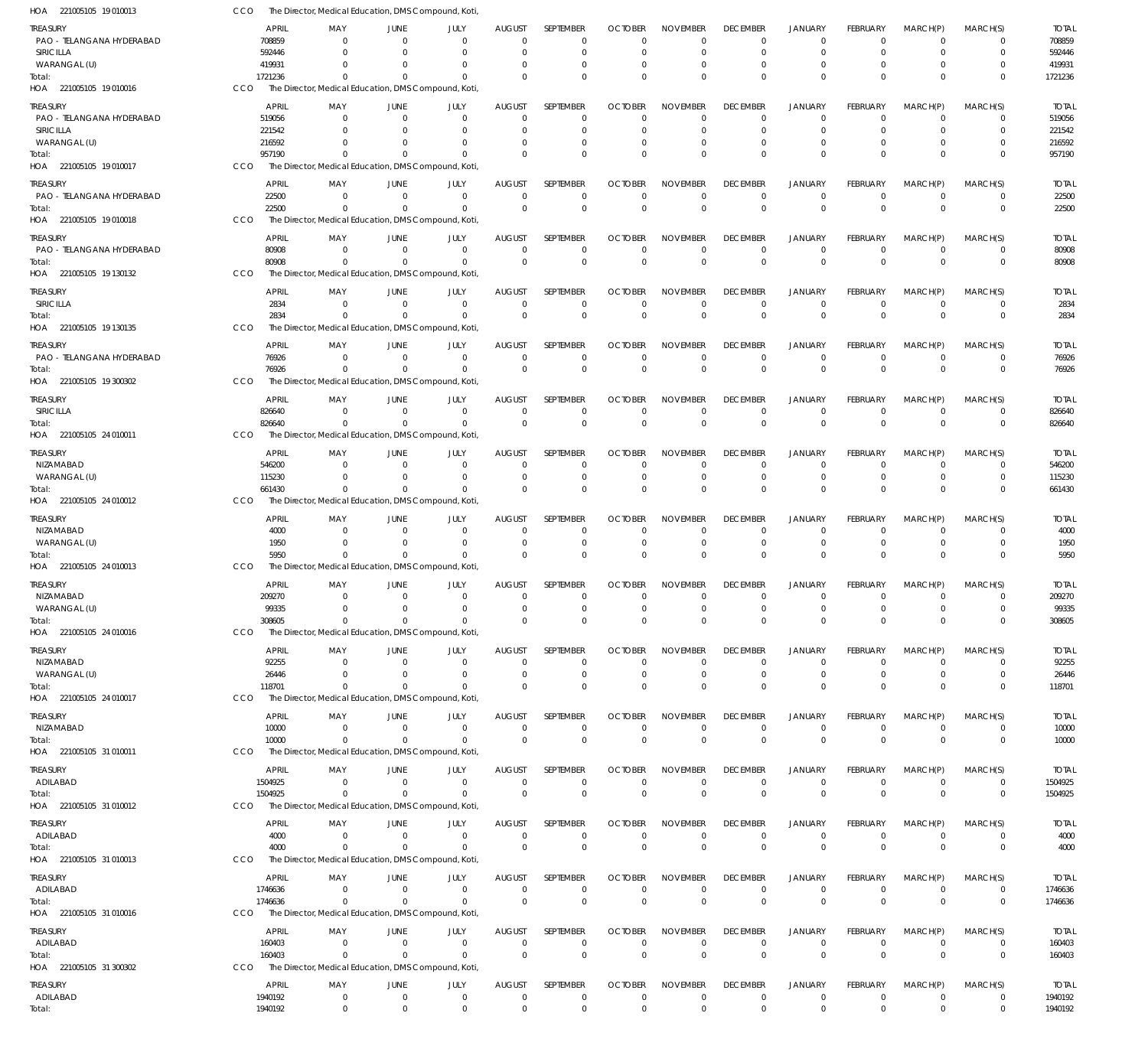| HOA 221005105 19 010013                       | CCO        |                        | The Director, Medical Education, DMS Compound, Koti                 |                               |                      |                                 |                            |                            |                             |                                |                               |                                |                            |                            |                         |
|-----------------------------------------------|------------|------------------------|---------------------------------------------------------------------|-------------------------------|----------------------|---------------------------------|----------------------------|----------------------------|-----------------------------|--------------------------------|-------------------------------|--------------------------------|----------------------------|----------------------------|-------------------------|
| TREASURY                                      |            | <b>APRIL</b>           | MAY                                                                 | <b>JUNE</b>                   | JULY                 | <b>AUGUST</b>                   | SEPTEMBER                  | <b>OCTOBER</b>             | <b>NOVEMBER</b>             | <b>DECEMBER</b>                | <b>JANUARY</b>                | <b>FEBRUARY</b>                | MARCH(P)                   | MARCH(S)                   | <b>TOTAL</b>            |
| PAO - TELANGANA HYDERABAD<br><b>SIRICILLA</b> |            | 708859<br>592446       | $\Omega$<br>$\Omega$                                                | $\Omega$<br>$\Omega$          | $\Omega$<br>$\Omega$ | $\mathbf 0$<br>$\Omega$         | 0<br>$\mathbf 0$           | $\Omega$<br>$\Omega$       | $\Omega$<br>$\Omega$        | $^{\circ}$<br>$\mathbf 0$      | $\mathbf 0$<br>$\mathbf 0$    | $\Omega$<br>$\Omega$           | $\Omega$<br>$\Omega$       | 0<br>$\mathbf 0$           | 708859<br>592446        |
| WARANGAL (U)                                  |            | 419931                 | $\Omega$                                                            | $\Omega$                      | $\Omega$             | $\Omega$                        | 0                          | $\Omega$                   | $\Omega$                    | $^{\circ}$                     | $\overline{0}$                | $\Omega$                       | 0                          | 0                          | 419931                  |
| Total:                                        |            | 1721236                | $\Omega$                                                            | $\Omega$                      | $\Omega$             | $\Omega$                        | $\mathbf 0$                | $\Omega$                   | $\Omega$                    | $\mathbf 0$                    | $\mathbf{0}$                  | $\Omega$                       | $\Omega$                   | $\mathbf 0$                | 1721236                 |
| HOA 221005105 19010016                        | CCO        |                        | The Director, Medical Education, DMS Compound, Koti                 |                               |                      |                                 |                            |                            |                             |                                |                               |                                |                            |                            |                         |
| treasury                                      |            | <b>APRIL</b>           | MAY                                                                 | <b>JUNE</b>                   | JULY                 | <b>AUGUST</b>                   | SEPTEMBER                  | <b>OCTOBER</b>             | <b>NOVEMBER</b>             | <b>DECEMBER</b>                | <b>JANUARY</b>                | <b>FEBRUARY</b>                | MARCH(P)                   | MARCH(S)                   | <b>TOTAL</b>            |
| PAO - TELANGANA HYDERABAD                     |            | 519056                 | $\Omega$<br>$\Omega$                                                | $\mathbf 0$<br>$\Omega$       | $\Omega$<br>$\Omega$ | 0                               | $\mathbf 0$<br>$\mathbf 0$ | $\Omega$                   | $\Omega$<br>$\Omega$        | $\overline{0}$                 | $\mathbf 0$<br>$\overline{0}$ | $\Omega$<br>$\Omega$           | 0                          | 0                          | 519056                  |
| SIRICILLA<br>WARANGAL (U)                     |            | 221542<br>216592       | <sup>0</sup>                                                        | $\Omega$                      | $\Omega$             | 0<br>$\Omega$                   | $\mathbf 0$                | $\Omega$                   |                             | $\mathbf 0$<br>$\Omega$        | $\mathbf 0$                   | $\Omega$                       | 0<br>$\Omega$              | $\mathbf 0$<br>$\mathbf 0$ | 221542<br>216592        |
| Total:                                        |            | 957190                 | $\Omega$                                                            | $\Omega$                      | $\Omega$             | $\Omega$                        | $\mathbf 0$                | $\Omega$                   | $\Omega$                    | $\mathbf 0$                    | $\mathbf{0}$                  | $\Omega$                       | $\Omega$                   | $\mathbf 0$                | 957190                  |
| HOA 221005105 19 010017                       | CCO        |                        | The Director, Medical Education, DMS Compound, Koti                 |                               |                      |                                 |                            |                            |                             |                                |                               |                                |                            |                            |                         |
| treasury                                      |            | <b>APRIL</b>           | MAY                                                                 | <b>JUNE</b>                   | JULY                 | <b>AUGUST</b>                   | SEPTEMBER                  | <b>OCTOBER</b>             | <b>NOVEMBER</b>             | <b>DECEMBER</b>                | <b>JANUARY</b>                | <b>FEBRUARY</b>                | MARCH(P)                   | MARCH(S)                   | <b>TOTAL</b>            |
| PAO - TELANGANA HYDERABAD                     |            | 22500                  | $\mathbf{0}$                                                        | $\mathbf{0}$                  | $\mathbf 0$          | $\mathbf 0$                     | $\mathbf 0$                | $\Omega$                   | $\Omega$                    | $\mathbf 0$                    | $\mathbf 0$                   | $\Omega$                       | $\overline{0}$             | $\mathbf 0$                | 22500                   |
| Total:<br>HOA 221005105 19 010018             | CCO        | 22500                  | $\Omega$                                                            | $\Omega$                      | $\Omega$             | $\Omega$                        | $\mathbf 0$                | $\mathbf{0}$               | $\Omega$                    | $\mathbf 0$                    | $\mathbf 0$                   | $\Omega$                       | $\Omega$                   | $\mathbf 0$                | 22500                   |
|                                               |            |                        | The Director, Medical Education, DMS Compound, Koti                 |                               |                      |                                 |                            |                            |                             |                                |                               |                                |                            |                            |                         |
| treasury<br>PAO - TELANGANA HYDERABAD         |            | <b>APRIL</b><br>80908  | MAY<br>$\Omega$                                                     | JUNE<br>$\overline{0}$        | JULY<br>$\mathbf 0$  | <b>AUGUST</b><br>$\mathbf 0$    | SEPTEMBER<br>$\mathbf 0$   | <b>OCTOBER</b><br>$\Omega$ | <b>NOVEMBER</b><br>0        | <b>DECEMBER</b><br>$\mathbf 0$ | <b>JANUARY</b><br>$\mathbf 0$ | <b>FEBRUARY</b><br>$\mathbf 0$ | MARCH(P)<br>$\mathbf 0$    | MARCH(S)<br>$\mathbf 0$    | <b>TOTAL</b><br>80908   |
| Total:                                        |            | 80908                  | $\Omega$                                                            | $\Omega$                      | $\Omega$             | $\Omega$                        | $\mathbf 0$                | $\Omega$                   | $\Omega$                    | $\mathbf 0$                    | $\mathbf 0$                   | $\Omega$                       | $\Omega$                   | $\mathbf 0$                | 80908                   |
| HOA 221005105 19 130132                       | CCO        |                        | The Director, Medical Education, DMS Compound, Koti                 |                               |                      |                                 |                            |                            |                             |                                |                               |                                |                            |                            |                         |
| treasury                                      |            | <b>APRIL</b>           | MAY                                                                 | <b>JUNE</b>                   | JULY                 | <b>AUGUST</b>                   | SEPTEMBER                  | <b>OCTOBER</b>             | <b>NOVEMBER</b>             | <b>DECEMBER</b>                | <b>JANUARY</b>                | FEBRUARY                       | MARCH(P)                   | MARCH(S)                   | <b>TOTAL</b>            |
| SIRICILLA                                     |            | 2834                   | $\Omega$                                                            | $\mathbf{0}$                  | $\mathbf 0$          | $\Omega$                        | $\mathbf 0$                | $\Omega$                   | $\Omega$                    | $\mathbf 0$                    | $\mathbf 0$                   | $\Omega$                       | $\overline{0}$             | $\mathbf 0$                | 2834                    |
| Total:                                        |            | 2834                   | $\Omega$                                                            | $\Omega$                      | $\Omega$             | $\Omega$                        | $\mathbf 0$                | $\Omega$                   | $\Omega$                    | $\mathbf 0$                    | $\mathbf 0$                   | $\Omega$                       | $\Omega$                   | $\mathbf 0$                | 2834                    |
| HOA 221005105 19 130135                       | CCO        |                        | The Director, Medical Education, DMS Compound, Koti                 |                               |                      |                                 |                            |                            |                             |                                |                               |                                |                            |                            |                         |
| treasury                                      |            | <b>APRIL</b>           | MAY                                                                 | <b>JUNE</b>                   | JULY                 | <b>AUGUST</b>                   | SEPTEMBER                  | <b>OCTOBER</b>             | <b>NOVEMBER</b>             | <b>DECEMBER</b>                | <b>JANUARY</b>                | <b>FEBRUARY</b>                | MARCH(P)                   | MARCH(S)                   | <b>TOTAL</b>            |
| PAO - TELANGANA HYDERABAD                     |            | 76926                  | $\mathbf 0$                                                         | $\mathbf 0$                   | $\overline{0}$       | $\mathbf 0$                     | $\mathbf 0$                | $\Omega$                   | $\Omega$                    | $\mathbf 0$                    | $\mathbf 0$                   | $\overline{0}$                 | $\mathbf 0$                | $\mathbf 0$                | 76926                   |
| Total:<br>HOA 221005105 19 300302             | CCO        | 76926                  | $\Omega$<br>The Director, Medical Education, DMS Compound, Koti     | $\Omega$                      | $\Omega$             | $\Omega$                        | $\mathbf 0$                | $\Omega$                   | $\Omega$                    | $\mathbf 0$                    | $\mathbf 0$                   | $\Omega$                       | $\Omega$                   | $\mathbf 0$                | 76926                   |
|                                               |            |                        |                                                                     |                               |                      |                                 |                            |                            |                             |                                |                               |                                |                            |                            |                         |
| treasury<br>SIRICILLA                         |            | <b>APRIL</b><br>826640 | MAY<br>$\Omega$                                                     | <b>JUNE</b><br>$\overline{0}$ | JULY<br>$\mathbf 0$  | <b>AUGUST</b><br>$\mathbf 0$    | SEPTEMBER<br>$\mathbf 0$   | <b>OCTOBER</b><br>$\Omega$ | <b>NOVEMBER</b><br>$\Omega$ | <b>DECEMBER</b><br>$\mathbf 0$ | JANUARY<br>$\mathbf 0$        | <b>FEBRUARY</b><br>$\Omega$    | MARCH(P)<br>$\overline{0}$ | MARCH(S)<br>$\mathbf 0$    | <b>TOTAL</b><br>826640  |
| Total:                                        |            | 826640                 | $\Omega$                                                            | $\Omega$                      | $\Omega$             | $\Omega$                        | $\mathbf 0$                | $\Omega$                   | $\Omega$                    | $\mathbf 0$                    | $\mathbf 0$                   | $\Omega$                       | $\mathbf 0$                | $\mathbf 0$                | 826640                  |
| HOA 221005105 24 010011                       | CCO        |                        | The Director, Medical Education, DMS Compound, Koti                 |                               |                      |                                 |                            |                            |                             |                                |                               |                                |                            |                            |                         |
| Treasury                                      |            | <b>APRIL</b>           | MAY                                                                 | JUNE                          | JULY                 | <b>AUGUST</b>                   | SEPTEMBER                  | <b>OCTOBER</b>             | <b>NOVEMBER</b>             | <b>DECEMBER</b>                | <b>JANUARY</b>                | <b>FEBRUARY</b>                | MARCH(P)                   | MARCH(S)                   | <b>TOTAL</b>            |
| NIZAMABAD                                     |            | 546200                 | $\Omega$                                                            | $\Omega$                      | $\mathbf 0$          | 0                               | $\mathbf 0$                | $\Omega$                   | $\Omega$                    | $\overline{0}$                 | $\overline{0}$                | $\Omega$                       | $\mathbf 0$                | 0                          | 546200                  |
| WARANGAL (U)                                  |            | 115230                 | $\Omega$                                                            | $\Omega$                      | $\mathbf 0$          | 0                               | $\mathbf 0$                | $\Omega$                   | $\Omega$                    | $\mathbf 0$                    | $\mathbf 0$                   | $\mathbf 0$                    | $\mathbf 0$                | $\mathbf 0$                | 115230                  |
| lotal:<br>HOA 221005105 24 010012             | CCO        | 661430                 | $\Omega$<br>The Director, Medical Education, DMS Compound, Koti     | $\Omega$                      | $\Omega$             | $\Omega$                        | $\mathbf 0$                | $\Omega$                   | $\Omega$                    | $\mathbf 0$                    | $\mathbf{0}$                  | $\Omega$                       | $\Omega$                   | $\mathbf 0$                | 661430                  |
|                                               |            |                        |                                                                     |                               |                      |                                 |                            |                            |                             |                                |                               |                                |                            |                            |                         |
| treasury<br>NIZAMABAD                         |            | <b>APRIL</b><br>4000   | MAY<br>$\mathbf{0}$                                                 | <b>JUNE</b><br>$\overline{0}$ | JULY<br>$\mathbf 0$  | <b>AUGUST</b><br>0              | SEPTEMBER<br>$\mathbf 0$   | <b>OCTOBER</b><br>$\Omega$ | <b>NOVEMBER</b><br>$\Omega$ | <b>DECEMBER</b><br>$\mathbf 0$ | <b>JANUARY</b><br>$\mathbf 0$ | <b>FEBRUARY</b><br>$\Omega$    | MARCH(P)<br>$\mathbf 0$    | MARCH(S)<br>$\mathbf 0$    | <b>TOTAL</b><br>4000    |
| WARANGAL (U)                                  |            | 1950                   | $\Omega$                                                            | $\overline{0}$                | $\mathbf 0$          | 0                               | $\mathbf 0$                | $\Omega$                   | $\Omega$                    | $\mathbf 0$                    | $\mathbf 0$                   | $\mathbf 0$                    | 0                          | $\mathbf 0$                | 1950                    |
| Total:                                        |            | 5950                   | $\Omega$                                                            | $\Omega$                      | $\Omega$             | $\Omega$                        | $\mathbf 0$                | $\Omega$                   | $\Omega$                    | $\mathbf 0$                    | $\mathbf{0}$                  | $\Omega$                       | $\Omega$                   | $\mathbf 0$                | 5950                    |
| HOA 221005105 24 010013                       | CCO        |                        | The Director, Medical Education, DMS Compound, Koti                 |                               |                      |                                 |                            |                            |                             |                                |                               |                                |                            |                            |                         |
| treasury                                      |            | <b>APRIL</b>           | MAY                                                                 | JUNE                          | JULY                 | <b>AUGUST</b>                   | SEPTEMBER                  | <b>OCTOBER</b>             | <b>NOVEMBER</b>             | <b>DECEMBER</b>                | <b>JANUARY</b>                | <b>FEBRUARY</b>                | MARCH(P)                   | MARCH(S)                   | <b>TOTAL</b>            |
| NIZAMABAD                                     |            | 209270                 | $\mathbf 0$                                                         | $\mathbf 0$                   | $\mathbf 0$          | $\mathbf 0$                     | $\mathbf 0$                | $\mathbf{0}$               | $\mathbf 0$                 | $\mathbf 0$                    | $\mathbf 0$                   | $\mathbf 0$                    | $\overline{0}$             | $\mathbf 0$                | 209270                  |
| WARANGAL (U)                                  |            | 99335                  | $\mathbf 0$                                                         | $\Omega$                      | $\overline{0}$       | $^{\circ}$<br>$\Omega$          | $\mathbf 0$                |                            | $\Omega$                    | 0                              | $\mathbf 0$                   | $\mathbf 0$                    | 0                          | $\mathbf 0$                | 99335                   |
| Total:<br>HOA 221005105 24 010016             | CCO        | 308605                 | $\mathbf{0}$<br>The Director, Medical Education, DMS Compound, Koti | $\Omega$                      | $\Omega$             |                                 | $\mathbf 0$                | $\Omega$                   | $\Omega$                    | $\mathbf 0$                    | $\mathbf 0$                   | $\overline{0}$                 | $\mathbf 0$                | $\mathbf 0$                | 308605                  |
|                                               |            |                        |                                                                     |                               |                      |                                 |                            |                            |                             |                                |                               |                                |                            |                            |                         |
| TREASURY<br>NIZAMABAD                         |            | <b>APRIL</b><br>92255  | MAY<br>$\Omega$                                                     | <b>JUNE</b><br>$\mathbf 0$    | JULY<br>0            | <b>AUGUST</b><br>$\mathbf 0$    | SEPTEMBER<br>0             | <b>OCTOBER</b><br>$\Omega$ | <b>NOVEMBER</b><br>$\Omega$ | <b>DECEMBER</b><br>$\mathbf 0$ | <b>JANUARY</b><br>$\mathbf 0$ | <b>FEBRUARY</b><br>$\Omega$    | MARCH(P)<br>$\mathbf 0$    | MARCH(S)<br>0              | <b>TOTAL</b><br>92255   |
| WARANGAL (U)                                  |            | 26446                  | $\Omega$                                                            | $\Omega$                      | $\mathbf 0$          | 0                               | $\mathbf 0$                | $^{\circ}$                 | $\Omega$                    | $\mathbf 0$                    | $\mathbf 0$                   | $\mathbf 0$                    | $\mathbf 0$                | $\mathbf 0$                | 26446                   |
| Total:                                        |            | 118701                 | $\Omega$                                                            | $\Omega$                      | $\Omega$             | $\Omega$                        | $\mathbf 0$                | $\mathbf{0}$               | $\Omega$                    | $\mathbf 0$                    | $\mathbf 0$                   | $\Omega$                       | $\Omega$                   | $\mathbf 0$                | 118701                  |
| HOA 221005105 24 010017                       | CCO        |                        | The Director, Medical Education, DMS Compound, Koti                 |                               |                      |                                 |                            |                            |                             |                                |                               |                                |                            |                            |                         |
| TREASURY                                      |            | <b>APRIL</b>           | MAY                                                                 | JUNE                          | JULY                 | <b>AUGUST</b>                   | <b>SEPTEMBER</b>           | <b>OCTOBER</b>             | <b>NOVEMBER</b>             | <b>DECEMBER</b>                | <b>JANUARY</b>                | <b>FEBRUARY</b>                | MARCH(P)                   | MARCH(S)                   | <b>TOTAL</b>            |
| NIZAMABAD                                     |            | 10000                  | $^{\circ}$                                                          | $\overline{0}$                | $\mathbf 0$          | $\mathbf 0$                     | $\mathbf 0$                | $\Omega$                   | $\Omega$                    | $\mathbf 0$                    | $\mathbf 0$                   | $\mathbf 0$                    | $\overline{0}$             | $\mathbf 0$                | 10000                   |
| Total:<br>HOA 221005105 31 010011             | CCO        | 10000                  | $\mathbf 0$<br>The Director, Medical Education, DMS Compound, Koti  | $\mathbf 0$                   | $\mathbf 0$          | $\mathbf 0$                     | $\mathbf 0$                | $\Omega$                   | $\Omega$                    | $\mathbf 0$                    | $\mathbf 0$                   | $\overline{0}$                 | $\overline{0}$             | $\mathbf 0$                | 10000                   |
|                                               |            |                        |                                                                     |                               |                      |                                 |                            |                            |                             |                                |                               |                                |                            |                            |                         |
| TREASURY<br>ADILABAD                          |            | APRIL<br>1504925       | MAY<br>$\mathbf{0}$                                                 | JUNE<br>$\mathbf 0$           | JULY<br>$\mathbf 0$  | <b>AUGUST</b><br>$\overline{0}$ | SEPTEMBER<br>$\mathbf 0$   | <b>OCTOBER</b><br>$\Omega$ | <b>NOVEMBER</b><br>$\Omega$ | <b>DECEMBER</b><br>$\mathbf 0$ | <b>JANUARY</b><br>$\mathbf 0$ | FEBRUARY<br>$\mathbf 0$        | MARCH(P)<br>$\overline{0}$ | MARCH(S)<br>$\mathbf 0$    | <b>TOTAL</b><br>1504925 |
| Total:                                        |            | 1504925                | $\Omega$                                                            | $\overline{0}$                | $\mathbf{0}$         | $^{\circ}$                      | $\mathbf 0$                | $\mathbf{0}$               | $\Omega$                    | $\mathbf 0$                    | $\mathbf 0$                   | $\Omega$                       | $^{\circ}$                 | $\mathbf 0$                | 1504925                 |
| HOA 221005105 31 010012                       | <b>CCO</b> |                        | The Director, Medical Education, DMS Compound, Koti                 |                               |                      |                                 |                            |                            |                             |                                |                               |                                |                            |                            |                         |
| TREASURY                                      |            | <b>APRIL</b>           | MAY                                                                 | JUNE                          | JULY                 | <b>AUGUST</b>                   | SEPTEMBER                  | <b>OCTOBER</b>             | <b>NOVEMBER</b>             | <b>DECEMBER</b>                | <b>JANUARY</b>                | <b>FEBRUARY</b>                | MARCH(P)                   | MARCH(S)                   | <b>TOTAL</b>            |
| ADILABAD                                      |            | 4000                   | $^{\circ}$                                                          | $\mathbf 0$                   | $\mathbf 0$          | $\overline{0}$                  | $\mathbf 0$                | $\Omega$                   | 0                           | 0                              | $\mathbf 0$                   | $\mathbf 0$                    | $\overline{0}$             | $\mathbf 0$                | 4000                    |
| Total:                                        |            | 4000                   | $\Omega$                                                            | $\Omega$                      | $\Omega$             | $\Omega$                        | $\mathbf 0$                | $\Omega$                   | $\Omega$                    | $\mathbf 0$                    | $\mathbf 0$                   | $\mathbf 0$                    | $\mathbf 0$                | $\mathbf 0$                | 4000                    |
| HOA 221005105 31 010013                       | <b>CCO</b> |                        | The Director, Medical Education, DMS Compound, Koti                 |                               |                      |                                 |                            |                            |                             |                                |                               |                                |                            |                            |                         |
| Treasury                                      |            | <b>APRIL</b>           | MAY                                                                 | JUNE                          | JULY                 | <b>AUGUST</b>                   | SEPTEMBER                  | <b>OCTOBER</b>             | <b>NOVEMBER</b>             | <b>DECEMBER</b>                | <b>JANUARY</b>                | <b>FEBRUARY</b>                | MARCH(P)                   | MARCH(S)                   | <b>TOTAL</b>            |
| ADILABAD                                      |            | 1746636                | $\mathbf{0}$                                                        | $\overline{0}$                | $\mathbf 0$          | 0                               | $\mathbf 0$                | $\mathbf{0}$               | $\Omega$                    | $\mathbf 0$                    | $\mathbf 0$                   | $\mathbf 0$                    | $\mathbf 0$                | $\mathbf 0$                | 1746636                 |
| Total:<br>HOA 221005105 31 010016             | <b>CCO</b> | 1746636                | $\Omega$<br>The Director, Medical Education, DMS Compound, Koti     | $\overline{0}$                | $\Omega$             | $\Omega$                        | $\mathbf 0$                | $\mathbf{0}$               | $\Omega$                    | $\mathbf 0$                    | $\mathbf 0$                   | $\Omega$                       | $\mathbf 0$                | $\mathbf 0$                | 1746636                 |
|                                               |            |                        |                                                                     |                               |                      |                                 |                            |                            |                             |                                |                               |                                |                            |                            |                         |
| TREASURY                                      |            | <b>APRIL</b><br>160403 | MAY<br>$\Omega$                                                     | JUNE<br>$\Omega$              | JULY<br>$\mathbf 0$  | <b>AUGUST</b><br>$\overline{0}$ | SEPTEMBER<br>$\mathbf 0$   | <b>OCTOBER</b><br>0        | <b>NOVEMBER</b><br>0        | <b>DECEMBER</b><br>0           | <b>JANUARY</b><br>$\mathbf 0$ | <b>FEBRUARY</b><br>$\mathbf 0$ | MARCH(P)<br>$\mathbf 0$    | MARCH(S)<br>$\mathbf 0$    | <b>TOTAL</b><br>160403  |
| ADILABAD<br>Total:                            |            | 160403                 | $\mathbf{0}$                                                        | $\overline{0}$                | $\mathbf{0}$         | $\Omega$                        | $\mathbf 0$                | $\mathbf{0}$               | $\Omega$                    | $\mathbf 0$                    | $\mathbf 0$                   | $\overline{0}$                 | $\overline{0}$             | $\mathbf 0$                | 160403                  |
| HOA 221005105 31 300302                       | CCO        |                        | The Director, Medical Education, DMS Compound, Koti                 |                               |                      |                                 |                            |                            |                             |                                |                               |                                |                            |                            |                         |
| TREASURY                                      |            | <b>APRIL</b>           | MAY                                                                 | JUNE                          | JULY                 | <b>AUGUST</b>                   | SEPTEMBER                  | <b>OCTOBER</b>             | <b>NOVEMBER</b>             | <b>DECEMBER</b>                | <b>JANUARY</b>                | <b>FEBRUARY</b>                | MARCH(P)                   | MARCH(S)                   | <b>TOTAL</b>            |
| ADILABAD                                      |            | 1940192                | $\mathbf 0$                                                         | $\mathbf 0$                   | $\mathbf 0$          | $\mathbf 0$                     | 0                          | $\mathbf 0$                | $\mathbf 0$                 | 0                              | $\mathbf 0$                   | $\mathbf 0$                    | $\mathbf 0$                | $\mathbf 0$                | 1940192                 |
| Total:                                        |            | 1940192                | $\mathbf 0$                                                         | $\mathbf 0$                   | $\mathbf 0$          | $\mathbf 0$                     | $\mathbf 0$                | $\mathbf 0$                | $\mathbf 0$                 | $\mathbf 0$                    | $\mathbf 0$                   | $\mathbf 0$                    | $\mathbf 0$                | $\mathbf 0$                | 1940192                 |
|                                               |            |                        |                                                                     |                               |                      |                                 |                            |                            |                             |                                |                               |                                |                            |                            |                         |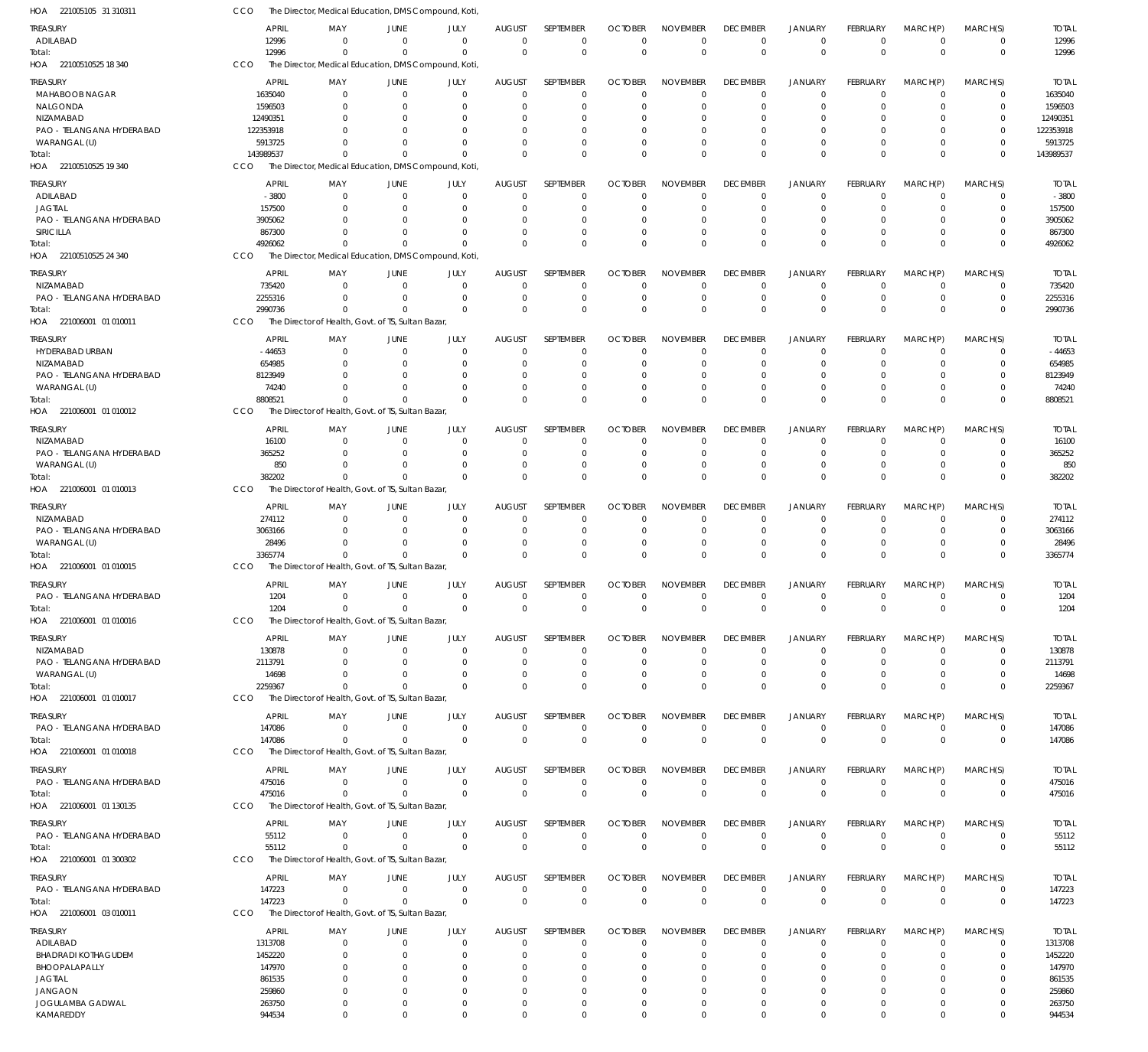| HOA 221005105 31 310311                   | CCO                  |                      | The Director, Medical Education, DMS Compound, Koti |                      |                               |                            |                |                            |                      |                                  |                      |                                  |                            |                      |
|-------------------------------------------|----------------------|----------------------|-----------------------------------------------------|----------------------|-------------------------------|----------------------------|----------------|----------------------------|----------------------|----------------------------------|----------------------|----------------------------------|----------------------------|----------------------|
| TREASURY                                  | <b>APRIL</b>         | MAY                  | JUNE                                                | JULY                 | <b>AUGUST</b>                 | <b>SEPTEMBER</b>           | <b>OCTOBER</b> | <b>NOVEMBER</b>            | <b>DECEMBER</b>      | <b>JANUARY</b>                   | FEBRUARY             | MARCH(P)                         | MARCH(S)                   | <b>TOTAL</b>         |
| ADILABAD                                  | 12996                | - 0                  | $\overline{0}$                                      | $\mathbf 0$          | $\mathbf{0}$                  | $\mathbf 0$                | $\Omega$       | $\Omega$                   | $\mathbf 0$          | $\overline{0}$                   | $\mathbf 0$          | $\overline{0}$                   | $\mathbf 0$                | 12996                |
| Total:                                    | 12996                | $^{\circ}$           | $\Omega$                                            | $\Omega$             | $\Omega$                      | $\mathbf 0$                | $\Omega$       | $\mathbf 0$                | $\mathbf 0$          | $\mathbf 0$                      | $\Omega$             | $\Omega$                         | $\mathbf 0$                | 12996                |
| HOA 22100510525 18 340                    | CCO                  |                      | The Director, Medical Education, DMS Compound, Koti |                      |                               |                            |                |                            |                      |                                  |                      |                                  |                            |                      |
| <b>TREASURY</b>                           | <b>APRIL</b>         | MAY                  | JUNE                                                | JULY                 | <b>AUGUST</b>                 | SEPTEMBER                  | <b>OCTOBER</b> | <b>NOVEMBER</b>            | <b>DECEMBER</b>      | <b>JANUARY</b>                   | <b>FEBRUARY</b>      | MARCH(P)                         | MARCH(S)                   | <b>TOTAL</b>         |
| MAHABOOB NAGAR                            | 1635040              | 0                    | $\overline{0}$                                      | $\mathbf 0$          | $\mathbf 0$                   | $\mathbf 0$                | $\Omega$       | $\Omega$                   | $\Omega$             | $^{\circ}$                       | $\mathbf 0$          | $^{\circ}$                       | 0                          | 1635040              |
| NALGONDA                                  | 1596503              | 0                    | $\Omega$                                            | $\Omega$             | 0                             | $\mathbf 0$                | O              | $\Omega$                   |                      | $^{\circ}$                       | 0                    | 0                                | 0                          | 1596503              |
| NIZAMABAD                                 | 12490351             |                      | $\Omega$                                            | n                    | C                             | 0                          | O              | $\Omega$                   |                      | $\Omega$                         |                      | $\Omega$                         | $\Omega$                   | 12490351             |
| PAO - TELANGANA HYDERABAD                 | 122353918            |                      | $\Omega$                                            | 0                    | $\Omega$                      | 0                          | O              | $\Omega$                   |                      | $\Omega$                         | 0                    | $\Omega$                         | $\mathbf 0$                | 122353918            |
| WARANGAL (U)                              | 5913725<br>143989537 | $\Omega$             | $\Omega$<br>$\Omega$                                | $\Omega$<br>$\Omega$ | $\Omega$<br>$\Omega$          | 0<br>$\mathbf 0$           | O<br>$\Omega$  | $\Omega$<br>$\Omega$       | $\Omega$             | $\Omega$<br>$\Omega$             | $\Omega$<br>$\Omega$ | $\overline{0}$<br>$\Omega$       | $\mathbf 0$<br>$\mathbf 0$ | 5913725<br>143989537 |
| Total:<br>HOA 22100510525 19 340          | CCO                  |                      | The Director, Medical Education, DMS Compound, Koti |                      |                               |                            |                |                            |                      |                                  |                      |                                  |                            |                      |
|                                           |                      |                      |                                                     |                      |                               |                            |                |                            |                      |                                  |                      |                                  |                            |                      |
| treasury                                  | <b>APRIL</b>         | MAY                  | JUNE                                                | JULY                 | <b>AUGUST</b>                 | <b>SEPTEMBER</b>           | <b>OCTOBER</b> | <b>NOVEMBER</b>            | <b>DECEMBER</b>      | JANUARY                          | FEBRUARY             | MARCH(P)                         | MARCH(S)                   | <b>TOTAL</b>         |
| ADILABAD                                  | $-3800$              | $\Omega$             | $\Omega$                                            | $\Omega$             | $\Omega$                      | $\mathbf 0$                | $\Omega$       | $\Omega$                   | $\Omega$             | $\Omega$                         | $\Omega$             | $^{\circ}$                       | $\Omega$                   | $-3800$              |
| <b>JAGTIAL</b>                            | 157500               | $\Omega$             | $\Omega$<br>$\Omega$                                | $\Omega$<br>$\Omega$ | $\Omega$<br>$\Omega$          | $\mathbf 0$                | O              | $\Omega$<br>$\Omega$       | $\Omega$             | $^{\circ}$<br>$\Omega$           | $\Omega$             | $\Omega$<br>$\Omega$             | $\mathbf 0$<br>$\Omega$    | 157500               |
| PAO - TELANGANA HYDERABAD<br>SIRICILLA    | 3905062<br>867300    | <sup>0</sup>         | $\Omega$                                            | $\Omega$             | $\Omega$                      | 0<br>$\mathbf 0$           | O<br>$\Omega$  | $\Omega$                   | $\Omega$             | $\overline{0}$                   | $\Omega$             | $\Omega$                         | $\mathbf 0$                | 3905062<br>867300    |
| Total:                                    | 4926062              | $\Omega$             | $\Omega$                                            | $\Omega$             | $\Omega$                      | $\Omega$                   | $\Omega$       | $\Omega$                   | $\Omega$             | $\Omega$                         | $\Omega$             | $\Omega$                         | $\mathbf 0$                | 4926062              |
| HOA 22100510525 24 340                    | CCO                  |                      | The Director, Medical Education, DMS Compound, Koti |                      |                               |                            |                |                            |                      |                                  |                      |                                  |                            |                      |
|                                           |                      |                      |                                                     |                      |                               |                            |                |                            |                      |                                  |                      |                                  |                            |                      |
| treasury                                  | <b>APRIL</b>         | MAY                  | JUNE                                                | JULY                 | <b>AUGUST</b>                 | SEPTEMBER                  | <b>OCTOBER</b> | <b>NOVEMBER</b>            | <b>DECEMBER</b>      | <b>JANUARY</b>                   | <b>FEBRUARY</b>      | MARCH(P)                         | MARCH(S)                   | <b>TOTAL</b>         |
| NIZAMABAD<br>PAO - TELANGANA HYDERABAD    | 735420<br>2255316    | $\Omega$<br>$\Omega$ | $\overline{0}$<br>$\overline{0}$                    | $\mathbf 0$<br>0     | $\overline{0}$<br>$\mathbf 0$ | $\mathbf 0$<br>$\mathbf 0$ | $\Omega$<br>0  | $\Omega$<br>$\mathbf 0$    | $\Omega$<br>0        | $\overline{0}$<br>$\overline{0}$ | $\Omega$<br>0        | $\overline{0}$<br>$\overline{0}$ | $\mathbf 0$<br>$\mathbf 0$ | 735420<br>2255316    |
| Total:                                    | 2990736              | $\Omega$             | $\Omega$                                            | $\Omega$             | $\Omega$                      | $\mathbf 0$                | $\Omega$       | $\Omega$                   | $\Omega$             | $\Omega$                         | $\Omega$             | $\Omega$                         | $\mathbf 0$                | 2990736              |
| HOA 221006001 01 010011                   | CCO                  |                      | The Director of Health, Govt. of TS, Sultan Bazar   |                      |                               |                            |                |                            |                      |                                  |                      |                                  |                            |                      |
|                                           |                      |                      |                                                     |                      |                               |                            |                |                            |                      |                                  |                      |                                  |                            |                      |
| Treasury                                  | <b>APRIL</b>         | MAY                  | JUNE                                                | JULY                 | <b>AUGUST</b>                 | <b>SEPTEMBER</b>           | <b>OCTOBER</b> | <b>NOVEMBER</b>            | <b>DECEMBER</b>      | <b>JANUARY</b>                   | FEBRUARY             | MARCH(P)                         | MARCH(S)                   | <b>TOTAL</b>         |
| HYDERABAD URBAN                           | $-44653$             | - 0                  | $\Omega$                                            | $\Omega$             | $\Omega$                      | 0                          | $\Omega$       | $\Omega$                   | $\Omega$             | $\Omega$                         | $\Omega$             | $\overline{0}$                   | 0                          | $-44653$             |
| NIZAMABAD                                 | 654985               | $\Omega$             | $\Omega$                                            | $\Omega$             | $\Omega$                      | $\mathbf 0$                | $\Omega$       | $\Omega$                   | $\Omega$             | $\Omega$                         | $\Omega$             | $\Omega$                         | $\mathbf 0$                | 654985               |
| PAO - TELANGANA HYDERABAD<br>WARANGAL (U) | 8123949<br>74240     | $\Omega$             | $\Omega$<br>$\Omega$                                | $\Omega$<br>$\Omega$ | $\Omega$<br>$\Omega$          | 0<br>$\mathbf 0$           | O<br>-0        | $\Omega$<br>$\Omega$       | $\Omega$             | $\Omega$<br>$\Omega$             | $\Omega$             | $\Omega$<br>$\Omega$             | 0<br>$\mathbf 0$           | 8123949<br>74240     |
| Total:                                    | 8808521              | $^{\circ}$           | $\Omega$                                            | $\Omega$             | $\Omega$                      | $\Omega$                   | $\Omega$       | $\Omega$                   | $\Omega$             | $\Omega$                         | $\Omega$             | $\Omega$                         | $\mathbf 0$                | 8808521              |
| HOA 221006001 01010012                    | CCO                  |                      | The Director of Health, Govt. of TS, Sultan Bazar   |                      |                               |                            |                |                            |                      |                                  |                      |                                  |                            |                      |
|                                           |                      |                      |                                                     |                      |                               |                            |                |                            |                      |                                  |                      |                                  |                            |                      |
| treasury                                  | <b>APRIL</b>         | MAY                  | JUNE                                                | JULY                 | <b>AUGUST</b>                 | SEPTEMBER                  | <b>OCTOBER</b> | <b>NOVEMBER</b>            | <b>DECEMBER</b>      | <b>JANUARY</b>                   | <b>FEBRUARY</b>      | MARCH(P)                         | MARCH(S)                   | <b>TOTAL</b>         |
| NIZAMABAD                                 | 16100                | $\Omega$             | $\Omega$                                            | 0                    | $\mathbf 0$                   | 0                          | 0              | 0                          | $\Omega$             | $^{\circ}$                       | $\Omega$             | 0                                | 0                          | 16100                |
| PAO - TELANGANA HYDERABAD                 | 365252<br>850        | $\Omega$<br>$\Omega$ | $\Omega$<br>$\Omega$                                | $\Omega$<br>$\Omega$ | $\mathbf 0$<br>$\Omega$       | $\mathbf 0$<br>$\mathbf 0$ | $\Omega$       | $\Omega$<br>$\mathbf 0$    | $\Omega$<br>$\Omega$ | $\Omega$<br>$^{\circ}$           | $\Omega$<br>$\Omega$ | $\Omega$<br>$\overline{0}$       | $\mathbf 0$<br>$\mathbf 0$ | 365252<br>850        |
| WARANGAL (U)<br>Total:                    | 382202               | $\Omega$             | $\Omega$                                            | $\Omega$             | $\Omega$                      | $\mathbf 0$                | 0<br>$\Omega$  | $\Omega$                   | $\Omega$             | $\Omega$                         | $\Omega$             | $\Omega$                         | $\mathbf 0$                | 382202               |
| HOA 221006001 01010013                    | CCO                  |                      | The Director of Health, Govt. of TS, Sultan Bazar   |                      |                               |                            |                |                            |                      |                                  |                      |                                  |                            |                      |
|                                           |                      |                      |                                                     |                      |                               |                            |                |                            |                      |                                  |                      |                                  |                            |                      |
| treasury                                  | <b>APRIL</b>         | MAY                  | JUNE                                                | JULY                 | AUGUST                        | SEPTEMBER                  | <b>OCTOBER</b> | <b>NOVEMBER</b>            | <b>DECEMBER</b>      | <b>JANUARY</b>                   | FEBRUARY             | MARCH(P)                         | MARCH(S)                   | <b>TOTAL</b>         |
| NIZAMABAD                                 | 274112               | $\Omega$             | $\Omega$                                            | $\Omega$             | 0                             | 0                          | $\Omega$       | $\Omega$                   | $\Omega$             | $^{\circ}$                       | $\Omega$             | $\Omega$                         | 0                          | 274112               |
| PAO - TELANGANA HYDERABAD                 | 3063166              | $\Omega$             | $\Omega$                                            | $\Omega$             | $\Omega$                      | $\mathbf 0$                | $\Omega$       | $\Omega$                   | $\Omega$             | $\Omega$                         | $\Omega$             | $\Omega$                         | $\mathbf 0$                | 3063166              |
| WARANGAL (U)                              | 28496<br>3365774     | $\Omega$<br>$\Omega$ | $\Omega$<br>$\Omega$                                | $\Omega$<br>$\Omega$ | 0<br>$\Omega$                 | $\mathbf 0$<br>$\Omega$    | 0<br>$\Omega$  | $\Omega$<br>$\Omega$       | $\Omega$<br>$\Omega$ | $^{\circ}$<br>$\Omega$           | $\Omega$<br>$\Omega$ | $\overline{0}$<br>$\Omega$       | 0<br>$\mathbf 0$           | 28496                |
| Total:<br>HOA 221006001 01 010015         | CCO                  |                      | The Director of Health, Govt. of TS, Sultan Bazar   |                      |                               |                            |                |                            |                      |                                  |                      |                                  |                            | 3365774              |
|                                           |                      |                      |                                                     |                      |                               |                            |                |                            |                      |                                  |                      |                                  |                            |                      |
| treasury                                  | <b>APRIL</b>         | MAY                  | JUNE                                                | JULY                 | <b>AUGUST</b>                 | SEPTEMBER                  | <b>OCTOBER</b> | <b>NOVEMBER</b>            | <b>DECEMBER</b>      | <b>JANUARY</b>                   | FEBRUARY             | MARCH(P)                         | MARCH(S)                   | <b>TOTAL</b>         |
| PAO - TELANGANA HYDERABAD                 | 1204                 | $^{\circ}$           | $\mathbf 0$                                         | $\overline{0}$       | $\mathbf 0$                   | $\mathbf 0$                | $\mathbf 0$    | $\mathbf 0$                | $\mathbf 0$          | $\overline{0}$                   | $\mathbf 0$          | $\overline{0}$                   | $\mathbf 0$                | 1204                 |
| Total:                                    | 1204                 | $^{\circ}$           | $\mathbf 0$                                         | $\overline{0}$       | $\mathbf 0$                   | $\mathbf 0$                | $\Omega$       | $\Omega$                   | $^{\circ}$           | $\overline{0}$                   | $\mathbf 0$          | $\overline{0}$                   | $\boldsymbol{0}$           | 1204                 |
| HOA 221006001 01010016                    | <b>CCO</b>           |                      | The Director of Health, Govt. of TS, Sultan Bazar,  |                      |                               |                            |                |                            |                      |                                  |                      |                                  |                            |                      |
| TREASURY                                  | APRIL                | MAY                  | JUNE                                                | JULY                 | <b>AUGUST</b>                 | SEPTEMBER                  | <b>OCTOBER</b> | <b>NOVEMBER</b>            | <b>DECEMBER</b>      | <b>JANUARY</b>                   | FEBRUARY             | MARCH(P)                         | MARCH(S)                   | <b>TOTAL</b>         |
| NIZAMABAD                                 | 130878               | - 0                  | $\overline{0}$                                      | $\mathbf 0$          | $\Omega$                      | $\mathbf 0$                | $\Omega$       | $\Omega$                   | $\Omega$             | $\overline{0}$                   | $\Omega$             | $\overline{0}$                   | $\Omega$                   | 130878               |
| PAO - TELANGANA HYDERABAD                 | 2113791              | $\Omega$             | 0                                                   | $\Omega$             | 0                             | 0                          | -0             | $\mathbf 0$                | 0                    | $^{\circ}$                       | $\Omega$             | $\mathbf 0$                      | $\mathbf 0$                | 2113791              |
| WARANGAL (U)                              | 14698                | $\Omega$             | $\Omega$                                            | $\Omega$             | $\Omega$                      | $\mathbf 0$                | -0             | $\Omega$                   | $\Omega$             | $\Omega$                         | $\Omega$             | $\Omega$                         | $\mathbf 0$                | 14698                |
| Total:                                    | 2259367              | $^{\circ}$           | $\Omega$                                            | $\Omega$             | $\Omega$                      | $\mathbf 0$                | $\Omega$       | $\Omega$                   | $\mathbf 0$          | $\overline{0}$                   | $\Omega$             | $\Omega$                         | $\mathbf 0$                | 2259367              |
| HOA 221006001 01010017                    | <b>CCO</b>           |                      | The Director of Health, Govt. of TS, Sultan Bazar   |                      |                               |                            |                |                            |                      |                                  |                      |                                  |                            |                      |
| Treasury                                  | <b>APRIL</b>         | MAY                  | JUNE                                                | JULY                 | <b>AUGUST</b>                 | <b>SEPTEMBER</b>           | <b>OCTOBER</b> | <b>NOVEMBER</b>            | <b>DECEMBER</b>      | <b>JANUARY</b>                   | <b>FEBRUARY</b>      | MARCH(P)                         | MARCH(S)                   | <b>TOTAL</b>         |
| PAO - TELANGANA HYDERABAD                 | 147086               | 0                    | $\overline{0}$                                      | $\mathbf 0$          | $\overline{0}$                | $\mathbf 0$                | $\mathbf 0$    | $\mathbf 0$                | $\mathbf 0$          | $^{\circ}$                       | $\mathbf 0$          | $\overline{0}$                   | $\mathbf 0$                | 147086               |
| Total:                                    | 147086               | $^{\circ}$           | $\overline{0}$                                      | $\Omega$             | $\mathbf 0$                   | $\mathbf 0$                | $\mathbf{0}$   | $\mathbf 0$                | $\mathbf{0}$         | $\overline{0}$                   | $\mathbf{0}$         | $\overline{0}$                   | $\boldsymbol{0}$           | 147086               |
| HOA 221006001 01 010018                   | CCO                  |                      | The Director of Health, Govt. of TS, Sultan Bazar   |                      |                               |                            |                |                            |                      |                                  |                      |                                  |                            |                      |
| treasury                                  | APRIL                | MAY                  | JUNE                                                | JULY                 | <b>AUGUST</b>                 | SEPTEMBER                  | <b>OCTOBER</b> | <b>NOVEMBER</b>            | <b>DECEMBER</b>      | <b>JANUARY</b>                   | FEBRUARY             | MARCH(P)                         | MARCH(S)                   | <b>TOTAL</b>         |
| PAO - TELANGANA HYDERABAD                 | 475016               | $^{\circ}$           | $\overline{0}$                                      | $\overline{0}$       | $\overline{0}$                | $\mathbf 0$                | $\mathbf 0$    | $\mathbf 0$                | 0                    | $^{\circ}$                       | $\mathbf 0$          | $^{\circ}$                       | 0                          | 475016               |
| Total:                                    | 475016               | $^{\circ}$           | $\Omega$                                            | $\Omega$             | $\Omega$                      | $\mathbf 0$                | $\Omega$       | $\mathbf 0$                | $\mathbf 0$          | $\mathbf 0$                      | $\Omega$             | $\Omega$                         | $\mathbf 0$                | 475016               |
| HOA 221006001 01 130135                   | CCO                  |                      | The Director of Health, Govt. of TS, Sultan Bazar   |                      |                               |                            |                |                            |                      |                                  |                      |                                  |                            |                      |
| treasury                                  | <b>APRIL</b>         | MAY                  | JUNE                                                | JULY                 | <b>AUGUST</b>                 | SEPTEMBER                  | <b>OCTOBER</b> | <b>NOVEMBER</b>            | <b>DECEMBER</b>      | <b>JANUARY</b>                   | FEBRUARY             | MARCH(P)                         | MARCH(S)                   | <b>TOTAL</b>         |
| PAO - TELANGANA HYDERABAD                 | 55112                | 0                    | $\overline{0}$                                      | $\overline{0}$       | $\overline{0}$                | $\mathbf 0$                | $\mathbf 0$    | $\mathbf 0$                | $\mathbf 0$          | $^{\circ}$                       | $\mathbf 0$          | $\overline{0}$                   | $\mathbf 0$                | 55112                |
| Total:                                    | 55112                | $\Omega$             | $\Omega$                                            | $\Omega$             | $\overline{0}$                | $\mathbf 0$                | $\mathbf{0}$   | $\mathbf 0$                | $\mathbf{0}$         | $\overline{0}$                   | $\mathbf{0}$         | $\Omega$                         | $\mathbf 0$                | 55112                |
| HOA 221006001 01 300302                   | CCO                  |                      | The Director of Health, Govt. of TS, Sultan Bazar   |                      |                               |                            |                |                            |                      |                                  |                      |                                  |                            |                      |
|                                           |                      |                      |                                                     |                      |                               |                            |                |                            |                      |                                  |                      |                                  |                            |                      |
| treasury                                  | <b>APRIL</b>         | MAY                  | JUNE                                                | JULY                 | <b>AUGUST</b>                 | SEPTEMBER                  | <b>OCTOBER</b> | <b>NOVEMBER</b>            | <b>DECEMBER</b>      | <b>JANUARY</b>                   | FEBRUARY             | MARCH(P)                         | MARCH(S)                   | <b>TOTAL</b>         |
| PAO - TELANGANA HYDERABAD                 | 147223               | $^{\circ}$           | $\overline{0}$<br>$\Omega$                          | $\mathbf 0$          | $\mathbf 0$                   | $\mathbf 0$<br>$\mathbf 0$ | $\mathbf 0$    | $\mathbf 0$<br>$\mathbf 0$ | $\mathbf 0$          | $\overline{0}$                   | $\mathbf 0$          | $\overline{0}$<br>$\Omega$       | $\mathbf 0$                | 147223               |
| Total:<br>HOA 221006001 03 010011         | 147223<br>CCO        | $^{\circ}$           | The Director of Health, Govt. of TS, Sultan Bazar   | $\overline{0}$       | $\overline{0}$                |                            | $\mathbf 0$    |                            | $\mathbf 0$          | $\overline{0}$                   | $\mathbf 0$          |                                  | $\boldsymbol{0}$           | 147223               |
|                                           |                      |                      |                                                     |                      |                               |                            |                |                            |                      |                                  |                      |                                  |                            |                      |
| TREASURY                                  | <b>APRIL</b>         | MAY                  | JUNE                                                | JULY                 | <b>AUGUST</b>                 | SEPTEMBER                  | <b>OCTOBER</b> | <b>NOVEMBER</b>            | <b>DECEMBER</b>      | <b>JANUARY</b>                   | FEBRUARY             | MARCH(P)                         | MARCH(S)                   | <b>TOTAL</b>         |
| ADILABAD                                  | 1313708              | 0                    | $\overline{0}$                                      | 0                    | 0                             | 0                          | O              | $\mathbf 0$                | 0                    | $^{\circ}$                       | 0                    | 0                                | 0                          | 1313708              |
| <b>BHADRADI KOTHAGUDEM</b>                | 1452220              | 0                    | $\Omega$                                            | $\Omega$             | $\Omega$                      | $\mathbf 0$                | $\Omega$       | $\Omega$                   | $\Omega$             | $\overline{0}$                   | $\Omega$             | $\Omega$                         | $\mathbf 0$                | 1452220              |
| BHOOPALAPALLY                             | 147970               | 0                    | $\Omega$                                            | 0                    | $\Omega$                      | 0                          | 0              | 0                          | -0                   | $\Omega$                         | 0                    | $\Omega$                         | 0                          | 147970               |
| <b>JAGTIAL</b>                            | 861535               | 0                    | $\Omega$                                            | n                    | $\Omega$                      | 0                          | 0              | $\Omega$                   |                      | $\Omega$                         | 0                    | $\Omega$                         | 0                          | 861535               |
| JANGAON                                   | 259860               | $^{\circ}$           | $\Omega$                                            | 0                    | $\Omega$                      | 0                          | $\Omega$       | $\mathbf 0$                | $\Omega$             | $\Omega$                         | 0                    | $\Omega$                         | 0                          | 259860               |
| JOGULAMBA GADWAL                          | 263750               | $\mathbf 0$          | $\overline{0}$<br>$\mathbf 0$                       | $\mathbf 0$          | $\mathbf 0$                   | $\mathbf 0$                | 0              | $\mathbf 0$                | $\Omega$             | $\overline{0}$                   | $\mathbf 0$          | $\overline{0}$<br>$\overline{0}$ | $\mathbf 0$                | 263750               |
| KAMAREDDY                                 | 944534               | $\mathbf 0$          |                                                     | $\mathbf 0$          | $\mathbf 0$                   | $\mathbf 0$                | $\mathbf 0$    | $\mathbf 0$                | $\mathbf 0$          | $\mathbf 0$                      | $\mathbf 0$          |                                  | $\mathbf 0$                | 944534               |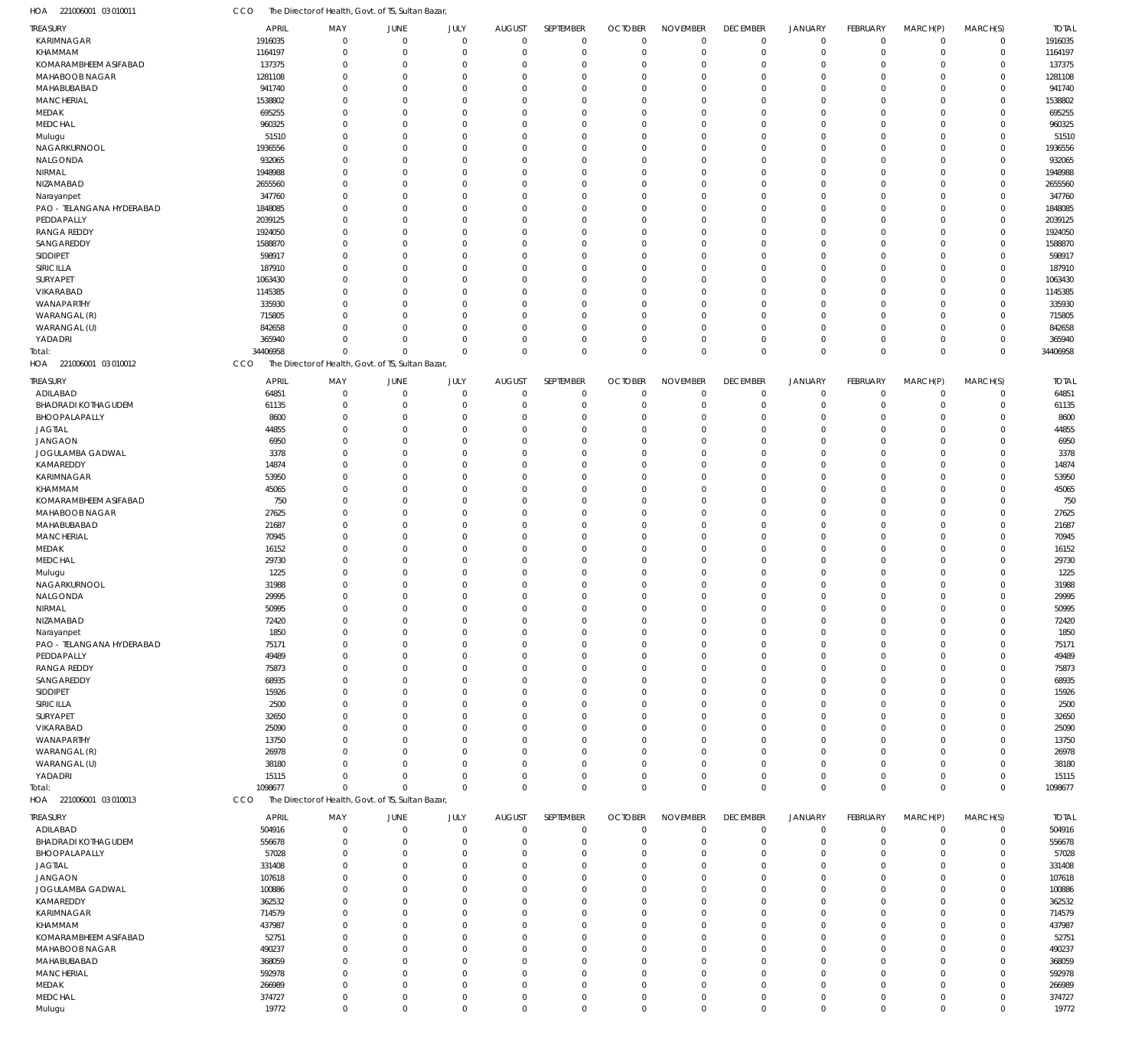| HOA<br>221006001 03 010011        | CCO                | The Director of Health, Govt. of TS, Sultan Bazar,                |                            |                            |                            |                            |                            |                            |                            |                               |                            |                            |                            |                    |
|-----------------------------------|--------------------|-------------------------------------------------------------------|----------------------------|----------------------------|----------------------------|----------------------------|----------------------------|----------------------------|----------------------------|-------------------------------|----------------------------|----------------------------|----------------------------|--------------------|
| TREASURY                          | APRIL              | MAY                                                               | JUNE                       | JULY                       | <b>AUGUST</b>              | SEPTEMBER                  | <b>OCTOBER</b>             | <b>NOVEMBER</b>            | <b>DECEMBER</b>            | <b>JANUARY</b>                | FEBRUARY                   | MARCH(P)                   | MARCH(S)                   | <b>TOTAL</b>       |
| <b>KARIMNAGAR</b>                 | 1916035            | $\Omega$                                                          | $\mathbf 0$                | $\mathbf 0$                | $\mathbf 0$                | $\mathbf 0$                | $\mathbf{0}$               | $\mathbf 0$                | $\mathbf 0$                | $\mathbf 0$                   | $\mathbf 0$                | $\mathbf 0$                | $\mathbf 0$                | 1916035            |
| KHAMMAM                           | 1164197            | $\mathbf 0$                                                       | $\mathbf 0$                | $\mathbf 0$                | $\mathbf 0$                | $\mathbf 0$                | $\overline{0}$             | $\mathbf 0$                | $\mathbf 0$                | $\mathbf 0$                   | $\mathbf 0$                | $\mathbf 0$                | $\mathbf 0$                | 1164197            |
| KOMARAMBHEEM ASIFABAD             | 137375             | 0                                                                 | $\mathbf 0$                | $\Omega$                   | 0                          | $\mathbf 0$                | $\Omega$                   | $\Omega$                   | $\mathbf 0$                | $\mathbf 0$                   | $\Omega$                   | 0                          | $\mathbf 0$                | 137375             |
| MAHABOOB NAGAR<br>MAHABUBABAD     | 1281108<br>941740  | $\Omega$<br>$\Omega$                                              | $\mathbf 0$<br>$\mathbf 0$ | $\Omega$<br>$\Omega$       | $\Omega$<br>$\mathbf 0$    | $\mathbf 0$<br>$\mathbf 0$ | $\Omega$<br>$\Omega$       | $\Omega$<br>$\Omega$       | $\Omega$<br>$\Omega$       | $\mathbf 0$<br>$\overline{0}$ | $\Omega$<br>$\Omega$       | $\mathbf 0$                | $\mathbf 0$                | 1281108<br>941740  |
| <b>MANCHERIAL</b>                 | 1538802            | $\Omega$                                                          | $\mathbf 0$                | $\Omega$                   | $\mathbf 0$                | $\mathbf 0$                | $\Omega$                   | $\Omega$                   | $\Omega$                   | $\overline{0}$                | $\Omega$                   | 0<br>$\mathbf 0$           | $\mathbf 0$<br>$\mathbf 0$ | 1538802            |
| MEDAK                             | 695255             | $\Omega$                                                          | $\mathbf 0$                | $\Omega$                   | $\mathbf 0$                | $\mathbf 0$                | $\Omega$                   | $\Omega$                   | $\Omega$                   | $\mathbf 0$                   | $\Omega$                   | 0                          | $\mathbf 0$                | 695255             |
| MEDCHAL                           | 960325             | $\Omega$                                                          | $\Omega$                   | $\Omega$                   | $\mathbf 0$                | $\mathbf 0$                | $\Omega$                   | $\Omega$                   | $\Omega$                   | $\Omega$                      | $\Omega$                   | $\mathbf 0$                | $\mathbf 0$                | 960325             |
| Mulugu                            | 51510              | $\Omega$                                                          | $\overline{0}$             | $\Omega$                   | $\mathbf 0$                | $\mathbf 0$                | $\Omega$                   | $\Omega$                   | $\Omega$                   | $\overline{0}$                | $\Omega$                   | $\mathbf 0$                | $\mathbf 0$                | 51510              |
| NAGARKURNOOL                      | 1936556            | $\Omega$                                                          | $\mathbf 0$                | $\Omega$                   | $\mathbf 0$                | $\mathbf 0$                | $\Omega$                   | $\Omega$                   | $\Omega$                   | $\mathbf 0$                   | $\Omega$                   | $\mathbf 0$                | $\mathbf 0$                | 1936556            |
| NALGONDA                          | 932065             | $\Omega$                                                          | $\mathbf 0$                | $\Omega$                   | $\mathbf 0$                | $\mathbf 0$                | $\Omega$                   | $\Omega$                   | $\Omega$                   | $\mathbf 0$                   | $\Omega$                   | 0                          | $\mathbf 0$                | 932065             |
| NIRMAL                            | 1948988            | $\Omega$                                                          | $\Omega$                   | $\Omega$                   | $\mathbf 0$                | $\mathbf 0$                | $\Omega$                   | $\Omega$                   | $\Omega$                   | $\Omega$                      | $\Omega$                   | $\mathbf 0$                | $\mathbf 0$                | 1948988            |
| NIZAMABAD                         | 2655560            | $\Omega$                                                          | $\overline{0}$             | $\Omega$                   | $\mathbf 0$                | $\mathbf 0$                | $\Omega$                   | $\Omega$                   | $\Omega$                   | $\overline{0}$                | $\Omega$                   | 0                          | $\mathbf 0$                | 2655560            |
| Narayanpet                        | 347760             | $\Omega$                                                          | $\mathbf 0$                | $\Omega$                   | $\mathbf 0$                | $\mathbf 0$                | $\Omega$                   | $\Omega$                   | $\Omega$                   | $\mathbf 0$                   | $\Omega$                   | $\mathbf 0$                | $\mathbf 0$                | 347760             |
| PAO - TELANGANA HYDERABAD         | 1848085            | $\Omega$                                                          | $\mathbf 0$<br>$\Omega$    | $\Omega$                   | $\mathbf 0$                | $\mathbf 0$                | $\Omega$                   | $\Omega$                   | $\Omega$                   | $\mathbf 0$<br>$\Omega$       | $\Omega$                   | 0                          | $\mathbf 0$                | 1848085            |
| PEDDAPALLY<br><b>RANGA REDDY</b>  | 2039125<br>1924050 | $\Omega$<br>$\Omega$                                              | $\overline{0}$             | $\Omega$<br>$\Omega$       | $\mathbf 0$<br>$\mathbf 0$ | $\mathbf 0$<br>$\mathbf 0$ | $\Omega$<br>$\Omega$       | $\Omega$<br>$\Omega$       | $\Omega$<br>$\Omega$       | $\overline{0}$                | $\Omega$<br>$\Omega$       | $\mathbf 0$<br>0           | $\mathbf 0$<br>$\mathbf 0$ | 2039125<br>1924050 |
| SANGAREDDY                        | 1588870            | $\Omega$                                                          | $\mathbf 0$                | $\Omega$                   | $\mathbf 0$                | $\mathbf 0$                | $\Omega$                   | $\Omega$                   | $\Omega$                   | $\Omega$                      | $\Omega$                   | $\mathbf 0$                | $\mathbf 0$                | 1588870            |
| SIDDIPET                          | 598917             | $\Omega$                                                          | $\mathbf 0$                | $\Omega$                   | $\mathbf 0$                | $\mathbf 0$                | $\Omega$                   | $\Omega$                   | $\Omega$                   | $\Omega$                      | $\Omega$                   | $\mathbf 0$                | $\mathbf 0$                | 598917             |
| SIRICILLA                         | 187910             | $\Omega$                                                          | $\overline{0}$             | $\Omega$                   | $\mathbf 0$                | $\mathbf 0$                | $\Omega$                   | $\Omega$                   | $\Omega$                   | $\Omega$                      | $\Omega$                   | $\mathbf 0$                | $\mathbf 0$                | 187910             |
| SURYAPET                          | 1063430            | $\Omega$                                                          | $\mathbf 0$                | $\Omega$                   | $\mathbf 0$                | $\mathbf 0$                | $\Omega$                   | $\Omega$                   | $\Omega$                   | $\mathbf 0$                   | $\Omega$                   | 0                          | $\mathbf 0$                | 1063430            |
| VIKARABAD                         | 1145385            | $\Omega$                                                          | $\Omega$                   | $\Omega$                   | $\mathbf 0$                | $\mathbf 0$                | $\Omega$                   | $\Omega$                   | $\Omega$                   | $\Omega$                      | $\Omega$                   | $\mathbf 0$                | $\mathbf 0$                | 1145385            |
| WANAPARTHY                        | 335930             | $\Omega$                                                          | $\mathbf 0$                | $\Omega$                   | $\mathbf 0$                | $\mathbf 0$                | $\Omega$                   | $\Omega$                   | $\Omega$                   | $\mathbf 0$                   | $\Omega$                   | $\mathbf 0$                | $\mathbf 0$                | 335930             |
| WARANGAL (R)                      | 715805             | $\Omega$                                                          | $\mathbf 0$                | $\Omega$                   | $\mathbf 0$                | $\mathbf 0$                | $\Omega$                   | $\Omega$                   | $\Omega$                   | $\mathbf 0$                   | $\Omega$                   | $\mathbf 0$                | $\mathbf 0$                | 715805             |
| WARANGAL (U)                      | 842658             | $\Omega$                                                          | $\mathbf 0$                | $\Omega$                   | $\mathbf 0$                | $\mathbf 0$                | $\Omega$                   | $\Omega$                   | $\Omega$                   | $\mathbf 0$                   | $\Omega$                   | $\mathbf 0$                | $\mathbf 0$                | 842658             |
| YADADRI                           | 365940             | $\Omega$                                                          | $\Omega$                   | $\Omega$                   | $\mathbf 0$                | $\mathbf 0$                | $\Omega$                   | $\Omega$                   | $\mathbf 0$                | $\mathbf 0$                   | $\Omega$                   | $\mathbf 0$                | $\mathbf 0$                | 365940             |
| Total:<br>HOA 221006001 03 010012 | 34406958<br>CCO    | $\mathbf 0$<br>The Director of Health, Govt. of TS, Sultan Bazar, | $\Omega$                   | $\Omega$                   | $\mathbf 0$                | $\mathbf 0$                | $\Omega$                   | $\Omega$                   | $\mathbf 0$                | $\mathbf 0$                   | $\Omega$                   | $\mathbf 0$                | $\mathbf 0$                | 34406958           |
|                                   |                    |                                                                   |                            |                            |                            |                            |                            |                            |                            |                               |                            |                            |                            |                    |
| TREASURY                          | <b>APRIL</b>       | MAY                                                               | JUNE                       | JULY                       | <b>AUGUST</b>              | SEPTEMBER                  | <b>OCTOBER</b>             | <b>NOVEMBER</b>            | <b>DECEMBER</b>            | <b>JANUARY</b>                | FEBRUARY                   | MARCH(P)                   | MARCH(S)                   | <b>TOTAL</b>       |
| ADILABAD                          | 64851              | $\mathbf 0$                                                       | $\mathbf 0$                | $\mathbf 0$                | $\mathbf 0$                | 0                          | $\overline{0}$             | $\Omega$                   | 0                          | $\mathbf 0$                   | $\mathbf 0$                | $\mathbf 0$                | 0                          | 64851              |
| <b>BHADRADI KOTHAGUDEM</b>        | 61135              | $\mathbf 0$                                                       | $\mathbf 0$                | $\mathbf 0$                | 0                          | $\mathbf 0$                | $\Omega$                   | $\Omega$                   | $\mathbf 0$                | $\mathbf 0$                   | $\mathbf 0$                | $\mathbf 0$                | $\mathbf 0$                | 61135              |
| BHOOPALAPALLY<br><b>JAGTIAL</b>   | 8600<br>44855      | $\Omega$<br>$\Omega$                                              | $\mathbf 0$<br>$\mathbf 0$ | $\Omega$<br>$\Omega$       | 0<br>0                     | $\mathbf 0$<br>$\mathbf 0$ | $\Omega$<br>$\Omega$       | $\Omega$<br>$\Omega$       | $\mathbf 0$<br>$\Omega$    | $\mathbf 0$<br>$\overline{0}$ | $\Omega$<br>$\Omega$       | 0<br>0                     | $\mathbf 0$<br>$\mathbf 0$ | 8600<br>44855      |
| <b>JANGAON</b>                    | 6950               | $\mathbf 0$                                                       | $\mathbf 0$                | $\Omega$                   | 0                          | $\mathbf 0$                | $\Omega$                   | $\Omega$                   | $\mathbf 0$                | $\mathbf 0$                   | 0                          | 0                          | $\mathbf 0$                | 6950               |
| JOGULAMBA GADWAL                  | 3378               | $\Omega$                                                          | $\overline{0}$             | $\Omega$                   | 0                          | $\mathbf 0$                | $\Omega$                   | $\Omega$                   | $\Omega$                   | $\overline{0}$                | $\Omega$                   | 0                          | $\mathbf 0$                | 3378               |
| KAMAREDDY                         | 14874              | $\Omega$                                                          | $\Omega$                   | $\Omega$                   | 0                          | $\mathbf 0$                | $\Omega$                   | $\Omega$                   | $\Omega$                   | $\Omega$                      | U                          | 0                          | $\mathbf 0$                | 14874              |
| KARIMNAGAR                        | 53950              | $\Omega$                                                          | $\mathbf 0$                | $\Omega$                   | 0                          | $\mathbf 0$                | $\Omega$                   | $\Omega$                   | $\Omega$                   | $\mathbf 0$                   | $\Omega$                   | 0                          | $\mathbf 0$                | 53950              |
| KHAMMAM                           | 45065              | $\mathbf 0$                                                       | $\mathbf 0$                | $\Omega$                   | $\mathbf 0$                | $\mathbf 0$                | $\Omega$                   | $\Omega$                   | $\mathbf 0$                | $\mathbf 0$                   | $\Omega$                   | 0                          | $\mathbf 0$                | 45065              |
| KOMARAMBHEEM ASIFABAD             | 750                | $\Omega$                                                          | $\overline{0}$             | $\Omega$                   | 0                          | $\mathbf 0$                | $\Omega$                   | $\Omega$                   | $\Omega$                   | $\mathbf 0$                   | $\Omega$                   | 0                          | $\mathbf 0$                | 750                |
| MAHABOOB NAGAR                    | 27625              | $\Omega$                                                          | $\Omega$                   | $\Omega$                   | $\mathbf 0$                | $\mathbf 0$                | $\Omega$                   | $\Omega$                   | $\Omega$                   | $\Omega$                      | $\Omega$                   | 0                          | $\mathbf 0$                | 27625              |
| MAHABUBABAD                       | 21687              | $\Omega$                                                          | $\mathbf 0$                | $\Omega$                   | 0                          | $\mathbf 0$                | $\Omega$                   | $\Omega$                   | $\Omega$                   | $\mathbf 0$                   | $\Omega$                   | 0                          | $\mathbf 0$                | 21687              |
| <b>MANCHERIAL</b>                 | 70945              | $\mathbf 0$                                                       | $\mathbf 0$                | $\Omega$<br>$\Omega$       | 0                          | $\mathbf 0$                | $\Omega$                   | $\Omega$                   | $\mathbf 0$                | $\mathbf 0$                   | 0<br>$\Omega$              | 0                          | $\mathbf 0$                | 70945              |
| MEDAK<br><b>MEDCHAL</b>           | 16152<br>29730     | $\Omega$<br>$\Omega$                                              | $\Omega$<br>$\Omega$       | $\Omega$                   | 0<br>$\mathbf 0$           | $\mathbf 0$<br>$\mathbf 0$ | $\Omega$<br>$\Omega$       | $\Omega$<br>$\Omega$       | $\Omega$<br>$\mathbf 0$    | $\Omega$<br>$\Omega$          | $\Omega$                   | 0<br>0                     | $\mathbf 0$<br>$\mathbf 0$ | 16152<br>29730     |
| Mulugu                            | 1225               | $\Omega$                                                          | $\mathbf 0$                | $\Omega$                   | 0                          | $\mathbf 0$                | $\Omega$                   | $\Omega$                   | $\Omega$                   | $\mathbf 0$                   | $\Omega$                   | 0                          | $\mathbf 0$                | 1225               |
| NAGARKURNOOL                      | 31988              | $\Omega$                                                          | $\mathbf 0$                | 0                          | $\mathbf 0$                | $\mathbf 0$                | $\Omega$                   | $\Omega$                   | $\Omega$                   | $\mathbf 0$                   | 0                          | 0                          | $\mathbf 0$                | 31988              |
| NALGONDA                          | 29995              | $\Omega$                                                          | $\mathbf 0$                | $\Omega$                   | $\mathbf 0$                | $\mathbf 0$                | $\Omega$                   | $\Omega$                   | $\Omega$                   | $\Omega$                      | $\Omega$                   | $\mathbf 0$                | $\mathbf 0$                | 29995              |
| NIRMAL                            | 50995              | 0                                                                 | $\Omega$                   |                            | 0                          | 0                          |                            | $\Omega$                   | 0                          | $\Omega$                      |                            | 0                          | $\mathbf 0$                | 50995              |
| NIZAMABAD                         | 72420              | $\mathbf 0$                                                       | $\mathbf 0$                | $\Omega$                   | 0                          | $\mathbf 0$                | $\Omega$                   | $\Omega$                   | $\mathbf 0$                | $\mathbf 0$                   | $\Omega$                   | 0                          | $\mathbf 0$                | 72420              |
| Narayanpet                        | 1850               | $\mathbf 0$                                                       | $\mathbf 0$                | $\Omega$                   | 0                          | $\mathbf 0$                | $\Omega$                   | $\Omega$                   | $\mathbf 0$                | $\mathbf 0$                   | $\Omega$                   | 0                          | $\mathbf 0$                | 1850               |
| PAO - TELANGANA HYDERABAD         | 75171              | $\Omega$                                                          | $\mathbf 0$                | $\Omega$                   | 0                          | $\mathbf 0$                | $\Omega$                   | $\Omega$                   | $\Omega$                   | $\Omega$                      | $\Omega$                   | 0                          | $\mathbf 0$                | 75171              |
| PEDDAPALLY                        | 49489              | $\mathbf 0$                                                       | $\mathbf 0$                | 0                          | 0                          | $\mathbf 0$                | $\Omega$                   | $\Omega$                   | $\mathbf 0$                | $\mathbf 0$                   | 0                          | 0                          | $\mathbf 0$                | 49489              |
| <b>RANGA REDDY</b><br>SANGAREDDY  | 75873<br>68935     | $\Omega$<br>$\mathbf 0$                                           | $\mathbf 0$<br>$\mathbf 0$ | O<br>U                     | 0<br>0                     | $\mathbf 0$<br>$\mathbf 0$ | $\Omega$<br>$\Omega$       | $\Omega$<br>$\Omega$       | $\Omega$<br>$\Omega$       | $\mathbf 0$<br>$\Omega$       | O<br>U                     | 0<br>0                     | $\mathbf 0$<br>$\mathbf 0$ | 75873<br>68935     |
| SIDDIPET                          | 15926              | $\Omega$                                                          | $\mathbf 0$                | 0                          | 0                          | $\mathbf 0$                | $\Omega$                   | $\Omega$                   | $\mathbf 0$                | $\mathbf 0$                   | 0                          | 0                          | $\mathbf 0$                | 15926              |
| SIRICILLA                         | 2500               | $\mathbf 0$                                                       | $\mathbf 0$                | 0                          | 0                          | $\mathbf 0$                | $\Omega$                   | $\Omega$                   | $\mathbf 0$                | $\mathbf 0$                   | 0                          | 0                          | $\mathbf 0$                | 2500               |
| SURYAPET                          | 32650              | $\Omega$                                                          | $\mathbf 0$                | O                          | 0                          | $\mathbf 0$                | $\Omega$                   | $\Omega$                   | $\Omega$                   | $\mathbf 0$                   | O                          | 0                          | $\mathbf 0$                | 32650              |
| VIKARABAD                         | 25090              | $\mathbf 0$                                                       | $\Omega$                   | U                          | 0                          | $\mathbf 0$                | ſ                          | $\Omega$                   | $\mathbf 0$                | $\Omega$                      | U                          | 0                          | $\mathbf 0$                | 25090              |
| WANAPARTHY                        | 13750              | $\Omega$                                                          | $\mathbf 0$                | 0                          | 0                          | $\mathbf 0$                | $\Omega$                   | $\Omega$                   | $\mathbf 0$                | $\mathbf 0$                   | 0                          | 0                          | $\mathbf 0$                | 13750              |
| WARANGAL (R)                      | 26978              | $\mathbf 0$                                                       | $\mathbf 0$                | 0                          | 0                          | $\mathbf 0$                | $\Omega$                   | $\Omega$                   | $\mathbf 0$                | $\mathbf 0$                   | 0                          | 0                          | $\mathbf 0$                | 26978              |
| WARANGAL (U)                      | 38180              | $\Omega$                                                          | $\mathbf 0$                | $\Omega$                   | 0                          | $\mathbf 0$                | $\Omega$                   | $\Omega$                   | $\Omega$                   | $\mathbf 0$                   | U                          | 0                          | $\mathbf 0$                | 38180              |
| YADADRI                           | 15115              | $\mathbf 0$                                                       | $\mathbf 0$                | $\Omega$                   | $\mathbf 0$                | $\mathbf 0$                | $\Omega$                   | $\Omega$                   | $\mathbf 0$                | $\mathbf 0$                   | $\Omega$                   | $\mathbf 0$                | $\mathbf 0$                | 15115              |
| Total:                            | 1098677            | $\Omega$                                                          | $\mathbf 0$                | $\Omega$                   | $\mathbf 0$                | $\mathbf 0$                | $\Omega$                   | $\Omega$                   | $\mathbf 0$                | $\mathbf 0$                   | $\mathbf 0$                | $\mathbf 0$                | $\mathbf 0$                | 1098677            |
| HOA 221006001 03 010013           | <b>CCO</b>         | The Director of Health, Govt. of TS, Sultan Bazar,                |                            |                            |                            |                            |                            |                            |                            |                               |                            |                            |                            |                    |
| TREASURY                          | APRIL              | MAY                                                               | JUNE                       | JULY                       | <b>AUGUST</b>              | SEPTEMBER                  | <b>OCTOBER</b>             | <b>NOVEMBER</b>            | <b>DECEMBER</b>            | <b>JANUARY</b>                | FEBRUARY                   | MARCH(P)                   | MARCH(S)                   | <b>TOTAL</b>       |
| ADILABAD                          | 504916             | $\Omega$                                                          | $\mathbf 0$                | $\mathbf 0$                | $\mathbf 0$                | $\mathbf 0$                | $\Omega$                   | $\Omega$                   | $\mathbf 0$                | $\mathbf 0$                   | $\mathbf 0$                | $\mathbf 0$                | $\mathbf 0$                | 504916             |
| <b>BHADRADI KOTHAGUDEM</b>        | 556678             | $\mathbf 0$                                                       | $\mathbf 0$                | $\mathbf 0$                | 0                          | $\mathbf 0$                | $\Omega$                   | $\Omega$                   | $\mathbf 0$                | $\mathbf 0$                   | $\mathbf 0$                | $\mathbf 0$                | $\mathbf 0$                | 556678             |
| BHOOPALAPALLY                     | 57028              | 0                                                                 | $\mathbf 0$                | $\Omega$                   | 0                          | $\mathbf 0$                | $\Omega$                   | $\Omega$                   | $\mathbf 0$                | $\mathbf 0$                   | $\Omega$                   | 0                          | $\mathbf 0$                | 57028              |
| <b>JAGTIAL</b><br><b>JANGAON</b>  | 331408<br>107618   | $\Omega$<br>$\mathbf 0$                                           | $\mathbf 0$<br>$\mathbf 0$ | $\Omega$<br>$\Omega$       | $\mathbf 0$<br>0           | $\mathbf 0$<br>$\mathbf 0$ | $\Omega$<br>$\Omega$       | $\Omega$<br>$\Omega$       | $\Omega$<br>$\mathbf 0$    | $\mathbf 0$<br>$\mathbf 0$    | $\Omega$<br>0              | $\mathbf 0$<br>0           | $\mathbf 0$<br>$\mathbf 0$ | 331408<br>107618   |
| JOGULAMBA GADWAL                  | 100886             | $\Omega$                                                          | $\mathbf 0$                | $\Omega$                   | $\mathbf 0$                | $\mathbf 0$                | $\Omega$                   | $\Omega$                   | $\Omega$                   | $\Omega$                      | $\Omega$                   | $\mathbf 0$                | $\mathbf 0$                | 100886             |
| KAMAREDDY                         | 362532             | $\Omega$                                                          | $\mathbf 0$                | $\Omega$                   | $\mathbf 0$                | $\mathbf 0$                | $\Omega$                   | $\Omega$                   | 0                          | $\mathbf 0$                   | $\Omega$                   | $\mathbf 0$                | $\mathbf 0$                | 362532             |
| KARIMNAGAR                        | 714579             | $\Omega$                                                          | $\mathbf 0$                | $\Omega$                   | $\mathbf 0$                | $\mathbf 0$                | $\Omega$                   | $\Omega$                   | $\Omega$                   | $\mathbf 0$                   | $\Omega$                   | $\mathbf 0$                | $\mathbf 0$                | 714579             |
| KHAMMAM                           | 437987             | $\Omega$                                                          | $\mathbf 0$                | $\Omega$                   | $\mathbf 0$                | $\mathbf 0$                | $\Omega$                   | $\Omega$                   | $\Omega$                   | $\mathbf 0$                   | 0                          | 0                          | $\mathbf 0$                | 437987             |
| KOMARAMBHEEM ASIFABAD             | 52751              | $\Omega$                                                          | $\Omega$                   | $\Omega$                   | $\Omega$                   | $\mathbf 0$                | $\Omega$                   | $\Omega$                   | $\Omega$                   | $\Omega$                      | $\Omega$                   | $\mathbf 0$                | $\mathbf 0$                | 52751              |
| MAHABOOB NAGAR                    | 490237             | $\Omega$                                                          | $\mathbf 0$                | $\Omega$                   | $\mathbf 0$                | $\mathbf 0$                | $\Omega$                   | $\Omega$                   | $\mathbf 0$                | $\mathbf 0$                   | $\Omega$                   | $\mathbf 0$                | $\mathbf 0$                | 490237             |
| MAHABUBABAD                       | 368059             | $\Omega$                                                          | $\mathbf 0$                | $\Omega$                   | $\mathbf 0$                | $\mathbf 0$                | $\Omega$                   | $\Omega$                   | $\Omega$                   | $\mathbf 0$                   | $\Omega$                   | $\mathbf 0$                | $\mathbf 0$                | 368059             |
| <b>MANCHERIAL</b>                 | 592978             | $\Omega$                                                          | $\mathbf 0$                | $\Omega$                   | $\mathbf 0$                | $\mathbf 0$                | $\Omega$                   | $\Omega$                   | $\Omega$                   | $\mathbf 0$                   | $\Omega$                   | $\mathbf 0$                | $\mathbf 0$                | 592978             |
| MEDAK                             | 266989             | $\Omega$                                                          | $\Omega$                   | $\Omega$                   | $\mathbf 0$                | $\mathbf 0$                | $\Omega$                   | $\Omega$                   | $\Omega$                   | $\Omega$                      | $\Omega$                   | $\mathbf 0$                | $\mathbf 0$                | 266989             |
| <b>MEDCHAL</b><br>Mulugu          | 374727<br>19772    | $\mathbf 0$<br>$\mathbf 0$                                        | $\mathbf 0$<br>$\mathbf 0$ | $\mathbf 0$<br>$\mathbf 0$ | $\mathbf 0$<br>$\mathbf 0$ | 0<br>$\mathbf 0$           | $\mathbf 0$<br>$\mathbf 0$ | $\mathbf 0$<br>$\mathbf 0$ | $\mathbf 0$<br>$\mathbf 0$ | $\mathbf 0$<br>$\mathbf 0$    | $\mathbf 0$<br>$\mathbf 0$ | $\mathbf 0$<br>$\mathbf 0$ | $\mathbf 0$<br>$\mathbf 0$ | 374727<br>19772    |
|                                   |                    |                                                                   |                            |                            |                            |                            |                            |                            |                            |                               |                            |                            |                            |                    |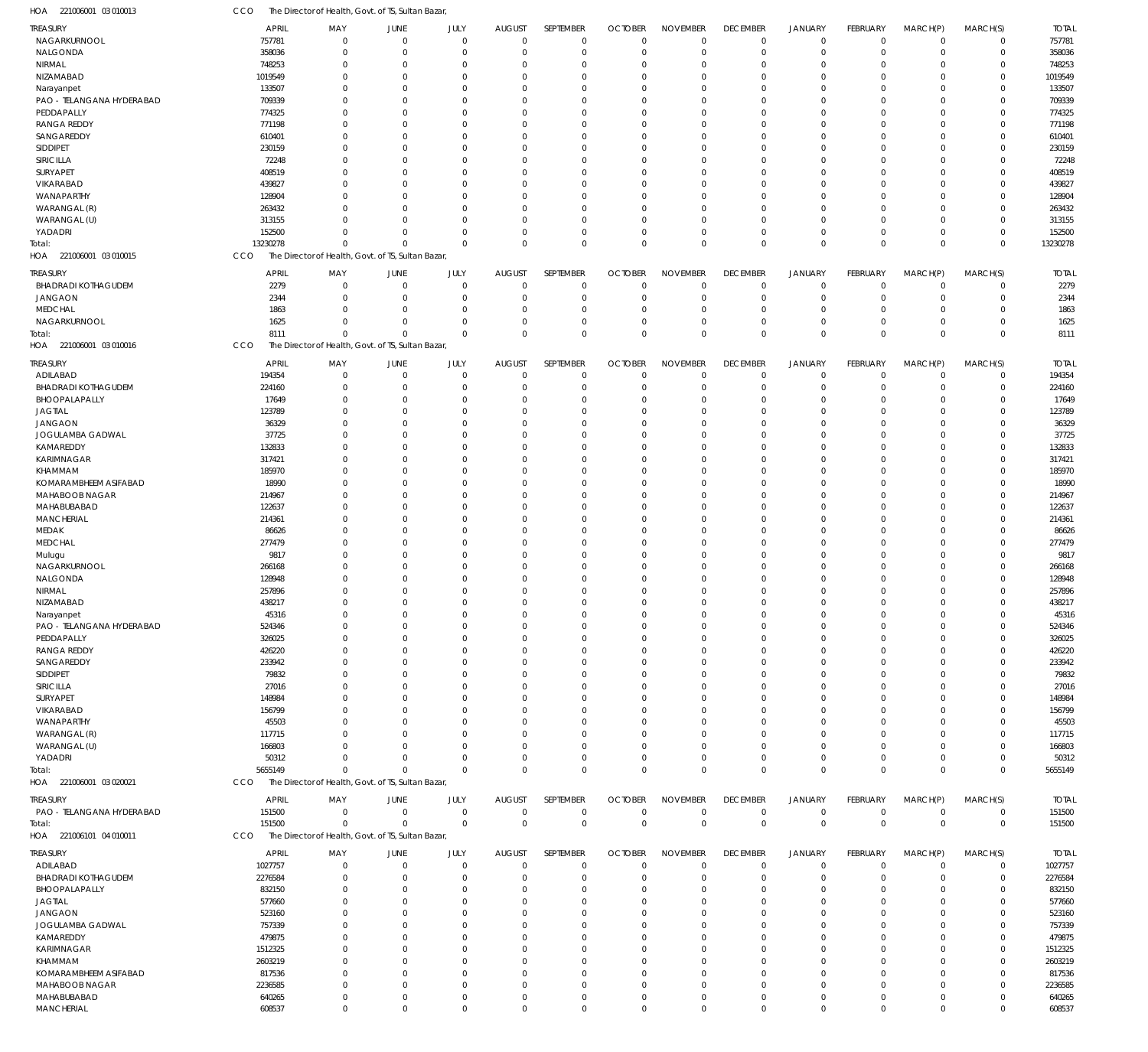| <b>TREASURY</b>            | <b>APRIL</b> | MAY                                                | JUNE           | JULY        | <b>AUGUST</b> | SEPTEMBER   | <b>OCTOBER</b> | <b>NOVEMBER</b> | <b>DECEMBER</b> | <b>JANUARY</b> | FEBRUARY        | MARCH(P)       | MARCH(S)    | <b>TOTAL</b> |
|----------------------------|--------------|----------------------------------------------------|----------------|-------------|---------------|-------------|----------------|-----------------|-----------------|----------------|-----------------|----------------|-------------|--------------|
| NAGARKURNOOL               | 757781       | $\mathbf 0$                                        | $\mathbf 0$    | $\Omega$    | $\mathbf 0$   | $\mathbf 0$ | $\Omega$       | $\Omega$        | $\mathbf 0$     | $\mathbf 0$    | $\mathbf 0$     | $\overline{0}$ | $\mathbf 0$ | 757781       |
| NALGONDA                   | 358036       | $\Omega$                                           | $\Omega$       | $\Omega$    | $\Omega$      | $\Omega$    | $\Omega$       | $\Omega$        | $\Omega$        | $\overline{0}$ | $\Omega$        | $\Omega$       | $\mathbf 0$ | 358036       |
| NIRMAL                     | 748253       | $\Omega$                                           | $\Omega$       | $\Omega$    | $\Omega$      | $\Omega$    | $\Omega$       | $\Omega$        | $\Omega$        | $\Omega$       | $\Omega$        | $\Omega$       | $\Omega$    | 748253       |
| NIZAMABAD                  | 1019549      | $\Omega$                                           | $\Omega$       | $\Omega$    | $\Omega$      | $\Omega$    | $\Omega$       | $\Omega$        | $\Omega$        | $\Omega$       | $\Omega$        | $\Omega$       | $\Omega$    | 1019549      |
| Narayanpet                 | 133507       | $\Omega$                                           | $\Omega$       | $\Omega$    | $\Omega$      | $\Omega$    | $\Omega$       | $\Omega$        | $\Omega$        | $\Omega$       | U               | $\Omega$       | $\Omega$    | 133507       |
| PAO - TELANGANA HYDERABAD  | 709339       | $\Omega$                                           | $\Omega$       | $\Omega$    | $\Omega$      | $\Omega$    | $\Omega$       | $\Omega$        | $\Omega$        | $\Omega$       | U               | $\Omega$       | $\Omega$    | 709339       |
| PEDDAPALLY                 | 774325       | $\Omega$                                           | $\Omega$       | $\Omega$    | $\Omega$      | $\Omega$    | $\Omega$       | $\Omega$        | $\Omega$        | $\Omega$       | U               | $\Omega$       | $\Omega$    | 774325       |
|                            |              |                                                    |                |             |               |             |                |                 |                 |                |                 |                |             |              |
| <b>RANGA REDDY</b>         | 771198       | $\Omega$                                           | $\Omega$       | $\Omega$    | $\Omega$      | $\Omega$    | $\Omega$       | $\Omega$        | $\Omega$        | $\Omega$       | U               | $\Omega$       | $\Omega$    | 771198       |
| SANGAREDDY                 | 610401       | $\Omega$                                           | $\Omega$       | $\Omega$    | $\Omega$      | $\Omega$    | $\Omega$       | $\Omega$        | $\Omega$        | $\Omega$       | U               | $\Omega$       | $\Omega$    | 610401       |
| SIDDIPET                   | 230159       | $\Omega$                                           | $\Omega$       | $\Omega$    | $\Omega$      | $\Omega$    | $\Omega$       | $\Omega$        | $\Omega$        | $\Omega$       | U               | $\Omega$       | $\Omega$    | 230159       |
| SIRICILLA                  | 72248        | $\Omega$                                           | $\Omega$       | $\Omega$    | $\Omega$      | $\Omega$    | $\Omega$       | $\Omega$        | $\Omega$        | $\Omega$       |                 | $\Omega$       | $\Omega$    | 72248        |
| SURYAPET                   | 408519       | $\Omega$                                           | $\Omega$       | $\Omega$    | $\Omega$      | $\Omega$    | $\Omega$       | $\Omega$        | $\Omega$        | $\Omega$       | U               | $\Omega$       | $\Omega$    | 408519       |
| VIKARABAD                  | 439827       | $\Omega$                                           | $\Omega$       | $\Omega$    | $\Omega$      | $\Omega$    | $\Omega$       | $\Omega$        | $\Omega$        | $\Omega$       | U               | $\Omega$       | $\Omega$    | 439827       |
| WANAPARTHY                 | 128904       | $\Omega$                                           | $\Omega$       | $\Omega$    | $\Omega$      | $\Omega$    | $\Omega$       | $\Omega$        | $\Omega$        | $\Omega$       | 0               | $\Omega$       | $\Omega$    | 128904       |
| WARANGAL (R)               | 263432       | U                                                  | $\Omega$       | $\Omega$    | $\Omega$      | $\Omega$    | $\Omega$       | $\Omega$        | $\Omega$        | $\Omega$       | U               | $\Omega$       | $\Omega$    | 263432       |
| WARANGAL (U)               |              | $\Omega$                                           | $\Omega$       | $\Omega$    | $\Omega$      | $\Omega$    | $\Omega$       | $\Omega$        | $\Omega$        | $\Omega$       | $\Omega$        | $\Omega$       | $\Omega$    | 313155       |
|                            | 313155       |                                                    |                |             |               |             |                |                 |                 |                |                 |                |             |              |
| YADADRI                    | 152500       | $\Omega$                                           | $\Omega$       | $\Omega$    | $\Omega$      | $\Omega$    | $\Omega$       | $\Omega$        | $\Omega$        | $\Omega$       | $\Omega$        | $\mathbf 0$    | $\mathbf 0$ | 152500       |
| Total:                     | 13230278     | $\Omega$                                           | $\Omega$       | $\Omega$    | $\Omega$      | $\mathbf 0$ | $\Omega$       | $\Omega$        | $\mathbf 0$     | $\mathbf{0}$   | $\Omega$        | $\Omega$       | $\Omega$    | 13230278     |
| HOA 221006001 03 010015    | CCO          | The Director of Health, Govt. of TS, Sultan Bazar, |                |             |               |             |                |                 |                 |                |                 |                |             |              |
| treasury                   | <b>APRIL</b> | MAY                                                | JUNE           | JULY        | <b>AUGUST</b> | SEPTEMBER   | <b>OCTOBER</b> | <b>NOVEMBER</b> | <b>DECEMBER</b> | <b>JANUARY</b> | FEBRUARY        | MARCH(P)       | MARCH(S)    | <b>TOTAL</b> |
|                            |              |                                                    |                |             |               |             |                |                 |                 |                |                 |                |             |              |
| <b>BHADRADI KOTHAGUDEM</b> | 2279         | $\mathbf 0$                                        | $\overline{0}$ | $\mathbf 0$ | $\Omega$      | $\mathbf 0$ | $\Omega$       | $\Omega$        | $\mathbf 0$     | $\mathbf 0$    | $\mathbf 0$     | $\Omega$       | $\mathbf 0$ | 2279         |
| JANGAON                    | 2344         | $\mathbf 0$                                        | $\Omega$       | $\Omega$    | $\Omega$      | $\mathbf 0$ | $\Omega$       | $\Omega$        | $\mathbf 0$     | $\overline{0}$ | 0               | $\mathbf 0$    | $\mathbf 0$ | 2344         |
| <b>MEDCHAL</b>             | 1863         | $\Omega$                                           | $\Omega$       | $\mathbf 0$ | $\Omega$      | $\mathbf 0$ | $\Omega$       | $\Omega$        | $\Omega$        | $\overline{0}$ | 0               | $\Omega$       | $\mathbf 0$ | 1863         |
| NAGARKURNOOL               | 1625         | $\Omega$                                           | $\overline{0}$ | $\Omega$    | $\Omega$      | $\mathbf 0$ | $\Omega$       | $\Omega$        | $\Omega$        | $\overline{0}$ | $\Omega$        | $\Omega$       | $\mathbf 0$ | 1625         |
| Total:                     | 8111         | $\Omega$                                           | $\Omega$       | $\Omega$    | $\Omega$      | $\mathbf 0$ | $\Omega$       | $\Omega$        | $\Omega$        | $\Omega$       | $\Omega$        | $\Omega$       | $\mathbf 0$ | 8111         |
| HOA 221006001 03 010016    | CCO          | The Director of Health, Govt. of TS, Sultan Bazar, |                |             |               |             |                |                 |                 |                |                 |                |             |              |
|                            |              |                                                    |                |             |               |             |                |                 |                 |                |                 |                |             |              |
| <b>TREASURY</b>            | <b>APRIL</b> | MAY                                                | JUNE           | JULY        | <b>AUGUST</b> | SEPTEMBER   | <b>OCTOBER</b> | <b>NOVEMBER</b> | <b>DECEMBER</b> | <b>JANUARY</b> | FEBRUARY        | MARCH(P)       | MARCH(S)    | <b>TOTAL</b> |
| ADILABAD                   | 194354       | $\Omega$                                           | $\overline{0}$ | $\Omega$    | $\mathbf 0$   | $\mathbf 0$ | $\Omega$       | $\Omega$        | $\mathbf 0$     | $\mathbf 0$    | $\Omega$        | $\Omega$       | $\mathbf 0$ | 194354       |
| <b>BHADRADI KOTHAGUDEM</b> | 224160       | $\Omega$                                           | $\Omega$       | $\Omega$    | $\Omega$      | $\mathbf 0$ | $\Omega$       | $\Omega$        | $\Omega$        | $\overline{0}$ | $\Omega$        | $\Omega$       | $\mathbf 0$ | 224160       |
| BHOOPALAPALLY              | 17649        | $\Omega$                                           | $\Omega$       | $\Omega$    | $\Omega$      | $\Omega$    | $\Omega$       | $\Omega$        | $\Omega$        | $\Omega$       | $\Omega$        | $\Omega$       | $\Omega$    | 17649        |
| <b>JAGTIAL</b>             | 123789       | $\Omega$                                           | $\Omega$       | $\Omega$    | $\Omega$      | $\Omega$    | $\Omega$       | $\Omega$        | $\Omega$        | $\Omega$       | $\Omega$        | $\Omega$       | $\Omega$    | 123789       |
| JANGAON                    | 36329        | $\Omega$                                           | $\Omega$       | $\Omega$    | $\Omega$      | $\Omega$    | $\Omega$       | $\Omega$        | $\Omega$        | $\Omega$       | U               | $\Omega$       | $\Omega$    | 36329        |
|                            |              | $\Omega$                                           | $\Omega$       | $\Omega$    | $\Omega$      | $\Omega$    | $\Omega$       | $\Omega$        | $\Omega$        | $\Omega$       | U               | $\Omega$       | $\Omega$    | 37725        |
| JOGULAMBA GADWAL           | 37725        |                                                    |                |             |               |             |                |                 |                 |                |                 |                |             |              |
| KAMAREDDY                  | 132833       | $\Omega$                                           | $\Omega$       | $\Omega$    | $\Omega$      | $\Omega$    | $\Omega$       | $\Omega$        | $\Omega$        | $\Omega$       | U               | $\Omega$       | $\Omega$    | 132833       |
| KARIMNAGAR                 | 317421       | $\Omega$                                           | $\Omega$       | $\Omega$    | $\Omega$      | $\Omega$    | $\Omega$       | $\Omega$        | $\Omega$        | $\Omega$       | 0               | $\Omega$       | $\Omega$    | 317421       |
| KHAMMAM                    | 185970       | $\Omega$                                           | $\Omega$       | $\Omega$    | $\Omega$      | $\Omega$    | $\Omega$       | $\Omega$        | $\Omega$        | $\Omega$       | U               | $\Omega$       | $\Omega$    | 185970       |
| KOMARAMBHEEM ASIFABAD      | 18990        | $\Omega$                                           | $\Omega$       | $\Omega$    | $\Omega$      | $\Omega$    | $\Omega$       | $\Omega$        | $\Omega$        | $\Omega$       | U               | $\Omega$       | $\Omega$    | 18990        |
| MAHABOOB NAGAR             | 214967       | $\Omega$                                           | $\Omega$       | $\Omega$    | $\Omega$      | $\Omega$    | $\Omega$       | $\Omega$        | $\Omega$        | $\Omega$       | U               | $\Omega$       | $\Omega$    | 214967       |
| MAHABUBABAD                | 122637       | $\Omega$                                           | $\Omega$       | $\Omega$    | $\Omega$      | $\Omega$    | $\Omega$       | $\Omega$        | $\Omega$        | $\Omega$       | U               | $\Omega$       | $\Omega$    | 122637       |
| <b>MANCHERIAL</b>          | 214361       | $\Omega$                                           | $\Omega$       | $\Omega$    | $\Omega$      | $\Omega$    | $\Omega$       | $\Omega$        | $\Omega$        | $\Omega$       | U               | $\Omega$       | $\Omega$    | 214361       |
| MEDAK                      | 86626        | $\Omega$                                           | $\Omega$       | $\Omega$    | $\Omega$      | $\Omega$    | $\Omega$       | $\Omega$        | $\Omega$        | $\Omega$       | 0               | $\Omega$       | $\Omega$    | 86626        |
| MEDCHAL                    | 277479       | $\Omega$                                           | $\Omega$       | $\Omega$    | $\Omega$      | $\Omega$    | $\Omega$       | $\Omega$        | $\Omega$        | $\Omega$       | U               | $\Omega$       | $\Omega$    | 277479       |
|                            |              |                                                    |                |             |               |             |                |                 |                 |                |                 |                |             |              |
| Mulugu                     | 9817         | $\Omega$                                           | $\Omega$       | $\Omega$    | $\Omega$      | $\Omega$    | $\Omega$       | $\Omega$        | $\Omega$        | $\Omega$       | $\Omega$        | $\Omega$       | $\Omega$    | 9817         |
| NAGARKURNOOL               | 266168       | 0                                                  | $\Omega$       | $\Omega$    | $\Omega$      | $\Omega$    | $\Omega$       | $\Omega$        | $\Omega$        | $\Omega$       | U               | $\Omega$       | $\Omega$    | 266168       |
| NALGONDA                   | 128948       | U                                                  | $\Omega$       | $\Omega$    | $\Omega$      | $\Omega$    | $\Omega$       | $\Omega$        | $\Omega$        | $\Omega$       | U               | $\Omega$       | $\Omega$    | 128948       |
| NIRMAL                     | 257896       |                                                    | $\Omega$       | $\Omega$    | $\Omega$      | $\Omega$    | $\Omega$       | $\Omega$        |                 | $\Omega$       | U               | $\Omega$       | $\Omega$    | 257896       |
| NIZAMABAD                  | 438217       | $\Omega$                                           | $\Omega$       | $\Omega$    | $\Omega$      | $\Omega$    | $\Omega$       | $\Omega$        | $\Omega$        | $\Omega$       | $\Omega$        | $\Omega$       | $\Omega$    | 438217       |
| Narayanpet                 | 45316        |                                                    |                | $\Omega$    |               |             |                |                 |                 |                |                 |                |             | 4531         |
| PAO - TELANGANA HYDERABAD  | 524346       | $\Omega$                                           | $\Omega$       | $\Omega$    | -0            | $\Omega$    | $\Omega$       | $\Omega$        | $\Omega$        | $\Omega$       | 0               | $\Omega$       | $\Omega$    | 524346       |
| PEDDAPALLY                 | 326025       | $\Omega$                                           | $\Omega$       | $\Omega$    | $\Omega$      | $\Omega$    | $\Omega$       | $\Omega$        | $\Omega$        | $\Omega$       | $\Omega$        | $\Omega$       | $\Omega$    | 326025       |
| <b>RANGA REDDY</b>         |              | $\Omega$                                           | $\Omega$       | $\Omega$    | $\Omega$      | $\Omega$    | $\Omega$       | $\Omega$        | $\Omega$        | $\Omega$       | U               | $\Omega$       | $\Omega$    | 426220       |
|                            | 426220       |                                                    |                |             |               |             |                |                 |                 |                |                 |                |             |              |
| SANGAREDDY                 | 233942       | $\Omega$                                           | $\Omega$       | $\Omega$    | 0             | $\Omega$    | $\Omega$       | $\Omega$        | $\Omega$        | $\Omega$       |                 | $\Omega$       | $\Omega$    | 233942       |
| SIDDIPET                   | 79832        | $\Omega$                                           | $\Omega$       | $\Omega$    | $\Omega$      | $\Omega$    | $\Omega$       | $\Omega$        | $\Omega$        | $\Omega$       | 0               | $\Omega$       | $\Omega$    | 79832        |
| SIRICILLA                  | 27016        | 0                                                  | 0              | $\Omega$    | 0             | $\Omega$    | $\Omega$       | $\Omega$        | $\Omega$        | $\Omega$       |                 | $\Omega$       | $\Omega$    | 27016        |
| SURYAPET                   | 148984       | U                                                  | n              | $\Omega$    | $\Omega$      | $\Omega$    | $\Omega$       | $\Omega$        | $\Omega$        | $\Omega$       | U               | $\Omega$       | $\Omega$    | 148984       |
| VIKARABAD                  | 156799       | 0                                                  | 0              | $\Omega$    | 0             | $\Omega$    | $\Omega$       | $\Omega$        | $\Omega$        | $\Omega$       |                 | $\Omega$       | $\Omega$    | 156799       |
| WANAPARTHY                 | 45503        | $\Omega$                                           | n              | $\Omega$    | $\Omega$      | $\Omega$    | $\Omega$       | $\Omega$        | $\Omega$        | $\Omega$       | U               | $\Omega$       | $\Omega$    | 45503        |
| WARANGAL (R)               | 117715       | U                                                  |                | $\Omega$    | 0             | $\Omega$    | $\Omega$       | $\Omega$        | $\Omega$        | $\Omega$       |                 | $\Omega$       | $\Omega$    | 117715       |
| WARANGAL (U)               | 166803       | U                                                  | n              | $\Omega$    | $\Omega$      | $\Omega$    | $\Omega$       | $\Omega$        | $\Omega$        | $\Omega$       | U               | $\Omega$       | $\Omega$    | 166803       |
| YADADRI                    | 50312        | $\Omega$                                           | $\Omega$       | $\Omega$    | $\Omega$      | $\Omega$    | $\Omega$       | $\Omega$        | $\Omega$        | $\overline{0}$ | $\Omega$        | $\mathbf 0$    | $\mathbf 0$ | 50312        |
|                            |              |                                                    |                |             |               |             |                |                 |                 |                |                 |                |             |              |
| Total:                     | 5655149      | $\Omega$                                           | $\Omega$       | $\Omega$    | $\Omega$      | $\Omega$    | $\Omega$       | $\Omega$        | $\mathbf{0}$    | $\mathbf{0}$   | $\Omega$        | $\Omega$       | $\mathbf 0$ | 5655149      |
| HOA 221006001 03 020021    | <b>CCO</b>   | The Director of Health, Govt. of TS, Sultan Bazar, |                |             |               |             |                |                 |                 |                |                 |                |             |              |
| treasury                   | <b>APRIL</b> | MAY                                                | JUNE           | JULY        | <b>AUGUST</b> | SEPTEMBER   | <b>OCTOBER</b> | <b>NOVEMBER</b> | <b>DECEMBER</b> | <b>JANUARY</b> | <b>FEBRUARY</b> | MARCH(P)       | MARCH(S)    | <b>TOTAL</b> |
| PAO - TELANGANA HYDERABAD  | 151500       | $\mathbf 0$                                        | $\overline{0}$ | $\mathbf 0$ | $\mathbf 0$   | 0           | $\overline{0}$ | $\mathbf 0$     | $\mathbf 0$     | 0              | $\mathbf 0$     | $\overline{0}$ | 0           | 151500       |
|                            |              |                                                    |                |             |               |             |                |                 |                 |                |                 |                |             |              |
| Total:                     | 151500       | $\Omega$                                           | $\Omega$       | $\mathbf 0$ | $\mathbf 0$   | $\mathbb O$ | $\Omega$       | $\Omega$        | $\mathbf 0$     | $\mathbb O$    | $\mathbf 0$     | $\overline{0}$ | $\mathbf 0$ | 151500       |
| HOA 221006101 04 010011    | CCO          | The Director of Health, Govt. of TS, Sultan Bazar, |                |             |               |             |                |                 |                 |                |                 |                |             |              |
| TREASURY                   | <b>APRIL</b> | MAY                                                | JUNE           | JULY        | <b>AUGUST</b> | SEPTEMBER   | <b>OCTOBER</b> | <b>NOVEMBER</b> | <b>DECEMBER</b> | JANUARY        | FEBRUARY        | MARCH(P)       | MARCH(S)    | <b>TOTAL</b> |
|                            |              |                                                    |                |             |               |             |                |                 |                 |                |                 |                |             |              |
| ADILABAD                   | 1027757      | $\mathbf 0$                                        | $\mathbf 0$    | $\mathbf 0$ | $\mathbf 0$   | $\mathbf 0$ | $\Omega$       | $\Omega$        | $\mathbf 0$     | $\mathbf 0$    | 0               | $\mathbf 0$    | 0           | 1027757      |
| <b>BHADRADI KOTHAGUDEM</b> | 2276584      | $\Omega$                                           | $\Omega$       | $\Omega$    | 0             | $\Omega$    | $\Omega$       | $\Omega$        | $\Omega$        | $\overline{0}$ | $\Omega$        | $\Omega$       | $\mathbf 0$ | 2276584      |
| BHOOPALAPALLY              | 832150       | $\Omega$                                           | $\Omega$       | $\Omega$    | 0             | $\Omega$    | $\Omega$       | $\Omega$        | $\Omega$        | $\Omega$       | 0               | $\Omega$       | $\Omega$    | 832150       |
| JAGTIAL                    | 577660       | $\Omega$                                           | $\Omega$       | $\Omega$    | $\Omega$      | $\Omega$    | $\Omega$       | $\Omega$        | $\Omega$        | $\Omega$       |                 | $\Omega$       | $\Omega$    | 577660       |
| <b>JANGAON</b>             | 523160       | $\Omega$                                           | $\Omega$       | $\Omega$    | $\Omega$      | $\Omega$    | $\Omega$       | $\Omega$        | $\Omega$        | $\Omega$       | U               | $\Omega$       | $\Omega$    | 523160       |
| JOGULAMBA GADWAL           | 757339       | U                                                  | 0              | $\Omega$    | 0             | $\Omega$    | $\Omega$       | $\Omega$        | $\Omega$        | $\Omega$       |                 | $\Omega$       | $\Omega$    | 757339       |
| KAMAREDDY                  | 479875       | 0                                                  | n              | $\Omega$    | $\Omega$      | $\Omega$    | $\Omega$       | $\Omega$        | $\Omega$        | $\Omega$       |                 | $\Omega$       | $\Omega$    | 479875       |
|                            |              |                                                    | n              | C           | $\Omega$      | $\Omega$    | $\Omega$       | $\Omega$        | $\Omega$        | $\Omega$       |                 | $\Omega$       | $\Omega$    |              |
| KARIMNAGAR                 | 1512325      | 0                                                  |                |             |               |             |                |                 |                 |                |                 |                |             | 1512325      |
| KHAMMAM                    | 2603219      | $\Omega$                                           | n              | $\Omega$    | $\Omega$      | $\Omega$    | $\Omega$       | $\Omega$        | $\Omega$        | $\Omega$       | U               | $\Omega$       | $\Omega$    | 2603219      |
| KOMARAMBHEEM ASIFABAD      | 817536       | $\Omega$                                           | $\Omega$       | $\Omega$    | $\Omega$      | $\Omega$    | $\Omega$       | $\Omega$        | $\Omega$        | $\Omega$       |                 | $\Omega$       | $\Omega$    | 817536       |
| MAHABOOB NAGAR             | 2236585      | $\Omega$                                           | $\Omega$       | $\Omega$    | $\Omega$      | $\Omega$    | $\Omega$       | $\Omega$        | $\Omega$        | $\Omega$       | U               | $\Omega$       | $\Omega$    | 2236585      |
| MAHABUBABAD                | 640265       | $\Omega$                                           | $\mathbf 0$    | $\Omega$    | 0             | $\Omega$    | $\Omega$       | $\Omega$        | $\Omega$        | $\mathbf 0$    | $\Omega$        | $\mathbf 0$    | $\Omega$    | 640265       |
| <b>MANCHERIAL</b>          | 608537       | $\mathbf 0$                                        | $\mathbf 0$    | $\Omega$    | $\mathbf 0$   | $\Omega$    | $\mathbf 0$    | $\mathbf{0}$    | $\mathbf 0$     | $\mathbf 0$    | $\Omega$        | $\mathbf 0$    | $\mathbf 0$ | 608537       |

221006001 03 010013 HOA

CCO The Director of Health, Govt. of TS, Sultan Bazar,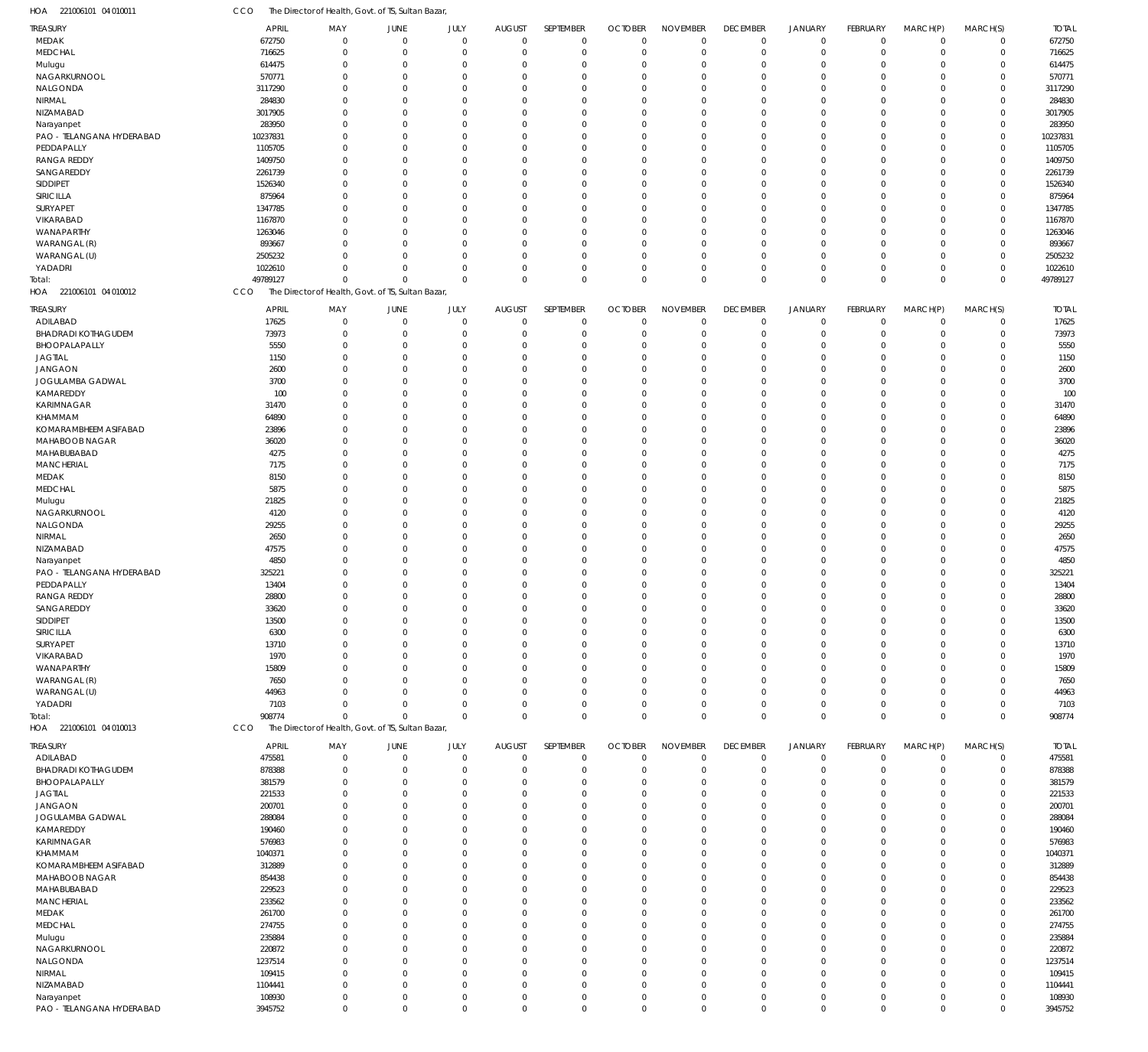| HOA<br>221006101 04 010011             | CCO                    | The Director of Health, Govt. of TS, Sultan Bazar, |                               |                     |                              |                            |                               |                                |                         |                               |                         |                            |                            |                        |
|----------------------------------------|------------------------|----------------------------------------------------|-------------------------------|---------------------|------------------------------|----------------------------|-------------------------------|--------------------------------|-------------------------|-------------------------------|-------------------------|----------------------------|----------------------------|------------------------|
| <b>TREASURY</b>                        | <b>APRIL</b>           | MAY                                                | JUNE                          | JULY                | <b>AUGUST</b>                | SEPTEMBER                  | <b>OCTOBER</b>                | <b>NOVEMBER</b>                | <b>DECEMBER</b>         | <b>JANUARY</b>                | FEBRUARY                | MARCH(P)                   | MARCH(S)                   | <b>TOTAL</b>           |
| MEDAK                                  | 672750                 | $\Omega$                                           | $\mathbf 0$                   | $\mathbf 0$         | $\mathbf 0$                  | $\mathbf 0$                | $\mathbf 0$                   | $\mathbf 0$                    | $\mathbf 0$             | $\mathbf 0$                   | $\mathbf 0$             | $\overline{0}$             | $\mathbf 0$                | 672750                 |
| MEDCHAL                                | 716625                 | $^{\circ}$                                         | $\mathbf 0$                   | $\mathbf 0$         | $\mathbf 0$                  | $\mathbf 0$                | $\mathbf 0$                   | $\mathbf 0$                    | $\Omega$                | $\overline{0}$                | $\mathbf 0$             | $\overline{0}$             | $\mathbf 0$                | 716625                 |
| Mulugu                                 | 614475                 | 0                                                  | $\overline{0}$                | $\Omega$            | 0                            | $\mathbf 0$                | O                             | $\mathbf 0$                    | $\Omega$                | $\overline{0}$                | $\Omega$                | $\mathbf 0$                | $\mathbf 0$                | 614475                 |
| NAGARKURNOOL                           | 570771                 | $\Omega$                                           | $\Omega$                      | $\Omega$            | $\Omega$                     | $\mathbf 0$                | $\Omega$                      | $^{\circ}$                     | $\Omega$                | $\Omega$                      | 0                       | $\Omega$                   | $\mathbf 0$                | 570771                 |
| NALGONDA                               | 3117290                | $\Omega$                                           | $\Omega$                      | O                   | $\Omega$                     | $\mathbf 0$                | $\Omega$                      | $\Omega$                       | $\Omega$                | $\Omega$                      | U                       | $\Omega$                   | $\mathbf 0$                | 3117290                |
| NIRMAL                                 | 284830                 | $\Omega$                                           | $\Omega$                      | $\Omega$            | $\Omega$                     | $\mathbf 0$                | $\Omega$                      | $^{\circ}$                     | $\Omega$                | $\Omega$                      | $\Omega$                | $\Omega$                   | $\mathbf 0$                | 284830                 |
| NIZAMABAD                              | 3017905                | $\Omega$                                           | $\Omega$                      | U                   | $\Omega$                     | $\mathbf 0$                | O                             | $\Omega$                       | $\Omega$                | $\Omega$                      | U                       | $\Omega$                   | $\mathbf 0$                | 3017905                |
| Narayanpet                             | 283950                 | $\Omega$<br>$\Omega$                               | $\Omega$<br>$\Omega$          | $\Omega$<br>U       | $\Omega$<br>$\Omega$         | $\mathbf 0$                | $\Omega$                      | $\Omega$<br>$\Omega$           | $\Omega$                | $\Omega$<br>$\Omega$          | 0<br>U                  | $\Omega$<br>$\Omega$       | $\Omega$                   | 283950                 |
| PAO - TELANGANA HYDERABAD              | 10237831               | $\Omega$                                           | $\Omega$                      | $\Omega$            | $\Omega$                     | $\mathbf 0$<br>$\mathbf 0$ | $\Omega$<br>$\Omega$          | $^{\circ}$                     | $\cap$                  | $\Omega$                      | $\Omega$                | $\Omega$                   | $\mathbf 0$<br>$\mathbf 0$ | 10237831               |
| PEDDAPALLY<br><b>RANGA REDDY</b>       | 1105705<br>1409750     | $\Omega$                                           | $\Omega$                      | U                   | $\Omega$                     | $\mathbf 0$                | $\Omega$                      | $\Omega$                       | $\Omega$                | $\Omega$                      | U                       | $\Omega$                   | $\mathbf 0$                | 1105705<br>1409750     |
| SANGAREDDY                             | 2261739                | $\Omega$                                           | $\Omega$                      | $\Omega$            | $\Omega$                     | $\mathbf 0$                | $\Omega$                      | $^{\circ}$                     |                         | $\Omega$                      | 0                       | $\Omega$                   | $\mathbf 0$                | 2261739                |
| SIDDIPET                               | 1526340                | $\Omega$                                           | $\Omega$                      | U                   | $\Omega$                     | $\mathbf 0$                | $\Omega$                      | $\Omega$                       | $\Omega$                | $\Omega$                      | U                       | $\Omega$                   | $\mathbf 0$                | 1526340                |
| SIRICILLA                              | 875964                 | $\Omega$                                           | $\Omega$                      | $\Omega$            | $\Omega$                     | $\mathbf 0$                | $\Omega$                      | $^{\circ}$                     |                         | $\Omega$                      | $\Omega$                | $\Omega$                   | $\Omega$                   | 875964                 |
| SURYAPET                               | 1347785                | $\Omega$                                           | $\Omega$                      | O                   | $\Omega$                     | $\mathbf 0$                | $\Omega$                      | $\Omega$                       | $\Omega$                | $\Omega$                      | U                       | $\Omega$                   | $\mathbf 0$                | 1347785                |
| VIKARABAD                              | 1167870                | $\Omega$                                           | $\Omega$                      | $\Omega$            | $\Omega$                     | $\mathbf 0$                | $\Omega$                      | $^{\circ}$                     |                         | $\Omega$                      | $\Omega$                | $\Omega$                   | $\mathbf 0$                | 1167870                |
| WANAPARTHY                             | 1263046                | $\Omega$                                           | $\Omega$                      | U                   | $\Omega$                     | $\mathbf 0$                | $\Omega$                      | $\Omega$                       | $\Omega$                | $\Omega$                      | U                       | $\Omega$                   | $\mathbf 0$                | 1263046                |
| WARANGAL (R)                           | 893667                 | $\Omega$                                           | $\Omega$                      | $\Omega$            | $\Omega$                     | $\mathbf 0$                | $\Omega$                      | $^{\circ}$                     | $\Omega$                | $\Omega$                      | $\Omega$                | $\Omega$                   | $\mathbf 0$                | 893667                 |
| WARANGAL (U)                           | 2505232                | $\Omega$                                           | $\Omega$                      | $\Omega$            | $\mathbf 0$                  | $\mathbf 0$                | $\Omega$                      | $\Omega$                       | $\Omega$                | $\overline{0}$                | 0                       | $\mathbf 0$                | $\mathbf 0$                | 2505232                |
| YADADRI                                | 1022610                | $\Omega$                                           | $\Omega$                      | $\Omega$            | $\mathbf 0$                  | $\mathbf 0$                | 0                             | $\mathbf 0$                    | $\Omega$                | $\overline{0}$                | $\Omega$                | $\overline{0}$             | $\mathbf 0$                | 1022610                |
| Total:                                 | 49789127               | $\Omega$                                           | $\Omega$                      | $\Omega$            | $\Omega$                     | $\mathbf 0$                | $\Omega$                      | $\Omega$                       | $\mathbf 0$             | $\mathbf 0$                   | $\Omega$                | $\Omega$                   | $\mathbf 0$                | 49789127               |
| HOA 221006101 04 010012                | CCO                    | The Director of Health, Govt. of TS, Sultan Bazar, |                               |                     |                              |                            |                               |                                |                         |                               |                         |                            |                            |                        |
|                                        | <b>APRIL</b>           | MAY                                                | JUNE                          | JULY                | <b>AUGUST</b>                | SEPTEMBER                  | <b>OCTOBER</b>                | <b>NOVEMBER</b>                | <b>DECEMBER</b>         | <b>JANUARY</b>                | FEBRUARY                | MARCH(P)                   | MARCH(S)                   | <b>TOTAL</b>           |
| Treasury<br>ADILABAD                   | 17625                  | $\mathbf 0$                                        | $\mathbf 0$                   | $\mathbf 0$         | $\mathbf 0$                  | $\mathbf 0$                | 0                             | $\mathbf 0$                    | $\mathbf 0$             | $\overline{0}$                | $\mathbf 0$             | $\overline{0}$             | $\mathbf 0$                | 17625                  |
| <b>BHADRADI KOTHAGUDEM</b>             | 73973                  | $\mathbf 0$                                        | $\overline{0}$                | $\mathbf 0$         | $\mathbf 0$                  | $\mathbf 0$                | $\mathbf 0$                   | $\mathbf 0$                    | $\Omega$                | $\overline{0}$                | $\mathbf 0$             | $\overline{0}$             | $\mathbf 0$                | 73973                  |
| BHOOPALAPALLY                          | 5550                   | 0                                                  | $\overline{0}$                | $\Omega$            | 0                            | $\mathbf 0$                | O                             | $\mathbf 0$                    | $\Omega$                | $\overline{0}$                | 0                       | $\mathbf 0$                | $\mathbf 0$                | 5550                   |
| <b>JAGTIAL</b>                         | 1150                   | $\Omega$                                           | $\Omega$                      | U                   | $\Omega$                     | $\mathbf 0$                | $\Omega$                      | $\Omega$                       |                         | $\Omega$                      | U                       | $\Omega$                   | $\mathbf 0$                | 1150                   |
| JANGAON                                | 2600                   | 0                                                  | $\Omega$                      | 0                   | $\Omega$                     | $\mathbf 0$                | O                             | $\mathbf 0$                    |                         | $\Omega$                      | 0                       | $\Omega$                   | $\mathbf 0$                | 2600                   |
| JOGULAMBA GADWAL                       | 3700                   | $\Omega$                                           | $\Omega$                      | U                   | $\Omega$                     | $\mathbf 0$                | $\Omega$                      | $\mathbf 0$                    |                         | $\Omega$                      | 0                       | $\Omega$                   | $\mathbf 0$                | 3700                   |
| KAMAREDDY                              | 100                    | $\Omega$                                           | $\Omega$                      | U                   | $\Omega$                     | $\mathbf 0$                | $\Omega$                      | $\mathbf 0$                    |                         | $\Omega$                      | U                       | $\Omega$                   | $\mathbf 0$                | 100                    |
| KARIMNAGAR                             | 31470                  | $\Omega$                                           | $\Omega$                      | U                   | $\Omega$                     | $\mathbf 0$                | $\Omega$                      | $\Omega$                       |                         | $\Omega$                      | 0                       | $\Omega$                   | $\mathbf 0$                | 31470                  |
| KHAMMAM                                | 64890                  | $\mathbf 0$                                        | $\Omega$                      | 0                   | $\mathbf 0$                  | $\mathbf 0$                | $\Omega$                      | $\mathbf 0$                    |                         | $\Omega$                      | 0                       | $\Omega$                   | $\mathbf 0$                | 64890                  |
| KOMARAMBHEEM ASIFABAD                  | 23896                  | $\Omega$                                           | $\Omega$                      | U                   | $\Omega$                     | $\mathbf 0$                | $\Omega$                      | $\mathbf 0$                    |                         | $\Omega$                      | U                       | $\Omega$                   | $\mathbf 0$                | 23896                  |
| MAHABOOB NAGAR                         | 36020                  | $\Omega$                                           | $\Omega$                      | U                   | $\Omega$                     | $\mathbf 0$                | $\Omega$                      | $\mathbf 0$                    |                         | $\Omega$                      | U                       | $\Omega$                   | $\mathbf 0$                | 36020                  |
| MAHABUBABAD                            | 4275                   | $\Omega$                                           | $\Omega$                      | U                   | $\Omega$                     | $\mathbf 0$                | $\Omega$                      | $\Omega$                       |                         | $\Omega$                      | 0                       | $\Omega$                   | $\mathbf 0$                | 4275                   |
| <b>MANCHERIAL</b>                      | 7175                   | 0                                                  | $\Omega$                      | U                   | $\Omega$                     | $\mathbf 0$                | $\Omega$                      | $\mathbf 0$                    |                         | $\Omega$                      | U                       | $\Omega$                   | $\mathbf 0$                | 7175                   |
| MEDAK                                  | 8150                   | $\Omega$                                           | $\Omega$                      | U                   | $\Omega$                     | $\mathbf 0$                | $\Omega$                      | $\mathbf 0$                    |                         | $\Omega$                      | U                       | $\Omega$                   | $\mathbf 0$                | 8150                   |
| <b>MEDCHAL</b>                         | 5875                   | $\Omega$                                           | $\Omega$                      | 0                   | $\Omega$                     | $\mathbf 0$                | $\Omega$                      | $\mathbf 0$                    |                         | $\Omega$                      | 0                       | $\Omega$                   | $\mathbf 0$                | 5875                   |
| Mulugu                                 | 21825                  | $\Omega$                                           | $\Omega$                      | U                   | $\Omega$                     | $\mathbf 0$                | $\Omega$                      | $\mathbf 0$                    |                         | $\Omega$                      | 0                       | $\Omega$                   | $\mathbf 0$                | 21825                  |
| NAGARKURNOOL                           | 4120                   | $\Omega$                                           | $\Omega$                      | U                   | $\Omega$                     | $\mathbf 0$                | $\Omega$                      | $\mathbf 0$                    |                         | $\Omega$                      | U                       | $\Omega$                   | $\mathbf 0$                | 4120                   |
| NALGONDA                               | 29255                  | $\Omega$                                           | $\Omega$                      | U                   | $\Omega$                     | $\mathbf 0$                | $\Omega$                      | $\mathbf 0$                    |                         | $\Omega$                      | 0                       | $\Omega$                   | $\mathbf 0$                | 29255                  |
| NIRMAL                                 | 2650                   | $\mathbf 0$                                        | $\Omega$                      | 0                   | $\mathbf 0$                  | $\mathbf 0$                | O                             | $\mathbf 0$                    |                         | $\Omega$                      | 0                       | $\mathbf 0$                | $\mathbf 0$                | 2650                   |
| NIZAMABAD                              | 47575                  | $\Omega$                                           | $\Omega$                      | U                   | $\Omega$                     | $\mathbf 0$                | $\Omega$                      | $\Omega$                       |                         | $\Omega$                      | U                       | $\Omega$                   | $\mathbf 0$                | 47575                  |
| Narayanpet                             | 4850                   | $\Omega$                                           | $\Omega$                      | U                   | $\Omega$                     | $\mathbf 0$                | $\Omega$                      | $\mathbf 0$                    |                         | $\Omega$                      | 0                       | $\Omega$                   | $\mathbf 0$                | 4850                   |
| PAO - TELANGANA HYDERABAD              | 325221                 | $\Omega$                                           | $\Omega$                      | 0                   | $\mathbf 0$                  | $\mathbf 0$                | O                             | $\mathbf 0$                    |                         | $\Omega$                      | 0                       | $\Omega$                   | $\mathbf 0$                | 325221                 |
| PEDDAPALLY                             | 13404                  | $\Omega$                                           | $\Omega$                      | $\Omega$            | $\mathbf 0$                  | $\mathbf 0$                | O                             | $\mathbf 0$                    |                         | $\Omega$                      | 0                       | $\mathbf 0$                | $\mathbf 0$                | 13404                  |
| <b>RANGA REDDY</b>                     | 28800                  | $\Omega$                                           | $\Omega$                      | $\Omega$            | $\mathbf 0$                  | $\mathbf 0$                | $\Omega$                      | $\mathbf 0$                    | $\Omega$                | $\Omega$                      | $\Omega$                | $\Omega$                   | $\mathbf 0$                | 28800                  |
| SANGAREDDY                             | 33620                  | 0                                                  | 0                             | 0                   | $\Omega$                     | $\mathbf 0$                | O                             | $\mathbf 0$                    |                         | - 0                           | 0                       | $\Omega$                   | $\mathbf 0$                | 33620                  |
| SIDDIPET                               | 13500                  | $\mathbf 0$                                        | $\mathbf{0}$                  | $\Omega$            | $\mathbf 0$                  | $\mathbf 0$                | $\mathbf 0$                   | $\mathbf 0$                    |                         | $\overline{0}$                | $\mathbf 0$             | $\overline{0}$             | $\mathbf 0$                | 13500                  |
| SIRICILLA                              | 6300                   | $\mathbf 0$                                        | $\mathbf 0$<br>$\overline{0}$ | $\Omega$<br>0       | $\Omega$<br>$\Omega$         | $\mathbf 0$<br>$\mathbf 0$ | $\mathbf 0$                   | $\mathbf 0$                    | $\Omega$<br>$\Omega$    | $\overline{0}$<br>$\Omega$    | $\Omega$<br>$\Omega$    | $\overline{0}$<br>$\Omega$ | $\mathbf 0$<br>$\mathbf 0$ | 6300                   |
| SURYAPET<br>VIKARABAD                  | 13710<br>1970          | $\mathbf 0$<br>$\mathbf 0$                         | $\overline{0}$                | $\Omega$            | $\mathbf 0$                  | $\mathbf 0$                | $\mathbf 0$<br>0              | $\mathbf 0$<br>$\mathbf 0$     | $\Omega$                | $\overline{0}$                | $\Omega$                | $\mathbf 0$                | $\mathbf 0$                | 13710<br>1970          |
| WANAPARTHY                             | 15809                  | $\Omega$                                           | $\Omega$                      | $\Omega$            | $\Omega$                     | $\mathbf 0$                | $\Omega$                      | $^{\circ}$                     |                         | $\Omega$                      | $\Omega$                | $\Omega$                   | $\mathbf 0$                | 15809                  |
| WARANGAL (R)                           | 7650                   | $\mathbf 0$                                        | $\Omega$                      | $\Omega$            | $\Omega$                     | $\mathbf 0$                | $\Omega$                      | $\mathbf 0$                    | $\Omega$                | $\Omega$                      | 0                       | $\Omega$                   | $\mathbf 0$                | 7650                   |
| WARANGAL (U)                           | 44963                  | $\Omega$                                           | $\overline{0}$                | $\Omega$            | $\Omega$                     | $\mathbf 0$                | 0                             | $\mathbf 0$                    | $\Omega$                | $\overline{0}$                | $\Omega$                | $\Omega$                   | $\mathbf 0$                | 44963                  |
| YADADRI                                | 7103                   | $\mathbf 0$                                        | $\mathbf 0$                   | $\Omega$            | $\mathbf 0$                  | $\mathbf 0$                | 0                             | $\mathbf 0$                    | $\Omega$                | $\mathbf 0$                   | $\mathbf 0$             | $\overline{0}$             | $\mathbf 0$                | 7103                   |
| Total:                                 | 908774                 | $\Omega$                                           | $\Omega$                      | $\Omega$            | $\Omega$                     | $\mathbf 0$                | $\mathbf{0}$                  | $\mathbf 0$                    | $\Omega$                | $\mathbf 0$                   | $\Omega$                | $\overline{0}$             | $\mathbf 0$                | 908774                 |
| HOA 221006101 04 010013                | <b>CCO</b>             | The Director of Health, Govt. of TS, Sultan Bazar, |                               |                     |                              |                            |                               |                                |                         |                               |                         |                            |                            |                        |
|                                        |                        |                                                    |                               |                     |                              |                            |                               |                                |                         |                               |                         |                            |                            |                        |
| TREASURY                               | <b>APRIL</b><br>475581 | MAY<br>$\overline{0}$                              | JUNE<br>$\mathbf 0$           | JULY<br>$\mathbf 0$ | <b>AUGUST</b><br>$\mathbf 0$ | SEPTEMBER<br>$\mathbf 0$   | <b>OCTOBER</b><br>$\mathbf 0$ | <b>NOVEMBER</b><br>$\mathbf 0$ | <b>DECEMBER</b>         | <b>JANUARY</b><br>$\mathbf 0$ | FEBRUARY<br>$\mathbf 0$ | MARCH(P)<br>$\overline{0}$ | MARCH(S)<br>$\mathbf 0$    | <b>TOTAL</b><br>475581 |
| ADILABAD<br><b>BHADRADI KOTHAGUDEM</b> | 878388                 | $\mathbf 0$                                        | $\mathbf 0$                   | $\mathbf 0$         | $\mathbf 0$                  | $\mathbf 0$                | $\mathbf 0$                   | $\mathbf 0$                    | $\mathbf 0$<br>$\Omega$ | $\overline{0}$                | $\mathbf 0$             | $\mathbf 0$                | $\mathbf 0$                | 878388                 |
| BHOOPALAPALLY                          | 381579                 | $\mathbf 0$                                        | $\mathbf 0$                   | $\Omega$            | 0                            | $\mathbf 0$                | 0                             | $\mathbf 0$                    | $\Omega$                | $\overline{0}$                | $\Omega$                | $\mathbf 0$                | $\mathbf 0$                | 381579                 |
| <b>JAGTIAL</b>                         | 221533                 | $\Omega$                                           | $\mathbf 0$                   | $\Omega$            | $\Omega$                     | $\mathbf 0$                | $\Omega$                      | $\mathbf 0$                    | $\Omega$                | $\Omega$                      | $\Omega$                | $\Omega$                   | $\mathbf 0$                | 221533                 |
| JANGAON                                | 200701                 | $\mathbf 0$                                        | $\overline{0}$                | $\Omega$            | $\Omega$                     | $\mathbf 0$                | $\Omega$                      | $\mathbf 0$                    | $\Omega$                | $\overline{0}$                | $\Omega$                | $\Omega$                   | $\mathbf 0$                | 200701                 |
| JOGULAMBA GADWAL                       | 288084                 | $\Omega$                                           | $\overline{0}$                | $\Omega$            | $\Omega$                     | $\mathbf 0$                | 0                             | $\mathbf 0$                    | $\Omega$                | $\Omega$                      | 0                       | $\mathbf 0$                | $\mathbf 0$                | 288084                 |
| KAMAREDDY                              | 190460                 | $\mathbf 0$                                        | $\mathbf 0$                   | $\Omega$            | $\Omega$                     | $\mathbf 0$                | $\Omega$                      | $\mathbf 0$                    | $\Omega$                | $\overline{0}$                | $\Omega$                | $\Omega$                   | $\mathbf 0$                | 190460                 |
| KARIMNAGAR                             | 576983                 | $\Omega$                                           | $\Omega$                      | $\Omega$            | $\Omega$                     | $\mathbf 0$                | $\Omega$                      | $\mathbf 0$                    | $\Omega$                | $\Omega$                      | 0                       | $\Omega$                   | $\Omega$                   | 576983                 |
| KHAMMAM                                | 1040371                | $\mathbf 0$                                        | $\overline{0}$                | $\Omega$            | $\Omega$                     | $\mathbf 0$                | O                             | $\mathbf 0$                    | $\Omega$                | $\overline{0}$                | $\Omega$                | $\mathbf 0$                | $\mathbf 0$                | 1040371                |
| KOMARAMBHEEM ASIFABAD                  | 312889                 | $\Omega$                                           | $\Omega$                      | $\Omega$            | $\Omega$                     | $\mathbf 0$                | 0                             | $\mathbf 0$                    | $\Omega$                | $\Omega$                      | 0                       | $\Omega$                   | $\Omega$                   | 312889                 |
| MAHABOOB NAGAR                         | 854438                 | $\mathbf 0$                                        | $\Omega$                      | $\Omega$            | $\Omega$                     | $\mathbf 0$                | $\Omega$                      | $\mathbf 0$                    | $\Omega$                | $\Omega$                      | $\Omega$                | $\Omega$                   | $\mathbf 0$                | 854438                 |
| MAHABUBABAD                            | 229523                 | $\Omega$                                           | $\mathbf 0$                   | $\Omega$            | $\Omega$                     | $\mathbf 0$                | $\Omega$                      | $\mathbf 0$                    | $\Omega$                | $\Omega$                      | $\Omega$                | $\Omega$                   | $\Omega$                   | 229523                 |
| <b>MANCHERIAL</b>                      | 233562                 | $\mathbf 0$                                        | $\overline{0}$                | $\Omega$            | $\Omega$                     | $\mathbf 0$                | $\Omega$                      | $\mathbf 0$                    | $\Omega$                | $\overline{0}$                | $\Omega$                | $\mathbf 0$                | $\mathbf 0$                | 233562                 |
| MEDAK                                  | 261700                 | $\Omega$                                           | $\Omega$                      | $\Omega$            | $\Omega$                     | $\mathbf 0$                | $\Omega$                      | $\mathbf 0$                    | $\Omega$                | $\Omega$                      | $\Omega$                | $\Omega$                   | $\Omega$                   | 261700                 |
| <b>MEDCHAL</b>                         | 274755                 | $\mathbf 0$                                        | $\overline{0}$                | $\Omega$            | $\Omega$                     | $\mathbf 0$                | $\Omega$                      | $\mathbf 0$                    | $\Omega$                | $\Omega$                      | $\Omega$                | $\Omega$                   | $\mathbf 0$                | 274755                 |
| Mulugu                                 | 235884                 | $\Omega$                                           | $\mathbf{0}$                  | $\Omega$            | $\Omega$                     | $\mathbf 0$                | $\Omega$                      | $\mathbf 0$                    | $\Omega$                | $\Omega$                      | $\Omega$                | $\mathbf 0$                | $\Omega$                   | 235884                 |
| NAGARKURNOOL                           | 220872                 | $\mathbf 0$                                        | $\overline{0}$                | $\Omega$            | $\Omega$                     | $\mathbf 0$                | $\Omega$                      | $\mathbf 0$                    | $\Omega$                | $^{\circ}$                    | $\Omega$                | $\Omega$                   | $\mathbf 0$                | 220872                 |
| NALGONDA                               | 1237514                | $\Omega$                                           | $\Omega$                      | $\Omega$            | $\Omega$                     | $\mathbf 0$                | 0                             | $\mathbf 0$                    | $\Omega$                | $\Omega$                      | 0                       | $\Omega$                   | $\Omega$                   | 1237514                |
| NIRMAL                                 | 109415                 | $\mathbf 0$                                        | $\mathbf{0}$                  | $\Omega$            | $\Omega$                     | $\mathbf 0$                | 0                             | $\mathbf 0$                    | $\Omega$                | $\overline{0}$                | $\Omega$                | $\mathbf 0$                | $\mathbf 0$                | 109415                 |
| NIZAMABAD                              | 1104441                | $\mathbf 0$                                        | $\mathbf 0$                   | $\Omega$            | $\mathbf 0$                  | $\mathbf 0$                | 0                             | $\mathbf 0$                    | $\Omega$                | $\overline{0}$                | $\Omega$                | $\overline{0}$             | $\mathbf 0$                | 1104441                |
| Narayanpet                             | 108930                 | $^{\circ}$                                         | $\mathbf 0$                   | $\mathbf 0$         | $\mathbf 0$                  | $\mathbf 0$                | $\mathbf 0$                   | $\mathbf 0$                    | $\mathbf 0$             | $\mathbf 0$                   | $\mathbf 0$             | $\overline{0}$             | $\mathbf 0$                | 108930                 |
| PAO - TELANGANA HYDERABAD              | 3945752                | $\mathbf 0$                                        | $\mathbf 0$                   | $\mathbf 0$         | $\mathbf 0$                  | $\mathbf 0$                | $\mathbf 0$                   | $\mathbf 0$                    | $\mathbf 0$             | $\mathbf 0$                   | $\mathbf 0$             | $\overline{0}$             | $\mathbf 0$                | 3945752                |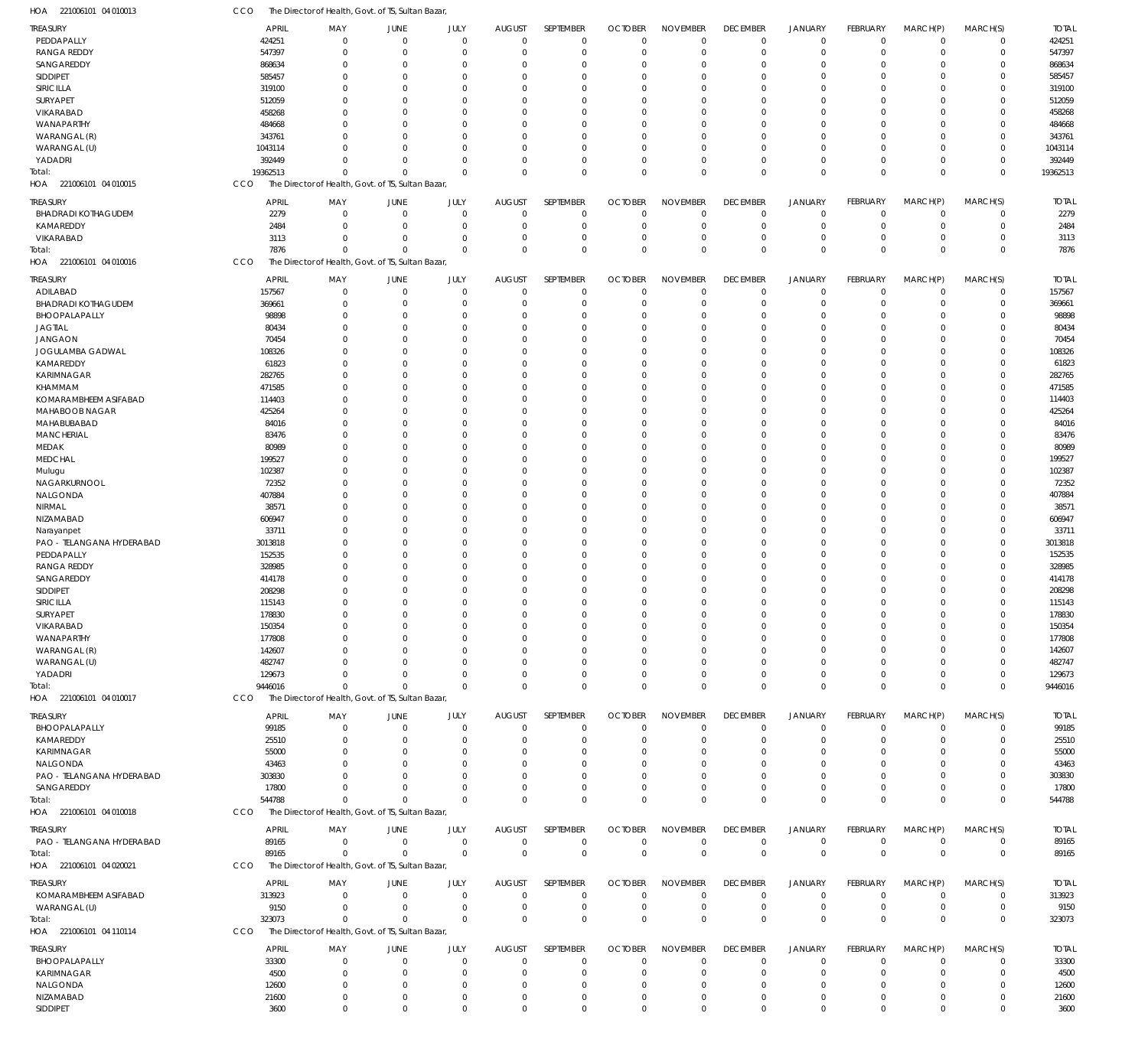| <b>TREASURY</b>            | <b>APRIL</b> | MAY                                                | JUNE           | JULY        | <b>AUGUST</b> | SEPTEMBER    | <b>OCTOBER</b> | <b>NOVEMBER</b> | <b>DECEMBER</b> | <b>JANUARY</b> | <b>FEBRUARY</b> | MARCH(P)       | MARCH(S)    | <b>TOTAL</b> |
|----------------------------|--------------|----------------------------------------------------|----------------|-------------|---------------|--------------|----------------|-----------------|-----------------|----------------|-----------------|----------------|-------------|--------------|
| PEDDAPALLY                 | 424251       | $\mathbf 0$                                        | $\overline{0}$ | $\Omega$    | $\mathbf 0$   | $\mathbf 0$  | $\Omega$       | $\mathbf 0$     | $\overline{0}$  | $\mathbf{0}$   | $\Omega$        | $\overline{0}$ | $\mathbf 0$ | 424251       |
| <b>RANGA REDDY</b>         | 547397       | $\Omega$                                           | $\overline{0}$ | $\Omega$    | $\Omega$      | $\mathbf 0$  | $\Omega$       | $\Omega$        | $\Omega$        | $\Omega$       | $\Omega$        | $\Omega$       | $\Omega$    | 547397       |
| SANGAREDDY                 | 868634       | 0                                                  | $\Omega$       | O           | $\Omega$      | $\Omega$     | $\Omega$       | $\Omega$        | $\Omega$        | $\Omega$       | $\Omega$        | $\Omega$       | 0           | 868634       |
| SIDDIPET                   | 585457       | 0                                                  | $\Omega$       | O           | $\Omega$      | $\Omega$     | $\Omega$       | $\Omega$        | $\Omega$        | $\Omega$       | $\Omega$        | $\Omega$       | 0           | 585457       |
| SIRICILLA                  | 319100       | 0                                                  | $\Omega$       |             | 0             | $\Omega$     | $\Omega$       | $\Omega$        | $\Omega$        | $\Omega$       |                 | $\Omega$       | $\Omega$    | 319100       |
|                            |              |                                                    |                |             |               |              |                |                 |                 |                |                 |                |             |              |
| SURYAPET                   | 512059       | U                                                  | $\Omega$       | O           | 0             | $\Omega$     | $\Omega$       | $\Omega$        | $\Omega$        | $\Omega$       |                 | $\Omega$       | 0           | 512059       |
| VIKARABAD                  | 458268       | N                                                  | $\Omega$       |             | 0             | $\Omega$     | $\Omega$       | $\Omega$        | $\sqrt{ }$      | $\Omega$       |                 | $\Omega$       | 0           | 458268       |
| WANAPARTHY                 | 484668       | U                                                  | $\Omega$       | O           | 0             | $\Omega$     | $\Omega$       | $\Omega$        | $\Omega$        | $\Omega$       |                 | $\Omega$       | 0           | 484668       |
| WARANGAL (R)               | 343761       |                                                    | $\Omega$       | O           | 0             | $\Omega$     | $\Omega$       | $\Omega$        | $\Omega$        | $\Omega$       |                 | $\Omega$       | $\Omega$    | 343761       |
|                            |              |                                                    |                |             |               |              |                |                 |                 |                |                 |                |             |              |
| WARANGAL (U)               | 1043114      |                                                    | $\Omega$       | O           | $\Omega$      | $\Omega$     | $\Omega$       | $\Omega$        | $\Omega$        | $\Omega$       | $\Omega$        | $\Omega$       | 0           | 1043114      |
| YADADRI                    | 392449       | 0                                                  | $\Omega$       | O           | $\Omega$      | $\Omega$     | $\Omega$       | $\Omega$        | $\Omega$        | $\Omega$       | $\Omega$        | $\Omega$       | 0           | 392449       |
| Total:                     | 19362513     | $\Omega$                                           | $\Omega$       | $\Omega$    | $\Omega$      | $\Omega$     | $\Omega$       | $\Omega$        | $\Omega$        | $\Omega$       | $\Omega$        | $\Omega$       | $\Omega$    | 19362513     |
| HOA 221006101 04 010015    | CCO          | The Director of Health, Govt. of TS, Sultan Bazar, |                |             |               |              |                |                 |                 |                |                 |                |             |              |
|                            |              |                                                    |                |             |               |              |                |                 |                 |                |                 |                |             |              |
| treasury                   | <b>APRIL</b> | MAY                                                | JUNE           | JULY        | <b>AUGUST</b> | SEPTEMBER    | <b>OCTOBER</b> | <b>NOVEMBER</b> | <b>DECEMBER</b> | <b>JANUARY</b> | <b>FEBRUARY</b> | MARCH(P)       | MARCH(S)    | <b>TOTAL</b> |
| <b>BHADRADI KOTHAGUDEM</b> | 2279         | $\mathbf 0$                                        | $\overline{0}$ | $\mathbf 0$ | $\mathbf 0$   | $\mathbf 0$  | $^{\circ}$     | $\mathbf 0$     | $^{\circ}$      | $\mathbf 0$    | $\Omega$        | $\Omega$       | $\mathbf 0$ | 2279         |
|                            |              |                                                    |                |             |               |              |                |                 |                 |                |                 |                |             |              |
| KAMAREDDY                  | 2484         | $\Omega$                                           | $\overline{0}$ | $\Omega$    | $\Omega$      | $\mathbf 0$  | $\Omega$       | $\mathbf 0$     | $\Omega$        | $\mathbf 0$    | $\Omega$        | $\Omega$       | $\mathbf 0$ | 2484         |
| VIKARABAD                  | 3113         | $\Omega$                                           | $\overline{0}$ | $\Omega$    | $\mathbf 0$   | $\mathbf 0$  | $^{\circ}$     | $\mathbf 0$     | $\Omega$        | $\mathbf 0$    | $\Omega$        | $\Omega$       | $\mathbf 0$ | 3113         |
| Total:                     | 7876         | $\Omega$                                           | $\Omega$       | $\Omega$    | $\Omega$      | $\mathbf 0$  | $\Omega$       | $\Omega$        | $\Omega$        | $\Omega$       | $\Omega$        | $\Omega$       | 0           | 7876         |
| HOA 221006101 04 010016    | CCO          | The Director of Health, Govt. of TS, Sultan Bazar, |                |             |               |              |                |                 |                 |                |                 |                |             |              |
|                            |              |                                                    |                |             |               |              |                |                 |                 |                |                 |                |             |              |
| TREASURY                   | <b>APRIL</b> | MAY                                                | JUNE           | JULY        | <b>AUGUST</b> | SEPTEMBER    | <b>OCTOBER</b> | <b>NOVEMBER</b> | <b>DECEMBER</b> | <b>JANUARY</b> | FEBRUARY        | MARCH(P)       | MARCH(S)    | <b>TOTAL</b> |
| ADILABAD                   | 157567       | 0                                                  | $\overline{0}$ | $\Omega$    | $\mathbf 0$   | $\mathbf 0$  | $\Omega$       | $\Omega$        | $\mathbf 0$     | $\mathbf 0$    | $\Omega$        | $^{\circ}$     | $\mathbf 0$ | 157567       |
|                            |              | 0                                                  | $\overline{0}$ | $\Omega$    | $\Omega$      | $\Omega$     | $\Omega$       | $\Omega$        | $\Omega$        | $\Omega$       | $\Omega$        | $\Omega$       | $\mathbf 0$ | 369661       |
| <b>BHADRADI KOTHAGUDEM</b> | 369661       |                                                    |                |             |               |              |                |                 |                 |                |                 |                |             |              |
| BHOOPALAPALLY              | 98898        | 0                                                  | $\Omega$       | 0           | $\Omega$      | $\Omega$     | $\Omega$       | $\Omega$        | $\Omega$        | $\Omega$       |                 | $\Omega$       | 0           | 98898        |
| <b>JAGTIAL</b>             | 80434        | 0                                                  | $\Omega$       | O           | $\Omega$      | $\Omega$     | $\Omega$       | $\Omega$        | $\Omega$        | $\Omega$       | $\Omega$        | $\Omega$       | 0           | 80434        |
| <b>JANGAON</b>             | 70454        | U                                                  | $\Omega$       | O           | $\Omega$      | $\Omega$     | $\Omega$       | $\Omega$        | $\Omega$        | $\Omega$       | $\Omega$        | $\Omega$       | 0           | 70454        |
| JOGULAMBA GADWAL           |              | U                                                  | $\Omega$       |             | 0             | $\Omega$     | $\Omega$       | $\cup$          | $\sqrt{ }$      | $\Omega$       |                 | $\Omega$       | $\Omega$    |              |
|                            | 108326       |                                                    |                |             |               |              |                |                 |                 |                |                 |                |             | 108326       |
| KAMAREDDY                  | 61823        | <sup>0</sup>                                       | $\Omega$       | O           | $\Omega$      | $\Omega$     | $\Omega$       | $\Omega$        | $\Omega$        | $\Omega$       |                 | $\Omega$       | 0           | 61823        |
| KARIMNAGAR                 | 282765       | U                                                  | $\Omega$       |             | 0             | $\Omega$     | $\Omega$       | $\Omega$        | $\Omega$        | $\Omega$       |                 | $\Omega$       | $\Omega$    | 282765       |
| KHAMMAM                    | 471585       | U                                                  | $\Omega$       | O           | 0             | $\Omega$     | $\Omega$       | $\Omega$        | $\Omega$        | $\Omega$       |                 | $\Omega$       | 0           | 471585       |
| KOMARAMBHEEM ASIFABAD      |              | U                                                  | $\Omega$       |             | 0             | $\Omega$     | $\Omega$       | $\Omega$        | $\sqrt{ }$      | $\Omega$       |                 | $\Omega$       | 0           | 114403       |
|                            | 114403       |                                                    |                |             |               |              |                |                 |                 |                |                 |                |             |              |
| MAHABOOB NAGAR             | 425264       | U                                                  | $\Omega$       | O           | $\Omega$      | $\Omega$     | $\Omega$       | $\Omega$        | $\Omega$        | $\Omega$       | $\Omega$        | $\Omega$       | 0           | 425264       |
| MAHABUBABAD                | 84016        | U                                                  | $\Omega$       |             | 0             | $\Omega$     | $\Omega$       | $\Omega$        | $\Omega$        | $\Omega$       |                 | $\Omega$       | $\Omega$    | 84016        |
| <b>MANCHERIAL</b>          | 83476        | <sup>0</sup>                                       | $\Omega$       | O           | 0             | $\Omega$     | $\Omega$       | $\Omega$        | $\Omega$        | $\Omega$       |                 | $\Omega$       | 0           | 83476        |
| <b>MEDAK</b>               | 80989        | U                                                  | $\Omega$       |             | 0             | $\Omega$     | $\Omega$       | $\Omega$        | $\sqrt{ }$      | $\Omega$       |                 | $\Omega$       | $\Omega$    | 80989        |
|                            |              |                                                    |                |             |               |              |                |                 |                 |                |                 |                |             |              |
| <b>MEDCHAL</b>             | 199527       | 0                                                  | $\Omega$       | O           | $\Omega$      | $\Omega$     | $\Omega$       | $\Omega$        | $\Omega$        | $\Omega$       |                 | $\Omega$       | 0           | 199527       |
| Mulugu                     | 102387       | U                                                  | $\Omega$       |             | 0             | $\Omega$     | $\Omega$       | $\Omega$        | $\Omega$        | $\Omega$       |                 | $\Omega$       | 0           | 102387       |
| NAGARKURNOOL               | 72352        | <sup>0</sup>                                       | $\Omega$       | O           | $\Omega$      | $\Omega$     | $\Omega$       | $\Omega$        | $\Omega$        | $\Omega$       | $\Omega$        | $\Omega$       | 0           | 72352        |
|                            |              |                                                    | $\Omega$       |             |               | $\Omega$     |                | $\Omega$        | $\Omega$        | $\Omega$       |                 | $\Omega$       | $\Omega$    | 407884       |
| NALGONDA                   | 407884       | 0                                                  |                |             | 0             |              | $\Omega$       |                 |                 |                |                 |                |             |              |
| NIRMAL                     | 38571        | 0                                                  | $\Omega$       | O           | 0             | $\Omega$     | $\Omega$       | $\Omega$        | $\Omega$        | $\Omega$       |                 | $\Omega$       | 0           | 38571        |
| NIZAMABAD                  | 606947       | N                                                  | $\Omega$       |             | 0             | $\Omega$     | $\Omega$       | $\Omega$        | $\Omega$        | $\Omega$       |                 | $\Omega$       | $\Omega$    | 606947       |
| Narayanpet                 | 33711        | 0                                                  | $\Omega$       | O           | $\Omega$      | $\Omega$     | $\Omega$       | $\Omega$        | $\Omega$        | $\Omega$       |                 | $\Omega$       | 0           | 33711        |
|                            |              |                                                    |                |             |               |              |                |                 |                 |                |                 | $\Omega$       |             |              |
| PAO - TELANGANA HYDERABAD  | 3013818      | U                                                  | $\Omega$       |             | 0             | $\Omega$     | $\Omega$       | $\Omega$        | $\sqrt{ }$      | $\Omega$       |                 |                | $\Omega$    | 3013818      |
| PEDDAPALLY                 | 152535       | U                                                  | $\Omega$       | O           | $\Omega$      | $\Omega$     | $\Omega$       | $\Omega$        | $\Omega$        | $\Omega$       | $\Omega$        | $\Omega$       | 0           | 152535       |
| <b>RANGA REDDY</b>         | 328985       | U                                                  | $\Omega$       |             | 0             | $\Omega$     | $\Omega$       | $\Omega$        | $\Omega$        | $\Omega$       |                 | $\Omega$       | $\Omega$    | 328985       |
| SANGAREDDY                 | 414178       |                                                    | $\Omega$       | O           | 0             | $\Omega$     | $\Omega$       | $\Omega$        | $\Omega$        | $\Omega$       |                 | $\Omega$       | 0           | 414178       |
|                            |              |                                                    |                |             |               |              |                |                 |                 |                |                 |                |             |              |
| SIDDIPET                   | 208298       |                                                    | $\Omega$       |             | $\Omega$      | $\Omega$     | $\Omega$       | $\cup$          |                 | $\Omega$       |                 | $\Omega$       | 0           | 208298       |
| SIRICILLA                  | 115143       | $\Omega$                                           | $\Omega$       | $\Omega$    | $\Omega$      | $\Omega$     | $\Omega$       | $\Omega$        | $\Omega$        | $\Omega$       | $\Omega$        | $\Omega$       | $\Omega$    | 115143       |
| SURYAPET                   | 178830       |                                                    |                |             |               |              |                |                 |                 |                |                 | $\Omega$       |             | 178830       |
| VIKARABAD                  | 150354       | 0                                                  | $\Omega$       | 0           | $\Omega$      | $\Omega$     | $\Omega$       | $\Omega$        | $\Omega$        | $\Omega$       | $\Omega$        | $\Omega$       | 0           | 150354       |
| WANAPARTHY                 | 177808       | 0                                                  | $\Omega$       | 0           | $\Omega$      | $\Omega$     | $\Omega$       | $\Omega$        | $\Omega$        | $\Omega$       | $\Omega$        | $\Omega$       | 0           | 177808       |
|                            |              |                                                    |                |             |               |              |                |                 |                 |                |                 |                |             |              |
| WARANGAL (R)               | 142607       | U                                                  | $\Omega$       |             | 0             | $\Omega$     | $\Omega$       | $\Omega$        | $\Omega$        | $\Omega$       |                 | $\Omega$       | 0           | 142607       |
| WARANGAL (U)               | 482747       |                                                    | $\Omega$       |             | 0             | $\Omega$     | $\Omega$       | $\cup$          | $\Omega$        | $\Omega$       |                 | $\Omega$       | 0           | 482747       |
| YADADRI                    | 129673       | 0                                                  | $\Omega$       | O           | $\Omega$      | $\Omega$     | $\Omega$       | $\Omega$        | $\Omega$        | $\Omega$       | $\Omega$        | $\Omega$       | 0           | 129673       |
| Total:                     | 9446016      | $\Omega$                                           | $\Omega$       | $\Omega$    | $\Omega$      | $\Omega$     | $\Omega$       | $\Omega$        | $\Omega$        | $\Omega$       | $\Omega$        | $\mathbf{0}$   | 0           | 9446016      |
|                            |              |                                                    |                |             |               |              |                |                 |                 |                |                 |                |             |              |
| HOA 221006101 04 010017    | CCO          | The Director of Health, Govt. of TS, Sultan Bazar, |                |             |               |              |                |                 |                 |                |                 |                |             |              |
| <b>TREASURY</b>            | <b>APRIL</b> | MAY                                                | JUNE           | JULY        | <b>AUGUST</b> | SEPTEMBER    | <b>OCTOBER</b> | <b>NOVEMBER</b> | <b>DECEMBER</b> | <b>JANUARY</b> | <b>FEBRUARY</b> | MARCH(P)       | MARCH(S)    | <b>TOTAL</b> |
|                            |              |                                                    |                |             |               |              |                |                 |                 |                |                 |                |             |              |
| BHOOPALAPALLY              | 99185        | $\mathbf 0$                                        | $\overline{0}$ | $\mathbf 0$ | $\mathbf 0$   | $\mathbf 0$  | $^{\circ}$     | $\mathbf 0$     | $\overline{0}$  | $\mathbf 0$    | $\Omega$        | $\Omega$       | 0           | 99185        |
| KAMAREDDY                  | 25510        | $\Omega$                                           | $\Omega$       | $\Omega$    | $\Omega$      | $\mathbf 0$  | $\Omega$       | $\Omega$        | $\Omega$        | $\mathbf{0}$   | $\Omega$        | $\Omega$       | $\mathbf 0$ | 25510        |
| KARIMNAGAR                 | 55000        | 0                                                  | 0              | $\Omega$    | $\Omega$      | $\Omega$     | $\Omega$       | $\Omega$        | $\Omega$        | $\Omega$       |                 | $\Omega$       | 0           | 55000        |
| NALGONDA                   | 43463        | 0                                                  | $\Omega$       | $\Omega$    | $\Omega$      | $\Omega$     | $\Omega$       | $\Omega$        | $\Omega$        | $\Omega$       |                 | $\Omega$       | 0           | 43463        |
|                            |              |                                                    |                |             |               |              |                |                 |                 | $\Omega$       |                 | $\Omega$       |             |              |
| PAO - TELANGANA HYDERABAD  | 303830       | N                                                  | $\Omega$       | n           | $\Omega$      | $\Omega$     | $\Omega$       | $\Omega$        | $\Omega$        |                |                 |                | 0           | 303830       |
| SANGAREDDY                 | 17800        | 0                                                  | $\Omega$       | $\Omega$    | $\Omega$      | $\Omega$     | $\Omega$       | $\mathbf 0$     | $\Omega$        | $\Omega$       | $\Omega$        | $\Omega$       | 0           | 17800        |
| Total:                     | 544788       | $\Omega$                                           | $\Omega$       | $\Omega$    | $\Omega$      | $\Omega$     | $\Omega$       | $\Omega$        | $\Omega$        | $\Omega$       | $\Omega$        | $\mathbf{0}$   | $\mathbf 0$ | 544788       |
| HOA 221006101 04 010018    | CCO          | The Director of Health, Govt. of TS, Sultan Bazar, |                |             |               |              |                |                 |                 |                |                 |                |             |              |
|                            |              |                                                    |                |             |               |              |                |                 |                 |                |                 |                |             |              |
| TREASURY                   | <b>APRIL</b> | MAY                                                | JUNE           | JULY        | <b>AUGUST</b> | SEPTEMBER    | <b>OCTOBER</b> | <b>NOVEMBER</b> | <b>DECEMBER</b> | <b>JANUARY</b> | <b>FEBRUARY</b> | MARCH(P)       | MARCH(S)    | <b>TOTAL</b> |
| PAO - TELANGANA HYDERABAD  | 89165        | $\Omega$                                           | $\overline{0}$ | $\Omega$    | $\mathbf 0$   | 0            | -0             | $\mathbf 0$     | 0               | $\mathbf 0$    | $^{\circ}$      | $\mathbf 0$    | $\mathbf 0$ | 89165        |
|                            |              |                                                    |                |             |               |              |                |                 |                 |                |                 |                |             |              |
| Total:                     | 89165        | $\Omega$                                           | $\overline{0}$ | $\Omega$    | $\mathbf 0$   | $\mathbf{0}$ | $\mathbf 0$    | $\mathbf 0$     | $\mathbf 0$     | $\,0\,$        | $\overline{0}$  | $\,0\,$        | $\mathbf 0$ | 89165        |
| HOA 221006101 04 020021    | CCO          | The Director of Health, Govt. of TS, Sultan Bazar, |                |             |               |              |                |                 |                 |                |                 |                |             |              |
|                            |              |                                                    |                |             |               |              |                |                 |                 |                |                 |                |             |              |
| Treasury                   | <b>APRIL</b> | MAY                                                | JUNE           | JULY        | <b>AUGUST</b> | SEPTEMBER    | <b>OCTOBER</b> | <b>NOVEMBER</b> | <b>DECEMBER</b> | <b>JANUARY</b> | <b>FEBRUARY</b> | MARCH(P)       | MARCH(S)    | <b>TOTAL</b> |
| KOMARAMBHEEM ASIFABAD      | 313923       | $\mathbf 0$                                        | $\overline{0}$ | $\Omega$    | $\Omega$      | $\mathbf 0$  | $^{\circ}$     | $\mathbf 0$     | $\overline{0}$  | $\mathbf 0$    | $\Omega$        | $\Omega$       | $\mathbf 0$ | 313923       |
| WARANGAL (U)               | 9150         | $\mathbf 0$                                        | $\overline{0}$ | $\Omega$    | $\mathbf 0$   | $\mathbf 0$  | $\mathbf 0$    | 0               | $\overline{0}$  | $\mathbf 0$    | $^{\circ}$      | $\overline{0}$ | $\mathbf 0$ | 9150         |
|                            |              | $\Omega$                                           | $\Omega$       | $\Omega$    | $\Omega$      | $\mathbf 0$  | $\mathbf{0}$   | $\mathbf 0$     |                 | $\mathbf 0$    | $\Omega$        | $\mathbf{0}$   | $\pmb{0}$   |              |
| Total:                     | 323073       |                                                    |                |             |               |              |                |                 | $\mathbf 0$     |                |                 |                |             | 323073       |
| HOA 221006101 04 110114    | CCO          | The Director of Health, Govt. of TS, Sultan Bazar, |                |             |               |              |                |                 |                 |                |                 |                |             |              |
|                            |              |                                                    |                |             |               |              |                |                 |                 |                |                 |                |             |              |
| treasury                   | <b>APRIL</b> | MAY                                                | JUNE           | JULY        | <b>AUGUST</b> | SEPTEMBER    | <b>OCTOBER</b> | <b>NOVEMBER</b> | <b>DECEMBER</b> | <b>JANUARY</b> | <b>FEBRUARY</b> | MARCH(P)       | MARCH(S)    | <b>TOTAL</b> |
| BHOOPALAPALLY              | 33300        | 0                                                  | $\overline{0}$ | $\Omega$    | $\Omega$      | $\mathbf 0$  | $\Omega$       | $\Omega$        | $\mathbf{0}$    | $\mathbf{0}$   | $\Omega$        | $\Omega$       | 0           | 33300        |
| KARIMNAGAR                 | 4500         | 0                                                  | $\Omega$       | $\Omega$    | $\Omega$      | $\Omega$     | $\Omega$       | $\Omega$        | $\Omega$        | $\mathbf{0}$   | $\Omega$        | $\Omega$       | $\mathbf 0$ | 4500         |
| NALGONDA                   | 12600        | 0                                                  | 0              | 0           | $\Omega$      | $\Omega$     | $\Omega$       | $\Omega$        | $\Omega$        | $\Omega$       |                 | $\Omega$       | 0           | 12600        |
|                            |              |                                                    |                |             |               |              |                |                 |                 |                |                 |                |             |              |
| NIZAMABAD                  | 21600        | 0                                                  | $\overline{0}$ | 0           | $\Omega$      | $\mathbf 0$  | $\Omega$       | $\Omega$        | $\Omega$        | $\mathbf 0$    | $\Omega$        | $\overline{0}$ | 0           | 21600        |
| SIDDIPET                   | 3600         | 0                                                  | $\overline{0}$ | $\mathbf 0$ | $\mathbf 0$   | $\mathbf 0$  | $\mathbf 0$    | $\mathbf 0$     | $\Omega$        | $\Omega$       | $\Omega$        | $\mathbb O$    | 0           | 3600         |

221006101 04 010013 HOA

CCO The Director of Health, Govt. of TS, Sultan Bazar,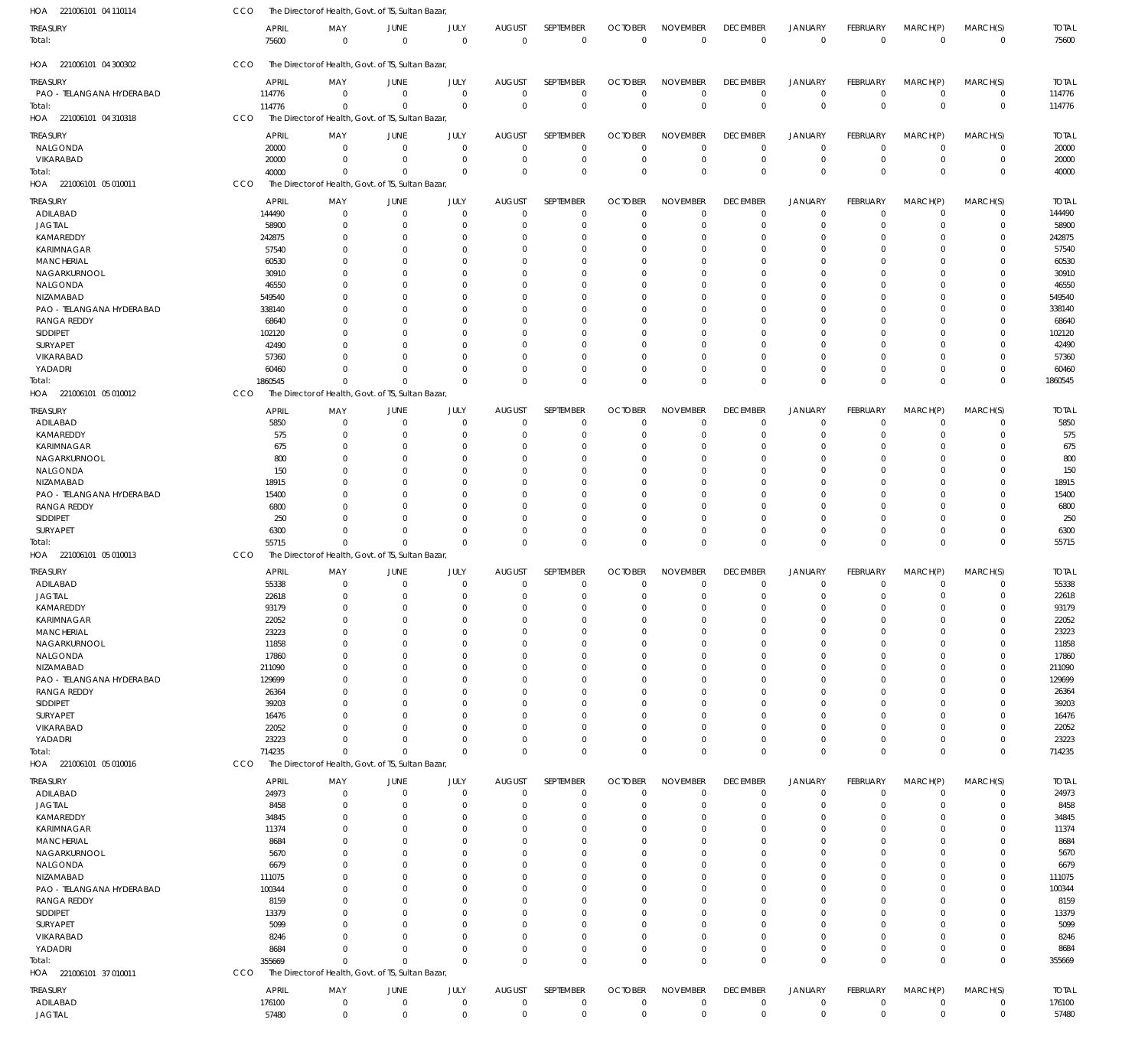| HOA 221006101 04 110114     | CCO            | The Director of Health, Govt. of TS, Sultan Bazar, |                      |                            |               |                         |                      |                          |                      |                         |                      |                      |                      |                |
|-----------------------------|----------------|----------------------------------------------------|----------------------|----------------------------|---------------|-------------------------|----------------------|--------------------------|----------------------|-------------------------|----------------------|----------------------|----------------------|----------------|
| <b>TREASURY</b>             | APRIL          | MAY                                                | <b>JUNE</b>          | JULY                       | <b>AUGUST</b> | SEPTEMBER               | <b>OCTOBER</b>       | <b>NOVEMBER</b>          | <b>DECEMBER</b>      | JANUARY                 | FEBRUARY             | MARCH(P)             | MARCH(S)             | <b>TOTAL</b>   |
| Total:                      | 75600          | $\mathbf 0$                                        | $\overline{0}$       | $\mathbf 0$                | $\mathbf 0$   | $\mathbf 0$             | $^{\circ}$           | $\overline{0}$           | $\overline{0}$       | $\overline{0}$          | $\mathbf 0$          | $\mathbf 0$          | $\overline{0}$       | 75600          |
|                             |                |                                                    |                      |                            |               |                         |                      |                          |                      |                         |                      |                      |                      |                |
| HOA 221006101 04 300302     | CCO            | The Director of Health, Govt. of TS, Sultan Bazar, |                      |                            |               |                         |                      |                          |                      |                         |                      |                      |                      |                |
| <b>TREASURY</b>             | <b>APRIL</b>   | MAY                                                | JUNE                 | JULY                       | <b>AUGUST</b> | SEPTEMBER               | <b>OCTOBER</b>       | <b>NOVEMBER</b>          | <b>DECEMBER</b>      | <b>JANUARY</b>          | <b>FEBRUARY</b>      | MARCH(P)             | MARCH(S)             | <b>TOTAL</b>   |
| PAO - TELANGANA HYDERABAD   | 114776         | $\mathbf 0$                                        | $\overline{0}$       | $\mathbf 0$                | $\Omega$      | $\mathbf 0$             | $\Omega$             | $\Omega$                 | $\Omega$             | $\overline{0}$          | $\mathbf 0$          | $\mathbf 0$          | $\mathbf 0$          | 114776         |
| Total:                      | 114776         | $\Omega$                                           | $\Omega$             | $\Omega$                   | $\Omega$      | $\mathbf 0$             | $\mathbf 0$          | $\Omega$                 | $\Omega$             | $\overline{0}$          | $\mathbf{0}$         | $\Omega$             | $\mathbf 0$          | 114776         |
| HOA 221006101 04 310318     | CCO            | The Director of Health, Govt. of TS, Sultan Bazar, |                      |                            |               |                         |                      |                          |                      |                         |                      |                      |                      |                |
| <b>TREASURY</b>             | <b>APRIL</b>   | MAY                                                | JUNE                 | JULY                       | <b>AUGUST</b> | SEPTEMBER               | <b>OCTOBER</b>       | <b>NOVEMBER</b>          | <b>DECEMBER</b>      | <b>JANUARY</b>          | <b>FEBRUARY</b>      | MARCH(P)             | MARCH(S)             | <b>TOTAL</b>   |
| NALGONDA                    | 20000          | $\mathbf 0$                                        | 0                    | $\mathbf 0$                | $\Omega$      | 0                       | $\overline{0}$       | $\Omega$                 | $\Omega$             | $\mathbf 0$             | $\overline{0}$       | $\Omega$             | $\mathbf 0$          | 20000          |
| VIKARABAD                   | 20000          | $\mathbf 0$                                        | $\mathbf 0$          | $\mathbf 0$                | 0             | 0                       | $\Omega$             | $\Omega$                 | $\Omega$             | $\mathbf 0$             | $\Omega$             | $\Omega$             | $\pmb{0}$            | 20000          |
| Total:                      | 40000          | $\mathbf 0$                                        | 0                    | $\mathbf 0$                | $\Omega$      | $\mathbf 0$             | $\Omega$             | $\Omega$                 | $\Omega$             | $\mathbf 0$             | $\overline{0}$       | $\Omega$             | $\mathbf 0$          | 40000          |
| HOA 221006101 05 010011     | CCO            | The Director of Health, Govt. of TS, Sultan Bazar  |                      |                            |               |                         |                      |                          |                      |                         |                      |                      |                      |                |
| TREASURY                    | <b>APRIL</b>   | MAY                                                | JUNE                 | JULY                       | <b>AUGUST</b> | SEPTEMBER               | <b>OCTOBER</b>       | <b>NOVEMBER</b>          | <b>DECEMBER</b>      | <b>JANUARY</b>          | <b>FEBRUARY</b>      | MARCH(P)             | MARCH(S)             | <b>TOTAL</b>   |
| ADILABAD                    | 144490         | $\mathbf 0$                                        | $\mathbf 0$          | $\mathbf 0$                | $\Omega$      | $\mathbf 0$             | $\Omega$             | $\Omega$                 | $\Omega$             | $\Omega$                | $\Omega$             | $\Omega$             | $\mathbf 0$          | 144490         |
| <b>JAGTIAL</b>              | 58900          | $\Omega$                                           | 0                    | $\Omega$                   | n             | $\Omega$                | $\Omega$             | $\Omega$                 | $\Omega$             | $\Omega$                | $\Omega$             | $\Omega$             | $\Omega$             | 58900          |
| KAMAREDDY                   | 242875         | $\Omega$                                           | $\Omega$             | $\Omega$                   | -0            | $\Omega$                | $\Omega$             | $\Omega$                 | $\Omega$             | $\Omega$                | $\Omega$             | $\Omega$             | $\Omega$             | 242875         |
| <b>KARIMNAGAR</b>           | 57540          | $\Omega$                                           | $\Omega$             | $\Omega$                   | n             | $\Omega$                | $\Omega$             | $\Omega$                 | $\Omega$             | $\Omega$                | $\Omega$             | $\Omega$             | $\Omega$             | 57540          |
| <b>MANCHERIAL</b>           | 60530          | n                                                  | $\Omega$             | $\Omega$                   | -0            | $\Omega$                | $\Omega$             | $\Omega$                 |                      | $\Omega$                |                      | $\Omega$             | $\Omega$             | 60530          |
| NAGARKURNOOL                | 30910          | $\Omega$                                           | $\Omega$             | $\Omega$                   | n             | $\Omega$                | $\Omega$             | $\Omega$                 | $\Omega$             | $\Omega$                | $\Omega$             | $\Omega$             | $\Omega$             | 30910          |
| NALGONDA                    | 46550          | $\Omega$                                           | $\Omega$             | $\Omega$                   | n             | $\Omega$                | $\Omega$             | $\Omega$                 |                      | $\Omega$                | $\Omega$             | $\Omega$             | $\Omega$             | 46550          |
| NIZAMABAD                   | 549540         | $\Omega$                                           | $\Omega$             | $\Omega$                   | n             | $\Omega$                | $\Omega$             | $\Omega$                 |                      | $\Omega$                | $\Omega$             | $\Omega$             | $\Omega$             | 549540         |
| PAO - TELANGANA HYDERABAD   | 338140         | $\Omega$                                           | $\Omega$             | $\Omega$                   | -0            | $\Omega$                | $\Omega$             | $\Omega$                 |                      | $\Omega$                | <sup>0</sup>         | $\Omega$             | $\Omega$             | 338140         |
| RANGA REDDY                 | 68640          | $\Omega$                                           | $\Omega$             | $\Omega$                   | n             | $\Omega$                | $\Omega$             | $\Omega$                 | $\Omega$             | $\Omega$                | $\Omega$             | $\Omega$             | $\Omega$             | 68640          |
| SIDDIPET                    | 102120         | n                                                  | $\Omega$             | $\Omega$                   | -0            | $\Omega$                | $\Omega$             | $\Omega$                 |                      | $\Omega$                |                      | $\Omega$             | $\Omega$             | 102120         |
| SURYAPET                    | 42490          | $\Omega$                                           | $\Omega$             | $\Omega$                   | n             | $\Omega$                | $\Omega$             | $\Omega$                 | $\Omega$             | $\Omega$                | $\Omega$             | $\Omega$             | $\Omega$             | 42490          |
| VIKARABAD                   | 57360          | $\Omega$                                           | $\Omega$             | $\Omega$                   | n             | $\Omega$                | $\Omega$             | $\Omega$                 | $\Omega$             | $\Omega$                | $\Omega$             | $\Omega$             | $\Omega$             | 57360          |
| YADADRI                     | 60460          | $\Omega$                                           | $\Omega$             | $\Omega$                   | $\Omega$      | $\Omega$                | $\Omega$             | $\Omega$                 | $\Omega$             | $\Omega$                | $\Omega$             | $\Omega$             | $\Omega$             | 60460          |
| Total:                      | 1860545        | $\mathbf 0$                                        | $\Omega$             | $\Omega$                   | $\Omega$      | $\Omega$                | $\Omega$             | $\Omega$                 | $\Omega$             | $\mathbf 0$             | $\Omega$             | $\Omega$             | $\Omega$             | 1860545        |
| HOA 221006101 05 010012     | CCO            | The Director of Health, Govt. of TS, Sultan Bazar, |                      |                            |               |                         |                      |                          |                      |                         |                      |                      |                      |                |
| TREASURY                    | <b>APRIL</b>   | MAY                                                | JUNE                 | JULY                       | <b>AUGUST</b> | SEPTEMBER               | <b>OCTOBER</b>       | <b>NOVEMBER</b>          | <b>DECEMBER</b>      | <b>JANUARY</b>          | <b>FEBRUARY</b>      | MARCH(P)             | MARCH(S)             | <b>TOTAL</b>   |
| ADILABAD                    | 5850           | 0                                                  | 0                    | $\mathbf 0$                | $\Omega$      | $\mathbf 0$             | $\Omega$             | $\Omega$                 | $\Omega$             | $\mathbf 0$             | $\Omega$             | $\Omega$             | 0                    | 5850           |
| KAMAREDDY                   |                | 575<br>$\mathbf 0$                                 | 0                    | $\mathbf 0$                | n             | $\mathbf 0$             | $\Omega$             | $\Omega$                 | $\Omega$             | $\Omega$                | $\Omega$             | $\Omega$             | $\mathbf 0$          | 575            |
| <b>KARIMNAGAR</b>           |                | 675<br>$\mathbf 0$                                 | $\Omega$             | $\Omega$                   | n             | $\mathbf 0$             | -C                   | $\Omega$                 | $\Omega$             | $\Omega$                | $\Omega$             | $\Omega$             | 0                    | 675            |
| NAGARKURNOOL                |                | 800<br>$\Omega$                                    | 0                    | $\Omega$                   | n             | $\Omega$                | $\Omega$             | $\Omega$                 |                      | $\Omega$                | $\Omega$             | $\Omega$             | $\Omega$             | 800            |
| NALGONDA<br>NIZAMABAD       | 18915          | 150<br>$\Omega$<br>$\Omega$                        | 0<br>$\Omega$        | $\Omega$<br>$\Omega$       | n<br>n        | $\Omega$<br>$\Omega$    | -C<br>-C             | $\Omega$<br>$\Omega$     |                      | $\Omega$<br>$\Omega$    | $\Omega$<br>$\Omega$ | $\Omega$<br>$\Omega$ | $\Omega$<br>$\Omega$ | 150<br>18915   |
| PAO - TELANGANA HYDERABAD   | 15400          | $\Omega$                                           | $\Omega$             | $\Omega$                   | n             | $\Omega$                | $\Omega$             | $\Omega$                 | $\Omega$             | $\Omega$                | $\Omega$             | $\Omega$             | $\Omega$             | 15400          |
| RANGA REDDY                 | 6800           | $\Omega$                                           | $\Omega$             | $\Omega$                   | n             | $\Omega$                | $\Omega$             | $\Omega$                 |                      | $\Omega$                | $\Omega$             | $\Omega$             | $\Omega$             | 6800           |
| <b>SIDDIPET</b>             |                | 250<br>$\Omega$                                    | $\Omega$             | $\Omega$                   | n             | $\Omega$                | -C                   | $\Omega$                 | $\Omega$             | $\Omega$                | $\Omega$             | $\Omega$             | 0                    | 250            |
| SURYAPET                    | 6300           | $\Omega$                                           | $\Omega$             | $\Omega$                   | $\Omega$      | $\mathbf{0}$            | $\Omega$             | $\Omega$                 | $\Omega$             | $\mathbf 0$             | $\Omega$             | $\Omega$             | 0                    | 6300           |
| Total:                      | 55715          | $\Omega$                                           | $\Omega$             | $\Omega$                   | $\Omega$      | $\mathbf 0$             | $\Omega$             | $\Omega$                 | $\Omega$             | $\Omega$                | $\Omega$             | $\Omega$             | $\mathbf 0$          | 55715          |
| HOA 221006101 05 010013     | CCO            | The Director of Health, Govt. of TS, Sultan Bazar, |                      |                            |               |                         |                      |                          |                      |                         |                      |                      |                      |                |
| <b>TREASURY</b>             | <b>APRIL</b>   | MAY                                                | JUNE                 | JULY                       | <b>AUGUST</b> | SEPTEMBER               | <b>OCTOBER</b>       | <b>NOVEMBER</b>          | <b>DECEMBER</b>      | <b>JANUARY</b>          | FEBRUARY             | MARCH(P)             | MARCH(S)             | <b>TOTAL</b>   |
| ADILABAD                    | 55338          | $\mathbf 0$                                        | $\mathbf 0$          | $\mathbf 0$                | $\Omega$      | $\mathbf 0$             | $\Omega$             | $\Omega$                 | $\Omega$             | $\Omega$                | $\Omega$             | $\mathbf{0}$         | $\Omega$             | 55338          |
| <b>JAGTIAL</b>              | 22618          | $\Omega$                                           | $\Omega$             | $\Omega$                   | $\Omega$      | $\mathbf 0$             | $\Omega$             | $\mathbf 0$              | $\Omega$             | $\Omega$                | $\mathbf{0}$         | $\mathbf 0$          | $\mathbf 0$          | 22618          |
| KAMAREDDY                   | 93179          | 0                                                  | 0                    | $\Omega$                   | $\Omega$      | $\mathbf 0$             | $\mathbf{0}$         | $\Omega$                 | $\Omega$             | $\Omega$                | $\Omega$             | $\Omega$             | $\mathbf 0$          | 93179          |
| <b>KARIMNAGAR</b>           | 22052          | $\Omega$                                           | $\Omega$             | $\Omega$                   | n             | $\mathbf{0}$            | $\Omega$             | $\Omega$                 | $\Omega$             | $\Omega$                | $\Omega$             | $\Omega$             | 0                    | 22052          |
| <b>MANCHERIAL</b>           | 23223          | $\Omega$                                           | $\Omega$             | $\Omega$                   | $\Omega$      | $\mathbf{0}$            | $\Omega$             | $\Omega$                 | $\Omega$             | $\Omega$                | $\Omega$             | $\Omega$             | $\Omega$             | 23223          |
| NAGARKURNOOL                | 11858          | $\Omega$                                           | $\Omega$             | $\Omega$                   | -0            | $\Omega$                | $\Omega$             | $\Omega$                 | $\Omega$             | $\Omega$                | $\Omega$             | $\Omega$             | $\Omega$             | 11858          |
| NALGONDA                    | 17860          | $\Omega$                                           | $\Omega$             | $\Omega$                   | -0            | $\Omega$                | $\Omega$             | $\Omega$                 | $\Omega$             | $\Omega$                | $\Omega$             | $\Omega$             | $\Omega$             | 17860          |
| NIZAMABAD                   | 211090         | $\Omega$                                           | $\Omega$             | $\Omega$                   | -0            | $\Omega$                | $\Omega$             | $\Omega$                 | $\Omega$             | $\Omega$                | <sup>0</sup>         | $\Omega$             | $\Omega$             | 211090         |
| PAO - TELANGANA HYDERABAD   | 129699         | $\Omega$                                           | $\Omega$             | $\Omega$                   | n             | $\Omega$                | $\Omega$             | $\Omega$                 | $\Omega$             | $\Omega$                | $\Omega$             | $\Omega$             | $\Omega$             | 129699         |
| RANGA REDDY                 | 26364          | n                                                  | $\Omega$             | $\Omega$                   | -0            | $\Omega$                | $\Omega$             | $\Omega$                 | $\Omega$             | $\Omega$                | <sup>0</sup>         | $\Omega$             | $\Omega$             | 26364          |
| SIDDIPET                    | 39203          | $\Omega$                                           | $\Omega$             | $\Omega$                   | -0            | $\Omega$                | $\Omega$             | $\Omega$                 | $\Omega$             | $\Omega$                | $\Omega$             | $\Omega$             | $\Omega$             | 39203          |
| SURYAPET                    | 16476          | $\Omega$<br>$\Omega$                               | $\Omega$             | n                          | -0            | $\Omega$                | $\Omega$             | $\Omega$<br>$\Omega$     | $\Omega$             | $\Omega$                |                      | $\Omega$<br>$\Omega$ | $\Omega$             | 16476          |
| VIKARABAD<br>YADADRI        | 22052<br>23223 | $\Omega$                                           | $\Omega$<br>$\Omega$ | $\Omega$<br>$\Omega$       | $\Omega$<br>n | $\Omega$<br>$\mathbf 0$ | $\Omega$<br>$\Omega$ | $\Omega$                 | $\Omega$<br>$\Omega$ | $\Omega$<br>$\Omega$    | $\Omega$<br>$\Omega$ | $\Omega$             | $\Omega$<br>0        | 22052<br>23223 |
| Total:                      | 714235         | $\Omega$                                           | $\Omega$             | $\Omega$                   | $\Omega$      | $\mathbf 0$             | $\Omega$             | $\Omega$                 | $\Omega$             | $\mathbf 0$             | $\Omega$             | $\Omega$             | $\Omega$             | 714235         |
| HOA 221006101 05 010016     | CCO            | The Director of Health, Govt. of TS, Sultan Bazar, |                      |                            |               |                         |                      |                          |                      |                         |                      |                      |                      |                |
|                             |                |                                                    |                      |                            |               |                         |                      |                          |                      |                         |                      |                      |                      |                |
| treasury                    | <b>APRIL</b>   | MAY                                                | JUNE                 | JULY                       | <b>AUGUST</b> | SEPTEMBER               | <b>OCTOBER</b>       | <b>NOVEMBER</b>          | <b>DECEMBER</b>      | <b>JANUARY</b>          | <b>FEBRUARY</b>      | MARCH(P)             | MARCH(S)             | <b>TOTAL</b>   |
| ADILABAD                    | 24973          | 0                                                  | 0                    | $\mathbf 0$                | $\Omega$      | $\mathbf 0$             | $\Omega$             | $\mathbf{0}$             | $\Omega$             | $\mathbf 0$             | $\Omega$             | $\Omega$             | $\mathbf 0$          | 24973          |
| <b>JAGTIAL</b><br>KAMAREDDY | 8458<br>34845  | 0<br>$\mathbf 0$                                   | 0<br>0               | $\mathbf 0$<br>$\mathbf 0$ | 0<br>n        | 0<br>$\mathbf 0$        | $\Omega$<br>$\Omega$ | $\mathbf{0}$<br>$\Omega$ | $\Omega$<br>$\Omega$ | $\mathbf 0$<br>$\Omega$ | $\Omega$<br>$\Omega$ | $\Omega$<br>$\Omega$ | 0<br>0               | 8458           |
| <b>KARIMNAGAR</b>           | 11374          | $\Omega$                                           | $\Omega$             | $\Omega$                   | n             | $\mathbf 0$             | $\Omega$             | $\Omega$                 | $\Omega$             | $\Omega$                | $\Omega$             | $\Omega$             | 0                    | 34845<br>11374 |
| <b>MANCHERIAL</b>           | 8684           | $\Omega$                                           | $\Omega$             | $\Omega$                   | n             | $\mathbf{0}$            | $\Omega$             | $\Omega$                 |                      | $\Omega$                | $\Omega$             | $\Omega$             | $\Omega$             | 8684           |
| NAGARKURNOOL                | 5670           | $\mathbf 0$                                        | $\Omega$             | $\Omega$                   | n             | $\mathbf 0$             | $\Omega$             | $\Omega$                 | $\Omega$             | $\Omega$                | $\Omega$             | $\Omega$             | 0                    | 5670           |
| NALGONDA                    | 6679           | $\Omega$                                           | $\Omega$             | $\Omega$                   | -0            | $\Omega$                | $\Omega$             | $\Omega$                 |                      | $\Omega$                | $\Omega$             | $\Omega$             | $\Omega$             | 6679           |
| NIZAMABAD                   | 111075         | $\Omega$                                           | $\Omega$             | $\Omega$                   | n             | $\mathbf{0}$            | $\Omega$             | $\Omega$                 | $\Omega$             | $\Omega$                | $\Omega$             | $\Omega$             | 0                    | 111075         |
| PAO - TELANGANA HYDERABAD   | 100344         | $\Omega$                                           | $\Omega$             | $\Omega$                   | n             | $\mathbf{0}$            | $\Omega$             | $\Omega$                 |                      | $\Omega$                | $\Omega$             | $\Omega$             | $\Omega$             | 100344         |
| RANGA REDDY                 | 8159           | $\Omega$                                           | $\Omega$             | $\Omega$                   | n             | $\mathbf{0}$            | $\Omega$             | $\Omega$                 | $\Omega$             | $\Omega$                | $\Omega$             | $\Omega$             | 0                    | 8159           |
| SIDDIPET                    | 13379          | $\Omega$                                           | $\Omega$             | $\Omega$                   | n             | $\Omega$                | $\Omega$             | $\Omega$                 |                      | $\Omega$                | $\Omega$             | $\Omega$             | $\Omega$             | 13379          |
| SURYAPET                    | 5099           | $\Omega$                                           | $\Omega$             | $\Omega$                   | n             | $\mathbf{0}$            | $\Omega$             | $\Omega$                 | $\Omega$             | $\Omega$                | $\Omega$             | $\Omega$             | 0                    | 5099           |
| VIKARABAD                   | 8246           | $\Omega$                                           | $\Omega$             | $\Omega$                   | $\Omega$      | $\mathbf{0}$            | $\Omega$             | $\Omega$                 | $\Omega$             | $\Omega$                | $\Omega$             | $\Omega$             | $\Omega$             | 8246           |
| YADADRI                     | 8684           | $\Omega$                                           | $\Omega$             | $\Omega$                   | $\Omega$      | $\mathbf 0$             | $\Omega$             | $\Omega$                 | $\Omega$             | $\mathbf 0$             | $\Omega$             | $\mathbf{0}$         | 0                    | 8684           |
| Total:                      | 355669         | $\mathbf 0$                                        | 0                    | $\mathbf 0$                | $\Omega$      | $\mathbf 0$             | $\Omega$             | $\Omega$                 | $\Omega$             | $\mathbf 0$             | $\Omega$             | $\Omega$             | $\mathbf 0$          | 355669         |
| HOA 221006101 37 010011     | CCO            | The Director of Health, Govt. of TS, Sultan Bazar, |                      |                            |               |                         |                      |                          |                      |                         |                      |                      |                      |                |
| TREASURY                    | <b>APRIL</b>   | MAY                                                | JUNE                 | JULY                       | <b>AUGUST</b> | SEPTEMBER               | <b>OCTOBER</b>       | <b>NOVEMBER</b>          | <b>DECEMBER</b>      | <b>JANUARY</b>          | <b>FEBRUARY</b>      | MARCH(P)             | MARCH(S)             | <b>TOTAL</b>   |
| ADILABAD                    | 176100         | 0                                                  | 0                    | 0                          | 0             | 0                       | $\mathbf 0$          | $\mathbf 0$              | 0                    | $^{\circ}$              | $\mathbf 0$          | $\mathbf 0$          | $\mathbf 0$          | 176100         |
| <b>JAGTIAL</b>              | 57480          | $\mathbf 0$                                        | $\mathbf 0$          | $\mathbf 0$                | $\mathbf{0}$  | $\mathsf 0$             | $\mathbf 0$          | $\mathbf 0$              | $\mathbf 0$          | $\mathbf 0$             | $\mathbf 0$          | $\mathbf 0$          | $\mathbf 0$          | 57480          |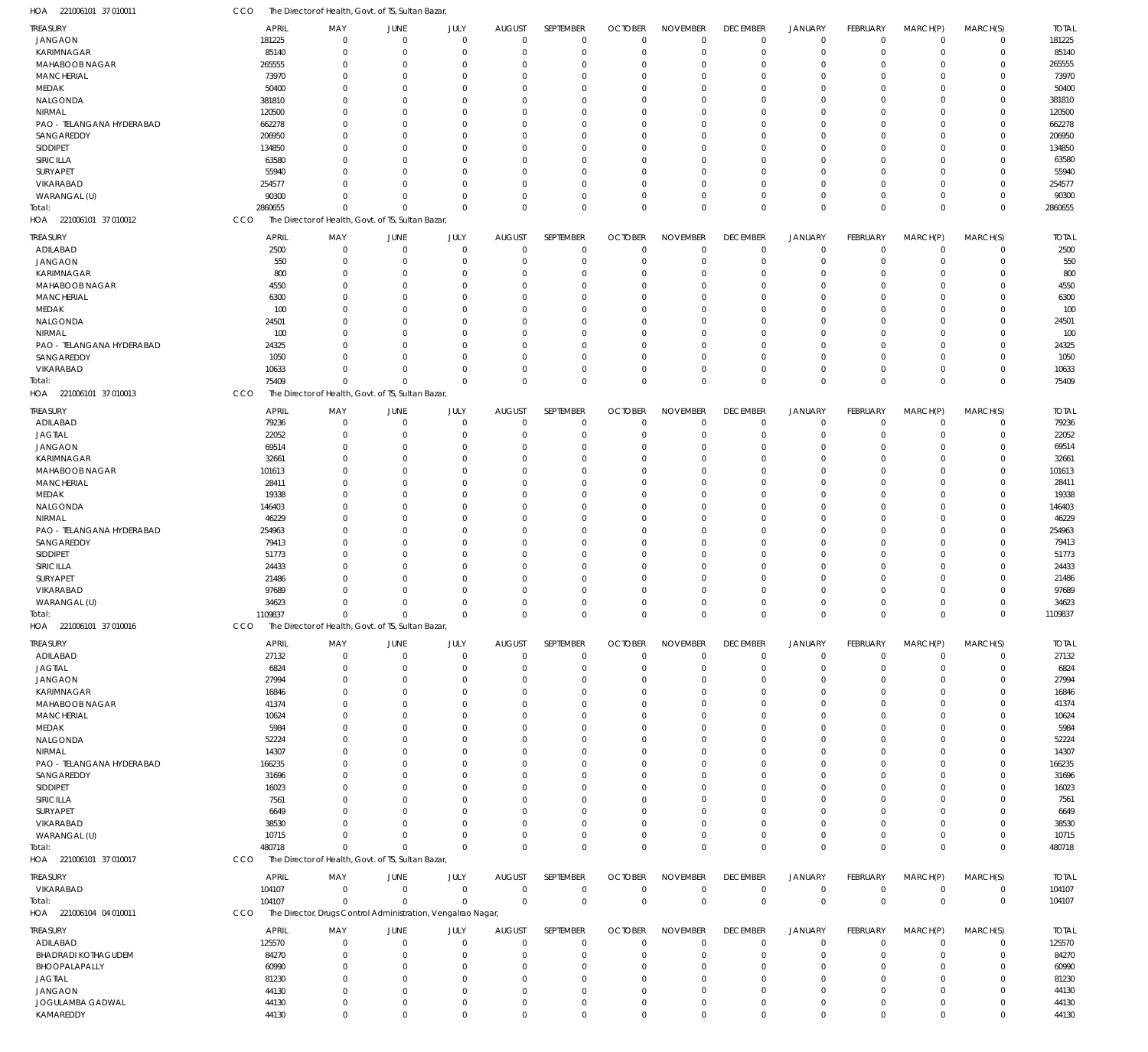| HOA 221006101 37 010011                    | CCO                    | The Director of Health, Govt. of TS, Sultan Bazar,           |                               |                      |                                 |                          |                                  |                                |                                |                                  |                             |                            |                            |                        |
|--------------------------------------------|------------------------|--------------------------------------------------------------|-------------------------------|----------------------|---------------------------------|--------------------------|----------------------------------|--------------------------------|--------------------------------|----------------------------------|-----------------------------|----------------------------|----------------------------|------------------------|
| TREASURY                                   | <b>APRIL</b>           | MAY                                                          | <b>JUNE</b>                   | JULY                 | <b>AUGUST</b>                   | SEPTEMBER                | <b>OCTOBER</b>                   | <b>NOVEMBER</b>                | <b>DECEMBER</b>                | <b>JANUARY</b>                   | <b>FEBRUARY</b>             | MARCH(P)                   | MARCH(S)                   | <b>TOTAL</b>           |
| JANGAON                                    | 181225                 | $\Omega$                                                     | $\mathbf 0$                   | $\mathbf 0$          | $\overline{0}$                  | $\mathbf 0$              | $\mathbf 0$                      | $\mathbf 0$                    | $\mathbf 0$                    | $\mathbf 0$                      | $\Omega$                    | $\overline{0}$             | $\mathbf 0$                | 181225                 |
| <b>KARIMNAGAR</b>                          | 85140                  | $\Omega$                                                     | $\overline{0}$                | $\mathbf{0}$         | $\overline{0}$                  | $\mathbf 0$              | $\mathbf 0$                      | $\mathbf 0$                    | $\mathbf 0$                    | $\mathbf 0$                      | $\Omega$                    | $\overline{0}$             | $\mathbf 0$                | 85140                  |
| MAHABOOB NAGAR<br><b>MANCHERIAL</b>        | 265555<br>73970        | $\Omega$<br>$\Omega$                                         | $\overline{0}$<br>$\Omega$    | $\Omega$<br>$\Omega$ | $\Omega$<br>$\Omega$            | 0<br>$\Omega$            | 0<br>$\mathbf 0$                 | $\mathbf 0$<br>$\mathbf 0$     | 0<br>$\Omega$                  | $\mathbf 0$<br>$\Omega$          | $\Omega$                    | $\Omega$<br>$\Omega$       | $\mathbf 0$<br>$\Omega$    | 265555<br>73970        |
| MEDAK                                      | 50400                  | $\Omega$                                                     | $\Omega$                      | $\Omega$             | $\Omega$                        | $\mathbf 0$              | 0                                | $\mathbf 0$                    | $\Omega$                       | $\Omega$                         |                             | $\Omega$                   | $\mathbf 0$                | 50400                  |
| NALGONDA                                   | 381810                 | $\Omega$                                                     | $\Omega$                      | $\Omega$             | $\Omega$                        | $\Omega$                 | $\Omega$                         | $\mathbf 0$                    | $\Omega$                       | $\Omega$                         |                             | $\Omega$                   | $\Omega$                   | 381810                 |
| NIRMAL                                     | 120500                 | $\Omega$                                                     | $\Omega$                      | $\Omega$             | $\Omega$                        | $\Omega$                 | $\Omega$                         | $\Omega$                       | $\Omega$                       | $\Omega$                         |                             | $\Omega$                   | 0                          | 120500                 |
| PAO - TELANGANA HYDERABAD                  | 662278                 | $\Omega$                                                     | $\Omega$                      | $\Omega$             | $\Omega$                        | $\Omega$                 | $\Omega$                         | $\mathbf 0$                    | $\Omega$                       | $\Omega$                         |                             | $\Omega$                   | $\Omega$                   | 662278                 |
| SANGAREDDY                                 | 206950                 | $\Omega$                                                     | $\Omega$                      | $\Omega$             | $\Omega$                        | $\mathbf 0$              | 0                                | $\Omega$                       | $\Omega$                       | $\Omega$                         |                             | $\Omega$                   | $\mathbf 0$                | 206950                 |
| <b>SIDDIPET</b>                            | 134850                 | $\Omega$                                                     | $\Omega$                      | $\Omega$             | $\Omega$                        | $\Omega$                 | $\Omega$                         | $\Omega$                       | $\Omega$                       | $\Omega$                         | $\cap$                      | $\Omega$                   | $\Omega$                   | 134850                 |
| SIRICILLA                                  | 63580                  | $\Omega$                                                     | $\Omega$                      | $\Omega$             | $\Omega$                        | $\Omega$                 | 0                                | $\mathbf 0$                    | $\Omega$                       | $\Omega$                         |                             | $\Omega$                   | $\mathbf 0$                | 63580                  |
| SURYAPET                                   | 55940                  | $\Omega$                                                     | $\Omega$                      | $\Omega$             | $\Omega$                        | $\Omega$                 | 0                                | $\mathbf 0$                    | $\Omega$                       | $\Omega$                         |                             | $\Omega$                   | $\mathbf 0$                | 55940                  |
| VIKARABAD<br>WARANGAL (U)                  | 254577<br>90300        | $\Omega$                                                     | $\Omega$<br>$\Omega$          | $\Omega$<br>$\Omega$ | $\Omega$<br>$\Omega$            | $\Omega$<br>$\mathbf 0$  | $\Omega$<br>$\mathbf 0$          | $\Omega$<br>$\mathbf 0$        | $\Omega$<br>$\Omega$           | $\Omega$<br>$\mathbf 0$          | $\Omega$                    | $\Omega$<br>$\Omega$       | $\mathbf 0$<br>$\mathbf 0$ | 254577<br>90300        |
| Total:                                     | 2860655                | $\Omega$                                                     | $\Omega$                      | $\Omega$             | $\Omega$                        | $\mathbf 0$              | $\Omega$                         | $\Omega$                       | $\Omega$                       | $\mathbf 0$                      | $\Omega$                    | $\mathbf 0$                | $\mathbf 0$                | 2860655                |
| HOA 221006101 37 010012                    | CCO                    | The Director of Health, Govt. of TS, Sultan Bazar,           |                               |                      |                                 |                          |                                  |                                |                                |                                  |                             |                            |                            |                        |
|                                            |                        |                                                              |                               |                      |                                 |                          |                                  |                                |                                |                                  |                             |                            |                            |                        |
| TREASURY<br>ADILABAD                       | <b>APRIL</b><br>2500   | MAY<br>$\Omega$                                              | <b>JUNE</b><br>$\overline{0}$ | JULY<br>$\mathbf 0$  | <b>AUGUST</b><br>$\overline{0}$ | SEPTEMBER<br>$\mathbf 0$ | <b>OCTOBER</b><br>$\mathbf 0$    | <b>NOVEMBER</b><br>$\mathbf 0$ | <b>DECEMBER</b><br>$\mathbf 0$ | <b>JANUARY</b><br>$\mathbf 0$    | <b>FEBRUARY</b><br>$\Omega$ | MARCH(P)<br>$\overline{0}$ | MARCH(S)<br>$\mathbf 0$    | <b>TOTAL</b><br>2500   |
| JANGAON                                    | 550                    | $\Omega$                                                     | $\overline{0}$                | $\mathbf 0$          | $\Omega$                        | $\mathbf 0$              | $\mathbf 0$                      | $\mathbf 0$                    | $\mathbf 0$                    | $\mathbf 0$                      |                             | $\Omega$                   | $\mathbf 0$                | 550                    |
| KARIMNAGAR                                 | 800                    | $\Omega$                                                     | $\overline{0}$                | 0                    | $\Omega$                        | $\mathbf 0$              | 0                                | $\mathbf 0$                    | 0                              | $\mathbf 0$                      |                             | $\Omega$                   | $\mathbf 0$                | 800                    |
| <b>MAHABOOB NAGAR</b>                      | 4550                   |                                                              | $\Omega$                      | 0                    | $\Omega$                        | $\Omega$                 | 0                                | $\mathbf 0$                    | $\Omega$                       | $\Omega$                         |                             | $\Omega$                   | $\mathbf 0$                | 4550                   |
| <b>MANCHERIAL</b>                          | 6300                   |                                                              | $\Omega$                      | 0                    | $\Omega$                        | $\Omega$                 | 0                                | 0                              | $\Omega$                       | $\Omega$                         |                             | $\Omega$                   | $\mathbf 0$                | 6300                   |
| MEDAK                                      | 100                    |                                                              | $\Omega$                      | 0                    | $\Omega$                        | $\Omega$                 | $\Omega$                         | $\mathbf 0$                    | O                              | $\Omega$                         |                             | $\Omega$                   | $\mathbf 0$                | 100                    |
| NALGONDA                                   | 24501                  |                                                              | $\Omega$                      | 0                    | $\Omega$                        | $\mathbf 0$              | 0                                | 0                              | $\Omega$                       | $\Omega$                         |                             | $\Omega$                   | $\mathbf 0$                | 24501                  |
| NIRMAL                                     | 100                    |                                                              | $\Omega$                      | 0                    | $\Omega$                        | $\Omega$                 | 0                                | 0                              | $\Omega$                       | $\Omega$                         |                             | $\Omega$                   | $\Omega$                   | 100                    |
| PAO - TELANGANA HYDERABAD                  | 24325                  |                                                              | $\Omega$<br>$\Omega$          | 0<br>$\Omega$        | $\Omega$<br>$\Omega$            | $\mathbf 0$<br>$\Omega$  | 0                                | $\mathbf 0$                    | $\Omega$                       | $\Omega$<br>$\Omega$             |                             | $\Omega$<br>$\Omega$       | $\mathbf 0$                | 24325                  |
| SANGAREDDY<br>VIKARABAD                    | 1050<br>10633          | $\Omega$                                                     | $\Omega$                      | $\Omega$             | $\Omega$                        | $\mathbf 0$              | 0<br>0                           | $\mathbf 0$<br>$\mathbf 0$     | $\Omega$<br>$\Omega$           | $\mathbf 0$                      |                             | $\overline{0}$             | $\mathbf 0$<br>$\mathbf 0$ | 1050<br>10633          |
| Total:                                     | 75409                  | $\Omega$                                                     | $\Omega$                      | $\Omega$             | $\Omega$                        | $\mathbf 0$              | $\overline{0}$                   | $\Omega$                       | $\Omega$                       | $\mathbf 0$                      | $\Omega$                    | $\Omega$                   | $\mathbf 0$                | 75409                  |
| HOA 221006101 37 010013                    | CCO                    | The Director of Health, Govt. of TS, Sultan Bazar,           |                               |                      |                                 |                          |                                  |                                |                                |                                  |                             |                            |                            |                        |
|                                            |                        |                                                              |                               |                      |                                 |                          |                                  |                                |                                |                                  |                             |                            |                            |                        |
| TREASURY                                   | <b>APRIL</b><br>79236  | MAY<br>$\Omega$                                              | <b>JUNE</b><br>$\mathbf 0$    | JULY<br>$\mathbf 0$  | <b>AUGUST</b><br>$\overline{0}$ | SEPTEMBER<br>$\mathbf 0$ | <b>OCTOBER</b><br>$\overline{0}$ | <b>NOVEMBER</b><br>$\mathbf 0$ | <b>DECEMBER</b><br>$\mathbf 0$ | <b>JANUARY</b><br>$\mathbf 0$    | FEBRUARY<br>$\Omega$        | MARCH(P)<br>$\Omega$       | MARCH(S)<br>$\mathbf 0$    | <b>TOTAL</b><br>79236  |
| ADILABAD<br><b>JAGTIAL</b>                 | 22052                  | $\Omega$                                                     | $\overline{0}$                | $\mathbf{0}$         | $\overline{0}$                  | $\mathbf 0$              | $\mathbf 0$                      | $\mathbf 0$                    | $\mathbf 0$                    | $\mathbf 0$                      | $\Omega$                    | $\overline{0}$             | $\mathbf 0$                | 22052                  |
| <b>JANGAON</b>                             | 69514                  | $\Omega$                                                     | $\Omega$                      | $\Omega$             | $\Omega$                        | $\mathbf 0$              | $\mathbf 0$                      | $\mathbf 0$                    | $\Omega$                       | $\mathbf 0$                      |                             | $\Omega$                   | $\mathbf 0$                | 69514                  |
| <b>KARIMNAGAR</b>                          | 32661                  | $\Omega$                                                     | $\Omega$                      | $\Omega$             | $\Omega$                        | $\Omega$                 | $\mathbf 0$                      | $\mathbf 0$                    | $\Omega$                       | $\Omega$                         |                             | $\Omega$                   | $\mathbf 0$                | 32661                  |
| MAHABOOB NAGAR                             | 101613                 | $\Omega$                                                     | $\Omega$                      | $\Omega$             | $\Omega$                        | $\mathbf 0$              | 0                                | 0                              | $\Omega$                       | $\mathbf 0$                      |                             | $\Omega$                   | $\mathbf 0$                | 101613                 |
| <b>MANCHERIAL</b>                          | 28411                  | $\Omega$                                                     | $\Omega$                      | $\Omega$             | $\Omega$                        | $\Omega$                 | $\Omega$                         | $\mathbf 0$                    | $\Omega$                       | $\Omega$                         | $\Omega$                    | $\Omega$                   | $\Omega$                   | 28411                  |
| MEDAK                                      | 19338                  | $\Omega$                                                     | $\Omega$                      | $\Omega$             | $\Omega$                        | $\Omega$                 | 0                                | $\mathbf 0$                    | $\Omega$                       | $\Omega$                         |                             | $\Omega$                   | $\mathbf 0$                | 19338                  |
| NALGONDA                                   | 146403                 | $\Omega$                                                     | $\Omega$                      | $\Omega$             | $\Omega$                        | $\Omega$                 | 0                                | $\mathbf 0$                    | $\Omega$                       | $\Omega$                         |                             | $\Omega$                   | $\mathbf 0$                | 146403                 |
| NIRMAL                                     | 46229                  | $\Omega$                                                     | $\Omega$                      | $\Omega$             | $\Omega$                        | $\Omega$                 | 0                                | $\Omega$                       | $\Omega$                       | $\Omega$                         |                             | $\Omega$                   | $\mathbf 0$                | 46229                  |
| PAO - TELANGANA HYDERABAD<br>SANGAREDDY    | 254963<br>79413        | $\Omega$<br>$\Omega$                                         | $\Omega$<br>$\Omega$          | $\Omega$<br>$\Omega$ | $\Omega$<br>$\Omega$            | $\Omega$<br>$\mathbf 0$  | $\Omega$<br>0                    | $\mathbf 0$<br>$\mathbf 0$     | $\Omega$<br>$\Omega$           | $\Omega$<br>$\mathbf 0$          | $\Omega$                    | $\Omega$<br>$\Omega$       | $\mathbf 0$<br>$\mathbf 0$ | 254963<br>79413        |
| <b>SIDDIPET</b>                            | 51773                  | $\Omega$                                                     | $\Omega$                      | $\Omega$             | $\Omega$                        | $\Omega$                 | 0                                | $\mathbf 0$                    | $\Omega$                       | $\Omega$                         |                             | $\Omega$                   | $\Omega$                   | 51773                  |
| SIRICILLA                                  | 24433                  |                                                              | $\Omega$                      | $\Omega$             | $\Omega$                        | $\Omega$                 | $\Omega$                         | $\Omega$                       | $\Omega$                       | $\Omega$                         |                             | $\Omega$                   | $\mathbf 0$                | 24433                  |
| SURYAPET                                   | 21486                  |                                                              | $\Omega$                      | $\Omega$             | $\Omega$                        | $\mathbf 0$              | 0                                | $\Omega$                       | $\Omega$                       | $\Omega$                         |                             | $\Omega$                   | $\mathbf 0$                | 21486                  |
| VIKARABAD                                  | 97689                  | $\Omega$                                                     | $\mathbf{0}$                  | $\Omega$             | $\Omega$                        | $\Omega$                 | $\Omega$                         | $\Omega$                       | $\Omega$                       | $\Omega$                         | $\Omega$                    | $\mathbf 0$                | $\mathbf 0$                | 97689                  |
| WARANGAL (U)                               | 34623                  | $\mathbf 0$                                                  | $\mathbf 0$                   | $\mathbf 0$          | $\overline{0}$                  | $\Omega$                 | $\Omega$                         | $\mathbf 0$                    | $\mathbf 0$                    | $\mathbf 0$                      | $\mathbf 0$                 | $\mathbf 0$                | $\mathbf 0$                | 34623                  |
| Total:                                     | 1109837                | $\mathbf{0}$                                                 | $\Omega$                      | $\overline{0}$       | $\overline{0}$                  | $\mathbf 0$              | $\overline{0}$                   | 0                              | $\mathbf 0$                    | $\mathbf 0$                      | $\Omega$                    | $\mathbf 0$                | $\mathbf{0}$               | 1109837                |
| HOA 221006101 37 010016                    | <b>CCO</b>             | The Director of Health, Govt. of TS, Sultan Bazar,           |                               |                      |                                 |                          |                                  |                                |                                |                                  |                             |                            |                            |                        |
| TREASURY                                   | APRIL                  | MAY                                                          | <b>JUNE</b>                   | JULY                 | <b>AUGUST</b>                   | SEPTEMBER                | <b>OCTOBER</b>                   | <b>NOVEMBER</b>                | <b>DECEMBER</b>                | <b>JANUARY</b>                   | FEBRUARY                    | MARCH(P)                   | MARCH(S)                   | <b>TOTAL</b>           |
| ADILABAD                                   | 27132                  | $\Omega$                                                     | $\overline{0}$                | $\mathbf 0$          | $\overline{0}$                  | $\mathbf 0$              | $\mathbf 0$                      | $\mathbf 0$                    | $\mathbf 0$                    | $\mathbf 0$                      | -0                          | $^{\circ}$                 | $\mathbf 0$                | 27132                  |
| <b>JAGTIAL</b>                             | 6824                   | $\Omega$                                                     | $\Omega$                      | $\Omega$             | $\Omega$                        | $\mathbf 0$              | $\mathbf 0$                      | $\mathbf 0$                    | 0                              | $\mathbf 0$                      |                             | $\Omega$                   | $\mathbf 0$                | 6824                   |
| JANGAON                                    | 27994                  |                                                              | - 0                           | 0                    | $\Omega$                        | 0                        | 0                                | 0                              | $\Omega$                       | 0                                |                             | $\Omega$                   | 0                          | 27994                  |
| KARIMNAGAR                                 | 16846                  |                                                              | - 0                           |                      | $\Omega$                        | 0                        | 0                                | $\mathbf 0$                    | $\Omega$                       | $\Omega$                         |                             | $\Omega$                   | 0                          | 16846                  |
| <b>MAHABOOB NAGAR</b><br><b>MANCHERIAL</b> | 41374<br>10624         |                                                              | - 0<br>$\Omega$               | O                    | $\Omega$<br>$\Omega$            | $\Omega$<br>0            | 0<br>0                           | 0<br>0                         | $\Omega$                       | $\Omega$<br>$\Omega$             |                             | $\Omega$<br>$\Omega$       | 0<br>0                     | 41374<br>10624         |
| MEDAK                                      | 5984                   |                                                              | - 0                           |                      | $\Omega$                        | $\Omega$                 | 0                                | 0                              | 0                              | $\Omega$                         |                             | $\Omega$                   | 0                          | 5984                   |
| NALGONDA                                   | 52224                  |                                                              |                               |                      | $\Omega$                        | 0                        | 0                                | 0                              | 0                              | $\Omega$                         |                             | $\Omega$                   | 0                          | 52224                  |
| NIRMAL                                     | 14307                  |                                                              | - 0                           |                      | $\Omega$                        | 0                        | 0                                | 0                              | 0                              | $\Omega$                         |                             | $\Omega$                   | 0                          | 14307                  |
| PAO - TELANGANA HYDERABAD                  | 166235                 |                                                              |                               |                      | $\Omega$                        | 0                        | 0                                | 0                              | 0                              | $\Omega$                         |                             | $\Omega$                   | 0                          | 166235                 |
| SANGAREDDY                                 | 31696                  |                                                              | $\Omega$                      |                      | $\Omega$                        | 0                        | 0                                | 0                              | $\Omega$                       | $\Omega$                         |                             | $\Omega$                   | $\mathbf 0$                | 31696                  |
| SIDDIPET                                   | 16023                  |                                                              |                               |                      | $\Omega$                        | 0                        | 0                                | 0                              | 0                              | $\Omega$                         |                             | $\Omega$                   | 0                          | 16023                  |
| SIRICILLA                                  | 7561                   |                                                              |                               |                      | $\Omega$                        | 0                        | 0                                | 0                              | 0                              | $\Omega$                         |                             | $\Omega$                   | 0                          | 7561                   |
| SURYAPET<br>VIKARABAD                      | 6649<br>38530          |                                                              | $\Omega$                      | O                    | $\Omega$<br>$\Omega$            | 0<br>$\Omega$            | $\Omega$<br>$\Omega$             | 0<br>0                         | C.<br>$\Omega$                 | $\Omega$<br>$\Omega$             |                             | $\Omega$<br>$\Omega$       | 0<br>0                     | 6649<br>38530          |
| WARANGAL (U)                               | 10715                  |                                                              | - 0                           | 0                    | $\Omega$                        | $\mathbf 0$              | 0                                | 0                              | 0                              | 0                                |                             | $\Omega$                   | $\mathbf 0$                | 10715                  |
| Total:                                     | 480718                 |                                                              | $\Omega$                      | $\Omega$             | $\Omega$                        | $\mathbf 0$              | $\overline{0}$                   | $\mathbf 0$                    | $\Omega$                       | $\mathbf 0$                      | $\Omega$                    | $\Omega$                   | $\mathbf 0$                | 480718                 |
| HOA 221006101 37 010017                    | CCO                    | The Director of Health, Govt. of TS, Sultan Bazar,           |                               |                      |                                 |                          |                                  |                                |                                |                                  |                             |                            |                            |                        |
|                                            |                        |                                                              |                               |                      |                                 |                          |                                  | <b>NOVEMBER</b>                |                                |                                  |                             |                            | MARCH(S)                   |                        |
| treasury<br>VIKARABAD                      | <b>APRIL</b><br>104107 | MAY<br>$\mathbf{0}$                                          | <b>JUNE</b><br>$\mathbf 0$    | JULY<br>$\mathbf{0}$ | <b>AUGUST</b><br>$\overline{0}$ | SEPTEMBER<br>$\mathbf 0$ | <b>OCTOBER</b><br>$\mathbf 0$    | $\mathbf 0$                    | <b>DECEMBER</b><br>$\mathbf 0$ | <b>JANUARY</b><br>$\mathbf 0$    | FEBRUARY<br>$\Omega$        | MARCH(P)<br>$^{\circ}$     | $\mathbf 0$                | <b>TOTAL</b><br>104107 |
| Total:                                     | 104107                 | $\Omega$                                                     | $\overline{0}$                | $\mathbf{0}$         | $\overline{0}$                  | $\mathbf{0}$             | $\overline{0}$                   | $\mathbf 0$                    | $\mathbf 0$                    | $\mathbf 0$                      | $\mathbf{0}$                | $\mathbf 0$                | $\mathbf 0$                | 104107                 |
| HOA 221006104 04 010011                    | CCO                    | The Director, Drugs Control Administration, Vengalrao Nagar, |                               |                      |                                 |                          |                                  |                                |                                |                                  |                             |                            |                            |                        |
|                                            |                        |                                                              |                               |                      |                                 |                          |                                  |                                |                                |                                  |                             |                            |                            |                        |
| TREASURY<br>ADILABAD                       | <b>APRIL</b><br>125570 | MAY<br>$\Omega$                                              | JUNE<br>$\overline{0}$        | JULY<br>0            | <b>AUGUST</b><br>$\mathbf 0$    | SEPTEMBER<br>$\mathbf 0$ | <b>OCTOBER</b><br>$\mathbf 0$    | <b>NOVEMBER</b><br>0           | <b>DECEMBER</b><br>0           | <b>JANUARY</b><br>$\overline{0}$ | FEBRUARY                    | MARCH(P)<br>$^{\circ}$     | MARCH(S)<br>$\mathbf 0$    | <b>TOTAL</b><br>125570 |
| BHADRADI KOTHAGUDEM                        | 84270                  | $\Omega$                                                     | $\Omega$                      | 0                    | $\mathbf 0$                     | $\mathbf 0$              | $\mathbf 0$                      | $\mathbf 0$                    | 0                              | $\mathbf 0$                      |                             | $\Omega$                   | $\mathbf 0$                | 84270                  |
| BHOOPALAPALLY                              | 60990                  |                                                              | - 0                           | 0                    | $\Omega$                        | 0                        | 0                                | 0                              | $\Omega$                       | $\Omega$                         |                             | $\Omega$                   | 0                          | 60990                  |
| <b>JAGTIAL</b>                             | 81230                  |                                                              | - 0                           |                      | $\Omega$                        | $\Omega$                 | 0                                | $\mathbf 0$                    | $\Omega$                       | $\Omega$                         |                             | $\Omega$                   | 0                          | 81230                  |
| JANGAON                                    | 44130                  |                                                              | 0                             | 0                    | 0                               | $\mathbf 0$              | 0                                | $\mathbf 0$                    | 0                              | 0                                |                             | $\overline{0}$             | $\mathbf 0$                | 44130                  |
| JOGULAMBA GADWAL                           | 44130                  | $\Omega$                                                     | $\mathbf 0$                   | 0                    | $\overline{0}$                  | $\mathbf 0$              | 0                                | $\mathbf 0$                    | 0                              | $\mathbf 0$                      | $\Omega$                    | $\mathbf 0$                | $\mathbf 0$                | 44130                  |
| KAMAREDDY                                  | 44130                  | $\mathbf 0$                                                  | $\mathbf 0$                   | $\mathbf 0$          | $\overline{0}$                  | $\mathbf 0$              | $\mathbf 0$                      | $\mathbf 0$                    | $\mathbf 0$                    | $\mathbf 0$                      | $\Omega$                    | $\mathbf 0$                | $\mathbf 0$                | 44130                  |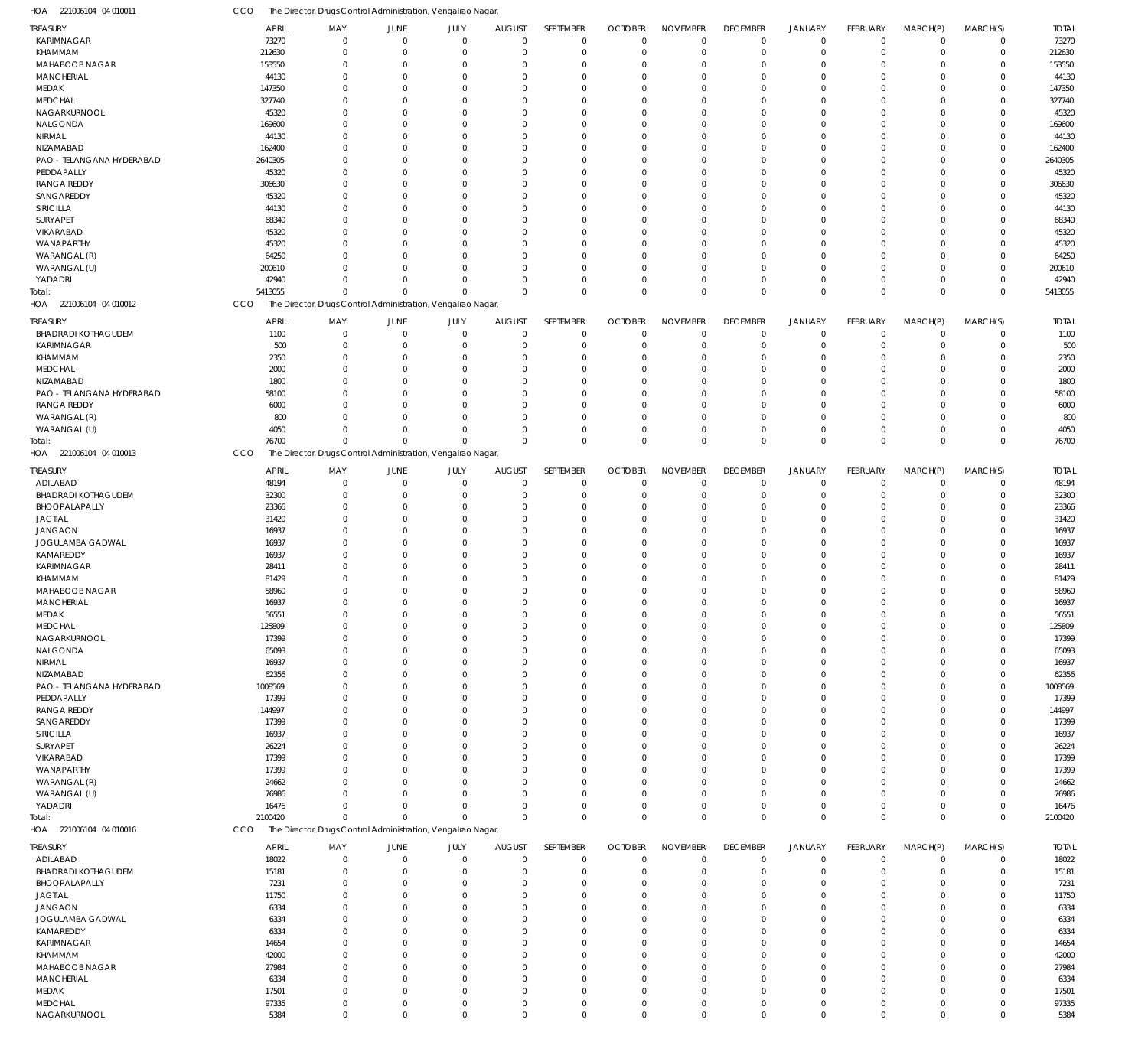| HOA 221006104 04 010011        | CCO             | The Director, Drugs Control Administration, Vengalrao Nagar  |                      |                      |                            |                            |                      |                      |                        |                        |                      |                      |                            |                 |
|--------------------------------|-----------------|--------------------------------------------------------------|----------------------|----------------------|----------------------------|----------------------------|----------------------|----------------------|------------------------|------------------------|----------------------|----------------------|----------------------------|-----------------|
| <b>TREASURY</b>                | <b>APRIL</b>    | MAY                                                          | JUNE                 | JULY                 | <b>AUGUST</b>              | SEPTEMBER                  | <b>OCTOBER</b>       | <b>NOVEMBER</b>      | <b>DECEMBER</b>        | <b>JANUARY</b>         | <b>FEBRUARY</b>      | MARCH(P)             | MARCH(S)                   | <b>TOTAL</b>    |
| KARIMNAGAR                     | 73270           | $\mathbf 0$                                                  | $\overline{0}$       | $\mathbf 0$          | $\mathbf 0$                | $\mathbf 0$                | $\mathbf 0$          | $\Omega$             | $\mathbf 0$            | $\mathbf 0$            | $\mathbf 0$          | $\overline{0}$       | $\mathbf 0$                | 73270           |
| KHAMMAM                        | 212630          | $\mathbf 0$                                                  | $\overline{0}$       | $\mathbf 0$          | $\mathbf 0$                | $\mathbf 0$                | $\overline{0}$       | $\Omega$             | $\mathbf 0$            | $\mathbf 0$            | $\mathbf 0$          | $\overline{0}$       | $\mathbf 0$                | 212630          |
| MAHABOOB NAGAR                 | 153550          | 0                                                            | $\overline{0}$       | $\Omega$             | 0                          | $\mathbf 0$                | $\Omega$             | $\Omega$             | $\mathbf 0$            | $\overline{0}$         | $\Omega$             | $\Omega$             | $\mathbf 0$                | 153550          |
| <b>MANCHERIAL</b>              | 44130           | $\Omega$                                                     | $\Omega$             | $\Omega$             | $\mathbf 0$                | $\mathbf 0$                | $\Omega$             | $\Omega$             | $\Omega$               | $\Omega$               | $\Omega$             | $\Omega$             | $\mathbf 0$                | 44130           |
| MEDAK                          | 147350          | $\Omega$                                                     | $\mathbf 0$          | $\Omega$             | $\mathbf 0$                | $\mathbf 0$                | $\Omega$             | $\Omega$<br>$\Omega$ | $\Omega$               | $\Omega$<br>$\Omega$   | $\Omega$             | $\Omega$             | $\mathbf 0$                | 147350          |
| <b>MEDCHAL</b><br>NAGARKURNOOL | 327740          | $\Omega$<br>$\Omega$                                         | $\Omega$<br>$\Omega$ | $\Omega$<br>$\Omega$ | $\mathbf 0$<br>$\mathbf 0$ | $\mathbf 0$<br>$\mathbf 0$ | $\Omega$<br>$\Omega$ | $\Omega$             | $\Omega$<br>$\Omega$   | $\Omega$               | $\Omega$<br>$\Omega$ | $\Omega$<br>$\Omega$ | $\mathbf 0$<br>$\mathbf 0$ | 327740<br>45320 |
| NALGONDA                       | 45320<br>169600 | $\Omega$                                                     | $\Omega$             | $\Omega$             | $\mathbf 0$                | $\mathbf 0$                | $\Omega$             | $\Omega$             | $\Omega$               | $\Omega$               | $\Omega$             | $\Omega$             | $\mathbf 0$                | 169600          |
| NIRMAL                         | 44130           | $\Omega$                                                     | $\Omega$             | $\Omega$             | $\mathbf 0$                | $\mathbf 0$                | $\Omega$             | $\Omega$             | $\Omega$               | $\Omega$               | $\Omega$             | $\Omega$             | $\mathbf 0$                | 44130           |
| NIZAMABAD                      | 162400          | $\Omega$                                                     | $\Omega$             | $\Omega$             | $\Omega$                   | $\mathbf 0$                | $\Omega$             | $\Omega$             | $\Omega$               | $\Omega$               | $\Omega$             | $\Omega$             | $\Omega$                   | 162400          |
| PAO - TELANGANA HYDERABAD      | 2640305         | $\Omega$                                                     | $\Omega$             | $\Omega$             | $\mathbf 0$                | $\mathbf 0$                | $\Omega$             | $\Omega$             | $\Omega$               | $\Omega$               | $\Omega$             | $\Omega$             | $\mathbf 0$                | 2640305         |
| PEDDAPALLY                     | 45320           | $\Omega$                                                     | $\Omega$             | $\Omega$             | $\mathbf 0$                | $\mathbf 0$                | $\Omega$             | $\Omega$             | $\Omega$               | $\Omega$               | $\Omega$             | $\Omega$             | $\mathbf 0$                | 45320           |
| <b>RANGA REDDY</b>             | 306630          | $\Omega$                                                     | $\Omega$             | $\Omega$             | $\mathbf 0$                | $\mathbf 0$                | $\Omega$             | $\Omega$             | $\Omega$               | $\Omega$               | $\Omega$             | $\Omega$             | $\mathbf 0$                | 306630          |
| SANGAREDDY                     | 45320           | $\Omega$                                                     | $\Omega$             | $\Omega$             | $\mathbf 0$                | $\mathbf 0$                | $\Omega$             | $\Omega$             | $\Omega$               | $\Omega$               | $\Omega$             | $\Omega$             | $\mathbf 0$                | 45320           |
| SIRICILLA                      | 44130           | $\Omega$                                                     | $\Omega$             | $\Omega$             | $\mathbf 0$                | $\mathbf 0$                | $\Omega$             | $\Omega$             | $\Omega$               | $\Omega$               | $\Omega$             | $\Omega$             | $\mathbf 0$                | 44130           |
| SURYAPET                       | 68340           | $\Omega$                                                     | $\Omega$             | $\Omega$             | $\mathbf 0$                | $\mathbf 0$                | $\Omega$             | $\Omega$             | $\Omega$               | $\Omega$               | $\Omega$             | $\Omega$             | $\mathbf 0$                | 68340           |
| VIKARABAD                      | 45320           | $\Omega$                                                     | $\Omega$             | $\Omega$             | $\mathbf 0$                | $\mathbf 0$                | $\Omega$             | $\Omega$             | $\Omega$               | $\Omega$               | $\Omega$             | $\Omega$             | $\mathbf 0$                | 45320           |
| WANAPARTHY                     | 45320           | $\Omega$                                                     | $\Omega$             | $\Omega$             | $\mathbf 0$                | $\mathbf 0$                | $\Omega$             | $\Omega$             | $\Omega$               | $\Omega$               | $\Omega$             | $\Omega$             | $\mathbf 0$                | 45320           |
| WARANGAL (R)                   | 64250           | $\Omega$                                                     | $\Omega$             | $\Omega$             | $\mathbf 0$                | $\mathbf 0$                | $\Omega$             | $\Omega$             | $\Omega$               | $\Omega$               | $\Omega$             | $\Omega$             | $\mathbf 0$                | 64250           |
| WARANGAL (U)                   | 200610          | O                                                            | $\Omega$             | $\Omega$             | $\mathbf 0$                | $\mathbf 0$                | $\Omega$             | $\Omega$             | $\Omega$               | $\Omega$               | $\Omega$             | $\Omega$             | $\mathbf 0$                | 200610          |
| YADADRI                        | 42940           | $\Omega$                                                     | $\Omega$             | $\Omega$             | $\mathbf 0$                | $\mathbf 0$                | $\Omega$             | $\Omega$             | $\mathbf 0$            | $\mathbf 0$            | 0                    | $\mathbf 0$          | $\mathbf 0$                | 42940           |
| Total:                         | 5413055         | $\Omega$                                                     | $\Omega$             | $\Omega$             | $\Omega$                   | $\mathbf 0$                | $\Omega$             | $\Omega$             | $\mathbf 0$            | $\mathbf 0$            | $\Omega$             | $\Omega$             | $\mathbf 0$                | 5413055         |
| HOA 221006104 04 010012        | CCO             | The Director, Drugs Control Administration, Vengalrao Nagar, |                      |                      |                            |                            |                      |                      |                        |                        |                      |                      |                            |                 |
| Treasury                       | <b>APRIL</b>    | MAY                                                          | JUNE                 | JULY                 | <b>AUGUST</b>              | SEPTEMBER                  | <b>OCTOBER</b>       | <b>NOVEMBER</b>      | <b>DECEMBER</b>        | <b>JANUARY</b>         | <b>FEBRUARY</b>      | MARCH(P)             | MARCH(S)                   | <b>TOTAL</b>    |
| <b>BHADRADI KOTHAGUDEM</b>     | 1100            | $\mathbf 0$                                                  | $\overline{0}$       | $\mathbf 0$          | $\mathbf 0$                | $\mathbf 0$                | $^{\circ}$           | $\Omega$             | $\mathbf 0$            | $\mathbf 0$            | $\mathbf 0$          | $\overline{0}$       | $\mathbf 0$                | 1100            |
| KARIMNAGAR                     | 500             | 0                                                            | $\overline{0}$       | $\mathbf 0$          | $\mathbf 0$                | $\mathbf 0$                | 0                    | $\Omega$             | $\mathbf 0$            | $\overline{0}$         | 0                    | $\mathbf 0$          | $\mathbf 0$                | 500             |
| KHAMMAM                        | 2350            | 0                                                            | $\overline{0}$       | $\Omega$             | 0                          | $\mathbf 0$                | $\Omega$             | $\Omega$             | $\Omega$               | $\overline{0}$         | $\Omega$             | $\Omega$             | $\mathbf 0$                | 2350            |
| <b>MEDCHAL</b>                 | 2000            | 0                                                            | $\Omega$             | $\Omega$             | 0                          | $\mathbf 0$                | $\Omega$             | $\Omega$             | $\Omega$               | $\Omega$               | $\Omega$             | $\Omega$             | $\mathbf 0$                | 2000            |
| NIZAMABAD                      | 1800            | $\Omega$                                                     | $\mathbf 0$          | $\Omega$             | 0                          | $\mathbf 0$                | $\Omega$             | $\Omega$             | $\Omega$               | $\Omega$               | $\Omega$             | $\Omega$             | $\mathbf 0$                | 1800            |
| PAO - TELANGANA HYDERABAD      | 58100           | 0                                                            | $\overline{0}$       | $\Omega$             | $\mathbf 0$                | $\mathbf 0$                | $\Omega$             | $\Omega$             | $\Omega$               | $\overline{0}$         | $\Omega$             | $\Omega$             | $\mathbf 0$                | 58100           |
| <b>RANGA REDDY</b>             | 6000            | $\Omega$                                                     | $\Omega$             | $\Omega$             | 0                          | $\mathbf 0$                | $\Omega$             | $\Omega$             | $\Omega$               | $\Omega$               | $\Omega$             | $\Omega$             | $\mathbf 0$                | 6000            |
| WARANGAL (R)                   | 800             | $\Omega$                                                     | $\Omega$             | $\Omega$             | $\mathbf 0$                | $\mathbf 0$                | $\Omega$             | $\Omega$             | $\Omega$               | $\overline{0}$         | $\Omega$             | $\mathbf 0$          | $\mathbf 0$                | 800             |
| WARANGAL (U)                   | 4050            | $\Omega$                                                     | $\Omega$             | $\mathbf 0$          | $\mathbf 0$                | $\mathbf 0$                | $\mathbf 0$          | $\Omega$             | $\mathbf 0$            | $\overline{0}$         | $\mathbf 0$          | $\mathbf 0$          | $\mathbf 0$                | 4050            |
| Total:                         | 76700           | $\Omega$                                                     | $\Omega$             | $\Omega$             | $\Omega$                   | $\mathbf 0$                | $\Omega$             | $\Omega$             | $\mathbf 0$            | $\mathbf{0}$           | $\Omega$             | $\Omega$             | $\mathbf 0$                | 76700           |
| HOA 221006104 04 010013        | CCO             | The Director, Drugs Control Administration, Vengalrao Nagar, |                      |                      |                            |                            |                      |                      |                        |                        |                      |                      |                            |                 |
| <b>TREASURY</b>                | <b>APRIL</b>    | MAY                                                          | JUNE                 | JULY                 | <b>AUGUST</b>              | SEPTEMBER                  | <b>OCTOBER</b>       | <b>NOVEMBER</b>      | <b>DECEMBER</b>        | <b>JANUARY</b>         | FEBRUARY             | MARCH(P)             | MARCH(S)                   | <b>TOTAL</b>    |
| ADILABAD                       | 48194           | $\mathbf 0$                                                  | $\overline{0}$       | $\mathbf 0$          | $\mathbf 0$                | $\mathbf 0$                | $^{\circ}$           | $\Omega$             | $\mathbf 0$            | $\mathbf 0$            | $\mathbf 0$          | $\mathbf 0$          | $\mathbf 0$                | 48194           |
| <b>BHADRADI KOTHAGUDEM</b>     | 32300           | 0                                                            | $\overline{0}$       | $\mathbf 0$          | $\mathbf 0$                | $\mathbf 0$                | $^{\circ}$           | $\Omega$             | $\mathbf 0$            | $\mathbf 0$            | $\mathbf 0$          | $\Omega$             | $\mathbf 0$                | 32300           |
| BHOOPALAPALLY                  | 23366           | $\Omega$                                                     | $^{\circ}$           | $\Omega$             | $\mathbf 0$                | $\mathbf 0$                | $\Omega$             | $\Omega$             | $\mathbf 0$            | $^{\circ}$             | $\Omega$             | $\Omega$             | $\mathbf 0$                | 23366           |
| <b>JAGTIAL</b>                 | 31420           | $\Omega$                                                     | $\Omega$             | $\Omega$             | $\mathbf 0$                | $\mathbf 0$                | $\Omega$             | $\Omega$             | $\Omega$               | $\Omega$               | $\Omega$             | $\Omega$             | $\mathbf 0$                | 31420           |
| <b>JANGAON</b>                 | 16937           | $\Omega$                                                     | $\Omega$             | $\Omega$             | $\mathbf 0$                | $\mathbf 0$                | $\Omega$             | $\Omega$             | $\Omega$               | $\Omega$               | $\Omega$             | $\Omega$             | $\mathbf 0$                | 16937           |
| JOGULAMBA GADWAL               | 16937           | $\Omega$                                                     | $\mathbf 0$          | $\Omega$             | $\mathbf 0$                | $\mathbf 0$                | $\Omega$             | $\Omega$             | $\mathbf 0$            | $^{\circ}$             | $\Omega$             | $\Omega$             | $\mathbf 0$                | 16937           |
| KAMAREDDY                      | 16937           | $\Omega$                                                     | $\Omega$             | $\Omega$             | $\mathbf 0$                | $\mathbf 0$                | $\Omega$             | $\Omega$             | $\Omega$               | $\Omega$               | $\Omega$             | $\Omega$             | $\mathbf 0$                | 16937           |
| KARIMNAGAR                     | 28411           | U                                                            | $\Omega$             | $\Omega$             | $\mathbf 0$                | $\mathbf 0$                | $\Omega$             | $\Omega$             | $\Omega$               | $\Omega$               | $\Omega$             | $\Omega$             | $\mathbf 0$                | 28411           |
| KHAMMAM                        | 81429           | O                                                            | $\Omega$             | $\Omega$             | $\mathbf 0$                | $\mathbf 0$                | $\Omega$             | $\Omega$             | $\Omega$               | $\Omega$               | $\Omega$             | $\mathbf 0$          | $\mathbf 0$                | 81429           |
| MAHABOOB NAGAR                 | 58960           | $\Omega$                                                     | $\Omega$             | $\Omega$             | $\mathbf 0$                | $\mathbf 0$                | $\Omega$             | $\Omega$             | $\mathbf{0}$           | $\mathbf 0$            | $\Omega$             | $\Omega$             | $\mathbf 0$                | 58960           |
| <b>MANCHERIAL</b>              | 16937           | $\mathbf 0$                                                  | $\Omega$             | $\mathbf 0$          | $\mathbf 0$                | $\Omega$                   | $\Omega$             | $\mathbf 0$          | $\mathbf 0$            | $\mathbf 0$            | $\mathbf 0$          | $\mathbf 0$          | $\mathbf 0$                | 16937           |
| MEDAK                          | 56551           | 0                                                            | $\overline{0}$       | $\Omega$             | $\mathbf 0$                | $\mathbf 0$                | $\overline{0}$       | $\Omega$             | $\mathbf 0$            | $\mathbf 0$            | 0                    | $\mathbf 0$          | $\mathbf 0$                | 56551           |
| <b>MEDCHAL</b>                 | 125809          | $\mathbf 0$                                                  | $\overline{0}$       | $\mathbf 0$          | $\mathbf 0$                | $\mathbf 0$                | $^{\circ}$           | $\Omega$             | $\mathbf 0$            | $\mathbf 0$            | $\mathbf 0$          | $\mathbf 0$          | $\mathbf 0$                | 125809          |
| NAGARKURNOOL                   | 17399           | 0                                                            | $\mathbf 0$          | $\Omega$             | 0                          | $\mathbf 0$                | $\Omega$             | $\Omega$             | $\mathbf 0$            | $\overline{0}$         | $\Omega$             | $\Omega$             | $\mathbf 0$                | 17399           |
| NALGONDA                       | 65093           | $\Omega$                                                     | $\Omega$             | $\Omega$             | $\mathbf 0$                | $\mathbf 0$                | $\Omega$             | $\Omega$             | $\Omega$               | $\Omega$               | $\Omega$             | $\Omega$             | $\mathbf 0$                | 65093           |
| NIRMAL<br>NIZAMABAD            | 16937<br>62356  | 0<br>$\Omega$                                                | $\Omega$<br>$\Omega$ | $\Omega$<br>$\Omega$ | 0<br>$\mathbf 0$           | $\mathbf 0$<br>$\mathbf 0$ | $\Omega$<br>$\Omega$ | $\Omega$<br>$\Omega$ | $^{\circ}$<br>$\Omega$ | $^{\circ}$<br>$\Omega$ | $\Omega$<br>$\Omega$ | $\Omega$<br>$\Omega$ | $\mathbf 0$<br>$\mathbf 0$ | 16937<br>62356  |
| PAO - TELANGANA HYDERABAD      | 1008569         | 0                                                            | $\Omega$             | $\Omega$             | 0                          | $\mathbf 0$                | $\Omega$             | $\Omega$             | $\Omega$               | $\Omega$               | $\Omega$             | $\Omega$             | $\mathbf 0$                | 1008569         |
| PEDDAPALLY                     | 17399           | $\Omega$                                                     | $\Omega$             | $\Omega$             | $\mathbf 0$                | $\mathbf 0$                | $\Omega$             | $\Omega$             | $\Omega$               | $\Omega$               | $\Omega$             | $\Omega$             | $\mathbf 0$                | 17399           |
| <b>RANGA REDDY</b>             | 144997          | $\Omega$                                                     | $\Omega$             | $\Omega$             | $\mathbf 0$                | $\mathbf 0$                | $\Omega$             | $\Omega$             | $\Omega$               | $\Omega$               | $\Omega$             | $\Omega$             | $\mathbf 0$                | 144997          |
| SANGAREDDY                     | 17399           | $\Omega$                                                     | $\Omega$             | $\Omega$             | $\mathbf 0$                | $\mathbf 0$                | $\Omega$             | $\Omega$             | $\Omega$               | $\Omega$               | $\Omega$             | $\Omega$             | $\mathbf 0$                | 17399           |
| SIRICILLA                      | 16937           | 0                                                            | $\Omega$             | $\Omega$             | 0                          | $\mathbf 0$                | $\Omega$             | $\Omega$             | $\Omega$               | $\overline{0}$         | $\Omega$             | $\Omega$             | $\mathbf 0$                | 16937           |
| SURYAPET                       | 26224           | $\Omega$                                                     | $\Omega$             | $\Omega$             | $\mathbf 0$                | $\mathbf 0$                | $\Omega$             | $\Omega$             | $\Omega$               | $\Omega$               | $\Omega$             | $\Omega$             | $\mathbf 0$                | 26224           |
| VIKARABAD                      | 17399           | 0                                                            | $\Omega$             | $\Omega$             | $\mathbf 0$                | $\mathbf 0$                | $\Omega$             | $\Omega$             | $^{\circ}$             | $\Omega$               | $\Omega$             | $\Omega$             | $\mathbf 0$                | 17399           |
| WANAPARTHY                     | 17399           | $\Omega$                                                     | $\Omega$             | $\Omega$             | $\mathbf 0$                | $\mathbf 0$                | $\Omega$             | $\Omega$             | $\Omega$               | $\Omega$               | $\Omega$             | $\Omega$             | $\mathbf 0$                | 17399           |
| WARANGAL (R)                   | 24662           | $\Omega$                                                     | $\Omega$             | $\Omega$             | 0                          | $\mathbf 0$                | $\Omega$             | $\Omega$             | $\Omega$               | $\Omega$               | $\Omega$             | $\Omega$             | $\mathbf 0$                | 24662           |
| WARANGAL (U)                   | 76986           | $\Omega$                                                     | $\Omega$             | $\Omega$             | $\mathbf 0$                | $\mathbf 0$                | $\Omega$             | $\Omega$             | $\Omega$               | $\Omega$               | $\Omega$             | $\Omega$             | $\mathbf 0$                | 76986           |
| YADADRI                        | 16476           | 0                                                            | $\overline{0}$       | $\mathbf 0$          | $\mathbf 0$                | $\mathbf 0$                | 0                    | $\mathbf 0$          | $\mathbf 0$            | $\mathbf 0$            | 0                    | $\mathbf 0$          | $\pmb{0}$                  | 16476           |
| Total:                         | 2100420         | $\Omega$                                                     | $\Omega$             | $\Omega$             | $\mathbf 0$                | $\mathbf 0$                | $\Omega$             | $\mathbf 0$          | $\mathbf 0$            | $\mathbf 0$            | $\Omega$             | $\Omega$             | $\mathbf 0$                | 2100420         |
| HOA 221006104 04 010016        | CCO             | The Director, Drugs Control Administration, Vengalrao Nagar, |                      |                      |                            |                            |                      |                      |                        |                        |                      |                      |                            |                 |
| <b>TREASURY</b>                | <b>APRIL</b>    | MAY                                                          | JUNE                 | JULY                 | <b>AUGUST</b>              | SEPTEMBER                  | <b>OCTOBER</b>       | <b>NOVEMBER</b>      | <b>DECEMBER</b>        | <b>JANUARY</b>         | FEBRUARY             | MARCH(P)             | MARCH(S)                   | <b>TOTAL</b>    |
| ADILABAD                       | 18022           | $\mathbf 0$                                                  | $\overline{0}$       | $\mathbf 0$          | $\mathbf 0$                | $\mathbf 0$                | $\overline{0}$       | $\Omega$             | $\mathbf 0$            | $\mathbf 0$            | $\mathbf 0$          | $\overline{0}$       | $\mathbf 0$                | 18022           |
| <b>BHADRADI KOTHAGUDEM</b>     | 15181           | 0                                                            | $\overline{0}$       | $\mathbf 0$          | 0                          | $\mathbf 0$                | - 0                  | $\Omega$             | $^{\circ}$             | $\overline{0}$         | 0                    | $\mathbf 0$          | $\mathbf 0$                | 15181           |
| BHOOPALAPALLY                  | 7231            | 0                                                            | $\overline{0}$       | $\Omega$             | 0                          | $\mathbf 0$                | $\Omega$             | $\Omega$             | $\Omega$               | $\overline{0}$         | $\Omega$             | $\Omega$             | $\mathbf 0$                | 7231            |
| <b>JAGTIAL</b>                 | 11750           | 0                                                            | $\Omega$             | $\Omega$             | 0                          | $\mathbf 0$                | $\Omega$             | $\Omega$             | $\Omega$               | $\Omega$               | $\Omega$             | $\Omega$             | $\mathbf 0$                | 11750           |
| <b>JANGAON</b>                 | 6334            | 0                                                            | $\mathbf 0$          | $\Omega$             | 0                          | $\mathbf 0$                | $\Omega$             | $\Omega$             | $\Omega$               | $\Omega$               | $\Omega$             | $\Omega$             | $\mathbf 0$                | 6334            |
| JOGULAMBA GADWAL               | 6334            | 0                                                            | $\mathbf 0$          | $\Omega$             | 0                          | $\mathbf 0$                | $\Omega$             | $\Omega$             | $\Omega$               | $\overline{0}$         | $\Omega$             | $\Omega$             | $\mathbf 0$                | 6334            |
| KAMAREDDY                      | 6334            | $\Omega$                                                     | $\Omega$             | $\Omega$             | 0                          | $\mathbf 0$                | $\Omega$             | $\Omega$             | $\Omega$               | $\Omega$               | $\Omega$             | $\Omega$             | $\mathbf 0$                | 6334            |
| KARIMNAGAR                     | 14654           | 0                                                            | $\Omega$             | $\Omega$             | 0                          | $\mathbf 0$                | $\Omega$             | $\Omega$             | $\Omega$               | $\Omega$               | $\Omega$             | $\Omega$             | $\mathbf 0$                | 14654           |
| KHAMMAM                        | 42000           | 0                                                            | $\mathbf 0$          | $\Omega$             | 0                          | $\mathbf 0$                | $\Omega$             | $\Omega$             | $\Omega$               | $\Omega$               | $\Omega$             | $\Omega$             | $\mathbf 0$                | 42000           |
| MAHABOOB NAGAR                 | 27984           | 0                                                            | $\Omega$             | $\Omega$             | 0                          | $\mathbf 0$                | $\Omega$             | $\Omega$             | $\Omega$               | $\Omega$               | $\Omega$             | $\Omega$             | $\mathbf 0$                | 27984           |
| <b>MANCHERIAL</b>              | 6334            | 0                                                            | $\Omega$             | $\Omega$             | 0                          | $\mathbf 0$                | $\Omega$             | $\Omega$             | $\Omega$               | $\Omega$               | $\Omega$             | $\Omega$             | $\mathbf 0$                | 6334            |
| MEDAK                          | 17501           | 0                                                            | $\mathbf 0$          | $\Omega$             | $\mathbf 0$                | $\mathbf 0$                | 0                    | $\Omega$             | $^{\circ}$             | $\overline{0}$         | $\Omega$             | $\mathbf 0$          | $\mathbf 0$                | 17501           |
| <b>MEDCHAL</b>                 | 97335           | 0                                                            | $\mathbf 0$          | $\mathbf 0$          | $\mathbf 0$                | $\mathbf 0$                | - 0                  | $\Omega$             | $\Omega$               | $\mathbf 0$            | 0                    | $\overline{0}$       | $\mathbf 0$                | 97335           |
| NAGARKURNOOL                   | 5384            | $\mathbf 0$                                                  | $\overline{0}$       | $\mathbf 0$          | $\mathbf 0$                | $\mathbf 0$                | $\mathbf 0$          | $\mathbb O$          | $\mathbf 0$            | $\mathbb O$            | $\mathbf 0$          | $\overline{0}$       | $\mathbf 0$                | 5384            |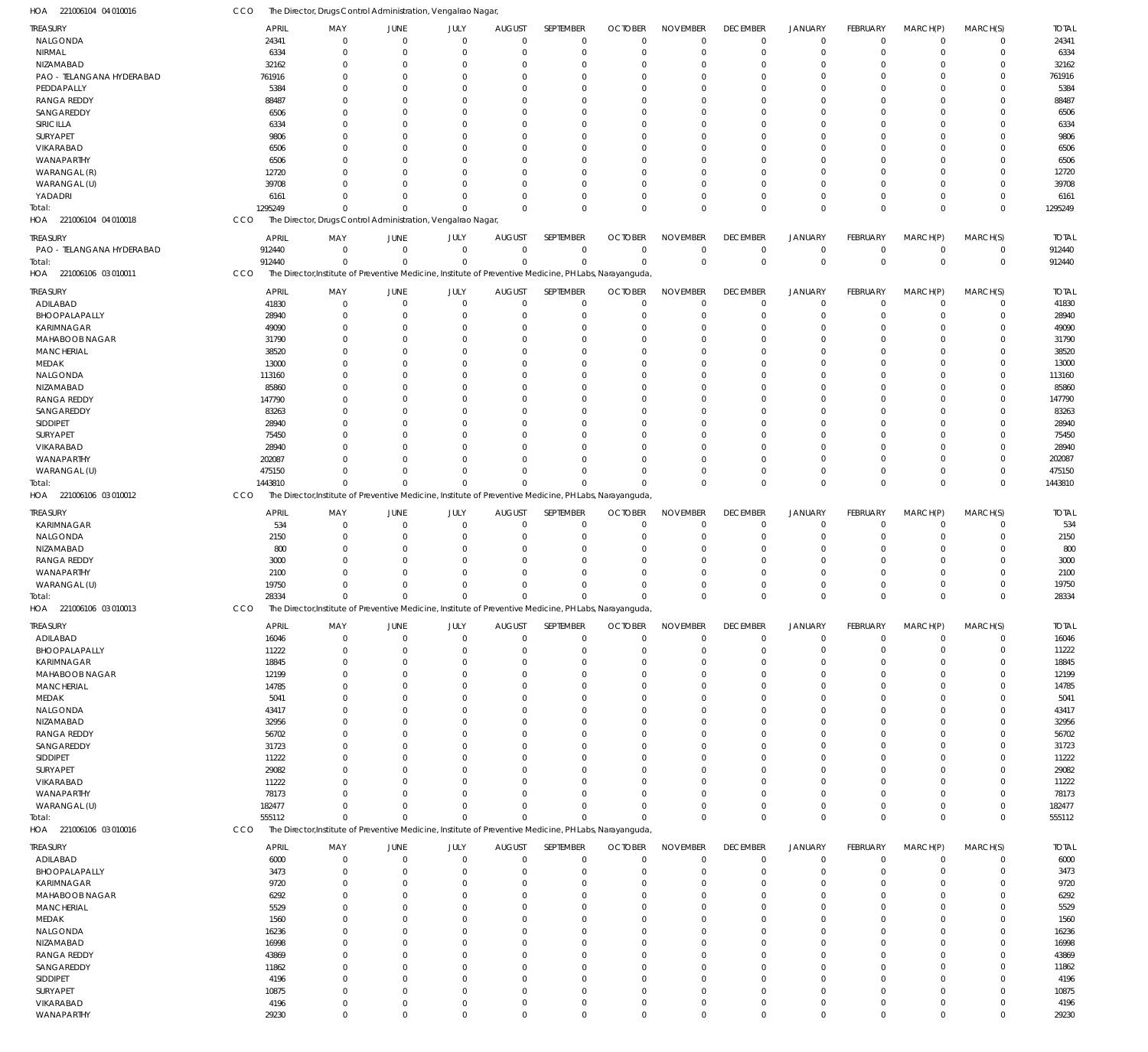| TREASURY                  | <b>APRIL</b>  | MAY                                                          | <b>JUNE</b>             | JULY                       | <b>AUGUST</b>  | SEPTEMBER                  | <b>OCTOBER</b>                                                                                          | <b>NOVEMBER</b> | <b>DECEMBER</b>            | <b>JANUARY</b>              | FEBRUARY         | MARCH(P)                      | MARCH(S)                   | <b>TOTAL</b>  |
|---------------------------|---------------|--------------------------------------------------------------|-------------------------|----------------------------|----------------|----------------------------|---------------------------------------------------------------------------------------------------------|-----------------|----------------------------|-----------------------------|------------------|-------------------------------|----------------------------|---------------|
| NALGONDA                  | 24341         | $\mathbf{0}$                                                 | $\mathbf 0$             | $\mathbf 0$                | $\Omega$       | $\mathbf 0$                | $\mathbf 0$                                                                                             | $\Omega$        | $\mathbf 0$                | $\mathbf 0$                 | $\mathbf 0$      | $^{\circ}$                    | $\mathbf 0$                | 24341         |
| NIRMAL                    | 6334          | 0                                                            | $\Omega$                | $\Omega$                   | 0              | $\Omega$                   | $\Omega$                                                                                                | $\Omega$        | $\Omega$                   | $\overline{0}$              | $\Omega$         | $\Omega$                      | $\mathbf 0$                | 6334          |
| NIZAMABAD                 | 32162         | 0                                                            | $\Omega$                | $\Omega$                   | -0             | $\Omega$                   | $\Omega$                                                                                                | $\Omega$        | $\Omega$                   | $\Omega$                    | $\Omega$         | $\Omega$                      | $\Omega$                   | 32162         |
| PAO - TELANGANA HYDERABAD | 761916        | 0                                                            | $\Omega$                | $\Omega$                   | -0             | $\Omega$                   | $\Omega$                                                                                                | $\Omega$        | $\Omega$                   | $\Omega$                    | $\Omega$         | $\Omega$                      | $\Omega$                   | 761916        |
|                           |               |                                                              |                         |                            |                |                            |                                                                                                         |                 |                            |                             |                  |                               |                            |               |
| PEDDAPALLY                | 5384          | n                                                            | $\Omega$                | $\Omega$                   |                | $\Omega$                   | $\sqrt{ }$                                                                                              | $\Omega$        | $\Omega$                   | $\Omega$                    | U                | $\Omega$                      | $\Omega$                   | 5384          |
| RANGA REDDY               | 88487         | O                                                            | $\Omega$                | $\Omega$                   | -0             | $\Omega$                   | $\Omega$                                                                                                | $\Omega$        | $\Omega$                   | $\Omega$                    | U                | $\Omega$                      | $\Omega$                   | 88487         |
| SANGAREDDY                | 6506          |                                                              | $\Omega$                | $\Omega$                   | -0             | $\Omega$                   | $\sqrt{ }$                                                                                              | $\Omega$        | $\Omega$                   | $\Omega$                    |                  | $\Omega$                      | $\Omega$                   | 6506          |
| SIRICILLA                 | 6334          |                                                              | $\Omega$                | $\Omega$                   | n              | $\Omega$                   | $\sqrt{ }$                                                                                              | $\Omega$        | $\Omega$                   | $\Omega$                    | U                | $\Omega$                      | $\Omega$                   | 6334          |
| SURYAPET                  | 9806          |                                                              | $\Omega$                | $\Omega$                   |                | $\Omega$                   | $\sqrt{ }$                                                                                              | $\Omega$        | $\Omega$                   | $\Omega$                    | U                | $\Omega$                      | $\Omega$                   | 9806          |
| VIKARABAD                 | 6506          | n                                                            | $\Omega$                | $\Omega$                   | n              | $\Omega$                   | $\Omega$                                                                                                | $\Omega$        | $\Omega$                   | $\Omega$                    | $\Omega$         | $\Omega$                      | $\Omega$                   | 6506          |
|                           |               |                                                              |                         |                            |                |                            |                                                                                                         |                 |                            |                             |                  |                               |                            |               |
| WANAPARTHY                | 6506          |                                                              | C                       | $\Omega$                   | n              | $\Omega$                   | $\sqrt{ }$                                                                                              | $\Omega$        | $\Omega$                   | $\Omega$                    | U                | $\Omega$                      | $\Omega$                   | 6506          |
| WARANGAL (R)              | 12720         |                                                              | $\Omega$                | $\Omega$                   | n              | $\Omega$                   | $\sqrt{ }$                                                                                              | $\Omega$        | $\Omega$                   | $\Omega$                    | $\Omega$         | $\Omega$                      | $\Omega$                   | 12720         |
| WARANGAL (U)              | 39708         |                                                              | $\Omega$                | $\Omega$                   | n              | $\Omega$                   | $\Omega$                                                                                                | $\Omega$        | $\Omega$                   | $\Omega$                    | $\Omega$         | $\Omega$                      | $\Omega$                   | 39708         |
| YADADRI                   | 6161          | O                                                            | $\Omega$                | $\Omega$                   | 0              | $\Omega$                   | $\Omega$                                                                                                | $\Omega$        | $\Omega$                   | $\Omega$                    | $\Omega$         | $\Omega$                      | $\mathbf 0$                | 616           |
| Total:                    | 1295249       | $\Omega$                                                     | $\Omega$                | $\Omega$                   | $\Omega$       | $\Omega$                   | $\Omega$                                                                                                | $\Omega$        | $\Omega$                   | $\Omega$                    | $\Omega$         | $\Omega$                      | $\mathbf 0$                | 1295249       |
| HOA 221006104 04 010018   | CCO           | The Director, Drugs Control Administration, Vengalrao Nagar, |                         |                            |                |                            |                                                                                                         |                 |                            |                             |                  |                               |                            |               |
|                           |               |                                                              |                         |                            |                |                            |                                                                                                         |                 |                            |                             |                  |                               |                            |               |
| treasury                  | APRIL         | MAY                                                          | JUNE                    | JULY                       | <b>AUGUST</b>  | SEPTEMBER                  | <b>OCTOBER</b>                                                                                          | <b>NOVEMBER</b> | <b>DECEMBER</b>            | <b>JANUARY</b>              | <b>FEBRUARY</b>  | MARCH(P)                      | MARCH(S)                   | <b>TOTAL</b>  |
| PAO - TELANGANA HYDERABAD | 912440        | $\mathbf{0}$                                                 | $\overline{0}$          | $\mathbf 0$                | $\overline{0}$ | 0                          | $\Omega$                                                                                                | $\Omega$        | $\mathbf 0$                | $\mathbf 0$                 | $\mathbf 0$      | $\overline{0}$                | 0                          | 912440        |
|                           | 912440        | $\Omega$                                                     | $\Omega$                | $\mathbf 0$                | $\Omega$       | $\mathbf 0$                | $\Omega$                                                                                                | $\Omega$        | $\mathbb O$                | $\mathbb O$                 | $\mathbf 0$      | $\Omega$                      | $\mathbf 0$                | 912440        |
| Total:                    |               |                                                              |                         |                            |                |                            |                                                                                                         |                 |                            |                             |                  |                               |                            |               |
| HOA 221006106 03 010011   | CCO           |                                                              |                         |                            |                |                            | The Director, Institute of Preventive Medicine, Institute of Preventive Medicine, PH Labs, Narayanguda, |                 |                            |                             |                  |                               |                            |               |
| TREASURY                  | <b>APRIL</b>  | MAY                                                          | JUNE                    | JULY                       | <b>AUGUST</b>  | SEPTEMBER                  | <b>OCTOBER</b>                                                                                          | <b>NOVEMBER</b> | <b>DECEMBER</b>            | <b>JANUARY</b>              | FEBRUARY         | MARCH(P)                      | MARCH(S)                   | <b>TOTAL</b>  |
|                           |               | $\Omega$                                                     | $\Omega$                | $\Omega$                   | $\Omega$       |                            | $\Omega$                                                                                                | $\Omega$        |                            |                             | $\Omega$         | $\Omega$                      |                            |               |
| ADILABAD                  | 41830         |                                                              |                         |                            |                | $\mathbf 0$                |                                                                                                         |                 | $\mathbf 0$                | $\overline{0}$              |                  |                               | $\mathbf 0$                | 41830         |
| BHOOPALAPALLY             | 28940         | $\Omega$                                                     | $\Omega$                | $\Omega$                   | 0              | $\Omega$                   | $\Omega$                                                                                                | $\Omega$        | $\overline{0}$             | $\Omega$                    | $\Omega$         | $\Omega$                      | $\mathbf 0$                | 28940         |
| KARIMNAGAR                | 49090         | 0                                                            | $\Omega$                | $\Omega$                   | -0             | $\Omega$                   | $\Omega$                                                                                                | $\Omega$        | $\Omega$                   | $\Omega$                    | $\Omega$         | $\Omega$                      | $\Omega$                   | 49090         |
| MAHABOOB NAGAR            | 31790         | O                                                            | $\Omega$                | $\Omega$                   | -0             | $\Omega$                   | $\Omega$                                                                                                | $\Omega$        | $\Omega$                   | $\Omega$                    | $\Omega$         | $\Omega$                      | $\Omega$                   | 31790         |
| <b>MANCHERIAL</b>         | 38520         | O                                                            | $\Omega$                | $\Omega$                   | -0             | $\Omega$                   | $\sqrt{ }$                                                                                              | $\Omega$        | $\Omega$                   | $\Omega$                    |                  | $\Omega$                      | $\Omega$                   | 38520         |
| MEDAK                     | 13000         | O                                                            | $\Omega$                | $\Omega$                   | -0             | $\Omega$                   | $\sqrt{ }$                                                                                              | $\Omega$        | $\Omega$                   | $\Omega$                    | $\Omega$         | $\Omega$                      | $\Omega$                   | 13000         |
|                           |               |                                                              |                         |                            |                |                            |                                                                                                         |                 |                            |                             |                  |                               |                            |               |
| NALGONDA                  | 113160        |                                                              | $\Omega$                | $\Omega$                   | -0             | $\Omega$                   | $\sqrt{ }$                                                                                              | $\Omega$        | $\Omega$                   | $\Omega$                    | U                | $\Omega$                      | $\Omega$                   | 113160        |
| NIZAMABAD                 | 85860         |                                                              | C                       | $\Omega$                   | n              | $\Omega$                   | $\sqrt{ }$                                                                                              | $\Omega$        | $\Omega$                   | $\Omega$                    | U                | $\Omega$                      | $\Omega$                   | 85860         |
| <b>RANGA REDDY</b>        | 147790        |                                                              | 0                       | $\Omega$                   | -0             | $\Omega$                   | $\sqrt{ }$                                                                                              | $\Omega$        | $\Omega$                   | $\Omega$                    | U                | $\Omega$                      | $\Omega$                   | 147790        |
| SANGAREDDY                | 83263         |                                                              | $\Omega$                | $\Omega$                   | n              | $\Omega$                   | $\Omega$                                                                                                | $\Omega$        | $\Omega$                   | $\Omega$                    | $\Omega$         | $\Omega$                      | $\Omega$                   | 83263         |
| SIDDIPET                  | 28940         |                                                              | $\Omega$                | $\Omega$                   |                | $\Omega$                   | $\sqrt{ }$                                                                                              | $\Omega$        | $\Omega$                   | $\Omega$                    | U                | $\Omega$                      | $\Omega$                   | 28940         |
|                           |               |                                                              |                         |                            |                |                            | $\sqrt{ }$                                                                                              | $\Omega$        |                            |                             | $\Omega$         |                               | $\Omega$                   |               |
| SURYAPET                  | 75450         |                                                              | $\Omega$                | $\Omega$                   | -0             | $\Omega$                   |                                                                                                         |                 | $\Omega$                   | $\Omega$                    |                  | $\Omega$                      |                            | 75450         |
| VIKARABAD                 | 28940         |                                                              | $\Omega$                | $\Omega$                   |                | $\Omega$                   | $\sqrt{ }$                                                                                              | $\Omega$        | $\Omega$                   | $\Omega$                    | U                | $\Omega$                      | $\Omega$                   | 28940         |
| WANAPARTHY                | 202087        |                                                              | $\Omega$                | $\Omega$                   | n              | $\Omega$                   | $\Omega$                                                                                                | $\Omega$        | $\Omega$                   | $\Omega$                    | $\Omega$         | $\Omega$                      | $\mathbf 0$                | 202087        |
| WARANGAL (U)              | 475150        | O                                                            | $\Omega$                | $\Omega$                   | n              | $\Omega$                   | $\Omega$                                                                                                | $\Omega$        | $\Omega$                   | $\Omega$                    | $\Omega$         | $\Omega$                      | $\mathbf 0$                | 475150        |
| Total:                    | 1443810       | $\Omega$                                                     | $\sqrt{ }$              | $\Omega$                   |                | $\Omega$                   |                                                                                                         | $\Omega$        | $\Omega$                   | $\mathbf{0}$                | $\Omega$         | $\Omega$                      | $\Omega$                   | 1443810       |
| HOA 221006106 03 010012   | CCO           |                                                              |                         |                            |                |                            | The Director, Institute of Preventive Medicine, Institute of Preventive Medicine, PH Labs, Narayanguda, |                 |                            |                             |                  |                               |                            |               |
|                           |               |                                                              |                         |                            |                |                            |                                                                                                         |                 |                            |                             |                  |                               |                            |               |
| treasury                  | <b>APRIL</b>  | MAY                                                          | JUNE                    | JULY                       | <b>AUGUST</b>  | SEPTEMBER                  | <b>OCTOBER</b>                                                                                          | <b>NOVEMBER</b> | <b>DECEMBER</b>            | <b>JANUARY</b>              | FEBRUARY         | MARCH(P)                      | MARCH(S)                   | <b>TOTAL</b>  |
| KARIMNAGAR                | 534           | $\mathbf{0}$                                                 | $\Omega$                | $\mathbf 0$                | $\Omega$       | $\mathbf 0$                | $\Omega$                                                                                                | $\Omega$        | $\overline{0}$             | $\overline{0}$              | $\mathbf 0$      | $\Omega$                      | $\mathbf 0$                | 534           |
| NALGONDA                  | 2150          | $\mathbf{0}$                                                 | $\mathbf 0$             | $\mathbf 0$                | $\Omega$       | $\mathbf 0$                | $\mathcal{L}$                                                                                           | $\Omega$        | $\overline{0}$             | $\overline{0}$              | 0                | $\mathbf 0$                   | 0                          | 2150          |
|                           |               |                                                              |                         |                            |                |                            |                                                                                                         |                 |                            |                             |                  |                               |                            |               |
| NIZAMABAD                 | 800           | $\Omega$                                                     | $\Omega$                | $\Omega$                   | 0              | $\Omega$                   | $\mathcal{L}$                                                                                           | $\Omega$        | $\Omega$                   | $\Omega$                    | $\Omega$         | $\Omega$                      | $\mathbf 0$                | 800           |
| RANGA REDDY               | 3000          | $\Omega$                                                     | $\Omega$                | $\Omega$                   | 0              | $\Omega$                   | $\sqrt{ }$                                                                                              | $\Omega$        | $\Omega$                   | $\Omega$                    | $\Omega$         | $\Omega$                      | $\mathbf 0$                | 3000          |
| WANAPARTHY                | 2100          | O                                                            | $\Omega$                | $\Omega$                   | $\Omega$       | $\Omega$                   | $\sqrt{ }$                                                                                              | $\Omega$        | $\Omega$                   | $\Omega$                    | $\Omega$         | $\Omega$                      | $\mathbf 0$                | 2100          |
| WARANGAL (U)              | 19750         | $\Omega$                                                     | $\Omega$                | $\Omega$                   | $\Omega$       | $\mathbf 0$                | $\sqrt{ }$                                                                                              | $\Omega$        | $\Omega$                   | $\Omega$                    | $\Omega$         | $\Omega$                      | $\mathbf 0$                | 19750         |
| Total:                    | 28334         | $\Omega$                                                     | $\Omega$                | $\mathbf{0}$               | $\Omega$       | $\Omega$                   | $\Omega$                                                                                                | $\Omega$        | $\Omega$                   | $\Omega$                    | $\Omega$         | $\Omega$                      | $\Omega$                   | 28334         |
| HOA 221006106 03 010013   | CCO           |                                                              |                         |                            |                |                            | The Director, Institute of Preventive Medicine, Institute of Preventive Medicine, PH Labs, Narayanguda, |                 |                            |                             |                  |                               |                            |               |
|                           |               |                                                              |                         |                            |                |                            |                                                                                                         |                 |                            |                             |                  |                               |                            |               |
| TREASURY                  | <b>APRIL</b>  | MAY                                                          | JUNE                    | JULY                       | <b>AUGUST</b>  | SEPTEMBER                  | <b>OCTOBER</b>                                                                                          | <b>NOVEMBER</b> | <b>DECEMBER</b>            | <b>JANUARY</b>              | FEBRUARY         | MARCH(P)                      | MARCH(S)                   | <b>TOTAL</b>  |
| ADILABAD                  | 16046         | $\mathbf 0$                                                  | $\mathbf 0$             | $\mathbf 0$                | $\Omega$       | $\mathbf 0$                | $\Omega$                                                                                                | $\Omega$        | $\mathbf 0$                | $\mathbf 0$                 | $\mathbf 0$      | $\mathbf 0$                   | $\mathbf 0$                | 16046         |
|                           |               |                                                              |                         |                            |                |                            |                                                                                                         |                 |                            |                             |                  |                               |                            |               |
| BHOOPALAPALLY             | 11222         | $\Omega$                                                     | $\Omega$                | $\Omega$                   | 0              | $\Omega$                   | $\Omega$                                                                                                | $\Omega$        | $\mathbf 0$                | $\overline{0}$              | $\Omega$         | $\Omega$                      | $\mathbf 0$                | 11222         |
| <b>KARIMNAGAR</b>         | 18845         | $\Omega$                                                     | $\Omega$                | $\Omega$                   | -0             | $\Omega$                   | $\Omega$                                                                                                | $\Omega$        | $\Omega$                   | $\Omega$                    | $\Omega$         | $\Omega$                      | $\Omega$                   | 18845         |
| MAHABOOB NAGAR            | 12199         | $\Omega$                                                     | $\Omega$                | $\Omega$                   | 0              | $\Omega$                   | $\Omega$                                                                                                | $\Omega$        | $^{\circ}$                 | $\Omega$                    | $\Omega$         | $\Omega$                      | $\Omega$                   | 12199         |
| MANCHERIAL                | 14785         | 0                                                            | $\Omega$                | $\Omega$                   | -0             | $\Omega$                   | $\Omega$                                                                                                | $\Omega$        | $\Omega$                   | $\Omega$                    | U                | $\Omega$                      | $\Omega$                   | 14785         |
| MEDAK                     | 5041          | 0                                                            | $\Omega$                | $\Omega$                   | -0             | $\Omega$                   | $\Omega$                                                                                                | $\Omega$        | $\Omega$                   | $\Omega$                    | U                | $\Omega$                      | $\Omega$                   | 5041          |
|                           | 43417         |                                                              |                         |                            |                |                            |                                                                                                         |                 |                            |                             |                  |                               |                            |               |
| NALGONDA                  |               |                                                              |                         |                            |                |                            |                                                                                                         |                 |                            |                             |                  |                               |                            | 43417         |
| NIZAMABAD                 |               | 0                                                            | $\Omega$                | $\Omega$                   | -0             | $\Omega$                   | $\Omega$                                                                                                | $\Omega$        | $\Omega$                   | $\Omega$                    | U                | $\Omega$                      | $\Omega$                   |               |
| <b>RANGA REDDY</b>        | 32956         | 0                                                            | $\Omega$                | $\Omega$                   | 0              | $\Omega$                   | $\Omega$                                                                                                | $\Omega$        | $\Omega$                   | $\Omega$                    | 0                | $\Omega$                      | $\mathbf 0$                | 32956         |
|                           | 56702         | 0                                                            | $\Omega$                | $\Omega$                   | -0             | $\Omega$                   | $\Omega$                                                                                                | $\Omega$        | $\Omega$                   | $\Omega$                    | U                | $\Omega$                      | $\Omega$                   | 56702         |
| SANGAREDDY                | 31723         | 0                                                            | $\Omega$                | $\Omega$                   | -0             | $\Omega$                   | $\Omega$                                                                                                | $\Omega$        | $\Omega$                   | $\Omega$                    | U                | $\Omega$                      | $\Omega$                   | 31723         |
| SIDDIPET                  | 11222         | 0                                                            | $\Omega$                | $\Omega$                   | n              | $\Omega$                   | $\Omega$                                                                                                | $\Omega$        | $\Omega$                   | $\Omega$                    | U                | $\Omega$                      | $\Omega$                   | 11222         |
|                           |               | 0                                                            | $\Omega$                | $\Omega$                   | n              | $\Omega$                   | $\Omega$                                                                                                | $\Omega$        | $\Omega$                   | $\Omega$                    | 0                | $\Omega$                      | $\Omega$                   |               |
| SURYAPET                  | 29082         |                                                              |                         |                            |                |                            |                                                                                                         |                 |                            |                             |                  |                               |                            | 29082         |
| <b>VIKARABAD</b>          | 11222         | 0                                                            | $\Omega$                | $\Omega$                   | -0             | $\Omega$                   | $\Omega$                                                                                                | $\Omega$        | $\Omega$                   | $\Omega$                    | U                | $\Omega$                      | $\Omega$                   | 11222         |
| WANAPARTHY                | 78173         | 0                                                            | $\Omega$                | $\Omega$                   | n              | $\Omega$                   | $\Omega$                                                                                                | $\Omega$        | $^{\circ}$                 | $\Omega$                    | $\Omega$         | $\Omega$                      | $\mathbf 0$                | 78173         |
| WARANGAL (U)              | 182477        | $\Omega$                                                     | $\Omega$                | $\Omega$                   | 0              | $\Omega$                   | $\Omega$                                                                                                | $\Omega$        | $\Omega$                   | $\mathbf 0$                 | $\Omega$         | $\Omega$                      | $\mathbf 0$                | 182477        |
| Total:                    | 555112        | $\Omega$                                                     | $\Omega$                | $\Omega$                   | $\Omega$       | $\Omega$                   | $\Omega$                                                                                                | $\Omega$        | $\mathbf 0$                | $\mathbf{0}$                | $\Omega$         | $\Omega$                      | $\Omega$                   | 555112        |
|                           |               |                                                              |                         |                            |                |                            |                                                                                                         |                 |                            |                             |                  |                               |                            |               |
| HOA 221006106 03 010016   | CCO           |                                                              |                         |                            |                |                            | The Director, Institute of Preventive Medicine, Institute of Preventive Medicine, PH Labs, Narayanguda, |                 |                            |                             |                  |                               |                            |               |
| treasury                  | <b>APRIL</b>  | MAY                                                          | JUNE                    | JULY                       | <b>AUGUST</b>  | SEPTEMBER                  | <b>OCTOBER</b>                                                                                          | <b>NOVEMBER</b> | <b>DECEMBER</b>            | <b>JANUARY</b>              | <b>FEBRUARY</b>  | MARCH(P)                      | MARCH(S)                   | <b>TOTAL</b>  |
| ADILABAD                  | 6000          | $\mathbf 0$                                                  | $\mathbf 0$             | $\mathbf 0$                | $\overline{0}$ | $\mathbf 0$                | $\Omega$                                                                                                | $\Omega$        | $\mathbf 0$                | $\mathbf 0$                 | $\mathbf 0$      | $\mathbf 0$                   | $\mathbf 0$                | 6000          |
|                           |               | $\mathbf 0$                                                  | $\mathbf 0$             | $\mathbf 0$                | $\Omega$       |                            | $\mathcal{L}$                                                                                           | $\Omega$        | $\overline{0}$             | $\overline{0}$              | 0                | $\mathbf 0$                   |                            |               |
| BHOOPALAPALLY             | 3473          |                                                              |                         |                            |                | $\mathbf 0$                |                                                                                                         |                 |                            |                             |                  |                               | 0                          | 3473          |
| KARIMNAGAR                | 9720          | $\Omega$                                                     | $\mathbf 0$             | $\Omega$                   | 0              | $\mathbf{0}$               | $\Omega$                                                                                                | $\Omega$        | $\Omega$                   | $\Omega$                    | $\Omega$         | $\Omega$                      | $\mathbf 0$                | 9720          |
| MAHABOOB NAGAR            | 6292          | $\Omega$                                                     | $\Omega$                | $\Omega$                   | 0              | $\mathbf 0$                | $\mathcal{L}$                                                                                           | $\Omega$        | $^{\circ}$                 | $\Omega$                    | $\Omega$         | $\Omega$                      | $\mathbf 0$                | 6292          |
| MANCHERIAL                | 5529          | $\Omega$                                                     | $\Omega$                | $\Omega$                   | $\Omega$       | $\Omega$                   | $\Omega$                                                                                                | $\Omega$        | $\Omega$                   | $\Omega$                    | $\Omega$         | $\Omega$                      | $\mathbf 0$                | 5529          |
| MEDAK                     | 1560          | $\Omega$                                                     | $\Omega$                | $\Omega$                   | $\Omega$       | $\mathbf 0$                | $\mathcal{L}$                                                                                           | $\Omega$        | $\Omega$                   | $\Omega$                    | $\Omega$         | $\Omega$                      | $\mathbf 0$                | 1560          |
| NALGONDA                  | 16236         | $\Omega$                                                     | $\Omega$                | $\Omega$                   | $\Omega$       | $\Omega$                   | $\mathcal{L}$                                                                                           | $\Omega$        | $\Omega$                   | $\Omega$                    | $\Omega$         | $\Omega$                      | $\Omega$                   | 16236         |
|                           |               |                                                              |                         |                            |                |                            |                                                                                                         |                 |                            |                             |                  |                               |                            |               |
| NIZAMABAD                 | 16998         | $\Omega$                                                     | $\Omega$                | $\Omega$                   | $\Omega$       | $\mathbf 0$                | $\mathcal{L}$                                                                                           | $\Omega$        | $\Omega$                   | $\Omega$                    | $\Omega$         | $\Omega$                      | $\mathbf 0$                | 16998         |
| <b>RANGA REDDY</b>        | 43869         | $\Omega$                                                     | $\Omega$                | $\Omega$                   | $\Omega$       | $\Omega$                   | $\Omega$                                                                                                | $\Omega$        | $\Omega$                   | $\Omega$                    | $\Omega$         | $\Omega$                      | $\mathbf 0$                | 43869         |
| SANGAREDDY                | 11862         | $\Omega$                                                     | $\Omega$                | $\Omega$                   | 0              | $\mathbf{0}$               | $\sqrt{ }$                                                                                              | $\Omega$        | $\Omega$                   | $\Omega$                    | $\Omega$         | $\Omega$                      | $\mathbf 0$                | 11862         |
| SIDDIPET                  | 4196          | $\Omega$                                                     | $\Omega$                | $\Omega$                   | $\Omega$       | $\Omega$                   | $\Omega$                                                                                                | $\Omega$        | $\Omega$                   | $\Omega$                    | $\Omega$         | $\Omega$                      | $\mathbf 0$                | 4196          |
| SURYAPET                  | 10875         | $\mathbf 0$                                                  | $\Omega$                | $\Omega$                   | $\Omega$       | $\mathbf 0$                | $\Omega$                                                                                                | $\Omega$        | $\mathbf 0$                | $\Omega$                    | $\Omega$         | $\Omega$                      | $\mathbf 0$                | 10875         |
|                           |               |                                                              |                         |                            | $\Omega$       |                            | $\Omega$                                                                                                | $\Omega$        |                            |                             |                  |                               |                            |               |
| VIKARABAD<br>WANAPARTHY   | 4196<br>29230 | $\mathbf 0$<br>$\mathbf 0$                                   | $\mathbf 0$<br>$\Omega$ | $\mathbf 0$<br>$\mathbf 0$ | $\Omega$       | $\mathbf 0$<br>$\mathbf 0$ | $\Omega$                                                                                                | $\mathbf 0$     | $\mathbf 0$<br>$\mathbf 0$ | $\mathbf 0$<br>$\mathbf{0}$ | 0<br>$\mathbf 0$ | $\mathbf 0$<br>$\overline{0}$ | $\mathbf 0$<br>$\mathbf 0$ | 4196<br>29230 |

221006104 04 010016 HOA

CCO The Director, Drugs Control Administration, Vengalrao Nagar,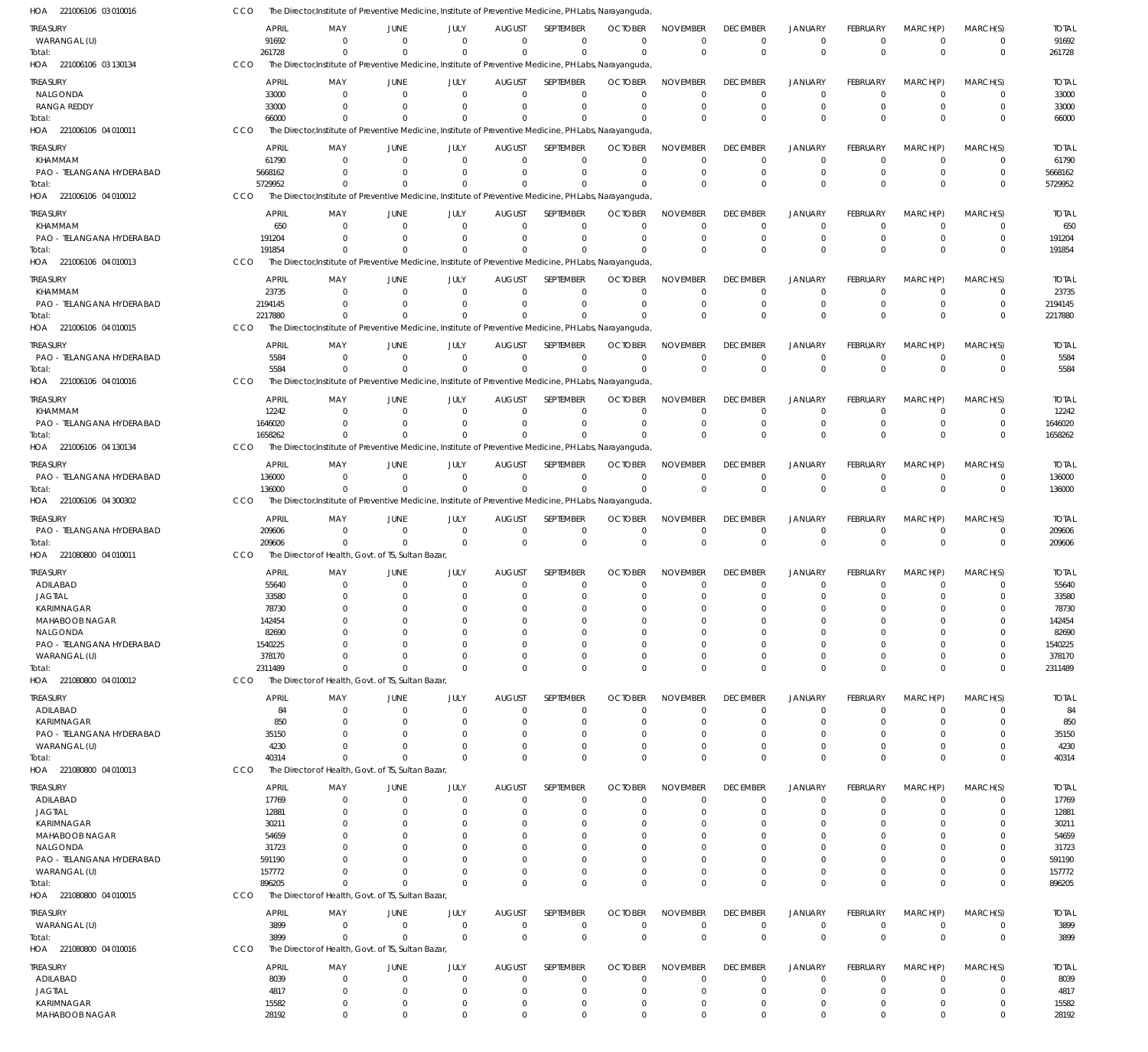| HOA 221006106 03 010016                      |            | The Director, Institute of Preventive Medicine, Institute of Preventive Medicine, PH Labs, Narayanguda, |                        |                                                     |                                 |                          |                                  |                                |                                   |                               |                             |                            |                         |                      |
|----------------------------------------------|------------|---------------------------------------------------------------------------------------------------------|------------------------|-----------------------------------------------------|---------------------------------|--------------------------|----------------------------------|--------------------------------|-----------------------------------|-------------------------------|-----------------------------|----------------------------|-------------------------|----------------------|
| <b>TREASURY</b>                              |            | <b>APRIL</b>                                                                                            | MAY<br>JUNE            | JULY                                                | <b>AUGUST</b>                   | SEPTEMBER                | <b>OCTOBER</b>                   | <b>NOVEMBER</b>                | <b>DECEMBER</b>                   | <b>JANUARY</b>                | FEBRUARY                    | MARCH(P)                   | MARCH(S)                | <b>TOTAL</b>         |
| WARANGAL (U)                                 |            | 91692                                                                                                   | $\Omega$               | $\mathbf 0$<br>$\Omega$                             | $\Omega$                        | $\mathbf 0$              | $\Omega$                         | $\mathbf 0$                    | $\mathbf 0$                       | $\mathbf 0$                   | $\Omega$                    | $\Omega$                   | $\mathbf 0$             | 91692                |
| Total:                                       |            | 261728                                                                                                  | $\mathbf 0$            | $\mathbf{0}$<br>$\Omega$                            | $\Omega$                        | $\mathbf 0$              | $\Omega$                         | $\mathbf 0$                    | $\mathbf 0$                       | $\mathbf{0}$                  | $\Omega$                    | $\Omega$                   | $\mathbf 0$             | 261728               |
| HOA 221006106 03 130134                      | CCO        | The Director, Institute of Preventive Medicine, Institute of Preventive Medicine, PH Labs, Narayanguda, |                        |                                                     |                                 |                          |                                  |                                |                                   |                               |                             |                            |                         |                      |
| <b>TREASURY</b>                              |            | <b>APRIL</b>                                                                                            | MAY<br>JUNE            | JULY                                                | <b>AUGUST</b>                   | <b>SEPTEMBER</b>         | <b>OCTOBER</b>                   | <b>NOVEMBER</b>                | <b>DECEMBER</b>                   | <b>JANUARY</b>                | FEBRUARY                    | MARCH(P)                   | MARCH(S)                | <b>TOTAL</b>         |
| NALGONDA                                     |            | 33000                                                                                                   | $\overline{0}$         | $\overline{0}$<br>$\overline{0}$                    | $\overline{0}$                  | $\mathbf 0$              | $^{\circ}$                       | $\mathbf 0$                    | $\overline{0}$                    | $\mathbf 0$                   | $\Omega$                    | $\Omega$                   | $\mathbf 0$             | 33000                |
| <b>RANGA REDDY</b>                           |            | 33000                                                                                                   | $\Omega$               | $\mathbf 0$<br>$\overline{0}$                       | $\overline{0}$                  | $\mathbf 0$              | $\overline{0}$                   | $\mathbf 0$                    | 0                                 | $\mathbf 0$                   | $\Omega$                    | $\Omega$                   | $\mathbf 0$             | 33000                |
| Total:                                       |            | 66000                                                                                                   | $\Omega$               | $\Omega$<br>$\Omega$                                | $\Omega$                        | $\mathbf 0$              | $\Omega$                         | $\Omega$                       | $\Omega$                          | $\Omega$                      | $\Omega$                    | $\Omega$                   | $\mathbf 0$             | 66000                |
| HOA 221006106 04 010011                      | CCO        | The Director, Institute of Preventive Medicine, Institute of Preventive Medicine, PH Labs, Narayanguda, |                        |                                                     |                                 |                          |                                  |                                |                                   |                               |                             |                            |                         |                      |
| <b>TREASURY</b>                              |            | <b>APRIL</b>                                                                                            | MAY<br>JUNE            | JULY                                                | <b>AUGUST</b>                   | SEPTEMBER                | <b>OCTOBER</b>                   | <b>NOVEMBER</b>                | <b>DECEMBER</b>                   | <b>JANUARY</b>                | <b>FEBRUARY</b>             | MARCH(P)                   | MARCH(S)                | <b>TOTAL</b>         |
| KHAMMAM                                      |            | 61790                                                                                                   | $\Omega$               | $\mathbf 0$<br>$\overline{0}$                       | $\Omega$                        | $\mathbf 0$              | $\Omega$                         | $\Omega$                       | $\Omega$                          | $\Omega$                      | $\Omega$                    | $\Omega$                   | $\mathbf 0$             | 61790                |
| PAO - TELANGANA HYDERABAD                    |            | 5668162                                                                                                 | $\Omega$               | $\overline{0}$<br>$\Omega$                          | $\mathbf 0$                     | $\mathbf 0$              | $\overline{0}$                   | $\mathbf 0$                    | $\mathbf 0$                       | $\mathbf 0$                   | $\Omega$                    | $\Omega$                   | $\mathbf 0$             | 5668162              |
| Total:                                       |            | 5729952                                                                                                 | $\Omega$               | $\mathbf{0}$<br>$\Omega$                            | $\Omega$                        | $\Omega$                 | $\Omega$                         | $\Omega$                       | $\Omega$                          | $\Omega$                      | $\Omega$                    | $\Omega$                   | $\mathbf 0$             | 5729952              |
| HOA 221006106 04 010012                      | CCO        | The Director, Institute of Preventive Medicine, Institute of Preventive Medicine, PH Labs, Narayanguda, |                        |                                                     |                                 |                          |                                  |                                |                                   |                               |                             |                            |                         |                      |
| <b>TREASURY</b>                              |            | <b>APRIL</b>                                                                                            | MAY<br>JUNE            | JULY                                                | <b>AUGUST</b>                   | SEPTEMBER                | <b>OCTOBER</b>                   | <b>NOVEMBER</b>                | <b>DECEMBER</b>                   | <b>JANUARY</b>                | <b>FEBRUARY</b>             | MARCH(P)                   | MARCH(S)                | <b>TOTAL</b>         |
| KHAMMAM                                      |            | 650                                                                                                     | 0                      | $\mathbf 0$<br>$\overline{0}$                       | $\mathbf 0$                     | $\mathbf 0$              | $\mathbf 0$                      | $\Omega$                       | $\overline{0}$                    | $\mathbf 0$                   | $\Omega$                    | $\Omega$                   | $\mathbf 0$             | 650                  |
| PAO - TELANGANA HYDERABAD                    |            | 191204                                                                                                  | $\Omega$               | $\Omega$<br>$\Omega$                                | $\mathbf 0$                     | $\mathbf 0$              | $\overline{0}$                   | $\mathbf 0$                    | $\mathbf 0$                       | $\mathbf 0$                   | $\Omega$                    | $\Omega$                   | $\mathbf 0$             | 191204               |
| Total:                                       |            | 191854                                                                                                  | $^{\circ}$             | $\Omega$<br>$\Omega$                                | $\Omega$                        | $\mathbf 0$              | $\Omega$                         | $\Omega$                       | $\Omega$                          | $\Omega$                      | $\Omega$                    | $\Omega$                   | $\mathbf 0$             | 191854               |
| HOA 221006106 04 010013                      | CCO        | The Director, Institute of Preventive Medicine, Institute of Preventive Medicine, PH Labs, Narayanguda, |                        |                                                     |                                 |                          |                                  |                                |                                   |                               |                             |                            |                         |                      |
| <b>TREASURY</b>                              |            | <b>APRIL</b><br>MAY                                                                                     | JUNE                   | JULY                                                | <b>AUGUST</b>                   | SEPTEMBER                | <b>OCTOBER</b>                   | <b>NOVEMBER</b>                | <b>DECEMBER</b>                   | <b>JANUARY</b>                | <b>FEBRUARY</b>             | MARCH(P)                   | MARCH(S)                | <b>TOTAL</b>         |
| KHAMMAM                                      |            | 23735                                                                                                   | $^{\circ}$             | $\mathbf 0$<br>$\overline{0}$                       | $\mathbf 0$                     | $\mathbf 0$              | $\mathbf 0$                      | 0                              | $\mathbf 0$                       | $\Omega$                      | $\Omega$                    | $\Omega$                   | $\mathbf 0$             | 23735                |
| PAO - TELANGANA HYDERABAD                    |            | 2194145                                                                                                 | $\Omega$               | $\Omega$<br>$\Omega$                                | $\Omega$                        | $\mathbf 0$              | $\overline{0}$                   | $\mathbf 0$                    | $\mathbf 0$                       | $\mathbf 0$                   | $\Omega$                    | $\Omega$                   | $\mathbf 0$             | 2194145              |
| Total:                                       |            | 2217880                                                                                                 | $\Omega$               | $\Omega$<br>$\Omega$                                | $\Omega$                        | $\Omega$                 | $\Omega$                         | $\Omega$                       | $\Omega$                          | $\Omega$                      | $\Omega$                    | $\Omega$                   | $\Omega$                | 2217880              |
| HOA 221006106 04 010015                      | CCO        | The Director, Institute of Preventive Medicine, Institute of Preventive Medicine, PH Labs, Narayanguda, |                        |                                                     |                                 |                          |                                  |                                |                                   |                               |                             |                            |                         |                      |
|                                              |            |                                                                                                         |                        |                                                     |                                 |                          |                                  |                                |                                   |                               |                             |                            |                         |                      |
| <b>TREASURY</b><br>PAO - TELANGANA HYDERABAD |            | <b>APRIL</b><br>MAY<br>5584                                                                             | JUNE<br>$\mathbf 0$    | JULY<br>$\mathbf 0$<br>$\overline{0}$               | <b>AUGUST</b><br>$\overline{0}$ | SEPTEMBER<br>$\mathbf 0$ | <b>OCTOBER</b><br>$\overline{0}$ | <b>NOVEMBER</b><br>$\mathbf 0$ | <b>DECEMBER</b><br>$\overline{0}$ | <b>JANUARY</b><br>$\mathbf 0$ | <b>FEBRUARY</b><br>$\Omega$ | MARCH(P)<br>$\overline{0}$ | MARCH(S)<br>$\mathbf 0$ | <b>TOTAL</b><br>5584 |
| Total:                                       |            | 5584                                                                                                    | $\mathbf 0$            | $\overline{0}$<br>$\overline{0}$                    | $\Omega$                        | $\mathbf 0$              | $\overline{0}$                   | $\mathbf 0$                    | $\mathbf 0$                       | $\mathbf{0}$                  | $\Omega$                    | $\Omega$                   | $\mathbf{0}$            | 5584                 |
| HOA 221006106 04 010016                      | CCO        | The Director, Institute of Preventive Medicine, Institute of Preventive Medicine, PH Labs, Narayanguda, |                        |                                                     |                                 |                          |                                  |                                |                                   |                               |                             |                            |                         |                      |
|                                              |            |                                                                                                         |                        |                                                     |                                 |                          |                                  |                                |                                   |                               |                             |                            |                         |                      |
| <b>TREASURY</b>                              |            | <b>APRIL</b>                                                                                            | JUNE<br>MAY            | JULY                                                | <b>AUGUST</b>                   | SEPTEMBER                | <b>OCTOBER</b>                   | <b>NOVEMBER</b>                | <b>DECEMBER</b>                   | <b>JANUARY</b>                | FEBRUARY                    | MARCH(P)                   | MARCH(S)                | <b>TOTAL</b>         |
| KHAMMAM                                      |            | 12242                                                                                                   | $\Omega$               | $\overline{0}$<br>$\overline{0}$                    | $\mathbf 0$                     | $\mathbf 0$              | $\Omega$                         | 0                              | $\mathbf 0$                       | $\Omega$                      | $\Omega$                    | $\Omega$                   | $\Omega$                | 12242                |
| PAO - TELANGANA HYDERABAD                    |            | 1646020<br>1658262                                                                                      | $^{\circ}$<br>$\Omega$ | $\Omega$<br>$\mathbf 0$<br>$\mathbf{0}$<br>$\Omega$ | $\mathbf 0$<br>$\Omega$         | $\mathbf 0$<br>$\Omega$  | $\Omega$<br>$\Omega$             | $\Omega$<br>$\Omega$           | $\Omega$<br>$\Omega$              | $\mathbf 0$<br>$\Omega$       | $\Omega$<br>$\Omega$        | $\Omega$<br>$\Omega$       | $\mathbf 0$<br>$\Omega$ | 1646020<br>1658262   |
| Total:<br>HOA 221006106 04 130134            | CCO        | The Director, Institute of Preventive Medicine, Institute of Preventive Medicine, PH Labs, Narayanguda, |                        |                                                     |                                 |                          |                                  |                                |                                   |                               |                             |                            |                         |                      |
|                                              |            |                                                                                                         |                        |                                                     |                                 |                          |                                  |                                |                                   |                               |                             |                            |                         |                      |
| <b>TREASURY</b>                              |            | <b>APRIL</b>                                                                                            | MAY<br>JUNE            | JULY                                                | <b>AUGUST</b>                   | SEPTEMBER                | <b>OCTOBER</b>                   | <b>NOVEMBER</b>                | <b>DECEMBER</b>                   | <b>JANUARY</b>                | FEBRUARY                    | MARCH(P)                   | MARCH(S)                | <b>TOTAL</b>         |
| PAO - TELANGANA HYDERABAD                    |            | 136000                                                                                                  | $\overline{0}$         | $\mathbf 0$<br>$\overline{0}$                       | $\overline{0}$                  | $\mathbf 0$              | $\overline{0}$                   | $\mathbf 0$                    | $\overline{0}$                    | $\mathbf 0$                   | $\Omega$                    | $\overline{0}$             | $\mathbf 0$             | 136000               |
| Total:                                       |            | 136000                                                                                                  | $^{\circ}$             | $\Omega$<br>$\mathbf 0$                             | $\Omega$                        | $\mathbf 0$              | $\Omega$                         | $\mathbf 0$                    | $\Omega$                          | $\mathbf{0}$                  | $\Omega$                    | $\Omega$                   | $\mathbf 0$             | 136000               |
| HOA 221006106 04 300302                      | CCO        | The Director, Institute of Preventive Medicine, Institute of Preventive Medicine, PH Labs, Narayanguda, |                        |                                                     |                                 |                          |                                  |                                |                                   |                               |                             |                            |                         |                      |
| <b>TREASURY</b>                              |            | APRIL<br>MAY                                                                                            | JUNE                   | JULY                                                | <b>AUGUST</b>                   | SEPTEMBER                | <b>OCTOBER</b>                   | <b>NOVEMBER</b>                | <b>DECEMBER</b>                   | <b>JANUARY</b>                | FEBRUARY                    | MARCH(P)                   | MARCH(S)                | <b>TOTAL</b>         |
| PAO - TELANGANA HYDERABAD                    |            | 209606                                                                                                  | $^{\circ}$             | $\mathbf{0}$<br>$\Omega$                            | $\mathbf 0$                     | $\mathbf 0$              | $\overline{0}$                   | $\mathbf 0$                    | $\mathbf 0$                       | $\mathbf 0$                   | $\Omega$                    | $\Omega$                   | $\mathbf 0$             | 209606               |
| Total:                                       |            | 209606                                                                                                  | $\mathbf 0$            | $\mathbf{0}$<br>$\overline{0}$                      | $\overline{0}$                  | $\mathbf 0$              | $\mathbf 0$                      | $\mathbf 0$                    | $\mathbf 0$                       | $\mathbf 0$                   | $\Omega$                    | $\Omega$                   | $\mathbf 0$             | 209606               |
| HOA 221080800 04 010011                      | CCO        | The Director of Health, Govt. of TS, Sultan Bazar,                                                      |                        |                                                     |                                 |                          |                                  |                                |                                   |                               |                             |                            |                         |                      |
| TREASURY                                     |            | <b>APRIL</b>                                                                                            | MAY<br>JUNE            | JULY                                                | <b>AUGUST</b>                   | <b>SEPTEMBER</b>         | <b>OCTOBER</b>                   | <b>NOVEMBER</b>                | <b>DECEMBER</b>                   | JANUARY                       | FEBRUARY                    | MARCH(P)                   | MARCH(S)                | <b>TOTAL</b>         |
| ADILABAD                                     |            | 55640                                                                                                   | $\overline{0}$         | $\mathbf 0$<br>$\overline{0}$                       | $\mathbf 0$                     | $\mathbf 0$              | 0                                | 0                              | $\overline{0}$                    | $\mathbf 0$                   | $\Omega$                    | $^{\circ}$                 | $\mathbf 0$             | 55640                |
| <b>JAGTIAL</b>                               |            | 33580                                                                                                   | $\mathbf 0$            | $\mathbf 0$<br>$\Omega$                             | $\overline{0}$                  | $\mathbf 0$              | $\mathbf 0$                      | $\mathbf 0$                    | $^{\circ}$                        | $\Omega$                      | $\Omega$                    | $\Omega$                   | $\mathbf 0$             | 33580                |
| KARIMNAGAR                                   |            | 78730                                                                                                   | 0                      | 0<br>0                                              | 0                               | 0                        | 0                                | 0                              | $\Omega$                          |                               |                             | $\Omega$                   | 0                       | 78730                |
| MAHABOOB NAGAR                               |            | 142454                                                                                                  | $\mathbf 0$            | $\Omega$<br>$\Omega$                                | $\Omega$                        | $\mathbf 0$              | $\mathbf 0$                      | $\mathbf 0$                    | $\Omega$                          | $\Omega$                      |                             | $\Omega$                   | $\Omega$                | 142454               |
| <b>NALGONDA</b>                              |            | 82690                                                                                                   | $\Omega$               | $\Omega$<br>$\Omega$                                | $\Omega$                        | $\mathbf 0$              | 0                                | $\mathbf 0$                    | $\Omega$                          | $\Omega$                      |                             | $\Omega$                   | $\Omega$                | 82690                |
| PAO - TELANGANA HYDERABAD                    |            | 1540225                                                                                                 | $\Omega$               | $\Omega$<br>$\Omega$                                | $\Omega$                        | $\Omega$                 | 0                                | 0                              | $\Omega$                          | $\Omega$                      |                             | $\Omega$                   | 0                       | 1540225              |
| WARANGAL (U)                                 |            | 378170                                                                                                  | $\Omega$               | $\overline{0}$<br>$\Omega$                          | $\Omega$                        | $\mathbf 0$              | 0                                | $\mathbf 0$                    | 0                                 | $\mathbf 0$                   |                             | $\overline{0}$             | $\mathbf 0$             | 378170               |
| Total:                                       |            | 2311489                                                                                                 | $\Omega$               | $\Omega$<br>$\Omega$                                | $\Omega$                        | $\mathbf 0$              | 0                                | $\mathbf 0$                    | $\Omega$                          | $\Omega$                      | $\Omega$                    | $\Omega$                   | $\mathbf 0$             | 2311489              |
| HOA 221080800 04 010012                      | <b>CCO</b> | The Director of Health, Govt. of TS, Sultan Bazar                                                       |                        |                                                     |                                 |                          |                                  |                                |                                   |                               |                             |                            |                         |                      |
| <b>TREASURY</b>                              |            | <b>APRIL</b>                                                                                            | MAY<br>JUNE            | JULY                                                | AUGUST                          | SEPTEMBER                | <b>OCTOBER</b>                   | <b>NOVEMBER</b>                | <b>DECEMBER</b>                   | <b>JANUARY</b>                | FEBRUARY                    | MARCH(P)                   | MARCH(S)                | <b>TOTAL</b>         |
| ADILABAD                                     |            | 84                                                                                                      | 0                      | $\overline{0}$<br>$\mathbf 0$                       | $\Omega$                        | $\mathbf 0$              | $\Omega$                         | $\Omega$                       | $\Omega$                          | $\mathbf 0$                   | $\Omega$                    | $\Omega$                   | $\mathbf 0$             | 84                   |
| KARIMNAGAR                                   |            | 850                                                                                                     | $\mathbf 0$            | $\overline{0}$<br>$\mathbf 0$                       | $\Omega$                        | $\mathbf 0$              | $\mathbf 0$                      | $\mathbf 0$                    | $\mathbf 0$                       | $\mathbf 0$                   |                             | $\Omega$                   | $\mathbf 0$             | 850                  |
| PAO - TELANGANA HYDERABAD                    |            | 35150                                                                                                   | $\mathbf 0$            | $\overline{0}$<br>$\Omega$                          | $\Omega$                        | $\mathbf 0$              | 0                                | $\Omega$                       | 0                                 | $\mathbf 0$                   |                             | $\Omega$                   | 0                       | 35150                |
| WARANGAL (U)                                 |            | 4230                                                                                                    | $\Omega$               | $\Omega$<br>$\Omega$                                | $\Omega$                        | $\mathbf 0$              | 0                                | $\mathbf 0$                    | $\Omega$                          | $\Omega$                      | $\Omega$                    | $\Omega$                   | $\mathbf 0$             | 4230                 |
| Total:                                       |            | 40314                                                                                                   | $^{\circ}$             | $\Omega$<br>$\Omega$                                | $\Omega$                        | $\mathbf 0$              | $\Omega$                         | $\Omega$                       | $\Omega$                          | $\Omega$                      | $\Omega$                    | $\Omega$                   | $\mathbf 0$             | 40314                |
| HOA 221080800 04 010013                      | CCO        | The Director of Health, Govt. of TS, Sultan Bazar                                                       |                        |                                                     |                                 |                          |                                  |                                |                                   |                               |                             |                            |                         |                      |
| <b>TREASURY</b>                              |            | <b>APRIL</b>                                                                                            | MAY<br>JUNE            | JULY                                                | <b>AUGUST</b>                   | SEPTEMBER                | <b>OCTOBER</b>                   | <b>NOVEMBER</b>                | <b>DECEMBER</b>                   | <b>JANUARY</b>                | FEBRUARY                    | MARCH(P)                   | MARCH(S)                | <b>TOTAL</b>         |
| ADILABAD                                     |            | 17769                                                                                                   | 0                      | $\overline{0}$<br>$\overline{0}$                    | $\mathbf 0$                     | $\mathbf 0$              | $\mathbf 0$                      | 0                              | $^{\circ}$                        | $\mathbf 0$                   |                             | $^{\circ}$                 | $\mathbf 0$             | 17769                |
| <b>JAGTIAL</b>                               |            | 12881                                                                                                   | $\mathbf 0$            | $\overline{0}$<br>0                                 | $\Omega$                        | $\mathbf 0$              | $\mathbf 0$                      | $\mathbf 0$                    | 0                                 | $\Omega$                      |                             | $\Omega$                   | $\mathbf 0$             | 12881                |
| KARIMNAGAR                                   |            | 30211                                                                                                   | 0                      | $\Omega$<br>$\Omega$                                | $\Omega$                        | 0                        | 0                                | 0                              | $\Omega$                          | $\Omega$                      |                             | $\Omega$                   | 0                       | 30211                |
| MAHABOOB NAGAR                               |            | 54659                                                                                                   | $\Omega$               | $\Omega$<br>$\Omega$                                | $\Omega$                        | $\Omega$                 | 0                                | $\mathbf 0$                    | $\Omega$                          | $\Omega$                      |                             | $\Omega$                   | 0                       | 54659                |
| NALGONDA                                     |            | 31723                                                                                                   | $\mathbf 0$            | $\Omega$<br>$\Omega$                                | $\Omega$                        | $\Omega$                 | 0                                | 0                              | $\Omega$                          | $\Omega$                      |                             | $\Omega$                   | 0                       | 31723                |
| PAO - TELANGANA HYDERABAD                    |            | 591190                                                                                                  | $\Omega$               | $\Omega$<br>$\Omega$                                | $\Omega$                        | $\Omega$                 | $\Omega$                         | $\Omega$                       | $\Omega$                          | $\Omega$                      |                             | $\Omega$                   | 0                       | 591190               |
| WARANGAL (U)                                 |            | 157772                                                                                                  | $\Omega$               | $\Omega$<br>$\Omega$<br>$\Omega$                    | $\Omega$<br>$\Omega$            | $\mathbf 0$              | 0                                | $\mathbf 0$                    | $\Omega$                          | $\Omega$<br>$\Omega$          |                             | $\Omega$<br>$\Omega$       | $\mathbf 0$             | 157772               |
| Total:<br>HOA 221080800 04 010015            | CCO        | 896205<br>The Director of Health, Govt. of TS, Sultan Bazar                                             | $\Omega$               | $\Omega$                                            |                                 | $\mathbf 0$              | 0                                | $\mathbf 0$                    | $\Omega$                          |                               | $\Omega$                    |                            | $\mathbf 0$             | 896205               |
|                                              |            |                                                                                                         |                        |                                                     |                                 |                          |                                  |                                |                                   |                               |                             |                            |                         |                      |
| <b>TREASURY</b>                              |            | <b>APRIL</b>                                                                                            | MAY<br>JUNE            | JULY                                                | AUGUST                          | SEPTEMBER                | <b>OCTOBER</b>                   | <b>NOVEMBER</b>                | <b>DECEMBER</b>                   | <b>JANUARY</b>                | <b>FEBRUARY</b>             | MARCH(P)                   | MARCH(S)                | <b>TOTAL</b>         |
| WARANGAL (U)                                 |            | 3899                                                                                                    | $\overline{0}$         | $\mathbf 0$<br>$\overline{0}$                       | $\mathbf 0$                     | 0                        | $^{\circ}$                       | $\mathbf 0$                    | $^{\circ}$                        | $\mathbf 0$                   | $\Omega$                    | $^{\circ}$                 | $\mathbf 0$             | 3899                 |
| Total:                                       |            | 3899                                                                                                    | $\mathbf 0$            | $\Omega$<br>$\Omega$                                | $\Omega$                        | $\mathbf 0$              | $\mathbf 0$                      | $\mathbf 0$                    | $\mathbf 0$                       | $\mathbf{0}$                  | $\Omega$                    | $\Omega$                   | $\mathbf{0}$            | 3899                 |
| HOA 221080800 04 010016                      | CCO        | The Director of Health, Govt. of TS, Sultan Bazar                                                       |                        |                                                     |                                 |                          |                                  |                                |                                   |                               |                             |                            |                         |                      |
| <b>TREASURY</b>                              |            | <b>APRIL</b>                                                                                            | MAY<br>JUNE            | JULY                                                | <b>AUGUST</b>                   | SEPTEMBER                | <b>OCTOBER</b>                   | <b>NOVEMBER</b>                | <b>DECEMBER</b>                   | <b>JANUARY</b>                | FEBRUARY                    | MARCH(P)                   | MARCH(S)                | <b>TOTAL</b>         |
| ADILABAD                                     |            | 8039                                                                                                    | $\overline{0}$         | $\overline{0}$<br>$\mathbf 0$                       | $\mathbf 0$                     | $\mathbf 0$              | $\mathbf 0$                      | $\mathbf 0$                    | $^{\circ}$                        | $\mathbf 0$                   | $\Omega$                    | $\Omega$                   | $\mathbf 0$             | 8039                 |
| <b>JAGTIAL</b>                               |            | 4817                                                                                                    | $\mathbf 0$            | $\overline{0}$<br>0                                 | $\mathbf 0$                     | $\mathbf 0$              | 0                                | $\mathbf 0$                    | 0                                 | $\mathbf 0$                   |                             | $^{\circ}$                 | $\mathbf 0$             | 4817                 |
| KARIMNAGAR                                   |            | 15582                                                                                                   | $^{\circ}$             | $\overline{0}$<br>$\mathbf 0$                       | $\mathbf 0$                     | $\mathbf 0$              | 0                                | $\mathbf 0$                    | 0                                 | $\mathbf 0$                   | $\Omega$                    | $\overline{0}$             | $\mathbf 0$             | 15582                |
| MAHABOOB NAGAR                               |            | 28192                                                                                                   | $\mathbf 0$            | $\mathbf 0$<br>$\Omega$                             | $\mathbf{0}$                    | $\Omega$                 | $\mathbf 0$                      | $\mathbf 0$                    | $\mathbf 0$                       | $\Omega$                      | $\Omega$                    | $\mathbf 0$                | $\mathbf 0$             | 28192                |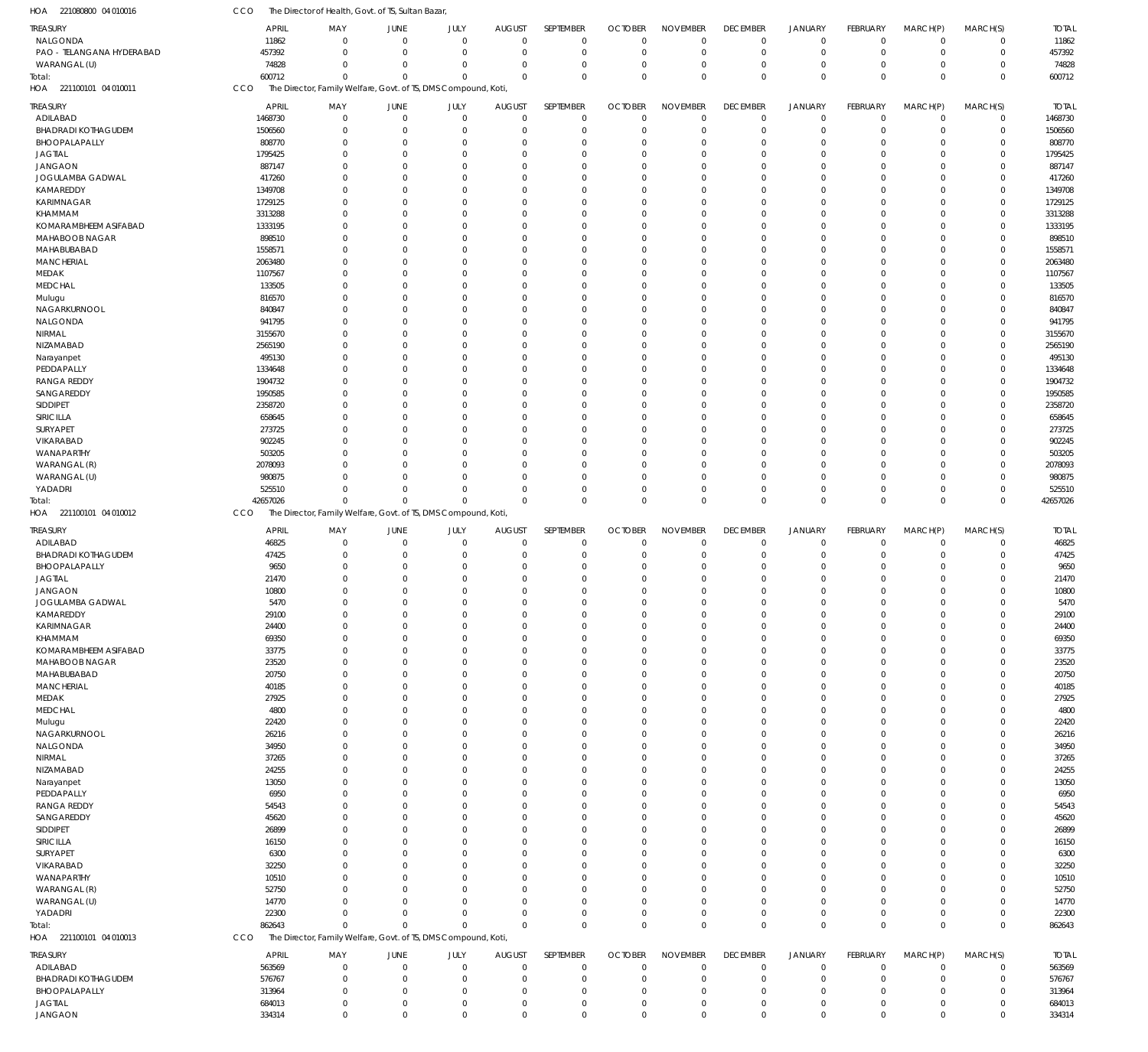| HOA 221080800 04 010016                   | CCO                | The Director of Health, Govt. of TS, Sultan Bazar,             |                                  |                            |                            |                            |                            |                            |                            |                            |                            |                            |                            |                    |
|-------------------------------------------|--------------------|----------------------------------------------------------------|----------------------------------|----------------------------|----------------------------|----------------------------|----------------------------|----------------------------|----------------------------|----------------------------|----------------------------|----------------------------|----------------------------|--------------------|
| TREASURY                                  | <b>APRIL</b>       | MAY                                                            | JUNE                             | JULY                       | <b>AUGUST</b>              | SEPTEMBER                  | <b>OCTOBER</b>             | <b>NOVEMBER</b>            | <b>DECEMBER</b>            | <b>JANUARY</b>             | <b>FEBRUARY</b>            | MARCH(P)                   | MARCH(S)                   | <b>TOTAL</b>       |
| NALGONDA                                  | 11862              | $\Omega$                                                       | $\Omega$                         | $\mathbf 0$                | $\mathbf 0$                | $\mathbf 0$                | $\mathbf{0}$               | $\Omega$                   | $\mathbf 0$                | $\mathbf 0$                | $\mathbf 0$                | $\mathbf 0$                | $\mathbf 0$                | 11862              |
| PAO - TELANGANA HYDERABAD<br>WARANGAL (U) | 457392<br>74828    | $\Omega$<br>0                                                  | $\Omega$<br>$\Omega$             | $\mathbf 0$<br>$\mathbf 0$ | $\mathbf 0$<br>0           | $\mathbf 0$<br>$\mathbf 0$ | $\overline{0}$<br>$\Omega$ | $\Omega$<br>$\Omega$       | $\mathbf 0$<br>$\mathbf 0$ | $\mathbf 0$<br>$\mathbf 0$ | $\mathbf 0$<br>$\mathbf 0$ | $\mathbf 0$<br>$\mathbf 0$ | $\mathbf 0$<br>0           | 457392<br>74828    |
| Total:                                    | 600712             | $\Omega$                                                       | $\Omega$                         | $\Omega$                   | $\Omega$                   | $\mathbf 0$                | $\Omega$                   | $\Omega$                   | $\mathbf 0$                | $\Omega$                   | $\Omega$                   | $\Omega$                   | $\mathbf 0$                | 600712             |
| HOA 221100101 04 010011                   | CCO                | The Director, Family Welfare, Govt. of TS, DMS Compound, Koti  |                                  |                            |                            |                            |                            |                            |                            |                            |                            |                            |                            |                    |
| TREASURY                                  | <b>APRIL</b>       | MAY                                                            | JUNE                             | JULY                       | <b>AUGUST</b>              | SEPTEMBER                  | <b>OCTOBER</b>             | <b>NOVEMBER</b>            | <b>DECEMBER</b>            | <b>JANUARY</b>             | <b>FEBRUARY</b>            | MARCH(P)                   | MARCH(S)                   | <b>TOTAL</b>       |
| ADILABAD                                  | 1468730            | $\mathbf 0$                                                    | $\overline{0}$                   | $\mathbf 0$                | $\mathbf 0$                | $\mathbf 0$                | $\Omega$                   | $\mathbf 0$                | $\mathbf 0$                | $\mathbf 0$                | $\mathbf 0$                | $\mathbf 0$                | $\mathbf 0$                | 1468730            |
| <b>BHADRADI KOTHAGUDEM</b>                | 1506560            | 0                                                              | $\overline{0}$                   | $\mathbf 0$                | 0                          | $\mathbf 0$                | $\Omega$                   | $\mathbf 0$                | $\mathbf 0$                | $\mathbf 0$                | $\mathbf 0$                | 0                          | $\mathbf 0$                | 1506560            |
| BHOOPALAPALLY                             | 808770             | $\Omega$                                                       | $\overline{0}$                   | $\Omega$                   | 0                          | $\mathbf 0$                | $\Omega$                   | $\Omega$                   | $\mathbf 0$                | $\overline{0}$             | $\Omega$                   | 0                          | $\mathbf 0$                | 808770             |
| <b>JAGTIAL</b>                            | 1795425            | 0                                                              | $\Omega$                         | 0                          | 0                          | $\mathbf 0$                | $\Omega$                   | $\Omega$                   | $\Omega$                   | $\mathbf 0$                | 0                          | 0                          | $\mathbf 0$                | 1795425            |
| <b>JANGAON</b>                            | 887147             | <sup>0</sup>                                                   | $\Omega$                         | 0                          | 0                          | $\mathbf 0$                | ſ                          | $\Omega$                   | $\Omega$                   | $\Omega$                   | O                          | 0                          | $\mathbf 0$                | 887147             |
| JOGULAMBA GADWAL                          | 417260             | 0                                                              | $\Omega$<br>$\Omega$             | $\Omega$<br>$\Omega$       | 0                          | $\mathbf 0$                | ſ                          | $\Omega$<br>$\Omega$       | $\Omega$<br>$\Omega$       | $\Omega$                   | 0                          | 0                          | $\mathbf 0$<br>$\mathbf 0$ | 417260             |
| KAMAREDDY<br>KARIMNAGAR                   | 1349708<br>1729125 | 0<br>0                                                         | $\Omega$                         | 0                          | 0<br>0                     | $\mathbf 0$<br>$\mathbf 0$ | $\Omega$<br>$\Omega$       | $\Omega$                   | $\Omega$                   | $\mathbf 0$<br>$\Omega$    | 0<br>O                     | 0<br>0                     | $\mathbf 0$                | 1349708<br>1729125 |
| KHAMMAM                                   | 3313288            | <sup>0</sup>                                                   | $\Omega$                         | U                          | 0                          | $\mathbf 0$                | ſ                          | $\Omega$                   | $\Omega$                   | $\Omega$                   | O                          | 0                          | $\mathbf 0$                | 3313288            |
| KOMARAMBHEEM ASIFABAD                     | 1333195            | 0                                                              | $\Omega$                         | $\Omega$                   | 0                          | $\mathbf 0$                | $\Omega$                   | $\Omega$                   | $\Omega$                   | $\Omega$                   | 0                          | 0                          | $\mathbf 0$                | 1333195            |
| MAHABOOB NAGAR                            | 898510             | 0                                                              | $\Omega$                         | 0                          | 0                          | $\mathbf 0$                | $\Omega$                   | $\Omega$                   | $\Omega$                   | $\mathbf 0$                | 0                          | 0                          | $\mathbf 0$                | 898510             |
| MAHABUBABAD                               | 1558571            | 0                                                              | $\Omega$                         | 0                          | 0                          | $\mathbf 0$                | $\Omega$                   | $\Omega$                   | $\Omega$                   | $\Omega$                   | O                          | 0                          | $\mathbf 0$                | 1558571            |
| <b>MANCHERIAL</b>                         | 2063480            | <sup>0</sup>                                                   | $\Omega$                         | $\Omega$                   | 0                          | $\mathbf 0$                | ſ                          | $\Omega$                   | $\Omega$                   | $\Omega$                   | O                          | 0                          | $\mathbf 0$                | 2063480            |
| MEDAK                                     | 1107567            | 0                                                              | $\Omega$                         | $\Omega$                   | 0                          | $\mathbf 0$                | $\Omega$                   | $\Omega$                   | $\mathbf 0$                | $\mathbf 0$                | 0                          | 0                          | $\mathbf 0$                | 1107567            |
| <b>MEDCHAL</b>                            | 133505             | <sup>0</sup>                                                   | $\Omega$                         | 0                          | 0                          | $\mathbf 0$                | $\Omega$                   | $\Omega$                   | $\Omega$                   | $\Omega$                   | O                          | 0                          | $\mathbf 0$                | 133505             |
| Mulugu<br>NAGARKURNOOL                    | 816570<br>840847   | 0<br>0                                                         | $\Omega$<br>$\Omega$             | 0<br>$\Omega$              | 0<br>0                     | $\mathbf 0$<br>$\mathbf 0$ | $\Omega$<br>ſ              | $\Omega$<br>$\Omega$       | $\Omega$<br>$\Omega$       | $\Omega$<br>$\Omega$       | O<br>$\Omega$              | 0<br>0                     | $\mathbf 0$<br>$\mathbf 0$ | 816570<br>840847   |
| NALGONDA                                  | 941795             | 0                                                              | $\Omega$                         | 0                          | 0                          | $\mathbf 0$                | $\Omega$                   | $\Omega$                   | $\mathbf 0$                | $\mathbf 0$                | 0                          | 0                          | $\mathbf 0$                | 941795             |
| NIRMAL                                    | 3155670            | <sup>0</sup>                                                   | $\Omega$                         | U                          | 0                          | $\mathbf 0$                | $\Omega$                   | $\Omega$                   | $\Omega$                   | $\Omega$                   | O                          | 0                          | $\mathbf 0$                | 3155670            |
| NIZAMABAD                                 | 2565190            | 0                                                              | $\Omega$                         | 0                          | 0                          | $\mathbf 0$                | ſ                          | $\Omega$                   | $\Omega$                   | $\Omega$                   | O                          | 0                          | $\mathbf 0$                | 2565190            |
| Narayanpet                                | 495130             | 0                                                              | $\Omega$                         | $\Omega$                   | 0                          | $\mathbf 0$                | ſ                          | $\Omega$                   | $\Omega$                   | $\Omega$                   | $\Omega$                   | 0                          | $\mathbf 0$                | 495130             |
| PEDDAPALLY                                | 1334648            | 0                                                              | $\Omega$                         | 0                          | 0                          | $\mathbf 0$                | $\Omega$                   | $\Omega$                   | $\Omega$                   | $\Omega$                   | O                          | 0                          | $\mathbf 0$                | 1334648            |
| <b>RANGA REDDY</b>                        | 1904732            | <sup>0</sup>                                                   | $\Omega$                         | U                          | 0                          | $\mathbf 0$                | $\Omega$                   | $\Omega$                   | $\Omega$                   | $\Omega$                   | O                          | 0                          | $\mathbf 0$                | 1904732            |
| SANGAREDDY                                | 1950585            | 0                                                              | $\Omega$                         | 0                          | 0                          | $\mathbf 0$                | ſ                          | $\Omega$                   | $\Omega$                   | $\Omega$                   | 0                          | 0                          | $\mathbf 0$                | 1950585            |
| SIDDIPET                                  | 2358720            | 0                                                              | $\Omega$<br>$\Omega$             | $\Omega$                   | 0                          | $\mathbf 0$                | $\Omega$                   | $\Omega$                   | $\Omega$<br>$\Omega$       | $\mathbf 0$<br>$\Omega$    | $\Omega$<br>U              | 0                          | $\mathbf 0$                | 2358720            |
| SIRICILLA<br>SURYAPET                     | 658645<br>273725   | 0<br><sup>0</sup>                                              | $\Omega$                         | 0<br>0                     | 0<br>0                     | $\mathbf 0$<br>$\mathbf 0$ | $\Omega$<br>$\Omega$       | $\Omega$<br>$\Omega$       | $\Omega$                   | $\Omega$                   | O                          | 0<br>0                     | $\mathbf 0$<br>$\mathbf 0$ | 658645<br>273725   |
| VIKARABAD                                 | 902245             | 0                                                              | $\Omega$                         | 0                          | 0                          | $\mathbf 0$                | $\Omega$                   | $\Omega$                   | $\mathbf 0$                | $\Omega$                   | 0                          | 0                          | $\mathbf 0$                | 902245             |
| WANAPARTHY                                | 503205             |                                                                | $\Omega$                         | $\Omega$                   | 0                          | $\mathbf 0$                | ſ                          | $\Omega$                   | $\Omega$                   | $\mathbf 0$                | O                          | 0                          | $\mathbf 0$                | 503205             |
| WARANGAL (R)                              | 2078093            | <sup>0</sup>                                                   | $\Omega$                         | $\Omega$                   | 0                          | $\mathbf 0$                | $\Omega$                   | $\Omega$                   | $\Omega$                   | $\Omega$                   | U                          | 0                          | $\mathbf 0$                | 2078093            |
| WARANGAL (U)                              | 980875             |                                                                | $\Omega$                         | $\Omega$                   | 0                          | $\mathbf 0$                | $\Omega$                   | $\Omega$                   | $\Omega$                   | $\mathbf 0$                | $\Omega$                   | 0                          | $\mathbf 0$                | 980875             |
| YADADRI                                   | 525510             | $\Omega$                                                       | $\Omega$                         | $\Omega$                   | $\mathbf 0$                | $\mathbf 0$                | $\Omega$                   | $\Omega$                   | $\mathbf 0$                | $\mathbf 0$                | $\Omega$                   | $\mathbf 0$                | $\mathbf 0$                | 525510             |
| iotal:                                    | 42657026           | $\Omega$                                                       | $\Omega$                         | $\Omega$                   | $\mathbf 0$                | $\mathbf 0$                | $\Omega$                   | $\Omega$                   | $\mathbf 0$                | $\overline{0}$             | $\Omega$                   | $\mathbf 0$                | $\mathbf 0$                | 42657026           |
| HOA 221100101 04 010012                   | <b>CCO</b>         | The Director, Family Welfare, Govt. of TS, DMS Compound, Koti, |                                  |                            |                            |                            |                            |                            |                            |                            |                            |                            |                            |                    |
| Treasury                                  | <b>APRIL</b>       | MAY                                                            | JUNE                             | JULY                       | <b>AUGUST</b>              | SEPTEMBER                  | <b>OCTOBER</b>             | <b>NOVEMBER</b>            | <b>DECEMBER</b>            | <b>JANUARY</b>             | FEBRUARY                   | MARCH(P)                   | MARCH(S)                   | <b>TOTAL</b>       |
| ADILABAD                                  | 46825              | $\mathbf{0}$                                                   | $\overline{0}$                   | $\mathbf 0$                | $\mathbf 0$                | $\mathbf 0$                | $\Omega$                   | $\Omega$                   | $\mathbf 0$                | $\mathbf 0$                | $\mathbf 0$                | $\mathbf 0$                | $\mathbf 0$                | 46825              |
| <b>BHADRADI KOTHAGUDEM</b>                | 47425              | $\Omega$<br><sup>0</sup>                                       | $\Omega$<br>$\Omega$             | $\mathbf 0$<br>$\Omega$    | 0                          | $\mathbf 0$<br>$\mathbf 0$ | $\Omega$<br>$\Omega$       | $\Omega$<br>$\Omega$       | $\mathbf 0$<br>$\mathbf 0$ | $\mathbf 0$<br>$\mathbf 0$ | $\mathbf 0$<br>$\Omega$    | $\mathbf 0$                | $\mathbf 0$<br>$\mathbf 0$ | 47425              |
| BHOOPALAPALLY<br><b>JAGTIAL</b>           | 9650<br>21470      |                                                                | $\Omega$                         | $\Omega$                   | 0<br>$\mathbf 0$           | $\mathbf 0$                | $\Omega$                   | $\Omega$                   | $\Omega$                   | $\Omega$                   | $\Omega$                   | 0<br>$\mathbf 0$           | $\mathbf 0$                | 9650<br>21470      |
| JANGAON                                   | 10800              | $\Omega$                                                       | $\Omega$                         | $\Omega$                   | $\mathbf 0$                | $\mathbf 0$                | $\Omega$                   | $\Omega$                   | $\Omega$                   | $\Omega$                   | $\Omega$                   | $\mathbf 0$                | $\mathbf 0$                | 10800              |
| JOGULAMBA GADWAL                          | 5470               | $\mathbf 0$                                                    | $\Omega$                         | $\mathbf 0$                |                            | $\mathbf 0$                | $\Omega$                   | $\mathbf 0$                | $\mathbf 0$                | $\mathbf 0$                | $\mathbf 0$                |                            | $\mathbf 0$                | 5470               |
| KAMAREDDY                                 |                    |                                                                |                                  |                            | $\mathbf 0$                |                            |                            |                            |                            |                            |                            | $\mathbf 0$                |                            | 29100              |
| KARIMNAGAR                                | 29100              | $\mathbf 0$                                                    | $\overline{0}$                   | $\Omega$                   | $\mathbf 0$                | $\mathbf 0$                | $\Omega$                   | $\Omega$                   | $\mathbf 0$                | $\mathbf 0$                | $\Omega$                   | $\mathbf 0$                | $\mathbf 0$                |                    |
| KHAMMAM                                   | 24400              | $\mathbf 0$                                                    | $\overline{0}$                   | $\mathbf 0$                | 0                          | $\mathbf 0$                | $\Omega$                   | $\mathbf 0$                | $\mathbf 0$                | $\mathbf 0$                | $\mathbf 0$                | $\mathbf 0$                | $\mathbf 0$                | 24400              |
|                                           | 69350              | $\mathbf 0$                                                    | $\overline{0}$                   | $\Omega$                   | 0                          | $\mathbf 0$                | $\Omega$                   | $\Omega$                   | $\mathbf 0$                | $\mathbf 0$                | $\Omega$                   | 0                          | $\mathbf 0$                | 69350              |
| KOMARAMBHEEM ASIFABAD                     | 33775              | $\Omega$                                                       | $\Omega$                         | $\Omega$                   | $\mathbf 0$                | $\mathbf 0$                | $\Omega$                   | $\Omega$                   | $\Omega$                   | $\mathbf 0$                | $\Omega$                   | $\mathbf 0$                | $\mathbf 0$                | 33775              |
| MAHABOOB NAGAR                            | 23520              | 0                                                              | $\overline{0}$                   | $\Omega$                   | 0                          | $\mathbf 0$                | $\Omega$                   | $\Omega$                   | 0                          | $\mathbf 0$                | 0                          | 0                          | $\mathbf 0$                | 23520              |
| MAHABUBABAD                               | 20750              | $\Omega$                                                       | $\Omega$                         | $\Omega$                   | 0                          | $\mathbf 0$                | $\Omega$                   | $\Omega$                   | $\Omega$                   | $\mathbf 0$                | $\Omega$<br>U              | $\mathbf 0$                | $\mathbf 0$                | 20750              |
| <b>MANCHERIAL</b><br>MEDAK                | 40185<br>27925     | $\Omega$<br>$\Omega$                                           | $\Omega$<br>$\Omega$             | $\Omega$<br>$\Omega$       | 0<br>$\mathbf 0$           | $\mathbf 0$<br>$\mathbf 0$ | $\Omega$<br>$\Omega$       | $\Omega$<br>$\Omega$       | $\mathbf 0$<br>$\Omega$    | $\mathbf 0$<br>$\mathbf 0$ | $\Omega$                   | 0<br>$\mathbf 0$           | $\mathbf 0$<br>$\mathbf 0$ | 40185<br>27925     |
| <b>MEDCHAL</b>                            | 4800               | 0                                                              | $\overline{0}$                   | $\Omega$                   | 0                          | $\mathbf 0$                | $\Omega$                   | $\Omega$                   | $\mathbf 0$                | $\mathbf 0$                | 0                          | 0                          | $\mathbf 0$                | 4800               |
| Mulugu                                    | 22420              | $\Omega$                                                       | $\Omega$                         | $\Omega$                   | $\mathbf 0$                | $\mathbf 0$                | $\Omega$                   | $\Omega$                   | $\Omega$                   | $\mathbf 0$                | $\Omega$                   | $\mathbf 0$                | $\mathbf 0$                | 22420              |
| NAGARKURNOOL                              | 26216              | $\Omega$                                                       | $\Omega$                         | $\Omega$                   | 0                          | $\mathbf 0$                | $\Omega$                   | $\Omega$                   | $\mathbf 0$                | $\mathbf 0$                | 0                          | 0                          | $\mathbf 0$                | 26216              |
| NALGONDA                                  | 34950              | $\Omega$                                                       | $\Omega$                         | $\Omega$                   | $\mathbf 0$                | $\mathbf 0$                | $\Omega$                   | $\Omega$                   | $\Omega$                   | $\mathbf 0$                | $\Omega$                   | $\mathbf 0$                | $\mathbf 0$                | 34950              |
| NIRMAL                                    | 37265              | 0                                                              | $\Omega$                         | $\Omega$                   | 0                          | $\mathbf 0$                | $\Omega$                   | $\Omega$                   | 0                          | $\mathbf 0$                | 0                          | 0                          | $\mathbf 0$                | 37265              |
| NIZAMABAD                                 | 24255              | $\Omega$                                                       | $\Omega$                         | $\Omega$                   | $\mathbf 0$                | $\mathbf 0$                | $\Omega$                   | $\Omega$                   | $\Omega$                   | $\Omega$                   | $\Omega$                   | $\mathbf 0$                | $\mathbf 0$                | 24255              |
| Narayanpet                                | 13050              | $\Omega$<br>$\Omega$                                           | $\overline{0}$<br>$\Omega$       | $\Omega$<br>$\Omega$       | 0                          | $\mathbf 0$                | $\Omega$<br>$\Omega$       | $\Omega$<br>$\Omega$       | $\mathbf 0$<br>$\Omega$    | $\mathbf 0$                | 0<br>$\Omega$              | 0                          | $\mathbf 0$                | 13050              |
| PEDDAPALLY                                | 6950               | 0                                                              | $\Omega$                         | $\Omega$                   | $\mathbf 0$<br>0           | $\mathbf 0$<br>$\mathbf 0$ | $\Omega$                   | $\Omega$                   | 0                          | $\mathbf 0$<br>$\mathbf 0$ | U                          | $\mathbf 0$<br>0           | $\mathbf 0$<br>$\mathbf 0$ | 6950               |
| <b>RANGA REDDY</b><br>SANGAREDDY          | 54543<br>45620     | $\Omega$                                                       | $\Omega$                         | $\Omega$                   | $\mathbf 0$                | $\mathbf 0$                | $\Omega$                   | $\Omega$                   | $\Omega$                   | $\Omega$                   | $\Omega$                   | $\mathbf 0$                | $\mathbf 0$                | 54543<br>45620     |
| SIDDIPET                                  | 26899              | $\Omega$                                                       | $\overline{0}$                   | $\Omega$                   | 0                          | $\mathbf 0$                | $\Omega$                   | $\Omega$                   | $\mathbf 0$                | $\mathbf 0$                | 0                          | 0                          | $\mathbf 0$                | 26899              |
| SIRICILLA                                 | 16150              | $\Omega$                                                       | $\Omega$                         | $\Omega$                   | $\mathbf 0$                | $\mathbf 0$                | $\Omega$                   | $\Omega$                   | $\Omega$                   | $\mathbf 0$                | $\Omega$                   | $\mathbf 0$                | $\mathbf 0$                | 16150              |
| SURYAPET                                  | 6300               | 0                                                              | $\Omega$                         | $\Omega$                   | 0                          | $\mathbf 0$                | $\Omega$                   | $\Omega$                   | 0                          | $\mathbf 0$                | U                          | 0                          | $\mathbf 0$                | 6300               |
| VIKARABAD                                 | 32250              | $\Omega$                                                       | $\Omega$                         | $\Omega$                   | $\mathbf 0$                | $\mathbf 0$                | $\Omega$                   | $\Omega$                   | $\Omega$                   | $\mathbf 0$                | $\Omega$                   | $\mathbf 0$                | $\mathbf 0$                | 32250              |
| WANAPARTHY                                | 10510              | $\Omega$                                                       | $\overline{0}$                   | 0                          | 0                          | $\mathbf 0$                | $\Omega$                   | $\Omega$                   | $\mathbf 0$                | $\mathbf 0$                | 0                          | 0                          | $\mathbf 0$                | 10510              |
| WARANGAL (R)                              | 52750              | $\Omega$<br>$\Omega$                                           | $\Omega$<br>$\Omega$             | $\Omega$<br>$\Omega$       | $\mathbf 0$                | $\mathbf 0$                | $\Omega$<br>$\Omega$       | $\Omega$<br>$\Omega$       | $\Omega$                   | $\Omega$                   | $\Omega$<br>$\Omega$       | $\mathbf 0$                | $\mathbf 0$                | 52750              |
| WARANGAL (U)<br>YADADRI                   | 14770<br>22300     | $\Omega$                                                       | $\Omega$                         | $\Omega$                   | 0<br>$\mathbf 0$           | $\mathbf 0$<br>$\mathbf 0$ | $\Omega$                   | $\Omega$                   | $\mathbf 0$<br>$\mathbf 0$ | $\mathbf 0$<br>$\mathbf 0$ | $\mathbf 0$                | $\mathbf 0$<br>$\mathbf 0$ | $\mathbf 0$<br>$\mathbf 0$ | 14770<br>22300     |
|                                           | 862643             | $\Omega$                                                       | $\Omega$                         | $\Omega$                   | $\mathbf 0$                | $\mathbf 0$                | $\Omega$                   | $\mathbf 0$                | $\mathbf 0$                | $\overline{0}$             | $\mathbf 0$                | $\mathbf 0$                | $\mathbf 0$                | 862643             |
| Total:<br>HOA 221100101 04 010013         | CCO                | The Director, Family Welfare, Govt. of TS, DMS Compound, Koti, |                                  |                            |                            |                            |                            |                            |                            |                            |                            |                            |                            |                    |
|                                           | <b>APRIL</b>       | MAY                                                            | JUNE                             | JULY                       | <b>AUGUST</b>              | SEPTEMBER                  | <b>OCTOBER</b>             | <b>NOVEMBER</b>            | <b>DECEMBER</b>            | <b>JANUARY</b>             | FEBRUARY                   | MARCH(P)                   | MARCH(S)                   | <b>TOTAL</b>       |
| TREASURY<br>ADILABAD                      | 563569             | $\mathbf 0$                                                    | $\overline{0}$                   | $\mathbf 0$                | $\mathbf 0$                | $\mathbf 0$                | $\mathbf 0$                | $\Omega$                   | 0                          | $\mathbf 0$                | $\mathbf 0$                | $\mathbf 0$                | 0                          | 563569             |
| <b>BHADRADI KOTHAGUDEM</b>                | 576767             | $\mathbf 0$                                                    | $\overline{0}$                   | $\mathbf 0$                | 0                          | $\mathbf 0$                | $\Omega$                   | $\Omega$                   | $\mathbf 0$                | $\mathbf 0$                | $\mathbf 0$                | 0                          | $\mathbf 0$                | 576767             |
| BHOOPALAPALLY                             | 313964             | $\mathbf 0$                                                    | $\overline{0}$                   | $\mathbf 0$                | 0                          | $\mathbf 0$                | $\Omega$                   | $\mathbf 0$                | $\mathbf 0$                | $\mathbf 0$                | $\Omega$                   | 0                          | $\mathbf 0$                | 313964             |
| <b>JAGTIAL</b><br>JANGAON                 | 684013<br>334314   | $\mathbf 0$<br>$\mathbf 0$                                     | $\overline{0}$<br>$\overline{0}$ | $\mathbf 0$<br>$\mathbf 0$ | $\mathbf 0$<br>$\mathbf 0$ | $\mathbf 0$<br>$\mathbf 0$ | $\Omega$<br>$\Omega$       | $\mathbf 0$<br>$\mathbf 0$ | $\mathbf 0$<br>$\mathbf 0$ | $\mathbf 0$<br>$\mathbf 0$ | $\mathbf 0$<br>$\mathbf 0$ | $\mathbf 0$<br>$\mathbf 0$ | $\mathbf 0$<br>$\mathbf 0$ | 684013<br>334314   |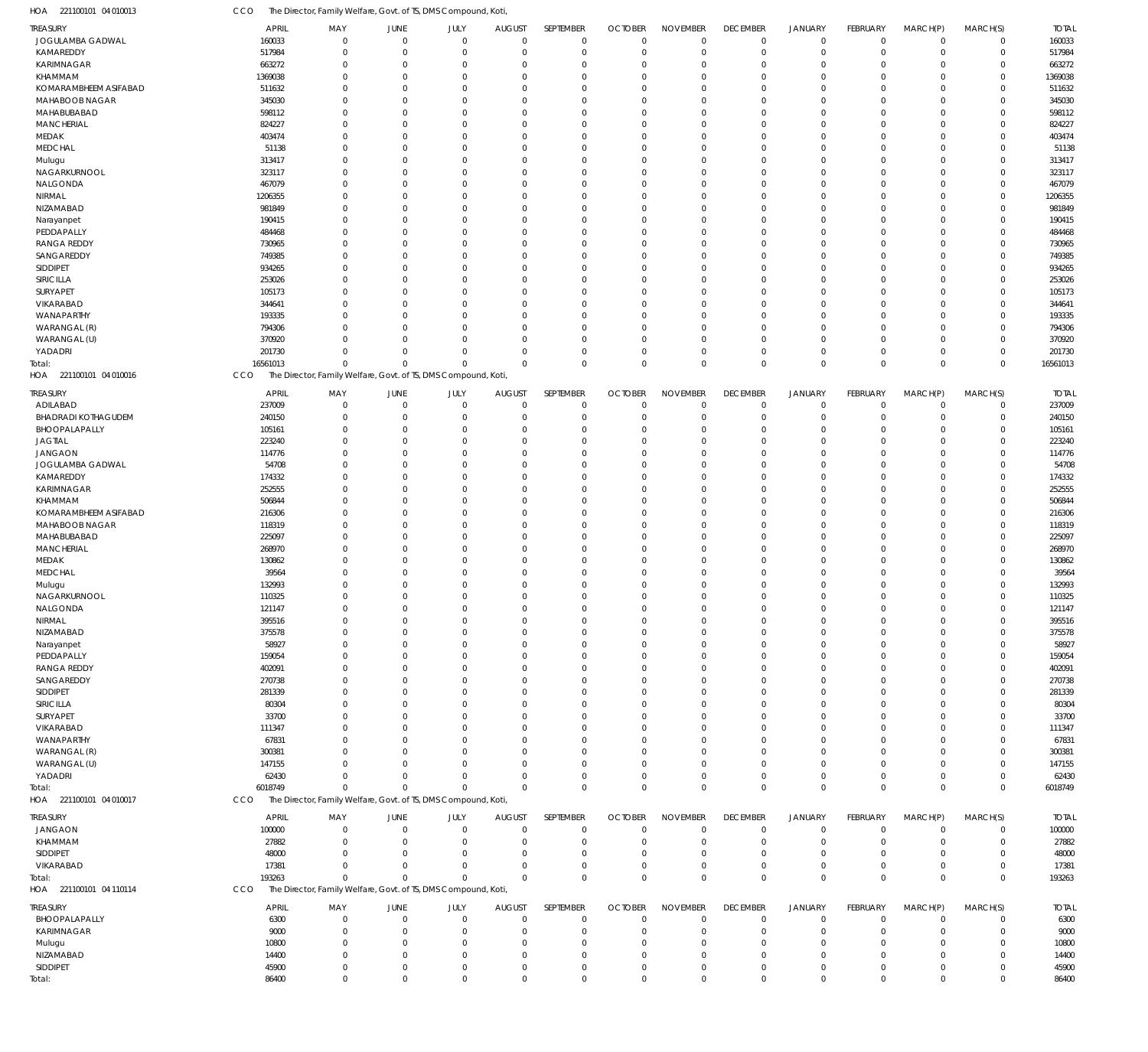221100101 04 010013 HOA CCO The Director, Family Welfare, Govt. of TS, DMS Compound, Koti,

| ireasury                   | APRIL            | MAY                                                            | JUNE                 | JULY                 | <b>AUGUST</b>          | SEPTEMBER               | <b>OCTOBER</b>             | <b>NOVEMBER</b>         | <b>DECEMBER</b>               | <b>JANUARY</b>          | FEBRUARY                | MARCH(P)                | MARCH(S)             | <b>TOTAL</b>     |
|----------------------------|------------------|----------------------------------------------------------------|----------------------|----------------------|------------------------|-------------------------|----------------------------|-------------------------|-------------------------------|-------------------------|-------------------------|-------------------------|----------------------|------------------|
| JOGULAMBA GADWAL           | 160033           | $\Omega$                                                       | $\overline{0}$       | $\Omega$             | $^{\circ}$             | $\mathbf 0$             | $\mathbf 0$                | $\mathbf 0$             | $\overline{0}$                | $\mathbf 0$             | $\mathbf 0$             | $\mathbf 0$             | $\mathbf 0$          | 160033           |
| KAMAREDDY                  | 517984           | C.                                                             | $\Omega$             | $\Omega$             | $\Omega$               | $\mathbf 0$             | $\overline{0}$             | $\mathbf 0$             | $\overline{0}$                | $\mathbf 0$             | $\mathbf 0$             | $\mathbf 0$             | $\mathbf 0$          | 517984           |
| <b>KARIMNAGAR</b>          | 663272           | $\Omega$                                                       | $\Omega$             | $\Omega$             | $\Omega$               | $\Omega$                | $\Omega$                   | 0                       | $\mathbf 0$                   | $\Omega$                | $\mathbf 0$             | $\mathbf 0$             | $\Omega$             | 663272           |
| KHAMMAM                    | 1369038          | $\Omega$                                                       | $\Omega$             | $\Omega$             | $\Omega$               | $\Omega$                | $\Omega$                   | $\Omega$                | $\mathbf 0$                   | $\Omega$                | $\mathbf 0$             | $\Omega$                | $\Omega$             | 1369038          |
| KOMARAMBHEEM ASIFABAD      | 511632           | $\Omega$                                                       | $\Omega$             | $\Omega$             | $\Omega$               | $\Omega$                | $\Omega$                   | $\Omega$                | $\Omega$                      | $\Omega$                | $\Omega$                | $\Omega$                | $\Omega$             | 511632           |
| MAHABOOB NAGAR             | 345030           | $\Omega$                                                       | $\Omega$             |                      | $\Omega$               | $\Omega$                | $\Omega$                   | $\Omega$                | $\Omega$                      | $\Omega$                | $\Omega$                | $\Omega$                | $\Omega$             | 345030           |
| MAHABUBABAD                | 598112           | $\Omega$                                                       | $\Omega$             |                      | $\Omega$               | $\Omega$                | $\Omega$                   | $\Omega$                | $\Omega$                      | $\Omega$                | $\Omega$                | $\Omega$                | $\Omega$             | 598112           |
| <b>MANCHERIAL</b>          | 824227           | $\Omega$                                                       | $\Omega$             |                      | $\Omega$               | $\Omega$                | $\Omega$                   | $\Omega$                | $\Omega$                      | $\Omega$                | $\Omega$                | $\Omega$                | $\Omega$             | 824227           |
| MEDAK                      | 403474           | $\Omega$                                                       | $\Omega$             |                      | $\Omega$               | $\Omega$                | $\Omega$                   | $\Omega$                | $\Omega$                      | $\Omega$                | $\Omega$                | $\Omega$                | $\Omega$             | 403474           |
| MEDCHAL                    | 51138            | $\Omega$<br>$\Omega$                                           | $\Omega$<br>$\Omega$ |                      | $\Omega$<br>$\Omega$   | $\Omega$<br>$\Omega$    | $\Omega$<br>$\Omega$       | $\Omega$<br>$\Omega$    | $\Omega$<br>$\Omega$          | $\Omega$<br>$\Omega$    | $\Omega$<br>$\Omega$    | $\Omega$<br>$\Omega$    | $\Omega$<br>$\Omega$ | 51138            |
| Mulugu<br>NAGARKURNOOL     | 313417<br>323117 | $\Omega$                                                       | $\Omega$             |                      | $\Omega$               | $\Omega$                | $\Omega$                   | $\Omega$                | $\Omega$                      | $\Omega$                | $\Omega$                | $\Omega$                | $\Omega$             | 313417<br>323117 |
| NALGONDA                   | 467079           | $\Omega$                                                       | $\Omega$             |                      | $\Omega$               | $\Omega$                | $\Omega$                   | $\Omega$                | $\Omega$                      | $\Omega$                | $\Omega$                | $\Omega$                | $\Omega$             | 467079           |
| NIRMAL                     | 1206355          | $\Omega$                                                       | $\Omega$             |                      | $\Omega$               | $\Omega$                | $\Omega$                   | $\Omega$                | $\Omega$                      | $\Omega$                | $\Omega$                | $\Omega$                | $\Omega$             | 1206355          |
| NIZAMABAD                  | 981849           | $\Omega$                                                       | $\Omega$             |                      | $\Omega$               | $\Omega$                | $\Omega$                   | $\Omega$                | $\Omega$                      | $\Omega$                | $\Omega$                | $\Omega$                | $\Omega$             | 981849           |
| Narayanpet                 | 190415           | $\Omega$                                                       | $\Omega$             |                      | $\Omega$               | $\Omega$                | $\Omega$                   | $\Omega$                | $\Omega$                      | $\Omega$                | $\Omega$                | $\Omega$                | $\Omega$             | 190415           |
| PEDDAPALLY                 | 484468           | $\Omega$                                                       | $\Omega$             |                      | $\Omega$               | $\Omega$                | $\Omega$                   | $\Omega$                | $\Omega$                      | $\Omega$                | $\Omega$                | $\Omega$                | $\Omega$             | 484468           |
| <b>RANGA REDDY</b>         | 730965           | $\Omega$                                                       | $\Omega$             |                      | $\Omega$               | $\Omega$                | $\Omega$                   | $\Omega$                | $\Omega$                      | $\Omega$                | $\Omega$                | $\Omega$                | $\Omega$             | 730965           |
| SANGAREDDY                 | 749385           | $\Omega$                                                       | $\Omega$             |                      | $\Omega$               | $\Omega$                | $\Omega$                   | $\Omega$                | $\Omega$                      | $\Omega$                | $\Omega$                | $\Omega$                | $\Omega$             | 749385           |
| SIDDIPET                   | 934265           | $\Omega$                                                       | $\Omega$             |                      | $\Omega$               | $\Omega$                | $\Omega$                   | $\Omega$                | $\Omega$                      | $\Omega$                | $\Omega$                | $\Omega$                | $\Omega$             | 934265           |
| SIRICILLA                  | 253026           | $\Omega$                                                       | $\Omega$             |                      | $\Omega$               | $\Omega$                | $\Omega$                   | $\Omega$                | $\Omega$                      | $\Omega$                | $\Omega$                | $\Omega$                | $\Omega$             | 253026           |
| SURYAPET                   | 105173           | $\Omega$                                                       | $\Omega$             |                      | $\Omega$               | $\Omega$                | $\Omega$                   | $\Omega$                | $\Omega$                      | $\Omega$                | $\Omega$                | $\Omega$                | $\Omega$             | 105173           |
| VIKARABAD                  | 344641           | $\Omega$                                                       | $\Omega$             | $\Omega$             | $\Omega$               | $\Omega$                | $\Omega$                   | $\Omega$                | $\Omega$                      | $\Omega$                | $\Omega$                | $\Omega$                | $\Omega$             | 344641           |
| WANAPARTHY                 | 193335           | $\Omega$                                                       | $\Omega$             |                      | $\Omega$               | $\Omega$                | $\Omega$                   | $\Omega$                | $\mathbf 0$                   | $\Omega$                | $\Omega$                | $\Omega$                | $\Omega$             | 193335           |
| WARANGAL (R)               | 794306           | $\Omega$                                                       | $\Omega$             |                      | $\Omega$               | $\Omega$                | $\Omega$                   | $\Omega$                | $\Omega$                      | $\Omega$                | $\Omega$                | $\Omega$                | $\Omega$             | 794306           |
| WARANGAL (U)               | 370920           | -C                                                             | $\Omega$             | $\Omega$             | $\Omega$               | $\Omega$                | $\Omega$                   | $\Omega$                | $\Omega$                      | $\Omega$                | $\Omega$                | $\Omega$                | $\Omega$             | 370920           |
| YADADRI                    | 201730           | $\Omega$                                                       | $\Omega$             | $\Omega$             | $\Omega$               | $\Omega$                | $\Omega$                   | 0                       | $\mathbf 0$                   | $\mathbf 0$             | $\mathbf 0$             | $\mathbf 0$             | $\mathbf 0$          | 201730           |
| iotal:                     | 16561013         | $\Omega$                                                       | $\mathbf{0}$         | $\Omega$             | $\mathbf 0$            | $\Omega$                | $\Omega$                   | $\Omega$                | $\Omega$                      | $\mathbf{0}$            | $\Omega$                | $\Omega$                | $\Omega$             | 16561013         |
| HOA 221100101 04 010016    | CCO              | The Director, Family Welfare, Govt. of TS, DMS Compound, Koti, |                      |                      |                        |                         |                            |                         |                               |                         |                         |                         |                      |                  |
| treasury                   | <b>APRIL</b>     | MAY                                                            | JUNE                 | JULY                 | <b>AUGUST</b>          | SEPTEMBER               | <b>OCTOBER</b>             | <b>NOVEMBER</b>         | <b>DECEMBER</b>               | <b>JANUARY</b>          | FEBRUARY                | MARCH(P)                | MARCH(S)             | <b>TOTAL</b>     |
| ADILABAD                   | 237009           | C.                                                             | $\Omega$             | $\Omega$             | $^{\circ}$             | $\mathbf 0$             | $\mathbf 0$                | $\mathbf 0$             | $\overline{0}$                | $\mathbf 0$             | $\mathbf 0$             | 0                       | $\mathbf 0$          | 237009           |
| <b>BHADRADI KOTHAGUDEM</b> | 240150           | $\Omega$                                                       | $\Omega$             | $\Omega$             | $\Omega$               | $\Omega$                | $\Omega$                   | $\Omega$                | $\mathbf 0$                   | $\Omega$                | $\mathbf 0$             | $\Omega$                | $\Omega$             | 240150           |
| BHOOPALAPALLY              | 105161           | $\Omega$                                                       | $\Omega$             | $\Omega$             | $\Omega$               | $\Omega$                | $\Omega$                   | $\Omega$                | $\mathbf 0$                   | $\Omega$                | $\Omega$                | $\Omega$                | $\Omega$             | 105161           |
| <b>JAGTIAL</b>             | 223240           | $\Omega$                                                       | $\Omega$             | $\Omega$             | $\Omega$               | $\Omega$                | $\Omega$                   | $\Omega$                | $\Omega$                      | $\Omega$                | $\Omega$                | $\Omega$                | $\Omega$             | 223240           |
| JANGAON                    | 114776           | $\Omega$                                                       | $\Omega$             | $\Omega$             | $\Omega$               | $\Omega$                | $\Omega$                   | $\Omega$                | $\Omega$                      | $\Omega$                | $\Omega$                | $\Omega$                | $\Omega$             | 114776           |
| JOGULAMBA GADWAL           | 54708            | -C                                                             | $\Omega$             |                      | $\Omega$               | $\Omega$                | $\Omega$                   | U                       | $\Omega$                      | O                       | $\Omega$                | $\Omega$                | $\Omega$             | 54708            |
| KAMAREDDY                  | 174332           | $\Omega$                                                       | $\Omega$             | $\Omega$             | $\Omega$               | $\Omega$                | $\Omega$                   | $\Omega$                | $\Omega$                      | 0                       | $\Omega$                | $\Omega$                | $\Omega$             | 174332           |
| KARIMNAGAR                 | 252555           | $\Omega$                                                       | $\Omega$             |                      | $\Omega$               | $\Omega$                | $\Omega$                   | $\Omega$                | $\Omega$                      | 0                       | $\Omega$                | $\Omega$                | $\Omega$             | 252555           |
| KHAMMAM                    | 506844           | $\Omega$                                                       | $\Omega$             |                      | $\Omega$               | $\Omega$                | $\Omega$                   | $\Omega$                | $\Omega$                      | 0                       | $\Omega$                | $\Omega$                | $\Omega$             | 506844           |
| KOMARAMBHEEM ASIFABAD      | 216306           | $\Omega$                                                       | $\Omega$             |                      | $\Omega$               | $\Omega$                | $\Omega$                   | $\Omega$                | $\Omega$                      | O                       | $\Omega$                | $\Omega$                | $\Omega$             | 216306           |
| MAHABOOB NAGAR             | 118319           | $\Omega$                                                       | $\Omega$             |                      | $\Omega$               | $\Omega$                | $\Omega$                   | $\Omega$                | $\Omega$                      | $\Omega$                | $\Omega$                | $\Omega$                | $\Omega$             | 118319           |
| MAHABUBABAD                | 225097           | $\Omega$                                                       | $\Omega$             |                      | $\Omega$               | $\Omega$                | $\Omega$                   | $\Omega$                | $\Omega$                      | 0                       | $\Omega$                | $\Omega$                | $\Omega$             | 225097           |
| <b>MANCHERIAL</b>          | 268970           | $\Omega$                                                       | $\Omega$             | $\Omega$             | $\Omega$               | $\Omega$                | $\Omega$                   | $\Omega$                | $\Omega$                      | $\Omega$                | $\Omega$                | $\Omega$                | $\Omega$             | 268970           |
| MEDAK                      | 130862           | $\Omega$                                                       | $\Omega$             |                      | $\Omega$               | $\Omega$                | $\Omega$                   | $\Omega$                | $\Omega$                      | O                       | $\Omega$                | $\Omega$                | $\Omega$             | 130862           |
| <b>MEDCHAL</b>             | 39564            | $\Omega$                                                       | $\Omega$             |                      | $\Omega$               | $\Omega$                | $\Omega$                   | $\Omega$                | $\Omega$                      | 0                       | $\Omega$                | $\Omega$                | $\Omega$             | 39564            |
| Mulugu                     | 132993           | $\Omega$                                                       | $\Omega$             |                      | $\Omega$               | $\Omega$                | $\Omega$                   | $\Omega$                | $\Omega$                      | 0                       | $\Omega$                | $\Omega$                | $\Omega$             | 132993           |
| NAGARKURNOOL               | 110325           | $\Omega$                                                       | $\Omega$             | $\Omega$             | $\Omega$               | $\Omega$                | $\Omega$                   | $\Omega$                | $\Omega$                      | 0                       | $\Omega$                | $\Omega$                | $\Omega$             | 110325           |
| NALGONDA                   | 121147           | $\Omega$                                                       | $\Omega$             | $\Omega$             | $\mathbf 0$            | $\Omega$                | $\overline{0}$             | $\Omega$                | $\Omega$                      | $\Omega$                | $\Omega$                | $\Omega$                | $\Omega$             | 121147           |
| NIRMAL                     | 395516           | $\Omega$                                                       | $\Omega$<br>$\Omega$ | $\Omega$             | $^{\circ}$<br>$\Omega$ | $^{\circ}$              | $\mathbf{0}$               | $\Omega$<br>$\Omega$    | 0                             | $\Omega$                | $\Omega$                | $\Omega$<br>$\Omega$    | $\Omega$             | 395516           |
| NIZAMABAD                  | 375578<br>58927  | $\Omega$<br>$\Omega$                                           | $\Omega$             | $\Omega$<br>$\Omega$ | $\Omega$               | $\mathbf 0$<br>$\Omega$ | $\mathbf 0$<br>$\Omega$    | $\Omega$                | $\mathbf 0$<br>$\Omega$       | $\Omega$<br>0           | $\Omega$<br>$\Omega$    | $\Omega$                | $\Omega$<br>0        | 375578<br>58927  |
| Narayanpet<br>PEDDAPALLY   | 159054           | $\Omega$                                                       | $\Omega$             | $\Omega$             | $\Omega$               | $\Omega$                | $\Omega$                   | $\Omega$                | $\Omega$                      | 0                       | $\Omega$                | $\Omega$                | 0                    | 159054           |
| <b>RANGA REDDY</b>         | 402091           | $\Omega$                                                       | $\Omega$             | $\Omega$             | $\Omega$               | $\Omega$                | $\Omega$                   | $\Omega$                | $\Omega$                      | 0                       | $\Omega$                | $\Omega$                | $\Omega$             | 402091           |
| SANGAREDDY                 | 270738           | $\Omega$                                                       | $\Omega$             |                      | $\Omega$               | $\Omega$                | $\Omega$                   | $\Omega$                | $\Omega$                      | O                       | $\Omega$                | $\Omega$                | 0                    | 270738           |
| SIDDIPET                   | 281339           | $\Omega$                                                       | $\Omega$             | $\Omega$             | $\Omega$               | $\Omega$                | $\Omega$                   | $\Omega$                | $\Omega$                      | 0                       | $\Omega$                | $\Omega$                | $\Omega$             | 281339           |
| SIRICILLA                  | 80304            | $\Omega$                                                       | $\Omega$             |                      | $\Omega$               | $\Omega$                | $\Omega$                   | $\Omega$                | $\Omega$                      | O                       | $\Omega$                | $\Omega$                | 0                    | 80304            |
| SURYAPET                   | 33700            | $\Omega$                                                       | $\Omega$             |                      | $\Omega$               | $\Omega$                | $\Omega$                   | $\Omega$                | $\Omega$                      | 0                       | $\Omega$                | $\Omega$                | $\Omega$             | 33700            |
| VIKARABAD                  | 111347           |                                                                | $\Omega$             |                      | $\Omega$               | $\Omega$                | $\Omega$                   | $\Omega$                | $\Omega$                      | O                       | $\Omega$                | $\Omega$                | 0                    | 111347           |
| WANAPARTHY                 | 67831            | $\Omega$                                                       | $\Omega$             |                      | $\Omega$               | $\Omega$                | $\Omega$                   | $\Omega$                | $\Omega$                      | 0                       | $\Omega$                | $\Omega$                | $\Omega$             | 67831            |
| WARANGAL (R)               | 300381           |                                                                | $\Omega$             |                      | $\Omega$               | $\Omega$                | $\Omega$                   | $\Omega$                | $\Omega$                      | O                       | $\Omega$                | $\Omega$                | 0                    | 300381           |
| WARANGAL (U)               | 147155           |                                                                | $\Omega$             |                      | - 0                    | $\Omega$                | $\Omega$                   | $\Omega$                | $\Omega$                      | 0                       | $\Omega$                | $\Omega$                | $\Omega$             | 147155           |
| YADADRI                    | 62430            | $\Omega$                                                       | $\Omega$             | $\Omega$             | $\Omega$               | $\Omega$                | $\mathbf 0$                | $\Omega$                | $\mathbf 0$                   | $\mathbf 0$             | 0                       | $\Omega$                | $\Omega$             | 62430            |
| Total:                     | 6018749          | $\Omega$                                                       | $\Omega$             | $\Omega$             | $\Omega$               | $\Omega$                | $\Omega$                   | $\Omega$                | $\Omega$                      | $\Omega$                | $\Omega$                | $\Omega$                | $\Omega$             | 6018749          |
| HOA 221100101 04 010017    | <b>CCO</b>       | The Director, Family Welfare, Govt. of TS, DMS Compound, Koti, |                      |                      |                        |                         |                            |                         |                               |                         |                         |                         |                      |                  |
| treasury                   | <b>APRIL</b>     | MAY                                                            | JUNE                 | JULY                 | <b>AUGUST</b>          | SEPTEMBER               | <b>OCTOBER</b>             | <b>NOVEMBER</b>         | <b>DECEMBER</b>               | <b>JANUARY</b>          | <b>FEBRUARY</b>         | MARCH(P)                | MARCH(S)             | Total            |
| JANGAON                    | 100000           | $\Omega$                                                       | $\overline{0}$       | $\Omega$             | $^{\circ}$             | $\mathbf 0$             | $\mathbf 0$                | $\mathbf 0$             | $\overline{0}$                | $\mathbf 0$             | $\mathbf 0$             | $\mathbf 0$             | $\mathbf 0$          | 100000           |
| KHAMMAM                    | 27882            | $\Omega$                                                       | $\overline{0}$       | $\Omega$             | $\overline{0}$         | $\mathbf 0$             | $\overline{0}$             | 0                       | $\mathbf 0$                   | $\mathbf 0$             | $\mathbf 0$             | $\mathbf 0$             | $\mathbf 0$          | 27882            |
| SIDDIPET                   | 48000            | $\Omega$                                                       | $\Omega$             | $\Omega$             | $\Omega$               | $\Omega$                | $\mathbf 0$                | $\mathbf 0$             | $\mathbf 0$                   | $\mathbf 0$             | 0                       | $\mathbf 0$             | $\Omega$             | 48000            |
| VIKARABAD                  | 17381            | $\Omega$                                                       | $\overline{0}$       | $\Omega$             | $\Omega$               | $\Omega$                | $\mathbf 0$                | $\mathbf 0$             | $\overline{0}$                | $\mathbf 0$             | $\mathbf 0$             | $\mathbf 0$             | $\Omega$             | 17381            |
| Total:                     | 193263           | $\Omega$                                                       | $\Omega$             | $\Omega$             | $\Omega$               | $\Omega$                | $\Omega$                   | $\mathbf 0$             | $\Omega$                      | $\mathbf 0$             | $\Omega$                | $\mathbf 0$             | $\Omega$             | 193263           |
| HOA 221100101 04 110114    | CCO              | The Director, Family Welfare, Govt. of TS, DMS Compound, Koti, |                      |                      |                        |                         |                            |                         |                               |                         |                         |                         |                      |                  |
|                            |                  |                                                                |                      |                      |                        |                         |                            |                         |                               |                         |                         |                         |                      |                  |
| Treasury                   | <b>APRIL</b>     | MAY                                                            | JUNE<br>$\Omega$     | JULY                 | <b>AUGUST</b>          | SEPTEMBER               | <b>OCTOBER</b><br>$\Omega$ | <b>NOVEMBER</b>         | <b>DECEMBER</b>               | <b>JANUARY</b>          | FEBRUARY                | MARCH(P)                | MARCH(S)             | <b>TOTAL</b>     |
| BHOOPALAPALLY              | 6300             | $\Omega$<br>$\Omega$                                           | $\Omega$             | $\Omega$             | $\overline{0}$<br>- 0  | $\mathbf 0$<br>$\Omega$ | $\Omega$                   | $\mathbf 0$<br>$\Omega$ | $\overline{0}$<br>$\mathbf 0$ | $\mathbf 0$<br>$\Omega$ | $\mathbf 0$<br>$\Omega$ | $\mathbf 0$<br>$\Omega$ | 0<br>$\Omega$        | 6300             |
| <b>KARIMNAGAR</b>          | 9000<br>10800    | $\Omega$                                                       | $\Omega$             | $\Omega$<br>$\Omega$ | - 0                    | $\Omega$                | $\Omega$                   | $\Omega$                | $\mathbf 0$                   | $\Omega$                | $\Omega$                | $\Omega$                | $\Omega$             | 9000<br>10800    |
| Mulugu<br>NIZAMABAD        | 14400            | $\Omega$                                                       | $\Omega$             | $\Omega$             | $\Omega$               | $\Omega$                | $\Omega$                   | $\Omega$                | $\mathbf 0$                   | 0                       | $\Omega$                | $\Omega$                | $\Omega$             | 14400            |
| SIDDIPET                   | 45900            | $\Omega$                                                       | $\overline{0}$       | $\Omega$             | $\overline{0}$         | 0                       | $\mathbf 0$                | $\Omega$                | $\mathbf 0$                   | $\mathbf 0$             | 0                       | $\Omega$                | $\Omega$             | 45900            |
| Total:                     | 86400            | $\mathbf 0$                                                    | $\mathbf 0$          | $\Omega$             | $\mathbf 0$            | $\mathbf 0$             | $\mathbf 0$                | $\mathbf 0$             | $\mathbf 0$                   | $\mathbf 0$             | $\mathbf{0}$            | $\mathbf 0$             | $\mathbf 0$          | 86400            |
|                            |                  |                                                                |                      |                      |                        |                         |                            |                         |                               |                         |                         |                         |                      |                  |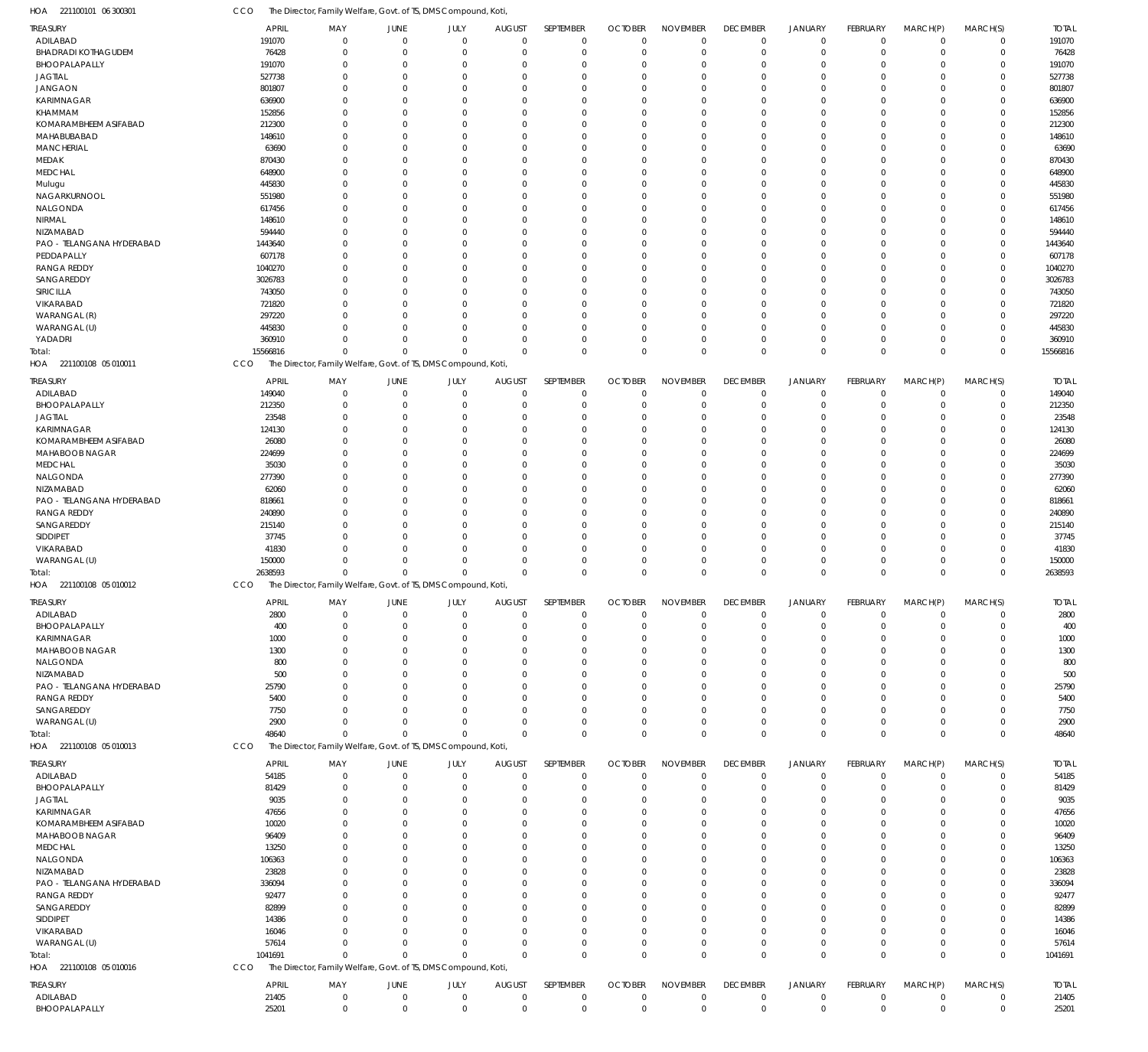221100101 06 300301 HOA CCO The Director, Family Welfare, Govt. of TS, DMS Compound, Koti,

| <b>TREASURY</b>            | <b>APRIL</b>   | MAY                                                            | JUNE           | JULY        | <b>AUGUST</b> | SEPTEMBER   | <b>OCTOBER</b> | <b>NOVEMBER</b> | <b>DECEMBER</b> | JANUARY        | FEBRUARY    | MARCH(P)         | MARCH(S)    | <b>TOTAL</b> |
|----------------------------|----------------|----------------------------------------------------------------|----------------|-------------|---------------|-------------|----------------|-----------------|-----------------|----------------|-------------|------------------|-------------|--------------|
| ADILABAD                   | 191070         | $\mathbf 0$                                                    | $\overline{0}$ | $\mathbf 0$ | $\mathbf 0$   | $\mathbf 0$ | $\Omega$       | $\overline{0}$  | $\mathbf 0$     | $\overline{0}$ | $\mathbf 0$ | $\mathbf 0$      | $\mathbf 0$ | 191070       |
| <b>BHADRADI KOTHAGUDEM</b> | 76428          | $\Omega$                                                       | $\mathbf 0$    | $\mathbf 0$ | $\Omega$      | $\mathbf 0$ |                | $\overline{0}$  | $\mathbf 0$     | $\overline{0}$ | $\mathbf 0$ | 0                | $\mathbf 0$ | 76428        |
| BHOOPALAPALLY              | 191070         | 0                                                              | $\Omega$       | $\mathbf 0$ | O             | $\Omega$    |                | $\Omega$        | 0               | $\Omega$       | $\Omega$    | 0                | $\mathbf 0$ | 191070       |
| <b>JAGTIAL</b>             | 527738         | $\Omega$                                                       | $\Omega$       | $\mathbf 0$ | O             | $\mathbf 0$ |                | $\overline{0}$  | 0               | $\Omega$       | $\Omega$    | 0                | $\mathbf 0$ | 527738       |
| <b>JANGAON</b>             | 801807         | O                                                              | $\Omega$       | 0           | O             | $\Omega$    |                | $\Omega$        | $\Omega$        | $\Omega$       | $\Omega$    | 0                | $\mathbf 0$ | 801807       |
| KARIMNAGAR                 | 636900         | O                                                              | $\Omega$       | 0           | C.            | $\Omega$    |                | $\Omega$        | $\Omega$        | $\Omega$       | $\Omega$    | 0                | $\mathbf 0$ | 636900       |
| KHAMMAM                    | 152856         |                                                                | $\Omega$       | $\mathbf 0$ | O             | $\Omega$    |                | $\Omega$        | $\Omega$        | $\Omega$       | $\Omega$    | 0                | $\mathbf 0$ | 152856       |
| KOMARAMBHEEM ASIFABAD      | 212300         | 0                                                              | $\Omega$       | $\mathbf 0$ | O             | $\mathbf 0$ |                | $\Omega$        | 0               | $\Omega$       | $\Omega$    | 0                | $\mathbf 0$ | 212300       |
|                            |                |                                                                | $\Omega$       |             | C.            | $\Omega$    |                | $\Omega$        | $\Omega$        | $\Omega$       | $\Omega$    |                  | $\mathbf 0$ |              |
| MAHABUBABAD                | 148610         |                                                                |                | 0           |               |             |                |                 |                 |                |             | 0                |             | 148610       |
| <b>MANCHERIAL</b>          | 63690          | O                                                              | $\Omega$       | $\mathbf 0$ | O             | $\mathbf 0$ |                | $\Omega$        | $\Omega$        | $\Omega$       | $\Omega$    | 0                | $\mathbf 0$ | 63690        |
| MEDAK                      | 870430         | O                                                              | $\Omega$       | $\mathbf 0$ | O             | $\Omega$    |                | $\Omega$        | $\Omega$        | $\Omega$       | $\Omega$    | 0                | $\mathbf 0$ | 870430       |
| <b>MEDCHAL</b>             | 648900         | O                                                              | $\Omega$       | $\mathbf 0$ | $\Omega$      | $\Omega$    |                | $\Omega$        | $\Omega$        | $\Omega$       | $\Omega$    | 0                | $\mathbf 0$ | 648900       |
| Mulugu                     | 445830         |                                                                | $\Omega$       | 0           | C.            | $\Omega$    |                | $\Omega$        | $\Omega$        | $\Omega$       | $\Omega$    | 0                | $\mathbf 0$ | 445830       |
| NAGARKURNOOL               | 551980         | O                                                              | $\Omega$       | $\mathbf 0$ | O             | $\mathbf 0$ |                | $\Omega$        | 0               | $\Omega$       | $\Omega$    | 0                | $\mathbf 0$ | 551980       |
| NALGONDA                   | 617456         |                                                                | $\Omega$       | $\mathbf 0$ | O             | $\Omega$    |                | $\Omega$        | $\Omega$        | $\Omega$       | $\Omega$    | 0                | $\mathbf 0$ | 617456       |
| NIRMAL                     | 148610         | O                                                              | $\Omega$       | $\mathbf 0$ | C.            | $\Omega$    |                | $\Omega$        | $\Omega$        | $\Omega$       | $\Omega$    | 0                | $\mathbf 0$ | 148610       |
| NIZAMABAD                  | 594440         |                                                                | $\Omega$       | $\mathbf 0$ | O             | $\Omega$    |                | $\Omega$        | $\Omega$        | $\Omega$       | $\Omega$    | 0                | $\mathbf 0$ | 594440       |
| PAO - TELANGANA HYDERABAD  | 1443640        | 0                                                              | $\Omega$       | $\mathbf 0$ | O             | $\mathbf 0$ |                | $\Omega$        | 0               | $\Omega$       | $\Omega$    | 0                | $\mathbf 0$ | 1443640      |
| PEDDAPALLY                 | 607178         | O                                                              | $\Omega$       | $\mathbf 0$ | C.            | $\Omega$    |                | $\Omega$        | $\Omega$        | $\Omega$       | $\Omega$    | 0                | $\mathbf 0$ | 607178       |
| <b>RANGA REDDY</b>         | 1040270        | O                                                              | $\Omega$       | $\mathbf 0$ | O             | $\Omega$    |                | $\Omega$        | $\Omega$        | $\Omega$       | $\Omega$    | 0                | $\mathbf 0$ | 1040270      |
| SANGAREDDY                 | 3026783        |                                                                | $\Omega$       | $\mathbf 0$ | O             | $\Omega$    |                | $\Omega$        | $\Omega$        | $\Omega$       | $\Omega$    | 0                | $\mathbf 0$ | 3026783      |
| SIRICILLA                  | 743050         | O                                                              | $\Omega$       | 0           | O             | $\Omega$    |                | $\Omega$        | $\Omega$        | $\Omega$       | $\Omega$    | 0                | $\mathbf 0$ | 743050       |
| VIKARABAD                  | 721820         |                                                                | $\Omega$       | $\mathbf 0$ | C.            | $\Omega$    |                | $\Omega$        | $\Omega$        | $\Omega$       | $\Omega$    | 0                | $\mathbf 0$ | 721820       |
| WARANGAL (R)               | 297220         | O                                                              | $\Omega$       | $\mathbf 0$ | O             | $\mathbf 0$ |                | $\overline{0}$  | 0               | $\Omega$       | $\Omega$    | 0                | $\mathbf 0$ | 297220       |
| WARANGAL (U)               | 445830         |                                                                | $\Omega$       | $\mathbf 0$ | O             | $\Omega$    |                | $\Omega$        | 0               | $\mathbf 0$    | $\Omega$    | 0                | $\mathbf 0$ | 445830       |
| YADADRI                    | 360910         | O                                                              | $\Omega$       | $\mathbf 0$ | $\Omega$      | $\mathbf 0$ |                | $\overline{0}$  | 0               | $\overline{0}$ | $\Omega$    | 0                | $\mathbf 0$ | 360910       |
| Total:                     | 15566816       | $\Omega$                                                       | $\Omega$       | $\mathbf 0$ | $\Omega$      | $\mathbf 0$ | $\Omega$       | $\Omega$        | $\mathbf 0$     | $\overline{0}$ | $\Omega$    | $\mathbf 0$      | $\mathbf 0$ | 15566816     |
| HOA 221100108 05 010011    | CCO            | The Director, Family Welfare, Govt. of TS, DMS Compound, Koti, |                |             |               |             |                |                 |                 |                |             |                  |             |              |
|                            |                |                                                                |                |             |               |             |                |                 |                 |                |             |                  |             |              |
| TREASURY                   | <b>APRIL</b>   | MAY                                                            | JUNE           | JULY        | <b>AUGUST</b> | SEPTEMBER   | <b>OCTOBER</b> | <b>NOVEMBER</b> | <b>DECEMBER</b> | JANUARY        | FEBRUARY    | MARCH(P)         | MARCH(S)    | <b>TOTAL</b> |
| ADILABAD                   | 149040         | $\Omega$                                                       | $\overline{0}$ | $\mathbf 0$ | $\mathbf 0$   | $\mathbf 0$ | $\Omega$       | $\overline{0}$  | $\mathbf 0$     | $\overline{0}$ | $\mathbf 0$ | $\mathbf 0$      | $\mathbf 0$ | 149040       |
| BHOOPALAPALLY              | 212350         | $\Omega$                                                       | 0              | $\mathbf 0$ | 0             | $\mathbf 0$ | $\Omega$       | $\overline{0}$  | $\mathbf 0$     | $\overline{0}$ | $\mathbf 0$ | 0                | $\mathbf 0$ | 212350       |
| <b>JAGTIAL</b>             | 23548          | $\Omega$                                                       | $\Omega$       | $\mathbf 0$ | $\Omega$      | $\mathbf 0$ |                | $\Omega$        | $\mathbf 0$     | $\Omega$       | $\Omega$    | 0                | $\mathbf 0$ | 23548        |
| KARIMNAGAR                 | 124130         | $\Omega$                                                       | $\Omega$       | $\mathbf 0$ | $\Omega$      | $\Omega$    |                | $\Omega$        | $\Omega$        | $\Omega$       | $\Omega$    | $\mathbf 0$      | $\mathbf 0$ | 124130       |
| KOMARAMBHEEM ASIFABAD      | 26080          | 0                                                              | $\Omega$       | $\Omega$    | $\Omega$      | $\mathbf 0$ |                | $\Omega$        | 0               | $\Omega$       | $\Omega$    | 0                | $\mathbf 0$ | 26080        |
| MAHABOOB NAGAR             | 224699         | U                                                              | $\Omega$       | $\Omega$    | $\Omega$      | $\Omega$    |                | $\Omega$        | $\Omega$        | $\Omega$       | $\Omega$    | 0                | $\mathbf 0$ | 224699       |
| <b>MEDCHAL</b>             | 35030          | O                                                              | $\Omega$       | $\Omega$    | $\Omega$      | $\Omega$    |                | $\Omega$        | $\Omega$        | $\Omega$       | $\Omega$    | 0                | $\mathbf 0$ | 35030        |
| NALGONDA                   | 277390         | O                                                              | $\Omega$       | $\mathbf 0$ | $\Omega$      | $\Omega$    |                | $\Omega$        | $\Omega$        | $\Omega$       | $\Omega$    | 0                | $\mathbf 0$ | 277390       |
| NIZAMABAD                  | 62060          | O                                                              | $\Omega$       | $\Omega$    | $\Omega$      | $\Omega$    |                | $\Omega$        | $\Omega$        | $\Omega$       | $\Omega$    | 0                | $\mathbf 0$ | 62060        |
| PAO - TELANGANA HYDERABAD  | 818661         | U                                                              | $\Omega$       | $\Omega$    | $\Omega$      | $\Omega$    | $\Omega$       | $\Omega$        | $\Omega$        | $\Omega$       | $\Omega$    | $\Omega$         | $\mathbf 0$ | 818661       |
| <b>RANGA REDDY</b>         | 240890         | O                                                              | $\Omega$       | $\Omega$    | $\Omega$      | $\Omega$    |                | $\Omega$        | $\Omega$        | $\Omega$       | $\Omega$    | 0                | $\mathbf 0$ | 240890       |
| SANGAREDDY                 | 215140         | U                                                              | $\Omega$       | $\mathbf 0$ | $\Omega$      | $\Omega$    |                | $\Omega$        | $\Omega$        | $\Omega$       | $\Omega$    | 0                | $\mathbf 0$ | 215140       |
| SIDDIPET                   | 37745          | O                                                              | $\Omega$       | $\Omega$    | $\Omega$      | $\Omega$    |                | $\Omega$        | $\Omega$        | $\Omega$       | $\Omega$    | 0                | $\mathbf 0$ | 37745        |
| VIKARABAD                  | 41830          | U                                                              | $\Omega$       | $\Omega$    | $\Omega$      | $\Omega$    |                | $\Omega$        | $\Omega$        | $\Omega$       | $\Omega$    | $\mathbf 0$      | $\mathbf 0$ | 41830        |
|                            |                | $\Omega$                                                       | $\Omega$       | $\mathbf 0$ | $\Omega$      | $\mathbf 0$ |                | $\overline{0}$  | $\mathbf 0$     | $\overline{0}$ | $\Omega$    |                  |             |              |
| WARANGAL (U)               | 150000         | $\Omega$                                                       | $\Omega$       | $\mathbf 0$ | $\Omega$      | $\mathbf 0$ | $\Omega$       | $\mathbf 0$     | $\mathbf 0$     | $\Omega$       | $\Omega$    | 0<br>$\mathbf 0$ | $\mathbf 0$ | 150000       |
| Total:                     | 2638593<br>CCO |                                                                |                |             |               |             |                |                 |                 |                |             |                  | $\mathbf 0$ | 2638593      |
| HOA 221100108 05 010012    |                | The Director, Family Welfare, Govt. of TS, DMS Compound, Koti, |                |             |               |             |                |                 |                 |                |             |                  |             |              |
| TREASURY                   | <b>APRIL</b>   | MAY                                                            | JUNE           | JULY        | <b>AUGUST</b> | SEPTEMBER   | <b>OCTOBER</b> | <b>NOVEMBER</b> | <b>DECEMBER</b> | <b>JANUARY</b> | FEBRUARY    | MARCH(P)         | MARCH(S)    | <b>TOTAL</b> |
| ADILABAD                   | 2800           |                                                                | $\Omega$       | $\cap$      | $\cap$        | $\cap$      | $\cap$         | $\cap$          | $\cap$          | $\bigcap$      | $\Omega$    | $\cap$           | $\cap$      | 2800         |
| BHOOPALAPALLY              | 400            | $\Omega$                                                       | $\Omega$       | 0           |               | $\mathbf 0$ |                | $\Omega$        | 0               | $\Omega$       | $\Omega$    | 0                | $\mathbf 0$ | 400          |
| KARIMNAGAR                 | 1000           | 0                                                              | $\mathbf 0$    | $\mathbf 0$ | O             | $\mathbf 0$ | $\Omega$       | $\overline{0}$  | 0               | $\overline{0}$ | $\mathbf 0$ | 0                | $\mathbf 0$ | 1000         |
| MAHABOOB NAGAR             | 1300           | 0                                                              | $\Omega$       | 0           | C.            | $\Omega$    |                | $\overline{0}$  | $\Omega$        | $\Omega$       | $\Omega$    | 0                | $\mathbf 0$ | 1300         |
| NALGONDA                   | 800            | O                                                              | $\Omega$       | 0           |               | $\Omega$    |                | $\Omega$        | $\Omega$        | $\Omega$       | $\Omega$    | $\Omega$         | $\mathbf 0$ | 800          |
| NIZAMABAD                  | 500            | 0                                                              | $\Omega$       | 0           | O             | $\mathbf 0$ |                | $\overline{0}$  | 0               | $\Omega$       | $\Omega$    | 0                | $\mathbf 0$ | 500          |
| PAO - TELANGANA HYDERABAD  | 25790          |                                                                | $\Omega$       | 0           |               | $\Omega$    |                | $\Omega$        | $\Omega$        | $\Omega$       | $\Omega$    | 0                | $\mathbf 0$ | 25790        |
| <b>RANGA REDDY</b>         | 5400           | 0                                                              | $\Omega$       | 0           | C.            | $\Omega$    |                | $\overline{0}$  | 0               | $\Omega$       | O           | 0                | $\mathbf 0$ | 5400         |
| SANGAREDDY                 | 7750           | O                                                              | $\Omega$       | $\mathbf 0$ | C.            | $\Omega$    |                | $\Omega$        | 0               | $\Omega$       | $\Omega$    | 0                | $\mathbf 0$ | 7750         |
| WARANGAL (U)               | 2900           | $\Omega$                                                       | $\Omega$       | $\mathbf 0$ | $\Omega$      | $\mathbf 0$ |                | $\mathbf 0$     | $\mathbf 0$     | $\overline{0}$ | 0           | $\mathbf 0$      | $\mathbf 0$ | 2900         |
| Total:                     | 48640          | $\Omega$                                                       | $\Omega$       | $\mathbf 0$ | $\Omega$      | $\mathbf 0$ | $\Omega$       | $\mathbf 0$     | $\mathbf 0$     | $\overline{0}$ | $\mathbf 0$ | $\mathbf 0$      | $\mathbf 0$ | 48640        |
| HOA 221100108 05 010013    | CCO            | The Director, Family Welfare, Govt. of TS, DMS Compound, Koti, |                |             |               |             |                |                 |                 |                |             |                  |             |              |
|                            |                |                                                                |                |             |               |             |                |                 |                 |                |             |                  |             |              |
| TREASURY                   | <b>APRIL</b>   | MAY                                                            | JUNE           | JULY        | <b>AUGUST</b> | SEPTEMBER   | <b>OCTOBER</b> | <b>NOVEMBER</b> | <b>DECEMBER</b> | JANUARY        | FEBRUARY    | MARCH(P)         | MARCH(S)    | <b>TOTAL</b> |
| ADILABAD                   | 54185          | $\mathbf 0$                                                    | $\mathbf 0$    | $\mathbf 0$ | $\mathbf 0$   | $\mathbf 0$ | $\Omega$       | $\overline{0}$  | $\mathbf 0$     | $\overline{0}$ | $\mathbf 0$ | $\mathbf 0$      | $\mathbf 0$ | 54185        |
| BHOOPALAPALLY              | 81429          | $\Omega$                                                       | $\mathbf 0$    | $\mathbf 0$ | 0             | $\mathbf 0$ | $\Omega$       | $\overline{0}$  | $\mathbf 0$     | $\overline{0}$ | $\mathbf 0$ | $\mathbf 0$      | $\mathbf 0$ | 81429        |
| <b>JAGTIAL</b>             | 9035           | $\Omega$                                                       | 0              | $\mathbf 0$ | $\Omega$      | 0           |                | $\overline{0}$  | 0               | 0              | $\Omega$    | 0                | $\mathbf 0$ | 9035         |
| KARIMNAGAR                 | 47656          | O                                                              | $\Omega$       | 0           | $\Omega$      | $\Omega$    | $\Omega$       | $\mathbf 0$     | $\Omega$        | $\Omega$       | $\Omega$    | 0                | $\mathbf 0$ | 47656        |
| KOMARAMBHEEM ASIFABAD      | 10020          |                                                                | $\Omega$       | $\Omega$    | $\Omega$      | $\Omega$    |                | $\Omega$        | $\Omega$        | $\Omega$       | $\Omega$    | 0                | $\mathbf 0$ | 10020        |
| MAHABOOB NAGAR             | 96409          |                                                                | $\cup$         | $\mathbf 0$ | $\Omega$      | $\Omega$    |                | $\mathbf 0$     | $\Omega$        | $\Omega$       | $\Omega$    | 0                | $\mathbf 0$ | 96409        |
| MEDCHAL                    | 13250          |                                                                | O              | $\Omega$    | $\Omega$      | $\Omega$    |                | $\mathbf 0$     | $\Omega$        | $\Omega$       | $\Omega$    | 0                | $\mathbf 0$ | 13250        |
| NALGONDA                   | 106363         |                                                                | C.             | $\Omega$    | $\Omega$      | $\Omega$    | $\Omega$       | $\mathbf 0$     | $\Omega$        | $\Omega$       | $\Omega$    | $\Omega$         | $\mathbf 0$ | 106363       |
| NIZAMABAD                  | 23828          |                                                                | O              | $\Omega$    | $\Omega$      | $\Omega$    |                | $\overline{0}$  | $\Omega$        | $\Omega$       | $\Omega$    | 0                | 0           | 23828        |
| PAO - TELANGANA HYDERABAD  | 336094         | O                                                              | $\cup$         | $\mathbf 0$ | $\Omega$      | $\Omega$    | $\Omega$       | $\mathbf 0$     | $\Omega$        | $\Omega$       | $\Omega$    | 0                | $\mathbf 0$ | 336094       |
| <b>RANGA REDDY</b>         | 92477          |                                                                | C.             | $\Omega$    | $\Omega$      | $\Omega$    |                | $\mathbf 0$     | $\Omega$        | $\Omega$       | $\Omega$    | 0                | 0           | 92477        |
| SANGAREDDY                 | 82899          |                                                                | $\cup$         | $\Omega$    | C.            | $\Omega$    | $\Omega$       | $\mathbf 0$     | $\Omega$        | $\Omega$       | $\Omega$    | 0                | $\mathbf 0$ | 82899        |
| SIDDIPET                   | 14386          | O                                                              | $\Omega$       | $\Omega$    | $\Omega$      | $\Omega$    |                | $\overline{0}$  | 0               | $\Omega$       | $\Omega$    | 0                | $\mathbf 0$ | 14386        |
|                            |                | U                                                              | $\Omega$       | $\mathbf 0$ | $\Omega$      | $\Omega$    | $\Omega$       | $\mathbf 0$     | $\Omega$        | $\Omega$       | $\Omega$    |                  | $\mathbf 0$ |              |
| VIKARABAD                  | 16046          |                                                                | $\Omega$       |             |               |             |                |                 |                 |                | $\Omega$    | 0                |             | 16046        |
| WARANGAL (U)               | 57614          | $\Omega$<br>$\Omega$                                           |                | $\mathbf 0$ | $\Omega$      | $\mathbf 0$ | $\Omega$       | $\mathbf 0$     | $\mathbf 0$     | $\overline{0}$ |             | $\mathbf 0$      | $\mathbf 0$ | 57614        |
| Total:                     | 1041691        |                                                                | $\Omega$       | $\mathbf 0$ | $\Omega$      | $\mathbf 0$ | $\Omega$       | $\mathbf 0$     | $\mathbf 0$     | $\Omega$       | $\Omega$    | $\mathbf 0$      | $\mathbf 0$ | 1041691      |
| HOA 221100108 05 010016    | CCO            | The Director, Family Welfare, Govt. of TS, DMS Compound, Koti, |                |             |               |             |                |                 |                 |                |             |                  |             |              |
| <b>TREASURY</b>            | <b>APRIL</b>   | MAY                                                            | JUNE           | JULY        | <b>AUGUST</b> | SEPTEMBER   | <b>OCTOBER</b> | <b>NOVEMBER</b> | <b>DECEMBER</b> | JANUARY        | FEBRUARY    | MARCH(P)         | MARCH(S)    | <b>TOTAL</b> |
| ADILABAD                   | 21405          | $\mathbf 0$                                                    | $\mathbf 0$    | $\mathsf 0$ | $\mathbf 0$   | $\mathbf 0$ | $\mathbf 0$    | $\mathbf 0$     | $\mathbf 0$     | $\overline{0}$ | $\pmb{0}$   | $\mathbf 0$      | $\mathbf 0$ | 21405        |
| BHOOPALAPALLY              | 25201          | $\overline{0}$                                                 | $\mathbf 0$    | $\mathbf 0$ | $\mathbf 0$   | $\mathbf 0$ | $\mathbf 0$    | $\mathbb O$     | $\mathbf 0$     | $\overline{0}$ | $\mathbf 0$ | $\mathbf 0$      | $\mathbf 0$ | 25201        |
|                            |                |                                                                |                |             |               |             |                |                 |                 |                |             |                  |             |              |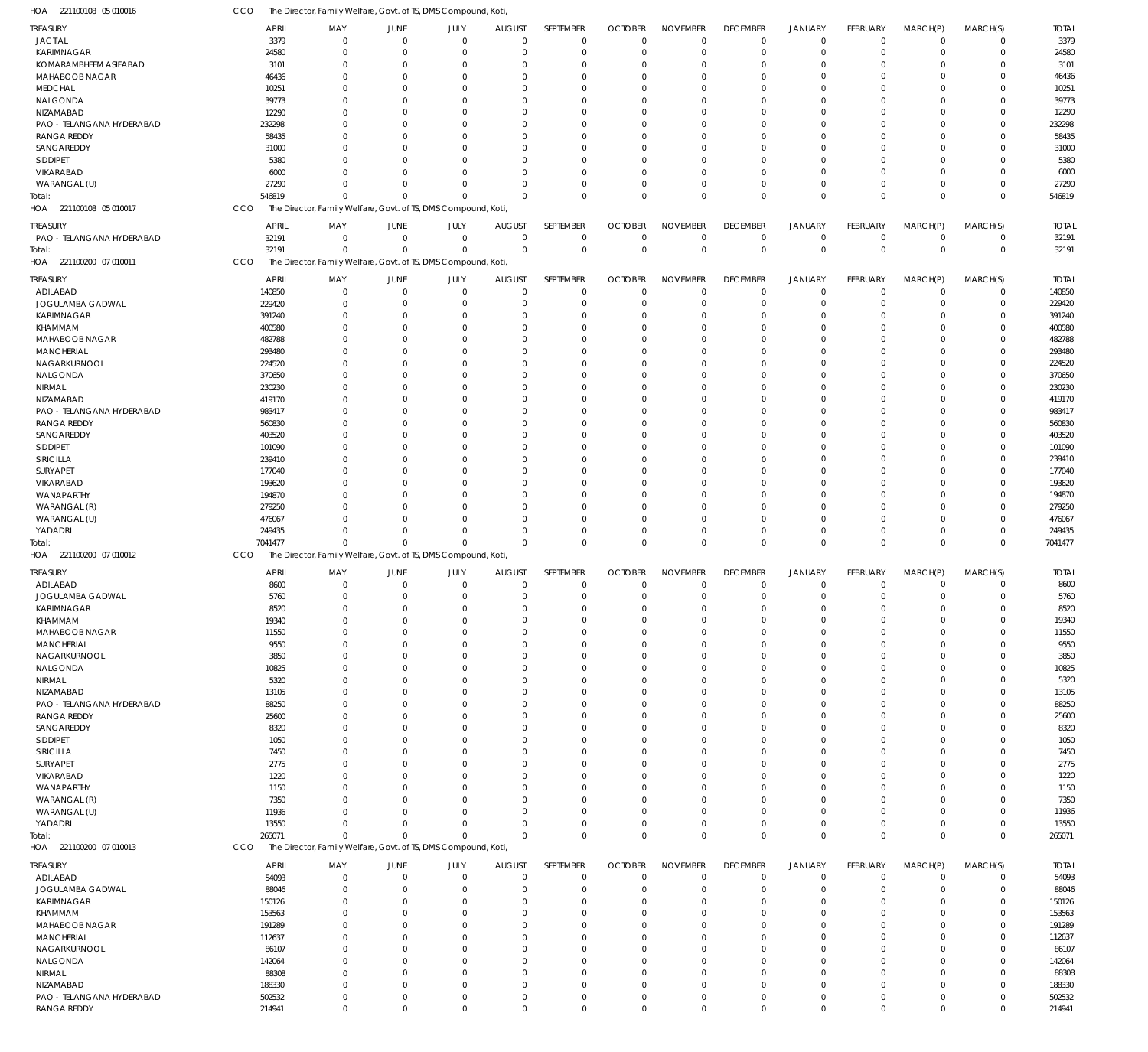| HOA 221100108 05 010016                    | CCO              | The Director, Family Welfare, Govt. of TS, DMS Compound, Koti             |                            |                      |                      |                            |                |                            |                      |                      |                          |                      |                |                  |
|--------------------------------------------|------------------|---------------------------------------------------------------------------|----------------------------|----------------------|----------------------|----------------------------|----------------|----------------------------|----------------------|----------------------|--------------------------|----------------------|----------------|------------------|
| <b>TREASURY</b>                            | <b>APRIL</b>     | MAY                                                                       | JUNE                       | JULY                 | <b>AUGUST</b>        | SEPTEMBER                  | <b>OCTOBER</b> | <b>NOVEMBER</b>            | <b>DECEMBER</b>      | <b>JANUARY</b>       | FEBRUARY                 | MARCH(P)             | MARCH(S)       | <b>TOTAL</b>     |
| <b>JAGTIAL</b>                             | 3379             | $\Omega$                                                                  | $\mathbf 0$                | $\mathbf 0$          | $\mathbf 0$          | $\mathbf 0$                | $\overline{0}$ | $\mathbf 0$                | $\mathbf 0$          | $\mathbf 0$          | $\overline{0}$           | $\mathbf 0$          | $\overline{0}$ | 3379             |
| KARIMNAGAR                                 | 24580            | $\Omega$                                                                  | $\overline{0}$             | $\mathbf{0}$         | $\mathbf 0$          | $\mathbf 0$                | $\overline{0}$ | $\mathbf 0$                | $\mathbf 0$          | $\mathbf 0$          | $\overline{0}$           | $\Omega$             | $\mathbf 0$    | 24580            |
| KOMARAMBHEEM ASIFABAD                      | 3101             | 0                                                                         | $\overline{0}$             | $\Omega$             | 0                    | $\mathbf 0$                | 0              | $\mathbf 0$                | $\Omega$             | $\Omega$             | $\Omega$                 | $\Omega$<br>$\Omega$ | 0              | 3101             |
| MAHABOOB NAGAR<br><b>MEDCHAL</b>           | 46436<br>10251   | $\Omega$<br>$\Omega$                                                      | $\Omega$<br>$\Omega$       | $\Omega$<br>$\Omega$ | $\Omega$<br>$\Omega$ | $\Omega$<br>$\mathbf 0$    | 0<br>0         | $\Omega$<br>$\Omega$       | $\Omega$<br>$\Omega$ | $\Omega$<br>$\Omega$ | $\Omega$<br>$\Omega$     | $\Omega$             | $\Omega$<br>0  | 46436<br>10251   |
| NALGONDA                                   | 39773            | $\Omega$                                                                  | $\Omega$                   | $\Omega$             | $\Omega$             | $\Omega$                   | 0              | $\Omega$                   | $\Omega$             | $\Omega$             | $\Omega$                 | $\Omega$             | 0              | 39773            |
| NIZAMABAD                                  | 12290            | $\Omega$                                                                  | $\Omega$                   | $\Omega$             | $\Omega$             | $\mathbf 0$                | 0              | $\Omega$                   | $\Omega$             | $\Omega$             | $\Omega$                 | $\Omega$             | 0              | 12290            |
| PAO - TELANGANA HYDERABAD                  | 232298           | $\Omega$                                                                  | $\Omega$                   | $\Omega$             | $\Omega$             | $\Omega$                   | 0              | $\Omega$                   | $\Omega$             | $\Omega$             | $\Omega$                 | $\Omega$             | $\Omega$       | 232298           |
| <b>RANGA REDDY</b>                         | 58435            | $\Omega$                                                                  | $\Omega$                   | $\Omega$             | $\Omega$             | $\mathbf 0$                | 0              | $\Omega$                   | $\Omega$             | $\Omega$             | $\Omega$                 | $\Omega$             | 0              | 58435            |
| SANGAREDDY                                 | 31000            | $\Omega$                                                                  | $\Omega$                   | $\Omega$             | $\Omega$             | $\Omega$                   | 0              | $\Omega$                   | $\Omega$             | $\Omega$             | $\Omega$                 | $\Omega$             | $\Omega$       | 31000            |
| SIDDIPET                                   | 5380             | <sup>0</sup>                                                              | $\Omega$                   | $\Omega$             | $\Omega$             | $\Omega$                   | 0              | $\Omega$                   | $\Omega$             | $\Omega$             | $\Omega$                 | $\Omega$             | 0              | 5380             |
| VIKARABAD                                  | 6000             | <sup>n</sup>                                                              | $\Omega$                   | $\Omega$             | $\Omega$             | $\Omega$                   | 0              | $\mathbf 0$                | $\Omega$             | $\Omega$             | $\Omega$                 | $\Omega$             | 0              | 6000             |
| WARANGAL (U)                               | 27290            | $\Omega$                                                                  | $\Omega$                   | $\Omega$             | $\mathbf 0$          | $\mathbf 0$                | 0              | $\mathbf 0$                | $\Omega$             | $\mathbf 0$          | $\Omega$                 | $\mathbf 0$          | 0              | 27290            |
| Total:                                     | 546819           | $\Omega$                                                                  | $\Omega$                   | $\Omega$             | $\Omega$             | $\Omega$                   | $\Omega$       | $\Omega$                   | $\Omega$             | $\Omega$             | $\Omega$                 | $\Omega$             | $\Omega$       | 546819           |
| HOA 221100108 05 010017                    | CCO              | The Director, Family Welfare, Govt. of TS, DMS Compound, Koti             |                            |                      |                      |                            |                |                            |                      |                      |                          |                      |                |                  |
| treasury                                   | <b>APRIL</b>     | MAY                                                                       | JUNE                       | JULY                 | <b>AUGUST</b>        | SEPTEMBER                  | <b>OCTOBER</b> | <b>NOVEMBER</b>            | <b>DECEMBER</b>      | <b>JANUARY</b>       | FEBRUARY                 | MARCH(P)             | MARCH(S)       | <b>TOTAL</b>     |
| PAO - TELANGANA HYDERABAD                  | 32191            | $\Omega$                                                                  | $\mathbf 0$                | $\mathbf 0$          | $\overline{0}$       | 0                          | $\overline{0}$ | $\mathbf 0$                | $\overline{0}$       | $\mathbf 0$          | $\overline{0}$           | $\mathbf 0$          | $\mathbf 0$    | 32191            |
| Total:                                     | 32191            | $\Omega$                                                                  | $\Omega$                   | $\mathbf 0$          | $\Omega$             | $\mathbf 0$                | $\mathbf 0$    | $\mathbf 0$                | $\mathbf 0$          | $\mathbf 0$          | $\overline{0}$           | $\mathbf{0}$         | $\mathbf 0$    | 32191            |
| HOA 221100200 07 010011                    | CCO              | The Director, Family Welfare, Govt. of TS, DMS Compound, Koti             |                            |                      |                      |                            |                |                            |                      |                      |                          |                      |                |                  |
| treasury                                   | APRIL            | MAY                                                                       | JUNE                       | JULY                 | <b>AUGUST</b>        | SEPTEMBER                  | <b>OCTOBER</b> | <b>NOVEMBER</b>            | <b>DECEMBER</b>      | <b>JANUARY</b>       | FEBRUARY                 | MARCH(P)             | MARCH(S)       | <b>TOTAL</b>     |
| ADILABAD                                   | 140850           | $\overline{0}$                                                            | $\mathbf 0$                | $\mathbf{0}$         | $\mathbf 0$          | $\mathbf 0$                | $\mathbf 0$    | $\mathbf 0$                | $\mathbf 0$          | $\mathbf 0$          | $^{\circ}$               | $\overline{0}$       | $^{\circ}$     | 140850           |
| JOGULAMBA GADWAL                           | 229420           | 0                                                                         | $\overline{0}$             | $\mathbf{0}$         | $\mathbf 0$          | $\mathbf 0$                | 0              | $\mathbf 0$                | 0                    | 0                    | $\Omega$                 | $\Omega$             | $\mathbf 0$    | 229420           |
| KARIMNAGAR                                 | 391240           | $\Omega$                                                                  | $\Omega$                   | $\Omega$             | $\Omega$             | $\mathbf 0$                | 0              | $\mathbf 0$                | $\Omega$             | $\Omega$             | $\Omega$                 | $\Omega$             | 0              | 391240           |
| KHAMMAM                                    | 400580           | $\Omega$                                                                  | $\Omega$<br>$\Omega$       | $\Omega$<br>$\Omega$ | $\Omega$<br>$\Omega$ | $\mathbf 0$                | 0              | $\Omega$<br>$\Omega$       | $\Omega$<br>$\Omega$ | $\Omega$<br>$\Omega$ | $\Omega$                 | $\Omega$<br>$\Omega$ | 0              | 400580           |
| <b>MAHABOOB NAGAR</b><br><b>MANCHERIAL</b> | 482788<br>293480 | $\Omega$<br>$\Omega$                                                      | $\Omega$                   | $\Omega$             | $\Omega$             | $\mathbf 0$<br>$\mathbf 0$ | 0<br>0         | $\Omega$                   | $\Omega$             | $\Omega$             | $\Omega$<br>$\Omega$     | $\Omega$             | 0<br>0         | 482788<br>293480 |
| NAGARKURNOOL                               | 224520           | $\Omega$                                                                  | $\Omega$                   | $\Omega$             | $\Omega$             | $\Omega$                   | 0              | $\Omega$                   | $\Omega$             | $\Omega$             | $\Omega$                 | $\Omega$             | 0              | 224520           |
| NALGONDA                                   | 370650           | $\Omega$                                                                  | $\Omega$                   | $\Omega$             | $\Omega$             | $\mathbf 0$                | 0              | $\Omega$                   | $\Omega$             | $\Omega$             | $\Omega$                 | $\Omega$             | 0              | 370650           |
| NIRMAL                                     | 230230           | $\Omega$                                                                  | $\Omega$                   | $\Omega$             | $\Omega$             | $\Omega$                   | 0              | $\Omega$                   | $\Omega$             | $\Omega$             | $\Omega$                 | $\Omega$             | 0              | 230230           |
| NIZAMABAD                                  | 419170           | $\Omega$                                                                  | $\Omega$                   | $\Omega$             | $\Omega$             | $\mathbf 0$                | 0              | $\Omega$                   | $\Omega$             | $\Omega$             | $\Omega$                 | $\Omega$             | 0              | 419170           |
| PAO - TELANGANA HYDERABAD                  | 983417           | $\Omega$                                                                  | $\Omega$                   | $\Omega$             | $\Omega$             | $\mathbf 0$                | 0              | $\Omega$                   | $\Omega$             | $\Omega$             | $\Omega$                 | $\Omega$             | 0              | 983417           |
| <b>RANGA REDDY</b>                         | 560830           | $\Omega$                                                                  | $\Omega$                   | $\Omega$             | $\Omega$             | $\mathbf 0$                | 0              | $\Omega$                   | $\Omega$             | $\Omega$             | $\Omega$                 | $\Omega$             | 0              | 560830           |
| SANGAREDDY                                 | 403520           | $\Omega$                                                                  | $\Omega$                   | $\Omega$             | $\Omega$             | $\Omega$                   | 0              | $\Omega$                   | $\Omega$             | $\Omega$             | $\Omega$                 | $\Omega$             | 0              | 403520           |
| SIDDIPET                                   | 101090           | $\Omega$                                                                  | $\Omega$                   | $\Omega$             | $\Omega$             | $\mathbf 0$                | 0              | $\Omega$                   | $\Omega$             | $\Omega$             | $\Omega$                 | $\Omega$             | 0              | 101090           |
| SIRICILLA                                  | 239410           | $\Omega$                                                                  | $\Omega$                   | $\Omega$             | $\Omega$             | $\mathbf 0$                | 0              | $\mathbf 0$                | $\Omega$             | $\Omega$             | $\Omega$                 | $\Omega$             | 0              | 239410           |
| SURYAPET                                   | 177040           | $\Omega$                                                                  | $\Omega$                   | $\Omega$             | $\Omega$             | $\mathbf 0$                | 0              | $\Omega$                   | $\Omega$             | $\Omega$             | $\Omega$                 | $\Omega$             | 0              | 177040           |
| VIKARABAD                                  | 193620           | $\Omega$                                                                  | $\Omega$<br>$\Omega$       | $\Omega$<br>$\Omega$ | $\Omega$<br>$\Omega$ | $\Omega$                   | 0              | $\Omega$                   | $\Omega$             | $\Omega$             | $\Omega$                 | $\Omega$<br>$\Omega$ | $\mathbf 0$    | 193620           |
| WANAPARTHY<br>WARANGAL (R)                 | 194870<br>279250 | $\Omega$<br>$\Omega$                                                      | $\Omega$                   | $\Omega$             | $\Omega$             | $\mathbf 0$<br>$\Omega$    | 0<br>0         | $\mathbf 0$<br>$\mathbf 0$ | $\Omega$<br>$\Omega$ | $\Omega$<br>$\Omega$ | $\Omega$<br>$\Omega$     | $\Omega$             | 0<br>0         | 194870<br>279250 |
| WARANGAL (U)                               | 476067           | <sup>0</sup>                                                              | $\Omega$                   | $\Omega$             | $\Omega$             | $\mathbf 0$                | 0              | $\Omega$                   | $\Omega$             | $\Omega$             | $\Omega$                 | $\Omega$             | 0              | 476067           |
| YADADRI                                    | 249435           | $\Omega$                                                                  | $\Omega$                   | $\Omega$             | $\Omega$             | $\mathbf 0$                | 0              | $\mathbf 0$                | $\Omega$             | $\Omega$             | $\Omega$                 | $\Omega$             | $\mathbf 0$    | 249435           |
| Total:                                     | 7041477          | $\mathbf 0$                                                               | $\mathbf{0}$               | $\Omega$             | $\mathbf 0$          | $\mathbf 0$                | $\Omega$       | $\Omega$                   | $\Omega$             | $\Omega$             | $\overline{0}$           | $\Omega$             | $\mathbf 0$    | 7041477          |
| HOA 221100200 07 010012                    | CCO              | The Director, Family Welfare, Govt. of TS, DMS Compound, Koti             |                            |                      |                      |                            |                |                            |                      |                      |                          |                      |                |                  |
| TREASURY                                   | <b>APRIL</b>     | MAY                                                                       | JUNE                       | JULY                 | <b>AUGUST</b>        | SEPTEMBER                  | <b>OCTOBER</b> | <b>NOVEMBER</b>            | <b>DECEMBER</b>      | <b>JANUARY</b>       | FEBRUARY                 | MARCH(P)             | MARCH(S)       | <b>TOTAL</b>     |
| ADILABAD                                   | 8600             | $\overline{0}$                                                            | $\mathbf 0$                | $\mathbf{0}$         | $\mathbf 0$          | 0                          | 0              | $\mathbf 0$                | $\overline{0}$       | 0                    | $^{\circ}$               | $\mathbf 0$          | $\mathbf 0$    | 8600             |
| JOGULAMBA GADWAL                           | 5760             | $\mathbf 0$                                                               | $\mathbf 0$                | $\mathbf 0$          | $\overline{0}$       | $\mathbf 0$                | $\mathbf 0$    | $\mathbf 0$                | $\mathbf 0$          | $\Omega$             | $\overline{0}$           | $\mathbf 0$          | $\mathbf 0$    | 5760             |
| KARIMNAGAR                                 | 8520             | 0                                                                         | 0                          |                      | 0                    | 0                          | 0              | $\Omega$                   |                      |                      |                          |                      | 0              | 8520             |
| KHAMMAM                                    | 19340            | $\Omega$                                                                  | $\overline{0}$             | $\Omega$             | $\Omega$             | $\mathbf 0$                | $\mathbf 0$    | $\mathbf 0$                | $\Omega$             | $\Omega$             | $\Omega$                 | $\Omega$             | 0              | 19340            |
| MAHABOOB NAGAR                             | 11550            | $\Omega$                                                                  | $\overline{0}$             | $\Omega$             | $\Omega$             | $\mathbf 0$                | 0              | $\mathbf 0$                | $\Omega$             | $\Omega$             | $\Omega$                 | $\Omega$             | 0              | 11550            |
| <b>MANCHERIAL</b>                          | 9550             | $\Omega$                                                                  | $\Omega$                   | $\Omega$             | $\Omega$             | $\mathbf 0$                | $\mathbf 0$    | $\mathbf 0$                | $\Omega$             | $\Omega$             | $\Omega$                 | $\Omega$             | 0              | 9550             |
| NAGARKURNOOL                               | 3850             | $\Omega$                                                                  | $\Omega$                   | $\Omega$             | $\Omega$             | $\mathbf 0$                | 0              | $\mathbf 0$                | $\Omega$             | $\Omega$             | $\Omega$                 | $\Omega$             | 0              | 3850             |
| NALGONDA                                   | 10825            | <sup>0</sup>                                                              | $\Omega$                   | $\Omega$             | $\Omega$             | $\mathbf 0$                | 0              | $\mathbf 0$                | $\Omega$             | $\Omega$             | $\Omega$                 | $\Omega$             | 0              | 10825            |
| NIRMAL                                     | 5320             | $\Omega$                                                                  | $\Omega$                   | $\Omega$             | $\Omega$             | $\mathbf 0$                | 0              | $\mathbf 0$                | $\Omega$             | $\Omega$             | $\Omega$                 | $\Omega$             | 0              | 5320             |
| NIZAMABAD<br>PAO - TELANGANA HYDERABAD     | 13105<br>88250   | $\Omega$<br>$\Omega$                                                      | $\Omega$<br>$\Omega$       | $\Omega$<br>$\Omega$ | $\Omega$<br>$\Omega$ | 0<br>$\mathbf 0$           | 0<br>0         | $\mathbf 0$<br>$\mathbf 0$ | $\Omega$<br>$\Omega$ | $\Omega$<br>$\Omega$ | <sup>0</sup><br>$\Omega$ | $\Omega$<br>$\Omega$ | 0<br>0         | 13105<br>88250   |
| <b>RANGA REDDY</b>                         | 25600            | <sup>0</sup>                                                              | $\Omega$                   | $\Omega$             | $\Omega$             | $\Omega$                   | 0              | $\Omega$                   | $\Omega$             | $\cap$               | $\Omega$                 | $\Omega$             | 0              | 25600            |
| SANGAREDDY                                 | 8320             | $\Omega$                                                                  | $\Omega$                   | $\Omega$             | $\Omega$             | $\mathbf 0$                | 0              | $\mathbf 0$                | $\Omega$             | $\Omega$             | 0                        | $\Omega$             | 0              | 8320             |
| SIDDIPET                                   | 1050             | $\Omega$                                                                  | $\Omega$                   | $\Omega$             | $\Omega$             | 0                          | 0              | $\mathbf 0$                | $\Omega$             | $\Omega$             |                          | $\Omega$             | 0              | 1050             |
| SIRICILLA                                  | 7450             | $\Omega$                                                                  | $\Omega$                   | $\Omega$             | $\Omega$             | $\mathbf 0$                | 0              | $\mathbf 0$                | $\Omega$             | $\Omega$             | $\Omega$                 | $\Omega$             | 0              | 7450             |
| SURYAPET                                   | 2775             | $\Omega$                                                                  | $\Omega$                   | 0                    | $\Omega$             | $\mathbf 0$                | 0              | $\mathbf 0$                | $\Omega$             | $\Omega$             | <sup>0</sup>             | $\Omega$             | 0              | 2775             |
| VIKARABAD                                  | 1220             | 0                                                                         | $\Omega$                   | $\Omega$             | $\Omega$             | $\mathbf 0$                | 0              | $\mathbf 0$                | $\Omega$             | $\Omega$             | $\Omega$                 | $\Omega$             | 0              | 1220             |
| WANAPARTHY                                 | 1150             | $\Omega$                                                                  | $\Omega$                   | $\Omega$             | $\Omega$             | $\Omega$                   | 0              | $\mathbf 0$                | $\Omega$             | $\Omega$             |                          | $\Omega$             | 0              | 1150             |
| WARANGAL (R)                               | 7350             | $\Omega$                                                                  | $\Omega$                   | $\Omega$             | $\Omega$             | $\mathbf 0$                | 0              | $\mathbf 0$                | $\Omega$             | $\Omega$             | $\Omega$                 | $\Omega$             | 0              | 7350             |
| WARANGAL (U)                               | 11936            | $\Omega$                                                                  | $\Omega$                   | $\Omega$             | $\Omega$             | $\mathbf 0$                | 0              | $\mathbf 0$                | $\Omega$             | $\Omega$             | $\Omega$                 | $\Omega$             | 0              | 11936            |
| YADADRI                                    | 13550            | $\Omega$                                                                  | $\Omega$                   | $\Omega$             | $\mathbf 0$          | $\mathbf 0$                | 0              | $\mathbf 0$                | $\Omega$             | $\Omega$             | $\Omega$                 | $\mathbf 0$          | 0              | 13550            |
| Total:<br>HOA 221100200 07 010013          | 265071<br>CCO    | $\Omega$<br>The Director, Family Welfare, Govt. of TS, DMS Compound, Koti | $\Omega$                   | $\Omega$             | $\Omega$             | $\mathbf 0$                | $\mathbf 0$    | $\mathbf 0$                | $\Omega$             | $\Omega$             | $\Omega$                 | $\Omega$             | $\mathbf 0$    | 265071           |
|                                            |                  |                                                                           |                            |                      |                      |                            |                |                            |                      |                      |                          |                      |                |                  |
| TREASURY                                   | <b>APRIL</b>     | MAY                                                                       | JUNE                       | JULY                 | <b>AUGUST</b>        | SEPTEMBER                  | <b>OCTOBER</b> | <b>NOVEMBER</b>            | <b>DECEMBER</b>      | <b>JANUARY</b>       | FEBRUARY                 | MARCH(P)             | MARCH(S)       | <b>TOTAL</b>     |
| ADILABAD                                   | 54093            | $\Omega$                                                                  | $\overline{0}$             | $\mathbf 0$          | $\mathbf 0$          | $\mathbf 0$                | $\mathbf 0$    | $\mathbf 0$                | $\mathbf 0$          | $\mathbf 0$          | $\Omega$                 | $\Omega$             | $\mathbf 0$    | 54093            |
| JOGULAMBA GADWAL                           | 88046            | $\Omega$                                                                  | $\overline{0}$             | $\mathbf{0}$         | $\mathbf{0}$         | $\mathbf 0$                | $\mathbf 0$    | $\mathbf 0$                | $\overline{0}$       | $\mathbf 0$          | $\overline{0}$           | $\mathbf 0$          | $\mathbf 0$    | 88046            |
| KARIMNAGAR<br>KHAMMAM                      | 150126<br>153563 | 0<br>$\Omega$                                                             | $\overline{0}$<br>$\Omega$ | $\Omega$<br>$\Omega$ | $\Omega$<br>$\Omega$ | $\mathbf 0$<br>$\Omega$    | 0<br>0         | $\mathbf 0$<br>$\mathbf 0$ | $\Omega$<br>$\Omega$ | $\Omega$<br>$\Omega$ | $\Omega$<br>$\Omega$     | $\Omega$<br>$\Omega$ | 0<br>0         | 150126<br>153563 |
| MAHABOOB NAGAR                             | 191289           | $\Omega$                                                                  | $\Omega$                   | $\Omega$             | $\Omega$             | $\mathbf 0$                | 0              | $\Omega$                   | $\Omega$             | $\Omega$             | $\Omega$                 | $\Omega$             | 0              | 191289           |
| <b>MANCHERIAL</b>                          | 112637           | $\Omega$                                                                  | $\Omega$                   | $\Omega$             | $\Omega$             | $\mathbf 0$                | 0              | $\mathbf 0$                | $\Omega$             | $\Omega$             | $\Omega$                 | $\Omega$             | 0              | 112637           |
| NAGARKURNOOL                               | 86107            | $\Omega$                                                                  | $\Omega$                   | $\Omega$             | $\Omega$             | $\mathbf 0$                | 0              | $\Omega$                   | $\Omega$             | $\Omega$             | $\Omega$                 | $\Omega$             | 0              | 86107            |
| NALGONDA                                   | 142064           | $\Omega$                                                                  | $\Omega$                   | $\Omega$             | $\Omega$             | $\Omega$                   | 0              | $\mathbf 0$                | $\Omega$             | $\Omega$             | $\Omega$                 | $\Omega$             | 0              | 142064           |
| NIRMAL                                     | 88308            | $\Omega$                                                                  | $\Omega$                   | $\Omega$             | $\Omega$             | $\mathbf 0$                | 0              | $\mathbf 0$                | $\Omega$             | $\Omega$             | $\Omega$                 | $\Omega$             | 0              | 88308            |
| NIZAMABAD                                  | 188330           | $\Omega$                                                                  | $\mathbf 0$                | $\Omega$             | $\Omega$             | $\mathbf 0$                | 0              | $\mathbf 0$                | $\Omega$             | $\Omega$             | $\Omega$                 | $\overline{0}$       | 0              | 188330           |
| PAO - TELANGANA HYDERABAD                  | 502532           | $\overline{0}$                                                            | $\mathbf 0$                | $\mathbf 0$          | $\mathbf 0$          | $\mathbf 0$                | $\mathbf 0$    | $\mathbf 0$                | $\mathbf 0$          | $\mathbf 0$          | $\overline{0}$           | $\mathbf 0$          | 0              | 502532           |
| <b>RANGA REDDY</b>                         | 214941           | $\mathbf 0$                                                               | $\mathbf 0$                | $\mathbf 0$          | $\mathbf 0$          | $\mathbf 0$                | $\mathbf 0$    | $\mathbf 0$                | $\overline{0}$       | $\mathbf 0$          | $\overline{0}$           | $\mathbf 0$          | $\mathbf 0$    | 214941           |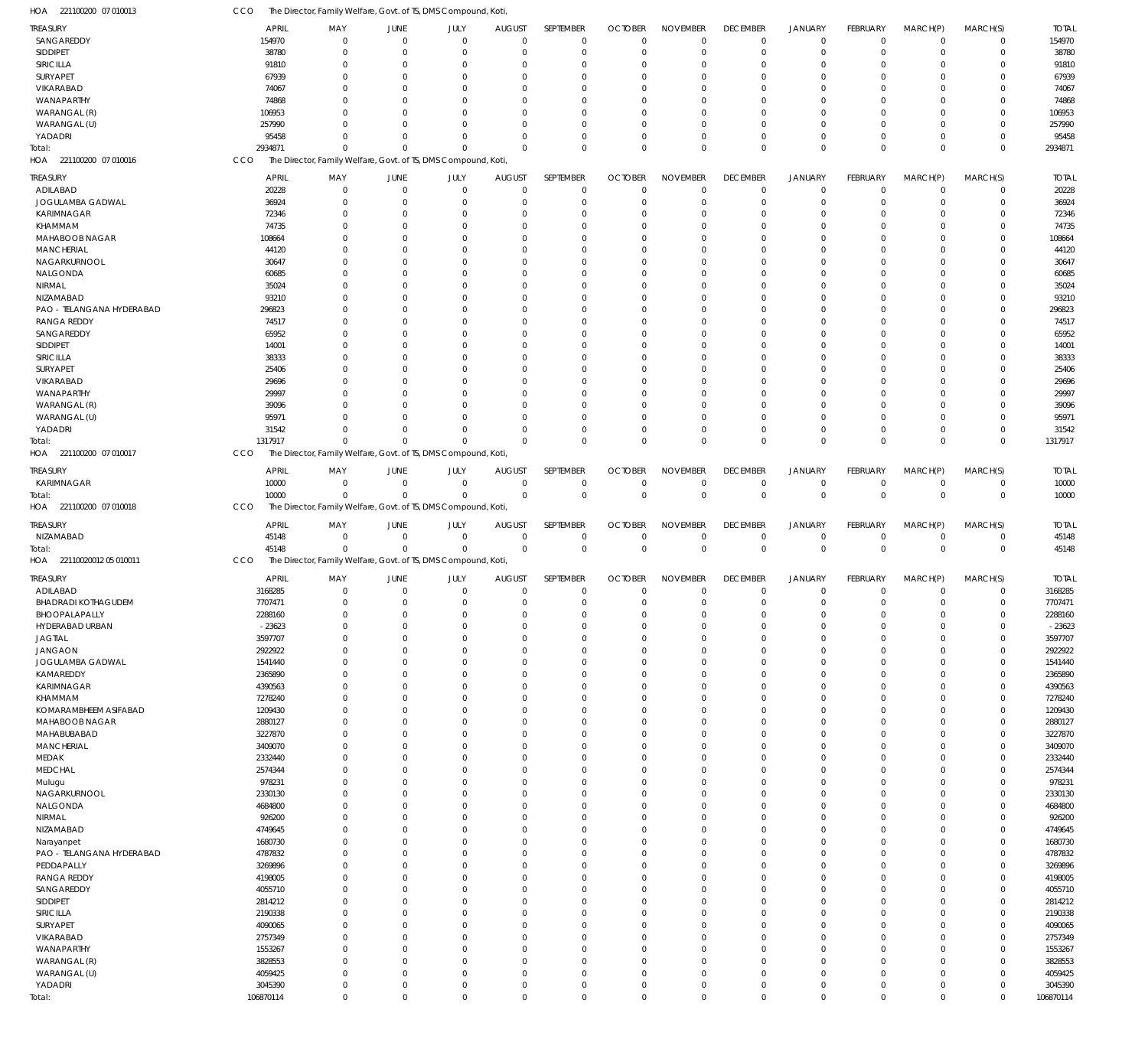221100200 07 010013 HOA CCO The Director, Family Welfare, Govt. of TS, DMS Compound, Koti,

| <b>TREASURY</b>                        | <b>APRIL</b>         | MAY                                                            | JUNE                          | JULY                        | <b>AUGUST</b>              | SEPTEMBER                  | <b>OCTOBER</b>                | <b>NOVEMBER</b>             | <b>DECEMBER</b>               | <b>JANUARY</b>             | FEBRUARY                    | MARCH(P)                   | MARCH(S)                   | <b>TOTAL</b>         |
|----------------------------------------|----------------------|----------------------------------------------------------------|-------------------------------|-----------------------------|----------------------------|----------------------------|-------------------------------|-----------------------------|-------------------------------|----------------------------|-----------------------------|----------------------------|----------------------------|----------------------|
| SANGAREDDY                             | 154970               | $\mathbf 0$                                                    | $\overline{0}$                | $\mathbf 0$                 | $\Omega$                   | $\mathbf 0$                | $\Omega$                      | $\mathbf 0$                 | $\overline{0}$                | $\mathbf 0$                | $\overline{0}$              | $\mathbf 0$                | $\mathbf 0$                | 154970               |
| SIDDIPET                               | 38780                | $\mathbf{0}$                                                   | $\Omega$                      | $\mathbf{0}$                | -C                         | $\mathbf 0$                | $\Omega$                      | $\mathbf 0$                 | $\Omega$                      | $\mathbf 0$                | $\Omega$                    | $\Omega$                   | $\Omega$                   | 38780                |
| SIRICILLA                              | 91810                | $\Omega$                                                       | $\Omega$                      | $\Omega$                    | <sup>r</sup>               | $\Omega$                   | -C                            | $\Omega$                    | $\Omega$                      | $\Omega$                   | ſ                           | $\Omega$                   | $\Omega$                   | 91810                |
| SURYAPET                               | 67939                | $\mathbf{0}$                                                   | 0                             | $\Omega$                    | -C                         | $\Omega$                   | -C                            | $\Omega$                    | $\Omega$                      | $\mathbf 0$                | ſ                           | $\Omega$                   | $\Omega$                   | 67939                |
| VIKARABAD                              | 74067                | $\Omega$                                                       | n                             | $\Omega$                    | <sup>r</sup>               | $\Omega$                   | -C                            | $\Omega$                    | $\Omega$                      | $\Omega$                   | ſ                           | $\Omega$                   |                            | 74067                |
| WANAPARTHY                             | 74868                | $\Omega$                                                       | n                             | $\Omega$                    | <sup>r</sup>               | $\Omega$                   | -0                            | $\Omega$                    | $\Omega$                      | $\Omega$                   | ſ                           | $\Omega$                   | $\Omega$                   | 74868                |
| WARANGAL (R)                           | 106953               | $\Omega$                                                       | $\Omega$                      | $\Omega$                    | -C                         | $\Omega$                   | -C                            | $\Omega$                    | $\Omega$                      | $\Omega$                   | ſ                           | $\Omega$                   | $\Omega$                   | 106953               |
| WARANGAL (U)                           | 257990               | $\Omega$                                                       | n                             | $\Omega$                    | -C                         | $\Omega$                   | -0                            | $\Omega$                    | $\Omega$                      | $\Omega$                   | ſ                           | $\Omega$                   | $\Omega$                   | 257990               |
| YADADRI                                | 95458                | $\Omega$<br>$\Omega$                                           | n<br>$\Omega$                 | $\mathbf{0}$<br>$\Omega$    | -C<br>$\Omega$             | $\Omega$<br>$\mathbf 0$    | -0<br>$\Omega$                | $\mathbf 0$<br>$\mathbf 0$  | $\Omega$<br>$\Omega$          | $\mathbf 0$<br>$\mathbf 0$ | $\Omega$<br>$\Omega$        | $\Omega$<br>$\Omega$       | $\Omega$<br>$\Omega$       | 95458                |
| Total:<br>HOA<br>221100200 07 010016   | 2934871<br>CCO       | The Director, Family Welfare, Govt. of TS, DMS Compound, Koti, |                               |                             |                            |                            |                               |                             |                               |                            |                             |                            |                            | 2934871              |
|                                        |                      |                                                                |                               |                             |                            |                            |                               |                             |                               |                            |                             |                            |                            |                      |
| <b>TREASURY</b>                        | <b>APRIL</b>         | MAY                                                            | JUNE                          | JULY                        | <b>AUGUST</b>              | SEPTEMBER                  | <b>OCTOBER</b>                | <b>NOVEMBER</b>             | <b>DECEMBER</b>               | <b>JANUARY</b>             | <b>FEBRUARY</b>             | MARCH(P)                   | MARCH(S)                   | <b>TOTAL</b>         |
| ADILABAD                               | 20228                | $\overline{0}$                                                 | $\Omega$                      | $\Omega$                    | $\Omega$                   | $\mathbf 0$                | $\Omega$                      | $\Omega$                    | $\overline{0}$                | $\mathbf 0$                | $\Omega$                    | $\Omega$                   | $\Omega$                   | 20228                |
| JOGULAMBA GADWAL                       | 36924                | $\overline{0}$                                                 | 0                             | $\Omega$                    | -C                         | $\mathbf 0$                | $\Omega$                      | $\Omega$                    | $\Omega$                      | $\mathbf 0$                | $\Omega$                    | $\Omega$                   | $\Omega$                   | 36924                |
| KARIMNAGAR                             | 72346                | $\Omega$                                                       | n                             | $\Omega$                    | <sup>r</sup>               | $\Omega$                   | -C                            | $\Omega$                    | $\Omega$                      | $\Omega$                   | $\Omega$                    | $\Omega$                   | $\Omega$                   | 72346                |
| KHAMMAM                                | 74735                | $\Omega$                                                       | n                             | $\Omega$                    | <sup>r</sup>               | $\Omega$                   | -C                            | $\Omega$                    | $\Omega$                      | $\Omega$                   | ſ                           | $\Omega$                   | $\Omega$                   | 74735                |
| MAHABOOB NAGAR                         | 108664               | $\Omega$                                                       | n                             | $\Omega$                    | -C                         | $\Omega$<br>$\Omega$       | -C                            | $\Omega$<br>$\Omega$        | $\Omega$                      | $\Omega$                   | $\Omega$                    | $\Omega$<br>$\Omega$       | $\Omega$                   | 108664               |
| <b>MANCHERIAL</b><br>NAGARKURNOOL      | 44120<br>30647       | n<br>$\Omega$                                                  | -0<br>n                       | n<br>$\Omega$               | <sup>r</sup><br>-C         | $\Omega$                   | -C<br>-C                      | $\Omega$                    | $\Omega$<br>$\Omega$          | $\Omega$<br>$\Omega$       | ſ<br>$\Omega$               | $\Omega$                   | $\Omega$<br>$\Omega$       | 44120<br>30647       |
| NALGONDA                               | 60685                | n                                                              | $\epsilon$                    | n                           | <sup>r</sup>               | $\Omega$                   | -C                            | $\Omega$                    | -C                            | $\Omega$                   | ſ                           | $\Omega$                   | $\Omega$                   | 60685                |
| NIRMAL                                 | 35024                | $\Omega$                                                       | n                             | $\Omega$                    | -C                         | $\Omega$                   | -C                            | $\Omega$                    | $\Omega$                      | $\Omega$                   | $\Omega$                    | $\Omega$                   | $\Omega$                   | 35024                |
| NIZAMABAD                              | 93210                | n                                                              | n                             | $\Omega$                    | <sup>r</sup>               | $\Omega$                   | -C                            | $\Omega$                    | $\Omega$                      | $\Omega$                   | ſ                           | $\Omega$                   | $\Omega$                   | 93210                |
| PAO - TELANGANA HYDERABAD              | 296823               | $\Omega$                                                       | -0                            | $\Omega$                    | <sup>r</sup>               | $\Omega$                   | -C                            | $\Omega$                    | $\Omega$                      | $\Omega$                   | ſ                           | $\Omega$                   | $\Omega$                   | 296823               |
| <b>RANGA REDDY</b>                     | 74517                | n                                                              | n                             | n                           | <sup>r</sup>               | $\Omega$                   | -C                            | $\Omega$                    | $\Omega$                      | $\Omega$                   | ſ                           | $\Omega$                   | $\Omega$                   | 74517                |
| SANGAREDDY                             | 65952                | $\Omega$                                                       | n                             | $\Omega$                    | -C                         | $\Omega$                   | -C                            | $\Omega$                    | $\Omega$                      | $\Omega$                   | ſ                           | $\Omega$                   | $\Omega$                   | 65952                |
| SIDDIPET                               | 14001                | n                                                              | -0                            | n                           | <sup>r</sup>               | $\cup$                     | -C                            | $\Omega$                    | $\Omega$                      | $\Omega$                   | ſ                           | $\Omega$                   | $\Omega$                   | 14001                |
| SIRICILLA                              | 38333                | $\Omega$                                                       | n                             | $\Omega$                    | -C                         | $\Omega$                   | -C                            | $\Omega$                    | $\Omega$                      | $\Omega$                   | $\Omega$                    | $\Omega$                   | $\Omega$                   | 38333                |
| SURYAPET                               | 25406                | n                                                              | $\epsilon$                    | n                           | <sup>r</sup>               | $\Omega$                   | -C                            | $\Omega$                    | $\Omega$                      | $\Omega$                   | ſ                           | $\Omega$                   |                            | 25406                |
| VIKARABAD                              | 29696                | $\Omega$                                                       | n                             | $\Omega$                    | -C                         | $\Omega$                   | -C                            | $\Omega$                    | $\Omega$                      | $\Omega$                   | $\Omega$                    | $\Omega$                   | $\Omega$                   | 29696                |
| WANAPARTHY                             | 29997                | n                                                              | $\epsilon$                    | $\Omega$                    | <sup>r</sup>               | $\Omega$                   | -C                            | $\Omega$                    | $\Omega$                      | $\Omega$                   | ſ                           | $\Omega$                   | $\Omega$                   | 29997                |
| WARANGAL (R)                           | 39096                | $\Omega$                                                       | n                             | $\Omega$                    | -C                         | $\Omega$                   | -C                            | $\Omega$                    | $\Omega$                      | $\Omega$                   | ſ                           | $\Omega$                   | $\Omega$                   | 39096                |
| WARANGAL (U)                           | 95971                | $\Omega$                                                       | n                             | $\Omega$                    | -C                         | $\cup$                     | -C                            | $\Omega$                    | $\Omega$                      | $\Omega$                   | ſ                           | $\Omega$                   | $\Omega$                   | 95971                |
| YADADRI                                | 31542                | $\Omega$                                                       | $\Omega$                      | $\Omega$                    | $\Omega$                   | $\Omega$                   | $\Omega$                      | $\Omega$                    | $\Omega$                      | $\mathbf 0$                | $\Omega$                    | $\Omega$                   | $\Omega$                   | 31542                |
| Total:                                 | 1317917              | $\Omega$                                                       | $\Omega$                      | $\Omega$                    | $\Omega$                   | $\Omega$                   | $\Omega$                      | $\Omega$                    | $\Omega$                      | $\Omega$                   | $\Omega$                    | $\Omega$                   | $\Omega$                   | 1317917              |
| HOA 221100200 07 010017                | CCO                  | The Director, Family Welfare, Govt. of TS, DMS Compound, Koti, |                               |                             |                            |                            |                               |                             |                               |                            |                             |                            |                            |                      |
| <b>TREASURY</b>                        | <b>APRIL</b>         | MAY                                                            | JUNE                          | JULY                        | <b>AUGUST</b>              | SEPTEMBER                  | <b>OCTOBER</b>                | <b>NOVEMBER</b>             | <b>DECEMBER</b>               | <b>JANUARY</b>             | FEBRUARY                    | MARCH(P)                   | MARCH(S)                   | <b>TOTAL</b>         |
| KARIMNAGAR                             | 10000                | $\mathbf 0$                                                    | $\overline{0}$                | $\mathbf 0$                 | $\overline{0}$             | $\mathbf 0$                | $\mathbf 0$                   | $\mathbf 0$                 | $\overline{0}$                | $\mathbf 0$                | $\overline{0}$              | $\mathbf 0$                | $\mathbf 0$                | 10000                |
| Total:                                 | 10000                | $\mathbf 0$                                                    | $\Omega$                      | $\mathbf 0$                 | $\Omega$                   | $\mathbf 0$                | $\mathbf{0}$                  | $\mathbf 0$                 | $\mathbf 0$                   | $\mathbf 0$                | $\mathbf 0$                 | $\mathbf 0$                | $\mathbf{0}$               | 10000                |
|                                        |                      |                                                                |                               |                             |                            |                            |                               |                             |                               |                            |                             |                            |                            |                      |
| HOA 221100200 07 010018                | CCO                  | The Director, Family Welfare, Govt. of TS, DMS Compound, Koti, |                               |                             |                            |                            |                               |                             |                               |                            |                             |                            |                            |                      |
|                                        |                      |                                                                |                               |                             |                            |                            |                               |                             |                               |                            |                             |                            |                            |                      |
| <b>TREASURY</b>                        | <b>APRIL</b>         | MAY<br>$\overline{0}$                                          | JUNE<br>$\Omega$              | JULY<br>$\mathbf{0}$        | <b>AUGUST</b><br>$\Omega$  | SEPTEMBER<br>$\mathbf 0$   | <b>OCTOBER</b><br>$\mathbf 0$ | <b>NOVEMBER</b>             | <b>DECEMBER</b><br>$^{\circ}$ | <b>JANUARY</b>             | <b>FEBRUARY</b><br>$\Omega$ | MARCH(P)<br>$\Omega$       | MARCH(S)<br>$\Omega$       | <b>TOTAL</b>         |
| NIZAMABAD                              | 45148                | $\Omega$                                                       | $\Omega$                      | $\mathbf 0$                 | $\Omega$                   | $\mathbf 0$                | $\Omega$                      | $\mathbf 0$<br>$\mathbf 0$  | $\mathbf 0$                   | $\mathbf 0$<br>$\mathbf 0$ | $\mathbf 0$                 | $\Omega$                   | $\mathbf{0}$               | 45148                |
| Total:<br>22110020012 05 010011<br>HOA | 45148<br>CCO         | The Director, Family Welfare, Govt. of TS, DMS Compound, Koti, |                               |                             |                            |                            |                               |                             |                               |                            |                             |                            |                            | 45148                |
|                                        |                      |                                                                |                               |                             |                            |                            |                               |                             |                               |                            |                             |                            |                            |                      |
| TREASURY                               | <b>APRIL</b>         | MAY                                                            | JUNE                          | JULY                        | <b>AUGUST</b>              | SEPTEMBER                  | <b>OCTOBER</b>                | <b>NOVEMBER</b>             | <b>DECEMBER</b>               | <b>JANUARY</b>             | FEBRUARY                    | MARCH(P)                   | MARCH(S)                   | <b>TOTAL</b>         |
| ADILABAD                               | 3168285              | $\mathbf{0}$                                                   | $\Omega$                      | $\mathbf 0$                 | $\Omega$                   | $\mathbf 0$                | $\mathbf 0$                   | $\mathbf 0$                 | $^{\circ}$                    | $\mathbf 0$                | $\Omega$                    | $\mathbf 0$                | 0                          | 3168285              |
| <b>BHADRADI KOTHAGUDEM</b>             | 7707471              | $\mathbf 0$<br>$\Omega$                                        | $\Omega$<br>$\Omega$          | $\mathbf 0$<br>$\Omega$     | $\Omega$<br>$\Omega$       | $\mathbf 0$<br>$\cap$      | $\Omega$<br>$\Omega$          | $\mathbf 0$<br>$\Omega$     | $^{\circ}$<br>$\Omega$        | $\mathbf 0$<br>$\Omega$    | $\Omega$<br>$\Omega$        | $\mathbf{0}$<br>$\Omega$   | $\Omega$                   | 7707471              |
| BHOOPALAPALLY                          | 2288160              |                                                                | $\Omega$                      | $\Omega$                    | $\Omega$                   |                            | $\Omega$                      | $\Omega$                    | $\Omega$                      |                            | $\Omega$                    | $\Omega$                   | $\Omega$                   | 2288160              |
| HYDERABAD URBAN                        | $-23623$             | 0                                                              | $\overline{0}$                |                             | $\Omega$                   | $\mathbf 0$                | $\mathbf 0$                   |                             | $\Omega$                      | $\mathbf 0$                | $\overline{0}$              |                            | $\Omega$                   | $-23623$             |
| <b>JAGTIAL</b>                         | 3597707              | $\mathbf 0$<br>$\mathbf 0$                                     | $\Omega$                      | $\mathbf 0$<br>$\mathbf{0}$ | $\Omega$                   | $\mathbf 0$<br>$\mathbf 0$ | $\Omega$                      | $\mathbf 0$<br>$\mathbf 0$  | $\Omega$                      | $\mathbf 0$<br>$\mathbf 0$ | $\Omega$                    | $\mathbf 0$<br>$\Omega$    | $\Omega$                   | 3597707              |
| <b>JANGAON</b><br>JOGULAMBA GADWAL     | 2922922<br>1541440   | $\mathbf 0$                                                    | $\Omega$                      | $\Omega$                    | $\Omega$                   | $\mathbf 0$                | $\Omega$                      | $\mathbf{0}$                | $\Omega$                      | $\Omega$                   | $\Omega$                    | $\Omega$                   | $\Omega$                   | 2922922<br>1541440   |
| KAMAREDDY                              | 2365890              | $\mathbf 0$                                                    | $\Omega$                      | $\Omega$                    | $\Omega$                   | $\mathbf 0$                | $\Omega$                      | $\mathbf 0$                 | $\Omega$                      | $\mathbf 0$                | $\Omega$                    | $\Omega$                   | $\Omega$                   | 2365890              |
| KARIMNAGAR                             | 4390563              | $\mathbf 0$                                                    | $\Omega$                      | $\Omega$                    | -C                         | $\Omega$                   | $\Omega$                      | $\mathbf{0}$                | $\Omega$                      | $\Omega$                   | $\Omega$                    | $\Omega$                   |                            | 4390563              |
| KHAMMAM                                | 7278240              | $\mathbf 0$                                                    | $\Omega$                      | $\Omega$                    | -C                         | $\mathbf 0$                | $\Omega$                      | $\mathbf{0}$                | $\Omega$                      | $\mathbf 0$                | $\Omega$                    | $\Omega$                   | $\Omega$                   | 7278240              |
| KOMARAMBHEEM ASIFABAD                  | 1209430              | $\mathbf 0$                                                    | $\Omega$                      | $\Omega$                    | $\Omega$                   | $\mathbf 0$                | $\Omega$                      | $\mathbf{0}$                | $\Omega$                      | $\Omega$                   | $\Omega$                    | $\Omega$                   | $\Omega$                   | 1209430              |
| MAHABOOB NAGAR                         | 2880127              | $\mathbf 0$                                                    | $\Omega$                      | $\Omega$                    | $\Omega$                   | $\mathbf 0$                | $\Omega$                      | $\mathbf 0$                 | $\Omega$                      | $\mathbf 0$                | $\Omega$                    | $\Omega$                   | $\Omega$                   | 2880127              |
| MAHABUBABAD                            | 3227870              | $\mathbf 0$                                                    | $\Omega$                      | $\Omega$                    | -C                         | $\mathbf 0$                | $\Omega$                      | $\mathbf 0$                 | $\Omega$                      | $\Omega$                   | $\Omega$                    | $\Omega$                   | $\Omega$                   | 3227870              |
| MANCHERIAL                             | 3409070              | $\mathbf 0$                                                    | $\Omega$                      | $\Omega$                    | -C                         | $\mathbf 0$                | $\Omega$                      | $\mathbf 0$                 | $\Omega$                      | $\mathbf 0$                | $\Omega$                    | $\Omega$                   | $\Omega$                   | 3409070              |
| MEDAK                                  | 2332440              | $\mathbf 0$                                                    | $\Omega$                      | $\Omega$                    | $\Omega$                   | $\mathbf 0$                | $\Omega$                      | $\mathbf{0}$                | $\Omega$                      | $\Omega$                   | $\Omega$                    | $\Omega$                   | $\Omega$                   | 2332440              |
| <b>MEDCHAL</b>                         | 2574344              | $\mathbf 0$                                                    | $\Omega$                      | $\Omega$                    | $\Omega$                   | $\mathbf 0$                | $\Omega$                      | $\mathbf 0$                 | $\Omega$                      | $\mathbf 0$                | $\Omega$                    | $\Omega$                   | $\Omega$                   | 2574344              |
| Mulugu                                 | 978231               | $\mathbf 0$                                                    | $\Omega$                      | $\Omega$                    | -C                         | $\Omega$                   | $\Omega$                      | $\mathbf{0}$                | $\Omega$                      | $\Omega$                   | $\Omega$                    | $\Omega$                   |                            | 978231               |
| NAGARKURNOOL                           | 2330130              | $\mathbf 0$                                                    | $\Omega$                      | $\Omega$                    | -C                         | $\mathbf 0$                | $\Omega$                      | $\mathbf 0$                 | $\Omega$                      | $\mathbf 0$                | $\Omega$                    | $\Omega$                   | $\Omega$                   | 2330130              |
| NALGONDA                               | 4684800              | $\mathbf 0$                                                    | $\Omega$                      | $\Omega$                    | $\Omega$                   | $\mathbf 0$                | $\Omega$                      | $\mathbf{0}$                | $\Omega$                      | $\Omega$                   | $\Omega$                    | $\Omega$                   | $\Omega$                   | 4684800              |
| <b>NIRMAL</b>                          | 926200               | $\mathbf 0$                                                    | $\Omega$                      | $\Omega$                    | $\Omega$                   | $\mathbf 0$                | $\Omega$                      | $\mathbf 0$                 | $\Omega$                      | $\mathbf 0$                | $\Omega$                    | $\Omega$                   | $\Omega$                   | 926200               |
| NIZAMABAD                              | 4749645              | $\mathbf 0$                                                    | $\Omega$                      | $\Omega$                    | -C                         | $\mathbf 0$                | $\Omega$                      | $\mathbf 0$                 | $\Omega$                      | $\Omega$                   | $\Omega$                    | $\Omega$                   | $\Omega$                   | 4749645              |
| Narayanpet                             | 1680730              | $\mathbf 0$                                                    | $\Omega$                      | $\Omega$                    | -C                         | $\mathbf 0$                | $\Omega$                      | $\mathbf 0$                 | $\Omega$                      | $\mathbf 0$                | $\Omega$                    | $\Omega$                   | $\Omega$                   | 1680730              |
| PAO - TELANGANA HYDERABAD              | 4787832              | $\mathbf 0$                                                    | $\Omega$<br>$\Omega$          | $\Omega$                    | $\Omega$<br>$\Omega$       | $\mathbf 0$                | $\Omega$                      | $\mathbf{0}$                | $\Omega$                      | $\Omega$                   | $\Omega$<br>$\Omega$        | $\Omega$                   | $\Omega$                   | 4787832              |
| PEDDAPALLY                             | 3269896              | $\mathbf 0$                                                    | $\Omega$                      | $\Omega$                    | -C                         | $\mathbf 0$                | $\Omega$                      | $\mathbf 0$                 | $\Omega$                      | $\mathbf 0$                | $\Omega$                    | $\Omega$<br>$\Omega$       | $\Omega$                   | 3269896              |
| <b>RANGA REDDY</b>                     | 4198005              | $\mathbf 0$                                                    | $\Omega$                      | $\Omega$<br>$\Omega$        | -C                         | $\Omega$                   | $\Omega$<br>$\Omega$          | $\mathbf{0}$                | $\Omega$<br>$\Omega$          | $\Omega$                   | $\Omega$                    | $\Omega$                   | $\Omega$                   | 4198005              |
| SANGAREDDY                             | 4055710              | $\mathbf 0$                                                    | $\Omega$                      | $\Omega$                    | $\Omega$                   | $\mathbf 0$<br>$\mathbf 0$ | $\Omega$                      | $\mathbf 0$<br>$\mathbf{0}$ | $\Omega$                      | $\mathbf 0$<br>$\Omega$    | $\Omega$                    | $\Omega$                   | $\Omega$                   | 4055710              |
| SIDDIPET                               | 2814212              | $\mathbf 0$<br>$\mathbf 0$                                     | $\Omega$                      | $\Omega$                    | $\Omega$                   | $\mathbf 0$                | $\Omega$                      | $\mathbf 0$                 | $\Omega$                      | $\mathbf 0$                | $\Omega$                    | $\Omega$                   | $\Omega$                   | 2814212              |
| SIRICILLA<br>SURYAPET                  | 2190338<br>4090065   | $\mathbf 0$                                                    | $\Omega$                      | $\Omega$                    | -C                         | $\mathbf 0$                | $\Omega$                      | $\mathbf 0$                 | $\Omega$                      | $\Omega$                   | $\Omega$                    | $\Omega$                   | $\Omega$                   | 2190338<br>4090065   |
| VIKARABAD                              | 2757349              | $\mathbf 0$                                                    | $\Omega$                      | $\Omega$                    | $\Omega$                   | $\mathbf 0$                | $\Omega$                      | $\mathbf 0$                 | $\Omega$                      | $\mathbf 0$                | $\Omega$                    | $\Omega$                   | $\Omega$                   | 2757349              |
| WANAPARTHY                             | 1553267              | $\mathbf 0$                                                    | $\Omega$                      | $\Omega$                    | $\Omega$                   | $\mathbf 0$                | $\Omega$                      | $\mathbf{0}$                | $\Omega$                      | $\Omega$                   | $\Omega$                    | $\Omega$                   | $\Omega$                   | 1553267              |
| WARANGAL (R)                           | 3828553              | $\mathbf 0$                                                    | $\Omega$                      | $\mathbf{0}$                | $\Omega$                   | $\mathbf 0$                | $\Omega$                      | $\mathbf 0$                 | $\Omega$                      | $\mathbf 0$                | $\Omega$                    | $\Omega$                   | $\Omega$                   | 3828553              |
| WARANGAL (U)                           | 4059425              | $\mathbf 0$                                                    | $\Omega$                      | $\mathbf 0$                 | $\Omega$                   | $\mathbf 0$                | $\Omega$                      | $\mathbf 0$                 | $\Omega$                      | $\mathbf 0$                | $\Omega$                    | $\Omega$                   | $\Omega$                   | 4059425              |
| YADADRI                                | 3045390<br>106870114 | $\mathbf 0$<br>$\mathbf 0$                                     | $\overline{0}$<br>$\mathbf 0$ | $\mathbf 0$<br>$\mathbf 0$  | $\mathbf 0$<br>$\mathbf 0$ | $\mathbf 0$<br>$\mathbf 0$ | $\mathbf 0$<br>$\mathbf 0$    | $\mathbf 0$<br>$\mathbf 0$  | $\mathbf 0$<br>$\mathbf 0$    | $\mathbf 0$<br>$\mathbf 0$ | $\mathbf 0$                 | $\mathbf 0$<br>$\mathbf 0$ | $\mathbf 0$<br>$\mathbf 0$ | 3045390<br>106870114 |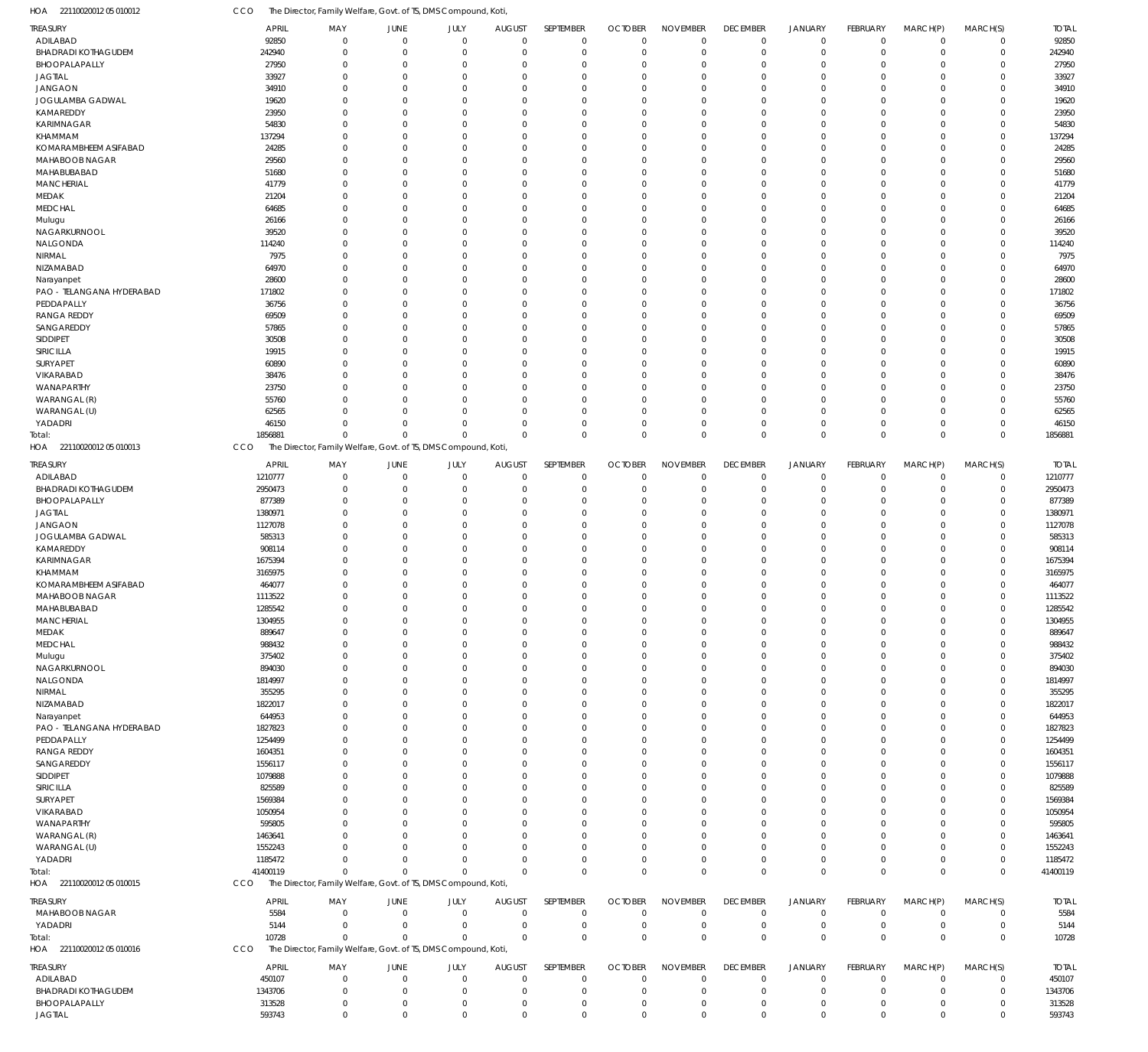22110020012 05 010012 HOA CCO The Director, Family Welfare, Govt. of TS, DMS Compound, Koti,

|                                 | <b>APRIL</b>     | MAY                                                            | JUNE                    | JULY                    | <b>AUGUST</b>           | SEPTEMBER               | <b>OCTOBER</b>   | <b>NOVEMBER</b>  | <b>DECEMBER</b>            | <b>JANUARY</b>   | <b>FEBRUARY</b> | MARCH(P)                   | MARCH(S)             | <b>TOTAL</b>     |
|---------------------------------|------------------|----------------------------------------------------------------|-------------------------|-------------------------|-------------------------|-------------------------|------------------|------------------|----------------------------|------------------|-----------------|----------------------------|----------------------|------------------|
| TREASURY<br>ADILABAD            | 92850            | $\mathbf 0$                                                    | $\mathbf 0$             | $\Omega$                | $\mathbf 0$             | $\mathbf 0$             | $\overline{0}$   | $\mathbf 0$      | $\mathbf 0$                | $\mathbf 0$      | $\Omega$        | $\mathbf 0$                | $\Omega$             | 92850            |
|                                 |                  |                                                                |                         |                         |                         |                         |                  |                  |                            |                  |                 |                            |                      |                  |
| <b>BHADRADI KOTHAGUDEM</b>      | 242940           | $\Omega$                                                       | $\Omega$                | $\Omega$                | $\Omega$                | $\mathbf 0$             | $\mathbf 0$      | $\mathbf 0$      | $\mathbf 0$                | $\mathbf 0$      | $\Omega$        | $\Omega$                   | $\Omega$             | 242940           |
| BHOOPALAPALLY                   | 27950            | $\Omega$                                                       | $\Omega$                | $\Omega$                | $\Omega$                | $\Omega$                | $\Omega$         | $\Omega$         | $\Omega$                   | $\Omega$         | $\Omega$        | $\Omega$                   | $\Omega$             | 27950            |
| <b>JAGTIAL</b>                  | 33927            | $\Omega$                                                       | $\Omega$                | 0                       | $\Omega$                | $\Omega$                | $\Omega$         | $\Omega$         | $\Omega$                   | $\Omega$         | -0              | $\Omega$                   | $\Omega$             | 33927            |
| JANGAON                         | 34910            | 0                                                              | $\Omega$                | O                       | $\Omega$                | $\Omega$                | $\Omega$         | $\Omega$         | $\Omega$                   | $\Omega$         | -C              | $\Omega$                   | $\Omega$             | 34910            |
| JOGULAMBA GADWAL                | 19620            | 0                                                              | $\Omega$                | O                       | $\Omega$                | $\Omega$                | $\Omega$         | $\Omega$         | $\Omega$                   | $\Omega$         | -C              | $\Omega$                   | $\Omega$             | 19620            |
| KAMAREDDY                       | 23950            | 0                                                              | $\Omega$                | O                       | $\Omega$                | $\Omega$                | $\Omega$         | $\Omega$         | $\Omega$                   | $\Omega$         | -C              | $\Omega$                   | $\Omega$             | 23950            |
| <b>KARIMNAGAR</b>               | 54830            | 0                                                              | $\Omega$                | O                       | $\Omega$                | $\Omega$                | $\Omega$         | $\Omega$         | $\Omega$                   | $\Omega$         | -C              | $\Omega$                   | $\Omega$             | 54830            |
| KHAMMAM                         | 137294           | 0                                                              | $\Omega$                | O                       | $\Omega$                | $\Omega$                | $\Omega$         | $\Omega$         | $\Omega$                   | $\Omega$         | -C              | $\Omega$                   | $\Omega$             | 137294           |
| KOMARAMBHEEM ASIFABAD           | 24285            | 0                                                              | $\Omega$                | O                       | $\Omega$                | $\Omega$                | $\Omega$         | $\Omega$         | $\Omega$                   | $\Omega$         | -C              | $\Omega$                   | $\Omega$             | 24285            |
| MAHABOOB NAGAR                  | 29560            | 0                                                              | $\Omega$                | O                       | $\Omega$                | $\Omega$                | $\Omega$         | $\Omega$         | $\Omega$                   | $\Omega$         | -C              | $\Omega$                   | $\Omega$             | 29560            |
| MAHABUBABAD                     |                  | 0                                                              | $\Omega$                | O                       | $\Omega$                | $\Omega$                | $\Omega$         | $\Omega$         | $\Omega$                   | $\Omega$         | -C              | $\Omega$                   | $\Omega$             |                  |
|                                 | 51680            |                                                                |                         |                         |                         |                         |                  |                  |                            |                  |                 |                            |                      | 51680            |
| <b>MANCHERIAL</b>               | 41779            | O                                                              | $\Omega$                | O                       | $\Omega$                | $\Omega$                | $\Omega$         | $\Omega$         | $\Omega$                   | $\Omega$         | -C              | $\Omega$                   | $\Omega$             | 41779            |
| MEDAK                           | 21204            | 0                                                              | $\Omega$                | O                       | $\Omega$                | $\Omega$                | $\Omega$         | $\Omega$         | $\Omega$                   | $\Omega$         | -C              | $\Omega$                   | $\Omega$             | 21204            |
| MEDCHAL                         | 64685            | 0                                                              | $\Omega$                | O                       | $\Omega$                | $\Omega$                | $\Omega$         | $\Omega$         | $\Omega$                   | $\Omega$         | -C              | $\Omega$                   | $\Omega$             | 64685            |
| Mulugu                          | 26166            | 0                                                              | $\Omega$                | O                       | $\Omega$                | $\Omega$                | $\Omega$         | $\Omega$         | $\Omega$                   | $\Omega$         | -C              | $\Omega$                   | $\Omega$             | 26166            |
| NAGARKURNOOL                    | 39520            | 0                                                              | $\Omega$                | O                       | $\Omega$                | $\Omega$                | $\Omega$         | $\Omega$         | $\Omega$                   | $\Omega$         | -C              | $\Omega$                   | $\Omega$             | 39520            |
| NALGONDA                        | 114240           | 0                                                              | $\Omega$                | O                       | $\Omega$                | $\Omega$                | $\Omega$         | $\Omega$         | $\Omega$                   | $\Omega$         | -C              | $\Omega$                   | $\Omega$             | 114240           |
| NIRMAL                          | 7975             | O                                                              | $\Omega$                | O                       | $\Omega$                | $\Omega$                | $\Omega$         | $\Omega$         | $\Omega$                   | $\Omega$         | -0              | $\Omega$                   | $\Omega$             | 7975             |
| NIZAMABAD                       | 64970            | 0                                                              | $\Omega$                | 0                       | $\Omega$                | $\Omega$                | $\Omega$         | $\Omega$         | $\Omega$                   | $\Omega$         | -C              | $\Omega$                   | $\Omega$             | 64970            |
|                                 |                  |                                                                |                         |                         |                         |                         |                  |                  |                            |                  |                 |                            |                      |                  |
| Narayanpet                      | 28600            | O                                                              | $\Omega$                | O                       | $\Omega$                | $\Omega$                | $\Omega$         | $\Omega$         | $\Omega$                   | $\Omega$         | -C              | $\Omega$                   | $\Omega$             | 28600            |
| PAO - TELANGANA HYDERABAD       | 171802           | O                                                              | $\Omega$                | O                       | $\Omega$                | $\Omega$                | $\Omega$         | $\Omega$         | $\Omega$                   | $\Omega$         | -C              | $\Omega$                   | $\Omega$             | 171802           |
| PEDDAPALLY                      | 36756            | 0                                                              | $\Omega$                | O                       | $\Omega$                | $\Omega$                | $\Omega$         | $\Omega$         | $\Omega$                   | $\Omega$         | -C              | $\Omega$                   | $\Omega$             | 36756            |
| <b>RANGA REDDY</b>              | 69509            | 0                                                              | 0                       | O                       | $\Omega$                | $\Omega$                | $\Omega$         | $\Omega$         | $\Omega$                   | $\Omega$         | -C              | $\Omega$                   | $\Omega$             | 69509            |
| SANGAREDDY                      | 57865            | O                                                              | $\Omega$                | O                       | $\Omega$                | $\Omega$                | $\Omega$         | $\Omega$         | $\Omega$                   | $\Omega$         | -C              | $\Omega$                   | $\Omega$             | 57865            |
| <b>SIDDIPET</b>                 | 30508            | 0                                                              | $\Omega$                | O                       | $\Omega$                | $\Omega$                | $\Omega$         | $\Omega$         | $\Omega$                   | $\Omega$         | -C              | $\Omega$                   | $\Omega$             | 30508            |
| SIRICILLA                       | 19915            | O                                                              | $\Omega$                | O                       | $\Omega$                | $\Omega$                | $\Omega$         | $\Omega$         | $\Omega$                   | $\Omega$         |                 | $\Omega$                   | $\Omega$             | 19915            |
| SURYAPET                        | 60890            | O                                                              | $\Omega$                | 0                       | $\Omega$                | $\Omega$                | $\Omega$         | $\Omega$         | $\Omega$                   | $\Omega$         | -C              | $\Omega$                   | $\Omega$             | 60890            |
|                                 |                  |                                                                |                         |                         |                         |                         |                  |                  |                            |                  |                 |                            |                      |                  |
| VIKARABAD                       | 38476            | O                                                              | $\Omega$                | O                       | $\Omega$                | $\Omega$                | $\Omega$         | $\Omega$         | $\Omega$                   | $\Omega$         | -C              | $\Omega$                   | $\Omega$             | 38476            |
| WANAPARTHY                      | 23750            | O                                                              | $\Omega$                | O                       | $\Omega$                | $\Omega$                | $\Omega$         | $\Omega$         | $\Omega$                   | $\Omega$         | -C              | $\Omega$                   | $\Omega$             | 23750            |
| WARANGAL (R)                    | 55760            | O                                                              | $\Omega$                | O                       | $\Omega$                | $\Omega$                | $\Omega$         | $\Omega$         | $\Omega$                   | $\Omega$         | -C              | $\Omega$                   | $\Omega$             | 55760            |
| WARANGAL (U)                    | 62565            | O                                                              | $\Omega$                | $\Omega$                | $\Omega$                | $\Omega$                | $\Omega$         | $\Omega$         | $\Omega$                   | $\Omega$         | -0              | $\Omega$                   | $\Omega$             | 62565            |
| YADADRI                         | 46150            | 0                                                              | $\Omega$                | $\Omega$                | $\Omega$                | $\Omega$                | $\Omega$         | $\Omega$         | $\Omega$                   | $\mathbf 0$      | $\Omega$        | $\Omega$                   | $\Omega$             | 46150            |
| Total:                          | 1856881          | $\Omega$                                                       | $\Omega$                | $\Omega$                | $\Omega$                | $\Omega$                | $\Omega$         | $\Omega$         | $\Omega$                   | $\mathbf 0$      | $\Omega$        | $\Omega$                   | $\Omega$             | 1856881          |
| HOA 22110020012 05 010013       | CCO              | The Director, Family Welfare, Govt. of TS, DMS Compound, Koti  |                         |                         |                         |                         |                  |                  |                            |                  |                 |                            |                      |                  |
|                                 |                  |                                                                |                         |                         |                         |                         |                  |                  |                            |                  |                 |                            |                      |                  |
| <b>TREASURY</b>                 | <b>APRIL</b>     | MAY                                                            | JUNE                    | JULY                    | <b>AUGUST</b>           | SEPTEMBER               | <b>OCTOBER</b>   | <b>NOVEMBER</b>  | <b>DECEMBER</b>            | <b>JANUARY</b>   | FEBRUARY        | MARCH(P)                   | MARCH(S)             | <b>TOTAL</b>     |
| ADILABAD                        | 1210777          | $\mathbf 0$                                                    | $\mathbf 0$             | $\mathbf 0$             | $\mathbf 0$             | $\mathbf 0$             | $\mathbf 0$      | $\mathbf 0$      | $\mathbf 0$                | 0                | $\mathbf 0$     | $\mathbf 0$                | $\mathbf 0$          | 1210777          |
| <b>BHADRADI KOTHAGUDEM</b>      | 2950473          | $\mathbf 0$                                                    | $\mathbf 0$             | $\Omega$                | $\mathbf 0$             | $\mathbf 0$             | $\mathbf 0$      | $\mathbf 0$      | $\mathbf 0$                | 0                | $\Omega$        | $\mathbf 0$                | $\Omega$             | 2950473          |
| BHOOPALAPALLY                   | 877389           | $\Omega$                                                       | $\Omega$                | $\Omega$                | $\Omega$                | $\mathbf 0$             | $\Omega$         | $\mathbf 0$      | $\Omega$                   | $\mathbf 0$      | $\Omega$        | $\Omega$                   | $\Omega$             | 877389           |
| <b>JAGTIAL</b>                  | 1380971          | $\Omega$                                                       | $\Omega$                | $\Omega$                | $\Omega$                | $\mathbf 0$             | $\Omega$         | $\mathbf 0$      | $\Omega$                   | $\mathbf 0$      | $\Omega$        | $\Omega$                   | $\Omega$             | 1380971          |
| <b>JANGAON</b>                  | 1127078          | $\Omega$                                                       | $\Omega$                | $\Omega$                | $\Omega$                | $\Omega$                | $\Omega$         | $\mathbf 0$      | $\Omega$                   | $\Omega$         | $\Omega$        | $\Omega$                   | $\Omega$             | 1127078          |
|                                 |                  | $\Omega$                                                       | $\Omega$                | $\Omega$                | $\Omega$                | $\Omega$                | $\Omega$         |                  | $\Omega$                   | $\Omega$         |                 | $\Omega$                   |                      |                  |
| JOGULAMBA GADWAL                | 585313           |                                                                |                         |                         |                         |                         |                  | $\mathbf 0$      |                            |                  | -0              |                            | $\Omega$             | 585313           |
| KAMAREDDY                       | 908114           | $\Omega$                                                       | $\Omega$                | $\Omega$                | $\Omega$                | $\Omega$                | $\Omega$         | $\mathbf 0$      | $\Omega$                   | $\Omega$         | $\Omega$        | $\Omega$                   | $\Omega$             | 908114           |
| <b>KARIMNAGAR</b>               | 1675394          | $\Omega$                                                       | $\Omega$                | $\Omega$                | $\Omega$                | $\Omega$                | $\Omega$         | $\Omega$         | $\Omega$                   | $\Omega$         | -C              | $\Omega$                   | $\Omega$             | 1675394          |
| KHAMMAM                         | 3165975          | $\Omega$                                                       | $\Omega$                | $\Omega$                | $\Omega$                | $\Omega$                | $\Omega$         | $\mathbf 0$      | $\Omega$                   | $\Omega$         | $\Omega$        | $\Omega$                   | $\Omega$             | 3165975          |
| KOMARAMBHEEM ASIFABAD           | 464077           | $\Omega$                                                       | $\Omega$                | $\Omega$                | $\Omega$                | $\mathbf 0$             | $\Omega$         | $\Omega$         | $\Omega$                   | $\Omega$         | -0              | $\Omega$                   | $\Omega$             | 464077           |
| MAHABOOB NAGAR                  |                  |                                                                |                         |                         |                         | $\Omega$                |                  | $\Omega$         | $\Omega$                   |                  |                 |                            | $\Omega$             | 1113522          |
|                                 |                  | $\Omega$                                                       | $\Omega$                | $\Omega$                | $\Omega$                |                         | $\Omega$         |                  |                            | $\Omega$         | $\Omega$        | $\Omega$                   |                      |                  |
|                                 | 1113522          |                                                                | $\Omega$                |                         |                         |                         | $\Omega$         |                  |                            |                  | $\Omega$        |                            |                      |                  |
| MAHABUBABAD                     | 1285542          | $\Omega$                                                       |                         | $\Omega$                | $\Omega$                | $\Omega$                |                  | $\mathbf 0$      | $\Omega$                   | $\mathbf 0$      |                 | $\mathbf 0$                | $\Omega$             | 1285542          |
| <b>MANCHERIAL</b>               | 1304955          | $\mathbf 0$                                                    | $\Omega$                | $\Omega$                | $\mathbf 0$             | $\mathbf 0$             | $\mathbf 0$      | $\mathbf 0$      | $\Omega$                   | $\mathbf 0$      | $\Omega$        | $\Omega$                   | $\mathbf{0}$         | 1304955          |
| MEDAK                           | 889647           | $\Omega$                                                       | $\Omega$                | $\Omega$                | $\Omega$                | $\mathbf 0$             | $\mathbf 0$      | $\mathbf 0$      | $\Omega$                   | $\mathbf 0$      | $\Omega$        | $\Omega$                   | $\Omega$             | 889647           |
| <b>MEDCHAL</b>                  | 988432           | $\Omega$                                                       | $\Omega$                | $\Omega$                | $\Omega$                | $\mathbf 0$             | $\mathbf 0$      | $\mathbf 0$      | $\Omega$                   | $\mathbf 0$      | $\Omega$        | $\Omega$                   | $\Omega$             | 988432           |
| Mulugu                          | 375402           | $\Omega$                                                       | $\Omega$                | $\Omega$                | $\Omega$                | $\Omega$                | $\Omega$         | $\Omega$         | $\Omega$                   | $\Omega$         | -0              | $\Omega$                   | $\Omega$             | 375402           |
| NAGARKURNOOL                    | 894030           | $\Omega$                                                       | $\Omega$                | $\Omega$                | $\Omega$                | $\Omega$                | $\Omega$         | $\mathbf 0$      | $\Omega$                   | $\Omega$         | -0              | $\Omega$                   | $\Omega$             | 894030           |
| NALGONDA                        | 1814997          | $\Omega$                                                       | $\Omega$                | 0                       | $\Omega$                | $\mathbf 0$             | $\Omega$         | $\mathbf 0$      | $\Omega$                   | $\mathbf 0$      | -0              | $\Omega$                   | $\Omega$             | 1814997          |
| NIRMAL                          | 355295           | $\Omega$                                                       | $\Omega$                | $\Omega$                | $\Omega$                | $\Omega$                | $\Omega$         | $\Omega$         | $\Omega$                   | $\Omega$         | -0              | $\Omega$                   | $\Omega$             | 355295           |
| NIZAMABAD                       |                  | $\Omega$                                                       | $\Omega$                | $\Omega$                | $\Omega$                | $\Omega$                | $\Omega$         | $\Omega$         | $\Omega$                   | $\Omega$         | -0              | $\Omega$                   | $\Omega$             |                  |
|                                 | 1822017          | $\Omega$                                                       | $\Omega$                | $\Omega$                | $\Omega$                | $\Omega$                | $\Omega$         | $\mathbf 0$      | $\Omega$                   | $\Omega$         | $\Omega$        | $\Omega$                   | ſ                    | 1822017          |
| Narayanpet                      | 644953           |                                                                |                         |                         |                         |                         |                  |                  |                            |                  |                 |                            |                      | 644953           |
| PAO - TELANGANA HYDERABAD       | 1827823          | $\Omega$                                                       | $\Omega$                | $\Omega$                | $\Omega$                | $\Omega$                | $\Omega$         | $\Omega$         | $\Omega$                   | $\Omega$         | -0              | $\Omega$                   | $\Omega$             | 1827823          |
| PEDDAPALLY                      | 1254499          | $\Omega$                                                       | $\Omega$                | $\Omega$                | $\Omega$                | $\Omega$                | $\Omega$         | $\mathbf 0$      | $\Omega$                   | $\Omega$         | $\Omega$        | $\Omega$                   | $\Omega$             | 1254499          |
| <b>RANGA REDDY</b>              | 1604351          | $\Omega$                                                       | $\Omega$                | $\Omega$                | $\Omega$                | $\Omega$                | $\Omega$         | $\Omega$         | $\Omega$                   | $\Omega$         | -0              | $\Omega$                   | $\Omega$             | 1604351          |
| SANGAREDDY                      | 1556117          | $\Omega$                                                       | $\Omega$                | $\Omega$                | $\Omega$                | $\Omega$                | $\Omega$         | $\Omega$         | $\Omega$                   | $\Omega$         | -0              | $\Omega$                   | $\Omega$             | 1556117          |
| SIDDIPET                        | 1079888          | $\Omega$                                                       | $\Omega$                | 0                       | $\Omega$                | $\mathbf 0$             | $\Omega$         | $\mathbf 0$      | $\Omega$                   | $\mathbf 0$      | -0              | $\Omega$                   | $\Omega$             | 1079888          |
| SIRICILLA                       | 825589           | $\Omega$                                                       | $\Omega$                | $\Omega$                | $\Omega$                | $\Omega$                | $\Omega$         | $\Omega$         | $\Omega$                   | $\Omega$         | -0              | $\Omega$                   | $\Omega$             | 825589           |
|                                 |                  | $\Omega$                                                       | $\Omega$                | $\Omega$                | $\Omega$                | $\Omega$                | $\Omega$         | $\Omega$         | $\Omega$                   | $\Omega$         | -0              | $\Omega$                   | $\Omega$             |                  |
| SURYAPET                        | 1569384          |                                                                |                         |                         |                         |                         |                  |                  |                            |                  |                 |                            | ſ                    | 1569384          |
| VIKARABAD                       | 1050954          | 0                                                              | $\Omega$                | 0                       | $\Omega$                | $\Omega$                | $\Omega$         | $\mathbf 0$      | $\Omega$                   | $\Omega$         | -0              | $\Omega$                   |                      | 1050954          |
| WANAPARTHY                      | 595805           | $\Omega$                                                       | $\Omega$                | 0                       | $\Omega$                | $\Omega$                | $\Omega$         | $\Omega$         | $\Omega$                   | $\Omega$         | -0              | $\Omega$                   | $\Omega$             | 595805           |
| WARANGAL (R)                    | 1463641          | 0                                                              | $\Omega$                | $\Omega$                | $\Omega$                | $\Omega$                | $\Omega$         | $\Omega$         | $\Omega$                   | $\Omega$         | -0              | $\Omega$                   | $\Omega$             | 1463641          |
| WARANGAL (U)                    | 1552243          | $\Omega$                                                       | $\Omega$                | $\Omega$                | $\Omega$                | $\mathbf 0$             | $\Omega$         | $\mathbf 0$      | $\Omega$                   | $\mathbf 0$      | -0              | $\Omega$                   | $\Omega$             | 1552243          |
| YADADRI                         | 1185472          | $\Omega$                                                       | $\Omega$                | $\Omega$                | $\Omega$                | $\Omega$                | $\mathbf 0$      | $\mathbf 0$      | $\mathbf 0$                | $\mathbf 0$      | $\Omega$        | $\mathbf 0$                | $\Omega$             | 1185472          |
| Total:                          | 41400119         | $\Omega$                                                       | $\Omega$                | $\Omega$                | $\Omega$                | $\Omega$                | $\Omega$         | $\mathbf 0$      | $\mathbf 0$                | $\mathbf 0$      | $\Omega$        | $\mathbf 0$                | $\Omega$             | 41400119         |
| HOA 22110020012 05 010015       | <b>CCO</b>       | The Director, Family Welfare, Govt. of TS, DMS Compound, Koti, |                         |                         |                         |                         |                  |                  |                            |                  |                 |                            |                      |                  |
|                                 |                  |                                                                |                         |                         |                         |                         |                  |                  |                            |                  |                 |                            |                      |                  |
| treasury                        | APRIL            | MAY                                                            | JUNE                    | JULY                    | <b>AUGUST</b>           | SEPTEMBER               | <b>OCTOBER</b>   | <b>NOVEMBER</b>  | <b>DECEMBER</b>            | <b>JANUARY</b>   | FEBRUARY        | MARCH(P)                   | MARCH(S)             | <b>TOTAL</b>     |
| MAHABOOB NAGAR                  | 5584             | $\mathbf 0$                                                    | $\mathbf 0$             | $\mathbf 0$             | $\mathbf 0$             | $\mathbf 0$             | $\mathbf 0$      | $\mathbf 0$      | $\mathbf 0$                | $\mathbf 0$      | $\Omega$        | $\mathbf 0$                | $\mathbf{0}$         | 5584             |
| YADADRI                         | 5144             | $\Omega$                                                       | $\Omega$                | $\Omega$                | $\Omega$                | $\mathbf 0$             | $\mathbf 0$      | $\mathbf 0$      | $\mathbf 0$                | 0                | $\mathbf 0$     | $\mathbf 0$                | $\overline{0}$       | 5144             |
| Total:                          | 10728            | $\Omega$                                                       | $\Omega$                | $\Omega$                | $\Omega$                | $\mathbf 0$             | $\mathbf 0$      | $\mathbf 0$      | $\mathbf 0$                | $\mathbf 0$      | $\Omega$        | $\Omega$                   | $\Omega$             | 10728            |
| HOA 22110020012 05 010016       | CCO              | The Director, Family Welfare, Govt. of TS, DMS Compound, Koti  |                         |                         |                         |                         |                  |                  |                            |                  |                 |                            |                      |                  |
| <b>TREASURY</b>                 | <b>APRIL</b>     | MAY                                                            | JUNE                    | JULY                    | <b>AUGUST</b>           | SEPTEMBER               | <b>OCTOBER</b>   | <b>NOVEMBER</b>  | <b>DECEMBER</b>            | <b>JANUARY</b>   | FEBRUARY        | MARCH(P)                   | MARCH(S)             | <b>TOTAL</b>     |
| ADILABAD                        | 450107           | $\mathbf 0$                                                    | $\mathbf 0$             | $\mathbf 0$             | $\mathbf 0$             | $\mathbf 0$             | $\mathbf 0$      | $\mathbf 0$      | $\mathbf 0$                | $\mathbf 0$      | $\mathbf 0$     | $\mathbf 0$                | $\mathbf 0$          | 450107           |
|                                 |                  | $\mathbf 0$                                                    | $\mathbf 0$             | $\Omega$                | $\mathbf 0$             | $\mathbf 0$             | $\overline{0}$   | $\mathbf 0$      | $\mathbf 0$                |                  | $\Omega$        | $\mathbf 0$                | $\mathbf{0}$         |                  |
| <b>BHADRADI KOTHAGUDEM</b>      | 1343706          |                                                                |                         |                         |                         |                         |                  |                  |                            | 0                |                 |                            |                      | 1343706          |
| BHOOPALAPALLY<br><b>JAGTIAL</b> | 313528<br>593743 | $\mathbf 0$<br>$\mathbf 0$                                     | $\mathbf 0$<br>$\Omega$ | $\mathbf 0$<br>$\Omega$ | $\mathbf 0$<br>$\Omega$ | $\mathbf 0$<br>$\Omega$ | 0<br>$\mathbf 0$ | 0<br>$\mathbf 0$ | $\mathbf 0$<br>$\mathbf 0$ | 0<br>$\mathbf 0$ | 0<br>$\Omega$   | $\mathbf 0$<br>$\mathbf 0$ | $\Omega$<br>$\Omega$ | 313528<br>593743 |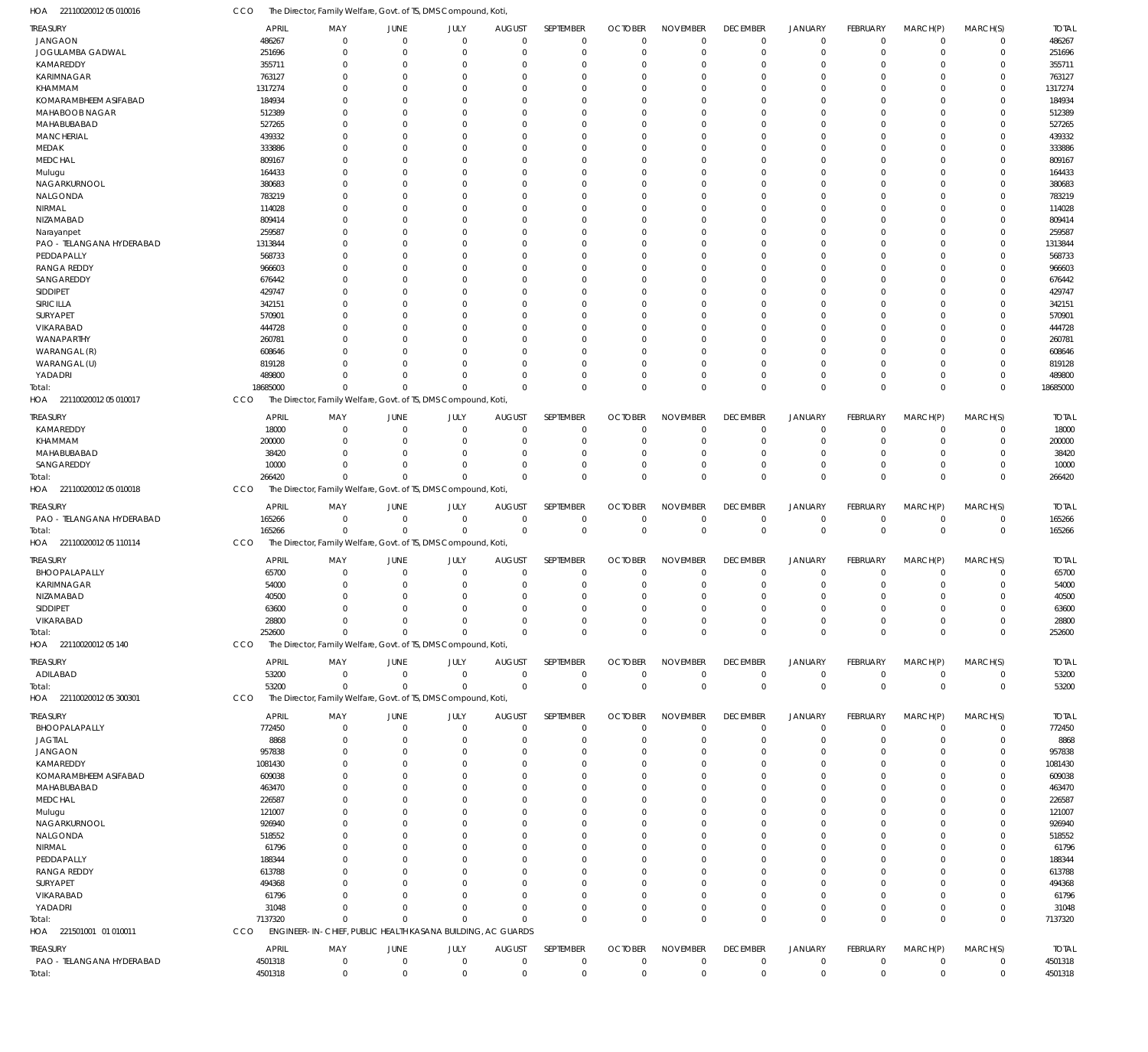22110020012 05 010016 HOA CCO The Director, Family Welfare, Govt. of TS, DMS Compound, Koti,

| <b>TREASURY</b>           | <b>APRIL</b> | MAY                                                            | <b>JUNE</b>    | JULY        | <b>AUGUST</b> | SEPTEMBER   | <b>OCTOBER</b> | <b>NOVEMBER</b> | <b>DECEMBER</b> | <b>JANUARY</b> | FEBRUARY       | MARCH(P)       | MARCH(S)         | <b>TOTAL</b> |
|---------------------------|--------------|----------------------------------------------------------------|----------------|-------------|---------------|-------------|----------------|-----------------|-----------------|----------------|----------------|----------------|------------------|--------------|
| <b>JANGAON</b>            | 486267       | 0                                                              | $\mathbf 0$    | $\mathbf 0$ | $\mathbf 0$   | $\mathbf 0$ | $\Omega$       | $\mathbf 0$     | $\mathbf 0$     | $\mathbf 0$    | $\overline{0}$ | $\overline{0}$ | $\mathbf 0$      | 486267       |
| JOGULAMBA GADWAL          | 251696       | $\mathbf 0$                                                    | $\mathbf 0$    | $\mathbf 0$ | $\Omega$      | $\mathbf 0$ | $\Omega$       | $\Omega$        | $\mathbf 0$     | $\mathbf 0$    | 0              | $\mathbf 0$    | $\pmb{0}$        | 251696       |
| KAMAREDDY                 | 355711       | $\Omega$                                                       | $\mathbf 0$    | $\mathbf 0$ | C.            | $\Omega$    | $\Omega$       | $\Omega$        | $\Omega$        | $\mathbf 0$    | $\Omega$       | $\Omega$       | $\mathbf 0$      | 355711       |
| KARIMNAGAR                | 763127       | $\Omega$                                                       | $\mathbf 0$    | $\Omega$    | $\Omega$      | $\Omega$    |                | $\Omega$        | $\mathbf 0$     | $\Omega$       | $\Omega$       | $\Omega$       | $\mathbf 0$      | 763127       |
| <b>KHAMMAM</b>            | 1317274      | $\Omega$                                                       | $\Omega$       | $\Omega$    | C.            | $\Omega$    |                | $\Omega$        | $\Omega$        | $\Omega$       | $\Omega$       | $\Omega$       | $\mathbf 0$      | 1317274      |
| KOMARAMBHEEM ASIFABAD     | 184934       | $\Omega$                                                       | $\mathbf 0$    | $\Omega$    | C.            | $\Omega$    |                | $\Omega$        | $\Omega$        | $\Omega$       | $\Omega$       | $\Omega$       | $\mathbf 0$      | 184934       |
| MAHABOOB NAGAR            | 512389       | $\Omega$                                                       | $\Omega$       | $\Omega$    | C.            | $\Omega$    |                | $\Omega$        | $\Omega$        | $\Omega$       | $\Omega$       | $\Omega$       | $\mathbf 0$      | 512389       |
| MAHABUBABAD               | 527265       | $\Omega$                                                       | $\Omega$       | $\Omega$    | $\cup$        | $\Omega$    |                | $\Omega$        | $\Omega$        | $\Omega$       | $\Omega$       | $\Omega$       | $\mathbf 0$      | 527265       |
| <b>MANCHERIAL</b>         | 439332       | $\Omega$                                                       | $\Omega$       | $\Omega$    | C.            | $\Omega$    |                | $\Omega$        | $\Omega$        | $\Omega$       | $\Omega$       | $\Omega$       | $\mathbf 0$      | 439332       |
| MEDAK                     | 333886       | $\Omega$                                                       | $\Omega$       | $\Omega$    | C.            | $\Omega$    |                | $\Omega$        | $\Omega$        | $\Omega$       | $\Omega$       | $\Omega$       | $\mathbf 0$      | 333886       |
| <b>MEDCHAL</b>            | 809167       | $\Omega$                                                       | $\Omega$       | $\Omega$    | C.            | $\Omega$    |                | $\Omega$        | $\Omega$        | $\Omega$       | $\Omega$       | $\Omega$       | $\mathbf 0$      | 809167       |
| Mulugu                    | 164433       | $\Omega$                                                       | $\Omega$       | $\Omega$    | C.            | $\Omega$    |                | $\Omega$        | $\Omega$        | $\Omega$       | $\Omega$       | $\Omega$       | $\mathbf 0$      | 164433       |
| NAGARKURNOOL              | 380683       | U                                                              | $\Omega$       | $\Omega$    | C.            | $\Omega$    |                | $\Omega$        | $\Omega$        | $\Omega$       | $\Omega$       | $\Omega$       | $\mathbf 0$      | 380683       |
| NALGONDA                  | 783219       | $\Omega$                                                       | $\Omega$       | $\Omega$    | C.            | $\Omega$    |                | $\Omega$        | $\Omega$        | $\Omega$       | $\Omega$       | $\Omega$       | $\mathbf 0$      | 783219       |
| NIRMAL                    | 114028       | $\Omega$                                                       | $\Omega$       | $\Omega$    | $\cup$        | $\Omega$    |                | $\Omega$        | $\Omega$        | $\Omega$       | $\Omega$       | $\Omega$       | $\mathbf 0$      | 114028       |
| NIZAMABAD                 | 809414       | $\Omega$                                                       | $\Omega$       | $\Omega$    | C.            | $\Omega$    |                | $\Omega$        | $\Omega$        | $\Omega$       | $\Omega$       | $\Omega$       | $\mathbf 0$      | 809414       |
| Narayanpet                | 259587       | $\Omega$                                                       | $\Omega$       | $\Omega$    | C.            | $\Omega$    |                | $\Omega$        | $\Omega$        | $\Omega$       | $\Omega$       | $\Omega$       | $\mathbf 0$      | 259587       |
| PAO - TELANGANA HYDERABAD | 1313844      | $\Omega$                                                       | $\mathbf 0$    | $\Omega$    | C.            | $\Omega$    |                | $\Omega$        | $\Omega$        | $\Omega$       | $\Omega$       | $\Omega$       | $\mathbf 0$      | 1313844      |
| PEDDAPALLY                | 568733       | $\Omega$                                                       | $\Omega$       | $\Omega$    | C.            | $\Omega$    |                | $\Omega$        | $\Omega$        | $\Omega$       | $\Omega$       | $\Omega$       | $\mathbf 0$      | 568733       |
| <b>RANGA REDDY</b>        | 966603       | $\Omega$                                                       | $\Omega$       | $\Omega$    | C.            | $\Omega$    |                | $\Omega$        | $\Omega$        | $\Omega$       | $\Omega$       | $\Omega$       | $\mathbf 0$      | 966603       |
| SANGAREDDY                | 676442       | $\Omega$                                                       | $\Omega$       | $\Omega$    | $\cup$        | $\Omega$    |                | $\Omega$        | $\Omega$        | $\Omega$       | $\Omega$       | $\Omega$       | $\mathbf 0$      | 676442       |
| SIDDIPET                  | 429747       | $\Omega$                                                       | $\Omega$       | $\Omega$    | C.            | $\Omega$    |                | $\Omega$        | $\Omega$        | $\Omega$       | $\Omega$       | $\Omega$       | $\mathbf 0$      | 429747       |
| SIRICILLA                 | 342151       | $\Omega$                                                       | $\Omega$       | $\Omega$    | C.            | $\Omega$    |                | $\Omega$        | $\Omega$        | $\Omega$       | $\Omega$       | $\Omega$       | $\mathbf 0$      | 342151       |
| SURYAPET                  | 570901       | $\Omega$                                                       | $\Omega$       | $\Omega$    | C.            | $\Omega$    |                | $\Omega$        | $\Omega$        | $\Omega$       | $\Omega$       | $\Omega$       | $\mathbf 0$      | 570901       |
| VIKARABAD                 | 444728       | U                                                              | $\Omega$       | $\Omega$    | C.            | $\Omega$    |                | $\Omega$        | $\Omega$        | $\Omega$       | $\Omega$       | $\Omega$       | $\mathbf 0$      | 444728       |
| WANAPARTHY                | 260781       | U                                                              | $\Omega$       | $\Omega$    | C.            | $\Omega$    |                | $\Omega$        | $\Omega$        | $\Omega$       | $\Omega$       | $\Omega$       | $\mathbf 0$      | 260781       |
| WARANGAL (R)              | 608646       | $\Omega$                                                       | $\Omega$       | $\Omega$    | $\cup$        | $\Omega$    |                | $\Omega$        | $\Omega$        | $\Omega$       | $\Omega$       | $\Omega$       | $\mathbf 0$      | 608646       |
| WARANGAL (U)              | 819128       | U                                                              | $\Omega$       | $\Omega$    | C.            | $\Omega$    |                | $\Omega$        | $\Omega$        | $\Omega$       | $\Omega$       | $\Omega$       | $\mathbf 0$      | 819128       |
| YADADRI                   | 489800       | U                                                              | $\Omega$       | $\mathbf 0$ | $\Omega$      | $\Omega$    | $\Omega$       | $\Omega$        | $\Omega$        | $\mathbf 0$    | 0              | $\overline{0}$ | $\mathbf 0$      | 489800       |
| Total:                    | 18685000     | $\Omega$                                                       | $\Omega$       | $\Omega$    | $\Omega$      | $\mathbf 0$ | $\Omega$       | $\Omega$        | $\mathbf 0$     | $\mathbf{0}$   | $\Omega$       | $\Omega$       | $\mathbf 0$      | 18685000     |
| HOA 22110020012 05 010017 | <b>CCO</b>   | The Director, Family Welfare, Govt. of TS, DMS Compound, Koti, |                |             |               |             |                |                 |                 |                |                |                |                  |              |
|                           |              |                                                                |                |             |               |             |                |                 |                 |                |                |                |                  |              |
| <b>TREASURY</b>           | <b>APRIL</b> | MAY                                                            | JUNE           | JULY        | <b>AUGUST</b> | SEPTEMBER   | <b>OCTOBER</b> | <b>NOVEMBER</b> | <b>DECEMBER</b> | <b>JANUARY</b> | FEBRUARY       | MARCH(P)       | MARCH(S)         | <b>TOTAL</b> |
| KAMAREDDY                 | 18000        | $\Omega$                                                       | $\mathbf 0$    | $\mathbf 0$ | $\Omega$      | $\mathbf 0$ | $\Omega$       | $\Omega$        | $\mathbf 0$     | $\mathbf 0$    | $\mathbf 0$    | $\Omega$       | $\Omega$         | 18000        |
| KHAMMAM                   | 200000       | $\Omega$                                                       | $\Omega$       | $\Omega$    | $\Omega$      | $\mathbf 0$ | $\Omega$       | $\Omega$        | $\mathbf 0$     | $\overline{0}$ | $\Omega$       | $\Omega$       | $\mathbf 0$      | 200000       |
| MAHABUBABAD               | 38420        | $\Omega$                                                       | $\Omega$       | $\Omega$    | $\Omega$      | $\Omega$    | $\Omega$       | $\Omega$        | $\mathbf 0$     | $\mathbf 0$    | $\Omega$       | $\Omega$       | $\mathbf 0$      | 38420        |
| SANGAREDDY                | 10000        | $\Omega$                                                       | $\Omega$       | $\Omega$    | $\cup$        | $\Omega$    | $\Omega$       | $\Omega$        | $\mathbf 0$     | $\mathbf 0$    | $\Omega$       | $\Omega$       | $\mathbf 0$      | 10000        |
| Total:                    | 266420       | $\Omega$                                                       | $\Omega$       | $\Omega$    | $\Omega$      | $\Omega$    | $\Omega$       | $\Omega$        | $\mathbf 0$     | $\overline{0}$ | $\Omega$       | $\Omega$       | $\mathbf 0$      | 266420       |
| HOA 22110020012 05 010018 | CCO          | The Director, Family Welfare, Govt. of TS, DMS Compound, Koti  |                |             |               |             |                |                 |                 |                |                |                |                  |              |
| TREASURY                  | <b>APRIL</b> | MAY                                                            | JUNE           | JULY        | <b>AUGUST</b> | SEPTEMBER   | <b>OCTOBER</b> | <b>NOVEMBER</b> | <b>DECEMBER</b> | <b>JANUARY</b> | FEBRUARY       | MARCH(P)       | MARCH(S)         | <b>TOTAL</b> |
| PAO - TELANGANA HYDERABAD | 165266       | $\mathbf 0$                                                    | $\mathbf 0$    | $\mathbf 0$ | $\mathbf 0$   | 0           | $\Omega$       | $\mathbf 0$     | 0               | $\mathbf 0$    | $\overline{0}$ | $\overline{0}$ | 0                | 165266       |
| Total:                    | 165266       | $\Omega$                                                       | $\Omega$       | $\mathbf 0$ | $\Omega$      | $\mathbb O$ | $\Omega$       | $\Omega$        | $\mathbf 0$     | $\mathbb O$    | $\mathbf 0$    | $\Omega$       | $\boldsymbol{0}$ | 165266       |
| HOA 22110020012 05 110114 | CCO          | The Director, Family Welfare, Govt. of TS, DMS Compound, Koti, |                |             |               |             |                |                 |                 |                |                |                |                  |              |
|                           |              |                                                                |                |             |               |             |                |                 |                 |                |                |                |                  |              |
| TREASURY                  | <b>APRIL</b> | MAY                                                            | <b>JUNE</b>    | JULY        | <b>AUGUST</b> | SEPTEMBER   | <b>OCTOBER</b> | <b>NOVEMBER</b> | <b>DECEMBER</b> | <b>JANUARY</b> | FEBRUARY       | MARCH(P)       | MARCH(S)         | <b>TOTAL</b> |
| BHOOPALAPALLY             | 65700        | $\Omega$                                                       | $\mathbf 0$    | $\mathbf 0$ | $\Omega$      | $\mathbf 0$ | $\Omega$       | $\Omega$        | $\mathbf 0$     | $\mathbf 0$    | $\mathbf 0$    | $\Omega$       | $\mathbf 0$      | 65700        |
| KARIMNAGAR                | 54000        | $\Omega$                                                       | 0              | $\Omega$    | $\Omega$      | $\mathbf 0$ | $\Omega$       | $\Omega$        | $\mathbf 0$     | $\mathbf 0$    | $\Omega$       | $\Omega$       | $\mathbf 0$      | 54000        |
| NIZAMABAD                 | 40500        | $\Omega$                                                       | $\Omega$       | $\Omega$    | $\Omega$      | $\Omega$    | $\Omega$       | $\Omega$        | $\Omega$        | $\Omega$       | $\Omega$       | $\Omega$       | $\Omega$         | 40500        |
| SIDDIPET                  | 63600        | $\Omega$                                                       | $\Omega$       | $\Omega$    | $\Omega$      | $\mathbf 0$ | $\Omega$       | $\Omega$        | $\Omega$        | $\overline{0}$ | $\Omega$       | $\Omega$       | $\Omega$         | 63600        |
| VIKARABAD                 | 28800        | $\mathbf 0$                                                    | $\mathbf 0$    | $\mathbf 0$ | $\mathbf{0}$  | $\mathbf 0$ | $\Omega$       | $\mathbf 0$     | 0               | $\mathbf 0$    | $\mathbf 0$    | $\mathbf 0$    | 0                | 28800        |
| Total:                    | 252600       | $\mathbf 0$                                                    | $\Omega$       | $\Omega$    | $\Omega$      | $\mathbf 0$ | $\Omega$       | $\mathbf 0$     | $\mathbf 0$     | $\mathbf 0$    | $\mathbf 0$    | $\overline{0}$ | $\mathbf 0$      | 252600       |
| HOA 22110020012 05 140    | <b>CCO</b>   | The Director, Family Welfare, Govt. of TS, DMS Compound, Koti, |                |             |               |             |                |                 |                 |                |                |                |                  |              |
| TREASURY                  | <b>APRIL</b> | MAY                                                            | <b>JUNE</b>    | JULY        | <b>AUGUST</b> | SEPTEMBER   | <b>OCTOBER</b> | <b>NOVEMBER</b> | <b>DECEMBER</b> | <b>JANUARY</b> | FEBRUARY       | MARCH(P)       | MARCH(S)         | <b>TOTAL</b> |
| ADILABAD                  | 53200        | 0                                                              | $\overline{0}$ | $\mathbf 0$ | $\mathbf 0$   | 0           | $\Omega$       | $\mathbf 0$     | 0               | 0              | $\mathbf 0$    | $\overline{0}$ | 0                | 53200        |
| Total:                    | 53200        | $\Omega$                                                       | $\mathbf 0$    | $\mathbf 0$ | $\Omega$      | $\mathbf 0$ | $\Omega$       | $\Omega$        | $\mathbf 0$     | $\mathbf 0$    | $\mathbf 0$    | $\overline{0}$ | $\boldsymbol{0}$ | 53200        |
| HOA 22110020012 05 300301 | <b>CCO</b>   | The Director, Family Welfare, Govt. of TS, DMS Compound, Koti, |                |             |               |             |                |                 |                 |                |                |                |                  |              |
|                           |              |                                                                |                |             |               |             |                |                 |                 |                |                |                |                  |              |
| <b>TREASURY</b>           | <b>APRIL</b> | MAY                                                            | <b>JUNE</b>    | JULY        | <b>AUGUST</b> | SEPTEMBER   | <b>OCTOBER</b> | <b>NOVEMBER</b> | <b>DECEMBER</b> | <b>JANUARY</b> | FEBRUARY       | MARCH(P)       | MARCH(S)         | <b>TOTAL</b> |
| BHOOPALAPALLY             | 772450       | $\mathbf 0$                                                    | $\mathbf 0$    | $\mathbf 0$ | $\Omega$      | $\mathbf 0$ | $\Omega$       | $\Omega$        | $\mathbf 0$     | $\mathbf 0$    | $\Omega$       | $\Omega$       | $\mathbf 0$      | 772450       |
| <b>JAGTIAL</b>            | 8868         | $\Omega$                                                       | 0              | $\Omega$    | $\Omega$      | $\mathbf 0$ | $\Omega$       | $\Omega$        | $\mathbf 0$     | $\mathbf 0$    | $\Omega$       | $\Omega$       | $\mathbf 0$      | 8868         |
| <b>JANGAON</b>            | 957838       | $\Omega$                                                       | $\Omega$       | $\Omega$    | -0            | $\Omega$    | $\Omega$       | $\Omega$        | $\Omega$        | $\Omega$       | $\Omega$       | $\Omega$       | $\mathbf 0$      | 957838       |
| KAMAREDDY                 | 1081430      | U                                                              | $\Omega$       | $\Omega$    | $\Omega$      | $\Omega$    | $\Omega$       | $\Omega$        | $\Omega$        | $\Omega$       | $\Omega$       | $\Omega$       | $\Omega$         | 1081430      |
| KOMARAMBHEEM ASIFABAD     | 609038       | O                                                              | $\Omega$       | $\Omega$    | -0            | $\Omega$    |                | $\Omega$        | $\Omega$        | $\Omega$       | $\Omega$       | $\Omega$       | 0                | 609038       |
| MAHABUBABAD               | 463470       | U                                                              | $\Omega$       | $\Omega$    | $\Omega$      | $\Omega$    | $\Omega$       | $\Omega$        | $\Omega$        | $\Omega$       | $\Omega$       | $\Omega$       | $\Omega$         | 463470       |
| MEDCHAL                   | 226587       | C                                                              | $\Omega$       | $\Omega$    | -0            | $\Omega$    |                | $\Omega$        | $\Omega$        | $\Omega$       | $\Omega$       | $\Omega$       | $\Omega$         | 226587       |
| Mulugu                    | 121007       | U                                                              | $\Omega$       | $\Omega$    | -0            | $\Omega$    |                | $\Omega$        | $\Omega$        | $\Omega$       | $\Omega$       | $\Omega$       | $\Omega$         | 121007       |
| NAGARKURNOOL              | 926940       | C                                                              | $\Omega$       | $\Omega$    | -0            | $\Omega$    |                | $\Omega$        | $\Omega$        | $\Omega$       | $\Omega$       | $\Omega$       | $\Omega$         | 926940       |
| NALGONDA                  | 518552       | U                                                              | $\Omega$       | $\Omega$    | $\Omega$      | $\Omega$    |                | $\Omega$        | $\Omega$        | $\Omega$       | $\Omega$       | $\Omega$       | $\Omega$         | 518552       |
| NIRMAL                    | 61796        | C                                                              | $\Omega$       | n           | -0            | $\Omega$    |                | $\Omega$        | $\Omega$        | $\Omega$       | $\Omega$       | $\Omega$       | $\Omega$         | 61796        |
| PEDDAPALLY                | 188344       | U                                                              | $\Omega$       | $\Omega$    | -0            | $\Omega$    | $\cap$         | $\Omega$        | $\Omega$        | $\Omega$       | $\Omega$       | $\Omega$       | $\Omega$         | 188344       |
| <b>RANGA REDDY</b>        | 613788       | C                                                              | $\Omega$       | $\Omega$    | -0            | $\Omega$    |                | $\Omega$        | $\Omega$        | $\Omega$       | $\Omega$       | $\Omega$       | $\Omega$         | 613788       |
| SURYAPET                  | 494368       | U                                                              | $\Omega$       | $\Omega$    | -0            | $\Omega$    |                | $\Omega$        | $\Omega$        | $\Omega$       | $\Omega$       | $\Omega$       | $\Omega$         | 494368       |
| VIKARABAD                 | 61796        | C                                                              | $\Omega$       | $\Omega$    | -0            | $\Omega$    |                | $\Omega$        | $\Omega$        | $\Omega$       | $\Omega$       | $\Omega$       | $\Omega$         | 61796        |
| YADADRI                   | 31048        | $\Omega$                                                       | $\Omega$       | $\Omega$    | $\Omega$      | $\Omega$    | $\Omega$       | $\Omega$        | $\mathbf 0$     | $\mathbf 0$    | $\Omega$       | $\Omega$       | $\mathbf 0$      | 31048        |
| Total:                    | 7137320      | $\Omega$                                                       | $\Omega$       | $\Omega$    | $\Omega$      | $\mathbf 0$ | $\Omega$       | $\Omega$        | $\mathbf 0$     | $\overline{0}$ | $\Omega$       | $\overline{0}$ | $\mathbf 0$      | 7137320      |
| HOA 221501001 01 010011   | <b>CCO</b>   | ENGINEER-IN-CHIEF, PUBLIC HEALTH KASANA BUILDING, AC GUARDS    |                |             |               |             |                |                 |                 |                |                |                |                  |              |
| TREASURY                  | <b>APRIL</b> | MAY                                                            | JUNE           | JULY        | <b>AUGUST</b> | SEPTEMBER   | <b>OCTOBER</b> | <b>NOVEMBER</b> | <b>DECEMBER</b> | <b>JANUARY</b> | FEBRUARY       | MARCH(P)       | MARCH(S)         | <b>TOTAL</b> |
| PAO - TELANGANA HYDERABAD | 4501318      | 0                                                              | 0              | $\mathbf 0$ | $\mathbf 0$   | 0           | $\Omega$       | $\mathbf 0$     | 0               | 0              | $\mathbf 0$    | $\overline{0}$ | 0                | 4501318      |
|                           |              |                                                                |                |             |               |             |                |                 |                 |                |                |                |                  |              |
| Total:                    | 4501318      | $\mathbf 0$                                                    | $\mathbf 0$    | $\mathbf 0$ | 0             | $\mathbf 0$ | $\Omega$       | $\mathbf 0$     | $\mathbf 0$     | $\mathbf 0$    | $\mathbf 0$    | $\overline{0}$ | $\mathbf 0$      | 4501318      |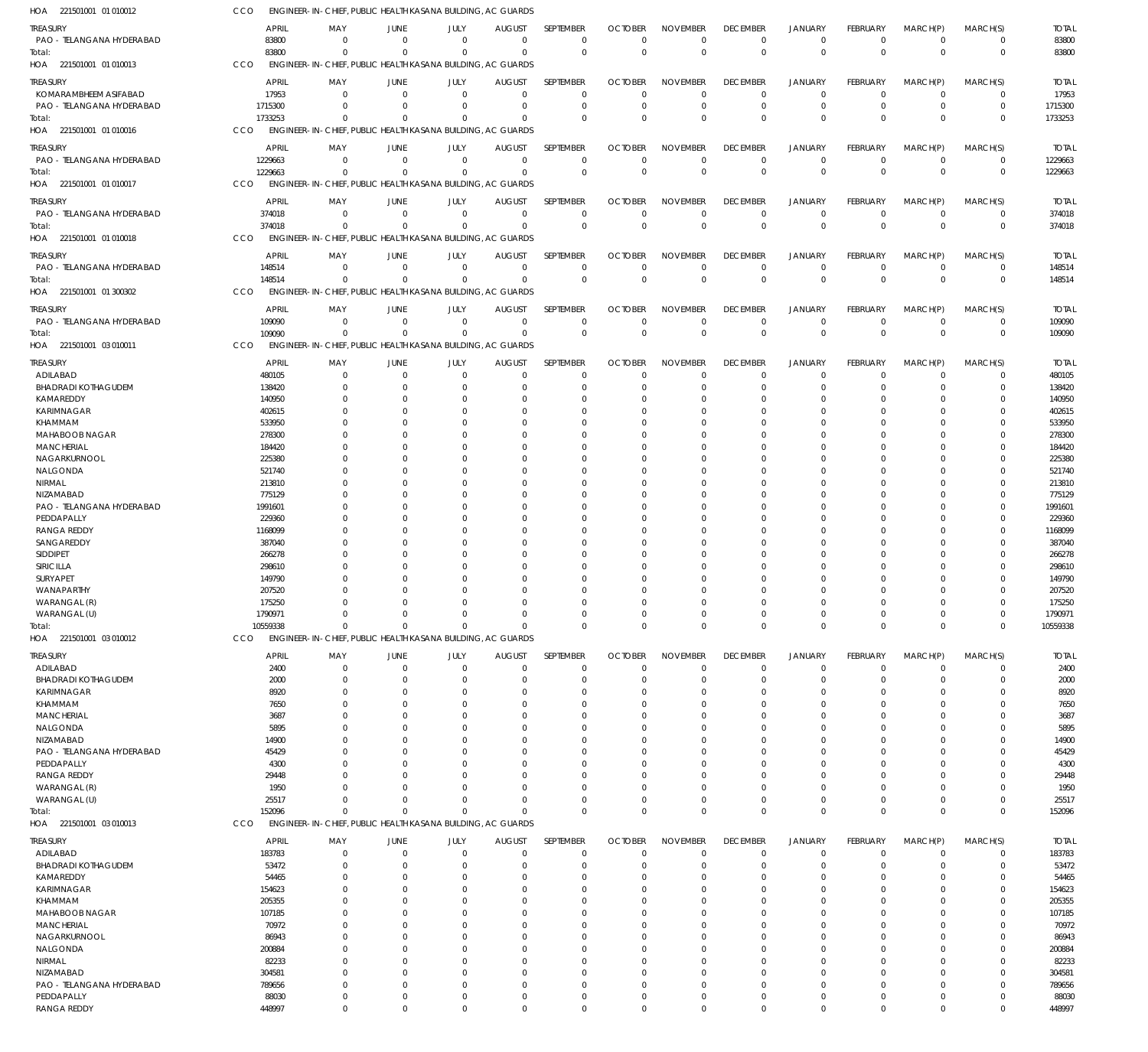221501001 01 010012 HOA 221501001 01 010013 HOA 221501001 01 010016 HOA 221501001 01 010017 HOA 221501001 01 010018 HOA 221501001 01 300302 HOA 221501001 03 010011 HOA 221501001 03 010012 HOA 221501001 03 010013 HOA ENGINEER-IN-CHIEF, PUBLIC HEALTH KASANA BUILDING, AC GUARDS ENGINEER-IN-CHIEF, PUBLIC HEALTH KASANA BUILDING, AC GUARDS ENGINEER-IN-CHIEF, PUBLIC HEALTH KASANA BUILDING, AC GUARDS ENGINEER-IN-CHIEF, PUBLIC HEALTH KASANA BUILDING, AC GUARDS ENGINEER-IN-CHIEF, PUBLIC HEALTH KASANA BUILDING, AC GUARDS ENGINEER-IN-CHIEF, PUBLIC HEALTH KASANA BUILDING, AC GUARDS ENGINEER-IN-CHIEF, PUBLIC HEALTH KASANA BUILDING, AC GUARDS ENGINEER-IN-CHIEF, PUBLIC HEALTH KASANA BUILDING, AC GUARDS ENGINEER-IN-CHIEF, PUBLIC HEALTH KASANA BUILDING, AC GUARDS CCO CCO CCO **CCO** CCO **CCO CCO** CCO **CCO** 83800 1733253 1229663 374018 148514 109090 10559338 152096 0 0 0  $\Omega$ 0  $\Omega$  $\sqrt{2}$  $\Omega$ 0 0 0  $\Omega$ 0 0  $\sqrt{2}$  $\Omega$ 0 0 0  $\Omega$ 0 0  $\sqrt{0}$  $\Omega$ 0 0 0  $\Omega$ 0  $\Omega$  $\sqrt{2}$  $\Omega$ 0 0 0  $\Omega$ 0  $\Omega$  $\sqrt{2}$  $\Omega$ 0 0 0  $\Omega$ 0  $\Omega$ 0  $\Omega$ 0 0 0  $\Omega$ 0  $\Omega$  $\Omega$  $\Omega$ 0 0 0  $\Omega$ 0  $\Omega$  $\Omega$  $\Omega$ 0 0 0  $\Omega$  $\,$  0  $\,$  $\Omega$  $\Omega$  $\Omega$ 0  $\boldsymbol{0}$ 0  $\Omega$  $\boldsymbol{0}$ 0  $\Omega$  $\Omega$ 0 0 0  $\Omega$ 0  $\Omega$  $\Omega$  $\Omega$ 0 0 0  $\Omega$ 0  $\Omega$  $\Omega$  $\Omega$ 83800 1733253 1229663 374018 148514 109090 10559338 152096 PAO - TELANGANA HYDERABAD KOMARAMBHEEM ASIFABAD PAO - TELANGANA HYDERABAD PAO - TELANGANA HYDERABAD PAO - TELANGANA HYDERABAD PAO - TELANGANA HYDERABAD PAO - TELANGANA HYDERABAD ADILABAD BHADRADI KOTHAGUDEM KAMAREDDY KARIMNAGAR KHAMMAM MAHABOOB NAGAR **MANCHERIAL** NAGARKURNOOL NALGONDA NIRMAL NIZAMABAD PAO - TELANGANA HYDERABAD PEDDAPALLY RANGA REDDY SANGAREDDY SIDDIPET SIRICILLA SURYAPET WANAPARTHY WARANGAL (R) WARANGAL (U) ADILABAD BHADRADI KOTHAGUDEM KARIMNAGAR KHAMMAM MANCHERIAL NALGONDA NIZAMABAD PAO - TELANGANA HYDERABAD PEDDAPALLY RANGA REDDY WARANGAL (R) WARANGAL (U) ADILABAD BHADRADI KOTHAGUDEM KAMAREDDY KARIMNAGAR KHAMMAM MAHABOOB NAGAR **MANCHERIAL** NAGARKURNOOL NALGONDA NIRMAL NIZAMABAD PAO - TELANGANA HYDERABAD PEDDAPALLY RANGA REDDY TREASURY TREASURY TREASURY **TREASURY** TREASURY TREASURY **TREASURY** TREASURY TREASURY 83800 17953 1715300 1229663 374018 148514 109090 480105 138420 140950 402615 533950 278300 184420 225380 521740 213810 775129 1991601 229360 1168099 387040 266278 298610 149790 207520 175250 1790971 2400 2000 8920 7650 3687 5895 14900 45429 4300 29448 1950 25517 183783 53472 54465 154623 205355 107185 70972 86943 200884 82233 304581 789656 88030 448997 APRIL APRIL APRIL APRIL APRIL APRIL APRIL APRIL APRIL  $\sqrt{0}$ 0 0  $\,$  0  $\,$ 0  $\Omega$ 0 0  $\Omega$ 0 0  $\Omega$ 0  $\Omega$ 0 0 0  $\Omega$  $\Omega$ 0  $\Omega$ 0  $\Omega$  $\Omega$ 0  $\Omega$ 0 0 0 0 0 0 0  $\theta$ 0 0 0 0  $\Omega$ 0  $\Omega$ 0 0  $\Omega$ 0  $\Omega$ 0 0  $\Omega$ 0  $\Omega$ 0 0 0 MAY MAY MAY MAY MAY MAY MAY MAY MAY 0 0 0  $\,$  0  $\,$ 0 0 0 0  $\Omega$ 0 0  $\Omega$ 0  $\Omega$ 0 0 0 0  $\Omega$ 0  $\Omega$ 0 0  $\Omega$ 0  $\Omega$ 0 0 0 0  $\Omega$ 0 0  $\Omega$ 0  $\Omega$ 0 0 0  $\boldsymbol{0}$  $\Omega$ 0 0  $\Omega$ 0  $\Omega$ 0 0  $\Omega$ 0  $\Omega$ 0 0  $\boldsymbol{0}$ JUNE JUNE JUNE JUNE JUNE JUNE JUNE JUNE JUNE 0 0 0 0 0  $\Omega$ 0 0  $\Omega$ 0 0  $\Omega$ 0  $\Omega$ 0 0 0  $\Omega$  $\Omega$ 0  $\Omega$ 0 0  $\Omega$ 0  $\Omega$ 0 0 0 0 0 0 0 0 0 0 0 0  $\Omega$ 0  $\Omega$ 0 0  $\sqrt{0}$ 0  $\Omega$ 0 0  $\Omega$ 0  $\Omega$ 0 0 0 JULY JULY JULY JULY JULY JULY JULY JULY JULY 0 0 0 0 0  $\Omega$ 0 0  $\Omega$ 0 0  $\Omega$ 0  $\Omega$ 0 0  $\Omega$  $\Omega$  $\Omega$ 0  $\Omega$  $\Omega$  $\Omega$  $\Omega$ 0  $\Omega$ 0 0 0 0  $\Omega$ 0 0 0 0  $\Omega$ 0  $\Omega$  $\Omega$ 0  $\Omega$ 0 0  $\Omega$ 0  $\Omega$ 0 0  $\sqrt{2}$ 0  $\Omega$ 0 0 0 AUGUST AUGUST AUGUST AUGUST AUGUST AUGUST AUGUST AUGUST AUGUST  $\Omega$ 0 0 0 0  $\Omega$ 0 0  $\Omega$ 0 0  $\Omega$ 0  $\Omega$  $\Omega$ 0  $\Omega$  $\Omega$  $\Omega$  $\overline{0}$  $\Omega$  $\Omega$  $\Omega$  $\Omega$  $\overline{0}$  $\Omega$ 0 0  $\Omega$ 0  $\Omega$  $\Omega$ 0  $\Omega$ 0  $\Omega$ 0  $\Omega$  $\Omega$ 0  $\Omega$ 0 0  $\Omega$  $\overline{0}$  $\Omega$ 0 0  $\Omega$ 0  $\Omega$ 0 0 0 SEPTEMBER SEPTEMBER SEPTEMBER SEPTEMBER SEPTEMBER SEPTEMBER **SEPTEMBER** SEPTEMBER SEPTEMBER 0 0 0 0 0  $\Omega$ 0 0  $\Omega$ 0  $\Omega$  $\Omega$ 0  $\Omega$ 0 0  $\Omega$  $\Omega$  $\Omega$ 0  $\Omega$  $\Omega$  $\Omega$  $\Omega$ 0  $\Omega$ 0 0 0 0 0 0 0 0 0 0 0 0 0 0  $\Omega$ 0 0  $\Omega$ 0  $\Omega$ 0 0  $\Omega$ 0  $\Omega$ 0 0 0 OCTOBER **OCTOBER OCTOBER** OCTOBER OCTOBER **OCTOBER OCTOBER** OCTOBER OCTOBER 0 0 0 0 0  $\Omega$ 0 0  $\Omega$ 0 0  $\Omega$ 0  $\Omega$ 0 0  $\Omega$  $\Omega$  $\Omega$ 0  $\Omega$  $\Omega$  $\Omega$  $\Omega$ 0  $\Omega$ 0 0  $\Omega$ 0  $\Omega$ 0 0  $\Omega$ 0  $\Omega$ 0 0  $\Omega$ 0  $\Omega$ 0 0  $\Omega$ 0  $\Omega$ 0 0  $\Omega$ 0  $\Omega$ 0 0  $\,$  0  $\,$ NOVEMBER NOVEMBER NOVEMBER NOVEMBER NOVEMBER NOVEMBER NOVEMBER NOVEMBER NOVEMBER 0 0 0 0 0  $\Omega$ 0 0  $\Omega$ 0 0  $\Omega$ 0  $\Omega$  $\Omega$ 0  $\Omega$  $\Omega$  $\Omega$  $\overline{0}$  $\Omega$  $\Omega$  $\Omega$  $\Omega$ 0  $\Omega$ 0 0 0 0 0  $\Omega$  $\Omega$  $\Omega$ 0  $\Omega$ 0  $\Omega$  $\Omega$ 0  $\Omega$ 0 0  $\Omega$ 0  $\Omega$ 0 0  $\Omega$ 0  $\Omega$  $\overline{0}$ 0 0 DECEMBER **DECEMBER** DECEMBER **DECEMBER** DECEMBER DECEMBER DECEMBER DECEMBER DECEMBER 0 0 0 0 0  $\Omega$ 0 0  $\Omega$ 0  $\Omega$  $\Omega$ 0  $\Omega$ 0 0  $\Omega$  $\Omega$  $\Omega$ 0  $\Omega$  $\Omega$  $\Omega$  $\Omega$ 0  $\Omega$ 0 0  $\Omega$ 0  $\Omega$ 0 0  $\Omega$ 0  $\Omega$ 0  $\Omega$  $\Omega$ 0  $\Omega$ 0 0  $\Omega$ 0  $\Omega$ 0 0  $\Omega$ 0  $\Omega$ 0 0 0 JANUARY JANUARY JANUARY JANUARY JANUARY JANUARY JANUARY JANUARY JANUARY 0 0 0 0 0  $\Omega$ 0 0  $\Omega$  $\overline{0}$ 0  $\Omega$ 0  $\Omega$  $\overline{0}$ 0 0 0  $\Omega$ 0  $\Omega$ 0 0  $\Omega$ 0  $\Omega$ 0 0  $\Omega$ 0  $\Omega$ 0 0  $\Omega$ 0  $\Omega$ 0 0 0 0  $\Omega$ 0 0  $\Omega$ 0  $\Omega$  $\overline{0}$ 0 0 0  $\Omega$ 0 0  $\boldsymbol{0}$ FEBRUARY FEBRUARY FEBRUARY FEBRUARY FEBRUARY FEBRUARY FEBRUARY FEBRUARY FEBRUARY 0 0 0 0 0  $\Omega$ 0 0  $\Omega$  $\overline{0}$  $\Omega$  $\Omega$ 0  $\Omega$ 0 0  $\Omega$  $\Omega$  $\Omega$ 0  $\Omega$ 0  $\Omega$  $\Omega$ 0  $\Omega$ 0 0 0 0  $\Omega$ 0  $\Omega$  $\Omega$ 0  $\Omega$ 0  $\Omega$  $\Omega$ 0  $\Omega$ 0  $\Omega$  $\Omega$ 0  $\Omega$  $\overline{0}$  $\Omega$  $\Omega$ 0  $\Omega$  $\overline{0}$ 0 0 MARCH(P) MARCH(P) MARCH(P) MARCH(P) MARCH(P) MARCH(P) MARCH(P) MARCH(P) MARCH(P)  $\Omega$ 0 0  $\Omega$ 0  $\Omega$ 0 0  $\Omega$ 0  $\Omega$ 0 0  $\Omega$ 0  $\Omega$ 0 0  $\Omega$ 0  $\Omega$ 0  $\Omega$  $\Omega$ 0  $\Omega$ 0 0  $\Omega$ 0  $\Omega$ 0  $\Omega$  $\Omega$ 0  $\Omega$ 0  $\Omega$  $\Omega$ 0  $\Omega$ 0  $\Omega$  $\Omega$ 0  $\Omega$ 0  $\Omega$ 0 0  $\Omega$ 0 0 0 MARCH(S) MARCH(S) MARCH(S) MARCH(S) MARCH(S) MARCH(S) MARCH(S) MARCH(S) MARCH(S) 83800 17953 1715300 1229663 374018 148514 109090 480105 138420 140950 402615 533950 278300 184420 225380 521740 213810 775129 1991601 229360 1168099 387040 266278 298610 149790 207520 175250 1790971 2400 2000 8920 7650 3687 5895 14900 45429 4300 29448 1950 25517 183783 53472 54465 154623 205355 107185 70972 86943 200884 82233 304581 789656 88030 448997 TOTAL TOTAL TOTAL TOTAL TOTAL TOTAL TOTAL TOTAL TOTAL Total: Total: Total: Total: Total: Total: Total: Total: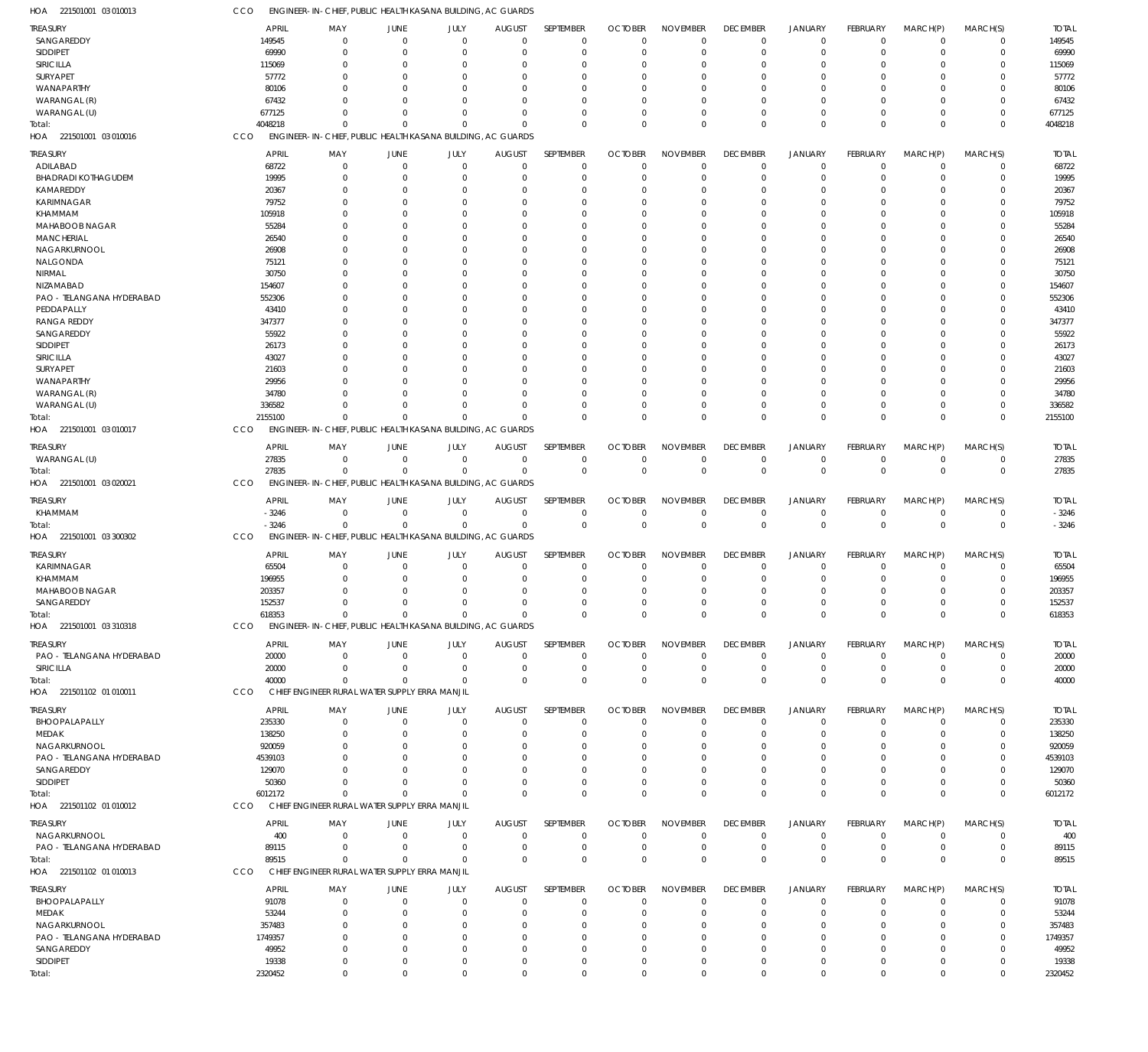221501001 03 010013 HOA 221501001 03 010016 HOA 221501001 03 010017 HOA 221501001 03 020021 HOA 221501001 03 300302 HOA 221501001 03 310318 HOA 221501102 01 010011 HOA 221501102 01 010012 HOA 221501102 01 010013 HOA ENGINEER-IN-CHIEF, PUBLIC HEALTH KASANA BUILDING, AC GUARDS ENGINEER-IN-CHIEF, PUBLIC HEALTH KASANA BUILDING, AC GUARDS ENGINEER-IN-CHIEF, PUBLIC HEALTH KASANA BUILDING, AC GUARDS ENGINEER-IN-CHIEF, PUBLIC HEALTH KASANA BUILDING, AC GUARDS ENGINEER-IN-CHIEF, PUBLIC HEALTH KASANA BUILDING, AC GUARDS ENGINEER-IN-CHIEF, PUBLIC HEALTH KASANA BUILDING, AC GUARDS CHIEF ENGINEER RURAL WATER SUPPLY ERRA MANJIL CHIEF ENGINEER RURAL WATER SUPPLY ERRA MANJIL CHIEF ENGINEER RURAL WATER SUPPLY ERRA MANJIL CCO CCO CCO **CCO** CCO CCO CCO CCO **CCO** 4048218 2155100 27835 -3246 618353 40000 6012172 89515 2320452  $\Omega$ 0 0  $\Omega$ 0 0  $\Omega$  $\Omega$  $\Omega$  $\Omega$ 0 0  $\Omega$ 0 0  $\Omega$ 0  $\Omega$  $\Omega$ 0 0  $\Omega$ 0 0  $\Omega$  $\Omega$  $\Omega$  $\Omega$ 0 0  $\Omega$ 0 0  $\Omega$  $\Omega$  $\Omega$  $\Omega$  $\overline{0}$ 0  $\Omega$ 0 0  $\Omega$  $\Omega$  $\Omega$  $\Omega$ 0 0 0 0 0  $\Omega$  $\Omega$  $\Omega$  $\Omega$ 0 0  $\Omega$ 0 0  $\Omega$  $\Omega$  $\Omega$  $\Omega$ 0 0 0 0 0  $\Omega$  $\Omega$  $\Omega$  $\Omega$ 0 0 0 0 0  $\Omega$  $\Omega$  $\Omega$  $\Omega$ 0 0 0 0 0  $\Omega$  $\Omega$ 0  $\Omega$  $\overline{0}$ 0 0 0 0  $\Omega$  $\Omega$ 0  $\Omega$ 0 0  $\Omega$ 0 0  $\Omega$  $\Omega$  $\Omega$ 4048218 2155100 27835 -3246 618353 40000 6012172 89515 2320452 SANGAREDDY SIDDIPET SIRICILLA SURYAPET WANAPARTHY WARANGAL (R) WARANGAL (U) ADILABAD BHADRADI KOTHAGUDEM KAMAREDDY KARIMNAGAR KHAMMAM MAHABOOB NAGAR **MANCHERIAL** NAGARKURNOOL NALGONDA NIRMAL NIZAMABAD PAO - TELANGANA HYDERABAD PEDDAPALLY RANGA REDDY SANGAREDDY SIDDIPET SIRICILLA SURYAPET WANAPARTHY WARANGAL (R) WARANGAL (U) WARANGAL (U) KHAMMAM KARIMNAGAR KHAMMAM MAHABOOB NAGAR SANGAREDDY PAO - TELANGANA HYDERABAD SIRICILLA BHOOPALAPALLY MEDAK NAGARKURNOOL PAO - TELANGANA HYDERABAD SANGAREDDY SIDDIPET NAGARKURNOOL PAO - TELANGANA HYDERABAD BHOOPALAPALLY MEDAK NAGARKURNOOL PAO - TELANGANA HYDERABAD SANGAREDDY SIDDIPET TREASURY TREASURY TREASURY TREASURY TREASURY TREASURY **TREASURY** TREASURY **TREASURY** 149545 69990 115069 57772 80106 67432 677125 68722 19995 20367 79752 105918 55284 26540 26908 75121 30750 154607 552306 43410 347377 55922 26173 43027 21603 29956 34780 336582 27835 -3246 65504 196955 203357 152537 20000 20000 235330 138250 920059 4539103 129070 50360 400 89115 91078 53244 357483 1749357 49952 19338 APRIL APRIL APRIL APRIL APRIL APRIL APRIL APRIL APRIL  $\Omega$ 0  $\Omega$ 0  $\Omega$  $\sqrt{2}$ 0  $\Omega$  $\Omega$  $\Omega$  $\Omega$ 0  $\Omega$ 0 0  $\sqrt{2}$ 0  $\Omega$  $\Omega$ 0  $\Omega$  $\Omega$  $\Omega$ 0 0  $\Omega$  $\Omega$  $\Omega$ 0 0  $\Omega$ 0  $\Omega$ 0 0  $\Omega$ 0 0  $\Omega$  $\Omega$  $\Omega$ 0 0 0 0  $\Omega$ 0 0  $\Omega$ 0 MAY MAY MAY MAY MAY MAY MAY MAY MAY 0 0  $\Omega$ 0 0  $\Omega$ 0  $\Omega$ 0 0  $\Omega$ 0  $\Omega$ 0 0  $\Omega$ 0  $\Omega$ 0 0 0 0  $\Omega$ 0 0 0 0  $\Omega$ 0 0 0 0  $\Omega$ 0 0 0 0 0  $\Omega$ 0  $\Omega$ 0 0  $\,$  0  $\,$ 0  $\Omega$ 0 0 0 0 JUNE JUNE **JUNE** JUNE JUNE JUNE **JUNE** JUNE JUNE 0 0  $\Omega$ 0 0  $\Omega$ 0  $\Omega$ 0 0  $\Omega$ 0  $\Omega$ 0 0  $\Omega$ 0  $\Omega$  $\Omega$ 0 0  $\Omega$  $\Omega$ 0 0  $\Omega$ 0 0 0 0 0 0  $\Omega$ 0 0 0 0 0 0 0  $\Omega$ 0 0 0 0  $\Omega$ 0 0 0 0 JULY JULY JULY JULY JULY JULY JULY JULY JULY 0 0  $\Omega$ 0 0  $\Omega$ 0  $\Omega$ 0 0  $\Omega$ 0  $\Omega$ 0 0  $\Omega$ 0  $\Omega$  $\Omega$ 0 0  $\Omega$  $\Omega$ 0 0  $\Omega$  $\Omega$  $\Omega$ 0 0 0 0  $\Omega$ 0 0  $\Omega$ 0 0  $\Omega$ 0  $\Omega$ 0 0  $\,$   $\,$   $\,$ 0  $\Omega$ 0 0 0 0 AUGUST AUGUST AUGUST AUGUST AUGUST AUGUST **AUGUST** AUGUST AUGUST  $\Omega$  $\overline{0}$  $\Omega$ 0 0  $\Omega$ 0  $\Omega$ 0 0  $\Omega$  $\overline{0}$  $\Omega$ 0 0  $\Omega$ 0  $\Omega$  $\Omega$ 0  $\Omega$  $\Omega$  $\Omega$  $\overline{0}$  $\Omega$  $\Omega$  $\Omega$  $\Omega$ 0 0  $\Omega$  $\overline{0}$  $\Omega$ 0 0  $\Omega$ 0 0  $\Omega$  $\Omega$  $\Omega$ 0 0 0 0  $\Omega$ 0 0  $\Omega$ 0 SEPTEMBER SEPTEMBER **SEPTEMBER SEPTEMBER** SEPTEMBER SEPTEMBER **SEPTEMBER** SEPTEMBER **SEPTEMBER**  $\Omega$ 0  $\Omega$ 0  $\Omega$  $\Omega$ 0  $\Omega$ 0 0  $\Omega$ 0  $\Omega$ 0 0  $\Omega$ 0  $\Omega$ 0 0  $\Omega$  $\Omega$  $\Omega$ 0  $\Omega$  $\Omega$  $\Omega$  $\Omega$ 0 0  $\Omega$ 0  $\Omega$ 0 0 0 0 0  $\Omega$  $\Omega$  $\Omega$ 0 0 0 0  $\Omega$ 0 0 0 0 **OCTOBER** OCTOBER **OCTOBER** OCTOBER OCTOBER **OCTOBER OCTOBER** OCTOBER **OCTOBER**  $\Omega$ 0  $\Omega$ 0 0  $\Omega$ 0  $\Omega$ 0 0  $\Omega$ 0  $\Omega$ 0 0  $\Omega$ 0  $\Omega$  $\overline{0}$ 0  $\Omega$  $\Omega$  $\Omega$ 0 0  $\Omega$ 0  $\Omega$ 0 0  $\Omega$ 0  $\Omega$ 0 0  $\Omega$ 0 0 0  $\Omega$  $\Omega$ 0 0  $\,$  0  $\,$ 0  $\Omega$ 0 0 0 0 NOVEMBER NOVEMBER NOVEMBER NOVEMBER NOVEMBER NOVEMBER NOVEMBER NOVEMBER NOVEMBER  $\Omega$ 0  $\Omega$ 0 0  $\Omega$ 0  $\Omega$ 0 0  $\Omega$ 0  $\Omega$ 0 0  $\Omega$ 0  $\Omega$  $\Omega$ 0  $\Omega$  $\Omega$  $\Omega$  $\overline{0}$ 0  $\Omega$ 0  $\Omega$ 0 0  $\Omega$ 0  $\Omega$ 0 0  $\Omega$  $\overline{0}$ 0  $\Omega$  $\Omega$  $\Omega$ 0 0 0 0  $\Omega$ 0 0 0 0 DECEMBER DECEMBER **DECEMBER** DECEMBER DECEMBER DECEMBER **DECEMBER** DECEMBER **DECEMBER**  $\Omega$ 0  $\Omega$ 0 0  $\Omega$ 0  $\Omega$ 0 0  $\Omega$ 0  $\Omega$ 0 0  $\Omega$ 0  $\Omega$  $\Omega$ 0  $\Omega$  $\Omega$  $\Omega$ 0 0  $\Omega$ 0 0 0 0  $\Omega$ 0  $\Omega$ 0 0  $\Omega$ 0 0  $\Omega$ 0  $\Omega$ 0 0 0 0  $\Omega$ 0 0 0 0 JANUARY JANUARY JANUARY JANUARY JANUARY JANUARY JANUARY JANUARY JANUARY 0 0  $\Omega$ 0 0  $\Omega$ 0  $\Omega$ 0 0  $\Omega$ 0  $\Omega$ 0 0  $\Omega$ 0  $\Omega$  $\overline{0}$ 0 0 0  $\Omega$ 0 0 0 0 0 0 0  $\Omega$ 0  $\Omega$ 0 0  $\Omega$ 0 0 0 0 0 0 0 0 0  $\Omega$ 0 0 0 0 FEBRUARY FEBRUARY FEBRUARY FEBRUARY FEBRUARY FEBRUARY FEBRUARY FEBRUARY FEBRUARY  $\Omega$ 0  $\Omega$ 0  $\Omega$  $\Omega$ 0  $\Omega$ 0 0  $\Omega$ 0  $\Omega$  $\overline{0}$  $\Omega$  $\Omega$ 0  $\Omega$ 0 0  $\Omega$  $\Omega$  $\Omega$  $\overline{0}$ 0  $\Omega$  $\Omega$  $\Omega$ 0 0  $\Omega$ 0  $\Omega$ 0 0  $\Omega$ 0 0  $\Omega$  $\Omega$  $\Omega$ 0 0 0 0  $\Omega$ 0 0 0 0 MARCH(P) MARCH(P) MARCH(P) MARCH(P) MARCH(P) MARCH(P) MARCH(P) MARCH(P) MARCH(P)  $\Omega$ 0  $\Omega$ 0  $\Omega$  $\Omega$ 0  $\Omega$ 0 0  $\Omega$ 0  $\Omega$ 0  $\Omega$  $\Omega$ 0  $\Omega$ 0  $\Omega$ 0  $\Omega$  $\Omega$ 0  $\Omega$ 0  $\Omega$  $\Omega$ 0  $\Omega$  $\Omega$ 0  $\Omega$ 0  $\Omega$  $\Omega$ 0 0  $\Omega$  $\Omega$  $\Omega$ 0 0 0 0  $\Omega$ 0 0 0 0 MARCH(S) MARCH(S) MARCH(S) MARCH(S) MARCH(S) MARCH(S) MARCH(S) MARCH(S) MARCH(S) 149545 69990 115069 57772 80106 67432 677125 68722 19995 20367 79752 105918 55284 26540 26908 75121 30750 154607 552306 43410 347377 55922 26173 43027 21603 29956 34780 336582 27835 -3246 65504 196955 203357 152537 20000 20000 235330 138250 920059 4539103 129070 50360 400 89115 91078 53244 357483 1749357 49952 19338 TOTAL TOTAL TOTAL TOTAL TOTAL TOTAL TOTAL TOTAL TOTAL Total: Total: Total: Total: Total: Total: Total: Total: Total: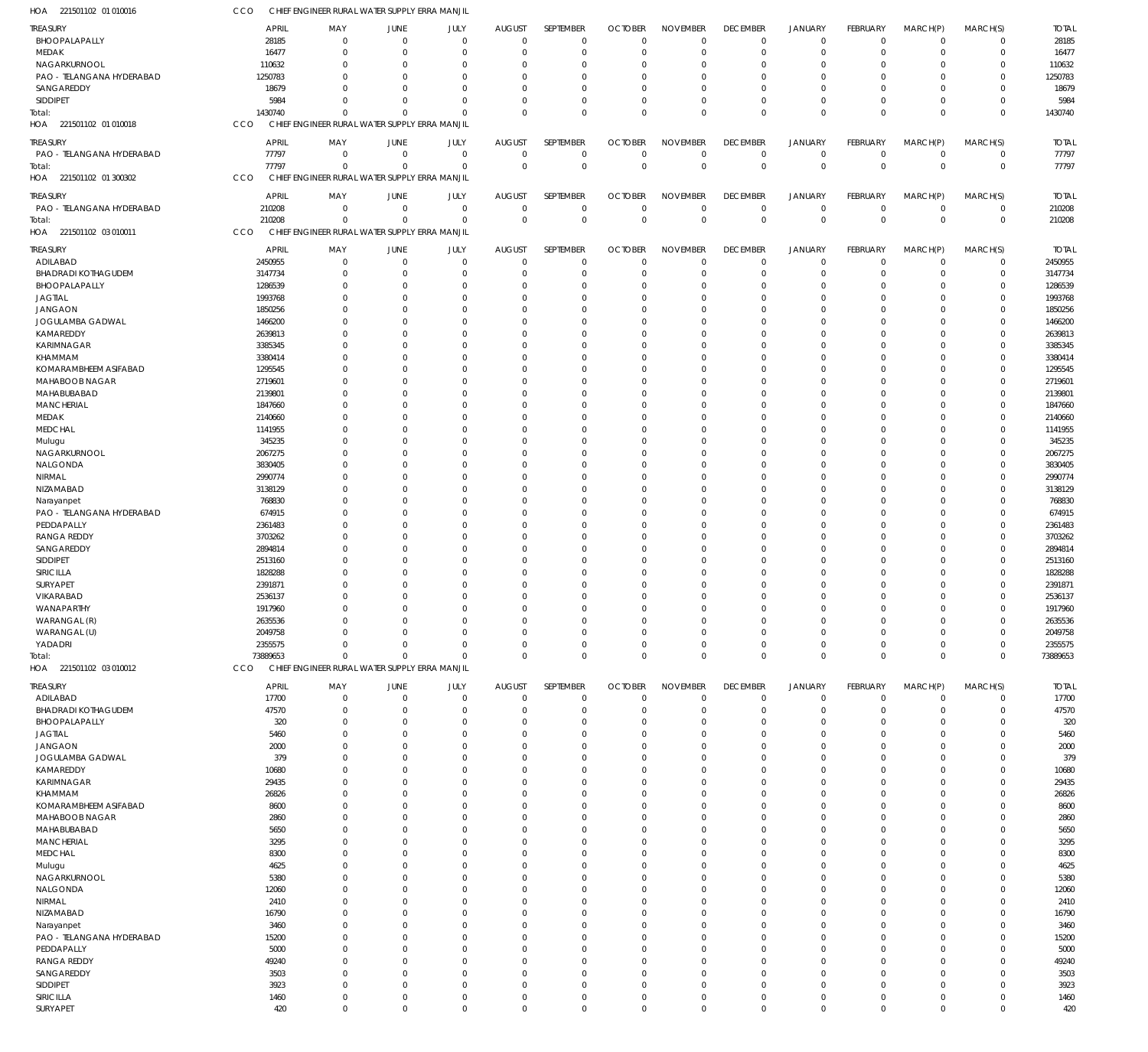| HOA 221501102 01 010016    | CCO          | CHIEF ENGINEER RURAL WATER SUPPLY ERRA MANJIL |                |             |                |             |                |                 |                 |                |             |                |             |              |
|----------------------------|--------------|-----------------------------------------------|----------------|-------------|----------------|-------------|----------------|-----------------|-----------------|----------------|-------------|----------------|-------------|--------------|
| <b>TREASURY</b>            | <b>APRIL</b> | MAY                                           | JUNE           | JULY        | <b>AUGUST</b>  | SEPTEMBER   | <b>OCTOBER</b> | <b>NOVEMBER</b> | <b>DECEMBER</b> | <b>JANUARY</b> | FEBRUARY    | MARCH(P)       | MARCH(S)    | <b>TOTAL</b> |
| BHOOPALAPALLY              | 28185        | $\overline{0}$                                | $\overline{0}$ | $\mathbf 0$ | $\mathbf 0$    | $\mathbf 0$ | $\Omega$       | $\Omega$        | $\mathbf 0$     | $\mathbf 0$    | $\mathbf 0$ | $\mathbf 0$    | $\mathbf 0$ | 28185        |
| MEDAK                      | 16477        | $\mathbf 0$                                   | $\overline{0}$ | $\mathbf 0$ | 0              | $\mathbf 0$ | $\Omega$       | $\Omega$        | $\mathbf 0$     | $\mathbf 0$    | $\mathbf 0$ | $\mathbf 0$    | $\mathbf 0$ | 16477        |
| NAGARKURNOOL               | 110632       | $\mathbf 0$                                   | $\mathbf 0$    | $\mathbf 0$ | 0              | $\mathbf 0$ | - 0            | $\Omega$        | $\mathbf 0$     | $\mathbf 0$    | $\Omega$    | $\Omega$       | $\mathbf 0$ | 110632       |
| PAO - TELANGANA HYDERABAD  | 1250783      | $\Omega$                                      | $\Omega$       | $\Omega$    | $\Omega$       | $\mathbf 0$ | $\Omega$       | $\Omega$        | $\mathbf{0}$    | $\Omega$       | $\Omega$    | $\Omega$       | $\mathbf 0$ | 1250783      |
| SANGAREDDY                 | 18679        | $\Omega$                                      | $\Omega$       | $\mathbf 0$ | $\Omega$       | $\mathbf 0$ | $\Omega$       | $\Omega$        | $\mathbf 0$     | $\overline{0}$ | $\Omega$    | $\Omega$       | $\mathbf 0$ | 18679        |
| SIDDIPET                   | 5984         | $\Omega$                                      | $\Omega$       | $\mathbf 0$ | $\Omega$       | $\mathbf 0$ | $\Omega$       | $\Omega$        | $\mathbf 0$     | $\mathbf 0$    | $\Omega$    | $\Omega$       | $\mathbf 0$ | 5984         |
| Total:                     | 1430740      | $\Omega$                                      | $\Omega$       | $\Omega$    | $\Omega$       | $\mathbf 0$ | $\Omega$       | $\Omega$        | $\mathbf 0$     | $\mathbf 0$    | $\Omega$    | $\Omega$       | $\mathbf 0$ | 1430740      |
| HOA 221501102 01 010018    | CCO          | CHIEF ENGINEER RURAL WATER SUPPLY ERRA MANJIL |                |             |                |             |                |                 |                 |                |             |                |             |              |
| <b>TREASURY</b>            | <b>APRIL</b> | MAY                                           | JUNE           | JULY        | <b>AUGUST</b>  | SEPTEMBER   | <b>OCTOBER</b> | <b>NOVEMBER</b> | <b>DECEMBER</b> | <b>JANUARY</b> | FEBRUARY    | MARCH(P)       | MARCH(S)    | <b>TOTAL</b> |
| PAO - TELANGANA HYDERABAD  | 77797        | $\mathbf 0$                                   | $\overline{0}$ | $\mathbf 0$ | $^{\circ}$     | $\mathbf 0$ | $\Omega$       | $\mathbf 0$     | 0               | $\mathbf 0$    | $\mathbf 0$ | $\mathbf 0$    | 0           | 77797        |
| Total:                     | 77797        | $\Omega$                                      | $\overline{0}$ | $\mathbf 0$ | $\overline{0}$ | $\mathsf 0$ | $\mathbf 0$    | $\Omega$        | $\mathbb O$     | $\mathbf 0$    | $\mathbf 0$ | $\overline{0}$ | $\mathbf 0$ | 77797        |
| HOA 221501102 01 300302    | CCO          | CHIEF ENGINEER RURAL WATER SUPPLY ERRA MANJIL |                |             |                |             |                |                 |                 |                |             |                |             |              |
|                            |              |                                               |                |             |                |             |                |                 |                 |                |             |                |             |              |
| <b>TREASURY</b>            | <b>APRIL</b> | MAY                                           | JUNE           | JULY        | <b>AUGUST</b>  | SEPTEMBER   | <b>OCTOBER</b> | <b>NOVEMBER</b> | <b>DECEMBER</b> | <b>JANUARY</b> | FEBRUARY    | MARCH(P)       | MARCH(S)    | <b>TOTAL</b> |
| PAO - TELANGANA HYDERABAD  | 210208       | $^{\circ}$                                    | $\overline{0}$ | $\mathbf 0$ | $\mathbf 0$    | $\mathbf 0$ | $\mathbf{0}$   | $\mathbf 0$     | $\mathbf 0$     | $\mathbf 0$    | $\mathbf 0$ | $\overline{0}$ | $\mathbf 0$ | 210208       |
| Total:                     | 210208       | $\overline{0}$                                | $\overline{0}$ | $\mathbf 0$ | $\Omega$       | $\mathsf 0$ | $\mathbf 0$    | $\Omega$        | $\mathbb O$     | $\mathbf 0$    | $\mathbf 0$ | $\Omega$       | $\mathbf 0$ | 210208       |
| HOA 221501102 03 010011    | CCO          | CHIEF ENGINEER RURAL WATER SUPPLY ERRA MANJIL |                |             |                |             |                |                 |                 |                |             |                |             |              |
| TREASURY                   | <b>APRIL</b> | MAY                                           | JUNE           | JULY        | <b>AUGUST</b>  | SEPTEMBER   | <b>OCTOBER</b> | <b>NOVEMBER</b> | <b>DECEMBER</b> | <b>JANUARY</b> | FEBRUARY    | MARCH(P)       | MARCH(S)    | <b>TOTAL</b> |
| ADILABAD                   | 2450955      | $\overline{0}$                                | $\overline{0}$ | $\mathbf 0$ | $^{\circ}$     | $\mathbf 0$ | $\Omega$       | $\Omega$        | $\mathbf 0$     | $\mathbf 0$    | $\mathbf 0$ | $\mathbf 0$    | 0           | 2450955      |
| <b>BHADRADI KOTHAGUDEM</b> | 3147734      | 0                                             | $\overline{0}$ | $\mathbf 0$ | -0             | $\mathbf 0$ | $\Omega$       | $\mathbf 0$     | $\mathbf 0$     | $\mathbf 0$    | $\Omega$    | $\mathbf 0$    | $\mathsf 0$ | 3147734      |
| BHOOPALAPALLY              | 1286539      | $\Omega$                                      | $\overline{0}$ | $\mathbf 0$ | 0              | $\mathbf 0$ | $\Omega$       | $\Omega$        | $\mathbf 0$     | $\overline{0}$ | $\Omega$    | $\Omega$       | $\mathbf 0$ | 1286539      |
| <b>JAGTIAL</b>             | 1993768      | 0                                             | $\overline{0}$ | $\mathbf 0$ | 0              | $\mathbf 0$ | $\Omega$       | $\Omega$        | $\mathbf 0$     | $\mathbf 0$    | $\Omega$    | $\mathbf 0$    | $\mathbf 0$ | 1993768      |
| <b>JANGAON</b>             | 1850256      | $\Omega$                                      | $\Omega$       | $\mathbf 0$ | $\Omega$       | $\mathbf 0$ | $\cap$         | $\Omega$        | $\Omega$        | $\Omega$       | $\Omega$    | $\Omega$       | $\mathbf 0$ | 1850256      |
| JOGULAMBA GADWAL           | 1466200      | $\Omega$                                      | $\Omega$       | $\mathbf 0$ | $\Omega$       | $\mathbf 0$ | - 0            | $\Omega$        | $\mathbf 0$     | $\Omega$       | O           | $\Omega$       | $\mathbf 0$ | 1466200      |
| KAMAREDDY                  | 2639813      | $\Omega$                                      | $\overline{0}$ | $\mathbf 0$ | 0              | $\mathbf 0$ | $\Omega$       | $\Omega$        | $\Omega$        | $\mathbf 0$    | $\Omega$    | $\Omega$       | $\mathbf 0$ | 2639813      |
| KARIMNAGAR                 | 3385345      | $\Omega$                                      | $\Omega$       | $\mathbf 0$ | 0              | $\mathbf 0$ | - 0            | $\Omega$        | $\mathbf 0$     | $\Omega$       | $\Omega$    | $\Omega$       | $\mathbf 0$ | 3385345      |
| KHAMMAM                    | 3380414      | $\Omega$                                      | $\Omega$       | $\Omega$    | $\Omega$       | $\mathbf 0$ | $\cap$         | $\Omega$        | $\Omega$        | $\Omega$       | O           | $\Omega$       | $\mathbf 0$ | 3380414      |
| KOMARAMBHEEM ASIFABAD      | 1295545      | 0                                             | $\Omega$       | $\mathbf 0$ | $\Omega$       | $\mathbf 0$ | - 0            | $\Omega$        | $\mathbf 0$     | $\Omega$       | 0           | $\Omega$       | $\mathbf 0$ | 1295545      |
| MAHABOOB NAGAR             | 2719601      | $\Omega$                                      | $\mathbf 0$    | $\mathbf 0$ | 0              | $\mathbf 0$ | $\Omega$       | $\Omega$        | $\Omega$        | $\overline{0}$ | $\Omega$    | $\Omega$       | $\mathbf 0$ | 2719601      |
| MAHABUBABAD                | 2139801      | $\Omega$                                      | $\Omega$       | $\mathbf 0$ | $\Omega$       | $\mathbf 0$ | $\cap$         | $\Omega$        | $\Omega$        | $\Omega$       | O           | $\Omega$       | $\mathbf 0$ | 2139801      |
| <b>MANCHERIAL</b>          | 1847660      | $\Omega$                                      | $\Omega$       | $\Omega$    | $\Omega$       | $\mathbf 0$ | - 0            | $\Omega$        | $\Omega$        | $\Omega$       | $\Omega$    | $\Omega$       | $\mathbf 0$ | 1847660      |
| MEDAK                      | 2140660      | 0                                             | $\overline{0}$ | $\mathbf 0$ | 0              | $\mathbf 0$ | - 0            | $\Omega$        | $\mathbf 0$     | $\mathbf 0$    | 0           | $\Omega$       | $\mathbf 0$ | 2140660      |
| <b>MEDCHAL</b>             | 1141955      | $\Omega$                                      | $\Omega$       | $\Omega$    | $\Omega$       | $\mathbf 0$ | - 0            | $\Omega$        | $\Omega$        | $\Omega$       | O           | $\Omega$       | $\mathbf 0$ | 1141955      |
| Mulugu                     | 345235       | $\Omega$                                      | $\Omega$       | $\Omega$    | $\Omega$       | $\mathbf 0$ | - 0            | $\Omega$        | $\Omega$        | $\Omega$       | O           | $\Omega$       | $\mathbf 0$ | 345235       |
| NAGARKURNOOL               | 2067275      | $\Omega$                                      | $\Omega$       | $\Omega$    | $\Omega$       | $\mathbf 0$ | $\Omega$       | $\Omega$        | $\Omega$        | $\Omega$       | $\Omega$    | $\Omega$       | $\mathbf 0$ | 2067275      |
| NALGONDA                   | 3830405      | 0                                             | $\Omega$       | $\mathbf 0$ | 0              | $\mathbf 0$ | - 0            | $\Omega$        | $\mathbf 0$     | $\Omega$       | O           | $\Omega$       | $\mathbf 0$ | 3830405      |
| NIRMAL                     | 2990774      | $\Omega$                                      | $\Omega$       | $\Omega$    | $\Omega$       | $\mathbf 0$ | - 0            | $\Omega$        | $\Omega$        | $\Omega$       | O           | $\Omega$       | $\mathbf 0$ | 2990774      |
| NIZAMABAD                  | 3138129      | $\Omega$                                      | $\Omega$       | $\mathbf 0$ | $\Omega$       | $\mathbf 0$ | $\Omega$       | $\Omega$        | $\mathbf 0$     | $\Omega$       | 0           | $\Omega$       | $\mathbf 0$ | 3138129      |
| Narayanpet                 | 768830       | $\Omega$                                      | $\overline{0}$ | $\mathbf 0$ | $\Omega$       | $\mathbf 0$ | $\Omega$       | $\Omega$        | $\Omega$        | $\Omega$       | $\Omega$    | $\Omega$       | $\mathbf 0$ | 768830       |
| PAO - TELANGANA HYDERABAD  | 674915       | $\Omega$                                      | $\Omega$       | $\Omega$    | $\Omega$       | $\mathbf 0$ | - 0            | $\Omega$        | $\Omega$        | $\Omega$       | O           | $\Omega$       | $\mathbf 0$ | 674915       |
| PEDDAPALLY                 | 2361483      | $\Omega$                                      | $\Omega$       | $\Omega$    | $\Omega$       | $\mathbf 0$ | $\Omega$       | $\Omega$        | $\Omega$        | $\Omega$       | $\Omega$    | $\Omega$       | $\mathbf 0$ | 2361483      |
| <b>RANGA REDDY</b>         | 3703262      | 0                                             | $\Omega$       | $\mathbf 0$ | 0              | $\mathbf 0$ | $\Omega$       | $\Omega$        | $\mathbf 0$     | $\overline{0}$ | 0           | $\Omega$       | $\mathbf 0$ | 3703262      |
| SANGAREDDY                 | 2894814      | $\Omega$                                      | $\Omega$       | $\mathbf 0$ | $\Omega$       | $\mathbf 0$ | $\cap$         | $\Omega$        | $\Omega$        | $\Omega$       | $\Omega$    | $\Omega$       | $\mathbf 0$ | 2894814      |
| SIDDIPET                   | 2513160      | $\Omega$                                      | $\Omega$       | $\mathbf 0$ | $\Omega$       | $\mathbf 0$ | - 0            | $\Omega$        | $\mathbf 0$     | $\Omega$       | 0           | $\Omega$       | $\mathbf 0$ | 2513160      |
| SIRICILLA                  | 1828288      | $\Omega$                                      | $\Omega$       | $\mathbf 0$ | -0             | $\mathbf 0$ | $\Omega$       | $\Omega$        | $\Omega$        | $\mathbf 0$    | $\Omega$    | $\Omega$       | $\mathbf 0$ | 1828288      |
| SURYAPET                   | 2391871      | $\Omega$                                      | $\Omega$       | $\mathbf 0$ | 0              | $\mathbf 0$ | $\Omega$       | $\Omega$        | $\Omega$        | $\Omega$       | $\Omega$    | $\mathbf 0$    | $\mathbf 0$ | 2391871      |
| VIKARABAD                  | 2536137      | $\Omega$                                      | $\Omega$       | $\mathbf 0$ | $\Omega$       | $\mathbf 0$ | $\Omega$       | $\Omega$        | $\Omega$        | $\Omega$       | $\Omega$    | $\Omega$       | $\mathbf 0$ | 2536137      |
| WANAPARTHY                 | 1917960      | 0                                             | 0              | 0           | 0              | $\mathbf 0$ |                | $\Omega$        | 0               | $\Omega$       | 0           | $\Omega$       | $\mathbf 0$ | 1917960      |
| WARANGAL (R)               | 2635536      | 0                                             | $\overline{0}$ | $\mathbf 0$ | 0              | $\mathbf 0$ | $\Omega$       | $\Omega$        | $\mathbf 0$     | $\mathbf 0$    | $\Omega$    | $\mathbf 0$    | $\mathbf 0$ | 2635536      |
| WARANGAL (U)               | 2049758      | 0                                             | $\overline{0}$ | $\mathbf 0$ | $\Omega$       | $\mathbf 0$ | $\Omega$       | $\mathbf 0$     | $\mathbf 0$     | $\mathbf 0$    | $\Omega$    | $\mathbf 0$    | $\mathbf 0$ | 2049758      |
| YADADRI                    | 2355575      | 0                                             | $\overline{0}$ | $\mathbf 0$ | $\mathbf 0$    | $\mathbf 0$ | $\Omega$       | $\mathbf 0$     | $\mathbf 0$     | $\mathbf 0$    | $\Omega$    | $\mathbf 0$    | $\mathbf 0$ | 2355575      |
| Total:                     | 73889653     | $\Omega$                                      | $\Omega$       | $\mathbf 0$ | $\Omega$       | $\mathbf 0$ | $\Omega$       | $\mathbf 0$     | $\mathbf 0$     | $\mathbf 0$    | $\Omega$    | $\mathbf 0$    | $\mathbf 0$ | 73889653     |
| HOA 221501102 03 010012    | CCO          | CHIEF ENGINEER RURAL WATER SUPPLY ERRA MANJIL |                |             |                |             |                |                 |                 |                |             |                |             |              |
|                            |              |                                               |                |             |                |             |                |                 |                 |                |             |                |             |              |
| <b>TREASURY</b>            | <b>APRIL</b> | MAY                                           | JUNE           | JULY        | <b>AUGUST</b>  | SEPTEMBER   | <b>OCTOBER</b> | <b>NOVEMBER</b> | <b>DECEMBER</b> | <b>JANUARY</b> | FEBRUARY    | MARCH(P)       | MARCH(S)    | <b>TOTAL</b> |
| ADILABAD                   | 17700        | $\overline{0}$                                | $\overline{0}$ | $\mathbf 0$ | $\mathbf 0$    | $\mathbf 0$ | $\Omega$       | $\Omega$        | $\mathbf 0$     | $\mathbf 0$    | $\mathbf 0$ | $\mathbf 0$    | $\mathbf 0$ | 17700        |
| <b>BHADRADI KOTHAGUDEM</b> | 47570        | $\mathbf 0$                                   | $\mathbf 0$    | $\mathbf 0$ | 0              | $\mathbf 0$ | $\Omega$       | $\Omega$        | $\mathbf 0$     | $\mathbf 0$    | $\Omega$    | $\mathbf 0$    | $\mathbf 0$ | 47570        |
| BHOOPALAPALLY              | 320          | $\mathbf 0$                                   | $\Omega$       | $\mathbf 0$ | $\Omega$       | $\mathbf 0$ | $\Omega$       | $\Omega$        | $\mathbf 0$     | $\overline{0}$ | $\Omega$    | $\Omega$       | $\mathbf 0$ | 320          |
| <b>JAGTIAL</b>             | 5460         | $\mathbf 0$                                   | $\mathbf 0$    | $\Omega$    | $\Omega$       | $\mathbf 0$ | $\Omega$       | $\Omega$        | $\mathbf 0$     | $\overline{0}$ | $\Omega$    | $\Omega$       | $\mathbf 0$ | 5460         |
| <b>JANGAON</b>             | 2000         | $\Omega$                                      | $\Omega$       | $\Omega$    | $\Omega$       | $\mathbf 0$ | $\Omega$       | $\Omega$        | $\Omega$        | $\Omega$       | $\Omega$    | $\Omega$       | $\mathbf 0$ | 2000         |
| JOGULAMBA GADWAL           | 379          | $\Omega$                                      | $\Omega$       | $\Omega$    | $\Omega$       | $\mathbf 0$ | $\Omega$       | $\Omega$        | $\mathbf 0$     | $\Omega$       | $\Omega$    | $\Omega$       | $\mathbf 0$ | 379          |
| KAMAREDDY                  | 10680        | $\Omega$                                      | $\Omega$       | $\Omega$    | $\Omega$       | $\mathbf 0$ | $\Omega$       | $\Omega$        | $\Omega$        | $\Omega$       | $\Omega$    | $\Omega$       | $\mathbf 0$ | 10680        |
| KARIMNAGAR                 | 29435        | 0                                             | $\Omega$       | $\Omega$    | 0              | $\mathbf 0$ | $\Omega$       | $\Omega$        | $\mathbf 0$     | $\overline{0}$ | $\Omega$    | $\Omega$       | $\mathbf 0$ | 29435        |
| KHAMMAM                    | 26826        | $\Omega$                                      | $\Omega$       | $\Omega$    | $\Omega$       | $\mathbf 0$ | $\Omega$       | $\Omega$        | $\Omega$        | $\Omega$       | $\Omega$    | $\Omega$       | $\mathbf 0$ | 26826        |
| KOMARAMBHEEM ASIFABAD      | 8600         | $\Omega$                                      | $\Omega$       | $\Omega$    | $\Omega$       | $\mathbf 0$ | $\Omega$       | $\Omega$        | $\mathbf 0$     | $\Omega$       | $\Omega$    | $\Omega$       | $\mathbf 0$ | 8600         |
| MAHABOOB NAGAR             | 2860         | $\Omega$                                      | $\Omega$       | $\Omega$    | $\Omega$       | $\mathbf 0$ | $\Omega$       | $\Omega$        | $\Omega$        | $\overline{0}$ | $\Omega$    | $\Omega$       | $\mathbf 0$ | 2860         |
| MAHABUBABAD                | 5650         | $\Omega$                                      | $\Omega$       | $\Omega$    | $\Omega$       | $\mathbf 0$ | $\Omega$       | $\Omega$        | $\Omega$        | $\Omega$       | $\Omega$    | $\Omega$       | $\mathbf 0$ | 5650         |
| <b>MANCHERIAL</b>          | 3295         | $\Omega$                                      | $\Omega$       | $\Omega$    | $\Omega$       | $\mathbf 0$ | $\Omega$       | $\Omega$        | $\Omega$        | $\Omega$       | $\Omega$    | $\Omega$       | $\mathbf 0$ | 3295         |
| <b>MEDCHAL</b>             | 8300         | 0                                             | $\Omega$       | $\Omega$    | 0              | $\mathbf 0$ | $\Omega$       | $\Omega$        | $\mathbf 0$     | $\mathbf 0$    | $\Omega$    | $\Omega$       | $\mathbf 0$ | 8300         |
| Mulugu                     | 4625         | $\Omega$                                      | $\Omega$       | $\Omega$    | $\Omega$       | $\mathbf 0$ | $\Omega$       | $\Omega$        | $\Omega$        | $\Omega$       | $\Omega$    | $\Omega$       | $\mathbf 0$ | 4625         |
| NAGARKURNOOL               | 5380         | $\Omega$                                      | $\Omega$       | $\Omega$    | $\Omega$       | $\mathbf 0$ | $\Omega$       | $\Omega$        | $\Omega$        | $\Omega$       | $\Omega$    | $\Omega$       | $\mathbf 0$ | 5380         |
| NALGONDA                   | 12060        | $\Omega$                                      | $\Omega$       | $\Omega$    | $\Omega$       | $\mathbf 0$ | $\Omega$       | $\Omega$        | $\Omega$        | $\Omega$       | $\Omega$    | $\Omega$       | $\mathbf 0$ | 12060        |
| NIRMAL                     | 2410         | 0                                             | $\Omega$       | $\Omega$    | 0              | $\mathbf 0$ | $\Omega$       | $\Omega$        | $\mathbf 0$     | $\mathbf 0$    | $\Omega$    | $\Omega$       | $\mathbf 0$ | 2410         |
| NIZAMABAD                  | 16790        | $\Omega$                                      | $\Omega$       | $\Omega$    | $\Omega$       | $\mathbf 0$ | $\Omega$       | $\Omega$        | $\Omega$        | $\Omega$       | $\Omega$    | $\Omega$       | $\mathbf 0$ | 16790        |
| Narayanpet                 | 3460         | $\Omega$                                      | $\Omega$       | $\Omega$    | $\Omega$       | $\mathbf 0$ | $\Omega$       | $\Omega$        | $\mathbf 0$     | $\Omega$       | $\Omega$    | $\Omega$       | $\mathbf 0$ | 3460         |
| PAO - TELANGANA HYDERABAD  | 15200        | $\Omega$                                      | $\Omega$       | $\Omega$    | $\Omega$       | $\mathbf 0$ | $\Omega$       | $\Omega$        | $\Omega$        | $\Omega$       | $\Omega$    | $\Omega$       | $\mathbf 0$ | 15200        |
| PEDDAPALLY                 | 5000         | 0                                             | $\Omega$       | $\Omega$    | $\Omega$       | $\mathbf 0$ | $\Omega$       | $\Omega$        | $\mathbf 0$     | $\Omega$       | $\Omega$    | $\Omega$       | $\mathbf 0$ | 5000         |
| <b>RANGA REDDY</b>         | 49240        | $\Omega$                                      | $\Omega$       | $\Omega$    | $\Omega$       | $\mathbf 0$ | $\Omega$       | $\Omega$        | $\Omega$        | $\Omega$       | $\Omega$    | $\Omega$       | $\mathbf 0$ | 49240        |
| SANGAREDDY                 | 3503         | $\mathbf 0$                                   | $\Omega$       | $\Omega$    | $\Omega$       | $\mathbf 0$ | $\Omega$       | $\Omega$        | $\mathbf 0$     | $\Omega$       | $\Omega$    | $\Omega$       | $\mathbf 0$ | 3503         |
| SIDDIPET                   | 3923         | $\Omega$                                      | $\Omega$       | $\Omega$    | $\Omega$       | $\mathbf 0$ | $\Omega$       | $\Omega$        | $\Omega$        | $\Omega$       | $\Omega$    | $\Omega$       | $\mathbf 0$ | 3923         |
| SIRICILLA                  | 1460         | $\mathbf 0$                                   | $\mathbf 0$    | $\mathbf 0$ | 0              | $\mathbf 0$ | $\Omega$       | $\mathbf 0$     | $\mathbf 0$     | $\mathbf 0$    | $\Omega$    | $\mathbf 0$    | $\mathbf 0$ | 1460         |
| SURYAPET                   | 420          | $\mathbf 0$                                   | $\mathbf 0$    | $\mathbf 0$ | $\mathbf 0$    | $\mathbf 0$ | $\Omega$       | $\mathbf 0$     | $\mathbf 0$     | $\mathbf 0$    | $\mathbf 0$ | $\mathbf 0$    | $\mathbf 0$ | 420          |
|                            |              |                                               |                |             |                |             |                |                 |                 |                |             |                |             |              |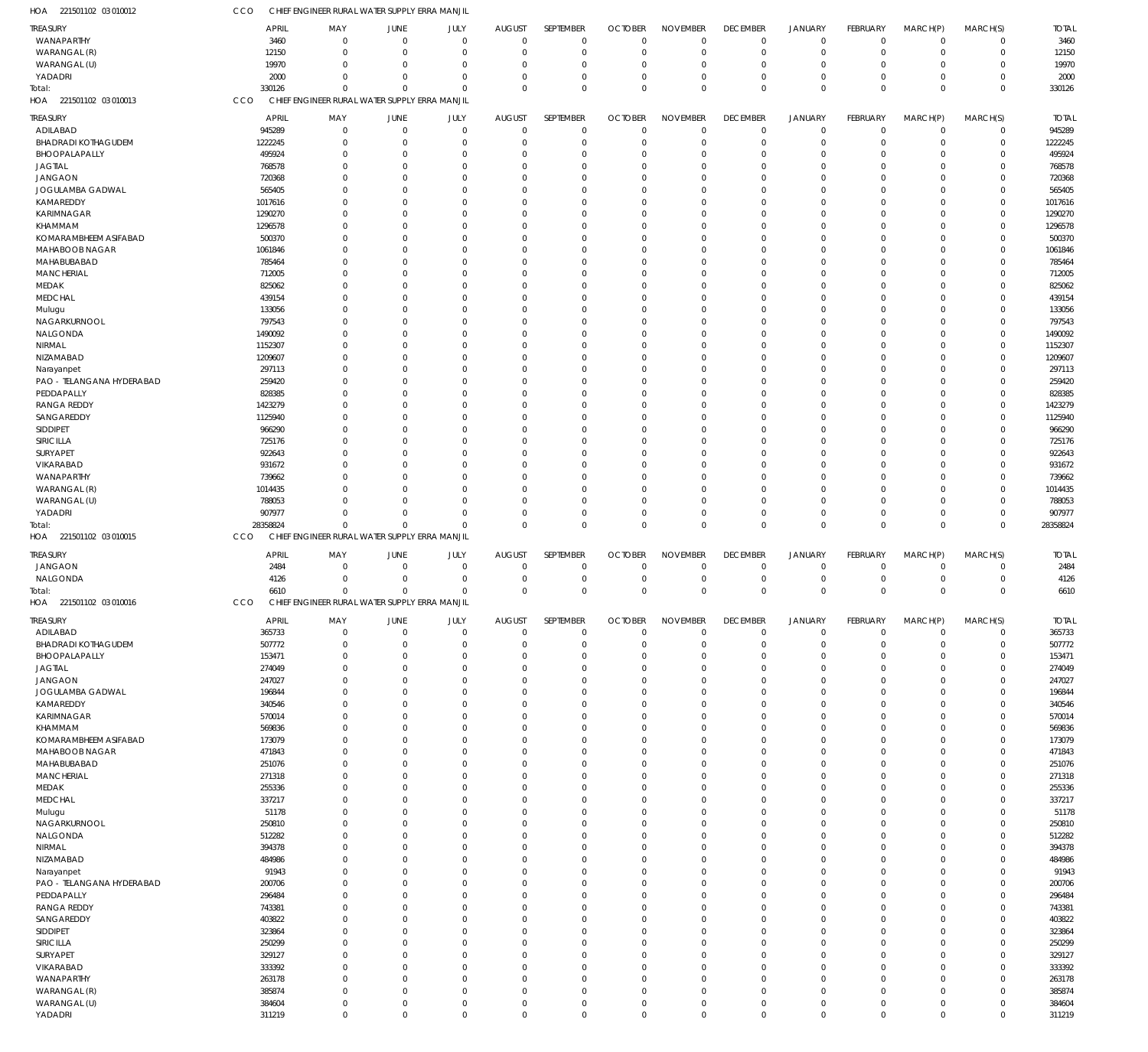| HOA 221501102 03 010012                     | CCO                  | CHIEF ENGINEER RURAL WATER SUPPLY ERRA MANJIL |                            |                            |                                 |                             |                            |                                   |                            |                                  |                            |                            |                            |                      |
|---------------------------------------------|----------------------|-----------------------------------------------|----------------------------|----------------------------|---------------------------------|-----------------------------|----------------------------|-----------------------------------|----------------------------|----------------------------------|----------------------------|----------------------------|----------------------------|----------------------|
| <b>TREASURY</b>                             | <b>APRIL</b>         | MAY                                           | JUNE                       | JULY                       | <b>AUGUST</b>                   | SEPTEMBER                   | <b>OCTOBER</b>             | <b>NOVEMBER</b>                   | <b>DECEMBER</b>            | <b>JANUARY</b>                   | FEBRUARY                   | MARCH(P)                   | MARCH(S)                   | <b>TOTAL</b>         |
| WANAPARTHY                                  | 3460                 | $\mathbf 0$                                   | $\mathbf 0$                | $\mathbf 0$                | $\mathbf 0$                     | $\mathbf 0$                 | $\Omega$                   | $\mathbf 0$                       | $\mathbf 0$                | $\overline{0}$                   | $\mathbf 0$                | $\mathbf 0$                | $\mathbf 0$                | 3460                 |
| WARANGAL (R)                                | 12150                | $\mathbf 0$                                   | $\mathbf 0$                | $\mathbf 0$                | 0                               | $\mathbf 0$                 | $\Omega$                   | $\mathbf 0$                       | $\mathbf 0$                | $\overline{0}$                   | $\mathbf 0$                | $\mathbf 0$                | $\mathbf 0$                | 12150                |
| WARANGAL (U)                                | 19970                | $\mathbf 0$                                   | $\mathbf 0$                | $\mathbf 0$                | $\Omega$                        | $\mathbf 0$                 |                            | $\overline{0}$                    | $\mathbf 0$                | $\overline{0}$                   | $\Omega$                   | 0                          | $\mathbf 0$                | 19970                |
| YADADRI                                     | 2000                 | $\Omega$                                      | $\Omega$                   | $\mathbf 0$                | $\Omega$                        | $\mathbf 0$                 | $\Omega$                   | $\overline{0}$                    | $\mathbf 0$                | $\overline{0}$                   | $\Omega$                   | $\mathbf 0$                | $\mathbf 0$                | 2000                 |
| Total:                                      | 330126               | $\Omega$                                      | $\Omega$                   | $\mathbf 0$                | $\Omega$                        | $\Omega$                    | $\Omega$                   | $\mathbf{0}$                      | $\mathbf 0$                | $\overline{0}$                   | $\Omega$                   | $\mathbf 0$                | $\mathbf 0$                | 330126               |
| HOA 221501102 03 010013                     | CCO                  | CHIEF ENGINEER RURAL WATER SUPPLY ERRA MANJIL |                            |                            |                                 |                             |                            |                                   |                            |                                  |                            |                            |                            |                      |
| <b>TREASURY</b>                             | <b>APRIL</b>         | MAY                                           | JUNE                       | JULY                       | <b>AUGUST</b>                   | SEPTEMBER                   | <b>OCTOBER</b>             | <b>NOVEMBER</b>                   | <b>DECEMBER</b>            | JANUARY                          | FEBRUARY                   | MARCH(P)                   | MARCH(S)                   | <b>TOTAL</b>         |
| ADILABAD                                    | 945289               | $\mathbf 0$                                   | $\mathbf 0$                | $\mathbf 0$                | $\mathbf{0}$                    | $\mathbf 0$                 | $\Omega$                   | $\overline{0}$                    | $\mathbf 0$                | $\overline{0}$                   | $\mathbf 0$                | $\mathbf 0$                | $\mathbf 0$                | 945289               |
| <b>BHADRADI KOTHAGUDEM</b>                  | 1222245              | $\mathbf 0$                                   | $\mathbf 0$                | $\mathbf 0$                | $\Omega$                        | $\mathbf 0$                 | $\Omega$                   | $\overline{0}$                    | $\mathbf 0$                | $\overline{0}$                   | $\mathbf 0$                | $\mathbf 0$                | $\mathbf 0$                | 1222245              |
| BHOOPALAPALLY                               | 495924               | $\Omega$                                      | 0                          | $\mathbf 0$                | $\Omega$                        | $\mathbf 0$                 |                            | $\overline{0}$                    | $\mathbf 0$                | $\Omega$                         | $\Omega$                   | 0                          | $\mathbf 0$                | 495924               |
| <b>JAGTIAL</b>                              | 768578               | $\Omega$                                      | 0                          | $\mathbf 0$                | $\Omega$                        | $\Omega$                    |                            | $\Omega$                          | 0                          | $\Omega$                         | $\Omega$                   | 0                          | $\mathbf 0$                | 768578               |
| <b>JANGAON</b>                              | 720368               | $\Omega$                                      | 0                          | $\mathbf 0$                | $\Omega$                        | $\mathbf 0$                 |                            | $\overline{0}$                    | 0                          | $\Omega$                         | $\Omega$                   | 0                          | $\mathbf 0$                | 720368               |
| JOGULAMBA GADWAL                            | 565405               | O                                             | 0                          | $\mathbf 0$                | -C                              | $\Omega$                    |                            | $\Omega$                          | $\Omega$                   | $\Omega$                         | $\Omega$                   | 0                          | $\mathbf 0$                | 565405               |
| KAMAREDDY                                   | 1017616              | $\Omega$                                      | $\Omega$                   | $\mathbf 0$                | $\Omega$                        | $\Omega$                    |                            | $\Omega$                          | $\Omega$                   | $\Omega$                         | $\Omega$                   | 0                          | $\mathbf 0$                | 1017616              |
| KARIMNAGAR                                  | 1290270              | $\Omega$<br>0                                 | $\Omega$                   | $\mathbf 0$<br>$\mathbf 0$ | C                               | $\Omega$<br>$\Omega$        |                            | $\Omega$<br>$\overline{0}$        | $\Omega$<br>$\Omega$       | $\Omega$<br>$\Omega$             | $\Omega$<br>$\Omega$       | 0                          | $\mathbf 0$<br>$\mathbf 0$ | 1290270              |
| KHAMMAM<br>KOMARAMBHEEM ASIFABAD            | 1296578<br>500370    | O                                             | 0<br>$\Omega$              | $\mathbf 0$                | $\Omega$<br>-C                  | $\Omega$                    |                            | $\Omega$                          | $\Omega$                   | $\Omega$                         | $\Omega$                   | 0<br>0                     | $\mathbf 0$                | 1296578<br>500370    |
| MAHABOOB NAGAR                              | 1061846              | $\Omega$                                      | 0                          | $\mathbf 0$                | C                               | $\mathbf 0$                 |                            | $\overline{0}$                    | 0                          | $\Omega$                         | $\Omega$                   | 0                          | $\mathbf 0$                | 1061846              |
| MAHABUBABAD                                 | 785464               | O                                             | 0                          | $\mathbf 0$                | $\Omega$                        | $\Omega$                    |                            | $\Omega$                          | $\Omega$                   | $\Omega$                         | $\Omega$                   | 0                          | $\mathbf 0$                | 785464               |
| <b>MANCHERIAL</b>                           | 712005               | O                                             | $\Omega$                   | $\mathbf 0$                | $\Omega$                        | $\Omega$                    |                            | $\Omega$                          | $\Omega$                   | $\Omega$                         | $\Omega$                   | 0                          | $\mathbf 0$                | 712005               |
| MEDAK                                       | 825062               | O                                             | $\Omega$                   | $\mathbf 0$                | -C                              | $\Omega$                    |                            | $\Omega$                          | $\Omega$                   | $\Omega$                         | $\Omega$                   | 0                          | $\mathbf 0$                | 825062               |
| <b>MEDCHAL</b>                              | 439154               | $\Omega$                                      | 0                          | $\mathbf 0$                | $\Omega$                        | $\mathbf 0$                 |                            | $\overline{0}$                    | 0                          | $\Omega$                         | $\Omega$                   | 0                          | $\mathbf 0$                | 439154               |
| Mulugu                                      | 133056               | O                                             | $\Omega$                   | $\mathbf 0$                | $\Omega$                        | $\Omega$                    |                            | $\Omega$                          | $\Omega$                   | $\Omega$                         | $\Omega$                   | 0                          | $\mathbf 0$                | 133056               |
| NAGARKURNOOL                                | 797543               | $\Omega$                                      | $\Omega$                   | $\mathbf 0$                | $\Omega$                        | $\Omega$                    |                            | $\Omega$                          | $\Omega$                   | $\Omega$                         | $\Omega$                   | 0                          | $\mathbf 0$                | 797543               |
| NALGONDA                                    | 1490092              | 0                                             | 0                          | $\mathbf 0$                | C                               | $\Omega$                    |                            | $\Omega$                          | $\Omega$                   | $\Omega$                         | $\Omega$                   | 0                          | $\mathbf 0$                | 1490092              |
| NIRMAL                                      | 1152307              | $\Omega$                                      | 0                          | $\mathbf 0$                | $\Omega$                        | $\Omega$                    |                            | $\Omega$                          | $\Omega$                   | $\Omega$                         | $\Omega$                   | 0                          | $\mathbf 0$                | 1152307              |
| NIZAMABAD                                   | 1209607              | O                                             | $\Omega$                   | $\mathbf 0$                | -C                              | $\Omega$                    |                            | $\Omega$                          | $\Omega$                   | $\Omega$                         | $\Omega$                   | 0                          | $\mathbf 0$                | 1209607              |
| Narayanpet                                  | 297113               | $\Omega$                                      | $\Omega$                   | $\mathbf 0$                | $\Omega$                        | $\mathbf 0$                 |                            | $\overline{0}$                    | 0                          | $\Omega$                         | $\Omega$                   | 0                          | $\mathbf 0$                | 297113               |
| PAO - TELANGANA HYDERABAD                   | 259420               | 0                                             | 0                          | $\mathbf 0$                | C                               | $\Omega$                    |                            | $\Omega$                          | $\Omega$                   | $\Omega$                         | $\Omega$                   | 0                          | $\mathbf 0$                | 259420               |
| PEDDAPALLY                                  | 828385               | O                                             | $\Omega$                   | $\mathbf 0$                | $\Omega$                        | $\Omega$                    |                            | $\Omega$                          | $\Omega$                   | $\Omega$                         | $\Omega$                   | 0                          | $\mathbf 0$                | 828385               |
| <b>RANGA REDDY</b>                          | 1423279              | $\Omega$                                      | $\Omega$                   | $\mathbf 0$                | -C                              | $\Omega$                    |                            | $\Omega$                          | $\Omega$                   | $\Omega$                         | $\Omega$                   | 0                          | $\mathbf 0$                | 1423279              |
| SANGAREDDY                                  | 1125940              | $\Omega$                                      | 0                          | $\mathbf 0$                | $\Omega$                        | $\mathbf 0$                 |                            | $\overline{0}$                    | 0                          | $\Omega$                         | $\Omega$                   | 0                          | $\mathbf 0$                | 1125940              |
| SIDDIPET                                    | 966290               | O                                             | $\Omega$                   | $\mathbf 0$                | -C                              | $\Omega$                    |                            | $\Omega$                          | $\Omega$                   | $\Omega$                         | $\Omega$                   | 0                          | $\mathbf 0$                | 966290               |
| SIRICILLA                                   | 725176               | $\Omega$<br>$\Omega$                          | $\Omega$<br>$\Omega$       | $\mathbf 0$<br>$\mathbf 0$ | C                               | $\Omega$<br>$\Omega$        |                            | $\Omega$<br>$\Omega$              | $\Omega$<br>$\Omega$       | $\Omega$<br>$\Omega$             | $\Omega$<br>$\Omega$       | 0                          | $\mathbf 0$<br>$\mathbf 0$ | 725176               |
| SURYAPET<br>VIKARABAD                       | 922643<br>931672     | 0                                             | $\Omega$                   | $\mathbf 0$                | C<br>$\Omega$                   | $\Omega$                    |                            | $\overline{0}$                    | 0                          | $\Omega$                         | $\Omega$                   | 0<br>0                     | $\mathbf 0$                | 922643<br>931672     |
| WANAPARTHY                                  | 739662               | O                                             | $\Omega$                   | $\mathbf 0$                | -C                              | $\Omega$                    |                            | $\Omega$                          | $\Omega$                   | $\Omega$                         | $\Omega$                   | 0                          | $\mathbf 0$                | 739662               |
| WARANGAL (R)                                | 1014435              | 0                                             | 0                          | $\mathbf 0$                | $\Omega$                        | $\mathbf 0$                 |                            | $\overline{0}$                    | 0                          | $\Omega$                         | $\Omega$                   | 0                          | $\mathbf 0$                | 1014435              |
| WARANGAL (U)                                | 788053               |                                               | $\Omega$                   | $\mathbf 0$                | $\Omega$                        | $\Omega$                    |                            | $\Omega$                          | 0                          | $\overline{0}$                   | $\Omega$                   | 0                          | $\mathbf 0$                | 788053               |
| YADADRI                                     | 907977               | $\Omega$                                      | $\mathbf 0$                | $\mathbf 0$                | $\Omega$                        | $\mathbf 0$                 |                            | $\overline{0}$                    | 0                          | $\overline{0}$                   | $\Omega$                   | $\mathbf 0$                | $\mathbf 0$                | 907977               |
| Total:                                      | 28358824             | $\mathbf 0$                                   | $\mathbf 0$                | $\mathbf 0$                | $\Omega$                        | $\Omega$                    | $\Omega$                   | $\Omega$                          | $\mathbf 0$                | $\overline{0}$                   | $\mathbf 0$                | $\mathbf 0$                | $\mathbf 0$                | 28358824             |
| HOA 221501102 03 010015                     | CCO                  | CHIEF ENGINEER RURAL WATER SUPPLY ERRA MANJIL |                            |                            |                                 |                             |                            |                                   |                            |                                  |                            |                            |                            |                      |
|                                             |                      |                                               |                            |                            |                                 |                             |                            |                                   | <b>DECEMBER</b>            |                                  |                            |                            |                            |                      |
| <b>TREASURY</b><br><b>JANGAON</b>           | <b>APRIL</b><br>2484 | MAY<br>$\mathbf 0$                            | JUNE<br>$\overline{0}$     | JULY<br>$\mathbf 0$        | <b>AUGUST</b><br>$\overline{0}$ | SEPTEMBER<br>$\overline{0}$ | <b>OCTOBER</b><br>$\Omega$ | <b>NOVEMBER</b><br>$\overline{0}$ | $\mathbf 0$                | JANUARY<br>$\overline{0}$        | FEBRUARY<br>$\mathbf 0$    | MARCH(P)<br>$\mathbf 0$    | MARCH(S)<br>$\mathbf 0$    | <b>TOTAL</b><br>2484 |
| NALGONDA                                    | 4126                 | $\mathbf 0$                                   | $\overline{0}$             | $\mathbf 0$                | 0                               | $\mathbf 0$                 | $\Omega$                   | $\overline{0}$                    | $\mathbf 0$                | $\overline{0}$                   | $\mathbf 0$                | 0                          | $\mathbf 0$                | 4126                 |
| Total:                                      | 6610                 | $\mathbf 0$                                   | $\Omega$                   | $\Omega$                   | $\Omega$                        | $\mathbf{0}$                | $\Omega$                   | $\mathbf{0}$                      | $\mathbf 0$                | $\overline{0}$                   | $\Omega$                   | $\mathbf 0$                | $\mathbf 0$                | 6610                 |
| HOA 221501102 03 010016                     | CCO                  | CHIEF ENGINEER RURAL WATER SUPPLY ERRA MANJIL |                            |                            |                                 |                             |                            |                                   |                            |                                  |                            |                            |                            |                      |
|                                             |                      |                                               |                            |                            |                                 |                             |                            |                                   |                            |                                  |                            |                            |                            |                      |
| <b>TREASURY</b>                             | <b>APRIL</b>         | MAY                                           | JUNE                       | JULY                       | AUGUST                          | SEPTEMBER                   | <b>OCTOBER</b>             | <b>NOVEMBER</b>                   | <b>DECEMBER</b>            | JANUARY                          | FEBRUARY                   | MARCH(P)                   | MARCH(S)                   | <b>TOTAL</b>         |
| ADILABAD                                    | 365733               | $\mathbf 0$<br>$\mathbf 0$                    | $\mathbf 0$<br>$\mathbf 0$ | $\mathbf 0$<br>$\mathbf 0$ | $\mathbf{0}$<br>$\Omega$        | $\mathbf 0$<br>$\mathbf 0$  | $\Omega$<br>$\Omega$       | $\overline{0}$<br>$\overline{0}$  | $\mathbf 0$<br>$\mathbf 0$ | $\overline{0}$<br>$\overline{0}$ | $\mathbf 0$<br>$\mathbf 0$ | $\mathbf 0$<br>$\mathbf 0$ | $\mathbf 0$<br>$\mathbf 0$ | 365733<br>507772     |
| <b>BHADRADI KOTHAGUDEM</b><br>BHOOPALAPALLY | 507772<br>153471     | $\mathbf 0$                                   | 0                          | $\mathbf 0$                | C                               | $\mathbf 0$                 |                            | $\overline{0}$                    | 0                          | $\overline{0}$                   | $\Omega$                   | 0                          | $\mathbf 0$                | 153471               |
| <b>JAGTIAL</b>                              | 274049               | $\Omega$                                      | 0                          | $\mathbf 0$                | $\Omega$                        | $\Omega$                    |                            | $\Omega$                          | 0                          | $\Omega$                         | $\Omega$                   | 0                          | $\mathbf 0$                | 274049               |
| <b>JANGAON</b>                              | 247027               | $\Omega$                                      | 0                          | $\mathbf 0$                | $\Omega$                        | $\mathbf 0$                 |                            | $\overline{0}$                    | 0                          | $\Omega$                         | $\Omega$                   | 0                          | $\mathbf 0$                | 247027               |
| JOGULAMBA GADWAL                            | 196844               | $\Omega$                                      | $\mathbf 0$                | $\mathbf 0$                | C                               | $\mathbf 0$                 |                            | $\overline{0}$                    | 0                          | $\Omega$                         | $\Omega$                   | 0                          | $\mathbf 0$                | 196844               |
| KAMAREDDY                                   | 340546               | $\Omega$                                      | 0                          | $\mathbf 0$                | $\Omega$                        | $\mathbf 0$                 |                            | $\overline{0}$                    | 0                          | $\Omega$                         | $\Omega$                   | 0                          | $\mathbf 0$                | 340546               |
| KARIMNAGAR                                  | 570014               | $\Omega$                                      | 0                          | $\mathbf 0$                | $\Omega$                        | $\Omega$                    |                            | $\Omega$                          | $\Omega$                   | $\Omega$                         | $\Omega$                   | 0                          | $\mathbf 0$                | 570014               |
| KHAMMAM                                     | 569836               | $\Omega$                                      | $\mathbf 0$                | $\mathbf 0$                | $\Omega$                        | $\mathbf 0$                 |                            | $\overline{0}$                    | 0                          | $\Omega$                         | $\Omega$                   | 0                          | $\mathbf 0$                | 569836               |
| KOMARAMBHEEM ASIFABAD                       | 173079               | $\Omega$                                      | 0                          | $\mathbf 0$                | C                               | $\mathbf 0$                 |                            | $\overline{0}$                    | 0                          | $\Omega$                         | $\Omega$                   | 0                          | $\mathbf 0$                | 173079               |
| MAHABOOB NAGAR                              | 471843               | $\Omega$                                      | 0                          | $\mathbf 0$                | $\Omega$                        | $\mathbf 0$                 |                            | $\overline{0}$                    | 0                          | $\Omega$                         | $\Omega$                   | 0                          | $\mathbf 0$                | 471843               |
| MAHABUBABAD                                 | 251076               | $\Omega$                                      | 0                          | $\mathbf 0$                | -C                              | $\Omega$                    |                            | $\Omega$                          | 0                          | $\Omega$                         | $\Omega$                   | 0                          | $\mathbf 0$                | 251076               |
| <b>MANCHERIAL</b>                           | 271318               | $\mathbf 0$                                   | 0                          | $\mathbf 0$                | $\Omega$                        | $\mathbf 0$                 |                            | $\mathbf 0$                       | 0                          | $\mathbf 0$                      | $\Omega$                   | 0                          | $\mathbf 0$                | 271318               |
| MEDAK                                       | 255336               | $\Omega$                                      | 0                          | $\mathbf 0$                | -C                              | $\Omega$                    |                            | $\Omega$                          | 0                          | $\Omega$                         | $\Omega$                   | 0                          | $\mathbf 0$                | 255336               |
| <b>MEDCHAL</b>                              | 337217               | $\Omega$                                      | 0                          | $\mathbf 0$                | $\Omega$                        | $\mathbf 0$                 |                            | $\overline{0}$                    | 0                          | $\Omega$                         | $\Omega$                   | 0                          | $\mathbf 0$                | 337217               |
| Mulugu                                      | 51178                | $\Omega$                                      | $\mathbf 0$                | $\mathbf 0$                | C                               | $\mathbf 0$                 |                            | $\Omega$                          | 0                          | $\Omega$                         | $\Omega$                   | 0                          | $\mathbf 0$                | 51178                |
| NAGARKURNOOL                                | 250810               | $\Omega$                                      | 0                          | $\mathbf 0$                | $\Omega$                        | $\mathbf 0$                 |                            | $\mathbf 0$                       | 0                          | $\Omega$                         | $\Omega$                   | 0                          | $\mathbf 0$                | 250810               |
| NALGONDA                                    | 512282               | $\Omega$                                      | 0                          | $\mathbf 0$                | -C                              | $\Omega$                    |                            | $\Omega$                          | $\Omega$                   | $\Omega$                         | $\Omega$                   | 0                          | $\mathbf 0$                | 512282               |
| NIRMAL<br>NIZAMABAD                         | 394378<br>484986     | $\Omega$<br>$\Omega$                          | 0<br>$\mathbf 0$           | $\mathbf 0$<br>$\mathbf 0$ | C<br>$\Omega$                   | $\mathbf 0$<br>$\Omega$     |                            | $\overline{0}$<br>$\Omega$        | 0<br>0                     | $\Omega$<br>$\Omega$             | $\Omega$<br>$\Omega$       | 0<br>0                     | $\mathbf 0$<br>$\mathbf 0$ | 394378<br>484986     |
| Narayanpet                                  | 91943                | $\Omega$                                      | 0                          | $\mathbf 0$                | $\Omega$                        | $\mathbf 0$                 |                            | $\overline{0}$                    | 0                          | $\Omega$                         | $\Omega$                   | 0                          | $\mathbf 0$                | 91943                |
| PAO - TELANGANA HYDERABAD                   | 200706               | $\Omega$                                      | 0                          | $\mathbf 0$                | -C                              | $\mathbf 0$                 |                            | $\overline{0}$                    | 0                          | $\Omega$                         | $\Omega$                   | 0                          | $\mathbf 0$                | 200706               |
| PEDDAPALLY                                  | 296484               | $\mathbf 0$                                   | 0                          | $\mathbf 0$                | $\Omega$                        | $\mathbf 0$                 |                            | $\mathbf 0$                       | 0                          | $\mathbf 0$                      | $\Omega$                   | 0                          | $\mathbf 0$                | 296484               |
| <b>RANGA REDDY</b>                          | 743381               | $\Omega$                                      | 0                          | $\mathbf 0$                | $\Omega$                        | $\Omega$                    |                            | $\Omega$                          | $\Omega$                   | $\Omega$                         | $\Omega$                   | 0                          | $\mathbf 0$                | 743381               |
| SANGAREDDY                                  | 403822               | $\Omega$                                      | 0                          | $\mathbf 0$                | $\Omega$                        | $\mathbf 0$                 |                            | $\overline{0}$                    | 0                          | $\Omega$                         | $\Omega$                   | 0                          | $\mathbf 0$                | 403822               |
| SIDDIPET                                    | 323864               | $\Omega$                                      | $\mathbf 0$                | $\mathbf 0$                | C                               | $\mathbf 0$                 |                            | $\overline{0}$                    | 0                          | $\Omega$                         | $\Omega$                   | 0                          | $\mathbf 0$                | 323864               |
| SIRICILLA                                   | 250299               | $\Omega$                                      | 0                          | $\mathbf 0$                | $\Omega$                        | $\mathbf 0$                 |                            | $\mathbf 0$                       | 0                          | $\Omega$                         | $\Omega$                   | 0                          | $\mathbf 0$                | 250299               |
| SURYAPET                                    | 329127               | $\Omega$                                      | 0                          | $\mathbf 0$                | $\Omega$                        | $\Omega$                    |                            | $\Omega$                          | $\Omega$                   | $\Omega$                         | $\Omega$                   | 0                          | $\mathbf 0$                | 329127               |
| VIKARABAD                                   | 333392               | $\mathbf 0$                                   | 0                          | $\mathbf 0$                | $\Omega$                        | $\mathbf 0$                 |                            | $\overline{0}$                    | 0                          | $\Omega$                         | $\Omega$                   | 0                          | $\mathbf 0$                | 333392               |
| WANAPARTHY                                  | 263178               | $\Omega$                                      | 0                          |                            |                                 |                             |                            |                                   | 0                          | $\Omega$                         | $\Omega$                   | 0                          | $\mathbf 0$                | 263178               |
|                                             |                      |                                               |                            | $\mathbf 0$                | $\Omega$                        | $\Omega$                    |                            | $\overline{0}$                    |                            |                                  |                            |                            |                            |                      |
| WARANGAL (R)                                | 385874               | $\Omega$                                      | 0                          | $\mathbf 0$                | $\Omega$                        | $\mathbf 0$                 |                            | $\mathbf 0$                       | 0                          | $\mathbf 0$                      | $\Omega$                   | 0                          | $\mathbf 0$                | 385874               |
| WARANGAL (U)<br>YADADRI                     | 384604<br>311219     | $\mathbf 0$<br>$\mathbf 0$                    | $\mathbf 0$<br>$\mathbf 0$ | $\mathbf 0$<br>$\mathbf 0$ | 0<br>$\mathbf 0$                | $\mathbf 0$<br>$\mathbf 0$  | $\Omega$<br>$\mathbf 0$    | $\mathbf 0$<br>$\mathbb O$        | 0<br>$\mathbf 0$           | $\mathbf 0$<br>$\overline{0}$    | $\mathbf 0$<br>$\mathbf 0$ | $\mathbf 0$<br>$\mathbf 0$ | $\mathbf 0$<br>$\mathbf 0$ | 384604<br>311219     |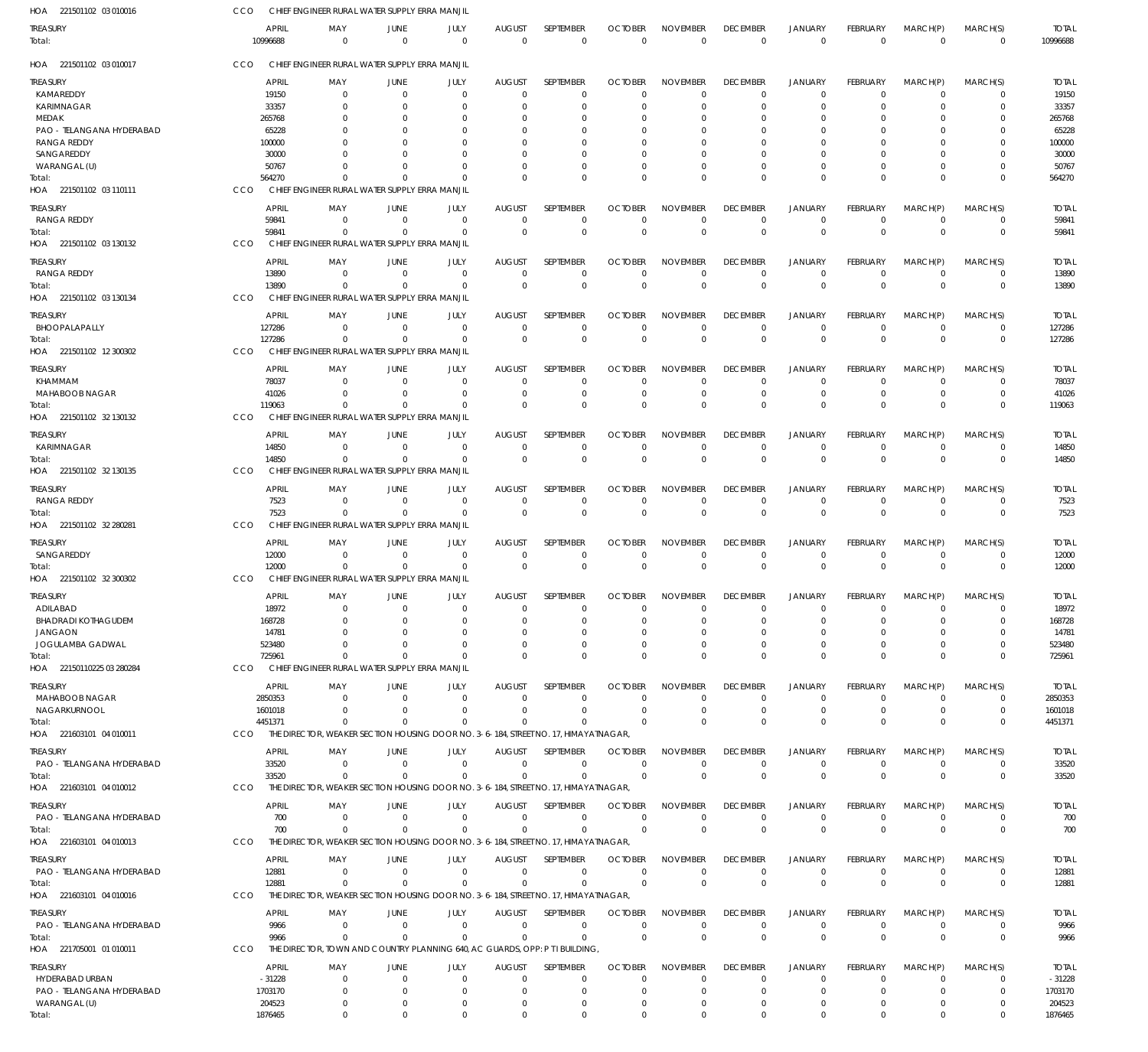| HOA 221501102 03 010016    | CCO                      | CHIEF ENGINEER RURAL WATER SUPPLY ERRA MANJIL                                       |                  |                  |                           |                                 |                                  |                                |                                 |                                  |                          |                            |                         |                          |
|----------------------------|--------------------------|-------------------------------------------------------------------------------------|------------------|------------------|---------------------------|---------------------------------|----------------------------------|--------------------------------|---------------------------------|----------------------------------|--------------------------|----------------------------|-------------------------|--------------------------|
| treasury<br>Total:         | <b>APRIL</b><br>10996688 | MAY<br>$\Omega$                                                                     | JUNE<br>$\Omega$ | JULY<br>$\Omega$ | <b>AUGUST</b><br>$\Omega$ | <b>SEPTEMBER</b><br>$\mathbf 0$ | <b>OCTOBER</b><br>$\overline{0}$ | <b>NOVEMBER</b><br>$\mathbf 0$ | <b>DECEMBER</b><br>$\mathbf{0}$ | <b>JANUARY</b><br>$\overline{0}$ | FEBRUARY<br>$\mathbf{0}$ | MARCH(P)<br>$\overline{0}$ | MARCH(S)<br>$\mathbf 0$ | <b>TOTAL</b><br>10996688 |
| HOA 221501102 03 010017    | <b>CCO</b>               | CHIEF ENGINEER RURAL WATER SUPPLY ERRA MANJIL                                       |                  |                  |                           |                                 |                                  |                                |                                 |                                  |                          |                            |                         |                          |
| treasury                   | <b>APRIL</b>             | MAY                                                                                 | JUNE             | JULY             | <b>AUGUST</b>             | SEPTEMBER                       | <b>OCTOBER</b>                   | <b>NOVEMBER</b>                | <b>DECEMBER</b>                 | <b>JANUARY</b>                   | <b>FEBRUARY</b>          | MARCH(P)                   | MARCH(S)                | <b>TOTAL</b>             |
| KAMAREDDY                  | 19150                    | $\Omega$                                                                            | $\Omega$         | $\Omega$         | $\Omega$                  | $\Omega$                        | $\Omega$                         | $\Omega$                       | $\Omega$                        | $\Omega$                         | $\Omega$                 | $\Omega$                   | $\Omega$                | 19150                    |
| <b>KARIMNAGAR</b>          | 33357                    | $\Omega$                                                                            | $\Omega$         | $\Omega$         | $\Omega$                  | $\Omega$                        | $\Omega$                         | $\Omega$                       | $\Omega$                        | $\Omega$                         | $\Omega$                 | $\Omega$                   | $\Omega$                | 33357                    |
| MEDAK                      | 265768                   |                                                                                     | $\Omega$         |                  | 0                         | 0                               | $\Omega$                         | C.                             | $\Omega$                        | $\Omega$                         |                          |                            | 0                       | 265768                   |
| PAO - TELANGANA HYDERABAD  | 65228                    |                                                                                     | - 0              |                  | n                         | 0                               | $\Omega$                         | $\Omega$                       | $\Omega$                        | $\Omega$                         |                          |                            | 0                       | 65228                    |
| <b>RANGA REDDY</b>         | 100000                   |                                                                                     | $\Omega$         |                  | 0                         | 0                               | $\Omega$                         | C.                             |                                 |                                  |                          |                            |                         | 100000                   |
| SANGAREDDY                 | 30000                    |                                                                                     | $\Omega$         |                  | n                         | 0                               | $\Omega$                         | $\Omega$                       | $\Omega$                        | $\Omega$                         |                          |                            | 0                       | 30000                    |
| WARANGAL (U)               | 50767                    |                                                                                     |                  |                  | $\Omega$                  | $\Omega$                        | $\Omega$                         | $\cup$                         | $\Omega$                        | $\Omega$                         | $\Omega$                 | $\Omega$                   | $\Omega$                | 50767                    |
| Total:                     | 564270                   |                                                                                     |                  |                  | $\Omega$                  | $\Omega$                        | $\Omega$                         | $\Omega$                       | $\Omega$                        | $\Omega$                         | $\Omega$                 | $\Omega$                   | $\Omega$                | 564270                   |
| HOA 221501102 03 110111    | CCO                      | CHIEF ENGINEER RURAL WATER SUPPLY ERRA MANJIL                                       |                  |                  |                           |                                 |                                  |                                |                                 |                                  |                          |                            |                         |                          |
|                            |                          |                                                                                     |                  |                  |                           |                                 |                                  |                                |                                 |                                  |                          |                            |                         |                          |
| treasury                   | <b>APRIL</b>             | MAY                                                                                 | JUNE             | JULY             | <b>AUGUST</b>             | <b>SEPTEMBER</b>                | <b>OCTOBER</b>                   | <b>NOVEMBER</b>                | <b>DECEMBER</b>                 | <b>JANUARY</b>                   | FEBRUARY                 | MARCH(P)                   | MARCH(S)                | <b>TOTAL</b>             |
| RANGA REDDY                | 59841                    | $\Omega$                                                                            | $\Omega$         | $\Omega$         | $\Omega$                  | $\mathbf 0$                     | $\Omega$                         | 0                              | $\Omega$                        | $\Omega$                         | $\Omega$                 | $\Omega$                   | $^{\circ}$              | 59841                    |
| Total:                     | 59841                    |                                                                                     | $\Omega$         | $\Omega$         | $\Omega$                  | $\mathbf 0$                     | $\Omega$                         | $\mathbf 0$                    | $\Omega$                        | $\Omega$                         | $\Omega$                 | $\Omega$                   | $\overline{0}$          | 59841                    |
| HOA 221501102 03 130132    | CCO                      | CHIEF ENGINEER RURAL WATER SUPPLY ERRA MANJIL                                       |                  |                  |                           |                                 |                                  |                                |                                 |                                  |                          |                            |                         |                          |
| treasury                   | APRIL                    | MAY                                                                                 | JUNE             | JULY             | <b>AUGUST</b>             | <b>SEPTEMBER</b>                | <b>OCTOBER</b>                   | <b>NOVEMBER</b>                | <b>DECEMBER</b>                 | <b>JANUARY</b>                   | FEBRUARY                 | MARCH(P)                   | MARCH(S)                | <b>TOTAL</b>             |
| RANGA REDDY                | 13890                    | $\Omega$                                                                            | $\Omega$         | $\Omega$         | $\Omega$                  | 0                               | $\Omega$                         | $\Omega$                       | $\mathbf 0$                     | $\Omega$                         | $\Omega$                 | $\Omega$                   | 0                       | 13890                    |
| Total:                     | 13890                    | $\Omega$                                                                            | $\Omega$         | $\Omega$         | $\Omega$                  | $\Omega$                        | $\Omega$                         | $\Omega$                       | $\Omega$                        | $\Omega$                         | $\Omega$                 | $\Omega$                   | $\overline{0}$          | 13890                    |
| HOA 221501102 03 130134    | CCO                      | CHIEF ENGINEER RURAL WATER SUPPLY ERRA MANJIL                                       |                  |                  |                           |                                 |                                  |                                |                                 |                                  |                          |                            |                         |                          |
|                            |                          |                                                                                     |                  |                  |                           |                                 |                                  |                                |                                 |                                  |                          |                            |                         |                          |
| treasury                   | APRIL                    | MAY                                                                                 | JUNE             | JULY             | <b>AUGUST</b>             | <b>SEPTEMBER</b>                | <b>OCTOBER</b>                   | <b>NOVEMBER</b>                | <b>DECEMBER</b>                 | <b>JANUARY</b>                   | FEBRUARY                 | MARCH(P)                   | MARCH(S)                | <b>TOTAL</b>             |
| BHOOPALAPALLY              | 127286                   | $\Omega$                                                                            | $\Omega$         | $\Omega$         | $\Omega$                  | $\mathbf 0$                     | $\Omega$                         | $\Omega$                       | $\Omega$                        | $\Omega$                         | $\Omega$                 | $\Omega$                   | $^{\circ}$              | 127286                   |
| Total:                     | 127286                   | $\Omega$                                                                            | $\Omega$         | $\Omega$         | $\Omega$                  | $\mathbf 0$                     | $\Omega$                         | $\Omega$                       | $\Omega$                        | $\Omega$                         | $\Omega$                 | $\Omega$                   | $\overline{0}$          | 127286                   |
| HOA 221501102 12 300302    | CCO                      | CHIEF ENGINEER RURAL WATER SUPPLY ERRA MANJIL                                       |                  |                  |                           |                                 |                                  |                                |                                 |                                  |                          |                            |                         |                          |
|                            |                          |                                                                                     |                  |                  |                           |                                 |                                  |                                |                                 |                                  |                          |                            |                         |                          |
| treasury                   | APRIL                    | MAY                                                                                 | JUNE             | JULY             | <b>AUGUST</b>             | <b>SEPTEMBER</b>                | <b>OCTOBER</b>                   | <b>NOVEMBER</b>                | <b>DECEMBER</b>                 | JANUARY                          | <b>FEBRUARY</b>          | MARCH(P)                   | MARCH(S)                | <b>TOTAL</b>             |
| KHAMMAM                    | 78037                    | $\Omega$                                                                            | $\Omega$         | $\Omega$         | $\Omega$                  | $\Omega$                        | $\Omega$                         | $\Omega$                       | $\Omega$                        | $\Omega$                         | $\Omega$                 | $\Omega$                   | $\Omega$                | 78037                    |
| MAHABOOB NAGAR             | 41026                    |                                                                                     | $\Omega$         | $\Omega$         | $\Omega$                  | $\mathbf 0$                     | $\Omega$                         | $\Omega$                       | $\Omega$                        | $\Omega$                         | $\Omega$                 | $\Omega$                   | $\mathbf 0$             | 41026                    |
| Total:                     | 119063                   |                                                                                     | $\Omega$         |                  | $\Omega$                  | $\Omega$                        | $\Omega$                         | $\Omega$                       | $\Omega$                        | $\Omega$                         | $\Omega$                 | $\Omega$                   | $\Omega$                | 119063                   |
| HOA 221501102 32 130132    | CCO                      | CHIEF ENGINEER RURAL WATER SUPPLY ERRA MANJIL                                       |                  |                  |                           |                                 |                                  |                                |                                 |                                  |                          |                            |                         |                          |
| treasury                   | <b>APRIL</b>             | MAY                                                                                 | JUNE             | JULY             | <b>AUGUST</b>             | <b>SEPTEMBER</b>                | <b>OCTOBER</b>                   | <b>NOVEMBER</b>                | <b>DECEMBER</b>                 | <b>JANUARY</b>                   | FEBRUARY                 | MARCH(P)                   | MARCH(S)                | <b>TOTAL</b>             |
| KARIMNAGAR                 | 14850                    | $\Omega$                                                                            | $\Omega$         | $\Omega$         | $\Omega$                  | $\mathbf 0$                     | $\Omega$                         | $\Omega$                       | $\Omega$                        | $\Omega$                         | $\Omega$                 | $\Omega$                   | $^{\circ}$              | 14850                    |
| Total:                     | 14850                    | $\Omega$                                                                            | $\Omega$         | $\Omega$         | $\Omega$                  | $\Omega$                        | $\Omega$                         | $\Omega$                       | $\Omega$                        | $\Omega$                         | $\Omega$                 | $\Omega$                   | $^{\circ}$              | 14850                    |
| HOA 221501102 32 130135    | CCO                      | CHIEF ENGINEER RURAL WATER SUPPLY ERRA MANJIL                                       |                  |                  |                           |                                 |                                  |                                |                                 |                                  |                          |                            |                         |                          |
|                            |                          |                                                                                     |                  |                  |                           |                                 |                                  |                                |                                 |                                  |                          |                            |                         |                          |
| treasury                   | APRIL                    | MAY                                                                                 | JUNE             | JULY             | <b>AUGUST</b>             | SEPTEMBER                       | <b>OCTOBER</b>                   | <b>NOVEMBER</b>                | <b>DECEMBER</b>                 | JANUARY                          | <b>FEBRUARY</b>          | MARCH(P)                   | MARCH(S)                | <b>TOTAL</b>             |
| RANGA REDDY                | 7523                     | $\Omega$                                                                            | $\Omega$         | $\Omega$         | $\Omega$                  | 0                               | $\Omega$                         | $\Omega$                       | $\Omega$                        | $\Omega$                         | $\Omega$                 | $\Omega$                   | 0                       | 7523                     |
| Total:                     | 7523                     | $\Omega$                                                                            | $\Omega$         | $\Omega$         | $\Omega$                  | $\Omega$                        | $\Omega$                         | $\Omega$                       | $\Omega$                        | $\Omega$                         | $\Omega$                 | $\Omega$                   | $^{\circ}$              | 7523                     |
| HOA 221501102 32 280281    | CCO                      | CHIEF ENGINEER RURAL WATER SUPPLY ERRA MANJIL                                       |                  |                  |                           |                                 |                                  |                                |                                 |                                  |                          |                            |                         |                          |
|                            |                          |                                                                                     |                  |                  |                           |                                 |                                  |                                |                                 |                                  |                          |                            |                         |                          |
| treasury                   | APRIL                    | MAY                                                                                 | JUNE             | JULY             | <b>AUGUST</b>             | SEPTEMBER                       | <b>OCTOBER</b>                   | <b>NOVEMBER</b>                | <b>DECEMBER</b>                 | <b>JANUARY</b>                   | FEBRUARY                 | MARCH(P)                   | MARCH(S)                | <b>TOTAL</b>             |
| SANGAREDDY                 | 12000                    | $\Omega$                                                                            | $\Omega$         | $\Omega$         | $\overline{0}$            | $\mathbf 0$                     | $\Omega$                         | 0                              | $\Omega$                        | $\Omega$                         | $\Omega$                 | $\Omega$                   | $^{\circ}$              | 12000                    |
| Total:                     | 12000                    | $\Omega$                                                                            | $\Omega$         | $\Omega$         | $\Omega$                  | $\mathbf 0$                     | $\Omega$                         | $\Omega$                       | $\Omega$                        | $\Omega$                         | $\Omega$                 | $\Omega$                   | $^{\circ}$              | 12000                    |
| HOA 221501102 32 300302    | CCO                      | CHIEF ENGINEER RURAL WATER SUPPLY ERRA MANJIL                                       |                  |                  |                           |                                 |                                  |                                |                                 |                                  |                          |                            |                         |                          |
| treasury                   | <b>APRIL</b>             | MAY                                                                                 | JUNE             | JULY             | <b>AUGUST</b>             | SEPTEMBER                       | <b>OCTOBER</b>                   | <b>NOVEMBER</b>                | <b>DECEMBER</b>                 | <b>JANUARY</b>                   | <b>FEBRUARY</b>          | MARCH(P)                   | MARCH(S)                | <b>TOTAL</b>             |
| ADILABAD                   | 18972                    | $\Omega$                                                                            | $\Omega$         | 0                | $\Omega$                  | $\Omega$                        | $\Omega$                         | $\Omega$                       | $\Omega$                        | $\Omega$                         | $\Omega$                 | $\Omega$                   | $\Omega$                | 18972                    |
| <b>BHADRADI KOTHAGUDEM</b> | 168728                   | $\Omega$                                                                            | $\Omega$         |                  | $\Omega$                  | $\Omega$                        | $\Omega$                         | $\Omega$                       | $\Omega$                        | $\Omega$                         | $\Omega$                 |                            | $\Omega$                | 168728                   |
| JANGAON                    | 14781                    |                                                                                     | $\Omega$         | O                | 0                         | 0                               | $\Omega$                         | $\Omega$                       | $\Omega$                        | $\Omega$                         | $\Omega$                 | $\Omega$                   | 0                       | 14781                    |
| JOGULAMBA GADWAL           | 523480                   | $\Omega$                                                                            | $\Omega$         | $\Omega$         | $\Omega$                  | $\Omega$                        | $\Omega$                         | $\Omega$                       | $\Omega$                        | $\Omega$                         | $\Omega$                 | $\Omega$                   | $\Omega$                | 523480                   |
| Total:                     | 725961                   | $\Omega$                                                                            | $\Omega$         | $\Omega$         | $\Omega$                  | $\Omega$                        | $\Omega$                         | $\Omega$                       | $\Omega$                        | $\Omega$                         | $\Omega$                 | $\Omega$                   | $\Omega$                | 725961                   |
| HOA 22150110225 03 280284  | CCO                      | CHIEF ENGINEER RURAL WATER SUPPLY ERRA MANJIL                                       |                  |                  |                           |                                 |                                  |                                |                                 |                                  |                          |                            |                         |                          |
|                            |                          |                                                                                     |                  |                  |                           |                                 |                                  |                                |                                 |                                  |                          |                            |                         |                          |
| treasury                   | APRIL                    | MAY                                                                                 | JUNE             | JULY             | <b>AUGUST</b>             | SEPTEMBER                       | <b>OCTOBER</b>                   | <b>NOVEMBER</b>                | <b>DECEMBER</b>                 | <b>JANUARY</b>                   | FEBRUARY                 | MARCH(P)                   | MARCH(S)                | <b>TOTAL</b>             |
| MAHABOOB NAGAR             | 2850353                  | $\Omega$                                                                            | $\Omega$         | $\Omega$         | $\Omega$                  | $\Omega$                        | $\Omega$                         | 0                              | $\Omega$                        | $\Omega$                         | $\Omega$                 | $\Omega$                   | $^{\circ}$              | 2850353                  |
| NAGARKURNOOL               | 1601018                  | $\Omega$                                                                            | $\Omega$         | $\Omega$         | $\overline{0}$            | $\mathbf 0$                     | - 0                              | 0                              | 0                               | 0                                | $^{\circ}$               | 0                          | 0                       | 1601018                  |
| Total:                     | 4451371                  | $\Omega$                                                                            | $\Omega$         | $\Omega$         | $\Omega$                  | $\Omega$                        | $\Omega$                         | $\Omega$                       | $\Omega$                        | $\Omega$                         | $\Omega$                 | $\Omega$                   | $\Omega$                | 4451371                  |
| HOA 221603101 04 010011    | CCO                      | THE DIRECTOR, WEAKER SECTION HOUSING DOOR NO. 3-6-184, STREET NO. 17, HIMAYATNAGAR, |                  |                  |                           |                                 |                                  |                                |                                 |                                  |                          |                            |                         |                          |
|                            |                          |                                                                                     |                  |                  |                           |                                 |                                  |                                |                                 |                                  |                          |                            |                         |                          |
| treasury                   | APRIL                    | MAY                                                                                 | JUNE             | JULY             | <b>AUGUST</b>             | SEPTEMBER                       | <b>OCTOBER</b>                   | <b>NOVEMBER</b>                | <b>DECEMBER</b>                 | JANUARY                          | <b>FEBRUARY</b>          | MARCH(P)                   | MARCH(S)                | <b>TOTAL</b>             |
| PAO - TELANGANA HYDERABAD  | 33520                    | $\Omega$                                                                            | $\Omega$         | $\Omega$         | $\Omega$                  | $\Omega$                        | $\Omega$                         | $\Omega$                       | $^{\circ}$                      | $\Omega$                         | $\Omega$                 | $\Omega$                   | 0                       | 33520                    |
| Total:                     | 33520                    | $\Omega$                                                                            | $\Omega$         | $\Omega$         | $\Omega$                  | $\Omega$                        | $\overline{0}$                   | $\Omega$                       | $\Omega$                        | $\Omega$                         | $\Omega$                 | $\Omega$                   | $\overline{0}$          | 33520                    |
| HOA 221603101 04 010012    | CCO                      | THE DIRECTOR, WEAKER SECTION HOUSING DOOR NO. 3-6-184, STREET NO. 17, HIMAYATNAGAR, |                  |                  |                           |                                 |                                  |                                |                                 |                                  |                          |                            |                         |                          |
| treasury                   | <b>APRIL</b>             | MAY                                                                                 | JUNE             | JULY             | <b>AUGUST</b>             | SEPTEMBER                       | <b>OCTOBER</b>                   | <b>NOVEMBER</b>                | <b>DECEMBER</b>                 | <b>JANUARY</b>                   | FEBRUARY                 | MARCH(P)                   | MARCH(S)                | <b>TOTAL</b>             |
| PAO - TELANGANA HYDERABAD  | 700                      | $\Omega$                                                                            | $\Omega$         | $\mathbf 0$      | $\Omega$                  | $\mathbf 0$                     | $\Omega$                         | $\mathbf 0$                    | $^{\circ}$                      | $\Omega$                         | $\Omega$                 | 0                          | $^{\circ}$              | 700                      |
| Total:                     | 700                      | $\Omega$                                                                            | $\Omega$         | $\Omega$         | $\Omega$                  | $\Omega$                        | $\overline{0}$                   | $\mathbf 0$                    | $^{\circ}$                      | $\mathbf 0$                      | $\Omega$                 | $\overline{0}$             | $\mathbf 0$             | 700                      |
| HOA 221603101 04 010013    | CCO                      | THE DIRECTOR, WEAKER SECTION HOUSING DOOR NO. 3-6-184, STREET NO. 17, HIMAYATNAGAR, |                  |                  |                           |                                 |                                  |                                |                                 |                                  |                          |                            |                         |                          |
|                            |                          |                                                                                     |                  |                  |                           |                                 |                                  |                                |                                 |                                  |                          |                            |                         |                          |
| treasury                   | APRIL                    | MAY                                                                                 | JUNE             | JULY             | <b>AUGUST</b>             | SEPTEMBER                       | <b>OCTOBER</b>                   | <b>NOVEMBER</b>                | <b>DECEMBER</b>                 | <b>JANUARY</b>                   | FEBRUARY                 | MARCH(P)                   | MARCH(S)                | <b>TOTAL</b>             |
| PAO - TELANGANA HYDERABAD  | 12881                    | $\Omega$                                                                            | $\Omega$         | $\Omega$         | $^{\circ}$                | $\Omega$                        | $\Omega$                         | $\Omega$                       | $\mathbf 0$                     | $\Omega$                         | $\Omega$                 | $\mathbf 0$                | $^{\circ}$              | 12881                    |
| Total:                     | 12881                    | $\Omega$                                                                            | $\Omega$         | $\Omega$         | $\Omega$                  | $\Omega$                        | $\Omega$                         | $\Omega$                       | $\Omega$                        | $\Omega$                         | $\Omega$                 | $\Omega$                   | $^{\circ}$              | 12881                    |
| HOA 221603101 04 010016    | CCO                      | THE DIRECTOR, WEAKER SECTION HOUSING DOOR NO. 3-6-184, STREET NO. 17, HIMAYATNAGAR, |                  |                  |                           |                                 |                                  |                                |                                 |                                  |                          |                            |                         |                          |
|                            |                          |                                                                                     |                  |                  |                           |                                 |                                  |                                |                                 |                                  |                          |                            |                         |                          |
| Treasury                   | <b>APRIL</b>             | MAY                                                                                 | JUNE             | JULY             | <b>AUGUST</b>             | SEPTEMBER                       | <b>OCTOBER</b>                   | <b>NOVEMBER</b>                | <b>DECEMBER</b>                 | <b>JANUARY</b>                   | FEBRUARY                 | MARCH(P)                   | MARCH(S)                | <b>TOTAL</b>             |
| PAO - TELANGANA HYDERABAD  | 9966                     | $\Omega$                                                                            | $\Omega$         | $\Omega$         | $\Omega$                  | $\mathbf 0$                     | $\Omega$                         | 0                              | 0                               | $\Omega$                         | $\Omega$                 | $\Omega$                   | 0                       | 9966                     |
| Total:                     | 9966                     | $\Omega$                                                                            | $\Omega$         | $\Omega$         | $\Omega$                  | $\mathbf 0$                     | $\Omega$                         | $\mathbf 0$                    | $\Omega$                        | $\Omega$                         | $\Omega$                 | $\Omega$                   | $^{\circ}$              | 9966                     |
| HOA 221705001 01 010011    | CCO                      | THE DIRECTOR, TOWN AND COUNTRY PLANNING 640, AC GUARDS, OPP: P T I BUILDING,        |                  |                  |                           |                                 |                                  |                                |                                 |                                  |                          |                            |                         |                          |
| Treasury                   | <b>APRIL</b>             | MAY                                                                                 | JUNE             | JULY             | <b>AUGUST</b>             | SEPTEMBER                       | <b>OCTOBER</b>                   | <b>NOVEMBER</b>                | <b>DECEMBER</b>                 | <b>JANUARY</b>                   | <b>FEBRUARY</b>          | MARCH(P)                   | MARCH(S)                | <b>TOTAL</b>             |
| HYDERABAD URBAN            | $-31228$                 | $\Omega$                                                                            | $\Omega$         | $\mathbf 0$      | $^{\circ}$                | 0                               | $\Omega$                         | $\Omega$                       | $\Omega$                        | $\Omega$                         | $\Omega$                 | $\Omega$                   | 0                       | $-31228$                 |
| PAO - TELANGANA HYDERABAD  | 1703170                  | $\Omega$                                                                            | $\Omega$         | $\Omega$         | $\Omega$                  | $\mathbf 0$                     | 0                                | $\Omega$                       | $\Omega$                        | $\Omega$                         | $\Omega$                 | $\Omega$                   | 0                       | 1703170                  |
| WARANGAL (U)               | 204523                   | $\Omega$                                                                            | $^{\circ}$       | 0                | $\Omega$                  | 0                               | 0                                | $\Omega$                       | $\Omega$                        | $\Omega$                         | $\Omega$                 | $\Omega$                   | $\Omega$                | 204523                   |
|                            | 1876465                  | $\mathbf 0$                                                                         | $\mathbf 0$      | 0                | $\mathbf 0$               | $\mathbf 0$                     | $\mathbf 0$                      | $\mathbf 0$                    | $\Omega$                        | $\Omega$                         | $\mathbf 0$              | $\mathbf 0$                | 0                       | 1876465                  |
| Total:                     |                          |                                                                                     |                  |                  |                           |                                 |                                  |                                |                                 |                                  |                          |                            |                         |                          |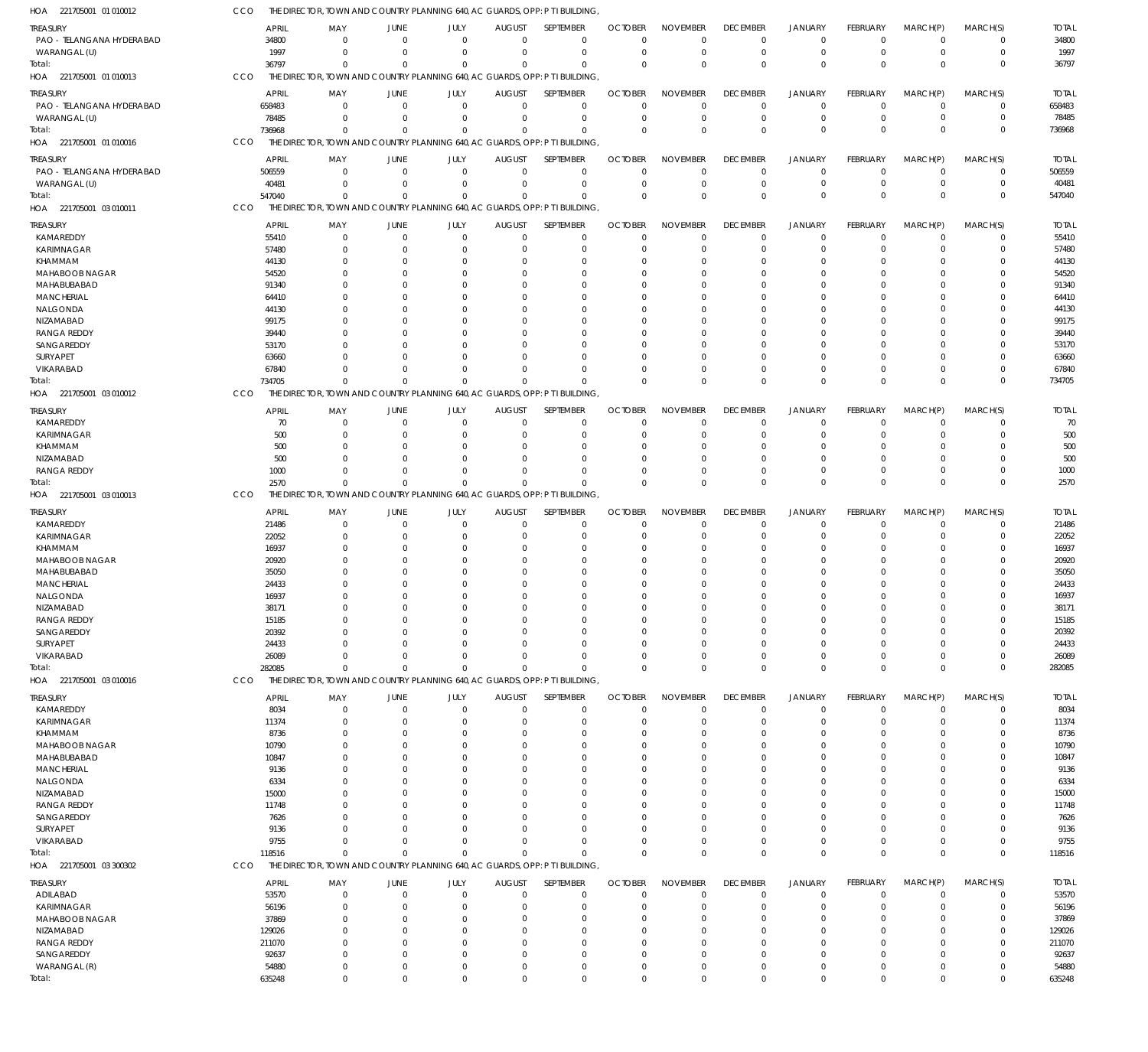| 221705001 01 010012<br>HOA    | CCO |                 |                         |                      |                         |                | THE DIRECTOR, TOWN AND COUNTRY PLANNING 640, AC GUARDS, OPP: P T I BUILDING, |                      |                      |                      |                         |                      |                      |                            |                 |
|-------------------------------|-----|-----------------|-------------------------|----------------------|-------------------------|----------------|------------------------------------------------------------------------------|----------------------|----------------------|----------------------|-------------------------|----------------------|----------------------|----------------------------|-----------------|
| TREASURY                      |     | <b>APRIL</b>    | MAY                     | JUNE                 | JULY                    | <b>AUGUST</b>  | SEPTEMBER                                                                    | <b>OCTOBER</b>       | <b>NOVEMBER</b>      | <b>DECEMBER</b>      | <b>JANUARY</b>          | FEBRUARY             | MARCH(P)             | MARCH(S)                   | <b>TOTAL</b>    |
| PAO - TELANGANA HYDERABAD     |     | 34800           | $\Omega$                | $\Omega$             | $\mathbf 0$             | $\Omega$       | $\mathbf 0$                                                                  | $\Omega$             | $\Omega$             | $\Omega$             | $\Omega$                | $\Omega$             | $\mathbf{0}$         | $\mathbf 0$                | 34800           |
| WARANGAL (U)                  |     | 1997            | $\mathbf 0$             | $\mathbf 0$          | $\Omega$                | $\Omega$       | $\mathbf 0$                                                                  | $\Omega$             | $\Omega$             | $\Omega$             | $\mathbf 0$             | $\overline{0}$       | $\Omega$             | $\mathbf 0$                | 1997            |
| Total:                        |     | 36797           | $\Omega$                | $\Omega$             | $\mathbf{0}$            | $\Omega$       | $\Omega$                                                                     | $\Omega$             | $\Omega$             | $\Omega$             | $\Omega$                | $\Omega$             | $\Omega$             | $\Omega$                   | 36797           |
| HOA 221705001 01 010013       | CCO |                 |                         |                      |                         |                | THE DIRECTOR, TOWN AND COUNTRY PLANNING 640, AC GUARDS, OPP: P T I BUILDING, |                      |                      |                      |                         |                      |                      |                            |                 |
| treasury                      |     | <b>APRIL</b>    | MAY                     | <b>JUNE</b>          | JULY                    | <b>AUGUST</b>  | SEPTEMBER                                                                    | <b>OCTOBER</b>       | <b>NOVEMBER</b>      | <b>DECEMBER</b>      | <b>JANUARY</b>          | <b>FEBRUARY</b>      | MARCH(P)             | MARCH(S)                   | <b>TOTAL</b>    |
| PAO - TELANGANA HYDERABAD     |     | 658483          | $\mathbf 0$             | 0                    | $\mathbf 0$             | $\mathbf{0}$   | 0                                                                            | $\Omega$             | $\Omega$             | $\Omega$             | $\mathbf 0$             | $\Omega$             | $\Omega$             | $\mathbf 0$                | 658483          |
| WARANGAL (U)                  |     | 78485           | $\mathbf 0$             | 0                    | $\mathbf 0$             | 0              | $\mathbf 0$                                                                  | $\Omega$             | $\Omega$             | $\Omega$             | $\mathbf 0$             | $\overline{0}$       | $\overline{0}$       | $\pmb{0}$                  | 78485           |
| Total:                        |     | 736968          | $\Omega$                | 0                    | $\mathbf 0$             | $\Omega$       | $\mathbf 0$                                                                  | $\Omega$             | $\Omega$             | $\Omega$             | $\overline{0}$          | $\Omega$             | $\Omega$             | $\mathbf 0$                | 736968          |
| HOA 221705001 01 010016       | CCO |                 |                         |                      |                         |                | THE DIRECTOR, TOWN AND COUNTRY PLANNING 640, AC GUARDS, OPP: P T I BUILDING, |                      |                      |                      |                         |                      |                      |                            |                 |
| TREASURY                      |     | <b>APRIL</b>    | MAY                     | <b>JUNE</b>          | JULY                    | <b>AUGUST</b>  | SEPTEMBER                                                                    | <b>OCTOBER</b>       | <b>NOVEMBER</b>      | <b>DECEMBER</b>      | <b>JANUARY</b>          | <b>FEBRUARY</b>      | MARCH(P)             | MARCH(S)                   | <b>TOTAL</b>    |
| PAO - TELANGANA HYDERABAD     |     | 506559          | $\mathbf 0$             | 0                    | $\mathbf 0$             | $\Omega$       | $\mathbf 0$                                                                  | $\Omega$             | $\Omega$             | $\Omega$             | $\Omega$                | $\Omega$             | $\Omega$             | $\mathbf 0$                | 506559          |
| WARANGAL (U)                  |     | 40481           | $\Omega$                | $\Omega$             | $\mathbf 0$             | $\Omega$       | $\mathbf 0$                                                                  | $\Omega$             | $\Omega$             | $\Omega$             | $\mathbf 0$             | $\Omega$             | $\Omega$             | $\mathbf 0$                | 40481           |
| Total:                        |     | 547040          | $\Omega$                | $\Omega$             | $\Omega$                | $\Omega$       | $\Omega$                                                                     | $\Omega$             | $\Omega$             | $\Omega$             | $\overline{0}$          | $\Omega$             | $\Omega$             | $\mathbf 0$                | 547040          |
| HOA 221705001 03 010011       | CCO |                 |                         |                      |                         |                | THE DIRECTOR, TOWN AND COUNTRY PLANNING 640, AC GUARDS, OPP: P T I BUILDING, |                      |                      |                      |                         |                      |                      |                            |                 |
| TREASURY                      |     | <b>APRIL</b>    | MAY                     | JUNE                 | JULY                    | <b>AUGUST</b>  | SEPTEMBER                                                                    | <b>OCTOBER</b>       | <b>NOVEMBER</b>      | <b>DECEMBER</b>      | <b>JANUARY</b>          | FEBRUARY             | MARCH(P)             | MARCH(S)                   | <b>TOTAL</b>    |
| KAMAREDDY                     |     | 55410           | 0                       | 0                    | $\mathbf 0$             | $\overline{0}$ | $\mathbf 0$                                                                  | $\Omega$             | $\Omega$             | $\Omega$             | $\mathbf 0$             | $\Omega$             | $\Omega$             | $\mathbf 0$                | 55410           |
| <b>KARIMNAGAR</b>             |     | 57480           | $\mathbf 0$             | $\Omega$             | $\mathbf 0$             | n              | $\mathbf 0$                                                                  | $\Omega$             | $\Omega$             | $\Omega$             | $\Omega$                | $\Omega$             | $\Omega$             | $\mathbf 0$                | 57480           |
| KHAMMAM                       |     | 44130           | $\Omega$                | 0                    | $\Omega$                | n              | $\mathbf 0$                                                                  | $\Omega$             | $\Omega$             | $\Omega$             | $\Omega$                | $\Omega$             | $\Omega$             | 0                          | 44130           |
| MAHABOOB NAGAR                |     | 54520           | $\Omega$                | $\Omega$             | $\Omega$                | n              | $\Omega$                                                                     | $\Omega$             | $\Omega$             |                      | $\Omega$                | $\Omega$             | $\Omega$             | $\Omega$                   | 54520           |
| MAHABUBABAD                   |     | 91340           | $\Omega$                | $\Omega$             | $\Omega$                | n              | $\Omega$                                                                     | $\Omega$             | $\Omega$             |                      | $\Omega$                | $\Omega$             | $\Omega$             | $\Omega$                   | 91340           |
| <b>MANCHERIAL</b>             |     | 64410           | $\Omega$                | $\Omega$             | $\Omega$                | n              | $\Omega$                                                                     | $\Omega$             | $\Omega$             |                      | $\Omega$                | $\Omega$             | $\Omega$             | $\Omega$                   | 64410           |
| NALGONDA                      |     | 44130           | $\Omega$                | $\Omega$             | $\Omega$                | n              | $\Omega$                                                                     | -C                   | $\Omega$             |                      | $\Omega$                | $\Omega$             | $\Omega$             | $\Omega$                   | 44130           |
| NIZAMABAD                     |     | 99175           | $\Omega$                | $\Omega$             | $\Omega$                | n              | $\Omega$                                                                     | $\Omega$             | $\Omega$             |                      | $\Omega$                | $\Omega$             | $\Omega$             | $\Omega$                   | 99175           |
| <b>RANGA REDDY</b>            |     | 39440           | $\Omega$                | $\Omega$             | $\Omega$                | n              | $\Omega$                                                                     | -C                   | $\Omega$             |                      | $\Omega$                | $\Omega$             | $\Omega$             | $\Omega$                   | 39440           |
| SANGAREDDY                    |     | 53170           | $\Omega$                | $\Omega$             | $\Omega$                | n              | $\Omega$                                                                     | $\Omega$             | $\Omega$             |                      | $\Omega$                | $\Omega$             | $\Omega$             | $\Omega$                   | 53170           |
| SURYAPET<br><b>VIKARABAD</b>  |     | 63660           | $\Omega$<br>$\Omega$    | $\Omega$<br>$\Omega$ | $\Omega$<br>$\Omega$    | n<br>$\Omega$  | $\Omega$<br>$\Omega$                                                         | -C<br>$\Omega$       | $\Omega$<br>$\Omega$ | $\Omega$<br>$\Omega$ | $\Omega$<br>$\Omega$    | $\Omega$             | $\Omega$<br>$\Omega$ | 0                          | 63660           |
| Total:                        |     | 67840<br>734705 | $\Omega$                | $\Omega$             | $\mathbf 0$             | $\Omega$       | $\Omega$                                                                     | $\Omega$             | $\Omega$             | $\Omega$             | $\Omega$                | $\Omega$<br>$\Omega$ | $\Omega$             | 0<br>$\Omega$              | 67840<br>734705 |
| HOA 221705001 03 010012       | CCO |                 |                         |                      |                         |                | THE DIRECTOR, TOWN AND COUNTRY PLANNING 640, AC GUARDS, OPP: P T I BUILDING, |                      |                      |                      |                         |                      |                      |                            |                 |
|                               |     |                 |                         |                      |                         |                |                                                                              |                      |                      |                      |                         |                      |                      |                            |                 |
| TREASURY                      |     | <b>APRIL</b>    | MAY                     | <b>JUNE</b>          | JULY                    | <b>AUGUST</b>  | SEPTEMBER                                                                    | <b>OCTOBER</b>       | <b>NOVEMBER</b>      | <b>DECEMBER</b>      | JANUARY                 | FEBRUARY             | MARCH(P)             | MARCH(S)                   | <b>TOTAL</b>    |
| KAMAREDDY                     |     | 70              | $\mathbf 0$             | 0                    | $\mathbf 0$             | $\Omega$       | $\mathbf 0$                                                                  | $\Omega$             | $\Omega$             | $\Omega$             | $\Omega$                | $\Omega$             | $\Omega$             | $\mathbf 0$                | 70              |
| <b>KARIMNAGAR</b>             |     | 500             | $\Omega$<br>$\Omega$    | 0                    | $\Omega$                | n              | $\Omega$<br>$\Omega$                                                         | $\Omega$<br>$\Omega$ | $\Omega$<br>$\Omega$ | $\Omega$<br>$\Omega$ | $\Omega$                | $\Omega$             | $\Omega$<br>$\Omega$ | $\Omega$<br>$\Omega$       | 500             |
| KHAMMAM<br>NIZAMABAD          |     | 500<br>500      | $\Omega$                | $\Omega$<br>$\Omega$ | $\Omega$<br>$\Omega$    | $\Omega$<br>n  | $\Omega$                                                                     | $\Omega$             | $\Omega$             | $\Omega$             | $\Omega$<br>$\Omega$    | $\Omega$<br>$\Omega$ | $\Omega$             | $\Omega$                   | 500<br>500      |
| <b>RANGA REDDY</b>            |     | 1000            | $\Omega$                | $\Omega$             | $\Omega$                | $\Omega$       | $\mathbf{0}$                                                                 | $\Omega$             | $\Omega$             | $\Omega$             | $\Omega$                | $\Omega$             | $\Omega$             | 0                          | 1000            |
| Total:                        |     | 2570            | $\Omega$                | $\Omega$             | $\Omega$                | $\Omega$       | $\Omega$                                                                     | $\Omega$             | $\Omega$             | $\Omega$             | $\Omega$                | $\Omega$             | $\Omega$             | $\mathbf 0$                | 2570            |
| HOA 221705001 03 010013       | CCO |                 |                         |                      |                         |                | THE DIRECTOR, TOWN AND COUNTRY PLANNING 640, AC GUARDS, OPP: P T I BUILDING, |                      |                      |                      |                         |                      |                      |                            |                 |
|                               |     |                 |                         |                      |                         |                |                                                                              |                      |                      |                      |                         |                      |                      |                            |                 |
| TREASURY                      |     | <b>APRIL</b>    | MAY                     | JUNE                 | JULY                    | <b>AUGUST</b>  | SEPTEMBER                                                                    | <b>OCTOBER</b>       | <b>NOVEMBER</b>      | <b>DECEMBER</b>      | <b>JANUARY</b>          | FEBRUARY             | MARCH(P)             | MARCH(S)                   | <b>TOTAL</b>    |
| KAMAREDDY                     |     | 21486           | 0                       | $\mathbf 0$          | $\mathbf 0$             | $\Omega$       | $\mathbf 0$                                                                  | $\Omega$<br>$\Omega$ | $\Omega$<br>$\Omega$ | $\Omega$<br>$\Omega$ | $\mathbf 0$<br>$\Omega$ | $\Omega$             | $\Omega$<br>$\Omega$ | $\mathbf 0$<br>$\mathbf 0$ | 21486           |
| <b>KARIMNAGAR</b><br>KHAMMAM  |     | 22052<br>16937  | $\mathbf 0$<br>$\Omega$ | $\mathbf 0$<br>0     | $\mathbf 0$<br>$\Omega$ | n<br>n         | $\mathbf 0$<br>$\mathbf 0$                                                   | $\Omega$             | $\Omega$             | $\Omega$             | $\Omega$                | $\Omega$<br>$\Omega$ | $\Omega$             | 0                          | 22052<br>16937  |
| MAHABOOB NAGAR                |     | 20920           | $\Omega$                | $\Omega$             | $\Omega$                | n              | $\Omega$                                                                     | $\Omega$             | $\Omega$             |                      | $\Omega$                | $\Omega$             | $\Omega$             | $\Omega$                   | 20920           |
| MAHABUBABAD                   |     | 35050           | $\Omega$                | $\Omega$             | $\Omega$                | n              | $\mathbf 0$                                                                  | $\Omega$             | $\Omega$             |                      | $\Omega$                | $\Omega$             | $\Omega$             | 0                          | 35050           |
| <b>MANCHERIAL</b>             |     | 24433           | $\Omega$                | $\Omega$             | $\Omega$                | n              | $\Omega$                                                                     | $\Omega$             | $\Omega$             |                      | $\Omega$                | $\Omega$             | $\Omega$             | $\Omega$                   | 24433           |
| NALGONDA                      |     | 16937           | $\Omega$                | $\Omega$             | $\Omega$                | $\Omega$       | $\Omega$                                                                     | $\Omega$             | $\Omega$             | $\Omega$             | $\Omega$                | $\Omega$             | $\Omega$             | $\Omega$                   | 16937           |
| NIZAMABAD                     |     | 38171           | $\mathbf 0$             | $\Omega$             | $\Omega$                | $\Omega$       | $\mathbf 0$                                                                  | $\Omega$             | $\Omega$             | $\Omega$             | $\Omega$                | $\Omega$             | $\Omega$             | $\mathbf 0$                | 38171           |
| <b>RANGA REDDY</b>            |     | 15185           | $\mathbf 0$             | $\mathbf 0$          | $\Omega$                | n              | $\mathbf 0$                                                                  | $\Omega$             | $\Omega$             | $\Omega$             | $\mathbf 0$             | $\Omega$             | $\Omega$             | 0                          | 15185           |
| SANGAREDDY                    |     | 20392           | $\Omega$                | $\Omega$             | $\Omega$                | -0             | $\Omega$                                                                     | $\Omega$             | $\Omega$             |                      | $\Omega$                | $\Omega$             | $\Omega$             | 0                          | 20392           |
| SURYAPET                      |     | 24433           | $\mathbf 0$             | $\Omega$             | $\Omega$                | n              | $\mathbf 0$                                                                  | -C                   | $\Omega$             | $\Omega$             | $\Omega$                | $\Omega$             | $\Omega$             | 0                          | 24433           |
| VIKARABAD                     |     | 26089           | $\mathbf 0$             | $\Omega$             | $\mathbf 0$             | n              | $\Omega$                                                                     | $\Omega$             | $\Omega$             | $\Omega$             | $\Omega$                | $\Omega$             | $\Omega$             | 0                          | 26089           |
| Total:                        |     | 282085          | $\mathbf 0$             | $\Omega$             | $\Omega$                | $\Omega$       | $\mathbf{0}$                                                                 | $\Omega$             | $\Omega$             | $\Omega$             | $\Omega$                | $\Omega$             | $\Omega$             | $\mathbf 0$                | 282085          |
| HOA 221705001 03 010016       | CCO |                 |                         |                      |                         |                | THE DIRECTOR, TOWN AND COUNTRY PLANNING 640, AC GUARDS, OPP: P T I BUILDING, |                      |                      |                      |                         |                      |                      |                            |                 |
| treasury                      |     | <b>APRIL</b>    | MAY                     | <b>JUNE</b>          | JULY                    | <b>AUGUST</b>  | SEPTEMBER                                                                    | <b>OCTOBER</b>       | <b>NOVEMBER</b>      | <b>DECEMBER</b>      | <b>JANUARY</b>          | <b>FEBRUARY</b>      | MARCH(P)             | MARCH(S)                   | <b>TOTAL</b>    |
| KAMAREDDY                     |     | 8034            | $\mathbf 0$             | $\mathbf 0$          | $\mathbf 0$             | $\Omega$       | $\mathbf 0$                                                                  | $\Omega$             | $\Omega$             | $\Omega$             | $\mathbf 0$             | $\Omega$             | $\Omega$             | $\mathbf 0$                | 8034            |
| <b>KARIMNAGAR</b>             |     | 11374           | $\mathbf 0$             | 0                    | $\Omega$                | -0             | $\mathbf 0$                                                                  | $\Omega$             | $\Omega$             | $\Omega$             | $^{\circ}$              | $\Omega$             | $\Omega$             | 0                          | 11374           |
| KHAMMAM                       |     | 8736            | $\Omega$                | $\Omega$             | $\Omega$                | -0             | $\Omega$                                                                     | $\Omega$             | $\Omega$             | $\Omega$             | $\Omega$                | $\Omega$             | $\Omega$             | $\Omega$                   | 8736            |
| MAHABOOB NAGAR                |     | 10790           | $\Omega$                | $\Omega$             | $\Omega$                | -0             | $\Omega$                                                                     | $\Omega$             | $\Omega$             | $\Omega$             | $\Omega$                | <sup>0</sup>         | $\Omega$             | $\Omega$                   | 10790           |
| MAHABUBABAD                   |     | 10847           | $\Omega$                | $\Omega$             | $\Omega$                | n              | $\Omega$                                                                     | $\Omega$             | $\Omega$             |                      | $\Omega$                | $\Omega$             | $\Omega$             | $\Omega$                   | 10847           |
| <b>MANCHERIAL</b><br>NALGONDA |     | 9136<br>6334    | n<br>$\Omega$           | $\Omega$<br>-0       | n<br>$\Omega$           | -0             | $\Omega$<br>$\Omega$                                                         | $\Omega$<br>$\Omega$ | $\Omega$<br>$\Omega$ |                      | $\Omega$<br>$\Omega$    | <sup>0</sup>         | $\Omega$<br>$\Omega$ | $\Omega$<br>$\Omega$       | 9136<br>6334    |
| NIZAMABAD                     |     | 15000           | n                       | 0                    | n                       |                | $\Omega$                                                                     | $\Omega$             | $\Omega$             |                      | $\Omega$                |                      | $\Omega$             | $\Omega$                   | 15000           |
| <b>RANGA REDDY</b>            |     | 11748           | $\Omega$                | $\Omega$             | $\Omega$                | -0             | $\Omega$                                                                     | $\Omega$             | $\Omega$             |                      | $\Omega$                | $\Omega$             | $\Omega$             | $\Omega$                   | 11748           |
| SANGAREDDY                    |     | 7626            | n                       | $\Omega$             | $\Omega$                |                | $\Omega$                                                                     | $\Omega$             | $\Omega$             |                      | $\Omega$                |                      | $\Omega$             | $\Omega$                   | 7626            |
| SURYAPET                      |     | 9136            | $\Omega$                | n                    | $\Omega$                |                | $\Omega$                                                                     | $\Omega$             | $\Omega$             | $\Omega$             | $\Omega$                |                      | $\Omega$             | $\Omega$                   | 9136            |
| VIKARABAD                     |     | 9755            | $\Omega$                | $\Omega$             | $\Omega$                | $\Omega$       | $\Omega$                                                                     | $\Omega$             | $\Omega$             | $\Omega$             | $\mathbf 0$             | $\Omega$             | $\Omega$             | 0                          | 9755            |
| Total:                        |     | 118516          | $\Omega$                | $\Omega$             | $\mathbf{0}$            | $\Omega$       | $\Omega$                                                                     | $\Omega$             | $\Omega$             | $\Omega$             | $\Omega$                | $\Omega$             | $\Omega$             | $\Omega$                   | 118516          |
| HOA 221705001 03 300302       | CCO |                 |                         |                      |                         |                | THE DIRECTOR, TOWN AND COUNTRY PLANNING 640, AC GUARDS, OPP: P T I BUILDING, |                      |                      |                      |                         |                      |                      |                            |                 |
| <b>TREASURY</b>               |     | <b>APRIL</b>    | MAY                     | <b>JUNE</b>          | JULY                    | <b>AUGUST</b>  | SEPTEMBER                                                                    | <b>OCTOBER</b>       | <b>NOVEMBER</b>      | <b>DECEMBER</b>      | <b>JANUARY</b>          | <b>FEBRUARY</b>      | MARCH(P)             | MARCH(S)                   | <b>TOTAL</b>    |
| ADILABAD                      |     | 53570           | 0                       | 0                    | $\mathbf 0$             | $\overline{0}$ | 0                                                                            | $\overline{0}$       | $\Omega$             | $\Omega$             | $\mathbf 0$             | $\overline{0}$       | $\Omega$             | $\mathbf 0$                | 53570           |
| KARIMNAGAR                    |     | 56196           | $\mathbf 0$             | 0                    | $\mathbf 0$             | n              | $\mathbf 0$                                                                  | $\Omega$             | $\Omega$             | $\Omega$             | $\mathbf 0$             | $\Omega$             | $\Omega$             | 0                          | 56196           |
| MAHABOOB NAGAR                |     | 37869           | $\Omega$                | 0                    | $\Omega$                | n              | $\Omega$                                                                     | $\Omega$             | $\Omega$             |                      | $\Omega$                | $\Omega$             | $\Omega$             | 0                          | 37869           |
| NIZAMABAD                     |     | 129026          | $\mathbf 0$             | $\Omega$             | $\Omega$                | n              | $\mathbf 0$                                                                  | $\Omega$             | $\Omega$             | $\Omega$             | $\Omega$                | $\Omega$             | $\Omega$             | 0                          | 129026          |
| <b>RANGA REDDY</b>            |     | 211070          | $\Omega$                | $\Omega$             | $\Omega$                | -0             | $\Omega$                                                                     | $\Omega$             | $\Omega$             |                      | $\Omega$                | $\Omega$             | $\Omega$             | $\Omega$                   | 211070          |
| SANGAREDDY                    |     | 92637           | $\mathbf 0$             | 0                    | $\Omega$                | $\Omega$       | $\mathbf 0$                                                                  | $\Omega$             | $\Omega$             | $\Omega$             | $\Omega$                | $\Omega$             | $\Omega$             | 0                          | 92637           |
| WARANGAL (R)                  |     | 54880           | 0                       | $\mathbf 0$          | $\mathbf 0$             | 0              | $\mathbf 0$                                                                  | $\mathbf 0$          | $\mathbf 0$          | $\Omega$             | $\mathbf 0$             | $\overline{0}$       | $\mathbf 0$          | 0                          | 54880           |
| Total:                        |     | 635248          | $\mathbf 0$             | $\Omega$             | $\mathbf 0$             | $\Omega$       | $\Omega$                                                                     | $\Omega$             | $\Omega$             | $\mathbf 0$          | $\mathbf 0$             | $\Omega$             | $\mathbf 0$          | $\mathbf 0$                | 635248          |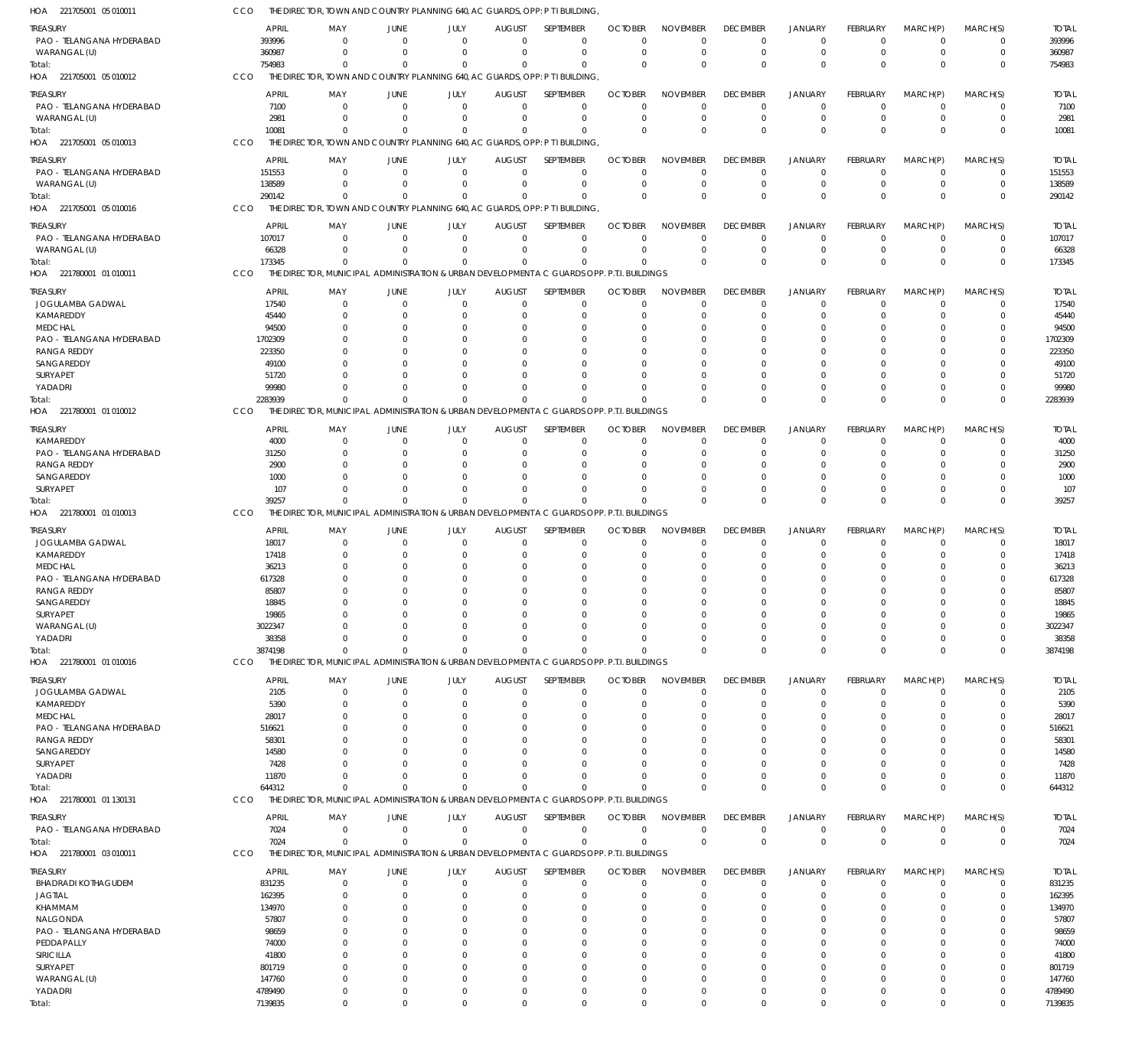| HOA 221705001 05 010011                     | CCO              | THE DIRECTOR, TOWN AND COUNTRY PLANNING 640, AC GUARDS, OPP: P T I BUILDING                             |                            |                            |                              |                         |                      |                             |                             |                              |                      |                            |                            |                      |
|---------------------------------------------|------------------|---------------------------------------------------------------------------------------------------------|----------------------------|----------------------------|------------------------------|-------------------------|----------------------|-----------------------------|-----------------------------|------------------------------|----------------------|----------------------------|----------------------------|----------------------|
| <b>TREASURY</b>                             | <b>APRIL</b>     | MAY                                                                                                     | JUNE                       | JULY                       | <b>AUGUST</b>                | SEPTEMBER               | <b>OCTOBER</b>       | <b>NOVEMBER</b>             | <b>DECEMBER</b>             | <b>JANUARY</b>               | <b>FEBRUARY</b>      | MARCH(P)                   | MARCH(S)                   | <b>TOTAL</b>         |
| PAO - TELANGANA HYDERABAD                   | 393996           |                                                                                                         | $\Omega$                   | $\Omega$                   | $\Omega$                     | 0                       | $\Omega$             | $\Omega$                    | $\Omega$                    | $^{\circ}$                   | $\Omega$             | $\overline{0}$             | 0                          | 393996               |
| WARANGAL (U)<br>Total:                      | 360987<br>754983 | $\Omega$<br>$\Omega$                                                                                    | $\Omega$<br>$\Omega$       | $\Omega$<br>$\Omega$       | $\Omega$<br>$\Omega$         | $\mathbf 0$<br>$\Omega$ | $\Omega$<br>$\Omega$ | $\mathbf 0$<br>$\Omega$     | $\Omega$<br>$\Omega$        | $\overline{0}$<br>$\Omega$   | 0<br>$\Omega$        | $\overline{0}$<br>$\Omega$ | $\mathbf 0$<br>$\mathbf 0$ | 360987<br>754983     |
| HOA 221705001 05 010012                     | CCO              | THE DIRECTOR, TOWN AND COUNTRY PLANNING 640, AC GUARDS, OPP: P T I BUILDING,                            |                            |                            |                              |                         |                      |                             |                             |                              |                      |                            |                            |                      |
|                                             | <b>APRIL</b>     |                                                                                                         |                            |                            |                              | <b>SEPTEMBER</b>        |                      |                             |                             |                              |                      |                            | MARCH(S)                   |                      |
| treasury<br>PAO - TELANGANA HYDERABAD       | 7100             | MAY                                                                                                     | JUNE<br>$\Omega$           | JULY<br>0                  | <b>AUGUST</b><br>$\mathbf 0$ | 0                       | <b>OCTOBER</b><br>0  | <b>NOVEMBER</b><br>$\Omega$ | <b>DECEMBER</b><br>$\Omega$ | <b>JANUARY</b><br>$^{\circ}$ | <b>FEBRUARY</b><br>0 | MARCH(P)<br>0              | 0                          | <b>TOTAL</b><br>7100 |
| WARANGAL (U)                                | 2981             |                                                                                                         | $\Omega$                   | $\Omega$                   | $\Omega$                     | $\mathbf 0$             | $\Omega$             | $\Omega$                    | $\Omega$                    | $\overline{0}$               | $\mathbf 0$          | $\overline{0}$             | $\mathbf 0$                | 2981                 |
| Total:                                      | 10081            | $\Omega$                                                                                                | $\Omega$                   | $\Omega$                   | $\Omega$                     | 0                       | $\Omega$             | $\Omega$                    | $\Omega$                    | $\Omega$                     | $\Omega$             | $\Omega$                   | $\mathbf 0$                | 10081                |
| HOA 221705001 05 010013                     | CCO              | THE DIRECTOR, TOWN AND COUNTRY PLANNING 640, AC GUARDS, OPP: P T I BUILDING,                            |                            |                            |                              |                         |                      |                             |                             |                              |                      |                            |                            |                      |
| treasury                                    | <b>APRIL</b>     | MAY                                                                                                     | JUNE                       | JULY                       | <b>AUGUST</b>                | SEPTEMBER               | <b>OCTOBER</b>       | <b>NOVEMBER</b>             | <b>DECEMBER</b>             | <b>JANUARY</b>               | <b>FEBRUARY</b>      | MARCH(P)                   | MARCH(S)                   | <b>TOTAL</b>         |
| PAO - TELANGANA HYDERABAD                   | 151553           | $\Omega$                                                                                                | $\Omega$                   | $\overline{0}$             | $\mathbf 0$                  | $\mathbf 0$             | $\Omega$             | 0                           | $\Omega$                    | $^{\circ}$                   | 0                    | - 0                        | 0                          | 151553               |
| WARANGAL (U)                                | 138589           | $\Omega$                                                                                                | $\Omega$                   | $\Omega$                   | $\Omega$                     | $\mathbf 0$             | $\Omega$             | $\Omega$                    | $\Omega$                    | $\overline{0}$               | $\Omega$             | $\mathbf 0$                | $\mathbf 0$                | 138589               |
| Total:                                      | 290142           | $\Omega$                                                                                                | $\Omega$                   | $\Omega$                   | $\Omega$                     | $\Omega$                | $\Omega$             | $\Omega$                    | $\Omega$                    | $\Omega$                     | $\Omega$             | $\Omega$                   | $\mathbf 0$                | 290142               |
| HOA 221705001 05 010016                     | CCO              | THE DIRECTOR, TOWN AND COUNTRY PLANNING 640, AC GUARDS, OPP: PTI BUILDING,                              |                            |                            |                              |                         |                      |                             |                             |                              |                      |                            |                            |                      |
| treasury                                    | <b>APRIL</b>     | MAY                                                                                                     | JUNE                       | JULY                       | <b>AUGUST</b>                | SEPTEMBER               | <b>OCTOBER</b>       | <b>NOVEMBER</b>             | <b>DECEMBER</b>             | <b>JANUARY</b>               | FEBRUARY             | MARCH(P)                   | MARCH(S)                   | <b>TOTAL</b>         |
| PAO - TELANGANA HYDERABAD                   | 107017           | $\Omega$                                                                                                | $\overline{0}$             | $\overline{0}$             | $\overline{0}$               | $\mathbf 0$             | $\Omega$             | $\Omega$                    | $\Omega$                    | $^{\circ}$                   | $\Omega$             | $\overline{0}$             | 0                          | 107017               |
| WARANGAL (U)                                | 66328            |                                                                                                         | $\Omega$                   | 0                          | $\mathbf 0$                  | $\mathbf 0$             | 0                    | $\Omega$                    | $\Omega$                    | $^{\circ}$                   | 0                    | $\overline{0}$             | $\mathbf 0$                | 66328                |
| Total:<br>HOA 221780001 01 010011           | 173345<br>CCO    | $\Omega$<br>THE DIRECTOR, MUNICIPAL ADMINISTRATION & URBAN DEVELOPMENT A C GUARDS OPP. P.T.I. BUILDINGS | $\Omega$                   | $\Omega$                   | $\Omega$                     | $\Omega$                | $\Omega$             | $\Omega$                    | $\Omega$                    | $\Omega$                     | $\Omega$             | $\Omega$                   | $\mathbf 0$                | 173345               |
|                                             |                  |                                                                                                         |                            |                            |                              |                         |                      |                             |                             |                              |                      |                            |                            |                      |
| treasury                                    | <b>APRIL</b>     | MAY                                                                                                     | JUNE                       | JULY                       | <b>AUGUST</b>                | <b>SEPTEMBER</b>        | <b>OCTOBER</b>       | <b>NOVEMBER</b>             | <b>DECEMBER</b>             | <b>JANUARY</b>               | <b>FEBRUARY</b>      | MARCH(P)                   | MARCH(S)                   | <b>TOTAL</b>         |
| JOGULAMBA GADWAL<br>KAMAREDDY               | 17540<br>45440   | $\Omega$                                                                                                | $\overline{0}$<br>$\Omega$ | $\overline{0}$<br>$\Omega$ | $\overline{0}$<br>$\Omega$   | 0<br>$\mathbf 0$        | $\Omega$<br>$\Omega$ | $\Omega$<br>$\Omega$        | $\Omega$<br>$\Omega$        | $\overline{0}$<br>$\Omega$   | $\Omega$<br>$\Omega$ | $\mathbf 0$<br>$\mathbf 0$ | 0<br>$\mathbf 0$           | 17540<br>45440       |
| <b>MEDCHAL</b>                              | 94500            |                                                                                                         |                            |                            | $\Omega$                     | 0                       |                      | $\Omega$                    |                             |                              |                      | $\Omega$                   | 0                          | 94500                |
| PAO - TELANGANA HYDERABAD                   | 1702309          |                                                                                                         |                            |                            | $\Omega$                     | $\Omega$                |                      | $\Omega$                    |                             |                              |                      |                            | $\Omega$                   | 1702309              |
| <b>RANGA REDDY</b>                          | 223350           |                                                                                                         |                            |                            |                              | $\Omega$                |                      | $\Omega$                    |                             |                              |                      | $\Omega$                   | 0                          | 223350               |
| SANGAREDDY                                  | 49100            |                                                                                                         |                            |                            | $\cup$                       | $\Omega$                |                      | $\Omega$                    |                             |                              |                      | $\Omega$                   | 0                          | 49100                |
| SURYAPET                                    | 51720            |                                                                                                         |                            |                            | $\cup$                       | $\Omega$                |                      | $\Omega$                    |                             |                              |                      | $\Omega$                   | 0                          | 51720                |
| YADADRI                                     | 99980            |                                                                                                         | $\Omega$<br>$\Omega$       | $\Omega$<br>$\Omega$       | $\Omega$<br>$\Omega$         | $\Omega$<br>$\Omega$    | $\cup$               | $\Omega$<br>$\Omega$        | $\Omega$                    | $\Omega$<br>$\Omega$         | $\Omega$<br>$\Omega$ | $\Omega$<br>$\Omega$       | $\mathbf 0$<br>$\mathbf 0$ | 99980                |
| Total:<br>HOA 221780001 01 010012           | 2283939<br>CCO   | $\Omega$<br>THE DIRECTOR, MUNICIPAL ADMINISTRATION & URBAN DEVELOPMENT A C GUARDS OPP. P.T.I. BUILDINGS |                            |                            |                              |                         |                      |                             |                             |                              |                      |                            |                            | 2283939              |
|                                             |                  |                                                                                                         |                            |                            |                              |                         |                      |                             |                             |                              |                      |                            |                            |                      |
| treasury                                    | <b>APRIL</b>     | MAY                                                                                                     | JUNE                       | JULY                       | <b>AUGUST</b>                | SEPTEMBER               | <b>OCTOBER</b>       | <b>NOVEMBER</b>             | <b>DECEMBER</b>             | <b>JANUARY</b>               | <b>FEBRUARY</b>      | MARCH(P)                   | MARCH(S)                   | <b>TOTAL</b>         |
| KAMAREDDY<br>PAO - TELANGANA HYDERABAD      | 4000<br>31250    |                                                                                                         | $\Omega$                   | $\Omega$                   | 0                            | 0<br>0                  | O                    | $\Omega$<br>$\Omega$        | $\Omega$                    | $^{\circ}$                   | 0                    | 0<br>$\Omega$              | 0<br>C                     | 4000<br>31250        |
| <b>RANGA REDDY</b>                          | 2900             |                                                                                                         |                            |                            |                              | $\Omega$                |                      | $\Omega$                    |                             |                              |                      | 0                          |                            | 2900                 |
| SANGAREDDY                                  | 1000             |                                                                                                         |                            |                            |                              | $\Omega$                |                      | $\Omega$                    |                             |                              |                      | $\Omega$                   | C                          | 1000                 |
| SURYAPET                                    | 107              |                                                                                                         | $\Omega$                   | $\Omega$                   | $\Omega$                     | 0                       |                      | $\Omega$                    |                             | $\Omega$                     |                      | $\mathbf 0$                | 0                          | 107                  |
| Total:                                      | 39257            | $\Omega$                                                                                                | $\Omega$                   | $\Omega$                   | $\Omega$                     | $\Omega$                |                      | $\Omega$                    |                             | $\Omega$                     | $\Omega$             | $\Omega$                   | $\mathbf 0$                | 39257                |
| HOA 221780001 01 010013                     | CCO              | THE DIRECTOR, MUNICIPAL ADMINISTRATION & URBAN DEVELOPMENT A C GUARDS OPP. P.T.I. BUILDINGS             |                            |                            |                              |                         |                      |                             |                             |                              |                      |                            |                            |                      |
| Treasury                                    | APRIL            | MAY                                                                                                     | JUNE                       | JULY                       | <b>AUGUST</b>                | SEPTEMBER               | <b>OCTOBER</b>       | <b>NOVEMBER</b>             | <b>DECEMBER</b>             | <b>JANUARY</b>               | <b>FEBRUARY</b>      | MARCH(P)                   | MARCH(S)                   | <b>TOTAL</b>         |
| JOGULAMBA GADWAL                            | 18017            | $\Omega$                                                                                                | $\overline{0}$             | $\mathbf 0$                | $\mathbf 0$                  | 0                       | $\Omega$             | $\Omega$                    | $\Omega$                    | $^{\circ}$                   | $\Omega$             | 0                          | 0                          | 18017                |
| KAMAREDDY                                   | 17418            |                                                                                                         | $\Omega$                   | $\Omega$                   | $\Omega$                     | $\mathbf 0$             | $\Omega$             | $\Omega$                    | $\Omega$                    | $\Omega$                     | $\Omega$             | $\Omega$                   | $\mathbf 0$                | 17418                |
| <b>MEDCHAL</b><br>PAO - TELANGANA HYDERABAD | 36213            |                                                                                                         |                            |                            |                              | 0                       |                      | $\Omega$                    |                             |                              |                      |                            | 0                          | 36213                |
| <b>RANGA REDDY</b>                          | 617328<br>85807  |                                                                                                         | $\Omega$                   | $\Omega$                   | $\Omega$<br>$\Omega$         | $\Omega$<br>$\Omega$    | $\Omega$             | $\Omega$<br>$\Omega$        |                             | $\Omega$                     | $\Omega$             | $\Omega$                   | 0<br>$\Omega$              | 617328<br>85807      |
| SANGAREDDY                                  | 18845            | $\Omega$                                                                                                |                            | $\Omega$                   | $\Omega$                     | $\Omega$                | $\Omega$             | $\Omega$                    |                             | $\Omega$                     | $\Omega$             | $\Omega$                   |                            | 18845                |
| SURYAPET                                    | 19865            |                                                                                                         | $\Omega$                   | $\Omega$                   | $\Omega$                     | 0                       | $\Omega$             | $\Omega$                    |                             | $\Omega$                     | 0                    | $\Omega$                   | 0                          | 19865                |
| WARANGAL (U)                                | 3022347          |                                                                                                         | $\Omega$                   | $\Omega$                   | $\Omega$                     | $\Omega$                | $\Omega$             | $\Omega$                    |                             | $\Omega$                     | $\Omega$             | $\Omega$                   | $\Omega$                   | 3022347              |
| YADADRI                                     | 38358            | $\Omega$                                                                                                | $\Omega$                   | $\Omega$                   | $\Omega$                     | 0                       | $\Omega$             | $\Omega$                    | $\Omega$                    | $^{\circ}$                   | $\Omega$             | $\overline{0}$             | 0                          | 38358                |
| Total:                                      | 3874198          | $\Omega$                                                                                                | $\Omega$                   | $\Omega$                   | $\Omega$                     | $\Omega$                | $\Omega$             | $\Omega$                    | $\Omega$                    | $\Omega$                     | $\Omega$             | $\Omega$                   | $\mathbf 0$                | 3874198              |
| HOA 221780001 01010016                      | CCO              | THE DIRECTOR, MUNICIPAL ADMINISTRATION & URBAN DEVELOPMENT A C GUARDS OPP. P.T.I. BUILDINGS             |                            |                            |                              |                         |                      |                             |                             |                              |                      |                            |                            |                      |
| treasury                                    | <b>APRIL</b>     | MAY                                                                                                     | JUNE                       | JULY                       | <b>AUGUST</b>                | SEPTEMBER               | <b>OCTOBER</b>       | <b>NOVEMBER</b>             | <b>DECEMBER</b>             | <b>JANUARY</b>               | FEBRUARY             | MARCH(P)                   | MARCH(S)                   | <b>TOTAL</b>         |
| JOGULAMBA GADWAL                            | 2105             |                                                                                                         | $\overline{0}$             | $\mathbf 0$                | $\mathbf 0$                  | 0                       | $\Omega$             | $\Omega$                    | $\Omega$                    | $^{\circ}$                   | $\mathbf 0$          | $\overline{0}$             | 0                          | 2105                 |
| KAMAREDDY                                   | 5390             |                                                                                                         | $\Omega$                   | $\Omega$                   | $\Omega$                     | $\mathbf 0$             | $\Omega$             | $\Omega$                    | $\Omega$                    | $\Omega$                     | 0                    | $\Omega$                   | $\Omega$                   | 5390                 |
| MEDCHAL<br>PAO - TELANGANA HYDERABAD        | 28017<br>516621  |                                                                                                         |                            |                            |                              | 0<br>$\Omega$           | 0                    | $\Omega$<br>$\Omega$        |                             | $\Omega$                     |                      | $\Omega$<br>$\Omega$       | 0<br>0                     | 28017<br>516621      |
| <b>RANGA REDDY</b>                          | 58301            |                                                                                                         |                            |                            |                              | $\Omega$                |                      | $\Omega$                    |                             |                              |                      |                            |                            | 58301                |
| SANGAREDDY                                  | 14580            |                                                                                                         |                            |                            |                              | $\Omega$                |                      | $\Omega$                    |                             |                              |                      | $\Omega$                   |                            | 14580                |
| <b>SURYAPET</b>                             | 7428             |                                                                                                         |                            |                            |                              | $\Omega$                |                      | $\Omega$                    |                             |                              |                      | $\Omega$                   | C                          | 7428                 |
| YADADRI                                     | 11870            |                                                                                                         |                            |                            | $\Omega$                     | $\Omega$                |                      | $\Omega$                    |                             | $\Omega$                     |                      | $\Omega$                   | $\mathbf 0$                | 11870                |
| Total:                                      | 644312           | $\Omega$                                                                                                | $\Omega$                   | $\Omega$                   | $\Omega$                     | $\Omega$                |                      | $\Omega$                    |                             | $\Omega$                     | $\Omega$             | $\Omega$                   | $\mathbf 0$                | 644312               |
| HOA 221780001 01 130131                     | CCO              | THE DIRECTOR, MUNICIPAL ADMINISTRATION & URBAN DEVELOPMENT A C GUARDS OPP. P.T.I. BUILDINGS             |                            |                            |                              |                         |                      |                             |                             |                              |                      |                            |                            |                      |
| treasury                                    | <b>APRIL</b>     | MAY                                                                                                     | JUNE                       | JULY                       | <b>AUGUST</b>                | SEPTEMBER               | <b>OCTOBER</b>       | <b>NOVEMBER</b>             | <b>DECEMBER</b>             | <b>JANUARY</b>               | <b>FEBRUARY</b>      | MARCH(P)                   | MARCH(S)                   | <b>TOTAL</b>         |
| PAO - TELANGANA HYDERABAD                   | 7024             | $\Omega$                                                                                                | $\Omega$                   | $\overline{0}$             | $\overline{0}$               | $\mathbf 0$             | $\Omega$             | $\mathbf 0$                 | $\Omega$                    | $\overline{0}$               | $\mathbf 0$          | $\overline{0}$             | $\mathbf 0$                | 7024                 |
| Total:                                      | 7024             | $\Omega$                                                                                                | $\Omega$                   | $\overline{0}$             | $\Omega$                     | $\mathbf 0$             | $\Omega$             | $\mathbf 0$                 | $\Omega$                    | $\overline{0}$               | $\mathbf 0$          | $\overline{0}$             | $\mathbf 0$                | 7024                 |
| HOA 221780001 03 010011                     | CCO              | THE DIRECTOR, MUNICIPAL ADMINISTRATION & URBAN DEVELOPMENT A C GUARDS OPP. P.T.I. BUILDINGS             |                            |                            |                              |                         |                      |                             |                             |                              |                      |                            |                            |                      |
| treasury                                    | APRIL            | MAY                                                                                                     | JUNE                       | JULY                       | <b>AUGUST</b>                | SEPTEMBER               | <b>OCTOBER</b>       | <b>NOVEMBER</b>             | <b>DECEMBER</b>             | <b>JANUARY</b>               | FEBRUARY             | MARCH(P)                   | MARCH(S)                   | <b>TOTAL</b>         |
| <b>BHADRADI KOTHAGUDEM</b>                  | 831235           | $\Omega$                                                                                                | $\overline{0}$             | $\mathbf 0$                | $\mathbf 0$                  | 0                       | 0                    | $\overline{0}$              | $\Omega$                    | $^{\circ}$                   | $\mathbf 0$          | $\overline{0}$             | 0                          | 831235               |
| JAGTIAL                                     | 162395           |                                                                                                         |                            | 0                          | $\Omega$                     | $\mathbf 0$             | $\Omega$             | $\Omega$                    |                             | $\Omega$                     |                      | $\Omega$                   | $\mathbf 0$                | 162395               |
| KHAMMAM<br>NALGONDA                         | 134970<br>57807  |                                                                                                         |                            |                            | C                            | 0<br>0                  | O<br>O               | $\Omega$<br>$\Omega$        |                             | $\Omega$                     |                      | $\Omega$<br>$\Omega$       | 0<br>0                     | 134970<br>57807      |
| PAO - TELANGANA HYDERABAD                   | 98659            |                                                                                                         |                            |                            |                              | $\Omega$                |                      | $\Omega$                    |                             |                              |                      |                            |                            | 98659                |
| PEDDAPALLY                                  | 74000            |                                                                                                         |                            |                            |                              | $\Omega$                |                      | $\Omega$                    |                             |                              |                      | $\Omega$                   |                            | 74000                |
| SIRICILLA                                   | 41800            |                                                                                                         |                            |                            |                              | $\Omega$                |                      | $\Omega$                    |                             |                              |                      | $\Omega$                   |                            | 41800                |
| SURYAPET                                    | 801719           |                                                                                                         |                            |                            |                              | $\Omega$                |                      | $\Omega$                    |                             |                              |                      | $\Omega$                   |                            | 801719               |
| WARANGAL (U)                                | 147760           |                                                                                                         |                            |                            |                              | $\Omega$                |                      | $\Omega$                    |                             |                              |                      | $\Omega$                   |                            | 147760               |
| YADADRI                                     | 4789490          | 0                                                                                                       | 0                          | 0                          | 0                            | 0                       | 0                    | 0                           | $\Omega$                    | $^{\circ}$                   | 0                    | 0                          | 0                          | 4789490              |
| Total:                                      | 7139835          | $\overline{0}$                                                                                          | $\overline{0}$             | 0                          | $\overline{0}$               | $\mathbf 0$             | $\mathbf 0$          | $\mathbf 0$                 | $\Omega$                    | $\overline{0}$               | $\mathbf 0$          | $\overline{0}$             | $\mathbf 0$                | 7139835              |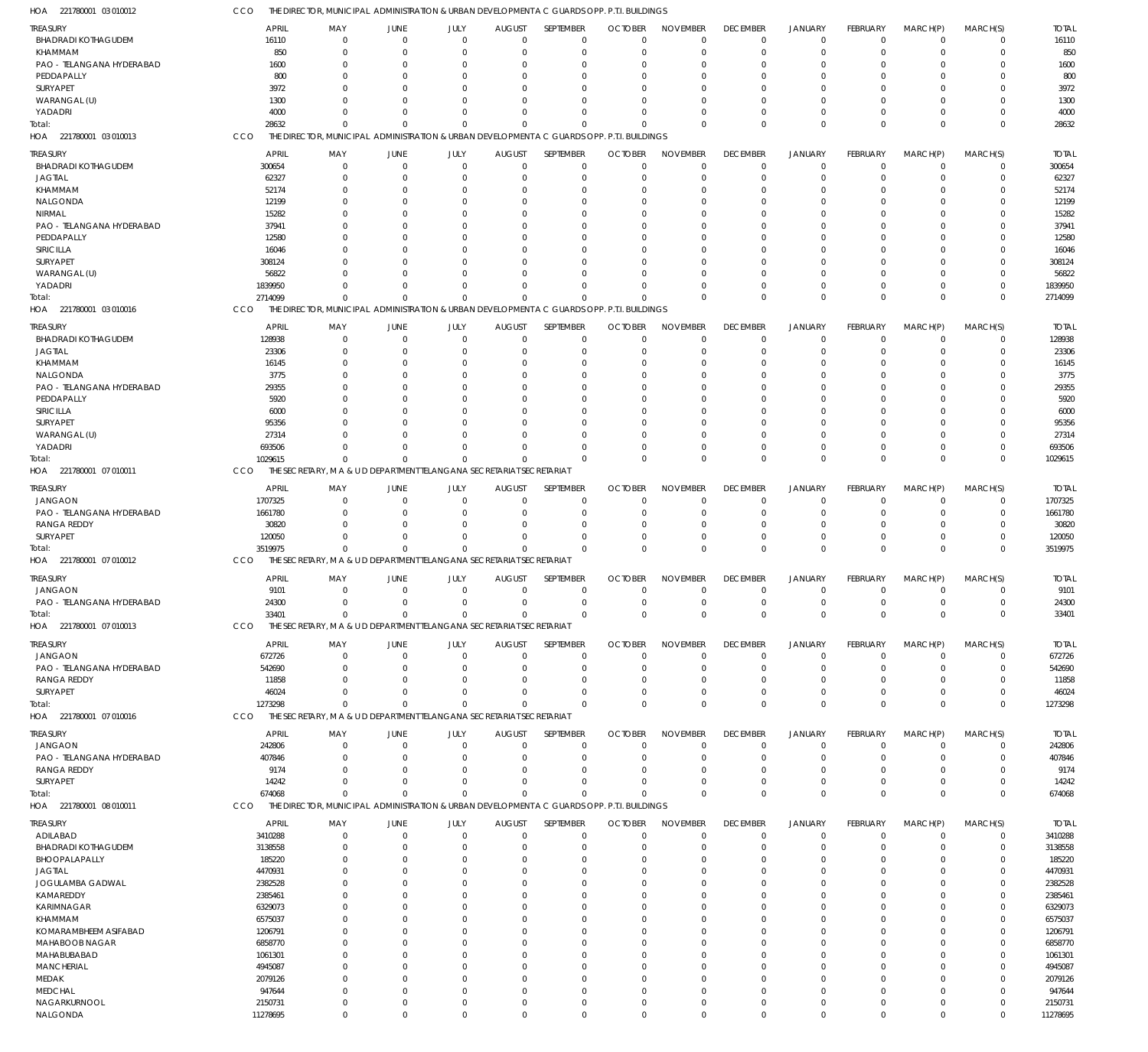| HOA 221780001 03 010012                 | CCO                     | THE DIRECTOR, MUNICIPAL ADMINISTRATION & URBAN DEVELOPMENT A C GUARDS OPP. P.T.I. BUILDINGS |                          |                      |                              |                             |                                                                     |                             |                             |                            |                                   |                            |                            |                         |
|-----------------------------------------|-------------------------|---------------------------------------------------------------------------------------------|--------------------------|----------------------|------------------------------|-----------------------------|---------------------------------------------------------------------|-----------------------------|-----------------------------|----------------------------|-----------------------------------|----------------------------|----------------------------|-------------------------|
| TREASURY                                | APRIL                   | MAY                                                                                         | JUNE                     | JULY                 | <b>AUGUST</b>                | SEPTEMBER                   | <b>OCTOBER</b>                                                      | <b>NOVEMBER</b>             | <b>DECEMBER</b>             | <b>JANUARY</b>             | <b>FEBRUARY</b>                   | MARCH(P)                   | MARCH(S)                   | <b>TOTAL</b>            |
| <b>BHADRADI KOTHAGUDEM</b>              | 16110                   | $\Omega$                                                                                    | $\mathbf 0$              | $\mathbf{0}$         | 0                            | 0                           | $\mathbf 0$                                                         | $\Omega$                    | $\Omega$                    | 0                          | $^{\circ}$                        | $\Omega$                   | $^{\circ}$                 | 16110                   |
| KHAMMAM                                 | 850                     | $\Omega$                                                                                    | $\Omega$                 | $\Omega$             | $\Omega$                     | $\Omega$                    | $\Omega$                                                            | $\Omega$                    | $\Omega$                    | $\Omega$                   | $\Omega$                          | $\Omega$                   | $\Omega$                   | 850                     |
| PAO - TELANGANA HYDERABAD<br>PEDDAPALLY | 1600                    | 0                                                                                           | 0                        | C                    | $\Omega$                     |                             | $\Omega$                                                            |                             | $\Omega$                    |                            |                                   |                            | $\Omega$                   | 1600                    |
| SURYAPET                                | 800<br>3972             |                                                                                             | $\Omega$<br>$\Omega$     | C                    | $\Omega$<br>$\Omega$         |                             | $\Omega$<br>$\Omega$                                                |                             | $\Omega$                    |                            |                                   |                            | $\Omega$                   | 800<br>3972             |
| WARANGAL (U)                            | 1300                    |                                                                                             | $\Omega$                 | C                    | $\Omega$                     | $\Omega$                    | $\Omega$                                                            |                             | $\Omega$                    |                            |                                   |                            | $\Omega$                   | 1300                    |
| YADADRI                                 | 4000                    | 0                                                                                           | $\Omega$                 | C                    | $\Omega$                     | $\Omega$                    | $\Omega$                                                            |                             | $\Omega$                    |                            | $\Omega$                          |                            | $\Omega$                   | 4000                    |
| Total:                                  | 28632                   | $\Omega$                                                                                    | $\Omega$                 |                      | $\Omega$                     | $\Omega$                    | $\Omega$                                                            | $\Omega$                    | $\Omega$                    | $\Omega$                   | $\Omega$                          | $\Omega$                   | $\Omega$                   | 28632                   |
| HOA 221780001 03 010013                 | CCO                     | THE DIRECTOR, MUNICIPAL ADMINISTRATION & URBAN DEVELOPMENT A C GUARDS OPP. P.T.I. BUILDINGS |                          |                      |                              |                             |                                                                     |                             |                             |                            |                                   |                            |                            |                         |
| treasury                                | <b>APRIL</b>            | MAY                                                                                         | JUNE                     | JULY                 | <b>AUGUST</b>                | SEPTEMBER                   | <b>OCTOBER</b>                                                      | <b>NOVEMBER</b>             | <b>DECEMBER</b>             | <b>JANUARY</b>             | <b>FEBRUARY</b>                   | MARCH(P)                   | MARCH(S)                   | <b>TOTAL</b>            |
| <b>BHADRADI KOTHAGUDEM</b>              | 300654                  | $\mathbf 0$                                                                                 | $\mathbf 0$              | $\mathbf{0}$         | $\mathbf 0$                  | $\mathbf 0$                 | $\Omega$                                                            | $\Omega$                    | $\Omega$                    | $\Omega$                   | $^{\circ}$                        | $^{\circ}$                 | $\Omega$                   | 300654                  |
| <b>JAGTIAL</b>                          | 62327                   | 0                                                                                           | $\mathbf 0$              | C                    | $\mathbf 0$                  | $\Omega$                    | $\mathbf 0$                                                         |                             | $\Omega$                    | $\Omega$                   | $^{\circ}$                        | $\Omega$                   | $\overline{0}$             | 62327                   |
| KHAMMAM                                 | 52174                   | 0                                                                                           | $\Omega$                 | C                    | $\Omega$                     |                             | $\Omega$                                                            |                             |                             |                            | $\Omega$                          |                            | $\Omega$                   | 52174                   |
| <b>NALGONDA</b>                         | 12199                   | 0                                                                                           | $\Omega$                 | -C                   | $\Omega$                     | $\Omega$                    | $\Omega$                                                            |                             |                             |                            | - 0                               |                            | $\Omega$                   | 12199                   |
| NIRMAL                                  | 15282                   |                                                                                             | $\Omega$                 |                      | $\Omega$                     |                             | $\Omega$                                                            |                             |                             |                            |                                   |                            | $\Omega$                   | 15282                   |
| PAO - TELANGANA HYDERABAD<br>PEDDAPALLY | 37941<br>12580          | n                                                                                           | $\Omega$<br>$\Omega$     | -C                   | $\Omega$<br>$\Omega$         | $\Omega$                    | $\Omega$<br>$\Omega$                                                |                             |                             |                            | - 0                               |                            | $\Omega$                   | 37941<br>12580          |
| SIRICILLA                               | 16046                   |                                                                                             | $\Omega$                 |                      | $\Omega$                     |                             | $\Omega$                                                            |                             |                             |                            | $\Omega$                          |                            | $\Omega$                   | 16046                   |
| SURYAPET                                | 308124                  |                                                                                             | $\Omega$                 |                      | $\Omega$                     |                             | $\Omega$                                                            |                             |                             |                            |                                   |                            | $\Omega$                   | 308124                  |
| WARANGAL (U)                            | 56822                   |                                                                                             | $\Omega$                 | -C                   | $\Omega$                     | $\Omega$                    | $\Omega$                                                            |                             |                             |                            | $\Omega$                          | $\Omega$                   | $\Omega$                   | 56822                   |
| YADADRI                                 | 1839950                 | 0                                                                                           | $\Omega$                 | -C                   | $\Omega$                     | $\Omega$                    | $\Omega$                                                            |                             | $\Omega$                    |                            | $\Omega$                          | $\Omega$                   | $\Omega$                   | 1839950                 |
| otal:                                   | 2714099                 | $\Omega$                                                                                    | $\Omega$                 |                      | $\Omega$                     | $\Omega$                    | $\Omega$                                                            | $\Omega$                    | $\Omega$                    | $\Omega$                   | $\Omega$                          | $\Omega$                   | $\Omega$                   | 2714099                 |
| HOA 221780001 03 010016                 | CCO                     | THE DIRECTOR, MUNICIPAL                                                                     |                          |                      |                              |                             | ADMINISTRATION & URBAN DEVELOPMENT A C GUARDS OPP. P.T.I. BUILDINGS |                             |                             |                            |                                   |                            |                            |                         |
| treasury                                | <b>APRIL</b>            | MAY                                                                                         | JUNE                     | JULY                 | <b>AUGUST</b>                | SEPTEMBER                   | <b>OCTOBER</b>                                                      | <b>NOVEMBER</b>             | <b>DECEMBER</b>             | JANUARY                    | <b>FEBRUARY</b>                   | MARCH(P)                   | MARCH(S)                   | <b>TOTAL</b>            |
| <b>BHADRADI KOTHAGUDEM</b>              | 128938                  | $\Omega$                                                                                    | $\mathbf{0}$             | $\mathbf{0}$         | 0                            | $\overline{0}$              | $\mathbf 0$                                                         | $\Omega$                    | $\Omega$                    | $\Omega$                   | $\Omega$                          | $\Omega$                   | $^{\circ}$                 | 128938                  |
| JAGTIAL                                 | 23306                   | 0                                                                                           | 0                        | C                    | $\Omega$                     | $\Omega$                    | 0                                                                   | $\Omega$                    | $\Omega$                    | $\Omega$                   | $\Omega$                          |                            | $\Omega$                   | 23306                   |
| KHAMMAM                                 | 16145                   |                                                                                             | $\Omega$                 | C                    | $\Omega$                     |                             | $\Omega$                                                            |                             | $\Omega$                    |                            |                                   |                            | $\Omega$                   | 16145                   |
| NALGONDA<br>PAO - TELANGANA HYDERABAD   | 3775<br>29355           |                                                                                             | $\Omega$<br>$\Omega$     | C<br>C               | $\Omega$<br>$\Omega$         |                             | $\Omega$<br>$\Omega$                                                |                             | $\Omega$                    |                            |                                   |                            | $\Omega$<br>$\Omega$       | 3775<br>29355           |
| PEDDAPALLY                              | 5920                    |                                                                                             | $\Omega$                 |                      | $\Omega$                     |                             | $\Omega$                                                            |                             |                             |                            |                                   |                            | $\Omega$                   | 5920                    |
| SIRICILLA                               | 6000                    |                                                                                             | $\Omega$                 |                      | $\Omega$                     |                             | $\Omega$                                                            |                             |                             |                            |                                   |                            |                            | 6000                    |
| SURYAPET                                | 95356                   |                                                                                             | $\Omega$                 |                      | $\Omega$                     |                             | $\Omega$                                                            |                             |                             |                            |                                   |                            | $\Omega$                   | 95356                   |
| WARANGAL (U)                            | 27314                   |                                                                                             | $\Omega$                 | C                    | $\Omega$                     | $\Omega$                    | $\Omega$                                                            |                             | $\Omega$                    |                            |                                   |                            | $\Omega$                   | 27314                   |
| YADADRI                                 | 693506                  | $\Omega$                                                                                    | $\Omega$                 | $\Omega$             | $\Omega$                     | $\Omega$                    | $\Omega$                                                            |                             | $\Omega$                    | $\Omega$                   | $\overline{0}$                    |                            | $\Omega$                   | 693506                  |
| Total:                                  | 1029615                 | $\Omega$                                                                                    | $\Omega$                 | C                    | $\Omega$                     | $\Omega$                    | $\Omega$                                                            | $\Omega$                    | $\Omega$                    | $\Omega$                   | $\Omega$                          | $\Omega$                   | $\Omega$                   | 1029615                 |
| HOA 221780001 07 010011                 | CCO                     | THE SECRETARY, M A & U D DEPARTMENT TELANGANA SECRETARIAT SECRETARIAT                       |                          |                      |                              |                             |                                                                     |                             |                             |                            |                                   |                            |                            |                         |
| TREASURY                                | <b>APRIL</b>            | MAY                                                                                         | JUNE                     | JULY                 | <b>AUGUST</b>                | SEPTEMBER                   | <b>OCTOBER</b>                                                      | <b>NOVEMBER</b>             | <b>DECEMBER</b>             | <b>JANUARY</b>             | <b>FEBRUARY</b>                   | MARCH(P)                   | MARCH(S)                   | <b>TOTAL</b>            |
| <b>JANGAON</b>                          | 1707325                 | $\Omega$                                                                                    | $\mathbf{0}$             | $\Omega$             | $\Omega$                     | $\Omega$                    | $\Omega$                                                            | $\Omega$                    | $\Omega$                    | $\Omega$                   | $^{\circ}$                        | $^{\circ}$                 | $\overline{0}$             | 1707325                 |
| PAO - TELANGANA HYDERABAD               | 1661780                 | 0                                                                                           | $\mathbf 0$              | $\Omega$             | $\mathbf 0$                  | $\Omega$                    | $\mathbf 0$                                                         |                             | $\Omega$                    | 0                          | $^{\circ}$                        | $\Omega$                   | $\Omega$                   | 1661780                 |
| <b>RANGA REDDY</b>                      | 30820                   | n                                                                                           | $\mathbf 0$              | $\Omega$             | $\Omega$                     | $\Omega$                    | $\Omega$                                                            |                             | $\Omega$                    |                            | $\Omega$                          | $\Omega$                   | $\Omega$                   | 30820                   |
| SURYAPET<br>iotal:                      | 120050<br>3519975       | 0<br>$\Omega$                                                                               | $\mathbf{0}$<br>$\Omega$ | $\Omega$<br>$\Omega$ | $\Omega$<br>$\Omega$         | $\Omega$<br>$\Omega$        | $\mathbf 0$<br>$\Omega$                                             |                             | $\Omega$<br>$\Omega$        | $\Omega$<br>$\Omega$       | $\Omega$<br>$\Omega$              | $\Omega$<br>$\Omega$       | $\Omega$<br>$\mathbf 0$    | 120050<br>3519975       |
| HOA 221780001 07 010012                 | CCO                     | THE SECRETARY, M A & U D DEPARTMENT TELANGANA SECRETARIAT SECRETARIAT                       |                          |                      |                              |                             |                                                                     |                             |                             |                            |                                   |                            |                            |                         |
|                                         |                         |                                                                                             |                          |                      |                              |                             |                                                                     |                             |                             |                            |                                   |                            |                            |                         |
| Treasury<br><b>JANGAON</b>              | <b>APRIL</b><br>9101    | MAY<br>$\Omega$                                                                             | JUNE<br>$\mathbf 0$      | JULY<br>$\mathbf 0$  | <b>AUGUST</b><br>$\mathbf 0$ | SEPTEMBER<br>$\Omega$       | <b>OCTOBER</b><br>$\mathbf 0$                                       | <b>NOVEMBER</b><br>$\Omega$ | <b>DECEMBER</b><br>$\Omega$ | <b>JANUARY</b><br>$\Omega$ | <b>FEBRUARY</b><br>$\overline{0}$ | MARCH(P)<br>$\mathbf 0$    | MARCH(S)<br>$\Omega$       | <b>TOTAL</b><br>9101    |
| PAO - TELANGANA HYDERABAD               | 24300                   | $\Omega$                                                                                    | $\mathbf{0}$             | $\mathbf{0}$         | $\overline{0}$               | $\mathbf 0$                 | $\mathbf 0$                                                         | $\mathbf{0}$                | $\overline{0}$              | $\overline{0}$             | $\mathbf 0$                       | $\mathbf{0}$               | $\mathbf{0}$               | 24300                   |
| Total:                                  | 33401                   | $\Omega$                                                                                    | $\Omega$                 | $\Omega$             | $\Omega$                     | $^{\circ}$                  | $\mathbf 0$                                                         | $\Omega$                    | $\Omega$                    | $\mathbf 0$                | $\mathbf 0$                       | $\overline{0}$             | $\overline{0}$             | 33401                   |
| HOA 221780001 07 010013                 | <b>CCO</b>              | THE SECRETARY, M A & U D DEPARTMENT TELANGANA SECRETARIAT SECRETARIAT                       |                          |                      |                              |                             |                                                                     |                             |                             |                            |                                   |                            |                            |                         |
| TREASURY                                | <b>APRIL</b>            | MAY                                                                                         | JUNE                     | JULY                 | <b>AUGUST</b>                | SEPTEMBER                   | <b>OCTOBER</b>                                                      | <b>NOVEMBER</b>             | <b>DECEMBER</b>             | <b>JANUARY</b>             | <b>FEBRUARY</b>                   | MARCH(P)                   | MARCH(S)                   | <b>TOTAL</b>            |
| <b>JANGAON</b>                          | 672726                  | 0                                                                                           | $\mathbf 0$              | $\Omega$             | 0                            | 0                           | $\mathbf 0$                                                         | $\Omega$                    | $\Omega$                    | 0                          | $^{\circ}$                        | 0                          | 0                          | 672726                  |
| PAO - TELANGANA HYDERABAD               | 542690                  | 0                                                                                           | $\mathbf 0$              | $\Omega$             | $\Omega$                     | $\Omega$                    | $\Omega$                                                            | - 0                         | $\Omega$                    | $\Omega$                   | $\Omega$                          | $\Omega$                   | $\Omega$                   | 542690                  |
| <b>RANGA REDDY</b>                      | 11858                   | 0                                                                                           | 0                        | C                    | $\Omega$                     |                             | $\Omega$                                                            |                             | -0                          |                            |                                   |                            | $\Omega$                   | 11858                   |
| SURYAPET                                | 46024                   | n                                                                                           | $\Omega$                 |                      | $\Omega$                     |                             | $\Omega$                                                            |                             | $\Omega$                    |                            | - 0                               | $\Omega$                   | $\Omega$                   | 46024                   |
| Total:                                  | 1273298                 | $\Omega$                                                                                    | $\Omega$                 |                      | $\Omega$                     | $\Omega$                    | $\Omega$                                                            | $\Omega$                    | $\Omega$                    | $\Omega$                   | $\Omega$                          | $\Omega$                   | $\Omega$                   | 1273298                 |
| HOA 221780001 07 010016                 | CCO                     | THE SECRETARY. M A & U D DEPARTMENT TELANGANA SECRETARIAT SECRETARIAT                       |                          |                      |                              |                             |                                                                     |                             |                             |                            |                                   |                            |                            |                         |
| treasury                                | <b>APRIL</b>            | MAY                                                                                         | JUNE                     | JULY                 | <b>AUGUST</b>                | <b>SEPTEMBER</b>            | <b>OCTOBER</b>                                                      | <b>NOVEMBER</b>             | <b>DECEMBER</b>             | JANUARY                    | FEBRUARY                          | MARCH(P)                   | MARCH(S)                   | <b>TOTAL</b>            |
| <b>JANGAON</b>                          | 242806                  | $\Omega$                                                                                    | $\mathbf{0}$             | $\overline{0}$       | 0                            | $\Omega$                    | $\Omega$                                                            | $\Omega$                    | $\Omega$                    | $\Omega$                   | $\Omega$                          | $\Omega$                   | $\Omega$                   | 242806                  |
| PAO - TELANGANA HYDERABAD               | 407846                  | 0                                                                                           | $\Omega$                 | C                    | $\Omega$                     | -0                          | 0                                                                   | -0                          | $\Omega$                    | $\Omega$                   | $\Omega$                          |                            | $\Omega$                   | 407846                  |
| <b>RANGA REDDY</b>                      | 9174                    |                                                                                             | $\Omega$                 |                      | $\Omega$                     |                             | $\Omega$                                                            |                             | $\Omega$                    |                            |                                   |                            |                            | 9174                    |
| SURYAPET<br>Total:                      | 14242<br>674068         | $\Omega$<br>$\Omega$                                                                        | 0<br>$\Omega$            | C<br>$\Omega$        | $\Omega$<br>$\Omega$         | $\Omega$<br>$\Omega$        | $\Omega$<br>$\Omega$                                                |                             | $\Omega$<br>$\Omega$        | $\Omega$<br>$\Omega$       | $\Omega$<br>$\Omega$              | $\Omega$                   | $\Omega$<br>$\Omega$       | 14242<br>674068         |
| HOA 221780001 08 010011                 | CCO                     | THE DIRECTOR, MUNICIPAL ADMINISTRATION & URBAN DEVELOPMENT A C GUARDS OPP. P.T.I. BUILDINGS |                          |                      |                              |                             |                                                                     |                             |                             |                            |                                   |                            |                            |                         |
|                                         |                         |                                                                                             |                          |                      |                              |                             | <b>OCTOBER</b>                                                      |                             |                             | <b>JANUARY</b>             | <b>FEBRUARY</b>                   |                            |                            |                         |
| TREASURY<br>ADILABAD                    | <b>APRIL</b><br>3410288 | MAY<br>0                                                                                    | JUNE<br>$\mathbf{0}$     | JULY<br>$\mathbf{0}$ | <b>AUGUST</b><br>$\mathbf 0$ | SEPTEMBER<br>$\overline{0}$ | $\mathbf 0$                                                         | <b>NOVEMBER</b><br>$\Omega$ | <b>DECEMBER</b><br>$\Omega$ | $\Omega$                   | $\Omega$                          | MARCH(P)<br>$\overline{0}$ | MARCH(S)<br>$\overline{0}$ | <b>TOTAL</b><br>3410288 |
| <b>BHADRADI KOTHAGUDEM</b>              | 3138558                 | 0                                                                                           | $\mathbf 0$              | C                    | $\Omega$                     | $\Omega$                    | $\mathbf 0$                                                         |                             | $\Omega$                    |                            | $\Omega$                          |                            | $\overline{0}$             | 3138558                 |
| BHOOPALAPALLY                           | 185220                  |                                                                                             | $\Omega$                 |                      | $\Omega$                     |                             | $\Omega$                                                            |                             | $\cap$                      |                            |                                   |                            | $\Omega$                   | 185220                  |
| <b>JAGTIAL</b>                          | 4470931                 |                                                                                             | $\Omega$                 |                      | $\Omega$                     |                             | $\Omega$                                                            |                             |                             |                            |                                   |                            | $\Omega$                   | 4470931                 |
| JOGULAMBA GADWAL                        | 2382528                 |                                                                                             | 0                        |                      | $\Omega$                     |                             | $\Omega$                                                            |                             |                             |                            |                                   |                            | $\Omega$                   | 2382528                 |
| KAMAREDDY                               | 2385461                 |                                                                                             | n                        |                      | $\Omega$                     |                             | $\Omega$                                                            |                             |                             |                            |                                   |                            | $\Omega$                   | 2385461                 |
| <b>KARIMNAGAR</b>                       | 6329073                 |                                                                                             |                          |                      | $\Omega$<br>$\Omega$         |                             | $\Omega$<br>$\Omega$                                                |                             |                             |                            |                                   |                            | $\Omega$<br>$\Omega$       | 6329073                 |
| KHAMMAM<br>KOMARAMBHEEM ASIFABAD        | 6575037<br>1206791      |                                                                                             |                          |                      | $\Omega$                     |                             | $\Omega$                                                            |                             |                             |                            |                                   |                            | $\Omega$                   | 6575037<br>1206791      |
| MAHABOOB NAGAR                          | 6858770                 |                                                                                             |                          |                      | $\Omega$                     |                             | $\Omega$                                                            |                             |                             |                            |                                   |                            | $\Omega$                   | 6858770                 |
| MAHABUBABAD                             | 1061301                 |                                                                                             |                          |                      | $\Omega$                     |                             | $\Omega$                                                            |                             |                             |                            |                                   |                            | $\Omega$                   | 1061301                 |
| <b>MANCHERIAL</b>                       | 4945087                 |                                                                                             |                          |                      | $\Omega$                     |                             | $\Omega$                                                            |                             |                             |                            |                                   |                            | $\Omega$                   | 4945087                 |
| MEDAK                                   | 2079126                 |                                                                                             | $\Omega$                 |                      | $\Omega$                     |                             | $\Omega$                                                            |                             |                             |                            |                                   |                            | $\Omega$                   | 2079126                 |
| <b>MEDCHAL</b>                          | 947644                  | 0                                                                                           | $\Omega$                 |                      | $\Omega$                     |                             | $\Omega$                                                            |                             | $\Omega$                    |                            |                                   |                            | $\Omega$                   | 947644                  |
| NAGARKURNOOL<br>NALGONDA                | 2150731<br>11278695     | 0<br>0                                                                                      | $\mathbf 0$<br>$\Omega$  | $\Omega$<br>$\Omega$ | $\mathbf 0$<br>$\Omega$      | $\Omega$<br>$\Omega$        | $\Omega$<br>$\Omega$                                                | $\Omega$                    | $\Omega$<br>$\Omega$        | $\Omega$<br>$\Omega$       | $\Omega$<br>$\Omega$              | $\Omega$<br>$\Omega$       | $\Omega$<br>$\mathbf 0$    | 2150731<br>11278695     |
|                                         |                         |                                                                                             |                          |                      |                              |                             |                                                                     |                             |                             |                            |                                   |                            |                            |                         |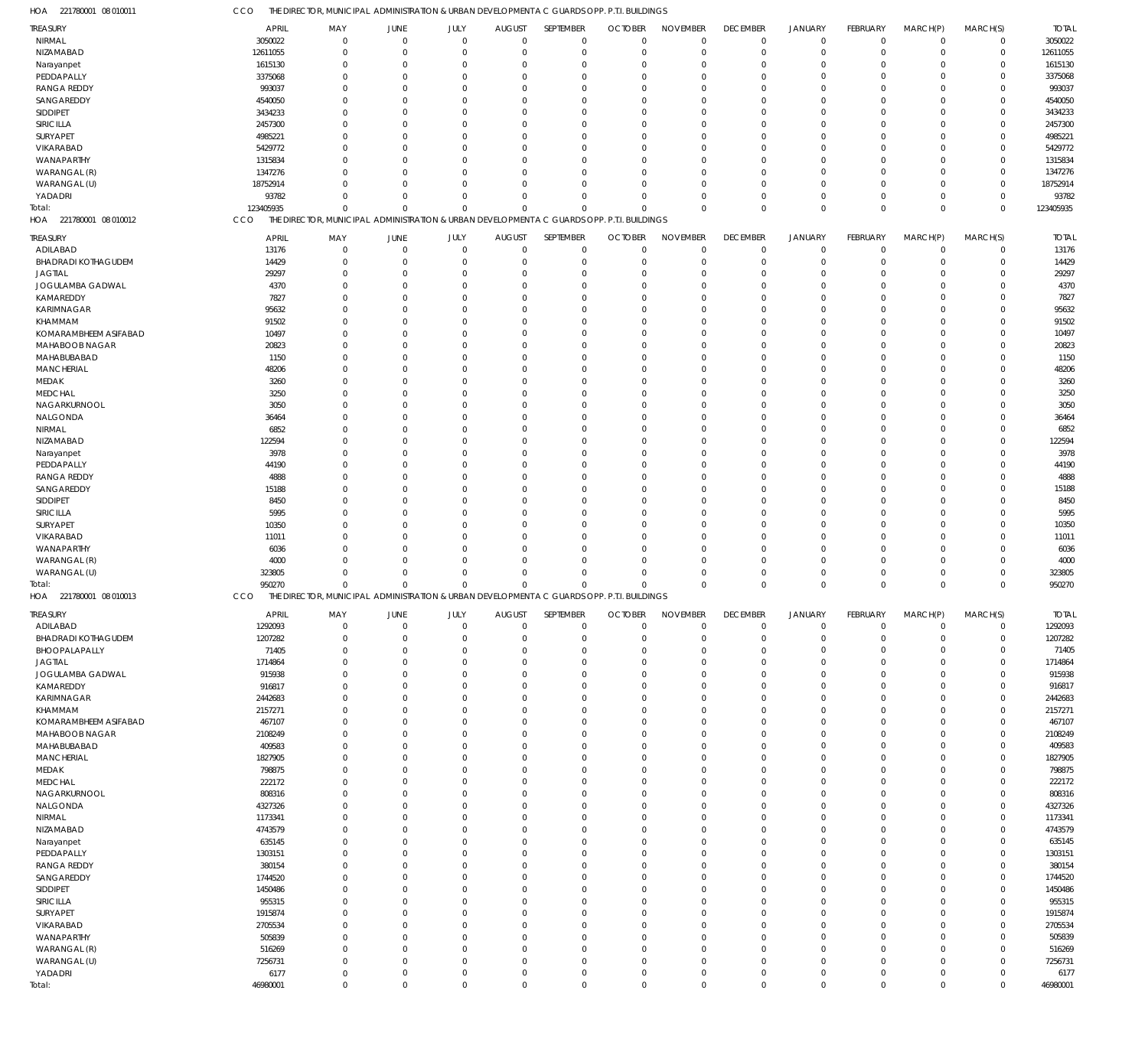| HOA<br>221780001 08 010011 | CCO           |                |             |             |               | THE DIRECTOR, MUNICIPAL ADMINISTRATION & URBAN DEVELOPMENT A C GUARDS OPP. P.T.I. BUILDINGS |                |                 |                            |                |                            |                      |             |              |
|----------------------------|---------------|----------------|-------------|-------------|---------------|---------------------------------------------------------------------------------------------|----------------|-----------------|----------------------------|----------------|----------------------------|----------------------|-------------|--------------|
| <b>TREASURY</b>            | <b>APRIL</b>  | MAY            | JUNE        | JULY        | <b>AUGUST</b> | SEPTEMBER                                                                                   | <b>OCTOBER</b> | <b>NOVEMBER</b> | <b>DECEMBER</b>            | <b>JANUARY</b> | FEBRUARY                   | MARCH(P)             | MARCH(S)    | <b>TOTAL</b> |
| NIRMAL                     | 3050022       | $\overline{0}$ | $\mathbf 0$ | $\mathbf 0$ | $\mathbf 0$   | $\mathbf 0$                                                                                 | $\mathbf 0$    | $\mathbf 0$     | $\mathbf 0$                | $\mathbf 0$    | $\mathbf 0$                | $\overline{0}$       | $\mathbf 0$ | 3050022      |
| NIZAMABAD                  | 12611055      | $\mathbf 0$    | $\mathbf 0$ | $\mathbf 0$ | $\mathbf 0$   | $\mathbf 0$                                                                                 | $\mathbf 0$    | $\mathbf 0$     | $\mathbf 0$                | $\mathbf 0$    | $\mathbf 0$                | $\Omega$             | $\mathbf 0$ | 12611055     |
| Narayanpet                 | 1615130       | $\mathbf 0$    | $\Omega$    | 0           | $\mathbf 0$   | -0                                                                                          | $\mathbf 0$    | $\Omega$        | $\mathbf 0$                | $\Omega$       | $\Omega$                   | $\Omega$             | $\mathbf 0$ | 1615130      |
| PEDDAPALLY                 | 3375068       | $\Omega$       | $\Omega$    | $\Omega$    | $\mathbf 0$   | $\Omega$                                                                                    | $\mathbf 0$    | $\Omega$        | $\mathbf 0$                | $\Omega$       | $\Omega$                   | $\Omega$             | $\mathbf 0$ | 3375068      |
| <b>RANGA REDDY</b>         | 993037        | $\mathbf 0$    | $\Omega$    | $\Omega$    | $\mathbf 0$   | $\Omega$                                                                                    | $\Omega$       | $\Omega$        | $\Omega$                   | $\Omega$       | $\Omega$                   | $\Omega$             | $\mathbf 0$ | 993037       |
| SANGAREDDY                 | 4540050       | $\Omega$       | $\Omega$    | $\Omega$    | $\mathbf 0$   | $\Omega$                                                                                    | $\mathbf 0$    | $\Omega$        | $\Omega$                   | $\Omega$       | $\Omega$                   | $\Omega$             | $\Omega$    | 4540050      |
| SIDDIPET                   | 3434233       | $\mathbf 0$    | $\Omega$    | 0           | $\mathbf 0$   | $\Omega$                                                                                    | $\mathbf 0$    | $\Omega$        | $\mathbf 0$                | $\Omega$       | $\Omega$                   | $\Omega$             | $\mathbf 0$ | 3434233      |
| SIRICILLA                  | 2457300       | $\Omega$       | $\Omega$    | $\Omega$    | $\mathbf 0$   | $\Omega$                                                                                    | $\mathbf 0$    | $\Omega$        | $\Omega$                   | $\Omega$       | $\Omega$                   | $\Omega$             | $\Omega$    | 2457300      |
| SURYAPET                   | 4985221       | $\Omega$       | $\Omega$    | $\Omega$    | $\mathbf 0$   | $\Omega$                                                                                    | $\Omega$       | $\Omega$        | $\Omega$                   | $\Omega$       | $\Omega$                   | $\Omega$             | $\mathbf 0$ | 4985221      |
| VIKARABAD                  | 5429772       | $\Omega$       | $\Omega$    | $\Omega$    | $\mathbf 0$   | $\Omega$                                                                                    | $\mathbf 0$    | $\Omega$        | $\Omega$                   | $\Omega$       | $\Omega$                   | $\Omega$             | $\mathbf 0$ | 5429772      |
| WANAPARTHY                 | 1315834       | $\Omega$       | $\Omega$    | $\Omega$    | $\mathbf 0$   | $\Omega$                                                                                    | $\Omega$       | $\Omega$        | $\Omega$                   | $\Omega$       | $\Omega$                   | $\Omega$             | $\mathbf 0$ | 1315834      |
| WARANGAL (R)               | 1347276       | $\Omega$       | $\Omega$    | $\Omega$    | $\mathbf 0$   | $\Omega$                                                                                    | $\mathbf 0$    | $\Omega$        | $\mathbf 0$                | $\Omega$       | $\Omega$                   | $\Omega$             | $\mathbf 0$ | 1347276      |
| WARANGAL (U)               | 18752914      | $\Omega$       | $\Omega$    | $\Omega$    | $\mathbf 0$   | $\Omega$                                                                                    | $\Omega$       | $\Omega$        | $\Omega$                   | $\Omega$       | $\Omega$                   | $\Omega$             | $\mathbf 0$ | 18752914     |
| YADADRI                    | 93782         | $\Omega$       | $\Omega$    | $\Omega$    | $\mathbf 0$   | $\Omega$                                                                                    | $\mathbf 0$    | $\Omega$        | $\mathbf 0$                | $\Omega$       | $\mathbf 0$                | $\Omega$             | $\mathbf 0$ | 93782        |
| Total:                     | 123405935     | $\mathbf 0$    | $\mathbf 0$ | $\mathbf 0$ | $\mathbf 0$   | $\Omega$                                                                                    | $\mathbf{0}$   | $\mathbf 0$     | $\mathbf 0$                | $\Omega$       | $\mathbf 0$                | $\Omega$             | $\mathbf 0$ | 123405935    |
| 221780001 08 010012<br>HOA | CCO           |                |             |             |               | THE DIRECTOR, MUNICIPAL ADMINISTRATION & URBAN DEVELOPMENT A C GUARDS OPP. P.T.I. BUILDINGS |                |                 |                            |                |                            |                      |             |              |
|                            |               |                |             |             |               |                                                                                             |                |                 |                            |                |                            |                      |             |              |
| <b>TREASURY</b>            | <b>APRIL</b>  | MAY            | JUNE        | JULY        | <b>AUGUST</b> | SEPTEMBER                                                                                   | <b>OCTOBER</b> | <b>NOVEMBER</b> | <b>DECEMBER</b>            | JANUARY        | <b>FEBRUARY</b>            | MARCH(P)             | MARCH(S)    | <b>TOTAL</b> |
| ADILABAD                   | 13176         | $\mathbf 0$    | $\mathbf 0$ | $\mathbf 0$ | $\mathbf 0$   | $^{\circ}$                                                                                  | $\mathbf 0$    | $\mathbf 0$     | 0                          | $\mathbf 0$    | $\mathbf 0$                | $\mathbf 0$          | $\mathbf 0$ | 13176        |
| <b>BHADRADI KOTHAGUDEM</b> | 14429         | $\mathbf 0$    | $\mathbf 0$ | $\mathbf 0$ | $\mathbf 0$   | $^{\circ}$                                                                                  | $\mathbf 0$    | $\mathbf 0$     | $\mathbf 0$                | $\mathbf 0$    | $\mathbf 0$                | $\Omega$             | $\mathbf 0$ | 14429        |
| <b>JAGTIAL</b>             | 29297         | $\mathbf 0$    | $\mathbf 0$ | 0           | $\mathbf 0$   | -0                                                                                          | $\mathbf 0$    | 0               | $\mathbf 0$                | -0             | $\Omega$                   | $\Omega$             | $\mathbf 0$ | 29297        |
| JOGULAMBA GADWAL           | 4370          | $\mathbf 0$    | $\Omega$    | 0           | $\mathbf 0$   | $^{\circ}$                                                                                  | $\mathbf 0$    | $\Omega$        | $\mathbf 0$                | -0             | $\Omega$                   | $\Omega$             | $\mathbf 0$ | 4370         |
| KAMAREDDY                  | 7827          | 0              | $\mathbf 0$ | 0           | $\mathbf 0$   | -0                                                                                          | $\mathbf 0$    | $\Omega$        | $\mathbf 0$                | -C             | $\Omega$                   | $\Omega$             | $\mathbf 0$ | 7827         |
| <b>KARIMNAGAR</b>          | 95632         | $\mathbf 0$    | $\Omega$    | $\Omega$    | $\mathbf 0$   | $\Omega$                                                                                    | $\mathbf 0$    | $\Omega$        | $\Omega$                   | -C             | $\Omega$                   | ſ                    | $\mathbf 0$ | 95632        |
| KHAMMAM                    | 91502         | 0              | $\Omega$    | 0           | $\mathbf 0$   | -0                                                                                          | $\mathbf 0$    | $\Omega$        | $\mathbf 0$                | -C             | $\Omega$                   | ſ                    | $\mathbf 0$ | 91502        |
| KOMARAMBHEEM ASIFABAD      | 10497         | $\mathbf 0$    | $\Omega$    | 0           | $\mathbf 0$   | $^{\circ}$                                                                                  | $\mathbf 0$    | $\Omega$        | $\mathbf 0$                | -C             | $\Omega$                   | ſ                    | $\mathbf 0$ | 10497        |
| MAHABOOB NAGAR             | 20823         | $\Omega$       | $\Omega$    | 0           | $\mathbf 0$   | -0                                                                                          | $\mathbf 0$    | $\Omega$        | $\Omega$                   | -C             | $\Omega$                   | ſ                    | $\mathbf 0$ | 20823        |
| MAHABUBABAD                | 1150          | $\mathbf 0$    | $\Omega$    | 0           | $\mathbf 0$   | $^{\circ}$                                                                                  | $\mathbf 0$    | $\Omega$        | $\Omega$                   | -C             | $\Omega$                   | ſ                    | $\mathbf 0$ | 1150         |
| <b>MANCHERIAL</b>          | 48206         | 0              | $\Omega$    | 0           | $\mathbf 0$   | -0                                                                                          | $\mathbf 0$    | $\Omega$        | $\mathbf 0$                | -C             | $\Omega$                   | $\Omega$             | $\mathbf 0$ | 48206        |
| MEDAK                      | 3260          | $\Omega$       | $\Omega$    | $\Omega$    | $\mathbf 0$   | $^{\circ}$                                                                                  | $\mathbf 0$    | $\Omega$        | $\Omega$                   | -C             | $\Omega$                   | ſ                    | $\mathbf 0$ | 3260         |
| MEDCHAL                    | 3250          | 0              | $\mathbf 0$ | 0           | $\mathbf 0$   | -0                                                                                          | $\mathbf 0$    | $\Omega$        | $\mathbf 0$                | -C             | $\Omega$                   | ſ                    | $\mathbf 0$ | 3250         |
| NAGARKURNOOL               | 3050          | $\Omega$       | $\Omega$    | $\Omega$    | $\mathbf 0$   | $\Omega$                                                                                    | $\mathbf 0$    | $\Omega$        | $\Omega$                   | -C             | $\Omega$                   | ſ                    | $\Omega$    | 3050         |
| NALGONDA                   | 36464         | $\Omega$       | $\Omega$    | 0           | $\mathbf 0$   | -0                                                                                          | $\mathbf 0$    | $\Omega$        | $\mathbf 0$                | -C             | $\Omega$                   | ſ                    | $\mathbf 0$ | 36464        |
| <b>NIRMAL</b>              | 6852          | $\mathbf 0$    | $\Omega$    | 0           | $\mathbf 0$   | $^{\circ}$                                                                                  | $\mathbf 0$    | $\Omega$        | $\mathbf 0$                | -C             | $\Omega$                   | ſ                    | $\mathbf 0$ | 6852         |
| NIZAMABAD                  | 122594        | $\Omega$       | $\Omega$    | $\Omega$    | $\mathbf 0$   | -0                                                                                          | $\mathbf 0$    | $\Omega$        | $\Omega$                   | -C             | $\Omega$                   | ſ                    | $\mathbf 0$ | 122594       |
| Narayanpet                 | 3978          | $\mathbf 0$    | $\Omega$    | 0           | $\mathbf 0$   | $^{\circ}$                                                                                  | $\mathbf 0$    | $\Omega$        | $\mathbf 0$                | -C             | $\Omega$                   | ſ                    | $\mathbf 0$ | 3978         |
| PEDDAPALLY                 | 44190         | 0              | $\Omega$    | 0           | $\mathbf 0$   | -0                                                                                          | $\mathbf 0$    | $\Omega$        | $\mathbf 0$                | -C             | $\Omega$                   | ſ                    | $\mathbf 0$ | 44190        |
| <b>RANGA REDDY</b>         | 4888          | $\Omega$       | $\Omega$    | $\Omega$    | $\mathbf 0$   | $^{\circ}$                                                                                  | $\mathbf 0$    | $\Omega$        | $\Omega$                   | -C             | $\Omega$                   | ſ                    | $\mathbf 0$ | 4888         |
| SANGAREDDY                 | 15188         | 0              | $\mathbf 0$ | 0           | $\mathbf 0$   | -0                                                                                          | $\mathbf 0$    | $\Omega$        | $\mathbf 0$                | -C             | $\Omega$                   | ſ                    | $\mathbf 0$ | 15188        |
| SIDDIPET                   | 8450          | $\mathbf 0$    | $\Omega$    | $\Omega$    | $\mathbf 0$   | $\Omega$                                                                                    | $\mathbf 0$    | $\Omega$        | $\Omega$                   | -C             | $\Omega$                   | ſ                    | $\Omega$    | 8450         |
| SIRICILLA                  | 5995          | $\Omega$       | $\Omega$    | 0           | $\mathbf 0$   | -0                                                                                          | $\mathbf 0$    | $\Omega$        | $\mathbf 0$                | -C             | $\Omega$                   | ſ                    | $\mathbf 0$ | 5995         |
| SURYAPET                   | 10350         | $\mathbf 0$    | $\Omega$    | 0           | $\mathbf 0$   | $^{\circ}$                                                                                  | $\mathbf 0$    | $\Omega$        | $\mathbf 0$                | -C             | $\Omega$                   | ſ                    | $\mathbf 0$ | 10350        |
| VIKARABAD                  | 11011         | $\Omega$       | $\Omega$    | 0           | $\mathbf 0$   | -0                                                                                          | $\mathbf 0$    | $\Omega$        | $\Omega$                   | -C             | $\Omega$                   | ſ                    | $\mathbf 0$ | 11011        |
| WANAPARTHY                 | 6036          | $\Omega$       | $\mathbf 0$ | $\mathbf 0$ | $\mathbf 0$   | $^{\circ}$                                                                                  | $\mathbf 0$    | $\Omega$        | $\mathbf 0$                | -C             | $\Omega$                   | ſ                    | $\mathbf 0$ | 6036         |
| WARANGAL (R)               | 4000          | $\Omega$       | $\mathbf 0$ | $\mathbf 0$ | $\mathbf 0$   | -0                                                                                          | $\mathbf 0$    | $\Omega$        | $\mathbf 0$                | -C             | $\Omega$                   | $\Omega$             | $\mathbf 0$ | 4000         |
|                            |               | $\Omega$       | $\mathbf 0$ | $\mathbf 0$ | $\mathbf 0$   | $^{\circ}$                                                                                  | $\mathbf 0$    |                 |                            | $\Omega$       |                            |                      | $\mathbf 0$ |              |
| WARANGAL (U)               | 323805        | $\mathbf 0$    |             | $\mathbf 0$ | $\mathbf 0$   | $^{\circ}$                                                                                  | $\mathbf 0$    | 0<br>$\Omega$   | $\mathbf 0$<br>$\mathbf 0$ | $\Omega$       | $\mathbf 0$<br>$\mathbf 0$ | $\Omega$<br>$\Omega$ | $\mathbf 0$ | 323805       |
| Total:                     | 950270<br>CCO |                | 0           |             |               | THE DIRECTOR, MUNICIPAL ADMINISTRATION & URBAN DEVELOPMENT A C GUARDS OPP. P.T.I. BUILDINGS |                |                 |                            |                |                            |                      |             | 950270       |
| 221780001 08 010013<br>HOA |               |                |             |             |               |                                                                                             |                |                 |                            |                |                            |                      |             |              |
| <b>TREASURY</b>            | <b>APRIL</b>  | MAY            | <b>JUNE</b> | JULY        | <b>AUGUST</b> | SEPTEMBER                                                                                   | <b>OCTOBER</b> | <b>NOVEMBER</b> | <b>DECEMBER</b>            | <b>JANUARY</b> | FEBRUARY                   | MARCH(P)             | MARCH(S)    | <b>TOTAL</b> |
| ADILABAD                   | 1292093       | $\mathbf 0$    | $\mathbf 0$ | $\mathbf 0$ | $\mathbf 0$   | $\mathbf 0$                                                                                 | $\mathbf 0$    | $\mathbf 0$     | 0                          | $\mathbf 0$    | $\mathbf 0$                | $\mathbf 0$          | $\mathbf 0$ | 1292093      |
| <b>BHADRADI KOTHAGUDEM</b> | 1207282       | $\overline{0}$ | $\mathbf 0$ | $\mathbf 0$ | $\mathbf 0$   | $^{\circ}$                                                                                  | $\mathbf 0$    | $\mathbf 0$     | $\mathbf 0$                | $\mathbf 0$    | $\mathbf 0$                | $\Omega$             | $\mathbf 0$ | 1207282      |
| BHOOPALAPALLY              | 71405         | $\mathbf 0$    | $\mathbf 0$ | 0           | $\mathbf 0$   | -0                                                                                          | $\mathbf 0$    | 0               | $\mathbf 0$                | $^{\circ}$     | $\mathbf 0$                | $\Omega$             | $\mathbf 0$ | 71405        |
| <b>JAGTIAL</b>             | 1714864       | $\mathbf 0$    | $\Omega$    | $\mathbf 0$ | $\mathbf 0$   | $^{\circ}$                                                                                  | $\mathbf 0$    | 0               | $\mathbf 0$                | $\Omega$       | $\Omega$                   | $\Omega$             | $\mathbf 0$ | 1714864      |
| JOGULAMBA GADWAL           | 915938        | $\mathbf 0$    | $\Omega$    | $\mathbf 0$ | $\mathbf 0$   | $^{\circ}$                                                                                  | $\mathbf 0$    | $\mathbf 0$     | $\mathbf 0$                | $\Omega$       | $\Omega$                   | $\Omega$             | $\mathbf 0$ | 915938       |
| KAMAREDDY                  | 916817        | $\mathbf 0$    | $\Omega$    | $\mathbf 0$ | $\mathbf 0$   | $^{\circ}$                                                                                  | $\mathbf 0$    | $\Omega$        | $\mathbf 0$                | $\Omega$       | $\Omega$                   | $\Omega$             | $\mathbf 0$ | 916817       |
| KARIMNAGAR                 | 2442683       | $\mathbf 0$    | $\Omega$    | $\mathbf 0$ | $\mathbf 0$   | $^{\circ}$                                                                                  | $\mathbf 0$    | $\Omega$        | $\mathbf 0$                | $\Omega$       | $\Omega$                   | $\Omega$             | $\mathbf 0$ | 2442683      |
| KHAMMAM                    | 2157271       | $\mathbf 0$    | $\Omega$    | $\mathbf 0$ | $\mathbf 0$   | -0                                                                                          | $\mathbf 0$    | 0               | $\mathbf 0$                | $\Omega$       | $\Omega$                   | $\Omega$             | $\mathbf 0$ | 2157271      |
| KOMARAMBHEEM ASIFABAD      | 467107        | $\mathbf 0$    | $\Omega$    | $\mathbf 0$ | $\mathbf 0$   | $^{\circ}$                                                                                  | $\mathbf 0$    | $\Omega$        | $\Omega$                   | $\Omega$       | $\Omega$                   | $\Omega$             | $\mathbf 0$ | 467107       |
| MAHABOOB NAGAR             | 2108249       | $\mathbf 0$    | $\Omega$    | $\mathbf 0$ | $\mathbf 0$   | $^{\circ}$                                                                                  | $\mathbf 0$    | 0               | $\mathbf 0$                | $\Omega$       | $\Omega$                   | $\Omega$             | $\mathbf 0$ | 2108249      |
| MAHABUBABAD                | 409583        | $\mathbf 0$    | $\mathbf 0$ | $\mathbf 0$ | $\mathbf 0$   | $^{\circ}$                                                                                  | $\mathbf 0$    | $\mathbf 0$     | $\mathbf 0$                | $\Omega$       | $\Omega$                   | $\Omega$             | $\mathbf 0$ | 409583       |
| <b>MANCHERIAL</b>          | 1827905       | $\mathbf 0$    | $\Omega$    | $\mathbf 0$ | $\mathbf 0$   | $^{\circ}$                                                                                  | $\mathbf 0$    | 0               | $\mathbf 0$                | $\Omega$       | $\Omega$                   | $\Omega$             | $\mathbf 0$ | 1827905      |
| MEDAK                      | 798875        | $\mathbf 0$    | $\Omega$    | $\mathbf 0$ | $\mathbf 0$   | $^{\circ}$                                                                                  | $\mathbf 0$    | $\mathbf 0$     | $\mathbf 0$                | $\Omega$       | $\Omega$                   | $\Omega$             | $\mathbf 0$ | 798875       |
| MEDCHAL                    | 222172        | $\mathbf 0$    | $\Omega$    | $\mathbf 0$ | $\mathbf 0$   | $^{\circ}$                                                                                  | $\mathbf 0$    | $\Omega$        | $\mathbf 0$                | $\Omega$       | $\Omega$                   | $\Omega$             | $\mathbf 0$ | 222172       |
| NAGARKURNOOL               | 808316        | $\mathbf 0$    | $\Omega$    | $\mathbf 0$ | $\mathbf 0$   | $^{\circ}$                                                                                  | $\mathbf 0$    | $\Omega$        | $\mathbf 0$                | $\Omega$       | $\Omega$                   | $\Omega$             | $\mathbf 0$ | 808316       |
| NALGONDA                   | 4327326       | $\mathbf 0$    | $\Omega$    | $\mathbf 0$ | $\mathbf 0$   | -0                                                                                          | $\mathbf 0$    | 0               | $\mathbf 0$                | $\Omega$       | $\Omega$                   | $\Omega$             | $\mathbf 0$ | 4327326      |
| NIRMAL                     | 1173341       | $\mathbf 0$    | $\Omega$    | $\mathbf 0$ | $\mathbf 0$   | $^{\circ}$                                                                                  | $\mathbf 0$    | $\Omega$        | $\Omega$                   | $\Omega$       | $\Omega$                   | $\Omega$             | $\mathbf 0$ | 1173341      |
| NIZAMABAD                  | 4743579       | $\mathbf 0$    | $\Omega$    | $\mathbf 0$ | $\mathbf 0$   | $^{\circ}$                                                                                  | $\mathbf 0$    | 0               | $\mathbf 0$                | $\Omega$       | $\Omega$                   | $\Omega$             | $\mathbf 0$ | 4743579      |
| Narayanpet                 | 635145        | $\mathbf 0$    | $\mathbf 0$ | $\mathbf 0$ | $\mathbf 0$   | $^{\circ}$                                                                                  | $\mathbf 0$    | $\Omega$        | $\mathbf 0$                | $\Omega$       | $\Omega$                   | $\Omega$             | $\mathbf 0$ | 635145       |
| PEDDAPALLY                 | 1303151       | $\mathbf 0$    | $\Omega$    | $\mathbf 0$ | $\mathbf 0$   | $^{\circ}$                                                                                  | $\mathbf 0$    | 0               | $\mathbf 0$                | $\Omega$       | $\Omega$                   | $\Omega$             | $\mathbf 0$ | 1303151      |
| <b>RANGA REDDY</b>         | 380154        | $\mathbf 0$    | $\Omega$    | $\mathbf 0$ | $\mathbf 0$   | $^{\circ}$                                                                                  | $\mathbf 0$    | $\mathbf 0$     | $\mathbf 0$                | $\Omega$       | $\Omega$                   | $\Omega$             | $\mathbf 0$ | 380154       |
|                            |               | $\mathbf 0$    | $\Omega$    | $\mathbf 0$ | $\mathbf 0$   | $^{\circ}$                                                                                  | $\mathbf 0$    | $\Omega$        | $\mathbf 0$                | $\Omega$       | $\Omega$                   | $\Omega$             | $\mathbf 0$ |              |
| SANGAREDDY                 | 1744520       |                |             |             |               |                                                                                             |                |                 | $\Omega$                   |                |                            |                      |             | 1744520      |
| SIDDIPET                   | 1450486       | $\mathbf 0$    | $\Omega$    | $\mathbf 0$ | $\mathbf 0$   | $^{\circ}$                                                                                  | $\mathbf 0$    | $\Omega$        |                            | $\Omega$       | $\Omega$                   | $\Omega$             | $\mathbf 0$ | 1450486      |
| SIRICILLA                  | 955315        | $\mathbf 0$    | $\Omega$    | $\mathbf 0$ | $\mathbf 0$   | -0                                                                                          | $\mathbf 0$    | 0               | $\mathbf 0$                | $\Omega$       | $\Omega$                   | $\Omega$             | $\mathbf 0$ | 955315       |
| SURYAPET                   | 1915874       | $\mathbf 0$    | $\Omega$    | $\mathbf 0$ | $\mathbf 0$   | $^{\circ}$                                                                                  | $\mathbf 0$    | $\Omega$        | $\Omega$                   | $\Omega$       | $\Omega$                   | $\Omega$             | $\mathbf 0$ | 1915874      |
| VIKARABAD                  | 2705534       | $\mathbf 0$    | $\Omega$    | $\mathbf 0$ | $\mathbf 0$   | $^{\circ}$                                                                                  | $\mathbf 0$    | 0               | $\mathbf 0$                | $\Omega$       | $\Omega$                   | $\Omega$             | $\mathbf 0$ | 2705534      |
| WANAPARTHY                 | 505839        | $\mathbf 0$    | $\mathbf 0$ | $\mathbf 0$ | $\mathbf 0$   | $\mathbf 0$                                                                                 | $\mathbf 0$    | $\Omega$        | $\mathbf 0$                | $\Omega$       | $\mathbf 0$                | $\Omega$             | $\mathbf 0$ | 505839       |
| WARANGAL (R)               | 516269        | $\mathbf 0$    | $\Omega$    | $\mathbf 0$ | $\mathbf 0$   | $^{\circ}$                                                                                  | $\mathbf 0$    | 0               | $\mathbf 0$                | $\Omega$       | $\Omega$                   | $\Omega$             | $\mathbf 0$ | 516269       |
| WARANGAL (U)               | 7256731       | $\mathbf 0$    | $\mathbf 0$ | $\mathbf 0$ | $\mathbf 0$   | $\mathbf 0$                                                                                 | $\mathbf 0$    | $\mathbf 0$     | $\mathbf 0$                | $\Omega$       | $\mathbf 0$                | $\Omega$             | $\mathbf 0$ | 7256731      |
| YADADRI                    | 6177          | $\mathbf 0$    | $\mathbf 0$ | $\mathbf 0$ | $\mathbf 0$   | $\mathbf 0$                                                                                 | $\mathbf 0$    | $\mathbf 0$     | $\mathbf 0$                | $\mathbf 0$    | $\mathbf 0$                | $\mathbf 0$          | $\mathbf 0$ | 6177         |
| Total:                     | 46980001      | $\mathbf 0$    | $\mathbf 0$ | $\mathbf 0$ | $\mathbf 0$   | $\mathbf 0$                                                                                 | $\mathbf 0$    | $\mathbf 0$     | $\mathbf 0$                | $\mathbf 0$    | $\mathbf 0$                | $\mathbf 0$          | $\mathbf 0$ | 46980001     |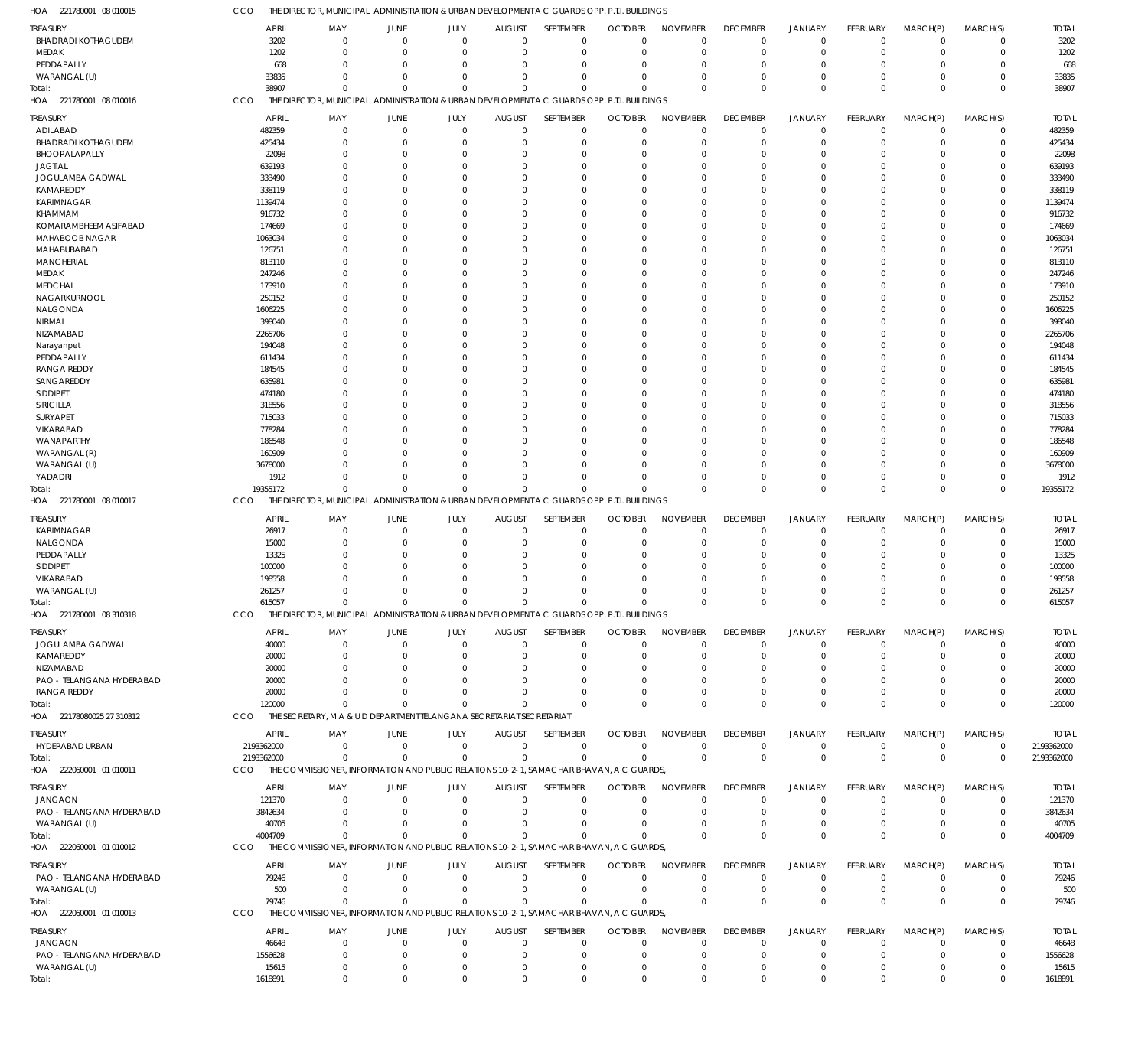| TREASURY                   | <b>APRIL</b> | MAY                                                                                         | JUNE                   | JULY                | <b>AUGUST</b>                | SEPTEMBER        | <b>OCTOBER</b> | <b>NOVEMBER</b> | <b>DECEMBER</b> | <b>JANUARY</b>                   | FEBRUARY                | MARCH(P)                   | MARCH(S)                | <b>TOTAL</b> |
|----------------------------|--------------|---------------------------------------------------------------------------------------------|------------------------|---------------------|------------------------------|------------------|----------------|-----------------|-----------------|----------------------------------|-------------------------|----------------------------|-------------------------|--------------|
| <b>BHADRADI KOTHAGUDEM</b> | 3202         | $\mathbf 0$                                                                                 | $\overline{0}$         | $\mathbf 0$         | $\mathbf 0$                  | $\mathbf 0$      | $\Omega$       | $\Omega$        | $\overline{0}$  | $\overline{0}$                   | $\mathbf 0$             | $\overline{0}$             | $\mathbf 0$             | 3202         |
| MEDAK                      | 1202         | $\Omega$                                                                                    | $\Omega$               | $\mathbf 0$         | 0                            | $\mathbf 0$      | $\Omega$       | $\Omega$        | $\overline{0}$  | $\overline{0}$                   | 0                       | $\Omega$                   | $\mathbf 0$             | 1202         |
| PEDDAPALLY                 | 668          | O                                                                                           | $\Omega$               | $\mathbf 0$         | $\Omega$                     | $\mathbf 0$      | $\Omega$       | $\Omega$        | $\Omega$        | $\Omega$                         | $\Omega$                | $\Omega$                   | $\mathbf 0$             | 668          |
| WARANGAL (U)               | 33835        | $\Omega$                                                                                    | $\Omega$               | $\mathbf 0$         | 0                            | $\mathbf 0$      | $\Omega$       | $\Omega$        | $\overline{0}$  | $\overline{0}$                   | 0                       | $\Omega$                   | $\mathbf 0$             | 33835        |
| Total:                     | 38907        | $\Omega$                                                                                    | $\Omega$               | $\mathbf 0$         | $\mathbf 0$                  | $\mathbf 0$      |                | $\Omega$        | $\Omega$        | $\Omega$                         | $\Omega$                | $\Omega$                   | $\mathbf 0$             | 38907        |
| HOA 221780001 08 010016    | CCO          | THE DIRECTOR, MUNICIPAL ADMINISTRATION & URBAN DEVELOPMENT A C GUARDS OPP. P.T.I. BUILDINGS |                        |                     |                              |                  |                |                 |                 |                                  |                         |                            |                         |              |
| TREASURY                   | <b>APRIL</b> | MAY                                                                                         | JUNE                   | JULY                | <b>AUGUST</b>                | SEPTEMBER        | <b>OCTOBER</b> | <b>NOVEMBER</b> | <b>DECEMBER</b> | <b>JANUARY</b>                   | FEBRUARY                | MARCH(P)                   | MARCH(S)                | <b>TOTAL</b> |
| ADILABAD                   | 482359       | $\Omega$                                                                                    | $\Omega$               | $\mathbf 0$         | $\mathbf 0$                  | $\mathbf 0$      | $\Omega$       | $\Omega$        | $\mathbf 0$     | $\overline{0}$                   | $\mathbf 0$             | $\Omega$                   | $\mathbf 0$             | 482359       |
| <b>BHADRADI KOTHAGUDEM</b> | 425434       | $\Omega$                                                                                    | $\Omega$               | $\mathbf 0$         | 0                            | $\mathbf 0$      | $\Omega$       | $\Omega$        | $\mathbf 0$     | $\overline{0}$                   | $\mathbf 0$             | $\Omega$                   | $\mathbf 0$             | 425434       |
| BHOOPALAPALLY              | 22098        | $\Omega$                                                                                    | $\Omega$               | $\Omega$            | $\Omega$                     | $\mathbf 0$      | $\Omega$       | $\Omega$        | $^{\circ}$      | $\Omega$                         | $\Omega$                | $\Omega$                   | $\mathbf 0$             | 22098        |
| <b>JAGTIAL</b>             | 639193       | $\Omega$                                                                                    | $\Omega$               | $\Omega$            | $\Omega$                     | $\Omega$         | $\Omega$       | $\Omega$        | $\Omega$        | $\Omega$                         | $\Omega$                | $\Omega$                   | $\mathbf 0$             | 639193       |
| JOGULAMBA GADWAL           |              | O                                                                                           | $\Omega$               | $\Omega$            | $\Omega$                     | $\Omega$         |                | $\Omega$        | $\Omega$        | $\Omega$                         | $\Omega$                | $\Omega$                   | $\mathbf 0$             | 333490       |
|                            | 333490       | $\Omega$                                                                                    |                        |                     |                              |                  |                | $\Omega$        |                 |                                  |                         |                            |                         |              |
| KAMAREDDY                  | 338119       |                                                                                             | $\Omega$               | $\Omega$            | $\Omega$                     | $\mathbf 0$      | $\Omega$       |                 | $\Omega$        | $\Omega$                         | $\Omega$                | $\Omega$                   | $\mathbf 0$             | 338119       |
| KARIMNAGAR                 | 1139474      | O                                                                                           | $\Omega$               | $\Omega$            | $\Omega$                     | $\Omega$         | $\Omega$       | $\Omega$        | $\Omega$        | $\Omega$                         | $\Omega$                | $\Omega$                   | $\mathbf 0$             | 1139474      |
| <b>KHAMMAM</b>             | 916732       |                                                                                             | $\sqrt{ }$             | $\Omega$            | $\Omega$                     | $\Omega$         | $\Omega$       | $\Omega$        | $\Omega$        | $\Omega$                         | $\Omega$                | $\Omega$                   | $\Omega$                | 916732       |
| KOMARAMBHEEM ASIFABAD      | 174669       | O                                                                                           | $\Omega$               | $\Omega$            | $\Omega$                     | $\mathbf 0$      | ſ              | $\Omega$        | $\Omega$        | $\Omega$                         | $\Omega$                | $\Omega$                   | $\mathbf 0$             | 174669       |
| MAHABOOB NAGAR             | 1063034      | U                                                                                           | $\sqrt{ }$             | $\Omega$            | $\Omega$                     | $\Omega$         | $\Omega$       | $\Omega$        | $\Omega$        | $\Omega$                         | $\Omega$                | $\Omega$                   | $\Omega$                | 1063034      |
| MAHABUBABAD                | 126751       |                                                                                             | $\cup$                 | $\Omega$            | $\Omega$                     | $\Omega$         | $\sqrt{ }$     | $\Omega$        | $\Omega$        | $\Omega$                         | $\Omega$                | $\Omega$                   | $\mathbf 0$             | 126751       |
| MANCHERIAL                 | 813110       | $\Omega$                                                                                    | $\cup$                 | $\Omega$            | $\Omega$                     | $\mathbf 0$      | $\Omega$       | $\Omega$        | $\Omega$        | $\Omega$                         | $\Omega$                | $\Omega$                   | $\Omega$                | 813110       |
| MEDAK                      | 247246       | O                                                                                           | $\Omega$               | $\Omega$            | $\Omega$                     | $\mathbf 0$      | ſ              | $\Omega$        | $\Omega$        | $\Omega$                         | $\Omega$                | $\Omega$                   | $\mathbf 0$             | 247246       |
| <b>MEDCHAL</b>             | 173910       | U                                                                                           | $\sqrt{ }$             | $\Omega$            | $\Omega$                     | $\Omega$         | $\Omega$       | $\Omega$        | $\Omega$        | $\Omega$                         | $\Omega$                | $\Omega$                   | $\Omega$                | 173910       |
| NAGARKURNOOL               | 250152       |                                                                                             | $\Omega$               | $\Omega$            | $\Omega$                     | $\mathbf 0$      | $\sqrt{ }$     | $\Omega$        | $\Omega$        | $\Omega$                         | $\Omega$                | $\Omega$                   | $\mathbf 0$             | 250152       |
| NALGONDA                   | 1606225      | U                                                                                           | $\cup$                 | $\Omega$            | $\Omega$                     | $\Omega$         | $\Omega$       | $\Omega$        | $\Omega$        | $\Omega$                         | $\Omega$                | $\Omega$                   | $\Omega$                | 1606225      |
| NIRMAL                     | 398040       |                                                                                             | $\sqrt{ }$             | $\Omega$            | $\Omega$                     | $\Omega$         |                | $\Omega$        | $\Omega$        | $\Omega$                         | O                       | $\Omega$                   | $\mathbf 0$             | 398040       |
| NIZAMABAD                  | 2265706      |                                                                                             | $\sqrt{ }$             | $\Omega$            | $\Omega$                     | $\Omega$         | $\Omega$       | $\Omega$        | $\Omega$        | $\Omega$                         | $\Omega$                | $\Omega$                   | $\Omega$                | 2265706      |
| Narayanpet                 | 194048       |                                                                                             | $\Omega$               | $\Omega$            | $\Omega$                     | $\mathbf 0$      | $\Omega$       | $\Omega$        | $\Omega$        | $\Omega$                         | $\Omega$                | $\Omega$                   | $\mathbf 0$             | 194048       |
| PEDDAPALLY                 | 611434       | U                                                                                           | $\cup$                 | $\Omega$            | $\Omega$                     | $\Omega$         | $\Omega$       | $\Omega$        | $\Omega$        | $\Omega$                         | $\Omega$                | $\Omega$                   | $\Omega$                | 611434       |
| <b>RANGA REDDY</b>         | 184545       |                                                                                             | $\Omega$               | $\Omega$            | $\Omega$                     | $\Omega$         |                | $\Omega$        | $\Omega$        | $\Omega$                         | O                       | $\Omega$                   | 0                       | 184545       |
| SANGAREDDY                 | 635981       | U                                                                                           | $\sqrt{ }$             | $\Omega$            | $\Omega$                     | $\Omega$         | $\Omega$       | $\Omega$        | $\Omega$        | $\Omega$                         | $\Omega$                | $\Omega$                   | $\Omega$                | 635981       |
| SIDDIPET                   | 474180       |                                                                                             | $\cup$                 | $\Omega$            | $\Omega$                     | $\Omega$         | $\Omega$       | $\Omega$        | $\Omega$        | $\Omega$                         | $\Omega$                | $\Omega$                   | $\mathbf 0$             | 474180       |
| SIRICILLA                  | 318556       |                                                                                             | $\sqrt{ }$             | $\Omega$            | $\Omega$                     | $\Omega$         | $\Omega$       | $\Omega$        | $\Omega$        | $\Omega$                         | $\Omega$                | $\Omega$                   | $\Omega$                | 318556       |
| SURYAPET                   | 715033       | O                                                                                           | $\Omega$               | $\Omega$            | $\Omega$                     | $\mathbf 0$      |                | $\Omega$        | $\Omega$        | $\Omega$                         | $\Omega$                | $\Omega$                   | $\mathbf 0$             | 715033       |
| VIKARABAD                  | 778284       |                                                                                             | $\sqrt{ }$             | $\Omega$            | $\Omega$                     | $\Omega$         | $\Omega$       | $\Omega$        | $\Omega$        | $\Omega$                         | $\Omega$                | $\Omega$                   | $\Omega$                | 778284       |
| WANAPARTHY                 | 186548       |                                                                                             | $\cup$                 | $\Omega$            | $\Omega$                     | $\Omega$         |                | $\Omega$        | $\Omega$        | $\Omega$                         | O                       | $\Omega$                   | $\mathbf 0$             | 186548       |
| WARANGAL (R)               | 160909       | O                                                                                           | $\cup$                 | $\Omega$            | $\Omega$                     | $\mathbf 0$      | $\Omega$       | $\Omega$        | $\Omega$        | $\Omega$                         | $\Omega$                | $\Omega$                   | $\mathbf 0$             | 160909       |
| WARANGAL (U)               | 3678000      | O                                                                                           | $\cup$                 | $\Omega$            | $\Omega$                     | $\Omega$         | $\Omega$       | $\Omega$        | $\Omega$        | $\Omega$                         | $\Omega$                | $\Omega$                   | $\mathbf 0$             | 3678000      |
| YADADRI                    | 1912         | $\Omega$                                                                                    | $\Omega$               | $\Omega$            | $\Omega$                     | $\Omega$         | $\Omega$       | $\Omega$        | $\Omega$        | $\Omega$                         | $\Omega$                | $\Omega$                   | $\mathbf 0$             | 1912         |
| Total:                     | 19355172     | $\Omega$                                                                                    | $\Omega$               | $\mathbf 0$         | $\Omega$                     | $\Omega$         | $\Omega$       | $\Omega$        | $\mathbf 0$     | $\mathbf 0$                      | $\Omega$                | $\Omega$                   | $\mathbf 0$             | 19355172     |
| HOA 221780001 08 010017    | CCO          | THE DIRECTOR, MUNICIPAL ADMINISTRATION & URBAN DEVELOPMENT A C GUARDS OPP. P.T.I. BUILDINGS |                        |                     |                              |                  |                |                 |                 |                                  |                         |                            |                         |              |
|                            |              |                                                                                             |                        |                     |                              |                  |                |                 |                 |                                  |                         |                            |                         |              |
|                            |              |                                                                                             |                        |                     |                              |                  |                |                 |                 |                                  |                         |                            |                         |              |
| TREASURY                   | <b>APRIL</b> | MAY                                                                                         | <b>JUNE</b>            | JULY                | <b>AUGUST</b>                | SEPTEMBER        | <b>OCTOBER</b> | <b>NOVEMBER</b> | <b>DECEMBER</b> | <b>JANUARY</b>                   | FEBRUARY                | MARCH(P)                   | MARCH(S)                | <b>TOTAL</b> |
| KARIMNAGAR                 | 26917        | $\mathbf 0$                                                                                 | $\mathbf 0$            | $\mathbf 0$         | $^{\circ}$                   | $\mathbf 0$      | $\Omega$       | $\Omega$        | $^{\circ}$      | $\overline{0}$                   | $\mathbf 0$             | $\mathbf 0$                | $\mathbf 0$             | 26917        |
| NALGONDA                   | 15000        | $\Omega$                                                                                    | $\Omega$               | $\mathbf 0$         | $\Omega$                     | $\mathbf 0$      | $\Omega$       | $\Omega$        | $\Omega$        | $\Omega$                         | $\Omega$                | $\Omega$                   | $\mathbf 0$             | 15000        |
| PEDDAPALLY                 | 13325        | $\Omega$                                                                                    | $\Omega$               | $\mathbf 0$         | $\Omega$                     | $\mathbf 0$      | C              | $\Omega$        | $^{\circ}$      | $\Omega$                         | $\Omega$                | $\Omega$                   | $\mathbf 0$             | 13325        |
| <b>SIDDIPET</b>            | 100000       | O                                                                                           | $\Omega$               | $\mathbf 0$         | $\Omega$                     | $\mathbf 0$      |                | $\Omega$        | $\Omega$        | $\Omega$                         | $\Omega$                | $\Omega$                   | $\mathbf 0$             | 100000       |
| VIKARABAD                  | 198558       | O                                                                                           | $\Omega$               | $\mathbf 0$         | $\Omega$                     | $\mathbf 0$      |                | $\cap$          | $\Omega$        | $\Omega$                         | $\Omega$                | $\Omega$                   | $\mathbf 0$             | 198558       |
| WARANGAL (U)               | 261257       | O                                                                                           | $\Omega$               | $\mathbf 0$         | 0                            | $\mathbf 0$      |                |                 | $\Omega$        | $\Omega$                         | $\Omega$                | $\Omega$                   | $\mathbf 0$             | 261257       |
| Total:                     | 615057       | $\mathbf 0$                                                                                 | $\mathbf 0$            | $\mathbf 0$         | $\mathbf 0$                  | $\mathbf 0$      | $\Omega$       | $\Omega$        | $\mathbf 0$     | $\Omega$                         | $\Omega$                | $\Omega$                   | $\mathbf 0$             | 615057       |
| HOA 221780001 08 310318    | CCO          | THE DIRECTOR, MUNICIPAL ADMINISTRATION & URBAN DEVELOPMENT A C GUARDS OPP. P.T.I. BUILDINGS |                        |                     |                              |                  |                |                 |                 |                                  |                         |                            |                         |              |
|                            |              |                                                                                             |                        |                     |                              |                  |                |                 |                 |                                  |                         |                            |                         |              |
| TREASURY                   | <b>APRIL</b> | MAY                                                                                         | JUNE                   | JULY                | <b>AUGUST</b>                | SEPTEMBER        | <b>OCTOBER</b> | <b>NOVEMBER</b> | <b>DECEMBER</b> | <b>JANUARY</b>                   | FEBRUARY                | MARCH(P)                   | MARCH(S)                | <b>TOTAL</b> |
| JOGULAMBA GADWAL           | 40000        | $\mathbf 0$                                                                                 | $\mathbf 0$            | $\mathbf 0$         | 0                            | $\mathbf 0$      | $\Omega$       | $\Omega$        | $\mathbf 0$     | $\mathbf 0$                      | $\mathbf 0$             | $\mathbf 0$                | $\mathbf 0$             | 40000        |
| KAMAREDDY                  | 20000        | $\Omega$                                                                                    | $\Omega$               | $\Omega$            | 0                            | $\mathbf 0$      | $\Omega$       | $\Omega$        | $^{\circ}$      | $\overline{0}$                   | $\Omega$                | $\Omega$                   | $\mathbf 0$             | 20000        |
| NIZAMABAD                  | 20000        | $\Omega$                                                                                    | C.                     | $\Omega$            | 0                            | 0                | $\Omega$       | $\Omega$        | $\overline{0}$  | $\Omega$                         | $\Omega$                | $\Omega$                   | $\Omega$                | 20000        |
| PAO - TELANGANA HYDERABAD  | 20000        |                                                                                             |                        | $\Omega$            | 0                            | $\Omega$         |                | $\Omega$        | 0               | $\Omega$                         | $\Omega$                | $\Omega$                   | 0                       | 20000        |
| RANGA REDDY                | 20000        | U                                                                                           | $\cup$                 | $\Omega$            | $\Omega$                     | $\Omega$         | $\Omega$       | $\Omega$        | $\overline{0}$  | $\overline{0}$                   | $\Omega$                | $\Omega$                   | $\mathbf 0$             | 20000        |
| Total:                     | 120000       | $\Omega$                                                                                    | $\Omega$               | $\Omega$            | $\Omega$                     | $\Omega$         | $\Omega$       | $\Omega$        | $\mathbf 0$     | $\mathbf 0$                      | $\Omega$                | $\Omega$                   | $\mathbf 0$             | 120000       |
| HOA 22178080025 27 310312  | CCO          | THE SECRETARY, M A & U D DEPARTMENT TELANGANA SECRETARIAT SECRETARIAT                       |                        |                     |                              |                  |                |                 |                 |                                  |                         |                            |                         |              |
|                            |              | MAY                                                                                         |                        |                     |                              | <b>SEPTEMBER</b> | <b>OCTOBER</b> | <b>NOVEMBER</b> | <b>DECEMBER</b> |                                  |                         |                            |                         |              |
| TREASURY                   | <b>APRIL</b> | $\mathbf 0$                                                                                 | JUNE<br>$\overline{0}$ | JULY<br>$\mathbf 0$ | <b>AUGUST</b><br>$\mathbf 0$ |                  | $\mathbf 0$    | $\Omega$        |                 | <b>JANUARY</b><br>$\overline{0}$ | FEBRUARY<br>$\mathbf 0$ | MARCH(P)<br>$\overline{0}$ | MARCH(S)<br>$\mathbf 0$ | <b>TOTAL</b> |
| HYDERABAD URBAN            | 2193362000   | $\mathbf 0$                                                                                 | $\mathbf 0$            |                     | $\mathbf 0$                  | $\mathbf 0$      | $\Omega$       | $\Omega$        | $\mathbf 0$     |                                  | $\mathbf 0$             | $\overline{0}$             | $\mathbf 0$             | 2193362000   |
| Total:                     | 2193362000   |                                                                                             |                        | $\mathbf 0$         |                              | $\mathbf 0$      |                |                 | $\mathbf 0$     | $\mathbf 0$                      |                         |                            |                         | 2193362000   |
| HOA 222060001 01 010011    | CCO          | THE COMMISSIONER, INFORMATION AND PUBLIC RELATIONS 10-2-1, SAMACHAR BHAVAN, A C GUARDS,     |                        |                     |                              |                  |                |                 |                 |                                  |                         |                            |                         |              |
| <b>TREASURY</b>            | <b>APRIL</b> | MAY                                                                                         | <b>JUNE</b>            | JULY                | <b>AUGUST</b>                | SEPTEMBER        | <b>OCTOBER</b> | <b>NOVEMBER</b> | <b>DECEMBER</b> | <b>JANUARY</b>                   | FEBRUARY                | MARCH(P)                   | MARCH(S)                | <b>TOTAL</b> |
| <b>JANGAON</b>             | 121370       | $\mathbf 0$                                                                                 | $\mathbf 0$            | $\mathbf 0$         | $\mathbf 0$                  | 0                | $\Omega$       | $\Omega$        | $\overline{0}$  | $\overline{0}$                   | $\Omega$                | $\Omega$                   | 0                       | 121370       |
| PAO - TELANGANA HYDERABAD  | 3842634      | $\Omega$                                                                                    | $\Omega$               | $\mathbf 0$         | $\Omega$                     | $\mathbf 0$      | $\Omega$       | $\Omega$        | $\overline{0}$  | $\overline{0}$                   | $\Omega$                | $\Omega$                   | $\mathbf 0$             | 3842634      |
| WARANGAL (U)               | 40705        | $\mathbf 0$                                                                                 | 0                      | $\mathbf 0$         | 0                            | $\mathbf 0$      | $\Omega$       | $\Omega$        | $\mathbf 0$     | $\overline{0}$                   | $\mathbf 0$             | $\mathbf 0$                | $\mathbf 0$             | 40705        |
| Total:                     | 4004709      | $\Omega$                                                                                    | $\Omega$               | $\Omega$            | $\Omega$                     | $\Omega$         | $\Omega$       | $\Omega$        | $\mathbf 0$     | $\mathbf 0$                      | $\Omega$                | $\Omega$                   | $\mathbf 0$             | 4004709      |
| HOA 222060001 01 010012    | CCO          | THE COMMISSIONER, INFORMATION AND PUBLIC RELATIONS 10-2-1, SAMACHAR BHAVAN, A C GUARDS,     |                        |                     |                              |                  |                |                 |                 |                                  |                         |                            |                         |              |
|                            |              |                                                                                             |                        |                     |                              |                  |                |                 |                 |                                  |                         |                            |                         |              |
| treasury                   | <b>APRIL</b> | MAY                                                                                         | JUNE                   | JULY                | <b>AUGUST</b>                | SEPTEMBER        | <b>OCTOBER</b> | <b>NOVEMBER</b> | <b>DECEMBER</b> | <b>JANUARY</b>                   | FEBRUARY                | MARCH(P)                   | MARCH(S)                | <b>TOTAL</b> |
| PAO - TELANGANA HYDERABAD  | 79246        | $\mathbf 0$                                                                                 | $\mathbf 0$            | $\mathbf 0$         | $\mathbf 0$                  | $\mathbf 0$      | $\Omega$       | $\Omega$        | $\overline{0}$  | $\overline{0}$                   | $\mathbf 0$             | $\mathbf 0$                | $\mathbf 0$             | 79246        |
| WARANGAL (U)               | 500          | $\mathbf 0$                                                                                 | $\overline{0}$         | $\mathbf 0$         | 0                            | $\mathbf 0$      | 0              | $\Omega$        | $^{\circ}$      | $\overline{0}$                   | $\mathbf 0$             | $\mathbf 0$                | $\mathbf 0$             | 500          |
| Total:                     | 79746        | $\Omega$                                                                                    | $\overline{0}$         | $\mathbf 0$         | $\mathbf 0$                  | $\mathbf 0$      | $\Omega$       | $\Omega$        | $\overline{0}$  | $\overline{0}$                   | $\mathbf 0$             | $\overline{0}$             | $\mathbf 0$             | 79746        |
| HOA 222060001 01010013     | CCO          | THE COMMISSIONER, INFORMATION AND PUBLIC RELATIONS 10-2-1, SAMACHAR BHAVAN, A C GUARDS,     |                        |                     |                              |                  |                |                 |                 |                                  |                         |                            |                         |              |
| TREASURY                   | <b>APRIL</b> | MAY                                                                                         | <b>JUNE</b>            | JULY                | <b>AUGUST</b>                | SEPTEMBER        | <b>OCTOBER</b> | <b>NOVEMBER</b> | <b>DECEMBER</b> | <b>JANUARY</b>                   | FEBRUARY                | MARCH(P)                   | MARCH(S)                | <b>TOTAL</b> |
| <b>JANGAON</b>             | 46648        | $\mathbf 0$                                                                                 | $\mathbf 0$            | $\mathbf 0$         | $\mathbf 0$                  | $\mathbf 0$      | $\Omega$       | $\Omega$        | $^{\circ}$      | $\overline{0}$                   | $\mathbf 0$             | $\mathbf 0$                | 0                       | 46648        |
| PAO - TELANGANA HYDERABAD  | 1556628      | $\mathbf 0$                                                                                 | $\mathbf 0$            | $\mathbf 0$         | 0                            | $\mathbf 0$      | 0              | $\Omega$        | $\mathbf 0$     | $\overline{0}$                   | $\mathbf 0$             | $\Omega$                   | $\mathbf 0$             | 1556628      |
| WARANGAL (U)               | 15615        | $\mathbf 0$                                                                                 | $\mathbf 0$            | $\mathbf 0$         | 0                            | $\mathbf 0$      | 0              | $\mathbf 0$     | $\mathbf 0$     | $\mathbf 0$                      | $\mathbf 0$             | $\mathbf 0$                | $\mathbf 0$             | 15615        |

CCO THE DIRECTOR, MUNICIPAL ADMINISTRATION & URBAN DEVELOPMENT A C GUARDS OPP. P.T.I. BUILDINGS

221780001 08 010015 HOA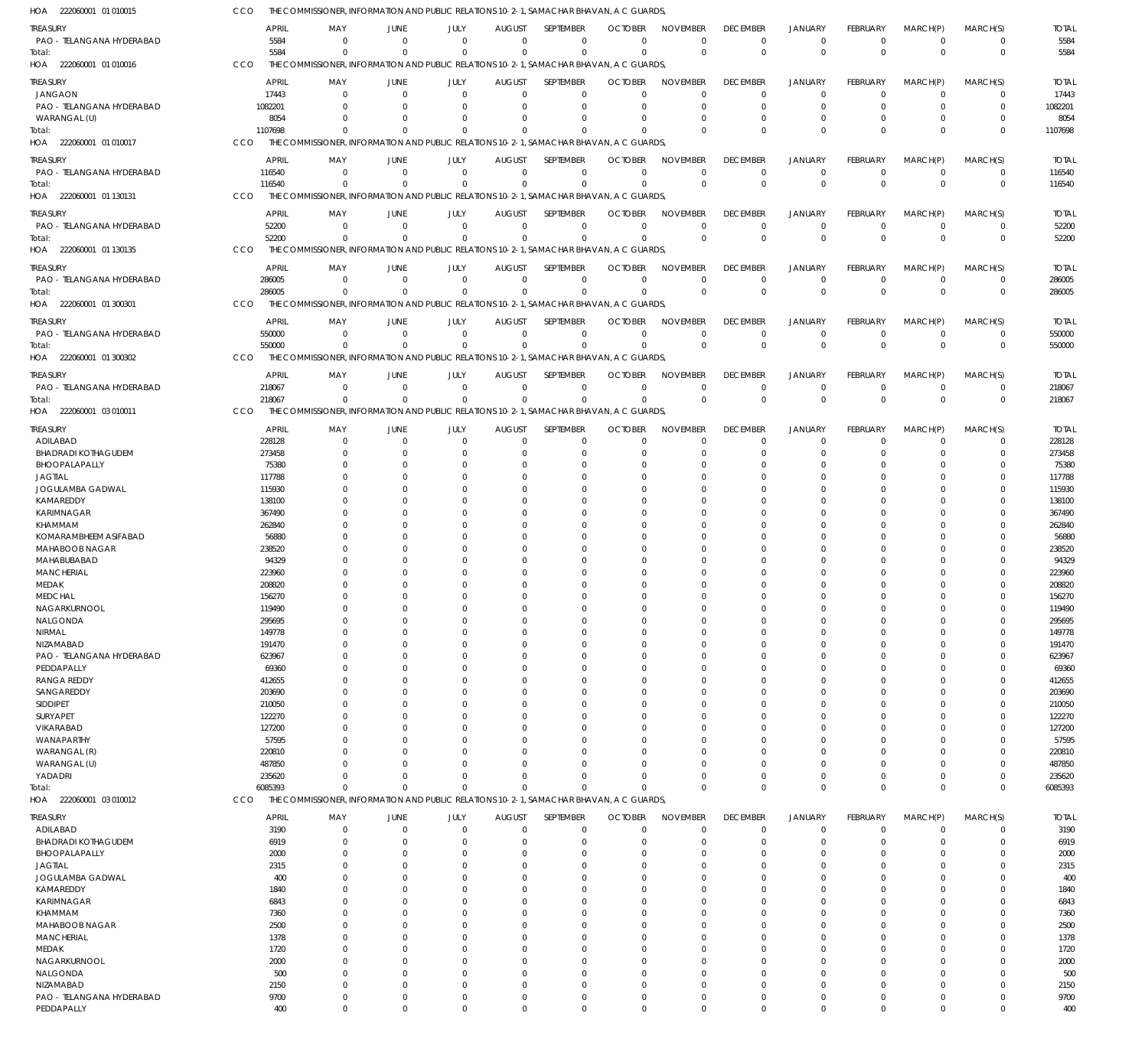| HOA 222060001 01010015                  | CCO |                 | THE COMMISSIONER, INFORMATION AND PUBLIC RELATIONS 10-2-1, SAMACHAR BHAVAN, A C GUARDS,             |                      |                                        |                         |                      |                      |                      |                |                 |                      |          |                 |
|-----------------------------------------|-----|-----------------|-----------------------------------------------------------------------------------------------------|----------------------|----------------------------------------|-------------------------|----------------------|----------------------|----------------------|----------------|-----------------|----------------------|----------|-----------------|
| treasury                                |     | <b>APRIL</b>    | MAY<br>JUNE                                                                                         | JULY                 | <b>AUGUST</b>                          | SEPTEMBER               | <b>OCTOBER</b>       | <b>NOVEMBER</b>      | <b>DECEMBER</b>      | <b>JANUARY</b> | <b>FEBRUARY</b> | MARCH(P)             | MARCH(S) | <b>TOTAL</b>    |
| PAO - TELANGANA HYDERABAD               |     | 5584            | $\Omega$                                                                                            | $\Omega$             | $\Omega$<br>$\overline{0}$             | $\Omega$                | $\mathbf 0$          | $\Omega$             | $\mathbf 0$          | $\mathbf 0$    | $\Omega$        | $\Omega$             | $\Omega$ | 5584            |
| Total:                                  |     | 5584            | $\Omega$                                                                                            | $\Omega$             | $\Omega$<br>$\Omega$                   | $\Omega$                | $\Omega$             | $\Omega$             | $\Omega$             | $\mathsf 0$    | $\Omega$        | $\mathbf 0$          | $\Omega$ | 5584            |
| HOA 222060001 01 010016                 | CCO |                 | THE COMMISSIONER, INFORMATION AND PUBLIC RELATIONS 10-2-1, SAMACHAR BHAVAN, A C GUARDS,             |                      |                                        |                         |                      |                      |                      |                |                 |                      |          |                 |
| TREASURY                                |     | <b>APRIL</b>    | MAY<br>JUNE                                                                                         | JULY                 | <b>AUGUST</b>                          | SEPTEMBER               | <b>OCTOBER</b>       | <b>NOVEMBER</b>      | <b>DECEMBER</b>      | <b>JANUARY</b> | FEBRUARY        | MARCH(P)             | MARCH(S) | <b>TOTAL</b>    |
| <b>JANGAON</b>                          |     | 17443           | $\Omega$                                                                                            | $\Omega$             | $\Omega$<br>$\overline{0}$             | $\mathbf 0$             | $\Omega$             | $\Omega$             | $\mathbf 0$          | $\Omega$       | $\Omega$        | $\Omega$             | $\Omega$ | 17443           |
| PAO - TELANGANA HYDERABAD               |     | 1082201         | $\Omega$                                                                                            | $\Omega$             | $\Omega$<br>$\Omega$                   | $\Omega$                | $\Omega$             | $\Omega$             | $\Omega$             | $\Omega$       | $\Omega$        | $\Omega$             | $\Omega$ | 1082201         |
| WARANGAL (U)                            |     | 8054            | $\Omega$                                                                                            | $\Omega$             | $\Omega$<br>$\Omega$                   | $\Omega$                | $\Omega$             | $\Omega$             | $\Omega$             | $\Omega$       | $\Omega$        | $\Omega$             | $\Omega$ | 8054            |
| Total:                                  |     | 1107698         | $\Omega$                                                                                            | $\Omega$             | $\Omega$<br>$\Omega$                   | $\Omega$                | O                    | $\Omega$             | $\Omega$             | $\Omega$       | $\Omega$        | $\Omega$             | $\Omega$ | 1107698         |
| HOA 222060001 01010017                  | CCO |                 | THE COMMISSIONER, INFORMATION AND PUBLIC RELATIONS 10-2-1, SAMACHAR BHAVAN, A C GUARDS,             |                      |                                        |                         |                      |                      |                      |                |                 |                      |          |                 |
| <b>TREASURY</b>                         |     | APRIL           | MAY<br>JUNE                                                                                         | JULY                 | <b>AUGUST</b>                          | <b>SEPTEMBER</b>        | <b>OCTOBER</b>       | <b>NOVEMBER</b>      | <b>DECEMBER</b>      | <b>JANUARY</b> | <b>FEBRUARY</b> | MARCH(P)             | MARCH(S) | <b>TOTAL</b>    |
| PAO - TELANGANA HYDERABAD               |     | 116540          | $\Omega$                                                                                            | $\Omega$             | $\overline{0}$<br>$\mathbf 0$          | $\overline{0}$          | $\Omega$             | $\mathbf 0$          | $\mathbf 0$          | $\mathbf 0$    | $\Omega$        | $\Omega$             | $\Omega$ | 116540          |
| Total:                                  |     | 116540          | $\Omega$                                                                                            | $\Omega$             | $\Omega$<br>$\Omega$                   | $\Omega$                | $\Omega$             | $\Omega$             | $\Omega$             | $\mathbf 0$    | $\Omega$        | $\Omega$             | $\Omega$ | 116540          |
| HOA 222060001 01 130131                 | CCO |                 | THE COMMISSIONER. INFORMATION AND PUBLIC RELATIONS 10-2-1. SAMACHAR BHAVAN, A C GUARDS.             |                      |                                        |                         |                      |                      |                      |                |                 |                      |          |                 |
| treasury                                |     | APRIL           | MAY<br>JUNE                                                                                         | JULY                 | <b>AUGUST</b>                          | SEPTEMBER               | <b>OCTOBER</b>       | <b>NOVEMBER</b>      | <b>DECEMBER</b>      | <b>JANUARY</b> | <b>FEBRUARY</b> | MARCH(P)             | MARCH(S) | <b>TOTAL</b>    |
| PAO - TELANGANA HYDERABAD               |     | 52200           | $\Omega$                                                                                            | $\mathbf{0}$         | $\overline{0}$<br>$\Omega$             | $\Omega$                | $\Omega$             | $\Omega$             | $\mathbf 0$          | $\mathbf 0$    | $\Omega$        | $\Omega$             | $\Omega$ | 52200           |
| Total:                                  |     | 52200           | $\Omega$                                                                                            | $\Omega$             | $\Omega$<br>$\Omega$                   | $\Omega$                | $\Omega$             | $\Omega$             | $\mathbf 0$          | $\mathbf 0$    | $\Omega$        | $\Omega$             | $\Omega$ | 52200           |
| HOA 222060001 01 130135                 | CCO |                 | THE COMMISSIONER, INFORMATION AND PUBLIC RELATIONS 10-2-1, SAMACHAR BHAVAN, A C GUARDS,             |                      |                                        |                         |                      |                      |                      |                |                 |                      |          |                 |
|                                         |     |                 |                                                                                                     |                      |                                        |                         |                      |                      |                      |                |                 |                      |          |                 |
| TREASURY                                |     | APRIL           | MAY<br>JUNE                                                                                         | JULY                 | <b>AUGUST</b>                          | SEPTEMBER               | <b>OCTOBER</b>       | <b>NOVEMBER</b>      | <b>DECEMBER</b>      | <b>JANUARY</b> | FEBRUARY        | MARCH(P)             | MARCH(S) | <b>TOTAL</b>    |
| PAO - TELANGANA HYDERABAD               |     | 286005          | $\Omega$                                                                                            | $\Omega$             | $\Omega$<br>$\overline{0}$<br>$\Omega$ | $\mathbf 0$<br>$\Omega$ | $\mathbf 0$          | $\mathbf 0$          | $\mathbf 0$          | $\mathbf 0$    | $^{\circ}$      | $\Omega$             | $\Omega$ | 286005          |
| Total:<br>HOA 222060001 01 300301       | CCO | 286005          | $\Omega$<br>THE COMMISSIONER, INFORMATION AND PUBLIC RELATIONS 10-2-1, SAMACHAR BHAVAN, A C GUARDS, | $\Omega$             | $\Omega$                               |                         | $\Omega$             | $\Omega$             | $\Omega$             | $\mathsf 0$    | $\Omega$        | $\Omega$             | $\Omega$ | 286005          |
|                                         |     |                 |                                                                                                     |                      |                                        |                         |                      |                      |                      |                |                 |                      |          |                 |
| <b>TREASURY</b>                         |     | APRIL           | MAY<br>JUNE                                                                                         | JULY                 | <b>AUGUST</b>                          | SEPTEMBER               | <b>OCTOBER</b>       | <b>NOVEMBER</b>      | <b>DECEMBER</b>      | <b>JANUARY</b> | <b>FEBRUARY</b> | MARCH(P)             | MARCH(S) | <b>TOTAL</b>    |
| PAO - TELANGANA HYDERABAD               |     | 550000          | $\Omega$                                                                                            | $\Omega$             | $\Omega$<br>$\overline{0}$             | $\mathbf 0$             | $\Omega$             | $\Omega$             | $\mathbf 0$          | $\mathbf 0$    | $\Omega$        | $\Omega$             | $\Omega$ | 550000          |
| Total:                                  |     | 550000          | $\Omega$                                                                                            | $\Omega$             | $\Omega$<br>$\Omega$                   | $\Omega$                | $\Omega$             | $\Omega$             | $\Omega$             | $\Omega$       | $\Omega$        | $\Omega$             | $\Omega$ | 550000          |
| 222060001 01 300302<br>HOA              | CCO |                 | THE COMMISSIONER, INFORMATION AND PUBLIC RELATIONS 10-2-1, SAMACHAR BHAVAN, A C GUARDS,             |                      |                                        |                         |                      |                      |                      |                |                 |                      |          |                 |
| treasury                                |     | APRIL           | MAY<br>JUNE                                                                                         | JULY                 | <b>AUGUST</b>                          | <b>SEPTEMBER</b>        | <b>OCTOBER</b>       | <b>NOVEMBER</b>      | <b>DECEMBER</b>      | <b>JANUARY</b> | <b>FEBRUARY</b> | MARCH(P)             | MARCH(S) | <b>TOTAL</b>    |
| PAO - TELANGANA HYDERABAD               |     | 218067          | $\Omega$                                                                                            | $\Omega$             | $\overline{0}$<br>$\Omega$             | $\mathbf 0$             | $\mathbf 0$          | $\mathbf 0$          | $\mathbf 0$          | $\mathbf 0$    | $\Omega$        | $\Omega$             | $\Omega$ | 218067          |
| Total:                                  |     | 218067          | $\Omega$                                                                                            | $\Omega$             | $\Omega$<br>$\Omega$                   | $\Omega$                | $\Omega$             | $\Omega$             | $\Omega$             | $\mathbf 0$    | $\Omega$        | $\Omega$             | $\Omega$ | 218067          |
| HOA 222060001 03 010011                 | CCO |                 | THE COMMISSIONER, INFORMATION AND PUBLIC RELATIONS 10-2-1, SAMACHAR BHAVAN, A C GUARDS,             |                      |                                        |                         |                      |                      |                      |                |                 |                      |          |                 |
| TREASURY                                |     | APRIL           | MAY<br>JUNE                                                                                         | JULY                 | <b>AUGUST</b>                          | SEPTEMBER               | <b>OCTOBER</b>       | <b>NOVEMBER</b>      | <b>DECEMBER</b>      | <b>JANUARY</b> | <b>FEBRUARY</b> | MARCH(P)             | MARCH(S) | <b>TOTAL</b>    |
| ADILABAD                                |     | 228128          | $\Omega$                                                                                            | $\Omega$             | $\mathbf 0$<br>$\Omega$                | $\mathbf 0$             | $\Omega$             | $\Omega$             | $\mathbf 0$          | 0              | $\Omega$        | $\Omega$             | $\Omega$ | 228128          |
| <b>BHADRADI KOTHAGUDEM</b>              |     | 273458          | $\Omega$                                                                                            | $\Omega$             | $\Omega$<br>$\Omega$                   | $\Omega$                | $\Omega$             | $\Omega$             | $\Omega$             | $\Omega$       | $\Omega$        | $\Omega$             |          | 273458          |
| BHOOPALAPALLY                           |     | 75380           | $\Omega$                                                                                            | $\Omega$             | $\Omega$<br>O                          | 0                       | $\Omega$             | $\Omega$             | $\Omega$             | $\Omega$       | -C              | $\Omega$             |          | 75380           |
| <b>JAGTIAL</b>                          |     | 117788          | $\Omega$                                                                                            | $\Omega$             | $\Omega$                               | 0                       | $\Omega$             | $\Omega$             | $\Omega$             | $\Omega$       | -0              | $\Omega$             |          | 117788          |
| JOGULAMBA GADWAL                        |     | 115930          | $\Omega$                                                                                            | $\Omega$             | $\Omega$                               | O                       | O                    | $\Omega$             | $\Omega$             | $\cup$         | -C              | $\Omega$             |          | 115930          |
| KAMAREDDY                               |     | 138100          | <sup>0</sup>                                                                                        | $\Omega$             | $\Omega$                               | O                       | O                    | $\Omega$             | n                    | C.             | -C              | $\Omega$             |          | 138100          |
| KARIMNAGAR                              |     | 367490          | $\Omega$                                                                                            | $\Omega$             | $\Omega$                               | O                       | O                    | $\Omega$             | $\Omega$             | $\cup$         | -0              | $\Omega$             |          | 367490          |
| KHAMMAM                                 |     | 262840          |                                                                                                     | $\Omega$             | $\Omega$                               |                         | O                    | $\Omega$             | 0                    | C.             | -C              | $\Omega$             |          | 262840          |
| KOMARAMBHEEM ASIFABAD                   |     | 56880           | <sup>0</sup>                                                                                        | $\Omega$             | $\Omega$<br>U                          | O                       | O                    | $\Omega$             | $\Omega$             | $\cup$         | -C              | $\Omega$             |          | 56880           |
| MAHABOOB NAGAR                          |     | 238520          | <sup>0</sup>                                                                                        | $\Omega$             | $\Omega$                               | O                       | C                    | $\Omega$             | $\Omega$             | $\cup$         | -C              | $\Omega$             |          | 238520          |
| MAHABUBABAD                             |     | 94329           |                                                                                                     | $\Omega$             | $\Omega$                               | O                       | O                    | $\Omega$             | $\Omega$             | C.             | -C              | $\Omega$             |          | 94329           |
| <b>MANCHERIAL</b>                       |     | 223960          |                                                                                                     | $\Omega$             | $\Omega$                               | O                       | O                    | C                    | n                    |                |                 | $\Omega$             |          | 223960          |
| <b>MEDAK</b>                            |     | 208820          |                                                                                                     | $\Omega$             | $\Omega$                               | O                       | O                    | $\Omega$             | $\Omega$             | C.             | -C              | $\Omega$             |          | 208820          |
| <b>MEDCHAL</b>                          |     | 156270          | $\Omega$                                                                                            | $\Omega$             | $\Omega$<br>$\Omega$                   | $\Omega$                | $\Omega$             | $\Omega$             | $\Omega$             | $\Omega$       | $\Omega$        | $\Omega$             | $\Omega$ | 156270          |
| NAGARKURNOOL                            |     | 119490          | $^{\circ}$                                                                                          | $\Omega$             | $\Omega$<br>0                          | $\Omega$                | $\Omega$             | $\Omega$             | 0                    | $\Omega$       | $\Omega$        | $\Omega$             | $\Omega$ | 119490          |
| NALGONDA                                |     | 295695          | $\Omega$                                                                                            | $\Omega$             | $\Omega$<br>U                          | 0                       | $\Omega$             | $\Omega$             | $\Omega$             | $\Omega$       | $\Omega$        | $\Omega$             |          | 295695          |
| <b>NIRMAL</b>                           |     | 149778          | $\Omega$                                                                                            | $\Omega$             | U<br>$\Omega$                          | 0                       | $\Omega$             | $\Omega$             | $\Omega$             | $\Omega$       | -0              | $\Omega$             |          | 149778          |
| <b>NIZAMABAD</b>                        |     | 191470          | $\Omega$                                                                                            | $\Omega$             | $\Omega$                               | 0                       | $\Omega$             | $\Omega$             | $\Omega$             | $\Omega$       | -C              | $\Omega$             |          | 191470          |
| PAO - TELANGANA HYDERABAD<br>PEDDAPALLY |     | 623967          | $\Omega$<br>$\Omega$                                                                                | $\Omega$<br>$\Omega$ | $\Omega$<br>$\Omega$                   | 0<br>0                  | $\Omega$<br>$\Omega$ | $\Omega$<br>$\Omega$ | $\Omega$<br>$\Omega$ | $\Omega$<br>C. | -C<br>-C        | $\Omega$<br>$\Omega$ |          | 623967          |
| <b>RANGA REDDY</b>                      |     | 69360<br>412655 | $\Omega$                                                                                            | $\Omega$             | $\Omega$                               | 0                       | $\Omega$             | $\Omega$             | $\Omega$             | $\Omega$       | -C              | $\Omega$             | $\Omega$ | 69360<br>412655 |
| SANGAREDDY                              |     | 203690          | $\Omega$                                                                                            | $\Omega$             | $\Omega$                               | 0                       | $\Omega$             | $\Omega$             | $\Omega$             | 0              |                 | $\Omega$             |          | 203690          |
| SIDDIPET                                |     | 210050          | $\Omega$                                                                                            | $\Omega$             | $\Omega$                               | 0                       | $\Omega$             | $\Omega$             | $\Omega$             | 0              |                 | $\Omega$             |          | 210050          |
| SURYAPET                                |     | 122270          | $\Omega$                                                                                            | $\Omega$             | $\Omega$                               | O                       | $\Omega$             | $\Omega$             | $\Omega$             | C.             |                 | $\Omega$             |          | 122270          |
| VIKARABAD                               |     | 127200          | $\Omega$                                                                                            | $\Omega$             | $\Omega$                               | 0                       | O                    | $\Omega$             | $\Omega$             | $\Omega$       | -C              | $\Omega$             | $\Omega$ | 127200          |
| WANAPARTHY                              |     | 57595           | 0                                                                                                   | $\Omega$             | $\Omega$                               | O                       | O                    | $\Omega$             | 0                    | C.             |                 | $\Omega$             |          | 57595           |
| WARANGAL (R)                            |     | 220810          | $\Omega$                                                                                            | $\Omega$             | $\Omega$                               | 0                       | $\Omega$             | $\Omega$             | $\Omega$             | $\Omega$       | -C              | $\Omega$             | $\Omega$ | 220810          |
| WARANGAL (U)                            |     | 487850          | $\Omega$                                                                                            | $\Omega$             | $\Omega$                               | 0                       | $\Omega$             | $\Omega$             | $\Omega$             | $\Omega$       | -C              | $\Omega$             |          | 487850          |
| YADADRI                                 |     | 235620          | $\Omega$                                                                                            | $\Omega$             | $\Omega$<br>U                          | $\Omega$                | $\Omega$             | $\Omega$             | $\Omega$             | $\Omega$       | $\Omega$        | $\Omega$             | $\Omega$ | 235620          |
| Total:                                  |     | 6085393         | $\Omega$                                                                                            | $\Omega$             | $\Omega$<br>$\Omega$                   | $\Omega$                | $\Omega$             | $\Omega$             | $\Omega$             | $\Omega$       | $\Omega$        | $\Omega$             | $\Omega$ | 6085393         |
| HOA 222060001 03 010012                 | CCO |                 | THE COMMISSIONER, INFORMATION AND PUBLIC RELATIONS 10-2-1, SAMACHAR BHAVAN, A C GUARDS,             |                      |                                        |                         |                      |                      |                      |                |                 |                      |          |                 |
| treasury                                |     | <b>APRIL</b>    | MAY<br>JUNE                                                                                         | JULY                 | <b>AUGUST</b>                          | SEPTEMBER               | <b>OCTOBER</b>       | <b>NOVEMBER</b>      | <b>DECEMBER</b>      | <b>JANUARY</b> | FEBRUARY        | MARCH(P)             | MARCH(S) | <b>TOTAL</b>    |
| ADILABAD                                |     | 3190            | $\Omega$                                                                                            | $\Omega$             | $\mathbf 0$<br>0                       | $\mathbf 0$             | $\mathbf 0$          | $\mathbf 0$          | $\mathbf 0$          | $\mathbf 0$    | $\overline{0}$  | $\Omega$             | $\Omega$ | 3190            |
| <b>BHADRADI KOTHAGUDEM</b>              |     | 6919            | $\Omega$                                                                                            | $\Omega$             | $\mathbf 0$<br>$\Omega$                | $\mathbf 0$             | $\mathbf 0$          | $\mathbf 0$          | $\Omega$             | $\mathbf 0$    | $\Omega$        | $\Omega$             | $\Omega$ | 6919            |
| BHOOPALAPALLY                           |     | 2000            | $\Omega$                                                                                            | $\Omega$             | $\Omega$<br>$\Omega$                   | $\Omega$                | $\Omega$             | $\Omega$             | $\Omega$             | $\Omega$       | -0              | $\Omega$             | $\Omega$ | 2000            |
| <b>JAGTIAL</b>                          |     | 2315            | $\Omega$                                                                                            | $\Omega$             | $\Omega$<br>0                          | 0                       | $\Omega$             | $\Omega$             | $\Omega$             | $\Omega$       | -0              | $\Omega$             | $\Omega$ | 2315            |
| JOGULAMBA GADWAL                        |     | 400             | $\Omega$                                                                                            | $\Omega$             | $\Omega$<br>U                          | $\Omega$                | $\Omega$             | $\Omega$             | $\Omega$             | $\Omega$       | -0              | $\Omega$             | $\Omega$ | 400             |
| KAMAREDDY                               |     | 1840            | $\Omega$                                                                                            | $\Omega$             | $\Omega$<br>U                          | 0                       | $\Omega$             | $\Omega$             | $\Omega$             | $\Omega$       | -C              | $\Omega$             | $\Omega$ | 1840            |
| KARIMNAGAR                              |     | 6843            | $\Omega$                                                                                            | $\Omega$             | $\Omega$<br>U                          | $\Omega$                | $\Omega$             | $\Omega$             | $\Omega$             | $\Omega$       | -0              | $\Omega$             | $\Omega$ | 6843            |
| KHAMMAM                                 |     | 7360            | $\Omega$                                                                                            | $\Omega$             | $\Omega$<br>U                          | 0                       | $\Omega$             | $\Omega$             | $\Omega$             | $\Omega$       | -0              | $\Omega$             | $\Omega$ | 7360            |
| MAHABOOB NAGAR                          |     | 2500            | $\Omega$                                                                                            | $\Omega$             | $\Omega$<br>U                          | 0                       | $\Omega$             | $\Omega$             | $\Omega$             | $\Omega$       | -C              | $\Omega$             | $\Omega$ | 2500            |
| <b>MANCHERIAL</b>                       |     | 1378            | $\Omega$                                                                                            | $\Omega$             | $\Omega$<br>0                          | 0                       | $\Omega$             | $\Omega$             | $\Omega$             | $\Omega$       | $\Omega$        | $\Omega$             | $\Omega$ | 1378            |
| MEDAK                                   |     | 1720            | $\Omega$                                                                                            | $\Omega$             | $\Omega$<br>U                          | $\Omega$                | $\Omega$             | $\Omega$             | $\Omega$             | $\Omega$       | -C              | $\Omega$             | $\Omega$ | 1720            |
| NAGARKURNOOL                            |     | 2000            | $\Omega$                                                                                            | $\Omega$             | $\Omega$<br>U                          | 0                       | $\Omega$             | $\Omega$             | $\Omega$             | $\Omega$       | -C              | $\Omega$             | $\Omega$ | 2000            |
| NALGONDA                                |     | 500             | $\Omega$                                                                                            | $\Omega$             | $\Omega$<br>U                          | $\Omega$                | $\Omega$             | $\Omega$             | $\Omega$             | $\Omega$       | -0              | $\Omega$             | $\Omega$ | 500             |
| NIZAMABAD                               |     | 2150            | $\Omega$                                                                                            | $\Omega$             | $\Omega$<br>$\Omega$                   | $\Omega$                | $\Omega$             | $\Omega$             | $\Omega$             | $\Omega$       | $\Omega$        | $\Omega$             | $\Omega$ | 2150            |
| PAO - TELANGANA HYDERABAD               |     | 9700            | $\mathbf 0$                                                                                         | $\overline{0}$       | $\overline{0}$<br>0                    | $\mathbf 0$             | $\mathbf 0$          | $\mathbf 0$          | $\mathbf 0$          | $\mathbf 0$    | $\Omega$        | $\Omega$             | $\Omega$ | 9700            |
| PEDDAPALLY                              |     | 400             | $\mathbf 0$                                                                                         | $\mathbb O$          | $\mathbf 0$<br>$\overline{0}$          | $\mathbf 0$             | $\mathbf 0$          | $\mathbf 0$          | $\mathbf 0$          | $\mathbf 0$    | $\Omega$        | $\Omega$             | $\Omega$ | 400             |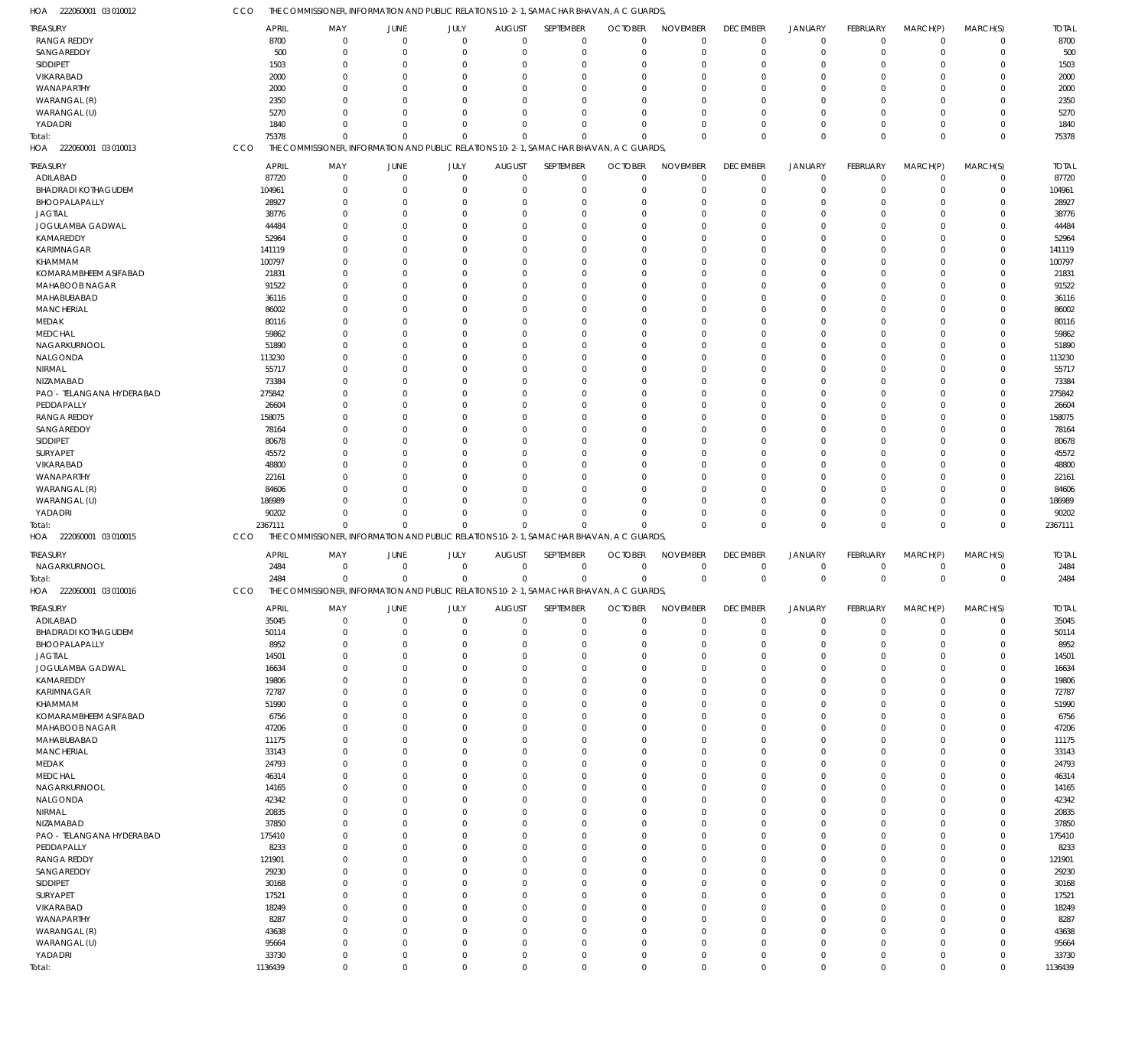| HOA<br>222060001 03 010012 | CCO          | THE COMMISSIONER, INFORMATION AND PUBLIC RELATIONS 10-2-1, SAMACHAR BHAVAN, A C GUARDS, |                |                |               |             |                                                                                         |                 |                      |                      |             |                      |             |              |
|----------------------------|--------------|-----------------------------------------------------------------------------------------|----------------|----------------|---------------|-------------|-----------------------------------------------------------------------------------------|-----------------|----------------------|----------------------|-------------|----------------------|-------------|--------------|
| TREASURY                   | <b>APRIL</b> | MAY                                                                                     | JUNE           | JULY           | <b>AUGUST</b> | SEPTEMBER   | <b>OCTOBER</b>                                                                          | <b>NOVEMBER</b> | <b>DECEMBER</b>      | <b>JANUARY</b>       | FEBRUARY    | MARCH(P)             | MARCH(S)    | <b>TOTAL</b> |
| <b>RANGA REDDY</b>         | 8700         | $\mathbf 0$                                                                             | $\mathbf 0$    | $\mathbf 0$    | $\Omega$      | $\mathbf 0$ | $\Omega$                                                                                | $\Omega$        | $\mathbf 0$          | $\mathbf 0$          | $\mathbf 0$ | $\overline{0}$       | $\mathbf 0$ | 8700         |
| SANGAREDDY                 | 500          | $\mathbf 0$                                                                             | $\mathbf 0$    | $\mathbf 0$    | 0             | $\mathbf 0$ | $\Omega$                                                                                | $\Omega$        | $\mathbf 0$          | $\overline{0}$       | $\mathbf 0$ | $\overline{0}$       | $\mathbf 0$ | 500          |
| SIDDIPET                   | 1503         | $\mathbf 0$                                                                             | 0              | $\Omega$       | $\Omega$      | 0           |                                                                                         | $\Omega$        | $^{\circ}$           | $\Omega$             | $\Omega$    | $\Omega$             | $\mathbf 0$ | 1503         |
| VIKARABAD                  | 2000         | $\Omega$                                                                                | $\Omega$       | $\Omega$       | $\Omega$      | $\Omega$    | - 0                                                                                     | $\Omega$        | $\Omega$             | $\Omega$             | $\Omega$    | $\Omega$             | $\Omega$    | 2000         |
| WANAPARTHY                 | 2000         | $\Omega$                                                                                | 0              | $\Omega$       | O             | $\mathbf 0$ |                                                                                         | $\Omega$        | $\Omega$             | $\Omega$             | $\Omega$    | $\Omega$             | $\Omega$    | 2000         |
| WARANGAL (R)               | 2350         | $\Omega$                                                                                | $\Omega$       | $\Omega$       | $\Omega$      | $\Omega$    | $\cap$                                                                                  | $\Omega$        | $\Omega$             | $\Omega$             | $\Omega$    | $\Omega$             | $\Omega$    | 2350         |
|                            |              | $\Omega$                                                                                |                | $\Omega$       |               | $\Omega$    |                                                                                         | $\Omega$        |                      | $\Omega$             | $\Omega$    | $\Omega$             | $\Omega$    |              |
| WARANGAL (U)               | 5270         |                                                                                         | $\Omega$       |                | $\Omega$      |             |                                                                                         |                 | $\Omega$             |                      |             |                      |             | 5270         |
| YADADRI                    | 1840         | $\Omega$                                                                                | $\Omega$       | $\mathbf 0$    | $\Omega$      | $\mathbf 0$ | $\Omega$                                                                                | $\Omega$        | $\Omega$             | $^{\circ}$           | $\Omega$    | $\overline{0}$       | $\mathbf 0$ | 1840         |
| Total:                     | 75378        | $\Omega$                                                                                | $\Omega$       | $\mathbf{0}$   | $\Omega$      | $\Omega$    | $\Omega$                                                                                | $\Omega$        | $\mathbf 0$          | $\mathbf 0$          | $\Omega$    | $\Omega$             | $\mathbf 0$ | 75378        |
| HOA 222060001 03 010013    | CCO          |                                                                                         |                |                |               |             | THE COMMISSIONER, INFORMATION AND PUBLIC RELATIONS 10-2-1, SAMACHAR BHAVAN, A C GUARDS, |                 |                      |                      |             |                      |             |              |
| TREASURY                   | <b>APRIL</b> | MAY                                                                                     | <b>JUNE</b>    | JULY           | <b>AUGUST</b> | SEPTEMBER   | <b>OCTOBER</b>                                                                          | <b>NOVEMBER</b> | <b>DECEMBER</b>      | <b>JANUARY</b>       | FEBRUARY    | MARCH(P)             | MARCH(S)    | <b>TOTAL</b> |
| ADILABAD                   | 87720        | $\mathbf 0$                                                                             | $\mathbf 0$    | $\mathbf 0$    | $\mathbf 0$   | $\mathbf 0$ | $\Omega$                                                                                | $\Omega$        | $^{\circ}$           | $^{\circ}$           | $\mathbf 0$ | $\overline{0}$       | $\mathbf 0$ | 87720        |
| <b>BHADRADI KOTHAGUDEM</b> | 104961       | $\mathbf 0$                                                                             | 0              | $\mathbf 0$    | O             | $\mathbf 0$ | $\Omega$                                                                                | $\Omega$        | $^{\circ}$           | $\overline{0}$       | $\mathbf 0$ | $\mathbf 0$          | $\mathbf 0$ | 104961       |
| BHOOPALAPALLY              | 28927        | $\mathbf 0$                                                                             | 0              | $\mathbf 0$    | O             | $\mathbf 0$ |                                                                                         | $\Omega$        | $\Omega$             | $\Omega$             | $\Omega$    | $\Omega$             | $\mathbf 0$ | 28927        |
|                            |              |                                                                                         |                | $\Omega$       |               | $\Omega$    |                                                                                         | $\cap$          |                      | $\Omega$             |             | $\Omega$             | $\Omega$    |              |
| <b>JAGTIAL</b>             | 38776        | $\Omega$                                                                                | 0              |                | C.            |             |                                                                                         |                 | $\Omega$             |                      | O           |                      |             | 38776        |
| JOGULAMBA GADWAL           | 44484        | $\mathbf 0$                                                                             | 0              | $\mathbf 0$    | O             | $\mathbf 0$ |                                                                                         | $\Omega$        | $\Omega$             | $\Omega$             | O           | $\Omega$             | $\mathbf 0$ | 44484        |
| KAMAREDDY                  | 52964        | $\Omega$                                                                                | 0              | $\Omega$       | C.            | $\Omega$    |                                                                                         | $\cap$          | $\Omega$             | $\Omega$             | $\Omega$    | $\Omega$             | 0           | 52964        |
| <b>KARIMNAGAR</b>          | 141119       | $\Omega$                                                                                | 0              | $\Omega$       | C.            | $\Omega$    |                                                                                         | $\Omega$        | $\Omega$             | $\Omega$             | O           | $\Omega$             | $\mathbf 0$ | 141119       |
| KHAMMAM                    | 100797       | $\Omega$                                                                                | 0              | $\Omega$       | C.            | $\Omega$    |                                                                                         | $\Omega$        | $\Omega$             | $\Omega$             | $\Omega$    | $\Omega$             | $\mathbf 0$ | 100797       |
| KOMARAMBHEEM ASIFABAD      | 21831        | $\Omega$                                                                                | 0              | $\Omega$       | C.            | $\Omega$    |                                                                                         | $\Omega$        | $\Omega$             | $\Omega$             | O           | $\Omega$             | $\mathbf 0$ | 21831        |
| MAHABOOB NAGAR             | 91522        | $\Omega$                                                                                | $\Omega$       | $\Omega$       |               | $\Omega$    |                                                                                         | $\Omega$        | $\Omega$             | $\Omega$             | O           | $\Omega$             | $\Omega$    | 91522        |
| MAHABUBABAD                | 36116        | $\Omega$                                                                                | 0              | $\mathbf 0$    | O             | $\mathbf 0$ |                                                                                         | $\Omega$        | $\Omega$             | $\Omega$             | O           | $\Omega$             | $\mathbf 0$ | 36116        |
| <b>MANCHERIAL</b>          | 86002        | $\Omega$                                                                                | $\Omega$       | $\Omega$       | C.            | $\Omega$    |                                                                                         | $\cap$          | $\Omega$             | $\Omega$             | $\Omega$    | $\Omega$             | $\Omega$    | 86002        |
| MEDAK                      | 80116        | $\Omega$                                                                                | 0              | $\Omega$       | C.            | $\Omega$    |                                                                                         | $\Omega$        | $\Omega$             | $\Omega$             | U           | $\Omega$             | $\mathbf 0$ | 80116        |
| MEDCHAL                    | 59862        | $\Omega$                                                                                | 0              | $\Omega$       |               | $\Omega$    |                                                                                         | $\Omega$        | $\Omega$             | $\Omega$             | $\Omega$    | $\Omega$             | $\Omega$    | 59862        |
| NAGARKURNOOL               | 51890        | $\Omega$                                                                                | 0              | $\Omega$       | C.            | $\Omega$    |                                                                                         | $\Omega$        | $\Omega$             | $\Omega$             | O           | $\Omega$             | $\mathbf 0$ | 51890        |
| NALGONDA                   | 113230       | $\Omega$                                                                                | $\Omega$       | $\Omega$       |               | $\Omega$    |                                                                                         | $\cap$          | $\Omega$             | $\Omega$             | U           | $\Omega$             | $\Omega$    | 113230       |
|                            |              | 0                                                                                       |                | $\mathbf 0$    |               | $\mathbf 0$ |                                                                                         | $\Omega$        | $\Omega$             | $\Omega$             | O           | $\Omega$             | $\mathbf 0$ |              |
| <b>NIRMAL</b>              | 55717        |                                                                                         | 0              |                | O             |             |                                                                                         |                 |                      |                      |             |                      |             | 55717        |
| NIZAMABAD                  | 73384        | $\Omega$                                                                                | $\Omega$       | $\Omega$       |               | $\Omega$    |                                                                                         | $\Omega$        | $\Omega$             | $\Omega$             | O           | $\Omega$             | $\Omega$    | 73384        |
| PAO - TELANGANA HYDERABAD  | 275842       | $\Omega$                                                                                | 0              | $\Omega$       | C.            | $\Omega$    |                                                                                         | $\Omega$        | $\Omega$             | $\Omega$             | U           | $\Omega$             | $\mathbf 0$ | 275842       |
| PEDDAPALLY                 | 26604        | $\Omega$                                                                                | 0              | $\Omega$       | C.            | $\Omega$    |                                                                                         | $\Omega$        | $\Omega$             | $\Omega$             | $\Omega$    | $\Omega$             | $\Omega$    | 26604        |
| RANGA REDDY                | 158075       | $\Omega$                                                                                | $\Omega$       | $\Omega$       | C.            | $\Omega$    |                                                                                         | $\Omega$        | $\Omega$             | $\Omega$             | O           | $\Omega$             | $\mathbf 0$ | 158075       |
| SANGAREDDY                 | 78164        | $\Omega$                                                                                | 0              | $\Omega$       |               | $\Omega$    |                                                                                         | $\Omega$        | $\Omega$             | $\Omega$             | O           | $\Omega$             | $\Omega$    | 78164        |
| SIDDIPET                   | 80678        | $\Omega$                                                                                | 0              | 0              | O             | $\mathbf 0$ |                                                                                         | $\Omega$        | $\Omega$             | $\Omega$             | O           | $\Omega$             | $\mathbf 0$ | 80678        |
| SURYAPET                   | 45572        | $\Omega$                                                                                | $\Omega$       | $\Omega$       | C.            | $\Omega$    |                                                                                         | $\Omega$        | $\Omega$             | $\Omega$             | $\Omega$    | $\Omega$             | $\Omega$    | 45572        |
| VIKARABAD                  | 48800        | $\Omega$                                                                                | 0              | $\Omega$       |               | $\Omega$    |                                                                                         | $\Omega$        | $\Omega$             | $\Omega$             | O           | $\Omega$             | $\mathbf 0$ | 48800        |
| WANAPARTHY                 | 22161        | $\Omega$                                                                                | 0              | $\mathbf 0$    |               | $\Omega$    |                                                                                         | $\Omega$        | $\Omega$             | $\Omega$             | $\Omega$    | $\Omega$             | $\Omega$    | 22161        |
| WARANGAL (R)               | 84606        | $\Omega$                                                                                | 0              | $\Omega$       | C.            | $\Omega$    |                                                                                         | $\Omega$        | $\Omega$             | $\Omega$             | O           | $\Omega$             | $\Omega$    | 84606        |
| WARANGAL (U)               | 186989       | $\Omega$                                                                                | $\Omega$       | $\mathbf 0$    | C.            | $\Omega$    |                                                                                         | $\Omega$        | $\Omega$             | $\Omega$             | $\Omega$    | $\Omega$             | $\Omega$    | 186989       |
|                            |              |                                                                                         |                |                |               |             |                                                                                         |                 |                      |                      |             |                      |             |              |
|                            |              |                                                                                         |                |                |               |             |                                                                                         |                 |                      |                      |             |                      |             |              |
| YADADRI                    | 90202        | $\mathbf 0$                                                                             | $\mathbf 0$    | $\mathbf 0$    | $\Omega$      | $\mathbf 0$ |                                                                                         | $\Omega$        | $\overline{0}$       | $\overline{0}$       | $\Omega$    | $\overline{0}$       | $\mathbf 0$ | 90202        |
| Total:                     | 2367111      | $\mathbf 0$                                                                             | $\mathbf 0$    | $\mathbf 0$    | $\Omega$      | $\Omega$    |                                                                                         | $\Omega$        | $\Omega$             | $\Omega$             | $\Omega$    | $\Omega$             | $\mathbf 0$ | 2367111      |
| HOA 222060001 03 010015    | CCO          |                                                                                         |                |                |               |             | THE COMMISSIONER, INFORMATION AND PUBLIC RELATIONS 10-2-1, SAMACHAR BHAVAN, A C GUARDS, |                 |                      |                      |             |                      |             |              |
| TREASURY                   | <b>APRIL</b> | MAY                                                                                     | JUNE           | JULY           | <b>AUGUST</b> | SEPTEMBER   | <b>OCTOBER</b>                                                                          | <b>NOVEMBER</b> | <b>DECEMBER</b>      | <b>JANUARY</b>       | FEBRUARY    | MARCH(P)             | MARCH(S)    | <b>TOTAL</b> |
|                            |              | $\mathbf 0$                                                                             | $\mathbf 0$    | $\mathbf 0$    | $\mathbf 0$   |             | $\Omega$                                                                                | $\Omega$        | $^{\circ}$           | $^{\circ}$           | $\mathbf 0$ | $^{\circ}$           | $\mathbf 0$ |              |
| NAGARKURNOOL               | 2484         |                                                                                         |                |                |               | $\mathbf 0$ | $\Omega$                                                                                | $\Omega$        |                      |                      |             |                      |             | 2484         |
| Total:                     | 2484         | $\mathbf 0$                                                                             | $\overline{0}$ | $\mathbf 0$    | $\mathbf 0$   | $\mathbf 0$ |                                                                                         |                 | $\mathbf 0$          | $\mathbf 0$          | $\mathbf 0$ | $\overline{0}$       | $\mathbf 0$ | 2484         |
| HOA 222060001 03 010016    | CCO          |                                                                                         |                |                |               |             | THE COMMISSIONER, INFORMATION AND PUBLIC RELATIONS 10-2-1, SAMACHAR BHAVAN, A C GUARDS, |                 |                      |                      |             |                      |             |              |
| <b>TREASURY</b>            | <b>APRIL</b> | MAY                                                                                     | JUNE           | <b>JULY</b>    | <b>AUGUST</b> | SEPTEMBER   | <b>OCTOBER</b>                                                                          | <b>NOVEMBER</b> | <b>DECEMBER</b>      | <b>JANUARY</b>       | FEBRUARY    | MARCH(P)             | MARCH(S)    | <b>TOTAL</b> |
| ADILABAD                   | 35045        | $\mathbf 0$                                                                             | $\mathbf 0$    | $\mathbf 0$    | 0             | $\mathbf 0$ | $\Omega$                                                                                | $\Omega$        | $^{\circ}$           | $^{\circ}$           | $\mathbf 0$ | $^{\circ}$           | $\mathbf 0$ | 35045        |
| <b>BHADRADI KOTHAGUDEM</b> | 50114        | $\mathbf 0$                                                                             | $\mathbf 0$    | $\mathbf 0$    | O             | $\mathbf 0$ | $\Omega$                                                                                | $\Omega$        | $^{\circ}$           | $\overline{0}$       | $\Omega$    | $\mathbf 0$          | $\mathbf 0$ | 50114        |
| BHOOPALAPALLY              | 8952         | $\mathbf 0$                                                                             | $\mathbf 0$    | $\mathbf 0$    | C.            | $\mathbf 0$ | $\Omega$                                                                                | $\Omega$        | $\overline{0}$       | $\Omega$             | $\Omega$    | $\Omega$             | $\mathbf 0$ | 8952         |
| <b>JAGTIAL</b>             | 14501        | $\mathbf 0$                                                                             | 0              | $\mathbf 0$    | C.            | $\mathbf 0$ |                                                                                         | $\Omega$        | $\Omega$             | $\Omega$             | $\Omega$    | $\Omega$             | $\mathbf 0$ | 14501        |
|                            |              | $\mathbf 0$                                                                             | 0              | $\mathbf 0$    | C.            | $\Omega$    |                                                                                         | $\Omega$        | $\Omega$             | $\Omega$             | $\Omega$    | $\Omega$             | $\Omega$    |              |
| JOGULAMBA GADWAL           | 16634        | $\mathbf 0$                                                                             | 0              | $\mathbf 0$    | $\Omega$      | $\mathbf 0$ |                                                                                         | $\Omega$        | $\Omega$             | $\Omega$             | $\Omega$    | $\Omega$             | $\mathbf 0$ | 16634        |
| KAMAREDDY                  | 19806        |                                                                                         |                |                | C.            |             |                                                                                         | $\Omega$        |                      |                      | $\Omega$    |                      |             | 19806        |
| <b>KARIMNAGAR</b>          | 72787        | 0                                                                                       | 0              | $\overline{0}$ | C.            | $\mathbf 0$ |                                                                                         | $\Omega$        | $\Omega$<br>$\Omega$ | $\Omega$<br>$\Omega$ | $\Omega$    | $\Omega$<br>$\Omega$ | $\mathbf 0$ | 72787        |
| KHAMMAM                    | 51990        | $\mathbf 0$                                                                             | 0              | $\mathbf 0$    |               | $\mathbf 0$ |                                                                                         |                 |                      |                      |             |                      | $\mathbf 0$ | 51990        |
| KOMARAMBHEEM ASIFABAD      | 6756         | $\mathbf 0$                                                                             | $\mathbf 0$    | $\mathbf 0$    | C.            | $\mathbf 0$ |                                                                                         | $\Omega$        | $\Omega$             | $\Omega$             | $\Omega$    | $\Omega$             | $\mathbf 0$ | 6756         |
| MAHABOOB NAGAR             | 47206        | $\mathbf 0$                                                                             | 0              | $\mathbf 0$    | $\Omega$      | $\mathbf 0$ |                                                                                         | $\Omega$        | $\Omega$             | $\Omega$             | $\Omega$    | $\Omega$             | $\mathbf 0$ | 47206        |
| MAHABUBABAD                | 11175        | 0                                                                                       | 0              | $\mathbf 0$    | C.            | $\Omega$    |                                                                                         | $\Omega$        | $\Omega$             | $\Omega$             | $\Omega$    | $\Omega$             | $\mathbf 0$ | 11175        |
| <b>MANCHERIAL</b>          | 33143        | $\mathbf 0$                                                                             | 0              | $\mathbf 0$    | O             | $\mathbf 0$ |                                                                                         | $\Omega$        | $\Omega$             | $\Omega$             | $\Omega$    | $\Omega$             | $\mathbf 0$ | 33143        |
| MEDAK                      | 24793        | $\mathbf 0$                                                                             | $\mathbf 0$    | $\mathbf 0$    | C.            | $\Omega$    |                                                                                         | $\Omega$        | $\Omega$             | $\Omega$             | $\Omega$    | $\Omega$             | $\mathbf 0$ | 24793        |
| <b>MEDCHAL</b>             | 46314        | $\mathbf 0$                                                                             | 0              | $\mathbf 0$    | C.            | $\mathbf 0$ |                                                                                         | $\Omega$        | $\Omega$             | $\Omega$             | $\Omega$    | $\Omega$             | $\mathbf 0$ | 46314        |
| NAGARKURNOOL               | 14165        | 0                                                                                       | $\mathbf 0$    | $\mathbf 0$    | C.            | $\mathbf 0$ | $\Omega$                                                                                | $\Omega$        | $\Omega$             | $\Omega$             | $\Omega$    | $\Omega$             | $\mathbf 0$ | 14165        |
| NALGONDA                   | 42342        | $\mathbf 0$                                                                             | 0              | $\mathbf 0$    | C.            | $\mathbf 0$ |                                                                                         | $\Omega$        | $\Omega$             | $\Omega$             | $\Omega$    | $\Omega$             | $\mathbf 0$ | 42342        |
| NIRMAL                     | 20835        | $\mathbf 0$                                                                             | $\mathbf 0$    | $\mathbf 0$    | C.            | $\Omega$    |                                                                                         | $\Omega$        | $\Omega$             | $\Omega$             | $\Omega$    | $\Omega$             | $\mathbf 0$ | 20835        |
| NIZAMABAD                  | 37850        | $\mathbf 0$                                                                             | 0              | $\mathbf 0$    | O             | $\mathbf 0$ |                                                                                         | $\Omega$        | $\Omega$             | $\Omega$             | $\Omega$    | $\Omega$             | $\mathbf 0$ | 37850        |
| PAO - TELANGANA HYDERABAD  | 175410       | 0                                                                                       | 0              | $\overline{0}$ | C.            | $\Omega$    |                                                                                         | $\Omega$        | $\Omega$             | $\Omega$             | $\Omega$    | $\Omega$             | $\Omega$    | 175410       |
|                            |              | $\mathbf 0$                                                                             | 0              | $\mathbf 0$    | C.            | $\mathbf 0$ |                                                                                         | $\Omega$        | $\Omega$             | $\Omega$             | $\Omega$    | $\Omega$             | $\mathbf 0$ |              |
| PEDDAPALLY                 | 8233         |                                                                                         |                |                | O             |             |                                                                                         | $\Omega$        | $\Omega$             | $\Omega$             | $\Omega$    | $\Omega$             |             | 8233         |
| RANGA REDDY                | 121901       | $\mathbf 0$                                                                             | $\mathbf 0$    | $\mathbf 0$    |               | $\mathbf 0$ |                                                                                         |                 |                      |                      |             |                      | $\mathbf 0$ | 121901       |
| SANGAREDDY                 | 29230        | $\mathbf 0$                                                                             | 0              | $\mathbf 0$    | $\Omega$      | $\mathbf 0$ |                                                                                         | $\Omega$        | $\Omega$             | $\Omega$             | $\Omega$    | $\Omega$             | $\mathbf 0$ | 29230        |
| SIDDIPET                   | 30168        | 0                                                                                       | 0              | $\mathbf 0$    | C.            | $\Omega$    |                                                                                         | $\Omega$        | $\Omega$             | $\Omega$             | $\Omega$    | $\Omega$             | $\mathbf 0$ | 30168        |
| SURYAPET                   | 17521        | $\mathbf 0$                                                                             | 0              | $\mathbf 0$    | O             | $\mathbf 0$ |                                                                                         | $\Omega$        | $\Omega$             | $\Omega$             | $\Omega$    | $\Omega$             | $\mathbf 0$ | 17521        |
| VIKARABAD                  | 18249        | 0                                                                                       | $\mathbf 0$    | $\mathbf 0$    | $\Omega$      | $\Omega$    |                                                                                         | $\Omega$        | $\Omega$             | $\Omega$             | $\Omega$    | $\Omega$             | $\mathbf 0$ | 18249        |
| WANAPARTHY                 | 8287         | $\mathbf 0$                                                                             | 0              | $\mathbf 0$    | $\Omega$      | $\mathbf 0$ |                                                                                         | $\Omega$        | $\Omega$             | $\Omega$             | $\Omega$    | $\Omega$             | $\mathbf 0$ | 8287         |
| WARANGAL (R)               | 43638        | $\mathbf 0$                                                                             | $\mathbf 0$    | $\mathbf 0$    | $\Omega$      | $\mathbf 0$ | $\Omega$                                                                                | $\Omega$        | $\Omega$             | $\Omega$             | $\Omega$    | $\Omega$             | $\mathbf 0$ | 43638        |
| WARANGAL (U)               | 95664        | $\mathbf 0$                                                                             | 0              | $\mathbf 0$    | $\Omega$      | $\mathbf 0$ | $\Omega$                                                                                | $\Omega$        | $\Omega$             | $\Omega$             | $\Omega$    | $\mathbf 0$          | $\mathbf 0$ | 95664        |
| YADADRI                    | 33730        | $\mathbf 0$                                                                             | $\mathbf 0$    | $\mathbf 0$    | 0             | $\mathbf 0$ | $\Omega$                                                                                | $\Omega$        | $\mathbf 0$          | $\mathbf 0$          | 0           | $\overline{0}$       | $\mathbf 0$ | 33730        |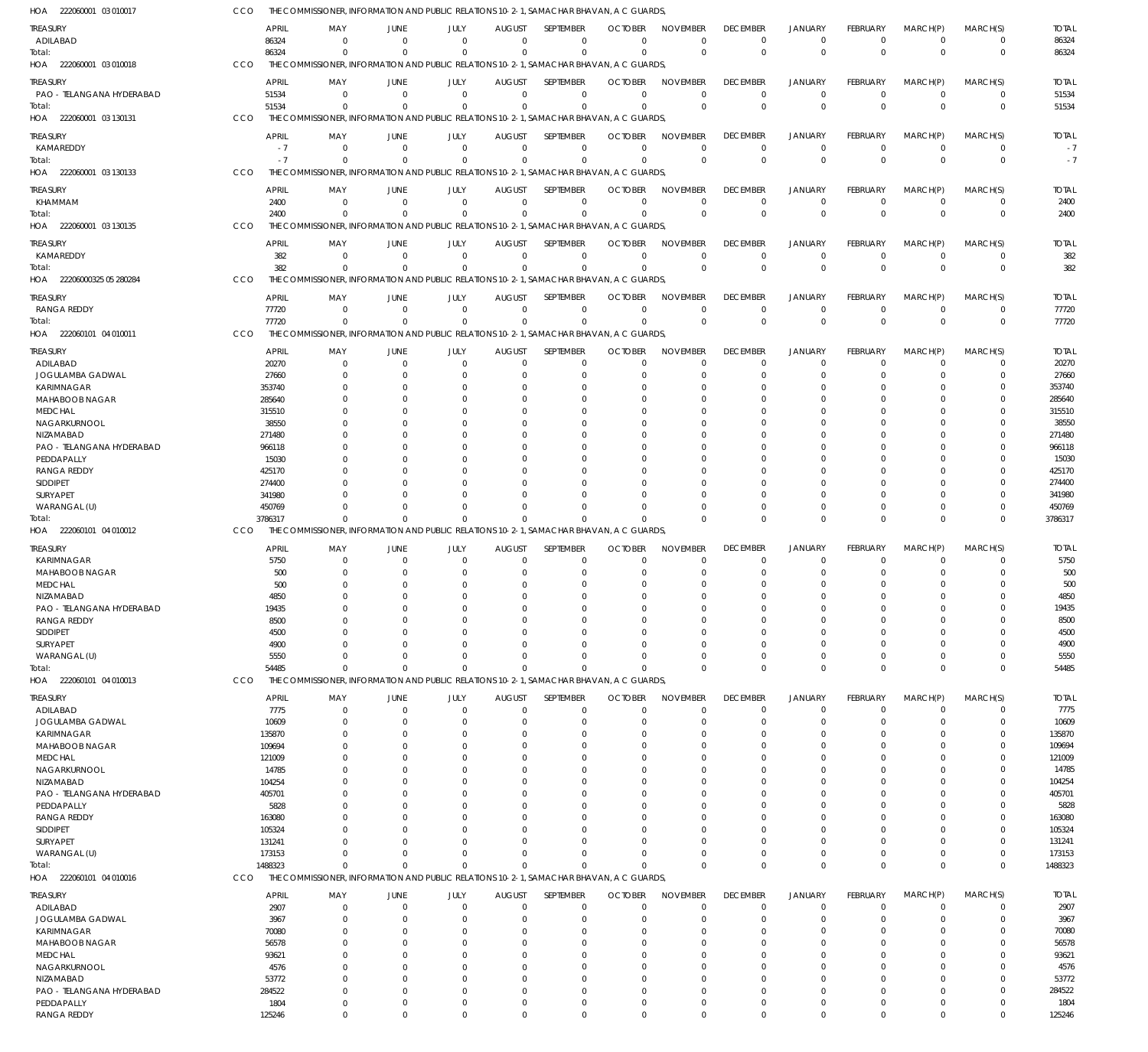| HOA<br>222060001 03 010017              | CCO |                 |                      |                                  |                        |                              |                                 | THE COMMISSIONER, INFORMATION AND PUBLIC RELATIONS 10-2-1, SAMACHAR BHAVAN, A C GUARDS,             |                                |                      |                                  |                      |                            |                         |                      |
|-----------------------------------------|-----|-----------------|----------------------|----------------------------------|------------------------|------------------------------|---------------------------------|-----------------------------------------------------------------------------------------------------|--------------------------------|----------------------|----------------------------------|----------------------|----------------------------|-------------------------|----------------------|
| treasury                                |     | <b>APRIL</b>    | MAY                  | JUNE                             | JULY                   | <b>AUGUST</b>                | SEPTEMBER                       | <b>OCTOBER</b>                                                                                      | <b>NOVEMBER</b>                | <b>DECEMBER</b>      | <b>JANUARY</b>                   | <b>FEBRUARY</b>      | MARCH(P)                   | MARCH(S)                | <b>TOTAL</b>         |
| ADILABAD                                |     | 86324           | $\Omega$             | $\overline{0}$                   | $^{\circ}$             | $\overline{0}$               | $\mathbf 0$                     | $\Omega$                                                                                            | $\mathbf 0$                    | $\overline{0}$       | $^{\circ}$                       | $\mathbf 0$          | $^{\circ}$                 | $\mathbf 0$             | 86324                |
| Total:                                  |     | 86324           | $\Omega$             | $\Omega$                         | $\Omega$               | $\Omega$                     | $\Omega$                        | $\Omega$                                                                                            | $\mathbf 0$                    | $\Omega$             | $\Omega$                         | $\Omega$             | $\Omega$                   | $\mathbf 0$             | 86324                |
| HOA 222060001 03 010018                 | CCO |                 |                      |                                  |                        |                              |                                 | THE COMMISSIONER, INFORMATION AND PUBLIC RELATIONS 10-2-1, SAMACHAR BHAVAN, A C GUARDS,             |                                |                      |                                  |                      |                            |                         |                      |
| treasury                                |     | APRIL           | MAY                  | JUNE                             | JULY                   | <b>AUGUST</b>                | SEPTEMBER                       | <b>OCTOBER</b>                                                                                      | <b>NOVEMBER</b>                | <b>DECEMBER</b>      | <b>JANUARY</b>                   | FEBRUARY             | MARCH(P)                   | MARCH(S)                | <b>TOTAL</b>         |
| PAO - TELANGANA HYDERABAD<br>Total:     |     | 51534<br>51534  | $\Omega$<br>$\Omega$ | $\overline{0}$<br>$\overline{0}$ | $\Omega$<br>$\Omega$   | $\Omega$<br>$\Omega$         | $\Omega$<br>$\Omega$            | $\Omega$<br>$\Omega$                                                                                | $\Omega$<br>$\Omega$           | $\Omega$<br>$\Omega$ | $^{\circ}$<br>$\Omega$           | $\Omega$<br>$\Omega$ | $\overline{0}$<br>$\Omega$ | 0<br>$\mathbf 0$        | 51534<br>51534       |
| HOA 222060001 03 130131                 | CCO |                 |                      |                                  |                        |                              |                                 | THE COMMISSIONER, INFORMATION AND PUBLIC RELATIONS 10-2-1, SAMACHAR BHAVAN, A C GUARDS,             |                                |                      |                                  |                      |                            |                         |                      |
|                                         |     |                 |                      |                                  |                        |                              |                                 |                                                                                                     |                                |                      |                                  |                      |                            |                         |                      |
| treasury<br>KAMAREDDY                   |     | APRIL<br>$-7$   | MAY<br>$\Omega$      | JUNE<br>$\Omega$                 | JULY<br>$\overline{0}$ | <b>AUGUST</b><br>$\mathbf 0$ | <b>SEPTEMBER</b><br>$\mathbf 0$ | <b>OCTOBER</b><br>0                                                                                 | <b>NOVEMBER</b><br>$\mathbf 0$ | <b>DECEMBER</b><br>0 | <b>JANUARY</b><br>$\overline{0}$ | FEBRUARY<br>0        | MARCH(P)<br>$\Omega$       | MARCH(S)<br>$\mathbf 0$ | <b>TOTAL</b><br>$-7$ |
| Total:                                  |     | $-7$            | $\Omega$             | $\Omega$                         | $\Omega$               | $\Omega$                     | $\Omega$                        | $\Omega$                                                                                            | $\mathbf 0$                    | $\Omega$             | $\Omega$                         | $\Omega$             | $\Omega$                   | $\mathbf 0$             | $-7$                 |
| HOA 222060001 03 130133                 | CCO |                 |                      |                                  |                        |                              |                                 | THE COMMISSIONER, INFORMATION AND PUBLIC RELATIONS 10-2-1, SAMACHAR BHAVAN, A C GUARDS,             |                                |                      |                                  |                      |                            |                         |                      |
| treasury                                |     | <b>APRIL</b>    | MAY                  | JUNE                             | JULY                   | <b>AUGUST</b>                | SEPTEMBER                       | <b>OCTOBER</b>                                                                                      | <b>NOVEMBER</b>                | <b>DECEMBER</b>      | <b>JANUARY</b>                   | FEBRUARY             | MARCH(P)                   | MARCH(S)                | <b>TOTAL</b>         |
| KHAMMAM                                 |     | 2400            | $\Omega$             | $\Omega$                         | $\Omega$               | $\mathbf 0$                  | $\mathbf 0$                     | $\Omega$                                                                                            | $\Omega$                       | $\Omega$             | $\Omega$                         | $\Omega$             | $\overline{0}$             | 0                       | 2400                 |
| Total:                                  |     | 2400            | $\Omega$             | $\Omega$                         | $\Omega$               | $\Omega$                     | $\Omega$                        | $\Omega$                                                                                            | $\Omega$                       | $\Omega$             | $\Omega$                         | $\Omega$             | $\Omega$                   | $\mathbf 0$             | 2400                 |
| HOA 222060001 03 130135                 | CCO |                 |                      |                                  |                        |                              |                                 | THE COMMISSIONER, INFORMATION AND PUBLIC RELATIONS 10-2-1, SAMACHAR BHAVAN, A C GUARDS,             |                                |                      |                                  |                      |                            |                         |                      |
| treasury                                |     | <b>APRIL</b>    | MAY                  | JUNE                             | JULY                   | <b>AUGUST</b>                | SEPTEMBER                       | <b>OCTOBER</b>                                                                                      | <b>NOVEMBER</b>                | <b>DECEMBER</b>      | <b>JANUARY</b>                   | FEBRUARY             | MARCH(P)                   | MARCH(S)                | <b>TOTAL</b>         |
| KAMAREDDY                               |     | 382             | $\Omega$             | $\overline{0}$                   | $\overline{0}$         | $\overline{0}$               | $\mathbf 0$                     | $\Omega$                                                                                            | $\mathbf 0$                    | $\Omega$             | $\overline{0}$                   | $\mathbf 0$          | $\Omega$                   | $\mathbf 0$             | 382                  |
| Total:                                  |     | 382             | $\Omega$             | $\Omega$                         | $\Omega$               | $\Omega$                     | $\Omega$                        | $\Omega$                                                                                            | $\mathbf 0$                    | $\Omega$             | $\overline{0}$                   | $\Omega$             | $\Omega$                   | $\mathbf 0$             | 382                  |
| HOA 22206000325 05 280284               | CCO |                 |                      |                                  |                        |                              |                                 | THE COMMISSIONER, INFORMATION AND PUBLIC RELATIONS 10-2-1, SAMACHAR BHAVAN, A C GUARDS,             |                                |                      |                                  |                      |                            |                         |                      |
| treasury                                |     | <b>APRIL</b>    | MAY                  | JUNE                             | JULY                   | <b>AUGUST</b>                | SEPTEMBER                       | <b>OCTOBER</b>                                                                                      | <b>NOVEMBER</b>                | <b>DECEMBER</b>      | <b>JANUARY</b>                   | FEBRUARY             | MARCH(P)                   | MARCH(S)                | <b>TOTAL</b>         |
| <b>RANGA REDDY</b>                      |     | 77720           | $\Omega$             | $\overline{0}$                   | $\Omega$               | $\Omega$                     | $\mathbf 0$                     | $\Omega$                                                                                            | $\mathbf 0$                    | $\Omega$             | $\Omega$                         | $\Omega$             | $\Omega$                   | 0                       | 77720                |
| iotal:                                  |     | 77720           | $\Omega$             | $\Omega$                         | $\Omega$               | $\Omega$                     | $\Omega$                        | $\Omega$<br>THE COMMISSIONER. INFORMATION AND PUBLIC RELATIONS 10-2-1. SAMACHAR BHAVAN, A C GUARDS. | $\Omega$                       | $\Omega$             | $\Omega$                         | $\Omega$             | $\Omega$                   | $\mathbf 0$             | 77720                |
| HOA 222060101 04 010011                 | CCO |                 |                      |                                  |                        |                              |                                 |                                                                                                     |                                |                      |                                  |                      |                            |                         |                      |
| treasury                                |     | <b>APRIL</b>    | MAY                  | JUNE                             | JULY                   | <b>AUGUST</b>                | SEPTEMBER                       | <b>OCTOBER</b>                                                                                      | <b>NOVEMBER</b>                | <b>DECEMBER</b>      | <b>JANUARY</b>                   | <b>FEBRUARY</b>      | MARCH(P)                   | MARCH(S)                | <b>TOTAL</b>         |
| ADILABAD                                |     | 20270           | - 0                  | $\Omega$                         | $\mathbf 0$            | $\mathbf 0$                  | $\mathbf 0$                     | $\Omega$                                                                                            | $\Omega$                       | $\Omega$             | $\Omega$<br>$\Omega$             | $\Omega$<br>$\Omega$ | $\Omega$<br>$\Omega$       | $\Omega$<br>$\Omega$    | 20270                |
| JOGULAMBA GADWAL<br><b>KARIMNAGAR</b>   |     | 27660<br>353740 | $\Omega$             | $\Omega$<br>$\Omega$             | $\Omega$<br>O          | $\Omega$<br>$\cup$           | $\mathbf 0$<br>$\Omega$         | $\Omega$<br>C.                                                                                      | $\Omega$<br>$\Omega$           | $\Omega$             | $\Omega$                         |                      | $\Omega$                   | $\Omega$                | 27660<br>353740      |
| MAHABOOB NAGAR                          |     | 285640          |                      | $\Omega$                         | O                      | $\cup$                       | $\Omega$                        | C.                                                                                                  | $\Omega$                       |                      | $\Omega$                         | O                    | $\Omega$                   | $\Omega$                | 285640               |
| MEDCHAL                                 |     | 315510          |                      | $\Omega$                         | O                      | $\cup$                       | $\Omega$                        | -0                                                                                                  | $\Omega$                       |                      | $\Omega$                         |                      | $\Omega$                   | 0                       | 315510               |
| NAGARKURNOOL                            |     | 38550           |                      | $\Omega$                         | O                      | $\cup$                       | $\Omega$                        | C.                                                                                                  | $\Omega$                       |                      | $\Omega$                         | O                    | $\Omega$                   | C                       | 38550                |
| NIZAMABAD                               |     | 271480          |                      | $\Omega$                         | O                      | $\Omega$                     | $\Omega$                        | C.                                                                                                  | $\Omega$                       |                      | $\Omega$                         |                      | $\Omega$                   | 0                       | 271480               |
| PAO - TELANGANA HYDERABAD               |     | 966118          |                      | $\Omega$                         | $\Omega$               | $\cup$<br>$\cup$             | $\Omega$                        | C.                                                                                                  | $\Omega$                       |                      | $\Omega$<br>$\Omega$             | 0                    | $\Omega$<br>$\Omega$       | 0<br>0                  | 966118<br>15030      |
| PEDDAPALLY<br><b>RANGA REDDY</b>        |     | 15030<br>425170 |                      | $\Omega$<br>$\Omega$             | O<br>$\Omega$          | $\cup$                       | $\Omega$<br>$\Omega$            | -0<br>C.                                                                                            | $\Omega$<br>$\Omega$           |                      | $\Omega$                         | O                    | $\Omega$                   | 0                       | 425170               |
| SIDDIPET                                |     | 274400          |                      | $\Omega$                         | O                      | $\Omega$                     | $\Omega$                        | -0                                                                                                  | $\Omega$                       |                      | $\Omega$                         |                      | $\Omega$                   | $\Omega$                | 274400               |
| SURYAPET                                |     | 341980          |                      | $\Omega$                         | $\Omega$               | $\Omega$                     | $\Omega$                        | C.                                                                                                  | $\Omega$                       |                      | $\Omega$                         | 0                    | $\Omega$                   | $\Omega$                | 341980               |
| WARANGAL (U)                            |     | 450769          | $\Omega$             | $\Omega$                         | $\Omega$               | $\Omega$                     | $\Omega$                        | C.                                                                                                  | $\Omega$                       | $\Omega$             | $\Omega$                         | 0                    | $\Omega$                   | $\Omega$                | 450769               |
| Total:                                  |     | 3786317         | $\Omega$             | $\Omega$                         | $\Omega$               | $\Omega$                     | $\Omega$                        | $\cup$                                                                                              | $\Omega$                       | $\Omega$             | $\Omega$                         | $\Omega$             | $\Omega$                   | $\Omega$                | 3786317              |
| HOA 222060101 04 010012                 | CCO |                 |                      |                                  |                        |                              |                                 | THE COMMISSIONER, INFORMATION AND PUBLIC RELATIONS 10-2-1, SAMACHAR BHAVAN, A C GUARDS,             |                                |                      |                                  |                      |                            |                         |                      |
| treasury                                |     | <b>APRIL</b>    | MAY                  | JUNE                             | JULY                   | <b>AUGUST</b>                | SEPTEMBER                       | <b>OCTOBER</b>                                                                                      | <b>NOVEMBER</b>                | <b>DECEMBER</b>      | <b>JANUARY</b>                   | <b>FEBRUARY</b>      | MARCH(P)                   | MARCH(S)                | <b>TOTAL</b>         |
| <b>KARIMNAGAR</b>                       |     | 5750            | $\Omega$             | $\Omega$                         | $\Omega$               | $\Omega$                     | 0                               | $\Omega$                                                                                            | $\Omega$                       | $\Omega$             | $\Omega$                         | 0                    | $\Omega$                   | $\Omega$                | 5750                 |
| MAHABOOB NAGAR<br>MEDCHAL               |     | 500<br>500      | $\Omega$<br>$\Omega$ | $\Omega$<br>$\Omega$             | $\Omega$<br>$\Omega$   | $\Omega$<br>$\Omega$         | $\Omega$<br>$\Omega$            | $\Omega$<br>$\Omega$                                                                                | $\Omega$<br>$\Omega$           |                      | $\Omega$<br>$\Omega$             |                      | $\Omega$<br>O              | C                       | 500<br>500           |
| NIZAMABAD                               |     | 4850            |                      | $\Omega$                         | $\Omega$               | $\Omega$                     | $\Omega$                        | $\Omega$                                                                                            | $\Omega$                       |                      |                                  |                      |                            |                         | 4850                 |
| PAO - TELANGANA HYDERABAD               |     | 19435           | $\Omega$             | $\Omega$                         | $\Omega$               | $\Omega$                     | $\Omega$                        | $\cup$                                                                                              | $\Omega$                       |                      | $\Omega$                         | 0                    | $\Omega$                   | $\Omega$                | 19435                |
| <b>RANGA REDDY</b>                      |     | 8500            | $\Omega$             | $\Omega$                         | $\Omega$               | $\Omega$                     | $\Omega$                        | $\Omega$                                                                                            | $\Omega$                       | $\Omega$             | $\Omega$                         | 0                    | $\Omega$                   | $\Omega$                | 8500                 |
| SIDDIPET                                |     | 4500            | $\Omega$             | $\Omega$                         | $\Omega$               | C                            | $\Omega$                        | C.                                                                                                  | $\Omega$                       | $\Omega$             | $\Omega$                         |                      | $\Omega$                   | 0                       | 4500                 |
| SURYAPET                                |     | 4900            | $\Omega$             | $\Omega$                         | $\Omega$<br>$\Omega$   | $\cup$                       | $\Omega$                        | C.                                                                                                  | $\Omega$                       | $\Omega$<br>$\Omega$ | $\Omega$                         | O                    | $\Omega$<br>$\Omega$       | $\Omega$<br>$\mathbf 0$ | 4900                 |
| WARANGAL (U)<br>iotal:                  |     | 5550<br>54485   | $\Omega$<br>$\Omega$ | $\Omega$<br>$\Omega$             | $\Omega$               | $\Omega$<br>$\Omega$         | $\Omega$<br>$\Omega$            | C.<br>$\cup$                                                                                        | $\Omega$<br>$\Omega$           | $\Omega$             | $^{\circ}$<br>$\Omega$           | 0<br>$\Omega$        | $\Omega$                   | $\mathbf 0$             | 5550<br>54485        |
| HOA 222060101 04 010013                 | CCO |                 |                      |                                  |                        |                              |                                 | THE COMMISSIONER, INFORMATION AND PUBLIC RELATIONS 10-2-1, SAMACHAR BHAVAN, A C GUARDS,             |                                |                      |                                  |                      |                            |                         |                      |
|                                         |     |                 |                      |                                  |                        |                              |                                 |                                                                                                     |                                | <b>DECEMBER</b>      | JANUARY                          |                      |                            |                         | <b>TOTAL</b>         |
| treasury<br>ADILABAD                    |     | APRIL<br>7775   | MAY<br>$^{\circ}$    | JUNE<br>$\mathbf 0$              | JULY<br>$\mathbf 0$    | <b>AUGUST</b><br>$\mathbf 0$ | SEPTEMBER<br>$\mathbf 0$        | <b>OCTOBER</b><br>0                                                                                 | <b>NOVEMBER</b><br>$\mathbf 0$ | $\Omega$             | $\overline{0}$                   | FEBRUARY<br>$\Omega$ | MARCH(P)<br>$\Omega$       | MARCH(S)<br>$\mathbf 0$ | 7775                 |
| JOGULAMBA GADWAL                        |     | 10609           | $\Omega$             | $\Omega$                         | $\Omega$               | $\Omega$                     | $\mathbf 0$                     | $\Omega$                                                                                            | $\mathbf 0$                    | $\Omega$             | $\overline{0}$                   | 0                    | $\Omega$                   | $\mathbf 0$             | 10609                |
| KARIMNAGAR                              |     | 135870          | $\Omega$             | $\Omega$                         | $\Omega$               | $\Omega$                     | $\mathbf 0$                     | $\Omega$                                                                                            | $\Omega$                       |                      | $\Omega$                         | 0                    | $\Omega$                   | $\Omega$                | 135870               |
| MAHABOOB NAGAR                          |     | 109694          |                      | $\Omega$                         | 0                      | $\Omega$                     | 0                               | O                                                                                                   | $\Omega$                       |                      | $\Omega$                         |                      | $\Omega$                   | $\Omega$                | 109694               |
| MEDCHAL                                 |     | 121009          |                      | $\Omega$                         | $\Omega$               | $\Omega$                     | $\Omega$                        | C.                                                                                                  | $\Omega$                       |                      | $\Omega$                         | 0                    | $\Omega$                   | $\Omega$                | 121009               |
| NAGARKURNOOL                            |     | 14785           |                      | $\Omega$                         | O<br>O                 | $\Omega$<br>$\Omega$         | $\Omega$<br>$\Omega$            | C.<br>C.                                                                                            | $\Omega$<br>$\Omega$           |                      | $\Omega$<br>$\Omega$             | O                    | $\Omega$<br>$\Omega$       | $\Omega$<br>0           | 14785<br>104254      |
|                                         |     |                 |                      |                                  |                        |                              |                                 |                                                                                                     |                                |                      |                                  |                      |                            | 0                       | 405701               |
| NIZAMABAD                               |     | 104254          |                      | $\Omega$<br>$\Omega$             |                        |                              |                                 | C.                                                                                                  |                                |                      | $\Omega$                         |                      | $\Omega$                   |                         |                      |
| PAO - TELANGANA HYDERABAD               |     | 405701          |                      | $\Omega$                         | 0<br>$\Omega$          | $\Omega$<br>$\cup$           | 0<br>$\Omega$                   | C.                                                                                                  | $\Omega$<br>$\Omega$           |                      | $\Omega$                         | 0                    | $\Omega$                   | 0                       | 5828                 |
| PEDDAPALLY<br><b>RANGA REDDY</b>        |     | 5828<br>163080  |                      | $\Omega$                         | O                      | $\Omega$                     | $\Omega$                        | -0                                                                                                  | $\Omega$                       |                      | $\Omega$                         |                      | $\Omega$                   | $\Omega$                | 163080               |
| SIDDIPET                                |     | 105324          |                      | $\Omega$                         | $\Omega$               | $\cup$                       | $\Omega$                        | C.                                                                                                  | $\Omega$                       |                      | $\Omega$                         | O                    | $\Omega$                   | 0                       | 105324               |
| SURYAPET                                |     | 131241          |                      | $\Omega$                         | $\Omega$               | $\Omega$                     | $\Omega$                        | C.                                                                                                  | $\Omega$                       |                      | $\Omega$                         |                      | $\Omega$                   | $\Omega$                | 131241               |
| WARANGAL (U)                            |     | 173153          | $\Omega$             | $\Omega$                         | $\Omega$               | $\Omega$                     | $\Omega$                        | $\Omega$                                                                                            | $\Omega$                       | $\Omega$             | $\overline{0}$                   | $\Omega$             | $\mathbf 0$                | $\mathbf 0$             | 173153               |
| Total:                                  |     | 1488323         | $\Omega$             | $\Omega$                         | $\Omega$               | $\Omega$                     | $\Omega$                        | $\cup$                                                                                              | $\Omega$                       | $\Omega$             | $\Omega$                         | $\Omega$             | $\Omega$                   | $\mathbf 0$             | 1488323              |
| HOA 222060101 04 010016                 | CCO |                 |                      |                                  |                        |                              |                                 | THE COMMISSIONER, INFORMATION AND PUBLIC RELATIONS 10-2-1, SAMACHAR BHAVAN, A C GUARDS,             |                                |                      |                                  |                      |                            |                         |                      |
| treasury                                |     | <b>APRIL</b>    | MAY                  | JUNE                             | JULY                   | <b>AUGUST</b>                | SEPTEMBER                       | <b>OCTOBER</b>                                                                                      | <b>NOVEMBER</b>                | <b>DECEMBER</b>      | JANUARY                          | FEBRUARY             | MARCH(P)                   | MARCH(S)                | <b>TOTAL</b>         |
| ADILABAD                                |     | 2907            | $\Omega$<br>$\Omega$ | $\Omega$<br>- 0                  | $\Omega$<br>$\Omega$   | $\mathbf 0$<br>$\Omega$      | $\mathbf 0$                     | $\Omega$<br>0                                                                                       | $\Omega$<br>$\Omega$           | $\Omega$<br>$\Omega$ | $^{\circ}$<br>$\Omega$           | 0<br>0               | $\Omega$<br>$\Omega$       | $\Omega$<br>$\Omega$    | 2907                 |
| JOGULAMBA GADWAL<br>KARIMNAGAR          |     | 3967<br>70080   | $\Omega$             | $\Omega$                         | $\Omega$               | $\Omega$                     | $\mathbf 0$<br>$\Omega$         | 0                                                                                                   | $\Omega$                       |                      | $\Omega$                         |                      | $\Omega$                   | 0                       | 3967<br>70080        |
| MAHABOOB NAGAR                          |     | 56578           | <sup>0</sup>         | $\Omega$                         | $\Omega$               | $\Omega$                     | $\Omega$                        | C.                                                                                                  | $\Omega$                       |                      | $\Omega$                         |                      | $\Omega$                   | 0                       | 56578                |
| <b>MEDCHAL</b>                          |     | 93621           |                      | $\Omega$                         | $\Omega$               | $\cup$                       | $\Omega$                        | C.                                                                                                  | $\Omega$                       |                      | $\Omega$                         |                      | $\Omega$                   | C                       | 93621                |
| NAGARKURNOOL                            |     | 4576            |                      | $\Omega$                         | U                      | C                            | $\Omega$                        | -0                                                                                                  | $\Omega$                       |                      | $\Omega$                         |                      | $\Omega$                   | C                       | 4576                 |
| NIZAMABAD                               |     | 53772           | $\Omega$             | $\Omega$                         | $\Omega$               | $\Omega$                     | $\Omega$                        | C.                                                                                                  | $\Omega$                       |                      | $\Omega$                         |                      | $\Omega$                   | 0                       | 53772                |
| PAO - TELANGANA HYDERABAD<br>PEDDAPALLY |     | 284522<br>1804  | $\Omega$<br>$\Omega$ | $\Omega$<br>$\Omega$             | $\Omega$<br>$\Omega$   | $\Omega$<br>$\mathbf 0$      | $\Omega$<br>$\mathbf 0$         | C.<br>$\Omega$                                                                                      | $\Omega$<br>$\mathbf 0$        | $\Omega$<br>$\Omega$ | $\Omega$<br>$\overline{0}$       | 0                    | $\Omega$<br>$\mathbf 0$    | 0<br>$\mathbf 0$        | 284522<br>1804       |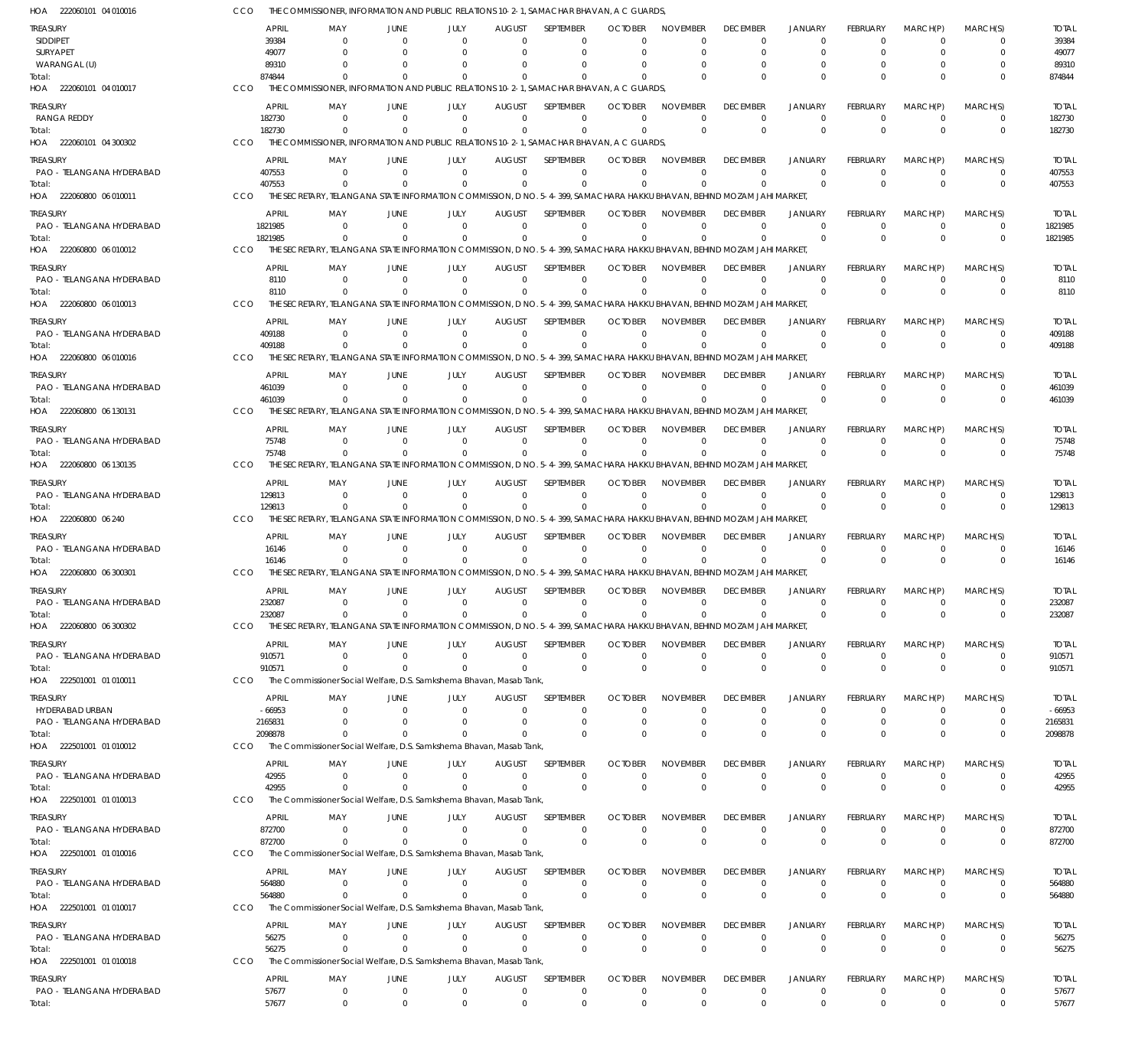| HOA 222060101 04 010016               | CCO                    | THE COMMISSIONER, INFORMATION AND PUBLIC RELATIONS 10-2-1, SAMACHAR BHAVAN, A C GUARDS,                                            |                                  |                            |                               |                            |                            |                             |                             |                                  |                             |                            |                            |                        |
|---------------------------------------|------------------------|------------------------------------------------------------------------------------------------------------------------------------|----------------------------------|----------------------------|-------------------------------|----------------------------|----------------------------|-----------------------------|-----------------------------|----------------------------------|-----------------------------|----------------------------|----------------------------|------------------------|
| TREASURY                              | <b>APRIL</b>           | MAY                                                                                                                                | JUNE                             | JULY                       | <b>AUGUST</b>                 | SEPTEMBER                  | <b>OCTOBER</b>             | <b>NOVEMBER</b>             | <b>DECEMBER</b>             | <b>JANUARY</b>                   | FEBRUARY                    | MARCH(P)                   | MARCH(S)                   | <b>TOTAL</b>           |
| SIDDIPET                              | 39384                  | $\Omega$                                                                                                                           | $\Omega$                         | $\Omega$                   | $\Omega$                      | $\Omega$                   | $\Omega$                   | $\Omega$                    | $\Omega$                    | $\Omega$                         | $\Omega$                    | $\Omega$                   | $\Omega$                   | 39384                  |
| SURYAPET                              | 49077                  | $\Omega$                                                                                                                           |                                  |                            | $\Omega$                      | $\Omega$                   | $\cup$                     | $\Omega$                    | $\Omega$                    | $\Omega$                         | U                           | $\Omega$                   | $\Omega$                   | 49077                  |
| WARANGAL (U)<br>Total:                | 89310<br>874844        | $\Omega$                                                                                                                           | $\Omega$                         | $\Omega$                   | $\Omega$                      | $\Omega$<br>$\Omega$       |                            | $\Omega$<br>$\Omega$        | $\Omega$                    | - 0<br>$\Omega$                  | $\Omega$                    | O<br>$\Omega$              | $\Omega$<br>$\Omega$       | 89310<br>874844        |
| HOA 222060101 04 010017               | CCO                    | THE COMMISSIONER, INFORMATION AND PUBLIC RELATIONS 10-2-1, SAMACHAR BHAVAN, A C GUARDS,                                            |                                  |                            |                               |                            |                            |                             |                             |                                  |                             |                            |                            |                        |
| Treasury                              | APRIL                  | MAY                                                                                                                                | JUNE                             | JULY                       | <b>AUGUST</b>                 | <b>SEPTEMBER</b>           | <b>OCTOBER</b>             | <b>NOVEMBER</b>             | <b>DECEMBER</b>             | <b>JANUARY</b>                   | <b>FEBRUARY</b>             | MARCH(P)                   | MARCH(S)                   | <b>TOTAL</b>           |
| RANGA REDDY                           | 182730                 | $\Omega$                                                                                                                           | $\Omega$                         | $\Omega$                   | $\Omega$                      | $\mathbf 0$                | $\Omega$                   | $\Omega$                    | $\Omega$                    | $^{\circ}$                       | 0                           | $\overline{0}$             | 0                          | 182730                 |
| Total:                                | 182730                 | $\Omega$                                                                                                                           | $\Omega$                         | $\Omega$                   | $\Omega$                      | $\Omega$                   | $\Omega$                   | $\Omega$                    | $\Omega$                    | $\Omega$                         | $\Omega$                    | $\Omega$                   | $\mathbf 0$                | 182730                 |
| HOA 222060101 04 300302               | <b>CCO</b>             | THE COMMISSIONER, INFORMATION AND PUBLIC RELATIONS 10-2-1, SAMACHAR BHAVAN, A C GUARDS,                                            |                                  |                            |                               |                            |                            |                             |                             |                                  |                             |                            |                            |                        |
| treasury                              | <b>APRIL</b>           | MAY                                                                                                                                | JUNE                             | JULY                       | <b>AUGUST</b>                 | <b>SEPTEMBER</b>           | <b>OCTOBER</b>             | <b>NOVEMBER</b>             | <b>DECEMBER</b>             | <b>JANUARY</b>                   | FEBRUARY                    | MARCH(P)                   | MARCH(S)                   | <b>TOTAL</b>           |
| PAO - TELANGANA HYDERABAD             | 407553                 | $\Omega$                                                                                                                           | $\Omega$                         | $\Omega$                   | $\Omega$                      | $\Omega$                   | $\Omega$                   | $\Omega$                    | $\Omega$                    | $\Omega$                         | $\Omega$                    | $\Omega$                   | $\Omega$                   | 407553                 |
| Total:                                | 407553                 | $\Omega$                                                                                                                           |                                  | $\Omega$                   | $\Omega$                      | $\Omega$                   | $\Omega$                   | $\Omega$                    | $\Omega$                    | $\Omega$                         | $\Omega$                    | $\Omega$                   | $\mathbf 0$                | 407553                 |
| HOA 222060800 06 010011               | CCO                    | THE SECRETARY. TELANGANA STATE INFORMATION COMMISSION, D NO. 5-4-399, SAMACHARA HAKKU BHAVAN, BEHIND MOZAM JAHI MARKET             |                                  |                            |                               |                            |                            |                             |                             |                                  |                             |                            |                            |                        |
| treasury                              | <b>APRIL</b>           | MAY                                                                                                                                | JUNE                             | JULY                       | <b>AUGUST</b>                 | SEPTEMBER                  | <b>OCTOBER</b>             | <b>NOVEMBER</b>             | <b>DECEMBER</b>             | <b>JANUARY</b>                   | <b>FEBRUARY</b>             | MARCH(P)                   | MARCH(S)                   | <b>TOTAL</b>           |
| PAO - TELANGANA HYDERABAD<br>Total:   | 1821985<br>1821985     | $\Omega$<br>$\Omega$                                                                                                               | $\Omega$<br>$\Omega$             | $\Omega$<br>$\Omega$       | $\Omega$<br>$\Omega$          | $\mathbf 0$<br>$\Omega$    | $\Omega$                   | $\Omega$<br>$\Omega$        | $\Omega$<br>$\Omega$        | $\Omega$<br>$\Omega$             | $\Omega$<br>$\Omega$        | $\Omega$<br>$\Omega$       | $\mathbf 0$<br>$\mathbf 0$ | 1821985<br>1821985     |
| HOA 222060800 06 010012               | CCO                    | THE SECRETARY, TELANGANA STATE INFORMATION COMMISSION, D NO. 5-4-399, SAMACHARA HAKKU BHAVAN, BEHIND MOZAM JAHI MARKET             |                                  |                            |                               |                            |                            |                             |                             |                                  |                             |                            |                            |                        |
|                                       | <b>APRIL</b>           |                                                                                                                                    |                                  |                            |                               |                            | <b>OCTOBER</b>             |                             |                             |                                  |                             | MARCH(P)                   |                            |                        |
| treasury<br>PAO - TELANGANA HYDERABAD | 8110                   | MAY<br>$\Omega$                                                                                                                    | JUNE<br>$\Omega$                 | JULY<br>$\Omega$           | <b>AUGUST</b><br>$\Omega$     | SEPTEMBER<br>$\Omega$      | $\Omega$                   | <b>NOVEMBER</b><br>$\Omega$ | <b>DECEMBER</b><br>$\Omega$ | <b>JANUARY</b><br>$\Omega$       | <b>FEBRUARY</b><br>$\Omega$ | $\Omega$                   | MARCH(S)<br>$\Omega$       | <b>TOTAL</b><br>8110   |
| Total:                                | 8110                   | $\Omega$                                                                                                                           | $\Omega$                         | $\Omega$                   | $\Omega$                      | $\Omega$                   |                            | $\Omega$                    | $\Omega$                    | $\Omega$                         | $\Omega$                    | $\Omega$                   | $\mathbf 0$                | 8110                   |
| HOA 222060800 06 010013               | CCO                    | THE SECRETARY. TELANGANA STATE INFORMATION COMMISSION, D NO. 5-4-399, SAMACHARA HAKKU BHAVAN, BEHIND MOZAM JAHI MARKET             |                                  |                            |                               |                            |                            |                             |                             |                                  |                             |                            |                            |                        |
| treasury                              | <b>APRIL</b>           | MAY                                                                                                                                | JUNE                             | JULY                       | <b>AUGUST</b>                 | <b>SEPTEMBER</b>           | <b>OCTOBER</b>             | <b>NOVEMBER</b>             | <b>DECEMBER</b>             | <b>JANUARY</b>                   | FEBRUARY                    | MARCH(P)                   | MARCH(S)                   | <b>TOTAL</b>           |
| PAO - TELANGANA HYDERABAD             | 409188                 | - 0                                                                                                                                | $\Omega$                         | $\Omega$                   | $\Omega$                      | $\mathbf 0$                | $\Omega$                   | $\Omega$                    | $\Omega$                    | $\Omega$                         | $\Omega$                    | $\Omega$                   | $\mathbf 0$                | 409188                 |
| Total:                                | 409188                 | $\Omega$                                                                                                                           | $\Omega$                         | $\Omega$                   | $\Omega$                      | $\Omega$                   | $\Omega$                   | $\Omega$                    | $\Omega$                    | $\Omega$                         | $\Omega$                    | $\Omega$                   | $\mathbf 0$                | 409188                 |
| HOA 222060800 06 010016               | CCO                    | THE SECRETARY, TELANGANA STATE INFORMATION COMMISSION, D NO. 5-4-399, SAMACHARA HAKKU BHAVAN, BEHIND MOZAM JAHI MARKET             |                                  |                            |                               |                            |                            |                             |                             |                                  |                             |                            |                            |                        |
| treasury                              | <b>APRIL</b>           | MAY                                                                                                                                | JUNE                             | JULY                       | <b>AUGUST</b>                 | SEPTEMBER                  | <b>OCTOBER</b>             | <b>NOVEMBER</b>             | <b>DECEMBER</b>             | <b>JANUARY</b>                   | FEBRUARY                    | MARCH(P)                   | MARCH(S)                   | <b>TOTAL</b>           |
| PAO - TELANGANA HYDERABAD             | 461039                 | $\Omega$                                                                                                                           | $\Omega$                         | $\Omega$                   | $\Omega$                      | $\Omega$                   | $\Omega$                   | $\Omega$                    | $\Omega$                    | $\Omega$                         | $\Omega$                    | $\Omega$                   | 0                          | 461039                 |
| Total:<br>HOA 222060800 06 130131     | 461039<br>CCO          | $\Omega$<br>THE SECRETARY, TELANGANA STATE INFORMATION COMMISSION, D NO. 5-4-399, SAMACHARA HAKKU BHAVAN, BEHIND MOZAM JAHI MARKET | $\Omega$                         | $\Omega$                   | $\Omega$                      | $\Omega$                   | $\sqrt{0}$                 | $\Omega$                    | $\Omega$                    | $\Omega$                         | $\Omega$                    | $\Omega$                   | $\Omega$                   | 461039                 |
|                                       |                        |                                                                                                                                    |                                  |                            |                               |                            |                            |                             |                             |                                  |                             |                            |                            |                        |
| treasury<br>PAO - TELANGANA HYDERABAD | <b>APRIL</b><br>75748  | MAY<br>- 0                                                                                                                         | JUNE<br>$\Omega$                 | JULY<br>$\Omega$           | <b>AUGUST</b><br>$\Omega$     | SEPTEMBER<br>$\Omega$      | <b>OCTOBER</b><br>$\Omega$ | <b>NOVEMBER</b><br>$\Omega$ | <b>DECEMBER</b><br>$\Omega$ | <b>JANUARY</b><br>$\Omega$       | <b>FEBRUARY</b><br>$\Omega$ | MARCH(P)<br>$\Omega$       | MARCH(S)<br>$\mathbf 0$    | <b>TOTAL</b><br>75748  |
| Total:                                | 75748                  | $\Omega$                                                                                                                           |                                  | $\Omega$                   | $\Omega$                      | $\Omega$                   |                            | $\Omega$                    | $\Omega$                    | $\Omega$                         | $\Omega$                    | $\Omega$                   | $\mathbf 0$                | 75748                  |
| HOA 222060800 06 130135               | CCO                    | THE SECRETARY, TELANGANA STATE INFORMATION COMMISSION, D NO. 5-4-399, SAMACHARA HAKKU BHAVAN, BEHIND MOZAM JAHI MARKET             |                                  |                            |                               |                            |                            |                             |                             |                                  |                             |                            |                            |                        |
| treasury                              | <b>APRIL</b>           | MAY                                                                                                                                | JUNE                             | JULY                       | <b>AUGUST</b>                 | SEPTEMBER                  | <b>OCTOBER</b>             | <b>NOVEMBER</b>             | <b>DECEMBER</b>             | <b>JANUARY</b>                   | FEBRUARY                    | MARCH(P)                   | MARCH(S)                   | <b>TOTAL</b>           |
| PAO - TELANGANA HYDERABAD             | 129813                 | $\Omega$                                                                                                                           | $\Omega$                         | $\Omega$                   | $\Omega$                      | $\Omega$                   | $\Omega$                   | $\Omega$                    | $\Omega$                    | $\Omega$                         | $\Omega$                    | $\Omega$                   | $\Omega$                   | 129813                 |
| Total:                                | 129813                 | $\Omega$                                                                                                                           | $\Omega$                         | $\Omega$                   | $\Omega$                      | $\Omega$                   | $\Omega$                   | $\Omega$                    | $\Omega$                    | $\Omega$                         | $\Omega$                    | $\Omega$                   | $\mathbf 0$                | 129813                 |
| HOA 222060800 06 240                  | CCO                    | THE SECRETARY, TELANGANA STATE INFORMATION COMMISSION, D NO. 5-4-399, SAMACHARA HAKKU BHAVAN, BEHIND MOZAM JAHI MARKET             |                                  |                            |                               |                            |                            |                             |                             |                                  |                             |                            |                            |                        |
| treasury                              | <b>APRIL</b>           | MAY                                                                                                                                | JUNE                             | JULY                       | <b>AUGUST</b>                 | SEPTEMBER                  | <b>OCTOBER</b>             | <b>NOVEMBER</b>             | <b>DECEMBER</b>             | <b>JANUARY</b>                   | FEBRUARY                    | MARCH(P)                   | MARCH(S)                   | <b>TOTAL</b>           |
| PAO - TELANGANA HYDERABAD             | 16146                  | - 0                                                                                                                                | $\Omega$                         | - 0                        | $\Omega$                      | $\mathbf 0$                | $\Omega$                   | $\Omega$                    | $\Omega$                    | $^{\circ}$                       | 0                           | $\overline{0}$             | 0                          | 16146                  |
| Total:<br>HOA 222060800 06 300301     | 16146<br>CCO           | $\Omega$<br>THE SECRETARY, TELANGANA STATE INFORMATION COMMISSION, D NO. 5-4-399, SAMACHARA HAKKU BHAVAN, BEHIND MOZAM JAHI MARKET | $\Omega$                         | $\Omega$                   | $\Omega$                      | $\Omega$                   | $\Omega$                   | $\Omega$                    | $\Omega$                    | $\Omega$                         | $\Omega$                    | $\Omega$                   | $\mathbf 0$                | 16146                  |
|                                       |                        |                                                                                                                                    |                                  |                            |                               |                            |                            |                             |                             |                                  |                             |                            |                            |                        |
| Treasury<br>PAO - TELANGANA HYDERABAD | <b>APRIL</b><br>232087 | MAY                                                                                                                                | JUNE                             | JULY                       | <b>AUGUST</b>                 | SEPTEMBER                  | <b>OCTOBER</b>             | NOVEMBER                    | <b>DECEMBER</b>             | <b>JANUARY</b>                   | FEBRUARY                    | MARCH(P)                   | MARCH(S)<br>U              | <b>TOTAL</b><br>232087 |
| Total:                                | 232087                 | $\Omega$                                                                                                                           | $\Omega$                         |                            | $\Omega$                      | $\Omega$                   |                            |                             | $\Omega$                    | $\Omega$                         | $\Omega$                    | $\Omega$                   | $\Omega$                   | 232087                 |
| HOA 222060800 06 300302               | CCO                    | THE SECRETARY, TELANGANA STATE INFORMATION COMMISSION, D NO. 5-4-399, SAMACHARA HAKKU BHAVAN, BEHIND MOZAM JAHI MARKET             |                                  |                            |                               |                            |                            |                             |                             |                                  |                             |                            |                            |                        |
| treasury                              | APRIL                  | MAY                                                                                                                                | JUNE                             | JULY                       | <b>AUGUST</b>                 | <b>SFPIFMBFR</b>           | <b>OCTOBER</b>             | NOVEMBER                    | <b>DECEMBER</b>             | <b>JANUARY</b>                   | FEBRUARY                    | MARCH(P)                   | MARCH(S)                   | <b>TOTAL</b>           |
| PAO - TELANGANA HYDERABAD             | 910571                 | $\Omega$                                                                                                                           | $\overline{0}$                   | $\overline{0}$             | $\overline{0}$                | $\mathbf 0$                | $\mathbf 0$                | $\mathbf 0$                 | $\mathbf 0$                 | $\overline{0}$                   | $\mathbf 0$                 | $\overline{0}$             | $\mathbf 0$                | 910571                 |
| Total:                                | 910571                 | $\Omega$                                                                                                                           | $\Omega$                         | $\Omega$                   | $\Omega$                      | $\mathbf 0$                | $\Omega$                   | $\mathbf 0$                 | $\mathbf 0$                 | $\overline{0}$                   | $\mathbf{0}$                | $\Omega$                   | $\mathbf 0$                | 910571                 |
| HOA 222501001 01 010011               | <b>CCO</b>             | The Commissioner Social Welfare, D.S. Samkshema Bhavan, Masab Tank,                                                                |                                  |                            |                               |                            |                            |                             |                             |                                  |                             |                            |                            |                        |
| Treasury                              | <b>APRIL</b>           | MAY                                                                                                                                | JUNE                             | JULY                       | <b>AUGUST</b>                 | SEPTEMBER                  | <b>OCTOBER</b>             | <b>NOVEMBER</b>             | <b>DECEMBER</b>             | <b>JANUARY</b>                   | FEBRUARY                    | MARCH(P)                   | MARCH(S)                   | <b>TOTAL</b>           |
| HYDERABAD URBAN                       | $-66953$               | - 0                                                                                                                                | $\Omega$                         | $\Omega$                   | $\Omega$                      | $\Omega$                   | -0                         | $\Omega$                    | $\Omega$                    | $\Omega$                         | $\Omega$                    | $\Omega$                   | $\Omega$                   | $-66953$               |
| PAO - TELANGANA HYDERABAD<br>Total:   | 2165831<br>2098878     | $\Omega$<br>$\Omega$                                                                                                               | $\Omega$<br>$\Omega$             | $\Omega$<br>$\Omega$       | $\mathbf{0}$<br>$\Omega$      | $\mathbf 0$<br>$\Omega$    | 0<br>$\Omega$              | $\Omega$<br>$\Omega$        | $\Omega$<br>$\mathbf{0}$    | $\overline{0}$<br>$\Omega$       | $\Omega$<br>$\Omega$        | $\overline{0}$<br>$\Omega$ | $\mathbf 0$<br>$\Omega$    | 2165831<br>2098878     |
| HOA 222501001 01 010012               | CCO                    | The Commissioner Social Welfare, D.S. Samkshema Bhavan, Masab Tank,                                                                |                                  |                            |                               |                            |                            |                             |                             |                                  |                             |                            |                            |                        |
| Treasury                              | APRIL                  | MAY                                                                                                                                | JUNE                             | JULY                       | <b>AUGUST</b>                 | <b>SEPTEMBER</b>           | <b>OCTOBER</b>             | <b>NOVEMBER</b>             | <b>DECEMBER</b>             | <b>JANUARY</b>                   | <b>FEBRUARY</b>             | MARCH(P)                   | MARCH(S)                   | <b>TOTAL</b>           |
| PAO - TELANGANA HYDERABAD             | 42955                  | $^{\circ}$                                                                                                                         | $\overline{0}$                   | $\overline{0}$             | $\mathbf{0}$                  | $\mathbf 0$                | $\Omega$                   | $\mathbf 0$                 | $\Omega$                    | $\overline{0}$                   | $\mathbf 0$                 | $\overline{0}$             | $\mathbf 0$                | 42955                  |
| Total:                                | 42955                  | $\Omega$                                                                                                                           | $\Omega$                         | $\Omega$                   | $\Omega$                      | $\mathbf 0$                | $\Omega$                   | $\Omega$                    | $\mathbf{0}$                | $\overline{0}$                   | $\mathbf{0}$                | $\Omega$                   | $\mathbf 0$                | 42955                  |
| HOA 222501001 01 010013               | CCO                    | The Commissioner Social Welfare, D.S. Samkshema Bhavan, Masab Tank,                                                                |                                  |                            |                               |                            |                            |                             |                             |                                  |                             |                            |                            |                        |
| treasury                              | <b>APRIL</b>           | MAY                                                                                                                                | JUNE                             | JULY                       | <b>AUGUST</b>                 | SEPTEMBER                  | <b>OCTOBER</b>             | <b>NOVEMBER</b>             | <b>DECEMBER</b>             | <b>JANUARY</b>                   | FEBRUARY                    | MARCH(P)                   | MARCH(S)                   | <b>TOTAL</b>           |
| PAO - TELANGANA HYDERABAD             | 872700                 | $\Omega$                                                                                                                           | $\Omega$                         | $\Omega$                   | $\Omega$                      | $\mathbf 0$                | $\Omega$                   | $\Omega$                    | 0                           | $\Omega$                         | $\Omega$                    | $\overline{0}$             | $\Omega$                   | 872700                 |
| Total:                                | 872700                 | $\Omega$<br>The Commissioner Social Welfare, D.S. Samkshema Bhavan, Masab Tank,                                                    | $\Omega$                         | $\Omega$                   | $\Omega$                      | $\Omega$                   | $\mathbf{0}$               | $\Omega$                    | $\mathbf 0$                 | $\overline{0}$                   | $\Omega$                    | $\Omega$                   | $\mathbf 0$                | 872700                 |
| HOA 222501001 01 010016               | <b>CCO</b>             |                                                                                                                                    |                                  |                            |                               |                            |                            |                             |                             |                                  |                             |                            |                            |                        |
| Treasury                              | <b>APRIL</b>           | MAY                                                                                                                                | JUNE                             | JULY                       | <b>AUGUST</b>                 | SEPTEMBER                  | <b>OCTOBER</b>             | <b>NOVEMBER</b>             | <b>DECEMBER</b>             | <b>JANUARY</b>                   | FEBRUARY                    | MARCH(P)                   | MARCH(S)                   | <b>TOTAL</b>           |
| PAO - TELANGANA HYDERABAD<br>Total:   | 564880<br>564880       | 0<br>$^{\circ}$                                                                                                                    | $\overline{0}$<br>$\overline{0}$ | $\overline{0}$<br>$\Omega$ | $\overline{0}$<br>$\Omega$    | $\mathbf 0$<br>$\mathbf 0$ | $\Omega$<br>$\Omega$       | $\Omega$<br>$\Omega$        | $\mathbf 0$<br>$\Omega$     | $\overline{0}$<br>$\overline{0}$ | $\mathbf 0$<br>$\mathbf{0}$ | $\overline{0}$<br>$\Omega$ | $\mathbf 0$<br>$\mathbf 0$ | 564880<br>564880       |
| HOA 222501001 01 010017               | CCO                    | The Commissioner Social Welfare, D.S. Samkshema Bhavan, Masab Tank,                                                                |                                  |                            |                               |                            |                            |                             |                             |                                  |                             |                            |                            |                        |
|                                       | APRIL                  |                                                                                                                                    |                                  |                            |                               | SEPTEMBER                  | <b>OCTOBER</b>             | <b>NOVEMBER</b>             | <b>DECEMBER</b>             | <b>JANUARY</b>                   | FEBRUARY                    | MARCH(P)                   | MARCH(S)                   |                        |
| Treasury<br>PAO - TELANGANA HYDERABAD | 56275                  | MAY<br>$^{\circ}$                                                                                                                  | JUNE<br>$\overline{0}$           | JULY<br>$\Omega$           | <b>AUGUST</b><br>$\mathbf{0}$ | $\mathbf 0$                | $\Omega$                   | $\Omega$                    | 0                           | $^{\circ}$                       | $\Omega$                    | $\Omega$                   | 0                          | <b>TOTAL</b><br>56275  |
| Total:                                | 56275                  | $\Omega$                                                                                                                           | $\Omega$                         | $\Omega$                   | $\Omega$                      | $\Omega$                   | $\Omega$                   | $\Omega$                    | $\mathbf{0}$                | $\Omega$                         | $\Omega$                    | $\Omega$                   | $\Omega$                   | 56275                  |
| HOA 222501001 01 010018               | CCO                    | The Commissioner Social Welfare, D.S. Samkshema Bhavan, Masab Tank,                                                                |                                  |                            |                               |                            |                            |                             |                             |                                  |                             |                            |                            |                        |
| treasury                              | APRIL                  | MAY                                                                                                                                | JUNE                             | JULY                       | <b>AUGUST</b>                 | SEPTEMBER                  | <b>OCTOBER</b>             | NOVEMBER                    | <b>DECEMBER</b>             | <b>JANUARY</b>                   | FEBRUARY                    | MARCH(P)                   | MARCH(S)                   | <b>TOTAL</b>           |
| PAO - TELANGANA HYDERABAD             | 57677                  | $\mathbf 0$                                                                                                                        | $\overline{0}$                   | $\mathbf 0$                | $\mathbf 0$                   | 0                          | 0                          | $\mathbf 0$                 | $\mathbf 0$                 | $\overline{0}$                   | $\mathbf 0$                 | $\overline{0}$             | $\mathbf 0$                | 57677                  |
| Total:                                | 57677                  | $\mathbf 0$                                                                                                                        | $\mathbf 0$                      | $\Omega$                   | $\Omega$                      | $\Omega$                   | $\Omega$                   | $\Omega$                    | $\mathbf{0}$                | $\Omega$                         | <sup>0</sup>                | $\Omega$                   | $\Omega$                   | 57677                  |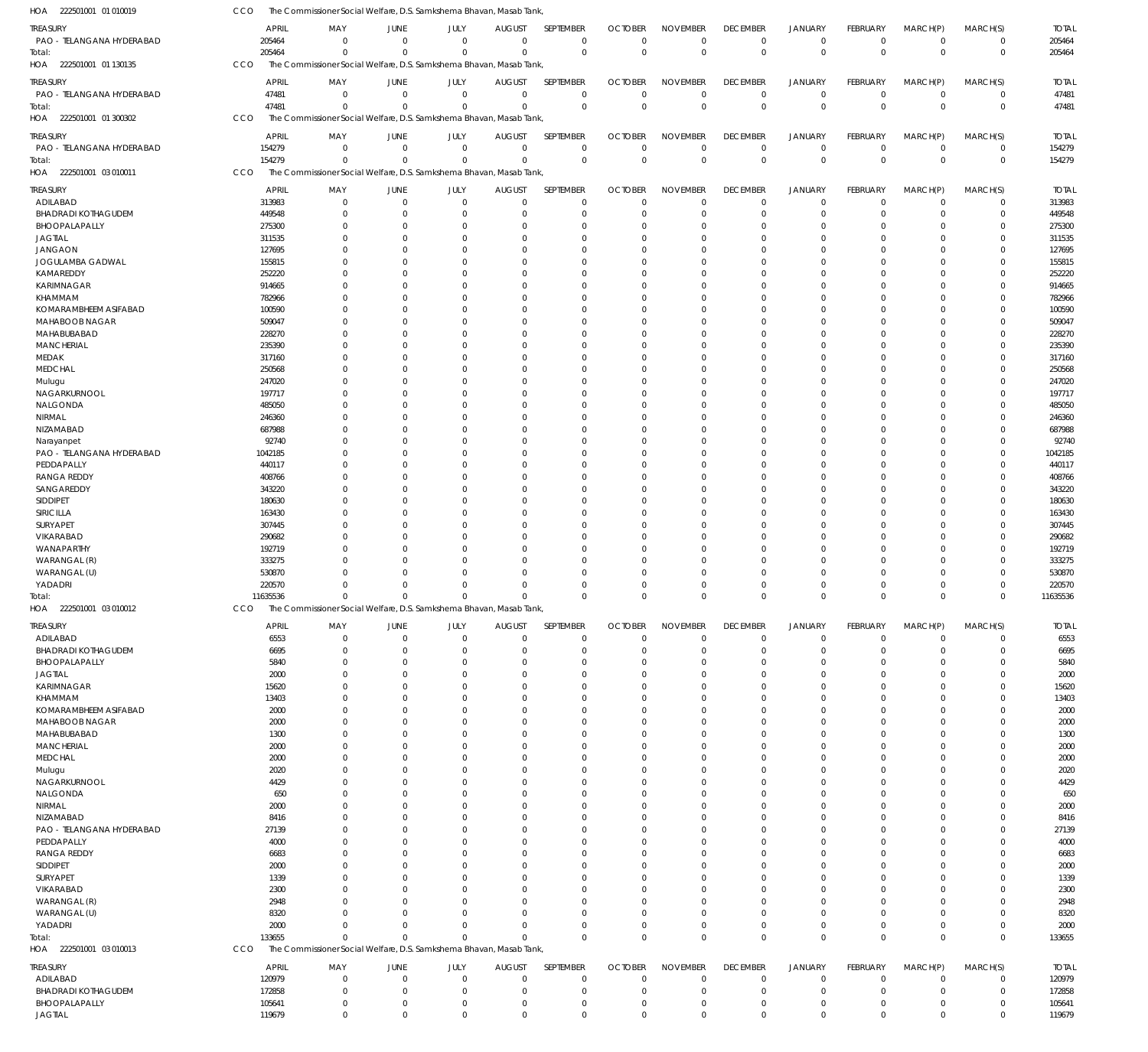| 222501001 01 010019<br>HOA                   | CCO              | The Commissioner Social Welfare, D.S. Samkshema Bhavan, Masab Tank, |                  |                                                    |                            |                      |                         |                         |                            |                            |                      |                         |                             |                  |
|----------------------------------------------|------------------|---------------------------------------------------------------------|------------------|----------------------------------------------------|----------------------------|----------------------|-------------------------|-------------------------|----------------------------|----------------------------|----------------------|-------------------------|-----------------------------|------------------|
| TREASURY                                     |                  | <b>APRIL</b><br>MAY                                                 | <b>JUNE</b>      | JULY                                               | <b>AUGUST</b>              | SEPTEMBER            | <b>OCTOBER</b>          | <b>NOVEMBER</b>         | <b>DECEMBER</b>            | <b>JANUARY</b>             | FEBRUARY             | MARCH(P)                | MARCH(S)                    | <b>TOTAL</b>     |
| PAO - TELANGANA HYDERABAD                    | 205464           |                                                                     | $\Omega$         | $\mathbf 0$<br>$\mathbf{0}$                        | $\mathbf 0$                | $\mathbf 0$          | $\mathbf 0$             | $\mathbf 0$             | $\mathbf 0$                | $^{\circ}$                 | $\mathbf 0$          | $\mathbf 0$             | $\mathbf 0$                 | 205464           |
| Total:                                       | 205464           |                                                                     | $\Omega$         | $\mathbf 0$<br>$\Omega$                            | $\mathbf 0$                | $\Omega$             | $\mathbf 0$             | $\mathbf{0}$            | $\mathsf 0$                | $\overline{0}$             | $\mathbf 0$          | $\Omega$                | $\mathbf 0$                 | 205464           |
| HOA<br>222501001 01 130135                   | CCO              | The Commissioner Social Welfare, D.S. Samkshema Bhavan, Masab Tank, |                  |                                                    |                            |                      |                         |                         |                            |                            |                      |                         |                             |                  |
|                                              |                  |                                                                     |                  |                                                    |                            |                      |                         |                         |                            |                            |                      |                         |                             |                  |
| <b>TREASURY</b><br>PAO - TELANGANA HYDERABAD |                  | <b>APRIL</b><br>MAY                                                 | JUNE<br>$\Omega$ | JULY                                               | <b>AUGUST</b>              | SEPTEMBER            | <b>OCTOBER</b>          | <b>NOVEMBER</b>         | <b>DECEMBER</b>            | JANUARY                    | FEBRUARY<br>$\Omega$ | MARCH(P)                | MARCH(S)                    | <b>TOTAL</b>     |
|                                              | 47481<br>47481   |                                                                     | $\Omega$         | $\mathbf 0$<br>$\mathbf 0$<br>$\Omega$<br>$\Omega$ | $\mathbf 0$<br>$\mathbf 0$ | $\Omega$<br>$\Omega$ | $\mathbf 0$<br>$\Omega$ | $\mathbf 0$<br>$\Omega$ | $\mathbf 0$<br>$\mathsf 0$ | $\overline{0}$<br>$\Omega$ | $\Omega$             | $\mathbf 0$<br>$\Omega$ | $\mathbf 0$<br>$\mathbf{0}$ | 47481<br>47481   |
| Total:<br>HOA<br>222501001 01 300302         | CCO              | The Commissioner Social Welfare, D.S. Samkshema Bhavan, Masab Tank, |                  |                                                    |                            |                      |                         |                         |                            |                            |                      |                         |                             |                  |
|                                              |                  |                                                                     |                  |                                                    |                            |                      |                         |                         |                            |                            |                      |                         |                             |                  |
| <b>TREASURY</b>                              |                  | <b>APRIL</b><br>MAY                                                 | JUNE             | JULY                                               | <b>AUGUST</b>              | SEPTEMBER            | <b>OCTOBER</b>          | <b>NOVEMBER</b>         | <b>DECEMBER</b>            | JANUARY                    | FEBRUARY             | MARCH(P)                | MARCH(S)                    | <b>TOTAL</b>     |
| PAO - TELANGANA HYDERABAD                    | 154279           |                                                                     | $\Omega$         | $\mathbf 0$<br>$\mathbf 0$                         | $\mathbf 0$                | $\mathbf 0$          | $\mathbf 0$             | $^{\circ}$              | $\mathbf 0$                | $\overline{0}$             | $\mathbf 0$          | $\mathbf 0$             | $\mathbf 0$                 | 154279           |
| Total:                                       | 154279           |                                                                     | $\Omega$         | $\Omega$<br>$\Omega$                               | $\mathbf 0$                | $\Omega$             | $\mathbf 0$             | $\overline{0}$          | $\mathsf 0$                | $\overline{0}$             | $\mathbf 0$          | $\Omega$                | $\mathbf 0$                 | 154279           |
| 222501001 03 010011<br>HOA                   | CCO              | The Commissioner Social Welfare, D.S. Samkshema Bhavan, Masab Tank, |                  |                                                    |                            |                      |                         |                         |                            |                            |                      |                         |                             |                  |
| <b>TREASURY</b>                              |                  | APRIL<br>MAY                                                        | JUNE             | JULY                                               | <b>AUGUST</b>              | SEPTEMBER            | <b>OCTOBER</b>          | <b>NOVEMBER</b>         | <b>DECEMBER</b>            | <b>JANUARY</b>             | FEBRUARY             | MARCH(P)                | MARCH(S)                    | <b>TOTAL</b>     |
| ADILABAD                                     | 313983           |                                                                     | $\Omega$         | $\Omega$<br>$\Omega$                               | $\Omega$                   | $\Omega$             | $\Omega$                | $\mathbf 0$             | $\mathbf 0$                | $\mathbf 0$                | $\Omega$             | $\mathbf 0$             | $\mathbf 0$                 | 313983           |
| <b>BHADRADI KOTHAGUDEM</b>                   | 449548           |                                                                     | $\Omega$         | $\Omega$<br>$\Omega$                               | $\Omega$                   | $\Omega$             | $\Omega$                | $\Omega$                | $\Omega$                   | $\Omega$                   | $\Omega$             | $\Omega$                | $\Omega$                    | 449548           |
| BHOOPALAPALLY                                | 275300           |                                                                     | -C               | $\Omega$<br>C.                                     | $\Omega$                   | $\Omega$             | $\Omega$                | $\Omega$                | $\Omega$                   | $\Omega$                   | $\Omega$             | $\Omega$                | $\Omega$                    | 275300           |
| <b>JAGTIAL</b>                               | 311535           |                                                                     | C.               | $\Omega$<br>-C                                     | $\Omega$                   | $\Omega$             | $\Omega$                | $\Omega$                | $\Omega$                   | $\Omega$                   | $\Omega$             | $\Omega$                | $\Omega$                    | 311535           |
| <b>JANGAON</b>                               | 127695           |                                                                     | -C               | $\Omega$<br>-C                                     | $\Omega$                   | $\Omega$             | $\Omega$                | $\Omega$                | $\Omega$                   | $\Omega$                   | $\Omega$             | $\Omega$                | $\Omega$                    | 127695           |
| JOGULAMBA GADWAL                             | 155815           |                                                                     | -C               | $\Omega$<br>-C                                     | $\Omega$                   | $\cup$               | $\Omega$                | $\Omega$                | $\Omega$                   | $\Omega$                   | $\Omega$             | $\Omega$                | $\Omega$                    | 155815           |
| KAMAREDDY                                    | 252220           |                                                                     | -C               | $\Omega$<br>C.                                     | $\Omega$                   | $\Omega$             | $\Omega$                | $\Omega$                | $\Omega$                   | $\Omega$                   | $\Omega$             | $\Omega$                | $\Omega$                    | 252220           |
| KARIMNAGAR                                   | 914665           |                                                                     | -C               | $\Omega$<br>-C                                     | $\Omega$                   | $\Omega$             | $\Omega$                | $\Omega$                | $\Omega$                   | $\Omega$                   | $\Omega$             | $\Omega$                | $\Omega$                    | 914665           |
| KHAMMAM                                      | 782966           |                                                                     | -C               | $\Omega$<br>-C                                     | $\Omega$                   | $\Omega$             | $\Omega$                | $\Omega$                | $\Omega$                   | $\Omega$                   | $\Omega$             | $\Omega$                | $\Omega$                    | 782966           |
| KOMARAMBHEEM ASIFABAD                        | 100590           |                                                                     | -C               | $\Omega$<br>-C                                     | $\Omega$                   | $\Omega$             | $\Omega$                | $\Omega$                | $\Omega$                   | $\Omega$                   | $\Omega$             | $\Omega$                | $\Omega$                    | 100590           |
| MAHABOOB NAGAR                               | 509047           |                                                                     | -C               | $\Omega$<br>-C                                     | $\Omega$                   | $\Omega$             | $\Omega$                | $\Omega$                | $\Omega$                   | $\Omega$                   | $\Omega$             | $\Omega$                | $\Omega$                    | 509047           |
| MAHABUBABAD                                  | 228270           |                                                                     | -C               | $\Omega$<br>-C                                     | $\Omega$                   | $\Omega$             | $\Omega$                | $\Omega$                | $\Omega$                   | $\Omega$                   | $\Omega$             | $\Omega$                | $\Omega$                    | 228270           |
| <b>MANCHERIAL</b>                            | 235390           |                                                                     | -C               | $\Omega$<br>-C                                     | $\Omega$                   | $\Omega$             | $\Omega$                | $\Omega$                | $\Omega$                   | $\Omega$                   | $\Omega$             | $\Omega$                | $\Omega$                    | 235390           |
| <b>MEDAK</b>                                 | 317160           |                                                                     | -C<br>-C         | $\Omega$<br>-C<br>$\Omega$<br>-C                   | $\Omega$<br>$\Omega$       | $\Omega$             | $\Omega$<br>$\Omega$    | $\Omega$<br>$\Omega$    | $\Omega$<br>$\Omega$       | $\Omega$                   | $\Omega$<br>$\Omega$ | $\Omega$                | $\Omega$<br>$\Omega$        | 317160           |
| <b>MEDCHAL</b>                               | 250568<br>247020 |                                                                     | -C               | $\Omega$<br>-C                                     | $\Omega$                   | $\Omega$<br>$\Omega$ | $\Omega$                | $\Omega$                | $\Omega$                   | $\Omega$<br>$\Omega$       | $\Omega$             | $\Omega$<br>$\Omega$    | $\Omega$                    | 250568<br>247020 |
| Mulugu<br>NAGARKURNOOL                       | 197717           |                                                                     | -C               | $\Omega$<br>-C                                     | $\Omega$                   | $\Omega$             | $\Omega$                | $\Omega$                | $\Omega$                   | $\Omega$                   | $\Omega$             | $\Omega$                | $\Omega$                    | 197717           |
| NALGONDA                                     | 485050           |                                                                     | -C               | $\Omega$<br>-C                                     | $\Omega$                   | $\Omega$             | $\Omega$                | $\Omega$                | $\Omega$                   | $\Omega$                   | $\Omega$             | $\Omega$                | $\Omega$                    | 485050           |
| NIRMAL                                       | 246360           |                                                                     | -C               | $\Omega$<br>-C                                     | $\Omega$                   | $\Omega$             | $\Omega$                | $\Omega$                | $\Omega$                   | $\Omega$                   | $\Omega$             | $\Omega$                | $\Omega$                    | 246360           |
| NIZAMABAD                                    | 687988           |                                                                     | -C               | $\Omega$<br>-C                                     | $\Omega$                   | $\Omega$             | $\Omega$                | $\Omega$                | $\mathbf 0$                | $\Omega$                   | $\Omega$             | $\Omega$                | $\Omega$                    | 687988           |
| Narayanpet                                   | 92740            |                                                                     | -C               | $\Omega$<br>-C                                     | $\Omega$                   | $\Omega$             | $\Omega$                | $\Omega$                | $\Omega$                   | $\Omega$                   | $\Omega$             | $\Omega$                | $\Omega$                    | 92740            |
| PAO - TELANGANA HYDERABAD                    | 1042185          |                                                                     | -C               | $\Omega$<br>-C                                     | $\Omega$                   | $\cup$               | $\Omega$                | $\Omega$                | $\Omega$                   | $\Omega$                   | $\Omega$             | $\Omega$                | $\Omega$                    | 1042185          |
| PEDDAPALLY                                   | 440117           |                                                                     | -C               | $\Omega$<br>-C                                     | $\Omega$                   | $\Omega$             | $\Omega$                | $\Omega$                | $\Omega$                   | $\Omega$                   | $\Omega$             | $\Omega$                | $\Omega$                    | 440117           |
| <b>RANGA REDDY</b>                           | 408766           |                                                                     | -C               | $\Omega$<br>-C                                     | $\Omega$                   | $\Omega$             | $\Omega$                | $\Omega$                | $\Omega$                   | $\Omega$                   | $\Omega$             | $\Omega$                | $\Omega$                    | 408766           |
| SANGAREDDY                                   | 343220           |                                                                     | -C               | $\Omega$<br>-C                                     | $\Omega$                   | $\Omega$             | $\Omega$                | $\Omega$                | $\Omega$                   | $\Omega$                   | $\Omega$             | $\Omega$                | $\Omega$                    | 343220           |
| SIDDIPET                                     | 180630           |                                                                     | -C               | $\Omega$<br>-C                                     | $\Omega$                   | $\Omega$             | $\Omega$                | $\Omega$                | $\Omega$                   | $\Omega$                   | $\Omega$             | $\Omega$                | $\Omega$                    | 180630           |
| SIRICILLA                                    | 163430           |                                                                     | -C               | $\Omega$<br>-C                                     | $\Omega$                   | $\Omega$             | $\Omega$                | $\Omega$                | $\Omega$                   | $\Omega$                   | $\Omega$             | $\Omega$                | $\Omega$                    | 163430           |
| SURYAPET                                     | 307445           |                                                                     | -C               | $\Omega$<br>-C                                     | $\Omega$                   | $\Omega$             | $\Omega$                | $\Omega$                | $\Omega$                   | $\Omega$                   | $\Omega$             | $\Omega$                | $\Omega$                    | 307445           |
| VIKARABAD                                    | 290682           |                                                                     | -C               | $\Omega$<br>-C                                     | $\Omega$                   | $\Omega$             | $\Omega$                | $\Omega$                | $\Omega$                   | $\Omega$                   | $\Omega$             | $\Omega$                | $\Omega$                    | 290682           |
| WANAPARTHY                                   | 192719           |                                                                     | -C               | $\Omega$<br>-C                                     | $\Omega$                   | $\Omega$             | $\Omega$                | $\Omega$                | $\Omega$                   | $\Omega$                   | $\Omega$             | $\Omega$                | $\Omega$                    | 192719           |
| WARANGAL (R)                                 | 333275           |                                                                     | -C               | $\Omega$<br>$\mathsf{C}$                           | $\Omega$                   | $\Omega$             | $\Omega$                | $\Omega$                | $\Omega$                   | $\Omega$                   | $\Omega$             | $\Omega$                | $\Omega$                    | 333275           |
| WARANGAL (U)                                 | 530870           |                                                                     | -C               | $\Omega$<br>-C                                     | $\Omega$                   | $\Omega$             | $\Omega$                | $\Omega$                | $\mathbf 0$                | $\Omega$                   | $\Omega$             | $\Omega$                | $\Omega$                    | 530870           |
| YADADRI                                      | 220570           |                                                                     |                  | $\Omega$<br>$\Omega$                               | $\Omega$                   | $\Omega$             | $\Omega$                | $\Omega$                | $\Omega$                   | $\Omega$                   | $\Omega$             | $\Omega$                | $\Omega$                    | 220570           |
| Total:                                       | 11635536         |                                                                     | $\Omega$         | $\Omega$<br>$\Omega$                               | $\Omega$                   | $\Omega$             | $\Omega$                | $\Omega$                | $\Omega$                   | $\Omega$                   | $\Omega$             | $\Omega$                | $\Omega$                    | 11635536         |
| 222501001 03 010012<br>HOA                   | CCO              | The Commissioner Social Welfare, D.S. Samkshema Bhavan, Masab Tank, |                  |                                                    |                            |                      |                         |                         |                            |                            |                      |                         |                             |                  |
| <b>TREASURY</b>                              |                  | APRIL<br>MAY                                                        | JUNE             | JULY                                               | <b>AUGUST</b>              | SEPTEMBER            | <b>OCTOBER</b>          | <b>NOVEMBER</b>         | <b>DECEMBER</b>            | <b>JANUARY</b>             | FEBRUARY             | MARCH(P)                | MARCH(S)                    | <b>TOTAL</b>     |
| ADILABAD                                     |                  | 6553                                                                | $\Omega$         | $\Omega$<br>$\Omega$                               | $\mathbf 0$                | $\Omega$             | $\mathbf 0$             | $\mathbf 0$             | $\mathbf 0$                | $\overline{0}$             | $\mathbf 0$          | $\mathbf 0$             | $\mathbf 0$                 | 6553             |
| <b>BHADRADI KOTHAGUDEM</b>                   |                  | 6695                                                                | $\Omega$         | $\mathbf{0}$<br>$\Omega$                           | $\mathbf 0$                | 0                    | $\mathbf 0$             | $\Omega$                | $\mathbf 0$                | $\mathbf 0$                | $\mathbf 0$          | $\mathbf 0$             | $\mathbf 0$                 | 6695             |
| BHOOPALAPALLY                                |                  | 5840                                                                | $\mathsf{C}$     | $\Omega$<br>$\Omega$                               | $\mathbf{0}$               | $\Omega$             | $\Omega$                | $\Omega$                | $\mathbf 0$                | $\Omega$                   | $\Omega$             | $\Omega$                | $\mathbf 0$                 | 5840             |
| <b>JAGTIAL</b>                               |                  | 2000                                                                | $\Omega$         | $\Omega$<br>$\Omega$                               | $\Omega$                   | $\Omega$             | $\mathbf 0$             | $\Omega$                | $\mathbf 0$                | $\Omega$                   | $\Omega$             | $\Omega$                | $\mathbf 0$                 | 2000             |
| KARIMNAGAR                                   |                  | 15620                                                               | $\mathsf{C}$     | $\Omega$<br>$\Omega$                               | $\mathbf{0}$               | $\Omega$             | $\Omega$                | $\Omega$                | $\Omega$                   | $\Omega$                   | $\Omega$             | $\Omega$                | $\mathbf 0$                 | 15620            |
| KHAMMAM                                      |                  | 13403                                                               | $\mathsf{C}$     | $\Omega$<br>$\Omega$                               | $\Omega$                   | $\Omega$             | $\Omega$                | $\Omega$                | $\Omega$                   | $\Omega$                   | $\Omega$             | $\Omega$                | $\mathbf 0$                 | 13403            |
| KOMARAMBHEEM ASIFABAD                        |                  | 2000                                                                | $\mathsf{C}$     | $\Omega$<br>$\Omega$                               | $\mathbf{0}$               | $\Omega$             | $\Omega$                | $\Omega$                | $\Omega$                   | $\Omega$                   | $\Omega$             | $\Omega$                | $\mathbf 0$                 | 2000             |
| MAHABOOB NAGAR                               |                  | 2000                                                                | $\mathsf{C}$     | $\Omega$<br>-0                                     | $\Omega$                   | $\Omega$             | $\Omega$                | $\Omega$                | $\Omega$                   | $\Omega$                   | $\Omega$             | $\Omega$                | $\mathbf 0$                 | 2000             |
| MAHABUBABAD                                  |                  | 1300                                                                | $\mathsf{C}$     | $\Omega$<br>$\mathsf{C}$                           | $\mathbf{0}$               | $\Omega$             | $\Omega$                | $\Omega$                | $\Omega$                   | $\Omega$                   | $\Omega$             | $\Omega$                | $\mathbf 0$                 | 1300             |
| MANCHERIAL                                   |                  | 2000                                                                | $\mathsf{C}$     | $\Omega$<br>$\Omega$                               | $\Omega$                   | $\Omega$             | $\Omega$                | $\Omega$                | $\Omega$                   | $\Omega$                   | $\Omega$             | $\Omega$                | $\mathbf 0$                 | 2000             |
| <b>MEDCHAL</b>                               |                  | 2000                                                                | $\mathsf{C}$     | $\Omega$<br>$\Omega$                               | $\mathbf{0}$               | $\Omega$             | $\Omega$                | $\Omega$                | $\Omega$                   | $\Omega$                   | $\Omega$             | $\Omega$                | $\mathbf 0$                 | 2000             |
| Mulugu                                       |                  | 2020                                                                | C.               | $\Omega$<br>-0                                     | $\Omega$                   | $\Omega$             | $\Omega$                | $\Omega$                | $\Omega$                   | $\Omega$                   | $\Omega$             | $\Omega$                | $\mathbf 0$                 | 2020             |
| NAGARKURNOOL                                 |                  | 4429                                                                | C.<br>C.         | $\Omega$<br>-0<br>$\Omega$<br>$\Omega$             | $\mathbf{0}$<br>$\Omega$   | $\Omega$<br>$\Omega$ | $\Omega$<br>$\Omega$    | $\Omega$<br>$\Omega$    | $\Omega$<br>$\Omega$       | $\Omega$<br>$\Omega$       | $\Omega$<br>$\Omega$ | $\Omega$<br>$\Omega$    | $\mathbf 0$<br>$\mathbf 0$  | 4429             |
| NALGONDA<br>NIRMAL                           |                  | 650<br>2000                                                         | C.               | $\Omega$<br>$\Omega$                               | $\mathbf{0}$               | $\Omega$             | $\Omega$                | $\Omega$                | $\Omega$                   | $\Omega$                   | $\Omega$             | $\Omega$                | $\mathbf 0$                 | 650<br>2000      |
| NIZAMABAD                                    |                  | 8416                                                                | C.               | $\Omega$<br>C.                                     | $\Omega$                   | $\Omega$             | $\Omega$                | $\Omega$                | $\Omega$                   | $\Omega$                   | $\Omega$             | $\Omega$                | $\mathbf 0$                 | 8416             |
| PAO - TELANGANA HYDERABAD                    |                  | 27139                                                               | C.               | $\Omega$<br>-0                                     | $\mathbf{0}$               | $\Omega$             | $\Omega$                | $\Omega$                | $\Omega$                   | $\Omega$                   | $\Omega$             | $\Omega$                | $\mathbf 0$                 | 27139            |
| PEDDAPALLY                                   |                  | 4000                                                                | C.               | $\Omega$<br>$\Omega$                               | $\Omega$                   | $\Omega$             | $\Omega$                | $\Omega$                | $\Omega$                   | $\Omega$                   | $\Omega$             | $\Omega$                | $\mathbf 0$                 | 4000             |
| <b>RANGA REDDY</b>                           |                  | 6683                                                                | C.               | $\Omega$<br>$\Omega$                               | $\mathbf{0}$               | $\Omega$             | $\Omega$                | $\Omega$                | $\Omega$                   | $\Omega$                   | $\Omega$             | $\Omega$                | $\mathbf 0$                 | 6683             |
| SIDDIPET                                     |                  | 2000                                                                | C.               | $\Omega$<br>-0                                     | $\Omega$                   | $\Omega$             | $\Omega$                | $\Omega$                | $\Omega$                   | $\Omega$                   | $\Omega$             | $\Omega$                | $\mathbf 0$                 | 2000             |
| SURYAPET                                     |                  | 1339                                                                | C.               | $\Omega$<br>C.                                     | $\mathbf{0}$               | $\Omega$             | $\Omega$                | $\Omega$                | $\Omega$                   | $\Omega$                   | $\Omega$             | $\Omega$                | $\mathbf 0$                 | 1339             |
| VIKARABAD                                    |                  | 2300                                                                | C.               | $\Omega$<br>$\Omega$                               | $\Omega$                   | $\Omega$             | $\Omega$                | $\Omega$                | $\Omega$                   | $\Omega$                   | $\Omega$             | $\Omega$                | $\mathbf 0$                 | 2300             |
| WARANGAL (R)                                 |                  | 2948                                                                | C.               | $\Omega$<br>$\Omega$                               | $\mathbf{0}$               | $\Omega$             | $\Omega$                | $\Omega$                | $\Omega$                   | $\Omega$                   | $\Omega$             | $\Omega$                | $\mathbf 0$                 | 2948             |
| WARANGAL (U)                                 |                  | 8320                                                                | -C               | $\Omega$<br>$\Omega$                               | $\Omega$                   | $\Omega$             | $\Omega$                | $\Omega$                | $\Omega$                   | $\Omega$                   | $\Omega$             | $\Omega$                | $\mathbf 0$                 | 8320             |
| YADADRI                                      |                  | 2000                                                                | $\Omega$         | $\Omega$<br>$\Omega$                               | $\mathbf{0}$               | $\Omega$             | $\Omega$                | $\Omega$                | $\mathbf 0$                | $\Omega$                   | $\Omega$             | $\Omega$                | $\mathbf 0$                 | 2000             |
| Total:                                       | 133655           |                                                                     | $\Omega$         | $\mathbf 0$<br>$\Omega$                            | $\Omega$                   | $\Omega$             | $\mathbf 0$             | $\Omega$                | $\mathbf 0$                | $\Omega$                   | $\mathbf 0$          | $\Omega$                | $\mathbf 0$                 | 133655           |
| HOA 222501001 03 010013                      | CCO              | The Commissioner Social Welfare, D.S. Samkshema Bhavan, Masab Tank, |                  |                                                    |                            |                      |                         |                         |                            |                            |                      |                         |                             |                  |
| <b>TREASURY</b>                              |                  | MAY<br>APRIL                                                        | JUNE             | JULY                                               | <b>AUGUST</b>              | SEPTEMBER            | <b>OCTOBER</b>          | <b>NOVEMBER</b>         | <b>DECEMBER</b>            | JANUARY                    | FEBRUARY             | MARCH(P)                | MARCH(S)                    | <b>TOTAL</b>     |
| ADILABAD                                     | 120979           |                                                                     | $\Omega$         | $\mathbf{0}$<br>$\mathbf{0}$                       | $\Omega$                   | $\Omega$             | $\Omega$                | $\Omega$                | $\mathbf 0$                | $\Omega$                   | $\Omega$             | $\Omega$                | $\mathbf 0$                 | 120979           |
| <b>BHADRADI KOTHAGUDEM</b>                   | 172858           |                                                                     | C.               | $\Omega$<br>$\Omega$                               | $\Omega$                   | $\Omega$             | $\Omega$                | $\Omega$                | $\mathbf 0$                | 0                          | $\Omega$             | $\Omega$                | $\mathbf 0$                 | 172858           |
| BHOOPALAPALLY                                | 105641           |                                                                     | $\Omega$         | $\Omega$<br>$\Omega$                               | $\Omega$                   | $\Omega$             | $\Omega$                | $\Omega$                | $\mathbf 0$                | $\mathbf 0$                | $\Omega$             | $\Omega$                | $\mathbf 0$                 | 105641           |
|                                              |                  |                                                                     |                  |                                                    |                            |                      |                         |                         |                            |                            |                      |                         |                             |                  |
| <b>JAGTIAL</b>                               | 119679           |                                                                     | $\mathbf 0$      | $\mathbf 0$<br>$\Omega$                            | $\mathbf 0$                | $\mathbf 0$          | $\mathbf 0$             | $\mathbf 0$             | $\mathbf 0$                | $\mathbf 0$                | $\mathbf 0$          | $\mathbf 0$             | $\mathbf 0$                 | 119679           |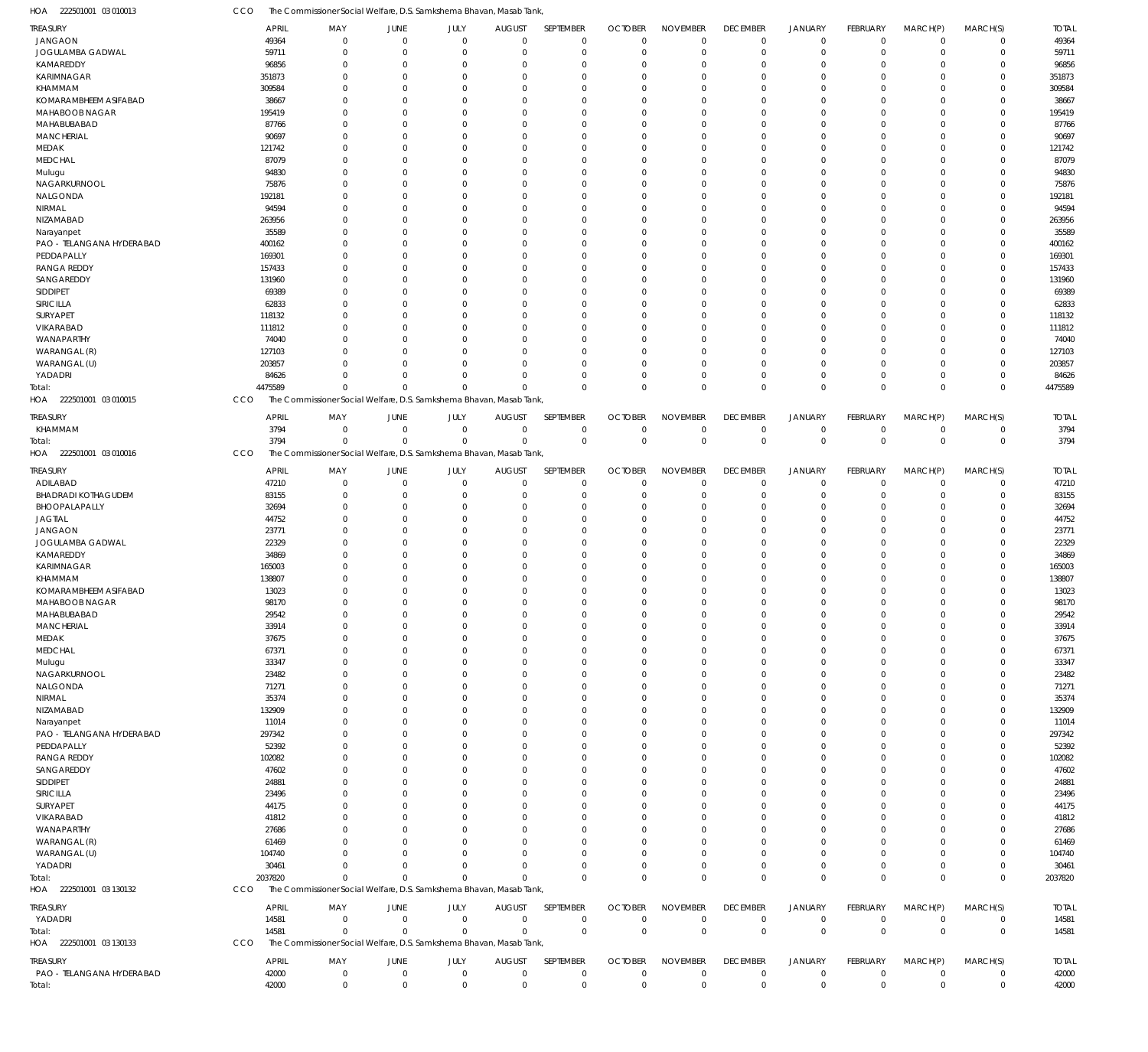CCO The Commissioner Social Welfare, D.S. Samkshema Bhavan, Masab Tank,

| HOA<br>222501001 03 010013            | cco                   | The Commissioner Social Welfare, D.S. Samkshema Bhavan, Masab Tank                 |                               |                      |                                 |                          |                                  |                                |                                   |                               |                         |                         |                            |                       |
|---------------------------------------|-----------------------|------------------------------------------------------------------------------------|-------------------------------|----------------------|---------------------------------|--------------------------|----------------------------------|--------------------------------|-----------------------------------|-------------------------------|-------------------------|-------------------------|----------------------------|-----------------------|
| TREASURY                              | <b>APRIL</b>          | MAY                                                                                | <b>JUNE</b>                   | JULY                 | <b>AUGUST</b>                   | SEPTEMBER                | <b>OCTOBER</b>                   | <b>NOVEMBER</b>                | <b>DECEMBER</b>                   | <b>JANUARY</b>                | FEBRUARY                | MARCH(P)                | MARCH(S)                   | <b>TOTAL</b>          |
| <b>JANGAON</b>                        | 49364                 | $\mathbf 0$                                                                        | $\overline{0}$                | $\mathbf 0$          | $\mathbf 0$                     | $\mathbf 0$              | $\overline{0}$                   | $\mathbf 0$                    | $\mathbf 0$                       | $\mathbf 0$                   | $\mathbf 0$             | $\mathbf 0$             | $\mathbf 0$                | 49364                 |
| JOGULAMBA GADWAL                      | 59711                 | $\mathbf 0$                                                                        | $\overline{0}$                | $\mathbf 0$          | $\mathbf 0$                     | $\mathbf 0$              | $\overline{0}$                   | $\mathbf 0$                    | $\overline{0}$                    | $\mathbf 0$                   | $\mathbf 0$             | $\mathbf 0$             | $\mathbf 0$                | 59711                 |
| KAMAREDDY                             | 96856                 | $\mathbf 0$                                                                        | $\overline{0}$                | $\Omega$             | $\Omega$                        | $\mathbf 0$              | $\Omega$                         | $\Omega$                       | $\mathbf 0$                       | $\mathbf 0$<br>$\Omega$       | $\mathbf 0$             | $\Omega$                | $\mathbf 0$                | 96856                 |
| <b>KARIMNAGAR</b><br>KHAMMAM          | 351873<br>309584      | $\Omega$<br>$\Omega$                                                               | $\overline{0}$<br>$\Omega$    | $\Omega$<br>$\Omega$ | $\Omega$<br>$\Omega$            | $\Omega$<br>$\Omega$     | $\Omega$<br>$\Omega$             | $\Omega$<br>$\Omega$           | $\mathbf 0$<br>$\Omega$           | $\mathbf 0$                   | $\Omega$<br>$\mathbf 0$ | $\Omega$<br>$\Omega$    | $\mathbf 0$<br>$\mathbf 0$ | 351873<br>309584      |
| KOMARAMBHEEM ASIFABAD                 | 38667                 | $\Omega$                                                                           | $\Omega$                      | $\Omega$             | $\Omega$                        | $\Omega$                 | $\Omega$                         | $\Omega$                       | $\Omega$                          | $\Omega$                      | $\Omega$                | $\Omega$                | $\mathbf 0$                | 38667                 |
| MAHABOOB NAGAR                        | 195419                | $\Omega$                                                                           | $\overline{0}$                | $\Omega$             | $\Omega$                        | $\mathbf 0$              | $\Omega$                         | $\Omega$                       | $\mathbf 0$                       | $\mathbf 0$                   | $\mathbf 0$             | $\Omega$                | $\mathbf 0$                | 195419                |
| MAHABUBABAD                           | 87766                 | $\Omega$                                                                           | $\Omega$                      | $\Omega$             | $\Omega$                        | $\Omega$                 | $\Omega$                         | $\Omega$                       | $\Omega$                          | $\Omega$                      | $\Omega$                | $\Omega$                | $\mathbf 0$                | 87766                 |
| MANCHERIAL                            | 90697                 | $\Omega$                                                                           | $\Omega$                      | O                    | $\Omega$                        | $\Omega$                 | $\Omega$                         | $\Omega$                       | $\Omega$                          | $\Omega$                      | $\Omega$                | $\Omega$                | $\mathbf 0$                | 90697                 |
| MEDAK                                 | 121742                | $\Omega$                                                                           | $\Omega$                      | $\Omega$             | $\Omega$                        | $\Omega$                 | $\Omega$                         | $\Omega$                       | $\Omega$                          | $\Omega$                      | $\Omega$                | $\Omega$                | $\mathbf 0$                | 121742                |
| <b>MEDCHAL</b>                        | 87079                 | $\Omega$                                                                           | $\Omega$                      | O                    | $\Omega$                        | $\Omega$                 | $\Omega$                         | $\Omega$                       | $\Omega$                          | $\Omega$                      | $\Omega$                | $\Omega$                | $\mathbf 0$                | 87079                 |
| Mulugu<br>NAGARKURNOOL                | 94830<br>75876        | $\Omega$<br>$\Omega$                                                               | $\Omega$<br>$\Omega$          | $\Omega$<br>O        | $\Omega$<br>$\Omega$            | $\Omega$<br>$\Omega$     | $\Omega$<br>$\Omega$             | $\Omega$<br>$\Omega$           | $\mathbf 0$<br>$\Omega$           | $\Omega$<br>$\Omega$          | $\Omega$<br>$\Omega$    | $\Omega$<br>$\Omega$    | $\mathbf 0$<br>$\mathbf 0$ | 94830<br>75876        |
| NALGONDA                              | 192181                | $\Omega$                                                                           | $\Omega$                      | $\Omega$             | $\Omega$                        | $\Omega$                 | $\Omega$                         | $\Omega$                       | $\Omega$                          | $\Omega$                      | $\Omega$                | $\Omega$                | $\mathbf 0$                | 192181                |
| NIRMAL                                | 94594                 | $\Omega$                                                                           | $\overline{0}$                | O                    | $\Omega$                        | $\mathbf 0$              | $\Omega$                         | $\Omega$                       | $\mathbf 0$                       | $\mathbf 0$                   | $\mathbf 0$             | $\Omega$                | $\mathbf 0$                | 94594                 |
| NIZAMABAD                             | 263956                | $\Omega$                                                                           | $\Omega$                      | $\Omega$             | $\Omega$                        | $\Omega$                 | $\Omega$                         | $\Omega$                       | $\Omega$                          | $\Omega$                      | $\Omega$                | $\Omega$                | $\mathbf 0$                | 263956                |
| Narayanpet                            | 35589                 | $\Omega$                                                                           | $\Omega$                      | O                    | $\Omega$                        | $\Omega$                 | $\Omega$                         | $\Omega$                       | $\Omega$                          | $\Omega$                      | $\Omega$                | $\Omega$                | $\mathbf 0$                | 35589                 |
| PAO - TELANGANA HYDERABAD             | 400162                | $\Omega$                                                                           | $\Omega$                      | $\Omega$             | $\Omega$                        | $\Omega$                 | $\Omega$                         | $\Omega$                       | $\Omega$                          | $\Omega$                      | $\Omega$                | $\Omega$                | $\mathbf 0$                | 400162                |
| PEDDAPALLY                            | 169301                | $\Omega$                                                                           | $\Omega$                      | O                    | $\Omega$                        | $\Omega$                 | $\Omega$                         | $\Omega$                       | $\Omega$                          | $\Omega$                      | $\Omega$                | $\Omega$                | $\mathbf 0$                | 169301                |
| <b>RANGA REDDY</b><br>SANGAREDDY      | 157433<br>131960      | $\Omega$<br>$\Omega$                                                               | $\Omega$<br>$\Omega$          | $\Omega$<br>O        | $\Omega$<br>$\Omega$            | $\Omega$<br>$\Omega$     | $\Omega$<br>$\Omega$             | $\Omega$<br>$\Omega$           | $\mathbf 0$<br>$\Omega$           | $\Omega$<br>$\Omega$          | $\Omega$<br>$\Omega$    | $\Omega$<br>$\Omega$    | $\mathbf 0$<br>$\mathbf 0$ | 157433<br>131960      |
| SIDDIPET                              | 69389                 | $\Omega$                                                                           | $\Omega$                      | $\Omega$             | $\Omega$                        | $\Omega$                 | $\Omega$                         | $\Omega$                       | $\Omega$                          | $\Omega$                      | $\Omega$                | $\Omega$                | $\mathbf 0$                | 69389                 |
| SIRICILLA                             | 62833                 | $\Omega$                                                                           | $\Omega$                      | $\Omega$             | $\Omega$                        | $\Omega$                 | $\Omega$                         | $\Omega$                       | $\mathbf 0$                       | $\mathbf 0$                   | $\mathbf 0$             | $\Omega$                | $\mathbf 0$                | 62833                 |
| SURYAPET                              | 118132                | $\Omega$                                                                           | $\Omega$                      | $\Omega$             | $\Omega$                        | $\Omega$                 | $\Omega$                         | $\Omega$                       | $\Omega$                          | $\Omega$                      | $\Omega$                | $\Omega$                | $\mathbf 0$                | 118132                |
| VIKARABAD                             | 111812                | $\Omega$                                                                           | $\Omega$                      | O                    | $\Omega$                        | $\Omega$                 | $\Omega$                         | $\Omega$                       | $\Omega$                          | $\Omega$                      | $\Omega$                | $\Omega$                | $\mathbf 0$                | 111812                |
| WANAPARTHY                            | 74040                 | $\Omega$                                                                           | $\Omega$                      | $\Omega$             | $\Omega$                        | $\Omega$                 | $\Omega$                         | $\Omega$                       | $\Omega$                          | $\Omega$                      | $\Omega$                | $\Omega$                | $\mathbf 0$                | 74040                 |
| WARANGAL (R)                          | 127103                | $\Omega$                                                                           | $\Omega$                      | $\Omega$             | $\Omega$                        | $\Omega$                 | $\Omega$                         | $\Omega$                       | $\mathbf 0$                       | $\Omega$                      | $\Omega$                | $\Omega$                | $\mathbf 0$                | 127103                |
| WARANGAL (U)                          | 203857                | $\Omega$<br>$\Omega$                                                               | $\Omega$<br>$\Omega$          | $\Omega$<br>$\Omega$ | $\Omega$<br>$\Omega$            | $\Omega$<br>$\Omega$     | $\Omega$                         | $\Omega$<br>$\Omega$           | $\mathbf 0$                       | $\mathbf 0$<br>$\mathbf 0$    | $\mathbf 0$             | $\mathbf 0$             | $\mathbf 0$                | 203857                |
| YADADRI<br>Total:                     | 84626<br>4475589      | $\Omega$                                                                           | $\Omega$                      | $\Omega$             | $\Omega$                        | $\Omega$                 | $\mathbf 0$<br>$\Omega$          | $\Omega$                       | $\mathbf 0$<br>$\Omega$           | $\mathbf 0$                   | $\mathbf 0$<br>$\Omega$ | $\mathbf 0$<br>$\Omega$ | $\mathbf 0$<br>$\mathbf 0$ | 84626<br>4475589      |
| HOA 222501001 03 010015               | CCO                   | The Commissioner Social Welfare, D.S. Samkshema Bhavan, Masab Tank,                |                               |                      |                                 |                          |                                  |                                |                                   |                               |                         |                         |                            |                       |
|                                       |                       |                                                                                    |                               |                      |                                 |                          |                                  |                                |                                   |                               |                         |                         |                            |                       |
| TREASURY<br>KHAMMAM                   | <b>APRIL</b><br>3794  | MAY<br>$\mathbf 0$                                                                 | <b>JUNE</b><br>$\overline{0}$ | JULY<br>$\mathbf 0$  | <b>AUGUST</b><br>$\overline{0}$ | SEPTEMBER<br>$\mathbf 0$ | <b>OCTOBER</b><br>$\overline{0}$ | <b>NOVEMBER</b><br>$\mathbf 0$ | <b>DECEMBER</b><br>$\overline{0}$ | <b>JANUARY</b><br>$\pmb{0}$   | FEBRUARY<br>$\mathbf 0$ | MARCH(P)<br>$\mathbf 0$ | MARCH(S)<br>$\mathbf 0$    | <b>TOTAL</b><br>3794  |
| Total:                                | 3794                  | $\Omega$                                                                           | $\Omega$                      | $\Omega$             | $\Omega$                        | $\mathbf 0$              | $\overline{0}$                   | $\mathbf 0$                    | $\mathbf 0$                       | $\mathbf 0$                   | $\overline{0}$          | $\mathbf 0$             | $\mathbf 0$                | 3794                  |
| 222501001 03 010016<br>HOA            | CCO                   | The Commissioner Social Welfare, D.S. Samkshema Bhavan, Masab Tank,                |                               |                      |                                 |                          |                                  |                                |                                   |                               |                         |                         |                            |                       |
|                                       |                       |                                                                                    |                               |                      |                                 | SEPTEMBER                |                                  |                                |                                   |                               |                         |                         |                            |                       |
| TREASURY<br>ADILABAD                  | <b>APRIL</b><br>47210 | MAY<br>$\mathbf 0$                                                                 | JUNE<br>$\overline{0}$        | JULY<br>$\mathbf 0$  | <b>AUGUST</b><br>$\mathbf 0$    | $\mathbf 0$              | <b>OCTOBER</b><br>$\overline{0}$ | <b>NOVEMBER</b><br>$\mathbf 0$ | <b>DECEMBER</b><br>$\mathbf 0$    | <b>JANUARY</b><br>$\mathbf 0$ | FEBRUARY<br>$\mathbf 0$ | MARCH(P)<br>$\mathbf 0$ | MARCH(S)<br>$\mathbf 0$    | <b>TOTAL</b><br>47210 |
| <b>BHADRADI KOTHAGUDEM</b>            | 83155                 | $\mathbf{0}$                                                                       | $\overline{0}$                | $\mathbf 0$          | $\mathbf 0$                     | $\mathbf 0$              | $\overline{0}$                   | $\mathbf 0$                    | $\mathbf 0$                       | $\mathbf 0$                   | $\mathbf 0$             | $\mathbf 0$             | $\mathbf 0$                | 83155                 |
| BHOOPALAPALLY                         | 32694                 | $\Omega$                                                                           | $\Omega$                      | $\Omega$             | $\Omega$                        | $\Omega$                 | $\Omega$                         | $\Omega$                       | $\mathbf 0$                       | $\mathbf 0$                   | $\mathbf 0$             | $\mathbf 0$             | $\mathbf 0$                | 32694                 |
| <b>JAGTIAL</b>                        | 44752                 | $\Omega$                                                                           | $\overline{0}$                | $\Omega$             | $\Omega$                        | $\mathbf 0$              | $\Omega$                         | $\Omega$                       | $\mathbf 0$                       | $\mathbf 0$                   | $\mathbf 0$             | $\Omega$                | $\mathbf 0$                | 44752                 |
| <b>JANGAON</b>                        | 23771                 | $\Omega$                                                                           | $\Omega$                      | $\Omega$             | $\Omega$                        | $\Omega$                 | $\Omega$                         | $\Omega$                       | $\Omega$                          | $\Omega$                      | $\Omega$                | $\Omega$                | $\mathbf 0$                | 23771                 |
| JOGULAMBA GADWAL                      | 22329                 | $\Omega$                                                                           | $\Omega$                      | O                    | $\Omega$                        | $\mathbf 0$              | $\Omega$                         | $\Omega$                       | $\mathbf 0$                       | $\mathbf 0$                   | $\Omega$                | $\Omega$                | $\mathbf 0$                | 22329                 |
| KAMAREDDY                             | 34869                 | $\Omega$                                                                           | $\Omega$                      | $\Omega$             | $\Omega$                        | $\Omega$                 | $\Omega$                         | $\Omega$                       | $\Omega$                          | $\Omega$                      | $\Omega$                | $\mathbf 0$             | $\mathbf 0$                | 34869                 |
| <b>KARIMNAGAR</b><br>KHAMMAM          | 165003<br>138807      | U<br>O                                                                             | $\Omega$<br>$\Omega$          | O<br>$\Omega$        | $\Omega$<br>$\Omega$            | $\Omega$<br>$\Omega$     | $\Omega$<br>$\Omega$             | $\Omega$<br>$\Omega$           | $\Omega$<br>$\Omega$              | $\Omega$<br>$\Omega$          | $\Omega$<br>$\Omega$    | $\Omega$<br>$\mathbf 0$ | $\mathbf 0$<br>$\mathbf 0$ | 165003<br>138807      |
| KOMARAMBHEEM ASIFABAD                 | 13023                 | $\Omega$                                                                           | $\Omega$                      | $\Omega$             | $\Omega$                        | $\Omega$                 | $\Omega$                         | $\Omega$                       | $\Omega$                          | $\Omega$                      | $\Omega$                | $\Omega$                | $\mathbf 0$                | 13023                 |
| MAHABOOB NAGAR                        | 98170                 | $\mathbf 0$                                                                        | $\Omega$                      | $\Omega$             | $\mathbf 0$                     | $\Omega$                 | $\Omega$                         | $\Omega$                       | $\mathbf 0$                       | $\mathbf 0$                   | $\mathbf 0$             | $\mathbf 0$             | $\mathbf 0$                | 98170                 |
| MAHABUBABAD                           | 29542                 | $\mathbf 0$                                                                        | $\overline{0}$                | $\Omega$             | $\mathbf 0$                     | $\mathbf 0$              | $\overline{0}$                   | $\mathbf 0$                    | $\mathbf 0$                       | $\mathbf 0$                   | $\mathbf 0$             | $\mathbf 0$             | $\mathbf 0$                | 29542                 |
| <b>MANCHERIAL</b>                     | 33914                 | $\mathbf 0$                                                                        | $\overline{0}$                | $\Omega$             | $\Omega$                        | $\mathbf 0$              | $\overline{0}$                   | $\mathbf 0$                    | $\mathbf 0$                       | $\mathbf 0$                   | $\mathbf 0$             | $\mathbf 0$             | $\mathbf 0$                | 33914                 |
| MEDAK                                 | 37675                 | $\mathbf 0$                                                                        | $\overline{0}$                | $\Omega$             | $\Omega$                        | $\mathbf 0$              | $\overline{0}$                   | $\Omega$                       | $\mathbf 0$                       | $\mathbf 0$                   | $\mathbf 0$             | $\Omega$                | 0                          | 37675                 |
| <b>MEDCHAL</b>                        | 67371                 | $\Omega$                                                                           | $\Omega$                      | $\Omega$             | $\Omega$                        | $\Omega$                 | $\mathbf 0$                      | $\Omega$                       | $\mathbf 0$                       | $\Omega$                      | $\Omega$                | $\mathbf 0$             | $\mathbf 0$                | 67371                 |
| Mulugu<br>NAGARKURNOOL                | 33347<br>23482        | $\Omega$<br>$\Omega$                                                               | $\Omega$<br>$\Omega$          | U<br>U               | $\Omega$<br>$\Omega$            | $\Omega$<br>$\Omega$     | $\Omega$<br>$\mathbf 0$          | $\Omega$<br>$\Omega$           | $\mathbf 0$<br>$\mathbf 0$        | $\Omega$<br>$\Omega$          | $\Omega$<br>$\Omega$    | $\Omega$<br>$\Omega$    | 0<br>$\mathbf 0$           | 33347<br>23482        |
| NALGONDA                              | 71271                 | $\Omega$                                                                           | $\Omega$                      | U                    | $\Omega$                        | $\mathbf 0$              | $\Omega$                         | $\Omega$                       | $\mathbf 0$                       | $\mathbf 0$                   | 0                       | $\Omega$                | 0                          | 71271                 |
| NIRMAL                                | 35374                 | $\Omega$                                                                           | $\Omega$                      | $\Omega$             | $\Omega$                        | $\Omega$                 | $\Omega$                         | $\Omega$                       | $\Omega$                          | $\Omega$                      | $\Omega$                | $\Omega$                | $\mathbf 0$                | 35374                 |
| NIZAMABAD                             | 132909                | $\Omega$                                                                           | $\Omega$                      | U                    | $\Omega$                        | $\mathbf 0$              | $\mathbf 0$                      | $\Omega$                       | $\mathbf 0$                       | $\mathbf 0$                   | 0                       | $\Omega$                | 0                          | 132909                |
| Narayanpet                            | 11014                 | $\Omega$                                                                           | $\Omega$                      | U                    | $\Omega$                        | $\Omega$                 | $\Omega$                         | $\Omega$                       | $\Omega$                          | $\Omega$                      | $\Omega$                | $\Omega$                | $\mathbf 0$                | 11014                 |
| PAO - TELANGANA HYDERABAD             | 297342                | $\Omega$                                                                           | $\Omega$                      | U                    | $\Omega$                        | $\Omega$                 | $\Omega$                         | $\Omega$                       | $\mathbf 0$                       | $\Omega$                      | 0                       | $\Omega$                | 0                          | 297342                |
| PEDDAPALLY                            | 52392                 | $\Omega$                                                                           | $\Omega$                      | $\Omega$             | $\Omega$                        | $\Omega$                 | $\Omega$                         | $\Omega$                       | $\mathbf 0$                       | $\Omega$                      | $\Omega$                | $\Omega$                | $\mathbf 0$                | 52392                 |
| <b>RANGA REDDY</b><br>SANGAREDDY      | 102082<br>47602       | $\Omega$<br>$\Omega$                                                               | $\Omega$<br>$\Omega$          | U<br>U               | $\Omega$<br>$\Omega$            | $\Omega$<br>$\Omega$     | $\Omega$<br>$\mathbf 0$          | $\Omega$<br>$\Omega$           | $\Omega$<br>$\mathbf 0$           | $\Omega$<br>$\Omega$          | $\Omega$<br>$\Omega$    | $\Omega$<br>$\Omega$    | 0<br>$\mathbf 0$           | 102082<br>47602       |
| SIDDIPET                              |                       |                                                                                    |                               |                      |                                 | $\Omega$                 | $\Omega$                         | $\Omega$                       | $\mathbf 0$                       | $\Omega$                      | 0                       | $\Omega$                | 0                          | 24881                 |
|                                       |                       |                                                                                    |                               | U                    |                                 |                          |                                  |                                |                                   |                               |                         |                         |                            |                       |
|                                       | 24881                 | $\Omega$<br>$\Omega$                                                               | $\Omega$<br>$\Omega$          | U                    | $\Omega$<br>$\Omega$            | $\Omega$                 | $\Omega$                         | $\Omega$                       | $\Omega$                          | $\Omega$                      | $\Omega$                | $\Omega$                | $\mathbf 0$                |                       |
| SIRICILLA<br>SURYAPET                 | 23496<br>44175        | $\Omega$                                                                           | $\Omega$                      | U                    | $\Omega$                        | 0                        | $\mathbf 0$                      | $\Omega$                       | $\mathbf 0$                       | $\mathbf 0$                   | 0                       | $\Omega$                | 0                          | 23496<br>44175        |
| VIKARABAD                             | 41812                 | $\Omega$                                                                           | $\Omega$                      | U                    | $\Omega$                        | $\Omega$                 | $\Omega$                         | $\Omega$                       | $\Omega$                          | $\Omega$                      | $\Omega$                | $\Omega$                | $\mathbf 0$                | 41812                 |
| WANAPARTHY                            | 27686                 | $\Omega$                                                                           | $\Omega$                      |                      | $\Omega$                        | $\Omega$                 | $\Omega$                         | $\Omega$                       | $\mathbf 0$                       | $\Omega$                      | 0                       | $\Omega$                | 0                          | 27686                 |
| WARANGAL (R)                          | 61469                 | $\Omega$                                                                           | $\Omega$                      | $\Omega$             | $\Omega$                        | $\Omega$                 | $\Omega$                         | $\Omega$                       | $\mathbf 0$                       | $\Omega$                      | $\Omega$                | $\Omega$                | $\mathbf 0$                | 61469                 |
| WARANGAL (U)                          | 104740                | $\Omega$                                                                           | $\Omega$                      | $\Omega$             | $\Omega$                        | $\Omega$                 | $\Omega$                         | $\Omega$                       | $\mathbf 0$                       | $\mathbf 0$                   | 0                       | $\Omega$                | 0                          | 104740                |
| YADADRI                               | 30461                 | $\Omega$                                                                           | $\Omega$                      | $\Omega$             | $\mathbf 0$                     | $\mathbf 0$              | $\mathbf 0$                      | $\mathbf 0$                    | $\mathbf 0$                       | $\mathbf 0$                   | $\mathbf 0$             | $\mathbf 0$             | $\mathbf 0$                | 30461                 |
| Total:                                | 2037820               | $\Omega$                                                                           | $\Omega$                      | $\Omega$             | $\Omega$                        | $\mathbf 0$              | $\Omega$                         | $\mathbf 0$                    | $\mathbf 0$                       | $\mathbf 0$                   | $\mathbf 0$             | $\mathbf 0$             | $\mathbf 0$                | 2037820               |
| HOA 222501001 03 130132               | CCO                   | The Commissioner Social Welfare, D.S. Samkshema Bhavan, Masab Tank,                |                               |                      |                                 |                          |                                  |                                |                                   |                               |                         |                         |                            |                       |
| TREASURY                              | <b>APRIL</b>          | MAY                                                                                | JUNE                          | JULY                 | <b>AUGUST</b>                   | SEPTEMBER                | <b>OCTOBER</b>                   | <b>NOVEMBER</b>                | <b>DECEMBER</b>                   | <b>JANUARY</b>                | FEBRUARY                | MARCH(P)                | MARCH(S)                   | <b>TOTAL</b>          |
| YADADRI                               | 14581                 | $\mathbf 0$                                                                        | $\overline{0}$                | $\overline{0}$       | $\overline{0}$                  | $\mathbf 0$              | $\overline{0}$                   | $\mathbf 0$                    | $\overline{0}$                    | $\pmb{0}$                     | $\mathbf 0$             | $\mathbf 0$             | $\mathbf 0$                | 14581                 |
| Total:<br>HOA 222501001 03 130133     | 14581<br>CCO          | $\mathbf 0$<br>The Commissioner Social Welfare, D.S. Samkshema Bhavan, Masab Tank, | $\overline{0}$                | $\mathbf 0$          | $\overline{0}$                  | $\mathbf 0$              | $\overline{0}$                   | $\mathbf 0$                    | $\overline{0}$                    | $\bf 0$                       | $\overline{0}$          | $\mathbf 0$             | $\mathbf 0$                | 14581                 |
|                                       |                       |                                                                                    |                               |                      |                                 |                          |                                  |                                |                                   |                               |                         |                         |                            |                       |
| TREASURY<br>PAO - TELANGANA HYDERABAD | <b>APRIL</b><br>42000 | MAY<br>$\mathbf 0$                                                                 | <b>JUNE</b><br>$\overline{0}$ | JULY<br>$\mathbf 0$  | <b>AUGUST</b><br>$\overline{0}$ | SEPTEMBER<br>$\mathbf 0$ | <b>OCTOBER</b><br>$\overline{0}$ | <b>NOVEMBER</b><br>$\mathbf 0$ | <b>DECEMBER</b><br>$\mathbf 0$    | <b>JANUARY</b><br>$\pmb{0}$   | FEBRUARY<br>$\mathbf 0$ | MARCH(P)<br>$\mathbf 0$ | MARCH(S)<br>$\mathbf 0$    | <b>TOTAL</b><br>42000 |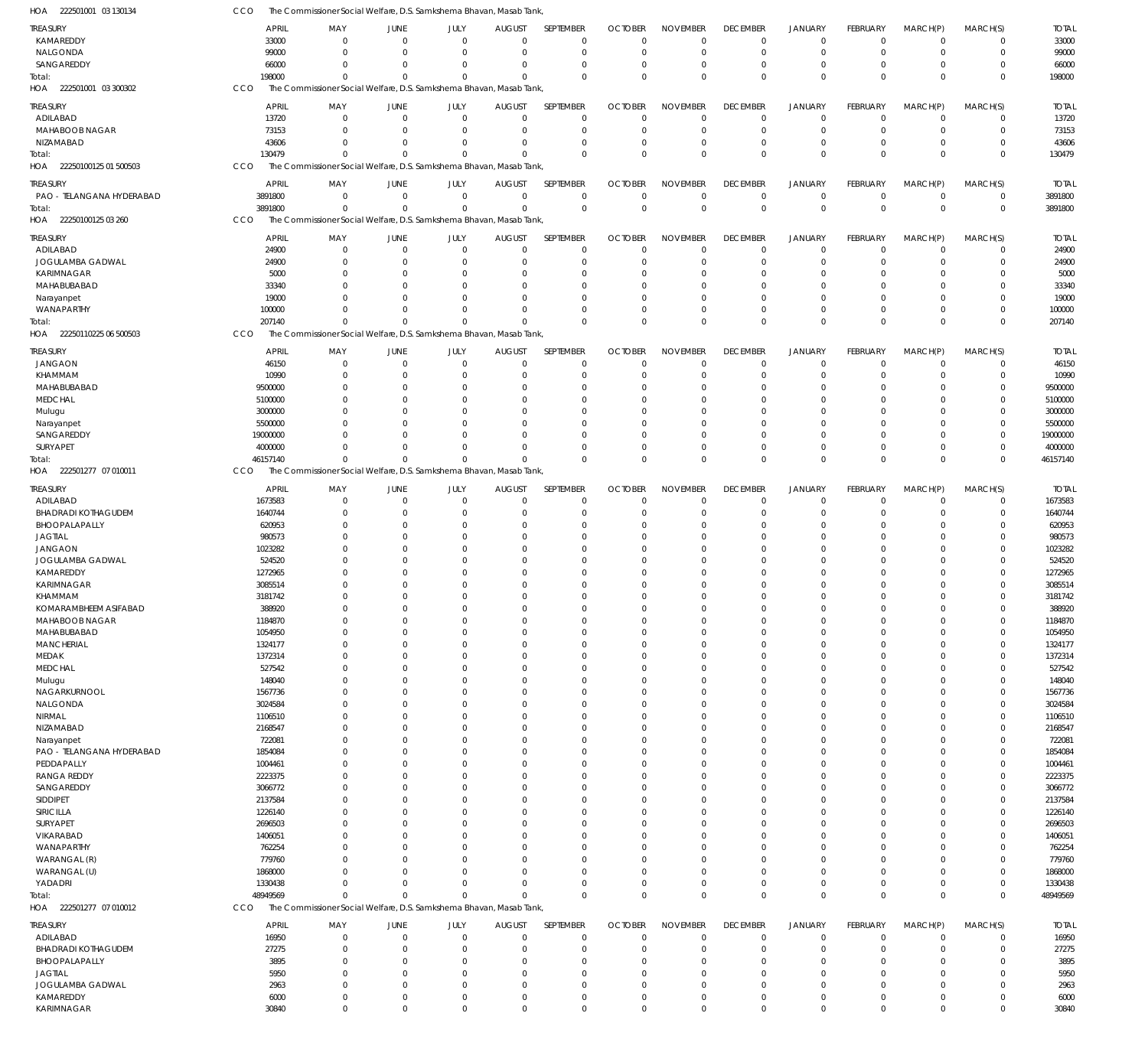| HOA<br>222501001 03 130134   | CCO          | The Commissioner Social Welfare, D.S. Samkshema Bhavan, Masab Tank, |                                     |                            |                            |                        |                |                      |                            |                      |                      |                      |                            |              |
|------------------------------|--------------|---------------------------------------------------------------------|-------------------------------------|----------------------------|----------------------------|------------------------|----------------|----------------------|----------------------------|----------------------|----------------------|----------------------|----------------------------|--------------|
| <b>TREASURY</b>              | <b>APRIL</b> | MAY                                                                 | JUNE                                | JULY                       | <b>AUGUST</b>              | SEPTEMBER              | <b>OCTOBER</b> | <b>NOVEMBER</b>      | <b>DECEMBER</b>            | <b>JANUARY</b>       | FEBRUARY             | MARCH(P)             | MARCH(S)                   | <b>TOTAL</b> |
| KAMAREDDY                    | 33000        |                                                                     | $\overline{0}$<br>$\mathbf 0$       | $\mathbf 0$                | $\mathbf 0$                | $\mathbf 0$            | $\mathbf 0$    | $\mathbf 0$          | $\mathbf 0$                | $\Omega$             | $\mathbf 0$          | $\Omega$             | $\mathbf 0$                | 33000        |
| NALGONDA                     | 99000        |                                                                     | $\overline{0}$<br>$\mathbf 0$       | $\mathbf 0$                | $\mathbf 0$                | $\mathbf 0$            | $\mathbf 0$    | $\mathbf 0$          | $\mathbf 0$                | $\mathbf 0$          | $\mathbf 0$          | $\Omega$             | $\mathbf 0$                | 99000        |
| SANGAREDDY                   | 66000        |                                                                     | $\Omega$<br>$\Omega$                | $\Omega$                   | $\mathbf 0$                | $^{\circ}$             | $\mathbf 0$    | 0                    | $\mathbf 0$                | $\Omega$             | $\Omega$             | $\Omega$             | $\mathbf 0$                | 66000        |
| Total:                       | 198000       |                                                                     | $\Omega$<br>$\Omega$                | $\Omega$                   | $\mathbf 0$                | $\Omega$               | $\mathbf 0$    | $\Omega$             | $\mathbf 0$                | $\Omega$             | $\Omega$             | $\Omega$             | $\mathbf 0$                | 198000       |
| 222501001 03 300302<br>HOA   | CCO          | The Commissioner Social Welfare, D.S. Samkshema Bhavan, Masab Tank, |                                     |                            |                            |                        |                |                      |                            |                      |                      |                      |                            |              |
|                              |              |                                                                     |                                     |                            |                            |                        |                |                      |                            |                      |                      |                      |                            |              |
| <b>TREASURY</b>              | <b>APRIL</b> | MAY                                                                 | JUNE                                | JULY                       | <b>AUGUST</b>              | SEPTEMBER              | <b>OCTOBER</b> | <b>NOVEMBER</b>      | <b>DECEMBER</b>            | JANUARY              | <b>FEBRUARY</b>      | MARCH(P)             | MARCH(S)                   | <b>TOTAL</b> |
| ADILABAD                     | 13720        |                                                                     | $\overline{0}$<br>$\mathbf 0$       | $\overline{0}$             | $\mathbf 0$                | $\mathbf 0$            | $\mathbf 0$    | 0                    | $\mathbf 0$                | $\mathbf 0$          | $\mathbf 0$          | $\Omega$             | $\mathbf 0$                | 13720        |
| <b>MAHABOOB NAGAR</b>        | 73153        |                                                                     | $\mathbf 0$<br>$\mathbf 0$          | $\mathbf 0$                | $\mathbf 0$                | $^{\circ}$             | $\mathbf 0$    | 0                    | $\mathbf 0$                | 0                    | $\mathbf 0$          | $\Omega$             | $\mathbf 0$                | 73153        |
| NIZAMABAD                    | 43606        |                                                                     | $\Omega$<br>$\mathbf 0$             | $\mathbf 0$                | $\mathbf 0$                | $^{\circ}$             | $\mathbf 0$    | 0                    | $\mathbf 0$                | 0                    | $\mathbf 0$          | $\Omega$             | $\mathbf 0$                | 43606        |
| Total:                       | 130479       |                                                                     | $\Omega$<br>$\Omega$                | $\Omega$                   | $\mathbf 0$                | $\Omega$               | $\mathbf 0$    | $\Omega$             | $\mathbf 0$                | $\Omega$             | $\mathbf 0$          | $\Omega$             | $\mathbf 0$                | 130479       |
| 22250100125 01 500503<br>HOA | CCO          | The Commissioner Social Welfare, D.S. Samkshema Bhavan, Masab Tank, |                                     |                            |                            |                        |                |                      |                            |                      |                      |                      |                            |              |
| <b>TREASURY</b>              | <b>APRIL</b> | MAY                                                                 | JUNE                                | JULY                       | <b>AUGUST</b>              | <b>SEPTEMBER</b>       | <b>OCTOBER</b> | <b>NOVEMBER</b>      | <b>DECEMBER</b>            | JANUARY              | FEBRUARY             | MARCH(P)             | MARCH(S)                   | <b>TOTAL</b> |
| PAO - TELANGANA HYDERABAD    | 3891800      |                                                                     | $\overline{0}$                      | $\mathbf 0$<br>$\mathbf 0$ | $\mathbf 0$                | $\mathbf 0$            | $\mathbf 0$    | $\mathbf 0$          | $\mathbf 0$                | $\mathbf 0$          | $\mathbf 0$          | $\Omega$             | $\mathbf 0$                | 3891800      |
| Total:                       | 3891800      |                                                                     | $\mathbf 0$<br>$\overline{0}$       | $\mathbf 0$                | $\mathbf 0$                | $\mathbf 0$            | $\mathbf 0$    | $\mathbf 0$          | $\mathbf 0$                | $\mathbf 0$          | $\mathbf 0$          | $\Omega$             | $\mathbf 0$                | 3891800      |
| 22250100125 03 260<br>HOA    | CCO          | The Commissioner Social Welfare, D.S. Samkshema Bhavan, Masab Tank, |                                     |                            |                            |                        |                |                      |                            |                      |                      |                      |                            |              |
| <b>TREASURY</b>              | <b>APRIL</b> | MAY                                                                 | JUNE                                | JULY                       | <b>AUGUST</b>              | SEPTEMBER              | <b>OCTOBER</b> | <b>NOVEMBER</b>      | <b>DECEMBER</b>            | JANUARY              | FEBRUARY             | MARCH(P)             | MARCH(S)                   | <b>TOTAL</b> |
|                              | 24900        |                                                                     | $\mathbf 0$<br>$\mathbf 0$          | $\mathbf 0$                | $\mathbf 0$                | $^{\circ}$             | $\mathbf 0$    | $\mathbf 0$          |                            | $\mathbf 0$          |                      |                      | $\mathbf 0$                | 24900        |
| ADILABAD                     |              |                                                                     |                                     |                            |                            |                        |                |                      | $\mathbf 0$                |                      | $\mathbf 0$          | 0                    |                            |              |
| JOGULAMBA GADWAL             | 24900        |                                                                     | $\overline{0}$<br>$\mathbf 0$       | $\mathbf 0$                | $\mathbf 0$                | $^{\circ}$             | $\mathbf 0$    | 0                    | $\mathbf 0$                | $\Omega$             | $\mathbf 0$          | $\Omega$             | $\mathbf 0$                | 24900        |
| KARIMNAGAR                   | 5000         |                                                                     | $\mathbf 0$<br>0                    | 0                          | $\mathbf 0$                | -0                     | $\mathbf 0$    | 0                    | $\mathbf 0$                | -0                   | $\Omega$             | $\Omega$             | $\mathbf 0$                | 5000         |
| MAHABUBABAD                  | 33340        |                                                                     | $\Omega$<br>$\Omega$                | $\Omega$<br>$\Omega$       | $\mathbf 0$                | -0                     | $\mathbf 0$    | $\Omega$             | $\mathbf 0$                | $\Omega$             | $\Omega$<br>$\Omega$ | $\Omega$             | $\Omega$                   | 33340        |
| Narayanpet                   | 19000        |                                                                     | $\mathbf 0$<br>$\Omega$<br>$\Omega$ |                            | $\mathbf 0$<br>$\mathbf 0$ | -0                     | $\mathbf 0$    | 0                    | $\mathbf 0$                | $\Omega$             | $\mathbf 0$          | $\Omega$<br>$\Omega$ | $\mathbf 0$<br>$\mathbf 0$ | 19000        |
| WANAPARTHY                   | 100000       |                                                                     | $\mathbf 0$<br>$\Omega$<br>$\Omega$ | $\mathbf 0$<br>$\Omega$    | $\mathbf 0$                | $^{\circ}$<br>$\Omega$ | $\mathbf 0$    | $\Omega$<br>$\Omega$ | $\mathbf 0$<br>$\mathsf 0$ | $\Omega$<br>$\Omega$ | $\mathbf 0$          | $\Omega$             | $\mathbf 0$                | 100000       |
| Total:                       | 207140       |                                                                     |                                     |                            |                            |                        | $\mathbf 0$    |                      |                            |                      |                      |                      |                            | 207140       |
| 22250110225 06 500503<br>HOA | CCO          | The Commissioner Social Welfare, D.S. Samkshema Bhavan, Masab Tank, |                                     |                            |                            |                        |                |                      |                            |                      |                      |                      |                            |              |
| <b>TREASURY</b>              | <b>APRIL</b> | MAY                                                                 | JUNE                                | JULY                       | <b>AUGUST</b>              | SEPTEMBER              | <b>OCTOBER</b> | <b>NOVEMBER</b>      | <b>DECEMBER</b>            | JANUARY              | FEBRUARY             | MARCH(P)             | MARCH(S)                   | <b>TOTAL</b> |
| <b>JANGAON</b>               | 46150        |                                                                     | $\overline{0}$<br>$\mathbf 0$       | $\mathbf 0$                | $\mathbf 0$                | $\mathbf 0$            | $\mathbf 0$    | $\mathbf 0$          | $\mathbf 0$                | $\mathbf 0$          | $\mathbf 0$          | $\Omega$             | $\mathbf 0$                | 46150        |
| KHAMMAM                      | 10990        |                                                                     | $\mathbf 0$<br>$\mathbf 0$          | 0                          | $\mathbf 0$                | $^{\circ}$             | $\Omega$       | $\Omega$             | $\mathbf 0$                | $\Omega$             | $\Omega$             | $\Omega$             | $\Omega$                   | 10990        |
| MAHABUBABAD                  | 9500000      |                                                                     | $\Omega$<br>$\Omega$                | $\Omega$                   | $\mathbf 0$                | $\Omega$               | $\mathbf 0$    | 0                    | $\mathbf 0$                | $\Omega$             | $\Omega$             | $\Omega$             | $\Omega$                   | 9500000      |
| <b>MEDCHAL</b>               | 5100000      |                                                                     | $\Omega$<br>$\Omega$                | $\Omega$                   | $\mathbf 0$                | $\Omega$               | $\mathbf 0$    | 0                    | $\mathbf 0$                | $\Omega$             | $\Omega$             | $\Omega$             | $\Omega$                   | 5100000      |
| Mulugu                       | 3000000      |                                                                     | $\Omega$<br>$\Omega$                | $\Omega$                   | $\mathbf 0$                | $\Omega$               | $\mathbf 0$    | $\Omega$             | $\Omega$                   | $\Omega$             | $\Omega$             | $\Omega$             | $\Omega$                   | 3000000      |
| Narayanpet                   | 5500000      |                                                                     | $\Omega$<br>$\Omega$                | $\Omega$                   | $\mathbf 0$                | $\Omega$               | $\mathbf 0$    | $\Omega$             | $\mathbf 0$                | $\Omega$             | $\Omega$             | $\Omega$             | $\Omega$                   | 5500000      |
| SANGAREDDY                   | 19000000     |                                                                     | $\Omega$<br>$\Omega$                | $\Omega$                   | $\mathbf 0$                | $\Omega$               | $\mathbf 0$    | $\Omega$             | $\Omega$                   | $\Omega$             | $\Omega$             | $\Omega$             | $\Omega$                   | 19000000     |
| SURYAPET                     | 4000000      |                                                                     | $\Omega$<br>$\Omega$                | $\Omega$                   | $\mathbf 0$                | $\Omega$               | $\mathbf 0$    | $\mathbf 0$          | $\mathbf 0$                | $\Omega$             | $\Omega$             | $\Omega$             | $\mathbf 0$                | 4000000      |
| Total:                       | 46157140     |                                                                     | $\Omega$<br>$\Omega$                | $\Omega$                   | $\Omega$                   | $\Omega$               | $\mathbf{0}$   | $\Omega$             | $\mathbf 0$                | $\Omega$             | $\mathbf 0$          | $\Omega$             | $\mathbf 0$                | 46157140     |
| 222501277 07 010011<br>HOA   | CCO          | The Commissioner Social Welfare, D.S. Samkshema Bhavan, Masab Tank, |                                     |                            |                            |                        |                |                      |                            |                      |                      |                      |                            |              |
|                              |              |                                                                     |                                     |                            |                            |                        |                |                      |                            |                      |                      |                      |                            |              |
| <b>TREASURY</b>              | <b>APRIL</b> | MAY                                                                 | <b>JUNE</b>                         | JULY                       | <b>AUGUST</b>              | SEPTEMBER              | <b>OCTOBER</b> | <b>NOVEMBER</b>      | <b>DECEMBER</b>            | JANUARY              | <b>FEBRUARY</b>      | MARCH(P)             | MARCH(S)                   | <b>TOTAL</b> |
| ADILABAD                     | 1673583      |                                                                     | $\mathbf 0$<br>$\mathbf 0$          | $\mathbf 0$                | $\mathbf 0$                | $^{\circ}$             | $\mathbf 0$    | $\Omega$             | $\mathbf 0$                | $\Omega$             | $\mathbf 0$          | $\Omega$             | $\mathbf 0$                | 1673583      |
| <b>BHADRADI KOTHAGUDEM</b>   | 1640744      |                                                                     | $\mathbf 0$<br>$\mathbf 0$          | 0                          | $\mathbf 0$                | $^{\circ}$             | $\mathbf 0$    | O                    | $\mathbf 0$                | $\Omega$             | $\mathbf 0$          | $\Omega$             | $\mathbf 0$                | 1640744      |
| BHOOPALAPALLY                | 620953       |                                                                     | $\mathbf 0$<br>$\mathbf 0$          | 0                          | $\mathbf 0$                | -0                     | $\mathbf 0$    | $\Omega$             | $\mathbf 0$                | $\Omega$             | $\Omega$             | $\Omega$             | $\Omega$                   | 620953       |
| <b>JAGTIAL</b>               | 980573       |                                                                     | $\Omega$<br>0                       | $\Omega$                   | $\mathbf 0$                | -0                     | $\mathbf 0$    | $\Omega$             | $\mathbf 0$                | $\Omega$             | $\Omega$             | $\Omega$             | $\Omega$                   | 980573       |
| JANGAON                      | 1023282      |                                                                     | $\Omega$<br>$\mathbf 0$             | 0                          | $\mathbf 0$                | -0                     | $\mathbf 0$    | $\Omega$             | $\mathbf 0$                | -0                   | $\Omega$             | $\Omega$             | $\Omega$                   | 1023282      |
| JOGULAMBA GADWAL             | 524520       |                                                                     | $\Omega$<br>$\Omega$                | 0                          | $\mathbf 0$                | -0                     | $\mathbf 0$    | $\Omega$             | $\mathbf 0$                | $\Omega$             | $\Omega$             | $\Omega$             | $\Omega$                   | 524520       |
| KAMAREDDY                    | 1272965      |                                                                     | $\Omega$<br>$\Omega$                | $\Omega$                   | $\mathbf 0$                | -0                     | $\mathbf 0$    | $\Omega$             | $\Omega$                   | -0                   | $\Omega$             | $\Omega$             | $\Omega$                   | 1272965      |
| <b>KARIMNAGAR</b>            | 3085514      |                                                                     | $\Omega$<br>0                       | $\mathbf 0$                | $\mathbf 0$                | -0                     | $\mathbf 0$    | $\Omega$             | $\mathbf 0$                | $\Omega$             | $\Omega$             | $\Omega$             | $\mathbf 0$                | 3085514      |
| KHAMMAM                      | 3181742      |                                                                     | $\Omega$<br>$\Omega$                | $\Omega$                   | $\mathbf 0$                | $\Omega$               | $\mathbf 0$    | $\Omega$             | $\mathbf 0$                | $\Omega$             | $\mathbf 0$          | $\Omega$             | $\Omega$                   | 3181742      |
| KOMARAMBHEEM ASIFABAD        | 388920       |                                                                     | 0<br>0                              | 0                          | 0                          | -0                     | $\Omega$       |                      | $\Omega$                   |                      | $\Omega$             |                      | $\mathbf 0$                | 388920       |
| <b>MAHABOOB NAGAR</b>        | 1184870      |                                                                     | $\mathbf 0$<br>$\mathbf 0$          | 0                          | $\mathbf 0$                | $\mathbf 0$            | $\mathbf 0$    | $\Omega$             | $\mathbf 0$                | $\Omega$             | $\mathbf 0$          | $\Omega$             | $\mathbf 0$                | 1184870      |
| MAHABUBABAD                  | 1054950      |                                                                     | $\mathbf 0$<br>$\mathbf 0$          | $\mathbf 0$                | $\mathbf 0$                | $^{\circ}$             | $\mathbf 0$    | 0                    | $\mathbf 0$                | $\Omega$             | $\mathbf 0$          | $\Omega$             | $\mathbf 0$                | 1054950      |
| <b>MANCHERIAL</b>            | 1324177      |                                                                     | $\mathbf 0$<br>$\Omega$             | 0                          | $\mathbf 0$                | $^{\circ}$             | $\mathbf 0$    | $\Omega$             | $\mathbf 0$                | $\Omega$             | $\Omega$             | $\Omega$             | $\mathbf 0$                | 1324177      |
| MEDAK                        | 1372314      |                                                                     | 0<br>$\Omega$                       | 0                          | $\mathbf 0$                | -0                     | $\mathbf 0$    | $\Omega$             | $\mathbf 0$                | -C                   | $\Omega$             | $\Omega$             | $\mathbf 0$                | 1372314      |
| <b>MEDCHAL</b>               | 527542       |                                                                     | $\mathbf 0$<br>$\Omega$             | 0                          | $\mathbf 0$                | $^{\circ}$             | $\mathbf 0$    | $\Omega$             | $\mathbf 0$                | -C                   | $\Omega$             | $\Omega$             | $\mathbf 0$                | 527542       |
| Mulugu                       | 148040       |                                                                     | 0<br>0                              | 0                          | $\mathbf 0$                | -0                     | $\mathbf 0$    | 0                    | $\mathbf 0$                | -C                   | $\Omega$             | $\Omega$             | $\mathbf 0$                | 148040       |
| NAGARKURNOOL                 | 1567736      |                                                                     | $\mathbf 0$<br>$\Omega$             | 0                          | $\mathbf 0$                | $^{\circ}$             | $\mathbf 0$    | $\Omega$             | $\mathbf 0$                | -C                   | $\Omega$             | $\Omega$             | $\Omega$                   | 1567736      |
| NALGONDA                     | 3024584      |                                                                     | 0<br>$\Omega$                       | 0                          | $\mathbf 0$                | -0                     | $\mathbf 0$    | 0                    | $\mathbf 0$                | -0                   | $\Omega$             | $\Omega$             | $\mathbf 0$                | 3024584      |
| NIRMAL                       | 1106510      |                                                                     | $\mathbf 0$<br>$\Omega$             | 0                          | $\mathbf 0$                | $^{\circ}$             | $\mathbf 0$    | $\Omega$             | $\mathbf 0$                | -C                   | $\Omega$             | $\Omega$             | $\Omega$                   | 1106510      |
| NIZAMABAD                    | 2168547      |                                                                     | 0<br>$\Omega$                       | 0                          | $\mathbf 0$                | -0                     | $\mathbf 0$    | $\Omega$             | $\mathbf 0$                | -C                   | $\Omega$             | $\Omega$             | $\mathbf 0$                | 2168547      |
| Narayanpet                   | 722081       |                                                                     | $\mathbf 0$<br>$\Omega$             | 0                          | $\mathbf 0$                | $^{\circ}$             | $\mathbf 0$    | 0                    | $\mathbf 0$                | -0                   | $\Omega$             | $\Omega$             | $\mathbf 0$                | 722081       |
| PAO - TELANGANA HYDERABAD    | 1854084      |                                                                     | $\Omega$<br>$\Omega$                | 0                          | $\mathbf 0$                | -0                     | $\mathbf 0$    | $\Omega$             | $\mathbf 0$                | -C                   | $\Omega$             | $\Omega$             | $\mathbf 0$                | 1854084      |
| PEDDAPALLY                   | 1004461      |                                                                     | $\mathbf 0$<br>$\Omega$             | 0                          | $\mathbf 0$                | $^{\circ}$             | $\mathbf 0$    | $\Omega$             | $\mathbf 0$                | -C                   | $\Omega$             | $\Omega$             | $\mathbf 0$                | 1004461      |
| <b>RANGA REDDY</b>           | 2223375      |                                                                     | 0<br>$\Omega$                       | 0                          | $\mathbf 0$                | -0                     | $\mathbf 0$    | 0                    | $\mathbf 0$                | -C                   | $\Omega$             | $\Omega$             | $\mathbf 0$                | 2223375      |
| SANGAREDDY                   | 3066772      |                                                                     | $\mathbf 0$<br>$\Omega$             | 0                          | $\mathbf 0$                | $^{\circ}$             | $\mathbf 0$    | $\Omega$             | $\Omega$                   | -C                   | $\Omega$             | $\Omega$             | $\Omega$                   | 3066772      |
| SIDDIPET                     | 2137584      |                                                                     | 0<br>$\Omega$                       | 0                          | $\mathbf 0$                | -0                     | $\mathbf 0$    | 0                    | $\mathbf 0$                | -0                   | $\Omega$             | $\Omega$             | $\mathbf 0$                | 2137584      |
| SIRICILLA                    | 1226140      |                                                                     | $\mathbf 0$<br>$\Omega$             | 0                          | $\mathbf 0$                | $^{\circ}$             | $\mathbf 0$    | $\Omega$             | $\mathbf 0$                | -C                   | $\Omega$             | $\Omega$             | $\Omega$                   | 1226140      |
| SURYAPET                     | 2696503      |                                                                     | 0<br>$\Omega$                       | 0                          | $\mathbf 0$                | -0                     | $\mathbf 0$    | $\Omega$             | $\mathbf 0$                | -C                   | $\Omega$             | $\Omega$             | $\mathbf 0$                | 2696503      |
| VIKARABAD                    | 1406051      |                                                                     | $\mathbf 0$<br>$\Omega$             | 0                          | $\mathbf 0$                | $^{\circ}$             | $\mathbf 0$    | 0                    | $\mathbf 0$                | -C                   | $\Omega$             | $\Omega$             | $\mathbf 0$                | 1406051      |
| WANAPARTHY                   | 762254       |                                                                     | $\Omega$<br>$\Omega$                | 0                          | $\mathbf 0$                | -0                     | $\mathbf 0$    | $\Omega$             | $\mathbf 0$                | -C                   | $\Omega$             | $\Omega$             | $\mathbf 0$                | 762254       |
| WARANGAL (R)                 | 779760       |                                                                     | $\Omega$<br>$\Omega$                | $\Omega$                   | $\mathbf 0$                | $^{\circ}$             | $\mathbf 0$    | $\Omega$             | $\mathbf 0$                | -C                   | $\Omega$             | $\Omega$             | $\mathbf 0$                | 779760       |
| WARANGAL (U)                 | 1868000      |                                                                     | $\mathbf 0$<br>0                    | $\mathbf 0$                | $\mathbf 0$                | -0                     | $\mathbf 0$    | 0                    | $\mathbf 0$                | -0                   | $\Omega$             | $\Omega$             | $\mathbf 0$                | 1868000      |
| YADADRI                      | 1330438      |                                                                     | $\mathbf 0$<br>$\Omega$             | $\mathbf 0$                | $\mathbf 0$                | $^{\circ}$             | $\mathbf 0$    | 0                    | $\mathbf 0$                | $\Omega$             | $\mathbf 0$          | $\Omega$             | $\mathbf 0$                | 1330438      |
| Total:                       | 48949569     |                                                                     | $\Omega$<br>$\Omega$                | $\Omega$                   | $\mathbf 0$                | $\overline{0}$         | $\mathbf 0$    | $\mathbf 0$          | $\mathsf 0$                | $\Omega$             | $\mathbf 0$          | $\Omega$             | $\mathbf 0$                | 48949569     |
| 222501277 07 010012<br>HOA   | CCO          | The Commissioner Social Welfare, D.S. Samkshema Bhavan, Masab Tank, |                                     |                            |                            |                        |                |                      |                            |                      |                      |                      |                            |              |
| <b>TREASURY</b>              | <b>APRIL</b> | MAY                                                                 | JUNE                                | JULY                       | <b>AUGUST</b>              | SEPTEMBER              | <b>OCTOBER</b> | <b>NOVEMBER</b>      | <b>DECEMBER</b>            | JANUARY              | FEBRUARY             | MARCH(P)             | MARCH(S)                   | <b>TOTAL</b> |
| ADILABAD                     | 16950        |                                                                     | $\overline{0}$<br>$\mathbf 0$       | $\mathbf 0$                | $\mathbf 0$                | $\mathbf 0$            | $\mathbf 0$    | $\mathbf 0$          | $\mathbf 0$                | $\mathbf 0$          | $\mathbf 0$          | $\Omega$             | $\mathbf 0$                | 16950        |
| <b>BHADRADI KOTHAGUDEM</b>   | 27275        |                                                                     | $\mathbf 0$<br>$\mathbf 0$          | $\mathbf 0$                | $\mathbf 0$                | $^{\circ}$             | $\mathbf 0$    | 0                    | $\mathbf 0$                | $\mathbf 0$          | $\mathbf 0$          | $\Omega$             | $\mathbf 0$                | 27275        |
| BHOOPALAPALLY                | 3895         |                                                                     | $\mathbf 0$<br>$\Omega$             | $\mathbf 0$                | $\mathbf 0$                | -0                     | $\mathbf 0$    | 0                    | $\mathbf 0$                | $\Omega$             | $\Omega$             | $\Omega$             | $\mathbf 0$                | 3895         |
| <b>JAGTIAL</b>               | 5950         |                                                                     | $\mathbf 0$<br>$\Omega$             | $\Omega$                   | $\mathbf 0$                | $\Omega$               | $\Omega$       | $\Omega$             | $\mathbf 0$                | $\Omega$             | $\Omega$             | $\Omega$             | $\mathbf 0$                | 5950         |
| JOGULAMBA GADWAL             | 2963         |                                                                     | $\mathbf 0$<br>$\Omega$             | $\mathbf 0$                | $\mathbf 0$                | $^{\circ}$             | $\mathbf 0$    | $\mathbf 0$          | $\mathbf 0$                | $\Omega$             | $\Omega$             | $\Omega$             | $\mathbf 0$                | 2963         |
| KAMAREDDY                    | 6000         |                                                                     | $\mathbf 0$<br>$\mathbf 0$          | $\mathbf 0$                | $\mathbf 0$                | 0                      | $\mathbf 0$    | $\mathbf 0$          | $\mathbf 0$                | $\mathbf 0$          | $\mathbf 0$          | $\mathbf 0$          | $\mathbf 0$                | 6000         |
| <b>KARIMNAGAR</b>            | 30840        |                                                                     | $\mathbf 0$                         | $\mathbf 0$<br>$\mathbf 0$ | $\mathbf 0$                | $\mathbf 0$            | $\mathbf 0$    | $\mathbf 0$          | $\mathbf 0$                | $\Omega$             | $\mathbf 0$          | $\Omega$             | $\mathbf 0$                | 30840        |
|                              |              |                                                                     |                                     |                            |                            |                        |                |                      |                            |                      |                      |                      |                            |              |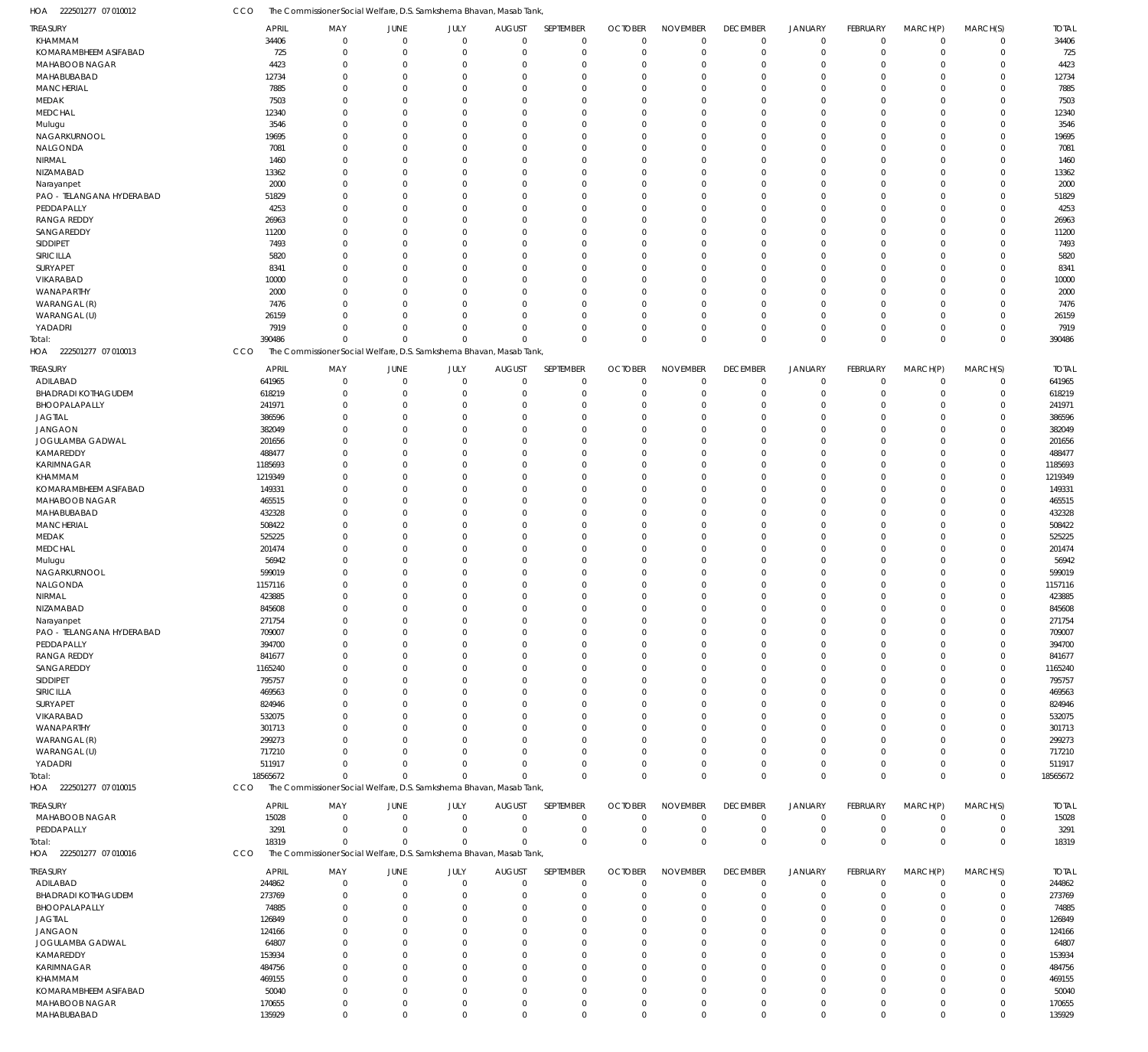| HOA 222501277 07 010012                 | CCO                    | The Commissioner Social Welfare, D.S. Samkshema Bhavan, Masab Tank                 |                               |                          |                                 |                            |                               |                             |                                   |                               |                            |                            |                            |                        |
|-----------------------------------------|------------------------|------------------------------------------------------------------------------------|-------------------------------|--------------------------|---------------------------------|----------------------------|-------------------------------|-----------------------------|-----------------------------------|-------------------------------|----------------------------|----------------------------|----------------------------|------------------------|
| TREASURY                                | <b>APRIL</b>           | MAY                                                                                | JUNE                          | JULY                     | <b>AUGUST</b>                   | SEPTEMBER                  | <b>OCTOBER</b>                | <b>NOVEMBER</b>             | <b>DECEMBER</b>                   | <b>JANUARY</b>                | <b>FEBRUARY</b>            | MARCH(P)                   | MARCH(S)                   | <b>TOTAL</b>           |
| KHAMMAM                                 | 34406                  | $\Omega$                                                                           | $\overline{0}$                | $\mathbf 0$              | $\mathbf 0$                     | 0                          | $\mathbf 0$                   | $\Omega$                    | $\mathbf 0$                       | $\mathbf 0$                   | $\overline{0}$             | $\overline{0}$             | $\mathbf 0$                | 34406                  |
| KOMARAMBHEEM ASIFABAD<br>MAHABOOB NAGAR | 725<br>4423            | $\mathbf 0$<br>$\mathbf 0$                                                         | $\overline{0}$<br>$\mathbf 0$ | $\mathbf{0}$<br>$\Omega$ | $\mathbf 0$<br>0                | $\mathbf 0$<br>$\mathbf 0$ | $\mathbf 0$<br>$\Omega$       | $\Omega$<br>$\Omega$        | $\mathbf 0$<br>$\overline{0}$     | $\mathbf 0$<br>$\overline{0}$ | $\mathbf 0$<br>$\Omega$    | $\overline{0}$<br>$\Omega$ | $\mathbf 0$<br>$\mathbf 0$ | 725<br>4423            |
| MAHABUBABAD                             | 12734                  | $\Omega$                                                                           | $\mathbf 0$                   | $\Omega$                 | $\Omega$                        | $\mathbf 0$                | $\Omega$                      | $\Omega$                    | $\Omega$                          | $\Omega$                      | $\Omega$                   | $\Omega$                   | $\mathbf 0$                | 12734                  |
| <b>MANCHERIAL</b>                       | 7885                   | $\Omega$                                                                           | $\mathbf 0$                   | $\Omega$                 | $\Omega$                        | $\mathbf 0$                | $\Omega$                      | $\Omega$                    | $\Omega$                          | $\Omega$                      | $\Omega$                   | $\Omega$                   | $\mathbf 0$                | 7885                   |
| MEDAK                                   | 7503                   | $\Omega$                                                                           | $\mathbf 0$                   | $\Omega$                 | $\mathbf 0$                     | $\mathbf 0$                | $\Omega$                      | $\Omega$                    | $\Omega$                          | $\Omega$                      | $\Omega$                   | $\Omega$                   | $\mathbf 0$                | 7503                   |
| <b>MEDCHAL</b>                          | 12340                  | $\Omega$                                                                           | $\overline{0}$                | $\Omega$                 | $\overline{0}$                  | $\mathbf 0$                | $\Omega$                      | $\Omega$                    | $\Omega$                          | $\Omega$                      | $\Omega$                   | $\Omega$                   | $\mathbf 0$                | 12340                  |
| Mulugu                                  | 3546                   | $\Omega$                                                                           | $\Omega$                      | $\Omega$                 | $\Omega$                        | $\mathbf 0$                | $\Omega$                      | $\Omega$                    | $\Omega$                          | $\Omega$                      | $\Omega$                   | $\Omega$                   | $\mathbf 0$                | 3546                   |
| NAGARKURNOOL                            | 19695                  | $\Omega$                                                                           | $\overline{0}$                | $\Omega$                 | $\overline{0}$                  | $\mathbf 0$                | $\Omega$                      | $\Omega$                    | $\Omega$                          | $\Omega$                      | $\Omega$                   | $\Omega$                   | $\mathbf 0$                | 19695                  |
| NALGONDA                                | 7081                   | $\Omega$                                                                           | $\mathbf 0$                   | $\Omega$                 | $\Omega$                        | $\mathbf 0$                | $\Omega$                      | $\Omega$                    | $\Omega$                          | $\Omega$                      | $\Omega$                   | $\Omega$                   | $\mathbf 0$                | 7081                   |
| NIRMAL                                  | 1460                   | $\Omega$                                                                           | $\overline{0}$                | $\Omega$                 | $\Omega$                        | $\mathbf 0$                | $\Omega$                      | $\Omega$                    | $\Omega$                          | $\Omega$                      | $\Omega$                   | $\Omega$                   | $\mathbf 0$                | 1460                   |
| NIZAMABAD                               | 13362                  | $\Omega$                                                                           | $\overline{0}$                | $\Omega$                 | $\overline{0}$                  | $\mathbf 0$                | $\Omega$                      | $\Omega$                    | $\Omega$                          | $\Omega$                      | $\Omega$                   | $\Omega$                   | $\mathbf 0$                | 13362                  |
| Narayanpet                              | 2000                   | $\Omega$                                                                           | $\overline{0}$                | $\Omega$                 | $\overline{0}$                  | $\mathbf 0$                | $\Omega$                      | $\Omega$                    | $\Omega$                          | $\Omega$                      | $\Omega$                   | $\Omega$                   | $\mathbf 0$                | 2000                   |
| PAO - TELANGANA HYDERABAD               | 51829                  | $\Omega$                                                                           | $\Omega$                      | $\Omega$                 | $\Omega$                        | $\mathbf 0$                | $\Omega$                      | $\Omega$                    | $\Omega$                          | $\Omega$                      | $\Omega$                   | $\Omega$                   | $\mathbf 0$                | 51829                  |
| PEDDAPALLY                              | 4253                   | $\Omega$                                                                           | $\overline{0}$                | $\Omega$                 | $\overline{0}$                  | $\mathbf 0$                | $\Omega$                      | $\Omega$                    | $\Omega$                          | $\Omega$                      | $\Omega$                   | $\Omega$                   | $\mathbf 0$                | 4253                   |
| <b>RANGA REDDY</b>                      | 26963                  | $\Omega$                                                                           | $\overline{0}$                | $\Omega$                 | $\overline{0}$                  | $\mathbf 0$                | $\Omega$                      | $\Omega$                    | $\Omega$                          | $\Omega$                      | $\Omega$                   | $\Omega$                   | $\mathbf 0$                | 26963                  |
| SANGAREDDY                              | 11200                  | $\Omega$                                                                           | $\mathbf{0}$                  | $\Omega$                 | $\Omega$                        | $\mathbf 0$                | $\Omega$                      | $\Omega$                    | $\Omega$                          | $\Omega$                      | $\Omega$                   | $\Omega$                   | $\mathbf 0$                | 11200                  |
| SIDDIPET                                | 7493                   | $\Omega$                                                                           | $\Omega$                      | $\Omega$                 | $\Omega$                        | $\mathbf 0$                | $\Omega$                      | $\Omega$                    | $\Omega$                          | $\Omega$                      | $\Omega$                   | $\Omega$                   | $\mathbf 0$                | 7493                   |
| SIRICILLA                               | 5820                   | $\Omega$                                                                           | $\overline{0}$                | $\Omega$                 | $\overline{0}$                  | $\mathbf 0$                | $\Omega$                      | $\Omega$                    | $\Omega$                          | $\Omega$                      | $\Omega$                   | $\Omega$                   | $\mathbf 0$                | 5820                   |
| SURYAPET                                | 8341                   | $\Omega$                                                                           | $\mathbf{0}$                  | $\Omega$                 | $\Omega$                        | $\mathbf 0$                | $\Omega$                      | $\Omega$                    | $\Omega$                          | $\Omega$                      | $\Omega$                   | $\Omega$                   | $\mathbf 0$                | 8341                   |
| VIKARABAD                               | 10000                  | $\Omega$                                                                           | $\Omega$                      | $\Omega$                 | $\Omega$                        | $\mathbf 0$                | $\Omega$                      | $\Omega$                    | $\Omega$                          | $\Omega$                      | $\Omega$                   | $\Omega$                   | $\mathbf 0$                | 10000                  |
| WANAPARTHY                              | 2000                   | $\Omega$                                                                           | $\Omega$                      | $\Omega$                 | $\Omega$                        | $\mathbf 0$                | $\Omega$                      | $\Omega$                    | $\Omega$                          | $\Omega$                      | $\Omega$                   | $\Omega$                   | $\mathbf 0$                | 2000                   |
| WARANGAL (R)<br>WARANGAL (U)            | 7476                   | $\Omega$<br>$\Omega$                                                               | $\overline{0}$<br>$\Omega$    | $\Omega$<br>$\Omega$     | $\overline{0}$<br>$\Omega$      | $\mathbf 0$                | $\Omega$<br>$\Omega$          | $\Omega$<br>$\Omega$        | $\overline{0}$<br>$\Omega$        | $\Omega$<br>$\Omega$          | $\Omega$<br>$\Omega$       | $\Omega$<br>$\Omega$       | $\mathbf 0$<br>$\mathbf 0$ | 7476                   |
| YADADRI                                 | 26159<br>7919          | $\Omega$                                                                           | $\Omega$                      | $\Omega$                 | $\overline{0}$                  | $\mathbf 0$<br>$\mathbf 0$ | $\Omega$                      | $\Omega$                    | $\Omega$                          | $\mathbf 0$                   | $\Omega$                   | $\mathbf 0$                | $\mathbf 0$                | 26159<br>7919          |
| Total:                                  | 390486                 | $\mathbf{0}$                                                                       | $\Omega$                      | $\Omega$                 | $\Omega$                        | $\mathbf 0$                | $\Omega$                      | $\Omega$                    | $\mathbf 0$                       | $\mathbf{0}$                  | $\Omega$                   | $\Omega$                   | $\mathbf 0$                | 390486                 |
| 222501277 07 010013<br>HOA              | CCO                    | The Commissioner Social Welfare, D.S. Samkshema Bhavan, Masab Tank,                |                               |                          |                                 |                            |                               |                             |                                   |                               |                            |                            |                            |                        |
| TREASURY                                | <b>APRIL</b>           | MAY                                                                                | JUNE                          | JULY                     | <b>AUGUST</b>                   | SEPTEMBER                  | <b>OCTOBER</b>                | <b>NOVEMBER</b>             | <b>DECEMBER</b>                   | <b>JANUARY</b>                | FEBRUARY                   | MARCH(P)                   | MARCH(S)                   | <b>TOTAL</b>           |
| ADILABAD                                | 641965                 | $\mathbf 0$                                                                        | $\overline{0}$                | $\mathbf 0$              | $\mathbf 0$                     | $\mathbf 0$                | $\mathbf 0$                   | $\mathbf 0$                 | $\overline{0}$                    | $\mathbf 0$                   | $\overline{0}$             | $\mathbf 0$                | 0                          | 641965                 |
| <b>BHADRADI KOTHAGUDEM</b>              | 618219                 | $\Omega$                                                                           | $\overline{0}$                | $\Omega$                 | 0                               | $\mathbf 0$                | 0                             | $\Omega$                    | $\overline{0}$                    | $\overline{0}$                | 0                          | $\mathbf 0$                | $\mathsf 0$                | 618219                 |
| BHOOPALAPALLY                           | 241971                 | $\Omega$                                                                           | $\overline{0}$                | $\Omega$                 | 0                               | $\mathbf 0$                | $\Omega$                      | $\Omega$                    | $\Omega$                          | $\overline{0}$                | $\Omega$                   | $\Omega$                   | $\mathbf 0$                | 241971                 |
| <b>JAGTIAL</b>                          | 386596                 | $\mathbf 0$                                                                        | $\overline{0}$                | $\Omega$                 | $\overline{0}$                  | $\mathbf 0$                | $\Omega$                      | $\Omega$                    | $\overline{0}$                    | $\overline{0}$                | $\Omega$                   | $\Omega$                   | $\mathsf 0$                | 386596                 |
| <b>JANGAON</b>                          | 382049                 | $\Omega$                                                                           | $\overline{0}$                | $\Omega$                 | 0                               | $\mathbf 0$                | $\Omega$                      | $\Omega$                    | $\Omega$                          | $\Omega$                      | $\Omega$                   | $\Omega$                   | $\mathbf 0$                | 382049                 |
| JOGULAMBA GADWAL                        | 201656                 | $\Omega$                                                                           | $\Omega$                      | $\Omega$                 | $\overline{0}$                  | $\mathbf 0$                | $\Omega$                      | $\Omega$                    | $\Omega$                          | $\Omega$                      | $\Omega$                   | $\Omega$                   | $\mathbf 0$                | 201656                 |
| KAMAREDDY                               | 488477                 | $\Omega$                                                                           | $\overline{0}$                | $\Omega$                 | $\overline{0}$                  | $\mathbf 0$                | $\Omega$                      | $\Omega$                    | $\Omega$                          | $\Omega$                      | $\Omega$                   | $\Omega$                   | $\mathbf 0$                | 488477                 |
| KARIMNAGAR                              | 1185693                | $\Omega$                                                                           | $\overline{0}$                | $\Omega$                 | $\overline{0}$                  | $\mathbf 0$                | $\Omega$                      | $\Omega$                    | $\Omega$                          | $\Omega$                      | $\Omega$                   | $\Omega$                   | $\mathsf 0$                | 1185693                |
| KHAMMAM                                 | 1219349                | $\Omega$                                                                           | $\Omega$                      | $\Omega$                 | $\Omega$                        | $\mathbf 0$                | $\Omega$                      | $\Omega$                    | $\Omega$                          | $\Omega$                      | $\Omega$                   | $\Omega$                   | $\mathbf 0$                | 1219349                |
| KOMARAMBHEEM ASIFABAD                   | 149331                 | $\Omega$                                                                           | $\overline{0}$                | $\Omega$                 | $\overline{0}$                  | $\mathbf 0$                | $\Omega$                      | $\Omega$                    | $\Omega$                          | $\Omega$                      | $\Omega$                   | $\Omega$                   | $\mathbf 0$                | 149331                 |
| MAHABOOB NAGAR                          | 465515                 | $\Omega$                                                                           | $\overline{0}$                | $\Omega$                 | 0                               | $\mathbf 0$                | $\Omega$                      | $\Omega$                    | $\Omega$                          | $\Omega$                      | $\Omega$                   | $\Omega$                   | $\mathbf 0$                | 465515                 |
| MAHABUBABAD                             | 432328                 | $\Omega$                                                                           | $\Omega$                      | $\Omega$                 | 0                               | $\mathbf 0$                | $\Omega$                      | $\Omega$                    | $\Omega$                          | $\Omega$                      | $\Omega$                   | $\Omega$                   | $\mathbf 0$                | 432328                 |
| <b>MANCHERIAL</b>                       | 508422                 | $\Omega$                                                                           | $\mathbf 0$                   | $\Omega$                 | 0                               | $\mathbf 0$                | $\Omega$                      | $\Omega$                    | $\Omega$                          | $\Omega$                      | $\Omega$                   | $\Omega$                   | $\mathbf 0$                | 508422                 |
| MEDAK                                   | 525225                 | $\mathbf 0$                                                                        | $\overline{0}$                | $\Omega$                 | $\overline{0}$                  | $\mathbf 0$                | $\Omega$                      | $\Omega$                    | $\Omega$                          | $\Omega$                      | $\Omega$                   | $\Omega$                   | $\mathsf 0$                | 525225                 |
| <b>MEDCHAL</b>                          | 201474                 | $\Omega$                                                                           | $\overline{0}$                | $\Omega$                 | 0                               | $\mathbf 0$                | $\Omega$                      | $\Omega$                    | $\Omega$                          | $\Omega$                      | $\Omega$                   | $\Omega$                   | $\mathbf 0$                | 201474                 |
| Mulugu                                  | 56942                  | $\Omega$                                                                           | $\Omega$                      | $\Omega$                 | $\overline{0}$                  | $\mathbf 0$                | $\Omega$                      | $\Omega$                    | $\Omega$                          | $\Omega$                      | $\Omega$                   | $\Omega$                   | $\mathbf 0$                | 56942                  |
| NAGARKURNOOL                            | 599019                 | $\Omega$                                                                           | $\overline{0}$                | $\Omega$                 | $\overline{0}$                  | $\mathbf 0$                | $\Omega$                      | $\Omega$                    | $\Omega$                          | $\Omega$                      | $\Omega$                   | $\Omega$                   | $\mathbf 0$                | 599019                 |
| NALGONDA<br>NIRMAL                      | 1157116<br>423885      | $\Omega$<br>$\Omega$                                                               | $\overline{0}$<br>$\mathbf 0$ | $\Omega$<br>$\Omega$     | $\overline{0}$<br>$\mathbf 0$   | $\mathbf 0$<br>$\mathbf 0$ | $\Omega$<br>$\Omega$          | $\Omega$<br>$\Omega$        | $\Omega$<br>$\Omega$              | $\Omega$<br>$\mathbf 0$       | $\Omega$<br>$\Omega$       | $\Omega$<br>$\Omega$       | $\mathbf 0$<br>$\mathbf 0$ | 1157116<br>423885      |
| NIZAMABAD                               | 845608                 | 0                                                                                  | $\Omega$                      |                          | 0                               | 0                          | -0                            |                             |                                   | $\Omega$                      | 0                          | O                          | 0                          | 845608                 |
| Narayanpet                              | 271754                 | $\mathbf 0$                                                                        | $\overline{0}$                | 0                        | 0                               | $\mathbf 0$                | 0                             | $\Omega$                    | $\Omega$                          | $\overline{0}$                | 0                          | $\Omega$                   | $\mathbf 0$                | 271754                 |
| PAO - TELANGANA HYDERABAD               | 709007                 | $\Omega$                                                                           | $\overline{0}$                | 0                        | 0                               | $\mathbf 0$                | $\Omega$                      | $\Omega$                    | $\Omega$                          | $\Omega$                      | $\Omega$                   | $\Omega$                   | $\mathbf 0$                | 709007                 |
| PEDDAPALLY                              | 394700                 | 0                                                                                  | $\Omega$                      | O                        | $\Omega$                        | $\mathbf 0$                | $\Omega$                      | $\Omega$                    | $\Omega$                          | $\Omega$                      | $\Omega$                   | $\Omega$                   | $\mathbf 0$                | 394700                 |
| <b>RANGA REDDY</b>                      | 841677                 | $\Omega$                                                                           | 0                             | 0                        | 0                               | $\mathbf 0$                | 0                             | $\Omega$                    | $\Omega$                          | $\Omega$                      | $\Omega$                   | $\Omega$                   | 0                          | 841677                 |
| SANGAREDDY                              | 1165240                | <sup>0</sup>                                                                       | $\Omega$                      | O                        | 0                               | $\mathbf 0$                | $\Omega$                      | $\Omega$                    |                                   | $\Omega$                      | $\Omega$                   | $\Omega$                   | $\mathbf 0$                | 1165240                |
| SIDDIPET                                | 795757                 | 0                                                                                  | $\Omega$                      | O                        | $\Omega$                        | $\mathbf 0$                | $\Omega$                      | $\Omega$                    | $\Omega$                          | $\Omega$                      | $\Omega$                   | $\Omega$                   | $\mathbf 0$                | 795757                 |
| SIRICILLA                               | 469563                 | 0                                                                                  | $\Omega$                      |                          | $\Omega$                        | $\mathbf 0$                | $\Omega$                      | $\Omega$                    |                                   | $\Omega$                      | $\Omega$                   | $\Omega$                   | $\mathbf 0$                | 469563                 |
| SURYAPET                                | 824946                 | 0                                                                                  | $\Omega$                      | n                        | 0                               | $\mathbf 0$                | $\Omega$                      | $\Omega$                    | $\Omega$                          | $\Omega$                      | 0                          | $\Omega$                   | $\mathbf 0$                | 824946                 |
| VIKARABAD                               | 532075                 | <sup>0</sup>                                                                       | $\Omega$                      | n                        | 0                               | $\mathbf 0$                | $\Omega$                      | $\Omega$                    |                                   | $\Omega$                      | $\Omega$                   | $\Omega$                   | $\mathbf 0$                | 532075                 |
| WANAPARTHY                              | 301713                 | 0                                                                                  | $\Omega$                      | n                        | 0                               | $\mathbf 0$                | $\Omega$                      | $\Omega$                    | $\Omega$                          | $\Omega$                      | $\Omega$                   | $\Omega$                   | $\mathbf 0$                | 301713                 |
| WARANGAL (R)                            | 299273                 |                                                                                    | $\Omega$                      |                          | $\Omega$                        | $\mathbf 0$                | $\Omega$                      | $\Omega$                    | $\Omega$                          | $\Omega$                      | $\Omega$                   | $\Omega$                   | $\mathbf 0$                | 299273                 |
| WARANGAL (U)                            | 717210                 | <sup>0</sup>                                                                       | $\Omega$                      | <sup>0</sup>             | $\Omega$                        | $\mathbf 0$                | $\Omega$                      | $\Omega$                    | $\Omega$                          | $\Omega$                      | $\Omega$                   | $\Omega$                   | $\mathbf 0$                | 717210                 |
| YADADRI                                 | 511917                 | $\Omega$                                                                           | $\Omega$                      | $\Omega$                 | $\overline{0}$                  | $\mathbf 0$                | $\Omega$                      | $\Omega$                    | $^{\circ}$                        | $\overline{0}$                | 0                          | $\mathbf 0$                | $\mathbf 0$                | 511917                 |
| Total:<br>HOA 222501277 07 010015       | 18565672               | $\mathbf 0$<br>The Commissioner Social Welfare, D.S. Samkshema Bhavan, Masab Tank, | $\Omega$                      | $\Omega$                 | $\Omega$                        | $\mathbf 0$                | $\Omega$                      | $\Omega$                    | $\mathbf 0$                       | $\mathbf 0$                   | $\Omega$                   | $\mathbf 0$                | $\mathbf 0$                | 18565672               |
|                                         | CCO                    |                                                                                    |                               |                          |                                 |                            |                               |                             |                                   |                               |                            |                            |                            |                        |
| TREASURY                                | <b>APRIL</b>           | MAY                                                                                | JUNE                          | JULY                     | <b>AUGUST</b>                   | SEPTEMBER                  | <b>OCTOBER</b>                | <b>NOVEMBER</b>             | <b>DECEMBER</b>                   | <b>JANUARY</b>                | FEBRUARY                   | MARCH(P)                   | MARCH(S)                   | <b>TOTAL</b>           |
| MAHABOOB NAGAR                          | 15028                  | $\mathbf 0$                                                                        | $\overline{0}$                | $\mathbf 0$              | $\mathbf 0$                     | $\mathbf 0$                | $\mathbf 0$                   | $\Omega$                    | $\mathbf 0$                       | $\mathbf 0$                   | $\overline{0}$             | $\mathbf 0$                | $\mathbf 0$                | 15028                  |
| PEDDAPALLY                              | 3291                   | $\mathbf 0$                                                                        | $\overline{0}$                | $\mathbf{0}$             | $\mathbf 0$                     | $\mathbf 0$                | $\mathbf 0$                   | $\Omega$                    | $\mathbf 0$                       | $\mathbf 0$                   | $\mathbf 0$                | $\mathbf 0$                | 0                          | 3291                   |
| Total:<br>HOA 222501277 07 010016       | 18319<br>CCO           | $\Omega$<br>The Commissioner Social Welfare, D.S. Samkshema Bhavan, Masab Tank,    | $\Omega$                      | $\Omega$                 | $\Omega$                        | $\mathbf 0$                | $\mathbf 0$                   | $\Omega$                    | $\mathbf 0$                       | $\mathbf 0$                   | $\Omega$                   | $\Omega$                   | $\mathbf 0$                | 18319                  |
|                                         |                        |                                                                                    |                               |                          |                                 |                            |                               |                             |                                   |                               |                            |                            |                            |                        |
| TREASURY<br>ADILABAD                    | <b>APRIL</b><br>244862 | MAY<br>$\mathbf 0$                                                                 | JUNE<br>$\mathbf 0$           | JULY<br>$\mathbf 0$      | <b>AUGUST</b><br>$\overline{0}$ | SEPTEMBER<br>$\mathbf 0$   | <b>OCTOBER</b><br>$\mathbf 0$ | <b>NOVEMBER</b><br>$\Omega$ | <b>DECEMBER</b><br>$\overline{0}$ | <b>JANUARY</b><br>$\mathbf 0$ | FEBRUARY<br>$\overline{0}$ | MARCH(P)<br>$\mathbf 0$    | MARCH(S)<br>$\mathbf 0$    | <b>TOTAL</b><br>244862 |
| <b>BHADRADI KOTHAGUDEM</b>              | 273769                 | $\mathbf 0$                                                                        | $\overline{0}$                | 0                        | 0                               | $\mathbf 0$                | O                             | $\Omega$                    | $^{\circ}$                        | $\overline{0}$                | 0                          | $\mathbf 0$                | $\mathsf 0$                | 273769                 |
| BHOOPALAPALLY                           | 74885                  | $\Omega$                                                                           | $\overline{0}$                | 0                        | 0                               | $\mathbf 0$                | $\Omega$                      | $\Omega$                    | $\Omega$                          | $\overline{0}$                | $\Omega$                   | $\Omega$                   | $\mathbf 0$                | 74885                  |
| <b>JAGTIAL</b>                          | 126849                 | $\Omega$                                                                           | $\Omega$                      | 0                        | 0                               | $\mathbf 0$                | $\Omega$                      | $\Omega$                    | $\Omega$                          | $\Omega$                      | $\Omega$                   | $\Omega$                   | $\mathbf 0$                | 126849                 |
| <b>JANGAON</b>                          | 124166                 | 0                                                                                  | $\Omega$                      | 0                        | 0                               | $\mathbf 0$                | $\Omega$                      | $\Omega$                    |                                   | $\Omega$                      | $\Omega$                   | $\Omega$                   | $\mathbf 0$                | 124166                 |
| JOGULAMBA GADWAL                        | 64807                  | 0                                                                                  | $\Omega$                      | n                        | 0                               | $\mathbf 0$                | $\Omega$                      | $\Omega$                    |                                   | $\Omega$                      | 0                          | $\Omega$                   | $\mathbf 0$                | 64807                  |
| KAMAREDDY                               | 153934                 | <sup>0</sup>                                                                       | $\Omega$                      | O                        | $\Omega$                        | $\mathbf 0$                | $\Omega$                      | $\Omega$                    |                                   | $\Omega$                      | $\Omega$                   | $\Omega$                   | $\mathbf 0$                | 153934                 |
| KARIMNAGAR                              | 484756                 | $\Omega$                                                                           | $\Omega$                      | 0                        | 0                               | $\mathbf 0$                | $\Omega$                      | $\Omega$                    | $\Omega$                          | $\Omega$                      | $\Omega$                   | $\Omega$                   | $\mathbf 0$                | 484756                 |
| KHAMMAM                                 | 469155                 | $\Omega$                                                                           | $\Omega$                      |                          | $\Omega$                        | $\mathbf 0$                | $\Omega$                      | $\Omega$                    |                                   | $\Omega$                      | $\Omega$                   | $\Omega$                   | $\mathbf 0$                | 469155                 |
| KOMARAMBHEEM ASIFABAD                   | 50040                  | $\Omega$                                                                           | $\Omega$                      | <sup>0</sup>             | 0                               | $\mathbf 0$                | $\Omega$                      | $\Omega$                    | $\Omega$                          | $\Omega$                      | $\Omega$                   | $\Omega$                   | $\mathbf 0$                | 50040                  |
| MAHABOOB NAGAR                          | 170655                 | $\mathbf 0$                                                                        | $\mathbf{0}$                  | $\mathbf 0$              | $\overline{0}$                  | $\mathbf 0$                | 0                             | $\Omega$                    | $^{\circ}$                        | $\overline{0}$                | 0                          | $\overline{0}$             | $\mathbf 0$                | 170655                 |
| MAHABUBABAD                             | 135929                 | $\mathbf 0$                                                                        | $\mathbf 0$                   | $\mathbf 0$              | $\mathbf 0$                     | $\mathbf 0$                | $\mathbf 0$                   | $\mathbf 0$                 | $\mathbf 0$                       | $\mathbb O$                   | $\mathbf 0$                | $\mathbf 0$                | $\mathbf 0$                | 135929                 |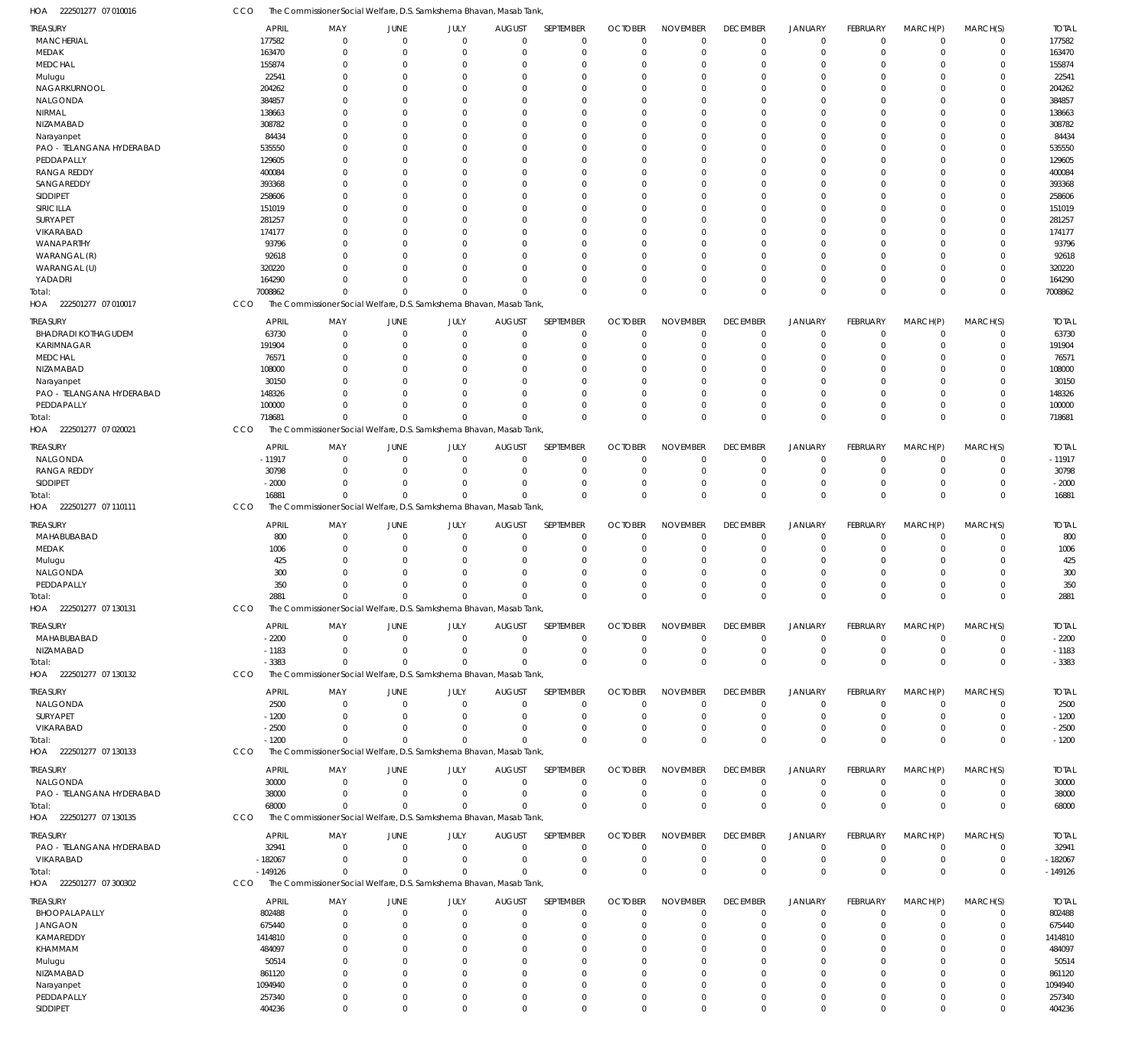222501277 07 010016 HOA 222501277 07 010017 HOA 222501277 07 020021 HOA 222501277 07 110111 HOA 222501277 07 130131 HOA 222501277 07 130132 HOA 222501277 07 130133 HOA 222501277 07 130135 HOA 222501277 07 300302 HOA The Commissioner Social Welfare, D.S. Samkshema Bhavan, Masab Tank, The Commissioner Social Welfare, D.S. Samkshema Bhavan, Masab Tank, The Commissioner Social Welfare, D.S. Samkshema Bhavan, Masab Tank, The Commissioner Social Welfare, D.S. Samkshema Bhavan, Masab Tank, The Commissioner Social Welfare, D.S. Samkshema Bhavan, Masab Tank, The Commissioner Social Welfare, D.S. Samkshema Bhavan, Masab Tank, The Commissioner Social Welfare, D.S. Samkshema Bhavan, Masab Tank, The Commissioner Social Welfare, D.S. Samkshema Bhavan, Masab Tank, CCO CCO **CCO** CCO CCO CCO **CCO CCO** 7008862 718681 16881 2881 -3383 -1200 68000 -149126 0 0  $\Omega$  $\Omega$ 0 0 0  $\Omega$ 0 0 0 0 0 0  $\,$  0  $\,$  $\Omega$ 0 0 0 0 0 0 0  $\Omega$  $\Omega$ 0  $\Omega$  $\Omega$ 0 0 0  $\Omega$  $\Omega$  $\overline{0}$  $\Omega$  $\Omega$  $\Omega$ 0 0  $\Omega$  $\Omega$ 0  $\Omega$  $\Omega$  $\Omega$ 0 0  $\Omega$ 0 0  $\Omega$  $\Omega$ 0 0  $\,$  0  $\,$  $\Omega$ 0 0  $\Omega$  $\Omega$ 0 0 0  $\Omega$  $\Omega$ 0  $\Omega$  $\Omega$ 0 0 0  $\Omega$ 0  $\overline{0}$  $\Omega$ 0 0 0 0  $\Omega$  $\Omega$  $\overline{0}$  $\Omega$  $\Omega$  $\Omega$ 0 0  $\Omega$  $\Omega$ 0  $\Omega$  $\Omega$  $\Omega$ 0 0  $\Omega$ 7008862 718681 16881 2881 -3383 -1200 68000 -149126 **MANCHERIAL** MEDAK **MEDCHAL** Mulugu NAGARKURNOOL NALGONDA NIRMAL NIZAMABAD Narayanpet PAO - TELANGANA HYDERABAD PEDDAPALLY RANGA REDDY SANGAREDDY SIDDIPET SIRICILLA SURYAPET VIKARABAD WANAPARTHY WARANGAL (R) WARANGAL (U) YADADRI BHADRADI KOTHAGUDEM KARIMNAGAR MEDCHAL NIZAMABAD Narayanpet PAO - TELANGANA HYDERABAD PEDDAPALLY NALGONDA RANGA REDDY SIDDIPET MAHABUBABAD MEDAK Mulugu NALGONDA PEDDAPALLY MAHABUBABAD NIZAMABAD NALGONDA **SURYAPET** VIKARABAD NALGONDA PAO - TELANGANA HYDERABAD PAO - TELANGANA HYDERABAD VIKARABAD BHOOPALAPALLY JANGAON KAMAREDDY KHAMMAM Mulugu NIZAMABAD Narayanpet PEDDAPALLY SIDDIPET TREASURY TREASURY TREASURY **TREASURY** TREASURY TREASURY **TREASURY** TREASURY TREASURY 177582 163470 155874 22541 204262 384857 138663 308782 84434 535550 129605 400084 393368 258606 151019 281257 174177 93796 92618 320220 164290 63730 191904 76571 108000 30150 148326 100000 -11917 30798 -2000 800 1006 425 300 350 -2200 -1183 2500 -1200  $-2500$ 30000 38000 32941 -182067 802488 675440 1414810 484097 50514 861120 1094940 257340 404236 APRIL APRIL APRIL APRIL APRIL APRIL APRIL APRIL APRIL  $\Omega$ 0  $\Omega$ 0  $\Omega$  $\Omega$ 0  $\Omega$  $\Omega$ 0  $\Omega$ 0  $\Omega$ 0 0  $\Omega$  $\Omega$  $\Omega$ 0  $\Omega$ 0  $\Omega$  $\Omega$ 0 0  $\Omega$  $\Omega$  $\Omega$ 0 0  $\Omega$ 0  $\Omega$ 0 0  $\Omega$ 0  $\Omega$ 0 0  $\Omega$ 0  $\Omega$ 0 0  $\Omega$ 0 0  $\Omega$ 0  $\Omega$ 0 0 MAY MAY MAY MAY MAY MAY MAY MAY MAY 0 0  $\Omega$ 0 0  $\Omega$ 0  $\Omega$ 0 0 0 0  $\Omega$ 0 0 0 0  $\Omega$ 0  $\Omega$ 0 0  $\Omega$ 0 0 0 0 0 0 0 0 0  $\Omega$ 0 0 0 0  $\Omega$ 0 0  $\Omega$ 0  $\Omega$  $\,$   $\,$   $\,$ 0  $\Omega$ 0 0 0 0  $\Omega$ 0 0 0 JUNE JUNE **JUNE** JUNE JUNE JUNE JUNE JUNE JUNE 0 0  $\Omega$ 0 0  $\Omega$ 0  $\Omega$ 0 0  $\Omega$ 0  $\Omega$ 0 0  $\Omega$  $\Omega$  $\Omega$ 0  $\Omega$ 0 0  $\Omega$ 0 0  $\Omega$ 0 0 0 0 0 0  $\Omega$ 0 0 0 0  $\Omega$ 0 0  $\Omega$ 0  $\Omega$ 0 0  $\Omega$ 0 0 0 0  $\Omega$ 0 0 0 JULY JULY JULY JULY JULY JULY JULY JULY JULY 0 0  $\Omega$ 0 0  $\Omega$ 0  $\Omega$ 0 0  $\Omega$ 0  $\Omega$ 0 0  $\Omega$  $\Omega$  $\Omega$ 0  $\Omega$ 0 0  $\Omega$ 0 0  $\Omega$ 0  $\Omega$ 0 0  $\,$   $\,$   $\,$ 0  $\Omega$ 0 0  $\Omega$ 0  $\Omega$ 0 0  $\Omega$ 0  $\Omega$  $\,$   $\,$   $\,$  $\Omega$  $\Omega$ 0 0  $\Omega$ 0  $\Omega$ 0 0  $\,$   $\,$   $\,$ AUGUST AUGUST AUGUST AUGUST AUGUST **AUGUST** AUGUST AUGUST AUGUST  $\Omega$  $\overline{0}$  $\Omega$ 0 0  $\Omega$ 0  $\Omega$  $\Omega$ 0  $\Omega$  $\overline{0}$  $\Omega$ 0 0  $\Omega$  $\Omega$  $\Omega$  $\theta$  $\Omega$ 0  $\Omega$  $\Omega$ 0 0  $\Omega$  $\Omega$  $\Omega$ 0 0 0 0  $\Omega$ 0 0  $\Omega$ 0  $\Omega$ 0 0  $\Omega$ 0  $\Omega$ 0  $\Omega$  $\Omega$ 0 0  $\Omega$ 0  $\Omega$ 0 0 0 SEPTEMBER SEPTEMBER **SEPTEMBER** SEPTEMBER **SEPTEMBER** SEPTEMBER **SEPTEMBER** SEPTEMBER SEPTEMBER  $\Omega$ 0  $\Omega$ 0  $\Omega$  $\sqrt{2}$ 0  $\Omega$  $\Omega$ 0  $\Omega$ 0  $\Omega$ 0 0  $\Omega$  $\Omega$  $\Omega$ 0  $\Omega$ 0  $\Omega$  $\Omega$ 0 0  $\Omega$  $\Omega$  $\Omega$ 0 0  $\,$   $\,$   $\,$ 0  $\Omega$ 0 0  $\Omega$ 0  $\Omega$ 0 0  $\Omega$ 0  $\Omega$ 0  $\Omega$  $\Omega$ 0 0  $\Omega$ 0  $\Omega$ 0 0 0 **OCTOBER** OCTOBER **OCTOBER OCTOBER OCTOBER** OCTOBER **OCTOBER OCTOBER** OCTOBER  $\Omega$ 0  $\Omega$ 0 0  $\sqrt{2}$ 0  $\Omega$  $\Omega$ 0  $\Omega$ 0  $\Omega$ 0 0  $\Omega$  $\Omega$  $\Omega$ 0  $\Omega$ 0 0  $\Omega$ 0 0 0 0  $\Omega$ 0 0  $\,$  0  $\,$ 0  $\Omega$ 0 0 0 0  $\Omega$ 0 0  $\Omega$ 0  $\Omega$ 0 0  $\Omega$ 0 0  $\Omega$ 0  $\Omega$ 0 0  $\,$  0  $\,$ NOVEMBER NOVEMBER NOVEMBER NOVEMBER NOVEMBER NOVEMBER NOVEMBER NOVEMBER NOVEMBER  $\Omega$ 0  $\Omega$ 0 0  $\Omega$ 0  $\Omega$  $\Omega$ 0  $\Omega$ 0  $\Omega$  $\overline{0}$ 0  $\Omega$  $\Omega$  $\Omega$ 0  $\Omega$ 0  $\Omega$  $\Omega$ 0 0  $\Omega$ 0  $\Omega$ 0 0 0 0  $\Omega$ 0 0 0 0  $\Omega$ 0 0 0 0 0 0 0  $\Omega$ 0 0  $\Omega$ 0  $\Omega$  $\overline{0}$ 0 0 DECEMBER DECEMBER **DECEMBER DECEMBER DECEMBER DECEMBER DECEMBER** DECEMBER DECEMBER  $\Omega$ 0  $\Omega$ 0  $\Omega$  $\Omega$ 0  $\Omega$  $\Omega$ 0  $\Omega$ 0  $\Omega$ 0 0  $\Omega$  $\Omega$  $\Omega$ 0  $\Omega$ 0  $\Omega$  $\Omega$ 0 0  $\Omega$ 0 0 0 0 0 0  $\Omega$ 0 0  $\Omega$ 0  $\Omega$ 0 0 0 0  $\Omega$  $\Omega$ 0  $\Omega$ 0 0  $\Omega$ 0  $\Omega$ 0 0 0 JANUARY JANUARY JANUARY JANUARY JANUARY JANUARY JANUARY JANUARY JANUARY 0 0  $\Omega$ 0 0  $\Omega$ 0  $\Omega$  $\overline{0}$ 0 0 0  $\Omega$ 0 0 0 0  $\Omega$  $\overline{0}$  $\Omega$ 0 0  $\Omega$ 0 0 0 0 0 0 0 0 0  $\Omega$ 0 0 0 0  $\Omega$ 0 0 0 0  $\Omega$ 0 0  $\Omega$ 0 0 0 0  $\Omega$ 0 0  $\boldsymbol{0}$ FEBRUARY FEBRUARY FEBRUARY FEBRUARY FEBRUARY FEBRUARY FEBRUARY FEBRUARY FEBRUARY  $\Omega$ 0  $\Omega$ 0  $\Omega$  $\Omega$ 0  $\Omega$  $\Omega$  $\Omega$  $\Omega$ 0  $\Omega$  $\overline{0}$ 0  $\Omega$  $\Omega$  $\Omega$ 0  $\Omega$ 0  $\Omega$  $\Omega$ 0  $\Omega$  $\Omega$  $\Omega$  $\Omega$ 0 0 0 0  $\Omega$ 0 0  $\Omega$ 0  $\Omega$ 0 0  $\Omega$ 0  $\Omega$ 0 0  $\Omega$ 0 0  $\Omega$ 0  $\Omega$ 0 0 0 MARCH(P) MARCH(P) MARCH(P) MARCH(P) MARCH(P) MARCH(P) MARCH(P) MARCH(P) MARCH(P)  $\Omega$ 0  $\Omega$ 0  $\Omega$ 0 0  $\Omega$ 0  $\Omega$ 0 0  $\Omega$ 0  $\Omega$ 0  $\Omega$  $\Omega$ 0  $\Omega$ 0  $\Omega$  $\Omega$ 0 0 0  $\Omega$  $\Omega$ 0 0 0 0  $\Omega$ 0 0  $\Omega$ 0  $\Omega$ 0 0  $\Omega$ 0  $\Omega$  $\Omega$  $\Omega$  $\Omega$ 0 0  $\Omega$ 0  $\Omega$ 0 0 MARCH(S) MARCH(S) MARCH(S) MARCH(S) MARCH(S) MARCH(S) MARCH(S) MARCH(S) MARCH(S) 177582 163470 155874 22541 204262 384857 138663 308782 84434 535550 129605 400084 393368 258606 151019 281257 174177 93796 92618 320220 164290 63730 191904 76571 108000 30150 148326 100000 -11917 30798 -2000 800 1006 425 300 350 -2200 -1183 2500 -1200  $-2500$ 30000 38000 32941 -182067 802488 675440 1414810 484097 50514 861120 1094940 257340 404236 TOTAL TOTAL TOTAL TOTAL TOTAL TOTAL TOTAL TOTAL TOTAL Total: Total: Total: Total: Total: Total: Total: Total:

0

The Commissioner Social Welfare, D.S. Samkshema Bhavan, Masab Tank,

0

CCO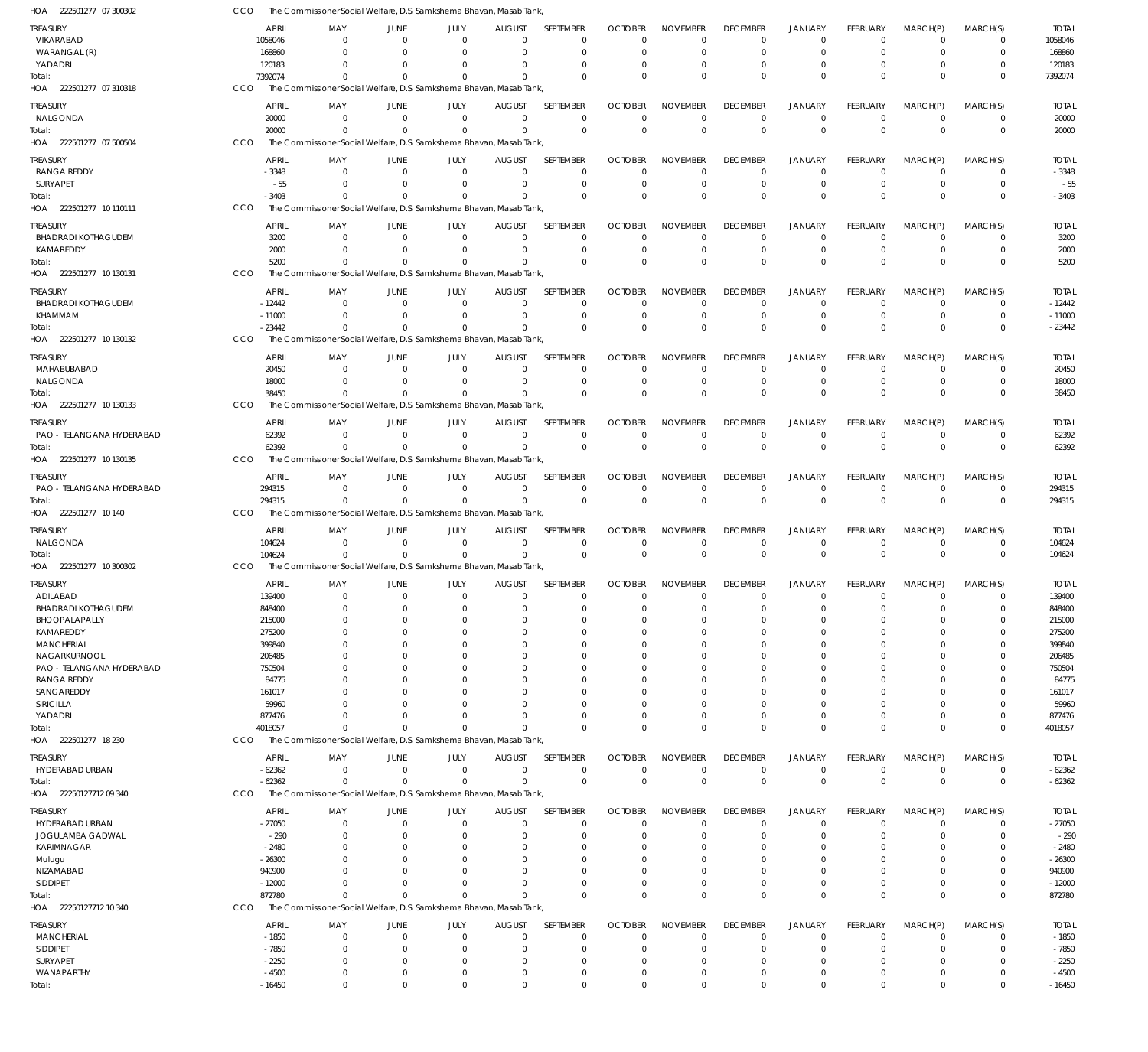| HOA 222501277 07 300302                   | CCO |                    |                      |                            | The Commissioner Social Welfare, D.S. Samkshema Bhavan, Masab Tank              |                           |                            |                            |                             |                      |                            |                      |                            |                            |                    |
|-------------------------------------------|-----|--------------------|----------------------|----------------------------|---------------------------------------------------------------------------------|---------------------------|----------------------------|----------------------------|-----------------------------|----------------------|----------------------------|----------------------|----------------------------|----------------------------|--------------------|
| TREASURY                                  |     | APRIL              | MAY                  | JUNE                       | JULY                                                                            | <b>AUGUST</b>             | <b>SEPTEMBER</b>           | <b>OCTOBER</b>             | <b>NOVEMBER</b>             | <b>DECEMBER</b>      | <b>JANUARY</b>             | <b>FEBRUARY</b>      | MARCH(P)                   | MARCH(S)                   | <b>TOTAL</b>       |
| VIKARABAD                                 |     | 1058046            | - 0                  | $\Omega$                   | $\Omega$                                                                        | $\Omega$                  | 0                          | $\Omega$                   | $\Omega$                    | $\Omega$             | $^{\circ}$                 | $\Omega$             | $\overline{0}$             | 0                          | 1058046            |
| WARANGAL (R)                              |     | 168860             | $\Omega$             | $\Omega$                   | $\Omega$                                                                        | $\Omega$                  | $\mathbf 0$                | $\Omega$                   | $\Omega$                    | $\Omega$             | $\Omega$                   | $\Omega$             | $\overline{0}$             | $\mathbf 0$                | 168860             |
| YADADRI                                   |     | 120183             | 0                    |                            |                                                                                 | $\Omega$                  | $\Omega$                   | O                          | $\Omega$                    |                      | $\Omega$                   | $\Omega$             | $\Omega$                   | $\mathbf 0$                | 120183             |
| Total:                                    |     | 7392074            | $\Omega$             |                            | The Commissioner Social Welfare, D.S. Samkshema Bhavan, Masab Tank,             | $\Omega$                  | $\Omega$                   | $\Omega$                   | $\Omega$                    | $\Omega$             | $\Omega$                   | $\Omega$             | $\Omega$                   | $\mathbf 0$                | 7392074            |
| HOA 222501277 07 310318                   | CCO |                    |                      |                            |                                                                                 |                           |                            |                            |                             |                      |                            |                      |                            |                            |                    |
| treasury                                  |     | <b>APRIL</b>       | MAY                  | JUNE                       | JULY                                                                            | <b>AUGUST</b>             | <b>SEPTEMBER</b>           | <b>OCTOBER</b>             | <b>NOVEMBER</b>             | <b>DECEMBER</b>      | <b>JANUARY</b>             | FEBRUARY             | MARCH(P)                   | MARCH(S)                   | <b>TOTAL</b>       |
| NALGONDA                                  |     | 20000              | $\Omega$             | $\Omega$                   | $\Omega$                                                                        | $\overline{0}$            | $\mathbf 0$                | $\Omega$                   | $\mathbf 0$                 | $\Omega$             | $\overline{0}$             | $\mathbf 0$          | $\overline{0}$             | $\mathbf 0$                | 20000              |
| Total:<br>HOA 222501277 07 500504         | CCO | 20000              | $\Omega$             | $\Omega$                   | $\Omega$<br>The Commissioner Social Welfare, D.S. Samkshema Bhavan, Masab Tank, | $\Omega$                  | $\mathbf 0$                | $\Omega$                   | $\Omega$                    | $\Omega$             | $\Omega$                   | $\Omega$             | $\Omega$                   | $\mathbf 0$                | 20000              |
|                                           |     |                    |                      |                            |                                                                                 |                           |                            |                            |                             |                      |                            |                      |                            |                            |                    |
| treasury                                  |     | APRIL              | MAY                  | JUNE                       | JULY                                                                            | <b>AUGUST</b>             | SEPTEMBER                  | <b>OCTOBER</b>             | <b>NOVEMBER</b>             | <b>DECEMBER</b>      | <b>JANUARY</b>             | <b>FEBRUARY</b>      | MARCH(P)                   | MARCH(S)                   | <b>TOTAL</b>       |
| RANGA REDDY                               |     | $-3348$            | $\Omega$             | $\Omega$                   | $\Omega$                                                                        | $\Omega$                  | 0                          | $\Omega$                   | $\Omega$                    | $\Omega$             | $\Omega$                   | $\Omega$             | - 0                        | 0                          | $-3348$            |
| SURYAPET                                  |     | $-55$<br>$-3403$   | $\Omega$<br>$\Omega$ | $\Omega$<br>$\Omega$       | $\Omega$<br>$\Omega$                                                            | $\Omega$<br>$\Omega$      | $\mathbf 0$<br>$\Omega$    | $\Omega$<br>$\Omega$       | $\Omega$<br>$\Omega$        | $\Omega$<br>$\Omega$ | $\overline{0}$<br>$\Omega$ | $\Omega$<br>$\Omega$ | $\overline{0}$<br>$\Omega$ | $\mathbf 0$<br>$\mathbf 0$ | $-55$<br>$-3403$   |
| Total:<br>HOA  222501277 10 110111        | CCO |                    |                      |                            | The Commissioner Social Welfare, D.S. Samkshema Bhavan, Masab Tank,             |                           |                            |                            |                             |                      |                            |                      |                            |                            |                    |
|                                           |     |                    |                      |                            |                                                                                 |                           |                            |                            |                             |                      |                            |                      |                            |                            |                    |
| treasury<br><b>BHADRADI KOTHAGUDEM</b>    |     | <b>APRIL</b>       | MAY<br>- 0           | JUNE<br>$\Omega$           | JULY<br>$\overline{0}$                                                          | <b>AUGUST</b>             | SEPTEMBER                  | <b>OCTOBER</b><br>$\Omega$ | <b>NOVEMBER</b><br>$\Omega$ | <b>DECEMBER</b>      | <b>JANUARY</b><br>$\Omega$ | FEBRUARY<br>$\Omega$ | MARCH(P)<br>$\overline{0}$ | MARCH(S)<br>$\mathbf 0$    | <b>TOTAL</b>       |
| KAMAREDDY                                 |     | 3200<br>2000       | $\Omega$             | $\Omega$                   | $\Omega$                                                                        | 0<br>$\mathbf 0$          | 0<br>$\mathbf 0$           | 0                          | $\Omega$                    | $\Omega$<br>$\Omega$ | $\overline{0}$             | $\Omega$             | $\overline{0}$             | $\mathbf 0$                | 3200<br>2000       |
| Total:                                    |     | 5200               | $\Omega$             | $\Omega$                   | $\Omega$                                                                        | $\Omega$                  | $\Omega$                   | $\Omega$                   | $\Omega$                    |                      | $\Omega$                   | $\Omega$             | $\Omega$                   | $\mathbf 0$                | 5200               |
| HOA 222501277 10 130131                   | CCO |                    |                      |                            | The Commissioner Social Welfare, D.S. Samkshema Bhavan, Masab Tank,             |                           |                            |                            |                             |                      |                            |                      |                            |                            |                    |
|                                           |     | <b>APRIL</b>       |                      |                            |                                                                                 |                           | SEPTEMBER                  | <b>OCTOBER</b>             |                             | <b>DECEMBER</b>      |                            | <b>FEBRUARY</b>      |                            | MARCH(S)                   | <b>TOTAL</b>       |
| treasury<br><b>BHADRADI KOTHAGUDEM</b>    |     | $-12442$           | MAY<br>- 0           | JUNE<br>$\Omega$           | JULY<br>$\Omega$                                                                | <b>AUGUST</b><br>$\Omega$ | 0                          | $\Omega$                   | <b>NOVEMBER</b><br>$\Omega$ | $\Omega$             | <b>JANUARY</b><br>$\Omega$ | $\Omega$             | MARCH(P)<br>$\Omega$       | 0                          | $-12442$           |
| KHAMMAM                                   |     | $-11000$           | $\Omega$             | $\Omega$                   | $\Omega$                                                                        | $\Omega$                  | $\mathbf 0$                | 0                          | $\mathbf 0$                 | $\Omega$             | $^{\circ}$                 | $\mathbf 0$          | $\overline{0}$             | $\mathbf 0$                | $-11000$           |
| Total:                                    |     | $-23442$           | $\Omega$             | $\Omega$                   | $\Omega$                                                                        | $\Omega$                  | $\Omega$                   | $\Omega$                   | $\Omega$                    | $\Omega$             | $\Omega$                   | $\Omega$             | $\Omega$                   | $\mathbf 0$                | $-23442$           |
| HOA 222501277 10 130132                   | CCO |                    |                      |                            | The Commissioner Social Welfare, D.S. Samkshema Bhavan, Masab Tank,             |                           |                            |                            |                             |                      |                            |                      |                            |                            |                    |
| TREASURY                                  |     | APRIL              | MAY                  | JUNE                       | JULY                                                                            | <b>AUGUST</b>             | SEPTEMBER                  | <b>OCTOBER</b>             | <b>NOVEMBER</b>             | <b>DECEMBER</b>      | <b>JANUARY</b>             | <b>FEBRUARY</b>      | MARCH(P)                   | MARCH(S)                   | <b>TOTAL</b>       |
| MAHABUBABAD                               |     | 20450              | $\Omega$             | $\Omega$                   | $\mathbf 0$                                                                     | $\mathbf 0$               | $\mathbf 0$                | $\Omega$                   | $\Omega$                    | $\Omega$             | $^{\circ}$                 | $\Omega$             | $\Omega$                   | $\mathbf 0$                | 20450              |
| NALGONDA                                  |     | 18000              | $\Omega$             | $\Omega$                   | $\Omega$                                                                        | $\overline{0}$            | $\mathbf 0$                | 0                          | $\mathbf 0$                 | $\Omega$             | $^{\circ}$                 | $\mathbf 0$          | $\overline{0}$             | $\mathbf 0$                | 18000              |
| Total:                                    |     | 38450              | $\Omega$             |                            |                                                                                 | $\Omega$                  | $\Omega$                   | $\Omega$                   | $\Omega$                    | $\Omega$             | $\Omega$                   | $\Omega$             | $\Omega$                   | $\Omega$                   | 38450              |
| HOA 222501277 10 130133                   | CCO |                    |                      |                            | The Commissioner Social Welfare, D.S. Samkshema Bhavan, Masab Tank              |                           |                            |                            |                             |                      |                            |                      |                            |                            |                    |
| treasury                                  |     | <b>APRIL</b>       | MAY                  | JUNE                       | JULY                                                                            | <b>AUGUST</b>             | SEPTEMBER                  | <b>OCTOBER</b>             | <b>NOVEMBER</b>             | <b>DECEMBER</b>      | <b>JANUARY</b>             | <b>FEBRUARY</b>      | MARCH(P)                   | MARCH(S)                   | <b>TOTAL</b>       |
| PAO - TELANGANA HYDERABAD                 |     | 62392              | $\Omega$             | $\overline{0}$             | $\Omega$                                                                        | $\Omega$                  | $\mathbf 0$                | $\Omega$                   | $^{\circ}$                  | $\Omega$             | $^{\circ}$                 | $\mathbf 0$          | $\overline{0}$             | $\mathbf 0$                | 62392              |
| Total:                                    |     | 62392              | $\Omega$             | $\Omega$                   | $\Omega$                                                                        | $\Omega$                  | $\mathbf 0$                | $\Omega$                   | $\mathbf 0$                 | $\Omega$             | $\Omega$                   | $\Omega$             | $\Omega$                   | $\mathbf 0$                | 62392              |
| HOA 222501277 10 130135                   | CCO |                    |                      |                            | The Commissioner Social Welfare, D.S. Samkshema Bhavan, Masab Tank,             |                           |                            |                            |                             |                      |                            |                      |                            |                            |                    |
| treasury                                  |     | APRIL              | MAY                  | JUNE                       | JULY                                                                            | <b>AUGUST</b>             | SEPTEMBER                  | <b>OCTOBER</b>             | <b>NOVEMBER</b>             | <b>DECEMBER</b>      | JANUARY                    | <b>FEBRUARY</b>      | MARCH(P)                   | MARCH(S)                   | <b>TOTAL</b>       |
| PAO - TELANGANA HYDERABAD                 |     | 294315             | - 0                  | $\Omega$                   | $\overline{0}$                                                                  | $\overline{0}$            | $\mathbf 0$                | 0                          | $\mathbf 0$                 | 0                    | $^{\circ}$                 | $\mathbf 0$          | $\overline{0}$             | $\mathbf 0$                | 294315             |
| Total:                                    |     | 294315             | $\Omega$             | $\Omega$                   | $\Omega$                                                                        | $\Omega$                  | $\Omega$                   | $\Omega$                   | $\Omega$                    | $\Omega$             | $\Omega$                   | $\Omega$             | $\Omega$                   | $\mathbf 0$                | 294315             |
| HOA 222501277 10 140                      | CCO |                    |                      |                            | The Commissioner Social Welfare, D.S. Samkshema Bhavan, Masab Tank,             |                           |                            |                            |                             |                      |                            |                      |                            |                            |                    |
| treasury                                  |     | <b>APRIL</b>       | MAY                  | JUNE                       | JULY                                                                            | <b>AUGUST</b>             | SEPTEMBER                  | <b>OCTOBER</b>             | <b>NOVEMBER</b>             | <b>DECEMBER</b>      | <b>JANUARY</b>             | <b>FEBRUARY</b>      | MARCH(P)                   | MARCH(S)                   | <b>TOTAL</b>       |
| NALGONDA                                  |     | 104624             | - 0                  | $\Omega$                   | $\Omega$                                                                        | $\overline{0}$            | $\mathbf 0$                | $\Omega$                   | $\Omega$                    | $\Omega$             | $^{\circ}$                 | $\Omega$             | $\overline{0}$             | 0                          | 104624             |
| Total:                                    |     | 104624             | $\Omega$             | $\Omega$                   | $\Omega$                                                                        | $\Omega$                  | $\Omega$                   | $\Omega$                   | $\Omega$                    | $\Omega$             | $\Omega$                   | $\Omega$             | $\Omega$                   | $\mathbf 0$                | 104624             |
| HOA 222501277<br>10 300302                | CCO |                    |                      |                            | The Commissioner Social Welfare, D.S. Samkshema Bhavan, Masab Tank,             |                           |                            |                            |                             |                      |                            |                      |                            |                            |                    |
| TREASURY                                  |     | <b>APRIL</b>       | MAY                  | JUNE                       | JULY                                                                            | <b>AUGUST</b>             | SEPTEMBER                  | <b>OCTOBER</b>             | <b>NOVEMBER</b>             | <b>DECEMBER</b>      | <b>JANUARY</b>             | FEBRUARY             | MARCH(P)                   | MARCH(S)                   | <b>TOTAL</b>       |
| ADILABAD                                  |     | 139400             | $\mathbf 0$          | $\overline{0}$             | $\overline{0}$                                                                  | $\mathbf 0$               | $\mathbf 0$                | $\mathbf 0$                | $\mathbf 0$                 | $\mathbf 0$          | $\overline{0}$             | $\mathbf 0$          | $\overline{0}$             | $\mathbf 0$                | 139400             |
| <b>BHADRADI KOTHAGUDEM</b>                |     | 848400             | 0                    |                            |                                                                                 | C                         | 0                          | O                          | $\Omega$                    |                      | $\Omega$                   |                      | 0                          | 0                          | 848400             |
| BHOOPALAPALLY                             |     | 215000             | $\Omega$             | $\Omega$                   | 0                                                                               | $\Omega$                  | $\mathbf 0$                | $\Omega$                   | $\Omega$                    |                      | $\Omega$                   | $\Omega$             | $\Omega$                   | $\mathbf 0$                | 215000             |
| KAMAREDDY                                 |     | 275200             | $\Omega$             | $\Omega$                   | Ω                                                                               | $\Omega$                  | $\mathbf 0$                | O                          | $\Omega$                    |                      | $\Omega$                   | 0                    | $\Omega$                   | $\mathbf 0$                | 275200             |
| <b>MANCHERIAL</b>                         |     | 399840             |                      | $\Omega$                   |                                                                                 | C                         | $\mathbf 0$                | O                          | $\Omega$                    |                      | - 0                        |                      | $\Omega$                   | $\Omega$                   | 399840             |
| NAGARKURNOOL<br>PAO - TELANGANA HYDERABAD |     | 206485<br>750504   |                      | $\Omega$<br>$\Omega$       |                                                                                 | $\Omega$<br>0             | $\mathbf 0$<br>0           | O<br>O                     | $\Omega$<br>$\Omega$        |                      | $\Omega$<br>$\Omega$       | 0                    | $\Omega$<br>$\Omega$       | $\mathbf 0$<br>0           | 206485<br>750504   |
| <b>RANGA REDDY</b>                        |     | 84775              | 0                    |                            |                                                                                 | $\Omega$                  | 0                          | O                          | $\Omega$                    |                      | $\Omega$                   | O                    | $\Omega$                   | $\Omega$                   | 84775              |
| SANGAREDDY                                |     | 161017             |                      |                            |                                                                                 | C                         | 0                          | O                          | $\Omega$                    |                      |                            |                      | $\Omega$                   | $\Omega$                   | 161017             |
| SIRICILLA                                 |     | 59960              |                      |                            |                                                                                 | $\Omega$                  | 0                          | O                          | $\Omega$                    |                      | $\Omega$                   | O                    | $\Omega$                   | 0                          | 59960              |
| YADADRI                                   |     | 877476             | $\Omega$             | $\Omega$                   | U                                                                               | $\Omega$                  | $\mathbf 0$                | O                          | $\Omega$                    |                      | $\Omega$                   | $\Omega$             | $\Omega$                   | $\mathbf 0$                | 877476             |
| Total:                                    |     | 4018057            | $^{\circ}$           | $\Omega$                   |                                                                                 | $\Omega$                  | $\Omega$                   | C                          | $\Omega$                    | $\Omega$             | $\Omega$                   | $\Omega$             | $\Omega$                   | $\mathbf 0$                | 4018057            |
| HOA 222501277 18 230                      | CCO |                    |                      |                            | The Commissioner Social Welfare, D.S. Samkshema Bhavan, Masab Tank,             |                           |                            |                            |                             |                      |                            |                      |                            |                            |                    |
| treasury                                  |     | <b>APRIL</b>       | MAY                  | JUNE                       | JULY                                                                            | <b>AUGUST</b>             | SEPTEMBER                  | <b>OCTOBER</b>             | <b>NOVEMBER</b>             | <b>DECEMBER</b>      | <b>JANUARY</b>             | <b>FEBRUARY</b>      | MARCH(P)                   | MARCH(S)                   | <b>TOTAL</b>       |
| HYDERABAD URBAN                           |     | $-62362$           | $\Omega$             | $\mathbf 0$                | $\overline{0}$                                                                  | $\mathbf 0$               | 0                          | 0                          | 0                           | 0                    | $^{\circ}$                 | 0                    | $\overline{0}$             | 0                          | $-62362$           |
| Total:                                    |     | $-62362$           | $\Omega$             | $\Omega$                   | $\Omega$                                                                        | $\Omega$                  | $\mathbf 0$                | $\Omega$                   | $\mathbf 0$                 | $\Omega$             | $\overline{0}$             | $\mathbf 0$          | $\Omega$                   | $\mathbf 0$                | $-62362$           |
| HOA 22250127712 09 340                    | CCO |                    |                      |                            | The Commissioner Social Welfare, D.S. Samkshema Bhavan, Masab Tank,             |                           |                            |                            |                             |                      |                            |                      |                            |                            |                    |
| TREASURY                                  |     | <b>APRIL</b>       | MAY                  | JUNE                       | JULY                                                                            | <b>AUGUST</b>             | SEPTEMBER                  | <b>OCTOBER</b>             | <b>NOVEMBER</b>             | <b>DECEMBER</b>      | <b>JANUARY</b>             | FEBRUARY             | MARCH(P)                   | MARCH(S)                   | <b>TOTAL</b>       |
| HYDERABAD URBAN                           |     | $-27050$           | 0                    | $\overline{0}$             | $\mathbf 0$                                                                     | $\mathbf 0$               | $\mathbf 0$                | 0                          | $\mathbf 0$                 | $\Omega$             | $^{\circ}$                 | 0                    | $\overline{0}$             | 0                          | $-27050$           |
| JOGULAMBA GADWAL                          |     | $-290$             | $\Omega$             | $\Omega$                   | $\Omega$                                                                        | $\Omega$                  | $\mathbf 0$                | 0                          | $\mathbf 0$                 | $\Omega$             | $\overline{0}$             | $\Omega$             | $\Omega$                   | $\mathbf 0$                | $-290$             |
| KARIMNAGAR                                |     | $-2480$            | $\Omega$             | $\Omega$                   |                                                                                 | $\Omega$                  | $\mathbf 0$                | O                          | $\mathbf 0$                 |                      | $\Omega$                   | 0                    | $\Omega$                   | $\mathbf 0$                | $-2480$            |
| Mulugu                                    |     | $-26300$           |                      | $\Omega$                   |                                                                                 | $\Omega$                  | $\mathbf 0$                | O                          | $\Omega$                    |                      | $\Omega$                   |                      | $\Omega$                   | 0                          | $-26300$           |
| NIZAMABAD                                 |     | 940900             | 0                    | $\Omega$                   | n                                                                               | $\Omega$                  | 0                          | O                          | $\Omega$                    |                      | $\Omega$                   | O                    | $\Omega$                   | $\mathbf 0$                | 940900             |
| <b>SIDDIPET</b>                           |     | $-12000$<br>872780 | $\Omega$<br>$\Omega$ | $\Omega$<br>$\Omega$       |                                                                                 | $\Omega$<br>$\Omega$      | 0<br>$\Omega$              | O<br>$\Omega$              | $\Omega$<br>$\Omega$        | $\Omega$             | $\Omega$<br>$\Omega$       | 0<br>$\Omega$        | $\Omega$<br>$\Omega$       | $\mathbf 0$<br>$\mathbf 0$ | $-12000$<br>872780 |
| Total:<br>HOA 22250127712 10 340          | CCO |                    |                      |                            | The Commissioner Social Welfare, D.S. Samkshema Bhavan, Masab Tank,             |                           |                            |                            |                             |                      |                            |                      |                            |                            |                    |
|                                           |     |                    |                      |                            |                                                                                 |                           |                            |                            |                             |                      |                            |                      |                            |                            |                    |
| treasury                                  |     | <b>APRIL</b>       | MAY                  | JUNE                       | JULY                                                                            | <b>AUGUST</b>             | SEPTEMBER                  | <b>OCTOBER</b>             | <b>NOVEMBER</b>             | <b>DECEMBER</b>      | <b>JANUARY</b>             | <b>FEBRUARY</b>      | MARCH(P)                   | MARCH(S)                   | <b>TOTAL</b>       |
| <b>MANCHERIAL</b><br>SIDDIPET             |     | $-1850$<br>$-7850$ | 0<br>0               | $\overline{0}$<br>$\Omega$ | 0<br>$\Omega$                                                                   | $\mathbf 0$<br>$\Omega$   | $\mathbf 0$<br>$\mathbf 0$ | $\Omega$<br>$\Omega$       | 0<br>$\Omega$               | $\Omega$<br>$\Omega$ | $^{\circ}$<br>$^{\circ}$   | 0<br>$\Omega$        | - 0<br>$\mathbf 0$         | 0<br>$\mathbf 0$           | $-1850$<br>$-7850$ |
| SURYAPET                                  |     | $-2250$            | $\Omega$             | $\Omega$                   | $\Omega$                                                                        | $\Omega$                  | 0                          | $\Omega$                   | $\mathbf 0$                 | $\Omega$             | $\Omega$                   | $\Omega$             | $\Omega$                   | $\mathbf 0$                | $-2250$            |
| WANAPARTHY                                |     | $-4500$            | $^{\circ}$           | $\overline{0}$             | $\Omega$                                                                        | 0                         | $\mathbf 0$                | 0                          | $\mathbf 0$                 | $\Omega$             | $^{\circ}$                 | 0                    | $\mathbf 0$                | $\mathbf 0$                | $-4500$            |
| Total:                                    |     | $-16450$           | $\mathbf 0$          | $\mathbf 0$                | $\mathbf 0$                                                                     | $\Omega$                  | $\mathbf 0$                | $\mathbf 0$                | $\mathbf 0$                 | $\Omega$             | $\mathbf 0$                | $\mathbf 0$          | $\mathbf 0$                | $\mathbf 0$                | $-16450$           |
|                                           |     |                    |                      |                            |                                                                                 |                           |                            |                            |                             |                      |                            |                      |                            |                            |                    |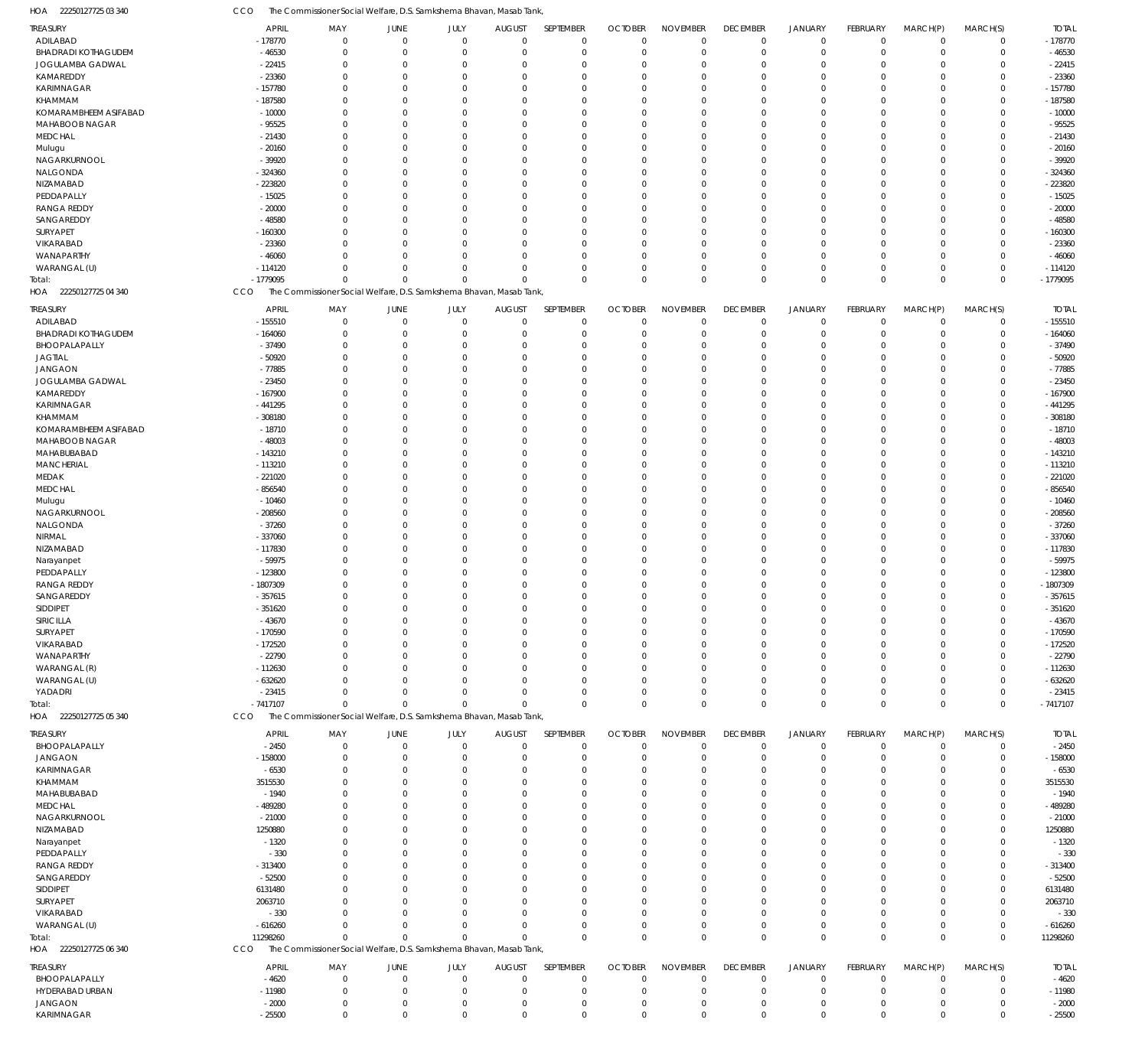22250127725 04 340 HOA 22250127725 05 340 HOA 22250127725 06 340 HOA The Commissioner Social Welfare, D.S. Samkshema Bhavan, Masab Tank, The Commissioner Social Welfare, D.S. Samkshema Bhavan, Masab Tank, The Commissioner Social Welfare, D.S. Samkshema Bhavan, Masab Tank, **CCO CCO** CCO -1779095 -7417107 11298260 0 0 0 0 0 0 0 0 0 0 0 0 0  $\Omega$ 0 0 0 0 0 0 0 0 0 0 0 0 0 0 0 0 0 0 0 0 0 0 -1779095 -7417107 11298260 ADILABAD BHADRADI KOTHAGUDEM JOGULAMBA GADWAL KAMAREDDY KARIMNAGAR KHAMMAM KOMARAMBHEEM ASIFABAD MAHABOOB NAGAR MEDCHAL Mulugu NAGARKURNOOL NALGONDA NIZAMABAD PEDDAPALLY RANGA REDDY SANGAREDDY SURYAPET VIKARABAD WANAPARTHY WARANGAL (U) ADILABAD BHADRADI KOTHAGUDEM BHOOPALAPALLY JAGTIAL JANGAON JOGULAMBA GADWAL KAMAREDDY KARIMNAGAR KHAMMAM KOMARAMBHEEM ASIFABAD MAHABOOB NAGAR MAHABUBABAD **MANCHERIAL** MEDAK MEDCHAL Mulugu NAGARKURNOOL NALGONDA NIRMAL NIZAMABAD Narayanpet PEDDAPALLY RANGA REDDY SANGAREDDY SIDDIPET SIRICILLA **SURYAPET** VIKARABAD WANAPARTHY WARANGAL (R) WARANGAL (U) YADADRI BHOOPALAPALLY JANGAON KARIMNAGAR KHAMMAM MAHABUBABAD MEDCHAL NAGARKURNOOL NIZAMABAD Narayanpet **PEDDAPALLY** RANGA REDDY SANGAREDDY SIDDIPET SURYAPET VIKARABAD WARANGAL (U) BHOOPALAPALLY HYDERABAD URBAN JANGAON KARIMNAGAR TREASURY TREASURY TREASURY TREASURY -178770 -46530 -22415 -23360 -157780 -187580 -10000 -95525 -21430 -20160 -39920 -324360 -223820 -15025 -20000 -48580 -160300 -23360 -46060 -114120 -155510 -164060 -37490 -50920 -77885 -23450 -167900 -441295 -308180 -18710 -48003 -143210 -113210 -221020 -856540 -10460 -208560 -37260 -337060 -117830 -59975 -123800 -1807309 -357615 -351620 -43670 -170590 -172520 -22790 -112630 -632620 -23415 -2450 -158000 -6530 3515530  $-1940$ -489280 -21000 1250880 -1320 -330 -313400 -52500 6131480 2063710 -330 -616260  $-4620$ -11980 -2000 -25500 APRIL APRIL APRIL APRIL  $\Omega$ 0  $\Omega$ 0 0  $\sqrt{2}$ 0  $\Omega$  $\Omega$ 0  $\Omega$ 0  $\Omega$ 0 0  $\Omega$  $\Omega$  $\Omega$ 0  $\Omega$ 0  $\Omega$  $\Omega$ 0 0  $\Omega$  $\Omega$  $\Omega$ 0  $\Omega$ 0  $\Omega$  $\Omega$ 0  $\Omega$ 0 0  $\Omega$ 0  $\Omega$ 0 0  $\Omega$  $\Omega$  $\Omega$ 0 0  $\Omega$  $\Omega$  $\Omega$ 0  $\Omega$ 0  $\Omega$  $\Omega$ 0  $\Omega$ 0  $\Omega$  $\Omega$ 0  $\Omega$  $\Omega$  $\Omega$  $\Omega$ 0  $\Omega$ 0 0  $\Omega$  $\,$  0  $\,$  $\Omega$ MAY MAY MAY MAY 0 0  $\Omega$ 0 0  $\Omega$ 0  $\Omega$ 0 0 0 0  $\Omega$ 0 0 0 0  $\Omega$ 0  $\Omega$ 0 0  $\Omega$ 0 0 0 0  $\Omega$ 0  $\Omega$ 0 0  $\Omega$ 0  $\Omega$ 0 0  $\Omega$ 0  $\Omega$ 0 0 0 0  $\Omega$ 0 0 0 0  $\Omega$ 0  $\Omega$ 0 0  $\Omega$ 0  $\Omega$ 0 0  $\Omega$ 0  $\Omega$ 0 0  $\Omega$ 0  $\Omega$ 0 0  $\Omega$  $\,$  0  $\,$  $\Omega$ JUNE JUNE JUNE JUNE 0 0  $\Omega$ 0 0  $\Omega$ 0  $\Omega$ 0 0 0 0  $\Omega$ 0 0  $\Omega$  $\Omega$  $\Omega$ 0  $\Omega$ 0 0  $\Omega$ 0 0 0 0 0 0  $\Omega$ 0 0  $\Omega$ 0  $\Omega$ 0 0 0 0  $\Omega$ 0 0  $\Omega$ 0  $\Omega$ 0 0 0 0  $\Omega$ 0  $\Omega$ 0 0 0 0  $\Omega$ 0 0  $\Omega$ 0  $\Omega$ 0 0 0 0  $\Omega$ 0 0 0 0  $\Omega$ JULY JULY JULY JULY 0 0  $\Omega$ 0 0  $\Omega$ 0  $\Omega$ 0 0  $\Omega$ 0  $\Omega$ 0 0  $\Omega$  $\Omega$  $\Omega$ 0  $\Omega$ 0 0  $\Omega$ 0 0 0 0  $\Omega$ 0  $\Omega$ 0 0  $\Omega$ 0  $\Omega$ 0 0  $\Omega$ 0  $\Omega$ 0 0  $\Omega$  $\Omega$  $\Omega$ 0 0 0 0  $\Omega$ 0  $\Omega$ 0 0  $\Omega$ 0  $\Omega$ 0 0  $\Omega$ 0  $\Omega$ 0 0  $\Omega$ 0  $\Omega$ 0 0  $\Omega$  $\,$   $\,$   $\,$  $\Omega$ AUGUST AUGUST AUGUST AUGUST 0 0  $\Omega$ 0 0  $\Omega$ 0  $\Omega$  $\Omega$ 0  $\Omega$  $\overline{0}$  $\Omega$ 0 0  $\Omega$  $\Omega$  $\Omega$  $\overline{0}$  $\Omega$ 0  $\Omega$  $\Omega$ 0 0  $\Omega$ 0  $\Omega$  $\overline{0}$  $\Omega$ 0  $\Omega$  $\Omega$ 0  $\Omega$ 0 0  $\Omega$ 0  $\Omega$ 0 0  $\Omega$  $\Omega$  $\Omega$  $\overline{0}$ 0 0  $\Omega$  $\Omega$ 0  $\Omega$ 0 0  $\Omega$ 0  $\Omega$ 0  $\Omega$  $\Omega$ 0  $\Omega$ 0 0  $\Omega$  $\overline{0}$  $\Omega$ 0 0  $\Omega$ 0  $\Omega$ SEPTEMBER SEPTEMBER SEPTEMBER SEPTEMBER 0 0  $\Omega$ 0 0  $\Omega$ 0  $\Omega$  $\Omega$ 0  $\Omega$ 0  $\Omega$ 0 0  $\Omega$  $\Omega$  $\Omega$ 0  $\Omega$ 0  $\Omega$  $\Omega$ 0 0 0 0  $\Omega$ 0  $\Omega$ 0  $\Omega$  $\Omega$ 0  $\Omega$ 0 0  $\Omega$ 0  $\Omega$ 0 0  $\Omega$  $\Omega$  $\Omega$ 0 0 0  $\Omega$  $\Omega$ 0  $\Omega$ 0 0  $\Omega$ 0  $\Omega$ 0  $\Omega$  $\Omega$ 0  $\Omega$ 0  $\Omega$  $\Omega$ 0  $\Omega$ 0 0  $\Omega$  $\,$   $\,$   $\,$  $\Omega$ **OCTOBER OCTOBER** OCTOBER OCTOBER 0 0  $\Omega$ 0 0  $\Omega$ 0  $\Omega$ 0 0  $\Omega$ 0  $\Omega$ 0 0  $\Omega$  $\Omega$  $\Omega$ 0  $\Omega$ 0 0  $\Omega$ 0 0 0 0  $\Omega$ 0  $\Omega$ 0 0  $\Omega$ 0  $\Omega$ 0 0  $\Omega$ 0  $\Omega$ 0 0  $\Omega$  $\Omega$  $\Omega$ 0 0 0 0  $\Omega$ 0  $\Omega$ 0 0  $\Omega$ 0  $\Omega$ 0 0  $\Omega$ 0  $\Omega$ 0  $\Omega$  $\Omega$ 0  $\Omega$ 0 0  $\Omega$  $\,$  0  $\,$  $\Omega$ NOVEMBER NOVEMBER NOVEMBER NOVEMBER 0 0  $\Omega$ 0 0  $\Omega$ 0  $\Omega$  $\Omega$ 0  $\Omega$ 0  $\Omega$ 0 0  $\Omega$  $\Omega$  $\Omega$  $\overline{0}$  $\Omega$ 0 0  $\Omega$ 0 0 0 0  $\Omega$  $\overline{0}$  $\Omega$ 0 0  $\Omega$ 0  $\Omega$  $\overline{0}$ 0  $\Omega$ 0  $\Omega$ 0 0  $\Omega$  $\Omega$  $\Omega$  $\overline{0}$ 0 0 0  $\Omega$ 0  $\Omega$ 0 0  $\Omega$ 0  $\Omega$ 0  $\Omega$  $\Omega$ 0  $\Omega$ 0 0  $\Omega$ 0  $\Omega$ 0 0 0 0  $\Omega$ DECEMBER DECEMBER DECEMBER DECEMBER 0 0  $\Omega$ 0 0  $\Omega$ 0  $\Omega$  $\Omega$ 0  $\Omega$ 0  $\Omega$ 0 0  $\Omega$ 0  $\Omega$ 0  $\Omega$ 0 0  $\Omega$ 0 0 0 0  $\Omega$ 0  $\Omega$ 0  $\Omega$  $\Omega$ 0  $\Omega$ 0 0  $\Omega$ 0  $\Omega$ 0 0  $\Omega$  $\Omega$  $\Omega$ 0 0 0  $\Omega$  $\Omega$ 0  $\Omega$ 0 0 0 0  $\Omega$ 0  $\Omega$  $\Omega$ 0  $\Omega$ 0 0  $\Omega$ 0  $\Omega$ 0 0 0  $\,$  0  $\,$  $\Omega$ JANUARY JANUARY JANUARY JANUARY 0 0  $\Omega$ 0 0  $\Omega$ 0  $\Omega$  $\overline{0}$ 0 0 0  $\Omega$ 0 0 0 0  $\Omega$ 0  $\Omega$ 0 0  $\Omega$ 0 0 0 0 0 0  $\Omega$ 0 0  $\Omega$ 0  $\Omega$  $\overline{0}$ 0 0 0  $\Omega$ 0 0 0 0  $\Omega$  $\overline{0}$ 0 0 0  $\Omega$  $\boldsymbol{0}$  $\Omega$ 0 0 0 0  $\Omega$ 0 0 0 0  $\Omega$ 0 0 0 0  $\Omega$  $\boldsymbol{0}$ 0 0  $\boldsymbol{0}$  $\Omega$ FEBRUARY FEBRUARY FEBRUARY FEBRUARY 0 0  $\Omega$ 0 0  $\Omega$ 0  $\Omega$  $\overline{0}$ 0  $\Omega$ 0  $\Omega$  $\overline{0}$ 0 0  $\Omega$  $\Omega$ 0  $\Omega$ 0 0  $\Omega$ 0 0 0 0  $\Omega$ 0  $\Omega$ 0 0  $\Omega$ 0  $\Omega$  $\overline{0}$ 0  $\Omega$ 0  $\Omega$  $\overline{0}$ 0 0  $\Omega$  $\Omega$  $\overline{0}$ 0 0  $\Omega$  $\Omega$ 0  $\Omega$ 0 0  $\Omega$  $\overline{0}$  $\Omega$ 0  $\Omega$  $\Omega$ 0  $\Omega$ 0 0  $\Omega$ 0  $\Omega$ 0 0  $\Omega$  $\,$  0  $\,$  $\Omega$ MARCH(P) MARCH(P) MARCH(P) MARCH(P)  $\Omega$ 0  $\Omega$ 0 0  $\Omega$ 0  $\Omega$ 0  $\Omega$  $\Omega$ 0  $\Omega$ 0 0 0  $\Omega$  $\Omega$ 0  $\Omega$ 0  $\Omega$  $\Omega$ 0 0 0  $\Omega$  $\Omega$ 0  $\Omega$ 0  $\Omega$  $\Omega$ 0  $\Omega$ 0  $\Omega$  $\Omega$ 0  $\Omega$ 0 0  $\Omega$  $\Omega$  $\Omega$ 0 0 0  $\Omega$  $\Omega$ 0  $\Omega$ 0 0  $\Omega$ 0  $\Omega$ 0  $\Omega$  $\Omega$ 0  $\Omega$ 0  $\Omega$  $\Omega$ 0  $\Omega$ 0 0  $\Omega$  $\,$   $\,$   $\,$  $\Omega$ MARCH(S) MARCH(S) MARCH(S) MARCH(S) -178770 -46530 -22415 -23360 -157780 -187580 -10000 -95525 -21430 -20160 -39920 -324360 -223820 -15025 -20000 -48580 -160300 -23360 -46060 -114120 -155510 -164060 -37490 -50920 -77885 -23450 -167900 -441295 -308180 -18710 -48003 -143210 -113210 -221020 -856540 -10460 -208560 -37260 -337060 -117830 -59975 -123800 -1807309 -357615 -351620 -43670 -170590 -172520 -22790 -112630 -632620 -23415 -2450 -158000 -6530 3515530  $-1940$ -489280 -21000 1250880 -1320 -330 -313400 -52500 6131480 2063710 -330 -616260 -4620 -11980 -2000  $-25500$ TOTAL TOTAL TOTAL TOTAL Total: Total: Total:

The Commissioner Social Welfare, D.S. Samkshema Bhavan, Masab Tank,

CCO

22250127725 03 340 HOA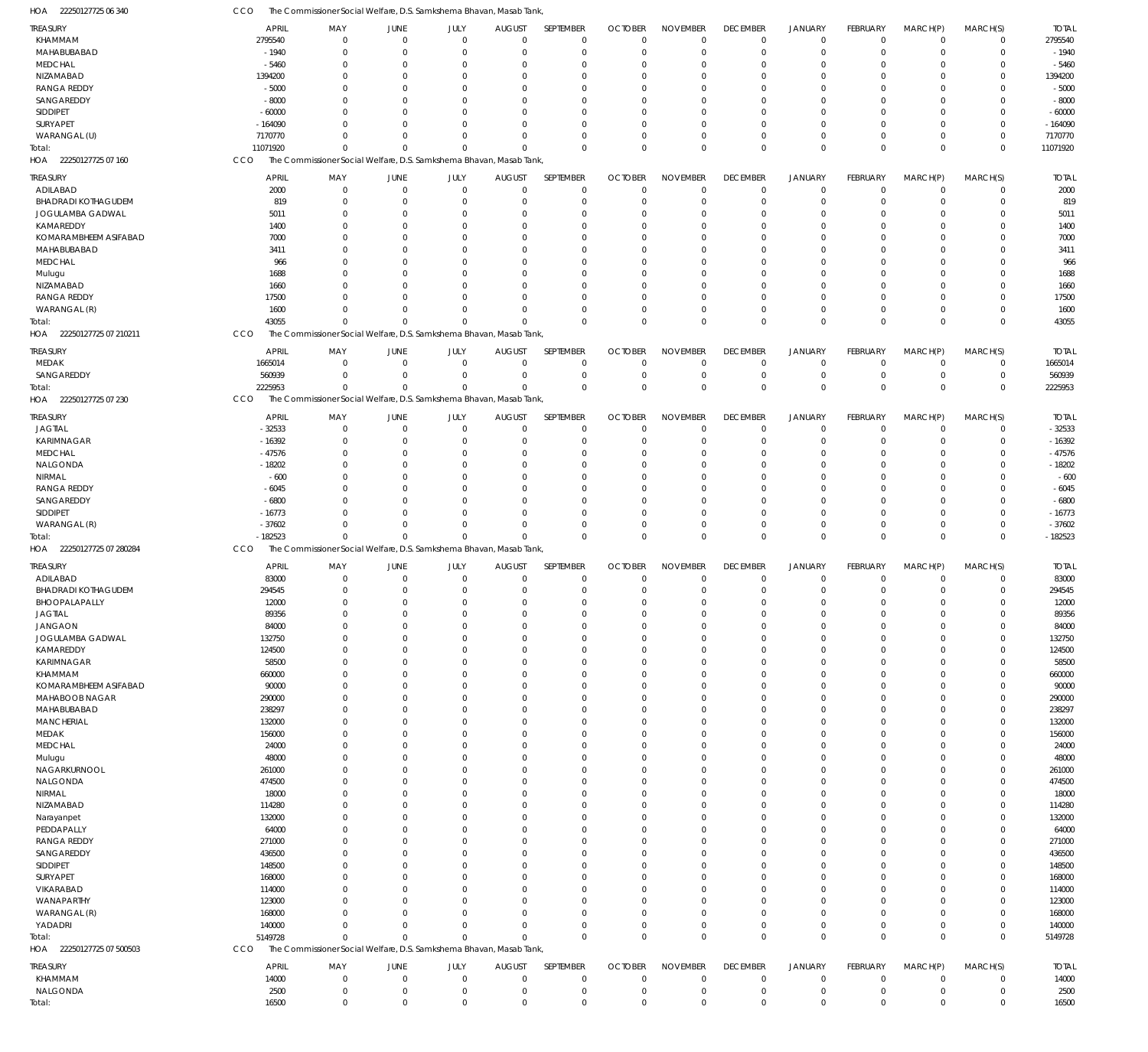| 22250127725 06 340<br>HOA    | CCO              |                                                                     |                |                      | The Commissioner Social Welfare, D.S. Samkshema Bhavan, Masab Tank |                      |                      |                      |                      |                      |                 |                      |                      |              |
|------------------------------|------------------|---------------------------------------------------------------------|----------------|----------------------|--------------------------------------------------------------------|----------------------|----------------------|----------------------|----------------------|----------------------|-----------------|----------------------|----------------------|--------------|
| <b>TREASURY</b>              | <b>APRIL</b>     | MAY                                                                 | <b>JUNE</b>    | JULY                 | <b>AUGUST</b>                                                      | SEPTEMBER            | <b>OCTOBER</b>       | <b>NOVEMBER</b>      | <b>DECEMBER</b>      | <b>JANUARY</b>       | <b>FEBRUARY</b> | MARCH(P)             | MARCH(S)             | <b>TOTAL</b> |
| KHAMMAM                      | 2795540          | $\overline{0}$                                                      | $\Omega$       | $\overline{0}$       | $\overline{0}$                                                     | $\overline{0}$       | $\Omega$             | $\overline{0}$       | $^{\circ}$           | $\overline{0}$       | $\Omega$        | $\Omega$             | $^{\circ}$           | 2795540      |
| MAHABUBABAD                  | $-1940$          | $\overline{0}$                                                      | $\Omega$       | $\Omega$             | $\Omega$                                                           | $\overline{0}$       | $\Omega$             | $\Omega$             | $\Omega$             | $\overline{0}$       | $\Omega$        | $\Omega$             | $\Omega$             | $-1940$      |
| <b>MEDCHAL</b>               | $-5460$          | $\overline{0}$                                                      | $\Omega$       | - 0                  | $\Omega$                                                           | $^{\circ}$           | $\Omega$             | $\Omega$             | $\Omega$             | $\Omega$             |                 |                      |                      | $-5460$      |
| NIZAMABAD                    | 1394200          | $\Omega$                                                            | $\Omega$       | $\Omega$             | $\Omega$                                                           | $\Omega$             | $\Omega$             | $\Omega$             | $\Omega$             | $\Omega$             |                 |                      |                      | 1394200      |
| <b>RANGA REDDY</b>           | $-5000$          | $\Omega$                                                            |                | $\Omega$             | $\Omega$                                                           | $\Omega$             |                      | $\Omega$             | $\Omega$             | $\Omega$             |                 | $\Omega$             |                      | $-5000$      |
| SANGAREDDY                   | $-8000$          | $\Omega$                                                            | $\Omega$       | $\Omega$             | $\Omega$                                                           | $\Omega$             | $\Omega$             | $\Omega$             |                      | $\Omega$             |                 | $\Omega$             |                      | $-8000$      |
| <b>SIDDIPET</b>              |                  | $\Omega$                                                            |                | $\Omega$             |                                                                    | $\Omega$             |                      | $\Omega$             |                      |                      |                 | $\Omega$             |                      | $-60000$     |
|                              | $-60000$         |                                                                     |                |                      | $\Omega$                                                           |                      |                      |                      | $\Omega$             | $\Omega$             |                 |                      |                      |              |
| SURYAPET                     | $-164090$        | $\Omega$                                                            | $\Omega$       | $\Omega$             | $\Omega$                                                           | $\Omega$             | $\Omega$             | $\Omega$             | $\Omega$             | $\Omega$             |                 | $\Omega$             |                      | $-164090$    |
| WARANGAL (U)                 | 7170770          | $\Omega$                                                            | $\Omega$       | $\Omega$             | $\Omega$                                                           | $\Omega$             | $\Omega$             | $\Omega$             | $\Omega$             | $^{\circ}$           |                 | $\Omega$             | $\Omega$             | 7170770      |
| Total:                       | 11071920         | $\Omega$                                                            | $\Omega$       | $\Omega$             | $\Omega$                                                           | $\Omega$             | $\Omega$             | $\Omega$             | $\Omega$             | $\Omega$             | $\Omega$        | $\Omega$             | $\Omega$             | 11071920     |
| HOA 22250127725 07 160       | CCO              | The Commissioner Social Welfare, D.S. Samkshema Bhavan, Masab Tank, |                |                      |                                                                    |                      |                      |                      |                      |                      |                 |                      |                      |              |
| <b>TREASURY</b>              | <b>APRIL</b>     | MAY                                                                 | <b>JUNE</b>    | JULY                 | <b>AUGUST</b>                                                      | SEPTEMBER            | <b>OCTOBER</b>       | <b>NOVEMBER</b>      | <b>DECEMBER</b>      | <b>JANUARY</b>       | <b>FEBRUARY</b> | MARCH(P)             | MARCH(S)             | <b>TOTAL</b> |
| ADILABAD                     | 2000             | $\mathbf 0$                                                         | $\mathbf 0$    | $\mathbf 0$          | $\mathbf 0$                                                        | $\overline{0}$       | $\overline{0}$       | $\overline{0}$       | $\overline{0}$       | $\overline{0}$       | $\Omega$        | $\overline{0}$       | $\overline{0}$       | 2000         |
| <b>BHADRADI KOTHAGUDEM</b>   | 819              | $\overline{0}$                                                      | $\Omega$       | $\Omega$             | $\mathbf 0$                                                        | $\overline{0}$       | $\Omega$             | $\Omega$             | $\Omega$             | $\overline{0}$       |                 | $\Omega$             | 0                    | 819          |
|                              |                  | $\Omega$                                                            |                | $\Omega$             |                                                                    | $\Omega$             |                      |                      |                      | $\Omega$             |                 | $\Omega$             |                      |              |
| JOGULAMBA GADWAL             | 5011             |                                                                     | $\Omega$       |                      | $\Omega$                                                           |                      | $\Omega$             | $\Omega$             | $\Omega$             |                      |                 |                      | $\Omega$             | 5011         |
| KAMAREDDY                    | 1400             | $\overline{0}$                                                      | $\Omega$       | $\Omega$             | $\Omega$                                                           | $\Omega$             | $\Omega$             | $\Omega$             | $\Omega$             | $\Omega$             |                 | $\Omega$             | $\Omega$             | 1400         |
| KOMARAMBHEEM ASIFABAD        | 7000             | $\Omega$                                                            | $\Omega$       | $\Omega$             | $\Omega$                                                           | $\Omega$             | $\Omega$             | $\Omega$             |                      | $\Omega$             |                 |                      |                      | 7000         |
| MAHABUBABAD                  | 3411             | $\Omega$                                                            | 0              | $\Omega$             | $\Omega$                                                           | $\Omega$             | $\Omega$             | $\Omega$             | $\Omega$             | $\Omega$             |                 | $\Omega$             | $\Omega$             | 3411         |
| <b>MEDCHAL</b>               | 966              | $\Omega$                                                            | $\Omega$       | $\Omega$             | $\Omega$                                                           | $\Omega$             |                      | $\Omega$             |                      | $\Omega$             |                 |                      |                      | 966          |
| Mulugu                       | 1688             | $\Omega$                                                            | <sup>0</sup>   | $\Omega$             | $\Omega$                                                           | $\Omega$             | $\Omega$             | $\Omega$             | $\Omega$             | $\Omega$             |                 | $\Omega$             | $\Omega$             | 1688         |
| NIZAMABAD                    | 1660             | $\Omega$                                                            | $\Omega$       | $\Omega$             | $\Omega$                                                           | $\Omega$             | $\Omega$             | $\Omega$             | $\Omega$             | $\Omega$             |                 |                      |                      | 1660         |
| <b>RANGA REDDY</b>           | 17500            | $\Omega$                                                            | $\Omega$       | $\Omega$             | $\Omega$                                                           | $\Omega$             | $\Omega$             | $\Omega$             | $\Omega$             | $\Omega$             |                 | $\Omega$             | $\Omega$             | 17500        |
| WARANGAL (R)                 | 1600             | $\Omega$                                                            | $\Omega$       | $\Omega$             | $\Omega$                                                           | $\Omega$             | $\Omega$             | $\Omega$             | $\Omega$             | $\Omega$             | $\Omega$        | $\Omega$             | $\Omega$             | 1600         |
| Total:                       | 43055            | $\Omega$                                                            | $\Omega$       | $\Omega$             | $\Omega$                                                           | $\Omega$             | $\Omega$             | $\Omega$             | $\Omega$             | $\Omega$             | $\Omega$        | $\Omega$             | $\mathbf 0$          | 43055        |
| HOA 22250127725 07 210211    | CCO              | The Commissioner Social Welfare, D.S. Samkshema Bhavan, Masab Tank, |                |                      |                                                                    |                      |                      |                      |                      |                      |                 |                      |                      |              |
|                              |                  |                                                                     |                |                      |                                                                    |                      |                      |                      |                      |                      |                 |                      |                      |              |
| <b>TREASURY</b>              | <b>APRIL</b>     | MAY                                                                 | <b>JUNE</b>    | JULY                 | <b>AUGUST</b>                                                      | SEPTEMBER            | <b>OCTOBER</b>       | <b>NOVEMBER</b>      | <b>DECEMBER</b>      | <b>JANUARY</b>       | <b>FEBRUARY</b> | MARCH(P)             | MARCH(S)             | <b>TOTAL</b> |
| <b>MEDAK</b>                 | 1665014          | $\overline{0}$                                                      | $\mathbf 0$    | $\overline{0}$       | $\overline{0}$                                                     | $^{\circ}$           | $\Omega$             | $^{\circ}$           | $^{\circ}$           | $^{\circ}$           | $\Omega$        | $\Omega$             | $^{\circ}$           | 1665014      |
| SANGAREDDY                   | 560939           | $\overline{0}$                                                      | $\Omega$       | $\overline{0}$       | $\mathbf 0$                                                        | $\overline{0}$       | $\Omega$             | $\Omega$             | $\overline{0}$       | $\overline{0}$       | $\Omega$        | $\overline{0}$       | $\overline{0}$       | 560939       |
| Total:                       | 2225953          | $\Omega$                                                            | $\Omega$       | $\mathbf 0$          | $\Omega$                                                           | $\mathbf{0}$         | $\mathbf 0$          | $\Omega$             | $\mathbf 0$          | $\Omega$             | $\Omega$        | $\Omega$             | $\mathbf 0$          | 2225953      |
| HOA 22250127725 07 230       | CCO              | The Commissioner Social Welfare, D.S. Samkshema Bhavan, Masab Tank, |                |                      |                                                                    |                      |                      |                      |                      |                      |                 |                      |                      |              |
|                              |                  |                                                                     |                |                      |                                                                    |                      |                      |                      |                      |                      |                 |                      |                      |              |
| <b>TREASURY</b>              | <b>APRIL</b>     | MAY                                                                 | JUNE           | JULY                 | <b>AUGUST</b>                                                      | SEPTEMBER            | <b>OCTOBER</b>       | <b>NOVEMBER</b>      | <b>DECEMBER</b>      | <b>JANUARY</b>       | <b>FEBRUARY</b> | MARCH(P)             | MARCH(S)             | <b>TOTAL</b> |
| <b>JAGTIAL</b>               | $-32533$         | $\mathbf 0$                                                         | $\overline{0}$ | $\overline{0}$       | $\mathbf 0$                                                        | $\overline{0}$       | $\overline{0}$       | $\overline{0}$       | $\overline{0}$       | $\overline{0}$       | $\Omega$        | $\Omega$             | $^{\circ}$           | $-32533$     |
| <b>KARIMNAGAR</b>            | $-16392$         | $\overline{0}$                                                      | $\Omega$       | $\Omega$             | 0                                                                  | $\overline{0}$       | $\Omega$             | $\Omega$             | $\Omega$             | $\Omega$             |                 | $\Omega$             | 0                    | $-16392$     |
| <b>MEDCHAL</b>               | $-47576$         | $\Omega$                                                            | $\Omega$       | $\Omega$             | $\Omega$                                                           | $\Omega$             | $\Omega$             | $\Omega$             | $\Omega$             | $\Omega$             |                 | $\Omega$             | $\Omega$             | $-47576$     |
| NALGONDA                     | $-18202$         | $\overline{0}$                                                      | $\Omega$       | $\Omega$             | $\Omega$                                                           | $\Omega$             | $\Omega$             | $\Omega$             | $\Omega$             | $\Omega$             |                 | $\Omega$             | $\Omega$             | $-18202$     |
| NIRMAL                       | $-600$           | $\Omega$                                                            | $\Omega$       | $\Omega$             | $\Omega$                                                           | $\Omega$             | $\Omega$             | $\Omega$             |                      | $\Omega$             |                 |                      |                      | $-600$       |
| <b>RANGA REDDY</b>           | $-6045$          | $\Omega$                                                            | 0              | $\Omega$             | $\Omega$                                                           | $\Omega$             | $\Omega$             | $\Omega$             | $\Omega$             | $\Omega$             |                 | $\Omega$             | $\Omega$             | $-6045$      |
|                              |                  |                                                                     |                |                      |                                                                    |                      |                      | $\Omega$             |                      | $\Omega$             |                 | $\Omega$             |                      | $-6800$      |
| SANGAREDDY                   | $-6800$          | $\Omega$                                                            | $\Omega$       | $\Omega$             | $\Omega$                                                           | $\Omega$             | $\Omega$             |                      |                      |                      |                 |                      |                      |              |
| SIDDIPET                     | $-16773$         | $\Omega$                                                            | $\Omega$       | $\Omega$             | $\Omega$                                                           | $\Omega$             | $\Omega$             | $\Omega$             | $\Omega$             | $\Omega$             | $\Omega$        | $\Omega$             | $\Omega$             | $-16773$     |
| WARANGAL (R)                 | $-37602$         | $\Omega$                                                            | $\Omega$       | $\Omega$             | $\Omega$                                                           | $\Omega$             | $\Omega$             | $\Omega$             | $\overline{0}$       | $\Omega$             | $\Omega$        | $\Omega$             | $\Omega$             | $-37602$     |
|                              |                  | $\Omega$                                                            | $\Omega$       | $\Omega$             | $\Omega$                                                           | $\Omega$             | $\Omega$             | $\mathbf{0}$         |                      | $\Omega$             | $\Omega$        | $\Omega$             | $\mathbf 0$          |              |
| Total:                       | $-182523$        |                                                                     |                |                      |                                                                    |                      |                      |                      | $\mathbb O$          |                      |                 |                      |                      | $-182523$    |
| 22250127725 07 280284<br>HOA | CCO              | The Commissioner Social Welfare, D.S. Samkshema Bhavan, Masab Tank, |                |                      |                                                                    |                      |                      |                      |                      |                      |                 |                      |                      |              |
| <b>TREASURY</b>              | <b>APRIL</b>     | MAY                                                                 | <b>JUNE</b>    | JULY                 | <b>AUGUST</b>                                                      | SEPTEMBER            | <b>OCTOBER</b>       | <b>NOVEMBER</b>      | <b>DECEMBER</b>      | <b>JANUARY</b>       | FEBRUARY        | MARCH(P)             | MARCH(S)             | <b>TOTAL</b> |
| ADILABAD                     | 83000            | $\overline{0}$                                                      | $^{\circ}$     | $\overline{0}$       | $\overline{0}$                                                     | $\overline{0}$       | $^{\circ}$           | $\overline{0}$       | $^{\circ}$           | $^{\circ}$           | $\Omega$        | $\Omega$             | $\Omega$             | 83000        |
| <b>BHADRADI KOTHAGUDEM</b>   | 294545           | $\mathbf 0$                                                         | $^{\circ}$     | $\mathbf 0$          | $\mathbf 0$                                                        | $\overline{0}$       | $\Omega$             | $\Omega$             | $\mathbf 0$          | $\Omega$             | $\Omega$        | $\Omega$             | $\mathbf 0$          | 294545       |
| <b>BHOOPALAPALLY</b>         | 12000            | $\mathbf 0$                                                         | $^{\circ}$     | $\mathbf 0$          | $^{\circ}$                                                         | $\mathbf 0$          | $\mathbf 0$          | $\mathbf 0$          | $\mathbf 0$          | $^{\circ}$           | $^{\circ}$      | $^{\circ}$           | $\Omega$             | 12000        |
| <b>JAGTIAL</b>               | 89356            | $\overline{0}$                                                      | $\Omega$       | $\Omega$             | $\Omega$                                                           | $\overline{0}$       | $\Omega$             | $\Omega$             | $\Omega$             | $\Omega$             |                 | $\Omega$             | $\Omega$             | 89356        |
| <b>JANGAON</b>               | 84000            | $\overline{0}$                                                      | $\mathbf 0$    | $\Omega$             | $\Omega$                                                           | $\overline{0}$       | $\overline{0}$       | $\overline{0}$       | $\mathbf 0$          | $\overline{0}$       | $\Omega$        | $\Omega$             | $\Omega$             | 84000        |
| JOGULAMBA GADWAL             | 132750           | $\Omega$                                                            | $\Omega$       | $\Omega$             | $\Omega$                                                           | $\overline{0}$       | $\Omega$             | $\Omega$             | $\Omega$             | $\Omega$             |                 | $\Omega$             | $\Omega$             | 132750       |
| KAMAREDDY                    | 124500           | $\Omega$                                                            | $\Omega$       | $\Omega$             | $\Omega$                                                           | $\Omega$             | $\Omega$             | $\Omega$             | $\Omega$             | $\Omega$             |                 | $\Omega$             | $\Omega$             | 124500       |
|                              |                  | $\overline{0}$                                                      | $\Omega$       | $\Omega$             | $\Omega$                                                           | $\overline{0}$       | $\Omega$             | $\Omega$             | $\Omega$             | $\Omega$             |                 | $\Omega$             | $\Omega$             |              |
| <b>KARIMNAGAR</b>            | 58500            | $\Omega$                                                            | $\Omega$       | $\Omega$             | $\Omega$                                                           | $\Omega$             | $\Omega$             | $\Omega$             | $\Omega$             | $\Omega$             |                 | $\Omega$             |                      | 58500        |
| KHAMMAM                      | 660000           |                                                                     |                |                      |                                                                    |                      |                      |                      |                      |                      |                 |                      |                      | 660000       |
| KOMARAMBHEEM ASIFABAD        | 90000            | $\Omega$<br>$\Omega$                                                | $\Omega$       | $\Omega$<br>$\Omega$ | $\Omega$<br>$\Omega$                                               | $\Omega$<br>$\Omega$ | $\Omega$<br>$\Omega$ | $\Omega$<br>$\Omega$ | $\Omega$<br>$\Omega$ | $\Omega$<br>$\Omega$ |                 | $\Omega$<br>$\Omega$ | $\Omega$<br>$\Omega$ | 90000        |
| <b>MAHABOOB NAGAR</b>        | 290000           |                                                                     |                |                      |                                                                    |                      |                      |                      |                      |                      |                 |                      |                      | 290000       |
| MAHABUBABAD                  | 238297           | $\Omega$                                                            | $\Omega$       | $\Omega$             | $\Omega$                                                           | $\Omega$             | $\Omega$             | $\Omega$             | $\Omega$             | $\Omega$             |                 | $\Omega$             | $\Omega$             | 238297       |
| <b>MANCHERIAL</b>            | 132000           | $\Omega$                                                            |                | $\Omega$             | $\Omega$                                                           | $\Omega$             | $\Omega$             | $\Omega$             | $\Omega$             | $\Omega$             |                 | $\Omega$             | $\Omega$             | 132000       |
| MEDAK                        | 156000           | $\Omega$                                                            |                | $\Omega$             | $\Omega$                                                           | $\Omega$             | $\Omega$             | $\Omega$             | $\Omega$             | $\Omega$             |                 | $\Omega$             | $\Omega$             | 156000       |
| <b>MEDCHAL</b>               | 24000            | $\Omega$                                                            | $\Omega$       | $\Omega$             | $\Omega$                                                           | $\Omega$             | $\Omega$             | $\Omega$             | $\Omega$             | $\Omega$             |                 | $\Omega$             | $\Omega$             | 24000        |
| Mulugu                       | 48000            | $\Omega$                                                            |                | $\Omega$             | $\Omega$                                                           | $\Omega$             | $\Omega$             | $\Omega$             | $\Omega$             | $\Omega$             |                 | $\Omega$             | $\Omega$             | 48000        |
| NAGARKURNOOL                 | 261000           | $\Omega$                                                            | $\Omega$       | $\Omega$             | $\Omega$                                                           | $\Omega$             | $\Omega$             | $\Omega$             | $\Omega$             | $\Omega$             |                 | $\Omega$             | $\Omega$             | 261000       |
| NALGONDA                     | 474500           | $\overline{0}$                                                      | $\Omega$       | $\Omega$             | $\Omega$                                                           | $\overline{0}$       | $\Omega$             | $\Omega$             | $\Omega$             | $\Omega$             |                 | $\Omega$             | $\Omega$             | 474500       |
| NIRMAL                       | 18000            | $\Omega$                                                            | $\Omega$       | $\Omega$             | $\Omega$                                                           | $\Omega$             | $\Omega$             | $\Omega$             | $\Omega$             | $\Omega$             |                 | $\Omega$             | $\Omega$             | 18000        |
| NIZAMABAD                    | 114280           | $\Omega$                                                            |                | $\Omega$             | $\Omega$                                                           | $\Omega$             | $\Omega$             | $\Omega$             | $\Omega$             | $\Omega$             |                 | $\Omega$             | $\Omega$             | 114280       |
| Narayanpet                   | 132000           | $\Omega$                                                            | $\Omega$       | $\Omega$             | $\Omega$                                                           | $\Omega$             | $\Omega$             | $\Omega$             | $\Omega$             | $\Omega$             |                 | $\Omega$             | $\Omega$             | 132000       |
| PEDDAPALLY                   | 64000            | $\Omega$                                                            |                | $\Omega$             | $\Omega$                                                           | $\Omega$             | $\Omega$             | $\Omega$             | $\Omega$             | $\Omega$             |                 | $\Omega$             | $\Omega$             | 64000        |
| <b>RANGA REDDY</b>           | 271000           | $\Omega$                                                            | $\Omega$       | $\Omega$             | $\Omega$                                                           | $\Omega$             | $\Omega$             | $\Omega$             | $\Omega$             | $\Omega$             |                 | $\Omega$             | $\Omega$             | 271000       |
| SANGAREDDY                   | 436500           | $\Omega$                                                            |                | $\Omega$             | $\Omega$                                                           | $\Omega$             | $\Omega$             | $\Omega$             | $\Omega$             | $\Omega$             |                 | $\Omega$             | $\Omega$             | 436500       |
| SIDDIPET                     | 148500           | $\Omega$                                                            | $\Omega$       | $\Omega$             | $\Omega$                                                           | $\Omega$             | $\Omega$             | $\Omega$             | $\Omega$             | $\Omega$             |                 | $\Omega$             |                      | 148500       |
| SURYAPET                     | 168000           | $\Omega$                                                            |                | $\Omega$             | $\Omega$                                                           | $\Omega$             | $\Omega$             | $\Omega$             | $\Omega$             | $\Omega$             |                 | $\Omega$             | $\Omega$             | 168000       |
| VIKARABAD                    | 114000           | $\Omega$                                                            | $\Omega$       | $\Omega$             | $\Omega$                                                           | $\Omega$             | $\Omega$             | $\Omega$             | $\Omega$             | $\Omega$             |                 | $\Omega$             | $\Omega$             | 114000       |
| WANAPARTHY                   |                  | $\Omega$                                                            |                | $\Omega$             | $\Omega$                                                           | $\Omega$             | $\Omega$             | $\Omega$             | $\Omega$             | $\Omega$             |                 | $\Omega$             | $\Omega$             |              |
|                              | 123000<br>168000 | $\Omega$                                                            | $\Omega$       | $\Omega$             | $\Omega$                                                           | $\Omega$             | $\Omega$             | $\Omega$             | $\Omega$             | $\Omega$             |                 | $\Omega$             | $\Omega$             | 123000       |
| WARANGAL (R)                 |                  | $\Omega$                                                            | $\Omega$       | $\Omega$             | $\Omega$                                                           |                      | $\Omega$             | $\Omega$             |                      |                      | $\Omega$        | $\Omega$             |                      | 168000       |
| YADADRI                      | 140000           |                                                                     |                |                      |                                                                    | $\overline{0}$       |                      |                      | $\overline{0}$       | $\overline{0}$       |                 |                      | 0                    | 140000       |
| Total:                       | 5149728          | $\Omega$                                                            | $\Omega$       | $\mathbf 0$          | $\Omega$                                                           | $\Omega$             | $\Omega$             | $\mathbf 0$          | $\mathbf 0$          | $\Omega$             | $\Omega$        | $\Omega$             | $\mathbf 0$          | 5149728      |
| HOA 22250127725 07 500503    | CCO              | The Commissioner Social Welfare, D.S. Samkshema Bhavan, Masab Tank, |                |                      |                                                                    |                      |                      |                      |                      |                      |                 |                      |                      |              |
| <b>TREASURY</b>              | <b>APRIL</b>     | MAY                                                                 | <b>JUNE</b>    | JULY                 | <b>AUGUST</b>                                                      | SEPTEMBER            | <b>OCTOBER</b>       | <b>NOVEMBER</b>      | <b>DECEMBER</b>      | <b>JANUARY</b>       | <b>FEBRUARY</b> | MARCH(P)             | MARCH(S)             | <b>TOTAL</b> |
| KHAMMAM                      | 14000            | $\mathbf 0$                                                         | $\mathbf 0$    | $\mathbf 0$          | $\mathbf 0$                                                        | $\overline{0}$       | $\overline{0}$       | $\overline{0}$       | $\overline{0}$       | $\overline{0}$       | $\overline{0}$  | $\overline{0}$       | $\overline{0}$       | 14000        |
| NALGONDA                     | 2500             | $\mathbf 0$                                                         | $^{\circ}$     | $\mathbf 0$          | $^{\circ}$                                                         | $\overline{0}$       | $^{\circ}$           | $\overline{0}$       | $\overline{0}$       | $\overline{0}$       | $^{\circ}$      | $\overline{0}$       | $\overline{0}$       | 2500         |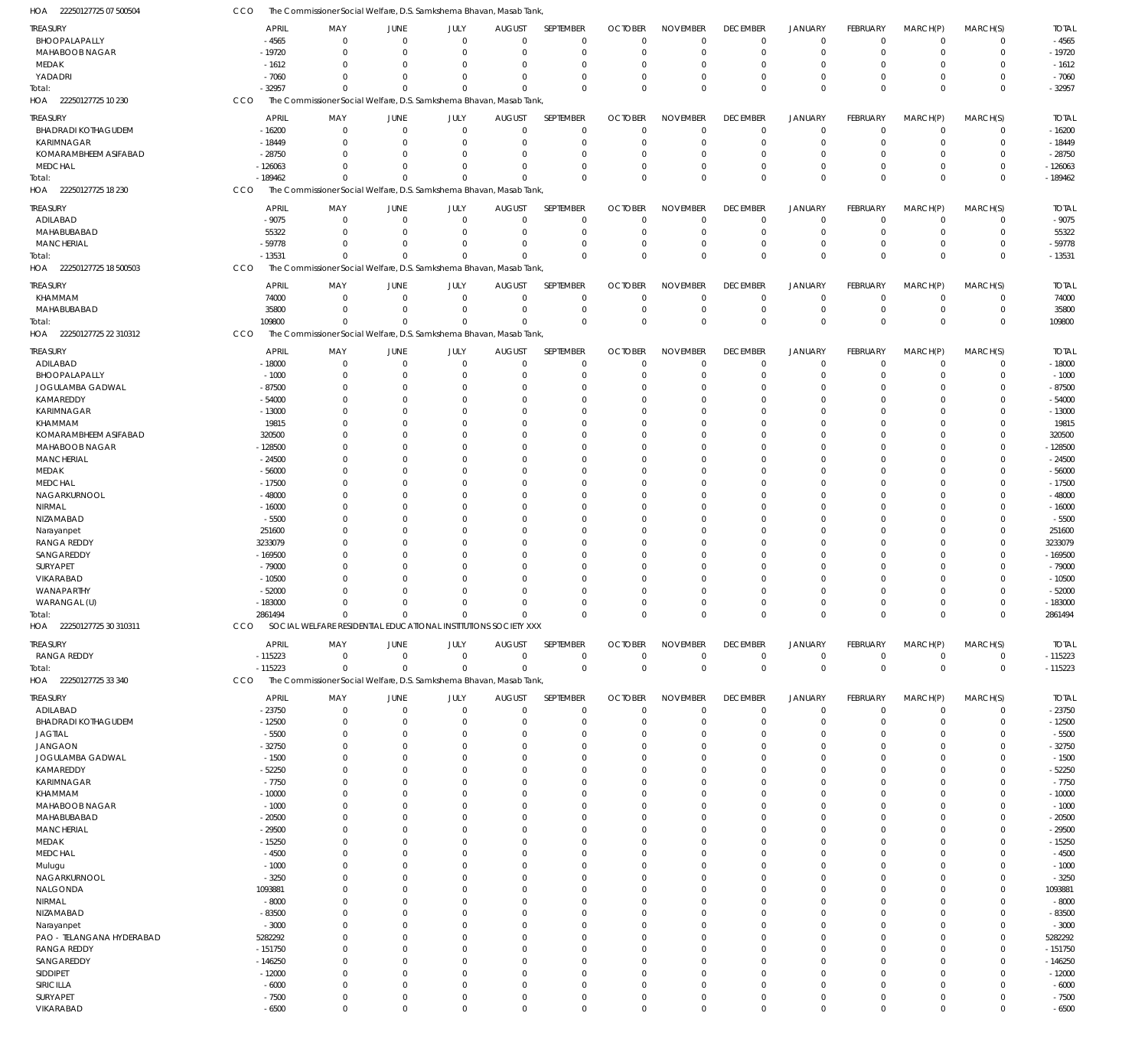| HOA 22250127725 07 500504                     | CCO        |                          |                      |                               |                            | The Commissioner Social Welfare, D.S. Samkshema Bhavan, Masab Tank, |                            |                            |                                   |                                |                                  |                                |                            |                            |                         |
|-----------------------------------------------|------------|--------------------------|----------------------|-------------------------------|----------------------------|---------------------------------------------------------------------|----------------------------|----------------------------|-----------------------------------|--------------------------------|----------------------------------|--------------------------------|----------------------------|----------------------------|-------------------------|
|                                               |            |                          |                      |                               |                            |                                                                     |                            |                            |                                   |                                |                                  |                                |                            |                            |                         |
| <b>TREASURY</b><br>BHOOPALAPALLY              |            | <b>APRIL</b><br>$-4565$  | MAY<br>$^{\circ}$    | <b>JUNE</b><br>$\overline{0}$ | JULY<br>$\mathbf 0$        | <b>AUGUST</b><br>$\mathbf 0$                                        | SEPTEMBER<br>$\mathbf 0$   | <b>OCTOBER</b><br>$\Omega$ | <b>NOVEMBER</b><br>$\mathbf 0$    | <b>DECEMBER</b><br>$\mathbf 0$ | JANUARY<br>$\overline{0}$        | FEBRUARY<br>$\mathbf 0$        | MARCH(P)<br>$\mathbf 0$    | MARCH(S)<br>$\mathbf 0$    | <b>TOTAL</b><br>$-4565$ |
| MAHABOOB NAGAR                                |            | $-19720$                 | $\Omega$             | $\mathbf 0$                   | $\mathbf 0$                | $\Omega$                                                            | $\mathbf 0$                | $\Omega$                   | $\Omega$                          | $\mathbf 0$                    | $\overline{0}$                   | $\Omega$                       | $\mathbf 0$                | $\mathbf 0$                | $-19720$                |
| MEDAK                                         |            | $-1612$                  | $\Omega$             | $\mathbf 0$                   | $\mathbf 0$                | $\Omega$                                                            | $\mathbf 0$                | $\Omega$                   | $^{\circ}$                        | $\mathbf 0$                    | $^{\circ}$                       | $\Omega$                       | 0                          | $\mathbf 0$                | $-1612$                 |
| YADADRI                                       |            | $-7060$                  | $\Omega$             | $\Omega$                      | $\mathbf 0$                | $\Omega$                                                            | $\Omega$                   | $\Omega$                   | $\mathbf 0$                       | $\mathbf 0$                    | $\overline{0}$                   | $\Omega$                       | $\mathbf 0$                | $\mathbf 0$                | $-7060$                 |
| Total:                                        |            | $-32957$                 | $\Omega$             | $\Omega$                      | $\Omega$                   | $\Omega$                                                            | $\mathbf 0$                | $\Omega$                   | $\mathbf 0$                       | $\mathbf 0$                    | $\overline{0}$                   | $\Omega$                       | $\mathbf 0$                | $\mathbf 0$                | $-32957$                |
| HOA 22250127725 10 230                        | CCO        |                          |                      |                               |                            | The Commissioner Social Welfare, D.S. Samkshema Bhavan, Masab Tank, |                            |                            |                                   |                                |                                  |                                |                            |                            |                         |
|                                               |            |                          | MAY                  | <b>JUNE</b>                   |                            |                                                                     | SEPTEMBER                  | <b>OCTOBER</b>             |                                   |                                |                                  |                                |                            |                            | <b>TOTAL</b>            |
| <b>TREASURY</b><br><b>BHADRADI KOTHAGUDEM</b> |            | <b>APRIL</b><br>$-16200$ | 0                    | $\overline{0}$                | JULY<br>$\mathbf 0$        | <b>AUGUST</b><br>$\mathbf 0$                                        | $\mathbf 0$                | $\Omega$                   | <b>NOVEMBER</b><br>$\overline{0}$ | <b>DECEMBER</b><br>$\mathbf 0$ | JANUARY<br>$\overline{0}$        | FEBRUARY<br>$\mathbf 0$        | MARCH(P)<br>$\mathbf 0$    | MARCH(S)<br>$\mathbf 0$    | $-16200$                |
| KARIMNAGAR                                    |            | $-18449$                 | 0                    | $\mathbf 0$                   | $\mathbf 0$                | 0                                                                   | $\mathbf 0$                | $\Omega$                   | $\overline{0}$                    | $\mathbf 0$                    | $\overline{0}$                   | $\mathbf 0$                    | $\mathbf 0$                | $\mathbf 0$                | $-18449$                |
| KOMARAMBHEEM ASIFABAD                         |            | $-28750$                 | $\Omega$             | $\mathbf 0$                   | $\mathbf 0$                | $\Omega$                                                            | $\mathbf 0$                |                            | $\overline{0}$                    | $\mathbf 0$                    | $\overline{0}$                   | $\Omega$                       | 0                          | $\mathbf 0$                | $-28750$                |
| <b>MEDCHAL</b>                                |            | $-126063$                | $\Omega$             | $\Omega$                      | $\mathbf 0$                | $\Omega$                                                            | $\Omega$                   | $\Omega$                   | $\overline{0}$                    | $\mathbf 0$                    | $\overline{0}$                   | $\mathbf 0$                    | $\mathbf 0$                | $\mathbf 0$                | $-126063$               |
| Total:                                        |            | $-189462$                | $\Omega$             | $\Omega$                      | $\Omega$                   | $\Omega$                                                            | $\mathbf 0$                | $\Omega$                   | $\mathbf 0$                       | $\mathbf 0$                    | $\overline{0}$                   | $\Omega$                       | $\Omega$                   | $\mathbf 0$                | $-189462$               |
| HOA 22250127725 18 230                        | CCO        |                          |                      |                               |                            | The Commissioner Social Welfare, D.S. Samkshema Bhavan, Masab Tank, |                            |                            |                                   |                                |                                  |                                |                            |                            |                         |
| <b>TREASURY</b>                               |            | <b>APRIL</b>             | MAY                  | JUNE                          | JULY                       | <b>AUGUST</b>                                                       | SEPTEMBER                  | <b>OCTOBER</b>             | <b>NOVEMBER</b>                   | <b>DECEMBER</b>                | JANUARY                          | FEBRUARY                       | MARCH(P)                   | MARCH(S)                   | <b>TOTAL</b>            |
| ADILABAD                                      |            | $-9075$                  | $\mathbf 0$          | $\overline{0}$                | $\mathbf 0$                | $\mathbf 0$                                                         | $\mathbf 0$                | $\Omega$                   | $\overline{0}$                    | $\mathbf 0$                    | $\overline{0}$                   | $\mathbf 0$                    | $\mathbf 0$                | $\mathbf 0$                | $-9075$                 |
| MAHABUBABAD                                   |            | 55322                    | 0                    | $\mathbf 0$                   | $\mathbf 0$                | 0                                                                   | $\mathbf 0$                | $\Omega$                   | $\overline{0}$                    | $\mathbf 0$                    | $\overline{0}$                   | $\mathbf 0$                    | 0                          | $\mathbf 0$                | 55322                   |
| <b>MANCHERIAL</b>                             |            | $-59778$                 | $\Omega$             | $\Omega$                      | $\mathbf 0$                | $\Omega$                                                            | $\mathbf 0$                | $\Omega$                   | $\overline{0}$                    | $\mathbf 0$                    | $\overline{0}$                   | $\mathbf 0$                    | $\mathbf 0$                | $\mathbf 0$                | $-59778$                |
| Total:                                        |            | $-13531$                 | $\Omega$             | $\Omega$                      | $\Omega$                   | $\Omega$                                                            | $\mathbf 0$                | $\Omega$                   | $\mathbf 0$                       | $\mathbf 0$                    | $\overline{0}$                   | $\Omega$                       | $\mathbf 0$                | $\mathbf 0$                | $-13531$                |
| HOA 22250127725 18 500503                     | CCO        |                          |                      |                               |                            | The Commissioner Social Welfare, D.S. Samkshema Bhavan, Masab Tank, |                            |                            |                                   |                                |                                  |                                |                            |                            |                         |
|                                               |            |                          |                      |                               |                            |                                                                     |                            |                            |                                   |                                |                                  |                                |                            |                            |                         |
| <b>TREASURY</b><br>KHAMMAM                    |            | <b>APRIL</b><br>74000    | MAY<br>$\mathbf 0$   | <b>JUNE</b><br>$\overline{0}$ | JULY<br>$\mathbf 0$        | <b>AUGUST</b><br>$\mathbf 0$                                        | SEPTEMBER<br>$\mathbf 0$   | <b>OCTOBER</b><br>$\Omega$ | <b>NOVEMBER</b><br>$\overline{0}$ | <b>DECEMBER</b><br>$\mathbf 0$ | JANUARY<br>$\overline{0}$        | <b>FEBRUARY</b><br>$\mathbf 0$ | MARCH(P)<br>$\mathbf 0$    | MARCH(S)<br>$\mathbf 0$    | <b>TOTAL</b><br>74000   |
| MAHABUBABAD                                   |            | 35800                    | $\Omega$             | $\mathbf 0$                   | $\mathbf 0$                | 0                                                                   | $\mathbf 0$                | $\Omega$                   | $\overline{0}$                    | $\mathbf 0$                    | $\overline{0}$                   | $\mathbf 0$                    | $\mathbf 0$                | $\mathbf 0$                | 35800                   |
| Total:                                        |            | 109800                   | $\Omega$             | $\Omega$                      | $\Omega$                   | $\Omega$                                                            | $\mathbf 0$                | $\Omega$                   | $\mathbf 0$                       | $\mathbf 0$                    | $\overline{0}$                   | $\Omega$                       | $\Omega$                   | $\mathbf 0$                | 109800                  |
| HOA 22250127725 22 310312                     | CCO        |                          |                      |                               |                            | The Commissioner Social Welfare, D.S. Samkshema Bhavan, Masab Tank, |                            |                            |                                   |                                |                                  |                                |                            |                            |                         |
|                                               |            |                          |                      |                               |                            |                                                                     |                            |                            |                                   |                                |                                  |                                |                            |                            |                         |
| <b>TREASURY</b>                               |            | <b>APRIL</b>             | MAY                  | JUNE                          | JULY                       | <b>AUGUST</b>                                                       | SEPTEMBER                  | <b>OCTOBER</b>             | <b>NOVEMBER</b>                   | <b>DECEMBER</b>                | JANUARY                          | FEBRUARY                       | MARCH(P)                   | MARCH(S)                   | <b>TOTAL</b>            |
| ADILABAD                                      |            | $-18000$                 | $\Omega$             | $\mathbf 0$                   | $\mathbf 0$                | $\mathbf 0$                                                         | $\mathbf 0$                | $\Omega$                   | $\Omega$                          | $\mathbf 0$                    | $\overline{0}$                   | $\Omega$                       | $\mathbf 0$                | $\mathbf 0$                | $-18000$                |
| BHOOPALAPALLY                                 |            | $-1000$                  | 0<br>$\Omega$        | $\mathbf 0$<br>$\Omega$       | $\mathbf 0$<br>$\mathbf 0$ | $\Omega$<br>$\Omega$                                                | $\mathbf 0$<br>$\mathbf 0$ | $\Omega$<br>$\Omega$       | $\overline{0}$<br>$\overline{0}$  | $\mathbf 0$<br>$\mathbf 0$     | $\overline{0}$<br>$\overline{0}$ | $\Omega$<br>$\Omega$           | 0                          | $\mathbf 0$<br>$\mathbf 0$ | $-1000$                 |
| JOGULAMBA GADWAL<br>KAMAREDDY                 |            | $-87500$<br>$-54000$     | $\Omega$             | $\Omega$                      | $\mathbf 0$                | $\Omega$                                                            | $\Omega$                   |                            | $\Omega$                          | $\Omega$                       | $\Omega$                         | $\Omega$                       | 0<br>$\Omega$              | $\mathbf 0$                | $-87500$<br>$-54000$    |
| KARIMNAGAR                                    |            | $-13000$                 | $\Omega$             | $\Omega$                      | $\mathbf 0$                | $\Omega$                                                            | $\Omega$                   | $\Omega$                   | $\Omega$                          | $\Omega$                       | $\Omega$                         | $\Omega$                       | $\Omega$                   | $\mathbf 0$                | $-13000$                |
| KHAMMAM                                       |            | 19815                    | $\Omega$             | $\Omega$                      | $\mathbf 0$                | $\Omega$                                                            | $\mathbf 0$                |                            | $\overline{0}$                    | 0                              | $\mathbf 0$                      | $\Omega$                       | 0                          | $\mathbf 0$                | 19815                   |
| KOMARAMBHEEM ASIFABAD                         |            | 320500                   | $\Omega$             | $\Omega$                      | $\Omega$                   | $\Omega$                                                            | $\Omega$                   | $\Omega$                   | $\mathbf 0$                       | $\Omega$                       | $\Omega$                         | $\Omega$                       | $\Omega$                   | $\mathbf 0$                | 320500                  |
| MAHABOOB NAGAR                                |            | $-128500$                | $\Omega$             | $\Omega$                      | $\Omega$                   | $\Omega$                                                            | $\Omega$                   |                            | $\Omega$                          | $\Omega$                       | $\Omega$                         | $\Omega$                       | $\Omega$                   | $\mathbf 0$                | $-128500$               |
| <b>MANCHERIAL</b>                             |            | $-24500$                 | $\Omega$             | $\Omega$                      | $\mathbf 0$                | $\Omega$                                                            | $\Omega$                   | $\Omega$                   | $\Omega$                          | $\Omega$                       | $\Omega$                         | $\Omega$                       | $\mathbf 0$                | $\mathbf 0$                | $-24500$                |
| MEDAK                                         |            | $-56000$                 | $\Omega$             | $\Omega$                      | $\mathbf 0$                | $\Omega$                                                            | $\mathbf 0$                |                            | $\mathbf 0$                       | 0                              | $\Omega$                         | $\Omega$                       | 0                          | $\mathbf 0$                | $-56000$                |
| <b>MEDCHAL</b>                                |            | $-17500$                 | $\Omega$             | $\Omega$                      | $\Omega$                   | $\Omega$                                                            | $\Omega$                   | $\cap$                     | $\mathbf 0$                       | $\Omega$                       | $\Omega$                         | $\Omega$                       | $\Omega$                   | $\mathbf 0$                | $-17500$                |
| NAGARKURNOOL                                  |            | $-48000$                 | $\Omega$             | $\Omega$                      | $\Omega$                   | $\Omega$                                                            | $\Omega$                   |                            | $\Omega$                          | $\Omega$                       | $\Omega$                         | $\Omega$                       | 0                          | $\mathbf 0$                | $-48000$                |
| NIRMAL                                        |            | $-16000$                 | $\Omega$             | $\Omega$                      | $\mathbf 0$                | $\Omega$                                                            | $\Omega$                   | $\Omega$                   | $\mathbf 0$                       | $\Omega$                       | $\Omega$                         | $\Omega$                       | $\mathbf 0$                | $\mathbf 0$                | $-16000$                |
| NIZAMABAD                                     |            | $-5500$                  | $\Omega$             | $\Omega$                      | $\Omega$                   | $\Omega$                                                            | $\Omega$                   | $\cap$                     | $\mathbf 0$                       | $\Omega$                       | $\Omega$                         | $\Omega$                       | 0                          | $\mathbf 0$                | $-5500$                 |
| Narayanpet                                    |            | 251600                   | $\Omega$             | $\Omega$                      | $\mathbf 0$                | $\Omega$                                                            | $\Omega$                   | $\Omega$                   | $\mathbf 0$                       | $\Omega$                       | $\Omega$                         | $\Omega$                       | $\mathbf 0$                | $\mathbf 0$                | 251600                  |
| <b>RANGA REDDY</b>                            |            | 3233079                  | $\Omega$             | $\Omega$                      | $\mathbf 0$                | $\Omega$                                                            | $\mathbf 0$                |                            | $\overline{0}$                    | 0                              | $\mathbf 0$                      | $\Omega$                       | 0                          | $\mathbf 0$                | 3233079                 |
| SANGAREDDY                                    |            | $-169500$                | $\Omega$             | $\Omega$                      | $\mathbf 0$                | $\Omega$                                                            | $\Omega$                   | $\Omega$                   | $\mathbf 0$                       | $\Omega$                       | $\Omega$                         | $\Omega$                       | $\mathbf 0$                | $\mathbf 0$                | $-169500$               |
| SURYAPET                                      |            | $-79000$                 | O                    | $\Omega$                      | $\Omega$                   | $\Omega$                                                            | $\mathbf 0$                | $\Omega$                   | $\Omega$                          | $\Omega$                       | $\Omega$                         | $\Omega$                       | 0                          | $\mathbf 0$                | $-79000$                |
| VIKARABAD                                     |            | $-10500$                 | $\Omega$             | $\Omega$                      | $\Omega$                   | $\Omega$                                                            | $\Omega$                   | $\Omega$                   | $\Omega$                          | $\Omega$                       | $\Omega$                         | $\Omega$                       | $\Omega$                   | $\mathbf 0$                | $-10500$                |
| WANAPARTHY                                    |            | $-52000$                 | $\Omega$             | $\Omega$                      | $\mathbf 0$                | $\Omega$                                                            | $\mathbf 0$                | $\Omega$                   | $\mathbf 0$                       | $\Omega$                       | $\Omega$                         | $\Omega$                       | $\Omega$                   | $\mathbf 0$                | $-52000$                |
| WARANGAL (U)                                  |            | $-183000$<br>2861494     | 0<br>$\Omega$        | $\Omega$<br>$\Omega$          | $\mathbf 0$<br>$\mathbf 0$ | $\mathbf 0$<br>$\Omega$                                             | $\mathbf 0$<br>$\mathbf 0$ | $\Omega$<br>$\Omega$       | $\mathbf 0$<br>$\mathbf 0$        | $\mathbf 0$<br>$\mathbf 0$     | $\overline{0}$<br>$\overline{0}$ | $\mathbf 0$<br>$\mathbf 0$     | $\mathbf 0$<br>$\mathbf 0$ | $\mathbf 0$<br>$\mathbf 0$ | $-183000$<br>2861494    |
| Total:<br>HOA 22250127725 30 310311           | CCO        |                          |                      |                               |                            | SOCIAL WELFARE RESIDENTIAL EDUCATIONAL INSTITUTIONS SOCIETY XXX     |                            |                            |                                   |                                |                                  |                                |                            |                            |                         |
|                                               |            |                          |                      |                               |                            |                                                                     |                            |                            |                                   |                                |                                  |                                |                            |                            |                         |
| <b>TREASURY</b>                               |            | <b>APRIL</b>             | MAY                  | <b>JUNE</b>                   | JULY                       | <b>AUGUST</b>                                                       | SEPTEMBER                  | <b>OCTOBER</b>             | <b>NOVEMBER</b>                   | <b>DECEMBER</b>                | JANUARY                          | FEBRUARY                       | MARCH(P)                   | MARCH(S)                   | <b>TOTAL</b>            |
| RANGA REDDY                                   |            | $-115223$                | $\mathbf 0$          | $\overline{0}$                | $\mathbf 0$                | $\mathbf 0$                                                         | $\mathbf 0$                | $\Omega$                   | $\overline{0}$                    | $\mathbf 0$                    | $\overline{0}$                   | $\mathbf 0$                    | $\mathbf 0$                | 0                          | $-115223$               |
| Total:                                        |            | $-115223$                | 0                    | $\mathbf 0$                   | $\mathbf 0$                | $\Omega$                                                            | $\mathbf 0$                | $\Omega$                   | $\overline{0}$                    | $\mathbf 0$                    | $\overline{0}$                   | $\mathbf 0$                    | $\mathbf 0$                | $\mathbf 0$                | $-115223$               |
| HOA 22250127725 33 340                        | <b>CCO</b> |                          |                      |                               |                            | The Commissioner Social Welfare, D.S. Samkshema Bhavan, Masab Tank, |                            |                            |                                   |                                |                                  |                                |                            |                            |                         |
| <b>TREASURY</b>                               |            | <b>APRIL</b>             | MAY                  | JUNE                          | JULY                       | <b>AUGUST</b>                                                       | SEPTEMBER                  | <b>OCTOBER</b>             | <b>NOVEMBER</b>                   | <b>DECEMBER</b>                | JANUARY                          | FEBRUARY                       | MARCH(P)                   | MARCH(S)                   | <b>TOTAL</b>            |
| ADILABAD                                      |            | $-23750$                 | $\mathbf 0$          | $\mathbf 0$                   | $\mathbf 0$                | $\mathbf 0$                                                         | $\mathbf 0$                | $\Omega$                   | $^{\circ}$                        | $\mathbf 0$                    | $\overline{0}$                   | $\mathbf 0$                    | $\mathbf 0$                | $\mathbf 0$                | $-23750$                |
| <b>BHADRADI KOTHAGUDEM</b>                    |            | $-12500$                 | $\Omega$             | $\mathbf 0$                   | $\mathbf 0$                | $\Omega$                                                            | $\mathbf 0$                | $\Omega$                   | $\mathbf 0$                       | $\mathbf 0$                    | $\overline{0}$                   | $\mathbf 0$                    | $\mathbf 0$                | $\mathbf 0$                | $-12500$                |
| <b>JAGTIAL</b>                                |            | $-5500$                  | 0                    | $\mathbf 0$                   | $\mathbf 0$                | $\Omega$                                                            | $\mathbf 0$                | $\Omega$                   | $\overline{0}$                    | 0                              | $\mathbf 0$                      | $\Omega$                       | 0                          | $\mathbf 0$                | $-5500$                 |
| <b>JANGAON</b>                                |            | $-32750$                 | $\Omega$<br>$\Omega$ | $\Omega$<br>$\Omega$          | $\mathbf 0$<br>$\Omega$    | $\Omega$                                                            | $\Omega$<br>$\Omega$       | $\Omega$                   | $\mathbf 0$<br>$\mathbf 0$        | $\Omega$<br>$\Omega$           | $\Omega$<br>$\Omega$             | $\Omega$<br>$\Omega$           | 0                          | $\mathbf 0$                | $-32750$                |
| JOGULAMBA GADWAL                              |            | $-1500$                  | $\Omega$             | $\Omega$                      | $\Omega$                   | $\Omega$<br>$\Omega$                                                | $\Omega$                   | $\Omega$                   | $\mathbf 0$                       | $\Omega$                       | $\Omega$                         | $\Omega$                       | $\Omega$<br>$\Omega$       | $\mathbf 0$<br>$\mathbf 0$ | $-1500$                 |
| KAMAREDDY<br>KARIMNAGAR                       |            | $-52250$<br>$-7750$      | $\Omega$             | $\Omega$                      | $\mathbf 0$                | $\Omega$                                                            | $\mathbf 0$                |                            | $\mathbf 0$                       | 0                              | $\Omega$                         | $\Omega$                       | 0                          | $\mathbf 0$                | $-52250$<br>$-7750$     |
| KHAMMAM                                       |            | $-10000$                 | $\Omega$             | $\Omega$                      | $\Omega$                   | $\Omega$                                                            | $\Omega$                   | $\cap$                     | $\mathbf 0$                       | $\Omega$                       | $\Omega$                         | $\Omega$                       | $\mathbf 0$                | $\mathbf 0$                | $-10000$                |
| MAHABOOB NAGAR                                |            | $-1000$                  | $\Omega$             | $\Omega$                      | $\Omega$                   | $\Omega$                                                            | $\Omega$                   |                            | $\mathbf 0$                       | $\Omega$                       | $\Omega$                         | $\Omega$                       | $\Omega$                   | $\mathbf 0$                | $-1000$                 |
| MAHABUBABAD                                   |            | $-20500$                 | $\Omega$             | $\Omega$                      | $\mathbf 0$                | $\Omega$                                                            | $\Omega$                   | $\Omega$                   | $\mathbf 0$                       | $\Omega$                       | $\Omega$                         | $\Omega$                       | $\mathbf 0$                | $\mathbf 0$                | $-20500$                |
| <b>MANCHERIAL</b>                             |            | $-29500$                 | $\Omega$             | $\Omega$                      | $\Omega$                   | $\Omega$                                                            | $\Omega$                   |                            | $\mathbf 0$                       | $\Omega$                       | $\Omega$                         | $\Omega$                       | 0                          | $\mathbf 0$                | $-29500$                |
| MEDAK                                         |            | $-15250$                 | $\Omega$             | $\Omega$                      | $\Omega$                   | $\Omega$                                                            | $\Omega$                   | $\cap$                     | $\mathbf 0$                       | $\Omega$                       | $\Omega$                         | $\Omega$                       | $\Omega$                   | $\mathbf 0$                | $-15250$                |
| <b>MEDCHAL</b>                                |            | $-4500$                  | $\Omega$             | $\Omega$                      | $\Omega$                   | $\Omega$                                                            | $\Omega$                   |                            | $\mathbf 0$                       | $\Omega$                       | $\Omega$                         | $\Omega$                       | 0                          | $\mathbf 0$                | $-4500$                 |
| Mulugu                                        |            | $-1000$                  | $\Omega$             | $\Omega$                      | $\mathbf 0$                | $\Omega$                                                            | $\Omega$                   | $\cap$                     | $\mathbf 0$                       | $\Omega$                       | $\Omega$                         | $\Omega$                       | $\mathbf 0$                | $\mathbf 0$                | $-1000$                 |
| NAGARKURNOOL                                  |            | $-3250$                  | $\Omega$             | $\Omega$                      | $\Omega$                   | $\Omega$                                                            | $\Omega$                   |                            | $\mathbf 0$                       | $\Omega$                       | $\Omega$                         | $\Omega$                       | $\Omega$                   | $\mathbf 0$                | $-3250$                 |
| NALGONDA                                      |            | 1093881                  | $\Omega$             | $\Omega$                      | $\Omega$                   | $\Omega$                                                            | $\Omega$                   | $\cap$                     | $\mathbf 0$                       | $\Omega$                       | $\Omega$                         | $\Omega$                       | $\Omega$                   | $\mathbf 0$                | 1093881                 |
| NIRMAL                                        |            | $-8000$                  | $\Omega$             | $\Omega$                      | $\mathbf 0$                | $\Omega$                                                            | $\mathbf 0$                |                            | $\mathbf 0$                       | $\Omega$                       | $\Omega$                         | $\Omega$                       | 0                          | $\mathbf 0$                | $-8000$                 |
| NIZAMABAD                                     |            | $-83500$                 | $\Omega$             | $\Omega$                      | $\Omega$                   | $\Omega$                                                            | $\Omega$                   | $\cap$                     | $\mathbf 0$                       | $\Omega$                       | $\Omega$                         | $\Omega$                       | $\Omega$                   | $\mathbf 0$                | $-83500$                |
| Narayanpet                                    |            | $-3000$                  | $\Omega$             | $\Omega$                      | $\Omega$                   | $\Omega$                                                            | $\Omega$                   |                            | $\mathbf 0$                       | $\Omega$                       | $\Omega$                         | $\Omega$                       | 0                          | $\mathbf 0$                | $-3000$                 |
| PAO - TELANGANA HYDERABAD                     |            | 5282292                  | $\Omega$             | $\Omega$                      | $\Omega$                   | $\Omega$                                                            | $\Omega$                   | $\Omega$                   | $\mathbf 0$                       | $\Omega$                       | $\Omega$                         | $\Omega$                       | $\mathbf 0$                | $\mathbf 0$                | 5282292                 |
| <b>RANGA REDDY</b>                            |            | $-151750$                | $\Omega$             | $\Omega$                      | $\Omega$                   | $\Omega$                                                            | $\Omega$                   |                            | $\mathbf 0$                       | $\Omega$                       | $\Omega$                         | $\Omega$                       | 0                          | $\mathbf 0$                | $-151750$               |
| SANGAREDDY                                    |            | $-146250$                | $\Omega$             | $\Omega$                      | $\Omega$                   | $\Omega$                                                            | $\Omega$                   | $\cap$                     | $\mathbf 0$                       | $\Omega$                       | $\Omega$                         | $\Omega$                       | $\Omega$                   | $\mathbf 0$                | $-146250$               |
| SIDDIPET                                      |            | $-12000$                 | $\Omega$             | $\Omega$                      | $\Omega$                   | $\Omega$                                                            | $\Omega$                   |                            | $\mathbf 0$                       | $\Omega$                       | $\Omega$                         | $\Omega$                       | 0                          | $\mathbf 0$                | $-12000$                |
| SIRICILLA                                     |            | $-6000$                  | $\Omega$             | $\Omega$                      | $\mathbf 0$                | $\Omega$                                                            | $\Omega$                   | $\Omega$                   | $\mathbf 0$                       | $\Omega$                       | $\Omega$                         | $\Omega$<br>$\Omega$           | $\mathbf 0$                | $\mathbf 0$                | $-6000$                 |
| SURYAPET<br>VIKARABAD                         |            | $-7500$<br>$-6500$       | 0<br>$\mathbf 0$     | $\mathbf 0$<br>$\mathbf 0$    | $\mathbf 0$<br>$\mathbf 0$ | $\Omega$<br>$\Omega$                                                | $\mathbf 0$<br>$\mathbf 0$ | $\Omega$<br>$\mathbf 0$    | $\mathbf 0$<br>$\mathbb O$        | 0<br>$\mathbf 0$               | $\mathbf 0$<br>$\mathbf 0$       | $\mathbf 0$                    | 0<br>$\mathbf 0$           | $\mathbf 0$<br>$\mathbf 0$ | $-7500$<br>$-6500$      |
|                                               |            |                          |                      |                               |                            |                                                                     |                            |                            |                                   |                                |                                  |                                |                            |                            |                         |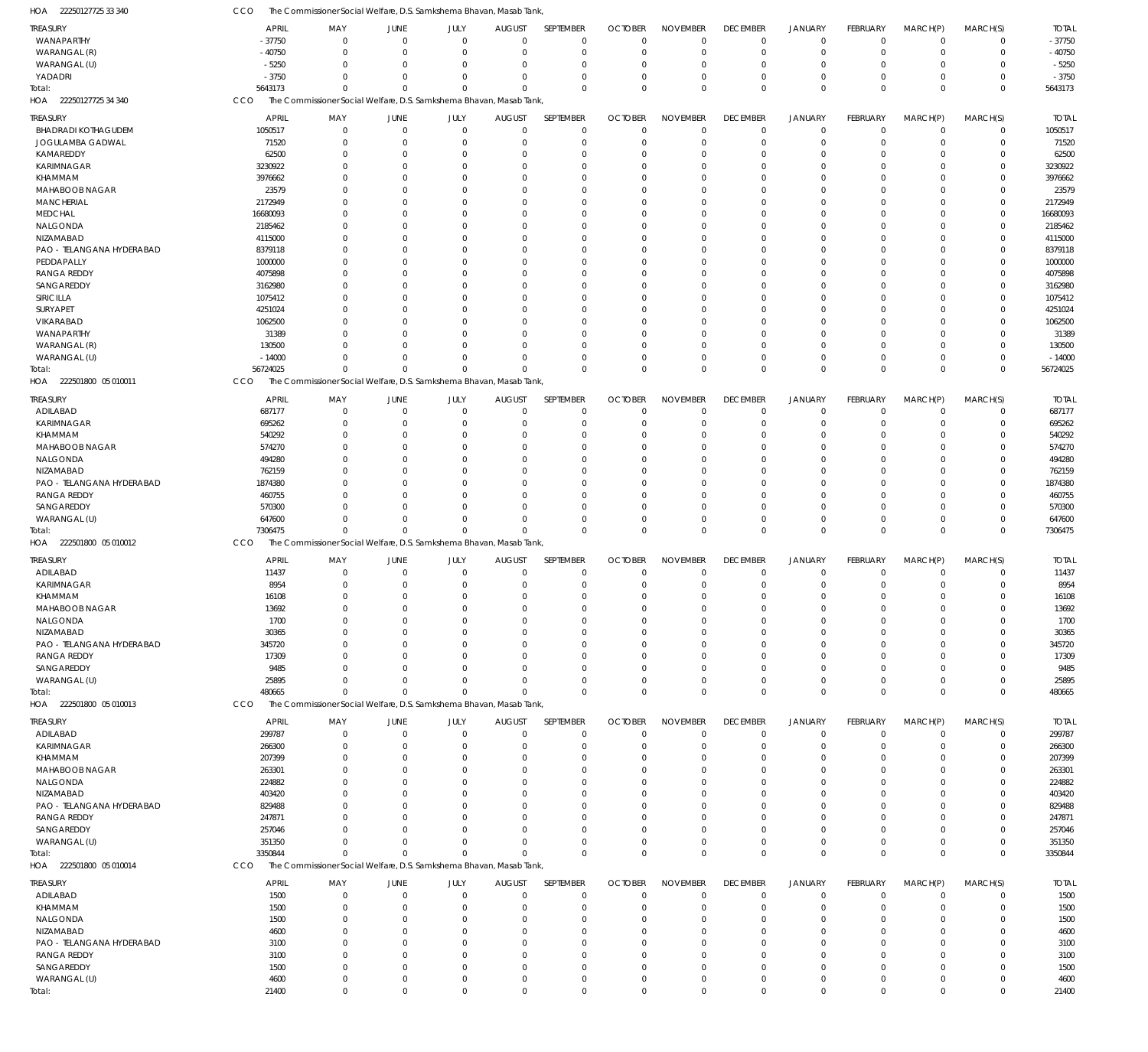| HOA<br>22250127725 33 340                       | CCO              | The Commissioner Social Welfare, D.S. Samkshema Bhavan, Masab Tank, |             |                      |               |                      |                |                            |                      |                      |                 |                      |                            |                  |
|-------------------------------------------------|------------------|---------------------------------------------------------------------|-------------|----------------------|---------------|----------------------|----------------|----------------------------|----------------------|----------------------|-----------------|----------------------|----------------------------|------------------|
| <b>TREASURY</b>                                 | APRIL            | MAY                                                                 | JUNE        | JULY                 | <b>AUGUST</b> | SEPTEMBER            | <b>OCTOBER</b> | <b>NOVEMBER</b>            | <b>DECEMBER</b>      | <b>JANUARY</b>       | FEBRUARY        | MARCH(P)             | MARCH(S)                   | <b>TOTAL</b>     |
| WANAPARTHY                                      | $-37750$         | $\overline{0}$                                                      | $\mathbf 0$ | $\mathbf 0$          | $\Omega$      | $\mathbf 0$          | $\Omega$       | $\mathbf 0$                | $\mathbf 0$          | $\mathbf 0$          | $\mathbf 0$     | $\mathbf 0$          | $\mathbf 0$                | $-37750$         |
| WARANGAL (R)                                    | $-40750$         | $\mathbf 0$                                                         | $\mathbf 0$ | $\mathbf 0$          | $\Omega$      | $\mathbf 0$          | $\Omega$       | $\overline{0}$             | $\mathbf 0$          | $\mathbf 0$          | $\mathbf 0$     | $\mathbf 0$          | $\mathbf 0$                | $-40750$         |
| WARANGAL (U)                                    | $-5250$          | $\mathbf{0}$                                                        | 0           | $\mathbf 0$          | $\Omega$      | $\Omega$             | $\Omega$       | $\overline{0}$             | $\mathbf 0$          | $\overline{0}$       | $\Omega$        | 0                    | $\mathbf 0$                | $-5250$          |
| YADADRI                                         | $-3750$          | $\Omega$                                                            | $\Omega$    | $\mathbf 0$          | $\Omega$      | $\Omega$             | $\Omega$       | $\overline{0}$             | $\mathbf 0$          | $\overline{0}$       | $\Omega$        | $\mathbf 0$          | $\mathbf 0$                | $-3750$          |
| Total:                                          | 5643173          | $\Omega$                                                            | $\Omega$    | $\Omega$             | $\Omega$      | $\Omega$             | $\Omega$       | $\mathbf{0}$               | $\mathbf 0$          | $\Omega$             | $\Omega$        | $\mathbf 0$          | $\mathbf 0$                | 5643173          |
| HOA 22250127725 34 340                          | CCO              | The Commissioner Social Welfare, D.S. Samkshema Bhavan, Masab Tank, |             |                      |               |                      |                |                            |                      |                      |                 |                      |                            |                  |
|                                                 |                  |                                                                     |             |                      |               |                      |                |                            |                      |                      |                 |                      |                            |                  |
| <b>TREASURY</b>                                 | <b>APRIL</b>     | MAY                                                                 | JUNE        | JULY                 | <b>AUGUST</b> | SEPTEMBER            | <b>OCTOBER</b> | <b>NOVEMBER</b>            | <b>DECEMBER</b>      | <b>JANUARY</b>       | <b>FEBRUARY</b> | MARCH(P)             | MARCH(S)                   | <b>TOTAL</b>     |
| <b>BHADRADI KOTHAGUDEM</b>                      | 1050517          | $\mathbf 0$                                                         | 0           | $\mathbf 0$          | $\mathbf 0$   | $\mathbf 0$          | $\Omega$       | $\overline{0}$             | $\mathbf 0$          | $\mathbf 0$          | $\mathbf 0$     | $\mathbf 0$          | $\mathbf 0$                | 1050517          |
| JOGULAMBA GADWAL                                | 71520            | $\mathbf{0}$                                                        | 0           | $\mathbf 0$          | $\Omega$      | $\Omega$             | $\Omega$       | $\Omega$                   | $\mathbf 0$          | $\mathbf 0$          | $\Omega$        | $\mathbf 0$          | $\mathbf 0$                | 71520            |
| KAMAREDDY                                       | 62500            | $\mathbf{0}$                                                        | 0           | $\mathbf 0$          | $\Omega$      | $\Omega$             | $\Omega$       | $\overline{0}$             | $\mathbf 0$          | $\overline{0}$       | $\Omega$        | 0                    | $\mathbf 0$                | 62500            |
| KARIMNAGAR                                      | 3230922          | $\mathbf{0}$                                                        | 0           | $\Omega$             |               | $\Omega$             |                | $\Omega$                   | $\Omega$             | $\overline{0}$       | $\Omega$        | $\Omega$             | $\mathbf 0$                | 3230922          |
| KHAMMAM                                         | 3976662          | $\mathbf{0}$                                                        | $\Omega$    | $\Omega$             | $\Omega$      | $\Omega$             |                | $\Omega$                   | $\Omega$             | $\Omega$             | O               | 0                    | $\mathbf 0$                | 3976662          |
| MAHABOOB NAGAR                                  | 23579            | $\mathbf 0$                                                         | $\Omega$    | $\Omega$             |               | $\Omega$             |                | $\Omega$                   | $\Omega$             | $\Omega$             | O               | $\Omega$             | $\mathbf 0$                | 23579            |
| <b>MANCHERIAL</b>                               | 2172949          | $\mathbf{0}$                                                        | 0           | $\Omega$             | $\Omega$      | $\Omega$             |                | $\Omega$                   | $\Omega$             | $\Omega$             | O               | 0                    | $\mathbf 0$                | 2172949          |
| <b>MEDCHAL</b>                                  | 16680093         | $\Omega$                                                            | $\Omega$    | $\Omega$             |               | $\Omega$             |                | $\Omega$                   | $\Omega$             | $\Omega$             | O               | $\Omega$             | $\mathbf 0$                | 16680093         |
| NALGONDA                                        | 2185462          | $\mathbf{0}$                                                        | $\Omega$    | $\Omega$             | $\Omega$      | $\Omega$             |                | $\Omega$                   | $\Omega$             | $\Omega$             | O               | $\Omega$             | $\mathbf 0$                | 2185462          |
| NIZAMABAD                                       | 4115000          | $\mathbf 0$                                                         | $\Omega$    | $\Omega$             |               | $\Omega$             |                | $\Omega$                   | $\Omega$             | $\Omega$             | O               | $\Omega$             | $\mathbf 0$                | 4115000          |
| PAO - TELANGANA HYDERABAD                       | 8379118          | $\mathbf{0}$                                                        | $\Omega$    | $\Omega$             | $\Omega$      | $\Omega$             |                | $\Omega$                   | $\Omega$             | $\Omega$             | O               | $\Omega$             | $\mathbf 0$                | 8379118          |
| PEDDAPALLY                                      | 1000000          | $\Omega$                                                            | $\Omega$    | $\Omega$             |               | $\Omega$             |                | $\Omega$                   | $\Omega$             | $\Omega$             | O               | $\Omega$             | $\mathbf 0$                | 1000000          |
| <b>RANGA REDDY</b>                              | 4075898          | $\mathbf{0}$                                                        | $\Omega$    | $\Omega$             | $\Omega$      | $\Omega$             |                | $\overline{0}$             | 0                    | $\Omega$             | O               | $\Omega$             | $\mathbf 0$                | 4075898          |
| SANGAREDDY                                      | 3162980          | $\mathbf 0$                                                         | $\Omega$    | $\Omega$             |               | $\Omega$             |                | $\Omega$                   | $\Omega$             | $\Omega$             | O               | $\Omega$             | $\mathbf 0$                | 3162980          |
| SIRICILLA                                       | 1075412          | $\mathbf{0}$                                                        | $\Omega$    | $\Omega$             |               | $\Omega$             |                | $\Omega$                   | $\Omega$             | $\Omega$             | O               | $\Omega$             | $\mathbf 0$                | 1075412          |
| SURYAPET                                        | 4251024          | $\Omega$                                                            | $\Omega$    | $\Omega$             |               | $\Omega$             |                | $\Omega$                   | $\Omega$             | $\Omega$             | O               | $\Omega$             | $\mathbf 0$                | 4251024          |
|                                                 |                  | $\mathbf{0}$                                                        |             | $\Omega$             | $\Omega$      | $\Omega$             |                | $\overline{0}$             | 0                    | $\Omega$             | O               |                      | $\mathbf 0$                |                  |
| VIKARABAD                                       | 1062500          |                                                                     | 0           |                      |               |                      |                |                            |                      |                      |                 | 0                    |                            | 1062500          |
| WANAPARTHY                                      | 31389            | $\Omega$                                                            | $\Omega$    | $\Omega$             |               | $\Omega$             |                | $\Omega$                   | $\Omega$             | $\Omega$             | O               | $\Omega$             | $\mathbf 0$                | 31389            |
| WARANGAL (R)                                    | 130500           | $\Omega$                                                            | $\Omega$    | $\mathbf 0$          | $\Omega$      | $\Omega$             |                | $\overline{0}$             | 0                    | $\overline{0}$       | 0               | 0                    | $\mathbf 0$                | 130500           |
| WARANGAL (U)                                    | $-14000$         | $\mathbf{0}$                                                        | $\mathbf 0$ | $\mathbf 0$          | $\Omega$      | $\Omega$             | $\Omega$       | $\overline{0}$             | $\mathbf 0$          | $\overline{0}$       | $\Omega$        | $\mathbf 0$          | $\mathbf 0$                | $-14000$         |
| Total:                                          | 56724025         | $\Omega$                                                            | $\Omega$    | $\Omega$             | $\cap$        | $\Omega$             | $\Omega$       | $\mathbf{0}$               | $\mathbf 0$          | $\overline{0}$       | $\Omega$        | $\Omega$             | $\mathbf 0$                | 56724025         |
| HOA 222501800 05 010011                         | CCO              | The Commissioner Social Welfare, D.S. Samkshema Bhavan, Masab Tank, |             |                      |               |                      |                |                            |                      |                      |                 |                      |                            |                  |
| <b>TREASURY</b>                                 | <b>APRIL</b>     | MAY                                                                 | <b>JUNE</b> | JULY                 | <b>AUGUST</b> | SEPTEMBER            | <b>OCTOBER</b> | <b>NOVEMBER</b>            | <b>DECEMBER</b>      | <b>JANUARY</b>       | FEBRUARY        | MARCH(P)             | MARCH(S)                   | <b>TOTAL</b>     |
| ADILABAD                                        | 687177           | $\mathbf{0}$                                                        | $\mathbf 0$ | $\mathbf 0$          | $\Omega$      | $\mathbf 0$          | $\Omega$       | $\overline{0}$             | $\mathbf 0$          | $\mathbf 0$          | $\mathbf 0$     | $\mathbf 0$          | $\mathbf 0$                | 687177           |
| KARIMNAGAR                                      | 695262           | $\mathbf{0}$                                                        | $\mathbf 0$ | $\mathbf 0$          | $\Omega$      | $\mathbf 0$          |                | $\Omega$                   | $\mathbf 0$          | $^{\circ}$           | $\Omega$        | $\mathbf 0$          | $\mathbf 0$                | 695262           |
| KHAMMAM                                         | 540292           | $\Omega$                                                            | 0           | $\mathbf 0$          | $\Omega$      | $\Omega$             | $\Omega$       | $\overline{0}$             | $\mathbf 0$          | $\overline{0}$       | $\Omega$        | $\Omega$             | $\mathbf 0$                | 540292           |
| MAHABOOB NAGAR                                  | 574270           | $\Omega$                                                            | $\Omega$    | $\Omega$             | $\Omega$      | $\Omega$             | $\Omega$       | $\Omega$                   | $\Omega$             | $\Omega$             | $\Omega$        | $\Omega$             | $\mathbf 0$                | 574270           |
| NALGONDA                                        | 494280           | $\Omega$                                                            | $\Omega$    | $\Omega$             | $\Omega$      | $\Omega$             | $\Omega$       | $\Omega$                   | $\Omega$             | $\Omega$             | $\Omega$        | $\Omega$             | $\mathbf 0$                | 494280           |
|                                                 |                  |                                                                     |             |                      |               |                      |                |                            |                      |                      |                 |                      |                            |                  |
| NIZAMABAD                                       | 762159           | $\Omega$                                                            | 0           | $\Omega$             | $\Omega$      | $\Omega$             | $\Omega$       | $\Omega$                   | $\Omega$             | $\Omega$             | 0               | $\Omega$             | $\mathbf 0$                | 762159           |
| PAO - TELANGANA HYDERABAD                       | 1874380          | $\Omega$                                                            | $\Omega$    | $\Omega$             | $\Omega$      | $\Omega$             | $\Omega$       | $\Omega$                   | $\Omega$             | $\Omega$             | $\Omega$        | $\Omega$             | $\mathbf 0$                | 1874380          |
| <b>RANGA REDDY</b>                              | 460755           | $\Omega$                                                            | $\Omega$    | $\Omega$             | $\Omega$      | $\Omega$             | $\Omega$       | $\overline{0}$             | $\Omega$             | $\Omega$             | $\Omega$        | $\Omega$             | $\mathbf 0$                | 460755           |
| SANGAREDDY                                      | 570300           | $\Omega$                                                            | $\Omega$    | $\Omega$             | $\Omega$      | $\Omega$             | $\Omega$       | $\mathbf 0$                | $\mathbf 0$          | $\overline{0}$       | $\Omega$        | $\mathbf 0$          | $\mathbf 0$                | 570300           |
| WARANGAL (U)                                    | 647600           | $\mathbf{0}$                                                        | $\Omega$    | $\Omega$             | $\Omega$      | $\Omega$             | $\Omega$       | $\overline{0}$             | $\mathbf 0$          | $\overline{0}$       | $\Omega$        | $\mathbf 0$          | $\mathbf 0$                | 647600           |
| Total:                                          | 7306475          | $\Omega$                                                            | $\Omega$    | $\Omega$             | $\Omega$      | $\Omega$             | $\Omega$       | $\mathbf{0}$               | $\Omega$             | $\Omega$             | $\Omega$        | $\Omega$             | $\mathbf 0$                | 7306475          |
| HOA 222501800 05 010012                         | CCO              | The Commissioner Social Welfare, D.S. Samkshema Bhavan, Masab Tank, |             |                      |               |                      |                |                            |                      |                      |                 |                      |                            |                  |
| <b>TREASURY</b>                                 | <b>APRIL</b>     | MAY                                                                 | <b>JUNE</b> | JULY                 | <b>AUGUST</b> | SEPTEMBER            | <b>OCTOBER</b> | <b>NOVEMBER</b>            | <b>DECEMBER</b>      | <b>JANUARY</b>       | FEBRUARY        | MARCH(P)             | MARCH(S)                   | <b>TOTAL</b>     |
| ADILABAD                                        | 11437            | $\mathbf 0$                                                         | $\mathbf 0$ | $\mathbf 0$          | $\mathbf 0$   | $\mathbf 0$          | $\Omega$       | $^{\circ}$                 | $\mathbf 0$          | $\mathbf 0$          | $\mathbf 0$     | $\mathbf 0$          | $\mathbf 0$                | 11437            |
| KARIMNAGAR                                      | 8954             | $\mathbf{0}$                                                        | 0           | $\mathbf 0$          | $\Omega$      | $\mathbf 0$          | $\Omega$       | $^{\circ}$                 | $\mathbf 0$          | $\overline{0}$       | $\Omega$        | 0                    | $\mathbf 0$                | 8954             |
| KHAMMAM                                         | 16108            | $\mathbf 0$                                                         | $\mathbf 0$ | $\mathbf 0$          | $\Omega$      | $\Omega$             | $\Omega$       | $\overline{0}$             | $\mathbf 0$          | $\overline{0}$       | $\Omega$        | $\mathbf 0$          | $\mathbf 0$                | 16108            |
| MAHABOOB NAGAR                                  | 13692            | 0                                                                   | 0           | $\Omega$             |               |                      |                | $\Omega$                   | 0                    | $\Omega$             |                 | 0                    | $\mathbf 0$                | 13692            |
| NALGONDA                                        | 1700             | $\mathbf{0}$                                                        | 0           | $\mathbf 0$          |               | $\Omega$             | $\Omega$       | $\Omega$                   | $\mathbf 0$          | $^{\circ}$           | 0               | 0                    | $\mathbf 0$                | 1700             |
|                                                 |                  | $\mathbf 0$                                                         | $\Omega$    | $\Omega$             |               | $\Omega$             |                | $^{\circ}$                 | $\mathbf 0$          | $\Omega$             | O               | $\Omega$             | $\mathbf 0$                |                  |
| NIZAMABAD                                       | 30365            |                                                                     |             |                      |               |                      | $\Omega$       |                            |                      |                      |                 |                      |                            | 30365            |
| PAO - TELANGANA HYDERABAD                       | 345720           | $\Omega$                                                            | $\Omega$    | $\Omega$             |               | $\Omega$             | $\Omega$       | $\Omega$                   | $\Omega$             | $\Omega$             |                 | $\Omega$             | $\mathbf 0$                | 345720           |
| RANGA REDDY                                     | 17309            | 0                                                                   | -0          | $\Omega$             |               | $\Omega$             | $\Omega$       | $^{\circ}$                 | 0                    | $\Omega$             |                 | 0                    | $\mathbf 0$                | 17309            |
| SANGAREDDY                                      | 9485             | $\Omega$                                                            | $\Omega$    | $\Omega$             |               | $\Omega$             |                | $\Omega$                   | $\Omega$             | $\Omega$             | O               | $\Omega$             | $\mathbf 0$                | 9485             |
| WARANGAL (U)                                    | 25895            | $\mathbf{0}$                                                        | $\Omega$    | $\mathbf 0$          | $\Omega$      | $\Omega$             | $\Omega$       | $^{\circ}$                 | $\mathbf 0$          | $\overline{0}$       | $\Omega$        | $\mathbf 0$          | $\mathbf 0$                | 25895            |
| Total:                                          | 480665           | $\mathbf{0}$                                                        | $\mathbf 0$ | $\Omega$             | $\Omega$      | $\Omega$             | $\Omega$       | $\Omega$                   | $\mathbf 0$          | $\overline{0}$       | $\mathbf 0$     | $\mathbf 0$          | $\mathbf 0$                | 480665           |
| HOA 222501800 05 010013                         | CCO              | The Commissioner Social Welfare, D.S. Samkshema Bhavan, Masab Tank, |             |                      |               |                      |                |                            |                      |                      |                 |                      |                            |                  |
| <b>TREASURY</b>                                 | <b>APRIL</b>     | MAY                                                                 | JUNE        | JULY                 | <b>AUGUST</b> | SEPTEMBER            | <b>OCTOBER</b> | <b>NOVEMBER</b>            | <b>DECEMBER</b>      | <b>JANUARY</b>       | FEBRUARY        | MARCH(P)             | MARCH(S)                   | <b>TOTAL</b>     |
| ADILABAD                                        | 299787           | $\overline{0}$                                                      | $\mathbf 0$ | $\mathbf 0$          | $\Omega$      | $\mathbf 0$          | $\Omega$       | $\overline{0}$             | $\mathbf 0$          | $\mathbf 0$          | $\mathbf 0$     | $\mathbf 0$          | 0                          | 299787           |
| KARIMNAGAR                                      | 266300           | $\mathbf{0}$                                                        | 0           | $\mathbf 0$          | $\Omega$      | $\mathbf 0$          | $\Omega$       | $\overline{0}$             | $\mathbf 0$          | $\overline{0}$       | $\Omega$        | $\mathbf 0$          | $\mathbf 0$                | 266300           |
| KHAMMAM                                         | 207399           | 0                                                                   | 0           | $\Omega$             | $\Omega$      | $\Omega$             | $\Omega$       | $\Omega$                   | 0                    | $\overline{0}$       | 0               | $\Omega$             | $\mathbf 0$                | 207399           |
| MAHABOOB NAGAR                                  | 263301           | $\Omega$                                                            | -0          | $\Omega$             |               | $\Omega$             | $\Omega$       | $\Omega$                   | $\Omega$             | $\Omega$             | O               | $\Omega$             | $\mathbf 0$                | 263301           |
| NALGONDA                                        | 224882           | $\Omega$                                                            | 0           | $\Omega$             |               | $\Omega$             | $\Omega$       | $\Omega$                   | $\Omega$             | $\Omega$             | O               | $\Omega$             | $\mathbf 0$                | 224882           |
| NIZAMABAD                                       | 403420           | $\Omega$                                                            | $\Omega$    | $\Omega$             | $\Omega$      | $\Omega$             | $\Omega$       | $\Omega$                   | $\Omega$             | $\Omega$             | O               | $\Omega$             | $\mathbf 0$                | 403420           |
|                                                 |                  |                                                                     |             |                      |               |                      | $\Omega$       |                            |                      |                      |                 |                      |                            |                  |
| PAO - TELANGANA HYDERABAD<br><b>RANGA REDDY</b> | 829488<br>247871 | 0<br>$\Omega$                                                       | 0<br>0      | $\Omega$<br>$\Omega$ |               | $\Omega$<br>$\Omega$ | $\Omega$       | $\overline{0}$<br>$\Omega$ | $\Omega$<br>$\Omega$ | $\Omega$<br>$\Omega$ | O               | $\Omega$<br>$\Omega$ | $\mathbf 0$<br>$\mathbf 0$ | 829488<br>247871 |
|                                                 |                  |                                                                     |             |                      |               |                      |                |                            |                      |                      |                 |                      |                            |                  |
| SANGAREDDY                                      | 257046           | $\Omega$                                                            | $\Omega$    | $\Omega$             | $\Omega$      | $\Omega$             | $\Omega$       | $\Omega$                   | $\Omega$             | $\Omega$             | O               | $\Omega$             | $\mathbf 0$                | 257046           |
| WARANGAL (U)                                    | 351350           | $\Omega$                                                            | $\Omega$    | $\Omega$             | $\Omega$      | $\Omega$             | $\Omega$       | $\mathbf 0$                | $\mathbf 0$          | $\overline{0}$       | $\Omega$        | $\mathbf 0$          | $\mathbf 0$                | 351350           |
| Total:                                          | 3350844          | $\Omega$                                                            | $\Omega$    | $\Omega$             | $\Omega$      | $\Omega$             | $\Omega$       | $\mathbf 0$                | $\mathbf 0$          | $\overline{0}$       | $\Omega$        | $\mathbf 0$          | $\mathbf 0$                | 3350844          |
| HOA 222501800 05 010014                         | CCO              | The Commissioner Social Welfare, D.S. Samkshema Bhavan, Masab Tank, |             |                      |               |                      |                |                            |                      |                      |                 |                      |                            |                  |
| <b>TREASURY</b>                                 | <b>APRIL</b>     | MAY                                                                 | JUNE        | JULY                 | <b>AUGUST</b> | SEPTEMBER            | <b>OCTOBER</b> | <b>NOVEMBER</b>            | <b>DECEMBER</b>      | <b>JANUARY</b>       | FEBRUARY        | MARCH(P)             | MARCH(S)                   | <b>TOTAL</b>     |
| ADILABAD                                        | 1500             | $\overline{0}$                                                      | 0           | $\mathbf{0}$         | $\Omega$      | $\mathbf 0$          | $\Omega$       | $\overline{0}$             | $\mathbf 0$          | $^{\circ}$           | $\mathbf 0$     | 0                    | $\mathbf 0$                | 1500             |
| KHAMMAM                                         | 1500             | $\mathbf{0}$                                                        | 0           | $\mathbf{0}$         | -0            | $\Omega$             | $\Omega$       | $\Omega$                   | $\mathbf 0$          | $^{\circ}$           | $\Omega$        | $\mathbf 0$          | $\mathbf 0$                | 1500             |
| NALGONDA                                        | 1500             | $\mathbf{0}$                                                        | 0           | $\mathbf 0$          |               | $\Omega$             |                | $^{\circ}$                 | 0                    | - 0                  | 0               | 0                    | $\mathbf 0$                | 1500             |
| NIZAMABAD                                       | 4600             | $\Omega$                                                            | $\Omega$    | $\Omega$             |               | $\Omega$             |                | $\Omega$                   | $\Omega$             | $\Omega$             | O               | $\Omega$             | $\mathbf 0$                | 4600             |
| PAO - TELANGANA HYDERABAD                       | 3100             | 0                                                                   | 0           | $\Omega$             |               | $\Omega$             |                | $\Omega$                   | $\Omega$             | $\Omega$             |                 | $\Omega$             | $\mathbf 0$                | 3100             |
| <b>RANGA REDDY</b>                              | 3100             | $\mathbf 0$                                                         | $\Omega$    | $\Omega$             |               | $\Omega$             |                | $\Omega$                   | $\Omega$             | $\Omega$             | O               | $\Omega$             | $\mathbf 0$                | 3100             |
|                                                 |                  |                                                                     |             | $\Omega$             |               | $\Omega$             |                |                            |                      | $\Omega$             |                 |                      |                            |                  |
| SANGAREDDY                                      | 1500             | $\mathbf{0}$                                                        | 0           |                      | $\Omega$      |                      | $\Omega$       | $^{\circ}$                 | 0                    |                      | 0               | 0                    | $\mathbf 0$                | 1500             |
| WARANGAL (U)                                    | 4600             | $\mathbf{0}$                                                        | $\mathbf 0$ | $\mathbf 0$          | $\Omega$      | $\Omega$             | $\Omega$       | $^{\circ}$                 | 0                    | $^{\circ}$           | $\mathbf 0$     | $\mathbf 0$          | $\mathbf 0$                | 4600             |
| Total:                                          | 21400            | $\mathbf 0$                                                         | $\mathbf 0$ | $\Omega$             | $\Omega$      | $\Omega$             | $\mathbf 0$    | $\,0\,$                    | $\mathbf 0$          | $\Omega$             | $\Omega$        | $\mathbf 0$          | $\mathbf 0$                | 21400            |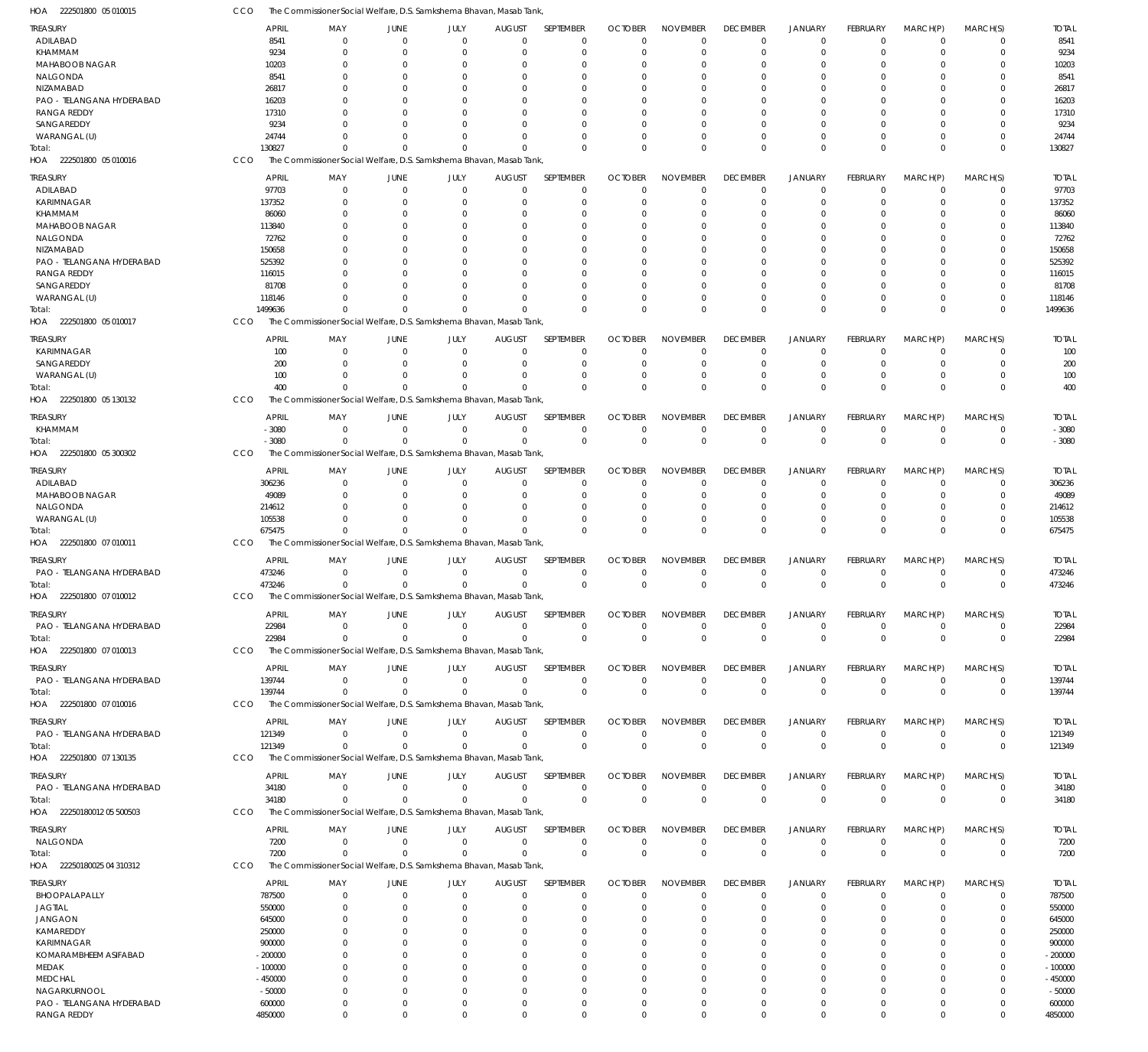| HOA<br>222501800 05 010015       | CCO              | The Commissioner Social Welfare, D.S. Samkshema Bhavan, Masab Tank, |                     |                     |                    |                          |                               |                             |                        |                           |                 |                         |                         |                  |
|----------------------------------|------------------|---------------------------------------------------------------------|---------------------|---------------------|--------------------|--------------------------|-------------------------------|-----------------------------|------------------------|---------------------------|-----------------|-------------------------|-------------------------|------------------|
| <b>TREASURY</b>                  |                  | <b>APRIL</b><br>MAY                                                 | JUNE                | JULY                | <b>AUGUST</b>      | SEPTEMBER                | <b>OCTOBER</b>                | <b>NOVEMBER</b>             | <b>DECEMBER</b>        | <b>JANUARY</b>            | FEBRUARY        | MARCH(P)                | MARCH(S)                | <b>TOTAL</b>     |
| ADILABAD                         |                  | 8541<br>$\Omega$                                                    | $\Omega$            | $\mathbf 0$         | $\mathbf 0$        | $\mathbf 0$              | $\Omega$                      | $\Omega$                    | $\mathbf 0$            | $\overline{0}$            | $\mathbf 0$     | $\mathbf 0$             | $\mathbf 0$             | 8541             |
| KHAMMAM                          |                  | 9234<br>$\Omega$                                                    | $\mathbf 0$         | $\mathbf 0$         | 0                  | $\mathbf 0$              | $\Omega$                      | $\Omega$                    | $\mathbf 0$            | $\overline{0}$            | $\mathbf 0$     | $\mathbf 0$             | $\mathbf 0$             | 9234             |
| MAHABOOB NAGAR                   |                  | 10203<br>$\Omega$                                                   | $\Omega$            | $\Omega$            | 0                  | 0                        | $\Omega$                      | $\Omega$                    | $\Omega$               | $\Omega$                  | $\Omega$        | $\Omega$                | $\mathbf 0$             | 10203            |
| NALGONDA                         |                  | 8541<br>$\Omega$                                                    | $\Omega$            | $\Omega$            | $\Omega$           | $\Omega$                 | $\Omega$                      | $\Omega$                    | $\Omega$               | $\Omega$                  | $\Omega$        | $\Omega$                | $\Omega$                | 8541             |
| NIZAMABAD                        | 26817            |                                                                     | $\Omega$            | $\Omega$            | 0                  | 0                        | $\Omega$                      | $\Omega$                    | $\Omega$               | $\Omega$                  |                 | $\Omega$                | $\Omega$                | 26817            |
| PAO - TELANGANA HYDERABAD        |                  | 16203<br>U                                                          | $\Omega$            | $\Omega$            | $\Omega$           | $\Omega$                 | $\Omega$                      | $\Omega$                    | $\Omega$               | $\Omega$                  | $\Omega$        | $\Omega$                | $\Omega$                | 16203            |
| <b>RANGA REDDY</b>               |                  | 17310                                                               | $\Omega$            | $\Omega$            | $\Omega$           | $\Omega$                 | $\Omega$                      | $\Omega$                    | $\Omega$               | $\Omega$                  |                 | $\Omega$                | $\Omega$                | 17310            |
| SANGAREDDY                       |                  | 9234                                                                | $\Omega$            | $\Omega$            | $\Omega$           | $\Omega$                 | $\Omega$                      | $\Omega$                    | $\Omega$               | $\Omega$                  | $\Omega$        | $\Omega$                | $\Omega$                | 9234             |
| WARANGAL (U)                     | 24744            | $\Omega$                                                            | $\Omega$            | $\Omega$            | 0                  | $\mathbf 0$              | $\Omega$                      | $\Omega$                    | $\Omega$               | $\overline{0}$            | $\Omega$        | $\Omega$                | $\mathbf 0$             | 24744            |
| Total:                           | 130827           | $\Omega$                                                            | $\Omega$            | $\Omega$            | $\Omega$           | $\Omega$                 | $\Omega$                      | $\Omega$                    | $\Omega$               | $\Omega$                  | $\Omega$        | $\Omega$                | $\mathbf 0$             | 130827           |
| HOA 222501800 05 010016          | CCO              | The Commissioner Social Welfare, D.S. Samkshema Bhavan, Masab Tank, |                     |                     |                    |                          |                               |                             |                        |                           |                 |                         |                         |                  |
| <b>TREASURY</b>                  |                  | <b>APRIL</b><br>MAY                                                 | JUNE                | JULY                | <b>AUGUST</b>      | SEPTEMBER                | <b>OCTOBER</b>                | <b>NOVEMBER</b>             | <b>DECEMBER</b>        | <b>JANUARY</b>            | FEBRUARY        | MARCH(P)                | MARCH(S)                | <b>TOTAL</b>     |
| ADILABAD                         | 97703            | $\overline{0}$                                                      | $\overline{0}$      | $\mathbf 0$         | 0                  | $\mathbf 0$              | $\Omega$                      | $\Omega$                    | $^{\circ}$             | $\overline{0}$            | $\mathbf 0$     | $\overline{0}$          | $\mathbf 0$             | 97703            |
| KARIMNAGAR                       | 137352           | 0                                                                   | $\mathbf 0$         | 0                   | 0                  | $\mathbf 0$              | $\Omega$                      | $\Omega$                    | $\Omega$               | $\overline{0}$            | $\Omega$        | $\mathbf 0$             | $\mathbf 0$             | 137352           |
| KHAMMAM                          | 86060            | $\Omega$                                                            | $\Omega$            | $\Omega$            | 0                  | $\mathbf 0$              | $\Omega$                      | $\Omega$                    |                        | $\Omega$                  | $\Omega$        | $\Omega$                | $\mathbf 0$             | 86060            |
| MAHABOOB NAGAR                   | 113840           | 0                                                                   | $\Omega$            | $\Omega$            | $\Omega$           | $\mathbf 0$              | $\Omega$                      | $\Omega$                    | $\Omega$               | $\Omega$                  | O               | $\Omega$                | $\mathbf 0$             | 113840           |
| NALGONDA                         | 72762            |                                                                     | $\Omega$            | $\Omega$            | 0                  | $\mathbf 0$              | -0                            | $\Omega$                    |                        | $\Omega$                  |                 | $\Omega$                | $\Omega$                | 72762            |
| NIZAMABAD                        | 150658           | 0                                                                   | $\Omega$            | $\Omega$            | $\Omega$           | $\mathbf 0$              | $\Omega$                      | $\Omega$                    |                        | $\Omega$                  | 0               | $\Omega$                | 0                       | 150658           |
| PAO - TELANGANA HYDERABAD        | 525392           |                                                                     | $\Omega$            | $\Omega$            | 0                  | $\Omega$                 | -C                            | $\Omega$                    |                        | $\Omega$                  | U               | $\Omega$                | $\Omega$                | 525392           |
| <b>RANGA REDDY</b>               | 116015           |                                                                     | $\Omega$            | $\Omega$            | $\Omega$           | $\mathbf 0$              | -0                            | $\Omega$                    | $\Omega$               | $\Omega$                  | 0               | $\Omega$                | $\mathbf 0$             | 116015           |
| SANGAREDDY                       | 81708            |                                                                     | $\Omega$            | $\Omega$            | $\Omega$           | $\Omega$                 | $\Omega$                      | $\Omega$                    |                        | $\Omega$                  | $\Omega$        | $\Omega$                | 0                       | 81708            |
| WARANGAL (U)                     | 118146           | $\Omega$                                                            | $\Omega$            | $\mathbf 0$         | 0                  | $\mathbf 0$              | $\Omega$                      | $\Omega$                    | $\Omega$               | $\Omega$                  | $\Omega$        | $\Omega$                | $\mathbf 0$             | 118146           |
| Total:                           | 1499636          | $\Omega$                                                            | $\Omega$            | $\Omega$            | $\Omega$           | $\Omega$                 | $\Omega$                      | $\Omega$                    | $\Omega$               | $\Omega$                  | $\Omega$        | $\Omega$                | $\mathbf 0$             | 1499636          |
| HOA 222501800 05 010017          | <b>CCO</b>       | The Commissioner Social Welfare, D.S. Samkshema Bhavan, Masab Tank, |                     |                     |                    |                          |                               |                             |                        |                           |                 |                         |                         |                  |
| <b>TREASURY</b>                  |                  | <b>APRIL</b><br>MAY                                                 | JUNE                | JULY                | <b>AUGUST</b>      | SEPTEMBER                | <b>OCTOBER</b>                | <b>NOVEMBER</b>             | <b>DECEMBER</b>        | <b>JANUARY</b>            | FEBRUARY        | MARCH(P)                | MARCH(S)                | <b>TOTAL</b>     |
| KARIMNAGAR                       |                  | 100<br>$\overline{0}$                                               | $\overline{0}$      | $\mathbf 0$         | $\mathbf 0$        | 0                        | $\Omega$                      | $\Omega$                    | $\mathbf 0$            | $\overline{0}$            | $\Omega$        | $\mathbf 0$             | $\mathbf 0$             | 100              |
| SANGAREDDY                       |                  | 200<br>$\Omega$                                                     | $\Omega$            | $\mathbf 0$         | 0                  | $\mathbf 0$              | $\Omega$                      | $\Omega$                    | $\mathbf 0$            | $\overline{0}$            | $\mathbf 0$     | $\mathbf 0$             | $\mathbf 0$             | 200              |
| WARANGAL (U)                     |                  | 100<br>$\Omega$                                                     | $\Omega$            | $\Omega$            | 0                  | $\mathbf 0$              | $\Omega$                      | $\Omega$                    | $\mathbf 0$            | $\overline{0}$            | $\Omega$        | $\Omega$                | $\mathbf 0$             | 100              |
| Total:                           |                  | 400<br>$\Omega$                                                     | $\Omega$            | $\Omega$            | $\Omega$           | $\Omega$                 | $\Omega$                      | $\Omega$                    | $\mathbf 0$            | $\Omega$                  | $\Omega$        | $\Omega$                | $\mathbf 0$             | 400              |
| HOA 222501800 05 130132          | CCO              | The Commissioner Social Welfare, D.S. Samkshema Bhavan, Masab Tank, |                     |                     |                    |                          |                               |                             |                        |                           |                 |                         |                         |                  |
|                                  |                  |                                                                     |                     |                     |                    |                          |                               |                             |                        |                           |                 |                         |                         |                  |
| <b>TREASURY</b>                  |                  | <b>APRIL</b><br>MAY                                                 | JUNE                | JULY                | <b>AUGUST</b>      | SEPTEMBER                | <b>OCTOBER</b>                | <b>NOVEMBER</b>             | <b>DECEMBER</b>        | <b>JANUARY</b>            | FEBRUARY        | MARCH(P)                | MARCH(S)                | <b>TOTAL</b>     |
| KHAMMAM                          |                  | $-3080$<br>$\overline{0}$                                           | $\overline{0}$      | $\mathbf 0$         | $\mathbf 0$        | $\mathbf 0$              | $\overline{0}$                | $\Omega$                    | $\mathbf 0$            | $\overline{0}$            | $\mathbf 0$     | $\overline{0}$          | $\mathbf 0$             | $-3080$          |
| Total:                           |                  | $-3080$<br>$\Omega$                                                 | $\Omega$            | $\mathbf 0$         | $\mathbf 0$        | $\mathbf 0$              | $\Omega$                      | $\Omega$                    | $\mathbf 0$            | $\overline{0}$            | $\mathbf{0}$    | $\Omega$                | $\mathbf 0$             | $-3080$          |
| HOA 222501800 05 300302          | CCO              | The Commissioner Social Welfare, D.S. Samkshema Bhavan, Masab Tank, |                     |                     |                    |                          |                               |                             |                        |                           |                 |                         |                         |                  |
| TREASURY                         |                  | <b>APRIL</b><br>MAY                                                 | <b>JUNE</b>         | JULY                | <b>AUGUST</b>      | SEPTEMBER                | <b>OCTOBER</b>                | <b>NOVEMBER</b>             | <b>DECEMBER</b>        | JANUARY                   | FEBRUARY        | MARCH(P)                | MARCH(S)                | <b>TOTAL</b>     |
| ADILABAD                         | 306236           | $\Omega$                                                            | $\Omega$            | $\mathbf 0$         | 0                  | 0                        | $\Omega$                      | $\Omega$                    | $^{\circ}$             | $^{\circ}$                | $\mathbf 0$     | $\Omega$                | $\mathbf 0$             | 306236           |
| MAHABOOB NAGAR                   | 49089            | $\Omega$                                                            | $\Omega$            | $\Omega$            | 0                  | $\mathbf 0$              | $\Omega$                      | $\Omega$                    | $\mathbf 0$            | $^{\circ}$                | $\Omega$        | $\Omega$                | $\mathbf 0$             | 49089            |
| NALGONDA                         | 214612           | $\Omega$                                                            | $\Omega$            | $\Omega$            | 0                  | $\mathbf 0$              | $\Omega$                      | $\Omega$                    | $\mathbf 0$            | $^{\circ}$                | $\Omega$        | $\Omega$                | $\mathbf 0$             | 214612           |
| WARANGAL (U)                     | 105538           | $\Omega$                                                            | $\Omega$            | $\Omega$            | 0                  | $\mathbf 0$              | $\Omega$                      | $\Omega$                    | $\mathbf 0$            | $^{\circ}$                | $\Omega$        | $\Omega$                | $\mathbf 0$             | 105538           |
| Total:                           | 675475           | $\Omega$                                                            | $\Omega$            | $\Omega$            | $\Omega$           | $\Omega$                 | $\Omega$                      | $\Omega$                    | $\Omega$               | $\Omega$                  | $\Omega$        | $\Omega$                | $\mathbf 0$             | 675475           |
| HOA 222501800 07 010011          | CCO              | The Commissioner Social Welfare, D.S. Samkshema Bhavan, Masab Tank, |                     |                     |                    |                          |                               |                             |                        |                           |                 |                         |                         |                  |
| <b>TREASURY</b>                  |                  | <b>APRIL</b><br>MAY                                                 | JUNE                | JULY                | <b>AUGUST</b>      | SEPTEMBER                | <b>OCTOBER</b>                | <b>NOVEMBER</b>             | <b>DECEMBER</b>        | <b>JANUARY</b>            | FEBRUARY        | MARCH(P)                | MARCH(S)                | <b>TOTAL</b>     |
| PAO - TELANGANA HYDERABAD        | 473246           | $\mathbf 0$                                                         | $\overline{0}$      | $\mathbf 0$         | $\mathbf 0$        | $\mathbf 0$              | $^{\circ}$                    | $\Omega$                    | $\mathbf 0$            | $^{\circ}$                | $\mathbf 0$     | $^{\circ}$              | $\mathbf 0$             | 473246           |
| Total:                           | 473246           | $\Omega$                                                            | $\Omega$            | $\mathbf 0$         | $\mathbf 0$        | $\mathbf 0$              | $\Omega$                      | $\Omega$                    | $\mathbf 0$            | $\overline{0}$            | $\mathbf{0}$    | $\mathbf 0$             | $\mathbf 0$             | 473246           |
| HOA 222501800 07 010012          | CCO              | The Commissioner Social Welfare, D.S. Samkshema Bhavan, Masab Tank, |                     |                     |                    |                          |                               |                             |                        |                           |                 |                         |                         |                  |
|                                  |                  |                                                                     |                     |                     |                    |                          |                               |                             |                        |                           |                 |                         |                         |                  |
| <b>TREASURY</b>                  |                  | <b>APRIL</b><br>MAY                                                 | JUNE                | JULY                | <b>AUGUST</b>      | SEPTEMBER                | <b>OCTOBER</b>                | <b>NOVEMBER</b>             | <b>DECEMBER</b>        | <b>JANUARY</b>            | FEBRUARY        | MARCH(P)                | MARCH(S)                | <b>TOTAL</b>     |
| PAO - TELANGANA HYDERABAD        |                  | 22984<br>$\overline{0}$                                             | $\overline{0}$      | $\mathbf 0$         | $\mathbf 0$        | $\mathbf 0$              | $\mathbf 0$                   | $\Omega$                    | $\mathbf 0$            | $\mathbf 0$               | $\mathbf 0$     | $\overline{0}$          | $\mathbf 0$             | 22984            |
| Total:                           |                  | 22984<br>$\Omega$                                                   | $\Omega$            | $\Omega$            | $\mathbf 0$        | $\mathbf 0$              | $\mathbf 0$                   | $\Omega$                    | $\mathbf 0$            | $\mathbf 0$               | $\Omega$        | $\Omega$                | $\mathbf 0$             | 22984            |
| HOA 222501800 07 010013          | CCO              | The Commissioner Social Welfare, D.S. Samkshema Bhavan, Masab Tank, |                     |                     |                    |                          |                               |                             |                        |                           |                 |                         |                         |                  |
| TREASURY                         |                  | <b>APRIL</b><br>MAY                                                 | <b>JUNE</b>         | JULY                | <b>AUGUST</b>      | SEPTEMBER                | <b>OCTOBER</b>                | <b>NOVEMBER</b>             | <b>DECEMBER</b>        | JANUARY                   | FEBRUARY        | MARCH(P)                | MARCH(S)                | <b>TOTAL</b>     |
| PAO - TELANGANA HYDERABAD        | 139744           | $\overline{0}$                                                      | $\overline{0}$      | $\mathbf 0$         | $\mathbf 0$        | $\mathbf 0$              | $^{\circ}$                    | $\Omega$                    | $\mathbf 0$            | $^{\circ}$                | $\mathbf 0$     | $\overline{0}$          | $\mathbf 0$             | 139744           |
| Total:                           | 139744           | $\mathbf 0$                                                         | $\overline{0}$      | $\mathbf 0$         | $\mathbf 0$        | $\mathbf 0$              | $\Omega$                      | $\Omega$                    | $\mathbf 0$            | $\mathbf 0$               | $\mathbf{0}$    | $\overline{0}$          | $\mathbf 0$             | 139744           |
| HOA 222501800 07 010016          | CCO              | The Commissioner Social Welfare, D.S. Samkshema Bhavan, Masab Tank, |                     |                     |                    |                          |                               |                             |                        |                           |                 |                         |                         |                  |
| TREASURY                         |                  | <b>APRIL</b><br>MAY                                                 | JUNE                | JULY                | <b>AUGUST</b>      | SEPTEMBER                | <b>OCTOBER</b>                | <b>NOVEMBER</b>             | <b>DECEMBER</b>        | <b>JANUARY</b>            | FEBRUARY        | MARCH(P)                | MARCH(S)                | <b>TOTAL</b>     |
| PAO - TELANGANA HYDERABAD        | 121349           | $\overline{0}$                                                      | $\overline{0}$      | $\mathbf 0$         | $\mathbf 0$        | $\mathbf 0$              | $\mathbf 0$                   | $\Omega$                    | $\mathbf 0$            | $^{\circ}$                | $\mathbf 0$     | $^{\circ}$              | $\mathbf 0$             | 121349           |
| Total:                           | 121349           | $\Omega$                                                            | $\Omega$            | $\Omega$            | $\Omega$           | $\mathbf 0$              | $\mathbf 0$                   | $\Omega$                    | $\mathbf 0$            | $\mathbf 0$               | $\Omega$        | $\Omega$                | $\mathbf 0$             | 121349           |
| HOA 222501800 07 130135          | CCO              | The Commissioner Social Welfare, D.S. Samkshema Bhavan, Masab Tank, |                     |                     |                    |                          |                               |                             |                        |                           |                 |                         |                         |                  |
|                                  |                  |                                                                     |                     |                     |                    |                          |                               |                             |                        |                           |                 |                         |                         |                  |
| treasury                         |                  | <b>APRIL</b><br>MAY                                                 | JUNE                | JULY                | <b>AUGUST</b>      | SEPTEMBER                | <b>OCTOBER</b>                | <b>NOVEMBER</b>             | <b>DECEMBER</b>        | <b>JANUARY</b>            | <b>FEBRUARY</b> | MARCH(P)                | MARCH(S)                | <b>TOTAL</b>     |
| PAO - TELANGANA HYDERABAD        |                  | 34180<br>$\overline{0}$                                             | $\overline{0}$      | $\mathbf 0$         | $\mathbf 0$        | $\mathbf 0$              | $^{\circ}$                    | $\Omega$                    | $\mathbf 0$            | $^{\circ}$                | $\mathbf 0$     | $\overline{0}$          | $\mathbf 0$             | 34180            |
| Total:                           |                  | 34180<br>$\Omega$                                                   | $\Omega$            | $\mathbf 0$         | $\mathbf 0$        | $\mathbf 0$              | $\Omega$                      | $\Omega$                    | $\mathbf 0$            | $\mathbf 0$               | $\mathbf{0}$    | $\Omega$                | $\mathbf 0$             | 34180            |
| HOA 22250180012 05 500503        | CCO              | The Commissioner Social Welfare, D.S. Samkshema Bhavan, Masab Tank, |                     |                     |                    |                          |                               |                             |                        |                           |                 |                         |                         |                  |
| <b>TREASURY</b>                  |                  | <b>APRIL</b><br>MAY                                                 | JUNE                | JULY                | <b>AUGUST</b>      | SEPTEMBER                | <b>OCTOBER</b>                | <b>NOVEMBER</b>             | <b>DECEMBER</b>        | <b>JANUARY</b>            | FEBRUARY        | MARCH(P)                | MARCH(S)                | <b>TOTAL</b>     |
| NALGONDA                         |                  | 7200<br>$\overline{0}$                                              | $\overline{0}$      | $\mathbf 0$         | $\mathbf 0$        | $\mathbf 0$              | $\overline{0}$                | $\Omega$                    | $\mathbf 0$            | $\mathbf 0$               | $\mathbf 0$     | $\overline{0}$          | $\mathbf 0$             | 7200             |
| Total:                           |                  | 7200<br>$\Omega$                                                    | $\Omega$            | $\Omega$            | $\mathbf 0$        | $\mathbf 0$              | $^{\circ}$                    | $\Omega$                    | $\mathbf 0$            | $\mathbf 0$               | $\mathbf 0$     | $\Omega$                | $\mathbf 0$             | 7200             |
| HOA 22250180025 04 310312        | CCO              | The Commissioner Social Welfare, D.S. Samkshema Bhavan, Masab Tank, |                     |                     |                    |                          |                               |                             |                        |                           |                 |                         |                         |                  |
|                                  |                  |                                                                     |                     |                     |                    |                          |                               |                             |                        |                           |                 |                         |                         |                  |
| <b>TREASURY</b>                  |                  | <b>APRIL</b><br>MAY<br>$\overline{0}$                               | JUNE<br>$\mathbf 0$ | JULY<br>$\mathbf 0$ | <b>AUGUST</b><br>0 | SEPTEMBER<br>$\mathbf 0$ | <b>OCTOBER</b><br>$\mathbf 0$ | <b>NOVEMBER</b><br>$\Omega$ | <b>DECEMBER</b>        | JANUARY<br>$\overline{0}$ | FEBRUARY        | MARCH(P)<br>$\mathbf 0$ | MARCH(S)<br>$\mathbf 0$ | <b>TOTAL</b>     |
| BHOOPALAPALLY                    | 787500           | $\mathbf 0$                                                         | $\Omega$            | $\mathbf 0$         |                    | $\mathbf 0$              | $\Omega$                      | $\Omega$                    | $^{\circ}$<br>$\Omega$ | $\overline{0}$            | 0<br>$\Omega$   | $\Omega$                | $\mathbf 0$             | 787500           |
| <b>JAGTIAL</b><br><b>JANGAON</b> | 550000<br>645000 | 0                                                                   | $\Omega$            | 0                   | 0                  | $\mathbf 0$              | $\Omega$                      | $\Omega$                    | $\Omega$               | $\Omega$                  | 0               | $\Omega$                | $\mathbf 0$             | 550000<br>645000 |
| KAMAREDDY                        | 250000           | 0                                                                   | $\Omega$            | $\Omega$            | 0<br>0             | $\mathbf 0$              | $\Omega$                      | $\Omega$                    | $\Omega$               | $\Omega$                  | $\Omega$        | $\Omega$                | $\Omega$                | 250000           |
| KARIMNAGAR                       | 900000           | 0                                                                   | $\Omega$            | $\Omega$            | $\Omega$           | $\mathbf 0$              | $\Omega$                      | $\Omega$                    | $\Omega$               | $\Omega$                  | 0               | $\Omega$                | 0                       | 900000           |
| KOMARAMBHEEM ASIFABAD            | $-200000$        | 0                                                                   | $\Omega$            | $\Omega$            | $\Omega$           | $\mathbf 0$              | $\Omega$                      | $\Omega$                    |                        | $\Omega$                  | $\Omega$        | $\Omega$                | $\Omega$                | $-200000$        |
| MEDAK                            | $-100000$        | $\Omega$                                                            | $\Omega$            | $\Omega$            | $\Omega$           | $\mathbf 0$              | $\Omega$                      | $\Omega$                    | $\Omega$               | $\Omega$                  | O               | $\Omega$                | $\mathbf 0$             | $-100000$        |
| <b>MEDCHAL</b>                   | $-450000$        | $\Omega$                                                            | $\Omega$            | $\Omega$            | $\Omega$           | $\Omega$                 | $\Omega$                      | $\Omega$                    | $\Omega$               | $\Omega$                  | $\Omega$        | $\Omega$                | $\Omega$                | $-450000$        |
| NAGARKURNOOL                     | $-50000$         | 0                                                                   | $\Omega$            | 0                   | $\Omega$           | $\mathbf 0$              | $\Omega$                      | $\Omega$                    | $\Omega$               | $\Omega$                  | $\Omega$        | $\Omega$                | $\mathbf 0$             | $-50000$         |
| PAO - TELANGANA HYDERABAD        | 600000           | $\mathbf 0$                                                         | $\mathbf 0$         | $\mathbf 0$         | 0                  | $\mathbf 0$              | $\Omega$                      | $\Omega$                    | $\Omega$               | $\overline{0}$            | 0               | $\mathbf 0$             | $\mathbf 0$             | 600000           |
| <b>RANGA REDDY</b>               | 4850000          | $\mathbf 0$                                                         | $\mathbf 0$         | $\Omega$            | $\Omega$           | $\Omega$                 | $\Omega$                      | $\Omega$                    | $\mathbf 0$            | $\Omega$                  | $\Omega$        | $\mathbf 0$             | $\Omega$                | 4850000          |
|                                  |                  |                                                                     |                     |                     |                    |                          |                               |                             |                        |                           |                 |                         |                         |                  |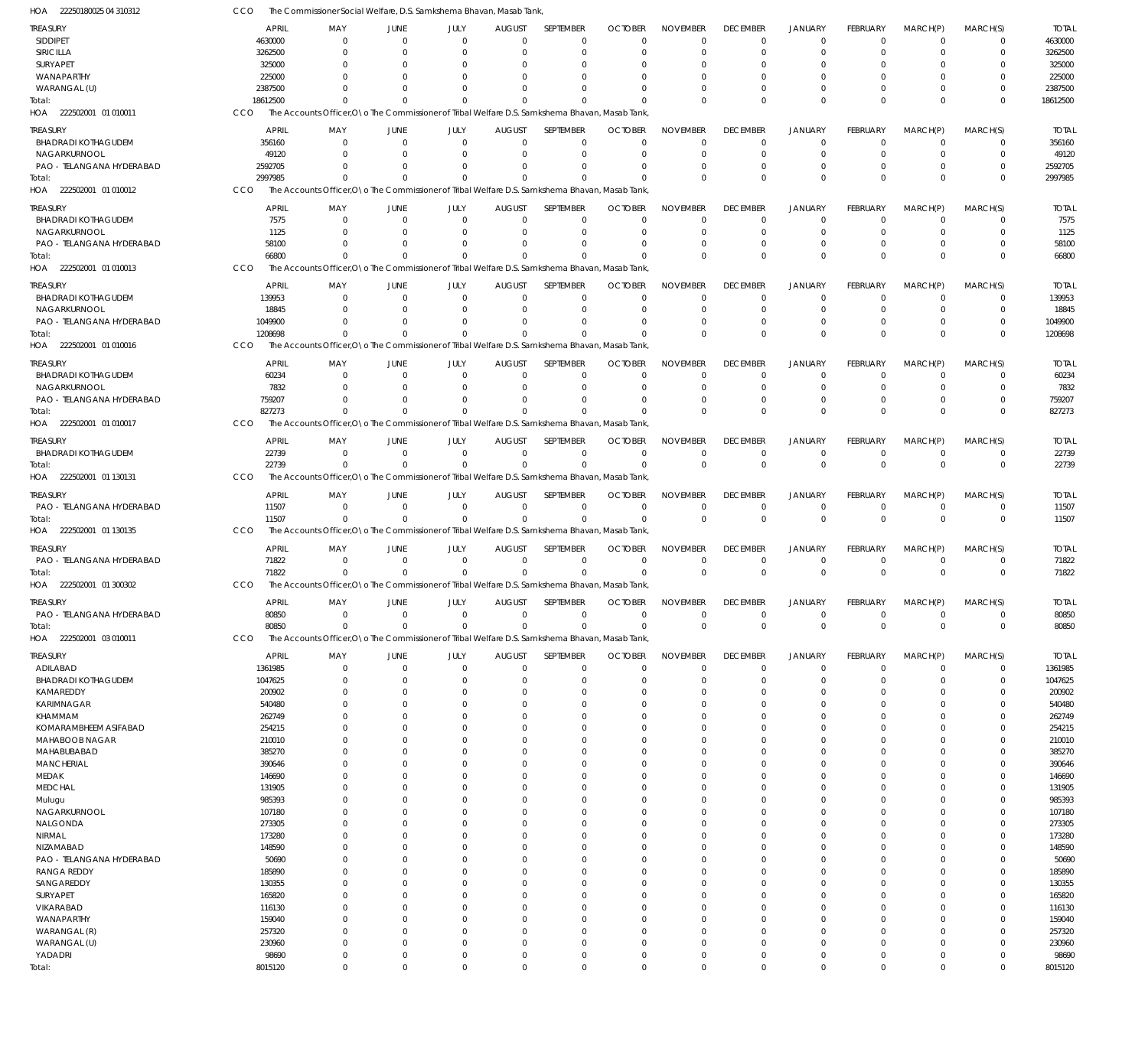| HOA<br>22250180025 04 310312           |                  | The Commissioner Social Welfare, D.S. Samkshema Bhavan, Masab Tank,                             |                            |                     |                                 |                         |                            |                            |                            |                           |                            |                            |                         |                  |
|----------------------------------------|------------------|-------------------------------------------------------------------------------------------------|----------------------------|---------------------|---------------------------------|-------------------------|----------------------------|----------------------------|----------------------------|---------------------------|----------------------------|----------------------------|-------------------------|------------------|
| TREASURY                               | <b>APRIL</b>     | MAY                                                                                             | <b>JUNE</b>                | JULY                | <b>AUGUST</b>                   | <b>SEPTEMBER</b>        | <b>OCTOBER</b>             | <b>NOVEMBER</b>            | <b>DECEMBER</b>            | <b>JANUARY</b>            | <b>FEBRUARY</b>            | MARCH(P)                   | MARCH(S)                | <b>TOTAL</b>     |
| SIDDIPET                               | 4630000          | $\Omega$                                                                                        | $\Omega$                   | $\Omega$            | $\Omega$                        | $\Omega$                | $\Omega$                   | $\Omega$                   | $\mathbf 0$                | $\overline{0}$            | $\Omega$                   | $\mathbf 0$                | 0                       | 4630000          |
| SIRICILLA                              | 3262500          | $\Omega$                                                                                        | $\Omega$                   | $\Omega$            | $\Omega$                        | $\Omega$                | $\Omega$                   | $\Omega$                   | $\mathbf 0$                | $\overline{0}$            | $\Omega$                   | $\Omega$                   | $\mathbf 0$             | 3262500          |
| SURYAPET                               | 325000           | C                                                                                               | $\Omega$                   | $\Omega$            | $\Omega$                        | -0                      |                            | $\Omega$                   | $\Omega$                   | 0                         | $\Omega$                   | 0                          | $\Omega$                | 325000           |
| WANAPARTHY                             | 225000           | C                                                                                               | $\Omega$                   | $\Omega$            | $\Omega$                        | $\Omega$                |                            | $\Omega$                   | $\Omega$                   | $\Omega$                  | $\Omega$                   | $\Omega$                   | $\Omega$                | 225000           |
| WARANGAL (U)                           | 2387500          | 0                                                                                               | $\Omega$                   | $\Omega$            | $\Omega$                        | $\Omega$                |                            | $\Omega$                   | $\Omega$                   | $\Omega$                  | $\Omega$                   | 0                          | 0                       | 2387500          |
| Total:                                 | 18612500         | $\Omega$                                                                                        | $\Omega$                   | $\mathbf{0}$        | $\Omega$                        | $\Omega$                |                            | $\Omega$                   | $\Omega$                   | $\Omega$                  | $\Omega$                   | $\Omega$                   | $\Omega$                | 18612500         |
| HOA 222502001 01 010011                | CCO              | The Accounts Officer, O \o The Commissioner of Tribal Welfare D.S. Samkshema Bhavan, Masab Tank |                            |                     |                                 |                         |                            |                            |                            |                           |                            |                            |                         |                  |
| TREASURY                               | <b>APRIL</b>     | MAY                                                                                             | <b>JUNE</b>                | JULY                | <b>AUGUST</b>                   | SEPTEMBER               | <b>OCTOBER</b>             | <b>NOVEMBER</b>            | <b>DECEMBER</b>            | JANUARY                   | <b>FEBRUARY</b>            | MARCH(P)                   | MARCH(S)                | <b>TOTAL</b>     |
| <b>BHADRADI KOTHAGUDEM</b>             | 356160           | $\mathbf 0$                                                                                     | $\mathbf 0$                | $\mathbf 0$         | $\overline{0}$                  | $\Omega$                | $\Omega$                   | $\Omega$                   | $\mathbf 0$                | $\overline{0}$            | $\mathbf 0$                | $\mathbf 0$                | $\mathbf 0$             | 356160           |
| NAGARKURNOOL                           | 49120            | $\Omega$                                                                                        | $\Omega$                   | $\mathbf 0$         | $\Omega$                        | $\Omega$                |                            | $\Omega$                   | $\mathbf 0$                | $\overline{0}$            | $\Omega$                   | 0                          | $\mathbf 0$             | 49120            |
| PAO - TELANGANA HYDERABAD              | 2592705          | $\Omega$                                                                                        | $\Omega$                   | $\mathbf 0$         | $\Omega$                        | $\Omega$                |                            | $\Omega$                   | 0                          | $\overline{0}$            | $\Omega$                   | $\Omega$                   | $\mathbf 0$             | 2592705          |
| Total:                                 | 2997985          | $\Omega$                                                                                        | $\Omega$                   | $\mathbf 0$         | $\Omega$                        | $\Omega$                |                            | $\Omega$                   | $\mathbf 0$                | $\Omega$                  | $\Omega$                   | $\Omega$                   | $\mathbf 0$             | 2997985          |
| HOA 222502001 01 010012                | CCO              | The Accounts Officer, O \o The Commissioner of Tribal Welfare D.S. Samkshema Bhavan, Masab Tank |                            |                     |                                 |                         |                            |                            |                            |                           |                            |                            |                         |                  |
|                                        |                  |                                                                                                 |                            |                     |                                 |                         |                            |                            |                            |                           |                            |                            |                         |                  |
| <b>TREASURY</b>                        | <b>APRIL</b>     | MAY                                                                                             | <b>JUNE</b>                | JULY                | <b>AUGUST</b>                   | SEPTEMBER               | <b>OCTOBER</b>             | <b>NOVEMBER</b>            | <b>DECEMBER</b>            | <b>JANUARY</b>            | <b>FEBRUARY</b>            | MARCH(P)                   | MARCH(S)                | <b>TOTAL</b>     |
| <b>BHADRADI KOTHAGUDEM</b>             | 7575             | $\mathbf 0$                                                                                     | $\mathbf 0$                | 0                   | $\overline{0}$                  | $\mathbf 0$             | $\Omega$                   | $\Omega$                   | $\mathbf 0$                | $\overline{0}$            | $\mathbf 0$                | $\mathbf 0$                | $\mathbf 0$             | 7575             |
| NAGARKURNOOL                           | 1125             | $\Omega$                                                                                        | $\Omega$                   | $\Omega$            | $\Omega$                        | $\Omega$                | $\Omega$                   | $\Omega$                   | $\mathbf 0$                | $\overline{0}$            | $\Omega$                   | $\Omega$                   | $\mathbf 0$             | 1125             |
| PAO - TELANGANA HYDERABAD              | 58100            | $\Omega$                                                                                        | $\Omega$                   | $\Omega$            | $\Omega$                        | $\Omega$                | $\Omega$                   | $\Omega$                   | $\mathbf 0$                | $\overline{0}$            | $\Omega$                   | $\Omega$                   | $\mathbf 0$             | 58100            |
| Total:                                 | 66800            | $\Omega$                                                                                        | $\Omega$                   | $\Omega$            | $\Omega$                        | $\Omega$                | $\Omega$                   | $\mathbf 0$                | $\mathbf 0$                | $\Omega$                  | $\Omega$                   | $\Omega$                   | $\mathbf 0$             | 66800            |
| HOA 222502001 01 010013                | CCO              | The Accounts Officer, O \o The Commissioner of Tribal Welfare D.S. Samkshema Bhavan, Masab Tank |                            |                     |                                 |                         |                            |                            |                            |                           |                            |                            |                         |                  |
| TREASURY                               | <b>APRIL</b>     | MAY                                                                                             | <b>JUNE</b>                | JULY                | <b>AUGUST</b>                   | SEPTEMBER               | <b>OCTOBER</b>             | <b>NOVEMBER</b>            | <b>DECEMBER</b>            | <b>JANUARY</b>            | <b>FEBRUARY</b>            | MARCH(P)                   | MARCH(S)                | <b>TOTAL</b>     |
| <b>BHADRADI KOTHAGUDEM</b>             | 139953           | $\mathbf 0$                                                                                     | 0                          | $\mathbf 0$         | 0                               | $\mathbf 0$             |                            | $\mathbf 0$                | $\mathbf 0$                | $\overline{0}$            | $\mathbf 0$                | 0                          | $\mathbf 0$             | 139953           |
| NAGARKURNOOL                           | 18845            | $\Omega$                                                                                        | $\Omega$                   | $\mathbf 0$         | $\Omega$                        | $\Omega$                |                            | $\Omega$                   | $\mathbf 0$                | $\overline{0}$            | $\mathbf 0$                | 0                          | $\mathbf 0$             | 18845            |
| PAO - TELANGANA HYDERABAD              | 1049900          | $\Omega$                                                                                        | $\Omega$                   | $\mathbf 0$         | $\Omega$                        | $\Omega$                |                            | $\Omega$                   | $\mathbf 0$                | $\overline{0}$            | $\Omega$                   | $\Omega$                   | $\mathbf 0$             | 1049900          |
| Total:                                 | 1208698          | $\Omega$                                                                                        | $\Omega$                   | $\mathbf 0$         | $\Omega$                        | $\Omega$                |                            | $\Omega$                   | $\mathbf 0$                | $\Omega$                  | $\Omega$                   | $\Omega$                   | $\mathbf 0$             | 1208698          |
| HOA 222502001 01 010016                | CCO              | The Accounts Officer, O \o The Commissioner of Tribal Welfare D.S. Samkshema Bhavan, Masab Tank |                            |                     |                                 |                         |                            |                            |                            |                           |                            |                            |                         |                  |
|                                        |                  |                                                                                                 |                            |                     |                                 |                         |                            |                            |                            |                           |                            |                            |                         |                  |
| <b>TREASURY</b>                        | <b>APRIL</b>     | MAY                                                                                             | <b>JUNE</b>                | JULY                | <b>AUGUST</b>                   | <b>SEPTEMBER</b>        | <b>OCTOBER</b>             | <b>NOVEMBER</b>            | <b>DECEMBER</b>            | JANUARY                   | FEBRUARY                   | MARCH(P)                   | MARCH(S)                | <b>TOTAL</b>     |
| <b>BHADRADI KOTHAGUDEM</b>             | 60234            | $\mathbf 0$                                                                                     | $\Omega$                   | 0                   | $\Omega$                        | $\Omega$                | $\Omega$                   | $\Omega$                   | $\mathbf 0$                | $\overline{0}$            | $\Omega$                   | $\Omega$                   | 0                       | 60234            |
| NAGARKURNOOL                           | 7832             | $\Omega$                                                                                        | $\Omega$                   | $\mathbf 0$         | $\Omega$                        | $\Omega$                | $\Omega$                   | $\Omega$                   | $\mathbf 0$                | $\overline{0}$            | $\Omega$                   | $\Omega$                   | $\mathbf 0$             | 7832             |
| PAO - TELANGANA HYDERABAD              | 759207           | $\Omega$                                                                                        | $\Omega$                   | $\Omega$            | $\Omega$                        | $\Omega$                | $\Omega$                   | $\Omega$                   | $\mathbf 0$                | $\overline{0}$            | $\Omega$                   | 0                          | $\mathbf 0$             | 759207           |
| Total:                                 | 827273           | $\Omega$                                                                                        | $\Omega$                   | $\Omega$            | $\Omega$                        | $\Omega$                | $\Omega$                   | $\Omega$                   | $\Omega$                   | $\Omega$                  | $\Omega$                   | $\Omega$                   | $\Omega$                | 827273           |
| HOA 222502001 01 010017                | CCO              | The Accounts Officer, O \o The Commissioner of Tribal Welfare D.S. Samkshema Bhavan, Masab Tank |                            |                     |                                 |                         |                            |                            |                            |                           |                            |                            |                         |                  |
|                                        |                  |                                                                                                 |                            |                     |                                 | SEPTEMBER               |                            | <b>NOVEMBER</b>            | <b>DECEMBER</b>            |                           | <b>FEBRUARY</b>            |                            |                         | <b>TOTAL</b>     |
| TREASURY<br><b>BHADRADI KOTHAGUDEM</b> | <b>APRIL</b>     | MAY<br>$\mathbf 0$                                                                              | <b>JUNE</b><br>$\mathbf 0$ | JULY<br>$\mathbf 0$ | <b>AUGUST</b><br>$\overline{0}$ | $\mathbf 0$             | <b>OCTOBER</b><br>$\Omega$ | $\overline{0}$             | $\mathbf 0$                | JANUARY<br>$\overline{0}$ | $\mathbf 0$                | MARCH(P)<br>$\mathbf 0$    | MARCH(S)<br>$\mathbf 0$ | 22739            |
|                                        | 22739<br>22739   | $\Omega$                                                                                        | $\overline{0}$             | $\mathbf 0$         | $\Omega$                        | $\Omega$                | $\Omega$                   | $\mathbf 0$                | $\mathbf 0$                | $\overline{0}$            | $\mathbf 0$                | $\Omega$                   | $\mathbf 0$             |                  |
| Total:                                 |                  |                                                                                                 |                            |                     |                                 |                         |                            |                            |                            |                           |                            |                            |                         | 22739            |
| HOA 222502001 01 130131                | CCO              | The Accounts Officer, O \o The Commissioner of Tribal Welfare D.S. Samkshema Bhavan, Masab Tank |                            |                     |                                 |                         |                            |                            |                            |                           |                            |                            |                         |                  |
| <b>TREASURY</b>                        | <b>APRIL</b>     | MAY                                                                                             | <b>JUNE</b>                | JULY                | <b>AUGUST</b>                   | SEPTEMBER               | <b>OCTOBER</b>             | <b>NOVEMBER</b>            | <b>DECEMBER</b>            | JANUARY                   | FEBRUARY                   | MARCH(P)                   | MARCH(S)                | <b>TOTAL</b>     |
| PAO - TELANGANA HYDERABAD              | 11507            | $\Omega$                                                                                        | $\mathbf 0$                | $\mathbf 0$         | $\mathbf 0$                     | $\mathbf{0}$            | $\Omega$                   | $\overline{0}$             | $\mathbf 0$                | $\overline{0}$            | $\mathbf 0$                | $\mathbf 0$                | $\mathbf 0$             | 11507            |
| Total:                                 | 11507            | $\Omega$                                                                                        | $\Omega$                   | $\mathbf 0$         | $\Omega$                        | $\Omega$                | $\Omega$                   | $\mathbf 0$                | $\mathbf 0$                | $\overline{0}$            | $\Omega$                   | $\mathbf 0$                | $\mathbf 0$             | 11507            |
| HOA 222502001 01 130135                | CCO              | The Accounts Officer.ONo The Commissioner of Tribal Welfare D.S. Samkshema Bhayan, Masab Tank   |                            |                     |                                 |                         |                            |                            |                            |                           |                            |                            |                         |                  |
|                                        |                  |                                                                                                 |                            |                     |                                 | <b>SEPTEMBER</b>        |                            |                            |                            |                           |                            |                            |                         |                  |
| treasury                               | <b>APRIL</b>     | MAY                                                                                             | <b>JUNE</b>                | JULY                | <b>AUGUST</b>                   |                         | <b>OCTOBER</b>             | <b>NOVEMBER</b>            | <b>DECEMBER</b>            | JANUARY                   | <b>FEBRUARY</b>            | MARCH(P)                   | MARCH(S)                | <b>TOTAL</b>     |
| PAO - TELANGANA HYDERABAD              | 71822            | $\mathbf 0$<br>$\Omega$                                                                         | $\Omega$<br>$\Omega$       | $\mathbf 0$         | $\mathbf 0$<br>$\Omega$         | $\mathbf 0$<br>$\Omega$ | $\Omega$<br>$\Omega$       | $\overline{0}$<br>$\Omega$ | $\mathbf 0$<br>$\mathbf 0$ | $\overline{0}$            | $\mathbf 0$<br>$\mathbf 0$ | $\mathbf 0$<br>$\mathbf 0$ | $\mathbf 0$             | 71822            |
| Total:                                 | 71822<br>CCO     |                                                                                                 |                            | $\mathbf 0$         |                                 |                         |                            |                            |                            | $\overline{0}$            |                            |                            | $\mathbf 0$             | 71822            |
| HOA 222502001 01 300302                |                  | The Accounts Officer, O \o The Commissioner of Tribal Welfare D.S. Samkshema Bhavan, Masab Tank |                            |                     |                                 |                         |                            |                            |                            |                           |                            |                            |                         |                  |
| <b>TREASURY</b>                        | <b>APRIL</b>     | MAY                                                                                             | JUNE                       | JULY                | <b>AUGUST</b>                   | <b>SEPTEMBER</b>        | <b>OCTOBER</b>             | <b>NOVEMBER</b>            | <b>DECEMBER</b>            | <b>JANUARY</b>            | <b>FEBRUARY</b>            | MARCH(P)                   | MARCH(S)                | <b>TOTAL</b>     |
| PAO - TELANGANA HYDERABAD              | 80850            | $\mathbf 0$                                                                                     | $\mathbf 0$                | $\mathbf 0$         | $\mathbf 0$                     | $\mathbf 0$             | $\Omega$                   | $\overline{0}$             | $\mathbf 0$                | $\overline{0}$            | $\mathbf 0$                | $\mathbf 0$                | $\mathbf 0$             | 80850            |
| Total:                                 | 80850            | $\Omega$                                                                                        | $\Omega$                   | $\mathbf 0$         | $\Omega$                        | $\Omega$                | $\Omega$                   | $\mathbf 0$                | $\mathbf 0$                | $\overline{0}$            | $\mathbf 0$                | $\mathbf 0$                | $\mathbf 0$             | 80850            |
| 222502001 03 010011<br>HOA             | CCO              | The Accounts Officer, O \o The Commissioner of Tribal Welfare D.S. Samkshema Bhavan, Masab Tank |                            |                     |                                 |                         |                            |                            |                            |                           |                            |                            |                         |                  |
|                                        | <b>APRIL</b>     |                                                                                                 | JUNE                       | JULY                | <b>AUGUST</b>                   | SEPTEMBER               | <b>OCTOBER</b>             | <b>NOVEMBER</b>            | <b>DECEMBER</b>            | JANUARY                   | <b>FEBRUARY</b>            |                            |                         | <b>TOTAL</b>     |
| treasury                               | 1361985          | MAY<br>$\mathbf 0$                                                                              | $\mathbf 0$                | $\mathbf 0$         | $\overline{0}$                  | $\Omega$                | $\Omega$                   | $\overline{0}$             | $\mathbf 0$                | $\overline{0}$            | $\mathbf 0$                | MARCH(P)<br>$\mathbf 0$    | MARCH(S)<br>$\mathbf 0$ | 1361985          |
| ADILABAD<br><b>BHADRADI KOTHAGUDEM</b> | 1047625          | $\mathbf 0$                                                                                     | 0                          | $\mathbf 0$         | $\Omega$                        | $\mathbf 0$             | - 0                        | $\overline{0}$             | 0                          | $\overline{0}$            | 0                          | 0                          | $\mathbf 0$             | 1047625          |
| KAMAREDDY                              | 200902           | $\Omega$                                                                                        | 0                          | 0                   | -C                              | $\Omega$                | $\Omega$                   | $\Omega$                   | 0                          | $\Omega$                  | $\Omega$                   | 0                          | $\mathbf 0$             | 200902           |
| KARIMNAGAR                             | 540480           | 0                                                                                               | $\Omega$                   | $\Omega$            | $\Omega$                        | $\Omega$                |                            | $\Omega$                   | $\Omega$                   | $\Omega$                  | $\Omega$                   | 0                          | $\mathbf 0$             | 540480           |
| KHAMMAM                                | 262749           | U                                                                                               | $\Omega$                   | $\Omega$            | $\Omega$                        | $\Omega$                |                            | $\Omega$                   | $\Omega$                   | $\Omega$                  | $\Omega$                   | $\Omega$                   | $\mathbf 0$             | 262749           |
| KOMARAMBHEEM ASIFABAD                  | 254215           | 0                                                                                               | $\Omega$                   | $\Omega$            | $\Omega$                        | $\Omega$                |                            | $\Omega$                   | $\Omega$                   | $\Omega$                  | $\Omega$                   | 0                          | $\mathbf 0$             | 254215           |
| MAHABOOB NAGAR                         | 210010           | C                                                                                               | $\Omega$                   | $\Omega$            | -C                              | $\Omega$                |                            | $\Omega$                   | $\Omega$                   | $\Omega$                  | $\Omega$                   | $\Omega$                   | $\mathbf 0$             | 210010           |
| MAHABUBABAD                            | 385270           | U                                                                                               | 0                          | $\Omega$            | $\Omega$                        | $\Omega$                | $\Omega$                   | $\Omega$                   | $\Omega$                   | $\Omega$                  | $\Omega$                   | $\Omega$                   | $\mathbf 0$             | 385270           |
| <b>MANCHERIAL</b>                      | 390646           | C                                                                                               | $\Omega$                   | $\Omega$            | -C                              | $\Omega$                |                            | $\Omega$                   | 0                          | $\Omega$                  | $\Omega$                   | $\Omega$                   | $\mathbf 0$             | 390646           |
| MEDAK                                  | 146690           | 0                                                                                               | $\Omega$                   | $\Omega$            | $\Omega$                        | $\Omega$                |                            | $\Omega$                   | 0                          | $\Omega$                  | $\Omega$                   | 0                          | $\mathbf 0$             | 146690           |
| MEDCHAL                                | 131905           | C                                                                                               | $\Omega$                   | $\Omega$            | n                               | $\Omega$                |                            | $\Omega$                   | $\Omega$                   | $\Omega$                  | $\Omega$                   | 0                          | $\mathbf 0$             | 131905           |
|                                        | 985393           | U                                                                                               | 0                          | $\Omega$            | -C                              | $\Omega$                | $\Omega$                   | $\Omega$                   | $\Omega$                   | $\Omega$                  | $\Omega$                   | $\Omega$                   | $\mathbf 0$             | 985393           |
| Mulugu<br>NAGARKURNOOL                 | 107180           | C                                                                                               | $\Omega$                   | $\Omega$            | -C                              | $\Omega$                |                            | $\Omega$                   | $\Omega$                   | $\Omega$                  | $\Omega$                   | 0                          | $\mathbf 0$             | 107180           |
| NALGONDA                               | 273305           | 0                                                                                               | 0                          | $\Omega$            | $\Omega$                        | $\Omega$                |                            | $\Omega$                   | $\Omega$                   | $\Omega$                  | $\Omega$                   | 0                          | $\mathbf 0$             | 273305           |
|                                        |                  | C                                                                                               |                            | $\Omega$            |                                 | $\Omega$                |                            | $\Omega$                   | $\Omega$                   | $\Omega$                  | $\Omega$                   |                            | $\mathbf 0$             |                  |
| NIRMAL<br>NIZAMABAD                    | 173280<br>148590 | C                                                                                               | 0<br>$\Omega$              | $\Omega$            | -C                              | $\Omega$                | $\Omega$                   | $\Omega$                   | $\Omega$                   | $\Omega$                  | $\Omega$                   | 0<br>0                     | $\mathbf 0$             | 173280<br>148590 |
| PAO - TELANGANA HYDERABAD              | 50690            | C                                                                                               | $\Omega$                   | $\Omega$            | -C                              | $\Omega$                |                            | $\Omega$                   | $\Omega$                   | $\Omega$                  | $\Omega$                   | 0                          | $\mathbf 0$             | 50690            |
| <b>RANGA REDDY</b>                     | 185890           | U                                                                                               | $\Omega$                   | $\Omega$            | $\Omega$                        | $\Omega$                |                            | $\Omega$                   | $\Omega$                   | $\Omega$                  | $\Omega$                   | $\Omega$                   | $\mathbf 0$             | 185890           |
|                                        |                  | C                                                                                               | $\Omega$                   | $\Omega$            |                                 | $\Omega$                | $\Omega$                   | $\Omega$                   | $\Omega$                   | $\Omega$                  | $\Omega$                   |                            | $\mathbf 0$             |                  |
| SANGAREDDY                             | 130355           | 0                                                                                               | $\Omega$                   | $\Omega$            | $\Omega$                        | $\Omega$                | $\Omega$                   | $\Omega$                   | $\Omega$                   | $\Omega$                  | $\Omega$                   | 0                          | $\mathbf 0$             | 130355           |
| SURYAPET                               | 165820           | C                                                                                               | $\Omega$                   | $\Omega$            | -C                              | $\Omega$                |                            | $\Omega$                   | $\Omega$                   | $\Omega$                  | $\Omega$                   | 0<br>$\Omega$              | $\mathbf 0$             | 165820           |
| VIKARABAD                              | 116130           | 0                                                                                               | $\Omega$                   | $\Omega$            | $\Omega$                        | $\Omega$                | $\Omega$                   | $\Omega$                   | $\Omega$                   | $\Omega$                  | $\Omega$                   | $\Omega$                   | $\mathbf 0$             | 116130<br>159040 |
| WANAPARTHY                             | 159040           | 0                                                                                               | $\Omega$                   | $\Omega$            | -C                              | $\Omega$                | $\Omega$                   | $\Omega$                   | $\Omega$                   | $\Omega$                  | $\Omega$                   |                            | $\mathbf 0$             |                  |
| WARANGAL (R)<br>WARANGAL (U)           | 257320<br>230960 | $\Omega$                                                                                        | 0                          | $\mathbf 0$         | $\Omega$                        | $\Omega$                | $\Omega$                   | $\overline{0}$             | 0                          | $\Omega$                  | $\Omega$                   | 0<br>0                     | $\mathbf 0$             | 257320<br>230960 |
| YADADRI                                | 98690            | $\mathbf 0$                                                                                     | $\mathbf 0$                | $\mathbf 0$         | $\Omega$                        | $\Omega$                | $\Omega$                   | $\overline{0}$             | 0                          | $\mathbf 0$               | $\mathbf 0$                | $\mathbf 0$                | $\mathbf 0$             | 98690            |
| Total:                                 | 8015120          | $\mathbf 0$                                                                                     | $\Omega$                   | $\mathbf 0$         | $\Omega$                        | $\Omega$                | $\overline{0}$             | $\mathbf 0$                | $\mathbf 0$                | $\Omega$                  | $\Omega$                   | $\mathbf 0$                | $\mathbf 0$             | 8015120          |
|                                        |                  |                                                                                                 |                            |                     |                                 |                         |                            |                            |                            |                           |                            |                            |                         |                  |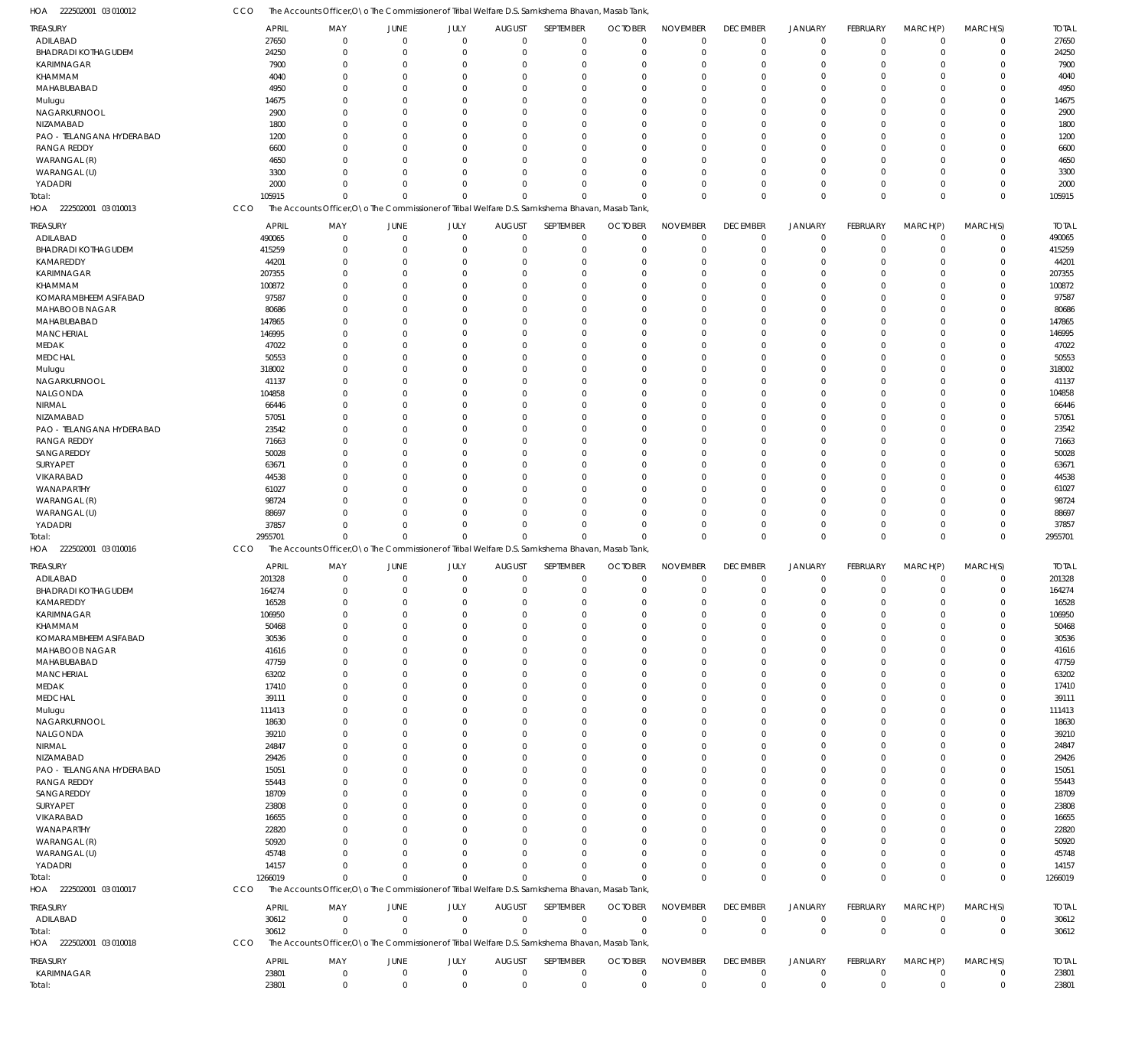| 222502001 03 010012<br>HOA    | CCO            |                       |                               |                        |                               | The Accounts Officer, O \o The Commissioner of Tribal Welfare D.S. Samkshema Bhavan, Masab Tank |                     |                                |                                |                               |                                |                         |                         |                       |
|-------------------------------|----------------|-----------------------|-------------------------------|------------------------|-------------------------------|-------------------------------------------------------------------------------------------------|---------------------|--------------------------------|--------------------------------|-------------------------------|--------------------------------|-------------------------|-------------------------|-----------------------|
| <b>TREASURY</b>               | <b>APRIL</b>   | MAY                   | JUNE                          | JULY                   | <b>AUGUST</b>                 | SEPTEMBER                                                                                       | <b>OCTOBER</b>      | <b>NOVEMBER</b>                | <b>DECEMBER</b>                | <b>JANUARY</b>                | <b>FEBRUARY</b>                | MARCH(P)                | MARCH(S)                | <b>TOTAL</b>          |
| ADILABAD                      | 27650          | $\overline{0}$        | $\Omega$                      | $\overline{0}$         | $\mathbf{0}$                  | $\mathbf 0$                                                                                     | $\Omega$            | $\Omega$                       | $\mathbf 0$                    | $\mathbf 0$                   | $\Omega$                       | $\Omega$                | $\mathbf 0$             | 27650                 |
| <b>BHADRADI KOTHAGUDEM</b>    | 24250          | $\overline{0}$        | $\Omega$                      | $\Omega$               | $\Omega$                      | $\mathbf 0$                                                                                     | $\Omega$            | $\Omega$                       | $\Omega$                       | $\Omega$                      | $\Omega$                       | $\Omega$                | $\Omega$                | 24250                 |
| KARIMNAGAR                    | 7900           | $\overline{0}$        | $\Omega$                      | $\Omega$               | $\Omega$                      | $\Omega$                                                                                        |                     | $\Omega$                       | $\Omega$                       | $\Omega$                      |                                | $\Omega$                | $\Omega$                | 7900                  |
| KHAMMAM                       | 4040           | $\Omega$              | $\Omega$                      | $\Omega$               | <sup>0</sup>                  | $\Omega$                                                                                        |                     | $\Omega$                       | $\Omega$                       | $\Omega$                      |                                | $\Omega$                |                         | 4040                  |
| MAHABUBABAD                   | 4950           | $\Omega$              | $\Omega$                      | $\Omega$               | $\Omega$                      | $\Omega$                                                                                        |                     | $\Omega$                       |                                | $\Omega$                      |                                | $\Omega$                | $\Omega$                | 4950                  |
| Mulugu                        | 14675          | $\Omega$              |                               | $\cap$                 |                               | $\Omega$                                                                                        |                     | $\Omega$                       |                                | $\Omega$                      |                                | $\Omega$                |                         | 14675                 |
| NAGARKURNOOL                  | 2900           | $\Omega$              | $\Omega$                      | $\Omega$               | $\Omega$                      | $\Omega$                                                                                        |                     | $\Omega$                       |                                | $\Omega$                      |                                | $\Omega$                | $\Omega$                | 2900                  |
| NIZAMABAD                     | 1800           | $\Omega$              |                               | $\cap$                 |                               | $\Omega$                                                                                        |                     | $\Omega$                       |                                | $\Omega$                      |                                | $\Omega$                |                         | 1800                  |
| PAO - TELANGANA HYDERABAD     | 1200           | $\Omega$              | $\Omega$                      | $\Omega$               | <sup>0</sup>                  | $\Omega$                                                                                        |                     | $\Omega$                       |                                | $\Omega$                      |                                | $\Omega$                |                         | 1200                  |
| RANGA REDDY                   | 6600           | $\Omega$              |                               | $\cap$                 |                               | $\Omega$                                                                                        |                     | $\Omega$                       |                                | $\Omega$                      |                                | $\Omega$                |                         | 6600                  |
| WARANGAL (R)                  | 4650           | $\Omega$              | $\Omega$                      | $\Omega$               | $\Omega$                      | $\Omega$                                                                                        |                     | $\Omega$                       |                                | $\Omega$                      |                                | $\Omega$                | $\Omega$                | 4650                  |
| WARANGAL (U)                  | 3300           | $\Omega$              | $\Omega$                      | $\Omega$               |                               | $\Omega$                                                                                        |                     | $\Omega$                       |                                | $\Omega$                      |                                | $\Omega$                |                         | 3300                  |
| YADADRI                       | 2000           | $\Omega$              | $\Omega$                      | $\Omega$               | $\Omega$                      | $\Omega$                                                                                        | $\Omega$            | $\Omega$                       | $\Omega$                       | $\Omega$                      |                                | $\Omega$                | $\Omega$                | 2000                  |
| Total:                        | 105915         | $\Omega$              | $\Omega$                      | $\Omega$               | $\Omega$                      | $\Omega$                                                                                        | $\Omega$            | $\Omega$                       | $\Omega$                       | $\Omega$                      | $\Omega$                       | $\Omega$                | $\Omega$                | 105915                |
| HOA 222502001 03 010013       | CCO            |                       |                               |                        |                               | The Accounts Officer, O \o The Commissioner of Tribal Welfare D.S. Samkshema Bhavan, Masab Tank |                     |                                |                                |                               |                                |                         |                         |                       |
| <b>TREASURY</b>               | APRIL          | MAY                   | JUNE                          | JULY                   | <b>AUGUST</b>                 | SEPTEMBER                                                                                       | <b>OCTOBER</b>      | <b>NOVEMBER</b>                | <b>DECEMBER</b>                | <b>JANUARY</b>                | <b>FEBRUARY</b>                | MARCH(P)                | MARCH(S)                | <b>TOTAL</b>          |
| ADILABAD                      | 490065         | $\overline{0}$        | $\overline{0}$                | $\mathbf 0$            | $\mathbf 0$                   | $\mathbf 0$                                                                                     | $\Omega$            | $\Omega$                       | $\Omega$                       | $\mathbf 0$                   | $\Omega$                       | $\Omega$                | $\Omega$                | 490065                |
| <b>BHADRADI KOTHAGUDEM</b>    | 415259         | $\Omega$              | $\Omega$                      | $\Omega$               | $\Omega$                      | $\Omega$                                                                                        | $\Omega$            | $\Omega$                       | $\Omega$                       | $\mathbf 0$                   | $\Omega$                       | $\Omega$                | $\Omega$                | 415259                |
| KAMAREDDY                     | 44201          | $\overline{0}$        | $\Omega$                      | $\Omega$               | $\Omega$                      | $\Omega$                                                                                        | $\Omega$            | $\Omega$                       | $\Omega$                       | $\Omega$                      |                                | $\Omega$                | $\Omega$                | 44201                 |
| <b>KARIMNAGAR</b>             | 207355         | $\Omega$              | $\Omega$                      | $\Omega$               | $\Omega$                      | $\Omega$                                                                                        | $\Omega$            | $\Omega$                       | $\Omega$                       | $\Omega$                      | $\cap$                         | $\Omega$                | $\Omega$                | 207355                |
| KHAMMAM                       | 100872         | $\Omega$              | $\Omega$                      | $\Omega$               | $\Omega$                      | $\Omega$                                                                                        |                     | $\Omega$                       | $\Omega$                       | $\Omega$                      |                                | $\Omega$                | $\Omega$                | 100872                |
| KOMARAMBHEEM ASIFABAD         | 97587          | $\Omega$              | $\Omega$                      | $\Omega$               | $\Omega$                      | $\Omega$                                                                                        | $\Omega$            | $\Omega$                       | $\Omega$                       | $\Omega$                      |                                | $\Omega$                | $\Omega$                | 97587                 |
| <b>MAHABOOB NAGAR</b>         | 80686          | $\Omega$              | $\cap$                        | $\Omega$               | $\Omega$                      | $\Omega$                                                                                        |                     | $\Omega$                       | $\Omega$                       | $\Omega$                      |                                | $\Omega$                | $\Omega$                | 80686                 |
| MAHABUBABAD                   | 147865         | $\Omega$              | $\Omega$                      | $\Omega$               | $\Omega$                      | $\Omega$                                                                                        | $\Omega$            | $\Omega$                       | $\Omega$                       | $\Omega$                      |                                | $\Omega$                | $\Omega$                | 147865                |
| <b>MANCHERIAL</b>             | 146995         | $\Omega$              | $\cap$                        | $\Omega$               | $\Omega$                      | $\Omega$                                                                                        | $\Omega$            | $\Omega$                       | $\Omega$                       | $\Omega$                      |                                | $\Omega$                | $\Omega$                | 146995                |
| <b>MEDAK</b>                  | 47022          | $\Omega$              | $\Omega$                      | $\Omega$               | $\Omega$                      | $\Omega$                                                                                        | $\Omega$            | $\Omega$                       | $\Omega$                       | $\Omega$                      |                                | $\Omega$                | $\Omega$                | 47022                 |
| <b>MEDCHAL</b>                | 50553          | $\Omega$              |                               | $\Omega$               | $\Omega$                      | $\Omega$                                                                                        |                     | $\Omega$                       | $\Omega$                       | $\Omega$                      |                                | $\Omega$                | $\Omega$                | 50553                 |
| Mulugu                        | 318002         | $\Omega$              | $\Omega$                      | $\Omega$               | $\Omega$                      | $\Omega$                                                                                        | $\Omega$            | $\Omega$                       | $\Omega$                       | $\Omega$                      |                                | $\Omega$                | $\Omega$                | 318002                |
| NAGARKURNOOL                  | 41137          | $\Omega$              | $\Omega$                      | $\Omega$               | $\Omega$                      | $\Omega$                                                                                        |                     | $\Omega$                       | $\Omega$                       | $\Omega$                      |                                | $\Omega$                |                         | 41137                 |
| NALGONDA                      | 104858         | $\Omega$              | $\cap$                        | $\Omega$               | $\Omega$                      | $\Omega$                                                                                        | $\Omega$            | $\Omega$                       | $\Omega$                       | $\Omega$                      |                                | $\Omega$                | $\Omega$                | 104858                |
| NIRMAL                        | 66446          | $\Omega$              |                               | $\Omega$               | $\Omega$                      | $\Omega$                                                                                        |                     | $\Omega$                       |                                | $\Omega$                      |                                | $\Omega$                | $\Omega$                | 66446                 |
| NIZAMABAD                     | 57051          | $\Omega$              | $\Omega$                      | $\Omega$               | $\Omega$                      | $\Omega$                                                                                        | $\Omega$            | $\Omega$                       | $\cap$                         | $\Omega$                      |                                | $\Omega$                | $\Omega$                | 57051                 |
| PAO - TELANGANA HYDERABAD     | 23542          | $\Omega$              | $\cap$                        | $\Omega$               | $\Omega$                      | $\Omega$                                                                                        | $\Omega$            | $\Omega$                       | $\Omega$                       | $\Omega$                      |                                | $\Omega$                | $\Omega$                | 23542                 |
| RANGA REDDY                   | 71663          | $\Omega$              | $\Omega$                      | $\Omega$               | $\Omega$                      | $\Omega$                                                                                        | $\Omega$            | $\Omega$                       | $\Omega$                       | $\Omega$                      |                                | $\Omega$                | $\Omega$                | 71663                 |
| SANGAREDDY                    | 50028          | $\Omega$              | $\cap$                        | $\Omega$               | $\Omega$                      | $\Omega$                                                                                        |                     | $\Omega$                       | $\Omega$                       | $\Omega$                      |                                | $\Omega$                | $\Omega$                | 50028                 |
| SURYAPET                      | 63671          | $\Omega$              | $\Omega$                      | $\Omega$               | $\Omega$                      | $\Omega$                                                                                        | $\Omega$            | $\Omega$                       | $\Omega$                       | $\Omega$                      |                                | $\Omega$                | $\Omega$                | 63671                 |
| VIKARABAD                     | 44538          | $\Omega$              |                               | $\Omega$               | $\Omega$                      | $\Omega$                                                                                        |                     | $\Omega$                       | $\Omega$                       | $\Omega$                      |                                | $\Omega$                | $\Omega$                | 44538                 |
|                               |                | $\Omega$              | $\Omega$                      | $\Omega$               | $\Omega$                      | $\Omega$                                                                                        | $\Omega$            | $\Omega$                       | $\Omega$                       | $\Omega$                      |                                | $\Omega$                | $\Omega$                | 61027                 |
| WANAPARTHY                    | 61027          |                       |                               |                        |                               |                                                                                                 |                     |                                |                                |                               |                                |                         |                         |                       |
| WARANGAL (R)                  | 98724          | $\Omega$              | $\Omega$                      | $\Omega$               | $\Omega$                      | $\Omega$                                                                                        |                     | $\Omega$                       | $\Omega$                       | $\Omega$                      |                                | $\Omega$                | $\Omega$                | 98724                 |
| WARANGAL (U)                  | 88697          | $\Omega$              | $\Omega$                      | $\Omega$               | $\Omega$                      | $\Omega$                                                                                        | $\Omega$            | $\Omega$                       | $\Omega$                       | $\Omega$                      | $\Omega$                       | $\Omega$                | $\Omega$                | 88697                 |
| YADADRI                       | 37857          | $\Omega$              | $\Omega$                      | $\Omega$               | $\Omega$                      | $\Omega$                                                                                        | $\Omega$            | $\Omega$                       | $\Omega$                       | $\mathbf 0$                   | $\Omega$                       | $\Omega$                | $\Omega$                | 37857                 |
| Total:                        | 2955701        | $\Omega$              | $\Omega$                      | $\mathbf 0$            | $\Omega$                      | $\Omega$                                                                                        | $\Omega$            | $\Omega$                       | $\Omega$                       | $\Omega$                      | $\Omega$                       | $\Omega$                | $\Omega$                | 2955701               |
| 222502001 03 010016<br>HOA    | CCO            |                       |                               |                        |                               | The Accounts Officer, O \o The Commissioner of Tribal Welfare D.S. Samkshema Bhavan, Masab Tank |                     |                                |                                |                               |                                |                         |                         |                       |
| <b>TREASURY</b>               | <b>APRIL</b>   | MAY                   | JUNE                          | JULY                   | <b>AUGUST</b>                 | SEPTEMBER                                                                                       | <b>OCTOBER</b>      | <b>NOVEMBER</b>                | <b>DECEMBER</b>                | <b>JANUARY</b>                | <b>FEBRUARY</b>                | MARCH(P)                | MARCH(S)                | <b>TOTAL</b>          |
| ADILABAD                      | 201328         | $\overline{0}$        | $\overline{0}$                | $\overline{0}$         | $\mathbf{0}$                  | $\mathbf 0$                                                                                     | $\Omega$            | $\Omega$                       | $\Omega$                       | $\mathbf 0$                   | $\Omega$                       | $\Omega$                | $\Omega$                | 201328                |
| <b>BHADRADI KOTHAGUDEM</b>    | 164274         | $\mathbf 0$           | $\overline{0}$                | $\overline{0}$         | $\mathbf 0$                   | $\mathbf 0$                                                                                     | $\Omega$            | $\mathbf 0$                    | $\mathbf 0$                    | $\mathbf 0$                   | $\Omega$                       | $\mathbf 0$             | $\mathbf 0$             | 164274                |
| KAMAREDDY                     | 16528          | $\cap$                |                               | $\cap$                 |                               | $\cap$                                                                                          |                     | $\cap$                         |                                | $\cap$                        |                                | $\cap$                  |                         | 16528                 |
| <b>KARIMNAGAR</b>             | 106950         | $\overline{0}$        | 0                             |                        |                               | $\Omega$                                                                                        |                     |                                |                                | $\Omega$                      |                                |                         |                         | 106950                |
| KHAMMAM                       | 50468          | $\overline{0}$        | $\Omega$                      | $\Omega$               | $\Omega$                      | $\Omega$                                                                                        | $\Omega$            | $\Omega$                       |                                | $\Omega$                      |                                | $\Omega$                |                         | 50468                 |
| KOMARAMBHEEM ASIFABAD         | 30536          | $\Omega$              | <sup>0</sup>                  | $\Omega$               | <sup>0</sup>                  | $\Omega$                                                                                        | $\Omega$            | $\Omega$                       | $\Omega$                       | $\Omega$                      |                                | $\Omega$                | $\Omega$                | 30536                 |
| MAHABOOB NAGAR                | 41616          | - 0                   |                               | $\Omega$               |                               | $\Omega$                                                                                        |                     | $\Omega$                       |                                | $\Omega$                      |                                | $\Omega$                |                         | 41616                 |
| MAHABUBABAD                   | 47759          | - 0                   |                               | $\Omega$               | $\Omega$                      | $\Omega$                                                                                        |                     | $\Omega$                       |                                | $\Omega$                      |                                | $\Omega$                | $\Omega$                | 47759                 |
| <b>MANCHERIAL</b>             | 63202          | $\Omega$              |                               |                        |                               | $\Omega$                                                                                        |                     | $\Omega$                       |                                | $\Omega$                      |                                | $\Omega$                |                         | 63202                 |
| MEDAK                         | 17410          | $\Omega$              |                               | $\Omega$<br>$\cap$     | <sup>0</sup>                  | $\Omega$                                                                                        |                     | $\Omega$                       |                                | $\Omega$<br>$\Omega$          |                                | $\Omega$<br>$\Omega$    |                         | 17410                 |
| <b>MEDCHAL</b>                | 39111          | $\Omega$<br>$\Omega$  |                               | $\Omega$               | 0                             | $\Omega$<br>$\Omega$                                                                            |                     | $\Omega$<br>$\Omega$           |                                | $\Omega$                      |                                | $\Omega$                |                         | 39111                 |
| Mulugu                        | 111413         | - 0                   |                               | $\cap$                 |                               | $\Omega$                                                                                        |                     | $\Omega$                       |                                | $\Omega$                      |                                | $\Omega$                |                         | 111413                |
| NAGARKURNOOL                  | 18630          | - 0                   |                               | $\Omega$               | <sup>0</sup>                  | $\Omega$                                                                                        |                     | $\Omega$                       |                                | $\Omega$                      |                                | $\Omega$                |                         | 18630                 |
| NALGONDA<br>NIRMAL            | 39210<br>24847 | $\Omega$              |                               | $\cap$                 |                               | $\Omega$                                                                                        |                     | $\Omega$                       |                                | $\Omega$                      |                                | $\Omega$                |                         | 39210<br>24847        |
| NIZAMABAD                     | 29426          | - 0                   |                               | $\Omega$               | <sup>0</sup>                  | $\Omega$                                                                                        |                     | $\Omega$                       |                                | $\Omega$                      |                                | $\Omega$                |                         | 29426                 |
| PAO - TELANGANA HYDERABAD     | 15051          | $\Omega$              |                               |                        |                               | $\Omega$                                                                                        |                     | $\Omega$                       |                                | $\Omega$                      |                                | $\Omega$                |                         | 15051                 |
| RANGA REDDY                   | 55443          | - 0                   |                               | $\Omega$               | <sup>0</sup>                  | $\Omega$                                                                                        |                     | $\Omega$                       |                                | $\Omega$                      |                                | $\Omega$                |                         | 55443                 |
| SANGAREDDY                    | 18709          | - 0                   |                               |                        |                               | $\Omega$                                                                                        |                     | $\Omega$                       |                                | $\Omega$                      |                                | $\Omega$                |                         | 18709                 |
| SURYAPET                      | 23808          | $\Omega$              |                               | $\Omega$               |                               | $\Omega$                                                                                        |                     | $\Omega$                       |                                | $\Omega$                      |                                | $\Omega$                |                         | 23808                 |
| VIKARABAD                     | 16655          | $\Omega$              |                               |                        |                               | $\Omega$                                                                                        |                     | $\Omega$                       |                                | $\Omega$                      |                                | $\cap$                  |                         | 16655                 |
| WANAPARTHY                    | 22820          | $\Omega$              |                               | $\Omega$               |                               | $\Omega$                                                                                        |                     | $\Omega$                       |                                | $\Omega$                      |                                | $\Omega$                |                         | 22820                 |
| WARANGAL (R)                  | 50920          | $\Omega$              |                               | $\cap$                 |                               | $\cap$                                                                                          |                     | $\cap$                         |                                | $\Omega$                      |                                | $\Omega$                |                         | 50920                 |
| WARANGAL (U)                  | 45748          | - 0                   |                               | $\Omega$               | <sup>0</sup>                  | $\Omega$                                                                                        |                     | $\Omega$                       |                                | $\Omega$                      |                                | $\Omega$                |                         | 45748                 |
| YADADRI                       | 14157          | $\Omega$              |                               | $\Omega$               |                               | $\Omega$                                                                                        |                     | $\Omega$                       |                                | $\Omega$                      |                                | $\Omega$                |                         | 14157                 |
| Total:                        | 1266019        | $\Omega$              | <sup>n</sup>                  | $\Omega$               | $\Omega$                      | $\Omega$                                                                                        |                     | $\Omega$                       | $\Omega$                       | $\Omega$                      | $\Omega$                       | $\Omega$                | $\Omega$                | 1266019               |
| HOA 222502001 03 010017       | CCO            |                       |                               |                        |                               | The Accounts Officer, O \o The Commissioner of Tribal Welfare D.S. Samkshema Bhavan, Masab Tank |                     |                                |                                |                               |                                |                         |                         |                       |
| <b>TREASURY</b>               | APRIL          | MAY                   | <b>JUNE</b>                   | JULY                   | <b>AUGUST</b>                 | SEPTEMBER                                                                                       | <b>OCTOBER</b>      | <b>NOVEMBER</b>                | <b>DECEMBER</b>                | <b>JANUARY</b>                | <b>FEBRUARY</b>                | MARCH(P)                | MARCH(S)                | <b>TOTAL</b>          |
| ADILABAD                      | 30612          | $\mathbf 0$           | $\mathbf 0$                   | $\mathbf 0$            | $\mathbf 0$                   | $\mathbf 0$                                                                                     | $\Omega$            | $\Omega$                       | $\mathbf 0$                    | $\mathbf 0$                   | $\Omega$                       | $\Omega$                | $\Omega$                | 30612                 |
| Total:                        | 30612          | $\mathbf 0$           | $\mathbf{0}$                  | $\mathbf 0$            | $\mathbf{0}$                  | $\Omega$                                                                                        | $\Omega$            | $\Omega$                       | $\mathbf 0$                    | $\mathbf 0$                   | $\Omega$                       | $\Omega$                | $\mathbf 0$             | 30612                 |
| HOA 222502001 03 010018       | CCO            |                       |                               |                        |                               | The Accounts Officer, O \o The Commissioner of Tribal Welfare D.S. Samkshema Bhavan, Masab Tank |                     |                                |                                |                               |                                |                         |                         |                       |
|                               |                |                       |                               |                        |                               |                                                                                                 |                     |                                |                                |                               |                                |                         |                         |                       |
| TREASURY<br><b>KARIMNAGAR</b> | APRIL<br>23801 | MAY<br>$\overline{0}$ | <b>JUNE</b><br>$\overline{0}$ | JULY<br>$\overline{0}$ | <b>AUGUST</b><br>$\mathbf{0}$ | SEPTEMBER<br>$\mathbf 0$                                                                        | <b>OCTOBER</b><br>0 | <b>NOVEMBER</b><br>$\mathbf 0$ | <b>DECEMBER</b><br>$\mathbf 0$ | <b>JANUARY</b><br>$\mathbf 0$ | <b>FEBRUARY</b><br>$\mathbf 0$ | MARCH(P)<br>$\mathbf 0$ | MARCH(S)<br>$\mathbf 0$ | <b>TOTAL</b><br>23801 |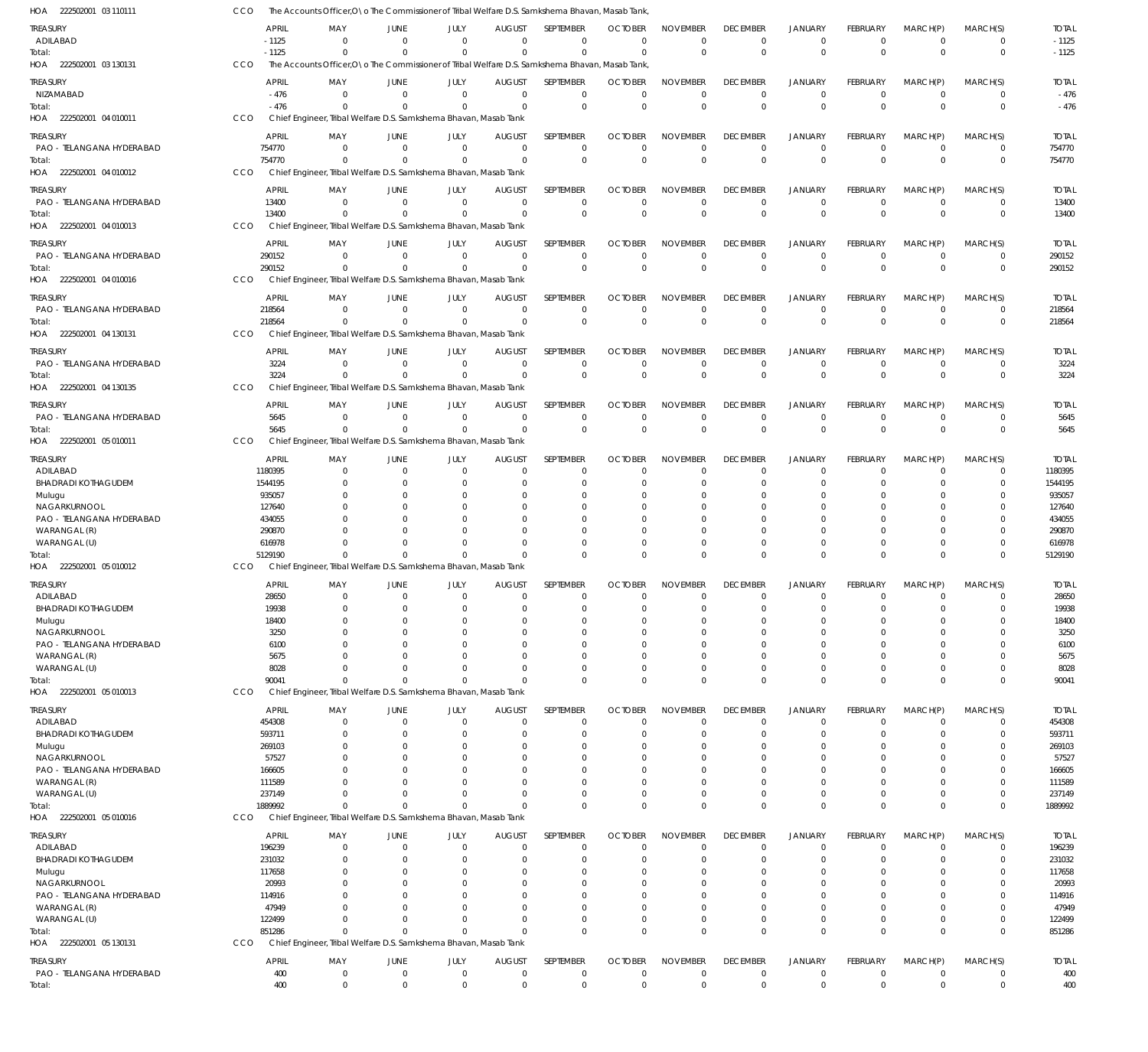| HOA 222502001 03 110111                   | CCO                    | The Accounts Officer, O \o The Commissioner of Tribal Welfare D.S. Samkshema Bhavan, Masab Tank |                            |                      |                                 |                            |                                  |                                |                                   |                               |                               |                                  |                               |                        |
|-------------------------------------------|------------------------|-------------------------------------------------------------------------------------------------|----------------------------|----------------------|---------------------------------|----------------------------|----------------------------------|--------------------------------|-----------------------------------|-------------------------------|-------------------------------|----------------------------------|-------------------------------|------------------------|
| TREASURY                                  | <b>APRIL</b>           | MAY                                                                                             | JUNE                       | JULY                 | <b>AUGUST</b>                   | <b>SEPTEMBER</b>           | <b>OCTOBER</b>                   | <b>NOVEMBER</b>                | <b>DECEMBER</b>                   | <b>JANUARY</b>                | <b>FEBRUARY</b>               | MARCH(P)                         | MARCH(S)                      | <b>TOTAL</b>           |
| ADILABAD                                  | $-1125$                | $\Omega$                                                                                        | $\Omega$                   | $\mathbf{0}$         | $\overline{0}$                  | $\mathbf 0$                | - 0                              | $\mathbf 0$                    | $^{\circ}$                        | 0                             | $^{\circ}$                    | $\mathbf 0$                      | $^{\circ}$                    | $-1125$                |
| Total:                                    | $-1125$                | $\Omega$                                                                                        | $\Omega$                   | $\Omega$             | $\Omega$                        | $\mathbf 0$                | $\Omega$                         | $\mathbf 0$                    | $\Omega$                          | $\Omega$                      | $\overline{0}$                | $\Omega$                         | $\mathbf 0$                   | $-1125$                |
| HOA 222502001 03 130131                   | CCO                    | The Accounts Officer, O\o The Commissioner of Tribal Welfare D.S. Samkshema Bhavan, Masab Tank  |                            |                      |                                 |                            |                                  |                                |                                   |                               |                               |                                  |                               |                        |
| treasury                                  | <b>APRIL</b>           | MAY                                                                                             | <b>JUNE</b>                | JULY                 | <b>AUGUST</b>                   | SEPTEMBER                  | <b>OCTOBER</b>                   | <b>NOVEMBER</b>                | <b>DECEMBER</b>                   | <b>JANUARY</b>                | FEBRUARY                      | MARCH(P)                         | MARCH(S)                      | <b>TOTAL</b>           |
| NIZAMABAD                                 | $-476$<br>$-476$       | $\Omega$<br>$\Omega$                                                                            | $\Omega$<br>$\cap$         | $\Omega$<br>$\Omega$ | $\overline{0}$<br>$\Omega$      | $\mathbf 0$<br>$\mathbf 0$ | $\Omega$<br>$\Omega$             | $\mathbf 0$<br>$\mathbf 0$     | $\mathbf{0}$<br>$\Omega$          | $\Omega$<br>$\Omega$          | $\Omega$<br>$\Omega$          | $\overline{0}$<br>$\Omega$       | $\overline{0}$<br>$\mathbf 0$ | $-476$<br>$-476$       |
| Total:<br>HOA 222502001 04 010011         | CCO                    | Chief Engineer, Tribal Welfare D.S. Samkshema Bhavan, Masab Tank                                |                            |                      |                                 |                            |                                  |                                |                                   |                               |                               |                                  |                               |                        |
|                                           |                        |                                                                                                 |                            |                      |                                 |                            |                                  |                                |                                   |                               |                               |                                  |                               |                        |
| treasury<br>PAO - TELANGANA HYDERABAD     | <b>APRIL</b><br>754770 | MAY<br>$\Omega$                                                                                 | JUNE<br>$\Omega$           | JULY<br>$\mathbf 0$  | <b>AUGUST</b><br>$\overline{0}$ | SEPTEMBER<br>$\mathbf 0$   | <b>OCTOBER</b><br>$\overline{0}$ | <b>NOVEMBER</b><br>$\mathbf 0$ | <b>DECEMBER</b><br>$\overline{0}$ | <b>JANUARY</b><br>$\mathbf 0$ | FEBRUARY<br>$\overline{0}$    | MARCH(P)<br>$\overline{0}$       | MARCH(S)<br>$^{\circ}$        | <b>TOTAL</b><br>754770 |
| Total:                                    | 754770                 | $\Omega$                                                                                        | $\Omega$                   | $\Omega$             | $\Omega$                        | $\mathbf 0$                | $\Omega$                         | $\mathbf 0$                    | $\Omega$                          | $\mathbf{0}$                  | $\Omega$                      | $\Omega$                         | $\overline{0}$                | 754770                 |
| HOA 222502001 04 010012                   | CCO                    | Chief Engineer, Tribal Welfare D.S. Samkshema Bhavan, Masab Tank                                |                            |                      |                                 |                            |                                  |                                |                                   |                               |                               |                                  |                               |                        |
| treasury                                  | <b>APRIL</b>           | MAY                                                                                             | JUNE                       | JULY                 | <b>AUGUST</b>                   | SEPTEMBER                  | <b>OCTOBER</b>                   | <b>NOVEMBER</b>                | <b>DECEMBER</b>                   | JANUARY                       | FEBRUARY                      | MARCH(P)                         | MARCH(S)                      | <b>TOTAL</b>           |
| PAO - TELANGANA HYDERABAD                 | 13400                  | $\Omega$                                                                                        | $\overline{0}$             | $\Omega$             | $\overline{0}$                  | $\mathbf 0$                | $^{\circ}$                       | 0                              | $\mathbf 0$                       | $\Omega$                      | $\Omega$                      | $\mathbf 0$                      | $^{\circ}$                    | 13400                  |
| Total:                                    | 13400                  | $\Omega$                                                                                        | $\Omega$                   | $\Omega$             | $\Omega$                        | $\mathbf 0$                | $\mathbf{0}$                     | $\mathbf 0$                    | $\Omega$                          | $\Omega$                      | $\Omega$                      | $\Omega$                         | $\overline{0}$                | 13400                  |
| HOA 222502001 04 010013                   | CCO                    | Chief Engineer, Tribal Welfare D.S. Samkshema Bhavan, Masab Tank                                |                            |                      |                                 |                            |                                  |                                |                                   |                               |                               |                                  |                               |                        |
| treasury                                  | <b>APRIL</b>           | MAY                                                                                             | JUNE                       | JULY                 | <b>AUGUST</b>                   | SEPTEMBER                  | <b>OCTOBER</b>                   | <b>NOVEMBER</b>                | <b>DECEMBER</b>                   | <b>JANUARY</b>                | <b>FEBRUARY</b>               | MARCH(P)                         | MARCH(S)                      | <b>TOTAL</b>           |
| PAO - TELANGANA HYDERABAD                 | 290152                 | $\Omega$                                                                                        | $\Omega$                   | $\mathbf{0}$         | $\Omega$                        | $\mathbf 0$                | $\overline{0}$                   | $\mathbf 0$                    | $^{\circ}$                        | $\mathbf 0$                   | $^{\circ}$                    | $\overline{0}$                   | $^{\circ}$                    | 290152                 |
| Total:                                    | 290152                 | $\Omega$                                                                                        | - 0                        | $\mathbf{0}$         | $\Omega$                        | $\mathbf 0$                | $\overline{0}$                   | $\mathbf 0$                    | $\Omega$                          | $\mathbf{0}$                  | $\overline{0}$                | $\Omega$                         | $\overline{0}$                | 290152                 |
| HOA 222502001 04 010016                   | CCO                    | Chief Engineer, Tribal Welfare D.S. Samkshema Bhavan, Masab Tank                                |                            |                      |                                 |                            |                                  |                                |                                   |                               |                               |                                  |                               |                        |
| treasury                                  | <b>APRIL</b>           | MAY                                                                                             | JUNE                       | JULY                 | <b>AUGUST</b>                   | <b>SEPTEMBER</b>           | <b>OCTOBER</b>                   | <b>NOVEMBER</b>                | <b>DECEMBER</b>                   | <b>JANUARY</b>                | FEBRUARY                      | MARCH(P)                         | MARCH(S)                      | <b>TOTAL</b>           |
| PAO - TELANGANA HYDERABAD                 | 218564                 | $\Omega$<br>$\Omega$                                                                            | $\Omega$<br>$\Omega$       | $\Omega$<br>$\Omega$ | $\overline{0}$<br>$\Omega$      | $\mathbf 0$<br>$\mathbf 0$ | $^{\circ}$                       | $\mathbf 0$<br>$\mathbf 0$     | $\mathbf 0$<br>$\Omega$           | 0<br>$\Omega$                 | $^{\circ}$<br>$\Omega$        | $\overline{0}$<br>$\overline{0}$ | $^{\circ}$                    | 218564                 |
| Total:<br>HOA 222502001 04 130131         | 218564<br>CCO          | Chief Engineer, Tribal Welfare D.S. Samkshema Bhavan, Masab Tank                                |                            |                      |                                 |                            | $\overline{0}$                   |                                |                                   |                               |                               |                                  | $\mathbf 0$                   | 218564                 |
|                                           |                        |                                                                                                 |                            |                      |                                 |                            |                                  |                                |                                   |                               |                               |                                  |                               |                        |
| treasury<br>PAO - TELANGANA HYDERABAD     | <b>APRIL</b><br>3224   | MAY<br>$\Omega$                                                                                 | JUNE<br>$\Omega$           | JULY<br>$\mathbf{0}$ | <b>AUGUST</b><br>$\overline{0}$ | SEPTEMBER<br>$\mathbf 0$   | <b>OCTOBER</b><br>$^{\circ}$     | <b>NOVEMBER</b><br>$\mathbf 0$ | <b>DECEMBER</b><br>$^{\circ}$     | <b>JANUARY</b><br>$\Omega$    | <b>FEBRUARY</b><br>$^{\circ}$ | MARCH(P)<br>$\overline{0}$       | MARCH(S)<br>$^{\circ}$        | <b>TOTAL</b><br>3224   |
| lotal:                                    | 3224                   | $\Omega$                                                                                        | $\Omega$                   | $\Omega$             | $\Omega$                        | $\mathbf 0$                | $\Omega$                         | $\mathbf 0$                    | $\Omega$                          | $\Omega$                      | $\Omega$                      | $\Omega$                         | $\mathbf 0$                   | 3224                   |
| HOA 222502001 04 130135                   | CCO                    | Chief Engineer, Tribal Welfare D.S. Samkshema Bhavan, Masab Tank                                |                            |                      |                                 |                            |                                  |                                |                                   |                               |                               |                                  |                               |                        |
| treasury                                  | <b>APRIL</b>           | MAY                                                                                             | JUNE                       | JULY                 | <b>AUGUST</b>                   | SEPTEMBER                  | <b>OCTOBER</b>                   | <b>NOVEMBER</b>                | <b>DECEMBER</b>                   | <b>JANUARY</b>                | FEBRUARY                      | MARCH(P)                         | MARCH(S)                      | <b>TOTAL</b>           |
| PAO - TELANGANA HYDERABAD                 | 5645                   | $\Omega$                                                                                        | $\overline{0}$             | $\Omega$             | $\Omega$                        | $\mathbf 0$                | $^{\circ}$                       | $\mathbf 0$                    | $\mathbf 0$                       | $\Omega$                      | $\Omega$                      | $\Omega$                         | $^{\circ}$                    | 5645                   |
| Total:                                    | 5645                   | $\mathbf{0}$                                                                                    | $\Omega$                   | $\Omega$             | $\overline{0}$                  | $\mathbf 0$                | $\mathbf 0$                      | $\mathbf 0$                    | $\mathbf 0$                       | $\mathbf 0$                   | $\mathbf{0}$                  | $\overline{0}$                   | $\mathbf 0$                   | 5645                   |
| HOA 222502001 05 010011                   | CCO                    | Chief Engineer, Tribal Welfare D.S. Samkshema Bhavan, Masab Tank                                |                            |                      |                                 |                            |                                  |                                |                                   |                               |                               |                                  |                               |                        |
| TREASURY                                  | <b>APRIL</b>           | MAY                                                                                             | JUNE                       | JULY                 | <b>AUGUST</b>                   | SEPTEMBER                  | <b>OCTOBER</b>                   | <b>NOVEMBER</b>                | <b>DECEMBER</b>                   | JANUARY                       | FEBRUARY                      | MARCH(P)                         | MARCH(S)                      | <b>TOTAL</b>           |
| ADILABAD                                  | 1180395                | $\overline{0}$                                                                                  | $\Omega$                   | 0                    | $\mathbf 0$                     | $\mathbf 0$                | 0                                | 0                              | 0                                 | 0                             | $^{\circ}$                    | $\Omega$                         | $^{\circ}$                    | 1180395                |
| <b>BHADRADI KOTHAGUDEM</b>                | 1544195                | $\Omega$                                                                                        | - 0<br>$\Omega$            | $\Omega$             | $\Omega$<br>$\Omega$            | $\mathbf 0$<br>$\Omega$    | $\Omega$                         | $\Omega$<br>$\Omega$           | $\Omega$<br>$\Omega$              | $\Omega$                      |                               | $\Omega$                         | $\Omega$<br>$\Omega$          | 1544195                |
| Mulugu<br>NAGARKURNOOL                    | 935057<br>127640       | $\Omega$                                                                                        | $\Omega$                   | 0<br>$\Omega$        | $\Omega$                        | $\Omega$                   | $\Omega$<br>$\Omega$             | $\Omega$                       |                                   |                               |                               |                                  |                               | 935057<br>127640       |
| PAO - TELANGANA HYDERABAD                 | 434055                 | $\Omega$                                                                                        | - 0                        | $\Omega$             | $\Omega$                        | $\Omega$                   | $\Omega$                         | $\Omega$                       | $\Omega$                          | $\cap$                        |                               | $\Omega$                         | 0                             | 434055                 |
| WARANGAL (R)                              | 290870                 |                                                                                                 | $\Omega$                   | $\Omega$             | $\Omega$                        | $\Omega$                   | $\Omega$                         | $\Omega$                       | $\Omega$                          | $\Omega$                      | $\Omega$                      | $\Omega$                         | $\Omega$                      | 290870                 |
| WARANGAL (U)                              | 616978                 |                                                                                                 | $\Omega$                   | $\Omega$             | $\Omega$                        | $\mathbf 0$                | 0                                | $\mathbf 0$                    | $\Omega$                          | $\Omega$                      | $\Omega$                      | $\Omega$                         | 0                             | 616978                 |
| Total:                                    | 5129190                | $\Omega$                                                                                        | $\Omega$                   | $\Omega$             | $\Omega$                        | $\Omega$                   | $\Omega$                         | $\Omega$                       | $\Omega$                          | $\Omega$                      | $\Omega$                      | $\Omega$                         | $\Omega$                      | 5129190                |
| HOA 222502001 05 010012                   | CCO                    | Chief Engineer, Tribal Welfare D.S. Samkshema Bhavan, Masab Tank                                |                            |                      |                                 |                            |                                  |                                |                                   |                               |                               |                                  |                               |                        |
| Treasury                                  | <b>APRIL</b>           | MAY                                                                                             | JUNE                       | JULY                 | <b>AUGUST</b>                   | SEPTEMBER                  | <b>OCTOBER</b>                   | <b>NOVEMBER</b>                | <b>DECEMBER</b>                   | <b>JANUARY</b>                | <b>FEBRUARY</b>               | MARCH(P)                         | MARCH(S)                      | <b>TOTAL</b>           |
| ADILABAD                                  | 28650                  | $\mathbf 0$                                                                                     | $\mathbf{0}$               | $\overline{0}$       | $\overline{0}$<br>$\Omega$      | $\mathbf 0$                | $\overline{0}$                   | $\mathbf 0$                    | $\mathbf 0$                       | $\overline{0}$                | $\mathbf{0}$                  | $\overline{0}$                   | $\Omega$                      | 28650                  |
| <b>BHADRADI KOTHAGUDEM</b><br>Mulugu      | 19938<br>18400         | $\mathbf 0$<br>$\Omega$                                                                         | $\overline{0}$<br>$\Omega$ | $\Omega$<br>$\Omega$ | $\Omega$                        | $\mathbf 0$<br>$\mathbf 0$ | 0<br>$\mathbf 0$                 | $\Omega$<br>$\Omega$           | $\Omega$<br>$\Omega$              | $\Omega$<br>$\Omega$          | $\Omega$<br>$\Omega$          | $\Omega$<br>$\Omega$             | $\mathbf 0$<br>0              | 19938<br>18400         |
| NAGARKURNOOL                              | 3250                   | $\Omega$                                                                                        | $\Omega$                   | $\Omega$             | $\Omega$                        | $\Omega$                   | 0                                | $\mathbf 0$                    | $\Omega$                          | $\Omega$                      | $\Omega$                      | $\Omega$                         | $\Omega$                      | 3250                   |
| PAO - TELANGANA HYDERABAD                 | 6100                   | $\Omega$                                                                                        | - 0                        | $\Omega$             | $\Omega$                        | 0                          | 0                                | $\Omega$                       | $\Omega$                          | $\Omega$                      | $\Omega$                      | $\Omega$                         | $\Omega$                      | 6100                   |
| WARANGAL (R)                              | 5675                   | $\Omega$                                                                                        | $\Omega$                   | $\Omega$             | $\Omega$                        | $\Omega$                   | 0                                | $\Omega$                       | $\Omega$                          | $\Omega$                      | $\Omega$                      | $\Omega$                         | $\Omega$                      | 5675                   |
| WARANGAL (U)                              | 8028                   | $\Omega$                                                                                        | $\Omega$                   | $\Omega$             | $\mathbf 0$                     | $\mathbf 0$                | 0                                | $\mathbf 0$                    | 0                                 | $\mathbf 0$                   | $\Omega$                      | $\mathbf 0$                      | 0                             | 8028                   |
| Total:<br>HOA 222502001 05 010013         | 90041<br>CCO           | $\mathbf{0}$<br>Chief Engineer, Tribal Welfare D.S. Samkshema Bhavan, Masab Tank                | $\Omega$                   | $\Omega$             | $\Omega$                        | $\Omega$                   | $\Omega$                         | $\Omega$                       | $\Omega$                          | $\Omega$                      | $\overline{0}$                | $\Omega$                         | $\mathbf 0$                   | 90041                  |
|                                           |                        |                                                                                                 |                            |                      |                                 |                            |                                  |                                |                                   |                               |                               |                                  |                               |                        |
| TREASURY<br>ADILABAD                      | APRIL<br>454308        | MAY<br>$\overline{0}$                                                                           | JUNE<br>$\overline{0}$     | JULY<br>$\mathbf{0}$ | <b>AUGUST</b><br>$\mathbf 0$    | SEPTEMBER<br>$\mathbf 0$   | <b>OCTOBER</b><br>$\mathbf 0$    | <b>NOVEMBER</b><br>$\mathbf 0$ | <b>DECEMBER</b><br>$\mathbf 0$    | <b>JANUARY</b><br>$\Omega$    | <b>FEBRUARY</b><br>$^{\circ}$ | MARCH(P)<br>$\mathbf 0$          | MARCH(S)<br>$\mathbf 0$       | <b>TOTAL</b><br>454308 |
| BHADRADI KOTHAGUDEM                       | 593711                 | $\Omega$                                                                                        | $\overline{0}$             | 0                    | $\mathbf 0$                     | $\mathbf 0$                | 0                                | $\mathbf 0$                    | 0                                 | $\Omega$                      | $\Omega$                      | $\Omega$                         | 0                             | 593711                 |
| Mulugu                                    | 269103                 | $\Omega$                                                                                        | $\Omega$                   | 0                    | $\Omega$                        | 0                          | 0                                | 0                              | $\Omega$                          | $\Omega$                      | $\Omega$                      | $\Omega$                         | 0                             | 269103                 |
| NAGARKURNOOL                              | 57527                  |                                                                                                 | $\Omega$                   | 0                    | $\Omega$                        | 0                          | 0                                | 0                              | $\Omega$                          | $\Omega$                      |                               | $\Omega$                         | 0                             | 57527                  |
| PAO - TELANGANA HYDERABAD                 | 166605                 |                                                                                                 | $\Omega$                   | 0                    | $\Omega$                        | $\Omega$                   | 0                                | $\Omega$                       |                                   |                               |                               | $\Omega$                         | $\Omega$                      | 166605                 |
| WARANGAL (R)                              | 111589                 |                                                                                                 | $\Omega$<br>$\Omega$       | $\Omega$<br>$\Omega$ | $\Omega$<br>$\Omega$            | $\mathbf 0$                | 0                                | 0                              | $\Omega$                          | $\Omega$<br>$\Omega$          | $\Omega$                      | $\Omega$<br>$\Omega$             | 0                             | 111589                 |
| WARANGAL (U)<br>Total:                    | 237149<br>1889992      | $\Omega$<br>$\Omega$                                                                            | $\Omega$                   | $\Omega$             | $\Omega$                        | $\mathbf 0$<br>$\mathbf 0$ | 0<br>$\Omega$                    | $\mathbf 0$<br>$\Omega$        | $\Omega$<br>$\Omega$              | $\Omega$                      | $\Omega$<br>$\Omega$          | $\Omega$                         | 0<br>$\mathbf 0$              | 237149<br>1889992      |
| HOA 222502001 05 010016                   | CCO                    | Chief Engineer, Tribal Welfare D.S. Samkshema Bhavan, Masab Tank                                |                            |                      |                                 |                            |                                  |                                |                                   |                               |                               |                                  |                               |                        |
| treasury                                  | <b>APRIL</b>           | MAY                                                                                             | JUNE                       | JULY                 | <b>AUGUST</b>                   | SEPTEMBER                  | <b>OCTOBER</b>                   | <b>NOVEMBER</b>                | <b>DECEMBER</b>                   | <b>JANUARY</b>                | FEBRUARY                      | MARCH(P)                         | MARCH(S)                      | <b>TOTAL</b>           |
| ADILABAD                                  | 196239                 | $\Omega$                                                                                        | $\overline{0}$             | $\mathbf{0}$         | $\mathbf 0$                     | $\mathbf 0$                | $\mathbf 0$                      | $\mathbf 0$                    | $\mathbf 0$                       | $\Omega$                      | $^{\circ}$                    | $\Omega$                         | $\mathbf 0$                   | 196239                 |
| <b>BHADRADI KOTHAGUDEM</b>                | 231032                 | $\Omega$                                                                                        | $\overline{0}$             | $\overline{0}$       | $\Omega$                        | $\mathbf 0$                | 0                                | $\Omega$                       | $\Omega$                          | $\Omega$                      | $\Omega$                      | $\Omega$                         | 0                             | 231032                 |
| Mulugu                                    | 117658                 | $\Omega$                                                                                        | $\Omega$                   | $\Omega$             | $\Omega$                        | $\mathbf 0$                | 0                                | $\mathbf 0$                    | $\Omega$                          | $\Omega$                      | $\Omega$                      | $\Omega$                         | 0                             | 117658                 |
| NAGARKURNOOL                              | 20993                  | $\Omega$                                                                                        | $\Omega$                   | $\Omega$             | $\Omega$                        | 0                          | 0                                | $\Omega$                       | $\Omega$                          | $\Omega$                      | $\Omega$                      | $\Omega$                         | 0                             | 20993                  |
| PAO - TELANGANA HYDERABAD<br>WARANGAL (R) | 114916<br>47949        | $\Omega$                                                                                        | $\Omega$<br>$\Omega$       | $\Omega$<br>$\Omega$ | $\Omega$<br>$\Omega$            | $\Omega$<br>$\mathbf 0$    | 0<br>0                           | $\Omega$<br>$\Omega$           | $\Omega$<br>$\Omega$              | $\Omega$<br>$\Omega$          | $\Omega$<br>$\Omega$          | $\Omega$<br>$\Omega$             | $\Omega$<br>0                 | 114916<br>47949        |
| WARANGAL (U)                              | 122499                 | $\Omega$                                                                                        | $\Omega$                   | $\Omega$             | $\Omega$                        | $\mathbf 0$                | 0                                | $\mathbf 0$                    | $\Omega$                          | $\Omega$                      | $\Omega$                      | $\mathbf 0$                      | $\mathbf 0$                   | 122499                 |
| Total:                                    | 851286                 | $\mathbf 0$                                                                                     | $\mathbf{0}$               | $\Omega$             | $\Omega$                        | $\Omega$                   | $\Omega$                         | $\Omega$                       | $\Omega$                          | $\Omega$                      | $\Omega$                      | $\Omega$                         | $\mathbf 0$                   | 851286                 |
| HOA 222502001 05 130131                   | CCO                    | Chief Engineer, Tribal Welfare D.S. Samkshema Bhavan, Masab Tank                                |                            |                      |                                 |                            |                                  |                                |                                   |                               |                               |                                  |                               |                        |
| treasury                                  | <b>APRIL</b>           | MAY                                                                                             | JUNE                       | JULY                 | <b>AUGUST</b>                   | SEPTEMBER                  | <b>OCTOBER</b>                   | <b>NOVEMBER</b>                | <b>DECEMBER</b>                   | <b>JANUARY</b>                | <b>FEBRUARY</b>               | MARCH(P)                         | MARCH(S)                      | <b>TOTAL</b>           |
| PAO - TELANGANA HYDERABAD                 | 400                    | $\overline{0}$                                                                                  | $\overline{0}$             | $\mathbf{0}$         | $\overline{0}$                  | 0                          | 0                                | $\mathbf 0$                    | $^{\circ}$                        | $\mathbf 0$                   | $^{\circ}$                    | $\overline{0}$                   | $\mathbf 0$                   | 400                    |
| Total:                                    | 400                    | $\mathbf 0$                                                                                     | $\mathbf 0$                | $\mathbf 0$          | $\overline{0}$                  | $\mathbf 0$                | $\mathbf 0$                      | $\mathbf 0$                    | $\mathbf 0$                       | $\mathbf 0$                   | $\mathbf 0$                   | $\mathbf 0$                      | $\mathbf 0$                   | 400                    |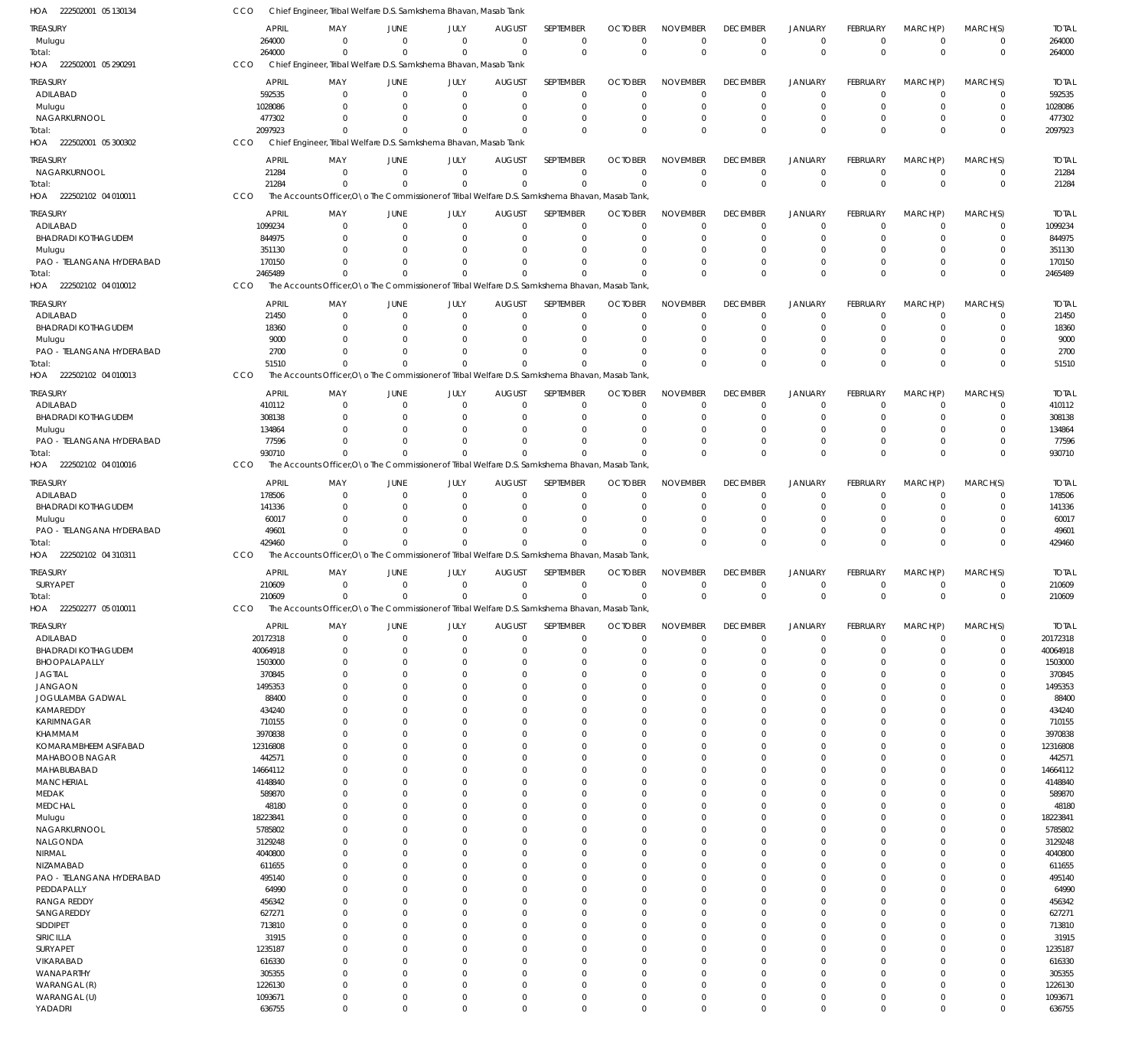| HOA<br>222502001 05 130134          | CCO              | Chief Engineer, Tribal Welfare D.S. Samkshema Bhavan, Masab Tank                                 |                      |                            |                      |                            |                |                      |                            |                                  |                      |               |                            |                  |
|-------------------------------------|------------------|--------------------------------------------------------------------------------------------------|----------------------|----------------------------|----------------------|----------------------------|----------------|----------------------|----------------------------|----------------------------------|----------------------|---------------|----------------------------|------------------|
| TREASURY                            | <b>APRIL</b>     | MAY                                                                                              | JUNE                 | JULY                       | <b>AUGUST</b>        | SEPTEMBER                  | <b>OCTOBER</b> | <b>NOVEMBER</b>      | <b>DECEMBER</b>            | <b>JANUARY</b>                   | <b>FEBRUARY</b>      | MARCH(P)      | MARCH(S)                   | <b>TOTAL</b>     |
| Mulugu                              | 264000           | $\mathbf 0$                                                                                      | $\overline{0}$       | $\mathbf 0$                | $\mathbf{0}$         | $\mathbf 0$                | $\Omega$       | $\overline{0}$       | $\mathbf 0$                | $\mathbf 0$                      | $\mathbf 0$          | $\mathbf 0$   | $\mathbf 0$                | 264000           |
| Total:                              | 264000           | $\Omega$                                                                                         | $\Omega$             | $\Omega$                   | $\Omega$             | $\mathbf 0$                | $\Omega$       | $\mathbf 0$          | $\mathbf 0$                | $\overline{0}$                   | $\Omega$             | $\Omega$      | $\mathbf 0$                | 264000           |
| HOA 222502001 05 290291             | CCO              | Chief Engineer, Tribal Welfare D.S. Samkshema Bhavan, Masab Tank                                 |                      |                            |                      |                            |                |                      |                            |                                  |                      |               |                            |                  |
| <b>TREASURY</b>                     | <b>APRIL</b>     | MAY                                                                                              | JUNE                 | JULY                       | <b>AUGUST</b>        | SEPTEMBER                  | <b>OCTOBER</b> | <b>NOVEMBER</b>      | <b>DECEMBER</b>            | <b>JANUARY</b>                   | <b>FEBRUARY</b>      | MARCH(P)      | MARCH(S)                   | <b>TOTAL</b>     |
| ADILABAD                            | 592535           | $\mathbf 0$                                                                                      | $\overline{0}$       | $\mathbf 0$                | 0                    | $\mathbf 0$                | $\Omega$       | $\Omega$             | $\mathbf 0$                | $\mathbf 0$                      | $\Omega$             | $\mathbf 0$   | $\mathbf 0$                | 592535           |
| Mulugu                              | 1028086          | $\Omega$                                                                                         | $\Omega$             | $\mathbf 0$                | 0                    | $\mathbf 0$                |                | $\Omega$             | $\mathbf 0$                | $\mathbf 0$                      | 0                    | 0             | $\mathbf 0$                | 1028086          |
| NAGARKURNOOL                        | 477302           | $\Omega$                                                                                         | $\Omega$             | $\mathbf 0$                | 0                    | $\mathbf 0$                |                | $\Omega$             | $\mathbf 0$                | $\overline{0}$                   | $\Omega$             | 0             | $\mathbf 0$                | 477302           |
| Total:                              | 2097923          | $\Omega$                                                                                         | $\Omega$             | $\Omega$                   | $\Omega$             | $\Omega$                   | $\Omega$       | $\Omega$             | $\mathbf 0$                | $\Omega$                         | $\Omega$             | $\Omega$      | $\mathbf 0$                | 2097923          |
| HOA 222502001 05 300302             | CCO              | Chief Engineer, Tribal Welfare D.S. Samkshema Bhavan, Masab Tank                                 |                      |                            |                      |                            |                |                      |                            |                                  |                      |               |                            |                  |
| TREASURY                            | <b>APRIL</b>     | MAY                                                                                              | JUNE                 | JULY                       | <b>AUGUST</b>        | SEPTEMBER                  | <b>OCTOBER</b> | <b>NOVEMBER</b>      | <b>DECEMBER</b>            | <b>JANUARY</b>                   | <b>FEBRUARY</b>      | MARCH(P)      | MARCH(S)                   | <b>TOTAL</b>     |
| NAGARKURNOOL                        | 21284            | $\Omega$                                                                                         | $\overline{0}$       | $\mathbf 0$                | $\overline{0}$       | $\mathbf 0$                | $\Omega$       | $\Omega$             | $\mathbf 0$                | $\mathbf 0$                      | $\mathbf 0$          | $\mathbf 0$   | $\mathbf 0$                | 21284            |
| Total:                              | 21284            | $\Omega$                                                                                         | $\Omega$             | $\Omega$                   | $\Omega$             | $\mathbf 0$                | $\Omega$       | $\mathbf 0$          | $\mathbf 0$                | $\overline{0}$                   | $\mathbf 0$          | $\mathbf 0$   | $\mathbf 0$                | 21284            |
| HOA 222502102 04 010011             | CCO              | The Accounts Officer, O \o The Commissioner of Tribal Welfare D.S. Samkshema Bhavan, Masab Tank, |                      |                            |                      |                            |                |                      |                            |                                  |                      |               |                            |                  |
|                                     |                  |                                                                                                  |                      |                            |                      |                            |                |                      |                            |                                  |                      |               |                            |                  |
| TREASURY                            | <b>APRIL</b>     | MAY                                                                                              | JUNE                 | JULY                       | <b>AUGUST</b>        | SEPTEMBER                  | <b>OCTOBER</b> | <b>NOVEMBER</b>      | <b>DECEMBER</b>            | <b>JANUARY</b>                   | <b>FEBRUARY</b>      | MARCH(P)      | MARCH(S)                   | <b>TOTAL</b>     |
| ADILABAD                            | 1099234          | $\mathbf 0$                                                                                      | $\overline{0}$       | $\mathbf 0$                | $\overline{0}$       | $\mathbf 0$                | $\Omega$       | $\Omega$             | $\mathbf 0$                | $\mathbf 0$                      | $\Omega$             | $\mathbf 0$   | $\mathbf 0$                | 1099234          |
| <b>BHADRADI KOTHAGUDEM</b>          | 844975<br>351130 | $\Omega$<br>$\Omega$                                                                             | $\Omega$<br>$\Omega$ | $\mathbf 0$<br>$\mathbf 0$ | 0<br>0               | $\mathbf 0$<br>$\mathbf 0$ | $\Omega$       | $\Omega$<br>$\Omega$ | $\mathbf 0$<br>$\mathbf 0$ | $\overline{0}$<br>$\overline{0}$ | $\Omega$<br>0        | 0<br>0        | $\mathbf 0$<br>$\mathbf 0$ | 844975<br>351130 |
| Mulugu<br>PAO - TELANGANA HYDERABAD | 170150           | $\Omega$                                                                                         | $\Omega$             | $\mathbf 0$                | $\Omega$             | $\Omega$                   |                | $\Omega$             | $\mathbf 0$                | $\overline{0}$                   | $\Omega$             | $\mathbf 0$   | $\mathbf 0$                | 170150           |
| Total:                              | 2465489          | $\Omega$                                                                                         | $\Omega$             | $\Omega$                   | $\Omega$             | $\Omega$                   |                | $\Omega$             | $\mathbf 0$                | $\Omega$                         | $\Omega$             | $\Omega$      | $\mathbf 0$                | 2465489          |
| HOA 222502102 04 010012             | CCO              | The Accounts Officer, O \o The Commissioner of Tribal Welfare D.S. Samkshema Bhavan, Masab Tank, |                      |                            |                      |                            |                |                      |                            |                                  |                      |               |                            |                  |
|                                     |                  |                                                                                                  |                      |                            |                      |                            |                |                      |                            |                                  |                      |               |                            |                  |
| TREASURY                            | <b>APRIL</b>     | MAY                                                                                              | JUNE                 | JULY                       | <b>AUGUST</b>        | SEPTEMBER                  | <b>OCTOBER</b> | <b>NOVEMBER</b>      | <b>DECEMBER</b>            | <b>JANUARY</b>                   | FEBRUARY             | MARCH(P)      | MARCH(S)                   | <b>TOTAL</b>     |
| ADILABAD                            | 21450            | $\Omega$                                                                                         | $\overline{0}$       | $\mathbf 0$                | 0                    | $\mathbf 0$                | $\Omega$       | $\Omega$             | $\mathbf 0$                | $\mathbf 0$                      | $\Omega$             | $\mathbf 0$   | $\mathbf 0$                | 21450            |
| <b>BHADRADI KOTHAGUDEM</b>          | 18360            | $\Omega$                                                                                         | $\mathbf 0$          | $\mathbf 0$                | $\Omega$             | $\mathbf 0$                |                | $\Omega$             | $\mathbf 0$                | $\overline{0}$                   | $\Omega$             | $\Omega$      | $\mathbf 0$                | 18360            |
| Mulugu                              | 9000             | $\Omega$                                                                                         | $\Omega$             | $\mathbf 0$                | $\Omega$             | $\mathbf 0$                | $\Omega$       | $\Omega$             | $\mathbf 0$                | $\overline{0}$                   | $\Omega$             | 0             | $\mathbf 0$                | 9000             |
| PAO - TELANGANA HYDERABAD           | 2700             | $\Omega$                                                                                         | $\Omega$             | $\Omega$                   | $\Omega$             | $\Omega$                   | $\Omega$       | $\Omega$             | $\mathbf 0$                | $\overline{0}$                   | $\Omega$             | $\mathbf 0$   | $\mathbf 0$                | 2700             |
| Total:                              | 51510            | $\Omega$                                                                                         | $\Omega$             | $\Omega$                   | $\Omega$             | $\Omega$                   |                | $\Omega$             | $\Omega$                   | $\Omega$                         | $\Omega$             | $\Omega$      | $\Omega$                   | 51510            |
| 222502102 04 010013<br>HOA          | CCO              | The Accounts Officer, O \o The Commissioner of Tribal Welfare D.S. Samkshema Bhavan, Masab Tank, |                      |                            |                      |                            |                |                      |                            |                                  |                      |               |                            |                  |
| TREASURY                            | <b>APRIL</b>     | MAY                                                                                              | JUNE                 | JULY                       | <b>AUGUST</b>        | SEPTEMBER                  | <b>OCTOBER</b> | <b>NOVEMBER</b>      | <b>DECEMBER</b>            | <b>JANUARY</b>                   | <b>FEBRUARY</b>      | MARCH(P)      | MARCH(S)                   | <b>TOTAL</b>     |
| ADILABAD                            | 410112           | $\mathbf 0$                                                                                      | $\mathbf 0$          | $\mathbf 0$                | 0                    | $\mathbf 0$                | $\Omega$       | $\Omega$             | $\mathbf 0$                | $\overline{0}$                   | $\Omega$             | $\mathbf 0$   | $\mathbf 0$                | 410112           |
| <b>BHADRADI KOTHAGUDEM</b>          | 308138           | $\mathbf 0$                                                                                      | $\mathbf 0$          | $\mathbf 0$                | 0                    | $\mathbf 0$                |                | $\overline{0}$       | $\mathbf 0$                | $\overline{0}$                   | $\Omega$             | 0             | $\mathbf 0$                | 308138           |
| Mulugu                              | 134864           | $\Omega$                                                                                         | $\Omega$             | 0                          | 0                    | $\Omega$                   |                | $\Omega$             | $\mathbf 0$                | $\overline{0}$                   | 0                    | $\Omega$      | $\mathbf 0$                | 134864           |
| PAO - TELANGANA HYDERABAD           | 77596            | $\Omega$                                                                                         | $\Omega$             | $\mathbf 0$                | $\Omega$             | $\mathbf 0$                | $\Omega$       | $\Omega$             | $\mathbf 0$                | $\overline{0}$                   | $\Omega$             | $\mathbf 0$   | $\mathbf 0$                | 77596            |
| Total:                              | 930710           | $\Omega$                                                                                         | $\Omega$             | $\Omega$                   | $\Omega$             | $\Omega$                   |                | $\Omega$             | $\mathbf 0$                | $\Omega$                         | $\Omega$             | $\mathbf 0$   | $\mathbf 0$                | 930710           |
| HOA 222502102 04 010016             | CCO              | The Accounts Officer, O \o The Commissioner of Tribal Welfare D.S. Samkshema Bhavan, Masab Tank, |                      |                            |                      |                            |                |                      |                            |                                  |                      |               |                            |                  |
| TREASURY                            | <b>APRIL</b>     | MAY                                                                                              | JUNE                 | JULY                       | <b>AUGUST</b>        | SEPTEMBER                  | <b>OCTOBER</b> | <b>NOVEMBER</b>      | <b>DECEMBER</b>            | <b>JANUARY</b>                   | <b>FEBRUARY</b>      | MARCH(P)      | MARCH(S)                   | <b>TOTAL</b>     |
| ADILABAD                            | 178506           | $\mathbf 0$                                                                                      | $\overline{0}$       | $\mathbf 0$                | $\mathbf{0}$         | $\mathbf 0$                | $\Omega$       | $\Omega$             | $\mathbf 0$                | $\mathbf 0$                      | $\Omega$             | $\mathbf 0$   | $\mathbf 0$                | 178506           |
| <b>BHADRADI KOTHAGUDEM</b>          | 141336           | $\Omega$                                                                                         | $\mathbf 0$          | $\mathbf 0$                | $\Omega$             | $\mathbf 0$                | $\Omega$       | $\Omega$             | $\mathbf 0$                | $\overline{0}$                   | $\Omega$             | 0             | $\mathbf 0$                | 141336           |
| Mulugu                              | 60017            | $\Omega$                                                                                         | $\Omega$             | $\Omega$                   | $\Omega$             | $\Omega$                   |                | $\Omega$             | $\mathbf 0$                | $^{\circ}$                       | $\Omega$             | $\Omega$      | $\mathbf 0$                | 60017            |
| PAO - TELANGANA HYDERABAD           | 49601            | $\Omega$                                                                                         | $\Omega$             | $\Omega$                   | $\Omega$             | $\Omega$                   |                | $\Omega$             | $\mathbf 0$                | $\overline{0}$                   | $\Omega$             | $\mathbf 0$   | $\mathbf 0$                | 49601            |
| Total:                              | 429460           | $\Omega$                                                                                         | $\Omega$             | $\mathbf{0}$               | $\Omega$             | $\Omega$                   |                | $\mathbf 0$          | $\mathbf{0}$               | $\Omega$                         | $\Omega$             | $\Omega$      | $\mathbf 0$                | 429460           |
| HOA 222502102 04 310311             | CCO              | The Accounts Officer, O \o The Commissioner of Tribal Welfare D.S. Samkshema Bhavan, Masab Tank, |                      |                            |                      |                            |                |                      |                            |                                  |                      |               |                            |                  |
| TREASURY                            | <b>APRIL</b>     | MAY                                                                                              | JUNE                 | JULY                       | <b>AUGUST</b>        | <b>SEPTEMBER</b>           | <b>OCTOBER</b> | <b>NOVEMBER</b>      | <b>DECEMBER</b>            | <b>JANUARY</b>                   | <b>FEBRUARY</b>      | MARCH(P)      | MARCH(S)                   | <b>TOTAL</b>     |
| SURYAPET                            | 210609           | $\mathbf 0$                                                                                      | $\overline{0}$       | $\mathbf 0$                | 0                    | $\mathbf 0$                | $\Omega$       | $^{\circ}$           | $\mathbf 0$                | $\mathbf 0$                      | 0                    | 0             | $\mathbf 0$                | 210609           |
| Total:                              | 210609           | $\mathbf 0$                                                                                      | $\overline{0}$       | $\mathbf 0$                | $\mathbf 0$          | $\mathbf 0$                | $\Omega$       | $\mathbf 0$          | $\mathbf{0}$               | $\Omega$                         | $\mathbf 0$          | $\mathbf 0$   | $\mathbf 0$                | 210609           |
| AOF<br>222502277 05 010011          | CCO              | The Accounts Officer, O\o The Commissioner of Tribal Welfare D.S. Samkshema Bhavan, Masab Tank,  |                      |                            |                      |                            |                |                      |                            |                                  |                      |               |                            |                  |
| <b>TREASURY</b>                     | <b>APRIL</b>     | MAY                                                                                              | JUNE                 | JULY                       | <b>AUGUST</b>        | SEPTEMBER                  | <b>OCTOBER</b> | <b>NOVEMBER</b>      | <b>DECEMBER</b>            | <b>JANUARY</b>                   | FEBRUARY             | MARCH(P)      | MARCH(S)                   | <b>TOTAL</b>     |
| ADILABAD                            | 20172318         | $\Omega$                                                                                         | $\Omega$             | $\mathbf 0$                | $\mathbf{0}$         | $\mathbf 0$                | $\Omega$       | $\overline{0}$       | $\mathbf 0$                | $\mathbf 0$                      | $\Omega$             | $\mathbf 0$   | $\mathbf 0$                | 20172318         |
| <b>BHADRADI KOTHAGUDEM</b>          | 40064918         | $\Omega$                                                                                         | $\mathbf 0$          | $\mathbf 0$                | 0                    | $\mathbf 0$                | $\Omega$       | $\overline{0}$       | $\mathbf 0$                | $\overline{0}$                   | $\mathbf 0$          | $\mathbf 0$   | $\mathbf 0$                | 40064918         |
| BHOOPALAPALLY                       | 1503000          | $\mathbf 0$                                                                                      | 0                    | $\mathbf 0$                | $\Omega$             | $\mathbf 0$                | $\Omega$       | $^{\circ}$           | $\mathbf 0$                | $\overline{0}$                   | $\Omega$             | 0             | $\mathbf 0$                | 1503000          |
| <b>JAGTIAL</b>                      | 370845           | $\Omega$                                                                                         | $\Omega$             | $\Omega$                   | $\Omega$             | $\Omega$                   | $\cap$         | $\Omega$             | $\Omega$                   | $\Omega$                         | $\Omega$             | $\Omega$      | $\mathbf 0$                | 370845           |
| <b>JANGAON</b>                      | 1495353          | $\Omega$                                                                                         | $\Omega$             | $\Omega$                   | $\Omega$             | $\mathbf 0$                |                | $\Omega$             | $\Omega$                   | $\Omega$                         | $\Omega$             | 0             | $\mathbf 0$                | 1495353          |
| JOGULAMBA GADWAL                    | 88400            | $\Omega$                                                                                         | $\Omega$             | $\Omega$                   | $\Omega$             | $\mathbf 0$                | $\Omega$       | $\Omega$             | $\Omega$                   | $\Omega$                         | $\Omega$             | $\mathbf 0$   | $\mathbf 0$                | 88400            |
| KAMAREDDY                           | 434240           | $\Omega$                                                                                         | $\Omega$             | $\Omega$                   | $\Omega$             | $\mathbf 0$                |                | $\Omega$             | $\Omega$                   | $\Omega$                         | $\Omega$             | 0             | $\mathbf 0$                | 434240           |
| KARIMNAGAR                          | 710155           | $\Omega$                                                                                         | $\Omega$             | $\Omega$                   | $\Omega$             | $\Omega$                   | $\Omega$       | $\Omega$             | $\Omega$                   | $\Omega$                         | $\Omega$             | $\Omega$      | $\mathbf 0$                | 710155           |
| KHAMMAM                             | 3970838          | $\Omega$                                                                                         | $\Omega$             | $\Omega$                   | $\Omega$             | $\mathbf 0$                |                | $\Omega$             | $\Omega$                   | $\Omega$                         | $\Omega$             | 0             | $\mathbf 0$                | 3970838          |
| KOMARAMBHEEM ASIFABAD               | 12316808         | $\Omega$                                                                                         | $\Omega$             | $\Omega$                   | $\Omega$             | $\Omega$                   | $\cap$         | $\Omega$             | $\Omega$                   | $\Omega$                         | $\Omega$             | $\mathbf 0$   | $\mathbf 0$                | 12316808         |
| MAHABOOB NAGAR                      | 442571           | $\Omega$                                                                                         | $\Omega$             | $\Omega$                   | $\Omega$             | $\Omega$                   |                | $\Omega$             | $\Omega$                   | $\Omega$                         | $\Omega$             | $\Omega$      | $\mathbf 0$                | 442571           |
| MAHABUBABAD                         | 14664112         | $\Omega$                                                                                         | $\Omega$             | $\Omega$                   | $\Omega$             | $\mathbf 0$                | $\Omega$       | $\Omega$             | $\Omega$                   | $\Omega$                         | $\Omega$             | $\mathbf 0$   | $\mathbf 0$                | 14664112         |
| <b>MANCHERIAL</b>                   | 4148840          | $\Omega$                                                                                         | $\Omega$             | $\Omega$                   | $\Omega$             | $\mathbf 0$                |                | $\Omega$             | $\Omega$                   | $\Omega$                         | $\Omega$             | 0             | $\mathbf 0$                | 4148840          |
| MEDAK                               | 589870           | $\Omega$                                                                                         | $\Omega$             | $\Omega$                   | $\Omega$             | $\Omega$                   | $\cap$         | $\Omega$             | $\Omega$                   | $\Omega$                         | $\Omega$             | $\Omega$      | $\Omega$                   | 589870           |
| <b>MEDCHAL</b>                      | 48180            | $\Omega$                                                                                         | $\Omega$             | $\Omega$                   | $\Omega$             | $\mathbf 0$                |                | $\Omega$             | $\Omega$                   | $\Omega$                         | $\Omega$             | 0             | $\mathbf 0$                | 48180            |
| Mulugu                              | 18223841         | $\Omega$                                                                                         | $\Omega$             | $\Omega$                   | $\Omega$             | $\mathbf 0$                | $\Omega$       | $\Omega$             | $\Omega$                   | $\Omega$                         | $\Omega$             | $\mathbf 0$   | $\mathbf 0$                | 18223841         |
| NAGARKURNOOL                        | 5785802          | $\Omega$                                                                                         | $\Omega$             | $\Omega$                   | $\Omega$             | $\mathbf 0$                |                | $\Omega$             | $\Omega$                   | $\Omega$                         | $\Omega$             | 0             | $\mathbf 0$                | 5785802          |
| NALGONDA                            | 3129248          | $\Omega$                                                                                         | $\Omega$             | $\Omega$                   | $\Omega$             | $\Omega$                   | $\Omega$       | $\Omega$             | $\Omega$                   | $\Omega$                         | $\Omega$             | $\Omega$      | $\mathbf 0$                | 3129248          |
| <b>NIRMAL</b>                       | 4040800          | $\Omega$                                                                                         | $\Omega$             | $\Omega$                   | $\Omega$             | $\mathbf 0$                |                | $\Omega$             | $\Omega$                   | $\Omega$                         | $\Omega$             | 0             | $\mathbf 0$                | 4040800          |
| NIZAMABAD                           | 611655           | $\Omega$                                                                                         | $\Omega$             | $\Omega$                   | $\Omega$             | $\Omega$                   | $\cap$         | $\Omega$             | $\Omega$                   | $\Omega$                         | $\Omega$             | $\mathbf 0$   | $\mathbf 0$                | 611655           |
| PAO - TELANGANA HYDERABAD           | 495140           | $\Omega$                                                                                         | $\Omega$<br>$\Omega$ | $\Omega$                   | $\Omega$             | $\Omega$                   |                | $\Omega$<br>$\Omega$ | 0                          | $\Omega$                         | $\Omega$<br>$\Omega$ | $\Omega$      | $\mathbf 0$                | 495140           |
| PEDDAPALLY                          | 64990            | $\Omega$<br>$\Omega$                                                                             | $\Omega$             | $\Omega$<br>$\Omega$       | $\Omega$<br>$\Omega$ | $\Omega$<br>$\mathbf 0$    | $\Omega$       | $\Omega$             | $\Omega$<br>$\Omega$       | $\Omega$<br>$\Omega$             | $\Omega$             | $\mathbf 0$   | $\mathbf 0$<br>$\mathbf 0$ | 64990            |
| <b>RANGA REDDY</b><br>SANGAREDDY    | 456342<br>627271 | $\Omega$                                                                                         | $\Omega$             | $\Omega$                   | $\Omega$             | $\Omega$                   | $\Omega$       | $\Omega$             | $\Omega$                   | $\Omega$                         | $\Omega$             | 0<br>$\Omega$ | $\mathbf 0$                | 456342<br>627271 |
| SIDDIPET                            | 713810           | $\Omega$                                                                                         | $\Omega$             | $\Omega$                   | $\Omega$             | $\mathbf 0$                |                | $\Omega$             | $\Omega$                   | $\Omega$                         | $\Omega$             | $\mathbf 0$   | $\mathbf 0$                | 713810           |
| SIRICILLA                           | 31915            | $\Omega$                                                                                         | $\Omega$             | $\Omega$                   | $\Omega$             | $\mathbf 0$                | $\Omega$       | $\Omega$             | $\Omega$                   | $\Omega$                         | $\Omega$             | $\mathbf 0$   | $\mathbf 0$                | 31915            |
| SURYAPET                            | 1235187          | $\Omega$                                                                                         | $\Omega$             | $\Omega$                   | $\Omega$             | $\mathbf 0$                |                | $\Omega$             | 0                          | $\Omega$                         | $\Omega$             | 0             | $\mathbf 0$                | 1235187          |
| VIKARABAD                           | 616330           | $\Omega$                                                                                         | $\Omega$             | $\Omega$                   | $\Omega$             | $\Omega$                   | $\Omega$       | $\Omega$             | $\Omega$                   | $\Omega$                         | $\Omega$             | $\mathbf 0$   | $\mathbf 0$                | 616330           |
| WANAPARTHY                          | 305355           | $\Omega$                                                                                         | $\Omega$             | $\Omega$                   | $\Omega$             | $\mathbf 0$                | $\Omega$       | $\Omega$             | $\Omega$                   | $\Omega$                         | $\Omega$             | $\mathbf 0$   | $\mathbf 0$                | 305355           |
| WARANGAL (R)                        | 1226130          | $\Omega$                                                                                         | $\Omega$             | $\mathbf 0$                | $\Omega$             | $\mathbf 0$                | $\Omega$       | $\Omega$             | $\Omega$                   | $\Omega$                         | $\Omega$             | $\mathbf 0$   | $\mathbf 0$                | 1226130          |
| WARANGAL (U)                        | 1093671          | $\mathbf 0$                                                                                      | $\mathbf 0$          | $\mathbf 0$                | 0                    | $\mathbf 0$                | $\Omega$       | $\mathbf 0$          | $\mathbf 0$                | $\overline{0}$                   | $\mathbf 0$          | $\mathbf 0$   | $\mathbf 0$                | 1093671          |
| YADADRI                             | 636755           | $\mathbf{0}$                                                                                     | $\mathbf 0$          | $\mathbf 0$                | $\mathbf{0}$         | $\mathbf 0$                | $\Omega$       | $\mathbf 0$          | $\mathbf 0$                | $\mathbf 0$                      | $\mathbf 0$          | $\mathbf 0$   | $\mathbf 0$                | 636755           |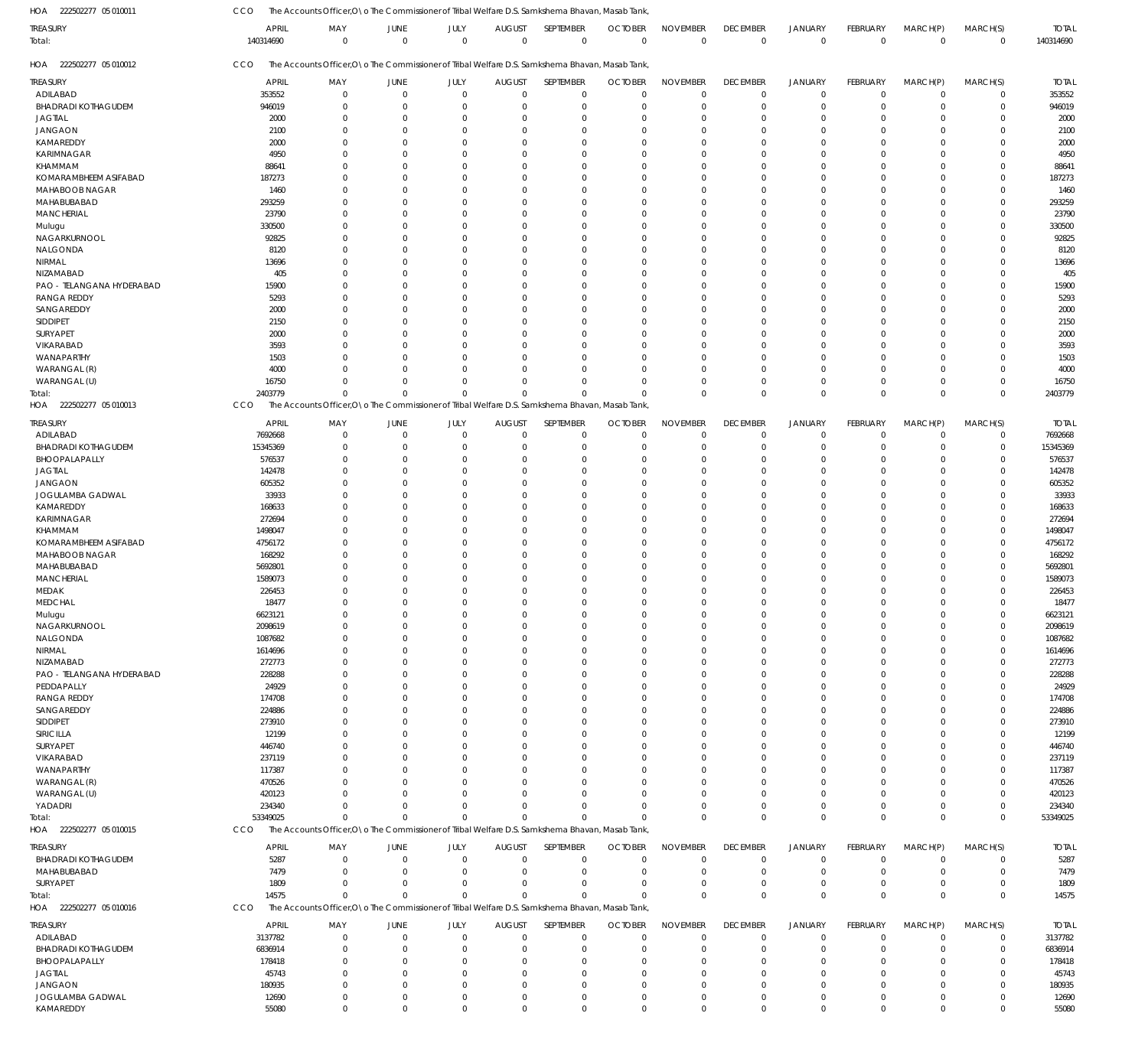222502277 05 010011 HOA

CCO The Accounts Officer, O\o The Commissioner of Tribal Welfare D.S. Samkshema Bhavan, Masab Tank,

| <b>TREASURY</b>            | <b>APRIL</b> | MAY                                                                                              | JUNE                 | JULY        | <b>AUGUST</b> | SEPTEMBER    | <b>OCTOBER</b> | <b>NOVEMBER</b> | <b>DECEMBER</b> | JANUARY        | FEBRUARY    | MARCH(P)    | MARCH(S)     | <b>TOTAL</b> |
|----------------------------|--------------|--------------------------------------------------------------------------------------------------|----------------------|-------------|---------------|--------------|----------------|-----------------|-----------------|----------------|-------------|-------------|--------------|--------------|
| Total:                     | 140314690    | $\mathbf 0$                                                                                      | $\overline{0}$       | $\mathbf 0$ | $\Omega$      | $\mathbf 0$  | $\mathbf{0}$   | $\mathbf 0$     | $\overline{0}$  | $\overline{0}$ | $\mathbf 0$ | $\mathbf 0$ | $\mathbf 0$  | 140314690    |
| HOA 222502277 05 010012    | CCO          | The Accounts Officer, O \o The Commissioner of Tribal Welfare D.S. Samkshema Bhavan, Masab Tank, |                      |             |               |              |                |                 |                 |                |             |             |              |              |
| <b>TREASURY</b>            | <b>APRIL</b> | MAY                                                                                              | JUNE                 | JULY        | <b>AUGUST</b> | SEPTEMBER    | <b>OCTOBER</b> | <b>NOVEMBER</b> | <b>DECEMBER</b> | JANUARY        | FEBRUARY    | MARCH(P)    | MARCH(S)     | <b>TOTAL</b> |
| ADILABAD                   | 353552       | $\mathbf 0$                                                                                      | $\mathbf 0$          | $\mathbf 0$ | $\mathbf 0$   | $\mathbf 0$  | $\Omega$       | $\mathbf 0$     | $\mathbf 0$     | $\overline{0}$ | $\Omega$    | $\mathbf 0$ | $\mathbf 0$  | 353552       |
| <b>BHADRADI KOTHAGUDEM</b> | 946019       | $\Omega$                                                                                         | 0                    | $\Omega$    | $\Omega$      | $\mathbf 0$  | $\Omega$       | $\Omega$        | $\mathbf 0$     | $^{\circ}$     | $\Omega$    | $\Omega$    | $\mathbf 0$  | 946019       |
| <b>JAGTIAL</b>             | 2000         | $\Omega$                                                                                         | $\Omega$             | $\Omega$    | $\Omega$      | $\Omega$     | $\Omega$       | $\Omega$        | $\Omega$        | $\Omega$       | $\Omega$    | $\Omega$    | $\mathbf{0}$ | 2000         |
| <b>JANGAON</b>             | 2100         | $\Omega$                                                                                         | $\Omega$             | $\Omega$    | $\Omega$      | $\Omega$     |                | $\Omega$        | $\Omega$        | $\Omega$       | $\Omega$    | $\Omega$    | $\Omega$     | 2100         |
| KAMAREDDY                  | 2000         | $\Omega$                                                                                         | $\Omega$             | $\Omega$    | $\Omega$      | $\Omega$     |                | $\Omega$        | $\Omega$        | $\Omega$       | $\Omega$    | $\Omega$    | $\Omega$     | 2000         |
| KARIMNAGAR                 | 4950         | O                                                                                                | $\Omega$             | $\Omega$    | $\Omega$      | $\Omega$     |                | $\Omega$        | $\Omega$        | $\Omega$       | $\Omega$    | $\Omega$    | $\Omega$     | 4950         |
| KHAMMAM                    | 88641        | <sup>0</sup>                                                                                     | $\Omega$             | $\Omega$    | $\Omega$      | $\Omega$     | $\Omega$       | $\Omega$        | $\Omega$        | $\Omega$       | $\Omega$    | $\Omega$    | $\Omega$     | 88641        |
| KOMARAMBHEEM ASIFABAD      | 187273       | <sup>0</sup>                                                                                     | $\Omega$             | $\Omega$    | -C            | $\Omega$     |                | $\Omega$        | $\Omega$        | $\Omega$       | $\Omega$    | $\Omega$    | $\Omega$     | 187273       |
| MAHABOOB NAGAR             | 1460         | O                                                                                                | $\Omega$             | $\Omega$    | $\Omega$      | $\Omega$     |                | $\Omega$        | $\Omega$        | $\Omega$       | $\Omega$    | $\Omega$    | $\Omega$     | 1460         |
| MAHABUBABAD                | 293259       | O                                                                                                | $\Omega$             | $\Omega$    | $\Omega$      | $\Omega$     |                | $\Omega$        | $\Omega$        | $\Omega$       | $\Omega$    | $\Omega$    | $\Omega$     | 293259       |
| MANCHERIAL                 | 23790        | <sup>0</sup>                                                                                     | $\Omega$             | $\Omega$    | $\Omega$      | $\Omega$     |                | $\mathbf{0}$    | $\Omega$        | $\Omega$       | $\Omega$    | $\Omega$    | $\mathbf{0}$ | 23790        |
| Mulugu                     | 330500       | O                                                                                                | $\Omega$             | $\Omega$    | -C            | $\Omega$     |                | $\Omega$        | $\Omega$        | $\Omega$       | $\Omega$    | $\Omega$    | $\Omega$     | 330500       |
| NAGARKURNOOL               | 92825        | O                                                                                                | $\Omega$             | $\Omega$    | $\Omega$      | $\Omega$     | $\Omega$       | $\Omega$        | $\Omega$        | $\Omega$       | $\Omega$    | $\Omega$    | $\mathbf{0}$ | 92825        |
| NALGONDA                   | 8120         | O                                                                                                | $\Omega$             | $\Omega$    | $\Omega$      | $\Omega$     |                | $\Omega$        | $\Omega$        | $\Omega$       | $\Omega$    | $\Omega$    | $\Omega$     | 8120         |
| NIRMAL                     | 13696        | O                                                                                                | $\Omega$             | $\Omega$    | $\Omega$      | $\Omega$     |                | $\Omega$        | $\Omega$        | $\Omega$       | $\Omega$    | $\Omega$    | $\Omega$     | 13696        |
| NIZAMABAD                  | 405          | O                                                                                                | $\Omega$             | $\Omega$    | -C            | $\Omega$     |                | $\Omega$        | $\Omega$        | $\Omega$       | $\Omega$    | $\Omega$    | $\Omega$     | 405          |
| PAO - TELANGANA HYDERABAD  | 15900        | $\Omega$                                                                                         | $\Omega$             | $\Omega$    | $\Omega$      | $\Omega$     | $\Omega$       | $\Omega$        | $\Omega$        | $\Omega$       | $\Omega$    | $\Omega$    | $\mathbf{0}$ | 15900        |
| <b>RANGA REDDY</b>         | 5293         | <sup>0</sup>                                                                                     | $\Omega$             | $\Omega$    | $\Omega$      | $\Omega$     |                | $\Omega$        | $\Omega$        | $\Omega$       | $\Omega$    | $\Omega$    | $\Omega$     | 5293         |
| SANGAREDDY                 | 2000         | $\Omega$                                                                                         | $\Omega$             | $\Omega$    | $\Omega$      | $\Omega$     |                | $\Omega$        | $\Omega$        | $\Omega$       | $\Omega$    | $\Omega$    | $\Omega$     | 2000         |
| SIDDIPET                   | 2150         | O                                                                                                | $\Omega$             | $\Omega$    | -C            | $\Omega$     |                | $\Omega$        | $\Omega$        | $\Omega$       | $\Omega$    | $\Omega$    | $\Omega$     | 2150         |
| SURYAPET                   | 2000         | $\Omega$                                                                                         | $\Omega$             | $\Omega$    | $\Omega$      | $\Omega$     |                | $\Omega$        | $\Omega$        | $\Omega$       | $\Omega$    | $\Omega$    | $\mathbf{0}$ | 2000         |
| VIKARABAD                  | 3593         | O                                                                                                | $\Omega$             | $\Omega$    | -C            | $\Omega$     |                | $\Omega$        | $\Omega$        | $\Omega$       | $\Omega$    | $\Omega$    | $\Omega$     | 3593         |
| WANAPARTHY                 | 1503         | <sup>0</sup>                                                                                     | $\Omega$             | $\Omega$    | $\Omega$      | $\Omega$     | $\Omega$       | $\Omega$        | $\Omega$        | $\Omega$       | $\Omega$    | $\Omega$    | $\Omega$     | 1503         |
| WARANGAL (R)               | 4000         | O                                                                                                | $\Omega$             | $\Omega$    | C             | $\Omega$     |                | $\Omega$        | $\Omega$        | $\Omega$       | $\Omega$    | $\Omega$    | $\Omega$     | 4000         |
| WARANGAL (U)               | 16750        | $\Omega$                                                                                         | $\Omega$<br>$\Omega$ | $\Omega$    | $\Omega$      | $\Omega$     |                | $\Omega$        | $\Omega$        | $\mathbf 0$    | $\Omega$    | $\Omega$    | $\mathbf 0$  | 16750        |
| Total:                     | 2403779      | $\Omega$                                                                                         |                      | $\Omega$    | $\Omega$      | $\Omega$     | $\Omega$       | $\overline{0}$  | $\Omega$        | $\Omega$       | $\Omega$    | $\Omega$    | $\mathbf 0$  | 2403779      |
| HOA 222502277 05 010013    | CCO          | The Accounts Officer, O\o The Commissioner of Tribal Welfare D.S. Samkshema Bhavan, Masab Tank   |                      |             |               |              |                |                 |                 |                |             |             |              |              |
| treasury                   | <b>APRIL</b> | MAY                                                                                              | JUNE                 | JULY        | <b>AUGUST</b> | SEPTEMBER    | <b>OCTOBER</b> | <b>NOVEMBER</b> | <b>DECEMBER</b> | JANUARY        | FEBRUARY    | MARCH(P)    | MARCH(S)     | <b>TOTAL</b> |
| ADILABAD                   | 7692668      | 0                                                                                                | $\mathbf 0$          | $\mathbf 0$ | $\Omega$      | $\mathbf 0$  | $\Omega$       | $\overline{0}$  | $\mathbf 0$     | $\overline{0}$ | $\mathbf 0$ | $\mathbf 0$ | 0            | 7692668      |
| <b>BHADRADI KOTHAGUDEM</b> | 15345369     | $\Omega$                                                                                         | $\mathbf 0$          | $\mathbf 0$ | $\Omega$      | $\mathbf 0$  | $\Omega$       | $\Omega$        | $\mathbf 0$     | $\overline{0}$ | $\Omega$    | $\Omega$    | $\mathbf 0$  | 15345369     |
| BHOOPALAPALLY              | 576537       | $\mathbf 0$                                                                                      | $\mathbf 0$          | $\Omega$    | $\Omega$      | $\mathbf 0$  |                | $\overline{0}$  | $\mathbf 0$     | $\overline{0}$ | $\Omega$    | $\Omega$    | 0            | 576537       |
| <b>JAGTIAL</b>             | 142478       | $\Omega$                                                                                         | $\Omega$             | $\Omega$    | -C            | $\Omega$     |                | $\Omega$        | $\Omega$        | $\Omega$       | $\Omega$    | $\Omega$    | $\mathbf 0$  | 142478       |
| <b>JANGAON</b>             | 605352       | $\Omega$                                                                                         | $\Omega$             | $\Omega$    | $\Omega$      | $\Omega$     |                | $\Omega$        | $\Omega$        | $\Omega$       | $\Omega$    | $\Omega$    | $\mathbf 0$  | 605352       |
| JOGULAMBA GADWAL           | 33933        | $\Omega$                                                                                         | $\Omega$             | $\Omega$    | $\Omega$      | $\Omega$     |                | $\Omega$        | $\Omega$        | $\Omega$       | $\Omega$    | $\Omega$    | $\mathbf 0$  | 33933        |
| KAMAREDDY                  | 168633       | $\Omega$                                                                                         | $\Omega$             | $\Omega$    | $\Omega$      | $\Omega$     |                | $\Omega$        | $\Omega$        | $\Omega$       | $\Omega$    | $\Omega$    | $\mathbf 0$  | 168633       |
| KARIMNAGAR                 | 272694       | O                                                                                                | $\Omega$             | $\Omega$    | -C            | $\Omega$     |                | $\Omega$        | $\Omega$        | $\Omega$       | $\Omega$    | $\Omega$    | $\mathbf{0}$ | 272694       |
| KHAMMAM                    | 1498047      | $\Omega$                                                                                         | $\Omega$             | $\Omega$    | $\Omega$      | $\Omega$     |                | $\Omega$        | $\Omega$        | $\Omega$       | $\Omega$    | $\Omega$    | $\mathbf 0$  | 1498047      |
| KOMARAMBHEEM ASIFABAD      | 4756172      | O                                                                                                | $\Omega$             | $\Omega$    | $\Omega$      | $\Omega$     |                | $\Omega$        | $\Omega$        | $\Omega$       | $\Omega$    | $\Omega$    | $\mathbf 0$  | 4756172      |
| MAHABOOB NAGAR             | 168292       | O                                                                                                | $\Omega$             | $\Omega$    | $\Omega$      | $\Omega$     |                | $\Omega$        | $\Omega$        | $\Omega$       | $\Omega$    | $\Omega$    | $\mathbf 0$  | 168292       |
| MAHABUBABAD                | 5692801      | O                                                                                                | $\Omega$             | $\Omega$    | $\Omega$      | $\Omega$     |                | $\Omega$        | $\Omega$        | $\Omega$       | $\Omega$    | $\Omega$    | $\mathbf 0$  | 5692801      |
| <b>MANCHERIAL</b>          | 1589073      | O                                                                                                | $\Omega$             | $\Omega$    | $\Omega$      | $\Omega$     |                | $\Omega$        | $\Omega$        | $\Omega$       | $\Omega$    | $\Omega$    | $\mathbf 0$  | 1589073      |
| MEDAK                      | 226453       |                                                                                                  | $\Omega$             | $\Omega$    | $\Omega$      | $\Omega$     |                | $\Omega$        | $\Omega$        | $\Omega$       | $\Omega$    | $\Omega$    | $\Omega$     | 226453       |
| <b>MEDCHAL</b>             | 18477        | $\Omega$                                                                                         | $\Omega$             | $\Omega$    | $\Omega$      | $\mathbf 0$  | $\Omega$       | $\Omega$        | $\Omega$        | $\Omega$       | $\Omega$    | $\Omega$    | $\mathbf 0$  | 18477        |
| Mulugu                     | 6623121      | $\cap$                                                                                           | $\Omega$             | $\Omega$    | $\Omega$      | $\Omega$     | $\Omega$       | $\Omega$        | $\Omega$        | $\Omega$       | $\Omega$    | $\Omega$    | $\Omega$     | 6623121      |
| NAGARKURNOOL               | 2098619      | $\Omega$                                                                                         | $\Omega$             | $\Omega$    | <sup>r</sup>  | $\Omega$     |                | $\Omega$        | $\Omega$        | $\Omega$       | 0           | $\Omega$    | $\mathbf 0$  | 2098619      |
| NALGONDA                   | 1087682      | $\Omega$                                                                                         | $\Omega$             | $\mathbf 0$ | -0            | $\Omega$     | $\Omega$       | $\Omega$        | 0               | $\overline{0}$ | $\Omega$    | $\Omega$    | $\Omega$     | 1087682      |
| NIRMAL                     | 1614696      |                                                                                                  | -C                   | $\Omega$    | -0            | $\Omega$     |                | $\Omega$        | $\Omega$        | $\Omega$       | $\Omega$    | $\Omega$    | $\mathbf 0$  | 1614696      |
| NIZAMABAD                  | 272773       |                                                                                                  | C                    | $\Omega$    | -C            | $\Omega$     |                | $\Omega$        | $\Omega$        | $\Omega$       | $\Omega$    | $\Omega$    | $\Omega$     | 272773       |
| PAO - TELANGANA HYDERABAD  | 228288       |                                                                                                  | -C                   | $\Omega$    | <sup>r</sup>  | $\Omega$     |                | $\Omega$        | $\Omega$        | $\Omega$       | O           | $\Omega$    | $\mathbf 0$  | 228288       |
| PEDDAPALLY                 | 24929        |                                                                                                  | C                    | $\Omega$    |               | $\Omega$     |                | $\Omega$        | $\Omega$        | $\Omega$       | O           | $\Omega$    | $\Omega$     | 24929        |
| <b>RANGA REDDY</b>         | 174708       |                                                                                                  | C                    | $\Omega$    | <sup>r</sup>  | $\Omega$     |                | $\Omega$        | $\Omega$        | $\Omega$       | O           | $\Omega$    | $\mathbf 0$  | 174708       |
| SANGAREDDY                 | 224886       |                                                                                                  | C                    | $\Omega$    | <sup>r</sup>  | $\Omega$     |                | $\Omega$        | $\Omega$        | $\Omega$       | O           | $\Omega$    | $\Omega$     | 224886       |
| SIDDIPET                   | 273910       |                                                                                                  | C                    | $\Omega$    | <sup>r</sup>  | $\Omega$     |                | $\Omega$        | 0               | $\Omega$       | O           | $\Omega$    | $\mathbf 0$  | 273910       |
| SIRICILLA                  | 12199        |                                                                                                  | C                    | $\Omega$    |               | $\Omega$     |                | $\Omega$        | $\Omega$        | $\Omega$       | O           | $\Omega$    | $\Omega$     | 12199        |
| SURYAPET                   | 446740       |                                                                                                  | C                    | $\Omega$    |               | $\Omega$     |                | $\Omega$        | $\Omega$        | $\Omega$       | O           | $\Omega$    | 0            | 446740       |
| VIKARABAD                  | 237119       |                                                                                                  | C                    | $\Omega$    |               | $\Omega$     |                | $\Omega$        | $\Omega$        | $\Omega$       | O           | $\Omega$    | $\Omega$     | 237119       |
| WANAPARTHY                 | 117387       |                                                                                                  | C                    | $\Omega$    |               | $\Omega$     |                | $\Omega$        | $\Omega$        | $\Omega$       | O           | $\Omega$    | $\mathbf 0$  | 117387       |
| WARANGAL (R)               | 470526       |                                                                                                  | C                    | $\Omega$    |               | $\Omega$     |                | $\Omega$        | $\Omega$        | $\Omega$       | O           | $\Omega$    | $\Omega$     | 470526       |
| WARANGAL (U)               | 420123       |                                                                                                  | <sup>r</sup>         | $\Omega$    |               | $\Omega$     |                | $\Omega$        | $\Omega$        | $\Omega$       | O           | $\Omega$    | 0            | 420123       |
| YADADRI                    | 234340       | O                                                                                                | $\Omega$             | $\Omega$    | $\Omega$      | $\Omega$     |                | $\Omega$        | 0               | $\overline{0}$ | $\Omega$    | $\mathbf 0$ | $\mathbf 0$  | 234340       |
| Total:                     | 53349025     | $\Omega$                                                                                         | $\Omega$             | $\mathbf 0$ | $\Omega$      | $\Omega$     | $\Omega$       | $\Omega$        | $\mathbf 0$     | $\overline{0}$ | $\Omega$    | $\Omega$    | $\mathbf 0$  | 53349025     |
| HOA 222502277 05 010015    | CCO          | The Accounts Officer, O \o The Commissioner of Tribal Welfare D.S. Samkshema Bhavan, Masab Tank  |                      |             |               |              |                |                 |                 |                |             |             |              |              |
| TREASURY                   | <b>APRIL</b> | MAY                                                                                              | JUNE                 | JULY        | <b>AUGUST</b> | SEPTEMBER    | <b>OCTOBER</b> | <b>NOVEMBER</b> | <b>DECEMBER</b> | JANUARY        | FEBRUARY    | MARCH(P)    | MARCH(S)     | <b>TOTAL</b> |
| <b>BHADRADI KOTHAGUDEM</b> | 5287         | $\mathbf 0$                                                                                      | 0                    | $\mathbf 0$ | $\mathbf{0}$  | $\mathbf 0$  | $\Omega$       | $^{\circ}$      | $\mathbf 0$     | $\overline{0}$ | $\Omega$    | 0           | $\mathbf 0$  | 5287         |
| MAHABUBABAD                | 7479         | $\Omega$                                                                                         | $\Omega$             | $\Omega$    | $\Omega$      | $\mathbf 0$  | $\Omega$       | $\Omega$        | $\mathbf 0$     | $\overline{0}$ | $\Omega$    | $\Omega$    | $\mathbf 0$  | 7479         |
| SURYAPET                   | 1809         | $\Omega$                                                                                         | $\Omega$             | $\Omega$    | $\Omega$      | $\mathbf{0}$ | $\Omega$       | $\Omega$        | $\mathbf 0$     | $\overline{0}$ | $\Omega$    | 0           | $\mathbf 0$  | 1809         |
| Total:                     | 14575        | $\Omega$                                                                                         | $\Omega$             | $\Omega$    | $\Omega$      | $\Omega$     | $\Omega$       | $\overline{0}$  | $\mathbf 0$     | $\overline{0}$ | $\Omega$    | $\mathbf 0$ | $\mathbf 0$  | 14575        |
| HOA 222502277 05 010016    | CCO          | The Accounts Officer, O \o The Commissioner of Tribal Welfare D.S. Samkshema Bhavan, Masab Tank  |                      |             |               |              |                |                 |                 |                |             |             |              |              |
|                            |              |                                                                                                  |                      |             |               |              |                |                 |                 |                |             |             |              |              |
| TREASURY                   | <b>APRIL</b> | MAY                                                                                              | JUNE                 | JULY        | <b>AUGUST</b> | SEPTEMBER    | <b>OCTOBER</b> | <b>NOVEMBER</b> | <b>DECEMBER</b> | JANUARY        | FEBRUARY    | MARCH(P)    | MARCH(S)     | <b>TOTAL</b> |
| ADILABAD                   | 3137782      | 0                                                                                                | $\mathbf 0$          | 0           | $\mathbf 0$   | 0            | $\Omega$       | $^{\circ}$      | $\mathbf 0$     | $\overline{0}$ | $\mathbf 0$ | 0           | 0            | 3137782      |
| <b>BHADRADI KOTHAGUDEM</b> | 6836914      | $\Omega$                                                                                         | $\Omega$             | $\mathbf 0$ | $\Omega$      | $\mathbf 0$  | $\Omega$       | $\Omega$        | $\mathbf 0$     | $\overline{0}$ | 0           | 0           | $\mathbf 0$  | 6836914      |
| BHOOPALAPALLY              | 178418       | $\Omega$                                                                                         | $\Omega$             | $\Omega$    | -0            | $\mathbf 0$  |                | $\Omega$        | 0               | $\Omega$       | 0           | $\Omega$    | 0            | 178418       |
| <b>JAGTIAL</b>             | 45743        | O                                                                                                | $\Omega$             | $\Omega$    | -C            | $\Omega$     |                | $\Omega$        | $\Omega$        | $\Omega$       | $\Omega$    | $\Omega$    | $\mathbf 0$  | 45743        |
| <b>JANGAON</b>             | 180935       | $\Omega$                                                                                         | $\Omega$             | $\Omega$    | $\Omega$      | $\Omega$     |                | $\overline{0}$  | $\Omega$        | $\Omega$       | 0           | $\Omega$    | 0            | 180935       |
| JOGULAMBA GADWAL           | 12690        | $\mathbf 0$                                                                                      | $\mathbf 0$          | $\mathbf 0$ | $\Omega$      | $\mathbf 0$  | $\Omega$       | $\mathbf 0$     | 0               | $\overline{0}$ | $\mathbf 0$ | $\mathbf 0$ | $\mathbf 0$  | 12690        |
| KAMAREDDY                  | 55080        | $\mathbf 0$                                                                                      | $\Omega$             | $\Omega$    | $\Omega$      | $\Omega$     | $\Omega$       | $\mathbf 0$     | $\mathbf 0$     | $\Omega$       | $\Omega$    | $\Omega$    | $\mathbf 0$  | 55080        |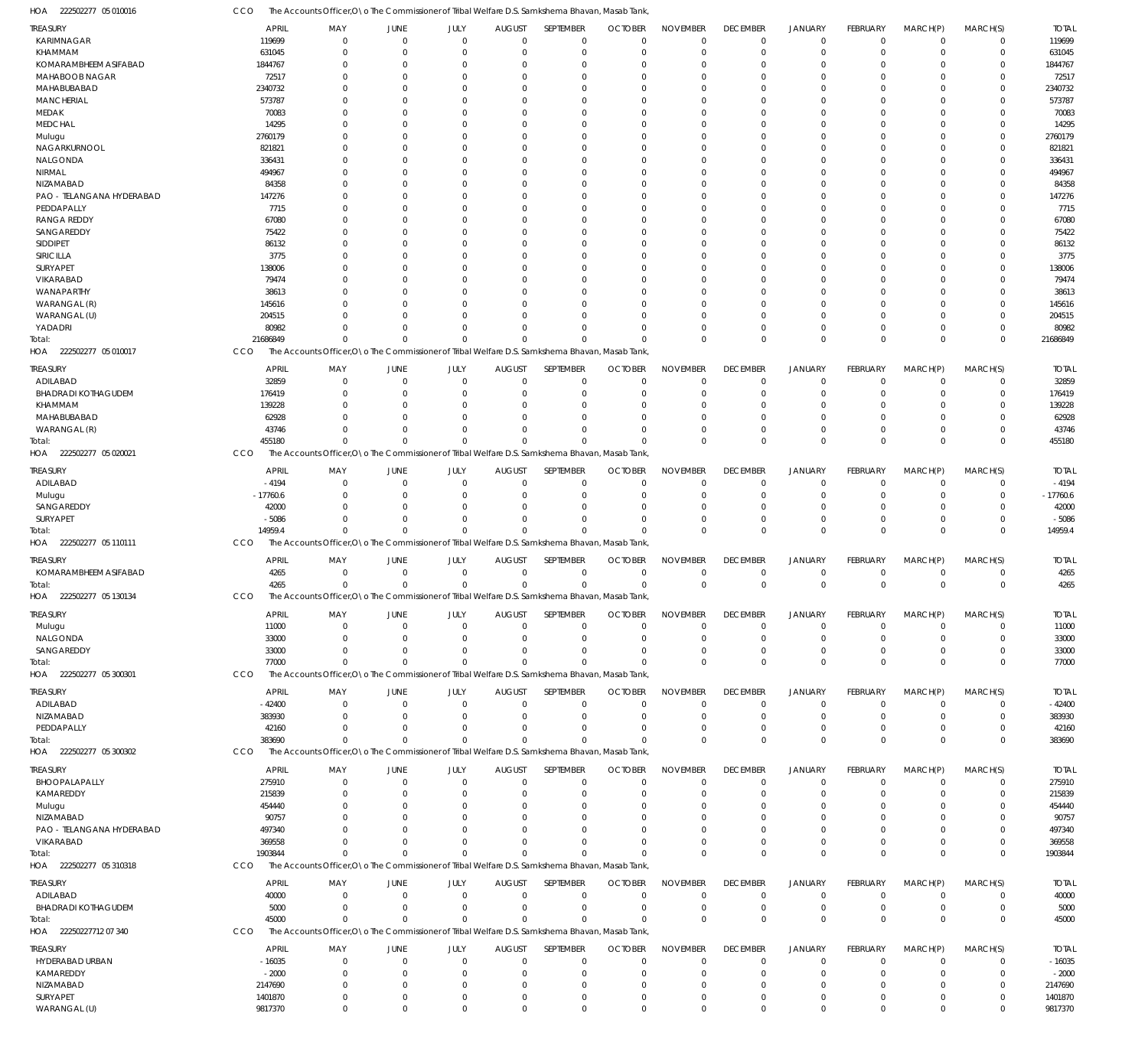CCO The Accounts Officer, O\o The Commissioner of Tribal Welfare D.S. Samkshema Bhavan, Masab Tank,

| HOA<br>222502277 05 010016        | cco                |                      |                         |                            |                        | The Accounts Officer, O \o The Commissioner of Tribal Welfare D.S. Samkshema Bhavan, Masab Tank  |                           |                            |                            |                            |                 |                         |                |                    |
|-----------------------------------|--------------------|----------------------|-------------------------|----------------------------|------------------------|--------------------------------------------------------------------------------------------------|---------------------------|----------------------------|----------------------------|----------------------------|-----------------|-------------------------|----------------|--------------------|
| TREASURY                          | APRIL              | MAY                  | JUNE                    | JULY                       | <b>AUGUST</b>          | SEPTEMBER                                                                                        | <b>OCTOBER</b>            | <b>NOVEMBER</b>            | <b>DECEMBER</b>            | <b>JANUARY</b>             | <b>FEBRUARY</b> | MARCH(P)                | MARCH(S)       | <b>TOTAL</b>       |
| KARIMNAGAR                        | 119699             | $\Omega$             | $\Omega$                | $\Omega$                   | $\Omega$               | $\overline{0}$                                                                                   | $\Omega$                  | $\mathbf 0$                | $\mathbf 0$                | $\mathbf 0$                | $\mathbf 0$     | $\mathbf 0$             | $\mathbf 0$    | 119699             |
| <b>KHAMMAM</b>                    | 631045             | $\Omega$             | $\Omega$                | $\Omega$                   | $\Omega$               | $\overline{0}$                                                                                   | $\overline{0}$            | $\overline{0}$             | $\mathbf 0$                | $\overline{0}$             | $\mathbf 0$     | $\mathbf 0$             | $\mathbf 0$    | 631045             |
| KOMARAMBHEEM ASIFABAD             | 1844767            | $\Omega$             | $\Omega$                | $\Omega$                   | $\Omega$               | $\Omega$                                                                                         | $\Omega$                  | $\Omega$                   | $\mathbf 0$                | $\Omega$                   | $\Omega$        | $\Omega$                | $\Omega$       | 1844767            |
| MAHABOOB NAGAR                    | 72517              | $\Omega$             |                         | $\Omega$                   | $\Omega$               | $\Omega$                                                                                         | $\Omega$                  | $\Omega$                   | $\Omega$                   | $\Omega$                   | $\Omega$        | $\Omega$                | $\Omega$       | 72517              |
| MAHABUBABAD                       | 2340732            | $\Omega$             |                         | $\Omega$                   | $\Omega$               | $\Omega$                                                                                         | $\Omega$                  | $\Omega$                   | $\Omega$                   | $\Omega$                   | U               | $\Omega$                | $\Omega$       | 2340732            |
| <b>MANCHERIAL</b>                 | 573787             | $\Omega$             |                         | $\Omega$                   | $\Omega$               | $\Omega$                                                                                         | $\Omega$                  | $\Omega$                   | $\Omega$                   | $\Omega$                   | $\Omega$        | $\Omega$                | $\Omega$       | 573787             |
| MEDAK                             | 70083              | $\Omega$             |                         | $\Omega$                   | $\Omega$               | $\Omega$                                                                                         | $\Omega$                  | $\Omega$                   | $\Omega$                   | $\Omega$                   | U               | $\Omega$                | $\Omega$       | 70083              |
| <b>MEDCHAL</b>                    | 14295              | $\cap$               |                         | $\Omega$                   | $\Omega$               | $\Omega$                                                                                         | $\Omega$                  | $\Omega$                   | $\Omega$                   | $\Omega$                   | $\Omega$        | $\Omega$                | $\Omega$       | 14295              |
| Mulugu                            | 2760179            | $\Omega$             |                         | $\Omega$                   | $\Omega$               | $\Omega$                                                                                         | $\Omega$                  | $\Omega$                   | $\Omega$                   | $\Omega$                   |                 | $\Omega$                | $\Omega$       | 2760179            |
| NAGARKURNOOL                      | 821821             | $\cap$               |                         | $\Omega$                   | $\Omega$               | $\Omega$                                                                                         | $\Omega$                  | $\Omega$                   | $\Omega$                   | $\Omega$                   | $\Omega$        | $\Omega$                | $\Omega$       | 821821             |
| NALGONDA                          | 336431             | $\Omega$             |                         | $\Omega$                   | $\Omega$               | $\Omega$                                                                                         | $\Omega$                  | $\Omega$                   | $\Omega$                   | $\Omega$                   | U               | $\Omega$                | $\Omega$       | 336431             |
| <b>NIRMAL</b>                     | 494967             | $\Omega$             |                         | $\Omega$                   | $\Omega$               | $\Omega$                                                                                         | $\Omega$                  | $\Omega$                   | $\Omega$                   | $\Omega$                   | $\Omega$        | $\Omega$                | $\Omega$       | 494967             |
| NIZAMABAD                         | 84358              | $\Omega$             |                         | $\Omega$                   | $\Omega$               | $\Omega$                                                                                         | $\Omega$                  | $\Omega$                   | $\Omega$                   | $\Omega$                   | U               | $\Omega$                | $\Omega$       | 84358              |
| PAO - TELANGANA HYDERABAD         | 147276             | $\Omega$             |                         | $\Omega$                   | $\Omega$               | $\Omega$                                                                                         | $\Omega$                  | $\Omega$                   | $\Omega$                   | $\Omega$                   | $\Omega$        | $\Omega$                | $\Omega$       | 147276             |
| PEDDAPALLY                        | 7715               | $\Omega$             |                         | $\Omega$                   | $\Omega$               | $\Omega$                                                                                         | $\Omega$                  | $\Omega$                   | $\Omega$                   | $\Omega$                   | U               | $\Omega$                | 0              | 7715               |
| <b>RANGA REDDY</b>                | 67080              | $\Omega$             |                         | $\Omega$                   | $\Omega$               | $\Omega$                                                                                         | $\Omega$                  | $\Omega$                   | $\Omega$                   | $\Omega$                   | $\Omega$        | $\Omega$                | $\Omega$       | 67080              |
| SANGAREDDY                        | 75422              | $\Omega$             |                         | $\Omega$                   | $\Omega$               | $\Omega$                                                                                         | $\Omega$                  | $\Omega$                   | $\Omega$                   | $\Omega$                   |                 | $\Omega$                | $\Omega$       | 75422              |
| SIDDIPET                          | 86132              | $\Omega$             |                         | $\Omega$                   | $\Omega$               | $\Omega$                                                                                         | $\Omega$                  | $\Omega$                   | $\Omega$                   | $\Omega$                   | $\Omega$        | $\Omega$                | $\Omega$       | 86132              |
| SIRICILLA                         | 3775               | $\Omega$             |                         | $\Omega$                   | $\Omega$               | $\Omega$                                                                                         | $\Omega$                  | $\Omega$                   | $\Omega$                   | $\Omega$                   |                 | $\Omega$                | $\Omega$       | 3775               |
|                                   |                    | $\Omega$             |                         | $\Omega$                   | $\Omega$               | $\Omega$                                                                                         | $\Omega$                  | $\Omega$                   | $\Omega$                   | $\Omega$                   | $\Omega$        | $\Omega$                | $\Omega$       |                    |
| SURYAPET                          | 138006             |                      |                         |                            |                        |                                                                                                  |                           |                            |                            |                            |                 | $\Omega$                |                | 138006             |
| VIKARABAD                         | 79474              | $\Omega$<br>$\Omega$ |                         | $\Omega$                   | $\Omega$               | $\Omega$                                                                                         | $\Omega$                  | $\Omega$                   | $\Omega$                   | $\Omega$                   |                 |                         | $\Omega$       | 79474              |
| WANAPARTHY                        | 38613              |                      |                         | $\Omega$                   | $\Omega$               | $\Omega$                                                                                         | $\Omega$                  | $\Omega$                   | $\Omega$                   | $\Omega$                   | $\Omega$        | $\Omega$                | $\Omega$       | 38613              |
| WARANGAL (R)                      | 145616             | $\Omega$             |                         | $\Omega$                   | $\Omega$               | $\Omega$                                                                                         | $\Omega$                  | $\Omega$                   | $\Omega$                   | $\Omega$                   |                 | $\Omega$                | $\Omega$       | 145616             |
| WARANGAL (U)                      | 204515             | $\Omega$             |                         | $\Omega$                   | $\Omega$               | $\Omega$                                                                                         | $\Omega$                  | $\Omega$                   | $\Omega$                   | $\Omega$                   | $\Omega$        | $\Omega$                | $\Omega$       | 204515             |
| YADADRI                           | 80982              | $\Omega$             | $\Omega$                | $\Omega$                   | $\Omega$               | $\Omega$                                                                                         | $\Omega$                  | $\Omega$                   | $\mathbf 0$                | $\overline{0}$             | $\Omega$        | $\mathbf 0$             | 0              | 80982              |
| Total:                            | 21686849           | $\Omega$             | $\Omega$                | $\Omega$                   | $\Omega$               | $\Omega$                                                                                         | $\Omega$                  | $\mathbf 0$                | $\Omega$                   | $\Omega$                   | $\Omega$        | $\Omega$                | $\Omega$       | 21686849           |
| HOA 222502277 05 010017           | CCO                |                      |                         |                            |                        | The Accounts Officer, O \o The Commissioner of Tribal Welfare D.S. Samkshema Bhavan, Masab Tank, |                           |                            |                            |                            |                 |                         |                |                    |
| TREASURY                          | APRIL              | MAY                  | JUNE                    | JULY                       | <b>AUGUST</b>          | SEPTEMBER                                                                                        | <b>OCTOBER</b>            | <b>NOVEMBER</b>            | <b>DECEMBER</b>            | <b>JANUARY</b>             | <b>FEBRUARY</b> | MARCH(P)                | MARCH(S)       | <b>TOTAL</b>       |
| ADILABAD                          | 32859              | $\Omega$             | $\Omega$                | $\Omega$                   | $\overline{0}$         | $\overline{0}$                                                                                   | $\overline{0}$            | $\overline{0}$             | $\mathbf 0$                | $\overline{0}$             | $\mathbf 0$     | $\mathbf 0$             | $\mathbf 0$    | 32859              |
| <b>BHADRADI KOTHAGUDEM</b>        | 176419             | $\Omega$             |                         | $\Omega$                   | $\Omega$               | $\overline{0}$                                                                                   | 0                         | $\overline{0}$             | $\mathbf 0$                | $\overline{0}$             | $\Omega$        | $\mathbf 0$             | 0              | 176419             |
| KHAMMAM                           | 139228             | $\Omega$             |                         | $\cap$                     |                        | $\Omega$                                                                                         | $\Omega$                  | $\Omega$                   | $\Omega$                   | $\Omega$                   | $\Omega$        | $\Omega$                | 0              | 139228             |
| MAHABUBABAD                       | 62928              | $\Omega$             |                         | $\Omega$                   | $\Omega$               | $\Omega$                                                                                         | $\Omega$                  | $\overline{0}$             | $\mathbf 0$                | $\Omega$                   | $\Omega$        | $\Omega$                | 0              | 62928              |
| WARANGAL (R)                      | 43746              | $\Omega$             |                         | $\Omega$                   | $\Omega$               | $\Omega$                                                                                         | $\Omega$                  | $\Omega$                   | $\mathbf 0$                | $\overline{0}$             | $\Omega$        | $\Omega$                | 0              | 43746              |
| Total:                            | 455180             | $\Omega$             |                         | $\Omega$                   | $\Omega$               | $\Omega$                                                                                         | $\Omega$                  | $\Omega$                   | $\Omega$                   | $\Omega$                   | $\Omega$        | $\Omega$                | $\mathbf 0$    | 455180             |
| 222502277 05 020021<br>HOA        | CCO                |                      |                         |                            |                        | The Accounts Officer, O \o The Commissioner of Tribal Welfare D.S. Samkshema Bhavan, Masab Tank  |                           |                            |                            |                            |                 |                         |                |                    |
|                                   |                    |                      |                         |                            |                        |                                                                                                  |                           |                            |                            |                            |                 |                         |                |                    |
| TREASURY                          | <b>APRIL</b>       | MAY                  | JUNE                    | JULY                       | <b>AUGUST</b>          | SEPTEMBER                                                                                        | <b>OCTOBER</b>            | <b>NOVEMBER</b>            | <b>DECEMBER</b>            | <b>JANUARY</b>             | <b>FEBRUARY</b> | MARCH(P)                | MARCH(S)       | <b>TOTAL</b>       |
| ADILABAD                          | $-4194$            | $\Omega$             | $\Omega$                | $\Omega$                   | $\Omega$               | $^{\circ}$                                                                                       | $\Omega$                  | $\Omega$                   | $\mathbf 0$                | $\overline{0}$             | $\mathbf 0$     | $\mathbf 0$             | $\mathbf 0$    | $-4194$            |
| Mulugu                            | $-17760.6$         | $\Omega$             |                         | $\Omega$                   | $\Omega$               | $^{\circ}$                                                                                       | $\Omega$                  | $^{\circ}$                 | $\mathbf 0$                | $\overline{0}$             | $\Omega$        | $\Omega$                | $\mathbf 0$    | $-17760.6$         |
| SANGAREDDY                        | 42000              | $\Omega$             | $\Omega$                | $\Omega$                   | $\Omega$               | $\Omega$                                                                                         | $\Omega$                  | $\Omega$                   | $\mathbf 0$                | $\Omega$                   | $\Omega$        | $\Omega$                | $\Omega$       | 42000              |
| SURYAPET                          | $-5086$            | $\Omega$             | $\Omega$                | $\Omega$                   | $\Omega$               | $\Omega$                                                                                         | $\Omega$                  | $\Omega$                   | $\mathbf 0$                | $\overline{0}$             | $\Omega$        | $\overline{0}$          | 0              | $-5086$            |
| Total:                            | 14959.4            | $\Omega$             | $\Omega$                | $\Omega$                   | $\Omega$               | $\Omega$                                                                                         | $\Omega$                  | $\mathbf 0$                | $\Omega$                   | $\Omega$                   | $\Omega$        | $\Omega$                | $\Omega$       | 14959.4            |
| HOA 222502277 05 110111           | CCO                |                      |                         |                            |                        | The Accounts Officer, O \o The Commissioner of Tribal Welfare D.S. Samkshema Bhavan, Masab Tank, |                           |                            |                            |                            |                 |                         |                |                    |
|                                   | <b>APRIL</b>       | MAY                  | JUNE                    | JULY                       | <b>AUGUST</b>          | SEPTEMBER                                                                                        | <b>OCTOBER</b>            | <b>NOVEMBER</b>            | <b>DECEMBER</b>            | <b>JANUARY</b>             | <b>FEBRUARY</b> | MARCH(P)                |                | <b>TOTAL</b>       |
| TREASURY<br>KOMARAMBHEEM ASIFABAD |                    | $\Omega$             | $\Omega$                | $\mathbf 0$                |                        | $\overline{0}$                                                                                   |                           |                            |                            |                            |                 |                         | MARCH(S)       |                    |
|                                   | 4265               |                      |                         |                            | $\overline{0}$         |                                                                                                  | $\overline{0}$            | $\overline{0}$<br>$\Omega$ | $\mathbf 0$                | $\overline{0}$             | $\mathbf 0$     | $\mathbf 0$             | $\mathbf 0$    | 4265               |
| Total:                            | 4265               | $\Omega$             | $\Omega$                | $\mathbf 0$                | $\overline{0}$         | $\overline{0}$                                                                                   | 0                         |                            | $\mathbf 0$                | $\overline{0}$             | $\mathbf 0$     | $\overline{0}$          | $\overline{0}$ | 4265               |
| HOA 222502277 05 130134           | CCO                |                      |                         |                            |                        | The Accounts Officer, O \o The Commissioner of Tribal Welfare D.S. Samkshema Bhavan, Masab Tank, |                           |                            |                            |                            |                 |                         |                |                    |
| TREASURY                          | <b>APRIL</b>       | MAY                  | JUNE                    | JULY                       | <b>AUGUST</b>          | SEPTEMBER                                                                                        | <b>OCTOBER</b>            | <b>NOVEMBER</b>            | <b>DECEMBER</b>            | <b>JANUARY</b>             | <b>FEBRUARY</b> | MARCH(P)                | MARCH(S)       | <b>TOTAL</b>       |
| Mulugu                            | 11000              | $\Omega$             | $\Omega$                | $\Omega$                   | $\Omega$               | $\overline{0}$                                                                                   | $\Omega$                  | $\Omega$                   | $\mathbf 0$                | $\mathbf 0$                | $\mathbf 0$     | $\mathbf 0$             | $\overline{0}$ | 11000              |
| NALGONDA                          | 33000              | $\Omega$             | $\Omega$                | $\Omega$                   | $\Omega$               | $\overline{0}$                                                                                   | $\Omega$                  | $\Omega$                   | $\mathbf 0$                | $\overline{0}$             | $\Omega$        | $\Omega$                | $\mathbf 0$    | 33000              |
| SANGAREDDY                        | 33000              | $\Omega$             | $\Omega$                | $\Omega$                   | $\Omega$               | $\Omega$                                                                                         | $\Omega$                  | $\Omega$                   | $\mathbf 0$                | $\overline{0}$             | $\Omega$        | $\Omega$                | $\mathbf 0$    | 33000              |
| Total:                            | 77000              | $\Omega$             | $\Omega$                | $\mathbf 0$                | $^{\circ}$             | $\Omega$                                                                                         | $\Omega$                  | $\mathbf 0$                | $\mathbf 0$                | $\overline{0}$             | $\Omega$        | $\Omega$                | $\mathbf 0$    | 77000              |
| HOA 222502277 05 300301           | CCO                |                      |                         |                            |                        | The Accounts Officer, O \o The Commissioner of Tribal Welfare D.S. Samkshema Bhavan, Masab Tank  |                           |                            |                            |                            |                 |                         |                |                    |
|                                   |                    |                      |                         |                            |                        |                                                                                                  |                           |                            |                            |                            |                 |                         |                |                    |
| TREASURY                          | APRIL              | MAY                  | JUNE                    | JULY                       | <b>AUGUST</b>          | SEPTEMBER                                                                                        | <b>OCTOBER</b>            | <b>NOVEMBER</b>            | <b>DECEMBER</b>            | <b>JANUARY</b>             | <b>FEBRUARY</b> | MARCH(P)                | MARCH(S)       | <b>TOTAL</b>       |
| ADILABAD                          | $-42400$           | $\Omega$             |                         | $\Omega$                   | $\overline{0}$         | $\overline{0}$                                                                                   | 0                         | $\overline{0}$             | $\mathbf 0$                | $\overline{0}$             | $\mathbf 0$     | $\mathbf 0$             | $\mathbf 0$    | $-42400$           |
| NIZAMABAD                         | 383930             | $\Omega$             |                         | $\Omega$                   | $\Omega$               | $\overline{0}$                                                                                   | $\overline{0}$            | $\Omega$                   | $\mathbf 0$                | $\overline{0}$             | $\mathbf 0$     | $\Omega$                | $\mathbf 0$    | 383930             |
| PEDDAPALLY                        | 42160              | $\Omega$             |                         | $\Omega$                   | $\Omega$               | $\Omega$                                                                                         | $\Omega$                  | $\Omega$                   | $\mathbf 0$                | $\overline{0}$             | $\Omega$        | $\Omega$                | 0              | 42160              |
| Total:                            | 383690             | $\Omega$             | $\Omega$                | $\Omega$                   | $\Omega$               | $\Omega$                                                                                         | $\Omega$                  | $\Omega$                   | $\mathbf 0$                | $\overline{0}$             | $\Omega$        | $\Omega$                | $\mathbf 0$    | 383690             |
| HOA 222502277 05 300302           | CCO                |                      |                         |                            |                        | The Accounts Officer, O \o The Commissioner of Tribal Welfare D.S. Samkshema Bhavan, Masab Tank  |                           |                            |                            |                            |                 |                         |                |                    |
| TREASURY                          | <b>APRIL</b>       | MAY                  | <b>JUNE</b>             | JULY                       | <b>AUGUST</b>          | SEPTEMBER                                                                                        | <b>OCTOBER</b>            | <b>NOVEMBER</b>            | <b>DECEMBER</b>            | <b>JANUARY</b>             | <b>FEBRUARY</b> | MARCH(P)                | MARCH(S)       | <b>TOTAL</b>       |
| BHOOPALAPALLY                     | 275910             | $\Omega$             | $\cap$                  | $\Omega$                   | $\Omega$               | $\Omega$                                                                                         | $\Omega$                  | $\Omega$                   | $\mathbf 0$                | $\overline{0}$             | $\Omega$        | $\Omega$                | $\mathbf 0$    | 275910             |
| KAMAREDDY                         | 215839             | $\Omega$             | $\Omega$                | $\Omega$                   | $\Omega$               | $\Omega$                                                                                         | $\Omega$                  | $\Omega$                   | $\mathbf 0$                | $\Omega$                   | $\Omega$        | $\Omega$                | $\mathbf 0$    | 215839             |
| Mulugu                            | 454440             | $\Omega$             |                         | $\Omega$                   | $\Omega$               | $\Omega$                                                                                         | $\Omega$                  | $\Omega$                   | 0                          | $\Omega$                   | $\Omega$        | $\Omega$                | $\Omega$       | 454440             |
| NIZAMABAD                         | 90757              | $\cap$               |                         | $\Omega$                   | $\Omega$               | $\Omega$                                                                                         | $\Omega$                  | $\Omega$                   | $\Omega$                   | $\Omega$                   | $\Omega$        | $\Omega$                | $\Omega$       | 90757              |
| PAO - TELANGANA HYDERABAD         | 497340             | $\Omega$             |                         | $\Omega$                   | $\Omega$               | $\Omega$                                                                                         | $\Omega$                  | $\Omega$                   | $\Omega$                   | $\Omega$                   |                 | $\Omega$                |                | 497340             |
| VIKARABAD                         | 369558             | $\cap$               | $\Omega$                | $\Omega$                   | $\Omega$               | $\Omega$                                                                                         | $\Omega$                  | $\Omega$                   | $\Omega$                   | $\Omega$                   | $\Omega$        | $\Omega$                | 0              | 369558             |
| Total:                            | 1903844            | $\Omega$             | $\Omega$                | $\mathbf 0$                | $\Omega$               | $\Omega$                                                                                         | $\Omega$                  | $\mathbf 0$                | $\Omega$                   | $\overline{0}$             | $\Omega$        | $\Omega$                | $\Omega$       | 1903844            |
| HOA 222502277 05 310318           | CCO                |                      |                         |                            |                        | The Accounts Officer, O \o The Commissioner of Tribal Welfare D.S. Samkshema Bhavan, Masab Tank  |                           |                            |                            |                            |                 |                         |                |                    |
|                                   |                    |                      |                         |                            |                        |                                                                                                  |                           |                            |                            |                            |                 |                         |                |                    |
| TREASURY                          | <b>APRIL</b>       | MAY                  | <b>JUNE</b>             | JULY                       | <b>AUGUST</b>          | SEPTEMBER                                                                                        | <b>OCTOBER</b>            | <b>NOVEMBER</b>            | <b>DECEMBER</b>            | <b>JANUARY</b>             | <b>FEBRUARY</b> | MARCH(P)                | MARCH(S)       | <b>TOTAL</b>       |
|                                   |                    |                      |                         | $\Omega$                   | $\overline{0}$         | $\overline{0}$                                                                                   | $^{\circ}$                | $\overline{0}$             | $\mathbf 0$                | $\overline{0}$             | $\mathbf 0$     | $\mathbf 0$             | $\overline{0}$ | 40000              |
| ADILABAD                          | 40000              | $\Omega$             | $\Omega$                |                            |                        |                                                                                                  |                           |                            |                            |                            |                 |                         |                |                    |
| <b>BHADRADI KOTHAGUDEM</b>        | 5000               | $\Omega$             | $\Omega$                | $\Omega$                   | $\Omega$               | $\overline{0}$                                                                                   | $\Omega$                  | $\Omega$                   | $\mathbf 0$                | $\overline{0}$             | $\mathbf 0$     | $\overline{0}$          | $\mathbf 0$    | 5000               |
| Total:                            | 45000              | $\Omega$             | $\Omega$                | $\Omega$                   | $\Omega$               | $\Omega$                                                                                         | $\Omega$                  | $\Omega$                   | $\mathbf 0$                | $\Omega$                   | $\Omega$        | $\Omega$                | $\mathbf 0$    | 45000              |
| HOA 22250227712 07 340            | CCO                |                      |                         |                            |                        | The Accounts Officer, O \o The Commissioner of Tribal Welfare D.S. Samkshema Bhavan, Masab Tank  |                           |                            |                            |                            |                 |                         |                |                    |
|                                   |                    |                      |                         |                            |                        |                                                                                                  |                           |                            |                            |                            |                 |                         |                |                    |
| TREASURY                          | APRIL              | MAY                  | <b>JUNE</b>             | JULY                       | <b>AUGUST</b>          | SEPTEMBER                                                                                        | <b>OCTOBER</b>            | <b>NOVEMBER</b>            | <b>DECEMBER</b>            | <b>JANUARY</b>             | <b>FEBRUARY</b> | MARCH(P)                | MARCH(S)       | <b>TOTAL</b>       |
| HYDERABAD URBAN                   | $-16035$           | $\Omega$             | $\Omega$                | $\Omega$                   | $\overline{0}$         | $\overline{0}$                                                                                   | $\Omega$                  | $\Omega$                   | $\mathbf 0$                | $\overline{0}$             | $\mathbf 0$     | $\mathbf 0$             | $\overline{0}$ | $-16035$           |
| KAMAREDDY                         | $-2000$            | $\Omega$             | $\Omega$                | $\Omega$                   | $\Omega$               | $\overline{0}$                                                                                   | $\Omega$                  | $\Omega$                   | $\mathbf 0$                | $\Omega$                   | $\Omega$        | $\Omega$                | $\Omega$       | $-2000$            |
| NIZAMABAD                         | 2147690            | $\Omega$             | $\Omega$                | $\Omega$                   | $\Omega$               | $\Omega$                                                                                         | $\Omega$                  | $\overline{0}$             | $\mathbf 0$                | $\Omega$                   | $\Omega$        | $\Omega$                | $\Omega$       | 2147690            |
| SURYAPET<br>WARANGAL (U)          | 1401870<br>9817370 | 0<br>$\Omega$        | $\Omega$<br>$\mathbf 0$ | $\mathbf 0$<br>$\mathbf 0$ | $^{\circ}$<br>$\Omega$ | $^{\circ}$<br>$\Omega$                                                                           | $^{\circ}$<br>$\mathbf 0$ | $\mathbf 0$<br>$\mathbf 0$ | $\mathbf 0$<br>$\mathbf 0$ | $\overline{0}$<br>$\Omega$ | 0<br>$\Omega$   | $\mathbf 0$<br>$\Omega$ | 0<br>$\Omega$  | 1401870<br>9817370 |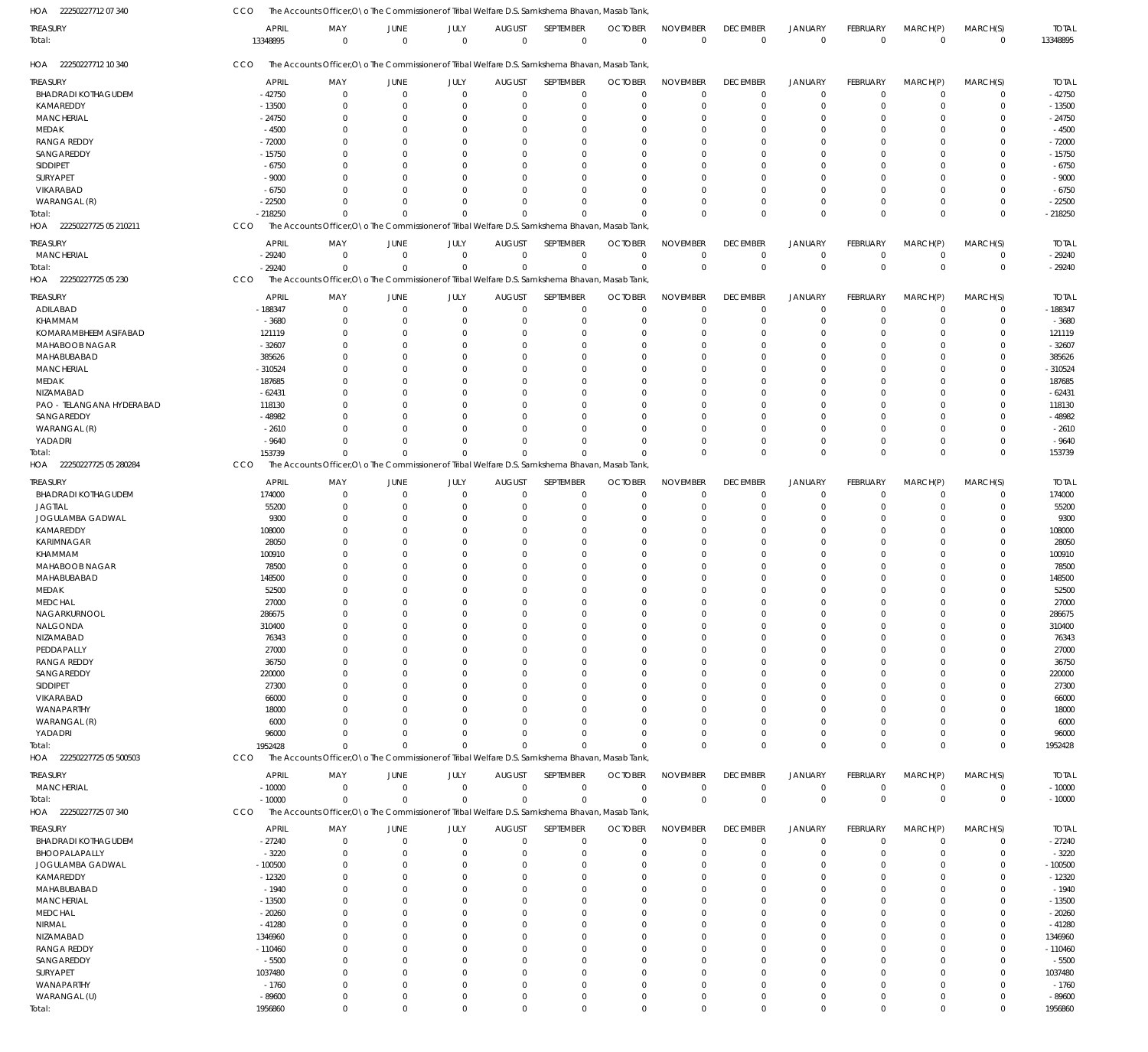| HOA 22250227712 07 340     | CCO        | The Accounts Officer,O\o The Commissioner of Tribal Welfare D.S. Samkshema Bhavan, Masab Tank    |                        |                     |                              |                          |                                |                                |                                |                               |                         |                         |                         |                          |
|----------------------------|------------|--------------------------------------------------------------------------------------------------|------------------------|---------------------|------------------------------|--------------------------|--------------------------------|--------------------------------|--------------------------------|-------------------------------|-------------------------|-------------------------|-------------------------|--------------------------|
| TREASURY<br>Total:         | 13348895   | <b>APRIL</b><br>MAY<br>$\overline{0}$                                                            | JUNE<br>$\overline{0}$ | JULY<br>$\mathbf 0$ | <b>AUGUST</b><br>$\mathbf 0$ | SEPTEMBER<br>$\mathbf 0$ | <b>OCTOBER</b><br>$\mathbf{0}$ | <b>NOVEMBER</b><br>$\mathbf 0$ | <b>DECEMBER</b><br>$\mathbf 0$ | <b>JANUARY</b><br>$\mathbf 0$ | FEBRUARY<br>$\mathbf 0$ | MARCH(P)<br>$\mathbf 0$ | MARCH(S)<br>$\mathbf 0$ | <b>TOTAL</b><br>13348895 |
| HOA 22250227712 10 340     | CCO        | The Accounts Officer, O \o The Commissioner of Tribal Welfare D.S. Samkshema Bhavan, Masab Tank, |                        |                     |                              |                          |                                |                                |                                |                               |                         |                         |                         |                          |
| <b>TREASURY</b>            |            | <b>APRIL</b><br>MAY                                                                              | JUNE                   | JULY                | <b>AUGUST</b>                | SEPTEMBER                | <b>OCTOBER</b>                 | <b>NOVEMBER</b>                | <b>DECEMBER</b>                | <b>JANUARY</b>                | <b>FEBRUARY</b>         | MARCH(P)                | MARCH(S)                | <b>TOTAL</b>             |
| <b>BHADRADI KOTHAGUDEM</b> | $-42750$   | $\overline{0}$                                                                                   | $\overline{0}$         | $\mathbf 0$         | $\overline{0}$               | $\mathbf 0$              | $\mathbf 0$                    | $\mathbf 0$                    | $\mathbf 0$                    | $\mathbf 0$                   | $\mathbf 0$             | $\mathbf 0$             | 0                       | $-42750$                 |
| KAMAREDDY                  | $-13500$   | 0                                                                                                | $\Omega$               | $\mathbf 0$         | -0                           | $\mathbf 0$              | $\Omega$                       | $\Omega$                       | $\mathbf 0$                    | $\overline{0}$                | $\Omega$                | $\mathbf 0$             | $\mathbf 0$             | $-13500$                 |
| <b>MANCHERIAL</b>          | $-24750$   | $\Omega$                                                                                         | $\Omega$               | $\Omega$            | $\Omega$                     | $\mathbf 0$              | $\Omega$                       | $\Omega$                       | $\Omega$                       | $\Omega$                      | O                       | $\Omega$                | $\mathbf 0$             | $-24750$                 |
| MEDAK                      | $-4500$    | $\Omega$                                                                                         | $\Omega$               | $\Omega$            | $\Omega$                     | $\mathbf 0$              |                                | $\Omega$                       | $\mathbf 0$                    | $\Omega$                      | 0                       | $\Omega$                | $\mathbf 0$             | $-4500$                  |
| <b>RANGA REDDY</b>         | $-72000$   | $\Omega$                                                                                         | $\Omega$               | $\Omega$            | $\Omega$                     | $\mathbf 0$              |                                | $\Omega$                       | $\Omega$                       | $\Omega$                      | O                       | $\Omega$                | $\mathbf 0$             | $-72000$                 |
| SANGAREDDY                 | $-15750$   | $\Omega$                                                                                         | $\Omega$               | $\Omega$            | $\Omega$                     | $\mathbf 0$              |                                | $\Omega$                       | $\Omega$                       | $\Omega$                      | O                       | $\Omega$                | $\mathbf 0$             | $-15750$                 |
| SIDDIPET                   | $-6750$    | $\Omega$                                                                                         | $\Omega$               | $\Omega$            | $\Omega$                     | $\Omega$                 |                                | $\Omega$                       | $\Omega$                       | $\Omega$                      | O                       | $\Omega$                | $\mathbf 0$             | $-6750$                  |
| SURYAPET                   | $-9000$    | $\Omega$                                                                                         | $\Omega$               | $\Omega$            | $\Omega$                     | $\mathbf 0$              |                                | $\Omega$                       | $\Omega$                       | $\Omega$                      | 0                       | $\Omega$                | $\mathbf 0$             | $-9000$                  |
| VIKARABAD                  | $-6750$    | $\Omega$                                                                                         | $\Omega$               | $\Omega$            | $\Omega$                     | $\Omega$                 |                                | $\Omega$                       | $\Omega$                       | $\Omega$                      | $\Omega$                | $\Omega$                | $\mathbf 0$             | $-6750$                  |
| WARANGAL (R)               | $-22500$   | $\Omega$                                                                                         | $\Omega$               | $\mathbf 0$         | $\Omega$                     | $\mathbf 0$              | $\Omega$                       | $\Omega$                       | $\Omega$                       | $\Omega$                      | $\Omega$                | $\Omega$                | $\mathbf 0$             | $-22500$                 |
| Total:                     | $-218250$  | $\Omega$                                                                                         | $\Omega$               | $\Omega$            | $\Omega$                     | $\Omega$                 | $\Omega$                       | $\Omega$                       | $\Omega$                       | $\Omega$                      | $\Omega$                | $\Omega$                | $\mathbf 0$             | $-218250$                |
| HOA 22250227725 05 210211  | CCO        | The Accounts Officer, O \o The Commissioner of Tribal Welfare D.S. Samkshema Bhavan, Masab Tank, |                        |                     |                              |                          |                                |                                |                                |                               |                         |                         |                         |                          |
| TREASURY                   |            | <b>APRIL</b><br>MAY                                                                              | <b>JUNE</b>            | JULY                | <b>AUGUST</b>                | SEPTEMBER                | <b>OCTOBER</b>                 | <b>NOVEMBER</b>                | <b>DECEMBER</b>                | <b>JANUARY</b>                | FEBRUARY                | MARCH(P)                | MARCH(S)                | <b>TOTAL</b>             |
| <b>MANCHERIAL</b>          | $-29240$   | $\overline{0}$                                                                                   | $\overline{0}$         | $\mathbf 0$         | $\mathbf 0$                  | $\mathbf 0$              | $\Omega$                       | $\Omega$                       | $\mathbf 0$                    | $\mathbf 0$                   | $\mathbf 0$             | $\mathbf 0$             | $\mathbf 0$             | $-29240$                 |
|                            |            |                                                                                                  |                        |                     |                              |                          |                                | $\Omega$                       |                                | $\mathbf 0$                   | $\Omega$                | $\Omega$                | $\mathbf 0$             |                          |
| Total:                     | $-29240$   | $\Omega$                                                                                         | $\Omega$               | $\Omega$            | $\Omega$                     | $\mathsf 0$              | $\Omega$                       |                                | $\mathbf 0$                    |                               |                         |                         |                         | $-29240$                 |
| HOA 22250227725 05 230     | CCO        | The Accounts Officer, O \o The Commissioner of Tribal Welfare D.S. Samkshema Bhavan, Masab Tank, |                        |                     |                              |                          |                                |                                |                                |                               |                         |                         |                         |                          |
| <b>TREASURY</b>            |            | <b>APRIL</b><br>MAY                                                                              | JUNE                   | JULY                | <b>AUGUST</b>                | SEPTEMBER                | <b>OCTOBER</b>                 | <b>NOVEMBER</b>                | <b>DECEMBER</b>                | <b>JANUARY</b>                | FEBRUARY                | MARCH(P)                | MARCH(S)                | <b>TOTAL</b>             |
| ADILABAD                   | $-188347$  | $\mathbf 0$                                                                                      | $\overline{0}$         | $\mathbf 0$         | $^{\circ}$                   | $\mathbf 0$              | $\Omega$                       | $\Omega$                       | $\mathbf 0$                    | $\mathbf 0$                   | $\mathbf 0$             | $\mathbf 0$             | $\mathbf 0$             | $-188347$                |
| KHAMMAM                    | $-3680$    | 0                                                                                                | $\Omega$               | $\mathbf 0$         | 0                            | $\mathbf 0$              | $\Omega$                       | $\Omega$                       | $\mathbf 0$                    | $\overline{0}$                | $\Omega$                | $\mathbf 0$             | $\mathbf 0$             | $-3680$                  |
| KOMARAMBHEEM ASIFABAD      | 121119     | $\Omega$                                                                                         | $\Omega$               | $\mathbf 0$         | $\Omega$                     | $\mathbf 0$              | $\Omega$                       | $\Omega$                       | $\Omega$                       | $\mathbf 0$                   | 0                       | $\Omega$                | $\mathbf 0$             | 121119                   |
| MAHABOOB NAGAR             | $-32607$   | $\Omega$                                                                                         | $\Omega$               | $\Omega$            | $\Omega$                     | $\mathbf 0$              | $\cap$                         | $\Omega$                       | $\Omega$                       | $\Omega$                      | O                       | $\Omega$                | $\mathbf 0$             | $-32607$                 |
| MAHABUBABAD                | 385626     | $\Omega$                                                                                         | $\Omega$               | $\Omega$            | $\Omega$                     | $\Omega$                 |                                | $\Omega$                       | $\Omega$                       | $\Omega$                      | O                       | $\Omega$                | $\mathbf 0$             | 385626                   |
| <b>MANCHERIAL</b>          | $-310524$  | $\Omega$                                                                                         | $\Omega$               | $\Omega$            | $\Omega$                     | $\mathbf 0$              |                                | $\Omega$                       | $\Omega$                       | $\Omega$                      | O                       | $\Omega$                | $\mathbf 0$             | $-310524$                |
| MEDAK                      | 187685     | $\Omega$                                                                                         | $\Omega$               | $\Omega$            | $\Omega$                     | $\mathbf 0$              |                                | $\Omega$                       | $\Omega$                       | $\Omega$                      | O                       | $\Omega$                | $\mathbf 0$             | 187685                   |
| NIZAMABAD                  | $-62431$   | $\Omega$                                                                                         | $\Omega$               | $\Omega$            | $\Omega$                     | $\Omega$                 |                                | $\Omega$                       | $\Omega$                       | $\Omega$                      | O                       | $\Omega$                | $\mathbf 0$             | $-62431$                 |
| PAO - TELANGANA HYDERABAD  | 118130     | $\Omega$                                                                                         | $\Omega$               | $\Omega$            | $\Omega$                     | $\Omega$                 |                                | $\Omega$                       | $\Omega$                       | $\Omega$                      | O                       | $\Omega$                | $\mathbf 0$             | 118130                   |
| SANGAREDDY                 | $-48982$   | $\Omega$                                                                                         | $\Omega$               | $\Omega$            | $\Omega$                     | $\mathbf 0$              |                                | $\Omega$                       | $\mathbf 0$                    | $\Omega$                      | 0                       | $\Omega$                | $\mathbf 0$             | $-48982$                 |
| WARANGAL (R)               |            | $-2610$<br>$\Omega$                                                                              | $\Omega$               | $\Omega$            | $\Omega$                     | $\Omega$                 | $\cap$                         | $\Omega$                       | $\Omega$                       | $\Omega$                      | $\Omega$                | $\Omega$                | $\mathbf 0$             | $-2610$                  |
| YADADRI                    | $-9640$    | $\Omega$                                                                                         | $\Omega$               | $\mathbf 0$         | $\Omega$                     | $\mathbf 0$              | $\Omega$                       | $\Omega$                       | $\mathbf 0$                    | $\overline{0}$                | $\Omega$                | $\Omega$                | $\mathbf 0$             | $-9640$                  |
| Total:                     | 153739     | $\Omega$                                                                                         | $\Omega$               | $\Omega$            | $\Omega$                     | $\Omega$                 | $\Omega$                       | $\Omega$                       | $\mathbf 0$                    | $\Omega$                      | $\Omega$                | $\Omega$                | $\mathbf 0$             | 153739                   |
| HOA 22250227725 05 280284  | CCO        | The Accounts Officer, O \o The Commissioner of Tribal Welfare D.S. Samkshema Bhavan, Masab Tank, |                        |                     |                              |                          |                                |                                |                                |                               |                         |                         |                         |                          |
|                            |            |                                                                                                  |                        |                     |                              |                          |                                |                                |                                |                               |                         |                         |                         |                          |
| TREASURY                   |            | <b>APRIL</b><br>MAY                                                                              | JUNE                   | JULY                | <b>AUGUST</b>                | SEPTEMBER                | <b>OCTOBER</b>                 | <b>NOVEMBER</b>                | <b>DECEMBER</b>                | <b>JANUARY</b>                | FEBRUARY                | MARCH(P)                | MARCH(S)                | <b>TOTAL</b>             |
| <b>BHADRADI KOTHAGUDEM</b> | 174000     | $\mathbf 0$                                                                                      | $\overline{0}$         | $\mathbf 0$         | $\mathbf 0$                  | $\mathbf 0$              | $\Omega$                       | $\Omega$                       | $\mathbf 0$                    | $\mathbf 0$                   | $\mathbf 0$             | $\mathbf 0$             | $\mathbf 0$             | 174000                   |
| <b>JAGTIAL</b>             | 55200      | $\Omega$                                                                                         | $\Omega$               | $\mathbf 0$         | 0                            | $\mathbf 0$              | $\Omega$                       | $\Omega$                       | $\mathbf 0$                    | $\mathbf 0$                   | $\Omega$                | $\Omega$                | $\mathbf 0$             | 55200                    |
| JOGULAMBA GADWAL           |            | 9300<br>$\Omega$                                                                                 | $\Omega$               | $\Omega$            | $\Omega$                     | $\mathbf 0$              | $\Omega$                       | $\Omega$                       | $\mathbf 0$                    | $\overline{0}$                | $\Omega$                | $\Omega$                | $\mathbf 0$             | 9300                     |
| KAMAREDDY                  | 108000     | $\Omega$                                                                                         | $\Omega$               | $\Omega$            | $\Omega$                     | $\mathbf 0$              | $\Omega$                       | $\Omega$                       | $\Omega$                       | $\Omega$                      | $\Omega$                | $\Omega$                | $\mathbf 0$             | 108000                   |
| KARIMNAGAR                 | 28050      | $\Omega$                                                                                         | $\Omega$               | $\Omega$            | $\Omega$                     | $\mathbf 0$              | $\Omega$                       | $\Omega$                       | $\Omega$                       | $\mathbf 0$                   | $\Omega$                | $\Omega$                | $\mathbf 0$             | 28050                    |
| KHAMMAM                    | 100910     | $\Omega$                                                                                         | $\Omega$               | $\Omega$            | $\Omega$                     | $\Omega$                 | $\Omega$                       | $\Omega$                       | $\Omega$                       | $\Omega$                      | $\Omega$                | $\Omega$                | $\mathbf 0$             | 100910                   |
| MAHABOOB NAGAR             | 78500      |                                                                                                  | $\Omega$               | $\Omega$            | $\Omega$                     | $\mathbf 0$              | $\Omega$                       | $\Omega$                       | $\Omega$                       | $\Omega$                      | $\Omega$                | $\Omega$                | $\mathbf 0$             | 78500                    |
| MAHABUBABAD                | 148500     |                                                                                                  | $\Omega$               | $\Omega$            | $\Omega$                     | $\mathbf 0$              | $\Omega$                       | $\Omega$                       | $\Omega$                       | $\Omega$                      | $\Omega$                | $\Omega$                | $\mathbf 0$             | 148500                   |
| MEDAK                      | 52500      | $\Omega$                                                                                         | $\Omega$               | $\Omega$            | $\Omega$                     | $\Omega$                 | $\Omega$                       | $\Omega$                       | $\Omega$                       | $\Omega$                      | $\Omega$                | $\Omega$                | $\mathbf 0$             | 52500                    |
| <b>MEDCHAL</b>             | 27000      | $\mathbf 0$                                                                                      | $\Omega$               | $\mathbf 0$         | $\mathbf 0$                  | $\mathbf 0$              | $\Omega$                       | $\mathbf 0$                    | $\mathbf 0$                    | $\Omega$                      | $\Omega$                | $\mathbf 0$             | $\mathbf 0$             | 27000                    |
| NAGARKURNOOL               | 286675     | 0                                                                                                | $\mathbf 0$            | $\mathbf 0$         | $\mathbf 0$                  | $\mathbf 0$              | $\Omega$                       | $\Omega$                       | $\mathbf 0$                    | $\mathbf 0$                   | $\Omega$                | $\mathbf 0$             | $\mathbf 0$             | 286675                   |
| NALGONDA                   | 310400     | $\mathbf 0$                                                                                      | $\mathbf 0$            | $\mathbf 0$         | $\Omega$                     | $\mathbf 0$              | $\Omega$                       | $\mathbf 0$                    | $\mathbf 0$                    | $\mathbf 0$                   | $\mathbf 0$             | $\Omega$                | $\mathbf 0$             | 310400                   |
| NIZAMABAD                  | 76343      | 0                                                                                                | $\Omega$               | $\Omega$            | $\Omega$                     | $\mathbf 0$              | $\Omega$                       | $\Omega$                       | $\mathbf 0$                    | $\Omega$                      | $\Omega$                | $\Omega$                | $\mathbf 0$             | 76343                    |
| PEDDAPALLY                 | 27000      | $\Omega$                                                                                         | $\Omega$               | $\Omega$            | $\Omega$                     | $\mathbf 0$              | $\Omega$                       | $\Omega$                       | $\Omega$                       | $\Omega$                      | $\Omega$                | $\Omega$                | $\mathbf 0$             | 27000                    |
| <b>RANGA REDDY</b>         | 36750      | $\Omega$                                                                                         | $\Omega$               | $\Omega$            | $\Omega$                     | $\mathbf 0$              | $\Omega$                       | $\Omega$                       | $\Omega$                       | $\Omega$                      | O                       | $\Omega$                | $\mathbf 0$             | 36750                    |
| SANGAREDDY                 | 220000     | $\Omega$                                                                                         | $\Omega$               | $\Omega$            | $\Omega$                     | $\Omega$                 | $\Omega$                       | $\Omega$                       | $\Omega$                       | $\Omega$                      | $\Omega$                | $\Omega$                | $\mathbf 0$             | 220000                   |
| SIDDIPET                   | 27300      | $\Omega$                                                                                         | $\Omega$               | $\Omega$            | $\Omega$                     | $\Omega$                 |                                | $\Omega$                       | $\Omega$                       | $\Omega$                      |                         | $\Omega$                | $\mathbf 0$             | 27300                    |
| VIKARABAD                  | 66000      | $\Omega$                                                                                         | $\Omega$               | $\Omega$            | $\Omega$                     | $\mathbf 0$              | $\Omega$                       | $\Omega$                       | $\Omega$                       | $\Omega$                      | $\Omega$                | $\Omega$                | $\mathbf 0$             | 66000                    |
| WANAPARTHY                 |            | 18000<br>$\Omega$                                                                                | $\Omega$               | $\Omega$            | $\Omega$                     | $\Omega$                 |                                | $\Omega$                       | $\Omega$                       | $\Omega$                      | O                       | $\Omega$                | $\mathbf 0$             | 18000                    |
| WARANGAL (R)               |            | 6000<br>$\Omega$                                                                                 | $\Omega$               | $\Omega$            | $\Omega$                     | $\Omega$                 | $\Omega$                       | $\Omega$                       | $\Omega$                       | $\Omega$                      | $\Omega$                | $\Omega$                | $\mathbf 0$             | 6000                     |
| YADADRI                    | 96000      | $\Omega$                                                                                         | $\Omega$               | $\Omega$            | 0                            | $\mathbf 0$              | $\Omega$                       | $\Omega$                       | $\mathbf 0$                    | $\mathbf 0$                   | $\Omega$                | $\mathbf 0$             | $\mathbf 0$             | 96000                    |
| Total:                     | 1952428    | $\Omega$                                                                                         | $\Omega$               | $\Omega$            | $\Omega$                     | $\Omega$                 | $\Omega$                       | $\Omega$                       | $\mathbf 0$                    | $\mathbf{0}$                  | $\Omega$                | $\Omega$                | $\mathbf 0$             | 1952428                  |
| HOA 22250227725 05 500503  | <b>CCO</b> | The Accounts Officer, O \o The Commissioner of Tribal Welfare D.S. Samkshema Bhavan, Masab Tank, |                        |                     |                              |                          |                                |                                |                                |                               |                         |                         |                         |                          |
|                            |            |                                                                                                  |                        |                     |                              |                          |                                |                                |                                |                               |                         |                         |                         |                          |
| treasury                   |            | <b>APRIL</b><br>MAY                                                                              | JUNE                   | JULY                | <b>AUGUST</b>                | SEPTEMBER                | <b>OCTOBER</b>                 | <b>NOVEMBER</b>                | <b>DECEMBER</b>                | <b>JANUARY</b>                | FEBRUARY                | MARCH(P)                | MARCH(S)                | <b>TOTAL</b>             |
| <b>MANCHERIAL</b>          | $-10000$   | $\mathbf 0$                                                                                      | $\overline{0}$         | $\mathbf 0$         | $\mathbf 0$                  | $\mathbf 0$              | $^{\circ}$                     | $\Omega$                       | 0                              | $\mathbf 0$                   | $\mathbf 0$             | $\mathbf 0$             | 0                       | $-10000$                 |
| Total:                     | $-10000$   | $\Omega$                                                                                         | $\overline{0}$         | $\mathbf 0$         | $\Omega$                     | $\mathbf 0$              | $\Omega$                       | $\Omega$                       | $\mathbf 0$                    | $\mathbf 0$                   | $\mathbf 0$             | $\mathbf 0$             | $\mathbf 0$             | $-10000$                 |
| HOA 22250227725 07 340     | CCO        | The Accounts Officer, O \o The Commissioner of Tribal Welfare D.S. Samkshema Bhavan, Masab Tank, |                        |                     |                              |                          |                                |                                |                                |                               |                         |                         |                         |                          |
| Treasury                   |            | <b>APRIL</b><br>MAY                                                                              | JUNE                   | JULY                | <b>AUGUST</b>                | SEPTEMBER                | <b>OCTOBER</b>                 | <b>NOVEMBER</b>                | <b>DECEMBER</b>                | <b>JANUARY</b>                | FEBRUARY                | MARCH(P)                | MARCH(S)                | <b>TOTAL</b>             |
| <b>BHADRADI KOTHAGUDEM</b> | $-27240$   | $\mathbf 0$                                                                                      | $\overline{0}$         | $\mathbf 0$         | $\mathbf 0$                  | $\mathbf 0$              | $\Omega$                       | $\Omega$                       | $\mathbf 0$                    | $\mathbf 0$                   | $\mathbf 0$             | $\mathbf 0$             | $\mathbf 0$             | $-27240$                 |
| BHOOPALAPALLY              | $-3220$    | 0                                                                                                | $^{\circ}$             | $\mathbf 0$         | 0                            | $\mathbf 0$              | $\Omega$                       | $\Omega$                       | $\mathbf 0$                    | $\overline{0}$                | $\Omega$                | 0                       | $\mathbf 0$             | $-3220$                  |
| JOGULAMBA GADWAL           | $-100500$  | $\Omega$                                                                                         | $\Omega$               | $\Omega$            | $\Omega$                     | $\mathbf 0$              | $\Omega$                       | $\Omega$                       | $\Omega$                       | $\mathbf 0$                   | $\Omega$                | $\Omega$                | $\mathbf 0$             | $-100500$                |
| KAMAREDDY                  | $-12320$   | $\Omega$                                                                                         | $\Omega$               | $\Omega$            | $\Omega$                     | $\mathbf 0$              | $\Omega$                       | $\Omega$                       | $\Omega$                       | $\Omega$                      | O                       | $\Omega$                | $\mathbf 0$             | $-12320$                 |
| MAHABUBABAD                | $-1940$    | $\Omega$                                                                                         | $\Omega$               | $\Omega$            | $\Omega$                     | $\mathbf 0$              | $\Omega$                       | $\Omega$                       | $\Omega$                       | $\Omega$                      | $\Omega$                | $\Omega$                | $\mathbf 0$             | $-1940$                  |
| <b>MANCHERIAL</b>          | $-13500$   | $\Omega$                                                                                         | $\Omega$               | $\Omega$            | $\Omega$                     | $\mathbf 0$              | $\Omega$                       | $\Omega$                       | $\Omega$                       | $\Omega$                      | O                       | $\Omega$                | $\mathbf 0$             | $-13500$                 |
| <b>MEDCHAL</b>             | $-20260$   | $\Omega$                                                                                         | $\Omega$               | $\Omega$            | $\Omega$                     | $\Omega$                 | $\Omega$                       | $\Omega$                       | $\Omega$                       | $\Omega$                      | $\Omega$                | $\Omega$                | $\mathbf 0$             | $-20260$                 |
| NIRMAL                     | $-41280$   | $\Omega$                                                                                         | $\Omega$               | $\Omega$            | $\Omega$                     | $\mathbf 0$              |                                | $\Omega$                       | $\Omega$                       | $\Omega$                      | O                       | $\Omega$                | $\mathbf 0$             | $-41280$                 |
| NIZAMABAD                  | 1346960    | $\Omega$                                                                                         | $\Omega$               | $\Omega$            | $\Omega$                     | $\mathbf 0$              | $\Omega$                       | $\Omega$                       | $\Omega$                       | $\Omega$                      | $\Omega$                | $\Omega$                | $\mathbf 0$             | 1346960                  |
| <b>RANGA REDDY</b>         | $-110460$  | $\Omega$                                                                                         | $\Omega$               | $\Omega$            | $\Omega$                     | $\mathbf 0$              | $\Omega$                       | $\Omega$                       | $\Omega$                       | $\Omega$                      | O                       | $\Omega$                | $\mathbf 0$             | $-110460$                |
| SANGAREDDY                 | $-5500$    | $\Omega$                                                                                         | $\Omega$               | $\Omega$            | $\Omega$                     | $\Omega$                 | $\Omega$                       | $\Omega$                       | $\Omega$                       | $\Omega$                      | $\Omega$                | $\Omega$                | $\mathbf 0$             | $-5500$                  |
|                            |            | $\Omega$                                                                                         | $\Omega$               | $\Omega$            | $\Omega$                     | $\mathbf 0$              | $\Omega$                       | $\Omega$                       | $\Omega$                       | $\Omega$                      | O                       | $\Omega$                | $\mathbf 0$             |                          |
| SURYAPET                   | 1037480    |                                                                                                  |                        |                     |                              |                          |                                |                                |                                |                               |                         |                         |                         | 1037480                  |
| WANAPARTHY                 | $-1760$    | $\Omega$                                                                                         | $\Omega$               | $\mathbf 0$         | $\Omega$                     | $\mathbf 0$              | $\Omega$                       | $\Omega$                       | $\Omega$                       | $\Omega$                      | $\Omega$                | $\Omega$                | $\mathbf 0$             | $-1760$                  |
| WARANGAL (U)               | $-89600$   | 0                                                                                                | $\mathbf 0$            | $\mathbf 0$         | $\mathbf 0$                  | $\mathbf 0$              | $\Omega$                       | $\mathbf 0$                    | $\mathbf 0$                    | $\mathbf 0$                   | $\Omega$                | $\mathbf 0$             | $\mathbf 0$             | $-89600$                 |
| Total:                     | 1956860    | $\overline{0}$                                                                                   | $\Omega$               | $\mathbf 0$         | $\mathbf 0$                  | $\mathbf 0$              | $\Omega$                       | $\mathbf 0$                    | $\mathbf 0$                    | $\mathbf 0$                   | $\mathbf 0$             | $\mathbf 0$             | $\mathbf 0$             | 1956860                  |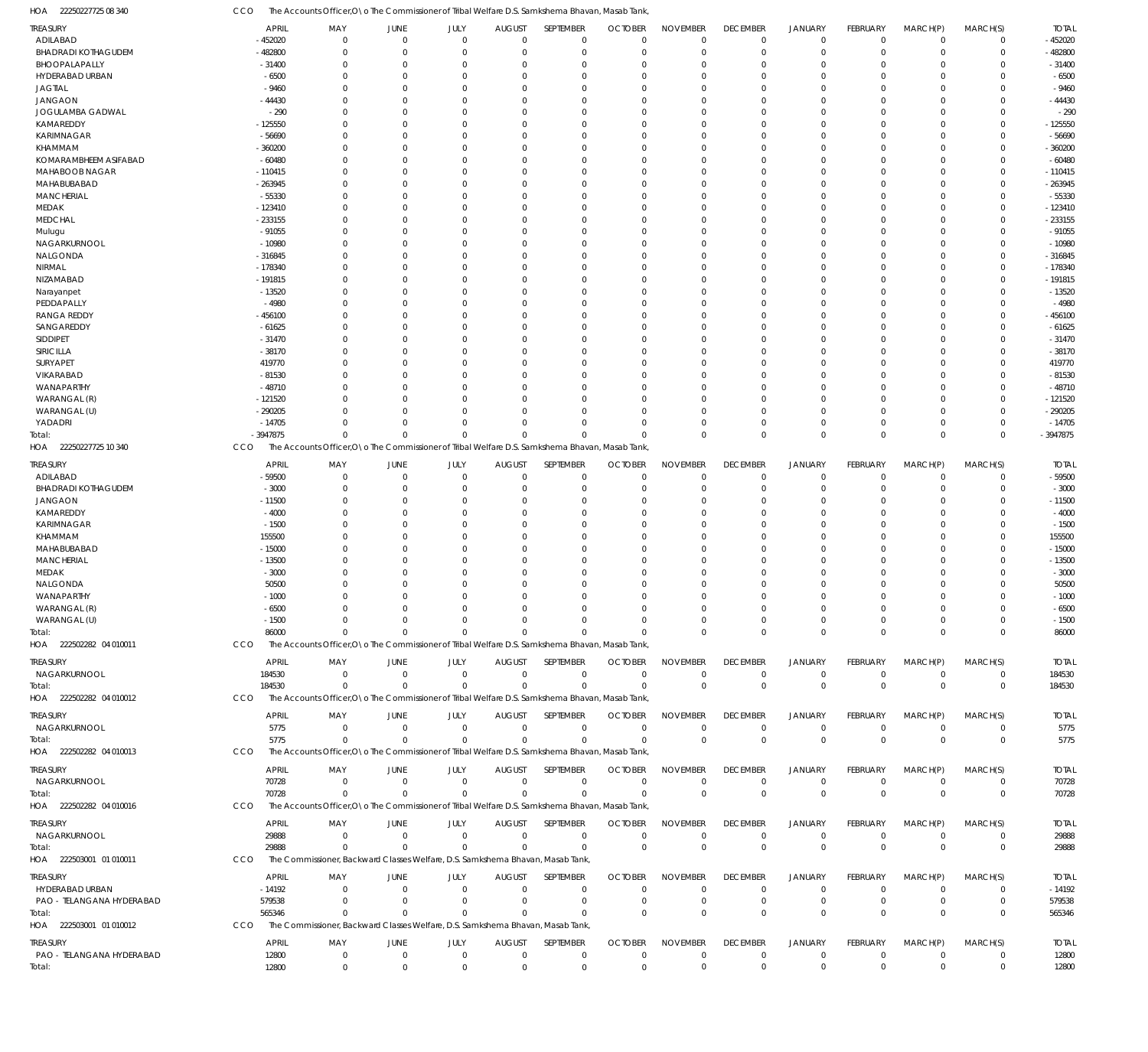22250227725 08 340 HOA CCO The Accounts Officer, O\o The Commissioner of Tribal Welfare D.S. Samkshema Bhavan, Masab Tank,

| TREASURY                            | <b>APRIL</b>          | MAY                                                                                              | <b>JUNE</b>                 | JULY                     | <b>AUGUST</b>           | SEPTEMBER                  | <b>OCTOBER</b>              | <b>NOVEMBER</b>      | <b>DECEMBER</b>                  | <b>JANUARY</b>              | FEBRUARY                   | MARCH(P)                | MARCH(S)                    | <b>TOTAL</b>           |
|-------------------------------------|-----------------------|--------------------------------------------------------------------------------------------------|-----------------------------|--------------------------|-------------------------|----------------------------|-----------------------------|----------------------|----------------------------------|-----------------------------|----------------------------|-------------------------|-----------------------------|------------------------|
| ADILABAD                            | $-452020$             | $\mathbf 0$                                                                                      | $\mathbf 0$                 | $\Omega$                 | $\mathbf 0$             | $\mathbf 0$                | $\Omega$                    | $\Omega$             | $\mathbf 0$                      | $\mathbf 0$                 | $\overline{0}$             | $\Omega$                | $\mathbf 0$                 | $-452020$              |
| <b>BHADRADI KOTHAGUDEM</b>          | -482800               | $\Omega$                                                                                         | $\Omega$                    | $\Omega$                 | $\Omega$                | $\Omega$                   | $\Omega$                    | $\Omega$             | $\Omega$                         | $\Omega$                    | $\Omega$                   | $\Omega$                | $\Omega$                    | $-482800$              |
| BHOOPALAPALLY                       | $-31400$              | $\Omega$                                                                                         | $\Omega$                    | $\Omega$                 | 0                       | $\Omega$                   | $\Omega$                    | 0                    | $\Omega$                         | $\Omega$                    | $\Omega$                   | C                       | $\Omega$                    | $-31400$               |
| HYDERABAD URBAN                     | $-6500$               | $\Omega$                                                                                         | $\Omega$                    | O                        | 0                       | $\Omega$                   | $\Omega$                    | 0                    | $\Omega$                         | $\Omega$                    | $\Omega$                   | C                       | $\Omega$                    | $-6500$                |
| <b>JAGTIAL</b>                      | $-9460$               | 0                                                                                                | $\Omega$                    | O                        | 0                       | $\Omega$                   | $\Omega$                    | $\Omega$             | $\Omega$                         | $\Omega$                    | $\Omega$                   |                         | $\Omega$                    | $-9460$                |
| <b>JANGAON</b>                      | -44430                | O                                                                                                | 0                           | O                        | 0                       | $\Omega$                   | $\Omega$                    | $\Omega$             | $\Omega$                         | $\Omega$                    | C                          |                         | $\Omega$                    | $-44430$               |
| JOGULAMBA GADWAL                    | $-290$                | O                                                                                                | 0                           |                          | 0                       | $\Omega$                   | $\Omega$                    | C                    | 0                                | C                           | C                          |                         | $\Omega$                    | $-290$                 |
| KAMAREDDY                           | $-125550$             | $\Omega$                                                                                         | $\Omega$                    | O                        | 0                       | $\Omega$                   | $\Omega$                    | C                    | $\Omega$                         | $\Omega$                    | C                          | C                       | $\Omega$                    | $-125550$              |
| <b>KARIMNAGAR</b>                   | $-56690$              | O                                                                                                | 0                           |                          | 0                       | 0                          | $\Omega$                    | $\Omega$             | $\Omega$                         | C                           | C                          |                         | $\Omega$                    | $-56690$               |
| KHAMMAM                             | $-360200$             | $\Omega$                                                                                         | $\Omega$                    | O                        | 0                       | $\Omega$                   | $\Omega$                    | 0                    | $\Omega$                         | $\Omega$                    | $\Omega$                   | C                       | $\Omega$                    | $-360200$              |
| KOMARAMBHEEM ASIFABAD               | $-60480$              | O                                                                                                | 0                           |                          | 0                       | $\Omega$                   | $\Omega$                    |                      | $\Omega$                         | 0                           | C                          |                         | $\Omega$                    | $-60480$               |
| MAHABOOB NAGAR<br>MAHABUBABAD       | $-110415$             | $\Omega$<br>O                                                                                    | 0<br>$\Omega$               | O<br>O                   | 0<br>0                  | $\Omega$<br>$\Omega$       | $\Omega$<br>$\Omega$        | C<br>$\Omega$        | $\Omega$<br>$\Omega$             | $\Omega$<br>0               | C<br>$\Omega$              | C                       | $\Omega$<br>$\Omega$        | $-110415$<br>$-263945$ |
| <b>MANCHERIAL</b>                   | $-263945$<br>$-55330$ | 0                                                                                                | 0                           | O                        | 0                       | $\Omega$                   | $\Omega$                    | C                    | $\Omega$                         | $\Omega$                    | C                          |                         | $\Omega$                    | $-55330$               |
| MEDAK                               | $-123410$             | O                                                                                                | 0                           |                          | 0                       | $\Omega$                   | $\Omega$                    | $\Omega$             | $\Omega$                         | $\Omega$                    | 0                          |                         | $\Omega$                    | $-123410$              |
| <b>MEDCHAL</b>                      | -233155               | $\Omega$                                                                                         | 0                           | O                        | 0                       | $\Omega$                   | C                           | C                    | $\Omega$                         | $\Omega$                    | C                          |                         | $\Omega$                    | $-233155$              |
| Mulugu                              | $-91055$              | O                                                                                                | 0                           | O                        | 0                       | 0                          | $\Omega$                    | C                    | $\Omega$                         | C                           | C                          |                         | $\Omega$                    | $-91055$               |
| NAGARKURNOOL                        | $-10980$              | $\Omega$                                                                                         | $\Omega$                    | O                        | 0                       | $\Omega$                   | $\Omega$                    | $\Omega$             | $\Omega$                         | $\Omega$                    | $\Omega$                   |                         | $\Omega$                    | $-10980$               |
| NALGONDA                            | $-316845$             | O                                                                                                | 0                           |                          | O                       | $\Omega$                   | 0                           |                      | 0                                | $\Omega$                    | C                          |                         | $\Omega$                    | $-316845$              |
| NIRMAL                              | $-178340$             | $\Omega$                                                                                         | $\Omega$                    | O                        | 0                       | $\Omega$                   | $\Omega$                    | C                    | $\Omega$                         | $\Omega$                    | C                          | C                       | $\Omega$                    | $-178340$              |
| NIZAMABAD                           | $-191815$             | O                                                                                                | 0                           |                          | 0                       | $\Omega$                   | $\Omega$                    | $\Omega$             | $\Omega$                         | 0                           | C                          |                         | $\Omega$                    | $-191815$              |
| Narayanpet                          | $-13520$              | O                                                                                                | 0                           | O                        | 0                       | $\Omega$                   | $\Omega$                    | C                    | $\Omega$                         | $\Omega$                    | C                          |                         | $\Omega$                    | $-13520$               |
| PEDDAPALLY                          | $-4980$               | O                                                                                                | 0                           |                          | 0                       | $\Omega$                   | $\Omega$                    |                      | $\Omega$                         | $\Omega$                    | 0                          |                         | $\Omega$                    | $-4980$                |
| <b>RANGA REDDY</b>                  | $-456100$             | 0                                                                                                | 0                           | O                        | 0                       | $\Omega$                   | C                           | C                    | $\Omega$                         | $\Omega$                    | C                          |                         | $\Omega$                    | $-456100$              |
| SANGAREDDY                          | $-61625$              | O                                                                                                | $\Omega$                    | O                        | 0                       | $\Omega$                   | $\Omega$                    | $\Omega$             | $\Omega$                         | 0                           | $\Omega$                   |                         | $\Omega$                    | $-61625$               |
| <b>SIDDIPET</b>                     | $-31470$              | $\Omega$                                                                                         | 0                           | O                        | 0                       | $\Omega$                   | $\Omega$                    | $\Omega$             | $\Omega$                         | $\Omega$                    | C                          |                         | $\Omega$                    | $-31470$               |
| <b>SIRICILLA</b>                    | $-38170$              | O                                                                                                | 0                           |                          | 0                       | $\Omega$                   | 0                           | C                    | 0                                | C                           | C                          |                         | $\Omega$                    | $-38170$               |
| SURYAPET                            | 419770                | $\Omega$<br>O                                                                                    | $\Omega$                    | O                        | 0                       | $\Omega$<br>O              | $\Omega$<br>$\Omega$        | C<br>$\Omega$        | $\Omega$<br>$\Omega$             | $\Omega$                    | C                          | C                       | $\Omega$                    | 419770                 |
| VIKARABAD<br>WANAPARTHY             | $-81530$<br>$-48710$  | $\Omega$                                                                                         | 0<br>$\Omega$               | O                        | 0<br>0                  | $\Omega$                   | $\Omega$                    | $\Omega$             | $\Omega$                         | C<br>$\Omega$               | C<br>$\Omega$              | C                       | $\Omega$<br>$\Omega$        | $-81530$<br>$-48710$   |
| WARANGAL (R)                        | $-121520$             | O                                                                                                | $\Omega$                    | O                        | 0                       | $\Omega$                   | 0                           |                      | $\Omega$                         | 0                           | C                          |                         | $\Omega$                    | $-121520$              |
| WARANGAL (U)                        | $-290205$             | $\Omega$                                                                                         | $\Omega$                    | $\Omega$                 | $\Omega$                | $\Omega$                   | $\Omega$                    | C                    | $\Omega$                         | $\Omega$                    | $\Omega$                   | C                       | $\Omega$                    | $-290205$              |
| YADADRI                             | $-14705$              | $\Omega$                                                                                         | $\Omega$                    | $\Omega$                 | $\Omega$                | $\Omega$                   | $\Omega$                    | 0                    | $\Omega$                         | $\Omega$                    | $\Omega$                   | $\Omega$                | $\Omega$                    | $-14705$               |
| Total:                              | $-3947875$            | $\Omega$                                                                                         | $\Omega$                    | $\Omega$                 | $\Omega$                | $\Omega$                   | $\mathsf{C}$                | $\Omega$             | $\Omega$                         | $\Omega$                    | $\Omega$                   | $\Omega$                | $\Omega$                    | -3947875               |
| HOA<br>22250227725 10 340           | CCO                   | The Accounts Officer, O\o The Commissioner of Tribal Welfare D.S. Samkshema Bhavan, Masab Tank,  |                             |                          |                         |                            |                             |                      |                                  |                             |                            |                         |                             |                        |
| TREASURY                            | <b>APRIL</b>          | MAY                                                                                              | JUNE                        | JULY                     | <b>AUGUST</b>           | SEPTEMBER                  | <b>OCTOBER</b>              | <b>NOVEMBER</b>      | <b>DECEMBER</b>                  | <b>JANUARY</b>              | <b>FEBRUARY</b>            | MARCH(P)                | MARCH(S)                    | <b>TOTAL</b>           |
| ADILABAD                            | -59500                | $\mathbf 0$                                                                                      | $\overline{0}$              | $\mathbf 0$              | $\mathbf 0$             | $\mathbf 0$                | $\mathbf 0$                 | $\mathbf 0$          | $\mathbf 0$                      | $\mathbf 0$                 | $\mathbf 0$                | 0                       | $\mathbf 0$                 | $-59500$               |
| <b>BHADRADI KOTHAGUDEM</b>          | $-3000$               | $\mathbf 0$                                                                                      | $\overline{0}$              | $\Omega$                 | $\mathbf 0$             | $\mathbf 0$                | $\mathbf 0$                 | $\Omega$             | $\mathbf 0$                      | $\mathbf 0$                 | $\mathbf 0$                | $\Omega$                | $\mathbf 0$                 | $-3000$                |
| <b>JANGAON</b>                      | $-11500$              | $\Omega$                                                                                         | $\Omega$                    | $\Omega$                 | $\Omega$                | $\mathbf 0$                | 0                           | $\Omega$             | $\overline{0}$                   | $\mathbf 0$                 | $\Omega$                   | $\Omega$                | $\Omega$                    | $-11500$               |
|                                     |                       |                                                                                                  |                             |                          |                         |                            |                             |                      |                                  |                             | $\Omega$                   |                         | $\Omega$                    |                        |
| KAMAREDDY                           | $-4000$               | $\mathbf 0$                                                                                      | $\Omega$                    | $\Omega$                 | $\Omega$                | $\Omega$                   | $\Omega$                    | $\Omega$             | $\Omega$                         | $\Omega$                    |                            | $\Omega$                |                             | $-4000$                |
| <b>KARIMNAGAR</b>                   | $-1500$               | $\Omega$                                                                                         | $\Omega$                    | $\Omega$                 | $\Omega$                | $\Omega$                   | $\Omega$                    | $\Omega$             | $\Omega$                         | $\Omega$                    | $\Omega$                   | $\Omega$                | $\Omega$                    | $-1500$                |
| KHAMMAM                             | 155500                | $\mathbf 0$                                                                                      | $\Omega$                    | $\Omega$                 | $\Omega$                | $\mathbf 0$                | $\Omega$                    | $\Omega$             | $\mathbf 0$                      | $\mathbf 0$                 | $\Omega$                   | $\Omega$                | $\Omega$                    | 155500                 |
| MAHABUBABAD                         | $-15000$              | $\Omega$                                                                                         | $\Omega$                    | $\Omega$                 | $\Omega$                | $\Omega$                   | $\Omega$                    | $\Omega$             | $\Omega$                         | $\Omega$                    | $\Omega$                   | $\Omega$                | $\Omega$                    | $-15000$               |
| <b>MANCHERIAL</b>                   | $-13500$              | $\Omega$                                                                                         | $\Omega$                    | $\Omega$                 | $\Omega$                | $\Omega$                   | $\Omega$                    | $\Omega$             | $\Omega$                         | $\Omega$                    | $\Omega$                   | $\Omega$                | $\mathbf 0$                 | $-13500$               |
| <b>MEDAK</b>                        | $-3000$               | $\Omega$                                                                                         | $\Omega$                    | $\Omega$                 | $\Omega$                | $\Omega$                   | $\Omega$                    | $\Omega$             | $\Omega$                         | $\Omega$                    | $\Omega$                   | $\Omega$                | $\Omega$                    | $-3000$                |
| NALGONDA                            | 50500                 | $\Omega$                                                                                         | $\Omega$                    | $\Omega$                 | $\Omega$                | $\mathbf 0$                | O                           | $\Omega$             | $\Omega$                         | $\Omega$                    | $\Omega$                   | $\Omega$                | $\Omega$                    | 50500                  |
| WANAPARTHY                          | $-1000$               | $\Omega$                                                                                         | $\Omega$                    | $\Omega$                 | $\Omega$                | $\Omega$                   | $\Omega$                    | $\Omega$             | $\Omega$                         | $\Omega$                    | $\Omega$                   | $\Omega$                | $\Omega$                    | $-1000$                |
| WARANGAL (R)                        | $-6500$               | $\Omega$                                                                                         | $\Omega$<br>$\Omega$        | $\Omega$                 | $\Omega$                | $\Omega$                   | $\Omega$                    | $\Omega$             | $\Omega$                         | $\Omega$                    | $\Omega$                   | $\Omega$                | $\Omega$                    | $-6500$                |
| WARANGAL (U)                        | $-1500$               | $\mathbf 0$<br>$\Omega$                                                                          | $\Omega$                    | $\Omega$<br>$\Omega$     | $\Omega$<br>$\Omega$    | $\Omega$<br>$\Omega$       | $\Omega$<br>$\Omega$        | $\Omega$<br>$\Omega$ | $\Omega$<br>$\Omega$             | $\mathbf 0$<br>$\mathbf{0}$ | $\Omega$<br>$\Omega$       | $\Omega$<br>$\Omega$    | $\mathbf 0$<br>$\mathbf 0$  | $-1500$                |
| Total:                              | 86000                 |                                                                                                  |                             |                          |                         |                            |                             |                      |                                  |                             |                            |                         |                             | 86000                  |
| HOA 222502282 04 010011             | CCO                   | The Accounts Officer, O \o The Commissioner of Tribal Welfare D.S. Samkshema Bhavan, Masab Tank  |                             |                          |                         |                            |                             |                      |                                  |                             |                            |                         |                             |                        |
| TREASURY                            | APRIL                 | MAY                                                                                              | <b>JUNE</b>                 | JULY                     | AUGUST                  | SEPTEMBER                  | <b>OCTOBER</b>              | <b>NOVEMBER</b>      | <b>DECEMBER</b>                  | <b>JANUARY</b>              | <b>FEBRUARY</b>            | MARCH(P)                | MARCH(S)                    | <b>TOTAL</b>           |
| NAGARKURNOOL                        | 184530                | $\Omega$                                                                                         | $\Omega$                    | $\Omega$                 | $\mathbf{0}$            | $\Omega$                   | $\Omega$                    | $\Omega$             | $\mathbf 0$                      | 0                           | $\mathbf 0$                | $\Omega$                | $\mathbf 0$                 | 184530                 |
| Total:                              | 184530                | $\Omega$                                                                                         | $\Omega$                    | $\Omega$                 | $\Omega$                | $\Omega$                   | $\Omega$                    | $\Omega$             | $\mathbf 0$                      | $\mathbf{0}$                | $\mathbf 0$                | $\Omega$                | $\mathbf 0$                 | 184530                 |
| HOA 222502282 04 010012             | CCO                   | The Accounts Officer, O \o The Commissioner of Tribal Welfare D.S. Samkshema Bhavan, Masab Tank, |                             |                          |                         |                            |                             |                      |                                  |                             |                            |                         |                             |                        |
| TREASURY                            | <b>APRIL</b>          | MAY                                                                                              | <b>JUNE</b>                 | JULY                     | AUGUST                  | SEPTEMBER                  | <b>OCTOBER</b>              | <b>NOVEMBER</b>      | <b>DECEMBER</b>                  | <b>JANUARY</b>              | <b>FEBRUARY</b>            | MARCH(P)                | MARCH(S)                    | <b>TOTAL</b>           |
| NAGARKURNOOL                        | 5775                  | $\mathbf{0}$                                                                                     | $\overline{0}$              | $\Omega$                 | $\mathbf 0$             | $\mathbf 0$                | $\overline{0}$              | $\Omega$             | $\mathbf 0$                      | $\mathbf 0$                 | $\overline{0}$             | $\mathbf 0$             | $\mathbf 0$                 | 5775                   |
| Total:                              | 5775                  | $\Omega$                                                                                         | $\Omega$                    | $\Omega$                 | $\mathbf 0$             | $\Omega$                   | $\Omega$                    | $\Omega$             | $\overline{0}$                   | $\mathbf{0}$                | $\overline{0}$             | $\Omega$                | $\mathbf 0$                 | 5775                   |
| HOA 222502282 04 010013             | CCO                   | The Accounts Officer, O\o The Commissioner of Tribal Welfare D.S. Samkshema Bhavan, Masab Tank,  |                             |                          |                         |                            |                             |                      |                                  |                             |                            |                         |                             |                        |
| TREASURY                            | APRIL                 | MAY                                                                                              | <b>JUNE</b>                 | JULY                     | <b>AUGUST</b>           | SEPTEMBER                  | <b>OCTOBER</b>              | <b>NOVEMBER</b>      | <b>DECEMBER</b>                  | <b>JANUARY</b>              | FEBRUARY                   | MARCH(P)                | MARCH(S)                    | <b>TOTAL</b>           |
| NAGARKURNOOL                        | 70728                 | $\Omega$                                                                                         | $\Omega$                    | $\Omega$                 | $\overline{0}$          | $\mathbf 0$                | $\Omega$                    | $\Omega$             | $\mathbf 0$                      | $\mathbf 0$                 | $\overline{0}$             | $\Omega$                | $\mathbf 0$                 | 70728                  |
| Total:                              | 70728                 | $\Omega$                                                                                         | $\Omega$                    | $\Omega$                 | $\Omega$                | $\Omega$                   | $\overline{0}$              | $\Omega$             | $\overline{0}$                   | $\mathbf 0$                 | $\Omega$                   | $\Omega$                | $\mathbf 0$                 | 70728                  |
| HOA 222502282 04 010016             | CCO                   | The Accounts Officer, O \o The Commissioner of Tribal Welfare D.S. Samkshema Bhavan, Masab Tank, |                             |                          |                         |                            |                             |                      |                                  |                             |                            |                         |                             |                        |
| TREASURY                            | APRIL                 | MAY                                                                                              | <b>JUNE</b>                 | JULY                     | AUGUST                  | SEPTEMBER                  | <b>OCTOBER</b>              | <b>NOVEMBER</b>      | <b>DECEMBER</b>                  | <b>JANUARY</b>              | <b>FEBRUARY</b>            | MARCH(P)                | MARCH(S)                    | <b>TOTAL</b>           |
| NAGARKURNOOL                        | 29888                 | $\mathbf{0}$                                                                                     | $\mathbf 0$                 | $\mathbf 0$              | $\mathbf{0}$            | $\mathbf 0$                | $\overline{0}$              | $\mathbf 0$          | $\overline{0}$                   | $\mathbf 0$                 | $\overline{0}$             | $\mathbf 0$             | $\mathbf 0$                 | 29888                  |
| Total:                              | 29888                 | $\mathbf 0$                                                                                      | $\Omega$                    | $\Omega$                 | $\Omega$                | $\mathbf 0$                | $\mathbf 0$                 | $\mathbf 0$          | $\mathbf{0}$                     | $\mathbf 0$                 | $\mathbf 0$                | $\Omega$                | $\mathbf 0$                 | 29888                  |
| HOA 222503001 01 010011             | CCO                   | The Commissioner, Backward Classes Welfare, D.S. Samkshema Bhavan, Masab Tank,                   |                             |                          |                         |                            |                             |                      |                                  |                             |                            |                         |                             |                        |
| TREASURY                            | APRIL                 | MAY                                                                                              | JUNE                        | JULY                     | <b>AUGUST</b>           | SEPTEMBER                  | <b>OCTOBER</b>              | <b>NOVEMBER</b>      | <b>DECEMBER</b>                  | <b>JANUARY</b>              | <b>FEBRUARY</b>            | MARCH(P)                | MARCH(S)                    | <b>TOTAL</b>           |
| HYDERABAD URBAN                     | -14192                | $\Omega$                                                                                         | $\Omega$                    | $\Omega$                 | $\mathbf 0$             | $\Omega$                   | $\Omega$                    | $\Omega$             | $\mathbf 0$                      | $\mathbf 0$                 | $\Omega$                   | $\Omega$                | $\Omega$                    | $-14192$               |
| PAO - TELANGANA HYDERABAD           | 579538                | $\Omega$                                                                                         | $\overline{0}$              | $\Omega$                 | $\overline{0}$          | $\mathbf 0$                | $\overline{0}$              | $\Omega$             | $\overline{0}$                   | $\mathbf 0$                 | $\mathbf 0$                | $\Omega$                | $\mathbf 0$                 | 579538                 |
| Total:                              | 565346                | $\Omega$                                                                                         | $\Omega$                    | $\Omega$                 | $\Omega$                | $\Omega$                   | $\Omega$                    | $\Omega$             | $\mathbf 0$                      | $\Omega$                    | $\Omega$                   | $\Omega$                | $\Omega$                    | 565346                 |
| HOA 222503001 01 010012             | CCO                   | The Commissioner, Backward Classes Welfare, D.S. Samkshema Bhavan, Masab Tank,                   |                             |                          |                         |                            |                             |                      |                                  |                             |                            |                         |                             |                        |
| <b>TREASURY</b>                     | <b>APRIL</b>          | MAY                                                                                              | <b>JUNE</b>                 | JULY                     | <b>AUGUST</b>           | SEPTEMBER                  | <b>OCTOBER</b>              | <b>NOVEMBER</b>      | <b>DECEMBER</b>                  | <b>JANUARY</b>              | FEBRUARY                   | MARCH(P)                | MARCH(S)                    | <b>TOTAL</b>           |
| PAO - TELANGANA HYDERABAD<br>Total: | 12800<br>12800        | $\mathbf 0$<br>$\mathbf 0$                                                                       | $\mathbf 0$<br>$\mathbf{0}$ | $\mathbf{0}$<br>$\Omega$ | $\mathbf 0$<br>$\Omega$ | $\mathbf 0$<br>$\mathbf 0$ | $\mathbf 0$<br>$\mathbf{0}$ | 0<br>$\mathbf 0$     | $\overline{0}$<br>$\overline{0}$ | $\mathbf 0$<br>$\mathbf 0$  | $\overline{0}$<br>$\Omega$ | $\mathbf 0$<br>$\Omega$ | $\mathbf 0$<br>$\mathbf{0}$ | 12800<br>12800         |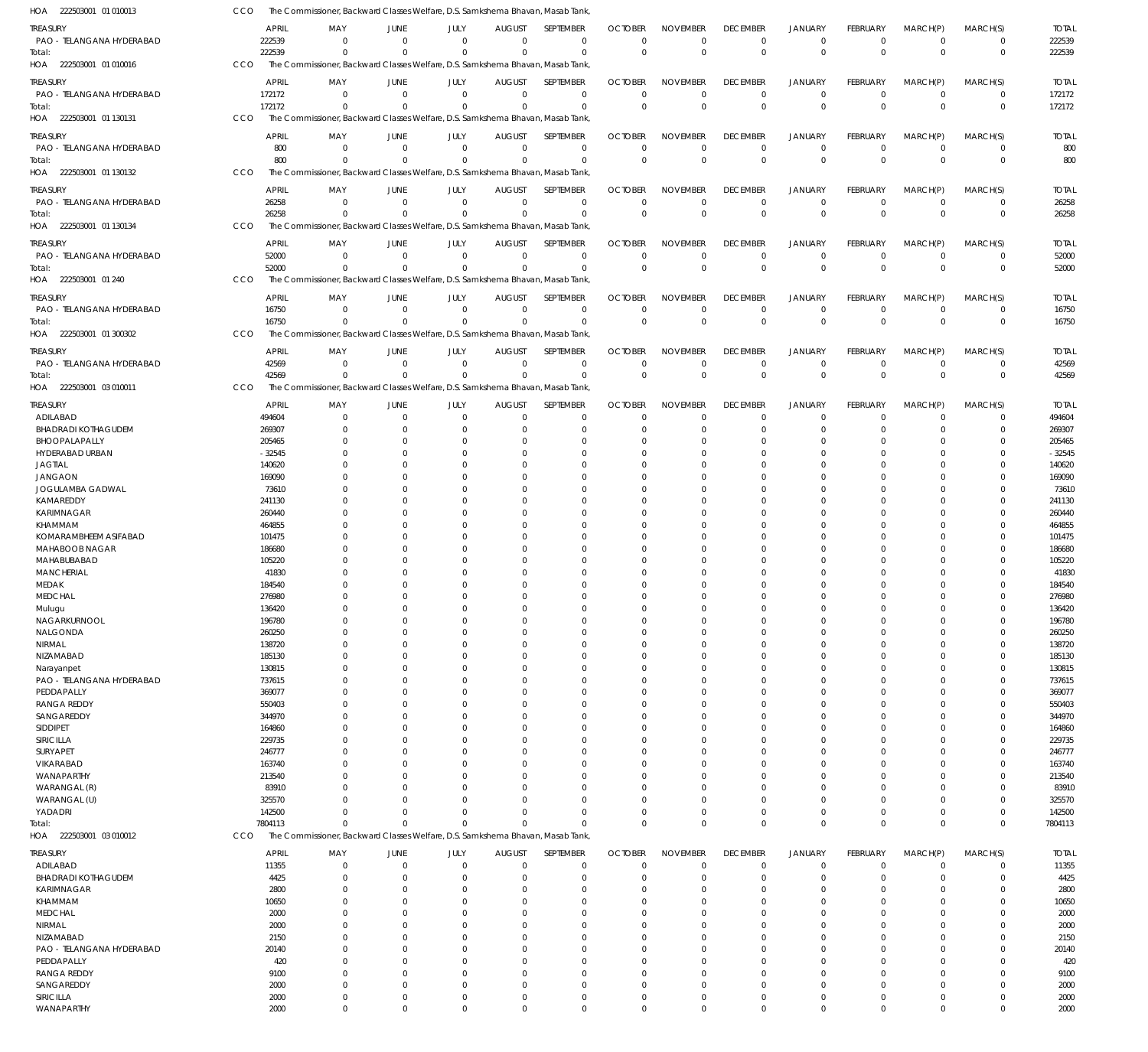| HOA 222503001 01 010013             | CCO |                  | The Commissioner, Backward Classes Welfare, D.S. Samkshema Bhavan, Masab Tank,             |                      |                        |                           |                             |                            |                             |                             |                                  |                      |                            |                            |                       |
|-------------------------------------|-----|------------------|--------------------------------------------------------------------------------------------|----------------------|------------------------|---------------------------|-----------------------------|----------------------------|-----------------------------|-----------------------------|----------------------------------|----------------------|----------------------------|----------------------------|-----------------------|
| TREASURY                            |     | APRIL            | MAY                                                                                        | JUNE                 | JULY                   | <b>AUGUST</b>             | SEPTEMBER                   | <b>OCTOBER</b>             | NOVEMBER                    | <b>DECEMBER</b>             | <b>JANUARY</b>                   | FEBRUARY             | MARCH(P)                   | MARCH(S)                   | <b>TOTAL</b>          |
| PAO - TELANGANA HYDERABAD           |     | 222539           | $\Omega$                                                                                   | $\Omega$             | $\Omega$               | $\Omega$                  | $^{\circ}$                  | $\Omega$                   | $\mathbf 0$                 | $\Omega$                    | $\overline{0}$                   | $\mathbf 0$          | $\overline{0}$             | 0                          | 222539                |
| Total:                              |     | 222539           | $\Omega$                                                                                   | $\Omega$             | $\Omega$               | $\Omega$                  | $\Omega$                    | $\Omega$                   | $\mathbf 0$                 | $\Omega$                    | $\Omega$                         | $\Omega$             | $\Omega$                   | $\mathbf 0$                | 222539                |
| HOA 222503001 01 010016             | CCO |                  | The Commissioner, Backward Classes Welfare, D.S. Samkshema Bhavan, Masab Tank,             |                      |                        |                           |                             |                            |                             |                             |                                  |                      |                            |                            |                       |
| treasury                            |     | APRIL            | MAY                                                                                        | JUNE                 | JULY                   | <b>AUGUST</b>             | SEPTEMBER                   | <b>OCTOBER</b>             | <b>NOVEMBER</b>             | <b>DECEMBER</b>             | <b>JANUARY</b>                   | <b>FEBRUARY</b>      | MARCH(P)                   | MARCH(S)                   | <b>TOTAL</b>          |
| PAO - TELANGANA HYDERABAD           |     | 172172           | $\Omega$                                                                                   | $\Omega$             | $\Omega$               | $\Omega$                  | $\Omega$                    | $\Omega$                   | $\Omega$                    | $\Omega$                    | $\Omega$                         | $\Omega$             | $\Omega$                   | 0                          | 172172                |
| Total:                              |     | 172172           | $\Omega$                                                                                   |                      | $\Omega$               | $\Omega$                  | $\Omega$                    | $\Omega$                   | $\Omega$                    | $\Omega$                    | $\Omega$                         | $\Omega$             | $\Omega$                   | $\mathbf 0$                | 172172                |
| HOA 222503001 01 130131             | CCO |                  | The Commissioner, Backward Classes Welfare, D.S. Samkshema Bhavan, Masab Tank,             |                      |                        |                           |                             |                            |                             |                             |                                  |                      |                            |                            |                       |
| treasury                            |     | <b>APRIL</b>     | MAY                                                                                        | JUNE                 | JULY                   | <b>AUGUST</b>             | SEPTEMBER                   | <b>OCTOBER</b>             | <b>NOVEMBER</b>             | <b>DECEMBER</b>             | <b>JANUARY</b>                   | FEBRUARY             | MARCH(P)                   | MARCH(S)                   | <b>TOTAL</b>          |
| PAO - TELANGANA HYDERABAD           |     | 800              | $\Omega$                                                                                   | $\overline{0}$       | $\Omega$               | $\overline{0}$            | $\mathbf 0$                 | $\Omega$                   | $\mathbf 0$                 | $\Omega$                    | $\overline{0}$                   | $\Omega$             | $\overline{0}$             | $\mathbf 0$                | 800                   |
| Total:                              |     | 800              | $\Omega$                                                                                   | $\Omega$             | $\Omega$               | $\Omega$                  | $\Omega$                    | $\Omega$                   | $\mathbf 0$                 | $\Omega$                    | $\Omega$                         | $\Omega$             | $\Omega$                   | $\mathbf 0$                | 800                   |
| HOA 222503001 01 130132             | CCO |                  | The Commissioner, Backward Classes Welfare, D.S. Samkshema Bhavan, Masab Tank,             |                      |                        |                           |                             |                            |                             |                             |                                  |                      |                            |                            |                       |
| treasury                            |     | <b>APRIL</b>     | MAY                                                                                        | JUNE                 | JULY                   | <b>AUGUST</b>             | SEPTEMBER                   | <b>OCTOBER</b>             | <b>NOVEMBER</b>             | <b>DECEMBER</b>             | <b>JANUARY</b>                   | FEBRUARY             | MARCH(P)                   | MARCH(S)                   | <b>TOTAL</b>          |
| PAO - TELANGANA HYDERABAD           |     | 26258            | $\Omega$                                                                                   | $\Omega$             | $\Omega$               | $\Omega$                  | $\Omega$                    | $\Omega$                   | $\Omega$                    | $\Omega$                    | $\Omega$                         | $\Omega$             | $\overline{0}$             | 0                          | 26258                 |
| Total:                              |     | 26258            | $\Omega$                                                                                   | $\Omega$             | $\Omega$               | $\Omega$                  | $\Omega$                    | $\Omega$                   | $\Omega$                    | $\Omega$                    | $\Omega$                         | $\Omega$             | $\Omega$                   | $\mathbf 0$                | 26258                 |
| HOA 222503001 01 130134             | CCO |                  | The Commissioner, Backward Classes Welfare, D.S. Samkshema Bhavan, Masab Tank,             |                      |                        |                           |                             |                            |                             |                             |                                  |                      |                            |                            |                       |
|                                     |     |                  |                                                                                            |                      |                        |                           |                             |                            |                             |                             |                                  |                      |                            |                            |                       |
| <b>TREASURY</b>                     |     | APRIL            | MAY<br>$\Omega$                                                                            | JUNE<br>$\Omega$     | JULY<br>$\overline{0}$ | <b>AUGUST</b><br>$\Omega$ | SEPTEMBER<br>$\overline{0}$ | <b>OCTOBER</b><br>$\Omega$ | <b>NOVEMBER</b><br>$\Omega$ | <b>DECEMBER</b><br>$\Omega$ | <b>JANUARY</b><br>$\overline{0}$ | FEBRUARY<br>$\Omega$ | MARCH(P)<br>$\overline{0}$ | MARCH(S)<br>$\mathbf 0$    | <b>TOTAL</b><br>52000 |
| PAO - TELANGANA HYDERABAD<br>Total: |     | 52000<br>52000   | $\Omega$                                                                                   | $\Omega$             | $\Omega$               | $\Omega$                  | $\Omega$                    | $\Omega$                   | $\Omega$                    | $\Omega$                    | $\Omega$                         | $\Omega$             | $\Omega$                   | $\mathbf 0$                | 52000                 |
| HOA 222503001 01 240                | CCO |                  | The Commissioner, Backward Classes Welfare, D.S. Samkshema Bhavan, Masab Tank,             |                      |                        |                           |                             |                            |                             |                             |                                  |                      |                            |                            |                       |
|                                     |     |                  |                                                                                            |                      |                        |                           |                             |                            |                             |                             |                                  |                      |                            |                            |                       |
| treasury                            |     | APRIL            | MAY                                                                                        | JUNE                 | JULY                   | <b>AUGUST</b>             | SEPTEMBER                   | <b>OCTOBER</b>             | <b>NOVEMBER</b>             | <b>DECEMBER</b>             | <b>JANUARY</b>                   | FEBRUARY             | MARCH(P)                   | MARCH(S)                   | <b>TOTAL</b>          |
| PAO - TELANGANA HYDERABAD           |     | 16750            | $\Omega$                                                                                   | $\Omega$             | $\Omega$               | $\Omega$                  | $\mathbf 0$                 | $\Omega$                   | $\mathbf 0$                 | $\Omega$                    | $^{\circ}$                       | $\Omega$             | $\overline{0}$             | 0                          | 16750                 |
| Total:<br>HOA 222503001 01 300302   | CCO | 16750            | $\Omega$<br>The Commissioner, Backward Classes Welfare, D.S. Samkshema Bhavan, Masab Tank, | $\Omega$             | $\Omega$               | $\Omega$                  | $\Omega$                    | $\Omega$                   | $\mathbf 0$                 | $\Omega$                    | $\Omega$                         | $\Omega$             | $\Omega$                   | $\Omega$                   | 16750                 |
|                                     |     |                  |                                                                                            |                      |                        |                           |                             |                            |                             |                             |                                  |                      |                            |                            |                       |
| treasury                            |     | <b>APRIL</b>     | MAY                                                                                        | JUNE                 | JULY                   | <b>AUGUST</b>             | SEPTEMBER                   | <b>OCTOBER</b>             | <b>NOVEMBER</b>             | <b>DECEMBER</b>             | <b>JANUARY</b>                   | <b>FEBRUARY</b>      | MARCH(P)                   | MARCH(S)                   | <b>TOTAL</b>          |
| PAO - TELANGANA HYDERABAD           |     | 42569            | $\Omega$                                                                                   | $\Omega$             | $\Omega$               | $\Omega$                  | $\mathbf 0$                 | $\Omega$                   | $\mathbf 0$                 | $\Omega$                    | $\overline{0}$                   | $\Omega$             | $\overline{0}$             | $\mathbf 0$                | 42569                 |
| Total:                              |     | 42569            | $\Omega$                                                                                   | $\Omega$             | $\Omega$               | $\Omega$                  | $\Omega$                    | $\Omega$                   | $\Omega$                    | $\Omega$                    | $\Omega$                         | $\Omega$             | $\Omega$                   | $\mathbf 0$                | 42569                 |
| HOA 222503001 03 010011             | CCO |                  | The Commissioner, Backward Classes Welfare, D.S. Samkshema Bhavan, Masab Tank,             |                      |                        |                           |                             |                            |                             |                             |                                  |                      |                            |                            |                       |
| treasury                            |     | APRIL            | MAY                                                                                        | JUNE                 | JULY                   | <b>AUGUST</b>             | SEPTEMBER                   | <b>OCTOBER</b>             | <b>NOVEMBER</b>             | <b>DECEMBER</b>             | <b>JANUARY</b>                   | FEBRUARY             | MARCH(P)                   | MARCH(S)                   | <b>TOTAL</b>          |
| ADILABAD                            |     | 494604           | $\Omega$                                                                                   | $\Omega$             | $\Omega$               | $\Omega$                  | $\Omega$                    | $\Omega$                   | $\Omega$                    | $\Omega$                    | $\Omega$                         | $\Omega$             | $\Omega$                   | $\Omega$                   | 494604                |
| <b>BHADRADI KOTHAGUDEM</b>          |     | 269307           | $\Omega$                                                                                   | $\Omega$             | $\Omega$               | $\Omega$                  | $\Omega$                    | $\Omega$                   | $\Omega$                    | $\Omega$                    | $\Omega$                         | 0                    | $\Omega$                   | $\Omega$                   | 269307                |
| BHOOPALAPALLY                       |     | 205465           | $\Omega$                                                                                   | -0                   | $\Omega$               | $\Omega$                  | $\Omega$                    | O                          | $\Omega$                    | $\Omega$                    | $\Omega$                         | O                    | $\Omega$                   | $\Omega$                   | 205465                |
| HYDERABAD URBAN                     |     | $-32545$         | $\Omega$                                                                                   | $\Omega$             | $\Omega$               | $\Omega$                  | $\Omega$                    | C.                         | $\Omega$                    |                             | $\Omega$                         |                      | $\Omega$                   | 0                          | $-32545$              |
| JAGTIAL                             |     | 140620           | $\Omega$                                                                                   | $\Omega$             | $\Omega$               | $\Omega$                  | $\Omega$                    | 0                          | $\Omega$                    |                             | $\Omega$                         |                      | $\Omega$                   | 0                          | 140620                |
| <b>JANGAON</b>                      |     | 169090           | <sup>0</sup>                                                                               | $\Omega$             | $\Omega$<br>$\Omega$   | C<br>$\Omega$             | $\Omega$<br>$\Omega$        | C.                         | $\Omega$<br>$\Omega$        |                             | $\Omega$<br>$\Omega$             | O                    | $\Omega$<br>$\Omega$       | 0<br>0                     | 169090<br>73610       |
| JOGULAMBA GADWAL<br>KAMAREDDY       |     | 73610<br>241130  |                                                                                            | -0<br>$\Omega$       | $\Omega$               | $\Omega$                  | $\Omega$                    | 0<br>0                     | $\Omega$                    |                             | $\Omega$                         |                      | $\Omega$                   | 0                          | 241130                |
| KARIMNAGAR                          |     | 260440           |                                                                                            | $\Omega$             | $\Omega$               | C                         | $\Omega$                    | 0                          | $\Omega$                    |                             | $\Omega$                         |                      | $\Omega$                   | 0                          | 260440                |
| KHAMMAM                             |     | 464855           |                                                                                            | $\Omega$             | $\Omega$               | C                         | $\Omega$                    | C.                         | $\Omega$                    |                             | $\Omega$                         |                      | $\Omega$                   | C                          | 464855                |
| KOMARAMBHEEM ASIFABAD               |     | 101475           |                                                                                            | -0                   | $\Omega$               | $\Omega$                  | $\Omega$                    | O                          | $\Omega$                    |                             | $\Omega$                         | O                    | $\Omega$                   | 0                          | 101475                |
| MAHABOOB NAGAR                      |     | 186680           |                                                                                            | $\Omega$             | U                      | C                         | $\Omega$                    | C.                         | $\Omega$                    |                             | $\Omega$                         |                      | $\Omega$                   | 0                          | 186680                |
| MAHABUBABAD                         |     | 105220           |                                                                                            | $\Omega$             | $\Omega$               | $\Omega$                  | $\Omega$                    | C.                         | $\Omega$                    |                             | $\Omega$                         |                      | $\Omega$                   | 0                          | 105220                |
| <b>MANCHERIAL</b>                   |     | 41830            |                                                                                            | -0                   | $\Omega$               | $\Omega$                  | $\Omega$                    | O                          | $\Omega$                    |                             | $\Omega$                         |                      | $\Omega$                   | 0                          | 41830                 |
| MEDAK                               |     | 184540           |                                                                                            | $\Omega$             | $\Omega$               | $\Omega$                  | $\Omega$                    | O                          | $\Omega$                    |                             | $\Omega$                         | 0                    | $\Omega$                   | $\Omega$                   | 184540                |
| <b>MEDCHAL</b>                      |     | 276980           | $\Omega$                                                                                   | $\Omega$             | $\Omega$               | $\Omega$                  | $\Omega$                    | $\Omega$                   | $\Omega$                    | $\Omega$                    | $\Omega$                         | 0                    | $\Omega$                   | $\Omega$                   | 276980                |
| Mulugu                              |     | 136420           | $^{\circ}$                                                                                 | $\Omega$             | $\Omega$               | $\Omega$                  | $\Omega$                    | $\Omega$                   | $\Omega$                    | $\Omega$                    | $\Omega$                         | 0                    | $\Omega$                   | $\Omega$                   | 136420                |
| NAGARKURNOOL                        |     | 196780           | $\Omega$                                                                                   | $\Omega$             | $\Omega$               | $\Omega$                  | $\Omega$                    | $\Omega$                   | $\Omega$                    | $\Omega$                    | $\Omega$                         | 0                    | $\Omega$                   | $\Omega$                   | 196780                |
| NALGONDA                            |     | 260250           | $\Omega$                                                                                   | $\Omega$             | $\Omega$<br>U          | $\Omega$<br>C             | $\Omega$                    | O                          | $\Omega$<br>$\Omega$        |                             | $\Omega$                         | 0                    | $\Omega$                   | $\Omega$                   | 260250                |
| NIRMAL<br>NIZAMABAD                 |     | 138720<br>185130 | $\Omega$<br>$\Omega$                                                                       | $\Omega$<br>$\Omega$ | $\Omega$               | C                         | $\Omega$<br>$\Omega$        | O<br>$\Omega$              | $\Omega$                    |                             | $\Omega$<br>$\Omega$             |                      | $\Omega$<br>$\Omega$       | 0<br>$\Omega$              | 138720<br>185130      |
| Narayanpet                          |     | 130815           | 0                                                                                          | $\Omega$             | U                      | C                         | $\Omega$                    | O                          | $\Omega$                    |                             | $\Omega$                         |                      | $\Omega$                   | $\Omega$                   | 130815                |
| PAO - TELANGANA HYDERABAD           |     | 737615           | $\Omega$                                                                                   | $\Omega$             | $\Omega$               | $\Omega$                  | $\Omega$                    | O                          | $\Omega$                    |                             | $\Omega$                         |                      | $\Omega$                   | $\Omega$                   | 737615                |
| PEDDAPALLY                          |     | 369077           | 0                                                                                          | $\Omega$             | U                      | C                         | $\Omega$                    | O                          | $\Omega$                    |                             | $\Omega$                         |                      | $\Omega$                   | 0                          | 369077                |
| <b>RANGA REDDY</b>                  |     | 550403           | $\Omega$                                                                                   | $\Omega$             | U                      | C                         | $\Omega$                    | $\Omega$                   | $\Omega$                    |                             | $\Omega$                         |                      | $\Omega$                   | $\Omega$                   | 550403                |
| SANGAREDDY                          |     | 344970           | 0                                                                                          | $\Omega$             |                        | C                         | $\Omega$                    | O                          | $\Omega$                    |                             | $\Omega$                         |                      | $\Omega$                   | 0                          | 344970                |
| SIDDIPET                            |     | 164860           | $\Omega$                                                                                   | $\Omega$             | U                      | $\Omega$                  | $\Omega$                    | O                          | $\Omega$                    |                             | $\Omega$                         |                      | $\Omega$                   | $\Omega$                   | 164860                |
| SIRICILLA                           |     | 229735           | $\Omega$                                                                                   | $\Omega$             |                        | C                         | $\Omega$                    | O                          | $\Omega$                    |                             | $\Omega$                         |                      | $\Omega$                   | 0                          | 229735                |
| SURYAPET                            |     | 246777           | $\Omega$                                                                                   | $\Omega$             | U                      | C                         | $\Omega$                    | O                          | $\Omega$                    |                             | $\Omega$                         |                      | $\Omega$                   | $\Omega$                   | 246777                |
| VIKARABAD                           |     | 163740           | <sup>0</sup>                                                                               | $\Omega$             |                        | C                         | $\Omega$                    | C.                         | $\Omega$                    |                             | $\Omega$                         |                      | $\Omega$                   | 0                          | 163740                |
| WANAPARTHY                          |     | 213540           | $\Omega$                                                                                   | $\Omega$             | $\Omega$               | $\Omega$                  | $\Omega$                    | O                          | $\Omega$                    |                             | $\Omega$                         |                      | $\Omega$                   | $\Omega$                   | 213540                |
| WARANGAL (R)                        |     | 83910            | <sup>0</sup>                                                                               | $\Omega$             | $\Omega$               | C                         | $\Omega$<br>$\Omega$        | C.                         | $\Omega$<br>$\Omega$        |                             | $\Omega$                         |                      | $\Omega$                   | 0<br>$\Omega$              | 83910                 |
| WARANGAL (U)<br>YADADRI             |     | 325570<br>142500 | <sup>0</sup><br>$\Omega$                                                                   | $\Omega$<br>$\Omega$ | $\Omega$               | C<br>$\Omega$             | $\Omega$                    | O<br>$\Omega$              | $\Omega$                    | $\Omega$                    | $\Omega$<br>$^{\circ}$           | 0                    | $\Omega$<br>$\mathbf 0$    | $\mathbf 0$                | 325570<br>142500      |
| Total:                              |     | 7804113          | $\Omega$                                                                                   | $\Omega$             | $\Omega$               | $\Omega$                  | $\Omega$                    | $\Omega$                   | $\Omega$                    | $\Omega$                    | $\Omega$                         | $\Omega$             | $\Omega$                   | $\mathbf 0$                | 7804113               |
| HOA 222503001 03 010012             | CCO |                  | The Commissioner, Backward Classes Welfare, D.S. Samkshema Bhavan, Masab Tank,             |                      |                        |                           |                             |                            |                             |                             |                                  |                      |                            |                            |                       |
|                                     |     |                  |                                                                                            |                      |                        |                           |                             |                            |                             |                             |                                  |                      |                            |                            |                       |
| treasury                            |     | APRIL            | MAY                                                                                        | JUNE                 | JULY                   | <b>AUGUST</b>             | SEPTEMBER                   | <b>OCTOBER</b>             | <b>NOVEMBER</b>             | <b>DECEMBER</b>             | <b>JANUARY</b>                   | FEBRUARY             | MARCH(P)                   | MARCH(S)                   | <b>TOTAL</b>          |
| ADILABAD                            |     | 11355            | $\Omega$                                                                                   | $\mathbf 0$          | $\mathbf 0$            | $\mathbf 0$               | $\mathbf 0$                 | 0                          | $\mathbf 0$                 | $\Omega$                    | $^{\circ}$                       | $\mathbf 0$          | $^{\circ}$                 | $\mathbf 0$                | 11355                 |
| <b>BHADRADI KOTHAGUDEM</b>          |     | 4425             | $\Omega$                                                                                   | $\overline{0}$       | $\Omega$               | $\Omega$                  | $\mathbf 0$                 | $\Omega$                   | $\Omega$                    | $\Omega$                    | $^{\circ}$                       | 0                    | 0                          | $\mathbf 0$                | 4425                  |
| KARIMNAGAR<br>KHAMMAM               |     | 2800             | $\Omega$<br>$\Omega$                                                                       | $\Omega$<br>$\Omega$ | $\Omega$<br>$\Omega$   | $\Omega$<br>$\Omega$      | $\Omega$<br>$\mathbf 0$     | $\Omega$<br>$\Omega$       | $\Omega$<br>$\Omega$        | $\Omega$<br>$\Omega$        | $\Omega$<br>$\Omega$             | 0<br>0               | $\Omega$<br>$\Omega$       | $\mathbf 0$<br>$\mathbf 0$ | 2800<br>10650         |
| <b>MEDCHAL</b>                      |     | 10650<br>2000    | $\Omega$                                                                                   | $\Omega$             | $\Omega$               | $\Omega$                  | $\Omega$                    | $\Omega$                   | $\Omega$                    |                             | $\Omega$                         | 0                    | $\Omega$                   | $\Omega$                   | 2000                  |
| NIRMAL                              |     | 2000             | $\Omega$                                                                                   | $\Omega$             | $\Omega$               | $\Omega$                  | $\Omega$                    | $\Omega$                   | $\Omega$                    |                             | $\Omega$                         | O                    | $\Omega$                   | $\mathbf 0$                | 2000                  |
| NIZAMABAD                           |     | 2150             | $\Omega$                                                                                   | $\Omega$             | $\Omega$               | $\Omega$                  | $\Omega$                    | $\Omega$                   | $\Omega$                    |                             | $\Omega$                         | 0                    | $\Omega$                   | $\Omega$                   | 2150                  |
| PAO - TELANGANA HYDERABAD           |     | 20140            | $\Omega$                                                                                   | $\Omega$             | $\Omega$               | $\Omega$                  | $\mathbf 0$                 | $\Omega$                   | $\Omega$                    | $\Omega$                    | $\Omega$                         | 0                    | $\Omega$                   | $\mathbf 0$                | 20140                 |
| PEDDAPALLY                          |     | 420              | $\Omega$                                                                                   | $\Omega$             | $\Omega$               | $\Omega$                  | $\Omega$                    | $\Omega$                   | $\Omega$                    |                             | $\Omega$                         | 0                    | $\Omega$                   | $\Omega$                   | 420                   |
| <b>RANGA REDDY</b>                  |     | 9100             | $\Omega$                                                                                   | $\Omega$             | $\Omega$               | $\Omega$                  | $\Omega$                    | $\Omega$                   | $\Omega$                    | $\Omega$                    | $\Omega$                         | U                    | $\Omega$                   | $\mathbf 0$                | 9100                  |
| SANGAREDDY                          |     | 2000             | $\Omega$                                                                                   | $\Omega$             | $\Omega$               | $\Omega$                  | $\mathbf 0$                 | $\Omega$                   | $\Omega$                    | $\Omega$                    | $\Omega$                         | $\Omega$             | $\mathbf 0$                | $\mathbf 0$                | 2000                  |
| SIRICILLA                           |     | 2000             | $\overline{0}$                                                                             | $\overline{0}$       | 0                      | $\overline{0}$            | 0                           | 0                          | $\mathbf 0$                 | $\Omega$                    | $\overline{0}$                   | $\mathbf 0$          | $\overline{0}$             | $\mathbf 0$                | 2000                  |
| WANAPARTHY                          |     | 2000             | $\mathbf 0$                                                                                | $\mathbf 0$          | $\mathbf 0$            | $\overline{0}$            | $\mathbf 0$                 | $\mathbf 0$                | $\mathbf 0$                 | $\Omega$                    | $\overline{0}$                   | $\mathbf 0$          | $\overline{0}$             | $\mathbf 0$                | 2000                  |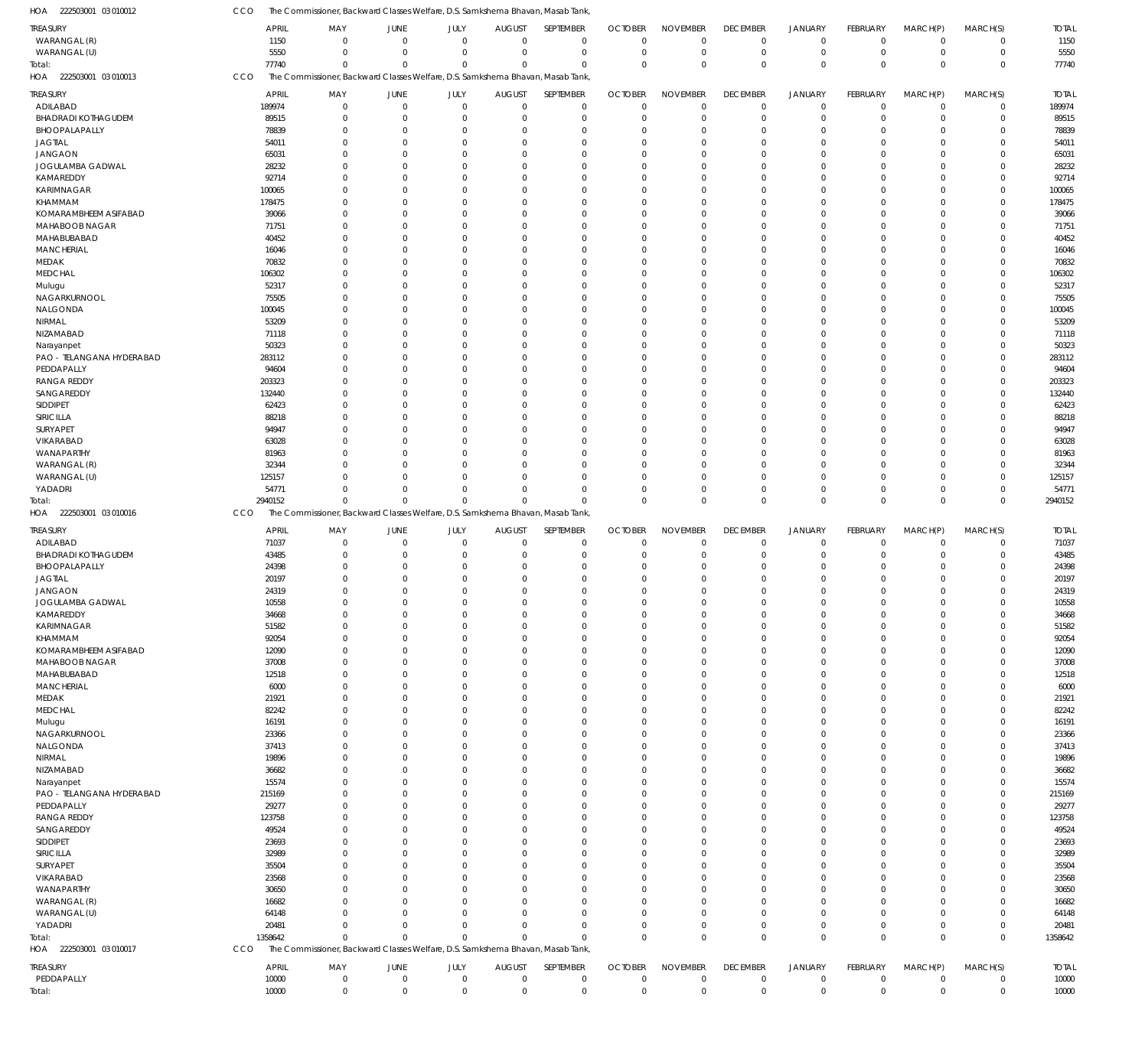| HOA 222503001 03 010012                | CCO                   | The Commissioner, Backward Classes Welfare, D.S. Samkshema Bhavan, Masab Tank,             |                            |                      |                              |                             |                            |                             |                                |                               |                            |                           |                            |                        |
|----------------------------------------|-----------------------|--------------------------------------------------------------------------------------------|----------------------------|----------------------|------------------------------|-----------------------------|----------------------------|-----------------------------|--------------------------------|-------------------------------|----------------------------|---------------------------|----------------------------|------------------------|
| <b>TREASURY</b>                        | <b>APRIL</b>          | MAY                                                                                        | <b>JUNE</b>                | JULY                 | <b>AUGUST</b>                | SEPTEMBER                   | <b>OCTOBER</b>             | <b>NOVEMBER</b>             | <b>DECEMBER</b>                | <b>JANUARY</b>                | FEBRUARY                   | MARCH(P)                  | MARCH(S)                   | <b>TOTAL</b>           |
| WARANGAL (R)                           | 1150                  | $\Omega$                                                                                   | $\mathbf 0$                | $\Omega$             | $\mathbf 0$                  | $\mathbf{0}$                | $\Omega$                   | $\mathbf{0}$                | $\mathbf 0$                    | $\mathbf 0$                   | $\Omega$                   | $\overline{0}$            | $\mathbf 0$                | 1150                   |
| WARANGAL (U)                           | 5550                  | $\Omega$                                                                                   | $\Omega$                   | $\mathbf{0}$         | $\Omega$                     | $\mathbf 0$                 | $\Omega$                   | $\Omega$                    | $\mathbf 0$                    | $\mathbf 0$                   | $\mathbf 0$                | $\mathbf 0$               | $\mathbf 0$                | 5550                   |
| Total:<br>HOA 222503001 03 010013      | 77740<br>CCO          | $\Omega$<br>The Commissioner, Backward Classes Welfare, D.S. Samkshema Bhavan, Masab Tank, | $\Omega$                   | $\Omega$             | $\Omega$                     | $\Omega$                    | $\Omega$                   | $\Omega$                    | $\mathbf 0$                    | $\mathbf 0$                   | $\Omega$                   | $\Omega$                  | $\mathbf 0$                | 77740                  |
|                                        |                       |                                                                                            |                            |                      |                              |                             |                            |                             |                                |                               |                            |                           |                            |                        |
| TREASURY<br>ADILABAD                   | APRIL<br>189974       | MAY<br>0                                                                                   | <b>JUNE</b><br>0           | JULY<br>$\mathbf{0}$ | <b>AUGUST</b><br>$\mathbf 0$ | SEPTEMBER<br>$\mathbf 0$    | <b>OCTOBER</b><br>$\Omega$ | <b>NOVEMBER</b><br>$\Omega$ | <b>DECEMBER</b><br>0           | <b>JANUARY</b><br>$\mathbf 0$ | FEBRUARY<br>$\mathbf 0$    | MARCH(P)<br>$\mathbf 0$   | MARCH(S)<br>$\mathbf 0$    | <b>TOTAL</b><br>189974 |
| <b>BHADRADI KOTHAGUDEM</b>             | 89515                 | $\Omega$                                                                                   | $\Omega$                   | $\mathbf{0}$         | $\Omega$                     | $\mathbf 0$                 | $\Omega$                   | $\Omega$                    | $\mathbf 0$                    | $\mathbf 0$                   | $\mathbf 0$                | $\Omega$                  | $\mathbf 0$                | 89515                  |
| BHOOPALAPALLY                          | 78839                 | $\mathbf 0$                                                                                | 0                          | $\Omega$             | $\Omega$                     | $\mathbf 0$                 | $\Omega$                   | $\Omega$                    | $\mathbf 0$                    | $\mathbf 0$                   | $\Omega$                   | $\Omega$                  | $\mathbf 0$                | 78839                  |
| <b>JAGTIAL</b>                         | 54011                 | $\Omega$                                                                                   | $\Omega$                   | $\Omega$             | $\Omega$                     | $\Omega$                    | $\Omega$                   | $\Omega$                    | $\Omega$                       | $\Omega$                      | $\Omega$                   | $\Omega$                  | $\mathbf 0$                | 54011                  |
| <b>JANGAON</b>                         | 65031                 | $\Omega$                                                                                   | $\Omega$                   | $\Omega$             | $\Omega$                     | $\Omega$                    | $\Omega$                   | $\Omega$                    | $\mathbf{0}$                   | $\Omega$                      | $\Omega$                   | $\Omega$                  | $\mathbf 0$                | 65031                  |
| JOGULAMBA GADWAL                       | 28232                 | $\Omega$                                                                                   | $\Omega$                   | $\Omega$             | $\Omega$                     | $\Omega$                    | $\Omega$                   | $\Omega$                    | $\Omega$                       | $\Omega$                      | $\Omega$                   | $\Omega$                  | $\mathbf 0$                | 28232                  |
| KAMAREDDY<br>KARIMNAGAR                | 92714<br>100065       | $\Omega$<br>$\Omega$                                                                       | $\Omega$<br>$\Omega$       | $\Omega$<br>$\Omega$ | C<br>C                       | $\Omega$<br>$\Omega$        | $\Omega$<br>$\Omega$       | $\Omega$<br>$\Omega$        | $\Omega$<br>$\Omega$           | $\Omega$<br>$\Omega$          | $\Omega$<br>$\Omega$       | $\Omega$<br>$\Omega$      | $\mathbf 0$<br>$\Omega$    | 92714<br>100065        |
| KHAMMAM                                | 178475                | $\Omega$                                                                                   | $\Omega$                   | $\Omega$             | $\Omega$                     | $\mathbf 0$                 | $\Omega$                   | $\Omega$                    | $\mathbf 0$                    | $\Omega$                      | $\Omega$                   | $\Omega$                  | $\mathbf 0$                | 178475                 |
| KOMARAMBHEEM ASIFABAD                  | 39066                 | $\Omega$                                                                                   | $\Omega$                   | $\Omega$             | C                            | $\Omega$                    | $\Omega$                   | $\Omega$                    | $\Omega$                       | $\Omega$                      | $\Omega$                   | $\Omega$                  | $\mathbf 0$                | 39066                  |
| MAHABOOB NAGAR                         | 71751                 | $\Omega$                                                                                   | $\Omega$                   | $\Omega$             | C                            | $\Omega$                    | $\Omega$                   | $\Omega$                    | $\Omega$                       | $\Omega$                      | $\Omega$                   | $\Omega$                  | $\mathbf 0$                | 71751                  |
| MAHABUBABAD                            | 40452                 | $\Omega$                                                                                   | $\Omega$                   | $\Omega$             | C                            | $\Omega$                    | $\Omega$                   | $\Omega$                    | $\Omega$                       | $\Omega$                      | $\Omega$                   | $\Omega$                  | $\mathbf 0$                | 40452                  |
| <b>MANCHERIAL</b><br>MEDAK             | 16046                 | $\Omega$<br>$\Omega$                                                                       | $\Omega$<br>$\Omega$       | $\Omega$<br>$\Omega$ | C<br>C                       | $\mathbf 0$<br>$\Omega$     | $\Omega$<br>$\Omega$       | $\Omega$<br>$\Omega$        | $\Omega$<br>$\Omega$           | $\Omega$<br>$\Omega$          | $\Omega$<br>$\Omega$       | $\Omega$<br>$\Omega$      | $\mathbf 0$<br>$\mathbf 0$ | 16046<br>70832         |
| <b>MEDCHAL</b>                         | 70832<br>106302       | $\Omega$                                                                                   | $\Omega$                   | $\Omega$             | C                            | $\Omega$                    | $\Omega$                   | $\Omega$                    | $\Omega$                       | $\Omega$                      | $\Omega$                   | $\Omega$                  | $\mathbf 0$                | 106302                 |
| Mulugu                                 | 52317                 | $\Omega$                                                                                   | $\Omega$                   | $\Omega$             | C                            | $\Omega$                    | $\Omega$                   | $\Omega$                    | $\Omega$                       | $\Omega$                      | $\Omega$                   | $\Omega$                  | $\mathbf 0$                | 52317                  |
| NAGARKURNOOL                           | 75505                 | $\Omega$                                                                                   | $\Omega$                   | $\mathbf{0}$         | C                            | $\Omega$                    | $\Omega$                   | $\Omega$                    | $\Omega$                       | $\Omega$                      | $\Omega$                   | $\Omega$                  | $\mathbf 0$                | 75505                  |
| NALGONDA                               | 100045                | $\Omega$                                                                                   | $\Omega$                   | $\Omega$             | C                            | $\Omega$                    | $\Omega$                   | $\Omega$                    | $\Omega$                       | $\Omega$                      | $\Omega$                   | $\Omega$                  | $\mathbf 0$                | 100045                 |
| NIRMAL                                 | 53209                 | $\Omega$                                                                                   | $\Omega$                   | $\Omega$             | C                            | $\Omega$                    | $\Omega$                   | $\Omega$                    | $\Omega$                       | $\Omega$                      | $\Omega$                   | $\Omega$                  | $\mathbf 0$                | 53209                  |
| NIZAMABAD<br>Narayanpet                | 71118<br>50323        | $\Omega$<br>$\Omega$                                                                       | $\Omega$<br>$\Omega$       | $\Omega$<br>$\Omega$ | C<br>C                       | $\Omega$<br>$\Omega$        | $\Omega$<br>$\Omega$       | $\Omega$<br>$\Omega$        | $\Omega$<br>$\Omega$           | $\Omega$<br>$\Omega$          | $\Omega$<br>$\Omega$       | $\Omega$<br>$\Omega$      | $\mathbf 0$<br>$\mathbf 0$ | 71118<br>50323         |
| PAO - TELANGANA HYDERABAD              | 283112                | $\Omega$                                                                                   | $\Omega$                   | $\mathbf{0}$         | C                            | $\Omega$                    | $\Omega$                   | $\Omega$                    | $\Omega$                       | $\Omega$                      | $\Omega$                   | $\Omega$                  | $\mathbf 0$                | 283112                 |
| PEDDAPALLY                             | 94604                 | $\Omega$                                                                                   | $\Omega$                   | $\mathbf{0}$         | C                            | $\Omega$                    | $\Omega$                   | $\Omega$                    | $\Omega$                       | $\Omega$                      | $\Omega$                   | $\Omega$                  | $\mathbf 0$                | 94604                  |
| <b>RANGA REDDY</b>                     | 203323                | $\Omega$                                                                                   | $\Omega$                   | $\Omega$             | C                            | $\Omega$                    | $\Omega$                   | $\Omega$                    | $\Omega$                       | $\Omega$                      | $\Omega$                   | $\Omega$                  | $\Omega$                   | 203323                 |
| SANGAREDDY                             | 132440                | $\Omega$                                                                                   | $\Omega$                   | $\Omega$             | C                            | $\mathbf 0$                 | $\Omega$                   | $\Omega$                    | $\mathbf 0$                    | $\Omega$                      | $\Omega$                   | $\Omega$                  | $\mathbf 0$                | 132440                 |
| <b>SIDDIPET</b>                        | 62423                 | $\Omega$<br>$\Omega$                                                                       | $\Omega$<br>$\Omega$       | $\Omega$<br>$\Omega$ | C                            | $\Omega$<br>$\Omega$        | $\Omega$<br>$\Omega$       | $\Omega$<br>$\Omega$        | $\Omega$<br>$\Omega$           | $\Omega$<br>$\Omega$          | $\Omega$<br>$\Omega$       | $\Omega$<br>$\Omega$      | $\mathbf 0$<br>$\mathbf 0$ | 62423                  |
| SIRICILLA<br>SURYAPET                  | 88218<br>94947        | $\Omega$                                                                                   | $\Omega$                   | $\Omega$             | C<br>$\Omega$                | $\Omega$                    | $\Omega$                   | $\Omega$                    | $\Omega$                       | $\Omega$                      | $\Omega$                   | $\Omega$                  | $\mathbf 0$                | 88218<br>94947         |
| VIKARABAD                              | 63028                 | $\Omega$                                                                                   | $\Omega$                   | $\Omega$             | C                            | $\Omega$                    | $\Omega$                   | $\Omega$                    | $\Omega$                       | $\Omega$                      | $\Omega$                   | $\Omega$                  | $\mathbf 0$                | 63028                  |
| WANAPARTHY                             | 81963                 | $\Omega$                                                                                   | $\Omega$                   | $\Omega$             | C                            | $\Omega$                    | $\Omega$                   | $\Omega$                    | $\Omega$                       | $\Omega$                      | $\Omega$                   | $\Omega$                  | $\Omega$                   | 81963                  |
| WARANGAL (R)                           | 32344                 | $\Omega$                                                                                   | $\Omega$                   | $\Omega$             | $\Omega$                     | $\Omega$                    | $\Omega$                   | $\Omega$                    | $\mathbf{0}$                   | $\Omega$                      | $\Omega$                   | $\Omega$                  | $\mathbf 0$                | 32344                  |
| WARANGAL (U)                           | 125157                | $\Omega$                                                                                   | $\Omega$                   | $\Omega$             | $\Omega$                     | $\Omega$                    | $\Omega$                   | $\Omega$                    | $\Omega$                       | $\Omega$                      | $\Omega$                   | $\Omega$                  | $\mathbf 0$                | 125157                 |
| YADADRI                                | 54771                 | $\Omega$                                                                                   | $\Omega$                   | $\Omega$             | $\Omega$                     | $\mathbf 0$                 | $\Omega$                   | $\Omega$                    | $\mathbf 0$                    | $\mathbf 0$                   | $\Omega$                   | $\Omega$                  | $\mathbf 0$                | 54771                  |
|                                        |                       |                                                                                            |                            |                      |                              |                             |                            |                             |                                |                               |                            |                           |                            |                        |
| Total:                                 | 2940152<br><b>CCO</b> | $\Omega$<br>The Commissioner, Backward Classes Welfare, D.S. Samkshema Bhavan, Masab Tank, | $\Omega$                   | $\mathbf 0$          | $\Omega$                     | $\Omega$                    | $\Omega$                   | $\Omega$                    | $\mathbf{0}$                   | $\mathbf{0}$                  | $\Omega$                   | $\Omega$                  | $\mathbf 0$                | 2940152                |
| HOA 222503001 03 010016                |                       |                                                                                            |                            |                      |                              |                             |                            |                             |                                |                               |                            |                           |                            |                        |
| <b>TREASURY</b>                        | <b>APRIL</b>          | MAY<br>$\Omega$                                                                            | <b>JUNE</b><br>$\mathbf 0$ | JULY<br>$\Omega$     | <b>AUGUST</b><br>$\Omega$    | SEPTEMBER<br>$\overline{0}$ | <b>OCTOBER</b><br>$\Omega$ | <b>NOVEMBER</b><br>$\Omega$ | <b>DECEMBER</b><br>$\mathbf 0$ | <b>JANUARY</b><br>$\mathbf 0$ | FEBRUARY<br>$\mathbf 0$    | MARCH(P)<br>$\Omega$      | MARCH(S)<br>$\mathbf 0$    | <b>TOTAL</b>           |
| ADILABAD<br><b>BHADRADI KOTHAGUDEM</b> | 71037<br>43485        | $\Omega$                                                                                   | $\Omega$                   | $\Omega$             | $\Omega$                     | $\Omega$                    | $\Omega$                   | $\Omega$                    | $\mathbf 0$                    | $\Omega$                      | $\Omega$                   | $\Omega$                  | $\mathbf 0$                | 71037<br>43485         |
| <b>BHOOPALAPALLY</b>                   | 24398                 | $\Omega$                                                                                   | $\Omega$                   | $\Omega$             | $\Omega$                     | $\Omega$                    | $\Omega$                   | $\Omega$                    | $\mathbf{0}$                   | $\Omega$                      | $\Omega$                   | $\Omega$                  | $\Omega$                   | 24398                  |
| <b>JAGTIAL</b>                         | 20197                 | 0                                                                                          | $\Omega$                   | $\Omega$             | $\Omega$                     | $\Omega$                    | $\Omega$                   | $\Omega$                    | $\Omega$                       | $\Omega$                      | $\Omega$                   | $\Omega$                  | $\Omega$                   | 20197                  |
| <b>JANGAON</b>                         | 24319                 | $\Omega$                                                                                   | $\Omega$                   | $\Omega$             | $\Omega$                     | $\mathbf 0$                 | $\Omega$                   | $\Omega$                    | $\Omega$                       | $\overline{0}$                | $\Omega$                   | $\Omega$                  | $\Omega$                   | 24319                  |
| JOGULAMBA GADWAL                       | 10558                 | $\Omega$<br>$\Omega$                                                                       | $\Omega$<br>$\Omega$       | 0<br>$\Omega$        | $\Omega$<br>$\Omega$         | $^{\circ}$<br>$\mathbf{0}$  | $\Omega$<br>$\Omega$       | $\mathbf{0}$<br>$\Omega$    | 0<br>$\Omega$                  | $\Omega$<br>$\Omega$          | $\Omega$<br>$\Omega$       | $\Omega$<br>$\Omega$      | 0<br>$\mathbf 0$           | 10558                  |
| KAMAREDDY<br>KARIMNAGAR                | 34668<br>51582        | $\Omega$                                                                                   | $\Omega$                   | $\Omega$             | $\Omega$                     | $\mathbf{0}$                | $\Omega$                   | $\Omega$                    | $\Omega$                       | $\Omega$                      | $\Omega$                   | $\Omega$                  | $\mathbf 0$                | 34668<br>51582         |
| KHAMMAM                                | 92054                 | 0                                                                                          | $\Omega$                   | $\Omega$             | -C                           | $\Omega$                    | $\Omega$                   | $\Omega$                    | $\Omega$                       | $\Omega$                      | $\Omega$                   | $\Omega$                  | $\Omega$                   | 92054                  |
| <b>KOMARAMBHEEM ASIFABAD</b>           | 12090                 | 0                                                                                          | $\Omega$                   | $\Omega$             | $\Omega$                     | $\Omega$                    | $\Omega$                   | $\Omega$                    | $\Omega$                       | $\Omega$                      | $\Omega$                   | $\Omega$                  | $\mathbf 0$                | 12090                  |
| MAHABOOB NAGAR                         | 37008                 | 0                                                                                          | $\Omega$                   | $\Omega$             | -C                           | $\Omega$                    |                            | $\Omega$                    | $\Omega$                       | $\Omega$                      | U                          | $\Omega$                  | $\mathbf 0$                | 37008                  |
| MAHABUBABAD                            | 12518                 | 0<br>0                                                                                     | $\Omega$<br>$\Omega$       | $\Omega$<br>$\Omega$ | $\Omega$<br>-C               | $\Omega$<br>$\Omega$        | $\Omega$<br>$\Omega$       | $\Omega$<br>$\Omega$        | $\Omega$<br>$\Omega$           | $\Omega$<br>$\Omega$          | $\Omega$<br>U              | $\Omega$<br>$\Omega$      | $\Omega$<br>$\Omega$       | 12518                  |
| <b>MANCHERIAL</b><br>MEDAK             | 6000<br>21921         | 0                                                                                          | $\Omega$                   | $\Omega$             | -C                           | $\Omega$                    | $\Omega$                   | $\Omega$                    | $\Omega$                       | $\Omega$                      | 0                          | $\Omega$                  | $\mathbf 0$                | 6000<br>21921          |
| <b>MEDCHAL</b>                         | 82242                 | 0                                                                                          | $\Omega$                   | n                    | -C                           | $\Omega$                    | $\Omega$                   | $\Omega$                    | $\Omega$                       | $\Omega$                      | U                          | $\Omega$                  | $\Omega$                   | 82242                  |
| Mulugu                                 | 16191                 | 0                                                                                          | $\Omega$                   | $\Omega$             | $\Omega$                     | $\Omega$                    | $\Omega$                   | $\Omega$                    | $\Omega$                       | $\Omega$                      | $\Omega$                   | $\Omega$                  | $\mathbf 0$                | 16191                  |
| NAGARKURNOOL                           | 23366                 | 0                                                                                          | $\Omega$                   | n                    | -C                           | $\Omega$                    |                            | $\Omega$                    | $\Omega$                       | $\Omega$                      | U                          | $\Omega$                  | $\mathbf 0$                | 23366                  |
| NALGONDA                               | 37413                 | 0<br>0                                                                                     | $\Omega$<br>$\Omega$       | $\Omega$<br>$\Omega$ | -C<br>-C                     | $\Omega$<br>$\Omega$        | $\Omega$<br>$\Omega$       | $\Omega$<br>$\Omega$        | $\Omega$<br>$\Omega$           | $\Omega$<br>$\Omega$          | $\Omega$<br>U              | $\Omega$<br>$\Omega$      | $\Omega$<br>$\Omega$       | 37413                  |
| NIRMAL<br>NIZAMABAD                    | 19896<br>36682        | 0                                                                                          | $\Omega$                   | $\Omega$             | -C                           | $\Omega$                    |                            | $\Omega$                    | $\Omega$                       | $\Omega$                      | 0                          | $\Omega$                  | $\mathbf 0$                | 19896<br>36682         |
| Narayanpet                             | 15574                 | 0                                                                                          | $\Omega$                   | n                    | -C                           | $\Omega$                    | $\Omega$                   | $\Omega$                    | $\Omega$                       | $\Omega$                      | U                          | $\Omega$                  | $\Omega$                   | 15574                  |
| PAO - TELANGANA HYDERABAD              | 215169                | 0                                                                                          | $\Omega$                   | $\Omega$             | -C                           | $\Omega$                    | $\Omega$                   | $\Omega$                    | $\Omega$                       | $\Omega$                      | $\Omega$                   | $\Omega$                  | $\Omega$                   | 215169                 |
| PEDDAPALLY                             | 29277                 | 0                                                                                          | $\Omega$                   | $\Omega$             | -C                           | $\Omega$                    |                            | $\Omega$                    | $\Omega$                       | $\Omega$                      | U                          | $\Omega$                  | $\Omega$                   | 29277                  |
| <b>RANGA REDDY</b>                     | 123758                | 0                                                                                          | $\Omega$                   | $\Omega$<br>n        | -C<br>-C                     | $\Omega$                    | $\Omega$<br>$\Omega$       | $\Omega$                    | $\Omega$                       | $\Omega$                      | $\Omega$<br>U              | $\Omega$                  | $\mathbf 0$                | 123758                 |
| SANGAREDDY<br>SIDDIPET                 | 49524                 | 0<br>0                                                                                     | $\Omega$<br>$\Omega$       | $\Omega$             | -C                           | $\Omega$<br>$\Omega$        | $\Omega$                   | $\Omega$<br>$\Omega$        | $\Omega$<br>$\Omega$           | $\Omega$<br>$\Omega$          | $\Omega$                   | $\Omega$<br>$\Omega$      | $\Omega$<br>$\mathbf 0$    | 49524<br>23693         |
| SIRICILLA                              | 23693<br>32989        | 0                                                                                          | $\Omega$                   | n                    | -C                           | $\Omega$                    |                            | $\Omega$                    | $\Omega$                       | $\Omega$                      | U                          | $\Omega$                  | $\Omega$                   | 32989                  |
| SURYAPET                               | 35504                 | 0                                                                                          | $\Omega$                   | $\Omega$             | $\Omega$                     | $\Omega$                    | $\Omega$                   | $\Omega$                    | $\Omega$                       | $\Omega$                      | $\Omega$                   | $\Omega$                  | $\Omega$                   | 35504                  |
| VIKARABAD                              | 23568                 | 0                                                                                          | $\Omega$                   | $\Omega$             | -C                           | $\Omega$                    | $\Omega$                   | $\Omega$                    | $\Omega$                       | $\Omega$                      | U                          | $\Omega$                  | $\Omega$                   | 23568                  |
| WANAPARTHY                             | 30650                 | 0                                                                                          | $\Omega$                   | $\Omega$<br>$\Omega$ | -C<br>-C                     | $\Omega$                    | $\Omega$                   | $\Omega$                    | $\Omega$                       | $\Omega$                      | $\Omega$<br>U              | $\Omega$                  | $\mathbf 0$                | 30650                  |
| WARANGAL (R)<br>WARANGAL (U)           | 16682<br>64148        | 0<br>$\Omega$                                                                              | $\Omega$<br>$\Omega$       | $\Omega$             | $\Omega$                     | $\Omega$<br>$\mathbf{0}$    | $\Omega$                   | $\Omega$<br>$\Omega$        | $\Omega$<br>$\mathbf 0$        | $\Omega$<br>$\Omega$          | $\Omega$                   | $\Omega$<br>$\Omega$      | $\Omega$<br>$\mathbf 0$    | 16682<br>64148         |
| YADADRI                                | 20481                 | 0                                                                                          | $\Omega$                   | $\Omega$             | $\Omega$                     | $\Omega$                    | $\Omega$                   | $\Omega$                    | $\mathbf 0$                    | $\mathbf 0$                   | $\Omega$                   | $\mathbf 0$               | $\mathbf 0$                | 20481                  |
| Total:                                 | 1358642               | $\Omega$                                                                                   | $\Omega$                   | $\Omega$             | $\Omega$                     | $\Omega$                    | $\Omega$                   | $\mathbf 0$                 | $\Omega$                       | $\mathbf{0}$                  | $\Omega$                   | $\Omega$                  | $\Omega$                   | 1358642                |
| HOA 222503001 03 010017                | CCO                   | The Commissioner, Backward Classes Welfare, D.S. Samkshema Bhavan, Masab Tank,             |                            |                      |                              |                             |                            |                             |                                |                               |                            |                           |                            |                        |
| TREASURY                               | <b>APRIL</b>          | MAY                                                                                        | JUNE                       | JULY                 | <b>AUGUST</b>                | SEPTEMBER                   | <b>OCTOBER</b>             | <b>NOVEMBER</b>             | <b>DECEMBER</b>                | <b>JANUARY</b>                | <b>FEBRUARY</b>            | MARCH(P)                  | MARCH(S)                   | <b>TOTAL</b>           |
| PEDDAPALLY<br>Total:                   | 10000<br>10000        | $\mathbf 0$<br>$\mathbf{0}$                                                                | $\mathbf 0$<br>$\mathbf 0$ | 0<br>$\mathbf 0$     | $\mathbf 0$<br>$\mathbf 0$   | $\mathbf 0$<br>$\mathbf 0$  | $\Omega$<br>$\overline{0}$ | $\mathbf 0$<br>$\mathbf 0$  | $\mathbf 0$<br>$\,0\,$         | $\mathbf 0$<br>$\mathbb O$    | $\mathbf 0$<br>$\mathbf 0$ | $\overline{0}$<br>$\,0\,$ | $\mathbf 0$<br>$\mathbf 0$ | 10000<br>10000         |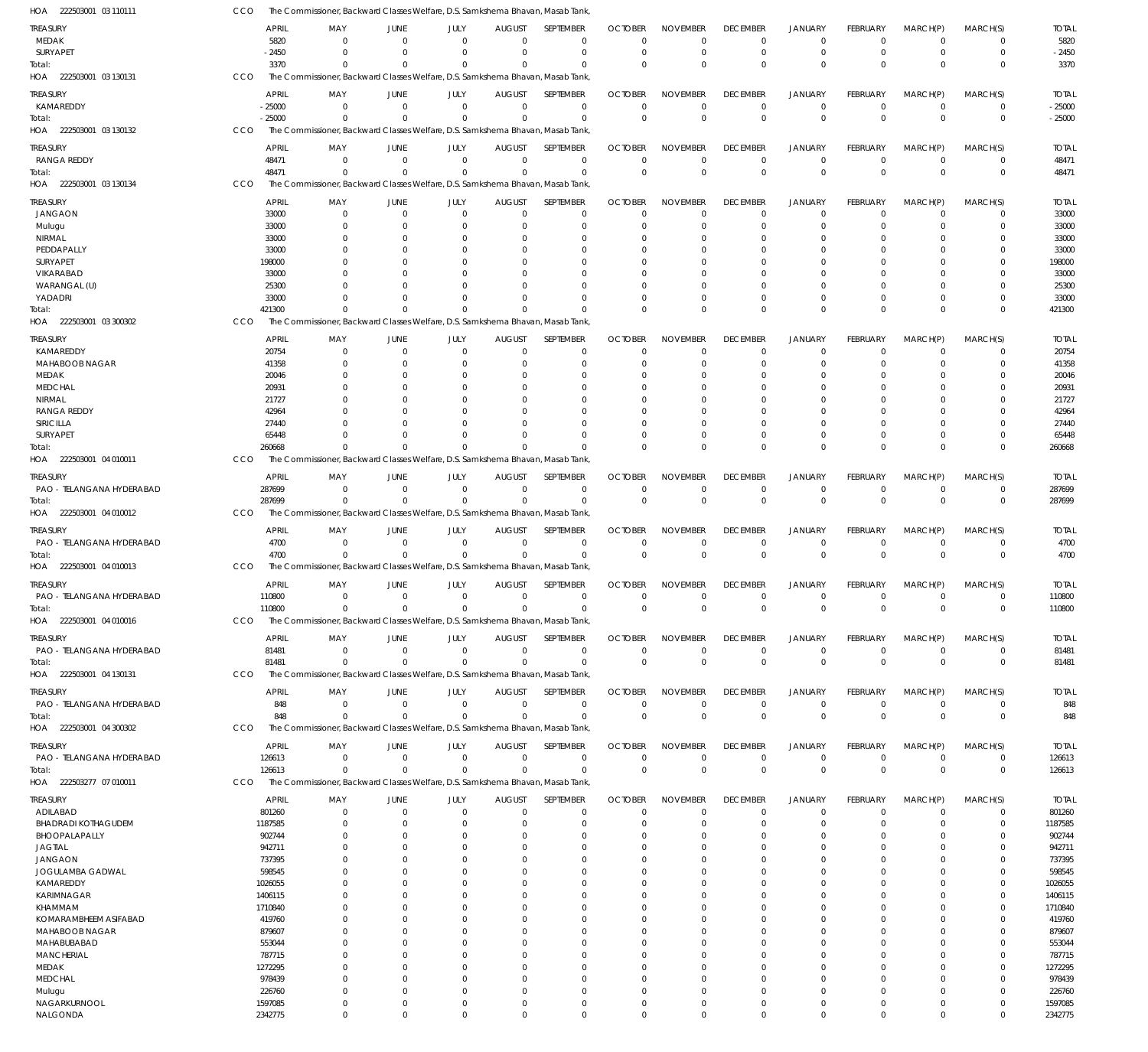| HOA 222503001 03 110111              |     |                   | The Commissioner, Backward Classes Welfare, D.S. Samkshema Bhavan, Masab Tank              |                        |                      |                              |                                 |                               |                                |                                |                            |                      |                      |                         |                   |
|--------------------------------------|-----|-------------------|--------------------------------------------------------------------------------------------|------------------------|----------------------|------------------------------|---------------------------------|-------------------------------|--------------------------------|--------------------------------|----------------------------|----------------------|----------------------|-------------------------|-------------------|
| TREASURY                             |     | <b>APRIL</b>      | MAY                                                                                        | JUNE                   | <b>JULY</b>          | <b>AUGUST</b>                | SEPTEMBER                       | <b>OCTOBER</b>                | <b>NOVEMBER</b>                | <b>DECEMBER</b>                | <b>JANUARY</b>             | FEBRUARY             | MARCH(P)             | MARCH(S)                | <b>TOTAL</b>      |
| MEDAK                                |     | 5820              | $\Omega$                                                                                   | $\Omega$               | $\Omega$             | $\Omega$                     | $\mathbf 0$                     | $\Omega$                      | $\Omega$                       | $\Omega$                       | $\Omega$                   | $\Omega$             | $\Omega$             | 0                       | 5820              |
| SURYAPET                             |     | $-2450$           | $\Omega$                                                                                   | $\Omega$               | $\Omega$             | $\Omega$                     | $\mathbf 0$                     | $\overline{0}$                | $\mathbf 0$                    | $\mathbf 0$                    | $\Omega$                   | $\overline{0}$       | $\Omega$             | $\mathbf 0$             | $-2450$           |
| Total:                               |     | 3370              | $\Omega$                                                                                   | $\Omega$               | $\Omega$             | $\Omega$                     | $\Omega$                        | $\Omega$                      | $\Omega$                       | $\Omega$                       | $\Omega$                   | $\Omega$             | $\Omega$             | $\mathbf 0$             | 3370              |
| HOA 222503001 03 130131              | CCO |                   | The Commissioner, Backward Classes Welfare, D.S. Samkshema Bhavan, Masab Tank              |                        |                      |                              |                                 |                               |                                |                                |                            |                      |                      |                         |                   |
| treasury                             |     | <b>APRIL</b>      | MAY                                                                                        | JUNE                   | JULY                 | <b>AUGUST</b>                | SEPTEMBER                       | <b>OCTOBER</b>                | <b>NOVEMBER</b>                | <b>DECEMBER</b>                | <b>JANUARY</b>             | FEBRUARY             | MARCH(P)             | MARCH(S)                | <b>TOTAL</b>      |
| KAMAREDDY                            |     | $-25000$          | - 0                                                                                        | $\overline{0}$         | $\mathbf{0}$         | $\mathbf 0$                  | $\mathbf 0$                     | 0                             | $\mathbf 0$                    | 0                              | 0                          | $^{\circ}$           | $\mathbf 0$          | $^{\circ}$              | $-25000$          |
| Total:                               |     | $-25000$          | $\Omega$                                                                                   | $\Omega$               | $\Omega$             | $\Omega$                     | $\mathbf 0$                     | $\Omega$                      | $\mathbf 0$                    | $\Omega$                       | $\Omega$                   | $\Omega$             | $\Omega$             | $\mathbf 0$             | $-25000$          |
| HOA 222503001 03 130132              | CCO |                   | The Commissioner, Backward Classes Welfare, D.S. Samkshema Bhavan, Masab Tank,             |                        |                      |                              |                                 |                               |                                |                                |                            |                      |                      |                         |                   |
| treasury                             |     | APRIL             | MAY                                                                                        | JUNE                   | JULY                 | <b>AUGUST</b>                | SEPTEMBER                       | <b>OCTOBER</b>                | <b>NOVEMBER</b>                | <b>DECEMBER</b>                | <b>JANUARY</b>             | FEBRUARY             | MARCH(P)             | MARCH(S)                | <b>TOTAL</b>      |
| <b>RANGA REDDY</b>                   |     | 48471             | $\Omega$                                                                                   | $\Omega$               | $\mathbf 0$          | $\overline{0}$               | $\mathbf 0$                     | $\Omega$                      | $\mathbf 0$                    | $\mathbf 0$                    | $\Omega$                   | $\Omega$             | $\overline{0}$       | $\overline{0}$          | 48471             |
| Total:                               |     | 48471             | $\Omega$                                                                                   | $\Omega$               | $\Omega$             | $\Omega$                     | $\mathbf 0$                     | $\Omega$                      | $\mathbf 0$                    | $\Omega$                       | $\Omega$                   | $\Omega$             | $\Omega$             | $\mathbf 0$             | 48471             |
| HOA 222503001 03 130134              | CCO |                   | The Commissioner, Backward Classes Welfare, D.S. Samkshema Bhavan, Masab Tank              |                        |                      |                              |                                 |                               |                                |                                |                            |                      |                      |                         |                   |
|                                      |     |                   |                                                                                            |                        |                      |                              |                                 |                               |                                |                                |                            |                      |                      |                         |                   |
| TREASURY                             |     | <b>APRIL</b>      | MAY<br>$\Omega$                                                                            | JUNE<br>$\overline{0}$ | JULY<br>$\mathbf{0}$ | <b>AUGUST</b><br>$\mathbf 0$ | <b>SEPTEMBER</b><br>$\mathbf 0$ | <b>OCTOBER</b><br>$\mathbf 0$ | <b>NOVEMBER</b><br>$\mathbf 0$ | <b>DECEMBER</b><br>$\mathbf 0$ | <b>JANUARY</b><br>$\Omega$ | FEBRUARY<br>$\Omega$ | MARCH(P)<br>$\Omega$ | MARCH(S)<br>$\mathbf 0$ | <b>TOTAL</b>      |
| <b>JANGAON</b>                       |     | 33000<br>33000    |                                                                                            | $\Omega$               | 0                    | $\Omega$                     | $\mathbf 0$                     | 0                             | $\mathbf 0$                    | $\Omega$                       | $\Omega$                   | $\Omega$             | $\Omega$             | 0                       | 33000<br>33000    |
| Mulugu<br>NIRMAL                     |     | 33000             |                                                                                            | $\Omega$               | n                    | n                            | $\Omega$                        | $\Omega$                      | $\Omega$                       |                                |                            |                      |                      |                         | 33000             |
| PEDDAPALLY                           |     | 33000             |                                                                                            | $\Omega$               |                      | $\Omega$                     | 0                               | 0                             | $\Omega$                       |                                |                            |                      |                      | 0                       | 33000             |
| SURYAPET                             |     | 198000            |                                                                                            |                        |                      | $\Omega$                     | $\Omega$                        | $\Omega$                      | $\Omega$                       |                                |                            |                      | $\Omega$             | 0                       | 198000            |
| VIKARABAD                            |     | 33000             |                                                                                            | $\Omega$               | n                    | $\Omega$                     | $\Omega$                        | $\Omega$                      | $\Omega$                       |                                |                            |                      | $\Omega$             | 0                       | 33000             |
| WARANGAL (U)                         |     | 25300             |                                                                                            |                        |                      | $\Omega$                     | $\Omega$                        | $\Omega$                      | $\Omega$                       |                                |                            |                      |                      | $\Omega$                | 25300             |
| YADADRI                              |     | 33000             |                                                                                            | $\Omega$               | $\Omega$             | $\Omega$                     | $\mathbf 0$                     | 0                             | $\mathbf 0$                    | $\Omega$                       | $\Omega$                   | $\Omega$             | $\Omega$             | 0                       | 33000             |
| Total:                               |     | 421300            | $\cap$                                                                                     | $\Omega$               | $\Omega$             | $\Omega$                     | $\Omega$                        | $\Omega$                      | $\Omega$                       | $\Omega$                       | $\Omega$                   | $\Omega$             | $\Omega$             | $\mathbf 0$             | 421300            |
| HOA 222503001 03 300302              | CCO |                   | The Commissioner, Backward Classes Welfare, D.S. Samkshema Bhavan, Masab Tank,             |                        |                      |                              |                                 |                               |                                |                                |                            |                      |                      |                         |                   |
| treasury                             |     | <b>APRIL</b>      | MAY                                                                                        | JUNE                   | JULY                 | <b>AUGUST</b>                | SEPTEMBER                       | <b>OCTOBER</b>                | <b>NOVEMBER</b>                | <b>DECEMBER</b>                | <b>JANUARY</b>             | FEBRUARY             | MARCH(P)             | MARCH(S)                | <b>TOTAL</b>      |
| KAMAREDDY                            |     | 20754             | - 0                                                                                        | $\Omega$               | $\mathbf{0}$         | $\mathbf 0$                  | $\mathbf 0$                     | $\Omega$                      | $\Omega$                       | $\Omega$                       | $\Omega$                   | $\Omega$             | $\Omega$             | 0                       | 20754             |
| <b>MAHABOOB NAGAR</b>                |     | 41358             | $\Omega$                                                                                   | $\Omega$               | $\Omega$             | $\Omega$                     | $\mathbf 0$                     | 0                             | $\Omega$                       | $\Omega$                       | $\Omega$                   | $\Omega$             | $\Omega$             | $\Omega$                | 41358             |
| MEDAK                                |     | 20046             |                                                                                            | $\Omega$               |                      | $\Omega$                     | 0                               | $\Omega$                      | $\Omega$                       | $\Omega$                       | $\Omega$                   |                      | $\Omega$             | $\Omega$                | 20046             |
| <b>MEDCHAL</b>                       |     | 20931             |                                                                                            | $\Omega$               | $\Omega$             | $\Omega$                     | $\Omega$                        | $\Omega$                      | $\Omega$                       |                                | $\Omega$                   |                      | $\Omega$             | $\Omega$                | 20931             |
| NIRMAL                               |     | 21727             |                                                                                            | $\Omega$               |                      | $\Omega$                     | $\Omega$                        | 0                             | $\Omega$                       |                                |                            |                      | $\Omega$             |                         | 21727             |
| <b>RANGA REDDY</b>                   |     | 42964             |                                                                                            | $\Omega$               |                      | $\Omega$                     | $\Omega$                        | $\Omega$                      | $\Omega$                       |                                |                            |                      | $\Omega$             | $\Omega$                | 42964             |
| SIRICILLA                            |     | 27440             |                                                                                            | $\Omega$               | $\Omega$             | $\Omega$                     | $\Omega$                        | $\Omega$                      | $\Omega$                       | $\Omega$                       | $\Omega$                   |                      | $\Omega$             | $\Omega$                | 27440             |
| SURYAPET                             |     | 65448             |                                                                                            | $\cap$                 | $\Omega$             | $\Omega$                     | $\Omega$                        | $\Omega$                      | $\Omega$                       | $\Omega$                       | $\Omega$                   | $\Omega$             | $\Omega$             | 0                       | 65448             |
| Total:                               |     | 260668            | $\Omega$                                                                                   | $\Omega$               | $\Omega$             | $\Omega$                     | $\Omega$                        | $\Omega$                      | $\Omega$                       | $\Omega$                       | $\Omega$                   | $\Omega$             | $\Omega$             | $\Omega$                | 260668            |
| HOA 222503001 04 010011              | CCO |                   | The Commissioner, Backward Classes Welfare, D.S. Samkshema Bhavan, Masab Tank,             |                        |                      |                              |                                 |                               |                                |                                |                            |                      |                      |                         |                   |
| treasury                             |     | <b>APRIL</b>      | MAY                                                                                        | JUNE                   | JULY                 | <b>AUGUST</b>                | SEPTEMBER                       | <b>OCTOBER</b>                | <b>NOVEMBER</b>                | <b>DECEMBER</b>                | <b>JANUARY</b>             | FEBRUARY             | MARCH(P)             | MARCH(S)                | <b>TOTAL</b>      |
| PAO - TELANGANA HYDERABAD            |     | 287699            | $\Omega$                                                                                   | $\Omega$               | $\mathbf{0}$         | $\mathbf 0$                  | $\mathbf 0$                     | 0                             | $\mathbf 0$                    | 0                              | 0                          | $^{\circ}$           | $\mathbf 0$          | $\overline{0}$          | 287699            |
| Total:                               |     | 287699            | $\Omega$                                                                                   | $\Omega$               | $\mathbf{0}$         | $\Omega$                     | $\mathbf 0$                     | $\Omega$                      | $\mathbf 0$                    | $\Omega$                       | $\Omega$                   | $\overline{0}$       | $\overline{0}$       | $\mathbf 0$             | 287699            |
| HOA 222503001 04 010012              | CCO |                   | The Commissioner, Backward Classes Welfare, D.S. Samkshema Bhavan, Masab Tank,             |                        |                      |                              |                                 |                               |                                |                                |                            |                      |                      |                         |                   |
| treasury                             |     | <b>APRIL</b>      |                                                                                            | JUNE                   | JULY                 | <b>AUGUST</b>                | SEPTEMBER                       | <b>OCTOBER</b>                | <b>NOVEMBER</b>                | <b>DECEMBER</b>                | <b>JANUARY</b>             | FEBRUARY             | MARCH(P)             | MARCH(S)                | <b>TOTAL</b>      |
| PAO - TELANGANA HYDERABAD            |     | 4700              | MAY<br>$\Omega$                                                                            | $\Omega$               | $\mathbf{0}$         | $\overline{0}$               | $\mathbf 0$                     | $\overline{0}$                | $\mathbf 0$                    | 0                              | 0                          | $\overline{0}$       | $\overline{0}$       | $\overline{0}$          | 4700              |
| Total:                               |     | 4700              | $\Omega$                                                                                   | $\Omega$               | $\Omega$             | $\Omega$                     | $\mathbf 0$                     | $\Omega$                      | $\mathbf 0$                    | $\Omega$                       | $\Omega$                   | $\Omega$             | $\Omega$             | $\mathbf 0$             | 4700              |
| HOA 222503001 04 010013              | CCO |                   | The Commissioner, Backward Classes Welfare, D.S. Samkshema Bhavan, Masab Tank              |                        |                      |                              |                                 |                               |                                |                                |                            |                      |                      |                         |                   |
|                                      |     |                   |                                                                                            |                        |                      |                              |                                 |                               |                                |                                |                            |                      |                      |                         |                   |
| treasury                             |     | <b>APRIL</b>      | MAY                                                                                        | JUNE                   | JULY                 | <b>AUGUST</b>                | SEPTEMBER                       | <b>OCTOBER</b>                | <b>NOVEMBER</b>                | <b>DECEMBER</b>                | <b>JANUARY</b>             | <b>FEBRUARY</b>      | MARCH(P)             | MARCH(S)                | <b>TOTAL</b>      |
| PAO - TELANGANA HYDERABAD            |     | 110800            | $\overline{0}$                                                                             | $\mathbf 0$            | $\mathbf{0}$         | $\overline{0}$<br>$\Omega$   | $\mathbf 0$                     | $\mathbf 0$                   | $\mathbf 0$                    | $\mathbf 0$                    | $\mathbf 0$                | $\mathbf 0$          | $\mathbf 0$          | $^{\circ}$              | 110800            |
| iotal:<br>HOA<br>222503001 04 010016 | CCO | 110800            | $\Omega$<br>The Commissioner, Backward Classes Welfare, D.S. Samkshema Bhavan, Masab Tank, | $\mathbf 0$            | $\mathbf{0}$         |                              | $\mathbf 0$                     | $\mathbf 0$                   | $\mathbf 0$                    | $\Omega$                       | $\mathbf{0}$               | $^{\circ}$           | $\mathbf{0}$         | $\mathbf 0$             | 110800            |
|                                      |     |                   |                                                                                            |                        |                      |                              |                                 |                               |                                |                                |                            |                      |                      |                         |                   |
| treasury                             |     | APRIL             | MAY                                                                                        | JUNE                   | JULY                 | <b>AUGUST</b>                | SEPTEMBER                       | <b>OCTOBER</b>                | <b>NOVEMBER</b>                | <b>DECEMBER</b>                | <b>JANUARY</b>             | <b>FEBRUARY</b>      | MARCH(P)             | MARCH(S)                | <b>TOTAL</b>      |
| PAO - TELANGANA HYDERABAD            |     | 81481             | $\Omega$                                                                                   | $\mathbf 0$            | $\overline{0}$       | $\overline{0}$               | $\mathbf 0$                     | $\Omega$                      | $\mathbf 0$                    | $\mathbf 0$                    | $\mathbf 0$                | $^{\circ}$           | $\mathbf 0$          | $^{\circ}$              | 81481             |
| Total:                               |     | 81481             | $\Omega$                                                                                   | $\Omega$               | $\Omega$             | $\Omega$                     | $\mathbf 0$                     | $\mathbf 0$                   | $\mathbf 0$                    | $\mathbf 0$                    | $\mathbf{0}$               | $\Omega$             | $\mathbf 0$          | $\overline{0}$          | 81481             |
| HOA 222503001 04 130131              | CCO |                   | The Commissioner, Backward Classes Welfare, D.S. Samkshema Bhavan, Masab Tank,             |                        |                      |                              |                                 |                               |                                |                                |                            |                      |                      |                         |                   |
| treasury                             |     | <b>APRIL</b>      | MAY                                                                                        | JUNE                   | JULY                 | <b>AUGUST</b>                | SEPTEMBER                       | <b>OCTOBER</b>                | <b>NOVEMBER</b>                | <b>DECEMBER</b>                | JANUARY                    | <b>FEBRUARY</b>      | MARCH(P)             | MARCH(S)                | <b>TOTAL</b>      |
| PAO - TELANGANA HYDERABAD            |     | 848               | $^{\circ}$                                                                                 | $\overline{0}$         | $\mathbf{0}$         | $\overline{0}$               | 0                               | 0                             | 0                              | $^{\circ}$                     | 0                          | $^{\circ}$           | $\overline{0}$       | $\mathbf 0$             | 848               |
| Total:                               |     | 848               | $\Omega$                                                                                   | $\Omega$               | $\mathbf{0}$         | $\Omega$                     | $\mathbf 0$                     | $\mathbf 0$                   | $\mathbf 0$                    | $\Omega$                       | $\mathbf 0$                | $\mathbf 0$          | $\overline{0}$       | $\mathbf 0$             | 848               |
| HOA 222503001 04 300302              | CCO |                   | The Commissioner, Backward Classes Welfare, D.S. Samkshema Bhavan, Masab Tank,             |                        |                      |                              |                                 |                               |                                |                                |                            |                      |                      |                         |                   |
| treasury                             |     | <b>APRIL</b>      | MAY                                                                                        | JUNE                   | JULY                 | <b>AUGUST</b>                | SEPTEMBER                       | <b>OCTOBER</b>                | <b>NOVEMBER</b>                | <b>DECEMBER</b>                | <b>JANUARY</b>             | <b>FEBRUARY</b>      | MARCH(P)             | MARCH(S)                | <b>TOTAL</b>      |
| PAO - TELANGANA HYDERABAD            |     | 126613            | $\Omega$                                                                                   | $\overline{0}$         | $\overline{0}$       | $\overline{0}$               | $\mathbf 0$                     | $\overline{0}$                | $\mathbf 0$                    | $\mathbf 0$                    | $\mathbf 0$                | $\overline{0}$       | $\overline{0}$       | $\overline{0}$          | 126613            |
| Total:                               |     | 126613            | $\Omega$                                                                                   | $\Omega$               | $\Omega$             | $\Omega$                     | $\mathbf 0$                     | $\Omega$                      | $\mathbf 0$                    | $\Omega$                       | $\Omega$                   | $\Omega$             | $\Omega$             | $\mathbf 0$             | 126613            |
| HOA<br>222503277 07 010011           | CCO |                   | The Commissioner, Backward Classes Welfare, D.S. Samkshema Bhavan, Masab Tank,             |                        |                      |                              |                                 |                               |                                |                                |                            |                      |                      |                         |                   |
| TREASURY                             |     | APRIL             | MAY                                                                                        | JUNE                   | JULY                 | <b>AUGUST</b>                | SEPTEMBER                       | <b>OCTOBER</b>                | <b>NOVEMBER</b>                | <b>DECEMBER</b>                | <b>JANUARY</b>             | <b>FEBRUARY</b>      | MARCH(P)             | MARCH(S)                | <b>TOTAL</b>      |
| ADILABAD                             |     | 801260            | $^{\circ}$                                                                                 | $\overline{0}$         | $\mathbf{0}$         | $\mathbf 0$                  | $\mathbf 0$                     | $\mathbf 0$                   | $\mathbf 0$                    | $\mathbf 0$                    | $\Omega$                   | $\overline{0}$       | $\Omega$             | $\overline{0}$          | 801260            |
| <b>BHADRADI KOTHAGUDEM</b>           |     | 1187585           | $\Omega$                                                                                   | $\Omega$               | 0                    | $\mathbf 0$                  | $\mathbf 0$                     | 0                             | $\mathbf 0$                    | 0                              | $\Omega$                   | $\Omega$             | $\Omega$             | 0                       | 1187585           |
| BHOOPALAPALLY                        |     | 902744            | $\Omega$                                                                                   | $\Omega$               | 0                    | $\Omega$                     | 0                               | 0                             | 0                              | $\Omega$                       | $\Omega$                   | $\Omega$             |                      | $\Omega$                | 902744            |
| <b>JAGTIAL</b>                       |     | 942711            | 0                                                                                          | - 0                    | 0                    | $\Omega$                     | $\mathbf 0$                     | 0                             | 0                              | $\Omega$                       | $\Omega$                   | $\Omega$             | $\Omega$             | 0                       | 942711            |
| <b>JANGAON</b>                       |     | 737395            |                                                                                            | $\Omega$               | $\Omega$             | $\Omega$                     | $\mathbf 0$                     | 0                             | $\mathbf 0$                    | $\Omega$                       | $\Omega$                   |                      | $\Omega$             | $\Omega$                | 737395            |
| JOGULAMBA GADWAL                     |     | 598545            |                                                                                            | $\Omega$               | 0                    | $\Omega$                     | $\mathbf 0$                     | 0                             | $\Omega$                       | $\Omega$                       | $\Omega$                   | $\Omega$             | $\Omega$             | 0                       | 598545            |
| KAMAREDDY                            |     | 1026055           |                                                                                            | $\Omega$               |                      | $\Omega$                     | $\Omega$                        | 0                             | $\Omega$                       | $\Omega$                       |                            |                      | $\Omega$             | $\Omega$                | 1026055           |
| KARIMNAGAR                           |     | 1406115           | 0                                                                                          | $\Omega$               | 0                    | $\Omega$                     | $\mathbf 0$                     | 0                             | $\mathbf 0$                    | $\Omega$                       | $\Omega$                   | $\Omega$             | $\Omega$             | 0                       | 1406115           |
| KHAMMAM                              |     | 1710840           |                                                                                            | $\Omega$               | $\Omega$             | $\Omega$                     | $\Omega$                        | 0                             | $\Omega$                       | $\Omega$                       | $\cap$                     |                      | $\Omega$             | $\Omega$                | 1710840           |
| KOMARAMBHEEM ASIFABAD                |     | 419760            | 0                                                                                          | $\Omega$               | 0                    | $\Omega$                     | $\mathbf 0$                     | 0                             | $\Omega$                       | $\Omega$                       | $\Omega$                   | $\Omega$             | $\Omega$             | 0                       | 419760            |
| MAHABOOB NAGAR                       |     | 879607            |                                                                                            | $\Omega$               | 0                    | $\Omega$                     | 0                               | 0                             | $\mathbf 0$                    | $\Omega$                       |                            |                      | $\Omega$             | $\Omega$                | 879607            |
| MAHABUBABAD                          |     | 553044            |                                                                                            | $\Omega$               | 0                    | $\Omega$                     | 0                               | 0                             | $\mathbf 0$                    | $\Omega$                       | $\Omega$                   |                      | $\Omega$             | 0                       | 553044            |
| <b>MANCHERIAL</b>                    |     | 787715            |                                                                                            | $\Omega$               | 0                    | $\Omega$                     | $\Omega$                        | 0                             | $\Omega$                       | $\Omega$                       |                            |                      | $\Omega$             | $\Omega$                | 787715            |
| MEDAK                                |     | 1272295           | 0                                                                                          | $\Omega$               | 0                    | $\Omega$                     | $\mathbf 0$                     | 0                             | 0                              | $\Omega$                       | $\Omega$                   | $\Omega$             | $\Omega$             | 0                       | 1272295           |
| <b>MEDCHAL</b>                       |     | 978439            | 0                                                                                          | $\Omega$<br>$\Omega$   | $\Omega$             | $\Omega$<br>$\Omega$         | $\Omega$                        | 0                             | $\mathbf 0$                    | $\Omega$                       | $\Omega$<br>$\Omega$       |                      | $\Omega$<br>$\Omega$ | $\Omega$                | 978439            |
| Mulugu<br>NAGARKURNOOL               |     | 226760<br>1597085 | $\Omega$<br>$\Omega$                                                                       | $\overline{0}$         | $\Omega$<br>$\Omega$ | $\mathbf 0$                  | $\mathbf 0$<br>$\mathbf 0$      | 0<br>0                        | $\mathbf 0$<br>$\mathbf 0$     | $\Omega$<br>$\Omega$           | $\Omega$                   | $\Omega$<br>$\Omega$ | $\Omega$             | 0<br>0                  | 226760<br>1597085 |
| NALGONDA                             |     | 2342775           | $\mathbf 0$                                                                                | $\mathbf 0$            | $\mathbf{0}$         | $\overline{0}$               | $\mathbf 0$                     | $\mathbf 0$                   | $\mathbf 0$                    | $\mathbf 0$                    | $\Omega$                   | $\mathbf 0$          | $\mathbf 0$          | $\mathbf 0$             | 2342775           |
|                                      |     |                   |                                                                                            |                        |                      |                              |                                 |                               |                                |                                |                            |                      |                      |                         |                   |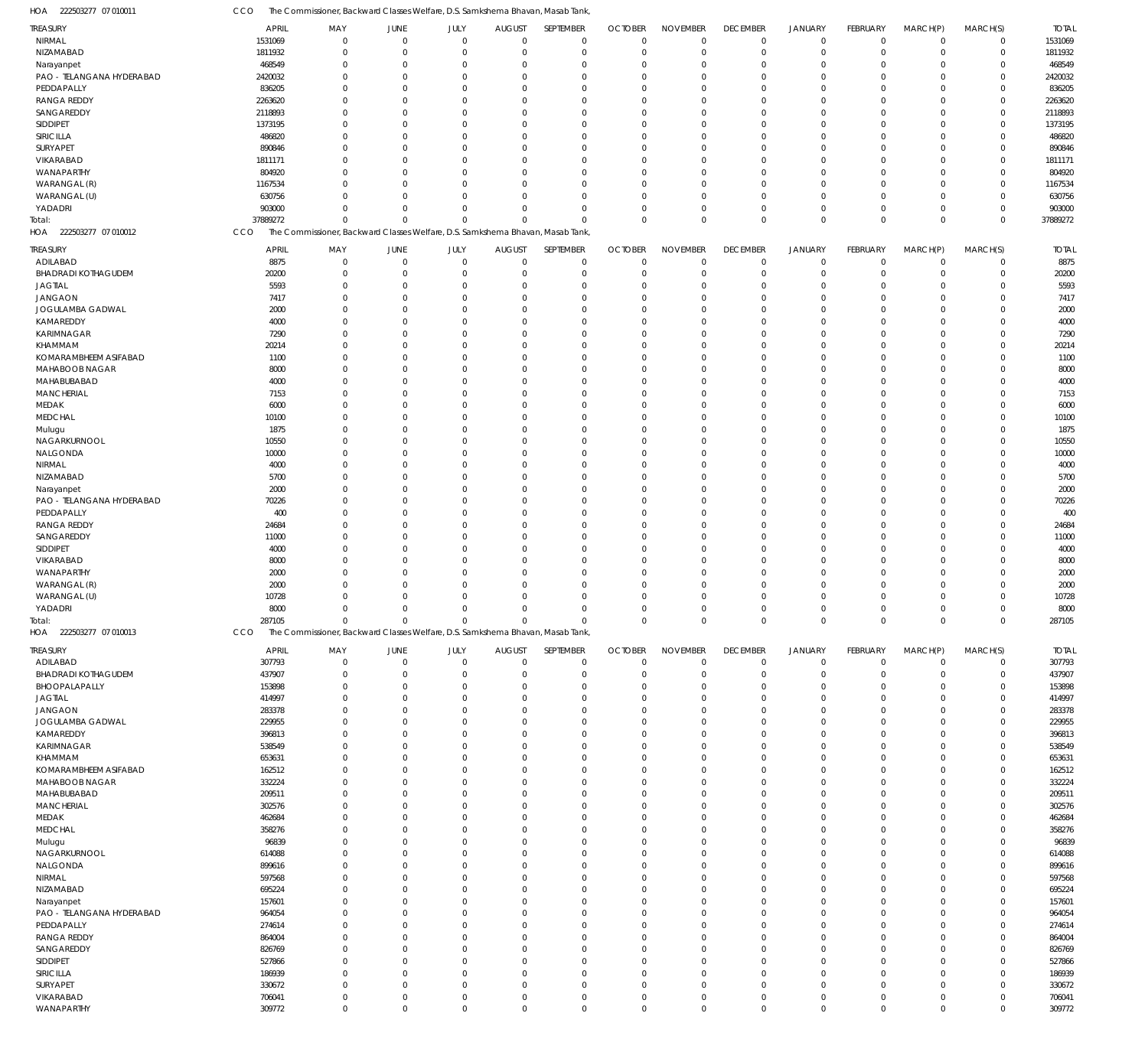222503277 07 010011 HOA CCO The Commissioner, Backward Classes Welfare, D.S. Samkshema Bhavan, Masab Tank,

| TREASURY                   | <b>APRIL</b>     | MAY                                                                           | <b>JUNE</b>         | JULY                       | <b>AUGUST</b>           | SEPTEMBER                  | <b>OCTOBER</b> | <b>NOVEMBER</b>            | <b>DECEMBER</b>            | <b>JANUARY</b>             | FEBRUARY         | MARCH(P)                         | MARCH(S)                   | <b>TOTAL</b>     |
|----------------------------|------------------|-------------------------------------------------------------------------------|---------------------|----------------------------|-------------------------|----------------------------|----------------|----------------------------|----------------------------|----------------------------|------------------|----------------------------------|----------------------------|------------------|
| NIRMAL                     | 1531069          | $\boldsymbol{0}$                                                              | $\overline{0}$      | $\mathbf 0$                | $\Omega$                | $\mathbf 0$                | $\mathbf 0$    | $\mathbf 0$                | $\mathbf 0$                | $\mathbf 0$                | $\mathbf 0$      | $\overline{0}$                   | $\mathbf 0$                | 1531069          |
| NIZAMABAD                  | 1811932          | $\mathbf 0$                                                                   | $\overline{0}$      | $\Omega$                   | $\Omega$                | $\mathbf 0$                | $\Omega$       | $\overline{0}$             | $\mathbf 0$                | $\mathbf 0$                | $\mathbf 0$      | $\overline{0}$                   | $\mathbf 0$                | 1811932          |
| Narayanpet                 | 468549           | $\mathbf 0$                                                                   | $\Omega$            | $\Omega$                   |                         | $\Omega$                   | $\Omega$       | $\overline{0}$             | $\mathbf 0$                | $\overline{0}$             | $\Omega$         | $\Omega$                         | $\mathbf 0$                | 468549           |
| PAO - TELANGANA HYDERABAD  | 2420032          | $\mathbf 0$                                                                   | $\Omega$            | $\Omega$                   |                         | $\Omega$                   | $\Omega$       | $\Omega$                   | $\mathbf 0$                | $\Omega$                   | $\Omega$         | $\Omega$                         | $\Omega$                   | 2420032          |
| PEDDAPALLY                 | 836205           | $\mathbf 0$                                                                   | $\Omega$            | $\Omega$                   |                         | $\Omega$                   | $\Omega$       | $\overline{0}$             | $\mathbf 0$                | $\Omega$                   | $\Omega$         | $\Omega$                         | $\mathbf 0$                | 836205           |
| <b>RANGA REDDY</b>         | 2263620          | $\mathbf 0$                                                                   | $\Omega$            | $\Omega$                   |                         | $\Omega$                   | $\Omega$       | $\Omega$                   | $\Omega$                   | $\Omega$                   | $\Omega$         | $\Omega$                         | $\Omega$                   | 2263620          |
| SANGAREDDY                 | 2118893          | $\mathbf 0$                                                                   | $\Omega$            | $\Omega$                   |                         | $\Omega$                   | $\Omega$       | $\overline{0}$             | $\mathbf 0$                | $\Omega$                   | $\Omega$         | $\Omega$                         | $\mathbf 0$                | 2118893          |
|                            |                  |                                                                               |                     | $\Omega$                   |                         | $\Omega$                   |                | $\Omega$                   |                            | $\Omega$                   |                  |                                  | $\Omega$                   |                  |
| SIDDIPET                   | 1373195          | $\mathbf 0$                                                                   | $\Omega$            |                            |                         |                            | $\Omega$       |                            | $\Omega$                   |                            | $\Omega$         | $\Omega$                         |                            | 1373195          |
| SIRICILLA                  | 486820           | $\mathbf 0$                                                                   | $\Omega$            | $\Omega$                   |                         | $\Omega$                   | $\Omega$       | $\overline{0}$             | $\Omega$                   | $\Omega$                   | $\Omega$         | $\Omega$                         | $\mathbf 0$                | 486820           |
| SURYAPET                   | 890846           | $\mathbf 0$                                                                   | C.                  | $\Omega$                   |                         | $\Omega$                   | $\Omega$       | $\overline{0}$             | $\mathbf 0$                | $\Omega$                   | $\Omega$         | $\Omega$                         | $\mathbf 0$                | 890846           |
| VIKARABAD                  | 1811171          | $\mathbf 0$                                                                   | $\Omega$            | $\Omega$                   |                         | $\Omega$                   | $\Omega$       | $\overline{0}$             | $\mathbf 0$                | $\Omega$                   | $\Omega$         | $\Omega$                         | $\mathbf 0$                | 1811171          |
| WANAPARTHY                 | 804920           | $\Omega$                                                                      | -C                  | $\Omega$                   |                         | $\Omega$                   | $\Omega$       | $\Omega$                   | $\Omega$                   | $\Omega$                   | $\Omega$         | $\Omega$                         | $\Omega$                   | 804920           |
| WARANGAL (R)               | 1167534          | $\mathbf 0$                                                                   | $\Omega$            | $\Omega$                   |                         | $\Omega$                   | $\Omega$       | $\overline{0}$             | $\mathbf 0$                | $\Omega$                   | $\Omega$         | $\Omega$                         | $\mathbf 0$                | 1167534          |
| WARANGAL (U)               | 630756           | $\Omega$                                                                      | $\Omega$            | $\Omega$                   |                         | $\Omega$                   | $\Omega$       | $\overline{0}$             | $\mathbf 0$                | $\Omega$                   | $\Omega$         | $\Omega$                         | $\Omega$                   | 630756           |
| YADADRI                    | 903000           | $\mathbf 0$                                                                   | $\Omega$            | $\Omega$                   | $\Omega$                | $\Omega$                   | $\Omega$       | $\mathbf 0$                | $\mathbf 0$                | $\overline{0}$             | $\Omega$         | $\mathbf 0$                      | $\mathbf 0$                | 903000           |
| Total:                     | 37889272         | $\mathbf 0$                                                                   | $\Omega$            | $\Omega$                   | $\Omega$                | $\Omega$                   | $\Omega$       | $\mathbf 0$                | $\mathbf{0}$               | $\mathbf 0$                | $\Omega$         | $\mathbf 0$                      | $\mathbf 0$                | 37889272         |
| HOA 222503277 07 010012    | <b>CCO</b>       | The Commissioner, Backward Classes Welfare, D.S. Samkshema Bhavan, Masab Tank |                     |                            |                         |                            |                |                            |                            |                            |                  |                                  |                            |                  |
|                            |                  |                                                                               |                     |                            |                         |                            |                |                            |                            |                            |                  |                                  |                            |                  |
| TREASURY                   | APRIL            | MAY                                                                           | JUNE                | JULY                       | <b>AUGUST</b>           | SEPTEMBER                  | <b>OCTOBER</b> | <b>NOVEMBER</b>            | <b>DECEMBER</b>            | <b>JANUARY</b>             | FEBRUARY         | MARCH(P)                         | MARCH(S)                   | <b>TOTAL</b>     |
| ADILABAD                   | 8875             | $\boldsymbol{0}$                                                              | $\overline{0}$      | $\mathbf 0$                | $\Omega$                | $\mathbf 0$                | $\Omega$       | $\mathbf 0$                | 0                          | $\mathbf 0$                | $\mathbf 0$      | $\overline{0}$                   | $\mathbf 0$                | 8875             |
| <b>BHADRADI KOTHAGUDEM</b> | 20200            | $\mathbf 0$                                                                   | $\Omega$            | $\Omega$                   | $\Omega$                | $\mathbf 0$                | $\Omega$       | $\mathbf 0$                | $\mathbf 0$                | $\mathbf 0$                | $\mathbf 0$      | $\overline{0}$                   | $\mathbf 0$                | 20200            |
| <b>JAGTIAL</b>             | 5593             | $\mathbf 0$                                                                   | $\Omega$            | $\Omega$                   | $\Omega$                | $\mathbf 0$                | $\Omega$       | $\mathbf 0$                | $\mathbf 0$                | $\overline{0}$             | $\Omega$         | $\Omega$                         | $\mathbf 0$                | 5593             |
| <b>JANGAON</b>             | 7417             | $\mathbf 0$                                                                   | $\Omega$            | $\Omega$                   | $\Omega$                | $\Omega$                   | $\Omega$       | $\mathbf 0$                | $\Omega$                   | $\overline{0}$             | $\Omega$         | $\Omega$                         | $\mathbf 0$                | 7417             |
| JOGULAMBA GADWAL           | 2000             | $\mathbf 0$                                                                   | $\Omega$            | $\Omega$                   | $\Omega$                | $\Omega$                   | $\Omega$       | $\mathbf 0$                | $\mathbf 0$                | $\Omega$                   | $\Omega$         | $\Omega$                         | $\mathbf 0$                | 2000             |
| KAMAREDDY                  | 4000             | $\mathbf 0$                                                                   | $\Omega$            | $\Omega$                   |                         | $\Omega$                   | $\Omega$       | $\mathbf 0$                | $\Omega$                   | $\Omega$                   | $\Omega$         | $\Omega$                         | $\mathbf 0$                | 4000             |
| <b>KARIMNAGAR</b>          | 7290             | $\mathbf 0$                                                                   | $\Omega$            | $\Omega$                   | $\cap$                  | $\Omega$                   | $\Omega$       | $\mathbf 0$                | $\Omega$                   | $\Omega$                   | $\Omega$         | $\Omega$                         | $\mathbf 0$                | 7290             |
| KHAMMAM                    | 20214            | $\Omega$                                                                      | $\Omega$            | $\Omega$                   | $\Omega$                | $\Omega$                   | $\Omega$       | $\mathbf 0$                | $\Omega$                   | $\Omega$                   | $\Omega$         | $\Omega$                         | $\mathbf 0$                | 20214            |
| KOMARAMBHEEM ASIFABAD      | 1100             | $\mathbf 0$                                                                   | $\Omega$            | $\Omega$                   |                         | $\Omega$                   | $\Omega$       | $\mathbf 0$                | $\mathbf 0$                | $\Omega$                   | $\Omega$         | $\Omega$                         | $\mathbf 0$                | 1100             |
|                            |                  | $\Omega$                                                                      | $\Omega$            | $\Omega$                   |                         | $\Omega$                   | $\Omega$       | $\mathbf 0$                | $\Omega$                   | $\Omega$                   | $\Omega$         | $\Omega$                         | $\mathbf 0$                |                  |
| MAHABOOB NAGAR             | 8000             |                                                                               |                     |                            |                         |                            |                |                            |                            |                            |                  |                                  |                            | 8000             |
| MAHABUBABAD                | 4000             | $\mathbf 0$                                                                   | $\Omega$            | $\Omega$                   |                         | $\Omega$                   | $\Omega$       | $\mathbf 0$                | $\Omega$                   | $\Omega$                   | $\Omega$         | $\Omega$                         | $\mathbf 0$                | 4000             |
| <b>MANCHERIAL</b>          | 7153             | $\mathbf 0$                                                                   | $\Omega$            | $\Omega$                   | $\Omega$                | $\Omega$                   | $\Omega$       | $\mathbf 0$                | $\Omega$                   | $\Omega$                   | $\Omega$         | $\Omega$                         | $\mathbf 0$                | 7153             |
| MEDAK                      | 6000             | $\mathbf 0$                                                                   | $\Omega$            | $\Omega$                   |                         | $\Omega$                   | $\Omega$       | $\mathbf 0$                | $\Omega$                   | $\Omega$                   | $\Omega$         | $\Omega$                         | $\mathbf 0$                | 6000             |
| <b>MEDCHAL</b>             | 10100            | $\mathbf 0$                                                                   | $\Omega$            | $\Omega$                   |                         | $\Omega$                   | $\Omega$       | $\mathbf 0$                | $\Omega$                   | $\Omega$                   | $\Omega$         | $\Omega$                         | $\mathbf 0$                | 10100            |
| Mulugu                     | 1875             | $\mathbf 0$                                                                   | $\Omega$            | $\Omega$                   |                         | $\Omega$                   | $\Omega$       | $\mathbf 0$                | $\Omega$                   | $\Omega$                   | $\Omega$         | $\Omega$                         | $\mathbf 0$                | 1875             |
| NAGARKURNOOL               | 10550            | $\Omega$                                                                      | $\Omega$            | $\Omega$                   | $\Omega$                | $\Omega$                   | $\Omega$       | $\mathbf 0$                | $\Omega$                   | $\Omega$                   | $\Omega$         | $\Omega$                         | $\mathbf 0$                | 10550            |
| NALGONDA                   | 10000            | $\mathbf 0$                                                                   | $\Omega$            | $\Omega$                   |                         | $\Omega$                   | $\Omega$       | $\mathbf 0$                | $\mathbf 0$                | $\Omega$                   | $\Omega$         | $\Omega$                         | $\mathbf 0$                | 10000            |
| <b>NIRMAL</b>              | 4000             | $\mathbf 0$                                                                   | $\Omega$            | $\Omega$                   | $\Omega$                | $\Omega$                   | $\Omega$       | $\mathbf 0$                | $\Omega$                   | $\Omega$                   | $\Omega$         | $\Omega$                         | $\mathbf 0$                | 4000             |
| NIZAMABAD                  | 5700             | $\Omega$                                                                      | $\Omega$            | $\Omega$                   |                         | $\Omega$                   | $\Omega$       | $\mathbf 0$                | $\Omega$                   | $\Omega$                   | $\Omega$         | $\Omega$                         | $\mathbf 0$                | 5700             |
| Narayanpet                 | 2000             | $\mathbf 0$                                                                   | $\Omega$            | $\Omega$                   | $\Omega$                | $\Omega$                   | $\Omega$       | $\mathbf 0$                | $\Omega$                   | $\Omega$                   | $\Omega$         | $\Omega$                         | $\mathbf 0$                | 2000             |
| PAO - TELANGANA HYDERABAD  | 70226            | $\mathbf 0$                                                                   | $\Omega$            | $\Omega$                   | $\Omega$                | $\Omega$                   | $\Omega$       | $\mathbf 0$                | $\mathbf 0$                | $\Omega$                   | $\Omega$         | $\Omega$                         | $\mathbf 0$                | 70226            |
| PEDDAPALLY                 | 400              | $\Omega$                                                                      | $\Omega$            | $\Omega$                   |                         | $\Omega$                   | $\Omega$       | $\mathbf 0$                | $\Omega$                   | $\Omega$                   | $\Omega$         | $\Omega$                         | $\mathbf 0$                | 400              |
|                            |                  |                                                                               |                     |                            |                         |                            |                |                            |                            |                            |                  |                                  |                            |                  |
| <b>RANGA REDDY</b>         | 24684            | $\mathbf 0$                                                                   | $\Omega$            | $\Omega$                   |                         | $\Omega$                   | $\Omega$       | $\mathbf 0$                | $\mathbf 0$                | $\Omega$                   | $\Omega$         | $\Omega$                         | $\mathbf 0$                | 24684            |
| SANGAREDDY                 | 11000            | $\Omega$                                                                      | $\Omega$            | $\Omega$                   | $\Omega$                | $\Omega$                   | $\Omega$       | $\mathbf 0$                | $\Omega$                   | $\Omega$                   | $\Omega$         | $\Omega$                         | $\mathbf 0$                | 11000            |
| SIDDIPET                   | 4000             | $\mathbf 0$                                                                   | $\Omega$            | $\Omega$                   |                         | $\Omega$                   | $\Omega$       | $\mathbf 0$                | $\mathbf 0$                | $\Omega$                   | $\Omega$         | $\Omega$                         | $\mathbf 0$                | 4000             |
| VIKARABAD                  | 8000             | $\Omega$                                                                      | $\Omega$            | $\Omega$                   | $\Omega$                | $\Omega$                   | $\Omega$       | $\mathbf 0$                | $\Omega$                   | $\Omega$                   | $\Omega$         | $\Omega$                         | $\mathbf 0$                | 8000             |
| WANAPARTHY                 | 2000             | $\Omega$                                                                      | $\Omega$            | $\Omega$                   |                         | $\Omega$                   | $\Omega$       | $\mathbf 0$                | $\Omega$                   | $\Omega$                   | $\Omega$         | $\Omega$                         | $\mathbf 0$                | 2000             |
| WARANGAL (R)               | 2000             | $\Omega$                                                                      | $\Omega$            | $\Omega$                   | $\Omega$                | $\Omega$                   | $\Omega$       | $\mathbf 0$                | $\Omega$                   | $\Omega$                   | $\Omega$         | $\mathbf 0$                      | $\mathbf 0$                | 2000             |
| WARANGAL (U)               | 10728            | $\Omega$                                                                      | $\Omega$            | $\Omega$                   | $\Omega$                | $\Omega$                   | $\Omega$       | $\mathbf 0$                | $\Omega$                   | $\overline{0}$             | $\Omega$         | $\Omega$                         | $\mathbf 0$                | 10728            |
| YADADRI                    | 8000             | $\Omega$                                                                      | $\Omega$            | $\mathbf 0$                | $\Omega$                | $\Omega$                   | $\mathbf 0$    | $\mathbf 0$                | $\mathbf 0$                | $\Omega$                   | $\mathbf 0$      | $\overline{0}$                   | $\Omega$                   | 8000             |
| Total                      | 287105           | $\mathbf 0$                                                                   | $\mathbf 0$         | $\Omega$                   | $\Omega$                | $\mathbf 0$                | $\mathbf 0$    | $\mathbf 0$                | $\mathbf 0$                | $\mathbf 0$                | $\mathbf 0$      | $\overline{0}$                   | $\mathbf 0$                | 287105           |
| 222503277 07 010013<br>HOA | CCO              | The Commissioner, Backward Classes Welfare, D.S. Samkshema Bhavan, Masab Tank |                     |                            |                         |                            |                |                            |                            |                            |                  |                                  |                            |                  |
|                            |                  |                                                                               |                     |                            |                         |                            |                |                            |                            |                            |                  |                                  |                            |                  |
| TREASURY                   | APRIL            | MAY                                                                           | <b>JUNE</b>         | JULY                       | <b>AUGUST</b>           | SEPTEMBER                  | <b>OCTOBER</b> | <b>NOVEMBER</b>            | <b>DECEMBER</b>            | <b>JANUARY</b>             | FEBRUARY         | MARCH(P)                         | MARCH(S)                   | <b>TOTAL</b>     |
| ADILABAD                   | 307793           | $\boldsymbol{0}$                                                              | $\overline{0}$      | $\mathbf 0$                | $\Omega$                | $\mathbf 0$                | $\Omega$       | $\mathbf 0$                | $\mathbf 0$                | $\mathbf 0$                | $\mathbf 0$      | $\overline{0}$                   | $\mathbf 0$                | 307793           |
| <b>BHADRADI KOTHAGUDEM</b> | 437907           | $\mathbf 0$                                                                   | $\Omega$            | $\Omega$                   | $\Omega$                | $\Omega$                   | $\Omega$       | $\overline{0}$             | $\mathbf 0$                | $\mathbf 0$                | 0                | $\overline{0}$                   | $\mathbf 0$                | 437907           |
| BHOOPALAPALLY              | 153898           | $\mathbf 0$                                                                   | $\Omega$            | $\Omega$                   |                         | $\Omega$                   |                | $\overline{0}$             | $\mathbf 0$                | $\overline{0}$             | $\Omega$         | $\mathbf 0$                      | $\mathbf 0$                | 153898           |
| <b>JAGTIAL</b>             | 414997           | $\mathbf 0$                                                                   | $\Omega$            | $\Omega$                   |                         | $\Omega$                   | $\Omega$       | $\Omega$                   | $\mathbf 0$                | $\Omega$                   | $\Omega$         | $\Omega$                         | $\mathbf 0$                | 414997           |
| <b>JANGAON</b>             | 283378           |                                                                               |                     |                            |                         |                            |                |                            |                            |                            |                  |                                  |                            | 283378           |
|                            |                  | $\mathbf 0$                                                                   | $\Omega$            | $\Omega$                   |                         | $\Omega$                   | $\Omega$       | $\mathbf 0$                | $\mathbf 0$                | $\Omega$                   | $\Omega$         | $\Omega$                         | $\mathbf 0$                |                  |
| JOGULAMBA GADWAL           | 229955           | $\mathbf 0$                                                                   | C.                  | $\Omega$                   |                         | $\Omega$                   | $\Omega$       | $\Omega$                   | $\Omega$                   | $\Omega$                   | $\Omega$         | $\Omega$                         | $\mathbf 0$                | 229955           |
|                            |                  | $\mathbf 0$                                                                   | -C                  | $\Omega$                   |                         | $\Omega$                   | $\Omega$       | $\mathbf 0$                | $\Omega$                   | $\Omega$                   | $\Omega$         | $\Omega$                         | $\mathbf 0$                |                  |
| KAMAREDDY                  | 396813           |                                                                               | C.                  | $\Omega$                   |                         | $\Omega$                   | $\Omega$       | $\Omega$                   | $\mathbf 0$                | $\Omega$                   | $\Omega$         | $\Omega$                         | $\mathbf 0$                | 396813           |
| <b>KARIMNAGAR</b>          | 538549           | $\mathbf 0$                                                                   |                     |                            |                         |                            |                |                            |                            |                            |                  |                                  |                            | 538549           |
| KHAMMAM                    | 653631           | $\mathbf 0$                                                                   | $\Omega$            | $\Omega$                   |                         | $\Omega$                   | $\Omega$       | $\mathbf 0$                | $\mathbf 0$                | $\Omega$                   | $\Omega$         | $\Omega$                         | $\mathbf 0$                | 653631           |
| KOMARAMBHEEM ASIFABAD      | 162512           | $\mathbf 0$                                                                   | -C                  | $\Omega$                   |                         | $\Omega$                   | $\Omega$       | $\Omega$                   | $\Omega$                   | $\Omega$                   | $\Omega$         | $\Omega$                         | $\Omega$                   | 162512           |
| MAHABOOB NAGAR             | 332224           | $\mathbf 0$                                                                   | C.                  | $\Omega$                   |                         | $\Omega$                   | $\Omega$       | $\mathbf 0$                | $\mathbf 0$                | $\Omega$                   | $\Omega$         | $\Omega$                         | $\mathbf 0$                | 332224           |
| MAHABUBABAD                | 209511           | $\mathbf 0$                                                                   | -C                  | $\Omega$                   |                         | $\Omega$                   | $\Omega$       | $\Omega$                   | $\Omega$                   | $\Omega$                   | $\Omega$         | $\Omega$                         | $\Omega$                   | 209511           |
| <b>MANCHERIAL</b>          | 302576           | $\mathbf 0$                                                                   | -C                  | $\Omega$                   |                         | $\Omega$                   | $\Omega$       | $\mathbf 0$                | $\mathbf 0$                | $\Omega$                   | $\Omega$         | $\Omega$                         | $\mathbf 0$                | 302576           |
| MEDAK                      | 462684           | $\mathbf 0$                                                                   | C.                  | $\Omega$                   |                         | $\Omega$                   | $\Omega$       | $\Omega$                   | $\Omega$                   | $\Omega$                   | $\Omega$         | $\Omega$                         | $\mathbf 0$                | 462684           |
| <b>MEDCHAL</b>             | 358276           | $\mathbf 0$                                                                   | -C                  | $\Omega$                   |                         | $\Omega$                   | $\Omega$       | $\mathbf 0$                | $\mathbf 0$                | $\Omega$                   | $\Omega$         | $\Omega$                         | $\mathbf 0$                | 358276           |
| Mulugu                     | 96839            | $\mathbf 0$                                                                   | -C                  | $\Omega$                   |                         | $\Omega$                   | $\Omega$       | $\Omega$                   | $\Omega$                   | $\Omega$                   | $\Omega$         | $\Omega$                         | $\mathbf 0$                | 96839            |
| NAGARKURNOOL               | 614088           | $\mathbf 0$                                                                   | $\Omega$            | $\Omega$                   |                         | $\Omega$                   | $\Omega$       | $\mathbf 0$                | $\mathbf 0$                | $\Omega$                   | $\Omega$         | $\Omega$                         | $\mathbf 0$                | 614088           |
| NALGONDA                   | 899616           | $\mathbf 0$                                                                   | -C                  | $\Omega$                   |                         | $\Omega$                   | $\Omega$       | $\Omega$                   | $\Omega$                   | $\Omega$                   | $\Omega$         | $\Omega$                         | $\Omega$                   | 899616           |
| NIRMAL                     | 597568           | $\mathbf 0$                                                                   | C.                  | $\Omega$                   |                         | $\Omega$                   | $\Omega$       | $\mathbf 0$                | $\mathbf 0$                | $\Omega$                   | $\Omega$         | $\Omega$                         | $\mathbf 0$                | 597568           |
| NIZAMABAD                  | 695224           | $\mathbf 0$                                                                   | C.                  | $\Omega$                   |                         | $\Omega$                   | $\Omega$       | $\Omega$                   | $\Omega$                   | $\Omega$                   | $\Omega$         | $\Omega$                         | $\mathbf 0$                | 695224           |
|                            |                  |                                                                               | -C                  | $\Omega$                   |                         | $\Omega$                   | $\Omega$       | $\mathbf 0$                | $\Omega$                   | $\Omega$                   | $\Omega$         | $\Omega$                         | $\mathbf 0$                |                  |
| Narayanpet                 | 157601           | $\mathbf 0$                                                                   | C.                  | $\Omega$                   |                         | $\Omega$                   | $\Omega$       | $\Omega$                   | $\Omega$                   | $\Omega$                   | $\Omega$         | $\Omega$                         |                            | 157601           |
| PAO - TELANGANA HYDERABAD  | 964054           | $\mathbf 0$                                                                   |                     |                            |                         |                            |                |                            |                            |                            |                  |                                  | $\mathbf 0$                | 964054           |
| PEDDAPALLY                 | 274614           | $\mathbf 0$                                                                   | -C                  | $\Omega$                   |                         | $\Omega$                   | $\Omega$       | $\mathbf 0$                | $\mathbf 0$                | $\Omega$                   | $\Omega$         | $\Omega$                         | $\mathbf 0$                | 274614           |
| <b>RANGA REDDY</b>         | 864004           | $\mathbf 0$                                                                   | -C                  | $\Omega$                   |                         | $\Omega$                   | $\Omega$       | $\Omega$                   | $\Omega$                   | $\Omega$                   | $\Omega$         | $\Omega$                         | $\Omega$                   | 864004           |
| SANGAREDDY                 | 826769           | $\mathbf 0$                                                                   | C.                  | $\Omega$                   |                         | $\Omega$                   | $\Omega$       | $\mathbf 0$                | $\mathbf 0$                | $\Omega$                   | $\Omega$         | $\Omega$                         | $\mathbf 0$                | 826769           |
| SIDDIPET                   | 527866           | $\mathbf 0$                                                                   | -C                  | $\Omega$                   |                         | $\Omega$                   | $\Omega$       | $\Omega$                   | $\Omega$                   | $\Omega$                   | $\Omega$         | $\Omega$                         | $\Omega$                   | 527866           |
| SIRICILLA                  | 186939           | $\mathbf 0$                                                                   | -C                  | $\Omega$                   |                         | $\Omega$                   | $\Omega$       | $\mathbf 0$                | $\mathbf 0$                | $\Omega$                   | $\Omega$         | $\Omega$                         | $\mathbf 0$                | 186939           |
| SURYAPET                   | 330672           | $\mathbf 0$                                                                   | $\Omega$            | $\Omega$                   |                         | $\Omega$                   | $\Omega$       | $\mathbf 0$                | $\mathbf 0$                | $\overline{0}$             | $\Omega$         | $\mathbf 0$                      | $\mathbf 0$                | 330672           |
| VIKARABAD<br>WANAPARTHY    | 706041<br>309772 | $\boldsymbol{0}$<br>$\mathbf 0$                                               | 0<br>$\overline{0}$ | $\mathbf 0$<br>$\mathbf 0$ | $\Omega$<br>$\mathbf 0$ | $\mathbf 0$<br>$\mathbf 0$ | $\Omega$       | $\mathbf 0$<br>$\mathbb O$ | $\mathbf 0$<br>$\mathbf 0$ | $\mathbf 0$<br>$\mathbb O$ | 0<br>$\mathbf 0$ | $\overline{0}$<br>$\overline{0}$ | $\mathbf 0$<br>$\mathbf 0$ | 706041<br>309772 |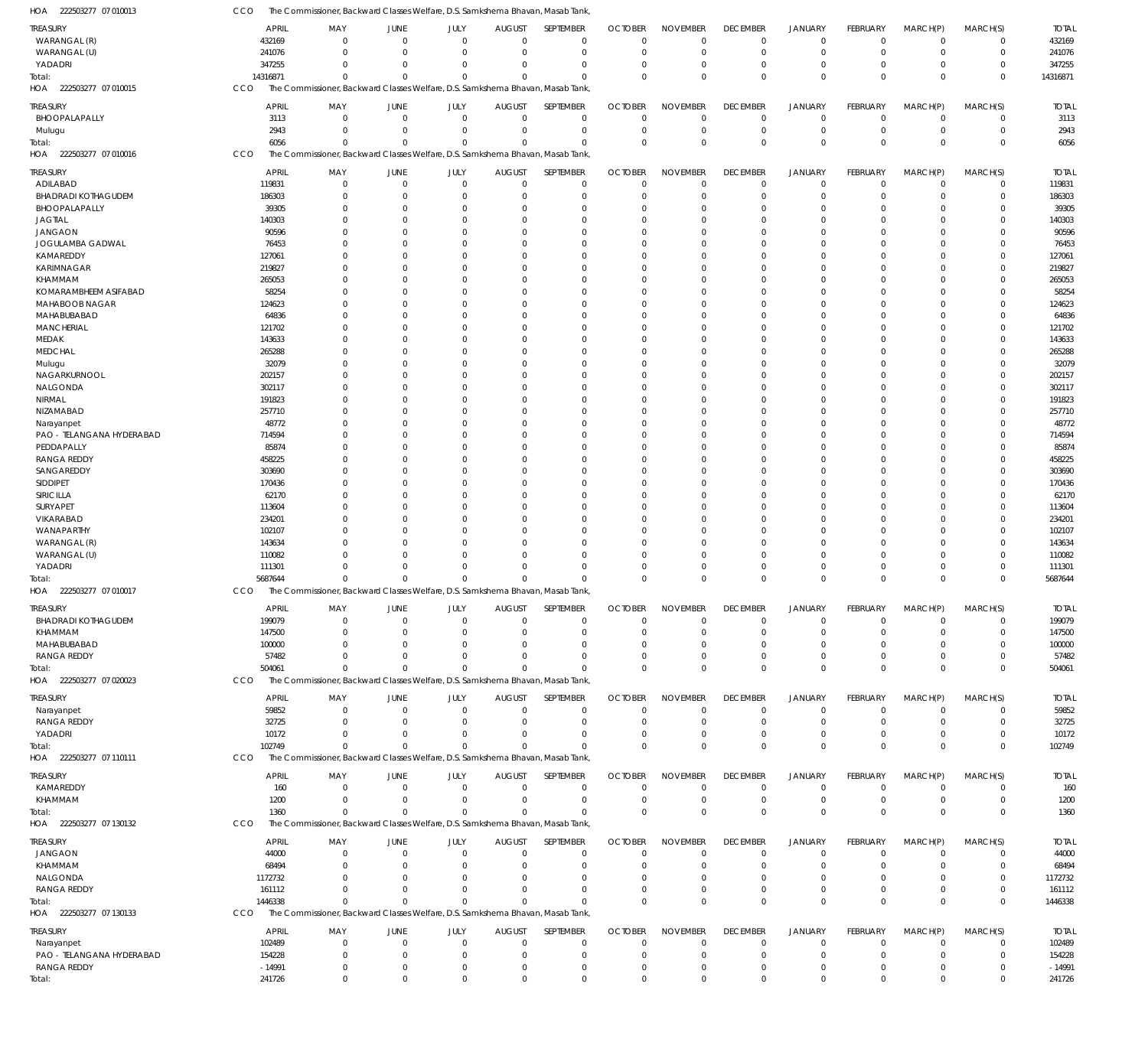| HOA<br>222503277 07 010013           | CCO                    | The Commissioner, Backward Classes Welfare, D.S. Samkshema Bhavan, Masab Tank,             |                                  |                            |                                  |                               |                               |                                |                                |                               |                             |                                  |                            |                        |
|--------------------------------------|------------------------|--------------------------------------------------------------------------------------------|----------------------------------|----------------------------|----------------------------------|-------------------------------|-------------------------------|--------------------------------|--------------------------------|-------------------------------|-----------------------------|----------------------------------|----------------------------|------------------------|
| TREASURY                             | <b>APRIL</b>           | MAY                                                                                        | <b>JUNE</b>                      | JULY                       | <b>AUGUST</b>                    | SEPTEMBER                     | <b>OCTOBER</b>                | <b>NOVEMBER</b>                | <b>DECEMBER</b>                | <b>JANUARY</b>                | <b>FEBRUARY</b>             | MARCH(P)                         | MARCH(S)                   | <b>TOTAL</b>           |
| WARANGAL (R)                         | 432169                 | $\Omega$                                                                                   | $\Omega$                         | $\mathbf 0$                | $\overline{0}$                   | $\mathbf 0$                   | $\overline{0}$                | $\mathbf 0$                    | $\mathbf 0$                    | $\mathbf 0$                   | $\Omega$                    | $\Omega$                         | $\mathbf 0$                | 432169                 |
| WARANGAL (U)                         | 241076                 | $\Omega$                                                                                   | $\Omega$                         | $\mathbf{0}$               | $\overline{0}$                   | $\mathbf 0$                   | $\mathbf 0$                   | $\mathbf 0$                    | $\mathbf 0$                    | $\mathbf 0$                   | $\Omega$                    | $\Omega$                         | $\mathbf 0$                | 241076                 |
| YADADRI                              | 347255                 | $\Omega$                                                                                   | $\Omega$                         | $\Omega$                   | $\Omega$                         | $\mathbf 0$                   | 0                             | $\overline{0}$                 | 0                              | $\mathbf 0$                   | $\Omega$                    | $\overline{0}$                   | $\mathbf 0$                | 347255                 |
| Total:<br>222503277 07 010015<br>HOA | 14316871<br>CCO        | $\Omega$<br>The Commissioner, Backward Classes Welfare, D.S. Samkshema Bhavan, Masab Tank, | $\Omega$                         | $\Omega$                   | $\Omega$                         | $\Omega$                      | $\Omega$                      | $\Omega$                       | $\Omega$                       | $\Omega$                      | $\Omega$                    | $\Omega$                         | $\Omega$                   | 14316871               |
|                                      |                        |                                                                                            |                                  |                            |                                  |                               |                               |                                |                                |                               |                             |                                  |                            |                        |
| TREASURY                             | <b>APRIL</b>           | MAY                                                                                        | <b>JUNE</b>                      | JULY                       | <b>AUGUST</b>                    | SEPTEMBER                     | <b>OCTOBER</b>                | <b>NOVEMBER</b>                | <b>DECEMBER</b>                | <b>JANUARY</b>                | <b>FEBRUARY</b>             | MARCH(P)                         | MARCH(S)                   | <b>TOTAL</b>           |
| BHOOPALAPALLY<br>Mulugu              | 3113<br>2943           | $\Omega$<br>$\Omega$                                                                       | $\overline{0}$<br>$\overline{0}$ | $\mathbf 0$<br>$\mathbf 0$ | $\overline{0}$<br>$\overline{0}$ | $\overline{0}$<br>$\mathbf 0$ | $\mathbf 0$<br>$\mathbf 0$    | $\mathbf 0$<br>$\mathbf 0$     | $\mathbf 0$<br>0               | $\mathbf 0$<br>$\mathbf 0$    | $\Omega$<br>$\Omega$        | $\overline{0}$<br>$\overline{0}$ | $\mathbf 0$<br>$\mathbf 0$ | 3113<br>2943           |
| otal:                                | 6056                   | $\Omega$                                                                                   | $\Omega$                         | $\Omega$                   | $\Omega$                         | $\Omega$                      | $\Omega$                      | $\mathbf 0$                    | $\Omega$                       | $\mathbf 0$                   | $\Omega$                    | $\Omega$                         | $\mathbf 0$                | 6056                   |
| 222503277 07 010016<br>HOA           | CCO                    | The Commissioner, Backward Classes Welfare, D.S. Samkshema Bhavan, Masab Tank,             |                                  |                            |                                  |                               |                               |                                |                                |                               |                             |                                  |                            |                        |
|                                      |                        |                                                                                            |                                  |                            |                                  |                               |                               |                                |                                |                               |                             |                                  |                            |                        |
| TREASURY<br>ADILABAD                 | <b>APRIL</b><br>119831 | MAY<br>$\Omega$                                                                            | <b>JUNE</b><br>$\Omega$          | JULY<br>$\mathbf 0$        | <b>AUGUST</b><br>$\mathbf 0$     | SEPTEMBER<br>$\mathbf 0$      | <b>OCTOBER</b><br>$\mathbf 0$ | <b>NOVEMBER</b><br>$\mathbf 0$ | <b>DECEMBER</b><br>$\mathbf 0$ | <b>JANUARY</b><br>$\mathbf 0$ | FEBRUARY<br>$\Omega$        | MARCH(P)<br>$\Omega$             | MARCH(S)<br>$\mathbf 0$    | <b>TOTAL</b><br>119831 |
| <b>BHADRADI KOTHAGUDEM</b>           | 186303                 | $\Omega$                                                                                   | $\Omega$                         | $\mathbf 0$                | $\mathbf 0$                      | $\mathbf 0$                   | $\mathbf 0$                   | $\mathbf 0$                    | $\mathbf 0$                    | $\mathbf 0$                   | $\Omega$                    | $\Omega$                         | $\mathbf 0$                | 186303                 |
| BHOOPALAPALLY                        | 39305                  | $\Omega$                                                                                   | $\overline{0}$                   | $\Omega$                   | $\Omega$                         | 0                             | 0                             | $\mathbf 0$                    | 0                              | $\mathbf 0$                   |                             | $\Omega$                         | $\mathbf 0$                | 39305                  |
| <b>JAGTIAL</b>                       | 140303                 | $\Omega$                                                                                   | $\Omega$                         | $\Omega$                   | $\Omega$                         | $\Omega$                      | $\Omega$                      | $\mathbf 0$                    | $\Omega$                       | $\Omega$                      |                             | $\Omega$                         | $\Omega$                   | 140303                 |
| <b>JANGAON</b>                       | 90596                  | $\Omega$                                                                                   | $\Omega$                         | $\Omega$                   | $\Omega$                         | $\Omega$                      | $\Omega$                      | $\Omega$                       | $\Omega$                       | $\Omega$                      |                             | $\Omega$                         | 0                          | 90596                  |
| JOGULAMBA GADWAL                     | 76453                  | $\Omega$                                                                                   | $\Omega$                         | $\Omega$                   | $\Omega$                         | $\Omega$                      | $\Omega$                      | $\mathbf 0$                    | $\Omega$                       | $\Omega$                      |                             | $\Omega$                         | $\Omega$                   | 76453                  |
| KAMAREDDY                            | 127061                 | $\Omega$                                                                                   | $\Omega$                         | $\Omega$                   | $\Omega$                         | $\Omega$                      | $\Omega$                      | $\Omega$                       | $\Omega$                       | $\Omega$                      |                             | $\Omega$                         | 0                          | 127061                 |
| KARIMNAGAR                           | 219827                 | $\Omega$                                                                                   | $\Omega$<br>$\Omega$             | $\Omega$<br>$\Omega$       | $\Omega$<br>$\Omega$             | $\Omega$<br>$\Omega$          | $\Omega$                      | $\mathbf 0$                    | $\Omega$                       | $\Omega$<br>$\Omega$          |                             | $\Omega$<br>$\Omega$             | $\Omega$                   | 219827                 |
| KHAMMAM<br>KOMARAMBHEEM ASIFABAD     | 265053<br>58254        | $\Omega$<br>$\Omega$                                                                       | $\Omega$                         | $\Omega$                   | $\Omega$                         | $\Omega$                      | 0<br>$\Omega$                 | $\mathbf 0$<br>$\mathbf 0$     | $\Omega$<br>$\Omega$           | $\Omega$                      |                             | $\Omega$                         | $\mathbf 0$<br>$\Omega$    | 265053<br>58254        |
| MAHABOOB NAGAR                       | 124623                 | $\Omega$                                                                                   | $\Omega$                         | $\Omega$                   | $\Omega$                         | $\Omega$                      | $\Omega$                      | $\mathbf 0$                    | $\Omega$                       | $\Omega$                      |                             | $\Omega$                         | 0                          | 124623                 |
| MAHABUBABAD                          | 64836                  | $\Omega$                                                                                   | $\Omega$                         | $\Omega$                   | $\Omega$                         | $\Omega$                      | $\Omega$                      | $\mathbf 0$                    | $\Omega$                       | $\Omega$                      |                             | $\Omega$                         | $\Omega$                   | 64836                  |
| <b>MANCHERIAL</b>                    | 121702                 | $\Omega$                                                                                   | $\Omega$                         | $\Omega$                   | $\Omega$                         | $\Omega$                      | $\Omega$                      | $\Omega$                       | $\Omega$                       | $\Omega$                      |                             | $\Omega$                         | 0                          | 121702                 |
| MEDAK                                | 143633                 | $\Omega$                                                                                   | $\Omega$                         | $\Omega$                   | $\Omega$                         | $\Omega$                      | $\Omega$                      | $\Omega$                       | $\Omega$                       | $\Omega$                      |                             | $\Omega$                         | $\Omega$                   | 143633                 |
| <b>MEDCHAL</b>                       | 265288                 | $\Omega$                                                                                   | $\Omega$                         | $\Omega$                   | $\Omega$                         | $\Omega$                      | 0                             | $\mathbf 0$                    | $\Omega$                       | $\Omega$                      |                             | $\Omega$                         | 0                          | 265288                 |
| Mulugu                               | 32079                  | $\Omega$                                                                                   | $\Omega$                         | $\Omega$                   | $\Omega$                         | $\Omega$                      | $\Omega$                      | $\mathbf 0$                    | $\Omega$                       | $\Omega$                      |                             | $\Omega$                         | $\Omega$                   | 32079                  |
| NAGARKURNOOL                         | 202157                 | $\Omega$<br>$\Omega$                                                                       | $\Omega$<br>$\Omega$             | $\Omega$<br>$\Omega$       | $\Omega$<br>$\Omega$             | $\Omega$<br>$\Omega$          | $\Omega$                      | $\Omega$                       | $\Omega$                       | $\Omega$<br>$\Omega$          |                             | $\Omega$<br>$\Omega$             | 0<br>$\Omega$              | 202157                 |
| NALGONDA<br>NIRMAL                   | 302117<br>191823       | $\Omega$                                                                                   | $\Omega$                         | $\Omega$                   | $\Omega$                         | $\Omega$                      | $\Omega$<br>0                 | $\mathbf 0$<br>$\mathbf 0$     | $\Omega$<br>$\Omega$           | $\Omega$                      |                             | $\Omega$                         | 0                          | 302117<br>191823       |
| NIZAMABAD                            | 257710                 | $\Omega$                                                                                   | $\Omega$                         | $\Omega$                   | $\Omega$                         | $\Omega$                      | $\Omega$                      | $\Omega$                       | $\Omega$                       | $\Omega$                      |                             | $\Omega$                         | $\Omega$                   | 257710                 |
| Narayanpet                           | 48772                  | $\Omega$                                                                                   | $\Omega$                         | $\Omega$                   | $\Omega$                         | $\Omega$                      | $\Omega$                      | $\Omega$                       | $\Omega$                       | $\Omega$                      |                             | $\Omega$                         | $\mathbf 0$                | 48772                  |
| PAO - TELANGANA HYDERABAD            | 714594                 | $\Omega$                                                                                   | $\Omega$                         | $\Omega$                   | $\Omega$                         | $\Omega$                      | $\Omega$                      | $\mathbf 0$                    | $\Omega$                       | $\Omega$                      |                             | $\Omega$                         | $\Omega$                   | 714594                 |
| PEDDAPALLY                           | 85874                  | $\Omega$                                                                                   | $\Omega$                         | $\Omega$                   | $\Omega$                         | $\Omega$                      | $\Omega$                      | $\Omega$                       | $\Omega$                       | $\Omega$                      |                             | $\Omega$                         | 0                          | 85874                  |
| <b>RANGA REDDY</b>                   | 458225                 | $\Omega$                                                                                   | $\Omega$                         | $\Omega$                   | $\Omega$                         | $\Omega$                      | $\Omega$                      | $\mathbf 0$                    | $\Omega$                       | $\Omega$                      |                             | $\Omega$                         | $\Omega$                   | 458225                 |
| SANGAREDDY                           | 303690                 | $\Omega$                                                                                   | $\Omega$                         | $\Omega$                   | $\Omega$                         | $\Omega$                      | 0                             | $\mathbf 0$                    | $\Omega$                       | $\Omega$                      |                             | $\Omega$                         | 0                          | 303690                 |
| SIDDIPET                             | 170436                 | $\Omega$                                                                                   | $\Omega$                         | $\Omega$                   | $\Omega$                         | $\Omega$                      | $\Omega$                      | $\Omega$                       | $\Omega$                       | $\Omega$                      |                             | $\Omega$                         | $\Omega$                   | 170436                 |
| SIRICILLA<br>SURYAPET                | 62170<br>113604        | $\Omega$<br>$\Omega$                                                                       | $\Omega$<br>$\Omega$             | $\Omega$<br>$\Omega$       | $\Omega$<br>$\Omega$             | $\Omega$<br>$\Omega$          | $\Omega$<br>$\Omega$          | $\mathbf 0$<br>$\mathbf 0$     | $\Omega$<br>$\Omega$           | $\Omega$<br>$\Omega$          |                             | $\Omega$<br>$\Omega$             | 0<br>$\Omega$              | 62170<br>113604        |
| VIKARABAD                            | 234201                 | $\Omega$                                                                                   | $\Omega$                         | $\Omega$                   | $\Omega$                         | $\Omega$                      | $\Omega$                      | $\Omega$                       | $\Omega$                       | $\Omega$                      |                             | $\Omega$                         | 0                          | 234201                 |
| WANAPARTHY                           | 102107                 | $\Omega$                                                                                   | $\Omega$                         | $\Omega$                   | $\Omega$                         | $\Omega$                      | $\Omega$                      | $\mathbf 0$                    | $\Omega$                       | $\Omega$                      |                             | $\Omega$                         | $\Omega$                   | 102107                 |
| WARANGAL (R)                         | 143634                 | $\Omega$                                                                                   | $\Omega$                         | $\Omega$                   | $\Omega$                         | $\mathbf 0$                   | 0                             | $\mathbf 0$                    | $\Omega$                       | $\Omega$                      |                             | $\Omega$                         | 0                          | 143634                 |
| WARANGAL (U)                         | 110082                 | $\Omega$                                                                                   | $\Omega$                         | $\Omega$                   | $\Omega$                         | $\Omega$                      | $\Omega$                      | $\mathbf 0$                    | $\Omega$                       | $\Omega$                      |                             | $\Omega$                         | $\Omega$                   | 110082                 |
| YADADRI                              | 111301                 | $\Omega$                                                                                   | $\Omega$                         | $\Omega$                   | $\Omega$                         | $\mathbf 0$                   | $\mathbf 0$                   | $\mathbf 0$                    | $\Omega$                       | $\mathbf 0$                   |                             | $\Omega$                         | $\mathbf 0$                | 111301                 |
| iotal                                | 5687644                | $\Omega$                                                                                   | $\Omega$                         | $\Omega$                   | $\Omega$                         | $\Omega$                      | $\Omega$                      | $\Omega$                       | $\Omega$                       | $\Omega$                      | $\Omega$                    | $\Omega$                         | $\mathbf 0$                | 5687644                |
| HOA 222503277 07 010017              | <b>CCO</b>             | The Commissioner, Backward Classes Welfare, D.S. Samkshema Bhavan, Masab Tank,             |                                  |                            |                                  |                               |                               |                                |                                |                               |                             |                                  |                            |                        |
| ireasury                             | <b>APRIL</b>           | MAY                                                                                        | JUNE                             | JULY                       | <b>AUGUST</b>                    | SEPTEMBER                     | <b>OCTOBER</b>                | <b>NOVEMBER</b>                | <b>DECEMBER</b>                | JANUARY                       | FEBRUARY                    | MARCH(P)                         | MARCH(S)                   | <b>TOTAL</b>           |
| <b>BHADRADI KOTHAGUDEM</b>           | 199079                 | $\Omega$                                                                                   | $\overline{0}$                   | $\mathbf{0}$               | 0                                | 0                             | $\mathbf 0$                   | 0                              | 0                              | $\mathbf 0$                   |                             | - 0                              | 0                          | 199079                 |
| KHAMMAM                              | 147500                 |                                                                                            | $\Omega$                         | 0                          | $\Omega$                         | $\mathbf 0$                   | 0                             | 0                              | $\Omega$                       | 0                             |                             | $\Omega$                         | 0                          | 147500                 |
| MAHABUBABAD<br><b>RANGA REDDY</b>    | 100000<br>57482        | $\Omega$                                                                                   | - 0<br>$\Omega$                  | 0<br>0                     | $\Omega$<br>$\overline{0}$       | $\Omega$<br>$\mathbf 0$       | 0<br>0                        | 0<br>$\mathbf 0$               | $\Omega$<br>0                  | $\Omega$<br>$\mathbf 0$       |                             | $\Omega$<br>$\overline{0}$       | 0<br>$\mathbf 0$           | 100000<br>57482        |
| Total:                               | 504061                 | $\Omega$                                                                                   | $\Omega$                         | $\Omega$                   | $\Omega$                         | $\Omega$                      | $\Omega$                      | $\mathbf{0}$                   | $\Omega$                       | $\Omega$                      | $\Omega$                    | $\Omega$                         | $\mathbf 0$                | 504061                 |
| HOA 222503277 07 020023              | <b>CCO</b>             | The Commissioner, Backward Classes Welfare, D.S. Samkshema Bhavan, Masab Tank,             |                                  |                            |                                  |                               |                               |                                |                                |                               |                             |                                  |                            |                        |
|                                      |                        |                                                                                            |                                  |                            |                                  |                               |                               |                                |                                |                               |                             |                                  |                            |                        |
| TREASURY                             | <b>APRIL</b>           | MAY                                                                                        | JUNE<br>$\overline{0}$           | JULY<br>$\mathbf{0}$       | <b>AUGUST</b><br>$\overline{0}$  | SEPTEMBER<br>$\mathbf 0$      | <b>OCTOBER</b><br>$\mathbf 0$ | <b>NOVEMBER</b><br>$\Omega$    | <b>DECEMBER</b><br>$\mathbf 0$ | <b>JANUARY</b>                | <b>FEBRUARY</b><br>$\Omega$ | MARCH(P)<br>$\Omega$             | MARCH(S)                   | <b>TOTAL</b>           |
| Narayanpet<br><b>RANGA REDDY</b>     | 59852<br>32725         | 0<br>$\Omega$                                                                              | $\Omega$                         | $\Omega$                   | $\mathbf 0$                      | $\mathbf 0$                   | $\mathbf 0$                   | $\mathbf 0$                    | $\mathbf 0$                    | $\mathbf 0$<br>$\mathbf 0$    |                             | $\Omega$                         | 0<br>$\mathbf 0$           | 59852<br>32725         |
| YADADRI                              | 10172                  | 0                                                                                          | $\overline{0}$                   | $\Omega$                   | $\mathbf 0$                      | $\mathbf 0$                   | 0                             | $\mathbf 0$                    | 0                              | $\mathbf 0$                   | $\Omega$                    | $^{\circ}$                       | $\mathbf 0$                | 10172                  |
| Total:                               | 102749                 | $\Omega$                                                                                   | $\Omega$                         | $\Omega$                   | $\Omega$                         | $\Omega$                      | $\Omega$                      | $\Omega$                       | $\Omega$                       | $\Omega$                      | $\Omega$                    | $\Omega$                         | $\mathbf 0$                | 102749                 |
| HOA 222503277 07 110111              | CCO                    | The Commissioner, Backward Classes Welfare, D.S. Samkshema Bhavan, Masab Tank,             |                                  |                            |                                  |                               |                               |                                |                                |                               |                             |                                  |                            |                        |
| TREASURY                             | <b>APRIL</b>           | MAY                                                                                        | JUNE                             | JULY                       | <b>AUGUST</b>                    | SEPTEMBER                     | <b>OCTOBER</b>                | <b>NOVEMBER</b>                | <b>DECEMBER</b>                | <b>JANUARY</b>                | <b>FEBRUARY</b>             | MARCH(P)                         | MARCH(S)                   | <b>TOTAL</b>           |
| KAMAREDDY                            | 160                    | $\Omega$                                                                                   | $\overline{0}$                   | $\mathbf{0}$               | $\overline{0}$                   | $\mathbf 0$                   | $\mathbf 0$                   | $\mathbf 0$                    | $\mathbf 0$                    | $\mathbf 0$                   | $\Omega$                    | $^{\circ}$                       | $\mathbf 0$                | 160                    |
| KHAMMAM                              | 1200                   | 0                                                                                          | $\overline{0}$                   | $\mathbf{0}$               | $\overline{0}$                   | $\overline{0}$                | $\mathbf 0$                   | $\mathbf 0$                    | 0                              | $\mathbf 0$                   | $\Omega$                    | $\overline{0}$                   | $\mathbf 0$                | 1200                   |
| Total:                               | 1360                   | $\Omega$                                                                                   | $\Omega$                         | $\mathbf 0$                | $\Omega$                         | $\mathbf 0$                   | $\mathbf 0$                   | $\mathbf 0$                    | $\mathbf{0}$                   | $\mathbf 0$                   | $\Omega$                    | $\Omega$                         | $\mathbf 0$                | 1360                   |
| HOA 222503277 07 130132              | CCO                    | The Commissioner, Backward Classes Welfare, D.S. Samkshema Bhavan, Masab Tank,             |                                  |                            |                                  |                               |                               |                                |                                |                               |                             |                                  |                            |                        |
| TREASURY                             | <b>APRIL</b>           | MAY                                                                                        | JUNE                             | JULY                       | <b>AUGUST</b>                    | SEPTEMBER                     | <b>OCTOBER</b>                | <b>NOVEMBER</b>                | <b>DECEMBER</b>                | <b>JANUARY</b>                | FEBRUARY                    | MARCH(P)                         | MARCH(S)                   | <b>TOTAL</b>           |
| JANGAON                              | 44000                  | 0                                                                                          | $\overline{0}$                   | $\mathbf{0}$               | $\overline{0}$                   | 0                             | $\mathbf 0$                   | 0                              | $\mathbf 0$                    | $\mathbf 0$                   | $\Omega$                    | $\Omega$                         | 0                          | 44000                  |
| KHAMMAM                              | 68494                  | $\Omega$                                                                                   | $\Omega$                         | $\Omega$                   | $\mathbf 0$                      | $\mathbf 0$                   | $\mathbf 0$                   | $\mathbf 0$                    | 0                              | $\mathbf 0$                   |                             | $\Omega$                         | $\mathbf 0$                | 68494                  |
| NALGONDA                             | 1172732                | $\Omega$                                                                                   | - 0                              | 0                          | 0                                | $\mathbf 0$                   | 0                             | 0                              | 0                              | $\mathbf 0$                   |                             | $\Omega$                         | 0                          | 1172732                |
| <b>RANGA REDDY</b>                   | 161112                 | $\Omega$                                                                                   | $\Omega$                         | 0                          | $\Omega$                         | $\mathbf 0$                   | 0                             | $\mathbf 0$                    | $\mathbf 0$                    | $\mathbf 0$                   | $\Omega$                    | $\overline{0}$                   | $\mathbf 0$                | 161112                 |
| Total:                               | 1446338                | $\mathbf{0}$                                                                               | $\overline{0}$                   | $\Omega$                   | $\Omega$                         | $\Omega$                      | $\Omega$                      | $\Omega$                       | $\mathbf 0$                    | $\Omega$                      | $\Omega$                    | $\mathbf 0$                      | $\mathbf 0$                | 1446338                |
| HOA 222503277 07 130133<br>TREASURY  | CCO<br><b>APRIL</b>    | The Commissioner, Backward Classes Welfare, D.S. Samkshema Bhavan, Masab Tank,<br>MAY      | JUNE                             | JULY                       | <b>AUGUST</b>                    | SEPTEMBER                     | <b>OCTOBER</b>                | <b>NOVEMBER</b>                | <b>DECEMBER</b>                | <b>JANUARY</b>                | FEBRUARY                    | MARCH(P)                         | MARCH(S)                   | <b>TOTAL</b>           |
| Narayanpet                           | 102489                 | $\Omega$                                                                                   | $\overline{0}$                   | 0                          | $\mathbf 0$                      | $\mathbf 0$                   | 0                             | 0                              | 0                              | $\mathbf 0$                   |                             | $^{\circ}$                       | 0                          | 102489                 |
| PAO - TELANGANA HYDERABAD            | 154228                 | 0                                                                                          | $\overline{0}$                   | $\mathbf 0$                | $\overline{0}$                   | $\mathbf 0$                   | $\mathbf 0$                   | $\mathbf 0$                    | $\mathbf 0$                    | $\mathbf 0$                   |                             | $\overline{0}$                   | $\mathbf 0$                | 154228                 |
| <b>RANGA REDDY</b>                   | $-14991$               | 0                                                                                          | $\overline{0}$                   | 0                          | $\overline{0}$                   | $\mathbf 0$                   | $\mathbf 0$                   | 0                              | $\mathbf 0$                    | $\mathbf 0$                   |                             | $\overline{0}$                   | $\mathbf 0$                | $-14991$               |
| Total:                               | 241726                 | $\mathbf{0}$                                                                               | $\overline{0}$                   | $\mathbf 0$                | $\mathbf 0$                      | $\mathbf 0$                   | $\mathbf 0$                   | $\mathbf 0$                    | $\mathbf 0$                    | $\mathbf 0$                   | 0                           | $\mathbf 0$                      | $\mathbf 0$                | 241726                 |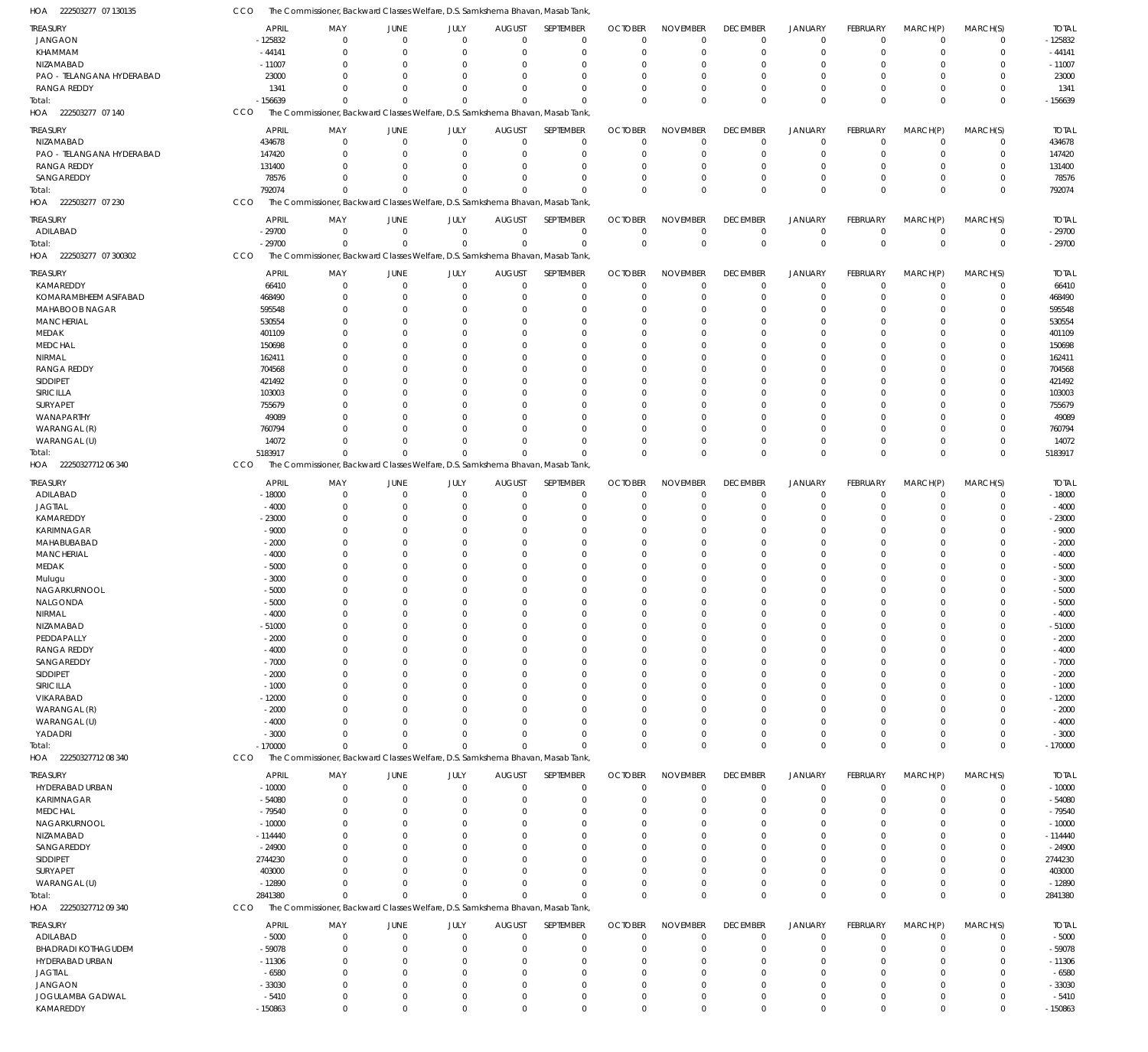| <b>TREASURY</b>                   | <b>APRIL</b>         | MAY                                                                            | <b>JUNE</b>                | JULY                 | <b>AUGUST</b>                | SEPTEMBER                  | <b>OCTOBER</b>             | <b>NOVEMBER</b>            | <b>DECEMBER</b>            | <b>JANUARY</b>             | FEBRUARY             | MARCH(P)             | MARCH(S)             | <b>TOTAL</b>         |
|-----------------------------------|----------------------|--------------------------------------------------------------------------------|----------------------------|----------------------|------------------------------|----------------------------|----------------------------|----------------------------|----------------------------|----------------------------|----------------------|----------------------|----------------------|----------------------|
| <b>JANGAON</b>                    | -125832              | $\mathbf 0$                                                                    | $\mathbf 0$                | $\mathbf 0$          | $\mathbf 0$                  | $\mathbf 0$                | $\Omega$                   | $\mathbf 0$                | $\mathbf 0$                | $\mathbf 0$                | $\Omega$             | $\Omega$             | $\Omega$             | $-125832$            |
| KHAMMAM                           | $-44141$             | $\Omega$                                                                       | 0                          | $\Omega$             | $\Omega$                     | $\mathbf 0$                | $\Omega$                   | $\Omega$                   | $\Omega$                   | $\mathbf 0$                | $\Omega$             | $\Omega$             | $\Omega$             | $-44141$             |
| NIZAMABAD                         | $-11007$             | $\Omega$                                                                       | $\Omega$                   | $\Omega$             | $\Omega$                     | $\Omega$                   | $\cup$                     | $\Omega$                   | $\Omega$                   | $\Omega$                   | $\Omega$             | $\Omega$             | $\Omega$             | $-11007$             |
| PAO - TELANGANA HYDERABAD         | 23000                | $\Omega$                                                                       | $\Omega$                   | $\Omega$             | $\Omega$                     | $\Omega$                   | $\cup$                     | $\Omega$                   | $\Omega$                   | $\Omega$                   | $\Omega$             | $\Omega$             | $\Omega$             | 23000                |
| <b>RANGA REDDY</b>                | 1341                 | $\Omega$                                                                       | $\Omega$                   | $\Omega$             | $\Omega$                     | $\Omega$                   | $\cup$                     | $\mathbf{0}$               | $\Omega$                   | $\Omega$                   | $\Omega$             | $\Omega$             | $\Omega$             | 1341                 |
| Total:                            | $-156639$            | $\Omega$                                                                       | $\Omega$                   | $\Omega$             | $\Omega$                     | $\Omega$                   | $\Omega$                   | $\Omega$                   | $\Omega$                   | $\mathbf 0$                | $\Omega$             | $\Omega$             | $\Omega$             | $-156639$            |
| HOA 222503277 07 140              | <b>CCO</b>           | The Commissioner, Backward Classes Welfare, D.S. Samkshema Bhavan, Masab Tank, |                            |                      |                              |                            |                            |                            |                            |                            |                      |                      |                      |                      |
| TREASURY                          | <b>APRIL</b>         | MAY                                                                            | JUNE                       | JULY                 | <b>AUGUST</b>                | SEPTEMBER                  | <b>OCTOBER</b>             | <b>NOVEMBER</b>            | <b>DECEMBER</b>            | <b>JANUARY</b>             | FEBRUARY             | MARCH(P)             | MARCH(S)             | <b>TOTAL</b>         |
| NIZAMABAD                         | 434678               | $\mathbf 0$                                                                    | $\mathbf 0$                | $\mathbf 0$          | $\mathbf 0$                  | $\mathbf 0$                | $\Omega$                   | $\mathbf 0$                | $^{\circ}$                 | $\mathbf 0$                | $\Omega$             | $\Omega$             | $\Omega$             | 434678               |
| PAO - TELANGANA HYDERABAD         | 147420               | $\Omega$                                                                       | $\Omega$                   | $\mathbf 0$          | $\Omega$                     | $\mathbf 0$                | $\Omega$                   | $\mathbf 0$                | $\Omega$                   | $\mathbf 0$                | $\Omega$             | $\Omega$             | $\Omega$             | 147420               |
| <b>RANGA REDDY</b>                | 131400               | $\Omega$                                                                       | $\Omega$                   | $\Omega$             | $\Omega$                     | $\mathbf 0$                | $\Omega$                   | $\mathbf 0$                | $\Omega$                   | $\mathbf 0$                | $\Omega$             | $\Omega$             | $\Omega$             | 131400               |
| SANGAREDDY                        | 78576                | $\Omega$                                                                       | $\Omega$                   | $\Omega$             | $\Omega$                     | $\Omega$                   | $\Omega$                   | $\mathbf 0$                | $\Omega$                   | $\Omega$                   | $\Omega$             | $\Omega$             | $\Omega$             | 78576                |
| Total:                            | 792074               | $\Omega$                                                                       | $\Omega$                   | $\Omega$             | $\Omega$                     | $\Omega$                   | $\Omega$                   | $\mathbf 0$                | $\Omega$                   | $\mathbf 0$                | $\Omega$             | $\Omega$             | $\Omega$             | 792074               |
| HOA 222503277 07 230              | CCO                  | The Commissioner, Backward Classes Welfare, D.S. Samkshema Bhavan, Masab Tank, |                            |                      |                              |                            |                            |                            |                            |                            |                      |                      |                      |                      |
|                                   |                      |                                                                                |                            |                      |                              |                            |                            |                            |                            |                            |                      |                      |                      |                      |
| <b>TREASURY</b>                   | <b>APRIL</b>         | MAY<br>$\Omega$                                                                | <b>JUNE</b><br>$\mathbf 0$ | JULY<br>$\mathbf 0$  | <b>AUGUST</b><br>$\mathbf 0$ | SEPTEMBER                  | <b>OCTOBER</b><br>$\Omega$ | <b>NOVEMBER</b>            | <b>DECEMBER</b>            | <b>JANUARY</b>             | FEBRUARY<br>$\Omega$ | MARCH(P)             | MARCH(S)             | <b>TOTAL</b>         |
| ADILABAD                          | $-29700$             | $\Omega$                                                                       | $\Omega$                   | $\Omega$             | $\Omega$                     | $\mathbf 0$<br>$\mathbf 0$ | $\Omega$                   | $\mathbf 0$<br>$\mathbf 0$ | $\mathbf 0$<br>$\mathbf 0$ | $\mathbf 0$<br>$\mathbf 0$ | $\mathbf 0$          | $\Omega$<br>$\Omega$ | $\mathbf 0$          | $-29700$             |
| Total:<br>HOA 222503277 07 300302 | $-29700$<br>CCO      | The Commissioner, Backward Classes Welfare, D.S. Samkshema Bhavan, Masab Tank, |                            |                      |                              |                            |                            |                            |                            |                            |                      |                      | $\mathbf 0$          | $-29700$             |
|                                   |                      |                                                                                |                            |                      |                              |                            |                            |                            |                            |                            |                      |                      |                      |                      |
| <b>TREASURY</b>                   | <b>APRIL</b>         | MAY                                                                            | <b>JUNE</b>                | JULY                 | <b>AUGUST</b>                | SEPTEMBER                  | <b>OCTOBER</b>             | <b>NOVEMBER</b>            | <b>DECEMBER</b>            | <b>JANUARY</b>             | FEBRUARY             | MARCH(P)             | MARCH(S)             | <b>TOTAL</b>         |
| KAMAREDDY                         | 66410                | $\mathbf 0$                                                                    | $\mathbf 0$                | $\mathbf 0$          | $\mathbf 0$                  | $\mathbf 0$                | $\Omega$                   | $\mathbf 0$                | $\overline{0}$             | $\mathbf 0$                | $\Omega$             | $\Omega$             | $\Omega$             | 66410                |
| KOMARAMBHEEM ASIFABAD             | 468490               | $\Omega$                                                                       | $\Omega$                   | $\Omega$             | $\Omega$                     | $\mathbf 0$                | $\Omega$                   | $\mathbf 0$                | $\Omega$                   | $\mathbf 0$                | $\Omega$             | $\Omega$             | $\Omega$             | 468490               |
| MAHABOOB NAGAR                    | 595548               | $\Omega$                                                                       | $\Omega$                   | $\Omega$             | $\Omega$                     | $\mathbf 0$                | $\Omega$                   | $\Omega$                   | $\Omega$                   | $\Omega$                   | $\Omega$             | $\Omega$             | $\Omega$             | 595548               |
| <b>MANCHERIAL</b>                 | 530554               | $\Omega$                                                                       | $\Omega$                   | $\Omega$             | $\Omega$                     | $\Omega$                   | $\Omega$                   | $\Omega$                   | $\Omega$                   | $\Omega$                   | $\Omega$             | $\Omega$             | $\Omega$             | 530554               |
| MEDAK                             | 401109               | $\Omega$                                                                       | $\Omega$                   | $\Omega$             | $\Omega$                     | $\Omega$                   | O                          | $\Omega$                   | $\Omega$                   | $\Omega$                   | $\Omega$             | $\Omega$             | $\Omega$             | 401109               |
| <b>MEDCHAL</b>                    | 150698               | $\Omega$                                                                       | $\Omega$                   | $\Omega$             | $\Omega$                     | $\Omega$                   | $\Omega$                   | $\Omega$                   | $\Omega$                   | $\Omega$                   | $\Omega$             | $\Omega$             | $\Omega$             | 150698               |
| NIRMAL                            | 162411               | $\Omega$                                                                       | $\Omega$                   | $\Omega$             | $\Omega$                     | $\Omega$                   | $\Omega$                   | $\Omega$                   | $\Omega$                   | $\Omega$                   | $\Omega$             | $\Omega$             | $\Omega$             | 162411               |
| RANGA REDDY                       | 704568               | $\Omega$                                                                       | $\Omega$                   | $\Omega$             | $\Omega$                     | $\Omega$                   | $\Omega$                   | $\Omega$                   | $\Omega$                   | $\Omega$                   | $\Omega$             | $\Omega$             | $\Omega$             | 704568               |
| SIDDIPET                          | 421492               | $\Omega$                                                                       | $\Omega$                   | $\Omega$             | $\Omega$                     | $\Omega$                   | C.                         | $\Omega$                   | $\Omega$                   | $\Omega$                   | $\Omega$             | $\Omega$             | $\Omega$             | 421492               |
| SIRICILLA                         | 103003               | $\Omega$                                                                       | $\Omega$                   | $\Omega$             | $\Omega$                     | $\Omega$                   | $\Omega$                   | $\Omega$                   | $\Omega$                   | $\Omega$                   | $\Omega$             | $\Omega$             |                      | 103003               |
| SURYAPET                          | 755679               | $\Omega$                                                                       | $\Omega$                   | $\Omega$             | $\Omega$                     | $\Omega$                   | O                          | $\Omega$                   | $\Omega$                   | $\Omega$                   | $\Omega$             | $\Omega$             | $\Omega$             | 755679               |
| WANAPARTHY                        | 49089                | $\Omega$                                                                       | $\Omega$                   | $\Omega$             | $\Omega$                     | $\Omega$                   | $\Omega$                   | $\Omega$                   | $\Omega$                   | $\Omega$                   | $\Omega$             | $\Omega$             | $\Omega$             | 49089                |
| WARANGAL (R)                      | 760794               | $\Omega$                                                                       | $\Omega$                   | $\Omega$             | $\Omega$                     | $\Omega$                   | O                          | $\Omega$                   | $\Omega$                   | $\Omega$                   | $\Omega$             | $\Omega$             | $\Omega$             | 760794               |
| WARANGAL (U)                      | 14072                | $\Omega$                                                                       | $\Omega$                   | $\Omega$             | $\Omega$                     | $\Omega$                   | $\Omega$                   | $\mathbf 0$                | $\Omega$                   | $\Omega$                   | $\Omega$             | $\Omega$             | $\Omega$             | 14072                |
| Total:                            | 5183917              | $\Omega$                                                                       | $\Omega$                   | $\Omega$             | $\Omega$                     | $\Omega$                   | $\sqrt{ }$                 | $\mathbf 0$                | $\Omega$                   | $\mathbf 0$                | $\Omega$             | $\Omega$             | $\Omega$             | 5183917              |
| HOA 22250327712 06 340            | CCO                  | The Commissioner, Backward Classes Welfare, D.S. Samkshema Bhavan, Masab Tank, |                            |                      |                              |                            |                            |                            |                            |                            |                      |                      |                      |                      |
| <b>TREASURY</b>                   | <b>APRIL</b>         | MAY                                                                            | <b>JUNE</b>                | JULY                 | <b>AUGUST</b>                | SEPTEMBER                  | <b>OCTOBER</b>             | <b>NOVEMBER</b>            | <b>DECEMBER</b>            | <b>JANUARY</b>             | FEBRUARY             | MARCH(P)             | MARCH(S)             | <b>TOTAL</b>         |
| ADILABAD                          | $-18000$             | $\Omega$                                                                       | $\mathbf 0$                | $\mathbf 0$          | $\mathbf 0$                  | $\mathbf 0$                | $\Omega$                   | $\Omega$                   | $\overline{0}$             | $\mathbf 0$                | $\Omega$             | $\Omega$             | $\Omega$             | $-18000$             |
| JAGTIAL                           | $-4000$              | $\Omega$                                                                       | $\mathbf 0$                | $\Omega$             | $\Omega$                     | $\mathbf 0$                | $\Omega$                   | $\Omega$                   | $\Omega$                   | $\mathbf 0$                | $\Omega$             | $\Omega$             | $\Omega$             | $-4000$              |
| KAMAREDDY                         | $-23000$             | $\Omega$                                                                       | $\Omega$                   | $\Omega$             | $\Omega$                     | $\Omega$                   | $\cup$                     | $\Omega$                   | $\Omega$                   | $\Omega$                   | $\Omega$             | $\Omega$             | $\Omega$             | $-23000$             |
| KARIMNAGAR                        | $-9000$              | $\Omega$                                                                       | $\Omega$                   | $\Omega$             | $\Omega$                     | $\Omega$                   | $\cup$                     | $\Omega$                   | $\Omega$                   | $\Omega$                   | - 0                  | $\Omega$             | $\Omega$             | $-9000$              |
| MAHABUBABAD                       | $-2000$              | $\Omega$                                                                       | $\Omega$                   | $\Omega$             | $\Omega$                     | $\Omega$                   | C.                         | $\Omega$                   | $\Omega$                   | $\Omega$                   | $\Omega$             | $\Omega$             | $\Omega$             | $-2000$              |
| <b>MANCHERIAL</b>                 | $-4000$              | $\Omega$                                                                       | $\Omega$                   | $\Omega$             | $\Omega$                     | $\Omega$                   | C.                         | $\Omega$                   | $\Omega$                   | $\Omega$                   |                      | $\Omega$             | $\Omega$             | $-4000$              |
| MEDAK                             | $-5000$              | $\Omega$                                                                       | $\Omega$                   | $\Omega$             | $\Omega$                     | $\Omega$                   | $\cup$                     | $\Omega$                   | $\Omega$                   | $\Omega$                   | $\Omega$             | $\Omega$             | $\Omega$             | $-5000$              |
| Mulugu                            | $-3000$              |                                                                                | $\Omega$                   | $\Omega$             | $\Omega$                     | $\Omega$                   | C.                         | $\Omega$                   | $\Omega$                   | $\Omega$                   |                      | $\Omega$             | $\Omega$             | $-3000$              |
| NAGARKURNOOL                      | $-5000$              | C                                                                              | $\Omega$                   | $\Omega$             | $\Omega$                     | $\Omega$                   | $\Omega$                   | $\Omega$                   | $\Omega$                   | $\Omega$                   | $\Omega$             | $\Omega$             | $\Omega$             | $-5000$              |
| NALGONDA                          | $-5000$              | $\Omega$                                                                       | $\Omega$                   | $\Omega$             | $\Omega$                     | $\Omega$                   | $\Omega$                   | $\Omega$                   | $\Omega$                   | $\Omega$                   | $\Omega$             | $\Omega$             | $\Omega$             | $-5000$              |
| NIRMAL                            | $-4000$              | $\Omega$                                                                       | $\Omega$                   | $\Omega$             | $\Omega$                     | $\Omega$                   | $\Omega$                   | $\Omega$                   | $\Omega$                   | $\Omega$                   | $\Omega$             | $\Omega$             | $\Omega$             | $-4000$              |
| NIZAMABAD                         | $-51000$             | $\Omega$                                                                       | $\Omega$                   | $\Omega$             | $\Omega$                     | $\Omega$                   | $\Omega$                   | $\Omega$                   | $\Omega$                   | $\Omega$                   | $\Omega$             | $\Omega$             | $\Omega$             | $-51000$             |
| PEDDAPALLY                        | $-2000$              | $\Omega$                                                                       | $\mathbf 0$                | $\Omega$             | $\Omega$                     | $\mathbf 0$                | $\Omega$                   | $\mathbf 0$                | $\Omega$                   | $\mathbf 0$                | $\Omega$             | $\Omega$             | $\Omega$             | $-2000$              |
| <b>RANGA REDDY</b>                | $-4000$              | $\Omega$                                                                       | $\Omega$                   | $\Omega$             | $\Omega$                     | $\Omega$                   | $\cup$                     | $\Omega$                   | $\Omega$                   | $\Omega$                   | $\Omega$             | $\Omega$             | $\Omega$             | $-4000$              |
| SANGAREDDY                        | $-7000$              | $\Omega$                                                                       | $\Omega$                   | $\Omega$             | $\Omega$                     | $\Omega$                   | $\Omega$                   | $\mathbf{0}$               | $\Omega$                   | $\Omega$                   | $\Omega$             | $\Omega$             | $\Omega$             | $-7000$              |
| SIDDIPET                          | $-2000$              | $\Omega$                                                                       | $\Omega$                   | $\Omega$             | $\Omega$                     | $\Omega$                   | C.                         | $\Omega$                   | $\Omega$                   | $\Omega$                   |                      | $\Omega$             | $\Omega$             | $-2000$              |
| SIRICILLA                         | $-1000$              | $\Omega$                                                                       | $\Omega$                   | $\Omega$             | $\Omega$                     | $\Omega$                   | C.                         | $\Omega$                   | $\Omega$                   | $\Omega$                   | - ( )                | $\Omega$             | $\Omega$             | $-1000$              |
| VIKARABAD                         | $-12000$             | $\Omega$                                                                       | $\Omega$                   | $\Omega$             | $\Omega$                     | $\Omega$                   | C.                         | $\Omega$                   | $\Omega$                   | $\Omega$                   |                      | $\Omega$             | $\Omega$             | $-12000$             |
| WARANGAL (R)                      | $-2000$              | $\Omega$                                                                       | $\Omega$                   | $\Omega$             | $\Omega$                     | $\Omega$                   | C.                         | $\Omega$                   | $\Omega$                   | $\Omega$                   | $\Omega$             | $\Omega$             | $\Omega$             | $-2000$              |
| WARANGAL (U)                      | $-4000$              | $\Omega$                                                                       | $\Omega$                   | $\Omega$             | $\Omega$                     | $\Omega$                   | C.                         | $\Omega$                   | $\Omega$                   | $\Omega$                   |                      | $\Omega$             | $\Omega$             | $-4000$              |
| YADADRI                           | $-3000$              | $\Omega$                                                                       | $\Omega$                   | $\Omega$             | $\Omega$                     | $\Omega$                   | $\Omega$                   | $\mathbf{0}$               | $\Omega$                   | $\mathbf 0$                | $\Omega$             | $\Omega$             | $\Omega$             | $-3000$              |
| Total:                            | $-170000$            | $\Omega$                                                                       | $\Omega$                   | $\Omega$             | $\Omega$                     | $\Omega$                   | $\Omega$                   | $\mathbf{0}$               | $\Omega$                   | $\mathbf 0$                | $\Omega$             | $\Omega$             | $\mathbf 0$          | $-170000$            |
| HOA 2225032771208340              | CCO                  | The Commissioner, Backward Classes Welfare, D.S. Samkshema Bhavan, Masab Tank, |                            |                      |                              |                            |                            |                            |                            |                            |                      |                      |                      |                      |
| TREASURY                          | <b>APRIL</b>         | MAY                                                                            | <b>JUNE</b>                | JULY                 | <b>AUGUST</b>                | SEPTEMBER                  | <b>OCTOBER</b>             | <b>NOVEMBER</b>            | <b>DECEMBER</b>            | <b>JANUARY</b>             | FEBRUARY             | MARCH(P)             | MARCH(S)             | <b>TOTAL</b>         |
| HYDERABAD URBAN                   | $-10000$             | 0                                                                              | $\mathbf 0$                | $\mathbf 0$          | $\mathbf 0$                  | $\mathbf 0$                | $\Omega$                   | $\mathbf 0$                | $\overline{0}$             | $\mathbf 0$                | $\Omega$             | $\Omega$             | $\Omega$             | $-10000$             |
| KARIMNAGAR                        | $-54080$             | $\Omega$                                                                       | $\Omega$                   | $\Omega$             | $\Omega$                     | $\mathbf 0$                | $\Omega$                   | $\mathbf 0$                | $\Omega$                   | $\mathbf{0}$               | $\Omega$             | $\Omega$             | $\Omega$             | $-54080$             |
| MEDCHAL                           | -79540               | $\Omega$                                                                       | $\Omega$                   | $\Omega$             | $\Omega$                     | $\mathbf 0$                | $\Omega$                   | $\Omega$                   | $\Omega$                   | $\mathbf{0}$               | $\Omega$             | $\Omega$             | $\Omega$             | $-79540$             |
| NAGARKURNOOL                      | $-10000$             | $\Omega$                                                                       | $\Omega$                   | $\Omega$             | $\Omega$                     | $\Omega$                   | $\Omega$                   | $\Omega$                   | $\Omega$                   | $\Omega$                   | $\Omega$             | $\Omega$             | $\Omega$             | $-10000$             |
| NIZAMABAD                         | $-114440$            | $\Omega$                                                                       | $\Omega$                   | $\Omega$             | $\Omega$                     | $\Omega$                   | O                          | $\Omega$                   | $\Omega$                   | $\Omega$                   | ſ                    | $\Omega$             | $\Omega$             | $-114440$            |
| SANGAREDDY                        | $-24900$             | $\Omega$                                                                       | $\Omega$                   | $\Omega$             | $\Omega$                     | $\Omega$                   | $\Omega$                   | $\Omega$                   | $\Omega$                   | $\Omega$                   | $\Omega$             | $\Omega$             |                      | $-24900$             |
| SIDDIPET                          | 2744230              | $\Omega$                                                                       | $\Omega$                   | $\Omega$             | $\Omega$                     | $\Omega$                   | O                          | $\Omega$                   | $\Omega$                   | $\Omega$                   | $\sqrt{ }$           | $\Omega$             | $\Omega$             | 2744230              |
| SURYAPET                          | 403000               | $\Omega$                                                                       | $\Omega$                   | $\Omega$             | $\Omega$                     | $\Omega$                   | $\Omega$                   | $\Omega$                   | $\Omega$                   | $\Omega$                   | $\Omega$             | $\Omega$             | $\Omega$             | 403000               |
| WARANGAL (U)                      | $-12890$             | $\Omega$                                                                       | $\Omega$                   | $\Omega$             | $\Omega$                     | $\Omega$                   | O                          | $\mathbf 0$                | $\Omega$                   | $\mathbf 0$                | $\Omega$             | $\Omega$             | $\Omega$             | $-12890$             |
| Total:                            | 2841380              | $\Omega$                                                                       | $\Omega$                   | $\Omega$             | $\Omega$                     | $\Omega$                   | $\Omega$                   | $\mathbf 0$                | $\Omega$                   | $\mathbf 0$                | $\Omega$             | $\Omega$             | $\Omega$             | 2841380              |
| HOA 22250327712 09 340            | CCO                  | The Commissioner, Backward Classes Welfare, D.S. Samkshema Bhavan, Masab Tank, |                            |                      |                              |                            |                            |                            |                            |                            |                      |                      |                      |                      |
| <b>TREASURY</b>                   | <b>APRIL</b>         | MAY                                                                            | JUNE                       | JULY                 | <b>AUGUST</b>                | SEPTEMBER                  | <b>OCTOBER</b>             | <b>NOVEMBER</b>            | <b>DECEMBER</b>            | <b>JANUARY</b>             | FEBRUARY             | MARCH(P)             | MARCH(S)             | <b>TOTAL</b>         |
| ADILABAD                          | $-5000$              | $\mathbf 0$                                                                    | $\mathbf 0$                | $\Omega$             | $\mathbf 0$                  | $\mathbf 0$                | $\Omega$                   | $\Omega$                   | $^{\circ}$                 | $\mathbf 0$                | $\Omega$             | $\Omega$             | $\Omega$             | $-5000$              |
| <b>BHADRADI KOTHAGUDEM</b>        | -59078               | $\Omega$                                                                       | 0                          | $\Omega$             | $\Omega$                     | $\mathbf 0$                | $\Omega$                   | $\Omega$                   | $\Omega$                   | $\mathbf 0$                | $\Omega$             | $\Omega$             | $\Omega$             | $-59078$             |
| HYDERABAD URBAN                   |                      |                                                                                |                            |                      |                              |                            |                            |                            |                            |                            |                      |                      |                      | $-11306$             |
| JAGTIAL                           |                      |                                                                                |                            |                      |                              |                            |                            |                            |                            |                            | $\Omega$             | $\Omega$             |                      |                      |
|                                   | $-11306$             | $\Omega$                                                                       | $\Omega$                   | $\Omega$             | $\Omega$                     | $\Omega$                   | $\Omega$                   | $\Omega$                   | $\Omega$                   | $\Omega$                   | $\Omega$             | $\Omega$             | $\Omega$<br>$\Omega$ |                      |
|                                   | $-6580$              | $\Omega$<br>$\Omega$                                                           | $\Omega$<br>$\Omega$       | $\Omega$<br>$\Omega$ | $\Omega$<br>$\Omega$         | $\Omega$<br>$\Omega$       | $\Omega$<br>C.             | $\mathbf{0}$<br>$\Omega$   | $\Omega$<br>$\Omega$       | $\Omega$<br>$\Omega$       | $\Omega$             | $\Omega$             | $\Omega$             | $-6580$              |
| <b>JANGAON</b>                    | $-33030$             | $\mathbf 0$                                                                    | $\mathbf 0$                | $\mathbf 0$          | $\mathbf 0$                  | $\mathbf 0$                | $\Omega$                   |                            |                            |                            | $\Omega$             | $\Omega$             | $\Omega$             | $-33030$             |
| JOGULAMBA GADWAL<br>KAMAREDDY     | $-5410$<br>$-150863$ | $\mathbf 0$                                                                    | $\mathbf 0$                | $\mathbf 0$          | $\mathbf 0$                  | $\mathbf 0$                | $\Omega$                   | $\mathbf 0$<br>$\mathbf 0$ | $\mathbf 0$<br>$^{\circ}$  | $\mathbf 0$<br>$\mathbf 0$ | $\Omega$             | $\mathbf{0}$         | $\mathbf{0}$         | $-5410$<br>$-150863$ |

CCO The Commissioner, Backward Classes Welfare, D.S. Samkshema Bhavan, Masab Tank,

222503277 07 130135 HOA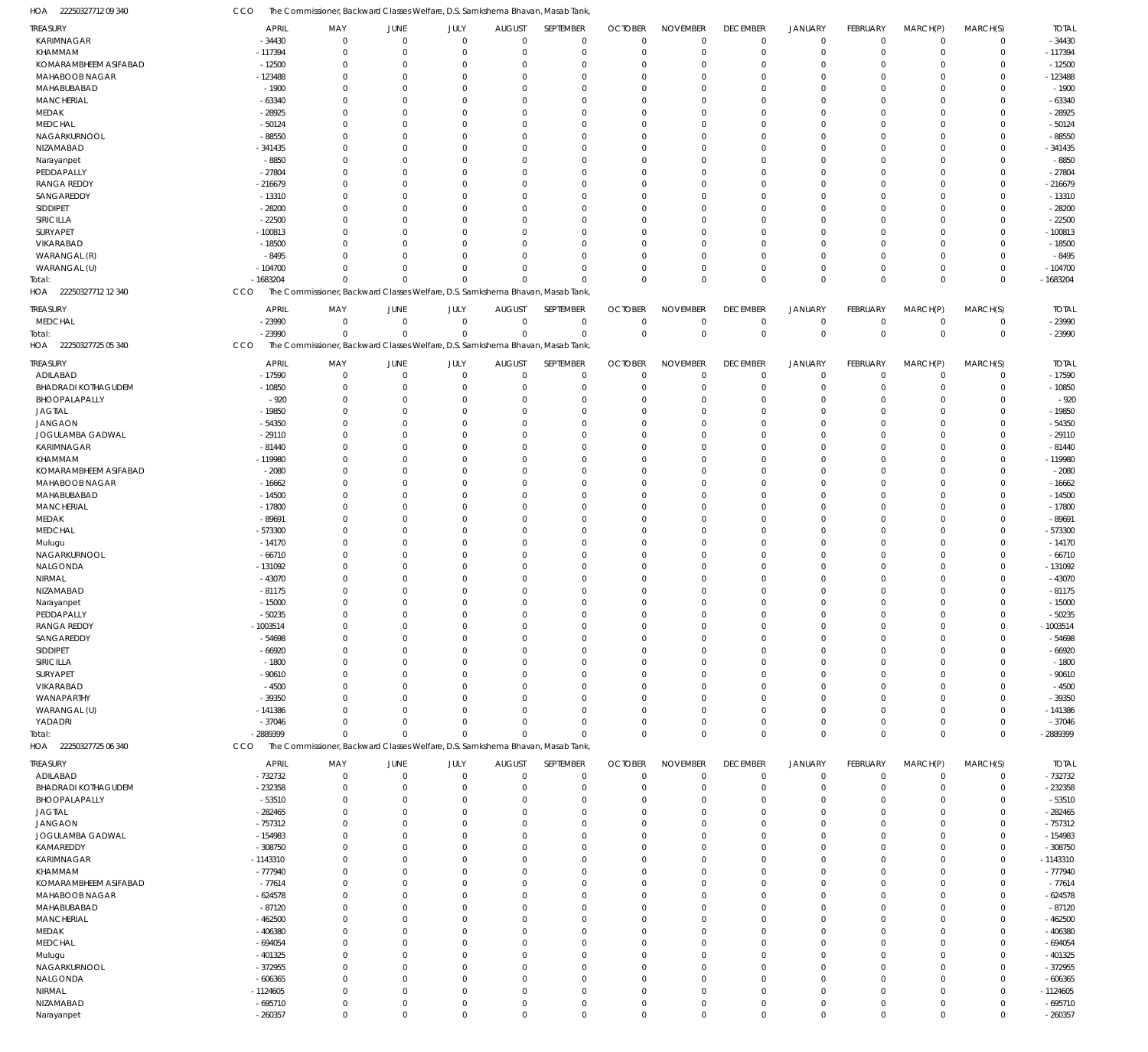22250327712 09 340 HOA CCO The Commissioner, Backward Classes Welfare, D.S. Samkshema Bhavan, Masab Tank,

| <b>TREASURY</b>            | <b>APRIL</b>           | MAY                                                                            | JUNE           | JULY         | <b>AUGUST</b>  | SEPTEMBER      | <b>OCTOBER</b> | <b>NOVEMBER</b> | <b>DECEMBER</b>            | <b>JANUARY</b> | <b>FEBRUARY</b> | MARCH(P)       | MARCH(S)    | <b>TOTAL</b>           |
|----------------------------|------------------------|--------------------------------------------------------------------------------|----------------|--------------|----------------|----------------|----------------|-----------------|----------------------------|----------------|-----------------|----------------|-------------|------------------------|
| KARIMNAGAR                 | $-34430$               | $\mathbf 0$                                                                    | $\overline{0}$ | $\mathbf 0$  | $\overline{0}$ | $\overline{0}$ | $\mathbf 0$    | $\mathbf 0$     | $\mathbf 0$                | $\mathbf 0$    | $\mathbf 0$     | $\overline{0}$ | $\mathbf 0$ | $-34430$               |
| KHAMMAM                    | -117394                | $\mathbf 0$                                                                    | $\mathbf 0$    | $\Omega$     | $\Omega$       | $\mathbf 0$    | $\mathbf 0$    | $\Omega$        | $\mathbf 0$                | $\mathbf 0$    | $\mathbf 0$     | $\Omega$       | $\mathbf 0$ | $-117394$              |
| KOMARAMBHEEM ASIFABAD      |                        | $\mathbf 0$                                                                    | $\mathbf 0$    | $\Omega$     | $\Omega$       | $\Omega$       | $\overline{0}$ | $\Omega$        | $\mathbf 0$                |                | $\overline{0}$  | $\Omega$       | $\Omega$    | $-12500$               |
|                            | $-12500$               |                                                                                |                |              |                |                |                |                 |                            | $\mathbf 0$    |                 |                |             |                        |
| MAHABOOB NAGAR             | $-123488$              | $\mathbf 0$                                                                    | $\mathbf 0$    | $\Omega$     | $\Omega$       | $\Omega$       | $\overline{0}$ | $\Omega$        | $\overline{0}$             | $\mathbf 0$    | $\Omega$        | $\Omega$       | $\Omega$    | $-123488$              |
| MAHABUBABAD                | $-1900$                | $\mathbf 0$                                                                    | $\mathbf 0$    | $\Omega$     | $\Omega$       | $\Omega$       | $\overline{0}$ | $\Omega$        | $\overline{0}$             | $\mathbf 0$    | $\Omega$        | $\Omega$       | $\Omega$    | $-1900$                |
| MANCHERIAL                 | $-63340$               | $\mathbf 0$                                                                    | $\Omega$       | $\Omega$     | $\Omega$       | $\Omega$       | $\overline{0}$ | $\Omega$        | $\overline{0}$             | $\Omega$       | $\Omega$        | $\Omega$       | $\Omega$    | $-63340$               |
| MEDAK                      | $-28925$               | $\mathbf 0$                                                                    | $\Omega$       | $\Omega$     | $\Omega$       | $\Omega$       | $\overline{0}$ | $\Omega$        | $\overline{0}$             | $\Omega$       | $\Omega$        | $\Omega$       | $\Omega$    | $-28925$               |
|                            |                        |                                                                                |                |              |                |                |                |                 |                            |                |                 |                |             |                        |
| <b>MEDCHAL</b>             | $-50124$               | $\mathbf 0$                                                                    | $\Omega$       | $\Omega$     | $\Omega$       | $\Omega$       | $\overline{0}$ | $\Omega$        | $\overline{0}$             | $\Omega$       | $\Omega$        | $\Omega$       | $\Omega$    | $-50124$               |
| NAGARKURNOOL               | $-88550$               | $\mathbf 0$                                                                    | $\Omega$       | $\Omega$     | $\Omega$       | $\Omega$       | $\overline{0}$ | $\Omega$        | $\overline{0}$             | $\Omega$       | $\Omega$        | $\Omega$       | $\Omega$    | $-88550$               |
| NIZAMABAD                  | $-341435$              | $\mathbf 0$                                                                    | $\Omega$       | $\Omega$     | $\Omega$       | $\Omega$       | $\overline{0}$ | $\Omega$        | $\mathbf 0$                | $\Omega$       | $\Omega$        | $\Omega$       | $\Omega$    | -341435                |
|                            | $-8850$                | $\mathbf 0$                                                                    | $\Omega$       | $\Omega$     | $\Omega$       | $\Omega$       | $\overline{0}$ | $\Omega$        | $\overline{0}$             | $\Omega$       | $\Omega$        | $\Omega$       | $\Omega$    | $-8850$                |
| Narayanpet                 |                        |                                                                                |                |              |                |                |                |                 |                            |                |                 |                |             |                        |
| PEDDAPALLY                 | $-27804$               | $\mathbf 0$                                                                    | $\Omega$       | $\Omega$     | $\Omega$       | $\Omega$       | $\overline{0}$ | $\Omega$        | $\Omega$                   | $\Omega$       | $\Omega$        | $\Omega$       | $\Omega$    | $-27804$               |
| <b>RANGA REDDY</b>         | $-216679$              | $\mathbf 0$                                                                    | $\mathbf 0$    | $\Omega$     | $\Omega$       | $\Omega$       | $\overline{0}$ | $\Omega$        | $\mathbf 0$                | $\mathbf 0$    | $\Omega$        | $\Omega$       | $\Omega$    | $-216679$              |
| SANGAREDDY                 | $-13310$               | $\mathbf 0$                                                                    | $\Omega$       | $\Omega$     | $\Omega$       | $\Omega$       | $\overline{0}$ | $\Omega$        | $\overline{0}$             | $\Omega$       | $\Omega$        | $\Omega$       | $\Omega$    | $-13310$               |
| SIDDIPET                   | $-28200$               | $\mathbf 0$                                                                    | $\mathbf 0$    | $\Omega$     | $\Omega$       | $\Omega$       | $\overline{0}$ | $\Omega$        | $\overline{0}$             | $\Omega$       | $\Omega$        | $\Omega$       | $\Omega$    | $-28200$               |
|                            |                        |                                                                                |                |              |                |                |                |                 |                            |                |                 |                |             |                        |
| SIRICILLA                  | $-22500$               | $\Omega$                                                                       | $\Omega$       | $\Omega$     | $\Omega$       | $\Omega$       | $\Omega$       | $\Omega$        | $\Omega$                   | $\Omega$       | $\Omega$        | $\Omega$       | $\Omega$    | $-22500$               |
| SURYAPET                   | $-100813$              | $\mathbf 0$                                                                    | $\mathbf 0$    | $\Omega$     | $\Omega$       | $\Omega$       | $\overline{0}$ | $\Omega$        | $\mathbf 0$                | $\mathbf 0$    | $\Omega$        | $\Omega$       | $\Omega$    | $-100813$              |
| VIKARABAD                  | $-18500$               | $\Omega$                                                                       | $\Omega$       | $\Omega$     | $\Omega$       | $\Omega$       | $\overline{0}$ | $\Omega$        | $\overline{0}$             | $\Omega$       | $\Omega$        | $\Omega$       | $\Omega$    | $-18500$               |
| WARANGAL (R)               | $-8495$                | $\mathbf 0$                                                                    | $\Omega$       | $\Omega$     | $\Omega$       | $\Omega$       | $\mathbf 0$    | $\Omega$        | $\overline{0}$             | $\mathbf 0$    | $\Omega$        | $\Omega$       | $\Omega$    | $-8495$                |
|                            |                        |                                                                                |                |              |                |                |                |                 |                            |                |                 |                |             |                        |
| WARANGAL (U)               | $-104700$              | $\Omega$                                                                       | $\Omega$       | $\Omega$     | $\Omega$       | $\Omega$       | $\Omega$       | $\Omega$        | $\mathbf 0$                | $\mathbf 0$    | $\mathbf 0$     | $\Omega$       | $\Omega$    | $-104700$              |
| Total:                     | $-1683204$             | $\Omega$                                                                       | $\Omega$       | $\Omega$     | $\Omega$       | $\Omega$       | $\Omega$       | $\Omega$        | $\Omega$                   | $\mathbf 0$    | $\mathbf 0$     | $\Omega$       | $\mathbf 0$ | $-1683204$             |
| 22250327712 12 340<br>HOA  | CCO                    | The Commissioner, Backward Classes Welfare, D.S. Samkshema Bhavan, Masab Tank, |                |              |                |                |                |                 |                            |                |                 |                |             |                        |
|                            |                        |                                                                                |                |              |                |                |                |                 |                            |                |                 |                |             |                        |
| <b>TREASURY</b>            | <b>APRIL</b>           | MAY                                                                            | JUNE           | JULY         | <b>AUGUST</b>  | SEPTEMBER      | <b>OCTOBER</b> | <b>NOVEMBER</b> | <b>DECEMBER</b>            | JANUARY        | <b>FEBRUARY</b> | MARCH(P)       | MARCH(S)    | <b>TOTAL</b>           |
| <b>MEDCHAL</b>             | $-23990$               | $\mathbf 0$                                                                    | $\mathbf 0$    | $\mathbf 0$  | $\overline{0}$ | $\overline{0}$ | $\mathbf 0$    | $\mathbf 0$     | $\mathbf 0$                | $\overline{0}$ | $\overline{0}$  | $\Omega$       | $\Omega$    | $-23990$               |
|                            |                        |                                                                                |                |              |                |                |                |                 |                            |                |                 |                |             |                        |
| Total:                     | $-23990$               | $\mathbf 0$                                                                    | $\mathbf 0$    | $\mathbf 0$  | $\Omega$       | $\mathbf 0$    | $\overline{0}$ | $\mathbf 0$     | $\mathbf 0$                | $\mathbb O$    | $\mathbb O$     | $\overline{0}$ | $\mathbf 0$ | $-23990$               |
| HOA 22250327725 05 340     | CCO                    | The Commissioner, Backward Classes Welfare, D.S. Samkshema Bhavan, Masab Tank, |                |              |                |                |                |                 |                            |                |                 |                |             |                        |
|                            |                        |                                                                                |                |              |                |                |                |                 |                            |                |                 |                |             |                        |
| TREASURY                   | <b>APRIL</b>           | MAY                                                                            | JUNE           | JULY         | <b>AUGUST</b>  | SEPTEMBER      | <b>OCTOBER</b> | <b>NOVEMBER</b> | <b>DECEMBER</b>            | <b>JANUARY</b> | <b>FEBRUARY</b> | MARCH(P)       | MARCH(S)    | <b>TOTAL</b>           |
| ADILABAD                   | $-17590$               | $\mathbf 0$                                                                    | $\mathbf 0$    | $\mathbf 0$  | $\overline{0}$ | $\overline{0}$ | $\mathbf 0$    | $\mathbf 0$     | $\mathbf 0$                | $\mathbf 0$    | $\overline{0}$  | $\Omega$       | $\Omega$    | $-17590$               |
| BHADRADI KOTHAGUDEM        | $-10850$               | $\mathbf 0$                                                                    | $\mathbf 0$    | $\mathbf 0$  | $\mathbf 0$    | $\mathbf 0$    | $\mathbf 0$    | $\mathbf 0$     | $\mathbf 0$                | $\mathbf 0$    | $\overline{0}$  | $\Omega$       | $\Omega$    | $-10850$               |
|                            |                        |                                                                                |                |              |                |                |                |                 |                            |                |                 |                |             |                        |
| BHOOPALAPALLY              | $-920$                 | $\mathbf 0$                                                                    | $\mathbf 0$    | $\Omega$     | $\Omega$       | 0              | $\overline{0}$ | $\Omega$        | $\mathbf 0$                | $\mathbf 0$    | $\overline{0}$  | $\Omega$       | $\Omega$    | $-920$                 |
| <b>JAGTIAL</b>             | $-19850$               | $\mathbf 0$                                                                    | $\Omega$       | $\Omega$     | $\Omega$       | $\Omega$       | $\overline{0}$ | $\Omega$        | $\overline{0}$             | $\Omega$       | $\Omega$        | $\Omega$       | $\Omega$    | $-19850$               |
| JANGAON                    | $-54350$               | $\mathbf 0$                                                                    | $\mathbf 0$    | $\Omega$     | $\Omega$       | $\Omega$       | $\overline{0}$ | $\Omega$        | $\mathbf 0$                | $\mathbf 0$    | $\Omega$        | $\Omega$       | $\Omega$    | $-54350$               |
| JOGULAMBA GADWAL           | $-29110$               | $\mathbf 0$                                                                    | $\Omega$       | $\Omega$     | $\Omega$       | $\Omega$       | $\overline{0}$ | $\Omega$        | $\overline{0}$             | $\Omega$       | $\Omega$        | $\Omega$       | $\Omega$    | $-29110$               |
|                            |                        |                                                                                |                |              |                |                |                |                 |                            |                |                 |                |             |                        |
| KARIMNAGAR                 | $-81440$               | $\mathbf 0$                                                                    | $\mathbf 0$    | $\Omega$     | $\Omega$       | $\Omega$       | $\overline{0}$ | $\Omega$        | $\overline{0}$             | $\mathbf 0$    | $\Omega$        | $\Omega$       | $\Omega$    | $-81440$               |
| KHAMMAM                    | -119980                | $\Omega$                                                                       | $\Omega$       | $\Omega$     | $\Omega$       | $\Omega$       | $\Omega$       | $\Omega$        | $\overline{0}$             | $\Omega$       | $\Omega$        | $\Omega$       | $\Omega$    | -119980                |
| KOMARAMBHEEM ASIFABAD      | $-2080$                | $\mathbf 0$                                                                    | $\mathbf 0$    | $\Omega$     | $\Omega$       | $\Omega$       | $\mathbf 0$    | $\Omega$        | $\mathbf 0$                | $\mathbf 0$    | $\Omega$        | $\Omega$       | $\Omega$    | $-2080$                |
| MAHABOOB NAGAR             | $-16662$               | $\mathbf 0$                                                                    | $\Omega$       | $\Omega$     | $\Omega$       | $\Omega$       | $\overline{0}$ | $\Omega$        | $\overline{0}$             | $\Omega$       | $\Omega$        | $\Omega$       | $\Omega$    | $-16662$               |
|                            |                        |                                                                                |                |              |                |                |                |                 |                            |                |                 |                |             |                        |
| MAHABUBABAD                | $-14500$               | $\mathbf 0$                                                                    | $\Omega$       | $\Omega$     | $\Omega$       | $\Omega$       | $\overline{0}$ | $\Omega$        | $\overline{0}$             | $\Omega$       | $\Omega$        | $\Omega$       | $\Omega$    | $-14500$               |
| MANCHERIAL                 | $-17800$               | $\mathbf 0$                                                                    | $\Omega$       | $\Omega$     | $\Omega$       | $\Omega$       | $\overline{0}$ | $\Omega$        | $\overline{0}$             | $\Omega$       | $\Omega$        | $\Omega$       | $\Omega$    | $-17800$               |
| MEDAK                      | $-89691$               | $\mathbf 0$                                                                    | $\Omega$       | $\Omega$     | $\Omega$       | $\Omega$       | $\overline{0}$ | $\Omega$        | $\overline{0}$             | $\mathbf 0$    | $\Omega$        | $\Omega$       | $\Omega$    | $-89691$               |
|                            |                        | $\mathbf 0$                                                                    | $\Omega$       | $\Omega$     | $\Omega$       | $\Omega$       | $\overline{0}$ | $\Omega$        | $\overline{0}$             | $\Omega$       | $\Omega$        | $\Omega$       | $\Omega$    |                        |
| <b>MEDCHAL</b>             | $-573300$              |                                                                                |                |              |                |                |                |                 |                            |                |                 |                |             | -573300                |
| Mulugu                     | $-14170$               | $\mathbf 0$                                                                    | $\Omega$       | $\Omega$     | $\Omega$       | $\Omega$       | $\overline{0}$ | $\Omega$        | $\overline{0}$             | $\Omega$       | $\Omega$        | $\Omega$       | $\Omega$    | $-14170$               |
| NAGARKURNOOL               | $-66710$               | $\mathbf 0$                                                                    | $\Omega$       | $\Omega$     | $\Omega$       | $\Omega$       | $\overline{0}$ | $\Omega$        | $\mathbf 0$                | $\Omega$       | $\Omega$        | $\Omega$       | $\Omega$    | $-66710$               |
| NALGONDA                   | -131092                | $\mathbf 0$                                                                    | $\Omega$       | $\Omega$     | $\Omega$       | $\Omega$       | $\overline{0}$ | $\Omega$        | $\overline{0}$             | $\mathbf 0$    | $\Omega$        | $\Omega$       | $\Omega$    | -131092                |
|                            |                        |                                                                                |                |              |                |                |                |                 |                            |                |                 |                |             |                        |
| <b>NIRMAL</b>              | $-43070$               | $\mathbf 0$                                                                    | $\Omega$       | $\Omega$     | $\Omega$       | $\Omega$       | $\overline{0}$ | $\Omega$        | $\overline{0}$             | $\Omega$       | $\Omega$        | $\Omega$       | $\Omega$    | $-43070$               |
| NIZAMABAD                  | $-81175$               | $\mathbf 0$                                                                    | $\Omega$       | $\Omega$     | $\Omega$       | $\Omega$       | $\overline{0}$ | $\Omega$        | $\Omega$                   | $\Omega$       | $\Omega$        | $\Omega$       | $\Omega$    | $-81175$               |
| Narayanpet                 | $-15000$               | $\Omega$                                                                       | $\Omega$       | $\Omega$     | $\Omega$       | $\Omega$       | $\Omega$       | $\Omega$        | $\overline{0}$             | $\Omega$       | $\mathbf 0$     | $\Omega$       | $\Omega$    | $-15000$               |
|                            |                        |                                                                                |                |              |                |                |                |                 |                            |                |                 |                |             | $-50235$               |
| PEDDAPALLY                 | - 50235                | 0                                                                              |                |              |                |                |                |                 |                            |                |                 |                |             |                        |
| <b>RANGA REDDY</b>         | $-1003514$             | $\mathbf 0$                                                                    | $\mathbf 0$    | $\Omega$     | $\Omega$       | $\Omega$       | $\overline{0}$ | $\Omega$        | $\Omega$                   | $\Omega$       | $\Omega$        | $\Omega$       | $\Omega$    | $-1003514$             |
| SANGAREDDY                 | $-54698$               | $\mathbf 0$                                                                    | $\mathbf 0$    | $\mathbf 0$  | $\mathbf 0$    | 0              | $\overline{0}$ | $\mathbf 0$     | $\mathbf 0$                | $\mathbf 0$    | $\overline{0}$  | $\Omega$       | $\Omega$    | $-54698$               |
| SIDDIPET                   | $-66920$               | $\mathbf 0$                                                                    | $\Omega$       | $\Omega$     | $\Omega$       | $\Omega$       | $\overline{0}$ | $\Omega$        | $\overline{0}$             | $\Omega$       | $\Omega$        | $\Omega$       | $\Omega$    | $-66920$               |
| SIRICILLA                  | $-1800$                | $\mathbf 0$                                                                    | $\mathbf 0$    | $\Omega$     | $\Omega$       | $\Omega$       | $\overline{0}$ | $\Omega$        | $\Omega$                   | $\Omega$       | $\Omega$        |                | $\Omega$    | $-1800$                |
|                            |                        |                                                                                |                |              |                |                |                |                 |                            |                |                 |                |             |                        |
| SURYAPET                   | $-90610$               | $\mathbf 0$                                                                    | $\Omega$       | $\Omega$     | $\Omega$       | $\Omega$       | $\overline{0}$ | $\Omega$        | $\overline{0}$             | $\Omega$       | $\Omega$        | $\Omega$       | $\Omega$    | $-90610$               |
| VIKARABAD                  | $-4500$                | $\mathbf 0$                                                                    | $\Omega$       | $\Omega$     | $\Omega$       | $\Omega$       | $\mathbf 0$    | $\Omega$        | $\Omega$                   | $\mathbf 0$    | $\Omega$        | $\Omega$       | $\Omega$    | $-4500$                |
| WANAPARTHY                 | $-39350$               | $\mathbf 0$                                                                    | $\Omega$       | $\Omega$     | $\Omega$       | $\Omega$       | $\overline{0}$ | 0               | $\mathbf 0$                | $\Omega$       | $\Omega$        | $\Omega$       | $\Omega$    | $-39350$               |
|                            |                        |                                                                                |                |              |                |                |                |                 |                            |                |                 |                |             |                        |
| WARANGAL (U)               | $-141386$              | $\mathbf 0$                                                                    | $\Omega$       | $\Omega$     | $\Omega$       | $\Omega$       | $\mathbf 0$    | $\Omega$        | $\overline{0}$             | $\mathbf 0$    | $\Omega$        | $\Omega$       | $\Omega$    | $-141386$              |
| YADADRI                    | $-37046$               | $\mathbf 0$                                                                    | $\Omega$       | $\Omega$     | $\Omega$       | $\Omega$       | $\overline{0}$ | 0               | $\mathbf 0$                | $\mathbf 0$    | $\mathbf 0$     | $\Omega$       | $\Omega$    | $-37046$               |
| Total:                     | -2889399               | $\mathbf 0$                                                                    | $\Omega$       | $\Omega$     | $\Omega$       | $\Omega$       | $\Omega$       | $\Omega$        | $\mathbf 0$                | $\mathbf 0$    | $\mathbf 0$     | $\mathbf 0$    | $\mathbf 0$ | $-2889399$             |
| HOA 22250327725 06 340     | CCO                    | The Commissioner, Backward Classes Welfare, D.S. Samkshema Bhavan, Masab Tank, |                |              |                |                |                |                 |                            |                |                 |                |             |                        |
|                            |                        |                                                                                |                |              |                |                |                |                 |                            |                |                 |                |             |                        |
| <b>TREASURY</b>            | <b>APRIL</b>           | MAY                                                                            | JUNE           | JULY         | <b>AUGUST</b>  | SEPTEMBER      | <b>OCTOBER</b> | <b>NOVEMBER</b> | <b>DECEMBER</b>            | JANUARY        | <b>FEBRUARY</b> | MARCH(P)       | MARCH(S)    | <b>TOTAL</b>           |
| ADILABAD                   | $-732732$              | $\mathbf 0$                                                                    | $\mathbf 0$    | $\mathbf 0$  | $\overline{0}$ | $\mathbf 0$    | $\mathbf 0$    | $\mathbf 0$     | $\mathbf 0$                | $\mathbf 0$    | $\overline{0}$  | $^{\circ}$     | $\mathbf 0$ | -732732                |
|                            |                        |                                                                                |                |              |                |                |                |                 |                            |                |                 |                | $\Omega$    |                        |
| <b>BHADRADI KOTHAGUDEM</b> | $-232358$              | $\mathbf 0$                                                                    | $\mathbf 0$    | $\mathbf 0$  | $\overline{0}$ | 0              | $\overline{0}$ | $\mathbf 0$     | $\overline{0}$             | $\mathbf 0$    | $\overline{0}$  | $\Omega$       |             | $-232358$              |
| BHOOPALAPALLY              | $-53510$               | $\mathbf 0$                                                                    | 0              | $\Omega$     | $\mathbf 0$    | 0              | $\overline{0}$ | 0               | $\overline{0}$             | $\mathbf 0$    | $\overline{0}$  |                | $\Omega$    | $-53510$               |
| <b>JAGTIAL</b>             | $-282465$              | $\mathbf 0$                                                                    | 0              | U            | $\Omega$       | $\Omega$       | $\overline{0}$ | $\Omega$        | $\Omega$                   | $\Omega$       | $\Omega$        |                | $\Omega$    | $-282465$              |
| <b>JANGAON</b>             | $-757312$              | $\mathbf 0$                                                                    | $\Omega$       | 0            | $\Omega$       | $\Omega$       | $\overline{0}$ | $\Omega$        | $\overline{0}$             | $\mathbf 0$    | $\Omega$        |                | $\Omega$    | $-757312$              |
|                            |                        |                                                                                |                |              |                |                |                |                 |                            |                |                 |                |             |                        |
| JOGULAMBA GADWAL           | $-154983$              | $\mathbf 0$                                                                    | $\Omega$       | $\Omega$     | $\Omega$       | $\Omega$       | $\overline{0}$ | $\Omega$        | $\Omega$                   | $\Omega$       | $\Omega$        |                | $\Omega$    | $-154983$              |
| KAMAREDDY                  | $-308750$              | $\mathbf 0$                                                                    | $\Omega$       | 0            | $\Omega$       | $\Omega$       | $\overline{0}$ | $\Omega$        | $\Omega$                   | $\mathbf 0$    | $\Omega$        |                | $\Omega$    | $-308750$              |
| KARIMNAGAR                 | $-1143310$             | $\mathbf 0$                                                                    | $\Omega$       | <sup>0</sup> | $\Omega$       | $\Omega$       | $\overline{0}$ | $\Omega$        | $\Omega$                   | $\Omega$       | $\Omega$        |                | $\Omega$    | $-1143310$             |
| KHAMMAM                    | $-777940$              | $\mathbf 0$                                                                    | $\Omega$       | 0            | $\Omega$       | $\Omega$       | $\overline{0}$ | $\Omega$        | $\Omega$                   | $\mathbf 0$    | $\Omega$        |                | $\Omega$    | $-777940$              |
|                            |                        |                                                                                |                |              |                |                |                |                 |                            |                |                 |                |             |                        |
| KOMARAMBHEEM ASIFABAD      | $-77614$               | $\mathbf 0$                                                                    | $\Omega$       | $\Omega$     | $\Omega$       | $\Omega$       | $\overline{0}$ | $\Omega$        | $\Omega$                   | $\Omega$       | $\Omega$        |                | $\Omega$    | $-77614$               |
| MAHABOOB NAGAR             | $-624578$              | $\mathbf 0$                                                                    | $\Omega$       | <sup>0</sup> | $\Omega$       | $\Omega$       | $\overline{0}$ | $\Omega$        | $\Omega$                   | $\mathbf 0$    | $\Omega$        |                | $\Omega$    | $-624578$              |
|                            |                        |                                                                                |                |              | $\Omega$       | $\Omega$       | $\mathbf 0$    | 0               | $\Omega$                   | $\Omega$       | $\Omega$        |                | $\Omega$    | $-87120$               |
|                            |                        |                                                                                | $\Omega$       | $\Omega$     |                |                |                |                 |                            |                |                 |                |             |                        |
| MAHABUBABAD                | $-87120$               | $\mathbf 0$                                                                    |                |              |                |                |                |                 |                            |                |                 |                |             |                        |
| MANCHERIAL                 | $-462500$              | $\mathbf 0$                                                                    | $\Omega$       | <sup>0</sup> | $\Omega$       | $\Omega$       | $\overline{0}$ | $\Omega$        | $\overline{0}$             | $\mathbf 0$    | $\Omega$        |                | $\Omega$    | $-462500$              |
| MEDAK                      | $-406380$              | $\mathbf 0$                                                                    | $\Omega$       | $\Omega$     | $\Omega$       | $\Omega$       | $\mathbf 0$    | $\Omega$        | $\Omega$                   | $\Omega$       | $\Omega$        |                | $\Omega$    | $-406380$              |
| <b>MEDCHAL</b>             | $-694054$              | $\mathbf 0$                                                                    | $\Omega$       | 0            | $\Omega$       | $\Omega$       | $\overline{0}$ | $\Omega$        | $\overline{0}$             | $\mathbf 0$    | $\Omega$        |                | $\Omega$    | $-694054$              |
|                            |                        | $\mathbf 0$                                                                    | $\Omega$       | 0            | $\Omega$       | $\Omega$       | $\mathbf 0$    | $\Omega$        | $\Omega$                   | $\Omega$       | $\Omega$        |                | $\Omega$    |                        |
| Mulugu                     | $-401325$              |                                                                                |                |              |                |                |                |                 |                            |                |                 |                |             | $-401325$              |
| NAGARKURNOOL               | $-372955$              | $\mathbf 0$                                                                    | $\Omega$       | 0            | $\Omega$       | $\Omega$       | $\overline{0}$ | $\Omega$        | $\overline{0}$             | $\mathbf 0$    | $\Omega$        |                | $\Omega$    | $-372955$              |
| NALGONDA                   | $-606365$              | $\mathbf 0$                                                                    | $\Omega$       | $\Omega$     | $\Omega$       | $\Omega$       | $\overline{0}$ | $\Omega$        | $\Omega$                   | $\Omega$       | $\Omega$        |                | $\Omega$    | $-606365$              |
| NIRMAL                     | $-1124605$             | $\mathbf 0$                                                                    | $\mathbf 0$    | $\Omega$     | $\mathbf 0$    | 0              | $\overline{0}$ | 0               | $\mathbf 0$                | $\mathbf 0$    | $\overline{0}$  |                | $\Omega$    | $-1124605$             |
|                            |                        |                                                                                | $\mathbf 0$    | $\mathbf 0$  | $\overline{0}$ | 0              | $\overline{0}$ | $\mathbf 0$     |                            | $\mathbf 0$    | $\overline{0}$  | $\Omega$       | $\Omega$    |                        |
| NIZAMABAD<br>Narayanpet    | $-695710$<br>$-260357$ | $\mathbf 0$<br>$\mathbf 0$                                                     | $\mathbf 0$    | $\mathbf 0$  | $\mathbb O$    | $\mathbf 0$    | $\overline{0}$ | $\mathbf 0$     | $\mathbf 0$<br>$\mathbb O$ | $\mathbb O$    | $\mathbb O$     | $\mathbf 0$    | $\mathbf 0$ | $-695710$<br>$-260357$ |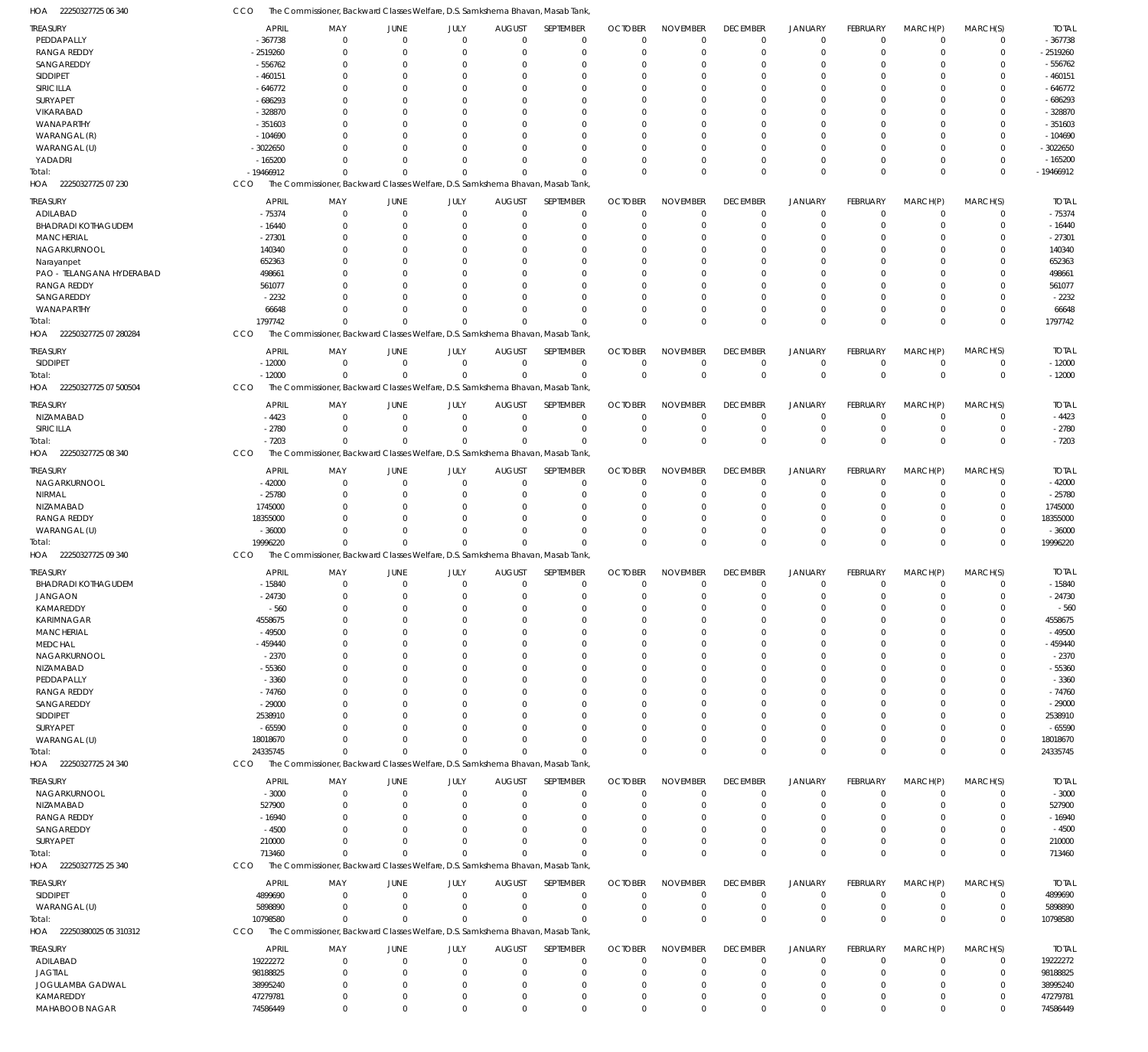22250327725 06 340 HOA CCO The Commissioner, Backward Classes Welfare, D.S. Samkshema Bhavan, Masab Tank,

| TREASURY                     | <b>APRIL</b> | MAY            | <b>JUNE</b>                                                                    | <b>JULY</b>    | <b>AUGUST</b> | SEPTEMBER        | <b>OCTOBER</b> | <b>NOVEMBER</b> | <b>DECEMBER</b> | JANUARY        | FEBRUARY        | MARCH(P) | MARCH(S)     | <b>TOTAL</b> |
|------------------------------|--------------|----------------|--------------------------------------------------------------------------------|----------------|---------------|------------------|----------------|-----------------|-----------------|----------------|-----------------|----------|--------------|--------------|
| PEDDAPALLY                   | $-367738$    | $\overline{0}$ | $\Omega$                                                                       | $\Omega$       | $\mathbf 0$   | $\overline{0}$   | $\Omega$       | $\mathbf 0$     | $\mathbf 0$     | $\mathbf 0$    | $\mathbf 0$     | $\Omega$ | $\mathbf 0$  | $-367738$    |
| <b>RANGA REDDY</b>           | -2519260     | $\Omega$       | $\Omega$                                                                       | $\Omega$       | $\Omega$      | $\overline{0}$   | $\Omega$       | $\Omega$        | $\mathbf 0$     | $\Omega$       | $\Omega$        | 0        | $\mathbf 0$  | $-2519260$   |
| SANGAREDDY                   | $-556762$    | $\Omega$       | $\Omega$                                                                       | $\Omega$       | $\Omega$      | $\Omega$         | 0              | $\Omega$        | $\Omega$        | $\Omega$       | $\Omega$        | C.       | $\Omega$     | $-556762$    |
| SIDDIPET                     | $-460151$    | $\Omega$       | $\Omega$                                                                       | $\Omega$       | $\Omega$      | $\Omega$         | 0              | $\Omega$        | $\mathbf 0$     | $\Omega$       | $\Omega$        | C.       | $\mathbf 0$  | $-460151$    |
| SIRICILLA                    | $-646772$    | $\Omega$       | $\Omega$                                                                       |                | $\Omega$      | $\Omega$         | O              | $\Omega$        | $\Omega$        | $\Omega$       | $\Omega$        |          | $\Omega$     | $-646772$    |
| SURYAPET                     | $-686293$    | $\Omega$       | $\Omega$                                                                       | $\Omega$       | $\Omega$      | $\Omega$         | O              | $\Omega$        | $\Omega$        | $\Omega$       | $\Omega$        | C.       | $\mathbf 0$  | $-686293$    |
|                              |              | $\Omega$       | $\Omega$                                                                       | $\Omega$       |               | $\Omega$         | O              | $\Omega$        | $\Omega$        |                | $\Omega$        |          | $\Omega$     |              |
| VIKARABAD                    | $-328870$    |                |                                                                                |                | $\Omega$      |                  |                |                 |                 | $\Omega$       |                 | C.       |              | $-328870$    |
| WANAPARTHY                   | $-351603$    | $\Omega$       | $\Omega$                                                                       | $\Omega$       | $\Omega$      | $\Omega$         | O              | $\Omega$        | $\Omega$        | $\Omega$       | $\Omega$        | C.       | $\mathbf 0$  | $-351603$    |
| WARANGAL (R)                 | $-104690$    | $\Omega$       | $\Omega$                                                                       |                | $\Omega$      | $\Omega$         | 0              | $\Omega$        | $\Omega$        | $\Omega$       | $\Omega$        | C.       | $\Omega$     | $-104690$    |
| WARANGAL (U)                 | $-3022650$   | $\Omega$       | $\Omega$                                                                       | $\Omega$       | $\Omega$      | $\Omega$         | 0              | $\Omega$        | $\Omega$        | $\Omega$       | $\Omega$        | C.       | $\mathbf 0$  | $-3022650$   |
| YADADRI                      | $-165200$    | $\Omega$       | $\Omega$                                                                       | $\Omega$       | $\Omega$      | $\Omega$         | $\Omega$       | $\Omega$        | $\Omega$        | $\Omega$       | $\Omega$        | $\cup$   | $\mathbf 0$  | $-165200$    |
| Total:                       | $-19466912$  | $\Omega$       | $\Omega$                                                                       | $\Omega$       | $\Omega$      | $\Omega$         | $\Omega$       | $\Omega$        | $\mathbf 0$     | $\Omega$       | $\Omega$        | $\Omega$ | $\mathbf 0$  | $-19466912$  |
|                              |              |                |                                                                                |                |               |                  |                |                 |                 |                |                 |          |              |              |
| 22250327725 07 230<br>HOA    | CCO          |                | The Commissioner, Backward Classes Welfare, D.S. Samkshema Bhavan, Masab Tank, |                |               |                  |                |                 |                 |                |                 |          |              |              |
| TREASURY                     | APRIL        | MAY            | JUNE                                                                           | <b>JULY</b>    | <b>AUGUST</b> | <b>SEPTEMBER</b> | <b>OCTOBER</b> | <b>NOVEMBER</b> | <b>DECEMBER</b> | <b>JANUARY</b> | <b>FEBRUARY</b> | MARCH(P) | MARCH(S)     | <b>TOTAL</b> |
| ADILABAD                     | $-75374$     | $\Omega$       | $\Omega$                                                                       | $\Omega$       | $\mathbf 0$   | $^{\circ}$       | $\Omega$       | $\mathbf 0$     | $\mathbf 0$     | $\mathbf 0$    | $\Omega$        | $\Omega$ | $\mathbf 0$  | $-75374$     |
|                              |              |                |                                                                                |                |               |                  |                |                 |                 |                |                 |          |              |              |
| <b>BHADRADI KOTHAGUDEM</b>   | $-16440$     | $\Omega$       | $\Omega$                                                                       | $\Omega$       | $\Omega$      | $\Omega$         | $\Omega$       | $\Omega$        | $\Omega$        | $\Omega$       | $\Omega$        | C.       | $\Omega$     | $-16440$     |
| <b>MANCHERIAL</b>            | $-27301$     | $\Omega$       | $\Omega$                                                                       | $\Omega$       | $\Omega$      | $\Omega$         | 0              | $\Omega$        | $\Omega$        | $\Omega$       | $\Omega$        | -0       | $\Omega$     | $-27301$     |
| NAGARKURNOOL                 | 140340       | $\Omega$       |                                                                                |                | 0             | $\Omega$         | O              | $\Omega$        | $\Omega$        | $\Omega$       | $\Omega$        |          | $\Omega$     | 140340       |
| Narayanpet                   | 652363       | $\Omega$       | $\Omega$                                                                       | $\Omega$       | $\Omega$      | $\Omega$         | O              | $\Omega$        | $\Omega$        | $\Omega$       | $\Omega$        |          | $\Omega$     | 652363       |
| PAO - TELANGANA HYDERABAD    | 498661       | $\Omega$       |                                                                                |                | U             | $\Omega$         |                | C               | $\Omega$        | $\Omega$       | $\Omega$        |          | $\Omega$     | 498661       |
| <b>RANGA REDDY</b>           | 561077       | $\Omega$       |                                                                                |                | 0             | $\Omega$         | O              | $\Omega$        | $\Omega$        | $\Omega$       | $\Omega$        |          | $\Omega$     | 561077       |
|                              |              |                |                                                                                |                |               |                  |                |                 |                 |                |                 |          |              |              |
| SANGAREDDY                   | $-2232$      |                |                                                                                |                | U             | $\Omega$         | O              | $\Omega$        | $\Omega$        | $\Omega$       | $\Omega$        |          | $\Omega$     | $-2232$      |
| WANAPARTHY                   | 66648        | $\Omega$       | $\Omega$                                                                       | $\Omega$       | $\Omega$      | $\Omega$         | 0              | $\Omega$        | $\Omega$        | $\Omega$       | $\Omega$        | $\Omega$ | $\mathbf 0$  | 66648        |
| Total:                       | 1797742      | $\Omega$       | $\Omega$                                                                       | $\Omega$       | $\Omega$      | $\Omega$         | $\Omega$       | $\Omega$        | $\Omega$        | $\Omega$       | $\Omega$        | $\Omega$ | $\Omega$     | 1797742      |
| HOA 22250327725 07 280284    | CCO          |                | The Commissioner, Backward Classes Welfare, D.S. Samkshema Bhavan, Masab Tank, |                |               |                  |                |                 |                 |                |                 |          |              |              |
|                              |              |                |                                                                                |                |               |                  |                |                 |                 |                |                 |          |              |              |
| <b>TREASURY</b>              | APRIL        | MAY            | <b>JUNE</b>                                                                    | JULY           | <b>AUGUST</b> | SEPTEMBER        | <b>OCTOBER</b> | <b>NOVEMBER</b> | <b>DECEMBER</b> | JANUARY        | <b>FEBRUARY</b> | MARCH(P) | MARCH(S)     | <b>TOTAL</b> |
| SIDDIPET                     | $-12000$     | $\overline{0}$ | $\Omega$                                                                       | $\overline{0}$ | $\mathbf 0$   | $\overline{0}$   | $\Omega$       | $\mathbf 0$     | $\mathbf 0$     | $\overline{0}$ | $\mathbf 0$     | $\Omega$ | $\mathbf 0$  | $-12000$     |
| Total:                       | $-12000$     | $\Omega$       | $\Omega$                                                                       | $\overline{0}$ | $\Omega$      | $\overline{0}$   | $\mathbf 0$    | $\overline{0}$  | $\mathbf 0$     | $\overline{0}$ | $\mathbf 0$     | $\Omega$ | $\mathbf 0$  | $-12000$     |
|                              |              |                |                                                                                |                |               |                  |                |                 |                 |                |                 |          |              |              |
| 22250327725 07 500504<br>HOA | CCO          |                | The Commissioner, Backward Classes Welfare, D.S. Samkshema Bhavan, Masab Tank, |                |               |                  |                |                 |                 |                |                 |          |              |              |
| TREASURY                     | <b>APRIL</b> | MAY            | <b>JUNE</b>                                                                    | JULY           | <b>AUGUST</b> | SEPTEMBER        | <b>OCTOBER</b> | <b>NOVEMBER</b> | <b>DECEMBER</b> | JANUARY        | <b>FEBRUARY</b> | MARCH(P) | MARCH(S)     | <b>TOTAL</b> |
| NIZAMABAD                    | $-4423$      | $\Omega$       | $\Omega$                                                                       | $\Omega$       | $\Omega$      | $\overline{0}$   | $\Omega$       | $\Omega$        | $\mathbf 0$     | $\mathbf 0$    | $\Omega$        | $\Omega$ | $\mathbf 0$  | $-4423$      |
|                              |              |                |                                                                                |                |               |                  |                |                 |                 |                |                 |          |              |              |
| SIRICILLA                    | $-2780$      | $\Omega$       | $\Omega$                                                                       | $\Omega$       | 0             | $\overline{0}$   | $\Omega$       | $\mathbf 0$     | $\mathbf 0$     | $\mathbf 0$    | $\Omega$        | $\Omega$ | $\mathbf 0$  | $-2780$      |
| Total:                       | $-7203$      | $\Omega$       | $\mathbf{0}$                                                                   | $\overline{0}$ | $\Omega$      | $\Omega$         | $\Omega$       | $\Omega$        | $\mathbf 0$     | $\mathbf 0$    | $\Omega$        | $\Omega$ | $\mathbf 0$  | $-7203$      |
| HOA 22250327725 08 340       | CCO          |                | The Commissioner, Backward Classes Welfare, D.S. Samkshema Bhavan, Masab Tank, |                |               |                  |                |                 |                 |                |                 |          |              |              |
|                              |              |                |                                                                                |                |               |                  |                |                 |                 |                |                 |          |              |              |
| TREASURY                     | APRIL        | MAY            | <b>JUNE</b>                                                                    | JULY           | <b>AUGUST</b> | SEPTEMBER        | <b>OCTOBER</b> | <b>NOVEMBER</b> | <b>DECEMBER</b> | JANUARY        | <b>FEBRUARY</b> | MARCH(P) | MARCH(S)     | <b>TOTAL</b> |
| NAGARKURNOOL                 | $-42000$     | $\overline{0}$ | $\Omega$                                                                       | $\Omega$       | $\mathbf 0$   | $\overline{0}$   | $\Omega$       | $\Omega$        | $\mathbf 0$     | $\mathbf 0$    | $\Omega$        | $\Omega$ | $\mathbf 0$  | $-42000$     |
| NIRMAL                       | $-25780$     | $\Omega$       | $\Omega$                                                                       | $\Omega$       | $\Omega$      | $\overline{0}$   | $\Omega$       | $\Omega$        | $\mathbf 0$     | $\Omega$       | $\Omega$        | $\Omega$ | $\mathbf 0$  | $-25780$     |
| NIZAMABAD                    | 1745000      | $\Omega$       | $\Omega$                                                                       | $\Omega$       | $\Omega$      | $\mathbf 0$      | $\Omega$       | $\Omega$        | $\mathbf 0$     | $\Omega$       | $\Omega$        | O        | $\mathbf 0$  | 1745000      |
|                              |              | $\Omega$       | $\Omega$                                                                       | $\Omega$       | $\Omega$      | $\Omega$         | $\Omega$       | $\Omega$        | $\Omega$        | $\Omega$       | $\Omega$        |          | $\Omega$     | 18355000     |
| <b>RANGA REDDY</b>           | 18355000     |                |                                                                                |                |               |                  |                |                 |                 |                |                 | O        |              |              |
| WARANGAL (U)                 | $-36000$     | $\Omega$       | $\Omega$                                                                       | $\Omega$       | $\Omega$      | $\overline{0}$   | $\Omega$       | $\Omega$        | $\mathbf 0$     | $\Omega$       | $\Omega$        | $\Omega$ | $\mathbf 0$  | $-36000$     |
| Total:                       | 19996220     | $\Omega$       | $\Omega$                                                                       | $\Omega$       | $\Omega$      | $\Omega$         | $\Omega$       | $\Omega$        | $\mathbf 0$     | $\Omega$       | $\Omega$        | $\Omega$ | $\mathbf 0$  | 19996220     |
| HOA 22250327725 09 340       | CCO          |                | The Commissioner, Backward Classes Welfare, D.S. Samkshema Bhavan, Masab Tank, |                |               |                  |                |                 |                 |                |                 |          |              |              |
|                              |              |                |                                                                                |                |               |                  |                |                 |                 |                |                 |          |              |              |
| TREASURY                     | APRIL        | MAY            | JUNE                                                                           | JULY           | <b>AUGUST</b> | SEPTEMBER        | <b>OCTOBER</b> | <b>NOVEMBER</b> | <b>DECEMBER</b> | JANUARY        | FEBRUARY        | MARCH(P) | MARCH(S)     | <b>TOTAL</b> |
| <b>BHADRADI KOTHAGUDEM</b>   | $-15840$     | $\Omega$       | $\Omega$                                                                       | $\Omega$       | $\Omega$      | $\overline{0}$   | $\Omega$       | $\Omega$        | $\Omega$        | $\Omega$       | $\Omega$        | $\Omega$ | $\Omega$     | $-15840$     |
| <b>JANGAON</b>               | $-24730$     | $\Omega$       | $\Omega$                                                                       | $\Omega$       | 0             | $\overline{0}$   | $\Omega$       | $\Omega$        | $\Omega$        | $\Omega$       | $\Omega$        | $\Omega$ | $\mathbf 0$  | $-24730$     |
| KAMAREDDY                    | $-560$       | $\Omega$       | $\Omega$                                                                       | $\Omega$       | $\Omega$      | $\Omega$         | $\Omega$       | $\Omega$        | $\Omega$        | $\Omega$       | $\Omega$        | $\Omega$ | $\mathbf 0$  | $-560$       |
|                              |              | $\Omega$       | $\Omega$                                                                       | $\Omega$       | $\Omega$      | $\Omega$         | $\Omega$       | $\Omega$        | $\Omega$        | $\Omega$       | 0               | $\Omega$ | $\mathbf{0}$ | 4558675      |
| KARIMNAGAR                   | 4558675      |                |                                                                                |                |               |                  |                |                 |                 |                |                 |          |              |              |
| MANCHERIAL                   | $-49500$     | $\Omega$       | $\Omega$                                                                       | $\Omega$       | $\Omega$      | $\mathbf 0$      | 0              | $\Omega$        | $\Omega$        | $\Omega$       | $\Omega$        | C.       | $\Omega$     | $-49500$     |
| <b>MEDCHAL</b>               | $-459440$    | $\Omega$       | $\Omega$                                                                       | $\Omega$       | $\Omega$      | $\Omega$         | 0              | $\Omega$        | $\Omega$        | $\Omega$       | $\Omega$        | $\Omega$ | $\Omega$     | $-459440$    |
| NAGARKURNOOL                 | $-2370$      | $\Omega$       | $\Omega$                                                                       |                | 0             | $\Omega$         | O              | $\Omega$        | $\Omega$        | $\Omega$       | $\Omega$        |          | $\Omega$     | $-2370$      |
| NIZAMABAD                    | $-55360$     | $\Omega$       | $\Omega$                                                                       | $\Omega$       | 0             | $\Omega$         | 0              | $\Omega$        | $\Omega$        | $\Omega$       | $\Omega$        | C.       | $\Omega$     | $-55360$     |
| PEDDAPALLY                   | $-3360$      | $\Omega$       |                                                                                |                | U             | $\Omega$         |                | C               | $\Omega$        | $\Omega$       | C               |          | $\Omega$     | $-3360$      |
| <b>RANGA REDDY</b>           | $-74760$     | $\Omega$       | <sup>0</sup>                                                                   | $\Omega$       | $\Omega$      | $\Omega$         | O              | $\Omega$        | $\Omega$        | $\Omega$       | $\Omega$        | -0       | $\Omega$     | $-74760$     |
|                              |              |                |                                                                                |                |               |                  |                |                 |                 |                |                 |          |              |              |
| SANGAREDDY                   | $-29000$     | $\Omega$       |                                                                                |                |               | $\Omega$         | O              | $\Omega$        | $\Omega$        | $\Omega$       | $\Omega$        |          | $\Omega$     | $-29000$     |
| SIDDIPET                     | 2538910      | $\Omega$       |                                                                                |                | U             | $\Omega$         | O              | $\Omega$        | $\Omega$        | $\Omega$       | $\Omega$        |          | $\Omega$     | 2538910      |
| <b>SURYAPET</b>              | $-65590$     | $\Omega$       |                                                                                |                |               | $\Omega$         |                | $\Omega$        | $\Omega$        | $\Omega$       | $\Omega$        |          | $\Omega$     | $-65590$     |
| WARANGAL (U)                 | 18018670     | $\Omega$       | $\Omega$                                                                       | $\Omega$       | $\Omega$      | $\Omega$         | O              | $\Omega$        | $\Omega$        | $\Omega$       | $\Omega$        | $\Omega$ | $\mathbf 0$  | 18018670     |
| Total:                       | 24335745     | $\Omega$       | $\Omega$                                                                       | $\Omega$       | $\Omega$      | $\Omega$         | $\Omega$       | $\Omega$        | $\Omega$        | $\Omega$       | $\Omega$        | $\Omega$ | $\Omega$     | 24335745     |
| HOA 22250327725 24 340       |              |                | The Commissioner, Backward Classes Welfare, D.S. Samkshema Bhavan, Masab Tank, |                |               |                  |                |                 |                 |                |                 |          |              |              |
|                              | <b>CCO</b>   |                |                                                                                |                |               |                  |                |                 |                 |                |                 |          |              |              |
| <b>TREASURY</b>              | APRIL        | MAY            | JUNE                                                                           | JULY           | <b>AUGUST</b> | SEPTEMBER        | <b>OCTOBER</b> | <b>NOVEMBER</b> | <b>DECEMBER</b> | JANUARY        | <b>FEBRUARY</b> | MARCH(P) | MARCH(S)     | <b>TOTAL</b> |
| NAGARKURNOOL                 | $-3000$      | $\Omega$       | $\Omega$                                                                       | $\Omega$       | $\mathbf 0$   | $\overline{0}$   | $\Omega$       | $\Omega$        | $\mathbf 0$     | $\mathbf 0$    | $\Omega$        | $\Omega$ | $\mathbf 0$  | $-3000$      |
|                              | 527900       | $\Omega$       | $\Omega$                                                                       | $\Omega$       | $\Omega$      | $^{\circ}$       | $\Omega$       | $\Omega$        | $\mathbf 0$     | $\Omega$       | $\Omega$        | $\Omega$ |              | 527900       |
| NIZAMABAD                    |              |                |                                                                                |                |               |                  |                |                 |                 |                |                 |          | $\mathbf 0$  |              |
| <b>RANGA REDDY</b>           | $-16940$     | $\Omega$       | $\Omega$                                                                       | $\Omega$       | $\Omega$      | $\mathbf 0$      | $\Omega$       | $\Omega$        | $\mathbf 0$     | $\Omega$       | $\Omega$        | C.       | $\mathbf 0$  | $-16940$     |
| SANGAREDDY                   | $-4500$      | $\Omega$       | $\Omega$                                                                       | $\Omega$       | $\Omega$      | $\Omega$         | $\Omega$       | $\Omega$        | $\Omega$        | $\Omega$       | $\Omega$        | C.       | $\Omega$     | $-4500$      |
| SURYAPET                     | 210000       | $\Omega$       | $\Omega$                                                                       | $\Omega$       | $\Omega$      | $\Omega$         | $\Omega$       | $\Omega$        | $\Omega$        | $\Omega$       | $\mathbf 0$     | $\Omega$ | $\mathbf 0$  | 210000       |
| Total:                       | 713460       | $\Omega$       | $\Omega$                                                                       | $\mathbf{0}$   | $\Omega$      | $\Omega$         | $\Omega$       | $\Omega$        | $\mathbf 0$     | $\Omega$       | $\Omega$        | $\Omega$ | $\mathbf 0$  | 713460       |
| HOA 22250327725 25 340       | CCO          |                | The Commissioner, Backward Classes Welfare, D.S. Samkshema Bhavan, Masab Tank, |                |               |                  |                |                 |                 |                |                 |          |              |              |
|                              |              |                |                                                                                |                |               |                  |                |                 |                 |                |                 |          |              |              |
| TREASURY                     | <b>APRIL</b> | MAY            | JUNE                                                                           | JULY           | <b>AUGUST</b> | SEPTEMBER        | <b>OCTOBER</b> | <b>NOVEMBER</b> | <b>DECEMBER</b> | JANUARY        | FEBRUARY        | MARCH(P) | MARCH(S)     | <b>TOTAL</b> |
| <b>SIDDIPET</b>              | 4899690      | $\Omega$       | $\mathbf{0}$                                                                   | $\overline{0}$ | $\Omega$      | $\Omega$         | $\Omega$       | $\Omega$        | $\mathbf 0$     | $\Omega$       | $\Omega$        | $\Omega$ | $\mathbf{0}$ | 4899690      |
|                              |              |                |                                                                                |                |               |                  |                |                 |                 |                |                 |          |              |              |
| WARANGAL (U)                 | 5898890      | $\Omega$       | $\Omega$                                                                       | $\overline{0}$ | $\Omega$      | $\overline{0}$   | $\Omega$       | $\Omega$        | $\mathbf 0$     | $\Omega$       | $\Omega$        | $\Omega$ | $\mathbf 0$  | 5898890      |
| Total:                       | 10798580     | $\Omega$       | $\Omega$                                                                       | $\Omega$       | $\Omega$      | $\Omega$         | $\Omega$       | $\mathbf 0$     | $\mathbf 0$     | $\mathbf 0$    | $\Omega$        | $\Omega$ | $\mathbf 0$  | 10798580     |
| HOA 22250380025 05 310312    | <b>CCO</b>   |                | The Commissioner, Backward Classes Welfare, D.S. Samkshema Bhavan, Masab Tank, |                |               |                  |                |                 |                 |                |                 |          |              |              |
|                              |              |                |                                                                                |                |               |                  |                |                 |                 |                |                 |          |              |              |
| <b>TREASURY</b>              | <b>APRIL</b> | MAY            | <b>JUNE</b>                                                                    | JULY           | <b>AUGUST</b> | SEPTEMBER        | <b>OCTOBER</b> | <b>NOVEMBER</b> | <b>DECEMBER</b> | JANUARY        | <b>FEBRUARY</b> | MARCH(P) | MARCH(S)     | <b>TOTAL</b> |
| ADILABAD                     | 19222272     | $\overline{0}$ | $\Omega$                                                                       | $\Omega$       | $\mathbf 0$   | $\overline{0}$   | $\Omega$       | $\Omega$        | $\mathbf 0$     | $\mathbf 0$    | $\Omega$        | $\Omega$ | 0            | 19222272     |
| <b>JAGTIAL</b>               | 98188825     | $\Omega$       | $\Omega$                                                                       | $\Omega$       | $\Omega$      | $\overline{0}$   | $\Omega$       | $\Omega$        | $\mathbf 0$     | $\Omega$       | $\Omega$        | $\Omega$ | $\mathbf 0$  | 98188825     |
| JOGULAMBA GADWAL             | 38995240     | $\overline{0}$ | $\Omega$                                                                       | $\Omega$       | 0             | $\overline{0}$   | $\Omega$       | $\mathbf 0$     | $\mathbf 0$     | $\Omega$       | $\Omega$        | $\Omega$ | $\mathbf 0$  | 38995240     |
| KAMAREDDY                    | 47279781     | $\overline{0}$ | $\mathbf{0}$                                                                   | $\Omega$       | 0             | $\mathbf 0$      | $\Omega$       | $\Omega$        | $\mathbf 0$     | $\Omega$       | $\mathbf 0$     | $\Omega$ | $\mathbf 0$  | 47279781     |
|                              |              |                |                                                                                |                |               |                  |                |                 |                 |                |                 |          |              |              |
| MAHABOOB NAGAR               | 74586449     | $\Omega$       | $\Omega$                                                                       | $\overline{0}$ | $\Omega$      | $\Omega$         | $\Omega$       | $\Omega$        | $\Omega$        | $\Omega$       | $\Omega$        | $\Omega$ | $\Omega$     | 74586449     |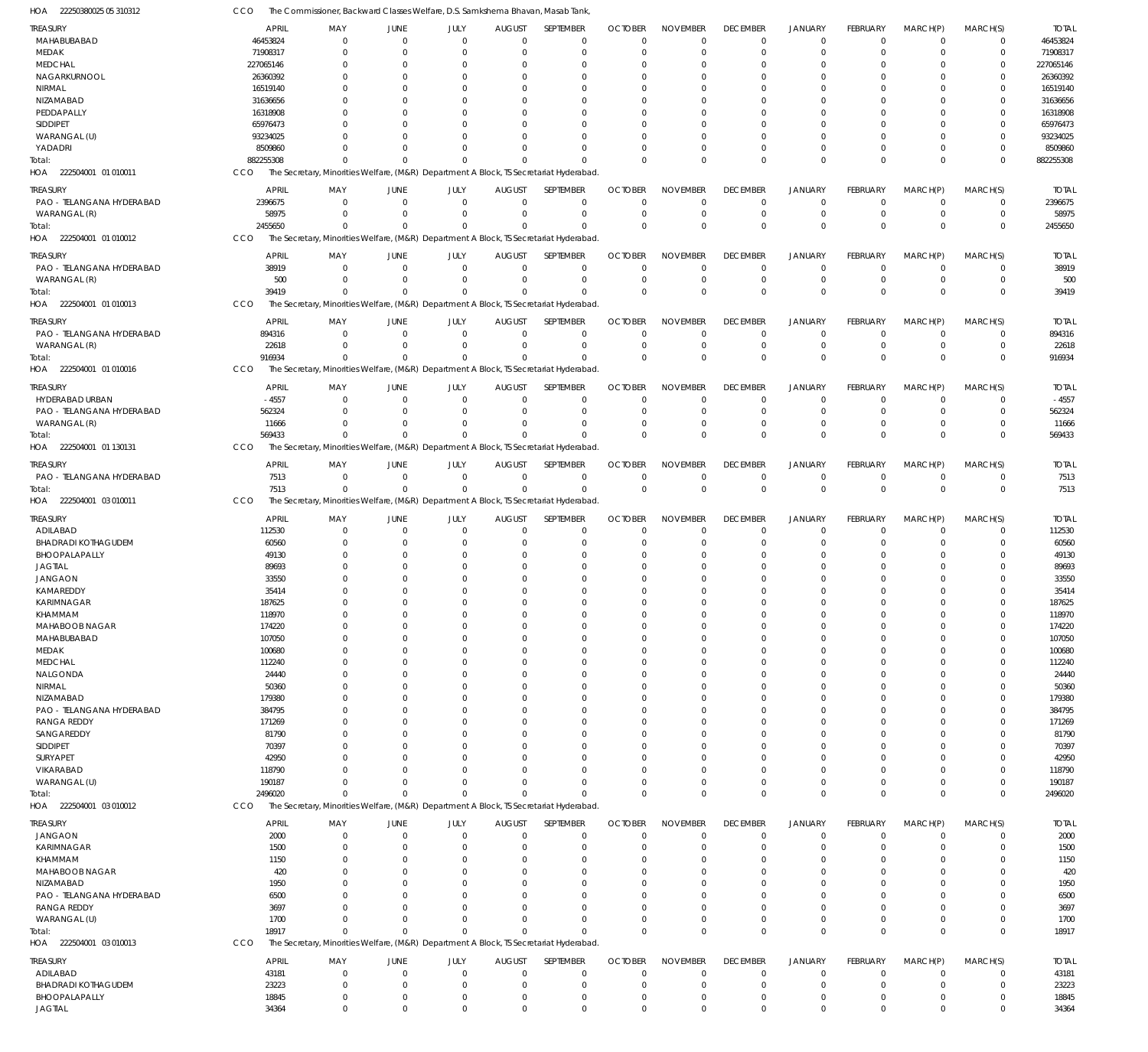22250380025 05 310312 HOA CCO The Commissioner, Backward Classes Welfare, D.S. Samkshema Bhavan, Masab Tank,

| TREASURY                          | <b>APRIL</b> | MAY          | JUNE        | JULY     | <b>AUGUST</b> | SEPTEMBER                                                                              | <b>OCTOBER</b> | <b>NOVEMBER</b> | <b>DECEMBER</b> | <b>JANUARY</b> | FEBRUARY        | MARCH(P)       | MARCH(S)       | <b>TOTAL</b> |
|-----------------------------------|--------------|--------------|-------------|----------|---------------|----------------------------------------------------------------------------------------|----------------|-----------------|-----------------|----------------|-----------------|----------------|----------------|--------------|
| MAHABUBABAD                       | 46453824     | $\mathbf{0}$ | $\Omega$    | $\Omega$ | $\Omega$      | $\Omega$                                                                               | $\Omega$       | $\overline{0}$  | $\mathbf 0$     | $\overline{0}$ | $\mathbf 0$     | $\mathbf 0$    | $\mathbf 0$    | 46453824     |
| MEDAK                             | 71908317     | $\Omega$     |             | $\Omega$ | $\Omega$      | $\Omega$                                                                               | $\Omega$       | $\Omega$        | $\mathbf 0$     | $\overline{0}$ | $\Omega$        | $\Omega$       | $\mathbf 0$    | 71908317     |
| <b>MEDCHAL</b>                    | 227065146    | $\Omega$     |             |          |               |                                                                                        |                | $\Omega$        | $\Omega$        | $\Omega$       |                 |                | $\Omega$       | 227065146    |
| NAGARKURNOOL                      | 26360392     | $\Omega$     |             |          |               |                                                                                        |                | $\Omega$        | $\Omega$        | $\Omega$       |                 | $\Omega$       | $\Omega$       | 26360392     |
| NIRMAL                            | 16519140     | $\Omega$     |             |          |               |                                                                                        |                | $\Omega$        | $\Omega$        | $\Omega$       |                 |                |                | 16519140     |
| NIZAMABAD                         | 31636656     | $\Omega$     |             |          |               |                                                                                        |                | $\Omega$        | $\Omega$        | $\Omega$       |                 |                |                | 31636656     |
| PEDDAPALLY                        | 16318908     |              |             |          |               |                                                                                        |                | $\Omega$        | 0               | $\Omega$       |                 |                |                | 16318908     |
| SIDDIPET                          | 65976473     |              |             |          |               |                                                                                        |                | $\Omega$        | $\Omega$        | $\Omega$       |                 | $\Omega$       |                | 65976473     |
| WARANGAL (U)                      | 93234025     |              |             |          |               |                                                                                        |                | $\Omega$        | $\Omega$        | $\Omega$       |                 |                |                | 93234025     |
| YADADRI                           | 8509860      | $\Omega$     |             | $\Omega$ |               | $\Omega$                                                                               |                | $\Omega$        | $\Omega$        | $\Omega$       | 0               | $\Omega$       | $\Omega$       | 8509860      |
|                                   | 882255308    | $\Omega$     |             | $\Omega$ | $\Omega$      | $\Omega$                                                                               | $\Omega$       | $\Omega$        | $\Omega$        | $\Omega$       | $\Omega$        | $\Omega$       | $\Omega$       | 882255308    |
| Total:<br>HOA 222504001 01 010011 | <b>CCO</b>   |              |             |          |               | The Secretary, Minorities Welfare, (M&R) Department A Block, TS Secretariat Hyderabad. |                |                 |                 |                |                 |                |                |              |
|                                   |              |              |             |          |               |                                                                                        |                |                 |                 |                |                 |                |                |              |
| <b>TREASURY</b>                   | APRIL        | MAY          | <b>JUNE</b> | JULY     | <b>AUGUST</b> | SEPTEMBER                                                                              | <b>OCTOBER</b> | <b>NOVEMBER</b> | <b>DECEMBER</b> | <b>JANUARY</b> | FEBRUARY        | MARCH(P)       | MARCH(S)       | <b>TOTAL</b> |
| PAO - TELANGANA HYDERABAD         | 2396675      | $\mathbf 0$  | $\Omega$    | $\Omega$ | $\Omega$      | $\Omega$                                                                               | $\Omega$       | $\Omega$        | $\mathbf 0$     | $\overline{0}$ | $\Omega$        | $\overline{0}$ | $\mathbf 0$    | 2396675      |
| WARANGAL (R)                      | 58975        | $\Omega$     | $\Omega$    | $\Omega$ | $\Omega$      | $\mathbf 0$                                                                            | $\Omega$       | $\overline{0}$  | $\mathbf 0$     | $\overline{0}$ | $\mathbf 0$     | $\overline{0}$ | $\mathbf 0$    | 58975        |
| Total:                            | 2455650      | $\Omega$     | $\Omega$    | $\Omega$ | $\Omega$      | $\Omega$                                                                               | $\Omega$       | $\Omega$        | $\mathbf 0$     | $\mathbb O$    | $\Omega$        | $\Omega$       | $\Omega$       | 2455650      |
| HOA 222504001 01 010012           | CCO          |              |             |          |               | The Secretary, Minorities Welfare, (M&R) Department A Block, TS Secretariat Hyderabad  |                |                 |                 |                |                 |                |                |              |
|                                   |              |              |             |          |               |                                                                                        |                |                 |                 |                |                 |                |                |              |
| TREASURY                          | <b>APRIL</b> | MAY          | <b>JUNE</b> | JULY     | <b>AUGUST</b> | SEPTEMBER                                                                              | <b>OCTOBER</b> | <b>NOVEMBER</b> | <b>DECEMBER</b> | <b>JANUARY</b> | FEBRUARY        | MARCH(P)       | MARCH(S)       | <b>TOTAL</b> |
| PAO - TELANGANA HYDERABAD         | 38919        | $\mathbf 0$  | $\Omega$    | $\Omega$ | $\mathbf{0}$  | $\mathbf 0$                                                                            | $\Omega$       | $^{\circ}$      | $\mathbf 0$     | $\overline{0}$ | $\mathbf 0$     | $\overline{0}$ | $\mathbf 0$    | 38919        |
| WARANGAL (R)                      | 500          | $\Omega$     |             | $\Omega$ | $\Omega$      | $\mathbf 0$                                                                            | $\Omega$       | $^{\circ}$      | $\mathbf 0$     | $\overline{0}$ | $\mathbf 0$     | $\overline{0}$ | $\mathbf 0$    | 500          |
| Total:                            | 39419        | $\Omega$     |             | $\Omega$ | $\Omega$      | $\Omega$                                                                               | $\Omega$       | $\Omega$        | $\mathbb O$     | $\overline{0}$ | $\Omega$        | $\Omega$       | $\mathbf 0$    | 39419        |
| HOA<br>222504001 01 010013        | CCO          |              |             |          |               | The Secretary, Minorities Welfare, (M&R) Department A Block, TS Secretariat Hyderabad. |                |                 |                 |                |                 |                |                |              |
|                                   |              |              |             |          |               |                                                                                        |                |                 |                 |                |                 |                |                |              |
| TREASURY                          | <b>APRIL</b> | MAY          | JUNE        | JULY     | <b>AUGUST</b> | SEPTEMBER                                                                              | <b>OCTOBER</b> | <b>NOVEMBER</b> | <b>DECEMBER</b> | <b>JANUARY</b> | FEBRUARY        | MARCH(P)       | MARCH(S)       | <b>TOTAL</b> |
| PAO - TELANGANA HYDERABAD         | 894316       | $\Omega$     | $\Omega$    | $\Omega$ | $\Omega$      | $\Omega$                                                                               | $\Omega$       | $\Omega$        | $\mathbf 0$     | $\overline{0}$ | $\mathbf 0$     | $\overline{0}$ | $\mathbf 0$    | 894316       |
| WARANGAL (R)                      | 22618        | $\Omega$     | $\Omega$    | $\Omega$ | $\Omega$      | $\mathbf 0$                                                                            | $\Omega$       | $\overline{0}$  | $\mathbf 0$     | $\overline{0}$ | $\mathbf 0$     | $\mathbf 0$    | $\mathbf 0$    | 22618        |
| Total:                            | 916934       | $\Omega$     |             | $\Omega$ | $\Omega$      | $\Omega$                                                                               | $\Omega$       | $\Omega$        | $\mathbf{0}$    | $\Omega$       | $\Omega$        | $\Omega$       | $\Omega$       | 916934       |
| 222504001 01 010016<br>HOA        | CCO          |              |             |          |               | The Secretary, Minorities Welfare, (M&R) Department A Block, TS Secretariat Hyderabad. |                |                 |                 |                |                 |                |                |              |
| TREASURY                          | <b>APRIL</b> | MAY          | JUNE        | JULY     | <b>AUGUST</b> | SEPTEMBER                                                                              | <b>OCTOBER</b> | <b>NOVEMBER</b> | <b>DECEMBER</b> | <b>JANUARY</b> | <b>FEBRUARY</b> | MARCH(P)       | MARCH(S)       | <b>TOTAL</b> |
|                                   |              |              |             |          |               |                                                                                        |                |                 |                 |                |                 |                |                |              |
| HYDERABAD URBAN                   | $-4557$      | $\Omega$     | $\Omega$    | $\Omega$ | $\Omega$      | $\Omega$                                                                               | $\Omega$       | $\Omega$        | $\overline{0}$  | $\overline{0}$ | $\Omega$        | $\Omega$       | $\mathbf 0$    | $-4557$      |
| PAO - TELANGANA HYDERABAD         | 562324       | $\Omega$     |             | $\Omega$ | $\Omega$      | $\Omega$                                                                               | $\Omega$       | $\overline{0}$  | $\mathbf 0$     | $\overline{0}$ | $\Omega$        | $\Omega$       | $\mathbf 0$    | 562324       |
| WARANGAL (R)                      | 11666        | $\Omega$     |             | $\Omega$ |               | $\Omega$                                                                               | $\Omega$       | $\Omega$        | $\mathbf 0$     | $\overline{0}$ | $\Omega$        | $\Omega$       | 0              | 11666        |
| Total:                            | 569433       | $\Omega$     |             | $\Omega$ | $\Omega$      | $\Omega$                                                                               | $\Omega$       | $\Omega$        | $\mathbf{0}$    | $\mathbf{0}$   | $\Omega$        | $\Omega$       | $\Omega$       | 569433       |
| HOA<br>222504001 01 130131        | CCO          |              |             |          |               | The Secretary, Minorities Welfare, (M&R) Department A Block, TS Secretariat Hyderabad  |                |                 |                 |                |                 |                |                |              |
| TREASURY                          | <b>APRIL</b> | MAY          | JUNE        | JULY     | <b>AUGUST</b> | SEPTEMBER                                                                              | <b>OCTOBER</b> | <b>NOVEMBER</b> | <b>DECEMBER</b> | <b>JANUARY</b> | FEBRUARY        | MARCH(P)       | MARCH(S)       | <b>TOTAL</b> |
| PAO - TELANGANA HYDERABAD         | 7513         | $\mathbf{0}$ | $\Omega$    | $\Omega$ | $\Omega$      | $\Omega$                                                                               | $\Omega$       | $^{\circ}$      | $\mathbf 0$     | $\overline{0}$ | $\mathbf 0$     | $\mathbf 0$    | $\mathbf 0$    | 7513         |
|                                   |              | $\Omega$     | $\Omega$    | $\Omega$ | $\Omega$      | $\Omega$                                                                               | $\mathbf 0$    | $\mathbf{0}$    | $\,0\,$         | $\,0\,$        | $\Omega$        | $\overline{0}$ | $\overline{0}$ | 7513         |
| Total:                            | 7513         |              |             |          |               |                                                                                        |                |                 |                 |                |                 |                |                |              |
| HOA 222504001 03 010011           | CCO          |              |             |          |               | The Secretary, Minorities Welfare, (M&R) Department A Block, TS Secretariat Hyderabad. |                |                 |                 |                |                 |                |                |              |
| TREASURY                          | <b>APRIL</b> | MAY          | <b>JUNE</b> | JULY     | <b>AUGUST</b> | SEPTEMBER                                                                              | <b>OCTOBER</b> | <b>NOVEMBER</b> | <b>DECEMBER</b> | <b>JANUARY</b> | <b>FEBRUARY</b> | MARCH(P)       | MARCH(S)       | <b>TOTAL</b> |
| ADILABAD                          | 112530       | $\Omega$     |             | $\Omega$ | $\Omega$      | $\Omega$                                                                               | $\Omega$       | $^{\circ}$      | $^{\circ}$      | $\overline{0}$ | 0               | $\mathbf 0$    | $\mathbf 0$    | 112530       |
| <b>BHADRADI KOTHAGUDEM</b>        | 60560        | $\Omega$     |             | $\Omega$ |               | $\Omega$                                                                               | $\Omega$       | $\Omega$        | $\Omega$        | $\Omega$       | $\Omega$        | $\Omega$       | 0              | 60560        |
| BHOOPALAPALLY                     | 49130        | $\Omega$     |             |          |               | $\Omega$                                                                               |                | $\Omega$        | $\Omega$        | $\Omega$       | 0               | $\Omega$       | 0              | 49130        |
| <b>JAGTIAL</b>                    | 89693        |              |             |          |               |                                                                                        |                | $\Omega$        | $\Omega$        | $\Omega$       |                 |                |                | 89693        |
| <b>JANGAON</b>                    | 33550        |              |             |          |               |                                                                                        |                | $\Omega$        | $\Omega$        | $\Omega$       |                 |                | 0              | 33550        |
| KAMAREDDY                         | 35414        |              |             |          |               |                                                                                        |                |                 |                 |                |                 |                |                | 35414        |
|                                   |              | $\Omega$     |             | $\Omega$ | <sup>0</sup>  | $\Omega$                                                                               | $\Omega$       | $\Omega$        | $\Omega$        | $\Omega$       | 0               | $\Omega$       | $\Omega$       |              |
| KARIMNAGAR                        | 187625       |              |             |          |               |                                                                                        |                |                 |                 |                |                 |                |                | 187625       |
| KHAMMAM                           | 118970       |              |             |          |               |                                                                                        |                |                 |                 |                |                 |                |                | 118970       |
| MAHABOOB NAGAR                    | 174220       | $\Omega$     |             |          |               |                                                                                        |                |                 | $\Omega$        | $\Omega$       |                 |                | 0              | 174220       |
| MAHABUBABAD                       | 107050       | $\Omega$     |             |          |               | $\Omega$                                                                               | $\Omega$       | $\Omega$        | 0               | $\Omega$       | 0               | $\Omega$       | $\Omega$       | 107050       |
| MEDAK                             | 100680       | $\Omega$     |             |          |               | $\Omega$                                                                               | $\Omega$       | $\Omega$        | $\Omega$        | $\Omega$       |                 | $\Omega$       | 0              | 100680       |
| <b>MEDCHAL</b>                    | 112240       |              |             |          |               |                                                                                        |                | $\Omega$        | 0               |                |                 |                | $\Omega$       | 112240       |
| NALGONDA                          | 24440        |              |             |          |               | $\Omega$                                                                               |                | $\Omega$        | $\Omega$        | $\Omega$       |                 | $\Omega$       | 0              | 24440        |
| NIRMAL                            | 50360        |              |             |          |               |                                                                                        |                | $\Omega$        | 0               |                |                 |                | 0              | 50360        |
| NIZAMABAD                         | 179380       |              |             |          |               | $\Omega$                                                                               |                | $\Omega$        | $\Omega$        |                |                 |                | 0              | 179380       |
| PAO - TELANGANA HYDERABAD         | 384795       |              |             |          |               |                                                                                        |                |                 |                 |                |                 |                | $\Omega$       | 384795       |
| RANGA REDDY                       |              |              |             |          |               |                                                                                        |                | $\Omega$        | 0               |                |                 |                |                |              |
|                                   | 171269       |              |             |          |               |                                                                                        |                | $\Omega$        | $\Omega$        |                |                 | $\Omega$       | 0              | 171269       |
| SANGAREDDY                        | 81790        |              |             |          |               |                                                                                        |                | $\Omega$        | 0               |                |                 |                | 0              | 81790        |
| <b>SIDDIPET</b>                   | 70397        |              |             |          |               |                                                                                        |                | $\Omega$        | $\Omega$        |                |                 |                | 0              | 70397        |
| SURYAPET                          | 42950        |              |             |          |               |                                                                                        |                | $\Omega$        | 0               |                |                 |                | 0              | 42950        |
|                                   |              |              |             |          |               | $\Omega$                                                                               |                | $\Omega$        | 0               | $\Omega$       |                 | $\Omega$       | 0              |              |
| VIKARABAD                         | 118790       |              |             |          |               | $\Omega$                                                                               |                | $\Omega$        | 0               | $\Omega$       |                 | $\Omega$       | 0              | 118790       |
| WARANGAL (U)                      | 190187       | $\Omega$     |             | $\Omega$ |               | $\Omega$                                                                               | $\Omega$       | $\Omega$        |                 | $\Omega$       | $\Omega$        | $\Omega$       |                | 190187       |
| Total:                            | 2496020      |              |             |          |               |                                                                                        |                |                 | $\mathbf 0$     |                |                 |                | $\mathbf 0$    | 2496020      |
| HOA 222504001 03 010012           | CCO          |              |             |          |               | The Secretary, Minorities Welfare, (M&R) Department A Block, TS Secretariat Hyderabad. |                |                 |                 |                |                 |                |                |              |
| TREASURY                          | <b>APRIL</b> | MAY          | JUNE        | JULY     | <b>AUGUST</b> | SEPTEMBER                                                                              | <b>OCTOBER</b> | <b>NOVEMBER</b> | <b>DECEMBER</b> | <b>JANUARY</b> | FEBRUARY        | MARCH(P)       | MARCH(S)       | <b>TOTAL</b> |
| <b>JANGAON</b>                    | 2000         | $\mathbf{0}$ | $\Omega$    | $\Omega$ | $\Omega$      | $\mathbf 0$                                                                            | $\Omega$       | $\Omega$        | $\mathbf 0$     | $\overline{0}$ | $\mathbf 0$     | $\mathbf 0$    | $\mathbf 0$    | 2000         |
| KARIMNAGAR                        | 1500         | $\mathbf{0}$ |             | $\Omega$ | $\Omega$      | $^{\circ}$                                                                             | $\Omega$       | $\overline{0}$  | $\mathbf 0$     | $\overline{0}$ | $\Omega$        | $\Omega$       | $\mathbf 0$    | 1500         |
| KHAMMAM                           | 1150         | $\Omega$     |             |          |               | $\Omega$                                                                               | $\Omega$       | $\Omega$        | $\Omega$        | $\Omega$       |                 |                | 0              | 1150         |
| MAHABOOB NAGAR                    | 420          | $\Omega$     |             |          |               | $\Omega$                                                                               |                | $\Omega$        | $\Omega$        | $\Omega$       |                 |                | 0              | 420          |
| NIZAMABAD                         | 1950         | $\Omega$     |             |          |               | $\Omega$                                                                               |                | $\Omega$        | $\Omega$        | $\Omega$       | 0               | $\Omega$       | 0              | 1950         |
|                                   | 6500         | $\Omega$     |             |          |               |                                                                                        |                | $\Omega$        | $\Omega$        | $\Omega$       |                 | $\Omega$       | 0              | 6500         |
| PAO - TELANGANA HYDERABAD         | 3697         | $\Omega$     |             |          |               | $\Omega$                                                                               |                | $\Omega$        | $\Omega$        | $\Omega$       |                 | $\Omega$       | 0              |              |
| RANGA REDDY                       |              | $\Omega$     |             | $\Omega$ | $\Omega$      | $\Omega$                                                                               | $\Omega$       | $\Omega$        | $\mathbf 0$     | $\overline{0}$ | 0               | $\mathbf 0$    | 0              | 3697         |
| WARANGAL (U)                      | 1700         | $\Omega$     | $\Omega$    | $\Omega$ | $\Omega$      | $\Omega$                                                                               | $\Omega$       | $\Omega$        | $\Omega$        | $\Omega$       | $\Omega$        | $\Omega$       |                | 1700         |
| Total:                            | 18917        |              |             |          |               |                                                                                        |                |                 |                 |                |                 |                | $\mathbf 0$    | 18917        |
| HOA 222504001 03 010013           | CCO          |              |             |          |               | The Secretary, Minorities Welfare, (M&R) Department A Block, TS Secretariat Hyderabad. |                |                 |                 |                |                 |                |                |              |
| TREASURY                          | APRIL        | MAY          | JUNE        | JULY     | <b>AUGUST</b> | SEPTEMBER                                                                              | <b>OCTOBER</b> | <b>NOVEMBER</b> | <b>DECEMBER</b> | <b>JANUARY</b> | FEBRUARY        | MARCH(P)       | MARCH(S)       | <b>TOTAL</b> |
| ADILABAD                          | 43181        | $\mathbf{0}$ | $\Omega$    | $\Omega$ | $\Omega$      | $\Omega$                                                                               | $\Omega$       | $\overline{0}$  | $\overline{0}$  | $\overline{0}$ | $\mathbf 0$     | $\mathbf 0$    | 0              | 43181        |
| <b>BHADRADI KOTHAGUDEM</b>        | 23223        | $\mathbf{0}$ |             | $\Omega$ | $\Omega$      | $\mathbf 0$                                                                            | $\Omega$       | $\overline{0}$  | $\mathbf 0$     | $\overline{0}$ | 0               | $\Omega$       | 0              | 23223        |
| BHOOPALAPALLY                     | 18845        | $\mathbf{0}$ |             | $\Omega$ | $\Omega$      | $\mathbf 0$                                                                            | 0              | $\overline{0}$  | $\mathbf 0$     | $\overline{0}$ | 0               | $\mathbf 0$    | 0              | 18845        |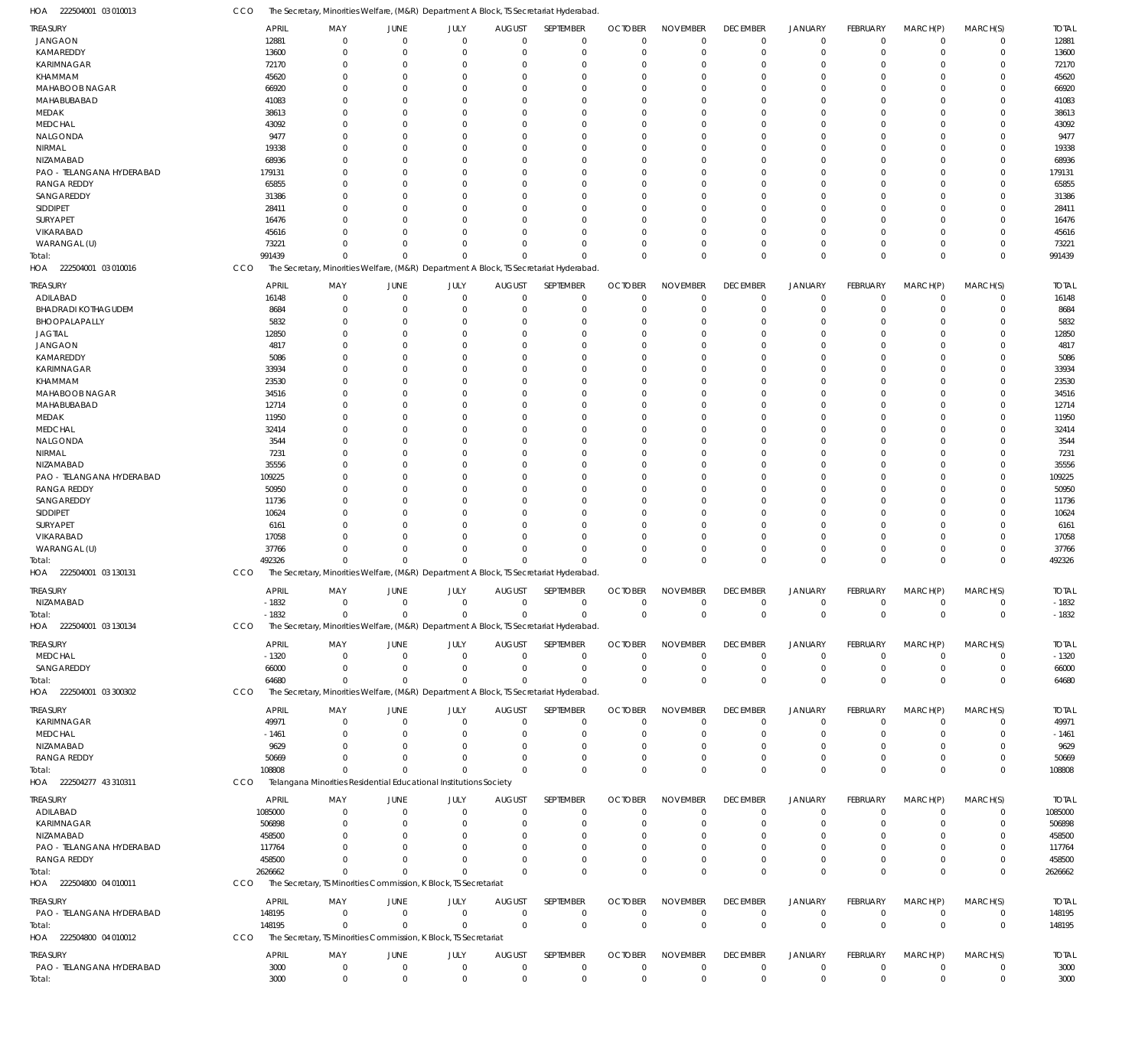CCO The Secretary, Minorities Welfare, (M&R) Department A Block, TS Secretariat Hyderabad.

| HOA<br>222504001 03 010013 | CCO | The Secretary, Minorities Welfare, (M&R) Department A Block, TS Secretariat Hyderabad. |                             |              |               |             |                |                 |                 |                |                 |              |             |              |
|----------------------------|-----|----------------------------------------------------------------------------------------|-----------------------------|--------------|---------------|-------------|----------------|-----------------|-----------------|----------------|-----------------|--------------|-------------|--------------|
| <b>TREASURY</b>            |     | <b>APRIL</b><br>MAY                                                                    | JUNE                        | JULY         | <b>AUGUST</b> | SEPTEMBER   | <b>OCTOBER</b> | <b>NOVEMBER</b> | <b>DECEMBER</b> | <b>JANUARY</b> | <b>FEBRUARY</b> | MARCH(P)     | MARCH(S)    | <b>TOTAL</b> |
| <b>JANGAON</b>             |     | 12881                                                                                  | $\mathbf{0}$<br>$\Omega$    | $\mathbf 0$  | $\Omega$      | $\mathbf 0$ | $\mathbf 0$    | $\mathbf 0$     | $\mathbf 0$     | $\mathbf 0$    | $\Omega$        | $\Omega$     | $\Omega$    | 12881        |
| KAMAREDDY                  |     | 13600                                                                                  | $\mathbf{0}$<br>$\Omega$    | $\mathbf 0$  | 0             | $\mathbf 0$ | $\mathbf 0$    | $\mathbf 0$     | $\mathbf 0$     | $\mathbf 0$    | $^{\circ}$      | $\Omega$     | $\Omega$    | 13600        |
| KARIMNAGAR                 |     | 72170                                                                                  | $\mathbf 0$<br>$\Omega$     | $\Omega$     | $\Omega$      | $\mathbf 0$ | $\Omega$       | $\Omega$        | $\Omega$        | $\mathbf 0$    | $\Omega$        | $\Omega$     | $\Omega$    | 72170        |
| KHAMMAM                    |     | 45620                                                                                  | $\Omega$<br>0               | $\Omega$     | $\Omega$      | $\mathbf 0$ | $\Omega$       | $\Omega$        | $\Omega$        | $\Omega$       | $\Omega$        | $\Omega$     | $\Omega$    | 45620        |
| MAHABOOB NAGAR             |     | 66920                                                                                  | $\Omega$<br>0               | $\Omega$     | $\Omega$      | $\mathbf 0$ | -0             | $\Omega$        | $\Omega$        | $\Omega$       | $\Omega$        | $\Omega$     | $\Omega$    | 66920        |
| MAHABUBABAD                |     | 41083                                                                                  | $\Omega$<br>0               | $\Omega$     | $\Omega$      | $\Omega$    | $\Omega$       | $\Omega$        | $\Omega$        | $\Omega$       | $\Omega$        | $\Omega$     | $\Omega$    | 41083        |
| MEDAK                      |     | 38613                                                                                  | $\Omega$<br>0               | $\Omega$     | $\Omega$      | $\mathbf 0$ | -0             | $\Omega$        | $\Omega$        | $\Omega$       | $\Omega$        | $\Omega$     | $\Omega$    | 38613        |
| <b>MEDCHAL</b>             |     | 43092                                                                                  | $\Omega$<br>n               | $\Omega$     | $\Omega$      | $\Omega$    | $\Omega$       | $\Omega$        | $\Omega$        | $\Omega$       | $\Omega$        | $\Omega$     | $\Omega$    | 43092        |
| NALGONDA                   |     | 9477                                                                                   | $\Omega$<br>0               | $\Omega$     | -C            | $\mathbf 0$ | -0             | $\Omega$        | $\Omega$        | $\Omega$       | ſ               | $\Omega$     | $\Omega$    | 9477         |
| <b>NIRMAL</b>              |     | 19338                                                                                  | $\Omega$<br>0               | $\Omega$     | $\Omega$      | $\Omega$    | $\Omega$       | $\Omega$        | $\Omega$        | $\Omega$       | $\Omega$        | $\Omega$     | $\Omega$    | 19338        |
| NIZAMABAD                  |     | 68936                                                                                  | $\Omega$<br>0               | $\Omega$     | $\Omega$      | $\Omega$    | -C             | $\Omega$        | $\Omega$        | $\Omega$       | ſ               | $\Omega$     | $\Omega$    | 68936        |
| PAO - TELANGANA HYDERABAD  |     | 179131                                                                                 | $\Omega$<br>0               | $\Omega$     | $\Omega$      | $\mathbf 0$ | $\Omega$       | $\Omega$        | $\Omega$        | $\Omega$       | $\Omega$        | $\Omega$     | $\Omega$    | 179131       |
| <b>RANGA REDDY</b>         |     | 65855                                                                                  | $\Omega$<br>0               | $\Omega$     | $\Omega$      | $\Omega$    | -C             | $\Omega$        | $\Omega$        | $\Omega$       | $\Omega$        | $\Omega$     | $\Omega$    | 65855        |
| SANGAREDDY                 |     | 31386                                                                                  | $\Omega$<br>0               | $\Omega$     | $\Omega$      | $\Omega$    | $\Omega$       | $\Omega$        | $\Omega$        | $\Omega$       | $\Omega$        | $\Omega$     | $\Omega$    | 31386        |
| SIDDIPET                   |     | 28411                                                                                  | $\Omega$<br>0               | $\Omega$     | $\Omega$      | 0           | -0             | $\Omega$        | $\Omega$        | $\Omega$       | ſ               | $\Omega$     | $\Omega$    | 28411        |
| SURYAPET                   |     | 16476                                                                                  | $\Omega$<br>n               | $\Omega$     | $\Omega$      | $\Omega$    | $\Omega$       | $\Omega$        | $\Omega$        | $\Omega$       | $\Omega$        | $\Omega$     | $\Omega$    | 16476        |
| VIKARABAD                  |     | 45616                                                                                  | $\Omega$<br>0               | $\Omega$     | $\Omega$      | $\mathbf 0$ | -0             | $\Omega$        | $\Omega$        | $\Omega$       | $\Omega$        | $\Omega$     | $\Omega$    | 45616        |
| WARANGAL (U)               |     | 73221                                                                                  | $\Omega$<br>$\Omega$        | $\Omega$     | $\Omega$      | $\mathbf 0$ | $\Omega$       | $\mathbf 0$     | $\Omega$        | $\mathbf 0$    | $\Omega$        | $\Omega$     | $\Omega$    | 73221        |
| Total:                     |     | 991439                                                                                 | $\Omega$<br>$\Omega$        | $\Omega$     | $\Omega$      | $\Omega$    | $\Omega$       | $\Omega$        | $\Omega$        | $\mathbf 0$    | $\Omega$        | $\Omega$     | $\Omega$    | 991439       |
| 222504001 03 010016<br>HOA | CCO | The Secretary, Minorities Welfare, (M&R) Department A Block, TS Secretariat Hyderabad. |                             |              |               |             |                |                 |                 |                |                 |              |             |              |
|                            |     |                                                                                        |                             |              |               |             |                |                 |                 |                |                 |              |             |              |
| <b>TREASURY</b>            |     | <b>APRIL</b><br>MAY                                                                    | JUNE                        | JULY         | <b>AUGUST</b> | SEPTEMBER   | <b>OCTOBER</b> | <b>NOVEMBER</b> | <b>DECEMBER</b> | <b>JANUARY</b> | FEBRUARY        | MARCH(P)     | MARCH(S)    | <b>TOTAL</b> |
| ADILABAD                   |     | 16148                                                                                  | $\mathbf{0}$<br>$\mathbf 0$ | $\mathbf{0}$ | $\mathbf 0$   | $\mathbf 0$ | $\mathbf 0$    | $\mathbf 0$     | $\overline{0}$  | $\mathbf 0$    | $\mathbf 0$     | $\mathbf 0$  | 0           | 16148        |
| <b>BHADRADI KOTHAGUDEM</b> |     | 8684                                                                                   | $\mathbf 0$<br>$\Omega$     | $\mathbf{0}$ | $\Omega$      | $\mathbf 0$ | $\Omega$       | $\mathbf 0$     | $\mathbf 0$     | $\mathbf 0$    | $\Omega$        | $\Omega$     | $\Omega$    | 8684         |
| BHOOPALAPALLY              |     | 5832                                                                                   | $\mathbf{0}$<br>0           | $\Omega$     | C             | $\mathbf 0$ | -0             | $\mathbf 0$     | $\Omega$        | $\mathbf 0$    | C               | $\Omega$     | $\Omega$    | 5832         |
| <b>JAGTIAL</b>             |     | 12850                                                                                  | $\mathbf 0$<br>0            | $\Omega$     | C             | $\mathbf 0$ | -0             | $\mathbf 0$     | $\Omega$        | $\Omega$       | ſ               | $\Omega$     |             | 12850        |
| <b>JANGAON</b>             |     | 4817                                                                                   | $\mathbf 0$<br>n            | $\Omega$     | -C            | $\mathbf 0$ | -C             | $\Omega$        | $\Omega$        | $\Omega$       |                 | $\Omega$     |             | 4817         |
| KAMAREDDY                  |     | 5086                                                                                   | $\Omega$<br>0               | $\Omega$     |               | $\mathbf 0$ | -C             | $\Omega$        | $\Omega$        | $\Omega$       |                 | $\Omega$     |             | 5086         |
| KARIMNAGAR                 |     | 33934                                                                                  | $\mathbf 0$<br>n            | $\Omega$     | -C            | $\mathbf 0$ | -C             | $\Omega$        | $\Omega$        | $\Omega$       |                 | $\Omega$     | $\Omega$    | 33934        |
| KHAMMAM                    |     | 23530                                                                                  | $\Omega$<br>n               | $\Omega$     |               | $\mathbf 0$ | -C             | $\Omega$        | $\Omega$        | $\Omega$       |                 | $\Omega$     |             | 23530        |
| MAHABOOB NAGAR             |     | 34516                                                                                  | $\mathbf 0$<br>0            | $\Omega$     | C             | $\mathbf 0$ | -0             | $\mathbf 0$     | $\Omega$        | $\mathbf 0$    | ſ               | $\Omega$     | $\Omega$    | 34516        |
| MAHABUBABAD                |     | 12714                                                                                  | $\Omega$<br>n               | $\Omega$     | -C            | $\Omega$    | -C             | $\Omega$        | $\Omega$        | $\Omega$       |                 | $\Omega$     |             | 12714        |
| MEDAK                      |     | 11950                                                                                  | $\mathbf 0$<br>n            | $\Omega$     | -C            | $\mathbf 0$ | -0             | $\Omega$        | $\Omega$        | $\mathbf 0$    |                 | $\Omega$     | $\Omega$    | 11950        |
| <b>MEDCHAL</b>             |     | 32414                                                                                  | $\mathbf 0$<br>0            | $\Omega$     |               | $\mathbf 0$ | -0             | $\Omega$        | $\Omega$        | $\Omega$       |                 | $\Omega$     |             | 32414        |
| NALGONDA                   |     | 3544                                                                                   | $\mathbf 0$<br>n            | $\Omega$     | -C            | $\mathbf 0$ | -C             | $\Omega$        | $\Omega$        | $\Omega$       |                 | $\Omega$     |             | 3544         |
| <b>NIRMAL</b>              |     | 7231                                                                                   | $\Omega$<br>0               | $\Omega$     |               | $\mathbf 0$ | -C             | $\Omega$        | $\Omega$        | $\Omega$       |                 | $\Omega$     |             | 7231         |
| NIZAMABAD                  |     | 35556                                                                                  | $\mathbf 0$<br>n            | $\Omega$     | -C            | $\mathbf 0$ | -C             | $\Omega$        | $\Omega$        | $\Omega$       | ſ               | $\Omega$     |             | 35556        |
| PAO - TELANGANA HYDERABAD  |     | 109225                                                                                 | $\Omega$<br>n               | $\Omega$     |               | $\Omega$    | -C             | $\Omega$        | $\Omega$        | $\Omega$       |                 | $\Omega$     |             | 109225       |
| <b>RANGA REDDY</b>         |     | 50950                                                                                  | $\mathbf 0$<br>0            | $\Omega$     | C             | $\mathbf 0$ | -0             | $\mathbf 0$     | $\Omega$        | $\mathbf 0$    | ſ               | $\Omega$     | $\Omega$    | 50950        |
| SANGAREDDY                 |     | 11736                                                                                  | $\Omega$<br>n               | $\Omega$     |               | $\Omega$    | -C             | $\Omega$        | $\Omega$        | $\Omega$       |                 | $\Omega$     |             | 11736        |
| SIDDIPET                   |     | 10624                                                                                  | $\mathbf 0$<br>0            | $\Omega$     | C             | $\mathbf 0$ | -0             | $\mathbf 0$     | $\Omega$        | $\mathbf 0$    |                 | $\Omega$     |             | 10624        |
| SURYAPET                   |     | 6161                                                                                   | $\Omega$<br>n               | $\Omega$     |               | $\mathbf 0$ | -0             | $\Omega$        | $\Omega$        | $\Omega$       | ſ               | $\Omega$     |             | 6161         |
| VIKARABAD                  |     | 17058                                                                                  | $\Omega$<br>n               | $\Omega$     | $\Omega$      | $\mathbf 0$ | -C             | $\Omega$        | $\Omega$        | $\mathbf 0$    | $\Omega$        | $\Omega$     | $\Omega$    | 17058        |
| WARANGAL (U)               |     | 37766                                                                                  | $\mathbf 0$<br>$\Omega$     | $\mathbf 0$  | $\Omega$      | $\mathbf 0$ | $\Omega$       | $\mathbf 0$     | $\Omega$        | $\mathbf 0$    | $\Omega$        | $\mathbf 0$  | $\Omega$    | 37766        |
| Total:                     |     | 492326                                                                                 | $\mathbf 0$<br>$\Omega$     | $\Omega$     | $\Omega$      | $\Omega$    | $\Omega$       | $\mathbf 0$     | $\Omega$        | $\mathbf 0$    | $\Omega$        | $\Omega$     | $\Omega$    | 492326       |
| HOA 222504001 03 130131    | CCO | The Secretary, Minorities Welfare, (M&R) Department A Block, TS Secretariat Hyderabad. |                             |              |               |             |                |                 |                 |                |                 |              |             |              |
| <b>TREASURY</b>            |     | <b>APRIL</b><br>MAY                                                                    | JUNE                        | JULY         | <b>AUGUST</b> | SEPTEMBER   | <b>OCTOBER</b> | <b>NOVEMBER</b> | <b>DECEMBER</b> | <b>JANUARY</b> | FEBRUARY        | MARCH(P)     | MARCH(S)    | <b>TOTAL</b> |
| NIZAMABAD                  |     | $-1832$                                                                                | $\mathbf 0$<br>$\mathbf 0$  | $\mathbf 0$  | $\mathbf 0$   | $\mathbf 0$ | $\mathbf 0$    | $\mathbf 0$     | $\mathbf 0$     | $\mathbf 0$    | $\mathbf 0$     | $\mathbf 0$  | $\mathbf 0$ | $-1832$      |
| Total:                     |     | $-1832$                                                                                | $\mathbf 0$<br>$\mathbf 0$  | $\mathbf 0$  | $\mathbf 0$   | $\mathbf 0$ | $\mathbf 0$    | $\mathbf 0$     | $\mathbf 0$     | $\mathbf 0$    | $\mathbf 0$     | $\mathbf{0}$ | $\mathbf 0$ | $-1832$      |
| HOA 222504001 03 130134    | CCO | The Secretary, Minorities Welfare, (M&R) Department A Block, TS Secretariat Hyderabad. |                             |              |               |             |                |                 |                 |                |                 |              |             |              |
|                            |     |                                                                                        |                             |              |               |             |                |                 |                 |                |                 |              |             |              |
| <b>TREASURY</b>            |     | <b>APRIL</b><br>MAY                                                                    | JUNE                        | JULY         | <b>AUGUST</b> | SEPTEMBER   | <b>OCTOBER</b> | <b>NOVEMBER</b> | <b>DECEMBER</b> | <b>JANUARY</b> | <b>FEBRUARY</b> | MARCH(P)     | MARCH(S)    | <b>TOTAL</b> |
| MEDCHAL                    |     | $-1320$                                                                                | $\mathbf{0}$<br>$\Omega$    | $\mathbf 0$  | 0             | $\mathbf 0$ | 0              | $\mathbf 0$     | $\overline{0}$  | $\mathbf 0$    | 0               | $\Omega$     | $\Omega$    | $-1320$      |
| SANGAREDDY                 |     | 66000                                                                                  | $\mathbf 0$<br>$\Omega$     | $\mathbf 0$  | 0             | $\mathbf 0$ | $\mathbf 0$    | $\mathbf 0$     | $\overline{0}$  | $\mathbf 0$    | $\overline{0}$  | $\mathbf 0$  | $\Omega$    | 66000        |
| Total:                     |     | 64680                                                                                  | $\mathbf 0$<br>$\Omega$     | $\mathbf 0$  | $\Omega$      | $\mathbf 0$ | $\Omega$       | $\mathbf 0$     | $\Omega$        | $\mathbf 0$    | $\Omega$        | $\Omega$     | $\Omega$    | 64680        |
| HOA 222504001 03 300302    | CCO | The Secretary, Minorities Welfare, (M&R) Department A Block, TS Secretariat Hyderabad. |                             |              |               |             |                |                 |                 |                |                 |              |             |              |
| <b>TREASURY</b>            |     | <b>APRIL</b><br>MAY                                                                    | JUNE                        | JULY         | <b>AUGUST</b> | SEPTEMBER   | <b>OCTOBER</b> | <b>NOVEMBER</b> | <b>DECEMBER</b> | <b>JANUARY</b> | <b>FEBRUARY</b> | MARCH(P)     | MARCH(S)    | <b>TOTAL</b> |
| KARIMNAGAR                 |     | 49971                                                                                  | $\mathbf{0}$<br>$\Omega$    | 0            | $\mathbf{0}$  | $\mathbf 0$ | $\mathbf 0$    | $\mathbf 0$     | $\mathbf 0$     | $\mathbf 0$    | $\Omega$        | $\Omega$     | $\Omega$    | 49971        |
| MEDCHAL                    |     | $-1461$                                                                                | $\mathbf{0}$<br>$\Omega$    | $\mathbf 0$  | $\Omega$      | $\mathbf 0$ | $\Omega$       | $\Omega$        | $\mathbf 0$     | $\mathbf 0$    | $\Omega$        | $\Omega$     | $\Omega$    | $-1461$      |
| NIZAMABAD                  |     | 9629                                                                                   | $\Omega$<br>$\Omega$        | $\mathbf 0$  | $\Omega$      | $\mathbf 0$ | $\Omega$       | $\mathbf 0$     | $\Omega$        | $\mathbf 0$    | $\Omega$        | $\Omega$     | $\Omega$    | 9629         |
| <b>RANGA REDDY</b>         |     | 50669                                                                                  | $\Omega$<br>$\Omega$        | $\Omega$     | $\Omega$      | $\mathbf 0$ | $\Omega$       | $\mathbf 0$     | $\Omega$        | $\mathbf 0$    | $\Omega$        | $\Omega$     | $\Omega$    | 50669        |
| Total:                     |     | 108808                                                                                 | $\Omega$<br>$\Omega$        | $\Omega$     | $\Omega$      | $\mathbf 0$ | $\Omega$       | $\mathbf 0$     | $\Omega$        | $\mathbf 0$    | $\Omega$        | $\Omega$     | $\Omega$    | 108808       |
| HOA 222504277 43 310311    | CCO | Telangana Minorities Residential Educational Institutions Society                      |                             |              |               |             |                |                 |                 |                |                 |              |             |              |
|                            |     |                                                                                        |                             |              |               |             |                |                 |                 |                |                 |              |             |              |
| <b>TREASURY</b>            |     | <b>APRIL</b><br>MAY                                                                    | JUNE                        | JULY         | <b>AUGUST</b> | SEPTEMBER   | <b>OCTOBER</b> | <b>NOVEMBER</b> | <b>DECEMBER</b> | <b>JANUARY</b> | <b>FEBRUARY</b> | MARCH(P)     | MARCH(S)    | <b>TOTAL</b> |
| ADILABAD                   |     | 1085000                                                                                | $\mathbf{0}$<br>$\mathbf 0$ | $\mathbf{0}$ | 0             | $\mathbf 0$ | $\mathbf 0$    | $\mathbf 0$     | $\overline{0}$  | $\mathbf 0$    | $\Omega$        | $\Omega$     | $\Omega$    | 1085000      |
| KARIMNAGAR                 |     | 506898                                                                                 | $\mathbf{0}$<br>0           | 0            | C             | $\mathbf 0$ | -0             | $\mathbf 0$     | 0               | $\mathbf 0$    | $\Omega$        | $\Omega$     |             | 506898       |
| NIZAMABAD                  |     | 458500                                                                                 | $\mathbf 0$<br>0            | $\Omega$     |               | 0           |                | $\mathbf 0$     | $\Omega$        | $\mathbf 0$    |                 | $\Omega$     |             | 458500       |
| PAO - TELANGANA HYDERABAD  |     | 117764                                                                                 | $\Omega$<br>n               | $\Omega$     |               | $\Omega$    |                | $\Omega$        | $\Omega$        | $\Omega$       |                 | $\Omega$     |             | 117764       |
| <b>RANGA REDDY</b>         |     | 458500                                                                                 | $\mathbf 0$<br>0            | $\Omega$     | -C            | $\Omega$    | -0             | $\mathbf 0$     | $\Omega$        | $\mathbf 0$    | $\Omega$        | $\Omega$     |             | 458500       |
| Total:                     |     | 2626662                                                                                | $\mathbf 0$<br>$\Omega$     | $\Omega$     | $\Omega$      | $\Omega$    | $\Omega$       | $\Omega$        | $\Omega$        | $\Omega$       | $\Omega$        | $\Omega$     |             | 2626662      |
| HOA 222504800 04 010011    | CCO | The Secretary, TS Minorities Commission, K Block, TS Secretariat                       |                             |              |               |             |                |                 |                 |                |                 |              |             |              |
| <b>TREASURY</b>            |     | <b>APRIL</b><br>MAY                                                                    | JUNE                        | JULY         | <b>AUGUST</b> | SEPTEMBER   | <b>OCTOBER</b> | <b>NOVEMBER</b> | <b>DECEMBER</b> | <b>JANUARY</b> | <b>FEBRUARY</b> | MARCH(P)     | MARCH(S)    | <b>TOTAL</b> |
| PAO - TELANGANA HYDERABAD  |     | 148195                                                                                 | $\mathbf 0$<br>$\mathbf 0$  | $\mathbf 0$  | $\mathbf{0}$  | $\mathbf 0$ | $\mathbf 0$    | $\mathbf 0$     | $\mathbf 0$     | $\mathbf 0$    | $\mathbf 0$     | $\mathbf 0$  | $\mathbf 0$ | 148195       |
| Total:                     |     | 148195                                                                                 | $\mathbf 0$<br>$\Omega$     | $\mathbf 0$  | $\mathbf{0}$  | $\mathbf 0$ | $\mathbf 0$    | $\mathbf 0$     | $\mathbf 0$     | $\mathbf 0$    | $\mathbf 0$     | $\mathbf{0}$ | $\mathbf 0$ | 148195       |
| HOA 222504800 04 010012    | CCO | The Secretary, TS Minorities Commission, K Block, TS Secretariat                       |                             |              |               |             |                |                 |                 |                |                 |              |             |              |
|                            |     |                                                                                        |                             |              |               |             |                |                 |                 |                |                 |              |             |              |
| <b>TREASURY</b>            |     | <b>APRIL</b><br>MAY                                                                    | JUNE                        | JULY         | <b>AUGUST</b> | SEPTEMBER   | <b>OCTOBER</b> | <b>NOVEMBER</b> | <b>DECEMBER</b> | <b>JANUARY</b> | <b>FEBRUARY</b> | MARCH(P)     | MARCH(S)    | <b>TOTAL</b> |
| PAO - TELANGANA HYDERABAD  |     | 3000                                                                                   | $\mathbf 0$<br>$\mathbf{0}$ | 0            | $\mathbf 0$   | 0           | $\mathbf 0$    | $\mathbf 0$     | $\mathbf 0$     | $\mathbf 0$    | $\overline{0}$  | $\mathbf 0$  | $\mathbf 0$ | 3000         |
| Total:                     |     | 3000                                                                                   | $\mathbf 0$<br>$\mathbf{0}$ | $\mathbf 0$  | $\mathbf{0}$  | $\mathbf 0$ | $\mathbf 0$    | $\mathbf 0$     | $\mathbf 0$     | $\mathbf 0$    | $\Omega$        | $\Omega$     | $\mathbf 0$ | 3000         |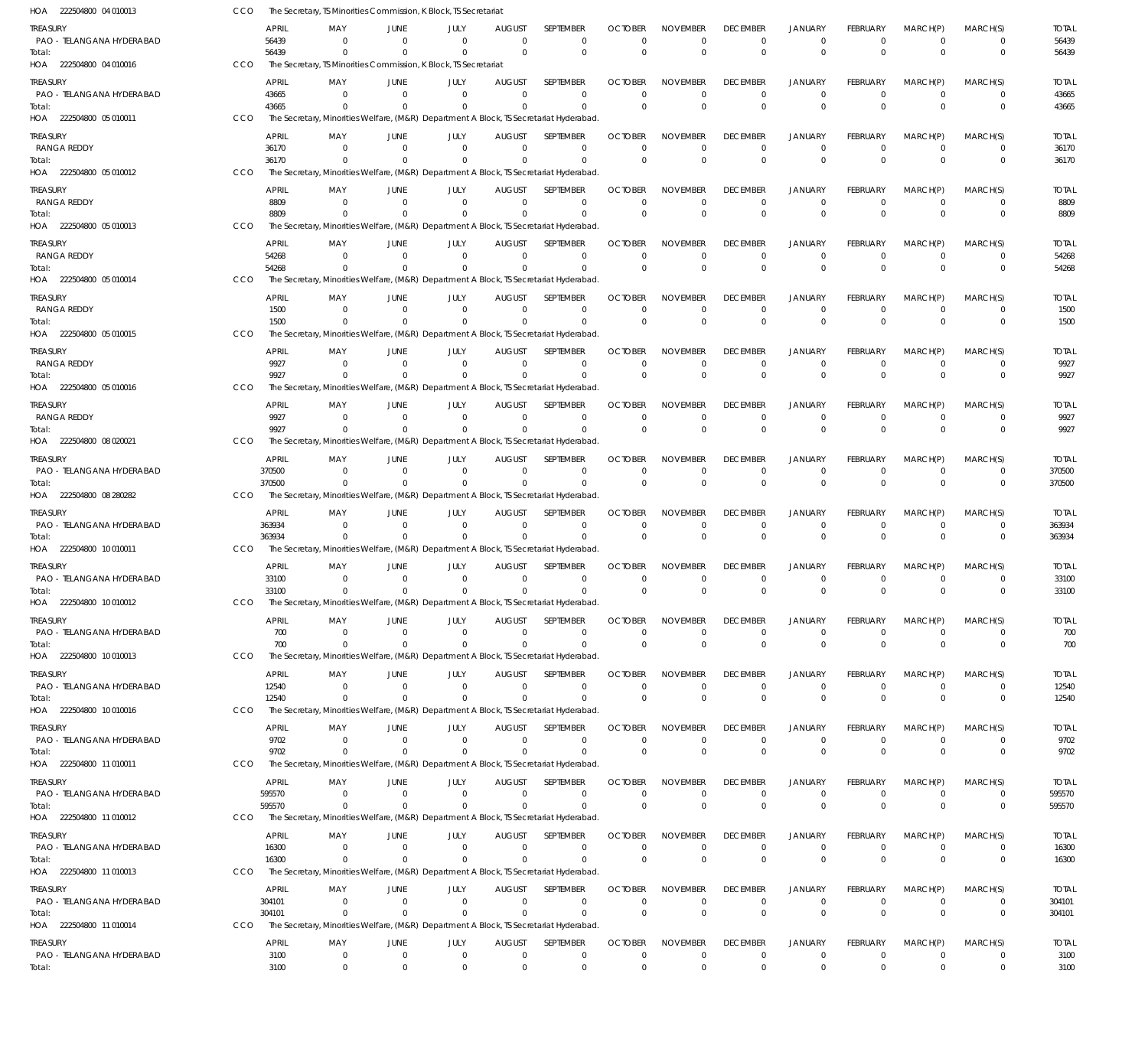| HOA 222504800 04 010013                          | CCO        |                        | The Secretary, TS Minorities Commission, K Block, TS Secretariat                                  |                            |                              |                                             |                               |                               |                                            |                                     |                                       |                                         |                                  |                              |                        |
|--------------------------------------------------|------------|------------------------|---------------------------------------------------------------------------------------------------|----------------------------|------------------------------|---------------------------------------------|-------------------------------|-------------------------------|--------------------------------------------|-------------------------------------|---------------------------------------|-----------------------------------------|----------------------------------|------------------------------|------------------------|
| TREASURY<br>PAO - TELANGANA HYDERABAD            |            | <b>APRIL</b><br>56439  | MAY<br>$\Omega$<br>$\Omega$                                                                       | JUNE<br>- 0<br>$\Omega$    | JULY<br>$\Omega$<br>$\Omega$ | <b>AUGUST</b><br>$\overline{0}$<br>$\Omega$ | SEPTEMBER<br>0<br>$\mathbf 0$ | <b>OCTOBER</b><br>0           | <b>NOVEMBER</b><br>$\Omega$<br>$\mathbf 0$ | <b>DECEMBER</b><br>0<br>$\mathbf 0$ | JANUARY<br>$^{\circ}$<br>$\mathbf{0}$ | <b>FEBRUARY</b><br>$\Omega$<br>$\Omega$ | MARCH(P)<br>$\Omega$<br>$\Omega$ | MARCH(S)<br>0<br>$\mathbf 0$ | <b>TOTAL</b><br>56439  |
| Total:<br>HOA 222504800 04 010016                | CCO        | 56439                  | The Secretary, TS Minorities Commission, K Block, TS Secretariat                                  |                            |                              |                                             |                               | $\overline{0}$                |                                            |                                     |                                       |                                         |                                  |                              | 56439                  |
| treasury<br>PAO - TELANGANA HYDERABAD            |            | <b>APRIL</b><br>43665  | MAY<br>$\Omega$                                                                                   | JUNE<br>- 0                | JULY<br>$\Omega$             | <b>AUGUST</b><br>$\Omega$                   | SEPTEMBER<br>$\mathbf 0$      | <b>OCTOBER</b><br>$\Omega$    | <b>NOVEMBER</b><br>$\Omega$                | <b>DECEMBER</b><br>0                | <b>JANUARY</b><br>$\mathbf 0$         | <b>FEBRUARY</b><br>$\Omega$             | MARCH(P)<br>$\Omega$             | MARCH(S)<br>$\mathbf 0$      | <b>TOTAL</b><br>43665  |
| Total:<br>HOA 222504800 05 010011                | CCO        | 43665                  | The Secretary, Minorities Welfare, (M&R) Department A Block, TS Secretariat Hyderabad             |                            | 0                            | $\Omega$                                    | $\Omega$                      | $\Omega$                      | $\Omega$                                   | $\mathbf{0}$                        | $\mathbf 0$                           | $\Omega$                                | $\Omega$                         | $\mathbf 0$                  | 43665                  |
| treasury                                         |            | APRIL                  | MAY                                                                                               | JUNE                       | JULY                         | <b>AUGUST</b>                               | SEPTEMBER                     | <b>OCTOBER</b>                | <b>NOVEMBER</b>                            | <b>DECEMBER</b>                     | JANUARY                               | <b>FEBRUARY</b>                         | MARCH(P)                         | MARCH(S)                     | <b>TOTAL</b>           |
| RANGA REDDY<br>Total:<br>HOA 222504800 05 010012 | CCO        | 36170<br>36170         | $\Omega$<br>The Secretary, Minorities Welfare, (M&R) Department A Block, TS Secretariat Hyderabad | $\Omega$<br>- 0            | $\Omega$<br>$\Omega$         | $\Omega$<br>$\Omega$                        | $\Omega$<br>$\mathbf 0$       | $\Omega$<br>$\overline{0}$    | 0<br>$\mathbf 0$                           | $\mathbf 0$<br>$\mathbf 0$          | $\mathbf 0$<br>$\mathbf 0$            | $\Omega$<br>$\Omega$                    | $\Omega$<br>$\Omega$             | $\mathbf 0$<br>$\mathbf 0$   | 36170<br>36170         |
| treasury                                         |            | <b>APRIL</b>           | MAY                                                                                               | JUNE                       | JULY                         | <b>AUGUST</b>                               | SEPTEMBER                     | <b>OCTOBER</b>                | <b>NOVEMBER</b>                            | <b>DECEMBER</b>                     | <b>JANUARY</b>                        | <b>FEBRUARY</b>                         | MARCH(P)                         | MARCH(S)                     | <b>TOTAL</b>           |
| RANGA REDDY<br>Total:                            |            | 8809<br>8809           | $\Omega$                                                                                          | - 0<br>- 0                 | $\Omega$<br>$\Omega$         | $\Omega$<br>$\Omega$                        | 0<br>$\Omega$                 | 0<br>$\Omega$                 | 0<br>$\Omega$                              | 0<br>$\Omega$                       | 0<br>$\mathbf{0}$                     | $\Omega$                                | $^{\circ}$<br>$\Omega$           | 0<br>$\mathbf 0$             | 8809<br>8809           |
| HOA 222504800 05 010013<br>treasury              | CCO        | APRIL                  | The Secretary, Minorities Welfare, (M&R) Department A Block, TS Secretariat Hyderabad<br>MAY      | JUNE                       | JULY                         | <b>AUGUST</b>                               | SEPTEMBER                     | <b>OCTOBER</b>                | <b>NOVEMBER</b>                            | <b>DECEMBER</b>                     | <b>JANUARY</b>                        | <b>FEBRUARY</b>                         | MARCH(P)                         | MARCH(S)                     | <b>TOTAL</b>           |
| RANGA REDDY                                      |            | 54268                  | $\Omega$                                                                                          | $\Omega$<br>$\Omega$       | $\Omega$<br>$\Omega$         | $\Omega$<br>$\Omega$                        | $\mathbf 0$<br>$\Omega$       | $\Omega$<br>$\Omega$          | $\Omega$                                   | $\mathbf 0$<br>$\mathbf 0$          | $\mathbf 0$                           | $\Omega$<br>$\Omega$                    | $\Omega$<br>$\Omega$             | $\mathbf 0$<br>$\mathbf 0$   | 54268                  |
| Total:<br>HOA 222504800 05 010014                | CCO        | 54268                  | The Secretary, Minorities Welfare, (M&R) Department A Block, TS Secretariat Hyderabad             |                            |                              |                                             |                               |                               | $\mathbf{0}$                               |                                     | $\mathbf 0$                           |                                         |                                  |                              | 54268                  |
| treasury                                         |            | APRIL                  | MAY                                                                                               | JUNE                       | JULY                         | <b>AUGUST</b>                               | SEPTEMBER                     | <b>OCTOBER</b>                | <b>NOVEMBER</b>                            | <b>DECEMBER</b>                     | <b>JANUARY</b>                        | <b>FEBRUARY</b>                         | MARCH(P)                         | MARCH(S)                     | <b>TOTAL</b>           |
| RANGA REDDY<br>Total:                            |            | 1500<br>1500           | $\Omega$                                                                                          | $\Omega$<br>- 0            | $\Omega$<br>$\Omega$         | $\Omega$<br>$\Omega$                        | 0<br>$\mathbf 0$              | 0<br>$\Omega$                 | $\mathbf 0$<br>$\Omega$                    | 0<br>$\Omega$                       | $\mathbf 0$<br>$\mathbf{0}$           | $\Omega$<br>$\Omega$                    | $\Omega$<br>$\Omega$             | 0<br>$\mathbf 0$             | 1500<br>1500           |
| HOA 222504800 05 010015                          | CCO        | <b>APRIL</b>           | The Secretary, Minorities Welfare, (M&R) Department A Block, TS Secretariat Hyderabad             | JUNE                       |                              | <b>AUGUST</b>                               | SEPTEMBER                     | <b>OCTOBER</b>                | <b>NOVEMBER</b>                            | <b>DECEMBER</b>                     | <b>JANUARY</b>                        | <b>FEBRUARY</b>                         | MARCH(P)                         | MARCH(S)                     | <b>TOTAL</b>           |
| treasury<br>RANGA REDDY                          |            | 9927                   | MAY                                                                                               | $\Omega$                   | JULY<br>$\Omega$             | $\Omega$                                    | $\Omega$                      | $\Omega$                      | 0                                          | $\mathbf 0$                         | 0                                     | $\Omega$                                | $\Omega$                         | $\mathbf 0$                  | 9927                   |
| Total:<br>HOA 222504800 05 010016                | CCO        | 9927                   | The Secretary, Minorities Welfare, (M&R) Department A Block, TS Secretariat Hyderabad             | $\Omega$                   | $\Omega$                     | $\Omega$                                    | $\mathbf 0$                   | $\Omega$                      | $\mathbf 0$                                | $\mathbf{0}$                        | $\mathbf 0$                           | $\Omega$                                | $\Omega$                         | $\mathbf 0$                  | 9927                   |
| treasury                                         |            | APRIL                  | MAY                                                                                               | JUNE                       | JULY                         | <b>AUGUST</b>                               | SEPTEMBER                     | <b>OCTOBER</b>                | <b>NOVEMBER</b>                            | <b>DECEMBER</b>                     | <b>JANUARY</b>                        | <b>FEBRUARY</b>                         | MARCH(P)                         | MARCH(S)                     | <b>TOTAL</b>           |
| RANGA REDDY<br>Total:                            |            | 9927<br>9927           | $\Omega$                                                                                          | - 0<br>- 0                 | $\Omega$<br>$\Omega$         | $\Omega$<br>$\Omega$                        | 0<br>$\Omega$                 | $\Omega$<br>$\Omega$          | 0<br>$\Omega$                              | 0<br>$\Omega$                       | $\mathbf 0$<br>$\mathbf 0$            | $\Omega$                                | $\Omega$<br>$\Omega$             | 0<br>$\mathbf 0$             | 9927<br>9927           |
| HOA 222504800 08 020021                          | CCO        |                        | The Secretary, Minorities Welfare, (M&R) Department A Block, TS Secretariat Hyderabad             |                            |                              |                                             |                               |                               |                                            |                                     |                                       |                                         |                                  |                              |                        |
| treasury<br>PAO - TELANGANA HYDERABAD            |            | APRIL<br>370500        | MAY<br>$\Omega$                                                                                   | JUNE<br>$\Omega$           | JULY<br>$\Omega$             | <b>AUGUST</b><br>$\Omega$                   | SEPTEMBER<br>$\mathbf 0$      | <b>OCTOBER</b><br>$\mathbf 0$ | <b>NOVEMBER</b><br>0                       | <b>DECEMBER</b><br>$\mathbf 0$      | <b>JANUARY</b><br>$\mathbf 0$         | <b>FEBRUARY</b><br>$\Omega$             | MARCH(P)<br>$\Omega$             | MARCH(S)<br>0                | <b>TOTAL</b><br>370500 |
| Total:<br>HOA 222504800 08 280282                | <b>CCO</b> | 370500                 | $\Omega$<br>The Secretary, Minorities Welfare, (M&R) Department A Block, TS Secretariat Hyderabad | $\Omega$                   | $\Omega$                     | $\Omega$                                    | $\mathbf 0$                   | $\Omega$                      | $\Omega$                                   | $\Omega$                            | $\mathbf 0$                           | $\Omega$                                | $\Omega$                         | $\mathbf 0$                  | 370500                 |
| treasury                                         |            | APRIL                  | MAY                                                                                               | JUNE                       | JULY                         | <b>AUGUST</b>                               | SEPTEMBER                     | <b>OCTOBER</b>                | <b>NOVEMBER</b>                            | <b>DECEMBER</b>                     | <b>JANUARY</b>                        | <b>FEBRUARY</b>                         | MARCH(P)                         | MARCH(S)                     | <b>TOTAL</b>           |
| PAO - TELANGANA HYDERABAD                        |            | 363934                 | $\Omega$                                                                                          | $\Omega$                   | $\Omega$                     | $\Omega$                                    | $\mathbf 0$                   | $\Omega$                      | 0                                          | 0                                   | $\mathbf 0$                           | $\Omega$                                | $\Omega$                         | 0                            | 363934                 |
| Total:<br>HOA 222504800 10 010011                | CCO        | 363934                 | The Secretary, Minorities Welfare, (M&R) Department A Block, TS Secretariat Hyderabad             |                            | $\Omega$                     | $\Omega$                                    | $\mathbf 0$                   | $\Omega$                      | $\Omega$                                   | $\Omega$                            | $\mathbf{0}$                          | $\Omega$                                | $\Omega$                         | $\mathbf{0}$                 | 363934                 |
| treasury                                         |            | <b>APRIL</b>           | MAY                                                                                               | JUNE                       | JULY                         | <b>AUGUST</b>                               | SEPTEMBER                     | <b>OCTOBER</b>                | <b>NOVEMBER</b>                            | <b>DECEMBER</b>                     | <b>JANUARY</b>                        | <b>FEBRUARY</b>                         | MARCH(P)                         | MARCH(S)                     | <b>TOTAL</b>           |
| PAO - TELANGANA HYDERABAD<br>Total:              |            | 33100<br>33100         | $\Omega$                                                                                          | - 0<br>$\Omega$            | $\Omega$<br>$\Omega$         | $\Omega$<br>$\Omega$                        | $\Omega$<br>$\Omega$          | 0<br>$\overline{0}$           | 0<br>$\mathbf 0$                           | 0<br>$\Omega$                       | 0<br>$\mathbf{0}$                     | $\Omega$<br>$\Omega$                    | $\Omega$<br>$\Omega$             | 0<br>$\mathbf 0$             | 33100<br>33100         |
| HOA 222504800 10 010012                          | <b>CCO</b> |                        | The Secretary, Minorities Welfare, (M&R) Department A Block, TS Secretariat Hyderabad.            |                            |                              |                                             |                               |                               |                                            |                                     |                                       |                                         |                                  |                              |                        |
| TREASURY<br>PAO - TELANGANA HYDERABAD            |            | <b>APRIL</b><br>700    | MAY<br>$\Omega$                                                                                   | JUNE<br>- 0                | JULY<br>$\Omega$             | <b>AUGUST</b><br>- 0                        | SEPTEMBER<br>0                | <b>OCTOBER</b><br>$\Omega$    | <b>NOVEMBER</b><br>$\Omega$                | <b>DECEMBER</b><br>$\mathbf 0$      | <b>JANUARY</b><br>$\mathbf 0$         | <b>FEBRUARY</b><br>$\Omega$             | MARCH(P)<br>$^{\circ}$           | MARCH(S)<br>0                | <b>TOTAL</b><br>700    |
| Total:                                           |            | 700                    | $\Omega$                                                                                          | - 0                        | $\Omega$                     | $\overline{0}$                              | $\mathbf 0$                   | 0                             | $\mathbf 0$                                | $\mathbf{0}$                        | $\mathbf 0$                           | $\Omega$                                | $\Omega$                         | $\mathbf{0}$                 | 700                    |
| HOA 222504800 10 010013                          | CCO        | APRIL                  | The Secretary, Minorities Welfare, (M&R) Department A Block, TS Secretariat Hyderabad<br>MAY      | JUNE                       | JULY                         | <b>AUGUST</b>                               | SEPTEMBER                     | <b>OCTOBER</b>                | <b>NOVEMBER</b>                            | <b>DECEMBER</b>                     | <b>JANUARY</b>                        | <b>FEBRUARY</b>                         | MARCH(P)                         | MARCH(S)                     |                        |
| treasury<br>PAO - TELANGANA HYDERABAD            |            | 12540                  | $\Omega$                                                                                          | $\Omega$                   | $\Omega$                     | 0                                           | 0                             | 0                             | 0                                          | $\mathbf 0$                         | $\mathbf 0$                           | $\Omega$                                | $^{\circ}$                       | 0                            | <b>TOTAL</b><br>12540  |
| Total:<br>HOA 222504800 10 010016                | CCO        | 12540                  | $\Omega$<br>The Secretary, Minorities Welfare, (M&R) Department A Block, TS Secretariat Hyderabad | $\Omega$                   | $\Omega$                     | $\Omega$                                    | $\Omega$                      | $\Omega$                      | $\mathbf 0$                                | $\Omega$                            | $\mathbf 0$                           | $\Omega$                                | $\Omega$                         | $\mathbf{0}$                 | 12540                  |
| treasury                                         |            | <b>APRIL</b>           | MAY                                                                                               | JUNE                       | JULY                         | <b>AUGUST</b>                               | SEPTEMBER                     | <b>OCTOBER</b>                | <b>NOVEMBER</b>                            | <b>DECEMBER</b>                     | <b>JANUARY</b>                        | <b>FEBRUARY</b>                         | MARCH(P)                         | MARCH(S)                     | <b>TOTAL</b>           |
| PAO - TELANGANA HYDERABAD<br>Total:              |            | 9702<br>9702           | $\Omega$<br>$\Omega$                                                                              | $\Omega$<br>- 0            | $\Omega$<br>$\Omega$         | $\overline{0}$<br>$\Omega$                  | $\mathbf 0$<br>$\mathbf 0$    | $\Omega$<br>$\Omega$          | 0<br>$\mathbf{0}$                          | $\mathbf 0$<br>$\mathbf{0}$         | $\mathbf 0$<br>$\mathbf 0$            | $\Omega$<br>$\Omega$                    | $\Omega$<br>$\Omega$             | $\mathbf 0$<br>$\mathbf 0$   | 9702<br>9702           |
| HOA 222504800 11 010011                          | CCO        |                        | The Secretary, Minorities Welfare, (M&R) Department A Block, TS Secretariat Hyderabad             |                            |                              |                                             |                               |                               |                                            |                                     |                                       |                                         |                                  |                              |                        |
| treasury<br>PAO - TELANGANA HYDERABAD            |            | <b>APRIL</b><br>595570 | MAY<br>$\Omega$                                                                                   | JUNE<br>$\Omega$           | JULY<br>$\mathbf{0}$         | <b>AUGUST</b><br>$\overline{0}$             | SEPTEMBER<br>0                | <b>OCTOBER</b><br>0           | <b>NOVEMBER</b><br>0                       | <b>DECEMBER</b><br>$\mathbf 0$      | <b>JANUARY</b><br>0                   | <b>FEBRUARY</b><br>$\Omega$             | MARCH(P)<br>$\Omega$             | MARCH(S)<br>$\mathbf{0}$     | <b>TOTAL</b><br>595570 |
| Total:                                           |            | 595570                 | $\Omega$                                                                                          | $\Omega$                   | $\Omega$                     | $\Omega$                                    | $\mathbf 0$                   | $\Omega$                      | $\mathbf 0$                                | $\mathbf 0$                         | $\mathbf 0$                           | $\Omega$                                | $\Omega$                         | $\mathbf 0$                  | 595570                 |
| HOA 222504800 11 010012                          | CCO        |                        | The Secretary, Minorities Welfare, (M&R) Department A Block, TS Secretariat Hyderabad             |                            |                              |                                             |                               |                               |                                            |                                     |                                       |                                         |                                  |                              |                        |
| treasury<br>PAO - TELANGANA HYDERABAD            |            | APRIL<br>16300         | MAY<br>$\Omega$                                                                                   | JUNE<br>- 0                | JULY<br>$\Omega$             | <b>AUGUST</b><br>$\mathbf 0$                | SEPTEMBER<br>$\mathbf 0$      | <b>OCTOBER</b><br>0           | <b>NOVEMBER</b><br>0                       | <b>DECEMBER</b><br>$\mathbf 0$      | <b>JANUARY</b><br>$\mathbf 0$         | <b>FEBRUARY</b><br>$\Omega$             | MARCH(P)<br>$^{\circ}$           | MARCH(S)<br>0                | <b>TOTAL</b><br>16300  |
| Total:<br>HOA 222504800 11 010013                | CCO        | 16300                  | $\Omega$<br>The Secretary, Minorities Welfare, (M&R) Department A Block, TS Secretariat Hyderabad | - 0                        | $\Omega$                     | $\Omega$                                    | $\Omega$                      | $\Omega$                      | $\mathbf 0$                                | $\mathbf 0$                         | $\mathbf 0$                           | $\Omega$                                | $\Omega$                         | $\mathbf{0}$                 | 16300                  |
| treasury                                         |            | APRIL                  | MAY                                                                                               | JUNE                       | JULY                         | <b>AUGUST</b>                               | SEPTEMBER                     | <b>OCTOBER</b>                | <b>NOVEMBER</b>                            | <b>DECEMBER</b>                     | <b>JANUARY</b>                        | <b>FEBRUARY</b>                         | MARCH(P)                         | MARCH(S)                     | TOTAL                  |
| PAO - TELANGANA HYDERABAD                        |            | 304101<br>304101       | $\Omega$<br>$\Omega$                                                                              | $\Omega$<br>$\Omega$       | $\overline{0}$<br>$\Omega$   | $\overline{0}$<br>$\Omega$                  | 0<br>$\Omega$                 | 0<br>$\Omega$                 | $\Omega$<br>$\mathbf 0$                    | $\mathbf 0$<br>$\mathbf 0$          | $\mathbf 0$<br>$\mathbf 0$            | $\Omega$<br>$\Omega$                    | $\Omega$<br>$\Omega$             | $\mathbf{0}$<br>$\mathbf 0$  | 304101                 |
| Total:<br>HOA 222504800 11 010014                | CCO        |                        | The Secretary, Minorities Welfare, (M&R) Department A Block, TS Secretariat Hyderabad             |                            |                              |                                             |                               |                               |                                            |                                     |                                       |                                         |                                  |                              | 304101                 |
| treasury                                         |            | APRIL                  | MAY                                                                                               | JUNE                       | JULY                         | <b>AUGUST</b>                               | SEPTEMBER                     | <b>OCTOBER</b>                | <b>NOVEMBER</b>                            | <b>DECEMBER</b>                     | JANUARY                               | FEBRUARY                                | MARCH(P)                         | MARCH(S)                     | <b>TOTAL</b>           |
| PAO - TELANGANA HYDERABAD<br>Total:              |            | 3100<br>3100           | $^{\circ}$<br>$\mathbf 0$                                                                         | $\mathbf 0$<br>$\mathbf 0$ | $\mathbf{0}$<br>$\mathbf{0}$ | $\overline{0}$<br>$\overline{0}$            | 0<br>$\mathbf 0$              | 0<br>$\mathbf 0$              | $\mathbf 0$<br>$\mathbf 0$                 | $\mathbf 0$<br>$\mathbf 0$          | $\mathbf 0$<br>$\mathbf 0$            | 0<br>$\mathbf{0}$                       | $^{\circ}$<br>$\mathbf 0$        | 0<br>$\mathbf 0$             | 3100<br>3100           |
|                                                  |            |                        |                                                                                                   |                            |                              |                                             |                               |                               |                                            |                                     |                                       |                                         |                                  |                              |                        |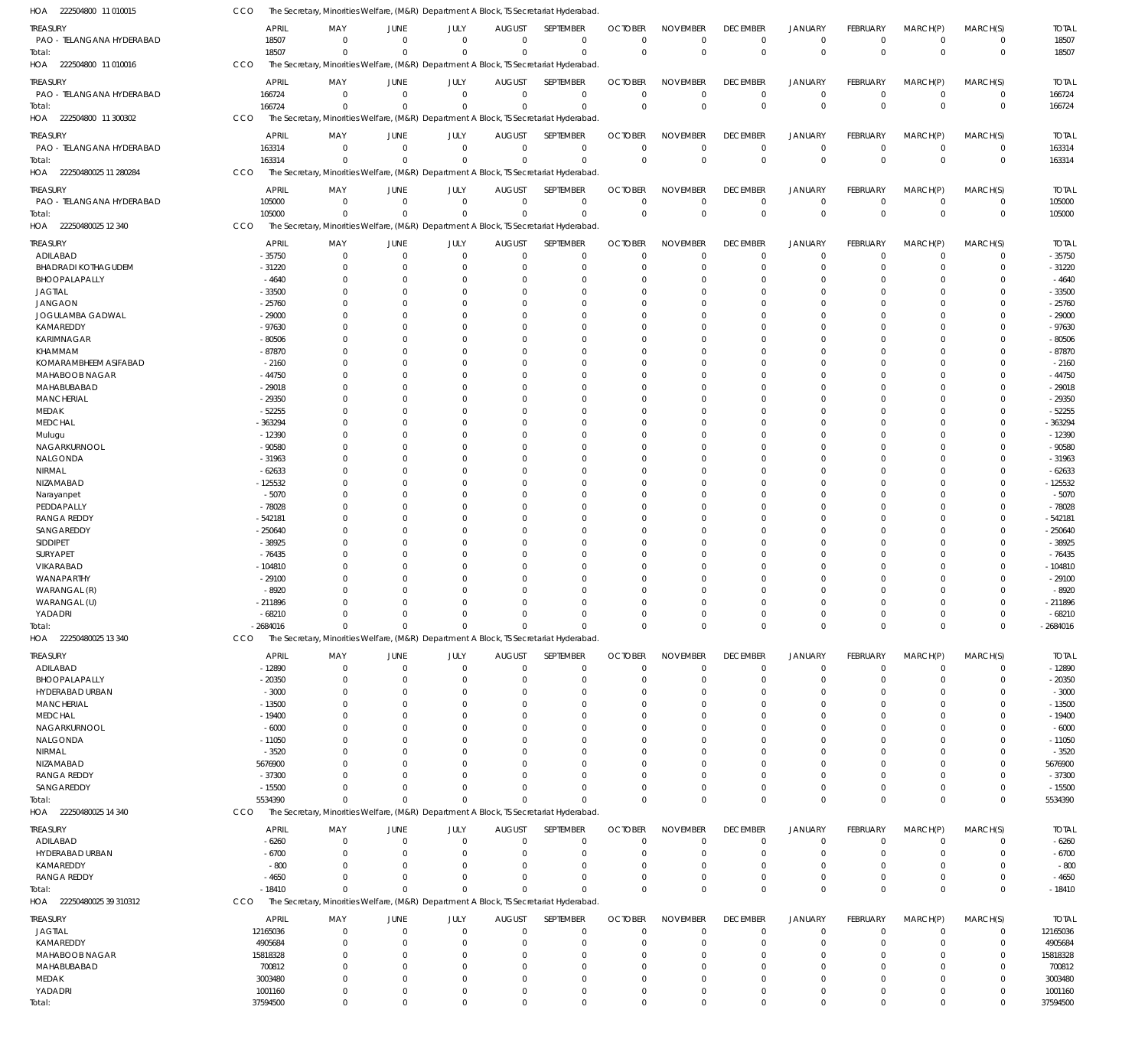| HOA 222504800 11 010015               | CCO                   | The Secretary, Minorities Welfare, (M&R) Department A Block, TS Secretariat Hyderabad             |                               |                      |                               |                            |                               |                         |                                |                            |                             |                            |                         |                        |
|---------------------------------------|-----------------------|---------------------------------------------------------------------------------------------------|-------------------------------|----------------------|-------------------------------|----------------------------|-------------------------------|-------------------------|--------------------------------|----------------------------|-----------------------------|----------------------------|-------------------------|------------------------|
| treasury                              | APRIL                 | MAY                                                                                               | JUNE                          | JULY                 | <b>AUGUST</b>                 | SEPTEMBER                  | <b>OCTOBER</b>                | <b>NOVEMBER</b>         | <b>DECEMBER</b>                | <b>JANUARY</b>             | <b>FEBRUARY</b>             | MARCH(P)                   | MARCH(S)                | <b>TOTAL</b>           |
| PAO - TELANGANA HYDERABAD             | 18507                 | $\Omega$                                                                                          | $\Omega$                      | $\Omega$             | $\overline{0}$                | $\mathbf 0$                | $\mathbf 0$                   | $\mathbf 0$             | 0                              | $\mathbf 0$                | $\Omega$                    | $\overline{0}$             | $\mathbf 0$             | 18507                  |
| Total:                                | 18507                 | $\Omega$                                                                                          | $\Omega$                      | $\Omega$             | $\Omega$                      | $\Omega$                   | $\Omega$                      | $\Omega$                | $\mathbf 0$                    | $\mathbf 0$                | $\Omega$                    | $\Omega$                   | $\mathbf 0$             | 18507                  |
| HOA 222504800 11 010016               | <b>CCO</b>            | The Secretary, Minorities Welfare, (M&R) Department A Block, TS Secretariat Hyderabad             |                               |                      |                               |                            |                               |                         |                                |                            |                             |                            |                         |                        |
| treasury                              | APRIL                 | MAY                                                                                               | <b>JUNE</b>                   | <b>JULY</b>          | <b>AUGUST</b>                 | SEPTEMBER                  | <b>OCTOBER</b>                | <b>NOVEMBER</b>         | <b>DECEMBER</b>                | <b>JANUARY</b>             | <b>FEBRUARY</b>             | MARCH(P)                   | MARCH(S)                | <b>TOTAL</b>           |
| PAO - TELANGANA HYDERABAD             | 166724                | $\Omega$                                                                                          | $\overline{0}$                | $\mathbf 0$          | $\mathbf 0$                   | $\mathbf 0$                | $\mathbf 0$                   | $\mathbf 0$             | $\mathbf 0$                    | $\mathbf 0$                | $\Omega$                    | $\overline{0}$             | $\mathbf 0$             | 166724                 |
| Total:<br>222504800 11 300302         | 166724<br>CCO         | $\Omega$<br>The Secretary, Minorities Welfare, (M&R) Department A Block, TS Secretariat Hyderabad | $\Omega$                      | $\Omega$             | $\Omega$                      | $\Omega$                   | $\Omega$                      | $\mathbf 0$             | $\mathbf 0$                    | $\mathbb O$                | $\Omega$                    | $\Omega$                   | $\mathbf 0$             | 166724                 |
| HOA                                   |                       |                                                                                                   |                               |                      |                               |                            |                               |                         |                                |                            |                             |                            |                         |                        |
| treasury                              | <b>APRIL</b>          | MAY                                                                                               | <b>JUNE</b>                   | JULY                 | <b>AUGUST</b>                 | SEPTEMBER                  | <b>OCTOBER</b>                | <b>NOVEMBER</b>         | <b>DECEMBER</b>                | <b>JANUARY</b>             | FEBRUARY                    | MARCH(P)                   | MARCH(S)                | <b>TOTAL</b>           |
| PAO - TELANGANA HYDERABAD             | 163314<br>163314      | $\Omega$<br>$\Omega$                                                                              | $\Omega$<br>$\Omega$          | $\Omega$<br>$\Omega$ | $\overline{0}$<br>$\Omega$    | $\mathbf 0$<br>$\Omega$    | $\mathbf 0$<br>$\Omega$       | $\mathbf 0$<br>$\Omega$ | $\mathbf 0$<br>$\Omega$        | $\mathbf 0$<br>$\mathbf 0$ | $\Omega$<br>$\Omega$        | $\overline{0}$<br>$\Omega$ | 0<br>$\mathbf 0$        | 163314<br>163314       |
| Total:<br>HOA 22250480025 11 280284   | CCO                   | The Secretary, Minorities Welfare, (M&R) Department A Block, TS Secretariat Hyderabad             |                               |                      |                               |                            |                               |                         |                                |                            |                             |                            |                         |                        |
|                                       |                       |                                                                                                   |                               |                      |                               |                            |                               |                         |                                |                            |                             |                            |                         |                        |
| treasury<br>PAO - TELANGANA HYDERABAD | APRIL<br>105000       | MAY<br>$\Omega$                                                                                   | <b>JUNE</b><br>$\overline{0}$ | JULY<br>$\mathbf 0$  | <b>AUGUST</b><br>$\mathbf 0$  | SEPTEMBER<br>$\mathbf 0$   | <b>OCTOBER</b><br>$\mathbf 0$ | <b>NOVEMBER</b><br>0    | <b>DECEMBER</b><br>$\mathbf 0$ | JANUARY<br>$\mathbf 0$     | <b>FEBRUARY</b><br>$\Omega$ | MARCH(P)<br>$\overline{0}$ | MARCH(S)<br>$\mathbf 0$ | <b>TOTAL</b><br>105000 |
| Total:                                | 105000                | $\Omega$                                                                                          | $\Omega$                      | $\Omega$             | $\Omega$                      | $\Omega$                   | $\Omega$                      | $\mathbf 0$             | $\mathbf 0$                    | $\mathbb O$                | $\Omega$                    | $\Omega$                   | $\mathbf 0$             | 105000                 |
| HOA 22250480025 12 340                | CCO                   | The Secretary, Minorities Welfare, (M&R) Department A Block, TS Secretariat Hyderabad             |                               |                      |                               |                            |                               |                         |                                |                            |                             |                            |                         |                        |
| treasury                              | APRIL                 | MAY                                                                                               | JUNE                          | JULY                 | <b>AUGUST</b>                 | SEPTEMBER                  | <b>OCTOBER</b>                | <b>NOVEMBER</b>         | <b>DECEMBER</b>                | <b>JANUARY</b>             | FEBRUARY                    | MARCH(P)                   | MARCH(S)                | <b>TOTAL</b>           |
| ADILABAD                              | $-35750$              | $\Omega$                                                                                          | $^{\circ}$                    | $\Omega$             | $^{\circ}$                    | $\mathbf 0$                | $\mathbf 0$                   | $\mathbf 0$             | $\mathbf 0$                    | $\mathbf 0$                | $\Omega$                    | $\Omega$                   | $\mathbf 0$             | $-35750$               |
| <b>BHADRADI KOTHAGUDEM</b>            | $-31220$              |                                                                                                   | $\Omega$                      | 0                    | $\Omega$                      | $\Omega$                   | $\mathbf 0$                   | $\Omega$                | $\Omega$                       | $\Omega$                   | $\Omega$                    | $\Omega$                   | $\mathbf 0$             | $-31220$               |
| BHOOPALAPALLY                         | $-4640$               | $\Omega$                                                                                          | $\Omega$                      | 0                    | $\Omega$                      | 0                          | $\Omega$                      | $\Omega$                | $\Omega$                       | $\Omega$                   |                             | $\Omega$                   | 0                       | $-4640$                |
| JAGTIAL                               | $-33500$              |                                                                                                   | $\Omega$                      | U                    | $\Omega$                      | 0                          | $\Omega$                      | $\Omega$                | $\Omega$                       | $\Omega$                   |                             | $\Omega$                   | 0                       | $-33500$               |
| <b>JANGAON</b>                        | $-25760$              |                                                                                                   | $\Omega$                      | U                    | $\Omega$                      | 0                          | $\Omega$                      | $\Omega$                | $\Omega$                       | $\Omega$                   |                             | $\Omega$                   | 0                       | $-25760$               |
| JOGULAMBA GADWAL<br>KAMAREDDY         | $-29000$<br>$-97630$  |                                                                                                   | $\Omega$<br>$\Omega$          | O<br>U               | $\Omega$<br>$\Omega$          | 0<br>$\Omega$              | $\Omega$<br>$\Omega$          | $\Omega$<br>$\Omega$    | $\Omega$<br>$\Omega$           | $\Omega$<br>$\Omega$       |                             | $\Omega$<br>$\Omega$       | 0<br>0                  | $-29000$<br>$-97630$   |
| KARIMNAGAR                            | $-80506$              |                                                                                                   | $\Omega$                      |                      | $\Omega$                      | 0                          | $\Omega$                      | $\Omega$                |                                | $\Omega$                   |                             | $\Omega$                   | 0                       | $-80506$               |
| KHAMMAM                               | $-87870$              |                                                                                                   | $\Omega$                      | U                    | $\Omega$                      | $\Omega$                   | $\Omega$                      | $\Omega$                | $\Omega$                       | $\Omega$                   |                             | $\Omega$                   | 0                       | $-87870$               |
| KOMARAMBHEEM ASIFABAD                 | $-2160$               |                                                                                                   | $\Omega$                      |                      | $\Omega$                      | 0                          | $\Omega$                      | $\Omega$                | $\Omega$                       | $\Omega$                   |                             | $\Omega$                   | 0                       | $-2160$                |
| MAHABOOB NAGAR                        | $-44750$              |                                                                                                   | $\Omega$                      | U                    | $\Omega$                      | 0                          | $\Omega$                      | $\Omega$                | $\Omega$                       | $\Omega$                   |                             | $\Omega$                   | 0                       | $-44750$               |
| MAHABUBABAD                           | $-29018$              |                                                                                                   | $\Omega$                      |                      | $\Omega$                      | 0                          | $\Omega$                      | $\Omega$                | C.                             | $\Omega$                   |                             | $\Omega$                   | 0                       | $-29018$               |
| <b>MANCHERIAL</b>                     | $-29350$              |                                                                                                   | $\Omega$                      | O                    | $\Omega$                      | $\Omega$                   | $\Omega$                      | $\Omega$                | $\Omega$                       | $\Omega$                   |                             | $\Omega$                   | 0                       | $-29350$               |
| MEDAK<br><b>MEDCHAL</b>               | $-52255$<br>$-363294$ |                                                                                                   | $\Omega$<br>$\Omega$          | U                    | $\Omega$<br>$\Omega$          | 0<br>$\Omega$              | $\Omega$<br>$\Omega$          | $\Omega$<br>$\Omega$    | $\Omega$<br>$\Omega$           | $\Omega$<br>$\Omega$       |                             | $\Omega$<br>$\Omega$       | 0<br>0                  | $-52255$<br>$-363294$  |
| Mulugu                                | $-12390$              |                                                                                                   | $\Omega$                      |                      | $\Omega$                      | 0                          | $\Omega$                      | $\Omega$                | C.                             | $\Omega$                   |                             | $\Omega$                   | 0                       | $-12390$               |
| NAGARKURNOOL                          | $-90580$              |                                                                                                   | $\Omega$                      | U                    | $\Omega$                      | 0                          | $\Omega$                      | $\Omega$                | $\Omega$                       | $\Omega$                   |                             | $\Omega$                   | 0                       | $-90580$               |
| NALGONDA                              | $-31963$              |                                                                                                   | $\Omega$                      |                      | $\Omega$                      | 0                          | $\Omega$                      | $\Omega$                | $\Omega$                       | $\Omega$                   |                             | $\Omega$                   | 0                       | $-31963$               |
| NIRMAL                                | $-62633$              |                                                                                                   | $\Omega$                      | O                    | $\Omega$                      | $\Omega$                   | $\Omega$                      | $\Omega$                | $\Omega$                       | $\Omega$                   |                             | $\Omega$                   | 0                       | $-62633$               |
| NIZAMABAD                             | $-125532$             |                                                                                                   | $\Omega$                      |                      | $\Omega$                      | 0                          | $\Omega$                      | $\Omega$                | C.                             | $\Omega$                   |                             | $\Omega$                   | $\Omega$                | $-125532$              |
| Narayanpet<br>PEDDAPALLY              | $-5070$<br>$-78028$   |                                                                                                   | $\Omega$<br>$\Omega$          | U                    | $\Omega$<br>$\Omega$          | 0<br>0                     | $\Omega$<br>$\Omega$          | $\Omega$<br>$\Omega$    | $\Omega$<br>$\Omega$           | $\Omega$<br>$\Omega$       |                             | $\Omega$<br>$\Omega$       | $\Omega$<br>0           | $-5070$<br>$-78028$    |
| <b>RANGA REDDY</b>                    | $-542181$             |                                                                                                   | $\Omega$                      | U                    | $\Omega$                      | $\Omega$                   | $\Omega$                      | $\Omega$                | $\Omega$                       | $\Omega$                   |                             | $\Omega$                   | 0                       | $-542181$              |
| SANGAREDDY                            | $-250640$             |                                                                                                   | $\Omega$                      |                      | $\Omega$                      | 0                          | $\Omega$                      | $\Omega$                |                                | $\Omega$                   |                             | $\Omega$                   | $\Omega$                | $-250640$              |
| SIDDIPET                              | $-38925$              |                                                                                                   | $\Omega$                      | 0                    | $\Omega$                      | $\Omega$                   | $\Omega$                      | $\Omega$                | $\Omega$                       | $\Omega$                   |                             | $\Omega$                   | 0                       | $-38925$               |
| SURYAPET                              | $-76435$              |                                                                                                   | $\Omega$                      |                      | $\Omega$                      | 0                          | $\Omega$                      | $\Omega$                | $\Omega$                       | $\Omega$                   |                             | $\Omega$                   | 0                       | $-76435$               |
| VIKARABAD                             | $-104810$             |                                                                                                   | $\Omega$                      |                      | $\Omega$                      | 0                          | $\Omega$                      | $\Omega$                |                                | $\Omega$                   |                             | $\Omega$                   | 0                       | $-104810$              |
| WANAPARTHY                            | $-29100$              |                                                                                                   | $\Omega$                      |                      | $\Omega$                      | 0                          | $\Omega$                      | $\Omega$                |                                | $\Omega$                   |                             | $\Omega$                   | 0                       | $-29100$               |
| WARANGAL (R)<br>WARANGAL (U)          | $-8920$<br>$-211896$  | $\Omega$                                                                                          | $\Omega$                      | $\Omega$             | $\Omega$                      | $\Omega$                   | $\Omega$                      | $\Omega$                | $\Omega$                       | $\Omega$                   | $\Omega$                    | $\Omega$<br>$\sqrt{ }$     | $\Omega$                | $-8920$<br>$-211896$   |
| YADADRI                               | $-68210$              |                                                                                                   | $\Omega$                      | O                    | $\Omega$                      | $\Omega$                   | $\Omega$                      | $\Omega$                | $\Omega$                       | $\Omega$                   | -0                          | $\Omega$                   | 0                       | $-68210$               |
| Total:                                | $-2684016$            | $\Omega$                                                                                          | $\Omega$                      | $\Omega$             | $\Omega$                      | $\Omega$                   | $\Omega$                      | $\Omega$                | $\Omega$                       | $\mathbf 0$                | $\Omega$                    | $\Omega$                   | $\mathbf 0$             | $-2684016$             |
| HOA 22250480025 13 340                | <b>CCO</b>            | The Secretary, Minorities Welfare, (M&R) Department A Block, TS Secretariat Hyderabad             |                               |                      |                               |                            |                               |                         |                                |                            |                             |                            |                         |                        |
| treasury                              | <b>APRIL</b>          | MAY                                                                                               | <b>JUNE</b>                   | JULY                 | <b>AUGUST</b>                 | SEPTEMBER                  | <b>OCTOBER</b>                | <b>NOVEMBER</b>         | <b>DECEMBER</b>                | JANUARY                    | FEBRUARY                    | MARCH(P)                   | MARCH(S)                | <b>TOTAL</b>           |
| ADILABAD                              | $-12890$              | $\Omega$                                                                                          | $\Omega$                      | $\Omega$             | $\overline{0}$                | $\mathbf 0$                | $\mathbf 0$                   | 0                       | $\mathbf 0$                    | $\mathbf 0$                | $\Omega$                    | $\Omega$                   | 0                       | $-12890$               |
| BHOOPALAPALLY                         | $-20350$              | $\Omega$                                                                                          | $\Omega$                      | $\mathbf 0$          | $\overline{0}$                | $\mathbf 0$                | $\mathbf 0$                   | $\mathbf 0$             | $\mathbf 0$                    | $\mathbf 0$                |                             | $\Omega$                   | $\mathbf 0$             | $-20350$               |
| HYDERABAD URBAN                       | $-3000$               |                                                                                                   | $\Omega$                      | 0                    | 0                             | $\Omega$                   | 0                             | $\Omega$                | $\Omega$                       | $\Omega$                   |                             | $\Omega$                   | 0                       | $-3000$                |
| <b>MANCHERIAL</b>                     | $-13500$              |                                                                                                   | $\Omega$                      | 0                    | $\Omega$                      | $\Omega$                   | $\Omega$                      | $\Omega$                | $\Omega$                       | $\Omega$                   |                             | $\Omega$                   | 0                       | $-13500$               |
| MEDCHAL<br>NAGARKURNOOL               | $-19400$<br>$-6000$   |                                                                                                   | $\Omega$<br>$\Omega$          | 0                    | $\Omega$<br>$\Omega$          | 0<br>$\Omega$              | $\Omega$<br>$\Omega$          | $\Omega$<br>$\Omega$    | O<br>$\Omega$                  | $\Omega$<br>$\Omega$       |                             | $\Omega$<br>$\Omega$       | 0<br>0                  | $-19400$<br>$-6000$    |
| NALGONDA                              | $-11050$              |                                                                                                   |                               |                      | $\Omega$                      | 0                          | O                             | $\Omega$                |                                | $\Omega$                   |                             | $\Omega$                   | 0                       | $-11050$               |
| NIRMAL                                | $-3520$               |                                                                                                   |                               |                      | $\Omega$                      | 0                          | O                             | $\Omega$                | $\Omega$                       | $\Omega$                   |                             | $\Omega$                   | 0                       | $-3520$                |
| NIZAMABAD                             | 5676900               |                                                                                                   |                               |                      | $\Omega$                      | $\Omega$                   | O                             | $\Omega$                | O                              | $\Omega$                   |                             | $\Omega$                   | 0                       | 5676900                |
| <b>RANGA REDDY</b>                    | $-37300$              |                                                                                                   | $\Omega$                      | 0                    | $\Omega$                      | $\Omega$                   | O                             | $\Omega$                | $\Omega$                       | $\Omega$                   |                             | $\Omega$                   | 0                       | $-37300$               |
| SANGAREDDY                            | $-15500$              |                                                                                                   | $\Omega$                      | 0                    | $\Omega$                      | $\Omega$                   | $\Omega$                      | $\Omega$                | $\Omega$                       | $\mathbf 0$                |                             | $\Omega$                   | 0                       | $-15500$               |
| Total:<br>HOA 22250480025 14 340      | 5534390<br>CCO        | The Secretary, Minorities Welfare, (M&R) Department A Block, TS Secretariat Hyderabad             | $\Omega$                      | $\Omega$             | $\Omega$                      | $\Omega$                   | $\Omega$                      | $\Omega$                | $\Omega$                       | $\Omega$                   | $\Omega$                    | $\Omega$                   | $\mathbf 0$             | 5534390                |
|                                       |                       |                                                                                                   |                               |                      |                               |                            |                               |                         |                                |                            |                             |                            |                         |                        |
| treasury                              | APRIL                 | MAY                                                                                               | JUNE                          | JULY                 | <b>AUGUST</b>                 | SEPTEMBER                  | <b>OCTOBER</b>                | <b>NOVEMBER</b>         | <b>DECEMBER</b>                | JANUARY                    | FEBRUARY                    | MARCH(P)                   | MARCH(S)                | <b>TOTAL</b>           |
| ADILABAD                              | $-6260$               | $\Omega$                                                                                          | $\Omega$                      | $\Omega$             | $\Omega$                      | $\Omega$<br>$\Omega$       | $\Omega$                      | $\Omega$<br>$\Omega$    | $\Omega$                       | $\mathbf{0}$<br>$\Omega$   | $\Omega$                    | $\Omega$                   | 0                       | $-6260$                |
| HYDERABAD URBAN<br>KAMAREDDY          | $-6700$<br>$-800$     | $\Omega$                                                                                          | $\Omega$<br>$\Omega$          | $\Omega$<br>0        | 0<br>$\Omega$                 | 0                          | $\Omega$<br>$\Omega$          | $\Omega$                | $\Omega$<br>$\Omega$           | $\Omega$                   | - ( )                       | $\Omega$<br>$\Omega$       | $\mathbf 0$<br>0        | $-6700$<br>$-800$      |
| <b>RANGA REDDY</b>                    | $-4650$               |                                                                                                   | $\Omega$                      | O                    | $\Omega$                      | $\Omega$                   | $\Omega$                      | $\Omega$                | $\Omega$                       | $\Omega$                   | - ( )                       | $\Omega$                   | $\mathbf 0$             | $-4650$                |
| iotal:                                | $-18410$              | $\Omega$                                                                                          | $\Omega$                      | $\Omega$             | $\Omega$                      | $\Omega$                   | $\Omega$                      | $\Omega$                | $\Omega$                       | $\Omega$                   | $\Omega$                    | $\Omega$                   | $\mathbf 0$             | $-18410$               |
| HOA 22250480025 39 310312             | <b>CCO</b>            | The Secretary, Minorities Welfare, (M&R) Department A Block, TS Secretariat Hyderabad             |                               |                      |                               |                            |                               |                         |                                |                            |                             |                            |                         |                        |
| treasury                              | APRIL                 | MAY                                                                                               | <b>JUNE</b>                   | JULY                 | <b>AUGUST</b>                 | SEPTEMBER                  | <b>OCTOBER</b>                | <b>NOVEMBER</b>         | <b>DECEMBER</b>                | <b>JANUARY</b>             | FEBRUARY                    | MARCH(P)                   | MARCH(S)                | TOTAL                  |
| JAGTIAL                               | 12165036              | $\Omega$                                                                                          | $\overline{0}$                | $\mathbf 0$          | $\overline{0}$                | $\mathbf 0$                | $\mathbf 0$                   | 0                       | $\mathbf 0$                    | $\mathbf 0$                | $\Omega$                    | $\Omega$                   | 0                       | 12165036               |
| KAMAREDDY                             | 4905684               |                                                                                                   | $\Omega$                      | $\Omega$             | $\mathbf 0$                   | $\mathbf 0$                | 0                             | $\mathbf 0$             | 0                              | $\mathbf 0$                |                             | $\Omega$                   | $\mathbf 0$             | 4905684                |
| MAHABOOB NAGAR                        | 15818328              |                                                                                                   | $\Omega$                      | 0                    | $\Omega$                      | $\Omega$                   | 0                             | $\Omega$                | $\Omega$                       | $\Omega$                   |                             | $\Omega$                   | 0                       | 15818328               |
| MAHABUBABAD                           | 700812                |                                                                                                   | $\Omega$                      | $\Omega$             | $\Omega$                      | $\Omega$                   | $\Omega$                      | $\Omega$                | $\Omega$                       | $\Omega$                   |                             | $\Omega$                   | 0                       | 700812                 |
| MEDAK                                 | 3003480               |                                                                                                   | $\Omega$                      | 0                    | $\mathbf 0$<br>$\overline{0}$ | $\mathbf 0$<br>$\mathbf 0$ | 0                             | $\Omega$<br>$\mathbf 0$ | $\Omega$<br>$\Omega$           | $\Omega$                   |                             | $\Omega$<br>$\overline{0}$ | 0<br>0                  | 3003480                |
| YADADRI<br>Total:                     | 1001160<br>37594500   | $\Omega$                                                                                          | $^{\circ}$<br>$\mathbf{0}$    | 0<br>$\Omega$        | $\overline{0}$                | $\Omega$                   | 0<br>$\Omega$                 | $\mathbf 0$             | $\Omega$                       | 0<br>$\Omega$              | $\Omega$                    | $\mathbf 0$                | $\mathbf 0$             | 1001160<br>37594500    |
|                                       |                       |                                                                                                   |                               |                      |                               |                            |                               |                         |                                |                            |                             |                            |                         |                        |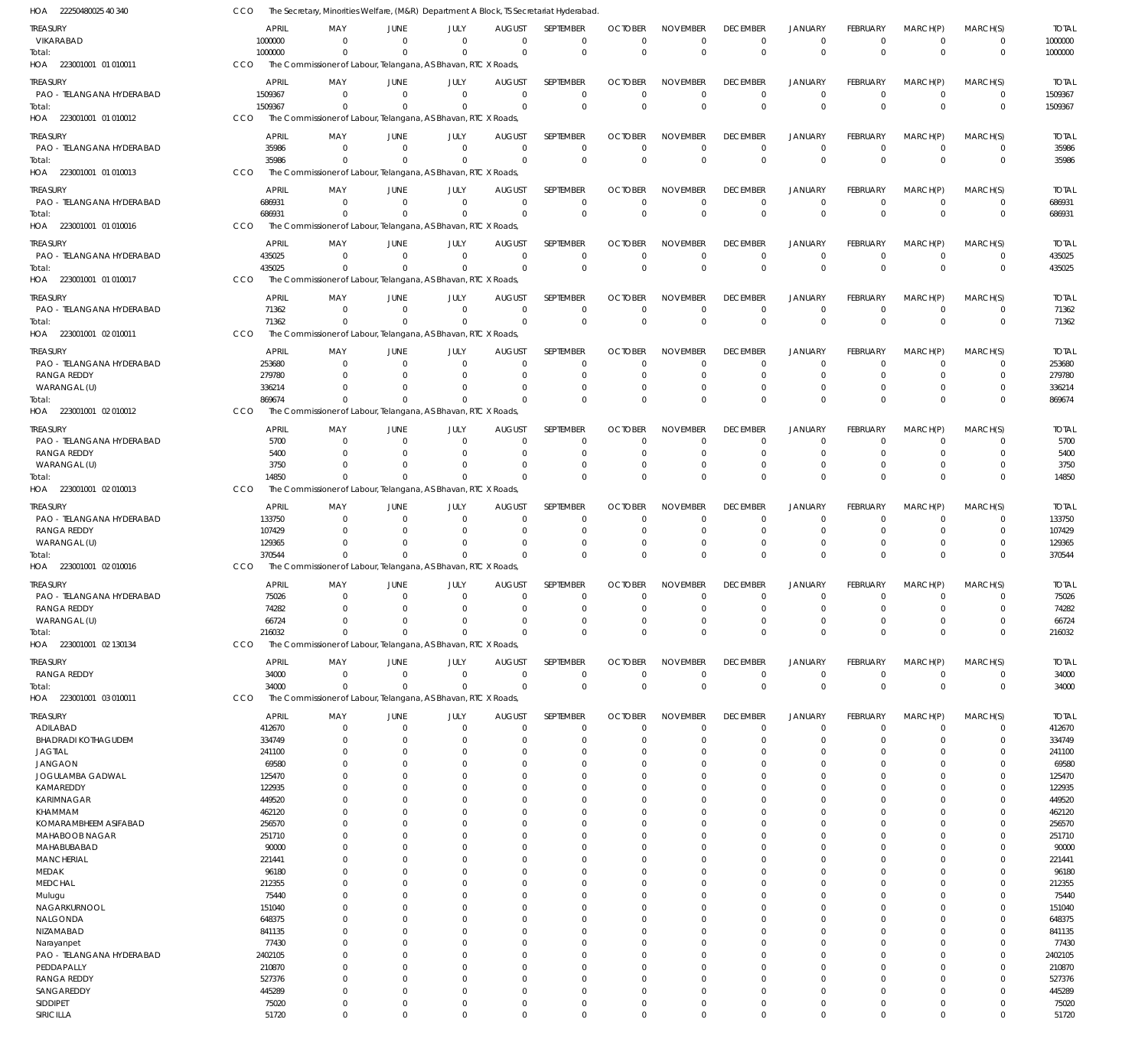22250480025 40 340 HOA 223001001 01 010011 HOA 223001001 01 010012 HOA 223001001 01 010013 HOA 223001001 01 010016 HOA 223001001 01 010017 HOA 223001001 02 010011 HOA 223001001 02 010012 HOA 223001001 02 010013 HOA 223001001 02 010016 HOA 223001001 02 130134 HOA 223001001 03 010011 HOA The Secretary, Minorities Welfare, (M&R) Department A Block, TS Secretariat Hyderabad. The Commissioner of Labour, Telangana, AS Bhavan, RTC X Roads, The Commissioner of Labour, Telangana, AS Bhavan, RTC X Roads, The Commissioner of Labour, Telangana, AS Bhavan, RTC X Roads, The Commissioner of Labour, Telangana, AS Bhavan, RTC X Roads, The Commissioner of Labour, Telangana, AS Bhavan, RTC X Roads, The Commissioner of Labour, Telangana, AS Bhavan, RTC X Roads, The Commissioner of Labour, Telangana, AS Bhavan, RTC X Roads, The Commissioner of Labour, Telangana, AS Bhavan, RTC X Roads, The Commissioner of Labour, Telangana, AS Bhavan, RTC X Roads, The Commissioner of Labour, Telangana, AS Bhavan, RTC X Roads, The Commissioner of Labour, Telangana, AS Bhavan, RTC X Roads, CCO C<sub>CO</sub> CCO CCO CCO CCO CCO CCO CCO CCO CCO CCO 1000000 1509367 35986 686931 435025 71362 869674 14850 370544 216032 34000 0 0  $\Omega$ 0 0  $\Omega$ 0 0 0 0  $\Omega$ 0 0 0 0  $\Omega$ 0 0  $\,$  0  $\,$ 0 0 0 0 0 0 0 0 0 0 0 0 0 0 0 0  $\Omega$ 0  $\Omega$ 0 0 0  $\Omega$ 0 0 0 0 0 0  $\Omega$ 0 0 0 0 0 0 0 0 0 0  $\Omega$ 0 0 0  $\Omega$ 0 0 0 0  $\Omega$ 0  $\Omega$ 0 0 0  $\Omega$ 0 0 0 0 0 0 0 0 0 0 0 0 0 0 0 0 0  $\Omega$ 0 0 0 0 0  $\,$  0  $\,$ 0 0 0 0  $\Omega$  $\boldsymbol{0}$ 0 0 0 0  $\boldsymbol{0}$ 0 0 0 0  $\Omega$ 0 0 0  $\Omega$ 0 0 0 0  $\Omega$ 0  $\Omega$ 0 0 0  $\Omega$ 0 0 1000000 1509367 35986 686931 435025 71362 869674 14850 370544 216032 34000 VIKARABAD PAO - TELANGANA HYDERABAD PAO - TELANGANA HYDERABAD PAO - TELANGANA HYDERABAD PAO - TELANGANA HYDERABAD PAO - TELANGANA HYDERABAD PAO - TELANGANA HYDERABAD RANGA REDDY WARANGAL (U) PAO - TELANGANA HYDERABAD RANGA REDDY WARANGAL (U) PAO - TELANGANA HYDERABAD RANGA REDDY WARANGAL (U) PAO - TELANGANA HYDERABAD RANGA REDDY WARANGAL (U) RANGA REDDY ADILABAD BHADRADI KOTHAGUDEM JAGTIAL JANGAON JOGULAMBA GADWAL KAMAREDDY KARIMNAGAR KHAMMAM KOMARAMBHEEM ASIFABAD MAHABOOB NAGAR MAHABUBABAD MANCHERIAL MEDAK MEDCHAL Mulugu NAGARKURNOOL NALGONDA NIZAMABAD Narayanpet PAO - TELANGANA HYDERABAD PEDDAPALLY RANGA REDDY **SANGAREDDY** SIDDIPET SIRICILLA TREASURY **TREASURY** TREASURY TREASURY **TREASURY** TREASURY TREASURY TREASURY **TREASURY** TREASURY TREASURY TREASURY 1000000 1509367 35986 686931 435025 71362 253680 279780 336214 5700 5400 3750 133750 107429 129365 75026 74282 66724 34000 412670 334749 241100 69580 125470 122935 449520 462120 256570 251710 90000 221441 96180 212355 75440 151040 648375 841135 77430 2402105 210870 527376 445289 75020 51720 APRIL APRIL APRIL APRIL APRIL APRIL APRIL APRIL APRIL APRIL APRIL APRIL 0 0 0  $\Omega$ 0 0  $\Omega$ 0 0 0 0  $\Omega$ 0  $\Omega$ 0 0  $\Omega$ 0 0  $\sqrt{0}$ 0  $\Omega$ 0 0  $\Omega$ 0  $\Omega$ 0 0 0  $\Omega$  $\Omega$ 0 0 0  $\Omega$  $\Omega$ 0  $\Omega$ 0 0  $\Omega$ 0  $\Omega$ MAY MAY MAY MAY MAY MAY MAY MAY MAY MAY MAY MAY 0 0 0  $\Omega$ 0 0 0 0  $\Omega$ 0 0  $\Omega$ 0  $\Omega$ 0 0  $\Omega$ 0 0  $\Omega$ 0  $\Omega$ 0 0  $\Omega$ 0  $\Omega$ 0 0 0  $\Omega$  $\Omega$ 0 0 0 0  $\Omega$ 0  $\Omega$ 0 0  $\Omega$  $\boldsymbol{0}$  $\Omega$ JUNE **JUNE** JUNE JUNE JUNE JUNE JUNE JUNE **JUNE** JUNE JUNE JUNE 0 0 0 0 0 0 0 0 0 0 0  $\sqrt{0}$ 0  $\Omega$ 0 0  $\Omega$ 0 0 0 0  $\Omega$ 0 0  $\Omega$ 0  $\Omega$ 0 0 0  $\Omega$  $\Omega$ 0 0 0 0  $\Omega$ 0  $\Omega$ 0 0  $\sqrt{0}$ 0  $\Omega$ JULY JULY JULY JULY JULY JULY JULY JULY JULY JULY JULY JULY  $\Omega$ 0 0  $\Omega$ 0 0  $\Omega$ 0  $\Omega$ 0 0  $\Omega$ 0  $\Omega$ 0  $\Omega$  $\Omega$ 0 0  $\Omega$ 0  $\Omega$ 0 0  $\Omega$ 0  $\Omega$ 0 0  $\Omega$  $\Omega$  $\Omega$ 0 0  $\Omega$  $\Omega$  $\Omega$ 0  $\Omega$ 0 0  $\Omega$ 0  $\Omega$ AUGUST AUGUST AUGUST AUGUST AUGUST AUGUST AUGUST **AUGUST** AUGUST AUGUST AUGUST AUGUST  $\Omega$ 0 0  $\Omega$ 0 0  $\Omega$ 0  $\Omega$ 0 0  $\Omega$ 0  $\Omega$ 0  $\Omega$  $\Omega$ 0 0  $\Omega$ 0  $\Omega$ 0  $\Omega$  $\Omega$ 0  $\Omega$  $\Omega$ 0  $\Omega$  $\Omega$  $\Omega$  $\overline{0}$ 0  $\Omega$  $\Omega$  $\Omega$  $\overline{0}$  $\Omega$ 0 0  $\Omega$ 0  $\Omega$ SEPTEMBER **SEPTEMBER** SEPTEMBER SEPTEMBER SEPTEMBER SEPTEMBER SEPTEMBER **SEPTEMBER SEPTEMBER** SEPTEMBER SEPTEMBER SEPTEMBER 0 0  $\Omega$  $\Omega$ 0 0  $\Omega$ 0  $\Omega$ 0  $\Omega$  $\Omega$ 0  $\Omega$ 0  $\Omega$  $\Omega$ 0 0  $\Omega$ 0  $\Omega$ 0  $\Omega$  $\Omega$ 0  $\Omega$ 0 0  $\Omega$  $\Omega$  $\Omega$ 0 0  $\Omega$  $\Omega$  $\Omega$ 0  $\Omega$ 0  $\Omega$  $\Omega$ 0  $\Omega$ OCTOBER **OCTOBER** OCTOBER **OCTOBER OCTOBER** OCTOBER **OCTOBER OCTOBER OCTOBER OCTOBER** OCTOBER **OCTOBER** 0 0 0  $\Omega$ 0 0  $\Omega$ 0  $\Omega$ 0 0  $\Omega$ 0  $\Omega$ 0  $\Omega$  $\Omega$ 0 0  $\Omega$ 0  $\Omega$ 0 0  $\Omega$ 0  $\Omega$  $\mathfrak{o}$ 0  $\Omega$  $\Omega$  $\Omega$ 0 0  $\Omega$  $\Omega$  $\Omega$ 0  $\Omega$ 0 0  $\Omega$ 0  $\Omega$ NOVEMBER NOVEMBER NOVEMBER NOVEMBER NOVEMBER NOVEMBER NOVEMBER NOVEMBER NOVEMBER NOVEMBER NOVEMBER NOVEMBER 0 0 0  $\Omega$ 0 0  $\Omega$ 0  $\Omega$ 0  $\Omega$  $\Omega$ 0  $\Omega$ 0  $\Omega$  $\Omega$ 0 0  $\Omega$ 0  $\Omega$  $\overline{0}$  $\Omega$  $\Omega$ 0  $\Omega$  $\Omega$ 0  $\Omega$  $\Omega$  $\Omega$  $\overline{0}$ 0  $\Omega$  $\Omega$  $\Omega$ 0  $\Omega$ 0 0  $\Omega$ 0  $\Omega$ DECEMBER **DECEMBER** DECEMBER DECEMBER DECEMBER DECEMBER DECEMBER **DECEMBER DECEMBER DECEMBER** DECEMBER DECEMBER 0 0 0  $\Omega$ 0 0  $\Omega$ 0  $\Omega$ 0 0  $\Omega$ 0  $\Omega$ 0  $\Omega$  $\Omega$ 0 0  $\Omega$ 0  $\Omega$ 0  $\Omega$  $\Omega$ 0  $\Omega$  $\Omega$ 0  $\Omega$  $\Omega$  $\Omega$ 0 0  $\Omega$  $\Omega$  $\Omega$ 0  $\Omega$ 0 0  $\Omega$  $\,$  0  $\,$  $\Omega$ JANUARY JANUARY JANUARY JANUARY JANUARY JANUARY JANUARY JANUARY JANUARY JANUARY JANUARY JANUARY 0 0 0  $\Omega$ 0 0 0 0  $\Omega$ 0 0  $\Omega$ 0  $\Omega$ 0 0  $\Omega$ 0 0  $\Omega$ 0  $\Omega$  $\overline{0}$ 0  $\Omega$ 0  $\Omega$  $\overline{0}$ 0 0  $\Omega$  $\Omega$ 0 0 0 0  $\Omega$ 0  $\Omega$ 0 0  $\Omega$  $\boldsymbol{0}$  $\Omega$ FEBRUARY FEBRUARY FEBRUARY FEBRUARY FEBRUARY FEBRUARY FEBRUARY FEBRUARY FEBRUARY FEBRUARY FEBRUARY FEBRUARY 0 0  $\Omega$  $\Omega$ 0 0  $\Omega$ 0  $\Omega$ 0 0  $\Omega$ 0  $\Omega$ 0  $\Omega$  $\Omega$ 0 0 0 0  $\Omega$  $\overline{0}$  $\Omega$  $\Omega$ 0  $\Omega$ 0  $\Omega$  $\Omega$  $\Omega$  $\Omega$  $\overline{0}$ 0  $\Omega$  $\Omega$  $\Omega$ 0  $\Omega$ 0  $\Omega$  $\Omega$ 0  $\Omega$ MARCH(P) MARCH(P) MARCH(P) MARCH(P) MARCH(P) MARCH(P) MARCH(P) MARCH(P) MARCH(P) MARCH(P) MARCH(P) MARCH(P)  $\Omega$ 0  $\Omega$  $\Omega$ 0 0  $\Omega$ 0  $\Omega$ 0 0  $\Omega$ 0  $\Omega$ 0  $\Omega$  $\Omega$ 0 0  $\Omega$ 0  $\Omega$ 0  $\Omega$ 0 0  $\Omega$ 0  $\Omega$ 0 0  $\Omega$ 0  $\Omega$ 0  $\Omega$  $\Omega$ 0  $\Omega$ 0  $\Omega$  $\Omega$ 0  $\Omega$ MARCH(S) MARCH(S) MARCH(S) MARCH(S) MARCH(S) MARCH(S) MARCH(S) MARCH(S) MARCH(S) MARCH(S) MARCH(S) MARCH(S) 1000000 1509367 35986 686931 435025 71362 253680 279780 336214 5700 5400 3750 133750 107429 129365 75026 74282 66724 34000 412670 334749 241100 69580 125470 122935 449520 462120 256570 251710 90000 221441 96180 212355 75440 151040 648375 841135 77430 2402105 210870 527376 445289 75020 51720 TOTAL TOTAL TOTAL TOTAL TOTAL TOTAL TOTAL TOTAL TOTAL TOTAL TOTAL TOTAL Total: Total: Total: Total: Total: Total: Total: Total: Total: Total: Total: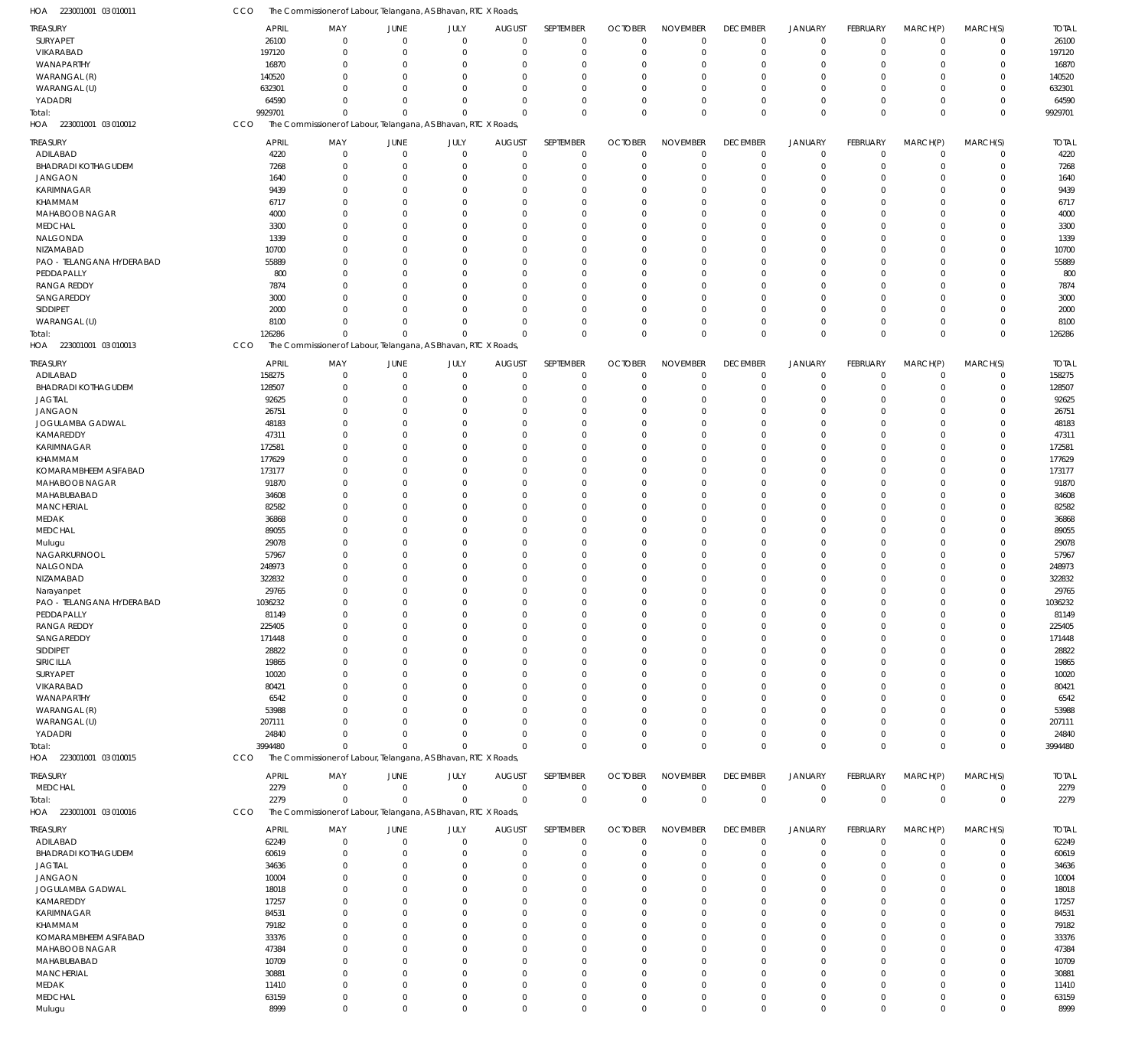| HOA<br>223001001 03 010011             | CCO                   |                             | The Commissioner of Labour, Telangana, AS Bhavan, RTC X Roads, |                            |                              |                            |                               |                                   |                                |                               |                            |                         |                            |                       |
|----------------------------------------|-----------------------|-----------------------------|----------------------------------------------------------------|----------------------------|------------------------------|----------------------------|-------------------------------|-----------------------------------|--------------------------------|-------------------------------|----------------------------|-------------------------|----------------------------|-----------------------|
| <b>TREASURY</b>                        | <b>APRIL</b>          | MAY                         | <b>JUNE</b>                                                    | JULY                       | <b>AUGUST</b>                | SEPTEMBER                  | <b>OCTOBER</b>                | <b>NOVEMBER</b>                   | <b>DECEMBER</b>                | <b>JANUARY</b>                | FEBRUARY                   | MARCH(P)                | MARCH(S)                   | <b>TOTAL</b>          |
| SURYAPET                               | 26100                 | $\Omega$                    | $\mathbf 0$                                                    | $\mathbf 0$                | $\mathbf 0$                  | $\mathbf 0$                | $\mathbf 0$                   | $\overline{0}$                    | $\mathbf 0$                    | $\overline{0}$                | $\mathbf 0$                | $\mathbf 0$             | $\mathbf 0$                | 26100                 |
| VIKARABAD                              | 197120                | $\Omega$                    | $\Omega$                                                       | $\mathbf{0}$               | $\mathbf 0$                  | $\mathbf 0$                | $\mathbf 0$                   | $\overline{0}$                    | $\mathbf 0$                    | $\overline{0}$                | $\mathbf 0$                | 0                       | $\mathbf 0$                | 197120                |
| WANAPARTHY                             | 16870                 | $\Omega$                    | $\Omega$                                                       | $\Omega$                   | 0                            | $\mathbf 0$                | $\Omega$                      | $\mathbf 0$                       | $\mathbf 0$                    | $\mathbf 0$                   | $\Omega$                   | $\Omega$                | $\mathbf 0$                | 16870                 |
| WARANGAL (R)                           | 140520                | $\Omega$                    | $\Omega$                                                       | $\Omega$                   | $\Omega$                     | $\Omega$                   | $\Omega$                      | $\mathbf 0$                       | $\Omega$                       | $\Omega$                      | $\mathbf 0$                | $\Omega$                | $\mathbf 0$                | 140520                |
| WARANGAL (U)                           | 632301                | $\Omega$                    | $\Omega$                                                       | $\Omega$                   | $\Omega$                     | $\overline{0}$             | $\Omega$                      | $\mathbf 0$                       | $\mathbf 0$                    | $\mathbf 0$                   | $\mathbf 0$                | $\Omega$                | $\mathbf 0$                | 632301                |
| YADADRI                                | 64590                 | $\Omega$                    | $\Omega$                                                       | $\mathbf{0}$               | $\Omega$                     | $\Omega$                   | $\Omega$                      | $\Omega$                          | $\Omega$                       | $\mathbf 0$                   | $\mathbf 0$                | $\Omega$                | $\mathbf 0$                | 64590                 |
| Total:                                 | 9929701               | $\Omega$                    | $\Omega$                                                       | $\mathbf{0}$               | $\Omega$                     | $\Omega$                   | $\Omega$                      | $\Omega$                          | $\mathbf 0$                    | $\mathbf 0$                   | $\mathbf 0$                | $\Omega$                | $\mathbf 0$                | 9929701               |
| 223001001 03 010012<br>HOA             | CCO                   |                             | The Commissioner of Labour, Telangana, AS Bhavan, RTC X Roads, |                            |                              |                            |                               |                                   |                                |                               |                            |                         |                            |                       |
| <b>TREASURY</b>                        | <b>APRIL</b>          | MAY                         | <b>JUNE</b>                                                    | JULY                       | <b>AUGUST</b>                | SEPTEMBER                  | <b>OCTOBER</b>                | <b>NOVEMBER</b>                   | <b>DECEMBER</b>                | <b>JANUARY</b>                | FEBRUARY                   | MARCH(P)                | MARCH(S)                   | <b>TOTAL</b>          |
| ADILABAD                               | 4220                  | $\mathbf{0}$                | $\overline{0}$                                                 | $\overline{0}$             | $\mathbf 0$                  | $\mathbf 0$                | $\mathbf 0$                   | $\overline{0}$                    | $\pmb{0}$                      | $\overline{0}$                | $\mathbf 0$                | $\mathbf 0$             | $\mathbf 0$                | 4220                  |
| BHADRADI KOTHAGUDEM                    | 7268                  | $\Omega$                    | $\Omega$                                                       | $\Omega$                   | $\mathbf 0$                  | $\mathbf 0$                | $\mathbf 0$                   | $\overline{0}$                    | $\mathbf 0$                    | $\mathbf 0$                   | $\mathbf 0$                | 0                       | $\mathbf 0$                | 7268                  |
| <b>JANGAON</b>                         | 1640                  | $\Omega$                    | $\Omega$                                                       | $\Omega$                   | $\Omega$                     | $\Omega$                   | $\Omega$                      | $\mathbf 0$                       | $\mathbf 0$                    | 0                             | $\mathbf 0$                | O                       | $\mathbf 0$                | 1640                  |
| KARIMNAGAR                             | 9439                  | $\Omega$                    | $\Omega$                                                       | $\Omega$                   | $\Omega$                     | $\overline{0}$             | $\Omega$                      | $\overline{0}$                    | $\mathbf 0$                    | $\mathbf 0$                   | $\mathbf 0$                | O                       | $\mathbf 0$                | 9439                  |
| KHAMMAM                                | 6717                  | $\Omega$                    | $\Omega$                                                       | $\Omega$                   | $\Omega$                     | $\Omega$                   | $\Omega$                      | $\Omega$                          | $\Omega$                       | 0                             | $\overline{0}$             | O                       | $\mathbf 0$                | 6717                  |
| MAHABOOB NAGAR                         | 4000                  | $\Omega$                    | $\cap$                                                         | $\Omega$                   | $\Omega$                     | $\Omega$                   | $\Omega$                      | $\Omega$                          | $\Omega$                       | $\Omega$                      | $\mathbf 0$                | C.                      | $\mathbf 0$                | 4000                  |
| <b>MEDCHAL</b>                         | 3300                  | $\Omega$                    | $\Omega$                                                       | $\Omega$                   | $\Omega$                     | $\Omega$                   | $\Omega$                      | $\mathbf 0$                       | $\Omega$                       | 0                             | $\mathbf 0$                | O                       | $\mathbf 0$                | 3300                  |
| NALGONDA                               | 1339                  | $\Omega$<br>$\Omega$        | $\cap$                                                         | $\Omega$<br>$\Omega$       | $\Omega$                     | $\Omega$                   | $\Omega$                      | $\Omega$<br>$\Omega$              | $\Omega$                       | 0                             | $\mathbf 0$                | C.                      | $\mathbf 0$                | 1339                  |
| NIZAMABAD<br>PAO - TELANGANA HYDERABAD | 10700<br>55889        | $\Omega$                    | $\Omega$<br>$\Omega$                                           | $\Omega$                   | $\Omega$<br>$\Omega$         | $\Omega$<br>$\Omega$       | $\Omega$<br>$\Omega$          | $\Omega$                          | $\Omega$<br>$\Omega$           | $\Omega$<br>$\mathbf 0$       | $\mathbf 0$<br>$\mathbf 0$ | C.<br>O                 | $\mathbf 0$<br>$\mathbf 0$ | 10700<br>55889        |
| PEDDAPALLY                             | 800                   | $\Omega$                    | $\cap$                                                         | $\Omega$                   | $\Omega$                     | $\Omega$                   | $\Omega$                      | $\Omega$                          | $\Omega$                       | $\Omega$                      | $\mathbf 0$                | C.                      | $\mathbf 0$                | 800                   |
| <b>RANGA REDDY</b>                     | 7874                  | $\Omega$                    | $\Omega$                                                       | $\Omega$                   | $\Omega$                     | $\Omega$                   | $\Omega$                      | $\mathbf 0$                       | $\Omega$                       | $\Omega$                      | $\mathbf 0$                | C.                      | $\mathbf 0$                | 7874                  |
| SANGAREDDY                             | 3000                  | $\Omega$                    | $\Omega$                                                       | $\Omega$                   | $\Omega$                     | $\mathbf 0$                | $\Omega$                      | $\overline{0}$                    | $\mathbf 0$                    | 0                             | $\mathbf 0$                | 0                       | $\mathbf 0$                | 3000                  |
| SIDDIPET                               | 2000                  | $\Omega$                    | $\cap$                                                         | $\Omega$                   | $\Omega$                     | $\Omega$                   | $\Omega$                      | $\Omega$                          | $\Omega$                       | $\mathbf 0$                   | $\mathbf 0$                | $\Omega$                | $\mathbf 0$                | 2000                  |
| WARANGAL (U)                           | 8100                  | $\Omega$                    | $\Omega$                                                       | $\Omega$                   | 0                            | $\overline{0}$             | $\Omega$                      | $\Omega$                          | $\mathbf 0$                    | $\mathbf 0$                   | $\mathbf 0$                | $\Omega$                | $\mathbf 0$                | 8100                  |
| Total:                                 | 126286                | $\Omega$                    | $\Omega$                                                       | $\Omega$                   | $\Omega$                     | $\Omega$                   | $\Omega$                      | $\overline{0}$                    | $\mathbf 0$                    | $\mathbf 0$                   | $\mathbf 0$                | $\Omega$                | $\mathbf 0$                | 126286                |
| HOA 223001001 03 010013                | CCO                   |                             | The Commissioner of Labour, Telangana, AS Bhavan, RTC X Roads, |                            |                              |                            |                               |                                   |                                |                               |                            |                         |                            |                       |
| <b>TREASURY</b>                        | <b>APRIL</b>          | MAY                         | <b>JUNE</b>                                                    | JULY                       | <b>AUGUST</b>                | SEPTEMBER                  | <b>OCTOBER</b>                | <b>NOVEMBER</b>                   | <b>DECEMBER</b>                | <b>JANUARY</b>                | FEBRUARY                   | MARCH(P)                | MARCH(S)                   | <b>TOTAL</b>          |
| ADILABAD                               | 158275                | $\Omega$                    | $\Omega$                                                       | $\mathbf 0$                | $\mathbf 0$                  | $\mathbf 0$                | $\mathbf 0$                   | $\overline{0}$                    | $\mathbf 0$                    | $\overline{0}$                | $\mathbf 0$                | $\mathbf 0$             | $\mathbf 0$                | 158275                |
| <b>BHADRADI KOTHAGUDEM</b>             | 128507                | $\Omega$                    | $\Omega$                                                       | $\Omega$                   | $\Omega$                     | $\mathbf 0$                | $\Omega$                      | $\overline{0}$                    | $\mathbf 0$                    | $\overline{0}$                | $\mathbf 0$                | $\Omega$                | $\mathbf 0$                | 128507                |
| <b>JAGTIAL</b>                         | 92625                 | $\Omega$                    | $\Omega$                                                       | $\Omega$                   | 0                            | $\overline{0}$             | $\Omega$                      | $\mathbf 0$                       | $\mathbf 0$                    | $\mathbf 0$                   | $\mathbf 0$                | $\Omega$                | $\mathbf 0$                | 92625                 |
| <b>JANGAON</b>                         | 26751                 | $\Omega$                    | $\Omega$                                                       | $\Omega$                   | $\Omega$                     | $\Omega$                   | $\Omega$                      | $\Omega$                          | $\Omega$                       | $\Omega$                      | $\mathbf 0$                | $\Omega$                | $\mathbf 0$                | 26751                 |
| JOGULAMBA GADWAL                       | 48183                 | $\Omega$                    | $\cap$                                                         | $\Omega$                   | $\Omega$                     | $\Omega$                   | $\Omega$                      | $\Omega$                          | $\Omega$                       | $\Omega$                      | $\Omega$                   | $\Omega$                | $\mathbf 0$                | 48183                 |
| KAMAREDDY                              | 47311                 | $\Omega$                    | $\Omega$                                                       | $\Omega$                   | $\Omega$                     | $\Omega$                   | $\Omega$                      | $\Omega$                          | $\Omega$                       | $\Omega$                      | $\mathbf 0$                | $\Omega$                | $\mathbf 0$                | 47311                 |
| KARIMNAGAR                             | 172581                | $\Omega$                    | $\Omega$                                                       | $\Omega$                   | $\Omega$                     | $\mathbf 0$                | $\Omega$                      | $\Omega$                          | $\Omega$                       | $\Omega$                      | $\Omega$                   | $\Omega$                | $\mathbf 0$                | 172581                |
| KHAMMAM                                | 177629                | $\Omega$                    | $\Omega$                                                       | $\Omega$                   | $\Omega$                     | $\Omega$                   | $\Omega$                      | $\Omega$                          | $\Omega$                       | $\Omega$                      | $\Omega$                   | $\Omega$                | $\mathbf 0$                | 177629                |
| KOMARAMBHEEM ASIFABAD                  | 173177                | $\Omega$                    | $\Omega$                                                       | $\Omega$                   | $\Omega$                     | $\Omega$                   | $\Omega$                      | $\Omega$                          | $\Omega$                       | $\Omega$                      | $\Omega$                   | 0                       | $\mathbf 0$                | 173177                |
| MAHABOOB NAGAR                         | 91870                 | $\Omega$                    | $\Omega$                                                       | $\Omega$                   | $\Omega$                     | $\Omega$                   | $\Omega$                      | $\Omega$                          | $\Omega$                       | $\Omega$                      | $\Omega$                   | $\Omega$                | $\mathbf 0$                | 91870                 |
| MAHABUBABAD                            | 34608                 | $\Omega$                    | $\Omega$                                                       | $\Omega$                   | $\Omega$                     | $\Omega$                   | $\Omega$                      | $\Omega$                          | $\Omega$                       | $\Omega$                      | $\Omega$                   | $\Omega$                | $\mathbf 0$                | 34608                 |
| <b>MANCHERIAL</b>                      | 82582                 | $\Omega$<br>$\Omega$        | $\Omega$<br>$\cap$                                             | $\Omega$<br>$\Omega$       | $\Omega$<br>$\Omega$         | $\overline{0}$<br>$\Omega$ | $\Omega$<br>$\Omega$          | $\Omega$<br>$\Omega$              | $\Omega$<br>$\Omega$           | $\Omega$<br>$\Omega$          | $\mathbf 0$<br>$\Omega$    | $\Omega$                | $\mathbf 0$<br>$\mathbf 0$ | 82582                 |
| MEDAK<br><b>MEDCHAL</b>                | 36868<br>89055        | $\Omega$                    | $\Omega$                                                       | $\Omega$                   | $\Omega$                     | $\Omega$                   | $\Omega$                      | $\Omega$                          | $\Omega$                       | $\Omega$                      | $\Omega$                   | $\Omega$<br>$\Omega$    | $\mathbf 0$                | 36868<br>89055        |
| Mulugu                                 | 29078                 | $\Omega$                    | $\Omega$                                                       | $\Omega$                   | $\Omega$                     | $\overline{0}$             | $\Omega$                      | $\mathbf 0$                       | $\Omega$                       | $\mathbf 0$                   | $\mathbf 0$                | $\Omega$                | $\mathbf 0$                | 29078                 |
| NAGARKURNOOL                           | 57967                 | $\Omega$                    | $\Omega$                                                       | $\Omega$                   | $\Omega$                     | $\Omega$                   | $\Omega$                      | $\Omega$                          | $\Omega$                       | $\Omega$                      | $\Omega$                   | $\Omega$                | $\mathbf 0$                | 57967                 |
| NALGONDA                               | 248973                | $\Omega$                    | $\cap$                                                         | $\Omega$                   | $\Omega$                     | $\Omega$                   | $\Omega$                      | $\Omega$                          | $\Omega$                       | $\Omega$                      | $\Omega$                   | O                       | $\mathbf 0$                | 248973                |
| NIZAMABAD                              | 322832                | $\Omega$                    | $\Omega$                                                       | $\Omega$                   | $\Omega$                     | $\overline{0}$             | $\Omega$                      | $\Omega$                          | $\Omega$                       | $\Omega$                      | $\mathbf 0$                | $\Omega$                | $\mathbf 0$                | 322832                |
| Narayanpet                             | 29765                 | $\Omega$                    | $\Omega$                                                       | $\mathbf{0}$               | $\Omega$                     | $\Omega$                   | $\Omega$                      | $\Omega$                          | $\Omega$                       | $\Omega$                      | $\mathbf{0}$               | $\Omega$                | $\mathbf 0$                | 29765                 |
| PAO - TELANGANA HYDERABAD              | 1036232               | $\mathbf{0}$                | $\mathbf 0$                                                    | $\mathbf 0$                | $\mathbf 0$                  | $\Omega$                   | $\Omega$                      | $\Omega$                          | $\Omega$                       | $\Omega$                      | $\mathbf 0$                | $\Omega$                | $\mathbf 0$                | 1036232               |
| PEDDAPALLY                             | 81149                 | $\mathbf{0}$                | $\Omega$                                                       | $\Omega$                   | $\mathbf 0$                  | $\mathbf 0$                | $\mathbf 0$                   | $\mathbf 0$                       | $\mathbf 0$                    | $\mathbf 0$                   | $\mathbf 0$                | 0                       | $\mathbf 0$                | 81149                 |
| <b>RANGA REDDY</b>                     | 225405                | $\mathbf 0$                 | $\Omega$                                                       | $\mathbf{0}$               | 0                            | $\mathbf 0$                | $\mathbf 0$                   | $\overline{0}$                    | $\mathbf 0$                    | $\mathbf 0$                   | $\mathbf 0$                | $\Omega$                | $\mathbf 0$                | 225405                |
| SANGAREDDY                             | 171448                | $\Omega$                    | $\Omega$                                                       | $\Omega$                   | 0                            | $\mathbf 0$                | $\Omega$                      | $\mathbf 0$                       | $\mathbf 0$                    | $\mathbf 0$                   | $\mathbf 0$                | $\Omega$                | $\mathbf 0$                | 171448                |
| SIDDIPET                               | 28822                 | $\Omega$                    | $\Omega$                                                       | $\Omega$                   | $\Omega$                     | $\mathbf 0$                | $\mathbf 0$                   | $\mathbf 0$                       | $\Omega$                       | $\mathbf 0$                   | $\mathbf 0$                | $\Omega$                | $\mathbf 0$                | 28822                 |
| SIRICILLA                              | 19865                 | $\Omega$                    | $\Omega$                                                       | $\Omega$                   | $\Omega$                     | $\mathbf 0$                | $\Omega$                      | $\mathbf 0$                       | $\Omega$                       | 0                             | $\Omega$                   | $\Omega$                | $\mathbf 0$                | 19865                 |
| SURYAPET                               | 10020                 | $\Omega$                    | $\Omega$                                                       | $\Omega$                   | $\Omega$                     | $\mathbf 0$                | $\Omega$                      | $\Omega$                          | $\Omega$                       | $\Omega$                      | $\Omega$                   | $\Omega$                | $\mathbf 0$                | 10020                 |
| VIKARABAD                              | 80421                 | $\Omega$<br>$\Omega$        | $\Omega$                                                       | $\Omega$<br>$\Omega$       | $\Omega$                     | $\overline{0}$<br>$\Omega$ | $\Omega$                      | $\mathbf 0$<br>$\Omega$           | $\mathbf 0$                    | $\mathbf 0$                   | $\Omega$                   | $\Omega$                | $\mathbf 0$                | 80421                 |
| WANAPARTHY<br>WARANGAL (R)             | 6542<br>53988         | $\Omega$                    | $\Omega$<br>$\Omega$                                           | $\Omega$                   | $\Omega$<br>$\Omega$         | $\Omega$                   | $\Omega$<br>$\Omega$          | $\mathbf 0$                       | $\Omega$<br>$\Omega$           | $\Omega$<br>$\Omega$          | $\Omega$<br>$\Omega$       | $\Omega$<br>$\Omega$    | $\mathbf 0$<br>$\mathbf 0$ | 6542<br>53988         |
| WARANGAL (U)                           | 207111                | $\Omega$                    | $\Omega$                                                       | $\Omega$                   | $\Omega$                     | $\overline{0}$             | $\mathbf 0$                   | $\overline{0}$                    | $\Omega$                       | $\mathbf 0$                   | $\mathbf 0$                | $\Omega$                | $\mathbf 0$                | 207111                |
| YADADRI                                | 24840                 | $\Omega$                    | $\Omega$                                                       | $\mathbf{0}$               | $\Omega$                     | $\mathbf 0$                | $\Omega$                      | $\overline{0}$                    | $\mathbf 0$                    | $\mathbf 0$                   | $\mathbf 0$                | $\Omega$                | $\mathbf 0$                | 24840                 |
| Total:                                 | 3994480               | $\Omega$                    | $\mathbf{0}$                                                   | $\mathbf{0}$               | $\Omega$                     | $\Omega$                   | $\Omega$                      | $\Omega$                          | $\mathbf 0$                    | $\Omega$                      | $\mathbf 0$                | $\Omega$                | $\mathbf 0$                | 3994480               |
| HOA 223001001 03 010015                | <b>CCO</b>            |                             | The Commissioner of Labour, Telangana, AS Bhavan, RTC X Roads, |                            |                              |                            |                               |                                   |                                |                               |                            |                         |                            |                       |
| <b>TREASURY</b>                        | <b>APRIL</b>          | MAY                         | <b>JUNE</b>                                                    | JULY                       | <b>AUGUST</b>                | SEPTEMBER                  | <b>OCTOBER</b>                | <b>NOVEMBER</b>                   | <b>DECEMBER</b>                | <b>JANUARY</b>                | FEBRUARY                   | MARCH(P)                | MARCH(S)                   | <b>TOTAL</b>          |
| MEDCHAL                                | 2279                  | $\mathbf 0$                 | $\mathbf 0$                                                    | $\mathbf 0$                | $\mathbf{0}$                 | $\mathbf 0$                | $\overline{0}$                | $\overline{0}$                    | $\mathbf 0$                    | $\overline{0}$                | $\mathbf 0$                | $\mathbf 0$             | $\mathbf 0$                | 2279                  |
| Total:                                 | 2279                  | $\Omega$                    | $\Omega$                                                       | $\mathbf{0}$               | $\mathbf 0$                  | $\overline{0}$             | $\mathbf 0$                   | $\overline{0}$                    | $\mathbf 0$                    | $\overline{0}$                | $\mathbf 0$                | $\mathbf{0}$            | $\mathbf 0$                | 2279                  |
| HOA 223001001 03 010016                | CCO                   |                             | The Commissioner of Labour, Telangana, AS Bhavan, RTC X Roads, |                            |                              |                            |                               |                                   |                                |                               |                            |                         |                            |                       |
|                                        |                       |                             |                                                                |                            |                              |                            |                               |                                   |                                |                               |                            |                         |                            |                       |
| <b>TREASURY</b><br>ADILABAD            | <b>APRIL</b><br>62249 | MAY<br>$\mathbf 0$          | <b>JUNE</b><br>$\mathbf 0$                                     | JULY<br>$\mathbf 0$        | <b>AUGUST</b><br>$\mathbf 0$ | SEPTEMBER<br>$\mathbf 0$   | <b>OCTOBER</b><br>$\mathbf 0$ | <b>NOVEMBER</b><br>$\overline{0}$ | <b>DECEMBER</b><br>$\mathbf 0$ | <b>JANUARY</b><br>$\mathbf 0$ | FEBRUARY<br>$\mathbf 0$    | MARCH(P)<br>$\mathbf 0$ | MARCH(S)<br>$\mathbf 0$    | <b>TOTAL</b><br>62249 |
| <b>BHADRADI KOTHAGUDEM</b>             | 60619                 | $\mathbf{0}$                | $\Omega$                                                       | $\Omega$                   | 0                            | $\mathbf 0$                | $\mathbf 0$                   | $\mathbf 0$                       | $\mathbf 0$                    | $\mathbf 0$                   | $\mathbf 0$                | $\Omega$                | $\mathbf 0$                | 60619                 |
| <b>JAGTIAL</b>                         | 34636                 | $\Omega$                    | $\Omega$                                                       | $\Omega$                   | 0                            | $\overline{0}$             | $\mathbf 0$                   | $\overline{0}$                    | $\mathbf 0$                    | $\mathbf 0$                   | $\mathbf 0$                | $\Omega$                | $\mathbf 0$                | 34636                 |
| <b>JANGAON</b>                         | 10004                 | $\Omega$                    | $\Omega$                                                       | $\Omega$                   | $\Omega$                     | $\overline{0}$             | $\Omega$                      | $\Omega$                          | $\mathbf 0$                    | $\mathbf 0$                   | $\Omega$                   | $\Omega$                | $\mathbf 0$                | 10004                 |
| JOGULAMBA GADWAL                       | 18018                 | $\Omega$                    | $\Omega$                                                       | $\Omega$                   | $\Omega$                     | $\overline{0}$             | $\Omega$                      | $\Omega$                          | $\Omega$                       | $\Omega$                      | $\mathbf 0$                | $\Omega$                | $\mathbf 0$                | 18018                 |
| KAMAREDDY                              | 17257                 | $\Omega$                    | $\Omega$                                                       | $\Omega$                   | $\Omega$                     | $\mathbf 0$                | $\Omega$                      | $\mathbf 0$                       | $\mathbf 0$                    | $\mathbf 0$                   | $\Omega$                   | $\Omega$                | $\mathbf 0$                | 17257                 |
| KARIMNAGAR                             | 84531                 | $\Omega$                    | $\Omega$                                                       | $\Omega$                   | $\Omega$                     | $\mathbf 0$                | $\Omega$                      | $\Omega$                          | $\Omega$                       | $\Omega$                      | $\Omega$                   | $\Omega$                | $\mathbf 0$                | 84531                 |
| KHAMMAM                                | 79182                 | $\Omega$                    | $\Omega$                                                       | $\Omega$                   | $\Omega$                     | $\overline{0}$             | $\Omega$                      | $\mathbf 0$                       | $\Omega$                       | $\mathbf 0$                   | $\Omega$                   | $\Omega$                | $\mathbf 0$                | 79182                 |
| KOMARAMBHEEM ASIFABAD                  | 33376                 | $\Omega$                    | $\Omega$                                                       | $\Omega$                   | $\Omega$                     | $\mathbf 0$                | $\Omega$                      | $\mathbf 0$                       | $\Omega$                       | $\mathbf 0$                   | $\mathbf 0$                | $\Omega$                | $\mathbf 0$                | 33376                 |
| MAHABOOB NAGAR                         | 47384                 | $\Omega$                    | $\Omega$                                                       | $\Omega$                   | $\Omega$                     | $\mathbf 0$                | $\Omega$                      | $\Omega$                          | $\Omega$                       | $\Omega$                      | $\Omega$                   | $\Omega$                | $\mathbf 0$                | 47384                 |
| MAHABUBABAD                            | 10709                 | $\Omega$                    | $\Omega$                                                       | $\Omega$                   | $\Omega$                     | $\overline{0}$             | $\Omega$                      | $\mathbf 0$                       | $\Omega$                       | $\Omega$                      | $\mathbf 0$                | $\Omega$                | $\mathbf 0$                | 10709                 |
| <b>MANCHERIAL</b>                      | 30881                 | $\Omega$                    | $\Omega$                                                       | $\Omega$                   | $\Omega$                     | $\mathbf 0$                | $\Omega$                      | $\overline{0}$                    | $\mathbf 0$                    | $\mathbf 0$                   | $\Omega$                   | $\Omega$                | $\mathbf 0$                | 30881                 |
| MEDAK                                  | 11410                 | $\Omega$                    | $\Omega$                                                       | $\Omega$                   | $\Omega$                     | $\Omega$                   | $\Omega$                      | $\overline{0}$                    | $\mathbf 0$                    | $\Omega$                      | $\mathbf 0$                | $\Omega$                | $\mathbf 0$                | 11410                 |
| MEDCHAL                                | 63159<br>8999         | $\mathbf 0$<br>$\mathbf{0}$ | $\mathbf 0$<br>$\mathbf 0$                                     | $\mathbf 0$<br>$\mathbf 0$ | 0<br>$\mathbf{0}$            | $\mathbf 0$<br>$\mathbf 0$ | $\mathbf 0$<br>$\overline{0}$ | $\overline{0}$<br>$\mathbf 0$     | $\mathbf 0$<br>$\mathbf 0$     | $\mathbf 0$<br>$\mathbf 0$    | $\mathbf 0$<br>$\mathbf 0$ | 0<br>$\mathbf 0$        | $\mathbf 0$<br>$\mathbf 0$ | 63159                 |
| Mulugu                                 |                       |                             |                                                                |                            |                              |                            |                               |                                   |                                |                               |                            |                         |                            | 8999                  |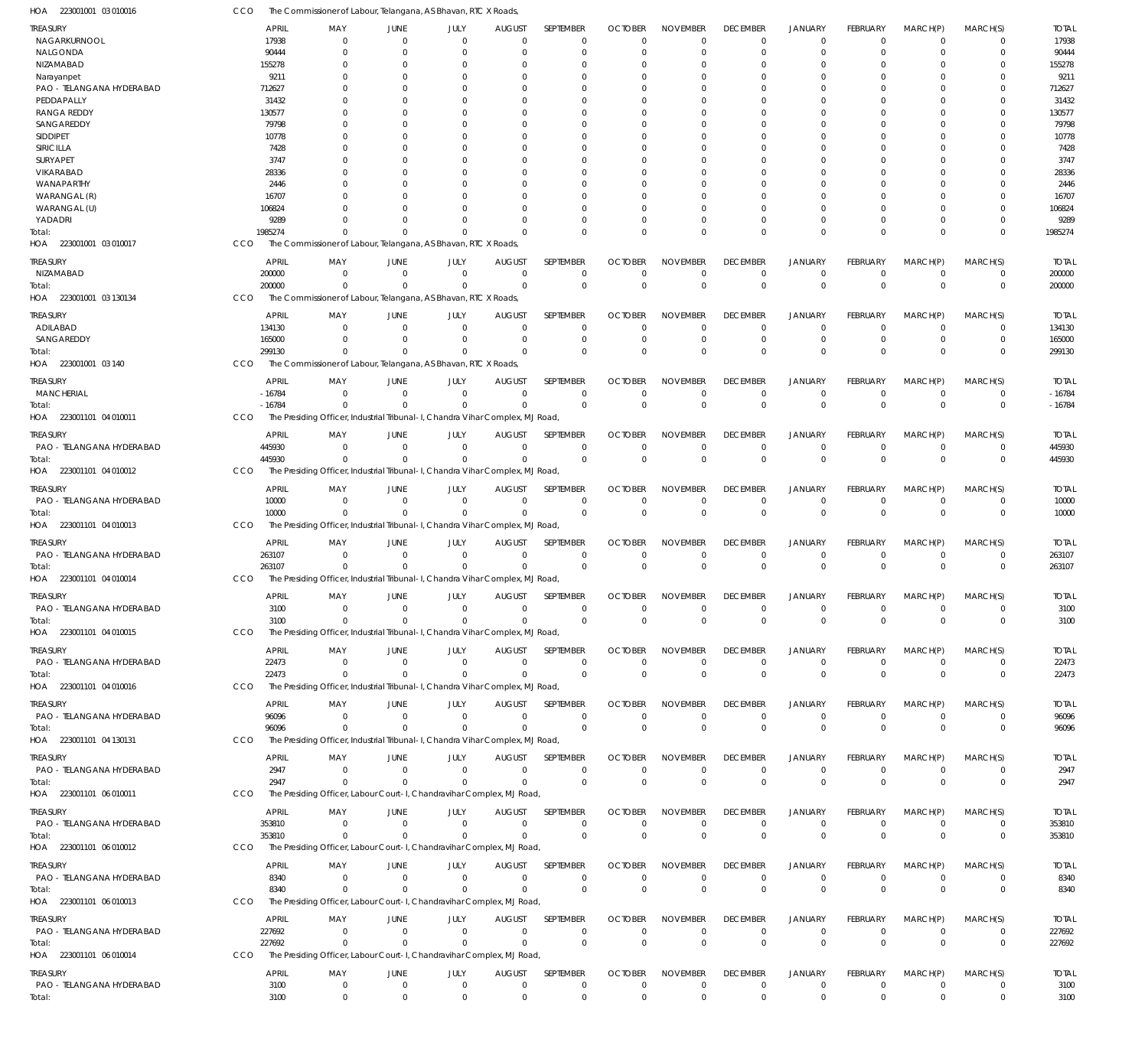223001001 03 010016 HOA 223001001 03 010017 HOA 223001001 03 130134 HOA 223001001 03 140 HOA 223001101 04 010011 HOA 223001101 04 010012 HOA 223001101 04 010013 HOA 223001101 04 010014 HOA 223001101 04 010015 HOA 223001101 04 010016 HOA 223001101 04 130131 HOA 223001101 06 010011 HOA 223001101 06 010012 HOA 223001101 06 010013 HOA 223001101 06 010014 HOA The Commissioner of Labour, Telangana, AS Bhavan, RTC X Roads, The Commissioner of Labour, Telangana, AS Bhavan, RTC X Roads, The Commissioner of Labour, Telangana, AS Bhavan, RTC X Roads, The Presiding Officer, Industrial Tribunal-I, Chandra Vihar Complex, MJ Road, The Presiding Officer, Industrial Tribunal-I, Chandra Vihar Complex, MJ Road, The Presiding Officer, Industrial Tribunal-I, Chandra Vihar Complex, MJ Road, The Presiding Officer, Industrial Tribunal-I, Chandra Vihar Complex, MJ Road, The Presiding Officer, Industrial Tribunal-I, Chandra Vihar Complex, MJ Road, The Presiding Officer, Industrial Tribunal-I, Chandra Vihar Complex, MJ Road, The Presiding Officer, Industrial Tribunal-I, Chandra Vihar Complex, MJ Road, The Presiding Officer, Labour Court-L. Chandravihar Complex, MJ Road The Presiding Officer, Labour Court-I, Chandravihar Complex, MJ Road, The Presiding Officer, Labour Court-I, Chandravihar Complex, MJ Road, The Presiding Officer, Labour Court-L. Chandravihar Complex, MJ Road CCO CCO **CCO CCO** CCO **CCO CCO** CCO **CCO CCO** CCO **CCO CCO** CCO 1985274 200000 299130 -16784 445930 10000 263107 3100 22473 96096 2947 353810 8340 227692 3100  $\Omega$ 0 0  $\Omega$ 0 0  $\Omega$ 0 0  $\Omega$ 0 0  $\Omega$ 0 0 0  $\Omega$ 0  $\Omega$ 0 0 0 0 0  $\Omega$ 0 0  $\Omega$ 0 0  $\overline{0}$  $\Omega$ 0  $\Omega$ 0 0  $\Omega$ 0 0  $\sqrt{0}$ 0 0  $\Omega$ 0 0  $\Omega$  $\Omega$ 0  $\Omega$ 0 0  $\Omega$ 0 0  $\Omega$ 0 0  $\sqrt{2}$ 0 0  $\Omega$  $\Omega$ 0  $\Omega$ 0 0  $\Omega$ 0 0  $\Omega$ 0 0  $\Omega$ 0 0  $\Omega$  $\Omega$ 0  $\Omega$ 0 0  $\Omega$ 0 0  $\Omega$ 0 0  $\Omega$ 0 0  $\Omega$  $\Omega$ 0  $\Omega$ 0 0  $\Omega$ 0 0  $\Omega$ 0 0  $\Omega$ 0 0  $\Omega$  $\Omega$ 0  $\Omega$ 0 0  $\Omega$ 0 0 0 0 0 0 0 0  $\Omega$  $\Omega$ 0 0 0 0 0 0 0 0 0 0 0 0 0  $\Omega$  $\Omega$ 0  $\Omega$ 0 0 0 0 0 0 0 0 0 0 0  $\Omega$  $\Omega$ 0  $\Omega$  $\Omega$ 0 0 0 0  $\Omega$ 0 0  $\Omega$ 0 0  $\Omega$  $\Omega$  $\Omega$  $\Omega$ 0 0  $\Omega$ 0 0  $\Omega$ 0 0  $\Omega$ 0 0 1985274 200000 299130 -16784 445930 10000 263107 3100 22473 96096 2947 353810 8340 227692 3100 NAGARKURNOOL NALGONDA NIZAMABAD Narayanpet PAO - TELANGANA HYDERABAD **PEDDAPALLY** RANGA REDDY **SANGAREDDY** SIDDIPET SIRICILLA SURYAPET VIKARABAD WANAPARTHY WARANGAL (R) WARANGAL (U) YADADRI NIZAMABAD ADILABAD SANGAREDDY MANCHERIAL PAO - TELANGANA HYDERABAD PAO - TELANGANA HYDERABAD PAO - TELANGANA HYDERABAD PAO - TELANGANA HYDERABAD PAO - TELANGANA HYDERABAD PAO - TELANGANA HYDERABAD PAO - TELANGANA HYDERABAD PAO - TELANGANA HYDERABAD PAO - TELANGANA HYDERABAD PAO - TELANGANA HYDERABAD PAO - TELANGANA HYDERABAD TREASURY **TREASURY** TREASURY TREASURY TREASURY TREASURY TREASURY TREASURY **TREASURY** TREASURY TREASURY **TREASURY** TREASURY TREASURY **TREASURY** 17938 90444 155278 9211 712627 31432 130577 79798 10778 7428 3747 28336 2446 16707 106824 9289 200000 134130 165000 -16784 445930 10000 263107 3100 22473 96096 2947 353810 8340 227692 3100 APRIL APRIL APRIL APRIL APRIL APRIL APRIL APRIL APRIL APRIL APRIL APRIL APRIL APRIL APRIL  $\Omega$ 0  $\Omega$ 0 0  $\sqrt{2}$ 0  $\Omega$  $\Omega$ 0  $\Omega$ 0  $\Omega$ 0 0  $\Omega$ 0 0 0  $\Omega$ 0 0 0 0 0 0 0 0 0 0 0 MAY MAY MAY MAY MAY MAY MAY MAY MAY MAY MAY MAY MAY MAY MAY 0 0  $\Omega$ 0 0  $\sqrt{2}$ 0  $\Omega$ 0 0  $\Omega$ 0  $\Omega$ 0 0 0 0  $\Omega$ 0 0 0 0 0 0 0 0 0 0 0 0 0 JUNE JUNE JUNE JUNE JUNE **JUNE** JUNE JUNE **JUNE** JUNE JUNE **JUNE** JUNE JUNE **JUNE** 0 0  $\Omega$ 0 0  $\sqrt{2}$ 0  $\Omega$ 0 0  $\Omega$ 0  $\Omega$ 0 0  $\Omega$ 0  $\Omega$ 0 0 0 0 0 0 0 0 0 0 0 0 0 JULY JULY JULY JULY JULY JULY JULY JULY JULY JULY JULY JULY JULY JULY JULY  $\Omega$ 0  $\Omega$ 0  $\Omega$  $\sqrt{2}$ 0  $\Omega$  $\Omega$ 0  $\Omega$ 0  $\Omega$ 0 0  $\Omega$ 0  $\Omega$ 0 0  $\Omega$ 0 0  $\Omega$ 0 0  $\Omega$ 0 0 0 0 AUGUST **AUGUST** AUGUST AUGUST AUGUST **AUGUST** AUGUST **AUGUST AUGUST** AUGUST AUGUST **AUGUST** AUGUST AUGUST **AUGUST**  $\Omega$  $\overline{0}$  $\Omega$ 0  $\Omega$  $\Omega$ 0  $\Omega$  $\Omega$  $\Omega$  $\Omega$ 0  $\Omega$  $\overline{0}$ 0  $\Omega$ 0  $\Omega$ 0 0  $\Omega$ 0  $\Omega$  $\Omega$ 0 0  $\Omega$ 0  $\Omega$  $\Omega$ 0 SEPTEMBER **SEPTEMBER** SEPTEMBER SEPTEMBER SEPTEMBER SEPTEMBER **SEPTEMBER SEPTEMBER SEPTEMBER** SEPTEMBER **SEPTEMBER SEPTEMBER** SEPTEMBER SEPTEMBER **SEPTEMBER**  $\Omega$ 0  $\Omega$ 0  $\Omega$  $\Omega$ 0  $\Omega$ 0  $\Omega$  $\Omega$ 0  $\Omega$ 0 0  $\Omega$ 0  $\Omega$ 0  $\Omega$  $\Omega$ 0  $\Omega$  $\Omega$ 0  $\Omega$  $\Omega$ 0  $\Omega$  $\Omega$ 0 **OCTOBER OCTOBER OCTOBER OCTOBER** OCTOBER **OCTOBER OCTOBER** OCTOBER **OCTOBER OCTOBER** OCTOBER **OCTOBER OCTOBER** OCTOBER **OCTOBER**  $\Omega$ 0  $\Omega$ 0  $\Omega$  $\Omega$ 0  $\Omega$ 0  $\Omega$  $\Omega$ 0  $\Omega$ 0 0  $\Omega$ 0  $\Omega$ 0 0  $\Omega$ 0 0  $\Omega$ 0 0  $\Omega$ 0 0  $\Omega$ 0 NOVEMBER NOVEMBER NOVEMBER NOVEMBER NOVEMBER NOVEMBER NOVEMBER NOVEMBER NOVEMBER NOVEMBER NOVEMBER NOVEMBER NOVEMBER NOVEMBER NOVEMBER  $\Omega$ 0  $\Omega$ 0  $\Omega$  $\Omega$ 0  $\Omega$  $\Omega$  $\Omega$  $\Omega$ 0  $\Omega$  $\overline{0}$ 0  $\Omega$ 0  $\Omega$ 0 0  $\Omega$ 0 0  $\Omega$ 0 0  $\Omega$ 0 0  $\Omega$ 0 DECEMBER **DECEMBER** DECEMBER DECEMBER DECEMBER **DECEMBER** DECEMBER DECEMBER **DECEMBER** DECEMBER DECEMBER **DECEMBER** DECEMBER DECEMBER **DECEMBER**  $\Omega$ 0  $\Omega$ 0  $\Omega$  $\Omega$ 0  $\Omega$ 0 0  $\Omega$ 0  $\Omega$ 0 0  $\Omega$ 0  $\Omega$ 0 0  $\Omega$ 0 0  $\Omega$ 0 0  $\Omega$ 0 0  $\Omega$ 0 JANUARY JANUARY JANUARY JANUARY JANUARY JANUARY JANUARY JANUARY JANUARY JANUARY JANUARY JANUARY JANUARY JANUARY JANUARY  $\Omega$ 0  $\Omega$ 0 0  $\Omega$ 0  $\Omega$  $\overline{0}$ 0  $\Omega$ 0  $\Omega$  $\overline{0}$ 0 0 0  $\Omega$ 0 0  $\Omega$ 0 0  $\Omega$ 0 0  $\Omega$ 0 0  $\Omega$ 0 FEBRUARY FEBRUARY FEBRUARY FEBRUARY FEBRUARY FEBRUARY FEBRUARY FEBRUARY FEBRUARY FEBRUARY FEBRUARY FEBRUARY FEBRUARY FEBRUARY FEBRUARY  $\Omega$ 0  $\Omega$ 0  $\Omega$  $\Omega$ 0  $\Omega$ 0  $\Omega$  $\Omega$ 0  $\Omega$  $\overline{0}$ 0  $\Omega$ 0  $\Omega$ 0  $\Omega$  $\Omega$ 0  $\Omega$ 0 0  $\Omega$  $\Omega$ 0  $\Omega$  $\Omega$ 0 MARCH(P) MARCH(P) MARCH(P) MARCH(P) MARCH(P) MARCH(P) MARCH(P) MARCH(P) MARCH(P) MARCH(P) MARCH(P) MARCH(P) MARCH(P) MARCH(P) MARCH(P)  $\Omega$ 0  $\Omega$ 0  $\Omega$ 0 0  $\Omega$ 0  $\Omega$ 0 0  $\Omega$ 0 0  $\Omega$ 0  $\Omega$ 0  $\Omega$  $\Omega$ 0  $\Omega$  $\Omega$ 0 0  $\Omega$ 0  $\Omega$  $\Omega$ 0 MARCH(S) MARCH(S) MARCH(S) MARCH(S) MARCH(S) MARCH(S) MARCH(S) MARCH(S) MARCH(S) MARCH(S) MARCH(S) MARCH(S) MARCH(S) MARCH(S) MARCH(S) 17938 90444 155278 9211 712627 31432 130577 79798 10778 7428 3747 28336 2446 16707 106824 9289 200000 134130 165000 -16784 445930 10000 263107 3100 22473 96096 2947 353810 8340 227692 3100 TOTAL TOTAL TOTAL TOTAL TOTAL TOTAL TOTAL TOTAL TOTAL TOTAL TOTAL TOTAL TOTAL TOTAL TOTAL Total: Total: Total: Total: Total: Total: Total: Total: Total: Total: Total: Total: Total: Total: Total:

The Commissioner of Labour, Telangana, AS Bhavan, RTC X Roads,

CCO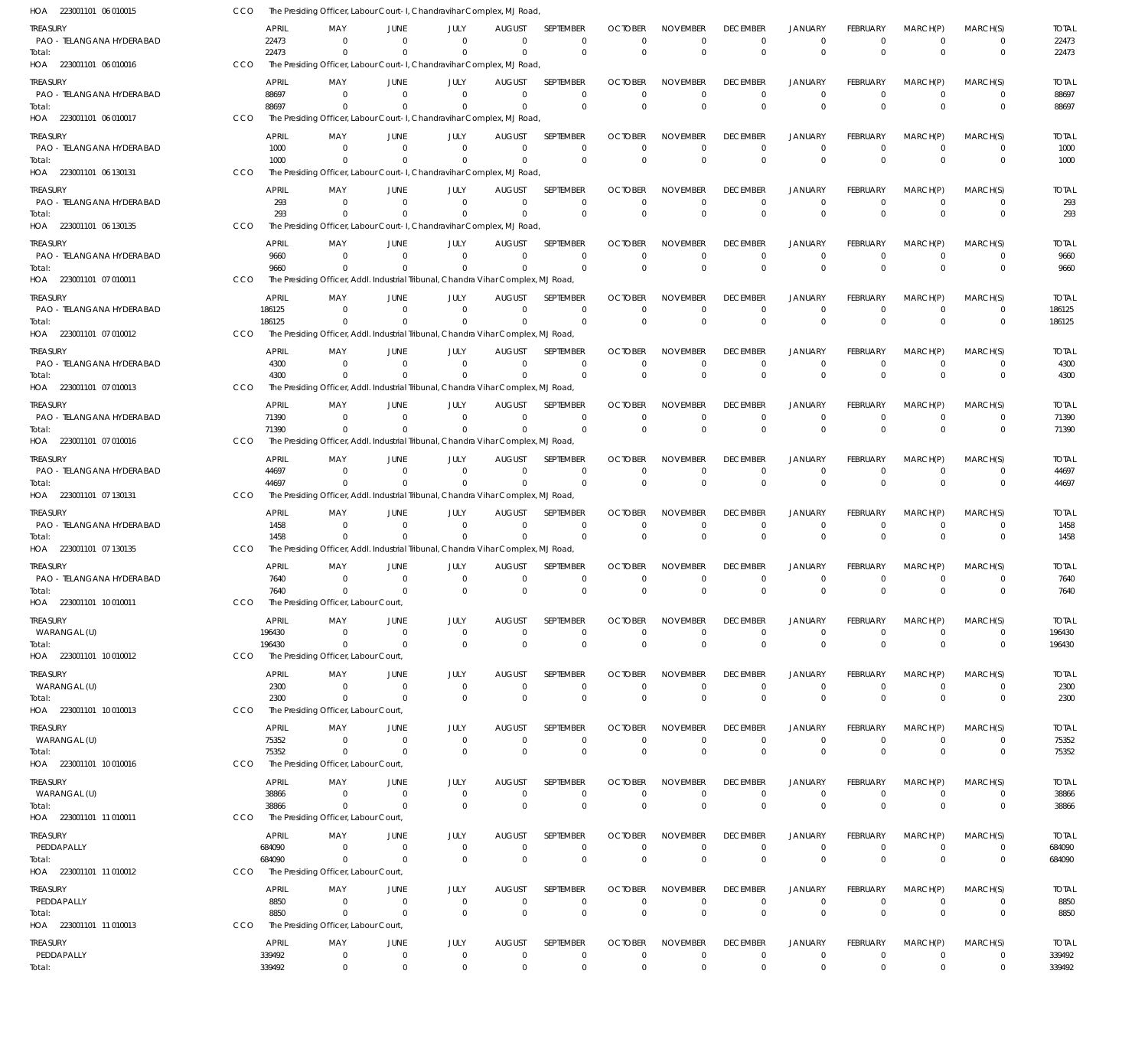| <b>APRIL</b><br>MARCH(S)<br>treasury<br>MAY<br>JUNE<br>JULY<br><b>AUGUST</b><br>SEPTEMBER<br><b>OCTOBER</b><br><b>NOVEMBER</b><br><b>DECEMBER</b><br><b>JANUARY</b><br><b>FEBRUARY</b><br>MARCH(P)<br>22473<br>PAO - TELANGANA HYDERABAD<br>$\Omega$<br>$\Omega$<br>$\Omega$<br>$\Omega$<br>$\mathbf 0$<br>$\Omega$<br>$^{\circ}$<br>$\Omega$<br>$\overline{0}$<br>$\Omega$<br>0<br>$\Omega$<br>22473<br>$\Omega$<br>$\mathbf 0$<br>$\mathbf 0$<br>$\Omega$<br>$\mathbf 0$<br>$\mathbf 0$<br>$\Omega$<br>$\Omega$<br>$\mathbf 0$<br>$\Omega$<br>$\Omega$<br>$\Omega$<br>Total:<br>HOA 223001101 06 010016<br>CCO<br>The Presiding Officer, Labour Court-I, Chandravihar Complex, MJ Road,<br><b>APRIL</b><br><b>OCTOBER</b><br><b>DECEMBER</b><br>MARCH(P)<br>MARCH(S)<br>treasury<br>MAY<br>JUNE<br>JULY<br><b>AUGUST</b><br>SEPTEMBER<br><b>NOVEMBER</b><br><b>JANUARY</b><br>FEBRUARY<br>PAO - TELANGANA HYDERABAD<br>88697<br>$^{\circ}$<br>$\overline{0}$<br>$\overline{0}$<br>$\Omega$<br>$\mathbf 0$<br>$\Omega$<br>$\Omega$<br>$\Omega$<br>$\overline{0}$<br>$\mathbf 0$<br>$\overline{0}$<br>$\mathbf 0$<br>$\mathbf 0$<br>$\Omega$<br>$\overline{0}$<br>$\mathbf 0$<br>$\Omega$<br>88697<br>$\Omega$<br>$\Omega$<br>$\Omega$<br>$\Omega$<br>$\Omega$<br>$\Omega$<br>$\mathbf 0$<br>Total:<br>HOA 223001101 06 010017<br>CCO<br>The Presiding Officer, Labour Court-I, Chandravihar Complex, MJ Road,<br><b>APRIL</b><br>SEPTEMBER<br><b>OCTOBER</b><br><b>NOVEMBER</b><br><b>DECEMBER</b><br><b>JANUARY</b><br>FEBRUARY<br>MARCH(P)<br>MARCH(S)<br>treasury<br>MAY<br>JUNE<br>JULY<br><b>AUGUST</b><br>PAO - TELANGANA HYDERABAD<br>1000<br>$\Omega$<br>$\overline{0}$<br>$\Omega$<br>$\Omega$<br>$\mathbf 0$<br>$\Omega$<br>$\mathbf 0$<br>$\overline{0}$<br>$\Omega$<br>$\Omega$<br>$\mathbf 0$<br>0<br>1000<br>$\Omega$<br>$\Omega$<br>$\Omega$<br>$\mathbf 0$<br>$\Omega$<br>$\Omega$<br>$\Omega$<br>$\Omega$<br>$\Omega$<br>$\Omega$<br>$\Omega$<br>$\Omega$<br>Total:<br>HOA 223001101 06 130131<br>The Presiding Officer, Labour Court-I, Chandravihar Complex, MJ Road<br>CCO<br><b>APRIL</b><br><b>OCTOBER</b><br><b>NOVEMBER</b><br>JANUARY<br>FEBRUARY<br>MARCH(P)<br>MARCH(S)<br>treasury<br>MAY<br>JUNE<br>JULY<br><b>AUGUST</b><br>SEPTEMBER<br><b>DECEMBER</b><br>PAO - TELANGANA HYDERABAD<br>293<br>$^{\circ}$<br>$\overline{0}$<br>$\Omega$<br>$\mathbf{0}$<br>$\mathbf 0$<br>$\Omega$<br>$\mathbf 0$<br>$\overline{0}$<br>$\overline{0}$<br>$\mathbf 0$<br>$\overline{0}$<br>$\mathbf 0$<br>$\Omega$<br>$\mathbf 0$<br>$\Omega$<br>$\overline{0}$<br>$\mathbf 0$<br>$\Omega$<br>$\mathbf 0$<br>293<br>$\Omega$<br>$\Omega$<br>$\Omega$<br>$\mathbf{0}$<br>$\Omega$<br>Total:<br>HOA 223001101 06 130135<br>CCO<br>The Presiding Officer, Labour Court-I, Chandravihar Complex, MJ Road,<br><b>APRIL</b><br>SEPTEMBER<br><b>OCTOBER</b><br><b>NOVEMBER</b><br><b>DECEMBER</b><br><b>JANUARY</b><br>FEBRUARY<br>MARCH(P)<br>MARCH(S)<br>treasury<br>MAY<br>JUNE<br>JULY<br><b>AUGUST</b><br>PAO - TELANGANA HYDERABAD<br>9660<br>$^{\circ}$<br>$\overline{0}$<br>$\Omega$<br>$\Omega$<br>$\Omega$<br>$\Omega$<br>$\mathbf 0$<br>$\Omega$<br>$\overline{0}$<br>$\Omega$<br>$\Omega$<br>$\Omega$<br>$\mathbf 0$<br>$\mathbf 0$<br>$\mathbf 0$<br>$\Omega$<br>$\Omega$<br>$\mathbf 0$<br>9660<br>$^{\circ}$<br>$\Omega$<br>$\mathbf{0}$<br>$\mathbf 0$<br>$\Omega$<br>$\Omega$<br>Total:<br>The Presiding Officer, Addl. Industrial Tribunal, Chandra Vihar Complex, MJ Road,<br>HOA 223001101 07 010011<br>CCO<br><b>APRIL</b><br>treasury<br>MAY<br>JUNE<br>JULY<br><b>AUGUST</b><br><b>SEPTEMBER</b><br><b>OCTOBER</b><br><b>NOVEMBER</b><br><b>DECEMBER</b><br><b>JANUARY</b><br>FEBRUARY<br>MARCH(P)<br>MARCH(S)<br>PAO - TELANGANA HYDERABAD<br>186125<br>$\Omega$<br>$\overline{0}$<br>$\Omega$<br>$\overline{0}$<br>$\mathbf 0$<br>$\mathbf 0$<br>$\mathbf 0$<br>$\overline{0}$<br>$\mathbf 0$<br>$\overline{0}$<br>$\mathbf 0$<br>0<br>186125<br>$\Omega$<br>$\Omega$<br>$\Omega$<br>$\Omega$<br>$\Omega$<br>$\Omega$<br>$\mathbf 0$<br>$\Omega$<br>$\Omega$<br>$\Omega$<br>$\Omega$<br>$\Omega$<br>Total:<br>HOA 223001101 07 010012<br>CCO<br>The Presiding Officer, Addl. Industrial Tribunal, Chandra Vihar Complex, MJ Road,<br><b>APRIL</b><br>SEPTEMBER<br><b>OCTOBER</b><br><b>NOVEMBER</b><br><b>DECEMBER</b><br><b>JANUARY</b><br>FEBRUARY<br>MARCH(P)<br>MARCH(S)<br>treasury<br>MAY<br>JUNE<br>JULY<br><b>AUGUST</b><br>PAO - TELANGANA HYDERABAD<br>$\Omega$<br>4300<br>$\Omega$<br>$\overline{0}$<br>$\Omega$<br>$\Omega$<br>$\Omega$<br>$\Omega$<br>$\Omega$<br>$\Omega$<br>$\Omega$<br>$\Omega$<br>$\mathbf 0$<br>$\Omega$<br>$\mathbf 0$<br>$\Omega$<br>$\Omega$<br>$\Omega$<br>$\Omega$<br>4300<br>$\Omega$<br>$\Omega$<br>$\Omega$<br>$\Omega$<br>$\Omega$<br>$\Omega$<br>Total:<br>HOA 223001101 07 010013<br>CCO<br>The Presiding Officer, Addl. Industrial Tribunal, Chandra Vihar Complex, MJ Road<br>APRIL<br>JULY<br><b>OCTOBER</b><br><b>NOVEMBER</b><br>FEBRUARY<br>MARCH(S)<br>treasury<br>MAY<br>JUNE<br><b>AUGUST</b><br>SEPTEMBER<br><b>DECEMBER</b><br><b>JANUARY</b><br>MARCH(P)<br>PAO - TELANGANA HYDERABAD<br>71390<br>$^{\circ}$<br>$\Omega$<br>$\Omega$<br>$\Omega$<br>$\overline{0}$<br>$\mathbf 0$<br>$\mathbf 0$<br>$\mathbf 0$<br>$\overline{0}$<br>$\mathbf 0$<br>$\overline{0}$<br>$\mathbf 0$<br>$\mathbf 0$<br>$\overline{0}$<br>$\Omega$<br>$\mathbf 0$<br>71390<br>$\Omega$<br>$\Omega$<br>$\mathbf 0$<br>$\Omega$<br>$\Omega$<br>$\Omega$<br>$\Omega$<br>$\Omega$<br>Total:<br>The Presiding Officer, Addl. Industrial Tribunal, Chandra Vihar Complex, MJ Road,<br>HOA 223001101 07 010016<br>CCO<br><b>APRIL</b><br><b>OCTOBER</b><br>FEBRUARY<br>MARCH(P)<br>treasury<br>MAY<br>JUNE<br>JULY<br><b>AUGUST</b><br>SEPTEMBER<br><b>NOVEMBER</b><br><b>DECEMBER</b><br><b>JANUARY</b><br>MARCH(S)<br>PAO - TELANGANA HYDERABAD<br>44697<br>$\Omega$<br>$\Omega$<br>$\Omega$<br>$\Omega$<br>$\Omega$<br>$\Omega$<br>$\Omega$<br>$\Omega$<br>$\Omega$<br>$\Omega$<br>$\Omega$<br>$\Omega$<br>44697<br>$\Omega$<br>$\Omega$<br>$\mathbf 0$<br>$\Omega$<br>$\Omega$<br>$\Omega$<br>$\mathbf 0$<br>$\Omega$<br>$\Omega$<br>$\Omega$<br>$\Omega$<br>$\Omega$<br>Total:<br>The Presiding Officer, Addl. Industrial Tribunal, Chandra Vihar Complex, MJ Road,<br>HOA 223001101 07 130131<br>CCO<br><b>APRIL</b><br><b>OCTOBER</b><br><b>DECEMBER</b><br>FEBRUARY<br>MARCH(P)<br>MARCH(S)<br>treasury<br>MAY<br>JUNE<br>JULY<br><b>AUGUST</b><br>SEPTEMBER<br><b>NOVEMBER</b><br><b>JANUARY</b><br>PAO - TELANGANA HYDERABAD<br>1458<br>$\Omega$<br>$\overline{0}$<br>$\Omega$<br>$\Omega$<br>$\mathbf 0$<br>$\mathbf 0$<br>$\mathbf 0$<br>$\overline{0}$<br>$\mathbf 0$<br>$\overline{0}$<br>$\mathbf 0$<br>$\Omega$<br>$\mathbf 0$<br>$\mathbf 0$<br>$\overline{0}$<br>$\Omega$<br>$\mathbf 0$<br>1458<br>$^{\circ}$<br>$\overline{0}$<br>$\Omega$<br>$\Omega$<br>$\Omega$<br>$\Omega$<br>$\Omega$<br>Total:<br>The Presiding Officer, Addl. Industrial Tribunal, Chandra Vihar Complex, MJ Road,<br>HOA 223001101 07 130135<br>CCO<br><b>APRIL</b><br>JULY<br>SEPTEMBER<br><b>OCTOBER</b><br><b>NOVEMBER</b><br><b>DECEMBER</b><br><b>JANUARY</b><br>FEBRUARY<br>MARCH(P)<br>MARCH(S)<br>treasury<br>MAY<br>JUNE<br><b>AUGUST</b><br>PAO - TELANGANA HYDERABAD<br>7640<br>$\overline{0}$<br>$\Omega$<br>$\overline{0}$<br>$\mathbf 0$<br>$^{\circ}$<br>$\overline{0}$<br>$\Omega$<br>$\Omega$<br>- 0<br>$\Omega$<br>$\Omega$<br>0<br>$\mathbf 0$<br>$\mathbf 0$<br>7640<br>$\mathbf{0}$<br>$\overline{0}$<br>$\Omega$<br>$\Omega$<br>$\mathbf{0}$<br>$\Omega$<br>$\mathbf{0}$<br>$^{\circ}$<br>$\Omega$<br>$\Omega$<br>Total:<br>HOA 223001101 10 010011<br>CCO<br>The Presiding Officer, Labour Court,<br>treasury<br>APRIL<br>MAY<br>JUNE<br>JULY<br><b>AUGUST</b><br>SEPTEMBER<br><b>OCTOBER</b><br><b>NOVEMBER</b><br><b>DECEMBER</b><br>JANUARY<br>FEBRUARY<br>MARCH(P)<br>MARCH(S)<br>196430<br>WARANGAL (U)<br>$^{\circ}$<br>$\overline{0}$<br>$\overline{0}$<br>$\overline{0}$<br>0<br>$\mathbf 0$<br>$\mathbf 0$<br>$\mathbf 0$<br>$\overline{0}$<br>$\mathbf 0$<br>$\overline{0}$<br>0<br>196430<br>$\Omega$<br>$\overline{0}$<br>$\mathbf 0$<br>$\mathbf 0$<br>$\overline{0}$<br>$\mathbf 0$<br>$\Omega$<br>$\mathbf 0$<br>$\Omega$<br>$\overline{0}$<br>$\Omega$<br>$\Omega$<br>Total:<br>HOA 223001101 10 010012<br>CCO<br>The Presiding Officer, Labour Court,<br><b>APRIL</b><br><b>AUGUST</b><br>SEPTEMBER<br><b>OCTOBER</b><br><b>DECEMBER</b><br>JANUARY<br><b>FEBRUARY</b><br>MARCH(P)<br>MARCH(S)<br>treasury<br>MAY<br>JUNE<br>JULY<br><b>NOVEMBER</b><br>WARANGAL (U)<br>2300<br>$\Omega$<br>$\overline{0}$<br>$\overline{0}$<br>$\mathbf{0}$<br>$\mathbf 0$<br>$\Omega$<br>$\mathbf 0$<br>$\mathbf 0$<br>$\overline{0}$<br>$\Omega$<br>$\overline{0}$<br>$\Omega$<br>$\overline{0}$<br>$\mathbf 0$<br>$\mathbf 0$<br>$\mathbf 0$<br>$\mathbf 0$<br>$\Omega$<br>$\overline{0}$<br>$\mathbf 0$<br>2300<br>$^{\circ}$<br>$\Omega$<br>$\mathbf{0}$<br>$\mathbf 0$<br>Total:<br>The Presiding Officer, Labour Court,<br>HOA 223001101 10 010013<br>CCO<br><b>APRIL</b><br><b>OCTOBER</b><br><b>DECEMBER</b><br>treasury<br>MAY<br>JUNE<br>JULY<br><b>AUGUST</b><br><b>SEPTEMBER</b><br><b>NOVEMBER</b><br><b>JANUARY</b><br>FEBRUARY<br>MARCH(P)<br>MARCH(S)<br>WARANGAL (U)<br>75352<br>$\overline{0}$<br>$\overline{0}$<br>$\overline{0}$<br>$\mathbf 0$<br>$\mathbf 0$<br>$\mathbf 0$<br>$\mathbf 0$<br>$\overline{0}$<br>$\mathbf 0$<br>$\overline{0}$<br>0<br>0<br>$\Omega$<br>$\mathbf 0$<br>$\Omega$<br>$\overline{0}$<br>$\mathbf 0$<br>$\Omega$<br>75352<br>$\Omega$<br>$\overline{0}$<br>$\overline{0}$<br>$\Omega$<br>$\Omega$<br>$\mathbf 0$<br>Total:<br>HOA 223001101 10010016<br>CCO<br>The Presiding Officer, Labour Court,<br>SEPTEMBER<br><b>OCTOBER</b><br><b>NOVEMBER</b><br><b>DECEMBER</b><br><b>JANUARY</b><br>FEBRUARY<br>MARCH(P)<br>MARCH(S)<br>Treasury<br>APRIL<br>MAY<br>JUNE<br>JULY<br><b>AUGUST</b><br>WARANGAL (U)<br>38866<br>$^{\circ}$<br>$\overline{0}$<br>$\overline{0}$<br>$\mathbf{0}$<br>$\mathbf 0$<br>$\mathbf 0$<br>$\mathbf 0$<br>$\mathbf 0$<br>$\overline{0}$<br>$\mathbf 0$<br>$\overline{0}$<br>0<br>38866<br>$\Omega$<br>$\Omega$<br>$\mathbf 0$<br>$\mathbf 0$<br>$\mathbf 0$<br>$\mathbf 0$<br>$\mathbf 0$<br>$\Omega$<br>$\Omega$<br>$\Omega$<br>$^{\circ}$<br>$\Omega$<br>Total:<br>HOA 223001101 11 010011<br>CCO<br>The Presiding Officer, Labour Court,<br><b>APRIL</b><br>JULY<br><b>AUGUST</b><br><b>OCTOBER</b><br><b>NOVEMBER</b><br><b>DECEMBER</b><br><b>JANUARY</b><br><b>FEBRUARY</b><br>MARCH(P)<br>MARCH(S)<br>Treasury<br>MAY<br>JUNE<br>SEPTEMBER | 22473<br>88697<br>88697<br>1000<br>186125<br>4300<br>71390<br>44697<br>1458<br>196430<br>196430<br>2300<br>75352<br>38866<br>$\mathbf 0$<br>684090<br>PEDDAPALLY<br>684090<br>$\Omega$<br>$\overline{0}$<br>$\overline{0}$<br>0<br>$\mathbf 0$<br>$\mathbf 0$<br>$\mathbf 0$<br>$\overline{0}$<br>$\mathbf 0$<br>$\overline{0}$<br>$\mathbf 0$<br>$\Omega$<br>$\mathbf 0$<br>$\Omega$<br>$\overline{0}$<br>$\Omega$<br>684090<br>$\Omega$<br>$\overline{0}$<br>$\overline{0}$<br>$\mathbf{0}$<br>$\mathbf{0}$<br>$\mathbf{0}$<br>$\mathbf 0$<br>CCO<br>The Presiding Officer, Labour Court,<br><b>APRIL</b><br><b>AUGUST</b><br>SEPTEMBER<br><b>OCTOBER</b><br><b>NOVEMBER</b><br><b>DECEMBER</b><br>JANUARY<br>FEBRUARY<br>MARCH(P)<br>MARCH(S)<br>MAY<br>JUNE<br>JULY<br>PEDDAPALLY<br>8850<br>$^{\circ}$<br>$\overline{0}$<br>$\overline{0}$<br>$\mathbf 0$<br>$\mathbf 0$<br>$\mathbf 0$<br>$\mathbf 0$<br>$\overline{0}$<br>$\Omega$<br>$\overline{0}$<br>$\Omega$<br>0<br>$\mathbf 0$<br>$\mathbf 0$<br>$\overline{0}$<br>$\Omega$<br>$\Omega$<br>$\mathbf 0$<br>8850<br>$^{\circ}$<br>$\overline{0}$<br>$\Omega$<br>$\mathbf{0}$<br>$\mathbf{0}$<br>$\mathbf 0$<br>The Presiding Officer, Labour Court,<br>CCO | HOA 223001101 06 010015 | CCO |        |             |             | The Presiding Officer, Labour Court-I, Chandravihar Complex, MJ Road, |                |             |              |             |                |             |              |                |             |                       |
|----------------------------------------------------------------------------------------------------------------------------------------------------------------------------------------------------------------------------------------------------------------------------------------------------------------------------------------------------------------------------------------------------------------------------------------------------------------------------------------------------------------------------------------------------------------------------------------------------------------------------------------------------------------------------------------------------------------------------------------------------------------------------------------------------------------------------------------------------------------------------------------------------------------------------------------------------------------------------------------------------------------------------------------------------------------------------------------------------------------------------------------------------------------------------------------------------------------------------------------------------------------------------------------------------------------------------------------------------------------------------------------------------------------------------------------------------------------------------------------------------------------------------------------------------------------------------------------------------------------------------------------------------------------------------------------------------------------------------------------------------------------------------------------------------------------------------------------------------------------------------------------------------------------------------------------------------------------------------------------------------------------------------------------------------------------------------------------------------------------------------------------------------------------------------------------------------------------------------------------------------------------------------------------------------------------------------------------------------------------------------------------------------------------------------------------------------------------------------------------------------------------------------------------------------------------------------------------------------------------------------------------------------------------------------------------------------------------------------------------------------------------------------------------------------------------------------------------------------------------------------------------------------------------------------------------------------------------------------------------------------------------------------------------------------------------------------------------------------------------------------------------------------------------------------------------------------------------------------------------------------------------------------------------------------------------------------------------------------------------------------------------------------------------------------------------------------------------------------------------------------------------------------------------------------------------------------------------------------------------------------------------------------------------------------------------------------------------------------------------------------------------------------------------------------------------------------------------------------------------------------------------------------------------------------------------------------------------------------------------------------------------------------------------------------------------------------------------------------------------------------------------------------------------------------------------------------------------------------------------------------------------------------------------------------------------------------------------------------------------------------------------------------------------------------------------------------------------------------------------------------------------------------------------------------------------------------------------------------------------------------------------------------------------------------------------------------------------------------------------------------------------------------------------------------------------------------------------------------------------------------------------------------------------------------------------------------------------------------------------------------------------------------------------------------------------------------------------------------------------------------------------------------------------------------------------------------------------------------------------------------------------------------------------------------------------------------------------------------------------------------------------------------------------------------------------------------------------------------------------------------------------------------------------------------------------------------------------------------------------------------------------------------------------------------------------------------------------------------------------------------------------------------------------------------------------------------------------------------------------------------------------------------------------------------------------------------------------------------------------------------------------------------------------------------------------------------------------------------------------------------------------------------------------------------------------------------------------------------------------------------------------------------------------------------------------------------------------------------------------------------------------------------------------------------------------------------------------------------------------------------------------------------------------------------------------------------------------------------------------------------------------------------------------------------------------------------------------------------------------------------------------------------------------------------------------------------------------------------------------------------------------------------------------------------------------------------------------------------------------------------------------------------------------------------------------------------------------------------------------------------------------------------------------------------------------------------------------------------------------------------------------------------------------------------------------------------------------------------------------------------------------------------------------------------------------------------------------------------------------------------------------------------------------------------------------------------------------------------------------------------------------------------------------------------------------------------------------------------------------------------------------------------------------------------------------------------------------------------------------------------------------------------------------------------------------------------------------------------------------------------------------------------------------------------------------------------------------------------------------------------------------------------------------------------------------------------------------------------------------------------------------------------------------------------------------------------------------------------------------------------------------------------------------------------------------------------------------------------------------------------------------------------------------------------------------------------------------------------------------------------------------------------------------------------------------------------------------------------------------------------------------------------------------------------------------------------------------------------------------------------------------------------------------------------------------------------------------------------------------------------------------------------------------------------------------------------------------------------------------------------------------------------------------------------------------------------------------------------------------------------------------------------------------------------------------------------------------------------------------------------------------------------------------------------------------------------------------------------------------------------------------------------------------------------------------------------------------------------------------------------------------------------------------------------------------------------------------------------------------------------------------------------------------------------------------------------------------------------------------------------------------------------------------------------------------------------------------------------------------------------------------------------------------------------------------------------------------------------------------------------------------------------------------------------------------------------------------------------------------------------------------------------------------------------------------------------------------------------------------------------------------------------------------------------------------------------------------------------------------------------------------------------------------------------------------------------------------------------------------------------------------------------------------------------------------------------------------------|-----------------------------------------------------------------------------------------------------------------------------------------------------------------------------------------------------------------------------------------------------------------------------------------------------------------------------------------------------------------------------------------------------------------------------------------------------------------------------------------------------------------------------------------------------------------------------------------------------------------------------------------------------------------------------------------------------------------------------------------------------------------------------------------------------------------------------------------------------------------------------------------------------------------------------------------------------------------------------------------------------------------------------------------------------------------------------------------------------------------------------------------------------------------------------------------------------------------------|-------------------------|-----|--------|-------------|-------------|-----------------------------------------------------------------------|----------------|-------------|--------------|-------------|----------------|-------------|--------------|----------------|-------------|-----------------------|
|                                                                                                                                                                                                                                                                                                                                                                                                                                                                                                                                                                                                                                                                                                                                                                                                                                                                                                                                                                                                                                                                                                                                                                                                                                                                                                                                                                                                                                                                                                                                                                                                                                                                                                                                                                                                                                                                                                                                                                                                                                                                                                                                                                                                                                                                                                                                                                                                                                                                                                                                                                                                                                                                                                                                                                                                                                                                                                                                                                                                                                                                                                                                                                                                                                                                                                                                                                                                                                                                                                                                                                                                                                                                                                                                                                                                                                                                                                                                                                                                                                                                                                                                                                                                                                                                                                                                                                                                                                                                                                                                                                                                                                                                                                                                                                                                                                                                                                                                                                                                                                                                                                                                                                                                                                                                                                                                                                                                                                                                                                                                                                                                                                                                                                                                                                                                                                                                                                                                                                                                                                                                                                                                                                                                                                                                                                                                                                                                                                                                                                                                                                                                                                                                                                                                                                                                                                                                                                                                                                                                                                                                                                                                                                                                                                                                                                                                                                                                                                                                                                                                                                                                                                                                                                                                                                                                                                                                                                                                                                                                                                                                                                                                                                                                                                                                                                                                                                                                                                                                                                                                                                                                                                                                                                                                                                                                                                                                                                                                                                                                                                                                                                                                                                                                                                                                                                                                                                                                                                                                                                                                                                                                                                                                                                                                                                                                                                                                                                                                                                                                                                                                                                                                                                                                                                                                                                                                                                                                                                                                                                                                                                                                                                                                                                                      |                                                                                                                                                                                                                                                                                                                                                                                                                                                                                                                                                                                                                                                                                                                                                                                                                                                                                                                                                                                                                                                                                                                                                                                                                       |                         |     |        |             |             |                                                                       |                |             |              |             |                |             |              |                |             | <b>TOTAL</b><br>22473 |
|                                                                                                                                                                                                                                                                                                                                                                                                                                                                                                                                                                                                                                                                                                                                                                                                                                                                                                                                                                                                                                                                                                                                                                                                                                                                                                                                                                                                                                                                                                                                                                                                                                                                                                                                                                                                                                                                                                                                                                                                                                                                                                                                                                                                                                                                                                                                                                                                                                                                                                                                                                                                                                                                                                                                                                                                                                                                                                                                                                                                                                                                                                                                                                                                                                                                                                                                                                                                                                                                                                                                                                                                                                                                                                                                                                                                                                                                                                                                                                                                                                                                                                                                                                                                                                                                                                                                                                                                                                                                                                                                                                                                                                                                                                                                                                                                                                                                                                                                                                                                                                                                                                                                                                                                                                                                                                                                                                                                                                                                                                                                                                                                                                                                                                                                                                                                                                                                                                                                                                                                                                                                                                                                                                                                                                                                                                                                                                                                                                                                                                                                                                                                                                                                                                                                                                                                                                                                                                                                                                                                                                                                                                                                                                                                                                                                                                                                                                                                                                                                                                                                                                                                                                                                                                                                                                                                                                                                                                                                                                                                                                                                                                                                                                                                                                                                                                                                                                                                                                                                                                                                                                                                                                                                                                                                                                                                                                                                                                                                                                                                                                                                                                                                                                                                                                                                                                                                                                                                                                                                                                                                                                                                                                                                                                                                                                                                                                                                                                                                                                                                                                                                                                                                                                                                                                                                                                                                                                                                                                                                                                                                                                                                                                                                                                                      |                                                                                                                                                                                                                                                                                                                                                                                                                                                                                                                                                                                                                                                                                                                                                                                                                                                                                                                                                                                                                                                                                                                                                                                                                       |                         |     |        |             |             |                                                                       |                |             |              |             |                |             |              |                |             |                       |
|                                                                                                                                                                                                                                                                                                                                                                                                                                                                                                                                                                                                                                                                                                                                                                                                                                                                                                                                                                                                                                                                                                                                                                                                                                                                                                                                                                                                                                                                                                                                                                                                                                                                                                                                                                                                                                                                                                                                                                                                                                                                                                                                                                                                                                                                                                                                                                                                                                                                                                                                                                                                                                                                                                                                                                                                                                                                                                                                                                                                                                                                                                                                                                                                                                                                                                                                                                                                                                                                                                                                                                                                                                                                                                                                                                                                                                                                                                                                                                                                                                                                                                                                                                                                                                                                                                                                                                                                                                                                                                                                                                                                                                                                                                                                                                                                                                                                                                                                                                                                                                                                                                                                                                                                                                                                                                                                                                                                                                                                                                                                                                                                                                                                                                                                                                                                                                                                                                                                                                                                                                                                                                                                                                                                                                                                                                                                                                                                                                                                                                                                                                                                                                                                                                                                                                                                                                                                                                                                                                                                                                                                                                                                                                                                                                                                                                                                                                                                                                                                                                                                                                                                                                                                                                                                                                                                                                                                                                                                                                                                                                                                                                                                                                                                                                                                                                                                                                                                                                                                                                                                                                                                                                                                                                                                                                                                                                                                                                                                                                                                                                                                                                                                                                                                                                                                                                                                                                                                                                                                                                                                                                                                                                                                                                                                                                                                                                                                                                                                                                                                                                                                                                                                                                                                                                                                                                                                                                                                                                                                                                                                                                                                                                                                                                                      |                                                                                                                                                                                                                                                                                                                                                                                                                                                                                                                                                                                                                                                                                                                                                                                                                                                                                                                                                                                                                                                                                                                                                                                                                       |                         |     |        |             |             |                                                                       |                |             |              |             |                |             |              |                |             | <b>TOTAL</b>          |
|                                                                                                                                                                                                                                                                                                                                                                                                                                                                                                                                                                                                                                                                                                                                                                                                                                                                                                                                                                                                                                                                                                                                                                                                                                                                                                                                                                                                                                                                                                                                                                                                                                                                                                                                                                                                                                                                                                                                                                                                                                                                                                                                                                                                                                                                                                                                                                                                                                                                                                                                                                                                                                                                                                                                                                                                                                                                                                                                                                                                                                                                                                                                                                                                                                                                                                                                                                                                                                                                                                                                                                                                                                                                                                                                                                                                                                                                                                                                                                                                                                                                                                                                                                                                                                                                                                                                                                                                                                                                                                                                                                                                                                                                                                                                                                                                                                                                                                                                                                                                                                                                                                                                                                                                                                                                                                                                                                                                                                                                                                                                                                                                                                                                                                                                                                                                                                                                                                                                                                                                                                                                                                                                                                                                                                                                                                                                                                                                                                                                                                                                                                                                                                                                                                                                                                                                                                                                                                                                                                                                                                                                                                                                                                                                                                                                                                                                                                                                                                                                                                                                                                                                                                                                                                                                                                                                                                                                                                                                                                                                                                                                                                                                                                                                                                                                                                                                                                                                                                                                                                                                                                                                                                                                                                                                                                                                                                                                                                                                                                                                                                                                                                                                                                                                                                                                                                                                                                                                                                                                                                                                                                                                                                                                                                                                                                                                                                                                                                                                                                                                                                                                                                                                                                                                                                                                                                                                                                                                                                                                                                                                                                                                                                                                                                                      |                                                                                                                                                                                                                                                                                                                                                                                                                                                                                                                                                                                                                                                                                                                                                                                                                                                                                                                                                                                                                                                                                                                                                                                                                       |                         |     |        |             |             |                                                                       |                |             |              |             |                |             |              |                |             |                       |
|                                                                                                                                                                                                                                                                                                                                                                                                                                                                                                                                                                                                                                                                                                                                                                                                                                                                                                                                                                                                                                                                                                                                                                                                                                                                                                                                                                                                                                                                                                                                                                                                                                                                                                                                                                                                                                                                                                                                                                                                                                                                                                                                                                                                                                                                                                                                                                                                                                                                                                                                                                                                                                                                                                                                                                                                                                                                                                                                                                                                                                                                                                                                                                                                                                                                                                                                                                                                                                                                                                                                                                                                                                                                                                                                                                                                                                                                                                                                                                                                                                                                                                                                                                                                                                                                                                                                                                                                                                                                                                                                                                                                                                                                                                                                                                                                                                                                                                                                                                                                                                                                                                                                                                                                                                                                                                                                                                                                                                                                                                                                                                                                                                                                                                                                                                                                                                                                                                                                                                                                                                                                                                                                                                                                                                                                                                                                                                                                                                                                                                                                                                                                                                                                                                                                                                                                                                                                                                                                                                                                                                                                                                                                                                                                                                                                                                                                                                                                                                                                                                                                                                                                                                                                                                                                                                                                                                                                                                                                                                                                                                                                                                                                                                                                                                                                                                                                                                                                                                                                                                                                                                                                                                                                                                                                                                                                                                                                                                                                                                                                                                                                                                                                                                                                                                                                                                                                                                                                                                                                                                                                                                                                                                                                                                                                                                                                                                                                                                                                                                                                                                                                                                                                                                                                                                                                                                                                                                                                                                                                                                                                                                                                                                                                                                                      |                                                                                                                                                                                                                                                                                                                                                                                                                                                                                                                                                                                                                                                                                                                                                                                                                                                                                                                                                                                                                                                                                                                                                                                                                       |                         |     |        |             |             |                                                                       |                |             |              |             |                |             |              |                |             |                       |
|                                                                                                                                                                                                                                                                                                                                                                                                                                                                                                                                                                                                                                                                                                                                                                                                                                                                                                                                                                                                                                                                                                                                                                                                                                                                                                                                                                                                                                                                                                                                                                                                                                                                                                                                                                                                                                                                                                                                                                                                                                                                                                                                                                                                                                                                                                                                                                                                                                                                                                                                                                                                                                                                                                                                                                                                                                                                                                                                                                                                                                                                                                                                                                                                                                                                                                                                                                                                                                                                                                                                                                                                                                                                                                                                                                                                                                                                                                                                                                                                                                                                                                                                                                                                                                                                                                                                                                                                                                                                                                                                                                                                                                                                                                                                                                                                                                                                                                                                                                                                                                                                                                                                                                                                                                                                                                                                                                                                                                                                                                                                                                                                                                                                                                                                                                                                                                                                                                                                                                                                                                                                                                                                                                                                                                                                                                                                                                                                                                                                                                                                                                                                                                                                                                                                                                                                                                                                                                                                                                                                                                                                                                                                                                                                                                                                                                                                                                                                                                                                                                                                                                                                                                                                                                                                                                                                                                                                                                                                                                                                                                                                                                                                                                                                                                                                                                                                                                                                                                                                                                                                                                                                                                                                                                                                                                                                                                                                                                                                                                                                                                                                                                                                                                                                                                                                                                                                                                                                                                                                                                                                                                                                                                                                                                                                                                                                                                                                                                                                                                                                                                                                                                                                                                                                                                                                                                                                                                                                                                                                                                                                                                                                                                                                                                                      |                                                                                                                                                                                                                                                                                                                                                                                                                                                                                                                                                                                                                                                                                                                                                                                                                                                                                                                                                                                                                                                                                                                                                                                                                       |                         |     |        |             |             |                                                                       |                |             |              |             |                |             |              |                |             | <b>TOTAL</b>          |
|                                                                                                                                                                                                                                                                                                                                                                                                                                                                                                                                                                                                                                                                                                                                                                                                                                                                                                                                                                                                                                                                                                                                                                                                                                                                                                                                                                                                                                                                                                                                                                                                                                                                                                                                                                                                                                                                                                                                                                                                                                                                                                                                                                                                                                                                                                                                                                                                                                                                                                                                                                                                                                                                                                                                                                                                                                                                                                                                                                                                                                                                                                                                                                                                                                                                                                                                                                                                                                                                                                                                                                                                                                                                                                                                                                                                                                                                                                                                                                                                                                                                                                                                                                                                                                                                                                                                                                                                                                                                                                                                                                                                                                                                                                                                                                                                                                                                                                                                                                                                                                                                                                                                                                                                                                                                                                                                                                                                                                                                                                                                                                                                                                                                                                                                                                                                                                                                                                                                                                                                                                                                                                                                                                                                                                                                                                                                                                                                                                                                                                                                                                                                                                                                                                                                                                                                                                                                                                                                                                                                                                                                                                                                                                                                                                                                                                                                                                                                                                                                                                                                                                                                                                                                                                                                                                                                                                                                                                                                                                                                                                                                                                                                                                                                                                                                                                                                                                                                                                                                                                                                                                                                                                                                                                                                                                                                                                                                                                                                                                                                                                                                                                                                                                                                                                                                                                                                                                                                                                                                                                                                                                                                                                                                                                                                                                                                                                                                                                                                                                                                                                                                                                                                                                                                                                                                                                                                                                                                                                                                                                                                                                                                                                                                                                                      |                                                                                                                                                                                                                                                                                                                                                                                                                                                                                                                                                                                                                                                                                                                                                                                                                                                                                                                                                                                                                                                                                                                                                                                                                       |                         |     |        |             |             |                                                                       |                |             |              |             |                |             |              |                |             | 1000                  |
|                                                                                                                                                                                                                                                                                                                                                                                                                                                                                                                                                                                                                                                                                                                                                                                                                                                                                                                                                                                                                                                                                                                                                                                                                                                                                                                                                                                                                                                                                                                                                                                                                                                                                                                                                                                                                                                                                                                                                                                                                                                                                                                                                                                                                                                                                                                                                                                                                                                                                                                                                                                                                                                                                                                                                                                                                                                                                                                                                                                                                                                                                                                                                                                                                                                                                                                                                                                                                                                                                                                                                                                                                                                                                                                                                                                                                                                                                                                                                                                                                                                                                                                                                                                                                                                                                                                                                                                                                                                                                                                                                                                                                                                                                                                                                                                                                                                                                                                                                                                                                                                                                                                                                                                                                                                                                                                                                                                                                                                                                                                                                                                                                                                                                                                                                                                                                                                                                                                                                                                                                                                                                                                                                                                                                                                                                                                                                                                                                                                                                                                                                                                                                                                                                                                                                                                                                                                                                                                                                                                                                                                                                                                                                                                                                                                                                                                                                                                                                                                                                                                                                                                                                                                                                                                                                                                                                                                                                                                                                                                                                                                                                                                                                                                                                                                                                                                                                                                                                                                                                                                                                                                                                                                                                                                                                                                                                                                                                                                                                                                                                                                                                                                                                                                                                                                                                                                                                                                                                                                                                                                                                                                                                                                                                                                                                                                                                                                                                                                                                                                                                                                                                                                                                                                                                                                                                                                                                                                                                                                                                                                                                                                                                                                                                                                      |                                                                                                                                                                                                                                                                                                                                                                                                                                                                                                                                                                                                                                                                                                                                                                                                                                                                                                                                                                                                                                                                                                                                                                                                                       |                         |     |        |             |             |                                                                       |                |             |              |             |                |             |              |                |             |                       |
|                                                                                                                                                                                                                                                                                                                                                                                                                                                                                                                                                                                                                                                                                                                                                                                                                                                                                                                                                                                                                                                                                                                                                                                                                                                                                                                                                                                                                                                                                                                                                                                                                                                                                                                                                                                                                                                                                                                                                                                                                                                                                                                                                                                                                                                                                                                                                                                                                                                                                                                                                                                                                                                                                                                                                                                                                                                                                                                                                                                                                                                                                                                                                                                                                                                                                                                                                                                                                                                                                                                                                                                                                                                                                                                                                                                                                                                                                                                                                                                                                                                                                                                                                                                                                                                                                                                                                                                                                                                                                                                                                                                                                                                                                                                                                                                                                                                                                                                                                                                                                                                                                                                                                                                                                                                                                                                                                                                                                                                                                                                                                                                                                                                                                                                                                                                                                                                                                                                                                                                                                                                                                                                                                                                                                                                                                                                                                                                                                                                                                                                                                                                                                                                                                                                                                                                                                                                                                                                                                                                                                                                                                                                                                                                                                                                                                                                                                                                                                                                                                                                                                                                                                                                                                                                                                                                                                                                                                                                                                                                                                                                                                                                                                                                                                                                                                                                                                                                                                                                                                                                                                                                                                                                                                                                                                                                                                                                                                                                                                                                                                                                                                                                                                                                                                                                                                                                                                                                                                                                                                                                                                                                                                                                                                                                                                                                                                                                                                                                                                                                                                                                                                                                                                                                                                                                                                                                                                                                                                                                                                                                                                                                                                                                                                                                      |                                                                                                                                                                                                                                                                                                                                                                                                                                                                                                                                                                                                                                                                                                                                                                                                                                                                                                                                                                                                                                                                                                                                                                                                                       |                         |     |        |             |             |                                                                       |                |             |              |             |                |             |              |                |             | <b>TOTAL</b>          |
|                                                                                                                                                                                                                                                                                                                                                                                                                                                                                                                                                                                                                                                                                                                                                                                                                                                                                                                                                                                                                                                                                                                                                                                                                                                                                                                                                                                                                                                                                                                                                                                                                                                                                                                                                                                                                                                                                                                                                                                                                                                                                                                                                                                                                                                                                                                                                                                                                                                                                                                                                                                                                                                                                                                                                                                                                                                                                                                                                                                                                                                                                                                                                                                                                                                                                                                                                                                                                                                                                                                                                                                                                                                                                                                                                                                                                                                                                                                                                                                                                                                                                                                                                                                                                                                                                                                                                                                                                                                                                                                                                                                                                                                                                                                                                                                                                                                                                                                                                                                                                                                                                                                                                                                                                                                                                                                                                                                                                                                                                                                                                                                                                                                                                                                                                                                                                                                                                                                                                                                                                                                                                                                                                                                                                                                                                                                                                                                                                                                                                                                                                                                                                                                                                                                                                                                                                                                                                                                                                                                                                                                                                                                                                                                                                                                                                                                                                                                                                                                                                                                                                                                                                                                                                                                                                                                                                                                                                                                                                                                                                                                                                                                                                                                                                                                                                                                                                                                                                                                                                                                                                                                                                                                                                                                                                                                                                                                                                                                                                                                                                                                                                                                                                                                                                                                                                                                                                                                                                                                                                                                                                                                                                                                                                                                                                                                                                                                                                                                                                                                                                                                                                                                                                                                                                                                                                                                                                                                                                                                                                                                                                                                                                                                                                                                      |                                                                                                                                                                                                                                                                                                                                                                                                                                                                                                                                                                                                                                                                                                                                                                                                                                                                                                                                                                                                                                                                                                                                                                                                                       |                         |     |        |             |             |                                                                       |                |             |              |             |                |             |              |                |             | 293<br>293            |
|                                                                                                                                                                                                                                                                                                                                                                                                                                                                                                                                                                                                                                                                                                                                                                                                                                                                                                                                                                                                                                                                                                                                                                                                                                                                                                                                                                                                                                                                                                                                                                                                                                                                                                                                                                                                                                                                                                                                                                                                                                                                                                                                                                                                                                                                                                                                                                                                                                                                                                                                                                                                                                                                                                                                                                                                                                                                                                                                                                                                                                                                                                                                                                                                                                                                                                                                                                                                                                                                                                                                                                                                                                                                                                                                                                                                                                                                                                                                                                                                                                                                                                                                                                                                                                                                                                                                                                                                                                                                                                                                                                                                                                                                                                                                                                                                                                                                                                                                                                                                                                                                                                                                                                                                                                                                                                                                                                                                                                                                                                                                                                                                                                                                                                                                                                                                                                                                                                                                                                                                                                                                                                                                                                                                                                                                                                                                                                                                                                                                                                                                                                                                                                                                                                                                                                                                                                                                                                                                                                                                                                                                                                                                                                                                                                                                                                                                                                                                                                                                                                                                                                                                                                                                                                                                                                                                                                                                                                                                                                                                                                                                                                                                                                                                                                                                                                                                                                                                                                                                                                                                                                                                                                                                                                                                                                                                                                                                                                                                                                                                                                                                                                                                                                                                                                                                                                                                                                                                                                                                                                                                                                                                                                                                                                                                                                                                                                                                                                                                                                                                                                                                                                                                                                                                                                                                                                                                                                                                                                                                                                                                                                                                                                                                                                                      |                                                                                                                                                                                                                                                                                                                                                                                                                                                                                                                                                                                                                                                                                                                                                                                                                                                                                                                                                                                                                                                                                                                                                                                                                       |                         |     |        |             |             |                                                                       |                |             |              |             |                |             |              |                |             |                       |
|                                                                                                                                                                                                                                                                                                                                                                                                                                                                                                                                                                                                                                                                                                                                                                                                                                                                                                                                                                                                                                                                                                                                                                                                                                                                                                                                                                                                                                                                                                                                                                                                                                                                                                                                                                                                                                                                                                                                                                                                                                                                                                                                                                                                                                                                                                                                                                                                                                                                                                                                                                                                                                                                                                                                                                                                                                                                                                                                                                                                                                                                                                                                                                                                                                                                                                                                                                                                                                                                                                                                                                                                                                                                                                                                                                                                                                                                                                                                                                                                                                                                                                                                                                                                                                                                                                                                                                                                                                                                                                                                                                                                                                                                                                                                                                                                                                                                                                                                                                                                                                                                                                                                                                                                                                                                                                                                                                                                                                                                                                                                                                                                                                                                                                                                                                                                                                                                                                                                                                                                                                                                                                                                                                                                                                                                                                                                                                                                                                                                                                                                                                                                                                                                                                                                                                                                                                                                                                                                                                                                                                                                                                                                                                                                                                                                                                                                                                                                                                                                                                                                                                                                                                                                                                                                                                                                                                                                                                                                                                                                                                                                                                                                                                                                                                                                                                                                                                                                                                                                                                                                                                                                                                                                                                                                                                                                                                                                                                                                                                                                                                                                                                                                                                                                                                                                                                                                                                                                                                                                                                                                                                                                                                                                                                                                                                                                                                                                                                                                                                                                                                                                                                                                                                                                                                                                                                                                                                                                                                                                                                                                                                                                                                                                                                                      |                                                                                                                                                                                                                                                                                                                                                                                                                                                                                                                                                                                                                                                                                                                                                                                                                                                                                                                                                                                                                                                                                                                                                                                                                       |                         |     |        |             |             |                                                                       |                |             |              |             |                |             |              |                |             | <b>TOTAL</b>          |
|                                                                                                                                                                                                                                                                                                                                                                                                                                                                                                                                                                                                                                                                                                                                                                                                                                                                                                                                                                                                                                                                                                                                                                                                                                                                                                                                                                                                                                                                                                                                                                                                                                                                                                                                                                                                                                                                                                                                                                                                                                                                                                                                                                                                                                                                                                                                                                                                                                                                                                                                                                                                                                                                                                                                                                                                                                                                                                                                                                                                                                                                                                                                                                                                                                                                                                                                                                                                                                                                                                                                                                                                                                                                                                                                                                                                                                                                                                                                                                                                                                                                                                                                                                                                                                                                                                                                                                                                                                                                                                                                                                                                                                                                                                                                                                                                                                                                                                                                                                                                                                                                                                                                                                                                                                                                                                                                                                                                                                                                                                                                                                                                                                                                                                                                                                                                                                                                                                                                                                                                                                                                                                                                                                                                                                                                                                                                                                                                                                                                                                                                                                                                                                                                                                                                                                                                                                                                                                                                                                                                                                                                                                                                                                                                                                                                                                                                                                                                                                                                                                                                                                                                                                                                                                                                                                                                                                                                                                                                                                                                                                                                                                                                                                                                                                                                                                                                                                                                                                                                                                                                                                                                                                                                                                                                                                                                                                                                                                                                                                                                                                                                                                                                                                                                                                                                                                                                                                                                                                                                                                                                                                                                                                                                                                                                                                                                                                                                                                                                                                                                                                                                                                                                                                                                                                                                                                                                                                                                                                                                                                                                                                                                                                                                                                                      |                                                                                                                                                                                                                                                                                                                                                                                                                                                                                                                                                                                                                                                                                                                                                                                                                                                                                                                                                                                                                                                                                                                                                                                                                       |                         |     |        |             |             |                                                                       |                |             |              |             |                |             |              |                |             | 9660<br>9660          |
|                                                                                                                                                                                                                                                                                                                                                                                                                                                                                                                                                                                                                                                                                                                                                                                                                                                                                                                                                                                                                                                                                                                                                                                                                                                                                                                                                                                                                                                                                                                                                                                                                                                                                                                                                                                                                                                                                                                                                                                                                                                                                                                                                                                                                                                                                                                                                                                                                                                                                                                                                                                                                                                                                                                                                                                                                                                                                                                                                                                                                                                                                                                                                                                                                                                                                                                                                                                                                                                                                                                                                                                                                                                                                                                                                                                                                                                                                                                                                                                                                                                                                                                                                                                                                                                                                                                                                                                                                                                                                                                                                                                                                                                                                                                                                                                                                                                                                                                                                                                                                                                                                                                                                                                                                                                                                                                                                                                                                                                                                                                                                                                                                                                                                                                                                                                                                                                                                                                                                                                                                                                                                                                                                                                                                                                                                                                                                                                                                                                                                                                                                                                                                                                                                                                                                                                                                                                                                                                                                                                                                                                                                                                                                                                                                                                                                                                                                                                                                                                                                                                                                                                                                                                                                                                                                                                                                                                                                                                                                                                                                                                                                                                                                                                                                                                                                                                                                                                                                                                                                                                                                                                                                                                                                                                                                                                                                                                                                                                                                                                                                                                                                                                                                                                                                                                                                                                                                                                                                                                                                                                                                                                                                                                                                                                                                                                                                                                                                                                                                                                                                                                                                                                                                                                                                                                                                                                                                                                                                                                                                                                                                                                                                                                                                                                      |                                                                                                                                                                                                                                                                                                                                                                                                                                                                                                                                                                                                                                                                                                                                                                                                                                                                                                                                                                                                                                                                                                                                                                                                                       |                         |     |        |             |             |                                                                       |                |             |              |             |                |             |              |                |             |                       |
|                                                                                                                                                                                                                                                                                                                                                                                                                                                                                                                                                                                                                                                                                                                                                                                                                                                                                                                                                                                                                                                                                                                                                                                                                                                                                                                                                                                                                                                                                                                                                                                                                                                                                                                                                                                                                                                                                                                                                                                                                                                                                                                                                                                                                                                                                                                                                                                                                                                                                                                                                                                                                                                                                                                                                                                                                                                                                                                                                                                                                                                                                                                                                                                                                                                                                                                                                                                                                                                                                                                                                                                                                                                                                                                                                                                                                                                                                                                                                                                                                                                                                                                                                                                                                                                                                                                                                                                                                                                                                                                                                                                                                                                                                                                                                                                                                                                                                                                                                                                                                                                                                                                                                                                                                                                                                                                                                                                                                                                                                                                                                                                                                                                                                                                                                                                                                                                                                                                                                                                                                                                                                                                                                                                                                                                                                                                                                                                                                                                                                                                                                                                                                                                                                                                                                                                                                                                                                                                                                                                                                                                                                                                                                                                                                                                                                                                                                                                                                                                                                                                                                                                                                                                                                                                                                                                                                                                                                                                                                                                                                                                                                                                                                                                                                                                                                                                                                                                                                                                                                                                                                                                                                                                                                                                                                                                                                                                                                                                                                                                                                                                                                                                                                                                                                                                                                                                                                                                                                                                                                                                                                                                                                                                                                                                                                                                                                                                                                                                                                                                                                                                                                                                                                                                                                                                                                                                                                                                                                                                                                                                                                                                                                                                                                                                      |                                                                                                                                                                                                                                                                                                                                                                                                                                                                                                                                                                                                                                                                                                                                                                                                                                                                                                                                                                                                                                                                                                                                                                                                                       |                         |     |        |             |             |                                                                       |                |             |              |             |                |             |              |                |             | <b>TOTAL</b>          |
|                                                                                                                                                                                                                                                                                                                                                                                                                                                                                                                                                                                                                                                                                                                                                                                                                                                                                                                                                                                                                                                                                                                                                                                                                                                                                                                                                                                                                                                                                                                                                                                                                                                                                                                                                                                                                                                                                                                                                                                                                                                                                                                                                                                                                                                                                                                                                                                                                                                                                                                                                                                                                                                                                                                                                                                                                                                                                                                                                                                                                                                                                                                                                                                                                                                                                                                                                                                                                                                                                                                                                                                                                                                                                                                                                                                                                                                                                                                                                                                                                                                                                                                                                                                                                                                                                                                                                                                                                                                                                                                                                                                                                                                                                                                                                                                                                                                                                                                                                                                                                                                                                                                                                                                                                                                                                                                                                                                                                                                                                                                                                                                                                                                                                                                                                                                                                                                                                                                                                                                                                                                                                                                                                                                                                                                                                                                                                                                                                                                                                                                                                                                                                                                                                                                                                                                                                                                                                                                                                                                                                                                                                                                                                                                                                                                                                                                                                                                                                                                                                                                                                                                                                                                                                                                                                                                                                                                                                                                                                                                                                                                                                                                                                                                                                                                                                                                                                                                                                                                                                                                                                                                                                                                                                                                                                                                                                                                                                                                                                                                                                                                                                                                                                                                                                                                                                                                                                                                                                                                                                                                                                                                                                                                                                                                                                                                                                                                                                                                                                                                                                                                                                                                                                                                                                                                                                                                                                                                                                                                                                                                                                                                                                                                                                                                      |                                                                                                                                                                                                                                                                                                                                                                                                                                                                                                                                                                                                                                                                                                                                                                                                                                                                                                                                                                                                                                                                                                                                                                                                                       |                         |     |        |             |             |                                                                       |                |             |              |             |                |             |              |                |             | 186125                |
|                                                                                                                                                                                                                                                                                                                                                                                                                                                                                                                                                                                                                                                                                                                                                                                                                                                                                                                                                                                                                                                                                                                                                                                                                                                                                                                                                                                                                                                                                                                                                                                                                                                                                                                                                                                                                                                                                                                                                                                                                                                                                                                                                                                                                                                                                                                                                                                                                                                                                                                                                                                                                                                                                                                                                                                                                                                                                                                                                                                                                                                                                                                                                                                                                                                                                                                                                                                                                                                                                                                                                                                                                                                                                                                                                                                                                                                                                                                                                                                                                                                                                                                                                                                                                                                                                                                                                                                                                                                                                                                                                                                                                                                                                                                                                                                                                                                                                                                                                                                                                                                                                                                                                                                                                                                                                                                                                                                                                                                                                                                                                                                                                                                                                                                                                                                                                                                                                                                                                                                                                                                                                                                                                                                                                                                                                                                                                                                                                                                                                                                                                                                                                                                                                                                                                                                                                                                                                                                                                                                                                                                                                                                                                                                                                                                                                                                                                                                                                                                                                                                                                                                                                                                                                                                                                                                                                                                                                                                                                                                                                                                                                                                                                                                                                                                                                                                                                                                                                                                                                                                                                                                                                                                                                                                                                                                                                                                                                                                                                                                                                                                                                                                                                                                                                                                                                                                                                                                                                                                                                                                                                                                                                                                                                                                                                                                                                                                                                                                                                                                                                                                                                                                                                                                                                                                                                                                                                                                                                                                                                                                                                                                                                                                                                                                      |                                                                                                                                                                                                                                                                                                                                                                                                                                                                                                                                                                                                                                                                                                                                                                                                                                                                                                                                                                                                                                                                                                                                                                                                                       |                         |     |        |             |             |                                                                       |                |             |              |             |                |             |              |                |             |                       |
|                                                                                                                                                                                                                                                                                                                                                                                                                                                                                                                                                                                                                                                                                                                                                                                                                                                                                                                                                                                                                                                                                                                                                                                                                                                                                                                                                                                                                                                                                                                                                                                                                                                                                                                                                                                                                                                                                                                                                                                                                                                                                                                                                                                                                                                                                                                                                                                                                                                                                                                                                                                                                                                                                                                                                                                                                                                                                                                                                                                                                                                                                                                                                                                                                                                                                                                                                                                                                                                                                                                                                                                                                                                                                                                                                                                                                                                                                                                                                                                                                                                                                                                                                                                                                                                                                                                                                                                                                                                                                                                                                                                                                                                                                                                                                                                                                                                                                                                                                                                                                                                                                                                                                                                                                                                                                                                                                                                                                                                                                                                                                                                                                                                                                                                                                                                                                                                                                                                                                                                                                                                                                                                                                                                                                                                                                                                                                                                                                                                                                                                                                                                                                                                                                                                                                                                                                                                                                                                                                                                                                                                                                                                                                                                                                                                                                                                                                                                                                                                                                                                                                                                                                                                                                                                                                                                                                                                                                                                                                                                                                                                                                                                                                                                                                                                                                                                                                                                                                                                                                                                                                                                                                                                                                                                                                                                                                                                                                                                                                                                                                                                                                                                                                                                                                                                                                                                                                                                                                                                                                                                                                                                                                                                                                                                                                                                                                                                                                                                                                                                                                                                                                                                                                                                                                                                                                                                                                                                                                                                                                                                                                                                                                                                                                                                      |                                                                                                                                                                                                                                                                                                                                                                                                                                                                                                                                                                                                                                                                                                                                                                                                                                                                                                                                                                                                                                                                                                                                                                                                                       |                         |     |        |             |             |                                                                       |                |             |              |             |                |             |              |                |             | <b>TOTAL</b>          |
|                                                                                                                                                                                                                                                                                                                                                                                                                                                                                                                                                                                                                                                                                                                                                                                                                                                                                                                                                                                                                                                                                                                                                                                                                                                                                                                                                                                                                                                                                                                                                                                                                                                                                                                                                                                                                                                                                                                                                                                                                                                                                                                                                                                                                                                                                                                                                                                                                                                                                                                                                                                                                                                                                                                                                                                                                                                                                                                                                                                                                                                                                                                                                                                                                                                                                                                                                                                                                                                                                                                                                                                                                                                                                                                                                                                                                                                                                                                                                                                                                                                                                                                                                                                                                                                                                                                                                                                                                                                                                                                                                                                                                                                                                                                                                                                                                                                                                                                                                                                                                                                                                                                                                                                                                                                                                                                                                                                                                                                                                                                                                                                                                                                                                                                                                                                                                                                                                                                                                                                                                                                                                                                                                                                                                                                                                                                                                                                                                                                                                                                                                                                                                                                                                                                                                                                                                                                                                                                                                                                                                                                                                                                                                                                                                                                                                                                                                                                                                                                                                                                                                                                                                                                                                                                                                                                                                                                                                                                                                                                                                                                                                                                                                                                                                                                                                                                                                                                                                                                                                                                                                                                                                                                                                                                                                                                                                                                                                                                                                                                                                                                                                                                                                                                                                                                                                                                                                                                                                                                                                                                                                                                                                                                                                                                                                                                                                                                                                                                                                                                                                                                                                                                                                                                                                                                                                                                                                                                                                                                                                                                                                                                                                                                                                                                      |                                                                                                                                                                                                                                                                                                                                                                                                                                                                                                                                                                                                                                                                                                                                                                                                                                                                                                                                                                                                                                                                                                                                                                                                                       |                         |     |        |             |             |                                                                       |                |             |              |             |                |             |              |                |             | 4300                  |
|                                                                                                                                                                                                                                                                                                                                                                                                                                                                                                                                                                                                                                                                                                                                                                                                                                                                                                                                                                                                                                                                                                                                                                                                                                                                                                                                                                                                                                                                                                                                                                                                                                                                                                                                                                                                                                                                                                                                                                                                                                                                                                                                                                                                                                                                                                                                                                                                                                                                                                                                                                                                                                                                                                                                                                                                                                                                                                                                                                                                                                                                                                                                                                                                                                                                                                                                                                                                                                                                                                                                                                                                                                                                                                                                                                                                                                                                                                                                                                                                                                                                                                                                                                                                                                                                                                                                                                                                                                                                                                                                                                                                                                                                                                                                                                                                                                                                                                                                                                                                                                                                                                                                                                                                                                                                                                                                                                                                                                                                                                                                                                                                                                                                                                                                                                                                                                                                                                                                                                                                                                                                                                                                                                                                                                                                                                                                                                                                                                                                                                                                                                                                                                                                                                                                                                                                                                                                                                                                                                                                                                                                                                                                                                                                                                                                                                                                                                                                                                                                                                                                                                                                                                                                                                                                                                                                                                                                                                                                                                                                                                                                                                                                                                                                                                                                                                                                                                                                                                                                                                                                                                                                                                                                                                                                                                                                                                                                                                                                                                                                                                                                                                                                                                                                                                                                                                                                                                                                                                                                                                                                                                                                                                                                                                                                                                                                                                                                                                                                                                                                                                                                                                                                                                                                                                                                                                                                                                                                                                                                                                                                                                                                                                                                                                                      |                                                                                                                                                                                                                                                                                                                                                                                                                                                                                                                                                                                                                                                                                                                                                                                                                                                                                                                                                                                                                                                                                                                                                                                                                       |                         |     |        |             |             |                                                                       |                |             |              |             |                |             |              |                |             |                       |
|                                                                                                                                                                                                                                                                                                                                                                                                                                                                                                                                                                                                                                                                                                                                                                                                                                                                                                                                                                                                                                                                                                                                                                                                                                                                                                                                                                                                                                                                                                                                                                                                                                                                                                                                                                                                                                                                                                                                                                                                                                                                                                                                                                                                                                                                                                                                                                                                                                                                                                                                                                                                                                                                                                                                                                                                                                                                                                                                                                                                                                                                                                                                                                                                                                                                                                                                                                                                                                                                                                                                                                                                                                                                                                                                                                                                                                                                                                                                                                                                                                                                                                                                                                                                                                                                                                                                                                                                                                                                                                                                                                                                                                                                                                                                                                                                                                                                                                                                                                                                                                                                                                                                                                                                                                                                                                                                                                                                                                                                                                                                                                                                                                                                                                                                                                                                                                                                                                                                                                                                                                                                                                                                                                                                                                                                                                                                                                                                                                                                                                                                                                                                                                                                                                                                                                                                                                                                                                                                                                                                                                                                                                                                                                                                                                                                                                                                                                                                                                                                                                                                                                                                                                                                                                                                                                                                                                                                                                                                                                                                                                                                                                                                                                                                                                                                                                                                                                                                                                                                                                                                                                                                                                                                                                                                                                                                                                                                                                                                                                                                                                                                                                                                                                                                                                                                                                                                                                                                                                                                                                                                                                                                                                                                                                                                                                                                                                                                                                                                                                                                                                                                                                                                                                                                                                                                                                                                                                                                                                                                                                                                                                                                                                                                                                                      |                                                                                                                                                                                                                                                                                                                                                                                                                                                                                                                                                                                                                                                                                                                                                                                                                                                                                                                                                                                                                                                                                                                                                                                                                       |                         |     |        |             |             |                                                                       |                |             |              |             |                |             |              |                |             | <b>TOTAL</b>          |
|                                                                                                                                                                                                                                                                                                                                                                                                                                                                                                                                                                                                                                                                                                                                                                                                                                                                                                                                                                                                                                                                                                                                                                                                                                                                                                                                                                                                                                                                                                                                                                                                                                                                                                                                                                                                                                                                                                                                                                                                                                                                                                                                                                                                                                                                                                                                                                                                                                                                                                                                                                                                                                                                                                                                                                                                                                                                                                                                                                                                                                                                                                                                                                                                                                                                                                                                                                                                                                                                                                                                                                                                                                                                                                                                                                                                                                                                                                                                                                                                                                                                                                                                                                                                                                                                                                                                                                                                                                                                                                                                                                                                                                                                                                                                                                                                                                                                                                                                                                                                                                                                                                                                                                                                                                                                                                                                                                                                                                                                                                                                                                                                                                                                                                                                                                                                                                                                                                                                                                                                                                                                                                                                                                                                                                                                                                                                                                                                                                                                                                                                                                                                                                                                                                                                                                                                                                                                                                                                                                                                                                                                                                                                                                                                                                                                                                                                                                                                                                                                                                                                                                                                                                                                                                                                                                                                                                                                                                                                                                                                                                                                                                                                                                                                                                                                                                                                                                                                                                                                                                                                                                                                                                                                                                                                                                                                                                                                                                                                                                                                                                                                                                                                                                                                                                                                                                                                                                                                                                                                                                                                                                                                                                                                                                                                                                                                                                                                                                                                                                                                                                                                                                                                                                                                                                                                                                                                                                                                                                                                                                                                                                                                                                                                                                                      |                                                                                                                                                                                                                                                                                                                                                                                                                                                                                                                                                                                                                                                                                                                                                                                                                                                                                                                                                                                                                                                                                                                                                                                                                       |                         |     |        |             |             |                                                                       |                |             |              |             |                |             |              |                |             | 71390                 |
|                                                                                                                                                                                                                                                                                                                                                                                                                                                                                                                                                                                                                                                                                                                                                                                                                                                                                                                                                                                                                                                                                                                                                                                                                                                                                                                                                                                                                                                                                                                                                                                                                                                                                                                                                                                                                                                                                                                                                                                                                                                                                                                                                                                                                                                                                                                                                                                                                                                                                                                                                                                                                                                                                                                                                                                                                                                                                                                                                                                                                                                                                                                                                                                                                                                                                                                                                                                                                                                                                                                                                                                                                                                                                                                                                                                                                                                                                                                                                                                                                                                                                                                                                                                                                                                                                                                                                                                                                                                                                                                                                                                                                                                                                                                                                                                                                                                                                                                                                                                                                                                                                                                                                                                                                                                                                                                                                                                                                                                                                                                                                                                                                                                                                                                                                                                                                                                                                                                                                                                                                                                                                                                                                                                                                                                                                                                                                                                                                                                                                                                                                                                                                                                                                                                                                                                                                                                                                                                                                                                                                                                                                                                                                                                                                                                                                                                                                                                                                                                                                                                                                                                                                                                                                                                                                                                                                                                                                                                                                                                                                                                                                                                                                                                                                                                                                                                                                                                                                                                                                                                                                                                                                                                                                                                                                                                                                                                                                                                                                                                                                                                                                                                                                                                                                                                                                                                                                                                                                                                                                                                                                                                                                                                                                                                                                                                                                                                                                                                                                                                                                                                                                                                                                                                                                                                                                                                                                                                                                                                                                                                                                                                                                                                                                                                      |                                                                                                                                                                                                                                                                                                                                                                                                                                                                                                                                                                                                                                                                                                                                                                                                                                                                                                                                                                                                                                                                                                                                                                                                                       |                         |     |        |             |             |                                                                       |                |             |              |             |                |             |              |                |             |                       |
|                                                                                                                                                                                                                                                                                                                                                                                                                                                                                                                                                                                                                                                                                                                                                                                                                                                                                                                                                                                                                                                                                                                                                                                                                                                                                                                                                                                                                                                                                                                                                                                                                                                                                                                                                                                                                                                                                                                                                                                                                                                                                                                                                                                                                                                                                                                                                                                                                                                                                                                                                                                                                                                                                                                                                                                                                                                                                                                                                                                                                                                                                                                                                                                                                                                                                                                                                                                                                                                                                                                                                                                                                                                                                                                                                                                                                                                                                                                                                                                                                                                                                                                                                                                                                                                                                                                                                                                                                                                                                                                                                                                                                                                                                                                                                                                                                                                                                                                                                                                                                                                                                                                                                                                                                                                                                                                                                                                                                                                                                                                                                                                                                                                                                                                                                                                                                                                                                                                                                                                                                                                                                                                                                                                                                                                                                                                                                                                                                                                                                                                                                                                                                                                                                                                                                                                                                                                                                                                                                                                                                                                                                                                                                                                                                                                                                                                                                                                                                                                                                                                                                                                                                                                                                                                                                                                                                                                                                                                                                                                                                                                                                                                                                                                                                                                                                                                                                                                                                                                                                                                                                                                                                                                                                                                                                                                                                                                                                                                                                                                                                                                                                                                                                                                                                                                                                                                                                                                                                                                                                                                                                                                                                                                                                                                                                                                                                                                                                                                                                                                                                                                                                                                                                                                                                                                                                                                                                                                                                                                                                                                                                                                                                                                                                                                      |                                                                                                                                                                                                                                                                                                                                                                                                                                                                                                                                                                                                                                                                                                                                                                                                                                                                                                                                                                                                                                                                                                                                                                                                                       |                         |     |        |             |             |                                                                       |                |             |              |             |                |             |              |                |             | <b>TOTAL</b>          |
|                                                                                                                                                                                                                                                                                                                                                                                                                                                                                                                                                                                                                                                                                                                                                                                                                                                                                                                                                                                                                                                                                                                                                                                                                                                                                                                                                                                                                                                                                                                                                                                                                                                                                                                                                                                                                                                                                                                                                                                                                                                                                                                                                                                                                                                                                                                                                                                                                                                                                                                                                                                                                                                                                                                                                                                                                                                                                                                                                                                                                                                                                                                                                                                                                                                                                                                                                                                                                                                                                                                                                                                                                                                                                                                                                                                                                                                                                                                                                                                                                                                                                                                                                                                                                                                                                                                                                                                                                                                                                                                                                                                                                                                                                                                                                                                                                                                                                                                                                                                                                                                                                                                                                                                                                                                                                                                                                                                                                                                                                                                                                                                                                                                                                                                                                                                                                                                                                                                                                                                                                                                                                                                                                                                                                                                                                                                                                                                                                                                                                                                                                                                                                                                                                                                                                                                                                                                                                                                                                                                                                                                                                                                                                                                                                                                                                                                                                                                                                                                                                                                                                                                                                                                                                                                                                                                                                                                                                                                                                                                                                                                                                                                                                                                                                                                                                                                                                                                                                                                                                                                                                                                                                                                                                                                                                                                                                                                                                                                                                                                                                                                                                                                                                                                                                                                                                                                                                                                                                                                                                                                                                                                                                                                                                                                                                                                                                                                                                                                                                                                                                                                                                                                                                                                                                                                                                                                                                                                                                                                                                                                                                                                                                                                                                                                      |                                                                                                                                                                                                                                                                                                                                                                                                                                                                                                                                                                                                                                                                                                                                                                                                                                                                                                                                                                                                                                                                                                                                                                                                                       |                         |     |        |             |             |                                                                       |                |             |              |             |                |             |              |                |             | 44697                 |
|                                                                                                                                                                                                                                                                                                                                                                                                                                                                                                                                                                                                                                                                                                                                                                                                                                                                                                                                                                                                                                                                                                                                                                                                                                                                                                                                                                                                                                                                                                                                                                                                                                                                                                                                                                                                                                                                                                                                                                                                                                                                                                                                                                                                                                                                                                                                                                                                                                                                                                                                                                                                                                                                                                                                                                                                                                                                                                                                                                                                                                                                                                                                                                                                                                                                                                                                                                                                                                                                                                                                                                                                                                                                                                                                                                                                                                                                                                                                                                                                                                                                                                                                                                                                                                                                                                                                                                                                                                                                                                                                                                                                                                                                                                                                                                                                                                                                                                                                                                                                                                                                                                                                                                                                                                                                                                                                                                                                                                                                                                                                                                                                                                                                                                                                                                                                                                                                                                                                                                                                                                                                                                                                                                                                                                                                                                                                                                                                                                                                                                                                                                                                                                                                                                                                                                                                                                                                                                                                                                                                                                                                                                                                                                                                                                                                                                                                                                                                                                                                                                                                                                                                                                                                                                                                                                                                                                                                                                                                                                                                                                                                                                                                                                                                                                                                                                                                                                                                                                                                                                                                                                                                                                                                                                                                                                                                                                                                                                                                                                                                                                                                                                                                                                                                                                                                                                                                                                                                                                                                                                                                                                                                                                                                                                                                                                                                                                                                                                                                                                                                                                                                                                                                                                                                                                                                                                                                                                                                                                                                                                                                                                                                                                                                                                                      |                                                                                                                                                                                                                                                                                                                                                                                                                                                                                                                                                                                                                                                                                                                                                                                                                                                                                                                                                                                                                                                                                                                                                                                                                       |                         |     |        |             |             |                                                                       |                |             |              |             |                |             |              |                |             |                       |
|                                                                                                                                                                                                                                                                                                                                                                                                                                                                                                                                                                                                                                                                                                                                                                                                                                                                                                                                                                                                                                                                                                                                                                                                                                                                                                                                                                                                                                                                                                                                                                                                                                                                                                                                                                                                                                                                                                                                                                                                                                                                                                                                                                                                                                                                                                                                                                                                                                                                                                                                                                                                                                                                                                                                                                                                                                                                                                                                                                                                                                                                                                                                                                                                                                                                                                                                                                                                                                                                                                                                                                                                                                                                                                                                                                                                                                                                                                                                                                                                                                                                                                                                                                                                                                                                                                                                                                                                                                                                                                                                                                                                                                                                                                                                                                                                                                                                                                                                                                                                                                                                                                                                                                                                                                                                                                                                                                                                                                                                                                                                                                                                                                                                                                                                                                                                                                                                                                                                                                                                                                                                                                                                                                                                                                                                                                                                                                                                                                                                                                                                                                                                                                                                                                                                                                                                                                                                                                                                                                                                                                                                                                                                                                                                                                                                                                                                                                                                                                                                                                                                                                                                                                                                                                                                                                                                                                                                                                                                                                                                                                                                                                                                                                                                                                                                                                                                                                                                                                                                                                                                                                                                                                                                                                                                                                                                                                                                                                                                                                                                                                                                                                                                                                                                                                                                                                                                                                                                                                                                                                                                                                                                                                                                                                                                                                                                                                                                                                                                                                                                                                                                                                                                                                                                                                                                                                                                                                                                                                                                                                                                                                                                                                                                                                                      |                                                                                                                                                                                                                                                                                                                                                                                                                                                                                                                                                                                                                                                                                                                                                                                                                                                                                                                                                                                                                                                                                                                                                                                                                       |                         |     |        |             |             |                                                                       |                |             |              |             |                |             |              |                |             | <b>TOTAL</b>          |
|                                                                                                                                                                                                                                                                                                                                                                                                                                                                                                                                                                                                                                                                                                                                                                                                                                                                                                                                                                                                                                                                                                                                                                                                                                                                                                                                                                                                                                                                                                                                                                                                                                                                                                                                                                                                                                                                                                                                                                                                                                                                                                                                                                                                                                                                                                                                                                                                                                                                                                                                                                                                                                                                                                                                                                                                                                                                                                                                                                                                                                                                                                                                                                                                                                                                                                                                                                                                                                                                                                                                                                                                                                                                                                                                                                                                                                                                                                                                                                                                                                                                                                                                                                                                                                                                                                                                                                                                                                                                                                                                                                                                                                                                                                                                                                                                                                                                                                                                                                                                                                                                                                                                                                                                                                                                                                                                                                                                                                                                                                                                                                                                                                                                                                                                                                                                                                                                                                                                                                                                                                                                                                                                                                                                                                                                                                                                                                                                                                                                                                                                                                                                                                                                                                                                                                                                                                                                                                                                                                                                                                                                                                                                                                                                                                                                                                                                                                                                                                                                                                                                                                                                                                                                                                                                                                                                                                                                                                                                                                                                                                                                                                                                                                                                                                                                                                                                                                                                                                                                                                                                                                                                                                                                                                                                                                                                                                                                                                                                                                                                                                                                                                                                                                                                                                                                                                                                                                                                                                                                                                                                                                                                                                                                                                                                                                                                                                                                                                                                                                                                                                                                                                                                                                                                                                                                                                                                                                                                                                                                                                                                                                                                                                                                                                                      |                                                                                                                                                                                                                                                                                                                                                                                                                                                                                                                                                                                                                                                                                                                                                                                                                                                                                                                                                                                                                                                                                                                                                                                                                       |                         |     |        |             |             |                                                                       |                |             |              |             |                |             |              |                |             | 1458                  |
|                                                                                                                                                                                                                                                                                                                                                                                                                                                                                                                                                                                                                                                                                                                                                                                                                                                                                                                                                                                                                                                                                                                                                                                                                                                                                                                                                                                                                                                                                                                                                                                                                                                                                                                                                                                                                                                                                                                                                                                                                                                                                                                                                                                                                                                                                                                                                                                                                                                                                                                                                                                                                                                                                                                                                                                                                                                                                                                                                                                                                                                                                                                                                                                                                                                                                                                                                                                                                                                                                                                                                                                                                                                                                                                                                                                                                                                                                                                                                                                                                                                                                                                                                                                                                                                                                                                                                                                                                                                                                                                                                                                                                                                                                                                                                                                                                                                                                                                                                                                                                                                                                                                                                                                                                                                                                                                                                                                                                                                                                                                                                                                                                                                                                                                                                                                                                                                                                                                                                                                                                                                                                                                                                                                                                                                                                                                                                                                                                                                                                                                                                                                                                                                                                                                                                                                                                                                                                                                                                                                                                                                                                                                                                                                                                                                                                                                                                                                                                                                                                                                                                                                                                                                                                                                                                                                                                                                                                                                                                                                                                                                                                                                                                                                                                                                                                                                                                                                                                                                                                                                                                                                                                                                                                                                                                                                                                                                                                                                                                                                                                                                                                                                                                                                                                                                                                                                                                                                                                                                                                                                                                                                                                                                                                                                                                                                                                                                                                                                                                                                                                                                                                                                                                                                                                                                                                                                                                                                                                                                                                                                                                                                                                                                                                                                      |                                                                                                                                                                                                                                                                                                                                                                                                                                                                                                                                                                                                                                                                                                                                                                                                                                                                                                                                                                                                                                                                                                                                                                                                                       |                         |     |        |             |             |                                                                       |                |             |              |             |                |             |              |                |             |                       |
|                                                                                                                                                                                                                                                                                                                                                                                                                                                                                                                                                                                                                                                                                                                                                                                                                                                                                                                                                                                                                                                                                                                                                                                                                                                                                                                                                                                                                                                                                                                                                                                                                                                                                                                                                                                                                                                                                                                                                                                                                                                                                                                                                                                                                                                                                                                                                                                                                                                                                                                                                                                                                                                                                                                                                                                                                                                                                                                                                                                                                                                                                                                                                                                                                                                                                                                                                                                                                                                                                                                                                                                                                                                                                                                                                                                                                                                                                                                                                                                                                                                                                                                                                                                                                                                                                                                                                                                                                                                                                                                                                                                                                                                                                                                                                                                                                                                                                                                                                                                                                                                                                                                                                                                                                                                                                                                                                                                                                                                                                                                                                                                                                                                                                                                                                                                                                                                                                                                                                                                                                                                                                                                                                                                                                                                                                                                                                                                                                                                                                                                                                                                                                                                                                                                                                                                                                                                                                                                                                                                                                                                                                                                                                                                                                                                                                                                                                                                                                                                                                                                                                                                                                                                                                                                                                                                                                                                                                                                                                                                                                                                                                                                                                                                                                                                                                                                                                                                                                                                                                                                                                                                                                                                                                                                                                                                                                                                                                                                                                                                                                                                                                                                                                                                                                                                                                                                                                                                                                                                                                                                                                                                                                                                                                                                                                                                                                                                                                                                                                                                                                                                                                                                                                                                                                                                                                                                                                                                                                                                                                                                                                                                                                                                                                                                      |                                                                                                                                                                                                                                                                                                                                                                                                                                                                                                                                                                                                                                                                                                                                                                                                                                                                                                                                                                                                                                                                                                                                                                                                                       |                         |     |        |             |             |                                                                       |                |             |              |             |                |             |              |                |             | <b>TOTAL</b>          |
|                                                                                                                                                                                                                                                                                                                                                                                                                                                                                                                                                                                                                                                                                                                                                                                                                                                                                                                                                                                                                                                                                                                                                                                                                                                                                                                                                                                                                                                                                                                                                                                                                                                                                                                                                                                                                                                                                                                                                                                                                                                                                                                                                                                                                                                                                                                                                                                                                                                                                                                                                                                                                                                                                                                                                                                                                                                                                                                                                                                                                                                                                                                                                                                                                                                                                                                                                                                                                                                                                                                                                                                                                                                                                                                                                                                                                                                                                                                                                                                                                                                                                                                                                                                                                                                                                                                                                                                                                                                                                                                                                                                                                                                                                                                                                                                                                                                                                                                                                                                                                                                                                                                                                                                                                                                                                                                                                                                                                                                                                                                                                                                                                                                                                                                                                                                                                                                                                                                                                                                                                                                                                                                                                                                                                                                                                                                                                                                                                                                                                                                                                                                                                                                                                                                                                                                                                                                                                                                                                                                                                                                                                                                                                                                                                                                                                                                                                                                                                                                                                                                                                                                                                                                                                                                                                                                                                                                                                                                                                                                                                                                                                                                                                                                                                                                                                                                                                                                                                                                                                                                                                                                                                                                                                                                                                                                                                                                                                                                                                                                                                                                                                                                                                                                                                                                                                                                                                                                                                                                                                                                                                                                                                                                                                                                                                                                                                                                                                                                                                                                                                                                                                                                                                                                                                                                                                                                                                                                                                                                                                                                                                                                                                                                                                                                      |                                                                                                                                                                                                                                                                                                                                                                                                                                                                                                                                                                                                                                                                                                                                                                                                                                                                                                                                                                                                                                                                                                                                                                                                                       |                         |     |        |             |             |                                                                       |                |             |              |             |                |             |              |                |             | 7640<br>7640          |
|                                                                                                                                                                                                                                                                                                                                                                                                                                                                                                                                                                                                                                                                                                                                                                                                                                                                                                                                                                                                                                                                                                                                                                                                                                                                                                                                                                                                                                                                                                                                                                                                                                                                                                                                                                                                                                                                                                                                                                                                                                                                                                                                                                                                                                                                                                                                                                                                                                                                                                                                                                                                                                                                                                                                                                                                                                                                                                                                                                                                                                                                                                                                                                                                                                                                                                                                                                                                                                                                                                                                                                                                                                                                                                                                                                                                                                                                                                                                                                                                                                                                                                                                                                                                                                                                                                                                                                                                                                                                                                                                                                                                                                                                                                                                                                                                                                                                                                                                                                                                                                                                                                                                                                                                                                                                                                                                                                                                                                                                                                                                                                                                                                                                                                                                                                                                                                                                                                                                                                                                                                                                                                                                                                                                                                                                                                                                                                                                                                                                                                                                                                                                                                                                                                                                                                                                                                                                                                                                                                                                                                                                                                                                                                                                                                                                                                                                                                                                                                                                                                                                                                                                                                                                                                                                                                                                                                                                                                                                                                                                                                                                                                                                                                                                                                                                                                                                                                                                                                                                                                                                                                                                                                                                                                                                                                                                                                                                                                                                                                                                                                                                                                                                                                                                                                                                                                                                                                                                                                                                                                                                                                                                                                                                                                                                                                                                                                                                                                                                                                                                                                                                                                                                                                                                                                                                                                                                                                                                                                                                                                                                                                                                                                                                                                                      |                                                                                                                                                                                                                                                                                                                                                                                                                                                                                                                                                                                                                                                                                                                                                                                                                                                                                                                                                                                                                                                                                                                                                                                                                       |                         |     |        |             |             |                                                                       |                |             |              |             |                |             |              |                |             |                       |
|                                                                                                                                                                                                                                                                                                                                                                                                                                                                                                                                                                                                                                                                                                                                                                                                                                                                                                                                                                                                                                                                                                                                                                                                                                                                                                                                                                                                                                                                                                                                                                                                                                                                                                                                                                                                                                                                                                                                                                                                                                                                                                                                                                                                                                                                                                                                                                                                                                                                                                                                                                                                                                                                                                                                                                                                                                                                                                                                                                                                                                                                                                                                                                                                                                                                                                                                                                                                                                                                                                                                                                                                                                                                                                                                                                                                                                                                                                                                                                                                                                                                                                                                                                                                                                                                                                                                                                                                                                                                                                                                                                                                                                                                                                                                                                                                                                                                                                                                                                                                                                                                                                                                                                                                                                                                                                                                                                                                                                                                                                                                                                                                                                                                                                                                                                                                                                                                                                                                                                                                                                                                                                                                                                                                                                                                                                                                                                                                                                                                                                                                                                                                                                                                                                                                                                                                                                                                                                                                                                                                                                                                                                                                                                                                                                                                                                                                                                                                                                                                                                                                                                                                                                                                                                                                                                                                                                                                                                                                                                                                                                                                                                                                                                                                                                                                                                                                                                                                                                                                                                                                                                                                                                                                                                                                                                                                                                                                                                                                                                                                                                                                                                                                                                                                                                                                                                                                                                                                                                                                                                                                                                                                                                                                                                                                                                                                                                                                                                                                                                                                                                                                                                                                                                                                                                                                                                                                                                                                                                                                                                                                                                                                                                                                                                                      |                                                                                                                                                                                                                                                                                                                                                                                                                                                                                                                                                                                                                                                                                                                                                                                                                                                                                                                                                                                                                                                                                                                                                                                                                       |                         |     |        |             |             |                                                                       |                |             |              |             |                |             |              |                |             | <b>TOTAL</b>          |
|                                                                                                                                                                                                                                                                                                                                                                                                                                                                                                                                                                                                                                                                                                                                                                                                                                                                                                                                                                                                                                                                                                                                                                                                                                                                                                                                                                                                                                                                                                                                                                                                                                                                                                                                                                                                                                                                                                                                                                                                                                                                                                                                                                                                                                                                                                                                                                                                                                                                                                                                                                                                                                                                                                                                                                                                                                                                                                                                                                                                                                                                                                                                                                                                                                                                                                                                                                                                                                                                                                                                                                                                                                                                                                                                                                                                                                                                                                                                                                                                                                                                                                                                                                                                                                                                                                                                                                                                                                                                                                                                                                                                                                                                                                                                                                                                                                                                                                                                                                                                                                                                                                                                                                                                                                                                                                                                                                                                                                                                                                                                                                                                                                                                                                                                                                                                                                                                                                                                                                                                                                                                                                                                                                                                                                                                                                                                                                                                                                                                                                                                                                                                                                                                                                                                                                                                                                                                                                                                                                                                                                                                                                                                                                                                                                                                                                                                                                                                                                                                                                                                                                                                                                                                                                                                                                                                                                                                                                                                                                                                                                                                                                                                                                                                                                                                                                                                                                                                                                                                                                                                                                                                                                                                                                                                                                                                                                                                                                                                                                                                                                                                                                                                                                                                                                                                                                                                                                                                                                                                                                                                                                                                                                                                                                                                                                                                                                                                                                                                                                                                                                                                                                                                                                                                                                                                                                                                                                                                                                                                                                                                                                                                                                                                                                                      |                                                                                                                                                                                                                                                                                                                                                                                                                                                                                                                                                                                                                                                                                                                                                                                                                                                                                                                                                                                                                                                                                                                                                                                                                       |                         |     |        |             |             |                                                                       |                |             |              |             |                |             |              |                |             |                       |
|                                                                                                                                                                                                                                                                                                                                                                                                                                                                                                                                                                                                                                                                                                                                                                                                                                                                                                                                                                                                                                                                                                                                                                                                                                                                                                                                                                                                                                                                                                                                                                                                                                                                                                                                                                                                                                                                                                                                                                                                                                                                                                                                                                                                                                                                                                                                                                                                                                                                                                                                                                                                                                                                                                                                                                                                                                                                                                                                                                                                                                                                                                                                                                                                                                                                                                                                                                                                                                                                                                                                                                                                                                                                                                                                                                                                                                                                                                                                                                                                                                                                                                                                                                                                                                                                                                                                                                                                                                                                                                                                                                                                                                                                                                                                                                                                                                                                                                                                                                                                                                                                                                                                                                                                                                                                                                                                                                                                                                                                                                                                                                                                                                                                                                                                                                                                                                                                                                                                                                                                                                                                                                                                                                                                                                                                                                                                                                                                                                                                                                                                                                                                                                                                                                                                                                                                                                                                                                                                                                                                                                                                                                                                                                                                                                                                                                                                                                                                                                                                                                                                                                                                                                                                                                                                                                                                                                                                                                                                                                                                                                                                                                                                                                                                                                                                                                                                                                                                                                                                                                                                                                                                                                                                                                                                                                                                                                                                                                                                                                                                                                                                                                                                                                                                                                                                                                                                                                                                                                                                                                                                                                                                                                                                                                                                                                                                                                                                                                                                                                                                                                                                                                                                                                                                                                                                                                                                                                                                                                                                                                                                                                                                                                                                                                                      |                                                                                                                                                                                                                                                                                                                                                                                                                                                                                                                                                                                                                                                                                                                                                                                                                                                                                                                                                                                                                                                                                                                                                                                                                       |                         |     |        |             |             |                                                                       |                |             |              |             |                |             |              |                |             |                       |
|                                                                                                                                                                                                                                                                                                                                                                                                                                                                                                                                                                                                                                                                                                                                                                                                                                                                                                                                                                                                                                                                                                                                                                                                                                                                                                                                                                                                                                                                                                                                                                                                                                                                                                                                                                                                                                                                                                                                                                                                                                                                                                                                                                                                                                                                                                                                                                                                                                                                                                                                                                                                                                                                                                                                                                                                                                                                                                                                                                                                                                                                                                                                                                                                                                                                                                                                                                                                                                                                                                                                                                                                                                                                                                                                                                                                                                                                                                                                                                                                                                                                                                                                                                                                                                                                                                                                                                                                                                                                                                                                                                                                                                                                                                                                                                                                                                                                                                                                                                                                                                                                                                                                                                                                                                                                                                                                                                                                                                                                                                                                                                                                                                                                                                                                                                                                                                                                                                                                                                                                                                                                                                                                                                                                                                                                                                                                                                                                                                                                                                                                                                                                                                                                                                                                                                                                                                                                                                                                                                                                                                                                                                                                                                                                                                                                                                                                                                                                                                                                                                                                                                                                                                                                                                                                                                                                                                                                                                                                                                                                                                                                                                                                                                                                                                                                                                                                                                                                                                                                                                                                                                                                                                                                                                                                                                                                                                                                                                                                                                                                                                                                                                                                                                                                                                                                                                                                                                                                                                                                                                                                                                                                                                                                                                                                                                                                                                                                                                                                                                                                                                                                                                                                                                                                                                                                                                                                                                                                                                                                                                                                                                                                                                                                                                                      |                                                                                                                                                                                                                                                                                                                                                                                                                                                                                                                                                                                                                                                                                                                                                                                                                                                                                                                                                                                                                                                                                                                                                                                                                       |                         |     |        |             |             |                                                                       |                |             |              |             |                |             |              |                |             | <b>TOTAL</b>          |
|                                                                                                                                                                                                                                                                                                                                                                                                                                                                                                                                                                                                                                                                                                                                                                                                                                                                                                                                                                                                                                                                                                                                                                                                                                                                                                                                                                                                                                                                                                                                                                                                                                                                                                                                                                                                                                                                                                                                                                                                                                                                                                                                                                                                                                                                                                                                                                                                                                                                                                                                                                                                                                                                                                                                                                                                                                                                                                                                                                                                                                                                                                                                                                                                                                                                                                                                                                                                                                                                                                                                                                                                                                                                                                                                                                                                                                                                                                                                                                                                                                                                                                                                                                                                                                                                                                                                                                                                                                                                                                                                                                                                                                                                                                                                                                                                                                                                                                                                                                                                                                                                                                                                                                                                                                                                                                                                                                                                                                                                                                                                                                                                                                                                                                                                                                                                                                                                                                                                                                                                                                                                                                                                                                                                                                                                                                                                                                                                                                                                                                                                                                                                                                                                                                                                                                                                                                                                                                                                                                                                                                                                                                                                                                                                                                                                                                                                                                                                                                                                                                                                                                                                                                                                                                                                                                                                                                                                                                                                                                                                                                                                                                                                                                                                                                                                                                                                                                                                                                                                                                                                                                                                                                                                                                                                                                                                                                                                                                                                                                                                                                                                                                                                                                                                                                                                                                                                                                                                                                                                                                                                                                                                                                                                                                                                                                                                                                                                                                                                                                                                                                                                                                                                                                                                                                                                                                                                                                                                                                                                                                                                                                                                                                                                                                                      |                                                                                                                                                                                                                                                                                                                                                                                                                                                                                                                                                                                                                                                                                                                                                                                                                                                                                                                                                                                                                                                                                                                                                                                                                       |                         |     |        |             |             |                                                                       |                |             |              |             |                |             |              |                |             | 2300                  |
|                                                                                                                                                                                                                                                                                                                                                                                                                                                                                                                                                                                                                                                                                                                                                                                                                                                                                                                                                                                                                                                                                                                                                                                                                                                                                                                                                                                                                                                                                                                                                                                                                                                                                                                                                                                                                                                                                                                                                                                                                                                                                                                                                                                                                                                                                                                                                                                                                                                                                                                                                                                                                                                                                                                                                                                                                                                                                                                                                                                                                                                                                                                                                                                                                                                                                                                                                                                                                                                                                                                                                                                                                                                                                                                                                                                                                                                                                                                                                                                                                                                                                                                                                                                                                                                                                                                                                                                                                                                                                                                                                                                                                                                                                                                                                                                                                                                                                                                                                                                                                                                                                                                                                                                                                                                                                                                                                                                                                                                                                                                                                                                                                                                                                                                                                                                                                                                                                                                                                                                                                                                                                                                                                                                                                                                                                                                                                                                                                                                                                                                                                                                                                                                                                                                                                                                                                                                                                                                                                                                                                                                                                                                                                                                                                                                                                                                                                                                                                                                                                                                                                                                                                                                                                                                                                                                                                                                                                                                                                                                                                                                                                                                                                                                                                                                                                                                                                                                                                                                                                                                                                                                                                                                                                                                                                                                                                                                                                                                                                                                                                                                                                                                                                                                                                                                                                                                                                                                                                                                                                                                                                                                                                                                                                                                                                                                                                                                                                                                                                                                                                                                                                                                                                                                                                                                                                                                                                                                                                                                                                                                                                                                                                                                                                                                      |                                                                                                                                                                                                                                                                                                                                                                                                                                                                                                                                                                                                                                                                                                                                                                                                                                                                                                                                                                                                                                                                                                                                                                                                                       |                         |     |        |             |             |                                                                       |                |             |              |             |                |             |              |                |             |                       |
|                                                                                                                                                                                                                                                                                                                                                                                                                                                                                                                                                                                                                                                                                                                                                                                                                                                                                                                                                                                                                                                                                                                                                                                                                                                                                                                                                                                                                                                                                                                                                                                                                                                                                                                                                                                                                                                                                                                                                                                                                                                                                                                                                                                                                                                                                                                                                                                                                                                                                                                                                                                                                                                                                                                                                                                                                                                                                                                                                                                                                                                                                                                                                                                                                                                                                                                                                                                                                                                                                                                                                                                                                                                                                                                                                                                                                                                                                                                                                                                                                                                                                                                                                                                                                                                                                                                                                                                                                                                                                                                                                                                                                                                                                                                                                                                                                                                                                                                                                                                                                                                                                                                                                                                                                                                                                                                                                                                                                                                                                                                                                                                                                                                                                                                                                                                                                                                                                                                                                                                                                                                                                                                                                                                                                                                                                                                                                                                                                                                                                                                                                                                                                                                                                                                                                                                                                                                                                                                                                                                                                                                                                                                                                                                                                                                                                                                                                                                                                                                                                                                                                                                                                                                                                                                                                                                                                                                                                                                                                                                                                                                                                                                                                                                                                                                                                                                                                                                                                                                                                                                                                                                                                                                                                                                                                                                                                                                                                                                                                                                                                                                                                                                                                                                                                                                                                                                                                                                                                                                                                                                                                                                                                                                                                                                                                                                                                                                                                                                                                                                                                                                                                                                                                                                                                                                                                                                                                                                                                                                                                                                                                                                                                                                                                                                      |                                                                                                                                                                                                                                                                                                                                                                                                                                                                                                                                                                                                                                                                                                                                                                                                                                                                                                                                                                                                                                                                                                                                                                                                                       |                         |     |        |             |             |                                                                       |                |             |              |             |                |             |              |                |             | <b>TOTAL</b>          |
|                                                                                                                                                                                                                                                                                                                                                                                                                                                                                                                                                                                                                                                                                                                                                                                                                                                                                                                                                                                                                                                                                                                                                                                                                                                                                                                                                                                                                                                                                                                                                                                                                                                                                                                                                                                                                                                                                                                                                                                                                                                                                                                                                                                                                                                                                                                                                                                                                                                                                                                                                                                                                                                                                                                                                                                                                                                                                                                                                                                                                                                                                                                                                                                                                                                                                                                                                                                                                                                                                                                                                                                                                                                                                                                                                                                                                                                                                                                                                                                                                                                                                                                                                                                                                                                                                                                                                                                                                                                                                                                                                                                                                                                                                                                                                                                                                                                                                                                                                                                                                                                                                                                                                                                                                                                                                                                                                                                                                                                                                                                                                                                                                                                                                                                                                                                                                                                                                                                                                                                                                                                                                                                                                                                                                                                                                                                                                                                                                                                                                                                                                                                                                                                                                                                                                                                                                                                                                                                                                                                                                                                                                                                                                                                                                                                                                                                                                                                                                                                                                                                                                                                                                                                                                                                                                                                                                                                                                                                                                                                                                                                                                                                                                                                                                                                                                                                                                                                                                                                                                                                                                                                                                                                                                                                                                                                                                                                                                                                                                                                                                                                                                                                                                                                                                                                                                                                                                                                                                                                                                                                                                                                                                                                                                                                                                                                                                                                                                                                                                                                                                                                                                                                                                                                                                                                                                                                                                                                                                                                                                                                                                                                                                                                                                                                      |                                                                                                                                                                                                                                                                                                                                                                                                                                                                                                                                                                                                                                                                                                                                                                                                                                                                                                                                                                                                                                                                                                                                                                                                                       |                         |     |        |             |             |                                                                       |                |             |              |             |                |             |              |                |             | 75352                 |
|                                                                                                                                                                                                                                                                                                                                                                                                                                                                                                                                                                                                                                                                                                                                                                                                                                                                                                                                                                                                                                                                                                                                                                                                                                                                                                                                                                                                                                                                                                                                                                                                                                                                                                                                                                                                                                                                                                                                                                                                                                                                                                                                                                                                                                                                                                                                                                                                                                                                                                                                                                                                                                                                                                                                                                                                                                                                                                                                                                                                                                                                                                                                                                                                                                                                                                                                                                                                                                                                                                                                                                                                                                                                                                                                                                                                                                                                                                                                                                                                                                                                                                                                                                                                                                                                                                                                                                                                                                                                                                                                                                                                                                                                                                                                                                                                                                                                                                                                                                                                                                                                                                                                                                                                                                                                                                                                                                                                                                                                                                                                                                                                                                                                                                                                                                                                                                                                                                                                                                                                                                                                                                                                                                                                                                                                                                                                                                                                                                                                                                                                                                                                                                                                                                                                                                                                                                                                                                                                                                                                                                                                                                                                                                                                                                                                                                                                                                                                                                                                                                                                                                                                                                                                                                                                                                                                                                                                                                                                                                                                                                                                                                                                                                                                                                                                                                                                                                                                                                                                                                                                                                                                                                                                                                                                                                                                                                                                                                                                                                                                                                                                                                                                                                                                                                                                                                                                                                                                                                                                                                                                                                                                                                                                                                                                                                                                                                                                                                                                                                                                                                                                                                                                                                                                                                                                                                                                                                                                                                                                                                                                                                                                                                                                                                                      |                                                                                                                                                                                                                                                                                                                                                                                                                                                                                                                                                                                                                                                                                                                                                                                                                                                                                                                                                                                                                                                                                                                                                                                                                       |                         |     |        |             |             |                                                                       |                |             |              |             |                |             |              |                |             |                       |
|                                                                                                                                                                                                                                                                                                                                                                                                                                                                                                                                                                                                                                                                                                                                                                                                                                                                                                                                                                                                                                                                                                                                                                                                                                                                                                                                                                                                                                                                                                                                                                                                                                                                                                                                                                                                                                                                                                                                                                                                                                                                                                                                                                                                                                                                                                                                                                                                                                                                                                                                                                                                                                                                                                                                                                                                                                                                                                                                                                                                                                                                                                                                                                                                                                                                                                                                                                                                                                                                                                                                                                                                                                                                                                                                                                                                                                                                                                                                                                                                                                                                                                                                                                                                                                                                                                                                                                                                                                                                                                                                                                                                                                                                                                                                                                                                                                                                                                                                                                                                                                                                                                                                                                                                                                                                                                                                                                                                                                                                                                                                                                                                                                                                                                                                                                                                                                                                                                                                                                                                                                                                                                                                                                                                                                                                                                                                                                                                                                                                                                                                                                                                                                                                                                                                                                                                                                                                                                                                                                                                                                                                                                                                                                                                                                                                                                                                                                                                                                                                                                                                                                                                                                                                                                                                                                                                                                                                                                                                                                                                                                                                                                                                                                                                                                                                                                                                                                                                                                                                                                                                                                                                                                                                                                                                                                                                                                                                                                                                                                                                                                                                                                                                                                                                                                                                                                                                                                                                                                                                                                                                                                                                                                                                                                                                                                                                                                                                                                                                                                                                                                                                                                                                                                                                                                                                                                                                                                                                                                                                                                                                                                                                                                                                                                                      |                                                                                                                                                                                                                                                                                                                                                                                                                                                                                                                                                                                                                                                                                                                                                                                                                                                                                                                                                                                                                                                                                                                                                                                                                       |                         |     |        |             |             |                                                                       |                |             |              |             |                |             |              |                |             | <b>TOTAL</b>          |
|                                                                                                                                                                                                                                                                                                                                                                                                                                                                                                                                                                                                                                                                                                                                                                                                                                                                                                                                                                                                                                                                                                                                                                                                                                                                                                                                                                                                                                                                                                                                                                                                                                                                                                                                                                                                                                                                                                                                                                                                                                                                                                                                                                                                                                                                                                                                                                                                                                                                                                                                                                                                                                                                                                                                                                                                                                                                                                                                                                                                                                                                                                                                                                                                                                                                                                                                                                                                                                                                                                                                                                                                                                                                                                                                                                                                                                                                                                                                                                                                                                                                                                                                                                                                                                                                                                                                                                                                                                                                                                                                                                                                                                                                                                                                                                                                                                                                                                                                                                                                                                                                                                                                                                                                                                                                                                                                                                                                                                                                                                                                                                                                                                                                                                                                                                                                                                                                                                                                                                                                                                                                                                                                                                                                                                                                                                                                                                                                                                                                                                                                                                                                                                                                                                                                                                                                                                                                                                                                                                                                                                                                                                                                                                                                                                                                                                                                                                                                                                                                                                                                                                                                                                                                                                                                                                                                                                                                                                                                                                                                                                                                                                                                                                                                                                                                                                                                                                                                                                                                                                                                                                                                                                                                                                                                                                                                                                                                                                                                                                                                                                                                                                                                                                                                                                                                                                                                                                                                                                                                                                                                                                                                                                                                                                                                                                                                                                                                                                                                                                                                                                                                                                                                                                                                                                                                                                                                                                                                                                                                                                                                                                                                                                                                                                                      |                                                                                                                                                                                                                                                                                                                                                                                                                                                                                                                                                                                                                                                                                                                                                                                                                                                                                                                                                                                                                                                                                                                                                                                                                       |                         |     |        |             |             |                                                                       |                |             |              |             |                |             |              |                |             | 38866                 |
|                                                                                                                                                                                                                                                                                                                                                                                                                                                                                                                                                                                                                                                                                                                                                                                                                                                                                                                                                                                                                                                                                                                                                                                                                                                                                                                                                                                                                                                                                                                                                                                                                                                                                                                                                                                                                                                                                                                                                                                                                                                                                                                                                                                                                                                                                                                                                                                                                                                                                                                                                                                                                                                                                                                                                                                                                                                                                                                                                                                                                                                                                                                                                                                                                                                                                                                                                                                                                                                                                                                                                                                                                                                                                                                                                                                                                                                                                                                                                                                                                                                                                                                                                                                                                                                                                                                                                                                                                                                                                                                                                                                                                                                                                                                                                                                                                                                                                                                                                                                                                                                                                                                                                                                                                                                                                                                                                                                                                                                                                                                                                                                                                                                                                                                                                                                                                                                                                                                                                                                                                                                                                                                                                                                                                                                                                                                                                                                                                                                                                                                                                                                                                                                                                                                                                                                                                                                                                                                                                                                                                                                                                                                                                                                                                                                                                                                                                                                                                                                                                                                                                                                                                                                                                                                                                                                                                                                                                                                                                                                                                                                                                                                                                                                                                                                                                                                                                                                                                                                                                                                                                                                                                                                                                                                                                                                                                                                                                                                                                                                                                                                                                                                                                                                                                                                                                                                                                                                                                                                                                                                                                                                                                                                                                                                                                                                                                                                                                                                                                                                                                                                                                                                                                                                                                                                                                                                                                                                                                                                                                                                                                                                                                                                                                                                      |                                                                                                                                                                                                                                                                                                                                                                                                                                                                                                                                                                                                                                                                                                                                                                                                                                                                                                                                                                                                                                                                                                                                                                                                                       |                         |     |        |             |             |                                                                       |                |             |              |             |                |             |              |                |             |                       |
|                                                                                                                                                                                                                                                                                                                                                                                                                                                                                                                                                                                                                                                                                                                                                                                                                                                                                                                                                                                                                                                                                                                                                                                                                                                                                                                                                                                                                                                                                                                                                                                                                                                                                                                                                                                                                                                                                                                                                                                                                                                                                                                                                                                                                                                                                                                                                                                                                                                                                                                                                                                                                                                                                                                                                                                                                                                                                                                                                                                                                                                                                                                                                                                                                                                                                                                                                                                                                                                                                                                                                                                                                                                                                                                                                                                                                                                                                                                                                                                                                                                                                                                                                                                                                                                                                                                                                                                                                                                                                                                                                                                                                                                                                                                                                                                                                                                                                                                                                                                                                                                                                                                                                                                                                                                                                                                                                                                                                                                                                                                                                                                                                                                                                                                                                                                                                                                                                                                                                                                                                                                                                                                                                                                                                                                                                                                                                                                                                                                                                                                                                                                                                                                                                                                                                                                                                                                                                                                                                                                                                                                                                                                                                                                                                                                                                                                                                                                                                                                                                                                                                                                                                                                                                                                                                                                                                                                                                                                                                                                                                                                                                                                                                                                                                                                                                                                                                                                                                                                                                                                                                                                                                                                                                                                                                                                                                                                                                                                                                                                                                                                                                                                                                                                                                                                                                                                                                                                                                                                                                                                                                                                                                                                                                                                                                                                                                                                                                                                                                                                                                                                                                                                                                                                                                                                                                                                                                                                                                                                                                                                                                                                                                                                                                                                      |                                                                                                                                                                                                                                                                                                                                                                                                                                                                                                                                                                                                                                                                                                                                                                                                                                                                                                                                                                                                                                                                                                                                                                                                                       |                         |     |        |             |             |                                                                       |                |             |              |             |                |             |              |                |             | <b>TOTAL</b>          |
| Total:                                                                                                                                                                                                                                                                                                                                                                                                                                                                                                                                                                                                                                                                                                                                                                                                                                                                                                                                                                                                                                                                                                                                                                                                                                                                                                                                                                                                                                                                                                                                                                                                                                                                                                                                                                                                                                                                                                                                                                                                                                                                                                                                                                                                                                                                                                                                                                                                                                                                                                                                                                                                                                                                                                                                                                                                                                                                                                                                                                                                                                                                                                                                                                                                                                                                                                                                                                                                                                                                                                                                                                                                                                                                                                                                                                                                                                                                                                                                                                                                                                                                                                                                                                                                                                                                                                                                                                                                                                                                                                                                                                                                                                                                                                                                                                                                                                                                                                                                                                                                                                                                                                                                                                                                                                                                                                                                                                                                                                                                                                                                                                                                                                                                                                                                                                                                                                                                                                                                                                                                                                                                                                                                                                                                                                                                                                                                                                                                                                                                                                                                                                                                                                                                                                                                                                                                                                                                                                                                                                                                                                                                                                                                                                                                                                                                                                                                                                                                                                                                                                                                                                                                                                                                                                                                                                                                                                                                                                                                                                                                                                                                                                                                                                                                                                                                                                                                                                                                                                                                                                                                                                                                                                                                                                                                                                                                                                                                                                                                                                                                                                                                                                                                                                                                                                                                                                                                                                                                                                                                                                                                                                                                                                                                                                                                                                                                                                                                                                                                                                                                                                                                                                                                                                                                                                                                                                                                                                                                                                                                                                                                                                                                                                                                                                               |                                                                                                                                                                                                                                                                                                                                                                                                                                                                                                                                                                                                                                                                                                                                                                                                                                                                                                                                                                                                                                                                                                                                                                                                                       |                         |     |        |             |             |                                                                       |                |             |              |             |                |             |              |                |             | 684090                |
| HOA 223001101 11010012                                                                                                                                                                                                                                                                                                                                                                                                                                                                                                                                                                                                                                                                                                                                                                                                                                                                                                                                                                                                                                                                                                                                                                                                                                                                                                                                                                                                                                                                                                                                                                                                                                                                                                                                                                                                                                                                                                                                                                                                                                                                                                                                                                                                                                                                                                                                                                                                                                                                                                                                                                                                                                                                                                                                                                                                                                                                                                                                                                                                                                                                                                                                                                                                                                                                                                                                                                                                                                                                                                                                                                                                                                                                                                                                                                                                                                                                                                                                                                                                                                                                                                                                                                                                                                                                                                                                                                                                                                                                                                                                                                                                                                                                                                                                                                                                                                                                                                                                                                                                                                                                                                                                                                                                                                                                                                                                                                                                                                                                                                                                                                                                                                                                                                                                                                                                                                                                                                                                                                                                                                                                                                                                                                                                                                                                                                                                                                                                                                                                                                                                                                                                                                                                                                                                                                                                                                                                                                                                                                                                                                                                                                                                                                                                                                                                                                                                                                                                                                                                                                                                                                                                                                                                                                                                                                                                                                                                                                                                                                                                                                                                                                                                                                                                                                                                                                                                                                                                                                                                                                                                                                                                                                                                                                                                                                                                                                                                                                                                                                                                                                                                                                                                                                                                                                                                                                                                                                                                                                                                                                                                                                                                                                                                                                                                                                                                                                                                                                                                                                                                                                                                                                                                                                                                                                                                                                                                                                                                                                                                                                                                                                                                                                                                                               |                                                                                                                                                                                                                                                                                                                                                                                                                                                                                                                                                                                                                                                                                                                                                                                                                                                                                                                                                                                                                                                                                                                                                                                                                       |                         |     |        |             |             |                                                                       |                |             |              |             |                |             |              |                |             |                       |
| Treasury                                                                                                                                                                                                                                                                                                                                                                                                                                                                                                                                                                                                                                                                                                                                                                                                                                                                                                                                                                                                                                                                                                                                                                                                                                                                                                                                                                                                                                                                                                                                                                                                                                                                                                                                                                                                                                                                                                                                                                                                                                                                                                                                                                                                                                                                                                                                                                                                                                                                                                                                                                                                                                                                                                                                                                                                                                                                                                                                                                                                                                                                                                                                                                                                                                                                                                                                                                                                                                                                                                                                                                                                                                                                                                                                                                                                                                                                                                                                                                                                                                                                                                                                                                                                                                                                                                                                                                                                                                                                                                                                                                                                                                                                                                                                                                                                                                                                                                                                                                                                                                                                                                                                                                                                                                                                                                                                                                                                                                                                                                                                                                                                                                                                                                                                                                                                                                                                                                                                                                                                                                                                                                                                                                                                                                                                                                                                                                                                                                                                                                                                                                                                                                                                                                                                                                                                                                                                                                                                                                                                                                                                                                                                                                                                                                                                                                                                                                                                                                                                                                                                                                                                                                                                                                                                                                                                                                                                                                                                                                                                                                                                                                                                                                                                                                                                                                                                                                                                                                                                                                                                                                                                                                                                                                                                                                                                                                                                                                                                                                                                                                                                                                                                                                                                                                                                                                                                                                                                                                                                                                                                                                                                                                                                                                                                                                                                                                                                                                                                                                                                                                                                                                                                                                                                                                                                                                                                                                                                                                                                                                                                                                                                                                                                                                             |                                                                                                                                                                                                                                                                                                                                                                                                                                                                                                                                                                                                                                                                                                                                                                                                                                                                                                                                                                                                                                                                                                                                                                                                                       |                         |     |        |             |             |                                                                       |                |             |              |             |                |             |              |                |             | <b>TOTAL</b>          |
| Total:                                                                                                                                                                                                                                                                                                                                                                                                                                                                                                                                                                                                                                                                                                                                                                                                                                                                                                                                                                                                                                                                                                                                                                                                                                                                                                                                                                                                                                                                                                                                                                                                                                                                                                                                                                                                                                                                                                                                                                                                                                                                                                                                                                                                                                                                                                                                                                                                                                                                                                                                                                                                                                                                                                                                                                                                                                                                                                                                                                                                                                                                                                                                                                                                                                                                                                                                                                                                                                                                                                                                                                                                                                                                                                                                                                                                                                                                                                                                                                                                                                                                                                                                                                                                                                                                                                                                                                                                                                                                                                                                                                                                                                                                                                                                                                                                                                                                                                                                                                                                                                                                                                                                                                                                                                                                                                                                                                                                                                                                                                                                                                                                                                                                                                                                                                                                                                                                                                                                                                                                                                                                                                                                                                                                                                                                                                                                                                                                                                                                                                                                                                                                                                                                                                                                                                                                                                                                                                                                                                                                                                                                                                                                                                                                                                                                                                                                                                                                                                                                                                                                                                                                                                                                                                                                                                                                                                                                                                                                                                                                                                                                                                                                                                                                                                                                                                                                                                                                                                                                                                                                                                                                                                                                                                                                                                                                                                                                                                                                                                                                                                                                                                                                                                                                                                                                                                                                                                                                                                                                                                                                                                                                                                                                                                                                                                                                                                                                                                                                                                                                                                                                                                                                                                                                                                                                                                                                                                                                                                                                                                                                                                                                                                                                                                               |                                                                                                                                                                                                                                                                                                                                                                                                                                                                                                                                                                                                                                                                                                                                                                                                                                                                                                                                                                                                                                                                                                                                                                                                                       |                         |     |        |             |             |                                                                       |                |             |              |             |                |             |              |                |             | 8850<br>8850          |
|                                                                                                                                                                                                                                                                                                                                                                                                                                                                                                                                                                                                                                                                                                                                                                                                                                                                                                                                                                                                                                                                                                                                                                                                                                                                                                                                                                                                                                                                                                                                                                                                                                                                                                                                                                                                                                                                                                                                                                                                                                                                                                                                                                                                                                                                                                                                                                                                                                                                                                                                                                                                                                                                                                                                                                                                                                                                                                                                                                                                                                                                                                                                                                                                                                                                                                                                                                                                                                                                                                                                                                                                                                                                                                                                                                                                                                                                                                                                                                                                                                                                                                                                                                                                                                                                                                                                                                                                                                                                                                                                                                                                                                                                                                                                                                                                                                                                                                                                                                                                                                                                                                                                                                                                                                                                                                                                                                                                                                                                                                                                                                                                                                                                                                                                                                                                                                                                                                                                                                                                                                                                                                                                                                                                                                                                                                                                                                                                                                                                                                                                                                                                                                                                                                                                                                                                                                                                                                                                                                                                                                                                                                                                                                                                                                                                                                                                                                                                                                                                                                                                                                                                                                                                                                                                                                                                                                                                                                                                                                                                                                                                                                                                                                                                                                                                                                                                                                                                                                                                                                                                                                                                                                                                                                                                                                                                                                                                                                                                                                                                                                                                                                                                                                                                                                                                                                                                                                                                                                                                                                                                                                                                                                                                                                                                                                                                                                                                                                                                                                                                                                                                                                                                                                                                                                                                                                                                                                                                                                                                                                                                                                                                                                                                                                                      |                                                                                                                                                                                                                                                                                                                                                                                                                                                                                                                                                                                                                                                                                                                                                                                                                                                                                                                                                                                                                                                                                                                                                                                                                       | HOA 223001101 11010013  |     |        |             |             |                                                                       |                |             |              |             |                |             |              |                |             |                       |
|                                                                                                                                                                                                                                                                                                                                                                                                                                                                                                                                                                                                                                                                                                                                                                                                                                                                                                                                                                                                                                                                                                                                                                                                                                                                                                                                                                                                                                                                                                                                                                                                                                                                                                                                                                                                                                                                                                                                                                                                                                                                                                                                                                                                                                                                                                                                                                                                                                                                                                                                                                                                                                                                                                                                                                                                                                                                                                                                                                                                                                                                                                                                                                                                                                                                                                                                                                                                                                                                                                                                                                                                                                                                                                                                                                                                                                                                                                                                                                                                                                                                                                                                                                                                                                                                                                                                                                                                                                                                                                                                                                                                                                                                                                                                                                                                                                                                                                                                                                                                                                                                                                                                                                                                                                                                                                                                                                                                                                                                                                                                                                                                                                                                                                                                                                                                                                                                                                                                                                                                                                                                                                                                                                                                                                                                                                                                                                                                                                                                                                                                                                                                                                                                                                                                                                                                                                                                                                                                                                                                                                                                                                                                                                                                                                                                                                                                                                                                                                                                                                                                                                                                                                                                                                                                                                                                                                                                                                                                                                                                                                                                                                                                                                                                                                                                                                                                                                                                                                                                                                                                                                                                                                                                                                                                                                                                                                                                                                                                                                                                                                                                                                                                                                                                                                                                                                                                                                                                                                                                                                                                                                                                                                                                                                                                                                                                                                                                                                                                                                                                                                                                                                                                                                                                                                                                                                                                                                                                                                                                                                                                                                                                                                                                                                                      | APRIL<br><b>OCTOBER</b><br><b>FEBRUARY</b><br>MARCH(P)<br>MAY<br>JUNE<br>JULY<br><b>AUGUST</b><br>SEPTEMBER<br>NOVEMBER<br><b>DECEMBER</b><br><b>JANUARY</b><br>MARCH(S)                                                                                                                                                                                                                                                                                                                                                                                                                                                                                                                                                                                                                                                                                                                                                                                                                                                                                                                                                                                                                                              |                         |     |        |             |             |                                                                       |                |             |              |             |                |             |              |                |             | <b>TOTAL</b>          |
|                                                                                                                                                                                                                                                                                                                                                                                                                                                                                                                                                                                                                                                                                                                                                                                                                                                                                                                                                                                                                                                                                                                                                                                                                                                                                                                                                                                                                                                                                                                                                                                                                                                                                                                                                                                                                                                                                                                                                                                                                                                                                                                                                                                                                                                                                                                                                                                                                                                                                                                                                                                                                                                                                                                                                                                                                                                                                                                                                                                                                                                                                                                                                                                                                                                                                                                                                                                                                                                                                                                                                                                                                                                                                                                                                                                                                                                                                                                                                                                                                                                                                                                                                                                                                                                                                                                                                                                                                                                                                                                                                                                                                                                                                                                                                                                                                                                                                                                                                                                                                                                                                                                                                                                                                                                                                                                                                                                                                                                                                                                                                                                                                                                                                                                                                                                                                                                                                                                                                                                                                                                                                                                                                                                                                                                                                                                                                                                                                                                                                                                                                                                                                                                                                                                                                                                                                                                                                                                                                                                                                                                                                                                                                                                                                                                                                                                                                                                                                                                                                                                                                                                                                                                                                                                                                                                                                                                                                                                                                                                                                                                                                                                                                                                                                                                                                                                                                                                                                                                                                                                                                                                                                                                                                                                                                                                                                                                                                                                                                                                                                                                                                                                                                                                                                                                                                                                                                                                                                                                                                                                                                                                                                                                                                                                                                                                                                                                                                                                                                                                                                                                                                                                                                                                                                                                                                                                                                                                                                                                                                                                                                                                                                                                                                                                      |                                                                                                                                                                                                                                                                                                                                                                                                                                                                                                                                                                                                                                                                                                                                                                                                                                                                                                                                                                                                                                                                                                                                                                                                                       | Total:                  |     | 339492 | $\mathbf 0$ | $\mathbf 0$ | $\mathbf 0$                                                           | $\mathbf 0$    | $\mathbf 0$ | $\mathbf{0}$ | $\mathbf 0$ | $\overline{0}$ | $\mathbf 0$ | $\mathbf{0}$ | $\overline{0}$ | $\mathbf 0$ | 339492                |
| TREASURY                                                                                                                                                                                                                                                                                                                                                                                                                                                                                                                                                                                                                                                                                                                                                                                                                                                                                                                                                                                                                                                                                                                                                                                                                                                                                                                                                                                                                                                                                                                                                                                                                                                                                                                                                                                                                                                                                                                                                                                                                                                                                                                                                                                                                                                                                                                                                                                                                                                                                                                                                                                                                                                                                                                                                                                                                                                                                                                                                                                                                                                                                                                                                                                                                                                                                                                                                                                                                                                                                                                                                                                                                                                                                                                                                                                                                                                                                                                                                                                                                                                                                                                                                                                                                                                                                                                                                                                                                                                                                                                                                                                                                                                                                                                                                                                                                                                                                                                                                                                                                                                                                                                                                                                                                                                                                                                                                                                                                                                                                                                                                                                                                                                                                                                                                                                                                                                                                                                                                                                                                                                                                                                                                                                                                                                                                                                                                                                                                                                                                                                                                                                                                                                                                                                                                                                                                                                                                                                                                                                                                                                                                                                                                                                                                                                                                                                                                                                                                                                                                                                                                                                                                                                                                                                                                                                                                                                                                                                                                                                                                                                                                                                                                                                                                                                                                                                                                                                                                                                                                                                                                                                                                                                                                                                                                                                                                                                                                                                                                                                                                                                                                                                                                                                                                                                                                                                                                                                                                                                                                                                                                                                                                                                                                                                                                                                                                                                                                                                                                                                                                                                                                                                                                                                                                                                                                                                                                                                                                                                                                                                                                                                                                                                                                                             |                                                                                                                                                                                                                                                                                                                                                                                                                                                                                                                                                                                                                                                                                                                                                                                                                                                                                                                                                                                                                                                                                                                                                                                                                       | PEDDAPALLY              |     | 339492 | $\mathbf 0$ | $\mathbf 0$ | $\overline{0}$                                                        | $\overline{0}$ | 0           | $\mathbf 0$  | $\mathbf 0$ | $\mathbf 0$    | $\mathbf 0$ | 0            | $\overline{0}$ | $\mathbf 0$ | 339492                |
|                                                                                                                                                                                                                                                                                                                                                                                                                                                                                                                                                                                                                                                                                                                                                                                                                                                                                                                                                                                                                                                                                                                                                                                                                                                                                                                                                                                                                                                                                                                                                                                                                                                                                                                                                                                                                                                                                                                                                                                                                                                                                                                                                                                                                                                                                                                                                                                                                                                                                                                                                                                                                                                                                                                                                                                                                                                                                                                                                                                                                                                                                                                                                                                                                                                                                                                                                                                                                                                                                                                                                                                                                                                                                                                                                                                                                                                                                                                                                                                                                                                                                                                                                                                                                                                                                                                                                                                                                                                                                                                                                                                                                                                                                                                                                                                                                                                                                                                                                                                                                                                                                                                                                                                                                                                                                                                                                                                                                                                                                                                                                                                                                                                                                                                                                                                                                                                                                                                                                                                                                                                                                                                                                                                                                                                                                                                                                                                                                                                                                                                                                                                                                                                                                                                                                                                                                                                                                                                                                                                                                                                                                                                                                                                                                                                                                                                                                                                                                                                                                                                                                                                                                                                                                                                                                                                                                                                                                                                                                                                                                                                                                                                                                                                                                                                                                                                                                                                                                                                                                                                                                                                                                                                                                                                                                                                                                                                                                                                                                                                                                                                                                                                                                                                                                                                                                                                                                                                                                                                                                                                                                                                                                                                                                                                                                                                                                                                                                                                                                                                                                                                                                                                                                                                                                                                                                                                                                                                                                                                                                                                                                                                                                                                                                                                      |                                                                                                                                                                                                                                                                                                                                                                                                                                                                                                                                                                                                                                                                                                                                                                                                                                                                                                                                                                                                                                                                                                                                                                                                                       |                         |     |        |             |             |                                                                       |                |             |              |             |                |             |              |                |             |                       |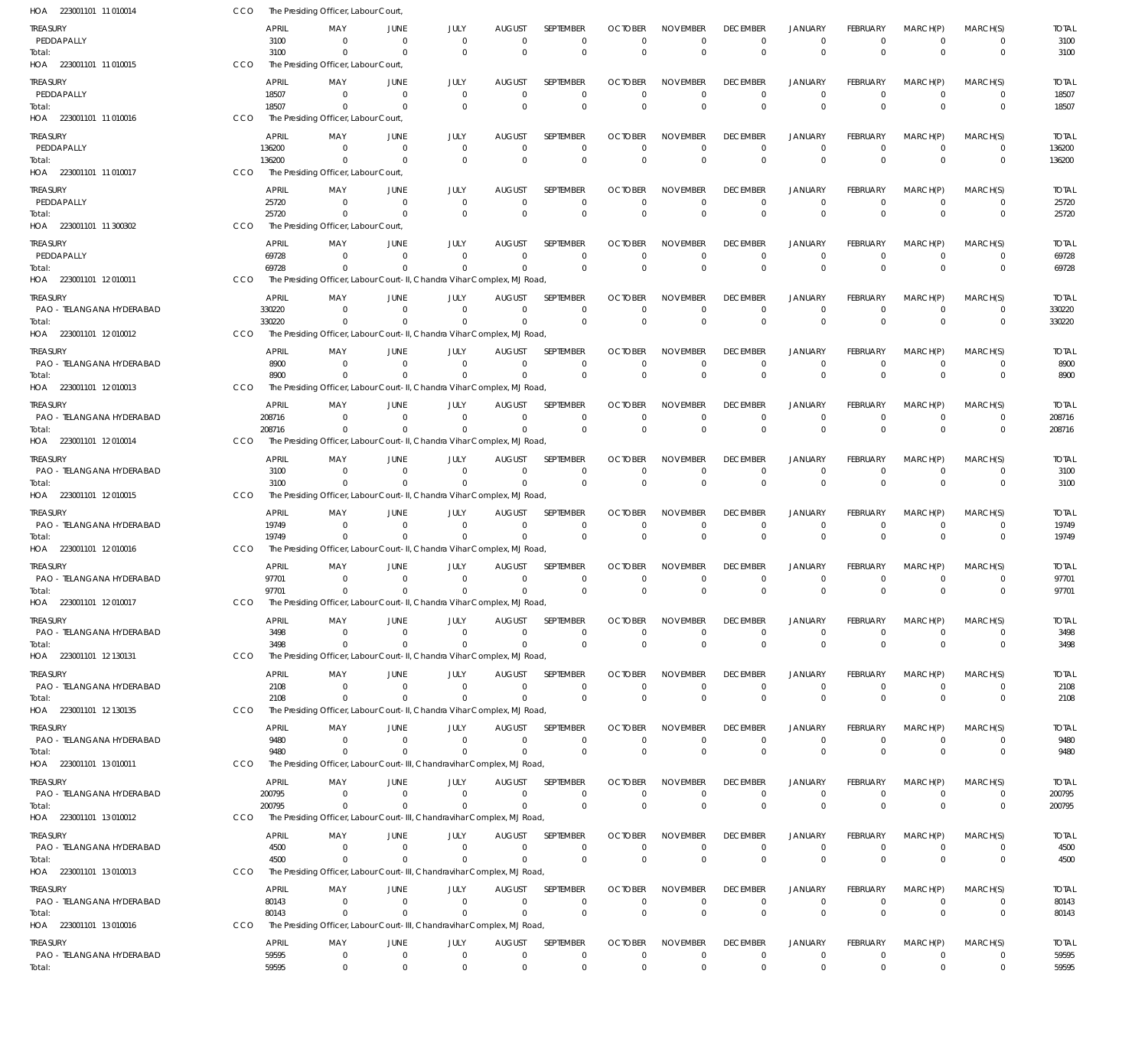| HOA 223001101 11 010014               | CCO |                       | The Presiding Officer, Labour Court,             |                                    |                                                                                     |                                |                                                |                                              |                                     |                                                  |                                               |                                         |                                  |                                         |                              |
|---------------------------------------|-----|-----------------------|--------------------------------------------------|------------------------------------|-------------------------------------------------------------------------------------|--------------------------------|------------------------------------------------|----------------------------------------------|-------------------------------------|--------------------------------------------------|-----------------------------------------------|-----------------------------------------|----------------------------------|-----------------------------------------|------------------------------|
| TREASURY<br>PEDDAPALLY<br>Total:      |     | APRIL<br>3100<br>3100 | MAY<br>$\Omega$<br>$^{\circ}$                    | JUNE<br>$\overline{0}$<br>$\Omega$ | JULY<br>$\overline{0}$<br>$\Omega$                                                  | AUGUST<br>$\Omega$<br>$\Omega$ | <b>SEPTEMBER</b><br>$\mathbf 0$<br>$\mathbf 0$ | <b>OCTOBER</b><br>$\overline{0}$<br>$\Omega$ | <b>NOVEMBER</b><br>0<br>$\mathbf 0$ | <b>DECEMBER</b><br>$\overline{0}$<br>$\mathbf 0$ | <b>JANUARY</b><br>$\mathbf 0$<br>$\mathbf{0}$ | <b>FEBRUARY</b><br>$\Omega$<br>$\Omega$ | MARCH(P)<br>$\Omega$<br>$\Omega$ | MARCH(S)<br>$\mathbf 0$<br>$\mathbf{0}$ | <b>TOTAL</b><br>3100<br>3100 |
| HOA 223001101 11 010015               | CCO |                       | The Presiding Officer, Labour Court              |                                    |                                                                                     |                                |                                                |                                              |                                     |                                                  |                                               |                                         |                                  |                                         |                              |
| TREASURY<br>PEDDAPALLY                |     | <b>APRIL</b><br>18507 | MAY<br>$\Omega$                                  | JUNE<br>$\Omega$                   | JULY<br>$\Omega$                                                                    | <b>AUGUST</b><br>$\Omega$      | SEPTEMBER<br>$\mathbf 0$                       | <b>OCTOBER</b><br>$\Omega$                   | <b>NOVEMBER</b><br>$\Omega$         | <b>DECEMBER</b><br>$\Omega$                      | <b>JANUARY</b><br>$\mathbf{0}$                | <b>FEBRUARY</b><br>$\Omega$             | MARCH(P)<br>$\Omega$             | MARCH(S)<br>$\mathbf 0$                 | <b>TOTAL</b><br>18507        |
| Total:<br>HOA 223001101 11 010016     | CCO | 18507                 | $\Omega$<br>The Presiding Officer, Labour Court, | $\Omega$                           | $\overline{0}$                                                                      | $\Omega$                       | $\mathbf 0$                                    | $\Omega$                                     | $\Omega$                            | $\Omega$                                         | $\Omega$                                      | $\Omega$                                | $\Omega$                         | $\mathbf 0$                             | 18507                        |
| TREASURY                              |     | APRIL                 | MAY                                              | JUNE                               | JULY                                                                                | <b>AUGUST</b>                  | SEPTEMBER                                      | <b>OCTOBER</b>                               | <b>NOVEMBER</b>                     | <b>DECEMBER</b>                                  | <b>JANUARY</b>                                | FEBRUARY                                | MARCH(P)                         | MARCH(S)                                | <b>TOTAL</b>                 |
| PEDDAPALLY<br>Total:                  |     | 136200<br>136200      | $^{\circ}$<br>$\Omega$                           | $\Omega$<br>$\Omega$               | $\overline{0}$<br>$\Omega$                                                          | $\mathbf 0$<br>$\Omega$        | $\mathbf 0$<br>$\mathbf 0$                     | $\overline{0}$<br>$\overline{0}$             | $\mathbf 0$<br>$\mathbf 0$          | $\overline{0}$<br>$\Omega$                       | $\mathbf 0$<br>$\mathbf{0}$                   | $\Omega$<br>$\Omega$                    | $\Omega$<br>$\Omega$             | $\mathbf 0$<br>$\mathbf{0}$             | 136200<br>136200             |
| HOA 223001101 11 010017               | CCO |                       | The Presiding Officer, Labour Court,             |                                    |                                                                                     |                                |                                                |                                              |                                     |                                                  |                                               |                                         |                                  |                                         |                              |
| TREASURY<br>PEDDAPALLY                |     | <b>APRIL</b><br>25720 | MAY<br>$\Omega$                                  | JUNE<br>$\Omega$                   | JULY<br>$\Omega$                                                                    | <b>AUGUST</b><br>$\Omega$      | SEPTEMBER<br>$\mathbf 0$                       | <b>OCTOBER</b><br>$\Omega$                   | <b>NOVEMBER</b><br>0                | <b>DECEMBER</b><br>$\mathbf 0$                   | <b>JANUARY</b><br>$\mathbf 0$                 | <b>FEBRUARY</b><br>$\Omega$             | MARCH(P)<br>$\Omega$             | MARCH(S)<br>$\mathbf 0$                 | <b>TOTAL</b><br>25720        |
| Total:                                |     | 25720                 | $\Omega$                                         | $\Omega$                           | $\Omega$                                                                            | $\Omega$                       | $\mathbf 0$                                    | $\overline{0}$                               | $\Omega$                            | $^{\circ}$                                       | $\Omega$                                      | $\Omega$                                | $\Omega$                         | $\mathbf 0$                             | 25720                        |
| HOA 223001101 11 300302               | CCO |                       | The Presiding Officer, Labour Court,             |                                    |                                                                                     |                                |                                                |                                              |                                     |                                                  |                                               |                                         |                                  |                                         |                              |
| TREASURY<br>PEDDAPALLY                |     | <b>APRIL</b><br>69728 | MAY<br>- 0                                       | JUNE<br>$\Omega$                   | JULY<br>$\Omega$                                                                    | <b>AUGUST</b><br>$\Omega$      | SEPTEMBER<br>$\mathbf 0$                       | <b>OCTOBER</b><br>$\overline{0}$             | <b>NOVEMBER</b><br>0                | <b>DECEMBER</b><br>$\overline{0}$                | <b>JANUARY</b><br>$\mathbf 0$                 | <b>FEBRUARY</b><br>$\Omega$             | MARCH(P)<br>$\Omega$             | MARCH(S)<br>$\mathbf 0$                 | <b>TOTAL</b><br>69728        |
| Total:<br>HOA 223001101 12010011      | CCO | 69728                 | $\Omega$                                         | $\Omega$                           | $\Omega$<br>The Presiding Officer, Labour Court-II, Chandra Vihar Complex, MJ Road, | $\Omega$                       | $\Omega$                                       | $\Omega$                                     | $\mathbf 0$                         | $\Omega$                                         | $\Omega$                                      | $\Omega$                                | $\Omega$                         | $\mathbf 0$                             | 69728                        |
| TREASURY                              |     | APRIL                 | MAY                                              | JUNE                               | JULY                                                                                | <b>AUGUST</b>                  | SEPTEMBER                                      | <b>OCTOBER</b>                               | <b>NOVEMBER</b>                     | <b>DECEMBER</b>                                  | JANUARY                                       | FEBRUARY                                | MARCH(P)                         | MARCH(S)                                | <b>TOTAL</b>                 |
| PAO - TELANGANA HYDERABAD             |     | 330220                | $\Omega$                                         | $\Omega$                           | $\Omega$                                                                            | $\Omega$                       | $\mathbf 0$                                    | $\overline{0}$                               | $\mathbf 0$                         | $\mathbf 0$                                      | $\mathbf 0$                                   | $\Omega$                                | $\Omega$                         | 0                                       | 330220                       |
| Total:<br>HOA 223001101 12010012      | CCO | 330220                | $\Omega$                                         | $\Omega$                           | $\Omega$<br>The Presiding Officer, Labour Court-II, Chandra Vihar Complex, MJ Road  | $\mathbf 0$                    | $\Omega$                                       | $\Omega$                                     | $\Omega$                            | $\Omega$                                         | $\mathbf{0}$                                  | $\Omega$                                | $\Omega$                         | $\Omega$                                | 330220                       |
| TREASURY                              |     | <b>APRIL</b>          | MAY                                              | JUNE                               | JULY                                                                                | <b>AUGUST</b>                  | SEPTEMBER                                      | <b>OCTOBER</b>                               | <b>NOVEMBER</b>                     | <b>DECEMBER</b>                                  | <b>JANUARY</b>                                | FEBRUARY                                | MARCH(P)                         | MARCH(S)                                | <b>TOTAL</b>                 |
| PAO - TELANGANA HYDERABAD<br>Total:   |     | 8900<br>8900          | $\Omega$<br>$\Omega$                             | $\Omega$<br>$\Omega$               | $\Omega$<br>$\Omega$                                                                | $\Omega$<br>$\Omega$           | $\mathbf 0$<br>$\mathbf 0$                     | $\overline{0}$<br>$\Omega$                   | $\mathbf 0$<br>$\mathbf 0$          | $\overline{0}$<br>$\Omega$                       | $\mathbf 0$<br>$\Omega$                       | $\Omega$<br>$\Omega$                    | $\Omega$<br>$\Omega$             | $\mathbf 0$<br>$\mathbf 0$              | 8900<br>8900                 |
| HOA 223001101 12010013                | CCO |                       |                                                  |                                    | The Presiding Officer, Labour Court-II, Chandra Vihar Complex, MJ Road              |                                |                                                |                                              |                                     |                                                  |                                               |                                         |                                  |                                         |                              |
| TREASURY                              |     | <b>APRIL</b>          | MAY                                              | JUNE                               | JULY                                                                                | AUGUST                         | SEPTEMBER                                      | <b>OCTOBER</b>                               | <b>NOVEMBER</b>                     | <b>DECEMBER</b>                                  | JANUARY                                       | FEBRUARY                                | MARCH(P)                         | MARCH(S)                                | <b>TOTAL</b>                 |
| PAO - TELANGANA HYDERABAD<br>Total:   |     | 208716<br>208716      | $\Omega$<br>$\Omega$                             | $\Omega$<br>$\Omega$               | $\Omega$<br>$\Omega$                                                                | $\Omega$<br>$\Omega$           | $\Omega$<br>$\mathbf 0$                        | $\Omega$<br>$\overline{0}$                   | 0<br>$\Omega$                       | $\mathbf 0$<br>$\Omega$                          | $\mathbf 0$<br>$\Omega$                       | $\Omega$<br>$\Omega$                    | $\Omega$<br>$\Omega$             | $\mathbf 0$<br>$\mathbf{0}$             | 208716<br>208716             |
| HOA 223001101 12010014                | CCO |                       |                                                  |                                    | The Presiding Officer, Labour Court-II, Chandra Vihar Complex, MJ Road,             |                                |                                                |                                              |                                     |                                                  |                                               |                                         |                                  |                                         |                              |
| TREASURY<br>PAO - TELANGANA HYDERABAD |     | <b>APRIL</b><br>3100  | MAY<br>$\Omega$                                  | JUNE<br>$\Omega$                   | JULY<br>$\Omega$                                                                    | AUGUST<br>$\Omega$             | SEPTEMBER<br>$\mathbf 0$                       | <b>OCTOBER</b><br>$\overline{0}$             | <b>NOVEMBER</b><br>0                | <b>DECEMBER</b><br>$^{\circ}$                    | <b>JANUARY</b><br>$\mathbf 0$                 | <b>FEBRUARY</b><br>$\Omega$             | MARCH(P)<br>$\Omega$             | MARCH(S)<br>$\mathbf 0$                 | <b>TOTAL</b><br>3100         |
| Total:<br>HOA 223001101 12010015      | CCO | 3100                  | $^{\circ}$                                       | $\Omega$                           | $\Omega$<br>The Presiding Officer, Labour Court-II, Chandra Vihar Complex, MJ Road, | $\overline{0}$                 | $\Omega$                                       | $\Omega$                                     | $\mathbf 0$                         | $\Omega$                                         | $\Omega$                                      | $\Omega$                                | $\Omega$                         | $\mathbf{0}$                            | 3100                         |
| TREASURY                              |     | APRIL                 | MAY                                              | JUNE                               | JULY                                                                                | <b>AUGUST</b>                  | SEPTEMBER                                      | <b>OCTOBER</b>                               | <b>NOVEMBER</b>                     | <b>DECEMBER</b>                                  | <b>JANUARY</b>                                | FEBRUARY                                | MARCH(P)                         | MARCH(S)                                | <b>TOTAL</b>                 |
| PAO - TELANGANA HYDERABAD<br>Total:   |     | 19749<br>19749        | - 0<br>$\Omega$                                  | $\Omega$<br>$\Omega$               | $\Omega$<br>$\Omega$                                                                | $\Omega$<br>$\Omega$           | $\Omega$<br>$\Omega$                           | $\Omega$<br>$\Omega$                         | $\Omega$<br>$\Omega$                | $\Omega$<br>$\Omega$                             | $\mathbf{0}$<br>$\Omega$                      | $\Omega$<br>$\Omega$                    | $\Omega$<br>$\Omega$             | $\mathbf 0$<br>$\mathbf 0$              | 19749<br>19749               |
| HOA 223001101 12010016                | CCO |                       |                                                  |                                    | The Presiding Officer, Labour Court-II, Chandra Vihar Complex, MJ Road              |                                |                                                |                                              |                                     |                                                  |                                               |                                         |                                  |                                         |                              |
| TREASURY<br>PAO - TELANGANA HYDERABAD |     | APRIL<br>97701        | MAY<br>$\Omega$                                  | JUNE<br>$\Omega$                   | JULY<br>$\Omega$                                                                    | <b>AUGUST</b><br>$\Omega$      | SEPTEMBER<br>$\mathbf 0$                       | <b>OCTOBER</b><br>$\overline{0}$             | <b>NOVEMBER</b><br>$\mathbf 0$      | <b>DECEMBER</b><br>$\overline{0}$                | <b>JANUARY</b><br>$\Omega$                    | <b>FEBRUARY</b><br>$\Omega$             | MARCH(P)<br>$\Omega$             | MARCH(S)<br>$\mathbf 0$                 | <b>TOTAL</b><br>97701        |
| Total:                                | CCO | 97701                 | $\Omega$                                         | $\Omega$                           | $\Omega$<br>The Presiding Officer, Labour Court-II, Chandra Vihar Complex, MJ Road. | $\Omega$                       | $\mathbf 0$                                    | $\Omega$                                     | $\Omega$                            | $\Omega$                                         | $\Omega$                                      | $\Omega$                                | $\Omega$                         | $\mathbf{0}$                            | 97701                        |
| HOA 223001101 12 010017<br>TREASURY   |     | APRIL                 | MAY                                              | JUNE                               | JULY                                                                                | <b>AUGUST</b>                  | SEPTEMBER                                      | <b>OCTOBER</b>                               | <b>NOVEMBER</b>                     | <b>DECEMBER</b>                                  | JANUARY                                       | FEBRUARY                                | MARCH(P)                         | MARCH(S)                                | <b>TOTAL</b>                 |
| PAO - TELANGANA HYDERABAD             |     | 3498                  | $\Omega$                                         | $\Omega$                           | $\Omega$                                                                            | $\Omega$                       | $\Omega$                                       | $\Omega$                                     | $\Omega$                            | $\mathbf 0$                                      | $^{\circ}$                                    | $\Omega$                                | $^{\circ}$                       | 0                                       | 3498                         |
| Total:<br>HOA 223001101 12 130131     | CCO | 3498                  | $^{\circ}$                                       | $\Omega$                           | $\Omega$<br>The Presiding Officer, Labour Court-II, Chandra Vihar Complex, MJ Road, | $\Omega$                       | $\Omega$                                       | $\overline{0}$                               | $\mathbf 0$                         | $\mathbf 0$                                      | $\mathbf{0}$                                  | $\Omega$                                | $\Omega$                         | $\mathbf 0$                             | 3498                         |
| TREASURY                              |     | APRIL                 | MAY                                              | JUNE                               | JULY                                                                                | AUGUST                         | <b>SEPTEMBER</b>                               | <b>OCTOBER</b>                               | <b>NOVEMBER</b>                     | <b>DECEMBER</b>                                  | <b>JANUARY</b>                                | <b>FEBRUARY</b>                         | MARCH(P)                         | MARCH(S)                                | <b>TOTAL</b>                 |
| PAO - TELANGANA HYDERABAD<br>Total:   |     | 2108<br>2108          | $\Omega$<br>$^{\circ}$                           | $\Omega$<br>$\Omega$               | $\Omega$<br>$\Omega$                                                                | $\Omega$<br>$\Omega$           | $\mathbf 0$<br>$\Omega$                        | $\overline{0}$<br>$\overline{0}$             | 0<br>$\mathbf 0$                    | $\overline{0}$<br>$\mathbf 0$                    | $\mathbf 0$<br>$\mathbf 0$                    | $\Omega$<br>$\Omega$                    | $\Omega$<br>$\Omega$             | $\mathbf 0$<br>$\mathbf 0$              | 2108<br>2108                 |
| HOA 223001101 12 130135               | CCO |                       |                                                  |                                    | The Presiding Officer, Labour Court-II, Chandra Vihar Complex, MJ Road,             |                                |                                                |                                              |                                     |                                                  |                                               |                                         |                                  |                                         |                              |
| TREASURY                              |     | APRIL                 | MAY                                              | JUNE                               | JULY                                                                                | <b>AUGUST</b>                  | SEPTEMBER                                      | <b>OCTOBER</b>                               | <b>NOVEMBER</b>                     | <b>DECEMBER</b>                                  | <b>JANUARY</b>                                | FEBRUARY                                | MARCH(P)                         | MARCH(S)                                | <b>TOTAL</b>                 |
| PAO - TELANGANA HYDERABAD<br>Total:   |     | 9480<br>9480          | $\Omega$<br>$\Omega$                             | $\Omega$<br>$\Omega$               | $\Omega$<br>$\Omega$                                                                | $\Omega$<br>$\Omega$           | 0<br>$\Omega$                                  | $\Omega$<br>$\Omega$                         | 0<br>$\Omega$                       | $\overline{0}$<br>$^{\circ}$                     | $\mathbf 0$<br>$\Omega$                       | $\Omega$<br>$\Omega$                    | $\overline{0}$<br>$\Omega$       | 0<br>$\mathbf 0$                        | 9480<br>9480                 |
| HOA 223001101 13010011                | CCO |                       |                                                  |                                    | The Presiding Officer, Labour Court-III, Chandravihar Complex, MJ Road,             |                                |                                                |                                              |                                     |                                                  |                                               |                                         |                                  |                                         |                              |
| TREASURY<br>PAO - TELANGANA HYDERABAD |     | APRIL<br>200795       | MAY<br>$^{\circ}$                                | JUNE<br>$\Omega$                   | JULY<br>$\Omega$                                                                    | AUGUST<br>$\Omega$             | SEPTEMBER<br>$\mathbf 0$                       | <b>OCTOBER</b><br>$\overline{0}$             | <b>NOVEMBER</b><br>$\mathbf 0$      | <b>DECEMBER</b><br>$\overline{0}$                | <b>JANUARY</b><br>$\mathbf 0$                 | FEBRUARY<br>$\Omega$                    | MARCH(P)<br>$\Omega$             | MARCH(S)<br>$\mathbf 0$                 | <b>TOTAL</b><br>200795       |
| Total:                                |     | 200795                | $\Omega$                                         | $\Omega$                           | $\Omega$                                                                            | $\Omega$                       | $\mathbf 0$                                    | $\overline{0}$                               | $\mathbf 0$                         | $\overline{0}$                                   | $\mathbf 0$                                   | $\Omega$                                | $\Omega$                         | $\mathbf 0$                             | 200795                       |
| HOA 223001101 13 010012               | CCO |                       |                                                  |                                    | The Presiding Officer, Labour Court-III, Chandravihar Complex, MJ Road,             |                                |                                                |                                              |                                     |                                                  |                                               |                                         |                                  |                                         |                              |
| TREASURY<br>PAO - TELANGANA HYDERABAD |     | <b>APRIL</b><br>4500  | MAY<br>$\Omega$                                  | JUNE<br>$\Omega$                   | JULY<br>$\Omega$                                                                    | AUGUST<br>$\mathbf 0$          | SEPTEMBER<br>0                                 | <b>OCTOBER</b><br>0                          | <b>NOVEMBER</b><br>0                | <b>DECEMBER</b><br>$\mathbf 0$                   | <b>JANUARY</b><br>$^{\circ}$                  | <b>FEBRUARY</b><br>$\Omega$             | MARCH(P)<br>$^{\circ}$           | MARCH(S)<br>0                           | <b>TOTAL</b><br>4500         |
| Total:<br>HOA 223001101 13 010013     | CCO | 4500                  | $\Omega$                                         | $\Omega$                           | $\Omega$<br>The Presiding Officer, Labour Court-III, Chandravihar Complex, MJ Road, | $\Omega$                       | $\Omega$                                       | $\overline{0}$                               | $\Omega$                            | $\mathbf 0$                                      | $\mathbf{0}$                                  | $\Omega$                                | $\Omega$                         | $\mathbf{0}$                            | 4500                         |
| TREASURY                              |     | APRIL                 | MAY                                              | JUNE                               | JULY                                                                                | AUGUST                         | SEPTEMBER                                      | <b>OCTOBER</b>                               | <b>NOVEMBER</b>                     | <b>DECEMBER</b>                                  | <b>JANUARY</b>                                | <b>FEBRUARY</b>                         | MARCH(P)                         | MARCH(S)                                | <b>TOTAL</b>                 |
| PAO - TELANGANA HYDERABAD             |     | 80143                 | $^{\circ}$                                       | $\overline{0}$                     | $\Omega$                                                                            | $\Omega$                       | $\mathbf 0$                                    | - 0                                          | 0                                   | $^{\circ}$                                       | $\mathbf 0$                                   | $\Omega$                                | $\Omega$                         | $\mathbf 0$                             | 80143                        |
| Total:<br>HOA 223001101 13010016      | CCO | 80143                 | $\Omega$                                         | $\overline{0}$                     | $\Omega$<br>The Presiding Officer, Labour Court-III, Chandravihar Complex, MJ Road, | $\Omega$                       | $\Omega$                                       | $\Omega$                                     | $\mathbf 0$                         | $\overline{0}$                                   | $\Omega$                                      | $\Omega$                                | $\Omega$                         | $\mathbf{0}$                            | 80143                        |
| TREASURY                              |     | <b>APRIL</b>          | MAY                                              | JUNE                               | JULY                                                                                | <b>AUGUST</b>                  | SEPTEMBER                                      | <b>OCTOBER</b>                               | <b>NOVEMBER</b>                     | <b>DECEMBER</b>                                  | <b>JANUARY</b>                                | <b>FEBRUARY</b>                         | MARCH(P)                         | MARCH(S)                                | <b>TOTAL</b>                 |
| PAO - TELANGANA HYDERABAD<br>Total:   |     | 59595<br>59595        | $^{\circ}$<br>$^{\circ}$                         | $\mathbf 0$<br>$\mathbf 0$         | $\overline{0}$<br>$\overline{0}$                                                    | $\mathbf 0$<br>$\mathbf 0$     | $\mathbf 0$<br>$\mathbf 0$                     | $^{\circ}$<br>$\mathbf 0$                    | $\mathbf 0$<br>$\mathbf 0$          | $\mathbf 0$<br>$^{\circ}$                        | $\mathbf 0$<br>$\mathbf 0$                    | $\Omega$<br>$\Omega$                    | $^{\circ}$<br>$\mathbf 0$        | 0<br>$\mathbf{0}$                       | 59595<br>59595               |
|                                       |     |                       |                                                  |                                    |                                                                                     |                                |                                                |                                              |                                     |                                                  |                                               |                                         |                                  |                                         |                              |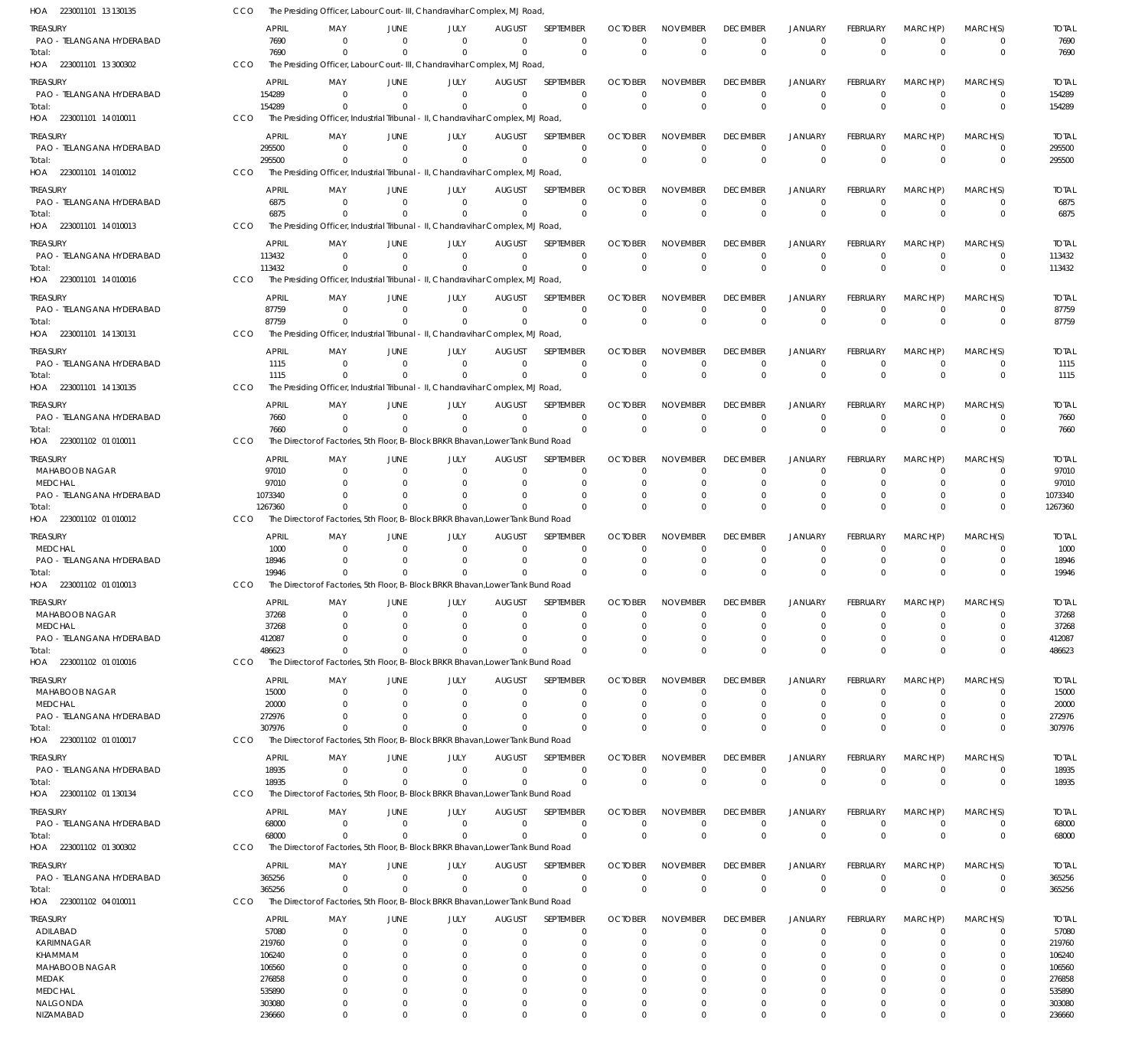| HOA 223001101 13 130135               | CCO        |                       | The Presiding Officer, Labour Court-III, Chandravihar Complex, MJ Road                      |                      |                      |                                 |                               |                            |                                   |                             |                                  |                               |                            |                            |                        |
|---------------------------------------|------------|-----------------------|---------------------------------------------------------------------------------------------|----------------------|----------------------|---------------------------------|-------------------------------|----------------------------|-----------------------------------|-----------------------------|----------------------------------|-------------------------------|----------------------------|----------------------------|------------------------|
| TREASURY                              |            | <b>APRIL</b>          | MAY                                                                                         | JUNE                 | JULY                 | <b>AUGUST</b>                   | SEPTEMBER                     | <b>OCTOBER</b>             | <b>NOVEMBER</b>                   | <b>DECEMBER</b>             | <b>JANUARY</b>                   | FEBRUARY                      | MARCH(P)                   | MARCH(S)                   | <b>TOTAL</b>           |
| PAO - TELANGANA HYDERABAD<br>Total:   |            | 7690<br>7690          | - 0<br>$\Omega$                                                                             | $\Omega$<br>$\Omega$ | - 0<br>$\Omega$      | $\Omega$<br>$\Omega$            | $\mathbf 0$<br>$\Omega$       | $\Omega$<br>$\Omega$       | $\Omega$<br>$\mathbf 0$           | 0<br>$\Omega$               | $^{\circ}$<br>$\Omega$           | 0<br>$\Omega$                 | $\overline{0}$<br>$\Omega$ | 0<br>$\mathbf 0$           | 7690<br>7690           |
| HOA 223001101 13 300302               | CCO        |                       | The Presiding Officer, Labour Court-III, Chandravihar Complex, MJ Road,                     |                      |                      |                                 |                               |                            |                                   |                             |                                  |                               |                            |                            |                        |
| treasury                              |            | APRIL                 | MAY                                                                                         | JUNE                 | JULY                 | <b>AUGUST</b>                   | SEPTEMBER                     | <b>OCTOBER</b>             | <b>NOVEMBER</b>                   | <b>DECEMBER</b>             | <b>JANUARY</b>                   | FEBRUARY                      | MARCH(P)                   | MARCH(S)                   | <b>TOTAL</b>           |
| PAO - TELANGANA HYDERABAD             |            | 154289                | $\Omega$                                                                                    | $\Omega$             | $\Omega$             | $\Omega$                        | 0                             | $\Omega$                   | $\Omega$                          | $\Omega$                    | $^{\circ}$                       | $\Omega$                      | $\overline{0}$             | 0                          | 154289                 |
| Total:                                |            | 154289                | $\Omega$                                                                                    |                      | $\Omega$             | $\Omega$                        | $\mathbf 0$                   | $\Omega$                   | $\Omega$                          | $\Omega$                    | $\Omega$                         | $\Omega$                      | $\Omega$                   | $\mathbf 0$                | 154289                 |
| HOA 223001101 14 010011               | CCO        |                       | The Presiding Officer, Industrial Tribunal - II, Chandravihar Complex, MJ Road,             |                      |                      |                                 |                               |                            |                                   |                             |                                  |                               |                            |                            |                        |
| treasury                              |            | <b>APRIL</b>          | MAY<br>$\Omega$                                                                             | JUNE<br>$\Omega$     | JULY<br>$\Omega$     | <b>AUGUST</b><br>$\Omega$       | SEPTEMBER                     | <b>OCTOBER</b><br>$\Omega$ | <b>NOVEMBER</b>                   | <b>DECEMBER</b>             | JANUARY                          | <b>FEBRUARY</b>               | MARCH(P)                   | MARCH(S)                   | <b>TOTAL</b>           |
| PAO - TELANGANA HYDERABAD<br>Total:   |            | 295500<br>295500      | $\Omega$                                                                                    | - 0                  | $\Omega$             | $\Omega$                        | $\mathbf 0$<br>$\overline{0}$ | $\Omega$                   | $\overline{0}$<br>$\mathbf 0$     | $\Omega$<br>$\mathbf{0}$    | $\overline{0}$<br>$\overline{0}$ | $\mathbf 0$<br>$\overline{0}$ | $\overline{0}$<br>$\Omega$ | $\mathbf 0$<br>$\mathbf 0$ | 295500<br>295500       |
| HOA 223001101 14 010012               | CCO        |                       | The Presiding Officer, Industrial Tribunal - II, Chandravihar Complex, MJ Road,             |                      |                      |                                 |                               |                            |                                   |                             |                                  |                               |                            |                            |                        |
| treasury                              |            | <b>APRIL</b>          | MAY                                                                                         | JUNE                 | JULY                 | <b>AUGUST</b>                   | SEPTEMBER                     | <b>OCTOBER</b>             | <b>NOVEMBER</b>                   | <b>DECEMBER</b>             | <b>JANUARY</b>                   | <b>FEBRUARY</b>               | MARCH(P)                   | MARCH(S)                   | <b>TOTAL</b>           |
| PAO - TELANGANA HYDERABAD             |            | 6875                  | $\Omega$                                                                                    | $\Omega$             | $\Omega$             | $\mathbf 0$                     | 0                             | $\Omega$                   | 0                                 | 0                           | $^{\circ}$                       | 0                             | $^{\circ}$                 | 0                          | 6875                   |
| Total:<br>HOA 223001101 14 010013     | CCO        | 6875                  | $\Omega$<br>The Presiding Officer, Industrial Tribunal - II, Chandravihar Complex, MJ Road, | $\Omega$             | $\Omega$             | $\Omega$                        | $\mathbf 0$                   | $\Omega$                   | $\Omega$                          | $\Omega$                    | $\overline{0}$                   | $\Omega$                      | $\Omega$                   | $\mathbf 0$                | 6875                   |
| treasury                              |            | APRIL                 | MAY                                                                                         | JUNE                 | JULY                 | <b>AUGUST</b>                   | SEPTEMBER                     | <b>OCTOBER</b>             | <b>NOVEMBER</b>                   | <b>DECEMBER</b>             | <b>JANUARY</b>                   | <b>FEBRUARY</b>               | MARCH(P)                   | MARCH(S)                   | <b>TOTAL</b>           |
| PAO - TELANGANA HYDERABAD             |            | 113432                | - 0                                                                                         | $\Omega$             | $\Omega$             | $\Omega$                        | $\mathbf 0$                   | $\Omega$                   | $\Omega$                          | $\Omega$                    | $^{\circ}$                       | $\mathbf 0$                   | $\overline{0}$             | 0                          | 113432                 |
| Total:                                |            | 113432                | $\Omega$                                                                                    | $\Omega$             | $\Omega$             | $\Omega$                        | $\Omega$                      | $\Omega$                   | $\Omega$                          | $\Omega$                    | $\Omega$                         | $\Omega$                      | $\Omega$                   | $\mathbf 0$                | 113432                 |
| HOA 223001101 14 010016               | CCO        |                       | The Presiding Officer, Industrial Tribunal - II, Chandravihar Complex, MJ Road,             |                      |                      |                                 |                               |                            |                                   |                             |                                  |                               |                            |                            |                        |
| treasury<br>PAO - TELANGANA HYDERABAD |            | APRIL<br>87759        | MAY<br>- 0                                                                                  | JUNE<br>$\Omega$     | JULY<br>$\Omega$     | <b>AUGUST</b><br>$\Omega$       | SEPTEMBER<br>$\mathbf 0$      | <b>OCTOBER</b><br>$\Omega$ | <b>NOVEMBER</b><br>$\overline{0}$ | <b>DECEMBER</b><br>0        | <b>JANUARY</b><br>$\overline{0}$ | FEBRUARY<br>$\mathbf 0$       | MARCH(P)<br>$\overline{0}$ | MARCH(S)<br>$\mathbf 0$    | <b>TOTAL</b><br>87759  |
| Total:                                |            | 87759                 | $\Omega$                                                                                    | - 0                  | $\Omega$             | $\Omega$                        | $\mathbf 0$                   | $\Omega$                   | $\mathbf 0$                       | $\Omega$                    | $\Omega$                         | $\Omega$                      | $\Omega$                   | $\mathbf 0$                | 87759                  |
| HOA 223001101 14 130131               | CCO        |                       | The Presiding Officer, Industrial Tribunal - II, Chandravihar Complex, MJ Road,             |                      |                      |                                 |                               |                            |                                   |                             |                                  |                               |                            |                            |                        |
| treasury                              |            | <b>APRIL</b>          | MAY                                                                                         | JUNE                 | JULY                 | <b>AUGUST</b>                   | SEPTEMBER                     | <b>OCTOBER</b>             | <b>NOVEMBER</b>                   | <b>DECEMBER</b>             | <b>JANUARY</b>                   | FEBRUARY                      | MARCH(P)                   | MARCH(S)                   | <b>TOTAL</b>           |
| PAO - TELANGANA HYDERABAD             |            | 1115                  | - 0<br>$\Omega$                                                                             | $\Omega$<br>$\Omega$ | $\Omega$<br>$\Omega$ | $\Omega$<br>$\Omega$            | $\mathbf 0$                   | $\Omega$<br>$\Omega$       | 0<br>$\Omega$                     | $\Omega$<br>$\Omega$        | $^{\circ}$<br>$\Omega$           | 0<br>$\Omega$                 | $\overline{0}$<br>$\Omega$ | $\mathbf 0$<br>$\mathbf 0$ | 1115                   |
| Total:<br>HOA 223001101 14 130135     | CCO        | 1115                  | The Presiding Officer, Industrial Tribunal - II, Chandravihar Complex, MJ Road,             |                      |                      |                                 | $\overline{0}$                |                            |                                   |                             |                                  |                               |                            |                            | 1115                   |
| treasury                              |            | <b>APRIL</b>          | MAY                                                                                         | JUNE                 | JULY                 | AUGUST                          | SEPTEMBER                     | <b>OCTOBER</b>             | <b>NOVEMBER</b>                   | <b>DECEMBER</b>             | <b>JANUARY</b>                   | FEBRUARY                      | MARCH(P)                   | MARCH(S)                   | <b>TOTAL</b>           |
| PAO - TELANGANA HYDERABAD             |            | 7660                  | $\Omega$                                                                                    | $\Omega$             | $\Omega$             | $\Omega$                        | 0                             | $\Omega$                   | $\Omega$                          | $\Omega$                    | $^{\circ}$                       | $\Omega$                      | $\overline{0}$             | 0                          | 7660                   |
| Total:                                |            | 7660                  | $\Omega$                                                                                    | $\Omega$             | $\Omega$             | $\Omega$                        | $\Omega$                      | $\Omega$                   | $\Omega$                          | $\Omega$                    | $\overline{0}$                   | $\Omega$                      | $\Omega$                   | $\mathbf 0$                | 7660                   |
| HOA 223001102 01 010011               | CCO        |                       | The Director of Factories, 5th Floor, B-Block BRKR Bhavan, Lower Tank Bund Road             |                      |                      |                                 |                               |                            |                                   |                             |                                  |                               |                            |                            |                        |
| Treasury<br>MAHABOOB NAGAR            |            | APRIL<br>97010        | MAY<br>- 0                                                                                  | JUNE<br>$\Omega$     | JULY<br>$\Omega$     | <b>AUGUST</b><br>$\Omega$       | SEPTEMBER<br>0                | <b>OCTOBER</b><br>$\Omega$ | <b>NOVEMBER</b><br>$\Omega$       | <b>DECEMBER</b><br>$\Omega$ | <b>JANUARY</b><br>$^{\circ}$     | <b>FEBRUARY</b><br>$\Omega$   | MARCH(P)<br>$\Omega$       | MARCH(S)<br>0              | <b>TOTAL</b><br>97010  |
| MEDCHAL                               |            | 97010                 | $\Omega$                                                                                    | $\Omega$             | $\Omega$             | $\Omega$                        | $\Omega$                      | $\Omega$                   | $\Omega$                          | $\Omega$                    | $\Omega$                         | $\Omega$                      | $\Omega$                   | $\mathbf 0$                | 97010                  |
| PAO - TELANGANA HYDERABAD             |            | 1073340               | $\Omega$                                                                                    | $\Omega$             |                      | $\Omega$                        | 0                             | $\Omega$                   | $\Omega$                          | $\Omega$                    | $^{\circ}$                       | $\Omega$                      | $\Omega$                   | $\mathbf 0$                | 1073340                |
| Total:<br>HOA 223001102 01 010012     | CCO        | 1267360               | $\Omega$<br>The Director of Factories, 5th Floor, B-Block BRKR Bhavan, Lower Tank Bund Road | $\Omega$             | $\Omega$             | $\Omega$                        | $\Omega$                      | $\Omega$                   | $\Omega$                          | $\Omega$                    | $\Omega$                         | $\Omega$                      | $\Omega$                   | $\Omega$                   | 1267360                |
|                                       |            | <b>APRIL</b>          |                                                                                             |                      |                      |                                 | SEPTEMBER                     | <b>OCTOBER</b>             | <b>NOVEMBER</b>                   | <b>DECEMBER</b>             |                                  | FEBRUARY                      |                            |                            | <b>TOTAL</b>           |
| treasury<br><b>MEDCHAL</b>            |            | 1000                  | MAY<br>$\Omega$                                                                             | JUNE<br>$\Omega$     | JULY<br>$\Omega$     | <b>AUGUST</b><br>$\mathbf 0$    | $\mathbf 0$                   | $\Omega$                   | $\Omega$                          | $\Omega$                    | JANUARY<br>$^{\circ}$            | $\mathbf 0$                   | MARCH(P)<br>$\overline{0}$ | MARCH(S)<br>0              | 1000                   |
| PAO - TELANGANA HYDERABAD             |            | 18946                 | $\Omega$                                                                                    |                      | $\Omega$             | $\Omega$                        | $\mathbf 0$                   | $\Omega$                   | $\Omega$                          | $\Omega$                    | $^{\circ}$                       | $\Omega$                      | $\overline{0}$             | $\mathbf 0$                | 18946                  |
| Total:<br>HOA 223001102 01 010013     | <b>CCO</b> | 19946                 | $\Omega$<br>The Director of Factories, 5th Floor, B-Block BRKR Bhavan, Lower Tank Bund Road | $\Omega$             | $\Omega$             | $\Omega$                        | $\Omega$                      | C                          | $\Omega$                          | $\Omega$                    | $\Omega$                         | $\Omega$                      | $\Omega$                   | $\mathbf 0$                | 19946                  |
|                                       |            |                       |                                                                                             |                      |                      |                                 | SEPTEMBER                     |                            |                                   |                             |                                  |                               |                            | MARCH(S)                   |                        |
| <b>TREASURY</b><br>MAHABOOB NAGAR     |            | <b>APRIL</b><br>37268 | MAY<br>0                                                                                    | JUNE<br>0            | JULY<br>0            | AUGUST<br>$\Omega$              | 0                             | <b>OCTOBER</b><br>$\Omega$ | <b>NOVEMBER</b><br>$\Omega$       | <b>DECEMBER</b><br>$\Omega$ | JANUARY<br>$^{\circ}$            | <b>FEBRUARY</b><br>$\Omega$   | MARCH(P)<br>0              | 0                          | <b>TOTAI</b><br>37268  |
| <b>MEDCHAL</b>                        |            | 37268                 | $\Omega$                                                                                    | $\Omega$             | $\Omega$             | C                               | $\mathbf 0$                   | 0                          | $\mathbf 0$                       | $\Omega$                    | $\Omega$                         | 0                             | $\Omega$                   | $\mathbf 0$                | 37268                  |
| PAO - TELANGANA HYDERABAD<br>Total:   |            | 412087<br>486623      | $\Omega$<br>$\Omega$                                                                        | $\Omega$<br>$\Omega$ | $\Omega$<br>$\Omega$ | $\Omega$<br>$\Omega$            | 0<br>$\Omega$                 | $\Omega$<br>$\Omega$       | $\Omega$<br>$\Omega$              | $\Omega$<br>$\Omega$        | $^{\circ}$<br>$\Omega$           | 0<br>$\Omega$                 | $\overline{0}$<br>$\Omega$ | $\mathbf 0$<br>$\mathbf 0$ | 412087<br>486623       |
| HOA 223001102 01 010016               | CCO        |                       | The Director of Factories, 5th Floor, B-Block BRKR Bhavan, Lower Tank Bund Road             |                      |                      |                                 |                               |                            |                                   |                             |                                  |                               |                            |                            |                        |
| treasury                              |            | <b>APRIL</b>          | MAY                                                                                         | JUNE                 | JULY                 | <b>AUGUST</b>                   | <b>SEPTEMBER</b>              | <b>OCTOBER</b>             | <b>NOVEMBER</b>                   | <b>DECEMBER</b>             | <b>JANUARY</b>                   | FEBRUARY                      | MARCH(P)                   | MARCH(S)                   | <b>TOTAL</b>           |
| MAHABOOB NAGAR                        |            | 15000                 | $\Omega$                                                                                    | $\Omega$             | $\Omega$             | $\Omega$                        | 0                             | $\Omega$                   | $\Omega$                          | $\Omega$                    | $\Omega$                         | $\Omega$                      | 0                          | 0                          | 15000                  |
| MEDCHAL                               |            | 20000                 |                                                                                             |                      | $\Omega$             | $\Omega$                        | 0                             | O                          | $\Omega$                          | $\Omega$                    | $^{\circ}$                       | 0                             | $\Omega$                   | $\mathbf 0$                | 20000                  |
| PAO - TELANGANA HYDERABAD<br>Total:   |            | 272976<br>307976      | $\Omega$<br>$\Omega$                                                                        | $\Omega$             |                      | $\Omega$<br>$\Omega$            | 0<br>$\Omega$                 | $\Omega$<br>$\Omega$       | $\Omega$<br>$\Omega$              | $\Omega$<br>$\Omega$        | $^{\circ}$<br>$\Omega$           | $\Omega$<br>$\Omega$          | 0<br>$\Omega$              | $\mathbf 0$<br>$\mathbf 0$ | 272976<br>307976       |
| HOA 223001102 01 010017               | CCO        |                       | The Director of Factories, 5th Floor, B-Block BRKR Bhavan, Lower Tank Bund Road             |                      |                      |                                 |                               |                            |                                   |                             |                                  |                               |                            |                            |                        |
| treasury                              |            | <b>APRIL</b>          | MAY                                                                                         | JUNE                 | JULY                 | <b>AUGUST</b>                   | SEPTEMBER                     | <b>OCTOBER</b>             | <b>NOVEMBER</b>                   | <b>DECEMBER</b>             | <b>JANUARY</b>                   | FEBRUARY                      | MARCH(P)                   | MARCH(S)                   | <b>TOTAL</b>           |
| PAO - TELANGANA HYDERABAD             |            | 18935                 | $\Omega$                                                                                    | $\Omega$             | $\overline{0}$       | $\mathbf 0$                     | $\mathbf 0$                   | $\Omega$                   | 0                                 | 0                           | $^{\circ}$                       | 0                             | $\overline{0}$             | 0                          | 18935                  |
| Total:<br>HOA 223001102 01 130134     | CCO        | 18935                 | $\Omega$<br>The Director of Factories, 5th Floor, B-Block BRKR Bhavan, Lower Tank Bund Road | $\Omega$             | $\Omega$             | $\Omega$                        | $\mathbf 0$                   | $\mathbf{0}$               | $\Omega$                          | $\Omega$                    | $\overline{0}$                   | $\mathbf 0$                   | $\Omega$                   | $\mathbf 0$                | 18935                  |
| treasury                              |            | <b>APRIL</b>          | MAY                                                                                         | JUNE                 | JULY                 | <b>AUGUST</b>                   | SEPTEMBER                     | <b>OCTOBER</b>             | <b>NOVEMBER</b>                   | <b>DECEMBER</b>             | <b>JANUARY</b>                   | <b>FEBRUARY</b>               | MARCH(P)                   | MARCH(S)                   | <b>TOTAL</b>           |
| PAO - TELANGANA HYDERABAD             |            | 68000                 | $\Omega$                                                                                    | $\Omega$             | $\Omega$             | $\mathbf 0$                     | $\mathbf 0$                   | $\Omega$                   | $\mathbf 0$                       | $\mathbf 0$                 | $^{\circ}$                       | $\mathbf 0$                   | $\overline{0}$             | 0                          | 68000                  |
| Total:                                |            | 68000                 | $\Omega$                                                                                    | $\Omega$             | $\Omega$             | $\Omega$                        | $\mathbf 0$                   | $\Omega$                   | $\Omega$                          | $\mathbf{0}$                | $\overline{0}$                   | $\mathbf 0$                   | $\Omega$                   | $\mathbf 0$                | 68000                  |
| HOA 223001102 01 300302               | CCO        |                       | The Director of Factories, 5th Floor, B-Block BRKR Bhavan, Lower Tank Bund Road             |                      |                      |                                 |                               |                            |                                   |                             |                                  |                               |                            |                            |                        |
| treasury<br>PAO - TELANGANA HYDERABAD |            | APRIL<br>365256       | MAY<br>- 0                                                                                  | JUNE<br>$\Omega$     | JULY<br>$\Omega$     | <b>AUGUST</b><br>$\overline{0}$ | SEPTEMBER<br>$\mathbf 0$      | <b>OCTOBER</b><br>0        | <b>NOVEMBER</b><br>$\mathbf 0$    | <b>DECEMBER</b><br>0        | <b>JANUARY</b><br>$^{\circ}$     | <b>FEBRUARY</b><br>0          | MARCH(P)<br>$\overline{0}$ | MARCH(S)<br>0              | <b>TOTAL</b><br>365256 |
| Total:                                |            | 365256                | $\Omega$                                                                                    | $\Omega$             | $\Omega$             | $\Omega$                        | $\Omega$                      | $\Omega$                   | $\mathbf 0$                       | $\Omega$                    | $\overline{0}$                   | $\mathbf 0$                   | $\Omega$                   | $\mathbf 0$                | 365256                 |
| HOA 223001102 04 010011               | CCO        |                       | The Director of Factories, 5th Floor, B-Block BRKR Bhavan, Lower Tank Bund Road             |                      |                      |                                 |                               |                            |                                   |                             |                                  |                               |                            |                            |                        |
| TREASURY                              |            | <b>APRIL</b>          | MAY                                                                                         | JUNE                 | JULY                 | <b>AUGUST</b>                   | SEPTEMBER                     | <b>OCTOBER</b>             | <b>NOVEMBER</b>                   | <b>DECEMBER</b>             | <b>JANUARY</b>                   | FEBRUARY                      | MARCH(P)                   | MARCH(S)                   | <b>TOTAL</b>           |
| ADILABAD                              |            | 57080                 | $\Omega$                                                                                    | 0                    | $\Omega$             | 0                               | 0                             | $\Omega$                   | $\Omega$                          | $\Omega$                    | $^{\circ}$                       | $\Omega$                      | 0                          | 0                          | 57080                  |
| KARIMNAGAR<br>KHAMMAM                 |            | 219760<br>106240      | 0                                                                                           |                      | 0                    | 0<br>C                          | 0<br>$\mathbf 0$              | $\Omega$<br>O              | $\Omega$<br>$\Omega$              | $\Omega$                    | $\Omega$<br>$\Omega$             |                               | $\Omega$<br>$\Omega$       | 0<br>0                     | 219760<br>106240       |
| MAHABOOB NAGAR                        |            | 106560                |                                                                                             |                      |                      |                                 | 0                             |                            | $\Omega$                          |                             |                                  |                               | $\Omega$                   | C                          | 106560                 |
| MEDAK                                 |            | 276858                |                                                                                             |                      |                      |                                 | $\Omega$                      |                            | $\Omega$                          |                             |                                  |                               |                            |                            | 276858                 |
| MEDCHAL<br>NALGONDA                   |            | 535890<br>303080      | 0<br>0                                                                                      | 0                    | $\Omega$             | 0                               | $\Omega$<br>0                 | O<br>$\Omega$              | $\Omega$<br>$\mathbf 0$           | $\Omega$                    | $^{\circ}$                       | 0                             | $\Omega$<br>$\mathbf 0$    | C<br>0                     | 535890<br>303080       |
| NIZAMABAD                             |            | 236660                | $^{\circ}$                                                                                  | $\Omega$             | $\Omega$             | $\Omega$                        | $\mathbf 0$                   | $\Omega$                   | $\Omega$                          | $\Omega$                    | $\Omega$                         | $\Omega$                      | $\overline{0}$             | $\Omega$                   | 236660                 |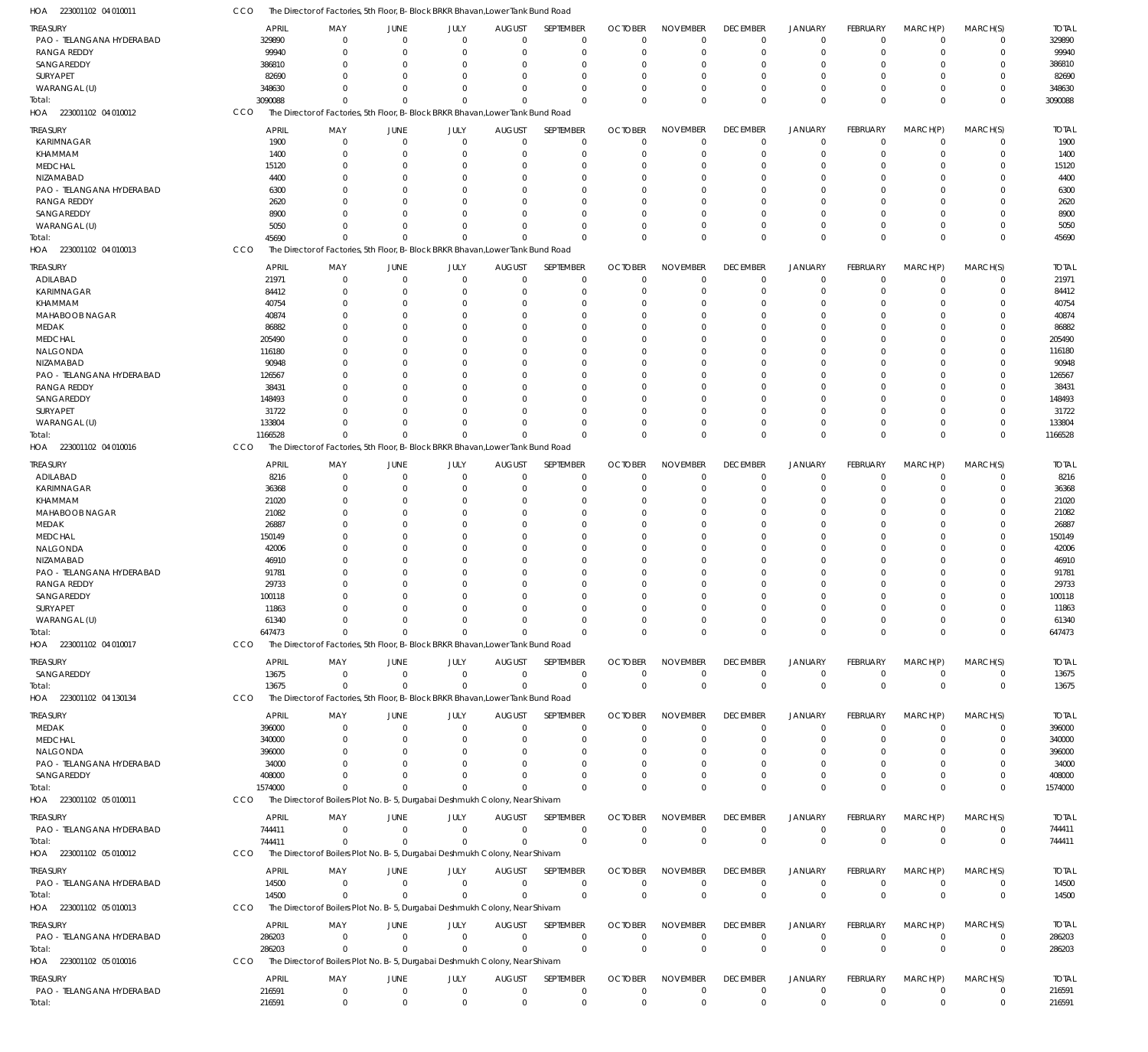223001102 04 010012 HOA 223001102 04 010013 HOA 223001102 04 010016 HOA 223001102 04 010017 HOA 223001102 04 130134 HOA 223001102 05 010011 HOA 223001102 05 010012 HOA 223001102 05 010013 HOA 223001102 05 010016 HOA The Director of Factories, 5th Floor, B-Block BRKR Bhavan,Lower Tank Bund Road The Director of Factories, 5th Floor, B-Block BRKR Bhavan,Lower Tank Bund Road The Director of Factories, 5th Floor, B-Block BRKR Bhavan,Lower Tank Bund Road The Director of Factories, 5th Floor, B-Block BRKR Bhavan,Lower Tank Bund Road The Director of Factories, 5th Floor, B-Block BRKR Bhavan,Lower Tank Bund Road The Director of Boilers Plot No. B-5, Durgabai Deshmukh Colony, Near Shivam The Director of Boilers Plot No. B-5, Durgabai Deshmukh Colony, Near Shivam The Director of Boilers Plot No. B-5, Durgabai Deshmukh Colony, Near Shivam The Director of Boilers Plot No. B-5, Durgabai Deshmukh Colony, Near Shivam CCO **CCO** CCO CCO CCO CCO CCO **CCO CCO** 3090088 45690 1166528 647473 13675 1574000 744411 14500 286203 216591  $\Omega$ 0 0 0  $\Omega$  $\Omega$ 0 0 0 0  $\Omega$ 0 0 0  $\Omega$  $\Omega$ 0 0 0 0  $\sqrt{0}$ 0 0 0 0  $\sqrt{0}$ 0 0 0 0  $\sqrt{2}$ 0 0 0  $\Omega$  $\Omega$ 0 0  $\Omega$ 0  $\sqrt{2}$ 0 0 0 0  $\cap$ 0 0 0 0  $\Omega$ 0 0 0 0  $\Omega$ 0 0 0 0  $\Omega$ 0 0 0 0  $\Omega$ 0 0 0 0  $\Omega$ 0 0 0 0  $\Omega$ 0 0 0 0  $\Omega$ 0 0 0 0  $\Omega$  $\,$  0  $\,$ 0 0 0  $\Omega$ 0 0 0  $\boldsymbol{0}$ 0  $\boldsymbol{0}$ 0 0  $\boldsymbol{0}$  $\Omega$ 0 0 0 0  $\Omega$ 0 0 0 0  $\Omega$ 0 0  $\Omega$ 0  $\Omega$ 0 0 0 0 3090088 45690 1166528 647473 13675 1574000 744411 14500 286203 216591 PAO - TELANGANA HYDERABAD RANGA REDDY **SANGAREDDY** SURYAPET WARANGAL (U) KARIMNAGAR KHAMMAM MEDCHAL NIZAMABAD PAO - TELANGANA HYDERABAD RANGA REDDY SANGAREDDY WARANGAL (U) ADILABAD KARIMNAGAR KHAMMAM MAHABOOB NAGAR MEDAK MEDCHAL NALGONDA NIZAMABAD PAO - TELANGANA HYDERABAD RANGA REDDY SANGAREDDY SURYAPET WARANGAL (U) ADILABAD KARIMNAGAR KHAMMAM MAHABOOB NAGAR MEDAK MEDCHAL NALGONDA NIZAMABAD PAO - TELANGANA HYDERABAD RANGA REDDY SANGAREDDY SURYAPET WARANGAL (U) SANGAREDDY MEDAK MEDCHAL NALGONDA PAO - TELANGANA HYDERABAD SANGAREDDY PAO - TELANGANA HYDERABAD PAO - TELANGANA HYDERABAD PAO - TELANGANA HYDERABAD PAO - TELANGANA HYDERABAD **TREASURY** TREASURY **TREASURY TREASURY** TREASURY TREASURY TREASURY TREASURY TREASURY TREASURY 329890 99940 386810 82690 348630 1900 1400 15120 4400 6300 2620 8900 5050 21971 84412 40754 40874 86882 205490 116180 90948 126567 38431 148493 31722 133804 8216 36368 21020 21082 26887 150149 42006 46910 91781 29733 100118 11863 61340 13675 396000 340000 396000 34000 408000 744411 14500 286203 216591 APRIL APRIL APRIL APRIL APRIL APRIL APRIL APRIL APRIL APRIL  $\Omega$ 0 0 0 0 0 0 0 0 0  $\theta$ 0 0 0 0  $\theta$ 0 0 0 0  $\theta$ 0 0 0 0  $\theta$ 0 0 0 0  $\theta$ 0 0 0 0 0  $\Omega$ 0 0 0 0 0 0 0 0 0 0 0 0 MAY MAY MAY MAY MAY MAY MAY MAY MAY MAY 0 0  $\Omega$ 0 0 0 0  $\Omega$ 0 0 0 0  $\Omega$ 0 0 0 0  $\Omega$ 0 0  $\Omega$ 0  $\Omega$ 0 0 0 0  $\Omega$ 0 0 0 0  $\Omega$ 0 0  $\Omega$  $\Omega$  $\Omega$ 0 0  $\Omega$ 0  $\Omega$ 0 0 0  $\,$  0  $\,$ 0 0 JUNE JUNE JUNE JUNE JUNE JUNE JUNE JUNE JUNE JUNE 0 0 0 0 0 0 0 0 0 0  $\Omega$ 0 0 0 0 0 0 0 0 0  $\Omega$ 0 0 0 0  $\Omega$ 0 0 0 0  $\Omega$ 0 0 0 0 0  $\Omega$ 0 0 0 0 0 0 0 0 0 0 0 0 JULY JULY JULY JULY JULY JULY JULY JULY JULY JULY 0 0  $\Omega$ 0  $\Omega$  $\Omega$ 0  $\Omega$ 0 0  $\Omega$ 0  $\Omega$ 0  $\Omega$ 0 0  $\Omega$ 0 0  $\Omega$ 0  $\Omega$  $\theta$  $\Omega$  $\Omega$ 0  $\Omega$ 0 0  $\Omega$ 0  $\Omega$ 0 0  $\Omega$  $\Omega$  $\Omega$ 0 0  $\Omega$ 0 0 0  $\Omega$ 0 0 0  $\Omega$ AUGUST AUGUST AUGUST AUGUST AUGUST AUGUST AUGUST AUGUST AUGUST AUGUST  $\Omega$ 0  $\Omega$ 0  $\Omega$  $\Omega$ 0  $\Omega$  $\Omega$  $\Omega$  $\Omega$ 0  $\Omega$ 0  $\Omega$  $\Omega$ 0  $\Omega$ 0 0  $\Omega$ 0  $\Omega$  $\Omega$  $\Omega$  $\Omega$ 0  $\Omega$ 0 0  $\Omega$ 0  $\Omega$ 0 0  $\Omega$  $\Omega$  $\Omega$  $\Omega$ 0  $\Omega$ 0  $\Omega$ 0  $\Omega$  $\theta$ 0 0  $\Omega$ SEPTEMBER SEPTEMBER SEPTEMBER SEPTEMBER SEPTEMBER SEPTEMBER SEPTEMBER SEPTEMBER SEPTEMBER SEPTEMBER 0 0 0 0 0 0 0 0 0 0 0 0 0 0 0  $\Omega$ 0 0 0 0  $\Omega$ 0 0  $\Omega$ 0  $\Omega$ 0 0 0 0  $\Omega$ 0 0 0 0  $\Omega$  $\Omega$ 0 0 0 0 0  $\Omega$ 0 0 0 0 0 0 OCTOBER OCTOBER **OCTOBER** OCTOBER OCTOBER OCTOBER OCTOBER **OCTOBER** OCTOBER OCTOBER  $\Omega$ 0  $\Omega$ 0 0  $\Omega$ 0  $\Omega$ 0  $\Omega$  $\Omega$ 0  $\Omega$ 0 0  $\theta$ 0  $\Omega$ 0 0  $\Omega$ 0  $\Omega$  $\theta$ 0  $\Omega$ 0  $\Omega$ 0 0  $\Omega$ 0  $\Omega$ 0 0  $\Omega$  $\Omega$  $\Omega$ 0 0  $\Omega$ 0  $\Omega$ 0 0 0 0 0  $\Omega$ NOVEMBER NOVEMBER NOVEMBER NOVEMBER NOVEMBER NOVEMBER NOVEMBER NOVEMBER NOVEMBER NOVEMBER  $\Omega$ 0 0 0 0 0 0 0 0  $\Omega$  $\Omega$ 0 0 0 0  $\Omega$ 0  $\Omega$ 0  $\Omega$  $\Omega$ 0  $\Omega$  $\Omega$ 0  $\Omega$ 0 0 0 0  $\Omega$ 0  $\Omega$ 0  $\Omega$  $\Omega$  $\Omega$  $\Omega$ 0 0 0 0 0 0 0 0 0 0  $\Omega$ DECEMBER DECEMBER **DECEMBER DECEMBER** DECEMBER DECEMBER DECEMBER **DECEMBER** DECEMBER DECEMBER  $\Omega$ 0  $\Omega$ 0 0  $\Omega$ 0  $\Omega$  $\Omega$ 0  $\Omega$ 0  $\Omega$ 0  $\Omega$  $\Omega$ 0  $\Omega$ 0 0  $\Omega$ 0  $\Omega$ 0 0  $\Omega$ 0  $\Omega$ 0 0  $\Omega$ 0  $\Omega$ 0  $\Omega$  $\Omega$  $\Omega$  $\Omega$ 0 0  $\Omega$ 0  $\Omega$ 0 0 0 0 0  $\Omega$ JANUARY JANUARY JANUARY JANUARY JANUARY JANUARY JANUARY JANUARY JANUARY JANUARY  $\theta$ 0  $\Omega$ 0 0  $\Omega$ 0  $\Omega$ 0 0  $\Omega$ 0  $\Omega$ 0 0  $\Omega$ 0  $\Omega$ 0 0  $\Omega$ 0  $\Omega$ 0 0 0 0  $\Omega$ 0 0  $\Omega$ 0  $\Omega$ 0 0  $\Omega$ 0  $\Omega$ 0 0  $\theta$ 0  $\Omega$ 0 0 0 0 0  $\Omega$ FEBRUARY FEBRUARY FEBRUARY FEBRUARY FEBRUARY FEBRUARY FEBRUARY FEBRUARY FEBRUARY FEBRUARY 0 0  $\Omega$ 0  $\Omega$ 0 0  $\Omega$ 0  $\Omega$  $\Omega$ 0  $\Omega$ 0 0  $\Omega$ 0  $\Omega$ 0  $\Omega$  $\Omega$ 0  $\Omega$  $\Omega$  $\Omega$  $\Omega$ 0  $\Omega$ 0  $\Omega$  $\Omega$ 0  $\Omega$ 0  $\Omega$  $\Omega$  $\Omega$  $\Omega$ 0 0 0 0  $\Omega$ 0 0 0 0 0 0 MARCH(P) MARCH(P) MARCH(P) MARCH(P) MARCH(P) MARCH(P) MARCH(P) MARCH(P) MARCH(P) MARCH(P)  $\Omega$ 0  $\Omega$ 0  $\Omega$  $\Omega$ 0  $\Omega$  $\Omega$  $\Omega$  $\Omega$ 0  $\Omega$ 0  $\Omega$  $\Omega$ 0  $\Omega$ 0 0 0 0  $\Omega$ 0  $\Omega$  $\Omega$ 0  $\Omega$ 0  $\Omega$  $\Omega$ 0  $\Omega$ 0  $\Omega$  $\Omega$  $\Omega$  $\Omega$ 0 0  $\Omega$ 0  $\Omega$ 0  $\Omega$ 0 0 0  $\Omega$ MARCH(S) MARCH(S) MARCH(S) MARCH(S) MARCH(S) MARCH(S) MARCH(S) MARCH(S) MARCH(S) MARCH(S) 329890 99940 386810 82690 348630 1900 1400 15120 4400 6300 2620 8900 5050 21971 84412 40754 40874 86882 205490 116180 90948 126567 38431 148493 31722 133804 8216 36368 21020 21082 26887 150149 42006 46910 91781 29733 100118 11863 61340 13675 396000 340000 396000 34000 408000 744411 14500 286203 216591 TOTAL TOTAL TOTAL TOTAL TOTAL TOTAL TOTAL TOTAL TOTAL TOTAL Total: Total: Total: Total: Total: Total: Total: Total: Total: Total:

The Director of Factories, 5th Floor, B-Block BRKR Bhavan,Lower Tank Bund Road

223001102 04 010011 HOA

CCO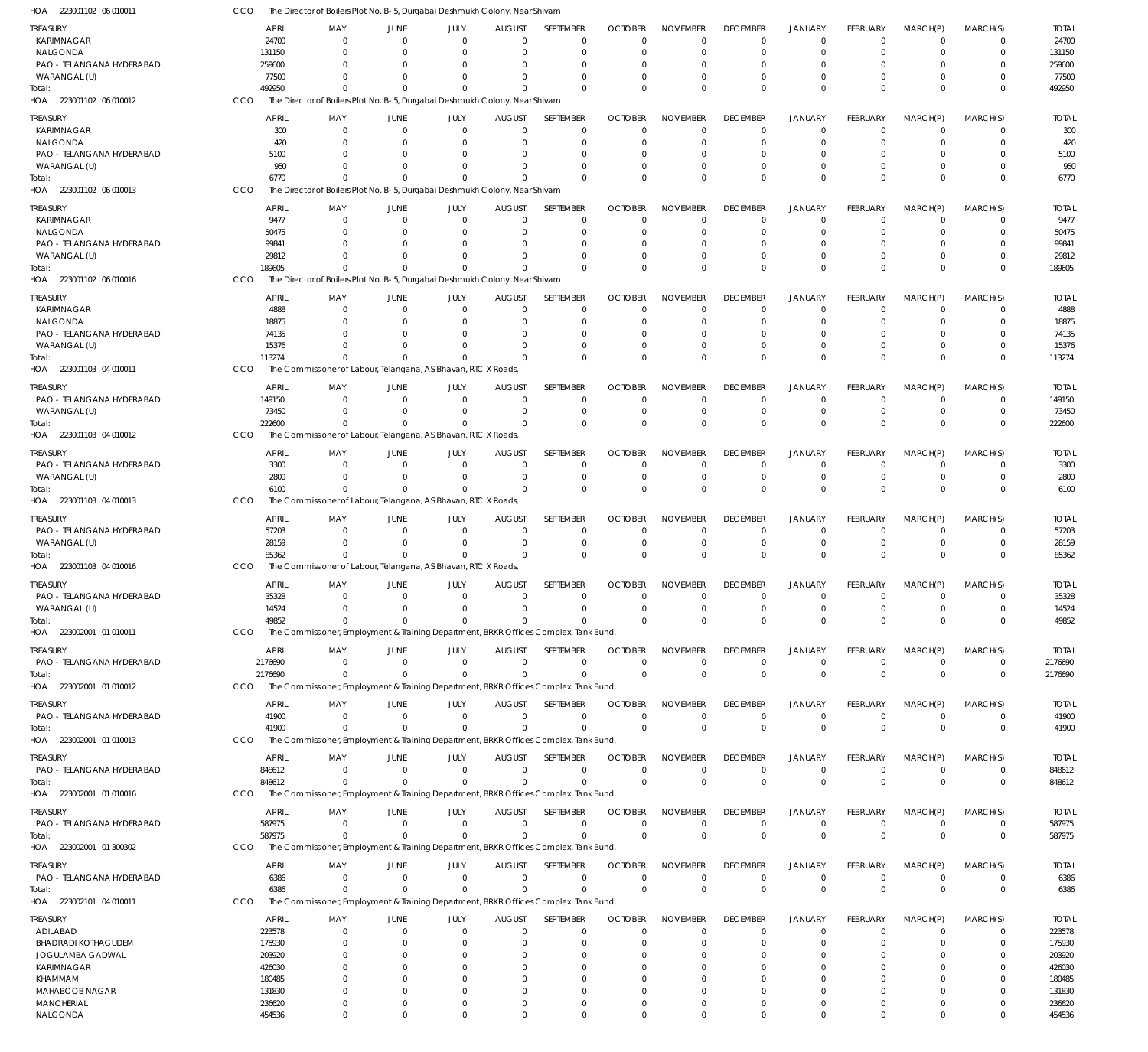| HOA<br>223001102 06 010011                     | CCO              | The Director of Boilers Plot No. B-5, Durgabai Deshmukh Colony, Near Shivam                      |                      |                            |                      |                            |                      |                      |                                  |                                  |                      |                            |                            |                  |
|------------------------------------------------|------------------|--------------------------------------------------------------------------------------------------|----------------------|----------------------------|----------------------|----------------------------|----------------------|----------------------|----------------------------------|----------------------------------|----------------------|----------------------------|----------------------------|------------------|
| <b>TREASURY</b>                                | <b>APRIL</b>     | MAY                                                                                              | <b>JUNE</b>          | JULY                       | <b>AUGUST</b>        | SEPTEMBER                  | <b>OCTOBER</b>       | <b>NOVEMBER</b>      | <b>DECEMBER</b>                  | <b>JANUARY</b>                   | FEBRUARY             | MARCH(P)                   | MARCH(S)                   | <b>TOTAL</b>     |
| KARIMNAGAR                                     | 24700            | $\Omega$                                                                                         | $\Omega$             | $\mathbf 0$                | $\Omega$             | $\mathbf 0$                | $\Omega$             | $\Omega$             | $\overline{0}$                   | $\overline{0}$                   | $\Omega$             | $\Omega$                   | $\mathbf 0$                | 24700            |
| NALGONDA                                       | 131150           | $\Omega$                                                                                         | $\Omega$             | $\mathbf 0$                | $\Omega$             | $\mathbf 0$                | $\Omega$             | $\Omega$             | $\overline{0}$                   | $\overline{0}$                   | $\mathbf 0$          | $\mathbf 0$                | $\mathbf 0$                | 131150           |
| PAO - TELANGANA HYDERABAD<br>WARANGAL (U)      | 259600<br>77500  | $\Omega$<br>$\Omega$                                                                             | $\Omega$<br>$\Omega$ | $\Omega$<br>$\mathbf 0$    | $\Omega$<br>$\Omega$ | 0<br>$\Omega$              | $\Omega$             | $\Omega$<br>$\Omega$ | $^{\circ}$<br>$\Omega$           | 0<br>$\Omega$                    | $\Omega$<br>$\Omega$ | $\Omega$<br>$\Omega$       | $\mathbf 0$<br>$\mathbf 0$ | 259600<br>77500  |
| Total:                                         | 492950           | $\Omega$                                                                                         | $\Omega$             | $\Omega$                   | $\Omega$             | $\Omega$                   | $\Omega$             | $\Omega$             | $\mathbf 0$                      | $\mathbf{0}$                     | $\Omega$             | $\Omega$                   | $\mathbf 0$                | 492950           |
| HOA 223001102 06 010012                        | CCO              | The Director of Boilers Plot No. B-5, Durgabai Deshmukh Colony, Near Shivam                      |                      |                            |                      |                            |                      |                      |                                  |                                  |                      |                            |                            |                  |
| <b>TREASURY</b>                                | <b>APRIL</b>     | MAY                                                                                              | <b>JUNE</b>          | JULY                       | <b>AUGUST</b>        | SEPTEMBER                  | <b>OCTOBER</b>       | <b>NOVEMBER</b>      | <b>DECEMBER</b>                  | <b>JANUARY</b>                   | FEBRUARY             | MARCH(P)                   | MARCH(S)                   | <b>TOTAL</b>     |
| KARIMNAGAR                                     | 300              | $\mathbf 0$                                                                                      | $\mathbf 0$          | $\mathbf 0$                | $\mathbf 0$          | $\mathbf 0$                | $\Omega$             | $\Omega$             | $^{\circ}$                       | $\overline{0}$                   | $\mathbf 0$          | $\overline{0}$             | $\mathbf 0$                | 300              |
| NALGONDA                                       | 420              | $\Omega$                                                                                         | $\Omega$             | $\mathbf 0$                | 0                    | $\mathbf 0$                | $\Omega$             | $\Omega$             | $^{\circ}$                       | $\overline{0}$                   | $\Omega$             | $\Omega$                   | $\mathbf 0$                | 420              |
| PAO - TELANGANA HYDERABAD                      | 5100             | $\Omega$                                                                                         | $\Omega$             | $\mathbf 0$                | 0                    | $\mathbf 0$                | $\Omega$             | $\Omega$             | $^{\circ}$                       | $\Omega$                         | $\Omega$             | $\Omega$                   | $\mathbf 0$                | 5100             |
| WARANGAL (U)                                   | 950              | $\Omega$                                                                                         | $\Omega$             | $\overline{0}$             | $\Omega$             | $\mathbf 0$                | $\Omega$             | $\Omega$             | $\overline{0}$                   | $\overline{0}$                   | $\Omega$             | $\Omega$                   | $\mathbf 0$                | 950              |
| Total:                                         | 6770             | $\Omega$                                                                                         | $\Omega$             | $\Omega$                   | $\Omega$             | $\Omega$                   | $\cap$               | $\Omega$             | $\mathbf 0$                      | $\Omega$                         | $\Omega$             | $\Omega$                   | $\mathbf 0$                | 6770             |
| HOA 223001102 06 010013                        | CCO              | The Director of Boilers Plot No. B-5, Durgabai Deshmukh Colony, Near Shivam                      |                      |                            |                      |                            |                      |                      |                                  |                                  |                      |                            |                            |                  |
| <b>TREASURY</b>                                | <b>APRIL</b>     | MAY                                                                                              | JUNE                 | JULY                       | <b>AUGUST</b>        | SEPTEMBER                  | <b>OCTOBER</b>       | <b>NOVEMBER</b>      | <b>DECEMBER</b>                  | <b>JANUARY</b>                   | FEBRUARY             | MARCH(P)                   | MARCH(S)                   | <b>TOTAL</b>     |
| KARIMNAGAR                                     | 9477             | $\Omega$                                                                                         | $\mathbf 0$          | $\mathbf 0$                | $\Omega$             | $\mathbf 0$                | $\Omega$             | $\Omega$             | $\overline{0}$                   | $\overline{0}$                   | $\mathbf 0$          | $\mathbf 0$                | $\Omega$                   | 9477             |
| NALGONDA                                       | 50475            | $\Omega$                                                                                         | $\mathbf 0$          | $\mathbf 0$                | $\Omega$             | $\mathbf 0$                | $\Omega$             | $\Omega$             | $\overline{0}$                   | $\Omega$                         | $\Omega$             | $\Omega$                   | $\mathbf 0$                | 50475            |
| PAO - TELANGANA HYDERABAD                      | 99841            | $\Omega$                                                                                         | $\Omega$             | 0                          | $\Omega$             | $\mathbf 0$                | $\Omega$             | $\Omega$             | $\overline{0}$                   | $\Omega$                         | $\Omega$             | $\Omega$                   | $\mathbf 0$                | 99841            |
| WARANGAL (U)                                   | 29812            | $\Omega$<br>$\Omega$                                                                             | $\Omega$<br>$\Omega$ | $\overline{0}$<br>$\Omega$ | $\Omega$<br>$\Omega$ | $\mathbf 0$<br>$\Omega$    | $\Omega$             | $\Omega$<br>$\Omega$ | $\overline{0}$                   | $\overline{0}$                   | $\Omega$<br>$\Omega$ | $\mathbf 0$<br>$\Omega$    | $\mathbf 0$                | 29812            |
| Total:<br>HOA 223001102 06 010016              | 189605<br>CCO    | The Director of Boilers Plot No. B-5, Durgabai Deshmukh Colony, Near Shivam                      |                      |                            |                      |                            | $\Omega$             |                      | $\mathbf 0$                      | $\mathbf{0}$                     |                      |                            | $\mathbf 0$                | 189605           |
|                                                |                  |                                                                                                  |                      |                            |                      |                            |                      |                      |                                  |                                  |                      |                            |                            |                  |
| TREASURY                                       | <b>APRIL</b>     | MAY                                                                                              | JUNE                 | JULY                       | <b>AUGUST</b>        | SEPTEMBER                  | <b>OCTOBER</b>       | <b>NOVEMBER</b>      | <b>DECEMBER</b>                  | <b>JANUARY</b>                   | FEBRUARY             | MARCH(P)                   | MARCH(S)                   | <b>TOTAL</b>     |
| KARIMNAGAR                                     | 4888             | $\mathbf{0}$<br>$\Omega$                                                                         | $\mathbf 0$          | $\mathbf 0$                | 0                    | $\mathbf 0$<br>$\mathbf 0$ | $\Omega$             | $\Omega$<br>$\Omega$ | $\overline{0}$<br>$\overline{0}$ | $\overline{0}$<br>$\overline{0}$ | $\mathbf 0$          | $\mathbf 0$<br>$\mathbf 0$ | $\mathbf 0$<br>$\mathbf 0$ | 4888             |
| NALGONDA<br>PAO - TELANGANA HYDERABAD          | 18875<br>74135   | <sup>0</sup>                                                                                     | 0<br>$\Omega$        | 0<br>0                     | 0<br>n               | $\Omega$                   | $\Omega$<br>$\Omega$ | $\Omega$             | $\Omega$                         | $\Omega$                         | 0<br>$\Omega$        | $\Omega$                   | $\mathbf 0$                | 18875<br>74135   |
| WARANGAL (U)                                   | 15376            | $\Omega$                                                                                         | 0                    | $\mathbf 0$                | $\Omega$             | $\mathbf 0$                | $\Omega$             | $\Omega$             | $\overline{0}$                   | $\overline{0}$                   | $\mathbf 0$          | $\mathbf 0$                | $\mathbf 0$                | 15376            |
| Total:                                         | 113274           | $\Omega$                                                                                         | $\Omega$             | $\Omega$                   | $\Omega$             | $\Omega$                   | $\Omega$             | $\Omega$             | $\mathbf 0$                      | $\overline{0}$                   | $\Omega$             | $\Omega$                   | $\mathbf 0$                | 113274           |
| HOA 223001103 04 010011                        | CCO              | The Commissioner of Labour, Telangana, AS Bhavan, RTC X Roads,                                   |                      |                            |                      |                            |                      |                      |                                  |                                  |                      |                            |                            |                  |
| treasury                                       | <b>APRIL</b>     | MAY                                                                                              | <b>JUNE</b>          | JULY                       | <b>AUGUST</b>        | SEPTEMBER                  | <b>OCTOBER</b>       | <b>NOVEMBER</b>      | <b>DECEMBER</b>                  | <b>JANUARY</b>                   | FEBRUARY             | MARCH(P)                   | MARCH(S)                   | <b>TOTAL</b>     |
| PAO - TELANGANA HYDERABAD                      | 149150           | 0                                                                                                | $\mathbf{0}$         | $\mathbf 0$                | 0                    | $\mathbf 0$                | $\Omega$             | $\Omega$             | $\overline{0}$                   | $\overline{0}$                   | $\mathbf 0$          | $\mathbf 0$                | $\mathbf 0$                | 149150           |
| WARANGAL (U)                                   | 73450            | $\Omega$                                                                                         | $\Omega$             | $\mathbf 0$                | $\Omega$             | $\mathbf 0$                | $\Omega$             | $\Omega$             | $\mathbf 0$                      | $\overline{0}$                   | $\mathbf 0$          | $\mathbf 0$                | $\mathbf 0$                | 73450            |
| Total:                                         | 222600           | $\Omega$                                                                                         | $\Omega$             | $\Omega$                   | $\Omega$             | $\mathbf 0$                | $\Omega$             | $\Omega$             | $\mathbf 0$                      | $\mathbf 0$                      | $\Omega$             | $\Omega$                   | $\mathbf 0$                | 222600           |
| HOA 223001103 04 010012                        | CCO              | The Commissioner of Labour, Telangana, AS Bhavan, RTC X Roads,                                   |                      |                            |                      |                            |                      |                      |                                  |                                  |                      |                            |                            |                  |
| <b>TREASURY</b>                                | <b>APRIL</b>     | MAY                                                                                              | <b>JUNE</b>          | JULY                       | <b>AUGUST</b>        | SEPTEMBER                  | <b>OCTOBER</b>       | <b>NOVEMBER</b>      | <b>DECEMBER</b>                  | <b>JANUARY</b>                   | FEBRUARY             | MARCH(P)                   | MARCH(S)                   | <b>TOTAL</b>     |
| PAO - TELANGANA HYDERABAD                      | 3300             | $\mathbf{0}$                                                                                     | $\overline{0}$       | $\mathbf 0$                | 0                    | $\mathbf 0$                | $\Omega$             | $\Omega$             | $^{\circ}$                       | $\overline{0}$                   | $\mathbf 0$          | $\overline{0}$             | $\mathbf 0$                | 3300             |
| WARANGAL (U)                                   | 2800             | $\Omega$                                                                                         | $\mathbf 0$          | $\mathbf 0$                | $\Omega$             | $\mathbf 0$                | $\Omega$             | $\Omega$             | $^{\circ}$                       | $\overline{0}$                   | $\mathbf 0$          | $^{\circ}$                 | $\mathbf 0$                | 2800             |
| Total:                                         | 6100             | $\Omega$                                                                                         | $\Omega$             | $\Omega$                   | $\Omega$             | $\mathbf 0$                | $\Omega$             | $\Omega$             | $\mathbf 0$                      | $\mathbf 0$                      | $\Omega$             | $\Omega$                   | $\mathbf 0$                | 6100             |
| HOA 223001103 04 010013                        | CCO              | The Commissioner of Labour, Telangana, AS Bhavan, RTC X Roads,                                   |                      |                            |                      |                            |                      |                      |                                  |                                  |                      |                            |                            |                  |
| treasury                                       | <b>APRIL</b>     | MAY                                                                                              | <b>JUNE</b>          | JULY                       | <b>AUGUST</b>        | SEPTEMBER                  | <b>OCTOBER</b>       | <b>NOVEMBER</b>      | <b>DECEMBER</b>                  | <b>JANUARY</b>                   | FEBRUARY             | MARCH(P)                   | MARCH(S)                   | <b>TOTAL</b>     |
| PAO - TELANGANA HYDERABAD                      | 57203            | $\Omega$                                                                                         | $\mathbf{0}$         | $\mathbf 0$                | 0                    | $\mathbf 0$                | $\Omega$             | $\Omega$             | $^{\circ}$                       | $\overline{0}$                   | $\mathbf 0$          | $\Omega$                   | $\mathbf 0$                | 57203            |
| WARANGAL (U)                                   | 28159            | $\mathbf{0}$                                                                                     | $\mathbf{0}$         | $\mathbf 0$                | 0                    | $\mathbf 0$                | 0                    | $\Omega$             | $^{\circ}$                       | $\overline{0}$                   | $\mathbf 0$          | $\mathbf 0$                | $\mathbf 0$                | 28159            |
| Total:                                         | 85362            | $\Omega$                                                                                         | $\Omega$             | $\Omega$                   | $\Omega$             | $\Omega$                   | $\Omega$             | $\Omega$             | $\mathbf 0$                      | $\mathbf{0}$                     | $\Omega$             | $\Omega$                   | $\mathbf 0$                | 85362            |
| HOA 223001103 04 010016                        | CCO              | The Commissioner of Labour, Telangana, AS Bhavan, RTC X Roads,                                   |                      |                            |                      |                            |                      |                      |                                  |                                  |                      |                            |                            |                  |
| treasury                                       | <b>APRIL</b>     | MAY                                                                                              | JUNE                 | JULY                       | <b>AUGUST</b>        | SEPTEMBER                  | <b>OCTOBER</b>       | <b>NOVEMBER</b>      | <b>DECEMBER</b>                  | <b>JANUARY</b>                   | FEBRUARY             | MARCH(P)                   | MARCH(S)                   | <b>TOTAL</b>     |
| PAO - TELANGANA HYDERABAD                      | 35328            | $\mathbf 0$                                                                                      | $\mathbf{0}$         | $\mathbf 0$                | $\mathbf{0}$         | $\mathbf 0$                | $\mathbf{0}$         | $\mathbf 0$          | $^{\circ}$                       | $\mathbf 0$                      | $\mathbf 0$          | $\overline{0}$             | $\mathbf 0$                | 35328            |
| WARANGAL (U)                                   | 14524            | 0                                                                                                | $\Omega$             | $\mathbf 0$                | 0                    | $\mathbf 0$                |                      |                      | - 0                              | $\overline{0}$                   | 0                    | $\mathbf 0$                | $\mathbf 0$                | 14524            |
| Total:                                         | 49852            | $\Omega$                                                                                         | $\Omega$             | $\mathbf 0$                | $\mathbf 0$          | $\mathbf 0$                | $\Omega$             | $\Omega$             | $\mathbf 0$                      | $\mathbf 0$                      | $\mathbf 0$          | $\overline{0}$             | $\mathbf 0$                | 49852            |
| HOA 223002001 01 010011                        | CCO              | The Commissioner, Employment & Training Department, BRKR Offices Complex, Tank Bund,             |                      |                            |                      |                            |                      |                      |                                  |                                  |                      |                            |                            |                  |
| treasury                                       | APRIL            | MAY                                                                                              | <b>JUNE</b>          | JULY                       | <b>AUGUST</b>        | SEPTEMBER                  | <b>OCTOBER</b>       | <b>NOVEMBER</b>      | <b>DECEMBER</b>                  | <b>JANUARY</b>                   | FEBRUARY             | MARCH(P)                   | MARCH(S)                   | <b>TOTAL</b>     |
| PAO - TELANGANA HYDERABAD                      | 2176690          | 0                                                                                                | $\mathbf{0}$         | $\mathbf 0$                | $\mathbf{0}$         | $\mathbf 0$                | $\Omega$             | $\Omega$             | $\mathbf 0$                      | $\mathbf 0$                      | $\mathbf 0$          | $^{\circ}$                 | $\mathbf 0$                | 2176690          |
| Total:                                         | 2176690          | $\Omega$                                                                                         | $\Omega$             | $\Omega$                   | $\Omega$             | $\Omega$                   | $\Omega$             | $\Omega$             | $\mathbf 0$                      | $\mathbf 0$                      | $\Omega$             | $\Omega$                   | $\mathbf 0$                | 2176690          |
| HOA 223002001 01 010012                        | CCO              | The Commissioner, Employment & Training Department, BRKR Offices Complex, Tank Bund,             |                      |                            |                      |                            |                      |                      |                                  |                                  |                      |                            |                            |                  |
| treasury                                       | <b>APRIL</b>     | MAY                                                                                              | JUNE                 | JULY                       | <b>AUGUST</b>        | SEPTEMBER                  | <b>OCTOBER</b>       | <b>NOVEMBER</b>      | <b>DECEMBER</b>                  | <b>JANUARY</b>                   | FEBRUARY             | MARCH(P)                   | MARCH(S)                   | <b>TOTAL</b>     |
| PAO - TELANGANA HYDERABAD                      | 41900            | $\mathbf 0$                                                                                      | $\mathbf{0}$         | $\mathbf 0$                | $\mathbf{0}$         | $\mathbf 0$                | $\Omega$             | $\Omega$             | $\overline{0}$                   | $\overline{0}$                   | $\mathbf 0$          | $\overline{0}$             | $\mathbf 0$                | 41900            |
| Total:<br>HOA 223002001 01010013               | 41900<br>CCO     | $\Omega$<br>The Commissioner, Employment & Training Department, BRKR Offices Complex, Tank Bund, | $\overline{0}$       | $\mathbf 0$                | 0                    | $\mathbf 0$                | $\overline{0}$       | $\mathbf 0$          | $\mathbf 0$                      | $\mathbf 0$                      | $\overline{0}$       | $\Omega$                   | $\mathbf 0$                | 41900            |
|                                                |                  |                                                                                                  |                      |                            |                      |                            |                      |                      |                                  |                                  |                      |                            |                            |                  |
| <b>TREASURY</b>                                | <b>APRIL</b>     | MAY                                                                                              | JUNE                 | JULY                       | <b>AUGUST</b>        | SEPTEMBER                  | <b>OCTOBER</b>       | <b>NOVEMBER</b>      | <b>DECEMBER</b>                  | <b>JANUARY</b>                   | FEBRUARY             | MARCH(P)                   | MARCH(S)                   | <b>TOTAL</b>     |
| PAO - TELANGANA HYDERABAD                      | 848612           | $\mathbf{0}$                                                                                     | $\mathbf{0}$         | $\mathbf 0$                | $\mathbf{0}$         | $\mathbf 0$                | $\Omega$             | 0                    | $\mathbf 0$                      | $\mathbf 0$                      | $\mathbf 0$          | $\overline{0}$             | $\mathbf 0$                | 848612           |
| Total:<br>HOA 223002001 01 010016              | 848612<br>CCO    | $\Omega$<br>The Commissioner, Employment & Training Department, BRKR Offices Complex, Tank Bund, | $\Omega$             | $\mathbf{0}$               | $\Omega$             | $\mathbf 0$                | $\overline{0}$       | $\mathbf 0$          | $\mathbf 0$                      | $\mathbf 0$                      | $\overline{0}$       | $\overline{0}$             | $\mathbf 0$                | 848612           |
|                                                |                  |                                                                                                  |                      |                            |                      |                            |                      |                      |                                  |                                  |                      |                            |                            |                  |
| treasury                                       | APRIL            | MAY                                                                                              | JUNE                 | JULY                       | <b>AUGUST</b>        | SEPTEMBER                  | <b>OCTOBER</b>       | <b>NOVEMBER</b>      | <b>DECEMBER</b>                  | <b>JANUARY</b>                   | FEBRUARY             | MARCH(P)                   | MARCH(S)                   | <b>TOTAL</b>     |
| PAO - TELANGANA HYDERABAD                      | 587975           | $\mathbf 0$                                                                                      | $\mathbf{0}$         | $\mathbf 0$                | $\mathbf 0$          | $\mathbf 0$                | $\Omega$             | $\Omega$<br>$\Omega$ | $\overline{0}$                   | $\overline{0}$                   | $\mathbf 0$          | $\overline{0}$             | $\mathbf 0$                | 587975           |
| Total:<br>HOA 223002001 01 300302              | 587975<br>CCO    | $\Omega$<br>The Commissioner, Employment & Training Department, BRKR Offices Complex, Tank Bund, | $\mathbf{0}$         | $\mathbf 0$                | 0                    | $\mathbf 0$                | $\Omega$             |                      | $\mathbf 0$                      | $\mathbf 0$                      | $\overline{0}$       | $\overline{0}$             | $\mathbf 0$                | 587975           |
|                                                |                  |                                                                                                  |                      |                            |                      |                            |                      |                      |                                  |                                  |                      |                            |                            |                  |
| TREASURY                                       | <b>APRIL</b>     | MAY                                                                                              | JUNE                 | JULY                       | <b>AUGUST</b>        | SEPTEMBER                  | <b>OCTOBER</b>       | <b>NOVEMBER</b>      | <b>DECEMBER</b>                  | <b>JANUARY</b>                   | FEBRUARY             | MARCH(P)                   | MARCH(S)                   | <b>TOTAL</b>     |
| PAO - TELANGANA HYDERABAD                      | 6386             | $\mathbf 0$                                                                                      | $\overline{0}$       | $\mathbf 0$                | $\mathbf{0}$         | $\mathbf 0$                | $\Omega$             | $\Omega$             | $\overline{0}$                   | $\overline{0}$                   | $\mathbf 0$          | $\overline{0}$             | $\mathbf 0$                | 6386             |
| Total:<br>HOA 223002101 04 010011              | 6386<br>CCO      | $\Omega$<br>The Commissioner, Employment & Training Department, BRKR Offices Complex, Tank Bund, | $\Omega$             | $\mathbf 0$                | $\Omega$             | $\mathbf 0$                | $\overline{0}$       | $\Omega$             | $\mathbf 0$                      | $\mathbf 0$                      | $\Omega$             | $\Omega$                   | $\mathbf 0$                | 6386             |
|                                                |                  |                                                                                                  |                      |                            |                      |                            |                      |                      |                                  |                                  |                      |                            |                            |                  |
| treasury                                       | <b>APRIL</b>     | MAY                                                                                              | JUNE                 | JULY                       | <b>AUGUST</b>        | SEPTEMBER                  | <b>OCTOBER</b>       | <b>NOVEMBER</b>      | <b>DECEMBER</b>                  | <b>JANUARY</b>                   | FEBRUARY             | MARCH(P)                   | MARCH(S)                   | <b>TOTAL</b>     |
| ADILABAD                                       | 223578           | $\mathbf{0}$                                                                                     | $\mathbf 0$          | $\mathbf 0$                | 0                    | $\mathbf 0$                | $\Omega$             | $\Omega$             | $^{\circ}$                       | $\overline{0}$                   | $\mathbf 0$          | $\mathbf 0$                | $\mathbf 0$                | 223578           |
| <b>BHADRADI KOTHAGUDEM</b><br>JOGULAMBA GADWAL | 175930<br>203920 | $\Omega$<br>0                                                                                    | 0<br>0               | 0<br>0                     | 0<br>0               | $\mathbf 0$<br>$\mathbf 0$ | $\Omega$<br>$\Omega$ | $\Omega$<br>$\Omega$ | $^{\circ}$<br>0                  | $\overline{0}$<br>$\overline{0}$ | $\Omega$<br>$\Omega$ | $\Omega$<br>$\Omega$       | $\mathbf 0$<br>$\mathbf 0$ | 175930<br>203920 |
| KARIMNAGAR                                     | 426030           | 0                                                                                                | $\Omega$             | $\Omega$                   | $\Omega$             | $\mathbf 0$                |                      | $\Omega$             | $\Omega$                         | $\Omega$                         | $\Omega$             | $\Omega$                   | $\mathbf 0$                | 426030           |
| KHAMMAM                                        | 180485           | 0                                                                                                | $\Omega$             | $\Omega$                   |                      | $\Omega$                   |                      | $\Omega$             | $\Omega$                         | $\Omega$                         | $\Omega$             | $\Omega$                   | $\Omega$                   | 180485           |
| MAHABOOB NAGAR                                 | 131830           | 0                                                                                                | $\Omega$             | $\mathbf 0$                | 0                    | $\mathbf 0$                | $\Omega$             | $\Omega$             | 0                                | $\Omega$                         | $\Omega$             | $\Omega$                   | $\mathbf 0$                | 131830           |
| <b>MANCHERIAL</b>                              | 236620           | $\mathbf{0}$                                                                                     | 0                    | $\mathbf 0$                | $\Omega$             | $\mathbf 0$                |                      | $\Omega$             | 0                                | $\overline{0}$                   | 0                    | $\mathbf 0$                | 0                          | 236620           |
| NALGONDA                                       | 454536           | $\mathbf 0$                                                                                      | $\mathbf 0$          | $\mathbf 0$                | $\Omega$             | $\Omega$                   | $\Omega$             | $\Omega$             | $\mathbf 0$                      | $\Omega$                         | 0                    | $\mathbf 0$                | $\Omega$                   | 454536           |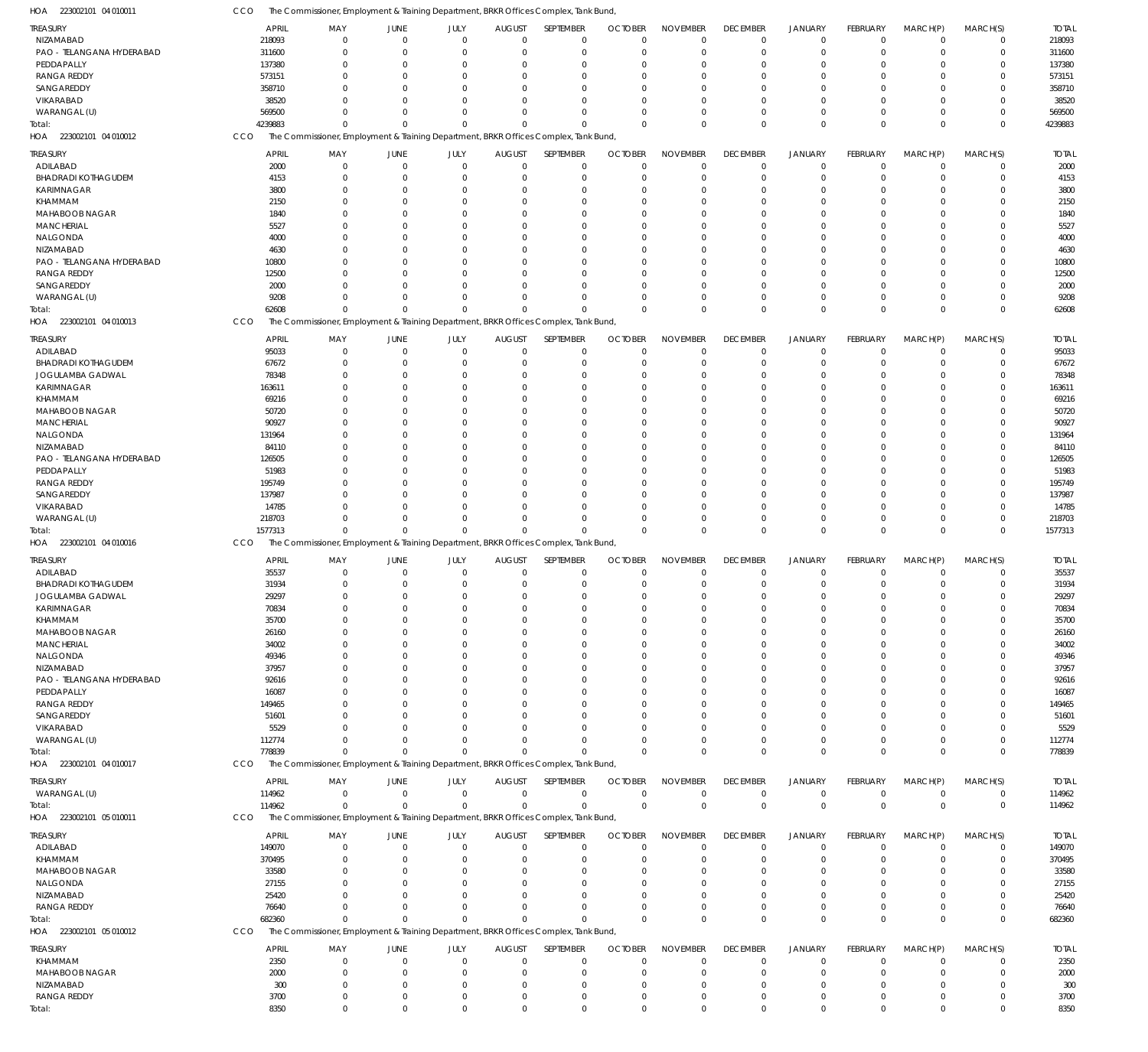223002101 04 010012 HOA 223002101 04 010013 223002101 04 010016 HOA 223002101 04 010017 HOA 223002101 05 010011 HOA 223002101 05 010012 HOA HOA The Commissioner, Employment & Training Department, BRKR Offices Complex, Tank Bund, The Commissioner, Employment & Training Department, BRKR Offices Complex, Tank Bund, The Commissioner, Employment & Training Department, BRKR Offices Complex, Tank Bund, The Commissioner, Employment & Training Department, BRKR Offices Complex, Tank Bund, The Commissioner, Employment & Training Department, BRKR Offices Complex, Tank Bund, The Commissioner, Employment & Training Department, BRKR Offices Complex, Tank Bund, CCO **CCO** CCO CCO **CCO** CCO 4239883 62608 1577313 778839 114962 682360 8350  $\Omega$ 0 0  $\Omega$ 0 0  $\,$  0  $\,$  $\Omega$ 0  $\Omega$  $\Omega$  $\mathbf 0$ 0  $\boldsymbol{0}$  $\Omega$ 0 0 0 0 0 0  $\Omega$ 0  $\Omega$  $\Omega$ 0  $\Omega$  $\boldsymbol{0}$  $\Omega$ 0  $\Omega$  $\Omega$ 0 0  $\mathbf 0$  $\Omega$  $\Omega$  $\Omega$  $\Omega$ 0  $\Omega$ 0  $\Omega$ 0  $\Omega$  $\Omega$  $\,$  0  $\,$  $\Omega$  $\,$  0  $\,$  $\Omega$ 0  $\Omega$  $\Omega$ 0  $\Omega$ 0  $\Omega$ 0  $\Omega$  $\Omega$ 0  $\theta$  $\,$  0  $\,$  $\Omega$ 0  $\Omega$  $\Omega$  $\boldsymbol{0}$ 0  $\boldsymbol{0}$  $\Omega$ 0  $\Omega$  $\Omega$ 0  $\Omega$ 0  $\Omega$ 0  $\Omega$  $\Omega$ 0  $\Omega$ 4239883 62608 1577313 778839 114962 682360 8350 NIZAMABAD PAO - TELANGANA HYDERABAD **PEDDAPALLY** RANGA REDDY SANGAREDDY VIKARABAD WARANGAL (U) ADILABAD BHADRADI KOTHAGUDEM KARIMNAGAR KHAMMAM MAHABOOB NAGAR **MANCHERIAL** NALGONDA NIZAMABAD PAO - TELANGANA HYDERABAD RANGA REDDY SANGAREDDY WARANGAL (U) ADILABAD BHADRADI KOTHAGUDEM JOGULAMBA GADWAL KARIMNAGAR KHAMMAM MAHABOOB NAGAR **MANCHERIAL** NALGONDA NIZAMABAD PAO - TELANGANA HYDERABAD PEDDAPALLY RANGA REDDY SANGAREDDY VIKARABAD WARANGAL (U) ADILABAD BHADRADI KOTHAGUDEM JOGULAMBA GADWAL KARIMNAGAR KHAMMAM MAHABOOB NAGAR MANCHERIAL NALGONDA NIZAMABAD PAO - TELANGANA HYDERABAD **PEDDAPALLY** RANGA REDDY SANGAREDDY VIKARABAD WARANGAL (U) WARANGAL (U) ADILABAD KHAMMAM MAHABOOB NAGAR NALGONDA NIZAMABAD RANGA REDDY KHAMMAM MAHABOOB NAGAR NIZAMABAD RANGA REDDY TREASURY TREASURY TREASURY TREASURY TREASURY TREASURY **TREASURY** 218093 311600 137380 573151 358710 38520 569500 2000 4153 3800 2150 1840 5527 4000 4630 10800 12500 2000 9208 95033 67672 78348 163611 69216 50720 90927 131964 84110 126505 51983 195749 137987 14785 218703 35537 31934 29297 70834 35700 26160 34002 49346 37957 92616 16087 149465 51601 5529 112774 114962 149070 370495 33580 27155 25420 76640 2350 2000 300 3700 APRIL APRIL APRIL APRIL APRIL APRIL APRIL  $\Omega$ 0  $\Omega$ 0  $\Omega$  $\Omega$ 0 0 0 0  $\theta$ 0 0 0 0  $\Omega$ 0 0 0 0  $\Omega$ 0  $\Omega$ 0 0  $\Omega$ 0  $\Omega$ 0 0  $\Omega$  $\Omega$  $\Omega$ 0 0 0  $\Omega$ 0 0 0 0 0 0 0 0 0 0  $\theta$ 0 0 0 0 0 0 0 0 0 0 0 0 MAY MAY MAY MAY MAY MAY MAY 0 0  $\Omega$ 0 0  $\Omega$ 0 0 0 0  $\Omega$ 0  $\Omega$ 0 0 0 0  $\Omega$ 0 0  $\Omega$ 0  $\Omega$ 0 0  $\Omega$ 0  $\Omega$ 0 0 0 0  $\Omega$ 0 0 0 0  $\Omega$ 0 0 0 0  $\Omega$ 0  $\Omega$ 0 0  $\Omega$ 0  $\sqrt{0}$ 0 0  $\Omega$ 0 0  $\pmb{0}$ 0  $\Omega$ 0 0 JUNE JUNE JUNE JUNE JUNE JUNE JUNE 0 0  $\Omega$ 0 0  $\sqrt{0}$ 0 0 0 0 0 0 0 0 0  $\Omega$ 0 0 0 0 0 0  $\Omega$ 0 0  $\Omega$ 0  $\Omega$ 0 0 0  $\Omega$  $\Omega$ 0 0 0 0 0 0 0 0 0 0 0 0 0 0 0 0  $\Omega$ 0 0 0 0 0 0 0  $\Omega$ 0 0 JULY JULY JULY JULY JULY JULY JULY  $\Omega$ 0  $\Omega$ 0  $\Omega$  $\sqrt{2}$ 0 0 0 0 0 0  $\Omega$ 0 0  $\Omega$ 0  $\Omega$  $\theta$ 0  $\Omega$ 0  $\Omega$ 0 0  $\Omega$ 0  $\Omega$ 0 0  $\Omega$  $\Omega$  $\Omega$ 0 0  $\Omega$ 0  $\Omega$ 0 0 0  $\Omega$  $\Omega$ 0  $\Omega$  $\Omega$ 0 0 0  $\Omega$ 0  $\Omega$  $\Omega$ 0 0 0 0  $\Omega$ 0 0 AUGUST AUGUST AUGUST AUGUST AUGUST AUGUST AUGUST  $\Omega$  $\overline{0}$  $\Omega$ 0  $\Omega$  $\Omega$ 0  $\Omega$ 0 0  $\Omega$ 0  $\Omega$ 0 0  $\Omega$ 0  $\Omega$  $\Omega$ 0  $\Omega$ 0  $\Omega$ 0 0  $\Omega$ 0  $\Omega$  $\Omega$ 0  $\Omega$  $\Omega$  $\Omega$ 0 0  $\Omega$  $\Omega$  $\Omega$ 0 0  $\Omega$  $\Omega$  $\Omega$ 0  $\Omega$  $\Omega$  $\Omega$  $\Omega$ 0  $\Omega$  $\Omega$  $\Omega$  $\Omega$ 0 0 0 0  $\Omega$ 0 0 SEPTEMBER SEPTEMBER SEPTEMBER SEPTEMBER SEPTEMBER SEPTEMBER **SEPTEMBER** 0 0  $\Omega$ 0  $\Omega$  $\Omega$ 0 0 0 0 0 0 0 0 0  $\Omega$ 0 0 0  $\Omega$  $\Omega$ 0  $\Omega$ 0  $\Omega$  $\Omega$ 0  $\Omega$ 0  $\Omega$  $\Omega$  $\Omega$  $\Omega$ 0 0 0  $\Omega$ 0 0 0  $\Omega$  $\Omega$ 0 0  $\Omega$ 0 0 0 0 0 0 0 0 0 0 0 0  $\Omega$ 0 0 OCTOBER OCTOBER OCTOBER OCTOBER OCTOBER OCTOBER **OCTOBER**  $\Omega$ 0  $\Omega$ 0 0  $\Omega$ 0  $\Omega$ 0 0  $\Omega$ 0  $\Omega$ 0 0  $\Omega$ 0  $\Omega$ 0 0  $\Omega$ 0  $\Omega$ 0 0  $\Omega$ 0  $\Omega$ 0 0  $\Omega$  $\Omega$  $\Omega$ 0 0 0 0  $\Omega$ 0 0 0  $\Omega$  $\Omega$ 0  $\Omega$ 0 0  $\theta$ 0  $\Omega$ 0 0  $\Omega$ 0 0 0 0  $\Omega$ 0 0 NOVEMBER NOVEMBER NOVEMBER NOVEMBER NOVEMBER NOVEMBER NOVEMBER  $\Omega$ 0  $\Omega$ 0 0  $\Omega$ 0 0 0 0  $\Omega$ 0  $\Omega$ 0 0  $\Omega$ 0  $\Omega$ 0 0  $\Omega$ 0  $\Omega$  $\overline{0}$ 0  $\Omega$ 0  $\Omega$  $\overline{0}$ 0  $\Omega$  $\Omega$  $\Omega$ 0 0  $\Omega$  $\Omega$  $\Omega$ 0 0 0  $\Omega$  $\Omega$ 0  $\Omega$  $\Omega$ 0  $\Omega$ 0  $\Omega$  $\Omega$  $\Omega$ 0 0 0 0 0  $\Omega$ 0 0 DECEMBER DECEMBER DECEMBER DECEMBER DECEMBER DECEMBER **DECEMBER**  $\Omega$ 0  $\Omega$ 0 0  $\Omega$ 0  $\Omega$ 0 0  $\Omega$ 0  $\Omega$ 0  $\Omega$  $\Omega$ 0  $\Omega$ 0 0  $\Omega$ 0  $\Omega$ 0 0  $\Omega$ 0  $\Omega$ 0 0  $\Omega$  $\Omega$  $\Omega$ 0 0  $\Omega$ 0  $\Omega$ 0 0 0  $\Omega$  $\Omega$ 0  $\Omega$ 0 0  $\Omega$ 0  $\Omega$  $\Omega$  $\Omega$  $\Omega$ 0 0 0 0  $\Omega$ 0 0 JANUARY JANUARY JANUARY JANUARY JANUARY JANUARY JANUARY 0 0  $\Omega$ 0 0  $\Omega$ 0  $\Omega$ 0 0  $\theta$ 0  $\Omega$ 0 0  $\Omega$ 0  $\Omega$ 0 0 0 0  $\Omega$  $\overline{0}$ 0  $\Omega$ 0  $\Omega$  $\overline{0}$ 0 0 0  $\Omega$  $\boldsymbol{0}$ 0 0 0  $\Omega$ 0 0 0 0  $\Omega$ 0  $\Omega$ 0 0 0 0  $\Omega$ 0 0  $\Omega$ 0 0 0 0  $\Omega$ 0 0 FEBRUARY FEBRUARY FEBRUARY FEBRUARY FEBRUARY FEBRUARY FEBRUARY  $\Omega$ 0  $\Omega$ 0  $\Omega$  $\Omega$ 0 0 0 0  $\Omega$ 0  $\Omega$ 0  $\Omega$  $\Omega$ 0  $\Omega$ 0  $\Omega$  $\Omega$ 0  $\Omega$  $\Omega$  $\Omega$  $\Omega$ 0  $\Omega$ 0 0  $\Omega$  $\Omega$  $\Omega$ 0 0  $\Omega$  $\Omega$  $\Omega$ 0 0 0  $\Omega$  $\Omega$ 0  $\Omega$ 0  $\Omega$  $\Omega$ 0  $\Omega$ 0 0  $\Omega$ 0 0 0 0  $\Omega$ 0 0 MARCH(P) MARCH(P) MARCH(P) MARCH(P) MARCH(P) MARCH(P) MARCH(P)  $\Omega$ 0  $\Omega$ 0  $\Omega$  $\Omega$ 0  $\Omega$ 0  $\Omega$  $\Omega$ 0  $\Omega$ 0  $\Omega$  $\Omega$ 0  $\Omega$ 0  $\Omega$  $\Omega$ 0  $\Omega$ 0  $\Omega$ 0 0  $\Omega$ 0  $\Omega$  $\Omega$  $\Omega$  $\Omega$ 0 0  $\Omega$  $\Omega$  $\Omega$ 0  $\Omega$ 0  $\Omega$  $\Omega$ 0  $\Omega$ 0  $\Omega$  $\Omega$ 0  $\Omega$ 0  $\Omega$  $\Omega$ 0 0 0 0  $\Omega$ 0 0 MARCH(S) MARCH(S) MARCH(S) MARCH(S) MARCH(S) MARCH(S) MARCH(S) 218093 311600 137380 573151 358710 38520 569500 2000 4153 3800 2150 1840 5527 4000 4630 10800 12500 2000 9208 95033 67672 78348 163611 69216 50720 90927 131964 84110 126505 51983 195749 137987 14785 218703 35537 31934 29297 70834 35700 26160 34002 49346 37957 92616 16087 149465 51601 5529 112774 114962 149070 370495 33580 27155 25420 76640 2350 2000 300 3700 TOTAL TOTAL TOTAL TOTAL TOTAL TOTAL TOTAL Total: Total: Total: Total: Total: Total: Total:

0

The Commissioner, Employment & Training Department, BRKR Offices Complex, Tank Bund,

223002101 04 010011 HOA

CCO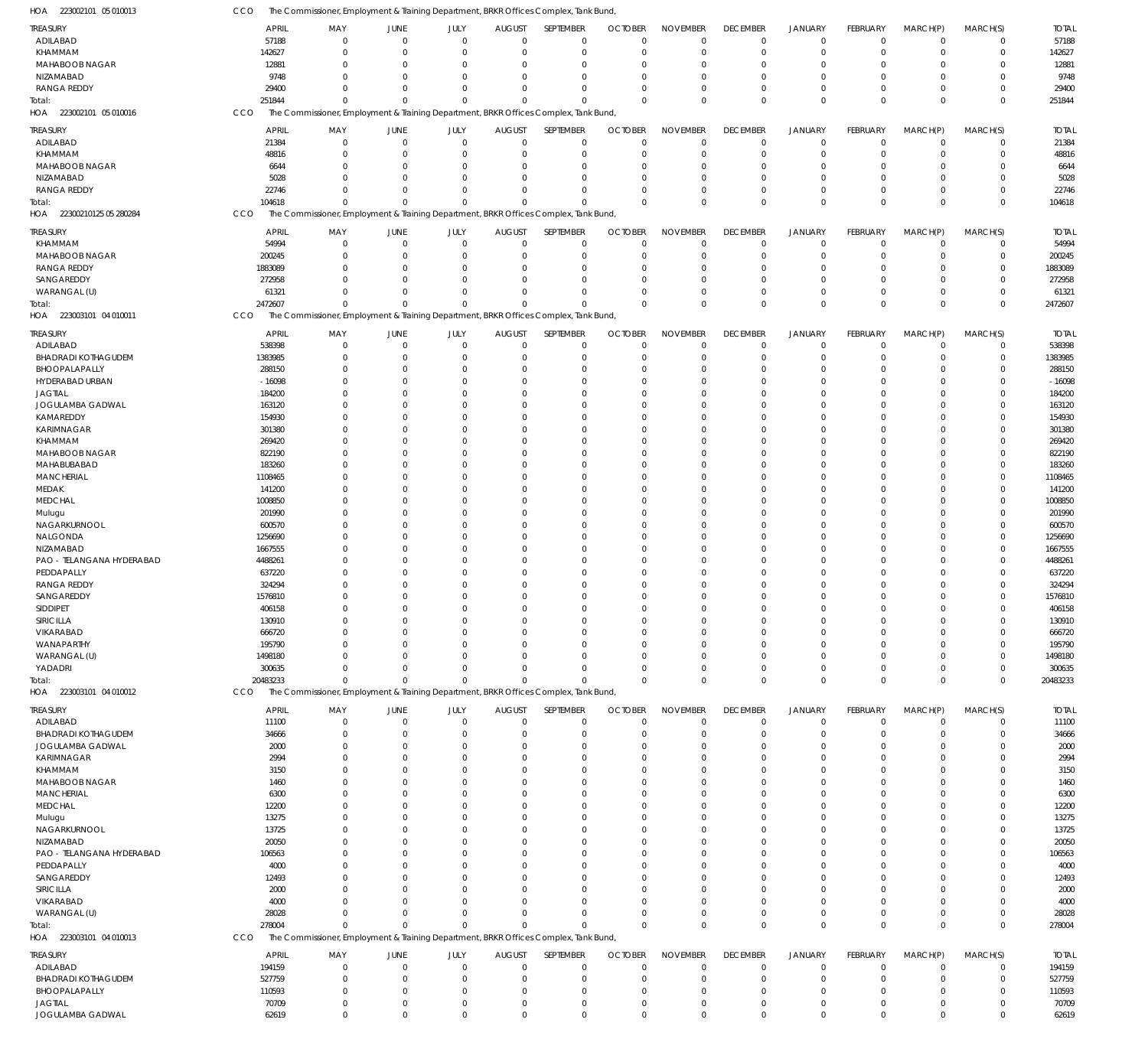| HOA 223002101 05 010013           | CCO                | The Commissioner, Employment & Training Department, BRKR Offices Complex, Tank Bund, |                                  |                          |                              |                            |                               |                             |                                   |                               |                            |                         |                            |                       |
|-----------------------------------|--------------------|--------------------------------------------------------------------------------------|----------------------------------|--------------------------|------------------------------|----------------------------|-------------------------------|-----------------------------|-----------------------------------|-------------------------------|----------------------------|-------------------------|----------------------------|-----------------------|
| TREASURY                          | <b>APRIL</b>       | MAY                                                                                  | JUNE                             | JULY                     | <b>AUGUST</b>                | SEPTEMBER                  | <b>OCTOBER</b>                | <b>NOVEMBER</b>             | <b>DECEMBER</b>                   | <b>JANUARY</b>                | FEBRUARY                   | MARCH(P)                | MARCH(S)                   | <b>TOTAL</b>          |
| ADILABAD                          | 57188              | $\Omega$                                                                             | $\mathbf 0$                      | $\Omega$                 | $\mathbf 0$                  | $\mathbf 0$                | $\mathbf 0$                   | $\Omega$                    | $\mathbf 0$                       | $\mathbf 0$                   | $\overline{0}$             | $\mathbf 0$             | $\mathbf 0$                | 57188                 |
| KHAMMAM                           | 142627             | $\Omega$                                                                             | $\overline{0}$                   | $\Omega$                 | $\mathbf 0$                  | $\mathbf 0$                | $\mathbf 0$                   | $\Omega$                    | $\mathbf 0$                       | $\mathbf 0$                   | $\mathbf 0$                | $\mathbf 0$             | $\mathbf 0$                | 142627                |
| MAHABOOB NAGAR                    | 12881              | $\Omega$                                                                             | $\overline{0}$                   | $\Omega$                 | 0                            | 0                          | $\Omega$                      | $\Omega$                    | $^{\circ}$                        | $\overline{0}$                | $\Omega$                   | $\Omega$                | $\mathbf 0$                | 12881                 |
| NIZAMABAD<br><b>RANGA REDDY</b>   | 9748<br>29400      | <sup>n</sup><br>$\Omega$                                                             | $\Omega$<br>$\Omega$             | $\Omega$<br>$\Omega$     | $\Omega$<br>$\mathbf 0$      | $\mathbf 0$<br>$\mathbf 0$ | $\Omega$<br>$\Omega$          | $\Omega$<br>$\Omega$        | $\Omega$<br>$\Omega$              | $\Omega$<br>$\overline{0}$    | $\Omega$<br>$\Omega$       | $\Omega$<br>$\mathbf 0$ | $\mathbf 0$<br>$\mathbf 0$ | 9748<br>29400         |
| Total:                            | 251844             | $\Omega$                                                                             | $\Omega$                         | $\Omega$                 | $\Omega$                     | $\Omega$                   | $\Omega$                      | $\Omega$                    | $\mathbf 0$                       | $\mathbf{0}$                  | $\Omega$                   | $\Omega$                | $\mathbf 0$                | 251844                |
| HOA 223002101 05 010016           | CCO                | The Commissioner, Employment & Training Department, BRKR Offices Complex, Tank Bund, |                                  |                          |                              |                            |                               |                             |                                   |                               |                            |                         |                            |                       |
|                                   |                    |                                                                                      |                                  |                          |                              |                            |                               |                             |                                   |                               |                            |                         |                            |                       |
| TREASURY                          | <b>APRIL</b>       | MAY<br>$\mathbf 0$                                                                   | JUNE<br>$\overline{0}$           | JULY<br>$\mathbf 0$      | <b>AUGUST</b><br>$\mathbf 0$ | SEPTEMBER<br>$\mathbf 0$   | <b>OCTOBER</b><br>$\mathbf 0$ | <b>NOVEMBER</b><br>$\Omega$ | <b>DECEMBER</b><br>$\overline{0}$ | <b>JANUARY</b><br>$\mathbf 0$ | FEBRUARY<br>$\overline{0}$ | MARCH(P)<br>$\mathbf 0$ | MARCH(S)                   | <b>TOTAL</b><br>21384 |
| ADILABAD<br>KHAMMAM               | 21384<br>48816     | $\Omega$                                                                             | $\overline{0}$                   | $\Omega$                 | 0                            | $\mathbf 0$                | 0                             | $\Omega$                    | $^{\circ}$                        | $\overline{0}$                | 0                          | $\mathbf 0$             | 0<br>0                     | 48816                 |
| MAHABOOB NAGAR                    | 6644               | $\Omega$                                                                             | $\Omega$                         | $\Omega$                 | 0                            | $\mathbf 0$                | $\Omega$                      | $\Omega$                    | $\Omega$                          | $\overline{0}$                | $\Omega$                   | $\Omega$                | $\mathbf 0$                | 6644                  |
| NIZAMABAD                         | 5028               | $\Omega$                                                                             | $\Omega$                         | $\Omega$                 | 0                            | $\mathbf 0$                | $\Omega$                      | $\Omega$                    | $^{\circ}$                        | $\overline{0}$                | 0                          | $\mathbf 0$             | $\mathbf 0$                | 5028                  |
| <b>RANGA REDDY</b>                | 22746              | <sup>0</sup>                                                                         | $\Omega$                         | $\Omega$                 | 0                            | $\mathbf 0$                | $\Omega$                      | $\Omega$                    | $\Omega$                          | $\overline{0}$                | $\mathbf 0$                | $\mathbf 0$             | 0                          | 22746                 |
| otal:                             | 104618             | $\Omega$                                                                             | $\Omega$                         | $\Omega$                 | $\Omega$                     | $\Omega$                   | $\Omega$                      | $\Omega$                    | $\mathbf 0$                       | $\mathbf{0}$                  | $\Omega$                   | $\Omega$                | $\mathbf 0$                | 104618                |
| HOA 22300210125 05 280284         | CCO                | The Commissioner, Employment & Training Department, BRKR Offices Complex, Tank Bund, |                                  |                          |                              |                            |                               |                             |                                   |                               |                            |                         |                            |                       |
| treasury                          | <b>APRIL</b>       | MAY                                                                                  | JUNE                             | JULY                     | <b>AUGUST</b>                | SEPTEMBER                  | <b>OCTOBER</b>                | <b>NOVEMBER</b>             | <b>DECEMBER</b>                   | <b>JANUARY</b>                | FEBRUARY                   | MARCH(P)                | MARCH(S)                   | <b>TOTAL</b>          |
| KHAMMAM                           | 54994              | $\Omega$                                                                             | $\mathbf 0$                      | $\mathbf 0$              | $\mathbf 0$                  | 0                          | $\Omega$                      | $\Omega$                    | $\mathbf 0$                       | $\mathbf 0$                   | $\overline{0}$             | $\mathbf 0$             | $\mathbf 0$                | 54994                 |
| MAHABOOB NAGAR                    | 200245             | $\Omega$                                                                             | $\overline{0}$                   | $\Omega$                 | 0                            | $\mathbf 0$                | 0                             | $\Omega$                    | $\overline{0}$                    | $\overline{0}$                | $\mathbf 0$                | $\mathbf 0$             | $\mathbf 0$                | 200245                |
| <b>RANGA REDDY</b>                | 1883089            | $\Omega$                                                                             | $\Omega$                         | $\Omega$                 | 0                            | $\mathbf 0$                | $\Omega$                      | $\Omega$                    | $\Omega$                          | $\Omega$                      | $\Omega$                   | $\Omega$                | $\mathbf 0$                | 1883089               |
| SANGAREDDY                        | 272958             | $\Omega$                                                                             | $\Omega$                         | $\Omega$                 | $\Omega$                     | $\mathbf 0$                | $\Omega$                      | $\Omega$                    | $\Omega$                          | $\Omega$                      | $\Omega$                   | $\Omega$                | $\mathbf 0$                | 272958                |
| WARANGAL (U)                      | 61321              | $\Omega$                                                                             | $\Omega$                         | $\Omega$                 | $\Omega$                     | $\mathbf 0$                | $\Omega$                      | $\Omega$                    | $\Omega$                          | $\mathbf 0$                   | $\Omega$                   | $\Omega$                | $\mathbf 0$                | 61321                 |
| Total:<br>HOA 223003101 04 010011 | 2472607            | $\Omega$                                                                             | $\Omega$                         | $\Omega$                 | $\Omega$                     | $\Omega$                   | $\Omega$                      | $\Omega$                    | $\mathbf 0$                       | $\mathbf 0$                   | $\Omega$                   | $\mathbf 0$             | $\mathbf 0$                | 2472607               |
|                                   | CCO                | The Commissioner, Employment & Training Department, BRKR Offices Complex, Tank Bund, |                                  |                          |                              |                            |                               |                             |                                   |                               |                            |                         |                            |                       |
| TREASURY                          | <b>APRIL</b>       | MAY                                                                                  | JUNE                             | JULY                     | <b>AUGUST</b>                | SEPTEMBER                  | <b>OCTOBER</b>                | <b>NOVEMBER</b>             | <b>DECEMBER</b>                   | <b>JANUARY</b>                | FEBRUARY                   | MARCH(P)                | MARCH(S)                   | <b>TOTAL</b>          |
| ADILABAD                          | 538398             | 0                                                                                    | $\overline{0}$                   | $\mathbf{0}$             | $\overline{0}$               | $\mathbf 0$                | $\mathbf 0$                   | $\Omega$                    | $^{\circ}$                        | $\overline{0}$                | $\mathbf 0$                | $\mathbf 0$             | $\mathbf 0$                | 538398                |
| <b>BHADRADI KOTHAGUDEM</b>        | 1383985            | $\Omega$<br>$\Omega$                                                                 | $\overline{0}$<br>$\overline{0}$ | $\Omega$<br>$\Omega$     | 0                            | $\mathbf 0$<br>$\mathbf 0$ | $\Omega$<br>$\Omega$          | $\Omega$<br>$\Omega$        | $\Omega$<br>$\Omega$              | $\overline{0}$<br>$\Omega$    | 0<br>$\Omega$              | $\Omega$<br>$\Omega$    | $\mathbf 0$<br>$\mathbf 0$ | 1383985               |
| BHOOPALAPALLY<br>HYDERABAD URBAN  | 288150<br>$-16098$ | $\Omega$                                                                             | $\overline{0}$                   | 0                        | 0<br>0                       | $\mathbf 0$                | $\Omega$                      | $\Omega$                    | $\Omega$                          | $\Omega$                      | $\Omega$                   | $\Omega$                | $\mathbf 0$                | 288150<br>$-16098$    |
| <b>JAGTIAL</b>                    | 184200             | $\Omega$                                                                             | $\Omega$                         | <sup>0</sup>             | 0                            | $\mathbf 0$                | $\Omega$                      | $\Omega$                    | $\Omega$                          | $\Omega$                      | $\Omega$                   | $\Omega$                | $\mathbf 0$                | 184200                |
| JOGULAMBA GADWAL                  | 163120             | <sup>0</sup>                                                                         | $\Omega$                         | O                        | $\Omega$                     | $\mathbf 0$                | $\Omega$                      | $\Omega$                    |                                   | $\Omega$                      | $\Omega$                   | $\Omega$                | $\mathbf 0$                | 163120                |
| KAMAREDDY                         | 154930             | $\Omega$                                                                             | $\overline{0}$                   | 0                        | 0                            | $\mathbf 0$                | $\Omega$                      | $\Omega$                    | $\Omega$                          | $\Omega$                      | $\Omega$                   | $\Omega$                | $\mathbf 0$                | 154930                |
| KARIMNAGAR                        | 301380             | <sup>0</sup>                                                                         | $\Omega$                         | O                        | $\Omega$                     | $\mathbf 0$                | $\Omega$                      | $\Omega$                    |                                   | $\Omega$                      | $\Omega$                   | $\Omega$                | $\mathbf 0$                | 301380                |
| KHAMMAM                           | 269420             | $\Omega$                                                                             | $\Omega$                         | O                        | $\Omega$                     | $\mathbf 0$                | $\Omega$                      | $\Omega$                    | $\Omega$                          | $\Omega$                      | $\Omega$                   | $\Omega$                | $\mathbf 0$                | 269420                |
| MAHABOOB NAGAR                    | 822190             | <sup>0</sup>                                                                         | $\Omega$                         | $\Omega$                 | $\Omega$                     | $\mathbf 0$                | $\Omega$                      | $\Omega$                    |                                   | $\Omega$                      | $\Omega$                   | $\Omega$                | $\mathbf 0$                | 822190                |
| MAHABUBABAD                       | 183260             | 0                                                                                    | $\Omega$                         | O                        | 0                            | $\mathbf 0$                | $\Omega$                      | $\Omega$                    | $\Omega$                          | $\Omega$                      | $\Omega$                   | $\Omega$                | $\mathbf 0$                | 183260                |
| <b>MANCHERIAL</b><br>MEDAK        | 1108465<br>141200  | $\Omega$                                                                             | $\Omega$<br>$\Omega$             | O<br>0                   | $\Omega$<br>0                | $\mathbf 0$<br>$\mathbf 0$ | $\Omega$<br>$\Omega$          | $\Omega$<br>$\Omega$        | $\Omega$                          | $\Omega$<br>$\Omega$          | $\Omega$<br>$\Omega$       | $\Omega$<br>$\Omega$    | $\mathbf 0$<br>$\mathbf 0$ | 1108465<br>141200     |
| <b>MEDCHAL</b>                    | 1008850            |                                                                                      | $\Omega$                         | O                        | $\Omega$                     | $\mathbf 0$                | $\Omega$                      | $\Omega$                    |                                   | $\Omega$                      | $\Omega$                   | $\Omega$                | $\mathbf 0$                | 1008850               |
| Mulugu                            | 201990             | 0                                                                                    | $\Omega$                         | O                        | $\Omega$                     | $\mathbf 0$                | $\Omega$                      | $\Omega$                    | $\Omega$                          | $\Omega$                      | $\Omega$                   | $\Omega$                | $\mathbf 0$                | 201990                |
| NAGARKURNOOL                      | 600570             | <sup>0</sup>                                                                         | $\Omega$                         | O                        | $\Omega$                     | $\mathbf 0$                | $\Omega$                      | $\Omega$                    | $\Omega$                          | $\Omega$                      | $\Omega$                   | $\Omega$                | $\mathbf 0$                | 600570                |
| NALGONDA                          | 1256690            | $\Omega$                                                                             | $\Omega$                         | 0                        | 0                            | $\mathbf 0$                | $\Omega$                      | $\Omega$                    | $\Omega$                          | $\Omega$                      | $\Omega$                   | $\Omega$                | $\mathbf 0$                | 1256690               |
| NIZAMABAD                         | 1667555            |                                                                                      | $\Omega$                         | O                        | 0                            | $\mathbf 0$                | $\Omega$                      | $\Omega$                    |                                   | $\Omega$                      | $\Omega$                   | $\Omega$                | $\mathbf 0$                | 1667555               |
| PAO - TELANGANA HYDERABAD         | 4488261            | <sup>0</sup>                                                                         | $\Omega$                         | O                        | 0                            | $\mathbf 0$                | $\Omega$                      | $\Omega$                    | $\Omega$                          | $\Omega$                      | $\Omega$                   | $\Omega$                | $\mathbf 0$                | 4488261               |
| PEDDAPALLY                        | 637220             |                                                                                      | $\Omega$                         | 0                        | 0                            | $\mathbf 0$                | $\Omega$                      | $\Omega$                    |                                   | $\Omega$                      | $\Omega$                   | $\Omega$                | $\mathbf 0$                | 637220                |
| <b>RANGA REDDY</b><br>SANGAREDDY  | 324294             | 0<br>$\Omega$                                                                        | $\Omega$<br>$\Omega$             | 0<br>$\Omega$            | 0<br>$\Omega$                | $\mathbf 0$<br>$\mathbf 0$ | $\Omega$<br>$\Omega$          | $\Omega$<br>$\Omega$        | $\Omega$<br>$\Omega$              | $\Omega$<br>$\Omega$          | $\Omega$<br>$\Omega$       | $\Omega$<br>$\Omega$    | $\mathbf 0$<br>$\mathbf 0$ | 324294                |
| SIDDIPET                          | 1576810<br>406158  | 0                                                                                    | $\Omega$                         |                          | 0                            | 0                          | -C                            |                             |                                   | $\Omega$                      | 0                          | O                       | 0                          | 1576810<br>406158     |
| SIRICILLA                         | 130910             | $\Omega$                                                                             | $\overline{0}$                   | 0                        | 0                            | $\mathbf 0$                | $\Omega$                      | $\Omega$                    | $\Omega$                          | $\Omega$                      | $\Omega$                   | $\Omega$                | $\mathbf 0$                | 130910                |
| VIKARABAD                         | 666720             | $\Omega$                                                                             | $\Omega$                         | 0                        | $\Omega$                     | $\mathbf 0$                | $\Omega$                      | $\Omega$                    | $\Omega$                          | $\Omega$                      | $\Omega$                   | $\Omega$                | $\mathbf 0$                | 666720                |
| WANAPARTHY                        | 195790             | 0                                                                                    | $\Omega$                         |                          | 0                            | $\mathbf 0$                | $\Omega$                      | $\Omega$                    | $\Omega$                          | $\Omega$                      | $\Omega$                   | $\Omega$                | $\mathbf 0$                | 195790                |
| WARANGAL (U)                      | 1498180            | $\Omega$                                                                             | $\Omega$                         | 0                        | 0                            | $\mathbf 0$                | $\Omega$                      | $\Omega$                    | $\Omega$                          | $\Omega$                      | $\Omega$                   | $\mathbf 0$             | $\mathbf 0$                | 1498180               |
| YADADRI                           | 300635             | $\Omega$                                                                             | $\Omega$                         | $\Omega$                 | 0                            | $\mathbf 0$                | $\Omega$                      | $\Omega$                    | $\Omega$                          | $\overline{0}$                | $\mathbf 0$                | $\mathbf 0$             | $\mathbf 0$                | 300635                |
| Total:                            | 20483233           | $\Omega$                                                                             | $\Omega$                         | $\Omega$                 | $\Omega$                     | $\Omega$                   | $\Omega$                      | $\Omega$                    | $\mathbf 0$                       | $\mathbf{0}$                  | $\Omega$                   | $\Omega$                | $\mathbf 0$                | 20483233              |
| HOA 223003101 04 010012           | CCO                | The Commissioner, Employment & Training Department, BRKR Offices Complex, Tank Bund, |                                  |                          |                              |                            |                               |                             |                                   |                               |                            |                         |                            |                       |
| treasury                          | <b>APRIL</b>       | MAY                                                                                  | JUNE                             | JULY                     | <b>AUGUST</b>                | SEPTEMBER                  | <b>OCTOBER</b>                | <b>NOVEMBER</b>             | <b>DECEMBER</b>                   | <b>JANUARY</b>                | FEBRUARY                   | MARCH(P)                | MARCH(S)                   | <b>TOTAL</b>          |
| ADILABAD                          | 11100              | $\mathbf 0$                                                                          | $\overline{0}$                   | $\mathbf 0$              | $\mathbf 0$                  | 0                          | $\mathbf 0$                   | $\Omega$                    | $\mathbf 0$                       | $\mathbf 0$                   | $^{\circ}$                 | $\mathbf 0$             | $\mathbf 0$                | 11100                 |
| <b>BHADRADI KOTHAGUDEM</b>        | 34666              | $\mathbf 0$<br>$\Omega$                                                              | $\overline{0}$                   | $\Omega$                 | $\overline{0}$               | $\mathbf 0$                | $\mathbf 0$                   | $\Omega$<br>$\Omega$        | $^{\circ}$                        | $\overline{0}$<br>$\Omega$    | $\Omega$                   | $\Omega$                | $\mathbf 0$                | 34666                 |
| JOGULAMBA GADWAL<br>KARIMNAGAR    | 2000<br>2994       | $\Omega$                                                                             | $\overline{0}$<br>$\overline{0}$ | $\Omega$<br><sup>0</sup> | $\Omega$<br>$\Omega$         | $\mathbf 0$<br>$\mathbf 0$ | $\Omega$<br>$\Omega$          | $\Omega$                    | $\Omega$<br>$\Omega$              | $\Omega$                      | $\Omega$<br>$\Omega$       | $\Omega$<br>$\Omega$    | $\mathbf 0$<br>$\mathbf 0$ | 2000<br>2994          |
| KHAMMAM                           | 3150               | $\Omega$                                                                             | $\Omega$                         | O                        | $\Omega$                     | $\mathbf 0$                | $\Omega$                      | $\Omega$                    | $\Omega$                          | $\Omega$                      | $\Omega$                   | $\Omega$                | $\mathbf 0$                | 3150                  |
| MAHABOOB NAGAR                    | 1460               | 0                                                                                    | $\overline{0}$                   | 0                        | 0                            | $\mathbf 0$                | $\Omega$                      | $\Omega$                    | $\Omega$                          | $\Omega$                      | $\Omega$                   | $\Omega$                | $\mathbf 0$                | 1460                  |
| <b>MANCHERIAL</b>                 | 6300               | <sup>0</sup>                                                                         | $\Omega$                         | $\Omega$                 | $\Omega$                     | $\Omega$                   | $\Omega$                      | $\Omega$                    | $\Omega$                          | $\Omega$                      | $\Omega$                   | $\Omega$                | $\mathbf 0$                | 6300                  |
| <b>MEDCHAL</b>                    | 12200              | 0                                                                                    | $\Omega$                         | O                        | $\Omega$                     | $\mathbf 0$                | $\Omega$                      | $\Omega$                    | $\Omega$                          | $\Omega$                      | $\Omega$                   | $\Omega$                | $\mathbf 0$                | 12200                 |
| Mulugu                            | 13275              | $\Omega$                                                                             | $\Omega$                         | 0                        | $\Omega$                     | $\mathbf 0$                | $\Omega$                      | $\Omega$                    | $\Omega$                          | $\Omega$                      | $\Omega$                   | $\Omega$                | $\mathbf 0$                | 13275                 |
| NAGARKURNOOL                      | 13725              | <sup>0</sup>                                                                         | $\Omega$                         | O                        | $\Omega$                     | $\mathbf 0$                | $\Omega$                      | $\Omega$                    | $\Omega$                          | $\Omega$                      | $\Omega$                   | $\Omega$                | $\mathbf 0$                | 13725                 |
| NIZAMABAD                         | 20050              | $\Omega$                                                                             | $\Omega$                         | $\Omega$                 | $\Omega$                     | $\Omega$                   | $\Omega$                      | $\Omega$                    | $\Omega$                          | $\Omega$                      | $\Omega$                   | $\Omega$                | $\mathbf 0$                | 20050                 |
| PAO - TELANGANA HYDERABAD         | 106563             | 0                                                                                    | $\mathbf 0$                      | 0                        | $\Omega$                     | $\mathbf 0$                | $\Omega$                      | $\Omega$<br>$\Omega$        | $\Omega$                          | $\Omega$                      | $\Omega$                   | $\Omega$                | $\mathbf 0$                | 106563                |
| PEDDAPALLY<br>SANGAREDDY          | 4000<br>12493      | $\Omega$<br><sup>0</sup>                                                             | $\Omega$<br>$\Omega$             | <sup>0</sup><br>O        | $\Omega$<br>$\Omega$         | $\mathbf 0$<br>$\mathbf 0$ | $\Omega$<br>$\Omega$          | $\Omega$                    | $\Omega$<br>$\Omega$              | $\Omega$<br>$\Omega$          | $\Omega$<br>$\Omega$       | $\Omega$<br>$\Omega$    | $\mathbf 0$<br>$\mathbf 0$ | 4000<br>12493         |
| SIRICILLA                         | 2000               | $\Omega$                                                                             | $\Omega$                         | $\Omega$                 | $\Omega$                     | $\mathbf 0$                | $\Omega$                      | $\Omega$                    | $\Omega$                          | $\Omega$                      | $\Omega$                   | $\Omega$                | $\mathbf 0$                | 2000                  |
| VIKARABAD                         | 4000               | 0                                                                                    | $\Omega$                         | 0                        | $\mathbf 0$                  | $\mathbf 0$                | $\Omega$                      | $\Omega$                    | $\Omega$                          | $\overline{0}$                | $\Omega$                   | $\Omega$                | $\mathbf 0$                | 4000                  |
| WARANGAL (U)                      | 28028              | $\Omega$                                                                             | $\Omega$                         | $\Omega$                 | $\Omega$                     | $\mathbf 0$                | $\Omega$                      | $\Omega$                    | $\Omega$                          | $\overline{0}$                | $\Omega$                   | $\Omega$                | $\mathbf 0$                | 28028                 |
| Total:                            | 278004             | $\Omega$                                                                             | $\Omega$                         | $\Omega$                 | $\Omega$                     | $\Omega$                   | $\Omega$                      | $\Omega$                    | $\mathbf 0$                       | $\mathbf 0$                   | $\Omega$                   | $\mathbf 0$             | $\mathbf 0$                | 278004                |
| HOA 223003101 04 010013           | CCO                | The Commissioner, Employment & Training Department, BRKR Offices Complex, Tank Bund, |                                  |                          |                              |                            |                               |                             |                                   |                               |                            |                         |                            |                       |
| TREASURY                          | APRIL              | MAY                                                                                  | JUNE                             | JULY                     | <b>AUGUST</b>                | SEPTEMBER                  | <b>OCTOBER</b>                | <b>NOVEMBER</b>             | <b>DECEMBER</b>                   | <b>JANUARY</b>                | FEBRUARY                   | MARCH(P)                | MARCH(S)                   | <b>TOTAL</b>          |
| ADILABAD                          | 194159             | $\mathbf 0$                                                                          | $\overline{0}$                   | $\mathbf 0$              | $\overline{0}$               | $\mathbf 0$                | $\mathbf 0$                   | $\Omega$                    | $\overline{0}$                    | $\overline{0}$                | $\mathbf 0$                | $\mathbf 0$             | $\mathbf 0$                | 194159                |
| <b>BHADRADI KOTHAGUDEM</b>        | 527759             | $\mathbf 0$                                                                          | $\overline{0}$                   | $\Omega$                 | 0                            | $\mathbf 0$                | $^{\circ}$                    | $\Omega$                    | $^{\circ}$                        | $\overline{0}$                | $\mathbf 0$                | $\mathbf 0$             | 0                          | 527759                |
| BHOOPALAPALLY                     | 110593             | $\mathbf 0$                                                                          | 0                                | $\Omega$                 | 0                            | $\mathbf 0$                | 0                             | $\Omega$                    | $^{\circ}$                        | $\overline{0}$                | $\Omega$                   | $\mathbf 0$             | $\mathbf 0$                | 110593                |
| <b>JAGTIAL</b>                    | 70709              | $\mathbf 0$                                                                          | $\mathbf 0$                      | $\mathbf 0$              | $\mathbf 0$                  | $\mathbf 0$                | 0                             | $\Omega$                    | $^{\circ}$                        | $\overline{0}$                | 0                          | $\overline{0}$          | $\mathbf 0$                | 70709                 |
| JOGULAMBA GADWAL                  | 62619              | $\mathbf 0$                                                                          | $\mathbf{0}$                     | $\mathbf 0$              | $\mathbf 0$                  | $\mathbf 0$                | $\mathbf 0$                   | $\mathbf 0$                 | $\mathbf 0$                       | $\mathbf 0$                   | $\mathbf 0$                | $\mathbf 0$             | $\mathbf 0$                | 62619                 |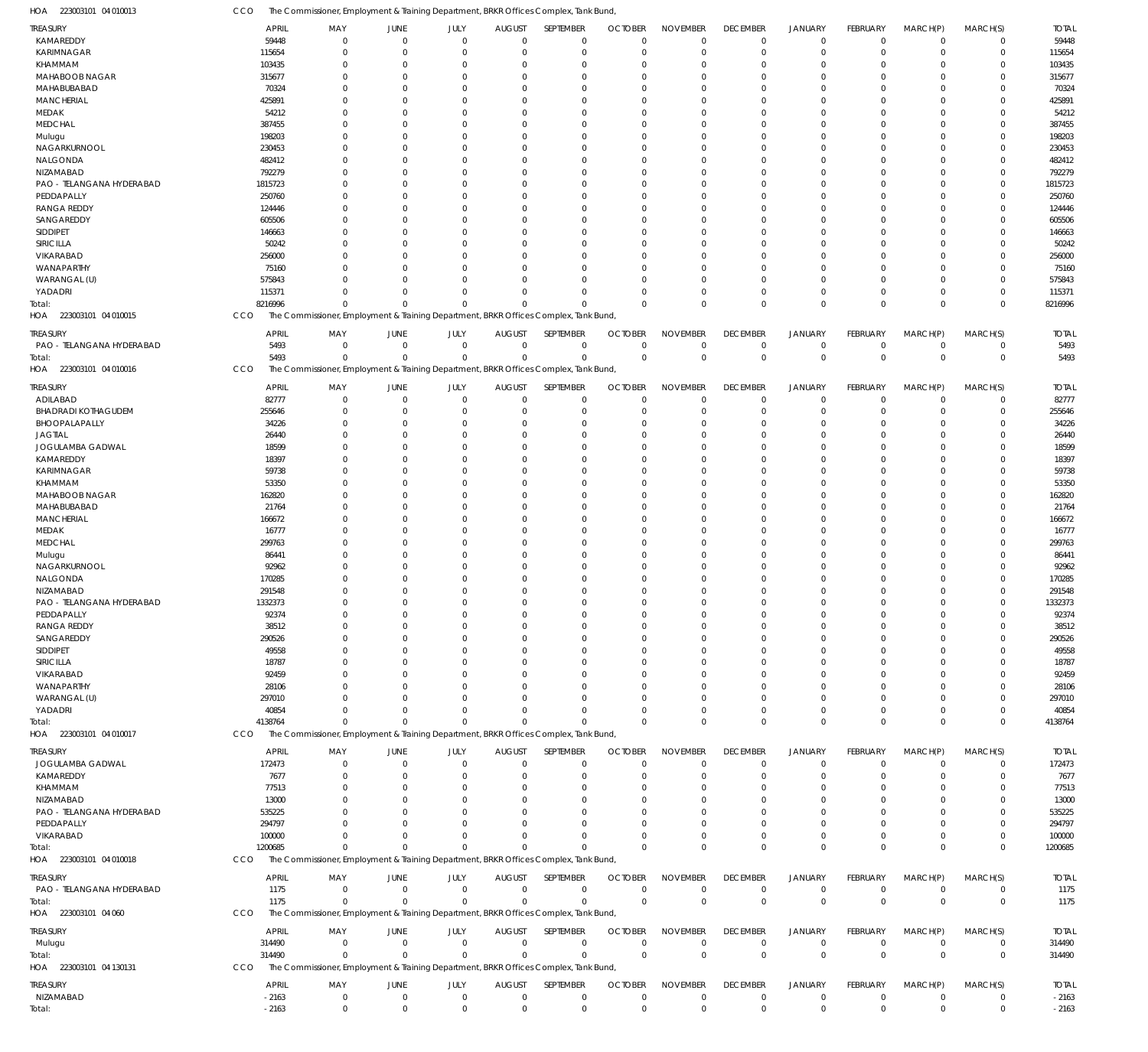CCO The Commissioner, Employment & Training Department, BRKR Offices Complex, Tank Bund,

| HOA<br>223003101 04 010013 | CCO              |                          |                         |                            |                            | The Commissioner, Employment & Training Department, BRKR Offices Complex, Tank Bund, |                            |                            |                            |                            |                          |                      |                            |                  |
|----------------------------|------------------|--------------------------|-------------------------|----------------------------|----------------------------|--------------------------------------------------------------------------------------|----------------------------|----------------------------|----------------------------|----------------------------|--------------------------|----------------------|----------------------------|------------------|
| TREASURY                   | <b>APRIL</b>     | MAY                      | JUNE                    | JULY                       | <b>AUGUST</b>              | SEPTEMBER                                                                            | <b>OCTOBER</b>             | <b>NOVEMBER</b>            | <b>DECEMBER</b>            | <b>JANUARY</b>             | <b>FEBRUARY</b>          | MARCH(P)             | MARCH(S)                   | <b>TOTAL</b>     |
| KAMAREDDY                  | 59448            | $\mathbf 0$              | $\overline{0}$          | $\mathbf 0$                | $\mathbf 0$                | $\mathbf 0$                                                                          | $\overline{0}$             | $\mathbf 0$                | $\mathbf 0$                | $\mathbf 0$                | $\Omega$                 | $\Omega$             | $\mathbf 0$                | 59448            |
| <b>KARIMNAGAR</b>          | 115654           | $\Omega$                 | $\overline{0}$          | $\mathbf 0$                | $\mathbf 0$                | $\mathbf 0$                                                                          | $\mathbf 0$                | $\mathbf 0$                | $\mathbf 0$                | $\mathbf 0$                | $\Omega$                 | $\Omega$             | $\mathbf 0$                | 115654           |
| KHAMMAM                    | 103435           | $\Omega$                 | $\Omega$                | $\Omega$                   | 0                          | $\mathbf 0$                                                                          | $\Omega$                   | $\Omega$                   | $\Omega$                   | $\mathbf 0$                | $\Omega$                 | $\Omega$             | $\Omega$                   | 103435           |
| <b>MAHABOOB NAGAR</b>      | 315677           | $\Omega$                 | $\Omega$                | $\Omega$                   | $\Omega$                   | $\mathbf 0$                                                                          | $\Omega$                   | $\mathbf 0$                | $\Omega$                   | $\Omega$                   | $\Omega$                 | $\Omega$             | $\Omega$                   | 315677           |
| MAHABUBABAD                | 70324            | $\Omega$                 | $\Omega$                | $\Omega$                   | 0                          | $\mathbf 0$                                                                          | $\Omega$                   | $\Omega$                   | $\Omega$                   | $\mathbf 0$                | $\Omega$                 | $\Omega$             | $\Omega$                   | 70324            |
| <b>MANCHERIAL</b>          | 425891           | $\Omega$                 | $\Omega$                | $\Omega$                   | $\Omega$                   | $\mathbf 0$                                                                          | $\Omega$                   | $\Omega$                   | $\Omega$                   | $\Omega$                   | $\Omega$                 | $\Omega$             | $\Omega$                   | 425891           |
| MEDAK                      | 54212            | 0                        | C                       | $\Omega$                   | 0                          | $\mathbf 0$                                                                          | $\Omega$                   | $\Omega$                   | $\Omega$                   | $\mathbf 0$                | $\Omega$                 | $\Omega$             | $\Omega$                   | 54212            |
| <b>MEDCHAL</b>             | 387455           | $\Omega$                 | $\Omega$                | $\Omega$                   | $\Omega$                   | $\mathbf 0$                                                                          | $\Omega$                   | $\Omega$                   | $\Omega$                   | $\Omega$                   | $\Omega$                 | $\Omega$             | $\Omega$                   | 387455           |
| Mulugu                     | 198203           | $\Omega$                 | $\Omega$                | $\Omega$                   | $\Omega$                   | $\mathbf 0$                                                                          | $\Omega$                   | $\Omega$                   | $\Omega$                   | $\Omega$                   | $\Omega$                 | $\Omega$             | $\Omega$                   | 198203           |
| NAGARKURNOOL               | 230453           | $\Omega$                 | $\Omega$                | $\Omega$                   | $\Omega$                   | $\mathbf 0$                                                                          | $\Omega$                   | $\Omega$                   | $\Omega$                   | $\Omega$                   | $\Omega$                 | $\Omega$             | $\Omega$                   | 230453           |
| NALGONDA                   | 482412           | 0                        | $\Omega$                | $\Omega$                   | $\Omega$                   | $\mathbf 0$                                                                          | $\Omega$                   | $\Omega$                   | $\Omega$                   | $\Omega$                   | $\Omega$                 | $\Omega$             | $\Omega$                   | 482412           |
| NIZAMABAD                  | 792279           | $\Omega$                 | $\Omega$                | $\Omega$                   | $\Omega$                   | $\mathbf 0$                                                                          | $\Omega$                   | $\Omega$                   | $\Omega$                   | $\Omega$                   | $\Omega$                 | $\Omega$             | $\Omega$                   | 792279           |
| PAO - TELANGANA HYDERABAD  | 1815723          | $\Omega$                 | $\Omega$                | $\Omega$                   | 0                          | $\mathbf 0$                                                                          | $\Omega$                   | $\Omega$                   | $\Omega$                   | $\mathbf 0$                | $\Omega$                 | $\Omega$             | $\Omega$                   | 1815723          |
| PEDDAPALLY                 | 250760           | $\Omega$                 | $\Omega$                | $\Omega$                   | $\Omega$                   | $\mathbf 0$                                                                          | $\Omega$                   | $\Omega$                   | $\Omega$                   | $\Omega$                   | $\Omega$                 | $\Omega$             | $\Omega$                   | 250760           |
| <b>RANGA REDDY</b>         | 124446           | $\Omega$<br>$\Omega$     | C                       | $\Omega$                   | $\Omega$                   | $\mathbf 0$                                                                          | $\Omega$                   | $\Omega$                   | $\Omega$                   | $\Omega$                   | $\Omega$                 | $\Omega$             | $\Omega$<br>$\Omega$       | 124446           |
| SANGAREDDY<br>SIDDIPET     | 605506           | <sup>0</sup>             | $\Omega$<br>$\Omega$    | $\Omega$<br>$\Omega$       | $\Omega$<br>$\Omega$       | $\mathbf 0$<br>$\mathbf 0$                                                           | $\Omega$<br>$\Omega$       | $\mathbf 0$<br>$\Omega$    | $\Omega$<br>$\Omega$       | $\Omega$<br>$\Omega$       | $\Omega$<br>$\Omega$     | $\Omega$<br>$\Omega$ | $\Omega$                   | 605506<br>146663 |
| SIRICILLA                  | 146663<br>50242  | $\Omega$                 | $\Omega$                | $\Omega$                   | $\Omega$                   | $\mathbf 0$                                                                          | $\Omega$                   | $\Omega$                   | $\Omega$                   | $\Omega$                   | $\Omega$                 | $\Omega$             | $\Omega$                   | 50242            |
| VIKARABAD                  | 256000           | 0                        | C                       | $\Omega$                   | 0                          | $\mathbf 0$                                                                          | $\Omega$                   | $\Omega$                   | $\Omega$                   | $\mathbf 0$                | $\Omega$                 | $\Omega$             | $\Omega$                   | 256000           |
| <b>WANAPARTHY</b>          | 75160            | $\Omega$                 | $\Omega$                | $\Omega$                   | $\Omega$                   | $\mathbf 0$                                                                          | $\Omega$                   | $\Omega$                   | $\Omega$                   | $\Omega$                   | $\Omega$                 | $\Omega$             | $\Omega$                   | 75160            |
| WARANGAL (U)               | 575843           | $\Omega$                 | $\Omega$                | $\Omega$                   | $\Omega$                   | $\mathbf 0$                                                                          | $\Omega$                   | $\Omega$                   | $\Omega$                   | $\Omega$                   | $\Omega$                 | $\Omega$             | $\Omega$                   | 575843           |
| YADADRI                    | 115371           | $\Omega$                 | $\Omega$                | $\Omega$                   | $\Omega$                   | $\mathbf 0$                                                                          | $\Omega$                   | $\mathbf 0$                | $\Omega$                   | $\mathbf 0$                | $\Omega$                 | $\Omega$             | $\Omega$                   | 115371           |
| Total:                     | 8216996          | $\Omega$                 | $\Omega$                | $\mathbf{0}$               | $\Omega$                   | $\Omega$                                                                             | $\Omega$                   | $\Omega$                   | $\Omega$                   | $\Omega$                   | $\Omega$                 | $\Omega$             | $\mathbf 0$                | 8216996          |
| 223003101 04 010015<br>HOA | CCO              |                          |                         |                            |                            | The Commissioner, Employment & Training Department, BRKR Offices Complex, Tank Bund, |                            |                            |                            |                            |                          |                      |                            |                  |
|                            |                  |                          |                         |                            |                            |                                                                                      |                            |                            |                            |                            |                          |                      |                            |                  |
| TREASURY                   | <b>APRIL</b>     | MAY                      | JUNE                    | JULY                       | <b>AUGUST</b>              | <b>SEPTEMBER</b>                                                                     | <b>OCTOBER</b>             | <b>NOVEMBER</b>            | <b>DECEMBER</b>            | <b>JANUARY</b>             | <b>FEBRUARY</b>          | MARCH(P)             | MARCH(S)                   | <b>TOTAL</b>     |
| PAO - TELANGANA HYDERABAD  | 5493             | $\mathbf 0$              | $\overline{0}$          | $\mathbf 0$                | 0                          | $\mathbf 0$                                                                          | $^{\circ}$                 | $\mathbf 0$                | $\mathbf 0$                | $\mathbf 0$                | $\mathbf 0$              | $\Omega$             | 0                          | 5493             |
| Total:                     | 5493             | $\Omega$                 | $\overline{0}$          | $\mathbf 0$                | $\mathbf 0$                | $\mathbf 0$                                                                          | $\mathbf{0}$               | $\mathbf 0$                | $\overline{0}$             | $\mathbf 0$                | $\Omega$                 | $\Omega$             | $\mathbf{0}$               | 5493             |
| HOA 223003101 04 010016    | CCO              |                          |                         |                            |                            | The Commissioner, Employment & Training Department, BRKR Offices Complex, Tank Bund, |                            |                            |                            |                            |                          |                      |                            |                  |
| <b>TREASURY</b>            | <b>APRIL</b>     | MAY                      | JUNE                    | JULY                       | <b>AUGUST</b>              | SEPTEMBER                                                                            | <b>OCTOBER</b>             | <b>NOVEMBER</b>            | <b>DECEMBER</b>            | <b>JANUARY</b>             | <b>FEBRUARY</b>          | MARCH(P)             | MARCH(S)                   | <b>TOTAL</b>     |
| ADILABAD                   | 82777            | $\mathbf{0}$             | $\overline{0}$          | $\mathbf 0$                | $\mathbf 0$                | $\mathbf 0$                                                                          | $\mathbf 0$                | $\mathbf 0$                | $\mathbf 0$                | $\mathbf 0$                | $\Omega$                 | $\Omega$             | $\Omega$                   | 82777            |
| <b>BHADRADI KOTHAGUDEM</b> | 255646           | $\Omega$                 | $\mathbf 0$             | $\mathbf 0$                | 0                          | $\mathbf 0$                                                                          | $^{\circ}$                 | $\mathbf 0$                | $\mathbf 0$                | $\mathbf 0$                | $\Omega$                 | $\Omega$             | $\Omega$                   | 255646           |
| BHOOPALAPALLY              | 34226            | $\Omega$                 | 0                       | $\Omega$                   | 0                          | $\mathbf 0$                                                                          | -0                         | $\mathbf 0$                | $\Omega$                   | $\mathbf 0$                | $\Omega$                 | $\Omega$             | $\Omega$                   | 34226            |
| <b>JAGTIAL</b>             | 26440            | $\Omega$                 | $\Omega$                | $\Omega$                   | $\Omega$                   | $\mathbf 0$                                                                          | $\Omega$                   | $\Omega$                   | $\Omega$                   | $\Omega$                   | $\Omega$                 | $\Omega$             | $\Omega$                   | 26440            |
| JOGULAMBA GADWAL           | 18599            | $\Omega$                 | $\Omega$                | $\Omega$                   | 0                          | $\mathbf 0$                                                                          | $\Omega$                   | $\mathbf 0$                | $\Omega$                   | $\mathbf 0$                | $\Omega$                 | $\Omega$             | $\Omega$                   | 18599            |
| KAMAREDDY                  | 18397            | $\Omega$                 | $\Omega$                | $\Omega$                   | $\Omega$                   | $\mathbf 0$                                                                          | $\Omega$                   | $\Omega$                   | $\Omega$                   | $\Omega$                   | $\Omega$                 | $\Omega$             | $\Omega$                   | 18397            |
| <b>KARIMNAGAR</b>          | 59738            | $\Omega$                 | $\Omega$                | $\Omega$                   | $\Omega$                   | $\mathbf 0$                                                                          | $\Omega$                   | $\Omega$                   | $\Omega$                   | $\Omega$                   | $\Omega$                 | $\Omega$             | $\Omega$                   | 59738            |
| KHAMMAM                    | 53350            | $\Omega$                 | $\Omega$                | $\Omega$                   | $\mathbf 0$                | $\mathbf 0$                                                                          | $\Omega$                   | $\mathbf 0$                | $\Omega$                   | $\Omega$                   | $\Omega$                 | $\Omega$             | $\Omega$                   | 53350            |
| MAHABOOB NAGAR             | 162820           | 0                        | $\Omega$                | $\Omega$                   | $\Omega$                   | $\mathbf 0$                                                                          | $\Omega$                   | $\Omega$                   | $\Omega$                   | $\Omega$                   | $\Omega$                 | $\Omega$             | $\Omega$                   | 162820           |
| MAHABUBABAD                | 21764            | $\Omega$                 | $\Omega$                | $\Omega$                   | $\Omega$                   | $\mathbf 0$                                                                          | $\Omega$                   | $\Omega$                   | $\Omega$                   | $\Omega$                   | $\Omega$                 | $\Omega$             | $\Omega$                   | 21764            |
| <b>MANCHERIAL</b>          | 166672           | $\Omega$                 | $\Omega$                | $\Omega$                   | 0                          | $\mathbf 0$                                                                          | $\Omega$                   | $\Omega$                   | $\Omega$                   | $\mathbf 0$                | $\Omega$                 | $\Omega$             | $\Omega$                   | 166672           |
| MEDAK                      | 16777            | $\Omega$                 | $\Omega$                | $\Omega$                   | $\Omega$                   | $\mathbf 0$                                                                          | $\Omega$                   | $\Omega$                   | $\Omega$                   | $\Omega$                   | $\Omega$                 | $\Omega$             | $\Omega$                   | 16777            |
| <b>MEDCHAL</b>             | 299763           | $\Omega$                 | C                       | $\Omega$                   | 0                          | $\mathbf 0$                                                                          | $\Omega$                   | $\mathbf 0$                | $\Omega$                   | $\mathbf 0$                | $\Omega$                 | $\Omega$             | $\Omega$                   | 299763           |
| Mulugu                     | 86441            | $\Omega$<br><sup>0</sup> | $\Omega$                | $\Omega$<br>$\Omega$       | $\Omega$                   | $\mathbf 0$                                                                          | $\Omega$                   | $\Omega$<br>$\Omega$       | $\Omega$<br>$\Omega$       | $\Omega$<br>$\Omega$       | $\Omega$                 | $\Omega$<br>$\Omega$ | $\Omega$                   | 86441            |
| NAGARKURNOOL               | 92962            | $\Omega$                 | $\Omega$<br>$\Omega$    | $\Omega$                   | $\Omega$<br>$\mathbf 0$    | $\mathbf 0$<br>$\mathbf 0$                                                           | $\Omega$<br>$\Omega$       | $\Omega$                   | $\Omega$                   | $\Omega$                   | $\Omega$                 | $\Omega$             | $\Omega$<br>$\Omega$       | 92962            |
| NALGONDA<br>NIZAMABAD      | 170285<br>291548 | $\Omega$                 | $\Omega$                | $\Omega$                   | $\Omega$                   | $\mathbf 0$                                                                          | $\Omega$                   | $\Omega$                   | $\Omega$                   | $\Omega$                   | $\Omega$                 | $\Omega$             | $\mathbf{0}$               | 170285<br>291548 |
| PAO - TELANGANA HYDERABAD  | 1332373          | $\Omega$                 | $\Omega$                | $\mathbf 0$                | $\mathbf 0$                | $\mathbf 0$                                                                          | $\Omega$                   | $\mathbf 0$                | $\Omega$                   | $\mathbf 0$                | $\Omega$                 | $\mathbf 0$          | $\mathbf 0$                | 1332373          |
| PEDDAPALLY                 | 92374            | $\mathbf{0}$             | $\mathbf 0$             | $\Omega$                   | $\mathbf 0$                | $\mathbf 0$                                                                          | $\mathbf 0$                | $\Omega$                   | $\Omega$                   | $\mathbf 0$                | $\Omega$                 | $\Omega$             | $\Omega$                   | 92374            |
| <b>RANGA REDDY</b>         | 38512            | $\Omega$                 | $\Omega$                | $\mathbf 0$                | 0                          | $\mathbf 0$                                                                          | 0                          | $\mathbf 0$                | $\Omega$                   | $\mathbf 0$                | $\Omega$                 | $\Omega$             | $\Omega$                   | 38512            |
| SANGAREDDY                 | 290526           | $\Omega$                 | $\Omega$                | $\Omega$                   | $\Omega$                   | $\mathbf 0$                                                                          | $\Omega$                   | $\mathbf 0$                | $\Omega$                   | $\mathbf 0$                | $\Omega$                 | $\Omega$             | $\Omega$                   | 290526           |
| SIDDIPET                   | 49558            | $\Omega$                 | $\Omega$                | $\Omega$                   | $\Omega$                   | $\mathbf 0$                                                                          | $\Omega$                   | $\mathbf 0$                | $\Omega$                   | $\Omega$                   | $\Omega$                 | $\Omega$             | $\Omega$                   | 49558            |
| SIRICILLA                  | 18787            | 0                        | $\Omega$                | $\Omega$                   | $\Omega$                   | 0                                                                                    | 0                          | $\Omega$                   | $\Omega$                   | 0                          | $\Omega$                 | $\Omega$             | $\Omega$                   | 18787            |
| VIKARABAD                  | 92459            | <sup>0</sup>             | C                       | $\Omega$                   | $\Omega$                   | $\mathbf 0$                                                                          | -0                         | $\mathbf 0$                | $\Omega$                   | $\Omega$                   | $\Omega$                 | $\Omega$             | $\Omega$                   | 92459            |
| WANAPARTHY                 | 28106            | n                        | C                       | $\Omega$                   | $\Omega$                   | 0                                                                                    | 0                          | $\Omega$                   | $\Omega$                   | 0                          | $\Omega$                 | $\Omega$             | $\Omega$                   | 28106            |
| WARANGAL (U)               | 297010           | U                        | $\Omega$                | $\Omega$                   | $\Omega$                   | $\Omega$                                                                             | $\Omega$                   | $\Omega$                   | $\Omega$                   | $\Omega$                   | $\Omega$                 | $\Omega$             | $\Omega$                   | 297010           |
| YADADRI                    | 40854            | 0                        | $\Omega$                | $\Omega$                   | $\Omega$                   | $\mathbf 0$                                                                          | 0                          | $\mathbf 0$                | 0                          | $\mathbf 0$                | $\Omega$                 | $\Omega$             | $\Omega$                   | 40854            |
| Total:                     | 4138764          | $\Omega$                 | $\Omega$                | $\Omega$                   | $\Omega$                   | $\mathbf 0$                                                                          | $\Omega$                   | $\mathbf 0$                | $\mathbf 0$                | $\mathbf 0$                | $\Omega$                 | $\Omega$             | $\Omega$                   | 4138764          |
| HOA 223003101 04 010017    | CCO              |                          |                         |                            |                            | The Commissioner, Employment & Training Department, BRKR Offices Complex, Tank Bund, |                            |                            |                            |                            |                          |                      |                            |                  |
| TREASURY                   | <b>APRIL</b>     | MAY                      | JUNE                    | JULY                       | <b>AUGUST</b>              | SEPTEMBER                                                                            | <b>OCTOBER</b>             | <b>NOVEMBER</b>            | <b>DECEMBER</b>            | <b>JANUARY</b>             | <b>FEBRUARY</b>          | MARCH(P)             | MARCH(S)                   | <b>TOTAL</b>     |
| JOGULAMBA GADWAL           | 172473           | $\mathbf 0$              | $\mathbf 0$             | $\mathbf 0$                | $\mathbf 0$                | $\mathbf 0$                                                                          | $\overline{0}$             | $\mathbf 0$                | $\mathbf 0$                | $\mathbf 0$                | $\Omega$                 | $\Omega$             | $\Omega$                   | 172473           |
| KAMAREDDY                  | 7677             | $\mathbf{0}$             | $\mathbf 0$             | 0                          | 0                          | $\mathbf 0$                                                                          | -0                         | $\mathbf 0$                | 0                          | $\mathbf 0$                | C                        | $\Omega$             | $\Omega$                   | 7677             |
| KHAMMAM                    | 77513            | $\Omega$                 | 0                       | 0                          | 0                          | 0                                                                                    | -0                         | $\mathbf 0$                | $\Omega$                   | $\mathbf 0$                |                          | $\Omega$             |                            | 77513            |
| NIZAMABAD                  | 13000            | $\Omega$                 | $\Omega$                | $\Omega$                   | $\Omega$                   | $\mathbf 0$                                                                          | -0                         | $\mathbf 0$                | $\Omega$                   | $\mathbf 0$                |                          | $\Omega$             |                            | 13000            |
| PAO - TELANGANA HYDERABAD  | 535225           | $\Omega$                 | $\Omega$                | $\Omega$                   | $\Omega$                   | $\mathbf 0$                                                                          | $\Omega$                   | $\mathbf 0$                | $\Omega$                   | $\Omega$                   |                          | $\Omega$             |                            | 535225           |
| PEDDAPALLY                 | 294797           | 0                        | $\Omega$                | 0                          | $\Omega$                   | $\mathbf 0$                                                                          | -0                         | 0                          | $\Omega$                   | $\mathbf 0$                |                          | $\Omega$             |                            | 294797           |
| VIKARABAD                  | 100000           | O                        | $\Omega$                | $\Omega$                   | 0                          | $\mathbf 0$                                                                          | -0                         | $\mathbf 0$                | $\Omega$                   | $\mathbf 0$                | $\Omega$                 | $\Omega$             |                            | 100000           |
| Total:                     | 1200685          | $\Omega$                 | $\Omega$                | $\Omega$                   | $\Omega$                   | $\mathbf 0$                                                                          | $\Omega$                   | $\mathbf 0$                | $\Omega$                   | $\mathbf 0$                | $\Omega$                 | $\Omega$             | $\mathbf{0}$               | 1200685          |
| HOA 223003101 04 010018    | CCO              |                          |                         |                            |                            | The Commissioner, Employment & Training Department, BRKR Offices Complex, Tank Bund, |                            |                            |                            |                            |                          |                      |                            |                  |
|                            |                  |                          |                         |                            |                            |                                                                                      |                            |                            |                            |                            |                          |                      |                            |                  |
| treasury                   | <b>APRIL</b>     | MAY                      | JUNE                    | JULY                       | <b>AUGUST</b>              | SEPTEMBER                                                                            | <b>OCTOBER</b>             | <b>NOVEMBER</b>            | <b>DECEMBER</b>            | <b>JANUARY</b>             | <b>FEBRUARY</b>          | MARCH(P)             | MARCH(S)                   | <b>TOTAL</b>     |
| PAO - TELANGANA HYDERABAD  | 1175<br>1175     | $\mathbf 0$<br>$\Omega$  | $\mathbf 0$<br>$\Omega$ | $\mathbf 0$<br>$\mathbf 0$ | $\mathbf 0$<br>$\mathbf 0$ | $\mathbf 0$<br>$\mathbf 0$                                                           | $\mathbf 0$<br>$\mathbf 0$ | $\mathbf 0$<br>$\mathbf 0$ | $\mathbf 0$<br>$\mathbf 0$ | $\mathbf 0$<br>$\mathbf 0$ | $\Omega$<br>$\mathbf{0}$ | $\Omega$<br>$\Omega$ | $\mathbf 0$<br>$\mathbf 0$ | 1175<br>1175     |
| Total:                     | CCO              |                          |                         |                            |                            |                                                                                      |                            |                            |                            |                            |                          |                      |                            |                  |
| HOA 223003101 04 060       |                  |                          |                         |                            |                            | The Commissioner, Employment & Training Department, BRKR Offices Complex, Tank Bund, |                            |                            |                            |                            |                          |                      |                            |                  |
| TREASURY                   | <b>APRIL</b>     | MAY                      | JUNE                    | JULY                       | <b>AUGUST</b>              | SEPTEMBER                                                                            | <b>OCTOBER</b>             | <b>NOVEMBER</b>            | <b>DECEMBER</b>            | <b>JANUARY</b>             | FEBRUARY                 | MARCH(P)             | MARCH(S)                   | <b>TOTAL</b>     |
| Mulugu                     | 314490           | $\mathbf 0$              | $\overline{0}$          | $\mathbf 0$                | $\mathbf 0$                | $\mathbf 0$                                                                          | $^{\circ}$                 | $\mathbf 0$                | $\mathbf 0$                | $\mathbf 0$                | $\mathbf 0$              | $\mathbf 0$          | 0                          | 314490           |
| Total:                     | 314490           | $\mathbf 0$              | $\mathbf 0$             | $\mathbf 0$                | $\mathbf 0$                | $\mathbf 0$                                                                          | $\mathbf 0$                | $\mathbf 0$                | $\mathbf 0$                | $\mathbf 0$                | $\overline{0}$           | $\Omega$             | $\mathbf 0$                | 314490           |
| HOA 223003101 04 130131    | CCO              |                          |                         |                            |                            | The Commissioner, Employment & Training Department, BRKR Offices Complex, Tank Bund, |                            |                            |                            |                            |                          |                      |                            |                  |
| TREASURY                   | <b>APRIL</b>     | MAY                      | JUNE                    | JULY                       | <b>AUGUST</b>              | SEPTEMBER                                                                            | <b>OCTOBER</b>             | <b>NOVEMBER</b>            | <b>DECEMBER</b>            | <b>JANUARY</b>             | <b>FEBRUARY</b>          | MARCH(P)             | MARCH(S)                   | <b>TOTAL</b>     |
| NIZAMABAD                  | $-2163$          | 0                        | $\mathbf 0$             | $\mathbf 0$                | $\mathbf 0$                | $\mathbf 0$                                                                          | $\mathbf 0$                | $\mathbf 0$                | $\mathbf 0$                | $\mathbf 0$                | $\mathbf 0$              | $\mathbf 0$          | $\mathbf 0$                | $-2163$          |
| Total:                     | $-2163$          | $\mathbf 0$              | $\overline{0}$          | $\mathbf 0$                | $\mathbf 0$                | $\mathbf 0$                                                                          | $\mathbf{0}$               | $\mathbf 0$                | $\mathbf 0$                | $\mathbf 0$                | $\Omega$                 | $\mathbf{0}$         | $\mathbf 0$                | $-2163$          |
|                            |                  |                          |                         |                            |                            |                                                                                      |                            |                            |                            |                            |                          |                      |                            |                  |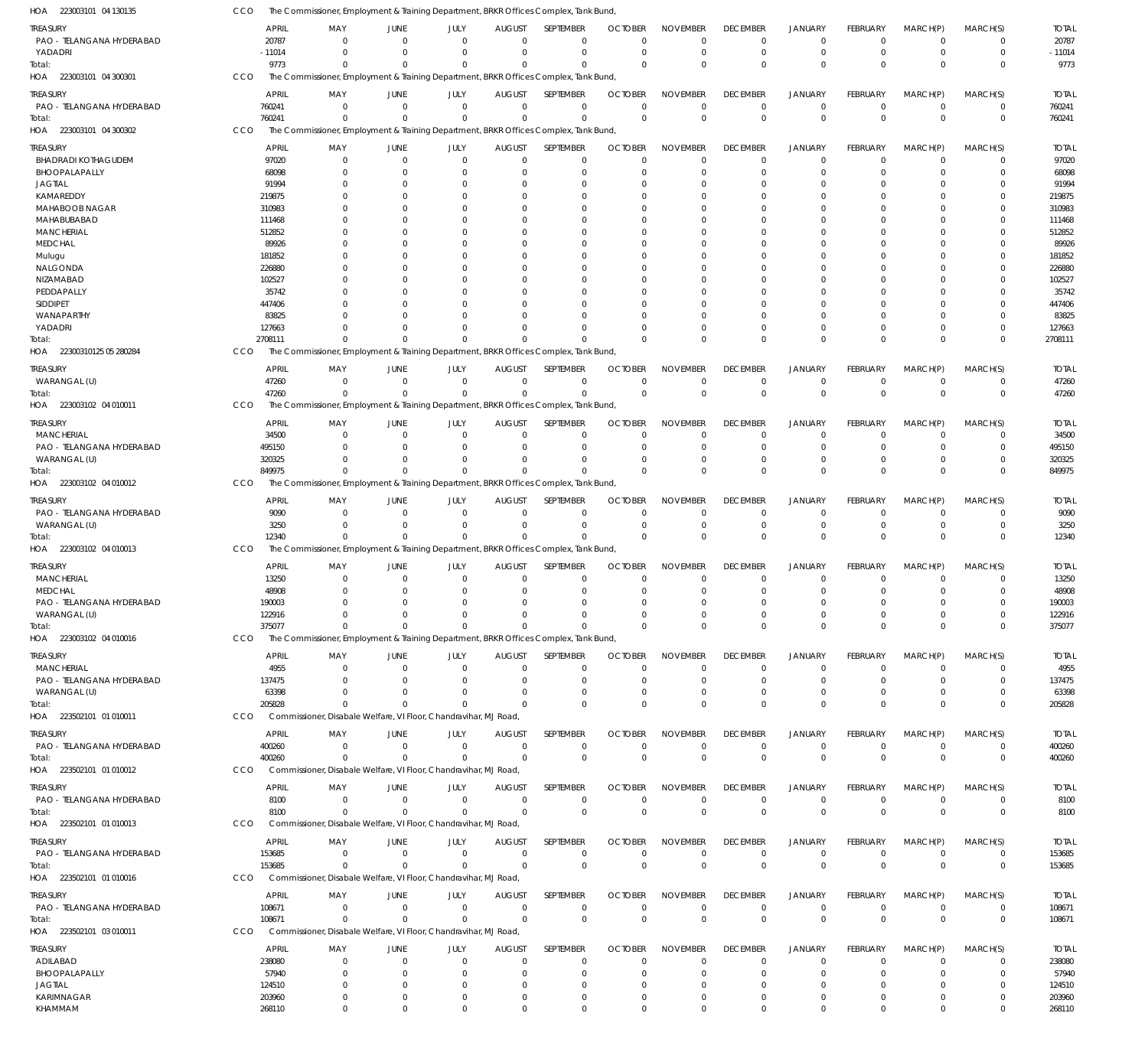| HOA 223003101 04 130135                | CCO |                       |                        |                            | The Commissioner, Employment & Training Department, BRKR Offices Complex, Tank Bund, |                              |                            |                               |                             |                               |                                  |                            |                               |                            |                       |
|----------------------------------------|-----|-----------------------|------------------------|----------------------------|--------------------------------------------------------------------------------------|------------------------------|----------------------------|-------------------------------|-----------------------------|-------------------------------|----------------------------------|----------------------------|-------------------------------|----------------------------|-----------------------|
| TREASURY                               |     | <b>APRIL</b>          | MAY                    | JUNE                       | JULY                                                                                 | <b>AUGUST</b>                | SEPTEMBER                  | <b>OCTOBER</b>                | <b>NOVEMBER</b>             | <b>DECEMBER</b>               | JANUARY                          | FEBRUARY                   | MARCH(P)                      | MARCH(S)                   | <b>TOTAL</b>          |
| PAO - TELANGANA HYDERABAD              |     | 20787                 | $\Omega$               | $\Omega$                   | $\Omega$                                                                             | $\mathbf 0$                  | 0                          | $\mathbf{0}$                  | $\Omega$                    | $^{\circ}$                    | $\overline{0}$                   | $^{\circ}$                 | $\mathbf 0$                   | 0                          | 20787                 |
| YADADRI                                |     | $-11014$<br>9773      | $\Omega$<br>$\Omega$   | $\Omega$<br>$\Omega$       | $\Omega$<br>$\Omega$                                                                 | $\mathbf 0$<br>$\Omega$      | $\mathbf 0$<br>$\Omega$    | $\Omega$<br>$\Omega$          | $\Omega$<br>$\Omega$        | $\mathbf 0$<br>$\mathbf 0$    | $\mathbf 0$<br>$\mathbf 0$       | $^{\circ}$<br>$\Omega$     | $\mathbf 0$<br>$\Omega$       | $\mathbf 0$<br>$\mathbf 0$ | $-11014$<br>9773      |
| Total:<br>HOA 223003101 04 300301      | CCO |                       |                        |                            | The Commissioner, Employment & Training Department, BRKR Offices Complex, Tank Bund, |                              |                            |                               |                             |                               |                                  |                            |                               |                            |                       |
|                                        |     |                       |                        |                            |                                                                                      |                              |                            |                               |                             |                               |                                  |                            |                               |                            |                       |
| treasury                               |     | <b>APRIL</b>          | MAY                    | JUNE                       | JULY                                                                                 | <b>AUGUST</b>                | SEPTEMBER                  | <b>OCTOBER</b>                | <b>NOVEMBER</b>             | <b>DECEMBER</b>               | <b>JANUARY</b>                   | <b>FEBRUARY</b>            | MARCH(P)                      | MARCH(S)                   | <b>TOTAL</b>          |
| PAO - TELANGANA HYDERABAD<br>Total:    |     | 760241<br>760241      | $\Omega$<br>$\Omega$   | $\overline{0}$<br>$\Omega$ | $\mathbf 0$<br>$\Omega$                                                              | $\mathbf 0$<br>$\mathbf 0$   | $\mathbf 0$<br>$\mathbf 0$ | $\mathbf 0$<br>$\Omega$       | $\mathbf 0$<br>$\Omega$     | $^{\circ}$<br>$\mathbf 0$     | $\overline{0}$<br>$\overline{0}$ | $\mathbf 0$<br>$\mathbf 0$ | $\mathbf 0$<br>$\overline{0}$ | 0<br>$\mathbf 0$           | 760241<br>760241      |
| HOA 223003101 04 300302                | CCO |                       |                        |                            | The Commissioner, Employment & Training Department, BRKR Offices Complex, Tank Bund, |                              |                            |                               |                             |                               |                                  |                            |                               |                            |                       |
|                                        |     |                       |                        |                            |                                                                                      |                              |                            |                               |                             |                               |                                  |                            |                               |                            |                       |
| treasury<br><b>BHADRADI KOTHAGUDEM</b> |     | <b>APRIL</b><br>97020 | MAY<br>$\Omega$        | JUNE<br>$\mathbf{0}$       | JULY<br>$\mathbf 0$                                                                  | <b>AUGUST</b><br>$\mathbf 0$ | SEPTEMBER<br>$\mathbf 0$   | <b>OCTOBER</b><br>$\Omega$    | <b>NOVEMBER</b><br>$\Omega$ | <b>DECEMBER</b><br>$^{\circ}$ | <b>JANUARY</b><br>$\overline{0}$ | FEBRUARY<br>$\Omega$       | MARCH(P)<br>$\mathbf 0$       | MARCH(S)<br>$\mathbf 0$    | <b>TOTAL</b><br>97020 |
| BHOOPALAPALLY                          |     | 68098                 | $\Omega$               | $\Omega$                   | $\Omega$                                                                             | $\overline{0}$               | $\mathbf 0$                | $\Omega$                      | $\Omega$                    | $\overline{0}$                | $\overline{0}$                   | $\Omega$                   | $\Omega$                      | $\mathbf 0$                | 68098                 |
| <b>JAGTIAL</b>                         |     | 91994                 | 0                      | 0                          | 0                                                                                    | $\Omega$                     | 0                          | $\Omega$                      | $\Omega$                    | $\Omega$                      | $\Omega$                         | $\Omega$                   | $\Omega$                      | $\mathbf 0$                | 91994                 |
| KAMAREDDY                              |     | 219875                |                        | $\Omega$                   | $\Omega$                                                                             | $\Omega$                     | $\Omega$                   | $\Omega$                      | $\Omega$                    | $\Omega$                      | $\Omega$                         | $\Omega$                   | $\Omega$                      | $\Omega$                   | 219875                |
| MAHABOOB NAGAR                         |     | 310983                |                        | $\Omega$                   | O                                                                                    | $\Omega$                     | 0                          | $\Omega$                      | $\Omega$                    | $\Omega$                      | $\Omega$                         | $\Omega$                   | $\Omega$                      | 0                          | 310983                |
| MAHABUBABAD                            |     | 111468                |                        | $\Omega$                   | O                                                                                    | $\Omega$                     | $\Omega$                   | $\Omega$                      | $\Omega$                    | $\Omega$                      | $\Omega$                         | $\Omega$                   | $\Omega$                      | $\mathbf 0$                | 111468                |
| <b>MANCHERIAL</b>                      |     | 512852                |                        | $\Omega$                   | O                                                                                    | $\Omega$                     | $\Omega$                   | $\Omega$                      | $\cap$                      | $\Omega$                      | $\Omega$                         | $\Omega$                   | $\Omega$                      | 0                          | 512852                |
| <b>MEDCHAL</b>                         |     | 89926                 |                        | $\Omega$<br>$\mathbf 0$    | <sup>0</sup>                                                                         | $\Omega$<br>$\Omega$         | $\Omega$                   | $\Omega$                      | $\Omega$<br>$\Omega$        | $\Omega$<br>$\Omega$          | $\Omega$<br>$\Omega$             | $\Omega$<br>$\Omega$       | $\Omega$<br>$\Omega$          | $\Omega$                   | 89926                 |
| Mulugu<br>NALGONDA                     |     | 181852<br>226880      |                        | $\Omega$                   | O                                                                                    | $\Omega$                     | 0<br>$\Omega$              | $\Omega$<br>$\Omega$          | $\Omega$                    | $\Omega$                      | $\Omega$                         | $\Omega$                   | $\Omega$                      | 0<br>$\Omega$              | 181852<br>226880      |
| NIZAMABAD                              |     | 102527                |                        | $\Omega$                   |                                                                                      | $\Omega$                     | $\Omega$                   | $\Omega$                      | $\Omega$                    | $\Omega$                      | $\Omega$                         | $\Omega$                   | $\cup$                        | 0                          | 102527                |
| PEDDAPALLY                             |     | 35742                 |                        | $\Omega$                   | O                                                                                    | $\Omega$                     | $\Omega$                   | $\Omega$                      | $\Omega$                    | $\Omega$                      | $\Omega$                         | $\Omega$                   | $\Omega$                      | $\Omega$                   | 35742                 |
| SIDDIPET                               |     | 447406                |                        | $\Omega$                   |                                                                                      | $\Omega$                     | $\Omega$                   | $\Omega$                      | $\Omega$                    | $\Omega$                      | $\Omega$                         | $\Omega$                   | $\Omega$                      | 0                          | 447406                |
| WANAPARTHY                             |     | 83825                 |                        | $\Omega$                   | O                                                                                    | $\Omega$                     | $\Omega$                   | $\Omega$                      | $\Omega$                    | $\Omega$                      | $\Omega$                         | $\Omega$                   | $\Omega$                      | $\mathbf 0$                | 83825                 |
| YADADRI                                |     | 127663                | <sup>0</sup>           | $\Omega$                   | $\Omega$                                                                             | $\Omega$                     | $\Omega$                   | $\Omega$                      | $\Omega$                    | $\Omega$                      | $\overline{0}$                   | $\Omega$                   | $\Omega$                      | $\mathbf 0$                | 127663                |
| Total:                                 |     | 2708111               | $\Omega$               | $\Omega$                   | $\Omega$                                                                             | $\Omega$                     | $\Omega$                   | $\Omega$                      | $\Omega$                    | $\Omega$                      | $\Omega$                         | $\Omega$                   | $\Omega$                      | $\mathbf 0$                | 2708111               |
| HOA 22300310125 05 280284              | CCO |                       |                        |                            | The Commissioner, Employment & Training Department, BRKR Offices Complex, Tank Bund, |                              |                            |                               |                             |                               |                                  |                            |                               |                            |                       |
| TREASURY                               |     | <b>APRIL</b>          | MAY                    | JUNE                       | JULY                                                                                 | <b>AUGUST</b>                | SEPTEMBER                  | <b>OCTOBER</b>                | <b>NOVEMBER</b>             | <b>DECEMBER</b>               | <b>JANUARY</b>                   | FEBRUARY                   | MARCH(P)                      | MARCH(S)                   | <b>TOTAL</b>          |
| WARANGAL (U)                           |     | 47260                 | $\mathbf 0$            | $\overline{0}$             | $\mathbf 0$                                                                          | $\overline{0}$               | $\mathbf 0$                | $\Omega$                      | $\Omega$                    | $\overline{0}$                | $\overline{0}$                   | $\overline{0}$             | $\mathbf 0$                   | $\mathbf 0$                | 47260                 |
| Total:                                 |     | 47260                 | $\Omega$               |                            | $\Omega$                                                                             | $\overline{0}$               | $\mathbf 0$                | $\Omega$                      | $\Omega$                    | $\mathbf 0$                   | $\overline{0}$                   | $\Omega$                   | $\Omega$                      | $\mathbf 0$                | 47260                 |
| HOA 223003102 04 010011                | CCO |                       |                        |                            | The Commissioner, Employment & Training Department, BRKR Offices Complex, Tank Bund, |                              |                            |                               |                             |                               |                                  |                            |                               |                            |                       |
| treasury                               |     | <b>APRIL</b>          | MAY                    | JUNE                       | JULY                                                                                 | <b>AUGUST</b>                | SEPTEMBER                  | <b>OCTOBER</b>                | <b>NOVEMBER</b>             | <b>DECEMBER</b>               | <b>JANUARY</b>                   | FEBRUARY                   | MARCH(P)                      | MARCH(S)                   | <b>TOTAL</b>          |
| <b>MANCHERIAL</b>                      |     | 34500                 | $\Omega$               | $\Omega$                   | $\Omega$                                                                             | $\mathbf 0$                  | 0                          | $\Omega$                      | $\Omega$                    | $^{\circ}$                    | 0                                | $\overline{0}$             | $\Omega$                      | 0                          | 34500                 |
| PAO - TELANGANA HYDERABAD              |     | 495150                | $\Omega$               | $\Omega$                   | $\Omega$                                                                             | 0                            | $\mathbf 0$                | $\Omega$                      | $\Omega$                    | $\overline{0}$                | $\overline{0}$                   | $\Omega$                   | $\Omega$                      | $\mathbf 0$                | 495150                |
| WARANGAL (U)                           |     | 320325                | $\Omega$               | $\Omega$<br>$\Omega$       | $\Omega$<br>$\Omega$                                                                 | $\Omega$                     | $\mathbf 0$                | $\Omega$<br>$\Omega$          | $\Omega$<br>$\Omega$        | $\Omega$                      | $\overline{0}$                   | 0                          | $\Omega$                      | $\mathbf 0$                | 320325                |
| Total:<br>HOA 223003102 04 010012      | CCO | 849975                | $\Omega$               |                            | The Commissioner, Employment & Training Department, BRKR Offices Complex, Tank Bund, | $\Omega$                     | $\Omega$                   |                               |                             | $\mathbf 0$                   | $\mathbf 0$                      | $\Omega$                   | $\Omega$                      | $\mathbf 0$                | 849975                |
|                                        |     |                       |                        |                            |                                                                                      |                              |                            |                               |                             |                               |                                  |                            |                               |                            |                       |
| treasury                               |     | <b>APRIL</b>          | MAY                    | JUNE                       | JULY                                                                                 | <b>AUGUST</b>                | SEPTEMBER                  | <b>OCTOBER</b>                | <b>NOVEMBER</b>             | <b>DECEMBER</b>               | JANUARY                          | FEBRUARY                   | MARCH(P)                      | MARCH(S)                   | <b>TOTAL</b>          |
| PAO - TELANGANA HYDERABAD              |     | 9090                  | $\Omega$               | $\Omega$<br>$\Omega$       | $\mathbf 0$<br>$\Omega$                                                              | $\mathbf 0$                  | $\mathbf 0$                | $\Omega$                      | $\Omega$<br>$\Omega$        | $^{\circ}$                    | $\overline{0}$<br>$\overline{0}$ | $\mathbf 0$                | $\mathbf 0$                   | 0                          | 9090                  |
| WARANGAL (U)<br>lotal:                 |     | 3250<br>12340         | $\Omega$<br>$\Omega$   | $\Omega$                   | $\Omega$                                                                             | 0<br>$\Omega$                | $\mathbf 0$<br>$\mathbf 0$ | $^{\circ}$<br>$\Omega$        | $\Omega$                    | $^{\circ}$<br>$\mathbf 0$     | $\overline{0}$                   | $\mathbf 0$<br>$\Omega$    | $\mathbf 0$<br>$\Omega$       | $\mathbf 0$<br>$\mathbf 0$ | 3250<br>12340         |
| HOA 223003102 04 010013                | CCO |                       |                        |                            | The Commissioner, Employment & Training Department, BRKR Offices Complex, Tank Bund, |                              |                            |                               |                             |                               |                                  |                            |                               |                            |                       |
|                                        |     |                       |                        |                            |                                                                                      |                              |                            |                               |                             |                               |                                  |                            |                               |                            |                       |
| treasury<br><b>MANCHERIAL</b>          |     | <b>APRIL</b><br>13250 | MAY<br>$\Omega$        | JUNE<br>$\Omega$           | JULY<br>$\mathbf 0$                                                                  | <b>AUGUST</b><br>$\mathbf 0$ | SEPTEMBER<br>$\mathbf 0$   | <b>OCTOBER</b><br>$\mathbf 0$ | <b>NOVEMBER</b><br>$\Omega$ | <b>DECEMBER</b><br>$^{\circ}$ | <b>JANUARY</b><br>$\overline{0}$ | FEBRUARY<br>$^{\circ}$     | MARCH(P)<br>$\mathbf 0$       | MARCH(S)<br>0              | <b>TOTAL</b><br>13250 |
| <b>MEDCHAL</b>                         |     | 48908                 | $\Omega$               | $\Omega$                   | $\Omega$                                                                             | $\mathbf 0$                  | 0                          | $\mathbf{0}$                  | $\Omega$                    | $\mathbf 0$                   | $\mathbf{0}$                     | $\Omega$                   | $\Omega$                      | $\mathbf 0$                | 48908                 |
| PAO - TELANGANA HYDERABAD              |     | 190003                | $\mathbf 0$            | $\mathbf{0}$               | $\mathbf{0}$                                                                         | $\mathbf 0$                  | $\mathbf 0$                | $\mathbf 0$                   | $\Omega$                    | $\mathbf 0$                   | $\mathbf 0$                      | $\mathbf 0$                | $\mathbf 0$                   | $\mathbf 0$                | 190003                |
| WARANGAL (U)                           |     | 122916                | $\Omega$               | $\Omega$                   | $\Omega$                                                                             | $\Omega$                     | $\mathbf 0$                | $\Omega$                      | $\Omega$                    | $\overline{0}$                | $\overline{0}$                   | $\Omega$                   | $\mathbf 0$                   | $\mathbf 0$                | 122916                |
| Total:                                 |     | 375077                | $\overline{0}$         | $\Omega$                   | $\Omega$                                                                             | $\Omega$                     | $\mathbf 0$                | $\mathbf{0}$                  | $\Omega$                    | $\mathbf 0$                   | $\mathbf 0$                      | $\overline{0}$             | $\mathbf 0$                   | $\mathbf 0$                | 375077                |
| HOA 223003102 04 010016                | CCO |                       |                        |                            | The Commissioner, Employment & Training Department, BRKR Offices Complex, Tank Bund, |                              |                            |                               |                             |                               |                                  |                            |                               |                            |                       |
| Treasury                               |     | <b>APRIL</b>          | MAY                    | JUNE                       | JULY                                                                                 | <b>AUGUST</b>                | SEPTEMBER                  | <b>OCTOBER</b>                | <b>NOVEMBER</b>             | <b>DECEMBER</b>               | <b>JANUARY</b>                   | FEBRUARY                   | MARCH(P)                      | MARCH(S)                   | <b>TOTAL</b>          |
| <b>MANCHERIAL</b>                      |     | 4955                  | $\Omega$               | $\Omega$                   | $\Omega$                                                                             | 0                            | 0                          | $\Omega$                      | $\Omega$                    | $^{\circ}$                    | $\overline{0}$                   | $\overline{0}$             | $\mathbf 0$                   | 0                          | 4955                  |
| PAO - TELANGANA HYDERABAD              |     | 137475                | $\Omega$               | $\Omega$                   | $\Omega$                                                                             | 0                            | $\mathbf 0$                | $\Omega$                      | $\Omega$                    | $^{\circ}$                    | $\overline{0}$                   | 0                          | $\Omega$                      | $\mathbf 0$                | 137475                |
| WARANGAL (U)                           |     | 63398                 | $\Omega$               | $\Omega$                   | $\Omega$                                                                             | 0                            | $\mathbf 0$                | $\Omega$                      | $\Omega$                    | $^{\circ}$                    | 0                                | $\Omega$                   | $\Omega$                      | $\mathbf 0$                | 63398                 |
| Total:                                 |     | 205828                | $\Omega$               | $\Omega$                   | $\Omega$                                                                             | $\Omega$                     | $\mathbf 0$                | $\Omega$                      | $\Omega$                    | $\mathbf 0$                   | $\mathbf 0$                      | $\Omega$                   | $\Omega$                      | $\mathbf 0$                | 205828                |
| HOA 223502101 01 010011                | CCO |                       |                        |                            | Commissioner, Disabale Welfare, VI Floor, Chandravihar, MJ Road,                     |                              |                            |                               |                             |                               |                                  |                            |                               |                            |                       |
| treasury                               |     | <b>APRIL</b>          | MAY                    | JUNE                       | JULY                                                                                 | <b>AUGUST</b>                | <b>SEPTEMBER</b>           | <b>OCTOBER</b>                | <b>NOVEMBER</b>             | <b>DECEMBER</b>               | <b>JANUARY</b>                   | FEBRUARY                   | MARCH(P)                      | MARCH(S)                   | <b>TOTAL</b>          |
| PAO - TELANGANA HYDERABAD              |     | 400260                | $\overline{0}$         | $\overline{0}$             | $\mathbf{0}$                                                                         | $\mathbf 0$                  | $\mathbf 0$                | $\mathbf 0$                   | $\Omega$                    | $\mathbf 0$                   | $\mathbf 0$                      | $\overline{0}$             | $\overline{0}$                | 0                          | 400260                |
| Total:                                 |     | 400260                | $\overline{0}$         | $\Omega$                   | $\Omega$                                                                             | $\Omega$                     | $\mathbf 0$                | $\mathbf 0$                   | $\Omega$                    | $\mathbf 0$                   | $\mathbf 0$                      | $\Omega$                   | $\mathbf 0$                   | $\mathbf 0$                | 400260                |
| HOA 223502101 01 010012                | CCO |                       |                        |                            | Commissioner, Disabale Welfare, VI Floor, Chandravihar, MJ Road,                     |                              |                            |                               |                             |                               |                                  |                            |                               |                            |                       |
| Treasury                               |     | <b>APRIL</b>          | MAY                    | JUNE                       | JULY                                                                                 | <b>AUGUST</b>                | SEPTEMBER                  | <b>OCTOBER</b>                | NOVEMBER                    | <b>DECEMBER</b>               | <b>JANUARY</b>                   | <b>FEBRUARY</b>            | MARCH(P)                      | MARCH(S)                   | <b>TOTAL</b>          |
| PAO - TELANGANA HYDERABAD              |     | 8100                  | $^{\circ}$             | $\Omega$                   | $\mathbf 0$                                                                          | $\overline{0}$               | $\mathbf 0$                | $^{\circ}$                    | $\mathbf 0$                 | $^{\circ}$                    | $\overline{0}$                   | $\overline{0}$             | $\mathbf 0$                   | $\mathbf 0$                | 8100                  |
| Total:                                 | CCO | 8100                  | $\overline{0}$         | $\Omega$                   | $\Omega$                                                                             | $\Omega$                     | $\mathbf 0$                | $\Omega$                      | $\Omega$                    | $\mathbf 0$                   | $\mathbf 0$                      | $\overline{0}$             | $\mathbf 0$                   | $\mathbf 0$                | 8100                  |
| HOA 223502101 01 010013                |     |                       |                        |                            | Commissioner, Disabale Welfare, VI Floor, Chandravihar, MJ Road,                     |                              |                            |                               |                             |                               |                                  |                            |                               |                            |                       |
| treasury                               |     | <b>APRIL</b>          | MAY                    | JUNE                       | JULY                                                                                 | <b>AUGUST</b>                | SEPTEMBER                  | <b>OCTOBER</b>                | <b>NOVEMBER</b>             | <b>DECEMBER</b>               | <b>JANUARY</b>                   | FEBRUARY                   | MARCH(P)                      | MARCH(S)                   | <b>TOTAL</b>          |
| PAO - TELANGANA HYDERABAD              |     | 153685                | - 0                    | $\overline{0}$             | $\mathbf{0}$                                                                         | $\overline{0}$               | $\mathbf 0$                | $\Omega$                      | $\Omega$                    | $\overline{0}$                | $\mathbf 0$                      | $\overline{0}$             | $\overline{0}$                | 0                          | 153685                |
| Total:                                 |     | 153685                | $\Omega$               | $\Omega$                   | $\Omega$                                                                             | $\Omega$                     | $\mathbf 0$                | $\mathbf{0}$                  | $\Omega$                    | $\mathbf 0$                   | $\mathbf 0$                      | $\Omega$                   | $\Omega$                      | $\mathbf 0$                | 153685                |
| HOA 223502101 01 010016                | CCO |                       |                        |                            | Commissioner, Disabale Welfare, VI Floor, Chandravihar, MJ Road,                     |                              |                            |                               |                             |                               |                                  |                            |                               |                            |                       |
| treasury                               |     | <b>APRIL</b>          | MAY                    | JUNE                       | JULY                                                                                 | <b>AUGUST</b>                | SEPTEMBER                  | <b>OCTOBER</b>                | <b>NOVEMBER</b>             | <b>DECEMBER</b>               | <b>JANUARY</b>                   | FEBRUARY                   | MARCH(P)                      | MARCH(S)                   | <b>TOTAL</b>          |
| PAO - TELANGANA HYDERABAD              |     | 108671                | $\mathbf 0$            | $\overline{0}$             | $\mathbf 0$                                                                          | $\overline{0}$               | $\mathbf 0$                | $\mathbf 0$                   | $\mathbf 0$                 | $^{\circ}$                    | $\overline{0}$                   | $\overline{0}$             | $\mathbf 0$                   | 0                          | 108671                |
| Total:                                 |     | 108671                | $\overline{0}$         | $\Omega$                   | $\Omega$                                                                             | $\Omega$                     | $\mathbf 0$                | $\Omega$                      | $\Omega$                    | $\mathbf 0$                   | $\mathbf 0$                      | $\mathbf 0$                | $\Omega$                      | $\mathbf 0$                | 108671                |
| HOA 223502101 03 010011                | CCO |                       |                        |                            | Commissioner, Disabale Welfare, VI Floor, Chandravihar, MJ Road,                     |                              |                            |                               |                             |                               |                                  |                            |                               |                            |                       |
| Treasury                               |     | <b>APRIL</b>          | MAY                    | JUNE                       | JULY                                                                                 | <b>AUGUST</b>                | SEPTEMBER                  | <b>OCTOBER</b>                | <b>NOVEMBER</b>             | <b>DECEMBER</b>               | <b>JANUARY</b>                   | FEBRUARY                   | MARCH(P)                      | MARCH(S)                   | <b>TOTAL</b>          |
| ADILABAD                               |     | 238080                | $\mathbf 0$            | $\mathbf{0}$               | $\mathbf 0$                                                                          | $\mathbf 0$                  | $\mathbf 0$                | $\Omega$                      | $\Omega$                    | $^{\circ}$                    | 0                                | $\Omega$                   | $\Omega$                      | 0                          | 238080                |
| BHOOPALAPALLY<br><b>JAGTIAL</b>        |     | 57940<br>124510       | $^{\circ}$<br>$\Omega$ | $\Omega$<br>$\Omega$       | $\Omega$<br>$\Omega$                                                                 | 0<br>$\Omega$                | 0<br>$\mathbf 0$           | $\Omega$<br>$\Omega$          | $\Omega$<br>$\Omega$        | $^{\circ}$<br>$\Omega$        | 0<br>$\Omega$                    | $\Omega$<br>$\Omega$       | $\Omega$<br>$\Omega$          | 0<br>$\mathbf 0$           | 57940<br>124510       |
| KARIMNAGAR                             |     | 203960                | $^{\circ}$             | $\mathbf{0}$               | 0                                                                                    | 0                            | $\mathbf 0$                | 0                             | $\Omega$                    | $\mathbf 0$                   | $\overline{0}$                   | $\mathbf 0$                | $\mathbf 0$                   | $\mathbf 0$                | 203960                |
| KHAMMAM                                |     | 268110                | $\mathbf 0$            | $\mathbf{0}$               | $\mathbf 0$                                                                          | $\Omega$                     | $\mathbf 0$                | $\Omega$                      | $\mathbf 0$                 | $\mathbf 0$                   | $\mathbf 0$                      | $\mathbf 0$                | $\mathbf 0$                   | $\mathbf 0$                | 268110                |
|                                        |     |                       |                        |                            |                                                                                      |                              |                            |                               |                             |                               |                                  |                            |                               |                            |                       |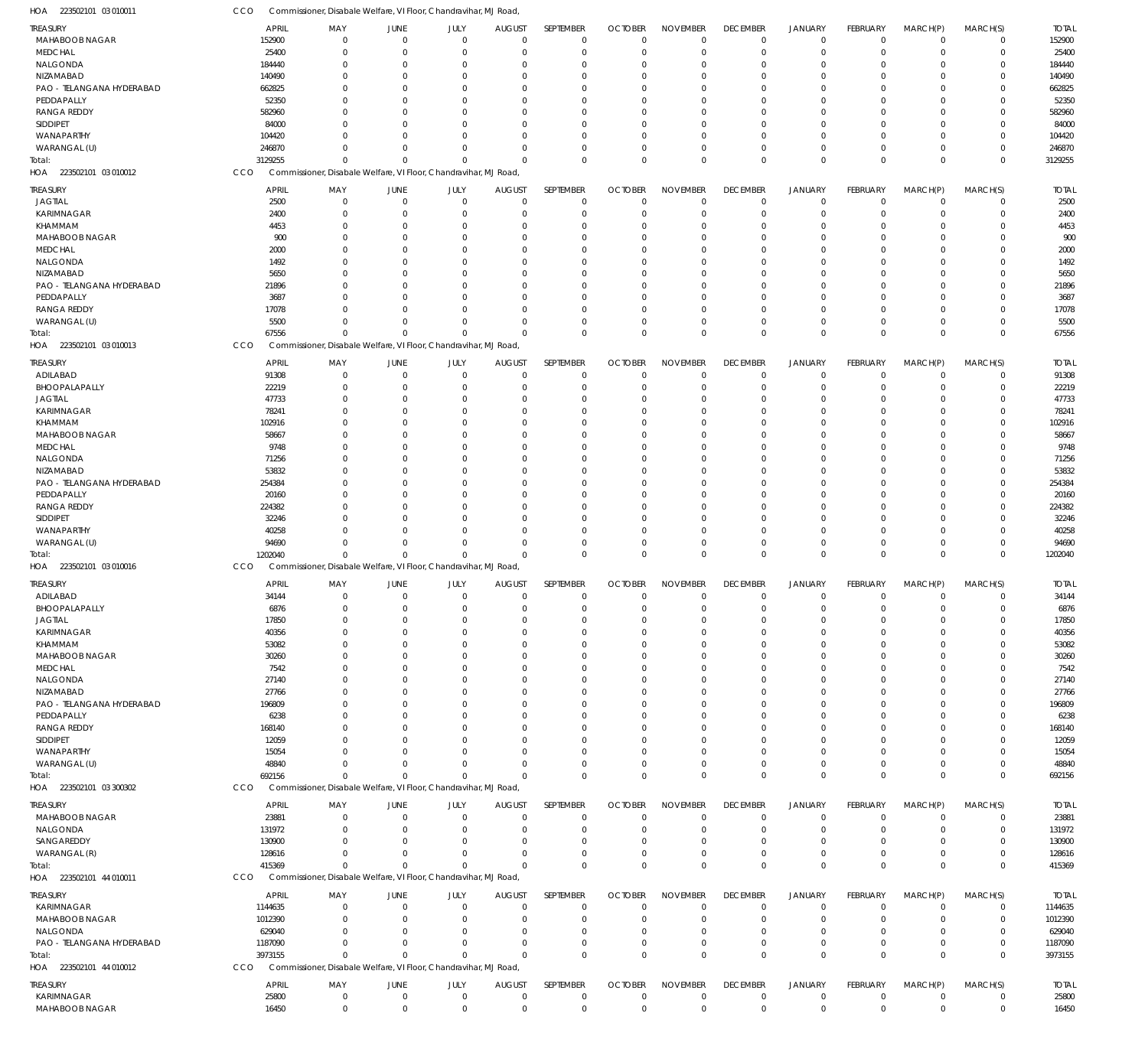223502101 03 010011 HOA CCO Commissioner, Disabale Welfare, VI Floor, Chandravihar, MJ Road,

| TREASURY                                | <b>APRIL</b>       | MAY                                                              | JUNE                 | JULY                       | <b>AUGUST</b>             | SEPTEMBER                        | <b>OCTOBER</b>             | <b>NOVEMBER</b>                  | <b>DECEMBER</b>            | <b>JANUARY</b>             | FEBRUARY                   | MARCH(P)                   | MARCH(S)                   | <b>TOTAL</b>       |
|-----------------------------------------|--------------------|------------------------------------------------------------------|----------------------|----------------------------|---------------------------|----------------------------------|----------------------------|----------------------------------|----------------------------|----------------------------|----------------------------|----------------------------|----------------------------|--------------------|
| MAHABOOB NAGAR                          | 152900             | $\mathbf 0$                                                      | $\Omega$             | $\mathbf 0$                | $\mathbf 0$               | $\mathbf 0$                      | $\mathbf 0$                | $\overline{0}$                   | $\mathbf 0$                | $\mathbf 0$                | $\mathbf 0$                | $\mathbf 0$                | $\mathbf 0$                | 152900             |
| MEDCHAL                                 | 25400              | $\mathbf 0$                                                      | $\Omega$             | $\Omega$                   | $\Omega$                  | $\overline{0}$                   | $\Omega$                   | $\Omega$                         | $\mathbf 0$                | $\mathbf 0$                | $\mathbf 0$                | $\Omega$                   | $\mathbf 0$                | 25400              |
| NALGONDA                                | 184440             | $\Omega$                                                         | $\cap$               | $\Omega$                   | $\Omega$                  | $\Omega$                         | $\Omega$                   | $\Omega$                         | $\Omega$                   | $\mathbf 0$                | $\mathbf 0$                | $\Omega$                   | $\mathbf 0$                | 184440             |
| NIZAMABAD                               | 140490             | $\Omega$                                                         |                      | $\Omega$                   | $\Omega$                  | $\Omega$                         | $\Omega$                   | $\Omega$                         | $\Omega$                   | $\Omega$                   | $\Omega$                   | $\Omega$                   | $\mathbf 0$                | 140490             |
| PAO - TELANGANA HYDERABAD<br>PEDDAPALLY | 662825             | $\Omega$                                                         |                      | $\Omega$<br>$\Omega$       | $\Omega$                  | $\Omega$                         | $\Omega$                   | $\Omega$                         | $\Omega$                   | $\Omega$                   | $\Omega$                   | 0                          | $\mathbf 0$                | 662825             |
| <b>RANGA REDDY</b>                      | 52350<br>582960    | $\Omega$<br>$\Omega$                                             |                      | $\Omega$                   | $\Omega$<br>$\Omega$      | $\Omega$<br>$\Omega$             | $\Omega$<br>$\Omega$       | $\Omega$<br>$\Omega$             | $\Omega$<br>$\Omega$       | $\Omega$<br>$\Omega$       | $\Omega$<br>$\Omega$       | 0<br>$\Omega$              | $\mathbf 0$<br>$\mathbf 0$ | 52350<br>582960    |
| SIDDIPET                                | 84000              | $\Omega$                                                         |                      | $\Omega$                   | $\Omega$                  | $\Omega$                         | $\Omega$                   | $\Omega$                         | $\Omega$                   | $\Omega$                   | $\Omega$                   | 0                          | $\mathbf 0$                | 84000              |
| WANAPARTHY                              | 104420             | $\Omega$                                                         |                      | $\Omega$                   | $\Omega$                  | $\Omega$                         | $\Omega$                   | $\mathbf 0$                      | $\Omega$                   | $\Omega$                   | $\mathbf 0$                | $\Omega$                   | $\mathbf 0$                | 104420             |
| WARANGAL (U)                            | 246870             | $\Omega$                                                         |                      | $\Omega$                   | $\Omega$                  | $\Omega$                         | $\Omega$                   | $\Omega$                         | $\mathbf 0$                | $\mathbf 0$                | $\mathbf 0$                | $\Omega$                   | $\mathbf 0$                | 246870             |
| Total:                                  | 3129255            | $\Omega$                                                         | $\cap$               | $\Omega$                   | $\Omega$                  | $\Omega$                         | $\Omega$                   | $\Omega$                         | $\Omega$                   | $\Omega$                   | $\Omega$                   | $\Omega$                   | $\mathbf 0$                | 3129255            |
| 223502101 03 010012<br>HOA              | CCO                | Commissioner, Disabale Welfare, VI Floor, Chandravihar, MJ Road  |                      |                            |                           |                                  |                            |                                  |                            |                            |                            |                            |                            |                    |
| <b>TREASURY</b>                         | <b>APRIL</b>       | MAY                                                              | JUNE                 | JULY                       | <b>AUGUST</b>             | SEPTEMBER                        | <b>OCTOBER</b>             | <b>NOVEMBER</b>                  | <b>DECEMBER</b>            | <b>JANUARY</b>             | FEBRUARY                   | MARCH(P)                   | MARCH(S)                   | <b>TOTAL</b>       |
| <b>JAGTIAL</b>                          | 2500               | $\mathbf 0$                                                      | $\Omega$             | $\mathbf 0$                | $\overline{0}$            | $\mathbf 0$                      | $\mathbf 0$                | $\overline{0}$                   | 0                          | $\mathbf 0$                | $\mathbf 0$                | 0                          | $\mathbf 0$                | 2500               |
| <b>KARIMNAGAR</b>                       | 2400               | $\mathbf 0$                                                      | $\Omega$             | $\Omega$                   | $\mathbf 0$               | $\overline{0}$                   | 0                          | $\mathbf 0$                      | $\mathbf 0$                | $\mathbf 0$                | $\mathbf 0$                | $\Omega$                   | $\mathbf 0$                | 2400               |
| KHAMMAM                                 | 4453               | $\Omega$                                                         | $\Omega$             | $\Omega$                   | $\Omega$                  | $\Omega$                         | $\Omega$                   | $\Omega$                         | $\Omega$                   | $\mathbf 0$                | $\Omega$                   | C.                         | $\mathbf 0$                | 4453               |
| MAHABOOB NAGAR                          | 900                | $\Omega$                                                         |                      | $\Omega$                   | $\Omega$                  | $\Omega$                         | $\Omega$                   | $\Omega$                         | $\Omega$                   | $\Omega$                   | $\Omega$                   | C.                         | $\mathbf 0$                | 900                |
| MEDCHAL                                 | 2000               | $\Omega$                                                         |                      | $\Omega$                   | $\Omega$                  | $\Omega$                         | $\Omega$                   | $\Omega$                         | $\Omega$                   | $\Omega$                   | $\Omega$                   | C.                         | $\Omega$                   | 2000               |
| NALGONDA                                | 1492               | $\Omega$                                                         |                      | $\Omega$                   | $\Omega$                  | $\Omega$                         | $\Omega$                   | $\Omega$                         | $\Omega$                   | $\Omega$                   | $\Omega$                   | C.                         | $\mathbf 0$                | 1492               |
| NIZAMABAD                               | 5650               | $\Omega$                                                         |                      | $\Omega$                   | $\Omega$                  | $\Omega$                         | $\Omega$                   | $\Omega$                         | U                          | $\Omega$                   | $\Omega$                   | C.                         | $\Omega$                   | 5650               |
| PAO - TELANGANA HYDERABAD               | 21896              | $\Omega$                                                         |                      | $\Omega$                   | $\Omega$                  | $\Omega$                         | $\Omega$                   | $\mathbf 0$                      | $\Omega$                   | $\Omega$                   | $\Omega$                   | C.                         | $\mathbf 0$                | 21896              |
| PEDDAPALLY                              | 3687               | $\Omega$                                                         |                      | $\Omega$                   | $\Omega$                  | $\Omega$                         | $\Omega$                   | $\Omega$                         | $\Omega$                   | $\Omega$                   | $\Omega$                   | C.                         | $\Omega$                   | 3687               |
| <b>RANGA REDDY</b>                      | 17078              | $\Omega$                                                         | $\cap$               | $\Omega$                   | $\Omega$                  | $\Omega$                         | $\Omega$                   | $\Omega$                         | $\Omega$                   | $\Omega$                   | $\Omega$                   | C.                         | $\mathbf 0$                | 17078              |
| WARANGAL (U)                            | 5500               | $\Omega$                                                         | $\Omega$             | $\Omega$                   | $\Omega$                  | $\Omega$                         | 0                          | $\mathbf 0$                      | $\mathbf 0$                | $\mathbf 0$                | $\mathbf 0$                | $\Omega$                   | $\mathbf 0$                | 5500               |
| Total:                                  | 67556              | $\mathbf 0$                                                      | $\Omega$             | $\Omega$                   | $\Omega$                  | $\Omega$                         | $\Omega$                   | $\Omega$                         | $\mathbf 0$                | $\Omega$                   | $\mathbf 0$                | $\Omega$                   | $\mathbf 0$                | 67556              |
| 223502101 03 010013<br>HOA              | CCO                | Commissioner, Disabale Welfare, VI Floor, Chandravihar, MJ Road, |                      |                            |                           |                                  |                            |                                  |                            |                            |                            |                            |                            |                    |
| TREASURY                                | <b>APRIL</b>       | MAY                                                              | JUNE                 | JULY                       | <b>AUGUST</b>             | SEPTEMBER                        | <b>OCTOBER</b>             | <b>NOVEMBER</b>                  | <b>DECEMBER</b>            | <b>JANUARY</b>             | FEBRUARY                   | MARCH(P)                   | MARCH(S)                   | <b>TOTAL</b>       |
| ADILABAD                                | 91308              | $\mathbf 0$                                                      | $\Omega$             | $\mathbf 0$                | $\mathbf 0$               | $\mathbf 0$                      | $\mathbf 0$                | $\mathbf 0$                      | $\mathbf 0$                | $\mathbf 0$                | $\mathbf 0$                | $\mathbf 0$                | $\mathbf 0$                | 91308              |
| BHOOPALAPALLY                           | 22219              | $\mathbf 0$                                                      | $\Omega$             | $\Omega$                   | $\mathbf 0$               | $\overline{0}$                   | $\Omega$                   | $\Omega$                         | $\mathbf 0$                | $\mathbf 0$                | $\mathbf 0$                | $\Omega$                   | $\mathbf 0$                | 22219              |
| <b>JAGTIAL</b>                          | 47733              | $\Omega$                                                         | $\cap$               | $\Omega$                   | $\Omega$                  | $\Omega$                         | $\Omega$                   | $\Omega$                         | $\Omega$                   | $\Omega$                   | $\mathbf 0$                | $\Omega$                   | $\mathbf 0$                | 47733              |
| KARIMNAGAR                              | 78241              | $\Omega$                                                         |                      | $\Omega$                   | $\Omega$                  | $\Omega$                         | $\Omega$                   | $\Omega$                         | $\Omega$                   | $\Omega$                   | $\Omega$                   | $\Omega$                   | $\mathbf 0$                | 78241              |
| KHAMMAM                                 | 102916             | $\Omega$                                                         |                      | $\Omega$<br>$\Omega$       | $\Omega$                  | $\Omega$                         | $\Omega$<br>$\Omega$       | $\Omega$<br>$\Omega$             | $\Omega$<br>$\Omega$       | $\Omega$                   | $\Omega$                   | $\Omega$                   | $\mathbf 0$                | 102916             |
| <b>MAHABOOB NAGAR</b><br>MEDCHAL        | 58667<br>9748      | $\Omega$<br>$\Omega$                                             |                      | $\Omega$                   | $\Omega$<br>$\Omega$      | $\Omega$<br>$\Omega$             | $\Omega$                   | $\Omega$                         | $\Omega$                   | $\Omega$<br>$\Omega$       | $\Omega$<br>$\Omega$       | C.<br>$\Omega$             | $\mathbf 0$<br>$\mathbf 0$ | 58667<br>9748      |
| NALGONDA                                | 71256              | $\Omega$                                                         |                      | $\Omega$                   | $\Omega$                  | $\Omega$                         | $\Omega$                   | $\Omega$                         | 0                          | $\Omega$                   | $\Omega$                   | $\Omega$                   | $\mathbf 0$                | 71256              |
| NIZAMABAD                               | 53832              | $\Omega$                                                         |                      | $\Omega$                   | $\Omega$                  | $\Omega$                         | $\Omega$                   | $\Omega$                         | $\Omega$                   | $\Omega$                   | $\Omega$                   | $\Omega$                   | $\mathbf 0$                | 53832              |
| PAO - TELANGANA HYDERABAD               | 254384             | $\Omega$                                                         |                      | $\Omega$                   | $\Omega$                  | $\Omega$                         | $\Omega$                   | $\Omega$                         | $\Omega$                   | $\Omega$                   | $\Omega$                   | O                          | $\mathbf 0$                | 254384             |
| PEDDAPALLY                              | 20160              | $\Omega$                                                         |                      | $\Omega$                   | $\Omega$                  | $\Omega$                         | $\Omega$                   | $\Omega$                         | $\Omega$                   | $\Omega$                   | $\Omega$                   | $\Omega$                   | $\mathbf 0$                | 20160              |
| <b>RANGA REDDY</b>                      | 224382             | $\Omega$                                                         |                      | $\Omega$                   | $\Omega$                  | $\Omega$                         | $\Omega$                   | $\Omega$                         | $\Omega$                   | $\Omega$                   | $\Omega$                   | C.                         | $\mathbf 0$                | 224382             |
| SIDDIPET                                | 32246              | $\Omega$                                                         |                      | $\Omega$                   | $\Omega$                  | $\Omega$                         | $\Omega$                   | $\Omega$                         | $\Omega$                   | $\Omega$                   | $\mathbf 0$                | $\Omega$                   | $\mathbf 0$                | 32246              |
| WANAPARTHY                              | 40258              | $\Omega$                                                         | $\cap$               | $\Omega$                   | $\Omega$                  | $\Omega$                         | $\Omega$                   | $\Omega$                         | $\Omega$                   | $\Omega$                   | $\Omega$                   | $\Omega$                   | $\mathbf 0$                | 40258              |
| WARANGAL (U)                            | 94690              | $\Omega$                                                         | $\Omega$             | $\Omega$                   | $\Omega$                  | $\Omega$                         | $\Omega$                   | $\Omega$                         | $\mathbf 0$                | $\mathbf 0$                | $\mathbf 0$                | $\Omega$                   | $\mathbf 0$                | 94690              |
| Total:                                  | 1202040            | $\mathbf 0$                                                      | $\Omega$             | $\Omega$                   | $\Omega$                  | $\overline{0}$                   | $\Omega$                   | $\Omega$                         | $\mathbf 0$                | $\Omega$                   | $\Omega$                   | $\Omega$                   | $\mathbf 0$                | 1202040            |
| HOA 223502101 03 010016                 | CCO                | Commissioner, Disabale Welfare, VI Floor, Chandravihar, MJ Road, |                      |                            |                           |                                  |                            |                                  |                            |                            |                            |                            |                            |                    |
| TREASURY                                | <b>APRIL</b>       | MAY                                                              | JUNE                 | JULY                       | <b>AUGUST</b>             | SEPTEMBER                        | <b>OCTOBER</b>             | <b>NOVEMBER</b>                  | <b>DECEMBER</b>            | JANUARY                    | FEBRUARY                   | MARCH(P)                   | MARCH(S)                   | <b>TOTAL</b>       |
| ADILABAD                                | 34144              | 0                                                                | $\Omega$             | $\mathbf 0$                | $^{\circ}$                | $\mathbf 0$                      | $\mathbf 0$                | $\overline{0}$                   | 0                          | $\mathbf 0$                | $\mathbf 0$                | 0                          | $\mathbf 0$                | 34144              |
| BHOOPALAPALLY                           | 6876               | $\mathbf 0$                                                      | $\Omega$             | $\mathbf 0$                | $\mathbf 0$               | $\mathbf 0$                      | $\mathbf 0$                | $\overline{0}$                   | $\mathbf 0$                | $\mathbf 0$                | $\mathbf 0$                | $\mathbf 0$                | $\mathbf 0$                | 6876               |
| <b>JAGTIAL</b>                          | 17850              | $\Omega$                                                         |                      |                            |                           | $\Omega$                         | 0                          | -0                               |                            | O                          | $\Omega$                   | -0                         | $\mathbf 0$                | 17850              |
| KARIMNAGAR                              | 40356              | $\Omega$                                                         | $\Omega$             | $\Omega$                   | $\Omega$                  | $\overline{0}$                   | $\mathbf 0$                | $\mathbf 0$                      | $\Omega$                   | $\Omega$                   | $\mathbf 0$                | $\Omega$                   | $\mathbf 0$                | 40356              |
| KHAMMAM                                 | 53082              | $\mathbf 0$                                                      |                      | $\Omega$                   | $\Omega$                  | $\overline{0}$                   | $\mathbf 0$                | $\overline{0}$                   | $\Omega$                   | $\Omega$                   | $\mathbf 0$                | $\Omega$                   | $\mathbf 0$                | 53082              |
| MAHABOOB NAGAR                          | 30260              | $\Omega$                                                         |                      | $\Omega$                   | <sup>0</sup>              | $\Omega$                         | $\Omega$                   | $\Omega$                         | U                          | $\Omega$                   | $\Omega$                   | C.                         | $\mathbf 0$                | 30260              |
| MEDCHAL                                 | 7542               | $\Omega$                                                         |                      | $\Omega$                   | $\Omega$                  | $\Omega$                         | 0                          | $\mathbf 0$                      | $\Omega$                   | $\Omega$                   | $\Omega$                   | C.                         | $\mathbf 0$                | 7542               |
| NALGONDA                                | 27140              | $\Omega$                                                         |                      | $\Omega$                   | $\Omega$                  | $\Omega$                         | $\Omega$                   | $\mathbf 0$                      | U                          | $\Omega$                   | $\Omega$                   | C.                         | $\mathbf 0$                | 27140              |
| NIZAMABAD                               | 27766              | $\Omega$                                                         |                      | $\Omega$                   | $\Omega$                  | $\Omega$                         | $\Omega$                   | $\Omega$                         | U                          | $\Omega$                   | $\Omega$                   | C.                         | $\mathbf 0$                | 27766              |
| PAO - TELANGANA HYDERABAD<br>PEDDAPALLY | 196809             | $\Omega$<br>$\Omega$                                             |                      | $\Omega$<br>$\Omega$       | $\Omega$<br>$\Omega$      | $\Omega$<br>$\Omega$             | 0<br>$\Omega$              | $\mathbf 0$                      | U                          | $\Omega$                   | $\Omega$                   | C.                         | $\Omega$                   | 196809             |
| <b>RANGA REDDY</b>                      | 6238<br>168140     | $\Omega$                                                         |                      | $\Omega$                   | <sup>0</sup>              | $\Omega$                         | $\Omega$                   | $\mathbf 0$<br>$\Omega$          | 0<br>U                     | $\Omega$<br>$\Omega$       | $\Omega$<br>$\Omega$       | C.<br>C.                   | $\mathbf 0$<br>$^{\circ}$  | 6238<br>168140     |
| SIDDIPET                                | 12059              | $\Omega$                                                         |                      | $\Omega$                   | $\Omega$                  | $\Omega$                         | $\Omega$                   | $\mathbf 0$                      | U                          | $\Omega$                   | $\Omega$                   | C.                         | $\mathbf 0$                | 12059              |
| WANAPARTHY                              | 15054              | $\Omega$                                                         |                      | $\Omega$                   | $\Omega$                  | $\Omega$                         | $\Omega$                   | $\mathbf 0$                      | U                          | $\Omega$                   | $\Omega$                   | C.                         | $\mathbf 0$                | 15054              |
| WARANGAL (U)                            | 48840              | $\Omega$                                                         |                      | $\Omega$                   | $\Omega$                  | $\Omega$                         | 0                          | $\mathbf 0$                      | $\mathbf 0$                | 0                          | $\mathbf 0$                | $\Omega$                   | $\mathbf 0$                | 48840              |
| Total:                                  | 692156             | $\Omega$                                                         | $\Omega$             | $\Omega$                   | $\Omega$                  | $\Omega$                         | $\mathbf 0$                | $\overline{0}$                   | $\mathbf 0$                | $\mathbf 0$                | $\mathbf 0$                | $\Omega$                   | $\mathbf 0$                | 692156             |
| HOA 223502101 03 300302                 | CCO                | Commissioner, Disabale Welfare, VI Floor, Chandravihar, MJ Road, |                      |                            |                           |                                  |                            |                                  |                            |                            |                            |                            |                            |                    |
| TREASURY                                | <b>APRIL</b>       | MAY                                                              | JUNE                 |                            | <b>AUGUST</b>             | SEPTEMBER                        | <b>OCTOBER</b>             | <b>NOVEMBER</b>                  | <b>DECEMBER</b>            | <b>JANUARY</b>             | FEBRUARY                   | MARCH(P)                   | MARCH(S)                   | <b>TOTAL</b>       |
| MAHABOOB NAGAR                          | 23881              | $\mathbf 0$                                                      | $\Omega$             | JULY<br>$\Omega$           | $\mathbf 0$               | $\overline{0}$                   | $\Omega$                   | $\mathbf 0$                      | $\mathbf 0$                | $\mathbf 0$                | $\mathbf 0$                | $\Omega$                   | $\mathbf 0$                | 23881              |
| NALGONDA                                | 131972             | $\mathbf 0$                                                      | $\Omega$             | $\Omega$                   | $\overline{0}$            | $\overline{0}$                   | $\mathbf 0$                | $\mathbf 0$                      | $\mathbf 0$                | $\mathbf 0$                | $\mathbf 0$                | $\Omega$                   | $\mathbf 0$                | 131972             |
| SANGAREDDY                              | 130900             | $\mathbf 0$                                                      | $\Omega$             | $\Omega$                   | 0                         | $\overline{0}$                   | $\mathbf 0$                | $\mathbf 0$                      | $\mathbf 0$                | 0                          | 0                          | $\Omega$                   | $\mathbf 0$                | 130900             |
| WARANGAL (R)                            | 128616             | $\Omega$                                                         | $\cap$               | $\Omega$                   | $\Omega$                  | $\overline{0}$                   | $\mathbf 0$                | $\overline{0}$                   | $\mathbf 0$                | $\mathbf 0$                | $\mathbf 0$                | $\Omega$                   | $\mathbf 0$                | 128616             |
| Total:                                  | 415369             | $\mathbf 0$                                                      | $\Omega$             | $\Omega$                   | $\mathbf 0$               | $\overline{0}$                   | $\Omega$                   | $\Omega$                         | $\mathbf 0$                | $\mathbf 0$                | $\mathbf 0$                | $\Omega$                   | $\mathbf 0$                | 415369             |
| HOA 223502101 44 010011                 | CCO                | Commissioner, Disabale Welfare, VI Floor, Chandravihar, MJ Road, |                      |                            |                           |                                  |                            |                                  |                            |                            |                            |                            |                            |                    |
| TREASURY                                | <b>APRIL</b>       |                                                                  |                      |                            |                           | SEPTEMBER                        |                            |                                  | <b>DECEMBER</b>            | JANUARY                    | FEBRUARY                   | MARCH(P)                   | MARCH(S)                   | <b>TOTAL</b>       |
|                                         |                    | MAY                                                              | JUNE<br>$\Omega$     | JULY<br>$\Omega$           | <b>AUGUST</b>             |                                  | <b>OCTOBER</b>             | <b>NOVEMBER</b>                  |                            |                            |                            |                            |                            |                    |
| <b>KARIMNAGAR</b><br>MAHABOOB NAGAR     | 1144635<br>1012390 | $\mathbf 0$<br>$\mathbf 0$                                       | $\Omega$             | $\Omega$                   | $^{\circ}$<br>$\Omega$    | $\overline{0}$<br>$\overline{0}$ | $\mathbf 0$<br>$\mathbf 0$ | $\mathbf 0$<br>$\overline{0}$    | 0<br>$\mathbf 0$           | $\mathbf 0$<br>$\mathbf 0$ | $\mathbf 0$<br>$\mathbf 0$ | O<br>$\Omega$              | $\mathbf 0$<br>$\mathbf 0$ | 1144635<br>1012390 |
| NALGONDA                                | 629040             | $\mathbf 0$                                                      | $\Omega$             | $\Omega$                   | $\Omega$                  | $\Omega$                         | 0                          | $\mathbf 0$                      | $\mathbf 0$                | 0                          | 0                          | $\Omega$                   | $\mathbf 0$                | 629040             |
| PAO - TELANGANA HYDERABAD               | 1187090            | $\Omega$                                                         | $\Omega$             | $\Omega$                   | $\Omega$                  | $\Omega$                         | $\mathbf 0$                | $\overline{0}$                   | $\mathbf 0$                | $\mathbf 0$                | $\mathbf 0$                | $\Omega$                   | $\mathbf 0$                | 1187090            |
| Total:                                  |                    | $\mathbf 0$                                                      |                      | $\Omega$                   | $\Omega$                  | $\overline{0}$                   | $\mathbf 0$                | $\overline{0}$                   | $\mathbf 0$                | $\overline{0}$             | $\mathbf 0$                | $\Omega$                   | $\mathbf 0$                | 3973155            |
|                                         | 3973155            |                                                                  |                      |                            |                           |                                  |                            |                                  |                            |                            |                            |                            |                            |                    |
| 223502101 44 010012<br>HOA              | CCO                | Commissioner, Disabale Welfare, VI Floor, Chandravihar, MJ Road, |                      |                            |                           |                                  |                            |                                  |                            |                            |                            |                            |                            |                    |
|                                         |                    |                                                                  |                      |                            |                           |                                  |                            |                                  |                            |                            |                            |                            |                            |                    |
| TREASURY                                | <b>APRIL</b>       | MAY                                                              | JUNE                 | JULY                       | <b>AUGUST</b>             | SEPTEMBER                        | <b>OCTOBER</b>             | <b>NOVEMBER</b>                  | <b>DECEMBER</b>            | <b>JANUARY</b>             | FEBRUARY                   | MARCH(P)                   | MARCH(S)                   | <b>TOTAL</b>       |
| <b>KARIMNAGAR</b><br>MAHABOOB NAGAR     | 25800<br>16450     | $\mathbf 0$<br>$\mathbf 0$                                       | $\Omega$<br>$\Omega$ | $\mathbf 0$<br>$\mathbf 0$ | $^{\circ}$<br>$\mathbf 0$ | $\mathbf 0$<br>$\mathbf 0$       | $\mathbf 0$<br>$\mathbf 0$ | $\overline{0}$<br>$\overline{0}$ | $\mathbf 0$<br>$\mathbf 0$ | $\mathbf 0$<br>$\mathbf 0$ | $\mathbf 0$<br>$\mathbf 0$ | $\mathbf 0$<br>$\mathbf 0$ | $\mathbf 0$<br>$\mathbf 0$ | 25800<br>16450     |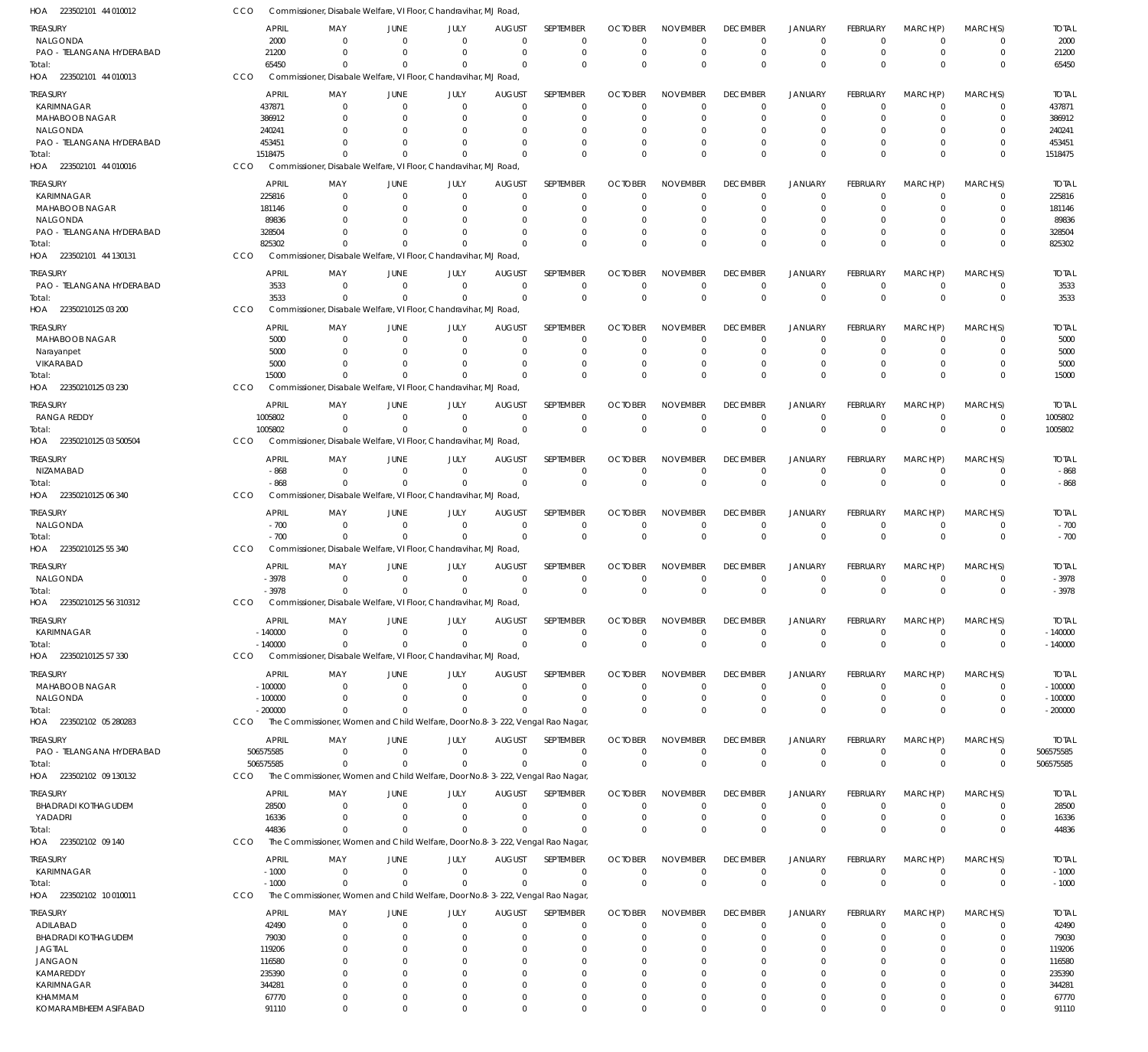| HOA 223502101 44 010012          | CCO                    | Commissioner, Disabale Welfare, VI Floor, Chandravihar, MJ Road,                          |                         |                         |                           |                      |                |                      |                      |                            |                      |                      |                            |                  |
|----------------------------------|------------------------|-------------------------------------------------------------------------------------------|-------------------------|-------------------------|---------------------------|----------------------|----------------|----------------------|----------------------|----------------------------|----------------------|----------------------|----------------------------|------------------|
| TREASURY                         | <b>APRIL</b>           | MAY                                                                                       | JUNE                    | JULY                    | <b>AUGUST</b>             | <b>SEPTEMBER</b>     | <b>OCTOBER</b> | <b>NOVEMBER</b>      | <b>DECEMBER</b>      | <b>JANUARY</b>             | <b>FEBRUARY</b>      | MARCH(P)             | MARCH(S)                   | <b>TOTAL</b>     |
| NALGONDA                         | 2000                   | $\mathbf 0$                                                                               | $\Omega$                | $\mathbf 0$             | $\Omega$                  | $\mathbf 0$          | $\Omega$       | $^{\circ}$           | $\mathbf 0$          | $\overline{0}$             | $\mathbf 0$          | $\mathbf 0$          | $\mathbf 0$                | 2000             |
| PAO - TELANGANA HYDERABAD        | 21200                  | $\Omega$                                                                                  | $\Omega$                | $\mathbf 0$             | $\Omega$                  | $\mathbf 0$          | $\Omega$       | $^{\circ}$           | $\mathbf 0$          | $\overline{0}$             | $\mathbf 0$          | $\Omega$             | $\mathbf 0$                | 21200            |
| Total:                           | 65450                  | $\Omega$                                                                                  | $\Omega$                | $\Omega$                | $\Omega$                  | $\Omega$             | $\Omega$       | $\Omega$             | $\mathbf{0}$         | $\Omega$                   | $\Omega$             | $\Omega$             | $\mathbf 0$                | 65450            |
| HOA 223502101 44 010013          | CCO                    | Commissioner, Disabale Welfare, VI Floor, Chandravihar, MJ Road,                          |                         |                         |                           |                      |                |                      |                      |                            |                      |                      |                            |                  |
| TREASURY                         | <b>APRIL</b>           | MAY                                                                                       | JUNE                    | JULY                    | <b>AUGUST</b>             | SEPTEMBER            | <b>OCTOBER</b> | <b>NOVEMBER</b>      | <b>DECEMBER</b>      | JANUARY                    | FEBRUARY             | MARCH(P)             | MARCH(S)                   | <b>TOTAL</b>     |
| KARIMNAGAR                       | 437871                 | $\Omega$                                                                                  | $\Omega$                | $\Omega$                | $\Omega$                  | $\Omega$             | $\Omega$       | $\Omega$             | $\mathbf 0$          | $\Omega$                   | $\Omega$             | $\Omega$             | $\Omega$                   | 437871           |
| MAHABOOB NAGAR<br>NALGONDA       | 386912                 | $\Omega$<br>$\Omega$                                                                      | $\Omega$<br>$\Omega$    | $\Omega$<br>$\Omega$    | $\Omega$<br>$\Omega$      | $\Omega$<br>$\Omega$ |                | $\Omega$<br>$\Omega$ | $\Omega$<br>$\Omega$ | $\Omega$<br>$\Omega$       | $\Omega$<br>$\Omega$ | $\Omega$<br>$\Omega$ | $\Omega$<br>$\Omega$       | 386912           |
| PAO - TELANGANA HYDERABAD        | 240241<br>453451       | n                                                                                         | $\Omega$                | $\Omega$                | $\Omega$                  | $\Omega$             | $\Omega$       | $\Omega$             | $\mathbf 0$          | $\overline{0}$             | $\Omega$             | $\Omega$             | $\mathbf 0$                | 240241<br>453451 |
| Total:                           | 1518475                | $\Omega$                                                                                  | $\Omega$                | $\Omega$                | $\Omega$                  | $\Omega$             | $\Omega$       | $\Omega$             | $\Omega$             | $\Omega$                   | $\Omega$             | $\Omega$             | $\Omega$                   | 1518475          |
| HOA 223502101 44 010016          | <b>CCO</b>             | Commissioner, Disabale Welfare, VI Floor, Chandravihar, MJ Road,                          |                         |                         |                           |                      |                |                      |                      |                            |                      |                      |                            |                  |
|                                  |                        |                                                                                           |                         |                         |                           | SEPTEMBER            | <b>OCTOBER</b> | <b>NOVEMBER</b>      | <b>DECEMBER</b>      | JANUARY                    | <b>FEBRUARY</b>      |                      |                            | <b>TOTAL</b>     |
| <b>TREASURY</b><br>KARIMNAGAR    | <b>APRIL</b><br>225816 | MAY<br>$\mathbf 0$                                                                        | JUNE<br>$\Omega$        | JULY<br>$\mathbf 0$     | <b>AUGUST</b><br>$\Omega$ | $\Omega$             | $\Omega$       | $\Omega$             | $\mathbf 0$          | $\overline{0}$             | $\Omega$             | MARCH(P)<br>$\Omega$ | MARCH(S)<br>$\mathbf 0$    | 225816           |
| MAHABOOB NAGAR                   | 181146                 | $\Omega$                                                                                  | $\Omega$                | $\Omega$                | $\Omega$                  | $\mathbf 0$          |                | $^{\circ}$           | $\mathbf 0$          | $\overline{0}$             | $\Omega$             | $\Omega$             | $\mathbf 0$                | 181146           |
| NALGONDA                         | 89836                  | O                                                                                         | $\Omega$                | $\Omega$                |                           | $\Omega$             |                | $\Omega$             | $\Omega$             | $\Omega$                   | $\Omega$             | n                    | $\Omega$                   | 89836            |
| PAO - TELANGANA HYDERABAD        | 328504                 | $\Omega$                                                                                  | $\Omega$                | $\Omega$                | $\Omega$                  | $\Omega$             | $\Omega$       | $\Omega$             | $\mathbf 0$          | $\overline{0}$             | $\Omega$             | $\Omega$             | $\mathbf 0$                | 328504           |
| Total:                           | 825302                 | $\Omega$                                                                                  | $\Omega$                | $\Omega$                | $\Omega$                  | $\Omega$             | $\Omega$       | $\Omega$             | $\Omega$             | $\Omega$                   | $\Omega$             | $\Omega$             | $\Omega$                   | 825302           |
| HOA 223502101 44 130131          | <b>CCO</b>             | Commissioner, Disabale Welfare, VI Floor, Chandravihar, MJ Road,                          |                         |                         |                           |                      |                |                      |                      |                            |                      |                      |                            |                  |
| TREASURY                         | <b>APRIL</b>           | MAY                                                                                       | <b>JUNE</b>             | JULY                    | <b>AUGUST</b>             | SEPTEMBER            | <b>OCTOBER</b> | <b>NOVEMBER</b>      | <b>DECEMBER</b>      | JANUARY                    | FEBRUARY             | MARCH(P)             | MARCH(S)                   | <b>TOTAL</b>     |
| PAO - TELANGANA HYDERABAD        | 3533                   | $\Omega$                                                                                  | $\Omega$                | $\Omega$                | $\Omega$                  | $\mathbf{0}$         | $\Omega$       | $\Omega$             | $\mathbf 0$          | $\overline{0}$             | $\Omega$             | $\Omega$             | $\mathbf 0$                | 3533             |
| Total:                           | 3533                   | $\Omega$                                                                                  | $\Omega$                | $\Omega$                | $\Omega$                  | $\Omega$             | $\Omega$       | $\Omega$             | $\Omega$             | $\Omega$                   | $\Omega$             | $\Omega$             | $\mathbf 0$                | 3533             |
| HOA 22350210125 03 200           | CCO                    | Commissioner, Disabale Welfare, VI Floor, Chandravihar, MJ Road,                          |                         |                         |                           |                      |                |                      |                      |                            |                      |                      |                            |                  |
| treasury                         | <b>APRIL</b>           | MAY                                                                                       | JUNE                    | JULY                    | <b>AUGUST</b>             | SEPTEMBER            | <b>OCTOBER</b> | <b>NOVEMBER</b>      | <b>DECEMBER</b>      | JANUARY                    | FEBRUARY             | MARCH(P)             | MARCH(S)                   | <b>TOTAL</b>     |
| MAHABOOB NAGAR                   | 5000                   | $\mathbf 0$                                                                               | $\Omega$                | $\mathbf 0$             | $\Omega$                  | $\Omega$             | $\Omega$       | $\Omega$             | $\mathbf 0$          | $\overline{0}$             | $\Omega$             | $\Omega$             | $\mathbf 0$                | 5000             |
| Narayanpet                       | 5000                   | $\Omega$                                                                                  | $\Omega$                | $\Omega$                | $\Omega$                  | $\Omega$             | $\Omega$       | $\Omega$             | $\mathbf 0$          | $\overline{0}$             | $\Omega$             | $\Omega$             | $\mathbf 0$                | 5000             |
| VIKARABAD                        | 5000                   | $\Omega$                                                                                  | $\Omega$                | $\Omega$                | $\Omega$                  | $\Omega$             |                | $\Omega$             | $\mathbf 0$          | $\overline{0}$             | $\Omega$             | $\Omega$             | $\mathbf 0$                | 5000             |
| Total:                           | 15000                  | $\Omega$                                                                                  | $\Omega$                | $\Omega$                | $\Omega$                  | $\Omega$             | $\Omega$       | $\Omega$             | $\mathbf 0$          | $\Omega$                   | $\Omega$             | $\Omega$             | $\mathbf 0$                | 15000            |
| HOA 22350210125 03 230           | CCO                    | Commissioner, Disabale Welfare, VI Floor, Chandravihar, MJ Road,                          |                         |                         |                           |                      |                |                      |                      |                            |                      |                      |                            |                  |
| TREASURY                         | <b>APRIL</b>           | MAY                                                                                       | <b>JUNE</b>             | JULY                    | <b>AUGUST</b>             | SEPTEMBER            | <b>OCTOBER</b> | <b>NOVEMBER</b>      | <b>DECEMBER</b>      | JANUARY                    | FEBRUARY             | MARCH(P)             | MARCH(S)                   | <b>TOTAL</b>     |
| RANGA REDDY                      | 1005802                | $\Omega$                                                                                  | $\Omega$                | $\Omega$                | $\Omega$                  | $\Omega$             | $\Omega$       | $\Omega$             | $\mathbf 0$          | $\overline{0}$             | $\Omega$             | $\Omega$             | 0                          | 1005802          |
| Total:                           | 1005802                | $\Omega$                                                                                  | $\Omega$                | $\Omega$                | $\Omega$                  | $\mathbf{0}$         | $\Omega$       | $\mathbf{0}$         | $\mathbf 0$          | $\overline{0}$             | $\Omega$             | $\Omega$             | $\mathbf 0$                | 1005802          |
| HOA 22350210125 03 500504        | <b>CCO</b>             | Commissioner, Disabale Welfare, VI Floor, Chandravihar, MJ Road,                          |                         |                         |                           |                      |                |                      |                      |                            |                      |                      |                            |                  |
| TREASURY                         | <b>APRIL</b>           | MAY                                                                                       | JUNE                    | JULY                    | <b>AUGUST</b>             | SEPTEMBER            | <b>OCTOBER</b> | <b>NOVEMBER</b>      | <b>DECEMBER</b>      | <b>JANUARY</b>             | <b>FEBRUARY</b>      | MARCH(P)             | MARCH(S)                   | <b>TOTAL</b>     |
| NIZAMABAD                        | -868                   | $\mathbf 0$                                                                               | $\Omega$                | $\mathbf 0$             | $\Omega$                  | $\mathbf 0$          | $\Omega$       | $\overline{0}$       | $\mathbf 0$          | $\overline{0}$             | $\mathbf 0$          | $\mathbf 0$          | 0                          | $-868$           |
| Total:                           | $-868$                 | $\Omega$                                                                                  | $\Omega$                | $\Omega$                | $\Omega$                  | $\mathbf{0}$         | $\Omega$       | $\Omega$             | $\mathbf 0$          | $\overline{0}$             | $\Omega$             | $\Omega$             | $\mathbf 0$                | $-868$           |
| HOA 22350210125 06 340           | CCO                    | Commissioner, Disabale Welfare, VI Floor, Chandravihar, MJ Road,                          |                         |                         |                           |                      |                |                      |                      |                            |                      |                      |                            |                  |
| TREASURY                         | <b>APRIL</b>           | MAY                                                                                       | <b>JUNE</b>             | JULY                    | <b>AUGUST</b>             | SEPTEMBER            | <b>OCTOBER</b> | <b>NOVEMBER</b>      | <b>DECEMBER</b>      | JANUARY                    | <b>FEBRUARY</b>      | MARCH(P)             | MARCH(S)                   | <b>TOTAL</b>     |
| NALGONDA                         | $-700$                 | $\Omega$                                                                                  | $\Omega$                | $\Omega$                | $\Omega$                  | $\mathbf 0$          | $\Omega$       | $\Omega$             | $\mathbf 0$          | $\overline{0}$             | $\Omega$             | $\Omega$             | $\mathbf 0$                | $-700$           |
| Total:                           | $-700$                 | $\Omega$                                                                                  | $\Omega$                | $\Omega$                | $\Omega$                  | $\Omega$             | $\Omega$       | $\Omega$             | $\Omega$             | $\Omega$                   | $\Omega$             | $\Omega$             | $\mathbf 0$                | $-700$           |
| HOA 22350210125 55 340           | CCO                    | Commissioner, Disabale Welfare, VI Floor, Chandravihar, MJ Road,                          |                         |                         |                           |                      |                |                      |                      |                            |                      |                      |                            |                  |
| TREASURY                         | <b>APRIL</b>           | MAY                                                                                       | JUNE                    | JULY                    | <b>AUGUST</b>             | SEPTEMBER            | <b>OCTOBER</b> | <b>NOVEMBER</b>      | <b>DECEMBER</b>      | JANUARY                    | <b>FEBRUARY</b>      | MARCH(P)             | MARCH(S)                   | <b>TOTAL</b>     |
| NALGONDA                         | $-3978$                | $\mathbf 0$                                                                               | $\overline{0}$          | $\mathbf 0$             | $\Omega$                  | 0                    | $\Omega$       | $^{\circ}$           | $\mathbf 0$          | $\overline{0}$             | 0                    | 0                    | $\mathbf 0$                | $-3978$          |
| Total:                           | $-3978$                | $\Omega$                                                                                  | $\Omega$                | $\mathbf{0}$            | $\Omega$                  | $\mathbf{0}$         | $\Omega$       | $\Omega$             | $\mathbf 0$          | $\overline{0}$             | $\Omega$             | $\Omega$             | $\mathbf 0$                | $-3978$          |
| HOA 22350210125 56 310312        | CCO                    | Commissioner, Disabale Welfare, VI Floor, Chandravihar, MJ Road,                          |                         |                         |                           |                      |                |                      |                      |                            |                      |                      |                            |                  |
| <b>TREASURY</b>                  | <b>APRIL</b>           | MAY                                                                                       | JUNE                    | JULY                    | <b>AUGUST</b>             | SEPTEMBER            | <b>OCTOBER</b> | <b>NOVEMBER</b>      | <b>DECEMBER</b>      | <b>JANUARY</b>             | <b>FEBRUARY</b>      | MARCH(P)             | MARCH(S)                   | <b>TOTAL</b>     |
| KARIMNAGAR                       | $-140000$              | $\Omega$                                                                                  | $\Omega$                | $\Omega$                | $\Omega$                  | $\mathbf 0$          | $\Omega$       | $\overline{0}$       | $\mathbf 0$          | $\overline{0}$             | $\Omega$             | $\mathbf 0$          | $\mathbf 0$                | $-140000$        |
| Total:                           | $-140000$              | $\Omega$                                                                                  | $\Omega$                | $\Omega$                | $\Omega$                  | $\mathbf 0$          | $\Omega$       | $\mathbf 0$          | $\mathbf 0$          | $\overline{0}$             | $\mathbf 0$          | $\mathbf 0$          | $\boldsymbol{0}$           | $-140000$        |
| HOA 22350210125 57 330           | <b>CCO</b>             | Commissioner, Disabale Welfare, VI Floor, Chandravihar, MJ Road,                          |                         |                         |                           |                      |                |                      |                      |                            |                      |                      |                            |                  |
| <b>TREASURY</b>                  | <b>APRIL</b>           | MAY                                                                                       | JUNE                    | JULY                    | <b>AUGUST</b>             | SEPTEMBER            | <b>OCTOBER</b> | <b>NOVEMBER</b>      | <b>DECEMBER</b>      | JANUARY                    | <b>FEBRUARY</b>      | MARCH(P)             | MARCH(S)                   | <b>TOTAL</b>     |
| MAHABOOB NAGAR                   | $-100000$              | $\mathbf 0$                                                                               | $\Omega$                | $\mathbf 0$             | $\Omega$                  | $\mathbf 0$          | $\Omega$       | $^{\circ}$           | $\mathbf 0$          | $\overline{0}$             | $\mathbf 0$          | $\mathbf 0$          | 0                          | $-100000$        |
| NALGONDA                         | $-100000$              | $\Omega$                                                                                  | $\Omega$                | $\mathbf 0$             | $\Omega$                  | $\mathbf 0$          | $\Omega$       | $\overline{0}$       | $\mathbf 0$          | $\overline{0}$             | $\mathbf 0$          | $\mathbf 0$          | $\mathbf 0$                | $-100000$        |
| Total:                           | $-200000$              | $\Omega$                                                                                  | $\Omega$                | $\Omega$                | $\Omega$                  | $\Omega$             | $\Omega$       | $\Omega$             | $\mathbf 0$          | $\Omega$                   | $\Omega$             | $\Omega$             | $\mathbf 0$                | $-200000$        |
| HOA 223502102 05 280283          | CCO                    | The Commissioner, Women and Child Welfare, Door No.8-3-222, Vengal Rao Nagar,             |                         |                         |                           |                      |                |                      |                      |                            |                      |                      |                            |                  |
| TREASURY                         | <b>APRIL</b>           | MAY                                                                                       | JUNE                    | JULY                    | <b>AUGUST</b>             | SEPTEMBER            | <b>OCTOBER</b> | <b>NOVEMBER</b>      | <b>DECEMBER</b>      | JANUARY                    | <b>FEBRUARY</b>      | MARCH(P)             | MARCH(S)                   | <b>TOTAL</b>     |
| PAO - TELANGANA HYDERABAD        | 506575585              | $\Omega$                                                                                  | $\Omega$                | $\mathbf 0$             | $\mathbf{0}$              | $\mathbf 0$          | $\Omega$       | $\overline{0}$       | $\mathbf 0$          | $\overline{0}$             | $\Omega$             | $\mathbf 0$          | $\mathbf 0$                | 506575585        |
| Total:                           | 506575585              | $\Omega$                                                                                  | $\Omega$                | $\Omega$                | $\Omega$                  | $\mathbf{0}$         | $\Omega$       | $\mathbf 0$          | $\overline{0}$       | $\overline{0}$             | $\mathbf 0$          | $\mathbf 0$          | $\mathbf 0$                | 506575585        |
| HOA 223502102 09 130132          | <b>CCO</b>             | The Commissioner, Women and Child Welfare, Door No.8-3-222, Vengal Rao Nagar,             |                         |                         |                           |                      |                |                      |                      |                            |                      |                      |                            |                  |
| treasury                         | <b>APRIL</b>           | MAY                                                                                       | <b>JUNE</b>             | JULY                    | <b>AUGUST</b>             | SEPTEMBER            | <b>OCTOBER</b> | <b>NOVEMBER</b>      | <b>DECEMBER</b>      | JANUARY                    | <b>FEBRUARY</b>      | MARCH(P)             | MARCH(S)                   | <b>TOTAL</b>     |
| <b>BHADRADI KOTHAGUDEM</b>       | 28500                  | $\mathbf 0$                                                                               | $\overline{0}$          | $\mathbf 0$             | $\mathbf{0}$              | $\mathbf 0$          | $\Omega$       | $\Omega$             | $\mathbf 0$          | $\overline{0}$             | $\mathbf 0$          | $\mathbf 0$          | 0                          | 28500            |
| YADADRI                          | 16336                  | $\Omega$                                                                                  | $\Omega$                | $\mathbf 0$             | $\Omega$                  | $\mathbf 0$          | $\Omega$       | $\overline{0}$       | $\mathbf 0$          | $\overline{0}$             | $\mathbf 0$          | $\mathbf 0$          | $\mathbf 0$                | 16336            |
| Total:<br>HOA 223502102 09 140   | 44836<br>CCO           | $\Omega$<br>The Commissioner, Women and Child Welfare, Door No.8-3-222, Vengal Rao Nagar, | $\Omega$                | $\Omega$                | $\Omega$                  | $\Omega$             | $\Omega$       | $\mathbf 0$          | $\mathbf 0$          | $\overline{0}$             | $\Omega$             | $\Omega$             | $\mathbf 0$                | 44836            |
|                                  |                        |                                                                                           |                         |                         |                           |                      |                |                      |                      |                            |                      |                      |                            |                  |
| TREASURY                         | <b>APRIL</b>           | MAY                                                                                       | JUNE                    | JULY                    | <b>AUGUST</b>             | SEPTEMBER            | <b>OCTOBER</b> | <b>NOVEMBER</b>      | <b>DECEMBER</b>      | JANUARY                    | <b>FEBRUARY</b>      | MARCH(P)             | MARCH(S)                   | <b>TOTAL</b>     |
| KARIMNAGAR                       | $-1000$                | $\mathbf 0$                                                                               | $\mathbf{0}$            | $\mathbf 0$             | $\mathbf{0}$              | $\mathbf{0}$         | $\Omega$       | $\overline{0}$       | $\mathbf 0$          | $\overline{0}$             | $\Omega$             | $\mathbf 0$          | $\mathbf 0$                | $-1000$          |
| Total:                           | $-1000$                | $\Omega$                                                                                  | $\mathbf{0}$            | $\mathbf 0$             | $\Omega$                  | $\mathbf 0$          | $\Omega$       | $\mathbf 0$          | $\mathbf 0$          | $\overline{0}$             | $\mathbf 0$          | $\mathbf 0$          | $\mathbf 0$                | $-1000$          |
| HOA 223502102 10 010011          | CCO                    | The Commissioner, Women and Child Welfare, Door No.8-3-222, Vengal Rao Nagar,             |                         |                         |                           |                      |                |                      |                      |                            |                      |                      |                            |                  |
| <b>TREASURY</b>                  | <b>APRIL</b>           | MAY                                                                                       | JUNE                    | JULY                    | <b>AUGUST</b>             | SEPTEMBER            | <b>OCTOBER</b> | <b>NOVEMBER</b>      | <b>DECEMBER</b>      | JANUARY                    | FEBRUARY             | MARCH(P)             | MARCH(S)                   | <b>TOTAL</b>     |
| ADILABAD                         | 42490                  | $\mathbf 0$                                                                               | $\mathbf 0$             | $\mathbf 0$             | $\Omega$                  | $\mathbf 0$          | $\Omega$       | $^{\circ}$           | $\mathbf 0$          | $\overline{0}$             | 0                    | 0                    | 0                          | 42490            |
| <b>BHADRADI KOTHAGUDEM</b>       | 79030                  | $\mathbf 0$<br>$\Omega$                                                                   | $\mathbf 0$<br>$\Omega$ | $\mathbf 0$<br>$\Omega$ | $\Omega$<br>$\Omega$      | $\Omega$<br>$\Omega$ | $\Omega$       | $\Omega$<br>$\Omega$ | $\mathbf 0$<br>0     | $\overline{0}$<br>$\Omega$ | $\Omega$<br>$\Omega$ | $\Omega$<br>$\Omega$ | $\mathbf 0$<br>$\mathbf 0$ | 79030            |
| <b>JAGTIAL</b><br><b>JANGAON</b> | 119206<br>116580       | $\Omega$                                                                                  | $\Omega$                | $\Omega$                | -C                        | $\Omega$             |                | $\Omega$             | $\Omega$             | $\Omega$                   | $\Omega$             | $\Omega$             | $\Omega$                   | 119206<br>116580 |
| KAMAREDDY                        | 235390                 | $\Omega$                                                                                  | $\Omega$                | $\Omega$                | -C                        | $\Omega$             |                | $\Omega$             | $\Omega$             | $\Omega$                   | $\Omega$             | $\Omega$             | $\mathbf 0$                | 235390           |
| KARIMNAGAR                       | 344281                 | $\Omega$                                                                                  | $\Omega$                | $\Omega$                |                           | $\Omega$             |                | $\Omega$             | $\Omega$             | $\Omega$                   | $\Omega$             | $\Omega$             | $\Omega$                   | 344281           |
| KHAMMAM                          | 67770                  | 0                                                                                         | $\mathbf 0$             | $\mathbf 0$             | $\Omega$                  | $\mathbf 0$          | $\Omega$       | $\mathbf 0$          | 0                    | $\overline{0}$             | $\mathbf 0$          | $\mathbf 0$          | 0                          | 67770            |
| KOMARAMBHEEM ASIFABAD            | 91110                  | $\mathbf 0$                                                                               | $\mathbf 0$             | $\Omega$                | $\Omega$                  | $\Omega$             | $\Omega$       | $\mathbf 0$          | $\mathbf 0$          | $\overline{0}$             | $\Omega$             | $\Omega$             | $\mathbf 0$                | 91110            |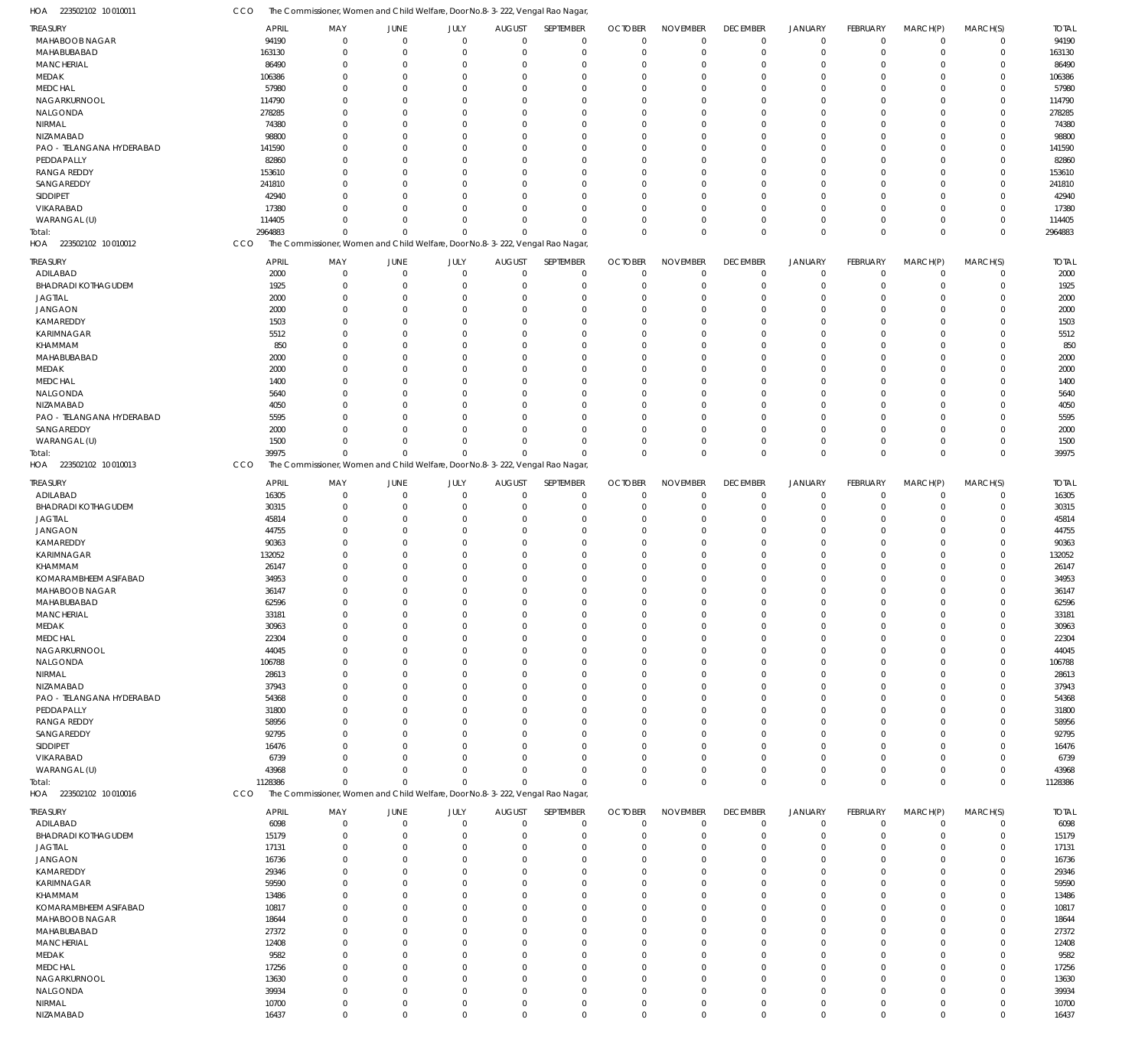| HOA<br>223502102 10 010011 | CCO | The Commissioner, Women and Child Welfare, Door No.8-3-222, Vengal Rao Nagar, |                            |                            |                            |                  |                                                                               |                            |                            |                            |                            |                            |                            |                            |                |
|----------------------------|-----|-------------------------------------------------------------------------------|----------------------------|----------------------------|----------------------------|------------------|-------------------------------------------------------------------------------|----------------------------|----------------------------|----------------------------|----------------------------|----------------------------|----------------------------|----------------------------|----------------|
| <b>TREASURY</b>            |     | APRIL                                                                         | MAY                        | JUNE                       | JULY                       | <b>AUGUST</b>    | SEPTEMBER                                                                     | <b>OCTOBER</b>             | <b>NOVEMBER</b>            | <b>DECEMBER</b>            | <b>JANUARY</b>             | FEBRUARY                   | MARCH(P)                   | MARCH(S)                   | <b>TOTAL</b>   |
| MAHABOOB NAGAR             |     | 94190                                                                         | $\mathbf 0$                | $\mathbf 0$                | $\mathbf 0$                | $\mathbf 0$      |                                                                               | $\mathbf 0$                | $\mathbf 0$                |                            |                            | $\mathbf 0$                | $\mathbf 0$                | $\mathbf 0$                | 94190          |
|                            |     |                                                                               |                            |                            |                            |                  | $\mathbf 0$                                                                   |                            |                            | $\mathbf 0$                | $\mathbf 0$                |                            |                            |                            |                |
| MAHABUBABAD                |     | 163130                                                                        | $\mathbf 0$                | $\mathbf 0$                | $\mathbf 0$                | 0                | $\mathbf 0$                                                                   | $\mathbf 0$                | $\mathbf 0$                | $\mathbf 0$                | $\mathbf 0$                | $\mathbf 0$                | $\mathbf 0$                | $\mathbf 0$                | 163130         |
| MANCHERIAL                 |     | 86490                                                                         | $\mathbf 0$                | $\Omega$                   | $\Omega$                   | $\Omega$         | $\mathbf 0$                                                                   | $\Omega$                   | $\mathbf 0$                | $\mathbf 0$                | $\mathbf 0$                | $\Omega$                   | $\Omega$                   | $\mathbf 0$                | 86490          |
| MEDAK                      |     | 106386                                                                        | $\mathbf 0$                | $\Omega$                   | $\Omega$                   | $\Omega$         | $\mathbf 0$                                                                   | $\Omega$                   | $\mathbf 0$                | $\mathbf 0$                | $\mathbf 0$                | $\Omega$                   | $\Omega$                   | $\mathbf 0$                | 106386         |
| <b>MEDCHAL</b>             |     | 57980                                                                         | $\Omega$                   | $\Omega$                   | $\Omega$                   | $\Omega$         | $\mathbf 0$                                                                   | $\Omega$                   | $\Omega$                   | 0                          | $\mathbf 0$                | $\Omega$                   | $\Omega$                   | 0                          | 57980          |
| NAGARKURNOOL               |     | 114790                                                                        | $\Omega$                   | $\Omega$                   | $\Omega$                   | $\Omega$         | $\mathbf 0$                                                                   | $\Omega$                   | $\mathbf 0$                | $\Omega$                   | $\mathbf 0$                | $\Omega$                   | $\mathbf 0$                | $\mathbf 0$                | 114790         |
| NALGONDA                   |     | 278285                                                                        | $\mathbf 0$                | $\Omega$                   | $\Omega$                   | $\Omega$         | $\mathbf 0$                                                                   | $\Omega$                   | $\mathbf 0$                | 0                          | $\mathbf 0$                | $\Omega$                   | $\Omega$                   | $\mathbf 0$                | 278285         |
| NIRMAL                     |     | 74380                                                                         | $\Omega$                   | $\Omega$                   | $\Omega$                   | $\Omega$         | $\mathbf 0$                                                                   | $\Omega$                   | $\mathbf 0$                | $\mathbf 0$                | $\mathbf 0$                | $\Omega$                   | $\Omega$                   | $\mathbf 0$                | 74380          |
| NIZAMABAD                  |     | 98800                                                                         | $\mathbf 0$                | $\Omega$                   | $\Omega$                   | $\Omega$         | $\mathbf 0$                                                                   | $\Omega$                   | $\mathbf 0$                | 0                          | $\mathbf 0$                | $\Omega$                   | $\Omega$                   | $\mathbf 0$                | 98800          |
|                            |     |                                                                               |                            |                            |                            |                  |                                                                               |                            |                            |                            |                            |                            |                            |                            |                |
| PAO - TELANGANA HYDERABAD  |     | 141590                                                                        | $\Omega$                   | $\Omega$                   | $\Omega$                   | $\Omega$         | $\Omega$                                                                      | $\Omega$                   | $\mathbf 0$                | $\Omega$                   | $\Omega$                   | $\Omega$                   | $\Omega$                   | $\Omega$                   | 141590         |
| PEDDAPALLY                 |     | 82860                                                                         | $\Omega$                   | $\Omega$                   | $\Omega$                   | $\Omega$         | $\mathbf 0$                                                                   | $\Omega$                   | $\mathbf 0$                | 0                          | $\mathbf 0$                | $\Omega$                   | $\Omega$                   | $\mathbf 0$                | 82860          |
| <b>RANGA REDDY</b>         |     | 153610                                                                        | $\Omega$                   | $\Omega$                   | $\Omega$                   | $\Omega$         | $\mathbf 0$                                                                   | $\Omega$                   | $\mathbf 0$                | $\mathbf 0$                | $\mathbf 0$                | $\Omega$                   | $\Omega$                   | $\mathbf 0$                | 153610         |
| SANGAREDDY                 |     | 241810                                                                        | $\Omega$                   | $\Omega$                   | $\Omega$                   | $\Omega$         | $\mathbf 0$                                                                   | $\Omega$                   | $\mathbf 0$                | $\mathbf 0$                | $\mathbf 0$                | $\Omega$                   | $\Omega$                   | $\mathbf 0$                | 241810         |
| SIDDIPET                   |     | 42940                                                                         | $\Omega$                   | $\Omega$                   | $\Omega$                   | $\Omega$         | $\mathbf 0$                                                                   | $\Omega$                   | $\mathbf 0$                | $\mathbf 0$                | $\mathbf 0$                | $\Omega$                   | $\mathbf 0$                | $\mathbf 0$                | 42940          |
| VIKARABAD                  |     | 17380                                                                         | $\Omega$                   | $\Omega$                   | $\Omega$                   | $\Omega$         | $\mathbf 0$                                                                   | $\Omega$                   | $\mathbf 0$                | $\mathbf 0$                | $\mathbf 0$                | $\Omega$                   | $\Omega$                   | $\mathbf 0$                | 17380          |
|                            |     |                                                                               |                            |                            |                            |                  |                                                                               |                            |                            |                            |                            |                            |                            |                            |                |
| WARANGAL (U)               |     | 114405                                                                        | $\Omega$                   | $\Omega$                   | $\mathbf 0$                | $\Omega$         | $\mathbf 0$                                                                   | O                          | $\mathbf 0$                | $\mathbf 0$                | $\mathbf 0$                | $\mathbf 0$                | $\mathbf 0$                | $\mathbf 0$                | 114405         |
| Total:                     |     | 2964883                                                                       | $\Omega$                   | $\Omega$                   | $\Omega$                   | $\Omega$         | $\mathbf 0$                                                                   | $\Omega$                   | $\mathbf 0$                | $\mathbf 0$                | $\mathbf 0$                | $\overline{0}$             | $\mathbf 0$                | $\mathbf 0$                | 2964883        |
| HOA 223502102 10 010012    | CCO |                                                                               |                            |                            |                            |                  | The Commissioner, Women and Child Welfare, Door No.8-3-222, Vengal Rao Nagar, |                            |                            |                            |                            |                            |                            |                            |                |
|                            |     |                                                                               |                            |                            |                            |                  |                                                                               |                            |                            |                            |                            |                            |                            |                            |                |
| <b>TREASURY</b>            |     | APRIL                                                                         | MAY                        | JUNE                       | JULY                       | <b>AUGUST</b>    | SEPTEMBER                                                                     | <b>OCTOBER</b>             | <b>NOVEMBER</b>            | <b>DECEMBER</b>            | <b>JANUARY</b>             | FEBRUARY                   | MARCH(P)                   | MARCH(S)                   | <b>TOTAL</b>   |
| ADILABAD                   |     | 2000                                                                          | $\mathbf 0$                | $\mathbf 0$                | $\mathbf 0$                | $\mathbf 0$      | $\mathbf 0$                                                                   | 0                          | $\mathbf 0$                | $\mathbf 0$                | $\mathbf 0$                | $^{\circ}$                 | $\mathbf 0$                | $\mathbf 0$                | 2000           |
| <b>BHADRADI KOTHAGUDEM</b> |     | 1925                                                                          | $\mathbf 0$                | 0                          | $\mathbf 0$                | $\Omega$         | $\mathbf 0$                                                                   | $\mathbf 0$                | $\mathbf 0$                | $\mathbf 0$                | $\mathbf 0$                | $\mathbf 0$                | $\mathbf 0$                | $\mathbf 0$                | 1925           |
| <b>JAGTIAL</b>             |     | 2000                                                                          | $\mathbf 0$                | $\Omega$                   | $\Omega$                   | O                | $\mathbf 0$                                                                   | $\Omega$                   | $\mathbf 0$                | $\mathbf 0$                | $\mathbf 0$                | -0                         | $\mathbf 0$                | $\mathbf 0$                | 2000           |
| <b>JANGAON</b>             |     | 2000                                                                          | $\mathbf 0$                | $\Omega$                   | $\Omega$                   | O                | $\mathbf 0$                                                                   | $\Omega$                   | $\mathbf 0$                | 0                          | $\mathbf 0$                | $^{\circ}$                 | $\mathbf 0$                | $\mathbf 0$                | 2000           |
| KAMAREDDY                  |     | 1503                                                                          | $\mathbf 0$                | $\Omega$                   | $\Omega$                   | $\Omega$         | $\mathbf 0$                                                                   | $\Omega$                   | $\mathbf 0$                | 0                          | $\mathbf 0$                | $\Omega$                   | $\mathbf 0$                | $\mathbf 0$                | 1503           |
| KARIMNAGAR                 |     | 5512                                                                          | $\mathbf 0$                | O                          | $\Omega$                   | C.               | $\mathbf 0$                                                                   | $\Omega$                   | $\mathbf 0$                | 0                          | $\mathbf 0$                | $\Omega$                   | $\mathbf 0$                | $\mathbf 0$                | 5512           |
|                            |     |                                                                               |                            |                            |                            |                  |                                                                               |                            |                            |                            |                            |                            |                            |                            |                |
| KHAMMAM                    |     | 850                                                                           | $\mathbf 0$                | $\Omega$                   | $\Omega$                   | $\Omega$         | $\mathbf 0$                                                                   | $\Omega$                   | $\mathbf 0$                | $\mathbf 0$                | $\mathbf 0$                | -0                         | $\mathbf 0$                | $\mathbf 0$                | 850            |
| MAHABUBABAD                |     | 2000                                                                          | $\Omega$                   | C.                         | $\Omega$                   | C.               | $\mathbf 0$                                                                   | $\Omega$                   | $\mathbf 0$                | $\Omega$                   | $\mathbf 0$                | $\Omega$                   | $\mathbf 0$                | $\mathbf 0$                | 2000           |
| MEDAK                      |     | 2000                                                                          | $\mathbf 0$                | O                          | $\Omega$                   | O                | $\mathbf 0$                                                                   | $\Omega$                   | $\mathbf 0$                | $\mathbf 0$                | $\mathbf 0$                | $\Omega$                   | $\mathbf 0$                | $\mathbf 0$                | 2000           |
| <b>MEDCHAL</b>             |     | 1400                                                                          | $\mathbf 0$                | $\Omega$                   | $\Omega$                   | C.               | $\mathbf 0$                                                                   | $\Omega$                   | $\mathbf 0$                | 0                          | $\mathbf 0$                | $\Omega$                   | $\mathbf 0$                | $\mathbf 0$                | 1400           |
| NALGONDA                   |     | 5640                                                                          | $\mathbf 0$                | O                          | $\Omega$                   | O                | $\mathbf 0$                                                                   | $\Omega$                   | $\mathbf 0$                | $\mathbf 0$                | $\mathbf 0$                | $\Omega$                   | $\mathbf 0$                | $\mathbf 0$                | 5640           |
| NIZAMABAD                  |     | 4050                                                                          | $\Omega$                   | $\Omega$                   | $\Omega$                   | O                | $\mathbf 0$                                                                   | $\Omega$                   | $\mathbf 0$                | 0                          | $\mathbf 0$                | $^{\circ}$                 | $\mathbf 0$                | $\mathbf 0$                | 4050           |
| PAO - TELANGANA HYDERABAD  |     | 5595                                                                          | $\mathbf 0$                | $\cup$                     | $\Omega$                   | $\Omega$         | $\mathbf 0$                                                                   | $\Omega$                   | $\mathbf 0$                | $\mathbf 0$                | $\mathbf 0$                | $\Omega$                   | $\mathbf 0$                | $\mathbf 0$                | 5595           |
|                            |     |                                                                               |                            |                            |                            |                  |                                                                               |                            |                            |                            |                            |                            |                            |                            |                |
| SANGAREDDY                 |     | 2000                                                                          | $\Omega$                   | $\Omega$                   | $\mathbf 0$                | $\Omega$         | $\mathbf 0$                                                                   | $\Omega$                   | $\mathbf 0$                | $\mathbf 0$                | $\mathbf 0$                | $^{\circ}$                 | $\mathbf 0$                | $\mathbf 0$                | 2000           |
| WARANGAL (U)               |     | 1500                                                                          | $\mathbf 0$                | $\Omega$                   | $\mathbf 0$                | $\Omega$         | $\mathbf 0$                                                                   | $\Omega$                   | $\mathbf 0$                | $\mathbf 0$                | $\mathbf 0$                | $\mathbf 0$                | $\mathbf 0$                | $\mathbf 0$                | 1500           |
| Total:                     |     | 39975                                                                         | $\mathbf 0$                | $\Omega$                   | $\mathbf 0$                | $\Omega$         | $\Omega$                                                                      | $\Omega$                   | $\mathbf 0$                | $\mathbf 0$                | $\mathbf 0$                | $\overline{0}$             | $\mathbf 0$                | $\mathbf 0$                | 39975          |
| HOA 223502102 10 010013    | CCO |                                                                               |                            |                            |                            |                  | The Commissioner, Women and Child Welfare, Door No.8-3-222, Vengal Rao Nagar, |                            |                            |                            |                            |                            |                            |                            |                |
|                            |     |                                                                               |                            |                            |                            |                  |                                                                               |                            |                            |                            |                            |                            |                            |                            |                |
| TREASURY                   |     | APRIL                                                                         | MAY                        | JUNE                       | JULY                       | <b>AUGUST</b>    | SEPTEMBER                                                                     | <b>OCTOBER</b>             | <b>NOVEMBER</b>            | <b>DECEMBER</b>            | <b>JANUARY</b>             | FEBRUARY                   | MARCH(P)                   | MARCH(S)                   | <b>TOTAL</b>   |
| ADILABAD                   |     | 16305                                                                         | $\mathbf 0$                | $\mathbf 0$                | $\mathbf 0$                | $\mathbf 0$      | $\mathbf 0$                                                                   | $\mathbf 0$                | $\mathbf 0$                | $\mathbf 0$                | $\mathbf 0$                | $\mathbf 0$                | $\mathbf 0$                | $\mathbf 0$                | 16305          |
| <b>BHADRADI KOTHAGUDEM</b> |     | 30315                                                                         | $\mathbf 0$                | $\Omega$                   | $\mathbf 0$                | $\Omega$         | $\mathbf 0$                                                                   | $\mathbf 0$                | $\mathbf 0$                | $\mathbf 0$                | $\mathbf 0$                | $\mathbf 0$                | $\mathbf 0$                | $\mathbf 0$                | 30315          |
| <b>JAGTIAL</b>             |     | 45814                                                                         | $\mathbf 0$                | $\Omega$                   | $\Omega$                   | $\Omega$         | $\mathbf 0$                                                                   | $\Omega$                   | $\mathbf 0$                | $\mathbf 0$                | $\mathbf 0$                | $^{\circ}$                 | $\mathbf 0$                | $\mathbf 0$                | 45814          |
| <b>JANGAON</b>             |     | 44755                                                                         | $\mathbf 0$                | $\Omega$                   | $\Omega$                   | $\Omega$         | $\mathbf 0$                                                                   | $\Omega$                   | $\mathbf 0$                | $\mathbf 0$                | $\mathbf 0$                | 0                          | $\mathbf 0$                | $\mathbf 0$                | 44755          |
| KAMAREDDY                  |     | 90363                                                                         | $\Omega$                   | $\Omega$                   | $\Omega$                   | $\Omega$         | $\mathbf 0$                                                                   | $\Omega$                   | $\mathbf 0$                | $\mathbf 0$                | $\mathbf 0$                | $\Omega$                   | $\Omega$                   | $\mathbf 0$                | 90363          |
|                            |     |                                                                               |                            |                            |                            |                  |                                                                               |                            |                            |                            |                            |                            |                            |                            |                |
| KARIMNAGAR                 |     | 132052                                                                        | $\Omega$                   | $\Omega$                   | $\mathbf 0$                | $\Omega$         | $\mathbf 0$                                                                   | $\Omega$                   | $\mathbf 0$                | $\mathbf 0$                | $\mathbf 0$                | $\Omega$                   | $\mathbf 0$                | $\mathbf 0$                | 132052         |
| KHAMMAM                    |     | 26147                                                                         | $\Omega$                   | $\Omega$                   | $\Omega$                   | $\Omega$         | $\mathbf 0$                                                                   | $\Omega$                   | $\Omega$                   | $\Omega$                   | $\Omega$                   | $\Omega$                   | $\Omega$                   | 0                          | 26147          |
| KOMARAMBHEEM ASIFABAD      |     | 34953                                                                         | $\Omega$                   | $\Omega$                   | $\mathbf 0$                | $\Omega$         | $\mathbf 0$                                                                   | $\Omega$                   | $\mathbf 0$                | $\Omega$                   | $\Omega$                   | $\Omega$                   | $\mathbf 0$                | $\mathbf 0$                | 34953          |
| MAHABOOB NAGAR             |     | 36147                                                                         | $\Omega$                   | $\Omega$                   | $\mathbf 0$                | $\Omega$         | $\mathbf 0$                                                                   | $\Omega$                   | $\mathbf{0}$               | $\Omega$                   | $\mathbf{0}$               | $\Omega$                   | $\mathbf{0}$               | 0                          | 36147          |
| MAHABUBABAD                |     | 62596                                                                         | $\Omega$                   | $\Omega$                   | $\mathbf 0$                | $\mathbf 0$      | $\Omega$                                                                      | $\Omega$                   | $\mathbf 0$                | $\Omega$                   | $\Omega$                   | $\Omega$                   | $\mathbf 0$                | 0                          | 62596          |
| <b>MANCHERIAL</b>          |     | 33181                                                                         | $\mathbf 0$                | $\mathbf 0$                | 0                          | 0                | $\mathbf 0$                                                                   | $\mathbf 0$                | $\mathbf 0$                | 0                          | $\mathbf 0$                | $\mathbf 0$                | $\mathbf 0$                | $\mathbf 0$                | 33181          |
|                            |     |                                                                               | $\mathbf 0$                | $\mathbf 0$                |                            | $\Omega$         | $\mathbf 0$                                                                   | $\mathbf 0$                | $\mathbf 0$                | $\mathbf 0$                | $\mathbf 0$                | $\mathbf 0$                | $\mathbf 0$                | $\mathbf 0$                |                |
| MEDAK                      |     | 30963                                                                         |                            |                            | $\mathbf 0$                |                  |                                                                               |                            |                            |                            |                            |                            |                            |                            | 30963          |
| <b>MEDCHAL</b>             |     | 22304                                                                         | $\mathbf 0$                | 0                          | $\mathbf 0$                | $\Omega$         | $\mathbf 0$                                                                   | O                          | $\mathbf 0$                | $\mathbf 0$                | $\mathbf 0$                | $\mathbf 0$                | $\mathbf 0$                | 0                          | 22304          |
| NAGARKURNOOL               |     | 44045                                                                         | $\mathbf 0$                | $\Omega$                   | $\mathbf 0$                | $\Omega$         | $\mathbf 0$                                                                   | $\Omega$                   | $\mathbf 0$                | $\mathbf 0$                | $\mathbf 0$                | 0                          | $\mathbf 0$                | $\mathbf 0$                | 44045          |
| NALGONDA                   |     | 106788                                                                        | $\mathbf 0$                | $\Omega$                   | $\Omega$                   | $\Omega$         | $\mathbf 0$                                                                   | $\Omega$                   | $\mathbf 0$                | 0                          | $\mathbf 0$                | -0                         | $\mathbf 0$                | 0                          | 106788         |
| NIRMAL                     |     | 28613                                                                         | $\mathbf 0$                | $\Omega$                   | $\Omega$                   | $\Omega$         | $\mathbf 0$                                                                   | 0                          | $\mathbf 0$                | $\mathbf 0$                | $\mathbf 0$                | -0                         | $\mathbf 0$                | $\mathbf 0$                | 28613          |
| NIZAMABAD                  |     | 37943                                                                         | $\mathbf 0$                | $\Omega$                   | $\Omega$                   | $\Omega$         | $\mathbf 0$                                                                   | $\Omega$                   | $\mathbf 0$                | 0                          | $\mathbf 0$                | $\Omega$                   | $\Omega$                   | 0                          | 37943          |
| PAO - TELANGANA HYDERABAD  |     | 54368                                                                         | $\mathbf 0$                | $\Omega$                   | $\Omega$                   | $\Omega$         | $\mathbf 0$                                                                   | $\Omega$                   | $\mathbf 0$                | $\mathbf 0$                | $\mathbf 0$                | $^{\circ}$                 | $\mathbf 0$                | $\mathbf 0$                | 54368          |
| PEDDAPALLY                 |     | 31800                                                                         | $\mathbf 0$                | $\Omega$                   | $\Omega$                   | $\Omega$         | $\mathbf 0$                                                                   | $\Omega$                   | $\mathbf 0$                | 0                          | $\mathbf 0$                | -0                         | $\mathbf 0$                | 0                          | 31800          |
|                            |     |                                                                               |                            |                            |                            |                  |                                                                               |                            |                            |                            |                            |                            |                            |                            |                |
| <b>RANGA REDDY</b>         |     | 58956                                                                         | $\Omega$                   | $\Omega$                   | $\Omega$                   | $\Omega$         | $\mathbf 0$                                                                   | $\Omega$                   | $\mathbf 0$                | $\mathbf 0$                | $\mathbf 0$                | $\Omega$                   | $\mathbf 0$                | $\mathbf 0$                | 58956          |
| SANGAREDDY                 |     | 92795                                                                         | $\mathbf 0$                | $\Omega$                   | $\Omega$                   | $\Omega$         | $\mathbf 0$                                                                   | $\Omega$                   | $\mathbf 0$                | 0                          | $\mathbf 0$                | -0                         | $\mathbf 0$                | 0                          | 92795          |
| SIDDIPET                   |     | 16476                                                                         | $\mathbf 0$                | $\Omega$                   | $\Omega$                   | $\Omega$         | $\mathbf 0$                                                                   | $\Omega$                   | $\mathbf 0$                | $\mathbf 0$                | $\mathbf 0$                | $\Omega$                   | $\mathbf 0$                | $\mathbf 0$                | 16476          |
| VIKARABAD                  |     | 6739                                                                          | $\mathbf 0$                | $\Omega$                   | $\mathbf 0$                | $\Omega$         | $\mathbf 0$                                                                   | $\Omega$                   | $\mathbf 0$                | 0                          | $\mathbf 0$                | -0                         | $\mathbf 0$                | $\mathbf 0$                | 6739           |
| WARANGAL (U)               |     | 43968                                                                         | $\mathbf 0$                | $\Omega$                   | $\mathbf 0$                | $\Omega$         | $\mathbf 0$                                                                   | 0                          | $\mathbf 0$                | $\mathbf 0$                | $\mathbf 0$                | 0                          | $\mathbf 0$                | $\mathbf 0$                | 43968          |
| Total:                     |     | 1128386                                                                       | $\mathbf 0$                | $\Omega$                   | $\Omega$                   | $\Omega$         | $\mathbf 0$                                                                   | $\Omega$                   | $\mathbf 0$                | $\mathbf 0$                | $\mathbf 0$                | $\overline{0}$             | $\mathbf 0$                | $\mathbf 0$                | 1128386        |
| HOA 223502102 10 010016    | CCO |                                                                               |                            |                            |                            |                  | The Commissioner, Women and Child Welfare, Door No.8-3-222, Vengal Rao Nagar, |                            |                            |                            |                            |                            |                            |                            |                |
|                            |     |                                                                               |                            |                            |                            |                  |                                                                               |                            |                            |                            |                            |                            |                            |                            |                |
| <b>TREASURY</b>            |     | APRIL                                                                         | MAY                        | JUNE                       | JULY                       | <b>AUGUST</b>    | SEPTEMBER                                                                     | <b>OCTOBER</b>             | <b>NOVEMBER</b>            | <b>DECEMBER</b>            | <b>JANUARY</b>             | FEBRUARY                   | MARCH(P)                   | MARCH(S)                   | <b>TOTAL</b>   |
| ADILABAD                   |     | 6098                                                                          | $\mathbf 0$                | 0                          | $\mathbf 0$                | $\mathbf 0$      | $\mathbf 0$                                                                   | 0                          | $\mathbf 0$                | $\mathbf 0$                | $\mathbf 0$                | $^{\circ}$                 | $^{\circ}$                 | $\mathbf 0$                | 6098           |
| <b>BHADRADI KOTHAGUDEM</b> |     | 15179                                                                         | $\mathbf 0$                | 0                          | $\mathbf 0$                | 0                | $\mathbf 0$                                                                   | 0                          | $\mathbf 0$                | $\mathbf 0$                | $\mathbf 0$                | -0                         | $\mathbf 0$                | $\mathbf 0$                | 15179          |
|                            |     |                                                                               |                            |                            |                            |                  |                                                                               |                            |                            |                            |                            |                            |                            |                            |                |
| <b>JAGTIAL</b>             |     | 17131                                                                         | $\mathbf 0$                | 0                          | $\mathbf 0$                | 0                | $\mathbf 0$                                                                   | O                          | $\mathbf 0$                | $\mathbf 0$                | $\mathbf 0$                | -0                         | $\mathbf 0$                | $\mathbf 0$                | 17131          |
| <b>JANGAON</b>             |     | 16736                                                                         | $\mathbf 0$                | $\Omega$                   | $\Omega$                   | 0                | $\mathbf 0$                                                                   | $\Omega$                   | $\mathbf 0$                | 0                          | $\mathbf 0$                | -0                         | $\mathbf 0$                | $\mathbf 0$                | 16736          |
| KAMAREDDY                  |     | 29346                                                                         | $\mathbf 0$                | 0                          | $\Omega$                   | 0                | $\mathbf 0$                                                                   | $\Omega$                   | $\mathbf 0$                | 0                          | $\mathbf 0$                | -0                         | $\mathbf 0$                | $\mathbf 0$                | 29346          |
| KARIMNAGAR                 |     | 59590                                                                         | $\mathbf 0$                | O                          | $\Omega$                   | O                | $\mathbf 0$                                                                   | O                          | $\mathbf 0$                | 0                          | $\mathbf 0$                | -0                         | $\mathbf 0$                | 0                          | 59590          |
| KHAMMAM                    |     | 13486                                                                         | $\mathbf 0$                | C.                         | $\Omega$                   | $\Omega$         | $\mathbf 0$                                                                   | $\Omega$                   | $\mathbf 0$                | 0                          | $\mathbf 0$                | $\Omega$                   | $\mathbf 0$                | $\mathbf 0$                | 13486          |
| KOMARAMBHEEM ASIFABAD      |     | 10817                                                                         | $\mathbf 0$                | O                          | $\Omega$                   | O                | $\mathbf 0$                                                                   | $\Omega$                   | $\mathbf 0$                | 0                          | $\mathbf 0$                | -0                         | $\mathbf 0$                | $\mathbf 0$                | 10817          |
|                            |     |                                                                               |                            |                            |                            |                  |                                                                               |                            |                            |                            |                            |                            |                            |                            |                |
| MAHABOOB NAGAR             |     | 18644                                                                         | $\mathbf 0$                | C.                         | $\Omega$                   | $\Omega$         | $\mathbf 0$                                                                   | $\Omega$                   | $\mathbf 0$                | 0                          | $\mathbf 0$                | -0                         | $\mathbf 0$                | $\mathbf 0$                | 18644          |
| MAHABUBABAD                |     | 27372                                                                         | $\mathbf 0$                | O                          | $\Omega$                   | O                | $\mathbf 0$                                                                   | $\Omega$                   | $\mathbf 0$                | 0                          | $\mathbf 0$                | -0                         | $\mathbf 0$                | 0                          | 27372          |
| <b>MANCHERIAL</b>          |     | 12408                                                                         | $\mathbf 0$                | O                          | $\mathbf 0$                | O                | $\mathbf 0$                                                                   | $\Omega$                   | $\mathbf 0$                | $\mathbf 0$                | $\mathbf 0$                | -0                         | $\mathbf 0$                | $\mathbf 0$                | 12408          |
| MEDAK                      |     | 9582                                                                          | $\mathbf 0$                | C.                         | $\Omega$                   | C.               | $\mathbf 0$                                                                   | $\Omega$                   | $\mathbf 0$                | 0                          | $\mathbf 0$                | $\Omega$                   | $\mathbf 0$                | $\mathbf 0$                | 9582           |
| <b>MEDCHAL</b>             |     | 17256                                                                         | $\mathbf 0$                | O                          | $\mathbf 0$                | O                | $\mathbf 0$                                                                   | $\Omega$                   | $\mathbf 0$                | 0                          | $\mathbf 0$                | -0                         | $\mathbf 0$                | $\mathbf 0$                | 17256          |
| NAGARKURNOOL               |     | 13630                                                                         | $\mathbf 0$                | O                          | $\Omega$                   | O                | $\mathbf 0$                                                                   | $\Omega$                   | $\mathbf 0$                | $\mathbf 0$                | $\mathbf 0$                | -0                         | $\mathbf 0$                | 0                          | 13630          |
| NALGONDA                   |     |                                                                               |                            |                            |                            |                  |                                                                               |                            |                            |                            |                            |                            |                            |                            |                |
|                            |     |                                                                               |                            |                            |                            |                  |                                                                               |                            |                            |                            |                            |                            |                            |                            |                |
|                            |     | 39934                                                                         | $\mathbf 0$                | O                          | $\mathbf 0$                | $\Omega$         | $\mathbf 0$                                                                   | O                          | $\mathbf 0$                | $\mathbf 0$                | $\mathbf 0$                | -0                         | $\mathbf 0$                | $\mathbf 0$                | 39934          |
| NIRMAL<br>NIZAMABAD        |     | 10700<br>16437                                                                | $\mathbf 0$<br>$\mathbf 0$ | $\mathbf 0$<br>$\mathbf 0$ | $\mathbf 0$<br>$\mathbf 0$ | 0<br>$\mathbf 0$ | $\mathbf 0$<br>$\mathbf 0$                                                    | $\mathbf 0$<br>$\mathbf 0$ | $\mathbf 0$<br>$\mathbf 0$ | $\mathbf 0$<br>$\mathbf 0$ | $\mathbf 0$<br>$\mathbf 0$ | $\mathbf 0$<br>$\mathbf 0$ | $\mathbf 0$<br>$\mathbf 0$ | $\mathbf 0$<br>$\mathbf 0$ | 10700<br>16437 |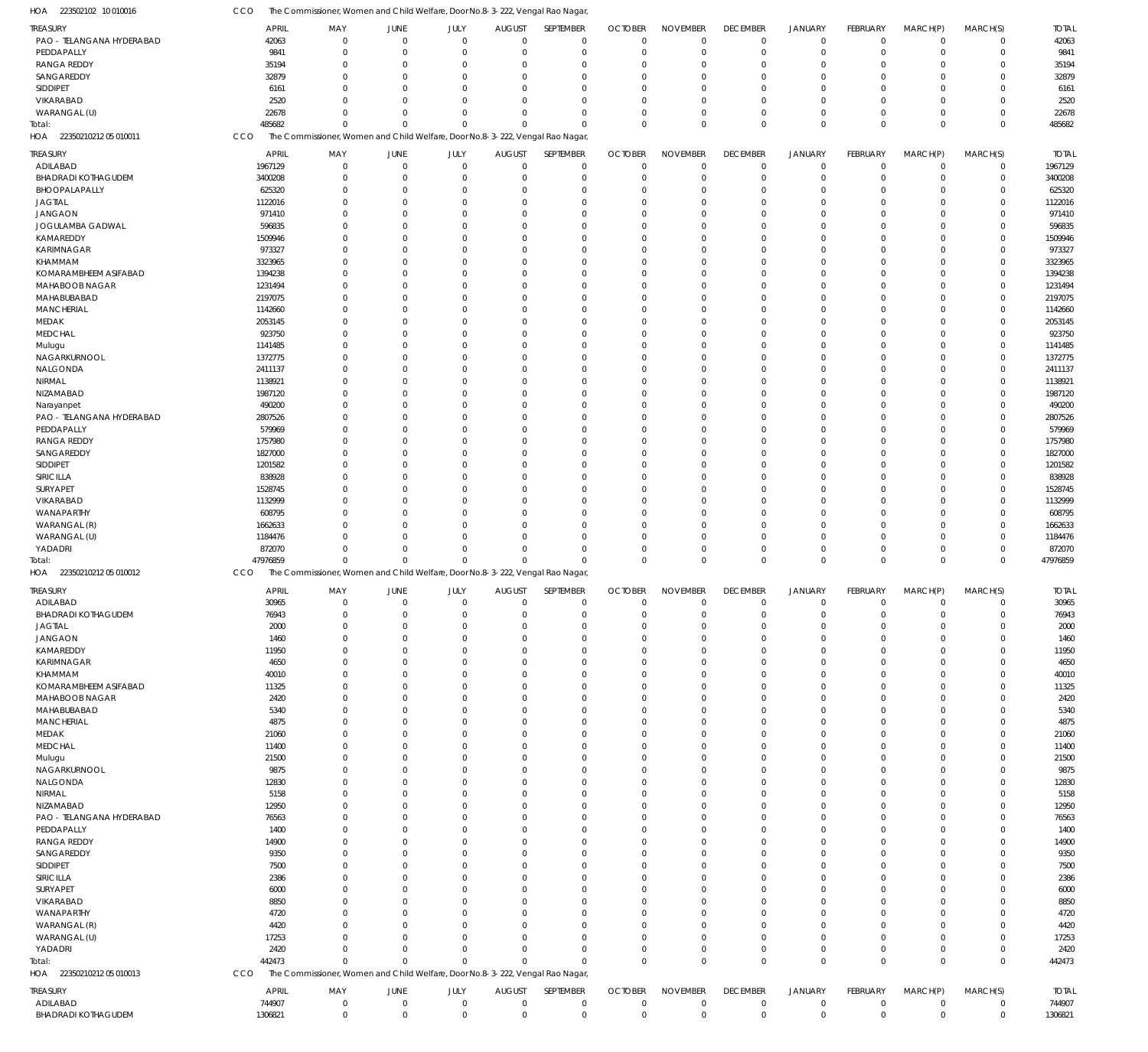| <b>TREASURY</b>                        | <b>APRIL</b>      | MAY                                                                           | JUNE                               | JULY                       | <b>AUGUST</b>                 | SEPTEMBER                  | <b>OCTOBER</b>             | <b>NOVEMBER</b>            | <b>DECEMBER</b>                  | <b>JANUARY</b>           | <b>FEBRUARY</b>            | MARCH(P)         | MARCH(S)                   | <b>TOTAL</b>      |
|----------------------------------------|-------------------|-------------------------------------------------------------------------------|------------------------------------|----------------------------|-------------------------------|----------------------------|----------------------------|----------------------------|----------------------------------|--------------------------|----------------------------|------------------|----------------------------|-------------------|
| PAO - TELANGANA HYDERABAD              | 42063             | $\Omega$                                                                      | $\mathbf 0$                        | $\mathbf 0$                | $\mathbf 0$                   | $\mathbf 0$                | $\mathbf 0$                | $\overline{0}$             | $\overline{0}$                   | $\mathbf 0$              | $\mathbf 0$                | $\mathbf 0$      | $\mathbf 0$                | 42063             |
| PEDDAPALLY                             | 9841              | $\Omega$                                                                      | $\Omega$                           | $\overline{0}$             | $\overline{0}$                | $\mathbf 0$                | $\mathbf 0$                | $\mathbf 0$                | $\mathbf 0$                      | $\mathbf 0$              | $\mathbf 0$                | $\mathbf 0$      | $\mathbf 0$                | 9841              |
| <b>RANGA REDDY</b>                     | 35194             | $\Omega$                                                                      | $\Omega$                           | $\Omega$                   | $\Omega$                      | $\Omega$                   | $\overline{0}$             | $\Omega$                   | $\mathbf 0$                      | $\mathbf 0$              | $\mathbf 0$                | $\Omega$         | 0                          | 35194             |
| SANGAREDDY                             | 32879             |                                                                               | $\Omega$                           | $\Omega$                   | $\Omega$                      | $\Omega$                   | $\Omega$                   | $\Omega$                   | $\mathbf 0$                      | $\Omega$                 | $\Omega$                   | $\mathbf 0$      | $\Omega$                   | 32879             |
| SIDDIPET                               | 6161              |                                                                               | $\Omega$                           | $\Omega$                   | $\Omega$                      | $\Omega$                   | $\mathbf 0$                | $\Omega$                   | $\mathbf 0$                      | $\mathbf 0$              | 0                          | $\mathbf 0$      | 0                          | 6161              |
| VIKARABAD                              | 2520              |                                                                               | $\Omega$                           | $\Omega$                   | $\Omega$                      | $\Omega$                   | $\Omega$                   | $\Omega$                   | $\Omega$                         | $\Omega$                 | $\Omega$                   | $\Omega$         | $\Omega$                   | 2520              |
| WARANGAL (U)                           | 22678             | $\Omega$                                                                      | $\Omega$                           | $\Omega$                   | $\Omega$                      | $\Omega$                   | $\Omega$                   | $\Omega$                   | $\mathbf 0$                      | $\mathbf 0$              | $\mathbf 0$                | $\mathbf 0$      | $\mathbf 0$                | 22678             |
| Total:                                 | 485682            | $\Omega$                                                                      | $\Omega$                           | $\Omega$                   | $\mathbf{0}$                  | $\Omega$                   | $\Omega$                   | $\Omega$                   | $\Omega$                         | $\mathbf 0$              | $\Omega$                   | $\mathbf 0$      | $\Omega$                   | 485682            |
| 22350210212 05 010011<br>AOF           | CCO               | The Commissioner, Women and Child Welfare, Door No.8-3-222, Vengal Rao Nagar, |                                    |                            |                               |                            |                            |                            |                                  |                          |                            |                  |                            |                   |
|                                        |                   |                                                                               |                                    |                            |                               |                            |                            |                            |                                  |                          |                            |                  |                            |                   |
| <b>TREASURY</b>                        | <b>APRIL</b>      | MAY                                                                           | JUNE                               | JULY                       | <b>AUGUST</b>                 | SEPTEMBER                  | <b>OCTOBER</b>             | <b>NOVEMBER</b>            | <b>DECEMBER</b>                  | <b>JANUARY</b>           | <b>FEBRUARY</b>            | MARCH(P)         | MARCH(S)                   | <b>TOTAL</b>      |
| ADILABAD                               | 1967129           | $\Omega$                                                                      | $\mathbf{0}$                       | $\mathbf 0$                | $\mathbf 0$                   | $\mathbf 0$                | $\mathbf 0$                | $\overline{0}$             | $\overline{0}$                   | $\mathbf 0$              | $\mathbf 0$                | $\mathbf 0$      | $\mathbf 0$                | 1967129           |
| <b>BHADRADI KOTHAGUDEM</b>             | 3400208           |                                                                               | $\Omega$                           | $\Omega$                   | $\Omega$                      | $\mathbf 0$                | $\mathbf 0$                | 0                          | $\mathbf 0$                      | $\mathbf 0$              | $\mathbf 0$                | $\mathbf 0$      | $\mathbf 0$                | 3400208           |
| BHOOPALAPALLY                          | 625320            |                                                                               | $\Omega$                           | $\Omega$                   | $\Omega$                      | $\Omega$                   | $\overline{0}$             | 0                          | $\mathbf 0$                      | $\mathbf 0$              | $\mathbf 0$                | $\mathbf 0$      | $\mathbf 0$                | 625320            |
| <b>JAGTIAL</b>                         | 1122016           |                                                                               | $\Omega$                           | $\Omega$                   | $\Omega$                      | $\Omega$                   | $\mathbf 0$                | $\Omega$                   | $\mathbf 0$                      | $\mathbf 0$              | 0                          | $\mathbf 0$      | $\mathbf 0$                | 1122016           |
| <b>JANGAON</b>                         | 971410            |                                                                               | $\Omega$                           | $\Omega$                   | $\Omega$                      | $\Omega$                   | $\Omega$                   | $\Omega$                   | $\Omega$                         | $\Omega$                 | 0                          | $\mathbf 0$      | $\Omega$                   | 971410            |
|                                        |                   |                                                                               |                                    |                            |                               |                            |                            |                            |                                  |                          |                            |                  |                            |                   |
| JOGULAMBA GADWAL                       | 596835            |                                                                               | $\Omega$                           | $\Omega$                   | $\Omega$                      | $\Omega$                   | $\mathbf 0$                | $\Omega$                   | $\Omega$                         | $\Omega$                 | 0                          | $\mathbf 0$      | 0                          | 596835            |
| KAMAREDDY                              | 1509946           |                                                                               | $\Omega$                           | $\Omega$                   | $\Omega$                      | $\Omega$                   | $\Omega$                   | $\Omega$                   | $\Omega$                         | $\Omega$                 | $\Omega$                   | $\mathbf 0$      | 0                          | 1509946           |
| KARIMNAGAR                             | 973327            |                                                                               | $\Omega$                           | $\Omega$                   | $\Omega$                      | $\Omega$                   | $\Omega$                   | $\Omega$                   | $\Omega$                         | $\Omega$                 | $\Omega$                   | $\mathbf 0$      | $\mathbf 0$                | 973327            |
| KHAMMAM                                | 3323965           |                                                                               | $\Omega$                           | $\Omega$                   | $\Omega$                      | $\Omega$                   | $\mathbf 0$                | $\Omega$                   | $\mathbf 0$                      | $\Omega$                 | $\mathbf 0$                | $\mathbf 0$      | 0                          | 3323965           |
| KOMARAMBHEEM ASIFABAD                  | 1394238           |                                                                               | $\Omega$                           | $\Omega$                   | $\Omega$                      | $\Omega$                   | $\Omega$                   | $\Omega$                   | $\Omega$                         | $\Omega$                 | $\Omega$                   | $\mathbf 0$      | $\mathbf 0$                | 1394238           |
| MAHABOOB NAGAR                         | 1231494           |                                                                               | $\Omega$                           | $\Omega$                   | $\Omega$                      | $\Omega$                   | $\Omega$                   | $\Omega$                   | $\Omega$                         | $\Omega$                 | $\Omega$                   | $\mathbf 0$      | $\mathbf 0$                | 1231494           |
| MAHABUBABAD                            | 2197075           |                                                                               | $\Omega$                           | $\Omega$                   | $\Omega$                      | $\Omega$                   | $\mathbf 0$                | $\Omega$                   | $\mathbf 0$                      | $\Omega$                 | 0                          | $\mathbf 0$      | $\mathbf 0$                | 2197075           |
| <b>MANCHERIAL</b>                      | 1142660           |                                                                               | $\Omega$                           | $\Omega$                   | $\Omega$                      | $\Omega$                   | $\Omega$                   | $\Omega$                   | $\Omega$                         | $\Omega$                 | $\Omega$                   | $\mathbf 0$      | $\Omega$                   | 1142660           |
| MEDAK                                  | 2053145           |                                                                               | $\Omega$                           | $\Omega$                   | $\Omega$                      | $\Omega$                   | $\Omega$                   | $\Omega$                   | $\Omega$                         | $\Omega$                 | $\Omega$                   | $\mathbf 0$      | $\mathbf 0$                | 2053145           |
|                                        |                   |                                                                               | $\Omega$                           | $\Omega$                   | $\Omega$                      | $\Omega$                   | $\Omega$                   | $\Omega$                   | $\Omega$                         | $\Omega$                 |                            |                  |                            |                   |
| <b>MEDCHAL</b>                         | 923750            |                                                                               |                                    |                            |                               |                            |                            |                            |                                  |                          | $\mathbf 0$                | $\mathbf 0$      | $\mathbf 0$                | 923750            |
| Mulugu                                 | 1141485           |                                                                               | $\Omega$                           | $\Omega$                   | $\Omega$                      | $\Omega$                   | $\Omega$                   | $\Omega$                   | $\Omega$                         | $\Omega$                 | $\Omega$                   | $\mathbf 0$      | $\mathbf 0$                | 1141485           |
| NAGARKURNOOL                           | 1372775           |                                                                               | $\Omega$                           | $\Omega$                   | $\Omega$                      | $\Omega$                   | $\Omega$                   | $\Omega$                   | $\Omega$                         | $\Omega$                 | $\Omega$                   | $\mathbf 0$      | $\Omega$                   | 1372775           |
| NALGONDA                               | 2411137           |                                                                               | $\Omega$                           | $\Omega$                   | $\Omega$                      | $\Omega$                   | $\overline{0}$             | $\Omega$                   | $\Omega$                         | $\Omega$                 | 0                          | $\mathbf 0$      | $\mathbf 0$                | 2411137           |
| <b>NIRMAL</b>                          | 1138921           |                                                                               | $\Omega$                           | $\Omega$                   | $\Omega$                      | $\Omega$                   | $\Omega$                   | $\Omega$                   | $\Omega$                         | $\Omega$                 | $\Omega$                   | $\mathbf 0$      | 0                          | 1138921           |
| NIZAMABAD                              | 1987120           |                                                                               | $\Omega$                           | $\Omega$                   | $\Omega$                      | $\Omega$                   | $\Omega$                   | $\Omega$                   | $\Omega$                         | $\Omega$                 | $\Omega$                   | $\mathbf 0$      | $\mathbf 0$                | 1987120           |
| Narayanpet                             | 490200            |                                                                               | $\Omega$                           | $\Omega$                   | $\Omega$                      | $\Omega$                   | $\mathbf 0$                | $\Omega$                   | $\Omega$                         | $\Omega$                 | 0                          | $\mathbf 0$      | 0                          | 490200            |
| PAO - TELANGANA HYDERABAD              | 2807526           |                                                                               | $\Omega$                           | $\Omega$                   | $\Omega$                      | $\Omega$                   | $\Omega$                   | $\Omega$                   | $\Omega$                         | $\Omega$                 | $\Omega$                   | $\mathbf 0$      | $\mathbf 0$                | 2807526           |
| PEDDAPALLY                             | 579969            |                                                                               | $\Omega$                           | $\Omega$                   | $\Omega$                      | $\Omega$                   | $\Omega$                   | $\Omega$                   | $\Omega$                         | $\Omega$                 | $\Omega$                   | $\mathbf 0$      | 0                          | 579969            |
| <b>RANGA REDDY</b>                     | 1757980           |                                                                               | $\Omega$                           | $\Omega$                   | $\Omega$                      | $\Omega$                   | $\mathbf 0$                | $\Omega$                   | $\Omega$                         | $\Omega$                 | 0                          | $\mathbf 0$      | $\mathbf 0$                | 1757980           |
|                                        |                   |                                                                               | $\Omega$                           | $\Omega$                   | $\Omega$                      | $\Omega$                   | $\Omega$                   | $\Omega$                   | $\Omega$                         | $\Omega$                 |                            |                  |                            |                   |
| SANGAREDDY                             | 1827000           |                                                                               |                                    |                            |                               |                            |                            |                            |                                  |                          | $\Omega$                   | $\mathbf 0$      | $\Omega$                   | 1827000           |
| SIDDIPET                               | 1201582           |                                                                               | $\Omega$                           | $\Omega$                   | $\Omega$                      | $\Omega$                   | $\Omega$                   | $\Omega$                   | $\Omega$                         | $\Omega$                 | $\Omega$                   | $\mathbf 0$      | $\mathbf 0$                | 1201582           |
| SIRICILLA                              | 838928            |                                                                               | $\Omega$                           | $\Omega$                   | $\Omega$                      | $\Omega$                   | $\Omega$                   | $\Omega$                   | $\Omega$                         | $\Omega$                 | $\mathbf 0$                | $\mathbf 0$      | 0                          | 838928            |
| SURYAPET                               | 1528745           |                                                                               | $\Omega$                           | $\Omega$                   | $\Omega$                      | $\Omega$                   | $\Omega$                   | $\Omega$                   | $\Omega$                         | $\Omega$                 | $\Omega$                   | $\mathbf 0$      | $\Omega$                   | 1528745           |
| VIKARABAD                              | 1132999           |                                                                               | $\Omega$                           | $\Omega$                   | $\Omega$                      | $\Omega$                   | $\Omega$                   | $\Omega$                   | $\mathbf 0$                      | $\Omega$                 | $\mathbf 0$                | $\mathbf 0$      | 0                          | 1132999           |
| WANAPARTHY                             | 608795            |                                                                               | $\Omega$                           | $\Omega$                   | $\Omega$                      | $\Omega$                   | $\Omega$                   | $\Omega$                   | $\mathbf 0$                      | $\Omega$                 | 0                          | $\mathbf 0$      | $\mathbf 0$                | 608795            |
|                                        |                   |                                                                               |                                    |                            |                               |                            |                            |                            |                                  |                          |                            |                  |                            |                   |
|                                        |                   |                                                                               | $\Omega$                           | $\Omega$                   | $\Omega$                      | $\Omega$                   | $\Omega$                   | $\Omega$                   | $\Omega$                         | $\Omega$                 | $\Omega$                   | $\mathbf 0$      | $\mathbf 0$                |                   |
| WARANGAL (R)                           | 1662633           |                                                                               |                                    |                            |                               |                            |                            |                            |                                  |                          |                            |                  |                            | 1662633           |
| WARANGAL (U)                           | 1184476           |                                                                               | $\Omega$                           | $\Omega$                   | $\Omega$                      | $\Omega$                   | $\mathbf 0$                | 0                          | $\mathbf 0$                      | $\mathbf 0$              | $\mathbf 0$                | $\mathbf 0$      | $\mathbf 0$                | 1184476           |
| YADADRI                                | 872070            |                                                                               | $\Omega$                           | $\Omega$                   | $\Omega$                      | $\Omega$                   | $\overline{0}$             | 0                          | $\mathbf 0$                      | $\mathbf 0$              | $\mathbf 0$                | $\mathbf 0$      | 0                          | 872070            |
| Total:                                 | 47976859          | $\Omega$                                                                      | $\Omega$                           | $\Omega$                   | $\Omega$                      | $\Omega$                   | $\Omega$                   | $\Omega$                   | $\Omega$                         | $\mathbf{0}$             | $\mathbf 0$                | $\mathbf 0$      | $\Omega$                   | 47976859          |
| 22350210212 05 010012<br>HOA           | CCO               | The Commissioner, Women and Child Welfare, Door No.8-3-222, Vengal Rao Nagar, |                                    |                            |                               |                            |                            |                            |                                  |                          |                            |                  |                            |                   |
| <b>TREASURY</b>                        | <b>APRIL</b>      | MAY                                                                           | JUNE                               | JULY                       | <b>AUGUST</b>                 | SEPTEMBER                  | <b>OCTOBER</b>             | <b>NOVEMBER</b>            | <b>DECEMBER</b>                  | <b>JANUARY</b>           | FEBRUARY                   | MARCH(P)         | MARCH(S)                   | <b>TOTAL</b>      |
| ADILABAD                               | 30965             | $\Omega$                                                                      | $\mathbf 0$                        | $\mathbf 0$                | $\mathbf 0$                   | $\mathbf 0$                | $\mathbf 0$                | $\overline{0}$             | $\overline{0}$                   | $\mathbf 0$              | $\mathbf 0$                | $\mathbf 0$      | $\mathbf 0$                | 30965             |
| BHADRADI KOTHAGUDEM                    | 76943             |                                                                               |                                    |                            |                               |                            |                            |                            |                                  |                          |                            |                  |                            | 76943             |
|                                        |                   | $\Omega$                                                                      | $\Omega$                           | $\Omega$                   | $\Omega$                      |                            |                            |                            | $\Omega$                         | $\Omega$                 |                            |                  |                            |                   |
| <b>JAGTIAL</b>                         | 2000              |                                                                               |                                    |                            |                               | $\mathbf 0$                | $\mathbf 0$                | 0                          |                                  |                          | 0                          | 0                | 0                          | 2000              |
| JANGAON                                | 1460              |                                                                               | $\mathbf{0}$                       | $\mathbf 0$                | $\mathbf 0$                   | 0                          | $\mathbf 0$                | $\mathbf 0$                | $\mathbf 0$                      | $\mathbf 0$              | $\mathbf 0$                | $\mathbf 0$      | 0                          | 1460              |
| KAMAREDDY                              | 11950             | $\Omega$                                                                      | $\Omega$                           | $\Omega$                   | $\Omega$                      | $\Omega$                   | $\mathbf 0$                | 0                          | $\mathbf 0$                      | $\Omega$                 | 0                          | $\mathbf 0$      | 0                          | 11950             |
| KARIMNAGAR                             | 4650              | $\Omega$                                                                      | $\Omega$                           | $\Omega$                   | $\Omega$                      | 0                          | $\mathbf 0$                | $\Omega$                   | $\mathbf 0$                      | $\Omega$                 | 0                          | 0                | 0                          | 4650              |
| KHAMMAM                                | 40010             | $\Omega$                                                                      | $\Omega$                           | $\Omega$                   | $\Omega$                      | 0                          | $\mathbf 0$                | $\Omega$                   | $\mathbf 0$                      | $\Omega$                 | $\mathbf 0$                | $\mathbf 0$      | $\mathbf 0$                | 40010             |
| KOMARAMBHEEM ASIFABAD                  | 11325             | $\Omega$                                                                      | $\mathbf{0}$                       | $\Omega$                   | $\Omega$                      | 0                          | $\mathbf 0$                | 0                          | $\mathbf 0$                      | 0                        | 0                          | $\mathbf 0$      | 0                          | 11325             |
| MAHABOOB NAGAR                         | 2420              | $\Omega$                                                                      | $\Omega$                           | $\Omega$                   | $\Omega$                      | $\Omega$                   | $\mathbf 0$                | $\Omega$                   | $\mathbf 0$                      | $\Omega$                 | 0                          | $\mathbf 0$      | 0                          | 2420              |
| MAHABUBABAD                            | 5340              | $\Omega$                                                                      | $\mathbf{0}$                       | $\Omega$                   | $\Omega$                      | 0                          | $\mathbf 0$                | $\Omega$                   | $\mathbf 0$                      | $\Omega$                 | 0                          | $\mathbf 0$      | 0                          | 5340              |
| <b>MANCHERIAL</b>                      | 4875              | $\Omega$                                                                      | $\Omega$                           | $\Omega$                   | $\Omega$                      | $\Omega$                   | $\mathbf 0$                | 0                          | $\mathbf 0$                      | $\Omega$                 | 0                          | $\mathbf 0$      | 0                          | 4875              |
| MEDAK                                  | 21060             | $\Omega$                                                                      | $\Omega$                           | $\Omega$                   | $\Omega$                      | 0                          | $\mathbf 0$                | $\Omega$                   | $\mathbf 0$                      | $\Omega$                 | 0                          | $\mathbf 0$      | 0                          | 21060             |
|                                        |                   | $\Omega$                                                                      | $\Omega$                           | $\Omega$                   | $\Omega$                      | $\Omega$                   | $\mathbf 0$                | 0                          | $\mathbf 0$                      | $\Omega$                 | 0                          | $\mathbf 0$      | 0                          |                   |
| <b>MEDCHAL</b>                         | 11400             |                                                                               |                                    |                            |                               |                            |                            |                            |                                  |                          |                            |                  |                            | 11400             |
| Mulugu                                 | 21500             | $\Omega$                                                                      | $\mathbf{0}$                       | $\Omega$                   | $\Omega$                      | 0                          | $\mathbf 0$                | 0                          | $\mathbf 0$                      | $\mathbf 0$              | 0                          | 0                | 0                          | 21500             |
| NAGARKURNOOL                           | 9875              | $\Omega$                                                                      | $\Omega$                           | $\Omega$                   | $\Omega$                      | $\Omega$                   | $\mathbf 0$                | $\Omega$                   | $\mathbf 0$                      | $\Omega$                 | $\mathbf 0$                | $\mathbf 0$      | $\mathbf 0$                | 9875              |
| NALGONDA                               | 12830             | $\Omega$                                                                      | $\mathbf{0}$                       | $\Omega$                   | $\Omega$                      | 0                          | $\mathbf 0$                | 0                          | $\mathbf 0$                      | $\mathbf 0$              | 0                          | $\mathbf 0$      | 0                          | 12830             |
| NIRMAL                                 | 5158              | $\Omega$                                                                      | $\Omega$                           | $\Omega$                   | $\Omega$                      | $\Omega$                   | $\mathbf 0$                | 0                          | $\mathbf 0$                      | $\Omega$                 | 0                          | $\mathbf 0$      | 0                          | 5158              |
| NIZAMABAD                              | 12950             | $\Omega$                                                                      | $\Omega$                           | $\Omega$                   | $\Omega$                      | 0                          | $\mathbf 0$                | $\Omega$                   | $\mathbf 0$                      | $\Omega$                 | 0                          | $\mathbf 0$      | 0                          | 12950             |
| PAO - TELANGANA HYDERABAD              | 76563             | $\Omega$                                                                      | $\Omega$                           | $\Omega$                   | $\Omega$                      | $\Omega$                   | $\mathbf 0$                | 0                          | $\mathbf 0$                      | $\Omega$                 | 0                          | $\mathbf 0$      | $\mathbf 0$                | 76563             |
| PEDDAPALLY                             | 1400              | $\Omega$                                                                      | $\mathbf{0}$                       | $\Omega$                   | $\Omega$                      | 0                          | $\mathbf 0$                | 0                          | $\mathbf 0$                      | 0                        | 0                          | $\mathbf 0$      | 0                          | 1400              |
| <b>RANGA REDDY</b>                     | 14900             | $\Omega$                                                                      | $\Omega$                           | $\Omega$                   | $\Omega$                      | $\Omega$                   | $\mathbf 0$                | $\Omega$                   | $\mathbf 0$                      | $\Omega$                 | 0                          | $\mathbf 0$      | 0                          | 14900             |
| SANGAREDDY                             | 9350              | $\Omega$                                                                      | $\mathbf{0}$                       | $\Omega$                   | $\Omega$                      | 0                          | $\mathbf 0$                | $\Omega$                   | $\mathbf 0$                      | $\Omega$                 | 0                          | $\mathbf 0$      | 0                          | 9350              |
|                                        |                   | $\Omega$                                                                      | $\Omega$                           | $\Omega$                   | $\Omega$                      | $\Omega$                   | $\mathbf 0$                | 0                          | $\mathbf 0$                      | $\Omega$                 | 0                          | $\mathbf 0$      | 0                          |                   |
| SIDDIPET                               | 7500              | $\Omega$                                                                      | $\Omega$                           | $\Omega$                   | $\Omega$                      | 0                          | $\mathbf 0$                | $\Omega$                   | $\mathbf 0$                      | $\Omega$                 | 0                          | $\mathbf 0$      | 0                          | 7500              |
| SIRICILLA                              | 2386              | $\Omega$                                                                      | $\Omega$                           | $\Omega$                   | $\Omega$                      | $\Omega$                   | $\mathbf 0$                | 0                          | $\mathbf 0$                      | $\Omega$                 | 0                          | $\mathbf 0$      | 0                          | 2386              |
| SURYAPET                               | 6000              |                                                                               |                                    |                            |                               |                            |                            |                            |                                  |                          |                            |                  |                            | 6000              |
| VIKARABAD                              | 8850              | $\Omega$                                                                      | $\mathbf{0}$                       | $\Omega$                   | $\Omega$                      | 0                          | $\mathbf 0$                | $\Omega$                   | $\mathbf 0$                      | $\mathbf 0$              | 0                          | 0                | 0                          | 8850              |
| WANAPARTHY                             | 4720              | $\Omega$                                                                      | $\Omega$                           | $\Omega$                   | $\Omega$                      | $\Omega$                   | $\mathbf 0$                | $\Omega$                   | $\mathbf 0$                      | $\Omega$                 | 0                          | $\mathbf 0$      | $\mathbf 0$                | 4720              |
| WARANGAL (R)                           | 4420              | $\Omega$                                                                      | $\Omega$                           | $\Omega$                   | $\Omega$                      | 0                          | $\mathbf 0$                | 0                          | $\mathbf 0$                      | $\mathbf 0$              | 0                          | 0                | 0                          | 4420              |
| WARANGAL (U)                           | 17253             | $\Omega$                                                                      | $\Omega$                           | $\Omega$                   | $\Omega$                      | $\Omega$                   | $\mathbf 0$                | 0                          | $\mathbf 0$                      | $\mathbf 0$              | 0                          | 0                | 0                          | 17253             |
| YADADRI                                | 2420              | $\Omega$                                                                      | $\mathbf{0}$                       | $\Omega$                   | $\mathbf{0}$                  | $\mathbf 0$                | $\mathbf 0$                | 0                          | $\mathbf 0$                      | $\mathbf 0$              | $\mathbf 0$                | $\mathbf 0$      | 0                          | 2420              |
|                                        | 442473            | $\Omega$                                                                      | $\Omega$                           | $\Omega$                   | $\mathbf{0}$                  | $\mathbf 0$                | $\mathbf 0$                | $\mathbf 0$                | $\overline{0}$                   | $\mathbf 0$              | $\mathbf 0$                | $\mathbf 0$      | $\mathbf 0$                | 442473            |
| Total:<br>HOA 22350210212 05 010013    | CCO               | The Commissioner, Women and Child Welfare, Door No.8-3-222, Vengal Rao Nagar, |                                    |                            |                               |                            |                            |                            |                                  |                          |                            |                  |                            |                   |
|                                        |                   |                                                                               |                                    |                            |                               |                            |                            |                            |                                  |                          |                            |                  |                            |                   |
| TREASURY                               | <b>APRIL</b>      | MAY                                                                           | JUNE                               | JULY                       | <b>AUGUST</b>                 | SEPTEMBER                  | <b>OCTOBER</b>             | <b>NOVEMBER</b>            | <b>DECEMBER</b>                  | <b>JANUARY</b>           | <b>FEBRUARY</b>            | MARCH(P)         | MARCH(S)                   | <b>TOTAL</b>      |
| ADILABAD<br><b>BHADRADI KOTHAGUDEM</b> | 744907<br>1306821 | 0<br>$\mathbf 0$                                                              | $\boldsymbol{0}$<br>$\overline{0}$ | $\mathbf 0$<br>$\mathbf 0$ | $\overline{0}$<br>$\mathbf 0$ | $\mathbf 0$<br>$\mathbf 0$ | $\mathbf 0$<br>$\mathbf 0$ | $\mathbf 0$<br>$\mathbf 0$ | $\overline{0}$<br>$\overline{0}$ | $\mathbf 0$<br>$\pmb{0}$ | $\mathbf 0$<br>$\mathbf 0$ | $\mathbf 0$<br>0 | $\mathbf 0$<br>$\mathbf 0$ | 744907<br>1306821 |

223502102 10 010016 HOA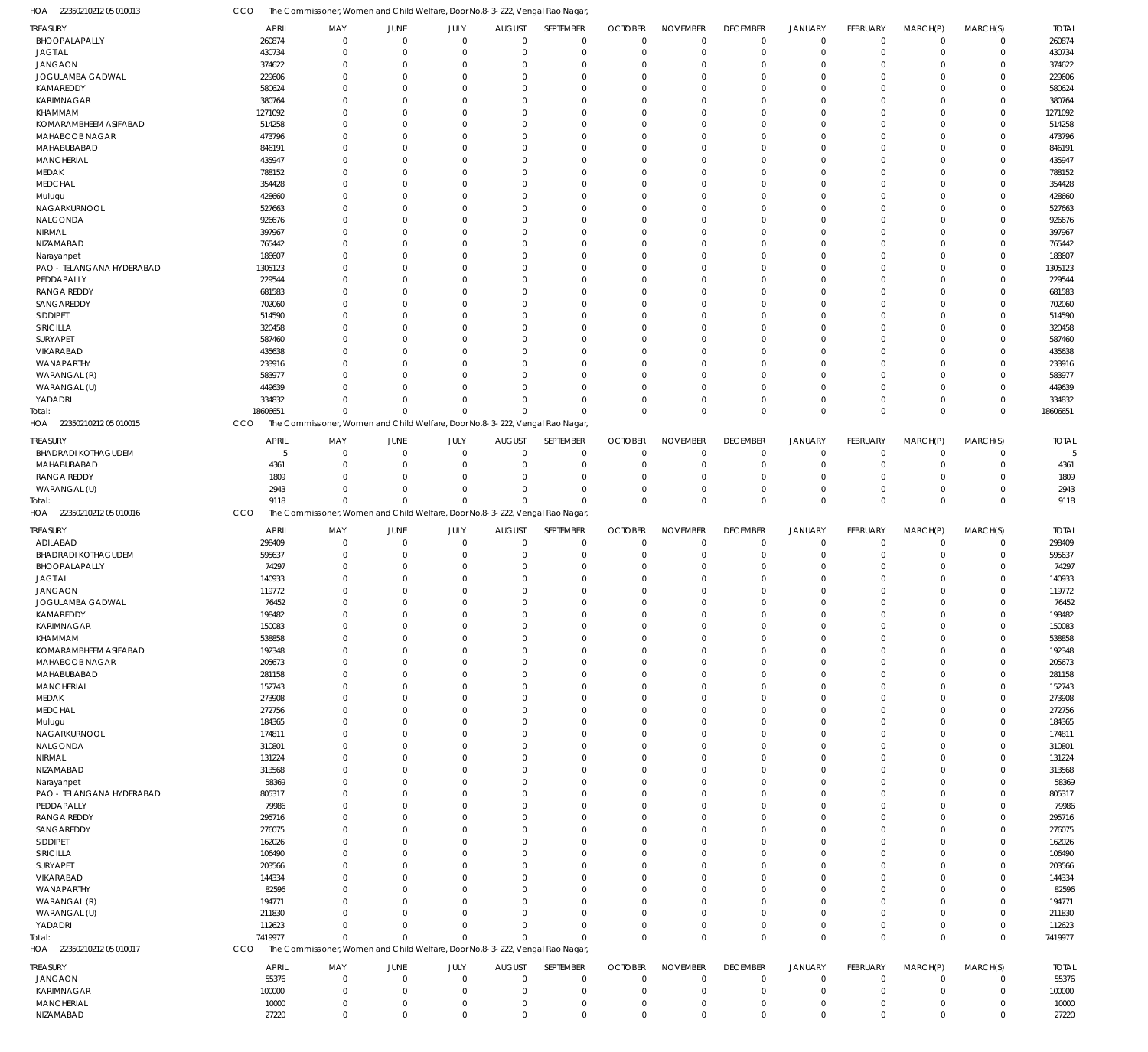| <b>TREASURY</b>              |              |                                                                               |             |             |               |             |                |                 |                 |                |                 |             |             |              |
|------------------------------|--------------|-------------------------------------------------------------------------------|-------------|-------------|---------------|-------------|----------------|-----------------|-----------------|----------------|-----------------|-------------|-------------|--------------|
|                              | <b>APRIL</b> | MAY                                                                           | <b>JUNE</b> | <b>JULY</b> | <b>AUGUST</b> | SEPTEMBER   | <b>OCTOBER</b> | <b>NOVEMBER</b> | <b>DECEMBER</b> | <b>JANUARY</b> | <b>FEBRUARY</b> | MARCH(P)    | MARCH(S)    | <b>TOTAL</b> |
| BHOOPALAPALLY                | 260874       | $\mathbf 0$                                                                   | $\Omega$    | $\Omega$    | $\Omega$      | $\mathbf 0$ | $\Omega$       | $\mathbf 0$     | $\mathbf 0$     | $\mathbf 0$    | $\mathbf 0$     | $\mathbf 0$ | $\mathbf 0$ | 260874       |
| <b>JAGTIAL</b>               | 430734       | $\Omega$                                                                      | $\Omega$    | $\Omega$    | $\Omega$      | $\mathbf 0$ | $\Omega$       | $\mathbf 0$     | $^{\circ}$      | $\mathbf 0$    | $\mathbf 0$     | $\mathbf 0$ | $\mathbf 0$ | 430734       |
| <b>JANGAON</b>               | 374622       | $\Omega$                                                                      | $\Omega$    | $\Omega$    | $\Omega$      | $\mathbf 0$ | $\Omega$       | $\Omega$        | $\Omega$        | $\mathbf 0$    | $\Omega$        | $\Omega$    | 0           | 374622       |
| JOGULAMBA GADWAL             | 229606       | $\Omega$                                                                      | $\Omega$    | $\Omega$    |               | $\Omega$    | $\Omega$       | $\mathbf 0$     | $\Omega$        | $\mathbf 0$    | $\Omega$        | $\Omega$    | $\Omega$    | 229606       |
| KAMAREDDY                    | 580624       | $\Omega$                                                                      | $\Omega$    | $\Omega$    |               | $\Omega$    | $\Omega$       | $\Omega$        | $\Omega$        | $\mathbf 0$    | $\Omega$        | $\Omega$    | 0           | 580624       |
| <b>KARIMNAGAR</b>            | 380764       | $\Omega$                                                                      | $\Omega$    | $\Omega$    |               | $\Omega$    | $\Omega$       | $\Omega$        | $\Omega$        | $\mathbf 0$    | $\Omega$        | $\Omega$    | $\mathbf 0$ | 380764       |
| KHAMMAM                      | 1271092      | $\Omega$                                                                      |             | $\Omega$    |               | $\Omega$    | $\Omega$       | $\Omega$        | $\Omega$        | $\Omega$       | $\Omega$        | $\Omega$    | $\Omega$    | 1271092      |
| KOMARAMBHEEM ASIFABAD        | 514258       | $\Omega$                                                                      | $\Omega$    | $\Omega$    |               | $\Omega$    | $\Omega$       | $\Omega$        | $\Omega$        | $\mathbf 0$    | $\Omega$        | $\mathbf 0$ | $\mathbf 0$ | 514258       |
| MAHABOOB NAGAR               | 473796       | $\Omega$                                                                      |             | $\Omega$    |               | $\Omega$    | $\Omega$       | $\Omega$        | $\Omega$        | $\mathbf 0$    | $\Omega$        | $\Omega$    | 0           | 473796       |
|                              |              |                                                                               |             |             |               |             |                |                 |                 |                |                 |             |             |              |
| MAHABUBABAD                  | 846191       | $\Omega$                                                                      | $\Omega$    | $\Omega$    |               | $\Omega$    | $\Omega$       | $\Omega$        | $\Omega$        | $\Omega$       | $\Omega$        | $\Omega$    | $\Omega$    | 846191       |
| <b>MANCHERIAL</b>            | 435947       | $\Omega$                                                                      |             | $\Omega$    |               | $\Omega$    | $\Omega$       | $\Omega$        | $\Omega$        | $\mathbf 0$    | $\Omega$        | $\Omega$    | 0           | 435947       |
| MEDAK                        | 788152       | $\Omega$                                                                      | $\Omega$    | $\Omega$    |               | $\Omega$    | $\Omega$       | $\Omega$        | $\Omega$        | $\Omega$       | $\Omega$        | $\Omega$    | $\Omega$    | 788152       |
| MEDCHAL                      | 354428       | $\Omega$                                                                      |             | $\Omega$    |               | $\Omega$    | $\Omega$       | $\mathbf 0$     | $\Omega$        | $\mathbf 0$    | $\Omega$        | $\Omega$    | 0           | 354428       |
| Mulugu                       | 428660       | $\Omega$                                                                      | $\Omega$    | $\Omega$    |               | $\Omega$    | $\Omega$       | $\mathbf{0}$    | $\Omega$        | $\Omega$       | $\Omega$        | $\Omega$    | $\Omega$    | 428660       |
| NAGARKURNOOL                 | 527663       | $\Omega$                                                                      |             | $\Omega$    |               | $\Omega$    | $\Omega$       | $\Omega$        | $\Omega$        | $\mathbf 0$    | $\Omega$        | $\Omega$    | $\Omega$    | 527663       |
| NALGONDA                     | 926676       | $\Omega$                                                                      | $\Omega$    | $\Omega$    |               | $\Omega$    | $\Omega$       | $\Omega$        | $\Omega$        | $\Omega$       | $\Omega$        | $\Omega$    | $\Omega$    | 926676       |
| NIRMAL                       | 397967       | $\Omega$                                                                      | $\Omega$    | $\Omega$    |               | $\Omega$    | $\Omega$       | $\Omega$        | $\Omega$        | $\mathbf 0$    | $\Omega$        | $\Omega$    | $\Omega$    | 397967       |
| NIZAMABAD                    | 765442       | $\Omega$                                                                      |             | $\Omega$    |               | $\Omega$    | $\Omega$       | $\Omega$        | $\Omega$        | $\mathbf 0$    | $\Omega$        | $\Omega$    | $\Omega$    | 765442       |
|                              |              | $\Omega$                                                                      |             | $\Omega$    |               |             |                |                 |                 |                |                 |             |             |              |
| Narayanpet                   | 188607       |                                                                               |             |             |               | $\Omega$    | $\Omega$       | $\Omega$        | $\Omega$        | $\Omega$       | $\Omega$        | $\Omega$    | 0           | 188607       |
| PAO - TELANGANA HYDERABAD    | 1305123      | $\Omega$                                                                      | $\Omega$    | $\Omega$    |               | $\Omega$    | $\Omega$       | $\Omega$        | $\Omega$        | $\mathbf 0$    | $\Omega$        | $\mathbf 0$ | $\mathbf 0$ | 1305123      |
| PEDDAPALLY                   | 229544       | $\Omega$                                                                      |             | $\Omega$    |               | $\Omega$    | $\Omega$       | $\Omega$        | $\Omega$        | $\mathbf 0$    | $\Omega$        | $\Omega$    | $\Omega$    | 229544       |
| <b>RANGA REDDY</b>           | 681583       | $\Omega$                                                                      | $\Omega$    | $\Omega$    |               | $\Omega$    | $\Omega$       | $\Omega$        | $\Omega$        | $\Omega$       | $\Omega$        | $\Omega$    | $\Omega$    | 681583       |
| SANGAREDDY                   | 702060       | $\Omega$                                                                      |             | $\Omega$    |               | $\Omega$    | $\Omega$       | $\Omega$        | $\Omega$        | $\mathbf 0$    | $\Omega$        | $\Omega$    | 0           | 702060       |
| SIDDIPET                     | 514590       | $\Omega$                                                                      | $\Omega$    | $\Omega$    |               | $\Omega$    | $\Omega$       | $\Omega$        | $\Omega$        | $\Omega$       | $\Omega$        | $\Omega$    | $\Omega$    | 514590       |
| SIRICILLA                    | 320458       | $\Omega$                                                                      |             | $\Omega$    |               | $\Omega$    | $\Omega$       | $\Omega$        | $\Omega$        | $\mathbf 0$    | $\Omega$        | $\Omega$    | 0           | 320458       |
| SURYAPET                     | 587460       | $\Omega$                                                                      | $\Omega$    | $\Omega$    |               | $\Omega$    | $\Omega$       | $\Omega$        | $\Omega$        | $\Omega$       | $\Omega$        | $\Omega$    | $\Omega$    | 587460       |
| VIKARABAD                    | 435638       | $\Omega$                                                                      |             | $\Omega$    |               | $\Omega$    | $\Omega$       | $\Omega$        | $\Omega$        | $\mathbf 0$    | $\Omega$        | $\Omega$    | $\Omega$    | 435638       |
| WANAPARTHY                   | 233916       | $\Omega$                                                                      | $\Omega$    | $\Omega$    |               | $\Omega$    | $\Omega$       | $\Omega$        | $\Omega$        | $\Omega$       | $\Omega$        | $\Omega$    | $\Omega$    | 233916       |
|                              |              |                                                                               |             |             |               |             |                |                 |                 |                |                 |             |             |              |
| WARANGAL (R)                 | 583977       | $\Omega$                                                                      | $\Omega$    | $\Omega$    |               | $\Omega$    | $\Omega$       | $\Omega$        | $\Omega$        | $\mathbf 0$    | $\Omega$        | $\Omega$    | 0           | 583977       |
| WARANGAL (U)                 | 449639       | $\Omega$                                                                      | $\Omega$    | $\Omega$    |               | $\Omega$    | $\Omega$       | $\Omega$        | $\Omega$        | $\mathbf 0$    | $\Omega$        | $\mathbf 0$ | $\mathbf 0$ | 449639       |
| YADADRI                      | 334832       | $\Omega$                                                                      | $\Omega$    | $\Omega$    | $\Omega$      | $\Omega$    | $\Omega$       | $\Omega$        | $\Omega$        | $\mathbf 0$    | $\Omega$        | $\mathbf 0$ | 0           | 334832       |
| Total:                       | 18606651     | $\Omega$                                                                      | $\Omega$    | $\Omega$    | $\Omega$      | $\Omega$    | $\Omega$       | $\mathbf 0$     | $\mathbf 0$     | $\mathsf 0$    | $\Omega$        | $\mathbf 0$ | $\mathbf 0$ | 18606651     |
| HOA 22350210212 05 010015    | CCO          | The Commissioner, Women and Child Welfare, Door No.8-3-222, Vengal Rao Nagar, |             |             |               |             |                |                 |                 |                |                 |             |             |              |
|                              |              |                                                                               |             |             |               |             |                |                 |                 |                |                 |             |             |              |
| <b>TREASURY</b>              | <b>APRIL</b> | MAY                                                                           | JUNE        | JULY        | <b>AUGUST</b> | SEPTEMBER   | <b>OCTOBER</b> | <b>NOVEMBER</b> | <b>DECEMBER</b> | <b>JANUARY</b> | <b>FEBRUARY</b> | MARCH(P)    | MARCH(S)    | <b>TOTAL</b> |
| <b>BHADRADI KOTHAGUDEM</b>   |              | $\mathbf 0$                                                                   | $\Omega$    | $\Omega$    | $\Omega$      | $\mathbf 0$ | $\Omega$       | $\mathbf 0$     | $\overline{0}$  | $\mathbf 0$    | $\mathbf 0$     | $\mathbf 0$ | $\mathbf 0$ | $\mathbf{F}$ |
| MAHABUBABAD                  | 4361         | $\overline{0}$                                                                | $\Omega$    | $\Omega$    | $\Omega$      | $\mathbf 0$ | $\mathcal{L}$  | $\overline{0}$  | 0               | $\mathbf 0$    | O               | $\mathbf 0$ | $\mathbf 0$ | 4361         |
| RANGA REDDY                  | 1809         | $\Omega$                                                                      | $\Omega$    | $\Omega$    | $\Omega$      | $\Omega$    | $\Omega$       | $\mathbf 0$     | $\Omega$        | $\mathbf 0$    | $\Omega$        | $\mathbf 0$ | $\mathbf 0$ | 1809         |
| WARANGAL (U)                 | 2943         | $\Omega$                                                                      | $\Omega$    | $\Omega$    | $\Omega$      | $\mathbf 0$ | $\Omega$       | $\mathbf 0$     | $\overline{0}$  | $\mathbf 0$    | $\Omega$        | $\mathbf 0$ | $\mathbf 0$ | 2943         |
| Total:                       | 9118         | $\overline{0}$                                                                | $\Omega$    | $\Omega$    | $\Omega$      | $\Omega$    | $\Omega$       | $\mathbf 0$     | $\mathbf 0$     | $\mathsf 0$    | $\mathbf 0$     | $\mathbf 0$ | $\mathbf 0$ | 9118         |
| HOA 22350210212 05 010016    | CCO          | The Commissioner, Women and Child Welfare, Door No.8-3-222, Vengal Rao Nagar, |             |             |               |             |                |                 |                 |                |                 |             |             |              |
|                              |              |                                                                               |             |             |               |             |                |                 |                 |                |                 |             |             |              |
| <b>TREASURY</b>              | <b>APRIL</b> | MAY                                                                           | <b>JUNE</b> | <b>JULY</b> | <b>AUGUST</b> | SEPTEMBER   | <b>OCTOBER</b> | <b>NOVEMBER</b> | <b>DECEMBER</b> | <b>JANUARY</b> | <b>FEBRUARY</b> | MARCH(P)    | MARCH(S)    | <b>TOTAL</b> |
| ADILABAD                     | 298409       | $\overline{0}$                                                                | $\Omega$    | $\Omega$    | $\Omega$      | $\mathbf 0$ | $\Omega$       | $\Omega$        | $\overline{0}$  | $\mathbf 0$    | $\mathbf 0$     | $\mathbf 0$ | $\mathbf 0$ | 298409       |
| <b>BHADRADI KOTHAGUDEM</b>   | 595637       | $\overline{0}$                                                                | $\Omega$    | $\Omega$    | $\Omega$      | $\mathbf 0$ | $\Omega$       | $\mathbf 0$     | $\mathbf 0$     | $\mathbf 0$    | $\mathbf 0$     | $\mathbf 0$ | $\mathbf 0$ | 595637       |
| BHOOPALAPALLY                | 74297        | $\Omega$                                                                      | $\Omega$    | $\Omega$    | $\Omega$      | $\mathbf 0$ | $\Omega$       | $\Omega$        | $\Omega$        | $\mathbf 0$    | $\Omega$        | $\Omega$    | 0           | 74297        |
| <b>JAGTIAL</b>               | 140933       | $\Omega$                                                                      | $\Omega$    | $\Omega$    | $\Omega$      | $\Omega$    | $\Omega$       | $\Omega$        | $\Omega$        | $\mathbf 0$    | $\Omega$        | $\mathbf 0$ | $\mathbf 0$ | 140933       |
| <b>JANGAON</b>               | 119772       | $\Omega$                                                                      |             |             |               |             |                | $\Omega$        | $\Omega$        | $\mathbf 0$    | $\Omega$        | $\Omega$    | 0           | 119772       |
| JOGULAMBA GADWAL             |              |                                                                               | $\Omega$    | $\Omega$    | $\Omega$      |             |                |                 | $\Omega$        |                |                 |             |             | 76452        |
|                              |              |                                                                               |             |             |               | $\mathbf 0$ | $\Omega$       |                 |                 |                |                 |             |             |              |
|                              | 76452        | $\Omega$                                                                      | $\Omega$    | $\Omega$    | $\Omega$      | $\Omega$    | $\Omega$       | $\mathbf 0$     |                 | $\mathbf 0$    | $\Omega$        | $\mathbf 0$ | $\Omega$    |              |
| KAMAREDD'                    | 198482       |                                                                               |             |             |               |             |                |                 |                 |                |                 |             |             | 198482       |
| <b>KARIMNAGAR</b>            | 150083       | $\overline{0}$                                                                | $\Omega$    | $\Omega$    | $\Omega$      | $\Omega$    | $\Omega$       | $\Omega$        | $\Omega$        | $\mathbf 0$    | $\Omega$        | 0           | 0           | 150083       |
| KHAMMAM                      | 538858       | $\overline{0}$                                                                | $\Omega$    | $\Omega$    | $\Omega$      | $\mathbf 0$ | $\Omega$       | $\mathbf 0$     | $\overline{0}$  | $\mathbf 0$    | $\mathbf 0$     | $\mathbf 0$ | 0           | 538858       |
| KOMARAMBHEEM ASIFABAD        | 192348       | $\Omega$                                                                      | $\Omega$    | $\Omega$    |               | $\Omega$    | $\Omega$       | $\mathbf 0$     | $\Omega$        | $\Omega$       | $\Omega$        | $\Omega$    | $\Omega$    | 192348       |
| MAHABOOB NAGAR               | 205673       | $\Omega$                                                                      |             | $\Omega$    |               | $\Omega$    | $\Omega$       | $\Omega$        | $\Omega$        | $\mathbf 0$    | $\Omega$        | $\Omega$    | 0           | 205673       |
| MAHABUBABAD                  | 281158       | $\Omega$                                                                      | $\Omega$    | $\Omega$    | $\cap$        | $\Omega$    | $\Omega$       | $\mathbf{0}$    | $\Omega$        | $\mathbf 0$    | $\Omega$        | $\mathbf 0$ | $\Omega$    | 281158       |
| MANCHERIAL                   | 152743       | $\overline{0}$                                                                |             | $\Omega$    |               | $\Omega$    | $\Omega$       | $\Omega$        | $\Omega$        | $\mathbf 0$    | $\Omega$        | $\Omega$    | 0           | 152743       |
|                              |              | $\Omega$                                                                      |             | $\Omega$    |               | $\Omega$    | $\Omega$       | $\mathbf 0$     | $\Omega$        | $\mathbf 0$    | $\Omega$        | $\mathbf 0$ | 0           |              |
| MEDAK                        | 273908       |                                                                               |             | $\Omega$    |               |             | $\Omega$       |                 |                 |                |                 |             |             | 273908       |
| MEDCHAL                      | 272756       | $\Omega$                                                                      |             | $\Omega$    |               | $\Omega$    |                | $\Omega$        | $\Omega$        | $\mathbf 0$    | $\Omega$        | $\Omega$    | 0           | 272756       |
| Mulugu                       | 184365       | $\Omega$                                                                      |             |             |               | $\Omega$    | $\Omega$       | $\Omega$        | $\Omega$        | $\mathbf 0$    | $\Omega$        | $\mathbf 0$ | $\mathbf 0$ | 184365       |
| NAGARKURNOOL                 | 174811       | $\overline{0}$                                                                |             | $\Omega$    |               | $\Omega$    | $\Omega$       | $\mathbf{0}$    | $\Omega$        | $\mathbf 0$    | $\Omega$        | $\Omega$    | 0           | 174811       |
| NALGONDA                     | 310801       | $\Omega$                                                                      |             | $\Omega$    |               | $\Omega$    | $\Omega$       | $\Omega$        | $\Omega$        | $\mathbf 0$    | $\Omega$        | $\Omega$    | $\mathbf 0$ | 310801       |
| NIRMAL                       | 131224       | $\Omega$                                                                      |             | $\Omega$    |               | $\mathbf 0$ | $\Omega$       | $\Omega$        | $\Omega$        | $\mathbf 0$    | $\Omega$        | $\Omega$    | 0           | 131224       |
| NIZAMABAD                    | 313568       | $\Omega$                                                                      | $\Omega$    | $\Omega$    |               | $\Omega$    | $\Omega$       | $\mathbf 0$     | $\Omega$        | $\Omega$       | $\Omega$        | $\Omega$    | $\mathbf 0$ | 313568       |
| Narayanpet                   | 58369        | $\overline{0}$                                                                |             | $\Omega$    |               | $\mathbf 0$ | $\Omega$       | $\mathbf 0$     | 0               | $\mathbf 0$    | $\Omega$        | $\mathbf 0$ | 0           | 58369        |
| PAO - TELANGANA HYDERABAD    | 805317       | $\Omega$                                                                      | $\Omega$    | $\Omega$    |               | $\Omega$    | $\Omega$       | $\mathbf{0}$    | $\Omega$        | $\Omega$       | $\Omega$        | $\Omega$    | $\Omega$    | 805317       |
| PEDDAPALLY                   | 79986        | $\Omega$                                                                      |             | $\Omega$    |               | $\Omega$    | $\Omega$       | $\Omega$        | $\Omega$        | $\mathbf 0$    | $\Omega$        | $\Omega$    | 0           | 79986        |
|                              |              | $\Omega$                                                                      | $\Omega$    | $\Omega$    |               | $\Omega$    | $\Omega$       | $\mathbf{0}$    | $\Omega$        | $\Omega$       | $\Omega$        | $\mathbf 0$ | $\mathbf 0$ |              |
| RANGA REDDY                  | 295716       |                                                                               |             | $\Omega$    |               |             |                |                 |                 |                |                 |             |             | 295716       |
| SANGAREDDY                   | 276075       | $\Omega$                                                                      |             |             |               | $\Omega$    | $\Omega$       | $\Omega$        | $\Omega$        | $\mathbf 0$    | $\Omega$        | $\Omega$    | 0           | 276075       |
| <b>SIDDIPET</b>              | 162026       | $\Omega$                                                                      |             | $\Omega$    |               | $\Omega$    | $\Omega$       | $\mathbf 0$     | $\Omega$        | $\mathbf 0$    | $\Omega$        | $\mathbf 0$ | $\Omega$    | 162026       |
| SIRICILLA                    | 106490       | $\Omega$                                                                      |             | $\Omega$    |               | $\Omega$    | $\Omega$       | $\Omega$        | $\Omega$        | $\mathbf 0$    | $\Omega$        | $\Omega$    | 0           | 106490       |
| SURYAPET                     | 203566       | $\Omega$                                                                      | $\Omega$    | $\Omega$    |               | $\Omega$    | $\Omega$       | $\Omega$        | $\Omega$        | $\mathbf 0$    | $\Omega$        | $\mathbf 0$ | $\mathbf 0$ | 203566       |
| VIKARABAD                    | 144334       | $\Omega$                                                                      |             | $\Omega$    |               | $\Omega$    | $\Omega$       | $\Omega$        | $\Omega$        | $\mathbf 0$    | $\Omega$        | $\Omega$    | $\Omega$    | 144334       |
| WANAPARTHY                   | 82596        | $\Omega$                                                                      |             | $\Omega$    |               | $\Omega$    | $\Omega$       | $\Omega$        | $\Omega$        | $\mathbf 0$    | $\Omega$        | $\mathbf 0$ | $\Omega$    | 82596        |
| WARANGAL (R)                 | 194771       | $\Omega$                                                                      |             | $\Omega$    |               | $\Omega$    | $\Omega$       | $\Omega$        | $\Omega$        | $\mathbf 0$    | $\Omega$        | $\Omega$    | 0           | 194771       |
| WARANGAL (U)                 | 211830       | $\Omega$                                                                      | $\Omega$    | $\Omega$    | $\Omega$      | $\Omega$    | $\Omega$       | $\mathbf 0$     | $\Omega$        | $\mathbf 0$    | $\Omega$        | $\mathbf 0$ | $\mathbf 0$ | 211830       |
| YADADRI                      | 112623       | $\overline{0}$                                                                | $\Omega$    | $\Omega$    | $\Omega$      | $\mathbf 0$ | $\Omega$       | $\mathbf 0$     | $\overline{0}$  | $\mathbf 0$    | 0               | $\mathbf 0$ | 0           | 112623       |
|                              | 7419977      | $\Omega$                                                                      | $\Omega$    | $\Omega$    |               | $\Omega$    | $\Omega$       | $\mathbf 0$     | $\mathbf 0$     | $\mathsf 0$    | $\Omega$        | $\mathbf 0$ | $\mathbf 0$ |              |
| Total:                       |              |                                                                               |             |             |               |             |                |                 |                 |                |                 |             |             | 7419977      |
| 22350210212 05 010017<br>HOA | CCO          | The Commissioner, Women and Child Welfare, Door No.8-3-222, Vengal Rao Nagar, |             |             |               |             |                |                 |                 |                |                 |             |             |              |
| <b>TREASURY</b>              | <b>APRIL</b> | MAY                                                                           | JUNE        | <b>JULY</b> | <b>AUGUST</b> | SEPTEMBER   | <b>OCTOBER</b> | <b>NOVEMBER</b> | <b>DECEMBER</b> | <b>JANUARY</b> | <b>FEBRUARY</b> | MARCH(P)    | MARCH(S)    | <b>TOTAL</b> |
| JANGAON                      | 55376        | $\overline{0}$                                                                | $\Omega$    | $\Omega$    | $\Omega$      | $\mathbf 0$ | $\Omega$       | $\mathbf 0$     | $\overline{0}$  | $\mathbf 0$    | $\mathbf 0$     | $\mathbf 0$ | $\mathbf 0$ | 55376        |
| <b>KARIMNAGAR</b>            | 100000       | $\overline{0}$                                                                |             | $\Omega$    | $\Omega$      | $\mathbf 0$ | $\Omega$       | $\mathbf 0$     | $\overline{0}$  | $\mathbf 0$    | O               | $\mathbf 0$ | $\mathbf 0$ | 100000       |
| <b>MANCHERIAL</b>            | 10000        | $\mathbf 0$                                                                   | $\Omega$    | $\Omega$    |               | $\mathbf 0$ | 0              | $\mathbf 0$     | $^{\circ}$      | $\mathbf 0$    | 0               | $\mathbf 0$ | 0           | 10000        |
| NIZAMABAD                    | 27220        | $\mathbf 0$                                                                   | $\Omega$    | $\Omega$    | $\Omega$      | $\Omega$    | $\Omega$       | $\mathbf 0$     | $\mathbf 0$     | $\mathbf 0$    | $\Omega$        | $\mathbf 0$ | $\mathbf 0$ | 27220        |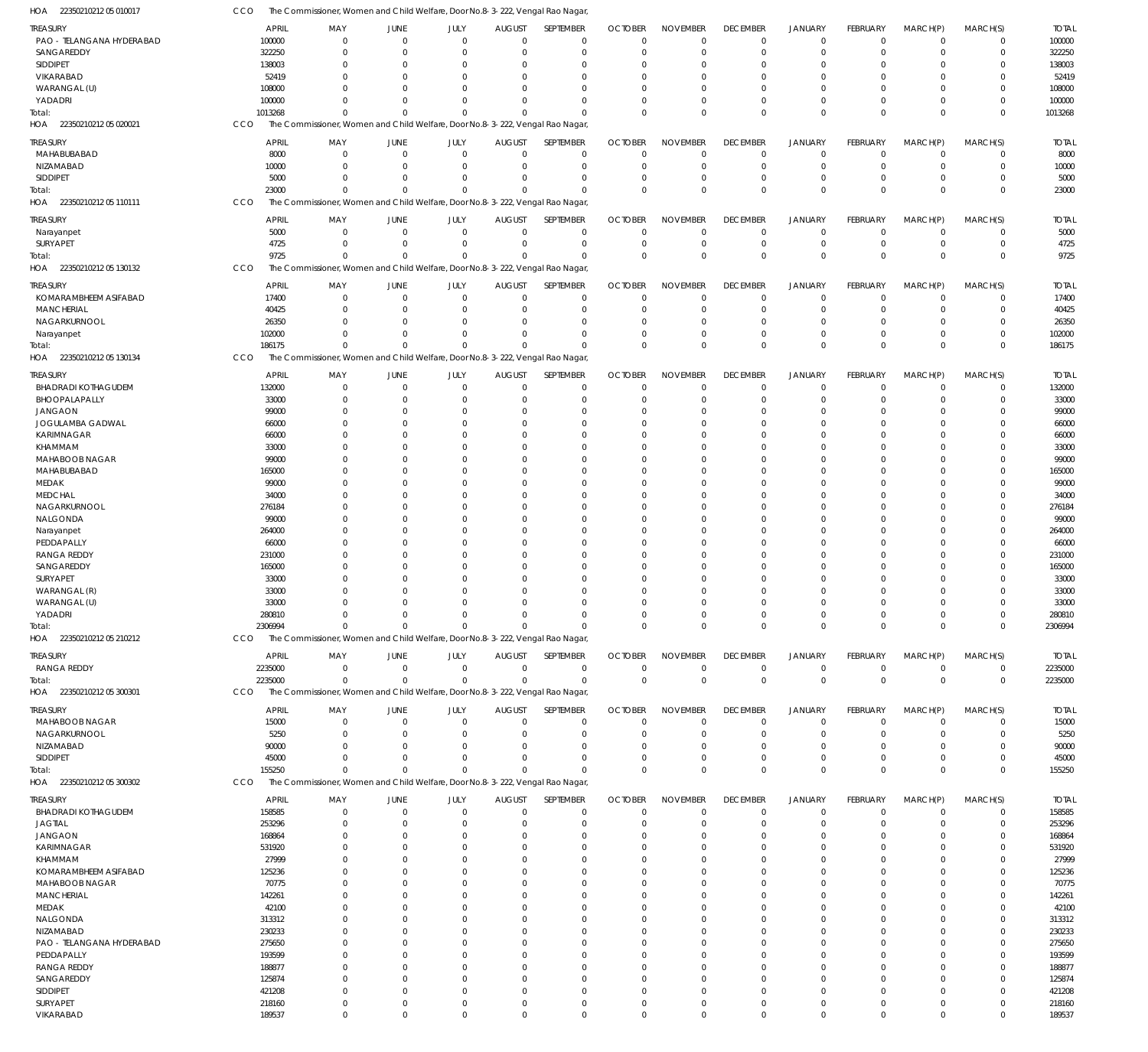| <b>TREASURY</b><br>PAO - TELANGANA HYDERABAD | <b>APRIL</b><br>100000 | MAY<br>$\mathbf 0$                                                            | JUNE<br>$\Omega$     | JULY<br>$\Omega$     | <b>AUGUST</b><br>$\Omega$ | SEPTEMBER<br>$\Omega$ | <b>OCTOBER</b><br>$\Omega$ | <b>NOVEMBER</b><br>$\overline{0}$ | <b>DECEMBER</b><br>$\mathbf 0$ | <b>JANUARY</b><br>$\mathbf 0$    | FEBRUARY<br>$\mathbf 0$ | MARCH(P)<br>$\mathbf 0$       | MARCH(S)<br>$\mathbf 0$    | <b>TOTAL</b><br>100000 |
|----------------------------------------------|------------------------|-------------------------------------------------------------------------------|----------------------|----------------------|---------------------------|-----------------------|----------------------------|-----------------------------------|--------------------------------|----------------------------------|-------------------------|-------------------------------|----------------------------|------------------------|
| SANGAREDDY                                   | 322250                 | $\Omega$                                                                      | $\Omega$             | $\Omega$             | $\Omega$                  | $\Omega$              | $\Omega$                   | $\Omega$                          | $\Omega$                       | $\overline{0}$                   | $\Omega$                | $\Omega$                      | 0                          | 322250                 |
| SIDDIPET                                     | 138003                 | $\Omega$                                                                      | $\Omega$             | $\Omega$             |                           | $\Omega$              | $\Omega$                   | $\Omega$                          | $\Omega$                       | $\Omega$                         | $\Omega$                | $\Omega$                      | $\Omega$                   | 138003                 |
| VIKARABAD                                    | 52419                  | $\Omega$                                                                      | -C                   | $\Omega$             |                           | $\Omega$              |                            | $\Omega$                          | $\overline{0}$                 | $\Omega$                         | 0                       | $\Omega$                      | 0                          | 52419                  |
| WARANGAL (U)                                 | 108000                 | $\Omega$                                                                      | -C                   | $\Omega$             |                           | $\Omega$              | $\Omega$                   | $\Omega$                          | $\Omega$                       | $\Omega$                         | $\Omega$                | $\Omega$                      | $\Omega$                   | 108000                 |
| YADADRI                                      | 100000                 | $\Omega$                                                                      | $\Omega$             | $\Omega$             | $\Omega$                  | $\Omega$              |                            | $\Omega$                          | $\Omega$                       | $\overline{0}$                   | $\Omega$                | $\Omega$                      | 0                          | 100000                 |
| Total:                                       | 1013268                | $\Omega$                                                                      | $\Omega$             | $\Omega$             | $\Omega$                  | $\Omega$              | $\Omega$                   | $\Omega$                          | $\Omega$                       | $\Omega$                         | $\Omega$                | $\Omega$                      | $\Omega$                   | 1013268                |
| HOA 22350210212 05 020021                    | CCO                    | The Commissioner, Women and Child Welfare, Door No.8-3-222, Vengal Rao Nagar, |                      |                      |                           |                       |                            |                                   |                                |                                  |                         |                               |                            |                        |
| <b>TREASURY</b>                              | APRIL                  | MAY                                                                           | JUNE                 | JULY                 | <b>AUGUST</b>             | SEPTEMBER             | <b>OCTOBER</b>             | <b>NOVEMBER</b>                   | <b>DECEMBER</b>                | <b>JANUARY</b>                   | FEBRUARY                | MARCH(P)                      | MARCH(S)                   | <b>TOTAL</b>           |
| MAHABUBABAD                                  | 8000                   | $\mathbf 0$                                                                   | $\Omega$             | $\Omega$             | $\Omega$                  | $\Omega$              | $\Omega$                   | $\Omega$                          | $\mathbf 0$                    | $\overline{0}$                   | $\Omega$                | $\Omega$                      | $\mathbf 0$                | 8000                   |
| NIZAMABAD                                    | 10000                  | $\Omega$                                                                      | $\Omega$             | $\Omega$             | $\Omega$                  | $\Omega$              | $\Omega$                   | $\Omega$                          | $\mathbf 0$                    | $\overline{0}$                   | $\Omega$                | $\Omega$                      | $\mathbf 0$                | 10000                  |
| SIDDIPET                                     | 5000                   | $\Omega$                                                                      | $\Omega$             | $\Omega$             | $\Omega$                  | $\Omega$              | $\Omega$                   | $\Omega$                          | $\overline{0}$                 | $\overline{0}$                   | $\Omega$                | $\Omega$                      | 0                          | 5000                   |
| Total:                                       | 23000                  | $\Omega$                                                                      | $\Omega$             | $\Omega$             |                           | $\Omega$              | $\Omega$                   | $\Omega$                          | $\Omega$                       | $\Omega$                         | $\Omega$                | $\Omega$                      | $\Omega$                   | 23000                  |
| HOA<br>22350210212 05 110111                 | CCO                    | The Commissioner, Women and Child Welfare, Door No.8-3-222, Vengal Rao Nagar, |                      |                      |                           |                       |                            |                                   |                                |                                  |                         |                               |                            |                        |
|                                              |                        |                                                                               |                      |                      |                           |                       |                            |                                   |                                |                                  |                         |                               |                            |                        |
| <b>TREASURY</b>                              | APRIL                  | MAY                                                                           | JUNE                 | JULY                 | <b>AUGUST</b>             | SEPTEMBER             | <b>OCTOBER</b>             | <b>NOVEMBER</b>                   | <b>DECEMBER</b>                | <b>JANUARY</b>                   | <b>FEBRUARY</b>         | MARCH(P)                      | MARCH(S)                   | <b>TOTAL</b>           |
| Narayanpet                                   | 5000                   | $\mathbf 0$                                                                   | $\Omega$<br>$\Omega$ | $\Omega$<br>$\Omega$ | $\Omega$<br>$\Omega$      | $\Omega$<br>$\Omega$  | $\Omega$<br>$\Omega$       | $\overline{0}$<br>$\overline{0}$  | $\mathbf 0$<br>$\overline{0}$  | $\overline{0}$<br>$\overline{0}$ | $\mathbf 0$<br>$\Omega$ | $\mathbf 0$<br>$\overline{0}$ | $\mathbf 0$<br>$\mathbf 0$ | 5000<br>4725           |
| SURYAPET<br>Total:                           | 4725<br>9725           | $\mathbf 0$<br>$\Omega$                                                       | $\Omega$             | $\Omega$             | $\Omega$                  | $\Omega$              | $\Omega$                   | $\Omega$                          | $\mathbf{0}$                   | $\Omega$                         | $\Omega$                | $\Omega$                      | $\mathbf 0$                | 9725                   |
| HOA 22350210212 05 130132                    | CCO                    | The Commissioner, Women and Child Welfare, Door No.8-3-222, Vengal Rao Nagar, |                      |                      |                           |                       |                            |                                   |                                |                                  |                         |                               |                            |                        |
|                                              |                        |                                                                               |                      |                      |                           |                       |                            |                                   |                                |                                  |                         |                               |                            |                        |
| <b>TREASURY</b>                              | APRIL                  | MAY                                                                           | JUNE                 | JULY                 | <b>AUGUST</b>             | <b>SEPTEMBER</b>      | <b>OCTOBER</b>             | <b>NOVEMBER</b>                   | <b>DECEMBER</b>                | <b>JANUARY</b>                   | FEBRUARY                | MARCH(P)                      | MARCH(S)                   | <b>TOTAL</b>           |
| KOMARAMBHEEM ASIFABAD                        | 17400                  | $\mathbf 0$                                                                   | $\Omega$             | $\Omega$             | $\Omega$                  | $\Omega$              | $\Omega$                   | $\Omega$                          | $\mathbf 0$                    | $\overline{0}$                   | $\Omega$                | $\Omega$                      | $\mathbf 0$                | 17400                  |
| MANCHERIAL                                   | 40425                  | $\Omega$                                                                      | $\Omega$             | $\Omega$             | $\Omega$                  | $\Omega$              | $\Omega$                   | $\Omega$                          | $\overline{0}$                 | $\Omega$                         | $\Omega$                | $\Omega$                      | $\Omega$                   | 40425                  |
| NAGARKURNOOL                                 | 26350                  | $\Omega$                                                                      | $\Omega$             | $\Omega$             | $\Omega$                  | $\Omega$              | $\Omega$                   | $\Omega$                          | $\Omega$                       | $\Omega$                         | $\Omega$                | $\Omega$                      | $\Omega$                   | 26350                  |
| Narayanpet                                   | 102000                 | $\Omega$                                                                      | $\Omega$             | $\Omega$             | $\Omega$                  | $\Omega$              |                            | $\Omega$                          | $\mathbf 0$                    | $\overline{0}$                   | $\Omega$                | $\Omega$                      | $\mathbf 0$                | 102000                 |
| Total:                                       | 186175                 | $\Omega$                                                                      | $\Omega$             | $\Omega$             | $\Omega$                  | $\Omega$              | $\Omega$                   | $\Omega$                          | $\Omega$                       | $\Omega$                         | $\Omega$                | $\Omega$                      | $\Omega$                   | 186175                 |
| HOA 22350210212 05 130134                    | CCO                    | The Commissioner, Women and Child Welfare, Door No.8-3-222, Vengal Rao Nagar, |                      |                      |                           |                       |                            |                                   |                                |                                  |                         |                               |                            |                        |
| <b>TREASURY</b>                              | <b>APRIL</b>           | MAY                                                                           | JUNE                 | JULY                 | <b>AUGUST</b>             | SEPTEMBER             | <b>OCTOBER</b>             | <b>NOVEMBER</b>                   | <b>DECEMBER</b>                | <b>JANUARY</b>                   | FEBRUARY                | MARCH(P)                      | MARCH(S)                   | <b>TOTAL</b>           |
| <b>BHADRADI KOTHAGUDEM</b>                   | 132000                 | $\mathbf 0$                                                                   | $\Omega$             | $\Omega$             | $\Omega$                  | $\Omega$              | $\Omega$                   | $\Omega$                          | $\mathbf 0$                    | $\overline{0}$                   | $\Omega$                | $\Omega$                      | $\mathbf 0$                | 132000                 |
| BHOOPALAPALLY                                | 33000                  | $\Omega$                                                                      | $\Omega$             | $\Omega$             | $\Omega$                  | $\Omega$              | $\Omega$                   | $\Omega$                          | $\mathbf 0$                    | $\overline{0}$                   | $\Omega$                | $\Omega$                      | $\mathbf 0$                | 33000                  |
| <b>JANGAON</b>                               | 99000                  | $\Omega$                                                                      | C.                   | $\Omega$             | $\Omega$                  | $\Omega$              | $\Omega$                   | $\Omega$                          | $\Omega$                       | $\Omega$                         | $\Omega$                | $\Omega$                      | 0                          | 99000                  |
| JOGULAMBA GADWAL                             | 66000                  | $\Omega$                                                                      | C.                   | $\Omega$             |                           | $\Omega$              | $\Omega$                   | $\Omega$                          | $\Omega$                       | $\Omega$                         | $\Omega$                | $\Omega$                      | $\Omega$                   | 66000                  |
| KARIMNAGAR                                   | 66000                  | $\Omega$                                                                      | -C                   | $\Omega$             |                           | $\Omega$              |                            | $\Omega$                          | $\Omega$                       | $\Omega$                         | U                       | $\Omega$                      | 0                          | 66000                  |
| KHAMMAM                                      | 33000                  | $\Omega$                                                                      | -C                   | $\Omega$             |                           | $\Omega$              |                            | $\Omega$                          | $\Omega$                       | $\Omega$                         | 0                       | $\Omega$                      | $\Omega$                   | 33000                  |
| MAHABOOB NAGAR                               | 99000                  | $\Omega$                                                                      | -C                   | $\Omega$             |                           | $\Omega$              |                            | $\Omega$                          | $\Omega$                       | $\Omega$                         | U                       | $\Omega$                      | $\Omega$                   | 99000                  |
| MAHABUBABAD                                  | 165000                 | $\Omega$                                                                      | -C                   | $\Omega$             |                           | $\Omega$              |                            | $\Omega$                          | $\Omega$                       | $\Omega$                         | 0                       | $\Omega$                      | $\Omega$                   | 165000                 |
| MEDAK                                        | 99000                  | $\Omega$                                                                      | -C                   | $\Omega$             |                           | $\Omega$              |                            | $\Omega$                          | $\Omega$                       | $\Omega$                         | U                       | $\Omega$                      | $\Omega$                   | 99000                  |
| <b>MEDCHAL</b>                               | 34000                  | $\Omega$                                                                      | -C                   | $\Omega$             |                           | $\Omega$              |                            | $\Omega$                          | $\Omega$                       | $\Omega$                         | $\Omega$                | $\Omega$                      | $\Omega$                   | 34000                  |
| NAGARKURNOOL                                 | 276184                 | $\Omega$                                                                      | -C                   | $\Omega$             |                           | $\Omega$              |                            | $\Omega$                          | $\Omega$                       | $\Omega$                         | U                       | $\Omega$                      | 0                          | 276184                 |
| NALGONDA                                     | 99000                  | $\Omega$                                                                      | -C                   | $\Omega$             |                           | $\Omega$              | $\Omega$                   | $\Omega$                          | $\Omega$                       | $\Omega$                         | 0                       | $\Omega$                      | $\Omega$                   | 99000                  |
| Narayanpet                                   | 264000                 | $\Omega$                                                                      | -C                   | $\Omega$             |                           | $\Omega$              |                            | $\Omega$                          | $\Omega$                       | $\Omega$                         | U                       | $\Omega$                      | $\Omega$                   | 264000                 |
| PEDDAPALLY                                   | 66000                  | $\Omega$<br>$\Omega$                                                          | -C<br>-C             | $\Omega$<br>$\Omega$ |                           | $\Omega$<br>$\Omega$  |                            | $\Omega$<br>$\Omega$              | $\Omega$<br>$\Omega$           | $\Omega$<br>$\Omega$             | $\Omega$<br>U           | $\Omega$<br>$\Omega$          | $\Omega$<br>$\Omega$       | 66000                  |
| <b>RANGA REDDY</b><br>SANGAREDDY             | 231000                 | $\Omega$                                                                      | -C                   | $\Omega$             |                           | $\Omega$              | $\Omega$<br>$\Omega$       | $\Omega$                          | $\Omega$                       | $\Omega$                         | $\Omega$                | $\Omega$                      | $\Omega$                   | 231000<br>165000       |
| SURYAPET                                     | 165000<br>33000        | $\Omega$                                                                      | -C                   | $\Omega$             |                           | $\Omega$              |                            | $\Omega$                          | $\Omega$                       | $\Omega$                         | U                       | $\Omega$                      | 0                          | 33000                  |
| WARANGAL (R)                                 | 33000                  | $\Omega$                                                                      |                      | $\Omega$             |                           | $\Omega$              | $\Omega$                   | $\Omega$                          | $\Omega$                       | $\Omega$                         | $\Omega$                | $\Omega$                      | $\Omega$                   | 33000                  |
| WARANGAL (U)                                 | 33000                  | $\Omega$                                                                      | $\Omega$             | $\Omega$             | $\Omega$                  | $\Omega$              | $\Omega$                   | $\Omega$                          | $\Omega$                       | $\Omega$                         | $\Omega$                | $\Omega$                      | $\mathbf 0$                | 33000                  |
| YADADRI                                      | 280810                 | $\Omega$                                                                      | $\Omega$             | $\Omega$             | $\Omega$                  | $\Omega$              | $\Omega$                   | $\Omega$                          | $\Omega$                       | $\Omega$                         | $\Omega$                | $\Omega$                      | $\Omega$                   | 280810                 |
| Total:                                       | 2306994                | $\Omega$                                                                      | $\Omega$             | $\Omega$             | $\Omega$                  | $\Omega$              | $\Omega$                   | $\overline{0}$                    | $\mathbb O$                    | $\mathbb O$                      | $\Omega$                | $\Omega$                      | $\mathbf 0$                | 2306994                |
| HOA 22350210212 05 210212                    | CCO                    | The Commissioner, Women and Child Welfare, Door No.8-3-222, Vengal Rao Nagar, |                      |                      |                           |                       |                            |                                   |                                |                                  |                         |                               |                            |                        |
|                                              |                        |                                                                               |                      |                      |                           |                       |                            |                                   |                                |                                  |                         |                               |                            |                        |
| TREASURY                                     | APRIL                  | MAY                                                                           | <b>JUNE</b>          | JULY                 | <b>AUGUST</b>             | SEPTEMBER             | <b>OCTOBER</b>             | <b>NOVEMBER</b>                   | <b>DECEMBER</b>                | JANUARY                          | FEBRUARY                | MARCH(P)                      | MARCH(S)                   | <b>TOTAL</b>           |
| RANGA REDDY                                  | 2235000                | $\Omega$                                                                      | $\Omega$             | $\overline{0}$       | $\Omega$                  | $\overline{0}$        | $\Omega$                   | $\overline{0}$                    | 0                              | $\mathbf 0$                      | 0                       | $\mathbf 0$                   | $\mathbf 0$                | 2235000                |
| Total:                                       | 2235000                | $\Omega$                                                                      | $\Omega$             | $\Omega$             | $\Omega$                  | $\Omega$              | $\Omega$                   | $\mathbb O$                       | $\mathbb O$                    | $\mathbb O$                      | $\Omega$                | $\Omega$                      | $\overline{0}$             | 2235000                |
| HOA 22350210212 05 300301                    | <b>CCO</b>             | The Commissioner, Women and Child Welfare, Door No.8-3-222, Vengal Rao Nagar, |                      |                      |                           |                       |                            |                                   |                                |                                  |                         |                               |                            |                        |
| <b>TREASURY</b>                              | APRIL                  | MAY                                                                           | JUNE                 | JULY                 | <b>AUGUST</b>             | SEPTEMBER             | <b>OCTOBER</b>             | <b>NOVEMBER</b>                   | <b>DECEMBER</b>                | <b>JANUARY</b>                   | FEBRUARY                | MARCH(P)                      | MARCH(S)                   | <b>TOTAL</b>           |
| MAHABOOB NAGAR                               | 15000                  | $\mathbf 0$                                                                   | $\Omega$             | $\Omega$             | $\Omega$                  | $\Omega$              | $\Omega$                   | $\Omega$                          | $\mathbf 0$                    | $\overline{0}$                   | $\Omega$                | $\Omega$                      | $\mathbf 0$                | 15000                  |
| NAGARKURNOOL                                 | 5250                   | $\Omega$                                                                      | -C                   | $\Omega$             | $\Omega$                  | $\Omega$              | $\Omega$                   | $\Omega$                          | $\overline{0}$                 | $\overline{0}$                   | $\Omega$                | $\Omega$                      | $\mathbf 0$                | 5250                   |
| NIZAMABAD                                    | 90000                  | $\Omega$                                                                      | -C                   | $\Omega$             | $\Omega$                  | $\Omega$              | $\Omega$                   | $\Omega$                          | $\mathbf 0$                    | $\Omega$                         | $\Omega$                | $\Omega$                      | 0                          | 90000                  |
| <b>SIDDIPET</b>                              | 45000                  | $\Omega$                                                                      | -C                   | $\Omega$             |                           | $\Omega$              | $\Omega$                   | $\Omega$                          | $\Omega$                       | $\overline{0}$                   | $\Omega$                | $\Omega$                      | 0                          | 45000                  |
| Total:                                       | 155250                 | $\Omega$                                                                      | $\Omega$             | $\Omega$             | $\Omega$                  | $\Omega$              | $\Omega$                   | $\Omega$                          | $\mathbf{0}$                   | $\Omega$                         | $\Omega$                | $\Omega$                      | $\mathbf 0$                | 155250                 |
| HOA 22350210212 05 300302                    | CCO                    | The Commissioner, Women and Child Welfare, Door No.8-3-222, Vengal Rao Nagar, |                      |                      |                           |                       |                            |                                   |                                |                                  |                         |                               |                            |                        |
| TREASURY                                     | APRIL                  | MAY                                                                           | JUNE                 | JULY                 | <b>AUGUST</b>             | SEPTEMBER             | <b>OCTOBER</b>             | <b>NOVEMBER</b>                   | <b>DECEMBER</b>                | <b>JANUARY</b>                   | FEBRUARY                | MARCH(P)                      | MARCH(S)                   | TOTAL                  |
| <b>BHADRADI KOTHAGUDEM</b>                   | 158585                 | $\Omega$                                                                      | $\Omega$             | $\Omega$             | $\Omega$                  | $\Omega$              | $\Omega$                   | $\Omega$                          | $\mathbf 0$                    | $\overline{0}$                   | $\Omega$                | $\Omega$                      | 0                          | 158585                 |
| <b>JAGTIAL</b>                               | 253296                 | $\Omega$                                                                      | -C                   | $\Omega$             | $\Omega$                  | $\Omega$              | $\Omega$                   | $\Omega$                          | $\mathbf{0}$                   | $\Omega$                         | $\Omega$                | $\Omega$                      | $\Omega$                   | 253296                 |
| <b>JANGAON</b>                               | 168864                 | $\Omega$                                                                      |                      | $\Omega$             |                           | $\Omega$              |                            | $\Omega$                          | $\Omega$                       | $\Omega$                         |                         | $\Omega$                      | $\Omega$                   | 168864                 |
| KARIMNAGAR                                   | 531920                 | $\Omega$                                                                      |                      | $\Omega$             |                           | $\Omega$              | $\Omega$                   | $\Omega$                          | $\Omega$                       | $\Omega$                         |                         | $\Omega$                      | $\Omega$                   | 531920                 |
| KHAMMAM                                      | 27999                  | $\Omega$                                                                      |                      | $\Omega$             |                           | $\Omega$              | $\Omega$                   | $\Omega$                          | $\Omega$                       | $\Omega$                         |                         |                               | $\Omega$                   | 27999                  |
| KOMARAMBHEEM ASIFABAD                        | 125236                 | -C                                                                            |                      |                      |                           | $\Omega$              |                            | $\Omega$                          | $\Omega$                       | $\Omega$                         |                         |                               | 0                          | 125236                 |
| MAHABOOB NAGAR                               | 70775                  | $\Omega$                                                                      |                      | $\Omega$             |                           | $\Omega$              | $\Omega$                   | $\Omega$                          | $\Omega$                       | $\Omega$                         |                         | $\Omega$                      | $\Omega$                   | 70775                  |
| MANCHERIAL                                   | 142261                 | $\Omega$                                                                      |                      | $\Omega$             |                           | $\Omega$              |                            | $\Omega$                          | $\Omega$                       | $\Omega$                         |                         |                               | 0                          | 142261                 |
| MEDAK                                        | 42100                  | $\Omega$                                                                      |                      | $\Omega$             |                           | $\Omega$              |                            | $\Omega$                          | $\Omega$                       | $\Omega$                         |                         |                               | $\Omega$                   | 42100                  |
| NALGONDA                                     | 313312                 | -C                                                                            |                      | $\Omega$             |                           | $\Omega$              |                            | $\Omega$                          | $\Omega$                       | $\Omega$                         |                         |                               | 0                          | 313312                 |
| NIZAMABAD                                    | 230233                 | $\Omega$                                                                      |                      | $\Omega$             |                           | $\Omega$              |                            | $\Omega$                          | $\Omega$                       | $\Omega$                         |                         | $\Omega$                      | $\Omega$                   | 230233                 |
| PAO - TELANGANA HYDERABAD                    | 275650                 | -C                                                                            |                      |                      |                           | $\Omega$              |                            | $\Omega$                          | $\Omega$                       | $\Omega$                         |                         |                               | 0                          | 275650                 |
| PEDDAPALLY                                   | 193599                 | $\Omega$                                                                      |                      | $\Omega$             |                           | $\Omega$              | $\Omega$                   | $\Omega$                          | $\Omega$                       | $\Omega$                         |                         |                               | $\Omega$                   | 193599                 |
| <b>RANGA REDDY</b>                           | 188877                 | -C                                                                            |                      |                      |                           | $\Omega$              |                            | $\Omega$                          | $\Omega$                       | $\Omega$                         |                         |                               | 0                          | 188877                 |
| SANGAREDDY<br><b>SIDDIPET</b>                | 125874                 | $\Omega$                                                                      |                      | $\Omega$<br>$\Omega$ |                           | $\Omega$              | $\Omega$                   | $\Omega$<br>$\Omega$              | $\Omega$                       | $\Omega$                         |                         |                               | $\Omega$                   | 125874                 |
| SURYAPET                                     | 421208<br>218160       | $\Omega$<br>$\Omega$                                                          | $\Omega$             | $\Omega$             | $\Omega$                  | $\Omega$<br>$\Omega$  | $\Omega$                   | $\Omega$                          | $\Omega$<br>$\mathbf 0$        | $\Omega$<br>$\Omega$             | 0                       | $\Omega$                      | 0<br>0                     | 421208<br>218160       |
| VIKARABAD                                    | 189537                 | $\Omega$                                                                      | $\Omega$             | $\Omega$             | $\Omega$                  | $\Omega$              | $\Omega$                   | $\mathbf 0$                       | $\mathbf{0}$                   | $\mathbf 0$                      | $\Omega$                | $\Omega$                      | $\Omega$                   | 189537                 |
|                                              |                        |                                                                               |                      |                      |                           |                       |                            |                                   |                                |                                  |                         |                               |                            |                        |

22350210212 05 010017 HOA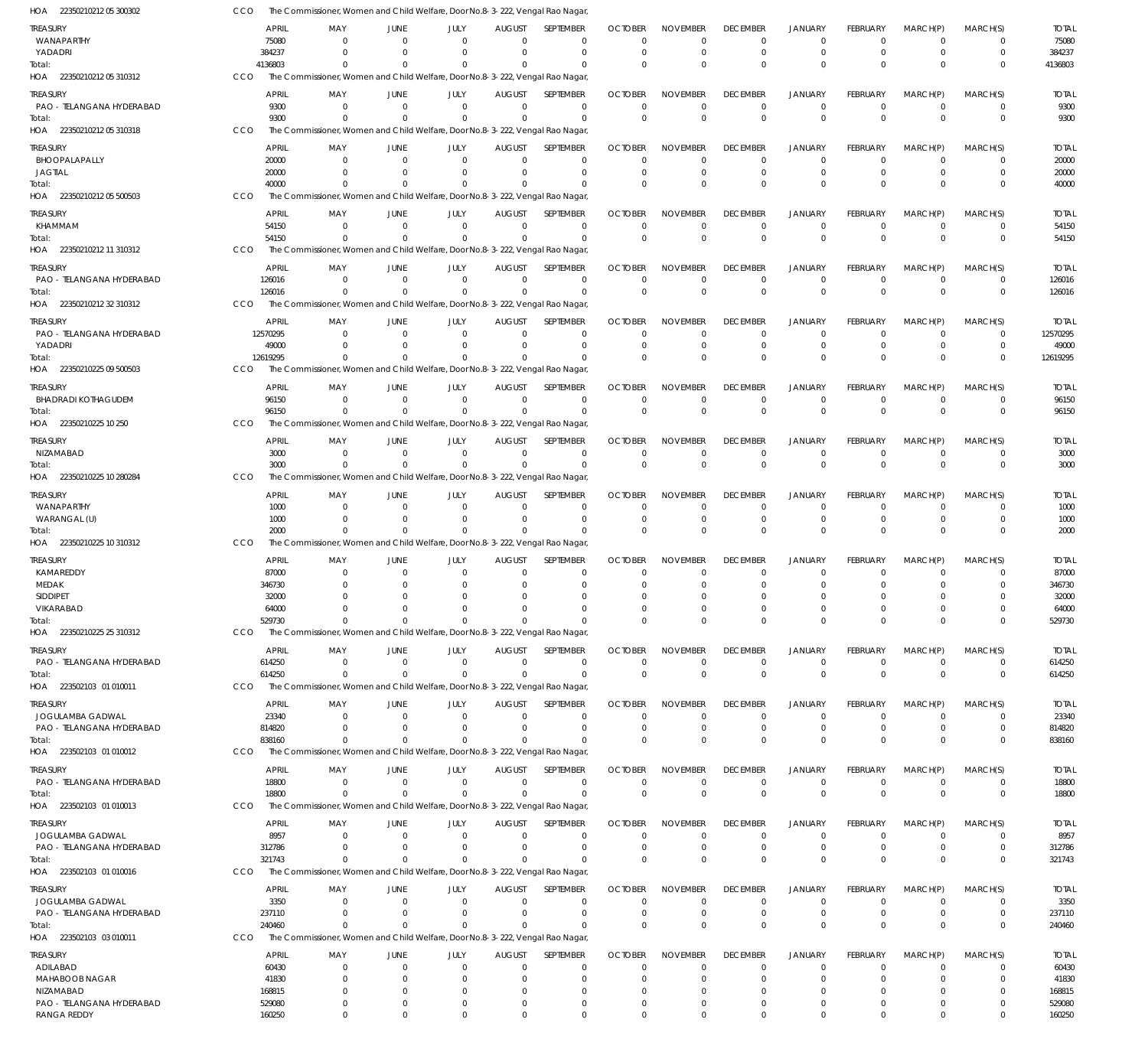| HOA 22350210212 05 300302                     |            |                          | The Commissioner, Women and Child Welfare, Door No.8-3-222, Vengal Rao Nagar             |                            |                              |                                  |                               |                            |                            |                             |                             |                      |                            |                             |                          |
|-----------------------------------------------|------------|--------------------------|------------------------------------------------------------------------------------------|----------------------------|------------------------------|----------------------------------|-------------------------------|----------------------------|----------------------------|-----------------------------|-----------------------------|----------------------|----------------------------|-----------------------------|--------------------------|
| TREASURY                                      |            | APRIL                    | MAY                                                                                      | <b>JUNE</b>                | JULY                         | <b>AUGUST</b>                    | SEPTEMBER                     | <b>OCTOBER</b>             | <b>NOVEMBER</b>            | <b>DECEMBER</b>             | <b>JANUARY</b>              | FEBRUARY             | MARCH(P)                   | MARCH(S)                    | <b>TOTAL</b>             |
| WANAPARTHY                                    |            | 75080                    | $\Omega$                                                                                 | $\Omega$                   | $\Omega$                     | $\Omega$                         | $\mathbf 0$                   | $\Omega$                   | $\Omega$                   | $\mathbf 0$                 | $\mathbf{0}$                | $\Omega$             | $\Omega$                   | 0                           | 75080                    |
| YADADRI<br>Total:                             |            | 384237<br>4136803        | $\Omega$<br>$\Omega$                                                                     | $\Omega$<br>$\Omega$       | $\Omega$<br>$\Omega$         | $\Omega$<br>$\Omega$             | $\overline{0}$<br>$\Omega$    | $\mathbf 0$<br>$\Omega$    | $\mathbf 0$<br>$\Omega$    | $\mathbf 0$<br>$\mathbf{0}$ | $\mathbf 0$<br>$\Omega$     | $\Omega$<br>$\Omega$ | $\Omega$<br>$\Omega$       | $\mathbf 0$<br>$\mathbf{0}$ | 384237<br>4136803        |
| HOA 22350210212 05 310312                     | CCO        |                          | The Commissioner, Women and Child Welfare, Door No.8-3-222, Vengal Rao Nagar             |                            |                              |                                  |                               |                            |                            |                             |                             |                      |                            |                             |                          |
| treasury                                      |            | <b>APRIL</b>             | MAY                                                                                      | JUNE                       | JULY                         | <b>AUGUST</b>                    | SEPTEMBER                     | <b>OCTOBER</b>             | <b>NOVEMBER</b>            | <b>DECEMBER</b>             | <b>JANUARY</b>              | <b>FEBRUARY</b>      | MARCH(P)                   | MARCH(S)                    | <b>TOTAL</b>             |
| PAO - TELANGANA HYDERABAD                     |            | 9300                     | $\Omega$                                                                                 | $\Omega$                   | $\mathbf{0}$                 | $\overline{0}$                   | $\overline{0}$                | 0                          | 0                          | 0                           | $\mathbf 0$                 | -0                   | $\overline{0}$             | $\mathbf 0$                 | 9300                     |
| Total:                                        |            | 9300                     | $\Omega$                                                                                 | $\Omega$                   | $\Omega$                     | $\Omega$                         | $\Omega$                      | $\Omega$                   | $\mathbf 0$                | $\mathbf 0$                 | $\mathbf{0}$                | $\Omega$             | $\Omega$                   | $\mathbf 0$                 | 9300                     |
| HOA 22350210212 05 310318                     | CCO        |                          | The Commissioner, Women and Child Welfare, Door No.8-3-222, Vengal Rao Nagar             |                            |                              |                                  |                               |                            |                            |                             |                             |                      |                            |                             |                          |
| TREASURY                                      |            | <b>APRIL</b>             | MAY                                                                                      | <b>JUNE</b>                | JULY                         | <b>AUGUST</b>                    | SEPTEMBER                     | <b>OCTOBER</b>             | <b>NOVEMBER</b>            | <b>DECEMBER</b>             | <b>JANUARY</b>              | FEBRUARY             | MARCH(P)                   | MARCH(S)                    | <b>TOTAL</b>             |
| BHOOPALAPALLY<br><b>JAGTIAL</b>               |            | 20000<br>20000           | $\Omega$<br>$\Omega$                                                                     | $\Omega$<br>$\Omega$       | $\Omega$<br>$\Omega$         | $\Omega$<br>$\Omega$             | $\mathbf 0$<br>$\overline{0}$ | $\Omega$<br>$\mathbf 0$    | $\Omega$<br>$\mathbf 0$    | $\Omega$<br>$\mathbf 0$     | $\mathbf{0}$<br>$\mathbf 0$ | $\Omega$<br>$\Omega$ | $\Omega$<br>$\Omega$       | $\mathbf 0$<br>$\mathbf 0$  | 20000<br>20000           |
| Total:                                        |            | 40000                    | $\Omega$                                                                                 | $\cap$                     | $\Omega$                     | $\Omega$                         | $\Omega$                      | $\Omega$                   | $\Omega$                   | $\Omega$                    | $\Omega$                    | $\Omega$             | $\Omega$                   | $\mathbf 0$                 | 40000                    |
| HOA 22350210212 05 500503                     | CCO        |                          | The Commissioner, Women and Child Welfare, Door No.8-3-222, Vengal Rao Nagar             |                            |                              |                                  |                               |                            |                            |                             |                             |                      |                            |                             |                          |
| Treasury                                      |            | <b>APRIL</b>             | MAY                                                                                      | JUNE                       | JULY                         | <b>AUGUST</b>                    | SEPTEMBER                     | <b>OCTOBER</b>             | <b>NOVEMBER</b>            | <b>DECEMBER</b>             | <b>JANUARY</b>              | FEBRUARY             | MARCH(P)                   | MARCH(S)                    | <b>TOTAL</b>             |
| KHAMMAM                                       |            | 54150                    | $\Omega$                                                                                 | $\Omega$                   | $\Omega$                     | $\overline{0}$                   | $\overline{0}$                | $\Omega$                   | $\mathbf 0$                | $\mathbf 0$                 | $\mathbf 0$                 | $\Omega$             | $\Omega$                   | $\mathbf 0$                 | 54150                    |
| Total:                                        |            | 54150                    | $\Omega$                                                                                 | - 0                        | $\Omega$                     | $\Omega$                         | $\Omega$                      | $\Omega$                   | $\mathbf 0$                | $\Omega$                    | $\mathbf{0}$                | $\Omega$             | $\Omega$                   | $\mathbf 0$                 | 54150                    |
| HOA 22350210212 11 310312                     | CCO        |                          | The Commissioner, Women and Child Welfare, Door No.8-3-222, Vengal Rao Nagar             |                            |                              |                                  |                               |                            |                            |                             |                             |                      |                            |                             |                          |
| treasury                                      |            | <b>APRIL</b>             | MAY                                                                                      | <b>JUNE</b>                | JULY                         | <b>AUGUST</b>                    | <b>SEPTEMBER</b>              | <b>OCTOBER</b>             | <b>NOVEMBER</b>            | <b>DECEMBER</b>             | <b>JANUARY</b>              | FEBRUARY             | MARCH(P)                   | MARCH(S)                    | <b>TOTAL</b>             |
| PAO - TELANGANA HYDERABAD                     |            | 126016                   | $\Omega$<br>$\Omega$                                                                     | $\Omega$<br>$\Omega$       | $\Omega$<br>$\Omega$         | $\Omega$<br>$\Omega$             | $\overline{0}$<br>$\Omega$    | $\mathbf 0$<br>$\Omega$    | $\mathbf 0$<br>$\mathbf 0$ | $\mathbf 0$<br>$\mathbf 0$  | $\mathbf 0$<br>$\mathbf{0}$ | $\Omega$<br>$\Omega$ | $\Omega$<br>$\Omega$       | $\mathbf 0$                 | 126016                   |
| Total:<br>HOA 22350210212 32 310312           | CCO        | 126016                   | The Commissioner, Women and Child Welfare, Door No.8-3-222, Vengal Rao Nagar,            |                            |                              |                                  |                               |                            |                            |                             |                             |                      |                            | $\mathbf 0$                 | 126016                   |
|                                               |            |                          |                                                                                          |                            |                              |                                  |                               |                            |                            |                             |                             |                      |                            |                             |                          |
| treasury<br>PAO - TELANGANA HYDERABAD         |            | <b>APRIL</b><br>12570295 | MAY<br>$\Omega$                                                                          | JUNE<br>$\Omega$           | JULY<br>$\mathbf{0}$         | <b>AUGUST</b><br>$\Omega$        | SEPTEMBER<br>$\mathbf 0$      | <b>OCTOBER</b><br>$\Omega$ | <b>NOVEMBER</b><br>0       | <b>DECEMBER</b><br>0        | JANUARY<br>$\Omega$         | FEBRUARY             | MARCH(P)<br>$\Omega$       | MARCH(S)<br>$\mathbf 0$     | <b>TOTAL</b><br>12570295 |
| YADADRI                                       |            | 49000                    |                                                                                          | $\Omega$                   | $\Omega$                     | $\Omega$                         | $\overline{0}$                | $\Omega$                   | 0                          | 0                           | $\mathbf 0$                 |                      | $\Omega$                   | $\mathbf 0$                 | 49000                    |
| Total:                                        |            | 12619295                 |                                                                                          | $\Omega$                   | $\Omega$                     | $\Omega$                         | $\Omega$                      | $\Omega$                   | $\Omega$                   | $\Omega$                    | $\Omega$                    |                      | $\Omega$                   | $\mathbf 0$                 | 12619295                 |
| HOA 22350210225 09 500503                     | <b>CCO</b> |                          | The Commissioner, Women and Child Welfare, Door No.8-3-222, Vengal Rao Nagar             |                            |                              |                                  |                               |                            |                            |                             |                             |                      |                            |                             |                          |
| treasury                                      |            | APRIL                    | MAY                                                                                      | <b>JUNE</b>                | JULY                         | <b>AUGUST</b>                    | SEPTEMBER                     | <b>OCTOBER</b>             | <b>NOVEMBER</b>            | <b>DECEMBER</b>             | <b>JANUARY</b>              | FEBRUARY             | MARCH(P)                   | MARCH(S)                    | <b>TOTAL</b>             |
| <b>BHADRADI KOTHAGUDEM</b>                    |            | 96150                    | $\Omega$                                                                                 | $\Omega$                   | $\Omega$                     | $\Omega$                         | $\overline{0}$                | $\Omega$                   | $\Omega$                   | $\mathbf 0$                 | $\mathbf 0$                 | $\Omega$             | $\Omega$                   | $\mathbf 0$                 | 96150                    |
| Total:                                        |            | 96150                    | $\Omega$                                                                                 | $\Omega$                   | $\Omega$                     | $\Omega$                         | $\Omega$                      | $\Omega$                   | $\Omega$                   | $\mathbf 0$                 | $\mathbf{0}$                | $\Omega$             | $\Omega$                   | $\Omega$                    | 96150                    |
| HOA 22350210225 10 250                        | CCO        |                          | The Commissioner, Women and Child Welfare, Door No.8-3-222, Vengal Rao Nagar             |                            |                              |                                  |                               |                            |                            |                             |                             |                      |                            |                             |                          |
| treasury                                      |            | <b>APRIL</b>             | MAY                                                                                      | <b>JUNE</b>                | JULY                         | <b>AUGUST</b>                    | SEPTEMBER                     | <b>OCTOBER</b>             | <b>NOVEMBER</b>            | <b>DECEMBER</b>             | JANUARY                     | FEBRUARY             | MARCH(P)                   | MARCH(S)                    | <b>TOTAL</b>             |
| NIZAMABAD<br>Total:                           |            | 3000<br>3000             | $\Omega$<br>$\Omega$                                                                     | $\Omega$<br>$\Omega$       | $\Omega$<br>$\Omega$         | $\Omega$<br>$\Omega$             | $\overline{0}$<br>$\Omega$    | $\mathbf 0$<br>$\Omega$    | $\mathbf 0$<br>$\mathbf 0$ | $\mathbf 0$<br>$\mathbf{0}$ | $\mathbf 0$<br>$\mathbf{0}$ | $\Omega$<br>$\Omega$ | $\Omega$<br>$\Omega$       | $\mathbf 0$<br>$\mathbf 0$  | 3000<br>3000             |
| HOA 22350210225 10 280284                     | CCO        |                          | The Commissioner, Women and Child Welfare, Door No.8-3-222, Vengal Rao Nagar,            |                            |                              |                                  |                               |                            |                            |                             |                             |                      |                            |                             |                          |
| TREASURY                                      |            | APRIL                    | MAY                                                                                      | <b>JUNE</b>                | JULY                         | <b>AUGUST</b>                    | SEPTEMBER                     | <b>OCTOBER</b>             | <b>NOVEMBER</b>            | <b>DECEMBER</b>             | <b>JANUARY</b>              | FEBRUARY             | MARCH(P)                   | MARCH(S)                    | <b>TOTAL</b>             |
| WANAPARTHY                                    |            | 1000                     | $\Omega$                                                                                 | $\Omega$                   | $\Omega$                     | $\overline{0}$                   | $\mathbf 0$                   | 0                          | $\Omega$                   | $\mathbf 0$                 | 0                           | $\Omega$             | $\Omega$                   | $\mathbf 0$                 | 1000                     |
| WARANGAL (U)                                  |            | 1000                     | $\Omega$                                                                                 | - 0                        | $\Omega$                     | $\Omega$                         | $\mathbf 0$                   | $\Omega$                   | $\Omega$                   | 0                           | $\mathbf 0$                 | $\Omega$             | $\Omega$                   | $\mathbf 0$                 | 1000                     |
| Total:                                        |            | 2000                     | $\Omega$                                                                                 | $\Omega$                   | $\Omega$                     | $\Omega$                         | $\Omega$                      | $\Omega$                   | $\Omega$                   | $\Omega$                    | $\Omega$                    | $\Omega$             | $\Omega$                   | $\Omega$                    | 2000                     |
| HOA 22350210225 10 310312                     | CCO        |                          | The Commissioner, Women and Child Welfare, Door No.8-3-222, Vengal Rao Nagar,            |                            |                              |                                  |                               |                            |                            |                             |                             |                      |                            |                             |                          |
| TREASURY                                      |            | <b>APRIL</b>             | MAY                                                                                      | JUNE                       | JULY                         | <b>AUGUST</b>                    | <b>SEPTEMBER</b>              | <b>OCTOBER</b>             | <b>NOVEMBER</b>            | <b>DECEMBER</b>             | JANUARY                     | FEBRUARY             | MARCH(P)                   | MARCH(S)                    | <b>TOTAL</b>             |
| KAMAREDDY                                     |            | 87000                    | $\Omega$                                                                                 | $\overline{0}$             | $\mathbf{0}$                 | $\overline{0}$                   | $\mathbf 0$                   | $\mathbf 0$                | $\mathbf 0$                | $\mathbf 0$                 | $\mathbf 0$                 | $\Omega$             | $\Omega$                   | $\mathbf 0$                 | 87000                    |
| MEDAK<br>SIDDIPET                             |            | 346730<br>32000          | $\Omega$                                                                                 | $\Omega$<br>$\Omega$       | 0<br>$\Omega$                | $\Omega$<br>$\Omega$             | $\mathbf 0$<br>$\Omega$       | 0<br>$\Omega$              | 0<br>$\Omega$              | $\Omega$<br>$\Omega$        | $\mathbf 0$<br>$\Omega$     |                      | $\Omega$<br>$\Omega$       | $\mathbf 0$<br>$\mathbf 0$  | 346730<br>32000          |
| VIKARABAD                                     |            | 64000                    |                                                                                          | $\Omega$                   |                              | $\mathbf 0$                      | $\overline{0}$                | 0                          | 0                          |                             | $\mathbf 0$                 |                      | $^{\circ}$                 | 0                           | 64000                    |
| Total:                                        |            | 529730                   | $\Omega$                                                                                 | $\Omega$                   | $\Omega$                     | $\Omega$                         | $\Omega$                      | $\overline{0}$             | $\mathbf{0}$               | $\mathbf 0$                 | $\Omega$                    | $\Omega$             | $\Omega$                   | $\mathbf 0$                 | 529730                   |
| HOA 22350210225 25 310312                     | <b>CCO</b> |                          | The Commissioner, Women and Child Welfare, Door No.8-3-222, Vengal Rao Nagar             |                            |                              |                                  |                               |                            |                            |                             |                             |                      |                            |                             |                          |
| treasury                                      |            | APRIL                    | MAY                                                                                      | JUNE                       | JULY                         | <b>AUGUST</b>                    | <b>SEPTEMBER</b>              | <b>OCTOBER</b>             | <b>NOVEMBER</b>            | <b>DECEMBER</b>             | <b>JANUARY</b>              | FEBRUARY             | MARCH(P)                   | MARCH(S)                    | <b>TOTAL</b>             |
| PAO - TELANGANA HYDERABAD                     |            | 614250                   | $\Omega$                                                                                 | $\overline{0}$             | $\overline{0}$               | $\overline{0}$                   | $\overline{0}$                | $\mathbf 0$                | 0                          | $\mathbf 0$                 | $\mathbf 0$                 | $\Omega$             | $\overline{0}$             | $\mathbf{0}$                | 614250                   |
| Total:                                        |            | 614250                   | $\Omega$                                                                                 | $\Omega$                   | $\Omega$                     | $\Omega$                         | $\Omega$                      | $\Omega$                   | $\mathbf 0$                | $\mathbf 0$                 | $\mathbf{0}$                | $\Omega$             | $\Omega$                   | $\mathbf{0}$                | 614250                   |
| HOA 223502103 01 010011                       | CCO        |                          | The Commissioner, Women and Child Welfare, Door No.8-3-222, Vengal Rao Nagar             |                            |                              |                                  |                               |                            |                            |                             |                             |                      |                            |                             |                          |
| treasury                                      |            | <b>APRIL</b>             | MAY                                                                                      | JUNE                       | JULY                         | <b>AUGUST</b>                    | SEPTEMBER                     | <b>OCTOBER</b>             | <b>NOVEMBER</b>            | <b>DECEMBER</b>             | JANUARY                     | FEBRUARY             | MARCH(P)                   | MARCH(S)                    | <b>TOTAL</b>             |
| JOGULAMBA GADWAL<br>PAO - TELANGANA HYDERABAD |            | 23340<br>814820          | 0                                                                                        | $\Omega$<br>- 0            | $\Omega$<br>0                | $\overline{0}$<br>0              | $\mathbf 0$<br>$\mathbf 0$    | $\mathbf 0$<br>0           | $\mathbf 0$<br>0           | 0<br>0                      | $\mathbf 0$<br>$\mathbf 0$  | $\Omega$             | $\Omega$<br>$^{\circ}$     | $\mathbf 0$<br>$\mathbf 0$  | 23340<br>814820          |
| Total:                                        |            | 838160                   | $\Omega$                                                                                 | - 0                        | 0                            | $\overline{0}$                   | $\Omega$                      | $\Omega$                   | $\mathbf{0}$               | $\Omega$                    | $\Omega$                    | $\Omega$             | $\Omega$                   | $\mathbf 0$                 | 838160                   |
| HOA 223502103 01 010012                       | CCO        |                          | The Commissioner, Women and Child Welfare, Door No.8-3-222, Vengal Rao Nagar             |                            |                              |                                  |                               |                            |                            |                             |                             |                      |                            |                             |                          |
| treasury                                      |            | <b>APRIL</b>             | MAY                                                                                      | <b>JUNE</b>                | JULY                         | <b>AUGUST</b>                    | SEPTEMBER                     | <b>OCTOBER</b>             | <b>NOVEMBER</b>            | <b>DECEMBER</b>             | JANUARY                     | FEBRUARY             | MARCH(P)                   | MARCH(S)                    | <b>TOTAL</b>             |
| PAO - TELANGANA HYDERABAD                     |            | 18800                    | $\Omega$                                                                                 | $\Omega$                   | $\Omega$                     | $\overline{0}$                   | 0                             | $\mathbf 0$                | 0                          | $\mathbf 0$                 | $\mathbf 0$                 | $\Omega$             | $\Omega$                   | 0                           | 18800                    |
| Total:                                        |            | 18800                    | $\Omega$                                                                                 | $\Omega$                   | $\Omega$                     | $\Omega$                         | $\Omega$                      | $\Omega$                   | $\mathbf 0$                | $\mathbf 0$                 | $\mathbf{0}$                | $\Omega$             | $\Omega$                   | $\mathbf 0$                 | 18800                    |
| HOA 223502103 01 010013                       | CCO        |                          | The Commissioner, Women and Child Welfare, Door No.8-3-222, Vengal Rao Nagar,            |                            |                              |                                  |                               |                            |                            |                             |                             |                      |                            |                             |                          |
| TREASURY                                      |            | <b>APRIL</b>             | MAY                                                                                      | JUNE                       | JULY                         | <b>AUGUST</b>                    | SEPTEMBER                     | <b>OCTOBER</b>             | <b>NOVEMBER</b>            | <b>DECEMBER</b>             | <b>JANUARY</b>              | FEBRUARY             | MARCH(P)                   | MARCH(S)                    | <b>TOTAL</b>             |
| JOGULAMBA GADWAL                              |            | 8957                     | $\Omega$                                                                                 | $\overline{0}$             | $\mathbf{0}$                 | $\overline{0}$                   | $\overline{0}$                | 0                          | 0                          | 0                           | $\mathbf 0$                 | $\Omega$             | $\Omega$                   | $\mathbf 0$                 | 8957                     |
| PAO - TELANGANA HYDERABAD                     |            | 312786                   | $\Omega$                                                                                 | $\overline{0}$             | 0                            | $\overline{0}$                   | $\mathbf 0$                   | 0                          | 0                          | 0                           | $\mathbf 0$                 |                      | $^{\circ}$                 | $\mathbf 0$                 | 312786                   |
| Total:<br>HOA 223502103 01 010016             | CCO        | 321743                   | $\Omega$<br>The Commissioner, Women and Child Welfare, Door No.8-3-222, Vengal Rao Nagar | $\Omega$                   | $\Omega$                     | $\Omega$                         | $\Omega$                      | $\Omega$                   | $\mathbf{0}$               | $\Omega$                    | $\mathbf 0$                 | $\Omega$             | $\Omega$                   | $\mathbf 0$                 | 321743                   |
|                                               |            |                          |                                                                                          |                            |                              |                                  |                               |                            |                            |                             |                             |                      |                            |                             |                          |
| Treasury                                      |            | <b>APRIL</b>             | MAY                                                                                      | JUNE                       | JULY                         | <b>AUGUST</b>                    | SEPTEMBER                     | <b>OCTOBER</b>             | <b>NOVEMBER</b>            | <b>DECEMBER</b>             | <b>JANUARY</b>              | FEBRUARY             | MARCH(P)                   | MARCH(S)                    | <b>TOTAL</b>             |
| JOGULAMBA GADWAL<br>PAO - TELANGANA HYDERABAD |            | 3350<br>237110           | $\Omega$<br>$\Omega$                                                                     | $\overline{0}$<br>$\Omega$ | $\mathbf{0}$<br>$\mathbf{0}$ | $\overline{0}$<br>$\overline{0}$ | 0<br>$\mathbf 0$              | $\Omega$<br>0              | $\Omega$<br>0              | $\mathbf 0$<br>$\mathbf 0$  | 0<br>$\mathbf 0$            | $\Omega$<br>$\Omega$ | $\Omega$<br>$\Omega$       | 0<br>$\mathbf 0$            | 3350<br>237110           |
| Total:                                        |            | 240460                   | $\Omega$                                                                                 | $\Omega$                   | $\Omega$                     | $\Omega$                         | $\Omega$                      | $\overline{0}$             | $\mathbf{0}$               | $\mathbf 0$                 | $\mathbf 0$                 | $\Omega$             | $\overline{0}$             | $\mathbf{0}$                | 240460                   |
| HOA 223502103 03 010011                       | CCO        |                          | The Commissioner, Women and Child Welfare, Door No.8-3-222, Vengal Rao Nagar,            |                            |                              |                                  |                               |                            |                            |                             |                             |                      |                            |                             |                          |
| TREASURY                                      |            | <b>APRIL</b>             | MAY                                                                                      | JUNE                       | JULY                         | <b>AUGUST</b>                    | SEPTEMBER                     | <b>OCTOBER</b>             | <b>NOVEMBER</b>            | <b>DECEMBER</b>             | <b>JANUARY</b>              | FEBRUARY             | MARCH(P)                   | MARCH(S)                    | <b>TOTAL</b>             |
| ADILABAD                                      |            | 60430                    | $\Omega$                                                                                 | $\Omega$                   | $\Omega$                     | $\mathbf 0$                      | 0                             | 0                          | 0                          | 0                           | 0                           |                      | $\Omega$                   | 0                           | 60430                    |
| MAHABOOB NAGAR                                |            | 41830                    | $\Omega$                                                                                 | - 0                        | 0                            | $\Omega$                         | $\mathbf 0$                   | 0                          | $\mathbf 0$                | 0                           | $\mathbf 0$                 |                      | $\Omega$                   | 0                           | 41830                    |
| NIZAMABAD                                     |            | 168815                   | 0                                                                                        | 0                          | 0                            | 0                                | 0                             | 0                          | 0                          | 0                           | 0                           |                      | $\Omega$                   | 0                           | 168815                   |
| PAO - TELANGANA HYDERABAD                     |            | 529080<br>160250         | $\Omega$<br>$\mathbf{0}$                                                                 | $\overline{0}$<br>$\Omega$ | $\mathbf 0$<br>$\Omega$      | $\overline{0}$<br>$\Omega$       | $\mathbf 0$<br>$\Omega$       | 0<br>$\Omega$              | $\mathbf 0$<br>$\mathbf 0$ | 0<br>$\Omega$               | $\mathbf 0$<br>$\Omega$     | $\Omega$             | $\overline{0}$<br>$\Omega$ | $\mathbf 0$<br>$\mathbf 0$  | 529080                   |
| <b>RANGA REDDY</b>                            |            |                          |                                                                                          |                            |                              |                                  |                               |                            |                            |                             |                             |                      |                            |                             | 160250                   |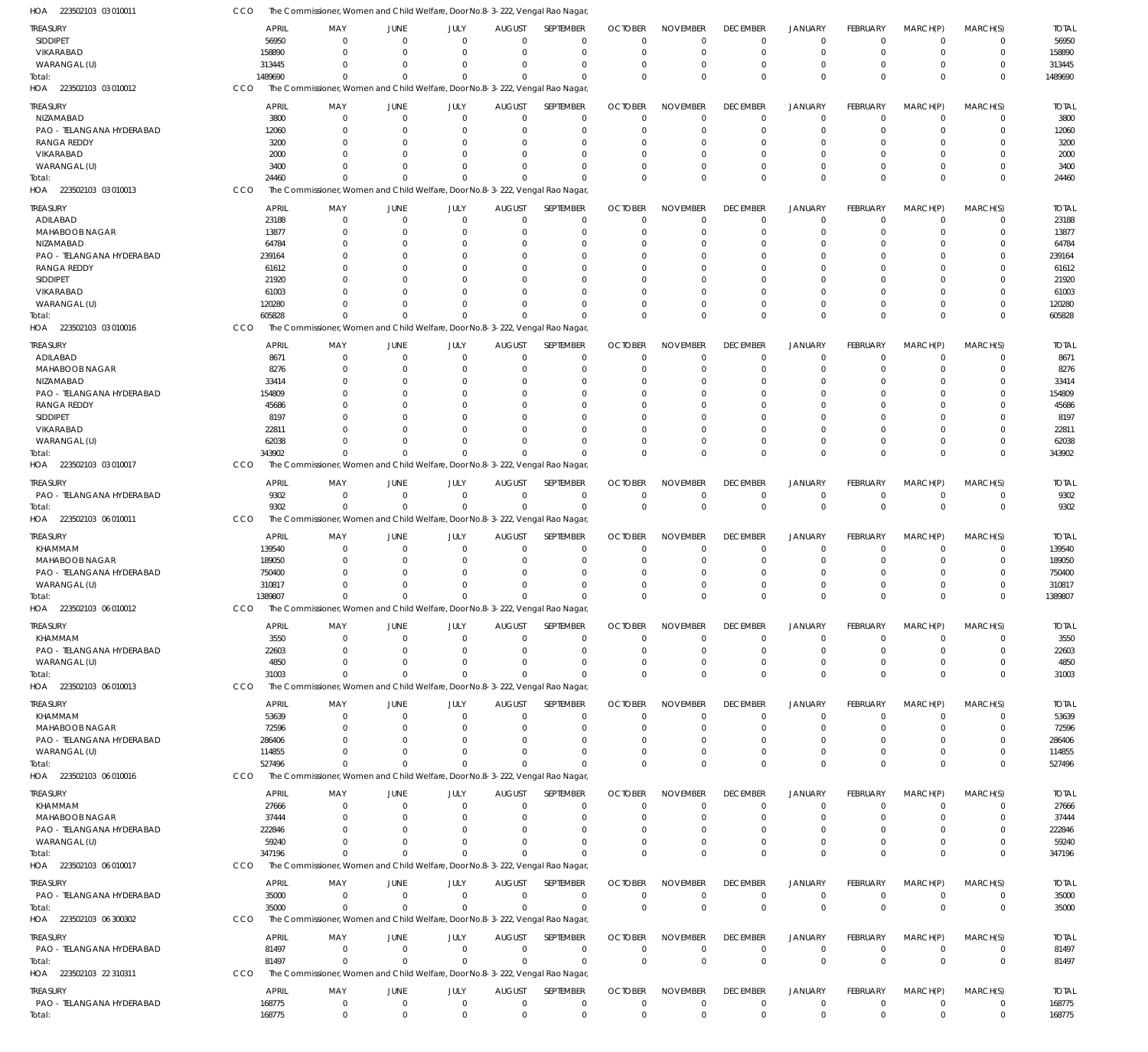| treasury                                    | <b>APRIL</b>    | MAY                                                                           | JUNE                 | JULY                         | <b>AUGUST</b>        | SEPTEMBER                  | <b>OCTOBER</b>     | <b>NOVEMBER</b>      | <b>DECEMBER</b>         | <b>JANUARY</b>       | FEBRUARY             | MARCH(P)             | MARCH(S)             | <b>TOTAL</b>    |
|---------------------------------------------|-----------------|-------------------------------------------------------------------------------|----------------------|------------------------------|----------------------|----------------------------|--------------------|----------------------|-------------------------|----------------------|----------------------|----------------------|----------------------|-----------------|
| <b>SIDDIPET</b>                             | 56950           | $\mathbf 0$                                                                   | $\overline{0}$       | $\mathbf 0$                  | $\overline{0}$       | $\mathbf 0$                | $\Omega$           | $\mathbf 0$          | $\mathbf 0$             | $\Omega$             | $\Omega$             | $\Omega$             | $\mathbf 0$          | 56950           |
| VIKARABAD                                   | 158890          | $\Omega$                                                                      | $\Omega$             | $\Omega$                     | $\Omega$             | $\mathbf 0$                | $\Omega$           | $\Omega$             | $\Omega$                | $\Omega$             | $\Omega$             | $\Omega$             | $\mathbf 0$          | 158890          |
| WARANGAL (U)                                | 313445          | $\Omega$                                                                      | $\Omega$             | $\Omega$                     | $\Omega$             | $\mathbf 0$                | $\Omega$           | $\Omega$             | $\Omega$                | $\Omega$             | - 0                  | $\Omega$             | 0                    | 313445          |
| Total:                                      | 1489690         | $\Omega$                                                                      | $\Omega$             | $\Omega$                     | $\Omega$             | $\Omega$                   | $\Omega$           | $\Omega$             | $\Omega$                | $\Omega$             | $\Omega$             | $\Omega$             | $\mathbf 0$          | 1489690         |
| HOA 223502103 03 010012                     | CCO             | The Commissioner, Women and Child Welfare, Door No.8-3-222, Vengal Rao Nagar  |                      |                              |                      |                            |                    |                      |                         |                      |                      |                      |                      |                 |
| treasury                                    | <b>APRIL</b>    | MAY                                                                           | <b>JUNE</b>          | JULY                         | <b>AUGUST</b>        | SEPTEMBER                  | <b>OCTOBER</b>     | <b>NOVEMBER</b>      | <b>DECEMBER</b>         | <b>JANUARY</b>       | <b>FEBRUARY</b>      | MARCH(P)             | MARCH(S)             | <b>TOTAL</b>    |
| NIZAMABAD                                   | 3800            | $\Omega$                                                                      | $\Omega$             | $\Omega$                     | $\overline{0}$       | $\mathbf 0$                | $\Omega$           | $\Omega$             | $\mathbf 0$             | $\Omega$             | $\Omega$             | $\Omega$             | $\mathbf 0$          | 3800            |
| PAO - TELANGANA HYDERABAD                   | 12060           | $\Omega$                                                                      | $\Omega$             | $\Omega$                     | $\Omega$             | $\mathbf 0$                | $\cup$             | $\Omega$             | $\Omega$                | $\Omega$             | $\Omega$             | $\Omega$             | $\Omega$             | 12060           |
| <b>RANGA REDDY</b>                          | 3200            | $\Omega$                                                                      | $\Omega$             | <sup>0</sup>                 | $\Omega$             | $\Omega$                   | C.                 | $\Omega$             | $\Omega$                | $\Omega$             | $\Omega$             | $\Omega$             | $\Omega$             | 3200            |
| VIKARABAD                                   | 2000            | U                                                                             | $\Omega$             | <sup>0</sup>                 | $\Omega$             | $\Omega$                   | $\cup$             | $\Omega$             | $\Omega$                | $\Omega$             | $\Omega$             | $\Omega$             | $\Omega$             | 2000            |
| WARANGAL (U)                                | 3400            | U                                                                             | $\Omega$             | <sup>0</sup>                 | $\Omega$             | $\Omega$                   | C.                 | $\Omega$             | $\Omega$                | $\Omega$             | $\Omega$             | $\Omega$             | $\Omega$             | 3400            |
| Total:                                      | 24460           | $\Omega$                                                                      | $\Omega$             | $\Omega$                     | $\Omega$             | $\Omega$                   | $\Omega$           | $\Omega$             | $\Omega$                | $\Omega$             | $\Omega$             | $\Omega$             | $\Omega$             | 24460           |
| HOA 223502103 03 010013                     | CCO             | The Commissioner, Women and Child Welfare, Door No.8-3-222, Vengal Rao Nagar  |                      |                              |                      |                            |                    |                      |                         |                      |                      |                      |                      |                 |
| TREASURY                                    | <b>APRIL</b>    | MAY                                                                           | JUNE                 | JULY                         | <b>AUGUST</b>        | SEPTEMBER                  | <b>OCTOBER</b>     | <b>NOVEMBER</b>      | <b>DECEMBER</b>         | <b>JANUARY</b>       | <b>FEBRUARY</b>      | MARCH(P)             | MARCH(S)             | <b>TOTAL</b>    |
| ADILABAD                                    | 23188           | $\mathbf 0$                                                                   | $\overline{0}$       | $\mathbf 0$                  | $\overline{0}$       | $\mathbf 0$                | $\Omega$           | $\Omega$             | $\mathbf 0$             | $\Omega$             | $\Omega$             | $\Omega$             | $\mathbf 0$          | 23188           |
| MAHABOOB NAGAR                              | 13877           | $\Omega$                                                                      | $\Omega$             | $\Omega$                     | $\Omega$             | $\mathbf 0$                | $\Omega$           | $\Omega$             | $\Omega$                | $\Omega$             | $\Omega$             | $\Omega$             | $\mathbf 0$          | 13877           |
| NIZAMABAD                                   | 64784           | $\Omega$                                                                      | $\Omega$             | 0                            | $\Omega$             | $\mathbf 0$                | C.                 | $\Omega$             | $\Omega$                | $\Omega$             |                      | $\Omega$             | $\Omega$             | 64784           |
| PAO - TELANGANA HYDERABAD                   | 239164          | U                                                                             | $\Omega$             | 0                            | $\Omega$             | $\Omega$                   | $\cup$             | $\Omega$             | $\Omega$                | $\Omega$             |                      | $\Omega$             | $\Omega$             | 239164          |
| RANGA REDDY                                 | 61612           | U                                                                             | $\Omega$             | <sup>0</sup>                 | $\Omega$             | $\Omega$                   | C.                 | $\Omega$             | $\Omega$                | $\Omega$             |                      | $\Omega$             | $\Omega$             | 61612           |
| <b>SIDDIPET</b>                             | 21920           | U                                                                             | $\Omega$             | <sup>0</sup>                 | $\Omega$             | $\Omega$                   | C.                 | $\Omega$             |                         | $\Omega$             |                      | $\Omega$             | $\Omega$             | 21920           |
| VIKARABAD                                   | 61003           |                                                                               | $\Omega$             | <sup>0</sup>                 | $\Omega$             | $\Omega$                   | C.                 | $\Omega$             | $\Omega$                | $\Omega$             |                      | $\Omega$             | $\Omega$             | 61003           |
| WARANGAL (U)                                | 120280          | U                                                                             | $\Omega$             | $\Omega$                     | $\Omega$             | $\Omega$                   | $\cup$             | $\Omega$             | $\Omega$                | $\Omega$             | $\Omega$             | $\Omega$             | $\Omega$             | 120280          |
| Total:                                      | 605828          | $\Omega$                                                                      | $\Omega$             | $\Omega$                     | $\Omega$             | $\Omega$                   | C                  | $\Omega$             | $\Omega$                | $\Omega$             | $\Omega$             | $\Omega$             | $\Omega$             | 605828          |
| HOA 223502103 03 010016                     | CCO             | The Commissioner, Women and Child Welfare, Door No.8-3-222, Vengal Rao Nagar, |                      |                              |                      |                            |                    |                      |                         |                      |                      |                      |                      |                 |
|                                             |                 |                                                                               |                      |                              |                      |                            |                    |                      |                         |                      |                      |                      |                      |                 |
| treasury                                    | <b>APRIL</b>    | MAY                                                                           | JUNE                 | JULY                         | <b>AUGUST</b>        | SEPTEMBER                  | <b>OCTOBER</b>     | <b>NOVEMBER</b>      | <b>DECEMBER</b>         | <b>JANUARY</b>       | FEBRUARY             | MARCH(P)             | MARCH(S)             | <b>TOTAL</b>    |
| ADILABAD                                    | 8671            | $\Omega$                                                                      | $\Omega$             | $\Omega$                     | $\Omega$             | $\mathbf 0$                | $\Omega$           | $\Omega$             | $\Omega$                | $\Omega$             | $\Omega$             | $\Omega$             | $\Omega$             | 8671            |
| MAHABOOB NAGAR<br>NIZAMABAD                 | 8276            | $\Omega$<br>$\Omega$                                                          | $\Omega$             | <sup>0</sup><br><sup>0</sup> | $\Omega$<br>$\Omega$ | $\Omega$                   | C.                 | $\Omega$             | $\Omega$                | $\Omega$<br>$\Omega$ |                      | $\Omega$<br>$\Omega$ | $\Omega$<br>$\Omega$ | 8276            |
|                                             | 33414           |                                                                               | $\Omega$             | <sup>0</sup>                 | $\Omega$             | $\Omega$<br>$\Omega$       | C.                 | $\Omega$<br>$\Omega$ | $\Omega$                | $\Omega$             | $\Omega$             | $\Omega$             | $\Omega$             | 33414           |
| PAO - TELANGANA HYDERABAD                   | 154809          | U<br>n                                                                        | $\Omega$<br>$\Omega$ | <sup>0</sup>                 | $\Omega$             | $\Omega$                   | C.<br>C.           | $\Omega$             | $\Omega$<br>$\Omega$    | $\Omega$             |                      | $\Omega$             | $\Omega$             | 154809          |
| <b>RANGA REDDY</b><br><b>SIDDIPET</b>       | 45686<br>8197   |                                                                               | $\Omega$             | C                            | n                    | $\Omega$                   |                    | $\Omega$             |                         | $\Omega$             |                      | $\Omega$             | U                    | 45686<br>8197   |
| VIKARABAD                                   | 22811           |                                                                               | $\Omega$             | <sup>0</sup>                 | $\Omega$             | $\Omega$                   | C.                 | $\Omega$             | $\Omega$                | $\Omega$             | $\Omega$             | $\Omega$             | $\Omega$             | 22811           |
| WARANGAL (U)                                | 62038           |                                                                               | $\Omega$             | <sup>0</sup>                 | $\Omega$             | $\Omega$                   | C.                 | $\Omega$             | $\Omega$                | $\Omega$             | $\Omega$             | $\Omega$             | $\Omega$             | 62038           |
| Total:                                      | 343902          | $\Omega$                                                                      | $\Omega$             | $\Omega$                     | $\Omega$             | $\Omega$                   | $\Omega$           | $\Omega$             | $\Omega$                | $\Omega$             | $\Omega$             | $\Omega$             | $\Omega$             | 343902          |
| HOA 223502103 03 010017                     | CCO             | The Commissioner, Women and Child Welfare, Door No.8-3-222, Vengal Rao Nagar  |                      |                              |                      |                            |                    |                      |                         |                      |                      |                      |                      |                 |
|                                             |                 |                                                                               |                      |                              |                      |                            |                    |                      |                         |                      |                      |                      |                      |                 |
| treasury                                    | <b>APRIL</b>    | MAY                                                                           | JUNE                 | JULY                         | <b>AUGUST</b>        | SEPTEMBER                  | <b>OCTOBER</b>     | <b>NOVEMBER</b>      | <b>DECEMBER</b>         | <b>JANUARY</b>       | FEBRUARY             | MARCH(P)             | MARCH(S)             | <b>TOTAL</b>    |
| PAO - TELANGANA HYDERABAD                   | 9302            | $\mathbf 0$                                                                   | $\overline{0}$       | $\mathbf 0$                  | $\overline{0}$       | $\mathbf 0$                | $\mathbf 0$        | $\mathbf 0$          | $\mathbf 0$             | $\Omega$             | $\Omega$             | $\Omega$             | $\mathbf 0$          | 9302            |
| Total:                                      | 9302            | $\Omega$                                                                      | $\overline{0}$       | $\mathbf 0$                  | $\Omega$             | $\mathbf 0$                | $\Omega$           | $\mathbf 0$          | $\Omega$                | $\mathbf 0$          | $\Omega$             | $\Omega$             | $\mathbf 0$          | 9302            |
| HOA 223502103 06 010011                     | CCO             | The Commissioner, Women and Child Welfare, Door No.8-3-222, Vengal Rao Nagar  |                      |                              |                      |                            |                    |                      |                         |                      |                      |                      |                      |                 |
| treasury                                    | <b>APRIL</b>    | MAY                                                                           | <b>JUNE</b>          | JULY                         | <b>AUGUST</b>        | SEPTEMBER                  | <b>OCTOBER</b>     | <b>NOVEMBER</b>      | <b>DECEMBER</b>         | JANUARY              | FEBRUARY             | MARCH(P)             | MARCH(S)             | <b>TOTAL</b>    |
| <b>KHAMMAM</b>                              | 139540          | $\Omega$                                                                      | $\mathbf 0$          | $\Omega$                     | $\overline{0}$       | $\mathbf 0$                | $\Omega$           | $\Omega$             | $\Omega$                | $\Omega$             | $\Omega$             | $\Omega$             | $\Omega$             | 139540          |
| MAHABOOB NAGAR                              | 189050          | $\Omega$                                                                      | $\Omega$             | $\Omega$                     | $\Omega$             | $\Omega$                   | C.                 | $\Omega$             | $\Omega$                | $\Omega$             |                      | $\Omega$             | $\Omega$             | 189050          |
| PAO - TELANGANA HYDERABAD                   | 750400          | U                                                                             | $\Omega$             | $\Omega$                     | $\Omega$             | $\Omega$                   | $\Omega$           | $\Omega$             | $\Omega$                | $\Omega$             | - 0                  | $\Omega$             | $\Omega$             | 750400          |
| WARANGAL (U)                                | 310817          |                                                                               | $\Omega$             | <sup>0</sup>                 | $\Omega$             | $\Omega$                   | 0                  | $\Omega$             | $\Omega$                | $\Omega$             | $\Omega$             | $\Omega$             | 0                    | 310817          |
| Total:                                      | 1389807         | $\Omega$                                                                      | $\Omega$             | $\Omega$                     | $\Omega$             | $\Omega$                   | $\Omega$           | $\Omega$             | $\Omega$                | $\Omega$             | $\Omega$             | $\Omega$             | $\Omega$             | 1389807         |
| HOA 223502103 06 010012                     | <b>CCO</b>      | The Commissioner, Women and Child Welfare, Door No.8-3-222, Vengal Rao Nagar, |                      |                              |                      |                            |                    |                      |                         |                      |                      |                      |                      |                 |
| TREASURY                                    | <b>APRIL</b>    | MAY                                                                           | JUNE                 | JULY                         | <b>AUGUST</b>        | SEPTEMBER                  | <b>OCTOBER</b>     | <b>NOVEMBER</b>      | <b>DECEMBER</b>         | <b>JANUARY</b>       | FEBRUARY             | MARCH(P)             | MARCH(S)             | <b>TOTAL</b>    |
| <b>KHAMMAM</b>                              | 3550            | $\mathbf 0$                                                                   | $\overline{0}$       | $\mathbf 0$                  | $\overline{0}$       | $\mathbf 0$                | $\Omega$           | $\mathbf 0$          | $\mathbf 0$             | $\Omega$             | $\Omega$             | $\Omega$             | $\mathbf 0$          | 3550            |
| PAO - TELANGANA HYDERABAD                   | 22603           | $\mathbf 0$                                                                   | $\overline{0}$       | $\Omega$                     | $\Omega$             | $\mathbf 0$                | $\Omega$           | $\Omega$             | $\Omega$                | $\Omega$             | $\Omega$             | $\Omega$             | $\mathbf 0$          | 22603           |
| WARANGAL (U)                                | 4850            | $\Omega$                                                                      | $\overline{0}$       | $\mathbf 0$                  | $\Omega$             | $\mathbf 0$                | $\Omega$           | $\mathbf 0$          | $\Omega$                | $\Omega$             | - 0                  | $\Omega$             | 0                    | 4850            |
| Total:                                      | 31003           | $\Omega$                                                                      | $\overline{0}$       | $\Omega$                     | $\Omega$             | $\Omega$                   | $\Omega$           | $\Omega$             | $\Omega$                | $\Omega$             | $\Omega$             | $\Omega$             | $\mathbf 0$          | 31003           |
| HOA 223502103 06 010013                     | CCO             | The Commissioner, Women and Child Welfare, Door No.8-3-222, Vengal Rao Nagar, |                      |                              |                      |                            |                    |                      |                         |                      |                      |                      |                      |                 |
|                                             |                 |                                                                               |                      |                              |                      |                            |                    |                      |                         |                      |                      |                      |                      |                 |
| TREASURY                                    | <b>APRIL</b>    | MAY                                                                           | JUNE                 | JULY                         | <b>AUGUST</b>        | SEPTEMBER                  | <b>OCTOBER</b>     | <b>NOVEMBER</b>      | <b>DECEMBER</b>         | <b>JANUARY</b>       | FEBRUARY             | MARCH(P)             | MARCH(S)             | <b>TOTAL</b>    |
| KHAMMAM                                     | 53639           | $\Omega$<br>$\Omega$                                                          | $\Omega$<br>$\Omega$ | $\Omega$<br>$\Omega$         | $\Omega$<br>$\Omega$ | $\mathbf 0$<br>$\mathbf 0$ | $\Omega$<br>$\cup$ | $\Omega$<br>$\Omega$ | $\mathbf 0$<br>$\Omega$ | 0<br>$\Omega$        | $\Omega$<br>$\Omega$ | $\Omega$<br>$\Omega$ | $\Omega$<br>$\Omega$ | 53639           |
| MAHABOOB NAGAR<br>PAO - TELANGANA HYDERABAD | 72596<br>286406 | $\Omega$                                                                      | $\Omega$             | $\Omega$                     | $\Omega$             | $\Omega$                   | $\Omega$           | $\Omega$             | $\Omega$                | $\Omega$             | $\Omega$             | $\Omega$             | $\Omega$             | 72596<br>286406 |
| WARANGAL (U)                                | 114855          | $\Omega$                                                                      | $\Omega$             | <sup>0</sup>                 | $\Omega$             | $\Omega$                   | $\Omega$           | $\Omega$             | $\Omega$                | $\Omega$             | $\Omega$             | $\Omega$             | 0                    | 114855          |
| Total:                                      | 527496          | $\Omega$                                                                      | $\Omega$             | $\Omega$                     | $\Omega$             | $\Omega$                   | $\Omega$           | $\Omega$             | $\Omega$                | $\Omega$             | $\Omega$             | $\Omega$             | $\mathbf 0$          | 527496          |
| HOA 223502103 06 010016                     | CCO             | The Commissioner, Women and Child Welfare, Door No.8-3-222, Vengal Rao Nagar  |                      |                              |                      |                            |                    |                      |                         |                      |                      |                      |                      |                 |
|                                             |                 |                                                                               |                      |                              |                      |                            |                    |                      |                         |                      |                      |                      |                      |                 |
| treasury                                    | <b>APRIL</b>    | MAY                                                                           | <b>JUNE</b>          | JULY                         | <b>AUGUST</b>        | SEPTEMBER                  | <b>OCTOBER</b>     | <b>NOVEMBER</b>      | <b>DECEMBER</b>         | <b>JANUARY</b>       | FEBRUARY             | MARCH(P)             | MARCH(S)             | <b>TOTAL</b>    |
| KHAMMAM                                     | 27666           | $\mathbf 0$                                                                   | $\overline{0}$       | $\Omega$                     | $\overline{0}$       | $\mathbf 0$                | $\Omega$           | $\mathbf 0$          | $\Omega$                | $\Omega$             | $\Omega$             | $\Omega$             | $\mathbf 0$          | 27666           |
| MAHABOOB NAGAR                              | 37444           | $\mathbf 0$                                                                   | $\Omega$             | $\Omega$                     | $\Omega$             | $\mathbf 0$                | $\Omega$           | $\mathbf 0$          | $\Omega$                | $\Omega$             | $\Omega$             | $\Omega$             | $\mathbf 0$          | 37444           |
| PAO - TELANGANA HYDERABAD                   | 222846          | $\Omega$                                                                      | $\Omega$             | $\Omega$                     | $\Omega$             | $\mathbf 0$                | 0                  | $\Omega$             | $\Omega$                | $\Omega$             |                      | $\Omega$             | $\Omega$             | 222846          |
| WARANGAL (U)                                | 59240           | $\Omega$                                                                      | $\Omega$             | $\Omega$                     | $\Omega$             | $\mathbf 0$                | $\Omega$           | $\mathbf 0$          | $\Omega$                | $\Omega$             | - 0                  | $\Omega$             | 0                    | 59240           |
| Total:                                      | 347196          | $\Omega$                                                                      | $\Omega$             | $\Omega$                     | $\Omega$             | $\Omega$                   | $\Omega$           | $\Omega$             | $\Omega$                | $\Omega$             | $\Omega$             | $\Omega$             | $\Omega$             | 347196          |
| HOA 223502103 06 010017                     | <b>CCO</b>      | The Commissioner, Women and Child Welfare, Door No.8-3-222, Vengal Rao Nagar  |                      |                              |                      |                            |                    |                      |                         |                      |                      |                      |                      |                 |
| <b>TREASURY</b>                             | <b>APRIL</b>    | MAY                                                                           | JUNE                 | JULY                         | <b>AUGUST</b>        | SEPTEMBER                  | <b>OCTOBER</b>     | <b>NOVEMBER</b>      | <b>DECEMBER</b>         | <b>JANUARY</b>       | FEBRUARY             | MARCH(P)             | MARCH(S)             | <b>TOTAL</b>    |
| PAO - TELANGANA HYDERABAD                   | 35000           | $\Omega$                                                                      | $\overline{0}$       | $\Omega$                     | $\mathbf 0$          | $\mathbf 0$                | $\Omega$           | $\mathbf 0$          | $\mathbf 0$             | $\Omega$             | $\Omega$             | $\Omega$             | $\mathbf 0$          | 35000           |
| Total:                                      | 35000           | $\Omega$                                                                      | $\Omega$             | $\Omega$                     | $\Omega$             | $\Omega$                   | $\Omega$           | $\Omega$             | $\Omega$                | $\Omega$             | $\Omega$             | $\Omega$             | $\mathbf{0}$         | 35000           |
| HOA 223502103 06 300302                     | CCO             | The Commissioner, Women and Child Welfare, Door No.8-3-222, Vengal Rao Nagar  |                      |                              |                      |                            |                    |                      |                         |                      |                      |                      |                      |                 |
| treasury                                    | <b>APRIL</b>    | MAY                                                                           | <b>JUNE</b>          | JULY                         | <b>AUGUST</b>        | SEPTEMBER                  | <b>OCTOBER</b>     | <b>NOVEMBER</b>      | <b>DECEMBER</b>         | <b>JANUARY</b>       | FEBRUARY             |                      | MARCH(S)             | <b>TOTAL</b>    |
| PAO - TELANGANA HYDERABAD                   | 81497           | $\overline{0}$                                                                | $\overline{0}$       | $\mathbf 0$                  | $\mathbf 0$          | $\mathbf 0$                | $\mathbf 0$        | $\mathbf 0$          | $^{\circ}$              | $\mathbf 0$          | $^{\circ}$           | MARCH(P)<br>$\Omega$ | $\mathbf 0$          | 81497           |
| Total:                                      | 81497           | $\Omega$                                                                      | $\overline{0}$       | $\mathbf 0$                  | $\Omega$             | $\mathbf 0$                | $\Omega$           | $\mathbb O$          | $\mathbf 0$             | $\mathbf 0$          | $\overline{0}$       | $\Omega$             | $\mathbf{0}$         | 81497           |
| HOA 223502103 22 310311                     | CCO             | The Commissioner, Women and Child Welfare, Door No.8-3-222, Vengal Rao Nagar, |                      |                              |                      |                            |                    |                      |                         |                      |                      |                      |                      |                 |
|                                             |                 |                                                                               |                      |                              |                      |                            |                    |                      |                         |                      |                      |                      |                      |                 |
| <b>TREASURY</b>                             | <b>APRIL</b>    | MAY                                                                           | <b>JUNE</b>          | JULY                         | <b>AUGUST</b>        | SEPTEMBER                  | <b>OCTOBER</b>     | <b>NOVEMBER</b>      | <b>DECEMBER</b>         | <b>JANUARY</b>       | FEBRUARY             | MARCH(P)             | MARCH(S)             | <b>TOTAL</b>    |
| PAO - TELANGANA HYDERABAD                   | 168775          | $\overline{0}$                                                                | $\overline{0}$       | $\mathbf 0$                  | $\mathbf 0$          | $\mathbf 0$                | 0                  | $\mathbf 0$          | $\mathbf 0$             | 0                    | $^{\circ}$           | $\mathbf 0$          | $\mathbf 0$          | 168775          |
| Total:                                      | 168775          | $\overline{0}$                                                                | $\mathbf 0$          | $\Omega$                     | $\mathbf 0$          | $\mathbf 0$                | $\Omega$           | $\mathbf 0$          | $\mathbf 0$             | $\mathbf 0$          | $\Omega$             | $\mathbf 0$          | $\mathbf{0}$         | 168775          |

223502103 03 010011 HOA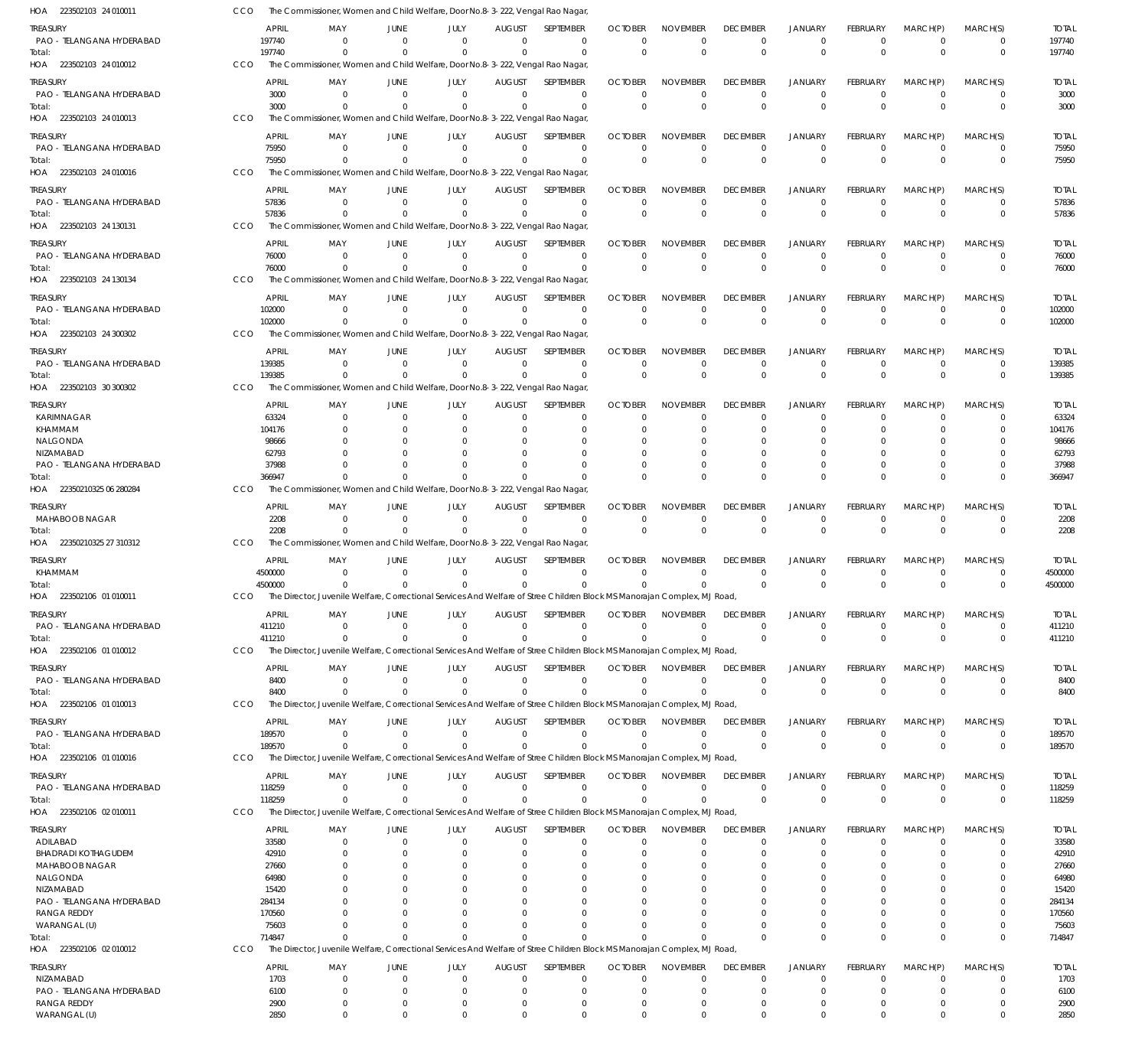| HOA 223502103 24 010011                         | CCO |                        | The Commissioner, Women and Child Welfare, Door No.8-3-222, Vengal Rao Nagar                                                         |                               |                         |                               |                          |                                             |                                |                                |                                  |                                |                                  |                            |                        |
|-------------------------------------------------|-----|------------------------|--------------------------------------------------------------------------------------------------------------------------------------|-------------------------------|-------------------------|-------------------------------|--------------------------|---------------------------------------------|--------------------------------|--------------------------------|----------------------------------|--------------------------------|----------------------------------|----------------------------|------------------------|
| Treasury                                        |     | <b>APRIL</b>           | MAY                                                                                                                                  | JUNE                          | JULY                    | <b>AUGUST</b>                 | SEPTEMBER                | <b>OCTOBER</b>                              | <b>NOVEMBER</b>                | <b>DECEMBER</b>                | <b>JANUARY</b>                   | FEBRUARY                       | MARCH(P)                         | MARCH(S)                   | <b>TOTAL</b>           |
| PAO - TELANGANA HYDERABAD                       |     | 197740                 | $\Omega$                                                                                                                             | $\Omega$                      | $\Omega$                | $\mathbf 0$                   |                          | $\mathbf 0$<br>0                            | $\mathbf 0$                    | 0                              | $^{\circ}$                       | $\mathbf 0$                    | $\overline{0}$                   | $\mathbf 0$                | 197740                 |
| Total:                                          |     | 197740                 | $\Omega$                                                                                                                             | $\Omega$                      | $\Omega$                | $\Omega$                      |                          | $\Omega$<br>$\Omega$                        | $\Omega$                       | $\Omega$                       | $\overline{0}$                   | $\Omega$                       | $\Omega$                         | $\mathbf 0$                | 197740                 |
| HOA 223502103 24 010012                         | CCO |                        | The Commissioner, Women and Child Welfare, Door No.8-3-222, Vengal Rao Nagar                                                         |                               |                         |                               |                          |                                             |                                |                                |                                  |                                |                                  |                            |                        |
| treasury                                        |     | <b>APRIL</b>           | MAY                                                                                                                                  | <b>JUNE</b>                   | JULY                    | <b>AUGUST</b>                 | SEPTEMBER                | <b>OCTOBER</b>                              | <b>NOVEMBER</b>                | <b>DECEMBER</b>                | <b>JANUARY</b>                   | FEBRUARY                       | MARCH(P)                         | MARCH(S)                   | <b>TOTAL</b>           |
| PAO - TELANGANA HYDERABAD                       |     | 3000                   | - 0                                                                                                                                  | $\overline{0}$                | $\Omega$                | $\Omega$                      | $\overline{0}$           | $\Omega$                                    | $\Omega$                       | $\Omega$                       | $\Omega$                         | $\Omega$                       | $\Omega$                         | $\mathbf 0$                | 3000                   |
| Total:                                          |     | 3000                   | $\Omega$                                                                                                                             | $\Omega$                      | $\Omega$                | $\Omega$                      |                          | $\Omega$<br>$\Omega$                        | $\Omega$                       | $\Omega$                       | $\Omega$                         | $\Omega$                       | $\Omega$                         | $\mathbf 0$                | 3000                   |
| HOA 223502103 24 010013                         | CCO |                        | The Commissioner, Women and Child Welfare, Door No.8-3-222, Vengal Rao Nagar                                                         |                               |                         |                               |                          |                                             |                                |                                |                                  |                                |                                  |                            |                        |
| treasury                                        |     | <b>APRIL</b>           | MAY                                                                                                                                  | JUNE                          | JULY                    | <b>AUGUST</b>                 | SEPTEMBER                | <b>OCTOBER</b>                              | <b>NOVEMBER</b>                | <b>DECEMBER</b>                | <b>JANUARY</b>                   | FEBRUARY                       | MARCH(P)                         | MARCH(S)                   | <b>TOTAL</b>           |
| PAO - TELANGANA HYDERABAD                       |     | 75950                  | $\Omega$                                                                                                                             | $\Omega$                      | $\overline{0}$          | $\mathbf 0$                   |                          | $\mathbf 0$<br>$\Omega$                     | $\mathbf 0$                    | $\Omega$                       | $\overline{0}$                   | $\mathbf 0$                    | $\overline{0}$                   | $\mathbf 0$                | 75950                  |
| Total:                                          |     | 75950                  | $\Omega$                                                                                                                             | $\Omega$                      | $\Omega$                | $\Omega$                      |                          | $^{\circ}$<br>$\Omega$                      | $\Omega$                       | $\Omega$                       | $\overline{0}$                   | $\Omega$                       | $\Omega$                         | $\mathbf 0$                | 75950                  |
| HOA 223502103 24 010016                         | CCO |                        | The Commissioner, Women and Child Welfare, Door No.8-3-222, Vengal Rao Nagar                                                         |                               |                         |                               |                          |                                             |                                |                                |                                  |                                |                                  |                            |                        |
| treasury                                        |     | <b>APRIL</b>           | MAY                                                                                                                                  | JUNE                          | JULY                    | <b>AUGUST</b>                 | SEPTEMBER                | <b>OCTOBER</b>                              | <b>NOVEMBER</b>                | <b>DECEMBER</b>                | <b>JANUARY</b>                   | <b>FEBRUARY</b>                | MARCH(P)                         | MARCH(S)                   | <b>TOTAL</b>           |
| PAO - TELANGANA HYDERABAD                       |     | 57836                  | $\Omega$                                                                                                                             | $\Omega$                      | $\Omega$                | $\Omega$                      |                          | $\mathbf 0$<br>$\Omega$                     | $\Omega$                       | $\Omega$                       | $^{\circ}$                       | $\Omega$                       | $\overline{0}$                   | $\mathbf 0$                | 57836                  |
| Total:                                          |     | 57836                  | $\cap$                                                                                                                               | $\Omega$                      | $\Omega$                | $\Omega$                      |                          | $\Omega$<br>$\Omega$                        | $\Omega$                       | $\mathbf 0$                    | $\Omega$                         | $\Omega$                       | $\Omega$                         | $\mathbf 0$                | 57836                  |
| HOA 223502103 24 130131                         | CCO |                        | The Commissioner, Women and Child Welfare, Door No.8-3-222, Vengal Rao Nagar                                                         |                               |                         |                               |                          |                                             |                                |                                |                                  |                                |                                  |                            |                        |
| treasury                                        |     | <b>APRIL</b>           | MAY                                                                                                                                  | JUNE                          | JULY                    | <b>AUGUST</b>                 | SEPTEMBER                | <b>OCTOBER</b>                              | <b>NOVEMBER</b>                | <b>DECEMBER</b>                | <b>JANUARY</b>                   | <b>FEBRUARY</b>                | MARCH(P)                         | MARCH(S)                   | <b>TOTAL</b>           |
| PAO - TELANGANA HYDERABAD                       |     | 76000                  | - 0                                                                                                                                  | $\Omega$                      | $\Omega$                | $\Omega$                      | $\overline{0}$           | $\Omega$                                    | $\Omega$<br>$\Omega$           | $\Omega$                       | $\overline{0}$                   | $\mathbf 0$                    | $\overline{0}$<br>$\Omega$       | $\mathbf 0$                | 76000                  |
| Total:<br>HOA 223502103 24 130134               | CCO | 76000                  | $\Omega$<br>The Commissioner, Women and Child Welfare, Door No.8-3-222, Vengal Rao Nagar                                             | 0                             | $\Omega$                | $\Omega$                      |                          | $\mathbf 0$<br>$\Omega$                     |                                | $\Omega$                       | $\overline{0}$                   | $\mathbf 0$                    |                                  | $\mathbf 0$                | 76000                  |
|                                                 |     |                        |                                                                                                                                      |                               |                         |                               |                          |                                             |                                |                                |                                  |                                |                                  |                            |                        |
| treasury                                        |     | APRIL                  | MAY                                                                                                                                  | JUNE                          | JULY                    | <b>AUGUST</b>                 | <b>SEPTEMBER</b>         | <b>OCTOBER</b>                              | <b>NOVEMBER</b>                | <b>DECEMBER</b>                | <b>JANUARY</b>                   | FEBRUARY                       | MARCH(P)                         | MARCH(S)                   | <b>TOTAL</b>           |
| PAO - TELANGANA HYDERABAD<br>Total:             |     | 102000<br>102000       | - 0<br>$\Omega$                                                                                                                      | $\Omega$<br>$\Omega$          | $\Omega$<br>$\Omega$    | $\Omega$<br>$\Omega$          | $\overline{0}$           | $\Omega$<br>$\mathbf 0$<br>$\Omega$         | $\Omega$<br>$\mathbf 0$        | $\Omega$<br>$\Omega$           | $\overline{0}$<br>$\Omega$       | $\mathbf 0$<br>$\Omega$        | $\overline{0}$<br>$\Omega$       | $\mathbf 0$<br>$\mathbf 0$ | 102000<br>102000       |
| HOA 223502103 24 300302                         | CCO |                        | The Commissioner, Women and Child Welfare, Door No.8-3-222, Vengal Rao Nagar                                                         |                               |                         |                               |                          |                                             |                                |                                |                                  |                                |                                  |                            |                        |
|                                                 |     |                        |                                                                                                                                      |                               |                         |                               |                          |                                             |                                |                                |                                  |                                |                                  |                            |                        |
| treasury<br>PAO - TELANGANA HYDERABAD           |     | <b>APRIL</b><br>139385 | MAY<br>- 0                                                                                                                           | JUNE<br>$\Omega$              | JULY<br>$\Omega$        | <b>AUGUST</b><br>$\mathbf{0}$ | SEPTEMBER                | <b>OCTOBER</b><br>$\mathbf 0$<br>$\Omega$   | <b>NOVEMBER</b><br>$\mathbf 0$ | <b>DECEMBER</b><br>$\Omega$    | <b>JANUARY</b><br>$\overline{0}$ | FEBRUARY<br>$\mathbf 0$        | MARCH(P)<br>$\overline{0}$       | MARCH(S)<br>$\mathbf 0$    | <b>TOTAL</b><br>139385 |
| Total:                                          |     | 139385                 | $\Omega$                                                                                                                             | $\Omega$                      | $\Omega$                | $\Omega$                      |                          | $\mathbf 0$<br>$\Omega$                     | $\Omega$                       | $\Omega$                       | $\overline{0}$                   | $\Omega$                       | $\Omega$                         | $\mathbf 0$                | 139385                 |
| HOA 223502103 30 300302                         | CCO |                        | The Commissioner, Women and Child Welfare, Door No.8-3-222, Vengal Rao Nagar                                                         |                               |                         |                               |                          |                                             |                                |                                |                                  |                                |                                  |                            |                        |
| treasury                                        |     | APRIL                  | MAY                                                                                                                                  | JUNE                          | JULY                    | <b>AUGUST</b>                 | SEPTEMBER                | <b>OCTOBER</b>                              | <b>NOVEMBER</b>                | <b>DECEMBER</b>                | <b>JANUARY</b>                   | FEBRUARY                       | MARCH(P)                         | MARCH(S)                   | <b>TOTAL</b>           |
| <b>KARIMNAGAR</b>                               |     | 63324                  | - 0                                                                                                                                  | $\Omega$                      | $\Omega$                | $\Omega$                      | $\mathbf 0$              | $\Omega$                                    | $\Omega$                       | $\Omega$                       | $\Omega$                         | $\Omega$                       | $\Omega$                         | $\Omega$                   | 63324                  |
| KHAMMAM                                         |     | 104176                 | $\Omega$                                                                                                                             | $\Omega$                      | $\Omega$                | $\Omega$                      | 0                        | $\Omega$                                    | $\Omega$                       | $\Omega$                       | $\Omega$                         | $\Omega$                       | $\Omega$                         | 0                          | 104176                 |
| NALGONDA                                        |     | 98666                  | $\Omega$                                                                                                                             | $\Omega$                      | n                       | $\Omega$                      | $\Omega$                 | C.                                          | $\Omega$                       |                                | $\Omega$                         |                                | $\Omega$                         | $\Omega$                   | 98666                  |
| NIZAMABAD                                       |     | 62793                  |                                                                                                                                      | $\Omega$                      |                         | $\Omega$                      | $\Omega$                 |                                             | $\Omega$                       |                                | $\Omega$                         |                                | $\Omega$                         | 0                          | 62793                  |
| PAO - TELANGANA HYDERABAD                       |     | 37988<br>366947        | $\cap$<br>$\Omega$                                                                                                                   | $\Omega$<br>$\Omega$          | n<br>$\Omega$           | $\Omega$<br>$\Omega$          | $\Omega$                 | $\Omega$<br>$\Omega$<br>$\Omega$            | $\Omega$<br>$\Omega$           | $\Omega$<br>$\Omega$           | $\Omega$<br>$\Omega$             | $\Omega$<br>$\Omega$           | $\Omega$<br>$\Omega$             | $\mathbf 0$<br>$\Omega$    | 37988<br>366947        |
| Total:<br>HOA 22350210325 06 280284             | CCO |                        | The Commissioner, Women and Child Welfare, Door No.8-3-222, Vengal Rao Nagar                                                         |                               |                         |                               |                          |                                             |                                |                                |                                  |                                |                                  |                            |                        |
|                                                 |     |                        |                                                                                                                                      |                               |                         |                               |                          |                                             |                                |                                |                                  |                                |                                  |                            |                        |
| Treasury<br>MAHABOOB NAGAR                      |     | <b>APRIL</b><br>2208   | MAY<br>- 0                                                                                                                           | JUNE<br>$\Omega$              | JULY<br>$\Omega$        | <b>AUGUST</b><br>$\mathbf 0$  | SEPTEMBER<br>$\mathbf 0$ | <b>OCTOBER</b><br>0                         | <b>NOVEMBER</b><br>$\mathbf 0$ | <b>DECEMBER</b><br>0           | JANUARY<br>$^{\circ}$            | <b>FEBRUARY</b><br>$\mathbf 0$ | MARCH(P)<br>$\overline{0}$       | MARCH(S)<br>$\mathbf 0$    | <b>TOTAL</b><br>2208   |
| Total:                                          |     | 2208                   | $\Omega$                                                                                                                             | $\Omega$                      | $\Omega$                | $\Omega$                      |                          | $\Omega$<br>$\Omega$                        | $\Omega$                       | $\Omega$                       | $\Omega$                         | $\Omega$                       | $\Omega$                         | $\mathbf 0$                | 2208                   |
| HOA 22350210325 27 310312                       | CCO |                        | The Commissioner, Women and Child Welfare, Door No.8-3-222, Vengal Rao Nagar                                                         |                               |                         |                               |                          |                                             |                                |                                |                                  |                                |                                  |                            |                        |
| Treasury                                        |     | <b>APRIL</b>           | MAY                                                                                                                                  | <b>JUNE</b>                   | JULY                    | <b>AUGUST</b>                 | SEPTEMBER                | <b>OCTOBER</b>                              | <b>NOVEMBER</b>                | <b>DECEMBER</b>                | <b>JANUARY</b>                   | FEBRUARY                       | MARCH(P)                         | MARCH(S)                   | <b>TOTAL</b>           |
| KHAMMAM                                         |     | 4500000                | - 0                                                                                                                                  | $\Omega$                      | $\Omega$                | $\Omega$                      | $\mathbf 0$              | $\Omega$                                    | $\Omega$                       | $\Omega$                       | $\Omega$                         | $\Omega$                       | $\Omega$                         | 0                          | 4500000                |
| Total:                                          |     | 4500000                | $\Omega$                                                                                                                             | $\Omega$                      | $\Omega$                | $\Omega$                      |                          | $\mathbf 0$<br>$\Omega$                     | $\Omega$                       | $\Omega$                       | $\Omega$                         | $\Omega$                       | $\Omega$                         | $\mathbf 0$                | 4500000                |
| HOA 223502106 01 010011                         | CCO |                        | The Director, Juvenile Welfare, Correctional Services And Welfare of Stree Children Block MS Manorajan Complex, MJ Road,             |                               |                         |                               |                          |                                             |                                |                                |                                  |                                |                                  |                            |                        |
| TREASURY                                        |     | <b>APRIL</b>           | MAY                                                                                                                                  | JUNE                          | JULY                    | <b>AUGUST</b>                 | SEPTEMBER                | <b>OCTOBER</b>                              | <b>NOVEMBER</b>                | <b>DECEMBER</b>                | <b>JANUARY</b>                   | FEBRUARY                       | MARCH(P)                         | MARCH(S)                   | <b>TOTAL</b>           |
| PAO - TELANGANA HYDERABAD                       |     | 411210                 | $\overline{0}$                                                                                                                       | $\overline{0}$                | $\overline{0}$          | $\overline{0}$                |                          | $\mathbf 0$<br>$\Omega$                     | $\mathbf 0$                    | $\mathbf 0$                    | $\overline{0}$                   | $\mathbf 0$                    | $\overline{0}$                   | $\mathbf 0$                | 411210                 |
| Total:                                          |     | 411210                 | $\Omega$                                                                                                                             | $\Omega$                      | $\Omega$                | $\Omega$                      |                          | $\mathbf 0$<br>$\Omega$                     | $\Omega$                       | $\mathbf{0}$                   | $\overline{0}$                   | $\mathbf{0}$                   | $\Omega$                         | $\mathbf 0$                | 411210                 |
| HOA 223502106 01 010012                         | CCO |                        | The Director, Juvenile Welfare, Correctional Services And Welfare of Stree Children Block MS Manorajan Complex, MJ Road,             |                               |                         |                               |                          |                                             |                                |                                |                                  |                                |                                  |                            |                        |
| treasury                                        |     | <b>APRIL</b>           | MAY                                                                                                                                  | JUNE                          | JULY                    | <b>AUGUST</b>                 | SEPTEMBER                | <b>OCTOBER</b>                              | <b>NOVEMBER</b>                | <b>DECEMBER</b>                | JANUARY                          | FEBRUARY                       | MARCH(P)                         | MARCH(S)                   | <b>TOTAL</b>           |
| PAO - TELANGANA HYDERABAD                       |     | 8400                   | $^{\circ}$                                                                                                                           | $\overline{0}$                | $\overline{0}$          | $\mathbf{0}$                  |                          | $\mathbf 0$<br>$\Omega$                     | $\Omega$                       | $\Omega$                       | $^{\circ}$                       | $\mathbf 0$                    | $\overline{0}$                   | $\mathbf 0$                | 8400                   |
| Total:                                          | CCO | 8400                   | $\Omega$<br>The Director, Juvenile Welfare, Correctional Services And Welfare of Stree Children Block MS Manorajan Complex, MJ Road, | $\Omega$                      | $\Omega$                | $\Omega$                      |                          | $\mathbf 0$<br>$\Omega$                     | $\Omega$                       | $\mathbf{0}$                   | $\overline{0}$                   | $\Omega$                       | $\Omega$                         | $\mathbf 0$                | 8400                   |
| HOA 223502106 01 010013                         |     |                        |                                                                                                                                      |                               |                         |                               |                          |                                             |                                |                                |                                  |                                |                                  |                            |                        |
| treasury                                        |     | APRIL                  | MAY                                                                                                                                  | JUNE                          | JULY                    | <b>AUGUST</b>                 | SEPTEMBER                | <b>OCTOBER</b>                              | <b>NOVEMBER</b>                | <b>DECEMBER</b>                | JANUARY                          | <b>FEBRUARY</b>                | MARCH(P)                         | MARCH(S)                   | <b>TOTAL</b>           |
| PAO - TELANGANA HYDERABAD<br>Total:             |     | 189570<br>189570       | - 0<br>$\Omega$                                                                                                                      | $\Omega$<br>$\Omega$          | $\mathbf 0$<br>$\Omega$ | $\mathbf 0$<br>$\overline{0}$ |                          | $\mathbf 0$<br>0<br>$\mathbf 0$<br>$\Omega$ | $\mathbf 0$<br>$\Omega$        | $\mathbf 0$<br>$\mathbf{0}$    | $^{\circ}$<br>$\overline{0}$     | $\mathbf 0$<br>$\mathbf{0}$    | $\overline{0}$<br>$\overline{0}$ | $\mathbf 0$<br>$\mathbf 0$ | 189570<br>189570       |
| HOA 223502106 01 010016                         | CCO |                        | The Director, Juvenile Welfare, Correctional Services And Welfare of Stree Children Block MS Manorajan Complex, MJ Road,             |                               |                         |                               |                          |                                             |                                |                                |                                  |                                |                                  |                            |                        |
|                                                 |     |                        |                                                                                                                                      |                               |                         |                               |                          |                                             |                                |                                |                                  |                                |                                  |                            |                        |
| treasury<br>PAO - TELANGANA HYDERABAD           |     | <b>APRIL</b><br>118259 | MAY<br>0                                                                                                                             | <b>JUNE</b><br>$\overline{0}$ | JULY<br>$\overline{0}$  | <b>AUGUST</b><br>$\mathbf{0}$ | SEPTEMBER                | <b>OCTOBER</b><br>$\mathbf 0$<br>$\Omega$   | <b>NOVEMBER</b><br>$\mathbf 0$ | <b>DECEMBER</b><br>$\mathbf 0$ | <b>JANUARY</b><br>$^{\circ}$     | FEBRUARY<br>$\mathbf 0$        | MARCH(P)<br>$^{\circ}$           | MARCH(S)<br>$\mathbf 0$    | <b>TOTAL</b><br>118259 |
| Total:                                          |     | 118259                 | $\Omega$                                                                                                                             | $\Omega$                      | $\Omega$                | $\Omega$                      |                          | $\mathbf 0$<br>$\Omega$                     | $\Omega$                       | $\Omega$                       | $\Omega$                         | $\Omega$                       | $\Omega$                         | $\mathbf 0$                | 118259                 |
| HOA 223502106 02 010011                         | CCO |                        | The Director, Juvenile Welfare, Correctional Services And Welfare of Stree Children Block MS Manorajan Complex, MJ Road,             |                               |                         |                               |                          |                                             |                                |                                |                                  |                                |                                  |                            |                        |
| Treasury                                        |     | APRIL                  | MAY                                                                                                                                  | JUNE                          | JULY                    | <b>AUGUST</b>                 | SEPTEMBER                | <b>OCTOBER</b>                              | <b>NOVEMBER</b>                | <b>DECEMBER</b>                | <b>JANUARY</b>                   | FEBRUARY                       | MARCH(P)                         | MARCH(S)                   | <b>TOTAL</b>           |
| ADILABAD                                        |     | 33580                  | 0                                                                                                                                    | $\Omega$                      | $\Omega$                | $\mathbf 0$                   | 0                        | $\Omega$                                    | $\mathbf 0$                    | $\Omega$                       | $^{\circ}$                       | $\mathbf 0$                    | $\overline{0}$                   | 0                          | 33580                  |
| <b>BHADRADI KOTHAGUDEM</b>                      |     | 42910                  | $\Omega$                                                                                                                             | $\Omega$                      | 0                       | $\Omega$                      | $\mathbf 0$              | O                                           | $\mathbf 0$                    | $\Omega$                       | $^{\circ}$                       | 0                              | $\Omega$                         | $\mathbf 0$                | 42910                  |
| MAHABOOB NAGAR                                  |     | 27660                  |                                                                                                                                      | $\Omega$                      |                         |                               | 0                        | O                                           | $\Omega$                       |                                | $\Omega$                         |                                | $\Omega$                         | 0                          | 27660                  |
| NALGONDA                                        |     | 64980                  |                                                                                                                                      | $\Omega$                      |                         | 0                             |                          | 0<br>O                                      | $\Omega$                       |                                | - 0                              |                                | $\Omega$                         | 0                          | 64980                  |
| NIZAMABAD                                       |     | 15420                  |                                                                                                                                      |                               |                         | 0                             |                          | $\Omega$                                    | $\Omega$                       |                                |                                  |                                | $\Omega$                         | C                          | 15420                  |
| PAO - TELANGANA HYDERABAD<br><b>RANGA REDDY</b> |     | 284134<br>170560       |                                                                                                                                      |                               |                         | $\Omega$<br>C                 |                          | 0<br>$\Omega$                               | $\Omega$<br>$\Omega$           |                                | $\Omega$<br>$\Omega$             |                                | $\Omega$<br>$\Omega$             | 0<br>0                     | 284134<br>170560       |
| WARANGAL (U)                                    |     | 75603                  | $\Omega$                                                                                                                             | $\Omega$                      | $\Omega$                | $\Omega$                      | $\mathbf 0$              | O                                           | $\Omega$                       |                                | $\Omega$                         | $\Omega$                       | $\overline{0}$                   | $\mathbf 0$                | 75603                  |
| Total:                                          |     | 714847                 | $\Omega$                                                                                                                             | $\Omega$                      | $\Omega$                | $\Omega$                      |                          | $\Omega$                                    | $\Omega$                       | $\Omega$                       | $\Omega$                         | $\Omega$                       | $\Omega$                         | $\mathbf 0$                | 714847                 |
| HOA 223502106 02 010012                         | CCO |                        | The Director, Juvenile Welfare, Correctional Services And Welfare of Stree Children Block MS Manorajan Complex, MJ Road,             |                               |                         |                               |                          |                                             |                                |                                |                                  |                                |                                  |                            |                        |
| Treasury                                        |     | <b>APRIL</b>           | MAY                                                                                                                                  | JUNE                          | JULY                    | <b>AUGUST</b>                 | SEPTEMBER                | <b>OCTOBER</b>                              | <b>NOVEMBER</b>                | <b>DECEMBER</b>                | <b>JANUARY</b>                   | FEBRUARY                       | MARCH(P)                         | MARCH(S)                   | <b>TOTAL</b>           |
| NIZAMABAD                                       |     | 1703                   | 0                                                                                                                                    | $\overline{0}$                | $\mathbf 0$             | $\mathbf 0$                   | $\mathbf 0$              | $\Omega$                                    | $\Omega$                       | $\Omega$                       | $\Omega$                         | $\Omega$                       | $\Omega$                         | $\mathbf 0$                | 1703                   |
| PAO - TELANGANA HYDERABAD                       |     | 6100                   | $\overline{0}$                                                                                                                       | $\Omega$                      | $\Omega$                | 0                             | $\mathbf 0$              | 0                                           | $\mathbf 0$                    | $\Omega$                       | $^{\circ}$                       | 0                              | $\overline{0}$                   | $\mathbf 0$                | 6100                   |
| <b>RANGA REDDY</b>                              |     | 2900                   | $^{\circ}$                                                                                                                           | $\overline{0}$                | $\Omega$                | 0                             |                          | $\mathbf 0$<br>0                            | $\mathbf 0$                    | 0                              | $^{\circ}$                       | 0                              | $\mathbf 0$                      | $\mathbf 0$                | 2900                   |
| WARANGAL (U)                                    |     | 2850                   | $\mathbf 0$                                                                                                                          | $\mathbf{0}$                  | $\mathbf 0$             | $\mathbf 0$                   |                          | $\mathbf 0$<br>$\mathbf 0$                  | $\mathbf 0$                    | $\mathbf 0$                    | $\overline{0}$                   | $\mathbf 0$                    | $\mathbf 0$                      | $\mathbf 0$                | 2850                   |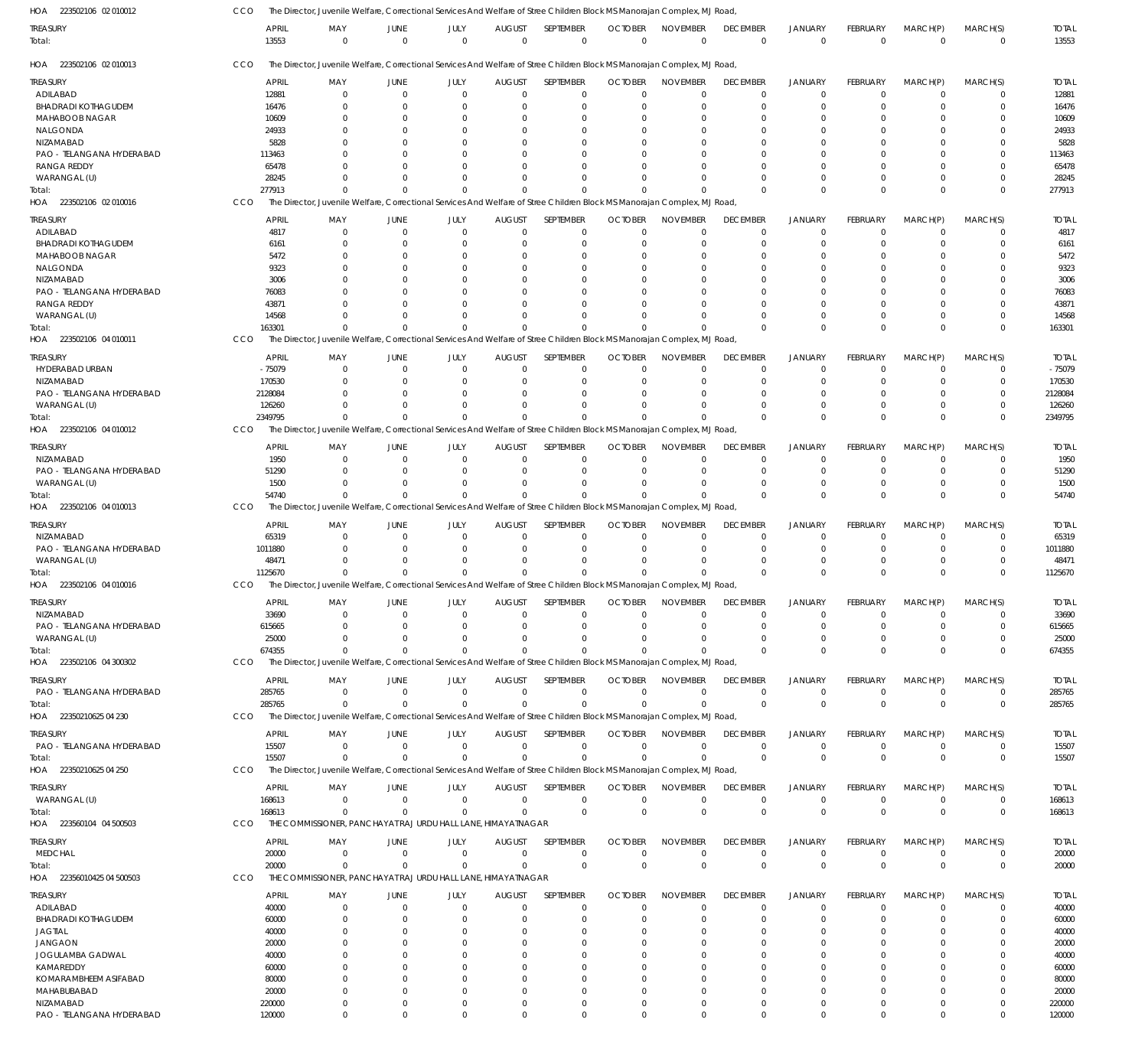| HOA 223502106 02 010012    | CCO                   | The Director, Juvenile Welfare, Correctional Services And Welfare of Stree Children Block MS Manorajan Complex, MJ Road  |                        |                     |                              |                          |                                            |                                |                                |                                  |                                |                         |                         |                       |
|----------------------------|-----------------------|--------------------------------------------------------------------------------------------------------------------------|------------------------|---------------------|------------------------------|--------------------------|--------------------------------------------|--------------------------------|--------------------------------|----------------------------------|--------------------------------|-------------------------|-------------------------|-----------------------|
| treasury                   | <b>APRIL</b><br>13553 | MAY<br>$\mathbf{0}$                                                                                                      | JUNE<br>$\overline{0}$ | JULY<br>$\mathbf 0$ | <b>AUGUST</b><br>$\mathbf 0$ | SEPTEMBER<br>$\mathbf 0$ | <b>OCTOBER</b><br>$\overline{0}$           | <b>NOVEMBER</b><br>$\mathbf 0$ | <b>DECEMBER</b><br>$\mathbf 0$ | <b>JANUARY</b><br>$\overline{0}$ | <b>FEBRUARY</b><br>$\mathbf 0$ | MARCH(P)<br>$\mathbf 0$ | MARCH(S)<br>$\mathbf 0$ | <b>TOTAL</b><br>13553 |
| Total:                     |                       |                                                                                                                          |                        |                     |                              |                          |                                            |                                |                                |                                  |                                |                         |                         |                       |
| HOA 223502106 02 010013    | CCO                   | The Director, Juvenile Welfare, Correctional Services And Welfare of Stree Children Block MS Manorajan Complex, MJ Road, |                        |                     |                              |                          |                                            |                                |                                |                                  |                                |                         |                         |                       |
| Treasury                   | <b>APRIL</b>          | MAY                                                                                                                      | <b>JUNE</b>            | JULY                | <b>AUGUST</b>                | SEPTEMBER                | <b>OCTOBER</b>                             | <b>NOVEMBER</b>                | <b>DECEMBER</b>                | <b>JANUARY</b>                   | FEBRUARY                       | MARCH(P)                | MARCH(S)                | <b>TOTAL</b>          |
| ADILABAD                   | 12881                 | $\Omega$                                                                                                                 | $\overline{0}$         | $\Omega$            | $\mathbf 0$                  | $\mathbf 0$              | $\Omega$                                   | $\Omega$                       | $\mathbf 0$                    | $\mathbf 0$                      | $\Omega$                       | $\mathbf 0$             | 0                       | 12881                 |
| <b>BHADRADI KOTHAGUDEM</b> | 16476                 | $\Omega$                                                                                                                 | $\Omega$               | $\Omega$            | $\Omega$                     | $\Omega$                 | $\Omega$                                   | $\Omega$                       | $\Omega$                       | $\mathbf 0$                      | $\Omega$                       | $\Omega$                | $\mathbf 0$             | 16476                 |
| MAHABOOB NAGAR             | 10609                 |                                                                                                                          | $\Omega$               | 0                   | 0                            | 0                        |                                            |                                | $\Omega$                       | $\mathbf 0$                      |                                | $\Omega$                | 0                       | 10609                 |
| NALGONDA                   | 24933                 |                                                                                                                          | $\Omega$               | U                   | $\Omega$                     | $\Omega$                 |                                            | $\cap$                         | $\Omega$                       | $\Omega$                         | O                              | $\Omega$                | $\Omega$                | 24933                 |
| NIZAMABAD                  | 5828                  |                                                                                                                          | $\Omega$               | U                   | $\Omega$                     | $\Omega$                 |                                            | $\Omega$                       | $\Omega$                       | $\Omega$                         |                                | $\Omega$                | $\Omega$                | 5828                  |
| PAO - TELANGANA HYDERABAD  | 113463                |                                                                                                                          | $\Omega$               | U                   | $\Omega$                     | $\Omega$                 |                                            |                                | $\Omega$                       | $\Omega$                         | O                              | $\Omega$                | $\Omega$                | 113463                |
| <b>RANGA REDDY</b>         | 65478                 |                                                                                                                          | $\Omega$               | U                   | $\Omega$                     | $\Omega$                 |                                            |                                | $\Omega$                       | $\Omega$                         | O                              | $\Omega$                | $\Omega$                | 65478                 |
| WARANGAL (U)               | 28245                 |                                                                                                                          | n                      | U                   | $\Omega$                     | $\Omega$                 |                                            |                                | $\Omega$                       | $\Omega$                         | $\Omega$                       | $\Omega$                | $\Omega$                | 28245                 |
| Total:                     | 277913                | $\Omega$                                                                                                                 | $\Omega$               | $\Omega$            | $\Omega$                     | $\Omega$                 |                                            | $\Omega$                       | $\Omega$                       | $\Omega$                         | $\Omega$                       | $\Omega$                | $\Omega$                | 277913                |
| HOA 223502106 02 010016    | CCO                   | The Director, Juvenile Welfare, Correctional Services And Welfare of Stree Children Block MS Manorajan Complex, MJ Road  |                        |                     |                              |                          |                                            |                                |                                |                                  |                                |                         |                         |                       |
|                            |                       |                                                                                                                          |                        |                     |                              |                          |                                            |                                |                                |                                  |                                |                         |                         |                       |
| TREASURY                   | <b>APRIL</b>          | MAY                                                                                                                      | JUNE                   | JULY                | <b>AUGUST</b>                | SEPTEMBER                | <b>OCTOBER</b>                             | <b>NOVEMBER</b>                | <b>DECEMBER</b>                | <b>JANUARY</b>                   | <b>FEBRUARY</b>                | MARCH(P)                | MARCH(S)                | <b>TOTAL</b>          |
| ADILABAD                   | 4817                  | $\Omega$                                                                                                                 | $\Omega$               | $\Omega$            | $\mathbf 0$                  | $\mathbf 0$              | $\Omega$                                   | $\Omega$                       | $\overline{0}$                 | $\overline{0}$                   | $\mathbf 0$                    | 0                       | $\mathbf 0$             | 4817                  |
| <b>BHADRADI KOTHAGUDEM</b> | 6161                  | 0                                                                                                                        | $\Omega$               | $\Omega$            | 0                            | $\mathbf 0$              | $\Omega$                                   | $\Omega$                       | $\mathbf 0$                    | $\mathbf 0$                      | $\Omega$                       | 0                       | $\mathbf 0$             | 6161                  |
| MAHABOOB NAGAR             | 5472                  |                                                                                                                          | $\Omega$               | 0                   | 0                            | $\mathbf 0$              |                                            | $\Omega$                       | $\Omega$                       | $\Omega$                         |                                | 0                       | $\mathbf 0$             | 5472                  |
|                            |                       |                                                                                                                          |                        |                     |                              |                          |                                            |                                |                                |                                  |                                |                         |                         |                       |
| NALGONDA                   | 9323                  |                                                                                                                          | $\Omega$               | O                   | 0                            | $\Omega$                 |                                            |                                |                                | $\Omega$                         |                                | $\Omega$                | $\Omega$                | 9323                  |
| NIZAMABAD                  | 3006                  |                                                                                                                          | $\Omega$               | O                   | $\Omega$                     | $\Omega$                 |                                            |                                | $\Omega$                       | $\Omega$                         |                                | $\Omega$                | $\Omega$                | 3006                  |
| PAO - TELANGANA HYDERABAD  | 76083                 |                                                                                                                          | $\Omega$               | O                   | $\Omega$                     | $\Omega$                 |                                            |                                |                                | $\Omega$                         |                                | $\Omega$                | $\Omega$                | 76083                 |
| <b>RANGA REDDY</b>         | 43871                 |                                                                                                                          | $\Omega$               | U                   | $\Omega$                     | $\Omega$                 |                                            |                                | $\Omega$                       | $\Omega$                         | O                              | $\Omega$                | $\mathbf 0$             | 43871                 |
| WARANGAL (U)               | 14568                 |                                                                                                                          | n                      | U                   | $\Omega$                     | $\Omega$                 |                                            |                                | $\Omega$                       | $\Omega$                         | 0                              | $\Omega$                | $\mathbf 0$             | 14568                 |
| Total:                     | 163301                | $\Omega$                                                                                                                 |                        | $\Omega$            | $\Omega$                     | $\Omega$                 |                                            | $\Omega$                       | $\Omega$                       | $\Omega$                         | $\Omega$                       | $\Omega$                | $\mathbf 0$             | 163301                |
| HOA 223502106 04 010011    | CCO                   | The Director, Juvenile Welfare, Correctional Services And Welfare of Stree Children Block MS Manorajan Complex, MJ Road, |                        |                     |                              |                          |                                            |                                |                                |                                  |                                |                         |                         |                       |
|                            |                       |                                                                                                                          |                        |                     |                              |                          |                                            |                                |                                |                                  |                                |                         |                         |                       |
| Treasury                   | <b>APRIL</b>          | MAY                                                                                                                      | <b>JUNE</b>            | JULY                | <b>AUGUST</b>                | <b>SEPTEMBER</b>         | <b>OCTOBER</b>                             | <b>NOVEMBER</b>                | <b>DECEMBER</b>                | <b>JANUARY</b>                   | <b>FEBRUARY</b>                | MARCH(P)                | MARCH(S)                | <b>TOTAL</b>          |
| HYDERABAD URBAN            | $-75079$              | $\Omega$                                                                                                                 | $\Omega$               | $\Omega$            | $\mathbf 0$                  | $\mathbf 0$              | $\Omega$                                   | $\Omega$                       | $\mathbf 0$                    | $\mathbf 0$                      | $\Omega$                       | $\mathbf 0$             | 0                       | $-75079$              |
| NIZAMABAD                  | 170530                | <sup>0</sup>                                                                                                             | $\Omega$               | $\Omega$            | -0                           | 0                        | $\Omega$                                   | $\Omega$                       | 0                              | $\mathbf 0$                      | $\Omega$                       | $\Omega$                | 0                       | 170530                |
|                            |                       |                                                                                                                          |                        |                     |                              |                          |                                            |                                |                                |                                  |                                |                         |                         |                       |
| PAO - TELANGANA HYDERABAD  | 2128084               |                                                                                                                          | $\Omega$               | $\Omega$            | -0                           | $\Omega$                 |                                            | $\Omega$                       | $\Omega$                       | $\Omega$                         | $\Omega$                       | $\Omega$                | $\Omega$                | 2128084               |
| WARANGAL (U)               | 126260                | <sup>0</sup>                                                                                                             | $\Omega$               | $\Omega$            | $\Omega$                     | $\Omega$                 |                                            | $\Omega$                       | $\Omega$                       | $\mathbf 0$                      | $\Omega$                       | $\Omega$                | $\mathbf 0$             | 126260                |
| Total:                     | 2349795               | $\Omega$                                                                                                                 | $\Omega$               | $\Omega$            | $\Omega$                     | $\Omega$                 |                                            | $\Omega$                       | $\Omega$                       | $\Omega$                         | $\Omega$                       | $\Omega$                | $\mathbf 0$             | 2349795               |
| HOA 223502106 04 010012    | CCO                   | The Director, Juvenile Welfare, Correctional Services And Welfare of Stree Children Block MS Manorajan Complex, MJ Road, |                        |                     |                              |                          |                                            |                                |                                |                                  |                                |                         |                         |                       |
|                            |                       |                                                                                                                          |                        |                     |                              |                          |                                            |                                |                                |                                  |                                |                         |                         |                       |
| <b>TREASURY</b>            | <b>APRIL</b>          | MAY                                                                                                                      | <b>JUNE</b>            | JULY                | <b>AUGUST</b>                | SEPTEMBER                | <b>OCTOBER</b>                             | <b>NOVEMBER</b>                | <b>DECEMBER</b>                | <b>JANUARY</b>                   | <b>FEBRUARY</b>                | MARCH(P)                | MARCH(S)                | <b>TOTAL</b>          |
| NIZAMABAD                  | 1950                  | $\mathbf 0$                                                                                                              | $\overline{0}$         | $\mathbf 0$         | $\mathbf 0$                  | $\mathbf 0$              | $\Omega$                                   | $\Omega$                       | $^{\circ}$                     | $\mathbf 0$                      | $\Omega$                       | $\mathbf 0$             | $\mathbf 0$             | 1950                  |
| PAO - TELANGANA HYDERABAD  | 51290                 | <sup>0</sup>                                                                                                             | $\Omega$               | $\Omega$            | 0                            | $\mathbf 0$              | $\Omega$                                   | $\Omega$                       | $\mathbf 0$                    | 0                                | 0                              | 0                       | $\mathbf 0$             | 51290                 |
| WARANGAL (U)               | 1500                  | <sup>0</sup>                                                                                                             | $\Omega$               | $\Omega$            | $\Omega$                     | $\mathbf 0$              |                                            | $\cap$                         | $\Omega$                       | $\mathbf 0$                      | $\Omega$                       | 0                       | $\mathbf 0$             | 1500                  |
| Total:                     | 54740                 | $\Omega$                                                                                                                 | $\Omega$               | $\Omega$            | $\Omega$                     | $\Omega$                 |                                            |                                | $\Omega$                       | $\Omega$                         | $\Omega$                       | $\Omega$                | $\mathbf 0$             | 54740                 |
| HOA 223502106 04 010013    | CCO                   | The Director, Juvenile Welfare, Correctional Services And Welfare of Stree Children Block MS Manorajan Complex, MJ Road, |                        |                     |                              |                          |                                            |                                |                                |                                  |                                |                         |                         |                       |
|                            |                       |                                                                                                                          |                        |                     |                              |                          |                                            |                                |                                |                                  |                                |                         |                         |                       |
| <b>TREASURY</b>            | <b>APRIL</b>          | MAY                                                                                                                      | <b>JUNE</b>            | JULY                | <b>AUGUST</b>                | SEPTEMBER                | <b>OCTOBER</b>                             | <b>NOVEMBER</b>                | <b>DECEMBER</b>                | <b>JANUARY</b>                   | <b>FEBRUARY</b>                | MARCH(P)                | MARCH(S)                | <b>TOTAL</b>          |
| NIZAMABAD                  | 65319                 | $\Omega$                                                                                                                 | $\Omega$               | $\mathbf 0$         | $\mathbf 0$                  | $\mathbf 0$              | $\Omega$                                   | $\Omega$                       | $\mathbf 0$                    | $\mathbf 0$                      | $\Omega$                       | $\mathbf 0$             | 0                       | 65319                 |
| PAO - TELANGANA HYDERABAD  | 1011880               | <sup>0</sup>                                                                                                             | $\Omega$               | $\Omega$            | $\Omega$                     | $\mathbf 0$              | $\Omega$                                   | $\Omega$                       | $\mathbf 0$                    | $\mathbf 0$                      | 0                              | 0                       | 0                       | 1011880               |
|                            |                       |                                                                                                                          |                        |                     |                              |                          |                                            |                                |                                |                                  |                                |                         |                         |                       |
| WARANGAL (U)               | 48471                 |                                                                                                                          | $\cap$                 | $\Omega$            | $\Omega$                     | $\Omega$                 | $\Omega$                                   | $\cap$                         | $\Omega$                       | $\mathbf 0$                      | $\Omega$                       | $\Omega$                | $\mathbf 0$             | 48471                 |
| Total:                     | 1125670               | U                                                                                                                        | $\Omega$               | $\Omega$            | $\Omega$                     | $\Omega$                 |                                            | $\Omega$                       | $\Omega$                       | $\Omega$                         | $\Omega$                       | $\Omega$                | $\Omega$                | 1125670               |
| HOA 223502106 04 010016    | <b>CCO</b>            | The Director, Juvenile Welfare, Correctional Services And Welfare of Stree Children Block MS Manorajan Complex, MJ Road  |                        |                     |                              |                          |                                            |                                |                                |                                  |                                |                         |                         |                       |
|                            |                       |                                                                                                                          |                        |                     |                              |                          |                                            |                                |                                |                                  |                                |                         |                         |                       |
| TREASURY                   | <b>APRIL</b>          | MAY                                                                                                                      | JUNE                   | JULY                |                              |                          | AUGUST SEPTEMBER OCTOBER NOVEMBER DECEMBER |                                |                                | <b>JANUARY</b>                   | FEBRUARY                       | MARCH(P)                | MARCH(S)                | <b>TOTAL</b>          |
| NIZAMABAD                  | 33690                 | 0                                                                                                                        | $\Omega$               | 0                   | -0                           | 0                        | $\Omega$                                   | $\Omega$                       | 0                              | $\mathbf 0$                      | 0                              | $\Omega$                | 0                       | 33690                 |
| PAO - TELANGANA HYDERABAD  | 615665                | 0                                                                                                                        | $\Omega$               | $\Omega$            | -0                           | $\mathbf 0$              | $\Omega$                                   | $\Omega$                       | $\mathbf 0$                    | $\mathbf 0$                      | $\Omega$                       | $\Omega$                | $\mathbf 0$             | 615665                |
| WARANGAL (U)               | 25000                 | $\Omega$                                                                                                                 | $\Omega$               | $\Omega$            | $\Omega$                     | $\mathbf 0$              | $\Omega$                                   | $\Omega$                       | $\mathbf 0$                    | 0                                | $\Omega$                       | 0                       | $\mathbf 0$             | 25000                 |
| Total:                     | 674355                | $\Omega$                                                                                                                 | $\Omega$               | $\Omega$            | $\Omega$                     | $\Omega$                 |                                            | $\Omega$                       | $\Omega$                       | $\Omega$                         | $\Omega$                       | $\Omega$                | $\mathbf 0$             | 674355                |
| HOA 223502106 04 300302    | <b>CCO</b>            | The Director, Juvenile Welfare, Correctional Services And Welfare of Stree Children Block MS Manorajan Complex, MJ Road, |                        |                     |                              |                          |                                            |                                |                                |                                  |                                |                         |                         |                       |
|                            |                       |                                                                                                                          |                        |                     |                              |                          |                                            |                                |                                |                                  |                                |                         |                         |                       |
| treasury                   | <b>APRIL</b>          | MAY                                                                                                                      | <b>JUNE</b>            | JULY                | <b>AUGUST</b>                | SEPTEMBER                | <b>OCTOBER</b>                             | <b>NOVEMBER</b>                | <b>DECEMBER</b>                | <b>JANUARY</b>                   | FEBRUARY                       | MARCH(P)                | MARCH(S)                | <b>TOTAL</b>          |
| PAO - TELANGANA HYDERABAD  | 285765                | $\Omega$                                                                                                                 | $\overline{0}$         | $\mathbf 0$         | $\mathbf 0$                  | $\mathbf 0$              | $\mathbf{0}$                               | $\Omega$                       | $\mathbf 0$                    | $\mathbf 0$                      | $\mathbf 0$                    | $\mathbf 0$             | $\mathbf 0$             | 285765                |
| Total:                     | 285765                | $\Omega$                                                                                                                 | $\Omega$               | $\Omega$            | $\Omega$                     | $\Omega$                 | $\Omega$                                   | $\Omega$                       | $\mathbf 0$                    | $\overline{0}$                   | $\Omega$                       | $\Omega$                | $\mathbf 0$             | 285765                |
| HOA 22350210625 04 230     | CCO                   | The Director, Juvenile Welfare, Correctional Services And Welfare of Stree Children Block MS Manorajan Complex, MJ Road  |                        |                     |                              |                          |                                            |                                |                                |                                  |                                |                         |                         |                       |
|                            |                       |                                                                                                                          |                        |                     |                              |                          |                                            |                                |                                |                                  |                                |                         |                         |                       |
| treasury                   | <b>APRIL</b>          | MAY                                                                                                                      | <b>JUNE</b>            | JULY                | <b>AUGUST</b>                | SEPTEMBER                | <b>OCTOBER</b>                             | <b>NOVEMBER</b>                | <b>DECEMBER</b>                | <b>JANUARY</b>                   | FEBRUARY                       | MARCH(P)                | MARCH(S)                | <b>TOTAL</b>          |
| PAO - TELANGANA HYDERABAD  | 15507                 | $\mathbf{0}$                                                                                                             | $\overline{0}$         | $\mathbf 0$         | $\mathbf 0$                  | $\mathbf 0$              | $\Omega$                                   | $\mathbf 0$                    | $\mathbf 0$                    | $\mathbf 0$                      | $\mathbf 0$                    | $\mathbf 0$             | $\mathbf 0$             | 15507                 |
| Total:                     | 15507                 | $\Omega$                                                                                                                 | $\Omega$               | $\mathbf 0$         | 0                            | $\mathbf 0$              |                                            | $\Omega$                       | $\mathbf 0$                    | $\overline{0}$                   | $\mathbf 0$                    | $\mathbf 0$             | $\mathbf 0$             | 15507                 |
|                            | CCO                   | The Director, Juvenile Welfare, Correctional Services And Welfare of Stree Children Block MS Manorajan Complex, MJ Road, |                        |                     |                              |                          |                                            |                                |                                |                                  |                                |                         |                         |                       |
| HOA 22350210625 04 250     |                       |                                                                                                                          |                        |                     |                              |                          |                                            |                                |                                |                                  |                                |                         |                         |                       |
| <b>TREASURY</b>            | <b>APRIL</b>          | MAY                                                                                                                      | <b>JUNE</b>            | JULY                | <b>AUGUST</b>                | SEPTEMBER                | <b>OCTOBER</b>                             | <b>NOVEMBER</b>                | <b>DECEMBER</b>                | <b>JANUARY</b>                   | <b>FEBRUARY</b>                | MARCH(P)                | MARCH(S)                | <b>TOTAL</b>          |
| WARANGAL (U)               | 168613                | $\Omega$                                                                                                                 | $\overline{0}$         | $\mathbf 0$         | $\mathbf 0$                  | $\mathbf 0$              | $\Omega$                                   | $\mathbf 0$                    | $\mathbf 0$                    | $\mathbf 0$                      | $\mathbf 0$                    | $\mathbf 0$             | $\mathbf 0$             | 168613                |
|                            |                       | $\Omega$                                                                                                                 | $\Omega$               | $\Omega$            | $\mathbf 0$                  | $\mathbf 0$              | $\overline{0}$                             | $\mathbf{0}$                   | $\mathbf 0$                    | $\overline{0}$                   | $\mathbf 0$                    | $\mathbf 0$             | $\mathbf 0$             |                       |
| Total:                     | 168613                |                                                                                                                          |                        |                     |                              |                          |                                            |                                |                                |                                  |                                |                         |                         | 168613                |
| HOA 223560104 04 500503    | CCO                   | THE COMMISSIONER, PANCHAYAT RAJ URDU HALL LANE, HIMAYATNAGAR                                                             |                        |                     |                              |                          |                                            |                                |                                |                                  |                                |                         |                         |                       |
| TREASURY                   | <b>APRIL</b>          | MAY                                                                                                                      | <b>JUNE</b>            | JULY                | <b>AUGUST</b>                | SEPTEMBER                | <b>OCTOBER</b>                             | <b>NOVEMBER</b>                | <b>DECEMBER</b>                | <b>JANUARY</b>                   | FEBRUARY                       | MARCH(P)                | MARCH(S)                | <b>TOTAL</b>          |
| <b>MEDCHAL</b>             | 20000                 | 0                                                                                                                        | $\overline{0}$         | $\mathbf 0$         | $\mathbf 0$                  | $\mathbf 0$              | $\Omega$                                   | $\Omega$                       | $\mathbf 0$                    | $\mathbf 0$                      | $\mathbf 0$                    | $\mathbf 0$             | $\mathbf 0$             | 20000                 |
|                            |                       |                                                                                                                          |                        |                     |                              |                          |                                            |                                |                                |                                  |                                |                         |                         |                       |
| Total:                     | 20000                 | $\Omega$                                                                                                                 | $\overline{0}$         | $\mathbf 0$         | 0                            | $\mathbf 0$              | $\Omega$                                   | $\Omega$                       | $\mathbf 0$                    | $\overline{0}$                   | $\mathbf 0$                    | $\mathbf 0$             | $\mathbf 0$             | 20000                 |
| HOA 22356010425 04 500503  | CCO                   | THE COMMISSIONER, PANCHAYAT RAJ URDU HALL LANE, HIMAYATNAGAR                                                             |                        |                     |                              |                          |                                            |                                |                                |                                  |                                |                         |                         |                       |
| TREASURY                   | <b>APRIL</b>          | MAY                                                                                                                      | <b>JUNE</b>            | JULY                | <b>AUGUST</b>                | SEPTEMBER                | <b>OCTOBER</b>                             | <b>NOVEMBER</b>                | <b>DECEMBER</b>                | <b>JANUARY</b>                   | FEBRUARY                       | MARCH(P)                | MARCH(S)                | <b>TOTAL</b>          |
|                            |                       |                                                                                                                          |                        |                     |                              |                          |                                            |                                |                                |                                  |                                |                         |                         |                       |
| ADILABAD                   | 40000                 | $\Omega$                                                                                                                 | $\Omega$               | $\Omega$            | 0                            | 0                        | $\Omega$                                   | $\Omega$                       | $^{\circ}$                     | $\overline{0}$                   | $\Omega$                       | $\Omega$                | 0                       | 40000                 |
| <b>BHADRADI KOTHAGUDEM</b> | 60000                 | $\Omega$                                                                                                                 | $\Omega$               | $\Omega$            | 0                            | $\mathbf 0$              | $\Omega$                                   | $\Omega$                       | $\mathbf 0$                    | $\mathbf 0$                      | $\Omega$                       | $\Omega$                | $\mathbf 0$             | 60000                 |
| <b>JAGTIAL</b>             | 40000                 |                                                                                                                          | 0                      | 0                   | 0                            | 0                        |                                            | $\Omega$                       | 0                              | 0                                |                                | 0                       | 0                       | 40000                 |
| <b>JANGAON</b>             | 20000                 |                                                                                                                          | n                      | O                   | 0                            | $\Omega$                 | $\Omega$                                   | $\Omega$                       | $\Omega$                       | $\Omega$                         | O                              | $\Omega$                | $\Omega$                | 20000                 |
| JOGULAMBA GADWAL           | 40000                 |                                                                                                                          | $\Omega$               | O                   | $\Omega$                     | $\Omega$                 |                                            | $\Omega$                       | $\Omega$                       | $\Omega$                         |                                | $\Omega$                | $\Omega$                | 40000                 |
| KAMAREDDY                  | 60000                 |                                                                                                                          | $\Omega$               | 0                   | $\Omega$                     | $\Omega$                 |                                            | $\Omega$                       | $\Omega$                       | $\Omega$                         | 0                              | $\Omega$                | $\Omega$                | 60000                 |
|                            |                       |                                                                                                                          |                        |                     |                              |                          |                                            |                                |                                |                                  |                                |                         |                         |                       |
| KOMARAMBHEEM ASIFABAD      | 80000                 |                                                                                                                          |                        |                     | $\Omega$                     | $\Omega$                 |                                            | $\Omega$                       | $\Omega$                       | $\Omega$                         |                                | $\Omega$                | 0                       | 80000                 |
| MAHABUBABAD                | 20000                 | <sup>0</sup>                                                                                                             | n                      | <sup>0</sup>        | $\Omega$                     | $\Omega$                 | $\Omega$                                   | $\Omega$                       | $\Omega$                       | $\Omega$                         | U                              | $\Omega$                | $\Omega$                | 20000                 |
| NIZAMABAD                  | 220000                | 0                                                                                                                        | $\overline{0}$         | $\Omega$            | $^{\circ}$                   | $\mathbf 0$              | $\Omega$                                   | $\Omega$                       | $\mathbf 0$                    | $\mathbf 0$                      | $\mathbf 0$                    | $\mathbf 0$             | 0                       | 220000                |
| PAO - TELANGANA HYDERABAD  | 120000                | $\Omega$                                                                                                                 | $\Omega$               | $\Omega$            | $\mathbf 0$                  | $\mathbf 0$              | $\Omega$                                   | $\mathbf 0$                    | $\overline{0}$                 | $\mathbf 0$                      | $\Omega$                       | $\mathbf 0$             | $\mathbf 0$             | 120000                |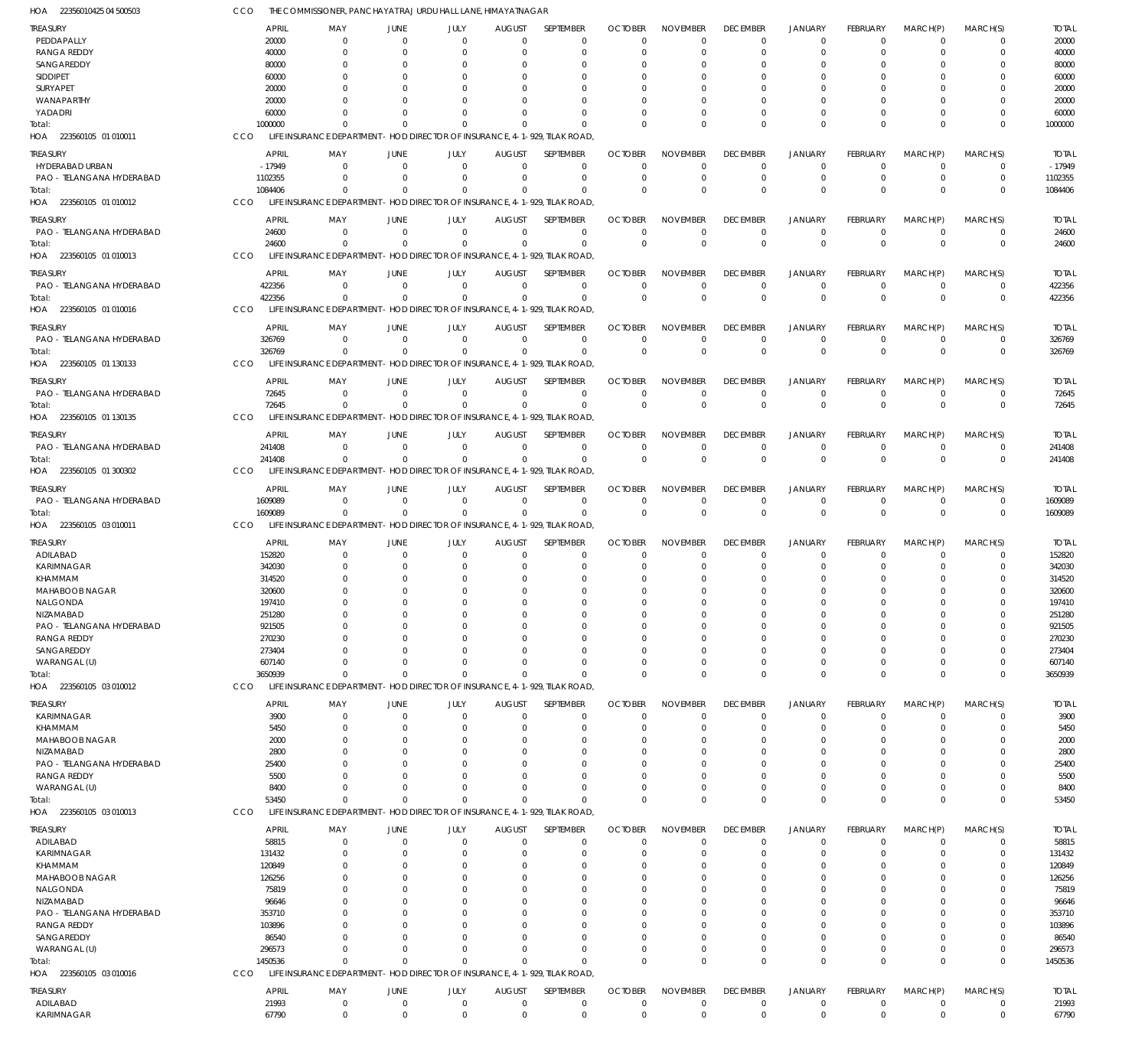| HOA 22356010425 04 500503                       | CCO              | THE COMMISSIONER, PANCHAYAT RAJ URDU HALL LANE, HIMAYATNAGAR                           |                            |                         |                              |                                                  |                      |                      |                         |                            |                         |                            |                            |                  |
|-------------------------------------------------|------------------|----------------------------------------------------------------------------------------|----------------------------|-------------------------|------------------------------|--------------------------------------------------|----------------------|----------------------|-------------------------|----------------------------|-------------------------|----------------------------|----------------------------|------------------|
| <b>TREASURY</b>                                 | <b>APRIL</b>     | MAY                                                                                    | <b>JUNE</b>                | JULY                    | <b>AUGUST</b>                | SEPTEMBER                                        | <b>OCTOBER</b>       | <b>NOVEMBER</b>      | <b>DECEMBER</b>         | <b>JANUARY</b>             | FEBRUARY                | MARCH(P)                   | MARCH(S)                   | <b>TOTAL</b>     |
| PEDDAPALLY                                      | 20000            | $\mathbf 0$                                                                            | $\Omega$                   | $\Omega$                | $\mathbf 0$                  | $\mathbf 0$                                      | $\Omega$             | $\Omega$             | $\mathbf 0$             | $\overline{0}$             | $\Omega$                | $\Omega$                   | 0                          | 20000            |
| <b>RANGA REDDY</b>                              | 40000            | $\Omega$                                                                               | $\Omega$                   | $\Omega$                | 0                            | $\mathbf 0$                                      | $\Omega$             | $\Omega$             | $\mathbf 0$             | $\overline{0}$             | $\Omega$                | $\Omega$                   | $\mathbf 0$                | 40000            |
| SANGAREDDY                                      | 80000            | $\Omega$                                                                               | $\Omega$                   | O                       | 0                            | $\Omega$                                         |                      |                      | $\Omega$                | - 0                        |                         |                            | 0                          | 80000            |
| SIDDIPET                                        | 60000            |                                                                                        | n                          | O                       | $\Omega$                     | $\Omega$                                         | $\Omega$             | $\Omega$             | $\Omega$                | $\Omega$                   | O                       | $\Omega$                   | $\Omega$                   | 60000            |
| SURYAPET                                        | 20000            |                                                                                        |                            |                         | 0                            | $\Omega$                                         |                      |                      | $\Omega$                | $\Omega$                   |                         | $\Omega$                   | O                          | 20000            |
| WANAPARTHY                                      | 20000            |                                                                                        | $\Omega$                   | $\Omega$<br>$\Omega$    | $\Omega$                     | $\Omega$                                         | $\Omega$             | $\cap$<br>$\cap$     | $\Omega$                | $\Omega$<br>$\Omega$       | $\Omega$                | $\Omega$<br>$\Omega$       | $\Omega$                   | 20000            |
| YADADRI                                         | 60000<br>1000000 | $\Omega$                                                                               |                            | $\Omega$                | $\Omega$<br>$\Omega$         | $\Omega$<br>$\Omega$                             | $\Omega$             | $\Omega$             | $\Omega$<br>$\Omega$    | $\Omega$                   | $\Omega$<br>$\Omega$    | $\Omega$                   | $\Omega$<br>$\Omega$       | 60000<br>1000000 |
| Total:<br>HOA 223560105 01 010011               | CCO              | LIFE INSURANCE DEPARTMENT                                                              |                            |                         |                              | - HOD DIRECTOR OF INSURANCE, 4-1-929, TILAK ROAD |                      |                      |                         |                            |                         |                            |                            |                  |
|                                                 |                  |                                                                                        |                            |                         |                              |                                                  |                      |                      |                         |                            |                         |                            |                            |                  |
| TREASURY                                        | <b>APRIL</b>     | MAY                                                                                    | JUNE                       | JULY                    | <b>AUGUST</b>                | SEPTEMBER                                        | <b>OCTOBER</b>       | <b>NOVEMBER</b>      | <b>DECEMBER</b>         | <b>JANUARY</b>             | FEBRUARY                | MARCH(P)                   | MARCH(S)                   | <b>TOTAL</b>     |
| HYDERABAD URBAN                                 | $-17949$         | $\mathbf 0$                                                                            | $\overline{0}$             | $\mathbf 0$             | $\mathbf 0$                  | $\mathbf 0$                                      | $\Omega$             | $\Omega$             | $\mathbf 0$             | $\overline{0}$             | $\mathbf 0$             | $\Omega$                   | $\mathbf 0$                | $-17949$         |
| PAO - TELANGANA HYDERABAD                       | 1102355          | $\Omega$                                                                               | $\Omega$                   | $\mathbf 0$             | 0                            | $\mathbf 0$                                      | $\Omega$             | $\Omega$             | $^{\circ}$              | $\overline{0}$             | $\mathbf 0$             | $\mathbf 0$<br>$\Omega$    | $\mathbf 0$                | 1102355          |
| Total:<br>HOA 223560105 01 010012               | 1084406<br>CCO   | $\Omega$<br>LIFE INSURANCE DEPARTMENT - HOD DIRECTOR OF INSURANCE, 4-1-929, TILAK ROAD | $\Omega$                   | $\mathbf 0$             | $\mathbf 0$                  | $\mathbf 0$                                      | $\Omega$             | $\Omega$             | $\Omega$                | $\Omega$                   | $\Omega$                |                            | $\mathbf 0$                | 1084406          |
|                                                 |                  |                                                                                        |                            |                         |                              |                                                  |                      |                      |                         |                            |                         |                            |                            |                  |
| TREASURY                                        | <b>APRIL</b>     | MAY                                                                                    | JUNE                       | JULY                    | <b>AUGUST</b>                | SEPTEMBER                                        | <b>OCTOBER</b>       | <b>NOVEMBER</b>      | <b>DECEMBER</b>         | <b>JANUARY</b>             | FEBRUARY                | MARCH(P)                   | MARCH(S)                   | <b>TOTAL</b>     |
| PAO - TELANGANA HYDERABAD                       | 24600            | $\mathbf 0$                                                                            | $\overline{0}$             | $\Omega$                | $\mathbf 0$                  | $\mathbf 0$                                      | $\Omega$             | $\Omega$             | $\mathbf 0$             | $^{\circ}$                 | $\mathbf 0$             | $\Omega$                   | $\mathbf 0$                | 24600            |
| Total:                                          | 24600            | $\Omega$                                                                               | $\Omega$                   | $\Omega$                | $\Omega$                     | $\mathbf 0$                                      | $\Omega$             | $\Omega$             | $\mathbf 0$             | $\Omega$                   | $\Omega$                | $\Omega$                   | $\mathbf 0$                | 24600            |
| HOA 223560105 01 010013                         | CCO              | LIFE INSURANCE DEPARTMENT - HOD DIRECTOR OF INSURANCE, 4-1-929, TILAK ROAD             |                            |                         |                              |                                                  |                      |                      |                         |                            |                         |                            |                            |                  |
| <b>TREASURY</b>                                 | <b>APRIL</b>     | MAY                                                                                    | <b>JUNE</b>                | JULY                    | <b>AUGUST</b>                | SEPTEMBER                                        | <b>OCTOBER</b>       | <b>NOVEMBER</b>      | <b>DECEMBER</b>         | <b>JANUARY</b>             | <b>FEBRUARY</b>         | MARCH(P)                   | MARCH(S)                   | <b>TOTAL</b>     |
| PAO - TELANGANA HYDERABAD                       | 422356           | $\mathbf 0$                                                                            | $\overline{0}$             | $\mathbf 0$             | $^{\circ}$                   | $\mathbf 0$                                      | $\Omega$             | $\Omega$             | $^{\circ}$              | $^{\circ}$                 | $\mathbf 0$             | $^{\circ}$                 | $\mathbf 0$                | 422356           |
| Total:                                          | 422356           | $\Omega$                                                                               | $\Omega$                   | $\mathbf 0$             | $\mathbf 0$                  | $\mathbf 0$                                      | $\Omega$             | $\Omega$             | $\mathbf 0$             | $\overline{0}$             | $\Omega$                | $\Omega$                   | $\mathbf 0$                | 422356           |
| HOA 223560105 01 010016                         | CCO              | LIFE INSURANCE DEPARTMENT - HOD DIRECTOR OF INSURANCE, 4-1-929, TILAK ROAD             |                            |                         |                              |                                                  |                      |                      |                         |                            |                         |                            |                            |                  |
| <b>TREASURY</b>                                 | <b>APRIL</b>     | MAY                                                                                    | <b>JUNE</b>                | JULY                    | <b>AUGUST</b>                | SEPTEMBER                                        | <b>OCTOBER</b>       | <b>NOVEMBER</b>      | <b>DECEMBER</b>         | JANUARY                    | FEBRUARY                | MARCH(P)                   | MARCH(S)                   | <b>TOTAL</b>     |
| PAO - TELANGANA HYDERABAD                       | 326769           | $\mathbf 0$                                                                            | $\Omega$                   | $\mathbf 0$             | $\mathbf 0$                  | $\mathbf 0$                                      | $\Omega$             | $\Omega$             | $\mathbf 0$             | $\mathbf 0$                | $\mathbf 0$             | $\Omega$                   | $\mathbf 0$                | 326769           |
| Total:                                          | 326769           | $\mathbf 0$                                                                            | $\Omega$                   | $\mathbf 0$             | $\mathbf 0$                  | $\mathbf 0$                                      | $\mathbf 0$          | $\Omega$             | $\mathbf 0$             | $\mathbf 0$                | $\Omega$                | $\Omega$                   | $\mathbf 0$                | 326769           |
| HOA 223560105 01 130133                         | CCO              | LIFE INSURANCE DEPARTMENT - HOD DIRECTOR OF INSURANCE, 4-1-929, TILAK ROAD             |                            |                         |                              |                                                  |                      |                      |                         |                            |                         |                            |                            |                  |
| TREASURY                                        | <b>APRIL</b>     | MAY                                                                                    | <b>JUNE</b>                | JULY                    | <b>AUGUST</b>                | SEPTEMBER                                        | <b>OCTOBER</b>       | <b>NOVEMBER</b>      | <b>DECEMBER</b>         | <b>JANUARY</b>             | <b>FEBRUARY</b>         | MARCH(P)                   | MARCH(S)                   | <b>TOTAL</b>     |
| PAO - TELANGANA HYDERABAD                       | 72645            | $\mathbf 0$                                                                            | $\overline{0}$             | $\mathbf 0$             | $\overline{0}$               | $\mathbf 0$                                      | $\overline{0}$       | $\Omega$             | $^{\circ}$              | $\overline{0}$             | $\mathbf 0$             | $\overline{0}$             | $\mathbf 0$                | 72645            |
| Total:                                          | 72645            | $\Omega$                                                                               | $\Omega$                   | $\mathbf 0$             | $\mathbf 0$                  | $\mathbf 0$                                      | $\Omega$             | $\Omega$             | $\Omega$                | $\Omega$                   | $\Omega$                | $\Omega$                   | $\mathbf 0$                | 72645            |
| HOA 223560105 01 130135                         | CCO              | LIFE INSURANCE DEPARTMENT - HOD DIRECTOR OF INSURANCE, 4-1-929, TILAK ROAD             |                            |                         |                              |                                                  |                      |                      |                         |                            |                         |                            |                            |                  |
|                                                 |                  |                                                                                        |                            |                         |                              |                                                  |                      |                      |                         |                            |                         |                            |                            |                  |
| TREASURY                                        | <b>APRIL</b>     | MAY                                                                                    | <b>JUNE</b>                | JULY                    | <b>AUGUST</b>                | SEPTEMBER                                        | <b>OCTOBER</b>       | <b>NOVEMBER</b>      | <b>DECEMBER</b>         | <b>JANUARY</b>             | FEBRUARY                | MARCH(P)                   | MARCH(S)                   | <b>TOTAL</b>     |
| PAO - TELANGANA HYDERABAD                       | 241408<br>241408 | $\mathbf 0$<br>$\Omega$                                                                | $\overline{0}$<br>$\Omega$ | $\mathbf 0$<br>$\Omega$ | $\mathbf 0$<br>$\Omega$      | $\mathbf 0$<br>$\mathbf 0$                       | $\Omega$<br>$\Omega$ | $\Omega$<br>$\Omega$ | $\mathbf 0$<br>$\Omega$ | $\overline{0}$<br>$\Omega$ | $\mathbf 0$<br>$\Omega$ | $\overline{0}$<br>$\Omega$ | $\mathbf 0$<br>$\mathbf 0$ | 241408           |
| Total:<br>HOA 223560105 01 300302               | CCO              | LIFE INSURANCE DEPARTMENT - HOD DIRECTOR OF INSURANCE, 4-1-929, TILAK ROAD             |                            |                         |                              |                                                  |                      |                      |                         |                            |                         |                            |                            | 241408           |
|                                                 |                  |                                                                                        |                            |                         |                              |                                                  |                      |                      |                         |                            |                         |                            |                            |                  |
| treasury                                        | <b>APRIL</b>     | MAY                                                                                    | JUNE                       | JULY                    | <b>AUGUST</b>                | SEPTEMBER                                        | <b>OCTOBER</b>       | <b>NOVEMBER</b>      | <b>DECEMBER</b>         | <b>JANUARY</b>             | FEBRUARY                | MARCH(P)                   | MARCH(S)                   | <b>TOTAL</b>     |
| PAO - TELANGANA HYDERABAD                       | 1609089          | $\mathbf 0$                                                                            | $\overline{0}$             | $\mathbf 0$             | $\overline{0}$               | $\mathbf 0$                                      | $\overline{0}$       | $\mathbf 0$          | $^{\circ}$              | $\overline{0}$             | $\mathbf 0$             | $\overline{0}$             | $\mathbf 0$                | 1609089          |
| Total:                                          | 1609089          | $\mathbf 0$                                                                            | $\overline{0}$             | $\mathbf 0$             | $\mathbf 0$                  | $\mathbf 0$                                      | $\Omega$             | $\Omega$             | $\mathbf 0$             | $\overline{0}$             | $\mathbf 0$             | $\Omega$                   | $\mathbf 0$                | 1609089          |
| HOA 223560105 03 010011                         | CCO              | LIFE INSURANCE DEPARTMENT - HOD DIRECTOR OF INSURANCE, 4-1-929, TILAK ROAD             |                            |                         |                              |                                                  |                      |                      |                         |                            |                         |                            |                            |                  |
| <b>TREASURY</b>                                 | <b>APRIL</b>     | MAY                                                                                    | <b>JUNE</b>                | JULY                    | <b>AUGUST</b>                | SEPTEMBER                                        | <b>OCTOBER</b>       | <b>NOVEMBER</b>      | <b>DECEMBER</b>         | <b>JANUARY</b>             | FEBRUARY                | MARCH(P)                   | MARCH(S)                   | <b>TOTAL</b>     |
| ADILABAD                                        | 152820           | $\Omega$                                                                               | $\Omega$                   | 0                       | 0                            | 0                                                | $\Omega$             | $\Omega$             | $\Omega$                | $\Omega$                   | $\Omega$                | $\Omega$                   | $\Omega$                   | 152820           |
| KARIMNAGAR                                      | 342030           |                                                                                        | $\Omega$                   | $\Omega$                | $\Omega$                     | 0                                                | $\Omega$             | $\Omega$             | $\Omega$                | $\Omega$                   |                         |                            | $\Omega$                   | 342030           |
| <b>KHAMMAM</b>                                  | 314520           |                                                                                        | $\Omega$                   | $\Omega$                | $\Omega$                     | $\Omega$                                         | $\Omega$             | $\Omega$             |                         | $\Omega$                   | 0                       | $\Omega$                   | $\Omega$                   | 314520           |
| MAHABOOB NAGAR                                  | 320600           | $\Omega$                                                                               | $\Omega$                   | $\Omega$                | $\Omega$                     | $\Omega$                                         | $\Omega$             | $\Omega$             | $\Omega$                | $\Omega$                   | $\Omega$                | $\Omega$                   | $\Omega$                   | 320600           |
| NALGONDA                                        | 197410           | 0                                                                                      |                            |                         | $\Omega$                     |                                                  | $\Omega$             |                      |                         |                            |                         |                            |                            | 197410           |
| NIZAMABAD                                       | 251280           | 0                                                                                      | $\Omega$                   | $\Omega$                | $\mathbf 0$                  | $\mathbf 0$                                      | $\Omega$             | $\Omega$             | $\Omega$                | $\Omega$                   | $\Omega$                | $\Omega$                   | $\mathbf 0$                | 251280           |
| PAO - TELANGANA HYDERABAD<br><b>RANGA REDDY</b> | 921505           | $\Omega$<br>$\Omega$                                                                   | $\Omega$<br>$\Omega$       | $\Omega$<br>$\Omega$    | $\Omega$<br>$\Omega$         | $\mathbf 0$<br>$\Omega$                          | $\Omega$<br>$\Omega$ | $\Omega$<br>$\Omega$ | $\Omega$<br>$\Omega$    | $\Omega$<br>$\Omega$       | $\Omega$<br>$\Omega$    | $\Omega$<br>$\Omega$       | $\Omega$<br>$\Omega$       | 921505           |
| SANGAREDDY                                      | 270230<br>273404 | $\Omega$                                                                               | $\Omega$                   | $\Omega$                | $\Omega$                     | $\Omega$                                         | $\Omega$             | $\Omega$             | $\Omega$                | $\Omega$                   | $\Omega$                | $\Omega$                   | $\Omega$                   | 270230<br>273404 |
| WARANGAL (U)                                    | 607140           | $\Omega$                                                                               | $\Omega$                   | $\Omega$                | $\Omega$                     | 0                                                | $\Omega$             | $\Omega$             | $\Omega$                | $^{\circ}$                 | $\Omega$                | $\Omega$                   | $\mathbf 0$                | 607140           |
| Total:                                          | 3650939          | $\Omega$                                                                               | $\Omega$                   | $\Omega$                | $\Omega$                     | $\Omega$                                         | $\Omega$             | $\Omega$             | $\Omega$                | $\Omega$                   | $\Omega$                | $\Omega$                   | $\mathbf 0$                | 3650939          |
| HOA 223560105 03 010012                         | CCO              | LIFE INSURANCE DEPARTMENT                                                              |                            |                         |                              | - HOD DIRECTOR OF INSURANCE, 4-1-929, TILAK ROAD |                      |                      |                         |                            |                         |                            |                            |                  |
|                                                 |                  |                                                                                        |                            |                         |                              |                                                  |                      |                      |                         |                            |                         |                            |                            |                  |
| treasury                                        | <b>APRIL</b>     | MAY                                                                                    | JUNE                       | JULY                    | <b>AUGUST</b>                | SEPTEMBER                                        | <b>OCTOBER</b>       | <b>NOVEMBER</b>      | <b>DECEMBER</b>         | <b>JANUARY</b>             | FEBRUARY                | MARCH(P)                   | MARCH(S)                   | <b>TOTAL</b>     |
| KARIMNAGAR                                      | 3900             | $\mathbf 0$                                                                            | $\overline{0}$             | $\mathbf 0$             | $\mathbf 0$                  | $\mathbf 0$                                      | $\Omega$             | $\Omega$             | $\mathbf 0$             | $^{\circ}$                 | $\mathbf 0$             | $\mathbf 0$                | $\mathbf 0$                | 3900             |
| KHAMMAM<br>MAHABOOB NAGAR                       | 5450<br>2000     | 0<br>$\Omega$                                                                          | $\mathbf 0$<br>$\Omega$    | 0<br>$\Omega$           | 0<br>$\Omega$                | $\mathbf 0$<br>0                                 | -0<br>$\Omega$       | $\Omega$<br>$\Omega$ | $^{\circ}$<br>$\Omega$  | $^{\circ}$<br>$\Omega$     | 0<br>0                  | $\mathbf 0$<br>$\Omega$    | $\mathbf 0$<br>$\Omega$    | 5450<br>2000     |
| NIZAMABAD                                       | 2800             | 0                                                                                      | $\Omega$                   | O                       | $\Omega$                     | $\mathbf 0$                                      | -0                   | $\Omega$             | $\Omega$                | $\Omega$                   |                         | $\Omega$                   | $\mathbf 0$                | 2800             |
| PAO - TELANGANA HYDERABAD                       | 25400            | $\Omega$                                                                               | $\Omega$                   | $\Omega$                | $\Omega$                     | $\mathbf 0$                                      | -C                   | $\Omega$             |                         | $\Omega$                   |                         | $\Omega$                   | $\Omega$                   | 25400            |
| <b>RANGA REDDY</b>                              | 5500             | $\Omega$                                                                               | $\Omega$                   | $\Omega$                | $\Omega$                     | $\mathbf 0$                                      | -C                   | $\Omega$             | $\Omega$                | $\Omega$                   | 0                       | $\Omega$                   | $\mathbf 0$                | 5500             |
| WARANGAL (U)                                    | 8400             | $\Omega$                                                                               | $\Omega$                   | $\Omega$                | $\Omega$                     | $\mathbf 0$                                      | $\Omega$             | $\Omega$             | $\Omega$                | $\Omega$                   | $\Omega$                | $\Omega$                   | $\mathbf 0$                | 8400             |
| Total:                                          | 53450            | $\Omega$                                                                               | $\Omega$                   | $\Omega$                | $\Omega$                     | $\mathbf 0$                                      | $\Omega$             | $\Omega$             | $\Omega$                | $\Omega$                   | $\Omega$                | $\Omega$                   | $\mathbf 0$                | 53450            |
| HOA 223560105 03 010013                         | CCO              | LIFE INSURANCE DEPARTMENT                                                              |                            |                         |                              | - HOD DIRECTOR OF INSURANCE, 4-1-929, TILAK ROAD |                      |                      |                         |                            |                         |                            |                            |                  |
|                                                 | <b>APRIL</b>     | MAY                                                                                    |                            |                         |                              | SEPTEMBER                                        | <b>OCTOBER</b>       | <b>NOVEMBER</b>      | <b>DECEMBER</b>         | <b>JANUARY</b>             | <b>FEBRUARY</b>         | MARCH(P)                   |                            | <b>TOTAL</b>     |
| treasury<br>ADILABAD                            | 58815            | $\mathbf 0$                                                                            | JUNE<br>$^{\circ}$         | JULY<br>$\mathbf 0$     | <b>AUGUST</b><br>$\mathbf 0$ | $\mathbf 0$                                      | $\Omega$             | $\Omega$             | $\mathbf 0$             | $\overline{0}$             | $\mathbf 0$             | $\mathbf 0$                | MARCH(S)<br>$\mathbf 0$    | 58815            |
| KARIMNAGAR                                      | 131432           | 0                                                                                      | $\Omega$                   | $\Omega$                | 0                            | $\mathbf 0$                                      | $\Omega$             | $\Omega$             | $\Omega$                | $\overline{0}$             | $\Omega$                | $\Omega$                   | $\mathbf 0$                | 131432           |
| KHAMMAM                                         | 120849           | $\Omega$                                                                               | $\Omega$                   | $\Omega$                | $\Omega$                     | $\mathbf 0$                                      | $\Omega$             | $\Omega$             | $\Omega$                | $\Omega$                   | $\Omega$                | $\Omega$                   | $\Omega$                   | 120849           |
| MAHABOOB NAGAR                                  | 126256           | 0                                                                                      | $\Omega$                   | $\Omega$                | $\Omega$                     | 0                                                | $\Omega$             | $\Omega$             | $\Omega$                | $\Omega$                   |                         | $\Omega$                   | $\Omega$                   | 126256           |
| NALGONDA                                        | 75819            | U                                                                                      | $\Omega$                   | $\Omega$                | $\Omega$                     | $\Omega$                                         | $\Omega$             | $\Omega$             | $\Omega$                | $\Omega$                   | $\Omega$                | $\Omega$                   | $\Omega$                   | 75819            |
| NIZAMABAD                                       | 96646            |                                                                                        | $\Omega$                   | $\Omega$                | $\Omega$                     | $\Omega$                                         | $\Omega$             | $\Omega$             | $\Omega$                | $\Omega$                   |                         | $\Omega$                   | $\Omega$                   | 96646            |
| PAO - TELANGANA HYDERABAD                       | 353710           |                                                                                        | $\Omega$                   | $\Omega$                | $\Omega$                     | $\Omega$                                         | $\Omega$             | $\Omega$             | $\Omega$                | $\Omega$                   | $\Omega$                | $\Omega$                   | $\Omega$                   | 353710           |
| <b>RANGA REDDY</b>                              | 103896           |                                                                                        | $\Omega$                   | $\Omega$                | $\Omega$                     | $\Omega$                                         | -C                   | $\Omega$             | $\Omega$                | $\Omega$                   |                         | $\Omega$                   | $\Omega$                   | 103896           |
| SANGAREDDY                                      | 86540            | U                                                                                      | $\Omega$                   | $\Omega$                | $\Omega$                     | $\Omega$                                         | $\Omega$             | $\Omega$             | $\Omega$                | $\Omega$                   | $\Omega$                | $\Omega$                   | $\Omega$                   | 86540            |
| WARANGAL (U)                                    | 296573           | $\Omega$                                                                               | $\Omega$                   | $\Omega$                | $\Omega$                     | $\mathbf 0$                                      | $\Omega$             | $\Omega$             | $\mathbf 0$             | $\overline{0}$             | $\Omega$                | $\mathbf 0$                | $\mathbf 0$                | 296573           |
| Total:                                          | 1450536          | $\Omega$                                                                               | $\Omega$                   | $\Omega$                | $\Omega$                     | $\Omega$                                         | $\Omega$             | $\Omega$             | $\Omega$                | $\Omega$                   | $\Omega$                | $\Omega$                   | $\mathbf 0$                | 1450536          |
| HOA 223560105 03 010016                         | CCO              | LIFE INSURANCE DEPARTMENT - HOD DIRECTOR OF INSURANCE, 4-1-929, TILAK ROAD             |                            |                         |                              |                                                  |                      |                      |                         |                            |                         |                            |                            |                  |
| treasury                                        | <b>APRIL</b>     | MAY                                                                                    | JUNE                       | JULY                    | <b>AUGUST</b>                | SEPTEMBER                                        | <b>OCTOBER</b>       | <b>NOVEMBER</b>      | <b>DECEMBER</b>         | <b>JANUARY</b>             | FEBRUARY                | MARCH(P)                   | MARCH(S)                   | <b>TOTAL</b>     |
| ADILABAD                                        | 21993            | $\mathbf 0$                                                                            | $\overline{0}$             | $\mathbf 0$             | 0                            | $\mathbf 0$                                      | $\overline{0}$       | $\mathbf 0$          | $^{\circ}$              | $\overline{0}$             | $\mathbf 0$             | $\overline{0}$             | $\mathbf 0$                | 21993            |
| KARIMNAGAR                                      | 67790            | $\mathbf 0$                                                                            | $\overline{0}$             | $\mathbf 0$             | $\mathbf 0$                  | $\mathbf 0$                                      | $\mathbf 0$          | $\mathbf 0$          | $\mathbf 0$             | $\overline{0}$             | $\mathbf 0$             | $\overline{0}$             | $\mathbf 0$                | 67790            |
|                                                 |                  |                                                                                        |                            |                         |                              |                                                  |                      |                      |                         |                            |                         |                            |                            |                  |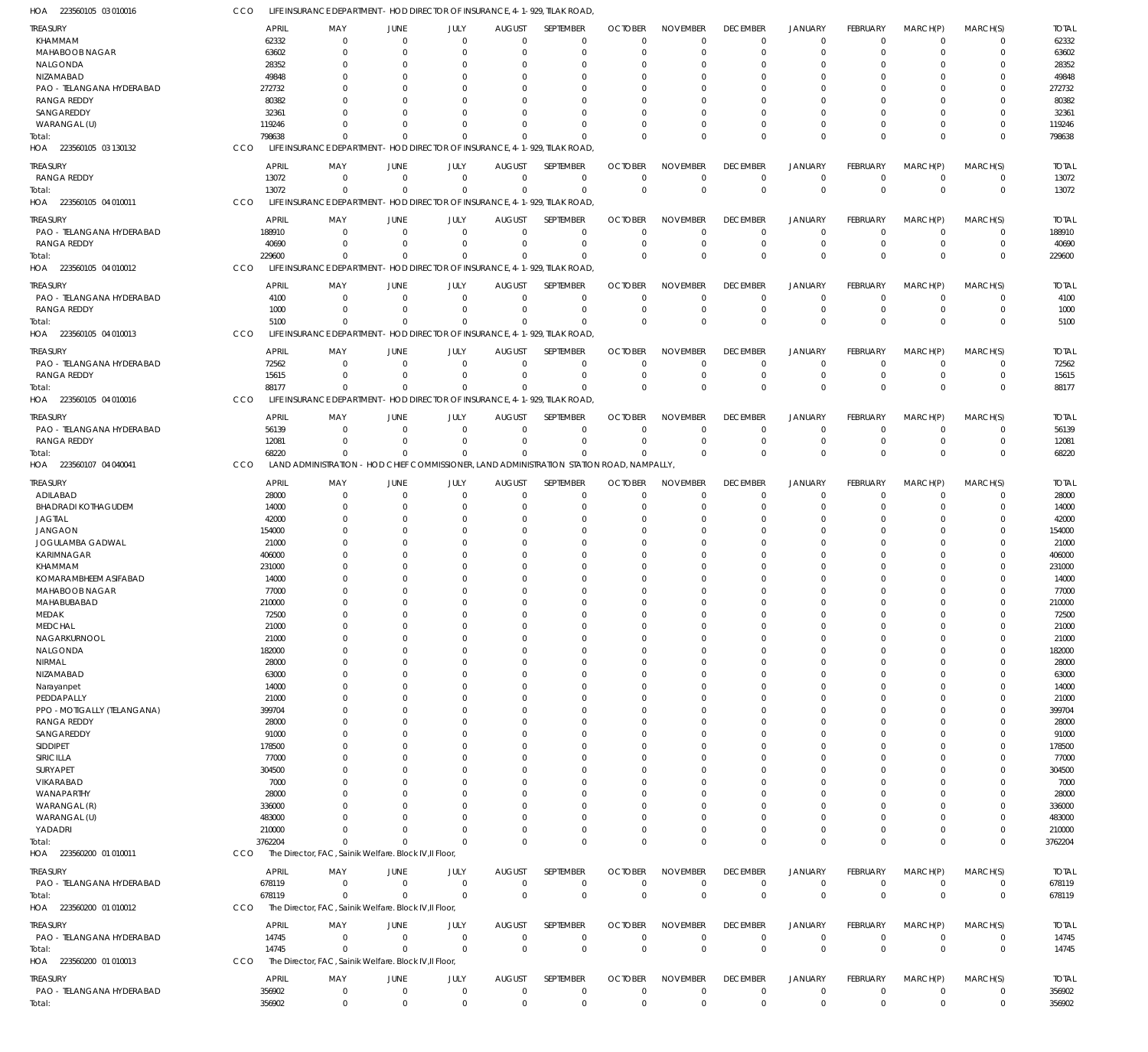LIFE INSURANCE DEPARTMENT - HOD DIRECTOR OF INSURANCE, 4-1-929, TILAK ROAD, CCO

| HOA 223560105 03 010016                         | CCO |                       | LIFE INSURANCE DEPARTMENT - HOD DIRECTOR OF INSURANCE, 4-1-929, TILAK ROAD |                                  |                            |                                 |                                                                       |                              |                                |                               |                            |                      |                        |                            |                       |
|-------------------------------------------------|-----|-----------------------|----------------------------------------------------------------------------|----------------------------------|----------------------------|---------------------------------|-----------------------------------------------------------------------|------------------------------|--------------------------------|-------------------------------|----------------------------|----------------------|------------------------|----------------------------|-----------------------|
| <b>TREASURY</b>                                 |     | <b>APRIL</b>          | MAY                                                                        | <b>JUNE</b>                      | JULY                       | <b>AUGUST</b>                   | SEPTEMBER                                                             | <b>OCTOBER</b>               | <b>NOVEMBER</b>                | <b>DECEMBER</b>               | <b>JANUARY</b>             | <b>FEBRUARY</b>      | MARCH(P)               | MARCH(S)                   | <b>TOTAL</b>          |
| KHAMMAM                                         |     | 62332                 | $\Omega$                                                                   | $\overline{0}$                   | $\Omega$                   | $\mathbf 0$                     | $\mathbf 0$                                                           | $\Omega$                     | $\mathbf 0$                    | $\mathbf 0$                   | $\mathbf 0$                | $\Omega$             | $\Omega$               | $\mathbf 0$                | 62332                 |
| MAHABOOB NAGAR                                  |     | 63602                 | $\Omega$                                                                   | $\overline{0}$                   | $\Omega$                   | 0                               | $\mathbf 0$                                                           | -0                           | $\mathbf 0$                    | $\Omega$                      | $\Omega$                   | $\Omega$             | $\Omega$               | $\mathbf 0$                | 63602                 |
| NALGONDA                                        |     | 28352                 | 0                                                                          | 0                                | $\Omega$                   | 0                               | 0                                                                     | 0                            | $\Omega$                       | $\Omega$                      | -0                         |                      | $\Omega$               | 0                          | 28352                 |
| NIZAMABAD                                       |     | 49848                 | <sup>0</sup>                                                               | $\Omega$                         | O                          | 0                               | $\Omega$                                                              | 0                            | $\Omega$                       | $\Omega$                      | $\Omega$                   |                      | $\Omega$               | U                          | 49848                 |
| PAO - TELANGANA HYDERABAD<br><b>RANGA REDDY</b> |     | 272732<br>80382       |                                                                            | $\Omega$<br>$\Omega$             | $\Omega$                   | 0<br><sup>0</sup>               | $\Omega$<br>$\Omega$                                                  | 0<br>0                       | $\Omega$<br>$\Omega$           | $\Omega$<br>$\Omega$          | $\Omega$<br>$\Omega$       |                      | $\Omega$<br>$\Omega$   | 0<br>U                     | 272732<br>80382       |
| SANGAREDDY                                      |     | 32361                 |                                                                            | $\Omega$                         | O                          | $\Omega$                        | $\Omega$                                                              | 0                            | $\Omega$                       | $\Omega$                      | $\Omega$                   |                      | $\Omega$               | 0                          | 32361                 |
| WARANGAL (U)                                    |     | 119246                | <sup>0</sup>                                                               | $\Omega$                         | $\Omega$                   | $\Omega$                        | $\Omega$                                                              | 0                            | $\Omega$                       | $\Omega$                      | $\Omega$                   | $\Omega$             | $\Omega$               | 0                          | 119246                |
| Total:                                          |     | 798638                | $\Omega$                                                                   | $\Omega$                         | $\Omega$                   | $\Omega$                        | $\Omega$                                                              | $\Omega$                     | $\Omega$                       | $\Omega$                      | $\Omega$                   | $\Omega$             | $\mathbf{0}$           | $\mathbf 0$                | 798638                |
| HOA 223560105 03 130132                         | CCO |                       | LIFE INSURANCE DEPARTMENT - HOD DIRECTOR OF INSURANCE, 4-1-929, TILAK ROAD |                                  |                            |                                 |                                                                       |                              |                                |                               |                            |                      |                        |                            |                       |
|                                                 |     |                       |                                                                            |                                  |                            |                                 |                                                                       |                              |                                |                               |                            | <b>FEBRUARY</b>      |                        |                            |                       |
| <b>TREASURY</b><br>RANGA REDDY                  |     | <b>APRIL</b><br>13072 | MAY<br>0                                                                   | <b>JUNE</b><br>$\overline{0}$    | JULY<br>$\mathbf 0$        | <b>AUGUST</b><br>$\overline{0}$ | SEPTEMBER<br>$\mathbf 0$                                              | <b>OCTOBER</b><br>$^{\circ}$ | <b>NOVEMBER</b><br>$\mathbf 0$ | <b>DECEMBER</b><br>$^{\circ}$ | JANUARY<br>$\mathbf 0$     | $\Omega$             | MARCH(P)<br>$^{\circ}$ | MARCH(S)<br>$\mathbf 0$    | <b>TOTAL</b><br>13072 |
| Total:                                          |     | 13072                 | $\mathbf 0$                                                                | $\overline{0}$                   | $\mathbf 0$                | $\mathbf 0$                     | $\mathbf 0$                                                           | $\Omega$                     | $\mathbf 0$                    | $\Omega$                      | $\Omega$                   | $\Omega$             | $\Omega$               | $\mathbf{0}$               | 13072                 |
| HOA 223560105 04 010011                         | CCO |                       | LIFE INSURANCE DEPARTMENT - HOD DIRECTOR OF INSURANCE, 4-1-929, TILAK ROAD |                                  |                            |                                 |                                                                       |                              |                                |                               |                            |                      |                        |                            |                       |
|                                                 |     |                       |                                                                            |                                  |                            |                                 |                                                                       |                              |                                |                               |                            |                      |                        |                            |                       |
| TREASURY                                        |     | <b>APRIL</b>          | MAY                                                                        | <b>JUNE</b>                      | JULY                       | <b>AUGUST</b>                   | SEPTEMBER                                                             | <b>OCTOBER</b>               | <b>NOVEMBER</b>                | <b>DECEMBER</b>               | <b>JANUARY</b>             | FEBRUARY             | MARCH(P)               | MARCH(S)                   | <b>TOTAL</b>          |
| PAO - TELANGANA HYDERABAD<br><b>RANGA REDDY</b> |     | 188910<br>40690       | $\mathbf 0$<br>$\mathbf 0$                                                 | $\overline{0}$<br>$\Omega$       | $\mathbf 0$<br>$\mathbf 0$ | $\mathbf 0$<br>$\mathbf{0}$     | $\mathbf 0$<br>$\mathbf 0$                                            | $^{\circ}$<br>-0             | $\Omega$<br>$\mathbf 0$        | $\Omega$<br>$\mathbf 0$       | $\mathbf 0$<br>$\mathbf 0$ | $\Omega$<br>$\Omega$ | $\Omega$<br>$^{\circ}$ | $\mathbf 0$<br>$\mathbf 0$ | 188910<br>40690       |
| Total:                                          |     | 229600                | $\Omega$                                                                   | $\overline{0}$                   | $\Omega$                   | $\mathbf 0$                     | $\mathbf 0$                                                           | $\Omega$                     | $\Omega$                       | $\Omega$                      | $\Omega$                   | $\Omega$             | $\Omega$               | $\mathbf 0$                | 229600                |
| HOA 223560105 04 010012                         | CCO |                       | LIFE INSURANCE DEPARTMENT - HOD DIRECTOR OF INSURANCE, 4-1-929, TILAK ROAD |                                  |                            |                                 |                                                                       |                              |                                |                               |                            |                      |                        |                            |                       |
|                                                 |     |                       |                                                                            |                                  |                            |                                 |                                                                       |                              |                                |                               |                            |                      |                        |                            |                       |
| <b>TREASURY</b>                                 |     | <b>APRIL</b>          | MAY                                                                        | JUNE                             | JULY                       | <b>AUGUST</b>                   | SEPTEMBER                                                             | <b>OCTOBER</b>               | <b>NOVEMBER</b>                | <b>DECEMBER</b>               | <b>JANUARY</b>             | FEBRUARY             | MARCH(P)               | MARCH(S)                   | <b>TOTAL</b>          |
| PAO - TELANGANA HYDERABAD                       |     | 4100                  | 0                                                                          | $\overline{0}$                   | $\mathbf 0$                | $\mathbf 0$                     | $\mathbf 0$                                                           | -0                           | 0                              | 0                             | $\mathbf 0$                | $\Omega$             | $\Omega$               | $\mathbf 0$                | 4100                  |
| <b>RANGA REDDY</b>                              |     | 1000<br>5100          | $\mathbf 0$<br>$\mathbf 0$                                                 | $\overline{0}$<br>$\overline{0}$ | $\mathbf 0$<br>$\Omega$    | $\mathbf 0$<br>$\Omega$         | $\mathbf 0$<br>$\mathbf 0$                                            | $^{\circ}$<br>$\Omega$       | $\mathbf 0$<br>$\mathbf 0$     | $\mathbf 0$<br>$\Omega$       | $\mathbf 0$<br>$\Omega$    | $\Omega$<br>$\Omega$ | $\Omega$<br>$\Omega$   | $\mathbf 0$<br>$\mathbf 0$ | 1000<br>5100          |
| Total:<br>HOA 223560105 04 010013               | CCO |                       | LIFE INSURANCE DEPARTMENT - HOD DIRECTOR OF INSURANCE, 4-1-929, TILAK ROAD |                                  |                            |                                 |                                                                       |                              |                                |                               |                            |                      |                        |                            |                       |
|                                                 |     |                       |                                                                            |                                  |                            |                                 |                                                                       |                              |                                |                               |                            |                      |                        |                            |                       |
| TREASURY                                        |     | <b>APRIL</b>          | MAY                                                                        | <b>JUNE</b>                      | JULY                       | <b>AUGUST</b>                   | SEPTEMBER                                                             | <b>OCTOBER</b>               | <b>NOVEMBER</b>                | <b>DECEMBER</b>               | <b>JANUARY</b>             | FEBRUARY             | MARCH(P)               | MARCH(S)                   | <b>TOTAL</b>          |
| PAO - TELANGANA HYDERABAD                       |     | 72562                 | $\mathbf 0$                                                                | $\overline{0}$                   | $\mathbf 0$                | $\mathbf 0$                     | $\mathbf 0$                                                           | -0                           | 0                              | 0                             | 0                          | $\Omega$             | $\Omega$               | $\mathbf 0$                | 72562                 |
| <b>RANGA REDDY</b>                              |     | 15615                 | $\Omega$                                                                   | $\Omega$                         | $\mathbf 0$                | $\mathbf 0$                     | $\mathbf 0$                                                           | $\Omega$                     | $\mathbf 0$                    | $\Omega$                      | $\mathbf 0$                | $\Omega$             | $\Omega$               | $\mathbf 0$                | 15615                 |
| Total:                                          | CCO | 88177                 | $\Omega$                                                                   | $\Omega$                         | $\Omega$                   | $\Omega$                        | $\mathbf 0$                                                           | $\Omega$                     | $\Omega$                       | $\Omega$                      | $\Omega$                   | $\Omega$             | $\Omega$               | $\mathbf 0$                | 88177                 |
| HOA 223560105 04 010016                         |     |                       | LIFE INSURANCE DEPARTMENT - HOD DIRECTOR OF INSURANCE, 4-1-929, TILAK ROAD |                                  |                            |                                 |                                                                       |                              |                                |                               |                            |                      |                        |                            |                       |
| <b>TREASURY</b>                                 |     | <b>APRIL</b>          | MAY                                                                        | <b>JUNE</b>                      | JULY                       | <b>AUGUST</b>                   | SEPTEMBER                                                             | <b>OCTOBER</b>               | <b>NOVEMBER</b>                | <b>DECEMBER</b>               | <b>JANUARY</b>             | FEBRUARY             | MARCH(P)               | MARCH(S)                   | <b>TOTAL</b>          |
| PAO - TELANGANA HYDERABAD                       |     | 56139                 | $\overline{0}$                                                             | $\overline{0}$                   | $\mathbf 0$                | $\overline{0}$                  | $\mathbf 0$                                                           | $^{\circ}$                   | $\mathbf 0$                    | 0                             | $\mathbf 0$                | $\Omega$             | $\overline{0}$         | $\mathbf 0$                | 56139                 |
| <b>RANGA REDDY</b>                              |     | 12081                 | $\mathbf 0$                                                                | $\overline{0}$                   | $\mathbf 0$                | 0                               | $\mathbf 0$                                                           | $^{\circ}$                   | $\mathbf 0$                    | 0                             | $\mathbf 0$                | $\Omega$             | $\overline{0}$         | $\mathbf 0$                | 12081                 |
| Total:                                          |     | 68220                 | $\Omega$                                                                   | $\Omega$                         | $\Omega$                   | $\mathbf 0$                     | $\mathbf 0$                                                           | $\Omega$                     | $\Omega$                       | $\Omega$                      | $\Omega$                   | $\Omega$             | $\Omega$               | $\mathbf 0$                | 68220                 |
| HOA 223560107 04 040041                         | CCO |                       | <b>LAND ADMINISTRATION</b>                                                 |                                  |                            |                                 | - HOD CHIEF COMMISSIONER, LAND ADMINISTRATION STATION ROAD, NAMPALLY, |                              |                                |                               |                            |                      |                        |                            |                       |
| <b>TREASURY</b>                                 |     | <b>APRIL</b>          | MAY                                                                        | <b>JUNE</b>                      | JULY                       | <b>AUGUST</b>                   | SEPTEMBER                                                             | <b>OCTOBER</b>               | <b>NOVEMBER</b>                | <b>DECEMBER</b>               | <b>JANUARY</b>             | FEBRUARY             | MARCH(P)               | MARCH(S)                   | <b>TOTAL</b>          |
| ADILABAD                                        |     | 28000                 | 0                                                                          | $\overline{0}$                   | $\mathbf{0}$               | $\mathbf 0$                     | $\mathbf 0$                                                           | $^{\circ}$                   | $\mathbf 0$                    | $\Omega$                      | $\Omega$                   | $\Omega$             | $\Omega$               | $\mathbf 0$                | 28000                 |
| <b>BHADRADI KOTHAGUDEM</b>                      |     | 14000                 | $\Omega$                                                                   | $\overline{0}$                   | $\Omega$                   | 0                               | $\mathbf 0$                                                           | -0                           | $\mathbf 0$                    | $\Omega$                      | $\Omega$                   |                      | $\Omega$               | $\mathbf 0$                | 14000                 |
| <b>JAGTIAL</b>                                  |     | 42000                 | 0                                                                          | 0                                | $\Omega$                   | $\Omega$                        | 0                                                                     | -0                           | $\Omega$                       | $\Omega$                      | $\Omega$                   |                      | $\Omega$               | 0                          | 42000                 |
| <b>JANGAON</b>                                  |     | 154000                |                                                                            | $\Omega$                         | $\Omega$                   | $\Omega$                        | $\Omega$                                                              | $\Omega$                     | $\Omega$                       | $\Omega$                      | $\Omega$                   | $\Omega$             | $\Omega$               | $\Omega$                   | 154000                |
| JOGULAMBA GADWAL<br>KARIMNAGAR                  |     | 21000<br>406000       |                                                                            | 0<br>$\Omega$                    | 0<br>O                     | $\Omega$<br><sup>0</sup>        | 0<br>$\Omega$                                                         | 0<br>-0                      | $\Omega$<br>$\Omega$           | $\Omega$<br>$\Omega$          | $\Omega$<br>$\Omega$       |                      | $\Omega$<br>$\Omega$   | 0<br>U                     | 21000<br>406000       |
| KHAMMAM                                         |     | 231000                |                                                                            | $\Omega$                         |                            | 0                               | $\Omega$                                                              | 0                            | $\Omega$                       |                               | $\Omega$                   |                      | $\Omega$               |                            | 231000                |
| KOMARAMBHEEM ASIFABAD                           |     | 14000                 |                                                                            | $\Omega$                         | O                          | $\Omega$                        | $\Omega$                                                              | 0                            | $\Omega$                       |                               | $\Omega$                   |                      | $\Omega$               |                            | 14000                 |
| MAHABOOB NAGAR                                  |     | 77000                 | <sup>0</sup>                                                               | $\Omega$                         | $\Omega$                   | $\Omega$                        | $\Omega$                                                              | $\Omega$                     | $\Omega$                       | $\Omega$                      | $\Omega$                   | $\Omega$             | $\Omega$               | 0                          | 77000                 |
| MAHABUBABAD                                     |     | 210000                | 0                                                                          |                                  |                            | $\Omega$                        | n                                                                     | $\Omega$                     | $\Omega$                       | $\Omega$                      |                            | $\Omega$             | $^{\circ}$             | 0                          | 210000                |
| MEDAK                                           |     | 72500                 | 0                                                                          | $\overline{0}$                   | $\Omega$                   | $\mathbf 0$                     | $\mathbf 0$                                                           | $\mathbf 0$                  | 0                              | $\Omega$                      | $\Omega$                   | $\Omega$             | $\Omega$               | $\mathbf 0$                | 72500                 |
| <b>MEDCHAL</b>                                  |     | 21000                 | 0                                                                          | $\overline{0}$                   | $\Omega$                   | $\Omega$                        | $\mathbf 0$                                                           | $^{\circ}$                   | $\mathbf 0$                    | $\Omega$                      | $\Omega$                   | $\Omega$             | $\Omega$               | $\mathbf 0$                | 21000                 |
| NAGARKURNOOL                                    |     | 21000                 | 0                                                                          | $\overline{0}$                   | 0                          | $\Omega$                        | $\mathbf 0$                                                           | -0                           | $\mathbf 0$                    | $\Omega$                      | $\Omega$                   | $\Omega$             | $\Omega$               | 0                          | 21000                 |
| NALGONDA                                        |     | 182000                | $\Omega$                                                                   | $\Omega$                         | $\Omega$                   | $\Omega$                        | $\mathbf 0$                                                           | $\Omega$                     | $\mathbf 0$                    | $\Omega$                      | $\Omega$                   | $\Omega$             | $\Omega$               | 0                          | 182000                |
| NIRMAL                                          |     | 28000                 | 0                                                                          | $\Omega$                         | O                          | $\Omega$                        | 0                                                                     | -0                           | $\Omega$                       | $\Omega$                      | $\Omega$                   |                      | $\Omega$               | 0                          | 28000                 |
| NIZAMABAD                                       |     | 63000                 | <sup>0</sup>                                                               | $\Omega$                         | O                          | 0                               | $\Omega$                                                              | $\Omega$                     | $\Omega$                       | $\Omega$                      | $\Omega$                   |                      | $\Omega$               | $\Omega$                   | 63000                 |
| Narayanpet                                      |     | 14000                 | 0                                                                          | $\Omega$                         | O                          | 0                               | $\mathbf 0$                                                           | $\Omega$                     | $\Omega$                       | $\Omega$                      | $\Omega$                   |                      | $\Omega$               | 0                          | 14000                 |
| PEDDAPALLY<br>PPO - MOTIGALLY (TELANGANA)       |     | 21000<br>399704       | <sup>0</sup><br>0                                                          | $\Omega$<br>$\Omega$             | O<br>O                     | $\Omega$<br>0                   | $\mathbf 0$<br>$\mathbf 0$                                            | $\Omega$<br>0                | $\Omega$<br>$\Omega$           | $\Omega$<br>$\Omega$          | $\Omega$<br>$\Omega$       | $\Omega$             | $\Omega$<br>$\Omega$   | 0<br>0                     | 21000<br>399704       |
| <b>RANGA REDDY</b>                              |     | 28000                 | 0                                                                          | $\Omega$                         | O                          | 0                               | $\mathbf 0$                                                           | $\Omega$                     | $\mathbf 0$                    | $\Omega$                      | $\Omega$                   |                      | $\Omega$               | $\Omega$                   | 28000                 |
| SANGAREDDY                                      |     | 91000                 | 0                                                                          | $\overline{0}$                   | n                          | 0                               | $\mathbf 0$                                                           | 0                            | $\Omega$                       | $\Omega$                      | $\Omega$                   |                      | $\Omega$               | 0                          | 91000                 |
| SIDDIPET                                        |     | 178500                | <sup>0</sup>                                                               | $\Omega$                         | O                          | $\Omega$                        | $\Omega$                                                              | $\Omega$                     | $\Omega$                       | $\Omega$                      | $\Omega$                   | $\Omega$             | $\Omega$               | 0                          | 178500                |
| SIRICILLA                                       |     | 77000                 | 0                                                                          | $\Omega$                         | O                          | 0                               | $\mathbf 0$                                                           | 0                            | $\Omega$                       | $\Omega$                      | $\Omega$                   |                      | $\Omega$               | 0                          | 77000                 |
| SURYAPET                                        |     | 304500                | <sup>0</sup>                                                               | $\Omega$                         | O                          | 0                               | $\mathbf 0$                                                           | $\Omega$                     | $\mathbf 0$                    | $\Omega$                      | $\Omega$                   |                      | $\Omega$               | $\Omega$                   | 304500                |
| VIKARABAD                                       |     | 7000                  | 0                                                                          | $\Omega$                         | O                          | 0                               | 0                                                                     | 0                            | $\Omega$                       | $\Omega$                      | $\Omega$                   |                      | $\Omega$               | 0                          | 7000                  |
| WANAPARTHY                                      |     | 28000                 | <sup>0</sup>                                                               | $\Omega$                         | O                          | $\Omega$                        | $\Omega$                                                              | $\Omega$                     | $\Omega$                       | $\Omega$                      | $\Omega$                   |                      | $\Omega$               | $\Omega$                   | 28000                 |
| WARANGAL (R)                                    |     | 336000                | 0                                                                          | $\Omega$                         |                            | 0                               | 0                                                                     | 0                            | $\Omega$                       | $\Omega$                      | $\Omega$                   |                      | $\Omega$               | 0                          | 336000                |
| WARANGAL (U)                                    |     | 483000                | <sup>0</sup>                                                               | $\Omega$                         | O                          | 0                               | $\Omega$                                                              | -0                           | $\Omega$                       | $\Omega$                      | $\Omega$                   |                      | $\Omega$               | 0                          | 483000                |
| YADADRI                                         |     | 210000                | $\Omega$                                                                   | $\Omega$                         | $\Omega$                   | $\Omega$                        | $\mathbf 0$                                                           | -0                           | $\mathbf 0$                    | $\Omega$                      | $\mathbf 0$                | $\Omega$             | $\Omega$               | 0                          | 210000                |
| Total:                                          |     | 3762204               | $\Omega$                                                                   | $\Omega$                         | $\Omega$                   | $\Omega$                        | $\mathbf 0$                                                           | $\Omega$                     | $\Omega$                       | $\Omega$                      | $\Omega$                   | $\Omega$             | $\mathbf{0}$           | $\mathbf 0$                | 3762204               |
| HOA 223560200 01 010011                         | CCO |                       | The Director, FAC, Sainik Welfare. Block IV, II Floor,                     |                                  |                            |                                 |                                                                       |                              |                                |                               |                            |                      |                        |                            |                       |
| treasury                                        |     | <b>APRIL</b>          | MAY                                                                        | JUNE                             | JULY                       | <b>AUGUST</b>                   | SEPTEMBER                                                             | <b>OCTOBER</b>               | <b>NOVEMBER</b>                | <b>DECEMBER</b>               | <b>JANUARY</b>             | <b>FEBRUARY</b>      | MARCH(P)               | MARCH(S)                   | <b>TOTAL</b>          |
| PAO - TELANGANA HYDERABAD                       |     | 678119                | $\mathbf{0}$                                                               | $\overline{0}$                   | $\mathbf 0$                | $\mathbf 0$                     | $\mathbf 0$                                                           | $\mathbf 0$                  | 0                              | $\overline{0}$                | $\mathbf 0$                | $\mathbf 0$          | $\overline{0}$         | $\mathbf 0$                | 678119                |
| Total:                                          |     | 678119                | $\Omega$                                                                   | $\Omega$                         | $\Omega$                   | $\mathbf 0$                     | $\mathbf 0$                                                           | $\mathbf 0$                  | $\mathbf 0$                    | $\mathbf 0$                   | $\mathbf 0$                | $\Omega$             | $\Omega$               | $\mathbf 0$                | 678119                |
| HOA 223560200 01 010012                         | CCO |                       | The Director, FAC, Sainik Welfare. Block IV, Il Floor,                     |                                  |                            |                                 |                                                                       |                              |                                |                               |                            |                      |                        |                            |                       |
| TREASURY                                        |     | <b>APRIL</b>          | MAY                                                                        | <b>JUNE</b>                      | JULY                       | <b>AUGUST</b>                   | SEPTEMBER                                                             | <b>OCTOBER</b>               | <b>NOVEMBER</b>                | <b>DECEMBER</b>               | <b>JANUARY</b>             | <b>FEBRUARY</b>      | MARCH(P)               | MARCH(S)                   | <b>TOTAL</b>          |
| PAO - TELANGANA HYDERABAD                       |     | 14745                 | $\mathbf{0}$                                                               | $\overline{0}$                   | $\mathbf{0}$               | $\mathbf 0$                     | $\mathbf 0$                                                           | $\mathbf 0$                  | $\mathbf 0$                    | $\mathbf 0$                   | $\mathbf 0$                | $\mathbf 0$          | $\overline{0}$         | $\mathbf 0$                | 14745                 |
| Total:                                          |     | 14745                 | $\mathbf 0$                                                                | $\overline{0}$                   | $\mathbf 0$                | $\overline{0}$                  | $\mathbf 0$                                                           | $\mathbf 0$                  | $\mathbf 0$                    | $\mathbf 0$                   | $\mathbf 0$                | $\mathbf 0$          | $\mathbf{0}$           | $\mathbf 0$                | 14745                 |
| HOA 223560200 01 010013                         | CCO |                       | The Director, FAC, Sainik Welfare. Block IV, Il Floor,                     |                                  |                            |                                 |                                                                       |                              |                                |                               |                            |                      |                        |                            |                       |
| <b>TREASURY</b>                                 |     | <b>APRIL</b>          | MAY                                                                        | JUNE                             | JULY                       | <b>AUGUST</b>                   | SEPTEMBER                                                             | <b>OCTOBER</b>               | <b>NOVEMBER</b>                | <b>DECEMBER</b>               | JANUARY                    | <b>FEBRUARY</b>      | MARCH(P)               | MARCH(S)                   | <b>TOTAL</b>          |
| PAO - TELANGANA HYDERABAD                       |     | 356902                | $\mathbf 0$                                                                | $\overline{0}$                   | 0                          | $\overline{0}$                  | $\mathbf 0$                                                           | $^{\circ}$                   | 0                              | $\overline{0}$                | $\mathbf 0$                | $^{\circ}$           | $\mathbf 0$            | $\mathbf 0$                | 356902                |
| Total:                                          |     | 356902                | $\mathbf 0$                                                                | $\overline{0}$                   | $\mathbf 0$                | $\mathbf 0$                     | $\mathbf 0$                                                           | $\mathbf 0$                  | $\mathbf 0$                    | $\mathbf 0$                   | $\mathbf 0$                | $\mathbf 0$          | $\mathbf 0$            | $\mathbf 0$                | 356902                |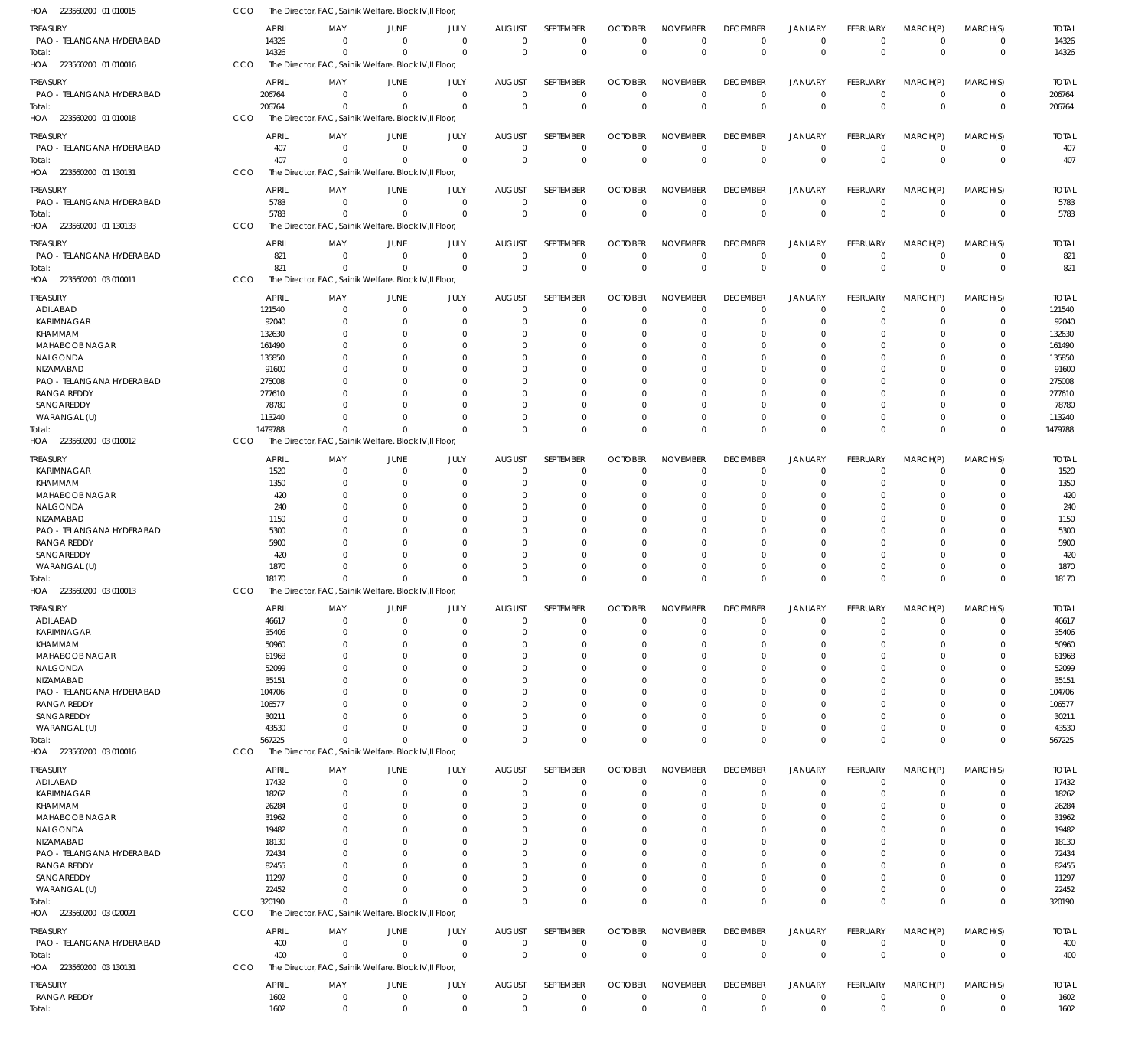| HOA 223560200 01 010015                | <b>CCO</b> |                |                          | The Director, FAC, Sainik Welfare. Block IV, Il Floor, |                            |                              |                            |                               |                                |                             |                               |                           |                               |                               |                        |
|----------------------------------------|------------|----------------|--------------------------|--------------------------------------------------------|----------------------------|------------------------------|----------------------------|-------------------------------|--------------------------------|-----------------------------|-------------------------------|---------------------------|-------------------------------|-------------------------------|------------------------|
| TREASURY                               |            | <b>APRIL</b>   | MAY                      | <b>JUNE</b>                                            | JULY                       | <b>AUGUST</b>                | SEPTEMBER                  | <b>OCTOBER</b>                | <b>NOVEMBER</b>                | <b>DECEMBER</b>             | <b>JANUARY</b>                | FEBRUARY                  | MARCH(P)                      | MARCH(S)                      | <b>TOTAL</b>           |
| PAO - TELANGANA HYDERABAD              |            | 14326          | $\mathbf 0$              | $\overline{0}$                                         | $\mathbf 0$                | $\mathbf 0$                  | $\mathbf 0$                | $^{\circ}$                    | $\mathbf 0$                    | 0                           | 0                             | $^{\circ}$                | $\overline{0}$                | $\mathbf 0$                   | 14326                  |
| Total:                                 |            | 14326          | $\Omega$                 | $\overline{0}$                                         | $\mathbf 0$                | $\mathbf 0$                  | $\mathbf 0$                | $\overline{0}$                | $\mathbf{0}$                   | $\Omega$                    | $\mathbf 0$                   | $\mathbf 0$               | $\mathbf{0}$                  | $\mathbf 0$                   | 14326                  |
| HOA 223560200 01 010016                | CCO        |                |                          | The Director, FAC, Sainik Welfare. Block IV, Il Floor, |                            |                              |                            |                               |                                |                             |                               |                           |                               |                               |                        |
|                                        |            |                |                          |                                                        |                            |                              |                            |                               |                                |                             |                               |                           |                               |                               |                        |
| TREASURY<br>PAO - TELANGANA HYDERABAD  | 206764     | <b>APRIL</b>   | MAY<br>$\mathbf{0}$      | <b>JUNE</b><br>$\overline{0}$                          | JULY<br>$\mathbf 0$        | <b>AUGUST</b><br>$\mathbf 0$ | SEPTEMBER<br>$\mathbf 0$   | <b>OCTOBER</b><br>$\mathbf 0$ | <b>NOVEMBER</b><br>$\mathbf 0$ | <b>DECEMBER</b><br>$\Omega$ | <b>JANUARY</b><br>$\mathbf 0$ | FEBRUARY<br>$^{\circ}$    | MARCH(P)<br>$\overline{0}$    | MARCH(S)<br>$\mathbf 0$       | <b>TOTAL</b><br>206764 |
|                                        | 206764     |                | $\Omega$                 | $\Omega$                                               | $\Omega$                   | $\Omega$                     | $\mathbf 0$                | $\Omega$                      | $\Omega$                       | $\Omega$                    | $\Omega$                      | $\Omega$                  | $\Omega$                      | $\mathbf{0}$                  | 206764                 |
| Total:<br>223560200 01 010018<br>HOA   | CCO        |                |                          | The Director, FAC, Sainik Welfare. Block IV, Il Floor, |                            |                              |                            |                               |                                |                             |                               |                           |                               |                               |                        |
|                                        |            |                |                          |                                                        |                            |                              |                            |                               |                                |                             |                               |                           |                               |                               |                        |
| <b>TREASURY</b>                        |            | <b>APRIL</b>   | MAY                      | JUNE                                                   | JULY                       | <b>AUGUST</b>                | SEPTEMBER                  | <b>OCTOBER</b>                | <b>NOVEMBER</b>                | <b>DECEMBER</b>             | <b>JANUARY</b>                | FEBRUARY                  | MARCH(P)                      | MARCH(S)                      | <b>TOTAL</b>           |
| PAO - TELANGANA HYDERABAD              |            | 407            | $\mathbf 0$              | $\overline{0}$                                         | $\mathbf 0$                | $\mathbf 0$                  | $\mathbf 0$                | $\mathbf 0$                   | $\mathbf 0$                    | $\mathbf 0$                 | $\mathbf 0$                   | $^{\circ}$                | $\overline{0}$                | $\mathbf 0$                   | 407                    |
| Total:                                 |            | 407            | $\Omega$                 | $\overline{0}$                                         | $\mathbf 0$                | $\mathbf 0$                  | $\mathbf 0$                | $\overline{0}$                | $\Omega$                       | $\Omega$                    | $\mathbf{0}$                  | $\overline{0}$            | $\Omega$                      | $\mathbf{0}$                  | 407                    |
| 223560200 01 130131<br>HOA             | CCO        |                |                          | The Director, FAC, Sainik Welfare. Block IV, Il Floor, |                            |                              |                            |                               |                                |                             |                               |                           |                               |                               |                        |
| TREASURY                               |            | <b>APRIL</b>   | MAY                      | <b>JUNE</b>                                            | JULY                       | <b>AUGUST</b>                | SEPTEMBER                  | <b>OCTOBER</b>                | <b>NOVEMBER</b>                | <b>DECEMBER</b>             | JANUARY                       | FEBRUARY                  | MARCH(P)                      | MARCH(S)                      | <b>TOTAL</b>           |
| PAO - TELANGANA HYDERABAD              |            | 5783           | $\mathbf{0}$             | $\overline{0}$                                         | $\mathbf 0$                | 0                            | $\mathbf 0$                | $\mathbf 0$                   | $\mathbf 0$                    | $\mathbf 0$                 | 0                             | $\overline{0}$            | $\overline{0}$                | $\mathbf 0$                   | 5783                   |
| Total:                                 |            | 5783           | $\Omega$                 | $\Omega$                                               | $\mathbf 0$                | $\mathbf 0$                  | $\mathbf 0$                | $\mathbf 0$                   | $\Omega$                       | $\Omega$                    | $\mathbf 0$                   | $\Omega$                  | $\mathbf 0$                   | $\mathbf 0$                   | 5783                   |
| HOA 223560200 01 130133                | CCO        |                |                          | The Director, FAC, Sainik Welfare. Block IV, Il Floor, |                            |                              |                            |                               |                                |                             |                               |                           |                               |                               |                        |
| TREASURY                               |            | <b>APRIL</b>   | MAY                      | <b>JUNE</b>                                            | JULY                       | <b>AUGUST</b>                | SEPTEMBER                  | <b>OCTOBER</b>                | <b>NOVEMBER</b>                | <b>DECEMBER</b>             | JANUARY                       | FEBRUARY                  | MARCH(P)                      | MARCH(S)                      | <b>TOTAL</b>           |
| PAO - TELANGANA HYDERABAD              |            | 821            | $\mathbf{0}$             | $\overline{0}$                                         | $\mathbf 0$                | $\mathbf 0$                  | $\mathbf 0$                | $\mathbf 0$                   | $\mathbf 0$                    | $\mathbf 0$                 | $\mathbf 0$                   | $^{\circ}$                | $\overline{0}$                | $\mathbf 0$                   | 821                    |
| Total:                                 |            | 821            | $\mathbf 0$              | $\overline{0}$                                         | $\mathbf 0$                | $\mathbf 0$                  | $\mathbf 0$                | $\overline{0}$                | $\Omega$                       | $\Omega$                    | $\mathbf 0$                   | $\overline{0}$            | $\Omega$                      | $\mathbf 0$                   | 821                    |
| 223560200 03 010011<br>HOA             | CCO        |                |                          | The Director, FAC, Sainik Welfare. Block IV, Il Floor, |                            |                              |                            |                               |                                |                             |                               |                           |                               |                               |                        |
|                                        |            |                |                          |                                                        |                            |                              |                            |                               |                                |                             |                               |                           |                               |                               |                        |
| <b>TREASURY</b>                        |            | <b>APRIL</b>   | MAY                      | JUNE                                                   | JULY                       | <b>AUGUST</b>                | SEPTEMBER                  | <b>OCTOBER</b>                | <b>NOVEMBER</b>                | <b>DECEMBER</b>             | <b>JANUARY</b>                | <b>FEBRUARY</b>           | MARCH(P)                      | MARCH(S)                      | <b>TOTAL</b>           |
| ADILABAD                               |            | 121540         | $\mathbf{0}$             | $\mathbf 0$                                            | $\mathbf 0$                | 0                            | 0                          | $\Omega$                      | $\Omega$                       | $\Omega$                    | 0                             | $\Omega$                  | $\Omega$                      | $\mathbf 0$                   | 121540                 |
| KARIMNAGAR                             |            | 92040          | $\Omega$                 | 0                                                      | $\mathbf 0$                | $\Omega$                     | $\mathbf 0$                | $\Omega$                      | $\Omega$                       | $\Omega$                    | $\Omega$                      | $\Omega$                  | $\Omega$                      | $\Omega$                      | 92040                  |
| KHAMMAM                                |            | 132630         | $\Omega$                 | $\Omega$                                               | $\Omega$                   | 0                            | 0                          | -0                            | $\Omega$                       | $\Omega$                    | $\Omega$                      | $\Omega$                  | $\Omega$                      | $\Omega$                      | 132630                 |
| MAHABOOB NAGAR                         |            | 161490         | 0                        | $\Omega$                                               | 0                          | $\Omega$                     | $\mathbf 0$                | $\Omega$                      | $\Omega$                       | $\cap$                      | $\Omega$                      | $\Omega$                  | $\Omega$                      | $\Omega$                      | 161490                 |
| NALGONDA                               |            | 135850         | 0                        | $\Omega$                                               | $\Omega$                   | 0                            | 0                          | $\Omega$                      | $\Omega$                       | $\cap$                      | $\Omega$                      | $\Omega$                  | $\Omega$                      | $\Omega$                      | 135850                 |
| NIZAMABAD<br>PAO - TELANGANA HYDERABAD | 275008     | 91600          | <sup>0</sup><br>0        | $\Omega$<br>$\Omega$                                   | $\Omega$<br>$\Omega$       | $\Omega$<br>0                | $\Omega$<br>0              | $\Omega$<br>$\Omega$          | $\Omega$<br>$\Omega$           | $\cap$<br>$\Omega$          | $\Omega$<br>$\Omega$          | $\Omega$<br>$\Omega$      | $\Omega$<br>$\Omega$          | $\Omega$<br>$\Omega$          | 91600<br>275008        |
| <b>RANGA REDDY</b>                     |            | 277610         | <sup>0</sup>             | $\Omega$                                               | $\Omega$                   | $\Omega$                     | $\Omega$                   | $\Omega$                      | $\Omega$                       | $\cap$                      | $\Omega$                      | $\Omega$                  | $\Omega$                      | $\Omega$                      | 277610                 |
| SANGAREDDY                             |            | 78780          | <sup>0</sup>             | $\Omega$                                               | $\Omega$                   | $\Omega$                     | $\Omega$                   | -C                            | $\Omega$                       | $\Omega$                    | $\Omega$                      | $\Omega$                  | $\Omega$                      | $\Omega$                      | 78780                  |
| WARANGAL (U)                           |            | 113240         | $\Omega$                 | $\Omega$                                               | $\mathbf 0$                | $\Omega$                     | $\mathbf 0$                | $\Omega$                      | $\Omega$                       | $\Omega$                    | $\Omega$                      | $\Omega$                  | $\Omega$                      | $\mathbf 0$                   | 113240                 |
| Total:                                 | 1479788    |                | $\Omega$                 | $\Omega$                                               | $\Omega$                   | $\Omega$                     | $\mathbf 0$                | $\Omega$                      | $\Omega$                       | $\Omega$                    | $\Omega$                      | $\Omega$                  | $\mathbf{0}$                  | $\mathbf 0$                   | 1479788                |
| HOA 223560200 03 010012                | CCO        |                |                          | The Director, FAC, Sainik Welfare. Block IV, Il Floor, |                            |                              |                            |                               |                                |                             |                               |                           |                               |                               |                        |
|                                        |            |                |                          |                                                        |                            |                              |                            |                               |                                |                             |                               |                           |                               |                               |                        |
| TREASURY                               |            | <b>APRIL</b>   | MAY                      | <b>JUNE</b>                                            | JULY                       | <b>AUGUST</b>                | SEPTEMBER                  | <b>OCTOBER</b>                | <b>NOVEMBER</b>                | <b>DECEMBER</b>             | <b>JANUARY</b>                | FEBRUARY                  | MARCH(P)                      | MARCH(S)                      | <b>TOTAL</b>           |
| KARIMNAGAR                             |            | 1520           | $\mathbf{0}$             | $\mathbf 0$                                            | $\overline{0}$             | 0                            | $\mathbf 0$                | O                             | $\mathbf 0$                    | 0                           | 0                             | $^{\circ}$                | $\Omega$                      | $\mathbf 0$                   | 1520                   |
| KHAMMAM                                |            | 1350           | $\mathbf{0}$             | $\mathbf 0$                                            | $\mathbf 0$                | 0                            | $\mathbf 0$                | $\Omega$                      | $\Omega$                       | $\Omega$                    | $\Omega$                      | $\Omega$                  | $\Omega$                      | $\mathbf 0$                   | 1350                   |
| MAHABOOB NAGAR                         |            | 420            | $\Omega$                 | 0                                                      | 0                          | 0                            | $\mathbf 0$                | -0                            | $\Omega$                       | $\Omega$                    | $\Omega$                      |                           | $\Omega$                      | 0                             | 420                    |
| NALGONDA                               |            | 240            | 0                        | 0                                                      | 0                          | 0                            | $\mathbf 0$                | -0                            | $\Omega$                       |                             | $\Omega$                      | $\Omega$                  | $\Omega$                      | $\Omega$                      | 240                    |
| NIZAMABAD                              |            | 1150           | $\Omega$                 | 0                                                      | 0                          | 0                            | $\mathbf 0$                | -0                            | $\mathbf 0$                    |                             | $\Omega$                      | $\Omega$                  | $\Omega$                      | 0                             | 1150                   |
| PAO - TELANGANA HYDERABAD              |            | 5300           | O<br><sup>0</sup>        | $\Omega$                                               | 0                          | $\Omega$                     | $\mathbf 0$                | -0                            | $\Omega$<br>$\Omega$           |                             | $\Omega$<br>$\Omega$          | $\Omega$                  | $\Omega$<br>$\Omega$          | $\Omega$                      | 5300                   |
| <b>RANGA REDDY</b><br>SANGAREDDY       |            | 5900<br>420    | O                        | $\Omega$<br>$\Omega$                                   | 0<br>$\mathbf 0$           | $\Omega$<br>$\Omega$         | $\mathbf 0$<br>$\mathbf 0$ | -0<br>$\Omega$                | $\mathbf 0$                    | $\Omega$<br>$\Omega$        | $\Omega$                      | $\Omega$<br>$\Omega$      | $\Omega$                      | $\Omega$<br>0                 | 5900<br>420            |
| WARANGAL (U)                           |            | 1870           | $\Omega$                 | $\Omega$                                               | $\mathbf 0$                | $\Omega$                     | $\mathbf 0$                | $\Omega$                      | $\mathbf 0$                    | $\Omega$                    | $\Omega$                      | $\Omega$                  | $\Omega$                      | 0                             | 1870                   |
| Total:                                 |            | 18170          | $\Omega$                 | $\Omega$                                               | $\Omega$                   | $\Omega$                     | $\mathbf 0$                | $\Omega$                      | $\Omega$                       | $\Omega$                    | $\Omega$                      | $\Omega$                  | $\Omega$                      | $\mathbf 0$                   | 18170                  |
| HOA 223560200 03 010013                | CCO        |                |                          | The Director, FAC, Sainik Welfare. Block IV, Il Floor, |                            |                              |                            |                               |                                |                             |                               |                           |                               |                               |                        |
|                                        |            |                |                          |                                                        |                            |                              |                            |                               |                                |                             |                               |                           |                               |                               |                        |
| TREASURY                               |            | <b>APRIL</b>   | MAY                      | JUNE                                                   | JULY                       | <b>AUGUST</b>                | SEPTEMBER                  | <b>OCTOBER</b>                | <b>NOVEMBER</b>                | <b>DECEMBER</b>             | <b>JANUARY</b>                | FEBRUARY                  | MARCH(P)                      | MARCH(S)                      | <b>TOTAL</b>           |
| ADILABAD                               |            | 46617          | $\mathbf{0}$             | $\overline{0}$                                         | $\mathbf 0$                | $\mathbf 0$                  | $\mathbf 0$                | $\mathbf 0$                   | $\Omega$                       | $\Omega$                    | $\mathbf 0$                   | $\overline{0}$            | $\Omega$                      | $\mathbf 0$                   | 46617                  |
| KARIMNAGAR                             |            | 35406          | $\mathbf{0}$             | $\mathbf 0$                                            | $\mathbf 0$                | 0                            | $\mathbf 0$                | $^{\circ}$                    | $\Omega$                       | $\Omega$                    | $\mathbf 0$                   | $\Omega$                  | $\Omega$                      | $\mathbf 0$                   | 35406                  |
| KHAMMAM                                |            | 50960          | $\Omega$                 | 0                                                      | $\mathbf 0$                | 0                            | $\mathbf 0$                | $\Omega$                      | $\Omega$                       | $\Omega$                    | $\Omega$                      | $\Omega$                  | $\Omega$                      | 0                             | 50960                  |
| MAHABOOB NAGAR                         |            | 61968          | $\Omega$<br>0            | $\Omega$<br>$\Omega$                                   | $\Omega$<br>$\Omega$       | $\Omega$                     | $\mathbf 0$<br>$\mathbf 0$ | $\Omega$                      | $\Omega$<br>$\Omega$           | $\Omega$<br>$\Omega$        | $\Omega$<br>$\Omega$          | $\Omega$<br>$\Omega$      | $\Omega$<br>$\Omega$          | $\Omega$<br>$\Omega$          | 61968                  |
| NALGONDA<br>NIZAMABAD                  |            | 52099<br>35151 | <sup>0</sup>             | $\Omega$                                               | $\Omega$                   | 0<br>$\Omega$                | $\Omega$                   | $\Omega$<br>$\Omega$          | $\Omega$                       |                             | $\Omega$                      | $\Omega$                  | $\Omega$                      | $\Omega$                      | 52099<br>35151         |
| PAO - TELANGANA HYDERABAD              |            | 104706         |                          | C                                                      | $\Omega$                   | $\Omega$                     | 0                          | $\Omega$                      | $\Omega$                       |                             | $\Omega$                      | $\Omega$                  | $\Omega$                      | 0                             | 104706                 |
| <b>RANGA REDDY</b>                     |            | 106577         | <sup>0</sup>             | -C                                                     | $\Omega$                   | $\Omega$                     | $\mathbf 0$                | $\Omega$                      | $\Omega$                       | $\cap$                      | $\Omega$                      | $\Omega$                  | $\Omega$                      | $\Omega$                      | 106577                 |
| SANGAREDDY                             |            | 30211          | 0                        | $\Omega$                                               | $\Omega$                   | $\Omega$                     | $\Omega$                   | $\Omega$                      | $\Omega$                       | $\Omega$                    | $\Omega$                      | $\Omega$                  | $\Omega$                      | 0                             | 30211                  |
| WARANGAL (U)                           |            | 43530          | $\Omega$                 | $\Omega$                                               | $\mathbf 0$                | $\Omega$                     | $\mathbf 0$                | 0                             | $\mathbf 0$                    | $\Omega$                    | $\Omega$                      | $\Omega$                  | $\Omega$                      | 0                             | 43530                  |
| Total:                                 |            | 567225         | $\Omega$                 | $\Omega$                                               | $\mathbf 0$                | $\mathbf 0$                  | $\mathbf 0$                | $\Omega$                      | $\Omega$                       | $\Omega$                    | $\mathbf 0$                   | $\Omega$                  | $\mathbf 0$                   | $\mathbf 0$                   | 567225                 |
| HOA 223560200 03 010016                | CCO        |                |                          | The Director, FAC, Sainik Welfare. Block IV, Il Floor, |                            |                              |                            |                               |                                |                             |                               |                           |                               |                               |                        |
|                                        |            |                |                          |                                                        |                            |                              |                            |                               |                                |                             |                               |                           |                               |                               |                        |
| TREASURY                               |            | <b>APRIL</b>   | MAY                      | JUNE                                                   | JULY                       | <b>AUGUST</b>                | SEPTEMBER                  | <b>OCTOBER</b>                | <b>NOVEMBER</b>                | <b>DECEMBER</b>             | <b>JANUARY</b>                | FEBRUARY                  | MARCH(P)                      | MARCH(S)                      | <b>TOTAL</b>           |
| ADILABAD                               |            | 17432          | $\mathbf{0}$             | $\mathbf 0$                                            | $\overline{0}$             | $\mathbf 0$                  | $\mathbf 0$                | O                             | $\mathbf 0$                    | $\mathbf 0$                 | 0                             | $^{\circ}$                | $\Omega$                      | $\mathbf 0$                   | 17432                  |
| KARIMNAGAR                             |            | 18262          | $\mathbf{0}$             | $\mathbf 0$                                            | $\mathbf 0$                | 0                            | $\mathbf 0$                | $\Omega$                      | $\mathbf 0$                    | $\Omega$                    | $\Omega$                      | $\Omega$                  | $\Omega$                      | $\mathbf 0$                   | 18262                  |
| KHAMMAM                                |            | 26284          | $\mathbf{0}$<br>0        | 0<br>$\Omega$                                          | 0                          | 0                            | $\mathbf 0$<br>$\mathbf 0$ | -0                            | $\mathbf 0$<br>$\Omega$        |                             | $\Omega$<br>$\Omega$          |                           | $\Omega$<br>$\Omega$          | 0<br>$\Omega$                 | 26284                  |
| MAHABOOB NAGAR<br>NALGONDA             |            | 31962<br>19482 | 0                        | $\Omega$                                               | 0<br>0                     | 0<br>$\Omega$                | $\mathbf 0$                | $\Omega$<br>-0                | $\Omega$                       |                             | $\Omega$                      |                           | $\Omega$                      | 0                             | 31962<br>19482         |
| NIZAMABAD                              |            | 18130          | O                        | C                                                      | 0                          | $\Omega$                     | $\mathbf 0$                | -0                            | $\Omega$                       |                             | $\Omega$                      |                           | $\Omega$                      | $\Omega$                      | 18130                  |
| PAO - TELANGANA HYDERABAD              |            | 72434          | 0                        | C                                                      | $\Omega$                   | $\Omega$                     | $\mathbf 0$                | -0                            | $\Omega$                       |                             | $\Omega$                      |                           | $\Omega$                      | 0                             | 72434                  |
| <b>RANGA REDDY</b>                     |            | 82455          |                          | C                                                      | $\Omega$                   | 0                            | $\mathbf 0$                | -0                            | $\Omega$                       |                             |                               |                           | $\Omega$                      | $\Omega$                      | 82455                  |
| SANGAREDDY                             |            | 11297          | O                        | C                                                      | 0                          | $\Omega$                     | $\mathbf 0$                | -0                            | $\Omega$                       | $\Omega$                    | $\Omega$                      |                           | $\Omega$                      | 0                             | 11297                  |
| WARANGAL (U)                           |            | 22452          | $\Omega$                 | $\Omega$                                               | $\mathbf 0$                | $\Omega$                     | $\mathbf 0$                | $\Omega$                      | $\mathbf 0$                    | $\Omega$                    | $\Omega$                      | $\Omega$                  | $\Omega$                      | 0                             | 22452                  |
| Total:                                 |            | 320190         | $\Omega$                 | $\Omega$                                               | $\mathbf 0$                | $\Omega$                     | $\mathbf 0$                | $\Omega$                      | $\Omega$                       | $\Omega$                    | $\Omega$                      | $\Omega$                  | $\Omega$                      | $\mathbf 0$                   | 320190                 |
| HOA 223560200 03 020021                | CCO        |                |                          | The Director, FAC, Sainik Welfare. Block IV, Il Floor, |                            |                              |                            |                               |                                |                             |                               |                           |                               |                               |                        |
|                                        |            |                |                          |                                                        |                            |                              |                            |                               |                                |                             |                               |                           |                               |                               |                        |
| TREASURY                               |            | <b>APRIL</b>   | MAY                      | JUNE                                                   | JULY                       | <b>AUGUST</b>                | SEPTEMBER                  | <b>OCTOBER</b>                | <b>NOVEMBER</b>                | <b>DECEMBER</b>             | <b>JANUARY</b>                | FEBRUARY                  | MARCH(P)                      | MARCH(S)                      | <b>TOTAL</b>           |
| PAO - TELANGANA HYDERABAD              |            | 400<br>400     | $\mathbf{0}$<br>$\Omega$ | $\overline{0}$<br>$\Omega$                             | $\mathbf 0$<br>$\mathbf 0$ | 0<br>$\mathbf 0$             | $\mathbf 0$<br>$\mathbf 0$ | $\mathbf 0$<br>$\mathbf 0$    | $\mathbf 0$<br>$\mathbf{0}$    | $\mathbf 0$<br>$\Omega$     | 0<br>$\mathbf 0$              | $^{\circ}$<br>$\mathbf 0$ | $\overline{0}$<br>$\mathbf 0$ | $\mathbf 0$<br>$\overline{0}$ | 400<br>400             |
| Total:<br>HOA 223560200 03 130131      | CCO        |                |                          | The Director, FAC, Sainik Welfare. Block IV, Il Floor, |                            |                              |                            |                               |                                |                             |                               |                           |                               |                               |                        |
|                                        |            |                |                          |                                                        |                            |                              |                            |                               |                                |                             |                               |                           |                               |                               |                        |
| TREASURY                               |            | <b>APRIL</b>   | MAY                      | JUNE                                                   | JULY                       | <b>AUGUST</b>                | SEPTEMBER                  | <b>OCTOBER</b>                | <b>NOVEMBER</b>                | <b>DECEMBER</b>             | <b>JANUARY</b>                | FEBRUARY                  | MARCH(P)                      | MARCH(S)                      | <b>TOTAL</b>           |
| <b>RANGA REDDY</b>                     |            | 1602           | $\mathbf 0$              | $\mathbf 0$                                            | $\mathbf 0$                | $\mathbf 0$                  | $\mathbf 0$                | $\mathbf 0$                   | $\mathbf 0$                    | $\mathbf 0$                 | $\mathbf 0$                   | $\overline{0}$            | $\overline{0}$                | $\mathbf 0$                   | 1602                   |
| Total:                                 |            | 1602           | $\mathbf{0}$             | $\mathbf 0$                                            | $\mathbf 0$                | $\mathbf 0$                  | $\mathbf 0$                | $\mathbf 0$                   | $\mathbf 0$                    | $\mathbf 0$                 | $\mathbf 0$                   | $^{\circ}$                | $\mathbf 0$                   | $\mathbf 0$                   | 1602                   |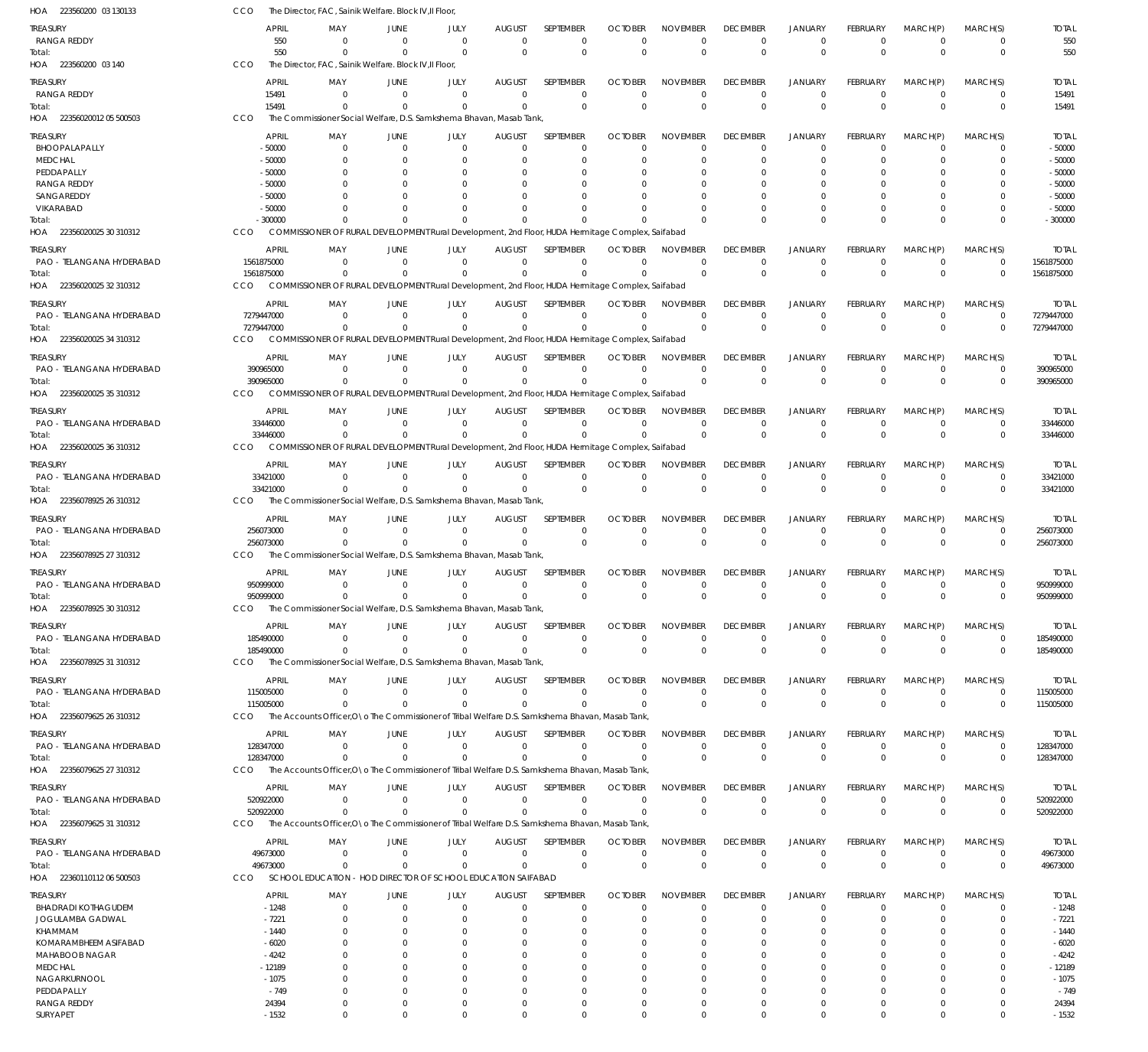| HOA<br>223560200 03 130133       | CCO                  | The Director, FAC, Sainik Welfare. Block IV, Il Floor,                                           |                      |                |                      |                  |                |                      |                 |                |                 |                      |             |                      |
|----------------------------------|----------------------|--------------------------------------------------------------------------------------------------|----------------------|----------------|----------------------|------------------|----------------|----------------------|-----------------|----------------|-----------------|----------------------|-------------|----------------------|
| Treasury                         | <b>APRIL</b>         | MAY                                                                                              | JUNE                 | JULY           | <b>AUGUST</b>        | SEPTEMBER        | <b>OCTOBER</b> | <b>NOVEMBER</b>      | <b>DECEMBER</b> | <b>JANUARY</b> | <b>FEBRUARY</b> | MARCH(P)             | MARCH(S)    | <b>TOTAL</b>         |
| <b>RANGA REDDY</b>               | 550                  | $\Omega$                                                                                         | $\Omega$             | $\Omega$       | $\Omega$             | $\mathbf 0$      | $\Omega$       | $\Omega$             | $\Omega$        | $\overline{0}$ | $\Omega$        | $\overline{0}$       | 0           | 550                  |
| Total:                           | 550                  | $\Omega$                                                                                         | $\Omega$             | $\Omega$       | $\Omega$             | $\Omega$         | $\overline{0}$ | $\mathbf 0$          | $\Omega$        | $\Omega$       | $\overline{0}$  | $\Omega$             | $\mathbf 0$ | 550                  |
| HOA 223560200 03 140             | CCO                  | The Director, FAC, Sainik Welfare. Block IV, II Floor                                            |                      |                |                      |                  |                |                      |                 |                |                 |                      |             |                      |
| TREASURY                         | <b>APRIL</b>         | MAY                                                                                              | JUNE                 | JULY           | <b>AUGUST</b>        | SEPTEMBER        | <b>OCTOBER</b> | <b>NOVEMBER</b>      | <b>DECEMBER</b> | <b>JANUARY</b> | FEBRUARY        | MARCH(P)             | MARCH(S)    | <b>TOTAL</b>         |
| <b>RANGA REDDY</b>               | 15491                | $\Omega$                                                                                         | $\Omega$             | $^{\circ}$     | $\Omega$             | $\mathbf 0$      | $\Omega$       | $\Omega$             | $\Omega$        | $^{\circ}$     | $\mathbf 0$     | $^{\circ}$           | $\mathbf 0$ | 15491                |
| Total:                           | 15491                | $\Omega$                                                                                         | $\Omega$             | $\Omega$       | $\Omega$             | $\mathbf 0$      | $\Omega$       | $\Omega$             | $\Omega$        | $\overline{0}$ | $\Omega$        | $\Omega$             | $\mathbf 0$ | 15491                |
| HOA 22356020012 05 500503        | CCO                  | The Commissioner Social Welfare, D.S. Samkshema Bhavan, Masab Tank                               |                      |                |                      |                  |                |                      |                 |                |                 |                      |             |                      |
| treasury                         | <b>APRIL</b>         | MAY                                                                                              | JUNE                 | JULY           | <b>AUGUST</b>        | SEPTEMBER        | <b>OCTOBER</b> | <b>NOVEMBER</b>      | <b>DECEMBER</b> | <b>JANUARY</b> | <b>FEBRUARY</b> | MARCH(P)             | MARCH(S)    | <b>TOTAL</b>         |
| BHOOPALAPALLY                    | $-50000$             | $\Omega$                                                                                         | $\Omega$             | $\overline{0}$ | $\Omega$             | $\mathbf 0$      | $\Omega$       | $\Omega$             | $\Omega$        | $\Omega$       | $\Omega$        | $\overline{0}$       | $\Omega$    | $-50000$             |
| <b>MEDCHAL</b>                   | $-50000$             | $\Omega$                                                                                         | $\Omega$             | $\Omega$       | $\Omega$             | 0                | $\Omega$       | $\Omega$             | $\Omega$        | $\Omega$       | $\Omega$        | $\Omega$             | $\Omega$    | $-50000$             |
| PEDDAPALLY<br><b>RANGA REDDY</b> | $-50000$<br>$-50000$ |                                                                                                  | $\Omega$<br>$\Omega$ |                |                      | $\Omega$<br>0    | C.             | $\Omega$<br>$\Omega$ |                 | $\Omega$       |                 | $\Omega$<br>$\Omega$ | U           | $-50000$<br>$-50000$ |
| SANGAREDDY                       | $-50000$             |                                                                                                  | $\Omega$             |                | n                    | $\Omega$         | C.             | $\Omega$             |                 | $\Omega$       | O               | $\Omega$             | U           | $-50000$             |
| VIKARABAD                        | $-50000$             |                                                                                                  | $\cap$               |                | n                    | $\Omega$         |                | $\Omega$             |                 | $\Omega$       | $\Omega$        | $\Omega$             | 0           | $-50000$             |
| Total:                           | $-300000$            |                                                                                                  |                      |                | $\Omega$             | $\Omega$         | $\Omega$       | $\Omega$             |                 | $\Omega$       | $\Omega$        | $\Omega$             | $\Omega$    | $-300000$            |
| HOA 22356020025 30 310312        | CCO                  | COMMISSIONER OF RURAL DEVELOPMENT Rural Development, 2nd Floor, HUDA Hermitage Complex, Saifabad |                      |                |                      |                  |                |                      |                 |                |                 |                      |             |                      |
| treasury                         | <b>APRIL</b>         | MAY                                                                                              | JUNE                 | JULY           | <b>AUGUST</b>        | SEPTEMBER        | <b>OCTOBER</b> | <b>NOVEMBER</b>      | <b>DECEMBER</b> | <b>JANUARY</b> | FEBRUARY        | MARCH(P)             | MARCH(S)    | <b>TOTAL</b>         |
| PAO - TELANGANA HYDERABAD        | 1561875000           | $\Omega$                                                                                         | $\Omega$             | $\Omega$       | $\mathbf 0$          | $\mathbf 0$      | $\Omega$       | $\mathbf 0$          | $\Omega$        | $\overline{0}$ | $\mathbf 0$     | $\overline{0}$       | $\mathbf 0$ | 1561875000           |
| Total:                           | 1561875000           |                                                                                                  | $\Omega$             | $\Omega$       | $\Omega$             | $\mathbf 0$      | $\Omega$       | $\mathbf 0$          | $\Omega$        | $\Omega$       | $\Omega$        | $\Omega$             | $\mathbf 0$ | 1561875000           |
| HOA 22356020025 32 310312        | CCO                  | COMMISSIONER OF RURAL DEVELOPMENT Rural Development, 2nd Floor, HUDA Hermitage Complex, Saifabad |                      |                |                      |                  |                |                      |                 |                |                 |                      |             |                      |
| treasury                         | <b>APRIL</b>         | MAY                                                                                              | JUNE                 | JULY           | <b>AUGUST</b>        | SEPTEMBER        | <b>OCTOBER</b> | <b>NOVEMBER</b>      | <b>DECEMBER</b> | <b>JANUARY</b> | <b>FEBRUARY</b> | MARCH(P)             | MARCH(S)    | <b>TOTAL</b>         |
| PAO - TELANGANA HYDERABAD        | 7279447000           | $\Omega$                                                                                         | $\Omega$             | $\Omega$       | $\Omega$             | $\Omega$         | $\Omega$       | $\Omega$             | $\Omega$        | $\Omega$       | $\Omega$        | $\overline{0}$       | $\mathbf 0$ | 7279447000           |
| Total:                           | 7279447000           | $\Omega$                                                                                         | $\Omega$             | $\Omega$       | $\Omega$             | $\Omega$         | $\Omega$       | $\Omega$             | $\Omega$        | $\Omega$       | $\Omega$        | $\Omega$             | $\mathbf 0$ | 7279447000           |
| HOA 22356020025 34 310312        | CCO                  | COMMISSIONER OF RURAL DEVELOPMENT Rural Development, 2nd Floor, HUDA Hermitage Complex, Saifabad |                      |                |                      |                  |                |                      |                 |                |                 |                      |             |                      |
| treasury                         | <b>APRIL</b>         | MAY                                                                                              | JUNE                 | JULY           | <b>AUGUST</b>        | SEPTEMBER        | <b>OCTOBER</b> | <b>NOVEMBER</b>      | <b>DECEMBER</b> | <b>JANUARY</b> | <b>FEBRUARY</b> | MARCH(P)             | MARCH(S)    | <b>TOTAL</b>         |
| PAO - TELANGANA HYDERABAD        | 390965000            | $\Omega$                                                                                         | $\Omega$             | $\Omega$       | $\Omega$             | $\mathbf 0$      | $\Omega$       | $\Omega$             | $\Omega$        | $\overline{0}$ | $\mathbf 0$     | $\overline{0}$       | $\mathbf 0$ | 390965000            |
| Total:                           | 390965000            | $\Omega$                                                                                         | $\Omega$             | $\mathbf 0$    | $\Omega$             | $\mathbf 0$      | $\Omega$       | $\Omega$             | $\Omega$        | $\Omega$       | $\Omega$        | $\Omega$             | $\mathbf 0$ | 390965000            |
| HOA 22356020025 35 310312        | <b>CCO</b>           | COMMISSIONER OF RURAL DEVELOPMENT Rural Development, 2nd Floor, HUDA Hermitage Complex, Saifabad |                      |                |                      |                  |                |                      |                 |                |                 |                      |             |                      |
| treasury                         | <b>APRIL</b>         | MAY                                                                                              | JUNE                 | JULY           | <b>AUGUST</b>        | SEPTEMBER        | <b>OCTOBER</b> | <b>NOVEMBER</b>      | <b>DECEMBER</b> | <b>JANUARY</b> | FEBRUARY        | MARCH(P)             | MARCH(S)    | <b>TOTAL</b>         |
| PAO - TELANGANA HYDERABAD        | 33446000             | $\Omega$                                                                                         | $\Omega$             | $\Omega$       | $\Omega$             | $\mathbf 0$      | $\Omega$       | $\Omega$             | $\Omega$        | $^{\circ}$     | $\mathbf 0$     | $\overline{0}$       | 0           | 33446000             |
| Total:                           | 33446000             | $\Omega$                                                                                         | $\Omega$             | $\Omega$       | $\Omega$             | $\Omega$         | $\Omega$       | $\Omega$             | $\Omega$        | $\Omega$       | $\Omega$        | $\Omega$             | $\Omega$    | 33446000             |
| HOA 22356020025 36 310312        | CCO                  | COMMISSIONER OF RURAL DEVELOPMENT Rural Development, 2nd Floor, HUDA Hermitage Complex, Saifabad |                      |                |                      |                  |                |                      |                 |                |                 |                      |             |                      |
| treasury                         | <b>APRIL</b>         | MAY                                                                                              | JUNE                 | JULY           | <b>AUGUST</b>        | SEPTEMBER        | <b>OCTOBER</b> | <b>NOVEMBER</b>      | <b>DECEMBER</b> | <b>JANUARY</b> | FEBRUARY        | MARCH(P)             | MARCH(S)    | <b>TOTAL</b>         |
| PAO - TELANGANA HYDERABAD        | 33421000             | $\Omega$                                                                                         | $\Omega$             | $\overline{0}$ | $\overline{0}$       | $\mathbf 0$      | $\Omega$       | $\mathbf 0$          | $\Omega$        | $\overline{0}$ | $\mathbf 0$     | $\overline{0}$       | 0           | 33421000             |
| Total:                           | 33421000             | $\Omega$                                                                                         | $\Omega$             | $\Omega$       | $\Omega$             | $\mathbf 0$      | $\Omega$       | $\mathbf 0$          | $\Omega$        | $\Omega$       | $\Omega$        | $\Omega$             | $\mathbf 0$ | 33421000             |
| HOA 22356078925 26 310312        | CCO                  | The Commissioner Social Welfare, D.S. Samkshema Bhavan, Masab Tank                               |                      |                |                      |                  |                |                      |                 |                |                 |                      |             |                      |
| treasury                         | <b>APRIL</b>         | MAY                                                                                              | JUNE                 | JULY           | <b>AUGUST</b>        | SEPTEMBER        | <b>OCTOBER</b> | <b>NOVEMBER</b>      | <b>DECEMBER</b> | <b>JANUARY</b> | <b>FEBRUARY</b> | MARCH(P)             | MARCH(S)    | <b>TOTAL</b>         |
| PAO - TELANGANA HYDERABAD        | 256073000            | $\Omega$                                                                                         | $\Omega$             | $\Omega$       | $\Omega$             | $\mathbf 0$      | $\Omega$       | $\Omega$             | $\Omega$        | $\Omega$       | $\Omega$        | $\Omega$             | $\Omega$    | 256073000            |
| Total:                           | 256073000            | $\Omega$                                                                                         | $\overline{0}$       | $\Omega$       | $\Omega$             | $\mathbf 0$      | $\Omega$       | $\mathbf 0$          | $\Omega$        | $\overline{0}$ | $\overline{0}$  | $\Omega$             | $\mathbf 0$ | 256073000            |
| HOA 22356078925 27 310312        | CCO                  | The Commissioner Social Welfare, D.S. Samkshema Bhavan, Masab Tank,                              |                      |                |                      |                  |                |                      |                 |                |                 |                      |             |                      |
| treasury                         | <b>APRIL</b>         | MAY                                                                                              | JUNE                 | JULY           | <b>AUGUST</b>        | SEPTEMBER        | <b>OCTOBER</b> | <b>NOVEMBER</b>      | <b>DECEMBER</b> | <b>JANUARY</b> | <b>FEBRUARY</b> | MARCH(P)             | MARCH(S)    | <b>TOTAL</b>         |
| PAO - TELANGANA HYDERABAD        | 950999000            | $\Omega$                                                                                         | $\Omega$             | 0              | $\mathbf 0$          | 0                | 0              | 0                    | $\Omega$        | $^{\circ}$     | 0               | - 0                  | 0           | 950999000            |
| Total:                           | 950999000            | $\Omega$                                                                                         | $\Omega$             | $\Omega$       | $\Omega$             | $\mathbf 0$      | $\Omega$       | $\Omega$             | $\Omega$        | $\Omega$       | $\Omega$        | $\Omega$             | $\Omega$    | 950999000            |
| HOA 22356078925 30 310312        | CCO                  | The Commissioner Social Welfare, D.S. Samkshema Bhavan, Masab Tank                               |                      |                |                      |                  |                |                      |                 |                |                 |                      |             |                      |
| Treasury                         | APRIL                | MAY                                                                                              | JUNE                 | JULY           | <b>AUGUST</b>        | <b>SEPTEMBER</b> | <b>OCTOBER</b> | <b>NOVEMBER</b>      | <b>DECEMBER</b> | JANUARY        | FEBRUARY        | MARCH(P)             | MARCH(S)    | <b>TOTAL</b>         |
| PAO - TELANGANA HYDERABAD        | 185490000            | $\Omega$                                                                                         | $\Omega$             | $\Omega$       | $\mathbf 0$          | $\mathbf 0$      | 0              | $\mathbf 0$          | 0               | $\overline{0}$ | $\mathbf 0$     | $\overline{0}$       | 0           | 185490000            |
| Total:                           | 185490000            | $^{\circ}$                                                                                       | $\Omega$             | $\Omega$       | $\Omega$             | $\Omega$         | $\overline{0}$ | $\mathbf 0$          | $\Omega$        | $\Omega$       | $\overline{0}$  | $\overline{0}$       | $\mathbf 0$ | 185490000            |
| HOA 22356078925 31 310312        | CCO                  | The Commissioner Social Welfare, D.S. Samkshema Bhavan, Masab Tank,                              |                      |                |                      |                  |                |                      |                 |                |                 |                      |             |                      |
| treasury                         | <b>APRIL</b>         | MAY                                                                                              | JUNE                 | JULY           | <b>AUGUST</b>        | SEPTEMBER        | <b>OCTOBER</b> | <b>NOVEMBER</b>      | <b>DECEMBER</b> | <b>JANUARY</b> | FEBRUARY        | MARCH(P)             | MARCH(S)    | <b>TOTAL</b>         |
| PAO - TELANGANA HYDERABAD        | 115005000            | $\Omega$                                                                                         | $\overline{0}$       | $\overline{0}$ | $\overline{0}$       | $\mathbf 0$      | $\mathbf 0$    | $\mathbf 0$          | $\Omega$        | $\overline{0}$ | $\mathbf 0$     | $\overline{0}$       | 0           | 115005000            |
| Total:                           | 115005000            | $\Omega$                                                                                         | $\Omega$             | $\Omega$       | $\Omega$             | $\mathbf 0$      | 0              | $\mathbf 0$          | $\Omega$        | $^{\circ}$     | $\mathbf 0$     | $^{\circ}$           | $\mathbf 0$ | 115005000            |
| HOA 22356079625 26 310312        | <b>CCO</b>           | The Accounts Officer, O a The Commissioner of Tribal Welfare D.S. Samkshema Bhavan, Masab Tank,  |                      |                |                      |                  |                |                      |                 |                |                 |                      |             |                      |
| treasury                         | <b>APRIL</b>         | MAY                                                                                              | JUNE                 | JULY           | <b>AUGUST</b>        | SEPTEMBER        | <b>OCTOBER</b> | <b>NOVEMBER</b>      | <b>DECEMBER</b> | JANUARY        | FEBRUARY        | MARCH(P)             | MARCH(S)    | <b>TOTAL</b>         |
| PAO - TELANGANA HYDERABAD        | 128347000            | $\Omega$                                                                                         | $\mathbf 0$          | $^{\circ}$     | $\mathbf 0$          | $\mathbf 0$      | $\Omega$       | $\Omega$             | $\Omega$        | $^{\circ}$     | $\mathbf 0$     | $\overline{0}$       | 0           | 128347000            |
| Total:                           | 128347000            | $\Omega$                                                                                         | $\Omega$             | $\Omega$       | $\Omega$             | $\Omega$         | $\Omega$       | $\Omega$             | $\Omega$        | $\overline{0}$ | $\Omega$        | $\Omega$             | $\mathbf 0$ | 128347000            |
| HOA 22356079625 27 310312        | CCO                  | The Accounts Officer, O \o The Commissioner of Tribal Welfare D.S. Samkshema Bhavan, Masab Tank, |                      |                |                      |                  |                |                      |                 |                |                 |                      |             |                      |
| treasury                         | <b>APRIL</b>         | MAY                                                                                              | JUNE                 | JULY           | <b>AUGUST</b>        | SEPTEMBER        | <b>OCTOBER</b> | <b>NOVEMBER</b>      | <b>DECEMBER</b> | JANUARY        | FEBRUARY        | MARCH(P)             | MARCH(S)    | <b>TOTAL</b>         |
| PAO - TELANGANA HYDERABAD        | 520922000            | - 0                                                                                              | $\Omega$             | $^{\circ}$     | $\mathbf 0$          | $\mathbf 0$      | 0              | $\mathbf 0$          | 0               | $^{\circ}$     | 0               | $\overline{0}$       | 0           | 520922000            |
| Total:                           | 520922000            | $\Omega$                                                                                         | $\Omega$             | $\Omega$       | $\overline{0}$       | $\mathbf 0$      | $\Omega$       | $\Omega$             | $\Omega$        | $\overline{0}$ | $\mathbf 0$     | $^{\circ}$           | $\mathbf 0$ | 520922000            |
| HOA 22356079625 31 310312        | CCO                  | The Accounts Officer, O a The Commissioner of Tribal Welfare D.S. Samkshema Bhavan, Masab Tank,  |                      |                |                      |                  |                |                      |                 |                |                 |                      |             |                      |
| treasury                         | <b>APRIL</b>         | MAY                                                                                              | <b>JUNE</b>          | JULY           | <b>AUGUST</b>        | SEPTEMBER        | <b>OCTOBER</b> | <b>NOVEMBER</b>      | <b>DECEMBER</b> | <b>JANUARY</b> | FEBRUARY        | MARCH(P)             | MARCH(S)    | <b>TOTAL</b>         |
| PAO - TELANGANA HYDERABAD        | 49673000             | $\Omega$                                                                                         | $\overline{0}$       | $\mathbf 0$    | $\overline{0}$       | $\mathbf 0$      | $\mathbf 0$    | $\mathbf 0$          | 0               | $\overline{0}$ | $\mathbf 0$     | $\overline{0}$       | 0           | 49673000             |
| Total:                           | 49673000             | $\Omega$                                                                                         | $\Omega$             | $\Omega$       | $\Omega$             | $\mathbf 0$      | $\Omega$       | $\mathbf 0$          | $\Omega$        | $\Omega$       | $\Omega$        | $\Omega$             | $\mathbf 0$ | 49673000             |
| HOA 22360110112 06 500503        | CCO                  | SCHOOL EDUCATION - HOD DIRECTOR OF SCHOOL EDUCATION SAIFABAD                                     |                      |                |                      |                  |                |                      |                 |                |                 |                      |             |                      |
| treasury                         | APRIL                | MAY                                                                                              | JUNE                 | JULY           | <b>AUGUST</b>        | SEPTEMBER        | <b>OCTOBER</b> | <b>NOVEMBER</b>      | <b>DECEMBER</b> | JANUARY        | FEBRUARY        | MARCH(P)             | MARCH(S)    | <b>TOTAL</b>         |
| <b>BHADRADI KOTHAGUDEM</b>       | $-1248$              | $\Omega$                                                                                         | $\Omega$             | $\mathbf 0$    | $\mathbf 0$          | 0                | 0              | $\mathbf 0$          | $\Omega$        | $^{\circ}$     | $\mathbf 0$     | $\overline{0}$       | 0           | $-1248$              |
| JOGULAMBA GADWAL                 | $-7221$              | $\Omega$                                                                                         | $\Omega$             | 0              | $\Omega$             | 0                | O              | $\mathbf 0$          | $\Omega$        | $^{\circ}$     | 0               | $\Omega$             | $\mathbf 0$ | $-7221$              |
| KHAMMAM<br>KOMARAMBHEEM ASIFABAD | $-1440$<br>$-6020$   |                                                                                                  | $\Omega$<br>$\Omega$ | 0<br>0         | $\Omega$<br>$\Omega$ | 0<br>0           | O<br>O         | $\Omega$<br>$\Omega$ |                 | - 0<br>- 0     |                 | $\Omega$<br>$\Omega$ | 0<br>0      | $-1440$<br>$-6020$   |
| MAHABOOB NAGAR                   | -4242                |                                                                                                  | $\Omega$             | O              | $\Omega$             | 0                | C.             | $\Omega$             |                 |                |                 | $\Omega$             | 0           | $-4242$              |
| MEDCHAL                          | $-12189$             | 0                                                                                                | $\Omega$             | O              | $\Omega$             | 0                | O              | $\Omega$             |                 | - 0            |                 | $\Omega$             | 0           | $-12189$             |
| NAGARKURNOOL                     | $-1075$              |                                                                                                  |                      |                | $\Omega$             | 0                | O              | $\Omega$             |                 |                |                 | $\Omega$             | 0           | $-1075$              |
| PEDDAPALLY                       | $-749$               | $\Omega$                                                                                         | $\Omega$             | 0              | $\Omega$             | 0                | O              | $\Omega$             |                 | $\Omega$       | O               | $\Omega$             | $\Omega$    | $-749$               |
| <b>RANGA REDDY</b>               | 24394                | $\Omega$                                                                                         | $\overline{0}$       | $\Omega$       | $\mathbf 0$          | $\mathbf 0$      | 0              | $\mathbf 0$          | $\Omega$        | $^{\circ}$     | 0               | $\mathbf 0$          | $\mathbf 0$ | 24394                |
| SURYAPET                         | $-1532$              | $\mathbf 0$                                                                                      | $\overline{0}$       | $\mathbf 0$    | $\mathbf 0$          | $\mathbf 0$      | 0              | $\mathbf 0$          | $\mathbf 0$     | $\overline{0}$ | $\mathbf 0$     | $\overline{0}$       | $\mathbf 0$ | $-1532$              |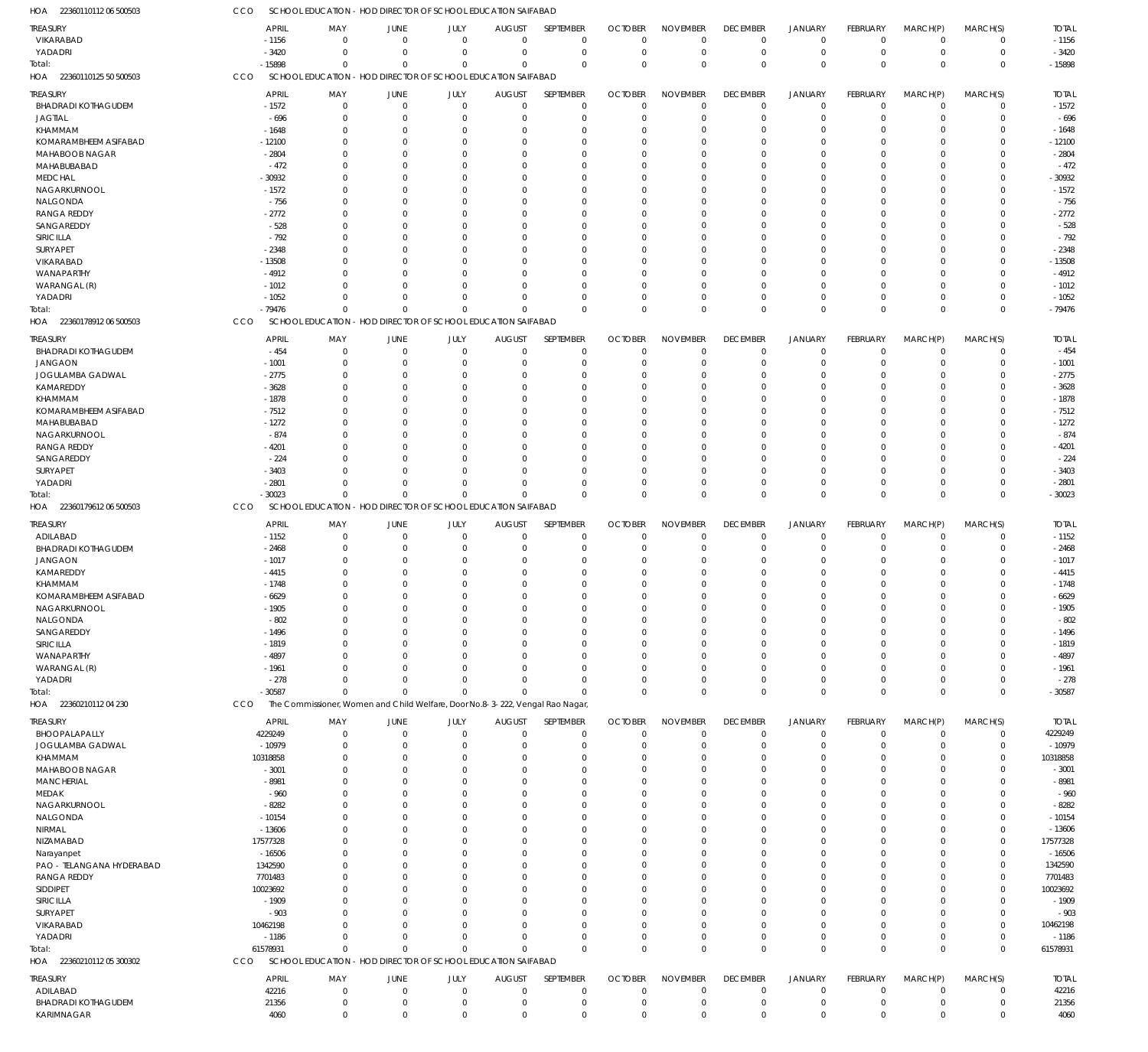| HOA 22360110112 06 500503                | CCO                | SCHOOL EDUCATION - HOD DIRECTOR OF SCHOOL EDUCATION SAIFABAD                  |                            |                                             |                            |                            |                            |                            |                            |                            |                            |                               |                            |                    |
|------------------------------------------|--------------------|-------------------------------------------------------------------------------|----------------------------|---------------------------------------------|----------------------------|----------------------------|----------------------------|----------------------------|----------------------------|----------------------------|----------------------------|-------------------------------|----------------------------|--------------------|
| <b>TREASURY</b>                          | <b>APRIL</b>       | MAY                                                                           | JUNE                       | JULY                                        | <b>AUGUST</b>              | SEPTEMBER                  | <b>OCTOBER</b>             | <b>NOVEMBER</b>            | <b>DECEMBER</b>            | <b>JANUARY</b>             | FEBRUARY                   | MARCH(P)                      | MARCH(S)                   | <b>TOTAL</b>       |
| VIKARABAD                                | $-1156$            | $\Omega$                                                                      | $\mathbf 0$                | $\mathbf 0$                                 | $\mathbf 0$                | $\mathbf 0$                | $\mathbf 0$                | $\Omega$                   | $\mathbf 0$                | $\mathbf 0$                | $\overline{0}$             | $\mathbf 0$                   | $\mathbf 0$                | $-1156$            |
| YADADRI                                  | $-3420$            | $\Omega$                                                                      | $\Omega$                   | $\mathbf 0$                                 | $\mathbf 0$                | $\mathbf 0$                | $\mathbf 0$                | $\Omega$                   | $\mathbf 0$                | $\mathbf 0$                | $\mathbf 0$                | $\overline{0}$                | $\mathbf 0$                | $-3420$            |
| Total:                                   | $-15898$           | $\Omega$                                                                      | $\Omega$                   | $\Omega$                                    | $\Omega$                   | $\mathbf 0$                | $\Omega$                   | $\Omega$                   | $\overline{0}$             | $\overline{0}$             | $\Omega$                   | $\Omega$                      | $\mathbf 0$                | $-15898$           |
| HOA 22360110125 50 500503                | CCO                | SCHOOL EDUCATION - HOD DIRECTOR OF SCHOOL EDUCATION SAIFABAD                  |                            |                                             |                            |                            |                            |                            |                            |                            |                            |                               |                            |                    |
| treasury                                 | <b>APRIL</b>       | MAY                                                                           | JUNE                       | JULY                                        | <b>AUGUST</b>              | SEPTEMBER                  | <b>OCTOBER</b>             | <b>NOVEMBER</b>            | <b>DECEMBER</b>            | JANUARY                    | FEBRUARY                   | MARCH(P)                      | MARCH(S)                   | <b>TOTAL</b>       |
| <b>BHADRADI KOTHAGUDEM</b>               | $-1572$            | $\Omega$                                                                      | $\mathbf 0$                | $\mathbf 0$                                 | $\mathbf 0$                | $\mathbf 0$                | $\mathbf 0$                | $\Omega$                   | $^{\circ}$                 | $\overline{0}$             | $\mathbf 0$                | $\mathbf 0$                   | $\mathbf 0$                | $-1572$            |
| <b>JAGTIAL</b>                           | $-696$             | $\Omega$                                                                      | $\Omega$                   | $\Omega$                                    | 0                          | $\mathbf 0$                | $\Omega$                   | $\Omega$                   | $\Omega$                   | $\overline{0}$             | 0                          | $\mathbf 0$                   | $\mathbf 0$                | $-696$             |
| KHAMMAM                                  | $-1648$            | $\Omega$                                                                      | $\Omega$                   | 0                                           | 0                          | $\mathbf 0$                | -0                         | $\Omega$                   | $\Omega$                   | $\Omega$                   | 0                          | $\Omega$                      | $\mathbf 0$                | $-1648$            |
| KOMARAMBHEEM ASIFABAD                    | $-12100$           |                                                                               | $\Omega$                   |                                             | $\Omega$                   | $\mathbf 0$                | $\Omega$                   | $\Omega$                   |                            | $\Omega$                   | $\Omega$                   | $\Omega$                      | $\mathbf 0$                | $-12100$           |
| MAHABOOB NAGAR                           | $-2804$            | 0                                                                             | $\Omega$                   | O                                           | $\Omega$                   | $\mathbf 0$                | $\Omega$                   | $\Omega$                   |                            | $\Omega$                   | 0                          | $\Omega$                      | $\mathbf 0$                | $-2804$            |
| MAHABUBABAD                              | $-472$             |                                                                               | $\Omega$                   |                                             | $\Omega$                   | $\mathbf 0$                | -C                         | $\Omega$                   |                            | $\Omega$                   | 0                          | $\Omega$                      | $\mathbf 0$                | $-472$             |
| <b>MEDCHAL</b>                           | $-30932$           | $\Omega$                                                                      | $\Omega$                   |                                             | $\Omega$                   | $\mathbf 0$                | -0                         | $\Omega$                   |                            | $\Omega$                   | 0                          | $\Omega$                      | 0                          | $-30932$           |
| NAGARKURNOOL                             | $-1572$            |                                                                               | $\Omega$                   |                                             | 0                          | $\mathbf 0$                | -0                         | $\Omega$                   |                            | $\Omega$                   | 0                          | $\Omega$                      | $\mathbf 0$                | $-1572$            |
| NALGONDA                                 | $-756$             | 0                                                                             | $\Omega$                   |                                             | $\Omega$                   | $\mathbf 0$                | $\Omega$                   | $\Omega$                   |                            | $\Omega$                   | 0                          | $\Omega$                      | $\mathbf 0$                | $-756$             |
| <b>RANGA REDDY</b>                       | $-2772$            |                                                                               | $\Omega$                   |                                             | $\Omega$                   | $\mathbf 0$                | -0                         | $\Omega$                   |                            | $\Omega$                   | $\Omega$                   | $\Omega$                      | $\mathbf 0$                | $-2772$            |
| SANGAREDDY                               | $-528$             |                                                                               | $\Omega$                   |                                             | $\Omega$                   | $\mathbf 0$                | -0                         | $\Omega$                   |                            | $\Omega$                   | 0                          | $\Omega$                      | $\mathbf 0$                | $-528$             |
| SIRICILLA                                | $-792$             |                                                                               | O                          |                                             | 0                          | $\mathbf 0$                | -0                         | $\Omega$                   |                            | $\Omega$                   | O                          | $\Omega$                      | $\mathbf 0$                | $-792$             |
| SURYAPET                                 | $-2348$            |                                                                               | $\Omega$                   |                                             | $\Omega$                   | $\mathbf 0$                | -0                         | $\Omega$                   |                            | $\Omega$                   | 0                          | $\Omega$                      | $\mathbf 0$                | $-2348$            |
| VIKARABAD                                | $-13508$           |                                                                               | $\Omega$                   |                                             | $\Omega$                   | $\mathbf 0$                | -0                         | $\Omega$                   |                            | $\Omega$                   | $\Omega$                   | $\Omega$                      | $\mathbf 0$                | $-13508$           |
| WANAPARTHY                               | $-4912$            |                                                                               | $\Omega$<br>$\Omega$       | O<br>O                                      | $\Omega$<br>$\Omega$       | $\mathbf 0$<br>$\mathbf 0$ | -C                         | $\Omega$<br>$\Omega$       |                            | $\Omega$<br>$\Omega$       | 0<br>$\Omega$              | $\Omega$<br>$\Omega$          | $\mathbf 0$<br>$\mathbf 0$ | $-4912$            |
| WARANGAL (R)<br>YADADRI                  | $-1012$<br>$-1052$ | $\Omega$                                                                      | $\Omega$                   | $\Omega$                                    | $\mathbf 0$                | $\mathbf 0$                | -0<br>$\Omega$             | $\Omega$                   | $\Omega$                   | $\overline{0}$             | 0                          | $\mathbf 0$                   | 0                          | $-1012$<br>$-1052$ |
| Total:                                   | $-79476$           | $\Omega$                                                                      | $\Omega$                   | $\Omega$                                    | $\Omega$                   | $\Omega$                   | $\Omega$                   | $\Omega$                   | $\Omega$                   | $\Omega$                   | $\Omega$                   | $\Omega$                      | $\mathbf 0$                | $-79476$           |
| HOA 22360178912 06 500503                | CCO                | <b>SCHOOL EDUCATION</b>                                                       |                            | - HOD DIRECTOR OF SCHOOL EDUCATION SAIFABAD |                            |                            |                            |                            |                            |                            |                            |                               |                            |                    |
|                                          |                    |                                                                               |                            |                                             |                            |                            |                            |                            |                            |                            |                            |                               |                            |                    |
| treasury                                 | <b>APRIL</b>       | MAY                                                                           | JUNE                       | JULY                                        | <b>AUGUST</b>              | SEPTEMBER                  | <b>OCTOBER</b>             | <b>NOVEMBER</b>            | <b>DECEMBER</b>            | <b>JANUARY</b>             | FEBRUARY                   | MARCH(P)                      | MARCH(S)                   | <b>TOTAL</b>       |
| <b>BHADRADI KOTHAGUDEM</b>               | $-454$             | $^{\circ}$                                                                    | $\mathbf 0$                | $\mathbf 0$                                 | $\mathbf 0$                | $\mathbf 0$                | $\Omega$                   | $\Omega$                   | $\overline{0}$             | $\overline{0}$             | $\overline{0}$             | $\mathbf 0$                   | $\mathbf 0$                | $-454$             |
| <b>JANGAON</b>                           | $-1001$            | $\Omega$                                                                      | $\Omega$                   | $\Omega$                                    | 0                          | $\mathbf 0$                | $^{\circ}$                 | $\Omega$                   | $\overline{0}$             | $\overline{0}$             | $\Omega$                   | $\Omega$                      | $\mathbf 0$                | $-1001$            |
| JOGULAMBA GADWAL                         | $-2775$            | $\Omega$                                                                      | $\Omega$                   | $\Omega$                                    | $\Omega$                   | $\mathbf 0$                | $\Omega$                   | $\Omega$                   | $^{\circ}$                 | $\overline{0}$             | $\Omega$                   | $\Omega$                      | $\mathbf 0$                | $-2775$            |
| KAMAREDDY                                | $-3628$            | $\Omega$                                                                      | $\Omega$                   | $\Omega$                                    | $\Omega$                   | $\mathbf 0$                | $\Omega$                   | $\Omega$                   | $\Omega$                   | $\Omega$                   | $\Omega$                   | $\Omega$                      | $\mathbf 0$                | $-3628$            |
| KHAMMAM                                  | $-1878$            | 0                                                                             | $\Omega$                   |                                             | $\Omega$                   | $\mathbf 0$                | $\Omega$                   | $\Omega$                   | $\Omega$                   | $\Omega$                   | $\Omega$                   | $\Omega$                      | $\mathbf 0$                | $-1878$            |
| KOMARAMBHEEM ASIFABAD                    | $-7512$            | $\Omega$                                                                      | $\Omega$                   | O                                           | $\Omega$                   | $\mathbf 0$                | $\Omega$                   | $\Omega$                   | $\Omega$                   | $\Omega$                   | $\Omega$                   | $\Omega$                      | $\mathbf 0$                | $-7512$            |
| MAHABUBABAD                              | $-1272$            | 0                                                                             | $\Omega$<br>$\Omega$       | O<br>$\Omega$                               | $\Omega$                   | $\mathbf 0$<br>$\Omega$    | $\Omega$                   | $\Omega$<br>$\Omega$       | $\Omega$                   | $\Omega$<br>$\Omega$       | $\Omega$<br>$\Omega$       | $\Omega$<br>$\Omega$          | $\mathbf 0$                | $-1272$            |
| NAGARKURNOOL                             | $-874$<br>$-4201$  | 0                                                                             | $\Omega$                   |                                             | $\Omega$<br>$\Omega$       | $\mathbf 0$                | $\Omega$<br>$\Omega$       | $\Omega$                   | $\Omega$<br>$\Omega$       | $\Omega$                   | $\Omega$                   | $\Omega$                      | $\mathbf 0$<br>$\mathbf 0$ | $-874$<br>$-4201$  |
| <b>RANGA REDDY</b><br>SANGAREDDY         | $-224$             | $\Omega$                                                                      | $\Omega$                   | $\Omega$                                    | $\Omega$                   | $\mathbf 0$                | $\Omega$                   | $\Omega$                   | $\Omega$                   | $\Omega$                   | $\Omega$                   | $\Omega$                      | $\mathbf 0$                | $-224$             |
| SURYAPET                                 | $-3403$            | <sup>0</sup>                                                                  | $\Omega$                   | $\Omega$                                    | $\Omega$                   | $\mathbf 0$                | $\Omega$                   | $\Omega$                   | $\Omega$                   | $\Omega$                   | $\Omega$                   | $\Omega$                      | $\mathbf 0$                | $-3403$            |
| YADADRI                                  | $-2801$            | $\Omega$                                                                      | $\Omega$                   | $\Omega$                                    | $\Omega$                   | $\mathbf 0$                | $\Omega$                   | $\Omega$                   | $\Omega$                   | $\overline{0}$             | $\Omega$                   | $\Omega$                      | $\mathbf 0$                | $-2801$            |
| Total:                                   | $-30023$           | $\mathbf{0}$                                                                  | $\Omega$                   | $\Omega$                                    | $\Omega$                   | $\mathbf 0$                | $\Omega$                   | $\Omega$                   | $\Omega$                   | $\Omega$                   | $\Omega$                   | $\Omega$                      | $\mathbf 0$                | $-30023$           |
| HOA 22360179612 06 500503                | CCO                | SCHOOL EDUCATION - HOD DIRECTOR OF SCHOOL EDUCATION SAIFABAD                  |                            |                                             |                            |                            |                            |                            |                            |                            |                            |                               |                            |                    |
|                                          |                    |                                                                               |                            |                                             |                            |                            |                            |                            |                            |                            |                            |                               |                            |                    |
| TREASURY                                 | <b>APRIL</b>       | MAY                                                                           | JUNE                       | JULY                                        | <b>AUGUST</b>              | SEPTEMBER                  | <b>OCTOBER</b>             | <b>NOVEMBER</b>            | <b>DECEMBER</b>            | <b>JANUARY</b>             | FEBRUARY                   | MARCH(P)                      | MARCH(S)                   | <b>TOTAL</b>       |
| ADILABAD                                 | $-1152$            | 0                                                                             | $\mathbf 0$                | $\mathbf 0$                                 | $\mathbf 0$                | $\mathbf 0$                | 0                          | $\Omega$                   | $^{\circ}$                 | $\overline{0}$             | 0                          | $\mathbf 0$                   | $\mathbf 0$                | $-1152$            |
| <b>BHADRADI KOTHAGUDEM</b>               | $-2468$            | $\Omega$                                                                      | $\Omega$                   | $\Omega$                                    | 0                          | $\mathbf 0$                | $\Omega$                   | $\Omega$                   | $\Omega$                   | $\overline{0}$             | $\Omega$                   | $\mathbf 0$                   | $\mathbf 0$                | $-2468$            |
| <b>JANGAON</b>                           | $-1017$            | 0                                                                             | $\Omega$                   | 0                                           | 0                          | $\mathbf 0$                | $\Omega$                   | $\Omega$<br>$\Omega$       | $\Omega$                   | $\Omega$                   | 0                          | $\Omega$                      | $\mathbf 0$                | $-1017$            |
| KAMAREDDY<br>KHAMMAM                     | $-4415$<br>$-1748$ | 0                                                                             | $\Omega$<br>$\Omega$       | 0<br>0                                      | 0<br>0                     | $\mathbf 0$<br>$\mathbf 0$ | $\Omega$<br>$\Omega$       | $\Omega$                   |                            | $\Omega$<br>$\Omega$       | $\Omega$<br>0              | $\Omega$<br>$\Omega$          | $\mathbf 0$<br>$\mathbf 0$ | $-4415$<br>$-1748$ |
| KOMARAMBHEEM ASIFABAD                    | $-6629$            | $\Omega$                                                                      | $\Omega$                   | $\Omega$                                    | $\Omega$                   | $\mathbf 0$                | $\Omega$                   | $\Omega$                   | $\Omega$                   | $\Omega$                   | $\Omega$                   | $\Omega$                      | $\mathbf 0$                | $-6629$            |
| NAGARKURNOOL                             | $-1905$            | 0                                                                             |                            |                                             | 0                          | 0                          | -C                         |                            |                            | $\Omega$                   |                            | O                             | 0                          | $-1905$            |
| NALGONDA                                 | $-802$             | $\Omega$                                                                      | $\Omega$                   | 0                                           | $\Omega$                   | $\mathbf 0$                | $\Omega$                   | $\Omega$                   | $\Omega$                   | $\Omega$                   | $\Omega$                   | $\Omega$                      | $\mathbf 0$                | $-802$             |
| SANGAREDDY                               | $-1496$            | $\Omega$                                                                      | $\Omega$                   | O                                           | $\Omega$                   | $\mathbf 0$                | $\Omega$                   | $\Omega$                   | $\Omega$                   | $\Omega$                   | $\Omega$                   | $\Omega$                      | $\mathbf 0$                | $-1496$            |
| SIRICILLA                                | $-1819$            |                                                                               | $\Omega$                   |                                             | 0                          | $\mathbf 0$                | $\Omega$                   | $\Omega$                   |                            | $\Omega$                   | $\Omega$                   | $\Omega$                      | $\mathbf 0$                | $-1819$            |
| WANAPARTHY                               | $-4897$            | $\Omega$                                                                      | $\Omega$                   | 0                                           | $\Omega$                   | $\mathbf 0$                | $\Omega$                   | $\Omega$                   | $\Omega$                   | $\Omega$                   | 0                          | $\Omega$                      | $\mathbf 0$                | $-4897$            |
| WARANGAL (R)                             | $-1961$            |                                                                               | $\Omega$                   | O                                           | $\Omega$                   | $\mathbf 0$                | $\Omega$                   | $\Omega$                   | $\Omega$                   | $\Omega$                   | $\Omega$                   | $\Omega$                      | $\mathbf 0$                | $-1961$            |
| YADADRI                                  | $-278$             | $\Omega$                                                                      | $\Omega$                   | $\Omega$                                    | $\Omega$                   | $\mathbf 0$                | $\Omega$                   | $\Omega$                   | $\Omega$                   | $\overline{0}$             | 0                          | $\mathbf 0$                   | 0                          | $-278$             |
| Total:                                   | $-30587$           | $\Omega$                                                                      | $\Omega$                   | $\Omega$                                    | $\mathbf 0$                | $\Omega$                   | $\Omega$                   | $\Omega$                   | $\Omega$                   | $\overline{0}$             | $\Omega$                   | $\Omega$                      | $\mathsf 0$                | $-30587$           |
| HOA 2236021011204230                     | CCO                | The Commissioner, Women and Child Welfare, Door No.8-3-222, Vengal Rao Nagar, |                            |                                             |                            |                            |                            |                            |                            |                            |                            |                               |                            |                    |
| <b>TREASURY</b>                          | <b>APRIL</b>       | MAY                                                                           | JUNE                       | JULY                                        | <b>AUGUST</b>              | SEPTEMBER                  | <b>OCTOBER</b>             | <b>NOVEMBER</b>            | <b>DECEMBER</b>            | <b>JANUARY</b>             | FEBRUARY                   | MARCH(P)                      | MARCH(S)                   | <b>TOTAL</b>       |
| BHOOPALAPALLY                            | 4229249            | $^{\circ}$                                                                    | $\overline{0}$             | $\mathbf 0$                                 | $\mathbf 0$                | $\mathbf 0$                | $\Omega$                   | $\Omega$                   | $\mathbf 0$                | $\mathbf 0$                | $\mathbf 0$                | $\mathbf 0$                   | 0                          | 4229249            |
| JOGULAMBA GADWAL                         | $-10979$           | $\Omega$                                                                      | $\mathbf 0$                | $\Omega$                                    | 0                          | $\mathbf 0$                | $^{\circ}$                 | $\Omega$                   | $^{\circ}$                 | $\overline{0}$             | $\mathbf 0$                | $\mathbf 0$                   | $\mathbf 0$                | $-10979$           |
| KHAMMAM                                  | 10318858           | $\Omega$                                                                      | $\Omega$                   | $\Omega$                                    | $\Omega$                   | $\mathbf 0$                | $\Omega$                   | $\Omega$                   | $^{\circ}$                 | $\overline{0}$             | $\Omega$                   | $\Omega$                      | $\mathbf 0$                | 10318858           |
| MAHABOOB NAGAR                           | $-3001$            | $\Omega$                                                                      | $\Omega$                   | O                                           | $\Omega$                   | $\mathbf 0$                | $\Omega$                   | $\Omega$                   | $\Omega$                   | $\Omega$                   | $\Omega$                   | $\Omega$                      | $\mathbf 0$                | $-3001$            |
| <b>MANCHERIAL</b>                        | $-8981$            | 0                                                                             | $\Omega$                   | 0                                           | $\Omega$                   | $\mathbf 0$                | $\Omega$                   | $\Omega$                   | $\Omega$                   | $\Omega$                   | $\Omega$                   | $\Omega$                      | $\mathbf 0$                | $-8981$            |
| MEDAK                                    | $-960$             | <sup>0</sup>                                                                  | $\Omega$                   | $\Omega$                                    | $\Omega$                   | $\mathbf 0$                | $\Omega$                   | $\Omega$                   | $\Omega$                   | $\Omega$                   | $\Omega$                   | $\Omega$                      | $\mathbf 0$                | $-960$             |
| NAGARKURNOOL                             | $-8282$            | 0                                                                             | $\Omega$                   |                                             | $\Omega$                   | $\mathbf 0$                | $\Omega$                   | $\Omega$                   | $\Omega$                   | $\Omega$                   | $\Omega$                   | $\Omega$                      | 0                          | $-8282$            |
| NALGONDA                                 | $-10154$           | $\Omega$                                                                      | $\Omega$                   | O                                           | $\Omega$                   | $\mathbf 0$                | $\Omega$                   | $\Omega$                   | $\Omega$                   | $\Omega$                   | $\Omega$                   | $\Omega$                      | $\mathbf 0$                | $-10154$           |
| NIRMAL                                   | $-13606$           | 0                                                                             | $\Omega$                   | O                                           | $\Omega$                   | $\mathbf 0$                | $\Omega$                   | $\Omega$                   | $\Omega$                   | $\Omega$                   | $\Omega$                   | $\Omega$                      | $\mathbf 0$                | $-13606$           |
| NIZAMABAD                                | 17577328           | <sup>0</sup>                                                                  | $\Omega$                   | O                                           | $\Omega$                   | $\mathbf 0$                | $\Omega$                   | $\Omega$                   | $\Omega$                   | $\Omega$                   | $\Omega$                   | $\Omega$                      | $\mathbf 0$                | 17577328           |
| Narayanpet                               | $-16506$           | 0                                                                             | $\Omega$                   |                                             | $\Omega$                   | 0                          | $\Omega$                   | $\Omega$                   | $\Omega$                   | $\Omega$                   | $\Omega$                   | $\Omega$                      | $\mathbf 0$                | $-16506$           |
| PAO - TELANGANA HYDERABAD                | 1342590            | $\Omega$                                                                      | $\Omega$                   | O                                           | $\Omega$                   | $\mathbf 0$                | $\Omega$                   | $\Omega$                   | $\Omega$                   | $\Omega$                   | $\Omega$                   | $\Omega$                      | $\mathbf 0$                | 1342590            |
| <b>RANGA REDDY</b>                       | 7701483            | 0                                                                             | $\Omega$                   |                                             | $\Omega$                   | $\mathbf 0$                | $\Omega$                   | $\Omega$                   | $\Omega$                   | $\Omega$                   | $\Omega$                   | $\Omega$                      | $\mathbf 0$                | 7701483            |
| SIDDIPET                                 | 10023692           | $\Omega$                                                                      | $\Omega$                   | O                                           | $\Omega$                   | $\Omega$                   | $\Omega$                   | $\Omega$                   | $\Omega$                   | $\Omega$                   | $\Omega$                   | $\Omega$                      | $\mathbf 0$                | 10023692           |
| SIRICILLA                                | $-1909$            | 0                                                                             | $\Omega$                   |                                             | $\Omega$                   | 0                          | $\Omega$                   | $\Omega$                   | $\Omega$                   | $\Omega$                   | $\Omega$                   | $\Omega$                      | $\mathbf 0$                | $-1909$            |
| <b>SURYAPET</b>                          | $-903$             | $\Omega$                                                                      | $\Omega$                   | $\Omega$                                    | $\Omega$                   | $\mathbf 0$                | $\Omega$                   | $\Omega$                   | $\Omega$                   | $\Omega$                   | $\Omega$                   | $\Omega$                      | $\mathbf 0$                | $-903$             |
| VIKARABAD                                | 10462198           | $\Omega$                                                                      | $\Omega$                   | $\Omega$                                    | $\Omega$                   | $\mathbf 0$                | $\Omega$                   | $\Omega$                   | $\Omega$                   | $\Omega$                   | $\Omega$                   | $\Omega$                      | $\mathbf 0$                | 10462198           |
| YADADRI                                  | $-1186$            | $\Omega$                                                                      | $\Omega$                   | $\Omega$                                    | $\Omega$                   | $\mathbf 0$                | $\Omega$                   | $\Omega$                   | $\mathbf 0$                | $\mathbf 0$                | $\mathbf 0$                | $\mathbf 0$                   | $\mathbf 0$                | $-1186$            |
| Total:                                   | 61578931           | $\mathbf 0$                                                                   | $\mathbf{0}$               | $\Omega$                                    | $\Omega$                   | $\mathbf 0$                | $\Omega$                   | $\Omega$                   | $\mathbf 0$                | $\mathbf 0$                | $\Omega$                   | $\Omega$                      | $\mathbf 0$                | 61578931           |
| HOA 22360210112 05 300302                | CCO                | SCHOOL EDUCATION - HOD DIRECTOR OF SCHOOL EDUCATION SAIFABAD                  |                            |                                             |                            |                            |                            |                            |                            |                            |                            |                               |                            |                    |
| TREASURY                                 |                    |                                                                               |                            |                                             |                            |                            |                            |                            |                            |                            |                            |                               |                            |                    |
|                                          | <b>APRIL</b>       | MAY                                                                           | JUNE                       | JULY                                        | <b>AUGUST</b>              | SEPTEMBER                  | <b>OCTOBER</b>             | <b>NOVEMBER</b>            | <b>DECEMBER</b>            | <b>JANUARY</b>             | FEBRUARY                   | MARCH(P)                      | MARCH(S)                   | <b>TOTAL</b>       |
| ADILABAD                                 | 42216              | 0                                                                             | $\mathbf 0$                | $\mathbf 0$                                 | $\mathbf 0$                | $\mathbf 0$                | $\mathbf 0$                | $\mathbf 0$                | $^{\circ}$                 | $\overline{0}$             | $\mathbf 0$                | $\mathbf 0$                   | $\mathbf 0$                | 42216              |
| <b>BHADRADI KOTHAGUDEM</b><br>KARIMNAGAR | 21356<br>4060      | $\mathbf 0$<br>$\mathbf 0$                                                    | $\mathbf 0$<br>$\mathbf 0$ | $\mathbf 0$<br>$\mathbf 0$                  | $\mathbf 0$<br>$\mathbf 0$ | $\mathbf 0$<br>$\mathbf 0$ | $\mathbf 0$<br>$\mathbf 0$ | $\mathbf 0$<br>$\mathbf 0$ | $\mathbf 0$<br>$\mathbf 0$ | $\mathbf 0$<br>$\mathbf 0$ | $\mathbf 0$<br>$\mathbf 0$ | $\overline{0}$<br>$\mathbf 0$ | 0<br>$\mathbf 0$           | 21356<br>4060      |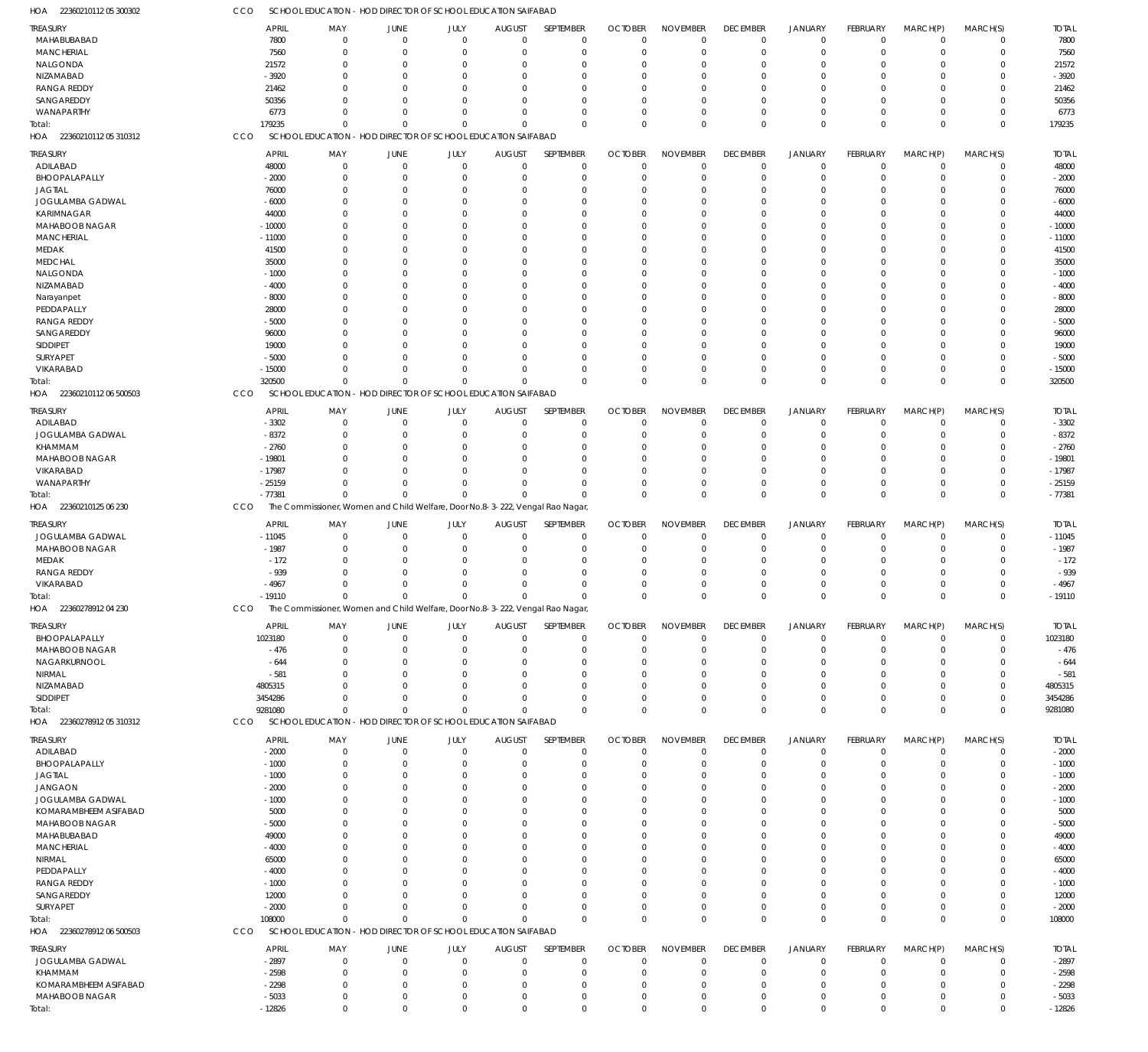| 22360210112 05 300302<br>HOA | CCO | SCHOOL EDUCATION - HOD DIRECTOR OF SCHOOL EDUCATION SAIFABAD                  |                |                            |                        |                          |                      |                                   |                     |                                  |                            |                            |                            |                     |
|------------------------------|-----|-------------------------------------------------------------------------------|----------------|----------------------------|------------------------|--------------------------|----------------------|-----------------------------------|---------------------|----------------------------------|----------------------------|----------------------------|----------------------------|---------------------|
| <b>TREASURY</b>              |     | <b>APRIL</b><br>MAY                                                           | <b>JUNE</b>    | <b>JULY</b>                | <b>AUGUST</b>          | SEPTEMBER                | <b>OCTOBER</b>       | <b>NOVEMBER</b>                   | <b>DECEMBER</b>     | <b>JANUARY</b>                   | FEBRUARY                   | MARCH(P)                   | MARCH(S)                   | <b>TOTAL</b>        |
| MAHABUBABAD                  |     | 7800<br>$\mathbf 0$                                                           | $\overline{0}$ | $\mathbf 0$                | $\Omega$               | $\mathbf 0$              | $\Omega$             | $^{\circ}$                        | $\mathbf 0$         | $\mathbf 0$                      | $^{\circ}$                 | $\mathbf 0$                | $\mathbf 0$                | 7800                |
| <b>MANCHERIAL</b>            |     | 7560<br>$\mathbf 0$                                                           | $\Omega$       | $\mathbf 0$                | $\Omega$               | $\mathbf 0$              | $\Omega$             | $\Omega$                          | $\mathbf 0$         | $\overline{0}$                   | $\mathbf 0$                | $\mathbf 0$                | $\mathbf 0$                | 7560                |
| NALGONDA                     |     | 21572<br>$\mathbf 0$                                                          | $\Omega$       | $\Omega$                   | $\Omega$               | $\Omega$                 |                      | $\Omega$                          | 0                   | $\mathbf 0$                      | $\Omega$                   | $\Omega$                   | $\mathbf 0$                | 21572               |
| NIZAMABAD                    |     | $-3920$<br>$\Omega$                                                           | $\Omega$       | $\Omega$                   | $\Omega$               | $\Omega$                 |                      | $\Omega$                          | $\Omega$            | $\Omega$                         | $\Omega$                   | $\Omega$                   | $\mathbf 0$                | $-3920$             |
| <b>RANGA REDDY</b>           |     | 21462<br>$\Omega$                                                             | 0              | $\Omega$                   | $\Omega$               | $\Omega$                 |                      | $\Omega$                          | $\Omega$            | $\Omega$                         |                            | $\Omega$                   | $\mathbf 0$                | 21462               |
| SANGAREDDY                   |     | 50356<br>$\Omega$                                                             | $\Omega$       | $\Omega$                   | $\Omega$               | $\Omega$                 |                      | $\Omega$                          | $\Omega$            | $\Omega$                         | $\Omega$                   | $\Omega$                   | $\mathbf 0$                | 50356               |
| WANAPARTHY                   |     | 6773<br>0                                                                     | $\Omega$       | $\mathbf 0$                | $\Omega$               | $\Omega$                 |                      | $\Omega$                          | $\mathbf 0$         | $\mathbf 0$                      | $\Omega$                   | $\Omega$                   | $\mathbf 0$                | 6773                |
| Total:                       |     | 179235<br>$\Omega$                                                            | $\Omega$       | $\Omega$                   | $\Omega$               | $\Omega$                 | $\Omega$             | $\Omega$                          | $\Omega$            | $\Omega$                         | $\Omega$                   | $\Omega$                   | $\mathbf 0$                | 179235              |
| HOA 22360210112 05 310312    | CCO | SCHOOL EDUCATION - HOD DIRECTOR OF SCHOOL EDUCATION SAIFABAD                  |                |                            |                        |                          |                      |                                   |                     |                                  |                            |                            |                            |                     |
|                              |     |                                                                               |                |                            |                        |                          |                      |                                   |                     |                                  |                            |                            |                            |                     |
| TREASURY                     |     | <b>APRIL</b><br>MAY                                                           | JUNE           | JULY                       | <b>AUGUST</b>          | SEPTEMBER                | <b>OCTOBER</b>       | <b>NOVEMBER</b>                   | <b>DECEMBER</b>     | <b>JANUARY</b>                   | FEBRUARY                   | MARCH(P)                   | MARCH(S)                   | <b>TOTAL</b>        |
| ADILABAD                     |     | 48000<br>$\mathbf 0$                                                          | $\overline{0}$ | $\mathbf 0$                | $\Omega$               | $\mathbf 0$              | $\Omega$             | $^{\circ}$                        | $\mathbf 0$         | $\mathbf 0$                      | $\mathbf 0$                | $\mathbf 0$                | $\mathbf 0$                | 48000               |
| BHOOPALAPALLY                |     | $-2000$<br>$\mathbf 0$                                                        | 0              | $\mathbf{0}$               | -0                     | $\mathbf 0$              | $\Omega$             | $^{\circ}$                        | $\mathbf 0$         | $\mathbf 0$                      | $\Omega$                   | $\mathbf 0$                | $\mathbf 0$                | $-2000$             |
| <b>JAGTIAL</b>               |     | 76000<br>$\mathbf 0$                                                          | $\Omega$       | $\Omega$                   |                        | $\Omega$                 |                      | $\Omega$                          | $\Omega$            | $\Omega$                         | $\Omega$                   | $\Omega$                   | $\mathbf 0$                | 76000               |
| JOGULAMBA GADWAL             |     | $-6000$<br>$\mathbf 0$                                                        | 0              | $\Omega$                   |                        | $\Omega$                 |                      | $\Omega$                          | $\Omega$            | $\Omega$                         | O                          | $\Omega$                   | $\mathbf 0$                | $-6000$             |
| KARIMNAGAR                   |     | 44000<br>$\mathbf 0$                                                          | 0              | $\Omega$                   |                        | $\Omega$                 |                      | $\Omega$                          | 0                   | $\Omega$                         | O                          | $\Omega$                   | $\mathbf 0$                | 44000               |
| MAHABOOB NAGAR               |     | $-10000$<br>$\mathbf 0$                                                       | 0              | $\Omega$                   |                        | $\Omega$                 |                      | $\Omega$                          | $\Omega$            | $\Omega$                         | 0                          | $\Omega$                   | $\mathbf 0$                | $-10000$            |
| <b>MANCHERIAL</b>            |     | $-11000$<br>$\mathbf 0$                                                       | 0              | $\Omega$                   |                        | $\Omega$                 |                      | $\Omega$                          | 0                   | $\Omega$                         | O                          | $\Omega$                   | $\mathbf 0$                | $-11000$            |
| MEDAK                        |     | 41500<br>$\mathbf 0$                                                          | 0              | $\Omega$                   |                        | $\Omega$                 |                      | $\Omega$                          | $\Omega$            | $\Omega$                         | O                          | $\Omega$                   | $\mathbf 0$                | 41500               |
| <b>MEDCHAL</b>               |     | 35000<br>$\mathbf 0$                                                          | 0              | $\Omega$                   |                        | $\Omega$                 |                      | $\Omega$                          | $\Omega$            | $\Omega$                         | O                          | $\Omega$                   | $\mathbf 0$                | 35000               |
| NALGONDA                     |     | $-1000$<br>$\mathbf 0$                                                        | 0              | $\Omega$                   |                        | $\Omega$                 |                      | $\Omega$                          | $\Omega$            | $\Omega$                         | O                          | $\Omega$                   | $\mathbf 0$                | $-1000$             |
| NIZAMABAD                    |     | $-4000$<br>$\mathbf 0$                                                        | 0              | $\Omega$                   |                        | $\Omega$                 |                      | $\Omega$                          | 0                   | $\Omega$                         | O                          | $\Omega$                   | $\mathbf 0$                | $-4000$             |
|                              |     | $-8000$<br>$\mathbf 0$                                                        | 0              | $\Omega$                   |                        | $\Omega$                 |                      | $\Omega$                          | $\Omega$            | $\Omega$                         | 0                          | $\Omega$                   | $\mathbf 0$                | $-8000$             |
| Narayanpet                   |     | $\mathbf 0$                                                                   |                | $\Omega$                   |                        | $\Omega$                 |                      | $\Omega$                          | U                   | $\Omega$                         | O                          | $\Omega$                   | $\mathbf 0$                |                     |
| PEDDAPALLY                   |     | 28000                                                                         | 0              |                            |                        |                          |                      |                                   |                     |                                  |                            |                            |                            | 28000               |
| <b>RANGA REDDY</b>           |     | $-5000$<br>$\mathbf 0$                                                        | 0              | $\Omega$                   |                        | $\Omega$                 |                      | $\Omega$                          | $\Omega$            | $\Omega$                         | O                          | $\Omega$                   | $\mathbf 0$                | $-5000$             |
| SANGAREDDY                   |     | 96000<br>$\mathbf 0$                                                          | 0              | $\Omega$                   |                        | $\Omega$                 |                      | $\Omega$                          | $\Omega$            | $\Omega$                         | 0                          | $\Omega$                   | $\mathbf 0$                | 96000               |
| SIDDIPET                     |     | 19000<br>$\mathbf 0$                                                          | 0              | $\Omega$                   |                        | $\Omega$                 |                      | $\Omega$                          | $\Omega$            | $\Omega$                         | O                          | $\Omega$                   | $\mathbf 0$                | 19000               |
| SURYAPET                     |     | $-5000$<br>$\Omega$                                                           | n              | $\Omega$                   |                        | $\Omega$                 |                      | $\Omega$                          | $\Omega$            | $\Omega$                         | $\Omega$                   | $\Omega$                   | $\mathbf 0$                | $-5000$             |
| VIKARABAD                    |     | $-15000$<br>$\mathbf 0$                                                       | $\Omega$       | $\mathbf 0$                | $\Omega$               | $\Omega$                 |                      | $\Omega$                          | $\mathbf 0$         | $\overline{0}$                   | $\Omega$                   | $\overline{0}$             | $\mathbf 0$                | $-15000$            |
| Total:                       |     | 320500<br>$\Omega$                                                            | $\Omega$       | $\Omega$                   | $\Omega$               | $\Omega$                 | $\Omega$             | $\Omega$                          | $\mathbf 0$         | $\Omega$                         | $\Omega$                   | $\Omega$                   | $\mathbf 0$                | 320500              |
| HOA 22360210112 06 500503    | CCO | SCHOOL EDUCATION - HOD DIRECTOR OF SCHOOL EDUCATION SAIFABAD                  |                |                            |                        |                          |                      |                                   |                     |                                  |                            |                            |                            |                     |
| TREASURY                     |     | <b>APRIL</b><br>MAY                                                           | <b>JUNE</b>    | JULY                       | <b>AUGUST</b>          | SEPTEMBER                | <b>OCTOBER</b>       | <b>NOVEMBER</b>                   | <b>DECEMBER</b>     | <b>JANUARY</b>                   | FEBRUARY                   | MARCH(P)                   | MARCH(S)                   | <b>TOTAL</b>        |
| ADILABAD                     |     | $-3302$<br>$\mathbf 0$                                                        | $\Omega$       | $\mathbf 0$                | $\Omega$               | $\mathbf 0$              | -0                   | $\Omega$                          | $\mathbf 0$         | $\overline{0}$                   | $\mathbf 0$                | $^{\circ}$                 | $\mathbf 0$                | $-3302$             |
| JOGULAMBA GADWAL             |     | $-8372$<br>$\mathbf 0$                                                        | $\Omega$       | $\mathbf 0$                | $\Omega$               | $\mathbf 0$              | $\Omega$             | $\Omega$                          | $\mathbf 0$         | $\overline{0}$                   | $\mathbf 0$                | $\Omega$                   | $\mathbf 0$                | $-8372$             |
| KHAMMAM                      |     | $-2760$<br>$\mathbf 0$                                                        | $\Omega$       | $\Omega$                   | $\Omega$               | $\Omega$                 |                      | $\Omega$                          | $\mathbf 0$         | $\mathbf 0$                      | $\Omega$                   | $\Omega$                   | $\mathbf 0$                | $-2760$             |
|                              |     | $-19801$<br>$\Omega$                                                          | $\Omega$       | $\Omega$                   | $\Omega$               | $\Omega$                 |                      | $\Omega$                          | $\Omega$            | $\Omega$                         | $\Omega$                   | $\Omega$                   | $\mathbf 0$                | $-19801$            |
| MAHABOOB NAGAR               |     |                                                                               |                |                            |                        |                          |                      |                                   |                     |                                  |                            |                            |                            |                     |
| VIKARABAD                    |     | $-17987$<br>$\Omega$                                                          | $\Omega$       | $\Omega$                   | $\Omega$               | $\Omega$                 |                      | $\Omega$                          | $\Omega$            | $\mathbf 0$                      | $\Omega$                   | $\Omega$                   | $\mathbf 0$                | $-17987$            |
| WANAPARTHY                   |     | $-25159$<br>$\Omega$                                                          | $\Omega$       | $\Omega$                   | $\Omega$               | $\Omega$                 |                      | $\Omega$                          | $\mathbf 0$         | $\overline{0}$                   | 0                          | $\Omega$                   | $\mathbf 0$                | $-25159$            |
| Total:                       |     | $-77381$<br>$\mathbf 0$                                                       | $\Omega$       | $\mathbf 0$                | $\Omega$               | $\Omega$                 | $\Omega$             | $\mathbf 0$                       | $\mathbf 0$         | $\overline{0}$                   | $\Omega$                   | $\Omega$                   | $\mathbf 0$                | $-77381$            |
| HOA 22360210125 06 230       | CCO | The Commissioner, Women and Child Welfare, Door No.8-3-222, Vengal Rao Nagar, |                |                            |                        |                          |                      |                                   |                     |                                  |                            |                            |                            |                     |
| <b>TREASURY</b>              |     | <b>APRIL</b><br>MAY                                                           | JUNE           | JULY                       | <b>AUGUST</b>          | SEPTEMBER                | <b>OCTOBER</b>       | <b>NOVEMBER</b>                   | <b>DECEMBER</b>     | <b>JANUARY</b>                   | FEBRUARY                   | MARCH(P)                   | MARCH(S)                   | <b>TOTAL</b>        |
| JOGULAMBA GADWAL             |     | $-11045$<br>0                                                                 | - 0            | $\mathbf 0$                | 0                      | $\mathbf 0$              | $\Omega$             | $\overline{0}$                    | $\mathbf 0$         | $\overline{0}$                   | $\mathbf 0$                | $\mathbf 0$                | $\mathbf 0$                | $-11045$            |
| MAHABOOB NAGAR               |     | $-1987$<br>$\mathbf 0$                                                        | 0              | $\mathbf 0$                | $\Omega$               | $\Omega$                 |                      | $\Omega$                          | $\mathbf 0$         | $\overline{0}$                   | $\Omega$                   | $\mathbf 0$                | $\mathbf 0$                | $-1987$             |
| MEDAK                        |     | $-172$<br>$\mathbf 0$                                                         | 0              | $\Omega$                   |                        | $\Omega$                 |                      | $\Omega$                          | $\mathbf 0$         | $\Omega$                         | $\Omega$                   | $\Omega$                   | $\mathbf 0$                | $-172$              |
| <b>RANGA REDDY</b>           |     | $-939$<br>$\mathbf 0$                                                         | 0              | $\Omega$                   |                        | $\Omega$                 |                      | $\Omega$                          | $\Omega$            | $\Omega$                         | $\Omega$                   | $\Omega$                   | $\mathbf 0$                | $-939$              |
| VIKARABAD                    |     | $-4967$<br>$\mathbf 0$                                                        | 0              | $\Omega$                   | $\Omega$               | $\Omega$                 |                      | $\Omega$                          | $\Omega$            | $\Omega$                         | $\Omega$                   | $\Omega$                   | $\mathbf 0$                | $-4967$             |
| Total:                       |     | $-19110$<br>$\Omega$                                                          | $\Omega$       | $\Omega$                   | $\Omega$               | $\Omega$                 | $\Omega$             | $\Omega$                          | $\Omega$            | $\Omega$                         | $\Omega$                   | $\Omega$                   | $\mathbf 0$                | $-19110$            |
| HOA 2236027891204230         | CCO | The Commissioner, Women and Child Welfare, Door No.8-3-222, Vengal Rao Nagar, |                |                            |                        |                          |                      |                                   |                     |                                  |                            |                            |                            |                     |
|                              |     |                                                                               |                |                            |                        |                          |                      |                                   |                     |                                  |                            |                            |                            |                     |
| TREASURY                     |     | <b>APRIL</b><br>MAY                                                           | <b>JUNE</b>    | <b>JULY</b>                | <b>AUGUST</b>          | <b>SEPTEMBER</b>         | <b>OCTOBER</b>       | <b>NOVEMBER</b>                   | <b>DECEMBER</b>     | <b>JANUARY</b>                   | FEBRUARY                   | MARCH(P)                   | MARCH(S)                   | <b>TOTAL</b>        |
| BHOOPALAPALLY                |     | 1023180<br>$\mathbf 0$                                                        | $\Omega$       | $\mathbf 0$                | $\Omega$               | $^{\circ}$               | $\Omega$             | $^{\circ}$                        | $\mathbf 0$         | $\mathbf 0$                      | $\mathbf 0$                | $\mathbf 0$                | 0                          | 1023180             |
| MAHABOOB NAGAR               |     | $-476$<br>$\mathbf 0$                                                         | $\Omega$       | $\mathbf 0$                | $\Omega$               | $\mathbf 0$              | $\Omega$             | $\overline{0}$                    | $\mathbf 0$         | $\overline{0}$                   | 0                          | $\mathbf 0$                | $\mathbf 0$                | $-476$              |
| NAGARKURNOOL                 |     | $-644$<br>0                                                                   | 0              | $\Omega$                   | $\Omega$               | 0                        |                      | $\Omega$                          | 0                   | $\mathbf 0$                      | $\Omega$                   | $\Omega$                   | $\mathbf 0$                | $-644$              |
| NIRMAL                       |     | $-581$<br>$\Omega$                                                            | 0              | $\Omega$                   |                        | $\Omega$                 |                      | $\Omega$                          | $\Omega$            | $\Omega$                         | $\Omega$                   | $\Omega$                   | $\mathbf 0$                | $-581$              |
| NIZAMABAD                    |     | 4805315<br>$\Omega$                                                           |                | $\Omega$                   | -0                     | $\Omega$                 |                      | $\Omega$                          | $\Omega$            | $\Omega$                         |                            | $\Omega$                   | $\mathbf 0$                | 4805315             |
| SIDDIPET                     |     | 3454286<br>$\Omega$                                                           | $\Omega$       | $\Omega$                   | $\Omega$               | $\Omega$                 |                      | $\Omega$                          | $\mathbf 0$         | $\mathbf 0$                      | 0                          | $\overline{0}$             | $\mathbf 0$                | 3454286             |
| Total:                       |     | 9281080<br>$\mathbf 0$                                                        | $\Omega$       | $\Omega$                   | $\Omega$               | $\Omega$                 | $\Omega$             | $\mathbf 0$                       | $\mathbf 0$         | $\overline{0}$                   | $\Omega$                   | $\Omega$                   | $\mathbf 0$                | 9281080             |
| HOA 22360278912 05 310312    | CCO | SCHOOL EDUCATION - HOD DIRECTOR OF SCHOOL EDUCATION SAIFABAD                  |                |                            |                        |                          |                      |                                   |                     |                                  |                            |                            |                            |                     |
|                              |     |                                                                               |                |                            |                        |                          |                      |                                   |                     |                                  |                            |                            |                            |                     |
| TREASURY                     |     | <b>APRIL</b><br>MAY<br>$\mathbf 0$                                            | JUNE           | JULY<br>$\mathbf{0}$       | <b>AUGUST</b>          | SEPTEMBER<br>$\mathbf 0$ | <b>OCTOBER</b>       | <b>NOVEMBER</b><br>$\overline{0}$ | <b>DECEMBER</b>     | <b>JANUARY</b><br>$\overline{0}$ | FEBRUARY<br>$\mathbf 0$    | MARCH(P)<br>$\mathbf 0$    | MARCH(S)<br>$\mathbf 0$    | <b>TOTAL</b>        |
| ADILABAD<br>BHOOPALAPALLY    |     | $-2000$                                                                       | - 0            |                            | 0                      |                          |                      | $\Omega$                          | 0                   | $\overline{0}$                   |                            |                            |                            | $-2000$             |
|                              |     | $-1000$<br>$\mathbf 0$                                                        | $\Omega$       | $\mathbf 0$<br>$\Omega$    | $\Omega$               | $\mathbf 0$<br>$\Omega$  |                      |                                   | $\mathbf 0$         |                                  | 0                          | $\mathbf 0$<br>$\Omega$    | $\mathbf 0$                | $-1000$             |
| <b>JAGTIAL</b>               |     | $-1000$<br>$\mathbf 0$                                                        | 0              |                            |                        |                          |                      | $\Omega$                          | 0                   | $\Omega$                         | 0                          |                            | $\mathbf 0$                | $-1000$             |
| <b>JANGAON</b>               |     | $-2000$<br>$\mathbf 0$                                                        | 0              | $\Omega$                   |                        | $\Omega$                 |                      | $\Omega$                          | $\Omega$            | $\Omega$                         | 0                          | $\Omega$                   | $\mathbf 0$                | $-2000$             |
| JOGULAMBA GADWAL             |     | $-1000$<br>0                                                                  | 0              | $\Omega$                   |                        | $\Omega$                 |                      | $\Omega$                          | $\Omega$            | $\Omega$                         | O                          | $\Omega$                   | $\mathbf 0$                | $-1000$             |
| KOMARAMBHEEM ASIFABAD        |     | 5000<br>$\mathbf 0$                                                           | n              | $\Omega$                   |                        | $\Omega$                 |                      | $\Omega$                          | 0                   | $\Omega$                         |                            | $\Omega$                   | $\mathbf 0$                | 5000                |
| MAHABOOB NAGAR               |     | $-5000$<br>$\mathbf 0$                                                        | 0              | $\Omega$                   |                        | $\Omega$                 |                      | $\Omega$                          | $\Omega$            | $\Omega$                         | 0                          | $\Omega$                   | $\mathbf 0$                | $-5000$             |
| MAHABUBABAD                  |     | 49000<br>0                                                                    | n              | $\Omega$                   |                        | $\Omega$                 |                      | $\Omega$                          | 0                   | $\Omega$                         |                            | $\Omega$                   | $\mathbf 0$                | 49000               |
| <b>MANCHERIAL</b>            |     | $-4000$<br>0                                                                  | ſ              | $\Omega$                   |                        | $\Omega$                 |                      | $\Omega$                          | $\Omega$            | $\Omega$                         |                            | $\Omega$                   | $\mathbf 0$                | $-4000$             |
| NIRMAL                       |     | 65000<br>0                                                                    | ſ              | $\Omega$                   |                        | $\Omega$                 |                      | $\Omega$                          | 0                   | $\Omega$                         |                            | $\Omega$                   | $\mathbf 0$                | 65000               |
| PEDDAPALLY                   |     | $-4000$<br>0                                                                  | n              | $\Omega$                   |                        | $\Omega$                 |                      | $\Omega$                          | $\Omega$            | $\Omega$                         | O                          | $\Omega$                   | $\mathbf 0$                | $-4000$             |
| <b>RANGA REDDY</b>           |     | $-1000$<br>0                                                                  |                | $\Omega$                   |                        | $\Omega$                 |                      | $\Omega$                          | $\Omega$            | $\Omega$                         |                            | $\Omega$                   | $\mathbf 0$                | $-1000$             |
| SANGAREDDY                   |     | 12000<br>0                                                                    | 0              | $\Omega$                   |                        | $\Omega$                 |                      | $\overline{0}$                    | $\mathbf 0$         | $\Omega$                         | 0                          | $\Omega$                   | $\mathbf 0$                | 12000               |
| SURYAPET                     |     | $-2000$<br>$\mathbf 0$                                                        | 0              | $\mathbf 0$                | $\Omega$               | $\Omega$                 |                      | $\Omega$                          | $\mathbf 0$         | $\mathbf 0$                      | $\Omega$                   | $\mathbf 0$                | $\mathbf 0$                | $-2000$             |
| Total:                       |     | 108000<br>$\mathbf 0$                                                         | $\Omega$       | $\Omega$                   | $\Omega$               | $\Omega$                 | $\Omega$             | $\mathbf 0$                       | $\mathbf 0$         | $\overline{0}$                   | $\Omega$                   | $\Omega$                   | $\mathbf 0$                | 108000              |
| HOA 22360278912 06 500503    | CCO | SCHOOL EDUCATION - HOD DIRECTOR OF SCHOOL EDUCATION SAIFABAD                  |                |                            |                        |                          |                      |                                   |                     |                                  |                            |                            |                            |                     |
|                              |     |                                                                               |                |                            |                        |                          |                      |                                   |                     |                                  |                            |                            |                            |                     |
| treasury                     |     | <b>APRIL</b><br>MAY                                                           | JUNE           | JULY                       | <b>AUGUST</b>          | SEPTEMBER                | <b>OCTOBER</b>       | <b>NOVEMBER</b>                   | <b>DECEMBER</b>     | JANUARY                          | FEBRUARY                   | MARCH(P)                   | MARCH(S)                   | <b>TOTAL</b>        |
| JOGULAMBA GADWAL             |     |                                                                               |                |                            |                        |                          |                      |                                   |                     |                                  |                            |                            |                            |                     |
|                              |     | $-2897$<br>$\mathbf 0$                                                        | $\overline{0}$ | $\mathbf{0}$               | $\Omega$               | 0                        |                      | $^{\circ}$                        | $\mathbf 0$         | $\overline{0}$                   | 0                          | -0                         | $\mathbf 0$                | $-2897$             |
| KHAMMAM                      |     | $-2598$<br>$\mathbf 0$                                                        | $\Omega$       | $\mathbf 0$                | $\Omega$               | $\mathbf 0$              |                      | $\Omega$                          | $\mathbf 0$         | $\mathbf 0$                      | $\Omega$                   | $\Omega$                   | $\mathbf 0$                | $-2598$             |
| KOMARAMBHEEM ASIFABAD        |     | $-2298$<br>$\mathbf 0$                                                        | $\Omega$       | $\mathbf 0$                | $\Omega$               | $\mathbf 0$              | $\Omega$             | $\overline{0}$                    | $\mathbf 0$         | $\mathbf 0$                      | 0                          | $\Omega$                   | $\mathbf 0$                | $-2298$             |
| MAHABOOB NAGAR<br>Total:     |     | $-5033$<br>$\mathbf 0$<br>$-12826$<br>$\mathbf 0$                             | 0<br>$\Omega$  | $\mathbf 0$<br>$\mathbf 0$ | $^{\circ}$<br>$\Omega$ | $\mathbf 0$<br>$\Omega$  | $\Omega$<br>$\Omega$ | $\mathbf 0$<br>$\mathbf{0}$       | 0<br>$\overline{0}$ | $\mathbf 0$<br>$\Omega$          | $\mathbf 0$<br>$\mathbf 0$ | $\overline{0}$<br>$\Omega$ | $\mathbf 0$<br>$\mathbf 0$ | $-5033$<br>$-12826$ |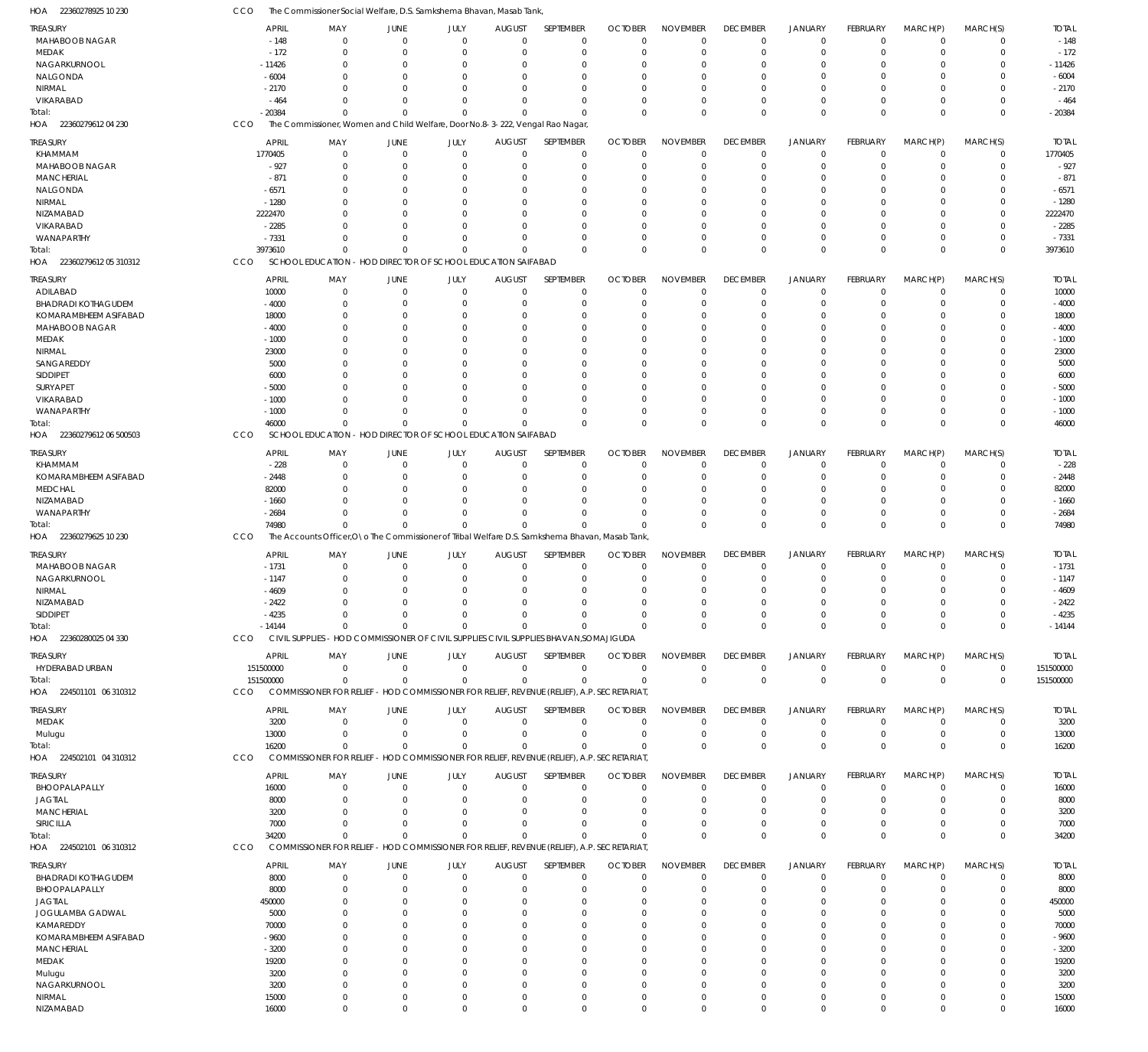| HOA<br>22360278925 10 230         | ссо                | The Commissioner Social Welfare, D.S. Samkshema Bhavan, Masab Tank,                             |                                             |      |                                          |                       |                            |                                |                                |                                  |                            |                        |                            |                    |
|-----------------------------------|--------------------|-------------------------------------------------------------------------------------------------|---------------------------------------------|------|------------------------------------------|-----------------------|----------------------------|--------------------------------|--------------------------------|----------------------------------|----------------------------|------------------------|----------------------------|--------------------|
| <b>TREASURY</b>                   | <b>APRIL</b>       | MAY                                                                                             | JUNE                                        | JULY | <b>AUGUST</b>                            | SEPTEMBER             | <b>OCTOBER</b>             | <b>NOVEMBER</b>                | <b>DECEMBER</b>                | <b>JANUARY</b>                   | FEBRUARY                   | MARCH(P)               | MARCH(S)                   | <b>TOTAL</b>       |
| MAHABOOB NAGAR                    |                    | $-148$                                                                                          | $\mathbf 0$<br>$\Omega$                     |      | $\Omega$<br>$\Omega$                     | $\Omega$              | $\Omega$                   | $\mathbf 0$                    | $\overline{0}$                 | $\overline{0}$                   | $\mathbf 0$                | $\mathbf 0$            | $\mathbf 0$                | $-148$             |
| MEDAK                             |                    | $-172$                                                                                          | $\mathbf 0$<br>0                            |      | $\mathbf 0$<br>$\Omega$                  | $\Omega$              | $\overline{0}$             | $\overline{0}$                 | $\mathbf 0$                    | $\overline{0}$                   | $\mathbf 0$                | $^{\circ}$             | $\mathbf 0$                | $-172$             |
| NAGARKURNOOL                      | $-11426$           |                                                                                                 | $\mathbf 0$<br>0                            |      | $\Omega$                                 | $\Omega$              | $\Omega$                   | $\Omega$                       | 0                              | $\Omega$                         | $\Omega$                   | 0                      | $\mathbf 0$                | $-11426$           |
| NALGONDA                          | $-6004$            |                                                                                                 | $\Omega$<br>$\Omega$                        |      | $\Omega$                                 | $\Omega$              | $\Omega$                   | $\Omega$                       | $\Omega$                       | $\Omega$                         | $\Omega$                   | $\Omega$               | $\mathbf 0$                | $-6004$            |
| NIRMAL                            | $-2170$            |                                                                                                 | $\Omega$<br>0                               |      | $\Omega$                                 | $\Omega$              | $\Omega$                   | $\Omega$                       | $\Omega$                       | $\Omega$                         | $\Omega$                   | $\Omega$               | $\mathbf 0$                | $-2170$            |
| VIKARABAD                         |                    | $-464$                                                                                          | $\Omega$<br>$\Omega$                        |      | $\Omega$                                 | $\Omega$              | $\Omega$                   | $\Omega$                       | $\Omega$                       | $\Omega$                         | $\mathbf 0$                | $\Omega$               | $\mathbf 0$                | $-464$             |
| Total:<br>HOA 2236027961204230    | $-20384$<br>CCO    | The Commissioner, Women and Child Welfare, Door No.8-3-222, Vengal Rao Nagar,                   | $\Omega$<br>$\Omega$                        |      | $\Omega$<br>$\Omega$                     | $\Omega$              | $\Omega$                   | $\Omega$                       | $\Omega$                       | $\Omega$                         | $\Omega$                   | $\Omega$               | $\mathbf 0$                | $-20384$           |
| <b>TREASURY</b>                   | <b>APRIL</b>       | MAY                                                                                             | JUNE                                        | JULY | <b>AUGUST</b>                            | SEPTEMBER             | <b>OCTOBER</b>             | <b>NOVEMBER</b>                | <b>DECEMBER</b>                | <b>JANUARY</b>                   | FEBRUARY                   | MARCH(P)               | MARCH(S)                   | <b>TOTAL</b>       |
| KHAMMAM                           | 1770405            |                                                                                                 | $\mathbf 0$<br>$\mathbf 0$                  |      | $\mathbf 0$<br>$\Omega$                  | $\Omega$              | $^{\circ}$                 | $\mathbf 0$                    | $\overline{0}$                 | $\overline{0}$                   | $\mathbf 0$                | $^{\circ}$             | $\mathbf 0$                | 1770405            |
| MAHABOOB NAGAR                    |                    | $-927$                                                                                          | $\mathbf 0$<br>$\Omega$                     |      | $\mathbf 0$<br>$\Omega$                  | $\Omega$              | $\Omega$                   | $\Omega$                       | $\mathbf 0$                    | $\overline{0}$                   | $\mathbf 0$                | $\mathbf 0$            | $\mathbf 0$                | $-927$             |
| <b>MANCHERIAL</b>                 |                    | $-871$                                                                                          | $\mathbf 0$<br>0                            |      | $\Omega$                                 | $\Omega$              | $\Omega$                   | $\Omega$                       | 0                              | $\Omega$                         | $\Omega$                   | $\Omega$               | $\mathbf 0$                | $-871$             |
| NALGONDA                          | $-6571$            |                                                                                                 | $\mathbf 0$<br>0                            |      | $\Omega$                                 | $\Omega$              | $\Omega$                   | $\Omega$                       | $\Omega$                       | $\Omega$                         | $\Omega$                   | $\Omega$               | $\mathbf 0$                | $-6571$            |
| NIRMAL                            | $-1280$            |                                                                                                 | $\mathbf 0$<br>0                            |      | $\Omega$                                 | $\Omega$              | $\Omega$                   | $\Omega$                       | $\Omega$                       | $\Omega$                         | $\Omega$                   | 0                      | $\mathbf 0$                | $-1280$            |
| NIZAMABAD                         | 2222470            |                                                                                                 | $\Omega$<br>n                               |      | $\Omega$                                 | $\Omega$              | $\Omega$                   | $\Omega$                       | $\Omega$                       | $\Omega$                         | $\Omega$                   | $\Omega$               | $\mathbf 0$                | 2222470            |
| VIKARABAD                         | $-2285$            |                                                                                                 | $\mathbf 0$<br>n                            |      | $\Omega$<br>$\Omega$                     | $\Omega$<br>$\Omega$  | $\Omega$                   | $\Omega$<br>$\Omega$           | $\Omega$                       | $\Omega$                         | $\Omega$                   | $\Omega$               | $\mathbf 0$                | $-2285$            |
| WANAPARTHY                        | $-7331$<br>3973610 |                                                                                                 | $\mathbf 0$<br>n<br>$\mathbf 0$<br>$\Omega$ |      | $\Omega$                                 | $\Omega$              | $\Omega$<br>$\Omega$       | $\Omega$                       | 0<br>$\mathbf 0$               | $\mathbf 0$<br>$\Omega$          | $\mathbf 0$<br>$\mathbf 0$ | -0<br>$\Omega$         | $\mathbf 0$<br>$\mathbf 0$ | $-7331$<br>3973610 |
| Total:<br>HOA 2236027961205310312 | CCO                | SCHOOL EDUCATION - HOD DIRECTOR OF SCHOOL EDUCATION SAIFABAD                                    |                                             |      |                                          |                       |                            |                                |                                |                                  |                            |                        |                            |                    |
| TREASURY                          | <b>APRIL</b>       | MAY                                                                                             | JUNE                                        | JULY | <b>AUGUST</b>                            | SEPTEMBER             | <b>OCTOBER</b>             | <b>NOVEMBER</b>                | <b>DECEMBER</b>                | <b>JANUARY</b>                   | FEBRUARY                   | MARCH(P)               | MARCH(S)                   | <b>TOTAL</b>       |
| ADILABAD                          | 10000              |                                                                                                 | $\mathbf 0$<br>$\mathbf{0}$                 |      | $\mathbf 0$<br>$\Omega$                  | $\Omega$              | $\Omega$                   | $\mathbf 0$                    | $^{\circ}$                     | $\overline{0}$                   | $\mathbf 0$                | $\mathbf 0$            | $\mathbf 0$                | 10000              |
| <b>BHADRADI KOTHAGUDEM</b>        | $-4000$            |                                                                                                 | $\mathbf 0$<br>0                            |      | $\Omega$<br>$\Omega$                     | $\Omega$              | $\Omega$                   | $\Omega$                       | $\mathbf 0$                    | $\overline{0}$                   | $\Omega$                   | 0                      | $\mathbf 0$                | $-4000$            |
| <b>KOMARAMBHEEM ASIFABAD</b>      | 18000              |                                                                                                 | $\Omega$<br>$\Omega$                        |      | $\Omega$                                 | $\Omega$              | $\Omega$                   | $\Omega$                       | $\Omega$                       | $\Omega$                         | $\Omega$                   | $\Omega$               | $\mathbf 0$                | 18000              |
| MAHABOOB NAGAR                    | $-4000$            |                                                                                                 | $\Omega$<br>0                               |      | $\Omega$                                 | $\Omega$              | $\Omega$                   | $\Omega$                       | $\Omega$                       | $\Omega$                         | $\Omega$                   | $\Omega$               | $\mathbf 0$                | $-4000$            |
| MEDAK                             | $-1000$            |                                                                                                 | $\Omega$<br>$\Omega$                        |      | $\Omega$                                 | $\Omega$              | $\Omega$                   | $\Omega$                       | $\Omega$                       | $\Omega$                         | $\Omega$                   | $\Omega$               | $\mathbf 0$                | $-1000$            |
| NIRMAL                            | 23000              |                                                                                                 | $\Omega$<br>0                               |      | $\Omega$                                 | $\Omega$              | $\Omega$                   | $\Omega$                       | $\Omega$                       | $\Omega$                         | $\Omega$                   | $\Omega$               | $\mathbf 0$                | 23000              |
| SANGAREDDY                        |                    | 5000                                                                                            | $\Omega$<br>0                               |      | $\Omega$                                 | $\Omega$              | $\Omega$                   | $\Omega$                       | $\Omega$                       | $\Omega$                         | $\Omega$                   | $\Omega$               | $\mathbf 0$                | 5000               |
| <b>SIDDIPET</b>                   |                    | 6000                                                                                            | $\Omega$<br>n                               |      | $\Omega$                                 | $\Omega$              | $\Omega$                   | $\Omega$                       | $\Omega$                       | $\Omega$                         | $\Omega$                   | $\Omega$               | $\mathbf 0$                | 6000               |
| SURYAPET                          | $-5000$            |                                                                                                 | $\Omega$<br>$\Omega$                        |      | $\Omega$                                 | $\Omega$              | $\Omega$                   | $\Omega$                       | $\Omega$                       | $\Omega$                         | $\Omega$                   | $\Omega$               | $\mathbf 0$                | $-5000$            |
| VIKARABAD                         | $-1000$            |                                                                                                 | $\Omega$<br>0                               |      | $\Omega$                                 | $\Omega$              | $\Omega$                   | $\Omega$                       | $\Omega$                       | $\Omega$                         | $\Omega$                   | $\Omega$               | $\mathbf 0$                | $-1000$            |
| WANAPARTHY                        | $-1000$            |                                                                                                 | $\Omega$<br>$\Omega$                        |      | $\Omega$<br>$\Omega$                     | $\Omega$              | $\Omega$                   | $\Omega$                       | $\Omega$                       | $\Omega$                         | $\Omega$                   | $\mathbf 0$            | $\mathbf 0$                | $-1000$            |
| Total:                            | 46000              |                                                                                                 | $\Omega$<br>$\Omega$                        |      | $\Omega$<br>$\Omega$                     | $\Omega$              | $\Omega$                   | $\Omega$                       | $\Omega$                       | $\Omega$                         | $\Omega$                   | $\Omega$               | $\mathbf 0$                | 46000              |
| HOA 22360279612 06 500503         | CCO                | SCHOOL EDUCATION - HOD DIRECTOR OF SCHOOL EDUCATION SAIFABAD                                    |                                             |      |                                          |                       |                            |                                |                                |                                  |                            |                        |                            |                    |
| <b>TREASURY</b>                   | <b>APRIL</b>       | MAY                                                                                             | JUNE                                        | JULY | <b>AUGUST</b>                            | SEPTEMBER             | <b>OCTOBER</b>             | <b>NOVEMBER</b>                | <b>DECEMBER</b>                | <b>JANUARY</b>                   | FEBRUARY                   | MARCH(P)               | MARCH(S)                   | <b>TOTAL</b>       |
| KHAMMAM                           |                    | $-228$                                                                                          | $\mathbf 0$<br>0                            |      | $\mathbf 0$<br>$\Omega$                  | $\Omega$              | $\Omega$                   | $\mathbf 0$                    | $\overline{0}$                 | $\overline{0}$                   | $\mathbf 0$                | $^{\circ}$             | $\mathbf 0$                | $-228$             |
| KOMARAMBHEEM ASIFABAD             | $-2448$            |                                                                                                 | $\mathbf 0$<br>0                            |      | $\Omega$                                 | $\Omega$              | $\Omega$                   | $\Omega$                       | $\mathbf 0$                    | $\mathbf 0$                      | $\mathbf 0$                | -0                     | $\mathbf 0$                | $-2448$            |
| <b>MEDCHAL</b><br>NIZAMABAD       | 82000<br>$-1660$   |                                                                                                 | $\mathbf 0$<br>0<br>$\mathbf 0$<br>$\Omega$ |      | $\Omega$<br>$\Omega$                     | $\Omega$<br>$\Omega$  | $\Omega$<br>$\Omega$       | $\Omega$<br>$\Omega$           | 0<br>0                         | $\Omega$<br>$\Omega$             | 0<br>$\mathbf 0$           | $\Omega$<br>-0         | $\mathbf 0$<br>$\mathbf 0$ | 82000<br>$-1660$   |
| WANAPARTHY                        | $-2684$            |                                                                                                 | $\mathbf 0$<br>$\Omega$                     |      | $\Omega$<br>$\Omega$                     | $\Omega$              | $\Omega$                   | $\Omega$                       | 0                              | $\overline{0}$                   | $\mathbf 0$                | $\mathbf 0$            | $\mathbf 0$                | $-2684$            |
| Total:                            | 74980              |                                                                                                 | $\mathbf 0$<br>$\Omega$                     |      | $\Omega$<br>$\Omega$                     | $\Omega$              | $\Omega$                   | $\Omega$                       | $\Omega$                       | $\Omega$                         | $\mathbf 0$                | $\Omega$               | $\mathbf 0$                | 74980              |
| HOA 22360279625 10 230            | CCO                | The Accounts Officer, O \o The Commissioner of Tribal Welfare D.S. Samkshema Bhavan, Masab Tank |                                             |      |                                          |                       |                            |                                |                                |                                  |                            |                        |                            |                    |
|                                   | <b>APRIL</b>       | MAY                                                                                             |                                             |      |                                          |                       |                            |                                |                                |                                  |                            |                        |                            | <b>TOTAL</b>       |
| TREASURY<br>MAHABOOB NAGAR        | $-1731$            |                                                                                                 | JUNE<br>$\mathbf 0$<br>$\Omega$             | JULY | <b>AUGUST</b><br>$\mathbf 0$<br>$\Omega$ | SEPTEMBER<br>$\Omega$ | <b>OCTOBER</b><br>$\Omega$ | <b>NOVEMBER</b><br>$\mathbf 0$ | <b>DECEMBER</b><br>$\mathbf 0$ | <b>JANUARY</b><br>$\overline{0}$ | FEBRUARY<br>$\mathbf 0$    | MARCH(P)<br>-0         | MARCH(S)<br>$\mathbf 0$    | $-1731$            |
| NAGARKURNOOL                      | $-1147$            |                                                                                                 | $\mathbf 0$<br>$\Omega$                     |      | $\mathbf 0$<br>$\Omega$                  | $\mathbf 0$           | $^{\circ}$                 | $\mathbf 0$                    | $\overline{0}$                 | $\overline{0}$                   | $\mathbf 0$                | $^{\circ}$             | $\mathbf 0$                | $-1147$            |
| NIRMAL                            | $-4609$            |                                                                                                 | $\Omega$<br>$\Omega$                        |      | $\Omega$<br>$\Omega$                     | $\Omega$              | $\mathbf{0}$               | $\overline{0}$                 | $\Omega$                       | $\Omega$                         | $\Omega$                   | $\Omega$               | $\mathbf 0$                | $-4609$            |
| NIZAMABAD                         | $-2422$            |                                                                                                 | $\mathbf 0$<br>$\Omega$                     |      | $\mathbf 0$<br>$\Omega$                  | $\Omega$              | $\mathbf 0$                | $\mathbf 0$                    | $\mathbf 0$                    | $\Omega$                         | $\mathbf 0$                | $\Omega$               | $\mathbf 0$                | $-2422$            |
| <b>SIDDIPET</b>                   | -4235              |                                                                                                 | $\mathbf 0$<br>$\Omega$                     |      | $\Omega$<br>$\Omega$                     | $\Omega$              | $\Omega$                   | $\mathbf 0$                    | $\mathbf 0$                    | $\overline{0}$                   | $\mathbf 0$                | $\mathbf 0$            | $\mathbf 0$                | $-4235$            |
| Total:                            | $-14144$           |                                                                                                 | $\mathbf 0$<br>$\Omega$                     |      | $\mathbf 0$<br>$\Omega$                  | $\Omega$              | $\Omega$                   | $\mathbf 0$                    | $\mathbf 0$                    | $\overline{0}$                   | $\mathbf 0$                | $\Omega$               | $\mathbf 0$                | $-14144$           |
| HOA 22360280025 04 330            | CCO                | CIVIL SUPPLIES - HOD COMMISSIONER OF CIVIL SUPPLIES CIVIL SUPPLIES BHAVAN, SOMAJIGUDA           |                                             |      |                                          |                       |                            |                                |                                |                                  |                            |                        |                            |                    |
| TREASURY                          | <b>APRIL</b>       | MAY                                                                                             | JUNE                                        | JULY | <b>AUGUST</b>                            | SEPTEMBER             | <b>OCTOBER</b>             | <b>NOVEMBER</b>                | <b>DECEMBER</b>                | JANUARY                          | FEBRUARY                   | MARCH(P)               | MARCH(S)                   | <b>TOTAL</b>       |
| HYDERABAD URBAN                   | 151500000          |                                                                                                 | $\mathbf 0$<br>$\mathbf{0}$                 |      | $\mathbf 0$<br>$\Omega$                  | $\mathbf 0$           | $\overline{0}$             | $\mathbf 0$                    | $\mathbf 0$                    | $\overline{0}$                   | $\mathbf 0$                | $\mathbf 0$            | $\mathbf 0$                | 151500000          |
| Total:                            | 151500000          |                                                                                                 | $\mathbf 0$<br>$\mathbf 0$                  |      | $\mathbf 0$<br>$\Omega$                  | $\mathbf 0$           | $\overline{0}$             | $\mathbf 0$                    | $\mathbf 0$                    | $\overline{0}$                   | $\mathbf 0$                | $\Omega$               | $\mathbf 0$                | 151500000          |
| HOA 224501101 06 310312           | CCO                | COMMISSIONER FOR RELIEF - HOD COMMISSIONER FOR RELIEF, REVENUE (RELIEF), A.P. SECRETARIAT,      |                                             |      |                                          |                       |                            |                                |                                |                                  |                            |                        |                            |                    |
| <b>TREASURY</b>                   | <b>APRIL</b>       | MAY                                                                                             | JUNE                                        | JULY | <b>AUGUST</b>                            | SEPTEMBER             | <b>OCTOBER</b>             | <b>NOVEMBER</b>                | <b>DECEMBER</b>                | <b>JANUARY</b>                   | FEBRUARY                   | MARCH(P)               | MARCH(S)                   | <b>TOTAL</b>       |
| MEDAK                             |                    | 3200                                                                                            | $\mathbf 0$<br>$\mathbf{0}$                 |      | $\mathbf 0$<br>$\Omega$                  | $\mathbf 0$           | $\Omega$                   | $\overline{0}$                 | $\overline{0}$                 | $\overline{0}$                   | $\mathbf 0$                | $\mathbf 0$            | $\mathbf 0$                | 3200               |
| Mulugu                            | 13000              |                                                                                                 | $\mathbf 0$<br>0                            |      | $\mathbf 0$<br>$\Omega$                  | $\mathbf 0$           | $\Omega$                   | $\overline{0}$                 | $\overline{0}$                 | $\overline{0}$                   | $\mathbf 0$                | $^{\circ}$             | 0                          | 13000              |
| Total:                            | 16200              |                                                                                                 | $\mathbf 0$<br>$\Omega$                     |      | $\mathbf 0$<br>$\Omega$                  | $\Omega$              | $\Omega$                   | $\Omega$                       | $\Omega$                       | $\Omega$                         | $\Omega$                   | $\Omega$               | $\mathbf 0$                | 16200              |
| HOA 224502101 04 310312           | CCO                | COMMISSIONER FOR RELIEF - HOD COMMISSIONER FOR RELIEF, REVENUE (RELIEF), A.P. SECRETARIAT,      |                                             |      |                                          |                       |                            |                                |                                |                                  |                            |                        |                            |                    |
| TREASURY                          | <b>APRIL</b>       | MAY                                                                                             | JUNE                                        | JULY | <b>AUGUST</b>                            | SEPTEMBER             | <b>OCTOBER</b>             | <b>NOVEMBER</b>                | <b>DECEMBER</b>                | <b>JANUARY</b>                   | FEBRUARY                   | MARCH(P)               | MARCH(S)                   | <b>TOTAL</b>       |
| BHOOPALAPALLY                     | 16000              |                                                                                                 | $\mathbf 0$<br>$\overline{0}$               |      | $\mathbf 0$<br>$\Omega$                  | $\mathbf 0$           | $\overline{0}$             | $\mathbf 0$                    | $\overline{0}$                 | $\overline{0}$                   | $\mathbf 0$                | -0                     | $\mathbf 0$                | 16000              |
| <b>JAGTIAL</b>                    |                    | 8000                                                                                            | $\mathbf 0$<br>0                            |      | $\mathbf 0$                              | $\Omega$              | 0                          | $\mathbf 0$                    | 0                              | $^{\circ}$                       | 0                          | 0                      | $\mathbf 0$                | 8000               |
| <b>MANCHERIAL</b>                 |                    | 3200                                                                                            | $\mathbf 0$<br>0                            |      | $\Omega$<br>$\Omega$                     | $\Omega$<br>$\Omega$  | $\Omega$                   | $\Omega$<br>$\Omega$           | 0                              | $\mathbf 0$                      | 0                          | 0                      | $\mathbf 0$                | 3200               |
| SIRICILLA<br>Total:               | 34200              | 7000                                                                                            | $\mathbf 0$<br>0<br>$\mathbf 0$<br>$\Omega$ |      | $\Omega$<br>$\mathbf 0$<br>$\Omega$      | $\Omega$              | $\Omega$<br>$\Omega$       | $\Omega$                       | 0<br>$\mathbf 0$               | $\mathbf 0$<br>$\overline{0}$    | $\mathbf 0$<br>$\mathbf 0$ | $^{\circ}$<br>$\Omega$ | $\mathbf 0$<br>$\mathbf 0$ | 7000<br>34200      |
| HOA 224502101 06 310312           | CCO                | COMMISSIONER FOR RELIEF - HOD COMMISSIONER FOR RELIEF, REVENUE (RELIEF), A.P. SECRETARIAT       |                                             |      |                                          |                       |                            |                                |                                |                                  |                            |                        |                            |                    |
|                                   |                    |                                                                                                 |                                             |      |                                          |                       |                            |                                |                                |                                  |                            |                        |                            |                    |
| <b>TREASURY</b>                   | <b>APRIL</b>       | MAY                                                                                             | JUNE                                        | JULY | <b>AUGUST</b>                            | SEPTEMBER             | <b>OCTOBER</b>             | <b>NOVEMBER</b>                | <b>DECEMBER</b>                | <b>JANUARY</b>                   | FEBRUARY                   | MARCH(P)               | MARCH(S)                   | <b>TOTAL</b>       |
| <b>BHADRADI KOTHAGUDEM</b>        |                    | 8000                                                                                            | $\mathbf 0$<br>0                            |      | $\Omega$<br>$\Omega$<br>$\Omega$         | $\Omega$<br>$\Omega$  | $\Omega$                   | $\mathbf 0$<br>$\Omega$        | $\overline{0}$<br>$\mathbf 0$  | $\overline{0}$                   | $\mathbf 0$                | -0                     | $\mathbf 0$                | 8000               |
| BHOOPALAPALLY<br><b>JAGTIAL</b>   | 450000             | 8000                                                                                            | $\mathbf 0$<br>$\Omega$<br>$\mathbf 0$<br>0 |      | $\Omega$<br>$\Omega$                     | $\Omega$              | $\overline{0}$<br>$\Omega$ | $\Omega$                       | $\Omega$                       | $\mathbf 0$<br>$\Omega$          | $\mathbf 0$<br>$\Omega$    | $\Omega$<br>0          | $\mathbf 0$<br>$\mathbf 0$ | 8000<br>450000     |
| JOGULAMBA GADWAL                  |                    | 5000                                                                                            | $\Omega$<br>0                               |      | $\Omega$                                 | $\Omega$              | $\Omega$                   | $\Omega$                       | $\Omega$                       | $\Omega$                         | $\Omega$                   | $\Omega$               | $\mathbf 0$                | 5000               |
| KAMAREDDY                         | 70000              |                                                                                                 | $\Omega$<br>0                               |      | $\Omega$                                 | $\Omega$              | $\Omega$                   | $\Omega$                       | $\Omega$                       | n                                | $\Omega$                   | 0                      | 0                          | 70000              |
| KOMARAMBHEEM ASIFABAD             | $-9600$            |                                                                                                 | $\Omega$<br>n                               |      | $\Omega$                                 | $\Omega$              | $\Omega$                   | $\Omega$                       | U                              | $\Omega$                         | $\Omega$                   | $\Omega$               | $\Omega$                   | $-9600$            |
| <b>MANCHERIAL</b>                 | $-3200$            |                                                                                                 | $\Omega$<br>n                               |      | $\Omega$                                 | $\Omega$              | $\Omega$                   | $\Omega$                       | 0                              |                                  | $\Omega$                   | 0                      | 0                          | $-3200$            |
| MEDAK                             | 19200              |                                                                                                 | $\Omega$<br>n                               |      | $\Omega$                                 | $\Omega$              | $\Omega$                   | $\Omega$                       | $\Omega$                       | n                                | $\Omega$                   | 0                      | $\mathbf 0$                | 19200              |
| Mulugu                            |                    | 3200                                                                                            | $\Omega$<br>n                               |      | $\Omega$                                 | $\Omega$              | $\Omega$                   | $\Omega$                       | $\Omega$                       | $\Omega$                         | $\Omega$                   | $\Omega$               | $\mathbf 0$                | 3200               |
| NAGARKURNOOL                      |                    | 3200                                                                                            | $\Omega$<br>0                               |      | $\Omega$                                 | $\Omega$              | $\Omega$                   | $\Omega$                       | $\Omega$                       | $\Omega$                         | $\Omega$                   | $\Omega$               | $\mathbf 0$                | 3200               |
| NIRMAL                            | 15000              |                                                                                                 | $\mathbf 0$<br>0                            |      | $\mathbf 0$<br>$\Omega$                  | $\mathbf 0$           | $\mathbf 0$                | $\mathbf 0$                    | 0                              | $\Omega$                         | $\mathbf 0$                | 0                      | $\mathbf 0$                | 15000              |
| NIZAMABAD                         | 16000              |                                                                                                 | $\mathbf 0$<br>$\Omega$                     |      | $\Omega$<br>$\Omega$                     | $\Omega$              | $\mathbf 0$                | $\mathbf 0$                    | $\mathbf 0$                    | $\Omega$                         | $\Omega$                   | $\mathbf 0$            | $\mathbf 0$                | 16000              |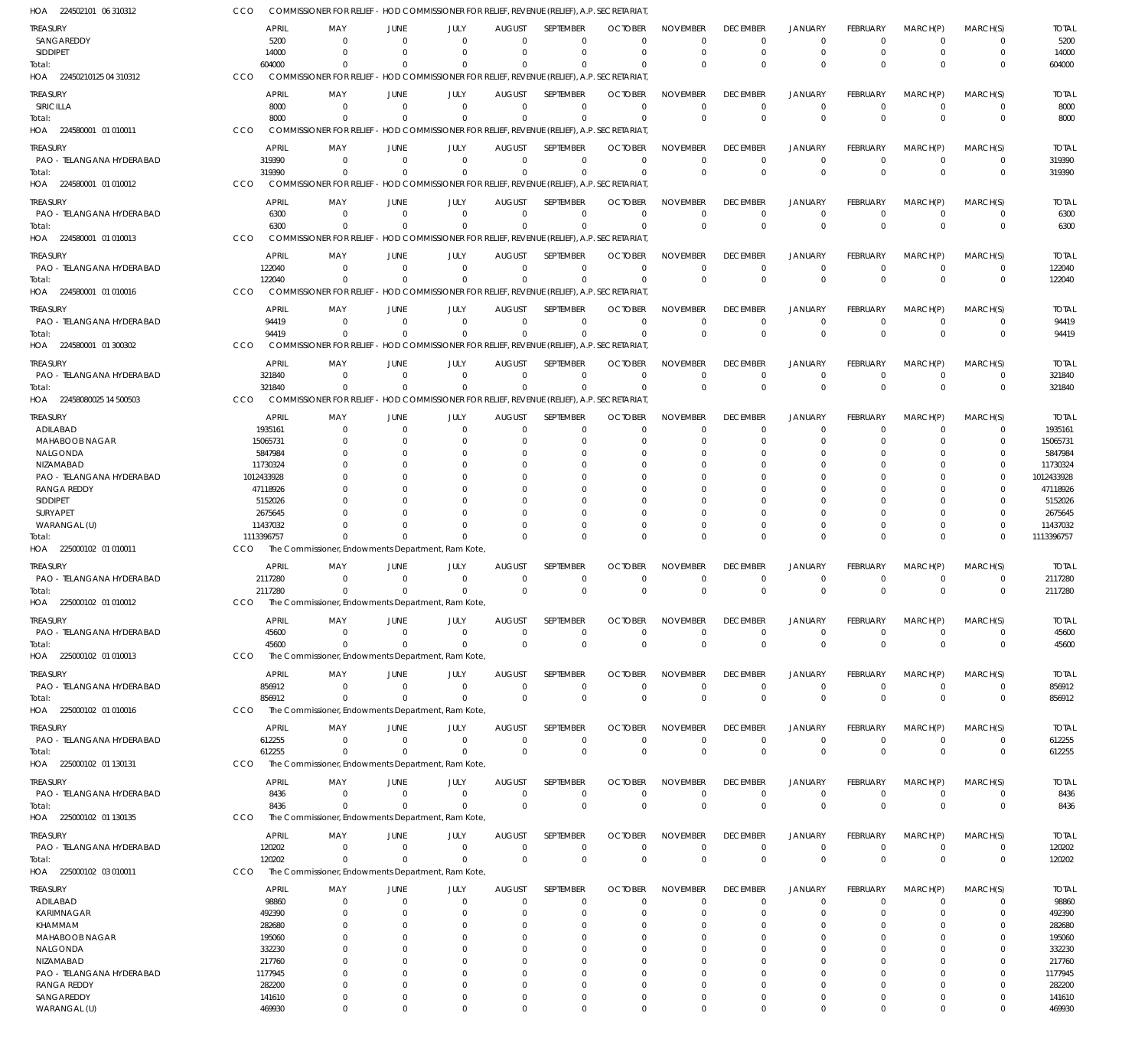| HOA 224502101 06 310312                | CCO                     | COMMISSIONER FOR RELIEF - HOD COMMISSIONER FOR RELIEF, REVENUE (RELIEF), A.P. SECRETARIAT |                          |                      |                           |                                                                   |                            |                                   |                                |                               |                         |                         |                            |                         |
|----------------------------------------|-------------------------|-------------------------------------------------------------------------------------------|--------------------------|----------------------|---------------------------|-------------------------------------------------------------------|----------------------------|-----------------------------------|--------------------------------|-------------------------------|-------------------------|-------------------------|----------------------------|-------------------------|
| TREASURY                               | <b>APRIL</b>            | MAY                                                                                       | JUNE                     | JULY                 | <b>AUGUST</b>             | <b>SEPTEMBER</b>                                                  | <b>OCTOBER</b>             | <b>NOVEMBER</b>                   | <b>DECEMBER</b>                | <b>JANUARY</b>                | FEBRUARY                | MARCH(P)                | MARCH(S)                   | <b>TOTAL</b>            |
| SANGAREDDY                             | 5200                    | $\mathbf{0}$                                                                              | $\Omega$                 | $\Omega$             | $\Omega$                  | $\Omega$                                                          | $\Omega$                   | $\Omega$                          | $\mathbf 0$                    | $\mathbf 0$                   | $\Omega$                | $\Omega$                | $\mathbf 0$                | 5200                    |
| <b>SIDDIPET</b>                        | 14000<br>604000         | $\Omega$<br>$\Omega$                                                                      | $\Omega$                 | $\Omega$<br>$\Omega$ | $\Omega$<br>$\Omega$      | $\Omega$<br>$\Omega$                                              | $\Omega$                   | $\Omega$<br>$\Omega$              | $\mathbf 0$<br>$\Omega$        | $\mathbf 0$<br>$\Omega$       | $\Omega$<br>$\Omega$    | $\Omega$<br>$\Omega$    | $\mathbf 0$<br>$\Omega$    | 14000                   |
| Total:<br>HOA 22450210125 04 310312    | CCO                     | COMMISSIONER FOR RELIEF - HOD COMMISSIONER FOR RELIEF, REVENUE (RELIEF), A.P. SECRETARIAT |                          |                      |                           |                                                                   |                            |                                   |                                |                               |                         |                         |                            | 604000                  |
| <b>TREASURY</b>                        | APRIL                   | MAY                                                                                       |                          | JULY                 | <b>AUGUST</b>             | <b>SEPTEMBER</b>                                                  | <b>OCTOBER</b>             | <b>NOVEMBER</b>                   | <b>DECEMBER</b>                | <b>JANUARY</b>                | FEBRUARY                | MARCH(P)                | MARCH(S)                   | <b>TOTAL</b>            |
| SIRICILLA                              | 8000                    | $\Omega$                                                                                  | JUNE<br>$\Omega$         | $\Omega$             | $\Omega$                  | $\Omega$                                                          | $\Omega$                   | $\Omega$                          | $\mathbf 0$                    | $\mathbf 0$                   | $\Omega$                | $\Omega$                | $\mathbf 0$                | 8000                    |
| Total:                                 | 8000                    | $\Omega$                                                                                  |                          | $\Omega$             | $\Omega$                  | $\Omega$                                                          | $\Omega$                   | $\Omega$                          | $\Omega$                       | $\Omega$                      | $\Omega$                | $\Omega$                | $\mathbf 0$                | 8000                    |
| HOA 224580001 01 010011                | CCO                     | <b>COMMISSIONER FOR RELIEF</b>                                                            |                          |                      |                           | - HOD COMMISSIONER FOR RELIEF, REVENUE (RELIEF), A.P. SECRETARIAT |                            |                                   |                                |                               |                         |                         |                            |                         |
| <b>TREASURY</b>                        | APRIL                   | MAY                                                                                       | JUNE                     | JULY                 | <b>AUGUST</b>             | <b>SEPTEMBER</b>                                                  | <b>OCTOBER</b>             | <b>NOVEMBER</b>                   | <b>DECEMBER</b>                | <b>JANUARY</b>                | FEBRUARY                | MARCH(P)                | MARCH(S)                   | <b>TOTAL</b>            |
| PAO - TELANGANA HYDERABAD              | 319390                  | $\mathbf{0}$                                                                              | $\Omega$                 | $\Omega$             | $\Omega$                  | $\Omega$                                                          | $\Omega$                   | $\Omega$                          | $\mathbf 0$                    | $\mathbf 0$                   | $\mathbf 0$             | $\Omega$                | $\mathbf 0$                | 319390                  |
| Total:                                 | 319390                  | $\Omega$                                                                                  | $\Omega$                 | $\Omega$             | $\Omega$                  | $\Omega$                                                          | $\Omega$                   | $\Omega$                          | $\mathbf 0$                    | $\Omega$                      | $\Omega$                | $\Omega$                | $\mathbf 0$                | 319390                  |
| HOA 224580001 01 010012                | CCO                     | COMMISSIONER FOR RELIEF - HOD COMMISSIONER FOR RELIEF, REVENUE (RELIEF), A.P. SECRETARIAT |                          |                      |                           |                                                                   |                            |                                   |                                |                               |                         |                         |                            |                         |
| <b>TREASURY</b>                        | <b>APRIL</b>            | MAY                                                                                       | JUNE                     | JULY                 | <b>AUGUST</b>             | SEPTEMBER                                                         | <b>OCTOBER</b>             | <b>NOVEMBER</b>                   | <b>DECEMBER</b>                | <b>JANUARY</b>                | FEBRUARY                | MARCH(P)                | MARCH(S)                   | <b>TOTAL</b>            |
| PAO - TELANGANA HYDERABAD<br>Total:    | 6300<br>6300            | $\Omega$<br>$\Omega$                                                                      | $\Omega$<br>$\Omega$     | $\Omega$<br>$\Omega$ | $\Omega$<br>$\Omega$      | $\Omega$<br>$\Omega$                                              | $\Omega$<br>$\Omega$       | $\overline{0}$<br>$\Omega$        | $\mathbf 0$<br>$\Omega$        | $\mathbf 0$<br>$\overline{0}$ | $\Omega$<br>$\Omega$    | $\Omega$<br>$\Omega$    | $\Omega$<br>$\mathbf 0$    | 6300<br>6300            |
| HOA 224580001 01 010013                | <b>CCO</b>              | COMMISSIONER FOR RELIEF - HOD COMMISSIONER FOR RELIEF, REVENUE (RELIEF), A.P. SECRETARIAT |                          |                      |                           |                                                                   |                            |                                   |                                |                               |                         |                         |                            |                         |
| TREASURY                               | <b>APRIL</b>            | MAY                                                                                       | JUNE                     | JULY                 | <b>AUGUST</b>             | SEPTEMBER                                                         | <b>OCTOBER</b>             | <b>NOVEMBER</b>                   | <b>DECEMBER</b>                | <b>JANUARY</b>                | FEBRUARY                | MARCH(P)                | MARCH(S)                   | <b>TOTAL</b>            |
| PAO - TELANGANA HYDERABAD              | 122040                  | $\mathbf{0}$                                                                              | $\Omega$                 | $\Omega$             | $\Omega$                  | $\Omega$                                                          | $\Omega$                   | $\Omega$                          | $\mathbf 0$                    | $\mathbf 0$                   | $\Omega$                | $\Omega$                | $\mathbf 0$                | 122040                  |
| Total:                                 | 122040                  | $\Omega$                                                                                  | $\Omega$                 | $\Omega$             | $\Omega$                  | $\Omega$                                                          | - 0                        | $\Omega$                          | $\Omega$                       | $\Omega$                      | $\Omega$                | $\Omega$                | $\mathbf 0$                | 122040                  |
| HOA 224580001 01 010016                | CCO                     | <b>COMMISSIONER FOR RELIEF</b>                                                            |                          |                      |                           | - HOD COMMISSIONER FOR RELIEF, REVENUE (RELIEF), A.P. SECRETARIAT |                            |                                   |                                |                               |                         |                         |                            |                         |
| <b>TREASURY</b>                        | <b>APRIL</b>            | MAY                                                                                       | JUNE                     | JULY                 | <b>AUGUST</b>             | SEPTEMBER                                                         | <b>OCTOBER</b>             | <b>NOVEMBER</b>                   | <b>DECEMBER</b>                | <b>JANUARY</b>                | FEBRUARY                | MARCH(P)                | MARCH(S)                   | <b>TOTAL</b>            |
| PAO - TELANGANA HYDERABAD              | 94419                   | $\Omega$                                                                                  | $\Omega$                 | $\Omega$             | $\Omega$                  | $\Omega$                                                          | $\Omega$                   | $\overline{0}$                    | $\mathbf 0$                    | $\mathbf 0$                   | $\Omega$                | $\Omega$                | 0                          | 94419                   |
| Total:                                 | 94419                   | $\Omega$                                                                                  | $\Omega$                 | $\Omega$             | $\Omega$                  | $\Omega$                                                          | - 0                        | $\Omega$                          | $\Omega$                       | $\overline{0}$                | $\Omega$                | $\Omega$                | $\mathbf 0$                | 94419                   |
| HOA 224580001 01 300302                | CCO                     | COMMISSIONER FOR RELIEF - HOD COMMISSIONER FOR RELIEF, REVENUE (RELIEF), A.P. SECRETARIAT |                          |                      |                           |                                                                   |                            |                                   |                                |                               |                         |                         |                            |                         |
| <b>TREASURY</b>                        | APRIL                   | MAY                                                                                       | JUNE                     | JULY                 | <b>AUGUST</b>             | SEPTEMBER                                                         | <b>OCTOBER</b>             | <b>NOVEMBER</b>                   | <b>DECEMBER</b>                | <b>JANUARY</b>                | FEBRUARY                | MARCH(P)                | MARCH(S)                   | <b>TOTAL</b>            |
| PAO - TELANGANA HYDERABAD              | 321840<br>321840        | $\Omega$<br>$\Omega$                                                                      | $\Omega$<br>$\Omega$     | $\Omega$<br>$\Omega$ | $\Omega$<br>$\Omega$      | $\Omega$<br>$\Omega$                                              | $\Omega$<br>$\Omega$       | $\Omega$<br>$\Omega$              | $\mathbf 0$<br>$\mathbf 0$     | $\mathbf 0$<br>$\Omega$       | $\Omega$<br>$\Omega$    | $\Omega$<br>$\Omega$    | $\mathbf 0$<br>$\mathbf 0$ | 321840<br>321840        |
| Total:<br>HOA 22458080025 14 500503    | CCO                     | <b>COMMISSIONER FOR RELIEF</b>                                                            |                          |                      |                           | - HOD COMMISSIONER FOR RELIEF, REVENUE (RELIEF), A.P. SECRETARIAT |                            |                                   |                                |                               |                         |                         |                            |                         |
|                                        |                         |                                                                                           |                          |                      |                           |                                                                   |                            |                                   |                                |                               |                         |                         |                            |                         |
| TREASURY<br>ADILABAD                   | <b>APRIL</b><br>1935161 | MAY<br>$\Omega$                                                                           | JUNE<br>$\Omega$         | JULY<br>$\Omega$     | <b>AUGUST</b><br>$\Omega$ | <b>SEPTEMBER</b><br>$\Omega$                                      | <b>OCTOBER</b><br>$\Omega$ | <b>NOVEMBER</b><br>$\Omega$       | <b>DECEMBER</b><br>0           | <b>JANUARY</b><br>0           | FEBRUARY<br>$\Omega$    | MARCH(P)<br>$\Omega$    | MARCH(S)<br>$\Omega$       | <b>TOTAL</b><br>1935161 |
| MAHABOOB NAGAR                         | 15065731                | 0                                                                                         | -C                       | $\Omega$             |                           | $\Omega$                                                          | $\Omega$                   | $\Omega$                          | 0                              | $\Omega$                      | O                       | C                       | $\Omega$                   | 15065731                |
| NALGONDA                               | 5847984                 | n                                                                                         | <sup>r</sup>             | $\Omega$             |                           | $\Omega$                                                          |                            | $\Omega$                          | 0                              | $\Omega$                      |                         | C                       | O                          | 5847984                 |
| NIZAMABAD                              | 11730324                |                                                                                           |                          |                      |                           |                                                                   |                            | $\Omega$                          |                                | 0                             |                         |                         | $\Omega$                   | 11730324                |
| PAO - TELANGANA HYDERABAD              | 1012433928              |                                                                                           | <sup>r</sup>             | $\Omega$             |                           | $\Omega$                                                          |                            | $\Omega$                          | 0                              | 0                             |                         | C                       | $\Omega$                   | 1012433928              |
| <b>RANGA REDDY</b><br>SIDDIPET         | 47118926<br>5152026     |                                                                                           |                          | $\Omega$             |                           |                                                                   |                            | $\Omega$<br>$\Omega$              | 0                              | 0<br>0                        |                         | C<br>C                  | O<br>O                     | 47118926<br>5152026     |
| SURYAPET                               | 2675645                 |                                                                                           |                          |                      |                           |                                                                   |                            | $\Omega$                          |                                | $\Omega$                      |                         | C                       | O                          | 2675645                 |
| WARANGAL (U)                           | 11437032                |                                                                                           |                          | $\Omega$             |                           | $\Omega$                                                          | $\Omega$                   | $\Omega$                          | 0                              | $\Omega$                      | $\Omega$                | $\Omega$                | $\Omega$                   | 11437032                |
| Total:                                 | 1113396757              | $\Omega$                                                                                  | $\Omega$                 | $\Omega$             |                           | $\Omega$                                                          |                            | $\Omega$                          | $\Omega$                       | $\Omega$                      | $\Omega$                | $\Omega$                | $\Omega$                   | 1113396757              |
| HOA 225000102 01 010011                | CCO                     | The Commissioner, Endowments Department, Ram Kote,                                        |                          |                      |                           |                                                                   |                            |                                   |                                |                               |                         |                         |                            |                         |
| TREASURY                               | APRIL                   | MAY                                                                                       | JUNE                     | JULY                 | <b>AUGUST</b>             | <b>SEPTEMBER</b>                                                  | <b>OCTOBER</b>             | <b>NOVEMBER</b>                   | <b>DECEMBER</b>                | <b>JANUARY</b>                | FEBRUARY                | MARCH(P)                | MARCH(S)                   | <b>TOTAL</b>            |
| PAO - TELANGANA HYDERABAD              | 2117280                 | $^{\circ}$                                                                                | $\Omega$                 | $\Omega$             | $\Omega$                  | $\Omega$                                                          | $\Omega$                   | $\Omega$                          | 0                              | 0                             | $\Omega$                | $\Omega$                | 0                          | 2117280                 |
| Total:                                 | 2117280                 | $\Omega$                                                                                  | $\Omega$                 | $\Omega$             | $\Omega$                  | $\Omega$                                                          | $\Omega$                   | $\Omega$                          | $\Omega$                       | $\Omega$                      | $\Omega$                | $\Omega$                | $\Omega$                   | 2117280                 |
| HOA 225000102 01 010012                | CCO                     | The Commissioner, Endowments Department, Ram Kote                                         |                          |                      |                           |                                                                   |                            |                                   |                                |                               |                         |                         |                            |                         |
| TREASURY                               | APRIL                   | MAY                                                                                       | JUNE                     | JULY                 | <b>AUGUST</b>             | SEPTEMBER                                                         | <b>OCTOBER</b>             | <b>NOVEMBER</b>                   | <b>DECEMBER</b>                | <b>JANUARY</b>                | <b>FEBRUARY</b>         | MARCH(P)                | MARCH(S)                   | <b>TOTAL</b>            |
| PAO - TELANGANA HYDERABAD<br>Total:    | 45600<br>45600          | $\Omega$<br>$\Omega$                                                                      | $\mathbf{0}$<br>$\Omega$ | $\Omega$<br>$\Omega$ | $\Omega$<br>$\Omega$      | $\Omega$<br>$\Omega$                                              | $\Omega$<br>$\Omega$       | $^{\circ}$<br>$\mathbf 0$         | 0<br>$\mathbf{0}$              | $\mathbf 0$<br>$\overline{0}$ | $\mathbf 0$<br>$\Omega$ | $\mathbf 0$<br>$\Omega$ | 0<br>$\mathbf 0$           | 45600<br>45600          |
| HOA 225000102 01 010013                | CCO                     | The Commissioner, Endowments Department, Ram Kote,                                        |                          |                      |                           |                                                                   |                            |                                   |                                |                               |                         |                         |                            |                         |
| TREASURY                               | APRIL                   | MAY                                                                                       | JUNE                     | JULY                 | <b>AUGUST</b>             | SEPTEMBER                                                         | <b>OCTOBER</b>             | <b>NOVEMBER</b>                   | <b>DECEMBER</b>                | <b>JANUARY</b>                | FEBRUARY                | MARCH(P)                | MARCH(S)                   | <b>TOTAL</b>            |
| PAO - TELANGANA HYDERABAD              | 856912                  | $\mathbf{0}$                                                                              | $\Omega$                 | $^{\circ}$           | $\Omega$                  | $\Omega$                                                          | $\Omega$                   | $^{\circ}$                        | $\mathbf 0$                    | $\mathbf 0$                   | $\mathbf 0$             | $\mathbf 0$             | $\mathbf 0$                | 856912                  |
| Total:                                 | 856912                  | $\Omega$                                                                                  | $\Omega$                 | $\Omega$             | $\Omega$                  | $\Omega$                                                          | $\Omega$                   | $\Omega$                          | $\mathbf{0}$                   | $\overline{0}$                | $\Omega$                | $\Omega$                | $\mathbf 0$                | 856912                  |
| HOA 225000102 01 010016                | CCO                     | The Commissioner, Endowments Department, Ram Kote,                                        |                          |                      |                           |                                                                   |                            |                                   |                                |                               |                         |                         |                            |                         |
| TREASURY                               | <b>APRIL</b>            | MAY                                                                                       | JUNE                     | JULY                 | <b>AUGUST</b>             | SEPTEMBER                                                         | <b>OCTOBER</b>             | <b>NOVEMBER</b>                   | <b>DECEMBER</b>                | <b>JANUARY</b>                | <b>FEBRUARY</b>         | MARCH(P)                | MARCH(S)                   | <b>TOTAL</b>            |
| PAO - TELANGANA HYDERABAD              | 612255                  | $\Omega$                                                                                  | $\mathbf{0}$             | $\Omega$             | $\Omega$                  | $\Omega$                                                          | $\Omega$                   | $\overline{0}$                    | $\mathbf 0$                    | $\mathbf 0$                   | $\mathbf 0$             | $\mathbf 0$             | 0                          | 612255                  |
| Total:                                 | 612255                  | $\Omega$                                                                                  | $\Omega$                 | $\Omega$             | $\Omega$                  | $\mathbf{0}$                                                      | $\overline{0}$             | $\overline{0}$                    | $\mathbf 0$                    | $\overline{0}$                | $\mathbf 0$             | $\mathbf 0$             | $\mathbf 0$                | 612255                  |
| HOA 225000102 01 130131                | CCO                     | The Commissioner, Endowments Department, Ram Kote,                                        |                          |                      |                           |                                                                   |                            |                                   |                                |                               |                         |                         |                            |                         |
| TREASURY                               | APRIL                   | MAY                                                                                       | JUNE                     | JULY                 | <b>AUGUST</b>             | SEPTEMBER                                                         | <b>OCTOBER</b>             | <b>NOVEMBER</b>                   | <b>DECEMBER</b>                | <b>JANUARY</b>                | FEBRUARY                | MARCH(P)                | MARCH(S)                   | <b>TOTAL</b>            |
| PAO - TELANGANA HYDERABAD              | 8436                    | $\mathbf 0$                                                                               | $\Omega$                 | $\mathbf 0$          | $\Omega$                  | $\Omega$                                                          | $^{\circ}$                 | $\overline{0}$                    | $\mathbf 0$                    | $\mathbf 0$                   | $\mathbf 0$             | 0                       | 0                          | 8436                    |
| Total:<br>HOA 225000102 01 130135      | 8436<br>CCO             | $\Omega$<br>The Commissioner, Endowments Department, Ram Kote,                            | $\Omega$                 | $\Omega$             | $\Omega$                  | $\mathbf 0$                                                       | $\overline{0}$             | $\overline{0}$                    | $\mathbf{0}$                   | $\overline{0}$                | $\Omega$                | $\Omega$                | $\mathbf 0$                | 8436                    |
|                                        |                         |                                                                                           |                          |                      |                           |                                                                   |                            |                                   |                                |                               |                         |                         |                            |                         |
| TREASURY<br>PAO - TELANGANA HYDERABAD  | <b>APRIL</b><br>120202  | MAY<br>$\Omega$                                                                           | JUNE<br>$\Omega$         | JULY<br>$\Omega$     | <b>AUGUST</b><br>$\Omega$ | SEPTEMBER<br>$\Omega$                                             | <b>OCTOBER</b><br>$\Omega$ | <b>NOVEMBER</b><br>$\overline{0}$ | <b>DECEMBER</b><br>$\mathbf 0$ | <b>JANUARY</b><br>$\mathbf 0$ | FEBRUARY<br>$\mathbf 0$ | MARCH(P)<br>$\mathbf 0$ | MARCH(S)<br>$\mathbf 0$    | <b>TOTAL</b><br>120202  |
| Total:                                 | 120202                  | $\Omega$                                                                                  | $\Omega$                 | $\Omega$             | $\Omega$                  | $\Omega$                                                          | $\Omega$                   | $\Omega$                          | $\mathbf 0$                    | $\overline{0}$                | $\Omega$                | $\Omega$                | $\mathbf 0$                | 120202                  |
| HOA 225000102 03 010011                | CCO                     | The Commissioner, Endowments Department, Ram Kote,                                        |                          |                      |                           |                                                                   |                            |                                   |                                |                               |                         |                         |                            |                         |
| TREASURY                               | APRIL                   | MAY                                                                                       | JUNE                     | JULY                 | <b>AUGUST</b>             | <b>SEPTEMBER</b>                                                  | <b>OCTOBER</b>             | <b>NOVEMBER</b>                   | <b>DECEMBER</b>                | <b>JANUARY</b>                | FEBRUARY                | MARCH(P)                | MARCH(S)                   | <b>TOTAL</b>            |
| ADILABAD                               | 98860                   | $\mathbf{0}$                                                                              | $\Omega$                 | $\Omega$             | $\Omega$                  | $\Omega$                                                          | $\Omega$                   | $\Omega$                          | $\mathbf 0$                    | $\mathbf 0$                   | $\Omega$                | $\Omega$                | $\mathbf 0$                | 98860                   |
| KARIMNAGAR                             | 492390                  | $\mathbf 0$                                                                               | $\Omega$                 | $\Omega$             | $\Omega$                  | $\Omega$                                                          | $\Omega$                   | $\Omega$                          | $\mathbf 0$                    | $\mathbf 0$                   | $\Omega$                | $\Omega$                | $\mathbf 0$                | 492390                  |
| KHAMMAM                                | 282680                  | $\Omega$                                                                                  | $\Omega$                 | $\Omega$             |                           | $\Omega$                                                          | $\Omega$                   | $\Omega$                          | $\Omega$                       | 0                             | 0                       | $\Omega$                | $\Omega$                   | 282680                  |
| MAHABOOB NAGAR                         | 195060                  | $\Omega$                                                                                  | C                        | $\Omega$             | $\Omega$                  | $\Omega$                                                          | $\Omega$                   | $\Omega$                          | 0                              | $\Omega$                      | O                       | $\Omega$                | $\Omega$                   | 195060                  |
| NALGONDA                               | 332230                  | $\Omega$                                                                                  | C                        | $\Omega$             |                           | $\Omega$                                                          | $\Omega$                   | $\Omega$<br>$\Omega$              | 0                              | $\Omega$                      | 0                       | $\Omega$                | $\Omega$                   | 332230                  |
| NIZAMABAD<br>PAO - TELANGANA HYDERABAD | 217760<br>1177945       | $\Omega$<br>$\Omega$                                                                      | -C<br>-C                 | $\Omega$<br>$\Omega$ |                           | $\Omega$<br>$\Omega$                                              | $\Omega$                   | $\Omega$                          | 0<br>0                         | $\Omega$<br>$\Omega$          | O                       | $\Omega$<br>$\Omega$    | $\Omega$<br>$\Omega$       | 217760<br>1177945       |
| <b>RANGA REDDY</b>                     | 282200                  | $\Omega$                                                                                  | -C                       | $\Omega$             | $\Omega$                  | $\Omega$                                                          | $\Omega$                   | $\Omega$                          | $\Omega$                       | $\Omega$                      | 0                       | $\Omega$                | $\Omega$                   | 282200                  |
| SANGAREDDY                             | 141610                  | $\mathbf 0$                                                                               | $\Omega$                 | $\Omega$             | $\Omega$                  | $\Omega$                                                          | $\Omega$                   | $\mathbf 0$                       | $\mathbf 0$                    | $\mathbf 0$                   | 0                       | $\Omega$                | $\mathbf 0$                | 141610                  |
| WARANGAL (U)                           | 469930                  | $\Omega$                                                                                  | $\Omega$                 | $\Omega$             | $\Omega$                  | $\Omega$                                                          | $\Omega$                   | $\mathbf{0}$                      | $\Omega$                       | $\Omega$                      | $\Omega$                | $\Omega$                | $\Omega$                   | 469930                  |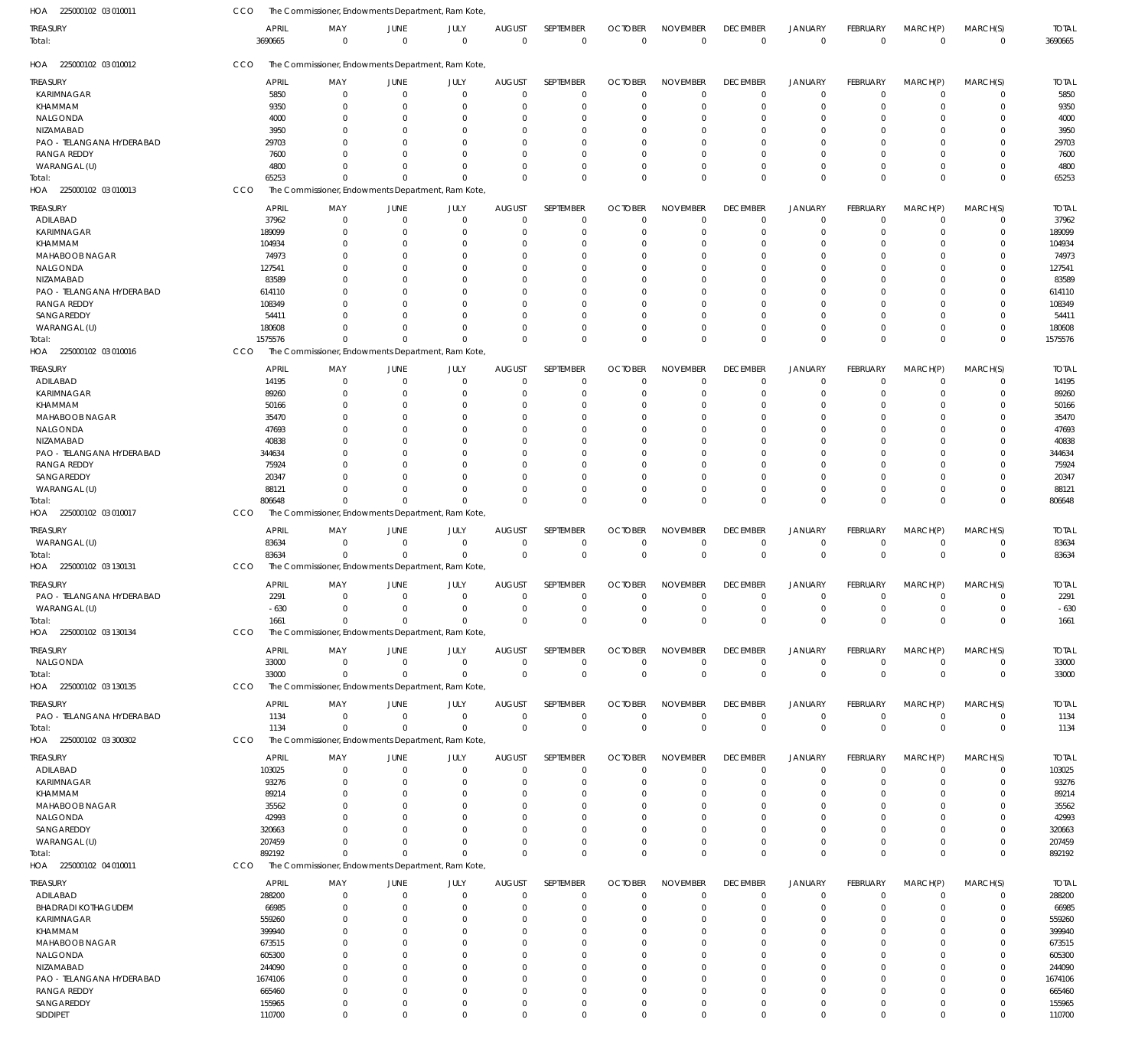| HOA 225000102 03 010011    | CCO          | The Commissioner, Endowments Department, Ram Kote, |                |             |               |                  |                |                 |                 |                |                 |             |             |              |
|----------------------------|--------------|----------------------------------------------------|----------------|-------------|---------------|------------------|----------------|-----------------|-----------------|----------------|-----------------|-------------|-------------|--------------|
| treasury                   | <b>APRIL</b> | MAY                                                | JUNE           | JULY        | <b>AUGUST</b> | SEPTEMBER        | <b>OCTOBER</b> | <b>NOVEMBER</b> | <b>DECEMBER</b> | <b>JANUARY</b> | <b>FEBRUARY</b> | MARCH(P)    | MARCH(S)    | <b>TOTAL</b> |
| Total:                     | 3690665      | $\mathbf 0$                                        | $\overline{0}$ | $\Omega$    | $\mathbf 0$   | $\mathbf 0$      | $\overline{0}$ | $\mathbf 0$     | $\mathbf 0$     | $\overline{0}$ | $\mathbf 0$     | $\mathbf 0$ | $\mathbf 0$ | 3690665      |
| HOA 225000102 03 010012    | CCO          | The Commissioner, Endowments Department, Ram Kote, |                |             |               |                  |                |                 |                 |                |                 |             |             |              |
| treasury                   | <b>APRIL</b> | MAY                                                | JUNE           | JULY        | <b>AUGUST</b> | SEPTEMBER        | <b>OCTOBER</b> | <b>NOVEMBER</b> | <b>DECEMBER</b> | <b>JANUARY</b> | <b>FEBRUARY</b> | MARCH(P)    | MARCH(S)    | <b>TOTAL</b> |
| KARIMNAGAR                 | 5850         | 0                                                  | $\overline{0}$ | $\mathbf 0$ | $\mathbf 0$   | $\mathbf 0$      | $\Omega$       | $\Omega$        | $\mathbf 0$     | $\mathbf 0$    | $\Omega$        | $\mathbf 0$ | $\mathbf 0$ | 5850         |
| KHAMMAM                    | 9350         | $\Omega$                                           | $\Omega$       | $\Omega$    | $\Omega$      | $\mathbf 0$      | $\Omega$       | $\Omega$        | $\mathbf 0$     | $\mathbf 0$    | $\Omega$        | 0           | $\mathbf 0$ | 9350         |
| NALGONDA                   | 4000         | 0                                                  | $\Omega$       | 0           | 0             | 0                | C              |                 | 0               | 0              |                 | 0           | 0           | 4000         |
| NIZAMABAD                  | 3950         |                                                    | $\Omega$       | 0           | $\Omega$      | $\Omega$         | $\Omega$       |                 | $\Omega$        | $\Omega$       |                 | $\Omega$    | $\mathbf 0$ | 3950         |
| PAO - TELANGANA HYDERABAD  | 29703        |                                                    | $\Omega$       | 0           | $\Omega$      | 0                |                |                 | 0               | 0              |                 | $\Omega$    | $\mathbf 0$ | 29703        |
| RANGA REDDY                | 7600         |                                                    | $\Omega$       | 0           | $\Omega$      | $\Omega$         | $\Omega$       |                 | $\Omega$        | 0              | 0               | $\Omega$    | $\mathbf 0$ | 7600         |
| WARANGAL (U)               | 4800         | 0                                                  | $\Omega$       | 0           | $\Omega$      | $\mathbf 0$      | $\Omega$       | $\Omega$        | $\mathbf 0$     | $\mathbf 0$    | 0               | 0           | $\mathbf 0$ | 4800         |
| Total:                     | 65253        | $\Omega$                                           | $\Omega$       | $\Omega$    | $\Omega$      | $\Omega$         | $\Omega$       | $\Omega$        | $\Omega$        | $\Omega$       | $\Omega$        | $\Omega$    | $\mathbf 0$ | 65253        |
| HOA 225000102 03 010013    | CCO          | The Commissioner, Endowments Department, Ram Kote, |                |             |               |                  |                |                 |                 |                |                 |             |             |              |
|                            |              |                                                    |                |             |               |                  |                |                 |                 |                |                 |             |             |              |
| treasury                   | <b>APRIL</b> | MAY                                                | JUNE           | JULY        | <b>AUGUST</b> | SEPTEMBER        | <b>OCTOBER</b> | <b>NOVEMBER</b> | <b>DECEMBER</b> | <b>JANUARY</b> | FEBRUARY        | MARCH(P)    | MARCH(S)    | <b>TOTAL</b> |
| ADILABAD                   | 37962        | 0                                                  | $\overline{0}$ | $\Omega$    | $\mathbf 0$   | $\mathbf 0$      | $\Omega$       | $\Omega$        | $\mathbf 0$     | $\overline{0}$ | $\Omega$        | 0           | $\mathbf 0$ | 37962        |
| KARIMNAGAR                 | 189099       | 0                                                  | $\Omega$       | 0           | 0             | $\mathbf 0$      | $\Omega$       | $\Omega$        | $\mathbf 0$     | $\mathbf 0$    |                 | 0           | $\mathbf 0$ | 189099       |
| KHAMMAM                    | 104934       |                                                    | $\Omega$       |             | 0             | $\Omega$         |                |                 | 0               | 0              |                 | 0           | 0           | 104934       |
| <b>MAHABOOB NAGAR</b>      | 74973        |                                                    | 0              |             | 0             | $\Omega$         |                |                 | 0               | $\Omega$       |                 | $\Omega$    | $\mathbf 0$ | 74973        |
| NALGONDA                   | 127541       |                                                    | $\Omega$       |             | 0             | $\Omega$         |                |                 |                 | $\Omega$       |                 | 0           | $\Omega$    | 127541       |
| NIZAMABAD                  | 83589        |                                                    | 0              |             | 0             | $\Omega$         |                |                 |                 | $\Omega$       |                 | 0           | $\mathbf 0$ | 83589        |
| PAO - TELANGANA HYDERABAD  | 614110       |                                                    |                |             | 0             | $\Omega$         |                |                 |                 | $\Omega$       |                 | 0           | $\Omega$    | 614110       |
| <b>RANGA REDDY</b>         | 108349       |                                                    | $\Omega$       |             | $\Omega$      | $\Omega$         |                |                 | 0               | $\Omega$       |                 | $\Omega$    | $\mathbf 0$ | 108349       |
| SANGAREDDY                 | 54411        |                                                    | $\Omega$       |             | $\Omega$      | $\Omega$         |                |                 | 0               | 0              |                 | $\Omega$    | $\mathbf 0$ | 54411        |
| WARANGAL (U)               | 180608       |                                                    | $\Omega$       | 0           | $\Omega$      | $\mathbf 0$      | $\Omega$       | $\Omega$        | 0               | 0              | 0               | 0           | $\mathbf 0$ | 180608       |
| Total:                     | 1575576      | $\Omega$                                           | $\Omega$       | $\Omega$    | $\Omega$      | $\Omega$         | $\Omega$       | $\Omega$        | $\Omega$        | $\Omega$       | $\Omega$        | $\Omega$    | $\mathbf 0$ | 1575576      |
| HOA 225000102 03 010016    | <b>CCO</b>   | The Commissioner, Endowments Department, Ram Kote, |                |             |               |                  |                |                 |                 |                |                 |             |             |              |
|                            |              |                                                    |                |             |               |                  |                |                 |                 |                |                 |             |             |              |
| Treasury                   | <b>APRIL</b> | MAY                                                | JUNE           | JULY        | <b>AUGUST</b> | SEPTEMBER        | <b>OCTOBER</b> | <b>NOVEMBER</b> | <b>DECEMBER</b> | <b>JANUARY</b> | <b>FEBRUARY</b> | MARCH(P)    | MARCH(S)    | <b>TOTAL</b> |
| ADILABAD                   | 14195        | 0                                                  | $\overline{0}$ | $\mathbf 0$ | 0             | 0                | $\Omega$       | $\Omega$        | $\overline{0}$  | $\overline{0}$ | $\Omega$        | 0           | 0           | 14195        |
| KARIMNAGAR                 | 89260        | $\Omega$                                           | $\Omega$       | $\Omega$    | 0             | $\mathbf 0$      | $\Omega$       | $\Omega$        | $\mathbf 0$     | $\mathbf 0$    | $\Omega$        | 0           | $\mathbf 0$ | 89260        |
| KHAMMAM                    | 50166        | 0                                                  | $\Omega$       | 0           | $\Omega$      | 0                | $\Omega$       |                 | 0               | 0              |                 | $\Omega$    | 0           | 50166        |
| <b>MAHABOOB NAGAR</b>      | 35470        |                                                    | $\Omega$       | 0           | $\Omega$      | $\Omega$         | C              |                 | $\Omega$        | $\Omega$       |                 | $\Omega$    | $\mathbf 0$ | 35470        |
| NALGONDA                   | 47693        |                                                    | $\Omega$       |             | $\Omega$      | 0                |                |                 | 0               | 0              |                 | $\Omega$    | 0           | 47693        |
| NIZAMABAD                  | 40838        |                                                    | $\Omega$       | 0           | $\Omega$      | $\Omega$         | $\Omega$       |                 | $\Omega$        | $\Omega$       |                 | $\Omega$    | $\mathbf 0$ | 40838        |
| PAO - TELANGANA HYDERABAD  | 344634       |                                                    | $\Omega$       |             | $\Omega$      | 0                | $\Omega$       |                 | $\Omega$        | 0              |                 | $\Omega$    | 0           | 344634       |
| <b>RANGA REDDY</b>         | 75924        |                                                    | $\Omega$       | 0           | $\Omega$      | $\Omega$         | $\mathcal{L}$  |                 | 0               | $\Omega$       |                 | $\Omega$    | $\Omega$    | 75924        |
| SANGAREDDY                 | 20347        |                                                    | $\Omega$       | 0           | $\Omega$      | 0                | $\Omega$       |                 | $\Omega$        | 0              |                 | $\Omega$    | $\mathbf 0$ | 20347        |
|                            |              |                                                    |                |             |               |                  |                |                 |                 |                |                 |             |             |              |
| WARANGAL (U)               | 88121        |                                                    | $\Omega$       | $\Omega$    | $\Omega$      | $\mathbf 0$      | $\Omega$       | $\Omega$        | $\Omega$        | $\mathbf 0$    | $\Omega$        | 0           | $\mathbf 0$ | 88121        |
| Total:                     | 806648       | $\Omega$                                           | $\Omega$       | $\Omega$    | $\Omega$      | $\mathbf 0$      | $\Omega$       | $\Omega$        | $\mathbf 0$     | $\overline{0}$ | $\Omega$        | $\Omega$    | $\mathbf 0$ | 806648       |
| HOA 225000102 03 010017    | CCO          | The Commissioner, Endowments Department, Ram Kote, |                |             |               |                  |                |                 |                 |                |                 |             |             |              |
| treasury                   | <b>APRIL</b> | MAY                                                | JUNE           | JULY        | <b>AUGUST</b> | SEPTEMBER        | <b>OCTOBER</b> | <b>NOVEMBER</b> | <b>DECEMBER</b> | <b>JANUARY</b> | <b>FEBRUARY</b> | MARCH(P)    | MARCH(S)    | <b>TOTAL</b> |
| WARANGAL (U)               | 83634        | $\Omega$                                           | $\Omega$       | $\Omega$    | 0             | $\mathbf 0$      | $\Omega$       | $\Omega$        | $\overline{0}$  | $\mathbf 0$    | 0               | 0           | 0           | 83634        |
| Total:                     | 83634        | $\mathbf{0}$                                       | $\overline{0}$ | $\Omega$    | $\mathbf 0$   | $\mathbf 0$      | $\Omega$       | $\Omega$        | $\mathbf 0$     | $\overline{0}$ | $\mathbf 0$     | $\mathbf 0$ | $\mathbf 0$ | 83634        |
| HOA 225000102 03 130131    | CCO          | The Commissioner, Endowments Department, Ram Kote, |                |             |               |                  |                |                 |                 |                |                 |             |             |              |
|                            |              |                                                    |                |             |               |                  |                |                 |                 |                |                 |             |             |              |
| treasury                   | <b>APRIL</b> | MAY                                                | JUNE           | JULY        | <b>AUGUST</b> | SEPTEMBER        | <b>OCTOBER</b> | <b>NOVEMBER</b> | <b>DECEMBER</b> | <b>JANUARY</b> | <b>FEBRUARY</b> | MARCH(P)    | MARCH(S)    | <b>TOTAL</b> |
| PAO - TELANGANA HYDERABAD  | 2291         | $\mathbf{0}$                                       | $\overline{0}$ | $\Omega$    | $\Omega$      | $\mathbf 0$      | $\Omega$       | $\Omega$        | $\mathbf 0$     | $\mathbf{0}$   | $\Omega$        | $\Omega$    | $\Omega$    | 2291         |
| WARANGAL (U)               | $-630$       | $\mathbf{0}$                                       | $\overline{0}$ | $\mathbf 0$ | $\mathbf 0$   | $\mathbf 0$      | $^{\circ}$     | $\Omega$        | $\mathbf 0$     | $\mathbf 0$    | $\mathbf 0$     | $\mathbf 0$ | $\mathbf 0$ | $-630$       |
| Total:                     | 1661         | $\Omega$                                           | $\Omega$       | $\Omega$    | $\mathbf 0$   | $\mathbf 0$      | $\overline{0}$ | $\mathbf 0$     | $\mathbf 0$     | $\overline{0}$ | $\mathbf 0$     | $\mathbf 0$ | $\mathbf 0$ | 1661         |
| HOA 225000102 03 130134    | CCO          | The Commissioner, Endowments Department, Ram Kote, |                |             |               |                  |                |                 |                 |                |                 |             |             |              |
|                            |              |                                                    |                |             |               |                  |                |                 |                 |                |                 |             |             |              |
| treasury                   | <b>APRIL</b> | MAY                                                | JUNE           | JULY        | <b>AUGUST</b> | <b>SEPTEMBER</b> | <b>OCTOBER</b> | <b>NOVEMBER</b> | <b>DECEMBER</b> | <b>JANUARY</b> | <b>FEBRUARY</b> | MARCH(P)    | MARCH(S)    | <b>TOTAL</b> |
| NALGONDA                   | 33000        | 0                                                  | $\overline{0}$ | 0           | 0             | $\mathbf 0$      | $\Omega$       | $\Omega$        | $\mathbf 0$     | $\mathbf 0$    | 0               | 0           | 0           | 33000        |
| Total:                     | 33000        | $\Omega$                                           | $\Omega$       | $\mathbf 0$ | $\Omega$      | $\mathbf 0$      | $\Omega$       | $\Omega$        | $\mathbf 0$     | $\overline{0}$ | $\mathbf 0$     | $\mathbf 0$ | $\mathbf 0$ | 33000        |
| HOA 225000102 03 130135    | CCO          | The Commissioner, Endowments Department, Ram Kote, |                |             |               |                  |                |                 |                 |                |                 |             |             |              |
| treasury                   | <b>APRIL</b> | MAY                                                | JUNE           | JULY        | <b>AUGUST</b> | SEPTEMBER        | <b>OCTOBER</b> | <b>NOVEMBER</b> | <b>DECEMBER</b> | <b>JANUARY</b> | <b>FEBRUARY</b> | MARCH(P)    | MARCH(S)    | <b>TOTAL</b> |
| PAO - TELANGANA HYDERABAD  | 1134         | $\mathbf{0}$                                       | $\overline{0}$ | $\mathbf 0$ | $\mathbf 0$   | 0                | $^{\circ}$     | 0               | 0               | $\mathbf 0$    | $\mathbf 0$     | 0           | 0           | 1134         |
| Total:                     | 1134         | $\Omega$                                           | $\Omega$       | $\Omega$    | $\mathbf 0$   | $\mathbf 0$      | $\mathbf{0}$   | $\overline{0}$  | $\,0\,$         | $\overline{0}$ | $\mathbf 0$     | $\mathbf 0$ | $\mathbf 0$ | 1134         |
| HOA 225000102 03 300302    | CCO          |                                                    |                |             |               |                  |                |                 |                 |                |                 |             |             |              |
|                            |              | The Commissioner, Endowments Department, Ram Kote, |                |             |               |                  |                |                 |                 |                |                 |             |             |              |
| <b>TREASURY</b>            | <b>APRIL</b> | MAY                                                | JUNE           | JULY        | <b>AUGUST</b> | SEPTEMBER        | <b>OCTOBER</b> | <b>NOVEMBER</b> | <b>DECEMBER</b> | <b>JANUARY</b> | FEBRUARY        | MARCH(P)    | MARCH(S)    | <b>TOTAL</b> |
| ADILABAD                   | 103025       | $\mathbf 0$                                        | $\overline{0}$ | $\Omega$    | 0             | $\mathbf 0$      | $\Omega$       | $\Omega$        | $\mathbf 0$     | $\mathbf 0$    | $\Omega$        | 0           | $\mathbf 0$ | 103025       |
| KARIMNAGAR                 | 93276        | 0                                                  | $\Omega$       | 0           | 0             | $\mathbf 0$      | $\Omega$       | $\Omega$        | $\mathbf 0$     | $\mathbf 0$    |                 | 0           | $\mathbf 0$ | 93276        |
| KHAMMAM                    | 89214        |                                                    | $\Omega$       |             | 0             | $\Omega$         | C              |                 | $\Omega$        | 0              |                 | 0           | $\Omega$    | 89214        |
| <b>MAHABOOB NAGAR</b>      | 35562        |                                                    | 0              |             | 0             | $\Omega$         |                | $\Omega$        | $\Omega$        | $\Omega$       |                 | $\Omega$    | 0           | 35562        |
| NALGONDA                   | 42993        |                                                    | 0              |             | 0             | $\Omega$         | $\Omega$       |                 | 0               | $\Omega$       |                 | $\Omega$    | $\Omega$    | 42993        |
| SANGAREDDY                 | 320663       |                                                    | 0              |             | $\Omega$      | $\Omega$         | $\Omega$       | $\Omega$        | $\Omega$        | $\Omega$       |                 | $\Omega$    | $\mathbf 0$ | 320663       |
|                            | 207459       |                                                    | $\Omega$       | 0           | $\Omega$      | $\mathbf 0$      | $\Omega$       | $\Omega$        | 0               | $\mathbf 0$    | 0               | 0           | $\mathbf 0$ | 207459       |
| WARANGAL (U)               |              |                                                    |                |             |               |                  |                |                 |                 |                |                 |             |             |              |
| Total:                     | 892192       | $\Omega$                                           | $\Omega$       | $\Omega$    | $\Omega$      | $\mathbf 0$      | $\Omega$       | $\Omega$        | $\mathbf 0$     | $\overline{0}$ | $\Omega$        | $\Omega$    | $\mathbf 0$ | 892192       |
| HOA 225000102 04 010011    | CCO          | The Commissioner, Endowments Department, Ram Kote, |                |             |               |                  |                |                 |                 |                |                 |             |             |              |
| treasury                   | <b>APRIL</b> | MAY                                                | JUNE           | JULY        | <b>AUGUST</b> | SEPTEMBER        | <b>OCTOBER</b> | <b>NOVEMBER</b> | <b>DECEMBER</b> | JANUARY        | <b>FEBRUARY</b> | MARCH(P)    | MARCH(S)    | <b>TOTAL</b> |
| ADILABAD                   | 288200       | $\mathbf 0$                                        | $\overline{0}$ | $\mathbf 0$ | 0             | $\mathbf 0$      | $\Omega$       | $\Omega$        | $\mathbf 0$     | $\overline{0}$ | $\Omega$        | 0           | 0           | 288200       |
| <b>BHADRADI KOTHAGUDEM</b> | 66985        | 0                                                  | 0              | $\Omega$    | 0             | $\mathbf 0$      | $\Omega$       | $\Omega$        | $\mathbf 0$     | $\mathbf 0$    | 0               | 0           | $\mathbf 0$ | 66985        |
| KARIMNAGAR                 | 559260       | 0                                                  | $\Omega$       | $\Omega$    | $\Omega$      | $\mathbf 0$      | $\Omega$       | $\Omega$        | $\Omega$        | 0              | 0               | $\Omega$    | $\mathbf 0$ | 559260       |
| KHAMMAM                    | 399940       | 0                                                  | $\Omega$       | 0           | $\Omega$      | 0                | $\Omega$       | $\Omega$        | $\Omega$        | 0              |                 | $\Omega$    | 0           | 399940       |
|                            | 673515       |                                                    | $\Omega$       | 0           | $\Omega$      | $\Omega$         | $\Omega$       | $\Omega$        | $\Omega$        | $\Omega$       |                 | $\Omega$    | $\mathbf 0$ | 673515       |
| <b>MAHABOOB NAGAR</b>      |              |                                                    |                |             |               |                  |                |                 |                 |                |                 |             |             |              |
| NALGONDA                   | 605300       | 0                                                  | $\Omega$       | 0           | $\Omega$      | 0                | $\Omega$       | $\Omega$        | $\Omega$        | 0              |                 | 0           | 0           | 605300       |
| NIZAMABAD                  | 244090       |                                                    | $\Omega$       | 0           | $\Omega$      | $\Omega$         | $\Omega$       | $\Omega$        | $\Omega$        | $\Omega$       | 0               | $\Omega$    | $\mathbf 0$ | 244090       |
| PAO - TELANGANA HYDERABAD  | 1674106      |                                                    | $\Omega$       | 0           | $\Omega$      | $\Omega$         | $\Omega$       | $\Omega$        | $\Omega$        | $\Omega$       | 0               | $\Omega$    | 0           | 1674106      |
| <b>RANGA REDDY</b>         | 665460       | 0                                                  | $\Omega$       | 0           | $\Omega$      | $\Omega$         | $\Omega$       | $\Omega$        | $\Omega$        | $\Omega$       | 0               | $\Omega$    | $\mathbf 0$ | 665460       |
| SANGAREDDY                 | 155965       | 0                                                  | $\overline{0}$ | 0           | 0             | 0                | $\Omega$       | 0               | 0               | $^{\circ}$     | 0               | 0           | 0           | 155965       |
| <b>SIDDIPET</b>            | 110700       | $\mathbf 0$                                        | $\overline{0}$ | $\mathbf 0$ | $\mathbf 0$   | $\mathbf 0$      | $\mathbf 0$    | $\mathbf 0$     | $\mathbf 0$     | $\mathbf 0$    | $\mathbf 0$     | $\mathbf 0$ | $\mathbf 0$ | 110700       |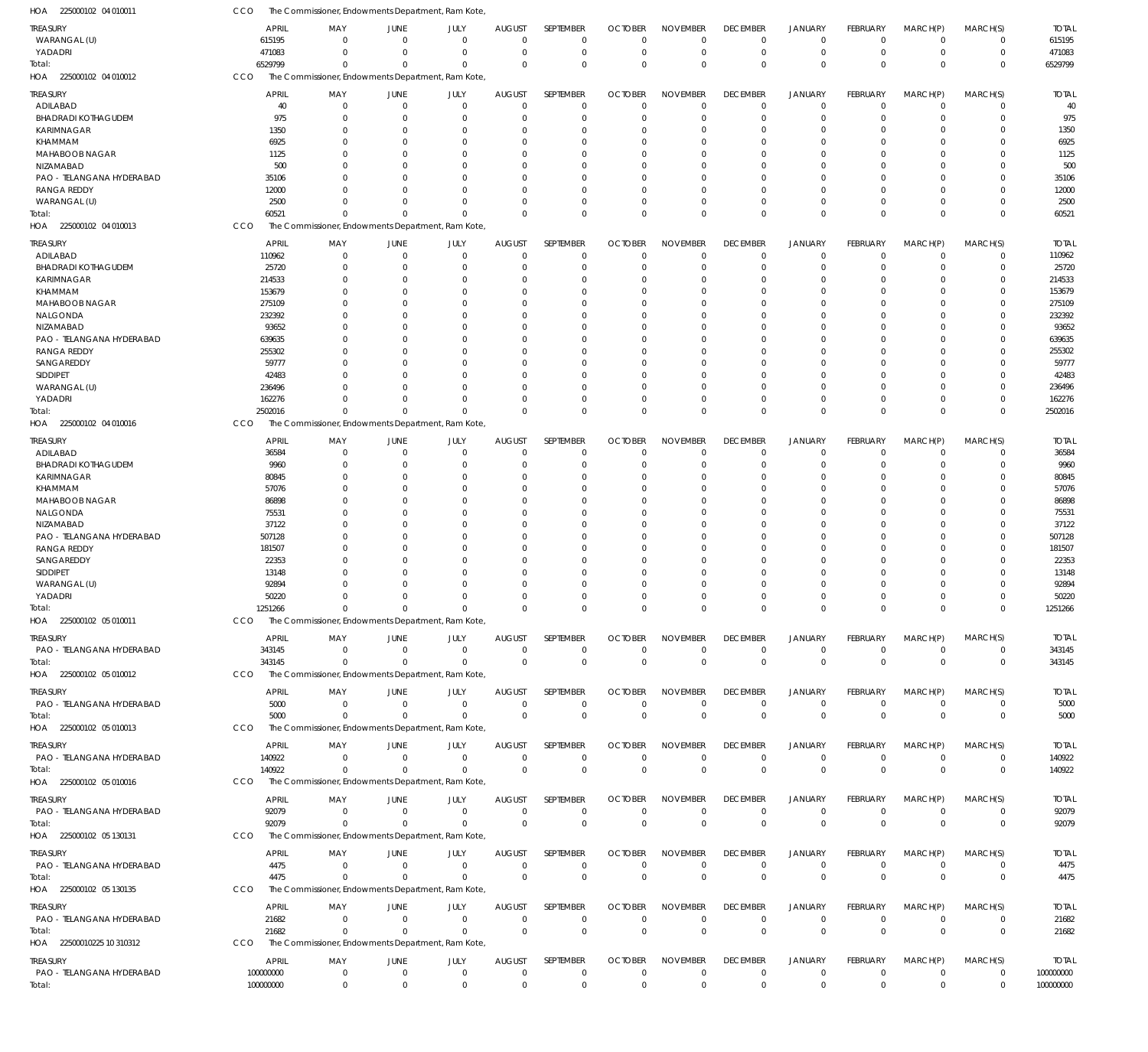| 225000102 04 010011<br>HOA                      | CCO                   | The Commissioner, Endowments Department, Ram Kote,             |                                  |                              |                                 |                               |                               |                                |                                |                                  |                             |                            |                            |                        |
|-------------------------------------------------|-----------------------|----------------------------------------------------------------|----------------------------------|------------------------------|---------------------------------|-------------------------------|-------------------------------|--------------------------------|--------------------------------|----------------------------------|-----------------------------|----------------------------|----------------------------|------------------------|
| <b>TREASURY</b>                                 | APRIL                 | MAY                                                            | <b>JUNE</b>                      | JULY                         | <b>AUGUST</b>                   | SEPTEMBER                     | <b>OCTOBER</b>                | <b>NOVEMBER</b>                | <b>DECEMBER</b>                | <b>JANUARY</b>                   | FEBRUARY                    | MARCH(P)                   | MARCH(S)                   | <b>TOTAL</b>           |
| WARANGAL (U)                                    | 615195                | $\Omega$                                                       | $\overline{0}$                   | $\mathbf{0}$                 | $\mathbf 0$                     | $\mathbf 0$                   | $\Omega$                      | $\Omega$                       | $\mathbf 0$                    | $\overline{0}$                   | $\Omega$                    | $\overline{0}$             | $\mathbf 0$                | 615195                 |
| YADADRI                                         | 471083                | $\Omega$                                                       | $\Omega$                         | $\Omega$                     | $\Omega$                        | $\mathbf 0$                   | $\mathbf 0$                   | $\Omega$                       | $\mathbf 0$                    | $\overline{0}$                   | $\mathbf 0$                 | $\overline{0}$             | $\mathbf 0$                | 471083                 |
| Total:                                          | 6529799               | $\Omega$                                                       | $\Omega$                         | $\Omega$                     | $\Omega$                        | $\mathbf{0}$                  | $\Omega$                      | $\Omega$                       | $\Omega$                       | $\Omega$                         | $\Omega$                    | $\Omega$                   | $\mathbf 0$                | 6529799                |
| HOA 225000102 04 010012                         | CCO                   | The Commissioner, Endowments Department, Ram Kote,             |                                  |                              |                                 |                               |                               |                                |                                |                                  |                             |                            |                            |                        |
| <b>TREASURY</b>                                 | <b>APRIL</b>          | MAY                                                            | JUNE                             | JULY                         | <b>AUGUST</b>                   | SEPTEMBER                     | <b>OCTOBER</b>                | <b>NOVEMBER</b>                | <b>DECEMBER</b>                | <b>JANUARY</b>                   | FEBRUARY                    | MARCH(P)                   | MARCH(S)                   | <b>TOTAL</b>           |
| ADILABAD                                        | 40                    | $\mathbf 0$                                                    | $\overline{0}$                   | $\mathbf{0}$                 | $\overline{0}$                  | $\mathbf 0$                   | 0                             | $\Omega$                       | 0                              | $\overline{0}$                   | $\mathbf 0$                 | $\overline{0}$             | $\mathbf 0$                | 40                     |
| <b>BHADRADI KOTHAGUDEM</b><br>KARIMNAGAR        | 975<br>1350           | $\Omega$<br>$\mathbf 0$                                        | $\Omega$<br>$\Omega$             | $\Omega$<br>$\Omega$         | 0<br>0                          | $\mathbf 0$<br>$\mathbf 0$    | $\Omega$<br>-0                | $\Omega$<br>$\Omega$           | $\Omega$<br>$\Omega$           | $\overline{0}$<br>$\Omega$       | $\Omega$<br>$\Omega$        | $\Omega$<br>$\Omega$       | $\mathbf 0$<br>$\mathbf 0$ | 975<br>1350            |
| KHAMMAM                                         | 6925                  | $\Omega$                                                       | $\overline{0}$                   | 0                            | 0                               | $\mathbf 0$                   | $\Omega$                      | $\Omega$                       |                                | $\Omega$                         | $\Omega$                    | $\Omega$                   | $\mathbf 0$                | 6925                   |
| MAHABOOB NAGAR                                  | 1125                  | $\Omega$                                                       | $\Omega$                         | <sup>0</sup>                 | $\Omega$                        | $\mathbf 0$                   | -0                            | $\Omega$                       | $\Omega$                       | $\Omega$                         | $\Omega$                    | $\Omega$                   | $\mathbf 0$                | 1125                   |
| NIZAMABAD                                       | 500                   | 0                                                              | $\Omega$                         | O                            | $\Omega$                        | $\mathbf 0$                   | -0                            | $\Omega$                       |                                | $\Omega$                         | $\Omega$                    | $\Omega$                   | $\mathbf 0$                | 500                    |
| PAO - TELANGANA HYDERABAD                       | 35106                 | $\Omega$                                                       | $\Omega$                         | 0                            | 0                               | $\mathbf 0$                   | -0                            | $\Omega$                       | $\Omega$                       | $\Omega$                         | $\Omega$                    | $\Omega$                   | $\mathbf 0$                | 35106                  |
| <b>RANGA REDDY</b>                              | 12000                 | <sup>0</sup>                                                   | $\Omega$                         | <sup>0</sup>                 | $\Omega$                        | $\mathbf 0$                   | -0                            | $\Omega$                       |                                | $\Omega$                         | $\Omega$                    | $\Omega$                   | $\Omega$                   | 12000                  |
| WARANGAL (U)                                    | 2500                  | $\Omega$                                                       | $\Omega$<br>$\Omega$             | $\Omega$<br>$\Omega$         | $\Omega$                        | $\mathbf 0$<br>$\Omega$       | -0                            | $\Omega$                       | $\Omega$                       | $\overline{0}$<br>$\Omega$       | $\Omega$                    | $\Omega$<br>$\Omega$       | $\mathbf 0$                | 2500                   |
| Total:<br>HOA 225000102 04 010013               | 60521<br>CCO          | $\Omega$<br>The Commissioner, Endowments Department, Ram Kote, |                                  |                              | $\Omega$                        |                               | $\Omega$                      | $\Omega$                       | $\Omega$                       |                                  | $\Omega$                    |                            | $\mathbf 0$                | 60521                  |
|                                                 |                       |                                                                |                                  |                              |                                 |                               |                               |                                |                                |                                  |                             |                            |                            |                        |
| TREASURY                                        | <b>APRIL</b>          | MAY<br>$\mathbf 0$                                             | <b>JUNE</b><br>$\overline{0}$    | JULY<br>$\mathbf 0$          | <b>AUGUST</b><br>$\mathbf 0$    | SEPTEMBER<br>$\mathbf 0$      | <b>OCTOBER</b><br>$\Omega$    | <b>NOVEMBER</b><br>$\Omega$    | <b>DECEMBER</b><br>$\mathbf 0$ | <b>JANUARY</b><br>$\overline{0}$ | FEBRUARY<br>$\mathbf 0$     | MARCH(P)<br>$\overline{0}$ | MARCH(S)<br>$\mathbf 0$    | <b>TOTAL</b><br>110962 |
| ADILABAD<br><b>BHADRADI KOTHAGUDEM</b>          | 110962<br>25720       | $\Omega$                                                       | $\overline{0}$                   | $\Omega$                     | 0                               | $\mathbf 0$                   | 0                             | $\Omega$                       | $\Omega$                       | $\overline{0}$                   | $\Omega$                    | $\Omega$                   | $\mathbf 0$                | 25720                  |
| KARIMNAGAR                                      | 214533                | 0                                                              | $\Omega$                         | $\Omega$                     | $\Omega$                        | $\overline{0}$                | $\Omega$                      | $\Omega$                       | $\Omega$                       | $\Omega$                         | $\Omega$                    | $\Omega$                   | $\mathbf 0$                | 214533                 |
| <b>KHAMMAM</b>                                  | 153679                | $\Omega$                                                       | $\Omega$                         | $\Omega$                     | $\Omega$                        | $\mathbf 0$                   | $\Omega$                      | $\Omega$                       | $\Omega$                       | $\Omega$                         | $\Omega$                    | $\Omega$                   | $\Omega$                   | 153679                 |
| MAHABOOB NAGAR                                  | 275109                | 0                                                              | $\overline{0}$                   | 0                            | $\Omega$                        | $\mathbf 0$                   | -0                            | $\Omega$                       | $\Omega$                       | $\Omega$                         | $\Omega$                    | $\Omega$                   | $\mathbf 0$                | 275109                 |
| NALGONDA                                        | 232392                | $\Omega$                                                       | $\Omega$                         | $\Omega$                     | $\Omega$                        | $\mathbf 0$                   | $\Omega$                      | $\Omega$                       | $\Omega$                       | $\Omega$                         | $\Omega$                    | $\Omega$                   | $\Omega$                   | 232392                 |
| NIZAMABAD                                       | 93652                 | 0<br>$\Omega$                                                  | $\Omega$<br>$\Omega$             | $\Omega$<br>$\Omega$         | $\Omega$<br>$\Omega$            | $\mathbf 0$<br>$\mathbf 0$    | -0<br>$\Omega$                | $\Omega$<br>$\Omega$           | $\Omega$<br>$\Omega$           | $\Omega$<br>$\Omega$             | $\Omega$<br>$\Omega$        | $\Omega$<br>$\Omega$       | $\Omega$<br>$\Omega$       | 93652                  |
| PAO - TELANGANA HYDERABAD<br><b>RANGA REDDY</b> | 639635<br>255302      | 0                                                              | $\Omega$                         | <sup>0</sup>                 | $\Omega$                        | $\mathbf 0$                   | $\Omega$                      | $\Omega$                       | $\Omega$                       | $\Omega$                         | $\Omega$                    | $\Omega$                   | $\mathbf 0$                | 639635<br>255302       |
| SANGAREDDY                                      | 59777                 | $\Omega$                                                       | $\Omega$                         | $\Omega$                     | $\Omega$                        | $\mathbf 0$                   | $\Omega$                      | $\Omega$                       | $\Omega$                       | $\Omega$                         | $\Omega$                    | $\Omega$                   | $\Omega$                   | 59777                  |
| SIDDIPET                                        | 42483                 | 0                                                              | $\Omega$                         | O                            | $\Omega$                        | $\mathbf 0$                   | $\Omega$                      | $\Omega$                       | $\Omega$                       | $\Omega$                         | $\Omega$                    | $\Omega$                   | $\mathbf 0$                | 42483                  |
| WARANGAL (U)                                    | 236496                | $\Omega$                                                       | $\Omega$                         | $\Omega$                     | $\Omega$                        | $\mathbf 0$                   | $\Omega$                      | $\Omega$                       | $\Omega$                       | $\Omega$                         | $\Omega$                    | $\Omega$                   | $\mathbf 0$                | 236496                 |
| YADADRI                                         | 162276                | U                                                              | $\Omega$                         | $\Omega$                     | $\Omega$                        | $\mathbf 0$                   | $\Omega$                      | $\Omega$                       | $\Omega$                       | $\Omega$                         | $\Omega$                    | $\Omega$                   | $\mathbf 0$                | 162276                 |
| Total:                                          | 2502016               | $\Omega$                                                       | $\Omega$                         | $\Omega$                     | $\Omega$                        | $\Omega$                      | $\Omega$                      | $\Omega$                       | $\Omega$                       | $\Omega$                         | $\Omega$                    | $\Omega$                   | $\mathbf 0$                | 2502016                |
| HOA 225000102 04 010016                         | CCO                   | The Commissioner, Endowments Department, Ram Kote,             |                                  |                              |                                 |                               |                               |                                |                                |                                  |                             |                            |                            |                        |
| <b>TREASURY</b>                                 | <b>APRIL</b>          | MAY                                                            | <b>JUNE</b>                      | JULY                         | <b>AUGUST</b>                   | SEPTEMBER                     | <b>OCTOBER</b>                | <b>NOVEMBER</b>                | <b>DECEMBER</b>                | <b>JANUARY</b>                   | FEBRUARY                    | MARCH(P)                   | MARCH(S)                   | <b>TOTAL</b>           |
| ADILABAD                                        | 36584                 | $\mathbf 0$                                                    | $\overline{0}$                   | $\mathbf 0$                  | $\overline{0}$                  | $\mathbf 0$                   | $\mathbf 0$                   | $\Omega$                       | $\Omega$                       | $\overline{0}$                   | $\mathbf 0$                 | $\overline{0}$             | $\mathbf 0$                | 36584                  |
| <b>BHADRADI KOTHAGUDEM</b><br>KARIMNAGAR        | 9960<br>80845         | $\mathbf 0$<br>$\Omega$                                        | $\overline{0}$<br>$\Omega$       | $\Omega$<br><sup>0</sup>     | 0<br>$\Omega$                   | $\mathbf 0$<br>$\overline{0}$ | $\Omega$<br>-0                | $\Omega$<br>$\Omega$           | $\Omega$<br>$\Omega$           | $\overline{0}$<br>$\Omega$       | $\Omega$<br>$\Omega$        | $\mathbf 0$<br>$\Omega$    | $\mathbf 0$<br>$\mathbf 0$ | 9960<br>80845          |
| <b>KHAMMAM</b>                                  | 57076                 | $\Omega$                                                       | $\Omega$                         | 0                            | $\Omega$                        | $\mathbf 0$                   | -0                            | $\Omega$                       | $\Omega$                       | $\Omega$                         | $\Omega$                    | $\Omega$                   | $\mathbf 0$                | 57076                  |
| MAHABOOB NAGAR                                  | 86898                 | $\Omega$                                                       | $\Omega$                         | O                            | $\Omega$                        | $\mathbf 0$                   | -0                            | $\Omega$                       |                                | $\Omega$                         | $\Omega$                    | $\Omega$                   | $\mathbf 0$                | 86898                  |
| NALGONDA                                        | 75531                 | $\Omega$                                                       | $\Omega$                         | O                            | $\Omega$                        | $\mathbf 0$                   | -C                            | $\Omega$                       |                                | $\Omega$                         | $\Omega$                    | $\Omega$                   | $\mathbf 0$                | 75531                  |
| NIZAMABAD                                       | 37122                 | 0                                                              | $\Omega$                         | O                            | $\Omega$                        | $\mathbf 0$                   | -0                            | $\Omega$                       |                                | $\Omega$                         | $\Omega$                    | $\Omega$                   | $\mathbf 0$                | 37122                  |
| PAO - TELANGANA HYDERABAD                       | 507128                | $\Omega$                                                       | $\overline{0}$                   | 0                            | 0                               | $\mathbf 0$                   | -0                            | $\Omega$<br>$\Omega$           | $\Omega$                       | $\Omega$                         | $\Omega$                    | $\Omega$                   | $\mathbf 0$                | 507128                 |
| <b>RANGA REDDY</b><br>SANGAREDDY                | 181507<br>22353       | $\Omega$<br>$\Omega$                                           | $\Omega$<br>$\Omega$             | O<br>O                       | $\Omega$<br>$\Omega$            | $\mathbf 0$<br>$\mathbf 0$    | -C<br>-0                      | $\Omega$                       |                                | $\Omega$<br>$\Omega$             | $\Omega$<br>$\Omega$        | $\Omega$<br>$\Omega$       | $\mathbf 0$<br>$\mathbf 0$ | 181507<br>22353        |
| <b>SIDDIPET</b>                                 | 13148                 | 0                                                              | $\Omega$                         | O                            | $\Omega$                        | $\mathbf 0$                   | -0                            | $\Omega$                       |                                | $\Omega$                         | $\Omega$                    | $\Omega$                   | $\mathbf 0$                | 13148                  |
| WARANGAL (U)                                    | 92894                 | 0                                                              | $\Omega$                         | <sup>0</sup>                 | 0                               | $\mathbf 0$                   | $\Omega$                      | $\Omega$                       |                                | $\Omega$                         | $\Omega$                    | $\Omega$                   | $\mathbf 0$                | 92894                  |
| YADADRI                                         | 50220                 | $\Omega$                                                       | $\Omega$                         | $\Omega$                     | $\Omega$                        | $\mathbf 0$                   | $\Omega$                      | $\Omega$                       | $\Omega$                       | $\Omega$                         | $\Omega$                    | $\Omega$                   | $\Omega$                   | 50220                  |
| Total:                                          | 1251266               | 0                                                              | $\mathbf{0}$                     | 0                            | $\mathbf 0$                     | 0                             | $\Omega$                      | $\Omega$                       | $\mathbf 0$                    | $\mathbf 0$                      | 0                           | $\overline{0}$             | $\mathbf 0$                | 1251266                |
| HOA 225000102 05 010011                         | CCO                   | The Commissioner, Endowments Department, Ram Kote,             |                                  |                              |                                 |                               |                               |                                |                                |                                  |                             |                            |                            |                        |
| <b>TREASURY</b>                                 | <b>APRIL</b>          | MAY                                                            | JUNE                             | JULY                         | <b>AUGUST</b>                   | SEPTEMBER                     | <b>OCTOBER</b>                | <b>NOVEMBER</b>                | <b>DECEMBER</b>                | <b>JANUARY</b>                   | FEBRUARY                    | MARCH(P)                   | MARCH(S)                   | <b>TOTAL</b>           |
| PAO - TELANGANA HYDERABAD                       | 343145                | $\mathbf{0}$                                                   | $\overline{0}$                   | $\mathbf{0}$                 | $\mathbf 0$                     | $\mathbf 0$                   | $\Omega$                      | $\mathbf 0$                    | $\mathbf 0$                    | $\mathbf 0$                      | $\mathbf 0$                 | $\overline{0}$             | $\mathbf 0$                | 343145                 |
| Total:                                          | 343145                | $\Omega$                                                       | $\Omega$                         | $\Omega$                     | $\mathbf 0$                     | 0                             | $\mathbf 0$                   | $\mathbf 0$                    | $\mathbf 0$                    | $\overline{0}$                   | $\overline{0}$              | $\overline{0}$             | $\mathbf 0$                | 343145                 |
| HOA 225000102 05 010012                         | CCO                   | The Commissioner, Endowments Department, Ram Kote,             |                                  |                              |                                 |                               |                               |                                |                                |                                  |                             |                            |                            |                        |
| <b>TREASURY</b>                                 | <b>APRIL</b>          | MAY                                                            | JUNE                             | JULY                         | <b>AUGUST</b>                   | SEPTEMBER                     | <b>OCTOBER</b>                | <b>NOVEMBER</b>                | <b>DECEMBER</b>                | JANUARY                          | FEBRUARY                    | MARCH(P)                   | MARCH(S)                   | <b>TOTAL</b>           |
| PAO - TELANGANA HYDERABAD                       | 5000                  | $\mathbf{0}$                                                   | $\overline{0}$                   | $\mathbf 0$                  | $\mathbf 0$                     | $\mathbf 0$                   | 0                             | $\mathbf 0$                    | 0                              | $\mathbf 0$                      | $\mathbf 0$                 | $\overline{0}$             | $\mathbf 0$<br>$\mathbf 0$ | 5000                   |
| Total:<br>HOA 225000102 05 010013               | 5000<br>CCO           | $\Omega$<br>The Commissioner, Endowments Department, Ram Kote, | $\overline{0}$                   | $\Omega$                     | $\overline{0}$                  | $\mathbf 0$                   | $\mathbf{0}$                  | $\mathbf 0$                    | $\mathbf 0$                    | $\overline{0}$                   | $\overline{0}$              | $\Omega$                   |                            | 5000                   |
|                                                 |                       |                                                                |                                  |                              |                                 |                               |                               |                                |                                |                                  |                             |                            |                            |                        |
| TREASURY                                        | <b>APRIL</b>          | MAY                                                            | <b>JUNE</b>                      | JULY                         | <b>AUGUST</b>                   | SEPTEMBER                     | <b>OCTOBER</b>                | <b>NOVEMBER</b><br>$\Omega$    | <b>DECEMBER</b>                | <b>JANUARY</b>                   | FEBRUARY                    | MARCH(P)<br>$\overline{0}$ | MARCH(S)                   | <b>TOTAL</b>           |
| PAO - TELANGANA HYDERABAD<br>Total:             | 140922<br>140922      | $\Omega$<br>$\Omega$                                           | $\overline{0}$<br>$\overline{0}$ | $\mathbf{0}$<br>$\mathbf{0}$ | $\overline{0}$<br>$\Omega$      | $\mathbf 0$<br>$\mathbf 0$    | $\mathbf{0}$<br>$\Omega$      | $\mathbf 0$                    | $\mathbf 0$<br>$\mathbf{0}$    | $\overline{0}$<br>$\overline{0}$ | $\mathbf 0$<br>$\mathbf{0}$ | $\Omega$                   | $\mathbf 0$<br>$\mathbf 0$ | 140922<br>140922       |
| HOA 225000102 05 010016                         | CCO                   | The Commissioner, Endowments Department, Ram Kote,             |                                  |                              |                                 |                               |                               |                                |                                |                                  |                             |                            |                            |                        |
|                                                 |                       |                                                                |                                  |                              |                                 |                               |                               |                                |                                |                                  |                             |                            |                            |                        |
| <b>TREASURY</b><br>PAO - TELANGANA HYDERABAD    | <b>APRIL</b><br>92079 | MAY<br>$\mathbf 0$                                             | JUNE<br>$\overline{0}$           | JULY<br>$\mathbf{0}$         | <b>AUGUST</b><br>$\overline{0}$ | SEPTEMBER<br>$\mathbf 0$      | <b>OCTOBER</b><br>$\mathbf 0$ | <b>NOVEMBER</b><br>$\mathbf 0$ | <b>DECEMBER</b><br>$\mathbf 0$ | <b>JANUARY</b><br>$^{\circ}$     | FEBRUARY<br>$\mathbf 0$     | MARCH(P)<br>$\overline{0}$ | MARCH(S)<br>$\mathbf 0$    | <b>TOTAL</b><br>92079  |
| Total:                                          | 92079                 | $\Omega$                                                       | $\overline{0}$                   | $\Omega$                     | $\Omega$                        | $\mathbf 0$                   | $\Omega$                      | $\mathbf{0}$                   | $\mathbf 0$                    | $\overline{0}$                   | $\mathbf{0}$                | $\Omega$                   | $\mathbf 0$                | 92079                  |
| HOA 225000102 05 130131                         | CCO                   | The Commissioner, Endowments Department, Ram Kote,             |                                  |                              |                                 |                               |                               |                                |                                |                                  |                             |                            |                            |                        |
| TREASURY                                        | <b>APRIL</b>          | MAY                                                            | JUNE                             | JULY                         | <b>AUGUST</b>                   | SEPTEMBER                     | <b>OCTOBER</b>                | <b>NOVEMBER</b>                | <b>DECEMBER</b>                | <b>JANUARY</b>                   | FEBRUARY                    | MARCH(P)                   | MARCH(S)                   | <b>TOTAL</b>           |
| PAO - TELANGANA HYDERABAD                       | 4475                  | $\mathbf{0}$                                                   | $\overline{0}$                   | $\mathbf 0$                  | $\overline{0}$                  | $\mathbf 0$                   | $\mathbf 0$                   | $\mathbf 0$                    | $\mathbf 0$                    | $^{\circ}$                       | $\mathbf 0$                 | $\overline{0}$             | $\mathbf 0$                | 4475                   |
| Total:                                          | 4475                  | $\Omega$                                                       | $\overline{0}$                   | $\mathbf 0$                  | $\overline{0}$                  | $\mathbf 0$                   | $\mathbf 0$                   | $\mathbf 0$                    | $\mathbf 0$                    | $\overline{0}$                   | $\overline{0}$              | $\overline{0}$             | $\mathbf 0$                | 4475                   |
| HOA 225000102 05 130135                         | CCO                   | The Commissioner, Endowments Department, Ram Kote,             |                                  |                              |                                 |                               |                               |                                |                                |                                  |                             |                            |                            |                        |
| TREASURY                                        | <b>APRIL</b>          | MAY                                                            | JUNE                             | JULY                         | <b>AUGUST</b>                   | SEPTEMBER                     | <b>OCTOBER</b>                | <b>NOVEMBER</b>                | <b>DECEMBER</b>                | JANUARY                          | <b>FEBRUARY</b>             | MARCH(P)                   | MARCH(S)                   | <b>TOTAL</b>           |
| PAO - TELANGANA HYDERABAD                       | 21682                 | $^{\circ}$                                                     | $\overline{0}$                   | $\mathbf 0$                  | $\overline{0}$                  | $\mathbf 0$                   | 0                             | $\mathbf 0$                    | $\mathbf 0$                    | $\overline{0}$                   | $\mathbf 0$                 | $\overline{0}$             | $\mathbf 0$                | 21682                  |
| Total:                                          | 21682                 | $^{\circ}$                                                     | $\overline{0}$                   | $\mathbf 0$                  | 0                               | $\mathbf{0}$                  | $\mathbf{0}$                  | $\mathbf{0}$                   | $\mathbf{0}$                   | $\overline{0}$                   | $\mathbf{0}$                | $\Omega$                   | $\mathbf 0$                | 21682                  |
| HOA 22500010225 10 310312                       | <b>CCO</b>            | The Commissioner, Endowments Department, Ram Kote,             |                                  |                              |                                 |                               |                               |                                |                                |                                  |                             |                            |                            |                        |
| <b>TREASURY</b>                                 | <b>APRIL</b>          | MAY                                                            | JUNE                             | JULY                         | <b>AUGUST</b>                   | SEPTEMBER                     | <b>OCTOBER</b>                | <b>NOVEMBER</b>                | <b>DECEMBER</b>                | <b>JANUARY</b>                   | FEBRUARY                    | MARCH(P)                   | MARCH(S)                   | <b>TOTAL</b>           |
| PAO - TELANGANA HYDERABAD                       | 100000000             | $\mathbf 0$                                                    | $\overline{0}$                   | $\mathbf{0}$                 | $\overline{0}$                  | $\mathbf 0$                   | $\mathbf 0$                   | $\mathbf 0$                    | $\mathbf 0$                    | $\overline{0}$                   | $\mathbf 0$                 | $\overline{0}$             | 0                          | 100000000              |
| Total:                                          | 100000000             | $\mathbb O$                                                    | $\overline{0}$                   | $\mathbf 0$                  | $\mathbf 0$                     | $\mathbf 0$                   | $\mathbf 0$                   | $\mathbf 0$                    | $\mathbf 0$                    | $\mathbf 0$                      | $\mathbf 0$                 | $\overline{0}$             | $\mathbf 0$                | 100000000              |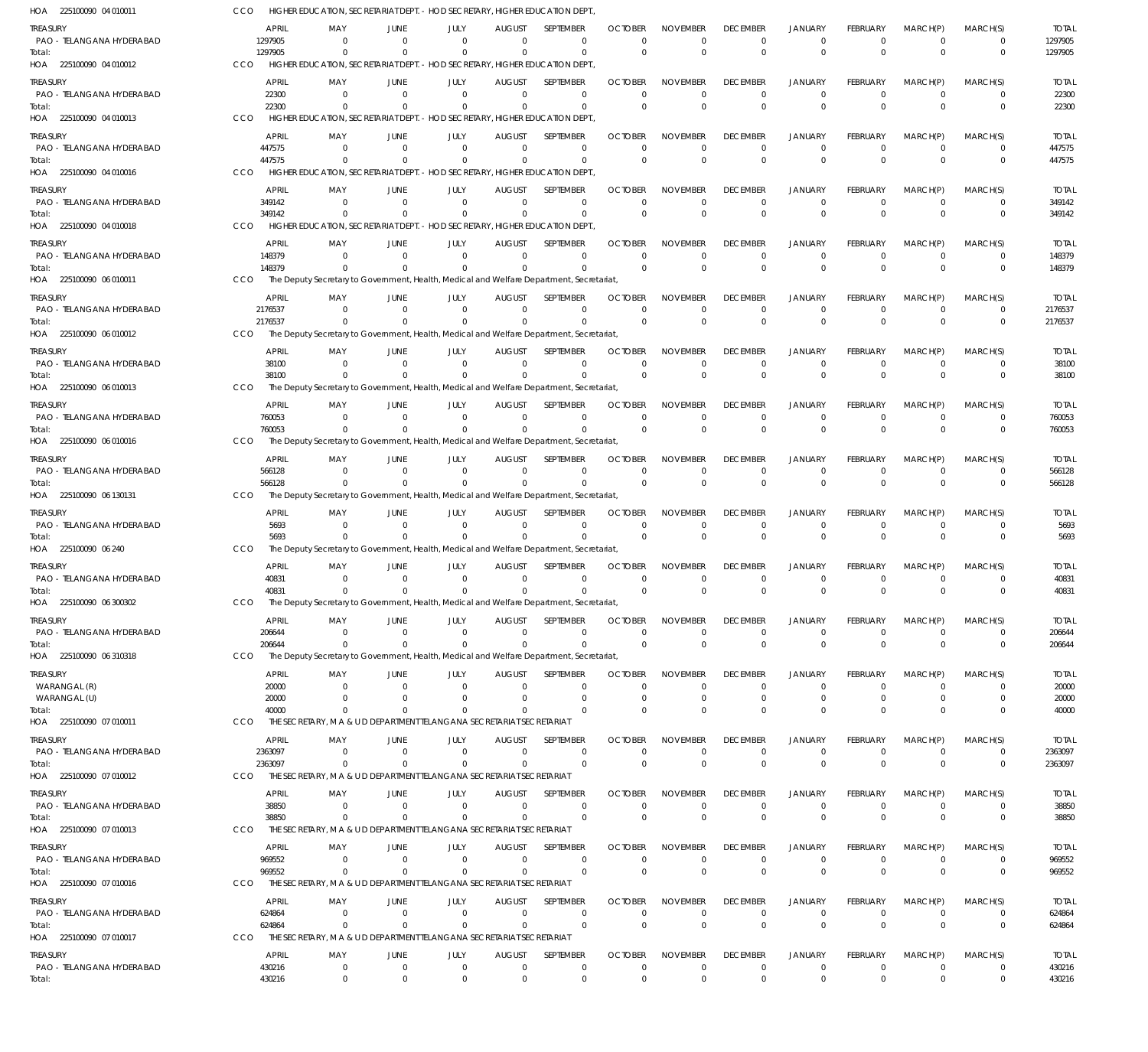225100090 04 010011 HOA 225100090 04 010012 HOA 225100090 04 010013 225100090 04 010016 HOA 225100090 04 010018 HOA 225100090 06 010011 HOA 225100090 06 010012 HOA 225100090 06 010013 HOA 225100090 06 010016 HOA 225100090 06 130131 HOA 225100090 06 240 HOA 225100090 06 300302 HOA 225100090 06 310318 HOA 225100090 07 010011 HOA 225100090 07 010012 HOA 225100090 07 010013 HOA 225100090 07 010016 HOA 225100090 07 010017 HOA HOA HIGHER EDUCATION, SECRETARIAT DEPT. - HOD SECRETARY, HIGHER EDUCATION DEPT., HIGHER EDUCATION, SECRETARIAT DEPT. - HOD SECRETARY, HIGHER EDUCATION DEPT. HIGHER EDUCATION, SECRETARIAT DEPT. - HOD SECRETARY, HIGHER EDUCATION DEPT., HIGHER EDUCATION, SECRETARIAT DEPT. - HOD SECRETARY, HIGHER EDUCATION DEPT., HIGHER EDUCATION, SECRETARIAT DEPT. - HOD SECRETARY, HIGHER EDUCATION DEPT. The Deputy Secretary to Government, Health, Medical and Welfare Department, Secretariat, The Deputy Secretary to Government, Health, Medical and Welfare Department, Secretariat, The Deputy Secretary to Government, Health, Medical and Welfare Department, Secretariat, The Deputy Secretary to Government, Health, Medical and Welfare Department, Secretariat The Deputy Secretary to Government, Health, Medical and Welfare Department, Secretariat, The Deputy Secretary to Government, Health, Medical and Welfare Department, Secretariat, The Deputy Secretary to Government, Health, Medical and Welfare Department, Secretariat, The Deputy Secretary to Government, Health, Medical and Welfare Department, Secretariat, THE SECRETARY, M A & U D DEPARTMENT TELANGANA SECRETARIAT SECRETARIAT THE SECRETARY, M A & U D DEPARTMENT TELANGANA SECRETARIAT SECRETARIAT THE SECRETARY, M A & U D DEPARTMENT TELANGANA SECRETARIAT SECRETARIAT THE SECRETARY, M A & U D DEPARTMENT TELANGANA SECRETARIAT SECRETARIAT THE SECRETARY, M A & U D DEPARTMENT TELANGANA SECRETARIAT SECRETARIAT CCO CCO. **CCO CCO** CCO CCO CCO CCO. CCO CCO CCO. CCO **CCO CCO** CCO CCO **CCO CCO** 1297905 22300 447575 349142 148379 2176537 38100 760053 566128 5693 40831 206644 40000 2363097 38850 969552 624864 430216 0 0  $\Omega$ 0  $\Omega$  $\Omega$ 0  $\Omega$ 0 0  $\Omega$ 0  $\Omega$ 0  $\Omega$  $\Omega$ 0 0 0 0  $\Omega$ 0  $\Omega$ 0 0  $\Omega$ 0 0  $\Omega$  $\boldsymbol{0}$  $\Omega$ 0 0  $\Omega$ 0 0 0 0  $\Omega$ 0  $\Omega$  $\Omega$ 0  $\theta$ 0 0  $\Omega$ 0  $\Omega$ 0 0  $\Omega$ 0 0 0 0  $\sqrt{2}$ 0  $\Omega$  $\Omega$ 0  $\Omega$ 0 0  $\Omega$ 0  $\Omega$ 0  $\Omega$  $\Omega$  $\Omega$  $\Omega$ 0 0  $\theta$ 0  $\Omega$  $\Omega$ 0  $\Omega$ 0 0  $\Omega$ 0  $\Omega$ 0  $\Omega$  $\Omega$ 0  $\Omega$ 0  $\Omega$  $\Omega$ 0  $\Omega$ 0 0  $\Omega$  $\Omega$ 0  $\Omega$ 0  $\Omega$ 0  $\Omega$  $\Omega$ 0 0 0  $\Omega$ 0  $\Omega$  $\Omega$ 0  $\Omega$  $\Omega$ 0  $\Omega$ 0  $\Omega$ 0  $\Omega$  $\Omega$ 0 0 0  $\Omega$ 0  $\Omega$ 0 0  $\Omega$ 0 0  $\Omega$ 0  $\Omega$ 0  $\Omega$  $\Omega$ 0  $\Omega$ 0 0  $\Omega$ 0  $\Omega$ 0 0  $\Omega$ 0 0  $\Omega$ 0  $\Omega$ 0  $\Omega$  $\Omega$ 0 0 0 0 0 0  $\Omega$ 0 0  $\Omega$ 0 0  $\Omega$  $\boldsymbol{0}$  $\Omega$ 0  $\Omega$  $\Omega$ 0 0 0 0  $\Omega$ 0  $\Omega$  $\Omega$ 0  $\Omega$ 0 0  $\Omega$ 0  $\Omega$ 0  $\Omega$  $\Omega$ 0  $\Omega$ 0  $\Omega$  $\Omega$ 0  $\Omega$  $\Omega$ 0  $\Omega$  $\Omega$ 0  $\Omega$ 0  $\Omega$ 0  $\Omega$  $\Omega$ 0 1297905 22300 447575 349142 148379 2176537 38100 760053 566128 5693 40831 206644 40000 2363097 38850 969552 624864 430216 PAO - TELANGANA HYDERABAD PAO - TELANGANA HYDERABAD PAO - TELANGANA HYDERABAD PAO - TELANGANA HYDERABAD PAO - TELANGANA HYDERABAD PAO - TELANGANA HYDERABAD PAO - TELANGANA HYDERABAD PAO - TELANGANA HYDERABAD PAO - TELANGANA HYDERABAD PAO - TELANGANA HYDERABAD PAO - TELANGANA HYDERABAD PAO - TELANGANA HYDERABAD WARANGAL (R) WARANGAL (U) PAO - TELANGANA HYDERABAD PAO - TELANGANA HYDERABAD PAO - TELANGANA HYDERABAD PAO - TELANGANA HYDERABAD PAO - TELANGANA HYDERABAD TREASURY **TREASURY** TREASURY TREASURY **TREASURY** TREASURY **TREASURY TREASURY** TREASURY **TREASURY TREASURY** TREASURY **TREASURY** TREASURY **TREASURY** TREASURY TREASURY **TREASURY** 1297905 22300 447575 349142 148379 2176537 38100 760053 566128 5693 40831 206644 20000 20000 2363097 38850 969552 624864 430216 APRIL APRIL APRIL APRIL APRIL APRIL APRIL APRIL APRIL APRIL APRIL APRIL APRIL APRIL APRIL APRIL APRIL APRIL  $\Omega$ 0 0  $\sqrt{0}$ 0 0  $\sqrt{0}$ 0 0 0 0 0  $\Omega$ 0  $\Omega$ 0  $\Omega$  $\Omega$ 0 MAY MAY MAY MAY **MAY** MAY MAY MAY MAY MAY MAY MAY MAY MAY MAY MAY MAY MAY 0 0 0  $\Omega$ 0 0 0 0 0 0 0 0 0 0 0  $\,$  0  $\,$ 0 0 0 JUNE **JUNE** JUNE JUNE **JUNE** JUNE JUNE **JUNE** JUNE JUNE JUNE JUNE JUNE JUNE JUNE JUNE JUNE **JUNE** 0 0 0  $\sqrt{0}$ 0 0 0 0 0 0 0 0 0 0  $\Omega$ 0 0 0 0 JULY JULY JULY JULY JULY JULY JULY JULY JULY JULY JULY JULY JULY JULY JULY JULY JULY JULY  $\Omega$ 0 0  $\Omega$ 0 0  $\Omega$ 0 0 0 0 0  $\Omega$ 0  $\Omega$ 0  $\Omega$  $\Omega$ 0 AUGUST **AUGUST** AUGUST AUGUST **AUGUST** AUGUST AUGUST **AUGUST** AUGUST AUGUST **AUGUST** AUGUST AUGUST AUGUST **AUGUST** AUGUST AUGUST **AUGUST**  $\Omega$ 0 0  $\Omega$ 0 0  $\Omega$ 0 0  $\Omega$ 0 0  $\Omega$ 0  $\Omega$ 0  $\Omega$  $\Omega$ 0 **SEPTEMBER SEPTEMBER SEPTEMBER** SEPTEMBER **SEPTEMBER** SEPTEMBER SEPTEMBER **SEPTEMBER** SEPTEMBER SEPTEMBER **SEPTEMBER** SEPTEMBER SEPTEMBER SEPTEMBER **SEPTEMBER** SEPTEMBER SEPTEMBER **SEPTEMBER**  $\Omega$ 0  $\Omega$  $\Omega$ 0 0  $\Omega$ 0  $\Omega$  $\Omega$ 0 0 0 0  $\Omega$ 0  $\Omega$  $\Omega$ 0 OCTOBER **OCTOBER** OCTOBER OCTOBER **OCTOBER** OCTOBER **OCTOBER OCTOBER** OCTOBER **OCTOBER OCTOBER** OCTOBER **OCTOBER OCTOBER** OCTOBER OCTOBER **OCTOBER OCTOBER**  $\Omega$ 0 0  $\Omega$ 0 0  $\Omega$ 0 0  $\Omega$ 0 0 0 0  $\Omega$ 0  $\Omega$  $\Omega$ 0 NOVEMBER NOVEMBER NOVEMBER NOVEMBER NOVEMBER NOVEMBER NOVEMBER NOVEMBER NOVEMBER NOVEMBER NOVEMBER NOVEMBER NOVEMBER NOVEMBER NOVEMBER NOVEMBER NOVEMBER NOVEMBER  $\Omega$  $\overline{0}$ 0  $\Omega$ 0 0  $\Omega$ 0 0  $\Omega$ 0 0  $\Omega$ 0  $\Omega$ 0  $\Omega$  $\Omega$ 0 DECEMBER **DECEMBER** DECEMBER DECEMBER **DECEMBER** DECEMBER DECEMBER **DECEMBER** DECEMBER DECEMBER **DECEMBER** DECEMBER DECEMBER DECEMBER **DECEMBER DECEMBER** DECEMBER **DECEMBER**  $\Omega$ 0 0  $\Omega$ 0 0  $\Omega$ 0 0  $\Omega$ 0 0  $\Omega$ 0  $\Omega$ 0  $\Omega$  $\Omega$ 0 JANUARY JANUARY JANUARY JANUARY JANUARY JANUARY JANUARY JANUARY JANUARY JANUARY JANUARY JANUARY JANUARY JANUARY JANUARY JANUARY JANUARY JANUARY  $\Omega$ 0  $\Omega$  $\Omega$ 0 0  $\Omega$ 0 0  $\Omega$ 0 0 0 0  $\Omega$ 0 0  $\Omega$ 0 FEBRUARY **FEBRUARY** FEBRUARY FEBRUARY FEBRUARY FEBRUARY FEBRUARY FEBRUARY FEBRUARY FEBRUARY FEBRUARY FEBRUARY FEBRUARY FEBRUARY FEBRUARY FEBRUARY FEBRUARY FEBRUARY  $\Omega$ 0  $\Omega$  $\Omega$ 0 0 0 0  $\Omega$  $\Omega$ 0 0  $\Omega$ 0  $\Omega$ 0  $\Omega$  $\Omega$ 0 MARCH(P) MARCH(P) MARCH(P) MARCH(P) MARCH(P) MARCH(P) MARCH(P) MARCH(P) MARCH(P) MARCH(P) MARCH(P) MARCH(P) MARCH(P) MARCH(P) MARCH(P) MARCH(P) MARCH(P) MARCH(P)  $\Omega$ 0  $\Omega$  $\Omega$ 0 0  $\Omega$ 0  $\Omega$  $\Omega$ 0  $\Omega$  $\Omega$ 0  $\Omega$ 0  $\Omega$  $\Omega$ 0 MARCH(S) MARCH(S) MARCH(S) MARCH(S) MARCH(S) MARCH(S) MARCH(S) MARCH(S) MARCH(S) MARCH(S) MARCH(S) MARCH(S) MARCH(S) MARCH(S) MARCH(S) MARCH(S) MARCH(S) MARCH(S) 1297905 22300 447575 349142 148379 2176537 38100 760053 566128 5693 40831 206644 20000 20000 2363097 38850 969552 624864 430216 TOTAL TOTAL TOTAL TOTAL TOTAL TOTAL TOTAL TOTAL TOTAL TOTAL TOTAL TOTAL TOTAL TOTAL TOTAL TOTAL TOTAL TOTAL Total: Total: Total: Total: Total: Total: Total: Total: Total: Total: Total: Total: Total: Total: Total: Total: Total: Total:

 $\Omega$ 

 $\Omega$ 

0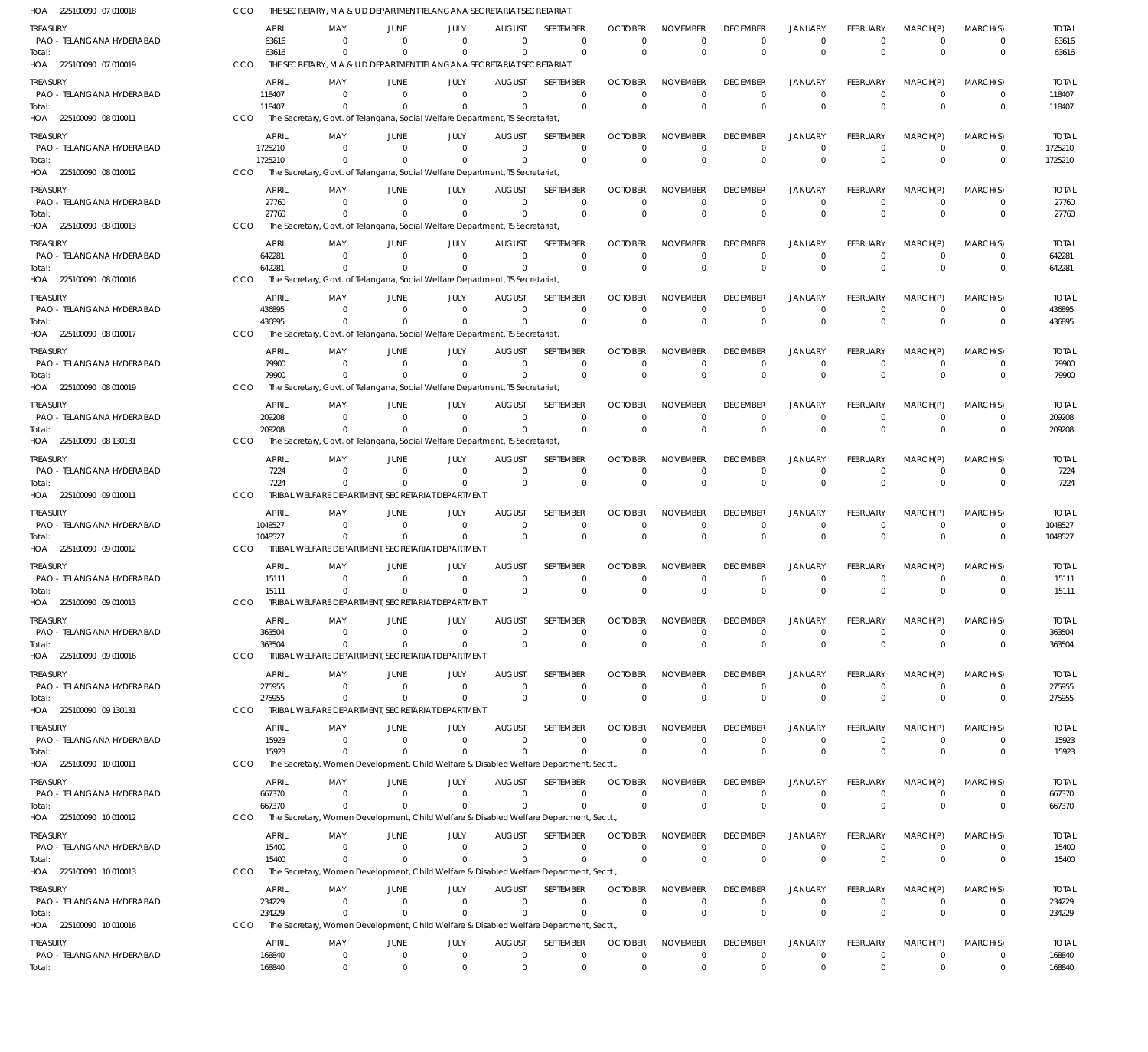| HOA 225100090 07 010018               | CCO        |                        | THE SECRETARY, M A & U D DEPARTMENT TELANGANA SECRETARIAT SECRETARIAT                             |                            |                      |                           |                              |                            |                             |                                |                                  |                             |                      |                             |                         |
|---------------------------------------|------------|------------------------|---------------------------------------------------------------------------------------------------|----------------------------|----------------------|---------------------------|------------------------------|----------------------------|-----------------------------|--------------------------------|----------------------------------|-----------------------------|----------------------|-----------------------------|-------------------------|
| Treasury                              |            | <b>APRIL</b>           | MAY                                                                                               | JUNE                       | JULY                 | AUGUST                    | <b>SEPTEMBER</b>             | <b>OCTOBER</b>             | <b>NOVEMBER</b>             | <b>DECEMBER</b>                | <b>JANUARY</b>                   | <b>FEBRUARY</b>             | MARCH(P)             | MARCH(S)                    | <b>TOTAL</b>            |
| PAO - TELANGANA HYDERABAD<br>Total:   |            | 63616<br>63616         | $\Omega$<br>$\Omega$                                                                              | $\Omega$<br>$\Omega$       | $\Omega$<br>$\Omega$ | $\Omega$<br>$\Omega$      | $\mathbf 0$<br>$\Omega$      | $\Omega$<br>$\Omega$       | $\Omega$<br>$\Omega$        | 0<br>$\mathbf{0}$              | $\mathbf 0$<br>$\overline{0}$    | $\Omega$<br>$\Omega$        | 0<br>$\Omega$        | $\mathbf 0$<br>$\mathbf 0$  | 63616<br>63616          |
| HOA 225100090 07 010019               | <b>CCO</b> |                        | THE SECRETARY, M A & U D DEPARTMENT TELANGANA SECRETARIAT SECRETARIAT                             |                            |                      |                           |                              |                            |                             |                                |                                  |                             |                      |                             |                         |
| treasury                              |            | <b>APRIL</b>           | MAY                                                                                               | JUNE                       | JULY                 | <b>AUGUST</b>             | SEPTEMBER                    | <b>OCTOBER</b>             | <b>NOVEMBER</b>             | <b>DECEMBER</b>                | <b>JANUARY</b>                   | <b>FEBRUARY</b>             | MARCH(P)             | MARCH(S)                    | <b>TOTAL</b>            |
| PAO - TELANGANA HYDERABAD             |            | 118407                 | $\Omega$<br>$\Omega$                                                                              | $\Omega$                   | $\Omega$<br>$\Omega$ | $\Omega$<br>$\Omega$      | $\Omega$<br>$\mathbf 0$      | $\Omega$<br>$\Omega$       | $\Omega$<br>$\Omega$        | $\mathbf{0}$<br>$\mathbb O$    | $\overline{0}$<br>$\overline{0}$ | $\Omega$<br>$\Omega$        | $\Omega$<br>$\Omega$ | $\mathbf{0}$<br>$\mathbf 0$ | 118407                  |
| Total:<br>HOA 225100090 08 010011     | CCO        | 118407                 | The Secretary, Govt. of Telangana, Social Welfare Department, IS Secretariat,                     |                            |                      |                           |                              |                            |                             |                                |                                  |                             |                      |                             | 118407                  |
| treasury                              |            | <b>APRIL</b>           | MAY                                                                                               | JUNE                       | JULY                 | <b>AUGUST</b>             | SEPTEMBER                    | <b>OCTOBER</b>             | <b>NOVEMBER</b>             | <b>DECEMBER</b>                | <b>JANUARY</b>                   | <b>FEBRUARY</b>             | MARCH(P)             | MARCH(S)                    | <b>TOTAL</b>            |
| PAO - TELANGANA HYDERABAD             |            | 1725210                | $\Omega$                                                                                          | $\Omega$                   | $\Omega$             | $\Omega$                  | $\mathbf 0$                  | $\Omega$                   | $\Omega$                    | $\mathbf 0$                    | $\mathbf 0$                      | $\Omega$                    | $\Omega$             | $\mathbf 0$                 | 1725210                 |
| Total:<br>HOA 225100090 08 010012     | CCO        | 1725210                | The Secretary, Govt. of Telangana, Social Welfare Department, TS Secretariat,                     |                            | $\Omega$             | $\Omega$                  | $\mathbf 0$                  | $\Omega$                   | $\Omega$                    | $\mathbf 0$                    | $\overline{0}$                   | $\Omega$                    | $\Omega$             | $\mathbf 0$                 | 1725210                 |
| treasury                              |            | <b>APRIL</b>           | MAY                                                                                               | JUNE                       | JULY                 | AUGUST                    | SEPTEMBER                    | <b>OCTOBER</b>             | <b>NOVEMBER</b>             | <b>DECEMBER</b>                | <b>JANUARY</b>                   | <b>FEBRUARY</b>             | MARCH(P)             | MARCH(S)                    | <b>TOTAL</b>            |
| PAO - TELANGANA HYDERABAD             |            | 27760                  | $\Omega$                                                                                          | $\Omega$                   | $\Omega$             | $\Omega$                  | $\mathbf 0$                  | $\Omega$                   | $\Omega$                    | $\mathbf 0$                    | $\mathbf 0$                      | $\Omega$                    | $\Omega$             | 0                           | 27760                   |
| Total:<br>HOA 225100090 08 010013     | CCO        | 27760                  | The Secretary, Govt. of Telangana, Social Welfare Department, IS Secretariat,                     | $\Omega$                   | $\Omega$             | $\Omega$                  | $\Omega$                     | $\Omega$                   | $\Omega$                    | $\mathbf{0}$                   | $\overline{0}$                   | $\Omega$                    | $\Omega$             | $\mathbf 0$                 | 27760                   |
| treasury                              |            | <b>APRIL</b>           | MAY                                                                                               | JUNE                       | JULY                 | AUGUST                    | <b>SEPTEMBER</b>             | <b>OCTOBER</b>             | <b>NOVEMBER</b>             | <b>DECEMBER</b>                | <b>JANUARY</b>                   | FEBRUARY                    | MARCH(P)             | MARCH(S)                    | <b>TOTAL</b>            |
| PAO - TELANGANA HYDERABAD             |            | 642281                 | $\Omega$                                                                                          | $\overline{0}$             | $\Omega$             | $\Omega$                  | $\mathbf 0$                  | $\Omega$                   | $\Omega$                    | $\mathbf 0$                    | $\mathbf 0$                      | $\Omega$                    | $\Omega$             | $\mathbf 0$                 | 642281                  |
| Total:<br>HOA 225100090 08 010016     | CCO        | 642281                 | $\Omega$<br>The Secretary, Govt. of Telangana, Social Welfare Department, TS Secretariat,         | $\Omega$                   | $\Omega$             | $\Omega$                  | $\Omega$                     | $\Omega$                   | $\Omega$                    | $\mathbf{0}$                   | $\Omega$                         | $\Omega$                    | $\Omega$             | $\mathbf 0$                 | 642281                  |
| treasury                              |            | <b>APRIL</b>           | MAY                                                                                               | JUNE                       | JULY                 | <b>AUGUST</b>             | SEPTEMBER                    | <b>OCTOBER</b>             | <b>NOVEMBER</b>             | <b>DECEMBER</b>                | <b>JANUARY</b>                   | <b>FEBRUARY</b>             | MARCH(P)             | MARCH(S)                    | <b>TOTAL</b>            |
| PAO - TELANGANA HYDERABAD             |            | 436895                 | $\Omega$                                                                                          | $\Omega$                   | $\Omega$             | $\Omega$                  | $\Omega$                     | $\Omega$                   | $\Omega$                    | $\mathbf 0$                    | $\mathbf 0$                      | $\Omega$                    | $\Omega$             | $\Omega$                    | 436895                  |
| Total:<br>HOA 225100090 08 010017     | <b>CCO</b> | 436895                 |                                                                                                   |                            | $\Omega$             | $\Omega$                  | $\mathbf 0$                  | $\Omega$                   | $\Omega$                    | $\mathbf{0}$                   | $\overline{0}$                   | $\Omega$                    | $\Omega$             | $\mathbf 0$                 | 436895                  |
|                                       |            |                        | The Secretary, Govt. of Telangana, Social Welfare Department, IS Secretariat,                     |                            |                      |                           |                              | <b>OCTOBER</b>             |                             |                                |                                  |                             | MARCH(P)             |                             |                         |
| treasury<br>PAO - TELANGANA HYDERABAD |            | <b>APRIL</b><br>79900  | MAY<br>$\Omega$                                                                                   | JUNE<br>$\Omega$           | JULY<br>$\Omega$     | <b>AUGUST</b><br>$\Omega$ | SEPTEMBER<br>$\mathbf 0$     | $\Omega$                   | <b>NOVEMBER</b><br>$\Omega$ | <b>DECEMBER</b><br>$\mathbf 0$ | <b>JANUARY</b><br>$\mathbf 0$    | FEBRUARY<br>$\Omega$        | $\Omega$             | MARCH(S)<br>$\mathbf 0$     | <b>TOTAL</b><br>79900   |
| Total:                                |            | 79900                  |                                                                                                   |                            | $\Omega$             | $\Omega$                  | $\mathbf 0$                  | $\Omega$                   | $\Omega$                    | $\mathbf 0$                    | $\Omega$                         | $\Omega$                    | $\Omega$             | $\mathbf 0$                 | 79900                   |
| HOA 225100090 08 010019               | CCO        |                        | The Secretary, Govt. of Telangana, Social Welfare Department, IS Secretariat,                     |                            |                      |                           |                              |                            |                             |                                |                                  |                             |                      |                             |                         |
| treasury<br>PAO - TELANGANA HYDERABAD |            | <b>APRIL</b><br>209208 | MAY<br>$\Omega$                                                                                   | JUNE<br>$\Omega$           | JULY<br>$\Omega$     | AUGUST<br>$\Omega$        | <b>SEPTEMBER</b><br>$\Omega$ | <b>OCTOBER</b><br>$\Omega$ | <b>NOVEMBER</b><br>$\Omega$ | <b>DECEMBER</b><br>$\mathbf 0$ | <b>JANUARY</b><br>$\mathbf 0$    | <b>FEBRUARY</b><br>$\Omega$ | MARCH(P)<br>$\Omega$ | MARCH(S)<br>$\Omega$        | <b>TOTAL</b><br>209208  |
| Total:                                |            | 209208                 | $\Omega$                                                                                          | $\Omega$                   | $\Omega$             | $\Omega$                  | $\mathbf 0$                  | $\overline{0}$             | $\Omega$                    | $\Omega$                       | $\overline{0}$                   | $\Omega$                    | $\Omega$             | $\mathbf{0}$                | 209208                  |
| HOA 225100090 08 130131               | CCO        |                        | The Secretary, Govt. of Telangana, Social Welfare Department, TS Secretariat,                     |                            |                      |                           |                              |                            |                             |                                |                                  |                             |                      |                             |                         |
| treasury<br>PAO - TELANGANA HYDERABAD |            | <b>APRIL</b><br>7224   | MAY<br>$\Omega$                                                                                   | JUNE<br>$\Omega$           | JULY<br>$\Omega$     | <b>AUGUST</b><br>$\Omega$ | SEPTEMBER<br>$\mathbf 0$     | <b>OCTOBER</b><br>$\Omega$ | <b>NOVEMBER</b><br>$\Omega$ | <b>DECEMBER</b><br>$\mathbf 0$ | <b>JANUARY</b><br>$\mathbf 0$    | FEBRUARY<br>$\Omega$        | MARCH(P)<br>$\Omega$ | MARCH(S)<br>$\mathbf 0$     | <b>TOTAL</b><br>7224    |
| Total:                                |            | 7224                   | $\Omega$                                                                                          | $\Omega$                   | $\Omega$             | $\Omega$                  | $\mathbf 0$                  | $\Omega$                   | $\Omega$                    | $\mathbf{0}$                   | $\Omega$                         | $\Omega$                    | $\Omega$             | $\mathbf 0$                 | 7224                    |
| HOA 225100090 09 010011               | <b>CCO</b> |                        | TRIBAL WELFARE DEPARTMENT, SECRETARIAT DEPARTMENT                                                 |                            |                      |                           |                              |                            |                             |                                |                                  |                             |                      |                             |                         |
| treasury<br>PAO - TELANGANA HYDERABAD |            | APRIL<br>1048527       | MAY<br>$\Omega$                                                                                   | JUNE<br>$\Omega$           | JULY<br>$\Omega$     | <b>AUGUST</b><br>$\Omega$ | SEPTEMBER<br>$\Omega$        | <b>OCTOBER</b><br>$\Omega$ | <b>NOVEMBER</b><br>$\Omega$ | <b>DECEMBER</b><br>$\mathbf 0$ | <b>JANUARY</b><br>$\overline{0}$ | <b>FEBRUARY</b><br>$\Omega$ | MARCH(P)<br>$\Omega$ | MARCH(S)<br>$\Omega$        | <b>TOTAL</b><br>1048527 |
| Total:                                |            | 1048527                | $\Omega$                                                                                          | $\Omega$                   | $\Omega$             | $\Omega$                  | $\mathbf 0$                  | $\Omega$                   | $\Omega$                    | $\mathbf{0}$                   | $\overline{0}$                   | $\Omega$                    | $\Omega$             | $\mathbf{0}$                | 1048527                 |
| HOA 225100090 09 010012               | CCO        |                        | TRIBAL WELFARE DEPARTMENT. SECRETARIAT DEPARTMENT                                                 |                            |                      |                           |                              |                            |                             |                                |                                  |                             |                      |                             |                         |
| treasury                              |            | APRIL                  | MAY<br>$\Omega$                                                                                   | JUNE<br>$\Omega$           | JULY<br>$\Omega$     | <b>AUGUST</b>             | <b>SEPTEMBER</b>             | <b>OCTOBER</b><br>$\Omega$ | <b>NOVEMBER</b>             | <b>DECEMBER</b>                | <b>JANUARY</b>                   | FEBRUARY<br>$\Omega$        | MARCH(P)             | MARCH(S)                    | <b>TOTAL</b>            |
| PAO - TELANGANA HYDERABAD<br>Total:   |            | 15111<br>15111         | $\Omega$                                                                                          | $\Omega$                   | $\Omega$             | $\Omega$<br>$\Omega$      | $\mathbf 0$<br>$\mathbf 0$   | $\Omega$                   | $\Omega$<br>$\Omega$        | $\mathbf 0$<br>$\mathbf 0$     | $\mathbf 0$<br>$\Omega$          | $\Omega$                    | $\Omega$<br>$\Omega$ | $\mathbf 0$<br>$\mathbf 0$  | 15111<br>15111          |
| HOA 225100090 09 010013               | CCO        |                        | TRIBAL WELFARE DEPARTMENT. SECRETARIAT DEPARTMENT                                                 |                            |                      |                           |                              |                            |                             |                                |                                  |                             |                      |                             |                         |
| Treasury                              |            | APRIL                  | MAY                                                                                               | JUNE                       | JULY                 | <b>AUGUST</b>             | <b>SEPTEMBER</b>             | <b>OCTOBER</b>             | <b>NOVEMBER</b>             | <b>DECEMBER</b>                | <b>JANUARY</b>                   | FEBRUARY                    | MARCH(P)             | MARCH(S)                    | <b>TOTAL</b>            |
| PAO - TELANGANA HYDERABAD<br>Total:   |            | 363504<br>363504       | $\Omega$<br>$\Omega$                                                                              | $\Omega$<br>$\Omega$       | $\Omega$<br>$\Omega$ | $\Omega$<br>$\Omega$      | $\Omega$<br>$\mathbf 0$      | $\Omega$<br>$\overline{0}$ | $\Omega$<br>$\Omega$        | $\mathbf 0$<br>$\mathbf 0$     | $\mathbf 0$<br>$\overline{0}$    | $\Omega$<br>$\Omega$        | 0<br>$\Omega$        | $\Omega$<br>$\mathbf 0$     | 363504<br>363504        |
| HOA 225100090 09 010016               | CCO        |                        | TRIBAL WELFARE DEPARTMENT, SECRETARIAT DEPARTMENT                                                 |                            |                      |                           |                              |                            |                             |                                |                                  |                             |                      |                             |                         |
| Treasury                              |            | APRIL                  | MAY                                                                                               | JUNE                       | JULY                 | AUGUST                    | SEPTEMBER                    | <b>OCTOBER</b>             | <b>NOVEMBER</b>             | <b>DECEMBER</b>                | <b>JANUARY</b>                   | FEBRUARY                    | MARCH(P)             | MARCH(S)                    | <b>TOTAL</b>            |
| PAO - TELANGANA HYDERABAD<br>Total:   |            | 275955<br>275955       | $\Omega$<br>$\Omega$                                                                              | $\overline{0}$<br>$\Omega$ | $\Omega$<br>$\Omega$ | 0<br>$\Omega$             | 0<br>$\mathbf 0$             | $\Omega$<br>$\overline{0}$ | 0<br>$\Omega$               | 0<br>$\,0\,$                   | $\mathbf 0$<br>$\overline{0}$    | $\Omega$<br>$\Omega$        | 0<br>$\Omega$        | $\mathbf 0$<br>$\mathbf 0$  | 275955<br>275955        |
| HOA 225100090 09 130131               | CCO        |                        | TRIBAL WELFARE DEPARTMENT, SECRETARIAT DEPARTMENT                                                 |                            |                      |                           |                              |                            |                             |                                |                                  |                             |                      |                             |                         |
| treasury                              |            | APRIL                  | MAY                                                                                               | JUNE                       | JULY                 | <b>AUGUST</b>             | SEPTEMBER                    | <b>OCTOBER</b>             | <b>NOVEMBER</b>             | <b>DECEMBER</b>                | <b>JANUARY</b>                   | <b>FEBRUARY</b>             | MARCH(P)             | MARCH(S)                    | <b>TOTAL</b>            |
| PAO - TELANGANA HYDERABAD<br>Total:   |            | 15923<br>15923         | $\Omega$<br>$\Omega$                                                                              | $\overline{0}$<br>$\Omega$ | $\Omega$<br>$\Omega$ | $\Omega$<br>$\Omega$      | $\Omega$<br>$\Omega$         | $\Omega$<br>$\overline{0}$ | $\Omega$<br>$\Omega$        | $\mathbf 0$<br>$\mathbf 0$     | $\overline{0}$<br>$\overline{0}$ | $\Omega$<br>$\Omega$        | $\Omega$<br>$\Omega$ | $\Omega$<br>$\mathbf 0$     | 15923<br>15923          |
| HOA 225100090 10 010011               | CCO        |                        | The Secretary, Women Development, Child Welfare & Disabled Welfare Department, Sectt.             |                            |                      |                           |                              |                            |                             |                                |                                  |                             |                      |                             |                         |
| treasury                              |            | APRIL                  | MAY                                                                                               | JUNE                       | JULY                 | <b>AUGUST</b>             | SEPTEMBER                    | <b>OCTOBER</b>             | <b>NOVEMBER</b>             | <b>DECEMBER</b>                | <b>JANUARY</b>                   | FEBRUARY                    | MARCH(P)             | MARCH(S)                    | <b>TOTAL</b>            |
| PAO - TELANGANA HYDERABAD<br>Total:   |            | 667370<br>667370       | $\Omega$                                                                                          | $\overline{0}$<br>$\Omega$ | $\Omega$<br>$\Omega$ | $\Omega$<br>$\Omega$      | $\mathbf 0$<br>$\Omega$      | $\Omega$<br>$\overline{0}$ | $\Omega$<br>$\Omega$        | $\mathbf 0$<br>$\mathbf 0$     | $\mathbf 0$<br>$\overline{0}$    | $\Omega$<br>$\Omega$        | $\Omega$<br>$\Omega$ | $\mathbf 0$<br>$\mathbf 0$  | 667370<br>667370        |
| HOA 225100090 10 010012               | CCO        |                        | The Secretary, Women Development, Child Welfare & Disabled Welfare Department, Sectt.             |                            |                      |                           |                              |                            |                             |                                |                                  |                             |                      |                             |                         |
| treasury                              |            | <b>APRIL</b>           | MAY                                                                                               | JUNE                       | JULY                 | AUGUST                    | SEPTEMBER                    | <b>OCTOBER</b>             | <b>NOVEMBER</b>             | <b>DECEMBER</b>                | <b>JANUARY</b>                   | FEBRUARY                    | MARCH(P)             | MARCH(S)                    | <b>TOTAL</b>            |
| PAO - TELANGANA HYDERABAD             |            | 15400                  | $\Omega$                                                                                          | $\Omega$                   | $\Omega$<br>$\Omega$ | $\Omega$                  | $\Omega$<br>$\Omega$         | $\Omega$                   | $\Omega$<br>$\Omega$        | 0                              | $\mathbf 0$                      | $\Omega$<br>$\Omega$        | 0<br>$\Omega$        | $\Omega$<br>$\Omega$        | 15400                   |
| Total:<br>HOA 225100090 10 010013     | <b>CCO</b> | 15400                  | The Secretary, Women Development, Child Welfare & Disabled Welfare Department, Sectt.,            | $\Omega$                   |                      | $\Omega$                  |                              | $\overline{0}$             |                             | $\mathbf 0$                    | $\overline{0}$                   |                             |                      |                             | 15400                   |
| treasury                              |            | <b>APRIL</b>           | MAY                                                                                               | JUNE                       | JULY                 | <b>AUGUST</b>             | SEPTEMBER                    | <b>OCTOBER</b>             | <b>NOVEMBER</b>             | <b>DECEMBER</b>                | <b>JANUARY</b>                   | FEBRUARY                    | MARCH(P)             | MARCH(S)                    | <b>TOTAL</b>            |
| PAO - TELANGANA HYDERABAD             |            | 234229                 | $\Omega$                                                                                          | $\overline{0}$             | $\Omega$             | $\Omega$                  | $\mathbf 0$                  | $\Omega$                   | $\Omega$                    | $\mathbf 0$                    | $\mathbf 0$                      | $\Omega$                    | $\Omega$             | $\mathbf 0$                 | 234229                  |
| Total:<br>HOA 225100090 10 010016     | CCO        | 234229                 | $\Omega$<br>The Secretary, Women Development, Child Welfare & Disabled Welfare Department, Sectt. | $\Omega$                   | $\Omega$             | $\Omega$                  | $\Omega$                     | $\Omega$                   | $\Omega$                    | $\mathbf 0$                    | $\overline{0}$                   | $\Omega$                    | $\Omega$             | $\mathbf 0$                 | 234229                  |
| treasury                              |            | APRIL                  | MAY                                                                                               | JUNE                       | JULY                 | <b>AUGUST</b>             | SEPTEMBER                    | <b>OCTOBER</b>             | <b>NOVEMBER</b>             | <b>DECEMBER</b>                | <b>JANUARY</b>                   | <b>FEBRUARY</b>             | MARCH(P)             | MARCH(S)                    | <b>TOTAL</b>            |
| PAO - TELANGANA HYDERABAD             |            | 168840                 | $\mathbf{0}$                                                                                      | $\overline{0}$             | $\Omega$             | $\mathbf 0$               | $\Omega$                     | $\mathbf{0}$               | $\Omega$                    | $\mathbf 0$                    | $\mathbf 0$                      | $\Omega$                    | $\mathbf 0$          | $\Omega$                    | 168840                  |
| Total:                                |            | 168840                 | $\overline{0}$                                                                                    | $\overline{0}$             | $\mathbf{0}$         | $\mathbf{0}$              | $\mathbf{0}$                 | $\overline{0}$             | $\mathbf 0$                 | $\mathbf 0$                    | $\overline{0}$                   | $\mathbf{0}$                | $\mathbf{0}$         | $\mathbf 0$                 | 168840                  |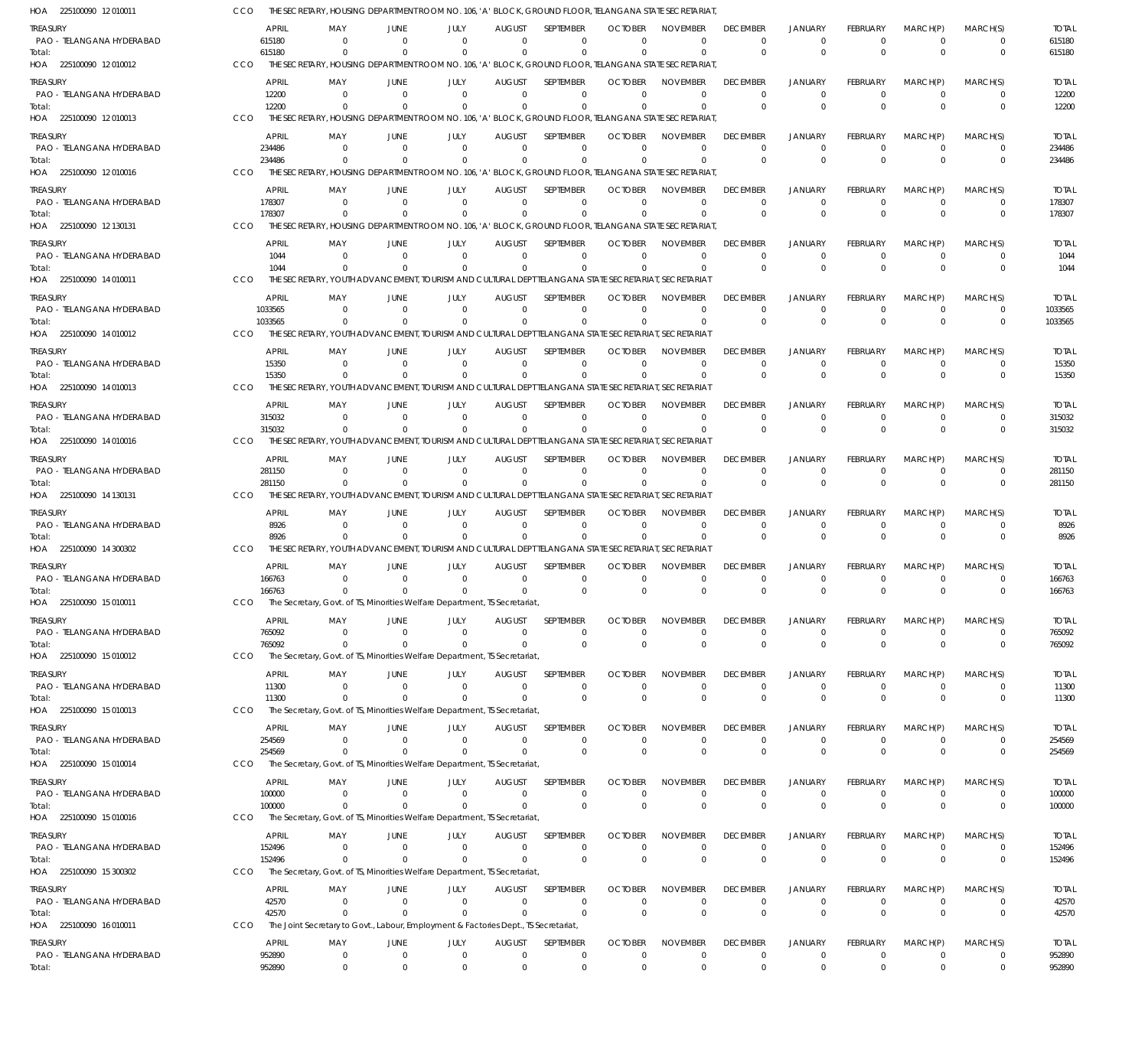| HOA 225100090 12010011                |     |                        | THE SECRETARY. HOUSING DEPARTMENT ROOM NO. 106. 'A' BLOCK. GROUND FLOOR. TELANGANA STATE SECRETARIAT             |                                  |                            |                              |                              |                            |                             |                             |                                  |                             |                            |                            |                        |
|---------------------------------------|-----|------------------------|------------------------------------------------------------------------------------------------------------------|----------------------------------|----------------------------|------------------------------|------------------------------|----------------------------|-----------------------------|-----------------------------|----------------------------------|-----------------------------|----------------------------|----------------------------|------------------------|
| treasury<br>PAO - TELANGANA HYDERABAD |     | <b>APRIL</b><br>615180 | MAY<br>- 0                                                                                                       | JUNE<br>- 0                      | JULY<br>$\Omega$           | <b>AUGUST</b><br>$\Omega$    | <b>SEPTEMBER</b><br>$\Omega$ | <b>OCTOBER</b><br>$\Omega$ | <b>NOVEMBER</b><br>$\Omega$ | <b>DECEMBER</b><br>$\Omega$ | <b>JANUARY</b><br>$\Omega$       | FEBRUARY<br>$\Omega$        | MARCH(P)<br>$\Omega$       | MARCH(S)<br>0              | <b>TOTAL</b><br>615180 |
| Total:<br>HOA 225100090 12010012      | CCO | 615180                 | $\Omega$<br>THE SECRETARY, HOUSING DEPARTMENT ROOM NO. 106, 'A' BLOCK, GROUND FLOOR, TELANGANA STATE SECRETARIAT | $\Omega$                         | $\Omega$                   | $\Omega$                     | $\Omega$                     | $\Omega$                   | $\Omega$                    | $\Omega$                    | $\Omega$                         | $\Omega$                    | $\Omega$                   | $\mathbf 0$                | 615180                 |
| treasury                              |     | <b>APRIL</b>           | MAY                                                                                                              | JUNE                             | JULY                       | <b>AUGUST</b>                | <b>SFPIFMBFR</b>             | <b>OCTOBER</b>             | <b>NOVEMBER</b>             | <b>DECEMBER</b>             | <b>JANUARY</b>                   | FEBRUARY                    | MARCH(P)                   | MARCH(S)                   | <b>TOTAL</b>           |
| PAO - TELANGANA HYDERABAD             |     | 12200                  | $\Omega$                                                                                                         | $\Omega$                         | $\Omega$                   | $\Omega$                     | $\mathbf 0$                  | $\Omega$                   | $\mathbf 0$                 | $\Omega$                    | $\Omega$                         | $\Omega$                    | $\overline{0}$             | $\mathbf 0$                | 12200                  |
| Total:<br>HOA 225100090 12 010013     | CCO | 12200                  | $\Omega$<br>THE SECRETARY, HOUSING DEPARTMENT ROOM NO. 106, 'A' BLOCK, GROUND FLOOR, TELANGANA STATE SECRETARIAT |                                  | $\Omega$                   | $\Omega$                     | $\mathbf 0$                  | $\Omega$                   | $\Omega$                    | $\Omega$                    | $\Omega$                         | $\Omega$                    | $\Omega$                   | $\mathbf 0$                | 12200                  |
| treasury                              |     | <b>APRIL</b>           | MAY                                                                                                              | <b>JUNE</b>                      | JULY                       | <b>AUGUST</b>                | SEPTEMBER                    | <b>OCTOBER</b>             | <b>NOVEMBER</b>             | <b>DECEMBER</b>             | <b>JANUARY</b>                   | FEBRUARY                    | MARCH(P)                   | MARCH(S)                   | <b>TOTAL</b>           |
| PAO - TELANGANA HYDERABAD             |     | 234486                 | $\Omega$                                                                                                         | $\overline{0}$                   | $\Omega$                   | $\Omega$                     | $\Omega$                     | $\Omega$                   | $\Omega$                    | $\Omega$                    | $\Omega$                         | $\Omega$                    | $\overline{0}$             | $\Omega$                   | 234486                 |
| Total:<br>HOA 225100090 12010016      | CCO | 234486                 | $\Omega$<br>THE SECRETARY. HOUSING DEPARTMENT ROOM NO. 106. 'A' BLOCK, GROUND FLOOR, TELANGANA STATE SECRETARIAT | $\Omega$                         | $\Omega$                   | $\Omega$                     | $\Omega$                     | $\Omega$                   | $\Omega$                    | $\Omega$                    | $\Omega$                         | $\Omega$                    | $\Omega$                   | $\mathbf 0$                | 234486                 |
| treasury                              |     | <b>APRIL</b>           | MAY                                                                                                              | JUNE                             | JULY                       | <b>AUGUST</b>                | SEPTEMBER                    | <b>OCTOBER</b>             | <b>NOVEMBER</b>             | <b>DECEMBER</b>             | <b>JANUARY</b>                   | <b>FEBRUARY</b>             | MARCH(P)                   | MARCH(S)                   | <b>TOTAL</b>           |
| PAO - TELANGANA HYDERABAD             |     | 178307                 | - 0                                                                                                              | $\Omega$                         | $\Omega$                   | $\Omega$                     | $\mathbf 0$                  | $\Omega$                   | $\mathbf 0$                 | $\Omega$                    | $^{\circ}$                       | 0                           | $\overline{0}$             | $\mathbf 0$                | 178307                 |
| Total:<br>HOA 225100090 12 130131     | CCO | 178307                 | $\Omega$<br>THE SECRETARY, HOUSING DEPARTMENT ROOM NO. 106, 'A' BLOCK, GROUND FLOOR, TELANGANA STATE SECRETARIAT | $\Omega$                         | $\Omega$                   | $\Omega$                     | $\Omega$                     | $\Omega$                   | $\Omega$                    | $\Omega$                    | $\Omega$                         | $\Omega$                    | $\Omega$                   | $\mathbf 0$                | 178307                 |
|                                       |     |                        |                                                                                                                  |                                  |                            |                              |                              |                            |                             |                             |                                  |                             |                            |                            |                        |
| treasury<br>PAO - TELANGANA HYDERABAD |     | <b>APRIL</b><br>1044   | MAY<br>- 0                                                                                                       | <b>JUNE</b><br>$\Omega$          | JULY<br>$\Omega$           | <b>AUGUST</b><br>$\Omega$    | SEPTEMBER<br>$\Omega$        | <b>OCTOBER</b><br>$\Omega$ | <b>NOVEMBER</b><br>$\Omega$ | <b>DECEMBER</b><br>$\Omega$ | <b>JANUARY</b><br>$\Omega$       | <b>FEBRUARY</b><br>$\Omega$ | MARCH(P)<br>$\Omega$       | MARCH(S)<br>$\mathbf 0$    | <b>TOTAL</b><br>1044   |
| Total:                                |     | 1044                   | $\Omega$                                                                                                         |                                  | $\Omega$                   | $\Omega$                     | $\Omega$                     | $\Omega$                   | $\Omega$                    | $\Omega$                    | $\Omega$                         | $\Omega$                    | $\Omega$                   | $\mathbf 0$                | 1044                   |
| HOA 225100090 14 010011               | CCO |                        | THE SECRETARY, YOUTH ADVANCEMENT, TOURISM AND CULTURAL DEPT TELANGANA STATE SECRETARIAT, SECRETARIAT             |                                  |                            |                              |                              |                            |                             |                             |                                  |                             |                            |                            |                        |
| treasury                              |     | <b>APRIL</b>           | MAY                                                                                                              | JUNE                             | JULY                       | <b>AUGUST</b>                | SEPTEMBER                    | <b>OCTOBER</b>             | <b>NOVEMBER</b>             | <b>DECEMBER</b>             | <b>JANUARY</b>                   | <b>FEBRUARY</b>             | MARCH(P)                   | MARCH(S)                   | <b>TOTAL</b>           |
| PAO - TELANGANA HYDERABAD<br>Total:   |     | 1033565<br>1033565     | - 0<br>$\Omega$                                                                                                  | $\Omega$<br>$\Omega$             | $\Omega$<br>$\Omega$       | $\Omega$<br>$\Omega$         | $\mathbf 0$<br>$\Omega$      | $\Omega$                   | $\mathbf 0$<br>$\Omega$     | $\Omega$<br>$\Omega$        | $^{\circ}$<br>$\Omega$           | $\mathbf 0$<br>$\Omega$     | $\Omega$<br>$\Omega$       | $\mathbf 0$<br>$\mathbf 0$ | 1033565<br>1033565     |
| HOA 225100090 14 010012               | CCO |                        | THE SECRETARY, YOUTH ADVANCEMENT, TOURISM AND CULTURAL DEPT TELANGANA STATE SECRETARIAT, SECRETARIAT             |                                  |                            |                              |                              |                            |                             |                             |                                  |                             |                            |                            |                        |
| treasury                              |     | <b>APRIL</b>           | MAY                                                                                                              | JUNE                             | JULY                       | <b>AUGUST</b>                | SEPTEMBER                    | <b>OCTOBER</b>             | <b>NOVEMBER</b>             | <b>DECEMBER</b>             | <b>JANUARY</b>                   | <b>FEBRUARY</b>             | MARCH(P)                   | MARCH(S)                   | <b>TOTAL</b>           |
| PAO - TELANGANA HYDERABAD             |     | 15350                  | $\Omega$                                                                                                         | $\Omega$                         | $\Omega$                   | $\Omega$                     | $^{\circ}$                   | $\Omega$                   | $^{\circ}$                  | $\Omega$                    | $\Omega$                         | $\Omega$                    | $\Omega$                   | $\Omega$                   | 15350                  |
| Total:<br>HOA 225100090 14 010013     | CCO | 15350                  | $\cap$<br>THE SECRETARY, YOUTH ADVANCEMENT, TOURISM AND CULTURAL DEPT TELANGANA STATE SECRETARIAT, SECRETARIAT   | $\Omega$                         | $\Omega$                   | $\Omega$                     | $\Omega$                     | $\Omega$                   | $\Omega$                    | $\Omega$                    | $\Omega$                         | $\Omega$                    | $\Omega$                   | $\mathbf 0$                | 15350                  |
| treasury                              |     | <b>APRIL</b>           | MAY                                                                                                              | JUNE                             | JULY                       | <b>AUGUST</b>                | SEPTEMBER                    | <b>OCTOBER</b>             | <b>NOVEMBER</b>             | <b>DECEMBER</b>             | <b>JANUARY</b>                   | <b>FEBRUARY</b>             | MARCH(P)                   | MARCH(S)                   | <b>TOTAL</b>           |
| PAO - TELANGANA HYDERABAD             |     | 315032                 | - 0                                                                                                              | $\Omega$                         | $\Omega$                   | $\overline{0}$               | $\mathbf 0$                  | $\Omega$                   | $\Omega$                    | $\Omega$                    | $\overline{0}$                   | $\Omega$                    | $\Omega$                   | $\mathbf 0$                | 315032                 |
| Total:                                |     | 315032                 | $\Omega$                                                                                                         | $\Omega$                         | $\Omega$                   | $\Omega$                     | $\Omega$                     | $\Omega$                   | $\Omega$                    | $\Omega$                    | $\Omega$                         | $\Omega$                    | $\Omega$                   | $\mathbf 0$                | 315032                 |
| HOA 225100090 14 010016               | CCO |                        | THE SECRETARY, YOUTH ADVANCEMENT, TOURISM AND CULTURAL DEPT TELANGANA STATE SECRETARIAT, SECRETARIAT             |                                  |                            |                              |                              |                            |                             |                             |                                  |                             |                            |                            |                        |
| treasury                              |     | <b>APRIL</b>           | MAY                                                                                                              | JUNE                             | JULY                       | <b>AUGUST</b>                | SEPTEMBER                    | <b>OCTOBER</b>             | <b>NOVEMBER</b>             | <b>DECEMBER</b>             | <b>JANUARY</b>                   | FEBRUARY                    | MARCH(P)                   | MARCH(S)                   | <b>TOTAL</b>           |
| PAO - TELANGANA HYDERABAD             |     | 281150                 | $\Omega$<br>$\Omega$                                                                                             | - 0<br>$\Omega$                  | $\Omega$<br>$\Omega$       | $\Omega$<br>$\Omega$         | $\Omega$<br>$\Omega$         | $\Omega$                   | $\Omega$<br>$\Omega$        | $\Omega$<br>$\Omega$        | $^{\circ}$<br>$\Omega$           | $\Omega$<br>$\Omega$        | $\Omega$<br>$\Omega$       | 0                          | 281150                 |
| Total:<br>HOA 225100090 14 130131     | CCO | 281150                 | THE SECRETARY, YOUTH ADVANCEMENT, TOURISM AND CULTURAL DEPT TELANGANA STATE SECRETARIAT, SECRETARIAT             |                                  |                            |                              |                              |                            |                             |                             |                                  |                             |                            | $\mathbf 0$                | 281150                 |
| treasury                              |     | <b>APRIL</b>           | MAY                                                                                                              | JUNE                             |                            | <b>AUGUST</b>                | SEPTEMBER                    | <b>OCTOBER</b>             | <b>NOVEMBER</b>             | <b>DECEMBER</b>             | <b>JANUARY</b>                   | <b>FEBRUARY</b>             | MARCH(P)                   | MARCH(S)                   | <b>TOTAL</b>           |
| PAO - TELANGANA HYDERABAD             |     | 8926                   | - 0                                                                                                              | $\Omega$                         | JULY<br>$\Omega$           | $\Omega$                     | $\mathbf 0$                  | $\Omega$                   | $\mathbf 0$                 | $\Omega$                    | $\overline{0}$                   | $\Omega$                    | $\Omega$                   | $\mathbf 0$                | 8926                   |
| lotal:                                |     | 8926                   | $\Omega$                                                                                                         |                                  | $\Omega$                   | $\Omega$                     | $\mathbf 0$                  | $\Omega$                   | $\Omega$                    | $\Omega$                    | $\Omega$                         | $\Omega$                    | $\Omega$                   | $\mathbf 0$                | 8926                   |
| HOA 225100090 14 300302               | CCO |                        | THE SECRETARY, YOUTH ADVANCEMENT, TOURISM AND CULTURAL DEPT TELANGANA STATE SECRETARIAT, SECRETARIAT             |                                  |                            |                              |                              |                            |                             |                             |                                  |                             |                            |                            |                        |
| treasury                              |     | <b>APRIL</b>           | MAY                                                                                                              | JUNE                             | JULY                       | <b>AUGUST</b>                | SEPTEMBER                    | <b>OCTOBER</b>             | <b>NOVEMBER</b>             | <b>DECEMBER</b>             | <b>JANUARY</b>                   | <b>FEBRUARY</b>             | MARCH(P)                   | MARCH(S)                   | <b>TOTAL</b>           |
| PAO - TELANGANA HYDERABAD             |     | 166763                 | $\Omega$                                                                                                         | $\Omega$<br>$\cap$               | $\Omega$<br><sup>n</sup>   | $\Omega$<br>$\Omega$         | $\mathbf 0$<br>$\Omega$      | $\Omega$<br>$\Omega$       | $\mathbf 0$<br>$\Omega$     | $\Omega$                    | $\Omega$<br>$\Omega$             | $\Omega$                    | $\Omega$<br>$\Omega$       | 0                          | 166763                 |
| Total:<br>HOA 225100090 15 010011     | CCO | 166763                 | $\Omega$<br>The Secretary, Govt. of TS, Minorities Welfare Department, TS Secretariat                            |                                  |                            |                              |                              |                            |                             | $\Omega$                    |                                  | $\Omega$                    |                            | $\mathbf 0$                | 166763                 |
| Treasury                              |     | APRIL                  | MAY                                                                                                              | JUNE                             | JULY                       | <b>AUGUST</b>                | SEPTEMBER                    | <b>OCTOBER</b>             | <b>NOVEMBER</b>             | <b>DECEMBER</b>             | <b>JANUARY</b>                   | FEBRUARY                    | MARCH(P)                   | MARCH(S)                   | <b>TOTAL</b>           |
| PAO - TELANGANA HYDERABAD             |     | 765092                 | 0                                                                                                                | $\Omega$                         | 0                          | 0                            | 0                            | 0                          | $\mathbf 0$                 | $\mathbf 0$                 | $^{\circ}$                       | $\mathbf 0$                 | $^{\circ}$                 | 0                          | 765092                 |
| Total:                                |     | 765092                 | $\Omega$                                                                                                         | $\Omega$                         | $\Omega$                   | $\mathbf{0}$                 | $\mathbf 0$                  | $\mathbf{0}$               | $\mathbf 0$                 | $\mathbf{0}$                | $\overline{0}$                   | $\mathbf{0}$                | $\Omega$                   | $\mathbf 0$                | 765092                 |
| HOA 225100090 15010012                | CCO |                        | The Secretary, Govt. of TS, Minorities Welfare Department, TS Secretariat                                        |                                  |                            |                              |                              |                            |                             |                             |                                  |                             |                            |                            |                        |
| treasury                              |     | <b>APRIL</b>           | MAY                                                                                                              | JUNE                             | JULY                       | <b>AUGUST</b>                | SEPTEMBER                    | <b>OCTOBER</b>             | <b>NOVEMBER</b>             | <b>DECEMBER</b>             | <b>JANUARY</b>                   | FEBRUARY                    | MARCH(P)                   | MARCH(S)                   | <b>TOTAL</b>           |
| PAO - TELANGANA HYDERABAD             |     | 11300<br>11300         | - 0<br>$^{\circ}$                                                                                                | $\overline{0}$<br>$\overline{0}$ | $\Omega$<br>$\Omega$       | $\mathbf{0}$<br>$\mathbf{0}$ | $\mathbf 0$<br>$\mathbf 0$   | $\mathbf 0$<br>$\Omega$    | $\Omega$<br>$\mathbf 0$     | $\mathbf 0$<br>$\mathbf 0$  | $^{\circ}$<br>$\overline{0}$     | $\mathbf 0$<br>$\Omega$     | $^{\circ}$<br>$\Omega$     | $\mathbf 0$<br>$\mathbf 0$ | 11300                  |
| Total:<br>HOA 225100090 15010013      | CCO |                        | The Secretary, Govt. of TS, Minorities Welfare Department, TS Secretariat                                        |                                  |                            |                              |                              |                            |                             |                             |                                  |                             |                            |                            | 11300                  |
| treasury                              |     | <b>APRIL</b>           | MAY                                                                                                              | JUNE                             | JULY                       | <b>AUGUST</b>                | SEPTEMBER                    | <b>OCTOBER</b>             | <b>NOVEMBER</b>             | <b>DECEMBER</b>             | <b>JANUARY</b>                   | FEBRUARY                    | MARCH(P)                   | MARCH(S)                   | <b>TOTAL</b>           |
| PAO - TELANGANA HYDERABAD             |     | 254569                 | 0                                                                                                                | $\overline{0}$                   | $\overline{0}$             | $\overline{0}$               | $\mathbf 0$                  | 0                          | $\mathbf 0$                 | $\mathbf 0$                 | $\overline{0}$                   | $\mathbf 0$                 | $\overline{0}$             | $\mathbf 0$                | 254569                 |
| Total:                                |     | 254569                 | - 0                                                                                                              | $\Omega$                         | $\Omega$                   | $\mathbf 0$                  | $\mathbf 0$                  | $\Omega$                   | $\Omega$                    | $\mathbf{0}$                | $\overline{0}$                   | $\mathbf{0}$                | $\overline{0}$             | $\mathbf 0$                | 254569                 |
| HOA 225100090 15 010014               | CCO |                        | The Secretary, Govt. of TS, Minorities Welfare Department, TS Secretariat                                        |                                  |                            |                              |                              |                            |                             |                             |                                  |                             |                            |                            |                        |
| treasury                              |     | APRIL                  | MAY                                                                                                              | JUNE                             | JULY                       | AUGUST                       | SEPTEMBER                    | <b>OCTOBER</b>             | <b>NOVEMBER</b>             | <b>DECEMBER</b>             | JANUARY                          | FEBRUARY                    | MARCH(P)                   | MARCH(S)                   | <b>TOTAL</b>           |
| PAO - TELANGANA HYDERABAD             |     | 100000                 | $^{\circ}$                                                                                                       | $\overline{0}$                   | $\overline{0}$<br>$\Omega$ | $\mathbf 0$<br>$\Omega$      | $\mathbf 0$<br>$\mathbf 0$   | $\Omega$                   | $\mathbf 0$<br>$\mathbf 0$  | $\mathbf 0$                 | $\overline{0}$<br>$\overline{0}$ | $\mathbf 0$<br>$\mathbf 0$  | $\overline{0}$<br>$\Omega$ | $\mathbf 0$                | 100000                 |
| Total:<br>HOA 225100090 15 010016     | CCO | 100000                 | $^{\circ}$<br>The Secretary, Govt. of TS, Minorities Welfare Department, TS Secretariat                          | $\overline{0}$                   |                            |                              |                              | $\mathbf{0}$               |                             | $\mathbf 0$                 |                                  |                             |                            | $\mathbf 0$                | 100000                 |
| Treasury                              |     | APRIL                  | MAY                                                                                                              | JUNE                             | JULY                       | <b>AUGUST</b>                | SEPTEMBER                    | <b>OCTOBER</b>             | <b>NOVEMBER</b>             | <b>DECEMBER</b>             | JANUARY                          | FEBRUARY                    | MARCH(P)                   | MARCH(S)                   | <b>TOTAL</b>           |
| PAO - TELANGANA HYDERABAD             |     | 152496                 | $\Omega$                                                                                                         | $\overline{0}$                   | $\mathbf 0$                | $\overline{0}$               | $\mathbf 0$                  | 0                          | $\mathbf 0$                 | $\mathbf 0$                 | $^{\circ}$                       | $\mathbf 0$                 | $\overline{0}$             | $\mathbf 0$                | 152496                 |
| Total:                                |     | 152496                 | - 0                                                                                                              | - 0                              | $\Omega$                   | $\mathbf{0}$                 | $\mathbf 0$                  | $\mathbf{0}$               | $\mathbf 0$                 | $\mathbf{0}$                | $\overline{0}$                   | $\mathbf{0}$                | $\overline{0}$             | $\mathbf 0$                | 152496                 |
| HOA 225100090 15 300302               | CCO |                        | The Secretary, Govt. of TS, Minorities Welfare Department, TS Secretariat                                        |                                  |                            |                              |                              |                            |                             |                             |                                  |                             |                            |                            |                        |
| treasury                              |     | APRIL                  | MAY                                                                                                              | JUNE                             | JULY                       | <b>AUGUST</b>                | SEPTEMBER                    | <b>OCTOBER</b>             | <b>NOVEMBER</b>             | <b>DECEMBER</b>             | <b>JANUARY</b>                   | FEBRUARY                    | MARCH(P)                   | MARCH(S)                   | <b>TOTAL</b>           |
| PAO - TELANGANA HYDERABAD             |     | 42570                  | 0<br>$^{\circ}$                                                                                                  | $\overline{0}$<br>$\Omega$       | $\overline{0}$<br>$\Omega$ | $\mathbf{0}$<br>$\Omega$     | $\overline{0}$<br>$\Omega$   | 0<br>$\Omega$              | $\mathbf 0$<br>$\Omega$     | $\mathbf 0$<br>$\mathbf 0$  | $\overline{0}$<br>$\overline{0}$ | $\mathbf 0$<br>$\Omega$     | $\overline{0}$<br>$\Omega$ | 0<br>$\mathbf 0$           | 42570                  |
| Total:<br>HOA 225100090 16 010011     | CCO | 42570                  | The Joint Secretary to Govt., Labour, Employment & Factories Dept., TS Secretariat,                              |                                  |                            |                              |                              |                            |                             |                             |                                  |                             |                            |                            | 42570                  |
| treasury                              |     | <b>APRIL</b>           | MAY                                                                                                              | JUNE                             | JULY                       | <b>AUGUST</b>                | SEPTEMBER                    | <b>OCTOBER</b>             | <b>NOVEMBER</b>             | <b>DECEMBER</b>             | <b>JANUARY</b>                   | FEBRUARY                    | MARCH(P)                   | MARCH(S)                   | <b>TOTAL</b>           |
| PAO - TELANGANA HYDERABAD             |     | 952890                 | $^{\circ}$                                                                                                       | $\overline{0}$                   | $\mathbf 0$                | $\mathbf 0$                  | 0                            | 0                          | $\mathbf 0$                 | $\mathbf 0$                 | $\overline{0}$                   | $\mathbf 0$                 | $\overline{0}$             | 0                          | 952890                 |
| Total:                                |     | 952890                 | $\mathbf 0$                                                                                                      | $\mathbf 0$                      | $\mathbf 0$                | $\mathbf 0$                  | $\mathbf 0$                  | $\mathbf{0}$               | $\mathbf 0$                 | $\mathbf 0$                 | $\overline{0}$                   | $\mathbf 0$                 | $\overline{0}$             | $\mathbf 0$                | 952890                 |
|                                       |     |                        |                                                                                                                  |                                  |                            |                              |                              |                            |                             |                             |                                  |                             |                            |                            |                        |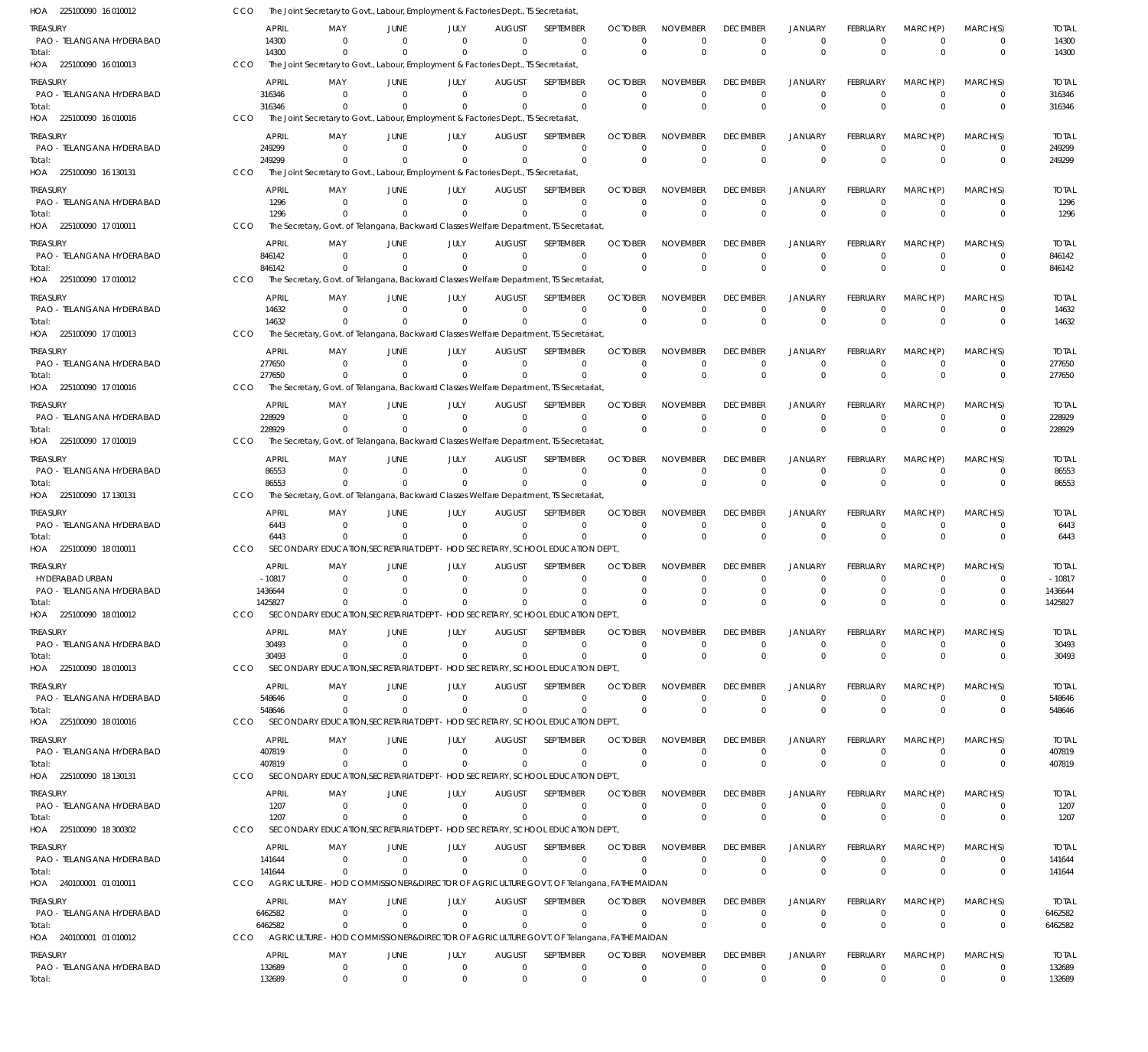| HOA 225100090 16010012                | CCO        |                       | The Joint Secretary to Govt., Labour, Employment & Factories Dept., TS Secretariat             |                               |                         |                            |                                                                                           |                            |                                |                                |                                |                             |                              |                              |                          |
|---------------------------------------|------------|-----------------------|------------------------------------------------------------------------------------------------|-------------------------------|-------------------------|----------------------------|-------------------------------------------------------------------------------------------|----------------------------|--------------------------------|--------------------------------|--------------------------------|-----------------------------|------------------------------|------------------------------|--------------------------|
| treasury<br>PAO - TELANGANA HYDERABAD |            | APRIL<br>14300        | MAY<br>$\Omega$                                                                                | JUNE<br>$\Omega$              | JULY<br>$\Omega$        | <b>AUGUST</b><br>$\Omega$  | <b>SFPTFMBFR</b><br>$\Omega$                                                              | <b>OCTOBER</b><br>$\Omega$ | <b>NOVEMBER</b><br>$\Omega$    | <b>DECEMBER</b><br>$\mathbf 0$ | <b>JANUARY</b><br>$^{\circ}$   | <b>FEBRUARY</b><br>$\Omega$ | MARCH(P)<br>$^{\circ}$       | MARCH(S)<br>0                | <b>TOTAL</b><br>14300    |
| Total:<br>HOA 225100090 16 010013     | <b>CCO</b> | 14300                 | $\Omega$<br>The Joint Secretary to Govt., Labour, Employment & Factories Dept., TS Secretariat | $\Omega$                      | $\Omega$                | $\Omega$                   | $\Omega$                                                                                  | $\Omega$                   | $\Omega$                       | $\Omega$                       | $\mathbf{0}$                   | $\Omega$                    | $\Omega$                     | $\mathbf{0}$                 | 14300                    |
| treasury                              |            | APRIL                 | MAY                                                                                            | JUNE                          | JULY                    | AUGUST                     | SEPTEMBER                                                                                 | <b>OCTOBER</b>             | <b>NOVEMBER</b>                | <b>DECEMBER</b>                | <b>JANUARY</b>                 | <b>FEBRUARY</b>             | MARCH(P)                     | MARCH(S)                     | TOTAL                    |
| PAO - TELANGANA HYDERABAD             |            | 316346                | $\Omega$                                                                                       | $\Omega$                      | $\Omega$                | $\Omega$                   | $\Omega$                                                                                  | $\Omega$                   | $\Omega$                       | $\Omega$                       | $\mathbf{0}$                   | $\Omega$                    | $\Omega$                     | $\mathbf{0}$                 | 316346                   |
| Total:<br>HOA 225100090 16 010016     | CCO        | 316346                | $\Omega$<br>The Joint Secretary to Govt., Labour, Employment & Factories Dept., TS Secretariat |                               | $\Omega$                | $\Omega$                   | $\Omega$                                                                                  | $\Omega$                   | $\Omega$                       | $\Omega$                       | $\mathbf{0}$                   | $\Omega$                    | $\Omega$                     | $\mathbf 0$                  | 316346                   |
| treasury                              |            | <b>APRIL</b>          | MAY                                                                                            | JUNE                          | JULY                    | <b>AUGUST</b>              | SEPTEMBER                                                                                 | <b>OCTOBER</b>             | <b>NOVEMBER</b>                | <b>DECEMBER</b>                | <b>JANUARY</b>                 | <b>FEBRUARY</b>             | MARCH(P)                     | MARCH(S)                     | <b>TOTAL</b>             |
| PAO - TELANGANA HYDERABAD<br>Total:   |            | 249299<br>249299      | $\Omega$                                                                                       | $\Omega$                      | $\Omega$                | $\Omega$<br>$\Omega$       | $\Omega$<br>$\Omega$                                                                      | $\Omega$<br>$\Omega$       | $\mathbf 0$<br>$\Omega$        | 0<br>$\mathbf{0}$              | $\mathbf 0$<br>$\mathbf{0}$    | $\Omega$<br>$\Omega$        | $\Omega$<br>$\Omega$         | 0<br>$\Omega$                | 249299<br>249299         |
| HOA 225100090 16 130131               | <b>CCO</b> |                       | The Joint Secretary to Govt., Labour, Employment & Factories Dept., TS Secretariat             |                               |                         |                            |                                                                                           |                            |                                |                                |                                |                             |                              |                              |                          |
| treasury                              |            | APRIL                 | MAY                                                                                            | JUNE                          | JULY                    | <b>AUGUST</b>              | SEPTEMBER                                                                                 | <b>OCTOBER</b>             | <b>NOVEMBER</b>                | <b>DECEMBER</b>                | <b>JANUARY</b>                 | <b>FEBRUARY</b>             | MARCH(P)                     | MARCH(S)                     | <b>TOTAL</b>             |
| PAO - TELANGANA HYDERABAD<br>Total:   |            | 1296<br>1296          | $\Omega$                                                                                       | $\Omega$                      | $\Omega$                | $\Omega$<br>$\Omega$       | $\Omega$<br>$\Omega$                                                                      | $\Omega$<br>$\Omega$       | $\Omega$<br>$\Omega$           | $\Omega$<br>$\Omega$           | $\Omega$<br>$\mathbf{0}$       | $\Omega$<br>$\Omega$        | $\Omega$<br>$\Omega$         | $\mathbf 0$<br>$\mathbf 0$   | 1296<br>1296             |
| HOA 225100090 17 010011               | CCO        |                       |                                                                                                |                               |                         |                            | The Secretary, Govt. of Telangana, Backward Classes Welfare Department, TS Secretariat,   |                            |                                |                                |                                |                             |                              |                              |                          |
| treasury                              |            | APRIL                 | MAY                                                                                            | JUNE                          | JULY                    | <b>AUGUST</b>              | <b>SEPTEMBER</b>                                                                          | <b>OCTOBER</b>             | <b>NOVEMBER</b>                | <b>DECEMBER</b>                | <b>JANUARY</b>                 | <b>FEBRUARY</b>             | MARCH(P)                     | MARCH(S)                     | <b>TOTAL</b>             |
| PAO - TELANGANA HYDERABAD<br>Total:   |            | 846142<br>846142      | $\Omega$                                                                                       | $\Omega$<br>- 0               | $\Omega$<br>$\Omega$    | $\Omega$<br>$\Omega$       | $\Omega$<br>$\Omega$                                                                      | $\Omega$<br>$\Omega$       | $\Omega$<br>$\Omega$           | $\mathbf 0$<br>$\mathbf{0}$    | $\mathbf 0$<br>$\mathbf{0}$    | $\Omega$<br>$\Omega$        | $\Omega$<br>$\Omega$         | 0<br>$\mathbf{0}$            | 846142<br>846142         |
| HOA 225100090 17 010012               | CCO        |                       |                                                                                                |                               |                         |                            | The Secretary, Govt. of Telangana, Backward Classes Welfare Department, TS Secretariat,   |                            |                                |                                |                                |                             |                              |                              |                          |
| treasury                              |            | APRIL                 | MAY                                                                                            | JUNE                          | JULY                    | AUGUST                     | SEPTEMBER                                                                                 | <b>OCTOBER</b>             | <b>NOVEMBER</b>                | <b>DECEMBER</b>                | <b>JANUARY</b>                 | <b>FEBRUARY</b>             | MARCH(P)                     | MARCH(S)                     | <b>TOTAL</b>             |
| PAO - TELANGANA HYDERABAD<br>Total:   |            | 14632<br>14632        | $\Omega$                                                                                       | $\Omega$<br>$\Omega$          | $\Omega$<br>$\Omega$    | $\Omega$<br>$\Omega$       | $\Omega$<br>$\Omega$                                                                      | $\mathbf 0$<br>$\Omega$    | $\mathbf 0$<br>$\Omega$        | 0<br>$\Omega$                  | $\mathbf 0$<br>$\Omega$        | $\Omega$<br>$\Omega$        | $\Omega$<br>$\Omega$         | 0<br>$\Omega$                | 14632<br>14632           |
| HOA 225100090 17 010013               | CCO        |                       |                                                                                                |                               |                         |                            | The Secretary, Govt. of Telangana, Backward Classes Welfare Department, TS Secretariat,   |                            |                                |                                |                                |                             |                              |                              |                          |
| treasury                              |            | <b>APRIL</b>          | MAY<br>$\Omega$                                                                                | JUNE                          | JULY<br>$\Omega$        | <b>AUGUST</b><br>$\Omega$  | SEPTEMBER<br>$\Omega$                                                                     | <b>OCTOBER</b><br>$\Omega$ | <b>NOVEMBER</b><br>$\Omega$    | <b>DECEMBER</b>                | <b>JANUARY</b>                 | <b>FEBRUARY</b><br>$\Omega$ | MARCH(P)<br>$\Omega$         | MARCH(S)                     | <b>TOTAL</b>             |
| PAO - TELANGANA HYDERABAD<br>Total:   |            | 277650<br>277650      |                                                                                                | - 0                           |                         | $\Omega$                   | $\Omega$                                                                                  | $\Omega$                   | $\Omega$                       | $\Omega$<br>$\Omega$           | $\mathbf{0}$<br>$\mathbf{0}$   | $\Omega$                    | $\Omega$                     | 0<br>$\mathbf{0}$            | 277650<br>277650         |
| HOA 225100090 17 010016               | CCO        |                       |                                                                                                |                               |                         |                            | The Secretary, Govt. of Telangana, Backward Classes Welfare Department, TS Secretariat,   |                            |                                |                                |                                |                             |                              |                              |                          |
| treasury<br>PAO - TELANGANA HYDERABAD |            | APRIL<br>228929       | MAY<br>$\Omega$                                                                                | JUNE<br>$\Omega$              | JULY<br>$\Omega$        | AUGUST<br>$\Omega$         | SEPTEMBER<br>$\Omega$                                                                     | <b>OCTOBER</b><br>$\Omega$ | <b>NOVEMBER</b><br>$\mathbf 0$ | <b>DECEMBER</b><br>0           | <b>JANUARY</b><br>$\mathbf 0$  | <b>FEBRUARY</b><br>$\Omega$ | MARCH(P)<br>$\Omega$         | MARCH(S)<br>$\mathbf 0$      | TOTAL<br>228929          |
| Total:                                |            | 228929                |                                                                                                | $\Omega$                      | $\Omega$                | $\Omega$                   | $\Omega$                                                                                  | $\overline{0}$             | $\Omega$                       | $\Omega$                       | $\mathbf{0}$                   | $\Omega$                    | $\Omega$                     | $\mathbf{0}$                 | 228929                   |
| HOA 225100090 17 010019               | CCO        |                       |                                                                                                |                               |                         |                            | The Secretary, Govt. of Telangana, Backward Classes Welfare Department, TS Secretariat,   |                            |                                |                                |                                |                             |                              |                              |                          |
| treasury<br>PAO - TELANGANA HYDERABAD |            | <b>APRIL</b><br>86553 | MAY<br>$\Omega$                                                                                | JUNE<br>- 0                   | JULY<br>$\Omega$        | AUGUST<br>$\Omega$         | SEPTEMBER<br>$\Omega$                                                                     | <b>OCTOBER</b><br>$\Omega$ | <b>NOVEMBER</b><br>$\Omega$    | <b>DECEMBER</b><br>$\mathbf 0$ | <b>JANUARY</b><br>$\mathbf{0}$ | <b>FEBRUARY</b><br>$\Omega$ | MARCH(P)<br>$\Omega$         | MARCH(S)<br>0                | <b>TOTAL</b><br>86553    |
| Total:                                |            | 86553                 |                                                                                                | - 0                           | $\Omega$                | $\Omega$                   | $\Omega$                                                                                  | $\Omega$                   | $\Omega$                       | $\Omega$                       | $\Omega$                       | $\Omega$                    | $\Omega$                     | $\mathbf{0}$                 | 86553                    |
| HOA 225100090 17 130131               | CCO        |                       |                                                                                                |                               |                         |                            | The Secretary, Govt. of Telangana, Backward Classes Welfare Department, TS Secretariat,   |                            |                                |                                |                                |                             |                              |                              |                          |
| treasury<br>PAO - TELANGANA HYDERABAD |            | <b>APRIL</b><br>6443  | MAY<br>$\Omega$                                                                                | JUNE<br>$\Omega$              | JULY<br>$\Omega$        | <b>AUGUST</b><br>$\Omega$  | <b>SEPTEMBER</b><br>$\Omega$                                                              | <b>OCTOBER</b><br>$\Omega$ | <b>NOVEMBER</b><br>$\Omega$    | <b>DECEMBER</b><br>0           | <b>JANUARY</b><br>$\mathbf 0$  | <b>FEBRUARY</b><br>$\Omega$ | MARCH(P)<br>$\Omega$         | MARCH(S)<br>0                | <b>TOTAL</b><br>6443     |
| Total:                                |            | 6443                  | $\Omega$                                                                                       | $\Omega$                      | $\Omega$                | $\Omega$                   | $\Omega$                                                                                  | $\Omega$                   | $\Omega$                       | $\Omega$                       | $\mathbf{0}$                   | $\Omega$                    | $\Omega$                     | $\mathbf{0}$                 | 6443                     |
| HOA 225100090 18010011                | CCO        |                       |                                                                                                |                               |                         |                            | SECONDARY EDUCATION, SECRETARIAT DEPT - HOD SECRETARY, SCHOOL EDUCATION DEPT.             |                            |                                |                                |                                |                             |                              |                              |                          |
| treasury<br>HYDERABAD URBAN           |            | APRIL<br>$-10817$     | MAY<br>$\Omega$                                                                                | JUNE<br>- 0                   | JULY<br>$\Omega$        | <b>AUGUST</b><br>$\Omega$  | SEPTEMBER<br>$\Omega$                                                                     | <b>OCTOBER</b><br>$\Omega$ | <b>NOVEMBER</b><br>$\Omega$    | <b>DECEMBER</b><br>$\Omega$    | <b>JANUARY</b><br>$\Omega$     | <b>FEBRUARY</b><br>$\Omega$ | MARCH(P)<br>$\Omega$         | MARCH(S)<br>$\Omega$         | <b>TOTAL</b><br>$-10817$ |
| PAO - TELANGANA HYDERABAD             |            | 1436644               | $\Omega$                                                                                       | $\Omega$                      | $\Omega$                | $\Omega$                   | $\Omega$                                                                                  | $\Omega$                   | $\Omega$                       | $\Omega$                       | $\Omega$                       | $\Omega$                    | $\Omega$                     | $\Omega$                     | 1436644                  |
| Total:<br>HOA 225100090 18010012      | CCO        | 1425827               |                                                                                                |                               |                         |                            | SECONDARY EDUCATION SECRETARIAT DEPT - HOD SECRETARY, SCHOOL EDUCATION DEPT.              |                            |                                |                                |                                |                             |                              |                              | 1425827                  |
| Treasury                              |            | APRIL                 | MAY                                                                                            | JUNE                          | JULY                    | <b>AUGUST</b>              | <b>SFPTFMBFR</b>                                                                          | <b>OCTOBER</b>             | <b>NOVEMBER</b>                | <b>DECEMBER</b>                | <b>JANUARY</b>                 | <b>FEBRUARY</b>             | MARCH(P)                     | MARCH(S)                     | <b>TOTAL</b>             |
| PAO - TELANGANA HYDERABAD             |            | 30493                 | $\Omega$                                                                                       | $\overline{0}$                | $\overline{0}$          | $\Omega$                   | $\Omega$                                                                                  | $\Omega$                   | $\Omega$                       | 0                              | $\mathbf 0$                    | $\Omega$                    | $\Omega$                     | $\mathbf{0}$                 | 30493                    |
| Total:<br>HOA 225100090 18 010013     | CCO        | 30493                 | $\Omega$                                                                                       | $\Omega$                      | $\Omega$                | $\Omega$                   | $\Omega$<br>SECONDARY EDUCATION, SECRETARIAT DEPT - HOD SECRETARY, SCHOOL EDUCATION DEPT. | $\overline{0}$             | $\Omega$                       | $\Omega$                       | $\mathbf{0}$                   | $\Omega$                    | $\Omega$                     | $\mathbf 0$                  | 30493                    |
| treasury                              |            | APRIL                 | MAY                                                                                            | JUNE                          | JULY                    | <b>AUGUST</b>              | SEPTEMBER                                                                                 | <b>OCTOBER</b>             | <b>NOVEMBER</b>                | <b>DECEMBER</b>                | <b>JANUARY</b>                 | <b>FEBRUARY</b>             | MARCH(P)                     | MARCH(S)                     | <b>TOTAL</b>             |
| PAO - TELANGANA HYDERABAD             |            | 548646<br>548646      | $\Omega$<br>$\Omega$                                                                           | $\Omega$<br>$\Omega$          | $\Omega$<br>$\Omega$    | $\Omega$<br>$\Omega$       | $\Omega$<br>$\Omega$                                                                      | $\Omega$<br>$\overline{0}$ | $\Omega$<br>$\Omega$           | $\mathbf 0$<br>$\mathbf{0}$    | $\mathbf 0$<br>$\mathbf{0}$    | $\Omega$<br>$\Omega$        | $\Omega$<br>$\Omega$         | 0<br>$\mathbf{0}$            | 548646<br>548646         |
| Total:<br>HOA 225100090 18010016      | CCO        |                       |                                                                                                |                               |                         |                            | SECONDARY EDUCATION SECRETARIAT DEPT - HOD SECRETARY, SCHOOL EDUCATION DEPT.              |                            |                                |                                |                                |                             |                              |                              |                          |
| treasury                              |            | APRIL                 | MAY                                                                                            | JUNE                          | JULY                    | <b>AUGUST</b>              | SEPTEMBER                                                                                 | <b>OCTOBER</b>             | <b>NOVEMBER</b>                | <b>DECEMBER</b>                | <b>JANUARY</b>                 | <b>FEBRUARY</b>             | MARCH(P)                     | MARCH(S)                     | TOTAL                    |
| PAO - TELANGANA HYDERABAD<br>Total:   |            | 407819<br>407819      | $\Omega$<br>$\Omega$                                                                           | $\Omega$<br>- 0               | $\Omega$<br>$\Omega$    | $\Omega$<br>$\Omega$       | $\Omega$<br>$\Omega$                                                                      | $\Omega$<br>$\overline{0}$ | 0<br>$\Omega$                  | 0<br>$\mathbf{0}$              | $\mathbf 0$<br>$\mathbf{0}$    | $\Omega$<br>$\Omega$        | $\Omega$<br>$\Omega$         | $\mathbf{0}$<br>$\mathbf{0}$ | 407819<br>407819         |
| HOA 225100090 18 130131               | CCO        |                       |                                                                                                |                               |                         |                            | SECONDARY EDUCATION, SECRETARIAT DEPT - HOD SECRETARY, SCHOOL EDUCATION DEPT.             |                            |                                |                                |                                |                             |                              |                              |                          |
| treasury                              |            | APRIL                 | MAY                                                                                            | JUNE                          | JULY                    | <b>AUGUST</b>              | SEPTEMBER                                                                                 | <b>OCTOBER</b>             | <b>NOVEMBER</b>                | <b>DECEMBER</b>                | <b>JANUARY</b>                 | <b>FEBRUARY</b>             | MARCH(P)                     | MARCH(S)                     | <b>TOTAL</b>             |
| PAO - TELANGANA HYDERABAD<br>Total:   |            | 1207<br>1207          | $\Omega$<br>$\Omega$                                                                           | $\overline{0}$<br>- 0         | $\Omega$<br>$\Omega$    | $\Omega$<br>$\Omega$       | $\Omega$<br>$\Omega$                                                                      | $\Omega$<br>$\overline{0}$ | $\Omega$<br>$\Omega$           | $\mathbf 0$<br>$\Omega$        | $\mathbf{0}$<br>$\overline{0}$ | $\Omega$<br>$\Omega$        | $\Omega$<br>$\Omega$         | $\Omega$<br>$\mathbf{0}$     | 1207<br>1207             |
| HOA 225100090 18 300302               | CCO        |                       |                                                                                                |                               |                         |                            | SECONDARY EDUCATION, SECRETARIAT DEPT - HOD SECRETARY, SCHOOL EDUCATION DEPT.,            |                            |                                |                                |                                |                             |                              |                              |                          |
| Treasury                              |            | APRIL                 | MAY                                                                                            | JUNE                          | JULY                    | <b>AUGUST</b>              | SEPTEMBER                                                                                 | <b>OCTOBER</b>             | <b>NOVEMBER</b>                | <b>DECEMBER</b>                | <b>JANUARY</b>                 | <b>FEBRUARY</b>             | MARCH(P)                     | MARCH(S)                     | TOTAL                    |
| PAO - TELANGANA HYDERABAD<br>Total:   |            | 141644<br>141644      | $\Omega$<br>$\Omega$                                                                           | $\Omega$<br>$\Omega$          | $\Omega$<br>$\Omega$    | $\overline{0}$<br>$\Omega$ | 0<br>$\Omega$                                                                             | 0<br>$\Omega$              | 0<br>$\Omega$                  | 0<br>$\Omega$                  | $\mathbf 0$<br>$\mathbf{0}$    | $\Omega$<br>$\Omega$        | $\Omega$<br>$\Omega$         | $\mathbf{0}$<br>$\mathbf{0}$ | 141644<br>141644         |
| HOA 240100001 01 010011               | <b>CCO</b> |                       |                                                                                                |                               |                         |                            | AGRICULTURE - HOD COMMISSIONER&DIRECTOR OF AGRICULTURE GOVT. OF Telangana, FATHE MAIDAN   |                            |                                |                                |                                |                             |                              |                              |                          |
| treasury                              |            | APRIL                 | MAY                                                                                            | JUNE                          | JULY                    | <b>AUGUST</b>              | SEPTEMBER                                                                                 | <b>OCTOBER</b>             | <b>NOVEMBER</b>                | <b>DECEMBER</b>                | <b>JANUARY</b>                 | <b>FEBRUARY</b>             | MARCH(P)                     | MARCH(S)                     | TOTAL                    |
| PAO - TELANGANA HYDERABAD<br>Total:   |            | 6462582<br>6462582    | $\Omega$<br>$\Omega$                                                                           | $\Omega$<br>$\Omega$          | $\Omega$<br>$\Omega$    | $\Omega$<br>$\Omega$       | $\Omega$<br>$\Omega$                                                                      | $\Omega$<br>$\Omega$       | $\Omega$<br>$\Omega$           | $\mathbf 0$<br>$\mathbf{0}$    | $\mathbf{0}$<br>$\mathbf{0}$   | $\Omega$<br>$\Omega$        | $\Omega$<br>$\Omega$         | 0<br>$\mathbf{0}$            | 6462582<br>6462582       |
| HOA 240100001 01 010012               | CCO        |                       |                                                                                                |                               |                         |                            | AGRICULTURE - HOD COMMISSIONER&DIRECTOR OF AGRICULTURE GOVT. OF Telangana, FATHE MAIDAN   |                            |                                |                                |                                |                             |                              |                              |                          |
| treasury                              |            | APRIL                 | MAY                                                                                            | JUNE                          | JULY                    | <b>AUGUST</b>              | SEPTEMBER                                                                                 | <b>OCTOBER</b>             | <b>NOVEMBER</b>                | <b>DECEMBER</b>                | <b>JANUARY</b>                 | <b>FEBRUARY</b>             | MARCH(P)                     | MARCH(S)                     | TOTAL                    |
| PAO - TELANGANA HYDERABAD<br>Total:   |            | 132689<br>132689      | $\mathbf{0}$<br>$\mathbf{0}$                                                                   | $\mathbf 0$<br>$\overline{0}$ | $\mathbf 0$<br>$\Omega$ | $\overline{0}$<br>$\Omega$ | $\mathbf 0$<br>$\Omega$                                                                   | $\mathbf 0$<br>$\Omega$    | $\mathbf 0$<br>$\mathbf{0}$    | $\mathbf 0$<br>$\mathbf{0}$    | $\mathbf 0$<br>$\overline{0}$  | $\Omega$<br>$\Omega$        | $\overline{0}$<br>$^{\circ}$ | $\mathbf 0$<br>$\mathbf 0$   | 132689<br>132689         |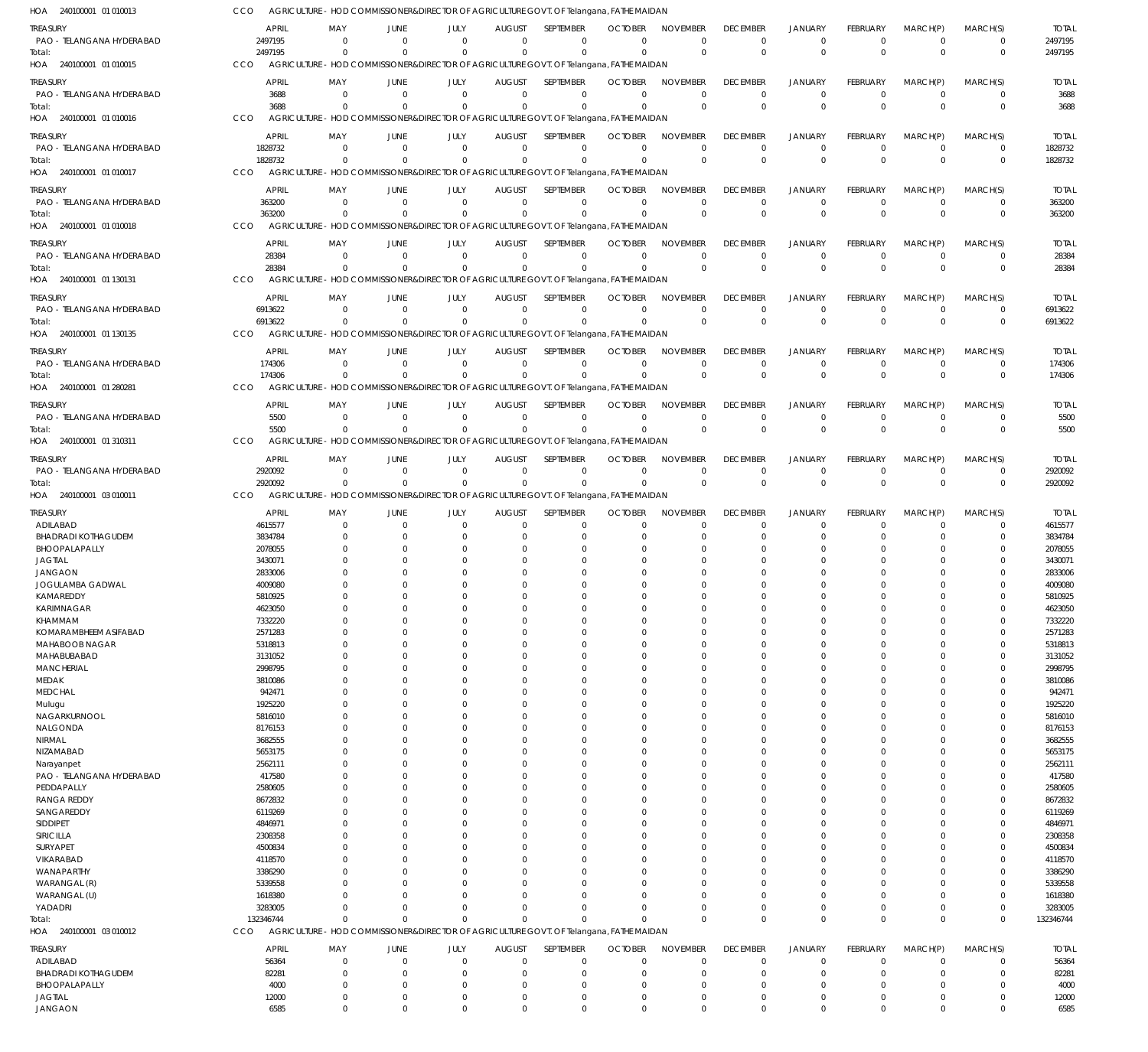240100001 01 010013 HOA 240100001 01 010015 HOA 240100001 01 010016 HOA 240100001 01 010017 HOA 240100001 01 010018 HOA 240100001 01 130131 HOA 240100001 01 130135 HOA 240100001 01 280281 HOA 240100001 01 310311 HOA 240100001 03 010011 HOA 240100001 03 010012 HOA AGRICULTURE - HOD COMMISSIONER&DIRECTOR OF AGRICULTURE GOVT. OF Telangana, FATHE MAIDAN AGRICULTURE - HOD COMMISSIONER&DIRECTOR OF AGRICULTURE GOVT. OF Telangana, FATHE MAIDAN AGRICULTURE - HOD COMMISSIONER&DIRECTOR OF AGRICULTURE GOVT. OF Telangana, FATHE MAIDAN AGRICULTURE - HOD COMMISSIONER&DIRECTOR OF AGRICULTURE GOVT. OF Telangana, FATHE MAIDAN AGRICULTURE - HOD COMMISSIONER&DIRECTOR OF AGRICULTURE GOVT. OF Telangana, FATHE MAIDAN AGRICULTURE - HOD COMMISSIONER&DIRECTOR OF AGRICULTURE GOVT. OF Telangana, FATHE MAIDAN AGRICULTURE - HOD COMMISSIONER&DIRECTOR OF AGRICULTURE GOVT. OF Telangana, FATHE MAIDAN AGRICULTURE - HOD COMMISSIONER&DIRECTOR OF AGRICULTURE GOVT. OF Telangana, FATHE MAIDAN AGRICULTURE - HOD COMMISSIONER&DIRECTOR OF AGRICULTURE GOVT. OF Telangana, FATHE MAIDAN AGRICULTURE - HOD COMMISSIONER&DIRECTOR OF AGRICULTURE GOVT. OF Telangana, FATHE MAIDAN AGRICULTURE - HOD COMMISSIONER&DIRECTOR OF AGRICULTURE GOVT. OF Telangana, FATHE MAIDAN CCO CCO. **CCO** CCO CCO CCO CCO CCO. CCO CCO CCO 2497195 3688 1828732 363200 28384 6913622 174306 5500 2920092 132346744 0 0  $\Omega$ 0  $\Omega$  $\Omega$ 0 0 0  $\Omega$ 0 0  $\Omega$ 0  $\Omega$ 0 0 0 0 0 0 0  $\Omega$ 0 0 0 0  $\Omega$ 0  $\Omega$ 0 0  $\sqrt{2}$ 0  $\Omega$  $\Omega$ 0  $\Omega$  $\Omega$  $\Omega$ 0 0  $\Omega$ 0  $\Omega$ 0 0  $\Omega$ 0  $\Omega$ 0  $\Omega$  $\bigcap$ 0  $\Omega$  $\Omega$ 0  $\bigcap$  $\Omega$  $\Omega$ 0 0  $\Omega$ 0  $\Omega$ 0 0  $\Omega$ 0  $\Omega$ 0 0 0 0 0 0 0 0 0  $\Omega$ 0 0 0 0  $\Omega$ 0 0  $\Omega$ 0  $\Omega$ 0 0 0 0  $\Omega$  $\boldsymbol{0}$ 0  $\Omega$ 0 0 0 0 0 0  $\Omega$ 0 0 0 0  $\Omega$ 0 0  $\Omega$ 0  $\Omega$ 0 0  $\Omega$ 0  $\Omega$ 2497195 3688 1828732 363200 28384 6913622 174306 5500 2920092 132346744 PAO - TELANGANA HYDERABAD PAO - TELANGANA HYDERABAD PAO - TELANGANA HYDERABAD PAO - TELANGANA HYDERABAD PAO - TELANGANA HYDERABAD PAO - TELANGANA HYDERABAD PAO - TELANGANA HYDERABAD PAO - TELANGANA HYDERABAD PAO - TELANGANA HYDERABAD ADILABAD BHADRADI KOTHAGUDEM BHOOPALAPALLY JAGTIAL JANGAON JOGULAMBA GADWAL KAMAREDDY KARIMNAGAR KHAMMAM KOMARAMBHEEM ASIFABAD MAHABOOB NAGAR MAHABUBABAD **MANCHERIAL** MEDAK **MEDCHAL** Mulugu NAGARKURNOOL NALGONDA NIRMAL NIZAMABAD Narayanpet PAO - TELANGANA HYDERABAD PEDDAPALLY RANGA REDDY SANGAREDDY SIDDIPET SIRICILLA SURYAPET VIKARABAD WANAPARTHY WARANGAL (R) WARANGAL (U) YADADRI ADILABAD BHADRADI KOTHAGUDEM BHOOPALAPALLY JAGTIAL TREASURY **TREASURY** TREASURY TREASURY **TREASURY** TREASURY TREASURY **TREASURY** TREASURY TREASURY TREASURY 2497195 3688 1828732 363200 28384 6913622 174306 5500 2920092 4615577 3834784 2078055 3430071 2833006 4009080 5810925 4623050 7332220 2571283 5318813 3131052 2998795 3810086 942471 1925220 5816010 8176153 3682555 5653175 2562111 417580 2580605 8672832 6119269 4846971 2308358 4500834 4118570 3386290 5339558 1618380 3283005 56364 82281 4000 12000 APRIL APRIL APRIL APRIL APRIL APRIL APRIL APRIL APRIL APRIL APRIL  $\Omega$ 0 0  $\sqrt{0}$ 0 0 0  $\,$  0  $\,$ 0  $\sqrt{0}$ 0  $\Omega$ 0 0  $\Omega$  $\Omega$  $\Omega$ 0 0 0  $\Omega$  $\Omega$ 0  $\Omega$ 0 0  $\Omega$ 0  $\Omega$ 0 0  $\Omega$ 0  $\Omega$ 0 0  $\Omega$  $\Omega$  $\Omega$ 0 0 0 0  $\Omega$ 0 0 MAY MAY MAY MAY MAY MAY MAY MAY MAY MAY MAY 0 0 0  $\Omega$ 0 0 0  $\,$  0  $\,$ 0 0 0  $\Omega$ 0 0  $\Omega$  $\Omega$  $\Omega$ 0 0 0 0  $\Omega$ 0  $\Omega$ 0 0  $\Omega$ 0  $\Omega$ 0 0  $\Omega$ 0  $\Omega$ 0 0 0  $\Omega$  $\Omega$ 0 0  $\boldsymbol{0}$ 0  $\Omega$ 0 0 JUNE **JUNE** JUNE JUNE **JUNE** JUNE JUNE JUNE JUNE JUNE JUNE 0 0 0  $\sqrt{0}$ 0 0 0  $\,$  0  $\,$ 0 0 0  $\Omega$ 0 0  $\Omega$  $\sqrt{0}$  $\Omega$ 0 0 0  $\Omega$  $\Omega$ 0  $\Omega$ 0 0  $\Omega$ 0  $\Omega$ 0 0  $\sqrt{2}$ 0  $\Omega$ 0 0 0  $\Omega$  $\Omega$ 0 0 0 0  $\Omega$ 0 0 JULY JULY JULY JULY JULY JULY JULY JULY JULY JULY JULY 0 0 0  $\Omega$ 0 0 0 0 0  $\Omega$ 0  $\Omega$ 0 0  $\Omega$  $\Omega$  $\Omega$ 0 0 0  $\Omega$  $\Omega$ 0  $\Omega$  $\Omega$ 0  $\Omega$ 0  $\Omega$ 0  $\Omega$  $\Omega$ 0  $\Omega$ 0 0  $\Omega$  $\Omega$  $\Omega$ 0 0  $\Omega$ 0  $\Omega$ 0 0 AUGUST AUGUST AUGUST AUGUST AUGUST AUGUST AUGUST AUGUST AUGUST AUGUST AUGUST  $\Omega$ 0 0  $\Omega$ 0 0 0 0 0  $\Omega$ 0  $\Omega$ 0 0  $\Omega$  $\Omega$  $\Omega$  $\theta$ 0  $\Omega$  $\Omega$  $\Omega$  $\overline{0}$  $\Omega$  $\Omega$  $\Omega$  $\Omega$  $\overline{0}$  $\Omega$  $\overline{0}$  $\Omega$  $\Omega$ 0  $\Omega$  $\Omega$  $\Omega$  $\Omega$  $\Omega$  $\Omega$  $\overline{0}$ 0  $\Omega$ 0  $\Omega$ 0 0 SEPTEMBER **SEPTEMBER** SEPTEMBER SEPTEMBER SEPTEMBER SEPTEMBER SEPTEMBER SEPTEMBER SEPTEMBER SEPTEMBER **SEPTEMBER** 0 0 0  $\Omega$ 0 0 0 0 0  $\Omega$ 0  $\Omega$ 0  $\Omega$  $\Omega$  $\Omega$  $\Omega$ 0 0  $\Omega$  $\Omega$  $\Omega$ 0  $\sqrt{2}$ 0  $\Omega$  $\Omega$ 0  $\Omega$ 0  $\Omega$  $\Omega$ 0  $\Omega$ 0  $\Omega$  $\Omega$ 0  $\Omega$ 0 0  $\Omega$ 0  $\Omega$ 0 0 **OCTOBER OCTOBER** OCTOBER **OCTOBER OCTOBER** OCTOBER **OCTOBER OCTOBER** OCTOBER **OCTOBER** OCTOBER  $\Omega$ 0 0  $\Omega$ 0 0  $\Omega$ 0 0  $\Omega$ 0  $\Omega$ 0 0  $\Omega$  $\Omega$  $\Omega$ 0 0  $\Omega$  $\Omega$  $\Omega$ 0  $\Omega$  $\Omega$  $\Omega$  $\Omega$ 0  $\Omega$  $\mathbf 0$  $\Omega$  $\Omega$ 0  $\Omega$ 0  $\Omega$  $\Omega$  $\Omega$  $\Omega$ 0 0 0 0  $\Omega$ 0 0 NOVEMBER NOVEMBER NOVEMBER NOVEMBER NOVEMBER NOVEMBER NOVEMBER NOVEMBER NOVEMBER NOVEMBER NOVEMBER 0 0 0  $\Omega$ 0 0  $\Omega$ 0 0  $\Omega$ 0  $\Omega$  $\overline{0}$ 0  $\Omega$  $\Omega$  $\Omega$ 0 0 0  $\Omega$  $\Omega$  $\overline{0}$  $\Omega$  $\Omega$  $\Omega$  $\Omega$ 0  $\Omega$  $\overline{0}$  $\Omega$  $\Omega$ 0  $\Omega$  $\Omega$  $\Omega$  $\Omega$  $\Omega$  $\Omega$  $\overline{0}$ 0 0 0  $\Omega$  $\overline{0}$ 0 DECEMBER **DECEMBER** DECEMBER DECEMBER DECEMBER DECEMBER DECEMBER DECEMBER DECEMBER DECEMBER **DECEMBER**  $\Omega$ 0 0  $\Omega$ 0 0  $\Omega$ 0 0  $\Omega$ 0  $\Omega$ 0  $\Omega$  $\Omega$  $\Omega$  $\Omega$ 0 0 0  $\Omega$  $\Omega$ 0  $\Omega$  $\Omega$ 0  $\Omega$ 0  $\Omega$ 0  $\Omega$  $\Omega$ 0  $\Omega$ 0 0  $\Omega$  $\Omega$  $\Omega$ 0 0 0 0  $\Omega$ 0 0 JANUARY JANUARY JANUARY JANUARY JANUARY JANUARY JANUARY JANUARY JANUARY JANUARY JANUARY 0 0 0  $\Omega$ 0 0 0 0 0  $\Omega$ 0  $\Omega$  $\overline{0}$ 0  $\Omega$  $\Omega$  $\Omega$ 0 0 0 0  $\Omega$ 0  $\Omega$ 0 0  $\Omega$ 0  $\Omega$  $\overline{0}$ 0  $\Omega$ 0  $\Omega$  $\overline{0}$ 0 0  $\Omega$  $\Omega$ 0 0 0 0  $\Omega$ 0 0 FEBRUARY FEBRUARY FEBRUARY FEBRUARY FEBRUARY FEBRUARY FEBRUARY FEBRUARY FEBRUARY FEBRUARY FEBRUARY 0 0  $\Omega$  $\Omega$ 0 0 0 0 0  $\Omega$ 0  $\Omega$ 0  $\Omega$  $\Omega$  $\Omega$  $\Omega$ 0 0 0  $\Omega$  $\Omega$ 0  $\Omega$ 0  $\Omega$  $\Omega$ 0  $\Omega$  $\overline{0}$  $\Omega$  $\Omega$ 0  $\Omega$ 0  $\Omega$  $\Omega$  $\Omega$  $\Omega$  $\overline{0}$ 0 0 0  $\Omega$ 0 0 MARCH(P) MARCH(P) MARCH(P) MARCH(P) MARCH(P) MARCH(P) MARCH(P) MARCH(P) MARCH(P) MARCH(P) MARCH(P)  $\Omega$ 0  $\Omega$  $\Omega$ 0 0  $\Omega$ 0  $\Omega$ 0 0  $\Omega$ 0  $\Omega$ 0  $\Omega$  $\Omega$ 0  $\Omega$ 0  $\Omega$  $\Omega$ 0  $\Omega$ 0  $\Omega$  $\Omega$ 0  $\Omega$ 0 0 0 0  $\Omega$ 0  $\Omega$ 0 0  $\Omega$ 0 0 0 0  $\Omega$ 0 0 MARCH(S) MARCH(S) MARCH(S) MARCH(S) MARCH(S) MARCH(S) MARCH(S) MARCH(S) MARCH(S) MARCH(S) MARCH(S) 2497195 3688 1828732 363200 28384 6913622 174306 5500 2920092 4615577 3834784 2078055 3430071 2833006 4009080 5810925 4623050 7332220 2571283 5318813 3131052 2998795 3810086 942471 1925220 5816010 8176153 3682555 5653175 2562111 417580 2580605 8672832 6119269 4846971 2308358 4500834 4118570 3386290 5339558 1618380 3283005 56364 82281 4000 12000 TOTAL TOTAL TOTAL TOTAL TOTAL TOTAL TOTAL TOTAL TOTAL TOTAL TOTAL Total: Total: Total: Total: Total: Total: Total: Total: Total: Total:

JANGAON

6585

0

 $\,$  0  $\,$ 

0

0

0

0

0

0

0

 $\boldsymbol{0}$ 

0

0

6585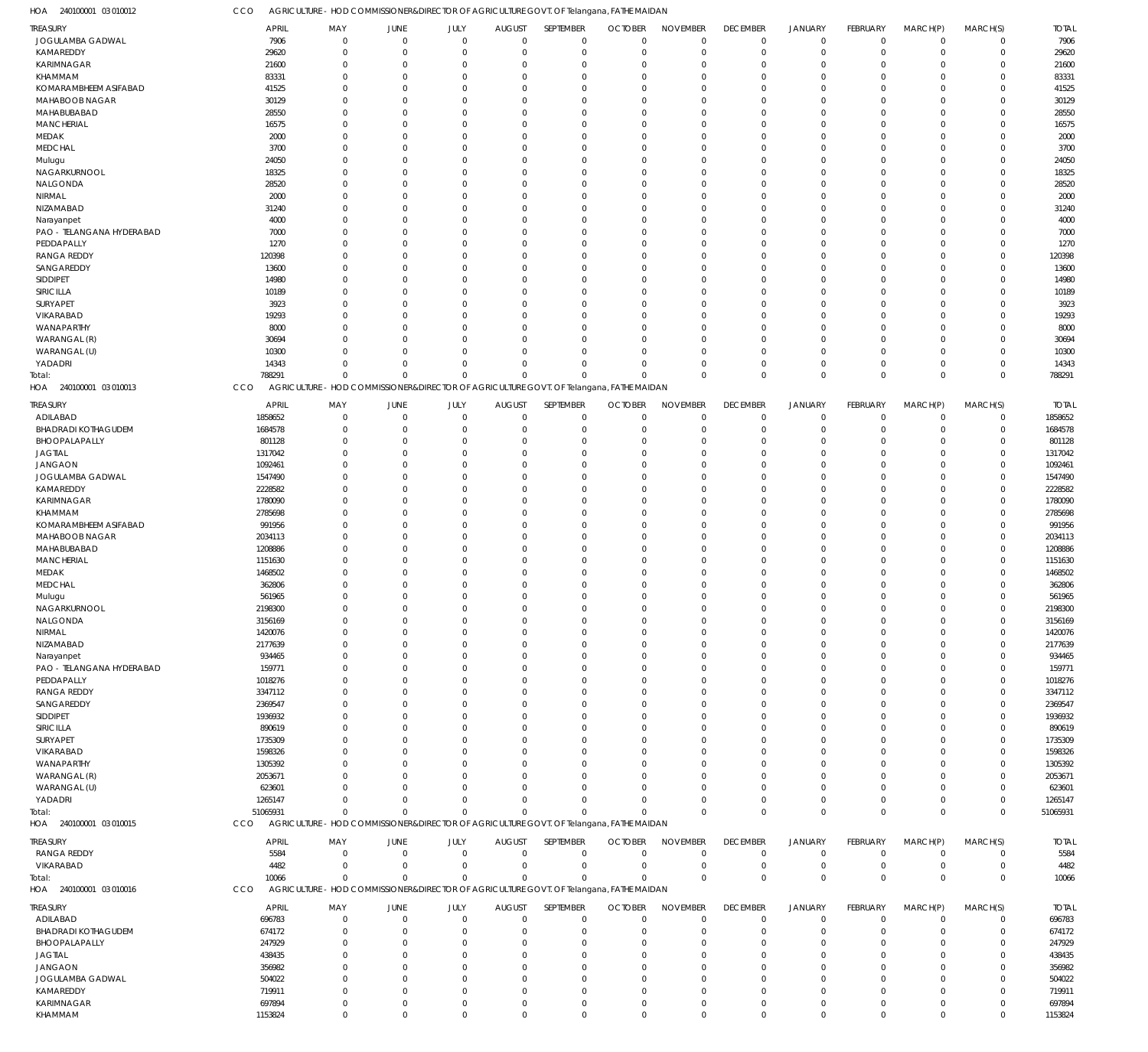240100001 03 010012 HOA

CCO AGRICULTURE - HOD COMMISSIONER&DIRECTOR OF AGRICULTURE GOVT. OF Telangana, FATHE MAIDAN

| TREASURY                   | <b>APRIL</b> | MAY         | <b>JUNE</b>    | JULY         | <b>AUGUST</b>                                                                           | SEPTEMBER   | <b>OCTOBER</b> | <b>NOVEMBER</b> | <b>DECEMBER</b> | <b>JANUARY</b> | FEBRUARY       | MARCH(P)    | MARCH(S)     | <b>TOTAL</b> |
|----------------------------|--------------|-------------|----------------|--------------|-----------------------------------------------------------------------------------------|-------------|----------------|-----------------|-----------------|----------------|----------------|-------------|--------------|--------------|
| JOGULAMBA GADWAL           | 7906         | $\mathbf 0$ | $\overline{0}$ | $\mathbf 0$  | $\mathbf 0$                                                                             | $\mathbf 0$ | $\overline{0}$ | $\mathbf 0$     | $\mathbf 0$     | $\mathbf 0$    | $\overline{0}$ | $\Omega$    | $\Omega$     | 7906         |
| KAMAREDDY                  | 29620        | $\Omega$    | $\overline{0}$ | $\Omega$     | $\mathbf 0$                                                                             | $\mathbf 0$ | $\mathbf 0$    | $\overline{0}$  | $\mathbf 0$     | $\mathbf 0$    | $\Omega$       | $\Omega$    | $\Omega$     | 29620        |
| KARIMNAGAR                 | 21600        | $\mathbf 0$ | $\overline{0}$ | $\Omega$     | $\Omega$                                                                                | $\mathbf 0$ | $\mathbf 0$    | $\mathbf 0$     | $\mathbf 0$     | $\mathbf 0$    | $\Omega$       | $\Omega$    | $\Omega$     | 21600        |
| KHAMMAM                    | 83331        | $\Omega$    | $\mathbf 0$    | $\Omega$     | $\Omega$                                                                                | $\mathbf 0$ | $\mathbf 0$    | $\mathbf 0$     | $\Omega$        | $\mathbf 0$    | $\Omega$       | $\Omega$    | $\Omega$     | 83331        |
| KOMARAMBHEEM ASIFABAD      | 41525        | $\mathbf 0$ | $\overline{0}$ | $\Omega$     | $\Omega$                                                                                | $\mathbf 0$ | $\Omega$       | $\mathbf 0$     | $\Omega$        | $\mathbf 0$    | $\Omega$       | $\Omega$    | $\Omega$     | 41525        |
|                            |              | $\Omega$    | $\mathbf 0$    | $\Omega$     | $\Omega$                                                                                |             |                |                 |                 |                | $\Omega$       | $\Omega$    | $\Omega$     |              |
| MAHABOOB NAGAR             | 30129        |             |                |              |                                                                                         | $\mathbf 0$ | $\mathbf 0$    | $\mathbf 0$     | $\Omega$        | $\mathbf 0$    |                |             |              | 30129        |
| MAHABUBABAD                | 28550        | $\Omega$    | $\Omega$       | $\Omega$     | $\Omega$                                                                                | $\mathbf 0$ | $\mathbf 0$    | $\mathbf 0$     | $\Omega$        | $\mathbf 0$    | $\Omega$       | $\Omega$    | $\Omega$     | 28550        |
| <b>MANCHERIAL</b>          | 16575        | $\Omega$    | $\Omega$       | $\Omega$     | $\Omega$                                                                                | $\mathbf 0$ | $\Omega$       | $\mathbf 0$     | $\Omega$        | $\mathbf{0}$   | $\Omega$       | $\Omega$    | $\Omega$     | 16575        |
| <b>MEDAK</b>               | 2000         | $\mathbf 0$ | $\mathbf 0$    | $\Omega$     | $\Omega$                                                                                | $\mathbf 0$ | $\mathbf 0$    | $\mathbf 0$     | $\Omega$        | $\mathbf 0$    | $\Omega$       | $\Omega$    | $\Omega$     | 2000         |
| <b>MEDCHAL</b>             | 3700         | $\Omega$    | $\Omega$       | $\Omega$     | $\Omega$                                                                                | $\mathbf 0$ | $\mathbf 0$    | $\mathbf 0$     | $\Omega$        | $\mathbf 0$    | $\Omega$       | $\Omega$    | $\Omega$     | 3700         |
| Mulugu                     | 24050        | $\Omega$    | $\Omega$       | $\Omega$     | $\Omega$                                                                                | $\mathbf 0$ | $\Omega$       | $\mathbf 0$     | $\Omega$        | $\mathbf 0$    | $\Omega$       | $\Omega$    | $\Omega$     | 24050        |
| NAGARKURNOOL               | 18325        | $\Omega$    | $\Omega$       | $\Omega$     | $\Omega$                                                                                | $\mathbf 0$ | $\mathbf 0$    | $\mathbf 0$     | $\Omega$        | $\mathbf 0$    | $\Omega$       | $\Omega$    | $\Omega$     | 18325        |
| NALGONDA                   | 28520        | $\Omega$    | $\Omega$       | $\Omega$     | $\Omega$                                                                                | $\mathbf 0$ | $\Omega$       | $\mathbf 0$     | $\Omega$        | $\mathbf 0$    | $\sqrt{ }$     | $\Omega$    | $\Omega$     | 28520        |
| NIRMAL                     | 2000         | $\Omega$    | $\Omega$       | $\Omega$     | $\Omega$                                                                                | $\mathbf 0$ | $\mathbf 0$    | $\mathbf 0$     | $\Omega$        | $\mathbf 0$    | $\Omega$       | $\Omega$    | $\Omega$     | 2000         |
| NIZAMABAD                  | 31240        | $\Omega$    | $\Omega$       | $\Omega$     | $\Omega$                                                                                | $\mathbf 0$ | $\mathbf 0$    | $\mathbf 0$     | $\Omega$        | $\mathbf 0$    | $\Omega$       | $\Omega$    | $\Omega$     | 31240        |
| Narayanpet                 | 4000         | $\Omega$    | $\Omega$       | $\Omega$     | $\Omega$                                                                                | $\mathbf 0$ | $\Omega$       | $\mathbf 0$     | $\Omega$        | $\mathbf{0}$   | $\Omega$       | $\Omega$    | $\Omega$     | 4000         |
|                            |              |             | $\mathbf 0$    | $\Omega$     | $\Omega$                                                                                |             |                |                 |                 |                | $\Omega$       | $\Omega$    | $\Omega$     |              |
| PAO - TELANGANA HYDERABAD  | 7000         | $\mathbf 0$ |                |              |                                                                                         | $\mathbf 0$ | $\mathbf 0$    | $\mathbf 0$     | $\Omega$        | $\mathbf 0$    |                |             |              | 7000         |
| PEDDAPALLY                 | 1270         | $\Omega$    | $\Omega$       | $\Omega$     | $\Omega$                                                                                | $\mathbf 0$ | $\mathbf 0$    | $\mathbf 0$     | $\Omega$        | $\mathbf{0}$   | $\Omega$       | $\Omega$    | $\Omega$     | 1270         |
| <b>RANGA REDDY</b>         | 120398       | $\Omega$    | $\Omega$       | $\Omega$     | $\Omega$                                                                                | $\mathbf 0$ | $\Omega$       | $\mathbf 0$     | $\Omega$        | $\mathbf 0$    | $\Omega$       | $\Omega$    | $\Omega$     | 120398       |
| SANGAREDDY                 | 13600        | $\Omega$    | $\Omega$       | $\Omega$     | $\Omega$                                                                                | $\mathbf 0$ | $\Omega$       | $\mathbf 0$     | $\Omega$        | $\mathbf 0$    | $\Omega$       | $\Omega$    | $\Omega$     | 13600        |
| SIDDIPET                   | 14980        | $\Omega$    | $\Omega$       | $\Omega$     | $\Omega$                                                                                | $\mathbf 0$ | $\mathbf 0$    | $\mathbf 0$     | $\Omega$        | $\mathbf 0$    | $\Omega$       | $\Omega$    | $\Omega$     | 14980        |
| SIRICILLA                  | 10189        | $\Omega$    | $\Omega$       | $\Omega$     | $\Omega$                                                                                | $\mathbf 0$ | $\Omega$       | $\mathbf 0$     | $\Omega$        | $\mathbf 0$    | $\Omega$       | $\Omega$    | $\Omega$     | 10189        |
| SURYAPET                   | 3923         | $\Omega$    | $\overline{0}$ | $\Omega$     | $\Omega$                                                                                | $\mathbf 0$ | $\mathbf 0$    | $\mathbf 0$     | $\Omega$        | $\mathbf 0$    | $\Omega$       | $\Omega$    | $\Omega$     | 3923         |
| VIKARABAD                  | 19293        | $\Omega$    | $\Omega$       | $\Omega$     | $\Omega$                                                                                | $\mathbf 0$ | $\Omega$       | $\mathbf 0$     | $\Omega$        | $\mathbf{0}$   | $\Omega$       | $\Omega$    | $\Omega$     | 19293        |
| WANAPARTHY                 | 8000         | $\Omega$    | $\Omega$       | $\Omega$     | $\Omega$                                                                                | $\mathbf 0$ | $\Omega$       | $\mathbf 0$     | $\Omega$        | $\mathbf 0$    | $\Omega$       | $\Omega$    | $\Omega$     | 8000         |
| WARANGAL (R)               | 30694        | $\Omega$    | $\Omega$       | $\Omega$     | $\Omega$                                                                                | $\mathbf 0$ | $\mathbf 0$    | $\mathbf 0$     | $\Omega$        | $\mathbf 0$    | $\Omega$       | $\Omega$    | $\Omega$     | 30694        |
| WARANGAL (U)               | 10300        | $\Omega$    | $\Omega$       | $\Omega$     | $\Omega$                                                                                | $\mathbf 0$ | $\Omega$       | $\mathbf 0$     | $\Omega$        | $\mathbf 0$    | $\Omega$       | $\Omega$    | $\Omega$     | 10300        |
|                            |              | $\Omega$    | $\mathbf 0$    | $\Omega$     | $\Omega$                                                                                | $\mathbf 0$ | $\Omega$       | $\mathbf 0$     | $\Omega$        | $\mathbf 0$    | $\Omega$       | $\Omega$    | $\Omega$     |              |
| YADADRI                    | 14343        |             |                |              |                                                                                         |             |                |                 |                 |                |                |             |              | 14343        |
| Total:                     | 788291       | $\Omega$    | $\Omega$       | $\Omega$     | $\Omega$                                                                                | $\Omega$    | $\Omega$       | $\mathbf 0$     | $\Omega$        | $\mathbf 0$    | $\Omega$       | $\Omega$    | $\Omega$     | 788291       |
| HOA 240100001 03 010013    | CCO          |             |                |              | AGRICULTURE - HOD COMMISSIONER&DIRECTOR OF AGRICULTURE GOVT. OF Telangana, FATHE MAIDAN |             |                |                 |                 |                |                |             |              |              |
| TREASURY                   | <b>APRIL</b> | MAY         | <b>JUNE</b>    | JULY         | <b>AUGUST</b>                                                                           | SEPTEMBER   | <b>OCTOBER</b> | <b>NOVEMBER</b> | <b>DECEMBER</b> | <b>JANUARY</b> | FEBRUARY       | MARCH(P)    | MARCH(S)     | <b>TOTAL</b> |
| ADILABAD                   | 1858652      | $\Omega$    | $\mathbf 0$    | $\Omega$     | $\mathbf 0$                                                                             | $\mathbf 0$ | $\mathbf 0$    | $^{\circ}$      | $\mathbf 0$     | $\mathbf 0$    | $\Omega$       | $\Omega$    | $\Omega$     | 1858652      |
|                            |              |             |                | $\Omega$     |                                                                                         |             |                | $\Omega$        |                 |                |                |             |              |              |
| <b>BHADRADI KOTHAGUDEM</b> | 1684578      | $\Omega$    | $\overline{0}$ |              | $\Omega$                                                                                | $\mathbf 0$ | $\mathbf 0$    |                 | $\Omega$        | $\mathbf 0$    | $\Omega$       | $\Omega$    | $\Omega$     | 1684578      |
| BHOOPALAPALLY              | 801128       | $\Omega$    | $\Omega$       | $\Omega$     | $\Omega$                                                                                | $\Omega$    | $\Omega$       | $\mathbf 0$     | $\Omega$        | $\mathbf 0$    | $\Omega$       | $\Omega$    | $\Omega$     | 801128       |
| <b>JAGTIAL</b>             | 1317042      | $\Omega$    | $\Omega$       | $\Omega$     | $\Omega$                                                                                | $\Omega$    | $\Omega$       | $\Omega$        | $\Omega$        | $\Omega$       | $\Omega$       | $\Omega$    | $\Omega$     | 1317042      |
| <b>JANGAON</b>             | 1092461      | $\Omega$    | $\Omega$       | $\Omega$     | $\Omega$                                                                                | $\Omega$    | $\Omega$       | $\Omega$        | $\Omega$        | $\mathbf{0}$   | $\Omega$       | $\Omega$    | $\Omega$     | 1092461      |
| JOGULAMBA GADWAL           | 1547490      | $\Omega$    | $\Omega$       | $\Omega$     | $\Omega$                                                                                | $\Omega$    | $\Omega$       | $\Omega$        | $\Omega$        | $\Omega$       | $\Omega$       | $\Omega$    | $\Omega$     | 1547490      |
| KAMAREDDY                  | 2228582      | $\Omega$    | $\Omega$       | $\Omega$     | $\Omega$                                                                                | $\Omega$    | $\Omega$       | $\Omega$        | $\Omega$        | $\Omega$       | $\Omega$       | $\Omega$    | $\Omega$     | 2228582      |
| KARIMNAGAR                 | 1780090      | $\Omega$    | $\Omega$       | $\Omega$     | $\Omega$                                                                                | $\Omega$    | $\Omega$       | $\Omega$        | $\Omega$        | $\Omega$       | $\Omega$       | $\Omega$    | $\Omega$     | 1780090      |
| KHAMMAM                    | 2785698      | $\Omega$    | $\Omega$       | $\Omega$     | $\Omega$                                                                                | $\Omega$    | $\Omega$       | $\Omega$        | $\Omega$        | $\Omega$       | $\Omega$       | $\Omega$    | $\Omega$     | 2785698      |
| KOMARAMBHEEM ASIFABAD      | 991956       | $\Omega$    | $\Omega$       | $\Omega$     | $\Omega$                                                                                | $\Omega$    | $\Omega$       | $\Omega$        | $\Omega$        | $\Omega$       | $\Omega$       | $\Omega$    | $\Omega$     | 991956       |
| MAHABOOB NAGAR             | 2034113      | $\Omega$    | $\Omega$       | $\Omega$     | $\Omega$                                                                                | $\Omega$    | $\Omega$       | $\Omega$        | $\Omega$        | $\Omega$       | $\Omega$       | $\Omega$    | $\Omega$     | 2034113      |
|                            |              | $\Omega$    | $\Omega$       | $\Omega$     |                                                                                         | $\Omega$    | $\Omega$       | $\Omega$        | $\Omega$        | $\Omega$       | $\Omega$       | $\Omega$    | $\Omega$     |              |
| MAHABUBABAD                | 1208886      |             |                |              | $\Omega$                                                                                |             |                |                 |                 |                |                |             |              | 1208886      |
| <b>MANCHERIAL</b>          | 1151630      | $\Omega$    | $\Omega$       | $\Omega$     | $\Omega$                                                                                | $\Omega$    | $\Omega$       | $\Omega$        | $\Omega$        | $\Omega$       | $\Omega$       | $\Omega$    | $\Omega$     | 1151630      |
| <b>MEDAK</b>               | 1468502      | U           | $\Omega$       | $\Omega$     | $\Omega$                                                                                | $\Omega$    | $\Omega$       | $\Omega$        | $\Omega$        | $\Omega$       | $\Omega$       | $\Omega$    | $\Omega$     | 1468502      |
| <b>MEDCHAL</b>             | 362806       | n           | $\Omega$       | $\Omega$     | $\Omega$                                                                                | $\Omega$    | $\Omega$       | $\Omega$        | $\cup$          | $\Omega$       | $\Omega$       | $\Omega$    | $\Omega$     | 362806       |
| Mulugu                     | 561965       | $\Omega$    | $\Omega$       | $\Omega$     | $\Omega$                                                                                | $\Omega$    | $\Omega$       | $\Omega$        | $\Omega$        | $\Omega$       | $\Omega$       | $\Omega$    | $\Omega$     | 561965       |
| NAGARKURNOOL               | 2198300      | $\Omega$    | $\Omega$       | $\Omega$     | $\Omega$                                                                                | $\Omega$    | $\Omega$       | $\Omega$        | $\Omega$        | $\Omega$       | $\Omega$       | $\Omega$    | $\Omega$     | 2198300      |
| NALGONDA                   | 3156169      | $\Omega$    | $\Omega$       | <sup>0</sup> | $\Omega$                                                                                | $\mathbf 0$ | $\Omega$       | $\Omega$        | $\Omega$        | $\Omega$       | $\Omega$       | $\Omega$    | $\Omega$     | 3156169      |
| NIRMAL                     | 1420076      | $\Omega$    | $\mathbf 0$    | $\Omega$     | $\Omega$                                                                                | $\mathbf 0$ | $\mathbf 0$    | $\mathbf 0$     | $\Omega$        | $\mathbf 0$    | $\Omega$       | $\Omega$    |              | 1420076      |
| NIZAMABAD                  | 2177639      | $\Omega$    | $\Omega$       | <sup>0</sup> | $\Omega$                                                                                | $\Omega$    | $\Omega$       | $\Omega$        | $\Omega$        | $\Omega$       | $\Omega$       | $\Omega$    |              | 2177639      |
|                            | 934465       | $\Omega$    | $\Omega$       | <sup>0</sup> | $\Omega$                                                                                | $\Omega$    | $\Omega$       | $\Omega$        | $\Omega$        | $\Omega$       | $\Omega$       | $\Omega$    | $\Omega$     | 934465       |
| Narayanpet                 |              |             |                |              |                                                                                         |             |                |                 |                 |                |                |             |              |              |
| PAO - TELANGANA HYDERABAD  | 159771       | U           | $\Omega$       | O            | $\Omega$                                                                                | $\Omega$    | $\Omega$       | $\Omega$        | C.              | $\Omega$       | $\Omega$       | $\Omega$    |              | 159771       |
| PEDDAPALLY                 | 1018276      | U           | $\Omega$       | O            | $\Omega$                                                                                | $\Omega$    | $\Omega$       | $\Omega$        | $\Omega$        | $\Omega$       | $\Omega$       | $\Omega$    |              | 1018276      |
| <b>RANGA REDDY</b>         | 3347112      | U           | $\Omega$       | O            | $\Omega$                                                                                | $\Omega$    | $\Omega$       | $\Omega$        | C.              | $\Omega$       | $\sqrt{ }$     | $\Omega$    |              | 3347112      |
| SANGAREDDY                 | 2369547      | $\Omega$    | $\Omega$       | O            | $\Omega$                                                                                | $\Omega$    | $\Omega$       | $\Omega$        | $\Omega$        | $\Omega$       | $\Omega$       | $\Omega$    |              | 2369547      |
| SIDDIPET                   | 1936932      | U           | $\Omega$       | O            | $\Omega$                                                                                | $\Omega$    | $\Omega$       | $\Omega$        | C.              | $\Omega$       | ſ              | $\Omega$    |              | 1936932      |
| SIRICILLA                  | 890619       | $\Omega$    | $\Omega$       | O            | $\Omega$                                                                                | $\Omega$    | $\Omega$       | $\Omega$        | $\Omega$        | $\Omega$       | $\Omega$       | $\Omega$    |              | 890619       |
| SURYAPET                   | 1735309      | U           | $\Omega$       | n            | $\Omega$                                                                                | $\Omega$    | $\Omega$       | $\Omega$        | C.              | $\Omega$       | ſ              | $\Omega$    |              | 1735309      |
| VIKARABAD                  | 1598326      | U           | $\Omega$       | O            | $\Omega$                                                                                | $\Omega$    | $\Omega$       | $\Omega$        | $\Omega$        | $\Omega$       | $\Omega$       | $\Omega$    |              | 1598326      |
| WANAPARTHY                 | 1305392      | U           | $\Omega$       | O            | $\Omega$                                                                                | $\Omega$    | $\Omega$       | $\Omega$        | C.              | $\Omega$       | $\sqrt{ }$     | $\Omega$    |              | 1305392      |
| WARANGAL (R)               | 2053671      | U           | $\Omega$       | O            | $\Omega$                                                                                | $\Omega$    | $\Omega$       | $\Omega$        | $\Omega$        | $\Omega$       | $\Omega$       | $\Omega$    |              | 2053671      |
| WARANGAL (U)               | 623601       | U           | $\Omega$       | O            | $\Omega$                                                                                | $\Omega$    | $\Omega$       | $\Omega$        | C.              | $\Omega$       | $\Omega$       | $\Omega$    |              | 623601       |
| YADADRI                    | 1265147      | $\Omega$    | $\Omega$       | $\Omega$     | $\Omega$                                                                                | $\Omega$    | $\Omega$       | $\Omega$        | $\Omega$        | $\mathbf 0$    | $\Omega$       | $\Omega$    | $\Omega$     | 1265147      |
|                            |              |             |                |              |                                                                                         |             |                |                 |                 |                |                |             |              |              |
| Total:                     | 51065931     | $\Omega$    | $\Omega$       | $\Omega$     | $\mathbf 0$                                                                             | $\Omega$    | $\Omega$       | $\Omega$        | $\Omega$        | $\mathbf 0$    | $\Omega$       | $\Omega$    | $\Omega$     | 51065931     |
| HOA 240100001 03 010015    | CCO          |             |                |              | AGRICULTURE - HOD COMMISSIONER&DIRECTOR OF AGRICULTURE GOVT. OF Telangana, FATHE MAIDAN |             |                |                 |                 |                |                |             |              |              |
| TREASURY                   | <b>APRIL</b> | MAY         | <b>JUNE</b>    | JULY         | AUGUST                                                                                  | SEPTEMBER   | <b>OCTOBER</b> | <b>NOVEMBER</b> | <b>DECEMBER</b> | <b>JANUARY</b> | FEBRUARY       | MARCH(P)    | MARCH(S)     | <b>TOTAL</b> |
| RANGA REDDY                | 5584         | $\mathbf 0$ | $\overline{0}$ | $\mathbf 0$  | $\mathbf 0$                                                                             | $\mathbf 0$ | $\mathbf 0$    | $^{\circ}$      | $\mathbf 0$     | 0              | $\overline{0}$ | $\Omega$    | 0            | 5584         |
|                            |              | $\mathbf 0$ | $\overline{0}$ | $\mathbf 0$  | $\mathbf 0$                                                                             | $\mathbf 0$ | $\mathbf 0$    | $\overline{0}$  | $\mathbf 0$     |                | $^{\circ}$     | $\mathbf 0$ | $\Omega$     |              |
| VIKARABAD                  | 4482         |             |                |              |                                                                                         |             |                |                 |                 | $\mathbf 0$    |                |             |              | 4482         |
| Total:                     | 10066        | $\Omega$    | $\overline{0}$ | $\mathbf 0$  | $\mathbf 0$                                                                             | $\Omega$    | 0              | $\mathbf{0}$    | $\Omega$        | $\mathbf 0$    | $\Omega$       | $\Omega$    | $\mathbf{0}$ | 10066        |
| HOA 240100001 03 010016    | CCO          |             |                |              | AGRICULTURE - HOD COMMISSIONER&DIRECTOR OF AGRICULTURE GOVT. OF Telangana, FATHE MAIDAN |             |                |                 |                 |                |                |             |              |              |
| TREASURY                   | <b>APRIL</b> | MAY         | <b>JUNE</b>    | JULY         | <b>AUGUST</b>                                                                           | SEPTEMBER   | <b>OCTOBER</b> | <b>NOVEMBER</b> | <b>DECEMBER</b> | <b>JANUARY</b> | FEBRUARY       | MARCH(P)    | MARCH(S)     | <b>TOTAL</b> |
| ADILABAD                   | 696783       | $\Omega$    | $\mathbf 0$    | $\Omega$     | $\mathbf 0$                                                                             | $\mathbf 0$ | $\mathbf 0$    | $\mathbf 0$     | $\mathbf 0$     | 0              | $\Omega$       | $\Omega$    | $\Omega$     | 696783       |
|                            |              |             |                |              |                                                                                         |             |                |                 |                 |                |                | $\Omega$    |              |              |
| <b>BHADRADI KOTHAGUDEM</b> | 674172       | $\Omega$    | $\mathbf 0$    | $\Omega$     | $\Omega$                                                                                | $\mathbf 0$ | $\mathbf 0$    | $\Omega$        | $\Omega$        | $\mathbf 0$    | $\Omega$       |             | $\Omega$     | 674172       |
| BHOOPALAPALLY              | 247929       | $\Omega$    | $\Omega$       | <sup>0</sup> | $\Omega$                                                                                | $\Omega$    | $\Omega$       | $\Omega$        | $\Omega$        | $\Omega$       | $\Omega$       | $\Omega$    | $\Omega$     | 247929       |
| <b>JAGTIAL</b>             | 438435       | $\Omega$    | $\Omega$       | O            | $\Omega$                                                                                | $\Omega$    | $\Omega$       | $\Omega$        | $\Omega$        | $\Omega$       | $\Omega$       | $\Omega$    | $\Omega$     | 438435       |
| <b>JANGAON</b>             | 356982       | $\Omega$    | $\Omega$       | O            | $\Omega$                                                                                | $\Omega$    | $\Omega$       | $\Omega$        | $\Omega$        | $\Omega$       | $\Omega$       | $\Omega$    |              | 356982       |
| JOGULAMBA GADWAL           | 504022       | $\Omega$    | $\Omega$       | O            | $\Omega$                                                                                | $\Omega$    | $\Omega$       | $\Omega$        | C.              | $\Omega$       | $\Omega$       | $\Omega$    |              | 504022       |
| KAMAREDDY                  | 719911       | $\Omega$    | $\Omega$       | $\Omega$     | $\Omega$                                                                                | $\Omega$    | $\Omega$       | $\Omega$        | $\Omega$        | $\mathbf{0}$   | $\Omega$       | $\Omega$    | $\Omega$     | 719911       |
| KARIMNAGAR                 | 697894       | $\mathbf 0$ | $\mathbf 0$    | $\Omega$     | $\mathbf 0$                                                                             | $\mathbf 0$ | $\mathbf 0$    | $\mathbf 0$     | 0               | $\mathbf 0$    | $\mathbf 0$    | $\mathbf 0$ | $\Omega$     | 697894       |
| KHAMMAM                    | 1153824      | $\mathbf 0$ | $\mathbf 0$    | $\Omega$     | $\mathbf 0$                                                                             | $\mathbf 0$ | $\mathbf 0$    | $\mathbf 0$     | $\Omega$        | $\mathbf 0$    | $\Omega$       | $\mathbf 0$ | $\Omega$     | 1153824      |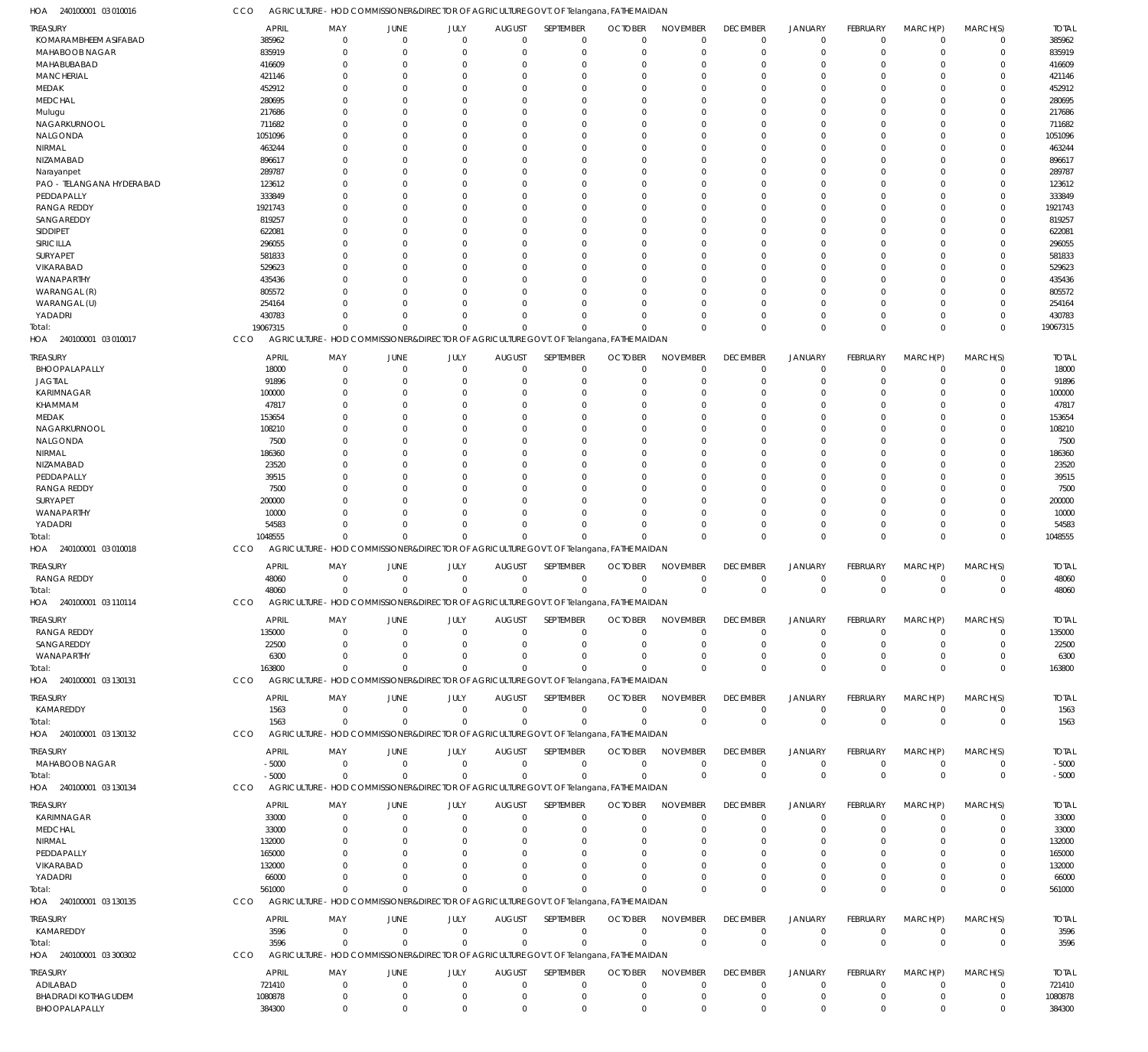CCO AGRICULTURE - HOD COMMISSIONER&DIRECTOR OF AGRICULTURE GOVT. OF Telangana, FATHE MAIDAN

240100001 03 010016 HOA

| <b>TREASURY</b>            | <b>APRIL</b> | MAY          | <b>JUNE</b>    | JULY        | <b>AUGUST</b>  | SEPTEMBER                                                                               | <b>OCTOBER</b> | <b>NOVEMBER</b> | <b>DECEMBER</b> | <b>JANUARY</b> | FEBRUARY        | MARCH(P)       | MARCH(S)      | <b>TOTAL</b> |
|----------------------------|--------------|--------------|----------------|-------------|----------------|-----------------------------------------------------------------------------------------|----------------|-----------------|-----------------|----------------|-----------------|----------------|---------------|--------------|
| KOMARAMBHEEM ASIFABAD      | 385962       | $\mathbf 0$  | $\mathbf 0$    | $\mathbf 0$ | $\mathbf 0$    | $\mathbf 0$                                                                             | $\Omega$       | $\Omega$        | $\mathbf 0$     | $^{\circ}$     | $\Omega$        | $\mathbf 0$    | $\mathbf 0$   | 385962       |
| MAHABOOB NAGAR             | 835919       | $\Omega$     | 0              | $\mathbf 0$ | $\Omega$       | $\mathbf 0$                                                                             | $\Omega$       | $\Omega$        | $\mathbf 0$     | $\overline{0}$ | $\Omega$        | $\Omega$       | $\mathbf 0$   | 835919       |
| MAHABUBABAD                | 416609       | $\Omega$     | $\Omega$       | $\Omega$    |                | $\Omega$                                                                                |                | $\Omega$        | 0               | $\Omega$       | 0               | $\Omega$       | $\mathbf 0$   | 416609       |
| <b>MANCHERIAL</b>          | 421146       | 0            | $\Omega$       | $\Omega$    |                | $\Omega$                                                                                |                | $\Omega$        | 0               | $\Omega$       | C               | $\Omega$       | $\mathbf 0$   | 421146       |
| <b>MEDAK</b>               | 452912       |              | $\Omega$       | $\Omega$    |                | $\Omega$                                                                                |                | $\Omega$        | 0               | $\Omega$       | C               | $\Omega$       | $\mathbf 0$   | 452912       |
| <b>MEDCHAL</b>             | 280695       |              | $\Omega$       | $\Omega$    | 0              | $\Omega$                                                                                |                | $\Omega$        | 0               | $\Omega$       |                 | $\Omega$       | $\mathbf 0$   | 280695       |
| Mulugu                     | 217686       |              | $\Omega$       | $\Omega$    |                | $\Omega$                                                                                |                | $\Omega$        | 0               | $\Omega$       | C               | $\Omega$       | $\mathbf 0$   | 217686       |
| NAGARKURNOOL               | 711682       |              |                | $\Omega$    | 0              | $\Omega$                                                                                |                | $\Omega$        | 0               | $\Omega$       | C               | $\Omega$       | $\mathbf 0$   | 711682       |
| NALGONDA                   | 1051096      |              | $\Omega$       | $\Omega$    | 0              | $\Omega$                                                                                |                | $\Omega$        | 0               | $\Omega$       | C               | $\Omega$       | $\mathbf 0$   | 1051096      |
| NIRMAL                     | 463244       |              | $\Omega$       | $\Omega$    | 0              | $\Omega$                                                                                |                | $\Omega$        | 0               | $\Omega$       | C               | $\Omega$       | $\mathbf 0$   | 463244       |
| NIZAMABAD                  | 896617       |              | $\Omega$       | $\Omega$    | $\Omega$       | $\Omega$                                                                                |                | $\Omega$        | 0               | $\Omega$       | C               | $\Omega$       | $\mathbf 0$   | 896617       |
| Narayanpet                 | 289787       | 0            | $\Omega$       | $\Omega$    | 0              | $\Omega$                                                                                |                | $\Omega$        | 0               | $\Omega$       | C               | $\Omega$       | $\mathbf 0$   | 289787       |
| PAO - TELANGANA HYDERABAD  | 123612       |              | $\Omega$       | $\Omega$    |                | $\Omega$                                                                                |                | $\Omega$        | 0               | $\Omega$       | C               | $\Omega$       | $\mathbf 0$   | 123612       |
| PEDDAPALLY                 | 333849       |              | $\Omega$       | $\Omega$    |                | $\Omega$                                                                                |                | $\Omega$        | 0               | $\Omega$       |                 | $\Omega$       | $\mathbf 0$   | 333849       |
| <b>RANGA REDDY</b>         | 1921743      |              | $\Omega$       | $\Omega$    | $\Omega$       | $\Omega$                                                                                |                | $\Omega$        | 0               | $\Omega$       | 0               | $\Omega$       | $\mathbf 0$   | 1921743      |
| SANGAREDDY                 | 819257       |              | $\Omega$       | $\Omega$    | 0              | $\Omega$                                                                                |                | $\Omega$        | 0               | $\Omega$       | C               | $\Omega$       | $\mathbf 0$   | 819257       |
| SIDDIPET                   | 622081       |              |                | $\Omega$    |                | $\Omega$                                                                                |                | $\Omega$        | 0               | $\Omega$       | C               | $\Omega$       | $\mathbf 0$   | 622081       |
| SIRICILLA                  | 296055       |              | $\Omega$       | $\Omega$    |                | $\Omega$                                                                                |                | $\Omega$        | 0               | $\Omega$       |                 | $\Omega$       | $\mathbf 0$   | 296055       |
| SURYAPET                   | 581833       |              | $\Omega$       | $\Omega$    | $\Omega$       | $\Omega$                                                                                |                | $\Omega$        | 0               | $\Omega$       | 0               | $\Omega$       | $\mathbf 0$   | 581833       |
| VIKARABAD                  | 529623       |              |                | $\Omega$    |                | $\Omega$                                                                                |                | $\Omega$        | 0               | $\Omega$       | C               | $\Omega$       | $\mathbf 0$   | 529623       |
| <b>WANAPARTHY</b>          | 435436       |              |                | $\Omega$    |                | $\Omega$                                                                                |                | $\Omega$        | 0               | $\Omega$       | C               | $\Omega$       | $\Omega$      | 435436       |
| WARANGAL (R)               | 805572       |              | $\Omega$       | $\Omega$    | 0              | $\Omega$                                                                                |                | $\Omega$        | 0               | $\Omega$       |                 | $\Omega$       | $\mathbf 0$   | 805572       |
| WARANGAL (U)               | 254164       |              | $\Omega$       | $\Omega$    | 0              | $\Omega$                                                                                |                | $\Omega$        | 0               | $\Omega$       | 0               | $\Omega$       | $\mathbf 0$   | 254164       |
| YADADRI                    | 430783       | 0            | $\Omega$       | $\Omega$    | $\Omega$       | $\Omega$                                                                                |                | $\Omega$        | $\mathbf 0$     | $\overline{0}$ | $\Omega$        | $\Omega$       | $\mathbf 0$   | 430783       |
| Total:                     | 19067315     | $\Omega$     | $\Omega$       | $\Omega$    | $\Omega$       | $\Omega$                                                                                |                | $\Omega$        | $\Omega$        | $\Omega$       | $\Omega$        | $\Omega$       | $\mathbf 0$   | 19067315     |
| 240100001 03 010017<br>HOA | CCO          |              |                |             |                | AGRICULTURE - HOD COMMISSIONER&DIRECTOR OF AGRICULTURE GOVT. OF Telangana, FATHE MAIDAN |                |                 |                 |                |                 |                |               |              |
|                            |              |              |                |             |                |                                                                                         |                |                 |                 |                |                 |                |               |              |
| TREASURY                   | <b>APRIL</b> | MAY          | JUNE           | JULY        | <b>AUGUST</b>  | SEPTEMBER                                                                               | <b>OCTOBER</b> | <b>NOVEMBER</b> | <b>DECEMBER</b> | <b>JANUARY</b> | FEBRUARY        | MARCH(P)       | MARCH(S)      | <b>TOTAL</b> |
| BHOOPALAPALLY              | 18000        | $\mathbf 0$  | $\mathbf 0$    | $\mathbf 0$ | $\Omega$       | $\mathbf 0$                                                                             | $\Omega$       | $\Omega$        | $\mathbf 0$     | $^{\circ}$     | $\mathbf 0$     | 0              | $\mathbf 0$   | 18000        |
| <b>JAGTIAL</b>             | 91896        | $\Omega$     | $\Omega$       | 0           | 0              | $\mathbf 0$                                                                             |                | $^{\circ}$      | $\mathbf 0$     | $\overline{0}$ | 0               | 0              | $\mathbf 0$   | 91896        |
| KARIMNAGAR                 | 100000       | 0            | $\Omega$       | $\Omega$    |                | $\Omega$                                                                                |                | $\Omega$        | 0               | $\Omega$       | C               | 0              | $\mathbf 0$   | 100000       |
| KHAMMAM                    | 47817        | 0            | $\Omega$       | $\Omega$    | n              | $\Omega$                                                                                |                | $\Omega$        | 0               | $\Omega$       | C               | 0              | $\mathbf 0$   | 47817        |
| MEDAK                      | 153654       |              | $\Omega$       | $\Omega$    | 0              | $\Omega$                                                                                |                | $\Omega$        | 0               | $\Omega$       | C               | 0              | $\mathbf 0$   | 153654       |
| NAGARKURNOOL               | 108210       | 0            | $\Omega$       | $\Omega$    | 0              | $\mathbf 0$                                                                             |                | $\Omega$        | 0               | $\Omega$       | C               | 0              | $\mathbf 0$   | 108210       |
| NALGONDA                   | 7500         |              | $\Omega$       | $\Omega$    | n              | $\Omega$                                                                                |                | $\Omega$        | 0               | $\Omega$       | C               | 0              | $\mathbf 0$   | 7500         |
| <b>NIRMAL</b>              | 186360       |              | $\Omega$       | $\Omega$    | 0              | $\Omega$                                                                                |                | $\Omega$        | 0               | $\Omega$       | C               | 0              | $\mathbf 0$   | 186360       |
| NIZAMABAD                  | 23520        |              | $\Omega$       | $\Omega$    | 0              | $\Omega$                                                                                |                | $\Omega$        | 0               | $\Omega$       | C               | $\Omega$       | $\mathbf 0$   | 23520        |
| PEDDAPALLY                 | 39515        | 0            | $\Omega$       | $\Omega$    | 0              | $\Omega$                                                                                |                | $\Omega$        | 0               | $\Omega$       | C               | 0              | $\mathbf 0$   | 39515        |
| <b>RANGA REDDY</b>         | 7500         |              | $\Omega$       | $\Omega$    |                | $\Omega$                                                                                |                | $\Omega$        | 0               | $\Omega$       | C               | 0              | $\mathbf 0$   | 7500         |
| SURYAPET                   | 200000       |              | $\Omega$       | $\Omega$    | 0              | $\Omega$                                                                                |                | $\Omega$        | 0               | $\Omega$       | C               | 0              | $\mathbf 0$   | 200000       |
| WANAPARTHY                 | 10000        |              | $\Omega$       | $\Omega$    | 0              | $\Omega$                                                                                |                | $\Omega$        | 0               | $\Omega$       | C               | 0              | $\mathbf 0$   | 10000        |
| YADADRI                    | 54583        | $\Omega$     | $\Omega$       | $\Omega$    | $\Omega$       | $\mathbf 0$                                                                             |                | $\Omega$        | $\mathbf 0$     | $\overline{0}$ | 0               | 0              | $\mathbf 0$   | 54583        |
| Total:                     | 1048555      | $\Omega$     | $\Omega$       | $\mathbf 0$ | $\Omega$       | $\Omega$                                                                                |                | $\Omega$        | $\Omega$        | $\Omega$       | $\Omega$        | $\Omega$       | $\mathbf 0$   | 1048555      |
| HOA 240100001 03 010018    | CCO          |              |                |             |                | AGRICULTURE - HOD COMMISSIONER&DIRECTOR OF AGRICULTURE GOVT. OF Telangana, FATHE MAIDAN |                |                 |                 |                |                 |                |               |              |
|                            |              |              |                |             |                |                                                                                         |                |                 |                 |                |                 |                |               |              |
| <b>TREASURY</b>            | <b>APRIL</b> | MAY          | JUNE           | JULY        | <b>AUGUST</b>  | SEPTEMBER                                                                               | <b>OCTOBER</b> | <b>NOVEMBER</b> | <b>DECEMBER</b> | <b>JANUARY</b> | <b>FEBRUARY</b> | MARCH(P)       | MARCH(S)      | <b>TOTAL</b> |
| RANGA REDDY                | 48060        | 0            | $\overline{0}$ | 0           | 0              | $^{\circ}$                                                                              | $\Omega$       | $\Omega$        | 0               | $\overline{0}$ | 0               | C              | 0             | 48060        |
| Total:                     | 48060        | $\mathbf 0$  | $\Omega$       | $\mathbf 0$ | $\mathbf{0}$   | $\Omega$                                                                                |                | $\Omega$        | $\overline{0}$  | $\overline{0}$ | $\Omega$        | $\Omega$       | $\mathbf 0$   | 48060        |
| HOA 240100001 03 110114    | CCO          |              |                |             |                | AGRICULTURE - HOD COMMISSIONER&DIRECTOR OF AGRICULTURE GOVT. OF Telangana, FATHE MAIDAN |                |                 |                 |                |                 |                |               |              |
| <b>TREASURY</b>            | <b>APRIL</b> | MAY          | JUNE           | JULY        | <b>AUGUST</b>  | SEPTEMBER                                                                               | <b>OCTOBER</b> | <b>NOVEMBER</b> | <b>DECEMBER</b> | JANUARY        | FEBRUARY        | MARCH(P)       | MARCH(S)      | <b>TOTAL</b> |
| <b>RANGA REDDY</b>         | 135000       | $\mathbf 0$  | $\overline{0}$ | 0           | $\Omega$       | $\mathbf 0$                                                                             | - 0            | - 0             | 0               | $\overline{0}$ | $\Omega$        | 0              | 0             | 135000       |
|                            |              |              | $\Omega$       |             |                |                                                                                         |                |                 |                 |                |                 |                |               |              |
| SANGAREDDY                 | 22500        | $\Omega$     |                | $\Omega$    |                | $\mathbf 0$                                                                             |                | - 0             | 0               | $\Omega$       | C               | 0              | $\mathbf 0$   | 22500        |
| WANAPARTHY                 | 6300         | $\Omega$     | $\Omega$       | $\Omega$    |                | $\Omega$                                                                                |                | $\Omega$        | $\Omega$        | $\Omega$       | C               | $\Omega$       | $\mathbf 0$   | 6300         |
| Total:                     | 163800       | $\Omega$     | $\Omega$       | $\Omega$    | $\Omega$       | $\Omega$                                                                                |                | $\Omega$        | $\mathbf 0$     | $\Omega$       | $\Omega$        | $\Omega$       | $\mathbf 0$   | 163800       |
| HOA 240100001 03 130131    | CCO          |              |                |             |                | AGRICULTURE - HOD COMMISSIONER&DIRECTOR OF AGRICULTURE GOVT. OF Telangana, FATHE MAIDAN |                |                 |                 |                |                 |                |               |              |
| TREASURY                   | <b>APRIL</b> | MAY          | JUNE           | JULY        | <b>AUGUST</b>  | SEPTEMBER                                                                               | <b>OCTOBER</b> | <b>NOVEMBER</b> | <b>DECEMBER</b> | <b>JANUARY</b> | <b>FEBRUARY</b> | MARCH(P)       | MARCH(S)      | <b>TOTAL</b> |
| KAMAREDDY                  | 1563         | $\mathbf{0}$ | $\overline{0}$ | $\mathbf 0$ | $\overline{0}$ | $\mathbf 0$                                                                             | $\Omega$       | $\overline{0}$  | $\mathbf 0$     | $\mathbf 0$    | $\mathbf 0$     | $\overline{0}$ | 0             | 1563         |
| Total:                     | 1563         | $\Omega$     | $\Omega$       | $\mathbf 0$ | $\Omega$       | $\mathbf 0$                                                                             | $\Omega$       | $\overline{0}$  | $\mathbf 0$     | $\overline{0}$ | $\mathbf 0$     | $\Omega$       | $\mathbf 0$   | 1563         |
| HOA 240100001 03 130132    | CCO          |              |                |             |                | AGRICULTURE - HOD COMMISSIONER&DIRECTOR OF AGRICULTURE GOVT. OF Telangana, FATHE MAIDAN |                |                 |                 |                |                 |                |               |              |
|                            |              |              |                |             |                |                                                                                         |                |                 |                 |                |                 |                |               |              |
| TREASURY                   | <b>APRIL</b> | MAY          | JUNE           | JULY        | <b>AUGUST</b>  | SEPTEMBER                                                                               | <b>OCTOBER</b> | <b>NOVEMBER</b> | <b>DECEMBER</b> | <b>JANUARY</b> | FEBRUARY        | MARCH(P)       | MARCH(S)      | <b>TOTAL</b> |
| MAHABOOB NAGAR             | $-5000$      | $\mathbf{0}$ | $\overline{0}$ | $\mathbf 0$ | $\mathbf{0}$   | $\mathbf 0$                                                                             | $\Omega$       | $\overline{0}$  | 0               | $\mathbf 0$    | $\mathbf 0$     | $\mathbf 0$    | $\mathbf 0$   | $-5000$      |
| Total:                     | $-5000$      | $\mathbf 0$  | $\overline{0}$ | $\mathbf 0$ | $\mathbf{0}$   | $\mathbf 0$                                                                             | $\Omega$       | $\overline{0}$  | $\mathbf 0$     | $\overline{0}$ | $\mathbf 0$     | $\mathbf 0$    | $\mathbf 0$   | $-5000$      |
| HOA 240100001 03 130134    | CCO          |              |                |             |                | AGRICULTURE - HOD COMMISSIONER&DIRECTOR OF AGRICULTURE GOVT. OF Telangana, FATHE MAIDAN |                |                 |                 |                |                 |                |               |              |
| <b>TREASURY</b>            | <b>APRIL</b> | MAY          | <b>JUNE</b>    | JULY        | <b>AUGUST</b>  | SEPTEMBER                                                                               | <b>OCTOBER</b> | <b>NOVEMBER</b> | <b>DECEMBER</b> | <b>JANUARY</b> | <b>FEBRUARY</b> | MARCH(P)       | MARCH(S)      | <b>TOTAL</b> |
| KARIMNAGAR                 | 33000        | 0            | $\overline{0}$ | 0           | $\Omega$       | $^{\circ}$                                                                              | $\Omega$       | $\Omega$        | $\mathbf 0$     | $\mathbf 0$    | $\Omega$        | 0              | 0             | 33000        |
| <b>MEDCHAL</b>             | 33000        | $\Omega$     |                | $\Omega$    |                | $\mathbf 0$                                                                             |                |                 | $\mathbf 0$     | $\overline{0}$ |                 | $\Omega$       | $\mathbf 0$   | 33000        |
|                            |              |              |                |             |                |                                                                                         |                | $\Omega$        |                 |                |                 |                |               | 132000       |
| NIRMAL                     | 132000       |              |                | 0           |                | 0                                                                                       |                |                 | 0               | 0              |                 | 0              | 0<br>$\Omega$ |              |
| PEDDAPALLY                 | 165000       |              |                | $\Omega$    |                | $\Omega$                                                                                |                | $\Omega$        | 0               | $\Omega$       | C               | $\Omega$       |               | 165000       |
| VIKARABAD                  | 132000       |              |                | $\Omega$    |                | $\Omega$                                                                                |                | $\Omega$        | 0               | $\Omega$       |                 | $\Omega$       | 0             | 132000       |
| YADADRI                    | 66000        |              |                | $\Omega$    | $\Omega$       | $\Omega$                                                                                |                | $\Omega$        | 0               | $\Omega$       | 0               | $\Omega$       | $\mathbf 0$   | 66000        |
| Total:                     | 561000       | $\Omega$     | $\Omega$       | $\Omega$    | $\Omega$       | $\Omega$                                                                                |                | $\Omega$        | $\mathbf 0$     | $\overline{0}$ | $\Omega$        | $\Omega$       | $\mathbf 0$   | 561000       |
| HOA 240100001 03 130135    | CCO          |              |                |             |                | AGRICULTURE - HOD COMMISSIONER&DIRECTOR OF AGRICULTURE GOVT. OF Telangana, FATHE MAIDAN |                |                 |                 |                |                 |                |               |              |
| TREASURY                   | <b>APRIL</b> | MAY          | JUNE           | JULY        | <b>AUGUST</b>  | SEPTEMBER                                                                               | <b>OCTOBER</b> | <b>NOVEMBER</b> | <b>DECEMBER</b> | <b>JANUARY</b> | FEBRUARY        | MARCH(P)       | MARCH(S)      | <b>TOTAL</b> |
| KAMAREDDY                  | 3596         | $\mathbf{0}$ | $\overline{0}$ | $\mathbf 0$ | $\mathbf{0}$   | $\mathbf 0$                                                                             | $\Omega$       | $\Omega$        | $\mathbf 0$     | $\mathbf 0$    | $\mathbf 0$     | $\mathbf 0$    | $\mathbf 0$   | 3596         |
| Total:                     | 3596         | $\mathbf 0$  | $\overline{0}$ | $\mathbf 0$ | 0              | $\mathbf 0$                                                                             | $\Omega$       | $\Omega$        | $\mathbf 0$     | $\overline{0}$ | $\mathbf 0$     | $\mathbf 0$    | $\mathbf 0$   | 3596         |
| HOA 240100001 03 300302    | <b>CCO</b>   |              |                |             |                | AGRICULTURE - HOD COMMISSIONER&DIRECTOR OF AGRICULTURE GOVT. OF Telangana, FATHE MAIDAN |                |                 |                 |                |                 |                |               |              |
|                            |              |              |                |             |                |                                                                                         |                |                 |                 |                |                 |                |               |              |
| TREASURY                   | APRIL        | MAY          | JUNE           | JULY        | <b>AUGUST</b>  | SEPTEMBER                                                                               | <b>OCTOBER</b> | <b>NOVEMBER</b> | <b>DECEMBER</b> | <b>JANUARY</b> | <b>FEBRUARY</b> | MARCH(P)       | MARCH(S)      | <b>TOTAL</b> |
| ADILABAD                   | 721410       | $\mathbf 0$  | $\overline{0}$ | $\mathbf 0$ | 0              | 0                                                                                       | $\Omega$       | $\overline{0}$  | $\mathbf 0$     | $\mathbf 0$    | $\mathbf 0$     | 0              | 0             | 721410       |
| <b>BHADRADI KOTHAGUDEM</b> | 1080878      | $\mathbf 0$  | $\overline{0}$ | $\mathbf 0$ | $\mathbf{0}$   | $\mathbf 0$                                                                             | $\Omega$       | $\overline{0}$  | $\mathbf 0$     | $\mathbf 0$    | $\mathbf 0$     | $\mathbf 0$    | $\mathbf 0$   | 1080878      |
| BHOOPALAPALLY              | 384300       | $\Omega$     | $\Omega$       | $\Omega$    | $\Omega$       | $\mathbf 0$                                                                             | $\Omega$       | $\Omega$        | $\Omega$        | $\Omega$       |                 | $\Omega$       | $\Omega$      | 384300       |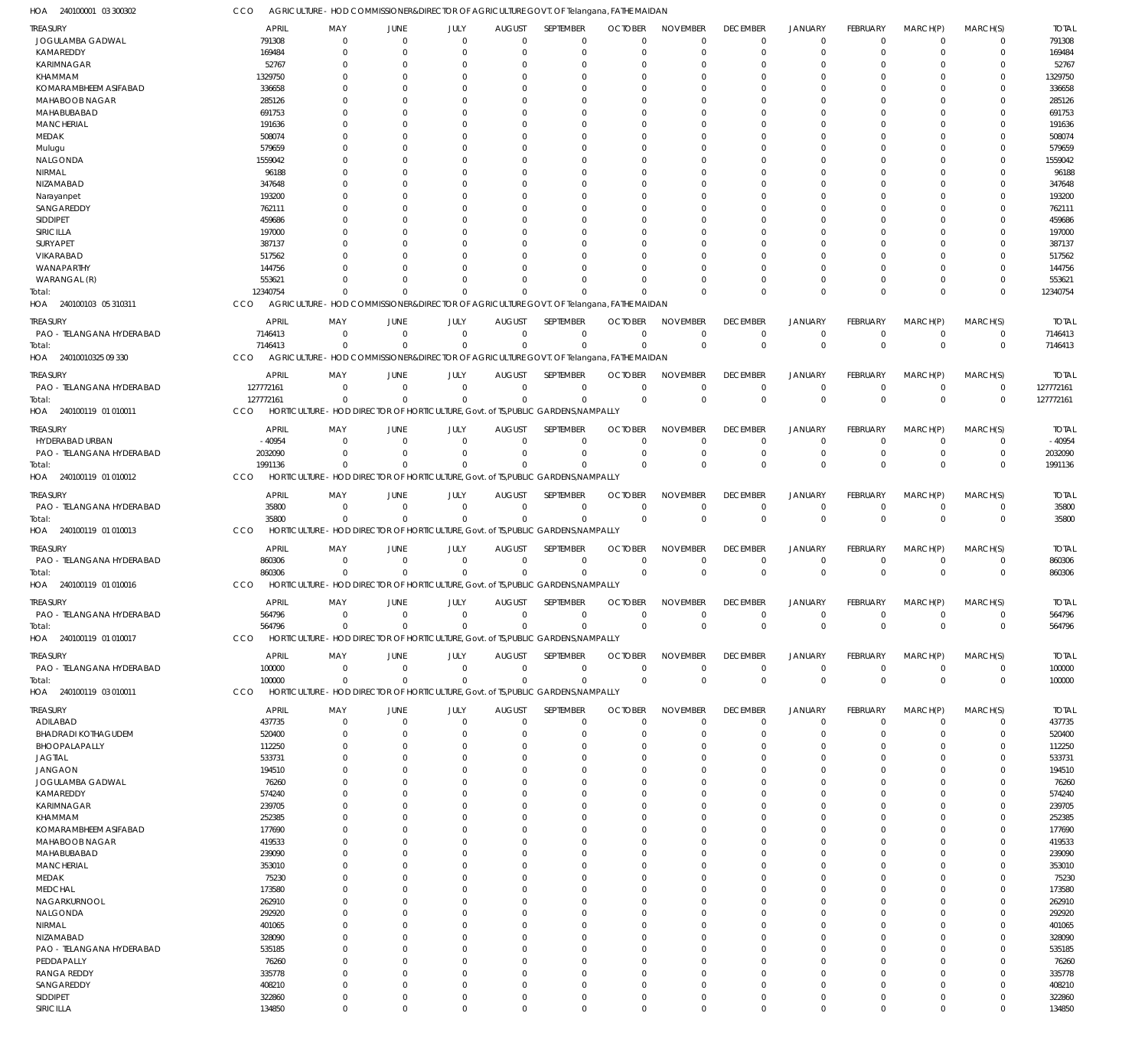CCO AGRICULTURE - HOD COMMISSIONER&DIRECTOR OF AGRICULTURE GOVT. OF Telangana, FATHE MAIDAN

240100001 03 300302 HOA

| TREASURY                   | <b>APRIL</b> | MAY                                                                                     | JUNE           | JULY           | <b>AUGUST</b> | SEPTEMBER   | <b>OCTOBER</b> | <b>NOVEMBER</b> | <b>DECEMBER</b> | <b>JANUARY</b> | FEBRUARY        | MARCH(P)       | MARCH(S)     | <b>TOTAL</b> |
|----------------------------|--------------|-----------------------------------------------------------------------------------------|----------------|----------------|---------------|-------------|----------------|-----------------|-----------------|----------------|-----------------|----------------|--------------|--------------|
| JOGULAMBA GADWAL           | 791308       | $\mathbf 0$                                                                             | $\overline{0}$ | $\mathbf 0$    | $\mathbf 0$   | $\mathbf 0$ | $\Omega$       | $\Omega$        | $\Omega$        | $\Omega$       | $\Omega$        | $\Omega$       | $\mathbf 0$  | 791308       |
| KAMAREDDY                  | 169484       | $\Omega$                                                                                | $\Omega$       | $\mathbf 0$    | 0             | $\mathbf 0$ | 0              | $\Omega$        | $\Omega$        | $\Omega$       | $\Omega$        | $\Omega$       | $\mathbf 0$  | 169484       |
| <b>KARIMNAGAR</b>          |              |                                                                                         |                |                |               |             |                |                 |                 |                |                 | $\Omega$       |              |              |
|                            | 52767        | 0                                                                                       | $\Omega$       | $\Omega$       | 0             | 0           | -0             | $\Omega$        | $\Omega$        | $\Omega$       |                 |                | $\Omega$     | 52767        |
| KHAMMAM                    | 1329750      | O                                                                                       | $\Omega$       | $\Omega$       | 0             | $\Omega$    | -C             | $\Omega$        |                 | $\Omega$       | $\Omega$        | $\Omega$       | $\Omega$     | 1329750      |
| KOMARAMBHEEM ASIFABAD      | 336658       |                                                                                         | C              | $\Omega$       | 0             | 0           | -0             | $\Omega$        |                 | $\Omega$       |                 | $\Omega$       | 0            | 336658       |
| MAHABOOB NAGAR             | 285126       |                                                                                         | C              | $\Omega$       | 0             | $\Omega$    | $\Omega$       | $\Omega$        |                 | $\Omega$       | $\Omega$        | $\Omega$       | $\Omega$     | 285126       |
| MAHABUBABAD                | 691753       |                                                                                         | C              | $\Omega$       | 0             | $\Omega$    | -C             | $\Omega$        |                 | $\Omega$       |                 | $\Omega$       | 0            | 691753       |
| <b>MANCHERIAL</b>          | 191636       |                                                                                         | C              | $\Omega$       | 0             | $\Omega$    | $\Omega$       | $\Omega$        |                 | $\Omega$       | $\Omega$        | $\Omega$       | $\Omega$     | 191636       |
|                            |              |                                                                                         |                |                |               |             |                |                 |                 |                |                 |                |              |              |
| <b>MEDAK</b>               | 508074       |                                                                                         | C              | $\Omega$       | 0             | $\Omega$    | -C             | $\Omega$        |                 | $\Omega$       |                 | $\Omega$       | 0            | 508074       |
| Mulugu                     | 579659       |                                                                                         | C              | $\Omega$       | 0             | $\Omega$    | $\Omega$       | $\Omega$        |                 | $\Omega$       |                 | $\Omega$       | $\Omega$     | 579659       |
| NALGONDA                   | 1559042      |                                                                                         | C              | $\Omega$       | 0             | $\Omega$    | -C             | $\Omega$        |                 | $\Omega$       |                 | $\Omega$       | $\Omega$     | 1559042      |
| NIRMAL                     | 96188        |                                                                                         | C              | $\Omega$       | $\Omega$      | $\Omega$    | $\Omega$       | $\Omega$        |                 | $\Omega$       | $\Omega$        | $\Omega$       | $\Omega$     | 96188        |
| NIZAMABAD                  | 347648       |                                                                                         | C              | $\Omega$       | 0             | $\Omega$    | -C             | $\Omega$        |                 | $\Omega$       |                 | $\Omega$       | 0            | 347648       |
|                            |              |                                                                                         |                |                |               |             |                |                 |                 |                |                 |                |              |              |
| Narayanpet                 | 193200       |                                                                                         | C              | $\Omega$       | 0             | $\Omega$    | $\Omega$       | $\Omega$        |                 | $\Omega$       |                 | $\Omega$       | $\Omega$     | 193200       |
| SANGAREDDY                 | 762111       |                                                                                         | C              | $\Omega$       | 0             | $\Omega$    | -C             | $\Omega$        |                 | $\Omega$       |                 | $\Omega$       | 0            | 762111       |
| <b>SIDDIPET</b>            | 459686       |                                                                                         | C              | $\Omega$       | $\Omega$      | $\Omega$    | -C             | $\Omega$        |                 | $\Omega$       | $\Omega$        | $\Omega$       | $\Omega$     | 459686       |
| SIRICILLA                  | 197000       |                                                                                         | C              | $\Omega$       | 0             | $\Omega$    |                | $\Omega$        |                 | $\Omega$       |                 | $\Omega$       | 0            | 197000       |
| SURYAPET                   | 387137       |                                                                                         | C              | $\Omega$       | 0             | $\Omega$    | -C             | $\Omega$        |                 | $\Omega$       | $\Omega$        | $\Omega$       | $\Omega$     | 387137       |
|                            |              |                                                                                         |                | $\Omega$       |               | $\Omega$    |                | $\Omega$        |                 | $\Omega$       |                 | $\Omega$       | 0            |              |
| VIKARABAD                  | 517562       |                                                                                         | C              |                | 0             |             |                |                 |                 |                |                 |                |              | 517562       |
| WANAPARTHY                 | 144756       |                                                                                         | -C             | $\Omega$       | n             | $\Omega$    | $\Omega$       | $\Omega$        |                 | $\Omega$       | $\Omega$        | $\Omega$       | $\Omega$     | 144756       |
| WARANGAL (R)               | 553621       | O                                                                                       | $\Omega$       | $\Omega$       | $\Omega$      | $\Omega$    | $\Omega$       | $\Omega$        | $\Omega$        | $\Omega$       | $\Omega$        | $\Omega$       | $\Omega$     | 553621       |
| Total:                     | 12340754     | $\Omega$                                                                                | C              | $\Omega$       | $\Omega$      | $\Omega$    | -C             | $\Omega$        | $\Omega$        | $\Omega$       | $\Omega$        | $\Omega$       | $\Omega$     | 12340754     |
| HOA 240100103 05 310311    | CCO          | AGRICULTURE - HOD COMMISSIONER&DIRECTOR OF AGRICULTURE GOVT. OF Telangana, FATHE MAIDAN |                |                |               |             |                |                 |                 |                |                 |                |              |              |
|                            |              |                                                                                         |                |                |               |             |                |                 |                 |                |                 |                |              |              |
| <b>TREASURY</b>            | <b>APRIL</b> | MAY                                                                                     | JUNE           | JULY           | <b>AUGUST</b> | SEPTEMBER   | <b>OCTOBER</b> | <b>NOVEMBER</b> | <b>DECEMBER</b> | <b>JANUARY</b> | FEBRUARY        | MARCH(P)       | MARCH(S)     | <b>TOTAL</b> |
| PAO - TELANGANA HYDERABAD  | 7146413      | $\mathbf 0$                                                                             | $\overline{0}$ | $\mathbf 0$    | $\mathbf 0$   | $\mathbf 0$ | $\mathbf 0$    | $\mathbf 0$     | $\Omega$        | $\mathbf 0$    | $\overline{0}$  | $\overline{0}$ | $\mathbf 0$  | 7146413      |
| Total:                     | 7146413      | $\Omega$                                                                                | $\overline{0}$ | $\mathbf 0$    | $\mathbf 0$   | $\mathbf 0$ | $\Omega$       | $\Omega$        | $\Omega$        | $\mathbf 0$    | $\Omega$        | $\Omega$       | $\mathbf 0$  | 7146413      |
|                            |              |                                                                                         |                |                |               |             |                |                 |                 |                |                 |                |              |              |
| HOA 24010010325 09 330     | CCO          | AGRICULTURE - HOD COMMISSIONER&DIRECTOR OF AGRICULTURE GOVT. OF Telangana, FATHE MAIDAN |                |                |               |             |                |                 |                 |                |                 |                |              |              |
|                            | <b>APRIL</b> | MAY                                                                                     | JUNE           | JULY           | <b>AUGUST</b> | SEPTEMBER   | <b>OCTOBER</b> | <b>NOVEMBER</b> | <b>DECEMBER</b> | <b>JANUARY</b> | FEBRUARY        | MARCH(P)       | MARCH(S)     | <b>TOTAL</b> |
| <b>TREASURY</b>            |              |                                                                                         |                |                |               |             |                |                 |                 |                |                 |                |              |              |
| PAO - TELANGANA HYDERABAD  | 127772161    | $\Omega$                                                                                | $\Omega$       | $\mathbf 0$    | $\mathbf 0$   | $\mathbf 0$ | $\Omega$       | $\mathbf 0$     | $\mathbf 0$     | $\mathbf 0$    | $^{\circ}$      | $\overline{0}$ | $\mathbf 0$  | 127772161    |
| Total:                     | 127772161    | $\Omega$                                                                                | $\Omega$       | $\Omega$       | $\Omega$      | $\mathbf 0$ | $\mathbf 0$    | $\Omega$        | $\Omega$        | $\mathbf{0}$   | $\Omega$        | $\mathbf 0$    | $\mathbf{0}$ | 127772161    |
| HOA 240100119 01 010011    | CCO          | HORTICULTURE - HOD DIRECTOR OF HORTICULTURE, Govt. of TS, PUBLIC GARDENS, NAMPALLY      |                |                |               |             |                |                 |                 |                |                 |                |              |              |
|                            |              |                                                                                         |                |                |               |             |                |                 |                 |                |                 |                |              |              |
| TREASURY                   | <b>APRIL</b> | MAY                                                                                     | JUNE           | JULY           | <b>AUGUST</b> | SEPTEMBER   | <b>OCTOBER</b> | <b>NOVEMBER</b> | <b>DECEMBER</b> | <b>JANUARY</b> | FEBRUARY        | MARCH(P)       | MARCH(S)     | <b>TOTAL</b> |
| HYDERABAD URBAN            | $-40954$     | $\mathbf 0$                                                                             | $\mathbf 0$    | $\mathbf 0$    | $\mathbf 0$   | $\mathbf 0$ | $\mathbf 0$    | $\mathbf 0$     | 0               | 0              | $^{\circ}$      | $\Omega$       | 0            | $-40954$     |
| PAO - TELANGANA HYDERABAD  | 2032090      | $\Omega$                                                                                | $\Omega$       | $\mathbf 0$    | 0             | $\mathbf 0$ | $^{\circ}$     | $\mathbf 0$     | $\Omega$        | $\mathbf 0$    | $^{\circ}$      | $\Omega$       | $\mathbf 0$  | 2032090      |
| Total:                     | 1991136      | $\Omega$                                                                                | $\mathsf{C}$   | $\Omega$       | $\Omega$      | $\mathbf 0$ | $\Omega$       | $\Omega$        | $\Omega$        | $\Omega$       | $\Omega$        | $\Omega$       | $\mathbf 0$  | 1991136      |
|                            |              |                                                                                         |                |                |               |             |                |                 |                 |                |                 |                |              |              |
| 240100119 01 010012<br>HOA | CCO          | HORTICULTURE - HOD DIRECTOR OF HORTICULTURE, Govt. of TS, PUBLIC GARDENS, NAMPALLY      |                |                |               |             |                |                 |                 |                |                 |                |              |              |
| <b>TREASURY</b>            | <b>APRIL</b> | MAY                                                                                     | JUNE           | JULY           | <b>AUGUST</b> | SEPTEMBER   | <b>OCTOBER</b> | <b>NOVEMBER</b> | <b>DECEMBER</b> | <b>JANUARY</b> | FEBRUARY        | MARCH(P)       | MARCH(S)     | <b>TOTAL</b> |
|                            |              |                                                                                         |                |                |               |             |                |                 |                 |                |                 |                |              |              |
| PAO - TELANGANA HYDERABAD  | 35800        | $\mathbf{0}$                                                                            | $\overline{0}$ | $\mathbf 0$    | $\mathbf 0$   | $\mathbf 0$ | $\mathbf 0$    | $\mathbf 0$     | $\Omega$        | $\mathbf 0$    | $^{\circ}$      | $\Omega$       | $\mathbf 0$  | 35800        |
| Total:                     | 35800        | $\Omega$                                                                                | $\mathbf{0}$   | $\mathbf 0$    | $\Omega$      | $\mathbf 0$ | $\mathbf{0}$   | $\Omega$        | $\Omega$        | $\mathbf{0}$   | $\mathbf 0$     | $\mathbf{0}$   | $\mathbf{0}$ | 35800        |
| HOA 240100119 01 010013    | CCO          | HORTICULTURE - HOD DIRECTOR OF HORTICULTURE, Govt. of TS, PUBLIC GARDENS, NAMPALLY      |                |                |               |             |                |                 |                 |                |                 |                |              |              |
|                            |              |                                                                                         |                |                |               |             |                |                 |                 |                |                 |                |              |              |
| TREASURY                   | <b>APRIL</b> | MAY                                                                                     | <b>JUNE</b>    | JULY           | <b>AUGUST</b> | SEPTEMBER   | <b>OCTOBER</b> | <b>NOVEMBER</b> | <b>DECEMBER</b> | <b>JANUARY</b> | <b>FEBRUARY</b> | MARCH(P)       | MARCH(S)     | <b>TOTAL</b> |
| PAO - TELANGANA HYDERABAD  | 860306       | $\mathbf{0}$                                                                            | $\overline{0}$ | $\mathbf 0$    | $\mathbf 0$   | $\mathbf 0$ | $\mathbf 0$    | $\mathbf 0$     | 0               | 0              | $^{\circ}$      | $\overline{0}$ | $\mathbf 0$  | 860306       |
| Total:                     | 860306       | $\Omega$                                                                                | $\overline{0}$ | $\mathbf 0$    | $\mathbf 0$   | $\mathbf 0$ | $\Omega$       | $\mathbf 0$     | $\Omega$        | $\mathbf{0}$   | $\overline{0}$  | $\overline{0}$ | $\mathbf{0}$ | 860306       |
| HOA 240100119 01 010016    | CCO          | HORTICULTURE - HOD DIRECTOR OF HORTICULTURE, Govt. of TS, PUBLIC GARDENS, NAMPALLY      |                |                |               |             |                |                 |                 |                |                 |                |              |              |
|                            |              |                                                                                         |                |                |               |             |                |                 |                 |                |                 |                |              |              |
| <b>TREASURY</b>            | <b>APRIL</b> | MAY                                                                                     | JUNE           | JULY           | <b>AUGUST</b> | SEPTEMBER   | <b>OCTOBER</b> | <b>NOVEMBER</b> | <b>DECEMBER</b> | <b>JANUARY</b> | <b>FEBRUARY</b> | MARCH(P)       | MARCH(S)     | <b>TOTAL</b> |
| PAO - TELANGANA HYDERABAD  | 564796       |                                                                                         |                |                |               | 0           |                |                 |                 |                |                 |                | 0            | 564796       |
|                            |              |                                                                                         |                |                |               |             |                |                 |                 |                |                 |                |              |              |
| Total:                     | 564796       | $\mathbf 0$                                                                             | $\mathbf 0$    | $\mathbf 0$    | $^{\circ}$    | $\mathbf 0$ | $\Omega$       | $\Omega$        | $\Omega$        | $\Omega$       | $\mathbf 0$     | $\Omega$       | $\mathbf 0$  | 564796       |
| HOA 240100119 01 010017    | CCO          | HORTICULTURE - HOD DIRECTOR OF HORTICULTURE, Govt. of TS, PUBLIC GARDENS, NAMPALLY      |                |                |               |             |                |                 |                 |                |                 |                |              |              |
|                            |              |                                                                                         |                |                |               |             |                |                 |                 |                |                 |                |              |              |
| TREASURY                   | <b>APRIL</b> | MAY                                                                                     | JUNE           | JULY           | <b>AUGUST</b> | SEPTEMBER   | <b>OCTOBER</b> | <b>NOVEMBER</b> | <b>DECEMBER</b> | <b>JANUARY</b> | <b>FEBRUARY</b> | MARCH(P)       | MARCH(S)     | <b>TOTAL</b> |
| PAO - TELANGANA HYDERABAD  | 100000       | $\mathbf{0}$                                                                            | $\overline{0}$ | $\mathbf 0$    | $\mathbf 0$   | $\mathbf 0$ | $\mathbf 0$    | $\mathbf 0$     | $\mathbf 0$     | $\mathbf 0$    | $\overline{0}$  | $\overline{0}$ | $\mathbf 0$  | 100000       |
| Total:                     | 100000       | $\Omega$                                                                                | $\overline{0}$ | $\mathbf 0$    | $\mathbf 0$   | $\mathbf 0$ | $\Omega$       | $\Omega$        | $\Omega$        | $\mathbf 0$    | $\overline{0}$  | $\Omega$       | $\mathbf 0$  | 100000       |
| HOA 240100119 03 010011    | CCO          | HORTICULTURE - HOD DIRECTOR OF HORTICULTURE, Govt. of TS, PUBLIC GARDENS, NAMPALLY      |                |                |               |             |                |                 |                 |                |                 |                |              |              |
|                            |              |                                                                                         |                |                |               |             |                |                 |                 |                |                 |                |              |              |
| TREASURY                   | <b>APRIL</b> | MAY                                                                                     | JUNE           | JULY           | <b>AUGUST</b> | SEPTEMBER   | <b>OCTOBER</b> | <b>NOVEMBER</b> | <b>DECEMBER</b> | <b>JANUARY</b> | FEBRUARY        | MARCH(P)       | MARCH(S)     | <b>TOTAL</b> |
| ADILABAD                   | 437735       | $\mathbf{0}$                                                                            | $\mathbf 0$    | $\mathbf 0$    | $\mathbf 0$   | $\mathbf 0$ | $\mathbf 0$    | $\Omega$        | $\Omega$        | $\mathbf 0$    | $\overline{0}$  | $\Omega$       | $\mathbf 0$  | 437735       |
| <b>BHADRADI KOTHAGUDEM</b> | 520400       | $\mathbf{0}$                                                                            | $\Omega$       | $\overline{0}$ | 0             | $\mathbf 0$ | $\Omega$       | $\Omega$        | $\Omega$        | $\mathbf 0$    | $\Omega$        | $\Omega$       | 0            | 520400       |
| BHOOPALAPALLY              | 112250       | $\Omega$                                                                                | $\Omega$       | $\Omega$       | $\Omega$      | $\mathbf 0$ | $\Omega$       | $\Omega$        | $\Omega$        | $\Omega$       | $\Omega$        | $\Omega$       | $\Omega$     | 112250       |
| <b>JAGTIAL</b>             | 533731       | 0                                                                                       | $\Omega$       | $\Omega$       | $\Omega$      | $\mathbf 0$ | $\Omega$       | $\Omega$        | $\Omega$        | $\Omega$       | $\Omega$        | $\Omega$       | $\Omega$     | 533731       |
|                            |              |                                                                                         |                |                |               |             |                |                 |                 |                |                 |                |              |              |
| <b>JANGAON</b>             | 194510       | $\Omega$                                                                                | $\Omega$       | $\Omega$       | $\Omega$      | $\Omega$    | $\Omega$       | $\Omega$        | $\Omega$        | $\Omega$       | $\Omega$        | $\Omega$       | $\Omega$     | 194510       |
| JOGULAMBA GADWAL           | 76260        | 0                                                                                       | C              | $\Omega$       | $\Omega$      | $\mathbf 0$ | -0             | $\Omega$        |                 | $\Omega$       | $\Omega$        | $\Omega$       | $\Omega$     | 76260        |
| KAMAREDDY                  | 574240       | <sup>0</sup>                                                                            | C              | $\Omega$       | $\Omega$      | $\Omega$    | $\Omega$       | $\Omega$        |                 | $\Omega$       | $\Omega$        | $\Omega$       | $\Omega$     | 574240       |
| KARIMNAGAR                 | 239705       | O                                                                                       | $\Omega$       | $\Omega$       | $\Omega$      | $\Omega$    | -C             | $\Omega$        |                 | $\Omega$       | $\Omega$        | $\Omega$       | $\Omega$     | 239705       |
| KHAMMAM                    | 252385       | $\Omega$                                                                                | $\Omega$       | $\Omega$       | $\Omega$      | $\Omega$    | $\Omega$       | $\Omega$        |                 | $\Omega$       | $\Omega$        | $\Omega$       | $\Omega$     | 252385       |
|                            |              |                                                                                         |                |                |               |             |                |                 |                 |                |                 |                |              |              |
| KOMARAMBHEEM ASIFABAD      | 177690       | 0                                                                                       | C              | $\Omega$       | $\Omega$      | $\mathbf 0$ | -0             | $\Omega$        | $\cap$          | $\Omega$       |                 | $\Omega$       | $\Omega$     | 177690       |
| MAHABOOB NAGAR             | 419533       | $\Omega$                                                                                | $\Omega$       | $\Omega$       | $\Omega$      | $\Omega$    | $\Omega$       | $\Omega$        | $\cap$          | $\Omega$       | $\Omega$        | $\Omega$       | $\Omega$     | 419533       |
| MAHABUBABAD                | 239090       | 0                                                                                       | C              | $\Omega$       | $\Omega$      | $\mathbf 0$ | -0             | $\Omega$        |                 | $\Omega$       | $\Omega$        | $\Omega$       | $\Omega$     | 239090       |
| <b>MANCHERIAL</b>          | 353010       | <sup>0</sup>                                                                            | $\Omega$       | $\Omega$       | $\Omega$      | $\Omega$    | $\Omega$       | $\Omega$        |                 | $\Omega$       | $\Omega$        | $\Omega$       | $\Omega$     | 353010       |
| MEDAK                      | 75230        | O                                                                                       | C              | $\Omega$       | $\Omega$      | $\Omega$    | -C             | $\Omega$        | $\cap$          | $\Omega$       | $\Omega$        | $\Omega$       | $\Omega$     | 75230        |
|                            |              |                                                                                         |                |                |               |             |                |                 |                 |                |                 |                |              |              |
| <b>MEDCHAL</b>             | 173580       | $\Omega$                                                                                | C              | $\Omega$       | $\Omega$      | $\Omega$    | $\Omega$       | $\Omega$        |                 | $\Omega$       | $\Omega$        | $\Omega$       | $\Omega$     | 173580       |
| NAGARKURNOOL               | 262910       | O                                                                                       | $\Omega$       | $\Omega$       | $\Omega$      | $\Omega$    | -C             | $\Omega$        | $\cap$          | $\Omega$       |                 | $\Omega$       | $\Omega$     | 262910       |
| NALGONDA                   | 292920       | $\Omega$                                                                                | $\Omega$       | $\Omega$       | $\Omega$      | $\Omega$    | $\Omega$       | $\Omega$        |                 | $\Omega$       | $\Omega$        | $\Omega$       | $\Omega$     | 292920       |
| NIRMAL                     | 401065       | 0                                                                                       | C              | $\Omega$       | $\Omega$      | $\mathbf 0$ | -0             | $\Omega$        |                 | $\Omega$       | $\Omega$        | $\Omega$       | $\Omega$     | 401065       |
| NIZAMABAD                  | 328090       | <sup>0</sup>                                                                            | C              | $\Omega$       | $\Omega$      | $\Omega$    | $\Omega$       | $\Omega$        |                 | $\Omega$       | $\Omega$        | $\Omega$       | $\Omega$     | 328090       |
|                            |              |                                                                                         |                |                |               |             |                |                 |                 |                |                 |                |              |              |
| PAO - TELANGANA HYDERABAD  | 535185       | O                                                                                       | $\Omega$       | $\Omega$       | $\Omega$      | $\Omega$    | -C             | $\Omega$        |                 | $\Omega$       | $\Omega$        | $\Omega$       | $\Omega$     | 535185       |
| PEDDAPALLY                 | 76260        | $\Omega$                                                                                | $\Omega$       | $\Omega$       | $\Omega$      | $\Omega$    | $\Omega$       | $\Omega$        |                 | $\Omega$       | $\Omega$        | $\Omega$       | $\Omega$     | 76260        |
| <b>RANGA REDDY</b>         | 335778       | 0                                                                                       | $\Omega$       | $\Omega$       | $\Omega$      | $\mathbf 0$ | $\Omega$       | $\Omega$        | $\Omega$        | $\Omega$       | $\Omega$        | $\Omega$       | $\Omega$     | 335778       |
| SANGAREDDY                 | 408210       | $\Omega$                                                                                | $\Omega$       | $\Omega$       | $\Omega$      | $\mathbf 0$ | $\Omega$       | $\Omega$        | $\Omega$        | $\Omega$       | $\Omega$        | $\Omega$       | $\Omega$     | 408210       |
| SIDDIPET                   | 322860       | $\mathbf{0}$                                                                            | $\mathbf 0$    | $\mathbf 0$    | 0             | $\mathbf 0$ | 0              | $\mathbf 0$     | $\Omega$        | $\mathbf 0$    | $\overline{0}$  | $\overline{0}$ | 0            | 322860       |
|                            |              |                                                                                         |                |                |               |             |                |                 |                 |                |                 |                |              |              |
| SIRICILLA                  | 134850       | $\mathbf 0$                                                                             | $\mathbf 0$    | $\mathbf 0$    | $\mathbf 0$   | $\mathbf 0$ | $\mathbf 0$    | $\mathbf 0$     | $\Omega$        | $\mathbf 0$    | $\mathbf 0$     | $\mathbf 0$    | $\mathbf 0$  | 134850       |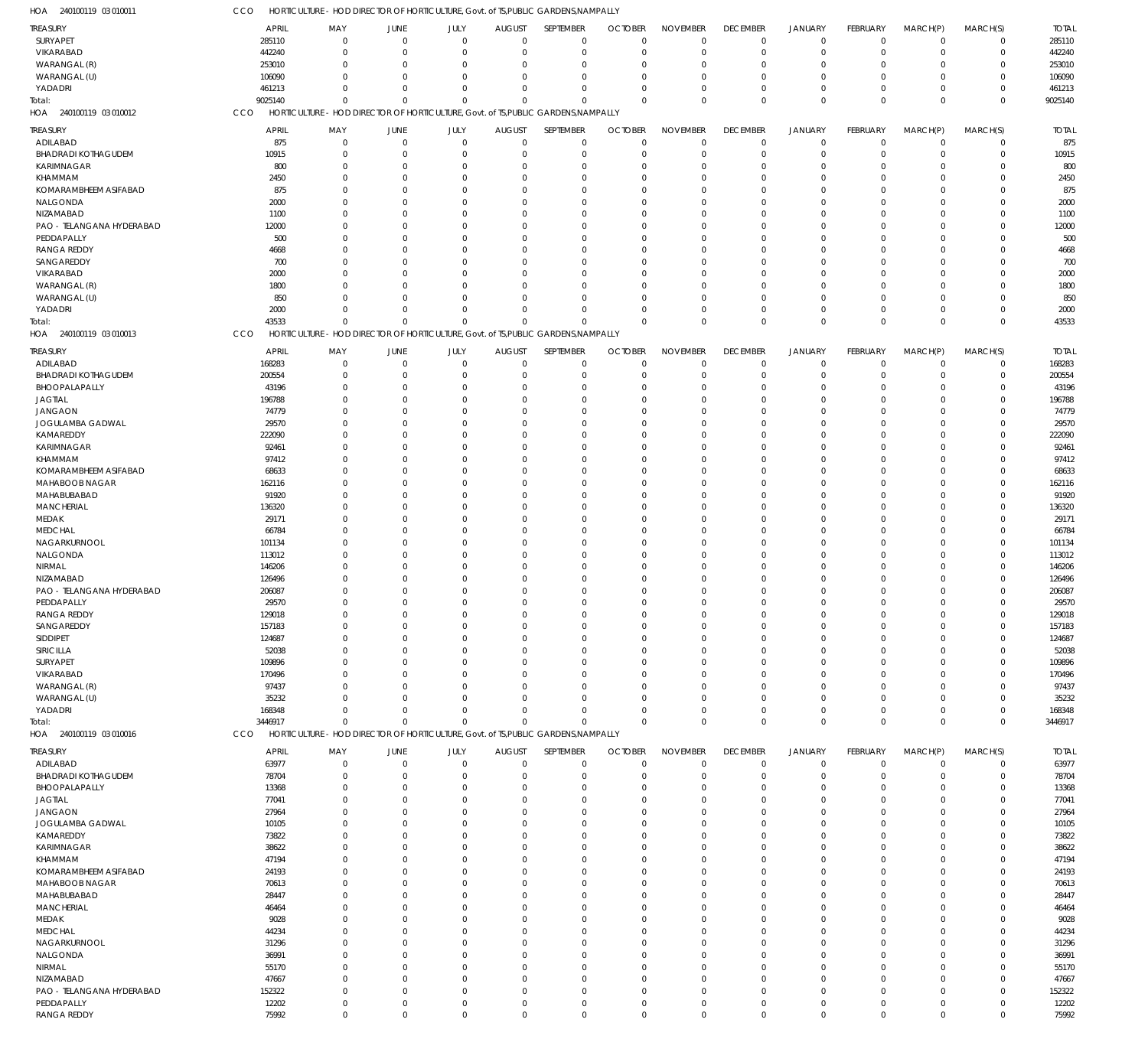| TREASURY                   | APRIL        | MAY                                                                                | JUNE           | JULY        | <b>AUGUST</b> | SEPTEMBER   | <b>OCTOBER</b> | <b>NOVEMBER</b> | <b>DECEMBER</b> | <b>JANUARY</b> | FEBRUARY    | MARCH(P)       | MARCH(S)    | <b>TOTAL</b> |
|----------------------------|--------------|------------------------------------------------------------------------------------|----------------|-------------|---------------|-------------|----------------|-----------------|-----------------|----------------|-------------|----------------|-------------|--------------|
| SURYAPET                   | 285110       | $\mathbf 0$                                                                        | $\overline{0}$ | $\mathbf 0$ | $\mathbf 0$   | $\mathbf 0$ | $\Omega$       | $\Omega$        | $\mathbf 0$     | $\mathbf 0$    | $\mathbf 0$ | $\overline{0}$ | $\mathbf 0$ | 285110       |
| VIKARABAD                  | 442240       | $\Omega$                                                                           | $\mathbf 0$    | $\mathbf 0$ | -0            | $\mathbf 0$ | $\Omega$       | $\Omega$        | $\overline{0}$  | $\overline{0}$ | $\mathbf 0$ | $\mathbf 0$    | $\mathbf 0$ | 442240       |
| WARANGAL (R)               | 253010       | $\Omega$                                                                           | $\Omega$       | $\mathbf 0$ | $\Omega$      | $\mathbf 0$ | $\Omega$       | $\Omega$        | $\Omega$        | $\Omega$       | $\Omega$    | $\Omega$       | $\mathbf 0$ | 253010       |
|                            |              |                                                                                    |                |             |               |             |                |                 |                 |                |             |                |             |              |
| WARANGAL (U)               | 106090       | $\Omega$                                                                           | $\Omega$       | $\mathbf 0$ | $\Omega$      | $\mathbf 0$ | $\mathcal{L}$  | $\Omega$        | 0               | $\overline{0}$ | $\Omega$    | $\Omega$       | $\mathbf 0$ | 106090       |
| YADADRI                    | 461213       | $\Omega$                                                                           | $\Omega$       | $\mathbf 0$ | $\mathbf 0$   | $\mathbf 0$ | $\Omega$       | $\Omega$        | $\Omega$        | $\overline{0}$ | $\mathbf 0$ | $\mathbf 0$    | $\mathbf 0$ | 461213       |
| Total:                     | 9025140      | $\Omega$                                                                           | $\Omega$       | $\Omega$    | $\Omega$      | $\mathbf 0$ | $\Omega$       | $\Omega$        | $\mathbf 0$     | $\mathbf 0$    | $\Omega$    | $\Omega$       | $\mathbf 0$ | 9025140      |
| HOA 240100119 03 010012    | CCO          | HORTICULTURE - HOD DIRECTOR OF HORTICULTURE, Govt. of TS, PUBLIC GARDENS, NAMPALLY |                |             |               |             |                |                 |                 |                |             |                |             |              |
|                            |              |                                                                                    |                |             |               |             |                |                 |                 |                |             |                |             |              |
| TREASURY                   | <b>APRIL</b> | MAY                                                                                | JUNE           | JULY        | <b>AUGUST</b> | SEPTEMBER   | <b>OCTOBER</b> | <b>NOVEMBER</b> | <b>DECEMBER</b> | <b>JANUARY</b> | FEBRUARY    | MARCH(P)       | MARCH(S)    | <b>TOTAL</b> |
| ADILABAD                   | 875          | 0                                                                                  | $\mathbf 0$    | $\mathbf 0$ | $\mathbf 0$   | $\mathbf 0$ | $\Omega$       | $\Omega$        | $\overline{0}$  | $\overline{0}$ | $\mathbf 0$ | $\mathbf 0$    | $\mathbf 0$ | 875          |
| <b>BHADRADI KOTHAGUDEM</b> | 10915        | $\mathbf 0$                                                                        | O              | $\mathbf 0$ | $\Omega$      | $\mathbf 0$ | $\Omega$       | $\Omega$        | $\mathbf 0$     | $\overline{0}$ | 0           | $\Omega$       | $\mathbf 0$ | 10915        |
| KARIMNAGAR                 | 800          | $\Omega$                                                                           | $\Omega$       | $\Omega$    | 0             | $\mathbf 0$ | $\Omega$       | $\Omega$        | 0               | $\Omega$       | 0           | $\Omega$       | $\mathbf 0$ | 800          |
|                            |              |                                                                                    |                |             |               |             |                |                 |                 |                |             |                |             |              |
| KHAMMAM                    | 2450         |                                                                                    | $\Omega$       | $\Omega$    |               | $\Omega$    |                | $\Omega$        | 0               | $\Omega$       |             | $\Omega$       | $\Omega$    | 2450         |
| KOMARAMBHEEM ASIFABAD      | 875          | 0                                                                                  | $\Omega$       | $\Omega$    | $\Omega$      | $\mathbf 0$ |                | $\Omega$        | $\Omega$        | $\Omega$       |             | $\Omega$       | $\mathbf 0$ | 875          |
| NALGONDA                   | 2000         |                                                                                    | $\Omega$       | $\Omega$    | 0             | $\Omega$    | $\mathcal{L}$  | $\Omega$        | 0               | $\Omega$       |             | $\Omega$       | 0           | 2000         |
| NIZAMABAD                  | 1100         |                                                                                    | C              | $\Omega$    | 0             | $\Omega$    |                | $\Omega$        | 0               | $\Omega$       |             | $\Omega$       | $\mathbf 0$ | 1100         |
| PAO - TELANGANA HYDERABAD  | 12000        |                                                                                    | C              | $\Omega$    | 0             | $\Omega$    |                |                 |                 | $\Omega$       |             | $\Omega$       | $\Omega$    | 12000        |
|                            |              |                                                                                    |                |             |               |             |                |                 |                 |                |             |                |             |              |
| PEDDAPALLY                 | 500          | 0                                                                                  | $\Omega$       | $\Omega$    | $\Omega$      | $\mathbf 0$ | C              | $\Omega$        | $\Omega$        | $\Omega$       | 0           | $\Omega$       | $\mathbf 0$ | 500          |
| <b>RANGA REDDY</b>         | 4668         |                                                                                    |                | $\Omega$    |               | $\Omega$    |                |                 |                 |                |             | $\Omega$       | $\Omega$    | 4668         |
| SANGAREDDY                 | 700          |                                                                                    | C              | $\Omega$    | 0             | $\Omega$    | C              | $\Omega$        | $\Omega$        | $\Omega$       |             | $\Omega$       | $\mathbf 0$ | 700          |
| VIKARABAD                  | 2000         |                                                                                    |                | $\Omega$    | 0             | $\Omega$    |                |                 | 0               | $\Omega$       |             | $\Omega$       | 0           | 2000         |
|                            |              |                                                                                    |                |             |               |             |                |                 |                 |                |             |                |             |              |
| WARANGAL (R)               | 1800         |                                                                                    | $\cup$         | $\Omega$    | $\Omega$      | $\Omega$    |                | $\Omega$        | $\Omega$        | $\Omega$       |             | $\Omega$       | $\mathbf 0$ | 1800         |
| WARANGAL (U)               | 850          |                                                                                    | $\Omega$       | $\Omega$    | 0             | $\Omega$    |                | $\Omega$        | $\Omega$        | $\Omega$       | 0           | $\Omega$       | 0           | 850          |
| YADADRI                    | 2000         | $\Omega$                                                                           | $\Omega$       | $\mathbf 0$ | 0             | $\mathbf 0$ | $\Omega$       | $\Omega$        | 0               | $\overline{0}$ | $\Omega$    | $\mathbf 0$    | $\mathbf 0$ | 2000         |
| Total:                     | 43533        | $\Omega$                                                                           | $\Omega$       | $\Omega$    | $\Omega$      | $\Omega$    | $\Omega$       | $\Omega$        | $\Omega$        | $\Omega$       | $\Omega$    | $\Omega$       | $\mathbf 0$ | 43533        |
| HOA 240100119 03 010013    | CCO          | HORTICULTURE - HOD DIRECTOR OF HORTICULTURE, Govt. of TS, PUBLIC GARDENS, NAMPALLY |                |             |               |             |                |                 |                 |                |             |                |             |              |
|                            |              |                                                                                    |                |             |               |             |                |                 |                 |                |             |                |             |              |
| TREASURY                   | APRIL        | MAY                                                                                | JUNE           | JULY        | <b>AUGUST</b> | SEPTEMBER   | <b>OCTOBER</b> | <b>NOVEMBER</b> | <b>DECEMBER</b> | <b>JANUARY</b> | FEBRUARY    | MARCH(P)       | MARCH(S)    | <b>TOTAL</b> |
|                            |              |                                                                                    | $\overline{0}$ | $\mathbf 0$ | $\mathbf 0$   |             | $\Omega$       | $\Omega$        |                 | $\overline{0}$ | $\mathbf 0$ | $\mathbf 0$    | $\mathbf 0$ | 168283       |
| ADILABAD                   | 168283       | 0                                                                                  |                |             |               | $\mathbf 0$ |                |                 | $^{\circ}$      |                |             |                |             |              |
| <b>BHADRADI KOTHAGUDEM</b> | 200554       | $\Omega$                                                                           | $\Omega$       | $\mathbf 0$ | 0             | $\mathbf 0$ | $\Omega$       | $\Omega$        | $\overline{0}$  | $\overline{0}$ | $\mathbf 0$ | $\mathbf 0$    | $\mathbf 0$ | 200554       |
| BHOOPALAPALLY              | 43196        | 0                                                                                  | 0              | 0           | $\Omega$      | $\mathbf 0$ | $\Omega$       | $\Omega$        | 0               | $\overline{0}$ | $\Omega$    | $\Omega$       | $\mathbf 0$ | 43196        |
| <b>JAGTIAL</b>             | 196788       | $\Omega$                                                                           | $\Omega$       | 0           | $\Omega$      | $\mathbf 0$ | $\Omega$       | $\Omega$        | $\Omega$        | $\Omega$       | $\Omega$    | $\Omega$       | $\mathbf 0$ | 196788       |
| <b>JANGAON</b>             | 74779        | 0                                                                                  | $\Omega$       | $\Omega$    | $\Omega$      | $\mathbf 0$ | $\mathcal{L}$  | $\Omega$        | $\Omega$        | $\Omega$       | 0           | $\Omega$       | $\mathbf 0$ | 74779        |
|                            |              |                                                                                    |                |             |               |             |                |                 |                 |                |             |                |             |              |
| JOGULAMBA GADWAL           | 29570        | $\Omega$                                                                           | $\Omega$       | 0           | $\Omega$      | $\mathbf 0$ | $\Omega$       | $\Omega$        | $\Omega$        | $\Omega$       | $\Omega$    | $\Omega$       | $\mathbf 0$ | 29570        |
| KAMAREDDY                  | 222090       | $\Omega$                                                                           | $\Omega$       | $\Omega$    | $\Omega$      | $\mathbf 0$ | $\Omega$       | $\Omega$        | $\Omega$        | $\Omega$       | $\Omega$    | $\Omega$       | $\mathbf 0$ | 222090       |
| KARIMNAGAR                 | 92461        | 0                                                                                  | $\Omega$       | $\Omega$    | $\Omega$      | $\mathbf 0$ | $\Omega$       | $\Omega$        | $\Omega$        | $\Omega$       | $\Omega$    | $\Omega$       | $\mathbf 0$ | 92461        |
| <b>KHAMMAM</b>             | 97412        | 0                                                                                  | $\Omega$       | $\Omega$    | $\Omega$      | $\mathbf 0$ | $\mathcal{L}$  | $\Omega$        | $\Omega$        | $\Omega$       | $\Omega$    | $\Omega$       | $\mathbf 0$ | 97412        |
| KOMARAMBHEEM ASIFABAD      | 68633        | $\Omega$                                                                           | $\Omega$       | 0           | $\Omega$      | $\mathbf 0$ | $\Omega$       | $\Omega$        | $\Omega$        | $\Omega$       | $\Omega$    | $\Omega$       | $\mathbf 0$ | 68633        |
|                            |              |                                                                                    |                |             |               |             |                |                 |                 |                |             |                |             |              |
| MAHABOOB NAGAR             | 162116       | 0                                                                                  | $\Omega$       | $\Omega$    | $\Omega$      | $\mathbf 0$ | $\mathcal{L}$  | $\Omega$        | $\Omega$        | $\Omega$       | 0           | $\Omega$       | $\mathbf 0$ | 162116       |
| MAHABUBABAD                | 91920        | 0                                                                                  | $\Omega$       | $\Omega$    | $\Omega$      | $\mathbf 0$ | $\Omega$       | $\Omega$        | $\Omega$        | $\Omega$       | $\Omega$    | $\Omega$       | $\mathbf 0$ | 91920        |
| <b>MANCHERIAL</b>          | 136320       | 0                                                                                  | $\Omega$       | $\Omega$    | $\Omega$      | $\mathbf 0$ | $\Omega$       | $\Omega$        | $\Omega$        | $\Omega$       | $\Omega$    | $\Omega$       | $\mathbf 0$ | 136320       |
| MEDAK                      | 29171        | 0                                                                                  | $\Omega$       | 0           | $\Omega$      | $\mathbf 0$ | $\Omega$       | $\Omega$        | $\Omega$        | $\Omega$       | $\Omega$    | $\Omega$       | $\mathbf 0$ | 29171        |
|                            |              |                                                                                    |                |             |               |             |                |                 |                 |                |             |                |             |              |
| MEDCHAL                    | 66784        | 0                                                                                  | $\Omega$       | $\Omega$    | $\Omega$      | $\mathbf 0$ | $\mathcal{L}$  | $\Omega$        | $\Omega$        | $\Omega$       | 0           | $\Omega$       | $\mathbf 0$ | 66784        |
| NAGARKURNOOL               | 101134       | 0                                                                                  | $\Omega$       | $\mathbf 0$ | $\Omega$      | $\mathbf 0$ | $\Omega$       | $\Omega$        | $\Omega$        | $\Omega$       | $\Omega$    | $\Omega$       | $\mathbf 0$ | 101134       |
| NALGONDA                   | 113012       |                                                                                    | $\Omega$       | $\Omega$    | $\Omega$      | $\mathbf 0$ | $\mathcal{L}$  | $\Omega$        | $\Omega$        | $\Omega$       | 0           | $\Omega$       | $\mathbf 0$ | 113012       |
| NIRMAL                     | 146206       |                                                                                    | $\Omega$       | $\Omega$    | $\Omega$      | $\Omega$    | $\Omega$       | $\Omega$        | $\Omega$        | $\Omega$       | $\Omega$    | $\Omega$       | $\mathbf 0$ | 146206       |
| NIZAMABAD                  | 126496       |                                                                                    | $\Omega$       | $\Omega$    | $\Omega$      | $\mathbf 0$ | $\Omega$       | $\Omega$        | $\Omega$        | $\Omega$       |             | $\Omega$       | $\mathbf 0$ | 126496       |
|                            |              |                                                                                    |                |             |               |             |                |                 |                 |                |             |                |             |              |
| PAO - TELANGANA HYDERABAD  | 206087       |                                                                                    | $\cup$         | $\mathbf 0$ | $\Omega$      | $\mathbf 0$ | $\Omega$       | $\Omega$        | $\Omega$        | $\Omega$       | $\Omega$    | $\Omega$       | $\mathbf 0$ | 206087       |
| PEDDAPALLY                 | 29570        | $\Omega$                                                                           | $\Omega$       | $\Omega$    | $\Omega$      | $\Omega$    | $\Omega$       | $\Omega$        | $\Omega$        | $\mathbf 0$    | $\Omega$    | $\Omega$       | $\mathbf 0$ | 29570        |
| <b>RANGA REDDY</b>         | 129018       | $\Omega$                                                                           | $\Omega$       | $\Omega$    | $\Omega$      | $\Omega$    | $\Omega$       | $\mathbf 0$     | $^{\circ}$      | $\mathbf 0$    | $\Omega$    | $\Omega$       | $\Omega$    | 129018       |
| SANGAREDDY                 | 157183       | 0                                                                                  | $\Omega$       | 0           | $\Omega$      | 0           | $\Omega$       |                 | $\Omega$        | $\overline{0}$ | $\Omega$    | $\Omega$       | $\mathbf 0$ | 157183       |
| <b>SIDDIPET</b>            |              |                                                                                    |                |             |               |             |                | $\Omega$        |                 |                |             |                | $\mathbf 0$ |              |
|                            | 124687       | $\mathbf 0$                                                                        | $\mathbf 0$    | $\mathbf 0$ | $\Omega$      | $\mathbf 0$ | $\Omega$       |                 | 0               | $\overline{0}$ | 0           | $\mathbf 0$    |             | 124687       |
| SIRICILLA                  | 52038        | $\Omega$                                                                           | $\Omega$       | $\Omega$    | $\Omega$      | $\mathbf 0$ | $\Omega$       | $\Omega$        | $\Omega$        | $\Omega$       | $\Omega$    | $\Omega$       | $\mathbf 0$ | 52038        |
| SURYAPET                   | 109896       | 0                                                                                  | $\Omega$       | 0           | $\Omega$      | $\mathbf 0$ | $\Omega$       | $\Omega$        | $\Omega$        | $\Omega$       | $\Omega$    | $\Omega$       | $\mathbf 0$ | 109896       |
| VIKARABAD                  | 170496       | 0                                                                                  | $\Omega$       | $\Omega$    | $\Omega$      | $\mathbf 0$ | $\mathcal{L}$  | $\Omega$        | $\Omega$        | $\Omega$       | $\Omega$    | $\Omega$       | $\mathbf 0$ | 170496       |
| WARANGAL (R)               | 97437        | $\Omega$                                                                           | $\Omega$       | $\Omega$    | $\Omega$      | $\mathbf 0$ | $\Omega$       | $\Omega$        | $\Omega$        | $\Omega$       | $\Omega$    | $\Omega$       | $\mathbf 0$ | 97437        |
|                            |              |                                                                                    |                |             |               |             |                |                 |                 |                |             |                |             |              |
| WARANGAL (U)               | 35232        | $\Omega$                                                                           | $\Omega$       | 0           | $\Omega$      | $\mathbf 0$ | $\Omega$       | $\Omega$        | $\Omega$        | $\Omega$       | $\Omega$    | $\Omega$       | $\mathbf 0$ | 35232        |
| YADADRI                    | 168348       | $\Omega$                                                                           | $\Omega$       | $\mathbf 0$ | $\Omega$      | $\mathbf 0$ | $\Omega$       | $\Omega$        | $\Omega$        | $\overline{0}$ | 0           | $\mathbf 0$    | $\mathbf 0$ | 168348       |
| Total:                     | 3446917      | $\mathbf 0$                                                                        | $\Omega$       | $\mathbf 0$ | $\Omega$      | $\mathbf 0$ | $\Omega$       | $\Omega$        | $\mathbf 0$     | $\mathbb O$    | $\Omega$    | $\overline{0}$ | $\mathbf 0$ | 3446917      |
| HOA 240100119 03 010016    | CCO          | HORTICULTURE - HOD DIRECTOR OF HORTICULTURE, Govt. of TS, PUBLIC GARDENS, NAMPALLY |                |             |               |             |                |                 |                 |                |             |                |             |              |
|                            |              |                                                                                    |                |             |               |             |                |                 |                 |                |             |                |             |              |
| TREASURY                   | <b>APRIL</b> | MAY                                                                                | JUNE           | JULY        | <b>AUGUST</b> | SEPTEMBER   | <b>OCTOBER</b> | <b>NOVEMBER</b> | <b>DECEMBER</b> | <b>JANUARY</b> | FEBRUARY    | MARCH(P)       | MARCH(S)    | <b>TOTAL</b> |
| ADILABAD                   | 63977        | 0                                                                                  | $\mathbf 0$    | $\mathbf 0$ | $\mathbf 0$   | $\mathbf 0$ | $\mathbf 0$    | $\Omega$        | $\mathbf 0$     | $\mathbf 0$    | $\mathbf 0$ | $\mathbf 0$    | 0           | 63977        |
| <b>BHADRADI KOTHAGUDEM</b> | 78704        | 0                                                                                  | O              | $\mathbf 0$ | $\Omega$      | $\mathbf 0$ | $\Omega$       | $\Omega$        | $\overline{0}$  | $\overline{0}$ | 0           | $\mathbf 0$    | $\mathbf 0$ | 78704        |
|                            |              |                                                                                    |                |             |               |             |                |                 |                 |                |             |                |             |              |
| BHOOPALAPALLY              | 13368        | $\Omega$                                                                           | $\Omega$       | 0           | 0             | $\mathbf 0$ | $\Omega$       | $\Omega$        | 0               | $\Omega$       | 0           | $\Omega$       | $\mathbf 0$ | 13368        |
| <b>JAGTIAL</b>             | 77041        | 0                                                                                  | $\Omega$       | $\Omega$    | 0             | $\mathbf 0$ | $\Omega$       | $\Omega$        | $\Omega$        | $\Omega$       | 0           | $\Omega$       | $\mathbf 0$ | 77041        |
| <b>JANGAON</b>             | 27964        |                                                                                    |                | $\Omega$    | $\Omega$      | $\mathbf 0$ | $\Omega$       | $\Omega$        | $\Omega$        | $\Omega$       |             | $\Omega$       | $\mathbf 0$ | 27964        |
| JOGULAMBA GADWAL           | 10105        | 0                                                                                  |                | $\Omega$    | 0             | $\Omega$    |                |                 |                 | $\Omega$       |             | $\Omega$       | 0           | 10105        |
|                            |              |                                                                                    |                |             |               |             |                |                 |                 |                |             |                |             |              |
| KAMAREDDY                  | 73822        | 0                                                                                  | C              | $\Omega$    | $\Omega$      | $\mathbf 0$ | $\Omega$       | $\Omega$        | $\Omega$        | $\Omega$       | 0           | $\Omega$       | $\mathbf 0$ | 73822        |
| KARIMNAGAR                 | 38622        |                                                                                    |                | $\Omega$    |               | $\Omega$    |                | $\Omega$        |                 |                |             | $\Omega$       | $\Omega$    | 38622        |
| KHAMMAM                    | 47194        | 0                                                                                  |                | $\Omega$    | 0             | $\mathbf 0$ | C              | $\Omega$        | $\Omega$        | $\Omega$       |             | $\Omega$       | $\mathbf 0$ | 47194        |
| KOMARAMBHEEM ASIFABAD      | 24193        | 0                                                                                  | C              | $\Omega$    | 0             | $\Omega$    | $\mathcal{L}$  | $\Omega$        | 0               | $\Omega$       |             | $\Omega$       | $\mathbf 0$ | 24193        |
| MAHABOOB NAGAR             | 70613        |                                                                                    |                | $\Omega$    | $\Omega$      | $\mathbf 0$ | ſ              | $\Omega$        | 0               | $\Omega$       |             | $\Omega$       | $\mathbf 0$ | 70613        |
|                            |              |                                                                                    |                |             |               |             |                |                 |                 |                |             |                |             |              |
| MAHABUBABAD                | 28447        |                                                                                    |                | $\Omega$    | 0             | $\Omega$    | C              | $\Omega$        | 0               |                |             | $\Omega$       | 0           | 28447        |
| MANCHERIAL                 | 46464        | 0                                                                                  |                | $\Omega$    | $\Omega$      | $\mathbf 0$ | $\Omega$       | $\Omega$        | $\Omega$        | $\Omega$       |             | $\Omega$       | $\mathbf 0$ | 46464        |
| MEDAK                      | 9028         |                                                                                    |                | $\Omega$    | 0             | $\Omega$    |                | $\Omega$        |                 |                |             | $\Omega$       | $\Omega$    | 9028         |
| MEDCHAL                    | 44234        |                                                                                    |                | $\Omega$    | 0             | $\mathbf 0$ | C              | $\Omega$        | 0               | $\Omega$       |             | $\Omega$       | $\mathbf 0$ | 44234        |
|                            |              |                                                                                    |                |             |               |             |                |                 |                 |                |             |                |             |              |
| NAGARKURNOOL               | 31296        |                                                                                    |                | $\Omega$    | 0             | $\Omega$    | $\Omega$       | $\Omega$        | 0               |                |             | $\Omega$       | $\Omega$    | 31296        |
| NALGONDA                   | 36991        |                                                                                    |                | $\Omega$    | 0             | $\mathbf 0$ | $\Omega$       | $\Omega$        | 0               | $\Omega$       |             | $\Omega$       | $\mathbf 0$ | 36991        |
| NIRMAL                     | 55170        |                                                                                    |                | $\Omega$    |               | $\Omega$    |                |                 |                 |                |             | $\Omega$       | $\Omega$    | 55170        |
| NIZAMABAD                  | 47667        | 0                                                                                  | C              | $\Omega$    | $\Omega$      | $\mathbf 0$ | $\Omega$       | $\Omega$        | $\Omega$        | $\Omega$       | 0           | $\Omega$       | $\mathbf 0$ | 47667        |
| PAO - TELANGANA HYDERABAD  | 152322       | 0                                                                                  | $\Omega$       | $\Omega$    | $\Omega$      | $\Omega$    | $\Omega$       | $\Omega$        | $\Omega$        | $\Omega$       | 0           | $\Omega$       | $\mathbf 0$ | 152322       |
|                            |              |                                                                                    |                |             |               |             |                |                 |                 |                |             |                |             |              |
| PEDDAPALLY                 | 12202        | $\mathbf 0$                                                                        | 0              | 0           | 0             | $\mathbf 0$ | $\Omega$       | $\Omega$        | 0               | $\overline{0}$ | 0           | $\mathbf 0$    | $\mathbf 0$ | 12202        |
| <b>RANGA REDDY</b>         | 75992        | $\mathbf 0$                                                                        | $\overline{0}$ | $\mathbf 0$ | $\mathbf 0$   | $\mathsf 0$ | $\mathbf 0$    | $\mathbf 0$     | $\mathbf 0$     | $\mathbb O$    | $\mathbf 0$ | $\mathbb O$    | $\mathbf 0$ | 75992        |

CCO HORTICULTURE - HOD DIRECTOR OF HORTICULTURE, Govt. of TS,PUBLIC GARDENS,NAMPALLY

240100119 03 010011 HOA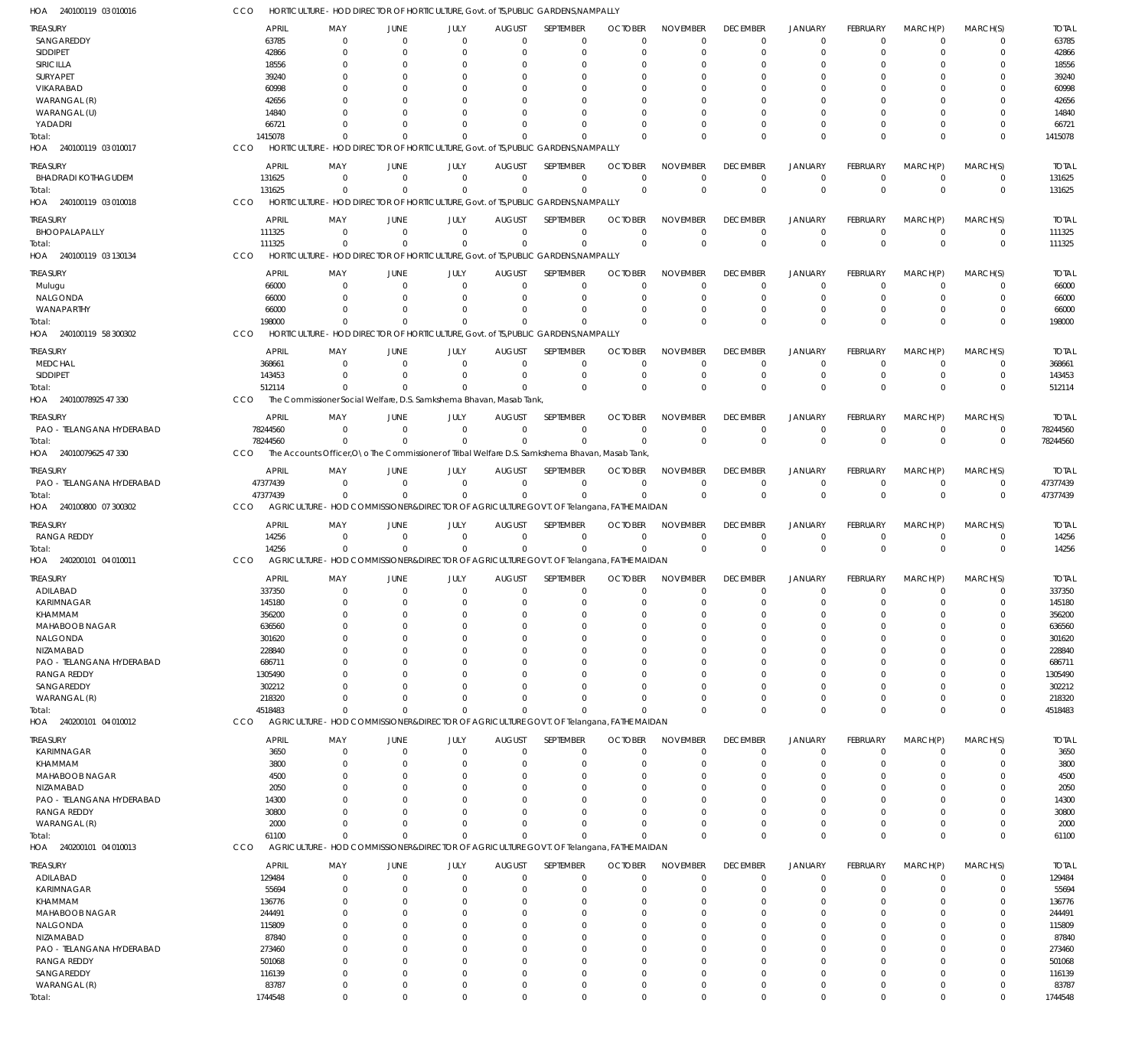240100119 03 010016 HOA 240100119 03 010017 HOA 240100119 03 010018 HOA 240100119 03 130134 HOA 240100119 58 300302 HOA 24010078925 47 330 HOA 24010079625 47 330 HOA 240100800 07 300302 HOA 240200101 04 010011 HOA 240200101 04 010012 HOA 240200101 04 010013 HOA HORTICULTURE - HOD DIRECTOR OF HORTICULTURE, Govt. of TS,PUBLIC GARDENS,NAMPALLY HORTICULTURE - HOD DIRECTOR OF HORTICULTURE, Govt. of TS,PUBLIC GARDENS,NAMPALLY HORTICULTURE - HOD DIRECTOR OF HORTICULTURE, Govt. of TS,PUBLIC GARDENS,NAMPALLY HORTICULTURE - HOD DIRECTOR OF HORTICULTURE, Govt. of TS,PUBLIC GARDENS,NAMPALLY HORTICULTURE - HOD DIRECTOR OF HORTICULTURE, Govt. of TS,PUBLIC GARDENS,NAMPALLY The Commissioner Social Welfare, D.S. Samkshema Bhavan, Masab Tank, The Accounts Officer, O\o The Commissioner of Tribal Welfare D.S. Samkshema Bhavan, Masab Tank AGRICULTURE - HOD COMMISSIONER&DIRECTOR OF AGRICULTURE GOVT. OF Telangana, FATHE MAIDAN AGRICULTURE - HOD COMMISSIONER&DIRECTOR OF AGRICULTURE GOVT. OF Telangana, FATHE MAIDAN AGRICULTURE - HOD COMMISSIONER&DIRECTOR OF AGRICULTURE GOVT. OF Telangana, FATHE MAIDAN AGRICULTURE - HOD COMMISSIONER&DIRECTOR OF AGRICULTURE GOVT. OF Telangana, FATHE MAIDAN CCO CCO CCO **CCO** CCO **CCO** CCO CCO **CCO** CCO **CCO** 1415078 131625 111325 198000 512114 78244560 47377439 14256 4518483 61100 1744548  $\Omega$ 0  $\Omega$  $\Omega$  $\Omega$ 0  $\Omega$  $\Omega$  $\Omega$ 0 0 0 0  $\Omega$  $\Omega$  $\Omega$ 0 0  $\Omega$  $\Omega$ 0 0 0 0  $\Omega$  $\Omega$  $\Omega$ 0 0  $\Omega$  $\Omega$ 0 0  $\Omega$ 0  $\Omega$  $\Omega$  $\Omega$ 0  $\Omega$  $\Omega$  $\Omega$ 0 0  $\Omega$  $\Omega$  $\Omega$  $\Omega$  $\Omega$ 0  $\Omega$  $\Omega$  $\Omega$ 0 0 0  $\Omega$  $\Omega$ 0  $\Omega$ 0  $\Omega$  $\Omega$  $\Omega$  $\Omega$ 0  $\Omega$  $\Omega$  $\Omega$ 0  $\Omega$ 0  $\Omega$  $\Omega$  $\Omega$  $\Omega$ 0  $\Omega$  $\Omega$  $\Omega$ 0  $\Omega$ 0  $\Omega$  $\Omega$  $\Omega$  $\Omega$ 0  $\Omega$ 0  $\Omega$ 0  $\Omega$ 0  $\Omega$  $\Omega$  $\Omega$ 0 0  $\overline{0}$ 0  $\Omega$ 0  $\Omega$ 0  $\Omega$  $\Omega$  $\Omega$ 0 0  $\Omega$ 0  $\Omega$ 0  $\Omega$ 0  $\Omega$  $\Omega$  $\Omega$ 0 0 0  $\Omega$  $\Omega$ 0  $\Omega$ 0  $\Omega$  $\Omega$  $\Omega$  $\Omega$  $\Omega$ 1415078 131625 111325 198000 512114 78244560 47377439 14256 4518483 61100 1744548 SANGAREDDY SIDDIPET SIRICILLA SURYAPET VIKARABAD WARANGAL (R) WARANGAL (U) YADADRI BHADRADI KOTHAGUDEM BHOOPALAPALLY Mulugu NALGONDA WANAPARTHY MEDCHAL SIDDIPET PAO - TELANGANA HYDERABAD PAO - TELANGANA HYDERABAD RANGA REDDY ADILABAD KARIMNAGAR KHAMMAM MAHABOOB NAGAR NALGONDA NIZAMABAD PAO - TELANGANA HYDERABAD RANGA REDDY SANGAREDDY WARANGAL (R) KARIMNAGAR KHAMMAM MAHABOOB NAGAR NIZAMABAD PAO - TELANGANA HYDERABAD RANGA REDDY WARANGAL (R) ADILABAD KARIMNAGAR KHAMMAM MAHABOOB NAGAR NALGONDA NIZAMABAD PAO - TELANGANA HYDERABAD RANGA REDDY SANGAREDDY WARANGAL (R) TREASURY **TREASURY** TREASURY TREASURY TREASURY TREASURY TREASURY **TREASURY** TREASURY TREASURY TREASURY 63785 42866 18556 39240 60998 42656 14840 66721 131625 111325 66000 66000 66000 368661 143453 78244560 47377439 14256 337350 145180 356200 636560 301620 228840 686711 1305490 302212 218320 3650 3800 4500 2050 14300 30800 2000 129484 55694 136776 244491 115809 87840 273460 501068 116139 83787 APRIL APRIL APRIL APRIL APRIL APRIL APRIL APRIL APRIL APRIL APRIL  $\Omega$ 0  $\Omega$  $\Omega$  $\Omega$  $\Omega$ 0  $\Omega$ 0 0  $\Omega$  $\Omega$ 0  $\Omega$ 0  $\Omega$ 0 0  $\Omega$ 0  $\Omega$  $\Omega$ 0  $\Omega$  $\Omega$  $\Omega$  $\Omega$ 0  $\Omega$ 0  $\Omega$  $\Omega$ 0  $\Omega$ 0 0  $\sqrt{2}$ 0  $\Omega$ 0 0  $\Omega$ 0  $\Omega$ 0 MAY MAY MAY MAY MAY MAY MAY MAY MAY MAY MAY 0 0  $\Omega$ 0  $\Omega$  $\Omega$ 0  $\Omega$ 0 0  $\Omega$ 0 0 0 0  $\Omega$  $\,$   $\,$   $\,$ 0  $\Omega$ 0 0  $\Omega$ 0  $\Omega$ 0 0 0 0  $\Omega$ 0 0  $\Omega$ 0  $\Omega$ 0 0  $\Omega$ 0  $\Omega$ 0 0  $\Omega$ 0  $\Omega$ 0 JUNE JUNE JUNE JUNE JUNE JUNE JUNE JUNE JUNE JUNE JUNE 0 0  $\Omega$ 0  $\Omega$  $\sqrt{2}$ 0  $\Omega$ 0 0  $\Omega$ 0 0 0 0  $\Omega$ 0 0  $\Omega$ 0 0  $\Omega$ 0  $\Omega$  $\Omega$ 0 0 0  $\Omega$ 0 0  $\Omega$ 0  $\Omega$ 0 0 0 0  $\Omega$ 0 0  $\Omega$ 0  $\Omega$ 0 JULY JULY JULY JULY JULY JULY JULY JULY JULY JULY JULY  $\Omega$ 0  $\Omega$ 0  $\Omega$  $\Omega$ 0  $\Omega$ 0 0  $\Omega$ 0 0 0 0  $\Omega$ 0 0  $\Omega$ 0 0  $\Omega$ 0  $\Omega$ 0 0  $\Omega$ 0  $\Omega$ 0 0  $\Omega$ 0  $\Omega$ 0 0  $\Omega$ 0  $\Omega$ 0 0  $\Omega$ 0  $\Omega$ 0 AUGUST **AUGUST** AUGUST AUGUST AUGUST AUGUST AUGUST AUGUST AUGUST AUGUST AUGUST  $\Omega$  $\overline{0}$  $\Omega$ 0  $\Omega$  $\Omega$ 0  $\Omega$ 0  $\Omega$  $\Omega$  $\Omega$ 0  $\Omega$ 0  $\Omega$ 0 0  $\Omega$ 0 0  $\Omega$ 0  $\Omega$  $\Omega$  $\Omega$  $\Omega$ 0  $\Omega$ 0  $\Omega$  $\Omega$ 0  $\Omega$  $\Omega$  $\Omega$  $\Omega$  $\overline{0}$  $\Omega$ 0 0  $\Omega$ 0  $\Omega$ 0 SEPTEMBER **SEPTEMBER SEPTEMBER** SEPTEMBER SEPTEMBER SEPTEMBER SEPTEMBER **SEPTEMBER** SEPTEMBER SEPTEMBER SEPTEMBER  $\Omega$ 0  $\Omega$ 0  $\Omega$  $\Omega$ 0  $\Omega$ 0 0  $\Omega$ 0 0  $\Omega$ 0  $\Omega$ 0 0  $\Omega$ 0  $\Omega$  $\Omega$ 0  $\Omega$ 0  $\Omega$  $\Omega$ 0  $\Omega$ 0  $\Omega$  $\Omega$ 0  $\Omega$ 0  $\Omega$  $\Omega$ 0  $\Omega$ 0 0  $\Omega$ 0  $\Omega$ 0 **OCTOBER** OCTOBER OCTOBER OCTOBER OCTOBER **OCTOBER OCTOBER OCTOBER OCTOBER** OCTOBER **OCTOBER**  $\Omega$ 0  $\Omega$ 0  $\Omega$  $\Omega$ 0  $\Omega$ 0 0  $\Omega$ 0 0  $\Omega$ 0  $\Omega$ 0 0  $\Omega$ 0 0  $\Omega$ 0  $\Omega$  $\Omega$  $\Omega$  $\Omega$ 0  $\Omega$ 0 0  $\Omega$ 0  $\Omega$ 0 0  $\Omega$ 0  $\Omega$ 0 0  $\Omega$ 0  $\Omega$ 0 NOVEMBER NOVEMBER NOVEMBER NOVEMBER NOVEMBER NOVEMBER NOVEMBER NOVEMBER NOVEMBER NOVEMBER NOVEMBER  $\Omega$ 0  $\Omega$ 0  $\Omega$  $\Omega$ 0  $\Omega$ 0  $\Omega$  $\Omega$ 0 0  $\Omega$ 0  $\Omega$ 0 0  $\Omega$ 0 0  $\Omega$ 0  $\Omega$  $\Omega$  $\Omega$  $\Omega$ 0  $\Omega$ 0  $\Omega$  $\Omega$ 0  $\Omega$ 0  $\Omega$  $\Omega$ 0  $\Omega$ 0 0  $\Omega$ 0  $\Omega$  $\overline{0}$ DECEMBER **DECEMBER** DECEMBER DECEMBER DECEMBER DECEMBER DECEMBER DECEMBER DECEMBER DECEMBER DECEMBER  $\Omega$ 0  $\Omega$ 0  $\Omega$  $\Omega$ 0  $\Omega$ 0  $\Omega$  $\Omega$ 0 0  $\Omega$ 0  $\Omega$ 0 0  $\Omega$ 0 0  $\Omega$ 0  $\Omega$ 0 0  $\Omega$ 0  $\Omega$ 0  $\Omega$  $\Omega$ 0  $\Omega$ 0 0  $\Omega$ 0  $\Omega$ 0 0  $\Omega$ 0  $\Omega$ 0 JANUARY JANUARY JANUARY JANUARY JANUARY JANUARY JANUARY JANUARY JANUARY JANUARY JANUARY  $\Omega$ 0  $\Omega$ 0 0  $\Omega$ 0  $\Omega$ 0  $\Omega$  $\Omega$ 0 0 0 0  $\Omega$ 0 0  $\Omega$ 0 0  $\Omega$ 0  $\Omega$  $\overline{0}$ 0 0 0  $\Omega$ 0 0  $\Omega$ 0  $\Omega$ 0 0  $\Omega$ 0  $\Omega$  $\overline{0}$ 0 0 0  $\Omega$ 0 FEBRUARY FEBRUARY FEBRUARY FEBRUARY FEBRUARY FEBRUARY FEBRUARY FEBRUARY FEBRUARY FEBRUARY FEBRUARY  $\Omega$ 0  $\Omega$ 0  $\Omega$  $\Omega$ 0  $\Omega$ 0  $\Omega$  $\Omega$ 0 0  $\Omega$ 0  $\Omega$ 0 0  $\Omega$ 0  $\Omega$  $\Omega$ 0  $\Omega$ 0  $\Omega$  $\Omega$ 0  $\sqrt{2}$ 0  $\Omega$  $\Omega$ 0  $\Omega$ 0  $\Omega$  $\Omega$ 0  $\Omega$  $\Omega$  $\Omega$  $\Omega$ 0  $\Omega$ 0 MARCH(P) MARCH(P) MARCH(P) MARCH(P) MARCH(P) MARCH(P) MARCH(P) MARCH(P) MARCH(P) MARCH(P) MARCH(P)  $\Omega$ 0  $\Omega$ 0  $\Omega$  $\Omega$ 0  $\Omega$ 0  $\Omega$  $\Omega$ 0 0  $\Omega$ 0  $\Omega$ 0 0  $\Omega$ 0  $\Omega$  $\Omega$ 0  $\Omega$ 0  $\Omega$  $\Omega$ 0  $\Omega$ 0  $\Omega$  $\Omega$ 0  $\Omega$ 0  $\Omega$  $\Omega$ 0  $\Omega$ 0  $\Omega$  $\Omega$ 0  $\Omega$ 0 MARCH(S) MARCH(S) MARCH(S) MARCH(S) MARCH(S) MARCH(S) MARCH(S) MARCH(S) MARCH(S) MARCH(S) MARCH(S) 63785 42866 18556 39240 60998 42656 14840 66721 131625 111325 66000 66000 66000 368661 143453 78244560 47377439 14256 337350 145180 356200 636560 301620 228840 686711 1305490 302212 218320 3650 3800 4500 2050 14300 30800 2000 129484 55694 136776 244491 115809 87840 273460 501068 116139 83787 TOTAL TOTAL TOTAL TOTAL TOTAL TOTAL TOTAL TOTAL TOTAL TOTAL TOTAL Total: Total: Total: Total: Total: Total: Total: Total: Total: Total: Total: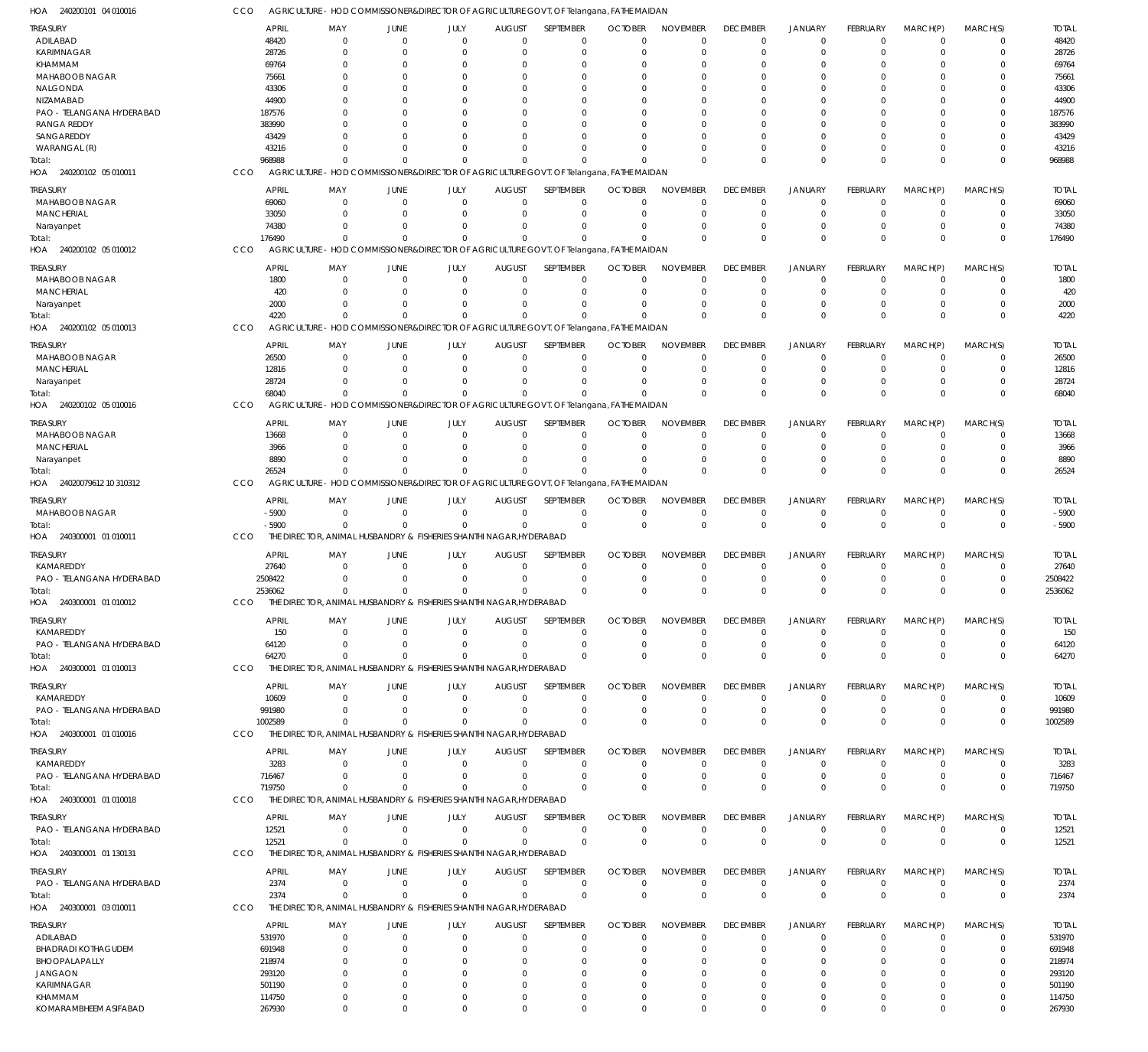| HOA<br>240200101 04 010016                      |                       | AGRICULTURE - HOD COMMISSIONER&DIRECTOR OF AGRICULTURE GOVT. OF Telangana, FATHE MAIDAN             |                                  |                                    |                              |                            |                            |                             |                                   |                                  |                             |                            |                            |                       |
|-------------------------------------------------|-----------------------|-----------------------------------------------------------------------------------------------------|----------------------------------|------------------------------------|------------------------------|----------------------------|----------------------------|-----------------------------|-----------------------------------|----------------------------------|-----------------------------|----------------------------|----------------------------|-----------------------|
| TREASURY                                        | <b>APRIL</b>          | MAY                                                                                                 | <b>JUNE</b>                      | JULY                               | <b>AUGUST</b>                | SEPTEMBER                  | <b>OCTOBER</b>             | <b>NOVEMBER</b>             | <b>DECEMBER</b>                   | <b>JANUARY</b>                   | FEBRUARY                    | MARCH(P)                   | MARCH(S)                   | <b>TOTAL</b>          |
| ADILABAD                                        | 48420                 | $\Omega$                                                                                            | $\Omega$                         | $\Omega$                           | $\mathbf 0$                  | 0                          | $\Omega$                   | $\Omega$                    | $\mathbf 0$                       | $\mathbf 0$                      | $\Omega$                    | $\mathbf 0$                | 0                          | 48420                 |
| KARIMNAGAR<br>KHAMMAM                           | 28726<br>69764        | $\Omega$                                                                                            | $\Omega$<br>$\Omega$             | $\Omega$<br><sup>0</sup>           | $\Omega$<br>0                | $\mathbf 0$<br>0           | $\Omega$                   | $\Omega$                    | $\mathbf 0$<br>$\Omega$           | $\mathbf 0$<br>$\Omega$          | $\Omega$                    | $\Omega$<br>0              | $\mathbf 0$<br>0           | 28726<br>69764        |
| <b>MAHABOOB NAGAR</b>                           | 75661                 |                                                                                                     | $\Omega$                         | <sup>0</sup>                       | 0                            | $\Omega$                   | $\Omega$                   | $\Omega$                    | $\Omega$                          | $\Omega$                         | O                           | $\Omega$                   | $\Omega$                   | 75661                 |
| NALGONDA                                        | 43306                 |                                                                                                     | $\Omega$                         | O                                  | $\Omega$                     | $\Omega$                   |                            | $\Omega$                    | <sup>0</sup>                      | $\Omega$                         |                             | $\Omega$                   | $\Omega$                   | 43306                 |
| NIZAMABAD                                       | 44900                 |                                                                                                     | $\Omega$                         | <sup>0</sup>                       | $\Omega$                     | $\Omega$                   |                            |                             | $\Omega$                          | $\Omega$                         | O                           | $\Omega$                   | $\Omega$                   | 44900                 |
| PAO - TELANGANA HYDERABAD<br><b>RANGA REDDY</b> | 187576<br>383990      |                                                                                                     | $\Omega$<br>$\Omega$             | O<br><sup>0</sup>                  | 0<br>$\Omega$                | $\Omega$<br>$\Omega$       | $\Omega$                   | $\cap$                      | $\Omega$                          | $\Omega$<br>$\Omega$             | O                           | 0<br>$\Omega$              | $\Omega$<br>$\Omega$       | 187576<br>383990      |
| SANGAREDDY                                      | 43429                 |                                                                                                     |                                  | O                                  | $\Omega$                     | $\Omega$                   |                            | $\Omega$                    | $\Omega$                          | $\Omega$                         |                             | $\Omega$                   | $\Omega$                   | 43429                 |
| WARANGAL (R)                                    | 43216                 |                                                                                                     | n                                | $\Omega$                           | $\Omega$                     | $\Omega$                   |                            | $\cap$                      | $\Omega$                          | $\mathbf 0$                      | $\Omega$                    | $\Omega$                   | $\mathbf 0$                | 43216                 |
| Total:                                          | 968988                | $\Omega$                                                                                            | $\Omega$                         | $\Omega$                           | $\Omega$                     | $\Omega$                   |                            | $\Omega$                    | $\Omega$                          | $\Omega$                         | $\Omega$                    | $\Omega$                   | $\mathbf 0$                | 968988                |
| HOA 240200102 05 010011                         | CCO                   | AGRICULTURE - HOD COMMISSIONER&DIRECTOR OF AGRICULTURE GOVT. OF Telangana, FATHE MAIDAN             |                                  |                                    |                              |                            |                            |                             |                                   |                                  |                             |                            |                            |                       |
| treasury                                        | <b>APRIL</b>          | MAY                                                                                                 | JUNE                             | JULY                               | <b>AUGUST</b>                | SEPTEMBER                  | <b>OCTOBER</b>             | <b>NOVEMBER</b>             | <b>DECEMBER</b>                   | <b>JANUARY</b>                   | <b>FEBRUARY</b>             | MARCH(P)                   | MARCH(S)                   | <b>TOTAL</b>          |
| <b>MAHABOOB NAGAR</b><br><b>MANCHERIAL</b>      | 69060<br>33050        | 0<br>0                                                                                              | $\Omega$<br>$\Omega$             | 0<br>$\Omega$                      | 0<br>$\Omega$                | $\mathbf 0$<br>$\mathbf 0$ | $\Omega$<br>$\Omega$       | $\Omega$<br>$\Omega$        | $^{\circ}$<br>$\mathbf 0$         | $\mathbf 0$<br>$\mathbf 0$       | 0<br>$\Omega$               | 0<br>0                     | 0<br>$\mathbf 0$           | 69060<br>33050        |
| Narayanpet                                      | 74380                 | 0                                                                                                   | $\Omega$                         | $\Omega$                           | $\Omega$                     | $\mathbf 0$                |                            |                             | $\mathbf 0$                       | $\mathbf 0$                      | $\Omega$                    | 0                          | $\mathbf 0$                | 74380                 |
| Total:                                          | 176490                | $\Omega$                                                                                            | $\Omega$                         | $\mathbf 0$                        | $\mathbf 0$                  | $\Omega$                   |                            | $\Omega$                    | $\Omega$                          | $\Omega$                         | $\Omega$                    | $\Omega$                   | $\mathbf 0$                | 176490                |
| HOA 240200102 05 010012                         | CCO                   | AGRICULTURE - HOD COMMISSIONER&DIRECTOR OF AGRICULTURE GOVT. OF Telangana, FATHE MAIDAN             |                                  |                                    |                              |                            |                            |                             |                                   |                                  |                             |                            |                            |                       |
| <b>TREASURY</b>                                 | <b>APRIL</b>          | MAY                                                                                                 | <b>JUNE</b>                      | JULY                               | <b>AUGUST</b>                | SEPTEMBER                  | <b>OCTOBER</b>             | <b>NOVEMBER</b>             | <b>DECEMBER</b>                   | <b>JANUARY</b>                   | <b>FEBRUARY</b>             | MARCH(P)                   | MARCH(S)                   | <b>TOTAL</b>          |
| <b>MAHABOOB NAGAR</b>                           | 1800                  | $\Omega$                                                                                            | $\Omega$                         | $\Omega$                           | $\mathbf 0$                  | 0                          | $\Omega$                   | $\Omega$                    | $\mathbf 0$                       | $\overline{0}$                   | $\Omega$                    | 0                          | 0                          | 1800                  |
| <b>MANCHERIAL</b>                               | 420<br>2000           | $\Omega$<br>$\Omega$                                                                                | $\Omega$<br>$\Omega$             | $\Omega$<br>$\Omega$               | $\Omega$<br>$\Omega$         | $\mathbf 0$<br>$\mathbf 0$ | $\Omega$<br>$\Omega$       | $\Omega$<br>$\Omega$        | $\mathbf 0$<br>$\mathbf 0$        | $\mathbf 0$<br>$\mathbf 0$       | $\Omega$<br>$\Omega$        | $\Omega$<br>0              | $\mathbf 0$<br>$\mathbf 0$ | 420<br>2000           |
| Narayanpet<br>Total:                            | 4220                  | $\Omega$                                                                                            | $\Omega$                         | $\Omega$                           | $\Omega$                     | $\Omega$                   |                            | $\Omega$                    | $\Omega$                          | $\Omega$                         | $\Omega$                    | $\Omega$                   | $\Omega$                   | 4220                  |
| HOA<br>240200102 05 010013                      | CCO                   | AGRICULTURE - HOD COMMISSIONER&DIRECTOR OF AGRICULTURE GOVT. OF Telangana, FATHE MAIDAN             |                                  |                                    |                              |                            |                            |                             |                                   |                                  |                             |                            |                            |                       |
| TREASURY                                        | <b>APRIL</b>          | MAY                                                                                                 | <b>JUNE</b>                      | JULY                               | <b>AUGUST</b>                | SEPTEMBER                  | <b>OCTOBER</b>             | <b>NOVEMBER</b>             | <b>DECEMBER</b>                   | <b>JANUARY</b>                   | <b>FEBRUARY</b>             | MARCH(P)                   | MARCH(S)                   | <b>TOTAL</b>          |
| MAHABOOB NAGAR                                  | 26500                 | $\mathbf 0$                                                                                         | $\Omega$                         | $\Omega$                           | $\mathbf 0$                  | $\mathbf 0$                | $\Omega$                   | $\Omega$                    | $\mathbf 0$                       | $\mathbf 0$                      | $\Omega$                    | 0                          | $\mathbf 0$                | 26500                 |
| <b>MANCHERIAL</b>                               | 12816                 | 0                                                                                                   | $\Omega$                         | $\Omega$                           | 0                            | $\mathbf 0$                | $\Omega$                   | $\Omega$                    | $\mathbf 0$                       | $\mathbf 0$                      | $\Omega$                    | 0                          | $\mathbf 0$                | 12816                 |
| Narayanpet                                      | 28724                 | <sup>0</sup>                                                                                        | $\Omega$                         | <sup>0</sup>                       | -0                           | $\Omega$                   |                            | $\Omega$                    | $\Omega$                          | $\mathbf 0$                      | $\Omega$                    | $\Omega$                   | $\mathbf 0$                | 28724                 |
| Total:<br>HOA 240200102 05 010016               | 68040<br>CCO          | $\Omega$<br>AGRICULTURE - HOD COMMISSIONER&DIRECTOR OF AGRICULTURE GOVT. OF Telangana, FATHE MAIDAN |                                  | <sup>0</sup>                       | $\Omega$                     | $\Omega$                   |                            | $\Omega$                    | $\Omega$                          | $\overline{0}$                   | $\Omega$                    | $\Omega$                   | $\mathbf 0$                | 68040                 |
|                                                 |                       |                                                                                                     |                                  |                                    |                              |                            |                            |                             |                                   |                                  |                             |                            |                            |                       |
| treasury<br>MAHABOOB NAGAR                      | <b>APRIL</b><br>13668 | MAY<br>$\Omega$                                                                                     | <b>JUNE</b><br>$\Omega$          | JULY<br>$\Omega$                   | <b>AUGUST</b><br>$\mathbf 0$ | SEPTEMBER<br>$\mathbf 0$   | <b>OCTOBER</b><br>$\Omega$ | <b>NOVEMBER</b><br>$\Omega$ | <b>DECEMBER</b><br>$\overline{0}$ | <b>JANUARY</b><br>$\mathbf 0$    | <b>FEBRUARY</b><br>$\Omega$ | MARCH(P)<br>$\Omega$       | MARCH(S)<br>0              | <b>TOTAL</b><br>13668 |
| <b>MANCHERIAL</b>                               | 3966                  | $\Omega$                                                                                            | $\Omega$                         | $\Omega$                           | 0                            | $\mathbf 0$                | $\Omega$                   | $\Omega$                    | $\mathbf 0$                       | $\mathbf 0$                      | $\Omega$                    | 0                          | $\mathbf 0$                | 3966                  |
| Narayanpet                                      | 8890                  | <sup>0</sup>                                                                                        | $\Omega$                         | $\Omega$                           | $\Omega$                     | $\Omega$                   | $\Omega$                   | $\Omega$                    | $\Omega$                          | $\mathbf 0$                      | $\Omega$                    | $\Omega$                   | $\mathbf 0$                | 8890                  |
| Total:                                          | 26524                 | $\Omega$                                                                                            | $\Omega$                         | $\Omega$                           | $\Omega$                     | $\Omega$                   |                            | $\Omega$                    | $\Omega$                          | $\Omega$                         | $\Omega$                    | $\Omega$                   | $\mathbf 0$                | 26524                 |
| HOA 24020079612 10 310312                       | CCO                   | AGRICULTURE - HOD COMMISSIONER&DIRECTOR OF AGRICULTURE GOVT. OF Telangana, FATHE MAIDAN             |                                  |                                    |                              |                            |                            |                             |                                   |                                  |                             |                            |                            |                       |
| Treasury                                        | <b>APRIL</b>          | MAY                                                                                                 | <b>JUNE</b>                      | JULY                               | <b>AUGUST</b>                | SEPTEMBER                  | <b>OCTOBER</b>             | <b>NOVEMBER</b>             | <b>DECEMBER</b>                   | <b>JANUARY</b>                   | <b>FEBRUARY</b>             | MARCH(P)                   | MARCH(S)                   | <b>TOTAL</b>          |
| MAHABOOB NAGAR<br>Total:                        | $-5900$<br>$-5900$    | $\mathbf 0$<br>$\mathbf 0$                                                                          | $\overline{0}$<br>$\overline{0}$ | $\mathbf 0$<br>$\mathbf 0$         | $\mathbf 0$<br>$\mathbf 0$   | $\mathbf 0$<br>$\mathbf 0$ | $\Omega$<br>$\Omega$       | $\Omega$<br>$\Omega$        | $^{\circ}$<br>$\mathbf 0$         | $\overline{0}$<br>$\overline{0}$ | $\mathbf 0$<br>$\mathbf 0$  | $\mathbf 0$<br>$\mathbf 0$ | $\mathbf 0$<br>$\mathbf 0$ | $-5900$<br>$-5900$    |
| HOA 240300001 01 010011                         | CCO                   | THE DIRECTOR, ANIMAL HUSBANDRY & FISHERIES SHANTHI NAGAR, HYDERABAD                                 |                                  |                                    |                              |                            |                            |                             |                                   |                                  |                             |                            |                            |                       |
| <b>TREASURY</b>                                 | <b>APRIL</b>          | MAY                                                                                                 | <b>JUNE</b>                      | JULY                               | <b>AUGUST</b>                | <b>SEPTEMBER</b>           | <b>OCTOBER</b>             | <b>NOVEMBER</b>             | <b>DECEMBER</b>                   | <b>JANUARY</b>                   | FEBRUARY                    | MARCH(P)                   | MARCH(S)                   | <b>TOTAL</b>          |
| KAMAREDDY                                       | 27640                 | $\Omega$                                                                                            | $\Omega$                         | $\Omega$                           | $\mathbf 0$                  | 0                          | $\Omega$                   | $\Omega$                    | $^{\circ}$                        | $\mathbf 0$                      | $\Omega$                    | $\mathbf 0$                | 0                          | 27640                 |
| PAO - TELANGANA HYDERABAD                       | 2508422               | $\Omega$                                                                                            | $\Omega$                         | $\Omega$                           | $^{\circ}$                   | $\mathbf 0$                | $\Omega$                   | $\Omega$                    | $\mathbf 0$                       | $\mathbf 0$                      | $\Omega$                    | 0                          | $\mathbf 0$                | 2508422               |
| Total:                                          | 2536062               | $\Omega$                                                                                            | $\Omega$                         | $\Omega$                           | $\Omega$                     | $\Omega$                   | $\cap$                     | $\Omega$                    | $\Omega$                          | $\Omega$                         | $\Omega$                    | $\Omega$                   | $\mathbf 0$                | 2536062               |
| HOA 240300001 01 010012                         | CCO                   | THE DIRECTOR, ANIMAL HUSBANDRY & FISHERIES SHANTHI NAGAR, HYDERABAD                                 |                                  |                                    |                              |                            |                            |                             |                                   |                                  |                             |                            |                            |                       |
| TREASURY                                        | <b>APRIL</b>          | MAY                                                                                                 | <b>JUNE</b>                      | JULY                               | <b>AUGUST</b>                | SEPTEMBER                  | <b>OCTOBER</b>             | <b>NOVEMBER</b>             | <b>DECEMBER</b>                   | <b>JANUARY</b>                   | <b>FEBRUARY</b>             | MARCH(P)                   | MARCH(S)                   | <b>TOTAL</b>          |
| KAMAREDDY<br>PAO - TELANGANA HYDERABAD          | 150<br>64120          | $\mathbf{0}$<br>$\mathbf{0}$                                                                        | $\overline{0}$<br>$\Omega$       | 0<br>$\mathbf 0$                   | 0<br>0                       | $\mathbf 0$<br>$\mathbf 0$ | $\Omega$<br>0              | $\Omega$<br>$\Omega$        | $\mathbf 0$<br>$\mathbf 0$        | $\overline{0}$<br>$\mathbf 0$    | $\mathbf 0$<br>$\mathbf 0$  | 0<br>0                     | 0<br>$\mathbf 0$           | 150<br>64120          |
| Total:                                          | 64270                 | $\Omega$                                                                                            | $\Omega$                         | $\Omega$                           | $\Omega$                     | $\mathbf 0$                | $\Omega$                   | $\Omega$                    | $\mathbf 0$                       | $\overline{0}$                   | $\Omega$                    | $\mathbf 0$                | $\mathbf 0$                | 64270                 |
| HOA 240300001 01 010013                         | CCO                   | THE DIRECTOR, ANIMAL HUSBANDRY & FISHERIES SHANTHI NAGAR, HYDERABAD                                 |                                  |                                    |                              |                            |                            |                             |                                   |                                  |                             |                            |                            |                       |
| treasury                                        | <b>APRIL</b>          | MAY                                                                                                 | <b>JUNE</b>                      | JULY                               | <b>AUGUST</b>                | SEPTEMBER                  | <b>OCTOBER</b>             | <b>NOVEMBER</b>             | <b>DECEMBER</b>                   | <b>JANUARY</b>                   | <b>FEBRUARY</b>             | MARCH(P)                   | MARCH(S)                   | <b>TOTAL</b>          |
| KAMAREDDY                                       | 10609                 | $\mathbf{0}$                                                                                        | $\overline{0}$                   | $\mathbf 0$                        | $\mathbf 0$                  | $\mathbf 0$                | $\Omega$                   | $\Omega$                    | $\mathbf 0$                       | $\mathbf 0$                      | $\Omega$                    | $\mathbf 0$                | 0                          | 10609                 |
| PAO - TELANGANA HYDERABAD                       | 991980                | $\Omega$                                                                                            | $\Omega$                         | $\Omega$                           | $^{\circ}$                   | $\mathbf 0$                | 0                          | 0                           | $\mathbf 0$                       | $\mathbf 0$                      | $\mathbf 0$                 | 0                          | 0                          | 991980                |
| Total:<br>HOA 240300001 01 010016               | 1002589<br>CCO        | $\Omega$<br>THE DIRECTOR, ANIMAL HUSBANDRY & FISHERIES SHANTHI NAGAR, HYDERABAD                     | $\Omega$                         | $\Omega$                           | $\Omega$                     | $\Omega$                   | $\Omega$                   | $\Omega$                    | $\Omega$                          | $\overline{0}$                   | $\Omega$                    | $\Omega$                   | $\mathbf 0$                | 1002589               |
|                                                 |                       |                                                                                                     |                                  |                                    |                              |                            |                            | <b>NOVEMBER</b>             |                                   |                                  |                             |                            |                            |                       |
| treasury<br>KAMAREDDY                           | <b>APRIL</b><br>3283  | MAY<br>$\Omega$                                                                                     | JUNE<br>$\Omega$                 | JULY<br>0                          | <b>AUGUST</b><br>0           | SEPTEMBER<br>$\mathbf 0$   | <b>OCTOBER</b><br>$\Omega$ | $\Omega$                    | <b>DECEMBER</b><br>$\mathbf 0$    | <b>JANUARY</b><br>$\mathbf 0$    | FEBRUARY<br>$\mathbf 0$     | MARCH(P)<br>0              | MARCH(S)<br>$\mathbf 0$    | <b>TOTAL</b><br>3283  |
| PAO - TELANGANA HYDERABAD                       | 716467                | $\Omega$                                                                                            | $\Omega$                         | 0                                  | 0                            | $\mathbf 0$                | $\Omega$                   | 0                           | $\mathbf 0$                       | $\overline{0}$                   | 0                           | 0                          | $\mathbf 0$                | 716467                |
| Total:                                          | 719750                | $\Omega$                                                                                            | $\Omega$                         | $\mathbf 0$                        | 0                            | $\mathbf 0$                | $\Omega$                   | $\Omega$                    | $\mathbf 0$                       | $\overline{0}$                   | $\Omega$                    | $\mathbf 0$                | $\mathbf 0$                | 719750                |
| HOA 240300001 01 010018                         | CCO                   | THE DIRECTOR, ANIMAL HUSBANDRY & FISHERIES SHANTHI NAGAR, HYDERABAD                                 |                                  |                                    |                              |                            |                            |                             |                                   |                                  |                             |                            |                            |                       |
| treasury                                        | <b>APRIL</b>          | MAY                                                                                                 | <b>JUNE</b>                      | JULY                               | <b>AUGUST</b>                | SEPTEMBER                  | <b>OCTOBER</b>             | <b>NOVEMBER</b>             | <b>DECEMBER</b>                   | <b>JANUARY</b>                   | FEBRUARY                    | MARCH(P)                   | MARCH(S)                   | <b>TOTAL</b>          |
| PAO - TELANGANA HYDERABAD                       | 12521                 | $\Omega$                                                                                            | $\overline{0}$                   | $\Omega$                           | $\mathbf 0$                  | $\mathbf 0$                | $\Omega$                   | $\Omega$<br>$\Omega$        | $\mathbf 0$                       | $\mathbf 0$                      | $\mathbf 0$                 | $\mathbf 0$                | $\mathbf 0$                | 12521                 |
| Total:<br>HOA 240300001 01 130131               | 12521<br>CCO          | $\Omega$<br>THE DIRECTOR, ANIMAL HUSBANDRY & FISHERIES SHANTHI NAGAR, HYDERABAD                     | $\overline{0}$                   | $\Omega$                           | $\mathbf 0$                  | $\mathbf 0$                | $\Omega$                   |                             | $\mathbf 0$                       | $\overline{0}$                   | $\mathbf 0$                 | $\mathbf 0$                | $\mathbf 0$                | 12521                 |
|                                                 | <b>APRIL</b>          | MAY                                                                                                 |                                  | JULY                               |                              | SEPTEMBER                  | <b>OCTOBER</b>             | <b>NOVEMBER</b>             | <b>DECEMBER</b>                   | <b>JANUARY</b>                   | FEBRUARY                    | MARCH(P)                   | MARCH(S)                   | <b>TOTAL</b>          |
| treasury<br>PAO - TELANGANA HYDERABAD           | 2374                  | $\mathbf{0}$                                                                                        | JUNE<br>$\overline{0}$           | $\mathbf 0$                        | <b>AUGUST</b><br>$\mathbf 0$ | $\mathbf 0$                | $\Omega$                   | 0                           | $\mathbf 0$                       | $\mathbf 0$                      | $\mathbf 0$                 | $\overline{0}$             | $\mathbf 0$                | 2374                  |
| Total:                                          | 2374                  | $\Omega$                                                                                            | $\Omega$                         | $\mathbf 0$                        | $\mathbf 0$                  | $\mathbf 0$                | $\Omega$                   | $\Omega$                    | $\mathbf 0$                       | $\overline{0}$                   | $\mathbf 0$                 | $\mathbf 0$                | $\mathbf 0$                | 2374                  |
| HOA 240300001 03 010011                         | CCO                   | THE DIRECTOR, ANIMAL HUSBANDRY &                                                                    |                                  | FISHERIES SHANTHI NAGAR, HYDERABAD |                              |                            |                            |                             |                                   |                                  |                             |                            |                            |                       |
| Treasury                                        | <b>APRIL</b>          | MAY                                                                                                 | <b>JUNE</b>                      | JULY                               | <b>AUGUST</b>                | SEPTEMBER                  | <b>OCTOBER</b>             | <b>NOVEMBER</b>             | <b>DECEMBER</b>                   | <b>JANUARY</b>                   | FEBRUARY                    | MARCH(P)                   | MARCH(S)                   | <b>TOTAL</b>          |
| ADILABAD                                        | 531970                | $\mathbf{0}$                                                                                        | $\overline{0}$                   | 0                                  | 0                            | 0                          | $\Omega$                   | $\Omega$                    | $\mathbf 0$                       | $\mathbf 0$                      | $\Omega$                    | $\mathbf 0$                | $\Omega$                   | 531970                |
| <b>BHADRADI KOTHAGUDEM</b>                      | 691948                | 0                                                                                                   | $\Omega$                         | $\Omega$                           | 0                            | 0                          | $\Omega$                   | $\Omega$                    | $\mathbf 0$                       | $\mathbf 0$                      | $\Omega$                    | 0                          | 0                          | 691948                |
| BHOOPALAPALLY<br><b>JANGAON</b>                 | 218974<br>293120      | $\Omega$<br>0                                                                                       | $\Omega$<br>$\Omega$             | $\Omega$<br>O                      | -0<br>$\Omega$               | 0<br>0                     | $\Omega$<br>$\Omega$       | $\Omega$<br>$\Omega$        | $\Omega$<br>$\Omega$              | $\Omega$<br>$\Omega$             | 0<br>O                      | $\Omega$<br>$\Omega$       | 0<br>0                     | 218974<br>293120      |
| KARIMNAGAR                                      | 501190                | 0                                                                                                   | $\Omega$                         | $\Omega$                           | $\Omega$                     | $\Omega$                   | $\Omega$                   | $\Omega$                    | $\Omega$                          | $\Omega$                         | $\Omega$                    | $\Omega$                   | $\Omega$                   | 501190                |
| KHAMMAM                                         | 114750                | 0                                                                                                   | $\overline{0}$                   | $\mathbf 0$                        | $^{\circ}$                   | $\mathbf 0$                | $\Omega$                   | $\mathbf 0$                 | $\mathbf 0$                       | $\mathbf 0$                      | $\mathbf 0$                 | $\mathbf 0$                | $\mathbf 0$                | 114750                |
| KOMARAMBHEEM ASIFABAD                           | 267930                | $\mathbf{0}$                                                                                        | $\mathbf 0$                      | $\mathbf 0$                        | $\mathbf 0$                  | $\mathbf 0$                | $\mathbf 0$                | $\mathbf 0$                 | $\mathbf 0$                       | $\mathbf 0$                      | $\mathbf 0$                 | $\mathbf 0$                | $\mathbf 0$                | 267930                |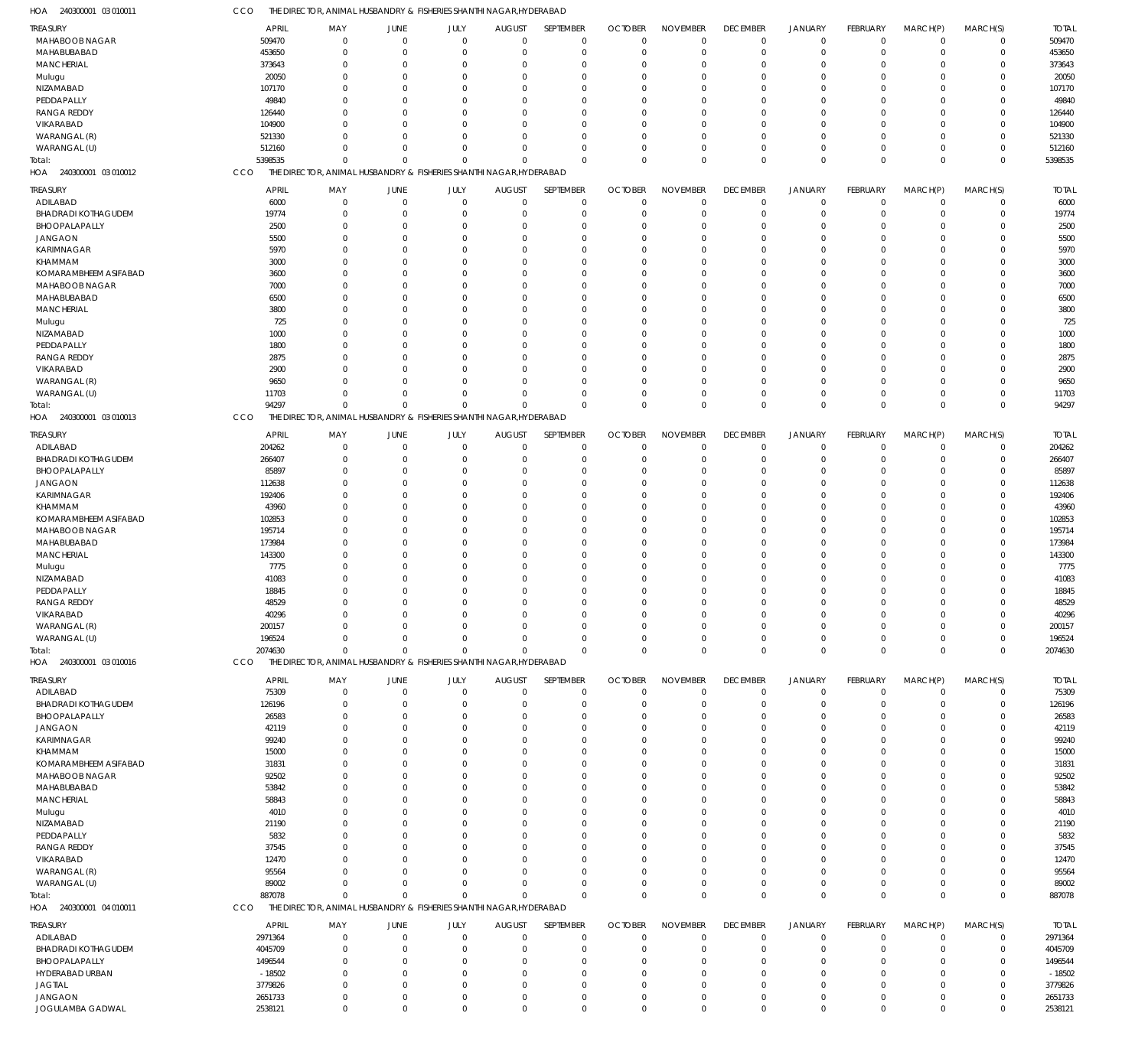| TREASURY                   | <b>APRIL</b> | MAY            | JUNE         | JULY           | <b>AUGUST</b>                                                       | SEPTEMBER    | <b>OCTOBER</b> | <b>NOVEMBER</b> | <b>DECEMBER</b> | <b>JANUARY</b> | FEBRUARY    | MARCH(P)    | MARCH(S)    | <b>TOTAL</b> |
|----------------------------|--------------|----------------|--------------|----------------|---------------------------------------------------------------------|--------------|----------------|-----------------|-----------------|----------------|-------------|-------------|-------------|--------------|
| MAHABOOB NAGAR             | 509470       | $\mathbf 0$    | $\mathbf{0}$ | $\mathbf 0$    | $^{\circ}$                                                          | $\mathbf 0$  | $\Omega$       | $\mathbf 0$     | $\overline{0}$  | $\mathbf 0$    | $\mathbf 0$ | $\mathbf 0$ | $\mathbf 0$ | 509470       |
| MAHABUBABAD                | 453650       | 0              | $\Omega$     | $\mathbf 0$    | $\Omega$                                                            | $\mathbf 0$  | $\Omega$       | $\Omega$        | $\overline{0}$  | $\overline{0}$ | $\Omega$    | $\Omega$    | $\mathbf 0$ | 453650       |
| <b>MANCHERIAL</b>          | 373643       | $\mathbf{0}$   | C            | $\Omega$       | $\Omega$                                                            | $\Omega$     | $\Omega$       | $\Omega$        | $\Omega$        | $\Omega$       | $\Omega$    | $\Omega$    | $\mathbf 0$ | 373643       |
|                            |              | $\mathbf{0}$   | C            | $\Omega$       | $\Omega$                                                            | $\Omega$     |                | $\Omega$        | $\Omega$        | $\Omega$       | $\Omega$    | $\Omega$    | 0           | 20050        |
| Mulugu                     | 20050        |                |              |                |                                                                     |              |                |                 |                 |                |             |             |             |              |
| NIZAMABAD                  | 107170       | $\Omega$       | C            | $\Omega$       |                                                                     | $\Omega$     |                | $\Omega$        | $\Omega$        | $\Omega$       | $\Omega$    | $\Omega$    | $\Omega$    | 107170       |
| PEDDAPALLY                 | 49840        | $\Omega$       | -C           | $\Omega$       | $\Omega$                                                            | $\Omega$     |                | $\Omega$        | $\Omega$        | $\Omega$       | $\Omega$    | $\Omega$    | 0           | 49840        |
| <b>RANGA REDDY</b>         | 126440       | $\Omega$       | C            | $\Omega$       | $\Omega$                                                            | $\Omega$     |                | $\Omega$        | $\Omega$        | $\Omega$       | $\Omega$    | $\Omega$    | $\mathbf 0$ | 126440       |
| VIKARABAD                  | 104900       | $\Omega$       | -C           | $\Omega$       | $\Omega$                                                            | $\Omega$     |                | $\Omega$        | $\Omega$        | $\Omega$       | $\Omega$    | $\Omega$    | 0           | 104900       |
| WARANGAL (R)               | 521330       | $\Omega$       | -C           | $\Omega$       | $\Omega$                                                            | $\Omega$     | $\Omega$       | $\Omega$        | $\Omega$        | $\Omega$       | $\Omega$    | $\Omega$    | 0           | 521330       |
| WARANGAL (U)               | 512160       | $\mathbf{0}$   | $\Omega$     | $\mathbf 0$    | $\Omega$                                                            | $\Omega$     |                | $\Omega$        | $\Omega$        | $\overline{0}$ | $\Omega$    | $\Omega$    | 0           | 512160       |
|                            |              |                |              |                |                                                                     |              |                |                 |                 |                |             |             |             |              |
| Total:                     | 5398535      | $\mathbf 0$    | $\Omega$     | $\mathbf 0$    | $\Omega$                                                            | $\Omega$     | $\Omega$       | $\Omega$        | $\Omega$        | $\Omega$       | $\Omega$    | $\Omega$    | $\mathbf 0$ | 5398535      |
| HOA 240300001 03 010012    | CCO          |                |              |                | THE DIRECTOR, ANIMAL HUSBANDRY & FISHERIES SHANTHI NAGAR, HYDERABAD |              |                |                 |                 |                |             |             |             |              |
| TREASURY                   | <b>APRIL</b> | MAY            | JUNE         | JULY           | <b>AUGUST</b>                                                       | SEPTEMBER    | <b>OCTOBER</b> | <b>NOVEMBER</b> | <b>DECEMBER</b> | <b>JANUARY</b> | FEBRUARY    | MARCH(P)    | MARCH(S)    | <b>TOTAL</b> |
|                            |              |                |              |                |                                                                     |              |                |                 |                 |                |             |             |             |              |
| ADILABAD                   | 6000         | $\mathbf{0}$   | $\mathbf{0}$ | $\mathbf 0$    | $\Omega$                                                            | $\mathbf 0$  | $\Omega$       | $\Omega$        | $\mathbf 0$     | $\mathbf 0$    | $\Omega$    | $\Omega$    | $\mathbf 0$ | 6000         |
| <b>BHADRADI KOTHAGUDEM</b> | 19774        | $\mathbf{0}$   | $\Omega$     | $\Omega$       | $\Omega$                                                            | $\mathbf 0$  | $\Omega$       | $\Omega$        | $\overline{0}$  | $\overline{0}$ | $\Omega$    | $\Omega$    | $\mathbf 0$ | 19774        |
| BHOOPALAPALLY              | 2500         | $\Omega$       | C            | $\Omega$       | $\Omega$                                                            | $\Omega$     |                | $\Omega$        | $\Omega$        | $\Omega$       | $\Omega$    | $\Omega$    | 0           | 2500         |
| <b>JANGAON</b>             | 5500         | $\Omega$       | $\Omega$     | $\Omega$       | $\Omega$                                                            | $\Omega$     | $\Omega$       | $\Omega$        | $\Omega$        | $\Omega$       | $\Omega$    | $\Omega$    | $\Omega$    | 5500         |
| KARIMNAGAR                 | 5970         | $\Omega$       | C            | $\Omega$       | $\Omega$                                                            | $\Omega$     |                | $\Omega$        | $\Omega$        | $\Omega$       | U           | $\Omega$    | $\Omega$    | 5970         |
| KHAMMAM                    | 3000         | $\Omega$       | C            | $\Omega$       | $\Omega$                                                            | $\Omega$     |                | $\Omega$        | $\Omega$        | $\Omega$       | U           | $\Omega$    | $\Omega$    | 3000         |
|                            |              |                |              |                |                                                                     |              |                |                 |                 |                |             |             |             |              |
| KOMARAMBHEEM ASIFABAD      | 3600         | $\Omega$       | C            | $\Omega$       | $\Omega$                                                            | $\Omega$     |                | $\Omega$        | $\Omega$        | $\Omega$       | U           | $\Omega$    | $\Omega$    | 3600         |
| MAHABOOB NAGAR             | 7000         | $\Omega$       | $\Omega$     | $\Omega$       | $\Omega$                                                            | $\Omega$     |                | $\Omega$        | $\Omega$        | $\Omega$       | $\Omega$    | $\Omega$    | $\Omega$    | 7000         |
| MAHABUBABAD                | 6500         | $\Omega$       | -C           | $\Omega$       | $\Omega$                                                            | $\Omega$     |                | $\Omega$        | $\Omega$        | $\Omega$       | U           | U           | $\Omega$    | 6500         |
| <b>MANCHERIAL</b>          | 3800         | $\Omega$       | $\Omega$     | $\Omega$       | $\Omega$                                                            | $\Omega$     | $\Omega$       | $\Omega$        | $\Omega$        | $\Omega$       | $\Omega$    | $\Omega$    | $\Omega$    | 3800         |
| Mulugu                     | 725          | $\Omega$       | C            | $\Omega$       |                                                                     | $\Omega$     |                | $\Omega$        | $\Omega$        | $\Omega$       | U           | U           | $\Omega$    | 725          |
| NIZAMABAD                  | 1000         | $\Omega$       | $\Omega$     | $\Omega$       | $\Omega$                                                            | $\Omega$     |                | $\Omega$        | $\Omega$        | $\Omega$       | $\Omega$    | $\Omega$    | $\Omega$    | 1000         |
|                            |              |                |              |                |                                                                     |              |                |                 |                 |                |             |             |             |              |
| PEDDAPALLY                 | 1800         | $\Omega$       | C            | $\Omega$       | $\Omega$                                                            | $\Omega$     |                | $\Omega$        | $\Omega$        | $\Omega$       | U           | $\Omega$    | $\Omega$    | 1800         |
| <b>RANGA REDDY</b>         | 2875         | $\Omega$       | C            | $\Omega$       |                                                                     | $\Omega$     |                | $\Omega$        | $\Omega$        | $\Omega$       | U           | $\Omega$    | $\Omega$    | 2875         |
| VIKARABAD                  | 2900         | $\Omega$       | C            | $\Omega$       | $\Omega$                                                            | $\Omega$     |                | $\Omega$        | $\Omega$        | $\Omega$       | U           | $\Omega$    | $\Omega$    | 2900         |
| WARANGAL (R)               | 9650         | $\Omega$       | $\Omega$     | $\Omega$       | $\Omega$                                                            | $\Omega$     |                | $\Omega$        | $\Omega$        | $\Omega$       | $\Omega$    | $\Omega$    | 0           | 9650         |
| WARANGAL (U)               | 11703        | $\Omega$       | $\Omega$     | $\Omega$       | $\Omega$                                                            | $\Omega$     |                | $\Omega$        | $\Omega$        | $\overline{0}$ | $\Omega$    | $\Omega$    | 0           | 11703        |
| Total:                     | 94297        | $\Omega$       | $\Omega$     | $\Omega$       | $\Omega$                                                            | $\Omega$     | $\Omega$       | $\Omega$        | $\mathbf 0$     | $\mathbf{0}$   | $\Omega$    | $\Omega$    | $\Omega$    | 94297        |
|                            |              |                |              |                |                                                                     |              |                |                 |                 |                |             |             |             |              |
| HOA 240300001 03 010013    | CCO          |                |              |                | THE DIRECTOR, ANIMAL HUSBANDRY & FISHERIES SHANTHI NAGAR, HYDERABAD |              |                |                 |                 |                |             |             |             |              |
| TREASURY                   | <b>APRIL</b> | MAY            | JUNE         | JULY           | <b>AUGUST</b>                                                       | SEPTEMBER    | <b>OCTOBER</b> | <b>NOVEMBER</b> | <b>DECEMBER</b> | <b>JANUARY</b> | FEBRUARY    | MARCH(P)    | MARCH(S)    | <b>TOTAL</b> |
|                            |              |                | $\Omega$     |                | $\Omega$                                                            |              | $\Omega$       | $\Omega$        | $\overline{0}$  | $\overline{0}$ |             | $\Omega$    |             |              |
| ADILABAD                   | 204262       | $\mathbf 0$    |              | $\mathbf 0$    |                                                                     | $\mathbf 0$  |                |                 |                 |                | $\mathbf 0$ |             | $\mathbf 0$ | 204262       |
| <b>BHADRADI KOTHAGUDEM</b> | 266407       | 0              | C            | $\mathbf 0$    | $\Omega$                                                            | $\mathbf 0$  | $\Omega$       | $\mathbf 0$     | $^{\circ}$      | $\overline{0}$ | $\Omega$    | $\Omega$    | $\mathbf 0$ | 266407       |
| BHOOPALAPALLY              | 85897        | $\mathbf 0$    | $\Omega$     | $\Omega$       | $\Omega$                                                            | $\Omega$     | $\Omega$       | $\Omega$        | $\Omega$        | $\Omega$       | $\Omega$    | $\Omega$    | 0           | 85897        |
| <b>JANGAON</b>             | 112638       | $\mathbf{0}$   | C            | $\Omega$       | $\Omega$                                                            | $\Omega$     |                | $\Omega$        | $\Omega$        | $\Omega$       | $\Omega$    | $\Omega$    | 0           | 112638       |
| <b>KARIMNAGAR</b>          | 192406       | $\Omega$       | C            | $\Omega$       | $\Omega$                                                            | $\Omega$     |                | $\Omega$        | $\Omega$        | $\Omega$       | $\Omega$    | $\Omega$    | $\mathbf 0$ | 192406       |
| KHAMMAM                    | 43960        | $\mathbf{0}$   | -C           | $\Omega$       | $\Omega$                                                            | $\Omega$     |                | $\Omega$        | $\Omega$        | $\Omega$       | $\Omega$    | $\Omega$    | 0           | 43960        |
|                            |              | $\Omega$       | C            | $\Omega$       | $\Omega$                                                            | $\Omega$     | $\Omega$       | $\Omega$        | $\Omega$        | $\Omega$       | $\Omega$    | $\Omega$    |             |              |
| KOMARAMBHEEM ASIFABAD      | 102853       |                |              |                |                                                                     |              |                |                 |                 |                |             |             | 0           | 102853       |
| MAHABOOB NAGAR             | 195714       | $\Omega$       | -C           | $\Omega$       | $\Omega$                                                            | $\Omega$     |                | $\Omega$        | $\Omega$        | $\Omega$       | $\Omega$    | $\Omega$    | 0           | 195714       |
| MAHABUBABAD                | 173984       | $\Omega$       | C            | $\Omega$       | $\Omega$                                                            | $\Omega$     |                | $\Omega$        | $\Omega$        | $\Omega$       | $\Omega$    | $\Omega$    | $\mathbf 0$ | 173984       |
| <b>MANCHERIAL</b>          | 143300       | $\mathbf 0$    | -C           | $\Omega$       | $\Omega$                                                            | $\Omega$     |                | $\Omega$        | $\Omega$        | $\Omega$       | $\Omega$    | $\Omega$    | 0           | 143300       |
| Mulugu                     | 7775         | $\Omega$       | -C           | $\Omega$       | $\Omega$                                                            | $\Omega$     |                | $\Omega$        | $\Omega$        | $\Omega$       | $\Omega$    | $\Omega$    | 0           | 7775         |
| NIZAMABAD                  | 41083        | $\Omega$       | -C           | $\Omega$       | $\Omega$                                                            | $\Omega$     |                | $\Omega$        | $\Omega$        | $\Omega$       | $\Omega$    | $\Omega$    | 0           | 41083        |
|                            |              |                |              |                |                                                                     |              |                |                 |                 |                |             |             |             |              |
| PEDDAPALLY                 | 18845        | $\Omega$       | -C           | $\Omega$       | $\Omega$                                                            | $\Omega$     |                | $\Omega$        |                 | $\Omega$       | $\Omega$    | $\Omega$    | 0           | 18845        |
| <b>RANGA REDDY</b>         | 48529        | $\Omega$       | $\Omega$     | $\Omega$       | $\Omega$                                                            | $\Omega$     | $\Omega$       | $\Omega$        | $\Omega$        | $\Omega$       | $\Omega$    | $\Omega$    | $\mathbf 0$ | 48529        |
| VIKARABAD                  | 40296        | $\cap$         |              | $\Omega$       |                                                                     | $\Omega$     |                | $\Omega$        |                 | $\Omega$       | $\Omega$    | $\Omega$    | $\Omega$    | 40296        |
| WARANGAL (R)               | 200157       | $\mathbf 0$    | $\Omega$     | $\Omega$       |                                                                     | $\Omega$     |                |                 | 0               | $^{\circ}$     | $\Omega$    | $\Omega$    | 0           | 200157       |
| WARANGAL (U)               | 196524       | $\mathbf 0$    | $\Omega$     | $\mathbf 0$    | $\Omega$                                                            | $\mathbf 0$  | $\Omega$       | 0               | $^{\circ}$      | 0              | $\mathbf 0$ | $\mathbf 0$ | $\mathbf 0$ | 196524       |
| Total:                     | 2074630      | $\mathbf 0$    | $\Omega$     | $\Omega$       | $\Omega$                                                            | $\mathbf{0}$ | $\Omega$       | $\mathbf 0$     | $\mathbf 0$     | $\mathbf 0$    | $\mathbf 0$ | $\mathbf 0$ | $\mathbf 0$ | 2074630      |
| HOA 240300001 03 010016    | CCO          |                |              |                | THE DIRECTOR, ANIMAL HUSBANDRY & FISHERIES SHANTHI NAGAR, HYDERABAD |              |                |                 |                 |                |             |             |             |              |
|                            |              |                |              |                |                                                                     |              |                |                 |                 |                |             |             |             |              |
| <b>TREASURY</b>            | <b>APRIL</b> | MAY            | JUNE         | JULY           | <b>AUGUST</b>                                                       | SEPTEMBER    | <b>OCTOBER</b> | <b>NOVEMBER</b> | <b>DECEMBER</b> | <b>JANUARY</b> | FEBRUARY    | MARCH(P)    | MARCH(S)    | <b>TOTAL</b> |
| ADILABAD                   | 75309        | $\mathbf{0}$   | $\Omega$     | $\mathbf{0}$   | $\Omega$                                                            | $\mathbf 0$  | -0             | $\Omega$        | $\mathbf 0$     | $\mathbf 0$    | $\Omega$    | $\mathbf 0$ | $\mathbf 0$ | 75309        |
| <b>BHADRADI KOTHAGUDEM</b> | 126196       | $\overline{0}$ | -C           | $\Omega$       | $\Omega$                                                            | $\mathbf 0$  | $\Omega$       | $\Omega$        | $\Omega$        | $\overline{0}$ | $\Omega$    | $\Omega$    | $\mathbf 0$ | 126196       |
|                            |              |                |              |                |                                                                     |              |                |                 |                 |                |             |             |             |              |
| BHOOPALAPALLY              | 26583        | $\Omega$       | $\Omega$     | $\Omega$       | $\Omega$                                                            | $\Omega$     |                | $\Omega$        | $\Omega$        | $\overline{0}$ | $\Omega$    | $\Omega$    | $\Omega$    | 26583        |
| <b>JANGAON</b>             | 42119        | $\Omega$       | -C           | $\Omega$       |                                                                     | $\Omega$     |                | $\Omega$        | $\Omega$        | $\Omega$       |             | U           | $\Omega$    | 42119        |
| KARIMNAGAR                 | 99240        | $\Omega$       | $\Omega$     | $\Omega$       | $\Omega$                                                            | $\Omega$     |                | $\Omega$        | $\Omega$        | $\Omega$       | $\Omega$    | $\Omega$    | $\Omega$    | 99240        |
| KHAMMAM                    | 15000        | n              | -C           | $\Omega$       |                                                                     | $\Omega$     |                | $\Omega$        | $\Omega$        | $\Omega$       |             | U           | $\Omega$    | 15000        |
| KOMARAMBHEEM ASIFABAD      | 31831        | n              | <sup>r</sup> | $\Omega$       |                                                                     | $\Omega$     |                | $\Omega$        | $\Omega$        | $\Omega$       | O           | $\Omega$    | $\Omega$    | 31831        |
| MAHABOOB NAGAR             | 92502        | n              | -C           | $\Omega$       |                                                                     | $\Omega$     |                | $\Omega$        | $\Omega$        | $\Omega$       |             | U           | $\Omega$    | 92502        |
|                            |              | $\Omega$       |              | $\Omega$       |                                                                     | $\Omega$     |                | $\Omega$        | $\Omega$        | $\Omega$       |             | $\Omega$    | $\Omega$    |              |
| MAHABUBABAD                | 53842        |                | -C           |                |                                                                     |              |                |                 |                 |                | O           |             |             | 53842        |
| <b>MANCHERIAL</b>          | 58843        | n              | <sup>r</sup> | $\Omega$       |                                                                     | $\Omega$     |                | $\Omega$        | $\Omega$        | $\Omega$       |             | U           | $\Omega$    | 58843        |
| Mulugu                     | 4010         | $\Omega$       | -C           | $\Omega$       |                                                                     | $\Omega$     |                | $\Omega$        | $\Omega$        | $\Omega$       | O           | $\Omega$    | $\Omega$    | 4010         |
| NIZAMABAD                  | 21190        | n              | <sup>r</sup> | $\Omega$       |                                                                     | $\Omega$     |                | $\Omega$        | $\Omega$        | $\Omega$       |             | U           | $\Omega$    | 21190        |
| PEDDAPALLY                 | 5832         | n              | -C           | $\Omega$       |                                                                     | $\Omega$     |                | $\Omega$        | $\Omega$        | $\Omega$       | O           | $\Omega$    | $\Omega$    | 5832         |
| <b>RANGA REDDY</b>         | 37545        | n              | <sup>r</sup> | $\Omega$       |                                                                     | $\Omega$     |                | $\Omega$        | $\Omega$        | $\Omega$       |             | U           | $\Omega$    | 37545        |
| VIKARABAD                  | 12470        | n              | <sup>r</sup> | $\Omega$       |                                                                     | $\Omega$     |                | $\Omega$        | $\Omega$        | $\Omega$       | O           | U           | $\Omega$    | 12470        |
|                            |              |                |              |                |                                                                     |              |                |                 |                 |                |             |             |             |              |
| WARANGAL (R)               | 95564        | $\cap$         | -C           | $\Omega$       |                                                                     | $\Omega$     |                | $\Omega$        | $\Omega$        | $\Omega$       | O           | $\Omega$    | $\Omega$    | 95564        |
| WARANGAL (U)               | 89002        | $\Omega$       | $\Omega$     | $\Omega$       | $\Omega$                                                            | $\Omega$     |                | $\Omega$        | $\overline{0}$  | $\mathbf 0$    | $\Omega$    | $\Omega$    | 0           | 89002        |
| Total:                     | 887078       | $\Omega$       | $\Omega$     | $\Omega$       | $\Omega$                                                            | $\Omega$     | $\Omega$       | $\Omega$        | $^{\circ}$      | $\mathbf{0}$   | $\Omega$    | $\Omega$    | $\mathbf 0$ | 887078       |
| HOA 240300001 04 010011    | CCO          |                |              |                | THE DIRECTOR, ANIMAL HUSBANDRY & FISHERIES SHANTHI NAGAR, HYDERABAD |              |                |                 |                 |                |             |             |             |              |
|                            |              |                |              |                |                                                                     |              |                |                 |                 |                |             |             |             |              |
| TREASURY                   | <b>APRIL</b> | MAY            | JUNE         | JULY           | <b>AUGUST</b>                                                       | SEPTEMBER    | <b>OCTOBER</b> | <b>NOVEMBER</b> | <b>DECEMBER</b> | <b>JANUARY</b> | FEBRUARY    | MARCH(P)    | MARCH(S)    | <b>TOTAL</b> |
| ADILABAD                   | 2971364      | $\mathbf 0$    | C            | $\overline{0}$ | $\Omega$                                                            | $\mathbf 0$  | $\cup$         | $\Omega$        | $^{\circ}$      | $\mathbf 0$    | 0           | 0           | $\mathbf 0$ | 2971364      |
| <b>BHADRADI KOTHAGUDEM</b> | 4045709      | $\mathbf 0$    | $\Omega$     | $\mathbf{0}$   | $\Omega$                                                            | $\mathbf 0$  | $\Omega$       | $\Omega$        | $\Omega$        | $\overline{0}$ | $\mathbf 0$ | $\Omega$    | $\mathbf 0$ | 4045709      |
| BHOOPALAPALLY              |              | $\mathbf{0}$   | -C           | $\Omega$       | $\Omega$                                                            | $\Omega$     |                | $\Omega$        | $\Omega$        | $\Omega$       | $\Omega$    | $\Omega$    | 0           | 1496544      |
|                            | 1496544      |                |              |                |                                                                     |              |                |                 |                 |                |             |             |             |              |
| HYDERABAD URBAN            | $-18502$     | $\Omega$       | -C           | $\Omega$       |                                                                     | $\Omega$     | $\Omega$       | $\Omega$        | $\Omega$        | $\Omega$       | $\Omega$    | $\Omega$    | $\Omega$    | $-18502$     |
| <b>JAGTIAL</b>             | 3779826      | $\mathbf{0}$   | <sup>r</sup> | $\Omega$       | $\Omega$                                                            | $\Omega$     |                | $\Omega$        | $\Omega$        | $\overline{0}$ | $\Omega$    | $\Omega$    | 0           | 3779826      |
| <b>JANGAON</b>             | 2651733      | $\mathbf 0$    | $\Omega$     | $\mathbf 0$    | $\Omega$                                                            | $\Omega$     | $\Omega$       | $\Omega$        | $\Omega$        | $\mathbf 0$    | $\mathbf 0$ | $\mathbf 0$ | 0           | 2651733      |
|                            |              |                |              |                |                                                                     | $\Omega$     |                | $\mathbf 0$     |                 | $\overline{0}$ | $\Omega$    |             |             | 2538121      |

CCO THE DIRECTOR, ANIMAL HUSBANDRY & FISHERIES SHANTHI NAGAR,HYDERABAD

240300001 03 010011 HOA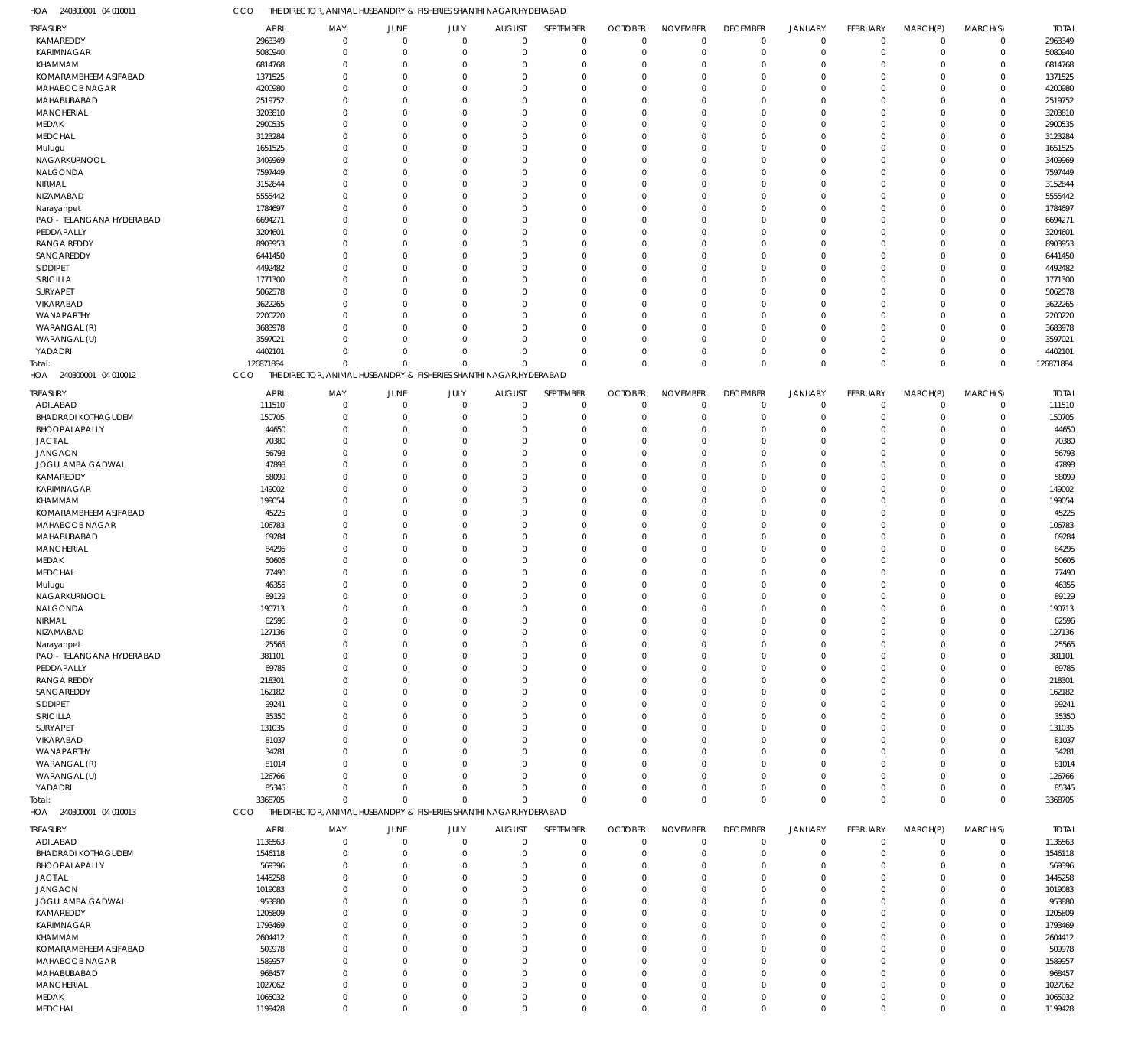240300001 04 010011 HOA CCO THE DIRECTOR, ANIMAL HUSBANDRY & FISHERIES SHANTHI NAGAR,HYDERABAD

| TREASURY                          | APRIL        | MAY                                                                 | JUNE           | JULY         | <b>AUGUST</b> | SEPTEMBER   | <b>OCTOBER</b> | <b>NOVEMBER</b> | <b>DECEMBER</b> | <b>JANUARY</b> | FEBRUARY        | MARCH(P)       | MARCH(S)    | <b>TOTAL</b> |
|-----------------------------------|--------------|---------------------------------------------------------------------|----------------|--------------|---------------|-------------|----------------|-----------------|-----------------|----------------|-----------------|----------------|-------------|--------------|
| KAMAREDDY                         | 2963349      | $\mathbf 0$                                                         | $\overline{0}$ | $\mathbf 0$  | $\mathbf 0$   | $\mathbf 0$ | $\mathbf 0$    | $\mathbf 0$     | $\mathbf 0$     | $\mathbf 0$    | $\overline{0}$  | $\overline{0}$ | $\mathbf 0$ | 2963349      |
| KARIMNAGAR                        | 5080940      | $\Omega$                                                            | $\overline{0}$ | $\mathbf 0$  | $\mathbf 0$   | $\mathbf 0$ | $\mathbf 0$    | $\mathbf 0$     | $\Omega$        | $\mathbf 0$    | $\Omega$        | $\Omega$       | $\mathbf 0$ | 5080940      |
| KHAMMAM                           | 6814768      | $\Omega$                                                            | $\overline{0}$ | $\mathbf 0$  | 0             | $\mathbf 0$ | $\Omega$       | $\Omega$        | $\Omega$        | $\Omega$       | $\Omega$        | $\Omega$       | 0           | 6814768      |
| KOMARAMBHEEM ASIFABAD             | 1371525      | $\mathbf 0$                                                         | $\mathbf 0$    | $\mathbf 0$  | $\mathbf 0$   | $\mathbf 0$ | $\Omega$       | $\mathbf 0$     | $\Omega$        | $\Omega$       | $\Omega$        | $\Omega$       | 0           | 1371525      |
| MAHABOOB NAGAR                    | 4200980      | $\Omega$                                                            | $\Omega$       | $\Omega$     | 0             | $\mathbf 0$ | $\Omega$       | $\Omega$        |                 | $\Omega$       | $\Omega$        | $\Omega$       | $\Omega$    | 4200980      |
| MAHABUBABAD                       | 2519752      | $\Omega$                                                            | $\Omega$       | $\Omega$     | $\mathbf 0$   | $\mathbf 0$ | $\Omega$       | $\Omega$        |                 | $\Omega$       | $\Omega$        | $\Omega$       | 0           | 2519752      |
| <b>MANCHERIAL</b>                 | 3203810      | $\Omega$                                                            | $\Omega$       | $\Omega$     | 0             | $\mathbf 0$ | $\Omega$       | $\Omega$        |                 | $\Omega$       | $\Omega$        | $\Omega$       | $\Omega$    | 3203810      |
| MEDAK                             | 2900535      | $\Omega$                                                            | $\Omega$       | $\Omega$     | $\mathbf 0$   | $\mathbf 0$ | $\Omega$       | $\Omega$        |                 | $\Omega$       | $\Omega$        | $\Omega$       | 0           | 2900535      |
| <b>MEDCHAL</b>                    | 3123284      | $\Omega$                                                            | $\Omega$       | $\Omega$     | 0             | $\mathbf 0$ | $\Omega$       | $\mathbf 0$     |                 | $\Omega$       | $\Omega$        | $\Omega$       | $\Omega$    | 3123284      |
| Mulugu                            | 1651525      | $\Omega$                                                            | $\Omega$       | $\mathbf 0$  | $\mathbf 0$   | $\mathbf 0$ | $\Omega$       | $\Omega$        | $\Omega$        | $\Omega$       | $\Omega$        | $\Omega$       | 0           | 1651525      |
| NAGARKURNOOL                      | 3409969      | $\Omega$                                                            | $\Omega$       | $\Omega$     | 0             | $\mathbf 0$ | $\Omega$       | $\Omega$        |                 | $\Omega$       | $\Omega$        | $\Omega$       | $\Omega$    | 3409969      |
| NALGONDA                          | 7597449      | $\Omega$                                                            | $\Omega$       | $\Omega$     | $\mathbf 0$   | $\mathbf 0$ | $\Omega$       | $\mathbf 0$     |                 | $\Omega$       | $\Omega$        | $\Omega$       | 0           | 7597449      |
| NIRMAL                            | 3152844      | $\Omega$                                                            | $\Omega$       | $\Omega$     | 0             | $\mathbf 0$ | $\Omega$       | $\Omega$        |                 | $\Omega$       | $\Omega$        | $\Omega$       | $\Omega$    | 3152844      |
| NIZAMABAD                         | 5555442      | $\Omega$                                                            | $\Omega$       | $\Omega$     | $\mathbf 0$   | $\mathbf 0$ | $\Omega$       | $\Omega$        |                 | $\Omega$       | $\Omega$        | $\Omega$       | 0           | 5555442      |
| Narayanpet                        | 1784697      | $\Omega$                                                            | $\Omega$       | $\Omega$     | 0             | $\mathbf 0$ | $\Omega$       | $\Omega$        |                 | $\Omega$       | $\Omega$        | $\Omega$       | 0           | 1784697      |
| PAO - TELANGANA HYDERABAD         | 6694271      | $\Omega$                                                            | $\Omega$       | $\Omega$     | $\mathbf 0$   | $\mathbf 0$ | $\Omega$       | $\mathbf 0$     |                 | $\Omega$       | $\Omega$        | $\Omega$       | 0           | 6694271      |
| PEDDAPALLY                        | 3204601      | $\Omega$                                                            | $\Omega$       | $\Omega$     | 0             | $\mathbf 0$ | $\Omega$       | $\Omega$        |                 | $\Omega$       | $\Omega$        | $\Omega$       | $\Omega$    | 3204601      |
| <b>RANGA REDDY</b>                | 8903953      | $\Omega$                                                            | $\Omega$       | $\Omega$     | $\mathbf 0$   | $\mathbf 0$ | $\Omega$       | $\Omega$        |                 | $\Omega$       | $\Omega$        | $\Omega$       | 0           | 8903953      |
| SANGAREDDY                        | 6441450      | $\Omega$                                                            | $\Omega$       | $\Omega$     | 0             | $\mathbf 0$ | $\Omega$       | $\Omega$        |                 | $\Omega$       | $\Omega$        | $\Omega$       | $\Omega$    | 6441450      |
| SIDDIPET                          |              | $\Omega$                                                            | $\Omega$       | $\Omega$     | $\mathbf 0$   | $\mathbf 0$ | $\Omega$       | $\Omega$        |                 | $\Omega$       | $\Omega$        | $\Omega$       | 0           | 4492482      |
|                                   | 4492482      |                                                                     |                |              |               |             |                |                 |                 | $\Omega$       |                 | $\Omega$       |             |              |
| SIRICILLA                         | 1771300      | $\Omega$                                                            | $\Omega$       | $\Omega$     | 0             | $\mathbf 0$ | $\Omega$       | $\Omega$        |                 |                | $\Omega$        |                | $\Omega$    | 1771300      |
| SURYAPET                          | 5062578      | $\Omega$                                                            | $\Omega$       | $\Omega$     | $\mathbf 0$   | $\mathbf 0$ | $\Omega$       | $\Omega$        | $\Omega$        | $\Omega$       | $\Omega$        | $\Omega$       | 0           | 5062578      |
| VIKARABAD                         | 3622265      | $\Omega$                                                            | $\Omega$       | $\Omega$     | $\Omega$      | $\mathbf 0$ | $\Omega$       | $\Omega$        |                 | $\Omega$       | $\Omega$        | $\Omega$       | $\Omega$    | 3622265      |
| WANAPARTHY                        | 2200220      | $\Omega$                                                            | $\Omega$       | $\mathbf 0$  | $\mathbf 0$   | $\mathbf 0$ | $\Omega$       | $\mathbf 0$     | $\Omega$        | $\Omega$       | $\Omega$        | $\Omega$       | 0           | 2200220      |
| WARANGAL (R)                      | 3683978      | O                                                                   | $\Omega$       | $\Omega$     | 0             | $\mathbf 0$ | $\Omega$       | $\Omega$        |                 | $\Omega$       | $\Omega$        | $\Omega$       | $\Omega$    | 3683978      |
| WARANGAL (U)                      | 3597021      | $\Omega$                                                            | $\Omega$       | $\mathbf 0$  | $\mathbf 0$   | $\mathbf 0$ | $\Omega$       | $\Omega$        | $\Omega$        | $\Omega$       | $\Omega$        | $\Omega$       | 0           | 3597021      |
| YADADRI                           | 4402101      | $\Omega$                                                            | $\mathbf 0$    | $\mathbf 0$  | $\mathbf 0$   | $\mathbf 0$ | $\Omega$       | $\mathbf 0$     | $\Omega$        | $\Omega$       | $\Omega$        | $\Omega$       | 0           | 4402101      |
| Total:                            | 126871884    | $\Omega$                                                            | $\Omega$       | $\mathbf 0$  | $\mathbf 0$   | $\mathbf 0$ | $\Omega$       | $\mathbf 0$     | $\Omega$        | $\Omega$       | $\Omega$        | $\mathbf 0$    | $\mathbf 0$ | 126871884    |
| 240300001 04 010012<br>HOA        | CCO          | THE DIRECTOR, ANIMAL HUSBANDRY & FISHERIES SHANTHI NAGAR, HYDERABAD |                |              |               |             |                |                 |                 |                |                 |                |             |              |
| TREASURY                          | <b>APRIL</b> | MAY                                                                 | JUNE           | JULY         | <b>AUGUST</b> | SEPTEMBER   | <b>OCTOBER</b> | <b>NOVEMBER</b> | <b>DECEMBER</b> | <b>JANUARY</b> | <b>FEBRUARY</b> | MARCH(P)       | MARCH(S)    | <b>TOTAL</b> |
| ADILABAD                          | 111510       | $\mathbf 0$                                                         | $\overline{0}$ | $\mathbf 0$  | $\mathbf 0$   | $\mathbf 0$ | $\mathbf 0$    | $\mathbf 0$     | $\mathbf 0$     | $\mathbf 0$    | $\overline{0}$  | $\mathbf 0$    | $\mathbf 0$ | 111510       |
| <b>BHADRADI KOTHAGUDEM</b>        | 150705       | $\mathbf 0$                                                         | $\overline{0}$ | $\mathbf 0$  | $\mathbf 0$   | $\mathbf 0$ | $\Omega$       | $\Omega$        | $\Omega$        | $\mathbf 0$    | $\Omega$        | $\Omega$       | $\mathbf 0$ | 150705       |
| BHOOPALAPALLY                     | 44650        | $\Omega$                                                            | $\Omega$       | $\mathbf 0$  | $\mathbf 0$   | $\mathbf 0$ | $\Omega$       | $\mathbf 0$     | $\Omega$        | $\Omega$       | $\Omega$        | $\Omega$       | $\mathbf 0$ | 44650        |
| <b>JAGTIAL</b>                    | 70380        | $\Omega$                                                            | $\Omega$       | $\Omega$     | $\mathbf 0$   | $\mathbf 0$ | $\Omega$       | $\Omega$        | $\Omega$        | $\Omega$       | $\Omega$        | $\Omega$       | 0           | 70380        |
| <b>JANGAON</b>                    | 56793        | $\Omega$                                                            | $\Omega$       | $\Omega$     | $\mathbf 0$   | $\mathbf 0$ | $\Omega$       | $\Omega$        | $\Omega$        | $\Omega$       | $\Omega$        | $\Omega$       | 0           | 56793        |
| JOGULAMBA GADWAL                  | 47898        | $\Omega$                                                            | $\Omega$       | $\Omega$     | $\mathbf 0$   | $\mathbf 0$ | $\Omega$       | $\Omega$        | $\Omega$        | $\Omega$       | $\Omega$        | $\Omega$       | 0           | 47898        |
| KAMAREDDY                         | 58099        | $\Omega$                                                            | $\Omega$       | $\Omega$     | $\mathbf 0$   | $\mathbf 0$ | $\Omega$       | $\mathbf{0}$    | $\Omega$        | $\Omega$       | $\Omega$        | $\Omega$       | $\Omega$    | 58099        |
| KARIMNAGAR                        |              | $\Omega$                                                            | $\Omega$       | $\Omega$     | $\mathbf 0$   | $\mathbf 0$ | $\Omega$       | $\Omega$        | $\Omega$        | $\Omega$       | $\Omega$        | $\Omega$       | 0           | 149002       |
|                                   | 149002       | $\Omega$                                                            |                |              |               |             |                |                 | $\Omega$        | $\Omega$       | $\Omega$        | $\Omega$       |             |              |
| KHAMMAM                           | 199054       |                                                                     | $\Omega$       | $\Omega$     | $\mathbf 0$   | $\mathbf 0$ | $\Omega$       | $\mathbf 0$     |                 |                |                 | $\Omega$       | 0           | 199054       |
| KOMARAMBHEEM ASIFABAD             | 45225        | $\Omega$                                                            | $\Omega$       | $\Omega$     | $\mathbf 0$   | $\mathbf 0$ | $\Omega$       | $\Omega$        | $\Omega$        | $\Omega$       | $\Omega$        |                | 0           | 45225        |
| MAHABOOB NAGAR                    | 106783       | $\Omega$                                                            | $\Omega$       | $\Omega$     | $\mathbf 0$   | $\mathbf 0$ | $\Omega$       | $\Omega$        | $\Omega$        | $\Omega$       | $\Omega$        | $\Omega$       | 0           | 106783       |
| MAHABUBABAD                       | 69284        | $\Omega$                                                            | $\Omega$       | $\Omega$     | $\mathbf 0$   | $\mathbf 0$ | $\Omega$       | $\Omega$        | $\Omega$        | $\Omega$       | $\Omega$        | $\Omega$       | 0           | 69284        |
| <b>MANCHERIAL</b>                 | 84295        | $\Omega$                                                            | $\Omega$       | $\Omega$     | $\mathbf 0$   | $\mathbf 0$ | $\Omega$       | $\Omega$        | $\Omega$        | $\Omega$       | $\Omega$        | $\Omega$       | 0           | 84295        |
| MEDAK                             | 50605        | $\Omega$                                                            | $\Omega$       | $\Omega$     | $\mathbf 0$   | $\mathbf 0$ | $\Omega$       | $\Omega$        | $\Omega$        | $\Omega$       | $\Omega$        | $\Omega$       | 0           | 50605        |
| <b>MEDCHAL</b>                    | 77490        | $\Omega$                                                            | $\Omega$       | $\mathbf 0$  | $\mathbf 0$   | $\mathbf 0$ | $\Omega$       | $\mathbf{0}$    | $\Omega$        | $\Omega$       | $\Omega$        | $\Omega$       | 0           | 77490        |
| Mulugu                            | 46355        | O                                                                   | $\Omega$       | $\Omega$     | $\mathbf 0$   | $\mathbf 0$ | $\Omega$       | $\Omega$        | $\Omega$        | $\Omega$       | $\Omega$        | $\Omega$       | 0           | 46355        |
| NAGARKURNOOL                      | 89129        | $\Omega$                                                            | $\Omega$       | $\Omega$     | $\mathbf 0$   | $\mathbf 0$ | $\Omega$       | $\Omega$        | $\Omega$        | $\Omega$       | $\Omega$        | $\Omega$       | 0           | 89129        |
| NALGONDA                          | 190713       | $\Omega$                                                            | $\Omega$       | $\mathbf{0}$ | $\mathbf 0$   | $\mathbf 0$ | $\Omega$       | $\mathbf 0$     | $\Omega$        | $\mathbf 0$    | $\mathbf 0$     | $\mathbf 0$    | $\mathbf 0$ | 190713       |
| NIRMAL                            | 62596        | 0                                                                   | $\Omega$       | $\mathbf 0$  | 0             | $\mathbf 0$ | $\mathbf 0$    | $\Omega$        | $\Omega$        | $\Omega$       | $\mathbf{0}$    | $\mathbf 0$    | $\mathbf 0$ | 62596        |
| NIZAMABAD                         | 127136       | $\mathbf 0$                                                         | $\mathbf 0$    | $\mathbf 0$  | 0             | $\mathbf 0$ | $\mathbf 0$    | $\Omega$        | $\Omega$        | $\Omega$       | $\Omega$        | $\Omega$       | 0           | 127136       |
| Narayanpet                        | 25565        | $\Omega$                                                            | $\Omega$       | $\mathbf 0$  | 0             | $\mathbf 0$ | $\Omega$       | $\mathbf{0}$    | $\Omega$        | $\Omega$       | $\Omega$        | $\Omega$       | 0           | 25565        |
| PAO - TELANGANA HYDERABAD         | 381101       | $\Omega$                                                            | $\Omega$       | $\Omega$     | $\Omega$      | $\mathbf 0$ | $\Omega$       | $\Omega$        | $\Omega$        | $\Omega$       | $\Omega$        | $\Omega$       | 0           | 381101       |
| PEDDAPALLY                        | 69785        | $\Omega$                                                            | $\Omega$       | $\Omega$     | $\Omega$      | $\mathbf 0$ | $\Omega$       | $\Omega$        | $\Omega$        | $\Omega$       | $\Omega$        | $\Omega$       | $\Omega$    | 69785        |
| <b>RANGA REDDY</b>                | 218301       | $\Omega$                                                            | $\Omega$       | $\Omega$     | 0             | $\mathbf 0$ | $\Omega$       | $\Omega$        | $\Omega$        | $\Omega$       | $\Omega$        | $\Omega$       | 0           | 218301       |
| SANGAREDDY                        | 162182       | $\Omega$                                                            | $\Omega$       | $\Omega$     | $\Omega$      | $\mathbf 0$ | $\Omega$       | $\Omega$        | $\Omega$        | $\Omega$       | $\Omega$        | $\Omega$       | $\Omega$    | 162182       |
| SIDDIPET                          | 99241        | 0                                                                   | $\Omega$       | $\Omega$     | 0             | $\mathbf 0$ | $\Omega$       | $\Omega$        | $\Omega$        | $\Omega$       | $\Omega$        | $\Omega$       | 0           | 99241        |
| SIRICILLA                         | 35350        | $\Omega$                                                            | $\cup$         | $\Omega$     | $\Omega$      | $\mathbf 0$ | $\Omega$       | $\Omega$        | $\cap$          | $\Omega$       | $\Omega$        | $\Omega$       | 0           | 35350        |
| SURYAPET                          | 131035       | 0                                                                   | $\Omega$       | $\Omega$     | 0             | $\mathbf 0$ | $\Omega$       | $\Omega$        | $\Omega$        | $\Omega$       | $\Omega$        | $\Omega$       | 0           | 131035       |
| VIKARABAD                         | 81037        | $\Omega$                                                            | $\Omega$       | $\Omega$     | $\mathbf 0$   | $\mathbf 0$ | $\Omega$       | $\Omega$        | $\Omega$        | $\Omega$       | $\Omega$        | $\Omega$       | 0           | 81037        |
| WANAPARTHY                        | 34281        | 0                                                                   | $\Omega$       | $\Omega$     | 0             | $\mathbf 0$ | $\Omega$       | $\Omega$        | $\Omega$        | $\Omega$       | $\Omega$        | $\Omega$       | 0           | 34281        |
| WARANGAL (R)                      | 81014        | $\Omega$                                                            | $\cup$         | $\Omega$     | $\Omega$      | $\mathbf 0$ | $\Omega$       | $\Omega$        | $\Omega$        | $\Omega$       | $\Omega$        | $\Omega$       | 0           | 81014        |
| WARANGAL (U)                      | 126766       | 0                                                                   | $\Omega$       | $\mathbf 0$  | 0             | $\mathbf 0$ | $\Omega$       | $\Omega$        | $\Omega$        | $\Omega$       | $\Omega$        | $\Omega$       | 0           | 126766       |
| YADADRI                           | 85345        | $\Omega$                                                            | $\Omega$       | $\Omega$     | $\mathbf 0$   | $\mathbf 0$ | $\Omega$       | $\mathbf{0}$    | $\Omega$        | $\Omega$       | $\Omega$        | $\mathbf 0$    | $\mathbf 0$ | 85345        |
|                                   | 3368705      | $\Omega$                                                            | $\Omega$       | $\Omega$     | $\mathbf 0$   | $\mathbf 0$ | $\Omega$       | $\mathbf 0$     | $\Omega$        | $\mathbf{0}$   | $\Omega$        | $\mathbf 0$    | $\mathbf 0$ | 3368705      |
| Total:<br>HOA 240300001 04 010013 | CCO          | THE DIRECTOR, ANIMAL HUSBANDRY & FISHERIES SHANTHI NAGAR, HYDERABAD |                |              |               |             |                |                 |                 |                |                 |                |             |              |
|                                   |              |                                                                     |                |              |               |             |                |                 |                 |                |                 |                |             |              |
| TREASURY                          | <b>APRIL</b> | MAY                                                                 | JUNE           | JULY         | <b>AUGUST</b> | SEPTEMBER   | <b>OCTOBER</b> | <b>NOVEMBER</b> | <b>DECEMBER</b> | <b>JANUARY</b> | FEBRUARY        | MARCH(P)       | MARCH(S)    | <b>TOTAL</b> |
| ADILABAD                          | 1136563      | $\mathbf 0$                                                         | $\mathbf 0$    | $\mathbf 0$  | $\mathbf 0$   | $\mathbf 0$ | 0              | $^{\circ}$      | $\mathbf 0$     | $\mathbf 0$    | $^{\circ}$      | $\overline{0}$ | $\mathbf 0$ | 1136563      |
| <b>BHADRADI KOTHAGUDEM</b>        | 1546118      | $\mathbf 0$                                                         | $\mathbf 0$    | $\mathbf 0$  | 0             | $\mathbf 0$ | 0              | $\mathbf 0$     | $\Omega$        | $\Omega$       | $\Omega$        | $\Omega$       | $\mathbf 0$ | 1546118      |
| BHOOPALAPALLY                     | 569396       | $\Omega$                                                            | $\Omega$       | 0            | 0             | $\mathbf 0$ | -0             | $\Omega$        | $\Omega$        | $\Omega$       | $\Omega$        | $\Omega$       | 0           | 569396       |
| JAGTIAL                           | 1445258      | 0                                                                   | $\Omega$       | $\Omega$     | 0             | $\mathbf 0$ | $\Omega$       | $\mathbf 0$     |                 | $\Omega$       | $\Omega$        | $\Omega$       | $\Omega$    | 1445258      |
| <b>JANGAON</b>                    | 1019083      | $\Omega$                                                            | $\Omega$       | $\Omega$     | 0             | $\mathbf 0$ | $\Omega$       | $\Omega$        |                 | $\Omega$       | $\Omega$        | $\Omega$       | 0           | 1019083      |
| JOGULAMBA GADWAL                  | 953880       | O                                                                   | $\Omega$       | $\Omega$     | 0             | $\mathbf 0$ | -0             | $\Omega$        |                 | $\Omega$       | $\Omega$        | $\Omega$       | $\Omega$    | 953880       |
| KAMAREDDY                         | 1205809      | 0                                                                   | $\Omega$       | $\Omega$     | 0             | $\mathbf 0$ | -0             | $\mathbf 0$     |                 | $\Omega$       | $\Omega$        | $\Omega$       | 0           | 1205809      |
| KARIMNAGAR                        |              |                                                                     |                |              |               | $\mathbf 0$ | -0             | $\Omega$        |                 | $\Omega$       |                 | $\Omega$       | $\Omega$    | 1793469      |
|                                   | 1793469      | O                                                                   | $\Omega$       | $\Omega$     | 0             |             |                |                 |                 |                |                 |                |             |              |
| KHAMMAM                           | 2604412      | 0                                                                   | $\Omega$       | $\Omega$     | 0             | $\mathbf 0$ | -0             | $\Omega$        |                 | $\Omega$       | $\Omega$        | $\Omega$       | 0           | 2604412      |
| KOMARAMBHEEM ASIFABAD             | 509978       | 0                                                                   | $\Omega$       | $\Omega$     | 0             | $\mathbf 0$ | -0             | $\Omega$        |                 | $\Omega$       | $\Omega$        | $\Omega$       | $\Omega$    | 509978       |
| MAHABOOB NAGAR                    | 1589957      | $\Omega$                                                            | $\Omega$       | $\Omega$     | 0             | $\mathbf 0$ | -0             | $\Omega$        |                 | $\Omega$       | $\Omega$        | $\Omega$       | 0           | 1589957      |
| MAHABUBABAD                       | 968457       | O                                                                   | $\Omega$       | $\Omega$     | 0             | $\mathbf 0$ | $\Omega$       | $\Omega$        |                 | $\Omega$       | $\Omega$        | $\Omega$       | $\Omega$    | 968457       |
| <b>MANCHERIAL</b>                 | 1027062      | $\mathbf 0$                                                         | $\Omega$       | $\mathbf 0$  | $\mathbf 0$   | $\mathbf 0$ | -0             | $\mathbf 0$     | $\Omega$        | $\Omega$       | $\Omega$        | $\overline{0}$ | 0           | 1027062      |
| MEDAK                             | 1065032      | $\mathbf 0$                                                         | $\mathbf 0$    | $\mathbf 0$  | $\mathbf 0$   | $\mathbf 0$ | 0              | $\mathbf 0$     | $\Omega$        | $\mathbf 0$    | $\overline{0}$  | $\mathbf 0$    | 0           | 1065032      |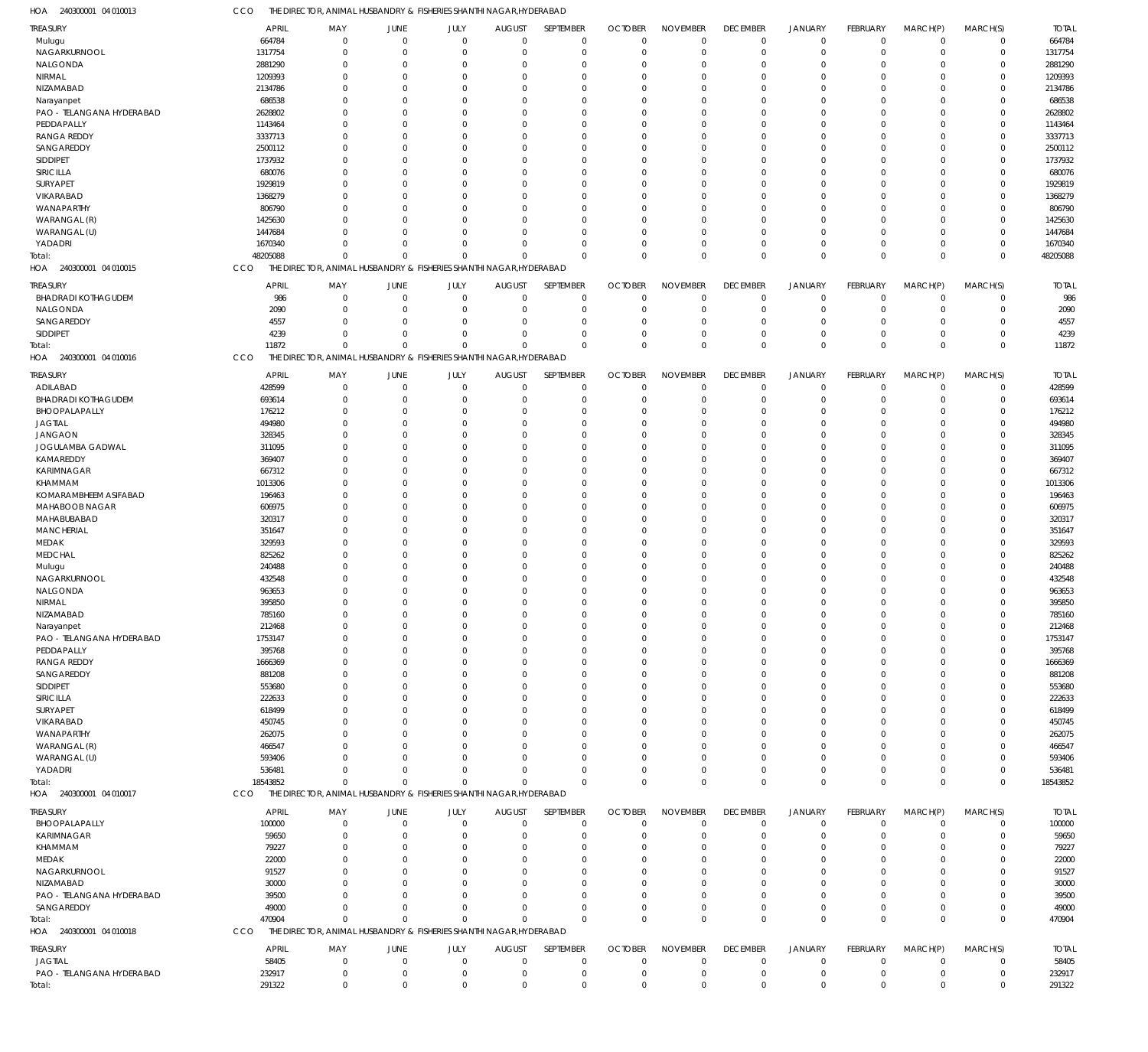CCO THE DIRECTOR, ANIMAL HUSBANDRY & FISHERIES SHANTHI NAGAR,HYDERABAD

|                                     | CCO<br>THE DIRECTOR, ANIMAL HUSBANDRY & FISHERIES SHANTHI NAGAR, HYDERABAD |                                                                     |                             |                            |                  |                  |                  |                            |                            |                            |                   |                            |                  |                  |
|-------------------------------------|----------------------------------------------------------------------------|---------------------------------------------------------------------|-----------------------------|----------------------------|------------------|------------------|------------------|----------------------------|----------------------------|----------------------------|-------------------|----------------------------|------------------|------------------|
| <b>TREASURY</b>                     | APRIL                                                                      | MAY                                                                 | JUNE                        | JULY                       | <b>AUGUST</b>    | SEPTEMBER        | <b>OCTOBER</b>   | <b>NOVEMBER</b>            | <b>DECEMBER</b>            | <b>JANUARY</b>             | <b>FEBRUARY</b>   | MARCH(P)                   | MARCH(S)         | <b>TOTAL</b>     |
| Mulugu                              | 664784                                                                     | $\mathbf 0$                                                         | $\mathbf 0$                 | $\mathbf 0$                | $\Omega$         | $\mathbf 0$      | $\mathbf 0$      | $\mathbf 0$                | $\mathbf 0$                | $\mathbf 0$                | $\mathbf 0$       | $\mathbf 0$                | $\mathbf 0$      | 664784           |
| NAGARKURNOOL                        | 1317754                                                                    | $\mathbf 0$                                                         | $\Omega$                    | $\mathbf 0$                | $\Omega$         | $\mathbf 0$      | $\mathbf 0$      | $\mathbf 0$                | $\mathbf 0$                | $\mathbf 0$                | $\mathbf 0$       | $\mathbf 0$                | $\mathbf 0$      | 1317754          |
| NALGONDA                            | 2881290                                                                    | $\mathbf 0$                                                         | $\Omega$                    | $\Omega$                   | $\Omega$         | $\mathbf 0$      | $\Omega$         | $\mathbf 0$                | $\mathbf 0$                | $\mathbf 0$                | $\Omega$          | $\Omega$                   | $\mathbf 0$      | 2881290          |
| <b>NIRMAL</b>                       | 1209393                                                                    | $\mathbf 0$                                                         | $\Omega$                    | $\Omega$                   | $\Omega$         | $\mathbf 0$      | $\Omega$         | $\mathbf 0$                | $\mathbf 0$                | $\mathbf 0$                | $\Omega$          | $\Omega$                   | $\mathbf 0$      | 1209393          |
| NIZAMABAD                           | 2134786                                                                    | $\Omega$                                                            | $\Omega$                    | $\Omega$                   | $\Omega$         | $\mathbf 0$      | $\Omega$         | $\Omega$                   | 0                          | $\mathbf 0$                | $\Omega$          | $\Omega$                   | 0                | 2134786          |
| Narayanpet                          |                                                                            | $\Omega$                                                            | $\Omega$                    | $\Omega$                   | $\Omega$         | $\mathbf 0$      | $\Omega$         | $\mathbf 0$                | $\Omega$                   | $\mathbf 0$                | $\Omega$          | $\Omega$                   | $\mathbf 0$      | 686538           |
|                                     | 686538                                                                     |                                                                     |                             |                            |                  |                  |                  |                            |                            |                            |                   |                            |                  |                  |
| PAO - TELANGANA HYDERABAD           | 2628802                                                                    | $\mathbf{0}$                                                        | $\Omega$                    | $\Omega$                   | $\Omega$         | $\mathbf 0$      | $\Omega$         | $\mathbf 0$                | 0                          | $\mathbf 0$                | $\Omega$          | $\Omega$                   | 0                | 2628802          |
| PEDDAPALLY                          | 1143464                                                                    | $\Omega$                                                            | $\Omega$                    | $\Omega$                   | $\Omega$         | $\mathbf 0$      | $\Omega$         | $\mathbf 0$                | $\Omega$                   | $\mathbf 0$                | $\Omega$          | $\Omega$                   | $\Omega$         | 1143464          |
| <b>RANGA REDDY</b>                  | 3337713                                                                    | $\mathbf{0}$                                                        | $\Omega$                    | $\Omega$                   | $\Omega$         | $\mathbf 0$      | $\Omega$         | $\mathbf 0$                | 0                          | $\mathbf 0$                | $\Omega$          | $\Omega$                   | 0                | 3337713          |
| SANGAREDDY                          | 2500112                                                                    | $\Omega$                                                            | $\Omega$                    | $\Omega$                   | $\Omega$         | $\Omega$         | $\Omega$         | $\Omega$                   | $\Omega$                   | $\Omega$                   | $\Omega$          | $\Omega$                   | $\Omega$         | 2500112          |
| SIDDIPET                            | 1737932                                                                    | $\Omega$                                                            | C                           | $\Omega$                   | $\Omega$         | $\mathbf 0$      | $\Omega$         | $\mathbf 0$                | 0                          | $\mathbf 0$                | $\Omega$          | $\Omega$                   | $\mathbf 0$      | 1737932          |
| SIRICILLA                           | 680076                                                                     | $\Omega$                                                            | $\Omega$                    | $\Omega$                   | $\Omega$         | $\mathbf 0$      | $\Omega$         | $\mathbf 0$                | $\mathbf 0$                | $\mathbf 0$                | $\Omega$          | $\Omega$                   | $\mathbf 0$      | 680076           |
| SURYAPET                            | 1929819                                                                    | $\Omega$                                                            | $\Omega$                    | $\Omega$                   | $\Omega$         | $\mathbf 0$      | $\Omega$         | $\Omega$                   | $\Omega$                   | $\mathbf 0$                | $\Omega$          | $\Omega$                   | 0                | 1929819          |
| VIKARABAD                           | 1368279                                                                    | $\Omega$                                                            | $\Omega$                    | $\Omega$                   | $\Omega$         | $\mathbf 0$      | $\Omega$         | $\mathbf 0$                | $\mathbf 0$                | $\mathbf 0$                | $\Omega$          | $\mathbf 0$                | $\mathbf 0$      | 1368279          |
| WANAPARTHY                          | 806790                                                                     | $\Omega$                                                            | $\Omega$                    | $\Omega$                   | $\Omega$         | $\mathbf 0$      | $\Omega$         | $\mathbf 0$                | 0                          | $\mathbf 0$                | $\Omega$          | $\Omega$                   | 0                | 806790           |
| WARANGAL (R)                        | 1425630                                                                    | $\Omega$                                                            | $\Omega$                    | $\Omega$                   | $\Omega$         | $\mathbf 0$      | $\Omega$         | $\mathbf 0$                | $\mathbf 0$                | $\mathbf 0$                | $\Omega$          | $\mathbf 0$                | $\mathbf 0$      | 1425630          |
|                                     |                                                                            | $\Omega$                                                            | $\Omega$                    | $\Omega$                   | $\Omega$         |                  |                  | $\Omega$                   |                            |                            |                   | $\Omega$                   |                  |                  |
| WARANGAL (U)                        | 1447684                                                                    |                                                                     |                             |                            |                  | $\mathbf 0$      | $\Omega$         |                            | 0                          | $\mathbf 0$                | $\Omega$          |                            | $\mathbf 0$      | 1447684          |
| YADADRI                             | 1670340                                                                    | $\Omega$                                                            | $\Omega$                    | $\mathbf 0$                | $\Omega$         | $\mathbf 0$      | $\Omega$         | $\mathbf 0$                | $\mathbf 0$                | $\mathbf 0$                | $\mathbf 0$       | $\mathbf 0$                | $\mathbf 0$      | 1670340          |
| Total:                              | 48205088                                                                   | $\mathbf 0$                                                         | $\Omega$                    | $\mathbf 0$                | $\Omega$         | $\mathbf 0$      | $\Omega$         | $\mathbf 0$                | $\mathbf 0$                | $\mathbf 0$                | $\Omega$          | $\mathbf 0$                | $\mathbf{0}$     | 48205088         |
| 240300001 04 010015<br>HOA          | CCO                                                                        | THE DIRECTOR, ANIMAL HUSBANDRY & FISHERIES SHANTHI NAGAR, HYDERABAD |                             |                            |                  |                  |                  |                            |                            |                            |                   |                            |                  |                  |
| <b>TREASURY</b>                     | <b>APRIL</b>                                                               | MAY                                                                 | JUNE                        | JULY                       | <b>AUGUST</b>    | SEPTEMBER        | <b>OCTOBER</b>   | <b>NOVEMBER</b>            | <b>DECEMBER</b>            | JANUARY                    | FEBRUARY          | MARCH(P)                   | MARCH(S)         | <b>TOTAL</b>     |
| <b>BHADRADI KOTHAGUDEM</b>          | 986                                                                        | $\mathbf 0$                                                         | $\overline{0}$              | $\mathbf 0$                | $\overline{0}$   | $\mathbf 0$      | 0                | $\mathbf 0$                | $\mathbf 0$                | $\mathbf 0$                | $^{\circ}$        | $^{\circ}$                 | $\mathbf 0$      | 986              |
|                                     |                                                                            |                                                                     |                             |                            |                  |                  |                  |                            |                            |                            |                   |                            |                  |                  |
| NALGONDA                            | 2090                                                                       | $\mathbf 0$                                                         | $\mathbf 0$                 | $\mathbf 0$                | $\Omega$         | $\mathbf 0$      | O                | $\mathbf 0$                | $\mathbf 0$                | $\mathbf 0$                | $^{\circ}$        | $\mathbf 0$                | $\mathbf 0$      | 2090             |
| SANGAREDDY                          | 4557                                                                       | $\mathbf 0$                                                         | $\Omega$                    | $\mathbf 0$                | $\Omega$         | $\mathbf 0$      | $\Omega$         | $\mathbf 0$                | $\mathbf 0$                | $\mathbf 0$                | -0                | $\overline{0}$             | $\mathbf 0$      | 4557             |
| <b>SIDDIPET</b>                     | 4239                                                                       | $\mathbf 0$                                                         | $\Omega$                    | $\mathbf 0$                | $\Omega$         | $\mathbf 0$      | 0                | $\mathbf 0$                | $\mathbf 0$                | $\mathbf 0$                | $\mathbf 0$       | $\mathbf 0$                | $\mathbf 0$      | 4239             |
| Total:                              | 11872                                                                      | $\mathbf 0$                                                         | $\Omega$                    | $\mathbf 0$                | $\Omega$         | $\mathbf 0$      | $\Omega$         | $\mathbf 0$                | $\mathbf{0}$               | $\mathbf 0$                | $\Omega$          | $\mathbf 0$                | $\mathbf 0$      | 11872            |
| 240300001 04 010016<br>HOA          | CCO                                                                        | THE DIRECTOR, ANIMAL HUSBANDRY & FISHERIES SHANTHI NAGAR, HYDERABAD |                             |                            |                  |                  |                  |                            |                            |                            |                   |                            |                  |                  |
|                                     |                                                                            |                                                                     |                             |                            |                  |                  |                  | <b>NOVEMBER</b>            |                            |                            |                   |                            | MARCH(S)         |                  |
| TREASURY                            | <b>APRIL</b>                                                               | MAY                                                                 | JUNE                        | JULY                       | <b>AUGUST</b>    | SEPTEMBER        | <b>OCTOBER</b>   |                            | <b>DECEMBER</b>            | <b>JANUARY</b>             | FEBRUARY          | MARCH(P)                   |                  | <b>TOTAL</b>     |
| ADILABAD                            | 428599                                                                     | $\mathbf 0$                                                         | $\mathbf{0}$                | $\mathbf 0$                | $\mathbf{0}$     | $\mathbf 0$      | $\mathbf 0$      | $\mathbf 0$                | $\mathbf 0$                | $\mathbf 0$                | $\mathbf 0$       | $\mathbf 0$                | $\mathbf 0$      | 428599           |
| <b>BHADRADI KOTHAGUDEM</b>          | 693614                                                                     | $\mathbf 0$                                                         | $\Omega$                    | $\mathbf 0$                | $\Omega$         | $\mathbf 0$      | 0                | $\mathbf 0$                | $\mathbf 0$                | $\mathbf 0$                | $^{\circ}$        | $\mathbf 0$                | $\mathbf 0$      | 693614           |
| BHOOPALAPALLY                       | 176212                                                                     | $\mathbf 0$                                                         | $\Omega$                    | $\Omega$                   | $\Omega$         | $\mathbf 0$      | $\Omega$         | $\mathbf 0$                | $\mathbf 0$                | $\mathbf 0$                | 0                 | $\mathbf 0$                | $\mathbf 0$      | 176212           |
| <b>JAGTIAL</b>                      | 494980                                                                     | $\Omega$                                                            | $\Omega$                    | $\Omega$                   | $\Omega$         | $\mathbf 0$      | $\Omega$         | $\Omega$                   | $\mathbf 0$                | $\mathbf 0$                | $\Omega$          | $\Omega$                   | 0                | 494980           |
| <b>JANGAON</b>                      | 328345                                                                     | $\Omega$                                                            | $\Omega$                    | $\Omega$                   | $\Omega$         | $\mathbf 0$      | $\Omega$         | $\mathbf 0$                | $\mathbf 0$                | $\mathbf 0$                | $\Omega$          | $\mathbf 0$                | $\mathbf 0$      | 328345           |
| JOGULAMBA GADWAL                    | 311095                                                                     | $\Omega$                                                            | $\Omega$                    | $\Omega$                   | $\Omega$         | $\mathbf 0$      | $\Omega$         | $\mathbf 0$                | 0                          | $\mathbf 0$                | $\Omega$          | $\Omega$                   | 0                | 311095           |
| KAMAREDDY                           | 369407                                                                     | $\Omega$                                                            | $\Omega$                    | $\Omega$                   | $\Omega$         | $\mathbf 0$      | $\Omega$         | $\mathbf 0$                | $\mathbf 0$                | $\mathbf 0$                | $\Omega$          | $\mathbf 0$                | $\mathbf 0$      | 369407           |
| KARIMNAGAR                          | 667312                                                                     | $\Omega$                                                            | $\Omega$                    | $\Omega$                   | $\Omega$         | $\mathbf 0$      | $\Omega$         | $\Omega$                   | 0                          | $\mathbf 0$                | $\Omega$          | $\Omega$                   | 0                | 667312           |
| KHAMMAM                             | 1013306                                                                    | $\Omega$                                                            | $\Omega$                    | $\Omega$                   | $\Omega$         | $\mathbf 0$      | $\Omega$         | $\mathbf 0$                | $\Omega$                   | $\Omega$                   | $\Omega$          | $\Omega$                   | $\Omega$         | 1013306          |
| KOMARAMBHEEM ASIFABAD               | 196463                                                                     | $\mathbf{0}$                                                        | $\Omega$                    | $\Omega$                   | $\Omega$         | $\mathbf 0$      | $\Omega$         | $\mathbf 0$                | 0                          | $\mathbf 0$                | $\Omega$          | $\mathbf 0$                | 0                | 196463           |
|                                     |                                                                            | $\Omega$                                                            |                             | $\Omega$                   | $\Omega$         | $\mathbf 0$      |                  |                            | $\Omega$                   | $\Omega$                   | $\Omega$          | $\Omega$                   | $\Omega$         |                  |
| MAHABOOB NAGAR                      | 606975                                                                     |                                                                     | $\Omega$                    |                            |                  |                  | $\Omega$         | $\mathbf 0$                |                            |                            |                   |                            |                  | 606975           |
| MAHABUBABAD                         | 320317                                                                     | $\Omega$                                                            | C                           | $\Omega$                   | $\Omega$         | $\mathbf 0$      | $\Omega$         | $\mathbf 0$                | $\mathbf 0$                | $\mathbf 0$                | $\Omega$          | $\Omega$                   | 0                | 320317           |
| MANCHERIAL                          | 351647                                                                     | $\Omega$                                                            | $\Omega$                    | $\Omega$                   | $\Omega$         | $\mathbf 0$      | $\Omega$         | $\mathbf 0$                | $\mathbf 0$                | $\mathbf 0$                | $\Omega$          | $\mathbf 0$                | $\Omega$         | 351647           |
| MEDAK                               | 329593                                                                     | $\Omega$                                                            | $\Omega$                    | $\Omega$                   | $\Omega$         | $\mathbf 0$      | $\Omega$         | $\mathbf 0$                | $\mathbf 0$                | $\mathbf 0$                | $\Omega$          | $\Omega$                   | 0                | 329593           |
| <b>MEDCHAL</b>                      | 825262                                                                     | $\Omega$                                                            | $\Omega$                    | $\Omega$                   | $\Omega$         | $\mathbf 0$      | $\Omega$         | $\mathbf 0$                | $\mathbf 0$                | $\mathbf 0$                | $\Omega$          | $\mathbf 0$                | $\mathbf 0$      | 825262           |
| Mulugu                              | 240488                                                                     | $\Omega$                                                            | $\Omega$                    | $\Omega$                   | $\Omega$         | $\mathbf 0$      | $\Omega$         | $\Omega$                   | $\Omega$                   | $\Omega$                   | $\Omega$          | $\Omega$                   | 0                | 240488           |
| NAGARKURNOOL                        | 432548                                                                     | $\Omega$                                                            | $\Omega$                    | $\Omega$                   | $\Omega$         | $\mathbf 0$      | $\Omega$         | $\mathbf 0$                | $\Omega$                   | $\Omega$                   | $\Omega$          | $\mathbf 0$                | $\Omega$         | 432548           |
| NALGONDA                            | 963653                                                                     | $\Omega$                                                            | $\Omega$                    | $\mathbf 0$                | $\Omega$         | $\Omega$         | $\Omega$         | $\mathbf{0}$               | $\Omega$                   | $\Omega$                   | $\Omega$          | $\Omega$                   | $\mathbf 0$      | 963653           |
| NIRMAL                              | 395850                                                                     | $\Omega$                                                            | $\Omega$                    |                            | $\Omega$         | $\Omega$         | $\Omega$         | $\Omega$                   | $\Omega$                   | $\Omega$                   | $\Omega$          | $\mathbf 0$                | $\mathbf 0$      | 395850           |
| NIZAMABAD                           |                                                                            |                                                                     |                             |                            |                  |                  |                  | 0                          |                            |                            |                   |                            |                  |                  |
|                                     |                                                                            |                                                                     |                             | $\mathbf 0$                |                  |                  |                  |                            |                            |                            |                   |                            |                  |                  |
| Narayanpet                          | 785160                                                                     | $\mathbf 0$                                                         | $\Omega$                    | 0                          | $\Omega$         | $\mathbf 0$      | 0                |                            | 0                          | $\mathbf 0$                | $\mathbf 0$       | $^{\circ}$                 | 0                | 785160           |
|                                     | 212468                                                                     | $\mathbf 0$                                                         | $\Omega$                    | $\Omega$                   | $\Omega$         | $\mathbf 0$      | 0                | $\mathbf 0$                | $\mathbf 0$                | $\mathbf 0$                | $\mathbf 0$       | $\mathbf 0$                | 0                | 212468           |
| PAO - TELANGANA HYDERABAD           | 1753147                                                                    | $\mathbf 0$                                                         | $\Omega$                    | $\Omega$                   | $\Omega$         | $\mathbf 0$      | $\Omega$         | $\mathbf 0$                | 0                          | $\mathbf 0$                | -0                | $\Omega$                   | 0                | 1753147          |
| PEDDAPALLY                          | 395768                                                                     | $\Omega$                                                            | $\Omega$                    | $\Omega$                   | $\Omega$         | $\mathbf 0$      | $\Omega$         | $\mathbf 0$                | 0                          | $\mathbf 0$                | $\Omega$          | $\Omega$                   | 0                | 395768           |
| <b>RANGA REDDY</b>                  | 1666369                                                                    | $\mathbf{0}$                                                        | $\Omega$                    | $\Omega$                   | $\Omega$         | $\mathbf 0$      | O                | $\mathbf 0$                | 0                          | $\mathbf 0$                | $\Omega$          | $\Omega$                   | 0                | 1666369          |
| SANGAREDDY                          | 881208                                                                     | $\Omega$                                                            | $\Omega$                    | $\Omega$                   | $\Omega$         | $\mathbf 0$      | $\Omega$         | $\mathbf 0$                | 0                          | $\mathbf 0$                | $\Omega$          | $\Omega$                   | $\Omega$         | 881208           |
| SIDDIPET                            | 553680                                                                     | $\Omega$                                                            | -C                          | $\Omega$                   | $\Omega$         | $\mathbf 0$      | 0                | $\Omega$                   | 0                          | $\mathbf 0$                | $\Omega$          | $\Omega$                   | 0                | 553680           |
| SIRICILLA                           | 222633                                                                     | $\Omega$                                                            | $\Omega$                    | $\Omega$                   | $\Omega$         | $\mathbf 0$      | $\Omega$         | $\mathbf 0$                | 0                          | $\mathbf 0$                | $\Omega$          | $\mathbf 0$                | 0                | 222633           |
| SURYAPET                            | 618499                                                                     | $\Omega$                                                            | C                           | $\Omega$                   | $\Omega$         | $\mathbf 0$      | 0                | $\mathbf 0$                | 0                          | 0                          | 0                 | $\Omega$                   | 0                | 618499           |
| VIKARABAD                           | 450745                                                                     | $\Omega$                                                            | $\Omega$                    | $\Omega$                   | $\Omega$         | $\mathbf 0$      | $\Omega$         | $\mathbf 0$                | 0                          | $\Omega$                   | $\Omega$          | $\Omega$                   | $\Omega$         | 450745           |
|                                     |                                                                            | $\Omega$                                                            | C                           | $\Omega$                   | $\Omega$         | $\mathbf 0$      | 0                | $\mathbf 0$                | 0                          | $\mathbf 0$                | $\Omega$          | $\Omega$                   | 0                |                  |
| WANAPARTHY                          | 262075                                                                     | $\Omega$                                                            | $\Omega$                    | $\Omega$                   | $\Omega$         | $\Omega$         | $\Omega$         |                            | $\Omega$                   |                            | $\Omega$          | $\Omega$                   | $\Omega$         | 262075           |
| WARANGAL (R)                        | 466547                                                                     |                                                                     |                             |                            |                  |                  |                  | $\mathbf 0$                |                            | $\mathbf 0$                |                   |                            |                  | 466547           |
| WARANGAL (U)                        | 593406                                                                     | $\Omega$                                                            | $\Omega$                    | $\Omega$                   | $\Omega$         | $\mathbf 0$      | 0                | $\mathbf 0$                | 0                          | $\mathbf 0$                | $\Omega$          | $\Omega$                   | 0                | 593406           |
| YADADRI                             | 536481                                                                     | $\Omega$                                                            | $\Omega$                    | $\mathbf 0$                | $\Omega$         | $\mathbf 0$      | $\Omega$         | $\mathbf 0$                | $\mathbf 0$                | $\mathbf 0$                | 0                 | $\mathbf 0$                | 0                | 536481           |
| Total:                              | 18543852                                                                   | $\mathbf 0$                                                         | $\Omega$                    | $\Omega$                   | $\Omega$         | $\mathbf 0$      | $\Omega$         | $\mathbf 0$                | $\mathbf{0}$               | $\mathbf 0$                | $\Omega$          | $\mathbf 0$                | $\mathbf{0}$     | 18543852         |
| HOA 240300001 04 010017             | CCO                                                                        | THE DIRECTOR, ANIMAL HUSBANDRY & FISHERIES SHANTHI NAGAR, HYDERABAD |                             |                            |                  |                  |                  |                            |                            |                            |                   |                            |                  |                  |
| <b>TREASURY</b>                     | APRIL                                                                      | MAY                                                                 | JUNE                        | JULY                       | <b>AUGUST</b>    | SEPTEMBER        | <b>OCTOBER</b>   | <b>NOVEMBER</b>            | <b>DECEMBER</b>            | <b>JANUARY</b>             | <b>FEBRUARY</b>   | MARCH(P)                   | MARCH(S)         | <b>TOTAL</b>     |
| BHOOPALAPALLY                       | 100000                                                                     | $\mathbf 0$                                                         | $\overline{0}$              | $\mathbf 0$                | $\overline{0}$   | $\mathbf 0$      | 0                | $\mathbf 0$                | $\mathbf 0$                | $\mathbf 0$                | $^{\circ}$        | $^{\circ}$                 | $\mathbf 0$      | 100000           |
|                                     |                                                                            |                                                                     | $\Omega$                    |                            | $\Omega$         |                  |                  |                            |                            |                            |                   |                            |                  |                  |
| KARIMNAGAR                          | 59650                                                                      | $\mathbf 0$                                                         |                             | $\mathbf{0}$               |                  | $\mathbf 0$      | 0                | $\mathbf 0$                | 0                          | $\mathbf 0$                | -0                | $\mathbf 0$                | $\mathbf 0$      | 59650            |
| KHAMMAM                             | 79227                                                                      | $\mathbf 0$                                                         | C                           | $\mathbf 0$                | C                | $\mathbf 0$      | O                | $\mathbf 0$                | 0                          | $\mathbf 0$                | -0                | $\mathbf 0$                | 0                | 79227            |
| MEDAK                               | 22000                                                                      | $\mathbf 0$                                                         | C                           | $\Omega$                   | -C               | $\mathbf 0$      | $\Omega$         | $\mathbf 0$                | 0                          | $\mathbf 0$                | -0                | $\mathbf 0$                | 0                | 22000            |
| NAGARKURNOOL                        | 91527                                                                      | $\mathbf{0}$                                                        | C                           | $\Omega$                   | $\Omega$         | $\mathbf 0$      | O                | $\mathbf 0$                | 0                          | $\mathbf 0$                | $\Omega$          | $^{\circ}$                 | 0                | 91527            |
| NIZAMABAD                           | 30000                                                                      | $\Omega$                                                            | -C                          | $\Omega$                   | -C               | $\mathbf 0$      | $\Omega$         | $\mathbf 0$                | 0                          | $\mathbf 0$                | $\Omega$          | $\mathbf 0$                | 0                | 30000            |
| PAO - TELANGANA HYDERABAD           | 39500                                                                      | $\Omega$                                                            | -C                          | $\Omega$                   | $\Omega$         | $\mathbf 0$      | O                | $\mathbf 0$                | 0                          | $\mathbf 0$                | $\Omega$          | $\mathbf 0$                | 0                | 39500            |
| SANGAREDDY                          | 49000                                                                      | $\mathbf 0$                                                         | $\Omega$                    | $\mathbf 0$                | $\Omega$         | $\mathbf 0$      | $\Omega$         | $\mathbf 0$                | $\mathbf 0$                | $\mathbf 0$                | $^{\circ}$        | $\mathbf 0$                | 0                | 49000            |
| Total:                              | 470904                                                                     | $\mathbf 0$                                                         | $\Omega$                    | $\mathbf 0$                | $\Omega$         | $\mathbf 0$      | $\Omega$         | $\mathbf 0$                | $\mathbf{0}$               | $\mathbf 0$                | $\Omega$          | $\mathbf 0$                | $\mathbf{0}$     | 470904           |
| HOA 240300001 04 010018             | CCO                                                                        | THE DIRECTOR, ANIMAL HUSBANDRY & FISHERIES SHANTHI NAGAR, HYDERABAD |                             |                            |                  |                  |                  |                            |                            |                            |                   |                            |                  |                  |
|                                     |                                                                            |                                                                     |                             |                            |                  |                  |                  |                            |                            |                            |                   |                            |                  |                  |
| <b>TREASURY</b>                     | APRIL                                                                      | MAY                                                                 | JUNE                        | JULY                       | <b>AUGUST</b>    | SEPTEMBER        | <b>OCTOBER</b>   | <b>NOVEMBER</b>            | <b>DECEMBER</b>            | <b>JANUARY</b>             | FEBRUARY          | MARCH(P)                   | MARCH(S)         | <b>TOTAL</b>     |
| <b>JAGTIAL</b>                      | 58405                                                                      | $\mathbf 0$                                                         | $\mathbf{0}$                | $\mathbf 0$                | $\mathbf{0}$     | $\mathbf 0$      | $\mathbf 0$      | $\mathbf 0$                | $\mathbf 0$                | $\mathbf 0$                | $\mathbf 0$       | $\mathbf 0$                | $\mathbf 0$      | 58405            |
| PAO - TELANGANA HYDERABAD<br>Total: | 232917<br>291322                                                           | $\boldsymbol{0}$<br>$\mathbf 0$                                     | $\mathbf{0}$<br>$\mathbf 0$ | $\mathbf 0$<br>$\mathbf 0$ | 0<br>$\mathbf 0$ | 0<br>$\mathbf 0$ | 0<br>$\mathbf 0$ | $\mathbf 0$<br>$\mathbf 0$ | $\mathbf 0$<br>$\mathbf 0$ | $\mathbf 0$<br>$\mathbf 0$ | 0<br>$\mathbf{0}$ | $\mathbf 0$<br>$\mathbf 0$ | 0<br>$\mathbf 0$ | 232917<br>291322 |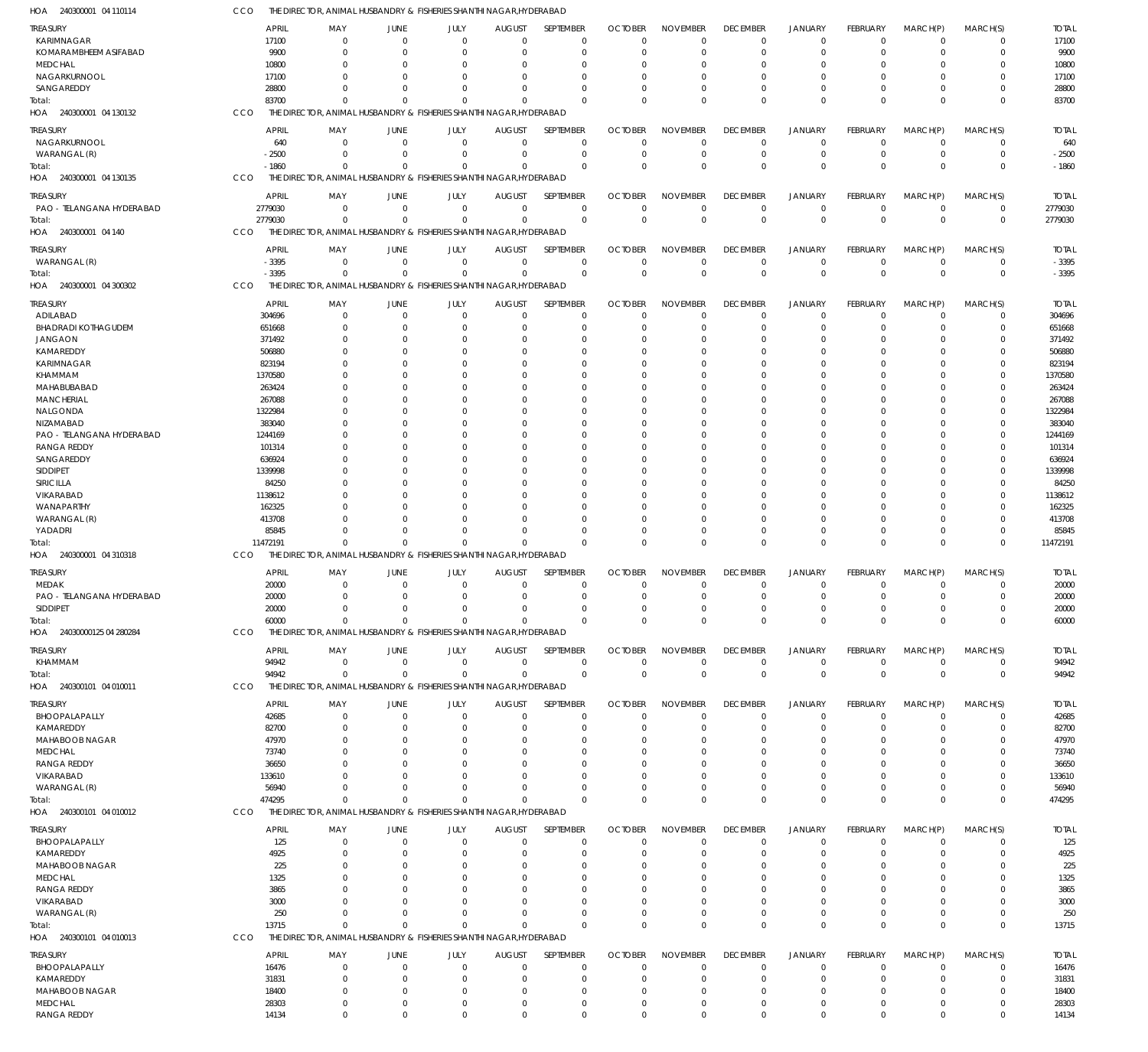| HOA<br>240300001 04 110114          | cco      | THE DIRECTOR, ANIMAL HUSBANDRY & FISHERIES SHANTHI NAGAR, HYDERABAD           |                                       |                            |                      |                            |                      |                          |                              |                                  |                      |                               |                            |                   |
|-------------------------------------|----------|-------------------------------------------------------------------------------|---------------------------------------|----------------------------|----------------------|----------------------------|----------------------|--------------------------|------------------------------|----------------------------------|----------------------|-------------------------------|----------------------------|-------------------|
| TREASURY                            |          | <b>APRIL</b><br>MAY                                                           | JUNE                                  | JULY                       | <b>AUGUST</b>        | SEPTEMBER                  | <b>OCTOBER</b>       | <b>NOVEMBER</b>          | <b>DECEMBER</b>              | <b>JANUARY</b>                   | FEBRUARY             | MARCH(P)                      | MARCH(S)                   | <b>TOTAL</b>      |
| KARIMNAGAR                          |          | 17100                                                                         | $\mathbf{0}$<br>$\mathbf 0$           | $\mathbf 0$                | $\Omega$             | $\mathbf 0$                | $\Omega$             | $\Omega$                 | $^{\circ}$                   | $\overline{0}$                   | $\mathbf 0$          | $\mathbf 0$                   | $\mathbf 0$                | 17100             |
| KOMARAMBHEEM ASIFABAD               |          | 9900                                                                          | $\Omega$<br>0                         | $\mathbf 0$                | $\Omega$             | $\mathbf 0$                | $\Omega$             | $\Omega$                 | $^{\circ}$                   | $\overline{0}$                   | $\mathbf 0$          | $\mathbf 0$                   | $\mathbf 0$                | 9900              |
| <b>MEDCHAL</b>                      |          | 10800                                                                         | $\Omega$<br>$\Omega$                  | $\Omega$                   | 0                    | 0                          |                      | $\Omega$                 | 0                            | $\Omega$                         | $\Omega$             | $\Omega$                      | 0                          | 10800             |
| NAGARKURNOOL                        |          | 17100                                                                         | O<br>$\Omega$                         | $\Omega$                   | n                    | $\Omega$                   | $\Omega$             | $\Omega$                 | $\Omega$                     | $\Omega$                         | $\Omega$             | $\Omega$                      | $\Omega$                   | 17100             |
| SANGAREDDY                          |          | 28800                                                                         | $\Omega$<br>$\Omega$                  | $\Omega$                   | $\Omega$             | $\mathbf 0$                | $\Omega$             | $\Omega$                 | $^{\circ}$                   | $\overline{0}$                   | $\Omega$             | $\Omega$                      | $\mathbf 0$                | 28800             |
| Total:                              |          | 83700                                                                         | $\Omega$<br>$\Omega$                  | $\Omega$                   | $\Omega$             | $\Omega$                   | $\cap$               | $\Omega$                 | $\Omega$                     | $\Omega$                         | $\Omega$             | $\Omega$                      | $\mathbf 0$                | 83700             |
| HOA 240300001 04 130132             | CCO      | THE DIRECTOR, ANIMAL HUSBANDRY & FISHERIES SHANTHI NAGAR, HYDERABAD           |                                       |                            |                      |                            |                      |                          |                              |                                  |                      |                               |                            |                   |
| treasury                            |          | <b>APRIL</b><br>MAY                                                           | JUNE                                  | JULY                       | <b>AUGUST</b>        | SEPTEMBER                  | <b>OCTOBER</b>       | <b>NOVEMBER</b>          | <b>DECEMBER</b>              | <b>JANUARY</b>                   | FEBRUARY             | MARCH(P)                      | MARCH(S)                   | <b>TOTAL</b>      |
| NAGARKURNOOL                        |          | 640                                                                           | $\mathbf{0}$<br>$\mathbf 0$           | $\mathbf 0$                | 0                    | $\mathbf 0$                | $\Omega$             | $\Omega$                 | $^{\circ}$                   | $\overline{0}$                   | $\mathbf 0$          | $\mathbf 0$                   | $\mathbf 0$                | 640               |
| WARANGAL (R)                        |          | $-2500$                                                                       | $\mathbf{0}$<br>$\mathbf 0$           | $\mathbf 0$                | 0                    | $\mathbf 0$                | $\Omega$             | $\Omega$                 | $^{\circ}$                   | $\overline{0}$                   | 0                    | $\mathbf 0$                   | $\mathbf 0$                | $-2500$           |
| Total:                              |          | $-1860$                                                                       | $\Omega$<br>$\mathbf 0$               | $\mathbf 0$                | $\Omega$             | $\Omega$                   | $\Omega$             | $\Omega$                 | $\mathbf 0$                  | $\overline{0}$                   | $\mathbf 0$          | $\Omega$                      | $\mathbf 0$                | $-1860$           |
| HOA 240300001 04 130135             | CCO      | THE DIRECTOR, ANIMAL HUSBANDRY & FISHERIES SHANTHI NAGAR, HYDERABAD           |                                       |                            |                      |                            |                      |                          |                              |                                  |                      |                               |                            |                   |
| treasury                            |          | <b>APRIL</b><br>MAY                                                           | <b>JUNE</b>                           | JULY                       | <b>AUGUST</b>        | SEPTEMBER                  | <b>OCTOBER</b>       | <b>NOVEMBER</b>          | <b>DECEMBER</b>              | <b>JANUARY</b>                   | FEBRUARY             | MARCH(P)                      | MARCH(S)                   | <b>TOTAL</b>      |
| PAO - TELANGANA HYDERABAD           | 2779030  |                                                                               | $\mathbf 0$<br>$\overline{0}$         | $\mathbf 0$                | $\mathbf{0}$         | $\mathbf 0$                | $\Omega$             | $\Omega$                 | $\overline{0}$               | $\mathbf 0$                      | $\mathbf 0$          | $\overline{0}$                | $\mathbf 0$                | 2779030           |
| Total:                              | 2779030  |                                                                               | $\Omega$<br>$\Omega$                  | $\mathbf 0$                | $\Omega$             | $\mathbf 0$                | $\Omega$             | $\Omega$                 | $\mathbf 0$                  | $\mathbf 0$                      | $\Omega$             | $\Omega$                      | $\mathbf 0$                | 2779030           |
| HOA 240300001 04 140                | CCO      | THE DIRECTOR, ANIMAL HUSBANDRY & FISHERIES SHANTHI NAGAR, HYDERABAD           |                                       |                            |                      |                            |                      |                          |                              |                                  |                      |                               |                            |                   |
| treasury                            |          | <b>APRIL</b><br>MAY                                                           | JUNE                                  | JULY                       | <b>AUGUST</b>        | SEPTEMBER                  | <b>OCTOBER</b>       | <b>NOVEMBER</b>          | <b>DECEMBER</b>              | <b>JANUARY</b>                   | FEBRUARY             | MARCH(P)                      | MARCH(S)                   | <b>TOTAL</b>      |
| WARANGAL (R)                        |          | $-3395$                                                                       | $\mathbf 0$<br>$\overline{0}$         | $\mathbf 0$                | $\mathbf{0}$         | $\mathbf 0$                | $\Omega$             | $\Omega$                 | $\overline{0}$               | $\overline{0}$                   | $\mathbf 0$          | $\overline{0}$                | $\mathbf 0$                | $-3395$           |
| Total:                              |          | $-3395$                                                                       | $\Omega$<br>$\overline{0}$            | $\mathbf 0$                | $\mathbf 0$          | $\mathbf 0$                | $\Omega$             | $\Omega$                 | $\mathbf 0$                  | $\mathbf 0$                      | $\mathbf 0$          | $\Omega$                      | $\mathbf 0$                | $-3395$           |
| HOA 240300001 04 300302             | CCO      | THE DIRECTOR, ANIMAL HUSBANDRY & FISHERIES SHANTHI NAGAR, HYDERABAD           |                                       |                            |                      |                            |                      |                          |                              |                                  |                      |                               |                            |                   |
| treasury                            |          | <b>APRIL</b><br>MAY                                                           | <b>JUNE</b>                           | JULY                       | <b>AUGUST</b>        | <b>SEPTEMBER</b>           | <b>OCTOBER</b>       | <b>NOVEMBER</b>          | <b>DECEMBER</b>              | <b>JANUARY</b>                   | FEBRUARY             | MARCH(P)                      | MARCH(S)                   | <b>TOTAL</b>      |
| ADILABAD                            |          | 304696                                                                        | $\mathbf 0$<br>0                      | $\mathbf 0$                | 0                    | $\mathbf 0$                | $\Omega$             | $\Omega$                 | $\overline{0}$               | $\overline{0}$                   | $\mathbf 0$          | $\mathbf 0$                   | $\mathbf 0$                | 304696            |
| <b>BHADRADI KOTHAGUDEM</b>          |          | 651668                                                                        | 0<br>0                                | 0                          | 0                    | $\mathbf 0$                | $\Omega$             | $\Omega$                 | $^{\circ}$                   | $\overline{0}$                   | $\Omega$             | $\Omega$                      | 0                          | 651668            |
| <b>JANGAON</b>                      |          | 371492                                                                        | $\Omega$<br>$\Omega$                  | $\Omega$                   | $\Omega$             | $\mathbf 0$                | $\Omega$             | $\Omega$                 | $\Omega$                     | $\Omega$                         | $\Omega$             | $\Omega$                      | $\Omega$                   | 371492            |
| KAMAREDDY                           |          | 506880                                                                        | $\Omega$<br>0                         | $\Omega$                   | 0                    | 0                          |                      | $\Omega$                 | 0                            | $\Omega$                         | $\Omega$             | $\Omega$                      | 0                          | 506880            |
| KARIMNAGAR                          |          | 823194                                                                        | O<br>$\Omega$                         | $\Omega$                   | n                    | $\Omega$                   | $\Omega$             | $\Omega$                 | $\Omega$                     | $\Omega$                         | $\Omega$             | $\Omega$                      | $\Omega$                   | 823194            |
| <b>KHAMMAM</b>                      | 1370580  |                                                                               | $\Omega$                              | $\Omega$                   | n                    | $\Omega$                   |                      | $\Omega$                 | $\Omega$                     | $\Omega$                         | U                    | $\Omega$                      | $\Omega$                   | 1370580           |
| MAHABUBABAD                         |          | 263424                                                                        | $\Omega$                              | $\Omega$                   | 0                    | $\Omega$                   | $\Omega$             | $\Omega$                 | $\Omega$                     | $\Omega$                         | $\Omega$             | $\Omega$                      | $\Omega$                   | 263424            |
| <b>MANCHERIAL</b>                   |          | 267088                                                                        | C                                     | $\Omega$                   | 0                    | 0                          |                      | $\Omega$                 | $\Omega$                     | $\Omega$                         | $\Omega$             | $\Omega$                      | $\Omega$                   | 267088            |
| NALGONDA                            | 1322984  |                                                                               | $\Omega$                              | $\Omega$                   | n                    | $\Omega$                   | $\Omega$             | $\Omega$                 | $\Omega$                     | $\Omega$                         | $\Omega$             | $\Omega$                      | $\Omega$                   | 1322984           |
| NIZAMABAD                           |          | 383040                                                                        | C                                     | $\Omega$                   | 0                    | $\Omega$                   |                      | $\Omega$                 | $\Omega$                     | $\Omega$                         | U                    | $\Omega$                      | $\Omega$                   | 383040            |
| PAO - TELANGANA HYDERABAD           | 1244169  |                                                                               | $\Omega$                              | $\Omega$                   | n                    | $\Omega$                   | $\Omega$             | $\Omega$                 | $\Omega$                     | $\Omega$                         | $\Omega$             | $\Omega$                      | $\Omega$                   | 1244169           |
| <b>RANGA REDDY</b>                  |          | 101314                                                                        | C                                     | $\Omega$                   | n                    | $\Omega$                   |                      | $\Omega$                 | $\Omega$                     | $\Omega$                         | $\Omega$             | $\Omega$                      | $\Omega$                   | 101314            |
| SANGAREDDY                          |          | 636924                                                                        | C                                     | $\Omega$                   | n                    | $\Omega$                   | $\Omega$             | $\Omega$                 | $\Omega$                     | $\Omega$                         | $\Omega$             | $\Omega$                      | $\Omega$                   | 636924            |
| <b>SIDDIPET</b>                     | 1339998  |                                                                               | n<br>$\Omega$                         | $\Omega$                   | 0                    | 0                          |                      | $\Omega$                 | $\Omega$                     | $\Omega$                         | $\Omega$             | $\Omega$                      | $\Omega$                   | 1339998           |
| SIRICILLA                           |          | 84250                                                                         | $\Omega$                              | $\Omega$                   | n                    | $\Omega$                   | $\Omega$             | $\Omega$                 | $\Omega$                     | $\Omega$                         | $\Omega$             | $\Omega$                      | $\Omega$                   | 84250             |
| VIKARABAD                           | 1138612  |                                                                               | C                                     | $\Omega$                   | n                    | $\Omega$                   |                      | $\Omega$                 | $\Omega$                     | $\Omega$                         | U                    | $\Omega$                      | $\Omega$                   | 1138612           |
| WANAPARTHY                          |          | 162325                                                                        | O<br>$\Omega$                         | $\Omega$                   | 0                    | $\Omega$                   | $\Omega$             | $\Omega$                 | $\Omega$                     | $\Omega$                         | $\Omega$             | $\Omega$                      | $\Omega$                   | 162325            |
| WARANGAL (R)                        |          | 413708                                                                        | $\Omega$<br>n<br>$\Omega$<br>$\Omega$ | $\Omega$<br>$\Omega$       | n<br>$\Omega$        | $\Omega$<br>$\Omega$       | $\Omega$             | $\Omega$<br>$\Omega$     | $\Omega$<br>$\overline{0}$   | $\Omega$<br>$\overline{0}$       | $\Omega$<br>$\Omega$ | $\Omega$<br>$\Omega$          | $\Omega$<br>$\mathbf 0$    | 413708            |
| YADADRI<br>Total:                   | 11472191 | 85845                                                                         | $\Omega$<br>$\Omega$                  | $\Omega$                   | $\Omega$             | $\mathbf 0$                | $\Omega$             | $\Omega$                 | $\mathbf 0$                  | $\mathbf 0$                      | $\Omega$             | $\Omega$                      | $\mathbf 0$                | 85845<br>11472191 |
| HOA 240300001 04 310318             | CCO      | THE DIRECTOR, ANIMAL HUSBANDRY & FISHERIES SHANTHI NAGAR, HYDERABAD           |                                       |                            |                      |                            |                      |                          |                              |                                  |                      |                               |                            |                   |
|                                     |          |                                                                               |                                       |                            |                      |                            |                      |                          |                              |                                  |                      |                               |                            |                   |
| treasury                            |          | <b>APRIL</b><br>MAY                                                           | <b>JUNE</b>                           | JULY                       | <b>AUGUST</b>        | SEPTEMBER                  | <b>OCTOBER</b>       | <b>NOVEMBER</b>          | <b>DECEMBER</b>              | <b>JANUARY</b>                   | <b>FEBRUARY</b>      | MARCH(P)                      | MARCH(S)                   | <b>TOTAL</b>      |
| MEDAK                               |          | 20000                                                                         | $\mathbf 0$<br>0                      | $\mathbf 0$                | 0                    | $\mathbf 0$                | $\Omega$             | $\Omega$                 | $^{\circ}$                   | $\overline{0}$                   | 0                    | $\mathbf 0$                   | 0                          | 20000             |
| PAO - TELANGANA HYDERABAD           |          | 20000                                                                         | $\mathbf 0$<br>$\mathbf 0$            | $\mathbf 0$                | $\Omega$             | $\mathbf 0$                | $\Omega$             | $\Omega$                 | $\mathbf 0$                  | $\overline{0}$                   | $\Omega$             | $\overline{0}$                | $\mathbf 0$                | 20000             |
| <b>SIDDIPET</b>                     |          | 20000<br>60000                                                                | 0<br>0<br>$\mathbf 0$<br>$\mathbf 0$  | $^{\circ}$<br>$\mathbf 0$  | 0<br>$\mathbf 0$     | $\mathbf 0$<br>$\mathbf 0$ | $\Omega$             | $\Omega$<br>$\mathbf{0}$ | 0<br>$\mathbf 0$             | 0<br>$\mathbf 0$                 | 0<br>$\overline{0}$  | $\mathbf 0$<br>$\overline{0}$ | $\mathbf 0$<br>$\mathbf 0$ | 20000<br>60000    |
| Total:<br>HOA 24030000125 04 280284 | CCO      | THE DIRECTOR, ANIMAL HUSBANDRY & FISHERIES SHANTHI NAGAR, HYDERABAD           |                                       |                            |                      |                            |                      |                          |                              |                                  |                      |                               |                            |                   |
|                                     |          |                                                                               |                                       |                            |                      |                            |                      |                          |                              |                                  |                      |                               |                            |                   |
| treasury                            |          | APRIL<br>MAY                                                                  | <b>JUNE</b>                           | JULY                       | <b>AUGUST</b>        | SEPTEMBER                  | <b>OCTOBER</b>       | <b>NOVEMBER</b>          | <b>DECEMBER</b>              | <b>JANUARY</b>                   | FEBRUARY             | MARCH(P)                      | MARCH(S)                   | <b>TOTAL</b>      |
| KHAMMAM                             |          | 94942                                                                         | $\overline{0}$<br>0                   | $\mathbf 0$                | $\mathbf{0}$         | $\mathbf 0$                | $\Omega$             | $\Omega$                 | $\mathbf 0$                  | $\mathbf 0$                      | $\mathbf 0$          | $\overline{0}$                | $\mathbf 0$                | 94942             |
| Total:                              |          | 94942                                                                         | $\Omega$<br>$\Omega$                  | $\mathbf 0$                | $\Omega$             | $\mathbf 0$                | $\Omega$             | $\Omega$                 | $\mathbf 0$                  | $\mathbf 0$                      | $\Omega$             | $\Omega$                      | $\mathbf 0$                | 94942             |
| HOA 240300101 04 010011             | CCO      | THE DIRECTOR, ANIMAL HUSBANDRY & FISHERIES SHANTHI NAGAR, HYDERABAD           |                                       |                            |                      |                            |                      |                          |                              |                                  |                      |                               |                            |                   |
| treasury                            |          | <b>APRIL</b><br>MAY                                                           | JUNE                                  | JULY                       | <b>AUGUST</b>        | SEPTEMBER                  | <b>OCTOBER</b>       | <b>NOVEMBER</b>          | <b>DECEMBER</b>              | <b>JANUARY</b>                   | FEBRUARY             | MARCH(P)                      | MARCH(S)                   | <b>TOTAL</b>      |
| BHOOPALAPALLY                       |          | 42685                                                                         | $\mathbf 0$<br>$\mathbf 0$            | $\mathbf 0$                | 0                    | $\mathbf 0$                | $\Omega$             | $\Omega$                 | $\overline{0}$               | $\overline{0}$                   | $\mathbf 0$          | $\mathbf 0$                   | $\mathbf 0$                | 42685             |
| KAMAREDDY                           |          | 82700                                                                         | $\mathbf 0$<br>0                      | 0                          | 0                    | $\mathbf 0$                | C                    | $\Omega$                 | $^{\circ}$                   | $\overline{0}$                   | 0                    | $\mathbf 0$                   | $\mathbf 0$                | 82700             |
| MAHABOOB NAGAR                      |          | 47970                                                                         | 0<br>$\Omega$                         | 0                          |                      | $\Omega$                   |                      | $\Omega$                 | $\Omega$                     | $\Omega$                         | $\Omega$             | $\Omega$                      | $\mathbf 0$                | 47970             |
| <b>MEDCHAL</b>                      |          | 73740                                                                         | 0<br>$\Omega$                         | 0                          | n                    | $\mathbf 0$                |                      | $\Omega$                 | $\Omega$                     | $\Omega$                         | 0                    | $\Omega$                      | $\mathbf 0$                | 73740             |
| RANGA REDDY                         |          | 36650                                                                         | 0<br>$\Omega$                         | 0                          | n                    | $\mathbf 0$                |                      | $\cap$                   | $\Omega$                     | $\Omega$                         | $\Omega$             | $\Omega$                      | $\mathbf 0$                | 36650             |
| VIKARABAD                           |          | 133610                                                                        | 0<br>$\Omega$                         | $\mathbf 0$                | n                    | $\mathbf 0$                |                      | $\Omega$                 | $\Omega$                     | $\Omega$                         | $\Omega$             | $\Omega$                      | $\mathbf 0$                | 133610            |
| WARANGAL (R)                        |          | 56940                                                                         | 0<br>$\Omega$<br>$\Omega$<br>$\Omega$ | $\mathbf 0$<br>$\Omega$    | 0<br>$\Omega$        | $\Omega$<br>$\mathbf 0$    | $\Omega$             | $\Omega$<br>$\Omega$     | $\Omega$<br>$\mathbf 0$      | $\Omega$<br>$\mathbf 0$          | $\Omega$<br>$\Omega$ | $\Omega$<br>$\Omega$          | $\mathbf 0$<br>$\mathbf 0$ | 56940             |
| Total:<br>HOA 240300101 04 010012   | CCO      | 474295<br>THE DIRECTOR, ANIMAL HUSBANDRY & FISHERIES SHANTHI NAGAR, HYDERABAD |                                       |                            |                      |                            |                      |                          |                              |                                  |                      |                               |                            | 474295            |
|                                     |          |                                                                               |                                       |                            |                      |                            |                      |                          |                              |                                  |                      |                               |                            |                   |
| treasury                            |          | <b>APRIL</b><br>MAY                                                           | JUNE                                  | JULY                       | <b>AUGUST</b>        | SEPTEMBER                  | <b>OCTOBER</b>       | <b>NOVEMBER</b>          | <b>DECEMBER</b>              | <b>JANUARY</b>                   | FEBRUARY             | MARCH(P)                      | MARCH(S)                   | <b>TOTAL</b>      |
| BHOOPALAPALLY                       |          | 125                                                                           | $\mathbf 0$<br>$\mathbf 0$            | $\mathbf 0$                | 0                    | $\mathbf 0$                | $\Omega$             | $\Omega$                 | $\mathbf 0$                  | $\mathbf 0$                      | $\mathbf 0$          | $\mathbf 0$                   | $\mathbf 0$                | 125               |
| KAMAREDDY                           |          | 4925                                                                          | $\mathbf 0$<br>0                      | 0                          | $\Omega$             | $\mathbf 0$                | $\Omega$             | $\Omega$                 | $^{\circ}$                   | $\overline{0}$                   | $\Omega$             | $\Omega$                      | $\mathbf 0$                | 4925              |
| MAHABOOB NAGAR                      |          | 225                                                                           | $\Omega$<br>$\Omega$                  | 0                          | 0                    | $\mathbf 0$                | $\Omega$             | $\Omega$                 | $\overline{0}$               | $\Omega$                         | $\Omega$             | $\Omega$                      | $\mathbf 0$                | 225               |
| <b>MEDCHAL</b>                      |          | 1325                                                                          | $\Omega$<br>$\Omega$                  | $\Omega$                   | $\Omega$             | 0                          | $\Omega$             | $\Omega$                 | 0                            | $\Omega$                         | $\Omega$             | $\Omega$                      | $\mathbf 0$                | 1325              |
| RANGA REDDY                         |          | 3865                                                                          | $\Omega$<br>$\Omega$<br>$\Omega$      | $\Omega$<br>$\Omega$       | $\Omega$             | $\Omega$                   | $\Omega$             | $\Omega$<br>$\Omega$     | $\Omega$                     | $\Omega$                         | $\Omega$<br>$\Omega$ | $\Omega$<br>$\Omega$          | $\Omega$                   | 3865              |
| VIKARABAD                           |          | 3000<br>250                                                                   | $\Omega$<br>$\Omega$<br>$\Omega$      | $\mathbf 0$                | $\Omega$<br>$\Omega$ | $\Omega$<br>$\mathbf 0$    | $\Omega$             | $\Omega$                 | $\Omega$<br>$\mathbf 0$      | $\Omega$<br>$\overline{0}$       | 0                    | $\mathbf 0$                   | $\mathbf 0$<br>$\mathbf 0$ | 3000<br>250       |
| WARANGAL (R)<br>Total:              |          | 13715                                                                         | $\Omega$<br>$\Omega$                  | $\mathbf 0$                | $\Omega$             | $\mathbf 0$                | $\Omega$             | $\Omega$                 | $\mathbf 0$                  | $\mathbf 0$                      | $\Omega$             | $\mathbf 0$                   | $\mathbf 0$                | 13715             |
| HOA 240300101 04 010013             | CCO      | THE DIRECTOR, ANIMAL HUSBANDRY & FISHERIES SHANTHI NAGAR, HYDERABAD           |                                       |                            |                      |                            |                      |                          |                              |                                  |                      |                               |                            |                   |
|                                     |          |                                                                               |                                       |                            |                      |                            |                      |                          |                              |                                  |                      |                               |                            |                   |
| treasury                            |          | APRIL<br>MAY                                                                  | <b>JUNE</b>                           | JULY                       | <b>AUGUST</b>        | SEPTEMBER                  | <b>OCTOBER</b>       | <b>NOVEMBER</b>          | <b>DECEMBER</b>              | <b>JANUARY</b>                   | FEBRUARY             | MARCH(P)                      | MARCH(S)                   | <b>TOTAL</b>      |
| BHOOPALAPALLY                       |          | 16476                                                                         | $\mathbf 0$<br>$\mathbf 0$            | $\mathbf 0$                | 0                    | $\mathbf 0$                | $\mathcal{L}$        | $\Omega$                 | $^{\circ}$                   | $\overline{0}$                   | $\mathbf 0$          | $\mathbf 0$                   | $\mathbf 0$                | 16476             |
| KAMAREDDY                           |          | 31831                                                                         | $\mathbf 0$<br>0                      | $\mathbf 0$                | 0                    | $\mathbf 0$                | $\Omega$             | $\Omega$<br>$\Omega$     | $^{\circ}$                   | $\overline{0}$                   | 0                    | $\Omega$                      | $\mathbf 0$                | 31831             |
| MAHABOOB NAGAR<br><b>MEDCHAL</b>    |          | 18400<br>28303                                                                | $\mathbf 0$<br>0<br>$\mathbf 0$<br>0  | $\mathbf 0$<br>$\mathbf 0$ | 0<br>$\Omega$        | $\mathbf 0$<br>$\mathbf 0$ | $\Omega$<br>$\Omega$ | $\Omega$                 | $\overline{0}$<br>$^{\circ}$ | $\overline{0}$<br>$\overline{0}$ | 0<br>0               | $\mathbf 0$<br>$\mathbf 0$    | $\mathbf 0$<br>$\mathbf 0$ | 18400<br>28303    |
| RANGA REDDY                         |          | 14134                                                                         | $\mathbf 0$<br>$\mathbf 0$            | $\mathbf 0$                | $\Omega$             | $\Omega$                   | $\Omega$             | $\mathbf 0$              | $\mathbf 0$                  | $\overline{0}$                   | 0                    | $\mathbf 0$                   | $\mathbf 0$                | 14134             |
|                                     |          |                                                                               |                                       |                            |                      |                            |                      |                          |                              |                                  |                      |                               |                            |                   |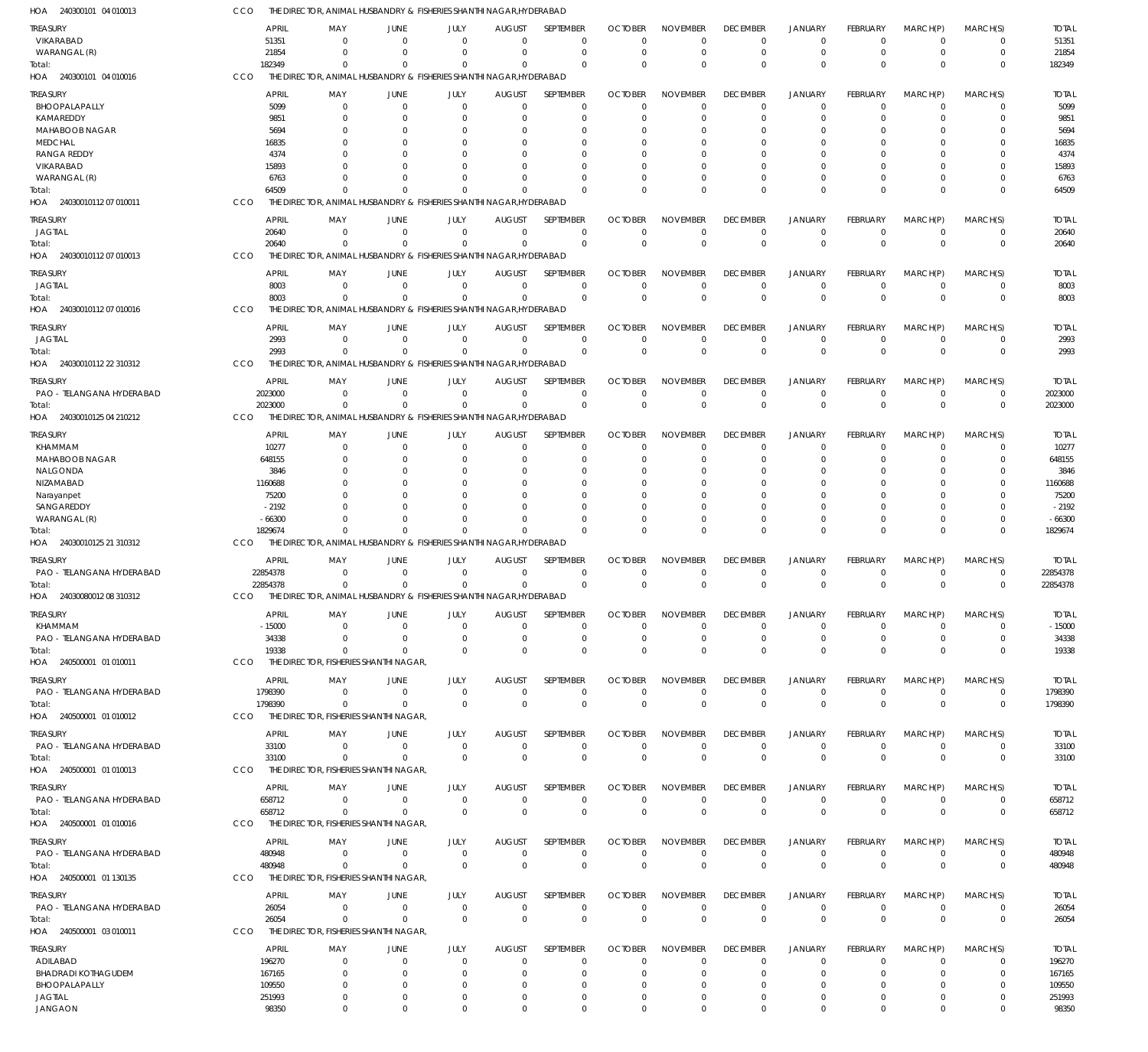| HOA<br>240300101 04 010013             | ссо                      |                                        | THE DIRECTOR, ANIMAL HUSBANDRY & FISHERIES SHANTHI NAGAR, HYDERABAD             |                             |                               |                             |                            |                               |                               |                                  |                               |                            |                            |                          |
|----------------------------------------|--------------------------|----------------------------------------|---------------------------------------------------------------------------------|-----------------------------|-------------------------------|-----------------------------|----------------------------|-------------------------------|-------------------------------|----------------------------------|-------------------------------|----------------------------|----------------------------|--------------------------|
| <b>TREASURY</b>                        | <b>APRIL</b>             | MAY                                    | <b>JUNE</b>                                                                     | JULY                        | <b>AUGUST</b>                 | SEPTEMBER                   | <b>OCTOBER</b>             | <b>NOVEMBER</b>               | <b>DECEMBER</b>               | <b>JANUARY</b>                   | FEBRUARY                      | MARCH(P)                   | MARCH(S)                   | <b>TOTAL</b>             |
| VIKARABAD                              | 51351<br>21854           | $\mathbf 0$<br>$\Omega$                | $\Omega$<br>$\Omega$                                                            | $\Omega$<br>$\mathbf 0$     | $\Omega$<br>$\Omega$          | $\Omega$<br>$\mathbf 0$     | $\Omega$<br>$\Omega$       | $\Omega$<br>$\Omega$          | $\overline{0}$<br>$\mathbf 0$ | $\overline{0}$<br>$\overline{0}$ | $\Omega$<br>$\mathbf 0$       | $\Omega$<br>$\mathbf 0$    | 0<br>$\mathbf 0$           | 51351<br>21854           |
| WARANGAL (R)<br>Total:                 | 182349                   | $\Omega$                               | $\Omega$                                                                        | $\Omega$                    | $\Omega$                      | $\Omega$                    | $\Omega$                   | $\Omega$                      | $\mathbf 0$                   | $\mathbf 0$                      | $\Omega$                      | $\Omega$                   | $\mathbf 0$                | 182349                   |
| HOA 240300101 04 010016                | CCO                      |                                        | THE DIRECTOR, ANIMAL HUSBANDRY & FISHERIES SHANTHI NAGAR, HYDERABAD             |                             |                               |                             |                            |                               |                               |                                  |                               |                            |                            |                          |
| <b>TREASURY</b>                        | <b>APRIL</b>             | MAY                                    | <b>JUNE</b>                                                                     | JULY                        | AUGUST                        | <b>SEPTEMBER</b>            | <b>OCTOBER</b>             | <b>NOVEMBER</b>               | <b>DECEMBER</b>               | <b>JANUARY</b>                   | FEBRUARY                      | MARCH(P)                   | MARCH(S)                   | <b>TOTAL</b>             |
| BHOOPALAPALLY                          | 5099                     | $\mathbf 0$                            | 0                                                                               | 0                           | 0                             | $\mathbf 0$                 |                            | $\Omega$                      | $^{\circ}$                    | $\mathbf 0$                      | 0                             | $\mathbf 0$                | 0                          | 5099                     |
| KAMAREDDY<br>MAHABOOB NAGAR            | 9851<br>5694             | $\mathbf 0$<br>0                       | 0<br>0                                                                          | $\Omega$<br>$\Omega$        | $\Omega$<br>C                 | $\Omega$<br>$\Omega$        |                            | $\Omega$<br>$\Omega$          | $\mathbf 0$<br>0              | $\Omega$<br>$\Omega$             | $\Omega$                      | $\Omega$<br>$\Omega$       | 0<br>0                     | 9851<br>5694             |
| <b>MEDCHAL</b>                         | 16835                    | 0                                      | -0                                                                              | $\Omega$                    |                               | $\Omega$                    |                            | $\Omega$                      | $\Omega$                      | $\Omega$                         | O                             | $\Omega$                   | $\Omega$                   | 16835                    |
| <b>RANGA REDDY</b>                     | 4374                     | 0                                      | -0                                                                              | $\Omega$                    |                               | $\Omega$                    |                            | $\Omega$                      | $\Omega$                      | $\Omega$                         | 0                             | $\Omega$                   | $\Omega$                   | 4374                     |
| VIKARABAD                              | 15893                    | U                                      | $\Omega$                                                                        | $\Omega$                    |                               | $\Omega$                    |                            |                               | $\Omega$                      | $\Omega$                         | $\Omega$                      | $\Omega$                   | $\Omega$                   | 15893                    |
| WARANGAL (R)<br>Total:                 | 6763<br>64509            | 0<br>$\Omega$                          | -0<br>$\Omega$                                                                  | $\Omega$<br>$\Omega$        | $\Omega$<br>$\Omega$          | $\Omega$<br>$\Omega$        |                            | $\Omega$<br>$\Omega$          | $\mathbf 0$<br>$\Omega$       | $\Omega$<br>$\Omega$             | $\Omega$<br>$\Omega$          | $\Omega$<br>$\Omega$       | $\mathbf 0$<br>$\mathbf 0$ | 6763<br>64509            |
| HOA 24030010112 07 010011              | CCO                      |                                        | THE DIRECTOR, ANIMAL HUSBANDRY & FISHERIES SHANTHI NAGAR, HYDERABAD             |                             |                               |                             |                            |                               |                               |                                  |                               |                            |                            |                          |
| TREASURY                               | <b>APRIL</b>             | MAY                                    | <b>JUNE</b>                                                                     | JULY                        | <b>AUGUST</b>                 | SEPTEMBER                   | <b>OCTOBER</b>             | <b>NOVEMBER</b>               | <b>DECEMBER</b>               | <b>JANUARY</b>                   | FEBRUARY                      | MARCH(P)                   | MARCH(S)                   | <b>TOTAL</b>             |
| JAGTIAL                                | 20640                    | $\mathbf 0$                            | $\Omega$                                                                        | $\mathbf{0}$                | $\Omega$                      | $\mathbf 0$                 | $\Omega$                   | $\Omega$                      | $\overline{0}$                | $\overline{0}$                   | $\mathbf 0$                   | $\Omega$                   | $\mathbf 0$                | 20640                    |
| Total:                                 | 20640                    | $\Omega$                               | $\Omega$                                                                        | $\Omega$                    | $\Omega$                      | $\mathbf{0}$                | $\Omega$                   | $\Omega$                      | $\mathbf 0$                   | $\mathbf 0$                      | $\Omega$                      | $\Omega$                   | $\mathbf 0$                | 20640                    |
| HOA 24030010112 07 010013              | CCO                      |                                        | THE DIRECTOR, ANIMAL HUSBANDRY & FISHERIES SHANTHI NAGAR, HYDERABAD             |                             |                               |                             |                            |                               |                               |                                  |                               |                            |                            |                          |
| <b>TREASURY</b>                        | <b>APRIL</b>             | MAY                                    | <b>JUNE</b>                                                                     | JULY                        | <b>AUGUST</b>                 | <b>SEPTEMBER</b>            | <b>OCTOBER</b>             | <b>NOVEMBER</b>               | <b>DECEMBER</b>               | <b>JANUARY</b>                   | FEBRUARY                      | MARCH(P)                   | MARCH(S)                   | <b>TOTAL</b>             |
| <b>JAGTIAL</b><br>Total:               | 8003<br>8003             | $\mathbf 0$<br>$\Omega$                | $\mathbf 0$<br>$\Omega$                                                         | $\mathbf 0$<br>$\mathbf 0$  | $\mathbf{0}$<br>$\Omega$      | $\mathbf 0$<br>$\mathbf{0}$ | $\Omega$<br>$\Omega$       | $^{\circ}$<br>$\Omega$        | $\overline{0}$<br>$\mathbf 0$ | $\overline{0}$<br>$\overline{0}$ | $\overline{0}$<br>$\Omega$    | $\overline{0}$<br>$\Omega$ | $\mathbf 0$<br>$\mathbf 0$ | 8003<br>8003             |
| HOA 24030010112 07 010016              | CCO                      |                                        | THE DIRECTOR, ANIMAL HUSBANDRY & FISHERIES SHANTHI NAGAR, HYDERABAD             |                             |                               |                             |                            |                               |                               |                                  |                               |                            |                            |                          |
| TREASURY                               | <b>APRIL</b>             | MAY                                    | <b>JUNE</b>                                                                     | JULY                        | <b>AUGUST</b>                 | SEPTEMBER                   | <b>OCTOBER</b>             | <b>NOVEMBER</b>               | <b>DECEMBER</b>               | <b>JANUARY</b>                   | FEBRUARY                      | MARCH(P)                   | MARCH(S)                   | <b>TOTAL</b>             |
| JAGTIAL                                | 2993                     | $\Omega$                               | $\Omega$                                                                        | $\mathbf 0$                 | $\Omega$                      | $\mathbf 0$                 | $\Omega$                   | $\Omega$                      | $\mathbf 0$                   | $\mathbf 0$                      | $\overline{0}$                | $\Omega$                   | $\mathbf 0$                | 2993                     |
| Total:                                 | 2993                     | $\mathbf 0$                            | $\Omega$                                                                        | $\mathbf 0$                 | $\Omega$                      | $\mathbf 0$                 | $\Omega$                   | $\Omega$                      | $\mathbf 0$                   | $\mathbf 0$                      | $\Omega$                      | $\Omega$                   | $\mathbf 0$                | 2993                     |
| HOA 24030010112 22 310312              | CCO                      |                                        | THE DIRECTOR, ANIMAL HUSBANDRY & FISHERIES SHANTHI NAGAR, HYDERABAD             |                             |                               |                             |                            |                               |                               |                                  |                               |                            |                            |                          |
| TREASURY                               | <b>APRIL</b>             | MAY                                    | <b>JUNE</b>                                                                     | JULY                        | AUGUST                        | SEPTEMBER                   | <b>OCTOBER</b>             | <b>NOVEMBER</b>               | <b>DECEMBER</b>               | <b>JANUARY</b>                   | FEBRUARY                      | MARCH(P)                   | MARCH(S)                   | <b>TOTAL</b>             |
| PAO - TELANGANA HYDERABAD<br>Total:    | 2023000<br>2023000       | $\mathbf 0$<br>$\mathbf 0$             | 0<br>$\Omega$                                                                   | $\mathbf{0}$<br>$\mathbf 0$ | $\mathbf{0}$<br>$\Omega$      | $\mathbf 0$<br>$\Omega$     | -0<br>$\Omega$             | $^{\circ}$<br>$\Omega$        | $\overline{0}$<br>$\mathbf 0$ | $\overline{0}$<br>$\overline{0}$ | $\mathbf 0$<br>$\mathbf 0$    | $^{\circ}$<br>$\Omega$     | $\mathbf 0$<br>$\mathbf 0$ | 2023000<br>2023000       |
| HOA 24030010125 04 210212              | CCO                      |                                        | THE DIRECTOR, ANIMAL HUSBANDRY & FISHERIES SHANTHI NAGAR, HYDERABAD             |                             |                               |                             |                            |                               |                               |                                  |                               |                            |                            |                          |
| <b>TREASURY</b>                        | <b>APRIL</b>             | MAY                                    | <b>JUNE</b>                                                                     | JULY                        | <b>AUGUST</b>                 | SEPTEMBER                   | <b>OCTOBER</b>             | <b>NOVEMBER</b>               | <b>DECEMBER</b>               | <b>JANUARY</b>                   | FEBRUARY                      | MARCH(P)                   | MARCH(S)                   | <b>TOTAL</b>             |
| KHAMMAM                                | 10277                    | 0                                      | 0                                                                               | 0                           | $\Omega$                      | $\Omega$                    |                            | $\Omega$                      | $^{\circ}$                    | $\overline{0}$                   | $\Omega$                      | $\Omega$                   | 0                          | 10277                    |
| MAHABOOB NAGAR                         | 648155                   | $\Omega$                               | $\Omega$                                                                        | 0                           | $\Omega$                      | $\mathbf 0$                 |                            | $\Omega$                      | $\mathbf 0$                   | $\overline{0}$                   | $\Omega$                      | $\Omega$                   | $\mathbf 0$                | 648155                   |
| NALGONDA                               | 3846                     | 0                                      | -0                                                                              | 0                           | -C                            | $\Omega$                    |                            | $\Omega$                      | 0                             | $\Omega$                         | $\Omega$                      | 0                          | 0                          | 3846                     |
| NIZAMABAD<br>Narayanpet                | 1160688<br>75200         | U<br>0                                 | $\Omega$<br>0                                                                   | $\Omega$<br>$\Omega$        | $\Omega$                      | $\Omega$<br>$\Omega$        |                            | $\Omega$<br>$\Omega$          | $\Omega$<br>$\Omega$          | $\Omega$<br>$\Omega$             | $\Omega$                      | $\Omega$<br>0              | $\Omega$<br>$\Omega$       | 1160688<br>75200         |
| SANGAREDDY                             | $-2192$                  | U                                      | -0                                                                              | $\Omega$                    | $\Omega$                      | $\Omega$                    |                            | $\Omega$                      | $\Omega$                      | $\Omega$                         | $\Omega$                      | $\Omega$                   | $\Omega$                   | $-2192$                  |
| WARANGAL (R)                           | $-66300$                 | $\Omega$                               | $\Omega$                                                                        | $\Omega$                    | $\Omega$                      | $\Omega$                    |                            | $\Omega$                      | $\mathbf 0$                   | $\overline{0}$                   | $\Omega$                      | $\Omega$                   | $\mathbf 0$                | $-66300$                 |
| Total:<br>HOA 24030010125 21 310312    | 1829674<br>CCO           | $\Omega$                               | $\Omega$<br>THE DIRECTOR, ANIMAL HUSBANDRY & FISHERIES SHANTHI NAGAR, HYDERABAD | $\Omega$                    | $\Omega$                      | $\Omega$                    |                            | $\Omega$                      | $\Omega$                      | $\Omega$                         | $\Omega$                      | $\Omega$                   | $\mathbf 0$                | 1829674                  |
|                                        |                          |                                        |                                                                                 |                             |                               |                             |                            |                               |                               |                                  |                               |                            |                            |                          |
| TREASURY<br>PAO - TELANGANA HYDERABAD  | <b>APRIL</b><br>22854378 | MAY<br>$\mathbf 0$                     | <b>JUNE</b><br>$\mathbf 0$                                                      | JULY<br>$\mathbf 0$         | <b>AUGUST</b><br>$\mathbf{0}$ | SEPTEMBER<br>$\mathbf 0$    | <b>OCTOBER</b><br>$\Omega$ | <b>NOVEMBER</b><br>$^{\circ}$ | <b>DECEMBER</b><br>$^{\circ}$ | <b>JANUARY</b><br>$\overline{0}$ | FEBRUARY<br>$\mathbf 0$       | MARCH(P)<br>$^{\circ}$     | MARCH(S)<br>$\mathbf 0$    | <b>TOTAL</b><br>22854378 |
| Total:                                 | 22854378                 | $\mathbf 0$                            | 0                                                                               | $\mathbf 0$                 | $\Omega$                      | $\mathbf 0$                 | $\Omega$                   | $\overline{0}$                | $\mathbf 0$                   | $\overline{0}$                   | $\Omega$                      | $\Omega$                   | $\mathbf 0$                | 22854378                 |
| HOA 24030080012 08 310312              | <b>CCO</b>               |                                        | THE DIRECTOR, ANIMAL HUSBANDRY & FISHERIES SHANTHI NAGAR, HYDERABAD             |                             |                               |                             |                            |                               |                               |                                  |                               |                            |                            |                          |
| <b>TREASURY</b>                        | <b>APRIL</b>             | MAY                                    | <b>JUNE</b>                                                                     | JULY                        | <b>AUGUST</b>                 | SEPTEMBER                   | <b>OCTOBER</b>             | <b>NOVEMBER</b>               | <b>DECEMBER</b>               | <b>JANUARY</b>                   | FEBRUARY                      | MARCH(P)                   | MARCH(S)                   | <b>TOTAL</b>             |
| KHAMMAM                                | $-15000$                 | $\mathbf 0$                            | $\overline{0}$                                                                  | 0                           | $\Omega$                      | $\mathbf 0$                 | $\Omega$                   | $\Omega$                      | $\mathbf 0$                   | $\mathbf 0$                      | $^{\circ}$                    | $\mathbf 0$                | $\mathbf 0$                | $-15000$                 |
| PAO - TELANGANA HYDERABAD<br>Total:    | 34338<br>19338           | $\mathbf 0$<br>$\Omega$                | $\overline{0}$<br>$\Omega$                                                      | $\mathbf{0}$<br>$\Omega$    | $\Omega$<br>$\Omega$          | $\mathbf 0$<br>$\Omega$     | $\Omega$<br>$\Omega$       | $\Omega$<br>$\Omega$          | $\mathbf 0$<br>$\mathbf{0}$   | $\overline{0}$<br>$\Omega$       | $\mathbf 0$<br>$\Omega$       | $\mathbf 0$<br>$\Omega$    | $\mathbf 0$<br>$\mathbf 0$ | 34338<br>19338           |
| HOA 240500001 01 010011                | CCO                      | THE DIRECTOR, FISHERIES SHANTHI NAGAR, |                                                                                 |                             |                               |                             |                            |                               |                               |                                  |                               |                            |                            |                          |
| TREASURY                               | <b>APRIL</b>             | MAY                                    | <b>JUNE</b>                                                                     | JULY                        | <b>AUGUST</b>                 | SEPTEMBER                   | <b>OCTOBER</b>             | <b>NOVEMBER</b>               | <b>DECEMBER</b>               | <b>JANUARY</b>                   | FEBRUARY                      | MARCH(P)                   | MARCH(S)                   | <b>TOTAL</b>             |
| PAO - TELANGANA HYDERABAD              | 1798390                  | $\mathbf 0$                            | $\overline{0}$                                                                  | $\mathbf{0}$                | $\mathbf{0}$                  | $\mathbf 0$                 | $\Omega$                   | $\mathbf 0$                   | 0                             | $\overline{0}$                   | $\overline{0}$                | $\overline{0}$             | $\mathbf 0$                | 1798390                  |
| Total:                                 | 1798390                  | $\mathbf 0$                            | $\mathbf 0$                                                                     | $\mathbf 0$                 | $\Omega$                      | $\mathbf 0$                 | $\Omega$                   | $\overline{0}$                | $\mathbf 0$                   | $\mathbf 0$                      | $\mathbf 0$                   | $\overline{0}$             | $\mathbf 0$                | 1798390                  |
| HOA 240500001 01 010012                | CCO                      | THE DIRECTOR, FISHERIES SHANTHI NAGAR, |                                                                                 |                             |                               |                             |                            |                               |                               |                                  |                               |                            |                            |                          |
| TREASURY                               | <b>APRIL</b>             | MAY                                    | <b>JUNE</b>                                                                     | JULY                        | <b>AUGUST</b>                 | SEPTEMBER                   | <b>OCTOBER</b>             | <b>NOVEMBER</b>               | <b>DECEMBER</b>               | <b>JANUARY</b>                   | FEBRUARY                      | MARCH(P)                   | MARCH(S)                   | <b>TOTAL</b>             |
| PAO - TELANGANA HYDERABAD<br>Total:    | 33100<br>33100           | $\mathbf 0$<br>$\mathbf 0$             | $\mathbf 0$<br>$\overline{0}$                                                   | $\mathbf{0}$<br>$\mathbf 0$ | $\mathbf{0}$<br>$\Omega$      | $\mathbf 0$<br>$\mathbf 0$  | $\Omega$<br>$\Omega$       | $\mathbf 0$<br>$\mathbf 0$    | $\mathbf 0$<br>$\mathbf 0$    | $\mathbf 0$<br>$\mathbf 0$       | $\mathbf 0$<br>$\overline{0}$ | $\overline{0}$<br>$\Omega$ | $\mathbf 0$<br>$\mathbf 0$ | 33100<br>33100           |
| HOA 240500001 01 010013                | CCO                      | THE DIRECTOR, FISHERIES SHANTHI NAGAR, |                                                                                 |                             |                               |                             |                            |                               |                               |                                  |                               |                            |                            |                          |
| <b>TREASURY</b>                        | <b>APRIL</b>             | MAY                                    | <b>JUNE</b>                                                                     | JULY                        | <b>AUGUST</b>                 | SEPTEMBER                   | <b>OCTOBER</b>             | <b>NOVEMBER</b>               | <b>DECEMBER</b>               | <b>JANUARY</b>                   | FEBRUARY                      | MARCH(P)                   | MARCH(S)                   | <b>TOTAL</b>             |
| PAO - TELANGANA HYDERABAD              | 658712                   | $\mathbf 0$                            | $\mathbf 0$                                                                     | $\mathbf{0}$                | $\mathbf{0}$                  | $\mathbf 0$                 | $\Omega$                   | $\mathbf 0$                   | $\mathbf 0$                   | $\overline{0}$                   | $\overline{0}$                | $\overline{0}$             | $\mathbf 0$                | 658712                   |
| Total:                                 | 658712                   | $\mathbf 0$                            | $\mathbf 0$                                                                     | $\mathbf 0$                 | $\mathbf{0}$                  | $\mathbf 0$                 | $\Omega$                   | $\overline{0}$                | $\mathbf 0$                   | $\mathbf 0$                      | $\overline{0}$                | $\overline{0}$             | $\bf 0$                    | 658712                   |
| HOA 240500001 01 010016                | <b>CCO</b>               | THE DIRECTOR, FISHERIES SHANTHI NAGAR, |                                                                                 |                             |                               |                             |                            |                               |                               |                                  |                               |                            |                            |                          |
| <b>TREASURY</b>                        | <b>APRIL</b>             | MAY                                    | <b>JUNE</b>                                                                     | JULY                        | <b>AUGUST</b>                 | SEPTEMBER                   | <b>OCTOBER</b>             | <b>NOVEMBER</b>               | <b>DECEMBER</b>               | <b>JANUARY</b>                   | FEBRUARY                      | MARCH(P)                   | MARCH(S)                   | <b>TOTAL</b>             |
| PAO - TELANGANA HYDERABAD              | 480948<br>480948         | $\mathbf 0$<br>$\mathbf 0$             | $\mathbf 0$<br>$\mathbf 0$                                                      | $\mathbf{0}$<br>$\mathbf 0$ | $\mathbf{0}$<br>$\Omega$      | $\mathbf 0$<br>$\mathbf{0}$ | $\Omega$<br>$\Omega$       | $\mathbf 0$<br>$\Omega$       | $\mathbf 0$<br>$\mathbf 0$    | $\mathbf 0$<br>$\mathbf 0$       | $\mathbf 0$<br>$\Omega$       | $\overline{0}$<br>$\Omega$ | $\mathbf 0$<br>$\mathbf 0$ | 480948<br>480948         |
| Total:<br>HOA 240500001 01 130135      | CCO                      | THE DIRECTOR, FISHERIES SHANTHI NAGAR, |                                                                                 |                             |                               |                             |                            |                               |                               |                                  |                               |                            |                            |                          |
| TREASURY                               | <b>APRIL</b>             | MAY                                    | <b>JUNE</b>                                                                     | JULY                        | <b>AUGUST</b>                 | SEPTEMBER                   | <b>OCTOBER</b>             | <b>NOVEMBER</b>               | <b>DECEMBER</b>               | <b>JANUARY</b>                   | FEBRUARY                      | MARCH(P)                   | MARCH(S)                   | <b>TOTAL</b>             |
| PAO - TELANGANA HYDERABAD              | 26054                    | $\mathbf 0$                            | $\overline{0}$                                                                  | $\mathbf{0}$                | $\mathbf{0}$                  | $\mathbf 0$                 | $\Omega$                   | $\mathbf 0$                   | $\mathbf 0$                   | $\mathbf 0$                      | $\overline{0}$                | $\overline{0}$             | $\mathbf 0$                | 26054                    |
| Total:                                 | 26054                    | $\mathbf 0$                            | $\overline{0}$                                                                  | $\mathbf 0$                 | $\mathbf{0}$                  | $\mathbf 0$                 | $\Omega$                   | $\overline{0}$                | $\mathbf 0$                   | $\mathbf 0$                      | $\overline{0}$                | $\Omega$                   | $\mathbf 0$                | 26054                    |
| HOA 240500001 03 010011                | <b>CCO</b>               | THE DIRECTOR, FISHERIES SHANTHI NAGAR, |                                                                                 |                             |                               |                             |                            |                               |                               |                                  |                               |                            |                            |                          |
| TREASURY                               | <b>APRIL</b>             | MAY                                    | <b>JUNE</b>                                                                     | JULY                        | <b>AUGUST</b>                 | SEPTEMBER                   | <b>OCTOBER</b>             | <b>NOVEMBER</b>               | <b>DECEMBER</b>               | <b>JANUARY</b>                   | FEBRUARY                      | MARCH(P)                   | MARCH(S)                   | <b>TOTAL</b>             |
| ADILABAD<br><b>BHADRADI KOTHAGUDEM</b> | 196270                   | $\mathbf 0$<br>$\mathbf 0$             | $\mathbf 0$<br>$\mathbf 0$                                                      | 0<br>$\mathbf 0$            | $\Omega$<br>$\Omega$          | 0<br>$\mathbf 0$            | $\Omega$<br>$\Omega$       | $\Omega$<br>$\Omega$          | $\mathbf 0$<br>$\overline{0}$ | $\overline{0}$<br>$\Omega$       | $\overline{0}$<br>$\Omega$    | $\mathbf 0$<br>$\Omega$    | $\mathbf 0$<br>$\mathbf 0$ | 196270<br>167165         |
| BHOOPALAPALLY                          | 167165<br>109550         | $\mathbf 0$                            | 0                                                                               | $\mathbf 0$                 | $\Omega$                      | $\mathbf 0$                 | -0                         | $\Omega$                      | $\mathbf 0$                   | $\overline{0}$                   | $\Omega$                      | $\Omega$                   | $\mathbf 0$                | 109550                   |
| <b>JAGTIAL</b>                         | 251993                   | 0                                      | $\mathbf 0$                                                                     | $\mathbf 0$                 | 0                             | $\mathbf 0$                 | $\Omega$                   | $\mathbf 0$                   | 0                             | $\mathbf 0$                      | $\mathbf 0$                   | $\mathbf 0$                | 0                          | 251993                   |
| <b>JANGAON</b>                         | 98350                    | $\mathbf 0$                            | $\mathbf 0$                                                                     | $\mathbf 0$                 | $\Omega$                      | $\Omega$                    | $\Omega$                   | $\mathbf 0$                   | $\mathbf 0$                   | $\Omega$                         | $\mathbf 0$                   | $\overline{0}$             | $\mathbf 0$                | 98350                    |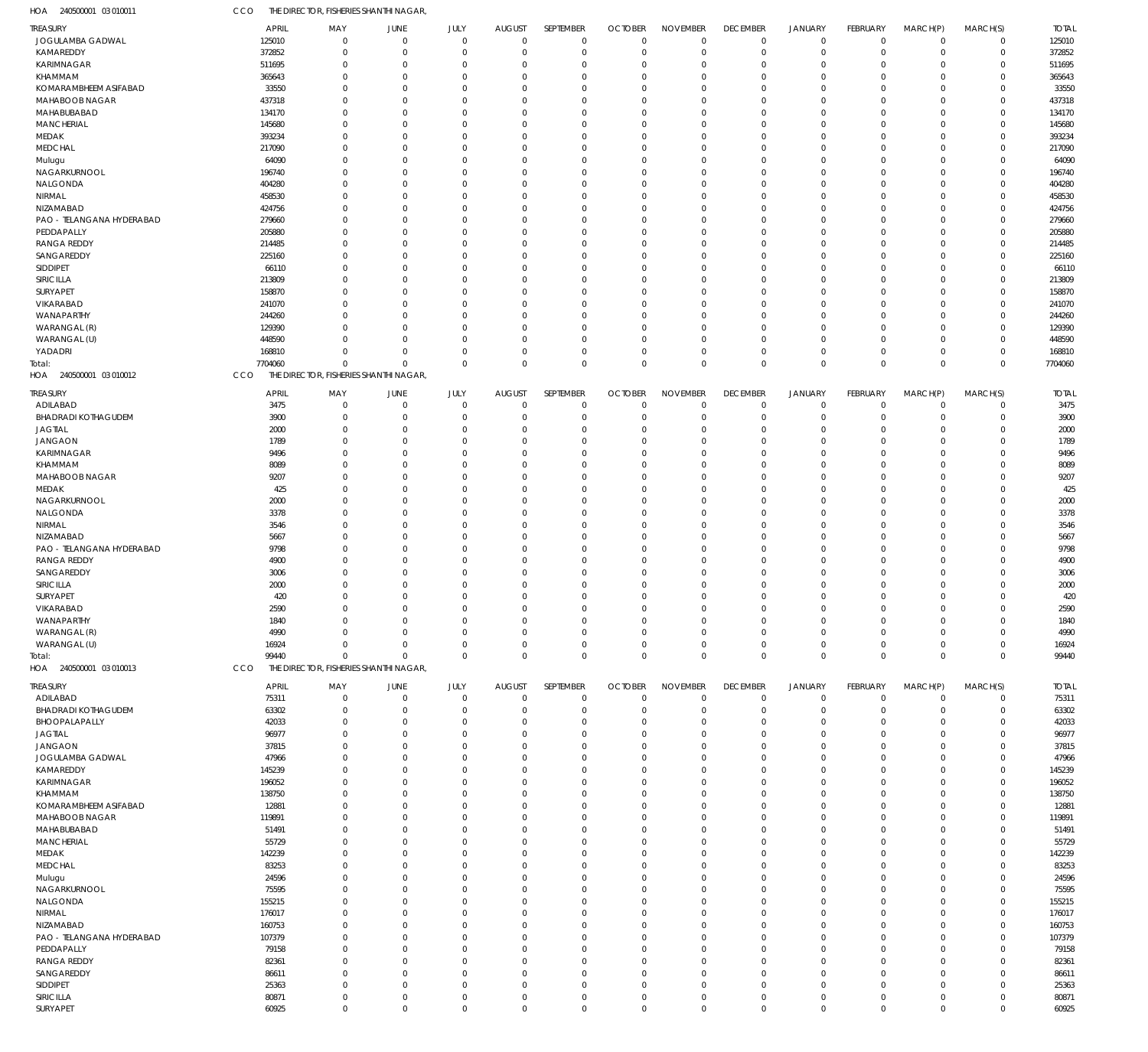| HOA<br>240500001 03 010011             | CCO              | THE DIRECTOR, FISHERIES SHANTHI NAGAR  |                                  |                         |                              |                            |                            |                             |                                |                               |                                |                            |                            |                       |
|----------------------------------------|------------------|----------------------------------------|----------------------------------|-------------------------|------------------------------|----------------------------|----------------------------|-----------------------------|--------------------------------|-------------------------------|--------------------------------|----------------------------|----------------------------|-----------------------|
| TREASURY                               |                  | <b>APRIL</b><br>MAY                    | JUNE                             | JULY                    | <b>AUGUST</b>                | SEPTEMBER                  | <b>OCTOBER</b>             | <b>NOVEMBER</b>             | <b>DECEMBER</b>                | <b>JANUARY</b>                | <b>FEBRUARY</b>                | MARCH(P)                   | MARCH(S)                   | <b>TOTAL</b>          |
| JOGULAMBA GADWAL                       | 125010           | $\Omega$                               | $\overline{0}$                   | $\mathbf 0$             | $\mathbf 0$                  | $\mathbf 0$                | $\mathbf{0}$               | $\mathbf 0$                 | $\mathbf 0$                    | $\mathbf 0$                   | $\mathbf 0$                    | $\mathbf 0$                | $\mathbf 0$                | 125010                |
| KAMAREDDY                              | 372852           | $\mathbf 0$                            | $\overline{0}$                   | $\mathbf 0$             | 0                            | $\mathbf 0$                | $^{\circ}$                 | $\mathbf 0$                 | $\mathbf 0$                    | $\mathbf 0$                   | $\mathbf 0$                    | $\mathbf 0$                | $\mathbf 0$                | 372852                |
| KARIMNAGAR<br>KHAMMAM                  | 511695<br>365643 | 0<br>$\Omega$                          | $\overline{0}$<br>$\Omega$       | $\Omega$<br>$\Omega$    | 0<br>0                       | 0<br>$\mathbf 0$           | $\Omega$<br>$\Omega$       | $\Omega$<br>$\Omega$        | $\mathbf 0$<br>$\Omega$        | $\mathbf 0$<br>$\mathbf 0$    | $\Omega$<br>$\Omega$           | 0<br>0                     | $\mathbf 0$<br>$\mathbf 0$ | 511695<br>365643      |
| KOMARAMBHEEM ASIFABAD                  | 33550            | 0                                      | $\Omega$                         | $\Omega$                | 0                            | $\mathbf 0$                | $\Omega$                   | $\Omega$                    | $\Omega$                       | $\mathbf 0$                   | $\Omega$                       | 0                          | $\mathbf 0$                | 33550                 |
| MAHABOOB NAGAR                         | 437318           | $\Omega$                               | $\Omega$                         | $\Omega$                | $\mathbf 0$                  | $\mathbf 0$                | $\Omega$                   | $\Omega$                    | $\Omega$                       | $\mathbf 0$                   | $\Omega$                       | $\mathbf 0$                | $\mathbf 0$                | 437318                |
| MAHABUBABAD                            | 134170           | 0                                      | $\Omega$                         | $\Omega$                | 0                            | $\mathbf 0$                | $\Omega$                   | $\Omega$                    | $\Omega$                       | $\mathbf 0$                   | 0                              | 0                          | $\mathbf 0$                | 134170                |
| <b>MANCHERIAL</b>                      | 145680           | $\Omega$                               | $\Omega$                         | $\Omega$                | 0                            | $\mathbf 0$                | $\Omega$                   | $\Omega$                    | $\Omega$                       | $\Omega$                      | $\Omega$                       | 0                          | $\mathbf 0$                | 145680                |
| MEDAK                                  | 393234           | $\Omega$                               | $\Omega$                         | $\Omega$                | 0                            | $\mathbf 0$                | $\sqrt{ }$                 | $\Omega$                    | $\Omega$                       | $\mathbf 0$                   | $\Omega$                       | 0                          | $\mathbf 0$                | 393234                |
| MEDCHAL                                | 217090           | $\Omega$                               | $\Omega$                         | $\Omega$                | $\mathbf 0$                  | $\mathbf 0$                | $\Omega$                   | $\Omega$                    | $\Omega$                       | $\mathbf 0$                   | $\Omega$                       | $\mathbf 0$                | $\mathbf 0$                | 217090                |
| Mulugu                                 | 64090            | 0                                      | $\Omega$                         | $\Omega$                | 0                            | $\mathbf 0$                | $\Omega$                   | $\Omega$                    | $\Omega$                       | $\mathbf 0$                   | 0                              | 0                          | $\mathbf 0$                | 64090                 |
| NAGARKURNOOL                           | 196740           | $\Omega$                               | $\Omega$                         | $\Omega$                | $\mathbf 0$                  | $\mathbf 0$                | $\Omega$                   | $\Omega$                    | $\Omega$                       | $\Omega$                      | $\Omega$                       | 0                          | $\mathbf 0$                | 196740                |
| NALGONDA<br>NIRMAL                     | 404280<br>458530 | $\Omega$<br>$\Omega$                   | $\Omega$<br>$\Omega$             | $\Omega$<br>$\Omega$    | 0<br>$\mathbf 0$             | $\mathbf 0$<br>$\mathbf 0$ | $\mathcal{L}$<br>$\Omega$  | $\Omega$<br>$\Omega$        | $\Omega$<br>$\Omega$           | $\mathbf 0$<br>$\mathbf 0$    | $\Omega$<br>$\Omega$           | 0<br>$\mathbf 0$           | $\mathbf 0$<br>$\mathbf 0$ | 404280<br>458530      |
| NIZAMABAD                              | 424756           | 0                                      | $\Omega$                         | $\Omega$                | 0                            | $\mathbf 0$                | $\Omega$                   | $\Omega$                    | $\Omega$                       | $\Omega$                      | $\Omega$                       | 0                          | $\mathbf 0$                | 424756                |
| PAO - TELANGANA HYDERABAD              | 279660           | $\Omega$                               | $\Omega$                         | $\Omega$                | $\mathbf 0$                  | $\mathbf 0$                | $\Omega$                   | $\Omega$                    | $\Omega$                       | $\Omega$                      | $\Omega$                       | 0                          | $\mathbf 0$                | 279660                |
| PEDDAPALLY                             | 205880           | $\Omega$                               | $\Omega$                         | $\Omega$                | 0                            | $\mathbf 0$                | $\Omega$                   | $\Omega$                    | $\Omega$                       | $\mathbf 0$                   | 0                              | 0                          | $\mathbf 0$                | 205880                |
| <b>RANGA REDDY</b>                     | 214485           | $\Omega$                               | $\Omega$                         | $\Omega$                | 0                            | $\mathbf 0$                | $\Omega$                   | $\Omega$                    | $\Omega$                       | $\Omega$                      | $\Omega$                       | $\mathbf 0$                | $\mathbf 0$                | 214485                |
| SANGAREDDY                             | 225160           | 0                                      | $\Omega$                         | $\Omega$                | 0                            | $\mathbf 0$                | $\Omega$                   | $\Omega$                    | $\Omega$                       | $\Omega$                      | $\Omega$                       | 0                          | $\mathbf 0$                | 225160                |
| SIDDIPET                               | 66110            | $\Omega$                               | $\Omega$                         | $\Omega$                | $\mathbf 0$                  | $\mathbf 0$                | $\Omega$                   | $\Omega$                    | $\Omega$                       | $\Omega$                      | $\Omega$                       | 0                          | $\mathbf 0$                | 66110                 |
| SIRICILLA                              | 213809           | $\Omega$                               | $\Omega$                         | $\Omega$                | 0                            | $\mathbf 0$                | $\Omega$                   | $\Omega$                    | $\Omega$                       | $\mathbf 0$                   | 0                              | 0                          | $\mathbf 0$                | 213809                |
| SURYAPET                               | 158870           | $\Omega$<br>0                          | $\Omega$<br>$\Omega$             | $\Omega$<br>$\Omega$    | $\mathbf 0$                  | $\Omega$<br>$\mathbf 0$    | $\Omega$<br>$\Omega$       | $\Omega$<br>$\Omega$        | $\Omega$<br>$\Omega$           | $\Omega$<br>$\mathbf 0$       | $\Omega$<br>$\Omega$           | $\mathbf 0$                | $\mathbf 0$                | 158870                |
| VIKARABAD<br>WANAPARTHY                | 241070<br>244260 | $\Omega$                               | $\Omega$                         | $\Omega$                | 0<br>0                       | $\mathbf 0$                | $\Omega$                   | $\Omega$                    | $\Omega$                       | $\mathbf 0$                   | $\Omega$                       | 0<br>0                     | $\mathbf 0$<br>$\mathbf 0$ | 241070<br>244260      |
| WARANGAL (R)                           | 129390           | 0                                      | $\Omega$                         | $\Omega$                | 0                            | $\mathbf 0$                | $\Omega$                   | $\Omega$                    | $\Omega$                       | $\mathbf 0$                   | 0                              | 0                          | $\mathbf 0$                | 129390                |
| WARANGAL (U)                           | 448590           | $\Omega$                               | $\Omega$                         | $\Omega$                | $\mathbf 0$                  | $\mathbf 0$                | $\Omega$                   | $\Omega$                    | $\Omega$                       | $\Omega$                      | $\Omega$                       | $\mathbf 0$                | $\mathbf 0$                | 448590                |
| YADADRI                                | 168810           | $\Omega$                               | $\overline{0}$                   | $\Omega$                | $\mathbf 0$                  | $\mathbf 0$                | $\Omega$                   | $\Omega$                    | $\mathbf 0$                    | $\mathbf 0$                   | $\Omega$                       | $\mathbf 0$                | $\mathbf 0$                | 168810                |
| Total:                                 | 7704060          | $\Omega$                               | $\Omega$                         | $\Omega$                | $\Omega$                     | $\mathbf 0$                | $\Omega$                   | $\Omega$                    | $\mathbf 0$                    | $\Omega$                      | $\Omega$                       | $\mathbf 0$                | $\mathbf 0$                | 7704060               |
| 240500001 03 010012<br>HOA             | CCO              | THE DIRECTOR, FISHERIES SHANTHI NAGAR, |                                  |                         |                              |                            |                            |                             |                                |                               |                                |                            |                            |                       |
| TREASURY                               |                  | <b>APRIL</b><br>MAY                    | JUNE                             | JULY                    | <b>AUGUST</b>                | SEPTEMBER                  | <b>OCTOBER</b>             | <b>NOVEMBER</b>             | <b>DECEMBER</b>                | <b>JANUARY</b>                | <b>FEBRUARY</b>                | MARCH(P)                   | MARCH(S)                   | <b>TOTAL</b>          |
| ADILABAD                               |                  | 3475<br>$\mathbf 0$                    | $\overline{0}$                   | $\mathbf 0$             | $\mathbf 0$                  | $\mathbf 0$                | $\overline{0}$             | $\Omega$                    | $\mathbf 0$                    | $\mathbf 0$                   | $\mathbf 0$                    | $\mathbf 0$                | 0                          | 3475                  |
| <b>BHADRADI KOTHAGUDEM</b>             |                  | 3900<br>$\mathbf 0$<br>$\Omega$        | $\overline{0}$<br>$\overline{0}$ | $\mathbf 0$<br>$\Omega$ | 0                            | $\mathbf 0$<br>$\mathbf 0$ | $\Omega$                   | $\Omega$<br>$\Omega$        | $\mathbf 0$<br>$\mathbf 0$     | $\mathbf 0$<br>$\mathbf 0$    | $\Omega$<br>$\Omega$           | 0                          | $\mathbf 0$<br>$\mathbf 0$ | 3900                  |
| <b>JAGTIAL</b><br><b>JANGAON</b>       |                  | 2000<br>1789<br>0                      | $\overline{0}$                   | 0                       | 0<br>0                       | $\mathbf 0$                | $\Omega$<br>C              | $\Omega$                    | $\mathbf 0$                    | $\mathbf 0$                   | 0                              | 0<br>0                     | $\mathbf 0$                | 2000<br>1789          |
| KARIMNAGAR                             |                  | 9496<br>$\Omega$                       | $\overline{0}$                   | $\Omega$                | 0                            | $\mathbf 0$                | ſ                          | $\Omega$                    | $\Omega$                       | $\mathbf 0$                   | U                              | 0                          | $\mathbf 0$                | 9496                  |
| KHAMMAM                                |                  | 8089<br>$\Omega$                       | $\Omega$                         | 0                       | 0                            | $\mathbf 0$                | $\Omega$                   | $\Omega$                    | $\Omega$                       | $\Omega$                      | U                              | 0                          | $\mathbf 0$                | 8089                  |
| MAHABOOB NAGAR                         |                  | 9207<br>$\Omega$                       | $\Omega$                         | 0                       | 0                            | $\mathbf 0$                | ſ                          | $\Omega$                    | $\Omega$                       | $\mathbf 0$                   | 0                              | 0                          | $\mathbf 0$                | 9207                  |
| MEDAK                                  |                  | 425<br>0                               | $\overline{0}$                   | $\Omega$                | 0                            | $\mathbf 0$                | $\Omega$                   | $\Omega$                    | $\mathbf 0$                    | $\mathbf 0$                   | 0                              | 0                          | $\mathbf 0$                | 425                   |
| NAGARKURNOOL                           |                  | 2000<br>$\Omega$                       | $\Omega$                         | 0                       | 0                            | $\mathbf 0$                | ſ                          | $\Omega$                    | $\Omega$                       | $\Omega$                      | O                              | 0                          | $\mathbf 0$                | 2000                  |
| NALGONDA                               |                  | 3378<br>$\Omega$                       | $\Omega$                         | 0                       | 0                            | $\mathbf 0$                | ſ                          | $\Omega$                    | $\Omega$                       | $\Omega$                      | U                              | 0                          | $\mathbf 0$                | 3378                  |
| NIRMAL                                 |                  | 3546<br>$\Omega$                       | $\Omega$                         | $\Omega$                | 0                            | $\mathbf 0$                | $\Omega$                   | $\Omega$                    | $\Omega$                       | $\mathbf 0$                   | 0                              | 0                          | $\mathbf 0$                | 3546                  |
| NIZAMABAD<br>PAO - TELANGANA HYDERABAD |                  | 5667<br>$\Omega$<br>9798<br>$\Omega$   | $\Omega$<br>$\Omega$             | 0<br>0                  | 0                            | $\mathbf 0$<br>$\mathbf 0$ | $\Omega$<br>ſ              | $\Omega$<br>$\Omega$        | $\mathbf 0$<br>$\Omega$        | $\mathbf 0$<br>$\Omega$       | 0<br>O                         | 0                          | $\mathbf 0$<br>$\mathbf 0$ | 5667                  |
| <b>RANGA REDDY</b>                     |                  | 4900<br>$\Omega$                       | $\Omega$                         | 0                       | 0<br>0                       | $\mathbf 0$                | C                          | $\Omega$                    | $\mathbf 0$                    | $\Omega$                      | 0                              | 0<br>0                     | $\mathbf 0$                | 9798<br>4900          |
| SANGAREDDY                             |                  | 3006<br>$\Omega$                       | $\Omega$                         | $\Omega$                | 0                            | $\mathbf 0$                | $\Omega$                   | $\Omega$                    | $\Omega$                       | $\mathbf 0$                   | 0                              | 0                          | $\mathbf 0$                | 3006                  |
| SIRICILLA                              |                  | 2000<br>0                              | $\Omega$                         | 0                       | 0                            | $\mathbf 0$                | $\Omega$                   | $\Omega$                    | $\Omega$                       | $\Omega$                      | 0                              | 0                          | $\mathbf 0$                | 2000                  |
| SURYAPET                               |                  | 420<br>$\Omega$                        | $\Omega$                         | $\Omega$                | $\mathbf 0$                  | $\mathbf 0$                | $\Omega$                   | $\Omega$                    | $\Omega$                       | $\Omega$                      | $\Omega$                       | $\mathbf 0$                | $\mathbf 0$                | 420                   |
| VIKARABAD                              |                  | 2590<br>0                              | 0                                | 0                       | 0                            | 0                          |                            | $\Omega$                    | 0                              | 0                             | 0                              | 0                          | $\mathbf 0$                | 2590                  |
| WANAPARTHY                             |                  | 1840<br>$\mathbf 0$                    | $\overline{0}$                   | $\mathbf 0$             | 0                            | $\mathbf 0$                | $\Omega$                   | $\Omega$                    | $\mathbf 0$                    | $\mathbf 0$                   | $\Omega$                       | 0                          | $\mathbf 0$                | 1840                  |
| WARANGAL (R)                           |                  | 4990<br>$\mathbf 0$                    | $\overline{0}$                   | $\mathbf 0$             | 0                            | $\mathbf 0$                | $\Omega$                   | $\mathbf 0$                 | $\mathbf 0$                    | $\mathbf 0$                   | $\Omega$                       | $\mathbf 0$                | $\mathbf 0$                | 4990                  |
| WARANGAL (U)                           | 16924            | $\Omega$<br>$\mathbf 0$                | $\overline{0}$<br>$\Omega$       | $\Omega$<br>$\mathbf 0$ | $\mathbf 0$<br>$\mathbf 0$   | $\mathbf 0$                | $\Omega$<br>$\Omega$       | $\Omega$                    | $\mathbf 0$                    | $\mathbf 0$                   | $\Omega$<br>$\mathbf 0$        | $\mathbf 0$<br>$\mathbf 0$ | $\mathbf 0$                | 16924                 |
| Total:<br>HOA 240500001 03 010013      | 99440<br>CCO     | THE DIRECTOR, FISHERIES SHANTHI NAGAR, |                                  |                         |                              | $\mathbf 0$                |                            | $\mathbf 0$                 | $\mathbf 0$                    | $\overline{0}$                |                                |                            | $\mathbf 0$                | 99440                 |
|                                        |                  |                                        |                                  |                         |                              |                            |                            |                             |                                |                               |                                |                            |                            |                       |
| <b>TREASURY</b><br>ADILABAD            | 75311            | <b>APRIL</b><br>MAY<br>$\mathbf 0$     | JUNE<br>$\overline{0}$           | JULY<br>$\mathbf 0$     | <b>AUGUST</b><br>$\mathbf 0$ | SEPTEMBER<br>$\mathbf 0$   | <b>OCTOBER</b><br>$\Omega$ | <b>NOVEMBER</b><br>$\Omega$ | <b>DECEMBER</b><br>$\mathbf 0$ | <b>JANUARY</b><br>$\mathbf 0$ | <b>FEBRUARY</b><br>$\mathbf 0$ | MARCH(P)<br>$\mathbf 0$    | MARCH(S)<br>$\mathbf 0$    | <b>TOTAL</b><br>75311 |
| <b>BHADRADI KOTHAGUDEM</b>             | 63302            | $\mathbf 0$                            | $\overline{0}$                   | $\mathbf 0$             | 0                            | $\mathbf 0$                | $\Omega$                   | $\Omega$                    | $\mathbf 0$                    | $\mathbf 0$                   | $\mathbf 0$                    | 0                          | $\mathbf 0$                | 63302                 |
| BHOOPALAPALLY                          | 42033            | $\mathbf 0$                            | $\overline{0}$                   | $\Omega$                | 0                            | $\mathbf 0$                | $\Omega$                   | $\Omega$                    | $\mathbf 0$                    | $\mathbf 0$                   | $\Omega$                       | $\mathbf 0$                | $\mathbf 0$                | 42033                 |
| <b>JAGTIAL</b>                         | 96977            | $\mathbf 0$                            | $\overline{0}$                   | $\Omega$                | 0                            | $\mathbf 0$                | $\Omega$                   | $\Omega$                    | $\mathbf 0$                    | $\mathbf 0$                   | $\Omega$                       | $\mathbf 0$                | $\mathbf 0$                | 96977                 |
| <b>JANGAON</b>                         | 37815            | $\Omega$                               | $\overline{0}$                   | $\Omega$                | $\mathbf 0$                  | $\mathbf 0$                | $\Omega$                   | $\Omega$                    | $\mathbf 0$                    | $\mathbf 0$                   | $\Omega$                       | $\mathbf 0$                | $\mathbf 0$                | 37815                 |
| JOGULAMBA GADWAL                       | 47966            | 0                                      | $\overline{0}$                   | $\Omega$                | 0                            | $\mathbf 0$                | $\Omega$                   | $\Omega$                    | $\mathbf 0$                    | $\mathbf 0$                   | $\Omega$                       | 0                          | $\mathbf 0$                | 47966                 |
| KAMAREDDY                              | 145239           | $\Omega$                               | $\Omega$                         | $\Omega$                | $\mathbf 0$                  | $\mathbf 0$                | $\Omega$                   | $\Omega$                    | $\Omega$                       | $\mathbf 0$                   | $\Omega$                       | $\mathbf 0$                | $\mathbf 0$                | 145239                |
| KARIMNAGAR                             | 196052           | 0                                      | $\mathbf 0$                      | $\Omega$                | $\mathbf 0$                  | $\mathbf 0$                | $\Omega$                   | $\Omega$                    | $\mathbf 0$                    | $\mathbf 0$                   | $\Omega$                       | $\mathbf 0$                | $\mathbf 0$                | 196052                |
| KHAMMAM<br>KOMARAMBHEEM ASIFABAD       | 138750<br>12881  | $\Omega$<br>0                          | $\overline{0}$<br>$\Omega$       | $\Omega$<br>$\Omega$    | $\mathbf 0$<br>0             | $\mathbf 0$<br>$\mathbf 0$ | $\Omega$<br>$\Omega$       | $\Omega$<br>$\Omega$        | $\Omega$<br>$\mathbf 0$        | $\mathbf 0$<br>$\mathbf 0$    | $\Omega$<br>$\Omega$           | $\mathbf 0$<br>$\mathbf 0$ | $\mathbf 0$<br>$\mathbf 0$ | 138750<br>12881       |
| MAHABOOB NAGAR                         | 119891           | $\Omega$                               | $\Omega$                         | $\Omega$                | $\mathbf 0$                  | $\mathbf 0$                | $\Omega$                   | $\Omega$                    | $\Omega$                       | $\mathbf 0$                   | $\Omega$                       | $\mathbf 0$                | $\mathbf 0$                | 119891                |
| MAHABUBABAD                            | 51491            | $\mathbf 0$                            | $\overline{0}$                   | $\Omega$                | 0                            | $\mathbf 0$                | $\Omega$                   | $\Omega$                    | $\mathbf 0$                    | $\mathbf 0$                   | $\Omega$                       | $\mathbf 0$                | $\mathbf 0$                | 51491                 |
| <b>MANCHERIAL</b>                      | 55729            | $\Omega$                               | $\Omega$                         | $\Omega$                | $\mathbf 0$                  | $\mathbf 0$                | $\Omega$                   | $\Omega$                    | $\Omega$                       | $\mathbf 0$                   | $\Omega$                       | $\mathbf 0$                | $\mathbf 0$                | 55729                 |
| MEDAK                                  | 142239           | $\Omega$                               | $\Omega$                         | $\Omega$                | 0                            | $\mathbf 0$                | $\Omega$                   | $\Omega$                    | $\mathbf 0$                    | $\mathbf 0$                   | $\Omega$                       | $\mathbf 0$                | $\mathbf 0$                | 142239                |
| <b>MEDCHAL</b>                         | 83253            | $\Omega$                               | $\Omega$                         | $\Omega$                | $\mathbf 0$                  | $\mathbf 0$                | $\Omega$                   | $\Omega$                    | $\Omega$                       | $\mathbf 0$                   | $\Omega$                       | $\mathbf 0$                | $\mathbf 0$                | 83253                 |
| Mulugu                                 | 24596            | 0                                      | $\overline{0}$                   | $\Omega$                | 0                            | $\mathbf 0$                | $\Omega$                   | $\Omega$                    | $\mathbf 0$                    | $\mathbf 0$                   | $\Omega$                       | 0                          | $\mathbf 0$                | 24596                 |
| NAGARKURNOOL                           | 75595            | $\Omega$                               | $\Omega$                         | $\Omega$                | $\mathbf 0$                  | $\mathbf 0$                | $\Omega$                   | $\Omega$                    | $\Omega$                       | $\mathbf 0$                   | $\Omega$                       | $\mathbf 0$                | $\mathbf 0$                | 75595                 |
| NALGONDA                               | 155215           | 0                                      | $\Omega$                         | $\Omega$                | $\mathbf 0$                  | $\mathbf 0$                | $\Omega$                   | $\Omega$                    | $\mathbf 0$                    | $\mathbf 0$                   | $\Omega$                       | $\mathbf 0$                | $\mathbf 0$                | 155215                |
| NIRMAL<br>NIZAMABAD                    | 176017<br>160753 | $\Omega$<br>$\mathbf 0$                | $\Omega$<br>$\overline{0}$       | $\Omega$<br>$\Omega$    | $\mathbf 0$<br>0             | $\mathbf 0$<br>$\mathbf 0$ | $\Omega$<br>$\Omega$       | $\Omega$<br>$\Omega$        | $\mathbf 0$<br>$\mathbf 0$     | $\mathbf 0$<br>$\mathbf 0$    | $\Omega$<br>$\Omega$           | $\mathbf 0$<br>$\mathbf 0$ | $\mathbf 0$<br>$\mathbf 0$ | 176017<br>160753      |
| PAO - TELANGANA HYDERABAD              | 107379           | $\Omega$                               | $\Omega$                         | $\Omega$                | $\mathbf 0$                  | $\mathbf 0$                | $\Omega$                   | $\Omega$                    | $\Omega$                       | $\mathbf 0$                   | $\Omega$                       | $\mathbf 0$                | $\mathbf 0$                | 107379                |
| PEDDAPALLY                             | 79158            | 0                                      | $\overline{0}$                   | $\Omega$                | $\mathbf 0$                  | $\mathbf 0$                | $\Omega$                   | $\Omega$                    | $\mathbf 0$                    | $\mathbf 0$                   | $\Omega$                       | $\mathbf 0$                | $\mathbf 0$                | 79158                 |
| <b>RANGA REDDY</b>                     | 82361            | $\Omega$                               | $\Omega$                         | $\Omega$                | $\mathbf 0$                  | $\mathbf 0$                | $\Omega$                   | $\Omega$                    | $\mathbf 0$                    | $\mathbf 0$                   | $\Omega$                       | $\mathbf 0$                | $\mathbf 0$                | 82361                 |
| SANGAREDDY                             | 86611            | $\mathbf 0$                            | $\Omega$                         | $\Omega$                | 0                            | $\mathbf 0$                | $\Omega$                   | $\Omega$                    | $\mathbf 0$                    | $\mathbf 0$                   | $\Omega$                       | $\mathbf 0$                | $\mathbf 0$                | 86611                 |
| SIDDIPET                               | 25363            | $\mathbf 0$                            | $\Omega$                         | $\Omega$                | $\mathbf 0$                  | $\mathbf 0$                | $\Omega$                   | $\Omega$                    | $\mathbf 0$                    | $\Omega$                      | $\Omega$                       | $\mathbf 0$                | $\mathbf 0$                | 25363                 |
| SIRICILLA                              | 80871            | $\mathbf 0$                            | $\mathbf 0$                      | $\mathbf 0$             | $\mathbf 0$                  | 0                          | $\overline{0}$             | $\mathbf 0$                 | $\mathbf 0$                    | $\mathbf 0$                   | $\mathbf 0$                    | 0                          | $\mathbf 0$                | 80871                 |
| SURYAPET                               | 60925            | $\mathbf 0$                            | $\overline{0}$                   | $\mathbf 0$             | $\mathbf 0$                  | $\mathbf 0$                | $\mathbf 0$                | $\mathbf 0$                 | $\mathbf 0$                    | $\mathbf 0$                   | $\mathbf 0$                    | $\mathbf 0$                | $\mathbf 0$                | 60925                 |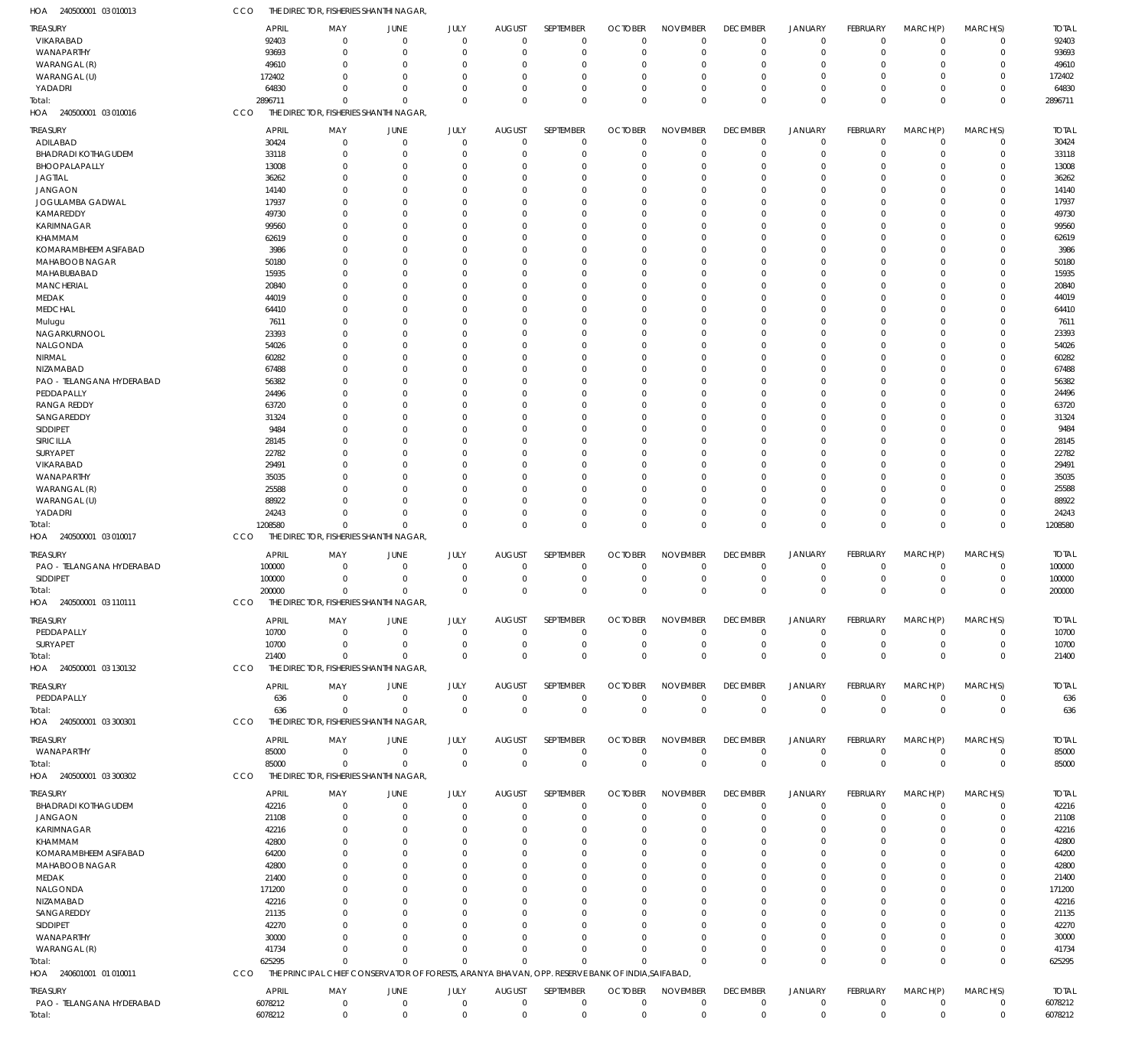| HOA 240500001 03010013                       | CCO     |                |                            | THE DIRECTOR, FISHERIES SHANTHI NAGAR,                                                           |                         |                           |                                  |                               |                                |                                |                                  |                            |                         |                            |                       |
|----------------------------------------------|---------|----------------|----------------------------|--------------------------------------------------------------------------------------------------|-------------------------|---------------------------|----------------------------------|-------------------------------|--------------------------------|--------------------------------|----------------------------------|----------------------------|-------------------------|----------------------------|-----------------------|
| <b>TREASURY</b>                              |         | APRIL          | MAY                        | JUNE                                                                                             | JULY                    | <b>AUGUST</b>             | SEPTEMBER                        | <b>OCTOBER</b>                | <b>NOVEMBER</b>                | <b>DECEMBER</b>                | <b>JANUARY</b>                   | FEBRUARY                   | MARCH(P)                | MARCH(S)                   | <b>TOTAL</b>          |
| VIKARABAD                                    |         | 92403          | $\mathbf 0$                | $\Omega$                                                                                         | $\mathbf 0$             | $\Omega$                  | $\overline{0}$                   | $\Omega$                      | $\mathbf 0$                    | $\mathbf 0$                    | $\overline{0}$                   | $\mathbf 0$                | $\mathbf 0$             | $\mathbf 0$                | 92403                 |
| WANAPARTHY                                   |         | 93693          | $\mathbf 0$                | 0                                                                                                | $\Omega$                | $\Omega$                  | $\overline{0}$                   | $\mathbf 0$                   | $\mathbf 0$                    | $\mathbf 0$                    | $\mathbf 0$                      | $\mathbf 0$                | 0                       | $\mathbf 0$                | 93693                 |
| WARANGAL (R)                                 |         | 49610          | $\mathbf 0$                | $\Omega$                                                                                         | $\Omega$                |                           | $\Omega$                         | $\Omega$                      | $\mathbf 0$                    | $\mathbf 0$                    | $\Omega$                         | $\Omega$                   | 0                       | $\mathbf 0$                | 49610                 |
| WARANGAL (U)                                 | 172402  |                | $\Omega$                   | $\Omega$                                                                                         | $\Omega$                |                           | $\Omega$                         | $\Omega$                      | $\Omega$                       | $\Omega$                       | $\Omega$                         | $\Omega$                   | $\Omega$                | $\mathbf 0$                | 172402                |
| YADADRI                                      |         | 64830          | $\mathbf 0$                | $\Omega$                                                                                         | $\Omega$                |                           | $\Omega$                         | $\Omega$                      | $\mathbf 0$                    | $\mathbf 0$                    | $\mathbf 0$                      | $\mathbf 0$                | 0                       | $\mathbf 0$                | 64830                 |
| Total:                                       | 2896711 |                | $\mathbf 0$                | $\Omega$                                                                                         | $\Omega$                | $\Omega$                  | $\Omega$                         | $\Omega$                      | $\Omega$                       | $\Omega$                       | $\Omega$                         | $\Omega$                   | $\Omega$                | $\mathbf 0$                | 2896711               |
| HOA 240500001 03 010016                      | CCO     |                |                            | THE DIRECTOR, FISHERIES SHANTHI NAGAR,                                                           |                         |                           |                                  |                               |                                |                                |                                  |                            |                         |                            |                       |
| TREASURY                                     |         | <b>APRIL</b>   | MAY                        | JUNE                                                                                             | JULY                    | <b>AUGUST</b>             | SEPTEMBER                        | <b>OCTOBER</b>                | <b>NOVEMBER</b>                | <b>DECEMBER</b>                | <b>JANUARY</b>                   | FEBRUARY                   | MARCH(P)                | MARCH(S)                   | <b>TOTAL</b>          |
| ADILABAD                                     |         | 30424          | $\mathbf 0$                | $\mathbf 0$                                                                                      | $\mathbf 0$             | $\Omega$                  | $\overline{0}$                   | $\mathbf 0$                   | $\mathbf 0$                    | $\overline{0}$                 | $\overline{0}$                   | $\mathbf 0$                | $^{\circ}$              | $\mathbf 0$                | 30424                 |
| <b>BHADRADI KOTHAGUDEM</b>                   |         | 33118          | $\mathbf 0$                | O                                                                                                | $\mathbf 0$             |                           | $\overline{0}$                   | $\Omega$                      | $\overline{0}$                 | $\mathbf 0$                    | $\mathbf 0$                      | $\mathbf 0$                | 0                       | $\mathbf 0$                | 33118                 |
| BHOOPALAPALLY                                |         | 13008          | $\mathbf 0$                | O                                                                                                | $\Omega$                |                           | $\Omega$                         | $\Omega$                      | $\Omega$                       | $\mathbf 0$                    | $\mathbf 0$                      | 0                          | 0                       | $\mathbf 0$                | 13008                 |
| <b>JAGTIAL</b>                               |         | 36262          | $\mathbf 0$                | C.                                                                                               | $\Omega$                |                           | $\Omega$                         | $\Omega$                      | $\Omega$                       | $\Omega$                       | $\Omega$                         | 0                          | $\Omega$                | $\mathbf 0$                | 36262                 |
| <b>JANGAON</b>                               |         | 14140          | $\mathbf 0$                | C.                                                                                               | $\Omega$                |                           | $\Omega$                         | $\Omega$                      | $\Omega$                       | O                              | $\Omega$                         | $\Omega$                   | 0                       | $\mathbf 0$                | 14140                 |
| JOGULAMBA GADWAL                             |         | 17937<br>49730 | $\mathbf 0$<br>$\mathbf 0$ | C.<br>C.                                                                                         | $\Omega$<br>$\Omega$    |                           | $\Omega$<br>$\Omega$             | $\Omega$<br>$\Omega$          | $\Omega$<br>$\Omega$           | 0<br>O                         | $\Omega$<br>$\Omega$             | 0<br>$\Omega$              | $\Omega$                | $\mathbf 0$<br>$\mathbf 0$ | 17937                 |
| KAMAREDDY<br>KARIMNAGAR                      |         | 99560          | $\mathbf 0$                |                                                                                                  | $\Omega$                |                           | $\Omega$                         | $\Omega$                      | $\Omega$                       | O                              | $\Omega$                         | $\Omega$                   | 0<br>$\Omega$           | $\mathbf 0$                | 49730<br>99560        |
| KHAMMAM                                      |         | 62619          | $\mathbf 0$                | C.                                                                                               | $\Omega$                |                           | $\Omega$                         | $\Omega$                      | $\Omega$                       |                                | $\Omega$                         | $\Omega$                   | 0                       | $\mathbf 0$                | 62619                 |
| KOMARAMBHEEM ASIFABAD                        |         | 3986           | $\mathbf 0$                | C.                                                                                               | $\Omega$                |                           | $\Omega$                         | $\Omega$                      | $\Omega$                       | 0                              | $\Omega$                         | 0                          | 0                       | $\mathbf 0$                | 3986                  |
| MAHABOOB NAGAR                               |         | 50180          | $\mathbf 0$                | ſ                                                                                                | $\Omega$                |                           | $\Omega$                         | $\Omega$                      | $\Omega$                       |                                | $\Omega$                         | $\Omega$                   | 0                       | $\mathbf 0$                | 50180                 |
| MAHABUBABAD                                  |         | 15935          | $\mathbf 0$                |                                                                                                  | $\Omega$                |                           | $\Omega$                         | $\Omega$                      | $\Omega$                       | 0                              | $\Omega$                         | $\Omega$                   | $\Omega$                | $\mathbf 0$                | 15935                 |
| <b>MANCHERIAL</b>                            |         | 20840          | $\mathbf 0$                | C.                                                                                               | $\Omega$                |                           | $\Omega$                         | $\Omega$                      | $\Omega$                       | 0                              | $\Omega$                         | $\Omega$                   | 0                       | $\mathbf 0$                | 20840                 |
| <b>MEDAK</b>                                 |         | 44019          | $\mathbf 0$                | C.                                                                                               | $\Omega$                |                           | $\Omega$                         | $\Omega$                      | $\Omega$                       | O                              | $\Omega$                         | $\Omega$                   | 0                       | $\mathbf 0$                | 44019                 |
| <b>MEDCHAL</b>                               |         | 64410          | $\mathbf 0$                |                                                                                                  | $\Omega$                |                           | $\Omega$                         | $\Omega$                      | $\Omega$                       |                                | $\Omega$                         | $\Omega$                   | 0                       | $\mathbf 0$                | 64410                 |
| Mulugu                                       |         | 7611           | $\mathbf 0$                | C.                                                                                               | $\Omega$                |                           | $\Omega$                         | $\Omega$                      | $\Omega$                       | 0                              | $\Omega$                         | 0                          | $\Omega$                | $\mathbf 0$                | 7611                  |
| NAGARKURNOOL                                 |         | 23393          | $\mathbf 0$                | C.                                                                                               | $\Omega$                |                           | $\Omega$                         | $\Omega$                      | $\Omega$                       | O                              | $\Omega$                         | $\Omega$                   | 0                       | $\mathbf 0$                | 23393                 |
| NALGONDA                                     |         | 54026          | $\mathbf 0$                | ſ                                                                                                | $\Omega$                |                           | $\Omega$                         | $\Omega$                      | $\Omega$                       | 0                              | $\Omega$                         | $\Omega$                   | 0                       | $\mathbf 0$                | 54026                 |
| NIRMAL                                       |         | 60282          | $\mathbf 0$                | C.                                                                                               | $\Omega$                |                           | $\Omega$                         | $\Omega$                      | $\Omega$                       |                                | $\Omega$                         | $\Omega$                   | 0                       | $\mathbf 0$                | 60282                 |
| NIZAMABAD                                    |         | 67488          | $\mathbf 0$                | C.                                                                                               | $\Omega$                |                           | $\Omega$                         | $\Omega$                      | $\Omega$                       | O                              | $\cup$                           | $\Omega$                   | 0                       | $\mathbf 0$                | 67488                 |
| PAO - TELANGANA HYDERABAD                    |         | 56382          | $\mathbf 0$                | C.                                                                                               | $\Omega$                |                           | $\Omega$                         | $\Omega$                      | $\Omega$                       |                                | $\Omega$                         | $\Omega$                   | 0                       | $\mathbf 0$                | 56382                 |
| PEDDAPALLY                                   |         | 24496          | $\mathbf 0$<br>$\mathbf 0$ | C.<br>C.                                                                                         | $\Omega$<br>$\Omega$    |                           | $\Omega$<br>$\Omega$             | $\Omega$<br>$\Omega$          | $\Omega$<br>$\Omega$           | 0                              | $\Omega$<br>$\Omega$             | 0<br>$\Omega$              | 0                       | $\mathbf 0$<br>$\mathbf 0$ | 24496                 |
| RANGA REDDY<br>SANGAREDDY                    |         | 63720<br>31324 | $\mathbf 0$                |                                                                                                  | $\Omega$                |                           | $\Omega$                         | $\Omega$                      | $\Omega$                       | 0                              | $\Omega$                         | $\Omega$                   | 0<br>0                  | $\mathbf 0$                | 63720<br>31324        |
| SIDDIPET                                     |         | 9484           | $\mathbf 0$                | C.                                                                                               | $\Omega$                |                           | $\Omega$                         | $\Omega$                      | $\Omega$                       |                                | $\Omega$                         | $\Omega$                   | 0                       | $\mathbf 0$                | 9484                  |
| SIRICILLA                                    |         | 28145          | $\mathbf 0$                | C.                                                                                               | $\Omega$                |                           | $\Omega$                         | $\Omega$                      | $\Omega$                       | O                              | $\Omega$                         | $\Omega$                   | 0                       | $\mathbf 0$                | 28145                 |
| SURYAPET                                     |         | 22782          | $\mathbf 0$                |                                                                                                  | $\Omega$                |                           | $\Omega$                         | 0                             | $\Omega$                       |                                | $\Omega$                         | $\Omega$                   | 0                       | $\mathbf 0$                | 22782                 |
| VIKARABAD                                    |         | 29491          | $\mathbf 0$                | C.                                                                                               | $\Omega$                |                           | $\Omega$                         | $\Omega$                      | $\mathbf 0$                    | 0                              | $\Omega$                         | 0                          | $\Omega$                | $\mathbf 0$                | 29491                 |
| WANAPARTHY                                   |         | 35035          | $\mathbf 0$                | C.                                                                                               | $\Omega$                |                           | $\Omega$                         | $\Omega$                      | $\Omega$                       | O                              | $\Omega$                         | $\Omega$                   | 0                       | $\mathbf 0$                | 35035                 |
| WARANGAL (R)                                 |         | 25588          | $\mathbf 0$                | C.                                                                                               | $\Omega$                |                           | $\Omega$                         | $\Omega$                      | $\Omega$                       | 0                              | $\Omega$                         | $\Omega$                   | 0                       | $\mathbf 0$                | 25588                 |
| WARANGAL (U)                                 |         | 88922          | $\Omega$                   | C.                                                                                               | $\Omega$                |                           | $\Omega$                         | $\Omega$                      | $\Omega$                       | 0                              | $\Omega$                         | $\mathbf 0$                | $\Omega$                | $\mathbf 0$                | 88922                 |
| YADADRI                                      |         | 24243          | $\mathbf 0$                | O                                                                                                | $\Omega$                |                           | $\Omega$                         | $\Omega$                      | $\overline{0}$                 | $\mathbf 0$                    | $\mathbf 0$                      | $\mathbf 0$                | 0                       | $\mathbf 0$                | 24243                 |
| Total:                                       | 1208580 |                | $\mathbf 0$                | $\Omega$                                                                                         | $\Omega$                |                           | $\Omega$                         | $\Omega$                      | $\Omega$                       | $\mathbf 0$                    | $\overline{0}$                   | $\mathbf 0$                | $\mathbf 0$             | $\mathbf 0$                | 1208580               |
| HOA 240500001 03 010017                      | CCO     |                |                            | THE DIRECTOR, FISHERIES SHANTHI NAGAR,                                                           |                         |                           |                                  |                               |                                |                                |                                  |                            |                         |                            |                       |
| TREASURY                                     |         | <b>APRIL</b>   | MAY                        | JUNE                                                                                             | JULY                    | <b>AUGUST</b>             | SEPTEMBER                        | <b>OCTOBER</b>                | <b>NOVEMBER</b>                | <b>DECEMBER</b>                | <b>JANUARY</b>                   | FEBRUARY                   | MARCH(P)                | MARCH(S)                   | <b>TOTAL</b>          |
| PAO - TELANGANA HYDERABAD                    |         | 100000         | $\mathbf 0$                | $\mathbf 0$                                                                                      | $\mathbf 0$             | $\Omega$                  | $\overline{0}$                   | $\Omega$                      | $\mathbf 0$                    | $\mathbf 0$                    | $\mathbf 0$                      | $\mathbf 0$                | -0                      | $\mathbf 0$                | 100000                |
| SIDDIPET                                     | 100000  |                | $\mathbf 0$                | $\Omega$                                                                                         | $\mathbf 0$             | $\Omega$                  | $\overline{0}$                   | $\mathbf 0$                   | $\mathbf 0$                    | $\mathbf 0$                    | $\mathbf 0$                      | $\mathbf 0$                | 0                       | $\mathbf 0$                | 100000                |
| Total:                                       | 200000  |                | $\mathbf 0$                | $\Omega$                                                                                         | $\Omega$                | $\Omega$                  | $\Omega$                         | $\Omega$                      | $\Omega$                       | $\mathbf 0$                    | $\overline{0}$                   | $\Omega$                   | $\mathbf 0$             | $\mathbf 0$                | 200000                |
| HOA 240500001 03 110111                      | CCO     |                |                            | THE DIRECTOR, FISHERIES SHANTHI NAGAR,                                                           |                         |                           |                                  |                               |                                |                                |                                  |                            |                         |                            |                       |
| <b>TREASURY</b>                              |         | APRIL          | MAY                        | JUNE                                                                                             | JULY                    | <b>AUGUST</b>             | SEPTEMBER                        | <b>OCTOBER</b>                | <b>NOVEMBER</b>                | <b>DECEMBER</b>                | <b>JANUARY</b>                   | FEBRUARY                   | MARCH(P)                | MARCH(S)                   | <b>TOTAL</b>          |
| PEDDAPALLY                                   |         | 10700          | $\mathbf 0$                | 0                                                                                                | $\mathbf 0$             | $\Omega$                  | $\overline{0}$                   | $\mathbf 0$                   | $\mathbf 0$                    | $\mathbf 0$                    | $\overline{0}$                   | $\mathbf 0$                | $\mathbf 0$             | $\mathbf 0$                | 10700                 |
| SURYAPET                                     |         | 10700          | $\mathbf 0$                | 0                                                                                                | $\mathbf 0$             | $\Omega$                  | $\overline{0}$                   | $\mathbf 0$                   | $\mathbf 0$                    | $\mathbf 0$                    | $\overline{0}$                   | $\mathbf 0$                | $\mathbf 0$             | $\mathbf 0$                | 10700                 |
| Total:                                       |         | 21400          | $\mathbf 0$                | $\Omega$                                                                                         | $\mathbf 0$             | $\Omega$                  | $\overline{0}$                   | $\mathbf 0$                   | $\mathbf 0$                    | $\mathbf 0$                    | $\overline{0}$                   | $\mathbf 0$                | $\mathbf 0$             | $\mathbf 0$                | 21400                 |
| HOA 240500001 03 130132                      | CCO     |                |                            | THE DIRECTOR, FISHERIES SHANTHI NAGAR,                                                           |                         |                           |                                  |                               |                                |                                |                                  |                            |                         |                            |                       |
| TREASURY                                     |         | <b>APRIL</b>   | MAY                        | JUNE                                                                                             | JULY                    | <b>AUGUST</b>             | SEPTEMBER                        | <b>OCTOBER</b>                | <b>NOVEMBER</b>                | <b>DECEMBER</b>                | <b>JANUARY</b>                   | FEBRUARY                   | MARCH(P)                | MARCH(S)                   | <b>TOTAL</b>          |
| PEDDAPALLY                                   |         | 636            | $\mathbf 0$                | $\mathbf 0$                                                                                      | $\mathbf 0$             | $\Omega$                  | $\mathbf 0$                      | $\mathbf 0$                   | $\mathbf 0$                    | $\mathbf 0$                    | $\overline{0}$                   | $\mathbf 0$                | $\mathbf 0$             | $\mathbf 0$                | 636                   |
| Total:                                       |         | 636            | $\mathbf 0$                | $\Omega$                                                                                         | $\mathbf 0$             | $\Omega$                  | $\mathbf 0$                      | $\mathbf 0$                   | $\mathbf 0$                    | $\overline{0}$                 | $\overline{0}$                   | $\mathbf 0$                | $\mathbf 0$             | $\mathbf 0$                | 636                   |
| HOA 240500001 03 300301                      | CCO     |                |                            | THE DIRECTOR, FISHERIES SHANTHI NAGAR,                                                           |                         |                           |                                  |                               |                                |                                |                                  |                            |                         |                            |                       |
|                                              |         | APRIL          |                            |                                                                                                  |                         |                           | SEPTEMBER                        |                               |                                |                                |                                  |                            |                         |                            |                       |
| TREASURY<br>WANAPARTHY                       |         | 85000          | MAY<br>$\mathbf 0$         | JUNE<br>$\mathbf 0$                                                                              | JULY<br>$\mathbf 0$     | <b>AUGUST</b><br>$\Omega$ | $\overline{0}$                   | <b>OCTOBER</b><br>$\mathbf 0$ | <b>NOVEMBER</b><br>$\mathbf 0$ | <b>DECEMBER</b><br>$\mathbf 0$ | <b>JANUARY</b><br>$\overline{0}$ | FEBRUARY<br>$\mathbf 0$    | MARCH(P)<br>$\mathbf 0$ | MARCH(S)<br>$\mathbf 0$    | <b>TOTAL</b><br>85000 |
| Total:                                       |         | 85000          | $\mathbf 0$                | $\mathbf 0$                                                                                      | $\mathbf 0$             | $\Omega$                  | $\mathbf 0$                      | $\mathbf 0$                   | $\mathbf 0$                    | $\overline{0}$                 | $\overline{0}$                   | $\mathbf 0$                | $\mathbf 0$             | $\mathbf 0$                | 85000                 |
| HOA 240500001 03 300302                      | CCO     |                |                            | THE DIRECTOR, FISHERIES SHANTHI NAGAR,                                                           |                         |                           |                                  |                               |                                |                                |                                  |                            |                         |                            |                       |
|                                              |         |                |                            |                                                                                                  |                         |                           |                                  |                               |                                |                                |                                  |                            |                         |                            |                       |
| <b>TREASURY</b>                              |         | <b>APRIL</b>   | MAY                        | JUNE                                                                                             | <b>JULY</b>             | <b>AUGUST</b><br>$\Omega$ | SEPTEMBER                        | <b>OCTOBER</b>                | <b>NOVEMBER</b>                | <b>DECEMBER</b>                | <b>JANUARY</b>                   | <b>FEBRUARY</b>            | MARCH(P)                | MARCH(S)                   | <b>TOTAL</b>          |
| <b>BHADRADI KOTHAGUDEM</b><br><b>JANGAON</b> |         | 42216<br>21108 | $\mathbf 0$<br>$\mathbf 0$ | $\mathbf 0$<br>$\Omega$                                                                          | $\mathbf 0$<br>$\Omega$ | $\Omega$                  | $\overline{0}$<br>$\overline{0}$ | $\Omega$<br>$\mathbf 0$       | $\mathbf 0$<br>$\overline{0}$  | $\overline{0}$<br>$\mathbf 0$  | $\overline{0}$<br>$\mathbf 0$    | $\mathbf 0$<br>$\mathbf 0$ | $\mathbf 0$<br>$\Omega$ | $\mathbf 0$<br>$\mathbf 0$ | 42216<br>21108        |
| KARIMNAGAR                                   |         | 42216          | $\mathbf 0$                | O                                                                                                | $\Omega$                |                           | $\overline{0}$                   | $\Omega$                      | $\mathbf 0$                    | $\mathbf 0$                    | $\Omega$                         | $\Omega$                   | 0                       | $\mathbf 0$                | 42216                 |
| KHAMMAM                                      |         | 42800          | $\mathbf 0$                | $\Omega$                                                                                         | $\Omega$                |                           | $\Omega$                         | $\Omega$                      | $\mathbf 0$                    | $\Omega$                       | $\Omega$                         | $\Omega$                   | $\Omega$                | $\mathbf 0$                | 42800                 |
| KOMARAMBHEEM ASIFABAD                        |         | 64200          | 0                          | C.                                                                                               | $\Omega$                |                           | $\Omega$                         | $\Omega$                      | $\mathbf 0$                    | $\Omega$                       | O                                | $\Omega$                   | $\Omega$                | $\mathbf 0$                | 64200                 |
| <b>MAHABOOB NAGAR</b>                        |         | 42800          | $\Omega$                   | C.                                                                                               | $\Omega$                |                           | $\Omega$                         | $\Omega$                      | $\mathbf 0$                    | $\Omega$                       | $\cup$                           | $\Omega$                   | 0                       | $\mathbf 0$                | 42800                 |
| MEDAK                                        |         | 21400          | 0                          | O                                                                                                | $\Omega$                |                           | $\Omega$                         | $\Omega$                      | $\mathbf 0$                    | $\Omega$                       | $\Omega$                         | $\Omega$                   | $\Omega$                | $\mathbf 0$                | 21400                 |
| NALGONDA                                     |         | 171200         | $\Omega$                   | $\Omega$                                                                                         | $\Omega$                |                           | $\Omega$                         | $\Omega$                      | $\mathbf 0$                    | $\Omega$                       | $\cup$                           | $\Omega$                   | $\Omega$                | $\mathbf 0$                | 171200                |
| NIZAMABAD                                    |         | 42216          | $\Omega$                   |                                                                                                  | $\Omega$                |                           | $\Omega$                         | 0                             | $\mathbf 0$                    | 0                              | C.                               | $\Omega$                   | 0                       | $\mathbf 0$                | 42216                 |
| SANGAREDDY                                   |         | 21135          | $\Omega$                   | C.                                                                                               | $\Omega$                |                           | $\Omega$                         | $\Omega$                      | $\mathbf 0$                    | $\Omega$                       | $\cup$                           | $\Omega$                   | 0                       | $\mathbf 0$                | 21135                 |
| SIDDIPET                                     |         | 42270          | 0                          | C.                                                                                               | $\Omega$                |                           | $\Omega$                         | U                             | $\mathbf 0$                    | $\Omega$                       | O                                | $\Omega$                   | $\Omega$                | $\mathbf 0$                | 42270                 |
| WANAPARTHY                                   |         | 30000          | $\Omega$                   | $\Omega$                                                                                         | $\Omega$                |                           | $\Omega$                         | $\Omega$                      | $\Omega$                       | $\Omega$                       | $\Omega$                         | $\Omega$                   | $\Omega$                | $\mathbf 0$                | 30000                 |
| WARANGAL (R)                                 |         | 41734          | $\mathbf 0$                | $\Omega$                                                                                         | $\Omega$                | $\Omega$                  | $\Omega$                         | $\Omega$                      | $\mathbf 0$                    | $\mathbf 0$                    | $\mathbf 0$                      | $\mathbf 0$                | 0                       | $\mathbf 0$                | 41734                 |
| Total:                                       |         | 625295         | $\Omega$                   | $\Omega$                                                                                         | $\Omega$                | $\Omega$                  | $\Omega$                         | $\Omega$                      | $\Omega$                       | $\Omega$                       | $\Omega$                         | $\mathbf 0$                | $\Omega$                | $\mathbf 0$                | 625295                |
| HOA 240601001 01 010011                      | CCO     |                |                            | THE PRINCIPAL CHIEF CONSERVATOR OF FORESTS, ARANYA BHAVAN, OPP. RESERVE BANK OF INDIA, SAIFABAD, |                         |                           |                                  |                               |                                |                                |                                  |                            |                         |                            |                       |
| TREASURY                                     |         | <b>APRIL</b>   | MAY                        | JUNE                                                                                             | JULY                    | <b>AUGUST</b>             | SEPTEMBER                        | <b>OCTOBER</b>                | <b>NOVEMBER</b>                | <b>DECEMBER</b>                | <b>JANUARY</b>                   | FEBRUARY                   | MARCH(P)                | MARCH(S)                   | <b>TOTAL</b>          |
| PAO - TELANGANA HYDERABAD                    | 6078212 |                | $\mathbf 0$                | $\mathbf 0$                                                                                      | $\mathbf 0$             | $\Omega$                  | $\overline{0}$                   | 0                             | $\mathbf 0$                    | $\mathbf 0$                    | $\mathbf 0$                      | $\mathbf 0$                | $\mathbf 0$             | $\mathbf 0$                | 6078212               |
| Total:                                       | 6078212 |                | $\mathbf 0$                | $\mathbf 0$                                                                                      | $\mathbf 0$             | $\Omega$                  | $\mathbf 0$                      | $\mathbf 0$                   | $\mathbf 0$                    | $\overline{0}$                 | $\overline{0}$                   | $\mathbf 0$                | $\mathbf 0$             | $\mathbf 0$                | 6078212               |
|                                              |         |                |                            |                                                                                                  |                         |                           |                                  |                               |                                |                                |                                  |                            |                         |                            |                       |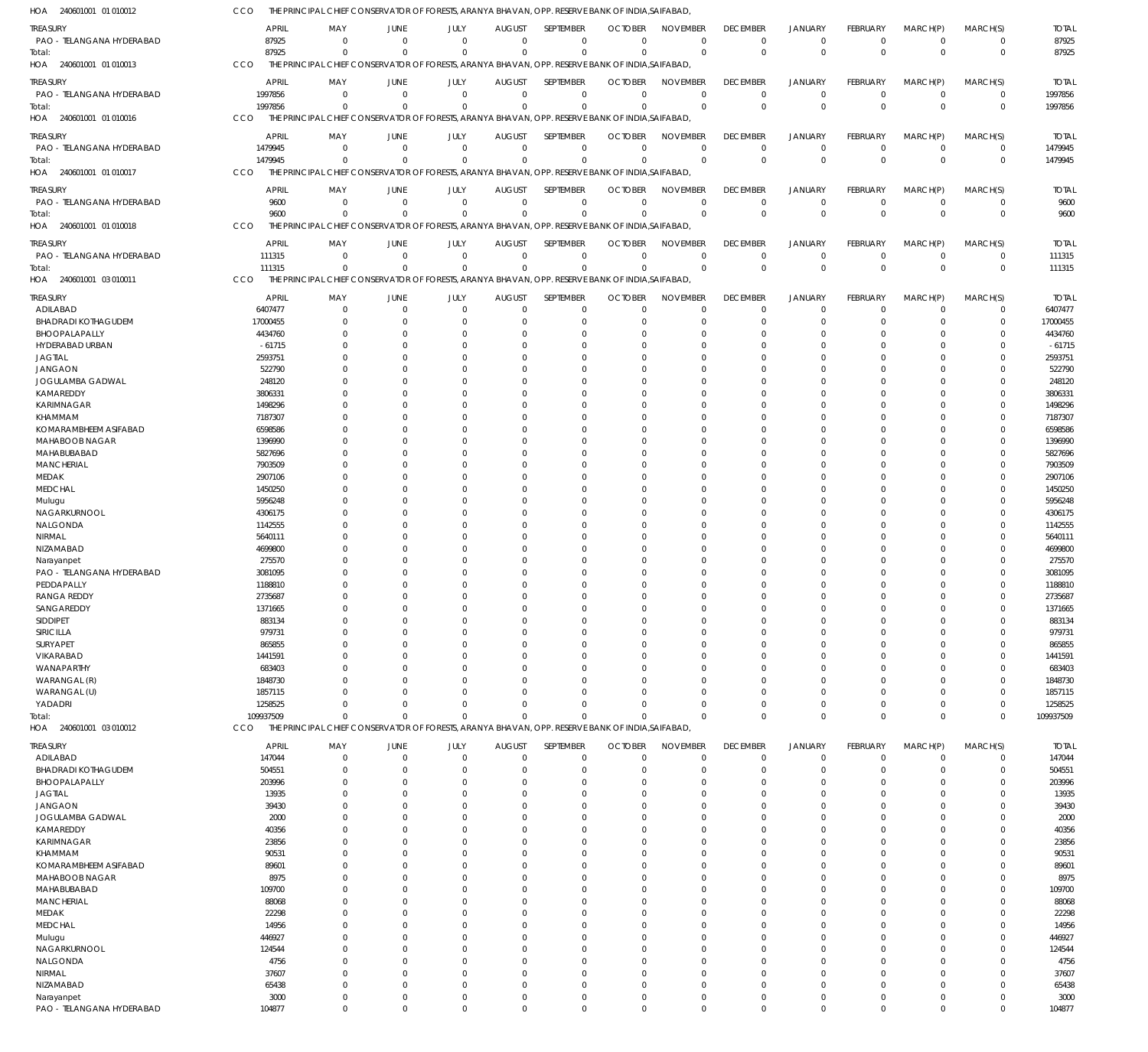| HOA 240601001 01 010012                 | CCO                 | THE PRINCIPAL CHIEF CONSERVATOR OF FORESTS, ARANYA BHAVAN, OPP. RESERVE BANK OF INDIA, SAIFABAD,             |                                  |                          |                                 |                            |                            |                            |                         |                             |                      |                            |                            |                      |
|-----------------------------------------|---------------------|--------------------------------------------------------------------------------------------------------------|----------------------------------|--------------------------|---------------------------------|----------------------------|----------------------------|----------------------------|-------------------------|-----------------------------|----------------------|----------------------------|----------------------------|----------------------|
| treasury                                | <b>APRIL</b>        | MAY                                                                                                          | JUNE                             | JULY                     | <b>AUGUST</b>                   | SEPTEMBER                  | <b>OCTOBER</b>             | <b>NOVEMBER</b>            | <b>DECEMBER</b>         | <b>JANUARY</b>              | <b>FEBRUARY</b>      | MARCH(P)                   | MARCH(S)                   | <b>TOTAL</b>         |
| PAO - TELANGANA HYDERABAD               | 87925               | $\Omega$                                                                                                     | $\overline{0}$                   | $\Omega$                 | $\Omega$                        | $\mathbf 0$                | $\Omega$                   | $\Omega$                   | $\mathbf 0$             | $^{\circ}$                  | $\Omega$             | $\Omega$                   | $\mathbf 0$                | 87925                |
| Total:                                  | 87925               | $\Omega$                                                                                                     | $\Omega$                         | $\Omega$                 | $\Omega$                        | $\mathbf 0$                | $\Omega$                   | $\Omega$                   | $\Omega$                | $\mathbf 0$                 | $\Omega$             | $\Omega$                   | $\mathbf 0$                | 87925                |
| HOA 240601001 01 010013                 | CCO                 | THE PRINCIPAL CHIEF CONSERVATOR OF FORESTS, ARANYA BHAVAN, OPP. RESERVE BANK OF INDIA, SAIFABAD,             |                                  |                          |                                 |                            |                            |                            |                         |                             |                      |                            |                            |                      |
| treasury                                | <b>APRIL</b>        | MAY                                                                                                          | <b>JUNE</b>                      | JULY                     | <b>AUGUST</b>                   | SEPTEMBER                  | <b>OCTOBER</b>             | <b>NOVEMBER</b>            | <b>DECEMBER</b>         | <b>JANUARY</b>              | <b>FEBRUARY</b>      | MARCH(P)                   | MARCH(S)                   | <b>TOTAL</b>         |
| PAO - TELANGANA HYDERABAD               | 1997856             | $\Omega$                                                                                                     | $\overline{0}$                   | $\mathbf{0}$             | $\overline{0}$<br>$\Omega$      | $\overline{0}$             | $\mathbf 0$                | $\mathbf 0$<br>$\Omega$    | $\mathbf 0$             | 0                           | $\Omega$             | $\overline{0}$<br>$\Omega$ | 0                          | 1997856              |
| Total:<br>HOA 240601001 01 010016       | 1997856<br>CCO      | $\Omega$<br>THE PRINCIPAL CHIEF CONSERVATOR OF FORESTS, ARANYA BHAVAN, OPP. RESERVE BANK OF INDIA, SAIFABAD, | $\Omega$                         | $\Omega$                 |                                 | $\mathbf 0$                | $\overline{0}$             |                            | $\Omega$                | $\mathbf 0$                 | $\Omega$             |                            | $\mathbf{0}$               | 1997856              |
|                                         |                     |                                                                                                              |                                  |                          |                                 |                            |                            |                            |                         |                             |                      |                            |                            |                      |
| treasury                                | <b>APRIL</b>        | MAY                                                                                                          | <b>JUNE</b><br>$\Omega$          | JULY<br>$\Omega$         | <b>AUGUST</b>                   | SEPTEMBER                  | <b>OCTOBER</b>             | <b>NOVEMBER</b>            | <b>DECEMBER</b>         | <b>JANUARY</b>              | <b>FEBRUARY</b>      | MARCH(P)<br>$\Omega$       | MARCH(S)                   | <b>TOTAL</b>         |
| PAO - TELANGANA HYDERABAD<br>Total:     | 1479945<br>1479945  | $\Omega$<br>$\Omega$                                                                                         | $\Omega$                         | $\Omega$                 | $\overline{0}$<br>$\Omega$      | $\mathbf 0$<br>$\Omega$    | $\mathbf 0$<br>$\Omega$    | $\mathbf 0$<br>$\Omega$    | $\mathbf 0$<br>$\Omega$ | $\mathbf 0$<br>$\mathbf{0}$ | $\Omega$<br>$\Omega$ | $\Omega$                   | 0<br>$\mathbf{0}$          | 1479945<br>1479945   |
| 240601001 01 010017<br>HOA              | CCO                 | THE PRINCIPAL CHIEF CONSERVATOR OF FORESTS, ARANYA BHAVAN, OPP. RESERVE BANK OF INDIA, SAIFABAD,             |                                  |                          |                                 |                            |                            |                            |                         |                             |                      |                            |                            |                      |
|                                         | <b>APRIL</b>        |                                                                                                              |                                  | JULY                     |                                 | SEPTEMBER                  | <b>OCTOBER</b>             | <b>NOVEMBER</b>            | <b>DECEMBER</b>         | <b>JANUARY</b>              | <b>FEBRUARY</b>      |                            | MARCH(S)                   |                      |
| ireasury<br>PAO - TELANGANA HYDERABAD   | 9600                | MAY<br>$\Omega$                                                                                              | JUNE<br>$\Omega$                 | $\mathbf{0}$             | <b>AUGUST</b><br>$\overline{0}$ | $\mathbf 0$                | $\overline{0}$             | $\mathbf 0$                | $\mathbf 0$             | $\mathbf 0$                 | $\Omega$             | MARCH(P)<br>$^{\circ}$     | 0                          | <b>TOTAL</b><br>9600 |
| iotal:                                  | 9600                |                                                                                                              | $\Omega$                         | $\Omega$                 | $\Omega$                        | $\mathbf 0$                | $\overline{0}$             | $\mathbf{0}$               | $\Omega$                | $\mathbf 0$                 | $\Omega$             | $\Omega$                   | $\mathbf{0}$               | 9600                 |
| 240601001 01 010018<br>HOA              | CCO                 | THE PRINCIPAL CHIEF CONSERVATOR OF FORESTS, ARANYA BHAVAN, OPP. RESERVE BANK OF INDIA, SAIFABAD,             |                                  |                          |                                 |                            |                            |                            |                         |                             |                      |                            |                            |                      |
| treasury                                | <b>APRIL</b>        | MAY                                                                                                          | JUNE                             | JULY                     | <b>AUGUST</b>                   | SEPTEMBER                  | <b>OCTOBER</b>             | <b>NOVEMBER</b>            | <b>DECEMBER</b>         | <b>JANUARY</b>              | FEBRUARY             | MARCH(P)                   | MARCH(S)                   | <b>TOTAL</b>         |
| PAO - TELANGANA HYDERABAD               | 111315              | $\Omega$                                                                                                     | $\overline{0}$                   | $\Omega$                 | $\overline{0}$                  | $\mathbf 0$                | $\Omega$                   | $\Omega$                   | $\mathbf 0$             | $\mathbf 0$                 | $\Omega$             | $\Omega$                   | $\mathbf 0$                | 111315               |
| Total:                                  | 111315              | $\Omega$                                                                                                     | $\overline{0}$                   | $\Omega$                 | $\Omega$                        | $\mathbf 0$                | $\Omega$                   | $\Omega$                   | $\Omega$                | $\mathbf 0$                 | $\Omega$             | $\Omega$                   | $\mathbf 0$                | 111315               |
| HOA 240601001 03 010011                 | CCO                 | THE PRINCIPAL CHIEF CONSERVATOR OF FORESTS, ARANYA BHAVAN, OPP. RESERVE BANK OF INDIA, SAIFABAD,             |                                  |                          |                                 |                            |                            |                            |                         |                             |                      |                            |                            |                      |
| Treasury                                | APRIL               | MAY                                                                                                          | JUNE                             | JULY                     | <b>AUGUST</b>                   | SEPTEMBER                  | <b>OCTOBER</b>             | <b>NOVEMBER</b>            | <b>DECEMBER</b>         | <b>JANUARY</b>              | FEBRUARY             | MARCH(P)                   | MARCH(S)                   | TOTAL                |
| ADILABAD                                | 6407477             | $\Omega$                                                                                                     | $\Omega$                         | $\mathbf 0$              | $\overline{0}$                  | $\mathbf 0$                | $\mathbf 0$                | $\mathbf 0$                | 0                       | $\mathbf 0$                 | $\Omega$             | $\Omega$                   | $\mathbf 0$                | 6407477              |
| <b>BHADRADI KOTHAGUDEM</b>              | 17000455            |                                                                                                              | - 0                              | $\Omega$                 | $\Omega$                        | $\mathbf 0$                | $\mathbf 0$                | $\mathbf 0$                | $\Omega$                | $\Omega$                    |                      | $\Omega$                   | $\mathbf 0$                | 17000455             |
| BHOOPALAPALLY                           | 4434760             |                                                                                                              | $\Omega$                         | 0                        | $\Omega$                        | $\Omega$                   | $\Omega$                   | $\Omega$                   | -0                      | $\Omega$                    |                      | - 0                        | $\Omega$                   | 4434760              |
| HYDERABAD URBAN<br><b>JAGTIAL</b>       | $-61715$<br>2593751 |                                                                                                              | $\Omega$<br>$\Omega$             | 0<br>O                   | $\Omega$<br>$\Omega$            | $\Omega$<br>$\Omega$       | $\Omega$<br>$\Omega$       | $\Omega$<br>$\Omega$       | -0                      | $\Omega$<br>$\Omega$        |                      | $\Omega$<br>$\Omega$       | 0<br>0                     | $-61715$<br>2593751  |
| <b>JANGAON</b>                          | 522790              |                                                                                                              | $\Omega$                         | U                        | $\Omega$                        | O                          | $\Omega$                   | $\Omega$                   |                         | $\Omega$                    |                      | $\Omega$                   | U                          | 522790               |
| JOGULAMBA GADWAL                        | 248120              |                                                                                                              | $\Omega$                         | U                        | $\Omega$                        | O                          | $\Omega$                   | $\Omega$                   |                         | $\Omega$                    |                      | $\Omega$                   | 0                          | 248120               |
| KAMAREDDY                               | 3806331             |                                                                                                              | $\Omega$                         | U                        | $\Omega$                        | O                          | $\Omega$                   | $\Omega$                   |                         | $\Omega$                    |                      | $\Omega$                   | 0                          | 3806331              |
| KARIMNAGAR                              | 1498296             |                                                                                                              | $\Omega$                         | O                        | $\Omega$                        | U                          | $\Omega$                   | $\Omega$                   |                         | $\Omega$                    |                      | $\Omega$                   | 0                          | 1498296              |
| KHAMMAM                                 | 7187307             |                                                                                                              | $\Omega$                         | 0                        | $\Omega$                        | O                          | $\Omega$                   | $\Omega$                   | -0                      | $\Omega$                    |                      | $\Omega$                   | U                          | 7187307              |
| KOMARAMBHEEM ASIFABAD<br>MAHABOOB NAGAR | 6598586<br>1396990  |                                                                                                              | $\Omega$<br>$\Omega$             | U<br><sup>0</sup>        | $\Omega$<br>$\Omega$            | 0<br>O                     | $\Omega$<br>$\Omega$       | $\Omega$<br>$\Omega$       | -0                      | $\Omega$<br>$\Omega$        |                      | $\Omega$<br>$\Omega$       | 0<br>U                     | 6598586              |
| MAHABUBABAD                             | 5827696             |                                                                                                              | $\Omega$                         | <sup>0</sup>             | $\Omega$                        | U                          | $\Omega$                   | $\Omega$                   | -0                      | $\Omega$                    |                      | $\Omega$                   | 0                          | 1396990<br>5827696   |
| <b>MANCHERIAL</b>                       | 7903509             |                                                                                                              | $\Omega$                         | 0                        | $\Omega$                        | O                          | $\Omega$                   | $\Omega$                   | -0                      | $\Omega$                    |                      | $\Omega$                   | U                          | 7903509              |
| MEDAK                                   | 2907106             |                                                                                                              | $\Omega$                         | O                        | $\Omega$                        | O                          | $\Omega$                   | $\Omega$                   | -0                      | $\Omega$                    |                      | $\Omega$                   | 0                          | 2907106              |
| <b>MEDCHAL</b>                          | 1450250             |                                                                                                              | $\Omega$                         | <sup>0</sup>             | $\Omega$                        | O                          | $\Omega$                   | $\Omega$                   | -0                      | $\Omega$                    |                      | $\Omega$                   | U                          | 1450250              |
| Mulugu                                  | 5956248             |                                                                                                              | $\Omega$                         | 0                        | $\Omega$                        | 0                          | $\Omega$                   | $\Omega$                   | -0                      | $\Omega$                    |                      | $\Omega$                   | 0                          | 5956248              |
| NAGARKURNOOL                            | 4306175             |                                                                                                              | $\Omega$                         | <sup>0</sup>             | $\Omega$                        | O                          | $\Omega$                   | $\Omega$                   | -0                      | $\Omega$                    |                      | $\Omega$                   | U                          | 4306175              |
| NALGONDA<br>NIRMAL                      | 1142555<br>5640111  |                                                                                                              | $\Omega$<br>$\Omega$             | O<br><sup>0</sup>        | $\Omega$<br>$\Omega$            | O<br>O                     | $\Omega$<br>$\Omega$       | $\Omega$<br>$\Omega$       | -0<br>-0                | $\Omega$<br>$\Omega$        |                      | $\Omega$<br>$\Omega$       | 0<br>0                     | 1142555<br>5640111   |
| NIZAMABAD                               | 4699800             |                                                                                                              | $\Omega$                         | O                        | $\Omega$                        | U                          | $\Omega$                   | $\Omega$                   |                         | $\Omega$                    |                      | $\Omega$                   | 0                          | 4699800              |
| Narayanpet                              | 275570              |                                                                                                              | $\Omega$                         | <sup>0</sup>             | $\Omega$                        | O                          | $\Omega$                   | $\Omega$                   |                         | $\Omega$                    |                      | $\Omega$                   | U                          | 275570               |
| PAO - TELANGANA HYDERABAD               | 3081095             |                                                                                                              | $\Omega$                         | O                        | $\Omega$                        | 0                          | -0                         | $\Omega$                   |                         | $\Omega$                    |                      | $\Omega$                   | 0                          | 3081095              |
| PEDDAPALLY                              | 1188810             |                                                                                                              | $\Omega$                         | <sup>0</sup>             | $\Omega$                        | O                          | $\Omega$                   | $\Omega$                   |                         | $\Omega$                    |                      | $\Omega$                   | U                          | 1188810              |
| <b>RANGA REDDY</b>                      | 2735687             | $\Omega$                                                                                                     | $\Omega$                         | $\Omega$                 | $\Omega$                        | $\Omega$                   | $\Omega$                   | $\Omega$                   | $\Omega$                | $\Omega$                    |                      | $\Omega$                   | $\Omega$                   | 2735687              |
| SANGAREDDY<br>SIDDIPET                  | 1371665<br>883134   | $\Omega$<br>$\Omega$                                                                                         | $\overline{0}$<br>$\overline{0}$ | $\mathbf 0$<br>0         | $\mathbf 0$<br>$\Omega$         | $\mathbf 0$<br>$\mathbf 0$ | $\mathbf 0$<br>$\mathbf 0$ | $\mathbf 0$<br>$\mathbf 0$ | $\Omega$<br>$\Omega$    | $\mathbf 0$<br>$\mathbf 0$  | $\Omega$             | $\Omega$<br>$\Omega$       | $\mathbf 0$<br>$\mathbf 0$ | 1371665<br>883134    |
| SIRICILLA                               | 979731              | $\Omega$                                                                                                     | $\Omega$                         | $\Omega$                 | $\Omega$                        | $\Omega$                   | $\mathbf 0$                | $\mathbf 0$                | $\Omega$                | $\Omega$                    |                      | $\Omega$                   | 0                          | 979731               |
| SURYAPET                                | 865855              | $\Omega$                                                                                                     | $\Omega$                         | $\Omega$                 | $\Omega$                        | $\Omega$                   | $\Omega$                   | $\mathbf 0$                | $\Omega$                | $\Omega$                    |                      | $\Omega$                   | 0                          | 865855               |
| VIKARABAD                               | 1441591             | $\Omega$                                                                                                     | $\Omega$                         | $\Omega$                 | $\Omega$                        | $\Omega$                   | $\Omega$                   | $\mathbf 0$                | $\Omega$                | $\Omega$                    |                      | $\Omega$                   | U                          | 1441591              |
| WANAPARTHY                              | 683403              | $\Omega$                                                                                                     | $\Omega$                         | <sup>0</sup>             | $\Omega$                        | $\Omega$                   | $\Omega$                   | $\mathbf 0$                | $\Omega$                | $\Omega$                    |                      | $\Omega$                   | 0                          | 683403               |
| WARANGAL (R)                            | 1848730             | $\Omega$                                                                                                     | $\Omega$                         | $\Omega$<br>$\Omega$     | $\Omega$<br>$\Omega$            | $\Omega$<br>$\Omega$       | $\Omega$                   | $\mathbf 0$                | $\Omega$                | $\Omega$                    |                      | $\Omega$<br>$\Omega$       | 0                          | 1848730              |
| WARANGAL (U)<br>YADADRI                 | 1857115<br>1258525  | $\Omega$<br>$\Omega$                                                                                         | $\overline{0}$<br>$\Omega$       | $\Omega$                 | $\Omega$                        | $\Omega$                   | $\Omega$<br>$\mathbf 0$    | $\mathbf 0$<br>$\mathbf 0$ | $\Omega$<br>$\Omega$    | $\mathbf 0$<br>$\mathbf 0$  |                      | $\Omega$                   | $\mathbf 0$<br>$\Omega$    | 1857115<br>1258525   |
| Total:                                  | 109937509           | $\Omega$                                                                                                     | $\Omega$                         | $\Omega$                 | $\Omega$                        | $\Omega$                   | $\Omega$                   | $\Omega$                   | $\Omega$                | $\mathbf{0}$                | $\Omega$             | $\Omega$                   | $\mathbf 0$                | 109937509            |
| HOA 240601001 03 010012                 | CCO                 | THE PRINCIPAL CHIEF CONSERVATOR OF FORESTS, ARANYA BHAVAN, OPP. RESERVE BANK OF INDIA, SAIFABAD,             |                                  |                          |                                 |                            |                            |                            |                         |                             |                      |                            |                            |                      |
| treasury                                | <b>APRIL</b>        | MAY                                                                                                          | <b>JUNE</b>                      | JULY                     | <b>AUGUST</b>                   | SEPTEMBER                  | <b>OCTOBER</b>             | <b>NOVEMBER</b>            | <b>DECEMBER</b>         | <b>JANUARY</b>              | FEBRUARY             | MARCH(P)                   | MARCH(S)                   | <b>TOTAL</b>         |
| ADILABAD                                | 147044              | $\Omega$                                                                                                     | $\mathbf 0$                      | $\mathbf 0$              | $\mathbf 0$                     | $\mathbf 0$                | $\mathbf 0$                | $\mathbf 0$                | $\mathbf 0$             | $\mathbf 0$                 | $\Omega$             | $\Omega$                   | $\mathbf 0$                | 147044               |
| <b>BHADRADI KOTHAGUDEM</b>              | 504551              | $\Omega$                                                                                                     | $\Omega$                         | $\Omega$                 | $\Omega$                        | $\mathbf 0$                | $\mathbf 0$                | $\mathbf 0$                | $\Omega$                | $\mathbf 0$                 |                      | $\Omega$                   | $\mathbf 0$                | 504551               |
| BHOOPALAPALLY                           | 203996              | $\Omega$                                                                                                     | $\Omega$                         | <sup>0</sup>             | $\Omega$                        | $\Omega$                   | 0                          | $\Omega$                   | $\Omega$                | $\Omega$                    |                      | $\Omega$                   | 0                          | 203996               |
| <b>JAGTIAL</b>                          | 13935               | $\Omega$                                                                                                     | $\Omega$                         | $\Omega$                 | $\Omega$                        | $\Omega$                   | $\Omega$                   | $\Omega$                   | $\Omega$                | $\Omega$                    |                      | $\Omega$                   | 0                          | 13935                |
| JANGAON                                 | 39430               | $\Omega$                                                                                                     | $\Omega$<br>$\Omega$             | $\Omega$<br><sup>0</sup> | $\Omega$<br>$\Omega$            | $\Omega$<br>$\Omega$       | $\Omega$                   | $\Omega$<br>$\Omega$       | $\Omega$                | $\Omega$<br>$\Omega$        |                      | $\Omega$<br>$\Omega$       | 0                          | 39430                |
| JOGULAMBA GADWAL<br>KAMAREDDY           | 2000<br>40356       | $\Omega$<br>$\Omega$                                                                                         | $\Omega$                         | <sup>0</sup>             | $\Omega$                        | $\Omega$                   | $\Omega$<br>$\Omega$       | $\Omega$                   | $\Omega$<br>$\Omega$    | $\Omega$                    |                      | $\Omega$                   | 0<br>0                     | 2000<br>40356        |
| KARIMNAGAR                              | 23856               | $\Omega$                                                                                                     | $\Omega$                         | $\Omega$                 | $\Omega$                        | $\Omega$                   | $\Omega$                   | $\Omega$                   | $\Omega$                | $\Omega$                    |                      | $\Omega$                   | 0                          | 23856                |
| KHAMMAM                                 | 90531               | $\Omega$                                                                                                     | $\Omega$                         | $\Omega$                 | $\Omega$                        | $\Omega$                   | $\Omega$                   | $\Omega$                   | $\Omega$                | $\Omega$                    |                      | $\Omega$                   | 0                          | 90531                |
| KOMARAMBHEEM ASIFABAD                   | 89601               | $\Omega$                                                                                                     | $\Omega$                         | $\Omega$                 | $\Omega$                        | $\Omega$                   | $\Omega$                   | $\Omega$                   | $\Omega$                | $\Omega$                    |                      | $\Omega$                   | 0                          | 89601                |
| MAHABOOB NAGAR                          | 8975                | $\Omega$                                                                                                     | $\Omega$                         | $\Omega$                 | $\Omega$                        | $\Omega$                   | $\Omega$                   | $\Omega$                   | $\Omega$                | $\Omega$                    |                      | $\Omega$                   | 0                          | 8975                 |
| MAHABUBABAD                             | 109700              | $\Omega$                                                                                                     | $\Omega$                         | <sup>0</sup>             | $\Omega$                        | $\Omega$                   | $\Omega$                   | $\Omega$                   | $\Omega$                | $\Omega$                    |                      | $\Omega$                   | 0                          | 109700               |
| <b>MANCHERIAL</b>                       | 88068               | $\Omega$<br>$\Omega$                                                                                         | $\Omega$<br>$\Omega$             | $\Omega$<br>$\Omega$     | $\Omega$<br>$\Omega$            | $\Omega$<br>$\Omega$       | $\Omega$<br>$\Omega$       | $\Omega$<br>$\Omega$       | $\Omega$<br>$\Omega$    | $\Omega$<br>$\Omega$        |                      | $\Omega$<br>$\Omega$       | 0<br>0                     | 88068                |
| MEDAK<br><b>MEDCHAL</b>                 | 22298<br>14956      | $\Omega$                                                                                                     | $\Omega$                         | <sup>0</sup>             | $\Omega$                        | $\Omega$                   | $\Omega$                   | $\Omega$                   | $\Omega$                | $\Omega$                    |                      | $\Omega$                   | $\Omega$                   | 22298<br>14956       |
| Mulugu                                  | 446927              | $\Omega$                                                                                                     | $\Omega$                         | <sup>0</sup>             | $\Omega$                        | $\Omega$                   | $\Omega$                   | $\Omega$                   | $\Omega$                | $\Omega$                    |                      | $\Omega$                   | 0                          | 446927               |
| NAGARKURNOOL                            | 124544              | $\Omega$                                                                                                     | $\Omega$                         | $\Omega$                 | $\Omega$                        | $\Omega$                   | $\Omega$                   | $\Omega$                   | $\Omega$                | $\Omega$                    |                      | $\Omega$                   | 0                          | 124544               |
| NALGONDA                                | 4756                | $\Omega$                                                                                                     | $\Omega$                         | <sup>0</sup>             | $\Omega$                        | 0                          | $\Omega$                   | $\Omega$                   | $\Omega$                | $\Omega$                    |                      | $\Omega$                   | 0                          | 4756                 |
| NIRMAL                                  | 37607               | $\Omega$                                                                                                     | $\Omega$                         | <sup>0</sup>             | $\Omega$                        | $\Omega$                   | $\Omega$                   | $\Omega$                   | $\Omega$                | $\Omega$                    |                      | $\Omega$                   | 0                          | 37607                |
| NIZAMABAD                               | 65438<br>3000       | $\Omega$<br>$\mathbf{0}$                                                                                     | $\Omega$<br>$\mathbf 0$          | $\Omega$<br>0            | $\Omega$<br>$\mathbf 0$         | $\Omega$<br>$\mathbf 0$    | $\Omega$<br>0              | $\Omega$<br>$\mathbf 0$    | $\Omega$<br>0           | $\Omega$<br>$\mathbf 0$     | $\Omega$             | $\Omega$<br>$\overline{0}$ | 0<br>$\mathbf 0$           | 65438<br>3000        |
| Narayanpet<br>PAO - TELANGANA HYDERABAD | 104877              | $\mathbf 0$                                                                                                  | $\mathbf 0$                      | $\mathbf 0$              | $\mathbf 0$                     | $\mathbf 0$                | $\mathbf 0$                | $\mathbf 0$                | $\mathbf{0}$            | $\Omega$                    | $\Omega$             | $\mathbf 0$                | $\mathbf 0$                | 104877               |
|                                         |                     |                                                                                                              |                                  |                          |                                 |                            |                            |                            |                         |                             |                      |                            |                            |                      |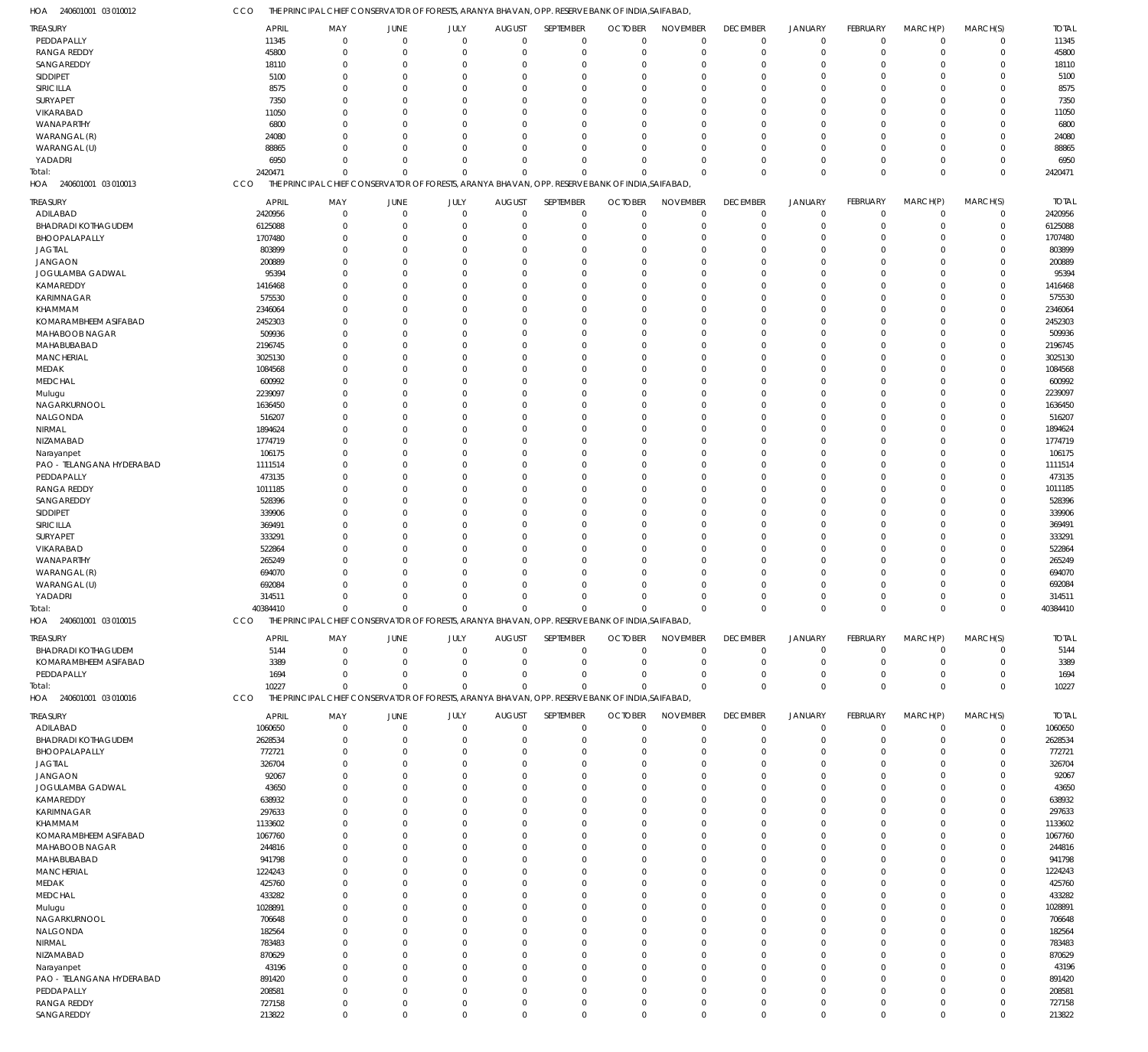| HOA<br>240601001 03 010012 | CCO              |                                                                                                  |                |             |               |                  | THE PRINCIPAL CHIEF CONSERVATOR OF FORESTS, ARANYA BHAVAN, OPP. RESERVE BANK OF INDIA,SAIFABAD, |                 |                 |                |                 |                |             |                  |
|----------------------------|------------------|--------------------------------------------------------------------------------------------------|----------------|-------------|---------------|------------------|-------------------------------------------------------------------------------------------------|-----------------|-----------------|----------------|-----------------|----------------|-------------|------------------|
| TREASURY                   | <b>APRIL</b>     | MAY                                                                                              | JUNE           | JULY        | <b>AUGUST</b> | SEPTEMBER        | <b>OCTOBER</b>                                                                                  | <b>NOVEMBER</b> | <b>DECEMBER</b> | <b>JANUARY</b> | <b>FEBRUARY</b> | MARCH(P)       | MARCH(S)    | <b>TOTAL</b>     |
| PEDDAPALLY                 | 11345            | $\overline{0}$                                                                                   | $\mathbf 0$    | $\Omega$    | $\mathbf 0$   |                  | $\mathbf 0$<br>$\Omega$                                                                         | $\mathbf 0$     | $\mathbf 0$     | $\mathbf 0$    | $\mathbf 0$     | $\overline{0}$ | $\mathbf 0$ | 11345            |
| <b>RANGA REDDY</b>         | 45800            | $^{\circ}$                                                                                       | $\mathbf 0$    | $\Omega$    | $\mathbf 0$   |                  | $\mathbf 0$<br>$\mathbf 0$                                                                      | $\mathbf 0$     | $\Omega$        | $\overline{0}$ | $\mathbf 0$     | $\overline{0}$ | $\mathbf 0$ | 45800            |
| SANGAREDDY                 | 18110            | $\mathbf 0$                                                                                      | $\overline{0}$ | $\Omega$    | 0             | $\mathbf 0$      | $\Omega$                                                                                        | $\Omega$        | $\Omega$        | $^{\circ}$     | $\Omega$        | $\Omega$       | $\mathbf 0$ | 18110            |
| SIDDIPET                   | 5100             | $\Omega$                                                                                         | $\Omega$       | $\Omega$    | $\Omega$      | $\mathbf 0$      | $\Omega$                                                                                        | $^{\circ}$      | $\Omega$        | $\Omega$       | $\Omega$        | $\Omega$       | $\mathbf 0$ | 5100             |
| SIRICILLA                  | 8575             | $\Omega$                                                                                         | $\Omega$       | O           | $\Omega$      | $\mathbf 0$      | $\Omega$                                                                                        | $\Omega$        | $\Omega$        | $\Omega$       | $\Omega$        | $\Omega$       | $\mathbf 0$ | 8575             |
| SURYAPET                   | 7350             | $\Omega$                                                                                         | $\Omega$       | $\Omega$    | $\Omega$      | $\mathbf 0$      | $\Omega$                                                                                        | $\Omega$        | $\Omega$        | $\Omega$       | $\Omega$        | $\Omega$       | $\mathbf 0$ | 7350             |
| VIKARABAD                  | 11050            | $\Omega$                                                                                         | $\Omega$       | $\Omega$    | $\Omega$      | $\mathbf 0$      | $\Omega$                                                                                        | $\Omega$        | $\Omega$        | $\Omega$       | $\Omega$        | $\Omega$       | $\mathbf 0$ | 11050            |
| WANAPARTHY                 | 6800             | $\Omega$                                                                                         | $\Omega$       | $\Omega$    | $\Omega$      | $\mathbf 0$      | $\Omega$                                                                                        | $\Omega$        | $\Omega$        | $\Omega$       | $\Omega$        | $\Omega$       | $\Omega$    | 6800             |
| WARANGAL (R)               | 24080            | $\Omega$                                                                                         | $\Omega$       | $\Omega$    | $\Omega$      | $\mathbf 0$      | $\Omega$                                                                                        | $\Omega$        | $\Omega$        | $\Omega$       | $\Omega$        | $\Omega$       | $\mathbf 0$ | 24080            |
| WARANGAL (U)               | 88865            | $\Omega$                                                                                         | $\Omega$       | $\Omega$    | $\Omega$      | $\mathbf 0$      | $\Omega$                                                                                        | $\Omega$        | $\Omega$        | $\Omega$       | $\Omega$        | $\Omega$       | $\Omega$    | 88865            |
| YADADRI                    | 6950             | $\Omega$                                                                                         | $\Omega$       | $\Omega$    | $\Omega$      | $\mathbf 0$      | $\Omega$                                                                                        | $\Omega$        | $\Omega$        | $\overline{0}$ | $\Omega$        | $\Omega$       | $\mathbf 0$ | 6950             |
| Total:                     | 2420471          | $\Omega$                                                                                         | $\Omega$       | $\Omega$    | $\Omega$      | $\Omega$         | C                                                                                               | $\Omega$        | $\Omega$        | $\mathbf 0$    | $\Omega$        | $\Omega$       | $\mathbf 0$ | 2420471          |
| 240601001 03 010013<br>HOA | CCO              | THE PRINCIPAL CHIEF CONSERVATOR OF FORESTS, ARANYA BHAVAN, OPP. RESERVE BANK OF INDIA, SAIFABAD, |                |             |               |                  |                                                                                                 |                 |                 |                |                 |                |             |                  |
| <b>TREASURY</b>            | <b>APRIL</b>     | MAY                                                                                              | JUNE           | JULY        | <b>AUGUST</b> | SEPTEMBER        | <b>OCTOBER</b>                                                                                  | <b>NOVEMBER</b> | <b>DECEMBER</b> | <b>JANUARY</b> | FEBRUARY        | MARCH(P)       | MARCH(S)    | <b>TOTAL</b>     |
| ADILABAD                   | 2420956          | $\mathbf 0$                                                                                      | $\mathbf 0$    | $\mathbf 0$ | $\mathbf 0$   |                  | $\mathbf 0$<br>$\mathbf 0$                                                                      | $\mathbf 0$     | $\mathbf 0$     | $\overline{0}$ | $\mathbf 0$     | $\overline{0}$ | $\mathbf 0$ | 2420956          |
| <b>BHADRADI KOTHAGUDEM</b> | 6125088          | $\mathbf 0$                                                                                      | $\overline{0}$ | $\Omega$    | $\mathbf 0$   |                  | 0<br>0                                                                                          | $\mathbf 0$     | $\Omega$        | $^{\circ}$     | $\mathbf 0$     | $\mathbf 0$    | $\mathbf 0$ | 6125088          |
| BHOOPALAPALLY              | 1707480          | $\Omega$                                                                                         | $\Omega$       | $\Omega$    | $\Omega$      | $\mathbf 0$      | $\Omega$                                                                                        | $\mathbf 0$     | $\Omega$        | $\Omega$       | $\Omega$        | $\Omega$       | $\mathbf 0$ | 1707480          |
| <b>JAGTIAL</b>             | 803899           | $\Omega$                                                                                         | $\Omega$       | $\Omega$    | $\Omega$      | $\mathbf 0$      | $\Omega$                                                                                        | $\mathbf 0$     |                 | $\Omega$       | 0               | $\Omega$       | $\mathbf 0$ | 803899           |
| <b>JANGAON</b>             | 200889           | $\Omega$                                                                                         | $\Omega$       | O           | $\Omega$      | $\mathbf 0$      | $\Omega$                                                                                        | $\Omega$        |                 | $\Omega$       | $\Omega$        | $\Omega$       | $\mathbf 0$ | 200889           |
| JOGULAMBA GADWAL           | 95394            | $\Omega$                                                                                         | $\Omega$       | U           | $\Omega$      | $\mathbf 0$      | $\Omega$                                                                                        | $\Omega$        |                 | $\Omega$       | U               | $\Omega$       | $\mathbf 0$ | 95394            |
| KAMAREDDY                  | 1416468          | $\Omega$                                                                                         | $\Omega$       | O           | $\Omega$      | $\mathbf 0$      | $\Omega$                                                                                        | $\Omega$        |                 | $\Omega$       | $\Omega$        | $\Omega$       | $\Omega$    | 1416468          |
| KARIMNAGAR                 | 575530           | $\Omega$                                                                                         | $\Omega$       | 0           | $\Omega$      | $\mathbf 0$      | $\Omega$                                                                                        | $\mathbf 0$     |                 | $\Omega$       | 0               | $\Omega$       | $\mathbf 0$ | 575530           |
| KHAMMAM                    | 2346064          | $\Omega$                                                                                         | $\Omega$       | O           | $\Omega$      | $\mathbf 0$      | $\Omega$                                                                                        | $\Omega$        |                 | $\Omega$       | $\Omega$        | $\Omega$       | $\Omega$    | 2346064          |
| KOMARAMBHEEM ASIFABAD      | 2452303          | $\Omega$                                                                                         | $\Omega$       | U           | $\Omega$      | $\mathbf 0$      | $\Omega$                                                                                        | $\mathbf 0$     |                 | $\Omega$       | U               | $\Omega$       | $\mathbf 0$ | 2452303          |
| MAHABOOB NAGAR             | 509936           | $\Omega$                                                                                         | $\Omega$       | O           | $\Omega$      | $\mathbf 0$      | $\Omega$                                                                                        | $\mathbf 0$     |                 | $\Omega$       | $\Omega$        | $\Omega$       | $\Omega$    | 509936           |
| MAHABUBABAD                | 2196745          | $\Omega$                                                                                         | $\Omega$       | U           | $\Omega$      | $\mathbf 0$      | $\Omega$                                                                                        | $\mathbf 0$     |                 | $\Omega$       | U               | $\Omega$       | $\mathbf 0$ | 2196745          |
| <b>MANCHERIAL</b>          | 3025130          | $\Omega$                                                                                         | $\Omega$       | n           | $\Omega$      | $\mathbf 0$      | $\Omega$                                                                                        | $\Omega$        |                 | $\Omega$       | $\Omega$        | $\Omega$       | $\Omega$    | 3025130          |
| MEDAK                      | 1084568          | $\Omega$                                                                                         | $\Omega$       | U           | $\Omega$      | $\mathbf 0$      | $\Omega$                                                                                        | $\mathbf 0$     |                 | $\Omega$       | U               | $\Omega$       | $\mathbf 0$ | 1084568          |
| <b>MEDCHAL</b>             | 600992           | $\Omega$                                                                                         | $\Omega$       | O           | $\Omega$      | $\mathbf 0$      | $\Omega$                                                                                        | $\mathbf 0$     |                 | $\Omega$       | $\Omega$        | $\Omega$       | $\Omega$    | 600992           |
| Mulugu                     | 2239097          | $\Omega$                                                                                         | $\Omega$       | U           | $\Omega$      | $\mathbf 0$      | $\Omega$                                                                                        | $^{\circ}$      |                 | $\Omega$       | U               | $\Omega$       | $\mathbf 0$ | 2239097          |
| NAGARKURNOOL               | 1636450          | $\Omega$                                                                                         | $\Omega$       | O           | $\Omega$      | $\mathbf 0$      | $\Omega$                                                                                        | $\Omega$        |                 | $\Omega$       | $\Omega$        | $\Omega$       | $\Omega$    | 1636450          |
| NALGONDA                   | 516207           | $\mathbf 0$                                                                                      | $\Omega$       | 0           | $\Omega$      | $\mathbf 0$      | $\Omega$                                                                                        | $\mathbf 0$     |                 | $\Omega$       | 0               | $\Omega$       | $\mathbf 0$ | 516207           |
| NIRMAL                     | 1894624          | $\Omega$                                                                                         | $\Omega$       | U           | $\Omega$      | $\mathbf 0$      | $\Omega$                                                                                        | $^{\circ}$      |                 | $\Omega$       | $\Omega$        | $\Omega$       | $\Omega$    | 1894624          |
| NIZAMABAD                  | 1774719          | $\Omega$                                                                                         | $\Omega$       | U           | $\Omega$      | $\mathbf 0$      | $\Omega$                                                                                        | $\Omega$        |                 | $\Omega$       | U               | $\Omega$       | $\mathbf 0$ | 1774719          |
| Narayanpet                 | 106175           | $\Omega$                                                                                         | $\Omega$       | O           | $\Omega$      | $\mathbf 0$      | $\Omega$                                                                                        | $\Omega$        |                 | $\Omega$       | $\Omega$        | $\Omega$       | $\mathbf 0$ | 106175           |
| PAO - TELANGANA HYDERABAD  | 1111514          | $\Omega$                                                                                         | $\Omega$       | U           | $\Omega$      | $\mathbf 0$      | $\Omega$                                                                                        | $\mathbf 0$     |                 | $\Omega$       | U               | $\Omega$       | $\mathbf 0$ | 1111514          |
| PEDDAPALLY                 | 473135           | $\Omega$                                                                                         | $\Omega$       | U           | $\Omega$      | $\mathbf 0$      | $\Omega$                                                                                        | $^{\circ}$      |                 | $\Omega$       | $\Omega$        | $\Omega$       | $\Omega$    | 473135           |
| <b>RANGA REDDY</b>         | 1011185          | $\Omega$                                                                                         | $\Omega$       | O           | $\Omega$      | $\mathbf 0$      | $\Omega$                                                                                        | $\mathbf 0$     |                 | $\Omega$       | U               | $\Omega$       | $\mathbf 0$ | 1011185          |
| SANGAREDDY                 | 528396           | $\Omega$                                                                                         | $\Omega$       | O           | $\Omega$      | $\mathbf 0$      | $\Omega$                                                                                        | $\Omega$        |                 | $\Omega$       | $\Omega$        | $\Omega$       | $\mathbf 0$ | 528396           |
| SIDDIPET                   | 339906           | $\Omega$                                                                                         | $\Omega$       | U           | $\Omega$      | $\mathbf 0$      | $\Omega$                                                                                        | $\mathbf 0$     |                 | $\Omega$       | U               | $\Omega$       | $\mathbf 0$ | 339906           |
| SIRICILLA                  | 369491           | $\Omega$                                                                                         | $\Omega$       | O           | $\Omega$      | $\mathbf 0$      | $\Omega$                                                                                        | $\mathbf 0$     |                 | $\Omega$       | $\Omega$        | $\Omega$       | $\mathbf 0$ | 369491           |
|                            |                  | $\Omega$                                                                                         | $\Omega$       | 0           | $\Omega$      | $\mathbf 0$      | $\Omega$                                                                                        | $\mathbf 0$     |                 | $\Omega$       | 0               | $\Omega$       | $\mathbf 0$ |                  |
| SURYAPET                   | 333291           | $\Omega$                                                                                         | $\Omega$       | O           | $\Omega$      | $\mathbf 0$      | $\Omega$                                                                                        | $\Omega$        |                 | $\Omega$       | $\Omega$        | $\Omega$       | $\mathbf 0$ | 333291           |
| VIKARABAD<br>WANAPARTHY    | 522864<br>265249 | $\Omega$                                                                                         | $\Omega$       | U           | $\Omega$      | $\mathbf 0$      | $\Omega$                                                                                        | $\mathbf 0$     |                 | $\Omega$       | U               | $\Omega$       | $\mathbf 0$ | 522864<br>265249 |
| WARANGAL (R)               | 694070           | $\Omega$                                                                                         | $\Omega$       | 0           | $\Omega$      | $\mathbf 0$      | $\Omega$                                                                                        | $\Omega$        |                 | $\Omega$       | $\Omega$        | $\Omega$       | $\mathbf 0$ | 694070           |
|                            |                  | $\Omega$                                                                                         | $\Omega$       | $\Omega$    | $\Omega$      |                  | $\mathbf 0$<br>$\Omega$                                                                         | $\mathbf 0$     |                 | $\Omega$       | 0               | $\Omega$       | $\mathbf 0$ |                  |
| WARANGAL (U)<br>YADADRI    | 692084<br>314511 | $\Omega$                                                                                         | $\Omega$       | $\Omega$    | $\Omega$      |                  | $\mathbf 0$<br>$\Omega$                                                                         | $\Omega$        | $\Omega$        | $\Omega$       | $\Omega$        | $\Omega$       | $\mathbf 0$ | 692084           |
|                            |                  |                                                                                                  | $\mathbf 0$    | $\mathbf 0$ |               |                  |                                                                                                 | $\Omega$        |                 | $\mathbf 0$    | $\mathbf 0$     | $\mathbf 0$    | $\mathbf 0$ | 314511           |
| iotal:                     | 40384410         | 0                                                                                                |                |             | 0             | 0                |                                                                                                 |                 | $^{\circ}$      |                |                 |                |             | 40384410         |
| HOA<br>240601001 03 010015 | CCO              | THE PRINCIPAL CHIEF CONSERVATOR OF FORESTS, ARANYA BHAVAN, OPP. RESERVE BANK OF INDIA, SAIFABAD, |                |             |               |                  |                                                                                                 |                 |                 |                |                 |                |             |                  |
| <b>TREASURY</b>            | <b>APRIL</b>     | MAY                                                                                              | JUNE           | JULY        | <b>AUGUST</b> | SEPTEMBER        | <b>OCTOBER</b>                                                                                  | <b>NOVEMBER</b> | <b>DECEMBER</b> | <b>JANUARY</b> | FEBRUARY        | MARCH(P)       | MARCH(S)    | <b>TOTAL</b>     |
| <b>BHADRADI KOTHAGUDEM</b> | 5144             | $^{\circ}$                                                                                       | $\mathbf 0$    | $\mathbf 0$ | $\mathbf 0$   |                  | $\mathbf 0$<br>$\mathbf 0$                                                                      | $\mathbf 0$     | $\mathbf 0$     | $\overline{0}$ | $\mathbf 0$     | $\overline{0}$ | $\mathbf 0$ | 5144             |
| KOMARAMBHEEM ASIFABAD      | 3389             | 0                                                                                                | $\overline{0}$ | $\mathbf 0$ | 0             | $\mathbf 0$      | 0                                                                                               | $\mathbf 0$     | $\Omega$        | $\overline{0}$ | 0               | $\mathbf 0$    | $\mathbf 0$ | 3389             |
| PEDDAPALLY                 | 1694             | $\Omega$                                                                                         | $\Omega$       | $\Omega$    | 0             | $\mathbf 0$      | 0                                                                                               | $\mathbf 0$     | $\Omega$        | $\overline{0}$ | $\Omega$        | $\Omega$       | $\mathbf 0$ | 1694             |
| Total:                     | 10227            | $\Omega$                                                                                         | $\Omega$       | $\Omega$    | $\Omega$      |                  | $\mathbf 0$<br>$\Omega$                                                                         | $\Omega$        | $\Omega$        | $\Omega$       | $\Omega$        | $\Omega$       | $\mathbf 0$ | 10227            |
| HOA 240601001 03 010016    | CCO              | THE PRINCIPAL CHIEF CONSERVATOR OF FORESTS, ARANYA BHAVAN, OPP. RESERVE BANK OF INDIA, SAIFABAD, |                |             |               |                  |                                                                                                 |                 |                 |                |                 |                |             |                  |
|                            |                  |                                                                                                  |                |             |               |                  |                                                                                                 |                 |                 |                |                 |                |             |                  |
| TREASURY                   | APRIL            | MAY                                                                                              | JUNE           | JULY        | <b>AUGUST</b> | <b>SEPTEMBER</b> | <b>OCTOBER</b>                                                                                  | <b>NOVEMBER</b> | <b>DECEMBER</b> | <b>JANUARY</b> | FEBRUARY        | MARCH(P)       | MARCH(S)    | <b>TOTAL</b>     |
| ADILABAD                   | 1060650          | 0                                                                                                | $\mathbf 0$    | $\mathbf 0$ | $\mathbf 0$   |                  | $\mathbf 0$<br>0                                                                                | $\mathbf 0$     | $\mathbf 0$     | $\overline{0}$ | $\mathbf 0$     | $\overline{0}$ | $\mathbf 0$ | 1060650          |
| <b>BHADRADI KOTHAGUDEM</b> | 2628534          | 0                                                                                                | $\overline{0}$ | $\Omega$    | $\Omega$      | $\mathbf 0$      | 0                                                                                               | $\mathbf 0$     | $\Omega$        | $\overline{0}$ | $\mathbf 0$     | $\Omega$       | $\mathbf 0$ | 2628534          |
| BHOOPALAPALLY              | 772721           | $\Omega$                                                                                         | $\Omega$       | Ω           | C             | $\mathbf 0$      | O                                                                                               | $\mathbf 0$     |                 | $\Omega$       | 0               | $\Omega$       | $\mathbf 0$ | 772721           |
| <b>JAGTIAL</b>             | 326704           | $\Omega$                                                                                         | $\Omega$       |             | 0             | $\mathbf 0$      | O                                                                                               | $\Omega$        |                 | $\Omega$       | 0               | $\Omega$       | $\Omega$    | 326704           |
| JANGAON                    | 92067            | 0                                                                                                | $\Omega$       |             | $\Omega$      | $\mathbf 0$      | O                                                                                               | $\mathbf 0$     |                 | $\Omega$       | 0               | $\Omega$       | 0           | 92067            |
| JOGULAMBA GADWAL           | 43650            | 0                                                                                                | 0              |             | C             | 0                | O                                                                                               | $\Omega$        |                 | $\Omega$       |                 | $\Omega$       | C           | 43650            |
| KAMAREDDY                  | 638932           | 0                                                                                                | $\Omega$       |             | 0             | $\mathbf 0$      | O                                                                                               | $\Omega$        |                 | $\Omega$       | O               | $\Omega$       | 0           | 638932           |
| KARIMNAGAR                 | 297633           | 0                                                                                                | $\Omega$       |             | 0             | $\mathbf 0$      | O                                                                                               | $\Omega$        |                 | $\Omega$       |                 | $\Omega$       | 0           | 297633           |
| KHAMMAM                    | 1133602          | 0                                                                                                | $\Omega$       |             | $\Omega$      | $\mathbf 0$      | O                                                                                               | $\Omega$        |                 | $\Omega$       | O               | $\Omega$       | 0           | 1133602          |
| KOMARAMBHEEM ASIFABAD      | 1067760          | 0                                                                                                | U              |             | C             | 0                | O                                                                                               | $\Omega$        |                 | $\Omega$       |                 | $\Omega$       | C           | 1067760          |
| MAHABOOB NAGAR             | 244816           | $\Omega$                                                                                         | $\Omega$       |             | 0             | $\mathbf 0$      | O                                                                                               | $\mathbf 0$     |                 | $\Omega$       | 0               | $\Omega$       | 0           | 244816           |
| MAHABUBABAD                | 941798           | 0                                                                                                | $\Omega$       |             | 0             | $\mathbf 0$      | O                                                                                               | $\Omega$        |                 | $\Omega$       | U               | $\Omega$       | 0           | 941798           |
| MANCHERIAL                 | 1224243          | 0                                                                                                | $\Omega$       |             | 0             | $\mathbf 0$      | O                                                                                               | $\Omega$        |                 | $\Omega$       | O               | $\Omega$       | 0           | 1224243          |
| MEDAK                      | 425760           | 0                                                                                                | 0              |             | C             | $\mathbf 0$      | O                                                                                               | $\Omega$        |                 | - 0            |                 | $\Omega$       | C           | 425760           |
| <b>MEDCHAL</b>             | 433282           | $\Omega$                                                                                         | $\Omega$       |             | 0             | $\mathbf 0$      | O                                                                                               | $\mathbf 0$     |                 | $\Omega$       | 0               | $\Omega$       | 0           | 433282           |
| Mulugu                     | 1028891          | 0                                                                                                | $\Omega$       |             | 0             | $\mathbf 0$      | O                                                                                               | $\Omega$        |                 | $\Omega$       | U               | $\Omega$       | 0           | 1028891          |
| NAGARKURNOOL               | 706648           | 0                                                                                                | $\Omega$       |             | 0             | $\mathbf 0$      | O                                                                                               | $\Omega$        |                 | $\Omega$       | O               | $\Omega$       | 0           | 706648           |
| NALGONDA                   | 182564           | 0                                                                                                | 0              |             | C             | $\mathbf 0$      | O                                                                                               | $\mathbf 0$     |                 | $\Omega$       |                 | $\Omega$       | 0           | 182564           |
| NIRMAL                     | 783483           | $\Omega$                                                                                         | $\Omega$       |             | 0             | $\mathbf 0$      | O                                                                                               | $\mathbf 0$     |                 | $\Omega$       | O               | $\Omega$       | $\Omega$    | 783483           |
| NIZAMABAD                  | 870629           | U                                                                                                | U              |             | 0             | $\mathbf 0$      | O                                                                                               | $\Omega$        |                 | $\Omega$       | O               | $\Omega$       | $\Omega$    | 870629           |
| Narayanpet                 | 43196            | $\Omega$                                                                                         | $\Omega$       |             | $\Omega$      | $\mathbf 0$      | O                                                                                               | $\mathbf 0$     |                 | $\Omega$       |                 | $\Omega$       | 0           | 43196            |
| PAO - TELANGANA HYDERABAD  | 891420           | $\Omega$                                                                                         | $\Omega$       |             | 0             | $\mathbf 0$      | O                                                                                               | $\mathbf 0$     |                 | $\Omega$       | U               | $\Omega$       | $\Omega$    | 891420           |
| PEDDAPALLY                 | 208581           | 0                                                                                                | $\Omega$       | Ω           | $\Omega$      |                  | $\mathbf 0$<br>O                                                                                | $\mathbf 0$     |                 | $\Omega$       | 0               | $\Omega$       | $\mathbf 0$ | 208581           |
| <b>RANGA REDDY</b>         | 727158           | $\mathbf 0$                                                                                      | $\overline{0}$ | $\Omega$    | $\mathbf 0$   |                  | $\mathbf 0$<br>O                                                                                | $\mathbf 0$     | $\Omega$        | $\overline{0}$ | $\mathbf 0$     | $\mathbf 0$    | $\mathbf 0$ | 727158           |
| SANGAREDDY                 | 213822           | $\mathbf 0$                                                                                      | $\mathbf 0$    | $\Omega$    | $\mathbf 0$   |                  | $\mathbf 0$<br>$\mathbf 0$                                                                      | $\mathbf 0$     | $\mathbf 0$     | $\mathbf 0$    | $\mathbf 0$     | $\overline{0}$ | $\mathbf 0$ | 213822           |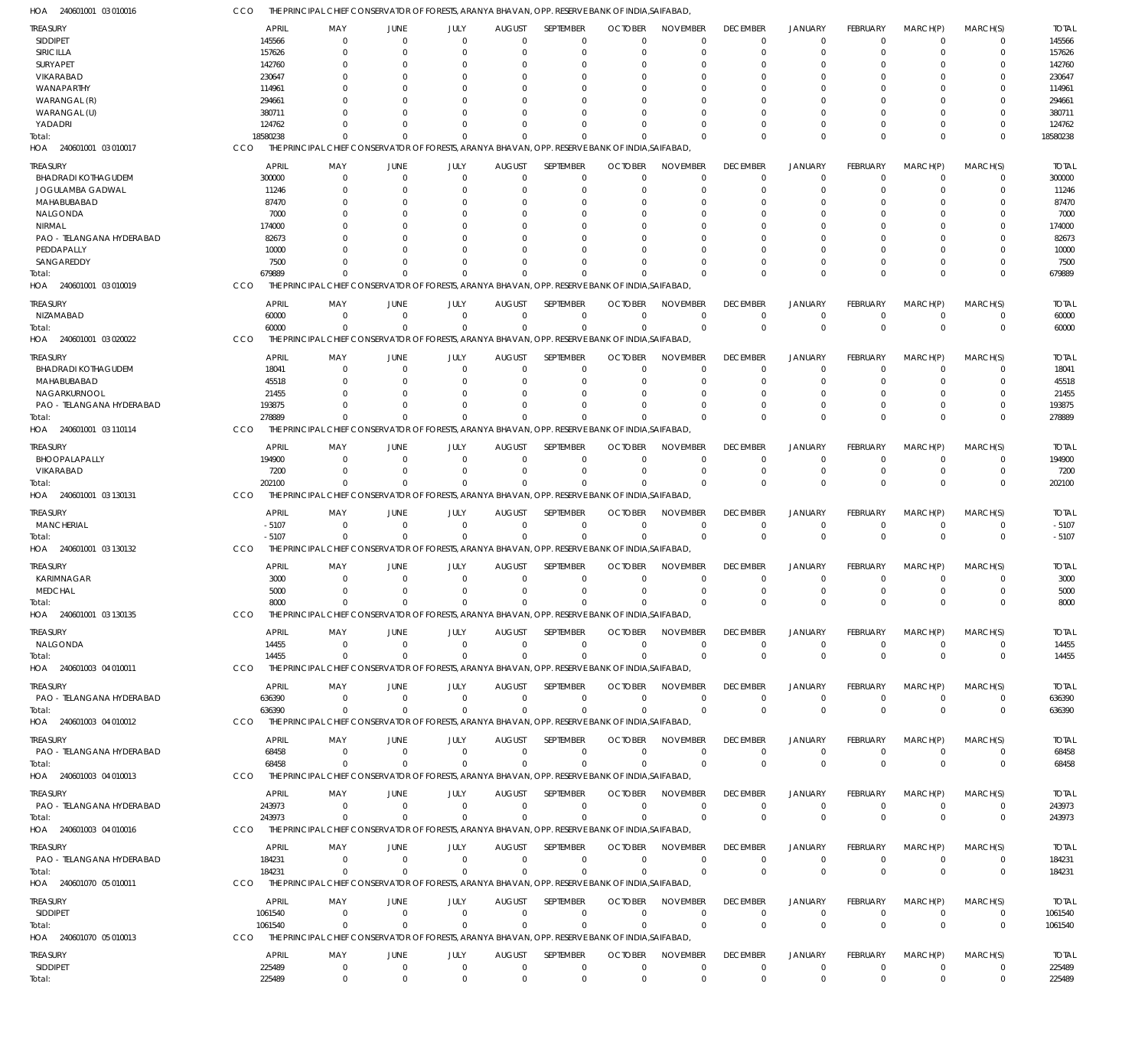CCO THE PRINCIPAL CHIEF CONSERVATOR OF FORESTS, ARANYA BHAVAN, OPP. RESERVE BANK OF INDIA,SAIFABAD,

| HOA<br>240601001 03 010016 | cco        | THE PRINCIPAL CHIEF CONSERVATOR OF FORESTS, ARANYA BHAVAN, OPP. RESERVE BANK OF INDIA,SAIFABAD   |                         |                          |                                              |                             |                               |                             |                                |                               |                      |                      |                         |                        |
|----------------------------|------------|--------------------------------------------------------------------------------------------------|-------------------------|--------------------------|----------------------------------------------|-----------------------------|-------------------------------|-----------------------------|--------------------------------|-------------------------------|----------------------|----------------------|-------------------------|------------------------|
| TREASURY                   |            | APRIL                                                                                            | MAY<br>JUNE             | JULY                     | <b>AUGUST</b>                                | SEPTEMBER                   | <b>OCTOBER</b>                | <b>NOVEMBER</b>             | <b>DECEMBER</b>                | <b>JANUARY</b>                | FEBRUARY             | MARCH(P)             | MARCH(S)                | <b>TOTAL</b>           |
| <b>SIDDIPET</b>            |            | 145566                                                                                           | $\Omega$                | $\Omega$                 | $\Omega$<br>$\Omega$                         | $\Omega$                    | $\Omega$                      | $\Omega$                    | $\mathbf 0$                    | $\mathbf 0$                   | $\Omega$             | $\Omega$             | $\mathbf 0$             | 145566                 |
| SIRICILLA                  |            | 157626                                                                                           | $\Omega$                |                          | $\Omega$<br>$\Omega$                         | $\overline{0}$              | $\mathbf 0$                   | $\mathbf 0$                 | $\mathbf 0$                    | $\mathbf 0$                   | 0                    | $\Omega$             | $\mathbf 0$             | 157626                 |
| SURYAPET                   |            | 142760                                                                                           | $\Omega$                |                          | $\Omega$<br>0                                | $\Omega$                    | $\Omega$                      | $\Omega$                    | 0                              | $\Omega$                      | $\Omega$             |                      | $\Omega$                | 142760                 |
| VIKARABAD                  |            | 230647                                                                                           | $\Omega$                |                          | $\Omega$<br>$\Omega$                         | $\Omega$                    | $\Omega$                      | $\Omega$                    | $\Omega$                       | $\Omega$                      | $\Omega$             | C.                   | $\Omega$                | 230647                 |
| WANAPARTHY                 |            | 114961                                                                                           | $\Omega$                |                          | $\Omega$                                     | 0<br>$\Omega$               |                               | $\Omega$                    | C                              | $\Omega$                      | $\Omega$             | C.                   | $\Omega$                | 114961                 |
| WARANGAL (R)               |            | 294661                                                                                           | $\cap$                  |                          | $\cap$                                       | $\Omega$<br>U               | $\Omega$                      | $\Omega$                    | U                              | $\Omega$                      | $\Omega$             | C.                   | $\Omega$                | 294661                 |
| WARANGAL (U)               |            | 380711                                                                                           | $\Omega$                |                          | $\Omega$                                     | <sup>0</sup><br>$\Omega$    |                               | $\Omega$                    | C                              | $\Omega$                      | $\Omega$             | C.                   | $\Omega$                | 380711                 |
| YADADRI                    |            | 124762                                                                                           | $\Omega$                |                          | $\Omega$<br>$\Omega$                         | $\Omega$                    | $\Omega$                      | $\Omega$                    | $\Omega$                       | $\Omega$                      | 0                    | $\Omega$             | $\mathbf 0$             | 124762                 |
| Total:                     |            | 18580238                                                                                         | $\Omega$                | $\Omega$                 | $\Omega$<br>$\Omega$                         | $\Omega$                    | $\Omega$                      | $\Omega$                    | $\Omega$                       | $\Omega$                      | $\Omega$             | $\Omega$             | $\Omega$                | 18580238               |
| HOA 240601001 03 010017    | CCO        | THE PRINCIPAL CHIEF CONSERVATOR OF FORESTS, ARANYA BHAVAN, OPP, RESERVE BANK OF INDIA, SAIFABAD  |                         |                          |                                              |                             |                               |                             |                                |                               |                      |                      |                         |                        |
| TREASURY                   |            | <b>APRIL</b><br>MAY                                                                              | JUNE                    | JULY                     | <b>AUGUST</b>                                | SEPTEMBER                   | <b>OCTOBER</b>                | <b>NOVEMBER</b>             | <b>DECEMBER</b>                | <b>JANUARY</b>                | FEBRUARY             | MARCH(P)             | MARCH(S)                | <b>TOTAL</b>           |
| <b>BHADRADI KOTHAGUDEM</b> |            | 300000                                                                                           | $\mathbf 0$             |                          | $\Omega$<br>$\overline{0}$                   | $\overline{0}$              | $\mathbf 0$                   | $\mathbf 0$                 | $\mathbf 0$                    | $\mathbf 0$                   | $\mathbf 0$          | $\Omega$             | $\mathbf 0$             | 300000                 |
| JOGULAMBA GADWAL           |            | 11246                                                                                            | $\Omega$                |                          | $\Omega$<br>$\Omega$                         | $\Omega$                    | 0                             | $\Omega$                    | $\mathbf 0$                    | 0                             | $\mathbf 0$          | O                    | $\mathbf 0$             | 11246                  |
| MAHABUBABAD                |            | 87470                                                                                            | $\Omega$                |                          | $\Omega$<br>$\Omega$                         | $\Omega$                    | $\Omega$                      | $\Omega$                    | $\Omega$                       | $\Omega$                      | $\Omega$             | C.                   | $\mathbf 0$             | 87470                  |
| NALGONDA                   |            | 7000                                                                                             | $\Omega$                |                          |                                              | $\Omega$                    |                               | $\Omega$                    | C                              | O                             | $\Omega$             |                      | $\Omega$                | 7000                   |
| NIRMAL                     |            | 174000                                                                                           | $\Omega$                |                          | $\Omega$<br>$\Omega$                         | $\Omega$                    |                               | $\Omega$                    | C                              | O                             | $\Omega$             |                      | $\mathbf 0$             | 174000                 |
| PAO - TELANGANA HYDERABAD  |            | 82673                                                                                            | $\cap$                  |                          |                                              |                             |                               | $\Omega$                    |                                | O                             | $\Omega$             |                      | $\Omega$                | 82673                  |
| PEDDAPALLY                 |            | 10000                                                                                            | $\Omega$                |                          | $\Omega$                                     | <sup>0</sup><br>$\Omega$    |                               | $\Omega$                    | U                              | $\Omega$                      | $\Omega$             |                      | $\Omega$                | 10000                  |
| SANGAREDDY                 |            | 7500                                                                                             | $\Omega$<br>$\Omega$    |                          | $\Omega$<br>$\Omega$<br>$\Omega$<br>$\Omega$ | $\Omega$<br>$\Omega$        |                               | $\Omega$<br>$\Omega$        | $\Omega$<br>$\Omega$           | 0                             | $\mathbf 0$          | O                    | $\mathbf 0$<br>$\Omega$ | 7500                   |
| Total:                     |            | 679889                                                                                           |                         |                          |                                              |                             |                               |                             |                                | $\Omega$                      | $\Omega$             | $\Omega$             |                         | 679889                 |
| 240601001 03 010019<br>HOA | CCO        | THE PRINCIPAL CHIEF CONSERVATOR OF FORESTS, ARANYA BHAVAN, OPP. RESERVE BANK OF INDIA, SAIFABAD  |                         |                          |                                              |                             |                               |                             |                                |                               |                      |                      |                         |                        |
| <b>TREASURY</b>            |            | <b>APRIL</b><br>MAY                                                                              | JUNE                    | JULY                     | <b>AUGUST</b>                                | SEPTEMBER                   | <b>OCTOBER</b>                | <b>NOVEMBER</b>             | <b>DECEMBER</b>                | <b>JANUARY</b>                | FEBRUARY             | MARCH(P)             | MARCH(S)                | <b>TOTAL</b>           |
| NIZAMABAD                  |            | 60000                                                                                            | $\Omega$                | $\Omega$                 | $\overline{0}$<br>$\overline{0}$             | $\mathbf 0$                 | $\mathbf 0$                   | $\Omega$                    | $\mathbf 0$                    | $\mathbf 0$                   | 0                    | 0                    | $\mathbf 0$             | 60000                  |
| Total:                     |            | 60000                                                                                            | $\Omega$                | $\Omega$                 | $\Omega$<br>$\Omega$                         | $\Omega$                    | $\Omega$                      | $\Omega$                    | $\mathbf 0$                    | $\Omega$                      | $\Omega$             | $\Omega$             | $\mathbf 0$             | 60000                  |
| HOA 240601001 03 020022    | CCO        | THE PRINCIPAL CHIEF CONSERVATOR OF FORESTS, ARANYA BHAVAN, OPP. RESERVE BANK OF INDIA, SAIFABAD  |                         |                          |                                              |                             |                               |                             |                                |                               |                      |                      |                         |                        |
| TREASURY                   |            | <b>APRIL</b><br>MAY                                                                              | <b>JUNE</b>             | JULY                     | <b>AUGUST</b>                                | SEPTEMBER                   | <b>OCTOBER</b>                | <b>NOVEMBER</b>             | <b>DECEMBER</b>                | <b>JANUARY</b>                | FEBRUARY             | MARCH(P)             | MARCH(S)                | <b>TOTAL</b>           |
| <b>BHADRADI KOTHAGUDEM</b> |            | 18041                                                                                            | $\mathbf 0$             |                          | $\overline{0}$<br>$\overline{0}$             | $\overline{0}$              | $\mathbf 0$                   | $\mathbf 0$                 | $\mathbf 0$                    | 0                             | 0                    | 0                    | $\mathbf 0$             | 18041                  |
| MAHABUBABAD                |            | 45518                                                                                            | $\Omega$                |                          | $\Omega$<br>$\Omega$                         | $\Omega$                    | $\Omega$                      | $\Omega$                    | $\mathbf 0$                    | 0                             | 0                    | O                    | $\mathbf 0$             | 45518                  |
| NAGARKURNOOL               |            | 21455                                                                                            | $\Omega$                |                          | $\Omega$<br>$\Omega$                         | $\Omega$                    | $\Omega$                      | $\Omega$                    | $\Omega$                       | $\Omega$                      | $\Omega$             | O                    | $\mathbf 0$             | 21455                  |
| PAO - TELANGANA HYDERABAD  |            | 193875                                                                                           | $\Omega$                |                          | $\Omega$<br>$\Omega$                         | $\Omega$                    | $\Omega$                      | $\Omega$                    | $\Omega$                       | $\mathbf 0$                   | $\mathbf 0$          | O                    | $\mathbf 0$             | 193875                 |
| Total:                     |            | 278889                                                                                           | $\Omega$                |                          | $\Omega$<br>$\Omega$                         | $\Omega$                    |                               | $\Omega$                    | $\Omega$                       | $\Omega$                      | $\Omega$             | $\Omega$             | $\Omega$                | 278889                 |
| HOA 240601001 03 110114    | CCO        | THE PRINCIPAL CHIEF CONSERVATOR OF FORESTS, ARANYA BHAVAN, OPP. RESERVE BANK OF INDIA, SAIFABAD  |                         |                          |                                              |                             |                               |                             |                                |                               |                      |                      |                         |                        |
|                            |            |                                                                                                  |                         |                          |                                              |                             |                               |                             |                                |                               |                      |                      |                         |                        |
| TREASURY                   |            | <b>APRIL</b><br>194900                                                                           | MAY<br>JUNE<br>$\Omega$ | JULY<br>$\Omega$         | <b>AUGUST</b><br>$\Omega$<br>$\Omega$        | SEPTEMBER<br>$\overline{0}$ | <b>OCTOBER</b><br>$\mathbf 0$ | <b>NOVEMBER</b><br>$\Omega$ | <b>DECEMBER</b><br>$\mathbf 0$ | <b>JANUARY</b><br>$\mathbf 0$ | FEBRUARY<br>$\Omega$ | MARCH(P)<br>$\Omega$ | MARCH(S)<br>$\mathbf 0$ | <b>TOTAL</b><br>194900 |
| BHOOPALAPALLY<br>VIKARABAD |            | 7200                                                                                             | $\Omega$                | $\Omega$                 | $\Omega$<br>$\mathbf 0$                      | $\overline{0}$              | $\Omega$                      | $\Omega$                    | $\mathbf 0$                    | $\mathbf 0$                   | $\mathbf 0$          | $\Omega$             | $\mathbf 0$             | 7200                   |
| Total:                     |            | 202100                                                                                           | $\Omega$                | $\Omega$                 | $\Omega$<br>$\Omega$                         | $\Omega$                    | $\Omega$                      | $\Omega$                    | $\Omega$                       | $\Omega$                      | $\Omega$             | $\Omega$             | $\mathbf 0$             | 202100                 |
| HOA 240601001 03 130131    | CCO        | THE PRINCIPAL CHIEF CONSERVATOR OF FORESTS, ARANYA BHAVAN, OPP. RESERVE BANK OF INDIA, SAIFABAD  |                         |                          |                                              |                             |                               |                             |                                |                               |                      |                      |                         |                        |
|                            |            |                                                                                                  |                         |                          |                                              |                             |                               |                             |                                |                               |                      |                      |                         |                        |
| TREASURY                   |            | <b>APRIL</b><br>MAY                                                                              | JUNE                    | JULY                     | <b>AUGUST</b>                                | SEPTEMBER                   | <b>OCTOBER</b>                | <b>NOVEMBER</b>             | <b>DECEMBER</b>                | <b>JANUARY</b>                | FEBRUARY             | MARCH(P)             | MARCH(S)                | <b>TOTAL</b>           |
| <b>MANCHERIAL</b>          |            | $-5107$                                                                                          | $\mathbf 0$             | $\Omega$                 | $\overline{0}$<br>$\mathbf 0$                | $\overline{0}$              | $\mathbf 0$                   | $\Omega$                    | $\mathbf 0$                    | $\mathbf 0$                   | $\mathbf 0$          | 0                    | $\mathbf 0$             | $-5107$                |
| Total:                     |            | $-5107$                                                                                          | $\Omega$                |                          | $\Omega$<br>$\mathbf 0$                      | $\overline{0}$              | $\mathbf 0$                   | $\Omega$                    | $\mathbf 0$                    | $\Omega$                      | $\mathbf 0$          | $\Omega$             | $\mathbf 0$             | $-5107$                |
| 240601001 03 130132<br>HOA | CCO        | THE PRINCIPAL CHIEF CONSERVATOR OF FORESTS, ARANYA BHAVAN, OPP. RESERVE BANK OF INDIA, SAIFABAD, |                         |                          |                                              |                             |                               |                             |                                |                               |                      |                      |                         |                        |
| TREASURY                   |            | <b>APRIL</b><br>MAY                                                                              | JUNE                    | JULY                     | <b>AUGUST</b>                                | <b>SEPTEMBER</b>            | <b>OCTOBER</b>                | <b>NOVEMBER</b>             | <b>DECEMBER</b>                | <b>JANUARY</b>                | FEBRUARY             | MARCH(P)             | MARCH(S)                | <b>TOTAL</b>           |
| <b>KARIMNAGAR</b>          |            | 3000                                                                                             | $\Omega$                | $\Omega$                 | $\overline{0}$<br>$\mathbf 0$                | $\overline{0}$              | $\mathbf 0$                   | $\overline{0}$              | $\mathbf 0$                    | 0                             | 0                    | $\Omega$             | 0                       | 3000                   |
| <b>MEDCHAL</b>             |            | 5000                                                                                             | $\Omega$                | $\Omega$                 | $\Omega$<br>$\Omega$                         | $\Omega$                    | $\Omega$                      | $\Omega$                    | $\Omega$                       | $\Omega$                      | $\Omega$             | $\Omega$             | $\Omega$                | 5000                   |
| Total:                     |            | 8000                                                                                             | $\Omega$                |                          | $\overline{0}$<br>$\mathbf 0$                | $\overline{0}$              | $\mathbf 0$                   | $\cap$                      | $\Omega$                       | $\cap$                        | $\Omega$             | $\Omega$             | $\cap$                  | 8000                   |
| HOA 240601001 03 130135    | <b>CCO</b> | THE PRINCIPAL CHIEF CONSERVATOR OF FORESTS, ARANYA BHAVAN, OPP. RESERVE BANK OF INDIA, SAIFABAD  |                         |                          |                                              |                             |                               |                             |                                |                               |                      |                      |                         |                        |
| TREASURY                   |            | <b>APRIL</b>                                                                                     | MAY<br>JUNE             | JULY                     | AUGUST                                       | SEPTEMBER                   | <b>OCTOBER</b>                | <b>NOVEMBER</b>             | <b>DECEMBER</b>                | <b>JANUARY</b>                | FEBRUARY             | MARCH(P)             | MARCH(S)                | <b>TOTAL</b>           |
| NALGONDA                   |            | 14455                                                                                            | $\mathbf 0$             | $\Omega$                 | $\overline{0}$<br>$\mathbf 0$                | $\mathbf 0$                 | $\mathbf 0$                   | $\overline{0}$              | $\mathbf 0$                    | $\mathbf 0$                   | $\mathbf 0$          | $\mathbf 0$          | $\mathbf 0$             | 14455                  |
| Total:                     |            | 14455                                                                                            | $\Omega$                | $\Omega$                 | $\overline{0}$<br>$\mathbf 0$                | $\overline{0}$              | 0                             | $\overline{0}$              | $\mathbf 0$                    | $\overline{0}$                | $\mathbf 0$          | $\Omega$             | $\mathbf 0$             | 14455                  |
| HOA 240601003 04 010011    | CCO        | THE PRINCIPAL CHIEF CONSERVATOR OF FORESTS, ARANYA BHAVAN, OPP. RESERVE BANK OF INDIA, SAIFABAD  |                         |                          |                                              |                             |                               |                             |                                |                               |                      |                      |                         |                        |
|                            |            |                                                                                                  |                         |                          |                                              |                             |                               |                             |                                |                               |                      |                      |                         |                        |
| TREASURY                   |            | APRIL<br>MAY                                                                                     | JUNE                    | JULY                     | <b>AUGUST</b>                                | SEPTEMBER                   | <b>OCTOBER</b>                | <b>NOVEMBER</b>             | <b>DECEMBER</b>                | <b>JANUARY</b>                | FEBRUARY             | MARCH(P)             | MARCH(S)                | <b>TOTAL</b>           |
| PAO - TELANGANA HYDERABAD  |            | 636390                                                                                           | $\mathbf 0$             | $\mathbf{0}$             | $\mathbf 0$<br>$\mathbf 0$                   | $\mathbf{0}$                | $\mathbf 0$                   | $\overline{0}$              | $\mathbf 0$                    | $\mathbf 0$                   | $\mathbf 0$          | $\mathbf 0$          | $\mathbf 0$             | 636390                 |
| Total:                     |            | 636390                                                                                           | $\Omega$                | $\Omega$                 | $\mathbf 0$<br>$\overline{0}$                | $\overline{0}$              | $\Omega$                      | $\overline{0}$              | $\mathbf 0$                    | $\overline{0}$                | $\mathbf 0$          | $\Omega$             | $\mathbf 0$             | 636390                 |
| HOA 240601003 04 010012    | CCO        | THE PRINCIPAL CHIEF CONSERVATOR OF FORESTS, ARANYA BHAVAN, OPP. RESERVE BANK OF INDIA, SAIFABAD  |                         |                          |                                              |                             |                               |                             |                                |                               |                      |                      |                         |                        |
| TREASURY                   |            | APRIL                                                                                            | JUNE<br>MAY             | JULY                     | <b>AUGUST</b>                                | SEPTEMBER                   | <b>OCTOBER</b>                | <b>NOVEMBER</b>             | <b>DECEMBER</b>                | <b>JANUARY</b>                | FEBRUARY             | MARCH(P)             | MARCH(S)                | <b>TOTAL</b>           |
| PAO - TELANGANA HYDERABAD  |            | 68458                                                                                            | $\mathbf 0$             | $\Omega$                 | $\overline{0}$<br>$\overline{0}$             | - 0                         | $^{\circ}$                    | $\overline{0}$              | $\mathbf 0$                    | $\mathbf 0$                   | $\mathbf 0$          | 0                    | $\mathbf 0$             | 68458                  |
| Total:                     |            | 68458                                                                                            | $\Omega$                | $\Omega$                 | $\mathbf 0$<br>$\mathbf 0$                   | $\overline{0}$              | $\mathbf 0$                   | $\Omega$                    | $\mathbf 0$                    | $\overline{0}$                | $\mathbf 0$          | $\Omega$             | $\mathbf 0$             | 68458                  |
| HOA 240601003 04 010013    | <b>CCO</b> | THE PRINCIPAL CHIEF CONSERVATOR OF FORESTS, ARANYA BHAVAN, OPP. RESERVE BANK OF INDIA, SAIFABAD  |                         |                          |                                              |                             |                               |                             |                                |                               |                      |                      |                         |                        |
| TREASURY                   |            | APRIL<br>MAY                                                                                     | <b>JUNE</b>             | JULY                     | <b>AUGUST</b>                                | SEPTEMBER                   | <b>OCTOBER</b>                | <b>NOVEMBER</b>             | <b>DECEMBER</b>                | <b>JANUARY</b>                | FEBRUARY             | MARCH(P)             | MARCH(S)                | <b>TOTAL</b>           |
| PAO - TELANGANA HYDERABAD  |            | 243973                                                                                           | $\mathbf 0$             | $\Omega$                 | $\mathbf 0$<br>$\mathbf 0$                   | $\mathbf 0$                 | $\mathbf 0$                   | $\overline{0}$              | $\mathbf 0$                    | $\mathbf 0$                   | $\mathbf 0$          | $\mathbf 0$          | $\mathbf 0$             | 243973                 |
| Total:                     |            | 243973                                                                                           | $\Omega$                | $\Omega$                 | $\mathbf 0$<br>$\Omega$                      | $\Omega$                    | $\Omega$                      | $\Omega$                    | $\mathbf 0$                    | $\Omega$                      | $\mathbf 0$          | $\Omega$             | $\mathbf 0$             | 243973                 |
| HOA 240601003 04 010016    | CCO        | THE PRINCIPAL CHIEF CONSERVATOR OF FORESTS, ARANYA BHAVAN, OPP. RESERVE BANK OF INDIA, SAIFABAD  |                         |                          |                                              |                             |                               |                             |                                |                               |                      |                      |                         |                        |
|                            |            |                                                                                                  |                         |                          |                                              |                             |                               |                             |                                |                               |                      |                      |                         |                        |
| TREASURY                   |            | <b>APRIL</b>                                                                                     | JUNE<br>MAY             | JULY                     | <b>AUGUST</b>                                | SEPTEMBER                   | <b>OCTOBER</b>                | <b>NOVEMBER</b>             | <b>DECEMBER</b>                | <b>JANUARY</b>                | <b>FEBRUARY</b>      | MARCH(P)             | MARCH(S)                | <b>TOTAL</b>           |
| PAO - TELANGANA HYDERABAD  |            | 184231                                                                                           | $\mathbf 0$             | $\Omega$                 | $\mathbf 0$<br>$\mathbf 0$                   | $\mathbf 0$                 | $\mathbf 0$                   | $\overline{0}$              | $\mathbf 0$                    | $\mathbf 0$                   | $\mathbf 0$          | $\mathbf 0$          | $\mathbf 0$             | 184231                 |
| Total:                     |            | 184231                                                                                           | $\mathbf 0$             | $\Omega$                 | $\overline{0}$<br>$\mathbf 0$                | $\Omega$                    | $\Omega$                      | $\overline{0}$              | $\mathbf 0$                    | $\overline{0}$                | $\mathbf 0$          | $\Omega$             | $\mathbf 0$             | 184231                 |
| HOA 240601070 05 010011    | CCO        | THE PRINCIPAL CHIEF CONSERVATOR OF FORESTS, ARANYA BHAVAN, OPP. RESERVE BANK OF INDIA, SAIFABAD, |                         |                          |                                              |                             |                               |                             |                                |                               |                      |                      |                         |                        |
| TREASURY                   |            | <b>APRIL</b>                                                                                     | MAY<br>JUNE             | JULY                     | <b>AUGUST</b>                                | SEPTEMBER                   | <b>OCTOBER</b>                | <b>NOVEMBER</b>             | <b>DECEMBER</b>                | <b>JANUARY</b>                | FEBRUARY             | MARCH(P)             | MARCH(S)                | <b>TOTAL</b>           |
| <b>SIDDIPET</b>            |            | 1061540                                                                                          | $\Omega$                | $\Omega$                 | $\mathbf 0$<br>$\mathbf 0$                   | $\mathbf 0$                 | $\mathbf 0$                   | $\overline{0}$              | $\mathbf 0$                    | $^{\circ}$                    | 0                    | $\mathbf 0$          | $\mathbf 0$             | 1061540                |
| Total:                     |            | 1061540                                                                                          | $\Omega$                | $\Omega$                 | $\mathbf 0$<br>$\Omega$                      | $\Omega$                    | $\Omega$                      | $\Omega$                    | $\mathbf 0$                    | $\overline{0}$                | $\mathbf{0}$         | $\Omega$             | $\mathbf 0$             | 1061540                |
| HOA 240601070 05 010013    | <b>CCO</b> | THE PRINCIPAL CHIEF CONSERVATOR OF FORESTS, ARANYA BHAVAN, OPP. RESERVE BANK OF INDIA, SAIFABAD  |                         |                          |                                              |                             |                               |                             |                                |                               |                      |                      |                         |                        |
|                            |            |                                                                                                  |                         |                          |                                              |                             |                               |                             |                                |                               |                      |                      |                         |                        |
| TREASURY                   |            | <b>APRIL</b>                                                                                     | JUNE<br>MAY             | JULY                     | <b>AUGUST</b>                                | SEPTEMBER                   | <b>OCTOBER</b>                | <b>NOVEMBER</b>             | <b>DECEMBER</b>                | <b>JANUARY</b>                | FEBRUARY             | MARCH(P)             | MARCH(S)                | <b>TOTAL</b>           |
| <b>SIDDIPET</b>            |            | 225489                                                                                           | $\overline{0}$          | $\mathbf{0}$<br>$\Omega$ | $\mathbf 0$<br>$\mathbf 0$<br>$\Omega$       | $\mathbf 0$                 | $\mathbf 0$                   | $\overline{0}$              | 0<br>$\mathbf 0$               | $\mathbf 0$<br>$\Omega$       | $\mathbf 0$          | $\mathbf 0$          | $\mathbf 0$             | 225489                 |
| Total:                     |            | 225489                                                                                           | $\mathbf 0$             |                          | $\mathbf 0$                                  | $\mathbf 0$                 | $\mathbf 0$                   | $\mathbf 0$                 |                                |                               | 0                    | $\mathbf{0}$         | $\mathbf 0$             | 225489                 |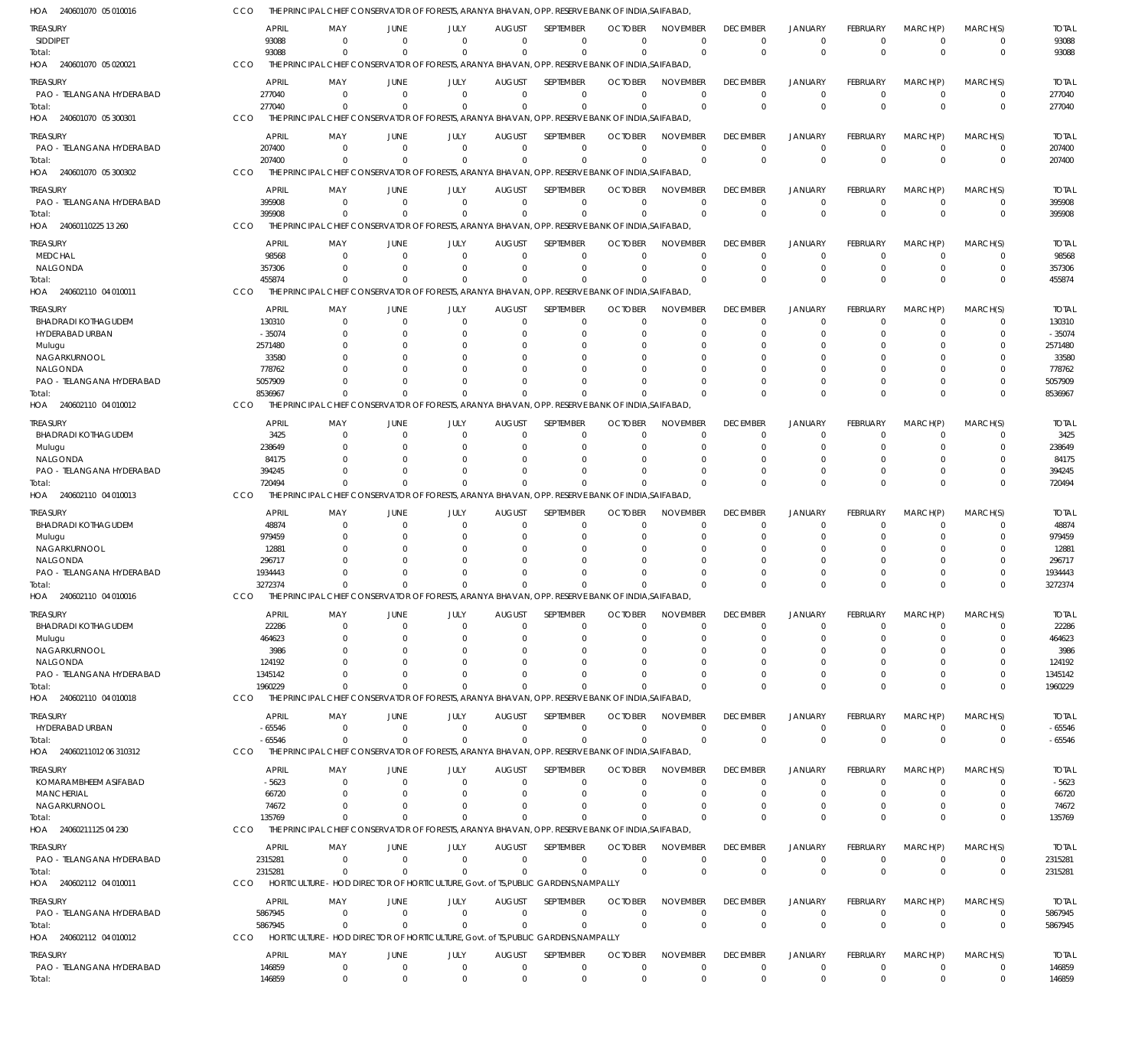| HOA 240601070 05 010016               | CCO        |                        |                      |                            | THE PRINCIPAL CHIEF CONSERVATOR OF FORESTS, ARANYA BHAVAN, OPP. RESERVE BANK OF INDIA, SAIFABAD, |                                 |                            |                               |                                |                                |                                  |                         |                            |                            |                        |
|---------------------------------------|------------|------------------------|----------------------|----------------------------|--------------------------------------------------------------------------------------------------|---------------------------------|----------------------------|-------------------------------|--------------------------------|--------------------------------|----------------------------------|-------------------------|----------------------------|----------------------------|------------------------|
| TREASURY                              |            | <b>APRIL</b>           | MAY                  | JUNE                       | JULY                                                                                             | <b>AUGUST</b>                   | <b>SEPTEMBER</b>           | <b>OCTOBER</b>                | <b>NOVEMBER</b>                | <b>DECEMBER</b>                | <b>JANUARY</b>                   | FEBRUARY                | MARCH(P)                   | MARCH(S)                   | <b>TOTAL</b>           |
| <b>SIDDIPET</b>                       |            | 93088                  | $\Omega$             | $\Omega$                   | $\Omega$                                                                                         | $\Omega$                        | $\mathbf 0$                | $\Omega$                      | $\mathbf 0$                    | $\Omega$                       | $\Omega$                         | $\mathbf 0$             | $\overline{0}$             | $\mathbf 0$                | 93088                  |
| Total:                                |            | 93088                  | $\Omega$             | $\Omega$                   | $\Omega$                                                                                         | $\Omega$                        | $\Omega$                   | $\Omega$                      | $\Omega$                       | $\Omega$                       | $\Omega$                         | $\Omega$                | $\Omega$                   | $\mathbf 0$                | 93088                  |
| HOA 240601070 05 020021               | CCO        |                        |                      |                            | THE PRINCIPAL CHIEF CONSERVATOR OF FORESTS, ARANYA BHAVAN, OPP. RESERVE BANK OF INDIA, SAIFABAD, |                                 |                            |                               |                                |                                |                                  |                         |                            |                            |                        |
| treasury                              |            | <b>APRIL</b>           | MAY                  | JUNE                       | JULY                                                                                             | <b>AUGUST</b>                   | SEPTEMBER                  | <b>OCTOBER</b>                | <b>NOVEMBER</b>                | <b>DECEMBER</b>                | <b>JANUARY</b>                   | FEBRUARY                | MARCH(P)                   | MARCH(S)                   | <b>TOTAL</b>           |
| PAO - TELANGANA HYDERABAD<br>Total:   |            | 277040<br>277040       | $\Omega$<br>$\Omega$ | $\overline{0}$<br>$\Omega$ | $\overline{0}$<br>$\Omega$                                                                       | $\overline{0}$<br>$\Omega$      | $\mathbf 0$<br>$\mathbf 0$ | $\Omega$<br>$\Omega$          | $\Omega$<br>$\Omega$           | $\Omega$<br>$\Omega$           | $^{\circ}$<br>$\Omega$           | $\mathbf 0$<br>$\Omega$ | $\overline{0}$<br>$\Omega$ | $\mathbf 0$<br>$\mathbf 0$ | 277040<br>277040       |
| HOA 240601070 05 300301               | CCO        |                        |                      |                            | THE PRINCIPAL CHIEF CONSERVATOR OF FORESTS, ARANYA BHAVAN, OPP. RESERVE BANK OF INDIA, SAIFABAD, |                                 |                            |                               |                                |                                |                                  |                         |                            |                            |                        |
| TREASURY                              |            | <b>APRIL</b>           | MAY                  | JUNE                       | JULY                                                                                             | <b>AUGUST</b>                   | SEPTEMBER                  | <b>OCTOBER</b>                | <b>NOVEMBER</b>                | <b>DECEMBER</b>                | <b>JANUARY</b>                   | FEBRUARY                | MARCH(P)                   | MARCH(S)                   | <b>TOTAL</b>           |
| PAO - TELANGANA HYDERABAD             |            | 207400                 | - 0                  | $\Omega$                   | $\Omega$                                                                                         | $\Omega$                        | $\mathbf 0$                | $\Omega$                      | $\Omega$                       | $\Omega$                       | $\overline{0}$                   | $\Omega$                | $\Omega$                   | 0                          | 207400                 |
| Total:                                |            | 207400                 | $\Omega$             | $\Omega$                   | $\Omega$                                                                                         | $\Omega$                        | $\Omega$                   | $\Omega$                      | $\Omega$                       | $\Omega$                       | $\Omega$                         | $\Omega$                | $\Omega$                   | $\mathbf 0$                | 207400                 |
| 240601070 05 300302<br>HOA            | CCO        |                        |                      |                            | THE PRINCIPAL CHIEF CONSERVATOR OF FORESTS, ARANYA BHAVAN, OPP. RESERVE BANK OF INDIA, SAIFABAD, |                                 |                            |                               |                                |                                |                                  |                         |                            |                            |                        |
| treasury                              |            | <b>APRIL</b>           | MAY                  | JUNE                       | JULY                                                                                             | <b>AUGUST</b>                   | SEPTEMBER                  | <b>OCTOBER</b>                | <b>NOVEMBER</b>                | <b>DECEMBER</b>                | <b>JANUARY</b>                   | FEBRUARY                | MARCH(P)                   | MARCH(S)                   | <b>TOTAL</b>           |
| PAO - TELANGANA HYDERABAD             |            | 395908                 | - 0                  | $\Omega$                   | $\overline{0}$                                                                                   | $\overline{0}$                  | $\mathbf 0$                | $\Omega$                      | $\overline{0}$                 | $\Omega$                       | $\overline{0}$                   | $\mathbf 0$             | $\overline{0}$             | $\mathbf 0$                | 395908                 |
| Total:                                |            | 395908                 | $\Omega$             | $\Omega$                   | $\Omega$                                                                                         | $\Omega$                        | $\mathbf 0$                | $\Omega$                      | $\Omega$                       | $\Omega$                       | $\Omega$                         | $\Omega$                | $\Omega$                   | $\mathbf 0$                | 395908                 |
| HOA 24060110225 13 260                | CCO        |                        |                      |                            | THE PRINCIPAL CHIEF CONSERVATOR OF FORESTS, ARANYA BHAVAN, OPP. RESERVE BANK OF INDIA, SAIFABAD, |                                 |                            |                               |                                |                                |                                  |                         |                            |                            |                        |
| treasury                              |            | <b>APRIL</b>           | MAY                  | JUNE                       | JULY                                                                                             | <b>AUGUST</b>                   | SEPTEMBER                  | <b>OCTOBER</b>                | <b>NOVEMBER</b>                | <b>DECEMBER</b>                | <b>JANUARY</b>                   | FEBRUARY                | MARCH(P)                   | MARCH(S)                   | <b>TOTAL</b>           |
| <b>MEDCHAL</b><br>NALGONDA            |            | 98568<br>357306        | - 0<br>$\Omega$      | $\Omega$<br>$\Omega$       | $\Omega$<br>$\Omega$                                                                             | $\Omega$<br>$\Omega$            | $\mathbf 0$<br>$\mathbf 0$ | $\Omega$<br>$\Omega$          | $\Omega$<br>$\Omega$           | $\Omega$<br>$\Omega$           | $\Omega$<br>$\overline{0}$       | $\Omega$<br>$\Omega$    | $\Omega$<br>$\Omega$       | $\Omega$<br>$\mathbf 0$    | 98568<br>357306        |
| Total:                                |            | 455874                 | $\Omega$             | $\Omega$                   | $\Omega$                                                                                         | $\Omega$                        | $\Omega$                   | $\Omega$                      | $\Omega$                       | $\Omega$                       | $\Omega$                         | $\Omega$                | $\Omega$                   | $\Omega$                   | 455874                 |
| HOA<br>240602110 04 010011            | CCO        |                        |                      |                            | THE PRINCIPAL CHIEF CONSERVATOR OF FORESTS, ARANYA BHAVAN, OPP. RESERVE BANK OF INDIA, SAIFABAD, |                                 |                            |                               |                                |                                |                                  |                         |                            |                            |                        |
| treasury                              |            | <b>APRIL</b>           | MAY                  | JUNE                       | JULY                                                                                             | <b>AUGUST</b>                   | SEPTEMBER                  | <b>OCTOBER</b>                | <b>NOVEMBER</b>                | <b>DECEMBER</b>                | <b>JANUARY</b>                   | FEBRUARY                | MARCH(P)                   | MARCH(S)                   | <b>TOTAL</b>           |
| <b>BHADRADI KOTHAGUDEM</b>            |            | 130310                 | 0                    | $\Omega$                   | $\Omega$                                                                                         | $\mathbf 0$                     | $\mathbf 0$                | $\Omega$                      | $\Omega$                       | $\Omega$                       | $\overline{0}$                   | $\mathbf 0$             | $\overline{0}$             | 0                          | 130310                 |
| HYDERABAD URBAN                       |            | $-35074$               |                      | $\Omega$                   | 0                                                                                                | C                               | 0                          | O                             | $\Omega$                       |                                | $\Omega$                         | 0                       | $\Omega$                   | 0                          | $-35074$               |
| Mulugu                                |            | 2571480                |                      |                            |                                                                                                  |                                 | $\Omega$                   |                               | $\Omega$                       |                                |                                  |                         |                            |                            | 2571480                |
| NAGARKURNOOL<br>NALGONDA              |            | 33580<br>778762        |                      |                            |                                                                                                  | $\Omega$<br>C                   | 0<br>$\Omega$              |                               | $\Omega$<br>$\Omega$           |                                | - 0                              |                         | $\Omega$<br>$\Omega$       | C                          | 33580<br>778762        |
| PAO - TELANGANA HYDERABAD             |            | 5057909                |                      | $\Omega$                   |                                                                                                  | $\Omega$                        | $\Omega$                   |                               | $\Omega$                       |                                | $\Omega$                         | 0                       | $\Omega$                   | $\mathbf 0$                | 5057909                |
| Total:                                |            | 8536967                | $\Omega$             | $\Omega$                   | $\Omega$                                                                                         | $\Omega$                        | $\Omega$                   |                               | $\Omega$                       |                                | $\Omega$                         | $\Omega$                | $\Omega$                   | $\Omega$                   | 8536967                |
| HOA 240602110 04 010012               | CCO        |                        |                      |                            | THE PRINCIPAL CHIEF CONSERVATOR OF FORESTS, ARANYA BHAVAN, OPP. RESERVE BANK OF INDIA, SAIFABAD, |                                 |                            |                               |                                |                                |                                  |                         |                            |                            |                        |
| TREASURY                              |            | <b>APRIL</b>           | MAY                  | JUNE                       | JULY                                                                                             | <b>AUGUST</b>                   | SEPTEMBER                  | <b>OCTOBER</b>                | <b>NOVEMBER</b>                | <b>DECEMBER</b>                | <b>JANUARY</b>                   | FEBRUARY                | MARCH(P)                   | MARCH(S)                   | <b>TOTAL</b>           |
| <b>BHADRADI KOTHAGUDEM</b>            |            | 3425                   | $\Omega$             | $\Omega$                   | $\Omega$                                                                                         | $\Omega$                        | 0                          | $\Omega$                      | $\Omega$                       | $\Omega$                       | $\Omega$                         | $\Omega$                | $\Omega$                   | 0                          | 3425                   |
| Mulugu                                |            | 238649                 | $\Omega$             | $\Omega$                   | $\Omega$                                                                                         | $\Omega$                        | $\Omega$                   | 0                             | $\Omega$                       | $\Omega$                       | $\Omega$                         | $\Omega$                | $\Omega$                   | $\Omega$                   | 238649                 |
| NALGONDA<br>PAO - TELANGANA HYDERABAD |            | 84175<br>394245        | n                    | $\Omega$<br>$\Omega$       | n                                                                                                | $\Omega$<br>$\Omega$            | $\Omega$<br>$\Omega$       | C.<br>C.                      | $\Omega$<br>$\Omega$           |                                | $\Omega$<br>$\Omega$             | $\Omega$                | $\Omega$<br>$\Omega$       | 0<br>$\mathbf 0$           | 84175<br>394245        |
| Total:                                |            | 720494                 | $\Omega$             | $\Omega$                   | $\Omega$                                                                                         | $\Omega$                        | $\Omega$                   |                               | $\Omega$                       | $\Omega$                       | $\Omega$                         | $\Omega$                | $\Omega$                   | $\mathbf 0$                | 720494                 |
| HOA<br>240602110 04 010013            | CCO        |                        |                      |                            | THE PRINCIPAL CHIEF CONSERVATOR OF FORESTS, ARANYA BHAVAN, OPP. RESERVE BANK OF INDIA, SAIFABAD, |                                 |                            |                               |                                |                                |                                  |                         |                            |                            |                        |
| treasury                              |            | APRIL                  | MAY                  | JUNE                       | JULY                                                                                             | <b>AUGUST</b>                   | SEPTEMBER                  | <b>OCTOBER</b>                | <b>NOVEMBER</b>                | <b>DECEMBER</b>                | <b>JANUARY</b>                   | FEBRUARY                | MARCH(P)                   | MARCH(S)                   | <b>TOTAL</b>           |
| <b>BHADRADI KOTHAGUDEM</b>            |            | 48874                  | $\Omega$             | $\Omega$                   | $\Omega$                                                                                         | 0                               | 0                          | O                             | $\Omega$                       | -0                             | $^{\circ}$                       | $\Omega$                | 0                          | 0                          | 48874                  |
| Mulugu                                |            | 979459                 | <sup>0</sup>         | $\Omega$                   | n                                                                                                | C                               | 0                          | 0                             | $\Omega$                       |                                | $\Omega$                         | $\Omega$                | $\Omega$                   | $\Omega$                   | 979459                 |
| NAGARKURNOOL                          |            | 12881                  |                      |                            |                                                                                                  | -C                              | $\Omega$                   |                               | $\Omega$                       |                                | - 0                              |                         | $\Omega$                   | 0                          | 12881                  |
| NALGONDA<br>PAO - TELANGANA HYDERABAD |            | 296717<br>1934443      |                      |                            |                                                                                                  | C<br>$\Omega$                   | $\Omega$<br>$\Omega$       | C.                            | $\Omega$<br>$\Omega$           |                                | $\Omega$                         | 0                       | $\Omega$<br>$\Omega$       | C<br>$\mathbf 0$           | 296717<br>1934443      |
| Total:                                |            | 3272374                | $\Omega$             | $\Omega$                   | $\Omega$                                                                                         | $\Omega$                        | $\Omega$                   | $\Omega$                      | $\Omega$                       |                                | $\Omega$                         | <sup>0</sup>            | $\Omega$                   | $\Omega$                   | 3272374                |
| HOA 240602110 04 010016               | CCO        |                        |                      |                            | THE PRINCIPAL CHIEF CONSERVATOR OF FORESTS, ARANYA BHAVAN, OPP. RESERVE BANK OF INDIA, SAIFABAD  |                                 |                            |                               |                                |                                |                                  |                         |                            |                            |                        |
| <b>TREASURY</b>                       |            | <b>APRIL</b>           | MAY                  | JUNE                       | JULY                                                                                             | <b>AUGUST</b>                   | SEPTEMBER                  | <b>OCTOBER</b>                | <b>NOVEMBER</b>                | <b>DECEMBER</b>                | <b>JANUARY</b>                   | FEBRUARY                | MARCH(P)                   | MARCH(S)                   | <b>TOTAL</b>           |
| <b>BHADRADI KOTHAGUDEM</b>            |            | 22286                  | 0                    | $\overline{0}$             | $\mathbf 0$                                                                                      | $\mathbf 0$                     | $\mathbf 0$                | $\Omega$                      | $\Omega$                       | $\Omega$                       | $\overline{0}$                   | $\Omega$                | $\overline{0}$             | 0                          | 22286                  |
| Mulugu                                |            | 464623                 | $\Omega$             | $\Omega$                   | $\Omega$                                                                                         | $\Omega$                        | $\mathbf 0$                | -0                            | $\Omega$                       | $\Omega$                       | $\overline{0}$                   | $\Omega$                | $\Omega$                   | $\Omega$                   | 464623                 |
| NAGARKURNOOL<br>NALGONDA              |            | 3986                   | $\Omega$<br>$\Omega$ | $\Omega$<br>$\Omega$       | n<br>n                                                                                           | C<br>$\Omega$                   | 0<br>$\Omega$              | 0                             | $\Omega$<br>$\Omega$           |                                | $\Omega$<br>$\Omega$             | O                       | $\Omega$<br>$\Omega$       | 0                          | 3986<br>124192         |
| PAO - TELANGANA HYDERABAD             |            | 124192<br>1345142      | $\Omega$             | - 0                        |                                                                                                  | $\Omega$                        | $\Omega$                   | $\Omega$<br>$\Omega$          | $\Omega$                       |                                | $\Omega$                         | $\Omega$                | $\overline{0}$             | 0                          | 1345142                |
| Total:                                |            | 1960229                | $\Omega$             | $\Omega$                   | $\Omega$                                                                                         | $\Omega$                        | $\Omega$                   | $\Omega$                      | $\Omega$                       | $\Omega$                       | $\Omega$                         | $\Omega$                | $\Omega$                   | $\mathbf 0$                | 1960229                |
| HOA 240602110 04 010018               | CCO        |                        |                      |                            | THE PRINCIPAL CHIEF CONSERVATOR OF FORESTS, ARANYA BHAVAN, OPP, RESERVE BANK OF INDIA SAIFABAD.  |                                 |                            |                               |                                |                                |                                  |                         |                            |                            |                        |
| treasury                              |            | <b>APRIL</b>           | MAY                  | JUNE                       | JULY                                                                                             | <b>AUGUST</b>                   | SEPTEMBER                  | <b>OCTOBER</b>                | <b>NOVEMBER</b>                | <b>DECEMBER</b>                | <b>JANUARY</b>                   | FEBRUARY                | MARCH(P)                   | MARCH(S)                   | <b>TOTAL</b>           |
| HYDERABAD URBAN                       |            | $-65546$               | 0                    | $\mathbf 0$                | $\overline{0}$                                                                                   | $\overline{0}$                  | $\mathbf 0$                | 0                             | $\mathbf 0$                    | $\Omega$                       | $\overline{0}$                   | $\mathbf 0$             | $\overline{0}$             | $\mathbf 0$                | $-65546$               |
| Total:                                |            | $-65546$               | $\Omega$             | $\Omega$                   | $\Omega$                                                                                         | $\Omega$                        | $\mathbf 0$                | $\Omega$                      | $\Omega$                       | $\Omega$                       | $\overline{0}$                   | $\mathbf{0}$            | $\Omega$                   | $\mathbf 0$                | $-65546$               |
| HOA 24060211012 06 310312             | CCO        |                        |                      |                            | THE PRINCIPAL CHIEF CONSERVATOR OF FORESTS, ARANYA BHAVAN, OPP. RESERVE BANK OF INDIA, SAIFABAD, |                                 |                            |                               |                                |                                |                                  |                         |                            |                            |                        |
| treasury                              |            | <b>APRIL</b>           | MAY                  | JUNE                       | JULY                                                                                             | <b>AUGUST</b>                   | SEPTEMBER                  | <b>OCTOBER</b>                | <b>NOVEMBER</b>                | <b>DECEMBER</b>                | <b>JANUARY</b>                   | FEBRUARY                | MARCH(P)                   | MARCH(S)                   | <b>TOTAL</b>           |
| KOMARAMBHEEM ASIFABAD                 |            | $-5623$                | - 0                  | $\Omega$                   | $\mathbf 0$                                                                                      | $\mathbf 0$                     | 0                          | 0                             | $\Omega$<br>$\Omega$           | $\Omega$                       | $\Omega$                         | $\Omega$                | 0<br>$\Omega$              | 0                          | $-5623$                |
| MANCHERIAL<br>NAGARKURNOOL            |            | 66720<br>74672         | $\Omega$<br>$\Omega$ | $\Omega$<br>$\Omega$       | $\Omega$<br>$\Omega$                                                                             | $\Omega$<br>$\Omega$            | $\mathbf 0$<br>$\mathbf 0$ | $\Omega$<br>$\Omega$          | $\Omega$                       | $\Omega$<br>$\Omega$           | $\Omega$<br>$^{\circ}$           | 0<br>$\Omega$           | $\overline{0}$             | $\mathbf 0$<br>$\mathbf 0$ | 66720<br>74672         |
| Total:                                |            | 135769                 | $^{\circ}$           | $\Omega$                   | $\Omega$                                                                                         | $\Omega$                        | $\Omega$                   | $\Omega$                      | $\Omega$                       | $\Omega$                       | $\Omega$                         | $\Omega$                | $\Omega$                   | $\mathbf 0$                | 135769                 |
| HOA 24060211125 04 230                | CCO        |                        |                      |                            | THE PRINCIPAL CHIEF CONSERVATOR OF FORESTS, ARANYA BHAVAN, OPP. RESERVE BANK OF INDIA, SAIFABAD, |                                 |                            |                               |                                |                                |                                  |                         |                            |                            |                        |
| treasury                              |            | APRIL                  | MAY                  | JUNE                       | JULY                                                                                             | <b>AUGUST</b>                   | SEPTEMBER                  | <b>OCTOBER</b>                | <b>NOVEMBER</b>                | <b>DECEMBER</b>                | JANUARY                          | FEBRUARY                | MARCH(P)                   | MARCH(S)                   | <b>TOTAL</b>           |
| PAO - TELANGANA HYDERABAD             |            | 2315281                | - 0                  | $\overline{0}$             | $\overline{0}$                                                                                   | $\overline{0}$                  | $\mathbf 0$                | 0                             | $\mathbf 0$                    | 0                              | $^{\circ}$                       | 0                       | $\overline{0}$             | $\mathbf 0$                | 2315281                |
| Total:                                |            | 2315281                | $\Omega$             | $\Omega$                   | $\Omega$                                                                                         | $\overline{0}$                  | $\mathbf 0$                | $\Omega$                      | $\Omega$                       | $\Omega$                       | $\overline{0}$                   | $\mathbf{0}$            | $\overline{0}$             | $\mathbf 0$                | 2315281                |
| HOA 240602112 04 010011               | <b>CCO</b> |                        |                      |                            | HORTICULTURE - HOD DIRECTOR OF HORTICULTURE, Govt. of TS, PUBLIC GARDENS, NAMPALLY               |                                 |                            |                               |                                |                                |                                  |                         |                            |                            |                        |
| treasury                              |            | <b>APRIL</b>           | MAY                  | JUNE                       | JULY                                                                                             | <b>AUGUST</b>                   | SEPTEMBER                  | <b>OCTOBER</b>                | <b>NOVEMBER</b>                | <b>DECEMBER</b>                | <b>JANUARY</b>                   | FEBRUARY                | MARCH(P)                   | MARCH(S)                   | <b>TOTAL</b>           |
| PAO - TELANGANA HYDERABAD             |            | 5867945                | 0                    | $\mathbf 0$                | $\overline{0}$                                                                                   | $\mathbf{0}$                    | $\mathbf 0$                | $\Omega$                      | $\Omega$                       | $\Omega$                       | $\overline{0}$                   | $\mathbf 0$             | $\overline{0}$             | 0                          | 5867945                |
| Total:<br>HOA 240602112 04 010012     | CCO        | 5867945                | $^{\circ}$           | $\Omega$                   | $\Omega$<br>HORTICULTURE - HOD DIRECTOR OF HORTICULTURE, Govt. of TS, PUBLIC GARDENS, NAMPALLY   | $\Omega$                        | $\mathbf 0$                | $\Omega$                      | $\Omega$                       | $\Omega$                       | $\Omega$                         | $\Omega$                | $\Omega$                   | $\mathbf 0$                | 5867945                |
|                                       |            |                        |                      |                            |                                                                                                  |                                 |                            |                               |                                |                                |                                  |                         |                            |                            |                        |
| treasury<br>PAO - TELANGANA HYDERABAD |            | <b>APRIL</b><br>146859 | MAY<br>$\mathbf 0$   | JUNE<br>$\mathbf 0$        | JULY<br>$\overline{0}$                                                                           | <b>AUGUST</b><br>$\overline{0}$ | SEPTEMBER<br>0             | <b>OCTOBER</b><br>$\mathbf 0$ | <b>NOVEMBER</b><br>$\mathbf 0$ | <b>DECEMBER</b><br>$\mathbf 0$ | <b>JANUARY</b><br>$\overline{0}$ | FEBRUARY<br>$\mathbf 0$ | MARCH(P)<br>$\overline{0}$ | MARCH(S)<br>$\mathbf 0$    | <b>TOTAL</b><br>146859 |
| Total:                                |            | 146859                 | $\mathbf 0$          | $\overline{0}$             | $\Omega$                                                                                         | $\Omega$                        | $\mathbf 0$                | $\Omega$                      | $\Omega$                       | $\Omega$                       | $\Omega$                         | $\Omega$                | $\Omega$                   | $\mathbf 0$                | 146859                 |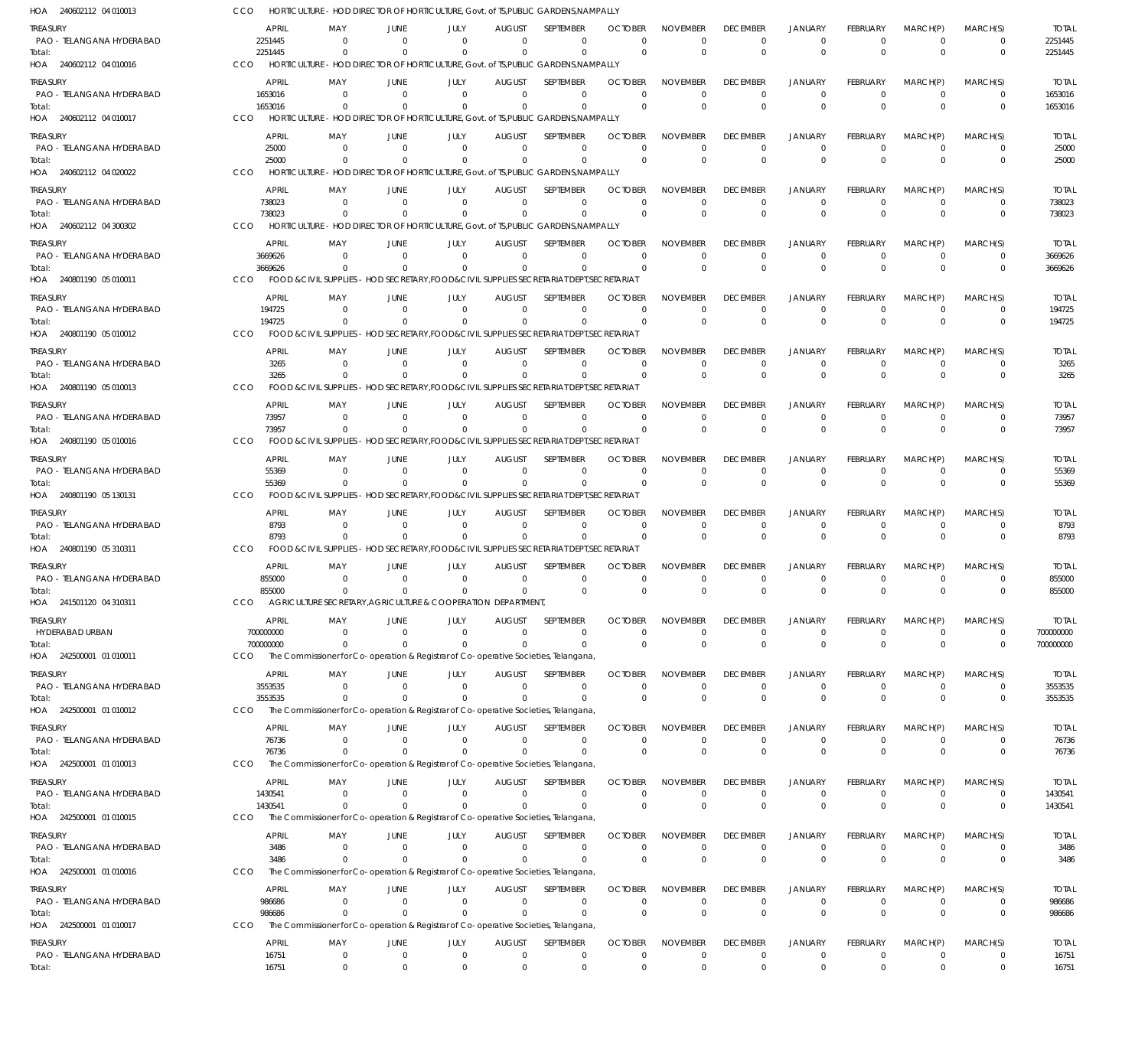240602112 04 010013 HOA 240602112 04 010016 HOA 240602112 04 010017 HOA 240602112 04 020022 HOA 240602112 04 300302 HOA 240801190 05 010011 HOA 240801190 05 010012 HOA 240801190 05 010013 HOA 240801190 05 010016 HOA 240801190 05 130131 HOA 240801190 05 310311 HOA 241501120 04 310311 HOA 242500001 01 010011 HOA 242500001 01 010012 HOA 242500001 01 010013 HOA 242500001 01 010015 HOA 242500001 01 010016 HOA 242500001 01 010017 HOA HORTICULTURE - HOD DIRECTOR OF HORTICULTURE, Govt. of TS,PUBLIC GARDENS,NAMPALLY HORTICULTURE - HOD DIRECTOR OF HORTICULTURE, Govt. of TS,PUBLIC GARDENS,NAMPALLY HORTICULTURE - HOD DIRECTOR OF HORTICULTURE, Govt. of TS,PUBLIC GARDENS,NAMPALLY HORTICULTURE - HOD DIRECTOR OF HORTICULTURE, Govt. of TS,PUBLIC GARDENS,NAMPALLY HORTICULTURE - HOD DIRECTOR OF HORTICULTURE, Govt. of TS,PUBLIC GARDENS,NAMPALLY FOOD &CIVIL SUPPLIES - HOD SECRETARY,FOOD&CIVIL SUPPLIES SECRETARIAT DEPT,SECRETARIAT FOOD &CIVIL SUPPLIES - HOD SECRETARY,FOOD&CIVIL SUPPLIES SECRETARIAT DEPT,SECRETARIAT FOOD &CIVIL SUPPLIES - HOD SECRETARY,FOOD&CIVIL SUPPLIES SECRETARIAT DEPT,SECRETARIAT FOOD &CIVIL SUPPLIES - HOD SECRETARY,FOOD&CIVIL SUPPLIES SECRETARIAT DEPT,SECRETARIAT FOOD &CIVIL SUPPLIES - HOD SECRETARY,FOOD&CIVIL SUPPLIES SECRETARIAT DEPT,SECRETARIAT FOOD &CIVIL SUPPLIES - HOD SECRETARY,FOOD&CIVIL SUPPLIES SECRETARIAT DEPT,SECRETARIAT AGRICULTURE SECRETARY,AGRICULTURE & COOPERATION DEPARTMENT, The Commissioner for Co-operation & Registrar of Co-operative Societies, Telangana, The Commissioner for Co-operation & Registrar of Co-operative Societies, Telangana, The Commissioner for Co-operation & Registrar of Co-operative Societies, Telangana, The Commissioner for Co-operation & Registrar of Co-operative Societies, Telangana, The Commissioner for Co-operation & Registrar of Co-operative Societies, Telangana, The Commissioner for Co-operation & Registrar of Co-operative Societies, Telangana, CCO CCO CCO **CCO** CCO **CCO** CCO C<sub>CO</sub> CCO CCO CCO. CCO CCO C<sub>CO</sub> **CCO** CCO C<sub>CO</sub> **CCO** 2251445 1653016 25000 738023 3669626 194725 3265 73957 55369 8793 855000 700000000 3553535 76736 1430541 3486 986686 0 0  $\Omega$ 0  $\Omega$  $\Omega$ 0  $\Omega$ 0 0  $\Omega$ 0 0  $\Omega$ 0  $\Omega$  $\Omega$ 0 0  $\Omega$ 0  $\Omega$  $\Omega$ 0  $\Omega$ 0 0  $\Omega$  $\boldsymbol{0}$ 0  $\Omega$  $\,$  0  $\,$ 0  $\Omega$ 0 0 0 0  $\Omega$ 0 0  $\mathbf{0}$ 0 0  $\Omega$ 0 0  $\Omega$ 0  $\Omega$  $\Omega$ 0 0  $\sqrt{2}$ 0  $\Omega$  $\Omega$ 0  $\Omega$  $\Omega$ 0  $\Omega$ 0 0  $\Omega$ 0  $\Omega$  $\Omega$ 0 0  $\Omega$ 0  $\Omega$  $\theta$ 0  $\Omega$  $\Omega$ 0  $\Omega$ 0 0  $\Omega$ 0  $\Omega$  $\Omega$ 0  $\Omega$  $\Omega$ 0  $\Omega$  $\Omega$ 0  $\sqrt{2}$  $\Omega$ 0  $\Omega$ 0 0  $\Omega$ 0 0  $\Omega$ 0  $\Omega$  $\Omega$ 0  $\Omega$ 0 0  $\Omega$  $\Omega$ 0  $\Omega$ 0 0  $\Omega$ 0  $\Omega$  $\Omega$ 0 0  $\Omega$ 0  $\Omega$ 0 0  $\Omega$ 0 0  $\Omega$ 0 0  $\Omega$ 0  $\Omega$  $\Omega$ 0 0  $\Omega$ 0  $\Omega$ 0 0  $\Omega$ 0 0  $\Omega$ 0 0  $\Omega$ 0  $\Omega$  $\Omega$ 0 0 0 0  $\Omega$ 0 0  $\Omega$ 0 0  $\Omega$  $\boldsymbol{0}$ 0  $\Omega$ 0  $\Omega$  $\Omega$ 0 0  $\Omega$ 0  $\Omega$ 0 0  $\Omega$ 0 0  $\Omega$ 0 0  $\Omega$ 0  $\Omega$  $\Omega$ 0  $\Omega$  $\Omega$ 0  $\Omega$  $\Omega$ 0  $\Omega$ 0 0  $\Omega$ 0 0  $\Omega$ 0 0  $\Omega$ 2251445 1653016 25000 738023 3669626 194725 3265 73957 55369 8793 855000 700000000 3553535 76736 1430541 3486 986686 PAO - TELANGANA HYDERABAD PAO - TELANGANA HYDERABAD PAO - TELANGANA HYDERABAD PAO - TELANGANA HYDERABAD PAO - TELANGANA HYDERABAD PAO - TELANGANA HYDERABAD PAO - TELANGANA HYDERABAD PAO - TELANGANA HYDERABAD PAO - TELANGANA HYDERABAD PAO - TELANGANA HYDERABAD PAO - TELANGANA HYDERABAD HYDERABAD URBAN PAO - TELANGANA HYDERABAD PAO - TELANGANA HYDERABAD PAO - TELANGANA HYDERABAD PAO - TELANGANA HYDERABAD PAO - TELANGANA HYDERABAD TREASURY **TREASURY** TREASURY TREASURY **TREASURY** TREASURY TREASURY **TREASURY** TREASURY TREASURY **TREASURY** TREASURY TREASURY **TREASURY** TREASURY TREASURY **TREASURY** TREASURY 2251445 1653016 25000 738023 3669626 194725 3265 73957 55369 8793 855000 700000000 3553535 76736 1430541 3486 986686 APRIL APRIL APRIL APRIL APRIL APRIL APRIL APRIL APRIL APRIL APRIL APRIL APRIL APRIL APRIL APRIL APRIL APRIL  $\Omega$ 0 0  $\Omega$ 0 0  $\Omega$ 0 0 0 0 0 0 0 0 0 0 MAY MAY MAY MAY MAY MAY MAY MAY MAY MAY MAY MAY MAY MAY MAY MAY MAY MAY  $\Omega$ 0 0  $\Omega$ 0 0 0  $\,$  0  $\,$ 0 0 0 0  $\,$  0  $\,$ 0 0  $\boldsymbol{0}$ 0 JUNE **JUNE** JUNE JUNE **JUNE** JUNE JUNE **JUNE** JUNE JUNE JUNE JUNE JUNE JUNE JUNE JUNE JUNE JUNE 0 0 0 0 0 0 0  $\,$  0  $\,$ 0  $\,$  0  $\,$ 0 0 0  $\,$  0  $\,$ 0 0 0 JULY JULY JULY JULY JULY JULY JULY JULY JULY JULY JULY JULY JULY JULY JULY JULY JULY JULY  $\Omega$ 0 0  $\Omega$ 0 0 0 0 0 0 0 0 0 0  $\Omega$ 0 0 AUGUST **AUGUST** AUGUST AUGUST **AUGUST** AUGUST AUGUST AUGUST AUGUST AUGUST **AUGUST** AUGUST AUGUST **AUGUST** AUGUST AUGUST **AUGUST** AUGUST  $\Omega$ 0 0  $\Omega$ 0 0  $\Omega$ 0 0  $\Omega$ 0 0 0 0  $\Omega$ 0 0 SEPTEMBER **SEPTEMBER SEPTEMBER** SEPTEMBER **SEPTEMBER** SEPTEMBER SEPTEMBER **SEPTEMBER** SEPTEMBER SEPTEMBER **SEPTEMBER** SEPTEMBER SEPTEMBER **SEPTEMBER** SEPTEMBER SEPTEMBER **SEPTEMBER** SEPTEMBER  $\Omega$ 0  $\Omega$  $\Omega$ 0 0  $\Omega$ 0  $\Omega$  $\Omega$ 0 0  $\Omega$ 0  $\Omega$  $\Omega$ 0 **OCTOBER OCTOBER** OCTOBER **OCTOBER OCTOBER** OCTOBER **OCTOBER OCTOBER** OCTOBER **OCTOBER OCTOBER** OCTOBER **OCTOBER OCTOBER OCTOBER OCTOBER** OCTOBER **OCTOBER**  $\Omega$ 0 0  $\Omega$ 0 0  $\Omega$ 0 0  $\Omega$ 0 0 0 0  $\Omega$  $\Omega$ 0 NOVEMBER NOVEMBER NOVEMBER NOVEMBER NOVEMBER NOVEMBER NOVEMBER NOVEMBER NOVEMBER NOVEMBER NOVEMBER NOVEMBER NOVEMBER NOVEMBER NOVEMBER NOVEMBER NOVEMBER NOVEMBER  $\Omega$ 0 0  $\Omega$ 0 0  $\Omega$ 0 0  $\Omega$ 0 0 0 0  $\Omega$  $\Omega$ 0 DECEMBER **DECEMBER** DECEMBER DECEMBER **DECEMBER** DECEMBER DECEMBER **DECEMBER** DECEMBER DECEMBER **DECEMBER** DECEMBER DECEMBER **DECEMBER** DECEMBER DECEMBER **DECEMBER** DECEMBER  $\Omega$ 0 0  $\Omega$ 0 0  $\Omega$ 0 0  $\Omega$ 0 0  $\Omega$ 0  $\Omega$  $\Omega$ 0 JANUARY JANUARY JANUARY JANUARY JANUARY JANUARY JANUARY JANUARY JANUARY JANUARY JANUARY JANUARY JANUARY JANUARY JANUARY JANUARY JANUARY JANUARY  $\Omega$ 0 0  $\Omega$ 0 0 0 0 0  $\Omega$ 0 0 0 0  $\Omega$ 0 0 FEBRUARY **FEBRUARY** FEBRUARY FEBRUARY FEBRUARY FEBRUARY FEBRUARY FEBRUARY FEBRUARY FEBRUARY FEBRUARY FEBRUARY FEBRUARY FEBRUARY FEBRUARY FEBRUARY FEBRUARY FEBRUARY  $\Omega$ 0  $\Omega$  $\Omega$ 0 0  $\Omega$ 0  $\Omega$  $\Omega$ 0 0 0 0  $\Omega$  $\Omega$ 0 MARCH(P) MARCH(P) MARCH(P) MARCH(P) MARCH(P) MARCH(P) MARCH(P) MARCH(P) MARCH(P) MARCH(P) MARCH(P) MARCH(P) MARCH(P) MARCH(P) MARCH(P) MARCH(P) MARCH(P) MARCH(P)  $\Omega$ 0  $\Omega$  $\Omega$ 0 0  $\Omega$ 0  $\Omega$  $\Omega$ 0 0  $\Omega$ 0  $\Omega$ 0 0 MARCH(S) MARCH(S) MARCH(S) MARCH(S) MARCH(S) MARCH(S) MARCH(S) MARCH(S) MARCH(S) MARCH(S) MARCH(S) MARCH(S) MARCH(S) MARCH(S) MARCH(S) MARCH(S) MARCH(S) MARCH(S) 2251445 1653016 25000 738023 3669626 194725 3265 73957 55369 8793 855000 700000000 3553535 76736 1430541 3486 986686 TOTAL TOTAL TOTAL TOTAL TOTAL TOTAL TOTAL TOTAL TOTAL TOTAL TOTAL TOTAL TOTAL TOTAL TOTAL TOTAL TOTAL TOTAL Total: Total: Total: Total: Total: Total: Total: Total: Total: Total: Total: Total: Total: Total: Total: Total: Total:

16751

16751

PAO - TELANGANA HYDERABAD

Total:

0

 $\Omega$ 

 $\,$  0  $\,$ 

 $\Omega$ 

0

 $\Omega$ 

0

 $\Omega$ 

0

 $\Omega$ 

0

 $\Omega$ 

 $\,$  0  $\,$ 

 $\Omega$ 

0

 $\Omega$ 

0

 $\Omega$ 

 $\,$  0  $\,$ 

 $\Omega$ 

0

 $\Omega$ 

0

 $\Omega$ 

16751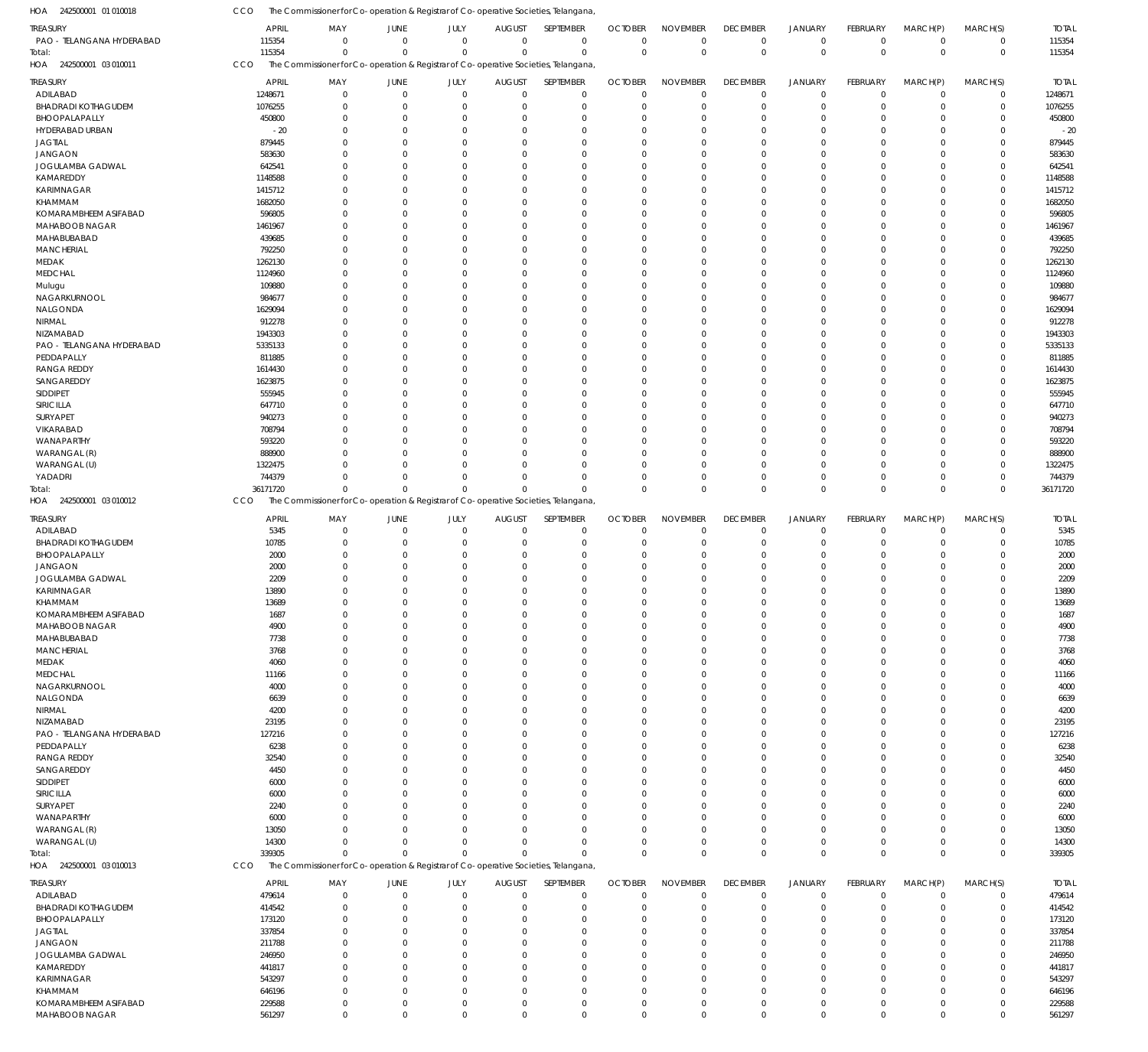242500001 03 010011 HOA 242500001 03 010012 HOA 242500001 03 010013 HOA The Commissioner for Co-operation & Registrar of Co-operative Societies, Telangana, The Commissioner for Co-operation & Registrar of Co-operative Societies, Telangana, The Commissioner for Co-operation & Registrar of Co-operative Societies, Telangana, CCO CCO CCO 115354 36171720 339305 0  $\Omega$  $\Omega$ 0  $\Omega$  $\Omega$ 0  $\Omega$  $\Omega$ 0  $\Omega$  $\Omega$ 0  $\Omega$  $\Omega$ 0  $\Omega$  $\Omega$ 0  $\Omega$  $\Omega$ 0  $\Omega$  $\Omega$ 0  $\Omega$  $\Omega$ 0  $\Omega$  $\Omega$ 0  $\Omega$  $\Omega$ 0  $\Omega$  $\Omega$ 115354 36171720 339305 PAO - TELANGANA HYDERABAD ADILABAD BHADRADI KOTHAGUDEM BHOOPALAPALLY HYDERABAD URBAN JAGTIAL JANGAON JOGULAMBA GADWAL KAMAREDDY KARIMNAGAR KHAMMAM KOMARAMBHEEM ASIFABAD MAHABOOB NAGAR MAHABUBABAD **MANCHERIAL** MEDAK MEDCHAL Mulugu NAGARKURNOOL NALGONDA NIRMAL NIZAMABAD PAO - TELANGANA HYDERABAD PEDDAPALLY RANGA REDDY SANGAREDDY SIDDIPET SIRICILLA SURYAPET VIKARABAD WANAPARTHY WARANGAL (R) WARANGAL (U) YADADRI ADILABAD BHADRADI KOTHAGUDEM BHOOPALAPALLY JANGAON JOGULAMBA GADWAL KARIMNAGAR KHAMMAM KOMARAMBHEEM ASIFABAD MAHABOOB NAGAR MAHABUBABAD **MANCHERIAL** MEDAK MEDCHAL NAGARKURNOOL NALGONDA NIRMAL NIZAMABAD PAO - TELANGANA HYDERABAD PEDDAPALLY RANGA REDDY SANGAREDDY SIDDIPET SIRICILLA SURYAPET WANAPARTHY WARANGAL (R) WARANGAL (U) ADILABAD BHADRADI KOTHAGUDEM BHOOPALAPALLY JAGTIAL JANGAON JOGULAMBA GADWAL KAMAREDDY KARIMNAGAR TREASURY TREASURY TREASURY TREASURY 115354 1248671 1076255 450800  $-20$ 879445 583630 642541 1148588 1415712 1682050 596805 1461967 439685 792250 1262130 1124960 109880 984677 1629094 912278 1943303 5335133 811885 1614430 1623875 555945 647710 940273 708794 593220 888900 1322475 744379 5345 10785 2000 2000 2209 13890 13689 1687 4900 7738 3768 4060 11166 4000 6639 4200 23195 127216 6238 32540 4450 6000 6000 2240 6000 13050 14300 479614 414542 173120 337854 211788 246950 441817 543297 APRIL APRIL APRIL APRIL 0 0 0 0  $\Omega$  $\Omega$ 0  $\Omega$ 0 0  $\Omega$ 0  $\Omega$ 0 0  $\Omega$ 0  $\Omega$  $\Omega$ 0  $\Omega$  $\Omega$  $\Omega$ 0 0  $\Omega$  $\Omega$  $\Omega$ 0  $\Omega$ 0  $\Omega$  $\Omega$ 0  $\Omega$ 0 0  $\Omega$ 0  $\Omega$ 0 0  $\Omega$ 0  $\Omega$  $\Omega$ 0  $\Omega$ 0  $\Omega$ 0 0  $\Omega$  $\Omega$  $\Omega$ 0  $\Omega$ 0  $\Omega$  $\Omega$ 0 0 0 0  $\Omega$ 0  $\Omega$ 0 0 MAY MAY MAY MAY 0 0 0 0 0  $\Omega$ 0  $\Omega$ 0 0  $\Omega$ 0  $\Omega$ 0 0  $\Omega$ 0  $\Omega$ 0 0 0 0  $\Omega$ 0 0 0 0  $\Omega$ 0  $\Omega$ 0 0  $\Omega$ 0  $\Omega$ 0 0  $\Omega$ 0  $\Omega$ 0 0  $\Omega$ 0  $\Omega$ 0 0 0 0  $\Omega$ 0 0  $\Omega$ 0  $\Omega$ 0  $\Omega$ 0 0  $\Omega$ 0 0 0 0  $\Omega$ 0  $\Omega$ 0 0 JUNE JUNE JUNE JUNE 0 0 0 0 0  $\Omega$ 0  $\Omega$ 0 0  $\Omega$ 0  $\Omega$ 0 0  $\Omega$ 0  $\Omega$ 0 0 0  $\Omega$  $\Omega$ 0 0 0 0  $\Omega$ 0  $\Omega$ 0  $\Omega$  $\Omega$ 0  $\Omega$ 0 0 0 0  $\Omega$ 0 0  $\Omega$ 0  $\Omega$  $\Omega$ 0 0 0  $\Omega$ 0 0  $\Omega$ 0  $\Omega$ 0  $\Omega$ 0  $\Omega$  $\Omega$ 0 0 0 0  $\Omega$ 0  $\Omega$ 0 0 JULY JULY JULY JULY 0 0 0 0  $\Omega$  $\Omega$ 0  $\Omega$ 0 0  $\Omega$ 0  $\Omega$ 0 0  $\Omega$ 0  $\Omega$ 0 0  $\Omega$  $\Omega$  $\Omega$ 0 0  $\Omega$ 0  $\Omega$ 0  $\Omega$ 0  $\Omega$  $\Omega$ 0  $\Omega$ 0 0  $\Omega$ 0  $\Omega$ 0 0  $\Omega$ 0  $\Omega$ 0 0  $\Omega$ 0  $\Omega$ 0 0  $\Omega$ 0  $\Omega$ 0  $\Omega$ 0  $\Omega$  $\Omega$ 0 0 0 0  $\Omega$ 0  $\Omega$ 0 0 AUGUST AUGUST AUGUST AUGUST 0 0 0 0  $\Omega$  $\Omega$ 0  $\Omega$  $\Omega$  $\Omega$  $\Omega$  $\overline{0}$  $\Omega$ 0 0  $\Omega$ 0  $\Omega$  $\theta$ 0  $\Omega$  $\Omega$  $\Omega$  $\overline{0}$ 0  $\Omega$  $\Omega$  $\Omega$  $\overline{0}$  $\Omega$ 0  $\Omega$  $\Omega$ 0  $\Omega$ 0 0  $\Omega$  $\overline{0}$  $\Omega$ 0 0  $\Omega$ 0  $\Omega$  $\Omega$ 0  $\Omega$ 0  $\Omega$  $\overline{0}$ 0  $\Omega$  $\Omega$  $\Omega$  $\overline{0}$  $\Omega$  $\Omega$  $\Omega$  $\Omega$ 0 0 0 0  $\Omega$  $\overline{0}$  $\Omega$ 0 0 SEPTEMBER **SEPTEMBER** SEPTEMBER SEPTEMBER  $\Omega$ 0 0 0  $\Omega$  $\Omega$ 0  $\Omega$ 0  $\Omega$  $\Omega$ 0  $\Omega$ 0  $\Omega$  $\Omega$ 0  $\Omega$ 0 0  $\Omega$  $\Omega$  $\Omega$ 0  $\Omega$  $\Omega$  $\Omega$  $\Omega$ 0  $\Omega$ 0  $\Omega$  $\Omega$ 0  $\Omega$ 0 0  $\Omega$ 0  $\Omega$ 0  $\Omega$  $\Omega$ 0  $\Omega$ 0 0  $\Omega$ 0  $\Omega$ 0  $\Omega$  $\Omega$  $\Omega$  $\Omega$ 0  $\Omega$  $\Omega$  $\Omega$  $\Omega$ 0 0 0 0  $\Omega$ 0  $\Omega$ 0 0 OCTOBER **OCTOBER** OCTOBER OCTOBER 0 0 0 0 0  $\Omega$ 0  $\Omega$ 0 0  $\Omega$ 0  $\Omega$ 0 0  $\Omega$ 0  $\Omega$  $\overline{0}$ 0  $\Omega$  $\Omega$  $\Omega$ 0 0 0  $\Omega$  $\Omega$ 0  $\Omega$ 0 0  $\Omega$ 0  $\Omega$ 0 0  $\Omega$ 0  $\Omega$ 0 0  $\Omega$ 0  $\Omega$ 0 0  $\Omega$ 0  $\Omega$ 0 0  $\Omega$  $\Omega$  $\Omega$ 0  $\Omega$ 0  $\Omega$  $\Omega$ 0 0 0 0  $\Omega$ 0  $\Omega$ 0 0 NOVEMBER NOVEMBER NOVEMBER NOVEMBER 0 0 0 0  $\Omega$  $\Omega$ 0  $\Omega$ 0  $\Omega$  $\Omega$ 0  $\Omega$  $\overline{0}$ 0  $\Omega$ 0  $\Omega$  $\overline{0}$ 0 0  $\Omega$  $\Omega$  $\overline{0}$ 0  $\Omega$  $\Omega$  $\Omega$ 0  $\Omega$ 0  $\Omega$  $\Omega$ 0  $\Omega$ 0 0  $\Omega$ 0  $\Omega$ 0 0  $\Omega$ 0  $\Omega$  $\overline{0}$ 0  $\Omega$ 0  $\Omega$  $\overline{0}$ 0  $\Omega$  $\Omega$  $\Omega$ 0  $\Omega$ 0  $\Omega$  $\Omega$ 0 0 0 0  $\Omega$ 0  $\Omega$ 0 0 DECEMBER DECEMBER DECEMBER DECEMBER 0 0 0 0  $\Omega$  $\Omega$ 0  $\Omega$ 0 0  $\Omega$ 0  $\Omega$ 0 0  $\Omega$ 0  $\Omega$ 0 0 0  $\Omega$  $\Omega$ 0 0 0 0  $\Omega$ 0  $\Omega$ 0  $\Omega$  $\Omega$  $\,$  0  $\,$  $\Omega$ 0 0  $\Omega$ 0  $\Omega$ 0  $\Omega$  $\Omega$ 0  $\Omega$ 0 0  $\Omega$ 0  $\Omega$ 0 0  $\Omega$  $\Omega$  $\Omega$ 0  $\Omega$ 0  $\Omega$ 0  $\,$  0  $\,$ 0 0 0  $\Omega$ 0  $\Omega$ 0 0 JANUARY JANUARY JANUARY JANUARY 0 0 0 0 0  $\Omega$ 0  $\Omega$ 0 0  $\Omega$ 0  $\Omega$ 0 0  $\Omega$ 0  $\Omega$  $\overline{0}$ 0 0 0  $\Omega$ 0 0 0 0 0 0  $\Omega$ 0 0  $\Omega$  $\boldsymbol{0}$  $\Omega$ 0 0 0 0  $\Omega$ 0 0  $\Omega$ 0  $\Omega$  $\overline{0}$ 0 0 0  $\Omega$ 0 0 0 0  $\Omega$ 0  $\Omega$ 0 0 0  $\boldsymbol{0}$ 0 0 0  $\Omega$ 0  $\Omega$ 0 0 FEBRUARY FEBRUARY FEBRUARY FEBRUARY 0 0 0 0  $\Omega$  $\Omega$ 0  $\Omega$ 0 0  $\Omega$ 0  $\Omega$  $\overline{0}$ 0  $\Omega$ 0  $\Omega$ 0 0 0  $\Omega$  $\Omega$  $\overline{0}$ 0 0  $\Omega$  $\Omega$ 0  $\Omega$ 0  $\Omega$  $\Omega$ 0  $\Omega$ 0 0  $\Omega$ 0  $\Omega$ 0  $\Omega$  $\Omega$ 0  $\Omega$ 0 0  $\Omega$ 0  $\Omega$  $\overline{0}$ 0  $\Omega$  $\Omega$  $\Omega$ 0  $\Omega$ 0  $\Omega$ 0 0 0 0  $\Omega$  $\Omega$ 0  $\Omega$ 0 0 MARCH(P) MARCH(P) MARCH(P) MARCH(P)  $\Omega$ 0 0 0  $\Omega$  $\Omega$ 0  $\Omega$ 0  $\Omega$  $\Omega$ 0  $\Omega$ 0 0  $\Omega$ 0  $\Omega$ 0 0 0  $\Omega$  $\Omega$ 0 0 0  $\Omega$  $\Omega$ 0  $\Omega$ 0  $\Omega$  $\Omega$ 0  $\Omega$ 0  $\Omega$  $\Omega$ 0  $\Omega$ 0 0  $\Omega$ 0  $\Omega$ 0 0  $\Omega$ 0  $\Omega$ 0 0 0  $\Omega$  $\Omega$ 0  $\Omega$ 0  $\Omega$  $\Omega$ 0 0 0  $\Omega$  $\Omega$ 0  $\Omega$ 0 0 MARCH(S) MARCH(S) MARCH(S) MARCH(S) 115354 1248671 1076255 450800 -20 879445 583630 642541 1148588 1415712 1682050 596805 1461967 439685 792250 1262130 1124960 109880 984677 1629094 912278 1943303 5335133 811885 1614430 1623875 555945 647710 940273 708794 593220 888900 1322475 744379 5345 10785 2000 2000 2209 13890 13689 1687 4900 7738 3768 4060 11166 4000 6639 4200 23195 127216 6238 32540 4450 6000 6000 2240 6000 13050 14300 479614 414542 173120 337854 211788 246950 441817 543297 TOTAL TOTAL TOTAL TOTAL Total: Total: Total:

The Commissioner for Co-operation & Registrar of Co-operative Societies, Telangana,

242500001 01 010018 HOA

KHAMMAM

KOMARAMBHEEM ASIFABAD MAHABOOB NAGAR

646196 229588 561297

 $\Omega$  $\,$  0  $\,$  $\Omega$ 

 $\Omega$  $\boldsymbol{0}$  $\Omega$ 

 $\sqrt{0}$ 0  $\Omega$ 

 $\Omega$  $\boldsymbol{0}$  $\Omega$ 

 $\Omega$ 0  $\Omega$ 

 $\Omega$  $\,$   $\,$   $\,$  $\Omega$ 

 $\Omega$ 0  $\Omega$ 

 $\Omega$ 0  $\Omega$   $\Omega$  $\,$  0  $\,$  $\Omega$ 

 $\Omega$  $\boldsymbol{0}$  $\Omega$ 

 $\Omega$  $\,$  0  $\,$  $\Omega$ 

 $\Omega$ 0  $\Omega$  646196 229588 561297

CCO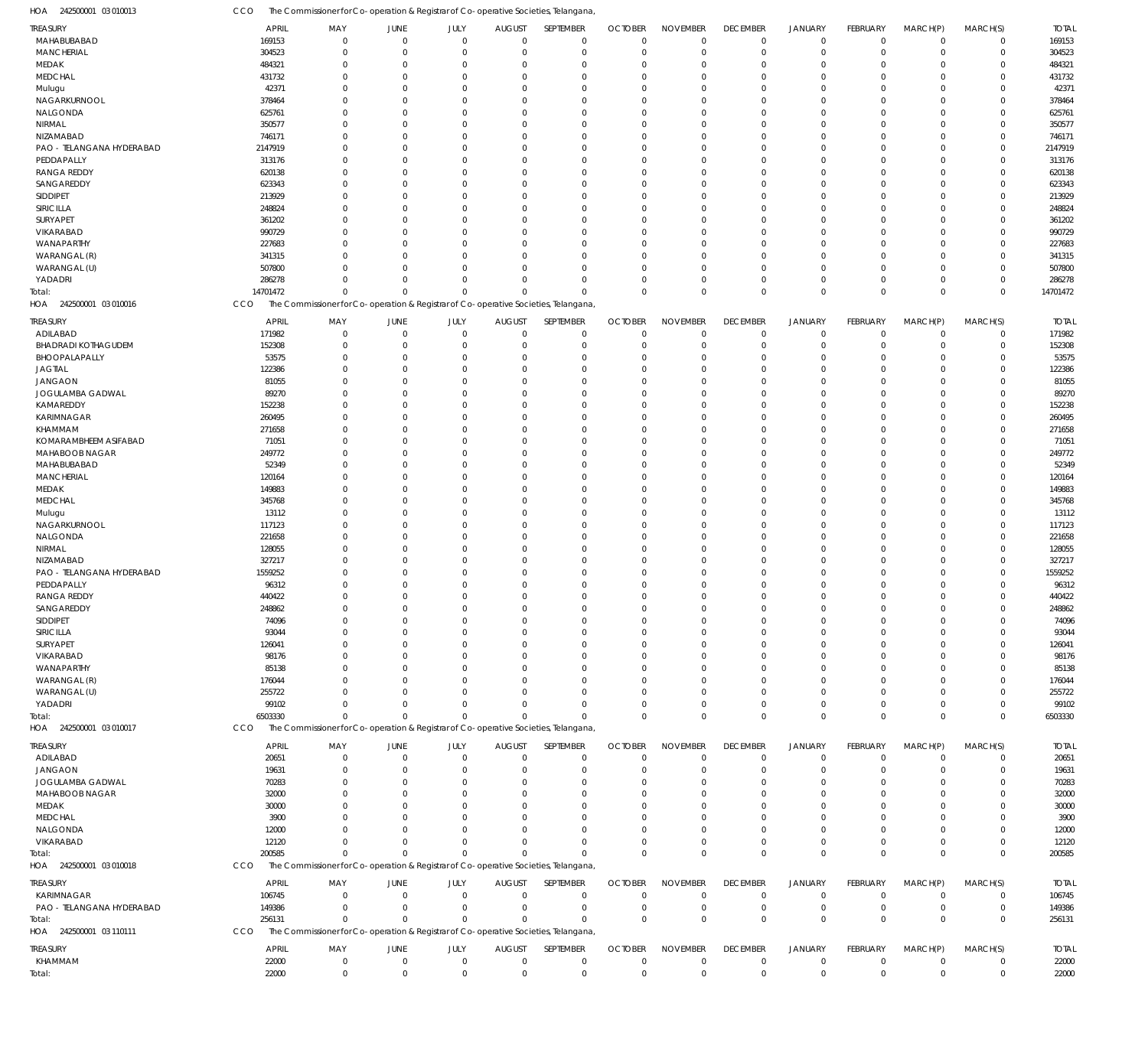CCO The Commissioner for Co-operation & Registrar of Co-operative Societies, Telangana,

| HOA<br>242500001 03 010013 | CCO      | The Commissioner for Co-operation & Registrar of Co-operative Societies, Telangana  |                             |              |               |             |                |                 |                 |                |                 |             |             |              |
|----------------------------|----------|-------------------------------------------------------------------------------------|-----------------------------|--------------|---------------|-------------|----------------|-----------------|-----------------|----------------|-----------------|-------------|-------------|--------------|
| TREASURY                   |          | APRIL<br>MAY                                                                        | JUNE                        | JULY         | <b>AUGUST</b> | SEPTEMBER   | <b>OCTOBER</b> | <b>NOVEMBER</b> | <b>DECEMBER</b> | <b>JANUARY</b> | <b>FEBRUARY</b> | MARCH(P)    | MARCH(S)    | <b>TOTAL</b> |
| MAHABUBABAD                |          | 169153                                                                              | $\mathbf 0$<br>$\mathbf 0$  | $\mathbf{0}$ | $\mathbf 0$   | $\mathbf 0$ | $\mathbf 0$    | $\mathbf 0$     | $\mathbf 0$     | $\mathbf 0$    | $\Omega$        | $\Omega$    | $\mathbf 0$ | 169153       |
| <b>MANCHERIAL</b>          |          | 304523                                                                              | $\mathbf 0$<br>0            | $\mathbf{0}$ | 0             | $\mathbf 0$ | $\mathbf 0$    | $\mathbf 0$     | $\mathbf 0$     | $\mathbf 0$    | $\Omega$        | $\Omega$    | $\mathbf 0$ | 304523       |
| MEDAK                      |          | 484321                                                                              | $\mathbf 0$<br>0            | $\mathbf 0$  | $\Omega$      | $\mathbf 0$ | $\Omega$       | $\Omega$        | $\Omega$        | $\mathbf 0$    | $\Omega$        | $\Omega$    | $\Omega$    | 484321       |
| MEDCHAL                    |          | 431732                                                                              | $\mathbf 0$<br>0            | $\Omega$     | $\Omega$      | $\mathbf 0$ | $\Omega$       | $\mathbf 0$     | $\Omega$        | $\Omega$       |                 | $\Omega$    | $\Omega$    | 431732       |
| Mulugu                     |          | 42371                                                                               | $\mathbf 0$<br>$\Omega$     | $\Omega$     | $\Omega$      | $\mathbf 0$ | $\Omega$       | $\Omega$        | $\Omega$        | $\Omega$       |                 | $\Omega$    | $\Omega$    | 42371        |
| NAGARKURNOOL               |          | 378464                                                                              | $\mathbf 0$<br>$\Omega$     | $\Omega$     | $\Omega$      | $\mathbf 0$ | $\Omega$       | $\Omega$        | $\Omega$        | $\Omega$       | $\Omega$        | $\Omega$    | $\Omega$    | 378464       |
| NALGONDA                   |          | 625761                                                                              | $\mathbf 0$<br>$\Omega$     | $\Omega$     | $\Omega$      | $\mathbf 0$ | $\Omega$       | $\Omega$        | $\Omega$        | $\Omega$       |                 | $\Omega$    | $\Omega$    | 625761       |
| NIRMAL                     |          | 350577                                                                              | $\mathbf 0$<br>$\Omega$     | $\Omega$     | $\Omega$      | $\mathbf 0$ | $\Omega$       | $\Omega$        | $\Omega$        | $\Omega$       |                 | $\Omega$    | $\Omega$    | 350577       |
| NIZAMABAD                  |          | 746171                                                                              | $\mathbf 0$<br>$\Omega$     | $\Omega$     | C             | $\mathbf 0$ | $\Omega$       | $\Omega$        | $\Omega$        | $\Omega$       |                 | $\Omega$    | $\Omega$    | 746171       |
| PAO - TELANGANA HYDERABAD  |          | 2147919                                                                             | $\mathbf 0$<br>$\Omega$     | $\Omega$     | $\Omega$      | $\mathbf 0$ | $\Omega$       | $\Omega$        | $\Omega$        | $\Omega$       |                 | $\Omega$    | $\Omega$    | 2147919      |
| PEDDAPALLY                 |          | 313176                                                                              | $\mathbf 0$<br>$\Omega$     | $\Omega$     | $\Omega$      | $\mathbf 0$ | $\Omega$       | $\Omega$        | $\Omega$        | $\Omega$       |                 | $\Omega$    | $\Omega$    | 313176       |
| <b>RANGA REDDY</b>         |          | 620138                                                                              | $\mathbf 0$<br>$\Omega$     | $\Omega$     | $\Omega$      | $\mathbf 0$ | $\Omega$       | $\Omega$        | $\Omega$        | $\Omega$       |                 | $\Omega$    | $\Omega$    | 620138       |
| SANGAREDDY                 |          | 623343                                                                              | $\mathbf 0$<br>$\Omega$     | $\Omega$     | $\Omega$      | $\mathbf 0$ | $\Omega$       | $\Omega$        | $\Omega$        | $\Omega$       |                 | $\Omega$    | $\Omega$    | 623343       |
| <b>SIDDIPET</b>            |          | 213929                                                                              | $\Omega$<br>$\Omega$        | $\Omega$     | $\Omega$      | $\mathbf 0$ | $\Omega$       | $\Omega$        | $\Omega$        | $\Omega$       | $\cap$          | $\Omega$    | $\Omega$    | 213929       |
| SIRICILLA                  |          | 248824                                                                              | $\mathbf 0$<br>$\Omega$     | $\Omega$     | C             | $\mathbf 0$ | $\Omega$       | $\Omega$        | $\Omega$        | $\Omega$       |                 | $\Omega$    | $\Omega$    | 248824       |
| SURYAPET                   |          | 361202                                                                              | $\Omega$<br>$\Omega$        | $\Omega$     | $\Omega$      | $\Omega$    | $\Omega$       | $\Omega$        | $\Omega$        | $\Omega$       |                 | $\cap$      | $\Omega$    | 361202       |
| VIKARABAD                  |          | 990729                                                                              | $\mathbf 0$<br>$\Omega$     | $\Omega$     | C             | $\mathbf 0$ | $\Omega$       | $\Omega$        | $\Omega$        | $\Omega$       |                 | $\Omega$    | $\Omega$    | 990729       |
| WANAPARTHY                 |          | 227683                                                                              | $\Omega$<br>$\Omega$        | $\Omega$     | $\Omega$      | $\Omega$    | $\Omega$       | $\Omega$        | $\Omega$        | $\Omega$       |                 | $\Omega$    | $\Omega$    | 227683       |
| WARANGAL (R)               |          | 341315                                                                              | $\Omega$<br>$\Omega$        | $\Omega$     | -C            | $\mathbf 0$ | $\Omega$       | $\Omega$        | $\Omega$        | $\Omega$       |                 | $\Omega$    | $\Omega$    | 341315       |
| WARANGAL (U)               |          | 507800                                                                              | $\Omega$<br>$\Omega$        | $\mathbf 0$  | $\Omega$      | $\mathbf 0$ | $\Omega$       | $\mathbf 0$     | $\Omega$        | $\Omega$       |                 | $\Omega$    | $\Omega$    | 507800       |
| YADADRI                    |          | 286278                                                                              | $\mathbf 0$<br>$\Omega$     | $\mathbf 0$  | $\Omega$      | $\mathbf 0$ | $\Omega$       | $\mathbf 0$     | $\Omega$        | $\mathbf 0$    | $\Omega$        | $\Omega$    | $\Omega$    | 286278       |
| Total:                     | 14701472 |                                                                                     | $\Omega$<br>$\Omega$        | $\mathbf 0$  | $\Omega$      | $\Omega$    | $\Omega$       | $\Omega$        | $\Omega$        | $\Omega$       | $\Omega$        | $\Omega$    | $\mathbf 0$ | 14701472     |
| 242500001 03 010016<br>HOA | CCO      | The Commissioner for Co-operation & Registrar of Co-operative Societies, Telangana, |                             |              |               |             |                |                 |                 |                |                 |             |             |              |
| TREASURY                   |          | <b>APRIL</b><br>MAY                                                                 | JUNE                        | JULY         | <b>AUGUST</b> | SEPTEMBER   | <b>OCTOBER</b> | <b>NOVEMBER</b> | <b>DECEMBER</b> | JANUARY        | <b>FEBRUARY</b> | MARCH(P)    | MARCH(S)    | <b>TOTAL</b> |
| ADILABAD                   |          | 171982                                                                              | $\mathbb O$<br>$\mathbf 0$  | $\mathbf 0$  | $\mathbf{0}$  | $\mathbf 0$ | $\mathbf 0$    | $\mathbf 0$     | $^{\circ}$      | $\mathbf 0$    | $\Omega$        | $\Omega$    | 0           | 171982       |
| <b>BHADRADI KOTHAGUDEM</b> |          | 152308                                                                              | $\mathbf 0$<br>0            | $\mathbf{0}$ | C             | $\mathbf 0$ | $\Omega$       | $\mathbf 0$     | 0               | $\mathbf 0$    |                 | $\Omega$    | $\mathbf 0$ | 152308       |
| BHOOPALAPALLY              |          | 53575                                                                               | $\mathbf 0$<br>0            | $\mathbf 0$  | C             | $\mathbf 0$ | $\Omega$       | $\mathbf 0$     | $\Omega$        | $\Omega$       |                 | $\Omega$    | $\Omega$    | 53575        |
| <b>JAGTIAL</b>             |          | 122386                                                                              | $\mathbf 0$<br>$\Omega$     | $\Omega$     | C             | $\mathbf 0$ | $\Omega$       | $\mathbf 0$     | $\Omega$        | $\Omega$       |                 | $\cap$      | $\Omega$    | 122386       |
| <b>JANGAON</b>             |          | 81055                                                                               | $\mathbf 0$<br>$\Omega$     | $\Omega$     | -C            | $\mathbf 0$ | $\Omega$       | $\Omega$        | $\Omega$        | $\Omega$       |                 | $\Omega$    | $\Omega$    | 81055        |
| JOGULAMBA GADWAL           |          | 89270                                                                               | $\mathbf 0$<br>0            | $\mathbf 0$  | C             | $\mathbf 0$ | $\Omega$       | $\mathbf 0$     | $\Omega$        | $\Omega$       |                 | $\Omega$    | $\Omega$    | 89270        |
| KAMAREDDY                  |          | 152238                                                                              | $\mathbf 0$<br>$\Omega$     | $\Omega$     | -C            | $\mathbf 0$ | $\Omega$       | $\Omega$        | $\Omega$        | $\Omega$       |                 | $\cap$      | $\Omega$    | 152238       |
| <b>KARIMNAGAR</b>          |          | 260495                                                                              | $\mathbf 0$<br>$\Omega$     | $\Omega$     | C             | $\mathbf 0$ | -0             | $\mathbf 0$     | $\Omega$        | $\Omega$       |                 | $\Omega$    | $\Omega$    | 260495       |
| KHAMMAM                    |          | 271658                                                                              | $\mathbf 0$<br>$\Omega$     | $\Omega$     | C             | $\mathbf 0$ | $\Omega$       | $\mathbf 0$     | $\Omega$        | $\Omega$       |                 | $\Omega$    | $\Omega$    | 271658       |
| KOMARAMBHEEM ASIFABAD      |          | 71051                                                                               | $\mathbf 0$<br>$\Omega$     | $\Omega$     | -C            | $\mathbf 0$ | $\Omega$       | $^{\circ}$      | $\Omega$        | $\Omega$       |                 | $\cap$      | $\Omega$    | 71051        |
| MAHABOOB NAGAR             |          | 249772                                                                              | $\mathbf 0$<br>$\Omega$     | $\Omega$     | C             | $\mathbf 0$ | $\Omega$       | $\Omega$        | $\Omega$        | $\Omega$       |                 | $\Omega$    | $\Omega$    | 249772       |
| MAHABUBABAD                |          | 52349                                                                               | $\mathbf 0$<br>$\Omega$     | $\Omega$     | C             | $\mathbf 0$ | $\Omega$       | $\mathbf 0$     | $\Omega$        | $\Omega$       |                 | $\cap$      | $\Omega$    | 52349        |
| <b>MANCHERIAL</b>          |          | 120164                                                                              | $\mathbf 0$<br>$\Omega$     | $\Omega$     |               | $\mathbf 0$ | $\Omega$       | $^{\circ}$      | $\Omega$        | $\Omega$       |                 | $\Omega$    | $\Omega$    | 120164       |
| MEDAK                      |          | 149883                                                                              | $\mathbf 0$<br>0            | $\mathbf 0$  | C             | $\mathbf 0$ | $\Omega$       | $\mathbf 0$     | $\Omega$        | $\Omega$       |                 | $\Omega$    | $\Omega$    | 149883       |
| <b>MEDCHAL</b>             |          | 345768                                                                              | $\mathbf 0$<br>$\Omega$     | $\Omega$     | -C            | $\mathbf 0$ | $\Omega$       | $\Omega$        | $\Omega$        | $\Omega$       |                 | $\cap$      | $\Omega$    | 345768       |
| Mulugu                     |          | 13112                                                                               | $\mathbf 0$<br>$\Omega$     | $\Omega$     | C             | $\mathbf 0$ | $\Omega$       | $\mathbf 0$     | $\Omega$        | $\Omega$       |                 | $\Omega$    | $\Omega$    | 13112        |
| NAGARKURNOOL               |          | 117123                                                                              | $\mathbf 0$<br>$\Omega$     | $\Omega$     | -C            | $\mathbf 0$ | $\Omega$       | $\mathbf 0$     | $\Omega$        | $\Omega$       |                 | $\Omega$    | $\Omega$    | 117123       |
| NALGONDA                   |          | 221658                                                                              | $\mathbf 0$<br>$\Omega$     | $\Omega$     | -C            | $\mathbf 0$ | $\Omega$       | $\mathbf 0$     | $\Omega$        | $\Omega$       |                 | $\cap$      | $\Omega$    | 221658       |
| NIRMAL                     |          | 128055                                                                              | $\mathbf 0$<br>$\Omega$     | $\Omega$     | C             | $\mathbf 0$ | $\Omega$       | $\mathbf 0$     | $\Omega$        | $\Omega$       |                 | $\Omega$    | $\Omega$    | 128055       |
| NIZAMABAD                  |          | 327217                                                                              | $\mathbf 0$<br>$\Omega$     | $\Omega$     | C             | $\mathbf 0$ | $\Omega$       | $\mathbf 0$     | $\Omega$        | $\Omega$       |                 | $\cap$      | $\Omega$    | 327217       |
| PAO - TELANGANA HYDERABAD  |          | 1559252                                                                             | $\mathbf 0$<br>$\Omega$     | $\Omega$     | C             | $\mathbf 0$ | $\Omega$       | $\mathbf 0$     | $\Omega$        | $\Omega$       |                 | $\Omega$    | $\Omega$    | 1559252      |
| PEDDAPALLY                 |          | 96312                                                                               | $\mathbf 0$<br>$\Omega$     | $\mathbf 0$  | $\Omega$      | $\mathbf 0$ | $\Omega$       | $\mathbf 0$     | $\Omega$        | $\Omega$       |                 | $\Omega$    | $\Omega$    | 96312        |
| <b>RANGA REDDY</b>         |          | 440422                                                                              | $\mathbf 0$<br>$\Omega$     | $\mathbf 0$  | $\Omega$      | $\mathbf 0$ | $\Omega$       | $\mathbf 0$     | $\Omega$        | $\Omega$       | $\Omega$        | $\Omega$    | $\Omega$    | 440422       |
| SANGAREDDY                 |          | 248862                                                                              | $^{\circ}$<br>0             | $\Omega$     |               | 0           | -0             | 0               |                 | $\Omega$       |                 |             |             | 248862       |
| SIDDIPET                   |          | 74096                                                                               | $\mathbf 0$<br>0            | $\mathbf 0$  | C             | $\mathbf 0$ | $\Omega$       | $\mathbf 0$     | $\Omega$        | $\Omega$       |                 | $\cap$      |             | 74096        |
| SIRICILLA                  |          | 93044                                                                               | $\mathbf 0$<br>0            | $\mathbf 0$  | $\Omega$      | $\mathbf 0$ | $\Omega$       | $\mathbf 0$     | $\Omega$        | $\Omega$       |                 | $\Omega$    | $\Omega$    | 93044        |
| SURYAPET                   |          | 126041                                                                              | $\mathbf 0$<br>$\Omega$     | $\Omega$     |               | $\mathbf 0$ | $\Omega$       | $\mathbf 0$     | $\Omega$        | $\Omega$       |                 |             |             | 126041       |
| VIKARABAD                  |          | 98176                                                                               | $\mathbf 0$<br>0            | $\Omega$     | -C            | $\mathbf 0$ | $\Omega$       | $\mathbf 0$     | $\Omega$        | $\Omega$       |                 | $\cap$      |             | 98176        |
| WANAPARTHY                 |          | 85138                                                                               | $\mathbf 0$<br>$\Omega$     | $\Omega$     |               | $\Omega$    | -0             | $\Omega$        | $\Omega$        | $\Omega$       |                 | $\Omega$    |             | 85138        |
| WARANGAL (R)               |          | 176044                                                                              | $\mathbf 0$<br>0            | $\Omega$     | C             | $\mathbf 0$ | -0             | $\mathbf 0$     | $\Omega$        | $\Omega$       |                 | $\Omega$    |             | 176044       |
| WARANGAL (U)               |          | 255722                                                                              | $\Omega$<br>0               | $\Omega$     |               | $\Omega$    | -C             | $\Omega$        | $\Omega$        | $\Omega$       |                 | $\cap$      |             | 255722       |
| YADADRI                    |          | 99102                                                                               | $\mathbf 0$<br>$\Omega$     | $\mathbf 0$  | $\Omega$      | $\mathbf 0$ | $\Omega$       | $\mathbf 0$     | $\Omega$        | $\mathbf 0$    |                 | $\Omega$    | $\Omega$    | 99102        |
| Total:                     |          | 6503330                                                                             | $\mathbf 0$<br>$\Omega$     | $\mathbf 0$  | $\Omega$      | $\Omega$    | $\Omega$       | $\mathbf 0$     | $\Omega$        | $\Omega$       | $\Omega$        | $\Omega$    | $\Omega$    | 6503330      |
| HOA 242500001 03 010017    | CCO      | The Commissioner for Co-operation & Registrar of Co-operative Societies, Telangana, |                             |              |               |             |                |                 |                 |                |                 |             |             |              |
| TREASURY                   |          | APRIL<br>MAY                                                                        | JUNE                        | JULY         | <b>AUGUST</b> | SEPTEMBER   | <b>OCTOBER</b> | <b>NOVEMBER</b> | <b>DECEMBER</b> | <b>JANUARY</b> | <b>FEBRUARY</b> | MARCH(P)    | MARCH(S)    | <b>TOTAL</b> |
| ADILABAD                   |          | 20651                                                                               | $\mathbf 0$<br>$\mathbf{0}$ | $\mathbf{0}$ | $\mathbf 0$   | $\mathbf 0$ | $\Omega$       | $\mathbf 0$     | $\mathbf 0$     | $\mathbf 0$    | $\Omega$        | $\Omega$    | $\mathbf 0$ | 20651        |
| <b>JANGAON</b>             |          | 19631                                                                               | $\mathbf 0$<br>0            | $\mathbf{0}$ | 0             | $\mathbf 0$ | $\mathbf 0$    | $\mathbf 0$     | $\mathbf 0$     | $\mathbf 0$    | $\Omega$        | $\Omega$    | $\mathbf 0$ | 19631        |
| JOGULAMBA GADWAL           |          | 70283                                                                               | $\mathbf 0$<br>0            | 0            | $\Omega$      | $\mathbf 0$ | $\Omega$       | $\Omega$        | $\Omega$        | $\mathbf 0$    |                 | $\Omega$    | $\Omega$    | 70283        |
| MAHABOOB NAGAR             |          | 32000                                                                               | $\mathbf 0$<br>$\Omega$     | $\mathbf 0$  | $\Omega$      | $\mathbf 0$ | $\Omega$       | $\mathbf 0$     | $\Omega$        | $\Omega$       |                 | $\Omega$    | $\Omega$    | 32000        |
| MEDAK                      |          | 30000                                                                               | 0<br>0                      | $\Omega$     | $\Omega$      | 0           | $\Omega$       | $\Omega$        | $\Omega$        | $\Omega$       |                 | $\Omega$    | $\Omega$    | 30000        |
| <b>MEDCHAL</b>             |          | 3900                                                                                | $\Omega$<br>0               | $\Omega$     | $\Omega$      | $\Omega$    | $\Omega$       | $\Omega$        | $\Omega$        | $\Omega$       |                 | $\Omega$    | $\Omega$    | 3900         |
| NALGONDA                   |          | 12000                                                                               | $\Omega$<br>0               | $\Omega$     | -C            | $\Omega$    | $\Omega$       | $\Omega$        | $\Omega$        | $\Omega$       |                 | $\Omega$    | $\Omega$    | 12000        |
| VIKARABAD                  |          | 12120                                                                               | $\Omega$<br>$\Omega$        | $\Omega$     | $\Omega$      | $\Omega$    | $\Omega$       | $\mathbf 0$     | $\Omega$        | $\mathbf 0$    | $\Omega$        | $\Omega$    | $\mathbf 0$ | 12120        |
| Total:                     |          | 200585                                                                              | $\mathbf 0$<br>$\Omega$     | $\Omega$     | $\Omega$      | $\Omega$    | $\Omega$       | $\Omega$        | $\Omega$        | $\mathbf{0}$   | $\Omega$        | $\Omega$    | $\mathbf 0$ | 200585       |
| HOA 242500001 03 010018    | CCO      | The Commissioner for Co-operation & Registrar of Co-operative Societies, Telangana, |                             |              |               |             |                |                 |                 |                |                 |             |             |              |
|                            |          |                                                                                     |                             |              |               |             |                |                 |                 |                |                 |             |             |              |
| TREASURY                   |          | APRIL<br>MAY                                                                        | JUNE                        | JULY         | <b>AUGUST</b> | SEPTEMBER   | <b>OCTOBER</b> | <b>NOVEMBER</b> | <b>DECEMBER</b> | <b>JANUARY</b> | FEBRUARY        | MARCH(P)    | MARCH(S)    | <b>TOTAL</b> |
| KARIMNAGAR                 |          | 106745                                                                              | $\mathbf 0$<br>$\mathbf 0$  | $\mathbf{0}$ | $\mathbf{0}$  | $\mathbf 0$ | $\mathbf 0$    | $\mathbf 0$     | $\overline{0}$  | $\mathbf 0$    | $\Omega$        | $\Omega$    | 0           | 106745       |
| PAO - TELANGANA HYDERABAD  |          | 149386                                                                              | $\mathbf 0$<br>$\mathbf{0}$ | $\mathbf 0$  | 0             | $\mathbf 0$ | $\mathbf 0$    | $\mathbf 0$     | $\mathbf 0$     | $\mathbf 0$    | $\Omega$        | $\Omega$    | 0           | 149386       |
| Total:                     |          | 256131                                                                              | $\mathbf 0$<br>$\Omega$     | $\mathbf 0$  | $\Omega$      | $\mathbf 0$ | $\Omega$       | $\mathbf 0$     | $\Omega$        | $\mathbf 0$    | $\Omega$        | $\Omega$    | $\mathbf 0$ | 256131       |
| HOA 242500001 03 110111    | CCO      | The Commissioner for Co-operation & Registrar of Co-operative Societies, Telangana, |                             |              |               |             |                |                 |                 |                |                 |             |             |              |
| TREASURY                   |          | <b>APRIL</b><br>MAY                                                                 | JUNE                        | JULY         | <b>AUGUST</b> | SEPTEMBER   | <b>OCTOBER</b> | <b>NOVEMBER</b> | <b>DECEMBER</b> | <b>JANUARY</b> | <b>FEBRUARY</b> | MARCH(P)    | MARCH(S)    | <b>TOTAL</b> |
| KHAMMAM                    |          | 22000                                                                               | $\mathbf 0$<br>0            | 0            | $\mathbf 0$   | 0           | $\mathbf 0$    | $\mathbf 0$     | $\mathbf 0$     | $\mathbf 0$    | 0               | $\mathbf 0$ | $\mathbf 0$ | 22000        |
| Total:                     |          | 22000                                                                               | $\mathbf 0$<br>$\mathbf{0}$ | $\mathbf 0$  | $\mathbf 0$   | $\mathbf 0$ | $\Omega$       | $\mathbf 0$     | $\mathbf{0}$    | $\mathbf{0}$   | $\Omega$        | $\Omega$    | $\mathbf 0$ | 22000        |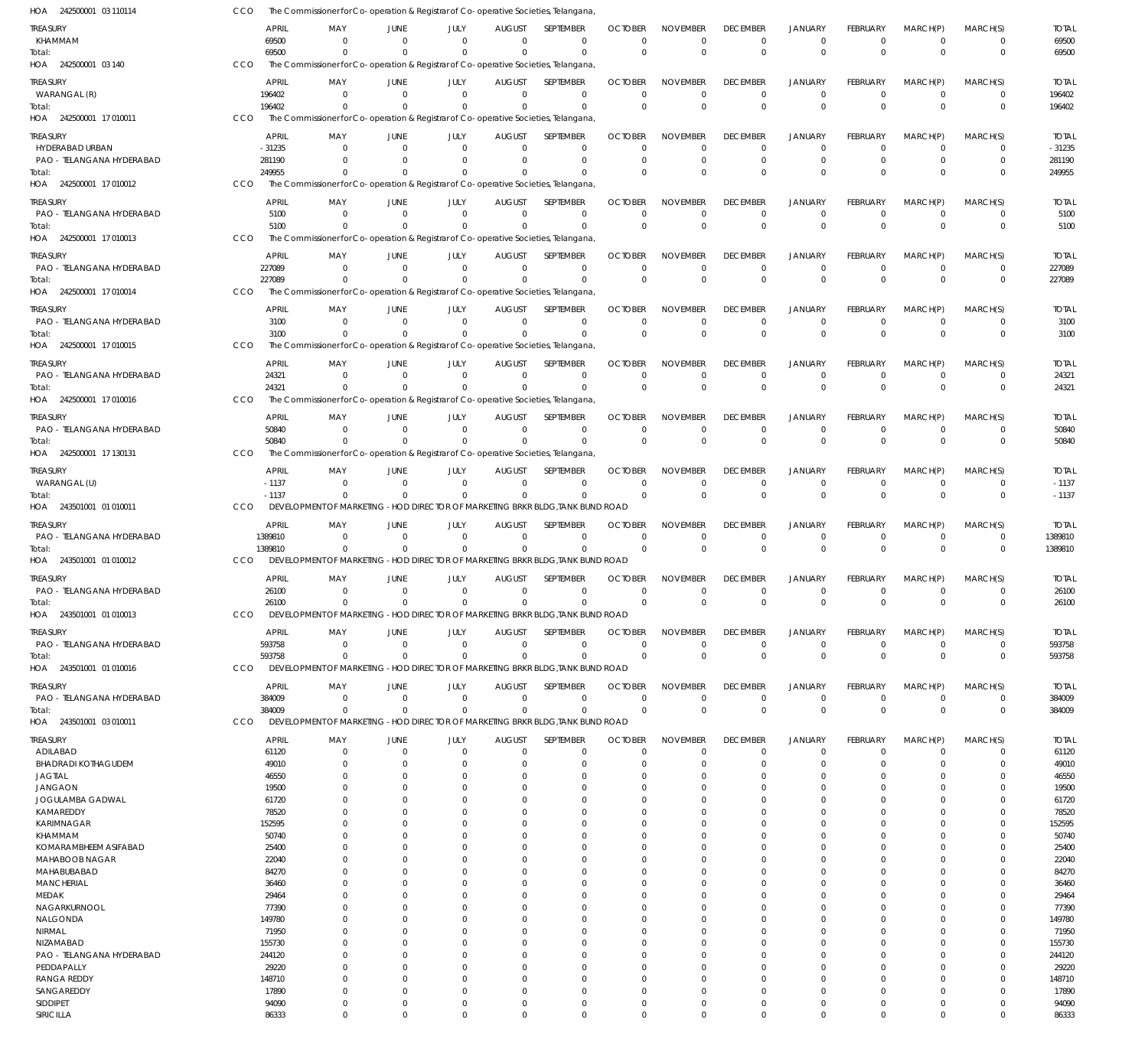| HOA 242500001 03 110114               | CCO |                  |                                                                                    |                      |                        |                               | The Commissioner for Co-operation & Registrar of Co-operative Societies, Telangana |                            |                             |                                   |                               |                             |                          |                      |                         |
|---------------------------------------|-----|------------------|------------------------------------------------------------------------------------|----------------------|------------------------|-------------------------------|------------------------------------------------------------------------------------|----------------------------|-----------------------------|-----------------------------------|-------------------------------|-----------------------------|--------------------------|----------------------|-------------------------|
| treasury                              |     | APRIL            | MAY                                                                                | JUNE                 | JULY                   | AUGUST                        | <b>SEPTEMBER</b>                                                                   | <b>OCTOBER</b>             | <b>NOVEMBER</b>             | <b>DECEMBER</b>                   | <b>JANUARY</b>                | <b>FEBRUARY</b>             | MARCH(P)                 | MARCH(S)             | <b>TOTAL</b>            |
| KHAMMAM                               |     | 69500            | $\Omega$                                                                           | $\Omega$             | $\Omega$               | $\Omega$                      | $\mathbf 0$                                                                        | $\Omega$                   | $\Omega$                    | $\overline{0}$                    | $\mathbf 0$                   | $\Omega$                    | $\Omega$                 | $\Omega$             | 69500                   |
| Total:                                |     | 69500            | $\Omega$                                                                           | $\Omega$             | $\Omega$               | $\Omega$                      | $\Omega$                                                                           | $\overline{0}$             | $\Omega$                    | $\mathbf 0$                       | $\mathbf 0$                   | $\Omega$                    | $\mathbf{0}$             | $\Omega$             | 69500                   |
| HOA 242500001 03 140                  | CCO |                  | The Commissioner for Co-operation & Registrar of Co-operative Societies, Telangana |                      |                        |                               |                                                                                    |                            |                             |                                   |                               |                             |                          |                      |                         |
| treasury                              |     | <b>APRIL</b>     | MAY                                                                                | JUNE                 | JULY                   | <b>AUGUST</b>                 | SEPTEMBER                                                                          | <b>OCTOBER</b>             | <b>NOVEMBER</b>             | <b>DECEMBER</b>                   | <b>JANUARY</b>                | <b>FEBRUARY</b>             | MARCH(P)                 | MARCH(S)             | <b>TOTAL</b>            |
| WARANGAL (R)                          |     | 196402           | $\Omega$                                                                           | $\Omega$             | - 0                    | $\Omega$                      | $\Omega$                                                                           | $\Omega$                   | $\Omega$                    | $\mathbf 0$                       | $\mathbf 0$                   | $\Omega$                    | $\Omega$                 | $\Omega$             | 196402                  |
| Total:                                |     | 196402           |                                                                                    |                      | $\Omega$               | $\Omega$                      | $\Omega$                                                                           | $\Omega$                   | $\Omega$                    | $\mathbf 0$                       | $\mathbf{0}$                  | $\Omega$                    | $\Omega$                 | $\Omega$             | 196402                  |
| HOA 242500001 17 010011               | CCO |                  | The Commissioner for Co-operation & Registrar of Co-operative Societies, Telangana |                      |                        |                               |                                                                                    |                            |                             |                                   |                               |                             |                          |                      |                         |
| treasury                              |     | APRIL            | MAY                                                                                | JUNE                 | JULY                   | <b>AUGUST</b>                 | SEPTEMBER                                                                          | <b>OCTOBER</b>             | <b>NOVEMBER</b>             | <b>DECEMBER</b>                   | <b>JANUARY</b>                | FEBRUARY                    | MARCH(P)                 | MARCH(S)             | <b>TOTAL</b>            |
| HYDERABAD URBAN                       |     | $-31235$         | $\Omega$                                                                           | $\Omega$             | $\Omega$               | $\Omega$                      | 0                                                                                  | $\Omega$                   | $\Omega$                    | $\mathbf 0$                       | $\mathbf 0$                   | $\Omega$                    | $\Omega$                 | $\Omega$             | $-31235$                |
| PAO - TELANGANA HYDERABAD             |     | 281190           |                                                                                    | $\Omega$             | $\Omega$               | $\Omega$                      | $\mathbf 0$                                                                        | $\Omega$                   | $\Omega$                    | $\Omega$                          | $\mathbf 0$                   | $\Omega$                    | $\Omega$                 | $\Omega$             | 281190                  |
| Total:<br>HOA 242500001 17 010012     | CCO | 249955           |                                                                                    |                      | $\Omega$               | $\Omega$                      | $\Omega$                                                                           | $\Omega$                   | $\Omega$                    | $\Omega$                          | $\Omega$                      | $\Omega$                    | $\Omega$                 | $\Omega$             | 249955                  |
|                                       |     |                  | The Commissioner for Co-operation & Registrar of Co-operative Societies, Telangana |                      |                        |                               |                                                                                    |                            |                             |                                   |                               |                             |                          |                      |                         |
| treasury                              |     | <b>APRIL</b>     | MAY                                                                                | JUNE                 | JULY                   | <b>AUGUST</b>                 | SEPTEMBER                                                                          | <b>OCTOBER</b>             | <b>NOVEMBER</b>             | <b>DECEMBER</b>                   | <b>JANUARY</b>                | FEBRUARY                    | MARCH(P)                 | MARCH(S)             | <b>TOTAL</b>            |
| PAO - TELANGANA HYDERABAD             |     | 5100             | $\Omega$                                                                           | $\Omega$             | - 0                    | $\Omega$                      | $\mathbf 0$                                                                        | $\Omega$                   | $\Omega$                    | $\mathbf 0$                       | $\mathbf 0$                   | $\Omega$                    | $\Omega$                 | $\Omega$             | 5100                    |
| Total:<br>HOA 242500001 17010013      | CCO | 5100             |                                                                                    |                      | $\Omega$               | $\Omega$                      | $\Omega$                                                                           | $\Omega$                   | $\Omega$                    | $\Omega$                          | $\Omega$                      | $\Omega$                    | $\Omega$                 | $\Omega$             | 5100                    |
|                                       |     |                  | The Commissioner for Co-operation & Registrar of Co-operative Societies, Telangana |                      |                        |                               |                                                                                    |                            |                             |                                   |                               |                             |                          |                      |                         |
| treasury                              |     | APRIL            | MAY                                                                                | JUNE                 | JULY                   | <b>AUGUST</b>                 | SEPTEMBER                                                                          | <b>OCTOBER</b>             | <b>NOVEMBER</b>             | <b>DECEMBER</b>                   | <b>JANUARY</b>                | FEBRUARY                    | MARCH(P)                 | MARCH(S)             | <b>TOTAL</b>            |
| PAO - TELANGANA HYDERABAD             |     | 227089           | $\Omega$                                                                           | $\Omega$             | $^{\circ}$<br>$\Omega$ | $\Omega$<br>$\Omega$          | $\Omega$                                                                           | $\Omega$                   | $\Omega$<br>$\Omega$        | $\overline{0}$                    | $\mathbf 0$                   | $\Omega$                    | $\Omega$<br>$\Omega$     | $^{\circ}$           | 227089                  |
| Total:<br>HOA 242500001 17 010014     | CCO | 227089           | The Commissioner for Co-operation & Registrar of Co-operative Societies, Telangana |                      |                        |                               | $\Omega$                                                                           | $\overline{0}$             |                             | $\overline{0}$                    | $\mathbf 0$                   | $\Omega$                    |                          | $\Omega$             | 227089                  |
|                                       |     |                  |                                                                                    |                      |                        |                               |                                                                                    |                            |                             |                                   |                               |                             |                          |                      |                         |
| treasury                              |     | APRIL            | MAY                                                                                | JUNE                 | JULY                   | <b>AUGUST</b>                 | <b>SEPTEMBER</b>                                                                   | <b>OCTOBER</b>             | <b>NOVEMBER</b>             | <b>DECEMBER</b>                   | <b>JANUARY</b>                | FEBRUARY                    | MARCH(P)                 | MARCH(S)             | <b>TOTAL</b>            |
| PAO - TELANGANA HYDERABAD<br>Total:   |     | 3100<br>3100     | $\Omega$                                                                           | $\Omega$<br>$\Omega$ | $\Omega$<br>$\Omega$   | $\Omega$<br>$\Omega$          | $\Omega$<br>$\Omega$                                                               | $\Omega$<br>$\Omega$       | $\Omega$<br>$\Omega$        | $\overline{0}$<br>$\mathbf 0$     | $\mathbf 0$<br>$\mathbf{0}$   | $\Omega$<br>$\Omega$        | $\Omega$<br>$\Omega$     | $\Omega$<br>$\Omega$ | 3100<br>3100            |
| HOA 242500001 17 010015               | CCO |                  | The Commissioner for Co-operation & Registrar of Co-operative Societies, Telangana |                      |                        |                               |                                                                                    |                            |                             |                                   |                               |                             |                          |                      |                         |
|                                       |     |                  |                                                                                    |                      |                        |                               |                                                                                    |                            |                             |                                   |                               |                             |                          |                      |                         |
| treasury                              |     | APRIL            | MAY                                                                                | JUNE                 | JULY                   | <b>AUGUST</b>                 | <b>SEPTEMBER</b>                                                                   | <b>OCTOBER</b>             | <b>NOVEMBER</b>             | <b>DECEMBER</b>                   | <b>JANUARY</b>                | <b>FEBRUARY</b>             | MARCH(P)                 | MARCH(S)             | <b>TOTAL</b>            |
| PAO - TELANGANA HYDERABAD<br>Total:   |     | 24321<br>24321   |                                                                                    | $\Omega$<br>$\Omega$ | $\Omega$<br>$^{\circ}$ | $\Omega$<br>$\Omega$          | $\mathbf 0$<br>$\Omega$                                                            | $\overline{0}$<br>$\Omega$ | $\Omega$<br>$\Omega$        | $\overline{0}$<br>$\Omega$        | $\mathbf 0$<br>$\mathbf 0$    | 0<br>$\Omega$               | $\mathbf 0$<br>$\Omega$  | $\Omega$<br>$\Omega$ | 24321<br>24321          |
| HOA 242500001 17 010016               | CCO |                  | The Commissioner for Co-operation & Registrar of Co-operative Societies, Telangana |                      |                        |                               |                                                                                    |                            |                             |                                   |                               |                             |                          |                      |                         |
|                                       |     |                  |                                                                                    |                      |                        |                               |                                                                                    |                            |                             |                                   |                               |                             |                          |                      |                         |
| treasury                              |     | APRIL            | MAY<br>$\Omega$                                                                    | JUNE<br>$\Omega$     | JULY<br>$\Omega$       | <b>AUGUST</b><br>$\Omega$     | SEPTEMBER<br>$\Omega$                                                              | <b>OCTOBER</b><br>$\Omega$ | <b>NOVEMBER</b><br>$\Omega$ | <b>DECEMBER</b><br>$\overline{0}$ | <b>JANUARY</b><br>$\mathbf 0$ | <b>FEBRUARY</b><br>$\Omega$ | MARCH(P)<br>$\Omega$     | MARCH(S)<br>$\Omega$ | <b>TOTAL</b>            |
| PAO - TELANGANA HYDERABAD<br>Total:   |     | 50840<br>50840   |                                                                                    |                      | $\Omega$               | $\Omega$                      | $\Omega$                                                                           | $\Omega$                   | $\Omega$                    | $\mathbf 0$                       | $\mathbf 0$                   | $\Omega$                    | $\Omega$                 | $\Omega$             | 50840<br>50840          |
| HOA 242500001 17 130131               | CCO |                  | The Commissioner for Co-operation & Registrar of Co-operative Societies, Telangana |                      |                        |                               |                                                                                    |                            |                             |                                   |                               |                             |                          |                      |                         |
|                                       |     |                  |                                                                                    |                      |                        |                               |                                                                                    |                            |                             |                                   |                               |                             |                          |                      |                         |
| treasury<br>WARANGAL (U)              |     | APRIL<br>$-1137$ | MAY<br>$\Omega$                                                                    | JUNE<br>$\Omega$     | JULY<br>$\Omega$       | <b>AUGUST</b><br>$\Omega$     | SEPTEMBER<br>$\Omega$                                                              | <b>OCTOBER</b><br>$\Omega$ | <b>NOVEMBER</b><br>$\Omega$ | <b>DECEMBER</b><br>$\overline{0}$ | <b>JANUARY</b><br>$\mathbf 0$ | FEBRUARY<br>$\mathbf 0$     | MARCH(P)<br>$\mathbf 0$  | MARCH(S)<br>$\Omega$ | <b>TOTAL</b><br>$-1137$ |
| Total:                                |     | $-1137$          |                                                                                    | $\Omega$             | $\Omega$               | $\Omega$                      | $\Omega$                                                                           | $\overline{0}$             | $\Omega$                    | $\Omega$                          | $\mathbf 0$                   | $\Omega$                    | $\Omega$                 | $\Omega$             | $-1137$                 |
| HOA 243501001 01 010011               | CCO |                  | DEVELOPMENT OF MARKETING - HOD DIRECTOR OF MARKETING BRKR BLDG, TANK BUND ROAD     |                      |                        |                               |                                                                                    |                            |                             |                                   |                               |                             |                          |                      |                         |
| treasury                              |     | APRIL            | MAY                                                                                | JUNE                 | JULY                   | <b>AUGUST</b>                 | SEPTEMBER                                                                          | <b>OCTOBER</b>             | <b>NOVEMBER</b>             | <b>DECEMBER</b>                   | <b>JANUARY</b>                | FEBRUARY                    | MARCH(P)                 | MARCH(S)             | <b>TOTAL</b>            |
| PAO - TELANGANA HYDERABAD             |     | 1389810          | $\Omega$                                                                           | $\Omega$             | - 0                    | $\Omega$                      | $\Omega$                                                                           | $\Omega$                   | $\Omega$                    | $\overline{0}$                    | $\mathbf 0$                   | $\Omega$                    | $\Omega$                 | $\Omega$             | 1389810                 |
| Total:                                |     | 1389810          | $\Omega$                                                                           | $\Omega$             | $^{\circ}$             | $\Omega$                      | $\mathbf 0$                                                                        | $\Omega$                   | $\Omega$                    | $\mathbf 0$                       | $\mathbf{0}$                  | $\Omega$                    | $\Omega$                 | $\mathbf{0}$         | 1389810                 |
| HOA 243501001 01 010012               | CCO |                  | DEVELOPMENT OF MARKETING - HOD DIRECTOR OF MARKETING BRKR BLDG, TANK BUND ROAD     |                      |                        |                               |                                                                                    |                            |                             |                                   |                               |                             |                          |                      |                         |
| treasury                              |     | APRIL            | MAY                                                                                | JUNE                 | JULY                   | <b>AUGUST</b>                 | <b>SEPTEMBER</b>                                                                   | <b>OCTOBER</b>             | <b>NOVEMBER</b>             | <b>DECEMBER</b>                   | <b>JANUARY</b>                | <b>FEBRUARY</b>             | MARCH(P)                 | MARCH(S)             | <b>TOTAL</b>            |
| PAO - TELANGANA HYDERABAD             |     | 26100            | $\Omega$                                                                           | $\mathbf{0}$         | $^{\circ}$             | $\mathbf 0$                   | $\mathbf 0$                                                                        | $\overline{0}$             | $\Omega$                    | $\mathbf 0$                       | $\mathbf 0$                   | $\Omega$                    | $\Omega$                 | $\Omega$             | 26100                   |
| Total:                                |     | 26100            |                                                                                    |                      |                        |                               |                                                                                    |                            | $\Omega$                    |                                   |                               |                             |                          |                      | 26100                   |
| HOA 243501001 01 010013               |     |                  | $\Omega$                                                                           | $\Omega$             | $\Omega$               | $\Omega$                      | $\Omega$                                                                           | $\overline{0}$             |                             | $\Omega$                          | $\Omega$                      | $\Omega$                    | $\Omega$                 |                      |                         |
| treasury                              | CCO |                  | DEVELOPMENT OF MARKETING - HOD DIRECTOR OF MARKETING BRKR BLDG, TANK BUND ROAD     |                      |                        |                               |                                                                                    |                            |                             |                                   |                               |                             |                          |                      |                         |
|                                       |     |                  |                                                                                    |                      |                        |                               |                                                                                    |                            |                             |                                   |                               |                             |                          |                      |                         |
| PAO - TELANGANA HYDERABAD             |     | APRIL<br>593758  | MAY<br>$\Omega$                                                                    | JUNE<br>$\Omega$     | JULY<br>$^{\circ}$     | <b>AUGUST</b><br>$\mathbf 0$  | SEPTEMBER<br>$\mathbf 0$                                                           | <b>OCTOBER</b><br>$\Omega$ | <b>NOVEMBER</b><br>$\Omega$ | <b>DECEMBER</b><br>$\overline{0}$ | <b>JANUARY</b><br>$\mathbf 0$ | FEBRUARY<br>$\Omega$        | MARCH(P)<br>$\mathbf{0}$ | MARCH(S)<br>$\Omega$ | <b>TOTAL</b><br>593758  |
| Total:                                |     | 593758           | $\Omega$                                                                           | $\Omega$             | $\Omega$               | $\Omega$                      | $\mathbf 0$                                                                        | $\overline{0}$             | $\Omega$                    | $\mathbf 0$                       | $\mathbf 0$                   | $\Omega$                    | $\Omega$                 | $\Omega$             | 593758                  |
| HOA 243501001 01 010016               | CCO |                  | DEVELOPMENT OF MARKETING - HOD DIRECTOR OF MARKETING BRKR BLDG, TANK BUND ROAD     |                      |                        |                               |                                                                                    |                            |                             |                                   |                               |                             |                          |                      |                         |
|                                       |     |                  |                                                                                    |                      |                        |                               | SEPTEMBER                                                                          | <b>OCTOBER</b>             | <b>NOVEMBER</b>             | <b>DECEMBER</b>                   | <b>JANUARY</b>                | FEBRUARY                    |                          |                      | <b>TOTAL</b>            |
| treasury<br>PAO - TELANGANA HYDERABAD |     | APRIL<br>384009  | MAY<br>$\Omega$                                                                    | JUNE<br>$\mathbf{0}$ | JULY<br>$^{\circ}$     | <b>AUGUST</b><br>$\mathbf{0}$ | $\mathbf 0$                                                                        | $\overline{0}$             | $\Omega$                    | $\mathbf 0$                       | $\mathbf 0$                   | $\mathbf 0$                 | MARCH(P)<br>$\mathbf 0$  | MARCH(S)<br>$\Omega$ | 384009                  |
| Total:                                |     | 384009           | $\Omega$                                                                           | $\Omega$             | $\Omega$               | $\Omega$                      | $\Omega$                                                                           | $\overline{0}$             | $\mathbf 0$                 | 0                                 | $\mathbf 0$                   | $\Omega$                    | $\Omega$                 | $\Omega$             | 384009                  |
| HOA 243501001 03 010011               | CCO |                  | DEVELOPMENT OF MARKETING - HOD DIRECTOR OF MARKETING BRKR BLDG, TANK BUND ROAD     |                      |                        |                               |                                                                                    |                            |                             |                                   |                               |                             |                          |                      |                         |
| treasury                              |     | APRIL            | MAY                                                                                | JUNE                 | JULY                   | <b>AUGUST</b>                 | <b>SEPTEMBER</b>                                                                   | <b>OCTOBER</b>             | <b>NOVEMBER</b>             | <b>DECEMBER</b>                   | <b>JANUARY</b>                | FEBRUARY                    | MARCH(P)                 | MARCH(S)             | <b>TOTAL</b>            |
| ADILABAD                              |     | 61120            | $\Omega$                                                                           | $\Omega$             | $\Omega$               | $\Omega$                      | $\mathbf 0$                                                                        | $\Omega$                   | $\Omega$                    | $\mathbf 0$                       | 0                             | $\Omega$                    | $\Omega$                 | $\Omega$             | 61120                   |
| <b>BHADRADI KOTHAGUDEM</b>            |     | 49010            |                                                                                    | $\Omega$             | $\Omega$               | 0                             | $\Omega$                                                                           | $\Omega$                   | $\Omega$                    | $\Omega$                          | $\Omega$                      | O                           | $\Omega$                 | $\Omega$             | 49010                   |
| JAGTIAL                               |     | 46550            |                                                                                    | $\Omega$             |                        |                               | 0                                                                                  | $\Omega$                   |                             | $\Omega$                          | $\Omega$                      |                             | $\Omega$                 |                      | 46550                   |
| JANGAON                               |     | 19500            |                                                                                    | $\Omega$             |                        |                               | 0                                                                                  | $\Omega$                   |                             | $\Omega$                          | 0                             |                             | $\Omega$                 |                      | 19500                   |
| JOGULAMBA GADWAL                      |     | 61720            |                                                                                    | $^{(1)}$             |                        |                               | 0                                                                                  | $\Omega$                   |                             | $\Omega$                          | $\Omega$                      |                             | $\Omega$                 |                      | 61720                   |
| KAMAREDDY                             |     | 78520            |                                                                                    |                      |                        |                               | U                                                                                  | $\Omega$<br>$\Omega$       |                             | 0<br>$\Omega$                     | n<br>n                        |                             | $\Omega$                 |                      | 78520                   |
| KARIMNAGAR<br>KHAMMAM                 |     | 152595<br>50740  |                                                                                    |                      |                        |                               |                                                                                    | $\Omega$                   |                             | 0                                 | n                             |                             | $\Omega$                 |                      | 152595<br>50740         |
| KOMARAMBHEEM ASIFABAD                 |     | 25400            |                                                                                    |                      |                        |                               | 0                                                                                  | $\Omega$                   |                             | $\Omega$                          | 0                             |                             | $\Omega$                 |                      | 25400                   |
| MAHABOOB NAGAR                        |     | 22040            |                                                                                    |                      |                        |                               | U                                                                                  | $\Omega$                   |                             | 0                                 | n                             |                             |                          |                      | 22040                   |
| MAHABUBABAD                           |     | 84270            |                                                                                    |                      |                        |                               | 0                                                                                  | $\Omega$                   |                             | $\Omega$                          | 0                             |                             | $\Omega$                 |                      | 84270                   |
| <b>MANCHERIAL</b>                     |     | 36460            |                                                                                    |                      |                        |                               |                                                                                    | $\Omega$                   |                             | $\Omega$                          | 0                             |                             |                          |                      | 36460                   |
| MEDAK                                 |     | 29464            |                                                                                    |                      |                        |                               | U<br>U                                                                             | $\Omega$<br>$\Omega$       |                             | $\Omega$<br>0                     | n<br>n                        |                             | $\Omega$<br>$\Omega$     |                      | 29464                   |
| NAGARKURNOOL<br>NALGONDA              |     | 77390<br>149780  |                                                                                    |                      |                        |                               | 0                                                                                  | $\Omega$                   |                             | $\Omega$                          | $\Omega$                      |                             | $\Omega$                 |                      | 77390<br>149780         |
| NIRMAL                                |     | 71950            |                                                                                    |                      |                        |                               |                                                                                    | $\Omega$                   |                             | 0                                 | n                             |                             |                          |                      | 71950                   |
| NIZAMABAD                             |     | 155730           |                                                                                    |                      |                        |                               | U                                                                                  | $\Omega$                   |                             | $\Omega$                          | n                             |                             | $\Omega$                 |                      | 155730                  |
| PAO - TELANGANA HYDERABAD             |     | 244120           |                                                                                    |                      |                        |                               | U                                                                                  | $\Omega$                   |                             | $\Omega$                          | n                             |                             | $\Omega$                 |                      | 244120                  |
| PEDDAPALLY                            |     | 29220            |                                                                                    |                      |                        |                               | U                                                                                  | $\Omega$                   |                             | $\Omega$                          | n                             |                             | $\Omega$                 |                      | 29220                   |
| <b>RANGA REDDY</b>                    |     | 148710           |                                                                                    |                      |                        |                               |                                                                                    | $\Omega$                   |                             | $\Omega$                          | n                             |                             |                          |                      | 148710                  |
| SANGAREDDY                            |     | 17890            | $\Omega$                                                                           | $\Omega$<br>$\Omega$ | $\Omega$               | 0                             | U<br>$\Omega$                                                                      | $\Omega$<br>$\Omega$       | C                           | $\Omega$<br>$\Omega$              | $\Omega$                      | -0                          | $\Omega$<br>$\Omega$     |                      | 17890                   |
| SIDDIPET<br>SIRICILLA                 |     | 94090<br>86333   | $\Omega$                                                                           | $\Omega$             | $\Omega$               | $\Omega$                      | $\Omega$                                                                           | $\mathbf 0$                | $\mathbf 0$                 | $\Omega$                          | 0<br>$\Omega$                 | $\Omega$                    | $\Omega$                 | $\Omega$             | 94090<br>86333          |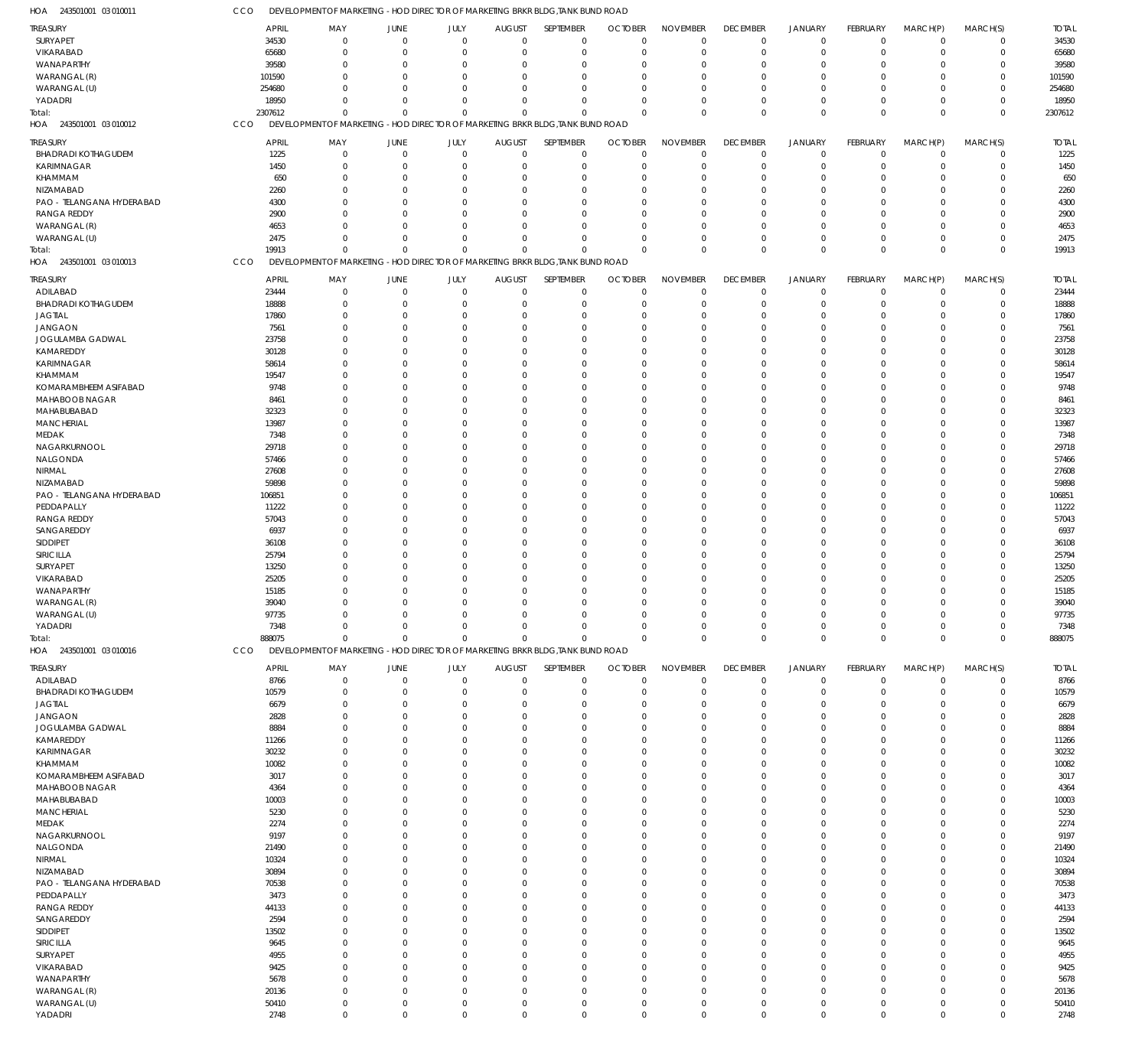| HOA 243501001 03 010011           | CCO            | DEVELOPMENT OF MARKETING -HOD DIRECTOR OF MARKETING BRKR BLDG, TANK BUND ROAD                 |                      |                          |                      |                      |                      |                                  |                            |                            |                      |                      |                            |                |
|-----------------------------------|----------------|-----------------------------------------------------------------------------------------------|----------------------|--------------------------|----------------------|----------------------|----------------------|----------------------------------|----------------------------|----------------------------|----------------------|----------------------|----------------------------|----------------|
| TREASURY                          | <b>APRIL</b>   | MAY                                                                                           | JUNE                 | JULY                     | <b>AUGUST</b>        | SEPTEMBER            | <b>OCTOBER</b>       | <b>NOVEMBER</b>                  | <b>DECEMBER</b>            | <b>JANUARY</b>             | <b>FEBRUARY</b>      | MARCH(P)             | MARCH(S)                   | <b>TOTAL</b>   |
| SURYAPET                          | 34530          | $\mathbf 0$                                                                                   | $\overline{0}$       | $\mathbf 0$              | $\Omega$             | $\mathbf 0$          | $\Omega$             | $\mathbf 0$                      | $\mathbf 0$                | $\mathbf 0$                | $\overline{0}$       | $\overline{0}$       | $\mathbf 0$                | 34530          |
| VIKARABAD                         | 65680          | $\mathbf 0$                                                                                   | $\overline{0}$       | $\mathbf 0$              | $\Omega$             | $\mathbf 0$          | $\Omega$             | $\mathbf 0$                      | $\mathbf 0$                | $\mathbf 0$                | $\mathbf 0$          | $\overline{0}$       | $\mathbf 0$                | 65680          |
| WANAPARTHY                        | 39580          | $\mathbf 0$                                                                                   | $\Omega$             | $\Omega$                 | $\Omega$             | $\Omega$             | $\Omega$             | $\overline{0}$                   | $\mathbf 0$                | $\mathbf 0$                | $\Omega$             | $\Omega$             | $\mathbf 0$                | 39580          |
| WARANGAL (R)                      | 101590         | $\Omega$                                                                                      | $\Omega$             | $\Omega$                 | $\Omega$             | $\Omega$             | $\Omega$             | $\mathbf 0$                      | $\Omega$                   | $\Omega$                   | $\Omega$             | $\Omega$             | $\mathbf 0$                | 101590         |
| WARANGAL (U)                      | 254680         | $\mathbf 0$                                                                                   | $\Omega$             | $\Omega$                 | $\Omega$             | $\Omega$             |                      | $\Omega$                         | $\mathbf 0$                | $\overline{0}$             | $\Omega$             | $\Omega$             | $\mathbf 0$                | 254680         |
| YADADRI                           | 18950          | $\Omega$                                                                                      | $\Omega$             | $\mathbf 0$              | $\Omega$             | $\Omega$             | $\Omega$             | $\Omega$                         | $\Omega$                   | $\mathbf 0$                | $\Omega$             | $\Omega$             | $\mathbf 0$                | 18950          |
| Total:<br>HOA 243501001 03 010012 | 2307612<br>CCO | $\mathbf 0$<br>DEVELOPMENT OF MARKETING - HOD DIRECTOR OF MARKETING BRKR BLDG, TANK BUND ROAD | $\Omega$             | $\mathbf 0$              | $\Omega$             | $\Omega$             | $\Omega$             | $\mathbf 0$                      | $\mathbf 0$                | $\overline{0}$             | $\Omega$             | $\Omega$             | $\mathbf 0$                | 2307612        |
|                                   |                |                                                                                               |                      |                          |                      |                      |                      |                                  |                            |                            |                      |                      |                            |                |
| <b>TREASURY</b>                   | <b>APRIL</b>   | MAY                                                                                           | JUNE                 | JULY                     | <b>AUGUST</b>        | SEPTEMBER            | <b>OCTOBER</b>       | <b>NOVEMBER</b>                  | <b>DECEMBER</b>            | <b>JANUARY</b>             | FEBRUARY             | MARCH(P)             | MARCH(S)                   | <b>TOTAL</b>   |
| <b>BHADRADI KOTHAGUDEM</b>        | 1225           | $\mathbf 0$                                                                                   | $\circ$              | $\mathbf 0$              | $\mathbf 0$          | $\mathbf 0$          | $\Omega$             | $\overline{0}$                   | $\mathbf 0$                | $\mathbf 0$                | $\mathbf 0$          | $\overline{0}$       | $\mathbf 0$                | 1225           |
| <b>KARIMNAGAR</b>                 | 1450           | $\mathbf 0$                                                                                   | $\overline{0}$       | $\mathbf 0$              | $\Omega$             | $\mathbf 0$          | $\Omega$             | $\overline{0}$                   | $\mathbf 0$                | $\mathbf 0$                | 0                    | $\overline{0}$       | $\mathbf 0$                | 1450           |
| KHAMMAM<br>NIZAMABAD              | 650<br>2260    | $\mathbf 0$<br>$\mathbf 0$                                                                    | $\Omega$<br>$\Omega$ | $\mathbf{0}$<br>$\Omega$ | $\Omega$             | $\Omega$<br>$\Omega$ |                      | $\overline{0}$<br>$\overline{0}$ | $\mathbf 0$<br>$\mathbf 0$ | $\Omega$<br>$\overline{0}$ | $\Omega$<br>$\Omega$ | $\Omega$<br>$\Omega$ | $\mathbf 0$<br>$\mathbf 0$ | 650<br>2260    |
| PAO - TELANGANA HYDERABAD         | 4300           | $\mathbf 0$                                                                                   | $\Omega$             | $\Omega$                 | $\Omega$             | $\Omega$             |                      | $\Omega$                         | $\Omega$                   | $\Omega$                   | $\Omega$             | $\Omega$             | $\mathbf 0$                | 4300           |
| <b>RANGA REDDY</b>                | 2900           | $\mathbf 0$                                                                                   | $\Omega$             | $\Omega$                 |                      | $\Omega$             |                      | $\Omega$                         | $\Omega$                   | $\Omega$                   | $\Omega$             | $\Omega$             | $\mathbf 0$                | 2900           |
| WARANGAL (R)                      | 4653           | $\mathbf 0$                                                                                   | $\Omega$             | $\mathbf 0$              | $\Omega$             | $\Omega$             |                      | $\Omega$                         | $\mathbf 0$                | $\Omega$                   | $\Omega$             | $\Omega$             | $\mathbf 0$                | 4653           |
| WARANGAL (U)                      | 2475           | $\mathbf 0$                                                                                   | $\Omega$             | $\mathbf 0$              | $\Omega$             | $\Omega$             |                      | $\Omega$                         | $\Omega$                   | $\overline{0}$             | $\Omega$             | $\Omega$             | $\mathbf 0$                | 2475           |
| Total:                            | 19913          | $\mathbf 0$                                                                                   | $\Omega$             | $\Omega$                 | $\cap$               | $\Omega$             | $\Omega$             | $\Omega$                         | $\mathbf 0$                | $\overline{0}$             | $\Omega$             | $\Omega$             | $\mathbf 0$                | 19913          |
| HOA 243501001 03 010013           | CCO            | DEVELOPMENT OF MARKETING - HOD DIRECTOR OF MARKETING BRKR BLDG, TANK BUND ROAD                |                      |                          |                      |                      |                      |                                  |                            |                            |                      |                      |                            |                |
| TREASURY                          | <b>APRIL</b>   | MAY                                                                                           | JUNE                 | JULY                     | <b>AUGUST</b>        | SEPTEMBER            | <b>OCTOBER</b>       | <b>NOVEMBER</b>                  | <b>DECEMBER</b>            | <b>JANUARY</b>             | FEBRUARY             | MARCH(P)             | MARCH(S)                   | <b>TOTAL</b>   |
| ADILABAD                          | 23444          | $\mathbf 0$                                                                                   | $\mathbf 0$          | $\mathbf 0$              | $\Omega$             | $\mathbf 0$          | $\Omega$             | $\Omega$                         | $\mathbf 0$                | $\mathbf 0$                | $\overline{0}$       | $\overline{0}$       | $\mathbf 0$                | 23444          |
| <b>BHADRADI KOTHAGUDEM</b>        | 18888          | $\mathbf 0$                                                                                   | - 0                  | $\mathbf 0$              | $\Omega$             | $\mathbf 0$          | $\Omega$             | $\overline{0}$                   | $\mathbf 0$                | $\mathbf 0$                | $\mathbf 0$          | $\Omega$             | $\mathbf 0$                | 18888          |
| <b>JAGTIAL</b>                    | 17860          | $\mathbf 0$                                                                                   | $\Omega$             | $\Omega$                 | $\Omega$             | $\Omega$             | $\Omega$             | $\mathbf 0$                      | $\Omega$                   | $\Omega$                   | $\Omega$             | $\Omega$             | $\mathbf 0$                | 17860          |
| <b>JANGAON</b>                    | 7561           | $\mathbf 0$                                                                                   | $\Omega$             | $\Omega$                 | $\Omega$             | $\Omega$             |                      | $\Omega$                         | $\Omega$                   | $\Omega$                   | $\Omega$             | $\Omega$             | $\mathbf 0$                | 7561           |
| JOGULAMBA GADWAL                  | 23758          | $\Omega$                                                                                      | $\Omega$             | $\Omega$                 | $\Omega$             | $\Omega$             | $\Omega$             | $\Omega$                         | $\Omega$                   | $\Omega$                   | $\Omega$             | $\Omega$             | $\mathbf 0$                | 23758          |
| KAMAREDDY                         | 30128          | $\mathbf 0$                                                                                   | $\Omega$             | $\Omega$                 | $\Omega$             | $\Omega$             | $\Omega$             | $\Omega$                         | $\Omega$                   | $\Omega$                   | $\Omega$             | $\Omega$             | $\mathbf 0$                | 30128          |
| <b>KARIMNAGAR</b>                 | 58614          | $\Omega$                                                                                      | $\Omega$             | $\Omega$                 | $\Omega$             | $\Omega$             | $\Omega$             | $\Omega$                         | $\Omega$                   | $\Omega$                   | $\Omega$             | $\Omega$             | $\mathbf 0$                | 58614          |
| KHAMMAM                           | 19547          | $\Omega$                                                                                      | $\Omega$             | $\Omega$                 | $\Omega$             | $\Omega$             |                      | $\Omega$                         | $\Omega$                   | $\Omega$                   | $\Omega$             | $\Omega$             | $\mathbf 0$                | 19547          |
| KOMARAMBHEEM ASIFABAD             | 9748           | $\Omega$                                                                                      | $\Omega$             | $\Omega$                 | $\Omega$             | $\Omega$             | $\Omega$             | $\mathbf 0$<br>$\Omega$          | $\Omega$                   | $\Omega$                   | $\Omega$<br>$\Omega$ | $\Omega$             | $\mathbf 0$                | 9748           |
| MAHABOOB NAGAR<br>MAHABUBABAD     | 8461<br>32323  | $\mathbf 0$<br>$\Omega$                                                                       | $\Omega$<br>$\Omega$ | $\Omega$<br>$\Omega$     | $\Omega$<br>$\Omega$ | $\Omega$<br>$\Omega$ | $\Omega$<br>$\Omega$ | $\mathbf 0$                      | $\Omega$<br>$\Omega$       | $\Omega$<br>$\Omega$       | $\Omega$             | $\Omega$<br>$\Omega$ | $\mathbf 0$<br>$\mathbf 0$ | 8461<br>32323  |
| <b>MANCHERIAL</b>                 | 13987          | $\Omega$                                                                                      | $\Omega$             | $\Omega$                 | $\cap$               | $\Omega$             | $\cap$               | $\Omega$                         | $\Omega$                   | $\Omega$                   | $\Omega$             | $\Omega$             | $\mathbf 0$                | 13987          |
| MEDAK                             | 7348           | $\Omega$                                                                                      | $\Omega$             | $\Omega$                 | $\Omega$             | $\Omega$             | $\Omega$             | $\Omega$                         | $\Omega$                   | $\Omega$                   | $\Omega$             | $\Omega$             | $\mathbf 0$                | 7348           |
| NAGARKURNOOL                      | 29718          | $\mathbf 0$                                                                                   | $\Omega$             | $\Omega$                 | $\Omega$             | $\Omega$             | $\Omega$             | $\mathbf 0$                      | $\Omega$                   | $\Omega$                   | $\Omega$             | $\Omega$             | $\mathbf 0$                | 29718          |
| NALGONDA                          | 57466          | $\Omega$                                                                                      | $\Omega$             | $\Omega$                 | $\cap$               | $\Omega$             | $\Omega$             | $\mathbf 0$                      | $\Omega$                   | $\Omega$                   | $\Omega$             | $\Omega$             | $\mathbf 0$                | 57466          |
| NIRMAL                            | 27608          | $\mathbf 0$                                                                                   | $\Omega$             | $\Omega$                 | $\Omega$             | $\Omega$             |                      | $\Omega$                         | $\Omega$                   | $\Omega$                   | $\Omega$             | $\Omega$             | $\mathbf 0$                | 27608          |
| NIZAMABAD                         | 59898          | $\Omega$                                                                                      | $\Omega$             | $\Omega$                 | $\Omega$             | $\Omega$             | $\Omega$             | $\mathbf 0$                      | $\Omega$                   | $\Omega$                   | $\Omega$             | $\Omega$             | $\mathbf 0$                | 59898          |
| PAO - TELANGANA HYDERABAD         | 106851         | $\Omega$                                                                                      | $\Omega$             | $\Omega$                 | $\Omega$             | $\Omega$             | $\Omega$             | $\mathbf 0$                      | $\Omega$                   | $\Omega$                   | $\Omega$             | $\Omega$             | $\mathbf 0$                | 106851         |
| PEDDAPALLY                        | 11222          | $\Omega$                                                                                      | $\Omega$             | $\Omega$                 | $\Omega$             | $\Omega$             | $\Omega$             | $\mathbf 0$                      | $\Omega$                   | $\Omega$                   | $\Omega$             | $\Omega$             | $\mathbf 0$                | 11222          |
| <b>RANGA REDDY</b>                | 57043          | $\Omega$                                                                                      | $\Omega$             | $\Omega$                 | $\Omega$             | $\Omega$             | $\Omega$             | $\Omega$                         | $\Omega$                   | $\Omega$                   | $\Omega$             | $\Omega$             | $\mathbf 0$                | 57043          |
| SANGAREDDY                        | 6937           | $\Omega$                                                                                      | $\Omega$             | $\Omega$                 | $\Omega$             | $\Omega$             | $\Omega$             | $\mathbf 0$                      | $\Omega$                   | $\Omega$                   | $\Omega$             | $\Omega$             | $\mathbf 0$                | 6937           |
| SIDDIPET                          | 36108          | $\mathbf 0$                                                                                   | $\Omega$             | $\Omega$                 | $\Omega$             | $\Omega$             | $\Omega$             | $\mathbf 0$                      | $\Omega$                   | $\Omega$                   | $\Omega$             | $\Omega$             | $\mathbf 0$                | 36108          |
| SIRICILLA                         | 25794          | $\Omega$                                                                                      | $\Omega$             | $\Omega$                 | $\Omega$             | $\Omega$             | $\Omega$             | $\mathbf 0$<br>$\Omega$          | $\Omega$                   | $\Omega$                   | $\Omega$<br>$\Omega$ | $\Omega$             | $\mathbf 0$                | 25794          |
| SURYAPET<br>VIKARABAD             | 13250<br>25205 | $\Omega$<br>$\Omega$                                                                          | $\Omega$<br>$\Omega$ | $\Omega$<br>$\Omega$     | $\Omega$<br>$\Omega$ | $\Omega$<br>$\Omega$ | $\Omega$<br>$\Omega$ | $\Omega$                         | $\Omega$<br>$\Omega$       | $\Omega$<br>$\Omega$       | $\Omega$             | $\Omega$<br>$\Omega$ | $\mathbf 0$<br>$\mathbf 0$ | 13250<br>25205 |
| WANAPARTHY                        | 15185          | $\Omega$                                                                                      | $\Omega$             | $\mathbf 0$              | $\Omega$             | $\Omega$             | $\Omega$             | $\mathbf 0$                      | $\Omega$                   | $\Omega$                   | $\Omega$             | $\Omega$             | $\mathbf 0$                | 15185          |
| WARANGAL (R)                      | 39040          | $\Omega$                                                                                      | $\Omega$             | $\mathbf 0$              | $\Omega$             | $\Omega$             | $\Omega$             | $\mathbf 0$                      | $\mathbf 0$                | $\Omega$                   | $\Omega$             | $\Omega$             | $\mathbf 0$                | 39040          |
| WARANGAL (U)                      | 97735          | $\mathbf 0$                                                                                   | $\mathbf{0}$         | $\mathbf 0$              | $\Omega$             | $\mathbf 0$          | $\Omega$             | $\overline{0}$                   | $\mathbf 0$                | $\mathbf 0$                | $\Omega$             | $\mathbf 0$          | $\mathbf 0$                | 97735          |
| YADADRI                           | 7348           | $\mathbf 0$                                                                                   | $\mathbf{0}$         | $\mathbf 0$              | $\Omega$             | $\mathbf 0$          | $\Omega$             | $\mathbf 0$                      | $\mathbf 0$                | $\mathbf 0$                | $\mathbf 0$          | $\overline{0}$       | $\mathsf 0$                | 7348           |
| Total:                            | 888075         | $\mathbf 0$                                                                                   | $\mathbf{0}$         | $\mathbf 0$              | $\Omega$             | $\Omega$             | $\Omega$             | $\mathbf 0$                      | $\,0\,$                    | $\overline{0}$             | $\Omega$             | $\overline{0}$       | $\mathbf 0$                | 888075         |
| HOA 243501001 03 010016           | CCO            | DEVELOPMENT OF MARKETING - HOD DIRECTOR OF MARKETING BRKR BLDG, TANK BUND ROAD                |                      |                          |                      |                      |                      |                                  |                            |                            |                      |                      |                            |                |
| TREASURY                          | <b>APRIL</b>   | MAY                                                                                           | JUNE                 | JULY                     | <b>AUGUST</b>        | SEPTEMBER            | <b>OCTOBER</b>       | <b>NOVEMBER</b>                  | <b>DECEMBER</b>            | <b>JANUARY</b>             | FEBRUARY             | MARCH(P)             | MARCH(S)                   | <b>TOTAL</b>   |
| ADILABAD                          | 8766           | $\mathbf 0$                                                                                   | $\overline{0}$       | $\mathbf 0$              | $\overline{0}$       | $\mathbf 0$          | $\Omega$             | $\overline{0}$                   | $\mathbf 0$                | $\mathbf 0$                | $\mathbf 0$          | $\overline{0}$       | $\mathbf 0$                | 8766           |
| <b>BHADRADI KOTHAGUDEM</b>        | 10579          | $\mathbf 0$                                                                                   | 0                    | $\mathbf 0$              | $\Omega$             | $\mathbf 0$          | $\Omega$             | $\overline{0}$                   | $\mathbf 0$                | $\mathbf 0$                | 0                    | $\overline{0}$       | $\mathsf 0$                | 10579          |
| <b>JAGTIAL</b>                    | 6679           | $\mathbf 0$                                                                                   | $\Omega$             | $\mathbf 0$              | $\Omega$             | $\mathbf 0$          | $\Omega$             | $\overline{0}$                   | $\mathbf 0$                | $\mathbf 0$                | $\Omega$             | $\Omega$             | $\mathbf 0$                | 6679           |
| <b>JANGAON</b>                    | 2828           | $\mathbf 0$                                                                                   | $\Omega$             | $\Omega$                 |                      | $\Omega$             |                      | $\Omega$                         | $\mathbf 0$                | $\Omega$                   | $\Omega$             | $\Omega$             | $\mathbf 0$                | 2828           |
| JOGULAMBA GADWAL                  | 8884           | $\mathbf 0$                                                                                   | $\Omega$             | $\Omega$                 | $\Omega$             | $\Omega$             |                      | $\overline{0}$                   | $\mathbf 0$                | $\Omega$                   | $\Omega$             | $\Omega$             | $\mathbf 0$                | 8884           |
| KAMAREDDY                         | 11266          | $\mathbf 0$                                                                                   | $\Omega$             | $\Omega$                 |                      | $\Omega$             | $\Omega$             | $\Omega$                         | $\Omega$                   | $\Omega$                   | $\Omega$             | $\Omega$             | $\mathbf 0$                | 11266          |
| <b>KARIMNAGAR</b>                 | 30232          | $\mathbf 0$                                                                                   | $\Omega$             | $\Omega$                 | $\Omega$             | $\Omega$             |                      | $\mathbf 0$                      | $\mathbf 0$                | $\Omega$                   | $\Omega$             | $\Omega$             | $\mathbf 0$                | 30232          |
| KHAMMAM                           | 10082          | $\mathbf 0$                                                                                   | $\Omega$             | $\Omega$                 |                      | $\Omega$             |                      | $\Omega$                         | $\Omega$                   | $\Omega$                   | $\Omega$             | $\Omega$             | $\mathbf 0$                | 10082          |
| KOMARAMBHEEM ASIFABAD             | 3017           | $\mathbf 0$                                                                                   | $\Omega$             | $\Omega$                 | $\Omega$             | $\Omega$             |                      | $\mathbf 0$                      | $\mathbf 0$                | $\Omega$                   | $\Omega$             | $\Omega$             | $\mathbf 0$                | 3017           |
| MAHABOOB NAGAR                    | 4364           | $\mathbf 0$                                                                                   | $\Omega$             | $\Omega$                 |                      | $\Omega$             | $\Omega$             | $\Omega$                         | $\Omega$                   | $\Omega$                   | $\Omega$             | $\Omega$             | $\mathbf 0$                | 4364           |
| MAHABUBABAD                       | 10003          | $\mathbf 0$                                                                                   | $\Omega$             | $\Omega$                 | $\Omega$             | $\Omega$             |                      | $\mathbf 0$                      | $\mathbf 0$                | $\Omega$                   | $\Omega$             | $\Omega$             | $\mathbf 0$                | 10003          |
| <b>MANCHERIAL</b>                 | 5230           | $\mathbf 0$<br>$\mathbf 0$                                                                    | $\Omega$             | $\Omega$<br>$\Omega$     |                      | $\Omega$<br>$\Omega$ |                      | $\Omega$                         | $\Omega$                   | $\Omega$<br>$\Omega$       | O                    | $\Omega$<br>$\Omega$ | $\mathbf 0$<br>$\mathbf 0$ | 5230           |
| MEDAK<br>NAGARKURNOOL             | 2274<br>9197   | $\mathbf 0$                                                                                   | $\Omega$<br>$\Omega$ | $\Omega$                 | $\Omega$             | $\Omega$             | $\Omega$             | $\mathbf 0$<br>$\Omega$          | $\mathbf 0$<br>$\Omega$    | $\Omega$                   | $\Omega$<br>$\Omega$ | $\Omega$             | $\mathbf 0$                | 2274<br>9197   |
| NALGONDA                          | 21490          | $\mathbf 0$                                                                                   | $\Omega$             | $\Omega$                 | $\Omega$             | $\Omega$             |                      | $\mathbf 0$                      | $\mathbf 0$                | $\Omega$                   | $\Omega$             | $\Omega$             | $\mathbf 0$                | 21490          |
| NIRMAL                            | 10324          | $\mathbf 0$                                                                                   | $\Omega$             | $\Omega$                 | $\Omega$             | $\Omega$             |                      | $\Omega$                         | $\Omega$                   | $\Omega$                   | $\Omega$             | $\Omega$             | $\mathbf 0$                | 10324          |
| NIZAMABAD                         | 30894          | $\mathbf 0$                                                                                   | $\Omega$             | $\Omega$                 | $\Omega$             | $\Omega$             |                      | $\mathbf 0$                      | $\mathbf 0$                | $\Omega$                   | $\Omega$             | $\Omega$             | $\mathbf 0$                | 30894          |
| PAO - TELANGANA HYDERABAD         | 70538          | $\mathbf 0$                                                                                   | $\Omega$             | $\Omega$                 |                      | $\Omega$             | $\Omega$             | $\Omega$                         | $\Omega$                   | $\Omega$                   | O                    | $\Omega$             | $\mathbf 0$                | 70538          |
| PEDDAPALLY                        | 3473           | $\mathbf 0$                                                                                   | $\Omega$             | $\Omega$                 | $\Omega$             | $\Omega$             |                      | $\mathbf 0$                      | $\mathbf 0$                | $\Omega$                   | $\Omega$             | $\Omega$             | $\mathbf 0$                | 3473           |
| RANGA REDDY                       | 44133          | $\mathbf 0$                                                                                   | $\Omega$             | $\Omega$                 |                      | $\Omega$             |                      | $\Omega$                         | $\Omega$                   | $\Omega$                   | $\Omega$             | $\Omega$             | $\mathbf 0$                | 44133          |
| SANGAREDDY                        | 2594           | $\mathbf 0$                                                                                   | $\Omega$             | $\Omega$                 | $\Omega$             | $\Omega$             |                      | $\mathbf 0$                      | $\mathbf 0$                | $\Omega$                   | $\Omega$             | $\Omega$             | $\mathbf 0$                | 2594           |
| SIDDIPET                          | 13502          | $\mathbf 0$                                                                                   | $\Omega$             | $\Omega$                 |                      | $\Omega$             | $\Omega$             | $\overline{0}$                   | $\Omega$                   | $\Omega$                   | $\Omega$             | $\Omega$             | $\mathbf 0$                | 13502          |
| SIRICILLA                         | 9645           | $\mathbf 0$                                                                                   | $\Omega$             | $\Omega$                 | $\Omega$             | $\Omega$             | $\cap$               | $\mathbf 0$                      | $\Omega$                   | $\Omega$                   | $\Omega$             | $\Omega$             | $\mathbf 0$                | 9645           |
| SURYAPET                          | 4955           | $\mathbf 0$                                                                                   | $\Omega$             | $\Omega$                 |                      | $\Omega$             |                      | $\Omega$                         | $\Omega$                   | $\Omega$                   | O                    | $\Omega$             | $\mathbf 0$                | 4955           |
| VIKARABAD                         | 9425           | $\mathbf 0$                                                                                   | $\Omega$             | $\Omega$                 | $\Omega$             | $\Omega$             |                      | $\mathbf 0$                      | $\mathbf 0$                | $\Omega$                   | $\Omega$             | $\Omega$             | $\mathbf 0$                | 9425           |
| WANAPARTHY<br>WARANGAL (R)        | 5678<br>20136  | $\mathbf 0$<br>$\mathbf 0$                                                                    | $\Omega$<br>$\Omega$ | $\Omega$<br>$\mathbf 0$  | $\Omega$             | $\Omega$<br>$\Omega$ | $\cap$<br>$\Omega$   | $\Omega$<br>$\mathbf 0$          | $\Omega$<br>$\mathbf 0$    | $\Omega$<br>$\Omega$       | $\Omega$<br>$\Omega$ | $\Omega$<br>$\Omega$ | $\mathbf 0$<br>$\mathbf 0$ | 5678<br>20136  |
| WARANGAL (U)                      | 50410          | $\mathbf 0$                                                                                   | $\circ$              | $\mathbf 0$              | $\Omega$             | $\mathbf 0$          | $\Omega$             | $\mathbf 0$                      | $\mathbf 0$                | $\overline{0}$             | 0                    | $\overline{0}$       | $\mathbf 0$                | 50410          |
| YADADRI                           | 2748           | $\mathbf 0$                                                                                   | $\mathbf 0$          | $\mathbf 0$              | $\Omega$             | $\Omega$             | $\mathbf 0$          | $\mathbb O$                      | $\mathbf 0$                | $\mathbf 0$                | $\mathbf 0$          | $\mathbb O$          | $\mathbf 0$                | 2748           |
|                                   |                |                                                                                               |                      |                          |                      |                      |                      |                                  |                            |                            |                      |                      |                            |                |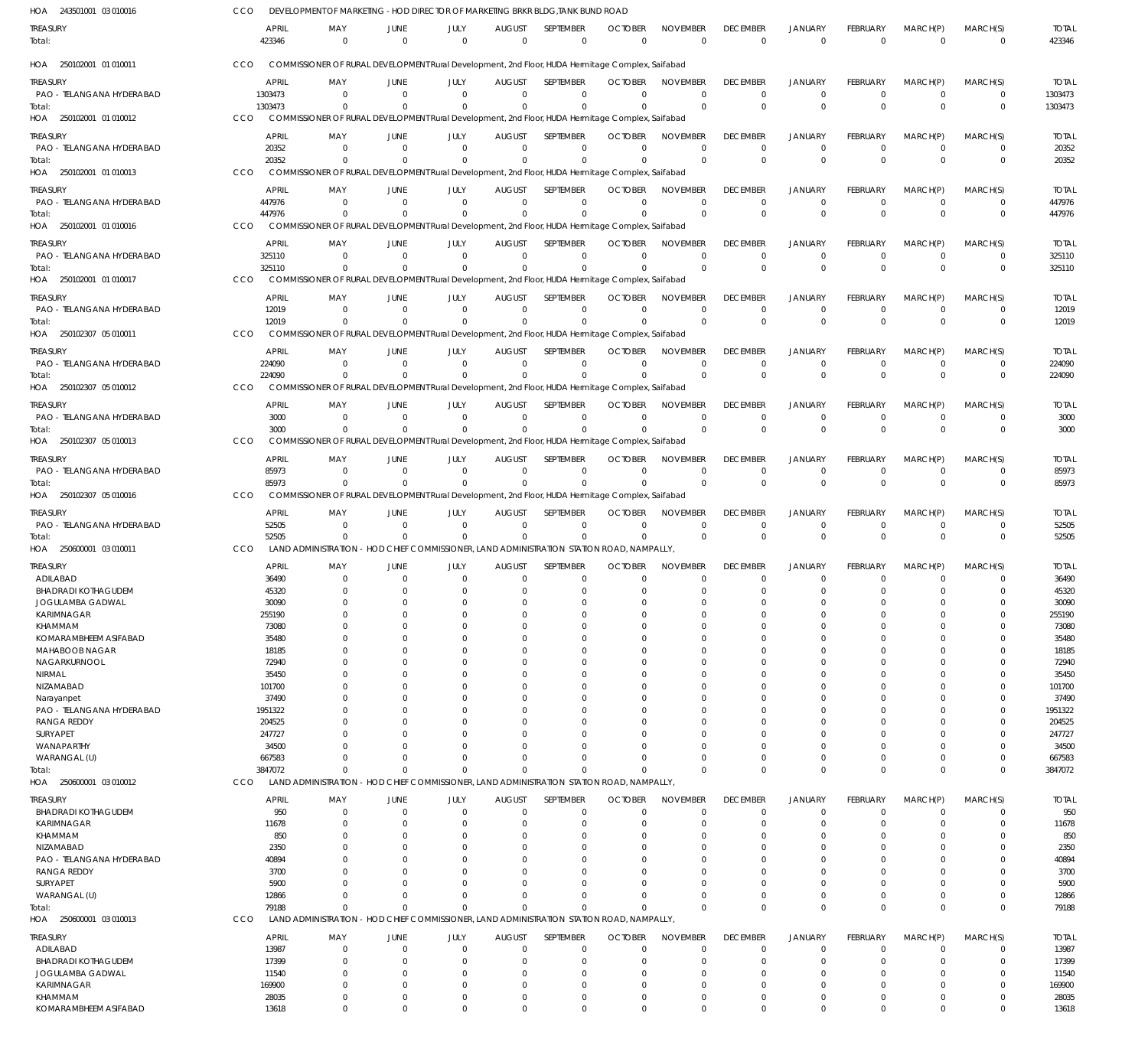| HOA 243501001 03 010016               | CCO | DEVELOPMENT OF MARKETING - HOD DIRECTOR OF MARKETING BRKR BLDG, TANK BUND ROAD                                        |                            |                                                                       |                                 |                             |                               |                                |                                   |                                  |                            |                            |                            |                        |
|---------------------------------------|-----|-----------------------------------------------------------------------------------------------------------------------|----------------------------|-----------------------------------------------------------------------|---------------------------------|-----------------------------|-------------------------------|--------------------------------|-----------------------------------|----------------------------------|----------------------------|----------------------------|----------------------------|------------------------|
| treasury<br>Total:                    |     | <b>APRIL</b><br>MAY<br>423346<br>$^{\circ}$                                                                           | JUNE<br>$\overline{0}$     | JULY<br>$\Omega$                                                      | <b>AUGUST</b><br>$\overline{0}$ | SEPTEMBER<br>$\overline{0}$ | <b>OCTOBER</b><br>$\mathbf 0$ | <b>NOVEMBER</b><br>$\Omega$    | <b>DECEMBER</b><br>$\overline{0}$ | <b>JANUARY</b><br>$\overline{0}$ | FEBRUARY<br>$\overline{0}$ | MARCH(P)<br>$\overline{0}$ | MARCH(S)<br>$\mathbf 0$    | <b>TOTAL</b><br>423346 |
| HOA 250102001 01 010011               | CCO | COMMISSIONER OF RURAL DEVELOPMENT Rural Development, 2nd Floor, HUDA Hermitage Complex, Saifabad                      |                            |                                                                       |                                 |                             |                               |                                |                                   |                                  |                            |                            |                            |                        |
| treasury                              |     | <b>APRIL</b><br>MAY                                                                                                   | JUNE                       | JULY                                                                  | <b>AUGUST</b>                   | SEPTEMBER                   | <b>OCTOBER</b>                | <b>NOVEMBER</b>                | <b>DECEMBER</b>                   | <b>JANUARY</b>                   | FEBRUARY                   | MARCH(P)                   | MARCH(S)                   | <b>TOTAL</b>           |
| PAO - TELANGANA HYDERABAD             |     | 1303473<br>$^{\circ}$                                                                                                 | $\overline{0}$             | $\Omega$                                                              | $\Omega$                        | $\Omega$                    | $\Omega$                      | $\mathbf 0$                    | $\Omega$                          | $\overline{0}$                   | $\mathbf 0$                | $\overline{0}$             | $\mathbf 0$                | 1303473                |
| Total:                                |     | 1303473<br>$\Omega$                                                                                                   | $\Omega$                   | $\Omega$                                                              | $\Omega$                        | $\Omega$                    | $\Omega$                      | $\Omega$                       | $\mathbf 0$                       | $\overline{0}$                   | $\overline{0}$             | $\Omega$                   | $\mathbf 0$                | 1303473                |
| HOA 250102001 01 010012               | CCO | COMMISSIONER OF RURAL DEVELOPMENT Rural Development, 2nd Floor, HUDA Hermitage Complex, Saifabad                      |                            |                                                                       |                                 |                             |                               |                                |                                   |                                  |                            |                            |                            |                        |
| Treasury                              |     | <b>APRIL</b><br>MAY                                                                                                   | JUNE                       | JULY                                                                  | <b>AUGUST</b>                   | <b>SEPTEMBER</b>            | <b>OCTOBER</b>                | <b>NOVEMBER</b>                | <b>DECEMBER</b>                   | <b>JANUARY</b>                   | <b>FEBRUARY</b>            | MARCH(P)                   | MARCH(S)                   | <b>TOTAL</b>           |
| PAO - TELANGANA HYDERABAD             |     | 20352<br>$\Omega$                                                                                                     | $\Omega$                   | $\Omega$                                                              | $\Omega$                        | $\mathbf 0$                 | $\Omega$                      | $\mathbf 0$                    | 0                                 | $^{\circ}$                       | $\mathbf 0$                | $\overline{0}$             | $\mathbf 0$                | 20352                  |
| Total:<br>HOA 250102001 01 010013     | CCO | 20352<br>$\Omega$<br>COMMISSIONER OF RURAL DEVELOPMENT Rural Development, 2nd Floor, HUDA Hermitage Complex, Saifabad | $\Omega$                   | $\Omega$                                                              | $\Omega$                        | $\Omega$                    | $\Omega$                      | $\Omega$                       | $\Omega$                          | $\Omega$                         | $\Omega$                   | $\Omega$                   | $\mathbf 0$                | 20352                  |
|                                       |     |                                                                                                                       |                            |                                                                       |                                 |                             |                               |                                |                                   |                                  |                            |                            |                            |                        |
| treasury                              |     | <b>APRIL</b><br>MAY                                                                                                   | <b>JUNE</b>                | JULY                                                                  | <b>AUGUST</b>                   | SEPTEMBER                   | <b>OCTOBER</b>                | <b>NOVEMBER</b>                | <b>DECEMBER</b>                   | <b>JANUARY</b>                   | FEBRUARY                   | MARCH(P)                   | MARCH(S)                   | <b>TOTAL</b>           |
| PAO - TELANGANA HYDERABAD<br>Total:   |     | 447976<br>$\Omega$<br>447976<br>$\Omega$                                                                              | $\Omega$                   | $\Omega$<br>$\Omega$                                                  | $\Omega$<br>$\Omega$            | $\Omega$<br>$\Omega$        | $\Omega$<br>$\Omega$          | $\Omega$<br>$\Omega$           | $\Omega$<br>$\Omega$              | $\Omega$<br>$\Omega$             | $\Omega$<br>$\Omega$       | $\Omega$<br>$\Omega$       | $\mathbf 0$<br>$\mathbf 0$ | 447976<br>447976       |
| HOA 250102001 01 010016               | CCO | COMMISSIONER OF RURAL DEVELOPMENT Rural Development, 2nd Floor, HUDA Hermitage Complex, Saifabad                      |                            |                                                                       |                                 |                             |                               |                                |                                   |                                  |                            |                            |                            |                        |
| treasury                              |     | <b>APRIL</b><br>MAY                                                                                                   | JUNE                       | JULY                                                                  | <b>AUGUST</b>                   | SEPTEMBER                   | <b>OCTOBER</b>                | <b>NOVEMBER</b>                | <b>DECEMBER</b>                   | <b>JANUARY</b>                   | FEBRUARY                   | MARCH(P)                   | MARCH(S)                   | <b>TOTAL</b>           |
| PAO - TELANGANA HYDERABAD             |     | 325110<br>$\Omega$                                                                                                    | $\Omega$                   | $\Omega$                                                              | $\mathbf 0$                     | $\mathbf 0$                 | $\Omega$                      | $\mathbf 0$                    | $\mathbf 0$                       | $^{\circ}$                       | $\mathbf 0$                | $\overline{0}$             | $\mathbf 0$                | 325110                 |
| Total:                                |     | 325110<br>$\Omega$                                                                                                    | $\Omega$                   | $\Omega$                                                              | $\Omega$                        | $\mathbf 0$                 |                               | $\Omega$                       | $\Omega$                          | $\Omega$                         | $\Omega$                   | $\Omega$                   | $\mathbf 0$                | 325110                 |
| HOA 250102001 01 010017               | CCO | COMMISSIONER OF RURAL DEVELOPMENT Rural Development, 2nd Floor, HUDA Hermitage Complex, Saifabad                      |                            |                                                                       |                                 |                             |                               |                                |                                   |                                  |                            |                            |                            |                        |
| treasury                              |     | <b>APRIL</b><br>MAY                                                                                                   | JUNE                       | JULY                                                                  | <b>AUGUST</b>                   | SEPTEMBER                   | <b>OCTOBER</b>                | <b>NOVEMBER</b>                | <b>DECEMBER</b>                   | <b>JANUARY</b>                   | <b>FEBRUARY</b>            | MARCH(P)                   | MARCH(S)                   | <b>TOTAL</b>           |
| PAO - TELANGANA HYDERABAD             |     | 12019<br>$\Omega$                                                                                                     | $\Omega$                   | $\Omega$                                                              | $\Omega$                        | $\Omega$                    | $\Omega$                      | $^{\circ}$                     | $\Omega$                          | $\Omega$                         | $\Omega$                   | $^{\circ}$                 | $\mathbf 0$                | 12019                  |
| Total:                                |     | 12019                                                                                                                 |                            | $\cap$                                                                | $\Omega$                        | $\Omega$                    | $\Omega$                      | $\Omega$                       | $\mathbf 0$                       | $\Omega$                         | $\Omega$                   | $\Omega$                   | $\mathbf 0$                | 12019                  |
| HOA 250102307 05 010011               | CCO | COMMISSIONER OF RURAL DEVELOPMENT Rural Development, 2nd Floor, HUDA Hermitage Complex, Saifabad                      |                            |                                                                       |                                 |                             |                               |                                |                                   |                                  |                            |                            |                            |                        |
| treasury                              |     | <b>APRIL</b><br>MAY                                                                                                   | JUNE                       | JULY                                                                  | <b>AUGUST</b>                   | SEPTEMBER                   | <b>OCTOBER</b>                | <b>NOVEMBER</b>                | <b>DECEMBER</b>                   | <b>JANUARY</b>                   | <b>FEBRUARY</b>            | MARCH(P)                   | MARCH(S)                   | <b>TOTAL</b>           |
| PAO - TELANGANA HYDERABAD             |     | 224090<br>- 0                                                                                                         | $\Omega$                   | $\Omega$                                                              | $\Omega$                        | $\mathbf 0$                 | $\Omega$                      | $\Omega$                       | $\Omega$                          | $\overline{0}$                   | $\mathbf 0$                | $\overline{0}$             | $\mathbf 0$                | 224090                 |
| Total:                                |     | 224090<br>- 0                                                                                                         | $\Omega$                   | $\Omega$                                                              | $\mathbf{0}$                    | $\mathbf 0$                 |                               | $\Omega$                       | $\Omega$                          | $\Omega$                         | $\mathbf 0$                | $\Omega$                   | $\mathbf 0$                | 224090                 |
| HOA 250102307 05 010012               | CCO | COMMISSIONER OF RURAL DEVELOPMENT Rural Development, 2nd Floor, HUDA Hermitage Complex, Saifabad                      |                            |                                                                       |                                 |                             |                               |                                |                                   |                                  |                            |                            |                            |                        |
| treasury                              |     | <b>APRIL</b><br>MAY                                                                                                   | JUNE                       | JULY                                                                  | <b>AUGUST</b>                   | SEPTEMBER                   | <b>OCTOBER</b>                | <b>NOVEMBER</b>                | <b>DECEMBER</b>                   | <b>JANUARY</b>                   | FEBRUARY                   | MARCH(P)                   | MARCH(S)                   | <b>TOTAL</b>           |
| PAO - TELANGANA HYDERABAD             |     | 3000<br>- 0<br>$\Omega$                                                                                               | $\Omega$<br>$\Omega$       | $\Omega$<br>$\Omega$                                                  | $\Omega$<br>$\Omega$            | $\mathbf 0$<br>$\Omega$     | $\Omega$<br>$\Omega$          | $^{\circ}$<br>$\Omega$         | $\Omega$<br>$\Omega$              | $\overline{0}$<br>$\Omega$       | $\mathbf 0$<br>$\Omega$    | $\overline{0}$<br>$\Omega$ | $\mathbf 0$<br>$\mathbf 0$ | 3000                   |
| Total:<br>HOA 250102307 05 010013     | CCO | 3000<br>COMMISSIONER OF RURAL DEVELOPMENT Rural Development, 2nd Floor, HUDA Hermitage Complex, Saifabad              |                            |                                                                       |                                 |                             |                               |                                |                                   |                                  |                            |                            |                            | 3000                   |
|                                       |     |                                                                                                                       |                            |                                                                       |                                 |                             |                               |                                |                                   |                                  |                            |                            |                            |                        |
| treasury<br>PAO - TELANGANA HYDERABAD |     | <b>APRIL</b><br>MAY<br>85973<br>- 0                                                                                   | JUNE<br>$\Omega$           | JULY<br>$\Omega$                                                      | <b>AUGUST</b><br>$\Omega$       | SEPTEMBER<br>$\Omega$       | <b>OCTOBER</b><br>$\Omega$    | <b>NOVEMBER</b><br>$\mathbf 0$ | <b>DECEMBER</b><br>$\Omega$       | <b>JANUARY</b><br>$\overline{0}$ | FEBRUARY<br>$\mathbf 0$    | MARCH(P)<br>$^{\circ}$     | MARCH(S)<br>$\mathbf 0$    | <b>TOTAL</b><br>85973  |
| Total:                                |     | 85973                                                                                                                 |                            |                                                                       | $\Omega$                        | $\Omega$                    |                               | $\Omega$                       | $\Omega$                          | $\Omega$                         | $\Omega$                   | $\Omega$                   | $\mathbf 0$                | 85973                  |
| HOA 250102307 05 010016               | CCO | COMMISSIONER OF RURAL DEVELOPMENT Rural Development, 2nd Floor, HUDA Hermitage Complex, Saifabad                      |                            |                                                                       |                                 |                             |                               |                                |                                   |                                  |                            |                            |                            |                        |
| treasury                              |     | APRIL<br>MAY                                                                                                          | JUNE                       | JULY                                                                  | <b>AUGUST</b>                   | SEPTEMBER                   | <b>OCTOBER</b>                | <b>NOVEMBER</b>                | <b>DECEMBER</b>                   | <b>JANUARY</b>                   | FEBRUARY                   | MARCH(P)                   | MARCH(S)                   | <b>TOTAL</b>           |
| PAO - TELANGANA HYDERABAD             |     | 52505<br>$\Omega$                                                                                                     | $\Omega$                   | $\Omega$                                                              | $\Omega$                        | $\mathbf 0$                 | $\Omega$                      | $^{\circ}$                     | $\Omega$                          | $^{\circ}$                       | $\Omega$                   | $\Omega$                   | $\mathbf 0$                | 52505                  |
| Total:                                |     | 52505<br>$^{\circ}$                                                                                                   | $\Omega$                   | $\Omega$                                                              | $\Omega$                        | $\Omega$                    | $\Omega$                      | $\Omega$                       | $\mathbf 0$                       | $\Omega$                         | $\Omega$                   | $\Omega$                   | $\mathbf 0$                | 52505                  |
| HOA 250600001 03 010011               | CCO | LAND ADMINISTRATION - HOD CHIEF COMMISSIONER, LAND ADMINISTRATION STATION ROAD, NAMPALLY,                             |                            |                                                                       |                                 |                             |                               |                                |                                   |                                  |                            |                            |                            |                        |
| TREASURY                              |     | <b>APRIL</b><br>MAY                                                                                                   | JUNE                       | JULY                                                                  | <b>AUGUST</b>                   | SEPTEMBER                   | <b>OCTOBER</b>                | <b>NOVEMBER</b>                | <b>DECEMBER</b>                   | <b>JANUARY</b>                   | <b>FEBRUARY</b>            | MARCH(P)                   | MARCH(S)                   | <b>TOTAL</b>           |
| ADILABAD                              |     | 36490<br>0                                                                                                            | $\Omega$                   | $\Omega$                                                              | $\mathbf 0$                     | 0                           | 0                             | $\mathbf 0$                    | $\Omega$                          | $^{\circ}$                       | 0                          | - 0                        | 0                          | 36490                  |
| <b>BHADRADI KOTHAGUDEM</b>            |     | 45320<br>$^{\circ}$                                                                                                   | $\Omega$                   | $\Omega$                                                              | $\Omega$                        | $\mathbf 0$                 | $\Omega$                      | $\Omega$                       | $\Omega$                          | $\Omega$                         | $\Omega$                   | $\Omega$                   | $\Omega$                   | 45320                  |
| JOGULAMBA GADWAL<br>KARIMNAGAR        |     | 30090<br>255190<br>$\Omega$                                                                                           | $\Omega$                   |                                                                       | C                               | 0<br>$\mathbf 0$            | $\Omega$                      | $\Omega$<br>$\Omega$           |                                   | $\Omega$                         | 0                          | $\Omega$                   | C<br>$\mathbf 0$           | 30090<br>255190        |
| KHAMMAM                               |     | 73080<br>0                                                                                                            | $\Omega$                   | Ω                                                                     | 0                               | 0                           | O                             | $\Omega$                       |                                   | $\Omega$                         | O                          | $\Omega$                   | 0                          | 73080                  |
| KOMARAMBHEEM ASIFABAD                 |     | 35480                                                                                                                 |                            |                                                                       | C                               | 0                           | O                             | $\Omega$                       |                                   |                                  |                            | $\Omega$                   | $\Omega$                   | 35480                  |
| MAHABOOB NAGAR                        |     | 18185                                                                                                                 | $\Omega$                   |                                                                       | 0                               | 0                           | 0                             | $\Omega$                       |                                   |                                  |                            | $\Omega$                   | 0                          | 18185                  |
| NAGARKURNOOL                          |     | 72940                                                                                                                 |                            |                                                                       | C                               | 0                           | 0                             | $\Omega$                       |                                   |                                  |                            | $\Omega$                   | C                          | 72940                  |
| NIRMAL                                |     | 35450                                                                                                                 |                            |                                                                       | O                               | 0                           | C.                            | $\Omega$<br>$\Omega$           |                                   |                                  |                            | $\Omega$<br>$\Omega$       | 0                          | 35450                  |
| NIZAMABAD<br>Narayanpet               |     | 101700<br>37490                                                                                                       |                            |                                                                       | C                               | 0<br>0                      | 0<br>0                        | $\Omega$                       |                                   |                                  |                            | $\Omega$                   | 0                          | 101700<br>37490        |
| PAO - TELANGANA HYDERABAD             |     | 1951322                                                                                                               |                            |                                                                       | C                               | $\Omega$                    |                               | $\Omega$                       |                                   |                                  |                            | $\Omega$                   | C                          | 1951322                |
| <b>RANGA REDDY</b>                    |     | 204525                                                                                                                |                            |                                                                       | C                               | 0                           |                               | $\Omega$                       |                                   |                                  |                            | $\Omega$                   | 0                          | 204525                 |
| SURYAPET                              |     | 247727                                                                                                                |                            |                                                                       |                                 | $\Omega$                    |                               | $\Omega$                       |                                   |                                  |                            | $\Omega$                   | C                          | 247727                 |
| WANAPARTHY                            |     | 34500                                                                                                                 |                            |                                                                       | O                               | 0                           | C.                            | $\Omega$                       |                                   | - 0                              |                            | $\Omega$                   | 0                          | 34500                  |
| WARANGAL (U)<br>Total:                |     | 667583<br>$\Omega$<br>3847072<br>$\Omega$                                                                             | $\Omega$<br>$\Omega$       | U<br>$\Omega$                                                         | $\Omega$<br>$\Omega$            | $\mathbf 0$<br>$\mathbf 0$  | O                             | $\Omega$<br>$\Omega$           | $\Omega$                          | $\Omega$<br>$\Omega$             | 0<br>$\Omega$              | $\Omega$<br>$\Omega$       | $\mathbf 0$<br>$\mathbf 0$ | 667583<br>3847072      |
| HOA 250600001 03 010012               | CCO | <b>LAND ADMINISTRATION</b>                                                                                            |                            | - HOD CHIEF COMMISSIONER, LAND ADMINISTRATION STATION ROAD, NAMPALLY  |                                 |                             |                               |                                |                                   |                                  |                            |                            |                            |                        |
| treasury                              |     | <b>APRIL</b><br>MAY                                                                                                   | JUNE                       | JULY                                                                  | <b>AUGUST</b>                   | SEPTEMBER                   | <b>OCTOBER</b>                | <b>NOVEMBER</b>                | <b>DECEMBER</b>                   | <b>JANUARY</b>                   | FEBRUARY                   | MARCH(P)                   | MARCH(S)                   | <b>TOTAL</b>           |
| <b>BHADRADI KOTHAGUDEM</b>            |     | 950<br>0                                                                                                              | $\overline{0}$             | $\mathbf 0$                                                           | $\mathbf 0$                     | $\mathbf 0$                 | $\mathbf 0$                   | $\mathbf 0$                    | $\Omega$                          | $\overline{0}$                   | $\mathbf 0$                | $\overline{0}$             | 0                          | 950                    |
| KARIMNAGAR                            |     | 11678<br>$\Omega$                                                                                                     | $\Omega$                   | $\Omega$                                                              | $\Omega$                        | $\mathbf 0$                 | $\Omega$                      | $\Omega$                       | $\Omega$                          | $\Omega$                         | 0                          | $\Omega$                   | $\mathbf 0$                | 11678                  |
| KHAMMAM                               |     | 850<br>$\Omega$                                                                                                       | $\Omega$                   | $\Omega$                                                              | 0                               | 0                           | O                             | $\Omega$                       |                                   | $\Omega$                         | 0                          | $\Omega$                   | $\Omega$                   | 850                    |
| NIZAMABAD                             |     | 2350<br>0                                                                                                             | $\Omega$                   |                                                                       | 0                               | 0                           | 0                             | $\Omega$                       |                                   | $\Omega$                         |                            | $\Omega$                   | 0                          | 2350                   |
| PAO - TELANGANA HYDERABAD             |     | 40894                                                                                                                 |                            | <sup>0</sup>                                                          | O                               | $\Omega$                    | 0                             | $\Omega$                       |                                   | $\Omega$                         |                            | $\Omega$                   | $\Omega$                   | 40894                  |
| <b>RANGA REDDY</b><br>SURYAPET        |     | 3700<br><sup>0</sup><br>5900<br>$\Omega$                                                                              | $\Omega$                   | U                                                                     | O<br>$\Omega$                   | $\Omega$<br>$\Omega$        | 0                             | $\Omega$<br>$\Omega$           |                                   | $\Omega$<br>$\Omega$             | 0                          | $\Omega$<br>$\Omega$       | 0<br>$\Omega$              | 3700<br>5900           |
| WARANGAL (U)                          |     | 12866<br>$\Omega$                                                                                                     | $\Omega$                   | $\Omega$                                                              | $\Omega$                        | $\mathbf 0$                 | $\Omega$                      | $\Omega$                       | $\Omega$                          | $^{\circ}$                       | 0                          | $\mathbf 0$                | $\mathbf 0$                | 12866                  |
| Total:                                |     | 79188<br>$\Omega$                                                                                                     | $\Omega$                   | $\Omega$                                                              | $\Omega$                        | $\Omega$                    | -C                            | $\Omega$                       | $\Omega$                          | $\Omega$                         | $\Omega$                   | $\Omega$                   | $\mathbf 0$                | 79188                  |
| HOA<br>250600001 03 010013            | CCO | <b>LAND ADMINISTRATION</b>                                                                                            |                            | - HOD CHIEF COMMISSIONER, LAND ADMINISTRATION STATION ROAD, NAMPALLY, |                                 |                             |                               |                                |                                   |                                  |                            |                            |                            |                        |
| treasury                              |     | <b>APRIL</b><br>MAY                                                                                                   | JUNE                       | JULY                                                                  | <b>AUGUST</b>                   | SEPTEMBER                   | <b>OCTOBER</b>                | <b>NOVEMBER</b>                | <b>DECEMBER</b>                   | <b>JANUARY</b>                   | FEBRUARY                   | MARCH(P)                   | MARCH(S)                   | <b>TOTAL</b>           |
| ADILABAD                              |     | 13987<br>$\Omega$                                                                                                     | $\Omega$                   | $\Omega$                                                              | $\mathbf 0$                     | $\mathbf 0$                 | O                             | $\mathbf 0$                    | $\Omega$                          | $\overline{0}$                   | $\mathbf 0$                | $\overline{0}$             | $\mathbf 0$                | 13987                  |
| <b>BHADRADI KOTHAGUDEM</b>            |     | 17399<br>0                                                                                                            | $\Omega$                   | 0                                                                     | 0                               | $\mathbf 0$                 | O                             | $\mathbf 0$                    | -0                                | $^{\circ}$                       | 0                          | $\Omega$                   | $\mathbf 0$                | 17399                  |
| JOGULAMBA GADWAL                      |     | 11540<br>$\Omega$                                                                                                     | $\Omega$                   |                                                                       | C                               | 0                           | 0                             | $\mathbf 0$                    |                                   | $\Omega$                         | 0                          | $\Omega$                   | $\mathbf 0$                | 11540                  |
| KARIMNAGAR<br>KHAMMAM                 |     | 169900<br>$\Omega$<br>28035<br>$\mathbf 0$                                                                            | $\Omega$<br>$\overline{0}$ | $\Omega$                                                              | $\Omega$<br>$\mathbf 0$         | $\mathbf 0$<br>$\mathbf 0$  | 0<br>O                        | $\mathbf 0$<br>$\mathbf 0$     | $\Omega$                          | - 0<br>$\overline{0}$            | $\mathbf 0$                | $\Omega$<br>$\mathbf 0$    | $\mathbf 0$<br>$\mathbf 0$ | 169900<br>28035        |
| KOMARAMBHEEM ASIFABAD                 |     | 13618<br>$\mathbf 0$                                                                                                  | $\mathbf 0$                | $\Omega$                                                              | $\Omega$                        | $\mathbf 0$                 | $\mathbf 0$                   | $\mathbf 0$                    | $\Omega$                          | $\overline{0}$                   | $\mathbf 0$                | $\overline{0}$             | $\mathbf 0$                | 13618                  |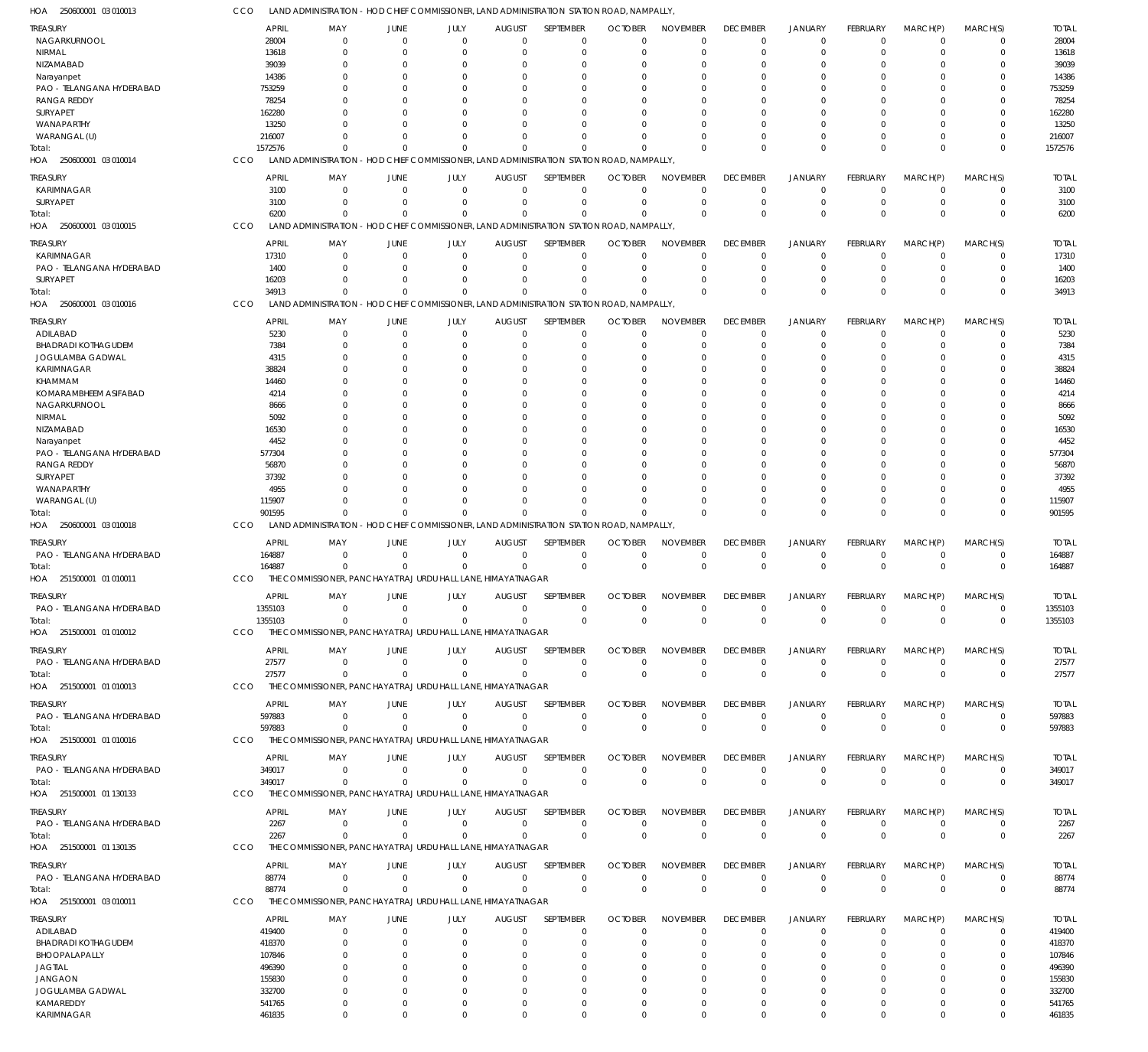| HOA<br>250600001 03 010013            |               | LAND ADMINISTRATION - HOD CHIEF COMMISSIONER, LAND ADMINISTRATION STATION ROAD, NAMPALLY  |                                  |                                                                       |                              |                                 |                            |                             |                                   |                                  |                         |                            |                         |                       |
|---------------------------------------|---------------|-------------------------------------------------------------------------------------------|----------------------------------|-----------------------------------------------------------------------|------------------------------|---------------------------------|----------------------------|-----------------------------|-----------------------------------|----------------------------------|-------------------------|----------------------------|-------------------------|-----------------------|
| TREASURY                              |               | <b>APRIL</b><br>MAY                                                                       | JUNE                             | JULY                                                                  | <b>AUGUST</b>                | SEPTEMBER                       | <b>OCTOBER</b>             | <b>NOVEMBER</b>             | <b>DECEMBER</b>                   | <b>JANUARY</b>                   | FEBRUARY                | MARCH(P)                   | MARCH(S)                | <b>TOTAL</b>          |
| NAGARKURNOOL                          |               | 28004<br>$\Omega$<br>$\Omega$                                                             | $\overline{0}$<br>$\overline{0}$ | $\Omega$<br>$\Omega$                                                  | $\overline{0}$               | 0<br>$\mathbf 0$                | $\Omega$<br>$\Omega$       | $\Omega$<br>$\Omega$        | $\overline{0}$<br>$\overline{0}$  | $\overline{0}$<br>$\overline{0}$ | $\mathbf 0$<br>$\Omega$ | $\Omega$<br>$\Omega$       | 0<br>$\mathbf 0$        | 28004                 |
| NIRMAL<br>NIZAMABAD                   |               | 13618<br>39039                                                                            | $\Omega$                         | 0                                                                     | 0<br>0                       | 0                               | $\Omega$                   | $\Omega$                    | $\Omega$                          | $\Omega$                         | 0                       |                            | 0                       | 13618<br>39039        |
| Narayanpet                            |               | 14386                                                                                     | $\Omega$                         | n                                                                     | 0                            | $\Omega$                        | $\Omega$                   | $\Omega$                    | $\Omega$                          | $\Omega$                         | O                       | C                          | $\mathbf 0$             | 14386                 |
| PAO - TELANGANA HYDERABAD             | 753259        |                                                                                           | $\Omega$                         |                                                                       | 0                            | $\Omega$                        | -C                         | $\Omega$                    | $\Omega$                          | $\Omega$                         |                         | C                          | 0                       | 753259                |
| <b>RANGA REDDY</b>                    | 78254         |                                                                                           | $\Omega$                         | O                                                                     | $\Omega$                     | $\Omega$                        | $\Omega$                   | $\Omega$                    |                                   | $\Omega$                         | $\Omega$                | $\Omega$                   | $\Omega$                | 78254                 |
| SURYAPET                              | 162280        |                                                                                           | $\Omega$                         |                                                                       | 0                            | $\Omega$                        | -C                         |                             |                                   | $\Omega$                         | $\Omega$                | C                          | 0                       | 162280                |
| WANAPARTHY                            | 13250         |                                                                                           | $\Omega$                         | O                                                                     | $\Omega$                     | $\Omega$                        | $\Omega$                   | $\Omega$                    | $\Omega$                          | $\Omega$                         | $\Omega$                | $\Omega$                   | $\mathbf 0$             | 13250                 |
| WARANGAL (U)                          | 216007        | $\Omega$                                                                                  | $\Omega$                         | 0                                                                     | $\Omega$                     | $\Omega$                        | $\Omega$                   | $\Omega$                    | $\Omega$                          | $\overline{0}$                   | $\Omega$                | $\Omega$                   | $\mathbf 0$             | 216007                |
| Total:                                | 1572576       | $\Omega$                                                                                  | $\Omega$                         | $\Omega$                                                              | $\Omega$                     | $\Omega$                        |                            | $\Omega$                    | $\Omega$                          | $\Omega$                         | $\Omega$                | $\Omega$                   | $\mathbf 0$             | 1572576               |
| HOA<br>250600001 03 010014            | CCO           | <b>LAND ADMINISTRATION</b>                                                                |                                  | - HOD CHIEF COMMISSIONER, LAND ADMINISTRATION STATION ROAD, NAMPALLY, |                              |                                 |                            |                             |                                   |                                  |                         |                            |                         |                       |
| treasury                              |               | <b>APRIL</b><br>MAY                                                                       | JUNE                             | JULY                                                                  | <b>AUGUST</b>                | SEPTEMBER                       | <b>OCTOBER</b>             | <b>NOVEMBER</b>             | <b>DECEMBER</b>                   | <b>JANUARY</b>                   | FEBRUARY                | MARCH(P)                   | MARCH(S)                | <b>TOTAL</b>          |
| <b>KARIMNAGAR</b>                     |               | 3100<br>$\mathbf 0$                                                                       | $\overline{0}$                   | $\mathbf 0$                                                           | $\overline{0}$               | $\mathbf 0$                     | $\Omega$                   | $\Omega$                    | $^{\circ}$                        | $\overline{0}$                   | $\mathbf 0$             | $\mathbf 0$                | $\mathbf 0$             | 3100                  |
| SURYAPET                              |               | 3100<br>$\Omega$                                                                          | $\Omega$                         | $\mathbf 0$                                                           | 0                            | $\mathbf 0$                     | $^{\circ}$                 | $\Omega$                    | $^{\circ}$                        | $\overline{0}$                   | 0                       | $\mathbf 0$                | $\mathbf 0$             | 3100                  |
| iotal:                                |               | 6200<br>$\Omega$                                                                          | $\Omega$                         | $\Omega$                                                              | $\mathbf 0$                  | $\mathbf 0$                     | $\Omega$                   | $\Omega$                    | $\overline{0}$                    | $\overline{0}$                   | $\Omega$                | $\Omega$                   | $\mathbf 0$             | 6200                  |
| HOA 250600001 03 010015               | CCO           | <b>LAND ADMINISTRATION</b>                                                                |                                  | - HOD CHIEF COMMISSIONER, LAND ADMINISTRATION STATION ROAD, NAMPALLY, |                              |                                 |                            |                             |                                   |                                  |                         |                            |                         |                       |
| treasury                              |               | <b>APRIL</b><br>MAY                                                                       | JUNE                             | JULY                                                                  | <b>AUGUST</b>                | SEPTEMBER                       | <b>OCTOBER</b>             | <b>NOVEMBER</b>             | <b>DECEMBER</b>                   | <b>JANUARY</b>                   | <b>FEBRUARY</b>         | MARCH(P)                   | MARCH(S)                | <b>TOTAL</b>          |
| <b>KARIMNAGAR</b>                     |               | 17310<br>$\Omega$                                                                         | $\overline{0}$                   | $\mathbf 0$                                                           | $\mathbf 0$                  | $\mathbf 0$                     | $\Omega$                   | $\Omega$                    | $\overline{0}$                    | $\overline{0}$                   | $\Omega$                | $\mathbf 0$                | 0                       | 17310                 |
| PAO - TELANGANA HYDERABAD             |               | 1400<br>$\Omega$                                                                          | $\Omega$                         | $\Omega$                                                              | 0                            | $\mathbf 0$                     | 0                          | $\Omega$                    | $\overline{0}$                    | $\overline{0}$                   | $\mathbf 0$             | $\Omega$                   | $\mathbf 0$             | 1400                  |
| SURYAPET                              |               | 16203<br>$\Omega$                                                                         | $\Omega$                         | $\Omega$                                                              | $\Omega$                     | $\mathbf 0$                     | $\Omega$                   | $\Omega$                    | $^{\circ}$                        | $\overline{0}$                   | $\Omega$                | $\Omega$                   | $\mathbf 0$             | 16203                 |
| Total:                                | 34913         | $\Omega$                                                                                  | $\Omega$                         | $\Omega$                                                              | $\Omega$                     | $\Omega$                        | $\Omega$                   | $\Omega$                    | $\mathbf 0$                       | $\Omega$                         | $\Omega$                | $\Omega$                   | $\mathbf 0$             | 34913                 |
| HOA<br>250600001 03 010016            | CCO           | LAND ADMINISTRATION - HOD CHIEF COMMISSIONER, LAND ADMINISTRATION STATION ROAD, NAMPALLY, |                                  |                                                                       |                              |                                 |                            |                             |                                   |                                  |                         |                            |                         |                       |
| TREASURY                              |               | <b>APRIL</b><br>MAY                                                                       | JUNE                             | JULY                                                                  | <b>AUGUST</b>                | <b>SEPTEMBER</b>                | <b>OCTOBER</b>             | <b>NOVEMBER</b>             | <b>DECEMBER</b>                   | <b>JANUARY</b>                   | FEBRUARY                | MARCH(P)                   | MARCH(S)                | <b>TOTAL</b>          |
| ADILABAD                              |               | 5230<br>$\mathbf 0$                                                                       | $\overline{0}$                   | $\mathbf 0$                                                           | $\overline{0}$               | $\mathbf 0$                     | $\Omega$                   | $\Omega$                    | $^{\circ}$                        | $\overline{0}$                   | $\mathbf 0$             | O                          | $\mathbf 0$             | 5230                  |
| <b>BHADRADI KOTHAGUDEM</b>            |               | 7384<br>0                                                                                 | $\Omega$                         | 0                                                                     | 0                            | $\mathbf 0$                     | $\Omega$                   | $\Omega$                    | $\Omega$                          | $\Omega$                         | 0                       | $\Omega$                   | $\mathbf 0$             | 7384                  |
| JOGULAMBA GADWAL                      |               | 4315                                                                                      | $\Omega$                         |                                                                       | 0                            | 0                               | -C                         |                             |                                   | $\Omega$                         | 0                       | $\Omega$                   | $\mathbf 0$             | 4315                  |
| KARIMNAGAR                            |               | 38824                                                                                     | $\Omega$                         |                                                                       | 0                            | $\mathbf 0$                     | -0                         |                             |                                   | $\Omega$                         |                         | $\Omega$                   | $\mathbf 0$             | 38824                 |
| KHAMMAM                               |               | 14460                                                                                     | $\Omega$                         |                                                                       | 0                            | 0                               |                            |                             |                                   |                                  |                         | C                          | 0                       | 14460                 |
| KOMARAMBHEEM ASIFABAD                 |               | 4214                                                                                      | $\Omega$                         |                                                                       | 0                            | 0                               | -C                         |                             |                                   | $\Omega$                         | O                       | $\Omega$                   | 0                       | 4214                  |
| NAGARKURNOOL                          |               | 8666                                                                                      | $\Omega$<br>$\Omega$             |                                                                       | 0                            | $\mathbf 0$<br>$\mathbf 0$      |                            |                             |                                   | $\Omega$                         | U                       | $\Omega$<br>$\Omega$       | 0<br>$\mathbf 0$        | 8666                  |
| NIRMAL<br>NIZAMABAD                   |               | 5092<br>16530                                                                             | $\Omega$                         |                                                                       | 0<br>0                       | 0                               | -0<br>-C                   |                             |                                   |                                  | 0<br>O                  | C                          | 0                       | 5092<br>16530         |
| Narayanpet                            |               | 4452                                                                                      | $\Omega$                         |                                                                       | 0                            | 0                               | -C                         | $\cap$                      |                                   | $\Omega$                         | 0                       | $\Omega$                   | 0                       | 4452                  |
| PAO - TELANGANA HYDERABAD             | 577304        |                                                                                           | $\Omega$                         |                                                                       | 0                            | $\mathbf 0$                     |                            |                             |                                   |                                  |                         | $\Omega$                   | $\mathbf 0$             | 577304                |
| <b>RANGA REDDY</b>                    |               | 56870                                                                                     | $\Omega$                         |                                                                       | 0                            | 0                               |                            |                             |                                   | $\Omega$                         | 0                       | $\Omega$                   | $\mathbf 0$             | 56870                 |
| SURYAPET                              | 37392         |                                                                                           | $\Omega$                         |                                                                       | 0                            | $\Omega$                        |                            |                             |                                   |                                  | O                       | $\Omega$                   | $\mathbf 0$             | 37392                 |
| WANAPARTHY                            |               | 4955                                                                                      | $\Omega$                         | n                                                                     | 0                            | 0                               |                            | $\Omega$                    |                                   | $\Omega$                         | 0                       | $\Omega$                   | $\mathbf 0$             | 4955                  |
| WARANGAL (U)                          | 115907        | <sup>0</sup>                                                                              | $\Omega$                         | 0                                                                     | 0                            | $\mathbf 0$                     | -C                         | $\Omega$                    | $\Omega$                          | $\overline{0}$                   | $\Omega$                | $\mathbf 0$                | $\mathbf 0$             | 115907                |
| otal:                                 | 901595        | $\Omega$                                                                                  | $\Omega$                         | $\Omega$                                                              | $\Omega$                     | $\Omega$                        |                            | $\Omega$                    | $\Omega$                          | $\Omega$                         | $\Omega$                | $\Omega$                   | $\mathbf 0$             | 901595                |
| HOA 250600001 03 010018               | CCO           | <b>LAND ADMINISTRATION</b>                                                                |                                  | - HOD CHIEF COMMISSIONER, LAND ADMINISTRATION STATION ROAD, NAMPALLY, |                              |                                 |                            |                             |                                   |                                  |                         |                            |                         |                       |
| treasury                              |               | <b>APRIL</b><br>MAY                                                                       | JUNE                             | JULY                                                                  | <b>AUGUST</b>                | SEPTEMBER                       | <b>OCTOBER</b>             | <b>NOVEMBER</b>             | <b>DECEMBER</b>                   | <b>JANUARY</b>                   | FEBRUARY                | MARCH(P)                   | MARCH(S)                | <b>TOTAL</b>          |
| PAO - TELANGANA HYDERABAD             | 164887        | $\Omega$                                                                                  | $\mathbf{0}$                     | $\mathbf 0$                                                           | $\overline{0}$               | $\mathbf 0$                     | $\Omega$                   | $\Omega$                    | $\overline{0}$                    | $\overline{0}$                   | $\overline{0}$          | $\mathbf 0$                | 0                       | 164887                |
| Total:                                | 164887        | $\Omega$                                                                                  | $\Omega$                         | $\Omega$                                                              | $\Omega$                     | $\mathbf 0$                     | $\mathbf{0}$               | $\Omega$                    | $\mathbf 0$                       | $\mathbf 0$                      | $\Omega$                | $\mathbf 0$                | $\mathbf 0$             | 164887                |
| HOA 251500001 01 010011               | CCO           | THE COMMISSIONER, PANCHAYAT RAJ URDU HALL LANE, HIMAYATNAGAR                              |                                  |                                                                       |                              |                                 |                            |                             |                                   |                                  |                         |                            |                         |                       |
| TREASURY                              |               | <b>APRIL</b><br>MAY                                                                       | JUNE                             | JULY                                                                  | <b>AUGUST</b>                | SEPTEMBER                       | <b>OCTOBER</b>             | <b>NOVEMBER</b>             | <b>DECEMBER</b>                   | JANUARY                          | <b>FEBRUARY</b>         | MARCH(P)                   | MARCH(S)                | <b>TOTAL</b>          |
| PAO - TELANGANA HYDERABAD             | 1355103       | 0                                                                                         | $\Omega$                         | 0                                                                     | 0                            | 0                               | $\Omega$                   | -0                          | 0                                 | $\overline{0}$                   | $\mathbf 0$             | 0                          | $\mathbf 0$             | 1355103               |
| Total:                                | 1355103       | $\Omega$                                                                                  | $\Omega$                         | $\Omega$                                                              | $\mathbf 0$                  | $\mathbf 0$                     | $\Omega$                   | $\Omega$                    | $\mathbf 0$                       | $\mathbf 0$                      | $\mathbf 0$             | $\overline{0}$             | $\mathbf 0$             | 1355103               |
| HOA 251500001 01 010012               | CCO           | THE COMMISSIONER, PANCHAYAT RAJ URDU HALL LANE, HIMAYATNAGAR                              |                                  |                                                                       |                              |                                 |                            |                             |                                   |                                  |                         |                            |                         |                       |
|                                       |               |                                                                                           |                                  |                                                                       |                              |                                 |                            |                             |                                   |                                  |                         |                            |                         |                       |
| treasury<br>PAO - TELANGANA HYDERABAD |               | <b>APRIL</b><br>MAY<br>27577<br>- 0                                                       | <b>JUNE</b><br>$\overline{0}$    | JULY<br>$\mathbf{0}$                                                  | <b>AUGUST</b><br>$\mathbf 0$ | <b>SEPTEMBER</b><br>$\mathbf 0$ | <b>OCTOBER</b><br>$\Omega$ | <b>NOVEMBER</b><br>$\Omega$ | <b>DECEMBER</b><br>$\overline{0}$ | <b>JANUARY</b><br>$\mathbf 0$    | FEBRUARY<br>$\mathbf 0$ | MARCH(P)<br>$\overline{0}$ | MARCH(S)<br>$\mathbf 0$ | <b>TOTAL</b><br>27577 |
| Total:                                | 27577         | $\Omega$                                                                                  | $\Omega$                         | $\Omega$                                                              | $\mathbf 0$                  | $\mathbf 0$                     | $\Omega$                   | $\Omega$                    | $\mathbf 0$                       | $\mathbf 0$                      | $\Omega$                | $\Omega$                   | $\mathbf 0$             | 27577                 |
| HOA 251500001 01 010013               | CCO           | THE COMMISSIONER, PANCHAYAT RAJ URDU HALL LANE, HIMAYATNAGAR                              |                                  |                                                                       |                              |                                 |                            |                             |                                   |                                  |                         |                            |                         |                       |
|                                       |               |                                                                                           |                                  |                                                                       |                              |                                 |                            |                             |                                   |                                  |                         |                            |                         |                       |
| treasury                              |               | <b>APRIL</b><br>MAY                                                                       | JUNE                             | JULY                                                                  | <b>AUGUST</b>                | SEPTEMBER                       | <b>OCTOBER</b>             | <b>NOVEMBER</b>             | <b>DECEMBER</b>                   | JANUARY                          | FEBRUARY                | MARCH(P)                   | MARCH(S)                | <b>TOTAL</b>          |
| PAO - TELANGANA HYDERABAD             | 597883        | $\mathbf 0$<br>$\Omega$                                                                   | $\overline{0}$<br>$\Omega$       | $\mathbf 0$<br>$\Omega$                                               | $\mathbf 0$                  | $\mathbf 0$                     | $\mathbf 0$<br>$\Omega$    | $\Omega$<br>$\Omega$        | $\overline{0}$                    | $\mathbf 0$                      | $\overline{0}$          | $\mathbf 0$<br>$\Omega$    | $\mathbf 0$             | 597883                |
| Total:<br>HOA 251500001 01 010016     | 597883<br>CCO | THE COMMISSIONER, PANCHAYAT RAJ URDU HALL LANE, HIMAYATNAGAR                              |                                  |                                                                       | 0                            | $\mathbf 0$                     |                            |                             | $\mathbf 0$                       | $\mathbf 0$                      | $\mathbf 0$             |                            | $\mathbf 0$             | 597883                |
|                                       |               |                                                                                           |                                  |                                                                       |                              |                                 |                            |                             |                                   |                                  |                         |                            |                         |                       |
| treasury                              |               | <b>APRIL</b><br>MAY                                                                       | JUNE                             | JULY                                                                  | <b>AUGUST</b>                | SEPTEMBER                       | <b>OCTOBER</b>             | <b>NOVEMBER</b>             | <b>DECEMBER</b>                   | <b>JANUARY</b>                   | FEBRUARY                | MARCH(P)                   | MARCH(S)                | <b>TOTAL</b>          |
| PAO - TELANGANA HYDERABAD             | 349017        | $\Omega$                                                                                  | $\Omega$                         | $\mathbf 0$                                                           | $\mathbf 0$                  | $\mathbf 0$                     | $\Omega$                   | $\Omega$                    | $\overline{0}$                    | $\overline{0}$                   | $\overline{0}$          | $\mathbf 0$                | $\mathbf 0$             | 349017                |
| Total:                                | 349017        | $\Omega$                                                                                  | $\Omega$                         | $\Omega$                                                              | $\mathbf 0$                  | $\mathbf 0$                     | $\mathbf{0}$               | $\Omega$                    | $\mathbf 0$                       | $\mathbf 0$                      | $\overline{0}$          | $\mathbf{0}$               | 0                       | 349017                |
| HOA 251500001 01 130133               | CCO           | THE COMMISSIONER, PANCHAYAT RAJ URDU HALL LANE, HIMAYATNAGAR                              |                                  |                                                                       |                              |                                 |                            |                             |                                   |                                  |                         |                            |                         |                       |
| Treasury                              |               | <b>APRIL</b><br>MAY                                                                       | JUNE                             | JULY                                                                  | <b>AUGUST</b>                | SEPTEMBER                       | <b>OCTOBER</b>             | <b>NOVEMBER</b>             | <b>DECEMBER</b>                   | <b>JANUARY</b>                   | FEBRUARY                | MARCH(P)                   | MARCH(S)                | <b>TOTAL</b>          |
| PAO - TELANGANA HYDERABAD             |               | 2267<br>0                                                                                 | $\overline{0}$                   | $\mathbf 0$                                                           | $\mathbf 0$                  | $\mathbf 0$                     | $\Omega$                   | $\Omega$                    | $^{\circ}$                        | $\overline{0}$                   | $^{\circ}$              | $\mathbf 0$                | $\mathbf 0$             | 2267                  |
| Total:                                |               | 2267<br>$\overline{0}$                                                                    | $\overline{0}$                   | $\mathbf 0$                                                           | 0                            | $\mathbf 0$                     | $\Omega$                   | $\Omega$                    | $^{\circ}$                        | $\mathbf 0$                      | $\mathbf 0$             | $\mathbf 0$                | $\mathbf 0$             | 2267                  |
| HOA 251500001 01 130135               | CCO           | THE COMMISSIONER, PANCHAYAT RAJ URDU HALL LANE, HIMAYATNAGAR                              |                                  |                                                                       |                              |                                 |                            |                             |                                   |                                  |                         |                            |                         |                       |
| treasury                              |               | <b>APRIL</b><br>MAY                                                                       | JUNE                             | JULY                                                                  | <b>AUGUST</b>                | SEPTEMBER                       | <b>OCTOBER</b>             | <b>NOVEMBER</b>             | <b>DECEMBER</b>                   | <b>JANUARY</b>                   | FEBRUARY                | MARCH(P)                   | MARCH(S)                | <b>TOTAL</b>          |
| PAO - TELANGANA HYDERABAD             |               | 88774<br>$\mathbf 0$                                                                      | $\overline{0}$                   | $\Omega$                                                              | $\mathbf 0$                  | $\mathbf 0$                     | $\mathbf 0$                | $\Omega$                    | $^{\circ}$                        | $\overline{0}$                   | $^{\circ}$              | $\mathbf 0$                | 0                       | 88774                 |
| Total:                                |               | 88774<br>$\overline{0}$                                                                   | $\overline{0}$                   | $\Omega$                                                              | $\Omega$                     | $\mathbf 0$                     | $\mathbf{0}$               | $\Omega$                    | $\mathbf 0$                       | $\mathbf 0$                      | $\Omega$                | $\Omega$                   | $\mathbf 0$             | 88774                 |
| HOA 251500001 03 010011               | CCO           | THE COMMISSIONER, PANCHAYAT RAJ URDU HALL LANE, HIMAYATNAGAR                              |                                  |                                                                       |                              |                                 |                            |                             |                                   |                                  |                         |                            |                         |                       |
| TREASURY                              |               | <b>APRIL</b><br>MAY                                                                       | JUNE                             | JULY                                                                  | <b>AUGUST</b>                | SEPTEMBER                       | <b>OCTOBER</b>             | <b>NOVEMBER</b>             | <b>DECEMBER</b>                   | <b>JANUARY</b>                   | FEBRUARY                | MARCH(P)                   | MARCH(S)                | <b>TOTAL</b>          |
| ADILABAD                              | 419400        | $\overline{0}$                                                                            | $\overline{0}$                   | $\mathbf 0$                                                           | $\overline{0}$               | $\mathbf 0$                     | $\Omega$                   | $\Omega$                    | $^{\circ}$                        | $\overline{0}$                   | $\overline{0}$          | $\mathbf 0$                | $\mathbf 0$             | 419400                |
| <b>BHADRADI KOTHAGUDEM</b>            | 418370        | $\Omega$                                                                                  | $\Omega$                         | $\Omega$                                                              | 0                            | $\mathbf 0$                     | $\Omega$                   | $\Omega$                    | $^{\circ}$                        | 0                                | 0                       | O                          | $\mathbf 0$             | 418370                |
| BHOOPALAPALLY                         | 107846        | $\Omega$                                                                                  | $\Omega$                         | 0                                                                     | 0                            | 0                               | $\Omega$                   | $\Omega$                    | $\Omega$                          | $\Omega$                         | 0                       | $\Omega$                   | 0                       | 107846                |
| <b>JAGTIAL</b>                        | 496390        | 0                                                                                         | $\Omega$                         | 0                                                                     | 0                            | $\mathbf 0$                     | $\Omega$                   | $\Omega$                    | $\Omega$                          | $\Omega$                         | 0                       | $\Omega$                   | $\mathbf 0$             | 496390                |
| <b>JANGAON</b>                        | 155830        | $\Omega$                                                                                  | $\Omega$                         |                                                                       | 0                            | 0                               | $\Omega$                   | $\Omega$                    | $\Omega$                          | $\Omega$                         | 0                       | $\Omega$                   | 0                       | 155830                |
| JOGULAMBA GADWAL                      | 332700        | 0                                                                                         | $\Omega$                         | <sup>0</sup>                                                          | $\Omega$                     | $\mathbf 0$                     | $\Omega$                   | $\Omega$                    | $\Omega$                          | $\Omega$                         | 0                       | $\Omega$                   | $\mathbf 0$             | 332700                |
| KAMAREDDY                             | 541765        | $\mathbf 0$                                                                               | $\overline{0}$                   | $\Omega$                                                              | 0                            | $\mathbf 0$                     | 0                          | $\Omega$                    | $\Omega$                          | $\overline{0}$                   | 0                       | $\mathbf 0$                | $\mathbf 0$             | 541765                |
| KARIMNAGAR                            | 461835        | $\mathbf 0$                                                                               | $\mathbf{0}$                     | $\mathbf 0$                                                           | $\mathbf 0$                  | $\mathbf 0$                     | $\mathbf 0$                | $\Omega$                    | $\mathbf 0$                       | $\mathbf 0$                      | $\mathbf 0$             | $\mathbf 0$                | $\mathbf 0$             | 461835                |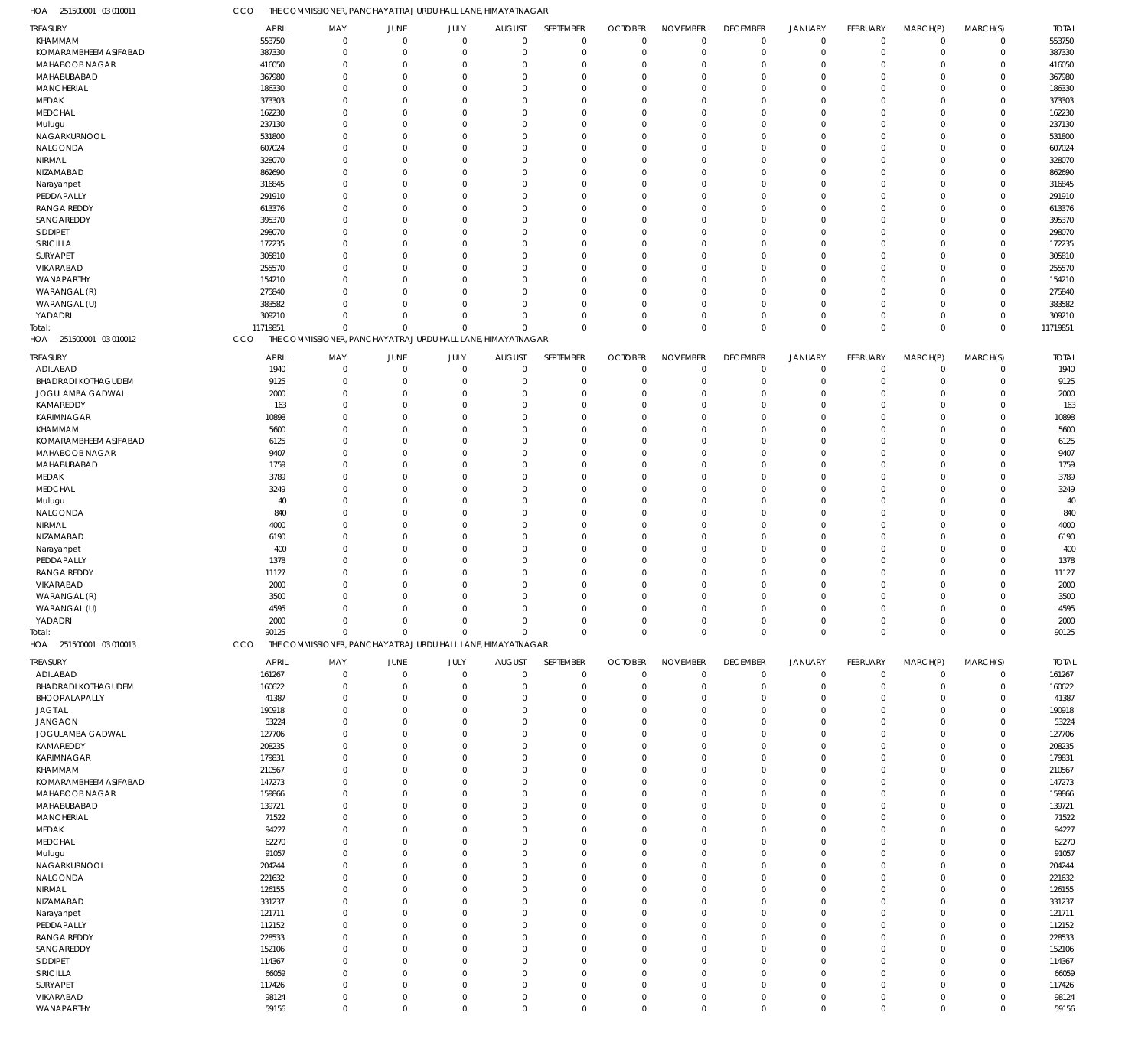| HOA<br>251500001 03 010011       | CCO                  | THE COMMISSIONER, PANCHAYAT RAJ URDU HALL LANE, HIMAYATNAGAR |                              |                            |                                  |                            |                               |                             |                               |                               |                            |                            |                            |                      |
|----------------------------------|----------------------|--------------------------------------------------------------|------------------------------|----------------------------|----------------------------------|----------------------------|-------------------------------|-----------------------------|-------------------------------|-------------------------------|----------------------------|----------------------------|----------------------------|----------------------|
| TREASURY                         | <b>APRIL</b>         | MAY                                                          | JUNE                         | JULY                       | <b>AUGUST</b>                    | SEPTEMBER                  | <b>OCTOBER</b>                | <b>NOVEMBER</b>             | <b>DECEMBER</b>               | <b>JANUARY</b>                | <b>FEBRUARY</b>            | MARCH(P)                   | MARCH(S)                   | <b>TOTAL</b>         |
| KHAMMAM                          | 553750               | $\Omega$                                                     | $\overline{0}$               | $\mathbf 0$                | $\mathbf 0$                      | 0                          | $\mathbf 0$                   | $\Omega$                    | $\mathbf 0$                   | $\mathbf 0$                   | $\overline{0}$             | $\overline{0}$             | $\mathbf 0$                | 553750               |
| KOMARAMBHEEM ASIFABAD            | 387330               | $\mathbf 0$                                                  | $\mathbf 0$                  | $\mathbf{0}$               | $\mathbf 0$                      | $\mathbf 0$                | $\mathbf 0$                   | $\Omega$                    | $\mathbf 0$                   | $\mathbf 0$                   | $\mathbf 0$                | $\overline{0}$             | $\mathbf 0$                | 387330               |
| MAHABOOB NAGAR<br>MAHABUBABAD    | 416050<br>367980     | $^{\circ}$<br>$\Omega$                                       | $\mathbf 0$<br>$\mathbf{0}$  | $\Omega$<br>$\Omega$       | 0<br>$\Omega$                    | $\mathbf 0$<br>$\mathbf 0$ | $\Omega$<br>$\Omega$          | $\Omega$<br>$\Omega$        | $\overline{0}$<br>$\Omega$    | $\overline{0}$<br>$\Omega$    | $\Omega$<br>$\Omega$       | $\Omega$<br>$\Omega$       | $\mathbf 0$<br>$\mathbf 0$ | 416050<br>367980     |
| <b>MANCHERIAL</b>                | 186330               | $\Omega$                                                     | $\overline{0}$               | $\Omega$                   | $\Omega$                         | $\mathbf 0$                | $\Omega$                      | $\Omega$                    | $\Omega$                      | $\Omega$                      | $\Omega$                   | $\Omega$                   | $\mathbf 0$                | 186330               |
| MEDAK                            | 373303               | $\Omega$                                                     | $\mathbf 0$                  | $\Omega$                   | $\mathbf 0$                      | $\mathbf 0$                | $\Omega$                      | $\Omega$                    | $\Omega$                      | $\Omega$                      | $\Omega$                   | $\Omega$                   | $\mathbf 0$                | 373303               |
| <b>MEDCHAL</b>                   | 162230               | $\Omega$                                                     | $\overline{0}$               | $\Omega$                   | $\overline{0}$                   | $\mathbf 0$                | $\Omega$                      | $\Omega$                    | $\Omega$                      | $\Omega$                      | $\Omega$                   | $\Omega$                   | $\mathbf 0$                | 162230               |
| Mulugu                           | 237130               | $\Omega$                                                     | $\Omega$                     | $\Omega$                   | $\Omega$                         | $\mathbf 0$                | $\Omega$                      | $\Omega$                    | $\Omega$                      | $\Omega$                      | $\Omega$                   | $\Omega$                   | $\mathbf 0$                | 237130               |
| NAGARKURNOOL                     | 531800               | $\Omega$                                                     | $\overline{0}$               | $\Omega$                   | $\overline{0}$                   | $\mathbf 0$                | $\Omega$                      | $\Omega$                    | $\Omega$                      | $\Omega$                      | $\Omega$                   | $\Omega$                   | $\mathbf 0$                | 531800               |
| NALGONDA                         | 607024               | $\Omega$                                                     | $\Omega$                     | $\Omega$                   | $\Omega$                         | $\mathbf 0$                | $\Omega$                      | $\Omega$                    | $\Omega$                      | $\Omega$                      | $\Omega$                   | $\Omega$                   | $\mathbf 0$                | 607024               |
| NIRMAL                           | 328070               | $\Omega$                                                     | $\Omega$                     | $\Omega$                   | $\Omega$                         | $\mathbf 0$                | $\Omega$                      | $\Omega$                    | $\Omega$                      | $\Omega$                      | $\Omega$                   | $\Omega$                   | $\mathbf 0$                | 328070               |
| NIZAMABAD                        | 862690               | $\Omega$                                                     | $\Omega$                     | $\Omega$                   | $\Omega$                         | $\mathbf 0$                | $\Omega$                      | $\Omega$                    | $\Omega$                      | $\Omega$                      | $\Omega$                   | $\Omega$                   | $\mathbf 0$                | 862690               |
| Narayanpet<br>PEDDAPALLY         | 316845<br>291910     | $\Omega$<br>$\Omega$                                         | $\overline{0}$<br>$\Omega$   | $\Omega$<br>$\Omega$       | $\overline{0}$<br>$\Omega$       | $\mathbf 0$<br>$\mathbf 0$ | $\Omega$<br>$\Omega$          | $\Omega$<br>$\Omega$        | $\Omega$<br>$\Omega$          | $\Omega$<br>$\Omega$          | $\Omega$<br>$\Omega$       | $\Omega$<br>$\Omega$       | $\mathbf 0$<br>$\mathbf 0$ | 316845<br>291910     |
| <b>RANGA REDDY</b>               | 613376               | $\Omega$                                                     | $\overline{0}$               | $\Omega$                   | $\overline{0}$                   | $\mathbf 0$                | $\Omega$                      | $\Omega$                    | $\Omega$                      | $\Omega$                      | $\Omega$                   | $\Omega$                   | $\mathbf 0$                | 613376               |
| SANGAREDDY                       | 395370               | $\Omega$                                                     | $\overline{0}$               | $\Omega$                   | $\overline{0}$                   | $\mathbf 0$                | $\Omega$                      | $\Omega$                    | $\Omega$                      | $\Omega$                      | $\Omega$                   | $\Omega$                   | $\mathbf 0$                | 395370               |
| SIDDIPET                         | 298070               | $\Omega$                                                     | $\overline{0}$               | $\Omega$                   | $\Omega$                         | $\mathbf 0$                | $\Omega$                      | $\Omega$                    | $\Omega$                      | $\Omega$                      | $\Omega$                   | $\Omega$                   | $\mathbf 0$                | 298070               |
| SIRICILLA                        | 172235               | $\Omega$                                                     | $\Omega$                     | $\Omega$                   | $\Omega$                         | $\mathbf 0$                | $\Omega$                      | $\Omega$                    | $\Omega$                      | $\Omega$                      | $\Omega$                   | $\Omega$                   | $\mathbf 0$                | 172235               |
| SURYAPET                         | 305810               | $\Omega$                                                     | $\overline{0}$               | $\Omega$                   | $\overline{0}$                   | $\mathbf 0$                | $\Omega$                      | $\Omega$                    | $\Omega$                      | $\Omega$                      | $\Omega$                   | $\Omega$                   | $\mathbf 0$                | 305810               |
| VIKARABAD                        | 255570               | $\Omega$                                                     | $\Omega$                     | $\Omega$                   | $\Omega$                         | $\mathbf 0$                | $\Omega$                      | $\Omega$                    | $\Omega$                      | $\Omega$                      | $\Omega$                   | $\Omega$                   | $\mathbf 0$                | 255570               |
| WANAPARTHY                       | 154210               | $\Omega$                                                     | $\Omega$                     | $\Omega$                   | $\Omega$                         | $\mathbf 0$                | $\Omega$                      | $\Omega$                    | $\Omega$                      | $\Omega$                      | $\Omega$                   | $\Omega$                   | $\mathbf 0$                | 154210               |
| WARANGAL (R)                     | 275840               | $\Omega$                                                     | $\Omega$                     | $\Omega$                   | $\overline{0}$                   | $\mathbf 0$                | $\Omega$                      | $\Omega$                    | $\Omega$                      | $\Omega$                      | $\Omega$                   | $\Omega$                   | $\mathbf 0$                | 275840               |
| WARANGAL (U)                     | 383582               | $\Omega$<br>$\Omega$                                         | $\overline{0}$<br>$\Omega$   | $\Omega$<br>$\Omega$       | $\mathbf 0$<br>$\mathbf 0$       | $\mathbf 0$<br>$\mathbf 0$ | $\Omega$<br>$\Omega$          | $\Omega$<br>$\Omega$        | $^{\circ}$<br>$\Omega$        | $\overline{0}$<br>$\mathbf 0$ | $\Omega$<br>$\Omega$       | $\mathbf 0$<br>$\mathbf 0$ | $\mathbf 0$<br>$\mathbf 0$ | 383582               |
| YADADRI<br>Total:                | 309210<br>11719851   | $\Omega$                                                     | $\Omega$                     | $\Omega$                   | $\Omega$                         | $\mathbf 0$                | $\Omega$                      | $\Omega$                    | $\mathbf 0$                   | $\,0\,$                       | $\Omega$                   | $\mathbf 0$                | $\mathbf 0$                | 309210<br>11719851   |
| HOA 251500001 03 010012          | CCO                  | THE COMMISSIONER, PANCHAYAT RAJ URDU HALL LANE, HIMAYATNAGAR |                              |                            |                                  |                            |                               |                             |                               |                               |                            |                            |                            |                      |
|                                  |                      |                                                              |                              |                            |                                  |                            |                               |                             |                               |                               |                            |                            |                            |                      |
| <b>TREASURY</b><br>ADILABAD      | <b>APRIL</b><br>1940 | MAY<br>$\mathbf 0$                                           | JUNE<br>$\overline{0}$       | JULY<br>$\mathbf 0$        | <b>AUGUST</b><br>$\mathbf 0$     | SEPTEMBER<br>$\mathbf 0$   | <b>OCTOBER</b><br>$\mathbf 0$ | <b>NOVEMBER</b><br>$\Omega$ | <b>DECEMBER</b><br>$^{\circ}$ | <b>JANUARY</b><br>$\mathbf 0$ | FEBRUARY<br>$\mathbf 0$    | MARCH(P)<br>$\overline{0}$ | MARCH(S)<br>$\mathbf 0$    | <b>TOTAL</b><br>1940 |
| <b>BHADRADI KOTHAGUDEM</b>       | 9125                 | $\mathbf 0$                                                  | $\mathbf 0$                  | $\mathbf 0$                | 0                                | $\mathbf 0$                | $\mathbf 0$                   | $\Omega$                    | $\overline{0}$                | $\overline{0}$                | $\mathbf 0$                | $\mathbf 0$                | $\mathsf 0$                | 9125                 |
| JOGULAMBA GADWAL                 | 2000                 | $\Omega$                                                     | $\overline{0}$               | $\Omega$                   | 0                                | $\mathbf 0$                | $\Omega$                      | $\Omega$                    | $\Omega$                      | $\Omega$                      | $\Omega$                   | $\Omega$                   | $\mathsf 0$                | 2000                 |
| KAMAREDDY                        | 163                  | $\Omega$                                                     | $\overline{0}$               | $\Omega$                   | 0                                | $\mathbf 0$                | $\Omega$                      | $\Omega$                    | $\Omega$                      | $\Omega$                      | $\Omega$                   | $\Omega$                   | $\mathbf 0$                | 163                  |
| KARIMNAGAR                       | 10898                | $\mathbf 0$                                                  | $\overline{0}$               | $\Omega$                   | $\overline{0}$                   | $\mathbf 0$                | $\Omega$                      | $\Omega$                    | $\Omega$                      | $\Omega$                      | $\Omega$                   | $\Omega$                   | $\mathsf 0$                | 10898                |
| KHAMMAM                          | 5600                 | $\Omega$                                                     | $\overline{0}$               | $\Omega$                   | 0                                | $\mathbf 0$                | $\Omega$                      | $\Omega$                    | $\Omega$                      | $\Omega$                      | $\Omega$                   | $\Omega$                   | $\mathbf 0$                | 5600                 |
| KOMARAMBHEEM ASIFABAD            | 6125                 | $\Omega$                                                     | $\Omega$                     | $\Omega$                   | 0                                | $\mathbf 0$                | $\Omega$                      | $\Omega$                    | $\Omega$                      | $\Omega$                      | $\Omega$                   | $\Omega$                   | $\mathbf 0$                | 6125                 |
| MAHABOOB NAGAR                   | 9407                 | $\Omega$                                                     | $\mathbf 0$                  | $\Omega$                   | 0                                | $\mathbf 0$                | $\Omega$                      | $\Omega$                    | $\Omega$                      | $\Omega$                      | $\Omega$                   | $\Omega$                   | $\mathbf 0$                | 9407                 |
| MAHABUBABAD                      | 1759                 | $\Omega$                                                     | $\overline{0}$               | O                          | 0                                | $\mathbf 0$                | $\Omega$                      | $\Omega$                    | $\Omega$                      | $\Omega$                      | $\Omega$                   | $\Omega$                   | $\mathsf 0$                | 1759                 |
| MEDAK                            | 3789                 | $\Omega$<br>$\Omega$                                         | $\Omega$<br>$\overline{0}$   | $\Omega$<br>$\Omega$       | $\Omega$                         | $\mathbf 0$<br>$\mathbf 0$ | $\Omega$<br>$\Omega$          | $\Omega$<br>$\Omega$        | $\Omega$<br>$\Omega$          | $\Omega$<br>$\Omega$          | $\Omega$<br>$\Omega$       | $\Omega$<br>$\Omega$       | $\mathbf 0$<br>$\mathbf 0$ | 3789                 |
| <b>MEDCHAL</b><br>Mulugu         | 3249<br>40           | $\Omega$                                                     | $\overline{0}$               | $\Omega$                   | 0<br>0                           | $\mathbf 0$                | $\Omega$                      | $\Omega$                    | $\Omega$                      | $\Omega$                      | $\Omega$                   | $\Omega$                   | $\mathbf 0$                | 3249<br>40           |
| NALGONDA                         | 840                  | $\Omega$                                                     | $\Omega$                     | $\Omega$                   | 0                                | $\mathbf 0$                | $\Omega$                      | $\Omega$                    | $\Omega$                      | $\Omega$                      | $\Omega$                   | $\Omega$                   | $\mathsf 0$                | 840                  |
| NIRMAL                           | 4000                 | $\Omega$                                                     | $\Omega$                     | $\Omega$                   | 0                                | $\mathbf 0$                | $\Omega$                      | $\Omega$                    | $\Omega$                      | $\Omega$                      | $\Omega$                   | $\Omega$                   | $\mathbf 0$                | 4000                 |
| NIZAMABAD                        | 6190                 | $\mathbf 0$                                                  | $\overline{0}$               | $\Omega$                   | 0                                | $\mathbf 0$                | $\Omega$                      | $\Omega$                    | $\Omega$                      | $\Omega$                      | $\Omega$                   | $\Omega$                   | $\mathsf 0$                | 6190                 |
| Narayanpet                       | 400                  | $\Omega$                                                     | $\Omega$                     | $\Omega$                   | 0                                | $\mathbf 0$                | $\Omega$                      | $\Omega$                    | $\Omega$                      | $\Omega$                      | $\Omega$                   | $\Omega$                   | $\mathbf 0$                | 400                  |
| PEDDAPALLY                       | 1378                 | $\Omega$                                                     | $\Omega$                     | $\Omega$                   | 0                                | $\mathbf 0$                | $\Omega$                      | $\Omega$                    | $\Omega$                      | $\Omega$                      | $\Omega$                   | $\Omega$                   | $\mathsf 0$                | 1378                 |
| <b>RANGA REDDY</b>               | 11127                | $\Omega$                                                     | $\mathbf 0$                  | $\Omega$                   | 0                                | $\mathbf 0$                | $\Omega$                      | $\Omega$                    | $\Omega$                      | $\Omega$                      | $\Omega$                   | $\mathbf 0$                | $\mathbf 0$                | 11127                |
| VIKARABAD                        | 2000                 | $\Omega$                                                     | $\overline{0}$               | 0                          | 0                                | $\mathbf 0$                | $\Omega$                      | $\Omega$                    | $\Omega$                      | $\Omega$                      | $\Omega$                   | $\Omega$                   | 0                          | 2000                 |
| WARANGAL (R)                     | 3500                 | $\Omega$                                                     | $\mathbf 0$                  | $\Omega$                   | $\mathbf 0$                      | $\mathbf 0$                | $\Omega$                      | $\Omega$                    | $\Omega$                      | $\mathbf 0$                   | $\Omega$                   | $\Omega$                   | $\mathbf 0$                | 3500                 |
| WARANGAL (U)<br>YADADRI          | 4595<br>2000         | 0<br>$\mathbf 0$                                             | 0<br>$\mathbf 0$             | 0<br>$\mathbf 0$           | 0<br>$\mathbf 0$                 | 0<br>$\mathbf 0$           | $\Omega$<br>$\mathbf 0$       | $\mathbf 0$                 | 0<br>$\overline{0}$           | 0<br>$\mathbf 0$              | 0<br>$\mathbf 0$           | $\Omega$<br>$\mathbf 0$    | $\mathsf 0$<br>$\mathbf 0$ | 4595<br>2000         |
| iotal:                           | 90125                | $\mathbf 0$                                                  | $\mathbf{0}$                 | $\Omega$                   | $\overline{0}$                   | $\mathbf 0$                | $\Omega$                      | $\mathbf{0}$                | $\mathbf 0$                   | $\mathbf 0$                   | $\mathbf 0$                | $\mathbf 0$                | $\mathbf 0$                | 90125                |
| HOA 251500001 03 010013          | CCO                  | THE COMMISSIONER, PANCHAYAT RAJ URDU HALL LANE, HIMAYATNAGAR |                              |                            |                                  |                            |                               |                             |                               |                               |                            |                            |                            |                      |
| treasury                         | <b>APRIL</b>         | MAY                                                          | JUNE                         | JULY                       | <b>AUGUST</b>                    | SEPTEMBER                  | <b>OCTOBER</b>                | <b>NOVEMBER</b>             | <b>DECEMBER</b>               | <b>JANUARY</b>                | FEBRUARY                   | MARCH(P)                   | MARCH(S)                   | <b>TOTAL</b>         |
| ADILABAD                         | 161267               | $\mathbf 0$                                                  | $\overline{0}$               | $\mathbf 0$                | $\mathbf 0$                      | 0                          | $\mathbf 0$                   | $\mathbf{0}$                | $\mathbf 0$                   | $\mathbf 0$                   | $\overline{0}$             | $\mathbf 0$                | $\mathbf 0$                | 161267               |
| <b>BHADRADI KOTHAGUDEM</b>       | 160622               | $\mathbf 0$                                                  | $\mathbf 0$                  | $\mathbf 0$                | $\overline{0}$                   | $\mathbf 0$                | $\mathbf 0$                   | $\Omega$                    | $\mathbf 0$                   | $\mathbf 0$                   | $\Omega$                   | $\mathbf 0$                | $\mathsf 0$                | 160622               |
| BHOOPALAPALLY                    | 41387                | $\mathbf 0$                                                  | $\mathbf 0$                  | $\Omega$                   | 0                                | $\mathbf 0$                | $^{\circ}$                    | $\Omega$                    | $\overline{0}$                | $\overline{0}$                | 0                          | $\Omega$                   | $\mathbf 0$                | 41387                |
| <b>JAGTIAL</b>                   | 190918               | $\mathbf 0$                                                  | $\mathbf 0$                  | $\Omega$                   | $\overline{0}$                   | $\mathbf 0$                | $\Omega$                      | $\Omega$                    | $\overline{0}$                | $\overline{0}$                | $\Omega$                   | $\Omega$                   | $\mathbf 0$                | 190918               |
| <b>JANGAON</b>                   | 53224                | $\Omega$                                                     | $\mathbf 0$                  | $\Omega$                   | $\Omega$                         | $\mathbf 0$                | $\Omega$                      | $\Omega$                    | $\Omega$                      | $\Omega$                      | $\Omega$                   | $\Omega$                   | $\mathbf 0$                | 53224                |
| JOGULAMBA GADWAL                 | 127706               | $\mathbf 0$                                                  | $\mathbf 0$                  | $\Omega$                   | $\overline{0}$                   | $\mathbf 0$                | $\Omega$                      | $\Omega$                    | $\Omega$                      | $\overline{0}$                | $\Omega$                   | $\Omega$                   | $\mathbf 0$                | 127706               |
| KAMAREDDY                        | 208235               | $\Omega$                                                     | $\mathbf{0}$                 | $\Omega$                   | $\mathbf 0$                      | $\mathbf 0$                | $\Omega$                      | $\Omega$                    | $\Omega$                      | $\Omega$                      | $\Omega$                   | $\Omega$                   | $\mathbf 0$                | 208235               |
| KARIMNAGAR                       | 179831               | $\Omega$<br>$\Omega$                                         | $\mathbf{0}$<br>$\mathbf{0}$ | $\Omega$<br>$\Omega$       | $\Omega$<br>$\Omega$             | $\mathbf 0$<br>$\mathbf 0$ | $\Omega$<br>$\Omega$          | $\Omega$<br>$\Omega$        | $\Omega$<br>$\Omega$          | $\Omega$<br>$\Omega$          | $\Omega$<br>$\Omega$       | $\Omega$<br>$\Omega$       | $\mathbf 0$<br>$\mathbf 0$ | 179831               |
| KHAMMAM<br>KOMARAMBHEEM ASIFABAD | 210567<br>147273     | $\Omega$                                                     | $\mathbf{0}$                 | $\Omega$                   | $\overline{0}$                   | $\mathbf 0$                | $\Omega$                      | $\Omega$                    | $\Omega$                      | $\overline{0}$                | $\Omega$                   | $\Omega$                   | $\mathbf 0$                | 210567<br>147273     |
| MAHABOOB NAGAR                   | 159866               | $\Omega$                                                     | $\mathbf{0}$                 | $\Omega$                   | $\Omega$                         | $\mathbf 0$                | $\Omega$                      | $\Omega$                    | $\Omega$                      | $\Omega$                      | $\Omega$                   | $\Omega$                   | $\mathbf 0$                | 159866               |
| MAHABUBABAD                      | 139721               | $\mathbf 0$                                                  | $\mathbf{0}$                 | $\Omega$                   | $\overline{0}$                   | $\mathbf 0$                | $\Omega$                      | $\Omega$                    | $\Omega$                      | $\Omega$                      | $\Omega$                   | $\Omega$                   | $\mathbf 0$                | 139721               |
| <b>MANCHERIAL</b>                | 71522                | $\Omega$                                                     | $\mathbf{0}$                 | $\Omega$                   | $\overline{0}$                   | $\mathbf 0$                | $\mathbf 0$                   | $\Omega$                    | $\Omega$                      | $\Omega$                      | $\Omega$                   | $\Omega$                   | $\mathbf 0$                | 71522                |
| MEDAK                            | 94227                | $\Omega$                                                     | $\mathbf{0}$                 | $\Omega$                   | $\overline{0}$                   | $\mathbf 0$                | $\Omega$                      | $\Omega$                    | $\Omega$                      | $\Omega$                      | $\Omega$                   | $\Omega$                   | $\mathbf 0$                | 94227                |
| <b>MEDCHAL</b>                   | 62270                | $\Omega$                                                     | $\mathbf 0$                  | $\Omega$                   | $\Omega$                         | $\mathbf 0$                | $\Omega$                      | $\Omega$                    | $\Omega$                      | $\Omega$                      | $\Omega$                   | $\Omega$                   | $\mathbf 0$                | 62270                |
| Mulugu                           | 91057                | $\mathbf 0$                                                  | $\mathbf 0$                  | $\Omega$                   | $\overline{0}$                   | $\mathbf 0$                | $\Omega$                      | $\Omega$                    | $\Omega$                      | $\Omega$                      | $\Omega$                   | $\Omega$                   | $\mathbf 0$                | 91057                |
| NAGARKURNOOL                     | 204244               | $\Omega$                                                     | $\mathbf 0$                  | $\Omega$                   | $\Omega$                         | $\mathbf 0$                | $\Omega$                      | $\Omega$                    | $\Omega$                      | $\Omega$                      | $\Omega$                   | $\Omega$                   | $\mathbf 0$                | 204244               |
| NALGONDA                         | 221632               | $\Omega$                                                     | $\mathbf 0$                  | $\Omega$                   | $\Omega$                         | $\mathbf 0$                | $\Omega$                      | $\Omega$                    | $\Omega$                      | $\Omega$                      | $\Omega$                   | $\Omega$                   | $\mathbf 0$                | 221632               |
| NIRMAL<br>NIZAMABAD              | 126155<br>331237     | $\Omega$<br>$\mathbf 0$                                      | $\mathbf 0$<br>$\mathbf 0$   | $\Omega$<br>$\Omega$       | $\overline{0}$<br>$\overline{0}$ | $\mathbf 0$<br>$\mathbf 0$ | $\Omega$<br>$\Omega$          | $\Omega$<br>$\Omega$        | $\Omega$<br>$\Omega$          | $\Omega$<br>$\Omega$          | $\Omega$<br>$\Omega$       | $\Omega$<br>$\Omega$       | $\mathbf 0$<br>$\mathbf 0$ | 126155<br>331237     |
| Narayanpet                       | 121711               | $\Omega$                                                     | $\mathbf 0$                  | $\Omega$                   | $\Omega$                         | $\mathbf 0$                | $\Omega$                      | $\Omega$                    | $\Omega$                      | $\Omega$                      | $\Omega$                   | $\Omega$                   | $\mathbf 0$                | 121711               |
| PEDDAPALLY                       | 112152               | $\Omega$                                                     | $\mathbf 0$                  | $\Omega$                   | $\overline{0}$                   | $\mathbf 0$                | $\Omega$                      | $\Omega$                    | $\Omega$                      | $\Omega$                      | $\Omega$                   | $\Omega$                   | $\mathbf 0$                | 112152               |
| <b>RANGA REDDY</b>               | 228533               | $\Omega$                                                     | $\mathbf 0$                  | $\Omega$                   | $\mathbf 0$                      | $\mathbf 0$                | $\Omega$                      | $\Omega$                    | $\Omega$                      | $\Omega$                      | $\Omega$                   | $\Omega$                   | $\mathbf 0$                | 228533               |
| SANGAREDDY                       | 152106               | $\Omega$                                                     | $\mathbf 0$                  | $\Omega$                   | $\overline{0}$                   | $\mathbf 0$                | $\Omega$                      | $\Omega$                    | $\Omega$                      | $\Omega$                      | $\Omega$                   | $\Omega$                   | $\mathbf 0$                | 152106               |
| SIDDIPET                         | 114367               | $\Omega$                                                     | $\mathbf 0$                  | $\Omega$                   | $\Omega$                         | $\mathbf 0$                | $\Omega$                      | $\Omega$                    | $\Omega$                      | $\Omega$                      | $\Omega$                   | $\Omega$                   | $\mathbf 0$                | 114367               |
| SIRICILLA                        | 66059                | $\mathbf 0$                                                  | $\mathbf 0$                  | $\Omega$                   | $\overline{0}$                   | $\mathbf 0$                | $\Omega$                      | $\Omega$                    | $\Omega$                      | $\overline{0}$                | $\Omega$                   | $\Omega$                   | $\mathbf 0$                | 66059                |
| SURYAPET                         | 117426               | $\Omega$                                                     | $\mathbf 0$                  | $\Omega$                   | $\mathbf 0$                      | $\mathbf 0$                | $^{\circ}$                    | $\Omega$                    | $\Omega$                      | $\mathbf{0}$                  | $\Omega$                   | $\mathbf 0$                | $\mathbf 0$                | 117426               |
| VIKARABAD<br>WANAPARTHY          | 98124<br>59156       | $\mathbf 0$<br>$\mathbf 0$                                   | $\mathbf 0$<br>$\mathbf 0$   | $\mathbf 0$<br>$\mathbf 0$ | $\mathbf 0$<br>$\mathbf 0$       | $\mathbf 0$<br>$\mathbf 0$ | $\mathbf 0$<br>$\mathbf 0$    | $\mathbf 0$<br>$\mathbf 0$  | $\mathbf 0$<br>$\mathbf 0$    | $\mathbf 0$<br>$\mathbf 0$    | $\mathbf 0$<br>$\mathbf 0$ | $\mathbf 0$<br>$\mathbf 0$ | $\mathbf 0$<br>$\mathbf 0$ | 98124<br>59156       |
|                                  |                      |                                                              |                              |                            |                                  |                            |                               |                             |                               |                               |                            |                            |                            |                      |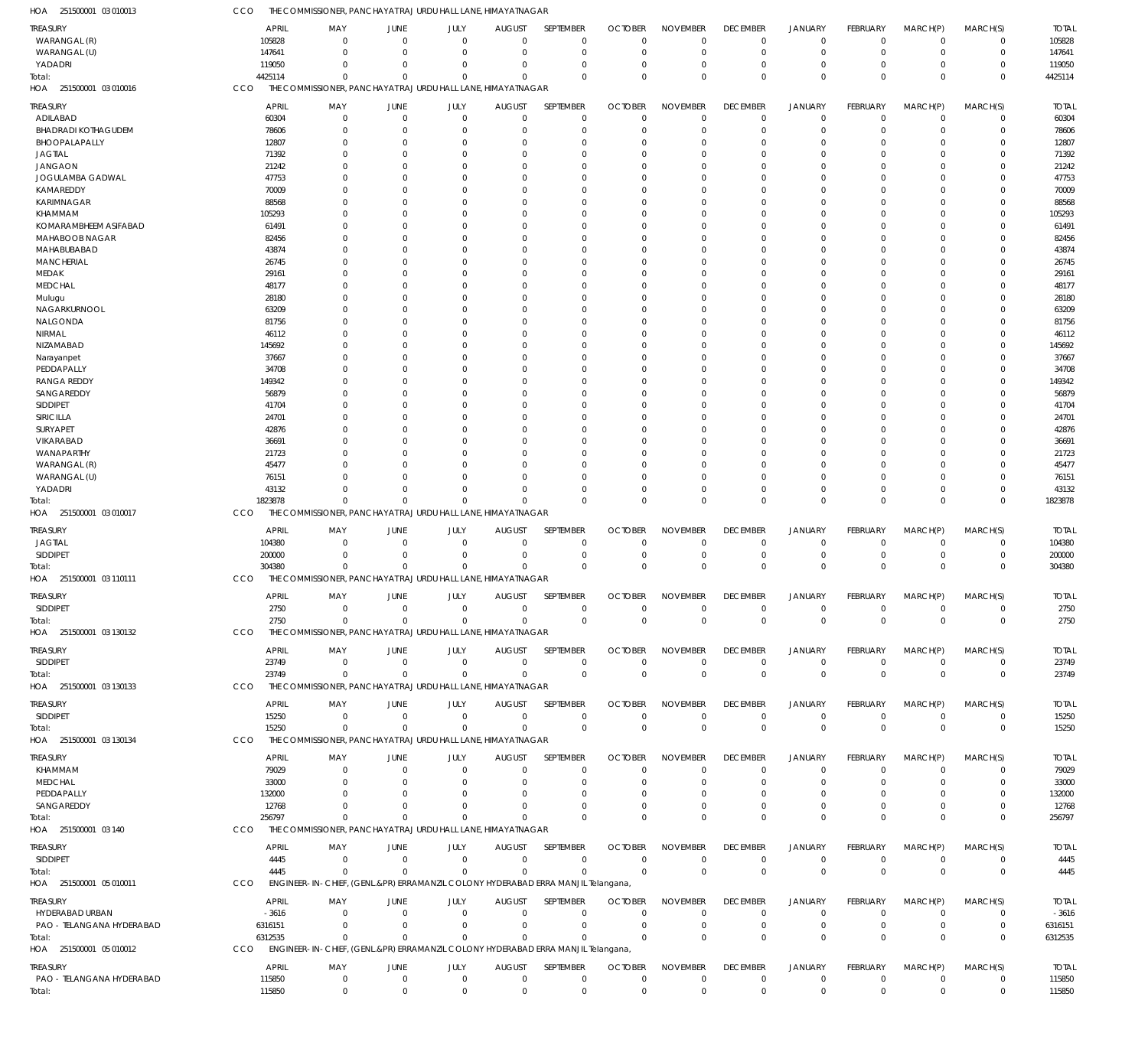251500001 03 010013 HOA 251500001 03 010016 HOA 251500001 03 010017 HOA 251500001 03 110111 HOA 251500001 03 130132 HOA 251500001 03 130133 HOA 251500001 03 130134 HOA 251500001 03 140 HOA 251500001 05 010011 HOA 251500001 05 010012 HOA THE COMMISSIONER, PANCHAYAT RAJ URDU HALL LANE, HIMAYATNAGAR THE COMMISSIONER, PANCHAYAT RAJ URDU HALL LANE, HIMAYATNAGAR THE COMMISSIONER, PANCHAYAT RAJ URDU HALL LANE, HIMAYATNAGAR THE COMMISSIONER, PANCHAYAT RAJ URDU HALL LANE, HIMAYATNAGAR THE COMMISSIONER, PANCHAYAT RAJ URDU HALL LANE, HIMAYATNAGAR THE COMMISSIONER, PANCHAYAT RAJ URDU HALL LANE, HIMAYATNAGAR THE COMMISSIONER, PANCHAYAT RAJ URDU HALL LANE, HIMAYATNAGAR THE COMMISSIONER, PANCHAYAT RAJ URDU HALL LANE, HIMAYATNAGAR ENGINEER-IN-CHIEF, (GENL.&PR) ERRAMANZIL COLONY HYDERABAD ERRA MANJIL Telangana, ENGINEER-IN-CHIEF, (GENL.&PR) ERRAMANZIL COLONY HYDERABAD ERRA MANJIL Telangana, CCO CCO CCO CCO CCO **CCO** CCO CCO **CCO** CCO 4425114 1823878 304380 2750 23749 15250 256797 4445 6312535 115850 0 0  $\Omega$ 0 0  $\Omega$  $\Omega$  $\Omega$ 0  $\Omega$ 0 0  $\Omega$ 0 0  $\Omega$ 0  $\Omega$ 0  $\Omega$ 0 0  $\Omega$ 0 0  $\Omega$  $\Omega$  $\Omega$ 0  $\Omega$ 0 0  $\Omega$ 0 0  $\Omega$ 0  $\Omega$ 0  $\Omega$ 0 0  $\Omega$ 0 0  $\Omega$  $\Omega$  $\Omega$ 0  $\Omega$ 0 0 0 0 0  $\Omega$  $\Omega$  $\Omega$ 0  $\Omega$ 0 0  $\Omega$ 0 0  $\Omega$  $\Omega$  $\Omega$ 0  $\Omega$ 0 0 0 0 0 0  $\Omega$ 0 0  $\Omega$ 0 0 0 0 0 0  $\Omega$  $\Omega$ 0  $\Omega$ 0 0 0 0 0 0 0  $\Omega$ 0  $\Omega$ 0 0 0 0 0  $\Omega$  $\Omega$  $\Omega$ 0  $\Omega$ 0 0 0 0 0  $\Omega$  $\Omega$  $\Omega$ 0  $\Omega$ 4425114 1823878 304380 2750 23749 15250 256797 4445 6312535 115850 WARANGAL (R) WARANGAL (U) YADADRI ADILABAD BHADRADI KOTHAGUDEM BHOOPALAPALLY JAGTIAL JANGAON JOGULAMBA GADWAL KAMAREDDY KARIMNAGAR KHAMMAM KOMARAMBHEEM ASIFABAD MAHABOOB NAGAR MAHABUBABAD **MANCHERIAL** MEDAK MEDCHAL Mulugu NAGARKURNOOL NALGONDA NIRMAL NIZAMABAD Narayanpet PEDDAPALLY RANGA REDDY SANGAREDDY SIDDIPET SIRICILLA SURYAPET VIKARABAD WANAPARTHY WARANGAL (R) WARANGAL (U) YADADRI JAGTIAL SIDDIPET SIDDIPET SIDDIPET SIDDIPET KHAMMAM MEDCHAL **PEDDAPALLY** SANGAREDDY SIDDIPET HYDERABAD URBAN PAO - TELANGANA HYDERABAD PAO - TELANGANA HYDERABAD **TREASURY** TREASURY **TREASURY** TREASURY **TREASURY** TREASURY TREASURY **TREASURY** TREASURY TREASURY 105828 147641 119050 60304 78606 12807 71392 21242 47753 70009 88568 105293 61491 82456 43874 26745 29161 48177 28180 63209 81756 46112 145692 37667 34708 149342 56879 41704 24701 42876 36691 21723 45477 76151 43132 104380 200000 2750 23749 15250 79029 33000 132000 12768 4445 -3616 6316151 115850 APRIL APRIL APRIL APRIL APRIL APRIL APRIL APRIL APRIL APRIL  $\Omega$ 0  $\Omega$  $\,$  0  $\,$  $\Omega$  $\Omega$ 0  $\Omega$ 0 0  $\Omega$ 0  $\Omega$ 0 0  $\Omega$ 0  $\Omega$ 0 0 0  $\Omega$  $\Omega$ 0 0  $\Omega$  $\Omega$  $\Omega$ 0  $\Omega$ 0  $\Omega$  $\Omega$ 0  $\Omega$ 0 0 0 0 0  $\Omega$ 0  $\Omega$ 0 0  $\Omega$ 0 0 MAY MAY MAY MAY MAY MAY MAY MAY MAY MAY 0 0  $\Omega$ 0 0  $\Omega$ 0  $\Omega$ 0 0  $\Omega$ 0  $\Omega$ 0 0  $\Omega$ 0  $\Omega$ 0 0 0 0  $\Omega$ 0 0 0 0  $\Omega$ 0  $\Omega$ 0 0  $\Omega$ 0  $\Omega$  $\boldsymbol{0}$ 0 0 0 0  $\Omega$ 0  $\Omega$ 0 0  $\Omega$ 0 0 JUNE JUNE JUNE JUNE **JUNE** JUNE JUNE JUNE JUNE JUNE 0 0  $\Omega$ 0 0  $\Omega$ 0  $\Omega$ 0 0  $\Omega$ 0  $\Omega$ 0 0  $\Omega$ 0  $\Omega$ 0 0 0  $\Omega$  $\Omega$ 0 0  $\Omega$ 0  $\Omega$ 0  $\Omega$ 0  $\Omega$  $\Omega$ 0  $\Omega$ 0 0 0 0 0 0 0  $\sqrt{0}$ 0 0  $\Omega$ 0 0 JULY JULY JULY JULY JULY JULY JULY JULY JULY JULY  $\Omega$ 0  $\Omega$ 0  $\Omega$  $\Omega$ 0  $\Omega$ 0 0  $\Omega$ 0  $\Omega$ 0 0  $\sqrt{2}$ 0  $\Omega$ 0 0  $\Omega$  $\Omega$  $\Omega$ 0 0  $\Omega$ 0  $\Omega$ 0  $\Omega$ 0  $\Omega$  $\Omega$ 0  $\Omega$ 0 0  $\Omega$ 0 0  $\Omega$ 0  $\Omega$ 0 0  $\Omega$ 0 0 AUGUST AUGUST **AUGUST** AUGUST **AUGUST** AUGUST AUGUST AUGUST AUGUST AUGUST  $\Omega$ 0  $\Omega$ 0  $\Omega$  $\Omega$  $\overline{0}$  $\Omega$  $\Omega$ 0  $\Omega$  $\overline{0}$  $\Omega$ 0 0  $\Omega$ 0  $\Omega$  $\Omega$ 0  $\Omega$  $\Omega$  $\Omega$  $\overline{0}$ 0  $\Omega$  $\Omega$  $\Omega$  $\overline{0}$  $\Omega$  $\Omega$  $\Omega$  $\Omega$ 0  $\Omega$ 0 0  $\Omega$ 0 0  $\Omega$ 0  $\Omega$ 0  $\Omega$  $\Omega$ 0 0 SEPTEMBER SEPTEMBER SEPTEMBER SEPTEMBER SEPTEMBER SEPTEMBER SEPTEMBER SEPTEMBER SEPTEMBER SEPTEMBER  $\Omega$ 0  $\Omega$ 0  $\Omega$  $\Omega$ 0  $\Omega$ 0  $\Omega$  $\Omega$ 0  $\Omega$ 0  $\Omega$  $\Omega$ 0  $\Omega$ 0 0  $\Omega$  $\Omega$  $\Omega$ 0  $\Omega$  $\Omega$  $\Omega$  $\Omega$ 0  $\Omega$  $\Omega$  $\Omega$  $\Omega$ 0  $\Omega$ 0 0  $\Omega$ 0 0  $\Omega$ 0  $\Omega$ 0  $\Omega$  $\Omega$ 0 0 OCTOBER **OCTOBER OCTOBER** OCTOBER **OCTOBER OCTOBER** OCTOBER **OCTOBER** OCTOBER OCTOBER  $\Omega$ 0  $\Omega$ 0  $\Omega$  $\Omega$ 0  $\Omega$ 0  $\Omega$  $\Omega$ 0  $\Omega$ 0 0  $\Omega$ 0  $\Omega$ 0 0  $\Omega$  $\Omega$  $\Omega$ 0 0  $\Omega$  $\Omega$  $\Omega$ 0  $\Omega$  $\Omega$  $\Omega$  $\Omega$ 0  $\Omega$ 0 0  $\Omega$ 0 0  $\Omega$ 0  $\Omega$ 0 0  $\Omega$ 0 0 NOVEMBER NOVEMBER NOVEMBER NOVEMBER NOVEMBER NOVEMBER NOVEMBER NOVEMBER NOVEMBER NOVEMBER  $\Omega$ 0  $\Omega$ 0  $\Omega$  $\Omega$ 0  $\Omega$ 0  $\Omega$  $\Omega$ 0  $\Omega$  $\overline{0}$ 0  $\Omega$ 0  $\Omega$  $\Omega$ 0  $\Omega$  $\Omega$  $\Omega$  $\overline{0}$ 0  $\Omega$  $\Omega$  $\Omega$ 0  $\Omega$  $\Omega$  $\Omega$  $\Omega$ 0  $\Omega$ 0 0  $\Omega$ 0 0  $\Omega$ 0  $\Omega$ 0 0  $\Omega$ 0 0 DECEMBER DECEMBER **DECEMBER** DECEMBER **DECEMBER** DECEMBER DECEMBER DECEMBER DECEMBER DECEMBER  $\Omega$ 0  $\Omega$  $\Omega$  $\Omega$  $\Omega$ 0  $\Omega$  $\Omega$ 0  $\Omega$ 0  $\Omega$ 0  $\Omega$  $\Omega$ 0  $\Omega$ 0 0  $\Omega$  $\Omega$  $\Omega$ 0 0  $\Omega$  $\Omega$  $\Omega$ 0  $\Omega$ 0  $\Omega$  $\Omega$ 0  $\Omega$ 0 0  $\Omega$ 0 0  $\Omega$ 0  $\Omega$ 0 0  $\Omega$ 0 0 JANUARY JANUARY JANUARY JANUARY JANUARY JANUARY JANUARY JANUARY JANUARY JANUARY  $\Omega$ 0  $\Omega$ 0 0  $\Omega$  $\overline{0}$  $\Omega$ 0 0  $\Omega$ 0  $\Omega$  $\overline{0}$ 0  $\Omega$ 0  $\Omega$  $\overline{0}$ 0 0  $\Omega$  $\Omega$ 0 0 0 0  $\Omega$ 0  $\Omega$ 0 0  $\Omega$ 0  $\Omega$ 0 0  $\Omega$ 0 0  $\Omega$ 0  $\Omega$ 0 0  $\Omega$  $\boldsymbol{0}$ 0 FEBRUARY FEBRUARY FEBRUARY FEBRUARY FEBRUARY FEBRUARY FEBRUARY FEBRUARY FEBRUARY FEBRUARY  $\Omega$ 0  $\Omega$ 0  $\Omega$  $\Omega$ 0  $\Omega$  $\Omega$  $\Omega$  $\Omega$ 0  $\Omega$  $\overline{0}$  $\Omega$  $\Omega$ 0  $\Omega$ 0 0  $\Omega$  $\Omega$  $\Omega$  $\overline{0}$  $\Omega$  $\Omega$  $\Omega$  $\Omega$ 0  $\Omega$ 0  $\Omega$  $\Omega$ 0  $\Omega$ 0 0  $\Omega$ 0 0  $\Omega$ 0  $\Omega$ 0  $\Omega$  $\Omega$ 0 0 MARCH(P) MARCH(P) MARCH(P) MARCH(P) MARCH(P) MARCH(P) MARCH(P) MARCH(P) MARCH(P) MARCH(P)  $\Omega$ 0  $\Omega$ 0  $\Omega$  $\Omega$ 0  $\Omega$ 0  $\Omega$  $\Omega$ 0  $\Omega$ 0  $\Omega$  $\Omega$ 0  $\Omega$ 0  $\Omega$ 0  $\Omega$  $\Omega$ 0  $\Omega$ 0  $\Omega$  $\Omega$ 0  $\Omega$ 0  $\Omega$  $\Omega$ 0  $\Omega$ 0 0  $\Omega$ 0 0  $\Omega$ 0  $\Omega$ 0  $\Omega$  $\Omega$ 0 0 MARCH(S) MARCH(S) MARCH(S) MARCH(S) MARCH(S) MARCH(S) MARCH(S) MARCH(S) MARCH(S) MARCH(S) 105828 147641 119050 60304 78606 12807 71392 21242 47753 70009 88568 105293 61491 82456 43874 26745 29161 48177 28180 63209 81756 46112 145692 37667 34708 149342 56879 41704 24701 42876 36691 21723 45477 76151 43132 104380 200000 2750 23749 15250 79029 33000 132000 12768 4445 -3616 6316151 115850 TOTAL TOTAL TOTAL TOTAL TOTAL TOTAL TOTAL TOTAL TOTAL TOTAL Total: Total: Total: Total: Total: Total: Total: Total: Total: Total: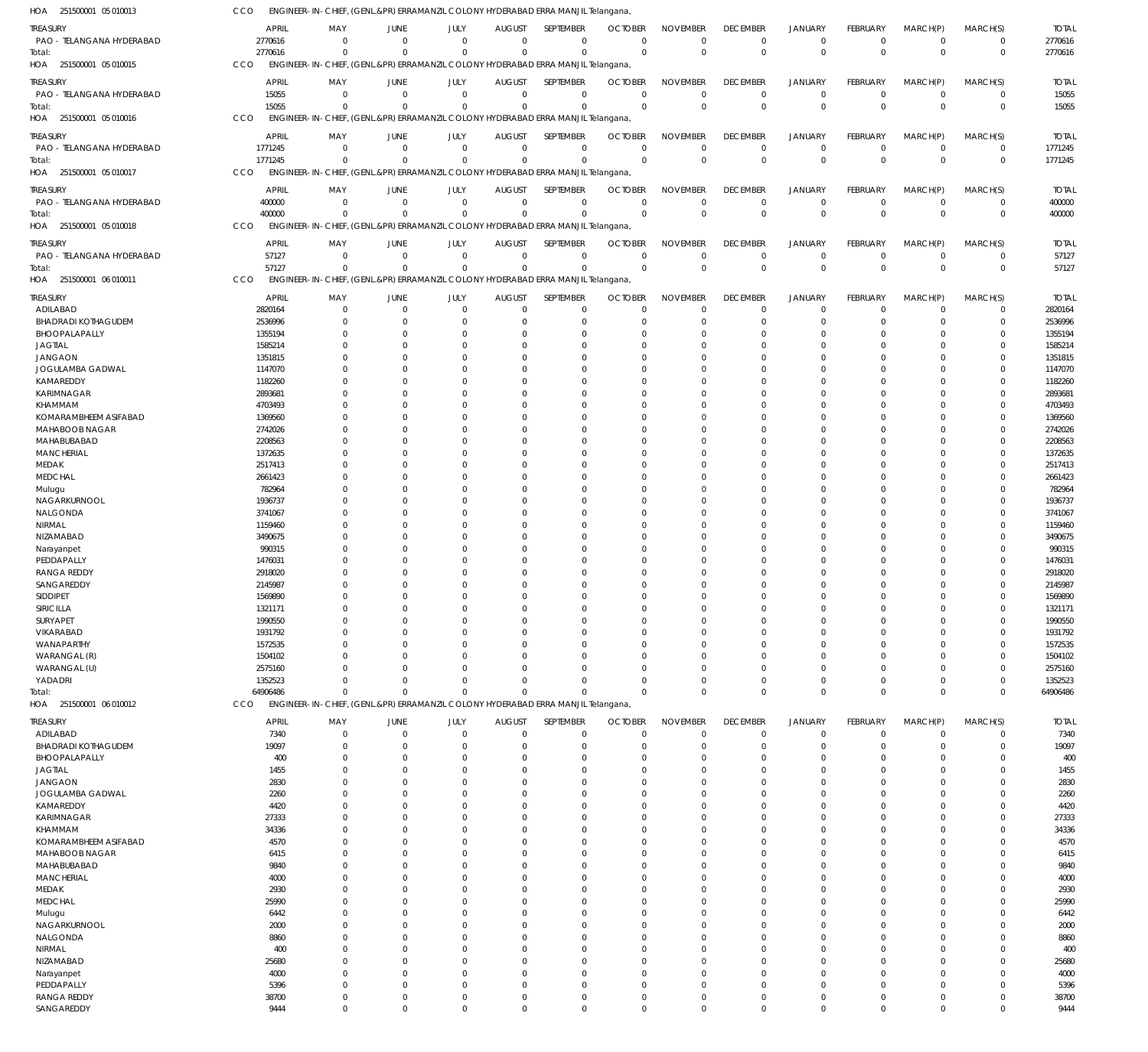| HOA<br>251500001 05 010013                  | CCO                 |                         |                               |                            |                              | ENGINEER-IN-CHIEF, (GENL.&PR) ERRAMANZIL COLONY HYDERABAD ERRA MANJIL Telangana, |                            |                             |                                |                               |                            |                                  |                            |                     |
|---------------------------------------------|---------------------|-------------------------|-------------------------------|----------------------------|------------------------------|----------------------------------------------------------------------------------|----------------------------|-----------------------------|--------------------------------|-------------------------------|----------------------------|----------------------------------|----------------------------|---------------------|
| <b>TREASURY</b>                             | <b>APRIL</b>        | MAY                     | JUNE                          | JULY                       | <b>AUGUST</b>                | <b>SEPTEMBER</b>                                                                 | <b>OCTOBER</b>             | <b>NOVEMBER</b>             | <b>DECEMBER</b>                | <b>JANUARY</b>                | FEBRUARY                   | MARCH(P)                         | MARCH(S)                   | <b>TOTAL</b>        |
| PAO - TELANGANA HYDERABAD                   | 2770616             | $\mathbf 0$             | $\overline{0}$                | $\mathbf 0$                | $\mathbf 0$                  | $\mathbf 0$                                                                      | $\overline{0}$             | $\mathbf 0$                 | $\mathbf 0$                    | $\mathbf 0$                   | $\overline{0}$             | $\overline{0}$                   | $\mathbf 0$                | 2770616             |
| Total:                                      | 2770616             | $\Omega$                | $\Omega$                      | $\mathbf 0$                | $\Omega$                     | $\mathbf 0$                                                                      | $\Omega$                   | $\Omega$                    | $\mathbb O$                    | $\mathbb O$                   | $\overline{0}$             | $\Omega$                         | $\mathbf 0$                | 2770616             |
| HOA 251500001 05 010015                     | CCO                 |                         |                               |                            |                              | ENGINEER-IN-CHIEF, (GENL.&PR) ERRAMANZIL COLONY HYDERABAD ERRA MANJIL Telangana, |                            |                             |                                |                               |                            |                                  |                            |                     |
| <b>TREASURY</b>                             | <b>APRIL</b>        | MAY                     | <b>JUNE</b>                   | JULY                       | <b>AUGUST</b>                | <b>SEPTEMBER</b>                                                                 | <b>OCTOBER</b>             | <b>NOVEMBER</b>             | <b>DECEMBER</b>                | <b>JANUARY</b>                | FEBRUARY                   | MARCH(P)                         | MARCH(S)                   | <b>TOTAL</b>        |
| PAO - TELANGANA HYDERABAD                   | 15055               | $\mathbf 0$             | $\overline{0}$                | $\mathbf 0$                | $\mathbf 0$                  | $\mathbf 0$                                                                      | $\overline{0}$             | $\mathbf 0$                 | $\mathbf 0$                    | $\mathbf 0$                   | $\overline{0}$             | $\overline{0}$                   | $\pmb{0}$                  | 15055               |
| Total:                                      | 15055               | $\Omega$                | $\Omega$                      | $\mathbf 0$                | $\Omega$                     | $\mathbf 0$                                                                      | $\Omega$                   | $\Omega$                    | $\mathbf 0$                    | $\mathbb O$                   | $\overline{0}$             | $\Omega$                         | $\mathbf 0$                | 15055               |
| 251500001 05 010016<br>HOA                  | CCO                 |                         |                               |                            |                              | ENGINEER-IN-CHIEF, (GENL.&PR) ERRAMANZIL COLONY HYDERABAD ERRA MANJIL Telangana, |                            |                             |                                |                               |                            |                                  |                            |                     |
| TREASURY                                    | <b>APRIL</b>        | MAY                     | <b>JUNE</b>                   | JULY                       | <b>AUGUST</b>                | SEPTEMBER                                                                        | <b>OCTOBER</b>             | <b>NOVEMBER</b>             | <b>DECEMBER</b>                | <b>JANUARY</b>                | FEBRUARY                   | MARCH(P)                         | MARCH(S)                   | <b>TOTAL</b>        |
| PAO - TELANGANA HYDERABAD                   | 1771245             | $\mathbf 0$             | $\overline{0}$                | $\mathbf 0$                | $\mathbf 0$                  | $\mathbf 0$                                                                      | $\Omega$                   | $\Omega$                    | $\mathbf 0$                    | $\mathbf 0$                   | $\overline{0}$             | $\overline{0}$                   | $\mathbf 0$                | 1771245             |
| Total:                                      | 1771245             | $\Omega$                | $\Omega$                      | $\mathbf 0$                | $\Omega$                     | $\mathbf 0$                                                                      | $\overline{0}$             | $\Omega$                    | $\mathbf 0$                    | $\mathbf 0$                   | $\Omega$                   | $\Omega$                         | $\mathbf 0$                | 1771245             |
| HOA 251500001 05 010017                     | CCO                 |                         |                               |                            |                              | ENGINEER-IN-CHIEF, (GENL.&PR) ERRAMANZIL COLONY HYDERABAD ERRA MANJIL Telangana, |                            |                             |                                |                               |                            |                                  |                            |                     |
| <b>TREASURY</b>                             | <b>APRIL</b>        | MAY                     | <b>JUNE</b>                   | JULY                       | <b>AUGUST</b>                | SEPTEMBER                                                                        | <b>OCTOBER</b>             | <b>NOVEMBER</b>             | <b>DECEMBER</b>                | <b>JANUARY</b>                | FEBRUARY                   | MARCH(P)                         | MARCH(S)                   | <b>TOTAL</b>        |
| PAO - TELANGANA HYDERABAD                   | 400000              | $\mathbf 0$             | $\overline{0}$                | $\mathbf 0$                | $\mathbf 0$                  | $\mathbf 0$                                                                      | $\Omega$                   | $\mathbf 0$                 | $\overline{0}$                 | $\mathbf 0$                   | $\mathbf 0$                | $\overline{0}$                   | $\mathbf 0$                | 400000              |
| Total:                                      | 400000              | $\mathbf 0$             | $\mathbf 0$                   | $\mathbf 0$                | $\mathbf 0$                  | $\mathbf 0$                                                                      | $\Omega$                   | $\Omega$                    | $\mathbf 0$                    | $\mathbb O$                   | $\overline{0}$             | $\overline{0}$                   | $\mathbf 0$                | 400000              |
| HOA 251500001 05 010018                     | CCO                 |                         |                               |                            |                              | ENGINEER-IN-CHIEF, (GENL.&PR) ERRAMANZIL COLONY HYDERABAD ERRA MANJIL Telangana, |                            |                             |                                |                               |                            |                                  |                            |                     |
|                                             | <b>APRIL</b>        | MAY                     |                               |                            |                              | SEPTEMBER                                                                        |                            |                             |                                |                               |                            |                                  |                            | <b>TOTAL</b>        |
| TREASURY<br>PAO - TELANGANA HYDERABAD       | 57127               | $\mathbf 0$             | <b>JUNE</b><br>$\overline{0}$ | JULY<br>$\mathbf 0$        | <b>AUGUST</b><br>$\mathbf 0$ | $\mathbf 0$                                                                      | <b>OCTOBER</b><br>$\Omega$ | <b>NOVEMBER</b><br>$\Omega$ | <b>DECEMBER</b><br>$\mathbf 0$ | <b>JANUARY</b><br>$\mathbf 0$ | FEBRUARY<br>$\overline{0}$ | MARCH(P)<br>$\overline{0}$       | MARCH(S)<br>$\mathbf 0$    | 57127               |
| Total:                                      | 57127               | $\Omega$                | $\Omega$                      | $\mathbf 0$                | $\Omega$                     | $\mathbf 0$                                                                      | $\Omega$                   | $\Omega$                    | $\mathbf 0$                    | $\mathbf{0}$                  | $\Omega$                   | $\Omega$                         | $\mathbf 0$                | 57127               |
| HOA 251500001 06 010011                     | CCO                 |                         |                               |                            |                              | ENGINEER-IN-CHIEF, (GENL.&PR) ERRAMANZIL COLONY HYDERABAD ERRA MANJIL Telangana, |                            |                             |                                |                               |                            |                                  |                            |                     |
|                                             |                     |                         |                               |                            |                              |                                                                                  |                            |                             |                                |                               |                            |                                  |                            |                     |
| <b>TREASURY</b>                             | <b>APRIL</b>        | MAY                     | <b>JUNE</b>                   | JULY                       | <b>AUGUST</b>                | SEPTEMBER                                                                        | <b>OCTOBER</b>             | <b>NOVEMBER</b>             | <b>DECEMBER</b>                | <b>JANUARY</b>                | FEBRUARY                   | MARCH(P)                         | MARCH(S)                   | <b>TOTAL</b>        |
| ADILABAD                                    | 2820164             | $\mathbf 0$             | $\mathbf 0$                   | $\mathbf 0$                | $\mathbf 0$                  | $\mathbf 0$                                                                      | $\Omega$                   | $\Omega$                    | $\mathbf 0$                    | $\mathbf 0$                   | $\overline{0}$             | $\overline{0}$                   | $\mathbf 0$                | 2820164             |
| <b>BHADRADI KOTHAGUDEM</b><br>BHOOPALAPALLY | 2536996<br>1355194  | $\mathbf 0$<br>$\Omega$ | 0<br>0                        | $\mathbf 0$<br>$\mathbf 0$ | O<br>C.                      | $\mathbf 0$<br>$\Omega$                                                          | $\Omega$                   | $\mathbf 0$<br>$\Omega$     | $\mathbf 0$<br>$\Omega$        | $\overline{0}$<br>$\Omega$    | 0<br>$\Omega$              | $\mathbf 0$<br>$\Omega$          | $\mathbf 0$<br>$\Omega$    | 2536996<br>1355194  |
| <b>JAGTIAL</b>                              | 1585214             | $\Omega$                | 0                             | $\mathbf 0$                | O                            | $\mathbf 0$                                                                      |                            | $\Omega$                    | $\mathbf 0$                    | $\Omega$                      | $\Omega$                   | $\Omega$                         | $\mathbf 0$                | 1585214             |
| <b>JANGAON</b>                              | 1351815             | $\Omega$                | 0                             | $\mathbf 0$                | $\Omega$                     | $\Omega$                                                                         |                            | $\Omega$                    | $\Omega$                       | $\Omega$                      | $\Omega$                   | $\Omega$                         | $\Omega$                   | 1351815             |
| JOGULAMBA GADWAL                            | 1147070             | $\Omega$                | $\Omega$                      | $\Omega$                   | $\Omega$                     | $\Omega$                                                                         |                            | $\Omega$                    | $\Omega$                       | $\Omega$                      | $\Omega$                   | $\Omega$                         | $\mathbf 0$                | 1147070             |
| KAMAREDDY                                   | 1182260             | U                       | $\Omega$                      | $\mathbf 0$                | C.                           | $\Omega$                                                                         |                            | $\Omega$                    | $\Omega$                       | $\Omega$                      | $\Omega$                   | $\Omega$                         | $\Omega$                   | 1182260             |
| KARIMNAGAR                                  | 2893681             | $\Omega$                | 0                             | $\overline{0}$             | $\Omega$                     | $\Omega$                                                                         |                            | $\Omega$                    | $\Omega$                       | $\Omega$                      | $\Omega$                   | $\Omega$                         | $\mathbf 0$                | 2893681             |
| KHAMMAM                                     | 4703493             | U                       | $\Omega$                      | $\Omega$                   | C.                           | $\Omega$                                                                         |                            | $\Omega$                    | $\Omega$                       | $\Omega$                      | $\Omega$                   | $\Omega$                         | $\Omega$                   | 4703493             |
| KOMARAMBHEEM ASIFABAD                       | 1369560             | $\Omega$                | $\Omega$                      | $\mathbf 0$                | C.                           | $\Omega$                                                                         |                            | $\Omega$                    | $\Omega$                       | $\Omega$                      | $\Omega$                   | $\Omega$                         | $\mathbf 0$                | 1369560             |
| MAHABOOB NAGAR                              | 2742026             | U                       | 0                             | $\mathbf 0$                | O                            | $\Omega$                                                                         |                            | $\Omega$                    | $\Omega$                       | $\Omega$                      | $\Omega$                   | $\Omega$                         | $\Omega$                   | 2742026             |
| MAHABUBABAD                                 | 2208563             | U                       | $\Omega$                      | $\overline{0}$             | $\Omega$                     | $\Omega$                                                                         |                            | $\Omega$                    | $\Omega$                       | $\Omega$                      | $\Omega$                   | $\Omega$                         | 0                          | 2208563             |
| <b>MANCHERIAL</b>                           | 1372635             | U                       | $\Omega$                      | $\Omega$                   | C.                           | $\Omega$                                                                         |                            | $\Omega$                    | $\Omega$                       | $\Omega$                      | $\Omega$                   | $\Omega$                         | $\Omega$                   | 1372635             |
| MEDAK                                       | 2517413             | $\Omega$                | 0                             | $\mathbf 0$                | O                            | $\mathbf 0$                                                                      |                            | $\Omega$                    | $\mathbf 0$                    | $\Omega$                      | $\Omega$                   | $\Omega$                         | 0                          | 2517413             |
| <b>MEDCHAL</b>                              | 2661423             | U                       | $\Omega$                      | $\Omega$                   | C.                           | $\Omega$                                                                         |                            | $\Omega$                    | $\Omega$                       | $\Omega$                      | $\Omega$                   | $\Omega$                         | $\Omega$                   | 2661423             |
| Mulugu                                      | 782964              | U<br>U                  | $\Omega$<br>$\Omega$          | $\mathbf 0$<br>$\Omega$    | C.                           | $\Omega$<br>$\Omega$                                                             |                            | $\Omega$<br>$\Omega$        | $\Omega$<br>$\Omega$           | $\Omega$<br>$\Omega$          | $\Omega$<br>$\Omega$       | $\Omega$<br>$\Omega$             | 0<br>$\Omega$              | 782964              |
| NAGARKURNOOL<br>NALGONDA                    | 1936737<br>3741067  | U                       | 0                             | $\mathbf 0$                | C.<br>$\Omega$               | $\Omega$                                                                         |                            | $\Omega$                    | $\Omega$                       | $\Omega$                      | $\Omega$                   | $\Omega$                         | 0                          | 1936737<br>3741067  |
| NIRMAL                                      | 1159460             | U                       | $\Omega$                      | $\Omega$                   | C.                           | $\Omega$                                                                         |                            | $\Omega$                    | $\Omega$                       | $\Omega$                      | $\Omega$                   | $\Omega$                         | $\Omega$                   | 1159460             |
| NIZAMABAD                                   | 3490675             | $\Omega$                | $\Omega$                      | $\mathbf 0$                | O                            | $\Omega$                                                                         |                            | $\Omega$                    | $\mathbf 0$                    | $\Omega$                      | $\Omega$                   | $\Omega$                         | $\mathbf 0$                | 3490675             |
| Narayanpet                                  | 990315              | U                       | $\Omega$                      | $\mathbf 0$                | C.                           | $\Omega$                                                                         |                            | $\Omega$                    | $\Omega$                       | $\Omega$                      | $\Omega$                   | $\Omega$                         | $\Omega$                   | 990315              |
| PEDDAPALLY                                  | 1476031             | U                       | $\Omega$                      | $\mathbf 0$                | $\Omega$                     | $\Omega$                                                                         |                            | $\Omega$                    | $\Omega$                       | $\Omega$                      | $\Omega$                   | $\Omega$                         | $\mathbf 0$                | 1476031             |
| <b>RANGA REDDY</b>                          | 2918020             | U                       | $\Omega$                      | $\mathbf 0$                | O                            | $\Omega$                                                                         |                            | $\Omega$                    | $\Omega$                       | $\Omega$                      | $\Omega$                   | $\Omega$                         | 0                          | 2918020             |
| SANGAREDDY                                  | 2145987             | U                       | $\Omega$                      | $\mathbf 0$                | $\Omega$                     | $\mathbf 0$                                                                      |                            | $\Omega$                    | $\Omega$                       | $\Omega$                      | $\Omega$                   | $\Omega$                         | $\mathbf 0$                | 2145987             |
| SIDDIPET                                    | 1569890             | $\Omega$                | $\Omega$                      | $\mathbf 0$                | $\Omega$                     | $\Omega$                                                                         | $\Omega$                   | $\Omega$                    | $\Omega$                       | $\Omega$                      | $\Omega$                   | $\Omega$                         | $\mathbf 0$                | 1569890             |
| SIRICILLA                                   | 1321171             | 0                       | 0                             | 0                          |                              | $\Omega$                                                                         |                            |                             | 0                              | $\Omega$                      |                            |                                  | 0                          | 132117              |
| SURYAPET                                    | 1990550             | $\mathbf 0$             | 0                             | $\mathbf 0$                | O                            | $\mathbf 0$                                                                      |                            | $\Omega$                    | $\mathbf 0$                    | $\mathbf 0$                   | $\Omega$                   | $\Omega$                         | $\mathbf 0$                | 1990550             |
| VIKARABAD                                   | 1931792             | $\mathbf 0$             | 0                             | $\mathbf 0$                | $\Omega$                     | $\mathbf 0$                                                                      |                            | $\Omega$                    | $\mathbf 0$                    | $\Omega$                      | $\Omega$                   | $\Omega$                         | $\mathbf 0$                | 1931792             |
| WANAPARTHY                                  | 1572535             | $\Omega$                | 0                             | $\mathbf 0$                |                              | $\Omega$                                                                         |                            | $\Omega$                    | 0                              | $\Omega$                      | $\Omega$                   | $\Omega$                         | 0                          | 1572535             |
| WARANGAL (R)                                | 1504102             | $\Omega$                | 0                             | $\mathbf 0$                | $\Omega$                     | $\mathbf 0$                                                                      |                            | $\Omega$                    | $\mathbf 0$                    | $\Omega$                      | $\Omega$                   | $\Omega$                         | $\mathbf 0$                | 1504102             |
| WARANGAL (U)                                | 2575160             | $\Omega$                | $\Omega$                      | $\overline{0}$             | $\Omega$                     | $\Omega$                                                                         |                            | $\Omega$                    | $\Omega$                       | $\Omega$                      | $\Omega$                   | $\Omega$                         | $\mathbf 0$                | 2575160             |
| YADADRI                                     | 1352523<br>64906486 | $\Omega$<br>$\Omega$    | $\Omega$<br>$\mathbf 0$       | $\mathbf 0$<br>$\mathbf 0$ | $\Omega$<br>$\Omega$         | $\mathbf 0$<br>$\Omega$                                                          |                            | $\Omega$<br>$\Omega$        | $\mathbf 0$<br>$\mathbf 0$     | $\overline{0}$<br>$\mathbf 0$ | 0<br>0                     | $\overline{0}$<br>$\overline{0}$ | $\mathbf 0$<br>$\mathbf 0$ | 1352523<br>64906486 |
| Total:<br>HOA 251500001 06 010012           | <b>CCO</b>          |                         |                               |                            |                              | ENGINEER-IN-CHIEF, (GENL.&PR) ERRAMANZIL COLONY HYDERABAD ERRA MANJIL Telangana, |                            |                             |                                |                               |                            |                                  |                            |                     |
|                                             |                     |                         |                               |                            |                              |                                                                                  |                            |                             |                                |                               |                            |                                  |                            |                     |
| <b>TREASURY</b>                             | <b>APRIL</b>        | MAY                     | <b>JUNE</b>                   | JULY                       | <b>AUGUST</b>                | SEPTEMBER                                                                        | <b>OCTOBER</b>             | <b>NOVEMBER</b>             | <b>DECEMBER</b>                | <b>JANUARY</b>                | FEBRUARY                   | MARCH(P)                         | MARCH(S)                   | <b>TOTAL</b>        |
| ADILABAD                                    | 7340                | $\mathbf 0$             | $\mathbf 0$                   | $\mathbf 0$                | $\mathbf 0$                  | $\mathbf 0$                                                                      | $\Omega$                   | $\Omega$                    | $\mathbf 0$                    | $\mathbf 0$                   | $\mathbf 0$                | $\mathbf 0$                      | $\mathbf 0$                | 7340                |
| <b>BHADRADI KOTHAGUDEM</b>                  | 19097               | $\mathbf 0$             | $\mathbf 0$                   | $\mathbf 0$                | $\Omega$                     | $\mathbf 0$                                                                      | $\Omega$                   | $\Omega$                    | $\mathbf 0$                    | $\overline{0}$                | $\mathbf 0$                | $\mathbf 0$                      | $\mathbf 0$                | 19097               |
| BHOOPALAPALLY<br><b>JAGTIAL</b>             | 400<br>1455         | $\mathbf 0$<br>$\Omega$ | $\mathbf 0$<br>$\Omega$       | $\mathbf 0$<br>$\mathbf 0$ | $\Omega$<br>$\Omega$         | $\mathbf 0$<br>$\Omega$                                                          | $\cap$                     | $\Omega$<br>$\Omega$        | $\mathbf 0$<br>$\mathbf 0$     | $\mathbf 0$<br>$\Omega$       | $\Omega$<br>$\Omega$       | $\Omega$<br>$\Omega$             | $\mathbf 0$<br>$\mathbf 0$ | 400<br>1455         |
| <b>JANGAON</b>                              | 2830                | $\Omega$                | 0                             | $\Omega$                   | $\Omega$                     | $\Omega$                                                                         |                            | $\Omega$                    | $\Omega$                       | $\Omega$                      | $\Omega$                   | $\Omega$                         | $\mathbf 0$                | 2830                |
| JOGULAMBA GADWAL                            | 2260                | $\Omega$                | $\Omega$                      | $\mathbf 0$                | $\Omega$                     | $\Omega$                                                                         | $\cap$                     | $\Omega$                    | $\Omega$                       | $\Omega$                      | $\Omega$                   | $\Omega$                         | $\mathbf 0$                | 2260                |
| KAMAREDDY                                   | 4420                | $\Omega$                | 0                             | $\Omega$                   | $\Omega$                     | $\mathbf 0$                                                                      |                            | $\Omega$                    | 0                              | $\Omega$                      | $\Omega$                   | $\Omega$                         | $\mathbf 0$                | 4420                |
| KARIMNAGAR                                  | 27333               | $\Omega$                | $\Omega$                      | $\Omega$                   | $\Omega$                     | $\Omega$                                                                         | $\cap$                     | $\Omega$                    | $\Omega$                       | $\Omega$                      | $\Omega$                   | $\Omega$                         | $\mathbf 0$                | 27333               |
| KHAMMAM                                     | 34336               | $\Omega$                | $\Omega$                      | $\Omega$                   | $\Omega$                     | $\Omega$                                                                         |                            | $\Omega$                    | $\Omega$                       | $\Omega$                      | $\Omega$                   | $\Omega$                         | $\mathbf 0$                | 34336               |
| KOMARAMBHEEM ASIFABAD                       | 4570                | $\Omega$                | $\Omega$                      | $\mathbf 0$                | $\Omega$                     | $\Omega$                                                                         |                            | $\Omega$                    | $\Omega$                       | $\Omega$                      | $\Omega$                   | $\Omega$                         | $\mathbf 0$                | 4570                |
| MAHABOOB NAGAR                              | 6415                | $\Omega$                | $\Omega$                      | $\Omega$                   | $\Omega$                     | $\Omega$                                                                         |                            | $\Omega$                    | $\Omega$                       | $\Omega$                      | $\Omega$                   | $\Omega$                         | $\mathbf 0$                | 6415                |
| MAHABUBABAD                                 | 9840                | $\Omega$                | $\Omega$                      | $\Omega$                   | $\Omega$                     | $\Omega$                                                                         | $\cap$                     | $\Omega$                    | $\Omega$                       | $\Omega$                      | $\Omega$                   | $\Omega$                         | $\mathbf 0$                | 9840                |
| <b>MANCHERIAL</b>                           | 4000                | $\Omega$                | $\mathbf 0$                   | $\Omega$                   | $\Omega$                     | $\mathbf 0$                                                                      |                            | $\Omega$                    | $\mathbf 0$                    | $\Omega$                      | $\Omega$                   | $\Omega$                         | $\mathbf 0$                | 4000                |
| MEDAK                                       | 2930                | $\Omega$                | $\Omega$                      | $\Omega$                   | $\Omega$                     | $\Omega$                                                                         | $\cap$                     | $\Omega$                    | $\Omega$                       | $\Omega$                      | $\Omega$                   | $\Omega$                         | $\mathbf 0$                | 2930                |
| <b>MEDCHAL</b>                              | 25990               | $\Omega$                | $\Omega$                      | $\Omega$                   | $\Omega$                     | $\Omega$                                                                         |                            | $\Omega$                    | 0                              | $\Omega$                      | $\Omega$                   | $\Omega$                         | $\mathbf 0$                | 25990               |
| Mulugu                                      | 6442                | $\Omega$                | $\Omega$                      | $\mathbf 0$                | $\Omega$                     | $\Omega$                                                                         | $\cap$                     | $\Omega$                    | $\Omega$                       | $\Omega$                      | $\Omega$                   | $\Omega$                         | $\mathbf 0$                | 6442                |
| NAGARKURNOOL                                | 2000                | $\Omega$                | 0                             | $\Omega$                   | $\Omega$                     | $\Omega$                                                                         |                            | $\Omega$                    | $\Omega$                       | $\Omega$                      | $\Omega$                   | $\Omega$                         | $\mathbf 0$                | 2000                |
| NALGONDA                                    | 8860                | $\Omega$                | $\Omega$                      | $\Omega$                   | $\Omega$                     | $\Omega$                                                                         | $\cap$                     | $\Omega$                    | $\Omega$                       | $\Omega$                      | $\Omega$                   | $\Omega$                         | $\mathbf 0$                | 8860                |
| NIRMAL                                      | 400                 | $\Omega$<br>$\Omega$    | $\mathbf 0$                   | $\Omega$<br>$\Omega$       | $\Omega$                     | $\mathbf 0$<br>$\Omega$                                                          | $\cap$                     | $\Omega$<br>$\Omega$        | 0<br>$\Omega$                  | $\Omega$<br>$\Omega$          | $\Omega$<br>$\Omega$       | $\Omega$<br>$\Omega$             | $\mathbf 0$<br>$\mathbf 0$ | 400                 |
| NIZAMABAD<br>Narayanpet                     | 25680<br>4000       | $\Omega$                | $\Omega$<br>$\Omega$          | $\Omega$                   | $\Omega$<br>$\Omega$         | $\Omega$                                                                         |                            | $\Omega$                    | $\Omega$                       | $\Omega$                      | $\Omega$                   | $\Omega$                         | $\mathbf 0$                | 25680<br>4000       |
| PEDDAPALLY                                  | 5396                | $\Omega$                | $\Omega$                      | $\mathbf 0$                | $\Omega$                     | $\Omega$                                                                         | $\Omega$                   | $\Omega$                    | $\mathbf 0$                    | $\Omega$                      | $\Omega$                   | $\Omega$                         | $\mathbf 0$                | 5396                |
| <b>RANGA REDDY</b>                          | 38700               | $\mathbf 0$             | $\mathbf 0$                   | $\mathbf 0$                | 0                            | $\mathbf 0$                                                                      | $\Omega$                   | $\mathbf 0$                 | $\mathbf 0$                    | $\overline{0}$                | 0                          | $\mathbf 0$                      | $\pmb{0}$                  | 38700               |
| SANGAREDDY                                  | 9444                | $\mathbf 0$             | $\mathbf 0$                   | $\mathbf 0$                | $\Omega$                     | $\mathbf 0$                                                                      | $\Omega$                   | $\mathbf 0$                 | $\mathbf 0$                    | $\mathbf 0$                   | $\mathbf 0$                | $\mathbf 0$                      | $\mathbf 0$                | 9444                |
|                                             |                     |                         |                               |                            |                              |                                                                                  |                            |                             |                                |                               |                            |                                  |                            |                     |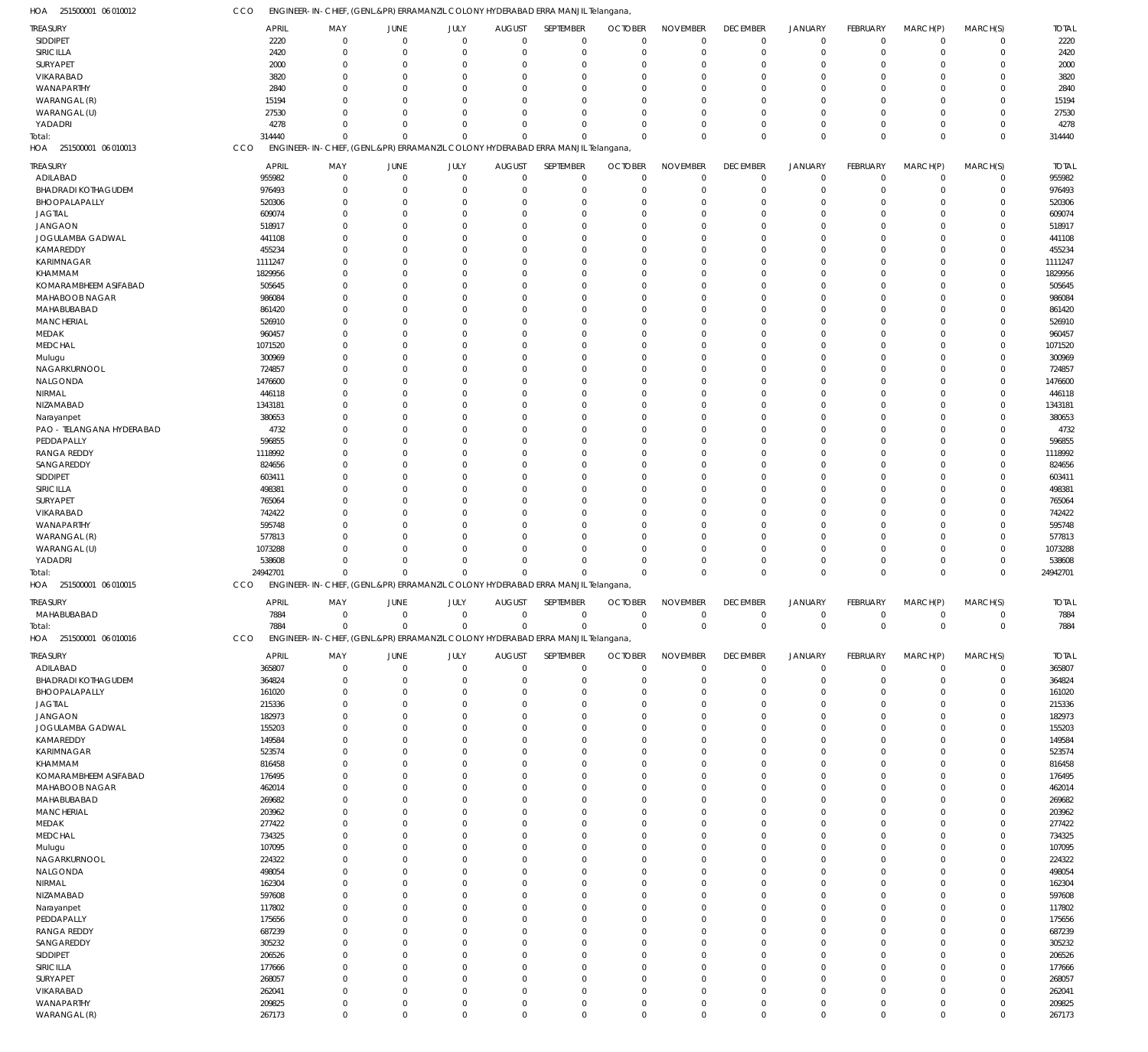| HOA 251500001 06 010012            | CCO                    | ENGINEER-IN-CHIEF, (GENL.&PR) ERRAMANZIL COLONY HYDERABAD ERRA MANJIL Telangana, |                            |                            |                                 |                            |                                  |                             |                                |                               |                                |                         |                            |                        |
|------------------------------------|------------------------|----------------------------------------------------------------------------------|----------------------------|----------------------------|---------------------------------|----------------------------|----------------------------------|-----------------------------|--------------------------------|-------------------------------|--------------------------------|-------------------------|----------------------------|------------------------|
| TREASURY                           | <b>APRIL</b>           | MAY                                                                              | JUNE                       | JULY                       | <b>AUGUST</b>                   | SEPTEMBER                  | <b>OCTOBER</b>                   | <b>NOVEMBER</b>             | <b>DECEMBER</b>                | <b>JANUARY</b>                | FEBRUARY                       | MARCH(P)                | MARCH(S)                   | <b>TOTAL</b>           |
| SIDDIPET                           | 2220                   | $\mathbf{0}$                                                                     | $\overline{0}$             | $\mathbf 0$                | $\mathbf{0}$                    | $\mathbf 0$                | $\mathbf 0$                      | $\Omega$                    | $\mathbf 0$                    | $\mathbf 0$                   | $\mathbf 0$                    | $\overline{0}$          | $\mathbf 0$                | 2220                   |
| SIRICILLA                          | 2420                   | $\mathbf 0$                                                                      | $\mathbf 0$                | $\mathbf 0$                | 0                               | $\mathbf 0$                | $\Omega$                         | $\Omega$                    | $\mathbf 0$                    | $\mathbf 0$                   | $\mathbf 0$                    | $\mathbf 0$             | $\mathbf 0$                | 2420                   |
| SURYAPET                           | 2000                   | $\mathbf{0}$<br>$\Omega$                                                         | $\mathbf 0$<br>$\Omega$    | $\mathbf 0$<br>$\mathbf 0$ | $\Omega$                        | $\mathbf 0$<br>$\mathbf 0$ | $\Omega$<br>$\Omega$             | $\Omega$<br>$\Omega$        | $\overline{0}$<br>$\Omega$     | $\overline{0}$<br>$\Omega$    | $\Omega$<br>$\Omega$           | $\Omega$<br>$\Omega$    | $\mathbf 0$<br>$\mathbf 0$ | 2000                   |
| VIKARABAD<br>WANAPARTHY            | 3820<br>2840           | $\Omega$                                                                         | $\mathbf 0$                | $\Omega$                   | $\Omega$<br>$\Omega$            | $\mathbf 0$                | $\Omega$                         | $\Omega$                    | $\overline{0}$                 | $\Omega$                      | $\Omega$                       | $\Omega$                | $\mathbf 0$                | 3820<br>2840           |
| WARANGAL (R)                       | 15194                  | $\Omega$                                                                         | $\Omega$                   | $\mathbf 0$                | $\Omega$                        | $\mathbf 0$                | $\Omega$                         | $\Omega$                    | $\Omega$                       | $\Omega$                      | $\Omega$                       | $\Omega$                | $\mathbf 0$                | 15194                  |
| WARANGAL (U)                       | 27530                  | $\Omega$                                                                         | $\Omega$                   | $\Omega$                   | $\Omega$                        | $\mathbf 0$                | $\Omega$                         | $\Omega$                    | $\Omega$                       | $\Omega$                      | $\Omega$                       | $\Omega$                | $\mathbf 0$                | 27530                  |
| YADADRI                            | 4278                   | $\Omega$                                                                         | $\Omega$                   | $\mathbf 0$                | $\Omega$                        | $\mathbf 0$                | $\Omega$                         | $\Omega$                    | $\Omega$                       | $\mathbf 0$                   | $\Omega$                       | $\Omega$                | $\mathbf 0$                | 4278                   |
| Total:                             | 314440                 | $\Omega$                                                                         | $\Omega$                   | $\mathbf 0$                | $\mathbf 0$                     | $\Omega$                   | $\Omega$                         | $\Omega$                    | $\mathbf 0$                    | $\mathbf 0$                   | $\Omega$                       | $\Omega$                | $\mathbf 0$                | 314440                 |
| HOA 251500001 06 010013            | CCO                    | ENGINEER-IN-CHIEF, (GENL.&PR) ERRAMANZIL COLONY HYDERABAD ERRA MANJIL Telangana, |                            |                            |                                 |                            |                                  |                             |                                |                               |                                |                         |                            |                        |
| TREASURY                           | <b>APRIL</b>           | MAY                                                                              | JUNE                       | JULY                       | <b>AUGUST</b>                   | SEPTEMBER                  | <b>OCTOBER</b>                   | <b>NOVEMBER</b>             | <b>DECEMBER</b>                | <b>JANUARY</b>                | FEBRUARY                       | MARCH(P)                | MARCH(S)                   | <b>TOTAL</b>           |
| ADILABAD                           | 955982                 | $\mathbf 0$                                                                      | $\mathbf 0$                | $\mathbf 0$                | $\mathbf 0$                     | 0                          | $\mathbf 0$                      | $\Omega$                    | $\overline{0}$                 | $\overline{0}$                | $\mathbf 0$                    | $\mathbf 0$             | $\mathbf 0$                | 955982                 |
| <b>BHADRADI KOTHAGUDEM</b>         | 976493                 | $\Omega$                                                                         | $\mathbf 0$                | $\mathbf 0$                | 0                               | $\mathbf 0$                | $\Omega$                         | $\Omega$                    | $^{\circ}$                     | $\overline{0}$                | 0                              | $\Omega$                | $\mathbf 0$                | 976493                 |
| BHOOPALAPALLY                      | 520306                 | $\mathbf{0}$                                                                     | $\mathbf 0$                | $\mathbf 0$                | 0                               | $\mathbf 0$                | C                                | $\Omega$                    | $^{\circ}$                     | $\overline{0}$                | $\Omega$                       | $\Omega$                | $\mathbf 0$                | 520306                 |
| <b>JAGTIAL</b>                     | 609074                 | $\Omega$                                                                         | 0                          | $\mathbf 0$                | 0                               | $\mathbf 0$                | $\Omega$                         | $\Omega$                    | $\Omega$                       | $\Omega$                      | $\Omega$                       | $\Omega$                | $\mathbf 0$                | 609074                 |
| <b>JANGAON</b><br>JOGULAMBA GADWAL | 518917<br>441108       | $\Omega$<br>$\Omega$                                                             | 0<br>0                     | 0<br>$\mathbf 0$           | 0<br>0                          | $\mathbf 0$<br>$\mathbf 0$ | ſ<br>ſ                           | $\Omega$<br>$\Omega$        | $\Omega$<br>$\Omega$           | $\Omega$<br>$\Omega$          | $\Omega$<br>$\Omega$           | $\Omega$<br>$\Omega$    | $\mathbf 0$<br>$\mathbf 0$ | 518917<br>441108       |
| KAMAREDDY                          | 455234                 | $\Omega$                                                                         | 0                          | $\mathbf 0$                | 0                               | $\mathbf 0$                | ſ                                | $\Omega$                    | $\Omega$                       | $\Omega$                      | $\Omega$                       | $\Omega$                | $\mathbf 0$                | 455234                 |
| KARIMNAGAR                         | 1111247                | O                                                                                | $\Omega$                   | 0                          | 0                               | $\mathbf 0$                | $\Omega$                         | $\cap$                      | $\Omega$                       | $\Omega$                      | $\Omega$                       | $\Omega$                | $\mathbf 0$                | 1111247                |
| <b>KHAMMAM</b>                     | 1829956                | $\Omega$                                                                         | 0                          | $\mathbf 0$                | 0                               | $\mathbf 0$                | ſ                                | $\Omega$                    | $\Omega$                       | $\Omega$                      | $\Omega$                       | $\Omega$                | $\mathbf 0$                | 1829956                |
| KOMARAMBHEEM ASIFABAD              | 505645                 | $\Omega$                                                                         | 0                          | $\mathbf 0$                | 0                               | $\mathbf 0$                | $\Omega$                         | $\Omega$                    | $\Omega$                       | $\Omega$                      | $\Omega$                       | $\Omega$                | $\mathbf 0$                | 505645                 |
| MAHABOOB NAGAR                     | 986084                 | $\Omega$                                                                         | $\Omega$                   | $\mathbf 0$                | 0                               | $\mathbf 0$                | $\Omega$                         | $\Omega$                    | $\Omega$                       | $\Omega$                      | $\Omega$                       | $\Omega$                | $\mathbf 0$                | 986084                 |
| MAHABUBABAD                        | 861420                 | $\Omega$                                                                         | $\Omega$                   | $\mathbf 0$                | 0                               | $\mathbf 0$                | $\sqrt{ }$                       | $\Omega$                    | $\Omega$                       | $\Omega$                      | $\Omega$                       | $\Omega$                | $\mathbf 0$                | 861420                 |
| <b>MANCHERIAL</b>                  | 526910                 | $\Omega$                                                                         | 0                          | $\mathbf 0$                | 0                               | $\mathbf 0$                | $\Omega$                         | $\Omega$                    | 0                              | $\Omega$                      | $\Omega$                       | $\Omega$                | $\mathbf 0$                | 526910                 |
| MEDAK<br><b>MEDCHAL</b>            | 960457<br>1071520      | $\Omega$<br>$\Omega$                                                             | $\Omega$<br>$\Omega$       | $\mathbf 0$<br>$\mathbf 0$ | 0<br>0                          | $\mathbf 0$<br>$\mathbf 0$ | ſ<br>ſ                           | $\cap$<br>$\Omega$          | $\Omega$<br>$\Omega$           | $\Omega$<br>$\Omega$          | $\Omega$<br>$\Omega$           | $\Omega$<br>$\Omega$    | $\mathbf 0$<br>$\mathbf 0$ | 960457<br>1071520      |
| Mulugu                             | 300969                 | $\Omega$                                                                         | 0                          | $\mathbf 0$                | 0                               | $\mathbf 0$                | $\Omega$                         | $\Omega$                    | $\Omega$                       | $\Omega$                      | $\Omega$                       | $\Omega$                | $\mathbf 0$                | 300969                 |
| NAGARKURNOOL                       | 724857                 | $\Omega$                                                                         | $\Omega$                   | $\mathbf 0$                | 0                               | $\mathbf 0$                | ſ                                | $\Omega$                    | $\Omega$                       | $\Omega$                      | $\Omega$                       | $\Omega$                | $\mathbf 0$                | 724857                 |
| NALGONDA                           | 1476600                | $\Omega$                                                                         | $\Omega$                   | $\mathbf 0$                | 0                               | $\mathbf 0$                | ſ                                | $\cap$                      | $\Omega$                       | $\Omega$                      | $\Omega$                       | $\Omega$                | $\mathbf 0$                | 1476600                |
| NIRMAL                             | 446118                 | $\Omega$                                                                         | 0                          | $\mathbf 0$                | 0                               | $\mathbf 0$                | C                                | $\Omega$                    | 0                              | $\Omega$                      | $\Omega$                       | $\Omega$                | $\mathbf 0$                | 446118                 |
| NIZAMABAD                          | 1343181                | O                                                                                | 0                          | $\mathbf 0$                | 0                               | $\mathbf 0$                | $\Omega$                         | $\Omega$                    | $\Omega$                       | $\Omega$                      | $\Omega$                       | $\Omega$                | $\mathbf 0$                | 1343181                |
| Narayanpet                         | 380653                 | $\Omega$                                                                         | $\Omega$                   | $\mathbf 0$                | 0                               | $\mathbf 0$                | ſ                                | $\Omega$                    | $\Omega$                       | $\Omega$                      | $\Omega$                       | $\Omega$                | $\mathbf 0$                | 380653                 |
| PAO - TELANGANA HYDERABAD          | 4732                   | $\Omega$                                                                         | $\Omega$                   | $\mathbf 0$                | 0                               | $\mathbf 0$                | ſ                                | $\Omega$                    | $\Omega$                       | $\Omega$                      | $\Omega$                       | $\Omega$                | $\mathbf 0$                | 4732                   |
| PEDDAPALLY                         | 596855                 | $\Omega$<br>O                                                                    | $\Omega$                   | $\mathbf 0$                | 0                               | $\mathbf 0$                | $\Omega$                         | $\Omega$<br>$\Omega$        | $\Omega$                       | $\Omega$<br>$\Omega$          | $\Omega$                       | $\Omega$<br>$\Omega$    | $\mathbf 0$                | 596855                 |
| RANGA REDDY<br>SANGAREDDY          | 1118992<br>824656      | $\Omega$                                                                         | $\Omega$<br>0              | 0<br>$\mathbf 0$           | n<br>0                          | $\mathbf 0$<br>$\mathbf 0$ | ſ<br>ſ                           | $\Omega$                    | $\Omega$<br>$\Omega$           | $\Omega$                      | $\Omega$<br>$\Omega$           | $\Omega$                | $\mathbf 0$<br>$\mathbf 0$ | 1118992<br>824656      |
| SIDDIPET                           | 603411                 | $\Omega$                                                                         | 0                          | $\mathbf 0$                | 0                               | $\mathbf 0$                | ſ                                | $\cap$                      | $\Omega$                       | $\Omega$                      | $\Omega$                       | $\Omega$                | $\mathbf 0$                | 603411                 |
| SIRICILLA                          | 498381                 | $\Omega$                                                                         | $\Omega$                   | $\mathbf 0$                | 0                               | $\mathbf 0$                | ſ                                | $\Omega$                    | $\Omega$                       | $\Omega$                      | $\Omega$                       | $\Omega$                | $\mathbf 0$                | 498381                 |
| SURYAPET                           | 765064                 | $\Omega$                                                                         | 0                          | $\mathbf 0$                | 0                               | $\mathbf 0$                | ſ                                | $\Omega$                    | $\Omega$                       | $\Omega$                      | $\Omega$                       | $\Omega$                | $\mathbf 0$                | 765064                 |
| VIKARABAD                          | 742422                 | $\Omega$                                                                         | 0                          | $\mathbf 0$                | 0                               | $\mathbf 0$                | ſ                                | $\Omega$                    | $\Omega$                       | $\Omega$                      | $\Omega$                       | $\Omega$                | $\mathbf 0$                | 742422                 |
| WANAPARTHY                         | 595748                 | $\Omega$                                                                         | $\Omega$                   | $\mathbf 0$                | n                               | $\Omega$                   | ſ                                | $\Omega$                    | $\Omega$                       | $\Omega$                      | $\Omega$                       | $\Omega$                | $\mathbf 0$                | 595748                 |
| WARANGAL (R)                       | 577813                 | $\Omega$                                                                         | $\Omega$                   | $\mathbf 0$                | 0                               | $\mathbf 0$                | C                                | $\Omega$                    | 0                              | $\Omega$                      | $\Omega$                       | $\Omega$                | $\mathbf 0$                | 577813                 |
| WARANGAL (U)                       | 1073288                | O                                                                                | $\Omega$                   | $\mathbf 0$                | 0                               | $\mathbf 0$                | $\Omega$                         | $\Omega$                    | 0                              | $\Omega$                      | $\Omega$                       | $\mathbf 0$             | $\mathbf 0$                | 1073288                |
| YADADRI<br>Total:                  | 538608<br>24942701     | $\Omega$<br>$\Omega$                                                             | 0<br>$\Omega$              | $\mathbf 0$<br>$\mathbf 0$ | $\Omega$<br>$\Omega$            | $\mathbf 0$<br>$\Omega$    | ſ                                | $\Omega$<br>$\Omega$        | 0<br>$\Omega$                  | $\overline{0}$<br>$\Omega$    | 0<br>$\Omega$                  | $\mathbf 0$<br>$\Omega$ | $\mathbf 0$<br>$\mathbf 0$ | 538608<br>24942701     |
| HOA 251500001 06 010015            | CCO                    | ENGINEER-IN-CHIEF, (GENL.&PR) ERRAMANZIL COLONY HYDERABAD ERRA MANJIL Telangana, |                            |                            |                                 |                            |                                  |                             |                                |                               |                                |                         |                            |                        |
|                                    |                        |                                                                                  |                            |                            |                                 |                            |                                  |                             |                                |                               |                                |                         |                            |                        |
| TREASURY                           | <b>APRIL</b>           | MAY<br>$\mathbf 0$                                                               | JUNE<br>$\overline{0}$     | JULY                       | <b>AUGUST</b>                   | SEPTEMBER                  | <b>OCTOBER</b>                   | <b>NOVEMBER</b><br>$\Omega$ | <b>DECEMBER</b>                | <b>JANUARY</b>                | FEBRUARY<br>$\mathbf 0$        | MARCH(P)<br>$\mathbf 0$ | MARCH(S)                   | <b>TOTAL</b>           |
| MAHABUBABAD<br>Total:              | 7884<br>7884           | $\mathbf 0$                                                                      | $\mathbf 0$                | $\mathbf 0$<br>$\mathbf 0$ | $\mathbf{0}$<br>$\mathbf{0}$    | $\mathbf 0$<br>$\mathbf 0$ | $\overline{0}$<br>$\overline{0}$ | $\mathbf{0}$                | $\mathbf 0$<br>$\mathbf 0$     | $\mathbf 0$<br>$\mathbf 0$    | $\overline{0}$                 | $\overline{0}$          | $\mathbf 0$<br>$\mathbf 0$ | 7884<br>7884           |
| HOA 251500001 06 010016            | CCO                    | ENGINEER-IN-CHIEF, (GENL.&PR) ERRAMANZIL COLONY HYDERABAD ERRA MANJIL Telangana, |                            |                            |                                 |                            |                                  |                             |                                |                               |                                |                         |                            |                        |
|                                    |                        |                                                                                  |                            |                            |                                 |                            |                                  |                             |                                |                               |                                |                         |                            |                        |
| treasury<br>ADILABAD               | <b>APRIL</b><br>365807 | MAY<br>$\mathbf 0$                                                               | JUNE<br>$\mathbf 0$        | JULY<br>$\mathbf 0$        | <b>AUGUST</b><br>$\overline{0}$ | SEPTEMBER<br>$\mathbf 0$   | <b>OCTOBER</b><br>$\overline{0}$ | <b>NOVEMBER</b><br>$\Omega$ | <b>DECEMBER</b><br>$\mathbf 0$ | <b>JANUARY</b><br>$\mathbf 0$ | <b>FEBRUARY</b><br>$\mathbf 0$ | MARCH(P)<br>$\mathbf 0$ | MARCH(S)<br>0              | <b>TOTAL</b><br>365807 |
| <b>BHADRADI KOTHAGUDEM</b>         | 364824                 | $\mathbf{0}$                                                                     | $\mathbf 0$                | $\mathbf 0$                | 0                               | $\mathbf 0$                | $\Omega$                         | $\Omega$                    | $^{\circ}$                     | $\overline{0}$                | 0                              | $\mathbf 0$             | $\mathbf 0$                | 364824                 |
| BHOOPALAPALLY                      | 161020                 | $\mathbf{0}$                                                                     | $\mathbf 0$                | $\mathbf 0$                | 0                               | $\mathbf 0$                | $\Omega$                         | $\Omega$                    | $^{\circ}$                     | $\overline{0}$                | 0                              | $\Omega$                | $\mathbf 0$                | 161020                 |
| <b>JAGTIAL</b>                     | 215336                 | $\mathbf{0}$                                                                     | 0                          | $\mathbf 0$                | $\Omega$                        | $\mathbf 0$                | $\Omega$                         | $\Omega$                    | $^{\circ}$                     | $\overline{0}$                | $\Omega$                       | $\Omega$                | $\mathbf 0$                | 215336                 |
| <b>JANGAON</b>                     | 182973                 | $\Omega$                                                                         | $\mathbf 0$                | $\mathbf 0$                | 0                               | $\mathbf 0$                | $\Omega$                         | $\Omega$                    | $\Omega$                       | $\Omega$                      | $\Omega$                       | $\Omega$                | $\mathbf 0$                | 182973                 |
| JOGULAMBA GADWAL                   | 155203                 | $\Omega$                                                                         | $\mathbf 0$                | $\mathbf 0$                | 0                               | $\mathbf 0$                | $\Omega$                         | $\Omega$                    | $\mathbf 0$                    | $\Omega$                      | $\Omega$                       | $\Omega$                | $\mathbf 0$                | 155203                 |
| KAMAREDDY                          | 149584                 | $\Omega$                                                                         | $\mathbf 0$                | $\mathbf 0$                | $\Omega$                        | $\mathbf 0$                | $\Omega$                         | $\Omega$                    | $\Omega$                       | $\Omega$                      | $\Omega$                       | $\Omega$                | $\mathbf 0$                | 149584                 |
| KARIMNAGAR                         | 523574                 | $\Omega$                                                                         | $\Omega$                   | $\mathbf 0$                | 0                               | $\mathbf 0$                | $\Omega$                         | $\Omega$<br>$\Omega$        | $\Omega$                       | $\Omega$                      | $\Omega$                       | $\Omega$                | $\mathbf 0$                | 523574                 |
| KHAMMAM<br>KOMARAMBHEEM ASIFABAD   | 816458<br>176495       | $\Omega$<br>$\Omega$                                                             | $\mathbf 0$<br>$\mathbf 0$ | $\mathbf 0$<br>$\mathbf 0$ | 0<br>0                          | $\mathbf 0$<br>$\mathbf 0$ | $\Omega$<br>$\Omega$             | $\Omega$                    | $\Omega$<br>$\mathbf 0$        | $\Omega$<br>$\Omega$          | $\Omega$<br>$\Omega$           | $\Omega$<br>$\Omega$    | $\mathbf 0$<br>$\mathbf 0$ | 816458<br>176495       |
| MAHABOOB NAGAR                     | 462014                 | $\Omega$                                                                         | $\mathbf 0$                | $\mathbf 0$                | 0                               | $\mathbf 0$                | $\Omega$                         | $\Omega$                    | $\Omega$                       | $\Omega$                      | $\Omega$                       | $\Omega$                | $\mathbf 0$                | 462014                 |
| MAHABUBABAD                        | 269682                 | $\mathbf{0}$                                                                     | $\mathbf 0$                | $\mathbf 0$                | 0                               | $\mathbf 0$                | $\mathcal{L}$                    | $\Omega$                    | $\mathbf 0$                    | $\Omega$                      | $\Omega$                       | $\Omega$                | $\mathbf 0$                | 269682                 |
| <b>MANCHERIAL</b>                  | 203962                 | $\Omega$                                                                         | $\mathbf 0$                | $\mathbf 0$                | 0                               | $\mathbf 0$                | $\Omega$                         | $\Omega$                    | $\Omega$                       | $\Omega$                      | $\Omega$                       | $\Omega$                | $\mathbf 0$                | 203962                 |
| MEDAK                              | 277422                 | $\Omega$                                                                         | $\mathbf 0$                | $\mathbf 0$                | 0                               | $\mathbf 0$                | $\Omega$                         | $\Omega$                    | $\Omega$                       | $\Omega$                      | $\Omega$                       | $\Omega$                | $\mathbf 0$                | 277422                 |
| <b>MEDCHAL</b>                     | 734325                 | $\Omega$                                                                         | $\mathbf 0$                | $\mathbf 0$                | 0                               | $\mathbf 0$                | $\sqrt{ }$                       | $\Omega$                    | $\Omega$                       | $\Omega$                      | $\Omega$                       | $\Omega$                | $\mathbf 0$                | 734325                 |
| Mulugu                             | 107095                 | $\mathbf{0}$                                                                     | $\mathbf 0$                | $\mathbf 0$                | 0                               | $\mathbf 0$                | $\Omega$                         | $\Omega$                    | $\mathbf 0$                    | $\Omega$                      | $\Omega$                       | $\Omega$                | $\mathbf 0$                | 107095                 |
| NAGARKURNOOL                       | 224322                 | $\Omega$<br>$\Omega$                                                             | 0                          | $\mathbf 0$                | 0                               | $\mathbf 0$                | $\Omega$<br>$\Omega$             | $\Omega$<br>$\Omega$        | $\Omega$                       | $\Omega$<br>$\Omega$          | $\Omega$                       | $\Omega$<br>$\Omega$    | $\mathbf 0$<br>$\mathbf 0$ | 224322                 |
| NALGONDA<br>NIRMAL                 | 498054<br>162304       | $\Omega$                                                                         | $\mathbf 0$<br>$\mathbf 0$ | $\mathbf 0$<br>$\mathbf 0$ | 0<br>$\Omega$                   | $\mathbf 0$<br>$\mathbf 0$ | $\Omega$                         | $\Omega$                    | $\mathbf 0$<br>$\Omega$        | $\Omega$                      | $\Omega$<br>$\Omega$           | $\Omega$                | $\mathbf 0$                | 498054<br>162304       |
| NIZAMABAD                          | 597608                 | $\Omega$                                                                         | $\mathbf 0$                | $\mathbf 0$                | $\Omega$                        | $\mathbf 0$                | $\Omega$                         | $\Omega$                    | $\Omega$                       | $\Omega$                      | $\Omega$                       | $\Omega$                | $\mathbf 0$                | 597608                 |
| Narayanpet                         | 117802                 | $\Omega$                                                                         | $\mathbf 0$                | $\mathbf 0$                | 0                               | $\mathbf 0$                | $\Omega$                         | $\Omega$                    | $\Omega$                       | $\Omega$                      | $\Omega$                       | $\Omega$                | $\mathbf 0$                | 117802                 |
| PEDDAPALLY                         | 175656                 | $\mathbf{0}$                                                                     | $\mathbf 0$                | $\mathbf 0$                | 0                               | $\mathbf 0$                | $\Omega$                         | $\Omega$                    | $\mathbf 0$                    | $\Omega$                      | $\Omega$                       | $\Omega$                | $\mathbf 0$                | 175656                 |
| RANGA REDDY                        | 687239                 | $\Omega$                                                                         | $\mathbf 0$                | $\mathbf 0$                | 0                               | $\mathbf 0$                | $\Omega$                         | $\Omega$                    | $\Omega$                       | $\Omega$                      | $\Omega$                       | $\Omega$                | $\mathbf 0$                | 687239                 |
| SANGAREDDY                         | 305232                 | $\Omega$                                                                         | $\mathbf 0$                | $\mathbf 0$                | 0                               | $\mathbf 0$                | $\Omega$                         | $\Omega$                    | $\mathbf 0$                    | $\Omega$                      | $\Omega$                       | $\Omega$                | $\mathbf 0$                | 305232                 |
| SIDDIPET                           | 206526                 | $\Omega$                                                                         | $\mathbf 0$                | $\mathbf 0$                | 0                               | $\mathbf 0$                | $\Omega$                         | $\Omega$                    | $\mathbf 0$                    | $\Omega$                      | $\Omega$                       | $\Omega$                | $\mathbf 0$                | 206526                 |
| SIRICILLA                          | 177666                 | $\Omega$                                                                         | 0                          | $\mathbf 0$                | $\Omega$                        | $\mathbf 0$                | $\Omega$                         | $\Omega$                    | $\Omega$                       | $\Omega$                      | $\Omega$                       | $\Omega$                | $\mathbf 0$                | 177666                 |
| SURYAPET<br>VIKARABAD              | 268057<br>262041       | $\Omega$<br>$\mathbf{0}$                                                         | $\Omega$<br>$\mathbf 0$    | $\mathbf 0$<br>$\mathbf 0$ | 0<br>$\Omega$                   | $\mathbf 0$<br>$\mathbf 0$ | $\Omega$<br>$\Omega$             | $\Omega$<br>$\Omega$        | $\Omega$<br>$^{\circ}$         | $\Omega$<br>$\overline{0}$    | $\Omega$<br>$\Omega$           | $\Omega$<br>$\mathbf 0$ | $\mathbf 0$<br>$\mathbf 0$ | 268057<br>262041       |
| WANAPARTHY                         | 209825                 | $\mathbf{0}$                                                                     | $\mathbf 0$                | $\mathbf 0$                | 0                               | $\mathbf 0$                | $\Omega$                         | $\Omega$                    | $^{\circ}$                     | $\overline{0}$                | 0                              | $\mathbf 0$             | $\mathbf 0$                | 209825                 |
| WARANGAL (R)                       | 267173                 | $\mathbf 0$                                                                      | $\mathbf 0$                | $\mathbf 0$                | $\Omega$                        | $\mathbf 0$                | $\Omega$                         | $\mathbf 0$                 | $\mathbf 0$                    | $\mathbb O$                   | $\mathbf 0$                    | $\mathbf 0$             | $\mathbf 0$                | 267173                 |
|                                    |                        |                                                                                  |                            |                            |                                 |                            |                                  |                             |                                |                               |                                |                         |                            |                        |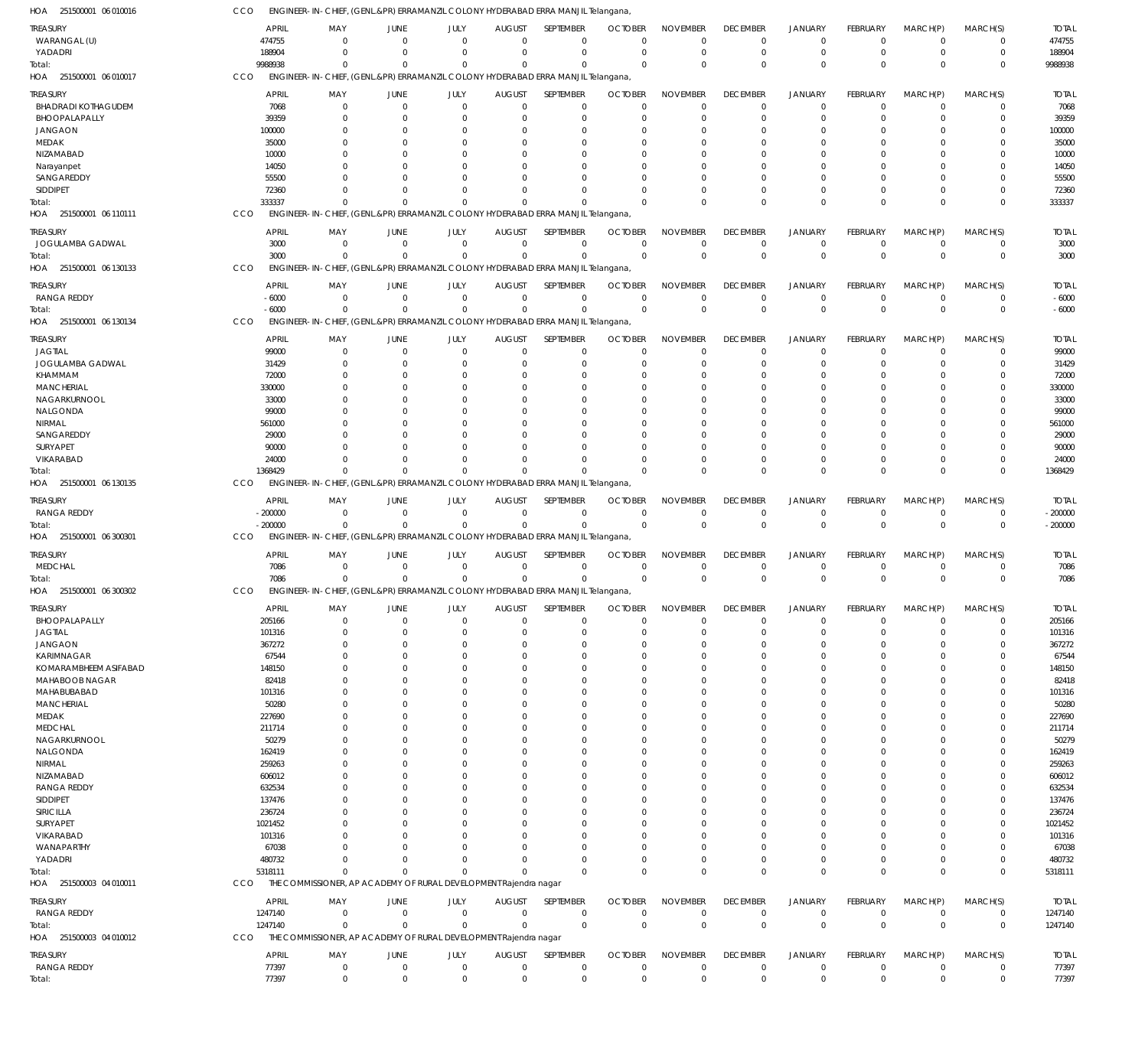| HOA 251500001 06 010016                       | CCO              | ENGINEER-IN-CHIEF, (GENL.&PR) ERRAMANZIL COLONY HYDERABAD ERRA MANJIL Telangana,                         |                            |                             |                                 |                               |                                  |                                |                                |                               |                                   |                         |                          |                      |
|-----------------------------------------------|------------------|----------------------------------------------------------------------------------------------------------|----------------------------|-----------------------------|---------------------------------|-------------------------------|----------------------------------|--------------------------------|--------------------------------|-------------------------------|-----------------------------------|-------------------------|--------------------------|----------------------|
| <b>TREASURY</b>                               |                  | <b>APRIL</b><br>MAY                                                                                      | JUNE                       | JULY                        | <b>AUGUST</b>                   | SEPTEMBER                     | <b>OCTOBER</b>                   | <b>NOVEMBER</b>                | <b>DECEMBER</b>                | <b>JANUARY</b>                | <b>FEBRUARY</b>                   | MARCH(P)                | MARCH(S)                 | <b>TOTAL</b>         |
| WARANGAL (U)                                  | 474755           | $\Omega$                                                                                                 | $\overline{0}$             | $\mathbf{0}$                | $\overline{0}$                  | $\mathbf 0$                   | $\mathbf 0$                      | $\mathbf 0$                    | $\mathbf 0$                    | $\mathbf 0$                   | $^{\circ}$                        | $\Omega$                | $\Omega$                 | 474755               |
| YADADRI                                       | 188904           | $\Omega$                                                                                                 | $\Omega$                   | $\Omega$                    | $\mathbf 0$                     | $\mathbf 0$                   | $\overline{0}$                   | $\Omega$                       | 0                              | $\mathbf 0$                   | $\Omega$                          | $\Omega$                | 0                        | 188904               |
| Total:<br>HOA 251500001 06 010017             | 9988938<br>CCO   | $\Omega$<br>ENGINEER-IN-CHIEF, (GENL.&PR) ERRAMANZIL COLONY HYDERABAD ERRA MANJIL Telangana,             | $\Omega$                   | $\Omega$                    | $\Omega$                        | $\Omega$                      | $\Omega$                         | $\Omega$                       | $\Omega$                       | $\mathbf 0$                   | $\Omega$                          | $\Omega$                | $\Omega$                 | 9988938              |
|                                               |                  |                                                                                                          |                            |                             |                                 | <b>SEPTEMBER</b>              |                                  | <b>NOVEMBER</b>                |                                |                               |                                   |                         |                          |                      |
| <b>TREASURY</b><br><b>BHADRADI KOTHAGUDEM</b> |                  | <b>APRIL</b><br>MAY<br>7068<br>$\mathbf 0$                                                               | JUNE<br>$\overline{0}$     | JULY<br>$\mathbf 0$         | <b>AUGUST</b><br>$\overline{0}$ | $\mathbf 0$                   | <b>OCTOBER</b><br>$\overline{0}$ | $\mathbf 0$                    | <b>DECEMBER</b><br>$\mathbf 0$ | <b>JANUARY</b><br>$\mathbf 0$ | <b>FEBRUARY</b><br>$\overline{0}$ | MARCH(P)<br>$\Omega$    | MARCH(S)<br>$\Omega$     | <b>TOTAL</b><br>7068 |
| BHOOPALAPALLY                                 |                  | 39359<br>$\Omega$                                                                                        | $\Omega$                   | $\Omega$                    | $\Omega$                        | $\mathbf 0$                   | $\mathbf 0$                      | 0                              | 0                              | $\mathbf 0$                   | -0                                | $\Omega$                |                          | 39359                |
| <b>JANGAON</b>                                | 100000           | $\Omega$                                                                                                 | $\Omega$                   | 0                           | $\Omega$                        | 0                             | $\Omega$                         | $\Omega$                       | 0                              | $\mathbf 0$                   | -C                                | $\Omega$                |                          | 100000               |
| MEDAK                                         |                  | 35000<br>$\Omega$                                                                                        | $\Omega$                   | 0                           | $\Omega$                        | 0                             | 0                                | $\Omega$                       | 0                              | $\mathbf 0$                   | -0                                | $\Omega$                |                          | 35000                |
| NIZAMABAD                                     |                  | 10000<br>14050<br>0                                                                                      | $\Omega$<br>$\Omega$       | n<br>0                      | $\Omega$<br>$\Omega$            | 0                             | O<br>0                           | $\Omega$<br>0                  | 0<br>0                         | $\Omega$<br>$\Omega$          | -C                                | $\Omega$<br>$\Omega$    |                          | 10000<br>14050       |
| Narayanpet<br>SANGAREDDY                      |                  | 55500                                                                                                    |                            | $\Omega$                    | $\Omega$                        |                               | O                                | $\Omega$                       | $\Omega$                       | $\Omega$                      | -0                                | $\Omega$                |                          | 55500                |
| <b>SIDDIPET</b>                               |                  | 72360<br><sup>0</sup>                                                                                    | $\Omega$                   | $\Omega$                    | $\Omega$                        | $\Omega$                      | $\Omega$                         | $\Omega$                       | 0                              | $\mathbf 0$                   | $\Omega$                          | $\Omega$                |                          | 72360                |
| Total:                                        | 333337           | $\Omega$                                                                                                 | $\Omega$                   | $\Omega$                    | $\Omega$                        | $\Omega$                      | $\Omega$                         | $\Omega$                       | $\Omega$                       | $\mathbf 0$                   | $\Omega$                          | $\Omega$                | $\Omega$                 | 333337               |
| HOA 251500001 06 110111                       | CCO              | ENGINEER-IN-CHIEF, (GENL.&PR) ERRAMANZIL COLONY HYDERABAD ERRA MANJIL Telangana,                         |                            |                             |                                 |                               |                                  |                                |                                |                               |                                   |                         |                          |                      |
| <b>TREASURY</b>                               |                  | <b>APRIL</b><br>MAY                                                                                      | JUNE                       | JULY                        | <b>AUGUST</b>                   | SEPTEMBER                     | <b>OCTOBER</b>                   | <b>NOVEMBER</b>                | <b>DECEMBER</b>                | <b>JANUARY</b>                | <b>FEBRUARY</b>                   | MARCH(P)                | MARCH(S)                 | <b>TOTAL</b>         |
| JOGULAMBA GADWAL                              |                  | 3000<br>$\Omega$                                                                                         | $\Omega$                   | $\mathbf 0$                 | $\overline{0}$                  | $\mathbf 0$                   | $\overline{0}$                   | $\mathbf 0$                    | $\mathbf 0$                    | $\mathbf 0$                   | $\overline{0}$                    | $\Omega$                | $\Omega$                 | 3000                 |
| Total:<br>HOA 251500001 06 130133             | CCO              | 3000<br>$\mathbf{0}$<br>ENGINEER-IN-CHIEF, (GENL.&PR) ERRAMANZIL COLONY HYDERABAD ERRA MANJIL Telangana, | $\Omega$                   | $\Omega$                    | $\Omega$                        | $\mathbf 0$                   | $\overline{0}$                   | $\mathbf 0$                    | $\mathbf{0}$                   | $\mathbf 0$                   | $\Omega$                          | $\Omega$                | $\mathbf 0$              | 3000                 |
|                                               |                  |                                                                                                          |                            |                             |                                 |                               |                                  |                                |                                |                               |                                   |                         |                          |                      |
| treasury                                      |                  | <b>APRIL</b><br>MAY                                                                                      | JUNE                       | JULY                        | <b>AUGUST</b>                   | SEPTEMBER                     | <b>OCTOBER</b>                   | <b>NOVEMBER</b>                | <b>DECEMBER</b>                | <b>JANUARY</b>                | <b>FEBRUARY</b>                   | MARCH(P)                | MARCH(S)                 | <b>TOTAL</b>         |
| <b>RANGA REDDY</b><br>Total:                  |                  | $-6000$<br>$\overline{0}$<br>$-6000$<br>$\Omega$                                                         | $\overline{0}$<br>$\Omega$ | $\mathbf{0}$<br>$\mathbf 0$ | $\overline{0}$<br>$\mathbf 0$   | $\overline{0}$<br>$\mathbf 0$ | $\overline{0}$<br>$\overline{0}$ | $\mathbf 0$<br>$\mathbf 0$     | $\mathbf 0$<br>$\mathbf 0$     | $\mathbf 0$<br>$\mathbf 0$    | $\overline{0}$<br>$\Omega$        | $\mathbf 0$<br>$\Omega$ | $\Omega$<br>$\mathbf{0}$ | $-6000$<br>$-6000$   |
| HOA 251500001 06 130134                       | CCO              | ENGINEER-IN-CHIEF, (GENL.&PR) ERRAMANZIL COLONY HYDERABAD ERRA MANJIL Telangana,                         |                            |                             |                                 |                               |                                  |                                |                                |                               |                                   |                         |                          |                      |
|                                               |                  | <b>APRIL</b><br>MAY                                                                                      | JUNE                       | JULY                        | <b>AUGUST</b>                   | <b>SEPTEMBER</b>              | <b>OCTOBER</b>                   | <b>NOVEMBER</b>                | <b>DECEMBER</b>                | <b>JANUARY</b>                | <b>FEBRUARY</b>                   | MARCH(P)                |                          | <b>TOTAL</b>         |
| TREASURY<br><b>JAGTIAL</b>                    |                  | 99000<br>$\mathbf 0$                                                                                     | $\mathbf 0$                | $\mathbf 0$                 | $\mathbf 0$                     | $\mathbf 0$                   | $\mathbf 0$                      | $\mathbf 0$                    | $\mathbf 0$                    | $\mathbf 0$                   | $\overline{0}$                    | $\Omega$                | MARCH(S)<br>$\Omega$     | 99000                |
| JOGULAMBA GADWAL                              |                  | 31429<br>$\Omega$                                                                                        | 0                          | $\Omega$                    | $\Omega$                        | 0                             | 0                                | $\mathbf 0$                    | 0                              | 0                             | $\Omega$                          | $\Omega$                | $\Omega$                 | 31429                |
| KHAMMAM                                       |                  | 72000<br>$\Omega$                                                                                        | $\Omega$                   | $\Omega$                    | $\Omega$                        | 0                             | 0                                | $\Omega$                       | $\Omega$                       | $\Omega$                      | $\Omega$                          | $\Omega$                |                          | 72000                |
| <b>MANCHERIAL</b>                             | 330000           | 0                                                                                                        | $\Omega$                   |                             | $\Omega$                        | 0                             | O                                | $\Omega$                       | 0                              | $\Omega$                      | -0                                | $\Omega$                |                          | 330000               |
| NAGARKURNOOL<br>NALGONDA                      |                  | 33000<br><sup>0</sup><br>99000                                                                           | $\Omega$<br>$\Omega$       | $\Omega$                    | $\Omega$                        | O<br>0                        | O<br>O                           | $\Omega$<br>$\Omega$           | 0<br>0                         | $\Omega$<br>$\Omega$          | $\Omega$<br>-C                    | $\Omega$<br>$\Omega$    |                          | 33000<br>99000       |
| NIRMAL                                        | 561000           |                                                                                                          | $\Omega$                   | $\Omega$                    | $\Omega$                        | O                             | O                                | $\Omega$                       | $\Omega$                       | $\Omega$                      | $\Omega$                          | $\Omega$                |                          | 561000               |
| SANGAREDDY                                    |                  | 29000                                                                                                    | $\Omega$                   |                             | $\Omega$                        | 0                             | O                                | $\Omega$                       | 0                              | $\Omega$                      | -C                                | $\Omega$                |                          | 29000                |
| SURYAPET                                      |                  | 90000                                                                                                    | $\Omega$                   | $\Omega$                    | $\Omega$                        | O                             | C.                               | $\Omega$                       | $\Omega$                       | $\Omega$                      | $\Omega$                          | $\Omega$                |                          | 90000                |
| VIKARABAD                                     |                  | 24000<br>$\Omega$                                                                                        | $\Omega$                   | $\Omega$                    | $\Omega$                        | $\Omega$                      | $\Omega$                         | $\Omega$                       | 0                              | $\mathbf 0$                   | $\Omega$                          | $\Omega$                |                          | 24000                |
| Total:                                        | 1368429          | $\Omega$                                                                                                 | $\Omega$                   | $\Omega$                    | $\Omega$                        | $\Omega$                      | $\Omega$                         | $\Omega$                       | $\Omega$                       | $\mathbf 0$                   | $\Omega$                          | $\Omega$                | $\Omega$                 | 1368429              |
| 06 130135<br>HOA 251500001                    | CCO              | ENGINEER-IN-CHIEF, (GENL.&PR) ERRAMANZIL COLONY HYDERABAD ERRA MANJIL Telangana,                         |                            |                             |                                 |                               |                                  |                                |                                |                               |                                   |                         |                          |                      |
| treasury                                      |                  | <b>APRIL</b><br>MAY                                                                                      | JUNE                       | JULY                        | <b>AUGUST</b>                   | SEPTEMBER                     | <b>OCTOBER</b>                   | <b>NOVEMBER</b>                | <b>DECEMBER</b>                | <b>JANUARY</b>                | <b>FEBRUARY</b>                   | MARCH(P)                | MARCH(S)                 | <b>TOTAL</b>         |
| <b>RANGA REDDY</b>                            | $-200000$        | $\mathbf 0$                                                                                              | $\mathbf 0$                | $\mathbf{0}$                | $\overline{0}$                  | $\mathbf 0$                   | $\overline{0}$                   | $\mathbf 0$                    | $\mathbf 0$                    | $\mathbf 0$                   | $^{\circ}$                        | $\Omega$                | $\Omega$                 | $-200000$            |
| Total:<br>HOA 251500001 06 300301             | $-200000$<br>CCO | $\Omega$<br>ENGINEER-IN-CHIEF, (GENL.&PR) ERRAMANZIL COLONY HYDERABAD ERRA MANJIL Telangana,             | $\overline{0}$             | $\mathbf{0}$                | $\overline{0}$                  | $\mathbf 0$                   | $\overline{0}$                   | $\mathbf 0$                    | $\mathbf 0$                    | $\mathbf 0$                   | $\Omega$                          | $\Omega$                | $\Omega$                 | $-200000$            |
|                                               |                  |                                                                                                          |                            |                             |                                 |                               |                                  |                                |                                |                               |                                   |                         |                          |                      |
| TREASURY<br>MEDCHAL                           |                  | <b>APRIL</b><br>MAY<br>7086<br>$\Omega$                                                                  | JUNE<br>$\overline{0}$     | JULY<br>$\mathbf{0}$        | <b>AUGUST</b><br>$\overline{0}$ | SEPTEMBER<br>$\mathbf 0$      | <b>OCTOBER</b><br>$\mathbf 0$    | <b>NOVEMBER</b><br>$\mathbf 0$ | <b>DECEMBER</b><br>$\mathbf 0$ | <b>JANUARY</b><br>$\mathbf 0$ | FEBRUARY<br>$^{\circ}$            | MARCH(P)<br>0           | MARCH(S)<br>$\Omega$     | <b>TOTAL</b><br>7086 |
| Total:                                        |                  | 7086<br>$\Omega$                                                                                         | $\Omega$                   | $\Omega$                    | $\Omega$                        | $\mathbf 0$                   | $\Omega$                         | $\Omega$                       | $\mathbf{0}$                   | $\mathbf 0$                   | $\Omega$                          | $\Omega$                | $\mathbf 0$              | 7086                 |
| HOA 251500001 06 300302                       | CCO              | ENGINEER-IN-CHIEF, (GENL.&PR) ERRAMANZIL COLONY HYDERABAD ERRA MANJIL Telangana,                         |                            |                             |                                 |                               |                                  |                                |                                |                               |                                   |                         |                          |                      |
| <b>TREASURY</b>                               |                  | <b>APRIL</b><br>MAY                                                                                      | JUNE                       | JULY                        | <b>AUGUST</b>                   | SEPTEMBER                     | <b>OCTOBER</b>                   | <b>NOVEMBER</b>                | <b>DECEMBER</b>                | <b>JANUARY</b>                | <b>FEBRUARY</b>                   | MARCH(P)                | MARCH(S)                 | <b>TOTAL</b>         |
| BHOOPALAPALLY                                 | 205166           | 0                                                                                                        | $\overline{0}$             | $\mathbf 0$                 | $\mathbf 0$                     | $\mathbf 0$                   | $\mathbf 0$                      | $\mathbf 0$                    | $\mathbf 0$                    | $\mathbf 0$                   | $\overline{0}$                    | $\Omega$                | $\Omega$                 | 205166               |
| <b>JAGTIAL</b>                                | 101316           | $\mathbf 0$                                                                                              | $\overline{0}$             | $\mathbf 0$                 | $\mathbf 0$                     | $\mathbf 0$                   | $\mathbf 0$                      | $\mathbf 0$                    | $\mathbf 0$                    | $\mathbf 0$                   | 0                                 | $\Omega$                | $\Omega$                 | 101316               |
| <b>JANGAON</b>                                | 367272           | 0                                                                                                        | $\Omega$                   | 0                           | $\Omega$                        | 0                             | O                                | 0                              | 0                              | $\mathbf 0$                   | -0                                | $\Omega$                |                          | 367272               |
| KARIMNAGAR                                    |                  | 67544<br>$\Omega$                                                                                        | $\Omega$                   | 0                           | $\Omega$                        | 0                             | 0                                | 0                              | 0                              | $\mathbf 0$                   | -C                                | $\Omega$                |                          | 67544                |
| KOMARAMBHEEM ASIFABAD                         | 148150           | 0                                                                                                        | $\Omega$                   | 0                           | $\Omega$                        | 0                             | O                                | 0                              | 0                              | 0                             | -0                                | $\Omega$                |                          | 148150               |
| MAHABOOB NAGAR<br>MAHABUBABAD                 | 101316           | 82418<br>0<br>$\Omega$                                                                                   | $\Omega$<br>$\Omega$       | U<br>U                      | $\Omega$<br>$\Omega$            | 0<br>0                        | $\Omega$<br>$\Omega$             | 0<br>0                         | 0<br>0                         | $\Omega$<br>$\Omega$          | -C<br>-C                          | $\Omega$<br>$\Omega$    |                          | 82418<br>101316      |
| <b>MANCHERIAL</b>                             |                  | 50280<br>0                                                                                               | $\Omega$                   |                             | $\Omega$                        | 0                             | $\Omega$                         | 0                              | 0                              | $\Omega$                      |                                   | $\Omega$                |                          | 50280                |
| MEDAK                                         | 227690           | $\Omega$                                                                                                 | $\Omega$                   | U                           | $\Omega$                        | 0                             | $\Omega$                         | 0                              | 0                              | 0                             | -C                                | $\Omega$                |                          | 227690               |
| <b>MEDCHAL</b>                                | 211714           | 0                                                                                                        | $\Omega$                   |                             | $\Omega$                        | $\Omega$                      | $\Omega$                         | 0                              | 0                              | $\Omega$                      |                                   | $\Omega$                |                          | 211714               |
| NAGARKURNOOL                                  |                  | 50279<br>0                                                                                               | $\Omega$                   |                             | $\Omega$                        | 0                             | $\Omega$                         | 0                              | 0                              | 0                             | -C                                | $\Omega$                |                          | 50279                |
| NALGONDA                                      | 162419           | 0                                                                                                        | $\Omega$                   |                             | $\Omega$                        | O                             | $\Omega$                         | 0                              | 0                              | $\Omega$                      |                                   | $\Omega$                |                          | 162419               |
| NIRMAL<br>NIZAMABAD                           | 259263<br>606012 | $\Omega$<br>0                                                                                            | $\Omega$<br>$\Omega$       |                             | $\Omega$<br>$\Omega$            | 0<br>0                        | $\Omega$<br>$\Omega$             | 0<br>0                         | 0<br>0                         | $\Omega$<br>$\Omega$          | -C                                | $\Omega$<br>$\Omega$    |                          | 259263<br>606012     |
| <b>RANGA REDDY</b>                            | 632534           | $\Omega$                                                                                                 | $\Omega$                   | U                           | $\Omega$                        | 0                             | $\Omega$                         | 0                              | 0                              | $\Omega$                      | -C                                | $\Omega$                |                          | 632534               |
| SIDDIPET                                      | 137476           | 0                                                                                                        |                            |                             | $\Omega$                        |                               | $\Omega$                         | 0                              | 0                              | $\Omega$                      |                                   | $\Omega$                |                          | 137476               |
| SIRICILLA                                     | 236724           | $\Omega$                                                                                                 | $\Omega$                   |                             | $\Omega$                        | 0                             | $\Omega$                         | 0                              | 0                              | 0                             | -C                                | $\Omega$                |                          | 236724               |
| SURYAPET                                      | 1021452          | <sup>0</sup>                                                                                             |                            |                             | $\Omega$                        | O                             | $\Omega$                         | 0                              | 0                              | $\Omega$                      |                                   | $\Omega$                |                          | 1021452              |
| VIKARABAD                                     | 101316           | $\Omega$                                                                                                 | $\Omega$                   |                             | $\Omega$                        | 0                             | $\Omega$                         | 0                              | 0                              | 0                             |                                   | $\Omega$                |                          | 101316               |
| WANAPARTHY                                    | 480732           | 67038<br>0<br>$\Omega$                                                                                   | $\Omega$<br>$\Omega$       | $\Omega$                    | $\Omega$<br>$\Omega$            | 0<br>$\mathbf 0$              | $\Omega$<br>0                    | $\mathbf 0$<br>$\mathbf 0$     | 0<br>$\mathbf 0$               | $\mathbf 0$<br>$\mathbf 0$    | -0<br>$\Omega$                    | $\Omega$<br>$\Omega$    |                          | 67038<br>480732      |
| YADADRI<br>Total:                             | 5318111          | $\Omega$                                                                                                 | $\Omega$                   | $\Omega$                    | $\Omega$                        | $\Omega$                      | $\mathbf 0$                      | $\mathbf 0$                    | $\mathbf{0}$                   | $\mathbf 0$                   | $\Omega$                          | $\Omega$                | $\Omega$                 | 5318111              |
| HOA 251500003 04 010011                       | <b>CCO</b>       | THE COMMISSIONER, AP ACADEMY OF RURAL DEVELOPMENT Rajendra nagar                                         |                            |                             |                                 |                               |                                  |                                |                                |                               |                                   |                         |                          |                      |
| TREASURY                                      |                  | <b>APRIL</b><br>MAY                                                                                      | JUNE                       | JULY                        | <b>AUGUST</b>                   | SEPTEMBER                     | <b>OCTOBER</b>                   | <b>NOVEMBER</b>                | <b>DECEMBER</b>                | <b>JANUARY</b>                | <b>FEBRUARY</b>                   | MARCH(P)                | MARCH(S)                 | <b>TOTAL</b>         |
| RANGA REDDY                                   | 1247140          | $\Omega$                                                                                                 | $\overline{0}$             | $\mathbf 0$                 | $\overline{0}$                  | $\overline{0}$                | $\overline{0}$                   | $\mathbf 0$                    | $\mathbf 0$                    | 0                             | $\mathbf 0$                       | $\Omega$                | $\Omega$                 | 1247140              |
| Total:                                        | 1247140          | $\Omega$                                                                                                 | $\Omega$                   | $\mathbf 0$                 | $\Omega$                        | $\mathbf 0$                   | $\overline{0}$                   | $\mathbf 0$                    | $\mathbf{0}$                   | $\mathbf 0$                   | $\Omega$                          | $\Omega$                | $\mathbf 0$              | 1247140              |
| HOA 251500003 04 010012                       | CCO              | THE COMMISSIONER, AP ACADEMY OF RURAL DEVELOPMENT Rajendra nagar                                         |                            |                             |                                 |                               |                                  |                                |                                |                               |                                   |                         |                          |                      |
| treasury                                      |                  | <b>APRIL</b><br>MAY                                                                                      | JUNE                       | JULY                        | <b>AUGUST</b>                   | SEPTEMBER                     | <b>OCTOBER</b>                   | <b>NOVEMBER</b>                | <b>DECEMBER</b>                | <b>JANUARY</b>                | <b>FEBRUARY</b>                   | MARCH(P)                | MARCH(S)                 | <b>TOTAL</b>         |
| <b>RANGA REDDY</b>                            |                  | 77397<br>$\mathbf 0$                                                                                     | $\mathbf 0$                | $\mathbf{0}$                | $\overline{0}$                  | $\mathbf 0$                   | $\mathbf 0$                      | $\mathbf 0$                    | $\mathbf 0$                    | 0                             | $\mathbf 0$                       | $\mathbf 0$             | 0                        | 77397                |
| Total:                                        |                  | 77397<br>$\mathbf 0$                                                                                     | $\mathbf 0$                | $\mathbf 0$                 | $\overline{0}$                  | $\mathbf 0$                   | $\mathbf 0$                      | $\mathbf 0$                    | $\mathbf 0$                    | $\mathbf 0$                   | $\mathbf 0$                       | $\mathbf 0$             | $\mathbf 0$              | 77397                |

 $H \cap \Lambda$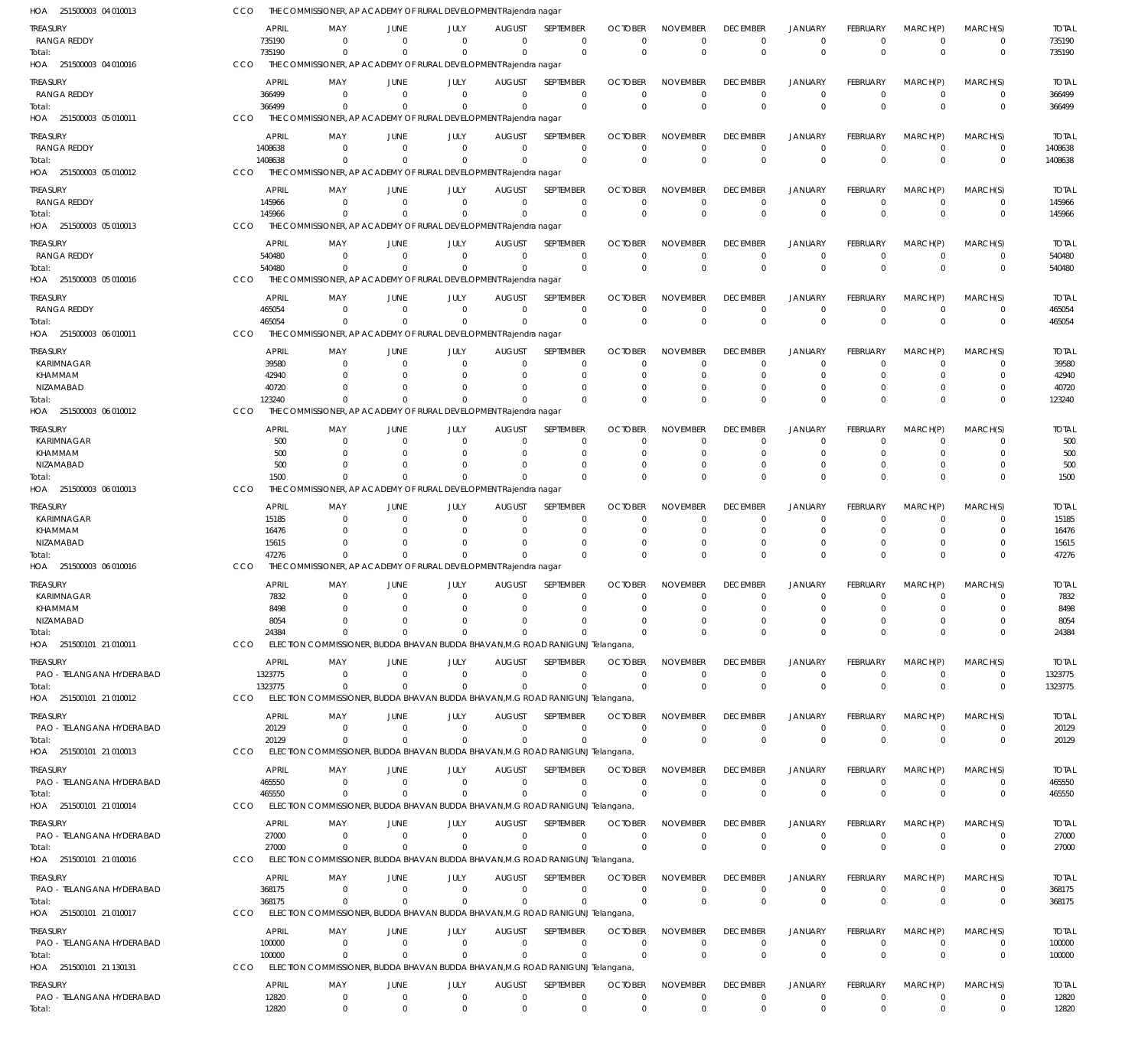| HOA 251500003 04 010013               | CCO        |                        | THE COMMISSIONER, AP ACADEMY OF RURAL DEVELOPMENT Rajendra nagar              |                                |                              |                                  |                                    |                               |                                |                                |                               |                             |                               |                             |                        |
|---------------------------------------|------------|------------------------|-------------------------------------------------------------------------------|--------------------------------|------------------------------|----------------------------------|------------------------------------|-------------------------------|--------------------------------|--------------------------------|-------------------------------|-----------------------------|-------------------------------|-----------------------------|------------------------|
| TREASURY                              |            | <b>APRIL</b>           | MAY                                                                           | JUNE                           | JULY                         | <b>AUGUST</b>                    | SEPTEMBER                          | <b>OCTOBER</b>                | <b>NOVEMBER</b>                | <b>DECEMBER</b>                | <b>JANUARY</b>                | <b>FEBRUARY</b>             | MARCH(P)                      | MARCH(S)                    | <b>TOTAL</b>           |
| <b>RANGA REDDY</b>                    |            | 735190                 | $\Omega$                                                                      | $\Omega$                       | $\Omega$                     | $\Omega$                         | $\mathbf 0$                        | $\Omega$                      | $\Omega$                       | $\mathbf 0$                    | $\mathbf 0$                   | $\Omega$                    | $\Omega$                      | 0                           | 735190                 |
| Total:<br>HOA 251500003 04 010016     | CCO        | 735190                 | $\Omega$<br>THE COMMISSIONER, AP ACADEMY OF RURAL DEVELOPMENT Rajendra nagar  | $\Omega$                       | $\Omega$                     | $\Omega$                         | $\Omega$                           | $\Omega$                      | $\Omega$                       | $\mathbf 0$                    | $\mathbf{0}$                  | $\Omega$                    | $\Omega$                      | $\mathbf 0$                 | 735190                 |
|                                       |            |                        |                                                                               |                                |                              |                                  |                                    |                               |                                |                                |                               |                             |                               |                             |                        |
| treasury<br>RANGA REDDY               |            | <b>APRIL</b><br>366499 | MAY<br>$\Omega$                                                               | <b>JUNE</b><br>$\Omega$        | JULY<br>$\mathbf{0}$         | <b>AUGUST</b><br>$\overline{0}$  | SEPTEMBER<br>$\overline{0}$        | <b>OCTOBER</b><br>$\Omega$    | <b>NOVEMBER</b><br>$\mathbf 0$ | <b>DECEMBER</b><br>$\mathbf 0$ | <b>JANUARY</b><br>$\mathbf 0$ | <b>FEBRUARY</b><br>$\Omega$ | MARCH(P)<br>$\overline{0}$    | MARCH(S)<br>$\mathbf 0$     | <b>TOTAL</b><br>366499 |
| Total:                                |            | 366499                 |                                                                               | $\Omega$                       | $\Omega$                     | $\Omega$                         | $\mathbf 0$                        | $\Omega$                      | $\mathbf 0$                    | $\Omega$                       | $\Omega$                      | $\Omega$                    | $\Omega$                      | $\mathbf{0}$                | 366499                 |
| HOA 251500003 05 010011               | CCO        |                        | THE COMMISSIONER, AP ACADEMY OF RURAL DEVELOPMENT Rajendra nagar              |                                |                              |                                  |                                    |                               |                                |                                |                               |                             |                               |                             |                        |
| treasury                              |            | <b>APRIL</b>           | MAY                                                                           | <b>JUNE</b>                    | JULY                         | <b>AUGUST</b>                    | SEPTEMBER                          | <b>OCTOBER</b>                | <b>NOVEMBER</b>                | <b>DECEMBER</b>                | <b>JANUARY</b>                | <b>FEBRUARY</b>             | MARCH(P)                      | MARCH(S)                    | <b>TOTAL</b>           |
| RANGA REDDY                           |            | 1408638                | $\Omega$                                                                      | $\Omega$                       | $\Omega$                     | $\Omega$                         | $\mathbf 0$                        | $\Omega$                      | $\mathbf 0$                    | $\mathbf 0$                    | $\mathbf 0$                   | $\Omega$                    | $\Omega$                      | $\mathbf 0$                 | 1408638                |
| Total:                                |            | 1408638                | $\Omega$                                                                      | $\Omega$                       | $\Omega$                     | $\Omega$                         | $\mathbf{0}$                       | $\Omega$                      | $\mathbf 0$                    | $\mathbf{0}$                   | $\mathbf 0$                   | $\Omega$                    | $\Omega$                      | $\mathbf 0$                 | 1408638                |
| HOA 251500003 05 010012               | CCO        |                        | THE COMMISSIONER, AP ACADEMY OF RURAL DEVELOPMENT Rajendra nagar              |                                |                              |                                  |                                    |                               |                                |                                |                               |                             |                               |                             |                        |
| Treasury                              |            | <b>APRIL</b>           | MAY                                                                           | JUNE                           | JULY                         | AUGUST                           | <b>SEPTEMBER</b>                   | <b>OCTOBER</b>                | <b>NOVEMBER</b>                | <b>DECEMBER</b>                | <b>JANUARY</b>                | <b>FEBRUARY</b>             | MARCH(P)                      | MARCH(S)                    | <b>TOTAL</b>           |
| RANGA REDDY                           |            | 145966                 | $\Omega$                                                                      | $\Omega$                       | $\mathbf{0}$                 | $\overline{0}$                   | $\mathbf 0$                        | $\mathbf 0$                   | 0                              | 0                              | $\mathbf 0$                   |                             | $^{\circ}$                    | $\mathbf 0$                 | 145966                 |
| Total:                                |            | 145966                 | $\Omega$                                                                      | $\Omega$                       | $\mathbf 0$                  | $\Omega$                         | $\Omega$                           | $\Omega$                      | $\mathbf 0$                    | $\Omega$                       | $\Omega$                      | $\Omega$                    | $\Omega$                      | $\mathbf{0}$                | 145966                 |
| HOA 251500003 05 010013               | CCO        |                        | THE COMMISSIONER, AP ACADEMY OF RURAL DEVELOPMENT Rajendra nagar              |                                |                              |                                  |                                    |                               |                                |                                |                               |                             |                               |                             |                        |
| treasury                              |            | <b>APRIL</b>           | MAY                                                                           | <b>JUNE</b>                    | JULY                         | <b>AUGUST</b>                    | SEPTEMBER                          | <b>OCTOBER</b>                | <b>NOVEMBER</b>                | <b>DECEMBER</b>                | <b>JANUARY</b>                | FEBRUARY                    | MARCH(P)                      | MARCH(S)                    | <b>TOTAL</b>           |
| RANGA REDDY                           |            | 540480<br>540480       | $\Omega$<br>$\Omega$                                                          | $\Omega$<br>$\cap$             | $\Omega$<br>$\Omega$         | $\overline{0}$<br>$\Omega$       | $\mathbf 0$<br>$\Omega$            | $\Omega$<br>$\Omega$          | $\Omega$<br>$\Omega$           | $\mathbf 0$<br>$\Omega$        | $\mathbf 0$<br>$\Omega$       | $\Omega$<br>$\Omega$        | $\Omega$<br>$\Omega$          | 0<br>$\mathbf 0$            | 540480<br>540480       |
| Total:<br>HOA 251500003 05 010016     | CCO        |                        | THE COMMISSIONER, AP ACADEMY OF RURAL DEVELOPMENT Rajendra nagar              |                                |                              |                                  |                                    |                               |                                |                                |                               |                             |                               |                             |                        |
|                                       |            |                        |                                                                               |                                |                              |                                  |                                    |                               |                                |                                |                               |                             |                               |                             |                        |
| treasury<br>RANGA REDDY               |            | APRIL<br>465054        | MAY<br>$\Omega$                                                               | <b>JUNE</b><br>$\Omega$        | JULY<br>$\mathbf{0}$         | <b>AUGUST</b><br>$\overline{0}$  | <b>SEPTEMBER</b><br>$\overline{0}$ | <b>OCTOBER</b><br>$\mathbf 0$ | <b>NOVEMBER</b><br>$\mathbf 0$ | <b>DECEMBER</b><br>$\mathbf 0$ | JANUARY<br>$\mathbf 0$        | <b>FEBRUARY</b><br>$\Omega$ | MARCH(P)<br>$\Omega$          | MARCH(S)<br>$\mathbf 0$     | <b>TOTAL</b><br>465054 |
| Total:                                |            | 465054                 | $\Omega$                                                                      | $\Omega$                       | 0                            | $\Omega$                         | $\mathbf{0}$                       | $\Omega$                      | $\mathbf 0$                    | $\Omega$                       | $\mathbf 0$                   | $\Omega$                    | $\Omega$                      | $\mathbf{0}$                | 465054                 |
| HOA 251500003 06 010011               | CCO        |                        | THE COMMISSIONER, AP ACADEMY OF RURAL DEVELOPMENT Rajendra nagar              |                                |                              |                                  |                                    |                               |                                |                                |                               |                             |                               |                             |                        |
| treasury                              |            | <b>APRIL</b>           | MAY                                                                           | <b>JUNE</b>                    | JULY                         | <b>AUGUST</b>                    | <b>SEPTEMBER</b>                   | <b>OCTOBER</b>                | <b>NOVEMBER</b>                | <b>DECEMBER</b>                | JANUARY                       | <b>FEBRUARY</b>             | MARCH(P)                      | MARCH(S)                    | <b>TOTAL</b>           |
| <b>KARIMNAGAR</b>                     |            | 39580                  | $\Omega$                                                                      | - 0                            | $\Omega$                     | $\Omega$                         | $\mathbf 0$                        | $\Omega$                      | $\Omega$                       | 0                              | $\Omega$                      |                             | $\Omega$                      | $\Omega$                    | 39580                  |
| KHAMMAM                               |            | 42940                  |                                                                               | $\Omega$                       | U                            | $\Omega$                         | $\Omega$                           | $\Omega$                      | $\Omega$                       | $\Omega$                       | $\Omega$                      |                             | $\Omega$                      | $\Omega$                    | 42940                  |
| NIZAMABAD                             |            | 40720                  |                                                                               | $\Omega$                       | U                            | $\Omega$                         | $\Omega$                           | $\Omega$                      | $\Omega$                       | $\Omega$                       | $\Omega$                      |                             | $\Omega$                      | $\mathbf 0$                 | 40720                  |
| Total:                                |            | 123240                 | $\Omega$                                                                      | $\Omega$                       | $\Omega$                     | $\Omega$                         | $\Omega$                           | $\Omega$                      | $\Omega$                       | $\Omega$                       | $\Omega$                      | $\Omega$                    | $\Omega$                      | $\mathbf 0$                 | 123240                 |
| HOA 251500003 06 010012               | CCO        |                        | THE COMMISSIONER, AP ACADEMY OF RURAL DEVELOPMENT Rajendra nagar              |                                |                              |                                  |                                    |                               |                                |                                |                               |                             |                               |                             |                        |
| TREASURY                              |            | <b>APRIL</b>           | MAY                                                                           | JUNE                           | JULY                         | <b>AUGUST</b>                    | SEPTEMBER                          | <b>OCTOBER</b>                | <b>NOVEMBER</b>                | <b>DECEMBER</b>                | <b>JANUARY</b>                | <b>FEBRUARY</b>             | MARCH(P)                      | MARCH(S)                    | <b>TOTAL</b>           |
| KARIMNAGAR<br>KHAMMAM                 |            | 500<br>500             | $\Omega$                                                                      | - 0<br>$\Omega$                | 0<br>0                       | $\mathbf 0$<br>$\Omega$          | 0<br>$\Omega$                      | O<br>$\Omega$                 | 0<br>$\Omega$                  | 0<br>$\Omega$                  | 0<br>$\Omega$                 |                             |                               | 0<br>$\Omega$               | 500<br>500             |
| NIZAMABAD                             |            | 500                    |                                                                               | - 0                            |                              | $\Omega$                         | $\mathbf 0$                        | 0                             | 0                              | $\Omega$                       | $\mathbf 0$                   |                             | $\Omega$                      | $\mathbf 0$                 | 500                    |
| Total:                                |            | 1500                   | $\Omega$                                                                      | $\Omega$                       | $\Omega$                     | $\Omega$                         | $\Omega$                           | $\Omega$                      | $\Omega$                       | $\Omega$                       | $\Omega$                      |                             | $\Omega$                      | $\mathbf 0$                 | 1500                   |
| HOA 251500003 06 010013               | CCO        |                        | THE COMMISSIONER, AP ACADEMY OF RURAL DEVELOPMENT Rajendra nagar              |                                |                              |                                  |                                    |                               |                                |                                |                               |                             |                               |                             |                        |
| TREASURY                              |            | <b>APRIL</b>           | MAY                                                                           | JUNE                           | JULY                         | <b>AUGUST</b>                    | SEPTEMBER                          | <b>OCTOBER</b>                | <b>NOVEMBER</b>                | <b>DECEMBER</b>                | JANUARY                       | FEBRUARY                    | MARCH(P)                      | MARCH(S)                    | <b>TOTAL</b>           |
| <b>KARIMNAGAR</b>                     |            | 15185                  | $\Omega$                                                                      | $\Omega$                       | $\Omega$                     | $\mathbf 0$                      | 0                                  | $\Omega$                      | $\Omega$                       | 0                              | 0                             |                             | $\Omega$                      | 0                           | 15185                  |
| KHAMMAM                               |            | 16476                  | $\Omega$                                                                      | - 0                            | $\Omega$                     | $\Omega$                         | $\Omega$                           | $\Omega$                      | $\Omega$                       | $\Omega$                       | $\Omega$                      |                             | $\Omega$                      | $\mathbf 0$                 | 16476                  |
| NIZAMABAD                             |            | 15615                  |                                                                               | $\Omega$                       | U                            | $\Omega$                         | $\mathbf 0$                        | 0                             | $\Omega$                       | 0                              | 0                             |                             | $\Omega$                      | 0                           | 15615                  |
| Total:<br>HOA 251500003 06 010016     | CCO        | 47276                  | $\Omega$<br>THE COMMISSIONER, AP ACADEMY OF RURAL DEVELOPMENT Rajendra nagar  | $\Omega$                       | 0                            | $\Omega$                         | $\Omega$                           | $\Omega$                      | $\Omega$                       | $\Omega$                       | $\Omega$                      | $\Omega$                    | $\Omega$                      | $\Omega$                    | 47276                  |
|                                       |            |                        |                                                                               |                                |                              |                                  |                                    |                               |                                |                                |                               |                             |                               |                             |                        |
| treasury<br>KARIMNAGAR                |            | <b>APRIL</b><br>7832   | MAY<br>$\Omega$                                                               | JUNE<br>$\mathbf{0}$           | JULY<br>$\mathbf{0}$         | <b>AUGUST</b><br>$\overline{0}$  | SEPTEMBER<br>$\overline{0}$        | <b>OCTOBER</b><br>$\mathbf 0$ | <b>NOVEMBER</b><br>$\mathbf 0$ | <b>DECEMBER</b><br>$\mathbf 0$ | JANUARY<br>$\mathbf 0$        | FEBRUARY<br>$\Omega$        | MARCH(P)<br>$\Omega$          | MARCH(S)<br>$\mathbf 0$     | <b>TOTAL</b><br>7832   |
| KHAMMAM                               |            | 8498                   |                                                                               | $\Omega$                       |                              |                                  |                                    | $\Omega$                      | 0                              |                                | $\Omega$                      |                             |                               | 0                           | 8498                   |
| NIZAMABAD                             |            | 8054                   | $\Omega$                                                                      | $\Omega$                       | 0                            | $\Omega$                         | $\mathbf 0$                        | $\mathbf 0$                   | $\mathbf 0$                    | 0                              | $\mathbf 0$                   | $\Omega$                    | $\overline{0}$                | $\mathbf 0$                 | 8054                   |
| Total:                                |            | 24384                  |                                                                               | $\Omega$                       |                              | $\Omega$                         | $\Omega$                           | $\Omega$                      | 0                              | $\mathbf{0}$                   | $\mathbf{0}$                  | $\Omega$                    | $\Omega$                      | $\mathbf 0$                 | 24384                  |
| HOA 251500101 21 010011               | CCO        |                        | ELECTION COMMISSIONER, BUDDA BHAVAN BUDDA BHAVAN, M.G ROAD RANIGUNJ Telangana |                                |                              |                                  |                                    |                               |                                |                                |                               |                             |                               |                             |                        |
| treasury                              |            | <b>APRIL</b>           | MAY                                                                           | JUNE                           | JULY                         | <b>AUGUST</b>                    | SEPTEMBER                          | <b>OCTOBER</b>                | <b>NOVEMBER</b>                | <b>DECEMBER</b>                | <b>JANUARY</b>                | <b>FEBRUARY</b>             | MARCH(P)                      | MARCH(S)                    | <b>TOTAL</b>           |
| PAO - TELANGANA HYDERABAD             |            | 1323775                | $\Omega$                                                                      | $\Omega$                       | $\mathbf{0}$                 | $\Omega$                         | $\Omega$                           | $\Omega$                      | $\Omega$                       | $\mathbf 0$                    | $\mathbf 0$                   | $\Omega$                    | $\Omega$                      | $\mathbf 0$                 | 1323775                |
| Total:                                |            | 1323775                | $\Omega$                                                                      | $\Omega$                       | $\Omega$                     | $\Omega$                         | $\Omega$                           | $\overline{0}$                | $\mathbf 0$                    | $\mathbf 0$                    | $\mathbf 0$                   | $\Omega$                    | $\mathbf 0$                   | $\mathbf 0$                 | 1323775                |
| HOA 251500101 21 010012               | <b>CCO</b> |                        | ELECTION COMMISSIONER, BUDDA BHAVAN BUDDA BHAVAN, M.G ROAD RANIGUNJ Telangana |                                |                              |                                  |                                    |                               |                                |                                |                               |                             |                               |                             |                        |
| Treasury                              |            | <b>APRIL</b>           | MAY                                                                           | JUNE                           | JULY                         | <b>AUGUST</b>                    | SEPTEMBER                          | <b>OCTOBER</b>                | <b>NOVEMBER</b>                | <b>DECEMBER</b>                | <b>JANUARY</b>                | <b>FEBRUARY</b>             | MARCH(P)                      | MARCH(S)                    | <b>TOTAL</b>           |
| PAO - TELANGANA HYDERABAD             |            | 20129<br>20129         | 0<br>$\Omega$                                                                 | $\overline{0}$<br>$\Omega$     | $\mathbf{0}$<br>$\mathbf{0}$ | $\overline{0}$<br>$\overline{0}$ | $\mathbf 0$<br>$\mathbf 0$         | $\overline{0}$<br>$\Omega$    | 0<br>$\mathbf 0$               | $\mathbf 0$<br>$\mathbf 0$     | $\mathbf 0$<br>$\mathbf 0$    | $\Omega$<br>$\Omega$        | $\overline{0}$<br>$\Omega$    | $\mathbf 0$<br>$\mathbf{0}$ | 20129<br>20129         |
| Total:<br>HOA 251500101 21 010013     | CCO        |                        | ELECTION COMMISSIONER, BUDDA BHAVAN BUDDA BHAVAN, M.G ROAD RANIGUNJ Telangana |                                |                              |                                  |                                    |                               |                                |                                |                               |                             |                               |                             |                        |
|                                       |            |                        |                                                                               |                                |                              |                                  |                                    |                               |                                |                                |                               |                             |                               |                             |                        |
| treasury<br>PAO - TELANGANA HYDERABAD |            | <b>APRIL</b><br>465550 | MAY<br>$\Omega$                                                               | <b>JUNE</b><br>$\Omega$        | JULY<br>$\overline{0}$       | <b>AUGUST</b><br>$\overline{0}$  | SEPTEMBER<br>$\mathbf 0$           | <b>OCTOBER</b><br>$\mathbf 0$ | <b>NOVEMBER</b><br>$\mathbf 0$ | <b>DECEMBER</b><br>$\mathbf 0$ | <b>JANUARY</b><br>$\mathbf 0$ | FEBRUARY<br>$\Omega$        | MARCH(P)<br>$\Omega$          | MARCH(S)<br>$\mathbf 0$     | <b>TOTAL</b><br>465550 |
| Total:                                |            | 465550                 | $\Omega$                                                                      | $\Omega$                       | $\Omega$                     | $\Omega$                         | $\Omega$                           | $\overline{0}$                | $\Omega$                       | $\mathbf 0$                    | $\mathbf{0}$                  | $\Omega$                    | $\Omega$                      | $\mathbf{0}$                | 465550                 |
| HOA 251500101 21 010014               | CCO        |                        | ELECTION COMMISSIONER, BUDDA BHAVAN BUDDA BHAVAN, M.G ROAD RANIGUNJ Telangana |                                |                              |                                  |                                    |                               |                                |                                |                               |                             |                               |                             |                        |
| treasury                              |            | <b>APRIL</b>           | MAY                                                                           | JUNE                           | JULY                         | <b>AUGUST</b>                    | SEPTEMBER                          | <b>OCTOBER</b>                | <b>NOVEMBER</b>                | <b>DECEMBER</b>                | <b>JANUARY</b>                | FEBRUARY                    | MARCH(P)                      | MARCH(S)                    | <b>TOTAL</b>           |
| PAO - TELANGANA HYDERABAD             |            | 27000                  | $\Omega$                                                                      | $\overline{0}$                 | $\mathbf{0}$                 | $\overline{0}$                   | $\mathbf 0$                        | $\overline{0}$                | $\mathbf 0$                    | $\mathbf 0$                    | $\mathbf 0$                   | $\Omega$                    | $^{\circ}$                    | $\mathbf 0$                 | 27000                  |
| Total:                                |            | 27000                  | $\Omega$                                                                      | - 0                            | $\Omega$                     | $\Omega$                         | $\mathbf 0$                        | $\overline{0}$                | 0                              | $\mathbf 0$                    | $\mathbf 0$                   | $\Omega$                    | $\overline{0}$                | $\mathbf{0}$                | 27000                  |
| HOA 251500101 21 010016               | CCO        |                        | ELECTION COMMISSIONER, BUDDA BHAVAN BUDDA BHAVAN, M.G ROAD RANIGUNJ Telangana |                                |                              |                                  |                                    |                               |                                |                                |                               |                             |                               |                             |                        |
| treasury                              |            | <b>APRIL</b>           | MAY                                                                           | <b>JUNE</b>                    | JULY                         | <b>AUGUST</b>                    | SEPTEMBER                          | <b>OCTOBER</b>                | <b>NOVEMBER</b>                | <b>DECEMBER</b>                | JANUARY                       | FEBRUARY                    | MARCH(P)                      | MARCH(S)                    | <b>TOTAL</b>           |
| PAO - TELANGANA HYDERABAD             |            | 368175                 | $\Omega$                                                                      | $\overline{0}$                 | $\overline{0}$               | $\overline{0}$                   | $\mathbf 0$                        | $\Omega$                      | 0                              | $\mathbf 0$                    | $\mathbf 0$                   | $\Omega$                    | $\overline{0}$                | $\mathbf 0$                 | 368175                 |
| Total:                                |            | 368175                 | $\Omega$                                                                      | $\Omega$                       | $\Omega$                     | $\Omega$                         | $\Omega$                           | $\overline{0}$                | $\mathbf 0$                    | $\mathbf 0$                    | $\mathbf 0$                   | $\Omega$                    | $\Omega$                      | $\mathbf 0$                 | 368175                 |
| HOA 251500101 21 010017               | CCO        |                        | ELECTION COMMISSIONER, BUDDA BHAVAN BUDDA BHAVAN, M.G ROAD RANIGUNJ Telangana |                                |                              |                                  |                                    |                               |                                |                                |                               |                             |                               |                             |                        |
| Treasury                              |            | <b>APRIL</b>           | MAY                                                                           | JUNE                           | JULY                         | <b>AUGUST</b>                    | SEPTEMBER                          | <b>OCTOBER</b>                | <b>NOVEMBER</b>                | <b>DECEMBER</b>                | <b>JANUARY</b>                | <b>FEBRUARY</b>             | MARCH(P)                      | MARCH(S)                    | <b>TOTAL</b>           |
| PAO - TELANGANA HYDERABAD             |            | 100000                 | $\Omega$                                                                      | $\overline{0}$                 | $\mathbf{0}$                 | $\overline{0}$                   | $\mathbf 0$                        | $\mathbf 0$                   | 0                              | 0                              | $\mathbf 0$                   | $\Omega$                    | $\overline{0}$                | $\mathbf 0$                 | 100000                 |
| Total:                                |            | 100000                 | $\Omega$                                                                      | $\Omega$                       | $\mathbf{0}$                 | $\overline{0}$                   | $\mathbf 0$                        | $\Omega$                      | $\mathbf 0$                    | $\mathbf 0$                    | $\mathbf 0$                   | $\Omega$                    | $\overline{0}$                | $\overline{0}$              | 100000                 |
| HOA 251500101 21 130131               | CCO        |                        | ELECTION COMMISSIONER, BUDDA BHAVAN BUDDA BHAVAN, M.G ROAD RANIGUNJ Telangana |                                |                              |                                  |                                    |                               |                                |                                |                               |                             |                               |                             |                        |
| treasury                              |            | <b>APRIL</b>           | MAY                                                                           | <b>JUNE</b>                    | JULY                         | <b>AUGUST</b>                    | SEPTEMBER                          | <b>OCTOBER</b>                | <b>NOVEMBER</b>                | <b>DECEMBER</b>                | <b>JANUARY</b>                | FEBRUARY                    | MARCH(P)                      | MARCH(S)                    | <b>TOTAL</b>           |
| PAO - TELANGANA HYDERABAD<br>Total:   |            | 12820<br>12820         | $\mathbf{0}$<br>$\mathbf 0$                                                   | $\overline{0}$<br>$\mathbf{0}$ | $\mathbf 0$<br>$\mathbf 0$   | $\overline{0}$<br>$\overline{0}$ | 0<br>$\mathbf 0$                   | $\mathbf 0$<br>$\mathbf 0$    | $\mathbf 0$<br>$\mathbf 0$     | $\mathbf 0$<br>$\mathbf 0$     | $\mathbf 0$<br>$\Omega$       | $\mathbf 0$<br>$\mathbf{0}$ | $\overline{0}$<br>$\mathbf 0$ | 0<br>$\mathbf 0$            | 12820<br>12820         |
|                                       |            |                        |                                                                               |                                |                              |                                  |                                    |                               |                                |                                |                               |                             |                               |                             |                        |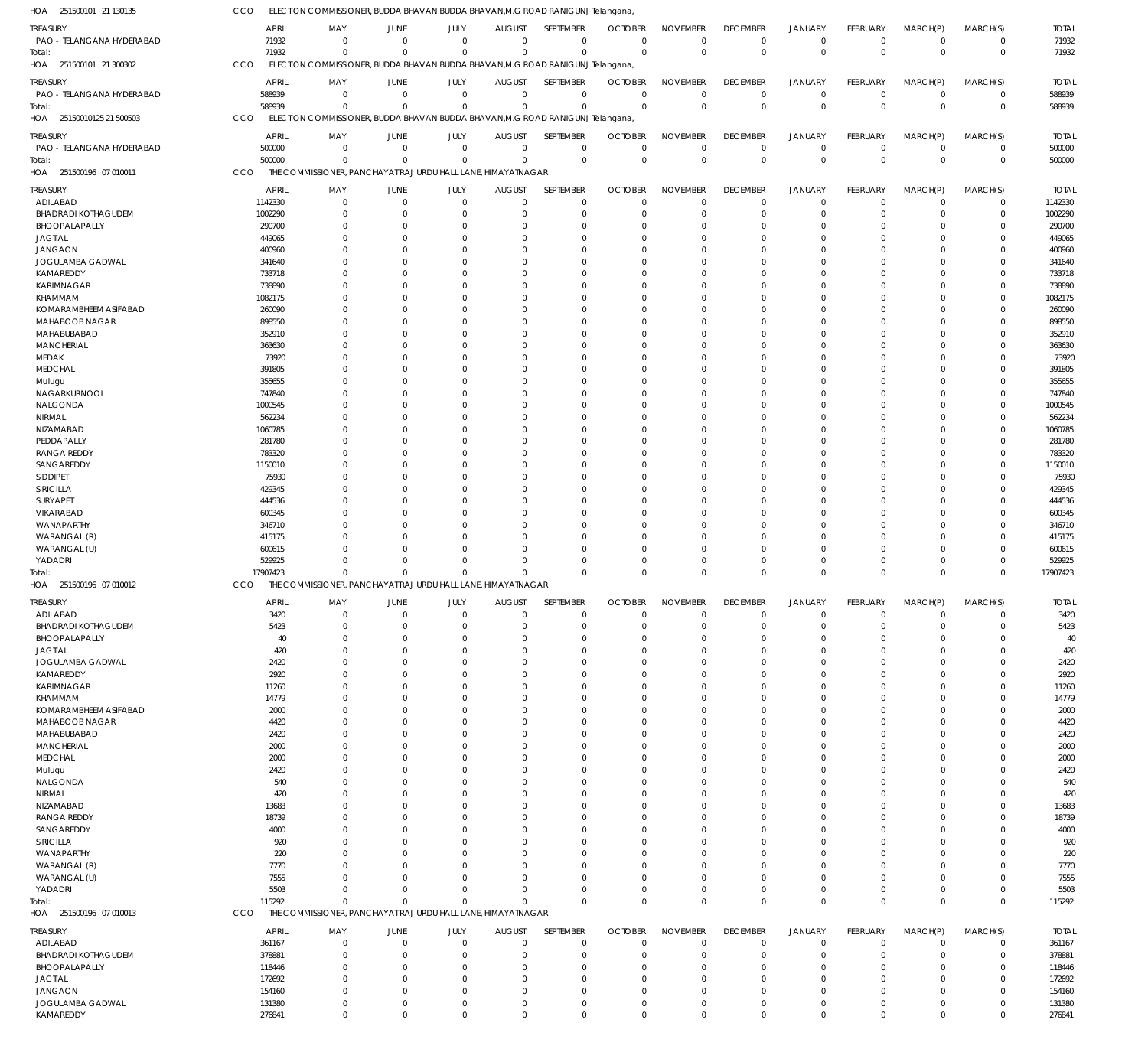| HOA 251500101 21 130135                      | CCO                    |                                  |                                                              |                            |                              | ELECTION COMMISSIONER, BUDDA BHAVAN BUDDA BHAVAN, M.G ROAD RANIGUNJ Telangana  |                               |                                   |                                |                               |                            |                         |                            |                        |
|----------------------------------------------|------------------------|----------------------------------|--------------------------------------------------------------|----------------------------|------------------------------|--------------------------------------------------------------------------------|-------------------------------|-----------------------------------|--------------------------------|-------------------------------|----------------------------|-------------------------|----------------------------|------------------------|
| <b>TREASURY</b>                              | <b>APRIL</b>           | MAY                              | <b>JUNE</b>                                                  | <b>JULY</b>                | <b>AUGUST</b>                | SEPTEMBER                                                                      | <b>OCTOBER</b>                | <b>NOVEMBER</b>                   | <b>DECEMBER</b>                | <b>JANUARY</b>                | FEBRUARY                   | MARCH(P)                | MARCH(S)                   | <b>TOTAL</b>           |
| PAO - TELANGANA HYDERABAD                    | 71932                  | $\mathbf 0$                      | $\mathbf 0$                                                  | $\mathbf 0$                | $\mathbf 0$                  | $\mathbf 0$                                                                    | $\mathbf 0$                   | $\mathbf 0$                       | $\mathbf 0$                    | $\mathbf 0$                   | $\overline{0}$             | $\mathbf 0$             | $\overline{0}$             | 71932                  |
| Total:                                       | 71932                  | $\Omega$                         | $\mathbf 0$                                                  | $\mathbf 0$                | $\mathbf 0$                  | $\mathbf 0$                                                                    | $\Omega$                      | $\overline{0}$                    | $\mathbf 0$                    | $\overline{0}$                | $\overline{0}$             | $\overline{0}$          | $\mathbf 0$                | 71932                  |
| HOA 251500101 21 300302                      | CCO                    |                                  |                                                              |                            |                              | ELECTION COMMISSIONER, BUDDA BHAVAN BUDDA BHAVAN, M.G ROAD RANIGUNJ Telangana, |                               |                                   |                                |                               |                            |                         |                            |                        |
|                                              |                        |                                  |                                                              |                            |                              |                                                                                |                               |                                   |                                |                               |                            |                         |                            |                        |
| <b>TREASURY</b><br>PAO - TELANGANA HYDERABAD | <b>APRIL</b><br>588939 | MAY<br>$\overline{0}$            | <b>JUNE</b><br>$\mathbf 0$                                   | <b>JULY</b><br>$\mathbf 0$ | <b>AUGUST</b><br>$\mathbf 0$ | <b>SEPTEMBER</b><br>$\mathbf 0$                                                | <b>OCTOBER</b><br>$\mathbf 0$ | <b>NOVEMBER</b><br>$\overline{0}$ | <b>DECEMBER</b><br>$\mathbf 0$ | <b>JANUARY</b><br>$\mathbf 0$ | FEBRUARY<br>$\overline{0}$ | MARCH(P)<br>$\mathbf 0$ | MARCH(S)<br>$^{\circ}$     | <b>TOTAL</b><br>588939 |
| Total:                                       | 588939                 | $\Omega$                         | $\Omega$                                                     | $\mathbf 0$                | $\mathbf{0}$                 | $\overline{0}$                                                                 | $\Omega$                      | $\overline{0}$                    | $\overline{0}$                 | $\overline{0}$                | $\overline{0}$             | $\Omega$                | $\mathbf 0$                | 588939                 |
| 25150010125 21 500503<br>HOA                 | CCO                    |                                  |                                                              |                            |                              | ELECTION COMMISSIONER, BUDDA BHAVAN BUDDA BHAVAN, M.G ROAD RANIGUNJ Telangana, |                               |                                   |                                |                               |                            |                         |                            |                        |
|                                              |                        |                                  |                                                              |                            |                              |                                                                                |                               |                                   |                                |                               |                            |                         |                            |                        |
| TREASURY                                     | APRIL                  | MAY                              | JUNE                                                         | JULY                       | <b>AUGUST</b>                | SEPTEMBER                                                                      | <b>OCTOBER</b>                | <b>NOVEMBER</b>                   | <b>DECEMBER</b>                | <b>JANUARY</b>                | FEBRUARY                   | MARCH(P)                | MARCH(S)                   | <b>TOTAL</b>           |
| PAO - TELANGANA HYDERABAD                    | 500000                 | $\mathbf 0$                      | $\mathbf 0$                                                  | $\mathbf 0$                | $\mathbf{0}$                 | $\mathbf 0$                                                                    | $\mathbf 0$                   | $\mathbf 0$                       | $\mathbf 0$                    | $\mathbf 0$                   | $\overline{0}$             | $\mathbf 0$             | $\mathbf 0$                | 500000                 |
| Total:                                       | 500000                 | $\overline{0}$                   | $\mathbf 0$                                                  | $\mathbf 0$                | $\mathbf 0$                  | $\mathbf 0$                                                                    | $\mathbf{0}$                  | $\overline{0}$                    | $\overline{0}$                 | $\overline{0}$                | $\mathbf 0$                | $\Omega$                | $\overline{0}$             | 500000                 |
| 251500196 07 010011<br>HOA                   | CCO                    |                                  | THE COMMISSIONER, PANCHAYAT RAJ URDU HALL LANE, HIMAYATNAGAR |                            |                              |                                                                                |                               |                                   |                                |                               |                            |                         |                            |                        |
| <b>TREASURY</b>                              | <b>APRIL</b>           | MAY                              | JUNE                                                         | JULY                       | <b>AUGUST</b>                | SEPTEMBER                                                                      | <b>OCTOBER</b>                | <b>NOVEMBER</b>                   | <b>DECEMBER</b>                | <b>JANUARY</b>                | FEBRUARY                   | MARCH(P)                | MARCH(S)                   | <b>TOTAL</b>           |
| ADILABAD                                     | 1142330                | $\mathbf 0$                      | $\mathbf{0}$                                                 | $\mathbf 0$                | $\mathbf{0}$                 | $\mathbf 0$                                                                    | $\mathbf 0$                   | $\mathbf 0$                       | $\mathbf 0$                    | $\mathbf 0$                   | $^{\circ}$                 | $\mathbf 0$             | $^{\circ}$                 | 1142330                |
| <b>BHADRADI KOTHAGUDEM</b>                   | 1002290                | $\overline{0}$                   | $\Omega$                                                     | $\Omega$                   | 0                            | $\overline{0}$                                                                 | $\Omega$                      | $\Omega$                          | $\mathbf 0$                    | $\overline{0}$                | $\Omega$                   | $\mathbf 0$             | $\mathbf 0$                | 1002290                |
| BHOOPALAPALLY                                | 290700                 | $\Omega$                         | 0                                                            | $\Omega$                   | $\Omega$                     | $\Omega$                                                                       | $\Omega$                      | $\Omega$                          | $\Omega$                       | $\mathbf 0$                   | $\Omega$                   | $\Omega$                | $\mathbf 0$                | 290700                 |
| <b>JAGTIAL</b>                               | 449065                 | $\Omega$                         | 0                                                            | $\Omega$                   | 0                            | $\Omega$                                                                       | $\Omega$                      | $\Omega$                          | 0                              | 0                             | $\Omega$                   | $\Omega$                | 0                          | 449065                 |
| <b>JANGAON</b>                               | 400960                 | $\Omega$                         | 0                                                            | $\Omega$                   | $\Omega$                     | $\Omega$                                                                       | $\Omega$                      | $\Omega$                          | $\Omega$                       | $\Omega$                      | $\Omega$                   | $\Omega$                | $\Omega$                   | 400960                 |
| JOGULAMBA GADWAL<br>KAMAREDDY                | 341640<br>733718       | $\Omega$<br>$\Omega$             | 0                                                            | $\Omega$<br>$\Omega$       | 0<br>0                       | $\Omega$<br>$\Omega$                                                           | $\Omega$<br>$\Omega$          | $\Omega$<br>$\Omega$              | $\Omega$<br>$\Omega$           | $\Omega$<br>$\Omega$          | $\Omega$                   | $\Omega$<br>$\Omega$    | 0<br>$\Omega$              | 341640<br>733718       |
| <b>KARIMNAGAR</b>                            | 738890                 | $\Omega$                         |                                                              | $\Omega$                   | 0                            | $\Omega$                                                                       | $\Omega$                      | $\Omega$                          | $\Omega$                       | $\Omega$                      | 0                          | $\Omega$                | $\Omega$                   | 738890                 |
| KHAMMAM                                      | 1082175                | $\Omega$                         | 0                                                            | $\Omega$                   | 0                            | $\Omega$                                                                       | $\Omega$                      | $\Omega$                          | $\Omega$                       | $\Omega$                      | $\Omega$                   | $\Omega$                | $\Omega$                   | 1082175                |
| KOMARAMBHEEM ASIFABAD                        | 260090                 | $\Omega$                         |                                                              | $\Omega$                   | 0                            | $\Omega$                                                                       | $\Omega$                      | $\Omega$                          | $\Omega$                       | $\Omega$                      |                            | $\Omega$                | $\Omega$                   | 260090                 |
| MAHABOOB NAGAR                               | 898550                 | $\Omega$                         | 0                                                            | $\Omega$                   | $\Omega$                     | $\Omega$                                                                       | $\Omega$                      | $\Omega$                          | $\Omega$                       | $\Omega$                      | $\Omega$                   | $\Omega$                | $\Omega$                   | 898550                 |
| MAHABUBABAD                                  | 352910                 | $\Omega$                         |                                                              | $\Omega$                   | 0                            | $\Omega$                                                                       | $\Omega$                      | $\Omega$                          | $\Omega$                       | $\Omega$                      |                            | $\Omega$                | 0                          | 352910                 |
| <b>MANCHERIAL</b>                            | 363630                 | $\Omega$                         | 0                                                            | $\Omega$                   | $\Omega$                     | $\Omega$                                                                       | $\Omega$                      | $\Omega$                          | $\Omega$                       | $\Omega$                      | $\Omega$                   | $\Omega$                | $\Omega$                   | 363630                 |
| <b>MEDAK</b>                                 | 73920                  | $\Omega$                         |                                                              | $\Omega$                   | 0                            | $\Omega$                                                                       | $\Omega$                      | $\Omega$                          | $\Omega$                       | $\Omega$                      | 0                          | $\Omega$                | 0                          | 73920                  |
| MEDCHAL                                      | 391805                 | $\Omega$                         | 0                                                            | $\Omega$                   | 0                            | $\Omega$                                                                       | $\Omega$                      | $\Omega$                          | $\Omega$                       | $\Omega$                      | $\Omega$                   | $\Omega$                | $\Omega$                   | 391805                 |
| Mulugu                                       | 355655                 | $\Omega$                         |                                                              | $\Omega$                   | 0                            | $\Omega$                                                                       | $\Omega$                      | $\Omega$                          | $\Omega$                       | $\Omega$                      | 0                          | $\Omega$                | $\Omega$                   | 355655                 |
| NAGARKURNOOL                                 | 747840                 | $\Omega$                         | 0                                                            | $\Omega$                   | 0                            | $\Omega$                                                                       | $\Omega$                      | $\Omega$                          | $\Omega$                       | $\Omega$                      | $\Omega$                   | $\Omega$                | $\Omega$                   | 747840                 |
| NALGONDA                                     | 1000545                | $\Omega$                         |                                                              | $\Omega$                   | 0                            | $\Omega$                                                                       | $\Omega$                      | $\Omega$                          | $\Omega$                       | $\Omega$                      |                            | $\Omega$                | $\Omega$                   | 1000545                |
| NIRMAL<br>NIZAMABAD                          | 562234<br>1060785      | $\Omega$<br>$\Omega$             | 0                                                            | $\Omega$<br>$\Omega$       | $\Omega$<br>0                | $\Omega$<br>$\Omega$                                                           | $\Omega$<br>$\Omega$          | $\Omega$<br>$\Omega$              | $\Omega$<br>$\Omega$           | $\Omega$<br>$\Omega$          | $\Omega$                   | $\Omega$<br>$\Omega$    | $\Omega$<br>$\Omega$       | 562234<br>1060785      |
| PEDDAPALLY                                   | 281780                 | $\Omega$                         | 0                                                            | $\Omega$                   | $\Omega$                     | $\Omega$                                                                       | $\Omega$                      | $\Omega$                          | $\Omega$                       | $\Omega$                      | $\Omega$                   | $\Omega$                | $\Omega$                   | 281780                 |
| <b>RANGA REDDY</b>                           | 783320                 | $\Omega$                         |                                                              | $\Omega$                   | 0                            | $\Omega$                                                                       | $\Omega$                      | $\Omega$                          | $\Omega$                       | $\Omega$                      |                            | $\Omega$                | 0                          | 783320                 |
| SANGAREDDY                                   | 1150010                | $\Omega$                         | 0                                                            | $\Omega$                   | 0                            | $\Omega$                                                                       | $\Omega$                      | $\Omega$                          | $\Omega$                       | $\Omega$                      | $\Omega$                   | $\Omega$                | $\Omega$                   | 1150010                |
| SIDDIPET                                     | 75930                  | $\Omega$                         |                                                              | $\Omega$                   | 0                            | $\Omega$                                                                       | $\Omega$                      | $\Omega$                          | $\Omega$                       | $\Omega$                      |                            | $\Omega$                | $\Omega$                   | 75930                  |
| SIRICILLA                                    | 429345                 | $\Omega$                         | 0                                                            | $\Omega$                   | 0                            | $\Omega$                                                                       | $\Omega$                      | $\Omega$                          | $\Omega$                       | $\Omega$                      | $\Omega$                   | $\Omega$                | $\Omega$                   | 429345                 |
| SURYAPET                                     | 444536                 | $\Omega$                         |                                                              | $\Omega$                   | 0                            | $\Omega$                                                                       | $\Omega$                      | $\Omega$                          | $\Omega$                       | $\Omega$                      |                            | $\Omega$                | $\Omega$                   | 444536                 |
| VIKARABAD                                    | 600345                 | $\Omega$                         | 0                                                            | $\Omega$                   | $\Omega$                     | $\Omega$                                                                       | $\Omega$                      | $\Omega$                          | $\Omega$                       | $\Omega$                      | $\Omega$                   | $\Omega$                | $\Omega$                   | 600345                 |
| WANAPARTHY                                   | 346710                 | $\Omega$                         |                                                              | $\Omega$                   | 0                            | $\Omega$                                                                       | $\Omega$                      | $\Omega$                          | $\Omega$                       | $\Omega$                      |                            | $\Omega$                | 0                          | 346710                 |
|                                              |                        |                                  |                                                              |                            |                              |                                                                                |                               | $\Omega$                          | $\Omega$                       | $\Omega$                      | $\Omega$                   |                         |                            | 415175                 |
| WARANGAL (R)                                 | 415175                 | $\Omega$                         | 0                                                            | $\Omega$                   | $\Omega$                     | $\Omega$                                                                       | $\Omega$                      |                                   |                                |                               |                            | $\Omega$                | $\Omega$                   |                        |
| WARANGAL (U)                                 | 600615                 | $\Omega$                         | 0                                                            | $\Omega$                   | 0                            | $\Omega$                                                                       | $\Omega$                      | $\Omega$                          | $\Omega$                       | 0                             | $\Omega$                   | $\Omega$                | 0                          | 600615                 |
| YADADRI                                      | 529925                 | $\Omega$<br>$\Omega$             | 0<br>$\Omega$                                                | $\Omega$<br>$\Omega$       | $\Omega$<br>$\Omega$         | $\Omega$<br>$\Omega$                                                           | $\Omega$<br>$\Omega$          | $\Omega$<br>$\Omega$              | $\Omega$<br>$\Omega$           | $\mathbf 0$<br>$\Omega$       | $\Omega$<br>$\Omega$       | $\Omega$<br>$\Omega$    | 0<br>$\Omega$              | 529925                 |
| Total:<br>HOA 251500196 07 010012            | 17907423<br>CCO        |                                  | THE COMMISSIONER, PANCHAYAT RAJ URDU HALL LANE, HIMAYATNAGAR |                            |                              |                                                                                |                               |                                   |                                |                               |                            |                         |                            | 17907423               |
|                                              |                        |                                  |                                                              |                            |                              |                                                                                |                               |                                   |                                |                               |                            |                         |                            |                        |
| <b>TREASURY</b>                              | <b>APRIL</b>           | MAY                              | JUNE                                                         | JULY                       |                              | AUGUST SEPTEMBER OCTOBER NOVEMBER                                              |                               |                                   | <b>DECEMBER</b>                | JANUARY                       | FEBRUARY                   | MARCH(P)                | MARCH(S)                   | <b>TOTAL</b>           |
| ADILABAD                                     | 3420                   | $\mathbf 0$                      | 0                                                            | $\Omega$                   | 0                            | $\mathbf 0$                                                                    | $\Omega$                      | 0                                 | 0                              | $\mathbf 0$                   | $\Omega$                   | 0                       | 0                          | 3420                   |
| <b>BHADRADI KOTHAGUDEM</b><br>BHOOPALAPALLY  | 5423<br>40             | $\mathbf 0$<br>$\Omega$          | 0<br>0                                                       | $\Omega$<br>0              | 0<br>0                       | $\overline{0}$<br>$\mathbf 0$                                                  | $\mathbf 0$<br>$\Omega$       | $\mathbf 0$<br>$\Omega$           | 0<br>$\Omega$                  | $\overline{0}$<br>$\Omega$    | 0                          | $\Omega$<br>$\Omega$    | 0<br>0                     | 5423<br>40             |
| <b>JAGTIAL</b>                               | 420                    | $\Omega$                         |                                                              |                            | 0                            | $\Omega$                                                                       | $\Omega$                      | $\Omega$                          |                                |                               |                            |                         | 0                          | 420                    |
| JOGULAMBA GADWAL                             | 2420                   | $\Omega$                         |                                                              | 0                          | 0                            | $\Omega$                                                                       | $\Omega$                      | $\Omega$                          | 0                              | $\Omega$                      |                            | $\Omega$                | 0                          | 2420                   |
| KAMAREDDY                                    | 2920                   | $\Omega$                         |                                                              |                            | 0                            | $\Omega$                                                                       | $\Omega$                      | $\Omega$                          |                                |                               |                            |                         | 0                          | 2920                   |
| KARIMNAGAR                                   | 11260                  | $\Omega$                         |                                                              |                            | 0                            | $\Omega$                                                                       | $\Omega$                      | $\Omega$                          |                                |                               |                            | $\Omega$                | 0                          | 11260                  |
| KHAMMAM                                      | 14779                  | $\Omega$                         |                                                              |                            | 0                            | $\Omega$                                                                       | $\Omega$                      | $\Omega$                          |                                |                               |                            | $\Omega$                | 0                          | 14779                  |
| KOMARAMBHEEM ASIFABAD                        | 2000                   | $\Omega$                         |                                                              | 0                          | 0                            | $\Omega$                                                                       | $\Omega$                      | $\Omega$                          |                                |                               |                            | $\Omega$                | 0                          | 2000                   |
| MAHABOOB NAGAR                               | 4420                   | $\Omega$                         |                                                              |                            | 0                            | $\Omega$                                                                       | $\Omega$                      | $\Omega$                          | 0                              |                               |                            |                         | 0                          | 4420                   |
| MAHABUBABAD                                  | 2420                   | $\Omega$                         |                                                              |                            | 0                            | $\Omega$                                                                       | $\Omega$                      | $\Omega$                          | 0                              | $\Omega$                      |                            | $\Omega$                | 0                          | 2420                   |
| <b>MANCHERIAL</b>                            | 2000                   | $\Omega$                         |                                                              |                            | 0                            | $\Omega$                                                                       | $\Omega$                      | $\Omega$                          |                                |                               |                            |                         | 0                          | 2000                   |
| <b>MEDCHAL</b>                               | 2000                   | $\Omega$<br>$\Omega$             |                                                              | 0                          | 0                            | $\Omega$<br>$\Omega$                                                           | $\Omega$<br>$\Omega$          | $\Omega$<br>$\Omega$              | 0                              | $\Omega$                      |                            | $\Omega$                | 0<br>$\Omega$              | 2000                   |
| Mulugu<br>NALGONDA                           | 2420<br>540            | $\Omega$                         |                                                              |                            | 0                            | $\Omega$                                                                       | $\Omega$                      | $\Omega$                          | 0                              |                               |                            |                         | 0                          | 2420<br>540            |
| NIRMAL                                       | 420                    | $\Omega$                         |                                                              |                            | 0                            | $\Omega$                                                                       | $\Omega$                      | $\Omega$                          |                                |                               |                            |                         | 0                          | 420                    |
| NIZAMABAD                                    | 13683                  | $\Omega$                         |                                                              | 0                          | 0                            | $\Omega$                                                                       | $\Omega$                      | $\Omega$                          |                                |                               |                            | $\Omega$                | 0                          | 13683                  |
| <b>RANGA REDDY</b>                           | 18739                  | $\Omega$                         |                                                              |                            | 0                            | $\Omega$                                                                       | $\Omega$                      | $\Omega$                          | 0                              |                               |                            |                         | 0                          | 18739                  |
| SANGAREDDY                                   | 4000                   | $\Omega$                         |                                                              |                            | 0                            | $\Omega$                                                                       | $\Omega$                      | $\Omega$                          | 0                              | $\Omega$                      |                            | $\Omega$                | 0                          | 4000                   |
| SIRICILLA                                    | 920                    | $\Omega$                         |                                                              |                            |                              | $\Omega$                                                                       | 0                             | $\Omega$                          |                                |                               |                            |                         | $\Omega$                   | 920                    |
| WANAPARTHY                                   | 220                    | $\Omega$                         |                                                              |                            | 0                            | $\Omega$                                                                       | $\Omega$                      | $\Omega$                          | 0                              | $\Omega$                      |                            | $\Omega$                | 0                          | 220                    |
| WARANGAL (R)                                 | 7770                   | $\Omega$                         |                                                              |                            |                              | $\Omega$                                                                       | $\Omega$                      | $\Omega$                          | 0                              |                               |                            |                         | 0                          | 7770                   |
| WARANGAL (U)                                 | 7555                   | $\Omega$                         |                                                              | $\Omega$                   | 0                            | $\Omega$                                                                       | $\Omega$                      | $\Omega$                          | $\Omega$                       | $\Omega$                      |                            | $\Omega$                | 0                          | 7555                   |
| YADADRI                                      | 5503                   | $\Omega$<br>$\Omega$             | $\Omega$<br>$\Omega$                                         | $\Omega$<br>$\Omega$       | $\Omega$<br>$\Omega$         | $\Omega$<br>$\Omega$                                                           | $\Omega$<br>$\Omega$          | $\mathbf 0$<br>$\Omega$           | 0<br>$\mathbf 0$               | $\mathbf 0$<br>$\overline{0}$ | $\Omega$<br>$\Omega$       | $\mathbf 0$<br>$\Omega$ | 0<br>$\mathbf 0$           | 5503                   |
| Total:                                       | 115292<br>CCO          |                                  | THE COMMISSIONER, PANCHAYAT RAJ URDU HALL LANE, HIMAYATNAGAR |                            |                              |                                                                                |                               |                                   |                                |                               |                            |                         |                            | 115292                 |
| HOA 251500196 07 010013                      |                        |                                  |                                                              |                            |                              |                                                                                |                               |                                   |                                |                               |                            |                         |                            |                        |
| <b>TREASURY</b>                              | APRIL                  | MAY                              | JUNE                                                         | JULY                       | <b>AUGUST</b>                | SEPTEMBER                                                                      | <b>OCTOBER</b>                | <b>NOVEMBER</b>                   | <b>DECEMBER</b>                | <b>JANUARY</b>                | FEBRUARY                   | MARCH(P)                | MARCH(S)                   | <b>TOTAL</b>           |
| ADILABAD                                     | 361167                 | $\mathbf 0$                      | $\mathbf 0$                                                  | $\mathbf 0$                | $\mathbf 0$                  | $\mathbf 0$                                                                    | $\mathbf 0$                   | $\mathbf 0$                       | $\mathbf 0$                    | $\mathbf 0$                   | $\mathbf 0$                | $\overline{0}$          | $\mathbf 0$                | 361167                 |
| <b>BHADRADI KOTHAGUDEM</b>                   | 378881                 | $\overline{0}$<br>$\overline{0}$ | $\Omega$<br>0                                                | $\overline{0}$<br>$\Omega$ | 0<br>$\Omega$                | $\overline{0}$<br>$\overline{0}$                                               | $\Omega$<br>0                 | $\Omega$<br>$\Omega$              | $\mathbf 0$<br>0               | $\overline{0}$<br>$\mathbf 0$ | $\Omega$<br>$\Omega$       | $\mathbf 0$<br>$\Omega$ | $\mathbf 0$<br>$\mathbf 0$ | 378881                 |
| BHOOPALAPALLY<br><b>JAGTIAL</b>              | 118446<br>172692       | $\overline{0}$                   | 0                                                            | $\Omega$                   | $\Omega$                     | $\overline{0}$                                                                 | $\Omega$                      | $\Omega$                          | $\Omega$                       | $\Omega$                      | $\Omega$                   | $\Omega$                | 0                          | 118446<br>172692       |
| <b>JANGAON</b>                               | 154160                 | $\overline{0}$                   | 0                                                            | $\Omega$                   | $\Omega$                     | $\mathbf 0$                                                                    | $\Omega$                      | $\Omega$                          | $\Omega$                       | $\Omega$                      | $\Omega$                   | $\Omega$                | 0                          | 154160                 |
| JOGULAMBA GADWAL                             | 131380                 | $\overline{0}$                   | 0                                                            | $\overline{0}$             | 0                            | $\mathbf 0$                                                                    | 0                             | $\overline{0}$                    | 0                              | $\mathbf 0$                   | 0                          | $\mathbf 0$             | 0                          | 131380                 |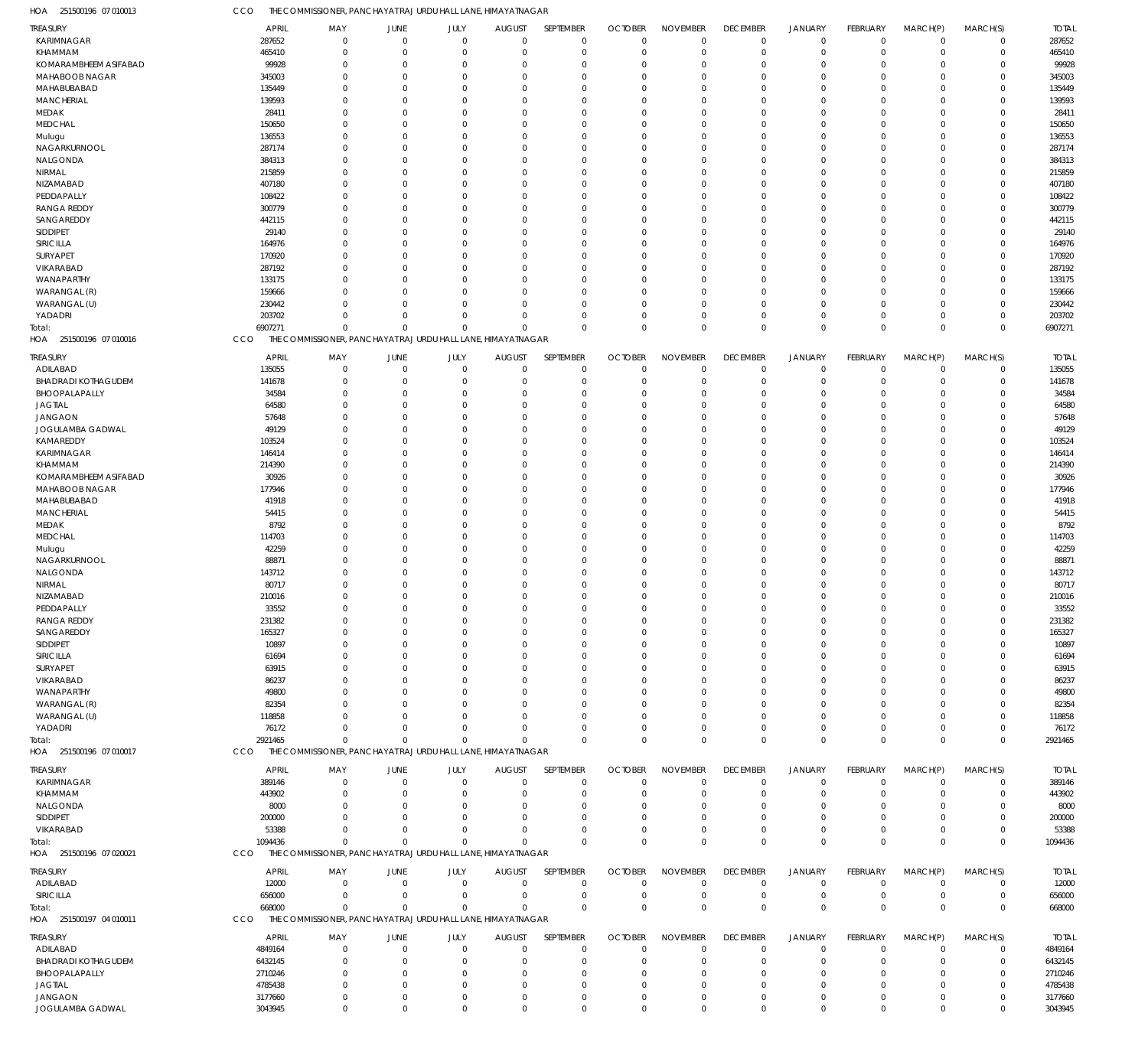| HOA<br>251500196 07 010013              | CCO                    | THE COMMISSIONER, PANCHAYAT RAJ URDU HALL LANE, HIMAYATNAGAR |                            |                      |                              |                            |                               |                             |                             |                                  |                         |                            |                            |                         |
|-----------------------------------------|------------------------|--------------------------------------------------------------|----------------------------|----------------------|------------------------------|----------------------------|-------------------------------|-----------------------------|-----------------------------|----------------------------------|-------------------------|----------------------------|----------------------------|-------------------------|
| TREASURY                                | APRIL                  | MAY                                                          | JUNE                       | JULY                 | <b>AUGUST</b>                | SEPTEMBER                  | <b>OCTOBER</b>                | <b>NOVEMBER</b>             | <b>DECEMBER</b>             | <b>JANUARY</b>                   | <b>FEBRUARY</b>         | MARCH(P)                   | MARCH(S)                   | <b>TOTAL</b>            |
| KARIMNAGAR                              | 287652                 | $\Omega$                                                     | $\mathbf 0$                | $\mathbf 0$          | $\mathbf 0$                  | $\mathbf 0$                | $\mathbf 0$                   | $\mathbf 0$                 | $\mathbf 0$                 | $\mathbf 0$                      | $\mathbf 0$             | $\overline{0}$             | $\mathbf 0$                | 287652                  |
| KHAMMAM                                 | 465410                 | $^{\circ}$                                                   | $\mathbf 0$                | $\mathbf 0$          | $\mathbf 0$                  | $\mathbf 0$                | $\mathbf 0$                   | $\mathbf 0$                 | $\Omega$                    | $\overline{0}$                   | $\mathbf 0$             | $\overline{0}$             | $\mathbf 0$                | 465410                  |
| KOMARAMBHEEM ASIFABAD<br>MAHABOOB NAGAR | 99928                  | 0<br>$\Omega$                                                | $\overline{0}$<br>$\Omega$ | $\Omega$<br>$\Omega$ | 0<br>$\Omega$                | $\mathbf 0$                | $\Omega$                      | $\mathbf 0$                 | $\Omega$<br>$\Omega$        | $\overline{0}$<br>$\Omega$       | $\Omega$<br>$\Omega$    | $\Omega$<br>$\Omega$       | $\mathbf 0$<br>$\mathbf 0$ | 99928                   |
| MAHABUBABAD                             | 345003<br>135449       | $\Omega$                                                     | $\Omega$                   | O                    | $\Omega$                     | $\mathbf 0$<br>$\mathbf 0$ | $\Omega$<br>$\Omega$          | $^{\circ}$<br>$\Omega$      | $\Omega$                    | $\Omega$                         | $\Omega$                | $\Omega$                   | $\mathbf 0$                | 345003<br>135449        |
| <b>MANCHERIAL</b>                       | 139593                 | $\Omega$                                                     | $\Omega$                   | $\Omega$             | $\Omega$                     | $\mathbf 0$                | $\Omega$                      | $^{\circ}$                  | $\Omega$                    | $\Omega$                         | $\Omega$                | $\Omega$                   | $\mathbf 0$                | 139593                  |
| MEDAK                                   | 28411                  | $\Omega$                                                     | $\Omega$                   | $\Omega$             | $\Omega$                     | $\mathbf 0$                | $\Omega$                      | $^{\circ}$                  | $\Omega$                    | $\Omega$                         | $\Omega$                | $\Omega$                   | $\mathbf 0$                | 28411                   |
| <b>MEDCHAL</b>                          | 150650                 | $\Omega$                                                     | $\Omega$                   | $\Omega$             | $\Omega$                     | $\mathbf 0$                | $\Omega$                      | $^{\circ}$                  | $\Omega$                    | $\Omega$                         | $\Omega$                | $\Omega$                   | $\mathbf 0$                | 150650                  |
| Mulugu                                  | 136553                 | $\Omega$                                                     | $\overline{0}$             | O                    | $\Omega$                     | $\mathbf 0$                | $\Omega$                      | $\Omega$                    | $\Omega$                    | $\Omega$                         | $\Omega$                | $\Omega$                   | $\mathbf 0$                | 136553                  |
| NAGARKURNOOL                            | 287174                 | $\Omega$                                                     | $\Omega$                   | $\Omega$             | $\Omega$                     | $\mathbf 0$                | $\Omega$                      | $^{\circ}$                  | $\Omega$                    | $\Omega$                         | $\Omega$                | $\Omega$                   | $\mathbf 0$                | 287174                  |
| NALGONDA                                | 384313                 | $\Omega$                                                     | $\Omega$                   | O                    | $\Omega$                     | $\mathbf 0$                | $\Omega$                      | $^{\circ}$                  | $\Omega$                    | $\Omega$                         | $\Omega$                | $\Omega$                   | $\mathbf 0$                | 384313                  |
| NIRMAL                                  | 215859                 | $\Omega$                                                     | $\Omega$                   | $\Omega$             | $\Omega$                     | $\mathbf 0$                | $\Omega$                      | $^{\circ}$                  | $\Omega$                    | $\Omega$                         | $\Omega$                | $\Omega$                   | $\mathbf 0$                | 215859                  |
| NIZAMABAD                               | 407180                 | $\Omega$                                                     | $\overline{0}$             | $\Omega$             | $\Omega$                     | $\mathbf 0$                | $\Omega$                      | $\Omega$                    | $\Omega$                    | $\Omega$                         | $\Omega$                | $\Omega$                   | $\mathbf 0$                | 407180                  |
| PEDDAPALLY                              | 108422                 | $\Omega$                                                     | $\Omega$                   | $\Omega$             | $\Omega$                     | $\mathbf 0$                | $\Omega$                      | $^{\circ}$                  | $\Omega$                    | $\Omega$                         | $\Omega$                | $\Omega$                   | $\Omega$                   | 108422                  |
| <b>RANGA REDDY</b>                      | 300779                 | $\Omega$                                                     | $\Omega$                   | O                    | $\Omega$                     | $\mathbf 0$                | $\Omega$                      | $\Omega$                    | $\Omega$                    | $\Omega$                         | $\Omega$                | $\Omega$                   | $\mathbf 0$                | 300779                  |
| SANGAREDDY<br>SIDDIPET                  | 442115<br>29140        | $\Omega$<br>$\Omega$                                         | $\Omega$<br>$\Omega$       | $\Omega$<br>O        | $\Omega$<br>$\Omega$         | $\mathbf 0$<br>$\mathbf 0$ | $\Omega$<br>$\Omega$          | $^{\circ}$<br>$\Omega$      | $\Omega$<br>$\Omega$        | $\Omega$<br>$\Omega$             | $\Omega$<br>$\Omega$    | $\Omega$<br>$\Omega$       | $\mathbf 0$<br>$\mathbf 0$ | 442115<br>29140         |
| SIRICILLA                               | 164976                 | $\Omega$                                                     | $\Omega$                   | $\Omega$             | $\Omega$                     | $\mathbf 0$                | $\Omega$                      | $^{\circ}$                  | $\Omega$                    | $\Omega$                         | $\Omega$                | $\Omega$                   | $\Omega$                   | 164976                  |
| SURYAPET                                | 170920                 | $\Omega$                                                     | $\overline{0}$             | $\Omega$             | $\Omega$                     | $\mathbf 0$                | $\Omega$                      | $\Omega$                    | $\Omega$                    | $\Omega$                         | $\Omega$                | $\Omega$                   | $\mathbf 0$                | 170920                  |
| VIKARABAD                               | 287192                 | $\Omega$                                                     | $\Omega$                   | $\Omega$             | $\Omega$                     | $\mathbf 0$                | $\Omega$                      | $^{\circ}$                  | $\Omega$                    | $\Omega$                         | $\Omega$                | $\Omega$                   | $\mathbf 0$                | 287192                  |
| WANAPARTHY                              | 133175                 | $\Omega$                                                     | $\Omega$                   | O                    | $\Omega$                     | $\mathbf 0$                | $\Omega$                      | $\Omega$                    | $\Omega$                    | $\Omega$                         | $\Omega$                | $\Omega$                   | $\mathbf 0$                | 133175                  |
| WARANGAL (R)                            | 159666                 | $\Omega$                                                     | $\Omega$                   | $\Omega$             | $\Omega$                     | $\mathbf 0$                | $\Omega$                      | $^{\circ}$                  | $\Omega$                    | $\Omega$                         | $\Omega$                | $\Omega$                   | $\mathbf 0$                | 159666                  |
| WARANGAL (U)                            | 230442                 | $\Omega$                                                     | $\Omega$                   | $\Omega$             | $\mathbf 0$                  | $\mathbf 0$                | $\Omega$                      | $^{\circ}$                  | $\Omega$                    | $\overline{0}$                   | $\Omega$                | $\mathbf 0$                | $\mathbf 0$                | 230442                  |
| YADADRI                                 | 203702                 | $\Omega$                                                     | $\Omega$                   | $\Omega$             | $\mathbf 0$                  | $\mathbf 0$                | $\Omega$                      | $\mathbf 0$                 | $\Omega$                    | $\overline{0}$                   | $\Omega$                | $\overline{0}$             | $\mathbf 0$                | 203702                  |
| Total:                                  | 6907271                | $\Omega$                                                     | $\Omega$                   | $\Omega$             | $\Omega$                     | $\mathbf 0$                | $\Omega$                      | $\Omega$                    | $\mathbf 0$                 | $\mathbf 0$                      | $\Omega$                | $\Omega$                   | $\mathbf 0$                | 6907271                 |
| HOA 251500196 07 010016                 | CCO                    | THE COMMISSIONER, PANCHAYAT RAJ URDU HALL LANE, HIMAYATNAGAR |                            |                      |                              |                            |                               |                             |                             |                                  |                         |                            |                            |                         |
| TREASURY                                | <b>APRIL</b>           | MAY                                                          | JUNE                       | JULY                 | <b>AUGUST</b>                | SEPTEMBER                  | <b>OCTOBER</b>                | <b>NOVEMBER</b>             | <b>DECEMBER</b>             | <b>JANUARY</b>                   | FEBRUARY                | MARCH(P)                   | MARCH(S)                   | <b>TOTAL</b>            |
| ADILABAD                                | 135055                 | $\overline{0}$                                               | $\mathbf 0$                | $\mathbf 0$          | $\mathbf 0$                  | $\mathbf 0$                | 0                             | $\mathbf 0$                 | $\mathbf 0$                 | $\overline{0}$                   | $\mathbf 0$             | $\overline{0}$             | $\mathbf 0$                | 135055                  |
| <b>BHADRADI KOTHAGUDEM</b>              | 141678                 | $\mathbf 0$                                                  | $\overline{0}$             | $\mathbf 0$          | $\mathbf 0$                  | $\mathbf 0$                | $\mathbf 0$                   | $\mathbf 0$                 | $\Omega$                    | $\overline{0}$                   | $\mathbf 0$             | $\overline{0}$             | $\mathbf 0$                | 141678                  |
| BHOOPALAPALLY                           | 34584                  | $\Omega$                                                     | $\overline{0}$             | $\Omega$             | $\Omega$                     | $\mathbf 0$                | O                             | $\mathbf 0$                 | $\Omega$                    | $\overline{0}$                   | 0                       | $\Omega$                   | $\mathbf 0$                | 34584                   |
| <b>JAGTIAL</b>                          | 64580                  | $\Omega$                                                     | $\Omega$                   | O                    | $\Omega$                     | $\mathbf 0$                | $\Omega$                      | $^{\circ}$                  |                             | $\Omega$                         | 0                       | $\Omega$                   | $\mathbf 0$                | 64580                   |
| <b>JANGAON</b>                          | 57648                  | $\mathbf 0$                                                  | $\overline{0}$             | $\Omega$             | $\Omega$                     | $\mathbf 0$                | $\Omega$                      | $\mathbf 0$                 |                             | $\Omega$                         | 0                       | $\Omega$                   | $\mathbf 0$                | 57648                   |
| JOGULAMBA GADWAL                        | 49129                  | $\Omega$                                                     | $\Omega$                   | U                    | $\Omega$                     | $\mathbf 0$                | $\Omega$                      | $^{\circ}$                  |                             | $\Omega$                         | $\Omega$                | $\Omega$                   | $\mathbf 0$                | 49129                   |
| KAMAREDDY                               | 103524                 | $\Omega$                                                     | $\Omega$                   | U                    | $\Omega$                     | $\mathbf 0$                | $\Omega$                      | $\mathbf 0$                 |                             | $\Omega$                         | U                       | $\Omega$                   | $\mathbf 0$                | 103524                  |
| KARIMNAGAR                              | 146414                 | $\Omega$                                                     | $\Omega$                   | O                    | $\Omega$                     | $\mathbf 0$                | $\Omega$                      | $^{\circ}$                  |                             | $\Omega$                         | $\Omega$                | $\Omega$                   | $\mathbf 0$                | 146414                  |
| KHAMMAM                                 | 214390                 | $\mathbf 0$                                                  | $\Omega$                   | U                    | $\Omega$                     | $\mathbf 0$                | $\Omega$                      | $\mathbf 0$                 |                             | $\Omega$                         | 0                       | $\Omega$                   | $\mathbf 0$                | 214390                  |
| KOMARAMBHEEM ASIFABAD                   | 30926                  | $\Omega$<br>$\mathbf 0$                                      | $\Omega$<br>$\Omega$       | U<br>0               | $\Omega$<br>$\Omega$         | $\mathbf 0$<br>$\mathbf 0$ | $\Omega$<br>$\Omega$          | $^{\circ}$                  |                             | $\Omega$<br>$\Omega$             | U<br>0                  | $\Omega$<br>$\Omega$       | $\mathbf 0$<br>$\mathbf 0$ | 30926                   |
| MAHABOOB NAGAR<br>MAHABUBABAD           | 177946<br>41918        | $\Omega$                                                     | $\Omega$                   | O                    | $\Omega$                     | $\mathbf 0$                | $\Omega$                      | $\mathbf 0$<br>$\mathbf 0$  |                             | $\Omega$                         | $\Omega$                | $\Omega$                   | $\mathbf 0$                | 177946<br>41918         |
| <b>MANCHERIAL</b>                       | 54415                  | $\Omega$                                                     | $\Omega$                   | U                    | $\Omega$                     | $\mathbf 0$                | $\Omega$                      | $\mathbf 0$                 |                             | $\Omega$                         | U                       | $\Omega$                   | $\mathbf 0$                | 54415                   |
| MEDAK                                   | 8792                   | $\Omega$                                                     | $\Omega$                   | U                    | $\Omega$                     | $\mathbf 0$                | $\Omega$                      | $\mathbf 0$                 |                             | $\Omega$                         | $\Omega$                | $\Omega$                   | $\mathbf 0$                | 8792                    |
| <b>MEDCHAL</b>                          | 114703                 | $\mathbf 0$                                                  | $\Omega$                   | 0                    | $\Omega$                     | $\mathbf 0$                | O                             | $\mathbf 0$                 | $\Omega$                    | $\Omega$                         | 0                       | $\Omega$                   | $\mathbf 0$                | 114703                  |
| Mulugu                                  | 42259                  | $\Omega$                                                     | $\Omega$                   | U                    | $\Omega$                     | $\mathbf 0$                | $\Omega$                      | $^{\circ}$                  |                             | $\Omega$                         | $\Omega$                | $\Omega$                   | $\mathbf 0$                | 42259                   |
| NAGARKURNOOL                            | 88871                  | $\Omega$                                                     | $\Omega$                   | U                    | $\Omega$                     | $\mathbf 0$                | $\Omega$                      | $\mathbf 0$                 |                             | $\Omega$                         | 0                       | $\Omega$                   | $\mathbf 0$                | 88871                   |
| NALGONDA                                | 143712                 | $\Omega$                                                     | $\Omega$                   | 0                    | $\Omega$                     | $\mathbf 0$                | O                             | $\mathbf 0$                 |                             | $\Omega$                         | $\Omega$                | $\Omega$                   | $\mathbf 0$                | 143712                  |
| NIRMAL                                  | 80717                  | $\Omega$                                                     | $\Omega$                   | $\Omega$             | $\mathbf 0$                  | $\mathbf 0$                | $\Omega$                      | $\mathbf 0$                 |                             | $\Omega$                         | 0                       | $\Omega$                   | $\mathbf 0$                | 80717                   |
| NIZAMABAD                               | 210016                 | $\Omega$                                                     | $\Omega$                   | $\Omega$             | $\mathbf 0$                  | $\mathbf 0$                | $\Omega$                      | $\mathbf 0$                 | $\Omega$                    | $\Omega$                         | $\Omega$                | $\Omega$                   | $\mathbf 0$                | 210016                  |
| PEDDAPALLY                              | 33552                  | 0                                                            | 0                          |                      | C                            | 0                          | O                             | $\Omega$                    |                             | $\Omega$                         |                         | 0                          | 0                          | 33552                   |
| <b>RANGA REDDY</b>                      | 231382                 | $\Omega$                                                     | $\Omega$                   | 0                    | $\Omega$                     | $\mathbf 0$                | $\Omega$                      | $\mathbf 0$                 |                             | $\Omega$                         | 0                       | $\Omega$                   | $\mathbf 0$                | 231382                  |
| SANGAREDDY                              | 165327                 | 0                                                            | $\Omega$                   | Ω                    | $\Omega$                     | $\mathbf 0$                | O                             | $\mathbf 0$                 |                             | $\Omega$                         | 0                       | $\Omega$                   | $\mathbf 0$                | 165327                  |
| SIDDIPET                                | 10897                  |                                                              | 0                          |                      | C                            | 0                          | O                             | $\Omega$                    |                             |                                  |                         | $\Omega$                   | 0                          | 10897                   |
| SIRICILLA                               | 61694                  |                                                              | $\Omega$                   |                      | $\Omega$                     | 0                          | O                             | $\mathbf 0$                 |                             | - 0                              |                         | $\Omega$                   | 0                          | 61694                   |
| SURYAPET<br>VIKARABAD                   | 63915<br>86237         |                                                              | 0<br>O                     |                      | C<br>$\Omega$                | 0<br>0                     | O<br>O                        | $\Omega$<br>$\Omega$        |                             | - 0<br>- 0                       | O                       | $\Omega$<br>$\Omega$       | 0<br>0                     | 63915<br>86237          |
| WANAPARTHY                              | 49800                  |                                                              |                            |                      | C                            | 0                          | O                             | $\Omega$                    |                             |                                  |                         | $\Omega$                   | C                          | 49800                   |
| WARANGAL (R)                            | 82354                  |                                                              |                            |                      | $\Omega$                     | 0                          | O                             | $\Omega$                    |                             | - 0                              |                         | $\Omega$                   | 0                          | 82354                   |
| WARANGAL (U)                            | 118858                 |                                                              |                            |                      | $\Omega$                     | $\Omega$                   | C.                            | $\Omega$                    |                             | $\Omega$                         | O                       | $\Omega$                   | 0                          | 118858                  |
| YADADRI                                 | 76172                  | $\Omega$                                                     | $\Omega$                   | $\Omega$             | $\mathbf 0$                  | $\mathbf 0$                | O                             | $\mathbf 0$                 | $\Omega$                    | $^{\circ}$                       | 0                       | $\overline{0}$             | $\mathbf 0$                | 76172                   |
| Total:                                  | 2921465                | $\Omega$                                                     | $\overline{0}$             | $\Omega$             | $\mathbf 0$                  | $\mathbf 0$                | $\Omega$                      | $\Omega$                    | $\Omega$                    | $\overline{0}$                   | $\mathbf 0$             | $\mathbf 0$                | $\mathbf 0$                | 2921465                 |
| HOA 251500196 07 010017                 | CCO                    | THE COMMISSIONER, PANCHAYAT RAJ URDU HALL LANE, HIMAYATNAGAR |                            |                      |                              |                            |                               |                             |                             |                                  |                         |                            |                            |                         |
|                                         |                        |                                                              |                            |                      |                              | SEPTEMBER                  |                               | <b>NOVEMBER</b>             | <b>DECEMBER</b>             |                                  |                         |                            |                            |                         |
| <b>TREASURY</b><br><b>KARIMNAGAR</b>    | <b>APRIL</b><br>389146 | MAY<br>$\Omega$                                              | JUNE<br>$\overline{0}$     | JULY<br>0            | <b>AUGUST</b><br>$\mathbf 0$ | $\mathbf 0$                | <b>OCTOBER</b><br>$\mathbf 0$ | $\mathbf 0$                 | $\Omega$                    | <b>JANUARY</b><br>$\overline{0}$ | FEBRUARY<br>$\mathbf 0$ | MARCH(P)<br>$\mathbf 0$    | MARCH(S)<br>0              | <b>TOTAL</b><br>389146  |
| KHAMMAM                                 | 443902                 | $\Omega$                                                     | $\Omega$                   | $\Omega$             | 0                            | $\mathbf 0$                | 0                             | $\mathbf 0$                 | $\Omega$                    | $\overline{0}$                   | $\Omega$                | $\mathbf 0$                | $\mathbf 0$                | 443902                  |
| NALGONDA                                | 8000                   | $\Omega$                                                     | $\Omega$                   | U                    | $\Omega$                     | 0                          | O                             | $\Omega$                    | $\Omega$                    | $\Omega$                         |                         | $\Omega$                   | 0                          | 8000                    |
| <b>SIDDIPET</b>                         | 200000                 | $\Omega$                                                     |                            | $\Omega$             | $\Omega$                     | $\mathbf 0$                | O                             | $\Omega$                    |                             | $\Omega$                         | 0                       | $\mathbf 0$                | $\mathbf 0$                | 200000                  |
| VIKARABAD                               | 53388                  | $\Omega$                                                     | $\Omega$                   | $\Omega$             | $\mathbf 0$                  | $\mathbf 0$                | 0                             | $\mathbf 0$                 | $\Omega$                    | $\overline{0}$                   | $\Omega$                | $\overline{0}$             | $\mathbf 0$                | 53388                   |
| Total:                                  | 1094436                | $\Omega$                                                     | $\Omega$                   | $\Omega$             | $\Omega$                     | $\Omega$                   | $\Omega$                      | $\Omega$                    | $\Omega$                    | $\Omega$                         | $\Omega$                | $\Omega$                   | $\mathbf 0$                | 1094436                 |
| HOA 251500196 07 020021                 | CCO                    | THE COMMISSIONER, PANCHAYAT RAJ URDU HALL LANE, HIMAYATNAGAR |                            |                      |                              |                            |                               |                             |                             |                                  |                         |                            |                            |                         |
| <b>TREASURY</b>                         | <b>APRIL</b>           | MAY                                                          | JUNE                       | JULY                 | <b>AUGUST</b>                | SEPTEMBER                  | <b>OCTOBER</b>                | <b>NOVEMBER</b>             | <b>DECEMBER</b>             | <b>JANUARY</b>                   | FEBRUARY                | MARCH(P)                   | MARCH(S)                   | <b>TOTAL</b>            |
| ADILABAD                                | 12000                  | 0                                                            | $\mathbf{0}$               | $\mathbf 0$          | $\mathbf 0$                  | $\mathbf 0$                | 0                             | $\mathbf 0$                 | 0                           | $\overline{0}$                   | $\mathbf 0$             | $\overline{0}$             | $\mathbf 0$                | 12000                   |
| SIRICILLA                               | 656000                 | $\mathbf 0$                                                  | $\overline{0}$             | $\mathbf 0$          | $\overline{0}$               | 0                          | 0                             | $\mathbf 0$                 | $\mathbf 0$                 | $\overline{0}$                   | $\mathbf 0$             | $\overline{0}$             | $\mathbf 0$                | 656000                  |
| Total:                                  | 668000                 | $\Omega$                                                     | $\mathbf 0$                | $\Omega$             | $\mathbf 0$                  | $\mathbf 0$                | $\mathbf{0}$                  | $\Omega$                    | $\mathbf{0}$                | $\overline{0}$                   | $\mathbf 0$             | $\overline{0}$             | $\pmb{0}$                  | 668000                  |
| HOA 251500197 04 010011                 | CCO                    | THE COMMISSIONER, PANCHAYAT RAJ URDU HALL LANE, HIMAYATNAGAR |                            |                      |                              |                            |                               |                             |                             |                                  |                         |                            |                            |                         |
|                                         |                        |                                                              |                            |                      |                              |                            |                               |                             |                             |                                  |                         |                            |                            |                         |
| TREASURY                                | <b>APRIL</b>           | MAY                                                          | JUNE<br>$\overline{0}$     | JULY<br>$\mathbf 0$  | <b>AUGUST</b><br>$\mathbf 0$ | SEPTEMBER<br>$\mathbf 0$   | <b>OCTOBER</b><br>$\mathbf 0$ | <b>NOVEMBER</b><br>$\Omega$ | <b>DECEMBER</b><br>$\Omega$ | <b>JANUARY</b><br>$\overline{0}$ | FEBRUARY<br>$\mathbf 0$ | MARCH(P)<br>$\overline{0}$ | MARCH(S)                   | <b>TOTAL</b><br>4849164 |
| ADILABAD<br><b>BHADRADI KOTHAGUDEM</b>  | 4849164<br>6432145     | 0<br>$\Omega$                                                | $\Omega$                   | $\Omega$             | 0                            | $\mathbf 0$                | 0                             | $\mathbf 0$                 | $\Omega$                    | $\overline{0}$                   | $\Omega$                | $\Omega$                   | 0<br>$\mathbf 0$           | 6432145                 |
| BHOOPALAPALLY                           | 2710246                | 0                                                            | $\Omega$                   | $\Omega$             | $\Omega$                     | $\mathbf 0$                | $\Omega$                      | $\Omega$                    | $\Omega$                    | $\overline{0}$                   | 0                       | $\Omega$                   | 0                          | 2710246                 |
| <b>JAGTIAL</b>                          | 4785438                | $\Omega$                                                     | $\Omega$                   | $\Omega$             | $\Omega$                     | $\mathbf 0$                | $\Omega$                      | $\mathbf 0$                 | $\Omega$                    | $\Omega$                         | 0                       | $\Omega$                   | $\Omega$                   | 4785438                 |
| <b>JANGAON</b>                          | 3177660                | $^{\circ}$                                                   | $\mathbf{0}$               | $\mathbf 0$          | $\mathbf 0$                  | $\mathbf 0$                | 0                             | $\mathbf 0$                 | $\mathbf 0$                 | $^{\circ}$                       | 0                       | $\overline{0}$             | $\mathbf 0$                | 3177660                 |
| JOGULAMBA GADWAL                        | 3043945                | $\mathbf 0$                                                  | $\mathbf{0}$               | $\mathbf 0$          | $\mathbf 0$                  | $\mathbf 0$                | $\mathbf 0$                   | $\mathbf 0$                 | $\mathbf 0$                 | $\mathbf 0$                      | $\mathbf 0$             | $\overline{0}$             | $\mathbf 0$                | 3043945                 |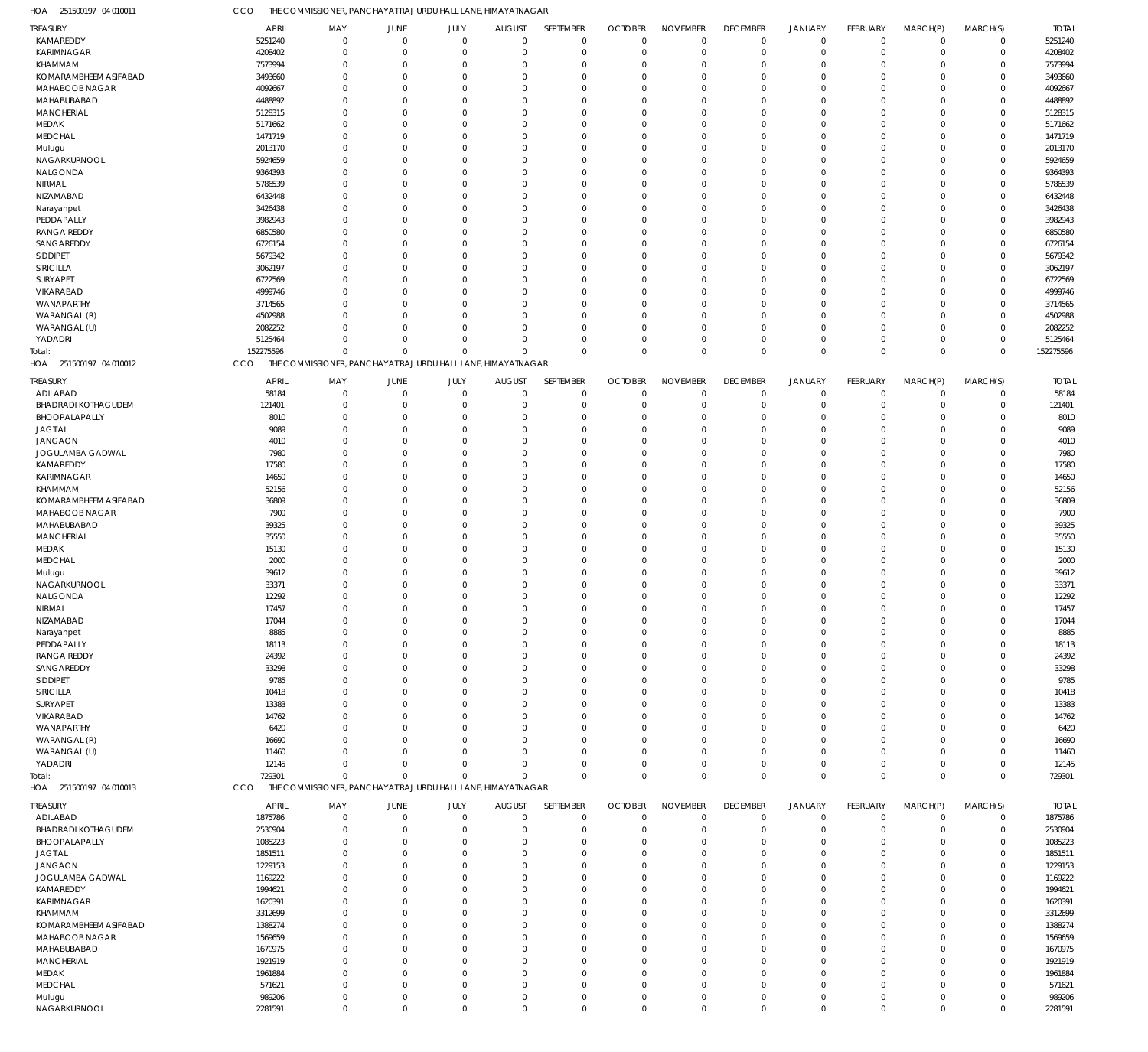251500197 04 010011 HOA CCO THE COMMISSIONER, PANCHAYAT RAJ URDU HALL LANE, HIMAYATNAGAR

| <b>TREASURY</b>            | APRIL        | MAY                                                          | <b>JUNE</b> | JULY         | <b>AUGUST</b>  | SEPTEMBER   | <b>OCTOBER</b> | <b>NOVEMBER</b> | <b>DECEMBER</b> | <b>JANUARY</b> | FEBRUARY    | MARCH(P)       | MARCH(S)    | <b>TOTAL</b> |
|----------------------------|--------------|--------------------------------------------------------------|-------------|--------------|----------------|-------------|----------------|-----------------|-----------------|----------------|-------------|----------------|-------------|--------------|
| KAMAREDDY                  | 5251240      | $\mathbf 0$                                                  | $\mathbf 0$ | $\mathbf 0$  | $\mathbf 0$    | $\mathbf 0$ | $\Omega$       | $\mathbf 0$     | $\mathbf 0$     | $\mathbf 0$    | $\mathbf 0$ | $\overline{0}$ |             | 5251240      |
|                            |              |                                                              |             |              |                |             |                |                 |                 |                |             |                | 0           |              |
| <b>KARIMNAGAR</b>          | 4208402      | $\mathbf{0}$                                                 | $\mathbf 0$ | $\mathbf 0$  | $\Omega$       | $\mathbf 0$ | $\Omega$       | $\overline{0}$  | $\mathbf 0$     | $\mathbf 0$    | $\Omega$    | $\mathbf 0$    | 0           | 4208402      |
| KHAMMAM                    | 7573994      | $\mathbf{0}$                                                 | $\mathbf 0$ | $\mathbf 0$  | $\Omega$       | $\Omega$    | $\Omega$       | $\Omega$        | $\mathbf 0$     | $\overline{0}$ | $\Omega$    | $\Omega$       | $\mathbf 0$ | 7573994      |
| KOMARAMBHEEM ASIFABAD      | 3493660      | $\mathbf{0}$                                                 | $\Omega$    | $\mathbf 0$  | $\Omega$       | $\mathbf 0$ | $\Omega$       | $\Omega$        | $\mathbf 0$     | $\overline{0}$ | $\Omega$    | $\Omega$       | $\mathbf 0$ | 3493660      |
| MAHABOOB NAGAR             | 4092667      | $\mathbf 0$                                                  | $\Omega$    | $\mathbf 0$  | $\Omega$       | $\Omega$    | $\Omega$       | $\Omega$        | $\Omega$        | $\Omega$       | $\Omega$    | $\Omega$       | $\mathbf 0$ | 4092667      |
| MAHABUBABAD                | 4488892      | $\mathbf{0}$                                                 | $\Omega$    | $\Omega$     | $\Omega$       | $\Omega$    |                | $\Omega$        | $\Omega$        | $\overline{0}$ | $\Omega$    | $\Omega$       | $\mathbf 0$ | 4488892      |
|                            |              |                                                              |             |              |                |             |                |                 |                 |                |             |                |             |              |
| <b>MANCHERIAL</b>          | 5128315      | $\Omega$                                                     | $\Omega$    | $\Omega$     | $\Omega$       | $\Omega$    | $\Omega$       | $\Omega$        | $\Omega$        | $\Omega$       | $\Omega$    | $\Omega$       | $\mathbf 0$ | 5128315      |
| MEDAK                      | 5171662      | $\mathbf{0}$                                                 | $\Omega$    | $\mathbf 0$  | $\Omega$       | $\mathbf 0$ |                | $\Omega$        | 0               | $\overline{0}$ | $\Omega$    | $\Omega$       | $\mathbf 0$ | 5171662      |
| <b>MEDCHAL</b>             | 1471719      | $\mathbf{0}$                                                 | $\Omega$    | $\Omega$     | $\Omega$       | $\Omega$    | $\Omega$       | $\Omega$        | $\Omega$        | $\Omega$       | $\Omega$    | $\Omega$       | $\mathbf 0$ | 1471719      |
|                            | 2013170      | $\mathbf{0}$                                                 | $\Omega$    | $\Omega$     | $\Omega$       | $\Omega$    |                | $\Omega$        | $\Omega$        | $^{\circ}$     | $\Omega$    | $\Omega$       | $\mathbf 0$ | 2013170      |
| Mulugu                     |              |                                                              |             |              |                |             |                |                 |                 |                |             |                |             |              |
| NAGARKURNOOL               | 5924659      | $\Omega$                                                     | $\Omega$    | $\mathbf 0$  | $\Omega$       | $\Omega$    |                | $\Omega$        | $\Omega$        | $\Omega$       | $\Omega$    | $\Omega$       | $\mathbf 0$ | 5924659      |
| NALGONDA                   | 9364393      | $\mathbf{0}$                                                 | $\Omega$    | $\Omega$     | $\Omega$       | $\mathbf 0$ |                | $\Omega$        | 0               | $\overline{0}$ | $\Omega$    | $\Omega$       | $\mathbf 0$ | 9364393      |
| NIRMAL                     | 5786539      | $\Omega$                                                     | $\Omega$    | $\Omega$     | $\Omega$       | $\Omega$    | $\Omega$       | $\Omega$        | $\Omega$        | $\Omega$       | $\Omega$    | $\Omega$       | $\mathbf 0$ | 5786539      |
| NIZAMABAD                  | 6432448      | $\mathbf{0}$                                                 | $\Omega$    | $\Omega$     | $\Omega$       | $\mathbf 0$ |                | $\Omega$        | $\Omega$        | $^{\circ}$     | $\Omega$    | $\Omega$       | $\mathbf 0$ | 6432448      |
|                            |              |                                                              |             |              |                |             |                |                 |                 |                |             |                |             |              |
| Narayanpet                 | 3426438      | $\Omega$                                                     | $\Omega$    | $\mathbf 0$  | $\Omega$       | $\Omega$    | $\Omega$       | $\Omega$        | $\Omega$        | $\Omega$       | $\Omega$    | $\Omega$       | $\mathbf 0$ | 3426438      |
| PEDDAPALLY                 | 3982943      | $\mathbf{0}$                                                 | $\Omega$    | $\Omega$     | $\Omega$       | $\Omega$    |                | $\Omega$        | $\Omega$        | $\Omega$       | $\Omega$    | $\Omega$       | $\mathbf 0$ | 3982943      |
| <b>RANGA REDDY</b>         | 6850580      | $\Omega$                                                     | $\Omega$    | $\Omega$     | $\Omega$       | $\Omega$    | $\Omega$       | $\Omega$        | $\Omega$        | $\Omega$       | $\Omega$    | $\Omega$       | $\mathbf 0$ | 6850580      |
| SANGAREDDY                 | 6726154      | $\mathbf{0}$                                                 | $\Omega$    | $\Omega$     | $\Omega$       | $\mathbf 0$ |                | $\Omega$        | $\Omega$        | $\overline{0}$ | $\Omega$    | $\Omega$       | $\mathbf 0$ | 6726154      |
|                            |              |                                                              |             |              |                |             |                |                 |                 |                |             |                |             |              |
| SIDDIPET                   | 5679342      | $\Omega$                                                     | $\Omega$    | $\Omega$     | $\Omega$       | $\Omega$    | $\Omega$       | $\Omega$        | $\Omega$        | $\Omega$       | $\Omega$    | $\Omega$       | $\mathbf 0$ | 5679342      |
| SIRICILLA                  | 3062197      | $\mathbf{0}$                                                 | $\Omega$    | $\Omega$     | $\Omega$       | $\Omega$    |                | $\Omega$        | 0               | $^{\circ}$     | $\Omega$    | $\Omega$       | $\mathbf 0$ | 3062197      |
| <b>SURYAPET</b>            | 6722569      | $\Omega$                                                     | $\Omega$    | $\Omega$     | $\Omega$       | $\Omega$    | $\Omega$       | $\Omega$        | $\Omega$        | $\overline{0}$ | $\Omega$    | $\Omega$       | $\mathbf 0$ | 6722569      |
| VIKARABAD                  | 4999746      | $\mathbf{0}$                                                 | $\Omega$    | $\Omega$     | $\Omega$       | $\Omega$    |                | $\Omega$        | $\Omega$        | $^{\circ}$     | $\Omega$    | $\Omega$       | $\mathbf 0$ | 4999746      |
|                            |              |                                                              |             |              |                |             |                |                 |                 |                |             |                |             |              |
| WANAPARTHY                 | 3714565      | $\Omega$                                                     | $\Omega$    | $\Omega$     | $\Omega$       | $\Omega$    |                | $\Omega$        | $\Omega$        | $\Omega$       | $\Omega$    | $\Omega$       | $\mathbf 0$ | 3714565      |
| WARANGAL (R)               | 4502988      | $\mathbf{0}$                                                 | $\Omega$    | $\mathbf 0$  | $\Omega$       | $\mathbf 0$ |                | $\overline{0}$  | 0               | $\overline{0}$ | $\Omega$    | $\mathbf 0$    | $\mathbf 0$ | 4502988      |
| WARANGAL (U)               | 2082252      | $\Omega$                                                     | $\Omega$    | $\mathbf 0$  | $\Omega$       | $\Omega$    | $\Omega$       | $\Omega$        | $\mathbf 0$     | $\overline{0}$ | $\Omega$    | $\Omega$       | $\mathbf 0$ | 2082252      |
| YADADRI                    | 5125464      | $\mathbf 0$                                                  | $\Omega$    | $\mathbf 0$  | $\Omega$       | $\mathbf 0$ |                | $\Omega$        | $\mathbf 0$     | $^{\circ}$     | $\Omega$    | $\mathbf 0$    | $\mathbf 0$ | 5125464      |
|                            |              |                                                              |             |              |                |             |                |                 |                 |                |             |                |             |              |
| Total:                     | 152275596    | $\mathbf 0$                                                  | $\Omega$    | $\mathbf 0$  | $\Omega$       | $\Omega$    | $\Omega$       | $\mathbf{0}$    | $\mathbf{0}$    | $\overline{0}$ | $\Omega$    | $\Omega$       | $\mathsf 0$ | 152275596    |
| HOA 251500197 04 010012    | CCO          | THE COMMISSIONER, PANCHAYAT RAJ URDU HALL LANE, HIMAYATNAGAR |             |              |                |             |                |                 |                 |                |             |                |             |              |
|                            |              |                                                              |             |              |                |             |                |                 |                 |                |             |                |             |              |
| <b>TREASURY</b>            | <b>APRIL</b> | MAY                                                          | JUNE        | JULY         | <b>AUGUST</b>  | SEPTEMBER   | <b>OCTOBER</b> | <b>NOVEMBER</b> | <b>DECEMBER</b> | <b>JANUARY</b> | FEBRUARY    | MARCH(P)       | MARCH(S)    | <b>TOTAL</b> |
| ADILABAD                   | 58184        | $\overline{0}$                                               | $\mathbf 0$ | $\mathbf 0$  | $\overline{0}$ | $\mathbf 0$ | $\Omega$       | $\overline{0}$  | $\mathbf 0$     | $\mathbf 0$    | $\Omega$    | $\mathbf 0$    | $\mathbf 0$ | 58184        |
| <b>BHADRADI KOTHAGUDEM</b> | 121401       | $\overline{0}$                                               | $\Omega$    | $\mathbf{0}$ | C.             | $\mathbf 0$ |                | $\overline{0}$  | $\mathbf 0$     | $\overline{0}$ | $\Omega$    | 0              | $\mathbf 0$ | 121401       |
| BHOOPALAPALLY              | 8010         | $\mathbf{0}$                                                 | 0           | $\Omega$     | -0             | $\Omega$    |                | $\Omega$        | $\mathbf 0$     | $\overline{0}$ | $\Omega$    | $\Omega$       | $\mathbf 0$ | 8010         |
|                            |              |                                                              |             |              |                |             |                |                 |                 |                |             |                |             |              |
| <b>JAGTIAL</b>             | 9089         | $\mathbf{0}$                                                 | $\Omega$    | $\Omega$     | $\Omega$       | $\Omega$    |                | $\Omega$        | 0               | $\overline{0}$ | O           | $\Omega$       | $\mathbf 0$ | 9089         |
| <b>JANGAON</b>             | 4010         | $\Omega$                                                     | $\Omega$    | $\Omega$     |                | $\Omega$    |                | $\Omega$        | $\Omega$        | $\Omega$       |             | $\Omega$       | $\mathbf 0$ | 4010         |
| JOGULAMBA GADWAL           | 7980         | $\Omega$                                                     | $\Omega$    | $\Omega$     | $\Omega$       | $\Omega$    |                | $\Omega$        | $\Omega$        | $\Omega$       | 0           | $\Omega$       | $\mathbf 0$ | 7980         |
|                            |              |                                                              |             |              |                |             |                |                 |                 |                |             |                |             |              |
| KAMAREDDY                  | 17580        | $\Omega$                                                     | $\Omega$    | $\Omega$     | $\Omega$       | $\Omega$    |                | $\Omega$        | $\Omega$        | $\Omega$       |             | $\Omega$       | $\mathbf 0$ | 17580        |
| KARIMNAGAR                 | 14650        | $\Omega$                                                     | $\Omega$    | $\Omega$     | $\Omega$       | $\Omega$    |                | $\Omega$        | $\Omega$        | $\Omega$       | O           | $\Omega$       | $\mathbf 0$ | 14650        |
| KHAMMAM                    | 52156        | $\Omega$                                                     | $\Omega$    | $\Omega$     |                | $\Omega$    |                | $\Omega$        | $\Omega$        | $\Omega$       |             | $\Omega$       | $\mathbf 0$ | 52156        |
| KOMARAMBHEEM ASIFABAD      | 36809        | $\mathbf 0$                                                  | $\Omega$    | $\Omega$     | $\Omega$       | $\Omega$    |                | $\Omega$        | $\Omega$        | $\Omega$       | O           | $\Omega$       | $\mathbf 0$ | 36809        |
|                            |              |                                                              |             |              |                |             |                |                 |                 |                |             |                |             |              |
| MAHABOOB NAGAR             | 7900         | $\Omega$                                                     | $\Omega$    | $\Omega$     |                | $\Omega$    |                | $\Omega$        | $\Omega$        | $\Omega$       |             | $\Omega$       | $\mathbf 0$ | 7900         |
| MAHABUBABAD                | 39325        | $\mathbf 0$                                                  | $\Omega$    | $\Omega$     | $\Omega$       | $\Omega$    |                | $\Omega$        | $\Omega$        | $\Omega$       | 0           | $\Omega$       | $\mathbf 0$ | 39325        |
| <b>MANCHERIAL</b>          | 35550        | $\Omega$                                                     | $\Omega$    | $\Omega$     | $\Omega$       | $\Omega$    |                | $\Omega$        | $\Omega$        | $\Omega$       | O           | $\Omega$       | $\mathbf 0$ | 35550        |
|                            |              |                                                              |             |              |                |             |                |                 |                 |                |             |                |             |              |
| MEDAK                      | 15130        | $\Omega$                                                     | $\Omega$    | $\Omega$     | $\Omega$       | $\Omega$    |                | $\Omega$        | $\Omega$        | $\Omega$       | O           | $\Omega$       | $\mathbf 0$ | 15130        |
| <b>MEDCHAL</b>             | 2000         | $\Omega$                                                     | $\Omega$    | $\Omega$     |                | $\Omega$    |                | $\Omega$        | $\Omega$        | $\Omega$       |             | $\Omega$       | $\mathbf 0$ | 2000         |
| Mulugu                     | 39612        | $\mathbf 0$                                                  | $\Omega$    | $\Omega$     | $\Omega$       | $\Omega$    |                | $\Omega$        | $\Omega$        | $\Omega$       | 0           | $\Omega$       | $\mathbf 0$ | 39612        |
| NAGARKURNOOL               | 33371        | $\Omega$                                                     | $\Omega$    | $\Omega$     | $\Omega$       | $\Omega$    |                | $\Omega$        | $\Omega$        | $\Omega$       |             | $\Omega$       | $\mathbf 0$ | 33371        |
|                            |              |                                                              |             |              |                |             |                |                 |                 |                |             |                |             |              |
| NALGONDA                   | 12292        | $\Omega$                                                     | $\Omega$    | $\Omega$     | $\Omega$       | $\Omega$    |                | $\Omega$        | $\Omega$        | $\Omega$       | 0           | $\Omega$       | $\mathbf 0$ | 12292        |
| NIRMAL                     | 17457        | $\mathbf 0$                                                  | $\Omega$    | $\mathbf 0$  | $\Omega$       | $\mathbf 0$ | $\Omega$       | $\mathbf 0$     | $\Omega$        | $\Omega$       | $\Omega$    | $\Omega$       | $\mathbf 0$ | 17457        |
| NIZAMABAD                  | 17044        | 0                                                            | 0           | $\Omega$     |                | -0          |                | 0               | 0               | 0              |             | 0              | 0           | 17044        |
|                            | 8885         | $\mathbf{0}$                                                 | $\Omega$    | $\Omega$     |                | $\Omega$    | $\Omega$       | $\Omega$        | 0               | $\overline{0}$ |             | $\Omega$       | $\mathbf 0$ | 8885         |
| Narayanpet                 |              |                                                              |             |              |                |             |                |                 |                 |                |             |                |             |              |
| PEDDAPALLY                 | 18113        | $\mathbf{0}$                                                 | 0           | $\Omega$     | $\Omega$       | $\mathbf 0$ | $\Omega$       | $\overline{0}$  | 0               | $\overline{0}$ | 0           | 0              | $\mathbf 0$ | 18113        |
| <b>RANGA REDDY</b>         | 24392        | 0                                                            | $\Omega$    | $\Omega$     |                | $\Omega$    | $\Omega$       | $\Omega$        | 0               | - 0            |             | $\Omega$       | $\mathbf 0$ | 24392        |
| SANGAREDDY                 | 33298        | 0                                                            | $\Omega$    | $\Omega$     |                | $\Omega$    | $\Omega$       | $\Omega$        | 0               | $\Omega$       |             | $\Omega$       | $\mathbf 0$ | 33298        |
| SIDDIPET                   | 9785         | 0                                                            | $\Omega$    | $\Omega$     |                | $\Omega$    |                | $\Omega$        | $\Omega$        | 0              |             | $\Omega$       | $\mathbf 0$ | 9785         |
|                            |              |                                                              |             |              |                |             |                |                 |                 |                |             |                |             |              |
| SIRICILLA                  | 10418        | $\mathbf{0}$                                                 | $\Omega$    | $\Omega$     | -0             | $\Omega$    |                | $\Omega$        | 0               | - 0            |             | $\Omega$       | $\mathbf 0$ | 10418        |
| SURYAPET                   | 13383        | $\Omega$                                                     | $\Omega$    | $\Omega$     |                | $\Omega$    |                | $\Omega$        | $\Omega$        | $\Omega$       |             | $\Omega$       | $\mathbf 0$ | 13383        |
| VIKARABAD                  | 14762        | 0                                                            | $\Omega$    | $\Omega$     |                | $\Omega$    |                | $\Omega$        | 0               | $\Omega$       |             | $\Omega$       | $\mathbf 0$ | 14762        |
| WANAPARTHY                 | 6420         | $\Omega$                                                     | $\Omega$    | $\Omega$     |                | $\Omega$    |                | $\Omega$        | $\Omega$        | 0              |             | $\Omega$       | $\mathbf 0$ | 6420         |
|                            |              |                                                              |             |              |                |             |                |                 |                 |                |             |                |             |              |
| WARANGAL (R)               | 16690        | 0                                                            | $\Omega$    | $\Omega$     | $\Omega$       | $\Omega$    |                | $\Omega$        | 0               | $\Omega$       |             | $\Omega$       | $\mathbf 0$ | 16690        |
| WARANGAL (U)               | 11460        | $\Omega$                                                     | $\Omega$    | $\Omega$     |                | $\Omega$    |                | $\Omega$        | 0               | $\mathbf 0$    |             | $\Omega$       | $\mathbf 0$ | 11460        |
| YADADRI                    | 12145        | $\mathbf{0}$                                                 | $\Omega$    | $\Omega$     | $\Omega$       | $\Omega$    | $\Omega$       | $\overline{0}$  | 0               | $\overline{0}$ | 0           | 0              | $\mathbf 0$ | 12145        |
| Total:                     | 729301       | $\mathbf 0$                                                  | $\Omega$    | $\mathbf 0$  | $\Omega$       | $\Omega$    | $\Omega$       | $\mathbf 0$     | $\mathbf 0$     | $\overline{0}$ | $\Omega$    | $\mathbf 0$    | $\mathbf 0$ | 729301       |
| HOA 251500197 04 010013    | CCO          | THE COMMISSIONER, PANCHAYAT RAJ URDU HALL LANE, HIMAYATNAGAR |             |              |                |             |                |                 |                 |                |             |                |             |              |
|                            |              |                                                              |             |              |                |             |                |                 |                 |                |             |                |             |              |
| <b>TREASURY</b>            | <b>APRIL</b> | MAY                                                          | JUNE        | JULY         | <b>AUGUST</b>  | SEPTEMBER   | <b>OCTOBER</b> | <b>NOVEMBER</b> | <b>DECEMBER</b> | <b>JANUARY</b> | FEBRUARY    | MARCH(P)       | MARCH(S)    | <b>TOTAL</b> |
|                            |              |                                                              |             |              |                |             |                |                 |                 |                |             |                |             |              |
| ADILABAD                   | 1875786      | $\overline{0}$                                               | $\mathbf 0$ | $\mathbf 0$  | $\Omega$       | $\mathbf 0$ | $\Omega$       | $\Omega$        | $\mathbf 0$     | $\mathbf 0$    | $\Omega$    | $\mathbf 0$    | 0           | 1875786      |
| <b>BHADRADI KOTHAGUDEM</b> | 2530904      | $\mathbf 0$                                                  | 0           | $\mathbf{0}$ | $\Omega$       | $\mathbf 0$ | $\Omega$       | $\Omega$        | $\mathbf 0$     | $\overline{0}$ | $\mathbf 0$ | $\mathbf 0$    | $\mathbf 0$ | 2530904      |
| BHOOPALAPALLY              | 1085223      | $\mathbf{0}$                                                 | 0           | $\mathbf 0$  | $\Omega$       | $\mathbf 0$ |                | $\overline{0}$  | $\mathbf 0$     | $\overline{0}$ | 0           | 0              | $\mathbf 0$ | 1085223      |
| <b>JAGTIAL</b>             | 1851511      | $\mathbf{0}$                                                 | $\Omega$    | $\mathbf 0$  | $\Omega$       | $\Omega$    | $\Omega$       | $\Omega$        | 0               | $\overline{0}$ | $\Omega$    | $\Omega$       | $\mathbf 0$ | 1851511      |
|                            |              |                                                              |             |              |                |             |                |                 |                 |                |             |                |             |              |
| <b>JANGAON</b>             | 1229153      | $\mathbf{0}$                                                 | $\Omega$    | $\Omega$     | $\Omega$       | $\mathbf 0$ |                | $\Omega$        | 0               | $\overline{0}$ | 0           | $\Omega$       | $\mathbf 0$ | 1229153      |
| JOGULAMBA GADWAL           | 1169222      | $\mathbf{0}$                                                 | $\Omega$    | $\Omega$     | $\Omega$       | $\Omega$    | $\Omega$       | $\Omega$        | 0               | $\overline{0}$ | 0           | $\Omega$       | $\mathbf 0$ | 1169222      |
| KAMAREDDY                  | 1994621      | $\mathbf{0}$                                                 | $\Omega$    | $\Omega$     | $\Omega$       | $\Omega$    |                | $\Omega$        | 0               | $\overline{0}$ | 0           | $\Omega$       | $\mathbf 0$ | 1994621      |
|                            |              | $\Omega$                                                     | $\Omega$    | $\Omega$     | $\Omega$       | $\Omega$    | $\Omega$       | $\Omega$        | $\Omega$        | $\mathbf 0$    | $\Omega$    | $\Omega$       | $\mathbf 0$ | 1620391      |
| KARIMNAGAR                 | 1620391      |                                                              |             |              |                |             |                |                 |                 |                |             |                |             |              |
| KHAMMAM                    | 3312699      | $\mathbf{0}$                                                 | $\Omega$    | $\Omega$     | $\Omega$       | $\mathbf 0$ |                | $\overline{0}$  | 0               | $\overline{0}$ | 0           | 0              | $\mathbf 0$ | 3312699      |
| KOMARAMBHEEM ASIFABAD      | 1388274      | $\Omega$                                                     | $\Omega$    | $\Omega$     | $\Omega$       | $\Omega$    | $\Omega$       | $\Omega$        | $\Omega$        | $\mathbf 0$    | 0           | $\Omega$       | $\mathbf 0$ | 1388274      |
| MAHABOOB NAGAR             | 1569659      | $\mathbf{0}$                                                 | $\Omega$    | $\Omega$     | $\Omega$       | $\Omega$    |                | $\Omega$        | 0               | $\overline{0}$ | 0           | $\Omega$       | $\mathbf 0$ | 1569659      |
|                            |              |                                                              |             |              |                |             |                | $\Omega$        |                 |                |             |                |             |              |
| MAHABUBABAD                | 1670975      | $\mathbf{0}$                                                 | $\Omega$    | $\mathbf 0$  | $\Omega$       | $\Omega$    | $\Omega$       |                 | 0               | $\overline{0}$ | $\Omega$    | $\Omega$       | $\mathbf 0$ | 1670975      |
| <b>MANCHERIAL</b>          | 1921919      | $\mathbf{0}$                                                 | $\Omega$    | $\Omega$     | $\Omega$       | $\Omega$    |                | $\overline{0}$  | 0               | - 0            | 0           | $\Omega$       | $\mathbf 0$ | 1921919      |
| MEDAK                      | 1961884      | $\Omega$                                                     | $\Omega$    | $\Omega$     | $\Omega$       | $\Omega$    | $\Omega$       | $\Omega$        | $\Omega$        | $\Omega$       | 0           | $\Omega$       | $\mathbf 0$ | 1961884      |
| <b>MEDCHAL</b>             | 571621       | $\mathbf{0}$                                                 | $\Omega$    | $\mathbf 0$  | $\Omega$       | $\mathbf 0$ | $\Omega$       | $\mathbf 0$     | $\mathbf 0$     | $\overline{0}$ | $\Omega$    | $\mathbf 0$    | $\mathbf 0$ | 571621       |
|                            |              |                                                              |             |              |                |             |                |                 |                 |                |             |                |             |              |
| Mulugu                     | 989206       | $\mathbf{0}$                                                 | $\mathbf 0$ | $\mathbf 0$  | $\Omega$       | $\mathbf 0$ | $\Omega$       | $\mathbf 0$     | $\mathbf 0$     | $\overline{0}$ | $\mathbf 0$ | $\mathbf 0$    | $\mathbf 0$ | 989206       |
| NAGARKURNOOL               | 2281591      | $\mathbf 0$                                                  | $\mathbf 0$ | $\mathbf 0$  | $\mathbf 0$    | $\Omega$    | $\Omega$       | $\mathbb O$     | $\mathbf 0$     | $\overline{0}$ | $\mathbf 0$ | $\mathbf 0$    | $\mathbf 0$ | 2281591      |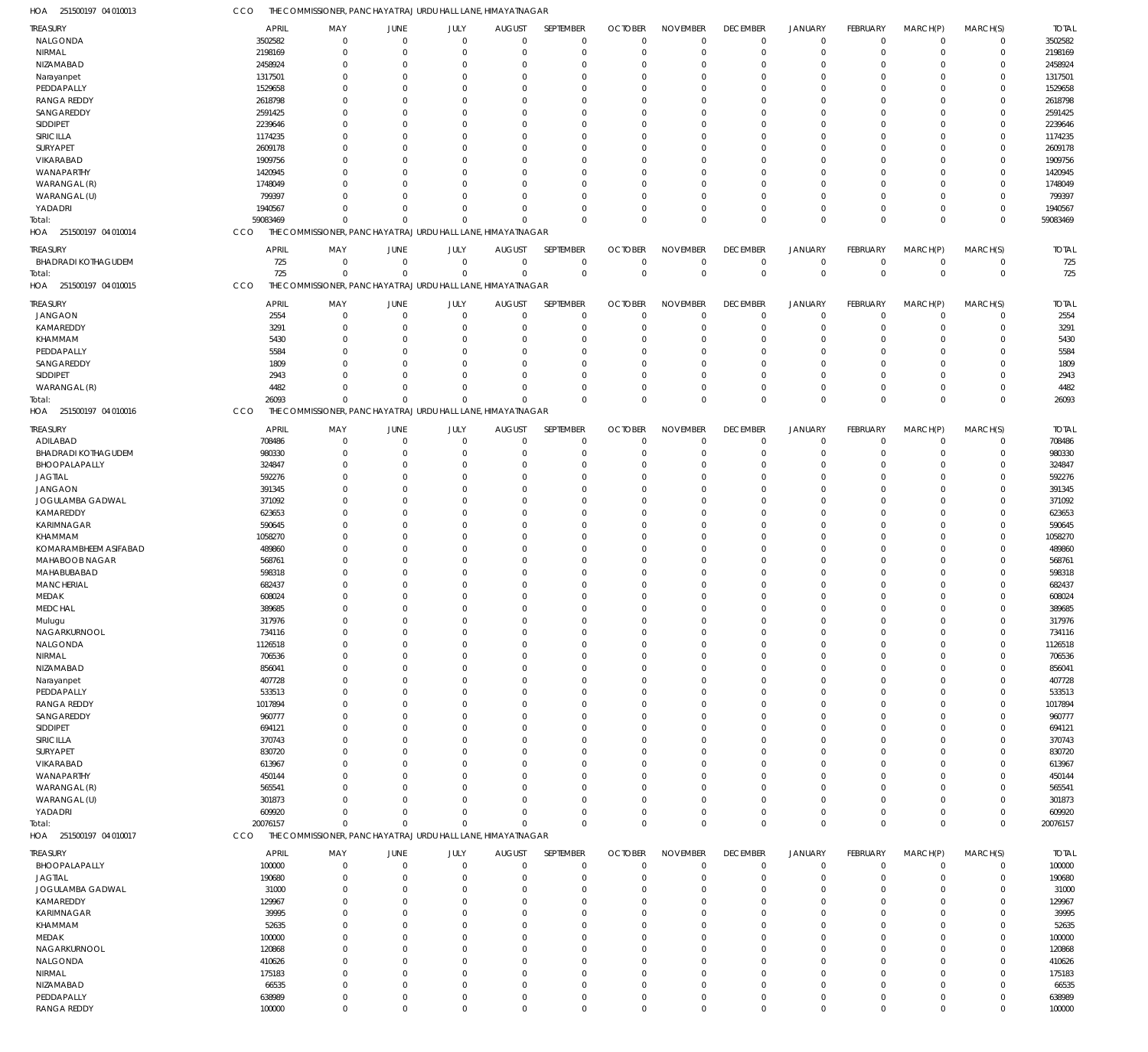| HOA<br>251500197 04 010013           | CCO                | THE COMMISSIONER, PANCHAYAT RAJ URDU HALL LANE, HIMAYATNAGAR             |                            |                            |                               |                            |                                  |                            |                               |                            |                                  |                                  |                               |                    |
|--------------------------------------|--------------------|--------------------------------------------------------------------------|----------------------------|----------------------------|-------------------------------|----------------------------|----------------------------------|----------------------------|-------------------------------|----------------------------|----------------------------------|----------------------------------|-------------------------------|--------------------|
| TREASURY                             | <b>APRIL</b>       | MAY                                                                      | JUNE                       | JULY                       | <b>AUGUST</b>                 | SEPTEMBER                  | <b>OCTOBER</b>                   | <b>NOVEMBER</b>            | <b>DECEMBER</b>               | <b>JANUARY</b>             | <b>FEBRUARY</b>                  | MARCH(P)                         | MARCH(S)                      | <b>TOTAL</b>       |
| NALGONDA                             | 3502582            | $\Omega$                                                                 | $\overline{0}$             | $\mathbf 0$                | $\mathbf 0$                   | $\mathbf 0$                | $\mathbf 0$                      | $\mathbf 0$                | $\mathbf 0$                   | $\mathbf 0$                | $\overline{0}$                   | $\mathbf 0$                      | $\mathbf 0$                   | 3502582            |
| NIRMAL<br>NIZAMABAD                  | 2198169<br>2458924 | $\Omega$<br>$\Omega$                                                     | $\Omega$<br>$\overline{0}$ | $\mathbf 0$<br>$\Omega$    | $\mathbf 0$<br>$\Omega$       | $\mathbf 0$<br>0           | $\mathbf 0$<br>0                 | $\mathbf 0$<br>$\Omega$    | $\mathbf 0$<br>$\Omega$       | $\Omega$<br>$\Omega$       | $\Omega$<br>$\Omega$             | $\Omega$<br>$\Omega$             | $\mathbf 0$<br>0              | 2198169<br>2458924 |
| Narayanpet                           | 1317501            | $\Omega$                                                                 | $\Omega$                   | $\Omega$                   | $\Omega$                      | $\Omega$                   | 0                                | $\Omega$                   | $\Omega$                      | $\Omega$                   | $\Omega$                         | $\Omega$                         | $\Omega$                      | 1317501            |
| PEDDAPALLY                           | 1529658            | $\Omega$                                                                 | $\Omega$                   | $\Omega$                   | $\Omega$                      | $\mathbf 0$                | 0                                | $\Omega$                   | $\Omega$                      | $\Omega$                   | $\Omega$                         | $\Omega$                         | $\Omega$                      | 1529658            |
| <b>RANGA REDDY</b>                   | 2618798            | $\Omega$                                                                 | $\Omega$                   | $\Omega$                   | $\Omega$                      | $\Omega$                   | 0                                | $\Omega$                   | $\Omega$                      | $\Omega$                   | $\Omega$                         | $\Omega$                         | $\Omega$                      | 2618798            |
| SANGAREDDY                           | 2591425            | $\Omega$                                                                 | $\Omega$                   | $\Omega$                   | $\Omega$                      | $\mathbf 0$                | 0                                | $\Omega$                   | $\Omega$                      | $\Omega$                   | $\Omega$                         | $\Omega$                         | $\Omega$                      | 2591425            |
| SIDDIPET                             | 2239646            | $\Omega$                                                                 | $\Omega$                   | $\Omega$                   | $\Omega$                      | $\Omega$                   | 0                                | $\Omega$                   | $\Omega$                      | $\Omega$                   | $\Omega$                         | $\Omega$                         | $\Omega$                      | 2239646            |
| SIRICILLA<br>SURYAPET                | 1174235<br>2609178 | $\Omega$                                                                 | $\Omega$<br>$\Omega$       | $\Omega$<br>$\Omega$       | $\Omega$<br>$\Omega$          | $\mathbf 0$<br>$\Omega$    | 0<br>0                           | $\Omega$<br>$\Omega$       | $\Omega$<br>$\Omega$          | $\Omega$<br>$\Omega$       | $\Omega$<br>$\Omega$             | $\Omega$<br>$\Omega$             | 0<br>$\Omega$                 | 1174235<br>2609178 |
| VIKARABAD                            | 1909756            |                                                                          | $\Omega$                   | $\Omega$                   | $\Omega$                      | $\Omega$                   | $\Omega$                         | $\Omega$                   | $\Omega$                      | $\Omega$                   | $\Omega$                         | $\Omega$                         | $\Omega$                      | 1909756            |
| WANAPARTHY                           | 1420945            |                                                                          | $\Omega$                   | $\Omega$                   | $\Omega$                      | $\Omega$                   | 0                                | $\Omega$                   | $\Omega$                      | $\Omega$                   | $\Omega$                         | $\Omega$                         | $\Omega$                      | 1420945            |
| WARANGAL (R)                         | 1748049            |                                                                          | $\Omega$                   | $\Omega$                   | $\Omega$                      | $\Omega$                   | 0                                | $\Omega$                   | $\Omega$                      | $\Omega$                   | $\Omega$                         | $\Omega$                         | $\Omega$                      | 1748049            |
| WARANGAL (U)                         | 799397             |                                                                          | $\Omega$                   | $\Omega$                   | $\Omega$                      | $\Omega$                   | $\Omega$                         | $\Omega$                   | $\Omega$                      | $\Omega$                   | $\Omega$                         | $\Omega$                         | 0                             | 799397             |
| YADADRI                              | 1940567            | $\Omega$                                                                 | $\Omega$                   | $\Omega$                   | $\mathbf 0$                   | $\mathbf 0$                | 0                                | $\Omega$                   | $\Omega$                      | $\Omega$                   | $\Omega$                         | $\Omega$                         | 0                             | 1940567            |
| Total:<br>251500197 04 010014<br>HOA | 59083469<br>CCO    | $\Omega$<br>THE COMMISSIONER, PANCHAYAT RAJ URDU HALL LANE, HIMAYATNAGAR | $\Omega$                   | $\Omega$                   | $\Omega$                      | $\Omega$                   | $\Omega$                         | $\Omega$                   | $\Omega$                      | $\Omega$                   | $\Omega$                         | $\Omega$                         | $\mathbf 0$                   | 59083469           |
|                                      |                    |                                                                          |                            |                            |                               |                            |                                  |                            |                               |                            |                                  |                                  |                               |                    |
| treasury                             | APRIL              | MAY                                                                      | JUNE                       | JULY                       | <b>AUGUST</b>                 | SEPTEMBER                  | <b>OCTOBER</b>                   | <b>NOVEMBER</b>            | <b>DECEMBER</b>               | <b>JANUARY</b>             | <b>FEBRUARY</b>                  | MARCH(P)                         | MARCH(S)                      | <b>TOTAL</b>       |
| <b>BHADRADI KOTHAGUDEM</b>           | 725<br>725         | $\mathbf 0$<br>$\Omega$                                                  | $\mathbf 0$<br>$\mathbf 0$ | $\mathbf 0$<br>$\mathbf 0$ | $\overline{0}$<br>$\mathbf 0$ | $\mathbf 0$<br>$\mathbf 0$ | $\overline{0}$<br>$\overline{0}$ | $\mathbf 0$<br>$\mathbf 0$ | $\overline{0}$<br>$\mathbf 0$ | $\mathbf 0$<br>$\mathbf 0$ | $\overline{0}$<br>$\overline{0}$ | $\overline{0}$<br>$\overline{0}$ | $\mathbf 0$<br>$\overline{0}$ | 725<br>725         |
| iotal:<br>HOA 251500197 04 010015    | CCO                | THE COMMISSIONER, PANCHAYAT RAJ URDU HALL LANE, HIMAYATNAGAR             |                            |                            |                               |                            |                                  |                            |                               |                            |                                  |                                  |                               |                    |
|                                      |                    |                                                                          |                            |                            |                               |                            |                                  |                            |                               |                            |                                  |                                  |                               |                    |
| treasury                             | <b>APRIL</b>       | MAY                                                                      | JUNE                       | JULY<br>$\mathbf 0$        | <b>AUGUST</b><br>$\mathbf 0$  | SEPTEMBER                  | <b>OCTOBER</b>                   | <b>NOVEMBER</b>            | <b>DECEMBER</b>               | <b>JANUARY</b>             | FEBRUARY                         | MARCH(P)                         | MARCH(S)                      | <b>TOTAL</b>       |
| <b>JANGAON</b><br>KAMAREDDY          | 2554<br>3291       | $\Omega$<br>$\Omega$                                                     | $\overline{0}$<br>$\Omega$ | $\Omega$                   | $\Omega$                      | $\mathbf 0$<br>$\mathbf 0$ | $\mathbf 0$<br>$\mathbf 0$       | $\mathbf 0$<br>$\Omega$    | $\mathbf 0$<br>$\Omega$       | $\Omega$<br>$\Omega$       | $\overline{0}$<br>$\Omega$       | $\mathbf 0$<br>$\Omega$          | $\mathbf 0$<br>0              | 2554<br>3291       |
| KHAMMAM                              | 5430               | $\Omega$                                                                 | $\Omega$                   | $\Omega$                   | $\Omega$                      | $\mathbf 0$                | 0                                | $\mathbf 0$                | $\Omega$                      | $\Omega$                   | $\Omega$                         | $\Omega$                         | 0                             | 5430               |
| PEDDAPALLY                           | 5584               |                                                                          | $\Omega$                   | $\Omega$                   | $\Omega$                      | $\mathbf 0$                | 0                                | $\Omega$                   | $\Omega$                      | $\Omega$                   | $\Omega$                         | $\Omega$                         | 0                             | 5584               |
| SANGAREDDY                           | 1809               | $\Omega$                                                                 | $\Omega$                   | $\Omega$                   | $\Omega$                      | $\Omega$                   | 0                                | $\Omega$                   | $\Omega$                      | $\Omega$                   | $\Omega$                         | $\Omega$                         | $\Omega$                      | 1809               |
| SIDDIPET                             | 2943               |                                                                          | $\Omega$                   | $\Omega$                   | $\mathbf 0$                   | $\mathbf 0$                | 0                                | $\Omega$                   | $\Omega$                      | $\Omega$                   | $\Omega$                         | $\Omega$                         | 0                             | 2943               |
| WARANGAL (R)                         | 4482               | $\Omega$                                                                 | $\Omega$                   | $\Omega$                   | $\Omega$                      | $\mathbf 0$                | 0                                | $\mathbf 0$                | $\Omega$                      | $\Omega$                   | $\Omega$                         | $\Omega$                         | 0                             | 4482               |
| Total:                               | 26093              | $\mathbf{0}$                                                             | $\mathbf 0$                | $\Omega$                   | $\Omega$                      | $\Omega$                   | $\Omega$                         | $\Omega$                   | $\Omega$                      | $\Omega$                   | $\Omega$                         | $\Omega$                         | $\mathbf 0$                   | 26093              |
| HOA 251500197 04 010016              | CCO                | THE COMMISSIONER, PANCHAYAT RAJ URDU HALL LANE, HIMAYATNAGAR             |                            |                            |                               |                            |                                  |                            |                               |                            |                                  |                                  |                               |                    |
| TREASURY                             | <b>APRIL</b>       | MAY                                                                      | JUNE                       | JULY                       | <b>AUGUST</b>                 | SEPTEMBER                  | <b>OCTOBER</b>                   | <b>NOVEMBER</b>            | <b>DECEMBER</b>               | <b>JANUARY</b>             | FEBRUARY                         | MARCH(P)                         | MARCH(S)                      | <b>TOTAL</b>       |
| ADILABAD                             | 708486             |                                                                          | $\overline{0}$             | $\mathbf 0$                | $\mathbf 0$                   | $\mathbf 0$                | $\mathbf 0$                      | $\mathbf 0$                | $^{\circ}$                    | $\mathbf 0$                | $^{\circ}$                       | $\mathbf 0$                      | $\mathbf 0$                   | 708486             |
| <b>BHADRADI KOTHAGUDEM</b>           | 980330             |                                                                          | $\Omega$<br>$\Omega$       | $\mathbf 0$<br>$\Omega$    | $\Omega$<br>$\Omega$          | $\mathbf 0$<br>$\mathbf 0$ | $\mathbf 0$                      | $\mathbf 0$<br>$\mathbf 0$ | $\Omega$                      | $\Omega$<br>$\Omega$       | $\Omega$                         | $\Omega$<br>$\Omega$             | $\mathbf 0$<br>0              | 980330             |
| BHOOPALAPALLY<br><b>JAGTIAL</b>      | 324847<br>592276   |                                                                          | $\Omega$                   | $\Omega$                   | $\Omega$                      | 0                          | 0<br>0                           | $\Omega$                   | $\Omega$<br>$\Omega$          | $\Omega$                   | $\Omega$<br>$\Omega$             | $\Omega$                         | $\Omega$                      | 324847<br>592276   |
| <b>JANGAON</b>                       | 391345             |                                                                          | $\Omega$                   | $\Omega$                   | $\Omega$                      | $\mathbf 0$                | 0                                | $\Omega$                   | $\Omega$                      | $\Omega$                   | $\Omega$                         | $\Omega$                         | 0                             | 391345             |
| JOGULAMBA GADWAL                     | 371092             |                                                                          | $\Omega$                   | $\Omega$                   | $\Omega$                      | 0                          | 0                                | $\Omega$                   |                               | $\Omega$                   |                                  | $\Omega$                         | 0                             | 371092             |
| KAMAREDDY                            | 623653             |                                                                          | $\Omega$                   | $\Omega$                   | $\Omega$                      | $\mathbf 0$                | 0                                | $\Omega$                   | $\Omega$                      | $\Omega$                   | <sup>0</sup>                     | $\Omega$                         | 0                             | 623653             |
| <b>KARIMNAGAR</b>                    | 590645             |                                                                          | $\Omega$                   | $\Omega$                   | $\Omega$                      | $\Omega$                   | 0                                | $\Omega$                   |                               | $\Omega$                   |                                  | $\Omega$                         | 0                             | 590645             |
| KHAMMAM                              | 1058270            |                                                                          | $\Omega$                   | $\Omega$                   | $\Omega$                      | $\mathbf 0$                | 0                                | $\mathbf 0$                | $\Omega$                      | $\Omega$                   | $\Omega$                         | $\Omega$                         | 0                             | 1058270            |
| KOMARAMBHEEM ASIFABAD                | 489860             |                                                                          | $\Omega$                   | $\Omega$                   | $\Omega$                      | $\Omega$                   | 0                                | $\Omega$                   |                               | $\Omega$                   | $\Omega$                         | $\Omega$                         | 0                             | 489860             |
| MAHABOOB NAGAR                       | 568761             |                                                                          | $\Omega$                   | $\Omega$                   | $\Omega$                      | $\mathbf 0$                | 0                                | $\Omega$                   | $\Omega$                      | $\Omega$                   | <sup>0</sup>                     | $\Omega$                         | 0                             | 568761             |
| MAHABUBABAD<br><b>MANCHERIAL</b>     | 598318<br>682437   |                                                                          | $\Omega$<br>$\Omega$       | $\Omega$<br>$\Omega$       | $\Omega$<br>$\Omega$          | $\mathbf 0$<br>$\mathbf 0$ | 0<br>0                           | $\mathbf 0$<br>0           |                               | $\Omega$                   | $\Omega$                         | $\Omega$<br>$\Omega$             | 0<br>0                        | 598318<br>682437   |
| MEDAK                                | 608024             | $\Omega$                                                                 | $\Omega$                   | $\Omega$                   | $\Omega$                      | $\mathbf 0$                | $\mathbf 0$                      | $\Omega$                   | $\Omega$                      | $\Omega$                   | $\Omega$                         | $\Omega$                         | $\Omega$                      | 608024             |
| MEDCHAL                              | 389685             |                                                                          | $\Omega$                   |                            | 0                             | 0                          | 0                                | $\Omega$                   |                               |                            |                                  |                                  | 0                             | 389685             |
| Mulugu                               | 317976             | $\Omega$                                                                 | $\overline{0}$             | 0                          | $\Omega$                      | $\mathbf 0$                | $\mathbf 0$                      | $\mathbf 0$                | $\Omega$                      | $\Omega$                   | $\Omega$                         | $\Omega$                         | 0                             | 317976             |
| NAGARKURNOOL                         | 734116             | $\Omega$                                                                 | $^{\circ}$                 | $\Omega$                   | $\Omega$                      | $\mathbf 0$                | $\mathbf 0$                      | $\mathbf 0$                | $\Omega$                      | $\Omega$                   | $\Omega$                         | $\Omega$                         | 0                             | 734116             |
| NALGONDA                             | 1126518            |                                                                          | $\Omega$                   | $\Omega$                   | $\Omega$                      | $\mathbf 0$                | $\mathbf 0$                      | $\mathbf 0$                | $\Omega$                      | $\Omega$                   | $\Omega$                         | $\Omega$                         | 0                             | 1126518            |
| NIRMAL                               | 706536             | $\Omega$                                                                 | $^{\circ}$                 | $\Omega$                   | $\Omega$                      | $\mathbf 0$                | 0                                | $\mathbf 0$                | $\Omega$                      | $\Omega$                   | $\Omega$                         | $\Omega$                         | 0                             | 706536             |
| NIZAMABAD                            | 856041             |                                                                          | $\Omega$<br>$\Omega$       | $\Omega$<br>$\Omega$       | $\Omega$<br>$\Omega$          | $\mathbf 0$<br>$\mathbf 0$ | 0                                | $\mathbf 0$<br>$\mathbf 0$ | $\Omega$                      | $\Omega$<br>$\Omega$       | $\Omega$                         | $\Omega$<br>$\Omega$             | 0<br>0                        | 856041<br>407728   |
| Narayanpet<br>PEDDAPALLY             | 407728<br>533513   | $\Omega$                                                                 | $\Omega$                   | $\Omega$                   | $\Omega$                      | 0                          | 0<br>$\mathbf 0$                 | $\mathbf 0$                | $\Omega$<br>$\Omega$          | $\Omega$                   | $\Omega$                         | $\Omega$                         | 0                             | 533513             |
| <b>RANGA REDDY</b>                   | 1017894            | $\Omega$                                                                 | $\Omega$                   | $\Omega$                   | $\Omega$                      | $\mathbf 0$                | 0                                | $\mathbf 0$                | $\Omega$                      | $\Omega$                   | <sup>0</sup>                     | $\Omega$                         | 0                             | 1017894            |
| SANGAREDDY                           | 960777             |                                                                          | $\Omega$                   | U                          | $\Omega$                      | $\Omega$                   | 0                                | $\Omega$                   | $\Omega$                      | $\Omega$                   | <sup>0</sup>                     | $\Omega$                         | 0                             | 960777             |
| SIDDIPET                             | 694121             | $\Omega$                                                                 | $\Omega$                   | $\Omega$                   | $\Omega$                      | $\mathbf 0$                | 0                                | $\mathbf 0$                | $\Omega$                      | $\Omega$                   | 0                                | $\Omega$                         | 0                             | 694121             |
| SIRICILLA                            | 370743             |                                                                          | $\Omega$                   | $\Omega$                   | $\Omega$                      | 0                          | $\mathbf 0$                      | $\mathbf 0$                | $\Omega$                      | $\Omega$                   |                                  | $\Omega$                         | 0                             | 370743             |
| SURYAPET                             | 830720             |                                                                          | $\Omega$                   | $\Omega$                   | $\Omega$                      | $\mathbf 0$                | 0                                | $\mathbf 0$                | $\Omega$                      | $\Omega$                   | <sup>0</sup>                     | $\Omega$                         | 0                             | 830720             |
| VIKARABAD                            | 613967             |                                                                          | $\Omega$                   | 0                          | $\Omega$                      | $\Omega$                   | 0                                | $\mathbf 0$                | $\Omega$                      | $\Omega$                   |                                  | $\Omega$                         | 0                             | 613967             |
| WANAPARTHY<br>WARANGAL (R)           | 450144<br>565541   |                                                                          | $\Omega$<br>$\Omega$       | $\Omega$<br>$\Omega$       | $\Omega$<br>$\Omega$          | $\mathbf 0$<br>$\Omega$    | 0<br>0                           | $\mathbf 0$<br>$\mathbf 0$ | $\Omega$<br>$\Omega$          | $\Omega$<br>$\Omega$       | 0                                | $\Omega$<br>$\Omega$             | 0<br>0                        | 450144<br>565541   |
| WARANGAL (U)                         | 301873             |                                                                          | $\Omega$                   | $\Omega$                   | $\Omega$                      | $\mathbf 0$                | 0                                | $\mathbf 0$                | $\Omega$                      | $\Omega$                   | $\Omega$                         | $\Omega$                         | 0                             | 301873             |
| YADADRI                              | 609920             | $\Omega$                                                                 | $\overline{0}$             | 0                          | $\mathbf 0$                   | $\mathbf 0$                | $\mathbf 0$                      | $\mathbf 0$                | 0                             | $\Omega$                   | $\Omega$                         | $\Omega$                         | 0                             | 609920             |
| Total:                               | 20076157           | $\Omega$                                                                 | $\mathbf 0$                | 0                          | $\Omega$                      | $\mathbf 0$                | $\mathbf 0$                      | $\mathbf 0$                | $\Omega$                      | $\Omega$                   | $\Omega$                         | $\overline{0}$                   | $\mathbf 0$                   | 20076157           |
| HOA 251500197 04 010017              | CCO                | THE COMMISSIONER, PANCHAYAT RAJ URDU HALL LANE, HIMAYATNAGAR             |                            |                            |                               |                            |                                  |                            |                               |                            |                                  |                                  |                               |                    |
| treasury                             | <b>APRIL</b>       | MAY                                                                      | JUNE                       | JULY                       | <b>AUGUST</b>                 | SEPTEMBER                  | <b>OCTOBER</b>                   | <b>NOVEMBER</b>            | <b>DECEMBER</b>               | <b>JANUARY</b>             | <b>FEBRUARY</b>                  | MARCH(P)                         | MARCH(S)                      | <b>TOTAL</b>       |
| BHOOPALAPALLY                        | 100000             | $\Omega$                                                                 | $\mathbf 0$                | $\mathbf 0$                | $\mathbf 0$                   | $\mathbf 0$                | $\mathbf 0$                      | $\mathbf 0$                | $\mathbf 0$                   | 0                          | $\overline{0}$                   | $\overline{0}$                   | $\overline{0}$                | 100000             |
| <b>JAGTIAL</b>                       | 190680             | $\Omega$                                                                 | $\overline{0}$             | $\Omega$                   | $\Omega$                      | $\mathbf 0$                | $\mathbf 0$                      | $\mathbf 0$                | $\Omega$                      | $\mathbf 0$                | $\Omega$                         | $\Omega$                         | $\mathbf 0$                   | 190680             |
| JOGULAMBA GADWAL                     | 31000              | $\Omega$                                                                 | $\overline{0}$             | $\Omega$                   | $\Omega$                      | $\mathbf 0$                | $\mathbf 0$                      | $\mathbf 0$                | $\Omega$                      | $\Omega$                   | $\Omega$                         | $\Omega$                         | $\mathbf 0$                   | 31000              |
| KAMAREDDY                            | 129967             | $\Omega$                                                                 | $\overline{0}$             | $\Omega$                   | $\Omega$                      | $\mathbf 0$                | 0                                | $\mathbf 0$                | $\Omega$                      | $\Omega$                   | $\Omega$                         | $\Omega$                         | 0                             | 129967             |
| KARIMNAGAR                           | 39995              | $\Omega$                                                                 | $\Omega$                   | $\Omega$                   | $\Omega$                      | $\Omega$                   | 0                                | $\Omega$                   | $\Omega$                      | $\Omega$                   | $\Omega$                         | $\Omega$                         | 0                             | 39995              |
| KHAMMAM                              | 52635              | $\Omega$<br>$\Omega$                                                     | $\Omega$<br>$\Omega$       | $\Omega$<br>$\Omega$       | $\Omega$<br>$\Omega$          | $\mathbf 0$<br>$\mathbf 0$ | $\mathbf 0$<br>$\mathbf 0$       | $\Omega$<br>$\mathbf 0$    | $\Omega$<br>$\Omega$          | $\Omega$<br>$\Omega$       | $\Omega$<br>$\Omega$             | $\Omega$<br>$\Omega$             | 0<br>0                        | 52635              |
| MEDAK<br>NAGARKURNOOL                | 100000<br>120868   | $\Omega$                                                                 | $\Omega$                   | $\Omega$                   | $\Omega$                      | $\mathbf 0$                | 0                                | $\Omega$                   | $\Omega$                      | $\Omega$                   | $\Omega$                         | $\Omega$                         | 0                             | 100000<br>120868   |
| NALGONDA                             | 410626             | $\Omega$                                                                 | $\Omega$                   | $\Omega$                   | $\Omega$                      | $\Omega$                   | $\mathbf 0$                      | $\mathbf 0$                | $\Omega$                      | $\Omega$                   | $\Omega$                         | $\Omega$                         | 0                             | 410626             |
| NIRMAL                               | 175183             | $\Omega$                                                                 | $\Omega$                   | $\Omega$                   | $\Omega$                      | $\mathbf 0$                | $\mathbf 0$                      | $\mathbf 0$                | $\Omega$                      | $\Omega$                   | $\Omega$                         | $\Omega$                         | 0                             | 175183             |
| NIZAMABAD                            | 66535              | $\Omega$                                                                 | $\overline{0}$             | $\Omega$                   | $\Omega$                      | $\mathbf 0$                | $\mathbf 0$                      | $\mathbf 0$                | $\Omega$                      | $\Omega$                   | $\Omega$                         | $\Omega$                         | 0                             | 66535              |
| PEDDAPALLY                           | 638989             | $\mathbf 0$                                                              | $\mathbf 0$                | 0                          | $\mathbf 0$                   | $\mathbf 0$                | $\mathbf 0$                      | $\mathbf 0$                | $\mathbf 0$                   | $\mathbf 0$                | $\overline{0}$                   | $\mathbf 0$                      | $\mathbf 0$                   | 638989             |
| <b>RANGA REDDY</b>                   | 100000             | $\mathbf 0$                                                              | $\mathbf 0$                | $\mathbf 0$                | $\overline{0}$                | $\mathbf 0$                | $\mathbf 0$                      | $\mathbf 0$                | $\mathbf 0$                   | $\mathbf 0$                | $\mathbf 0$                      | $\mathbf 0$                      | $\mathbf 0$                   | 100000             |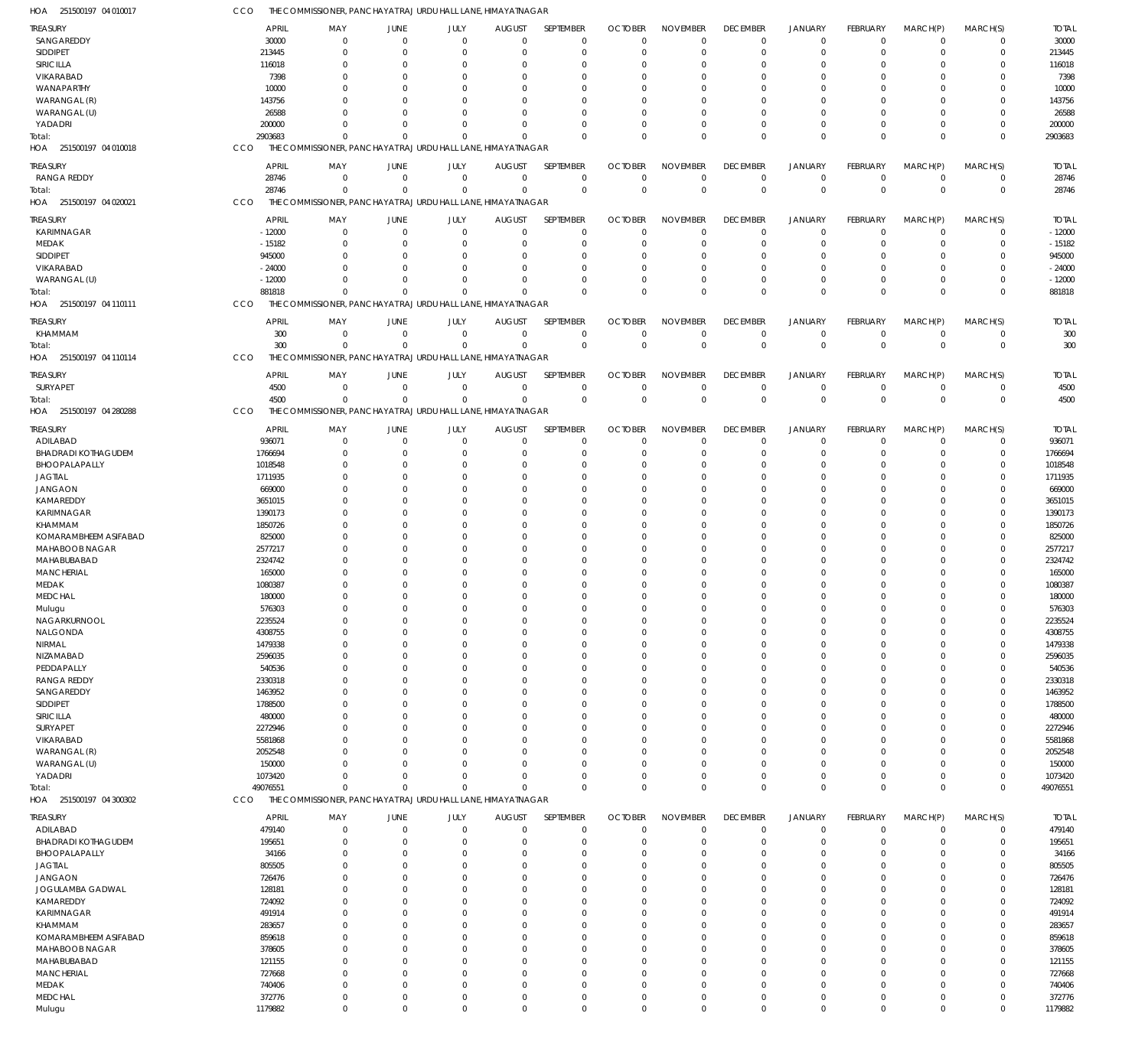| HOA  251500197 04 010017               | CCO                      | THE COMMISSIONER, PANCHAYAT RAJ URDU HALL LANE, HIMAYATNAGAR |                                  |                         |                              |                            |                            |                             |                             |                               |                          |                         |                         |                          |
|----------------------------------------|--------------------------|--------------------------------------------------------------|----------------------------------|-------------------------|------------------------------|----------------------------|----------------------------|-----------------------------|-----------------------------|-------------------------------|--------------------------|-------------------------|-------------------------|--------------------------|
| <b>TREASURY</b>                        | <b>APRIL</b>             | MAY                                                          | <b>JUNE</b>                      | JULY                    | <b>AUGUST</b>                | SEPTEMBER                  | <b>OCTOBER</b>             | <b>NOVEMBER</b>             | <b>DECEMBER</b>             | <b>JANUARY</b>                | FEBRUARY                 | MARCH(P)                | MARCH(S)                | <b>TOTAL</b>             |
| SANGAREDDY                             | 30000                    | $\mathbf 0$                                                  | $\mathbf 0$                      | $\Omega$                | $\mathbf 0$                  | $\mathbf 0$                | $\Omega$                   | $\mathbf 0$                 | $\Omega$                    | $\mathbf 0$                   | $\Omega$                 | $\mathbf 0$             | $\mathbf 0$             | 30000                    |
| SIDDIPET                               | 213445                   | $\mathbf 0$                                                  | $\overline{0}$                   | $\Omega$                | $\mathbf 0$                  | $\mathbf 0$                | 0                          | $\mathbf 0$                 | $\Omega$                    | $\mathbf 0$                   | $\Omega$                 | $\mathbf 0$             | $\mathbf 0$             | 213445                   |
| SIRICILLA                              | 116018                   | 0                                                            | $\overline{0}$                   | $\Omega$                | $\Omega$                     | 0                          | O                          | $\Omega$                    | $\Omega$                    | $\Omega$                      | $\Omega$                 | $\Omega$                | 0                       | 116018                   |
| VIKARABAD                              | 7398                     | $\Omega$<br>$\Omega$                                         | $\Omega$<br>$\Omega$             | $\Omega$<br>O           | $\Omega$<br>$\Omega$         | $\mathbf 0$<br>$\mathbf 0$ | $\Omega$                   | $\Omega$<br>$\Omega$        | $\Omega$                    | $\Omega$<br>$\Omega$          | $\Omega$<br>$\Omega$     | $\Omega$<br>$\Omega$    | $\Omega$<br>$\Omega$    | 7398<br>10000            |
| WANAPARTHY<br>WARANGAL (R)             | 10000<br>143756          | $\Omega$                                                     | $\Omega$                         | $\Omega$                | $\Omega$                     | $\mathbf 0$                | O<br>$\Omega$              | $\Omega$                    |                             | $\Omega$                      | $\Omega$                 | $\Omega$                | $\Omega$                | 143756                   |
| WARANGAL (U)                           | 26588                    | $\Omega$                                                     | $\Omega$                         | $\Omega$                | $\Omega$                     | $\mathbf 0$                | C.                         | $\Omega$                    | $\Omega$                    | $\Omega$                      | $\Omega$                 | $\Omega$                | $\Omega$                | 26588                    |
| YADADRI                                | 200000                   | $\Omega$                                                     | $\Omega$                         | $\Omega$                | $\mathbf 0$                  | $\mathbf 0$                | $\Omega$                   | $\Omega$                    | $\Omega$                    | $\Omega$                      | $\Omega$                 | $\Omega$                | 0                       | 200000                   |
| Total:                                 | 2903683                  | $\Omega$                                                     | $\Omega$                         | $\Omega$                | $\Omega$                     | $\mathbf 0$                | $\Omega$                   | $\Omega$                    | $\Omega$                    | $\Omega$                      | $\Omega$                 | $\Omega$                | $\mathbf 0$             | 2903683                  |
| HOA 251500197 04 010018                | CCO                      | THE COMMISSIONER, PANCHAYAT RAJ URDU HALL LANE, HIMAYATNAGAR |                                  |                         |                              |                            |                            |                             |                             |                               |                          |                         |                         |                          |
| <b>TREASURY</b>                        | <b>APRIL</b>             | MAY                                                          | <b>JUNE</b>                      | JULY                    | <b>AUGUST</b>                | SEPTEMBER                  | <b>OCTOBER</b>             | <b>NOVEMBER</b>             | <b>DECEMBER</b>             | JANUARY                       | <b>FEBRUARY</b>          | MARCH(P)                | MARCH(S)                | <b>TOTAL</b>             |
| RANGA REDDY                            | 28746                    | $\mathbf 0$                                                  | $\mathbf 0$                      | $\mathbf 0$             | $\mathbf 0$                  | $\mathbf 0$                | $\mathbf 0$                | $\mathbf 0$                 | $\mathbf 0$                 | $\mathbf 0$                   | $^{\circ}$               | $\mathbf 0$             | $^{\circ}$              | 28746                    |
| Total:                                 | 28746                    | $\mathbf 0$                                                  | $\mathbf 0$                      | $\mathbf 0$             | $\mathbf 0$                  | $\mathbf 0$                | $\Omega$                   | $\mathbf 0$                 | $\Omega$                    | $\mathbf 0$                   | $\overline{0}$           | $\Omega$                | $\mathbf 0$             | 28746                    |
| HOA 251500197 04 020021                | CCO                      | THE COMMISSIONER, PANCHAYAT RAJ URDU HALL LANE, HIMAYATNAGAR |                                  |                         |                              |                            |                            |                             |                             |                               |                          |                         |                         |                          |
|                                        |                          |                                                              |                                  |                         |                              |                            |                            |                             |                             |                               |                          |                         |                         |                          |
| TREASURY<br>KARIMNAGAR                 | <b>APRIL</b><br>$-12000$ | MAY<br>$\mathbf 0$                                           | <b>JUNE</b><br>$\overline{0}$    | JULY<br>$\Omega$        | <b>AUGUST</b><br>$\mathbf 0$ | SEPTEMBER<br>$\mathbf 0$   | <b>OCTOBER</b><br>$\Omega$ | <b>NOVEMBER</b><br>$\Omega$ | <b>DECEMBER</b><br>$\Omega$ | <b>JANUARY</b><br>$\mathbf 0$ | FEBRUARY<br>$\Omega$     | MARCH(P)<br>$\Omega$    | MARCH(S)<br>$\mathbf 0$ | <b>TOTAL</b><br>$-12000$ |
| MEDAK                                  | $-15182$                 | $\mathbf 0$                                                  | $^{\circ}$                       | $\mathbf 0$             | 0                            | $\mathbf 0$                | 0                          | $\mathbf 0$                 | $\Omega$                    | $\mathbf 0$                   | $\Omega$                 | $\Omega$                | $\mathbf 0$             | $-15182$                 |
| SIDDIPET                               | 945000                   | $\Omega$                                                     | $\overline{0}$                   | $\Omega$                | $\Omega$                     | 0                          | O                          | $\Omega$                    | $\Omega$                    | $\Omega$                      | $\Omega$                 | $\Omega$                | $\Omega$                | 945000                   |
| VIKARABAD                              | $-24000$                 | $\Omega$                                                     | $\Omega$                         | $\Omega$                | $\Omega$                     | $\mathbf 0$                | $\Omega$                   | $\Omega$                    | $\Omega$                    | $\Omega$                      | $\Omega$                 | $\Omega$                | $\Omega$                | $-24000$                 |
| WARANGAL (U)                           | $-12000$                 | $\Omega$                                                     | $\Omega$                         | $\Omega$                | $\mathbf 0$                  | $\mathbf 0$                | $\Omega$                   | $\Omega$                    | $\Omega$                    | $\mathbf 0$                   | $\Omega$                 | $\overline{0}$          | 0                       | $-12000$                 |
| Total:                                 | 881818                   | $\Omega$                                                     | $\Omega$                         | $\Omega$                | $\Omega$                     | $\Omega$                   | $\Omega$                   | $\Omega$                    | $\Omega$                    | $\Omega$                      | $\Omega$                 | $\Omega$                | $\mathbf 0$             | 881818                   |
| HOA 251500197 04 110111                | CCO                      | THE COMMISSIONER, PANCHAYAT RAJ URDU HALL LANE, HIMAYATNAGAR |                                  |                         |                              |                            |                            |                             |                             |                               |                          |                         |                         |                          |
| <b>TREASURY</b>                        | <b>APRIL</b>             | MAY                                                          | <b>JUNE</b>                      | JULY                    | <b>AUGUST</b>                | SEPTEMBER                  | <b>OCTOBER</b>             | <b>NOVEMBER</b>             | <b>DECEMBER</b>             | <b>JANUARY</b>                | FEBRUARY                 | MARCH(P)                | MARCH(S)                | <b>TOTAL</b>             |
| KHAMMAM                                | 300                      | $\mathbf 0$                                                  | $\mathbf 0$                      | $\overline{0}$          | $\mathbf 0$                  | $\mathbf 0$                | $\mathbf 0$                | $\mathbf 0$                 | $\mathbf 0$                 | $\mathbf 0$                   | $\mathbf 0$              | $\mathbf 0$             | $\mathbf 0$             | 300                      |
| Total:                                 | 300                      | $\Omega$                                                     | $\Omega$                         | $\mathbf 0$             | $\mathbf 0$                  | $\mathbf{0}$               | $\Omega$                   | $\mathbf 0$                 | $\Omega$                    | $\mathbf 0$                   | $\Omega$                 | $\Omega$                | $\mathbf 0$             | 300                      |
| HOA 251500197 04 110114                | CCO                      | THE COMMISSIONER, PANCHAYAT RAJ URDU HALL LANE, HIMAYATNAGAR |                                  |                         |                              |                            |                            |                             |                             |                               |                          |                         |                         |                          |
| TREASURY                               | <b>APRIL</b>             | MAY                                                          | JUNE                             | JULY                    |                              | <b>SEPTEMBER</b>           | <b>OCTOBER</b>             | <b>NOVEMBER</b>             | <b>DECEMBER</b>             | <b>JANUARY</b>                | <b>FEBRUARY</b>          | MARCH(P)                | MARCH(S)                | <b>TOTAL</b>             |
| SURYAPET                               | 4500                     | $\mathbf 0$                                                  | $\mathbf 0$                      | $\overline{0}$          | <b>AUGUST</b><br>$\mathbf 0$ | $\mathbf 0$                | $\mathbf 0$                | $\mathbf 0$                 | $\Omega$                    | $\mathbf 0$                   | $\Omega$                 | $\overline{0}$          | $\mathbf 0$             | 4500                     |
| Total:                                 | 4500                     | $\mathbf 0$                                                  | $\mathbf 0$                      | $\mathbf 0$             | $\mathbf 0$                  | $\mathbf 0$                | $\mathbf 0$                | $\mathbf 0$                 | $\mathbf 0$                 | $\mathbf 0$                   | $\mathbf 0$              | $\mathbf{0}$            | $\overline{0}$          | 4500                     |
| HOA 251500197 04 280288                | CCO                      | THE COMMISSIONER, PANCHAYAT RAJ URDU HALL LANE, HIMAYATNAGAR |                                  |                         |                              |                            |                            |                             |                             |                               |                          |                         |                         |                          |
|                                        |                          |                                                              |                                  |                         |                              |                            |                            |                             |                             |                               |                          |                         |                         |                          |
| <b>TREASURY</b>                        | <b>APRIL</b>             | MAY                                                          | JUNE                             | JULY                    | <b>AUGUST</b>                | SEPTEMBER                  | <b>OCTOBER</b>             | <b>NOVEMBER</b>             | <b>DECEMBER</b>             | <b>JANUARY</b>                | <b>FEBRUARY</b>          | MARCH(P)                | MARCH(S)                | <b>TOTAL</b>             |
| ADILABAD<br><b>BHADRADI KOTHAGUDEM</b> | 936071<br>1766694        | $\mathbf 0$<br>$\Omega$                                      | $\overline{0}$<br>$\overline{0}$ | $\mathbf 0$<br>$\Omega$ | $\mathbf 0$<br>0             | $\mathbf 0$<br>$\mathbf 0$ | O<br>$\Omega$              | $\mathbf 0$<br>$\Omega$     | $\Omega$<br>$\Omega$        | $^{\circ}$<br>$\Omega$        | 0<br>$\Omega$            | $\mathbf 0$<br>$\Omega$ | $\mathbf 0$<br>0        | 936071<br>1766694        |
| BHOOPALAPALLY                          | 1018548                  | 0                                                            | $\overline{0}$                   | $\Omega$                | 0                            | $\mathbf 0$                | O                          | $\mathbf 0$                 |                             | $\Omega$                      | $\Omega$                 | $\Omega$                | 0                       | 1018548                  |
| <b>JAGTIAL</b>                         | 1711935                  | $\Omega$                                                     | $\overline{0}$                   | O                       | $\Omega$                     | $\mathbf 0$                | O                          | $\Omega$                    |                             | $\Omega$                      | $\Omega$                 | $\Omega$                | 0                       | 1711935                  |
| <b>JANGAON</b>                         | 669000                   | $\Omega$                                                     | $\Omega$                         | 0                       | $\Omega$                     | $\mathbf 0$                | O                          | $\Omega$                    |                             | $\Omega$                      | <sup>0</sup>             | $\Omega$                | $\Omega$                | 669000                   |
| KAMAREDDY                              | 3651015                  | $\Omega$                                                     | $\Omega$                         | $\Omega$                | $\Omega$                     | $\mathbf 0$                | O                          | $\Omega$                    |                             | $\Omega$                      | $\Omega$                 | $\Omega$                | $\Omega$                | 3651015                  |
| KARIMNAGAR                             | 1390173                  | $\Omega$                                                     | $\Omega$                         | O                       | $\Omega$                     | $\mathbf 0$                | O                          | $\Omega$                    |                             | $\Omega$                      | <sup>0</sup>             | $\Omega$                | $\Omega$                | 1390173                  |
| KHAMMAM                                | 1850726                  | $\Omega$                                                     | $\Omega$                         | O                       | $\Omega$                     | $\mathbf 0$                | C.                         | $\Omega$                    |                             | $\Omega$                      | $\Omega$                 | $\Omega$                | O                       | 1850726                  |
| KOMARAMBHEEM ASIFABAD                  | 825000                   | $\Omega$                                                     | $\overline{0}$                   | 0                       | $\Omega$                     | $\mathbf 0$                | O                          | $\Omega$                    |                             | $\Omega$                      | $\Omega$                 | $\Omega$                | 0                       | 825000                   |
| MAHABOOB NAGAR                         | 2577217                  | $\Omega$                                                     | $\Omega$                         | O                       | $\Omega$                     | $\mathbf 0$                | C.                         | $\Omega$                    |                             | $\Omega$                      | $\Omega$                 | $\Omega$                | $\Omega$                | 2577217                  |
| MAHABUBABAD                            | 2324742                  | $\Omega$                                                     | $\Omega$                         | O                       | $\Omega$                     | $\mathbf 0$                | C.                         | $\Omega$                    |                             | $\Omega$                      | <sup>0</sup>             | $\Omega$                | $\Omega$                | 2324742                  |
| <b>MANCHERIAL</b>                      | 165000                   | U                                                            | $\Omega$                         | O                       | $\Omega$                     | $\mathbf 0$                | O                          | $\Omega$                    |                             | $\Omega$                      | $\Omega$                 | $\Omega$                | $\Omega$                | 165000                   |
| MEDAK                                  | 1080387                  | $\Omega$<br>$\Omega$                                         | $\Omega$<br>$\Omega$             | 0                       | 0                            | $\mathbf 0$                | $\Omega$                   | $\Omega$<br>$\Omega$        | $\Omega$                    | $\Omega$<br>$\Omega$          | $\Omega$                 | $\Omega$<br>$\Omega$    | 0<br>$\Omega$           | 1080387                  |
| <b>MEDCHAL</b>                         | 180000<br>576303         | 0                                                            | $\Omega$                         | $\Omega$                | $\Omega$<br>O                | $\mathbf 0$<br>0           | $\Omega$                   | $\Omega$                    |                             | $\Omega$                      | $\Omega$                 |                         | 0                       | 180000<br>576303         |
| Mulugu<br>NAGARKURNOOL                 | 2235524                  | 0                                                            | $\overline{0}$                   | 0                       | 0                            | $\mathbf 0$                | $\Omega$                   | $\mathbf 0$                 |                             | $\Omega$                      | $\Omega$                 | $\Omega$                | 0                       | 2235524                  |
| NALGONDA                               | 4308755                  | 0                                                            | $^{\circ}$                       | $\Omega$                | $\Omega$                     | $\mathbf 0$                | $\Omega$                   | $\mathbf 0$                 | $\Omega$                    | $\Omega$                      | $\Omega$                 | $\Omega$                | 0                       | 4308755                  |
| NIRMAL                                 | 1479338                  | $\Omega$                                                     | $\Omega$                         | $\Omega$                | $\Omega$                     | $\mathbf 0$                | $\Omega$                   | $\Omega$                    |                             | $\Omega$                      | $\Omega$                 | $\Omega$                | 0                       | 1479338                  |
| NIZAMABAD                              | 2596035                  | $\Omega$                                                     | $\overline{0}$                   | 0                       | $\Omega$                     | $\mathbf 0$                | O                          | $\mathbf 0$                 |                             | $\Omega$                      | $\Omega$                 | $\Omega$                | 0                       | 2596035                  |
| PEDDAPALLY                             | 540536                   | $\Omega$                                                     | $\Omega$                         | O                       | $\Omega$                     | $\mathbf 0$                | C.                         | $\Omega$                    |                             | $\Omega$                      | $\Omega$                 | $\Omega$                | $\Omega$                | 540536                   |
| <b>RANGA REDDY</b>                     | 2330318                  | 0                                                            | $\Omega$                         | O                       | $\Omega$                     | $\mathbf 0$                | O                          | $\Omega$                    |                             | $\Omega$                      | $\Omega$                 | $\Omega$                | 0                       | 2330318                  |
| SANGAREDDY                             | 1463952                  | $\Omega$                                                     | $\Omega$                         | O                       | $\Omega$                     | $\mathbf 0$                | $\Omega$                   | $\Omega$                    |                             | $\Omega$                      | $\Omega$                 | $\Omega$                | 0                       | 1463952                  |
| SIDDIPET                               | 1788500                  | $\Omega$                                                     | $\Omega$                         | O                       | $\Omega$                     | $\mathbf 0$                | C.                         | $\Omega$                    |                             | $\Omega$                      | $\Omega$                 | $\Omega$                | $\Omega$                | 1788500                  |
| SIRICILLA                              | 480000                   | $\Omega$                                                     | $\Omega$                         | O                       | $\Omega$                     | $\mathbf 0$                | C.                         | $\Omega$                    |                             | $\Omega$                      | $\Omega$                 | $\Omega$                | $\Omega$                | 480000                   |
| SURYAPET                               | 2272946                  | 0                                                            | $\overline{0}$                   | O                       | $\Omega$                     | $\mathbf 0$                | O                          | $\mathbf 0$                 |                             | $\Omega$                      | $\Omega$                 | $\Omega$                | 0                       | 2272946                  |
| VIKARABAD                              | 5581868                  | $\Omega$                                                     | $\Omega$<br>$\Omega$             | O<br>O                  | $\Omega$                     | $\mathbf 0$                | O                          | $\Omega$<br>$\Omega$        |                             | $\Omega$                      | $\Omega$                 | $\Omega$<br>$\Omega$    | O                       | 5581868                  |
| WARANGAL (R)<br>WARANGAL (U)           | 2052548<br>150000        | $\Omega$<br>$\Omega$                                         | $\Omega$                         | $\Omega$                | $\Omega$<br>0                | $\mathbf 0$<br>$\mathbf 0$ | C.<br>O                    | $\Omega$                    |                             | $\Omega$<br>$\Omega$          | <sup>0</sup><br>$\Omega$ | $\Omega$                | 0<br>0                  | 2052548<br>150000        |
| YADADRI                                | 1073420                  | $\Omega$                                                     | $\Omega$                         | $\Omega$                | $\mathbf 0$                  | $\mathbf 0$                | O                          | $\mathbf 0$                 | $\Omega$                    | $\Omega$                      | $\Omega$                 | $\overline{0}$          | 0                       | 1073420                  |
| Total:                                 | 49076551                 | $\Omega$                                                     | $\Omega$                         | $\Omega$                | $\mathbf 0$                  | $\mathbf 0$                | $\Omega$                   | $\mathbf 0$                 | $\Omega$                    | $\Omega$                      | $\Omega$                 | $\Omega$                | 0                       | 49076551                 |
| HOA 251500197 04 300302                | CCO                      | THE COMMISSIONER, PANCHAYAT RAJ URDU HALL LANE, HIMAYATNAGAR |                                  |                         |                              |                            |                            |                             |                             |                               |                          |                         |                         |                          |
|                                        |                          |                                                              |                                  |                         |                              |                            |                            |                             |                             |                               |                          |                         |                         |                          |
| <b>TREASURY</b>                        | <b>APRIL</b>             | MAY<br>$\Omega$                                              | <b>JUNE</b><br>$\overline{0}$    | JULY<br>$\Omega$        | <b>AUGUST</b><br>$\mathbf 0$ | SEPTEMBER<br>$\mathbf 0$   | <b>OCTOBER</b><br>$\Omega$ | <b>NOVEMBER</b><br>$\Omega$ | <b>DECEMBER</b><br>$\Omega$ | <b>JANUARY</b><br>$\mathbf 0$ | FEBRUARY<br>$\Omega$     | MARCH(P)<br>$\mathbf 0$ | MARCH(S)<br>$\mathbf 0$ | <b>TOTAL</b><br>479140   |
| ADILABAD<br><b>BHADRADI KOTHAGUDEM</b> | 479140<br>195651         | $\mathbf 0$                                                  | $^{\circ}$                       | $\mathbf 0$             | $\mathbf 0$                  | $\mathbf 0$                | 0                          | $\mathbf 0$                 | $\Omega$                    | $\mathbf 0$                   | $\mathbf 0$              | $\mathbf 0$             | $\mathbf 0$             | 195651                   |
| BHOOPALAPALLY                          | 34166                    | 0                                                            | $\overline{0}$                   | $\Omega$                | $\Omega$                     | $\mathbf 0$                | $\Omega$                   | $\Omega$                    | $\Omega$                    | $\Omega$                      | $\Omega$                 | $\Omega$                | 0                       | 34166                    |
| <b>JAGTIAL</b>                         | 805505                   | $\Omega$                                                     | $\Omega$                         | $\Omega$                | $\Omega$                     | $\mathbf 0$                | $\Omega$                   | $\Omega$                    | $\Omega$                    | $\Omega$                      | $\Omega$                 | $\Omega$                | $\Omega$                | 805505                   |
| <b>JANGAON</b>                         | 726476                   | $\Omega$                                                     | $\overline{0}$                   | 0                       | $\Omega$                     | $\mathbf 0$                | $\Omega$                   | $\Omega$                    | $\Omega$                    | $\Omega$                      | $\Omega$                 | $\Omega$                | 0                       | 726476                   |
| JOGULAMBA GADWAL                       | 128181                   | $\Omega$                                                     | $\Omega$                         | $\Omega$                | $\Omega$                     | $\mathbf 0$                | $\Omega$                   | $\Omega$                    | $\cap$                      | $\Omega$                      | $\Omega$                 | $\Omega$                | $\Omega$                | 128181                   |
| KAMAREDDY                              | 724092                   | $\Omega$                                                     | $\Omega$                         | $\Omega$                | $\Omega$                     | $\mathbf 0$                | O                          | $\Omega$                    | $\Omega$                    | $\Omega$                      | $\Omega$                 | $\Omega$                | $\Omega$                | 724092                   |
| KARIMNAGAR                             | 491914                   | $\Omega$                                                     | $\Omega$                         | $\Omega$                | $\Omega$                     | $\mathbf 0$                | $\Omega$                   | $\Omega$                    | $\Omega$                    | $\Omega$                      | $\Omega$                 | $\Omega$                | $\Omega$                | 491914                   |
| KHAMMAM                                | 283657                   | $\Omega$                                                     | $\Omega$                         | O                       | $\Omega$                     | $\mathbf 0$                | $\Omega$                   | $\Omega$                    | $\cap$                      | $\Omega$                      | $\Omega$                 | $\Omega$                | 0                       | 283657                   |
| KOMARAMBHEEM ASIFABAD                  | 859618                   | $\Omega$                                                     | $\Omega$                         | $\Omega$                | $\Omega$                     | $\mathbf 0$                | $\Omega$                   | $\Omega$                    | $\Omega$                    | $\Omega$                      | $\Omega$                 | $\Omega$                | $\Omega$                | 859618                   |
| MAHABOOB NAGAR                         | 378605                   | $\Omega$                                                     | $\Omega$                         | $\Omega$                | $\Omega$                     | $\mathbf 0$                | O                          | $\Omega$                    | $\Omega$                    | $\Omega$                      | $\Omega$                 | $\Omega$                | 0                       | 378605                   |
| MAHABUBABAD                            | 121155                   | $\Omega$                                                     | $\Omega$                         | $\Omega$                | $\Omega$                     | $\mathbf 0$                | $\Omega$                   | $\Omega$                    | $\Omega$                    | $\Omega$                      | $\Omega$                 | $\Omega$                | $\Omega$                | 121155                   |
| <b>MANCHERIAL</b>                      | 727668                   | $\Omega$                                                     | $\Omega$                         | $\Omega$                | $\Omega$                     | $\mathbf 0$                | $\Omega$                   | $\Omega$                    | $\cap$                      | $\Omega$                      | $\Omega$                 | $\Omega$                | $\Omega$                | 727668                   |
| MEDAK                                  | 740406                   | $\Omega$<br>$\mathbf 0$                                      | $\overline{0}$<br>$\overline{0}$ | $\Omega$<br>$\mathbf 0$ | $\mathbf 0$<br>$\mathbf 0$   | $\mathbf 0$<br>$\mathbf 0$ | $\Omega$                   | $\mathbf 0$<br>$\mathbf 0$  | $\Omega$<br>$\mathbf 0$     | $\Omega$<br>$\mathbf 0$       | $\Omega$<br>$\mathbf 0$  | $\Omega$<br>$\mathbf 0$ | $\Omega$<br>0           | 740406                   |
| MEDCHAL<br>Mulugu                      | 372776<br>1179882        | $\mathbf 0$                                                  | $\mathbf 0$                      | $\mathbf 0$             | $\mathbf 0$                  | $\mathbf 0$                | 0<br>$\mathbf 0$           | $\mathbf 0$                 | $\Omega$                    | $\mathbf 0$                   | $\mathbf 0$              | $\mathbf 0$             | $\mathbf 0$             | 372776<br>1179882        |
|                                        |                          |                                                              |                                  |                         |                              |                            |                            |                             |                             |                               |                          |                         |                         |                          |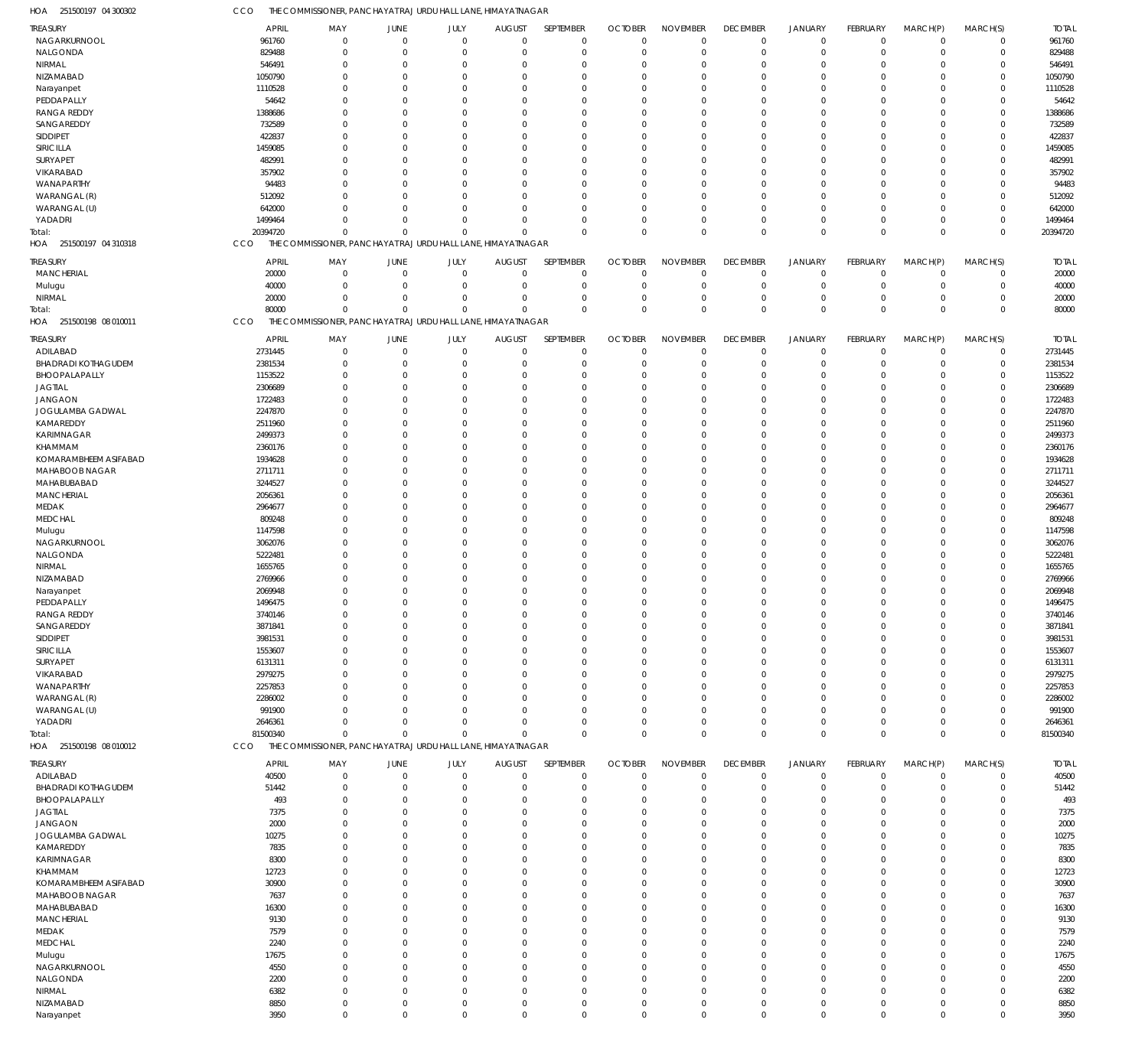| <b>TREASURY</b>            | <b>APRIL</b> | MAY                                                          | <b>JUNE</b>    | JULY        | <b>AUGUST</b>  | SEPTEMBER   | <b>OCTOBER</b> | <b>NOVEMBER</b> | <b>DECEMBER</b> | JANUARY        | FEBRUARY        | MARCH(P)    | MARCH(S)    | <b>TOTAL</b> |
|----------------------------|--------------|--------------------------------------------------------------|----------------|-------------|----------------|-------------|----------------|-----------------|-----------------|----------------|-----------------|-------------|-------------|--------------|
| NAGARKURNOOL               | 961760       | $\mathbf 0$                                                  | $\overline{0}$ | $\mathbf 0$ | $\overline{0}$ | $\mathbf 0$ | $\overline{0}$ | $\mathbf 0$     | $\mathbf 0$     | $\overline{0}$ | $\mathbf 0$     | $\mathbf 0$ | $\mathbf 0$ | 961760       |
| NALGONDA                   | 829488       | $\Omega$                                                     | $\mathbf 0$    | $\mathbf 0$ | $\Omega$       | $\mathbf 0$ | $\Omega$       | $\Omega$        | $\mathbf 0$     | $\overline{0}$ | $\mathbf 0$     | 0           | $\mathbf 0$ | 829488       |
| NIRMAL                     | 546491       | $\Omega$                                                     | $\mathbf 0$    | $\mathbf 0$ | $\Omega$       | $\Omega$    | $\Omega$       | $\Omega$        | 0               | $\mathbf 0$    | $\Omega$        | $\Omega$    | $\mathbf 0$ | 546491       |
| NIZAMABAD                  | 1050790      | $\Omega$                                                     | 0              | $\mathbf 0$ | $\Omega$       | $\Omega$    | $\Omega$       | $\Omega$        | 0               | $\Omega$       | $\Omega$        | 0           | $\mathbf 0$ | 1050790      |
|                            | 1110528      | $\Omega$                                                     | $\mathbf 0$    | $\Omega$    | $\Omega$       | $\Omega$    | $\Omega$       | $\Omega$        | $\Omega$        | $\Omega$       | $\Omega$        | 0           | $\mathbf 0$ | 1110528      |
| Narayanpet                 |              |                                                              |                |             |                |             |                |                 |                 |                |                 |             |             |              |
| PEDDAPALLY                 | 54642        | $\Omega$                                                     | 0              | $\Omega$    | $\Omega$       | $\Omega$    | $\Omega$       | $\Omega$        | $\Omega$        | $\Omega$       | $\Omega$        | $\Omega$    | $\mathbf 0$ | 54642        |
| <b>RANGA REDDY</b>         | 1388686      | $\Omega$                                                     | $\Omega$       | $\Omega$    | $\Omega$       | $\Omega$    |                | $\Omega$        | $\Omega$        | $\Omega$       | $\Omega$        | 0           | $\mathbf 0$ | 1388686      |
| SANGAREDDY                 | 732589       | $\Omega$                                                     | $\mathbf 0$    | $\mathbf 0$ | $\Omega$       | $\Omega$    |                | $\Omega$        | 0               | $\Omega$       | $\Omega$        | 0           | $\mathbf 0$ | 732589       |
| SIDDIPET                   | 422837       | $\Omega$                                                     | 0              | $\Omega$    | $\Omega$       | $\Omega$    | $\Omega$       | $\Omega$        | $\Omega$        | $\Omega$       | $\Omega$        | $\Omega$    | $\mathbf 0$ | 422837       |
| SIRICILLA                  | 1459085      | $\Omega$                                                     | 0              | $\mathbf 0$ | $\Omega$       | $\Omega$    | $\Omega$       | $\Omega$        | $\Omega$        | $\Omega$       | $\Omega$        | 0           | $\mathbf 0$ | 1459085      |
| SURYAPET                   | 482991       | $\Omega$                                                     | $\mathbf 0$    | $\Omega$    | $\Omega$       | $\Omega$    |                | $\Omega$        | $\Omega$        | $\Omega$       | $\Omega$        | 0           | $\mathbf 0$ | 482991       |
| VIKARABAD                  | 357902       | $\Omega$                                                     | 0              | $\Omega$    | $\Omega$       | $\Omega$    |                | $\Omega$        | 0               | $\Omega$       | $\Omega$        | 0           | $\mathbf 0$ | 357902       |
| WANAPARTHY                 | 94483        | $\Omega$                                                     | $\Omega$       | $\Omega$    | $\Omega$       | $\Omega$    | $\Omega$       | $\Omega$        | $\Omega$        | $\Omega$       | $\Omega$        | $\Omega$    | $\mathbf 0$ | 94483        |
| WARANGAL (R)               | 512092       | $\Omega$                                                     | 0              | $\mathbf 0$ | $\Omega$       | $\Omega$    | $\Omega$       | $\Omega$        | 0               | $\Omega$       | $\Omega$        | 0           | $\mathbf 0$ | 512092       |
|                            |              | $\Omega$                                                     | $\Omega$       | $\mathbf 0$ | $\Omega$       | $\Omega$    |                | $\Omega$        | $\Omega$        | $\Omega$       | $\Omega$        |             | $\mathbf 0$ |              |
| WARANGAL (U)               | 642000       |                                                              |                |             |                |             |                |                 |                 |                |                 | 0           |             | 642000       |
| YADADRI                    | 1499464      | $\Omega$                                                     | $\Omega$       | $\mathbf 0$ | $\Omega$       | $\Omega$    | $\Omega$       | $\Omega$        | 0               | $\overline{0}$ | $\mathbf 0$     | $\mathbf 0$ | $\mathbf 0$ | 1499464      |
| Total:                     | 20394720     | $\Omega$                                                     | $\mathbf 0$    | $\mathbf 0$ | $\Omega$       | $\Omega$    | $\Omega$       | $\Omega$        | $\mathbf 0$     | $\overline{0}$ | $\mathbf 0$     | $\mathbf 0$ | $\mathbf 0$ | 20394720     |
| HOA 251500197 04 310318    | CCO          | THE COMMISSIONER, PANCHAYAT RAJ URDU HALL LANE, HIMAYATNAGAR |                |             |                |             |                |                 |                 |                |                 |             |             |              |
| <b>TREASURY</b>            | <b>APRIL</b> | MAY                                                          | <b>JUNE</b>    | JULY        | <b>AUGUST</b>  | SEPTEMBER   | <b>OCTOBER</b> | <b>NOVEMBER</b> | <b>DECEMBER</b> | JANUARY        | FEBRUARY        | MARCH(P)    | MARCH(S)    | <b>TOTAL</b> |
|                            |              |                                                              |                |             | $\Omega$       |             |                | $\Omega$        |                 |                |                 |             |             |              |
| <b>MANCHERIAL</b>          | 20000        | $\mathbf 0$                                                  | $\mathbf 0$    | $\mathbf 0$ |                | $\mathbf 0$ | $\Omega$       |                 | $\mathbf 0$     | $\overline{0}$ | $\mathbf 0$     | $\mathbf 0$ | $\mathbf 0$ | 20000        |
| Mulugu                     | 40000        | $\mathbf 0$                                                  | $\mathbf 0$    | $\mathbf 0$ | $^{\circ}$     | $\mathbf 0$ | $\Omega$       | $\mathbf 0$     | $\mathbf 0$     | $\overline{0}$ | $\mathbf 0$     | $\mathbf 0$ | $\mathbf 0$ | 40000        |
| NIRMAL                     | 20000        | $\mathbf 0$                                                  | $\mathbf 0$    | $\mathbf 0$ | $\mathbf 0$    | $\mathbf 0$ | $\Omega$       | $\mathbf 0$     | $\mathbf 0$     | $\overline{0}$ | $\mathbf 0$     | $\mathbf 0$ | $\mathbf 0$ | 20000        |
| lotal:                     | 80000        | $\Omega$                                                     | $\Omega$       | $\mathbf 0$ | $\Omega$       | $\Omega$    | $\Omega$       | $\mathbf 0$     | $\mathbf 0$     | $\Omega$       | $\Omega$        | $\Omega$    | $\mathbf 0$ | 80000        |
| HOA 251500198 08 010011    | CCO          | THE COMMISSIONER, PANCHAYAT RAJ URDU HALL LANE, HIMAYATNAGAR |                |             |                |             |                |                 |                 |                |                 |             |             |              |
|                            |              |                                                              |                |             |                |             |                |                 |                 |                |                 |             |             |              |
| <b>TREASURY</b>            | <b>APRIL</b> | MAY                                                          | <b>JUNE</b>    | JULY        | <b>AUGUST</b>  | SEPTEMBER   | <b>OCTOBER</b> | <b>NOVEMBER</b> | <b>DECEMBER</b> | JANUARY        | <b>FEBRUARY</b> | MARCH(P)    | MARCH(S)    | <b>TOTAL</b> |
| ADILABAD                   | 2731445      | $\mathbf 0$                                                  | $\mathbf 0$    | $\mathbf 0$ | $^{\circ}$     | $\mathbf 0$ | $\Omega$       | $\overline{0}$  | $\mathbf 0$     | $\overline{0}$ | $\mathbf 0$     | $\mathbf 0$ | $\mathbf 0$ | 2731445      |
| <b>BHADRADI KOTHAGUDEM</b> | 2381534      | $\mathbf 0$                                                  | 0              | $\mathbf 0$ | 0              | $\mathbf 0$ | $\Omega$       | $\overline{0}$  | $\mathbf 0$     | $\overline{0}$ | $\mathbf 0$     | 0           | $\mathbf 0$ | 2381534      |
| BHOOPALAPALLY              | 1153522      | $\Omega$                                                     | $\mathbf 0$    | $\mathbf 0$ | $\Omega$       | $\Omega$    | $\Omega$       | $\Omega$        | 0               | $\mathbf 0$    | $\Omega$        | $\Omega$    | $\mathbf 0$ | 1153522      |
| <b>JAGTIAL</b>             | 2306689      | $\Omega$                                                     | 0              | $\mathbf 0$ | $\Omega$       | $\Omega$    | $\Omega$       | $\Omega$        | 0               | $\Omega$       | $\Omega$        | 0           | $\mathbf 0$ | 2306689      |
| <b>JANGAON</b>             | 1722483      | $\Omega$                                                     | $\mathbf 0$    | $\mathbf 0$ | $\Omega$       | $\Omega$    |                | $\Omega$        | $\Omega$        | $\Omega$       | $\Omega$        | 0           | $\mathbf 0$ | 1722483      |
| JOGULAMBA GADWAL           | 2247870      | $\Omega$                                                     | 0              | $\mathbf 0$ | $\Omega$       | $\Omega$    | $\Omega$       | $\Omega$        | 0               | $\Omega$       | $\Omega$        | 0           | $\mathbf 0$ | 2247870      |
| KAMAREDDY                  | 2511960      | $\Omega$                                                     | $\Omega$       | $\Omega$    | $\Omega$       | $\Omega$    | $\Omega$       | $\Omega$        | $\Omega$        | $\Omega$       | $\Omega$        | $\Omega$    | $\mathbf 0$ | 2511960      |
| KARIMNAGAR                 | 2499373      | $\Omega$                                                     | 0              | $\mathbf 0$ | $\Omega$       | $\Omega$    | $\Omega$       | $\Omega$        | 0               | $\Omega$       | $\Omega$        | 0           | $\mathbf 0$ | 2499373      |
| <b>KHAMMAM</b>             | 2360176      | $\Omega$                                                     | $\mathbf 0$    | $\Omega$    | $\Omega$       | $\Omega$    |                | $\Omega$        | $\Omega$        | $\Omega$       | $\Omega$        | 0           | $\mathbf 0$ | 2360176      |
|                            |              | $\Omega$                                                     | $\Omega$       | $\Omega$    | $\Omega$       | $\Omega$    | $\Omega$       | $\Omega$        | $\Omega$        | $\Omega$       | $\Omega$        | $\Omega$    | $\mathbf 0$ |              |
| KOMARAMBHEEM ASIFABAD      | 1934628      |                                                              |                |             |                |             |                |                 |                 |                |                 |             |             | 1934628      |
| MAHABOOB NAGAR             | 2711711      | $\Omega$                                                     | $\mathbf 0$    | $\Omega$    | $\Omega$       | $\Omega$    | $\Omega$       | $\Omega$        | $\Omega$        | $\Omega$       | $\Omega$        | 0           | $\mathbf 0$ | 2711711      |
| MAHABUBABAD                | 3244527      | $\Omega$                                                     | 0              | $\mathbf 0$ | $\Omega$       | $\Omega$    | $\Omega$       | $\Omega$        | 0               | $\Omega$       | $\Omega$        | 0           | $\mathbf 0$ | 3244527      |
| MANCHERIAL                 | 2056361      | $\Omega$                                                     | $\Omega$       | $\Omega$    | $\Omega$       | $\Omega$    |                | $\Omega$        | $\Omega$        | $\Omega$       | $\Omega$        | $\Omega$    | $\mathbf 0$ | 2056361      |
| MEDAK                      | 2964677      | $\Omega$                                                     | 0              | $\Omega$    | $\Omega$       | $\Omega$    | $\Omega$       | $\Omega$        | 0               | $\Omega$       | $\Omega$        | 0           | $\mathbf 0$ | 2964677      |
| MEDCHAL                    | 809248       | $\Omega$                                                     | $\mathbf 0$    | $\mathbf 0$ | $\Omega$       | $\Omega$    | $\Omega$       | $\Omega$        | $\Omega$        | $\Omega$       | $\Omega$        | 0           | $\mathbf 0$ | 809248       |
| Mulugu                     | 1147598      | $\Omega$                                                     | 0              | $\mathbf 0$ | $\Omega$       | $\Omega$    | $\Omega$       | $\Omega$        | $\Omega$        | $\Omega$       | $\Omega$        | 0           | $\mathbf 0$ | 1147598      |
| NAGARKURNOOL               | 3062076      | $\Omega$                                                     | $\Omega$       | $\Omega$    | $\Omega$       | $\Omega$    | $\Omega$       | $\Omega$        | $\Omega$        | $\Omega$       | $\Omega$        | $\Omega$    | $\mathbf 0$ | 3062076      |
| NALGONDA                   | 5222481      | $\Omega$                                                     | 0              | $\mathbf 0$ | $\Omega$       | $\Omega$    | $\Omega$       | $\Omega$        | 0               | $\Omega$       | $\Omega$        | 0           | $\mathbf 0$ | 5222481      |
| NIRMAL                     | 1655765      | $\Omega$                                                     | 0              | $\mathbf 0$ | $\Omega$       | $\Omega$    | $\Omega$       | $\Omega$        | $\Omega$        | $\Omega$       | $\Omega$        | 0           | $\mathbf 0$ | 1655765      |
|                            |              |                                                              |                |             |                |             |                |                 |                 |                |                 |             |             |              |
| NIZAMABAD                  | 2769966      | U                                                            | $\Omega$       | $\mathbf 0$ | $\Omega$       | $\Omega$    | $\Omega$       | $\Omega$        | $\Omega$        | $\Omega$       | $\Omega$        | 0           | $\mathbf 0$ | 2769966      |
| Narayanpet                 | 2069948      |                                                              | $\Omega$       | $\mathbf 0$ | $\Omega$       | $\Omega$    | $\Omega$       | $\Omega$        | 0               | $\Omega$       | $\Omega$        | 0           | $\mathbf 0$ | 2069948      |
| PEDDAPALLY                 | 1496475      | $\mathbf 0$                                                  | $\mathbf 0$    | $\mathbf 0$ | $\Omega$       | $\Omega$    | $\Omega$       | $\mathbf 0$     | $\mathbf 0$     | $\Omega$       | $\mathbf 0$     | $\mathbf 0$ | $\mathbf 0$ | 1496475      |
| <b>RANGA REDDY</b>         | 3740146      | $\cap$                                                       | $\cap$         | $\cap$      | $\cap$         |             |                | $\Omega$        |                 | $\Omega$       | $\cap$          | $\cap$      | $\cap$      | 3740146      |
| SANGAREDDY                 | 3871841      | $\mathbf 0$                                                  | 0              | 0           | $\Omega$       | $\Omega$    | $\Omega$       | $\Omega$        | 0               | $\Omega$       | $\Omega$        | 0           | $\mathbf 0$ | 3871841      |
| SIDDIPET                   | 3981531      | $\mathbf 0$                                                  | $\mathbf 0$    | $\mathbf 0$ | $\Omega$       | $\Omega$    | $\Omega$       | $\overline{0}$  | 0               | $\mathbf 0$    | $\mathbf 0$     | 0           | $\mathbf 0$ | 3981531      |
| SIRICILLA                  | 1553607      | $\Omega$                                                     | 0              | $\mathbf 0$ | $\Omega$       | $\Omega$    | $\Omega$       | $\Omega$        | $\Omega$        | $\Omega$       | $\Omega$        | 0           | $\mathbf 0$ | 1553607      |
| SURYAPET                   | 6131311      | 0                                                            | $\Omega$       | $\Omega$    | $\Omega$       | $\Omega$    | $\Omega$       | $\Omega$        | $\Omega$        | $\Omega$       | $\Omega$        | $\Omega$    | $\mathbf 0$ | 6131311      |
| VIKARABAD                  | 2979275      | $\Omega$                                                     | 0              | 0           | $\Omega$       | $\Omega$    | $\Omega$       | $\overline{0}$  | 0               | $\Omega$       | $\Omega$        | 0           | $\mathbf 0$ | 2979275      |
| WANAPARTHY                 | 2257853      | 0                                                            | 0              | $\Omega$    | $\Omega$       | $\Omega$    |                | $\Omega$        | 0               | $\Omega$       | $\Omega$        | 0           | $\mathbf 0$ | 2257853      |
|                            |              | $\Omega$                                                     |                | $\Omega$    | $\Omega$       | $\Omega$    | $\Omega$       | $\Omega$        |                 | $\Omega$       | $\Omega$        |             |             |              |
| WARANGAL (R)               | 2286002      |                                                              | 0              |             |                |             |                |                 | 0               |                |                 | 0           | $\mathbf 0$ | 2286002      |
| WARANGAL (U)               | 991900       | $\Omega$                                                     | $\Omega$       | $\mathbf 0$ | $\Omega$       | $\Omega$    |                | $\Omega$        | 0               | $\Omega$       | $\Omega$        | 0           | $\mathbf 0$ | 991900       |
| YADADRI                    | 2646361      | $\Omega$                                                     | 0              | $\mathbf 0$ | $\Omega$       | $\Omega$    | $\Omega$       | $\overline{0}$  | 0               | $\mathbf 0$    | $\mathbf 0$     | $\mathbf 0$ | $\mathbf 0$ | 2646361      |
| Total:                     | 81500340     | $\Omega$                                                     | $\mathbf 0$    | $\mathbf 0$ | $\Omega$       | $\Omega$    | $\Omega$       | $\mathbf 0$     | $\mathbf 0$     | $\overline{0}$ | $\mathbf 0$     | $\mathbf 0$ | $\mathbf 0$ | 81500340     |
| HOA 251500198 08 010012    | CCO          | THE COMMISSIONER, PANCHAYAT RAJ URDU HALL LANE, HIMAYATNAGAR |                |             |                |             |                |                 |                 |                |                 |             |             |              |
| TREASURY                   | <b>APRIL</b> | MAY                                                          | <b>JUNE</b>    | JULY        | <b>AUGUST</b>  | SEPTEMBER   | <b>OCTOBER</b> | <b>NOVEMBER</b> | <b>DECEMBER</b> | <b>JANUARY</b> | FEBRUARY        | MARCH(P)    | MARCH(S)    | <b>TOTAL</b> |
|                            |              | $\mathbf 0$                                                  | $\mathbf 0$    | $\mathbf 0$ | $\overline{0}$ |             | $\Omega$       | $\mathbf 0$     | $\mathbf 0$     | $\overline{0}$ | $\mathbf 0$     | $\mathbf 0$ |             |              |
| ADILABAD                   | 40500        |                                                              |                |             |                | $\mathbf 0$ |                |                 |                 |                |                 |             | $\mathbf 0$ | 40500        |
| <b>BHADRADI KOTHAGUDEM</b> | 51442        | $\mathbf 0$                                                  | $\mathbf 0$    | $\mathbf 0$ | 0              | $\mathbf 0$ | $\Omega$       | $\mathbf 0$     | $\mathbf 0$     | $\overline{0}$ | $\mathbf 0$     | $\mathbf 0$ | $\mathbf 0$ | 51442        |
| BHOOPALAPALLY              | 493          | $\mathbf 0$                                                  | 0              | $\mathbf 0$ | $\Omega$       | 0           | $\Omega$       | $\overline{0}$  | 0               | $\mathbf 0$    | $\Omega$        | 0           | $\mathbf 0$ | 493          |
| <b>JAGTIAL</b>             | 7375         | $\Omega$                                                     | $\Omega$       | $\Omega$    | $\Omega$       | $\Omega$    | $\Omega$       | $\mathbf 0$     | $\Omega$        | $\Omega$       | $\Omega$        | $\Omega$    | $\mathbf 0$ | 7375         |
| <b>JANGAON</b>             | 2000         | $\Omega$                                                     | 0              | $\Omega$    | $\Omega$       | $\Omega$    | $\Omega$       | $\Omega$        | $\Omega$        | $\Omega$       | $\Omega$        | 0           | $\mathbf 0$ | 2000         |
| JOGULAMBA GADWAL           | 10275        | $\Omega$                                                     | $\Omega$       | $\mathbf 0$ | $\Omega$       | $\Omega$    | $\Omega$       | $\mathbf 0$     | $\Omega$        | $\Omega$       | $\Omega$        | 0           | $\mathbf 0$ | 10275        |
| KAMAREDDY                  | 7835         | 0                                                            | 0              | $\Omega$    | $\Omega$       | $\Omega$    | $\Omega$       | $\mathbf 0$     | $\Omega$        | $\Omega$       | $\Omega$        | 0           | $\mathbf 0$ | 7835         |
| KARIMNAGAR                 | 8300         | $\Omega$                                                     | $\Omega$       | $\Omega$    | $\Omega$       | $\Omega$    | $\Omega$       | $\mathbf 0$     | $\Omega$        | $\Omega$       | $\Omega$        | $\Omega$    | $\mathbf 0$ | 8300         |
| <b>KHAMMAM</b>             | 12723        | $\Omega$                                                     | 0              | $\Omega$    | $\Omega$       | $\Omega$    | $\Omega$       | $\Omega$        | $\Omega$        | $\Omega$       | $\Omega$        | 0           | $\mathbf 0$ | 12723        |
| KOMARAMBHEEM ASIFABAD      | 30900        | $\Omega$                                                     | 0              | $\mathbf 0$ | $\Omega$       | $\Omega$    | $\Omega$       | $\mathbf 0$     | $\Omega$        | $\Omega$       | $\Omega$        | 0           | $\mathbf 0$ | 30900        |
|                            |              |                                                              |                |             |                |             |                |                 |                 |                |                 |             |             |              |
| MAHABOOB NAGAR             | 7637         | 0                                                            | $\Omega$       | $\Omega$    | $\Omega$       | $\Omega$    | $\Omega$       | $\mathbf{0}$    | $\Omega$        | $\Omega$       | $\Omega$        | 0           | $\mathbf 0$ | 7637         |
| MAHABUBABAD                | 16300        | $\Omega$                                                     | $\Omega$       | $\Omega$    | $\Omega$       | $\Omega$    | $\Omega$       | $\mathbf 0$     | $\Omega$        | $\Omega$       | $\Omega$        | $\Omega$    | $\mathbf 0$ | 16300        |
| <b>MANCHERIAL</b>          | 9130         | $\Omega$                                                     | 0              | $\Omega$    | $\Omega$       | $\Omega$    | $\Omega$       | $\mathbf 0$     | $\Omega$        | $\Omega$       | $\Omega$        | 0           | $\mathbf 0$ | 9130         |
| MEDAK                      | 7579         | $\Omega$                                                     | $\Omega$       | $\Omega$    | $\Omega$       | $\Omega$    | $\Omega$       | $\mathbf 0$     | $\Omega$        | $\Omega$       | $\Omega$        | $\Omega$    | $\mathbf 0$ | 7579         |
| MEDCHAL                    | 2240         | 0                                                            | $\Omega$       | $\Omega$    | $\Omega$       | $\Omega$    | $\Omega$       | $\mathbf 0$     | $\Omega$        | $\Omega$       | $\Omega$        | 0           | $\mathbf 0$ | 2240         |
| Mulugu                     | 17675        | $\Omega$                                                     | $\Omega$       | $\mathbf 0$ | $\Omega$       | $\Omega$    | $\Omega$       | $\mathbf 0$     | $\Omega$        | $\Omega$       | $\Omega$        | 0           | $\mathbf 0$ | 17675        |
| NAGARKURNOOL               | 4550         | 0                                                            | 0              | $\Omega$    | $\Omega$       | $\Omega$    | $\Omega$       | $\mathbf 0$     | $\Omega$        | $\Omega$       | $\Omega$        | 0           | $\mathbf 0$ | 4550         |
| NALGONDA                   | 2200         | $\Omega$                                                     | $\Omega$       | $\Omega$    | $\Omega$       | $\Omega$    | $\Omega$       | $\mathbf 0$     | $\Omega$        | $\Omega$       | $\Omega$        | $\Omega$    | $\mathbf 0$ | 2200         |
| NIRMAL                     | 6382         | $\mathbf 0$                                                  | 0              | $\mathbf 0$ | $\Omega$       | $\mathbf 0$ | $\Omega$       | $\mathbf 0$     | 0               | $\Omega$       | $\Omega$        | 0           | $\mathbf 0$ | 6382         |
|                            |              |                                                              |                |             |                |             |                |                 |                 |                |                 |             |             |              |
| NIZAMABAD                  | 8850         | $\mathbf 0$                                                  | $\mathbf 0$    | $\mathbf 0$ | $\mathbf 0$    | $\mathbf 0$ | $^{\circ}$     | $\mathbf 0$     | $\mathbf 0$     | $\mathbf 0$    | $\mathbf 0$     | $\mathbf 0$ | $\mathbf 0$ | 8850         |
| Narayanpet                 | 3950         | $\mathbf 0$                                                  | $\mathbf 0$    | $\mathbf 0$ | $\mathbf 0$    | $\mathbf 0$ | $\mathbf 0$    | $\mathbb O$     | $\mathbf 0$     | $\mathbf 0$    | $\mathbf 0$     | $\mathbf 0$ | $\mathbf 0$ | 3950         |

CCO THE COMMISSIONER, PANCHAYAT RAJ URDU HALL LANE, HIMAYATNAGAR

251500197 04 300302 HOA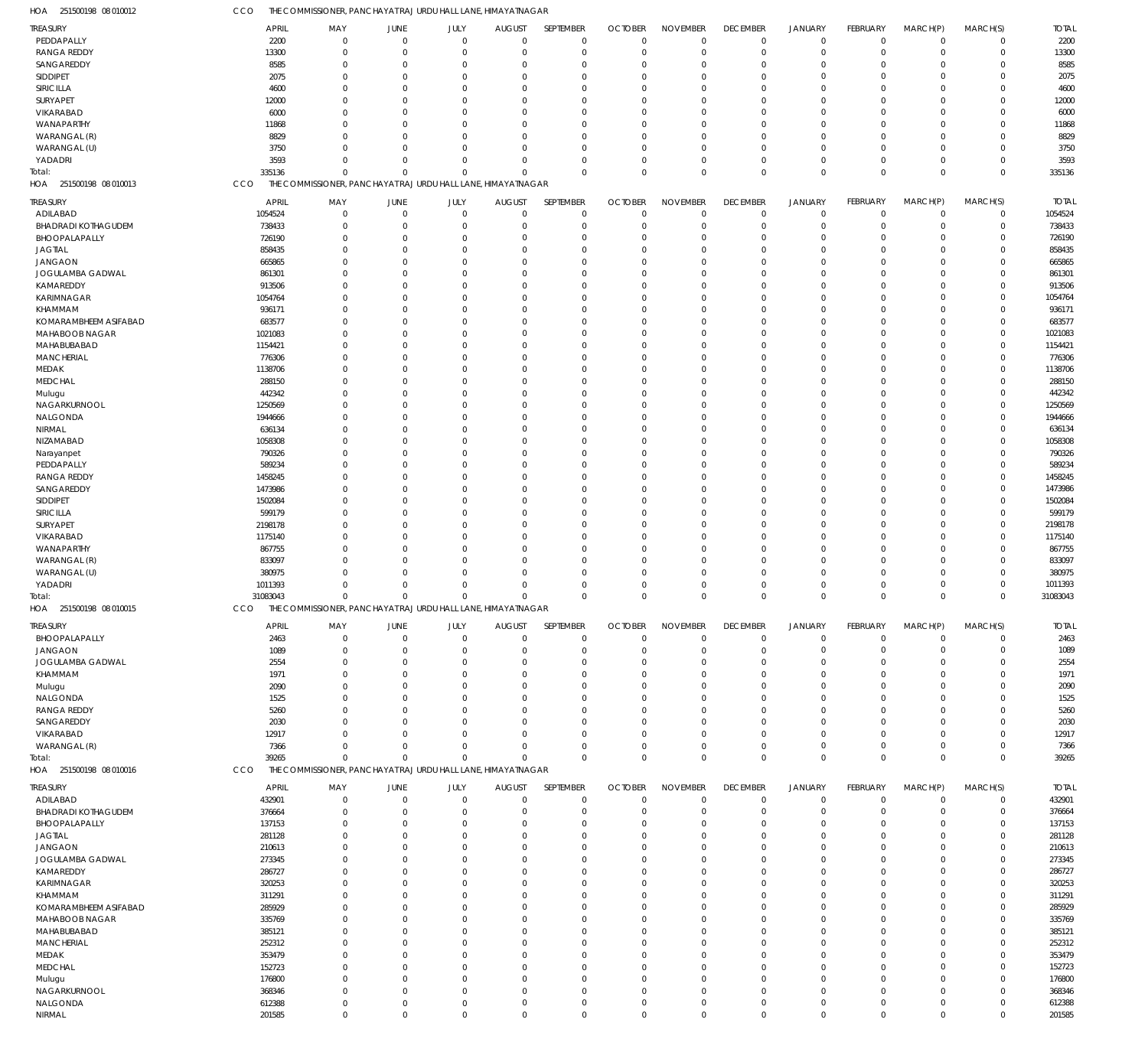| HOA 251500198 08 010012           | CCO                     | THE COMMISSIONER, PANCHAYAT RAJ URDU HALL LANE, HIMAYATNAGAR |                        |                            |                              |                            |                                  |                                |                                |                                  |                         |                         |                            |                         |
|-----------------------------------|-------------------------|--------------------------------------------------------------|------------------------|----------------------------|------------------------------|----------------------------|----------------------------------|--------------------------------|--------------------------------|----------------------------------|-------------------------|-------------------------|----------------------------|-------------------------|
| <b>TREASURY</b>                   | <b>APRIL</b>            | MAY                                                          | JUNE                   | JULY                       | <b>AUGUST</b>                | SEPTEMBER                  | <b>OCTOBER</b>                   | <b>NOVEMBER</b>                | <b>DECEMBER</b>                | <b>JANUARY</b>                   | <b>FEBRUARY</b>         | MARCH(P)                | MARCH(S)                   | <b>TOTAL</b>            |
| PEDDAPALLY                        | 2200                    | $\mathbf 0$                                                  | $\overline{0}$         | $\mathbf 0$                | $\mathbf 0$                  | $\mathbf 0$                | $\mathbf 0$                      | $\mathbf 0$                    | $\mathbf 0$                    | $\mathbf 0$                      | $\mathbf 0$             | $\mathbf 0$             | $\mathbf 0$                | 2200                    |
| RANGA REDDY                       | 13300                   | $\mathbf 0$                                                  | $\overline{0}$         | $\mathbf 0$                | $\mathbf 0$                  | $\mathbf 0$                | $^{\circ}$                       | $\mathbf 0$                    | $\mathbf 0$                    | $\mathbf 0$                      | $\mathbf 0$             | $\mathbf 0$             | $\mathbf 0$                | 13300                   |
| SANGAREDDY                        | 8585                    | $\mathbf 0$                                                  | $\overline{0}$         | $\mathbf{0}$               | 0                            | $\mathbf 0$                | $\Omega$                         | $\Omega$                       | $\Omega$                       | $^{\circ}$                       | $\Omega$                | $\Omega$                | 0                          | 8585                    |
| SIDDIPET                          | 2075                    | $\Omega$                                                     | $\Omega$               | $\Omega$                   | $\Omega$                     | $\mathbf 0$                | $\Omega$                         | $\Omega$                       | $\Omega$                       | $\Omega$                         | $\Omega$                | $\Omega$                | $\Omega$                   | 2075                    |
| SIRICILLA                         | 4600                    | $\Omega$                                                     | $\Omega$               | $\Omega$                   | 0                            | $\mathbf 0$                | $\Omega$                         | $\Omega$                       | $\Omega$                       | $\Omega$                         | $\Omega$                | $\Omega$                | 0                          | 4600                    |
| SURYAPET                          | 12000                   | $\Omega$                                                     | $\Omega$               | $\Omega$                   | $\Omega$                     | $\mathbf 0$                | $\Omega$                         | $\Omega$                       | $\Omega$                       | $\Omega$                         | $\Omega$                | $\Omega$                | $\Omega$                   | 12000                   |
| VIKARABAD                         | 6000                    | $\Omega$                                                     | $\Omega$               | $\Omega$                   | $\Omega$                     | $\mathbf 0$                | $\Omega$                         | $\Omega$                       | $\Omega$                       | $\Omega$                         | $\Omega$                | $\Omega$                | $\Omega$                   | 6000                    |
| WANAPARTHY                        | 11868                   | $\Omega$                                                     | $\Omega$               | $\Omega$                   | $\mathbf 0$                  | $\mathbf 0$                | $\Omega$                         | $\Omega$                       | $\Omega$                       | $\Omega$                         | $\Omega$                | $\Omega$                | $\Omega$                   | 11868                   |
| WARANGAL (R)                      | 8829                    | $\Omega$                                                     | $\Omega$               | $\Omega$                   | 0                            | $\mathbf 0$                | $\Omega$                         | $\Omega$                       | $\Omega$                       | $\Omega$                         | $\Omega$                | $\Omega$                | 0                          | 8829                    |
| WARANGAL (U)                      | 3750                    | $\Omega$                                                     | $\Omega$               | $\Omega$                   | $\Omega$                     | $\mathbf 0$                | $\Omega$                         | $\Omega$                       | $\Omega$                       | $\Omega$                         | $\Omega$                | $\Omega$                | $\Omega$                   | 3750                    |
| YADADRI                           | 3593                    | $\Omega$<br>$\Omega$                                         | $\Omega$<br>$\Omega$   | $\mathbf 0$<br>$\mathbf 0$ | $\mathbf 0$<br>$\Omega$      | $\mathbf 0$                | $\Omega$<br>$\Omega$             | $\Omega$<br>$\Omega$           | $\Omega$<br>$\Omega$           | $\overline{0}$<br>$\mathbf 0$    | $\Omega$<br>$\Omega$    | $\mathbf 0$<br>$\Omega$ | $\mathbf 0$<br>$\mathbf 0$ | 3593                    |
| Total:<br>HOA 251500198 08 010013 | 335136<br>CCO           | THE COMMISSIONER, PANCHAYAT RAJ URDU HALL LANE, HIMAYATNAGAR |                        |                            |                              | $\mathbf 0$                |                                  |                                |                                |                                  |                         |                         |                            | 335136                  |
|                                   |                         |                                                              |                        |                            |                              |                            |                                  |                                |                                |                                  |                         |                         |                            |                         |
| <b>TREASURY</b><br>ADILABAD       | <b>APRIL</b><br>1054524 | MAY<br>$\mathbf 0$                                           | JUNE<br>$\overline{0}$ | JULY<br>$\mathbf{0}$       | <b>AUGUST</b><br>$\mathbf 0$ | SEPTEMBER<br>$\mathbf 0$   | <b>OCTOBER</b><br>$\overline{0}$ | <b>NOVEMBER</b><br>$\mathbf 0$ | <b>DECEMBER</b><br>$\mathbf 0$ | <b>JANUARY</b><br>$\overline{0}$ | FEBRUARY<br>$\mathbf 0$ | MARCH(P)<br>$\mathbf 0$ | MARCH(S)<br>$\mathbf 0$    | <b>TOTAL</b><br>1054524 |
| <b>BHADRADI KOTHAGUDEM</b>        | 738433                  | $\Omega$                                                     | $\overline{0}$         | $\mathbf{0}$               | 0                            | $\mathbf 0$                | $\mathbf 0$                      | $\mathbf 0$                    | $\Omega$                       | $\overline{0}$                   | $\Omega$                | $\mathbf 0$             | $\mathbf 0$                | 738433                  |
| BHOOPALAPALLY                     | 726190                  | $\Omega$                                                     | $\overline{0}$         | $\mathbf{0}$               | 0                            | $\mathbf 0$                | $\Omega$                         | $\Omega$                       | $\Omega$                       | $\overline{0}$                   | $\Omega$                | $\Omega$                | 0                          | 726190                  |
| <b>JAGTIAL</b>                    | 858435                  | $\Omega$                                                     | $\overline{0}$         | $\mathbf{0}$               | 0                            | $\mathbf 0$                | $\Omega$                         | $\Omega$                       | $\Omega$                       | $\Omega$                         | $\Omega$                | $\Omega$                | 0                          | 858435                  |
| <b>JANGAON</b>                    | 665865                  | $\Omega$                                                     | $\Omega$               | $\Omega$                   | $\Omega$                     | $\mathbf 0$                | $\Omega$                         | $\Omega$                       |                                | $\Omega$                         | $\Omega$                | $\Omega$                | $\Omega$                   | 665865                  |
| JOGULAMBA GADWAL                  | 861301                  | $\Omega$                                                     | $\Omega$               | $\mathbf{0}$               | 0                            | $\mathbf 0$                | $\Omega$                         | $\Omega$                       | $\Omega$                       | $\Omega$                         | $\Omega$                | $\Omega$                | 0                          | 861301                  |
| KAMAREDDY                         | 913506                  | 0                                                            | $\Omega$               | $\mathbf{0}$               | 0                            | $\mathbf 0$                | $\Omega$                         | $\Omega$                       |                                | $\Omega$                         | $\Omega$                | $\Omega$                | $\Omega$                   | 913506                  |
| KARIMNAGAR                        | 1054764                 | $\Omega$                                                     | $\Omega$               | $\mathbf{0}$               | $\Omega$                     | $\mathbf 0$                | $\Omega$                         | $\Omega$                       | $\Omega$                       | $\Omega$                         | $\Omega$                | $\Omega$                | 0                          | 1054764                 |
| <b>KHAMMAM</b>                    | 936171                  | 0                                                            | $\Omega$               | $\Omega$                   | 0                            | $\mathbf 0$                | $\Omega$                         | $\Omega$                       |                                | $\Omega$                         | $\Omega$                | $\Omega$                | $\Omega$                   | 936171                  |
| KOMARAMBHEEM ASIFABAD             | 683577                  | $\Omega$                                                     | $\Omega$               | $\mathbf{0}$               | 0                            | $\mathbf 0$                | $\Omega$                         | $\Omega$                       | $\Omega$                       | $\Omega$                         | $\Omega$                | $\Omega$                | 0                          | 683577                  |
| MAHABOOB NAGAR                    | 1021083                 | O                                                            | $\Omega$               | $\Omega$                   | $\Omega$                     | $\mathbf 0$                | $\Omega$                         | $\Omega$                       |                                | $\Omega$                         | $\Omega$                | $\Omega$                | $\Omega$                   | 1021083                 |
| MAHABUBABAD                       | 1154421                 | 0                                                            | $\Omega$               | $\mathbf{0}$               | 0                            | $\mathbf 0$                | $\Omega$                         | $\Omega$                       | $\Omega$                       | $\Omega$                         | $\Omega$                | $\Omega$                | 0                          | 1154421                 |
| <b>MANCHERIAL</b>                 | 776306                  | 0                                                            | $\Omega$               | $\overline{0}$             | 0                            | $\mathbf 0$                | $\Omega$                         | $\Omega$                       |                                | $\Omega$                         | $\Omega$                | $\Omega$                | 0                          | 776306                  |
| MEDAK                             | 1138706                 | 0                                                            | $\Omega$               | $\Omega$                   | $\Omega$                     | $\mathbf 0$                | $\Omega$                         | $\Omega$                       | $\cap$                         | $\Omega$                         | $\Omega$                | $\Omega$                | 0                          | 1138706                 |
| <b>MEDCHAL</b>                    | 288150                  | 0                                                            | $\Omega$               | $\Omega$                   | 0                            | $\mathbf 0$                | $\Omega$                         | $\Omega$                       |                                | $\Omega$                         | $\Omega$                | $\Omega$                | $\Omega$                   | 288150                  |
| Mulugu                            | 442342                  | $\Omega$                                                     | $\Omega$               | $\mathbf{0}$               | 0                            | $\mathbf 0$                | $\Omega$                         | $\Omega$                       | $\Omega$                       | $\Omega$                         | $\Omega$                | $\Omega$                | 0                          | 442342                  |
| NAGARKURNOOL                      | 1250569                 | O                                                            | $\Omega$               | $\Omega$                   | $\Omega$                     | $\mathbf 0$                | $\Omega$                         | $\Omega$                       |                                | $\Omega$                         | $\Omega$                | $\Omega$                | $\Omega$                   | 1250569                 |
| NALGONDA                          | 1944666                 | 0                                                            | $\Omega$               | $\mathbf{0}$               | 0                            | $\mathbf 0$                | $\Omega$                         | $\Omega$                       | $\Omega$                       | $\Omega$                         | $\Omega$                | $\Omega$                | 0                          | 1944666                 |
| NIRMAL                            | 636134                  | 0                                                            | $\Omega$               | $\mathbf{0}$               | 0                            | $\mathbf 0$                | $\Omega$                         | $\Omega$                       |                                | $\Omega$                         | $\Omega$                | $\Omega$                | 0                          | 636134                  |
| NIZAMABAD                         | 1058308                 | $\Omega$                                                     | $\Omega$               | $\mathbf{0}$               | $\Omega$                     | $\mathbf 0$                | $\Omega$                         | $\Omega$                       | $\Omega$                       | $\Omega$                         | $\Omega$                | $\Omega$                | 0                          | 1058308                 |
| Narayanpet                        | 790326                  | 0                                                            | $\Omega$               | $\Omega$                   | $\Omega$                     | $\mathbf 0$                | $\Omega$                         | $\Omega$                       |                                | $\Omega$                         | $\Omega$                | $\Omega$                | $\Omega$                   | 790326                  |
| PEDDAPALLY                        | 589234                  | $\Omega$                                                     | $\Omega$               | $\mathbf{0}$               | 0                            | $\mathbf 0$                | $\Omega$                         | $\Omega$                       | $\Omega$                       | $\Omega$                         | $\Omega$                | $\Omega$                | 0                          | 589234                  |
| RANGA REDDY                       | 1458245                 | O                                                            | $\Omega$               | $\mathbf{0}$               | $\Omega$                     | $\mathbf 0$                | $\Omega$                         | $\Omega$                       |                                | $\Omega$                         | $\Omega$                | $\Omega$                | $\Omega$                   | 1458245                 |
| SANGAREDDY                        | 1473986                 | 0<br>0                                                       | $\Omega$<br>$\Omega$   | $\Omega$<br>$\Omega$       | $\Omega$                     | $\mathbf 0$<br>$\mathbf 0$ | $\Omega$<br>$\Omega$             | $\Omega$<br>$\Omega$           | $\Omega$                       | $\Omega$<br>$\Omega$             | $\Omega$<br>$\Omega$    | $\Omega$<br>$\Omega$    | 0<br>$\Omega$              | 1473986                 |
| SIDDIPET<br>SIRICILLA             | 1502084<br>599179       | $\Omega$                                                     | $\Omega$               | $\mathbf{0}$               | 0<br>0                       | $\mathbf 0$                | $\Omega$                         | $\Omega$                       | $\Omega$                       | $\Omega$                         | $\Omega$                | $\Omega$                | 0                          | 1502084<br>599179       |
| SURYAPET                          | 2198178                 | O                                                            | $\Omega$               | $\Omega$                   | $\Omega$                     | $\mathbf 0$                | $\Omega$                         | $\Omega$                       |                                | $\Omega$                         | $\Omega$                | $\Omega$                | $\Omega$                   | 2198178                 |
| VIKARABAD                         | 1175140                 | $\Omega$                                                     | $\Omega$               | $\mathbf{0}$               | 0                            | $\mathbf 0$                | $\Omega$                         | $\Omega$                       | $\Omega$                       | $\Omega$                         | $\Omega$                | $\Omega$                | 0                          | 1175140                 |
| WANAPARTHY                        | 867755                  | O                                                            | $\Omega$               | $\overline{0}$             | 0                            | $\mathbf 0$                | $\Omega$                         | $\Omega$                       |                                | $\Omega$                         | $\Omega$                | $\Omega$                | $\Omega$                   | 867755                  |
| WARANGAL (R)                      | 833097                  | 0                                                            | $\Omega$               | $\mathbf{0}$               | 0                            | $\mathbf 0$                | $\Omega$                         | $\Omega$                       | $\Omega$                       | $\Omega$                         | $\Omega$                | $\Omega$                | 0                          | 833097                  |
| WARANGAL (U)                      | 380975                  | U                                                            | $\Omega$               | $\mathbf{0}$               | 0                            | $\mathbf 0$                | $\Omega$                         | $\Omega$                       |                                | $\Omega$                         | $\Omega$                | $\Omega$                | 0                          | 380975                  |
| YADADRI                           | 1011393                 | $\Omega$                                                     | $\Omega$               | $\mathbf{0}$               | 0                            | $\mathbf 0$                | $\Omega$                         | $\Omega$                       |                                | $\Omega$                         | $\Omega$                | $\Omega$                | 0                          | 1011393                 |
| Total:                            | 31083043                | $\Omega$                                                     | $\Omega$               | $\mathbf 0$                | $\mathbf 0$                  | $\mathbf 0$                | $\Omega$                         | $\Omega$                       | $\Omega$                       | $\mathbf 0$                      | $\Omega$                | $\Omega$                | $\Omega$                   | 31083043                |
| HOA 251500198 08 010015           | CCO                     | THE COMMISSIONER, PANCHAYAT RAJ URDU HALL LANE, HIMAYATNAGAR |                        |                            |                              |                            |                                  |                                |                                |                                  |                         |                         |                            |                         |
| <b>TREASURY</b>                   | <b>APRIL</b>            | MAY                                                          | JUNE                   | JULY                       | <b>AUGUST</b>                | SEPTEMBER                  | <b>OCTOBER</b>                   | <b>NOVEMBER</b>                | <b>DECEMBER</b>                | <b>JANUARY</b>                   | FEBRUARY                | MARCH(P)                | MARCH(S)                   | <b>TOTAL</b>            |
| BHOOPALAPALLY                     | 2463                    | $\mathbf 0$                                                  | $\overline{0}$         | $\mathbf{0}$               | $\mathbf 0$                  | $\mathbf 0$                | $\Omega$                         | $\Omega$                       | $\mathbf 0$                    | $\overline{0}$                   | $\mathbf 0$             | $\mathbf 0$             | $\mathbf 0$                | 2463                    |
| <b>JANGAON</b>                    | 1089                    | $\mathbf 0$                                                  | $\overline{0}$         | $\mathbf{0}$               | 0                            | $\mathbf 0$                | $^{\circ}$                       | $\mathbf 0$                    | $\mathbf 0$                    | $\overline{0}$                   | $\mathbf 0$             | $\mathbf 0$             | $\mathbf 0$                | 1089                    |
| JOGULAMBA GADWAL                  | 2554                    | $\mathbf 0$                                                  | $\mathbf 0$            | $\mathbf{0}$               | 0                            | 0                          | $\Omega$                         | $\Omega$                       | $\Omega$                       | $^{\circ}$                       | $\Omega$                | $\Omega$                | 0                          | 2554                    |
| KHAMMAM                           | 1971                    | $\Omega$                                                     | $\Omega$               | $\Omega$                   | $\Omega$                     | $\mathbf 0$                | $\Omega$                         | $\Omega$                       | $\Omega$                       | $\Omega$                         | $\Omega$                | $\Omega$                | $\Omega$                   | 1971                    |
| Mulugu                            | 2090                    | $\Omega$                                                     | $\Omega$               | $\Omega$                   | 0                            | $\mathbf 0$                | $\Omega$                         | $\Omega$                       | $\Omega$                       | $\Omega$                         | U                       | $\Omega$                | 0                          | 2090                    |
| NALGONDA                          | 1525                    | $\Omega$                                                     | $\Omega$               | $\mathbf{0}$               | 0                            | $\mathbf 0$                | $\Omega$                         | $\Omega$                       | $\Omega$                       | $\Omega$                         | $\Omega$                | $\Omega$                | $\Omega$                   | 1525                    |
| RANGA REDDY                       | 5260                    | 0                                                            | $\Omega$               | $\Omega$                   | 0                            | $\mathbf 0$                | $\Omega$                         | $\Omega$                       | $\Omega$                       | $\Omega$                         | U                       | $\Omega$                | 0                          | 5260                    |
| SANGAREDDY                        | 2030                    | $\Omega$                                                     | $\Omega$               | $\Omega$                   | $\Omega$                     | $\mathbf 0$                | $\Omega$                         | $\Omega$                       | $\Omega$                       | $\Omega$                         | $\Omega$                | $\Omega$                | 0                          | 2030                    |
| VIKARABAD                         | 12917                   | $\Omega$                                                     | $\Omega$               | $\mathbf{0}$               | 0                            | $\mathbf 0$                | $\Omega$                         | $\Omega$                       | $\Omega$                       | $\overline{0}$                   | U                       | $\Omega$                | 0                          | 12917                   |
| WARANGAL (R)                      | 7366                    | $\Omega$                                                     | $\Omega$               | $\Omega$                   | $\mathbf 0$                  | $\mathbf 0$                | $\Omega$                         | $\Omega$                       | $\Omega$                       | $\mathbf 0$                      | $\Omega$                | $\mathbf 0$             | $\mathbf 0$                | 7366                    |
| Total:                            | 39265                   | $\Omega$                                                     | $\Omega$               | $\mathbf 0$                | $\mathbf 0$                  | $\mathbf 0$                | $\Omega$                         | $\Omega$                       | $\mathbf 0$                    | $\mathbf 0$                      | $\Omega$                | $\Omega$                | $\mathbf 0$                | 39265                   |
| HOA 251500198 08 010016           | CCO                     | THE COMMISSIONER, PANCHAYAT RAJ URDU HALL LANE, HIMAYATNAGAR |                        |                            |                              |                            |                                  |                                |                                |                                  |                         |                         |                            |                         |
| <b>TREASURY</b>                   | <b>APRIL</b>            | MAY                                                          | JUNE                   | JULY                       | <b>AUGUST</b>                | SEPTEMBER                  | <b>OCTOBER</b>                   | <b>NOVEMBER</b>                | <b>DECEMBER</b>                | <b>JANUARY</b>                   | FEBRUARY                | MARCH(P)                | MARCH(S)                   | <b>TOTAL</b>            |
| ADILABAD                          | 432901                  | 0                                                            | $\mathbf 0$            | $\overline{0}$             | 0                            | $\mathbf 0$                | $\overline{0}$                   | $\mathbf 0$                    | $\mathbf 0$                    | $\overline{0}$                   | $\mathbf 0$             | $\mathbf 0$             | $\mathbf 0$                | 432901                  |
| <b>BHADRADI KOTHAGUDEM</b>        | 376664                  | $\mathbf 0$                                                  | $\overline{0}$         | $\mathbf{0}$               | 0                            | $\mathbf 0$                | $\overline{0}$                   | $\Omega$                       | $\Omega$                       | $\overline{0}$                   | $\mathbf 0$             | $\mathbf 0$             | 0                          | 376664                  |
| BHOOPALAPALLY                     | 137153                  | $\mathbf 0$                                                  | $\mathbf 0$            | $\mathbf{0}$               | 0                            | $\mathbf 0$                | $\Omega$                         | $\Omega$                       |                                | $\overline{0}$                   | $\Omega$                | $\Omega$                | 0                          | 137153                  |
| <b>JAGTIAL</b>                    | 281128                  | 0                                                            | $\mathbf 0$            | 0                          | 0                            | $\mathbf 0$                | $\Omega$                         | $\Omega$                       |                                | $\Omega$                         | $\Omega$                | $\Omega$                | 0                          | 281128                  |
| <b>JANGAON</b>                    | 210613                  | $\Omega$                                                     | $\Omega$               | $\mathbf{0}$               | 0                            | $\mathbf 0$                | $\Omega$                         | $\Omega$                       |                                | $\Omega$                         | O                       | $\Omega$                | 0                          | 210613                  |
| JOGULAMBA GADWAL                  | 273345                  | U<br>0                                                       | $\Omega$<br>$\Omega$   | $\Omega$                   | $\Omega$                     | $\mathbf 0$<br>$\mathbf 0$ | $\Omega$<br>$\Omega$             | $\Omega$<br>$\Omega$           |                                | $\Omega$<br>$\Omega$             | U                       | $\Omega$<br>$\Omega$    | $\Omega$<br>0              | 273345                  |
| KAMAREDDY<br>KARIMNAGAR           | 286727<br>320253        | 0                                                            | $\Omega$               | $\mathbf{0}$<br>0          | 0<br>0                       | $\mathbf 0$                | $\Omega$                         | $\Omega$                       |                                | $\Omega$                         | 0<br>U                  | $\Omega$                | $\Omega$                   | 286727<br>320253        |
| KHAMMAM                           | 311291                  | 0                                                            | $\Omega$               | $\mathbf{0}$               | $\Omega$                     | $\mathbf 0$                | $\Omega$                         | $\Omega$                       |                                | $\Omega$                         | O                       | $\Omega$                | 0                          | 311291                  |
| KOMARAMBHEEM ASIFABAD             | 285929                  | 0                                                            | $\Omega$               | $\Omega$                   | 0                            | $\mathbf 0$                | $\Omega$                         | $\Omega$                       |                                | $\Omega$                         | U                       | $\Omega$                | 0                          | 285929                  |
| MAHABOOB NAGAR                    | 335769                  | 0                                                            | $\Omega$               | $\mathbf{0}$               | 0                            | $\mathbf 0$                | $\Omega$                         | $\Omega$                       |                                | $\Omega$                         | U                       | $\Omega$                | 0                          | 335769                  |
| MAHABUBABAD                       | 385121                  | U                                                            | $\Omega$               | $\Omega$                   | $\Omega$                     | $\mathbf 0$                | $\Omega$                         | $\Omega$                       |                                | $\Omega$                         | U                       | $\Omega$                | $\Omega$                   | 385121                  |
| MANCHERIAL                        | 252312                  | 0                                                            | $\Omega$               | $\mathbf{0}$               | 0                            | $\mathbf 0$                | $\Omega$                         | $\Omega$                       |                                | $\Omega$                         | O                       | $\Omega$                | 0                          | 252312                  |
| MEDAK                             | 353479                  | 0                                                            | $\Omega$               | $\overline{0}$             | 0                            | $\mathbf 0$                | $\Omega$                         | $\Omega$                       |                                | $\Omega$                         | $\Omega$                | $\Omega$                | 0                          | 353479                  |
| <b>MEDCHAL</b>                    | 152723                  | $\Omega$                                                     | $\Omega$               | $\mathbf{0}$               | 0                            | $\mathbf 0$                | $\Omega$                         | $\Omega$                       |                                | $\Omega$                         | U                       | $\Omega$                | 0                          | 152723                  |
| Mulugu                            | 176800                  | 0                                                            | $\Omega$               | 0                          | 0                            | $\mathbf 0$                | $\Omega$                         | $\Omega$                       |                                | $\Omega$                         | $\Omega$                | $\Omega$                | 0                          | 176800                  |
|                                   |                         |                                                              |                        |                            |                              |                            |                                  |                                |                                |                                  |                         |                         |                            |                         |
| NAGARKURNOOL                      | 368346                  | $\mathbf 0$                                                  | $\mathbf 0$            | $\mathbf{0}$               | 0                            | $\mathbf 0$                | 0                                | $\mathbf 0$                    | $\Omega$                       | $^{\circ}$                       | $\Omega$                | $\mathbf 0$             | 0                          | 368346                  |
| NALGONDA                          | 612388                  | $\mathbf 0$                                                  | $\mathbf 0$            | $\mathbf 0$                | $\mathbf 0$                  | $\mathbf 0$                | 0                                | $\mathbf 0$                    | $\Omega$                       | $\mathbf 0$                      | $\mathbf 0$             | $\mathbf 0$             | 0                          | 612388                  |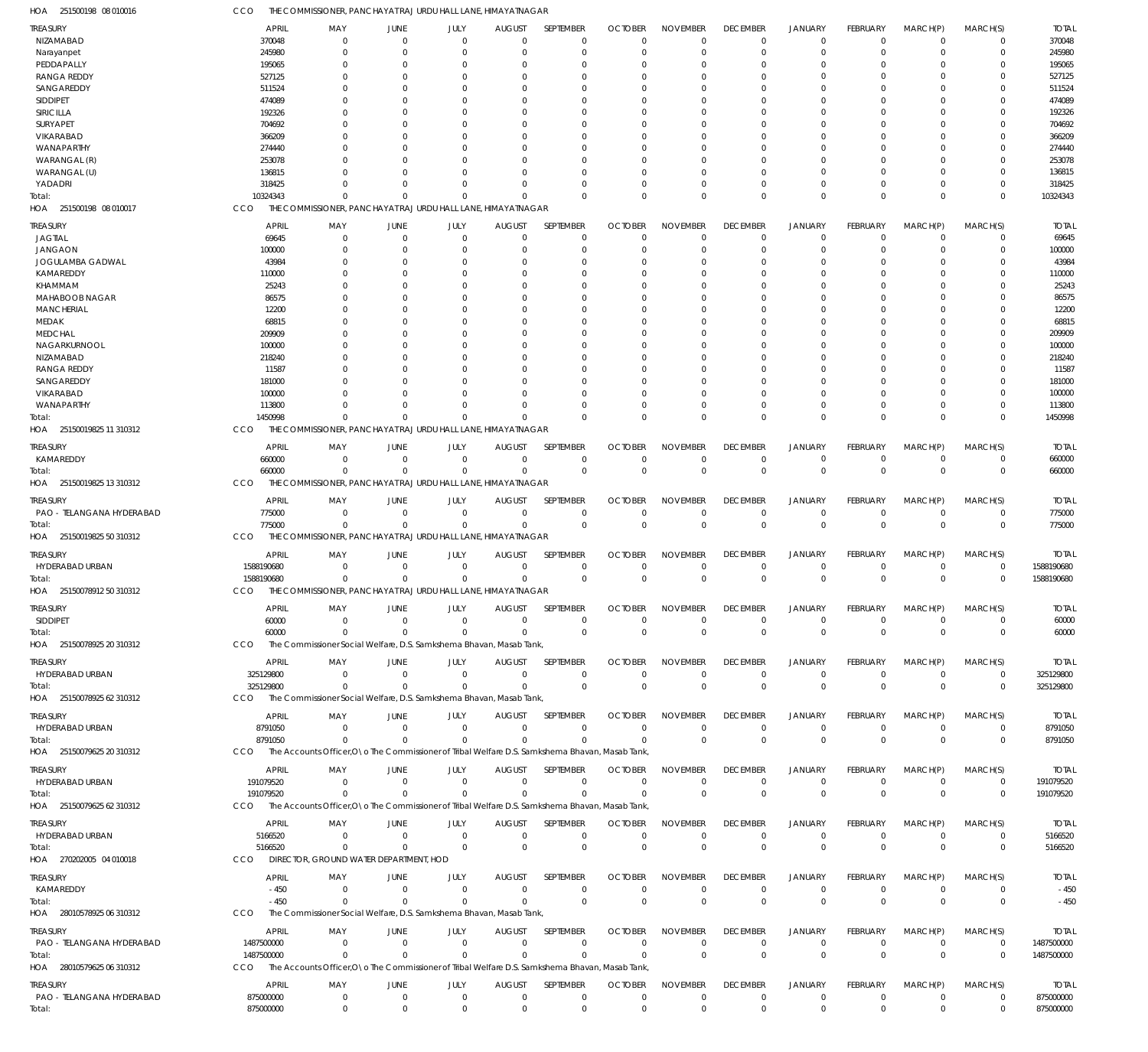| HOA<br>251500198 08 010016          |                         |                                        |                            | THE COMMISSIONER, PANCHAYAT RAJ URDU HALL LANE, HIMAYATNAGAR                                     |                               |                            |                |                                |                                |                              |                                |                            |                            |                         |
|-------------------------------------|-------------------------|----------------------------------------|----------------------------|--------------------------------------------------------------------------------------------------|-------------------------------|----------------------------|----------------|--------------------------------|--------------------------------|------------------------------|--------------------------------|----------------------------|----------------------------|-------------------------|
| <b>TREASURY</b>                     | <b>APRIL</b>            | MAY                                    | JUNE                       | JULY                                                                                             | <b>AUGUST</b>                 | SEPTEMBER                  | <b>OCTOBER</b> | <b>NOVEMBER</b>                | <b>DECEMBER</b>                | <b>JANUARY</b>               | FEBRUARY                       | MARCH(P)                   | MARCH(S)                   | <b>TOTAL</b>            |
| NIZAMABAD                           | 370048                  | $\Omega$                               | $\overline{0}$             | $\Omega$                                                                                         | $\Omega$                      | $\mathbf 0$                | $\Omega$       | $\Omega$                       | $\Omega$                       | $^{\circ}$                   | $\Omega$                       | $\mathbf 0$                | 0                          | 370048                  |
| Narayanpet<br>PEDDAPALLY            | 245980<br>195065        | $\Omega$<br>0                          | $\Omega$<br>$\Omega$       | $\Omega$<br>0                                                                                    | $\Omega$<br>0                 | $\mathbf 0$<br>0           | $\Omega$       | $\Omega$<br>$\Omega$           | $\Omega$                       | $\Omega$<br>- 0              | $\Omega$                       | $\mathbf 0$<br>0           | $\mathbf 0$<br>0           | 245980<br>195065        |
| <b>RANGA REDDY</b>                  | 527125                  |                                        | $\Omega$                   |                                                                                                  | O                             | $\Omega$                   | O              | $\Omega$                       |                                | $\Omega$                     |                                | $\Omega$                   | 0                          | 527125                  |
| SANGAREDDY                          | 511524                  |                                        | $\Omega$                   |                                                                                                  | 0                             | $\Omega$                   |                | $\Omega$                       |                                | $\Omega$                     |                                | $\Omega$                   | 0                          | 511524                  |
| SIDDIPET                            | 474089                  |                                        | $\Omega$                   | Ω                                                                                                | 0                             | $\Omega$                   | 0              | $\Omega$                       |                                | $\Omega$                     | O                              | $\Omega$                   | $\Omega$                   | 474089                  |
| SIRICILLA                           | 192326                  |                                        | $\Omega$                   |                                                                                                  | 0                             | $\Omega$                   |                | $\Omega$                       |                                | - 0                          |                                | $\Omega$                   | 0                          | 192326                  |
| SURYAPET                            | 704692                  |                                        | <sup>0</sup>               |                                                                                                  | <sup>0</sup>                  | $\Omega$                   | 0              | $\Omega$                       |                                | $\Omega$                     |                                | $\Omega$                   | $\Omega$                   | 704692                  |
| VIKARABAD                           | 366209                  |                                        | $\Omega$                   |                                                                                                  | 0                             | 0                          |                | $\Omega$                       |                                | $\Omega$                     |                                | $\Omega$                   | 0                          | 366209                  |
| WANAPARTHY                          | 274440                  |                                        | $\Omega$                   | Ω                                                                                                | O                             | $\Omega$                   | C.             | $\Omega$                       |                                | $\Omega$                     | O                              | $\Omega$                   | $\Omega$                   | 274440                  |
| WARANGAL (R)                        | 253078                  |                                        |                            |                                                                                                  | O                             | $\Omega$                   |                | $\Omega$                       |                                | - 0                          |                                | $\Omega$                   | 0                          | 253078                  |
| WARANGAL (U)                        | 136815                  |                                        |                            |                                                                                                  | C                             | $\Omega$                   | O              | $\Omega$                       |                                | $\Omega$                     |                                | $\Omega$                   | $\Omega$                   | 136815                  |
| YADADRI                             | 318425                  | <sup>0</sup>                           | $\Omega$                   | $\Omega$                                                                                         | $\Omega$                      | 0                          | O              | $\Omega$                       |                                | $^{\circ}$                   | 0                              | $\Omega$                   | $\mathbf 0$                | 318425                  |
| Total:                              | 10324343                | $\Omega$                               | $\Omega$                   | $\Omega$                                                                                         | $\Omega$                      | $\Omega$                   | $\Omega$       | $\Omega$                       | $\Omega$                       | $\Omega$                     | $\Omega$                       | $\Omega$                   | $\mathbf 0$                | 10324343                |
| HOA<br>251500198 08 010017          | CCO                     |                                        |                            | THE COMMISSIONER, PANCHAYAT RAJ URDU HALL LANE, HIMAYATNAGAR                                     |                               |                            |                |                                |                                |                              |                                |                            |                            |                         |
| treasury                            | <b>APRIL</b>            | MAY                                    | JUNE                       | JULY                                                                                             | <b>AUGUST</b>                 | SEPTEMBER                  | <b>OCTOBER</b> | <b>NOVEMBER</b>                | <b>DECEMBER</b>                | <b>JANUARY</b>               | FEBRUARY                       | MARCH(P)                   | MARCH(S)                   | <b>TOTAL</b>            |
| <b>JAGTIAL</b>                      | 69645                   | 0                                      | $\overline{0}$<br>$\Omega$ | $\mathbf 0$                                                                                      | $\mathbf 0$                   | $\mathbf 0$<br>$\mathbf 0$ | $\Omega$       | $\Omega$<br>$\Omega$           | $\Omega$                       | $\overline{0}$<br>$\Omega$   | $\mathbf 0$                    | $\overline{0}$<br>$\Omega$ | $\mathbf 0$<br>$\mathbf 0$ | 69645                   |
| <b>JANGAON</b><br>JOGULAMBA GADWAL  | 100000<br>43984         | 0                                      | $\Omega$                   | 0                                                                                                | 0<br>C                        | 0                          | O<br>O         | $\Omega$                       |                                | $\Omega$                     | 0                              | $\Omega$                   | 0                          | 100000<br>43984         |
| KAMAREDDY                           | 110000                  |                                        | $\Omega$                   |                                                                                                  | C                             | 0                          | C.             | $\Omega$                       |                                | - 0                          |                                | $\Omega$                   | 0                          | 110000                  |
| KHAMMAM                             | 25243                   |                                        |                            |                                                                                                  | C                             | 0                          |                | $\Omega$                       |                                |                              |                                | $\Omega$                   | C                          | 25243                   |
| MAHABOOB NAGAR                      | 86575                   |                                        | $\Omega$                   |                                                                                                  | 0                             | 0                          | O              | $\Omega$                       |                                | - 0                          |                                | $\Omega$                   | 0                          | 86575                   |
| <b>MANCHERIAL</b>                   | 12200                   |                                        | U                          |                                                                                                  | C                             | 0                          |                | $\Omega$                       |                                | $\Omega$                     |                                | $\Omega$                   | 0                          | 12200                   |
| MEDAK                               | 68815                   |                                        | O                          |                                                                                                  | C                             | 0                          |                | $\Omega$                       |                                | - 0                          |                                | $\Omega$                   | 0                          | 68815                   |
| <b>MEDCHAL</b>                      | 209909                  |                                        |                            |                                                                                                  | C                             | 0                          |                | $\Omega$                       |                                |                              |                                | $\Omega$                   | C                          | 209909                  |
| NAGARKURNOOL                        | 100000                  |                                        | $\Omega$                   |                                                                                                  | C                             | 0                          | O              | $\Omega$                       |                                | - 0                          |                                | $\Omega$                   | 0                          | 100000                  |
| NIZAMABAD                           | 218240                  |                                        |                            |                                                                                                  | C                             | $\Omega$                   |                | $\Omega$                       |                                |                              |                                | $\Omega$                   | C                          | 218240                  |
| <b>RANGA REDDY</b>                  | 11587                   |                                        |                            |                                                                                                  | C                             | 0                          |                | $\Omega$                       |                                | - 0                          |                                | $\Omega$                   | 0                          | 11587                   |
| SANGAREDDY                          | 181000                  |                                        |                            |                                                                                                  | C                             | $\Omega$                   |                | $\Omega$                       |                                |                              |                                | $\Omega$                   | 0                          | 181000                  |
| VIKARABAD                           | 100000                  |                                        | $\Omega$                   | Ω                                                                                                | $\Omega$                      | 0                          | C.             | $\Omega$                       |                                | - 0                          |                                | $\Omega$                   | 0                          | 100000                  |
| WANAPARTHY                          | 113800                  |                                        | U                          | U                                                                                                | $\Omega$                      | $\Omega$                   | O              | $\Omega$                       |                                | $\Omega$                     | 0                              | $\Omega$                   | $\mathbf 0$                | 113800                  |
| Total:<br>HOA 25150019825 11 310312 | 1450998<br>CCO          | $\Omega$                               | $\Omega$                   | THE COMMISSIONER, PANCHAYAT RAJ URDU HALL LANE, HIMAYATNAGAR                                     | $\Omega$                      | $\Omega$                   | $\Omega$       | $\Omega$                       | $\Omega$                       | $\Omega$                     | $\Omega$                       | $\Omega$                   | $\mathbf 0$                | 1450998                 |
|                                     |                         |                                        |                            |                                                                                                  |                               |                            |                |                                |                                |                              |                                |                            |                            |                         |
| treasury                            | <b>APRIL</b>            | MAY                                    | JUNE                       | JULY                                                                                             | <b>AUGUST</b>                 | SEPTEMBER                  | <b>OCTOBER</b> | <b>NOVEMBER</b>                | <b>DECEMBER</b>                | JANUARY                      | FEBRUARY                       | MARCH(P)                   | MARCH(S)                   | <b>TOTAL</b>            |
| KAMAREDDY                           | 660000                  | $\Omega$                               | $\Omega$                   | $\overline{0}$                                                                                   | $\mathbf 0$                   | $\mathbf 0$                | $\Omega$       | $\mathbf 0$                    | $\Omega$                       | $\overline{0}$               | $\mathbf 0$                    | $\overline{0}$             | 0                          | 660000                  |
| Total:<br>HOA 25150019825 13 310312 | 660000<br>CCO           | $\Omega$                               | $\Omega$                   | $\Omega$<br>THE COMMISSIONER, PANCHAYAT RAJ URDU HALL LANE, HIMAYATNAGAR                         | $\Omega$                      | $\mathbf 0$                | $\Omega$       | $\Omega$                       | $\mathbf{0}$                   | $\overline{0}$               | $\Omega$                       | $\Omega$                   | $\mathbf 0$                | 660000                  |
|                                     |                         |                                        |                            |                                                                                                  |                               |                            |                |                                |                                |                              |                                |                            |                            |                         |
| treasury                            | <b>APRIL</b>            | MAY                                    | JUNE                       | JULY                                                                                             | <b>AUGUST</b>                 | SEPTEMBER                  | <b>OCTOBER</b> | <b>NOVEMBER</b>                | <b>DECEMBER</b>                | JANUARY                      | FEBRUARY                       | MARCH(P)                   | MARCH(S)                   | <b>TOTAL</b>            |
| PAO - TELANGANA HYDERABAD           | 775000                  | $\Omega$                               | $\Omega$                   | $\mathbf 0$                                                                                      | $\mathbf 0$                   | $\mathbf 0$                | O              | $\mathbf 0$                    | $\Omega$                       | $\overline{0}$               | $\mathbf 0$                    | $\overline{0}$             | $\mathbf 0$                | 775000                  |
| Total:                              | 775000                  | $\Omega$                               | $\overline{0}$             | $\Omega$                                                                                         | $\mathbf 0$                   | $\mathbf 0$                | $\Omega$       | $\Omega$                       | $\Omega$                       | $\overline{0}$               | $\mathbf 0$                    | $\mathbf 0$                | $\mathbf 0$                | 775000                  |
| HOA 25150019825 50 310312           | CCO                     |                                        |                            | THE COMMISSIONER, PANCHAYAT RAJ URDU HALL LANE, HIMAYATNAGAR                                     |                               |                            |                |                                |                                |                              |                                |                            |                            |                         |
| treasury                            | <b>APRIL</b>            | MAY                                    | JUNE                       | JULY                                                                                             | AUGUST                        | SEPTEMBER                  | <b>OCTOBER</b> | <b>NOVEMBER</b>                | <b>DECEMBER</b>                | <b>JANUARY</b>               | FEBRUARY                       | MARCH(P)                   | MARCH(S)                   | <b>TOTAL</b>            |
| HYDERABAD URBAN                     | 1588190680              | $\Omega$                               | $\Omega$                   | $\mathbf 0$                                                                                      | $\mathbf 0$                   | $\mathbf 0$                | $\Omega$       | $\mathbf 0$                    | $\Omega$                       | $^{\circ}$                   | 0                              | $\mathbf 0$                | 0                          | 1588190680              |
| Total:                              | 1588190680              | $\mathbf 0$                            | $\Omega$                   | $\Omega$                                                                                         | $\Omega$                      | $\mathbf 0$                | $\Omega$       | $\Omega$                       | $\Omega$                       | $\Omega$                     | $\Omega$                       | $\Omega$                   | $\mathbf 0$                | 1588190680              |
| HOA 25150078912 50 310312           | CCO                     |                                        |                            | THE COMMISSIONER, PANCHAYAT RAJ URDU HALL LANE, HIMAYATNAGAR                                     |                               |                            |                |                                |                                |                              |                                |                            |                            |                         |
| TREASURY                            | APRIL                   | MAY                                    | JUNE                       | JULY                                                                                             | <b>AUGUST</b>                 | SEPTEMBER                  | <b>OCTOBER</b> | <b>NOVEMBER</b>                | <b>DECEMBER</b>                | <b>JANUARY</b>               | FEBRUARY                       | MARCH(P)                   | MARCH(S)                   | <b>TOTAL</b>            |
| SIDDIPET                            | 60000                   | $^{\circ}$                             | $\overline{0}$             | $\overline{0}$                                                                                   | $\overline{0}$                | $\overline{0}$             | $\Omega$       | $\mathbf 0$                    | $\Omega$                       | $\overline{0}$               | $\mathbf 0$                    | - 0                        | $\mathbf 0$                | 60000                   |
| Total:                              | 60000                   | $^{\circ}$                             | $\Omega$                   | $\Omega$                                                                                         | $\Omega$                      | $\mathbf 0$                | $\Omega$       | $\Omega$                       | $\Omega$                       | $\Omega$                     | $\Omega$                       | $\Omega$                   | $\mathbf 0$                | 60000                   |
| HOA 25150078925 20 310312           | <b>CCO</b>              |                                        |                            | The Commissioner Social Welfare, D.S. Samkshema Bhavan, Masab Tank                               |                               |                            |                |                                |                                |                              |                                |                            |                            |                         |
| Treasury                            | <b>APRIL</b>            | MAY                                    | JUNE                       | JULY                                                                                             | AUGUST                        | SEPTEMBER                  | <b>OCTOBER</b> | <b>NOVEMBER</b>                | <b>DECEMBER</b>                | <b>JANUARY</b>               | FEBRUARY                       | MARCH(P)                   | MARCH(S)                   | <b>TOTAL</b>            |
| HYDERABAD URBAN                     | 325129800               | - 0                                    | $\overline{0}$             | $\overline{0}$                                                                                   | $\mathbf{0}$                  | $\mathbf 0$                | $\Omega$       | $\mathbf 0$                    | $\mathbf 0$                    | $^{\circ}$                   | $\mathbf 0$                    | $\overline{0}$             | $\mathbf 0$                | 325129800               |
| Total:                              | 325129800               | $\Omega$                               | $\Omega$                   | $\Omega$                                                                                         | $\Omega$                      | $\mathbf 0$                | $\mathbf{0}$   | $\mathbf 0$                    | $\mathbf 0$                    | $\overline{0}$               | $\Omega$                       | $\Omega$                   | $\mathbf 0$                | 325129800               |
| HOA 25150078925 62 310312           | CCO                     |                                        |                            | The Commissioner Social Welfare, D.S. Samkshema Bhavan, Masab Tank,                              |                               |                            |                |                                |                                |                              |                                |                            |                            |                         |
| TREASURY                            | APRIL                   | MAY                                    | JUNE                       | JULY                                                                                             | <b>AUGUST</b>                 | SEPTEMBER                  | <b>OCTOBER</b> | <b>NOVEMBER</b>                | <b>DECEMBER</b>                | <b>JANUARY</b>               | <b>FEBRUARY</b>                | MARCH(P)                   | MARCH(S)                   | <b>TOTAL</b>            |
| HYDERABAD URBAN                     | 8791050                 | $^{\circ}$                             | $\Omega$                   | $\overline{0}$                                                                                   | $\mathbf{0}$                  | $\mathbf 0$                | $\Omega$       | $\Omega$                       | $\mathbf 0$                    | $\overline{0}$               | $\mathbf 0$                    | $\overline{0}$             | $\mathbf 0$                | 8791050                 |
| Total:                              | 8791050                 | $^{\circ}$                             | $\Omega$                   | $\mathbf 0$                                                                                      | $\mathbf{0}$                  | $\mathbf 0$                | $\Omega$       | $\Omega$                       | $\mathbf{0}$                   | $\overline{0}$               | $\mathbf 0$                    | $\Omega$                   | $\mathbf 0$                | 8791050                 |
| HOA 25150079625 20 310312           | CCO                     |                                        |                            | The Accounts Officer, O \o The Commissioner of Tribal Welfare D.S. Samkshema Bhavan, Masab Tank, |                               |                            |                |                                |                                |                              |                                |                            |                            |                         |
| TREASURY                            | APRIL                   | MAY                                    | JUNE                       | JULY                                                                                             | <b>AUGUST</b>                 | SEPTEMBER                  | <b>OCTOBER</b> | <b>NOVEMBER</b>                | <b>DECEMBER</b>                | <b>JANUARY</b>               | FEBRUARY                       | MARCH(P)                   | MARCH(S)                   | <b>TOTAL</b>            |
| HYDERABAD URBAN                     | 191079520               | $^{\circ}$                             | $\overline{0}$             | $\overline{0}$                                                                                   | $\mathbf{0}$                  | $\mathbf 0$                | $\overline{0}$ | $\mathbf 0$                    | 0                              | $\overline{0}$               | $\mathbf 0$                    | $\overline{0}$             | 0                          | 191079520               |
| Total:                              | 191079520               | $\Omega$                               | $\Omega$                   | $\Omega$                                                                                         | $\Omega$                      | $\Omega$                   | $\Omega$       | $\Omega$                       | $\mathbf 0$                    | $\mathbf 0$                  | $\Omega$                       | $\Omega$                   | $\mathbf 0$                | 191079520               |
| HOA 25150079625 62 310312           | CCO                     |                                        |                            | The Accounts Officer, O \o The Commissioner of Tribal Welfare D.S. Samkshema Bhavan, Masab Tank, |                               |                            |                |                                |                                |                              |                                |                            |                            |                         |
|                                     |                         |                                        |                            |                                                                                                  |                               |                            | <b>OCTOBER</b> |                                |                                |                              |                                |                            |                            |                         |
| Treasury<br>HYDERABAD URBAN         | <b>APRIL</b><br>5166520 | MAY<br>$^{\circ}$                      | JUNE<br>$\overline{0}$     | JULY<br>$\overline{0}$                                                                           | <b>AUGUST</b><br>$\mathbf{0}$ | SEPTEMBER<br>$\mathbf 0$   | $\mathbf 0$    | <b>NOVEMBER</b><br>$\mathbf 0$ | <b>DECEMBER</b><br>$\mathbf 0$ | <b>JANUARY</b><br>$^{\circ}$ | <b>FEBRUARY</b><br>$\mathbf 0$ | MARCH(P)<br>$\overline{0}$ | MARCH(S)<br>$\mathbf 0$    | <b>TOTAL</b><br>5166520 |
| Total:                              | 5166520                 | $^{\circ}$                             | $\Omega$                   | $\Omega$                                                                                         | $\overline{0}$                | $\mathbf 0$                | $\mathbf{0}$   | $\mathbf 0$                    | $\mathbf 0$                    | $\overline{0}$               | $\mathbf{0}$                   | $\Omega$                   | $\mathbf 0$                | 5166520                 |
| HOA 270202005 04 010018             | CCO                     | DIRECTOR, GROUND WATER DEPARTMENT, HOD |                            |                                                                                                  |                               |                            |                |                                |                                |                              |                                |                            |                            |                         |
|                                     |                         |                                        |                            |                                                                                                  |                               |                            |                |                                |                                |                              |                                |                            |                            |                         |
| Treasury                            | <b>APRIL</b>            | MAY                                    | JUNE                       | JULY                                                                                             | <b>AUGUST</b>                 | SEPTEMBER                  | <b>OCTOBER</b> | <b>NOVEMBER</b>                | <b>DECEMBER</b>                | <b>JANUARY</b>               | FEBRUARY                       | MARCH(P)                   | MARCH(S)                   | <b>TOTAL</b>            |
| KAMAREDDY                           | $-450$                  | $^{\circ}$                             | $\overline{0}$             | $\overline{0}$                                                                                   | $\Omega$                      | $\mathbf 0$                | $\Omega$       | $\mathbf 0$                    | $\mathbf 0$                    | $\overline{0}$               | $\mathbf 0$                    | $\overline{0}$<br>$\Omega$ | $\mathbf 0$                | $-450$                  |
| Total:<br>HOA 28010578925 06 310312 | $-450$<br><b>CCO</b>    | $^{\circ}$                             | $\overline{0}$             | $\Omega$<br>The Commissioner Social Welfare, D.S. Samkshema Bhavan, Masab Tank,                  | $\Omega$                      | $\mathbf 0$                | $\mathbf 0$    | $\mathbf 0$                    | $\mathbf 0$                    | $\overline{0}$               | $\mathbf 0$                    |                            | $\mathbf 0$                | $-450$                  |
|                                     |                         |                                        |                            |                                                                                                  |                               |                            |                |                                |                                |                              |                                |                            |                            |                         |
| TREASURY                            | APRIL                   | MAY                                    | JUNE                       | JULY                                                                                             | <b>AUGUST</b>                 | SEPTEMBER                  | <b>OCTOBER</b> | <b>NOVEMBER</b>                | <b>DECEMBER</b>                | <b>JANUARY</b>               | <b>FEBRUARY</b>                | MARCH(P)                   | MARCH(S)                   | <b>TOTAL</b>            |
| PAO - TELANGANA HYDERABAD           | 1487500000              | - 0                                    | $\overline{0}$             | $\overline{0}$                                                                                   | $\overline{0}$                | 0                          | 0              | $\mathbf 0$                    | 0                              | $^{\circ}$                   | 0                              | $\overline{0}$             | 0                          | 1487500000              |
| Total:                              | 1487500000              | $^{\circ}$                             | $\Omega$                   | $\Omega$                                                                                         | $\Omega$                      | $\mathbf 0$                | $\Omega$       | $\Omega$                       | $\mathbf{0}$                   | $\overline{0}$               | $\mathbf{0}$                   | $\Omega$                   | $\mathbf 0$                | 1487500000              |
| HOA 28010579625 06 310312           | CCO                     |                                        |                            | The Accounts Officer, O\o The Commissioner of Tribal Welfare D.S. Samkshema Bhavan, Masab Tank,  |                               |                            |                |                                |                                |                              |                                |                            |                            |                         |
| Treasury                            | <b>APRIL</b>            | MAY                                    | JUNE                       | JULY                                                                                             | <b>AUGUST</b>                 | SEPTEMBER                  | <b>OCTOBER</b> | <b>NOVEMBER</b>                | <b>DECEMBER</b>                | <b>JANUARY</b>               | <b>FEBRUARY</b>                | MARCH(P)                   | MARCH(S)                   | <b>TOTAL</b>            |
| PAO - TELANGANA HYDERABAD           | 875000000               | $^{\circ}$                             | $\mathbf 0$                | $\overline{0}$                                                                                   | $\overline{0}$                | $\mathbf 0$                | $\mathbf 0$    | $\mathbf 0$                    | $\mathbf 0$                    | $\mathbf 0$                  | $\mathbf 0$                    | $\overline{0}$             | 0                          | 875000000               |
| Total:                              | 875000000               | $\mathbf 0$                            | $\mathbf 0$                | $\overline{0}$                                                                                   | $\mathbf 0$                   | $\mathbf 0$                | $\mathbf{0}$   | $\mathbf 0$                    | $\Omega$                       | $\overline{0}$               | $\Omega$                       | $\overline{0}$             | $\Omega$                   | 875000000               |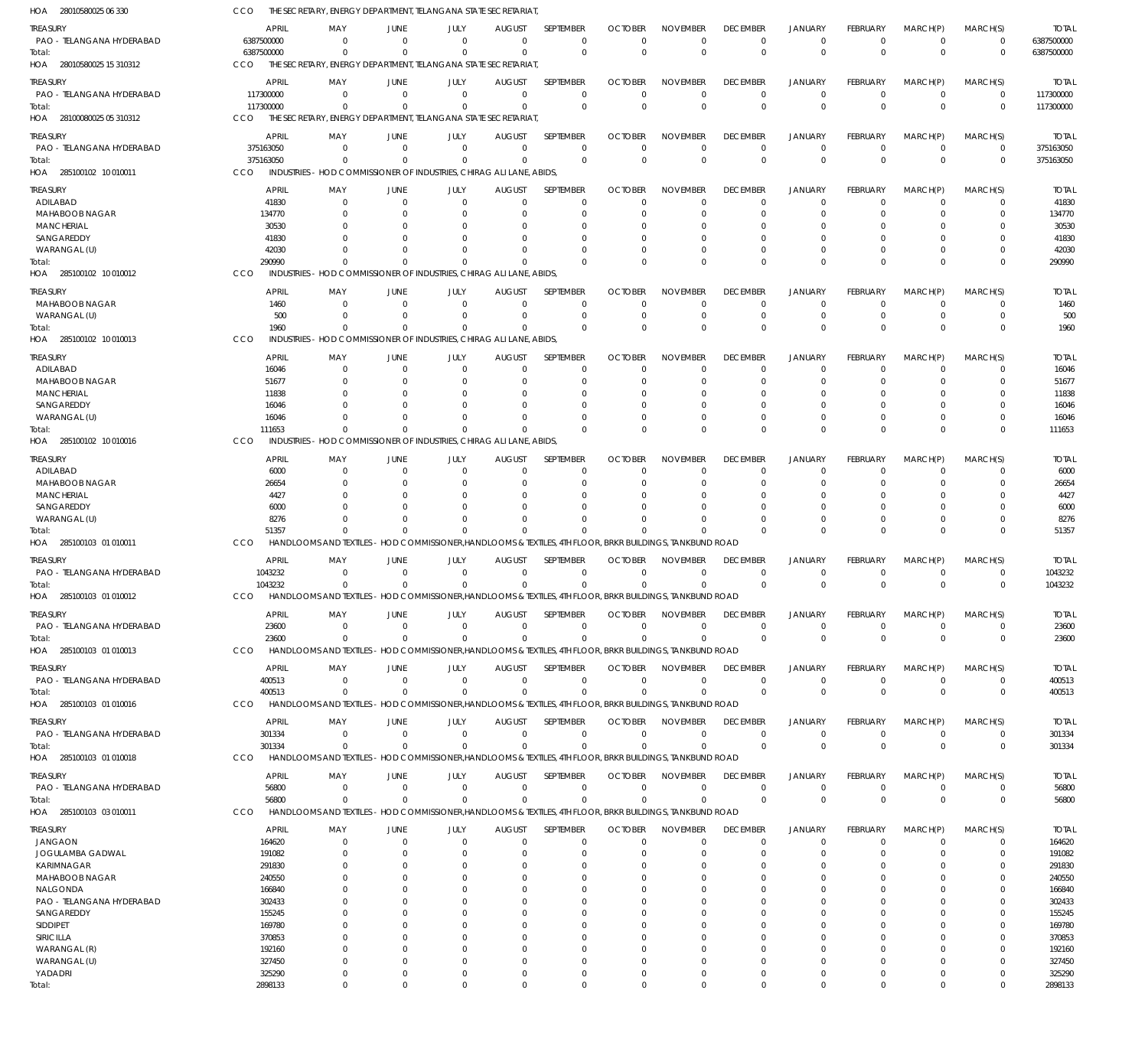28010580025 06 330 HOA 28010580025 15 310312 HOA 28100080025 05 310312 HOA 285100102 10 010011 HOA 285100102 10 010012 HOA 285100102 10 010013 HOA 285100102 10 010016 HOA 285100103 01 010011 HOA 285100103 01 010012 HOA 285100103 01 010013 HOA 285100103 01 010016 HOA 285100103 01 010018 HOA 285100103 03 010011 HOA THE SECRETARY, ENERGY DEPARTMENT, TELANGANA STATE SECRETARIAT, THE SECRETARY, ENERGY DEPARTMENT, TELANGANA STATE SECRETARIAT THE SECRETARY, ENERGY DEPARTMENT, TELANGANA STATE SECRETARIAT, CCO INDUSTRIES - HOD COMMISSIONER OF INDUSTRIES, CHIRAG ALI LANE, ABIDS, INDUSTRIES - HOD COMMISSIONER OF INDUSTRIES, CHIRAG ALI LANE, ABIDS, INDUSTRIES - HOD COMMISSIONER OF INDUSTRIES, CHIRAG ALI LANE, ABIDS, INDUSTRIES - HOD COMMISSIONER OF INDUSTRIES, CHIRAG ALI LANE, ABIDS, HANDLOOMS AND TEXTILES - HOD COMMISSIONER,HANDLOOMS & TEXTILES, 4TH FLOOR, BRKR BUILDINGS, TANKBUND ROAD HANDLOOMS AND TEXTILES - HOD COMMISSIONER,HANDLOOMS & TEXTILES, 4TH FLOOR, BRKR BUILDINGS, TANKBUND ROAD HANDLOOMS AND TEXTILES - HOD COMMISSIONER,HANDLOOMS & TEXTILES, 4TH FLOOR, BRKR BUILDINGS, TANKBUND ROAD HANDLOOMS AND TEXTILES - HOD COMMISSIONER,HANDLOOMS & TEXTILES, 4TH FLOOR, BRKR BUILDINGS, TANKBUND ROAD HANDLOOMS AND TEXTILES - HOD COMMISSIONER,HANDLOOMS & TEXTILES, 4TH FLOOR, BRKR BUILDINGS, TANKBUND ROAD HANDLOOMS AND TEXTILES - HOD COMMISSIONER,HANDLOOMS & TEXTILES, 4TH FLOOR, BRKR BUILDINGS, TANKBUND ROAD CCO CCO CCO CCO **CCO** CCO **CCO** CCO CCO CCO **CCO CCO** 6387500000 117300000 375163050 290990 1960 111653 51357 1043232 23600 400513 301334 56800 0 0  $\Omega$  $\sqrt{2}$  $\Omega$  $\Omega$  $\Omega$  $\sqrt{2}$ 0  $\Omega$  $\Omega$ 0 0 0 0  $\Omega$  $\Omega$  $\Omega$  $\Omega$  $\Omega$ 0  $\Omega$ 0 0 0 0  $\Omega$  $\sqrt{2}$  $\Omega$  $\Omega$  $\Omega$  $\Omega$ 0  $\Omega$ 0 0 0 0  $\Omega$  $\Omega$  $\Omega$  $\Omega$  $\Omega$  $\Omega$ 0  $\Omega$  $\Omega$ 0  $\overline{0}$ 0 0  $\Omega$  $\Omega$  $\Omega$  $\Omega$  $\sqrt{2}$ 0  $\Omega$  $\Omega$ 0 0 0  $\Omega$  $\Omega$  $\Omega$  $\Omega$  $\Omega$  $\Omega$ 0  $\Omega$  $\Omega$ 0 0 0  $\Omega$  $\Omega$  $\Omega$  $\Omega$  $\Omega$  $\Omega$ 0  $\Omega$  $\Omega$ 0 0 0 0  $\Omega$  $\Omega$  $\Omega$  $\Omega$  $\Omega$ 0  $\Omega$  $\Omega$ 0 0 0  $\Omega$  $\Omega$  $\Omega$  $\Omega$  $\Omega$  $\Omega$ 0  $\Omega$ 0 0 0 0 0  $\Omega$  $\Omega$  $\Omega$  $\Omega$ 0 0  $\Omega$ 0 0 0 0 0  $\Omega$  $\Omega$  $\Omega$  $\Omega$  $\Omega$ 0  $\Omega$  $\Omega$ 0 0 0  $\Omega$  $\Omega$  $\Omega$  $\Omega$  $\Omega$  $\Omega$ 0  $\Omega$  $\Omega$ 0 6387500000 117300000 375163050 290990 1960 111653 51357 1043232 23600 400513 301334 56800 PAO - TELANGANA HYDERABAD PAO - TELANGANA HYDERABAD PAO - TELANGANA HYDERABAD ADILABAD MAHABOOB NAGAR **MANCHERIAL** SANGAREDDY WARANGAL (U) MAHABOOB NAGAR WARANGAL (U) ADILABAD MAHABOOB NAGAR MANCHERIAL SANGAREDDY WARANGAL (U) ADILABAD MAHABOOB NAGAR MANCHERIAL SANGAREDDY WARANGAL (U) PAO - TELANGANA HYDERABAD PAO - TELANGANA HYDERABAD PAO - TELANGANA HYDERABAD PAO - TELANGANA HYDERABAD PAO - TELANGANA HYDERABAD JANGAON JOGULAMBA GADWAL KARIMNAGAR MAHABOOB NAGAR NALGONDA PAO - TELANGANA HYDERABAD **SANGAREDDY** SIDDIPET SIRICILLA WARANGAL (R) WARANGAL (U) YADADRI TREASURY **TREASURY** TREASURY **TREASURY** TREASURY TREASURY TREASURY TREASURY **TREASURY TREASURY** TREASURY **TREASURY** TREASURY 6387500000 117300000 375163050 41830 134770 30530 41830 42030 1460 500 16046 51677 11838 16046 16046 6000 26654 4427 6000 8276 1043232 23600 400513 301334 56800 164620 191082 291830 240550 166840 302433 155245 169780 370853 192160 327450 325290 APRIL APRIL APRIL APRIL APRIL APRIL APRIL APRIL APRIL APRIL APRIL APRIL APRIL  $\Omega$ 0 0  $\Omega$ 0  $\Omega$ 0 0 0 0 0  $\Omega$  $\Omega$  $\Omega$ 0 0  $\Omega$  $\Omega$  $\Omega$ 0 0  $\Omega$ 0 0  $\Omega$ 0  $\Omega$ 0  $\Omega$  $\Omega$ 0  $\Omega$ 0 0  $\Omega$ 0  $\Omega$ MAY MAY MAY MAY MAY MAY MAY MAY MAY MAY MAY MAY MAY 0 0 0  $\Omega$ 0  $\Omega$ 0 0 0 0 0 0 0  $\Omega$ 0 0 0  $\Omega$  $\Omega$ 0 0 0 0 0 0 0  $\Omega$ 0 0  $\Omega$ 0  $\Omega$ 0 0  $\Omega$ 0  $\Omega$ JUNE **JUNE** JUNE JUNE JUNE JUNE JUNE JUNE JUNE **JUNE** JUNE JUNE JUNE 0 0 0  $\Omega$ 0  $\Omega$ 0 0 0 0 0 0 0  $\Omega$ 0 0 0  $\Omega$  $\Omega$ 0 0 0 0 0 0 0  $\Omega$ 0 0  $\Omega$ 0  $\Omega$ 0 0  $\Omega$ 0  $\Omega$ JULY JULY JULY JULY JULY JULY JULY JULY JULY JULY JULY JULY JULY 0 0 0  $\Omega$ 0  $\Omega$ 0 0 0 0 0  $\Omega$  $\Omega$  $\Omega$ 0 0 0  $\Omega$  $\Omega$ 0 0 0 0 0 0 0  $\Omega$ 0 0  $\Omega$ 0  $\Omega$ 0 0  $\Omega$ 0  $\Omega$ AUGUST AUGUST AUGUST AUGUST AUGUST AUGUST AUGUST AUGUST AUGUST **AUGUST** AUGUST AUGUST AUGUST  $\Omega$ 0  $\Omega$  $\Omega$  $\overline{0}$  $\Omega$ 0  $\Omega$  $\Omega$ 0 0  $\Omega$  $\Omega$  $\Omega$  $\overline{0}$  $\Omega$  $\Omega$  $\Omega$  $\Omega$ 0 0  $\Omega$ 0 0  $\Omega$ 0  $\Omega$ 0 0  $\Omega$  $\overline{0}$  $\Omega$  $\Omega$ 0  $\Omega$ 0  $\Omega$ SEPTEMBER **SEPTEMBER** SEPTEMBER SEPTEMBER SEPTEMBER SEPTEMBER SEPTEMBER SEPTEMBER SEPTEMBER SEPTEMBER SEPTEMBER SEPTEMBER SEPTEMBER  $\Omega$ 0  $\Omega$  $\Omega$ 0  $\Omega$ 0  $\Omega$  $\Omega$ 0  $\Omega$  $\Omega$  $\Omega$  $\Omega$ 0  $\Omega$  $\Omega$  $\Omega$  $\Omega$ 0 0  $\Omega$ 0 0  $\Omega$ 0  $\Omega$ 0  $\Omega$  $\Omega$ 0  $\Omega$ 0 0  $\Omega$ 0  $\Omega$ OCTOBER **OCTOBER** OCTOBER **OCTOBER** OCTOBER OCTOBER OCTOBER OCTOBER **OCTOBER OCTOBER** OCTOBER **OCTOBER OCTOBER**  $\Omega$ 0 0  $\Omega$ 0  $\Omega$ 0 0  $\Omega$ 0 0 0  $\Omega$  $\Omega$ 0 0  $\Omega$  $\Omega$  $\Omega$ 0 0  $\Omega$ 0 0  $\Omega$ 0  $\Omega$ 0 0  $\Omega$ 0  $\Omega$ 0 0  $\Omega$ 0  $\Omega$ NOVEMBER NOVEMBER NOVEMBER NOVEMBER NOVEMBER NOVEMBER NOVEMBER NOVEMBER NOVEMBER NOVEMBER NOVEMBER NOVEMBER NOVEMBER  $\Omega$ 0 0  $\Omega$ 0  $\Omega$ 0 0  $\Omega$ 0  $\Omega$  $\Omega$  $\Omega$  $\Omega$ 0  $\Omega$  $\Omega$  $\Omega$  $\Omega$ 0 0  $\Omega$ 0 0  $\Omega$ 0  $\Omega$ 0 0  $\Omega$ 0  $\Omega$ 0 0  $\Omega$ 0  $\Omega$ DECEMBER **DECEMBER** DECEMBER DECEMBER DECEMBER DECEMBER DECEMBER DECEMBER DECEMBER **DECEMBER** DECEMBER DECEMBER DECEMBER  $\Omega$ 0 0  $\Omega$ 0  $\Omega$ 0 0  $\Omega$ 0 0  $\Omega$  $\Omega$  $\Omega$ 0 0 0  $\Omega$  $\Omega$ 0 0  $\Omega$ 0 0  $\Omega$ 0  $\Omega$ 0 0  $\Omega$ 0  $\Omega$ 0 0  $\Omega$ 0  $\Omega$ JANUARY JANUARY JANUARY JANUARY JANUARY JANUARY JANUARY JANUARY JANUARY JANUARY JANUARY JANUARY JANUARY  $\Omega$ 0 0  $\Omega$ 0  $\Omega$ 0 0  $\Omega$ 0 0 0 0 0 0 0 0 0  $\Omega$ 0 0  $\Omega$ 0 0 0 0  $\Omega$ 0 0  $\Omega$ 0  $\Omega$  $\overline{0}$ 0 0 0  $\Omega$ FEBRUARY FEBRUARY FEBRUARY FEBRUARY FEBRUARY FEBRUARY FEBRUARY FEBRUARY FEBRUARY **FEBRUARY** FEBRUARY FEBRUARY FEBRUARY  $\Omega$ 0  $\Omega$  $\Omega$ 0  $\Omega$ 0 0 0 0 0  $\Omega$  $\Omega$  $\Omega$ 0  $\Omega$ 0  $\Omega$  $\Omega$ 0 0  $\Omega$ 0 0  $\Omega$ 0  $\Omega$ 0  $\Omega$  $\Omega$ 0  $\Omega$  $\Omega$ 0  $\Omega$ 0  $\Omega$ MARCH(P) MARCH(P) MARCH(P) MARCH(P) MARCH(P) MARCH(P) MARCH(P) MARCH(P) MARCH(P) MARCH(P) MARCH(P) MARCH(P) MARCH(P)  $\Omega$ 0  $\Omega$  $\Omega$ 0  $\Omega$ 0 0  $\Omega$ 0  $\Omega$  $\Omega$  $\Omega$  $\Omega$ 0  $\Omega$ 0  $\Omega$  $\Omega$ 0  $\Omega$  $\Omega$ 0  $\Omega$  $\Omega$ 0  $\Omega$ 0  $\Omega$  $\Omega$ 0  $\Omega$ 0  $\Omega$  $\Omega$ 0  $\Omega$ MARCH(S) MARCH(S) MARCH(S) MARCH(S) MARCH(S) MARCH(S) MARCH(S) MARCH(S) MARCH(S) MARCH(S) MARCH(S) MARCH(S) MARCH(S) 6387500000 117300000 375163050 41830 134770 30530 41830 42030 1460 500 16046 51677 11838 16046 16046 6000 26654 4427 6000 8276 1043232 23600 400513 301334 56800 164620 191082 291830 240550 166840 302433 155245 169780 370853 192160 327450 325290 TOTAL TOTAL TOTAL TOTAL TOTAL TOTAL TOTAL TOTAL TOTAL TOTAL TOTAL TOTAL TOTAL Total: Total: Total: Total: Total: Total: Total: Total: Total: Total: Total: Total:

2898133

Total:

0

0

0

0

 $\overline{0}$ 

0

0

0

0

0

0

0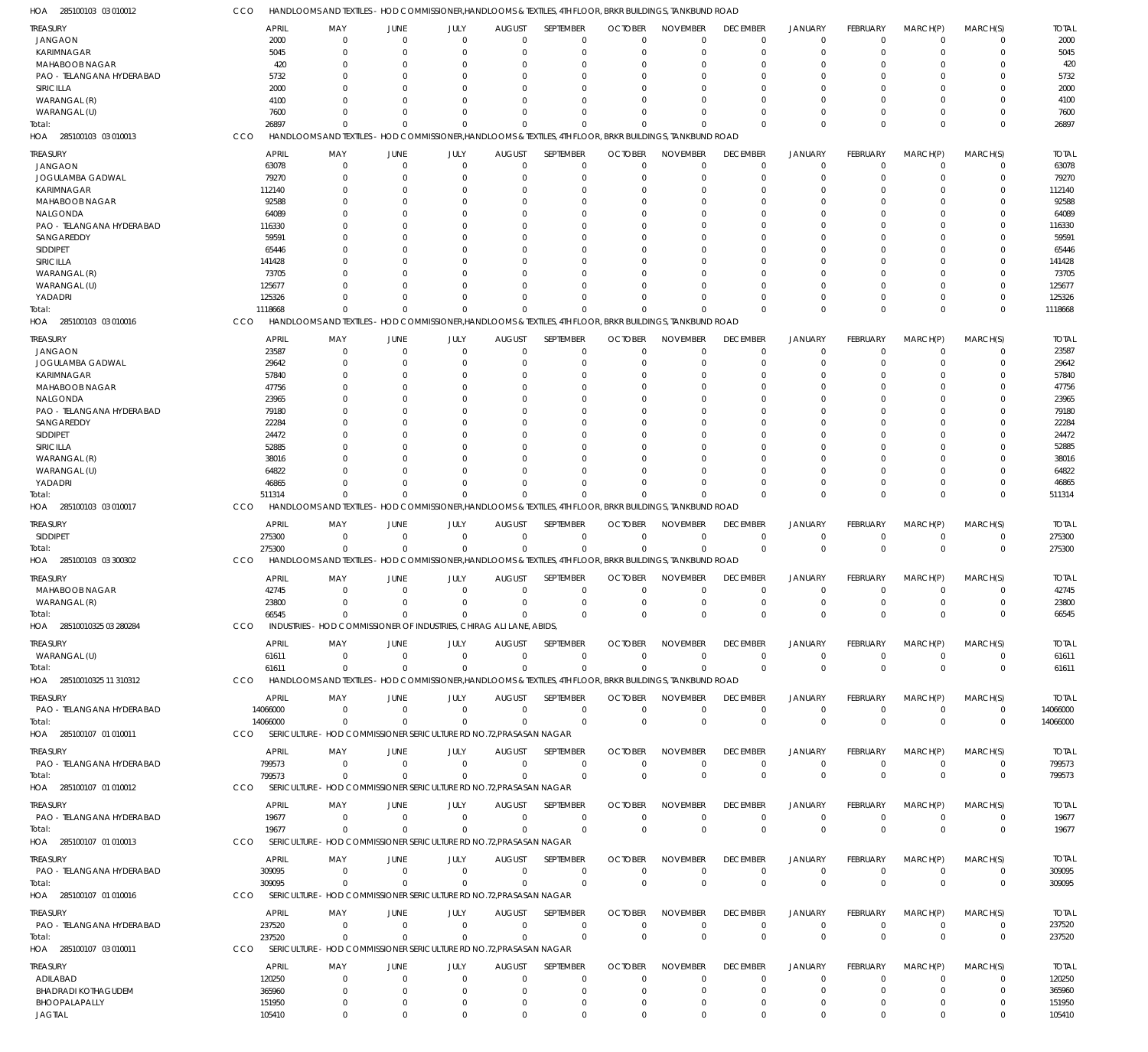| HOA 285100103 03 010012             | CCO                    | HANDLOOMS AND TEXTILES - HOD COMMISSIONER, HANDLOOMS & TEXTILES, 4TH FLOOR, BRKR BUILDINGS, TANKBUND ROAD |                               |                          |                              |                            |                            |                             |                                |                                  |                             |                        |                            |                        |
|-------------------------------------|------------------------|-----------------------------------------------------------------------------------------------------------|-------------------------------|--------------------------|------------------------------|----------------------------|----------------------------|-----------------------------|--------------------------------|----------------------------------|-----------------------------|------------------------|----------------------------|------------------------|
| TREASURY                            | <b>APRIL</b>           | MAY                                                                                                       | <b>JUNE</b>                   | JULY                     | <b>AUGUST</b>                | SEPTEMBER                  | <b>OCTOBER</b>             | <b>NOVEMBER</b>             | <b>DECEMBER</b>                | <b>JANUARY</b>                   | <b>FEBRUARY</b>             | MARCH(P)               | MARCH(S)                   | <b>TOTAL</b>           |
| JANGAON                             | 2000                   | $\Omega$                                                                                                  | $\Omega$                      | $\Omega$                 | $\mathbf 0$                  | 0                          | $\Omega$                   | $\Omega$                    | $\mathbf 0$                    | $\mathbf 0$                      | $\Omega$                    | $\mathbf 0$            | 0                          | 2000                   |
| KARIMNAGAR                          | 5045                   | $\Omega$                                                                                                  | $\Omega$                      | 0                        | $\Omega$                     | $\mathbf 0$                | $\Omega$                   | $\Omega$                    | $\mathbf 0$                    | $\mathbf 0$                      | $\Omega$                    | $\Omega$               | $\mathbf 0$                | 5045                   |
| <b>MAHABOOB NAGAR</b>               | 420                    |                                                                                                           | $\Omega$                      | n                        | 0                            | 0                          |                            | $\Omega$                    | $\Omega$                       | $\Omega$                         |                             | 0                      | 0                          | 420                    |
| PAO - TELANGANA HYDERABAD           | 5732                   |                                                                                                           | $\Omega$                      | O                        | 0                            | $\Omega$                   |                            | $\Omega$                    | $\Omega$                       | $\Omega$                         | O                           | 0                      | $\Omega$                   | 5732                   |
| SIRICILLA                           | 2000                   |                                                                                                           | $\Omega$                      |                          | 0                            | $\Omega$                   |                            |                             | $\Omega$                       | $\Omega$                         |                             | 0                      | $\Omega$                   | 2000                   |
| WARANGAL (R)                        | 4100                   |                                                                                                           | $\Omega$                      | U                        | $\Omega$                     | $\Omega$                   |                            |                             | $\Omega$                       | $\Omega$                         | O                           | $\Omega$               | $\Omega$                   | 4100                   |
| WARANGAL (U)                        | 7600                   | <sup>0</sup>                                                                                              | $\Omega$                      | 0                        | $\Omega$                     | $\Omega$                   |                            | $\Omega$                    | $\Omega$                       | $\mathbf 0$                      | 0                           | 0                      | $\mathbf 0$                | 7600                   |
| Total:                              | 26897                  | $\Omega$                                                                                                  |                               | $\Omega$                 | $\Omega$                     | $\Omega$                   |                            | $\Omega$                    | $\Omega$                       | $\Omega$                         | $\Omega$                    | $\Omega$               | $\mathbf 0$                | 26897                  |
| HOA 285100103 03 010013             | CCO                    | HANDLOOMS AND TEXTILES - HOD COMMISSIONER, HANDLOOMS & TEXTILES, 4TH FLOOR, BRKR BUILDINGS, TANKBUND ROAD |                               |                          |                              |                            |                            |                             |                                |                                  |                             |                        |                            |                        |
| treasury                            | <b>APRIL</b>           | MAY                                                                                                       | <b>JUNE</b>                   | JULY                     | <b>AUGUST</b>                | SEPTEMBER                  | <b>OCTOBER</b>             | <b>NOVEMBER</b>             | <b>DECEMBER</b>                | <b>JANUARY</b>                   | FEBRUARY                    | MARCH(P)               | MARCH(S)                   | <b>TOTAL</b>           |
| <b>JANGAON</b>                      | 63078                  | $\mathbf 0$                                                                                               | $\overline{0}$                | $\Omega$                 | 0                            | $\mathbf 0$                | $\Omega$                   | $\Omega$                    | $\overline{0}$                 | $\mathbf 0$                      | $\Omega$                    | 0                      | $\mathbf 0$                | 63078                  |
| JOGULAMBA GADWAL                    | 79270                  | 0                                                                                                         | $\Omega$                      | 0                        | 0                            | $\mathbf 0$                | C                          | $\Omega$                    | $\mathbf 0$                    | $\mathbf 0$                      | 0                           | 0                      | $\mathbf 0$                | 79270                  |
| KARIMNAGAR                          | 112140                 |                                                                                                           | $\Omega$                      | n                        | 0                            | $\Omega$                   |                            |                             | $\Omega$                       | $\Omega$                         |                             | 0                      | $\mathbf 0$                | 112140                 |
| <b>MAHABOOB NAGAR</b>               | 92588                  |                                                                                                           | $\Omega$                      | n                        | 0                            | 0                          |                            |                             | 0                              | $\Omega$                         |                             | 0                      | $\mathbf 0$                | 92588                  |
| NALGONDA                            | 64089                  |                                                                                                           | $\Omega$                      |                          | 0                            | $\Omega$                   |                            |                             |                                | $\Omega$                         |                             | 0                      | $\Omega$                   | 64089                  |
| PAO - TELANGANA HYDERABAD           | 116330                 |                                                                                                           | $\Omega$                      |                          | 0                            | $\Omega$                   |                            |                             | 0                              | $\Omega$                         |                             | $\Omega$               | $\mathbf 0$                | 116330                 |
| SANGAREDDY                          | 59591                  |                                                                                                           | $\Omega$                      |                          | 0                            | $\Omega$                   |                            |                             |                                | $\Omega$                         |                             | 0                      | $\Omega$                   | 59591                  |
| SIDDIPET<br>SIRICILLA               | 65446<br>141428        |                                                                                                           | n                             |                          | 0<br>0                       | $\Omega$<br>$\Omega$       |                            |                             | 0                              | $\Omega$<br>$\Omega$             |                             | 0<br>0                 | 0<br>$\Omega$              | 65446<br>141428        |
| WARANGAL (R)                        | 73705                  |                                                                                                           | $\Omega$                      |                          | $\Omega$                     | $\Omega$                   |                            |                             | $\Omega$                       | $\Omega$                         |                             | $\Omega$               | $\mathbf 0$                | 73705                  |
| WARANGAL (U)                        | 125677                 |                                                                                                           | n                             | n                        | 0                            | $\Omega$                   |                            |                             | U                              | $\Omega$                         |                             | 0                      | $\mathbf 0$                | 125677                 |
| YADADRI                             | 125326                 | <sup>0</sup>                                                                                              | $\Omega$                      | 0                        | $\Omega$                     | $\Omega$                   |                            | $\cap$                      | $\Omega$                       | $\Omega$                         | 0                           | 0                      | $\mathbf 0$                | 125326                 |
| iotal:                              | 1118668                | <sup>0</sup>                                                                                              | $\Omega$                      | $\Omega$                 | $\Omega$                     | $\Omega$                   |                            | $\Omega$                    | $\Omega$                       | $\Omega$                         | 0                           | $\Omega$               | $\mathbf 0$                | 1118668                |
| HOA 285100103 03 010016             | CCO                    | HANDLOOMS AND TEXTILES - HOD COMMISSIONER, HANDLOOMS & TEXTILES, 4TH FLOOR, BRKR BUILDINGS, TANKBUND ROAD |                               |                          |                              |                            |                            |                             |                                |                                  |                             |                        |                            |                        |
|                                     |                        |                                                                                                           |                               |                          |                              |                            |                            |                             |                                |                                  |                             |                        |                            |                        |
| treasury                            | <b>APRIL</b>           | MAY                                                                                                       | <b>JUNE</b>                   | JULY                     | <b>AUGUST</b>                | SEPTEMBER                  | <b>OCTOBER</b><br>$\Omega$ | <b>NOVEMBER</b><br>$\Omega$ | <b>DECEMBER</b>                | <b>JANUARY</b><br>$\overline{0}$ | <b>FEBRUARY</b><br>$\Omega$ | MARCH(P)               | MARCH(S)                   | <b>TOTAL</b>           |
| JANGAON                             | 23587<br>29642         | $\Omega$<br>0                                                                                             | $\overline{0}$<br>$\Omega$    | $\mathbf 0$<br>0         | $\mathbf 0$<br>0             | $\mathbf 0$<br>$\mathbf 0$ | $\Omega$                   | $\Omega$                    | $\mathbf 0$<br>$\mathbf 0$     | $\mathbf 0$                      | $\Omega$                    | $\mathbf 0$<br>0       | $\mathbf 0$<br>$\mathbf 0$ | 23587<br>29642         |
| JOGULAMBA GADWAL<br>KARIMNAGAR      | 57840                  |                                                                                                           | 0                             | n                        | 0                            | 0                          |                            | $\Omega$                    | $\Omega$                       | $\Omega$                         |                             | 0                      | 0                          | 57840                  |
| <b>MAHABOOB NAGAR</b>               | 47756                  |                                                                                                           | $\Omega$                      | <sup>0</sup>             | $\Omega$                     | $\Omega$                   |                            | $\Omega$                    | $\Omega$                       | $\Omega$                         | O                           | $\Omega$               | $\Omega$                   | 47756                  |
| NALGONDA                            | 23965                  |                                                                                                           | $\Omega$                      |                          | $\Omega$                     | $\Omega$                   |                            |                             |                                | $\Omega$                         |                             | $\Omega$               | 0                          | 23965                  |
| PAO - TELANGANA HYDERABAD           | 79180                  |                                                                                                           | $\Omega$                      | O                        | $\Omega$                     | $\Omega$                   |                            |                             |                                | $\Omega$                         |                             | $\Omega$               | $\Omega$                   | 79180                  |
| SANGAREDDY                          | 22284                  |                                                                                                           | $\Omega$                      | n                        | 0                            | $\Omega$                   |                            |                             |                                | $\Omega$                         |                             | 0                      | $\Omega$                   | 22284                  |
| <b>SIDDIPET</b>                     | 24472                  |                                                                                                           | $\Omega$                      | <sup>0</sup>             | $\Omega$                     | $\Omega$                   |                            |                             | U                              | $\Omega$                         | O                           | $\Omega$               | $\Omega$                   | 24472                  |
| SIRICILLA                           | 52885                  |                                                                                                           |                               |                          | 0                            | $\Omega$                   |                            |                             |                                | $\Omega$                         |                             | $\Omega$               | 0                          | 52885                  |
| WARANGAL (R)                        | 38016                  |                                                                                                           | $\Omega$                      | U                        | $\Omega$                     | $\Omega$                   |                            |                             |                                | $\Omega$                         | O                           | $\Omega$               | $\Omega$                   | 38016                  |
| WARANGAL (U)                        | 64822                  |                                                                                                           | $\Omega$                      | U                        | $\Omega$                     | $\Omega$                   |                            |                             | <sup>0</sup>                   | $\Omega$                         |                             | $\Omega$               | $\Omega$                   | 64822                  |
| YADADRI                             | 46865                  | U                                                                                                         | $\Omega$                      | $\Omega$                 | $\Omega$                     | $\Omega$                   |                            | $\Omega$                    | $\Omega$                       | $\Omega$                         | $\Omega$                    | $\Omega$               | $\mathbf 0$                | 46865                  |
| Total:                              | 511314                 | $\Omega$                                                                                                  | $\Omega$                      | $\Omega$                 | $\Omega$                     | $\Omega$                   |                            | $\Omega$                    | $\Omega$                       | $\Omega$                         | $\Omega$                    | $\Omega$               | $\Omega$                   | 511314                 |
| HOA 285100103 03 010017             | CCO                    | HANDLOOMS AND TEXTILES - HOD COMMISSIONER, HANDLOOMS & TEXTILES, 4TH FLOOR, BRKR BUILDINGS, TANKBUND ROAD |                               |                          |                              |                            |                            |                             |                                |                                  |                             |                        |                            |                        |
| treasury                            | <b>APRIL</b>           | MAY                                                                                                       | JUNE                          | JULY                     | <b>AUGUST</b>                | <b>SEPTEMBER</b>           | <b>OCTOBER</b>             | <b>NOVEMBER</b>             | <b>DECEMBER</b>                | <b>JANUARY</b>                   | <b>FEBRUARY</b>             | MARCH(P)               | MARCH(S)                   | <b>TOTAL</b>           |
| <b>SIDDIPET</b>                     | 275300                 | 0                                                                                                         | $\overline{0}$                | $\mathbf 0$              | $\mathbf 0$                  | $\mathbf 0$                | $\mathbf 0$                | $\mathbf 0$                 | $\overline{0}$                 | $\mathbf 0$                      | $\mathbf 0$                 | 0                      | 0                          | 275300                 |
| Total:                              | 275300                 | $\Omega$                                                                                                  | $\Omega$                      | $\Omega$                 | $\mathbf 0$                  | $\mathbf 0$                | $\Omega$                   | $\Omega$                    | $\mathbf 0$                    | $\overline{0}$                   | $\Omega$                    | $\mathbf 0$            | $\mathbf 0$                | 275300                 |
| HOA 285100103 03 300302             | CCO                    | HANDLOOMS AND TEXTILES - HOD COMMISSIONER, HANDLOOMS & TEXTILES, 4TH FLOOR, BRKR BUILDINGS, TANKBUND ROAD |                               |                          |                              |                            |                            |                             |                                |                                  |                             |                        |                            |                        |
| treasury                            | <b>APRIL</b>           | MAY                                                                                                       | <b>JUNE</b>                   | JULY                     | <b>AUGUST</b>                | SEPTEMBER                  | <b>OCTOBER</b>             | <b>NOVEMBER</b>             | <b>DECEMBER</b>                | <b>JANUARY</b>                   | <b>FEBRUARY</b>             | MARCH(P)               | MARCH(S)                   | <b>TOTAL</b>           |
| MAHABOOB NAGAR                      | 42745                  | $\Omega$                                                                                                  | $\overline{0}$                | $\mathbf 0$              | $\mathbf 0$                  | $\mathbf 0$                | $\mathbf 0$                | $\mathbf 0$                 | $\mathbf 0$                    | $\mathbf 0$                      | $\mathbf 0$                 | $\mathbf 0$            | $\Omega$                   | 42745                  |
| WARANGAL (R)                        | 23800                  | $\mathbf{0}$                                                                                              | $\overline{0}$                | $\mathbf 0$              | $\mathbf 0$                  | $\mathbf 0$                | $\mathbf 0$                | $\mathbf 0$                 | $\mathbf 0$                    | $\mathbf 0$                      | $\mathbf 0$                 | $\mathbf 0$            | 0                          | 23800                  |
| Total:                              | 66545                  | $\overline{0}$                                                                                            | $\Omega$                      | $\Omega$                 | $\Omega$                     | $\mathbf 0$                | $\mathbf 0$                | $\mathbf 0$                 | $\mathbf 0$                    | $\overline{0}$                   | $\Omega$                    | $\mathbf 0$            | $\mathbf 0$                | 66545                  |
| HOA 28510010325 03 280284           | CCO                    | INDUSTRIES - HOD COMMISSIONER OF INDUSTRIES, CHIRAG ALI LANE, ABIDS.                                      |                               |                          |                              |                            |                            |                             |                                |                                  |                             |                        |                            |                        |
| TREASURY                            | <b>APRIL</b>           | MAY                                                                                                       | JUNE                          | JULY                     | <b>AUGUST</b>                | <b>SEPTEMBER</b>           | <b>OCTOBER</b>             | <b>NOVEMBER</b>             | <b>DECEMBER</b>                | <b>JANUARY</b>                   | <b>FEBRUARY</b>             | MARCH(P)               | MARCH(S)                   | <b>TOTAL</b>           |
| WARANGAL (U)                        | 61611                  | $\mathbf{0}$                                                                                              | $\overline{0}$                | $\mathbf 0$              | $^{\circ}$                   | $\mathbf 0$                | $\Omega$                   | $\mathbf 0$                 | 0                              | $\mathbf 0$                      | $\mathbf 0$                 | $\mathbf 0$            | $\mathbf 0$                | 61611                  |
| Total:                              | 61611                  | $\Omega$                                                                                                  | $\Omega$                      | $\Omega$                 | $\Omega$                     | $\mathbf 0$                | $\Omega$                   | $\Omega$                    | $\mathbf 0$                    | $\overline{0}$                   | $\Omega$                    | $\mathbf 0$            | $\mathbf 0$                | 61611                  |
| HOA 28510010325 11 310312           | <b>CCO</b>             | HANDLOOMS AND TEXTILES - HOD COMMISSIONER, HANDLOOMS & TEXTILES, 4TH FLOOR, BRKR BUILDINGS, TANKBUND ROAD |                               |                          |                              |                            |                            |                             |                                |                                  |                             |                        |                            |                        |
|                                     |                        |                                                                                                           |                               |                          |                              |                            |                            |                             |                                |                                  |                             |                        |                            |                        |
| treasury                            | <b>APRIL</b>           | MAY                                                                                                       | <b>JUNE</b>                   | JULY                     | <b>AUGUST</b>                | SEPTEMBER                  | <b>OCTOBER</b>             | <b>NOVEMBER</b>             | <b>DECEMBER</b>                | <b>JANUARY</b>                   | FEBRUARY                    | MARCH(P)               | MARCH(S)                   | <b>TOTAL</b>           |
| PAO - TELANGANA HYDERABAD<br>Total: | 14066000<br>14066000   | $\mathbf 0$<br>$\Omega$                                                                                   | $\overline{0}$<br>$\Omega$    | $\mathbf{0}$<br>$\Omega$ | $^{\circ}$<br>$\Omega$       | $\mathbf 0$<br>$\mathbf 0$ | $\mathbf{0}$<br>$\Omega$   | $\mathbf 0$<br>$\mathbf{0}$ | $\mathbf 0$<br>$\mathbb O$     | $\mathbf 0$<br>$\overline{0}$    | $\mathbf 0$<br>$\mathbf 0$  | $^{\circ}$<br>$\Omega$ | $\mathbf 0$<br>$\mathbf 0$ | 14066000<br>14066000   |
| HOA 285100107 01 010011             | CCO                    | SERICULTURE - HOD COMMISSIONER SERICULTURE RD NO.72, PRASASAN NAGAR                                       |                               |                          |                              |                            |                            |                             |                                |                                  |                             |                        |                            |                        |
|                                     |                        |                                                                                                           |                               |                          |                              |                            |                            |                             |                                |                                  |                             |                        |                            |                        |
| treasury                            | <b>APRIL</b>           | MAY                                                                                                       | <b>JUNE</b>                   | JULY                     | <b>AUGUST</b>                | SEPTEMBER                  | <b>OCTOBER</b>             | <b>NOVEMBER</b>             | <b>DECEMBER</b>                | <b>JANUARY</b>                   | <b>FEBRUARY</b>             | MARCH(P)               | MARCH(S)                   | <b>TOTAL</b>           |
| PAO - TELANGANA HYDERABAD           | 799573                 | $\mathbf 0$                                                                                               | $\overline{0}$                | $\mathbf 0$              | $\mathbf 0$                  | $\mathbf 0$                | $\Omega$                   | $\mathbf 0$                 | $\mathbf 0$                    | $\mathbf 0$                      | $\mathbf 0$                 | $\mathbf 0$            | $\mathbf 0$                | 799573                 |
| Total:                              | 799573                 | $\Omega$                                                                                                  | $\Omega$                      | $\Omega$                 | $\Omega$                     | $\mathbf 0$                | $\Omega$                   | $\Omega$                    | $\mathbf 0$                    | $\overline{0}$                   | $\Omega$                    | $\Omega$               | $\mathbf 0$                | 799573                 |
| HOA 285100107 01 010012             | CCO                    | SERICULTURE - HOD COMMISSIONER SERICULTURE RD NO.72, PRASASAN NAGAR                                       |                               |                          |                              |                            |                            |                             |                                |                                  |                             |                        |                            |                        |
| treasury                            | <b>APRIL</b>           | MAY                                                                                                       | JUNE                          | JULY                     | <b>AUGUST</b>                | SEPTEMBER                  | <b>OCTOBER</b>             | <b>NOVEMBER</b>             | <b>DECEMBER</b>                | <b>JANUARY</b>                   | <b>FEBRUARY</b>             | MARCH(P)               | MARCH(S)                   | <b>TOTAL</b>           |
| PAO - TELANGANA HYDERABAD           | 19677                  | $\Omega$                                                                                                  | $\Omega$                      | $\mathbf 0$              | $\mathbf 0$                  | $\mathbf 0$                | $\Omega$                   | $\Omega$                    | $\mathbf 0$                    | $\mathbf 0$                      | $\Omega$                    | $^{\circ}$             | $\mathbf 0$                | 19677                  |
| Total:                              | 19677                  | $\Omega$                                                                                                  | $\Omega$                      | $\Omega$                 | $\Omega$                     | $\mathbf 0$                | $\mathbf 0$                | $\mathbf{0}$                | $\mathbf 0$                    | $\overline{0}$                   | $\mathbf 0$                 | 0                      | $\mathbf 0$                | 19677                  |
| HOA 285100107 01 010013             | CCO                    | SERICULTURE - HOD COMMISSIONER SERICULTURE RD NO.72, PRASASAN NAGAR                                       |                               |                          |                              |                            |                            |                             |                                |                                  |                             |                        |                            |                        |
| Treasury                            | <b>APRIL</b>           | MAY                                                                                                       | <b>JUNE</b>                   | JULY                     | <b>AUGUST</b>                | SEPTEMBER                  | <b>OCTOBER</b>             | <b>NOVEMBER</b>             | <b>DECEMBER</b>                | <b>JANUARY</b>                   | <b>FEBRUARY</b>             | MARCH(P)               | MARCH(S)                   | <b>TOTAL</b>           |
| PAO - TELANGANA HYDERABAD           | 309095                 | $\mathbf{0}$                                                                                              | $\overline{0}$                | $\mathbf 0$              | $^{\circ}$                   | $\mathbf 0$                | $\Omega$                   | $\Omega$                    | $\mathbf 0$                    | $\mathbf 0$                      | $\mathbf 0$                 | $^{\circ}$             | $\mathbf 0$                | 309095                 |
| Total:                              | 309095                 | $\Omega$                                                                                                  | $\Omega$                      | $\mathbf 0$              | $\Omega$                     | $\mathbf 0$                | $\Omega$                   | $\Omega$                    | $\mathbf 0$                    | $\overline{0}$                   | $\Omega$                    | $\Omega$               | $\mathbf 0$                | 309095                 |
| HOA 285100107 01 010016             | CCO                    | SERICULTURE - HOD COMMISSIONER SERICULTURE RD NO.72, PRASASAN NAGAR                                       |                               |                          |                              |                            |                            |                             |                                |                                  |                             |                        |                            |                        |
| treasury                            | <b>APRIL</b>           | MAY                                                                                                       | JUNE                          | JULY                     | <b>AUGUST</b>                | SEPTEMBER                  | <b>OCTOBER</b>             | <b>NOVEMBER</b>             | <b>DECEMBER</b>                | <b>JANUARY</b>                   | FEBRUARY                    | MARCH(P)               | MARCH(S)                   | <b>TOTAL</b>           |
| PAO - TELANGANA HYDERABAD           | 237520                 | $\mathbf 0$                                                                                               | $\overline{0}$                | $\mathbf 0$              | $\mathbf 0$                  | $\mathbf 0$                | $\Omega$                   | $\mathbf 0$                 | 0                              | $\mathbf 0$                      | $\mathbf 0$                 | $\mathbf 0$            | $\mathbf 0$                | 237520                 |
| Total:                              | 237520                 | $\mathbf{0}$                                                                                              | $\overline{0}$                | $\Omega$                 | $\Omega$                     | $\mathbf 0$                | $\overline{0}$             | $\Omega$                    | $\mathbb O$                    | $\overline{0}$                   | $\mathbf{0}$                | $\mathbf 0$            | $\mathbf 0$                | 237520                 |
| HOA 285100107 03 010011             | <b>CCO</b>             | SERICULTURE - HOD COMMISSIONER SERICULTURE RD NO.72, PRASASAN NAGAR                                       |                               |                          |                              |                            |                            |                             |                                |                                  |                             |                        |                            |                        |
|                                     |                        |                                                                                                           |                               |                          |                              | SEPTEMBER                  | <b>OCTOBER</b>             | <b>NOVEMBER</b>             |                                |                                  |                             |                        |                            |                        |
| TREASURY<br>ADILABAD                | <b>APRIL</b><br>120250 | MAY<br>$\mathbf{0}$                                                                                       | <b>JUNE</b><br>$\overline{0}$ | JULY<br>$\mathbf 0$      | <b>AUGUST</b><br>$\mathbf 0$ | $\mathbf 0$                | $\Omega$                   | $\Omega$                    | <b>DECEMBER</b><br>$\mathbf 0$ | <b>JANUARY</b><br>$\overline{0}$ | <b>FEBRUARY</b><br>$\Omega$ | MARCH(P)<br>0          | MARCH(S)<br>$\mathbf 0$    | <b>TOTAL</b><br>120250 |
| <b>BHADRADI KOTHAGUDEM</b>          | 365960                 | $\mathbf 0$                                                                                               | $\Omega$                      | 0                        | 0                            | $\mathbf 0$                | $\Omega$                   | $\Omega$                    | $\mathbf 0$                    | $\mathbf 0$                      | $\Omega$                    | 0                      | $\mathbf 0$                | 365960                 |
| BHOOPALAPALLY                       | 151950                 | $\mathbf 0$                                                                                               | $\overline{0}$                | 0                        | 0                            | $\mathbf 0$                | 0                          | 0                           | $\mathbf 0$                    | $\mathbf 0$                      | 0                           | 0                      | $\mathbf 0$                | 151950                 |
| <b>JAGTIAL</b>                      | 105410                 | $\mathbf 0$                                                                                               | $\overline{0}$                | $\mathbf 0$              | $\mathbf 0$                  | $\mathbf 0$                | $\Omega$                   | $\mathbf 0$                 | $\mathbf 0$                    | $\mathbf 0$                      | $\mathbf 0$                 | $\mathbf 0$            | $\mathbf 0$                | 105410                 |
|                                     |                        |                                                                                                           |                               |                          |                              |                            |                            |                             |                                |                                  |                             |                        |                            |                        |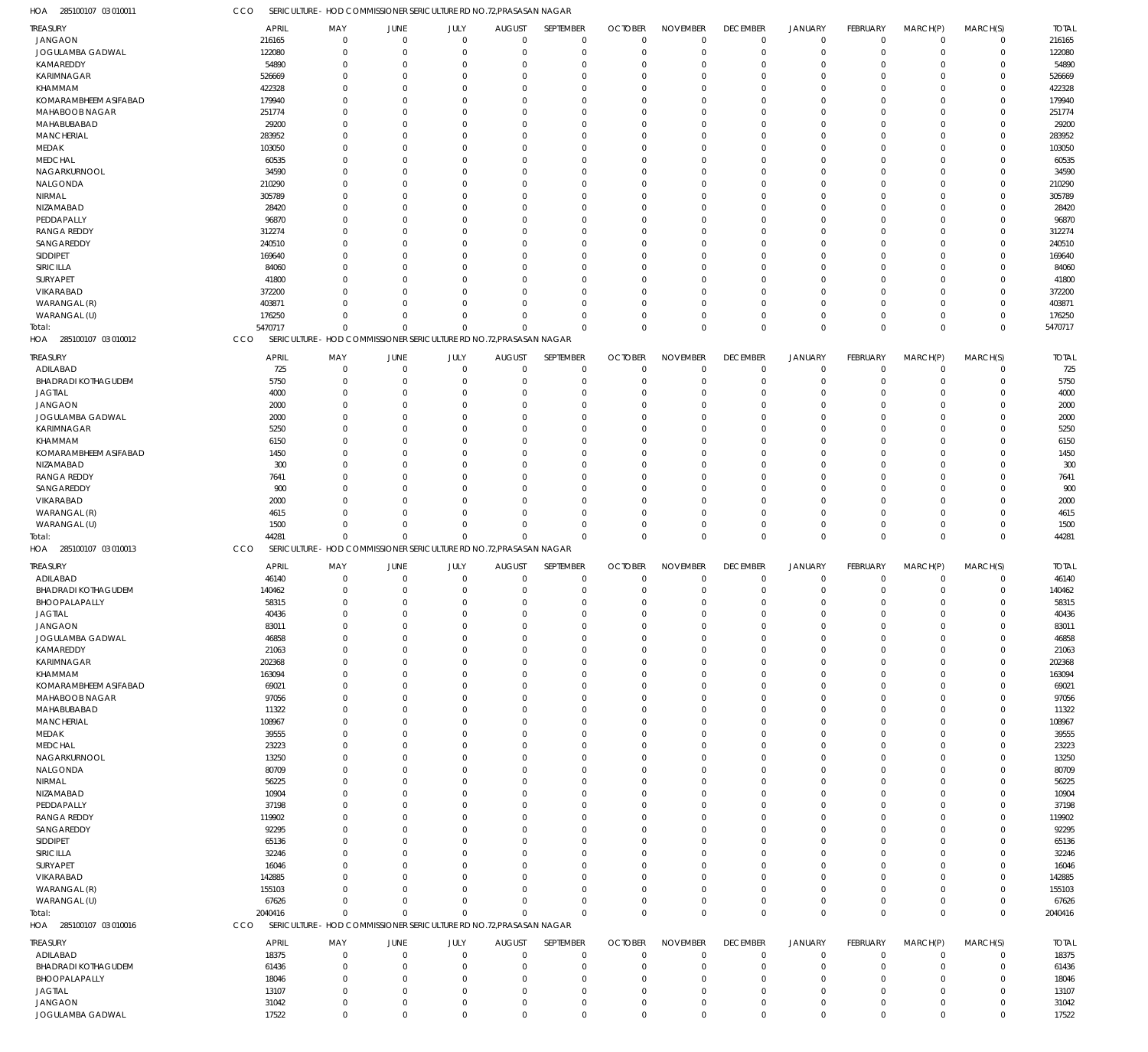285100107 03 010011 HOA CCO SERICULTURE – HOD COMMISSIONER SERICULTURE RD NO.72,PRASASAN NAGAR

| TREASURY                                    | <b>APRIL</b>     | MAY                                                                 | JUNE                 | JULY                 | <b>AUGUST</b>        | SEPTEMBER                  | <b>OCTOBER</b>       | <b>NOVEMBER</b>            | <b>DECEMBER</b>         | <b>JANUARY</b>       | FEBRUARY               | MARCH(P)                   | MARCH(S)         | <b>TOTAL</b>     |
|---------------------------------------------|------------------|---------------------------------------------------------------------|----------------------|----------------------|----------------------|----------------------------|----------------------|----------------------------|-------------------------|----------------------|------------------------|----------------------------|------------------|------------------|
| <b>JANGAON</b>                              | 216165           | 0                                                                   | $\overline{0}$       | $\mathbf 0$          | $\mathbf 0$          | $\mathbf 0$                | $\Omega$             | $\Omega$                   | $\mathbf{0}$            | $\Omega$             | $\Omega$               | $\Omega$                   | $\mathbf 0$      | 216165           |
| JOGULAMBA GADWAL                            | 122080           | $\Omega$                                                            | $\Omega$             | $\mathbf 0$          | $\Omega$             | $\mathbf 0$                | $\mathbf 0$          | $\Omega$                   | $\Omega$                | $\mathbf 0$          | $\Omega$               | $\Omega$                   | $\mathbf 0$      | 122080           |
| KAMAREDDY                                   | 54890            | $\Omega$                                                            | $\Omega$             | $\Omega$             | $\Omega$             | $\mathbf 0$                | $\Omega$             | $\Omega$                   | $\Omega$                | $\Omega$             | $\Omega$               | $\Omega$                   | 0                | 54890            |
| <b>KARIMNAGAR</b>                           | 526669           | $\Omega$                                                            | $\Omega$             | $\Omega$             | $\Omega$             | $\Omega$                   | -0                   | $\Omega$                   | $\Omega$                | $\Omega$             | $\Omega$               | $\Omega$                   | $\Omega$         | 526669           |
| KHAMMAM                                     | 422328           | $\Omega$                                                            | $\Omega$             | $\Omega$             | $\Omega$             | $\Omega$                   | -0                   | $\Omega$                   | $\Omega$                | $\Omega$             | $\Omega$               | $\Omega$                   | 0                | 422328           |
| KOMARAMBHEEM ASIFABAD                       | 179940           | 0                                                                   | $\Omega$             | $\Omega$             | $\Omega$             | $\Omega$                   | $\Omega$             | $\Omega$                   | $\Omega$                | $\Omega$             | $\Omega$               | $\Omega$                   | $\Omega$         | 179940           |
| MAHABOOB NAGAR                              | 251774           | $\Omega$                                                            | $\Omega$             | $\Omega$             | $\Omega$             | $\Omega$                   | -0                   | $\Omega$                   | $\Omega$                | $\Omega$             |                        | $\Omega$                   | $\Omega$         | 251774           |
| MAHABUBABAD                                 | 29200            | 0                                                                   | $\Omega$             | $\Omega$             | $\Omega$             | $\Omega$                   | $\Omega$             | $\Omega$                   | $\Omega$                | $\Omega$             | $\Omega$               | $\Omega$                   | $\Omega$         | 29200            |
| MANCHERIAL                                  | 283952           | $\Omega$                                                            | $\Omega$             | $\Omega$             | $\Omega$             | $\Omega$                   | -0                   | $\Omega$                   | $\Omega$                | $\Omega$             |                        | $\Omega$                   | 0                | 283952           |
| MEDAK                                       | 103050           | 0                                                                   | $\Omega$             | $\Omega$             | $\Omega$             | $\Omega$<br>$\Omega$       | -0                   | $\Omega$<br>$\Omega$       | $\Omega$<br>$\Omega$    | $\Omega$             | $\Omega$               | $\Omega$<br>$\Omega$       | $\Omega$         | 103050           |
| MEDCHAL<br>NAGARKURNOOL                     | 60535<br>34590   | $\Omega$<br>O                                                       | $\Omega$<br>$\Omega$ | $\Omega$<br>$\Omega$ | $\Omega$<br>$\Omega$ | $\Omega$                   | -0<br>$\Omega$       | $\Omega$                   | - 0                     | $\Omega$<br>$\Omega$ | $\Omega$               | $\Omega$                   | 0<br>$\Omega$    | 60535<br>34590   |
| NALGONDA                                    | 210290           | 0                                                                   | $\Omega$             | $\Omega$             | $\Omega$             | $\Omega$                   | -0                   | $\Omega$                   | $\Omega$                | $\Omega$             |                        | $\Omega$                   | $\Omega$         | 210290           |
| NIRMAL                                      | 305789           | 0                                                                   | $\Omega$             | $\Omega$             | $\Omega$             | $\Omega$                   | $\Omega$             | $\Omega$                   | $\Omega$                | $\Omega$             | $\Omega$               | $\Omega$                   | $\Omega$         | 305789           |
| NIZAMABAD                                   | 28420            | $\Omega$                                                            | $\Omega$             | $\Omega$             | $\Omega$             | $\Omega$                   | -0                   | $\Omega$                   | $\Omega$                | $\Omega$             |                        | $\Omega$                   | $\Omega$         | 28420            |
| PEDDAPALLY                                  | 96870            | O                                                                   | $\Omega$             | $\Omega$             | $\Omega$             | $\Omega$                   | -0                   | $\Omega$                   | $\Omega$                | $\Omega$             | $\Omega$               | $\Omega$                   | $\Omega$         | 96870            |
| <b>RANGA REDDY</b>                          | 312274           | $\Omega$                                                            | $\Omega$             | $\Omega$             | $\Omega$             | $\Omega$                   | -0                   | $\Omega$                   | $\Omega$                | $\Omega$             |                        | $\Omega$                   | 0                | 312274           |
| SANGAREDDY                                  | 240510           | O                                                                   | $\Omega$             | $\Omega$             | $\Omega$             | $\Omega$                   | -0                   | $\Omega$                   | $\Omega$                | $\Omega$             | $\Omega$               | $\Omega$                   | $\Omega$         | 240510           |
| SIDDIPET                                    | 169640           | 0                                                                   | $\Omega$             | $\Omega$             | $\Omega$             | $\Omega$                   | -0                   | $\Omega$                   | $\Omega$                | $\Omega$             |                        | $\Omega$                   | $\Omega$         | 169640           |
| SIRICILLA                                   | 84060            | O                                                                   | $\Omega$             | $\Omega$             | $\Omega$             | $\Omega$                   | $\Omega$             | $\Omega$                   | $\Omega$                | $\Omega$             | $\Omega$               | $\Omega$                   | $\Omega$         | 84060            |
| <b>SURYAPET</b>                             | 41800            | 0                                                                   | $\Omega$             | $\Omega$             | $\Omega$             | $\Omega$                   | -0                   | $\Omega$                   | $\Omega$                | $\Omega$             |                        | $\Omega$                   | $\Omega$         | 41800            |
| VIKARABAD                                   | 372200           | O                                                                   | $\Omega$             | $\Omega$             | $\Omega$             | $\Omega$                   | -0                   | $\Omega$                   | $\Omega$                | $\Omega$             | $\Omega$               | $\Omega$                   | $\Omega$         | 372200           |
| WARANGAL (R)                                | 403871           | 0                                                                   | $\Omega$             | $\Omega$             | $\Omega$             | $\Omega$                   | -0                   | $\Omega$                   | $\Omega$                | $\Omega$             | $\Omega$               | $\Omega$                   | 0                | 403871           |
| WARANGAL (U)                                | 176250           | 0                                                                   | $\Omega$             | $\Omega$             | $\Omega$             | $\Omega$                   | $\Omega$             | $\Omega$                   | $\Omega$                | $\Omega$             | $\Omega$               | $\Omega$                   | 0                | 176250           |
| Total:                                      | 5470717          | $\Omega$                                                            | $\Omega$             | $\Omega$             | $\Omega$             | $\Omega$                   | $\Omega$             | $\Omega$                   | $\Omega$                | $\Omega$             | $\Omega$               | $\Omega$                   | 0                | 5470717          |
| HOA 285100107 03 010012                     | <b>CCO</b>       | SERICULTURE - HOD COMMISSIONER SERICULTURE RD NO.72, PRASASAN NAGAR |                      |                      |                      |                            |                      |                            |                         |                      |                        |                            |                  |                  |
| <b>TREASURY</b>                             | <b>APRIL</b>     | MAY                                                                 | JUNE                 | JULY                 | <b>AUGUST</b>        | SEPTEMBER                  | <b>OCTOBER</b>       | <b>NOVEMBER</b>            | <b>DECEMBER</b>         | JANUARY              | FEBRUARY               | MARCH(P)                   | MARCH(S)         | <b>TOTAL</b>     |
| ADILABAD                                    | 725              | 0                                                                   | $\mathbf 0$          | $\mathbf 0$          | 0                    | $\mathbf 0$                | 0                    | $\mathbf 0$                | 0                       | 0                    | 0                      | 0                          | $\mathbf 0$      | 725              |
| <b>BHADRADI KOTHAGUDEM</b>                  | 5750             | $\mathbf 0$                                                         | O                    | $\Omega$             | 0                    | $\mathbf 0$                | $\Omega$             | $\Omega$                   | $\Omega$                | $\Omega$             | $\Omega$               | $\Omega$                   | 0                | 5750             |
| <b>JAGTIAL</b>                              | 4000             | 0                                                                   | $\Omega$             | $\Omega$             | 0                    | 0                          |                      | $\Omega$                   |                         | $\Omega$             |                        |                            | 0                | 4000             |
| <b>JANGAON</b>                              | 2000             | 0                                                                   | $\Omega$             | $\Omega$             | 0                    | $\Omega$                   | -0                   | $\Omega$                   |                         |                      |                        |                            | $\Omega$         | 2000             |
| JOGULAMBA GADWAL                            | 2000             | 0                                                                   | $\Omega$             | $\Omega$             | $\Omega$             | $\mathbf 0$                | -0                   | $\Omega$                   |                         | $\Omega$             |                        |                            | 0                | 2000             |
| KARIMNAGAR                                  | 5250             |                                                                     | C                    | $\Omega$             | 0                    | $\Omega$                   |                      | $\Omega$                   |                         |                      |                        |                            | $\Omega$         | 5250             |
| KHAMMAM                                     | 6150             | 0                                                                   | C                    | $\Omega$             | $\Omega$             | $\Omega$                   |                      | $\Omega$                   |                         |                      |                        |                            | 0                | 6150             |
| KOMARAMBHEEM ASIFABAD                       | 1450             | 0                                                                   |                      | $\Omega$             | $\Omega$             | $\Omega$                   | -0                   | $\Omega$                   |                         |                      |                        |                            | $\Omega$         | 1450             |
| NIZAMABAD                                   | 300              |                                                                     | C                    | $\Omega$             | $\Omega$             | $\Omega$                   | -0                   | $\Omega$                   |                         |                      |                        |                            | $\Omega$         | 300              |
| <b>RANGA REDDY</b>                          | 7641             |                                                                     |                      | $\Omega$             | 0                    | $\Omega$                   |                      | $\Omega$                   |                         |                      |                        |                            | 0                | 7641             |
| SANGAREDDY                                  | 900              | 0                                                                   | $\Omega$             | $\Omega$             | $\Omega$             | $\Omega$                   | -0                   | $\Omega$                   |                         | $\Omega$             |                        | $\Omega$                   | 0                | 900              |
| VIKARABAD                                   | 2000             |                                                                     |                      | $\Omega$             | 0                    | $\Omega$                   |                      | $\Omega$                   |                         |                      |                        |                            | 0                | 2000             |
| WARANGAL (R)                                | 4615             | 0                                                                   | $\Omega$             | $\Omega$             | $\Omega$             | $\mathbf 0$                | -0                   | $\Omega$                   |                         | $\Omega$             |                        | $\Omega$                   | 0                | 4615             |
| WARANGAL (U)                                | 1500             | $\Omega$                                                            | $\Omega$             | $\Omega$             | 0                    | $\mathbf 0$                | $\Omega$             | $\Omega$                   | -0                      | $\Omega$             | $\Omega$               | $\Omega$                   | 0                | 1500             |
| Total:                                      | 44281            | $\Omega$                                                            | $\Omega$             | $\Omega$             | $\Omega$             | $\Omega$                   | $\Omega$             | $\Omega$                   | $\Omega$                | $\Omega$             | $\Omega$               | $\Omega$                   | $\mathbf 0$      | 44281            |
| HOA 285100107 03 010013                     | CCO              | SERICULTURE - HOD COMMISSIONER SERICULTURE RD NO.72, PRASASAN NAGAR |                      |                      |                      |                            |                      |                            |                         |                      |                        |                            |                  |                  |
| TREASURY                                    |                  | MAY                                                                 | JUNE                 | JULY                 | <b>AUGUST</b>        | SEPTEMBER                  | <b>OCTOBER</b>       | <b>NOVEMBER</b>            | <b>DECEMBER</b>         | <b>JANUARY</b>       | <b>FEBRUARY</b>        | MARCH(P)                   | MARCH(S)         | <b>TOTAL</b>     |
|                                             |                  |                                                                     |                      | $\mathbf 0$          | $\mathbf 0$          | $\mathbf 0$                | $\mathbf 0$          | $\overline{0}$             | $\mathbf{0}$            | $\Omega$             | $\Omega$               | $\Omega$                   | $\mathbf 0$      | 46140            |
|                                             | <b>APRIL</b>     | 0                                                                   | $\mathbf 0$          |                      |                      |                            | $\Omega$             | $\Omega$                   | $\Omega$                |                      |                        |                            |                  | 140462           |
| ADILABAD<br><b>BHADRADI KOTHAGUDEM</b>      | 46140<br>140462  | $\Omega$                                                            | $\mathbf 0$          | $\mathbf 0$          | 0                    | $\mathbf 0$                |                      |                            |                         | 0                    | $\Omega$               | $\Omega$                   | 0                |                  |
| BHOOPALAPALLY                               | 58315            | $\Omega$                                                            | $\Omega$             | $\Omega$             | $\Omega$             | $\Omega$                   | $\Omega$             | $\Omega$                   | $\Omega$                | $\Omega$             | $\Omega$               | $\Omega$                   | $\Omega$         | 58315            |
| JAGTIAL                                     | 40436            | 0                                                                   |                      | $\Omega$             | -0                   | $\Omega$                   |                      |                            |                         | -0                   |                        | $\Omega$                   | 0                | 40436            |
| <b>JANGAON</b>                              | 83011            | $\Omega$                                                            | $\Omega$             | $\mathbf 0$          | $\Omega$             | $\mathbf 0$                | $\Omega$             | $\Omega$                   | $\Omega$                | $\Omega$             | $\Omega$               | $\Omega$                   | 0                | 83011            |
| JOGULAMBA GADWAL                            | 46858            | $\mathbf 0$                                                         | $\Omega$             | $\Omega$             | $\Omega$             | $\mathbf 0$                | $\Omega$             | $\mathbf 0$                | $\Omega$                | $\Omega$             | $\Omega$               | $\Omega$                   | 0                | 46858            |
| KAMAREDDY                                   | 21063            | $\Omega$                                                            | $\Omega$             | $\Omega$             | $\Omega$             | $\Omega$                   | $\Omega$             | $\mathbf{0}$               | $\Omega$                | $\Omega$             | $\Omega$               | $\Omega$                   | 0                | 21063            |
| KARIMNAGAR                                  | 202368           | $\Omega$                                                            | $\Omega$             | $\Omega$             | $\Omega$             | $\mathbf 0$                | $\Omega$             | $\Omega$                   | $\Omega$                | $\Omega$             | $\Omega$               | $\Omega$                   | 0                | 202368           |
| KHAMMAM                                     | 163094           | $\Omega$                                                            | $\Omega$             | $\Omega$             | $\Omega$             | $\Omega$                   | $\Omega$             | $\Omega$                   | $\Omega$                | $\Omega$             | $\Omega$               | $\Omega$                   | $\Omega$         | 163094           |
| KOMARAMBHEEM ASIFABAD                       | 69021            | $\mathbf 0$                                                         | $\Omega$             | $\Omega$             | $\Omega$             | $\mathbf 0$                | $\Omega$             | $\Omega$                   | $\Omega$                | $\Omega$             | $\Omega$               | $\Omega$                   | 0                | 69021            |
| MAHABOOB NAGAR                              | 97056            | $\Omega$                                                            | $\Omega$             | $\Omega$             | $\Omega$             | $\Omega$                   | $\Omega$             | $\Omega$                   | $\Omega$                | $\Omega$             | $\Omega$               | $\Omega$                   | $\Omega$         | 97056            |
| MAHABUBABAD                                 | 11322            | $\Omega$                                                            | $\Omega$             | $\Omega$             | $\Omega$             | $\Omega$                   | $\Omega$             | $\Omega$                   | $\Omega$                | $\Omega$             | $\Omega$               | $\Omega$                   | 0                | 11322            |
| <b>MANCHERIAL</b>                           | 108967           | $\Omega$                                                            | $\Omega$             | $\Omega$             | $\Omega$             | $\Omega$                   | $\Omega$             | $\Omega$                   | $\Omega$                | $\Omega$             | $\Omega$               | $\Omega$                   | 0                | 108967           |
| MEDAK                                       | 39555            | $\Omega$                                                            | $\Omega$             | $\Omega$             | $\Omega$             | $\mathbf 0$                | $\Omega$             | $\Omega$                   | $\Omega$                | $\Omega$             | $\Omega$               | $\Omega$                   | 0                | 39555            |
| <b>MEDCHAL</b>                              | 23223            | $\Omega$                                                            | $\Omega$             | $\Omega$             | $\Omega$             | $\Omega$                   | $\Omega$             | $\Omega$                   | $\Omega$                | $\Omega$             | $\Omega$               | $\Omega$                   | $\Omega$         | 23223            |
| NAGARKURNOOL                                | 13250            | $\Omega$                                                            | $\Omega$             | $\Omega$             | $\Omega$             | $\mathbf 0$                | $\Omega$             | $\Omega$                   | $\Omega$                | $\Omega$             | $\Omega$               | $\Omega$                   | 0                | 13250            |
| NALGONDA                                    | 80709            | $\Omega$                                                            | $\Omega$             | $\Omega$             | $\Omega$             | $\Omega$                   | $\Omega$             | $\Omega$                   | $\Omega$                | $\Omega$             | $\Omega$               | $\Omega$                   | $\Omega$         | 80709            |
| NIRMAL                                      | 56225            | $\Omega$                                                            | $\Omega$             | $\Omega$             | $\Omega$             | $\Omega$                   | $\Omega$             | $\Omega$                   | $\Omega$                | $\Omega$             | $\Omega$               | $\Omega$                   | 0                | 56225            |
| NIZAMABAD                                   | 10904            | $\Omega$                                                            | $\Omega$             | $\Omega$             | $\Omega$             | $\Omega$                   | $\Omega$             | $\mathbf{0}$               | $\Omega$                | $\Omega$             | $\Omega$               | $\Omega$                   | $\Omega$         | 10904            |
| PEDDAPALLY                                  | 37198            | $\Omega$                                                            | $\Omega$             | $\Omega$             | $\Omega$             | $\mathbf 0$                | $\Omega$             | $\Omega$                   | $\Omega$                | $\Omega$             | $\Omega$               | $\Omega$                   | 0                | 37198            |
| <b>RANGA REDDY</b>                          | 119902           | $\Omega$                                                            | $\Omega$             | $\Omega$             | $\Omega$             | $\Omega$                   | $\Omega$             | $\Omega$                   | $\Omega$                | $\Omega$             | $\Omega$               | $\Omega$                   | $\Omega$         | 119902           |
| SANGAREDDY                                  | 92295            | 0                                                                   | $\Omega$             | $\Omega$             | $\Omega$             | $\mathbf 0$                | $\Omega$             | $\Omega$                   | $\Omega$<br>$\Omega$    | $\Omega$             | $\Omega$               | $\Omega$                   | 0                | 92295            |
| SIDDIPET                                    | 65136            | $\Omega$<br>$\Omega$                                                | $\Omega$<br>$\Omega$ | $\Omega$<br>$\Omega$ | $\Omega$<br>$\Omega$ | $\Omega$<br>$\Omega$       | $\Omega$<br>$\Omega$ | $\Omega$<br>$\Omega$       | $\Omega$                | $\Omega$<br>$\Omega$ | $\Omega$<br>$\Omega$   | $\Omega$<br>$\Omega$       | $\Omega$         | 65136            |
| SIRICILLA                                   | 32246            | $\Omega$                                                            | $\Omega$             | $\Omega$             | $\Omega$             | $\Omega$                   | $\Omega$             | $\Omega$                   | $\Omega$                | $\Omega$             | $\Omega$               | $\Omega$                   | 0<br>$\Omega$    | 32246            |
| SURYAPET                                    | 16046            | $\Omega$                                                            | $\Omega$             | $\Omega$             | $\Omega$             | $\Omega$                   | -0                   | $\Omega$                   | $\Omega$                | $\Omega$             | $\Omega$               | $\Omega$                   | 0                | 16046            |
| VIKARABAD<br>WARANGAL (R)                   | 142885<br>155103 | $\Omega$                                                            | $\Omega$             | $\Omega$             | $\Omega$             | $\Omega$                   | $\Omega$             | $\Omega$                   | $\Omega$                | $\Omega$             | $\Omega$               | $\Omega$                   | $\Omega$         | 142885<br>155103 |
|                                             |                  | $\mathbf 0$                                                         | $\mathbf 0$          | $\mathbf 0$          | $\mathbf 0$          | $\mathbf 0$                | $\Omega$             | $\mathbf 0$                | $\Omega$                | $\mathbf 0$          | $\Omega$               | $\mathbf 0$                | 0                |                  |
| WARANGAL (U)<br>Total:                      | 67626<br>2040416 | $\Omega$                                                            | $\Omega$             | $\Omega$             | $\Omega$             | $\Omega$                   | $\Omega$             | $\mathbf 0$                | $\Omega$                | $\Omega$             | $\Omega$               | $\mathbf{0}$               | $\mathbf 0$      | 67626<br>2040416 |
| HOA 285100107 03 010016                     | <b>CCO</b>       | SERICULTURE - HOD COMMISSIONER SERICULTURE RD NO.72, PRASASAN NAGAR |                      |                      |                      |                            |                      |                            |                         |                      |                        |                            |                  |                  |
|                                             |                  |                                                                     |                      |                      |                      |                            |                      |                            |                         |                      |                        |                            |                  |                  |
| TREASURY                                    | <b>APRIL</b>     | MAY                                                                 | JUNE                 | JULY                 | <b>AUGUST</b>        | SEPTEMBER                  | <b>OCTOBER</b>       | <b>NOVEMBER</b>            | <b>DECEMBER</b>         | <b>JANUARY</b>       | <b>FEBRUARY</b>        | MARCH(P)                   | MARCH(S)         | <b>TOTAL</b>     |
| ADILABAD                                    | 18375            | 0<br>$\mathbf 0$                                                    | $\mathbf 0$<br>O     | $\mathbf 0$<br>0     | $\mathbf 0$<br>0     | $\mathbf 0$<br>$\mathbf 0$ | $\mathbf 0$<br>O     | $\overline{0}$<br>$\Omega$ | $\mathbf 0$<br>$\Omega$ | 0<br>$\Omega$        | $^{\circ}$<br>$\Omega$ | $\overline{0}$<br>$\Omega$ | $\mathbf 0$<br>0 | 18375            |
| <b>BHADRADI KOTHAGUDEM</b><br>BHOOPALAPALLY | 61436<br>18046   | $\mathbf 0$                                                         | $\mathbf 0$          | $\Omega$             | 0                    | $\mathbf 0$                | $\Omega$             | $\Omega$                   | $\Omega$                | $\Omega$             | $\Omega$               | $\Omega$                   | 0                | 61436<br>18046   |
| JAGTIAL                                     | 13107            | $\mathbf 0$                                                         | $\Omega$             | 0                    | 0                    | $\mathbf 0$                | $\Omega$             | $\mathbf{0}$               | $\Omega$                | $\Omega$             |                        | $\Omega$                   | 0                | 13107            |
| <b>JANGAON</b>                              | 31042            | $\mathbf 0$                                                         | $\mathbf 0$          | $\mathbf 0$          | 0                    | $\mathbf 0$                | 0                    | $\mathbf 0$                | $\Omega$                | $\mathbf 0$          | $\Omega$               | $\overline{0}$             | 0                | 31042            |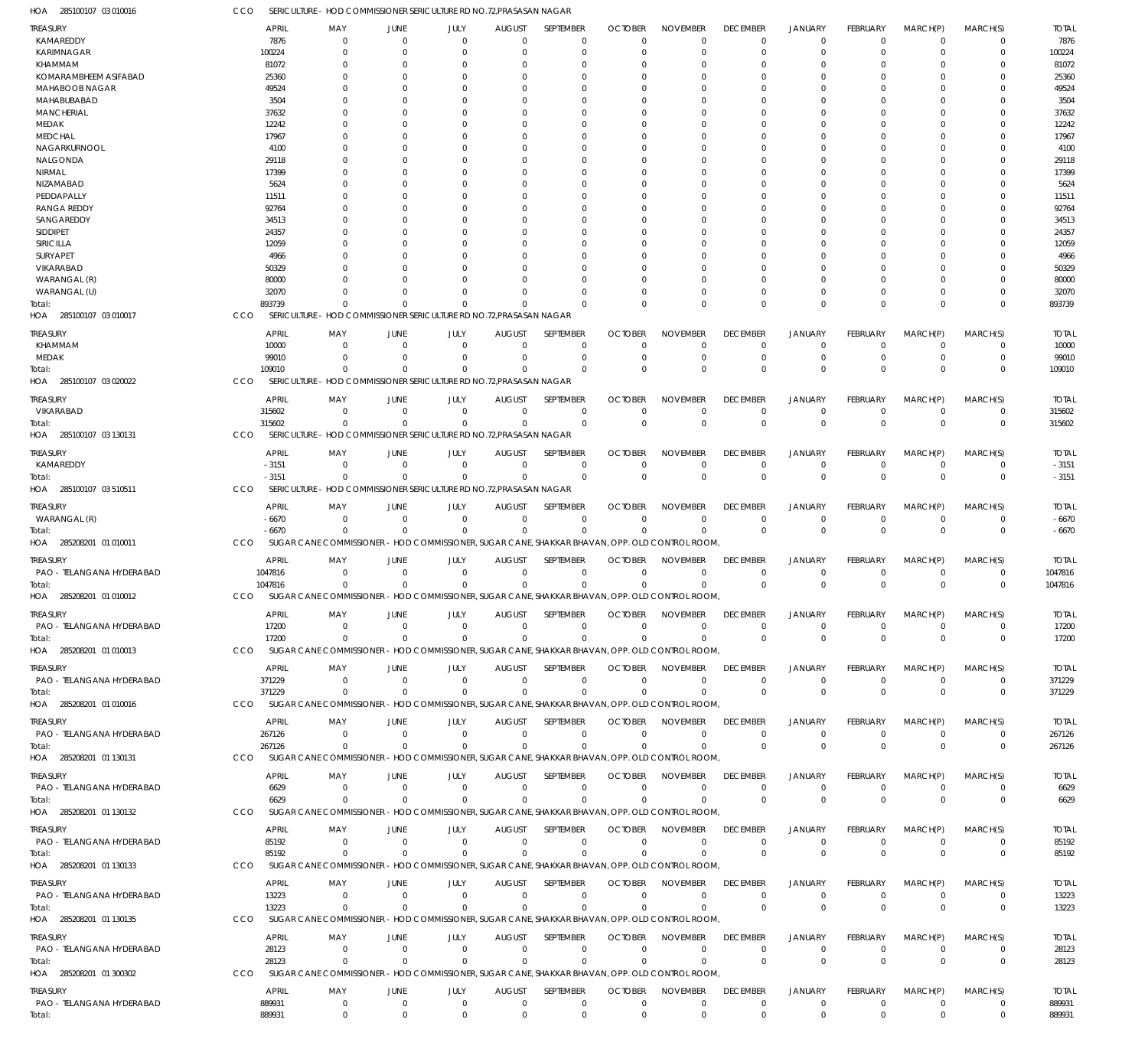285100107 03 010016 HOA CCO SERICULTURE – HOD COMMISSIONER SERICULTURE RD NO.72,PRASASAN NAGAR

|                              | <b>APRIL</b> |                                                                                                |                |                  |                           | SEPTEMBER        | <b>OCTOBER</b> | <b>NOVEMBER</b>  | <b>DECEMBER</b> |                |                      |                      |                | <b>TOTAL</b> |
|------------------------------|--------------|------------------------------------------------------------------------------------------------|----------------|------------------|---------------------------|------------------|----------------|------------------|-----------------|----------------|----------------------|----------------------|----------------|--------------|
| <b>TREASURY</b><br>KAMAREDDY |              | MAY                                                                                            | JUNE           | JULY<br>$\Omega$ | <b>AUGUST</b><br>$\Omega$ | $\Omega$         | $\Omega$       | $\Omega$         |                 | <b>JANUARY</b> | FEBRUARY<br>$\Omega$ | MARCH(P)<br>$\Omega$ | MARCH(S)       | 7876         |
|                              | 7876         | 0                                                                                              | 0              |                  |                           |                  |                |                  | 0               | $\mathbf 0$    |                      |                      | $\Omega$       |              |
| KARIMNAGAR                   | 100224       | 0                                                                                              | $\Omega$       |                  | $\Omega$                  | $\Omega$         | O              | $\Omega$         | $\Omega$        | $\mathbf 0$    |                      | $\Omega$             | $\Omega$       | 100224       |
| KHAMMAM                      | 81072        |                                                                                                |                |                  |                           |                  | O              | $\Omega$         | 0               | $\Omega$       |                      | $\Omega$             |                | 81072        |
| KOMARAMBHEEM ASIFABAD        | 25360        |                                                                                                |                |                  |                           | C                | O              | $\Omega$         | 0               | $\Omega$       |                      | $\Omega$             |                | 25360        |
| MAHABOOB NAGAR               | 49524        |                                                                                                |                |                  |                           |                  |                | 0                | 0               | $\Omega$       |                      | $\Omega$             |                | 49524        |
| MAHABUBABAD                  | 3504         |                                                                                                |                |                  |                           |                  |                | $\Omega$         | 0               | $\Omega$       |                      | $\Omega$             |                | 3504         |
| <b>MANCHERIAL</b>            | 37632        |                                                                                                |                |                  |                           |                  |                | 0                | 0               | $\Omega$       |                      | $\Omega$             |                | 37632        |
| MEDAK                        | 12242        |                                                                                                |                |                  |                           |                  |                | $\Omega$         | 0               | $\Omega$       |                      | $\Omega$             |                | 12242        |
| <b>MEDCHAL</b>               | 17967        |                                                                                                |                |                  |                           |                  |                | 0                |                 |                |                      |                      |                | 17967        |
| NAGARKURNOOL                 | 4100         |                                                                                                |                |                  |                           |                  | O              | $\Omega$         | 0               | $\Omega$       |                      | $\Omega$             |                | 4100         |
| NALGONDA                     | 29118        |                                                                                                |                |                  |                           |                  |                | 0                | 0               | $\Omega$       |                      | $\Omega$             |                | 29118        |
| NIRMAL                       | 17399        |                                                                                                |                |                  |                           |                  |                | $\Omega$         | 0               | $\Omega$       |                      | $\Omega$             |                | 17399        |
| NIZAMABAD                    | 5624         |                                                                                                |                |                  |                           |                  |                | $\Omega$         | 0               | $\Omega$       |                      | $\Omega$             |                | 5624         |
| PEDDAPALLY                   | 11511        |                                                                                                |                |                  |                           |                  |                | $\Omega$         | 0               | $\Omega$       |                      | $\Omega$             |                | 11511        |
| <b>RANGA REDDY</b>           | 92764        |                                                                                                |                |                  |                           |                  |                | O                | C               |                |                      |                      |                | 92764        |
| SANGAREDDY                   | 34513        |                                                                                                |                |                  |                           |                  |                | $\Omega$         | 0               | $\Omega$       |                      | $\Omega$             |                | 34513        |
| SIDDIPET                     | 24357        |                                                                                                |                |                  |                           |                  |                | 0                |                 |                |                      |                      |                | 24357        |
|                              |              |                                                                                                |                |                  |                           |                  |                |                  |                 |                |                      |                      |                |              |
| SIRICILLA                    | 12059        |                                                                                                |                |                  |                           |                  |                | $\Omega$         | 0               | $\Omega$       |                      | $\Omega$             |                | 12059        |
| SURYAPET                     | 4966         |                                                                                                |                |                  |                           |                  |                | 0                | 0               | $\Omega$       |                      | $\Omega$             |                | 4966         |
| VIKARABAD                    | 50329        |                                                                                                |                |                  |                           |                  |                | 0                | 0               | $\Omega$       |                      | $\Omega$             |                | 50329        |
| WARANGAL (R)                 | 80000        |                                                                                                |                |                  |                           |                  |                | $\Omega$         | 0               | $\Omega$       |                      | $\Omega$             |                | 80000        |
| WARANGAL (U)                 | 32070        |                                                                                                | $\Omega$       |                  | $\Omega$                  | C                | O              | $\Omega$         | $\Omega$        | $\Omega$       |                      | $\Omega$             |                | 32070        |
| Total:                       | 893739       |                                                                                                | $\Omega$       | $\Omega$         | $\Omega$                  | $\Omega$         | $\Omega$       | $\Omega$         | $\Omega$        | $\Omega$       | C                    | $\Omega$             | $\Omega$       | 893739       |
| HOA 285100107 03 010017      | CCO          | SERICULTURE - HOD COMMISSIONER SERICULTURE RD NO.72, PRASASAN NAGAR                            |                |                  |                           |                  |                |                  |                 |                |                      |                      |                |              |
| TREASURY                     | <b>APRIL</b> | MAY                                                                                            | <b>JUNE</b>    | JULY             | <b>AUGUST</b>             | SEPTEMBER        | <b>OCTOBER</b> | <b>NOVEMBER</b>  | <b>DECEMBER</b> | <b>JANUARY</b> | <b>FEBRUARY</b>      | MARCH(P)             | MARCH(S)       | <b>TOTAL</b> |
|                              |              |                                                                                                | 0              | $\Omega$         | $\Omega$                  | $\mathbf 0$      | $\Omega$       | $\Omega$         |                 |                | $\Omega$             | $\Omega$             | $\Omega$       | 10000        |
| KHAMMAM                      | 10000        | 0                                                                                              |                |                  |                           |                  |                |                  | 0               | 0              |                      |                      |                |              |
| <b>MEDAK</b>                 | 99010        | $\Omega$                                                                                       | $\Omega$       | $\Omega$         | $\overline{0}$            | $\mathbf 0$      | 0              | 0                | 0               | $\mathbf 0$    | 0                    | $\mathbf 0$          | 0              | 99010        |
| Total:                       | 109010       | $\Omega$                                                                                       | $\Omega$       | $\Omega$         | $\Omega$                  | $\Omega$         | $\Omega$       | $\Omega$         | $\mathbf 0$     | $\mathbf 0$    | $\Omega$             | $\Omega$             | $\Omega$       | 109010       |
| HOA 285100107 03 020022      | CCO          | SERICULTURE - HOD COMMISSIONER SERICULTURE RD NO.72.PRASASAN NAGAR                             |                |                  |                           |                  |                |                  |                 |                |                      |                      |                |              |
| TREASURY                     | <b>APRIL</b> | MAY                                                                                            | JUNE           | JULY             | <b>AUGUST</b>             | <b>SEPTEMBER</b> | <b>OCTOBER</b> | <b>NOVEMBER</b>  | <b>DECEMBER</b> | <b>JANUARY</b> | <b>FEBRUARY</b>      | MARCH(P)             | MARCH(S)       | <b>TOTAL</b> |
| VIKARABAD                    | 315602       | $\Omega$                                                                                       | $\Omega$       | $\Omega$         | $\Omega$                  | $\mathbf 0$      | $\mathbf 0$    | $\mathbf 0$      | $\mathbf 0$     | $\mathbf 0$    | 0                    | $\mathbf 0$          | $\mathbf 0$    | 315602       |
| Total:                       | 315602       | $\Omega$                                                                                       | 0              | $\Omega$         | $\Omega$                  | $\mathbf 0$      | $\overline{0}$ | $\mathbf 0$      | $\mathbf 0$     | $\mathbf 0$    | $\Omega$             | $\Omega$             | $\Omega$       | 315602       |
| HOA 285100107 03 130131      | CCO          | SERICULTURE - HOD COMMISSIONER SERICULTURE RD NO.72, PRASASAN NAGAR                            |                |                  |                           |                  |                |                  |                 |                |                      |                      |                |              |
|                              |              |                                                                                                |                |                  |                           |                  |                |                  |                 |                |                      |                      |                |              |
| TREASURY                     | <b>APRIL</b> | MAY                                                                                            | <b>JUNE</b>    | JULY             | <b>AUGUST</b>             | SEPTEMBER        | <b>OCTOBER</b> | <b>NOVEMBER</b>  | <b>DECEMBER</b> | <b>JANUARY</b> | <b>FEBRUARY</b>      | MARCH(P)             | MARCH(S)       | <b>TOTAL</b> |
| KAMAREDDY                    | $-3151$      | 0                                                                                              | 0              | $\Omega$         | $\overline{0}$            | 0                | $\mathbf 0$    | 0                | 0               | 0              | 0                    | 0                    | $\Omega$       | $-3151$      |
| Total:                       | $-3151$      | $\Omega$                                                                                       | $\Omega$       | $\Omega$         | $\Omega$                  | $\Omega$         | $\Omega$       | $\Omega$         | $\Omega$        | $\mathbf 0$    | $\Omega$             | $\Omega$             | $\Omega$       | $-3151$      |
| HOA 285100107 03 510511      | CCO          | SERICULTURE - HOD COMMISSIONER SERICULTURE RD NO.72, PRASASAN NAGAR                            |                |                  |                           |                  |                |                  |                 |                |                      |                      |                |              |
|                              |              |                                                                                                |                |                  |                           |                  |                |                  |                 |                |                      |                      |                |              |
| TREASURY                     | <b>APRIL</b> | MAY                                                                                            | <b>JUNE</b>    | JULY             | <b>AUGUST</b>             | SEPTEMBER        | <b>OCTOBER</b> | <b>NOVEMBER</b>  | <b>DECEMBER</b> | <b>JANUARY</b> | FEBRUARY             | MARCH(P)             | MARCH(S)       | <b>TOTAL</b> |
| WARANGAL (R)                 | $-6670$      | $\mathbf 0$                                                                                    | $\Omega$       | $\mathbf 0$      | $\overline{0}$            | $\mathbf 0$      | $\overline{0}$ | $\mathbf 0$      | $\mathbf 0$     | $\mathbf 0$    | $\mathbf 0$          | $\mathbf 0$          | 0              | $-6670$      |
| Total:                       | $-6670$      | $\Omega$                                                                                       | $\Omega$       | $\Omega$         | $\overline{0}$            | $\mathbf 0$      | $\overline{0}$ | $\mathbf 0$      | $\Omega$        | $\mathbf 0$    | $\Omega$             | $\Omega$             | $\Omega$       | $-6670$      |
| 285208201 01 010011<br>HOA   | CCO          | SUGAR CANE COMMISSIONER - HOD COMMISSIONER, SUGAR CANE, SHAKKAR BHAVAN, OPP. OLD CONTROL ROOM, |                |                  |                           |                  |                |                  |                 |                |                      |                      |                |              |
|                              |              |                                                                                                |                |                  |                           |                  |                |                  |                 |                |                      |                      |                |              |
|                              |              |                                                                                                |                |                  |                           |                  |                |                  |                 |                |                      |                      |                |              |
| <b>TREASURY</b>              | <b>APRIL</b> | MAY                                                                                            | JUNE           | JULY             | <b>AUGUST</b>             | SEPTEMBER        | <b>OCTOBER</b> | <b>NOVEMBER</b>  | <b>DECEMBER</b> | <b>JANUARY</b> | <b>FEBRUARY</b>      | MARCH(P)             | MARCH(S)       | <b>TOTAL</b> |
| PAO - TELANGANA HYDERABAD    | 1047816      | $\Omega$                                                                                       | $\overline{0}$ | $\Omega$         | $\Omega$                  | $\Omega$         | $\mathbf 0$    | $\mathbf 0$      | $\Omega$        | 0              | $\Omega$             | 0                    | $\Omega$       | 1047816      |
| Total:                       | 1047816      | $\Omega$                                                                                       | $\Omega$       | $\Omega$         | $\Omega$                  | $\Omega$         | $\Omega$       | $\Omega$         | $\Omega$        | $\mathbf 0$    | $\Omega$             | $\Omega$             | $\Omega$       | 1047816      |
| HOA 285208201 01 010012      | CCO          | SUGAR CANE COMMISSIONER - HOD COMMISSIONER, SUGAR CANE, SHAKKAR BHAVAN, OPP. OLD CONTROL ROOM, |                |                  |                           |                  |                |                  |                 |                |                      |                      |                |              |
|                              |              |                                                                                                |                |                  |                           |                  |                |                  |                 |                |                      |                      |                |              |
| TREASURY                     | <b>APRIL</b> | MAY                                                                                            | JUNE           | <b>JULY</b>      | <b>AUGUST</b>             | SEPTEMBER        |                | OCTOBER NOVEMBER | <b>DECEMBER</b> | <b>JANUARY</b> | FEBRUARY             | MARCH(P)             | MARCH(S)       | <b>TOTAL</b> |
| PAO - TELANGANA HYDERABAD    | 17200        | 0                                                                                              | - 0            |                  | $\Omega$                  | C                | $\Omega$       | 0                | 0               | 0              | $\Omega$             | $\Omega$             | $\Omega$       | 17200        |
| Total:                       | 17200        | $\Omega$                                                                                       | - 0            | $\Omega$         | $\Omega$                  | $\mathbf 0$      | $\Omega$       | $\Omega$         | $\mathbf{0}$    | $\mathbf 0$    | $\Omega$             | $\Omega$             | $\Omega$       | 17200        |
| HOA 285208201 01 010013      | CCO          | SUGAR CANE COMMISSIONER - HOD COMMISSIONER, SUGAR CANE, SHAKKAR BHAVAN, OPP. OLD CONTROL ROOM, |                |                  |                           |                  |                |                  |                 |                |                      |                      |                |              |
|                              |              |                                                                                                |                |                  |                           |                  |                |                  |                 |                |                      |                      |                |              |
| <b>TREASURY</b>              | APRIL        | MAY                                                                                            | JUNE           | JULY             | <b>AUGUST</b>             | SEPTEMBER        | <b>OCTOBER</b> | <b>NOVEMBER</b>  | <b>DECEMBER</b> | <b>JANUARY</b> | <b>FEBRUARY</b>      | MARCH(P)             | MARCH(S)       | <b>TOTAL</b> |
| PAO - TELANGANA HYDERABAD    | 371229       | $\mathbf{0}$                                                                                   | $\overline{0}$ | $\Omega$         | $\Omega$                  | 0                | 0              | 0                | $\mathbf 0$     | $\mathbf 0$    | $\mathbf 0$          | $\mathbf 0$          | $\Omega$       | 371229       |
| Total:                       | 371229       | $\Omega$                                                                                       | $\Omega$       | $\Omega$         | $\Omega$                  | $\mathbf 0$      | $\Omega$       | $\mathbf 0$      | $\mathbf{0}$    | $\mathbf 0$    | $\Omega$             | $\mathbf 0$          | $\overline{0}$ | 371229       |
| HOA 285208201 01 010016      | <b>CCO</b>   | SUGAR CANE COMMISSIONER - HOD COMMISSIONER, SUGAR CANE, SHAKKAR BHAVAN, OPP. OLD CONTROL ROOM, |                |                  |                           |                  |                |                  |                 |                |                      |                      |                |              |
| TREASURY                     | <b>APRIL</b> | MAY                                                                                            | JUNE           | JULY             | <b>AUGUST</b>             | SEPTEMBER        | <b>OCTOBER</b> | <b>NOVEMBER</b>  | <b>DECEMBER</b> | <b>JANUARY</b> | <b>FEBRUARY</b>      | MARCH(P)             | MARCH(S)       | <b>TOTAL</b> |
| PAO - TELANGANA HYDERABAD    | 267126       | 0                                                                                              | $\overline{0}$ | $\Omega$         | $\overline{0}$            | 0                | $\Omega$       | $\mathbf 0$      | $\mathbf 0$     | $\mathbf 0$    | $\Omega$             | $\mathbf 0$          | 0              | 267126       |
|                              | 267126       | $\Omega$                                                                                       | - 0            | $\Omega$         | $\Omega$                  | $\mathbf 0$      | $\Omega$       | $\mathbf 0$      | $\mathbf{0}$    | $\mathbf 0$    | $\Omega$             | $\Omega$             | $\mathbf 0$    |              |
| Total:                       |              | SUGAR CANE COMMISSIONER - HOD COMMISSIONER, SUGAR CANE, SHAKKAR BHAVAN, OPP, OLD CONTROL ROOM. |                |                  |                           |                  |                |                  |                 |                |                      |                      |                | 267126       |
| HOA 285208201 01 130131      | CCO          |                                                                                                |                |                  |                           |                  |                |                  |                 |                |                      |                      |                |              |
| <b>TREASURY</b>              | <b>APRIL</b> | MAY                                                                                            | JUNE           | JULY             | <b>AUGUST</b>             | SEPTEMBER        | <b>OCTOBER</b> | <b>NOVEMBER</b>  | <b>DECEMBER</b> | <b>JANUARY</b> | <b>FEBRUARY</b>      | MARCH(P)             | MARCH(S)       | <b>TOTAL</b> |
| PAO - TELANGANA HYDERABAD    | 6629         | $\mathbf{0}$                                                                                   | $\overline{0}$ | $\mathbf 0$      | $\overline{0}$            | $\mathbf 0$      | 0              | 0                | $\mathbf 0$     | 0              | $\mathbf 0$          | $\mathbf 0$          | $\overline{0}$ | 6629         |
| Total:                       | 6629         | $\Omega$                                                                                       | $\Omega$       | $\Omega$         | $\Omega$                  | $\mathbf{0}$     | $\Omega$       | $\mathbf 0$      | $\mathbf{0}$    | $\mathbf 0$    | $\Omega$             | $\mathbf 0$          | $\overline{0}$ | 6629         |
| HOA 285208201 01 130132      | <b>CCO</b>   | SUGAR CANE COMMISSIONER - HOD COMMISSIONER, SUGAR CANE, SHAKKAR BHAVAN, OPP. OLD CONTROL ROOM, |                |                  |                           |                  |                |                  |                 |                |                      |                      |                |              |
|                              |              |                                                                                                |                |                  |                           |                  |                |                  |                 |                |                      |                      |                |              |
| <b>TREASURY</b>              | <b>APRIL</b> | MAY                                                                                            | JUNE           | JULY             | <b>AUGUST</b>             | SEPTEMBER        | <b>OCTOBER</b> | <b>NOVEMBER</b>  | <b>DECEMBER</b> | <b>JANUARY</b> | <b>FEBRUARY</b>      | MARCH(P)             | MARCH(S)       | <b>TOTAL</b> |
| PAO - TELANGANA HYDERABAD    | 85192        | 0                                                                                              | $\Omega$       | $\Omega$         | $\overline{0}$            | $\mathbf 0$      | 0              | 0                | $\mathbf 0$     | 0              | 0                    | $\mathbf 0$          | $\mathbf 0$    | 85192        |
| Total:                       | 85192        | $\Omega$                                                                                       | - 0            | $\Omega$         | $\Omega$                  | $\mathbf 0$      | $\Omega$       | $\Omega$         | $\mathbf{0}$    | $\mathbf 0$    | $\Omega$             | $\mathbf 0$          | $\mathbf 0$    | 85192        |
| HOA 285208201 01 130133      | <b>CCO</b>   | SUGAR CANE COMMISSIONER - HOD COMMISSIONER, SUGAR CANE, SHAKKAR BHAVAN, OPP. OLD CONTROL ROOM, |                |                  |                           |                  |                |                  |                 |                |                      |                      |                |              |
|                              |              |                                                                                                |                |                  |                           |                  |                |                  |                 |                |                      |                      |                |              |
| <b>TREASURY</b>              | <b>APRIL</b> | MAY                                                                                            | <b>JUNE</b>    | JULY             | <b>AUGUST</b>             | SEPTEMBER        | <b>OCTOBER</b> | <b>NOVEMBER</b>  | <b>DECEMBER</b> | <b>JANUARY</b> | <b>FEBRUARY</b>      | MARCH(P)             | MARCH(S)       | <b>TOTAL</b> |
| PAO - TELANGANA HYDERABAD    | 13223        | 0                                                                                              | $\overline{0}$ | $\overline{0}$   | $\Omega$                  | 0                | 0              | 0                | $\mathbf 0$     | 0              | 0                    | 0                    | $^{\circ}$     | 13223        |
| Total:                       | 13223        | $\Omega$                                                                                       | $\Omega$       | $\Omega$         | $\Omega$                  | $\Omega$         | $\Omega$       | $\mathbf 0$      | $\mathbf 0$     | $\mathbf 0$    | $\Omega$             | $\Omega$             | $\Omega$       | 13223        |
| HOA 285208201 01 130135      | CCO          | SUGAR CANE COMMISSIONER - HOD COMMISSIONER, SUGAR CANE, SHAKKAR BHAVAN, OPP. OLD CONTROL ROOM, |                |                  |                           |                  |                |                  |                 |                |                      |                      |                |              |
| <b>TREASURY</b>              | <b>APRIL</b> | MAY                                                                                            | <b>JUNE</b>    | JULY             | <b>AUGUST</b>             | SEPTEMBER        | <b>OCTOBER</b> | <b>NOVEMBER</b>  | <b>DECEMBER</b> | <b>JANUARY</b> | <b>FEBRUARY</b>      | MARCH(P)             | MARCH(S)       | <b>TOTAL</b> |
| PAO - TELANGANA HYDERABAD    | 28123        | $\mathbf{0}$                                                                                   | $\overline{0}$ | $\mathbf 0$      | $\overline{0}$            | $\mathbf 0$      | $\mathbf 0$    | $\mathbf 0$      | $\mathbf 0$     | $\mathbf 0$    | $\mathbf 0$          | $\mathbf 0$          | $\overline{0}$ | 28123        |
|                              | 28123        | $\Omega$                                                                                       | $\Omega$       | $\Omega$         | $\Omega$                  | $\mathbf 0$      | 0              | $^{\circ}$       | $\mathbf{0}$    | $\mathbf 0$    | $\Omega$             | $\Omega$             | $\mathbf 0$    |              |
| Total:                       |              |                                                                                                |                |                  |                           |                  |                |                  |                 |                |                      |                      |                | 28123        |
| HOA 285208201 01 300302      | CCO          | SUGAR CANE COMMISSIONER - HOD COMMISSIONER, SUGAR CANE, SHAKKAR BHAVAN, OPP. OLD CONTROL ROOM, |                |                  |                           |                  |                |                  |                 |                |                      |                      |                |              |
| <b>TREASURY</b>              | <b>APRIL</b> | MAY                                                                                            | JUNE           | JULY             | <b>AUGUST</b>             | SEPTEMBER        | <b>OCTOBER</b> | <b>NOVEMBER</b>  | <b>DECEMBER</b> | <b>JANUARY</b> | <b>FEBRUARY</b>      | MARCH(P)             | MARCH(S)       | <b>TOTAL</b> |
| PAO - TELANGANA HYDERABAD    | 889931       | $\mathbf 0$                                                                                    | $\overline{0}$ | $\mathbf 0$      | $\overline{0}$            | $\mathbf 0$      | $\mathbf 0$    | $\mathbf 0$      | $\mathbf 0$     | $\mathbf 0$    | $\mathbf 0$          | $\mathbf 0$          | $\mathbf 0$    | 889931       |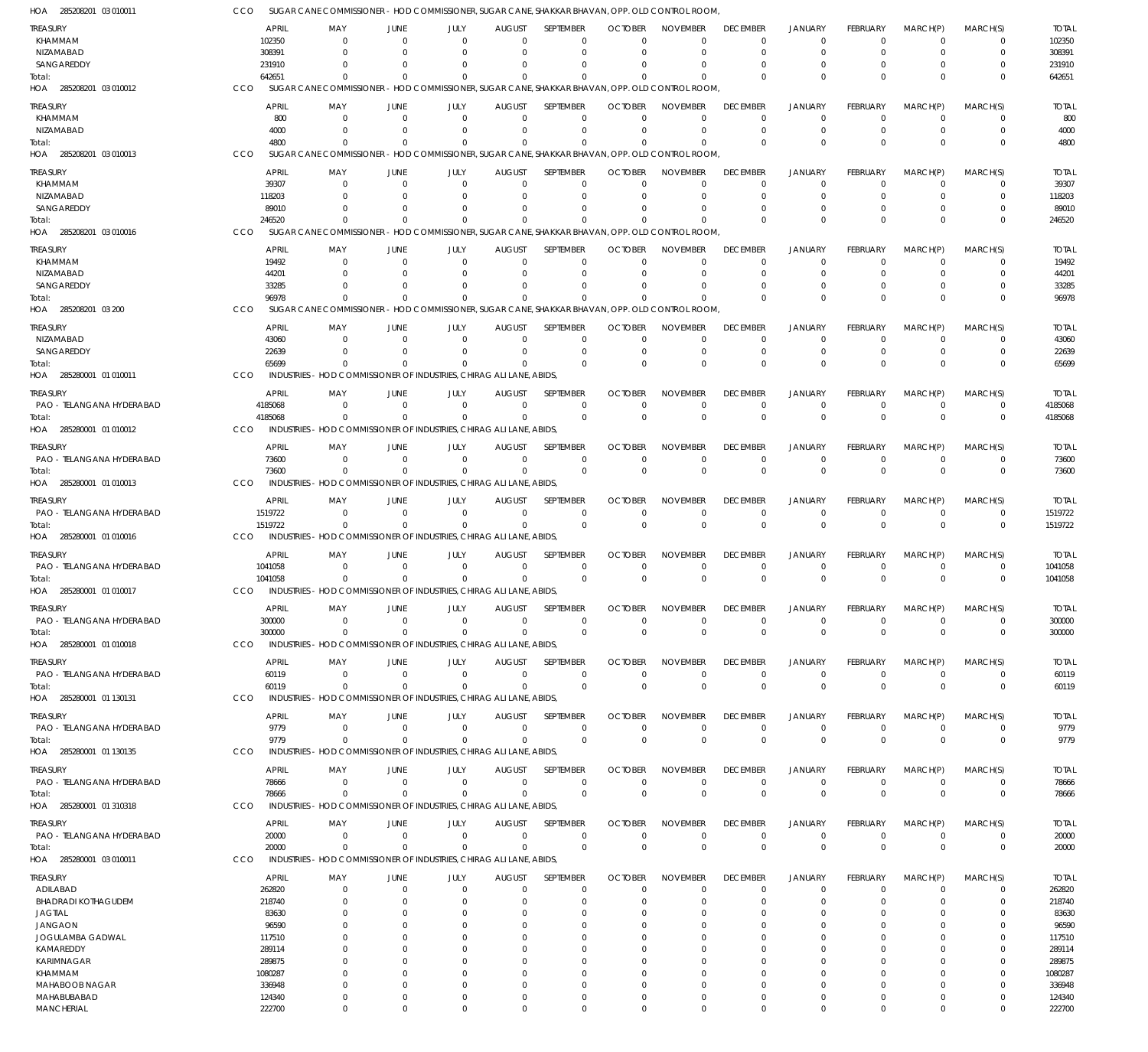| HOA 285208201 03 010011    | CCO              | SUGAR CANE COMMISSIONER - HOD COMMISSIONER, SUGAR CANE, SHAKKAR BHAVAN, OPP. OLD CONTROL ROOM,                 |                |                      |                      |                         |                      |                      |                         |                         |                      |                      |                            |                  |
|----------------------------|------------------|----------------------------------------------------------------------------------------------------------------|----------------|----------------------|----------------------|-------------------------|----------------------|----------------------|-------------------------|-------------------------|----------------------|----------------------|----------------------------|------------------|
| TREASURY                   | APRIL            | MAY                                                                                                            | JUNE           | JULY                 | <b>AUGUST</b>        | <b>SEPTEMBER</b>        | <b>OCTOBER</b>       | <b>NOVEMBER</b>      | <b>DECEMBER</b>         | <b>JANUARY</b>          | <b>FEBRUARY</b>      | MARCH(P)             | MARCH(S)                   | <b>TOTAL</b>     |
| KHAMMAM                    | 102350           | $\Omega$                                                                                                       | $\Omega$       | $\Omega$             | $\Omega$             | $\Omega$                | $\Omega$             |                      | $^{\circ}$              | $\overline{0}$          | $\Omega$             | $\Omega$             | $\Omega$                   | 102350           |
| NIZAMABAD                  | 308391           | $\Omega$                                                                                                       |                | $\Omega$             | $\Omega$             | $\Omega$                | $\Omega$             | $\Omega$             | $\Omega$                | $\mathbf 0$             | $\Omega$             | $\Omega$             | 0                          | 308391           |
| SANGAREDDY                 | 231910           | 0                                                                                                              |                |                      | 0                    | $\Omega$                |                      |                      | $\Omega$                | $\Omega$                |                      | 0                    | 0                          | 231910           |
| Total:<br>03 010012        | 642651<br>CCO    | <sup>0</sup><br>SUGAR CANE COMMISSIONER - HOD COMMISSIONER, SUGAR CANE, SHAKKAR BHAVAN, OPP, OLD CONTROL ROOM. |                | U                    | $\Omega$             | $\Omega$                |                      | $\Omega$             | $\Omega$                | $\Omega$                | $\Omega$             | $\Omega$             | $\Omega$                   | 642651           |
| HOA 285208201              |                  |                                                                                                                |                |                      |                      |                         |                      |                      |                         |                         |                      |                      |                            |                  |
| treasury                   | <b>APRIL</b>     | MAY                                                                                                            | JUNE           | JULY                 | <b>AUGUST</b>        | SEPTEMBER               | <b>OCTOBER</b>       | <b>NOVEMBER</b>      | <b>DECEMBER</b>         | JANUARY                 | <b>FEBRUARY</b>      | MARCH(P)             | MARCH(S)                   | <b>TOTAL</b>     |
| KHAMMAM                    |                  | 800<br>$\Omega$                                                                                                | $\Omega$       | $\Omega$             | $\Omega$             | $\Omega$                | $\Omega$             | $\Omega$             | $^{\circ}$              | $\mathbf 0$             | $\Omega$             | $\Omega$             | 0                          | 800              |
| NIZAMABAD<br>Total:        | 4000<br>4800     | 0<br>$\Omega$                                                                                                  |                | $\Omega$<br>0        | $\Omega$<br>$\Omega$ | $\mathbf 0$<br>$\Omega$ | $\Omega$             | $\Omega$<br>$\Omega$ | $\mathbf 0$<br>$\Omega$ | $\mathbf 0$<br>$\Omega$ | $\Omega$<br>$\Omega$ | 0<br>$\Omega$        | $\mathbf 0$<br>$\mathbf 0$ | 4000<br>4800     |
| 03 010013<br>HOA 285208201 | CCO              | SUGAR CANE COMMISSIONER - HOD COMMISSIONER, SUGAR CANE, SHAKKAR BHAVAN, OPP, OLD CONTROL ROOM.                 |                |                      |                      |                         |                      |                      |                         |                         |                      |                      |                            |                  |
|                            |                  |                                                                                                                |                |                      |                      |                         |                      |                      |                         |                         |                      |                      |                            |                  |
| treasury                   | APRIL            | MAY                                                                                                            | JUNE           | JULY                 | <b>AUGUST</b>        | SEPTEMBER               | <b>OCTOBER</b>       | <b>NOVEMBER</b>      | <b>DECEMBER</b>         | <b>JANUARY</b>          | <b>FEBRUARY</b>      | MARCH(P)             | MARCH(S)                   | <b>TOTAL</b>     |
| KHAMMAM<br>NIZAMABAD       | 39307<br>118203  | $\Omega$<br>$\Omega$                                                                                           | $\Omega$       | $\Omega$<br>$\Omega$ | $\Omega$<br>$\Omega$ | 0<br>$\Omega$           | $\Omega$<br>$\Omega$ | $\Omega$             | $^{\circ}$<br>$\Omega$  | 0<br>$\Omega$           | $\Omega$<br>$\Omega$ | $\Omega$<br>$\Omega$ | $\Omega$<br>0              | 39307<br>118203  |
| SANGAREDDY                 | 89010            | $\Omega$                                                                                                       |                | 0                    | $\Omega$             | $\Omega$                |                      |                      | $\Omega$                | 0                       |                      | $\Omega$             | 0                          | 89010            |
| Total:                     | 246520           | $\Omega$                                                                                                       |                | $\Omega$             | $\Omega$             | $\Omega$                |                      | $\Omega$             | $\Omega$                | $\Omega$                | $\Omega$             | $\Omega$             | $\mathbf 0$                | 246520           |
| 03 010016<br>HOA 285208201 | CCO              | SUGAR CANE COMMISSIONER - HOD COMMISSIONER, SUGAR CANE, SHAKKAR BHAVAN, OPP. OLD CONTROL ROOM,                 |                |                      |                      |                         |                      |                      |                         |                         |                      |                      |                            |                  |
| <b>TREASURY</b>            | <b>APRIL</b>     | MAY                                                                                                            | JUNE           | JULY                 | <b>AUGUST</b>        | SEPTEMBER               | <b>OCTOBER</b>       | <b>NOVEMBER</b>      | <b>DECEMBER</b>         | <b>JANUARY</b>          | <b>FEBRUARY</b>      | MARCH(P)             | MARCH(S)                   | <b>TOTAL</b>     |
| KHAMMAM                    | 19492            | $\Omega$                                                                                                       | $\Omega$       | 0                    | $\Omega$             | $\Omega$                | $\Omega$             |                      | 0                       | 0                       | 0                    | $\Omega$             | $\Omega$                   | 19492            |
| NIZAMABAD                  | 44201            |                                                                                                                |                |                      | 0                    | $\Omega$                |                      | $\Omega$             | 0                       | $\Omega$                |                      | 0                    | $\Omega$                   | 44201            |
| SANGAREDDY                 | 33285            |                                                                                                                |                |                      |                      | $\Omega$                |                      |                      | $\Omega$                | $\Omega$                |                      | O                    | $\Omega$                   | 33285            |
| Total:                     | 96978            |                                                                                                                |                |                      | $\Omega$             | $\Omega$                |                      | $\Omega$             | $\Omega$                | $\Omega$                | $\Omega$             | $\Omega$             | $\Omega$                   | 96978            |
| HOA 285208201<br>03 200    | CCO              | SUGAR CANE COMMISSIONER - HOD COMMISSIONER, SUGAR CANE, SHAKKAR BHAVAN, OPP, OLD CONTROL ROOM                  |                |                      |                      |                         |                      |                      |                         |                         |                      |                      |                            |                  |
| treasury                   | <b>APRIL</b>     | MAY                                                                                                            | JUNE           | JULY                 | <b>AUGUST</b>        | SEPTEMBER               | <b>OCTOBER</b>       | <b>NOVEMBER</b>      | <b>DECEMBER</b>         | <b>JANUARY</b>          | <b>FEBRUARY</b>      | MARCH(P)             | MARCH(S)                   | <b>TOTAL</b>     |
| NIZAMABAD                  | 43060            | $\Omega$                                                                                                       | $\Omega$       | $\Omega$             | $\Omega$             | 0                       | $\Omega$             |                      | $\mathbf 0$             | $\overline{0}$          | $\Omega$             | $\Omega$             | $\Omega$                   | 43060            |
| SANGAREDDY                 | 22639            | $\Omega$                                                                                                       |                | $\Omega$             | $\Omega$             | 0                       | $\Omega$             | $\Omega$             | 0                       | $\overline{0}$          | $\Omega$             | 0                    | 0                          | 22639            |
| Total:                     | 65699            | $\Omega$                                                                                                       |                | 0                    | $\Omega$             | $\Omega$                | $\Omega$             | $\Omega$             | $\Omega$                | $\Omega$                | $\Omega$             | $\Omega$             | $\Omega$                   | 65699            |
| HOA 285280001 01 010011    | CCO              | INDUSTRIES - HOD COMMISSIONER OF INDUSTRIES, CHIRAG ALI LANE, ABIDS,                                           |                |                      |                      |                         |                      |                      |                         |                         |                      |                      |                            |                  |
| treasury                   | <b>APRIL</b>     | MAY                                                                                                            | JUNE           | JULY                 | <b>AUGUST</b>        | SEPTEMBER               | <b>OCTOBER</b>       | <b>NOVEMBER</b>      | <b>DECEMBER</b>         | <b>JANUARY</b>          | <b>FEBRUARY</b>      | MARCH(P)             | MARCH(S)                   | <b>TOTAL</b>     |
| PAO - TELANGANA HYDERABAD  | 4185068          | $\Omega$                                                                                                       | $\Omega$       | $\Omega$             | 0                    | $\mathbf 0$             | $\Omega$             | $\Omega$             | $^{\circ}$              | $\overline{0}$          | $\Omega$             | 0                    | 0                          | 4185068          |
| Total:                     | 4185068          | $\Omega$                                                                                                       | $\Omega$       | $\Omega$             | $\Omega$             | $\mathbf 0$             | $\Omega$             | $\Omega$             | $\mathbf 0$             | $\Omega$                | $\Omega$             | $\Omega$             | $\mathbf 0$                | 4185068          |
| HOA 285280001 01 010012    | CCO              | INDUSTRIES - HOD COMMISSIONER OF INDUSTRIES, CHIRAG ALI LANE, ABIDS,                                           |                |                      |                      |                         |                      |                      |                         |                         |                      |                      |                            |                  |
| treasury                   | <b>APRIL</b>     | MAY                                                                                                            | JUNE           | JULY                 | <b>AUGUST</b>        | SEPTEMBER               | <b>OCTOBER</b>       | <b>NOVEMBER</b>      | <b>DECEMBER</b>         | <b>JANUARY</b>          | FEBRUARY             | MARCH(P)             | MARCH(S)                   | <b>TOTAL</b>     |
| PAO - TELANGANA HYDERABAD  | 73600            | $\Omega$                                                                                                       | $\Omega$       | $\Omega$             | $\Omega$             | $\mathbf 0$             | $\Omega$             | $\Omega$             | $\mathbf 0$             | $\overline{0}$          | $\Omega$             | $\Omega$             | 0                          | 73600            |
| Total:                     | 73600            | $\Omega$                                                                                                       | $\Omega$       | $\Omega$             | $\Omega$             | $\mathbf 0$             | $\mathbf 0$          | $\Omega$             | $\mathbf 0$             | $\overline{0}$          | $\Omega$             | $\Omega$             | $\mathbf 0$                | 73600            |
| HOA 285280001 01 010013    | CCO              | INDUSTRIES - HOD COMMISSIONER OF INDUSTRIES, CHIRAG ALI LANE, ABIDS,                                           |                |                      |                      |                         |                      |                      |                         |                         |                      |                      |                            |                  |
| TREASURY                   | APRIL            | MAY                                                                                                            | JUNE           | JULY                 | <b>AUGUST</b>        | SEPTEMBER               | <b>OCTOBER</b>       | <b>NOVEMBER</b>      | <b>DECEMBER</b>         | <b>JANUARY</b>          | <b>FEBRUARY</b>      | MARCH(P)             | MARCH(S)                   | <b>TOTAL</b>     |
| PAO - TELANGANA HYDERABAD  | 1519722          | $\Omega$                                                                                                       | $\Omega$       | $\Omega$             | $\mathbf 0$          | $\mathbf 0$             | $\Omega$             |                      | $\overline{0}$          | $\overline{0}$          | $\Omega$             | 0                    | 0                          | 1519722          |
| Total:                     | 1519722          | $\Omega$                                                                                                       | $\Omega$       | $\Omega$             | $\Omega$             | $\mathbf 0$             | $\Omega$             | $\Omega$             | $\mathbf 0$             | $\overline{0}$          | $\Omega$             | $\Omega$             | $\mathbf 0$                | 1519722          |
| HOA 285280001 01 010016    | CCO              | INDUSTRIES - HOD COMMISSIONER OF INDUSTRIES, CHIRAG ALI LANE, ABIDS,                                           |                |                      |                      |                         |                      |                      |                         |                         |                      |                      |                            |                  |
| treasury                   | APRIL            | MAY                                                                                                            | JUNE           | JULY                 | AUGUST               | SEPTEMBER               | <b>OCTOBER</b>       | <b>NOVEMBER</b>      | <b>DECEMBER</b>         | <b>JANUARY</b>          | <b>FEBRUARY</b>      | MARCH(P)             | MARCH(S)                   | <b>TOTAL</b>     |
| PAO - TELANGANA HYDERABAD  | 1041058          | $\Omega$                                                                                                       | $\Omega$       | $\Omega$             | $\Omega$             | 0                       | $\Omega$             |                      | $^{\circ}$              | $\overline{0}$          | $\Omega$             | 0                    | 0                          | 1041058          |
| Total:                     | 1041058          | $\Omega$                                                                                                       | $\Omega$       | $\Omega$             | $\Omega$             | $\Omega$                | $\Omega$             | $\Omega$             | $\Omega$                | $\Omega$                | $\Omega$             | $\Omega$             | $\mathbf 0$                | 1041058          |
| HOA 285280001 01 010017    | CCO              | INDUSTRIES - HOD COMMISSIONER OF INDUSTRIES, CHIRAG ALI LANE, ABIDS,                                           |                |                      |                      |                         |                      |                      |                         |                         |                      |                      |                            |                  |
| ireasury                   | APRIL            | MAY                                                                                                            | JUNE           | JULY                 | <b>AUGUST</b>        | SEPTEMBER               | <b>OCTOBER</b>       | <b>NOVEMBER</b>      | <b>DECEMBER</b>         | JANUARY                 | FEBRUARY             | MARCH(P)             | MARCH(S)                   | <b>TOTAL</b>     |
| PAO - TELANGANA HYDERABAD  | 300000           | $\mathbf{0}$                                                                                                   | $\overline{0}$ | $\Omega$             | 0                    | 0                       | $\Omega$             | $\Omega$             | 0                       | $\overline{0}$          | $\Omega$             | 0                    | 0                          | 300000           |
| Total:                     | 300000           | $\Omega$                                                                                                       | $\Omega$       | $\Omega$             | $\Omega$             | $\mathbf 0$             | $\Omega$             | $\Omega$             | $\mathbf 0$             | $\overline{0}$          | $\Omega$             | $\Omega$             | $\mathbf 0$                | 300000           |
| HOA 285280001 01 010018    | CCO              | INDUSTRIES - HOD COMMISSIONER OF INDUSTRIES, CHIRAG ALI LANE, ABIDS,                                           |                |                      |                      |                         |                      |                      |                         |                         |                      |                      |                            |                  |
| treasury                   | <b>APRIL</b>     | MAY                                                                                                            | JUNE           | JULY                 | <b>AUGUST</b>        | <b>SEPTEMBER</b>        | <b>OCTOBER</b>       | <b>NOVEMBER</b>      | <b>DECEMBER</b>         | <b>JANUARY</b>          | <b>FEBRUARY</b>      | MARCH(P)             | MARCH(S)                   | <b>TOTAL</b>     |
| PAO - TELANGANA HYDERABAD  | 60119            | $\Omega$                                                                                                       | $\overline{0}$ | $\mathbf 0$          | $\mathbf 0$          | $\mathbf 0$             | $\Omega$             | $\Omega$             | $\mathbf 0$             | $\overline{0}$          | $\Omega$             | - 0                  | $\mathbf 0$                | 60119            |
| Total:                     | 60119            | $\Omega$                                                                                                       | $\Omega$       | $\Omega$             | $\Omega$             | $\mathbf 0$             | $\mathbf 0$          | $\mathbf 0$          | $\mathbf 0$             | $\overline{0}$          | $\mathbf 0$          | $\mathbf 0$          | $\mathbf 0$                | 60119            |
| HOA 285280001 01 130131    | CCO              | INDUSTRIES - HOD COMMISSIONER OF INDUSTRIES, CHIRAG ALI LANE, ABIDS,                                           |                |                      |                      |                         |                      |                      |                         |                         |                      |                      |                            |                  |
| treasury                   | <b>APRIL</b>     | MAY                                                                                                            | JUNE           | JULY                 | <b>AUGUST</b>        | SEPTEMBER               | <b>OCTOBER</b>       | <b>NOVEMBER</b>      | <b>DECEMBER</b>         | <b>JANUARY</b>          | <b>FEBRUARY</b>      | MARCH(P)             | MARCH(S)                   | <b>TOTAL</b>     |
| PAO - TELANGANA HYDERABAD  | 9779             | 0                                                                                                              | $\overline{0}$ | $\Omega$             | 0                    | $\mathbf 0$             | $\Omega$             | $\Omega$             | $\mathbf 0$             | $\mathbf 0$             | $\Omega$             | 0                    | 0                          | 9779             |
| Total:                     | 9779             | $\Omega$                                                                                                       | $\Omega$       | $\Omega$             | $\Omega$             | $\mathbf 0$             | $\Omega$             | $\Omega$             | $\mathbf 0$             | $\overline{0}$          | $\mathbf 0$          | $\mathbf 0$          | $\mathbf 0$                | 9779             |
| HOA 285280001 01 130135    | CCO              | INDUSTRIES - HOD COMMISSIONER OF INDUSTRIES, CHIRAG ALI LANE, ABIDS,                                           |                |                      |                      |                         |                      |                      |                         |                         |                      |                      |                            |                  |
| treasury                   | <b>APRIL</b>     | MAY                                                                                                            | JUNE           | JULY                 | <b>AUGUST</b>        | SEPTEMBER               | <b>OCTOBER</b>       | <b>NOVEMBER</b>      | <b>DECEMBER</b>         | <b>JANUARY</b>          | <b>FEBRUARY</b>      | MARCH(P)             | MARCH(S)                   | <b>TOTAL</b>     |
| PAO - TELANGANA HYDERABAD  | 78666            | 0                                                                                                              | $\overline{0}$ | $\Omega$             | 0                    | 0                       | $\Omega$             | $\Omega$             | $^{\circ}$              | $\mathbf 0$             | 0                    | 0                    | 0                          | 78666            |
| Total:                     | 78666            | $\Omega$                                                                                                       | $\Omega$       | $\Omega$             | $\Omega$             | $\mathbf 0$             | $\Omega$             | $\Omega$             | $\,0\,$                 | $\overline{0}$          | $\Omega$             | $\Omega$             | $\mathbf 0$                | 78666            |
| HOA 285280001 01 310318    | CCO              | INDUSTRIES - HOD COMMISSIONER OF INDUSTRIES, CHIRAG ALI LANE, ABIDS,                                           |                |                      |                      |                         |                      |                      |                         |                         |                      |                      |                            |                  |
| treasury                   | <b>APRIL</b>     | MAY                                                                                                            | JUNE           | JULY                 | <b>AUGUST</b>        | SEPTEMBER               | <b>OCTOBER</b>       | <b>NOVEMBER</b>      | <b>DECEMBER</b>         | <b>JANUARY</b>          | <b>FEBRUARY</b>      | MARCH(P)             | MARCH(S)                   | <b>TOTAL</b>     |
| PAO - TELANGANA HYDERABAD  | 20000            | 0                                                                                                              | $\overline{0}$ | $\mathbf 0$          | $\mathbf 0$          | $\mathbf 0$             | $\Omega$             | $\Omega$             | $\mathbf 0$             | $\mathbf 0$             | $\Omega$             | 0                    | $\mathbf 0$                | 20000            |
| Total:                     | 20000            | $\Omega$                                                                                                       | $\Omega$       | $\Omega$             | $\Omega$             | $\mathbf 0$             | $\Omega$             | $\Omega$             | $\mathbf 0$             | $\overline{0}$          | $\Omega$             | $\mathbf 0$          | $\mathbf 0$                | 20000            |
| HOA 285280001 03 010011    | CCO              | INDUSTRIES - HOD COMMISSIONER OF INDUSTRIES, CHIRAG ALI LANE, ABIDS,                                           |                |                      |                      |                         |                      |                      |                         |                         |                      |                      |                            |                  |
| treasury                   | APRIL            | MAY                                                                                                            | JUNE           | JULY                 | <b>AUGUST</b>        | SEPTEMBER               | <b>OCTOBER</b>       | <b>NOVEMBER</b>      | <b>DECEMBER</b>         | <b>JANUARY</b>          | <b>FEBRUARY</b>      | MARCH(P)             | MARCH(S)                   | <b>TOTAL</b>     |
| ADILABAD                   | 262820           | 0                                                                                                              | $\overline{0}$ | 0                    | 0                    | 0                       | $\Omega$             | $\Omega$             | $\overline{0}$          | $\overline{0}$          | $\Omega$             | $\Omega$             | 0                          | 262820           |
| <b>BHADRADI KOTHAGUDEM</b> | 218740           | 0                                                                                                              | 0              | 0                    | $\Omega$             | 0                       | $\Omega$             | $\Omega$             | 0                       | 0                       | 0                    | 0                    | 0                          | 218740           |
| <b>JAGTIAL</b>             | 83630            | 0                                                                                                              | $\Omega$       | 0                    | 0                    | $\Omega$                | $\Omega$             | $\Omega$             | $\Omega$                | 0                       |                      | 0                    | $\Omega$                   | 83630            |
| JANGAON                    | 96590            |                                                                                                                | $\Omega$       | 0                    | $\Omega$             | 0                       |                      | $\Omega$             | $\Omega$                | $\Omega$                |                      | $\Omega$             | $\Omega$                   | 96590            |
| JOGULAMBA GADWAL           | 117510           |                                                                                                                | $\Omega$       | 0                    | $\Omega$             | $\Omega$                | $\Omega$             |                      | $\Omega$                | $\Omega$                | 0                    | $\Omega$             | $\Omega$                   | 117510           |
| KAMAREDDY<br>KARIMNAGAR    | 289114<br>289875 |                                                                                                                |                | 0<br>0               | $\Omega$<br>$\Omega$ | 0<br>$\Omega$           | C                    | $\Omega$             | $\Omega$<br>$\Omega$    | $\Omega$<br>$\Omega$    |                      | $\Omega$<br>$\Omega$ | 0<br>$\Omega$              | 289114<br>289875 |
| KHAMMAM                    | 1080287          | 0                                                                                                              |                | 0                    | $\Omega$             | $\Omega$                | $\Omega$             | $\Omega$             | $\Omega$                | $\Omega$                |                      | $\Omega$             | 0                          | 1080287          |
| MAHABOOB NAGAR             | 336948           | 0                                                                                                              | $\Omega$       | $\Omega$             | $\Omega$             | $\Omega$                | $\Omega$             | $\Omega$             | $\Omega$                | $\Omega$                | $\Omega$             | $\Omega$             | $\mathbf 0$                | 336948           |
| MAHABUBABAD                | 124340           | 0                                                                                                              | $\Omega$       | 0                    | 0                    | 0                       | $\Omega$             | $\mathbf 0$          | $\mathbf 0$             | 0                       | $\Omega$             | 0                    | 0                          | 124340           |
| <b>MANCHERIAL</b>          | 222700           | $\Omega$                                                                                                       | $\Omega$       | $\Omega$             | $\Omega$             | $\Omega$                | $\Omega$             | $\Omega$             | $\Omega$                | $\Omega$                | $\Omega$             | $\Omega$             | $\Omega$                   | 222700           |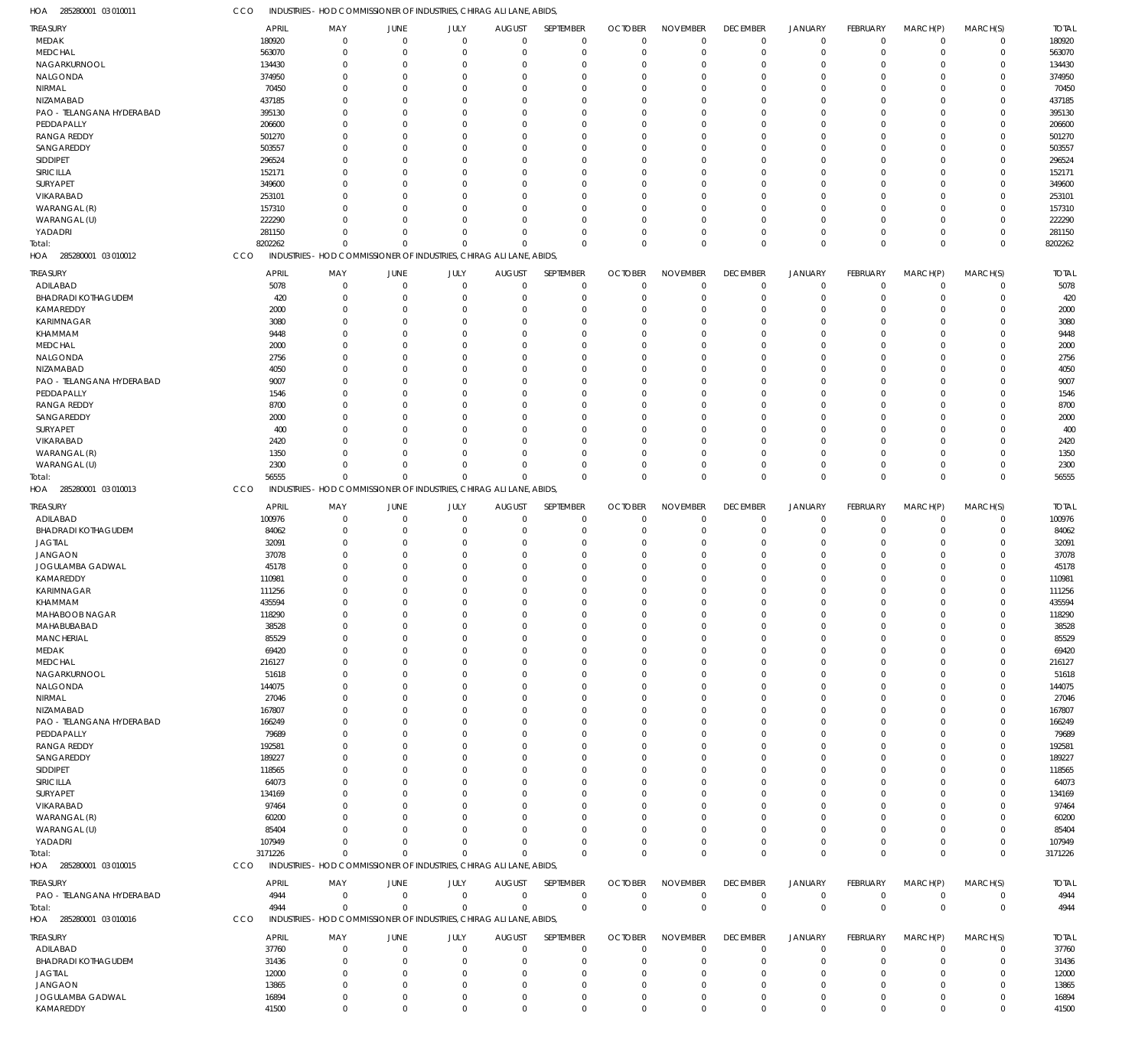285280001 03 010011 HOA CCO INDUSTRIES - HOD COMMISSIONER OF INDUSTRIES, CHIRAG ALI LANE, ABIDS,

| TREASURY                      | <b>APRIL</b>   | MAY                                                                  | JUNE                         | JULY                       | <b>AUGUST</b>    | SEPTEMBER                  | <b>OCTOBER</b>   | <b>NOVEMBER</b>            | <b>DECEMBER</b>           | <b>JANUARY</b>             | <b>FEBRUARY</b> | MARCH(P)                   | MARCH(S)         | <b>TOTAL</b>   |
|-------------------------------|----------------|----------------------------------------------------------------------|------------------------------|----------------------------|------------------|----------------------------|------------------|----------------------------|---------------------------|----------------------------|-----------------|----------------------------|------------------|----------------|
| MEDAK                         | 180920         | $\mathbf 0$                                                          | $\mathbf{0}$                 | $\mathbf 0$                | $\overline{0}$   | $\mathbf 0$                | $\overline{0}$   | $\mathbf 0$                | $\mathbf 0$               | $\mathbf 0$                | $\mathbf 0$     | $\mathbf 0$                | $\mathbf 0$      | 180920         |
|                               |                |                                                                      |                              |                            |                  |                            |                  |                            |                           |                            |                 |                            |                  |                |
| <b>MEDCHAL</b>                | 563070         | $\mathbf 0$                                                          | $\overline{0}$               | $\mathbf 0$                | $\Omega$         | $\mathbf 0$                | $^{\circ}$       | $\mathbf 0$                | $\mathbf 0$               | $\mathbf 0$                | $\Omega$        | $\Omega$                   | $\Omega$         | 563070         |
| NAGARKURNOOL                  | 134430         | $\mathbf 0$                                                          | $\Omega$                     | $\Omega$                   | -C               | $\mathbf 0$                | $\Omega$         | $\mathbf 0$                | $\Omega$                  | $\mathbf 0$                | $\Omega$        | $\Omega$                   | $\Omega$         | 134430         |
| NALGONDA                      | 374950         | $\mathbf 0$                                                          | -0                           | $\Omega$                   | -C               | $\mathbf 0$                | $\Omega$         | $\Omega$                   | $\Omega$                  | $\Omega$                   | ſ               | $\Omega$                   |                  | 374950         |
| NIRMAL                        | 70450          | $\mathbf 0$                                                          | -0                           | $\Omega$                   | $\Omega$         | $\mathbf 0$                | $\Omega$         | $\mathbf 0$                | $\Omega$                  | $\mathbf 0$                | ſ               | $\Omega$                   | $\Omega$         | 70450          |
| NIZAMABAD                     | 437185         | $\Omega$                                                             | -C                           | $\Omega$                   |                  | $\Omega$                   | $\Omega$         | $\Omega$                   | $\Omega$                  | $\Omega$                   |                 | $\Omega$                   |                  | 437185         |
|                               |                |                                                                      |                              |                            |                  |                            |                  |                            |                           |                            |                 |                            |                  |                |
| PAO - TELANGANA HYDERABAD     | 395130         | $\mathbf 0$                                                          | -0                           | $\Omega$                   | -C               | $\mathbf 0$                | $\Omega$         | $\mathbf 0$                | $\Omega$                  | $\Omega$                   |                 | $\Omega$                   | $\Omega$         | 395130         |
| PEDDAPALLY                    | 206600         | $\Omega$                                                             | -C                           | $\Omega$                   | ſ                | $\Omega$                   | $\Omega$         | $\Omega$                   | $\Omega$                  | $\Omega$                   |                 | $\Omega$                   |                  | 206600         |
| <b>RANGA REDDY</b>            | 501270         | $\mathbf 0$                                                          | -C                           | $\Omega$                   | -C               | $\mathbf 0$                | $\Omega$         | $\mathbf 0$                | $\Omega$                  | $\Omega$                   |                 | $\Omega$                   | $\Omega$         | 501270         |
| SANGAREDDY                    | 503557         | $\mathbf 0$                                                          | -0                           | $\Omega$                   | -C               | $\mathbf 0$                | $\Omega$         | $\mathbf 0$                | $\Omega$                  | $\Omega$                   |                 | $\Omega$                   |                  | 503557         |
|                               |                | $\Omega$                                                             | -C                           | $\Omega$                   | -C               |                            | $\Omega$         | $\mathbf 0$                | $\Omega$                  | $\Omega$                   |                 | $\Omega$                   | $\Omega$         |                |
| <b>SIDDIPET</b>               | 296524         |                                                                      |                              |                            |                  | $\mathbf 0$                |                  |                            |                           |                            |                 |                            |                  | 296524         |
| SIRICILLA                     | 152171         | $\Omega$                                                             | -C                           | $\Omega$                   |                  | $\Omega$                   | $\Omega$         | $\Omega$                   | $\Omega$                  | $\Omega$                   |                 | $\Omega$                   |                  | 152171         |
| SURYAPET                      | 349600         | $\mathbf 0$                                                          | -C                           | $\Omega$                   | $\Omega$         | $\mathbf 0$                | $\Omega$         | $\mathbf 0$                | $\Omega$                  | $\Omega$                   |                 | $\Omega$                   | $\Omega$         | 349600         |
| VIKARABAD                     | 253101         | $\Omega$                                                             | -C                           | $\Omega$                   |                  | $\Omega$                   | $\Omega$         | $\mathbf 0$                | $\Omega$                  | $\Omega$                   |                 | $\Omega$                   |                  | 253101         |
| WARANGAL (R)                  | 157310         | $\mathbf 0$                                                          | -0                           | $\Omega$                   | -C               | $\mathbf 0$                | $\Omega$         | $\mathbf 0$                | $\Omega$                  | $\mathbf 0$                |                 | $\Omega$                   | $\Omega$         | 157310         |
|                               |                |                                                                      |                              |                            |                  |                            |                  |                            |                           |                            |                 |                            |                  |                |
| WARANGAL (U)                  | 222290         | $\Omega$                                                             | -C                           | $\mathbf{0}$               | $\Omega$         | $\mathbf 0$                | $\Omega$         | $\mathbf 0$                | $\Omega$                  | $\Omega$                   | ſ               | $\Omega$                   | $\Omega$         | 222290         |
| YADADRI                       | 281150         | $\mathbf 0$                                                          | $\Omega$                     | $\mathbf 0$                | $\Omega$         | $\mathbf 0$                | $\Omega$         | $\mathbf 0$                | $\Omega$                  | $\mathbf 0$                | $\Omega$        | $\Omega$                   | $\Omega$         | 281150         |
| Total:                        | 8202262        | $\mathbf 0$                                                          | $\Omega$                     | $\mathbf 0$                | $\Omega$         | $\mathbf 0$                | $\Omega$         | $\Omega$                   | $\Omega$                  | $\mathbf 0$                | $\Omega$        | $\Omega$                   | $\Omega$         | 8202262        |
| 285280001 03 010012<br>HOA    | CCO            | INDUSTRIES - HOD COMMISSIONER OF INDUSTRIES, CHIRAG ALI LANE, ABIDS, |                              |                            |                  |                            |                  |                            |                           |                            |                 |                            |                  |                |
|                               |                |                                                                      |                              |                            |                  |                            |                  |                            |                           |                            |                 |                            |                  |                |
| TREASURY                      | <b>APRIL</b>   | MAY                                                                  | JUNE                         | JULY                       | <b>AUGUST</b>    | SEPTEMBER                  | <b>OCTOBER</b>   | <b>NOVEMBER</b>            | <b>DECEMBER</b>           | <b>JANUARY</b>             | <b>FEBRUARY</b> | MARCH(P)                   | MARCH(S)         | <b>TOTAL</b>   |
| ADILABAD                      | 5078           | $\mathbf 0$                                                          | $\Omega$                     | $\mathbf 0$                | $\Omega$         | $\mathbf 0$                | $\Omega$         | $\mathbf 0$                | $\mathbf 0$               | $\mathbf 0$                | $\Omega$        | $\Omega$                   | $\Omega$         | 5078           |
|                               |                |                                                                      |                              |                            |                  |                            |                  |                            |                           |                            |                 |                            |                  |                |
| <b>BHADRADI KOTHAGUDEM</b>    | 420            | $\mathbf 0$                                                          | $\Omega$                     | $\mathbf 0$                | $\Omega$         | $\mathbf 0$                | $\Omega$         | $\mathbf 0$                | $^{\circ}$                | $\mathbf 0$                | $\Omega$        | $\Omega$                   | $\mathbf 0$      | 420            |
| KAMAREDDY                     | 2000           | $\mathbf 0$                                                          | $\Omega$                     | $\Omega$                   | 0                | $\mathbf 0$                | $\Omega$         | $\mathbf 0$                | $\Omega$                  | $\mathbf 0$                | $\Omega$        | $\Omega$                   | $\Omega$         | 2000           |
| KARIMNAGAR                    | 3080           | $\Omega$                                                             | $\Omega$                     | $\Omega$                   | $\Omega$         | $\Omega$                   | $\Omega$         | $\mathbf 0$                | $\Omega$                  | $\Omega$                   | $\Omega$        | $\Omega$                   | $\Omega$         | 3080           |
| KHAMMAM                       | 9448           | $\mathbf 0$                                                          | C.                           | $\Omega$                   | $\Omega$         | $\mathbf 0$                | $\Omega$         | $\Omega$                   | $\Omega$                  | $\Omega$                   | $\Omega$        | $\Omega$                   | $\Omega$         | 9448           |
|                               |                |                                                                      |                              |                            |                  |                            |                  |                            |                           |                            |                 |                            |                  |                |
| <b>MEDCHAL</b>                | 2000           | $\Omega$                                                             | $\Omega$                     | $\Omega$                   | $\Omega$         | $\Omega$                   | $\Omega$         | $\mathbf 0$                | $\Omega$                  | $\Omega$                   | $\Omega$        | $\Omega$                   | $\Omega$         | 2000           |
| NALGONDA                      | 2756           | $\Omega$                                                             | -C                           | $\Omega$                   | $\Omega$         | $\Omega$                   | $\Omega$         | $\Omega$                   | $\Omega$                  | $\Omega$                   | $\sqrt{ }$      | $\Omega$                   | $\Omega$         | 2756           |
| NIZAMABAD                     | 4050           | $\Omega$                                                             | $\Omega$                     | $\Omega$                   | $\Omega$         | $\mathbf 0$                | $\Omega$         | $\mathbf 0$                | $\Omega$                  | $\Omega$                   | $\Omega$        | $\Omega$                   | $\Omega$         | 4050           |
| PAO - TELANGANA HYDERABAD     | 9007           | $\Omega$                                                             | -C                           | $\Omega$                   | $\Omega$         | $\Omega$                   | $\Omega$         | $\Omega$                   | $\Omega$                  | $\Omega$                   | $\Omega$        | $\Omega$                   | $\Omega$         | 9007           |
|                               |                |                                                                      |                              |                            |                  |                            |                  |                            |                           |                            |                 |                            |                  |                |
| PEDDAPALLY                    | 1546           | $\Omega$                                                             | $\Omega$                     | $\Omega$                   | $\Omega$         | $\Omega$                   | $\Omega$         | $\Omega$                   | $\Omega$                  | $\Omega$                   | $\Omega$        | $\Omega$                   | $\Omega$         | 1546           |
| <b>RANGA REDDY</b>            | 8700           | $\mathbf 0$                                                          | -C                           | $\Omega$                   | $\Omega$         | $\mathbf 0$                | $\Omega$         | $\Omega$                   | $\Omega$                  | $\mathbf 0$                | $\Omega$        | $\Omega$                   | $\Omega$         | 8700           |
| SANGAREDDY                    | 2000           | $\Omega$                                                             | $\Omega$                     | $\Omega$                   | $\Omega$         | $\Omega$                   | $\Omega$         | $\mathbf 0$                | $\Omega$                  | $\Omega$                   | $\Omega$        | $\Omega$                   | $\Omega$         | 2000           |
| SURYAPET                      | 400            | $\Omega$                                                             | -C                           | $\Omega$                   | $\Omega$         | $\mathbf 0$                | $\Omega$         | $\Omega$                   | $\Omega$                  | $\Omega$                   | $\Omega$        | $\Omega$                   | $\Omega$         | 400            |
|                               |                |                                                                      |                              |                            |                  |                            |                  |                            |                           |                            |                 |                            |                  |                |
| VIKARABAD                     | 2420           | $\Omega$                                                             | $\Omega$                     | $\Omega$                   | $\Omega$         | $\Omega$                   | $\Omega$         | $\mathbf 0$                | $\Omega$                  | $\Omega$                   | $\Omega$        | $\Omega$                   | $\Omega$         | 2420           |
| WARANGAL (R)                  | 1350           | $\Omega$                                                             | $\Omega$                     | $\Omega$                   | $\Omega$         | $\mathbf 0$                | $\Omega$         | $\Omega$                   | $\Omega$                  | $\mathbf 0$                | $\Omega$        | $\Omega$                   | $\Omega$         | 1350           |
| WARANGAL (U)                  | 2300           | $\Omega$                                                             | $\Omega$                     | $\mathbf 0$                | $\Omega$         | $\mathbf 0$                | $\Omega$         | $\mathbf 0$                | $\Omega$                  | $\mathbf 0$                | $\Omega$        | $\Omega$                   | $\Omega$         | 2300           |
| Total:                        | 56555          | $\Omega$                                                             | $\Omega$                     | $\Omega$                   | $\Omega$         | $\mathbf 0$                | $\Omega$         | $\Omega$                   | $\Omega$                  | $\mathbf 0$                | $\Omega$        | $\Omega$                   | $\Omega$         | 56555          |
|                               |                |                                                                      |                              |                            |                  |                            |                  |                            |                           |                            |                 |                            |                  |                |
| 285280001 03 010013<br>HOA    | CCO            | INDUSTRIES - HOD COMMISSIONER OF INDUSTRIES, CHIRAG ALI LANE, ABIDS, |                              |                            |                  |                            |                  |                            |                           |                            |                 |                            |                  |                |
| TREASURY                      | <b>APRIL</b>   | MAY                                                                  | JUNE                         | JULY                       | <b>AUGUST</b>    | SEPTEMBER                  | <b>OCTOBER</b>   | <b>NOVEMBER</b>            | <b>DECEMBER</b>           | <b>JANUARY</b>             | FEBRUARY        | MARCH(P)                   | MARCH(S)         | <b>TOTAL</b>   |
|                               |                |                                                                      |                              |                            |                  |                            |                  |                            |                           |                            |                 |                            |                  |                |
| ADILABAD                      | 100976         | $\mathbf 0$                                                          | $\overline{0}$               | $\mathbf 0$                | $\overline{0}$   | $\mathbf 0$                | $\overline{0}$   | $\mathbf 0$                | $\overline{0}$            | $\mathbf 0$                | $\mathbf 0$     | $\Omega$                   | $\mathbf 0$      | 100976         |
| <b>BHADRADI KOTHAGUDEM</b>    | 84062          | $\mathbf 0$                                                          | $\Omega$                     | $\mathbf 0$                | 0                | $\mathbf 0$                | $\overline{0}$   | $\mathbf 0$                | $\mathbf 0$               | $\mathbf 0$                | $\Omega$        | $\Omega$                   | $\Omega$         | 84062          |
| <b>JAGTIAL</b>                | 32091          | $\mathbf 0$                                                          | $\Omega$                     | $\Omega$                   | -C               | $\mathbf 0$                | $\Omega$         | $\mathbf 0$                | $\Omega$                  | $\mathbf 0$                | ſ               | $\Omega$                   | $\Omega$         | 32091          |
| <b>JANGAON</b>                | 37078          | $\mathbf 0$                                                          | C.                           | $\Omega$                   | -C               | $\mathbf 0$                | $\Omega$         | $\Omega$                   | $\Omega$                  | $\Omega$                   | ſ               | $\Omega$                   | $\Omega$         | 37078          |
|                               |                |                                                                      |                              |                            |                  |                            |                  |                            |                           |                            |                 |                            |                  |                |
| JOGULAMBA GADWAL              | 45178          | $\mathbf 0$                                                          | -C                           | $\Omega$                   | $\Omega$         | $\mathbf 0$                | $\Omega$         | $\mathbf 0$                | $\Omega$                  | $\Omega$                   |                 | $\Omega$                   | $\Omega$         | 45178          |
| KAMAREDDY                     | 110981         | $\Omega$                                                             | -0                           | $\Omega$                   | $\Omega$         | $\mathbf 0$                | $\Omega$         | $\Omega$                   | $\Omega$                  | $\Omega$                   |                 | $\Omega$                   |                  | 110981         |
| KARIMNAGAR                    | 111256         | $\mathbf 0$                                                          | $\Omega$                     | $\Omega$                   | $\Omega$         | $\mathbf 0$                | $\Omega$         | $\mathbf 0$                | $\Omega$                  | $\mathbf 0$                | $\Omega$        | $\Omega$                   | $\Omega$         | 111256         |
| KHAMMAM                       | 435594         | $\mathbf 0$                                                          | $\Omega$                     | $\mathbf 0$                | $\Omega$         | $\mathbf 0$                | $\Omega$         | $\mathbf 0$                | $\Omega$                  | $\Omega$                   | $\Omega$        | $\Omega$                   | $\Omega$         | 435594         |
|                               |                |                                                                      |                              |                            |                  |                            |                  |                            |                           |                            |                 |                            |                  |                |
| MAHABOOB NAGAR                | 118290         | $\mathbf 0$                                                          |                              | $\Omega$                   |                  | 0                          | -C               | $\Omega$                   |                           | $\Omega$                   |                 |                            |                  | 118290         |
| MAHABUBABAD                   | 38528          | $\mathbf 0$                                                          | $\Omega$                     | $\Omega$                   | $\Omega$         | $\mathbf 0$                | $\Omega$         | $\mathbf 0$                | $\Omega$                  | $\mathbf 0$                | $\Omega$        | $\Omega$                   | $\Omega$         | 38528          |
| <b>MANCHERIAL</b>             | 85529          | $\mathbf 0$                                                          | $\Omega$                     | $\mathbf{0}$               | 0                | $\mathbf 0$                | $\Omega$         | $\mathbf 0$                | $\Omega$                  | $\mathbf 0$                | $\Omega$        | $\Omega$                   | $\Omega$         | 85529          |
| MEDAK                         | 69420          | $\mathbf 0$                                                          | -C                           | $\Omega$                   |                  | $\mathbf 0$                | $\Omega$         | $\mathbf 0$                | $\Omega$                  | $\Omega$                   |                 | $\Omega$                   |                  | 69420          |
|                               |                |                                                                      |                              | $\Omega$                   |                  |                            |                  |                            |                           | $\Omega$                   |                 | $\Omega$                   |                  |                |
| <b>MEDCHAL</b>                | 216127         | $\mathbf 0$                                                          | -C                           |                            | $\Omega$         | $\mathbf 0$                | $\Omega$         | $\mathbf 0$                | $\Omega$                  |                            | ſ               |                            | $\Omega$         | 216127         |
| NAGARKURNOOL                  | 51618          | $\Omega$                                                             | -C                           | $\Omega$                   | -C               | $\Omega$                   | $\Omega$         | $^{\circ}$                 | $\Omega$                  | $\Omega$                   |                 | $\Omega$                   |                  | 51618          |
| NALGONDA                      | 144075         | $\mathbf 0$                                                          | -C                           | $\Omega$                   | $\Omega$         | $\mathbf 0$                | $\Omega$         | $\mathbf 0$                | $\Omega$                  | $\Omega$                   |                 | $\Omega$                   | $\Omega$         | 144075         |
| NIRMAL                        | 27046          | $\Omega$                                                             | -C                           | $\Omega$                   |                  | $\Omega$                   | $\Omega$         | $^{\circ}$                 | $\Omega$                  | $\Omega$                   |                 | $\Omega$                   |                  | 27046          |
| NIZAMABAD                     | 167807         | $\mathbf 0$                                                          | -C                           | $\Omega$                   | -C               | $\mathbf 0$                | $\Omega$         | $\mathbf 0$                | $\Omega$                  | $\Omega$                   |                 | $\Omega$                   |                  | 167807         |
|                               |                |                                                                      |                              |                            |                  |                            |                  |                            |                           |                            |                 |                            |                  |                |
| PAO - TELANGANA HYDERABAD     | 166249         | $\Omega$                                                             | -C                           | $\Omega$                   | ſ                | $\Omega$                   | $\Omega$         | $\mathbf 0$                | $\Omega$                  | $\Omega$                   |                 | $\Omega$                   |                  | 166249         |
| PEDDAPALLY                    | 79689          | $\mathbf 0$                                                          | -C                           | $\Omega$                   | -C               | $\mathbf 0$                | $\Omega$         | $\mathbf 0$                | $\Omega$                  | $\Omega$                   |                 | $\Omega$                   |                  | 79689          |
| <b>RANGA REDDY</b>            | 192581         | $\mathbf 0$                                                          | -C                           | $\Omega$                   |                  | $\mathbf 0$                | $\Omega$         | $\mathbf 0$                | $\Omega$                  | $\Omega$                   |                 | $\Omega$                   |                  | 192581         |
| SANGAREDDY                    | 189227         | $\mathbf 0$                                                          | -C                           | $\Omega$                   | -C               | $\mathbf 0$                | $\Omega$         | $\mathbf 0$                | $\Omega$                  | $\Omega$                   |                 | $\Omega$                   | $\Omega$         | 189227         |
|                               |                |                                                                      |                              | $\Omega$                   |                  | $\Omega$                   |                  |                            |                           | $\Omega$                   |                 | $\Omega$                   |                  |                |
| SIDDIPET                      | 118565         | $\mathbf 0$                                                          | -C                           |                            |                  |                            | $\Omega$         | $\mathbf 0$                | $\Omega$                  |                            |                 |                            |                  | 118565         |
| SIRICILLA                     | 64073          | $\mathbf 0$                                                          | -C                           | $\Omega$                   | -C               | $\mathbf 0$                | $\Omega$         | $\mathbf 0$                | $\Omega$                  | $\Omega$                   |                 | $\Omega$                   | $\Omega$         | 64073          |
| SURYAPET                      | 134169         | $\Omega$                                                             | -C                           | $\Omega$                   |                  | $\Omega$                   | $\Omega$         | $\mathbf 0$                | $\Omega$                  | $\Omega$                   |                 | $\Omega$                   |                  | 134169         |
| VIKARABAD                     | 97464          | $\mathbf 0$                                                          | -C                           | $\Omega$                   | -C               | $\mathbf 0$                | $\Omega$         | $\mathbf 0$                | $\Omega$                  | $\Omega$                   |                 | $\Omega$                   |                  | 97464          |
| WARANGAL (R)                  | 60200          | $\Omega$                                                             | -C                           | $\Omega$                   | ſ                | $\Omega$                   | $\Omega$         | $\Omega$                   | $\Omega$                  | $\Omega$                   |                 | $\Omega$                   |                  | 60200          |
|                               |                |                                                                      |                              |                            |                  |                            |                  |                            |                           |                            |                 |                            |                  |                |
| WARANGAL (U)                  | 85404          | $\mathbf 0$                                                          | -C                           | $\Omega$                   | $\Omega$         | $\mathbf 0$                | -0               | $\mathbf 0$                | $\Omega$                  | $\mathbf 0$                |                 | $\Omega$                   | $\Omega$         | 85404          |
| YADADRI                       | 107949         | $\mathbf 0$                                                          | -C                           | $\mathbf{0}$               | $\Omega$         | $\mathbf 0$                | $\Omega$         | $\mathbf 0$                | $\Omega$                  | $\mathbf 0$                | $\Omega$        | $\Omega$                   | $\Omega$         | 107949         |
| Total:                        | 3171226        | $\mathbf 0$                                                          | $\sqrt{ }$                   | $\Omega$                   | $\Omega$         | $\mathbf 0$                | $\Omega$         | $\mathbf 0$                | $\Omega$                  | $\mathbf{0}$               | $\Omega$        | $\Omega$                   | $\Omega$         | 3171226        |
| 285280001 03 010015<br>HOA    | CCO            | INDUSTRIES - HOD COMMISSIONER OF INDUSTRIES, CHIRAG ALI LANE, ABIDS, |                              |                            |                  |                            |                  |                            |                           |                            |                 |                            |                  |                |
|                               |                |                                                                      |                              |                            |                  |                            |                  |                            |                           |                            |                 |                            |                  |                |
| <b>TREASURY</b>               | <b>APRIL</b>   | MAY                                                                  | JUNE                         | JULY                       | <b>AUGUST</b>    | SEPTEMBER                  | <b>OCTOBER</b>   | <b>NOVEMBER</b>            | <b>DECEMBER</b>           | <b>JANUARY</b>             | <b>FEBRUARY</b> | MARCH(P)                   | MARCH(S)         | <b>TOTAL</b>   |
| PAO - TELANGANA HYDERABAD     | 4944           | $\mathbf 0$                                                          | $\mathbf 0$                  | $\mathbf 0$                | $\Omega$         | $\mathbf 0$                | $\Omega$         | $\mathbf 0$                | $\mathbf 0$               | $\mathbf 0$                | $\Omega$        | $\Omega$                   | $\mathbf 0$      | 4944           |
|                               |                |                                                                      |                              |                            |                  |                            |                  |                            |                           |                            |                 |                            |                  |                |
| Total:                        | 4944           | $\mathbf 0$                                                          | $\mathbf 0$                  | $\mathbf 0$                | $\Omega$         | $\mathbf 0$                | $^{\circ}$       | $\mathbf 0$                | $^{\circ}$                | $\mathbf 0$                | $\mathbf 0$     | $\mathbf{0}$               | $\mathbf 0$      | 4944           |
| HOA 285280001 03 010016       | CCO            | INDUSTRIES - HOD COMMISSIONER OF INDUSTRIES, CHIRAG ALI LANE, ABIDS, |                              |                            |                  |                            |                  |                            |                           |                            |                 |                            |                  |                |
|                               |                |                                                                      |                              |                            |                  |                            |                  |                            |                           |                            |                 |                            |                  |                |
| TREASURY                      | <b>APRIL</b>   | MAY                                                                  | JUNE                         | JULY                       | <b>AUGUST</b>    | SEPTEMBER                  | <b>OCTOBER</b>   | <b>NOVEMBER</b>            | <b>DECEMBER</b>           | <b>JANUARY</b>             | <b>FEBRUARY</b> | MARCH(P)                   | MARCH(S)         | <b>TOTAL</b>   |
| ADILABAD                      | 37760          | $\mathbf 0$                                                          | $\Omega$                     | $\overline{0}$             | 0                | $\mathbf 0$                | $\overline{0}$   | $\overline{0}$             | $\overline{0}$            | $\mathbf 0$                | $\Omega$        | 0                          | 0                | 37760          |
| <b>BHADRADI KOTHAGUDEM</b>    | 31436          | $\mathbf 0$                                                          | $\Omega$                     | $\mathbf 0$                | 0                | $\mathbf 0$                | $\Omega$         | $\mathbf 0$                | $\mathbf 0$               | $\mathbf 0$                | $\Omega$        | $\Omega$                   | $\Omega$         | 31436          |
|                               |                |                                                                      |                              |                            |                  |                            |                  |                            |                           |                            |                 |                            |                  |                |
|                               |                |                                                                      | 0                            |                            | $\Omega$         |                            | $\Omega$         |                            | $\Omega$                  |                            |                 | $\Omega$                   | $\Omega$         |                |
| <b>JAGTIAL</b>                | 12000          | $\mathbf 0$                                                          |                              | $\mathbf{0}$               |                  | $\mathbf 0$                |                  | $\mathbf 0$                |                           | $\mathbf 0$                |                 |                            |                  | 12000          |
| <b>JANGAON</b>                | 13865          | $\mathbf 0$                                                          | 0                            | $\Omega$                   | $\Omega$         | $\mathbf 0$                | $\Omega$         | $\mathbf 0$                | $\Omega$                  | $\mathbf 0$                | ſ               | $\Omega$                   | $\Omega$         | 13865          |
| JOGULAMBA GADWAL<br>KAMAREDDY | 16894<br>41500 | $\boldsymbol{0}$<br>$\mathbf 0$                                      | $\mathbf{0}$<br>$\mathbf{0}$ | $\mathbf 0$<br>$\mathbf 0$ | 0<br>$\mathbf 0$ | $\mathbf 0$<br>$\mathbf 0$ | 0<br>$\mathbf 0$ | $\mathbf 0$<br>$\mathbf 0$ | $^{\circ}$<br>$\mathbf 0$ | $\mathbf 0$<br>$\mathbf 0$ | $\Omega$        | $\mathbf 0$<br>$\mathbf 0$ | 0<br>$\mathbf 0$ | 16894<br>41500 |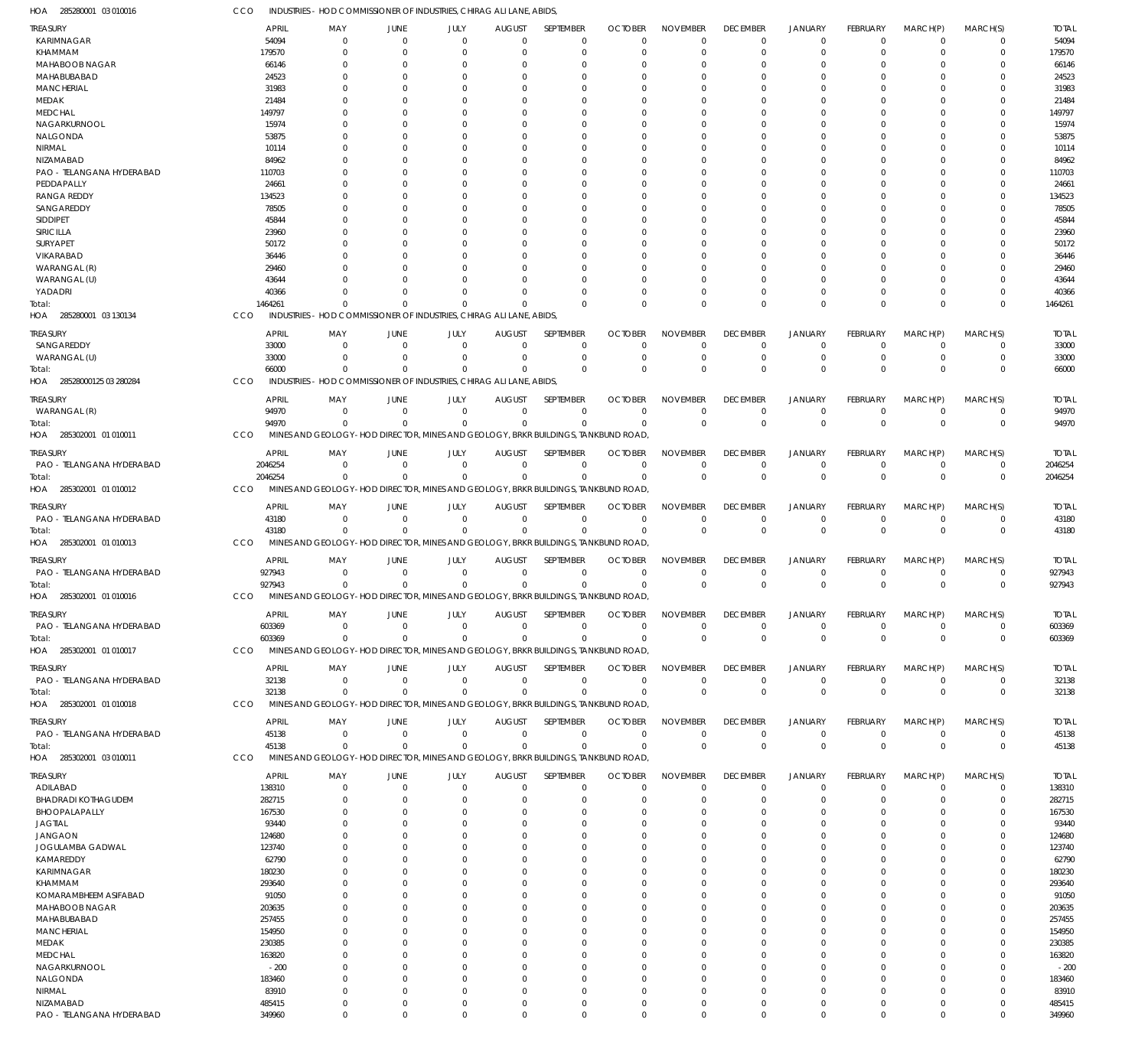285280001 03 010016 HOA CCO INDUSTRIES - HOD COMMISSIONER OF INDUSTRIES, CHIRAG ALI LANE, ABIDS,

| ireasury                   | <b>APRIL</b> | MAY                                                                               | JUNE           | JULY        | <b>AUGUST</b>  | SEPTEMBER        | <b>OCTOBER</b> | <b>NOVEMBER</b> | <b>DECEMBER</b> | <b>JANUARY</b>       | FEBRUARY        | MARCH(P)       | MARCH(S)    | <b>TOTAL</b> |
|----------------------------|--------------|-----------------------------------------------------------------------------------|----------------|-------------|----------------|------------------|----------------|-----------------|-----------------|----------------------|-----------------|----------------|-------------|--------------|
| KARIMNAGAR                 | 54094        | 0                                                                                 | $\mathbf{0}$   | $\mathbf 0$ | $\mathbf 0$    | $\mathbf 0$      | $\Omega$       | $\mathbf 0$     | $\Omega$        | $\overline{0}$       | $\mathbf 0$     | $\overline{0}$ | $\mathbf 0$ | 54094        |
| KHAMMAM                    | 179570       | $\Omega$                                                                          | $\Omega$       | $\Omega$    | $\Omega$       | $\mathbf 0$      | $\Omega$       | $\Omega$        | $\Omega$        | $\Omega$             | $\Omega$        | $\Omega$       | $\mathbf 0$ | 179570       |
| MAHABOOB NAGAR             | 66146        | <sup>0</sup>                                                                      | $\Omega$       | 0           | $\Omega$       | $\Omega$         | O              | $\Omega$        |                 | $\Omega$             | 0               | 0              | $\Omega$    | 66146        |
| MAHABUBABAD                | 24523        | 0                                                                                 | $\Omega$       | Ω           | $\Omega$       | $\Omega$         | 0              | $\Omega$        | $\Omega$        | $\Omega$             |                 | $\Omega$       | $\Omega$    | 24523        |
| <b>MANCHERIAL</b>          | 31983        |                                                                                   | 0              |             | C              | $\Omega$         | 0              | $\Omega$        |                 | $\Omega$             | 0               | $\Omega$       | 0           | 31983        |
| MEDAK                      | 21484        | <sup>0</sup>                                                                      | $\Omega$       |             | 0              | $\Omega$         | C.             | $\Omega$        |                 | $\Omega$             |                 | $\Omega$       | $\Omega$    | 21484        |
| <b>MEDCHAL</b>             | 149797       |                                                                                   | 0              |             | C              | $\Omega$         | C.             | $\Omega$        |                 | $\Omega$             | 0               | $\Omega$       | $\Omega$    | 149797       |
| NAGARKURNOOL               | 15974        | <sup>0</sup>                                                                      | $\Omega$       |             | $\Omega$       | $\Omega$         | 0              | $\Omega$        |                 | $\Omega$             |                 | $\Omega$       | $\Omega$    | 15974        |
| NALGONDA                   | 53875        |                                                                                   | 0              |             | C              | $\Omega$         | 0              | $\Omega$        |                 | $\Omega$             | 0               | 0              | 0           | 53875        |
| NIRMAL                     | 10114        | <sup>0</sup>                                                                      | $\Omega$       |             | $\Omega$       | $\Omega$         | C.             | $\Omega$        |                 | $\Omega$             |                 | $\Omega$       | 0           | 10114        |
| NIZAMABAD                  | 84962        |                                                                                   | $\Omega$       |             | $\Omega$       | $\Omega$         | O              | $\Omega$        |                 | $\Omega$             | 0               | $\Omega$       | $\Omega$    | 84962        |
| PAO - TELANGANA HYDERABAD  | 110703       | <sup>0</sup>                                                                      | $\Omega$       |             | $\Omega$       | $\Omega$         | C.             | $\Omega$        |                 | $\Omega$             |                 | $\Omega$       | $\Omega$    | 110703       |
| PEDDAPALLY                 | 24661        |                                                                                   | 0              |             | C              | $\Omega$         | O              | $\Omega$        |                 | $\Omega$             | O               | 0              | 0           | 24661        |
| <b>RANGA REDDY</b>         |              | 0                                                                                 | $\Omega$       |             | $\Omega$       | $\Omega$         | O              | $\Omega$        |                 | $\Omega$             |                 | $\Omega$       | $\Omega$    | 134523       |
|                            | 134523       |                                                                                   |                |             |                |                  |                |                 |                 |                      |                 |                |             |              |
| SANGAREDDY                 | 78505        |                                                                                   | 0              |             | $\Omega$       | $\Omega$         | O              | $\Omega$        |                 | $\Omega$             | 0               | $\Omega$       | 0           | 78505        |
| SIDDIPET                   | 45844        | <sup>0</sup>                                                                      | $\Omega$       |             | C              | $\Omega$         | -0             | $\Omega$        |                 | $\Omega$             |                 | $\Omega$       | $\Omega$    | 45844        |
| SIRICILLA                  | 23960        |                                                                                   | 0              |             | C              | $\Omega$         | O              | $\Omega$        |                 | $\Omega$             |                 | $\Omega$       | 0           | 23960        |
| SURYAPET                   | 50172        |                                                                                   | $\Omega$       |             | $\Omega$       | $\Omega$         | O              | $\Omega$        |                 | $\Omega$             |                 | $\Omega$       | 0           | 50172        |
| VIKARABAD                  | 36446        |                                                                                   |                |             | C              | $\Omega$         | C.             | $\Omega$        |                 | $\Omega$             | O               | $\Omega$       | 0           | 36446        |
| WARANGAL (R)               | 29460        |                                                                                   | $\Omega$       |             | C              | $\Omega$         | -0             | $\Omega$        |                 | $\Omega$             |                 | $\Omega$       | $\Omega$    | 29460        |
| WARANGAL (U)               | 43644        |                                                                                   | O              |             | C              | $\Omega$         | C.             | $\Omega$        |                 | $\Omega$             | 0               | $\Omega$       | $\Omega$    | 43644        |
| YADADRI                    | 40366        | $\Omega$                                                                          | $\Omega$       | $\Omega$    | $\Omega$       | $\Omega$         | O              | $\Omega$        | $\Omega$        | $\Omega$             | 0               | $\Omega$       | $\Omega$    | 40366        |
| Total:                     | 1464261      | $\Omega$                                                                          | $\Omega$       |             | $\Omega$       | $\Omega$         | C              | $\Omega$        | $\Omega$        | $\Omega$             | $\Omega$        | $\Omega$       | $\mathbf 0$ | 1464261      |
| HOA 285280001 03 130134    | CCO          | INDUSTRIES - HOD COMMISSIONER OF INDUSTRIES. CHIRAG ALI LANE, ABIDS.              |                |             |                |                  |                |                 |                 |                      |                 |                |             |              |
|                            |              |                                                                                   |                |             |                |                  |                |                 |                 |                      |                 |                |             |              |
| treasury                   | <b>APRIL</b> | MAY                                                                               | JUNE           | JULY        | <b>AUGUST</b>  | SEPTEMBER        | <b>OCTOBER</b> | <b>NOVEMBER</b> | <b>DECEMBER</b> | <b>JANUARY</b>       | FEBRUARY        | MARCH(P)       | MARCH(S)    | <b>TOTAL</b> |
| SANGAREDDY                 | 33000        | $\Omega$                                                                          | $\Omega$       | $\Omega$    | $\Omega$       | $\Omega$         | $\Omega$       | $\Omega$        | $\Omega$        | $\Omega$             | $\Omega$        | $\Omega$       | $\Omega$    | 33000        |
| WARANGAL (U)               | 33000        | $\Omega$                                                                          | $\Omega$       | $\Omega$    | $\Omega$       | $\mathbf 0$      | $\Omega$       | $\mathbf 0$     | $\Omega$        | $^{\circ}$           | $\Omega$        | $\mathbf 0$    | $\mathbf 0$ | 33000        |
| Total:                     | 66000        | $\Omega$                                                                          | $\Omega$       | $\Omega$    | $\Omega$       | $\Omega$         | $\Omega$       | $\Omega$        | $\Omega$        | $\Omega$             | $\Omega$        | $\Omega$       | $\mathbf 0$ | 66000        |
| HOA 28528000125 03 280284  | CCO          | INDUSTRIES - HOD COMMISSIONER OF INDUSTRIES, CHIRAG ALI LANE, ABIDS,              |                |             |                |                  |                |                 |                 |                      |                 |                |             |              |
|                            |              |                                                                                   |                |             |                |                  |                |                 |                 |                      |                 |                |             |              |
| Treasury                   | APRIL        | MAY                                                                               | JUNE           | JULY        | <b>AUGUST</b>  | SEPTEMBER        | <b>OCTOBER</b> | <b>NOVEMBER</b> | <b>DECEMBER</b> | <b>JANUARY</b>       | FEBRUARY        | MARCH(P)       | MARCH(S)    | <b>TOTAL</b> |
| WARANGAL (R)               | 94970        | $\Omega$                                                                          | $\Omega$       | $\Omega$    | $\mathbf 0$    | $\mathbf 0$      | $\Omega$       | $\mathbf 0$     | $\Omega$        | $^{\circ}$           | $\mathbf 0$     | $\overline{0}$ | $\mathbf 0$ | 94970        |
| Total:                     | 94970        | $\Omega$                                                                          | $\Omega$       | $\Omega$    | $\Omega$       | $\Omega$         | $\Omega$       | $\Omega$        | $\Omega$        | $\overline{0}$       | $\mathbf 0$     | $\Omega$       | $\mathbf 0$ | 94970        |
| HOA 285302001 01 010011    | CCO          | MINES AND GEOLOGY-HOD DIRECTOR, MINES AND GEOLOGY, BRKR BUILDINGS, TANKBUND ROAD, |                |             |                |                  |                |                 |                 |                      |                 |                |             |              |
| treasury                   | <b>APRIL</b> | MAY                                                                               | JUNE           | JULY        | <b>AUGUST</b>  | SEPTEMBER        | <b>OCTOBER</b> | <b>NOVEMBER</b> | <b>DECEMBER</b> | JANUARY              | FEBRUARY        | MARCH(P)       | MARCH(S)    | <b>TOTAL</b> |
| PAO - TELANGANA HYDERABAD  |              | $\Omega$                                                                          | $\Omega$       | $\Omega$    | $\Omega$       | $\Omega$         | $\Omega$       | $\Omega$        | $\Omega$        | $\overline{0}$       | $\Omega$        | $\Omega$       |             | 2046254      |
|                            | 2046254      |                                                                                   |                |             |                |                  |                |                 |                 |                      |                 |                | 0           |              |
| iotal:                     | 2046254      | $\Omega$                                                                          | $\Omega$       | $\Omega$    | $\Omega$       | $\Omega$         | $\Omega$       | $\Omega$        | $\Omega$        | $\Omega$             | $\Omega$        | $\Omega$       | $\mathbf 0$ | 2046254      |
| HOA 285302001 01 010012    | CCO          | MINES AND GEOLOGY-HOD DIRECTOR, MINES AND GEOLOGY, BRKR BUILDINGS, TANKBUND ROAD, |                |             |                |                  |                |                 |                 |                      |                 |                |             |              |
| treasury                   | <b>APRIL</b> | MAY                                                                               | JUNE           | JULY        | <b>AUGUST</b>  | SEPTEMBER        | <b>OCTOBER</b> | <b>NOVEMBER</b> | <b>DECEMBER</b> | <b>JANUARY</b>       | FEBRUARY        | MARCH(P)       | MARCH(S)    | <b>TOTAL</b> |
| PAO - TELANGANA HYDERABAD  | 43180        | - 0                                                                               | $\overline{0}$ | $\mathbf 0$ | $\overline{0}$ | $\mathbf 0$      | $\Omega$       | $\mathbf 0$     | $\Omega$        | $\overline{0}$       | $\mathbf 0$     | $\overline{0}$ | $\mathbf 0$ | 43180        |
| Total:                     | 43180        | $\Omega$                                                                          | $\Omega$       | $\Omega$    | $\Omega$       | $\Omega$         | $\Omega$       | $\Omega$        | $\Omega$        | $\overline{0}$       | $\Omega$        | $\Omega$       | $\pmb{0}$   | 43180        |
| HOA 285302001 01 010013    | CCO          | MINES AND GEOLOGY-HOD DIRECTOR, MINES AND GEOLOGY, BRKR BUILDINGS, TANKBUND ROAD, |                |             |                |                  |                |                 |                 |                      |                 |                |             |              |
|                            |              |                                                                                   |                |             |                |                  |                |                 |                 |                      |                 |                |             |              |
| treasury                   | APRIL        | MA <sup>\</sup>                                                                   | JUNE           | JULY        | <b>AUGUST</b>  | SEPTEMBER        | <b>OCTOBER</b> | <b>NOVEMBER</b> | <b>DECEMBER</b> | <b>JANUARY</b>       | FEBRUARY        | MARCH(P)       | MARCH(S)    | <b>TOTAL</b> |
| PAO - TELANGANA HYDERABAD  | 927943       | $\Omega$                                                                          | $\Omega$       | $\Omega$    | $\Omega$       | $\Omega$         | $\Omega$       | $\Omega$        | $\Omega$        | $^{\circ}$           | $\Omega$        | $\Omega$       | $\Omega$    | 927943       |
| Total:                     | 927943       | $\Omega$                                                                          | $\Omega$       | $\Omega$    | $\Omega$       | $\Omega$         | $\Omega$       | $\Omega$        | $\Omega$        | $\overline{0}$       | $\Omega$        | $\Omega$       | $\mathbf 0$ | 927943       |
| HOA 285302001 01 010016    | CCO          | MINES AND GEOLOGY-HOD DIRECTOR, MINES AND GEOLOGY, BRKR BUILDINGS, TANKBUND ROAD, |                |             |                |                  |                |                 |                 |                      |                 |                |             |              |
|                            |              |                                                                                   |                |             |                |                  |                |                 |                 |                      |                 |                |             |              |
| <b>TREASURY</b>            | <b>APRIL</b> | MAY                                                                               | <b>JUNE</b>    | JULY –      | AUGUST         | <b>SEPTEMBER</b> | <b>OCTOBER</b> | <b>NOVEMBER</b> | <b>DECEMBER</b> | JANUARY              | <b>FFBRUARY</b> | MARCH(P)       | MARCH(S)    | <b>TOTAI</b> |
| PAO - TELANGANA HYDERABAD  | 603369       | 0                                                                                 | $\overline{0}$ | $\Omega$    | $\Omega$       | $\mathbf 0$      | $\Omega$       | $\Omega$        | $\Omega$        | $^{\circ}$           | $\mathbf 0$     | $\overline{0}$ | $\Omega$    | 603369       |
| Total:                     | 603369       | $\Omega$                                                                          | $\Omega$       | $\Omega$    | $\Omega$       | $\Omega$         | C              | $\Omega$        | $\Omega$        | $\overline{0}$       | $\mathbf 0$     | $\Omega$       | $\mathbf 0$ | 603369       |
| HOA 285302001 01 010017    | <b>CCO</b>   | MINES AND GEOLOGY-HOD DIRECTOR, MINES AND GEOLOGY, BRKR BUILDINGS, TANKBUND ROAD, |                |             |                |                  |                |                 |                 |                      |                 |                |             |              |
|                            |              |                                                                                   |                |             |                |                  |                | <b>NOVEMBER</b> | <b>DECEMBER</b> |                      |                 |                |             |              |
| treasury                   | APRIL        | MAY                                                                               | JUNE           | JULY        | AUGUST         | SEPTEMBER        | <b>OCTOBER</b> |                 |                 | <b>JANUARY</b>       | <b>FEBRUARY</b> | MARCH(P)       | MARCH(S)    | <b>TOTAL</b> |
| PAO - TELANGANA HYDERABAD  | 32138        | 0                                                                                 | $\Omega$       | $\Omega$    | $\mathbf 0$    | $\mathbf 0$      | $\Omega$       | $\mathbf 0$     | $\Omega$        | $^{\circ}$           | $\mathbf 0$     | $^{\circ}$     | 0           | 32138        |
| Total:                     | 32138        | $\Omega$                                                                          | $\Omega$       | $\Omega$    | $\Omega$       | $\Omega$         | $\Omega$       | $\Omega$        | $\Omega$        | $\mathbf 0$          | $\Omega$        | $\Omega$       | $\mathbf 0$ | 32138        |
| HOA 285302001 01 010018    | CCO          | MINES AND GEOLOGY-HOD DIRECTOR, MINES AND GEOLOGY, BRKR BUILDINGS, TANKBUND ROAD, |                |             |                |                  |                |                 |                 |                      |                 |                |             |              |
| treasury                   | <b>APRIL</b> | MAY                                                                               | JUNE           | JULY        | <b>AUGUST</b>  | SEPTEMBER        | <b>OCTOBER</b> | NOVEMBER        | <b>DECEMBER</b> | JANUARY              | FEBRUARY        | MARCH(P)       | MARCH(S)    | <b>TOTAL</b> |
| PAO - TELANGANA HYDERABAD  | 45138        | - 0                                                                               | $\mathbf{0}$   | $\mathbf 0$ | $\overline{0}$ | $\mathbf 0$      | $\Omega$       | $\mathbf 0$     | $\Omega$        | $^{\circ}$           | $\mathbf 0$     | $^{\circ}$     | $\mathbf 0$ | 45138        |
| Total:                     | 45138        | $\Omega$                                                                          | $\Omega$       | $\Omega$    | $\Omega$       | $\Omega$         | $\Omega$       | $\Omega$        | $\Omega$        | $\overline{0}$       | $\Omega$        | $\Omega$       | $\mathbf 0$ | 45138        |
| HOA 285302001 03 010011    | CCO          | MINES AND GEOLOGY-HOD DIRECTOR, MINES AND GEOLOGY, BRKR BUILDINGS, TANKBUND ROAD, |                |             |                |                  |                |                 |                 |                      |                 |                |             |              |
|                            |              |                                                                                   |                |             |                |                  |                |                 |                 |                      |                 |                |             |              |
| treasury                   | <b>APRIL</b> | MAY                                                                               | JUNE           | JULY        | <b>AUGUST</b>  | SEPTEMBER        | <b>OCTOBER</b> | <b>NOVEMBER</b> | <b>DECEMBER</b> | <b>JANUARY</b>       | FEBRUARY        | MARCH(P)       | MARCH(S)    | <b>TOTAL</b> |
| ADILABAD                   | 138310       | 0                                                                                 | $\Omega$       | $\Omega$    | $\mathbf 0$    | $\mathbf 0$      | $\Omega$       | $\Omega$        | $\Omega$        | $^{\circ}$           | $\Omega$        | 0              | $\Omega$    | 138310       |
| <b>BHADRADI KOTHAGUDEM</b> | 282715       | $\Omega$                                                                          | $\Omega$       | 0           | C              | $\Omega$         | $\Omega$       | $\Omega$        | $\Omega$        | $^{\circ}$           | 0               | $\Omega$       | $\Omega$    | 282715       |
| BHOOPALAPALLY              | 167530       | 0                                                                                 | 0              | Ω           | 0              | $\Omega$         | O              | $\Omega$        | $\Omega$        | $\Omega$             |                 | $\Omega$       | $\Omega$    | 167530       |
| JAGTIAL                    | 93440        | 0                                                                                 | 0              |             | 0              | $\Omega$         | C.             | $\Omega$        |                 | $\Omega$             |                 | $\Omega$       | O           | 93440        |
| JANGAON                    | 124680       | 0                                                                                 | O              |             | 0              | $\Omega$         | -0             | $\Omega$        |                 | $\Omega$             |                 | $\Omega$       | C           | 124680       |
| <b>JOGULAMBA GADWAL</b>    | 123740       |                                                                                   |                |             | C              | $\Omega$         |                | $\Omega$        |                 | $\Omega$             |                 | $\Omega$       |             | 123740       |
| KAMAREDDY                  |              | U                                                                                 |                |             |                | $\Omega$         | C.             | $\Omega$        |                 |                      |                 | $\Omega$       | C           | 62790        |
| KARIMNAGAR                 | 62790        | U                                                                                 |                |             | 0<br>C         | $\Omega$         | C.             | $\Omega$        |                 | $\Omega$<br>$\Omega$ |                 | $\Omega$       | C           | 180230       |
|                            | 180230       |                                                                                   |                |             |                |                  |                |                 |                 |                      |                 |                |             |              |
| KHAMMAM                    | 293640       |                                                                                   |                |             | 0              | $\Omega$         | -0             | $\Omega$        |                 | $\Omega$             |                 | $\Omega$       | C           | 293640       |
| KOMARAMBHEEM ASIFABAD      | 91050        |                                                                                   |                |             | C              | $\Omega$         | -0             | $\Omega$        |                 | $\Omega$             |                 | $\Omega$       | C           | 91050        |
| MAHABOOB NAGAR             | 203635       | <sup>0</sup>                                                                      |                |             | 0              | $\Omega$         | 0              | $\Omega$        |                 | $\Omega$             |                 | $\Omega$       | 0           | 203635       |
| MAHABUBABAD                | 257455       |                                                                                   |                |             | C              | $\Omega$         |                | $\Omega$        |                 | $\Omega$             |                 | $\Omega$       |             | 257455       |
|                            | 154950       | U                                                                                 |                |             | 0              | $\Omega$         | -0             | $\Omega$        |                 | $\Omega$             |                 | $\Omega$       | C           | 154950       |
| <b>MANCHERIAL</b>          |              |                                                                                   |                |             |                |                  |                |                 |                 |                      |                 |                |             | 230385       |
| MEDAK                      | 230385       | 0                                                                                 |                |             | C              | $\Omega$         | -0             | $\Omega$        |                 | $\Omega$             |                 | $\Omega$       |             |              |
| MEDCHAL                    | 163820       | <sup>0</sup>                                                                      |                |             | 0              | $\Omega$         | C.             | $\Omega$        |                 | $\Omega$             |                 | $\Omega$       | C           | 163820       |
| NAGARKURNOOL               | $-200$       |                                                                                   |                |             | C              | $\Omega$         |                | $\Omega$        |                 | $\Omega$             |                 | $\Omega$       | C           | $-200$       |
| NALGONDA                   | 183460       | 0                                                                                 |                |             | O              | $\Omega$         | -0             | $\Omega$        |                 | $\Omega$             |                 | $\Omega$       | 0           | 183460       |
| NIRMAL                     | 83910        | $\Omega$                                                                          | $\Omega$       |             | 0              | $\Omega$         | C.             | $\Omega$        |                 | $\Omega$             |                 | $\Omega$       | 0           | 83910        |
| NIZAMABAD                  | 485415       | $^{\circ}$                                                                        | 0              | $\Omega$    | $\Omega$       | $\mathbf 0$      | O              | $\Omega$        | $\Omega$        | $^{\circ}$           | 0               | $\mathbf 0$    | 0           | 485415       |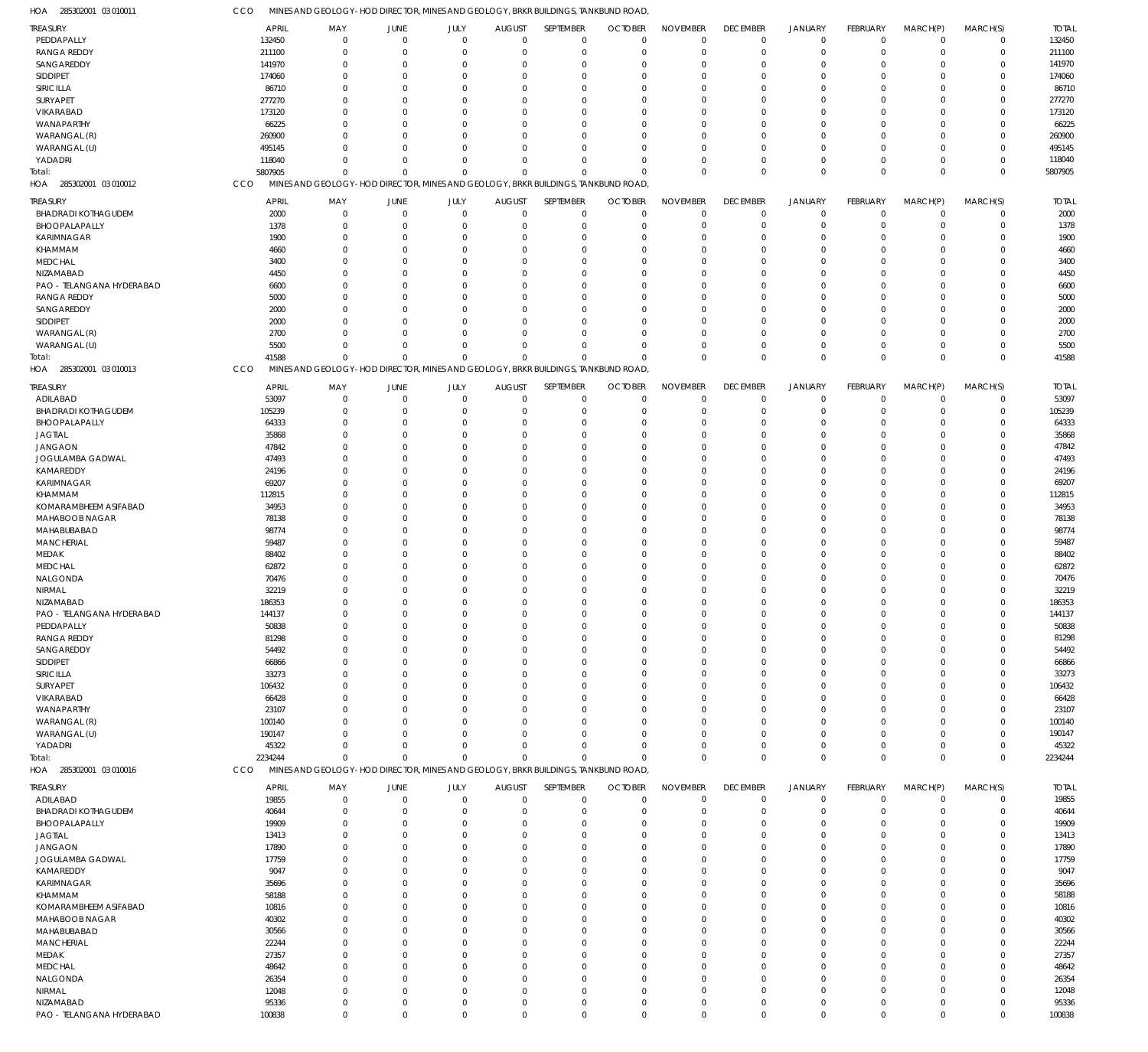285302001 03 010011 HOA 285302001 03 010012 HOA 285302001 03 010013 HOA 285302001 03 010016 HOA MINES AND GEOLOGY-HOD DIRECTOR, MINES AND GEOLOGY, BRKR BUILDINGS, TANKBUND ROAD, MINES AND GEOLOGY-HOD DIRECTOR, MINES AND GEOLOGY, BRKR BUILDINGS, TANKBUND ROAD, MINES AND GEOLOGY-HOD DIRECTOR, MINES AND GEOLOGY, BRKR BUILDINGS, TANKBUND ROAD, MINES AND GEOLOGY-HOD DIRECTOR, MINES AND GEOLOGY, BRKR BUILDINGS, TANKBUND ROAD, **CCO** CCO CCO CCO 5807905 41588 2234244 0 0  $\Omega$ 0 0 0 0 0 0 0 0  $\Omega$ 0  $\Omega$  $\Omega$ 0 0 0 0 0  $\Omega$ 0 0  $\Omega$ 0 0  $\Omega$ 0 0 0 0  $\overline{0}$  $\Omega$ 0 0  $\Omega$ 5807905 41588 2234244 PEDDAPALLY RANGA REDDY **SANGAREDDY** SIDDIPET SIRICILLA **SURYAPET** VIKARABAD WANAPARTHY WARANGAL (R) WARANGAL (U) YADADRI BHADRADI KOTHAGUDEM BHOOPALAPALLY KARIMNAGAR KHAMMAM MEDCHAL NIZAMABAD PAO - TELANGANA HYDERABAD RANGA REDDY SANGAREDDY SIDDIPET WARANGAL (R) WARANGAL (U) ADILABAD BHADRADI KOTHAGUDEM BHOOPALAPALLY JAGTIAL JANGAON JOGULAMBA GADWAL KAMAREDDY KARIMNAGAR KHAMMAM KOMARAMBHEEM ASIFABAD MAHABOOB NAGAR MAHABUBABAD MANCHERIAL MEDAK **MEDCHAI** NALGONDA NIRMAL NIZAMABAD PAO - TELANGANA HYDERABAD PEDDAPALLY RANGA REDDY SANGAREDDY SIDDIPET SIRICILLA SURYAPET VIKARABAD WANAPARTHY WARANGAL (R) WARANGAL (U) YADADRI ADILABAD BHADRADI KOTHAGUDEM BHOOPALAPALLY JAGTIAL JANGAON JOGULAMBA GADWAL KAMAREDDY KARIMNAGAR KHAMMAM KOMARAMBHEEM ASIFABAD MAHABOOB NAGAR MAHABUBABAD MANCHERIAL MEDAK MEDCHAL NALGONDA **NIRMAL** NIZAMABAD TREASURY **TREASURY** TREASURY TREASURY 132450 211100 141970 174060 86710 277270 173120 66225 260900 495145 118040 2000 1378 1900 4660 3400 4450 6600 5000 2000 2000 2700 5500 53097 105239 64333 35868 47842 47493 24196 69207 112815 34953 78138 98774 59487 88402 62872 70476 32219 186353 144137 50838 81298 54492 66866 33273 106432 66428 23107 100140 190147 45322 19855 40644 19909 13413 17890 17759 9047 35696 58188 10816 40302 30566 22244 27357 48642 26354 12048 95336 APRIL APRIL APRIL APRIL 0 0  $\Omega$ 0  $\Omega$  $\Omega$ 0  $\Omega$ 0  $\Omega$  $\Omega$ 0 0 0 0  $\Omega$ 0  $\Omega$ 0  $\Omega$  $\Omega$  $\Omega$ 0 0 0  $\Omega$ 0  $\Omega$ 0 0  $\Omega$  $\Omega$  $\Omega$ 0  $\Omega$  $\Omega$  $\Omega$  $\Omega$ 0  $\Omega$ 0  $\Omega$  $\Omega$ 0  $\Omega$ 0  $\Omega$  $\Omega$ 0  $\Omega$  $\Omega$ 0  $\Omega$ 0 0  $\Omega$ 0  $\Omega$  $\Omega$  $\Omega$ 0 0  $\Omega$  $\Omega$  $\Omega$ 0  $\Omega$ 0 0  $\theta$ 0 MAY MAY MAY MAY 0 0  $\Omega$ 0 0  $\Omega$ 0  $\Omega$ 0 0  $\Omega$ 0  $\Omega$ 0 0  $\theta$ 0  $\Omega$ 0 0 0 0  $\Omega$ 0 0  $\theta$ 0  $\Omega$ 0 0 0 0  $\Omega$ 0  $\Omega$ 0 0  $\Omega$ 0  $\Omega$ 0 0  $\Omega$ 0  $\Omega$ 0 0 0 0  $\Omega$ 0 0 0 0  $\Omega$ 0 0 0 0  $\Omega$ 0 0 0 0  $\Omega$ 0  $\Omega$ 0 0  $\Omega$ 0 JUNE JUNE JUNE JUNE 0 0 0 0 0 0 0 0  $\theta$ 0 0 0 0 0 0 0 0 0  $\theta$ 0 0 0 0 0 0 0 0 0 0 0 0 0 0 0 0 0 0 0 0 0 0 0 0 0 0  $\theta$ 0 0 0 0 0 0 0 0 0 0 0 0 0 0 0 0 0 0 0 0 0 0 0 0 0 JULY JULY JULY JULY 0 0  $\Omega$ 0 0  $\Omega$ 0  $\Omega$ 0 0  $\Omega$ 0  $\Omega$ 0 0  $\Omega$ 0  $\Omega$ 0 0  $\Omega$  $\Omega$  $\Omega$ 0 0  $\Omega$ 0  $\Omega$ 0 0 0  $\Omega$  $\Omega$ 0  $\Omega$ 0 0  $\Omega$ 0  $\Omega$ 0 0  $\Omega$ 0  $\Omega$ 0 0  $\Omega$ 0  $\Omega$ 0 0  $\Omega$ 0  $\Omega$ 0 0 0  $\Omega$  $\Omega$ 0 0  $\Omega$ 0  $\Omega$ 0  $\Omega$ 0 0  $\Omega$  $\pmb{0}$ AUGUST AUGUST AUGUST AUGUST  $\Omega$ 0  $\Omega$ 0 0  $\Omega$ 0  $\Omega$  $\Omega$ 0  $\Omega$ 0  $\Omega$ 0 0  $\Omega$ 0  $\Omega$  $\Omega$ 0  $\Omega$  $\Omega$  $\Omega$ 0 0  $\theta$ 0  $\Omega$ 0 0  $\Omega$  $\Omega$  $\Omega$ 0  $\Omega$  $\Omega$  $\Omega$  $\theta$  $\mathbf 0$  $\Omega$ 0 0  $\Omega$ 0  $\Omega$  $\Omega$ 0  $\Omega$ 0  $\Omega$ 0 0  $\Omega$ 0  $\Omega$ 0 0  $\Omega$  $\Omega$  $\Omega$ 0 0  $\Omega$  $\Omega$  $\Omega$ 0  $\Omega$ 0 0  $\Omega$  $\boldsymbol{0}$ SEPTEMBER SEPTEMBER SEPTEMBER SEPTEMBER 0 0  $\Omega$ 0 0  $\Omega$ 0 0 0 0  $\Omega$ 0 0 0 0 0 0 0 0 0  $\Omega$ 0  $\Omega$ 0 0 0 0  $\Omega$ 0 0  $\Omega$  $\Omega$ 0 0 0  $\Omega$ 0 0 0 0 0 0  $\Omega$ 0 0 0 0  $\Omega$ 0 0 0 0  $\Omega$ 0  $\Omega$ 0 0 0 0 0 0 0 0 0 0 0 0 0 0  $\Omega$  $\pmb{0}$ OCTOBER **OCTOBER OCTOBER** OCTOBER  $\Omega$ 0  $\Omega$ 0 0  $\Omega$ 0  $\Omega$  $\mathbf 0$ 0  $\Omega$ 0  $\Omega$ 0 0  $\Omega$ 0  $\Omega$  $\mathbf 0$ 0 0  $\Omega$  $\Omega$  $\mathbf 0$ 0 0 0  $\Omega$ 0 0 0  $\Omega$  $\Omega$ 0  $\Omega$ 0  $\Omega$  $\Omega$ 0  $\Omega$ 0 0  $\Omega$ 0  $\Omega$ 0 0  $\Omega$ 0  $\Omega$ 0 0 0 0  $\Omega$ 0 0 0 0  $\Omega$ 0 0 0  $\Omega$  $\Omega$ 0  $\Omega$ 0 0  $\theta$ 0 NOVEMBER NOVEMBER NOVEMBER NOVEMBER 0 0 0 0 0  $\Omega$ 0  $\Omega$  $\Omega$ 0  $\Omega$ 0 0 0 0  $\Omega$ 0  $\Omega$ 0 0 0  $\Omega$ 0 0 0  $\Omega$ 0  $\Omega$ 0 0 0  $\Omega$  $\Omega$ 0  $\Omega$ 0  $\Omega$  $\Omega$ 0  $\Omega$ 0 0  $\Omega$ 0  $\Omega$  $\overline{0}$ 0  $\Omega$ 0  $\Omega$ 0 0 0 0 0 0 0 0  $\Omega$  $\Omega$ 0 0 0  $\Omega$  $\Omega$ 0  $\Omega$ 0 0  $\Omega$ 0 DECEMBER DECEMBER **DECEMBER** DECEMBER  $\Omega$ 0  $\Omega$ 0  $\Omega$  $\Omega$ 0  $\Omega$ 0 0 0 0 0 0 0  $\Omega$ 0  $\Omega$ 0 0  $\Omega$  $\Omega$  $\Omega$ 0 0  $\Omega$ 0  $\Omega$ 0 0 0  $\Omega$  $\Omega$ 0  $\Omega$  $\Omega$ 0  $\Omega$ 0  $\Omega$ 0  $\Omega$  $\Omega$ 0  $\Omega$ 0 0  $\Omega$ 0  $\Omega$ 0 0 0 0  $\Omega$ 0 0  $\Omega$  $\Omega$  $\Omega$ 0 0  $\Omega$ 0  $\Omega$ 0  $\Omega$ 0 0  $\theta$ 0 JANUARY JANUARY JANUARY JANUARY 0 0  $\Omega$ 0 0  $\Omega$ 0  $\Omega$ 0 0 0 0  $\Omega$ 0 0  $\Omega$ 0  $\Omega$ 0 0 0 0  $\Omega$ 0 0 0 0  $\Omega$ 0 0 0 0  $\Omega$ 0  $\Omega$ 0 0 0 0  $\Omega$ 0 0  $\theta$ 0  $\Omega$ 0 0 0 0  $\Omega$ 0 0 0 0  $\Omega$ 0 0 0 0  $\Omega$ 0 0 0 0  $\Omega$ 0  $\Omega$ 0 0 0 0 FEBRUARY FEBRUARY FEBRUARY FEBRUARY 0 0  $\Omega$ 0  $\Omega$  $\Omega$ 0  $\Omega$  $\Omega$ 0 0 0  $\Omega$ 0 0  $\Omega$ 0 0 0 0 0  $\Omega$  $\Omega$ 0 0  $\Omega$ 0  $\Omega$ 0 0 0  $\Omega$  $\Omega$ 0  $\Omega$ 0  $\Omega$  $\Omega$ 0  $\Omega$ 0  $\Omega$  $\Omega$ 0  $\Omega$ 0  $\Omega$  $\Omega$ 0  $\Omega$ 0 0 0 0  $\Omega$ 0 0  $\Omega$  $\Omega$  $\Omega$ 0 0 0  $\Omega$  $\Omega$ 0  $\Omega$ 0 0  $\Omega$ 0 MARCH(P) MARCH(P) MARCH(P) MARCH(P)  $\Omega$ 0  $\Omega$ 0  $\Omega$  $\Omega$ 0  $\Omega$ 0 0 0 0  $\Omega$ 0 0  $\Omega$ 0  $\Omega$ 0 0 0  $\Omega$  $\Omega$ 0 0  $\Omega$ 0  $\Omega$ 0 0 0  $\Omega$  $\Omega$ 0  $\Omega$ 0  $\Omega$  $\Omega$ 0  $\Omega$ 0 0  $\Omega$ 0  $\Omega$ 0  $\Omega$  $\Omega$ 0  $\Omega$ 0 0 0 0  $\Omega$ 0 0  $\Omega$  $\Omega$  $\Omega$ 0 0 0  $\Omega$  $\Omega$ 0  $\Omega$ 0 0  $\Omega$ 0 MARCH(S) MARCH(S) MARCH(S) MARCH(S) 132450 211100 141970 174060 86710 277270 173120 66225 260900 495145 118040 2000 1378 1900 4660 3400 4450 6600 5000 2000 2000 2700 5500 53097 105239 64333 35868 47842 47493 24196 69207 112815 34953 78138 98774 59487 88402 62872 70476 32219 186353 144137 50838 81298 54492 66866 33273 106432 66428 23107 100140 190147 45322 19855 40644 19909 13413 17890 17759 9047 35696 58188 10816 40302 30566 22244 27357 48642 26354 12048 95336 TOTAL TOTAL TOTAL TOTAL Total: **Total** Total:

PAO - TELANGANA HYDERABAD

100838

 $\Omega$ 

 $\Omega$ 

0

 $\Omega$ 

 $\Omega$ 

0

 $\Omega$ 

 $\Omega$ 

 $\Omega$ 

 $\Omega$ 

 $\Omega$ 

 $\Omega$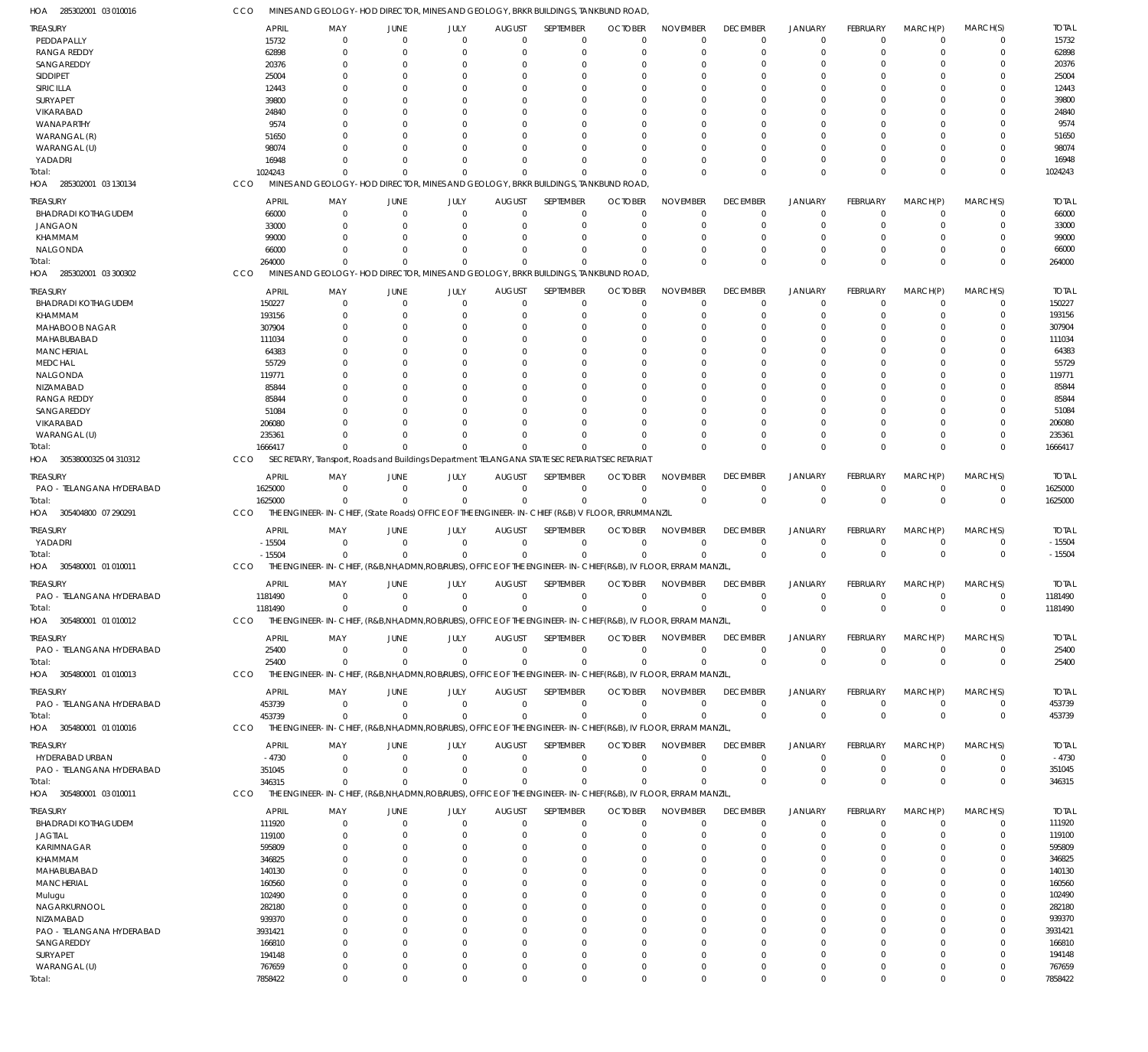285302001 03 010016 HOA 285302001 03 130134 HOA 285302001 03 300302 HOA 30538000325 04 310312 HOA 305404800 07 290291 HOA 305480001 01 010011 HOA 305480001 01 010012 HOA 305480001 01 010013 HOA 305480001 01 010016 HOA 305480001 03 010011 HOA MINES AND GEOLOGY-HOD DIRECTOR, MINES AND GEOLOGY, BRKR BUILDINGS, TANKBUND ROAD, MINES AND GEOLOGY-HOD DIRECTOR, MINES AND GEOLOGY, BRKR BUILDINGS, TANKBUND ROAD, MINES AND GEOLOGY-HOD DIRECTOR, MINES AND GEOLOGY, BRKR BUILDINGS, TANKBUND ROAD, SECRETARY, Transport, Roads and Buildings Department TELANGANA STATE SECRETARIAT SECRETARIAT THE ENGINEER-IN-CHIEF, (State Roads) OFFICE OF THE ENGINEER-IN-CHIEF (R&B) V FLOOR, ERRUMMANZIL THE ENGINEER-IN-CHIEF, (R&B,NH,ADMN,ROB/RUBS), OFFICE OF THE ENGINEER-IN-CHIEF(R&B), IV FLOOR, ERRAM MANZIL, THE ENGINEER-IN-CHIEF, (R&B,NH,ADMN,ROB/RUBS), OFFICE OF THE ENGINEER-IN-CHIEF(R&B), IV FLOOR, ERRAM MANZIL, THE ENGINEER-IN-CHIEF, (R&B,NH,ADMN,ROB/RUBS), OFFICE OF THE ENGINEER-IN-CHIEF(R&B), IV FLOOR, ERRAM MANZIL, THE ENGINEER-IN-CHIEF, (R&B,NH,ADMN,ROB/RUBS), OFFICE OF THE ENGINEER-IN-CHIEF(R&B), IV FLOOR, ERRAM MANZIL, THE ENGINEER-IN-CHIEF, (R&B,NH,ADMN,ROB/RUBS), OFFICE OF THE ENGINEER-IN-CHIEF(R&B), IV FLOOR, ERRAM MANZIL, CCO **CCO** CCO CCO CCO CCO **CCO CCO** CCO CCO 1024243 264000 1666417 1625000 -15504 1181490 25400 453739 346315 7858422 0  $\sqrt{2}$  $\Omega$ 0  $\Omega$  $\Omega$  $\Omega$  $\Omega$ 0  $\Omega$ 0  $\Omega$  $\Omega$ 0 0  $\Omega$ 0 0 0 0 0  $\Omega$  $\Omega$ 0 0  $\Omega$ 0 0 0 0 0  $\Omega$  $\Omega$ 0  $\Omega$  $\Omega$  $\Omega$ 0 0 0  $\overline{0}$  $\Omega$  $\Omega$  $\Omega$  $\Omega$  $\Omega$  $\Omega$  $\Omega$ 0 0 0  $\Omega$  $\Omega$ 0  $\Omega$  $\Omega$ 0  $\Omega$ 0 0 0  $\Omega$  $\Omega$ 0  $\Omega$  $\Omega$  $\Omega$  $\Omega$ 0 0 0  $\Omega$  $\Omega$ 0  $\Omega$  $\Omega$  $\Omega$ 0 0 0 0  $\Omega$  $\Omega$ 0 0  $\Omega$ 0 0 0 0  $\overline{0}$  $\Omega$  $\Omega$ 0 0  $\Omega$ 0 0 0 0 0  $\Omega$  $\Omega$ 0 0  $\Omega$  $\Omega$ 0 0 0 0  $\Omega$  $\Omega$ 0  $\Omega$  $\Omega$  $\Omega$  $\Omega$ 0 0 1024243 264000 1666417 1625000 -15504 1181490 25400 453739 346315 7858422 PEDDAPALLY RANGA REDDY **SANGAREDDY** SIDDIPET SIRICILLA SURYAPET VIKARABAD WANAPARTHY WARANGAL (R) WARANGAL (U) YADADRI BHADRADI KOTHAGUDEM JANGAON KHAMMAM NALGONDA BHADRADI KOTHAGUDEM KHAMMAM MAHABOOB NAGAR MAHABUBABAD MANCHERIAL MEDCHAL NALGONDA NIZAMABAD RANGA REDDY SANGAREDDY VIKARABAD WARANGAL (U) PAO - TELANGANA HYDERABAD YADADRI PAO - TELANGANA HYDERABAD PAO - TELANGANA HYDERABAD PAO - TELANGANA HYDERABAD HYDERABAD URBAN PAO - TELANGANA HYDERABAD BHADRADI KOTHAGUDEM JAGTIAL KARIMNAGAR KHAMMAM MAHABUBABAD **MANCHERIAL** Mulugu NAGARKURNOOL NIZAMABAD PAO - TELANGANA HYDERABAD SANGAREDDY SURYAPET WARANGAL (U) TREASURY TREASURY TREASURY TREASURY **TREASURY TREASURY** TREASURY **TREASURY** TREASURY **TREASURY** 15732 62898 20376 25004 12443 39800 24840 9574 51650 98074 16948 66000 33000 99000 66000 150227 193156 307904 111034 64383 55729 119771 85844 85844 51084 206080 235361 1625000 -15504 1181490 25400 453739 -4730 351045 111920 119100 595809 346825 140130 160560 102490 282180 939370 3931421 166810 194148 767659 APRIL APRIL APRIL APRIL APRIL APRIL APRIL APRIL APRIL APRIL  $\Omega$ 0  $\Omega$ 0  $\Omega$  $\Omega$ 0  $\Omega$  $\Omega$  $\Omega$  $\Omega$ 0  $\Omega$ 0 0  $\Omega$ 0  $\Omega$  $\Omega$  $\Omega$  $\Omega$ 0  $\Omega$  $\Omega$  $\Omega$  $\Omega$ 0 0 0 0  $\Omega$ 0 0  $\Omega$ 0 0  $\Omega$  $\Omega$  $\Omega$ 0 0  $\Omega$  $\Omega$  $\Omega$ 0  $\Omega$ 0 MAY MAY MAY MAY MAY MAY MAY MAY MAY MAY 0 0  $\Omega$ 0 0  $\Omega$ 0  $\Omega$ 0 0  $\Omega$ 0  $\Omega$ 0 0 0 0  $\Omega$ 0 0  $\Omega$ 0  $\Omega$ 0 0  $\Omega$ 0 0 0 0 0 0 0 0 0 0 0  $\Omega$  $\Omega$ 0 0 0 0  $\Omega$ 0  $\Omega$ 0 JUNE JUNE JUNE JUNE JUNE JUNE JUNE JUNE JUNE JUNE 0 0 0 0 0  $\Omega$ 0 0  $\Omega$ 0 0 0 0 0 0 0 0 0 0 0 0 0 0 0 0 0 0 0 0 0 0 0 0 0 0 0 0 0 0 0 0 0 0 0 0 0 0 JULY JULY JULY JULY JULY JULY JULY JULY JULY JULY  $\Omega$ 0  $\Omega$ 0  $\Omega$  $\Omega$ 0  $\Omega$  $\theta$ 0  $\Omega$ 0  $\Omega$ 0 0  $\Omega$ 0  $\Omega$ 0 0  $\Omega$ 0  $\Omega$ 0  $\Omega$  $\Omega$ 0  $\Omega$ 0 0  $\Omega$ 0 0 0 0 0 0  $\Omega$  $\Omega$ 0 0  $\Omega$  $\Omega$  $\Omega$ 0  $\Omega$ 0 AUGUST AUGUST AUGUST AUGUST AUGUST AUGUST AUGUST AUGUST AUGUST AUGUST  $\Omega$ 0  $\Omega$ 0  $\Omega$  $\Omega$ 0  $\Omega$  $\Omega$  $\Omega$  $\Omega$ 0  $\Omega$ 0 0  $\Omega$ 0  $\Omega$  $\Omega$  $\Omega$  $\Omega$ 0  $\Omega$  $\Omega$  $\Omega$  $\Omega$ 0  $\overline{0}$ 0  $\theta$ 0 0  $\overline{0}$  $\Omega$ 0 0  $\Omega$  $\Omega$  $\Omega$ 0 0  $\Omega$  $\Omega$  $\Omega$ 0  $\Omega$ 0 SEPTEMBER SEPTEMBER SEPTEMBER SEPTEMBER SEPTEMBER SEPTEMBER SEPTEMBER SEPTEMBER SEPTEMBER SEPTEMBER 0 0 0 0 0  $\Omega$ 0 0 0  $\Omega$  $\Omega$ 0 0 0 0 0 0 0 0 0  $\Omega$ 0 0 0 0  $\Omega$ 0 0 0 0 0 0 0  $\Omega$ 0 0 0 0 0 0 0 0 0 0 0  $\Omega$ 0 OCTOBER **OCTOBER** OCTOBER **OCTOBER** OCTOBER OCTOBER **OCTOBER OCTOBER OCTOBER** OCTOBER  $\Omega$ 0  $\Omega$ 0 0  $\Omega$ 0  $\Omega$  $\theta$ 0  $\Omega$ 0  $\Omega$ 0 0  $\Omega$ 0  $\Omega$ 0  $\Omega$  $\Omega$ 0  $\Omega$  $\theta$ 0  $\Omega$ 0 0 0 0 0 0 0  $\Omega$ 0 0  $\Omega$  $\Omega$  $\Omega$ 0 0 0  $\Omega$  $\Omega$ 0  $\Omega$ 0 NOVEMBER NOVEMBER NOVEMBER NOVEMBER NOVEMBER NOVEMBER NOVEMBER NOVEMBER NOVEMBER NOVEMBER  $\Omega$ 0 0 0  $\Omega$  $\Omega$ 0 0  $\Omega$ 0  $\Omega$ 0 0 0 0  $\Omega$ 0 0 0 0 0 0  $\Omega$  $\Omega$  $\Omega$  $\Omega$ 0 0 0 0 0 0 0 0 0 0  $\Omega$  $\Omega$  $\Omega$ 0 0  $\Omega$  $\Omega$  $\Omega$ 0 0 0 DECEMBER **DECEMBER** DECEMBER DECEMBER **DECEMBER DECEMBER** DECEMBER **DECEMBER** DECEMBER **DECEMBER**  $\Omega$ 0  $\Omega$ 0  $\Omega$  $\Omega$ 0  $\Omega$  $\Omega$ 0  $\Omega$ 0  $\Omega$ 0 0  $\Omega$ 0  $\Omega$ 0 0  $\Omega$ 0  $\Omega$ 0 0  $\Omega$ 0 0 0  $\Omega$  $\Omega$ 0 0  $\Omega$ 0 0  $\Omega$  $\Omega$  $\Omega$ 0 0  $\Omega$  $\Omega$  $\Omega$ 0 0 0 JANUARY JANUARY JANUARY JANUARY JANUARY JANUARY JANUARY JANUARY JANUARY JANUARY  $\Omega$ 0  $\Omega$ 0 0  $\Omega$ 0  $\Omega$ 0 0 0  $\theta$  $\theta$  $\Omega$  $\theta$  $\Omega$ 0  $\Omega$ 0 0  $\Omega$ 0  $\Omega$ 0 0 0 0  $\Omega$ 0  $\theta$  $\Omega$  $\Omega$ 0 0  $\Omega$  $\theta$  $\Omega$  $\Omega$  $\Omega$  $\theta$  $\Omega$  $\Omega$  $\theta$  $\Omega$  $\Omega$  $\theta$  $\Omega$ FEBRUARY FEBRUARY FEBRUARY FEBRUARY FEBRUARY FEBRUARY FEBRUARY FEBRUARY FEBRUARY FEBRUARY 0  $\Omega$  $\Omega$  $\Omega$ 0  $\Omega$  $\Omega$  $\Omega$  $\Omega$  $\theta$  $\Omega$  $\Omega$  $\Omega$  $\Omega$  $\theta$  $\Omega$  $\Omega$  $\Omega$  $\Omega$ 0  $\Omega$  $\Omega$  $\Omega$  $\Omega$  $\Omega$  $\Omega$ 0 0  $\Omega$  $\Omega$ 0  $\Omega$  $\theta$ 0  $\Omega$  $\theta$  $\Omega$  $\Omega$  $\Omega$  $\sqrt{2}$  $\theta$  $\Omega$  $\overline{0}$  $\Omega$  $\Omega$  $\Omega$ 0 MARCH(P) MARCH(P) MARCH(P) MARCH(P) MARCH(P) MARCH(P) MARCH(P) MARCH(P) MARCH(P) MARCH(P)  $\Omega$  $\Omega$  $\Omega$  $\Omega$ 0  $\Omega$ 0  $\Omega$  $\Omega$  $\Omega$  $\Omega$ 0  $\Omega$  $\Omega$  $\Omega$  $\Omega$  $\Omega$  $\Omega$  $\Omega$ 0  $\Omega$ 0  $\Omega$  $\Omega$ 0  $\Omega$ 0  $\Omega$  $\Omega$ 0  $\Omega$  $\Omega$  $\Omega$  $\Omega$  $\Omega$  $\theta$  $\Omega$ 0  $\Omega$  $\sqrt{2}$  $\Omega$  $\Omega$ 0  $\Omega$  $\Omega$  $\Omega$  $\Omega$ MARCH(S) MARCH(S) MARCH(S) MARCH(S) MARCH(S) MARCH(S) MARCH(S) MARCH(S) MARCH(S) MARCH(S) 15732 62898 20376 25004 12443 39800 24840 9574 51650 98074 16948 66000 33000 99000 66000 150227 193156 307904 111034 64383 55729 119771 85844 85844 51084 206080 235361 1625000  $-15504$ 1181490 25400 453739 -4730 351045 111920 119100 595809 346825 140130 160560 102490 282180 939370 3931421 166810 194148 767659 TOTAL TOTAL TOTAL TOTAL TOTAL TOTAL TOTAL TOTAL TOTAL TOTAL Total: Total: Total: Total: Total: Total: Total: Total: Total: Total: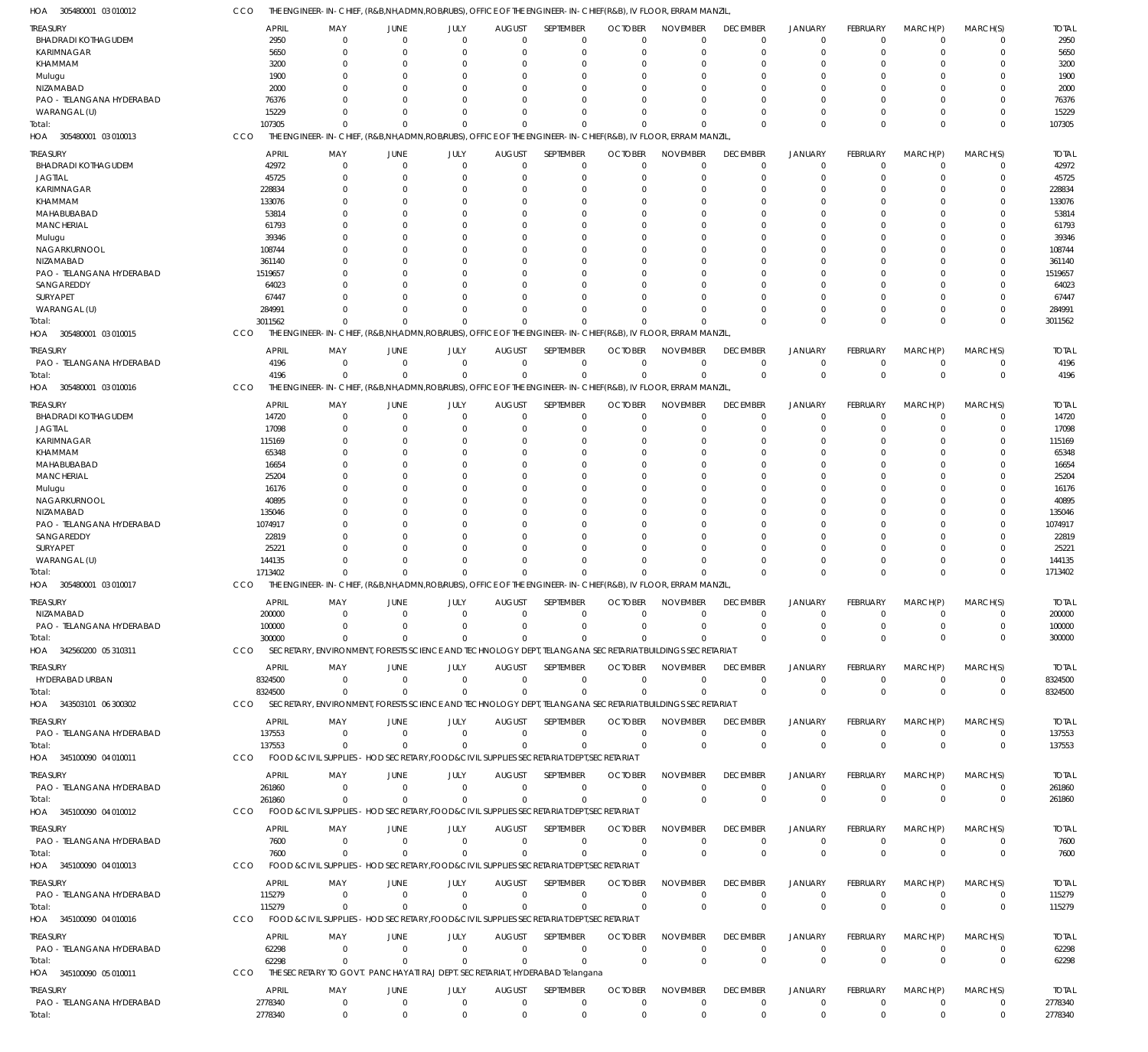| 305480001 03 010012<br>HOA             | CCO                    | THE ENGINEER-IN-CHIEF, (R&B,NH,ADMN,ROB/RUBS), OFFICE OF THE ENGINEER-IN-CHIEF(R&B), IV FLOOR, ERRAM MANZIL  |                      |             |                           |                                                       |                            |                      |                                |                            |                 |                         |                            |                        |
|----------------------------------------|------------------------|--------------------------------------------------------------------------------------------------------------|----------------------|-------------|---------------------------|-------------------------------------------------------|----------------------------|----------------------|--------------------------------|----------------------------|-----------------|-------------------------|----------------------------|------------------------|
| TREASURY                               | <b>APRIL</b>           | MAY                                                                                                          | <b>JUNE</b>          | JULY        | <b>AUGUST</b>             | SEPTEMBER                                             | <b>OCTOBER</b>             | <b>NOVEMBER</b>      | <b>DECEMBER</b>                | <b>JANUARY</b>             | <b>FEBRUARY</b> | MARCH(P)                | MARCH(S)                   | <b>TOTAL</b>           |
| <b>BHADRADI KOTHAGUDEM</b>             | 2950                   | $\Omega$                                                                                                     | $\mathbf 0$          | $\Omega$    | $\mathbf 0$               | 0                                                     | $\Omega$                   | $\Omega$             | $\mathbf 0$                    | $\mathbf 0$                | $\Omega$        | $\mathbf 0$             | 0                          | 2950                   |
| <b>KARIMNAGAR</b>                      | 5650                   | $\Omega$                                                                                                     | $\Omega$             | $\Omega$    | $\Omega$                  | $\mathbf 0$                                           | $\Omega$                   | $\Omega$             | $\mathbf 0$                    | $\mathbf 0$                | $\Omega$        | $\Omega$                | $\mathbf 0$                | 5650                   |
| KHAMMAM                                | 3200                   | $\Omega$                                                                                                     | $\Omega$             |             | 0                         | 0                                                     |                            | $\Omega$             | 0                              | 0                          |                 | 0                       | 0                          | 3200                   |
| Mulugu                                 | 1900<br>2000           |                                                                                                              | $\Omega$<br>$\Omega$ | O           | $\Omega$<br>$\Omega$      | $\Omega$<br>$\Omega$                                  |                            | $\Omega$<br>$\Omega$ | $\Omega$<br>$\Omega$           | $\Omega$<br>$\Omega$       | O               | $\Omega$<br>0           | $\Omega$<br>$\Omega$       | 1900<br>2000           |
| NIZAMABAD<br>PAO - TELANGANA HYDERABAD | 76376                  |                                                                                                              | $\Omega$             | O           | $\Omega$                  | $\Omega$                                              |                            |                      | $\Omega$                       | $\Omega$                   | O               | $\Omega$                | $\Omega$                   | 76376                  |
| WARANGAL (U)                           | 15229                  | <sup>0</sup>                                                                                                 | $\Omega$             | 0           | $\Omega$                  | 0                                                     | $\Omega$                   | $\Omega$             | $\Omega$                       | 0                          | 0               | 0                       | $\mathbf 0$                | 15229                  |
| Total:                                 | 107305                 | $\Omega$                                                                                                     |                      | $\Omega$    | $\Omega$                  | $\Omega$                                              |                            | $\Omega$             | $\Omega$                       | $\Omega$                   | $\Omega$        | $\Omega$                | $\mathbf 0$                | 107305                 |
| 305480001 03 010013<br>HOA             | CCO                    | THE ENGINEER-IN-CHIEF, (R&B,NH,ADMN,ROBIRUBS), OFFICE OF THE ENGINEER-IN-CHIEF(R&B), IV FLOOR, ERRAM MANZIL  |                      |             |                           |                                                       |                            |                      |                                |                            |                 |                         |                            |                        |
| treasury                               | <b>APRIL</b>           | MAY                                                                                                          | <b>JUNE</b>          | JULY        | <b>AUGUST</b>             | SEPTEMBER                                             | <b>OCTOBER</b>             | <b>NOVEMBER</b>      | <b>DECEMBER</b>                | <b>JANUARY</b>             | <b>FEBRUARY</b> | MARCH(P)                | MARCH(S)                   | <b>TOTAL</b>           |
| <b>BHADRADI KOTHAGUDEM</b>             | 42972                  | $\Omega$                                                                                                     | $\mathbf 0$          | $\Omega$    | $\mathbf 0$               | $\mathbf 0$                                           | $\Omega$                   | $\Omega$             | $^{\circ}$                     | $\mathbf 0$                | $\Omega$        | 0                       | $\mathbf 0$                | 42972                  |
| <b>JAGTIAL</b>                         | 45725                  | $\Omega$                                                                                                     | $\Omega$             | 0           | 0                         | $\mathbf 0$                                           | $\Omega$                   | $\Omega$             | $\mathbf 0$                    | $\mathbf 0$                | 0               | 0                       | $\mathbf 0$                | 45725                  |
| KARIMNAGAR                             | 228834                 |                                                                                                              | $\Omega$             |             | 0                         | 0                                                     |                            |                      | $\Omega$                       | $\Omega$                   |                 | 0                       | $\mathbf 0$                | 228834                 |
| KHAMMAM                                | 133076                 |                                                                                                              | $\Omega$             |             | 0                         | 0                                                     |                            |                      | $\Omega$                       | $\Omega$                   |                 | 0                       | $\mathbf 0$                | 133076                 |
| MAHABUBABAD                            | 53814                  |                                                                                                              | $\Omega$             |             | 0                         | $\Omega$                                              |                            |                      |                                | $\Omega$                   |                 | 0                       | $\Omega$                   | 53814                  |
| <b>MANCHERIAL</b>                      | 61793                  |                                                                                                              | $\Omega$             |             | $\Omega$                  | $\mathbf 0$                                           |                            |                      | 0                              | $\Omega$                   |                 | $\Omega$                | $\mathbf 0$                | 61793                  |
| Mulugu<br>NAGARKURNOOL                 | 39346<br>108744        |                                                                                                              | $\Omega$<br>$\Omega$ |             | 0<br>0                    | $\Omega$<br>$\Omega$                                  |                            |                      |                                | $\Omega$<br>$\Omega$       |                 | 0<br>0                  | $\Omega$<br>$\mathbf 0$    | 39346<br>108744        |
| NIZAMABAD                              | 361140                 |                                                                                                              | $\Omega$             |             | 0                         | $\Omega$                                              |                            |                      |                                | $\Omega$                   |                 | 0                       | $\Omega$                   | 361140                 |
| PAO - TELANGANA HYDERABAD              | 1519657                |                                                                                                              | $\Omega$             |             | $\Omega$                  | $\Omega$                                              |                            |                      | 0                              | $\Omega$                   |                 | $\Omega$                | $\mathbf 0$                | 1519657                |
| SANGAREDDY                             | 64023                  |                                                                                                              |                      |             | 0                         | $\Omega$                                              |                            |                      |                                | $\Omega$                   |                 | 0                       | $\Omega$                   | 64023                  |
| SURYAPET                               | 67447                  |                                                                                                              | O                    | O           | 0                         | $\Omega$                                              |                            |                      | $\Omega$                       | $\Omega$                   |                 | $\Omega$                | 0                          | 67447                  |
| WARANGAL (U)                           | 284991                 | U                                                                                                            | $\Omega$             | $\Omega$    | $\Omega$                  | $\Omega$                                              |                            |                      | $\Omega$                       | $\Omega$                   | 0               | 0                       | $\mathbf 0$                | 284991                 |
| otal:                                  | 3011562                | $\Omega$                                                                                                     |                      | U           | $\Omega$                  | $\Omega$                                              |                            | $\Omega$             | $\Omega$                       | $\Omega$                   | $\Omega$        | $\Omega$                | $\mathbf 0$                | 3011562                |
| HOA 305480001 03 010015                | CCO                    | THE ENGINEER-IN-CHIEF, (R&B,NH,ADMN,ROB/RUBS), OFFICE OF THE ENGINEER-IN-CHIEF(R&B), IV FLOOR, ERRAM MANZIL  |                      |             |                           |                                                       |                            |                      |                                |                            |                 |                         |                            |                        |
| treasury                               | <b>APRIL</b>           | MAY                                                                                                          | <b>JUNE</b>          | JULY        | <b>AUGUST</b>             | SEPTEMBER                                             | <b>OCTOBER</b>             | <b>NOVEMBER</b>      | <b>DECEMBER</b>                | <b>JANUARY</b>             | <b>FEBRUARY</b> | MARCH(P)                | MARCH(S)                   | <b>TOTAL</b>           |
| PAO - TELANGANA HYDERABAD              | 4196                   | $\Omega$                                                                                                     | $\mathbf 0$          | $\mathbf 0$ | $\mathbf 0$               | $\mathbf 0$                                           | $\mathbf{0}$               | $\Omega$             | $\mathbf 0$                    | $\mathbf 0$                | $\mathbf 0$     | $\mathbf 0$             | 0                          | 4196                   |
| Total:                                 | 4196                   | $\Omega$                                                                                                     | $\Omega$             | $\Omega$    | $\Omega$                  | $\mathbf 0$                                           | $\Omega$                   | $\Omega$             | $\mathbf 0$                    | $\mathbf 0$                | $\Omega$        | $\mathbf 0$             | $\mathbf 0$                | 4196                   |
| 305480001 03 010016<br>HOA             | CCO                    | THE ENGINEER-IN-CHIEF, (R&B,NH,ADMN,ROB/RUBS), OFFICE OF THE ENGINEER-IN-CHIEF(R&B), IV FLOOR, ERRAM MANZIL, |                      |             |                           |                                                       |                            |                      |                                |                            |                 |                         |                            |                        |
| treasury                               | <b>APRIL</b>           | MAY                                                                                                          | JUNE                 | JULY        | <b>AUGUST</b>             | SEPTEMBER                                             | <b>OCTOBER</b>             | <b>NOVEMBER</b>      | <b>DECEMBER</b>                | <b>JANUARY</b>             | <b>FEBRUARY</b> | MARCH(P)                | MARCH(S)                   | <b>TOTAL</b>           |
| <b>BHADRADI KOTHAGUDEM</b>             | 14720                  | $\Omega$                                                                                                     | $\mathbf 0$          | $\Omega$    | $\mathbf 0$               | $\mathbf 0$                                           | $\Omega$                   | $\Omega$             | $^{\circ}$                     | $\mathbf 0$                | $\Omega$        | 0                       | $\mathbf 0$                | 14720                  |
| <b>JAGTIAL</b>                         | 17098                  | $\Omega$                                                                                                     | $\Omega$             | 0           | $\Omega$                  | $\mathbf 0$                                           | $\Omega$                   | $\Omega$             | 0                              | $\mathbf 0$                | 0               | $\Omega$                | $\mathbf 0$                | 17098                  |
| KARIMNAGAR<br>KHAMMAM                  | 115169<br>65348        |                                                                                                              | $\Omega$<br>$\Omega$ |             | 0<br>0                    | $\mathbf 0$<br>$\Omega$                               |                            |                      | $\Omega$                       | $\Omega$<br>$\Omega$       |                 | 0<br>0                  | $\mathbf 0$<br>$\mathbf 0$ | 115169<br>65348        |
| MAHABUBABAD                            | 16654                  |                                                                                                              | $\Omega$             |             | 0                         | $\Omega$                                              |                            |                      | <sup>0</sup>                   | $\Omega$                   |                 | 0                       | $\mathbf 0$                | 16654                  |
| <b>MANCHERIAL</b>                      | 25204                  |                                                                                                              | $\Omega$             |             | 0                         | $\Omega$                                              |                            |                      |                                | $\Omega$                   |                 | 0                       | $\Omega$                   | 25204                  |
| Mulugu                                 | 16176                  |                                                                                                              | $\Omega$             |             | $\Omega$                  | 0                                                     |                            |                      | $\Omega$                       | $\Omega$                   |                 | 0                       | $\mathbf 0$                | 16176                  |
| NAGARKURNOOL                           | 40895                  |                                                                                                              | $\Omega$             |             | 0                         | $\Omega$                                              |                            |                      |                                | $\Omega$                   |                 | 0                       | $\Omega$                   | 40895                  |
| NIZAMABAD                              | 135046                 |                                                                                                              | $\Omega$             |             | 0                         | $\Omega$                                              |                            |                      | 0                              | $\Omega$                   |                 | 0                       | $\mathbf 0$                | 135046                 |
| PAO - TELANGANA HYDERABAD              | 1074917                |                                                                                                              | $\Omega$             |             | 0                         | $\Omega$                                              |                            |                      |                                | $\Omega$                   |                 | 0                       | $\Omega$                   | 1074917                |
| SANGAREDDY                             | 22819                  |                                                                                                              | $\Omega$             |             | $\Omega$                  | 0                                                     |                            |                      | $\Omega$                       | $\Omega$                   |                 | 0                       | $\mathbf 0$                | 22819                  |
| SURYAPET<br>WARANGAL (U)               | 25221<br>144135        | $\Omega$                                                                                                     | $\Omega$<br>$\Omega$ | U           | 0<br>$\Omega$             | $\Omega$<br>$\Omega$                                  |                            | $\Omega$             | $\Omega$                       | $\Omega$<br>$\Omega$       | 0               | $\Omega$<br>0           | $\Omega$<br>$\mathbf 0$    | 25221<br>144135        |
| Total:                                 | 1713402                | $\Omega$                                                                                                     | $\Omega$             | $\Omega$    | $\mathbf 0$               | $\Omega$                                              |                            | $\Omega$             | $\Omega$                       | $\Omega$                   | $\Omega$        | $\Omega$                | $\mathbf 0$                | 1713402                |
| HOA 305480001 03 010017                | <b>CCO</b>             | THE ENGINEER-IN-CHIEF, (R&B,NH,ADMN,ROB/RUBS), OFFICE OF THE ENGINEER-IN-CHIEF(R&B), IV FLOOR, ERRAM MANZIL, |                      |             |                           |                                                       |                            |                      |                                |                            |                 |                         |                            |                        |
|                                        |                        |                                                                                                              |                      |             |                           |                                                       |                            |                      |                                |                            | <b>FEBRUARY</b> |                         |                            |                        |
| TREASURY<br>NIZAMABAD                  | <b>APRIL</b><br>200000 | MAY<br>$\mathbf 0$                                                                                           | JUNE<br>$\Omega$     | JULY        | <b>AUGUST</b><br>$\Omega$ | SEPTEMBER<br>$\Omega$                                 | <b>OCTOBER</b><br>$\Omega$ | NOVEMBER<br>$\Omega$ | <b>DECEMBER</b><br>$\mathbf 0$ | <b>JANUARY</b><br>$\Omega$ | $\Omega$        | MARCH(P)<br>$\mathbf 0$ | MARCH(S)<br>$\mathbf 0$    | <b>TOTAI</b><br>200000 |
| PAO - TELANGANA HYDERABAD              | 100000                 | $\Omega$                                                                                                     | $\Omega$             | $\Omega$    | $\Omega$                  | $\mathbf 0$                                           | $\Omega$                   | $\mathbf 0$          | $\mathbf 0$                    | $\mathbf 0$                | $\mathbf 0$     | 0                       | $\mathbf 0$                | 100000                 |
| Total:                                 | 300000                 | $^{\circ}$                                                                                                   | $\Omega$             | $\Omega$    | $\Omega$                  | $\Omega$                                              | $\Omega$                   | $\Omega$             | $\mathbf 0$                    | $\mathbf{0}$               | $\Omega$        | $\Omega$                | $\mathbf 0$                | 300000                 |
| HOA 342560200 05 310311                | <b>CCO</b>             | SECRETARY, ENVIRONMENT, FORESTS SCIENCE AND TECHNOLOGY DEPT, TELANGANA SECRETARIAT BUILDINGS SECRETARIAT     |                      |             |                           |                                                       |                            |                      |                                |                            |                 |                         |                            |                        |
| Treasury                               | <b>APRIL</b>           | MAY                                                                                                          | JUNE                 | JULY        | <b>AUGUST</b>             | SEPTEMBER                                             | <b>OCTOBER</b>             | <b>NOVEMBER</b>      | <b>DECEMBER</b>                | <b>JANUARY</b>             | <b>FEBRUARY</b> | MARCH(P)                | MARCH(S)                   | <b>TOTAL</b>           |
| HYDERABAD URBAN                        | 8324500                | $^{\circ}$                                                                                                   | $\mathbf 0$          | $\mathbf 0$ | $^{\circ}$                | 0                                                     | $\Omega$                   | $\mathbf 0$          | $\mathbf 0$                    | $\overline{0}$             | $\Omega$        | $\mathbf 0$             | $\mathbf 0$                | 8324500                |
| Total:                                 | 8324500                | $\Omega$                                                                                                     | $\Omega$             | $\Omega$    | $\mathbf 0$               | $\mathbf 0$                                           | $\Omega$                   | $\Omega$             | $\mathbf 0$                    | $\mathbf 0$                | $\mathbf 0$     | $\mathbf 0$             | $\mathbf 0$                | 8324500                |
| HOA 343503101 06 300302                | CCO                    | SECRETARY, ENVIRONMENT, FORESTS SCIENCE AND TECHNOLOGY DEPT, TELANGANA SECRETARIAT BUILDINGS SECRETARIAT     |                      |             |                           |                                                       |                            |                      |                                |                            |                 |                         |                            |                        |
| treasury                               | <b>APRIL</b>           | MAY                                                                                                          | <b>JUNE</b>          | JULY        | <b>AUGUST</b>             | SEPTEMBER                                             | <b>OCTOBER</b>             | <b>NOVEMBER</b>      | <b>DECEMBER</b>                | <b>JANUARY</b>             | FEBRUARY        | MARCH(P)                | MARCH(S)                   | <b>TOTAL</b>           |
| PAO - TELANGANA HYDERABAD              | 137553                 | $^{\circ}$                                                                                                   | $\overline{0}$       | $\Omega$    | $\mathbf 0$               | $\mathbf 0$                                           | $\Omega$                   | $\Omega$             | $\mathbf 0$                    | $\mathbf 0$                | $\mathbf 0$     | $\mathbf 0$             | $\mathbf 0$                | 137553                 |
| Total:                                 | 137553                 | $\mathbf{0}$                                                                                                 | $\Omega$             | $\Omega$    | $\Omega$                  | $\mathbf 0$                                           | $\Omega$                   | $\Omega$             | $\mathbf 0$                    | $\mathbf 0$                | $\Omega$        | $\Omega$                | $\mathbf 0$                | 137553                 |
| HOA 345100090 04 010011                | CCO                    | FOOD &CIVIL SUPPLIES - HOD SECRETARY FOOD&CIVIL SUPPLIES SECRETARIAT DEPT SECRETARIAT                        |                      |             |                           |                                                       |                            |                      |                                |                            |                 |                         |                            |                        |
| TREASURY                               | <b>APRIL</b>           | MAY                                                                                                          | <b>JUNE</b>          | JULY        | <b>AUGUST</b>             | SEPTEMBER                                             | <b>OCTOBER</b>             | <b>NOVEMBER</b>      | <b>DECEMBER</b>                | <b>JANUARY</b>             | <b>FEBRUARY</b> | MARCH(P)                | MARCH(S)                   | <b>TOTAL</b>           |
| PAO - TELANGANA HYDERABAD              | 261860                 | $\mathbf 0$                                                                                                  | $\mathbf 0$          | $\mathbf 0$ | $\overline{0}$            | $\mathbf 0$                                           | $\Omega$                   | $\Omega$             | $\mathbf 0$                    | $\mathbf 0$                | $\mathbf 0$     | $\overline{0}$          | $\mathbf 0$                | 261860                 |
| Total:                                 | 261860                 | $\Omega$                                                                                                     |                      | $\Omega$    | 0                         | $\mathbf 0$                                           | $\Omega$                   | $\Omega$             | $\mathbf 0$                    | $\mathbf 0$                | $\Omega$        | $\mathbf 0$             | $\mathbf 0$                | 261860                 |
| HOA 345100090 04 010012                | CCO                    | FOOD & CIVIL SUPPLIES - HOD SECRETARY, FOOD& CIVIL SUPPLIES SECRETARIAT DEPT, SECRETARIAT                    |                      |             |                           |                                                       |                            |                      |                                |                            |                 |                         |                            |                        |
| treasury                               | <b>APRIL</b>           | MAY                                                                                                          | <b>JUNE</b>          | JULY        | <b>AUGUST</b>             | SEPTEMBER                                             | <b>OCTOBER</b>             | <b>NOVEMBER</b>      | <b>DECEMBER</b>                | JANUARY                    | <b>FEBRUARY</b> | MARCH(P)                | MARCH(S)                   | <b>TOTAL</b>           |
| PAO - TELANGANA HYDERABAD              | 7600                   | $\mathbf{0}$                                                                                                 | $\mathbf 0$          | $\mathbf 0$ | $\mathbf 0$               | $\mathbf 0$                                           | $\Omega$                   | $\Omega$             | $\mathbf 0$                    | $\mathbf 0$                | $\mathbf 0$     | $\overline{0}$          | $\mathbf 0$                | 7600                   |
| Total:                                 | 7600                   | $^{\circ}$                                                                                                   | $\Omega$             | $\Omega$    | $\Omega$                  | $\Omega$                                              | $\Omega$                   | $\Omega$             | $\mathbf 0$                    | $\mathbf 0$                | $\Omega$        | $\Omega$                | $\mathbf 0$                | 7600                   |
| HOA 345100090 04 010013                | CCO                    | FOOD &CIVIL SUPPLIES - HOD SECRETARY, FOOD&CIVIL SUPPLIES SECRETARIAT DEPT, SECRETARIAT                      |                      |             |                           |                                                       |                            |                      |                                |                            |                 |                         |                            |                        |
| Treasury                               | <b>APRIL</b>           | MAY                                                                                                          | JUNE                 | JULY        | <b>AUGUST</b>             | SEPTEMBER                                             | <b>OCTOBER</b>             | <b>NOVEMBER</b>      | <b>DECEMBER</b>                | <b>JANUARY</b>             | <b>FEBRUARY</b> | MARCH(P)                | MARCH(S)                   | <b>TOTAL</b>           |
| PAO - TELANGANA HYDERABAD              | 115279                 | $\Omega$                                                                                                     | $\mathbf 0$          | $\mathbf 0$ | $\overline{0}$            | $\mathbf 0$                                           | $\Omega$                   | $\Omega$             | $\mathbf 0$                    | $\overline{0}$             | $\mathbf 0$     | $\mathbf 0$             | $\mathbf 0$                | 115279                 |
| Total:                                 | 115279                 | $\Omega$                                                                                                     | $\Omega$             | $\Omega$    | $\Omega$                  | $\mathbf 0$                                           | $\Omega$                   | $\Omega$             | $\mathbf 0$                    | $\mathbf 0$                | $\Omega$        | $\Omega$                | $\mathbf 0$                | 115279                 |
| HOA 345100090 04 010016                | CCO                    | FOOD & CIVIL SUPPLIES - HOD SECRETARY, FOOD& CIVIL SUPPLIES SECRETARIAT DEPT, SECRETARIAT                    |                      |             |                           |                                                       |                            |                      |                                |                            |                 |                         |                            |                        |
| treasury                               | <b>APRIL</b>           | MAY                                                                                                          | <b>JUNE</b>          | JULY        | <b>AUGUST</b>             | SEPTEMBER                                             | <b>OCTOBER</b>             | <b>NOVEMBER</b>      | <b>DECEMBER</b>                | <b>JANUARY</b>             | FEBRUARY        | MARCH(P)                | MARCH(S)                   | <b>TOTAL</b>           |
| PAO - TELANGANA HYDERABAD              | 62298                  | $^{\circ}$                                                                                                   | $\mathbf 0$          | $\mathbf 0$ | $\mathbf 0$               | $\mathbf 0$                                           | $\Omega$                   | $\Omega$             | $\mathbf 0$                    | $\mathbf 0$                | $\Omega$        | $\overline{0}$          | $\mathbf 0$                | 62298                  |
| Total:                                 | 62298                  | $\mathbf{0}$                                                                                                 | $\Omega$             | $\Omega$    | $\Omega$                  | $\mathbf 0$                                           | $\Omega$                   | $\Omega$             | $\mathbf 0$                    | $\mathbf 0$                | $\Omega$        | $\Omega$                | $\mathbf 0$                | 62298                  |
| HOA 345100090 05 010011                | CCO                    | THE SECRETARY TO GOVT.                                                                                       |                      |             |                           | PANCHAYATI RAJ DEPT. SECRETARIAT, HYDERABAD Telangana |                            |                      |                                |                            |                 |                         |                            |                        |
| treasury                               | <b>APRIL</b>           | MAY                                                                                                          | <b>JUNE</b>          | JULY        | <b>AUGUST</b>             | SEPTEMBER                                             | <b>OCTOBER</b>             | <b>NOVEMBER</b>      | <b>DECEMBER</b>                | <b>JANUARY</b>             | FEBRUARY        | MARCH(P)                | MARCH(S)                   | <b>TOTAL</b>           |
| PAO - TELANGANA HYDERABAD              | 2778340                | $\mathbf 0$                                                                                                  | $\mathbf 0$          | $\mathbf 0$ | $\overline{0}$            | $\mathbf 0$                                           | $\mathbf 0$                | $\mathbf 0$          | $\mathbf 0$                    | $\mathbf 0$                | $\mathbf 0$     | $\overline{0}$          | $\mathbf 0$                | 2778340                |
| Total:                                 | 2778340                | $\mathbf 0$                                                                                                  | $\mathbf{0}$         | $\Omega$    | $\mathbf 0$               | $\mathbf 0$                                           | $\Omega$                   | $\mathbf 0$          | $\mathbf 0$                    | $\mathbf 0$                | $\Omega$        | $\mathbf 0$             | $\mathbf 0$                | 2778340                |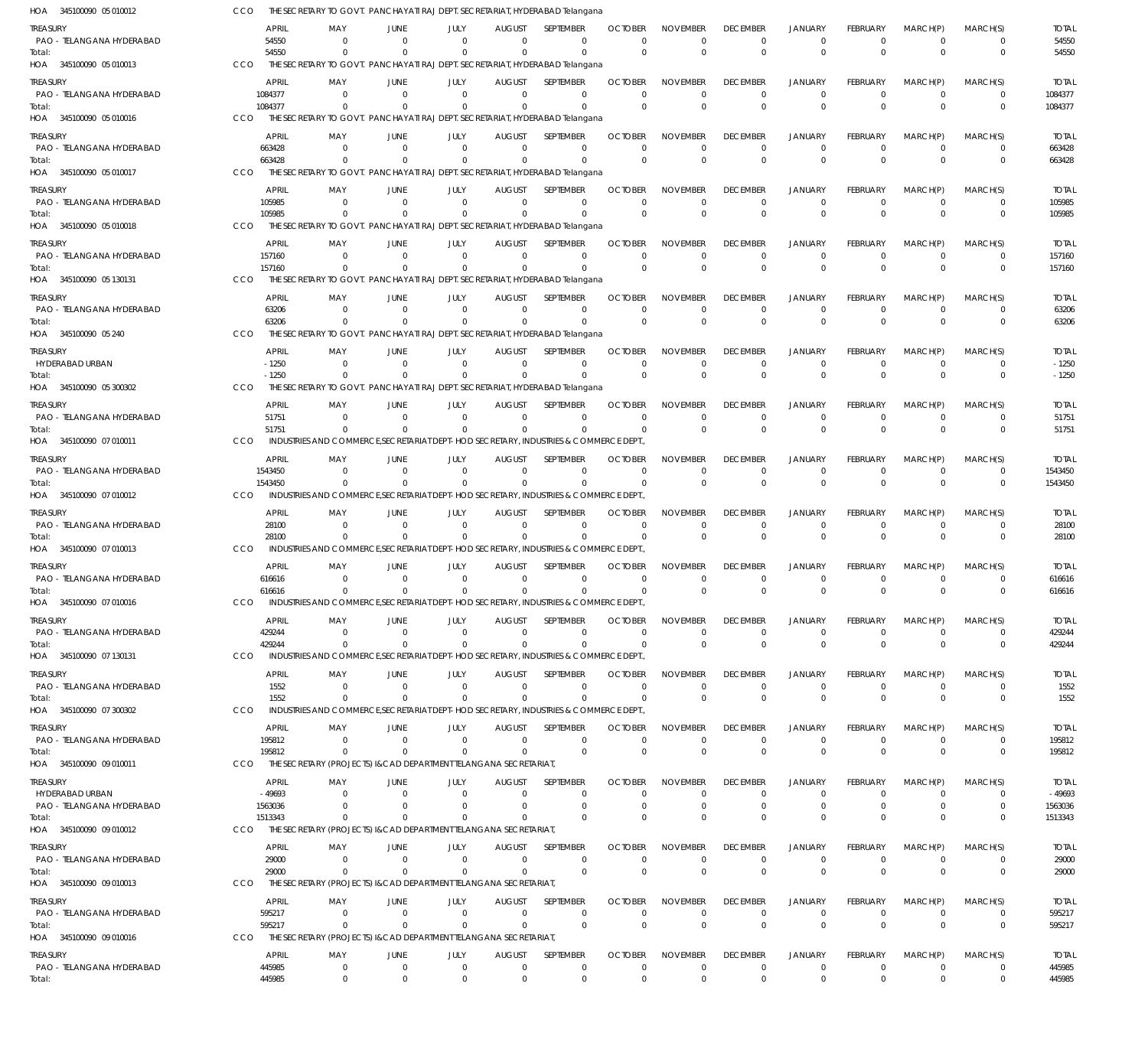| HOA 345100090 05 010012               |                          | THE SECRETARY TO GOVT. PANCHAYATI RAJ DEPT. SECRETARIAT, HYDERABAD Telangana                     |                                  |                          |                                 |                                                                   |                            |                                |                                |                                  |                                   |                            |                            |                          |
|---------------------------------------|--------------------------|--------------------------------------------------------------------------------------------------|----------------------------------|--------------------------|---------------------------------|-------------------------------------------------------------------|----------------------------|--------------------------------|--------------------------------|----------------------------------|-----------------------------------|----------------------------|----------------------------|--------------------------|
| Treasury                              | <b>APRIL</b>             | MAY                                                                                              | JUNE                             | JULY                     | <b>AUGUST</b>                   | <b>SEPTEMBER</b>                                                  | <b>OCTOBER</b>             | <b>NOVEMBER</b>                | <b>DECEMBER</b>                | <b>JANUARY</b>                   | <b>FEBRUARY</b>                   | MARCH(P)                   | MARCH(S)                   | <b>TOTAL</b>             |
| PAO - TELANGANA HYDERABAD<br>Total:   | 54550<br>54550           | $\Omega$<br>$\Omega$                                                                             | $\Omega$<br>$\Omega$             | $\Omega$<br>$\Omega$     | $\Omega$<br>$\Omega$            | 0<br>$\Omega$                                                     | $\Omega$<br>$\Omega$       | $\Omega$<br>$\Omega$           | $\mathbf 0$<br>$\mathbf{0}$    | $\mathbf 0$<br>$\overline{0}$    | $\Omega$<br>$\Omega$              | $\mathbf 0$<br>$\Omega$    | 0<br>$\mathbf 0$           | 54550<br>54550           |
| HOA 345100090 05 010013               | CCO                      | THE SECRETARY TO GOVT. PANCHAYATI RAJ DEPT. SECRETARIAT, HYDERABAD Telangana                     |                                  |                          |                                 |                                                                   |                            |                                |                                |                                  |                                   |                            |                            |                          |
| treasury                              | <b>APRIL</b>             | MAY                                                                                              | JUNE                             | JULY                     | <b>AUGUST</b>                   | SEPTEMBER                                                         | <b>OCTOBER</b>             | <b>NOVEMBER</b>                | <b>DECEMBER</b>                | <b>JANUARY</b>                   | <b>FEBRUARY</b>                   | MARCH(P)                   | MARCH(S)                   | <b>TOTAL</b>             |
| PAO - TELANGANA HYDERABAD<br>Total:   | 1084377<br>1084377       | $\Omega$<br>$\Omega$                                                                             | $\Omega$                         | $\Omega$<br>$\Omega$     | $\Omega$<br>$\Omega$            | $\mathbf 0$<br>$\mathbf 0$                                        | $\Omega$<br>$\Omega$       | $\Omega$<br>$\Omega$           | $\mathbf 0$<br>$\mathbf 0$     | $\overline{0}$<br>$\overline{0}$ | $\Omega$<br>$\Omega$              | $^{\circ}$<br>$\Omega$     | $\mathbf 0$<br>$\mathbf 0$ | 1084377<br>1084377       |
| HOA 345100090 05 010016               | CCO                      | THE SECRETARY TO GOVT. PANCHAYATI RAJ DEPT. SECRETARIAT, HYDERABAD Telangana                     |                                  |                          |                                 |                                                                   |                            |                                |                                |                                  |                                   |                            |                            |                          |
| treasury                              | <b>APRIL</b>             | MAY                                                                                              | <b>JUNE</b>                      | JULY                     | <b>AUGUST</b>                   | SEPTEMBER                                                         | <b>OCTOBER</b>             | <b>NOVEMBER</b>                | <b>DECEMBER</b>                | <b>JANUARY</b>                   | <b>FEBRUARY</b>                   | MARCH(P)                   | MARCH(S)                   | <b>TOTAL</b>             |
| PAO - TELANGANA HYDERABAD             | 663428                   | $\Omega$<br>$\Omega$                                                                             | $\Omega$<br>$\Omega$             | $\Omega$<br>$\Omega$     | $\Omega$<br>$\Omega$            | $\mathbf 0$<br>$\mathbf 0$                                        | $\Omega$<br>$\Omega$       | $\Omega$<br>$\Omega$           | $\mathbf 0$                    | $\mathbf 0$                      | $\Omega$<br>$\mathbf 0$           | $^{\circ}$<br>$\Omega$     | $\mathbf 0$                | 663428                   |
| Total:<br>HOA 345100090 05 010017     | 663428<br>CCO            | THE SECRETARY TO GOVT. PANCHAYATI RAJ DEPT. SECRETARIAT, HYDERABAD Telangana                     |                                  |                          |                                 |                                                                   |                            |                                | $\mathbf 0$                    | $\overline{0}$                   |                                   |                            | $\mathbf 0$                | 663428                   |
| treasury                              | <b>APRIL</b>             | MAY                                                                                              | JUNE                             | JULY                     | <b>AUGUST</b>                   | SEPTEMBER                                                         | <b>OCTOBER</b>             | <b>NOVEMBER</b>                | <b>DECEMBER</b>                | <b>JANUARY</b>                   | <b>FEBRUARY</b>                   | MARCH(P)                   | MARCH(S)                   | <b>TOTAL</b>             |
| PAO - TELANGANA HYDERABAD             | 105985                   | 0                                                                                                | $\Omega$                         | 0                        | $\mathbf 0$                     | $\mathbf 0$                                                       | $\Omega$                   | $\Omega$                       | $^{\circ}$                     | $\overline{0}$                   | $\mathbf 0$                       | $\mathbf 0$                | $\mathbf 0$                | 105985                   |
| Total:<br>HOA 345100090 05 010018     | 105985<br>CCO            | $\Omega$<br>THE SECRETARY TO GOVT. PANCHAYATI RAJ DEPT. SECRETARIAT, HYDERABAD Telangana         | $\Omega$                         | $\Omega$                 | $\Omega$                        | $\Omega$                                                          | $\Omega$                   | $\Omega$                       | $\mathbf 0$                    | $\overline{0}$                   | $\Omega$                          | $\Omega$                   | $\mathbf 0$                | 105985                   |
| treasury                              | <b>APRIL</b>             | MAY                                                                                              | <b>JUNE</b>                      | JULY                     | <b>AUGUST</b>                   | SEPTEMBER                                                         | <b>OCTOBER</b>             | <b>NOVEMBER</b>                | <b>DECEMBER</b>                | <b>JANUARY</b>                   | <b>FEBRUARY</b>                   | MARCH(P)                   | MARCH(S)                   | <b>TOTAL</b>             |
| PAO - TELANGANA HYDERABAD             | 157160                   | $\Omega$                                                                                         | $\Omega$                         | $\Omega$                 | $\Omega$                        | $\mathbf 0$                                                       | $\Omega$                   | $\Omega$                       | $\mathbf 0$                    | $\mathbf 0$                      | $\Omega$                          | $\Omega$                   | $\mathbf 0$                | 157160                   |
| Total:                                | 157160<br>CCO            | $\Omega$<br>THE SECRETARY TO GOVT.                                                               |                                  | $\Omega$                 | $\Omega$                        | $\Omega$<br>PANCHAYATI RAJ DEPT. SECRETARIAT, HYDERABAD Telangana | $\Omega$                   | $\Omega$                       | $\mathbf{0}$                   | $\overline{0}$                   | $\Omega$                          | $\Omega$                   | $\mathbf 0$                | 157160                   |
| HOA 345100090 05 130131               |                          |                                                                                                  |                                  |                          |                                 |                                                                   |                            |                                |                                |                                  |                                   |                            |                            |                          |
| treasury<br>PAO - TELANGANA HYDERABAD | <b>APRIL</b><br>63206    | MAY<br>$\Omega$                                                                                  | JUNE<br>$\Omega$                 | JULY<br>$\Omega$         | <b>AUGUST</b><br>$\mathbf 0$    | <b>SEPTEMBER</b><br>$\mathbf 0$                                   | <b>OCTOBER</b><br>$\Omega$ | <b>NOVEMBER</b><br>$\Omega$    | <b>DECEMBER</b><br>$\mathbf 0$ | <b>JANUARY</b><br>$\mathbf 0$    | <b>FEBRUARY</b><br>$\overline{0}$ | MARCH(P)<br>$\mathbf 0$    | MARCH(S)<br>$\mathbf 0$    | <b>TOTAL</b><br>63206    |
| Total:                                | 63206                    | $\Omega$                                                                                         | $\Omega$                         | $\Omega$                 | $\Omega$                        | $\Omega$                                                          | $\Omega$                   | $\Omega$                       | $\mathbf 0$                    | $\overline{0}$                   | $\Omega$                          | $\Omega$                   | $\mathbf 0$                | 63206                    |
| HOA 345100090 05 240                  | CCO                      | THE SECRETARY TO GOVT. PANCHAYATI RAJ DEPT. SECRETARIAT, HYDERABAD Telangana                     |                                  |                          |                                 |                                                                   |                            |                                |                                |                                  |                                   |                            |                            |                          |
| treasury<br>HYDERABAD URBAN           | <b>APRIL</b><br>$-1250$  | MAY<br>$\Omega$                                                                                  | JUNE<br>$\Omega$                 | JULY<br>$\Omega$         | <b>AUGUST</b><br>$\Omega$       | SEPTEMBER<br>$\mathbf 0$                                          | <b>OCTOBER</b><br>$\Omega$ | <b>NOVEMBER</b><br>$\Omega$    | <b>DECEMBER</b><br>$\mathbf 0$ | <b>JANUARY</b><br>$\mathbf 0$    | <b>FEBRUARY</b><br>$\Omega$       | MARCH(P)<br>$\overline{0}$ | MARCH(S)<br>$\mathbf 0$    | <b>TOTAL</b><br>$-1250$  |
| Total:                                | $-1250$                  | $\Omega$                                                                                         |                                  | $\Omega$                 | $\Omega$                        | $\Omega$                                                          | $\Omega$                   | $\Omega$                       | $\mathbf 0$                    | $\overline{0}$                   | $\Omega$                          | $\mathbf 0$                | $\mathbf 0$                | $-1250$                  |
| HOA 345100090 05300302                | CCO                      | THE SECRETARY TO GOVT. PANCHAYATI RAJ DEPT. SECRETARIAT, HYDERABAD Telangana                     |                                  |                          |                                 |                                                                   |                            |                                |                                |                                  |                                   |                            |                            |                          |
| treasury                              | <b>APRIL</b>             | MAY                                                                                              | JUNE                             | JULY                     | <b>AUGUST</b>                   | SEPTEMBER                                                         | <b>OCTOBER</b>             | <b>NOVEMBER</b>                | <b>DECEMBER</b>                | <b>JANUARY</b>                   | <b>FEBRUARY</b>                   | MARCH(P)                   | MARCH(S)                   | <b>TOTAL</b>             |
| PAO - TELANGANA HYDERABAD<br>Total:   | 51751<br>51751           | $\Omega$<br>$\Omega$                                                                             | $\Omega$<br>$\Omega$             | 0<br>$\Omega$            | $\mathbf 0$<br>$\Omega$         | $\mathbf 0$<br>$\Omega$                                           | $\Omega$<br>$\Omega$       | $\Omega$<br>$\Omega$           | $\overline{0}$<br>$\mathbf{0}$ | $\overline{0}$<br>$\overline{0}$ | $\Omega$<br>$\Omega$              | $\mathbf 0$<br>$\Omega$    | $\mathbf 0$<br>$\mathbf 0$ | 51751<br>51751           |
| HOA 345100090 07 010011               | CCO                      | INDUSTRIES AND COMMERCE, SECRETARIAT DEPT-HOD SECRETARY, INDUSTRIES & COMMERCE DEPT.             |                                  |                          |                                 |                                                                   |                            |                                |                                |                                  |                                   |                            |                            |                          |
| treasury                              | <b>APRIL</b>             | MAY                                                                                              | JUNE                             | JULY                     | <b>AUGUST</b>                   | SEPTEMBER                                                         | <b>OCTOBER</b>             | <b>NOVEMBER</b>                | <b>DECEMBER</b>                | <b>JANUARY</b>                   | <b>FEBRUARY</b>                   | MARCH(P)                   | MARCH(S)                   | <b>TOTAL</b>             |
| PAO - TELANGANA HYDERABAD<br>Total:   | 1543450<br>1543450       | $\Omega$<br>$\Omega$                                                                             | $\Omega$<br>$\Omega$             | $\Omega$<br>$\Omega$     | $\Omega$<br>$\Omega$            | $\Omega$<br>$\Omega$                                              | $\Omega$<br>$\Omega$       | $\Omega$<br>$\Omega$           | $\mathbf 0$<br>$\mathbf{0}$    | $\mathbf 0$<br>$\overline{0}$    | $\Omega$<br>$\Omega$              | $\mathbf 0$<br>$\Omega$    | $\mathbf 0$<br>$\mathbf 0$ | 1543450<br>1543450       |
| HOA 345100090 07 010012               | CCO                      | INDUSTRIES AND COMMERCE, SECRETARIAT DEPT-HOD SECRETARY, INDUSTRIES & COMMERCE DEPT.             |                                  |                          |                                 |                                                                   |                            |                                |                                |                                  |                                   |                            |                            |                          |
| treasury                              | <b>APRIL</b>             | MAY                                                                                              | JUNE                             | JULY                     | <b>AUGUST</b>                   | SEPTEMBER                                                         | <b>OCTOBER</b>             | <b>NOVEMBER</b>                | <b>DECEMBER</b>                | <b>JANUARY</b>                   | <b>FEBRUARY</b>                   | MARCH(P)                   | MARCH(S)                   | <b>TOTAL</b>             |
| PAO - TELANGANA HYDERABAD             | 28100                    | $\Omega$                                                                                         | $\Omega$                         | $\Omega$                 | $^{\circ}$                      | $\mathbf 0$                                                       | $\Omega$                   | $\Omega$                       | $\mathbf 0$                    | $\mathbf 0$                      | $\Omega$                          | $\mathbf 0$                | $\mathbf 0$                | 28100                    |
| lotal:<br>HOA 345100090 07 010013     | 28100<br>CCO             | $\Omega$<br>INDUSTRIES AND COMMERCE, SECRETARIAT DEPT-HOD SECRETARY, INDUSTRIES & COMMERCE DEPT. |                                  | $\Omega$                 | $\Omega$                        | $\Omega$                                                          | - 0                        | $\Omega$                       | $\mathbf 0$                    | $\overline{0}$                   | $\Omega$                          | $\Omega$                   | $\mathbf 0$                | 28100                    |
| Treasury                              | <b>APRIL</b>             | MAY                                                                                              | <b>JUNE</b>                      | JULY                     | <b>AUGUST</b>                   | SEPTEMBER                                                         | <b>OCTOBER</b>             | <b>NOVEMBER</b>                | <b>DECEMBER</b>                | <b>JANUARY</b>                   | <b>FEBRUARY</b>                   | MARCH(P)                   | MARCH(S)                   | <b>TOTAL</b>             |
| PAO - TELANGANA HYDERABAD             | 616616                   | $\Omega$                                                                                         | $\Omega$                         | $\Omega$                 | 0                               | $\mathbf 0$                                                       | $\Omega$                   | $\Omega$                       | $\mathbf 0$                    | $\mathbf 0$                      | $\Omega$                          | $\mathbf 0$                | $\mathbf 0$                | 616616                   |
| Total:<br>HOA 345100090 07 010016     | 616616<br>CCO            | $\Omega$<br>INDUSTRIES AND COMMERCE.SECRETARIAT DEPT-HOD SECRETARY, INDUSTRIES & COMMERCE DEPT   | $\Omega$                         | $\Omega$                 | $\Omega$                        | $\Omega$                                                          | $\Omega$                   | $\Omega$                       | $\mathbf 0$                    | $\overline{0}$                   | $\Omega$                          | $\Omega$                   | $\mathbf 0$                | 616616                   |
| Treasury                              | <b>APRIL</b>             | MAY                                                                                              | JUNE                             | JULY                     | <b>AUGUST</b>                   | SEPTEMBER                                                         | <b>OCTOBER</b>             | <b>NOVEMBER</b>                | <b>DECEMBER</b>                | <b>JANUARY</b>                   | <b>FEBRUARY</b>                   | MARCH(P)                   | MARCH(S)                   | <b>TOTAL</b>             |
| PAO - TELANGANA HYDERABAD             | 429244                   | $\mathbf{0}$                                                                                     | $\overline{0}$                   | 0                        | 0                               | 0                                                                 | $\Omega$                   | $\Omega$                       | $\mathbf 0$                    | $\mathbf 0$                      | $\mathbf 0$                       | $^{\circ}$                 | $\mathbf 0$                | 429244                   |
| Total:                                | 429244                   | $\Omega$                                                                                         | $\Omega$                         | $\mathbf 0$              | $\mathbf 0$                     | $\mathbf 0$                                                       | $\Omega$                   | $\Omega$                       | $\mathbf 0$                    | $\overline{0}$                   | $\mathbf 0$                       | $\mathbf 0$                | $\mathbf 0$                | 429244                   |
| HOA 345100090 07 130131               | <b>CCO</b>               | INDUSTRIES AND COMMERCE, SECRETARIAT DEPT-HOD SECRETARY, INDUSTRIES & COMMERCE DEPT.             |                                  |                          |                                 |                                                                   |                            |                                |                                |                                  |                                   |                            |                            |                          |
| treasury<br>PAO - TELANGANA HYDERABAD | <b>APRIL</b><br>1552     | MAY<br>$\overline{0}$                                                                            | <b>JUNE</b><br>$\overline{0}$    | JULY<br>$\Omega$         | <b>AUGUST</b><br>$^{\circ}$     | SEPTEMBER<br>0                                                    | <b>OCTOBER</b><br>$\Omega$ | <b>NOVEMBER</b><br>$\Omega$    | <b>DECEMBER</b><br>$\mathbf 0$ | <b>JANUARY</b><br>$\mathbf 0$    | <b>FEBRUARY</b><br>$\mathbf 0$    | MARCH(P)<br>$\mathbf 0$    | MARCH(S)<br>$\mathbf 0$    | <b>TOTAL</b><br>1552     |
| Total:                                | 1552                     | $\overline{0}$                                                                                   | $\Omega$                         | $\Omega$                 | $\Omega$                        | $\mathbf 0$                                                       | $\Omega$                   | $\Omega$                       | $\mathbf 0$                    | $\overline{0}$                   | $\Omega$                          | $\Omega$                   | $\mathbf 0$                | 1552                     |
| HOA 345100090 07 300302               | CCO                      | INDUSTRIES AND COMMERCE, SECRETARIAT DEPT-HOD SECRETARY, INDUSTRIES & COMMERCE DEPT.             |                                  |                          |                                 |                                                                   |                            |                                |                                |                                  |                                   |                            |                            |                          |
| treasury<br>PAO - TELANGANA HYDERABAD | <b>APRIL</b><br>195812   | MAY<br>$\mathbf{0}$                                                                              | JUNE<br>$\overline{0}$           | JULY<br>$\mathbf{0}$     | <b>AUGUST</b><br>$\overline{0}$ | <b>SEPTEMBER</b><br>$\mathbf 0$                                   | <b>OCTOBER</b><br>$\Omega$ | <b>NOVEMBER</b><br>$\Omega$    | <b>DECEMBER</b><br>$\mathbf 0$ | <b>JANUARY</b><br>$\overline{0}$ | <b>FEBRUARY</b><br>$\mathbf 0$    | MARCH(P)<br>$\overline{0}$ | MARCH(S)<br>$\mathbf 0$    | <b>TOTAL</b><br>195812   |
| Total:                                | 195812                   | $\Omega$                                                                                         | $\Omega$                         | 0                        | $\mathbf 0$                     | $\mathbf 0$                                                       | $\mathbf 0$                | $\mathbf 0$                    | $\mathbf 0$                    | $\overline{0}$                   | $\mathbf 0$                       | $\mathbf 0$                | $\mathbf 0$                | 195812                   |
| HOA 345100090 09 010011               | CCO                      | THE SECRETARY (PROJECTS) I&CAD DEPARTMENT TELANGANA SECRETARIAT                                  |                                  |                          |                                 |                                                                   |                            |                                |                                |                                  |                                   |                            |                            |                          |
| treasury<br>HYDERABAD URBAN           | <b>APRIL</b><br>$-49693$ | MAY<br>$\mathbf{0}$                                                                              | <b>JUNE</b><br>$\overline{0}$    | JULY<br>0                | <b>AUGUST</b><br>0              | SEPTEMBER<br>0                                                    | <b>OCTOBER</b><br>$\Omega$ | <b>NOVEMBER</b><br>$\Omega$    | <b>DECEMBER</b><br>$\mathbf 0$ | <b>JANUARY</b><br>$\mathbf 0$    | <b>FEBRUARY</b><br>$\Omega$       | MARCH(P)<br>$\mathbf 0$    | MARCH(S)<br>0              | <b>TOTAL</b><br>$-49693$ |
| PAO - TELANGANA HYDERABAD             | 1563036                  | $\Omega$                                                                                         | $\Omega$                         | $\Omega$                 | $^{\circ}$                      | $\mathbf 0$                                                       | $\Omega$                   | $\Omega$                       | $\mathbf 0$                    | $\mathbf 0$                      | $\mathbf 0$                       | 0                          | $\mathbf 0$                | 1563036                  |
| Total:                                | 1513343                  | $\Omega$                                                                                         | $\Omega$                         | $\Omega$                 | $\Omega$                        | $\Omega$                                                          | $\Omega$                   | $\Omega$                       | $\mathbf{0}$                   | $\overline{0}$                   | $\Omega$                          | $\Omega$                   | $\mathbf 0$                | 1513343                  |
| HOA 345100090 09 010012               | CCO                      | THE SECRETARY (PROJECTS) I&CAD DEPARTMENT TELANGANA SECRETARIAT                                  |                                  |                          |                                 |                                                                   |                            |                                |                                |                                  |                                   |                            |                            |                          |
| treasury<br>PAO - TELANGANA HYDERABAD | <b>APRIL</b><br>29000    | MAY<br>$\mathbf 0$                                                                               | JUNE<br>$\overline{0}$           | JULY<br>$\mathbf 0$      | <b>AUGUST</b><br>$\mathbf 0$    | SEPTEMBER<br>$\mathbf 0$                                          | <b>OCTOBER</b><br>$\Omega$ | <b>NOVEMBER</b><br>$\mathbf 0$ | <b>DECEMBER</b><br>$\mathbf 0$ | <b>JANUARY</b><br>$\mathbf 0$    | <b>FEBRUARY</b><br>$\mathbf 0$    | MARCH(P)<br>$\mathbf 0$    | MARCH(S)<br>$\mathbf 0$    | <b>TOTAL</b><br>29000    |
| Total:                                | 29000                    | $\Omega$                                                                                         | $\Omega$                         | $\Omega$                 | 0                               | $\mathbf 0$                                                       | $\Omega$                   | $\Omega$                       | $\mathbf 0$                    | $\overline{0}$                   | $\mathbf 0$                       | $\Omega$                   | $\mathbf 0$                | 29000                    |
| HOA 345100090 09 010013               | CCO                      | THE SECRETARY (PROJECTS) I&CAD DEPARTMENT TELANGANA SECRETARIAT                                  |                                  |                          |                                 |                                                                   |                            |                                |                                |                                  |                                   |                            |                            |                          |
| treasury<br>PAO - TELANGANA HYDERABAD | <b>APRIL</b><br>595217   | MAY<br>$\Omega$                                                                                  | JUNE<br>$\Omega$                 | JULY<br>$\Omega$         | <b>AUGUST</b><br>$\mathbf 0$    | SEPTEMBER<br>$\mathbf 0$                                          | <b>OCTOBER</b><br>$\Omega$ | <b>NOVEMBER</b><br>$\Omega$    | <b>DECEMBER</b><br>$\mathbf 0$ | <b>JANUARY</b><br>$\mathbf 0$    | <b>FEBRUARY</b><br>$\mathbf 0$    | MARCH(P)<br>$\overline{0}$ | MARCH(S)<br>$\mathbf 0$    | <b>TOTAL</b><br>595217   |
| Total:                                | 595217                   | $\overline{0}$                                                                                   | $\overline{0}$                   | $\mathbf{0}$             | $\mathbf 0$                     | $\mathbf 0$                                                       | $\mathbf 0$                | $\mathbf 0$                    | $\mathbf 0$                    | $\overline{0}$                   | $\mathbf 0$                       | $\mathbf 0$                | $\mathbf 0$                | 595217                   |
| HOA 345100090 09 010016               | CCO                      | THE SECRETARY (PROJECTS) I&CAD DEPARTMENT TELANGANA SECRETARIAT                                  |                                  |                          |                                 |                                                                   |                            |                                |                                |                                  |                                   |                            |                            |                          |
| Treasury                              | <b>APRIL</b>             | MAY                                                                                              | JUNE                             | JULY                     | <b>AUGUST</b>                   | SEPTEMBER                                                         | <b>OCTOBER</b>             | <b>NOVEMBER</b>                | <b>DECEMBER</b>                | <b>JANUARY</b>                   | <b>FEBRUARY</b>                   | MARCH(P)                   | MARCH(S)                   | <b>TOTAL</b>             |
| PAO - TELANGANA HYDERABAD<br>Total:   | 445985<br>445985         | $\mathbf 0$<br>$\mathbf 0$                                                                       | $\overline{0}$<br>$\overline{0}$ | $\mathbf{0}$<br>$\Omega$ | $^{\circ}$<br>$\mathbf 0$       | $\mathbf 0$<br>$\mathbf 0$                                        | 0<br>$^{\circ}$            | $\mathbf 0$<br>$\mathbf 0$     | 0<br>$\mathbf 0$               | $\mathbf 0$<br>$\overline{0}$    | $\mathbf 0$<br>$\Omega$           | $\mathbf 0$<br>$\mathbf 0$ | $\mathbf 0$<br>$\mathbf 0$ | 445985<br>445985         |
|                                       |                          |                                                                                                  |                                  |                          |                                 |                                                                   |                            |                                |                                |                                  |                                   |                            |                            |                          |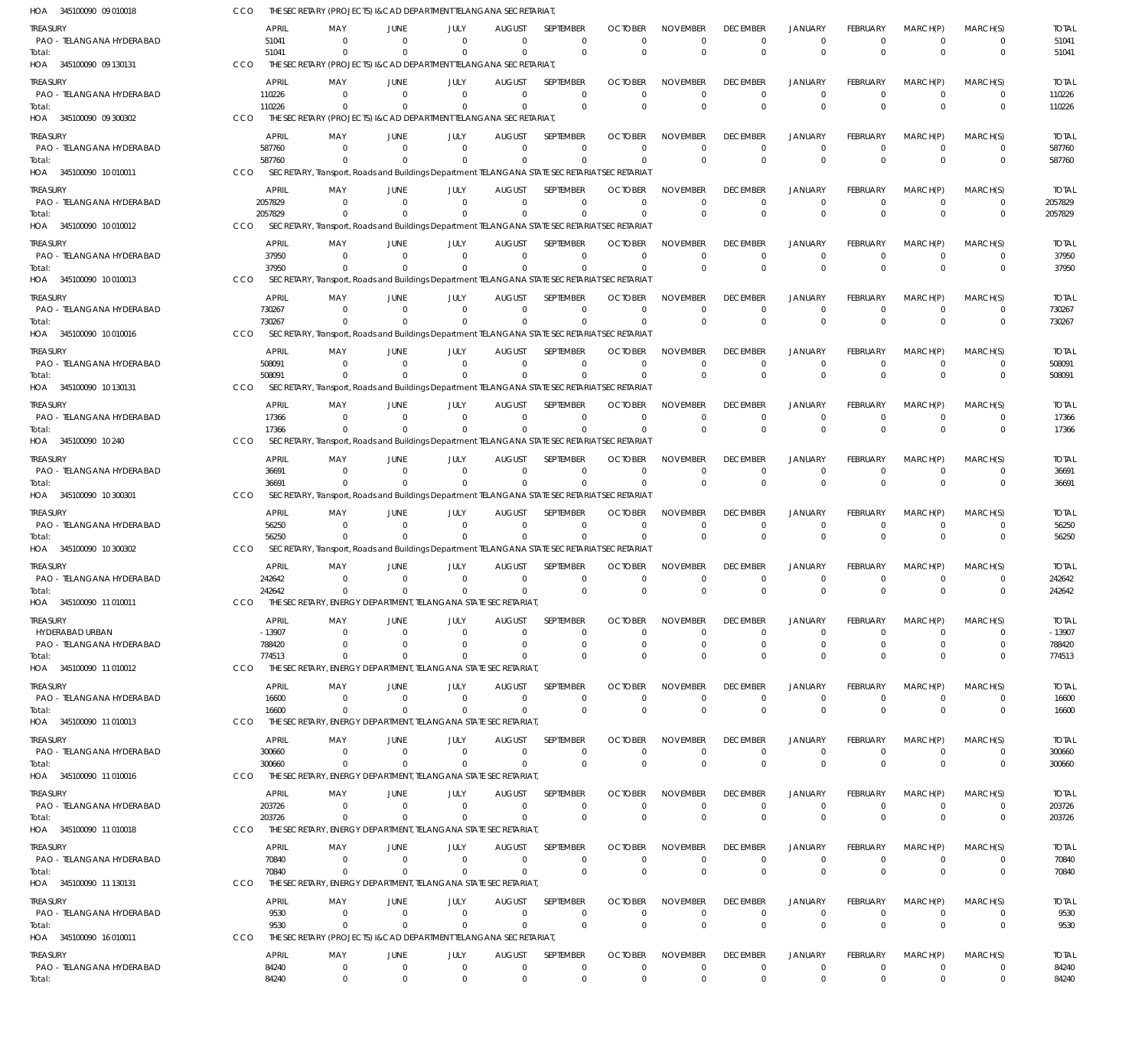| HOA 345100090 09 010018                      | CCO        |                        | THE SECRETARY (PROJECTS) I&CAD DEPARTMENT TELANGANA SECRETARIAT,                             |                            |                        |                                 |                            |                            |                                |                                |                                  |                                |                            |                            |                        |
|----------------------------------------------|------------|------------------------|----------------------------------------------------------------------------------------------|----------------------------|------------------------|---------------------------------|----------------------------|----------------------------|--------------------------------|--------------------------------|----------------------------------|--------------------------------|----------------------------|----------------------------|------------------------|
| treasury<br>PAO - TELANGANA HYDERABAD        |            | <b>APRIL</b><br>51041  | MAY<br>$\Omega$                                                                              | JUNE<br>$\Omega$           | JULY<br>$\Omega$       | <b>AUGUST</b><br>$\Omega$       | SEPTEMBER<br>$\mathbf 0$   | <b>OCTOBER</b><br>$\Omega$ | <b>NOVEMBER</b><br>$\Omega$    | <b>DECEMBER</b><br>$\Omega$    | <b>JANUARY</b><br>$\Omega$       | <b>FEBRUARY</b><br>$\Omega$    | MARCH(P)<br>$\Omega$       | MARCH(S)<br>$\Omega$       | <b>TOTAL</b><br>51041  |
| Total:<br>HOA 345100090 09 130131            | CCO        | 51041                  | $\Omega$<br>THE SECRETARY (PROJECTS) I&CAD DEPARTMENT TELANGANA SECRETARIAT,                 | $\Omega$                   | $\Omega$               | $\Omega$                        | $\Omega$                   | $\Omega$                   | $\Omega$                       | $\mathbf 0$                    | $\Omega$                         | $\Omega$                       | $\Omega$                   | $\mathbf 0$                | 51041                  |
| treasury                                     |            | APRIL                  | MAY                                                                                          | JUNE                       | JULY                   | <b>AUGUST</b>                   | SEPTEMBER                  | <b>OCTOBER</b>             | <b>NOVEMBER</b>                | <b>DECEMBER</b>                | <b>JANUARY</b>                   | FEBRUARY                       | MARCH(P)                   | MARCH(S)                   | <b>TOTAL</b>           |
| PAO - TELANGANA HYDERABAD                    |            | 110226                 | - 0                                                                                          | $\overline{0}$             | $\Omega$               | $\Omega$                        | $\mathbf 0$                | $\Omega$                   | $\Omega$                       | $\Omega$                       | $\overline{0}$                   | $\Omega$                       | $\Omega$                   | $\mathbf 0$                | 110226                 |
| Total:<br>HOA 345100090 09 300302            | CCO        | 110226                 | $\Omega$<br>THE SECRETARY (PROJECTS) I&CAD DEPARTMENT TELANGANA SECRETARIAT,                 | $\Omega$                   | $\Omega$               | $\overline{0}$                  | $\mathbf 0$                | $\Omega$                   | $\Omega$                       | $\Omega$                       | $\overline{0}$                   | $\Omega$                       | $\Omega$                   | $\mathbf 0$                | 110226                 |
| treasury                                     |            | APRIL                  | MAY                                                                                          | JUNE                       | JULY                   | <b>AUGUST</b>                   | SEPTEMBER                  | <b>OCTOBER</b>             | <b>NOVEMBER</b>                | <b>DECEMBER</b>                | <b>JANUARY</b>                   | FEBRUARY                       | MARCH(P)                   | MARCH(S)                   | <b>TOTAL</b>           |
| PAO - TELANGANA HYDERABAD                    |            | 587760<br>587760       | $\Omega$<br>$\Omega$                                                                         | $\overline{0}$<br>$\Omega$ | $\Omega$<br>$\Omega$   | $\Omega$<br>$\Omega$            | $\Omega$<br>$\Omega$       | $\Omega$<br>$\Omega$       | $\Omega$<br>$\Omega$           | 0<br>$\mathbf 0$               | $\overline{0}$<br>$\Omega$       | $\Omega$<br>$\Omega$           | $\Omega$<br>$\Omega$       | 0<br>$\mathbf 0$           | 587760<br>587760       |
| Total:<br>HOA 345100090 10 010011            | CCO        |                        | SECRETARY, Transport, Roads and Buildings Department TELANGANA STATE SECRETARIAT SECRETARIAT |                            |                        |                                 |                            |                            |                                |                                |                                  |                                |                            |                            |                        |
| treasury                                     |            | <b>APRIL</b>           | MAY                                                                                          | JUNE                       | JULY                   | <b>AUGUST</b>                   | <b>SEPTEMBER</b>           | <b>OCTOBER</b>             | <b>NOVEMBER</b>                | <b>DECEMBER</b>                | JANUARY                          | <b>FEBRUARY</b>                | MARCH(P)                   | MARCH(S)                   | <b>TOTAL</b>           |
| PAO - TELANGANA HYDERABAD                    |            | 2057829<br>2057829     | $\Omega$<br>$\Omega$                                                                         | $\Omega$                   | $\Omega$<br>$\Omega$   | $\Omega$<br>$\Omega$            | $^{\circ}$<br>$\Omega$     | $\Omega$<br>$\Omega$       | $^{\circ}$<br>$\Omega$         | $\Omega$<br>$\Omega$           | $\overline{0}$<br>$\Omega$       | $\Omega$<br>$\Omega$           | $\overline{0}$<br>$\Omega$ | $\mathbf 0$<br>$\mathbf 0$ | 2057829<br>2057829     |
| Total:<br>HOA 345100090 10010012             | CCO        |                        | SECRETARY, Transport, Roads and Buildings Department TELANGANA STATE SECRETARIAT SECRETARIAT |                            |                        |                                 |                            |                            |                                |                                |                                  |                                |                            |                            |                        |
| treasury                                     |            | APRIL                  | MAY                                                                                          | JUNE                       | JULY                   | <b>AUGUST</b>                   | SEPTEMBER                  | <b>OCTOBER</b>             | <b>NOVEMBER</b>                | <b>DECEMBER</b>                | <b>JANUARY</b>                   | <b>FEBRUARY</b>                | MARCH(P)                   | MARCH(S)                   | <b>TOTAL</b>           |
| PAO - TELANGANA HYDERABAD<br>Total:          |            | 37950<br>37950         | $\Omega$<br>$\Omega$                                                                         | $\Omega$<br>$\Omega$       | $\Omega$<br>$\Omega$   | $\Omega$<br>$\Omega$            | $\Omega$<br>$\mathbf 0$    | $\Omega$<br>$\Omega$       | $\Omega$<br>$\Omega$           | $\Omega$<br>$\mathbf{0}$       | $\Omega$<br>$\Omega$             | $\Omega$<br>$\Omega$           | $\Omega$<br>$\Omega$       | $\Omega$<br>$\mathbf 0$    | 37950<br>37950         |
| HOA 345100090 10 010013                      | CCO        |                        | SECRETARY, Transport, Roads and Buildings Department TELANGANA STATE SECRETARIAT SECRETARIAT |                            |                        |                                 |                            |                            |                                |                                |                                  |                                |                            |                            |                        |
| treasury                                     |            | APRIL                  | MAY                                                                                          | JUNE                       | JULY                   | <b>AUGUST</b>                   | SEPTEMBER                  | <b>OCTOBER</b>             | <b>NOVEMBER</b>                | <b>DECEMBER</b>                | <b>JANUARY</b>                   | FEBRUARY                       | MARCH(P)                   | MARCH(S)                   | <b>TOTAL</b>           |
| PAO - TELANGANA HYDERABAD                    |            | 730267<br>730267       | $\Omega$<br>$\Omega$                                                                         | $\Omega$<br>$\Omega$       | $\Omega$<br>$\Omega$   | $\Omega$<br>$\Omega$            | $\mathbf 0$<br>$\Omega$    | $\Omega$<br>$\Omega$       | $\mathbf 0$<br>$\Omega$        | 0<br>$\Omega$                  | $^{\circ}$<br>$\Omega$           | $\mathbf 0$<br>$\Omega$        | $\overline{0}$<br>$\Omega$ | $\mathbf 0$<br>$\mathbf 0$ | 730267<br>730267       |
| Total:<br>HOA 345100090 10 010016            | <b>CCO</b> |                        | SECRETARY, Transport, Roads and Buildings Department TELANGANA STATE SECRETARIAT SECRETARIAT |                            |                        |                                 |                            |                            |                                |                                |                                  |                                |                            |                            |                        |
| treasury                                     |            | APRIL                  | MAY                                                                                          | JUNE                       | JULY                   | <b>AUGUST</b>                   | SEPTEMBER                  | <b>OCTOBER</b>             | <b>NOVEMBER</b>                | <b>DECEMBER</b>                | <b>JANUARY</b>                   | FEBRUARY                       | MARCH(P)                   | MARCH(S)                   | <b>TOTAL</b>           |
| PAO - TELANGANA HYDERABAD<br>Total:          |            | 508091<br>508091       | $\Omega$<br>$\Omega$                                                                         | $\Omega$                   | $\Omega$<br>$\Omega$   | $\Omega$<br>$\Omega$            | $\Omega$<br>$\Omega$       | $\Omega$<br>$\Omega$       | $\Omega$<br>$\Omega$           | $\Omega$<br>$\Omega$           | $\Omega$<br>$\Omega$             | $\Omega$<br>$\Omega$           | $\Omega$<br>$\Omega$       | $\overline{0}$<br>$\Omega$ | 508091<br>508091       |
| HOA 345100090 10 130131                      | CCO        |                        | SECRETARY, Transport, Roads and Buildings Department TELANGANA STATE SECRETARIAT SECRETARIAT |                            |                        |                                 |                            |                            |                                |                                |                                  |                                |                            |                            |                        |
| treasury                                     |            | <b>APRIL</b>           | MAY                                                                                          | JUNE                       | JULY                   | <b>AUGUST</b>                   | SEPTEMBER                  | <b>OCTOBER</b>             | <b>NOVEMBER</b>                | <b>DECEMBER</b>                | <b>JANUARY</b>                   | <b>FEBRUARY</b>                | MARCH(P)                   | MARCH(S)                   | <b>TOTAL</b>           |
| PAO - TELANGANA HYDERABAD                    |            | 17366<br>17366         | $\Omega$                                                                                     | $\Omega$<br>$\Omega$       | $\Omega$<br>$\Omega$   | $\Omega$<br>$\Omega$            | $\mathbf 0$<br>$\Omega$    | $\Omega$<br>$\Omega$       | $\mathbf 0$<br>$\Omega$        | $\mathbf 0$<br>$\Omega$        | $^{\circ}$<br>$\Omega$           | $\mathbf 0$<br>$\Omega$        | $\Omega$<br>$\Omega$       | $\mathbf 0$<br>$\mathbf 0$ | 17366<br>17366         |
| Total:<br>HOA 345100090 10 240               | CCO        |                        | SECRETARY, Transport, Roads and Buildings Department TELANGANA STATE SECRETARIAT SECRETARIAT |                            |                        |                                 |                            |                            |                                |                                |                                  |                                |                            |                            |                        |
| treasury                                     |            | <b>APRIL</b>           | MAY                                                                                          | JUNE                       | JULY                   | <b>AUGUST</b>                   | SEPTEMBER                  | <b>OCTOBER</b>             | <b>NOVEMBER</b>                | <b>DECEMBER</b>                | JANUARY                          | FEBRUARY                       | MARCH(P)                   | MARCH(S)                   | <b>TOTAL</b>           |
| PAO - TELANGANA HYDERABAD<br>Total:          |            | 36691<br>36691         | $\Omega$                                                                                     | $\Omega$                   | $\Omega$<br>$\Omega$   | $\Omega$<br>$\Omega$            | $\Omega$<br>$\Omega$       | $\Omega$<br>$\Omega$       | $\Omega$<br>$\Omega$           | $\Omega$<br>$\Omega$           | $\Omega$<br>$\Omega$             | $\Omega$<br>$\Omega$           | $\Omega$<br>$\Omega$       | $\Omega$<br>$\mathbf 0$    | 36691<br>36691         |
| HOA 345100090 10 300301                      | CCO        |                        | SECRETARY, Transport, Roads and Buildings Department TELANGANA STATE SECRETARIAT SECRETARIAT |                            |                        |                                 |                            |                            |                                |                                |                                  |                                |                            |                            |                        |
| treasury                                     |            | APRIL                  | MAY                                                                                          | JUNE                       | JULY                   | <b>AUGUST</b>                   | SEPTEMBER                  | <b>OCTOBER</b>             | <b>NOVEMBER</b>                | <b>DECEMBER</b>                | <b>JANUARY</b>                   | FEBRUARY                       | MARCH(P)                   | MARCH(S)                   | <b>TOTAL</b>           |
| PAO - TELANGANA HYDERABAD<br>Total:          |            | 56250<br>56250         | - 0<br>$\Omega$                                                                              | $\Omega$<br>$\Omega$       | $\Omega$<br>$\Omega$   | $\Omega$<br>$\Omega$            | $\mathbf 0$<br>$\mathbf 0$ | $\Omega$<br>$\Omega$       | $\Omega$<br>$\Omega$           | $\Omega$<br>$\Omega$           | $^{\circ}$<br>$\Omega$           | $\Omega$<br>$\Omega$           | $\Omega$<br>$\Omega$       | $\mathbf 0$<br>$\mathbf 0$ | 56250<br>56250         |
| HOA 345100090 10 300302                      | CCO        |                        | SECRETARY, Transport, Roads and Buildings Department TELANGANA STATE SECRETARIAT SECRETARIAT |                            |                        |                                 |                            |                            |                                |                                |                                  |                                |                            |                            |                        |
| treasury                                     |            | APRIL                  | MAY                                                                                          | JUNE                       | JULY                   | <b>AUGUST</b>                   | SEPTEMBER                  | <b>OCTOBER</b>             | <b>NOVEMBER</b>                | <b>DECEMBER</b>                | <b>JANUARY</b>                   | FEBRUARY                       | MARCH(P)                   | MARCH(S)                   | <b>TOTAL</b>           |
| PAO - TELANGANA HYDERABAD<br>Total:          |            | 242642<br>242642       | $\Omega$<br>$^{\circ}$                                                                       | $\Omega$<br>$\overline{0}$ | $\Omega$<br>$^{\circ}$ | $\Omega$<br>$\mathbf{0}$        | $\mathbf 0$<br>$\Omega$    | $\Omega$<br>$\Omega$       | $^{\circ}$<br>$\Omega$         | $\Omega$<br>$\mathbf{0}$       | $\Omega$<br>$\Omega$             | $\Omega$<br>$\Omega$           | $\Omega$<br>$\Omega$       | 0<br>$\Omega$              | 242642<br>242642       |
| HOA 345100090 11010011                       | CCO        |                        | THE SECRETARY, ENERGY DEPARTMENT, TELANGANA STATE SECRETARIAT                                |                            |                        |                                 |                            |                            |                                |                                |                                  |                                |                            |                            |                        |
| Treasury                                     |            | APRIL                  | MAY                                                                                          | JUNE                       | JULY                   | <b>AUGUST</b>                   | <b>SEPTEMBER</b>           | <b>OCTOBER</b>             | <b>NOVEMBER</b>                | <b>DECEMBER</b>                | <b>JANUARY</b>                   | FEBRUARY                       | MARCH(P)                   | MARCH(S)                   | <b>TOTAL</b>           |
| HYDERABAD URBAN<br>PAO - TELANGANA HYDERABAD |            | $-13907$<br>788420     | $\Omega$<br>- 0                                                                              | $\Omega$<br>$\Omega$       | $\Omega$<br>$\Omega$   | 0<br>$\overline{0}$             | 0<br>$\mathbf 0$           | $\Omega$<br>0              | $\Omega$<br>$\mathbf 0$        | $\Omega$<br>$\Omega$           | $^{\circ}$<br>$^{\circ}$         | 0<br>0                         | $\Omega$<br>$^{\circ}$     | 0<br>$\mathbf 0$           | $-13907$<br>788420     |
| Total:                                       |            | 774513                 | $^{\circ}$                                                                                   | $\Omega$                   | $\Omega$               | $\Omega$                        | $\Omega$                   | $\Omega$                   | $\Omega$                       | $\Omega$                       | $\Omega$                         | $\Omega$                       | $\Omega$                   | $\mathbf 0$                | 774513                 |
| HOA 345100090 11 010012                      | CCO        |                        | THE SECRETARY, ENERGY DEPARTMENT, TELANGANA STATE SECRETARIAT                                |                            |                        |                                 |                            |                            |                                |                                |                                  |                                |                            |                            |                        |
| treasury<br>PAO - TELANGANA HYDERABAD        |            | <b>APRIL</b><br>16600  | MAY<br>$^{\circ}$                                                                            | JUNE<br>$\overline{0}$     | JULY<br>$\Omega$       | <b>AUGUST</b><br>$\mathbf{0}$   | SEPTEMBER<br>$\mathbf 0$   | <b>OCTOBER</b><br>$\Omega$ | <b>NOVEMBER</b><br>$\Omega$    | <b>DECEMBER</b><br>$\Omega$    | <b>JANUARY</b><br>$^{\circ}$     | FEBRUARY<br>$\Omega$           | MARCH(P)<br>$\Omega$       | MARCH(S)<br>0              | <b>TOTAL</b><br>16600  |
| Total:                                       |            | 16600                  | $^{\circ}$                                                                                   | $\Omega$                   | $\Omega$               | $\mathbf{0}$                    | $\Omega$                   | $\Omega$                   | $\Omega$                       | $\mathbf{0}$                   | $\Omega$                         | $\Omega$                       | $\Omega$                   | $\mathbf 0$                | 16600                  |
| HOA 345100090 11010013                       | CCO        |                        | THE SECRETARY, ENERGY DEPARTMENT, TELANGANA STATE SECRETARIAT                                |                            |                        |                                 |                            |                            |                                |                                |                                  |                                |                            |                            |                        |
| treasury<br>PAO - TELANGANA HYDERABAD        |            | APRIL<br>300660        | MAY<br>- 0                                                                                   | JUNE<br>$\overline{0}$     | JULY<br>$\overline{0}$ | <b>AUGUST</b><br>$\overline{0}$ | SEPTEMBER<br>$\mathbf 0$   | <b>OCTOBER</b><br>$\Omega$ | <b>NOVEMBER</b><br>$\mathbf 0$ | <b>DECEMBER</b><br>$\Omega$    | JANUARY<br>$\overline{0}$        | <b>FEBRUARY</b><br>$\mathbf 0$ | MARCH(P)<br>$\overline{0}$ | MARCH(S)<br>$\mathbf 0$    | <b>TOTAL</b><br>300660 |
| Total:                                       |            | 300660                 | - 0                                                                                          | $\Omega$                   | $\Omega$               | $\Omega$                        | $\mathbf 0$                | $\Omega$                   | $\Omega$                       | $\Omega$                       | $\overline{0}$                   | $\mathbf{0}$                   | $\Omega$                   | $\mathbf 0$                | 300660                 |
| HOA 345100090 11 010016                      | CCO        |                        | THE SECRETARY, ENERGY DEPARTMENT, TELANGANA STATE SECRETARIAT                                |                            |                        |                                 |                            |                            |                                |                                |                                  |                                |                            |                            |                        |
| treasury<br>PAO - TELANGANA HYDERABAD        |            | <b>APRIL</b><br>203726 | MAY<br>$^{\circ}$                                                                            | JUNE<br>$\overline{0}$     | JULY<br>$\Omega$       | <b>AUGUST</b><br>$\Omega$       | SEPTEMBER<br>$\Omega$      | <b>OCTOBER</b><br>$\Omega$ | <b>NOVEMBER</b><br>$^{\circ}$  | <b>DECEMBER</b><br>$\Omega$    | <b>JANUARY</b><br>$\Omega$       | FEBRUARY<br>$\Omega$           | MARCH(P)<br>$\Omega$       | MARCH(S)<br>$\Omega$       | <b>TOTAL</b><br>203726 |
| Total:                                       |            | 203726                 | $^{\circ}$                                                                                   | $\overline{0}$             | $\Omega$               | $\Omega$                        | $\mathbf 0$                | $\Omega$                   | $\Omega$                       | $\mathbf{0}$                   | $\overline{0}$                   | $\Omega$                       | $\Omega$                   | $\mathbf 0$                | 203726                 |
| HOA 345100090 11010018                       | CCO        |                        | THE SECRETARY, ENERGY DEPARTMENT, TELANGANA STATE SECRETARIAT                                |                            |                        |                                 |                            |                            |                                |                                |                                  |                                |                            |                            |                        |
| Treasury<br>PAO - TELANGANA HYDERABAD        |            | <b>APRIL</b><br>70840  | MAY<br>0                                                                                     | JUNE<br>$\overline{0}$     | JULY<br>$\overline{0}$ | <b>AUGUST</b><br>$\overline{0}$ | SEPTEMBER<br>$\mathbf 0$   | <b>OCTOBER</b><br>0        | <b>NOVEMBER</b><br>$\mathbf 0$ | <b>DECEMBER</b><br>0           | <b>JANUARY</b><br>0              | FEBRUARY<br>$\mathbf 0$        | MARCH(P)<br>$\overline{0}$ | MARCH(S)<br>$\mathbf 0$    | <b>TOTAL</b><br>70840  |
| Total:                                       |            | 70840                  | $\Omega$                                                                                     | $\overline{0}$             | $\Omega$               | $\Omega$                        | $\mathbf 0$                | $\Omega$                   | $\Omega$                       | $\Omega$                       | $\overline{0}$                   | $\Omega$                       | $\Omega$                   | $\mathbf 0$                | 70840                  |
| HOA 345100090 11 130131                      | <b>CCO</b> |                        | THE SECRETARY, ENERGY DEPARTMENT, TELANGANA STATE SECRETARIAT                                |                            |                        |                                 |                            |                            |                                |                                |                                  |                                |                            |                            |                        |
| treasury<br>PAO - TELANGANA HYDERABAD        |            | APRIL<br>9530          | MAY<br>- 0                                                                                   | JUNE<br>$\overline{0}$     | JULY<br>$\Omega$       | <b>AUGUST</b><br>$\mathbf{0}$   | SEPTEMBER<br>$\mathbf 0$   | <b>OCTOBER</b><br>$\Omega$ | <b>NOVEMBER</b><br>$\Omega$    | <b>DECEMBER</b><br>$\Omega$    | <b>JANUARY</b><br>$\overline{0}$ | FEBRUARY<br>$\Omega$           | MARCH(P)<br>$\overline{0}$ | MARCH(S)<br>0              | <b>TOTAL</b><br>9530   |
| Total:                                       |            | 9530                   | $^{\circ}$                                                                                   | $\overline{0}$             | $\Omega$               | $\Omega$                        | $\Omega$                   | $\Omega$                   | $\Omega$                       | $\Omega$                       | $\Omega$                         | $\Omega$                       | $\Omega$                   | $\mathbf 0$                | 9530                   |
| HOA 345100090 16 010011                      | CCO        |                        | THE SECRETARY (PROJECTS) I&CAD DEPARTMENT TELANGANA SECRETARIAT,                             |                            |                        |                                 |                            | <b>OCTOBER</b>             |                                |                                |                                  |                                |                            |                            |                        |
| treasury<br>PAO - TELANGANA HYDERABAD        |            | APRIL<br>84240         | MAY<br>$\mathbf 0$                                                                           | JUNE<br>$\mathbf 0$        | JULY<br>$\overline{0}$ | <b>AUGUST</b><br>$\overline{0}$ | SEPTEMBER<br>0             | $\mathbf 0$                | NOVEMBER<br>$\mathbf 0$        | <b>DECEMBER</b><br>$\mathbf 0$ | <b>JANUARY</b><br>$^{\circ}$     | <b>FEBRUARY</b><br>$\mathbf 0$ | MARCH(P)<br>$\overline{0}$ | MARCH(S)<br>$\mathbf 0$    | <b>TOTAL</b><br>84240  |
| Total:                                       |            | 84240                  | $^{\circ}$                                                                                   | $\overline{0}$             | $\Omega$               | $\Omega$                        | $\Omega$                   | $\Omega$                   | $\Omega$                       | $\overline{0}$                 | $\Omega$                         | $\Omega$                       | $\Omega$                   | $\mathbf{0}$               | 84240                  |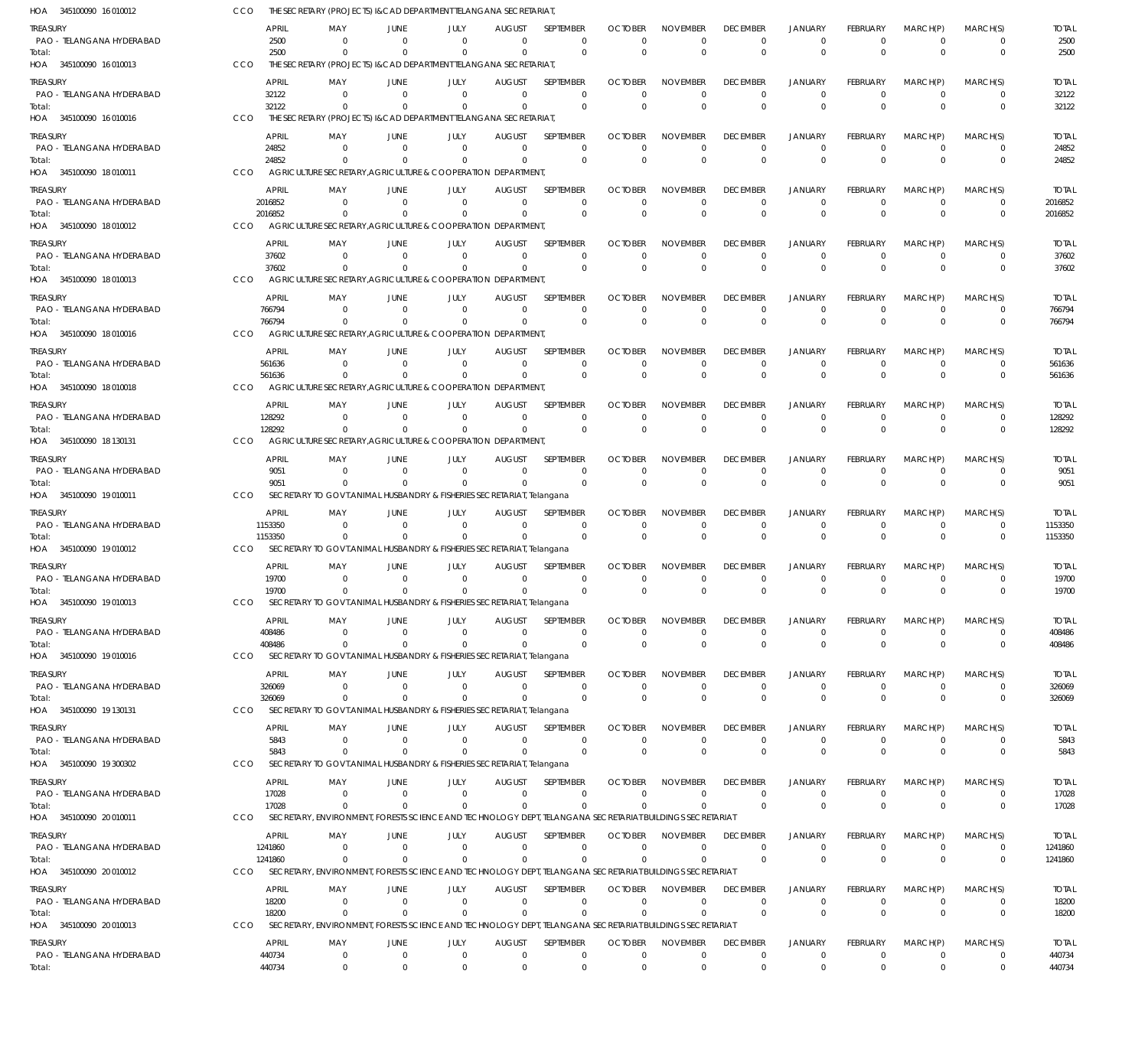| HOA 345100090 16 010012                                        | cco        |                              | THE SECRETARY (PROJECTS) I&CAD DEPARTMENT TELANGANA SECRETARIAT                     |                                     |                              |                                       |                                         |                                        |                                                                                                          |                                              |                                           |                                     |                                  |                                        |                              |
|----------------------------------------------------------------|------------|------------------------------|-------------------------------------------------------------------------------------|-------------------------------------|------------------------------|---------------------------------------|-----------------------------------------|----------------------------------------|----------------------------------------------------------------------------------------------------------|----------------------------------------------|-------------------------------------------|-------------------------------------|----------------------------------|----------------------------------------|------------------------------|
| TREASURY<br>PAO - TELANGANA HYDERABAD<br>Total:                |            | <b>APRIL</b><br>2500<br>2500 | MAY<br>$\Omega$<br>$\Omega$                                                         | <b>JUNE</b><br>$\Omega$<br>$\Omega$ | JULY<br>$\Omega$<br>$\Omega$ | <b>AUGUST</b><br>$\Omega$<br>$\Omega$ | SEPTEMBER<br>$\mathbf 0$<br>$\mathbf 0$ | <b>OCTOBER</b><br>$\Omega$<br>$\Omega$ | <b>NOVEMBER</b><br>$\Omega$<br>$\Omega$                                                                  | <b>DECEMBER</b><br>$^{\circ}$<br>$\mathbf 0$ | JANUARY<br>$\overline{0}$<br>$\mathbf{0}$ | FEBRUARY<br>$\mathbf 0$<br>$\Omega$ | MARCH(P)<br>$\Omega$<br>$\Omega$ | MARCH(S)<br>$\mathbf 0$<br>$\mathbf 0$ | <b>TOTAL</b><br>2500<br>2500 |
| HOA 345100090 16 010013                                        | CCO        |                              | THE SECRETARY (PROJECTS) I&CAD DEPARTMENT TELANGANA SECRETARIAT                     |                                     |                              |                                       |                                         |                                        |                                                                                                          |                                              |                                           |                                     |                                  |                                        |                              |
| <b>TREASURY</b><br>PAO - TELANGANA HYDERABAD                   |            | <b>APRIL</b><br>32122        | MAY<br>$\mathbf 0$                                                                  | JUNE<br>$\Omega$                    | JULY<br>$\mathbf 0$          | <b>AUGUST</b><br>$\mathbf{0}$         | <b>SEPTEMBER</b><br>$\mathbf 0$         | <b>OCTOBER</b><br>$\Omega$             | <b>NOVEMBER</b><br>$\Omega$                                                                              | <b>DECEMBER</b><br>$^{\circ}$                | <b>JANUARY</b><br>$\overline{0}$          | FEBRUARY<br>$\mathbf 0$             | MARCH(P)<br>$\overline{0}$       | MARCH(S)<br>$\mathbf 0$                | <b>TOTAL</b><br>32122        |
| Total:<br>HOA 345100090 16 010016                              | CCO        | 32122                        | $\Omega$<br>THE SECRETARY (PROJECTS) I&CAD DEPARTMENT TELANGANA SECRETARIAT         | $\Omega$                            | $\mathbf 0$                  | 0                                     | $\mathbf 0$                             | $\Omega$                               | $\Omega$                                                                                                 | $\mathbf 0$                                  | $\overline{0}$                            | $\Omega$                            | $\Omega$                         | $\mathbf 0$                            | 32122                        |
| <b>TREASURY</b>                                                |            | APRIL                        | MAY                                                                                 | <b>JUNE</b>                         | JULY                         | <b>AUGUST</b>                         | SEPTEMBER                               | <b>OCTOBER</b>                         | <b>NOVEMBER</b>                                                                                          | <b>DECEMBER</b>                              | JANUARY                                   | FEBRUARY                            | MARCH(P)                         | MARCH(S)                               | <b>TOTAL</b>                 |
| PAO - TELANGANA HYDERABAD<br>Total:<br>HOA 345100090 18 010011 | CCO        | 24852<br>24852               | $\Omega$<br>$\Omega$<br>AGRICULTURE SECRETARY, AGRICULTURE & COOPERATION DEPARTMENT | $\Omega$<br>$\Omega$                | $\mathbf 0$<br>$\Omega$      | $\Omega$<br>$\Omega$                  | $\mathbf 0$<br>$\mathbf 0$              | $\Omega$<br>$\overline{0}$             | $\Omega$<br>$\Omega$                                                                                     | $\mathbf 0$<br>$\mathbf 0$                   | $\mathbf 0$<br>$\mathbf 0$                | $\mathbf 0$<br>$\Omega$             | $\Omega$<br>$\Omega$             | $\Omega$<br>$\mathbf 0$                | 24852<br>24852               |
| <b>TREASURY</b>                                                |            | APRIL                        | MAY                                                                                 | JUNE                                | JULY                         | <b>AUGUST</b>                         | SEPTEMBER                               | <b>OCTOBER</b>                         | <b>NOVEMBER</b>                                                                                          | <b>DECEMBER</b>                              | <b>JANUARY</b>                            | FEBRUARY                            | MARCH(P)                         | MARCH(S)                               | <b>TOTAL</b>                 |
| PAO - TELANGANA HYDERABAD<br>Total:                            |            | 2016852<br>2016852           | $\mathbf 0$<br>$\Omega$                                                             | $\overline{0}$<br>$\overline{0}$    | $\mathbf 0$<br>$\mathbf 0$   | $\overline{0}$<br>$\Omega$            | $\mathbf 0$<br>$\mathbf 0$              | $\Omega$<br>$\Omega$                   | $\Omega$<br>$\Omega$                                                                                     | $^{\circ}$<br>$\mathbf 0$                    | $\overline{0}$<br>$\overline{0}$          | $\mathbf 0$<br>$\Omega$             | $\overline{0}$<br>$\Omega$       | $\mathbf 0$<br>$\mathbf 0$             | 2016852<br>2016852           |
| HOA 345100090 18 010012                                        | CCO        |                              | AGRICULTURE SECRETARY, AGRICULTURE & COOPERATION DEPARTMENT                         |                                     |                              |                                       |                                         |                                        |                                                                                                          |                                              |                                           |                                     |                                  |                                        |                              |
| <b>TREASURY</b><br>PAO - TELANGANA HYDERABAD                   |            | <b>APRIL</b><br>37602        | MAY<br>0                                                                            | <b>JUNE</b><br>$\Omega$             | JULY<br>$\mathbf 0$          | <b>AUGUST</b><br>$\Omega$             | SEPTEMBER<br>$\mathbf 0$                | <b>OCTOBER</b><br>$\Omega$             | <b>NOVEMBER</b><br>$\Omega$                                                                              | <b>DECEMBER</b><br>$\overline{0}$            | <b>JANUARY</b><br>$\overline{0}$          | FEBRUARY<br>$\mathbf 0$             | MARCH(P)<br>$\Omega$             | MARCH(S)<br>$\mathbf 0$                | <b>TOTAL</b><br>37602        |
| Total:<br>HOA 345100090 18 010013                              | CCO        | 37602                        | $\Omega$<br>AGRICULTURE SECRETARY.AGRICULTURE & COOPERATION DEPARTMENT              | $\Omega$                            | $\mathbf 0$                  | $\Omega$                              | $\Omega$                                | $\Omega$                               | $\Omega$                                                                                                 | $\mathbf 0$                                  | $\Omega$                                  | $\Omega$                            | $\Omega$                         | $\mathbf 0$                            | 37602                        |
| treasury                                                       |            | APRIL                        | MAY                                                                                 | JUNE                                | JULY                         | <b>AUGUST</b>                         | <b>SEPTEMBER</b>                        | <b>OCTOBER</b>                         | <b>NOVEMBER</b>                                                                                          | <b>DECEMBER</b>                              | <b>JANUARY</b>                            | FEBRUARY                            | MARCH(P)                         | MARCH(S)                               | <b>TOTAL</b>                 |
| PAO - TELANGANA HYDERABAD<br>Total:                            |            | 766794<br>766794             | $\mathbf 0$<br>$\Omega$                                                             | $\mathbf{0}$<br>$\mathbf{0}$        | $\mathbf 0$<br>$\mathbf 0$   | $\mathbf{0}$<br>$\Omega$              | $\mathbf 0$<br>$\mathbf 0$              | $\Omega$<br>$\Omega$                   | $\Omega$<br>$\Omega$                                                                                     | $\overline{0}$<br>$\mathbf 0$                | $\overline{0}$<br>$\overline{0}$          | $\mathbf 0$<br>$\Omega$             | $\Omega$<br>$\Omega$             | $\mathbf 0$<br>$\mathbf 0$             | 766794<br>766794             |
| HOA 345100090 18 010016                                        | CCO        |                              | AGRICULTURE SECRETARY, AGRICULTURE & COOPERATION DEPARTMENT                         |                                     |                              |                                       |                                         |                                        |                                                                                                          |                                              |                                           |                                     |                                  |                                        |                              |
| <b>TREASURY</b><br>PAO - TELANGANA HYDERABAD                   |            | APRIL<br>561636              | MAY<br>$\Omega$                                                                     | <b>JUNE</b><br>$\Omega$             | JULY<br>$\mathbf 0$          | <b>AUGUST</b><br>$\Omega$             | SEPTEMBER<br>$\mathbf 0$                | <b>OCTOBER</b><br>$\Omega$             | <b>NOVEMBER</b><br>$\Omega$                                                                              | <b>DECEMBER</b><br>$^{\circ}$                | <b>JANUARY</b><br>$\overline{0}$          | FEBRUARY<br>$\mathbf 0$             | MARCH(P)<br>$^{\circ}$           | MARCH(S)<br>$\mathbf 0$                | <b>TOTAL</b><br>561636       |
| Total:                                                         |            | 561636                       | $\Omega$                                                                            | $\Omega$                            | $\Omega$                     | $\Omega$                              | $\mathbf 0$                             | $\overline{0}$                         | $\Omega$                                                                                                 | $\mathbf 0$                                  | $\Omega$                                  | $\Omega$                            | $\Omega$                         | $\mathbf 0$                            | 561636                       |
| HOA 345100090 18 010018                                        | <b>CCO</b> |                              | AGRICULTURE SECRETARY, AGRICULTURE & COOPERATION DEPARTMENT                         |                                     |                              |                                       |                                         |                                        |                                                                                                          |                                              |                                           |                                     |                                  |                                        |                              |
| treasury<br>PAO - TELANGANA HYDERABAD                          |            | APRIL<br>128292              | MAY<br>$\mathbf 0$                                                                  | JUNE<br>$\overline{0}$              | JULY<br>$\mathbf 0$          | <b>AUGUST</b><br>$\mathbf 0$          | SEPTEMBER<br>$\mathbf 0$                | <b>OCTOBER</b><br>$\Omega$             | <b>NOVEMBER</b><br>$\Omega$                                                                              | <b>DECEMBER</b><br>$^{\circ}$                | <b>JANUARY</b><br>$\overline{0}$          | FEBRUARY<br>$\mathbf 0$             | MARCH(P)<br>$^{\circ}$           | MARCH(S)<br>$\mathbf 0$                | <b>TOTAL</b><br>128292       |
| Total:<br>HOA 345100090 18 130131                              | <b>CCO</b> | 128292                       | $\mathbf 0$<br>AGRICULTURE SECRETARY, AGRICULTURE & COOPERATION DEPARTMENT          | $\mathbf{0}$                        | $\mathbf 0$                  | $\mathbf 0$                           | $\mathbf 0$                             | $\Omega$                               | $\Omega$                                                                                                 | $\mathbf 0$                                  | $\overline{0}$                            | $\Omega$                            | $\Omega$                         | $\mathbf 0$                            | 128292                       |
| <b>TREASURY</b>                                                |            | APRIL                        | MAY                                                                                 | <b>JUNE</b>                         | JULY                         | <b>AUGUST</b>                         | SEPTEMBER                               | <b>OCTOBER</b>                         | <b>NOVEMBER</b>                                                                                          | <b>DECEMBER</b>                              | <b>JANUARY</b>                            | FEBRUARY                            | MARCH(P)                         | MARCH(S)                               | <b>TOTAL</b>                 |
| PAO - TELANGANA HYDERABAD                                      |            | 9051                         | $\mathbf 0$                                                                         | $\overline{0}$                      | $\mathbf 0$                  | 0                                     | $\mathbf 0$                             | $\Omega$                               | $\Omega$                                                                                                 | $^{\circ}$                                   | $\overline{0}$                            | $\mathbf 0$                         | $\overline{0}$                   | $\mathbf 0$                            | 9051                         |
| Total:<br>HOA 345100090 19 010011                              | <b>CCO</b> | 9051                         | $\Omega$<br>SECRETARY TO GOVT.ANIMAL HUSBANDRY & FISHERIES SECRETARIAT, Telangana   | $\Omega$                            | $\Omega$                     | $\Omega$                              | $\mathbf 0$                             | $\Omega$                               | $\Omega$                                                                                                 | $\mathbf 0$                                  | $\Omega$                                  | $\Omega$                            | $\Omega$                         | $\mathbf 0$                            | 9051                         |
| treasury                                                       |            | APRIL                        | MAY                                                                                 | JUNE                                | JULY                         | <b>AUGUST</b>                         | SEPTEMBER                               | <b>OCTOBER</b>                         | <b>NOVEMBER</b>                                                                                          | <b>DECEMBER</b>                              | <b>JANUARY</b>                            | FEBRUARY                            | MARCH(P)                         | MARCH(S)                               | <b>TOTAL</b>                 |
| PAO - TELANGANA HYDERABAD<br>Total:                            |            | 1153350<br>1153350           | $\mathbf 0$<br>$\Omega$                                                             | $\Omega$<br>0                       | $\mathbf 0$<br>$\mathbf 0$   | $\Omega$<br>$\Omega$                  | $\mathbf 0$<br>$\mathbf 0$              | $\Omega$<br>$\Omega$                   | $\Omega$<br>$\Omega$                                                                                     | $^{\circ}$<br>$\mathbf 0$                    | $\overline{0}$<br>$\overline{0}$          | $\mathbf 0$<br>$\Omega$             | $\overline{0}$<br>$\Omega$       | $\mathbf 0$<br>$\mathbf 0$             | 1153350<br>1153350           |
| HOA 345100090 19 010012                                        | CCO        |                              | SECRETARY TO GOVT. ANIMAL HUSBANDRY & FISHERIES SECRETARIAT, Telangana              |                                     |                              |                                       |                                         |                                        |                                                                                                          |                                              |                                           |                                     |                                  |                                        |                              |
| <b>TREASURY</b><br>PAO - TELANGANA HYDERABAD                   |            | APRIL<br>19700               | MAY<br>$\Omega$                                                                     | <b>JUNE</b><br>$\Omega$             | JULY<br>$\mathbf 0$          | <b>AUGUST</b><br>$\Omega$             | SEPTEMBER<br>$\mathbf 0$                | <b>OCTOBER</b><br>$\Omega$             | <b>NOVEMBER</b><br>$\Omega$                                                                              | <b>DECEMBER</b><br>$^{\circ}$                | <b>JANUARY</b><br>$\overline{0}$          | FEBRUARY<br>$\mathbf 0$             | MARCH(P)<br>$^{\circ}$           | MARCH(S)<br>0                          | <b>TOTAL</b><br>19700        |
| Total:                                                         |            | 19700                        | $\Omega$                                                                            | $\Omega$                            | $\Omega$                     | $\Omega$                              | $\mathbf 0$                             | $\Omega$                               | $\Omega$                                                                                                 | $^{\circ}$                                   | $\mathbf{0}$                              | $\Omega$                            | $\Omega$                         | $\mathbf 0$                            | 19700                        |
| HOA 345100090 19 010013                                        | CCO        |                              | SECRETARY TO GOVT.ANIMAL HUSBANDRY & FISHERIES SECRETARIAT, Telangana               |                                     |                              |                                       |                                         |                                        |                                                                                                          |                                              |                                           |                                     |                                  |                                        |                              |
| treasury<br>PAO - TELANGANA HYDERABAD                          |            | APRIL<br>408486              | MAY<br>$\mathbf 0$                                                                  | <b>JUNE</b><br>$\mathbf{0}$         | JULY<br>$\mathbf 0$          | <b>AUGUST</b><br>$\Omega$             | SEPTEMBER<br>$\mathbf 0$                | <b>OCTOBER</b><br>$\Omega$             | <b>NOVEMBER</b><br>$\Omega$                                                                              | <b>DECEMBER</b><br>$^{\circ}$                | JANUARY<br>$\overline{0}$                 | FEBRUARY<br>$\mathbf 0$             | MARCH(P)<br>$\overline{0}$       | MARCH(S)<br>0                          | <b>TOTAL</b><br>408486       |
| Total:                                                         |            | 408486                       | $\mathbf 0$                                                                         | $\mathbf{0}$                        | $\mathbf 0$                  | 0                                     | $\mathbf 0$                             | $\Omega$                               | $\Omega$                                                                                                 | $\mathbf 0$                                  | $\mathbf 0$                               | $\overline{0}$                      | $\Omega$                         | $\mathbf 0$                            | 408486                       |
| HOA 345100090 19 010016                                        | CCO        | APRIL                        | SECRETARY TO GOVT. ANIMAL HUSBANDRY & FISHERIES SECRETARIAT, Telangana              | <b>JUNE</b>                         |                              | <b>AUGUST</b>                         | SEPTEMBER                               | <b>OCTOBER</b>                         | <b>NOVEMBER</b>                                                                                          | <b>DECEMBER</b>                              | <b>JANUARY</b>                            |                                     | MARCH(P)                         | MARCH(S)                               | <b>TOTAL</b>                 |
| <b>TREASURY</b><br>PAO - TELANGANA HYDERABAD                   |            | 326069                       | MAY<br>$\overline{0}$                                                               | $\overline{0}$                      | JULY<br>$\mathbf 0$          | 0                                     | $\mathbf 0$                             | $\Omega$                               | $\Omega$                                                                                                 | $^{\circ}$                                   | $\overline{0}$                            | FEBRUARY<br>$\mathbf 0$             | $^{\circ}$                       | $\mathbf 0$                            | 326069                       |
| Total:<br>HOA 345100090 19 130131                              | CCO        | 326069                       | $\Omega$<br>SECRETARY TO GOVT.ANIMAL HUSBANDRY & FISHERIES SECRETARIAT, Telangana   | $\overline{0}$                      | $\mathbf{0}$                 | $\Omega$                              | $\mathbf 0$                             | $\Omega$                               | $\Omega$                                                                                                 | $\mathbf 0$                                  | $\mathbf 0$                               | $\Omega$                            | $\Omega$                         | $\mathbf 0$                            | 326069                       |
| treasury                                                       |            | <b>APRIL</b>                 | MAY                                                                                 | JUNE                                | JULY                         | <b>AUGUST</b>                         | SEPTEMBER                               | <b>OCTOBER</b>                         | <b>NOVEMBER</b>                                                                                          | <b>DECEMBER</b>                              | <b>JANUARY</b>                            | FEBRUARY                            | MARCH(P)                         | MARCH(S)                               | <b>TOTAL</b>                 |
| PAO - TELANGANA HYDERABAD                                      |            | 5843                         | $\mathbf 0$                                                                         | $\mathbf{0}$                        | $\mathbf 0$                  | 0                                     | $\mathbf 0$                             | $\Omega$                               | $\Omega$                                                                                                 | $^{\circ}$                                   | $\overline{0}$                            | $\mathbf 0$                         | $^{\circ}$                       | $\mathbf 0$                            | 5843                         |
| Total:<br>HOA 345100090 19 300302                              | CCO        | 5843                         | $\Omega$<br>SECRETARY TO GOVT. ANIMAL HUSBANDRY & FISHERIES SECRETARIAT, Telangana  | 0                                   | $\mathbf 0$                  | $\Omega$                              | $\mathbf 0$                             | $\Omega$                               | $\Omega$                                                                                                 | $\mathbf 0$                                  | $\overline{0}$                            | $\overline{0}$                      | $\Omega$                         | $\mathbf 0$                            | 5843                         |
| <b>TREASURY</b>                                                |            | APRIL                        | MAY                                                                                 | <b>JUNE</b>                         | JULY                         | <b>AUGUST</b>                         | SEPTEMBER                               | <b>OCTOBER</b>                         | <b>NOVEMBER</b>                                                                                          | <b>DECEMBER</b>                              | <b>JANUARY</b>                            | FEBRUARY                            | MARCH(P)                         | MARCH(S)                               | <b>TOTAL</b>                 |
| PAO - TELANGANA HYDERABAD<br>Total:                            |            | 17028<br>17028               | $\mathbf 0$<br>$\mathbf 0$                                                          | $\overline{0}$<br>$\mathbf{0}$      | $\mathbf 0$<br>0             | $\mathbf{0}$<br>0                     | $\mathbf 0$<br>$\mathbf 0$              | $\Omega$<br>$\Omega$                   | $\Omega$<br>$\Omega$                                                                                     | $\mathbf 0$<br>$\mathbf 0$                   | $\mathbf 0$<br>$\mathbf 0$                | $\mathbf 0$<br>$\overline{0}$       | $\overline{0}$<br>$\Omega$       | $\mathbf 0$<br>$\mathbf 0$             | 17028<br>17028               |
| HOA 345100090 20 010011                                        | CCO        |                              |                                                                                     |                                     |                              |                                       |                                         |                                        | SECRETARY, ENVIRONMENT, FORESTS SCIENCE AND TECHNOLOGY DEPT, TELANGANA SECRETARIAT BUILDINGS SECRETARIAT |                                              |                                           |                                     |                                  |                                        |                              |
| TREASURY                                                       |            | APRIL                        | MAY                                                                                 | <b>JUNE</b>                         | JULY                         | <b>AUGUST</b>                         | SEPTEMBER                               | <b>OCTOBER</b>                         | <b>NOVEMBER</b>                                                                                          | <b>DECEMBER</b>                              | <b>JANUARY</b>                            | FEBRUARY                            | MARCH(P)                         | MARCH(S)                               | <b>TOTAL</b>                 |
| PAO - TELANGANA HYDERABAD<br>Total:                            |            | 1241860<br>1241860           | $\mathbf 0$<br>$\Omega$                                                             | $\mathbf{0}$<br>$\mathbf{0}$        | $\mathbf 0$<br>$\mathbf 0$   | $^{\circ}$<br>$\Omega$                | $\mathbf 0$<br>$\Omega$                 | $\Omega$<br>$\Omega$                   | $\mathbf 0$<br>$\mathbf{0}$                                                                              | 0<br>$\mathbf 0$                             | $\overline{0}$<br>$\overline{0}$          | $\mathbf 0$<br>$\overline{0}$       | $\overline{0}$<br>$\Omega$       | 0<br>$\mathbf 0$                       | 1241860<br>1241860           |
| HOA 345100090 20 010012                                        | CCO        |                              |                                                                                     |                                     |                              |                                       |                                         |                                        | SECRETARY, ENVIRONMENT, FORESTS SCIENCE AND TECHNOLOGY DEPT, TELANGANA SECRETARIAT BUILDINGS SECRETARIAT |                                              |                                           |                                     |                                  |                                        |                              |
| <b>TREASURY</b>                                                |            | <b>APRIL</b>                 | MAY                                                                                 | <b>JUNE</b>                         | JULY                         | <b>AUGUST</b>                         | SEPTEMBER                               | <b>OCTOBER</b>                         | <b>NOVEMBER</b>                                                                                          | <b>DECEMBER</b>                              | <b>JANUARY</b>                            | FEBRUARY                            | MARCH(P)                         | MARCH(S)                               | <b>TOTAL</b>                 |
| PAO - TELANGANA HYDERABAD<br>Total:                            |            | 18200<br>18200               | $\mathbf 0$<br>$\mathbf 0$                                                          | $\overline{0}$<br>$\Omega$          | $\mathbf 0$<br>$\mathbf 0$   | $\mathbf{0}$<br>$\Omega$              | $\mathbf 0$<br>$\Omega$                 | $\mathbf{0}$<br>$\Omega$               | $\Omega$<br>$\Omega$                                                                                     | $\mathbf 0$<br>$\mathbf 0$                   | $\overline{0}$<br>$\overline{0}$          | $\mathbf 0$<br>$\Omega$             | $\overline{0}$<br>$\Omega$       | $\mathbf 0$<br>$\mathbf 0$             | 18200<br>18200               |
| HOA 345100090 20 010013                                        | CCO        |                              |                                                                                     |                                     |                              |                                       |                                         |                                        | SECRETARY, ENVIRONMENT, FORESTS SCIENCE AND TECHNOLOGY DEPT, TELANGANA SECRETARIAT BUILDINGS SECRETARIAT |                                              |                                           |                                     |                                  |                                        |                              |
| <b>TREASURY</b><br>PAO - TELANGANA HYDERABAD                   |            | <b>APRIL</b><br>440734       | MAY<br>$\mathbf 0$                                                                  | JUNE<br>$\overline{0}$              | JULY<br>$\mathbf 0$          | <b>AUGUST</b><br>$\mathbf{0}$         | SEPTEMBER<br>$\mathbf 0$                | <b>OCTOBER</b><br>$\mathbf 0$          | <b>NOVEMBER</b><br>$\mathbf 0$                                                                           | <b>DECEMBER</b><br>$\mathbf 0$               | <b>JANUARY</b><br>$\mathbf 0$             | FEBRUARY<br>$\mathbf 0$             | MARCH(P)<br>$\overline{0}$       | MARCH(S)<br>$\mathbf 0$                | <b>TOTAL</b><br>440734       |
| Total:                                                         |            | 440734                       | $\mathbf 0$                                                                         | $\Omega$                            | $\Omega$                     | $\Omega$                              | $\Omega$                                | $\Omega$                               | $\Omega$                                                                                                 | $\mathbf 0$                                  | $\Omega$                                  | $\Omega$                            | $\Omega$                         | $\mathbf 0$                            | 440734                       |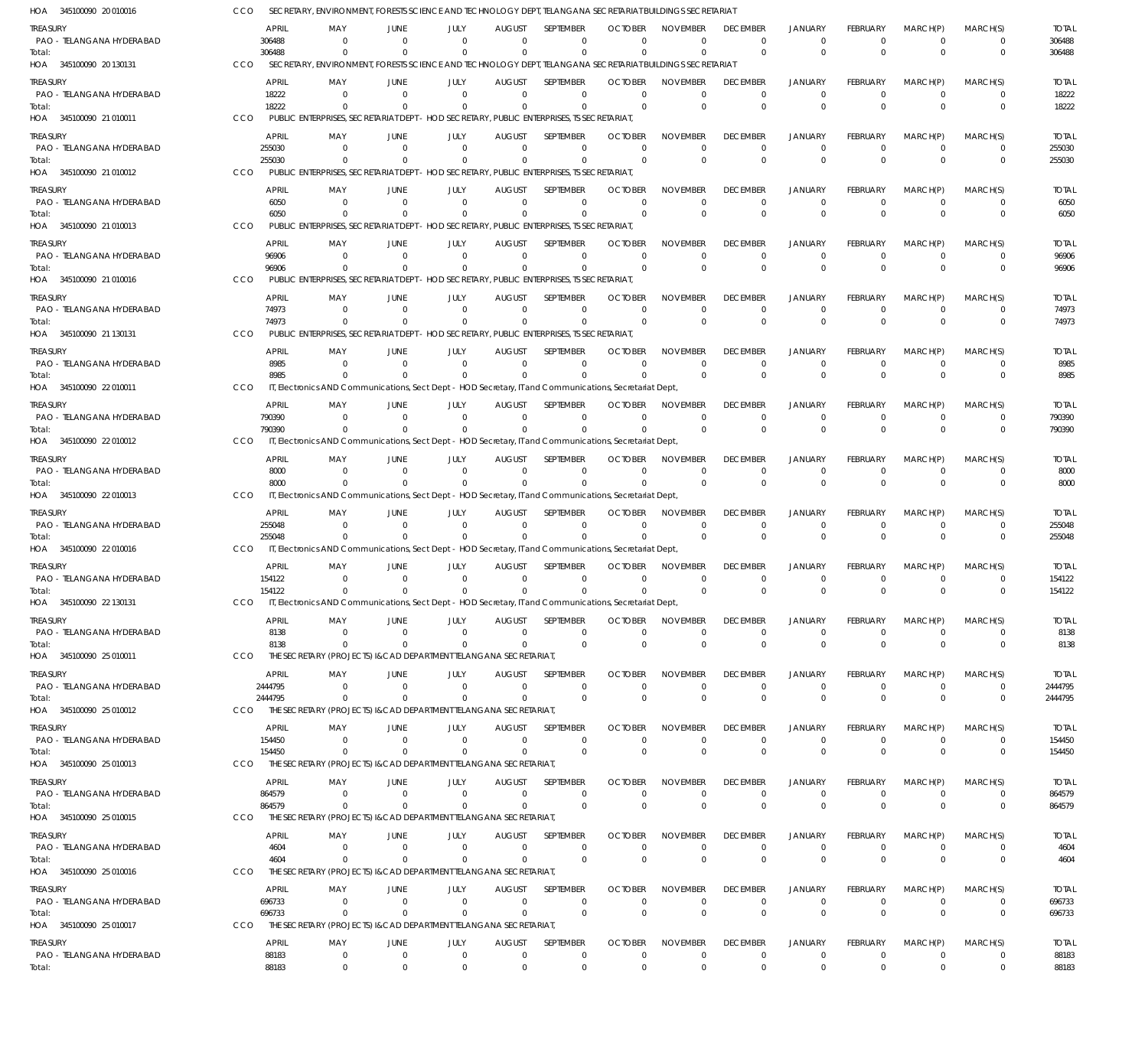| HOA 345100090 20 010016               | CCO     |                       | SECRETARY, ENVIRONMENT, FORESTS SCIENCE AND TECHNOLOGY DEPT, TELANGANA SECRETARIAT BUILDINGS SECRETARIAT             |                                                    |                                 |                                                     |                            |                                |                             |                                  |                                |                            |                         |                        |
|---------------------------------------|---------|-----------------------|----------------------------------------------------------------------------------------------------------------------|----------------------------------------------------|---------------------------------|-----------------------------------------------------|----------------------------|--------------------------------|-----------------------------|----------------------------------|--------------------------------|----------------------------|-------------------------|------------------------|
| Treasury                              |         | <b>APRIL</b>          | MAY<br>JUNE                                                                                                          | JULY                                               | <b>AUGUST</b>                   | <b>SEPTEMBER</b>                                    | <b>OCTOBER</b>             | <b>NOVEMBER</b>                | <b>DECEMBER</b>             | <b>JANUARY</b>                   | <b>FEBRUARY</b>                | MARCH(P)                   | MARCH(S)                | <b>TOTAL</b>           |
| PAO - TELANGANA HYDERABAD             |         | 306488                | - 0                                                                                                                  | $\Omega$<br>$\Omega$                               | $\Omega$                        | $\Omega$                                            | $\Omega$                   | $^{\circ}$                     | $\overline{0}$              | $\overline{0}$                   | $\mathbf 0$                    | $\overline{0}$             | $\mathbf 0$             | 306488                 |
| Total:                                |         | 306488                | $\Omega$<br>SECRETARY, ENVIRONMENT, FORESTS SCIENCE AND TECHNOLOGY DEPT, TELANGANA SECRETARIAT BUILDINGS SECRETARIAT | $\Omega$<br>$\Omega$                               | $\Omega$                        | $\Omega$                                            | $\Omega$                   | $\Omega$                       | $\Omega$                    | $\Omega$                         | $\Omega$                       | $\Omega$                   | $\mathbf 0$             | 306488                 |
| HOA 345100090 20 130131               | CCO     |                       |                                                                                                                      |                                                    |                                 |                                                     |                            |                                |                             |                                  |                                |                            |                         |                        |
| treasury<br>PAO - TELANGANA HYDERABAD |         | <b>APRIL</b><br>18222 | MAY<br>JUNE<br>$\Omega$                                                                                              | JULY<br>$\Omega$<br>$\Omega$                       | <b>AUGUST</b><br>$\Omega$       | SEPTEMBER<br>$\Omega$                               | <b>OCTOBER</b><br>$\Omega$ | <b>NOVEMBER</b><br>$\Omega$    | <b>DECEMBER</b><br>$\Omega$ | <b>JANUARY</b><br>$\Omega$       | FEBRUARY<br>$\Omega$           | MARCH(P)<br>$\Omega$       | MARCH(S)<br>0           | <b>TOTAL</b><br>18222  |
| Total:                                |         | 18222                 | $\Omega$                                                                                                             | $\Omega$                                           | $\Omega$                        | $\Omega$                                            | $\Omega$                   | $\Omega$                       | $\Omega$                    | $\Omega$                         | $\Omega$                       | $\Omega$                   | $\Omega$                | 18222                  |
| HOA 345100090 21 010011               | CCO     |                       | PUBLIC ENTERPRISES, SECRETARIAT DEPT                                                                                 |                                                    |                                 | - HOD SECRETARY, PUBLIC ENTERPRISES, TS SECRETARIAT |                            |                                |                             |                                  |                                |                            |                         |                        |
| treasury                              |         | <b>APRIL</b>          | MAY<br>JUNE                                                                                                          | JULY                                               | <b>AUGUST</b>                   | SEPTEMBER                                           | <b>OCTOBER</b>             | <b>NOVEMBER</b>                | <b>DECEMBER</b>             | <b>JANUARY</b>                   | <b>FEBRUARY</b>                | MARCH(P)                   | MARCH(S)                | <b>TOTAL</b>           |
| PAO - TELANGANA HYDERABAD             |         | 255030                | $\Omega$                                                                                                             | $\Omega$<br>$\Omega$                               | $\Omega$                        | $\Omega$                                            | $\Omega$                   | $\Omega$                       | $\Omega$                    | $\overline{0}$                   | $\mathbf 0$                    | $\Omega$                   | $\mathbf 0$             | 255030                 |
| Total:                                |         | 255030                | $\Omega$<br>PUBLIC ENTERPRISES, SECRETARIAT DEPT - HOD SECRETARY, PUBLIC ENTERPRISES, TS SECRETARIAT                 | $\Omega$<br>$\Omega$                               | $\Omega$                        | $\Omega$                                            | $\Omega$                   | $\Omega$                       | $\Omega$                    | $\Omega$                         | $\Omega$                       | $\Omega$                   | $\mathbf 0$             | 255030                 |
| HOA 345100090 21 010012               | CCO     |                       |                                                                                                                      |                                                    |                                 |                                                     |                            |                                |                             |                                  |                                |                            |                         |                        |
| treasury<br>PAO - TELANGANA HYDERABAD |         | <b>APRIL</b><br>6050  | MAY<br>JUNE<br>$\Omega$                                                                                              | JULY<br>$\Omega$<br>$\Omega$                       | <b>AUGUST</b><br>$\Omega$       | SEPTEMBER<br>$\Omega$                               | <b>OCTOBER</b><br>$\Omega$ | <b>NOVEMBER</b><br>$\Omega$    | <b>DECEMBER</b><br>$\Omega$ | <b>JANUARY</b><br>$\Omega$       | <b>FEBRUARY</b><br>$\Omega$    | MARCH(P)<br>$\Omega$       | MARCH(S)<br>$\Omega$    | <b>TOTAL</b><br>6050   |
| Total:                                |         | 6050                  | $\Omega$                                                                                                             | $\Omega$<br>$\Omega$                               | $\Omega$                        | $\Omega$                                            | $\Omega$                   | $\Omega$                       | $\Omega$                    | $\Omega$                         | $\Omega$                       | $\Omega$                   | $\mathbf 0$             | 6050                   |
| HOA 345100090 21 010013               | CCO     |                       | PUBLIC ENTERPRISES, SECRETARIAT DEPT - HOD SECRETARY, PUBLIC ENTERPRISES, TS SECRETARIAT                             |                                                    |                                 |                                                     |                            |                                |                             |                                  |                                |                            |                         |                        |
| treasury                              |         | <b>APRIL</b>          | MAY<br>JUNE                                                                                                          | JULY                                               | <b>AUGUST</b>                   | SEPTEMBER                                           | <b>OCTOBER</b>             | <b>NOVEMBER</b>                | <b>DECEMBER</b>             | <b>JANUARY</b>                   | <b>FEBRUARY</b>                | MARCH(P)                   | MARCH(S)                | <b>TOTAL</b>           |
| PAO - TELANGANA HYDERABAD             |         | 96906                 | - 0                                                                                                                  | $\Omega$<br>$\Omega$                               | $\Omega$                        | $\mathbf 0$                                         | $\Omega$                   | $\Omega$                       | $\Omega$                    | $\overline{0}$                   | $\mathbf 0$                    | $\overline{0}$             | $\mathbf 0$             | 96906                  |
| Total:                                |         | 96906                 | $\Omega$                                                                                                             | $\Omega$<br>$\Omega$                               | $\Omega$                        | $\Omega$                                            | $\Omega$                   | $\Omega$                       | $\Omega$                    | $\Omega$                         | $\Omega$                       | $\Omega$                   | $\mathbf 0$             | 96906                  |
| HOA 345100090 21 010016               | CCO     |                       | PUBLIC ENTERPRISES, SECRETARIAT DEPT - HOD SECRETARY, PUBLIC ENTERPRISES, TS SECRETARIAT                             |                                                    |                                 |                                                     |                            |                                |                             |                                  |                                |                            |                         |                        |
| treasury<br>PAO - TELANGANA HYDERABAD |         | APRIL<br>74973        | MAY<br>JUNE<br>$\Omega$                                                                                              | JULY<br>- 0<br>$\Omega$                            | <b>AUGUST</b><br>$\Omega$       | SEPTEMBER<br>$\Omega$                               | <b>OCTOBER</b><br>$\Omega$ | <b>NOVEMBER</b><br>$\Omega$    | <b>DECEMBER</b><br>$\Omega$ | <b>JANUARY</b><br>$\overline{0}$ | FEBRUARY<br>$\Omega$           | MARCH(P)<br>$\Omega$       | MARCH(S)<br>$\Omega$    | <b>TOTAL</b><br>74973  |
| Total:                                |         | 74973                 | $\Omega$                                                                                                             | $\Omega$<br>$\Omega$                               | $\Omega$                        | $\Omega$                                            | $\Omega$                   | $\Omega$                       | $\Omega$                    | $\Omega$                         | $\Omega$                       | $\Omega$                   | $\Omega$                | 74973                  |
| HOA 345100090 21 130131               | CCO     |                       | PUBLIC ENTERPRISES, SECRETARIAT DEPT - HOD SECRETARY, PUBLIC ENTERPRISES, TS SECRETARIAT                             |                                                    |                                 |                                                     |                            |                                |                             |                                  |                                |                            |                         |                        |
| treasury                              |         | <b>APRIL</b>          | MAY<br>JUNE                                                                                                          | JULY                                               | <b>AUGUST</b>                   | SEPTEMBER                                           | <b>OCTOBER</b>             | <b>NOVEMBER</b>                | <b>DECEMBER</b>             | <b>JANUARY</b>                   | <b>FEBRUARY</b>                | MARCH(P)                   | MARCH(S)                | <b>TOTAL</b>           |
| PAO - TELANGANA HYDERABAD             |         | 8985                  | $\Omega$                                                                                                             | $\Omega$<br>$\Omega$                               | $\Omega$                        | $\Omega$                                            | $\Omega$                   | $^{\circ}$                     | $\Omega$                    | $\overline{0}$                   | $\Omega$                       | $\overline{0}$             | $\mathbf 0$             | 8985                   |
| Total:                                |         | 8985                  |                                                                                                                      | $\Omega$                                           | $\Omega$                        | $\Omega$                                            |                            | $\Omega$                       | $\Omega$                    | $\Omega$                         | $\Omega$                       | $\Omega$                   | $\mathbf 0$             | 8985                   |
| HOA 345100090 22 010011               | CCO     |                       | IT, Electronics AND Communications, Sect Dept - HOD Secretary, IT and Communications, Secretariat Dept               |                                                    |                                 |                                                     |                            |                                |                             |                                  |                                |                            |                         |                        |
| treasury                              |         | APRIL                 | MAY<br>JUNE                                                                                                          | JULY                                               | <b>AUGUST</b>                   | SEPTEMBER                                           | <b>OCTOBER</b>             | <b>NOVEMBER</b>                | <b>DECEMBER</b>             | <b>JANUARY</b>                   | <b>FEBRUARY</b>                | MARCH(P)                   | MARCH(S)                | <b>TOTAL</b>           |
| PAO - TELANGANA HYDERABAD<br>Total:   |         | 790390<br>790390      | $\Omega$<br>$\Omega$                                                                                                 | $\Omega$<br>$\Omega$<br>$\Omega$<br>$\Omega$       | $\Omega$<br>$\Omega$            | $\Omega$<br>$\Omega$                                | $\Omega$                   | $\Omega$<br>$\Omega$           | $\Omega$<br>$\Omega$        | $\Omega$<br>$\Omega$             | $\Omega$<br>$\Omega$           | $\Omega$<br>$\Omega$       | $\Omega$<br>$\mathbf 0$ | 790390<br>790390       |
| HOA 345100090 22 010012               | CCO     |                       | IT, Electronics AND Communications, Sect Dept - HOD Secretary, IT and Communications, Secretariat Dept,              |                                                    |                                 |                                                     |                            |                                |                             |                                  |                                |                            |                         |                        |
| treasury                              |         | <b>APRIL</b>          | MAY<br>JUNE                                                                                                          | JULY                                               | AUGUST                          | SEPTEMBER                                           | <b>OCTOBER</b>             | <b>NOVEMBER</b>                | <b>DECEMBER</b>             | <b>JANUARY</b>                   | FEBRUARY                       | MARCH(P)                   | MARCH(S)                | <b>TOTAL</b>           |
| PAO - TELANGANA HYDERABAD             |         | 8000                  | $\Omega$                                                                                                             | $\Omega$<br>$\Omega$                               | $\Omega$                        | $\mathbf 0$                                         | $\Omega$                   | $\Omega$                       | $\Omega$                    | $\overline{0}$                   | $\mathbf 0$                    | $\overline{0}$             | $\mathbf 0$             | 8000                   |
| Total:                                |         | 8000                  | $\Omega$                                                                                                             | $\Omega$<br>$\Omega$                               | $\Omega$                        | $\Omega$                                            | $\Omega$                   | $\Omega$                       | $\Omega$                    | $\Omega$                         | $\Omega$                       | $\Omega$                   | $\mathbf 0$             | 8000                   |
| HOA 345100090 22 010013               | CCO     |                       | IT, Electronics AND Communications, Sect Dept - HOD Secretary, IT and Communications, Secretariat Dept               |                                                    |                                 |                                                     |                            |                                |                             |                                  |                                |                            |                         |                        |
| treasury                              |         | APRIL                 | <b>JUNE</b><br>MAY                                                                                                   | JULY                                               | <b>AUGUST</b>                   | SEPTEMBER                                           | <b>OCTOBER</b>             | <b>NOVEMBER</b>                | <b>DECEMBER</b>             | <b>JANUARY</b>                   | FEBRUARY                       | MARCH(P)                   | MARCH(S)                | <b>TOTAL</b>           |
| PAO - TELANGANA HYDERABAD<br>Total:   |         | 255048<br>255048      | $\Omega$<br>$\Omega$                                                                                                 | $\overline{0}$<br>$\Omega$<br>$\Omega$<br>$\Omega$ | $\Omega$<br>$\Omega$            | $\Omega$<br>$\Omega$                                | $\Omega$                   | $\Omega$<br>$\Omega$           | $\Omega$<br>$\Omega$        | $\Omega$<br>$\Omega$             | $\Omega$<br>$\Omega$           | $\Omega$<br>$\Omega$       | $\mathbf 0$<br>$\Omega$ | 255048<br>255048       |
| HOA 345100090 22 010016               | CCO     |                       | IT, Electronics AND Communications, Sect Dept - HOD Secretary, IT and Communications, Secretariat Dept               |                                                    |                                 |                                                     |                            |                                |                             |                                  |                                |                            |                         |                        |
| treasury                              |         | <b>APRIL</b>          | MAY<br>JUNE                                                                                                          | JULY                                               | <b>AUGUST</b>                   | SEPTEMBER                                           | <b>OCTOBER</b>             | <b>NOVEMBER</b>                | <b>DECEMBER</b>             | <b>JANUARY</b>                   | FEBRUARY                       | MARCH(P)                   | MARCH(S)                | <b>TOTAL</b>           |
| PAO - TELANGANA HYDERABAD             |         | 154122                | $\Omega$                                                                                                             | $\Omega$<br>$\Omega$                               | $\Omega$                        | $\mathbf 0$                                         | $\Omega$                   | $\mathbf 0$                    | $\Omega$                    | $^{\circ}$                       | $\mathbf 0$                    | $\Omega$                   | 0                       | 154122                 |
| Total:                                |         | 154122                | $\Omega$                                                                                                             | $\Omega$<br>$\Omega$                               | $\Omega$                        | $\Omega$                                            | $\Omega$                   | $\Omega$                       | $\Omega$                    | $\Omega$                         | $\Omega$                       | $\Omega$                   | $\Omega$                | 154122                 |
| HOA 345100090 22 130131               | CCO     |                       | IT, Electronics AND Communications, Sect Dept - HOD Secretary, IT and Communications, Secretariat Dept               |                                                    |                                 |                                                     |                            |                                |                             |                                  |                                |                            |                         |                        |
| Treasury                              |         | APRIL                 | MAY<br>JUNE                                                                                                          | JULY                                               | <b>AUGUST</b>                   | SEPTEMBER                                           | <b>OCTOBER</b>             | <b>NOVEMBER</b>                | <b>DECEMBER</b>             | <b>JANUARY</b>                   | <b>FEBRUARY</b>                | MARCH(P)                   | MARCH(S)                | <b>TOTAL</b>           |
| PAO - TELANGANA HYDERABAD<br>Total:   |         | 8138<br>8138          | $\Omega$<br>$^{\circ}$                                                                                               | $\Omega$<br>$\Omega$<br>$\Omega$<br>$\overline{0}$ | $\Omega$<br>$\Omega$            | $\Omega$<br>$\mathbf 0$                             | $\Omega$<br>$\mathbf{0}$   | $\Omega$<br>$\Omega$           | $\Omega$<br>$\Omega$        | $\Omega$<br>$\Omega$             | $\Omega$<br>$\Omega$           | $\Omega$<br>$\Omega$       | $\Omega$<br>$\mathbf 0$ | 8138<br>8138           |
| HOA 345100090 25 010011               | CCO     |                       | THE SECRETARY (PROJECTS) I&CAD DEPARTMENT TELANGANA SECRETARIAT,                                                     |                                                    |                                 |                                                     |                            |                                |                             |                                  |                                |                            |                         |                        |
| Treasury                              |         | <b>APRIL</b>          | MAY<br>JUNE                                                                                                          | JULY                                               | <b>AUGUST</b>                   | SEPTEMBER                                           | <b>OCTOBER</b>             | <b>NOVEMBER</b>                | <b>DECEMBER</b>             | <b>JANUARY</b>                   | FEBRUARY                       | MARCH(P)                   | MARCH(S)                | <b>TOTAL</b>           |
| PAO - TELANGANA HYDERABAD             |         | 2444795               | - 0                                                                                                                  | $\overline{0}$<br>$\overline{0}$                   | $\overline{0}$                  | $\mathbf 0$                                         | $\Omega$                   | $\mathbf 0$                    | $\mathbf 0$                 | $^{\circ}$                       | $\mathbf 0$                    | $^{\circ}$                 | $\mathbf 0$             | 2444795                |
| Total:                                | 2444795 |                       | $\Omega$                                                                                                             | $\overline{0}$<br>$\Omega$                         | $\Omega$                        | $\mathbf 0$                                         | $\Omega$                   | $\Omega$                       | $\Omega$                    | $\Omega$                         | $\Omega$                       | $\Omega$                   | $\mathbf 0$             | 2444795                |
| HOA 345100090 25 010012               | CCO     |                       | THE SECRETARY (PROJECTS) I&CAD DEPARTMENT TELANGANA SECRETARIAT,                                                     |                                                    |                                 |                                                     |                            |                                |                             |                                  |                                |                            |                         |                        |
| treasury                              |         | APRIL                 | MAY<br>JUNE                                                                                                          | JULY                                               | <b>AUGUST</b>                   | SEPTEMBER                                           | <b>OCTOBER</b>             | <b>NOVEMBER</b>                | <b>DECEMBER</b>             | <b>JANUARY</b>                   | FEBRUARY                       | MARCH(P)                   | MARCH(S)                | <b>TOTAL</b>           |
| PAO - TELANGANA HYDERABAD             |         | 154450<br>154450      | - 0<br>$^{\circ}$                                                                                                    | $\overline{0}$<br>$\Omega$<br>$\Omega$<br>$\Omega$ | $\mathbf{0}$<br>$\Omega$        | $\Omega$<br>$\Omega$                                | $\Omega$<br>$\Omega$       | $\Omega$<br>$\Omega$           | $\Omega$<br>$\Omega$        | $\Omega$<br>$\Omega$             | $\Omega$<br>$\Omega$           | $\overline{0}$<br>$\Omega$ | 0<br>$\mathbf 0$        | 154450<br>154450       |
| Total:<br>HOA 345100090 25 010013     | CCO     |                       | THE SECRETARY (PROJECTS) I&CAD DEPARTMENT TELANGANA SECRETARIAT,                                                     |                                                    |                                 |                                                     |                            |                                |                             |                                  |                                |                            |                         |                        |
| treasury                              |         | APRIL                 | MAY<br>JUNE                                                                                                          | JULY                                               | <b>AUGUST</b>                   | SEPTEMBER                                           | <b>OCTOBER</b>             | <b>NOVEMBER</b>                | <b>DECEMBER</b>             | <b>JANUARY</b>                   | FEBRUARY                       | MARCH(P)                   | MARCH(S)                | <b>TOTAL</b>           |
| PAO - TELANGANA HYDERABAD             |         | 864579                | $^{\circ}$                                                                                                           | $\mathbf 0$<br>$\overline{0}$                      | $\mathbf{0}$                    | $\mathbf 0$                                         | $\Omega$                   | $\mathbf 0$                    | $\Omega$                    | $\overline{0}$                   | $\mathbf 0$                    | $\overline{0}$             | $\mathbf 0$             | 864579                 |
| Total:                                |         | 864579                | $\Omega$                                                                                                             | $\Omega$<br>$\Omega$                               | $\mathbf 0$                     | $\mathbf 0$                                         | $\Omega$                   | $\Omega$                       | $\Omega$                    | $\overline{0}$                   | $\mathbf{0}$                   | $\Omega$                   | $\mathbf 0$             | 864579                 |
| HOA 345100090 25 010015               | CCO     |                       | THE SECRETARY (PROJECTS) I&CAD DEPARTMENT TELANGANA SECRETARIAT,                                                     |                                                    |                                 |                                                     |                            |                                |                             |                                  |                                |                            |                         |                        |
| treasury                              |         | <b>APRIL</b>          | MAY<br>JUNE                                                                                                          | JULY                                               | <b>AUGUST</b>                   | SEPTEMBER                                           | <b>OCTOBER</b>             | <b>NOVEMBER</b>                | <b>DECEMBER</b>             | <b>JANUARY</b>                   | FEBRUARY                       | MARCH(P)                   | MARCH(S)                | <b>TOTAL</b>           |
| PAO - TELANGANA HYDERABAD             |         | 4604                  | - 0                                                                                                                  | $\overline{0}$<br>$\Omega$                         | $\Omega$                        | $\mathbf 0$                                         | $\Omega$                   | $\Omega$                       | $\mathbf 0$                 | $^{\circ}$                       | $\Omega$                       | $^{\circ}$                 | $\Omega$                | 4604                   |
| Total:<br>HOA 345100090 25 010016     | CCO     | 4604                  | $\Omega$<br>THE SECRETARY (PROJECTS) I&CAD DEPARTMENT TELANGANA SECRETARIAT,                                         | $\Omega$<br>$\Omega$                               | $\Omega$                        | $\mathbf 0$                                         | $\Omega$                   | $\Omega$                       | $\mathbf{0}$                | $\Omega$                         | $\Omega$                       | $\Omega$                   | $\mathbf 0$             | 4604                   |
|                                       |         |                       |                                                                                                                      |                                                    |                                 |                                                     |                            |                                |                             |                                  |                                |                            |                         |                        |
| Treasury<br>PAO - TELANGANA HYDERABAD |         | APRIL<br>696733       | MAY<br>JUNE<br>0                                                                                                     | JULY<br>$\overline{0}$<br>$\overline{0}$           | <b>AUGUST</b><br>$\overline{0}$ | SEPTEMBER<br>$\mathbf 0$                            | <b>OCTOBER</b><br>$\Omega$ | <b>NOVEMBER</b><br>$\mathbf 0$ | <b>DECEMBER</b><br>$\Omega$ | JANUARY<br>$\overline{0}$        | <b>FEBRUARY</b><br>$\mathbf 0$ | MARCH(P)<br>$\overline{0}$ | MARCH(S)<br>0           | <b>TOTAL</b><br>696733 |
| Total:                                |         | 696733                | $^{\circ}$                                                                                                           | $\mathbf 0$<br>$\overline{0}$                      | $\overline{0}$                  | $\mathbf 0$                                         | $\Omega$                   | $\Omega$                       | $\Omega$                    | $\overline{0}$                   | $\mathbf{0}$                   | $\Omega$                   | $\mathbf 0$             | 696733                 |
| HOA 345100090 25 010017               | CCO     |                       | THE SECRETARY (PROJECTS) I&CAD DEPARTMENT TELANGANA SECRETARIAT,                                                     |                                                    |                                 |                                                     |                            |                                |                             |                                  |                                |                            |                         |                        |
| treasury                              |         | APRIL                 | MAY<br>JUNE                                                                                                          | JULY                                               | <b>AUGUST</b>                   | SEPTEMBER                                           | <b>OCTOBER</b>             | <b>NOVEMBER</b>                | <b>DECEMBER</b>             | <b>JANUARY</b>                   | <b>FEBRUARY</b>                | MARCH(P)                   | MARCH(S)                | <b>TOTAL</b>           |
| PAO - TELANGANA HYDERABAD             |         | 88183                 | $^{\circ}$                                                                                                           | $\mathbf 0$<br>$\overline{0}$                      | $\mathbf{0}$                    | $\mathbf 0$                                         | $\Omega$                   | $^{\circ}$                     | $\Omega$                    | $\mathbf 0$                      | $\overline{0}$                 | $\overline{0}$             | $\Omega$                | 88183                  |
| Total:                                |         | 88183                 | $\mathbf 0$                                                                                                          | $\mathbf 0$<br>$\overline{0}$                      | $\mathbf 0$                     | $\mathbf 0$                                         | $\Omega$                   | $^{\circ}$                     | $\overline{0}$              | $\mathbf 0$                      | $\mathbf{0}$                   | $\overline{0}$             | $\mathbf 0$             | 88183                  |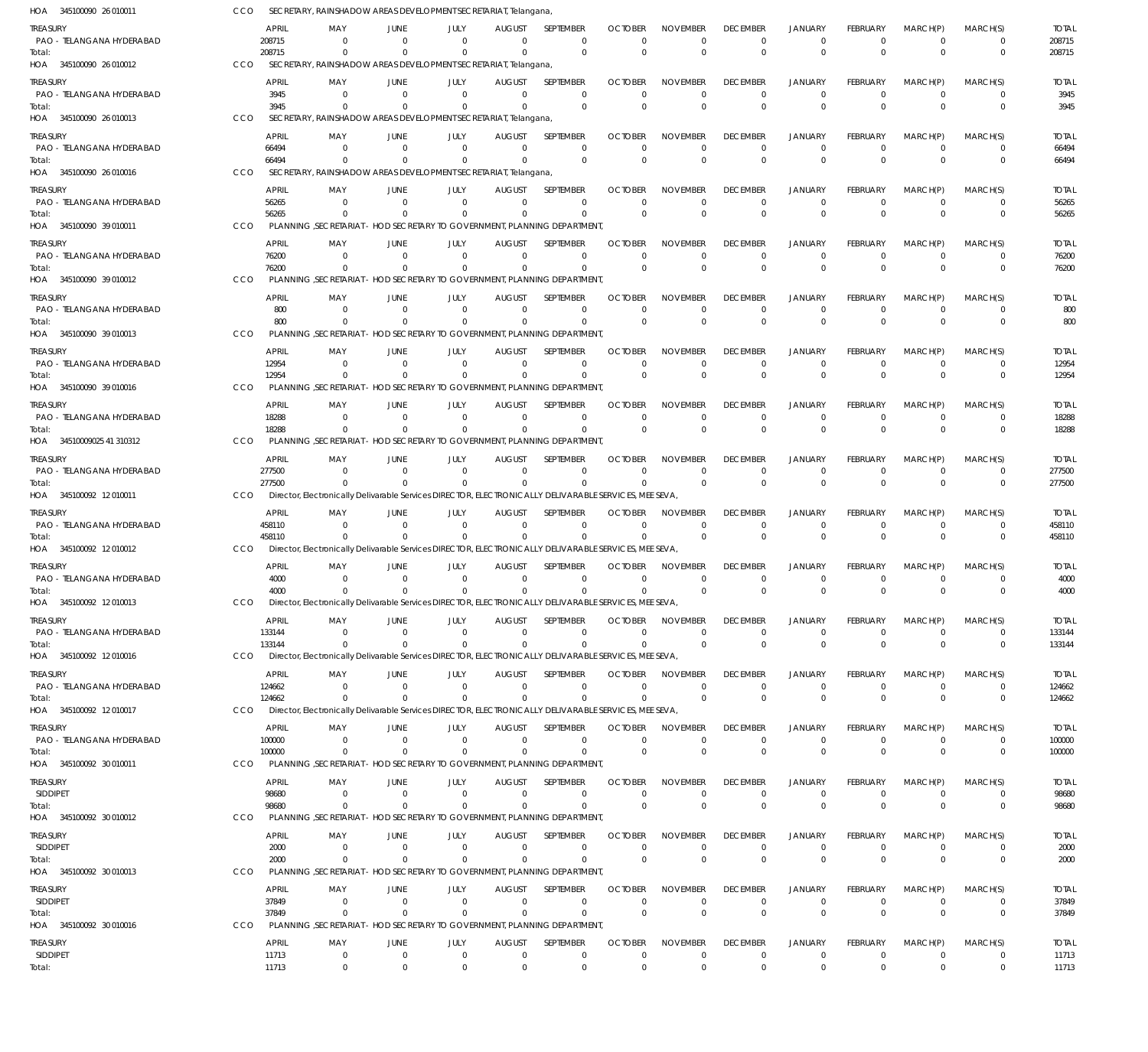| HOA 345100090 26 010011               |     |                        |                            |                                  | SECRETARY, RAINSHADOW AREAS DEVELOPMENT SECRETARIAT, Telangana                                                    |                                 |                                 |                                        |                                         |                                   |                                  |                                  |                                  |                               |                        |
|---------------------------------------|-----|------------------------|----------------------------|----------------------------------|-------------------------------------------------------------------------------------------------------------------|---------------------------------|---------------------------------|----------------------------------------|-----------------------------------------|-----------------------------------|----------------------------------|----------------------------------|----------------------------------|-------------------------------|------------------------|
| Treasury<br>PAO - TELANGANA HYDERABAD |     | <b>APRIL</b><br>208715 | MAY<br>- 0                 | JUNE<br>$\Omega$<br>$\Omega$     | JULY<br>$\Omega$<br>$\Omega$                                                                                      | <b>AUGUST</b><br>$\Omega$       | SEPTEMBER<br>$\mathbf 0$        | <b>OCTOBER</b><br>$\Omega$<br>$\Omega$ | <b>NOVEMBER</b><br>$\Omega$<br>$\Omega$ | <b>DECEMBER</b><br>$\mathbf 0$    | <b>JANUARY</b><br>$\mathbf 0$    | FEBRUARY<br>$\Omega$<br>$\Omega$ | MARCH(P)<br>$\Omega$<br>$\Omega$ | MARCH(S)<br>0                 | <b>TOTAL</b><br>208715 |
| Total:<br>HOA 345100090 26 010012     | CCO | 208715                 | $\Omega$                   |                                  | SECRETARY, RAINSHADOW AREAS DEVELOPMENT SECRETARIAT, Telangana,                                                   | $\Omega$                        | $\mathbf 0$                     |                                        |                                         | $\mathbf 0$                       | $\mathbf{0}$                     |                                  |                                  | $\mathbf 0$                   | 208715                 |
| treasury                              |     | <b>APRIL</b>           | MAY                        | JUNE                             | JULY                                                                                                              | <b>AUGUST</b>                   | SEPTEMBER                       | <b>OCTOBER</b>                         | <b>NOVEMBER</b>                         | <b>DECEMBER</b>                   | <b>JANUARY</b>                   | FEBRUARY                         | MARCH(P)                         | MARCH(S)                      | <b>TOTAL</b>           |
| PAO - TELANGANA HYDERABAD<br>Total:   |     | 3945<br>3945           | $\Omega$<br>$\Omega$       | $\Omega$                         | $\Omega$<br>$\Omega$                                                                                              | $\overline{0}$<br>$\Omega$      | $\mathbf 0$<br>$\mathbf 0$      | $\Omega$<br>$\Omega$                   | $\Omega$<br>$\Omega$                    | $\overline{0}$<br>$\mathbf 0$     | $\overline{0}$<br>$\overline{0}$ | $^{\circ}$<br>$\Omega$           | $\overline{0}$<br>$\Omega$       | $\mathbf 0$<br>$\mathbf 0$    | 3945<br>3945           |
| HOA 345100090 26 010013               | CCO |                        |                            |                                  | SECRETARY, RAINSHADOW AREAS DEVELOPMENT SECRETARIAT, Telangana                                                    |                                 |                                 |                                        |                                         |                                   |                                  |                                  |                                  |                               |                        |
| treasury                              |     | <b>APRIL</b>           | MAY                        | JUNE                             | JULY                                                                                                              | <b>AUGUST</b>                   | SEPTEMBER                       | <b>OCTOBER</b>                         | <b>NOVEMBER</b>                         | <b>DECEMBER</b>                   | <b>JANUARY</b>                   | FEBRUARY                         | MARCH(P)                         | MARCH(S)                      | <b>TOTAL</b>           |
| PAO - TELANGANA HYDERABAD<br>Total:   |     | 66494<br>66494         | $\overline{0}$<br>$\Omega$ | $\overline{0}$<br>$\Omega$       | $\Omega$<br>$\Omega$                                                                                              | $\Omega$<br>$\Omega$            | $\mathbf 0$<br>$\mathbf 0$      | $\Omega$<br>$\mathbf 0$                | $\Omega$<br>$\Omega$                    | $\mathbf 0$<br>$\mathbf 0$        | $\mathbf 0$<br>$\mathbf 0$       | $^{\circ}$<br>$\Omega$           | $\Omega$<br>$\Omega$             | 0<br>$\mathbf 0$              | 66494<br>66494         |
| HOA 345100090 26 010016               | CCO |                        |                            |                                  | SECRETARY, RAINSHADOW AREAS DEVELOPMENT SECRETARIAT, Telangana,                                                   |                                 |                                 |                                        |                                         |                                   |                                  |                                  |                                  |                               |                        |
| treasury                              |     | <b>APRIL</b>           | MAY                        | JUNE<br>$\Omega$                 | JULY<br>$\Omega$                                                                                                  | <b>AUGUST</b>                   | SEPTEMBER                       | <b>OCTOBER</b>                         | <b>NOVEMBER</b><br>$\Omega$             | <b>DECEMBER</b>                   | <b>JANUARY</b>                   | FEBRUARY                         | MARCH(P)                         | MARCH(S)                      | <b>TOTAL</b>           |
| PAO - TELANGANA HYDERABAD<br>Total:   |     | 56265<br>56265         | $\Omega$<br>$\Omega$       | $\Omega$                         | $\Omega$                                                                                                          | $\mathbf 0$<br>$\Omega$         | $\mathbf 0$<br>$\mathbf 0$      | $\Omega$<br>$\Omega$                   | $\Omega$                                | $^{\circ}$<br>$\mathbf 0$         | $\overline{0}$<br>$\overline{0}$ | $^{\circ}$<br>$\Omega$           | $\mathbf 0$<br>$\Omega$          | $\mathbf 0$<br>$\mathbf 0$    | 56265<br>56265         |
| HOA 345100090 39 010011               | CCO |                        |                            |                                  | PLANNING , SECRETARIAT - HOD SECRETARY TO GOVERNMENT, PLANNING DEPARTMENT,                                        |                                 |                                 |                                        |                                         |                                   |                                  |                                  |                                  |                               |                        |
| treasury<br>PAO - TELANGANA HYDERABAD |     | <b>APRIL</b><br>76200  | MAY<br>- 0                 | <b>JUNE</b><br>$\Omega$          | JULY<br>$\Omega$                                                                                                  | <b>AUGUST</b><br>$\mathbf{0}$   | SEPTEMBER<br>$\mathbf 0$        | <b>OCTOBER</b><br>$\Omega$             | <b>NOVEMBER</b><br>$\Omega$             | <b>DECEMBER</b><br>$^{\circ}$     | <b>JANUARY</b><br>$\overline{0}$ | FEBRUARY<br>$\Omega$             | MARCH(P)<br>$\Omega$             | MARCH(S)<br>$\mathbf 0$       | <b>TOTAL</b><br>76200  |
| Total:                                |     | 76200                  | $\Omega$                   | $\Omega$                         | $\Omega$                                                                                                          | $\Omega$                        | $\mathbf 0$                     | $\Omega$                               | $\Omega$                                | $\mathbf 0$                       | $\mathbf{0}$                     | $\Omega$                         | $\Omega$                         | $\mathbf 0$                   | 76200                  |
| HOA 345100090 39 010012               | CCO |                        |                            |                                  | PLANNING .SECRETARIAT - HOD SECRETARY TO GOVERNMENT. PLANNING DEPARTMENT.                                         |                                 |                                 |                                        |                                         |                                   |                                  |                                  |                                  |                               |                        |
| treasury<br>PAO - TELANGANA HYDERABAD |     | <b>APRIL</b><br>800    | MAY<br>$\overline{0}$      | JUNE<br>$\Omega$                 | JULY<br>$\Omega$                                                                                                  | <b>AUGUST</b><br>$\mathbf 0$    | <b>SEPTEMBER</b><br>$\mathbf 0$ | <b>OCTOBER</b><br>$\Omega$             | <b>NOVEMBER</b><br>$\Omega$             | <b>DECEMBER</b><br>$^{\circ}$     | <b>JANUARY</b><br>$\mathbf 0$    | FEBRUARY<br>$\overline{0}$       | MARCH(P)<br>$\mathbf 0$          | MARCH(S)<br>$\mathbf 0$       | <b>TOTAL</b><br>800    |
| Total:                                |     | 800                    | $\Omega$                   | $\Omega$                         | $\Omega$                                                                                                          | $\Omega$                        | $\mathbf 0$                     | $\Omega$                               | $\Omega$                                | $\mathbf 0$                       | $\overline{0}$                   | $\Omega$                         | $\Omega$                         | $\mathbf 0$                   | 800                    |
| HOA 345100090 39 010013               | CCO |                        |                            |                                  | PLANNING .SECRETARIAT - HOD SECRETARY TO GOVERNMENT. PLANNING DEPARTMENT.                                         |                                 |                                 |                                        |                                         |                                   |                                  |                                  |                                  |                               |                        |
| treasury<br>PAO - TELANGANA HYDERABAD |     | <b>APRIL</b><br>12954  | MAY<br>$\Omega$            | JUNE<br>$\Omega$                 | JULY<br>$\Omega$                                                                                                  | <b>AUGUST</b><br>$\Omega$       | SEPTEMBER<br>$\Omega$           | <b>OCTOBER</b><br>$\Omega$             | <b>NOVEMBER</b><br>$\Omega$             | <b>DECEMBER</b><br>$\overline{0}$ | <b>JANUARY</b><br>$\Omega$       | FEBRUARY<br>$\Omega$             | MARCH(P)<br>$\Omega$             | MARCH(S)<br>$\mathbf 0$       | <b>TOTAL</b><br>12954  |
| Total:                                |     | 12954                  | $\Omega$                   | $\Omega$                         | $\Omega$                                                                                                          | $\Omega$                        | $\mathbf{0}$                    | $\Omega$                               | $\Omega$                                | $\mathbf 0$                       | $\mathbf 0$                      | $\Omega$                         | $\Omega$                         | 0                             | 12954                  |
| HOA 345100090 39 010016               | CCO |                        |                            |                                  | PLANNING , SECRETARIAT - HOD SECRETARY TO GOVERNMENT, PLANNING DEPARTMENT,                                        |                                 |                                 |                                        |                                         |                                   |                                  |                                  |                                  |                               |                        |
| treasury<br>PAO - TELANGANA HYDERABAD |     | <b>APRIL</b><br>18288  | MAY<br>$\Omega$            | JUNE<br>$\Omega$                 | JULY<br>$\mathbf 0$                                                                                               | <b>AUGUST</b><br>$\mathbf 0$    | SEPTEMBER<br>$\mathbf 0$        | <b>OCTOBER</b><br>$\Omega$             | <b>NOVEMBER</b><br>$\Omega$             | <b>DECEMBER</b><br>$^{\circ}$     | <b>JANUARY</b><br>$\overline{0}$ | FEBRUARY<br>$\overline{0}$       | MARCH(P)<br>$\overline{0}$       | MARCH(S)<br>$\mathbf 0$       | <b>TOTAL</b><br>18288  |
| Total:<br>HOA 34510009025 41 310312   | CCO | 18288                  | $\Omega$                   | $\Omega$                         | $\Omega$<br>PLANNING , SECRETARIAT - HOD SECRETARY TO GOVERNMENT, PLANNING DEPARTMENT,                            | $\Omega$                        | $\mathbf 0$                     | $\Omega$                               | $\Omega$                                | $\mathbf 0$                       | $\overline{0}$                   | $\Omega$                         | $\Omega$                         | 0                             | 18288                  |
| treasury                              |     | <b>APRIL</b>           | MAY                        | JUNE                             | JULY                                                                                                              | <b>AUGUST</b>                   | SEPTEMBER                       | <b>OCTOBER</b>                         | <b>NOVEMBER</b>                         | <b>DECEMBER</b>                   | <b>JANUARY</b>                   | FEBRUARY                         | MARCH(P)                         | MARCH(S)                      | <b>TOTAL</b>           |
| PAO - TELANGANA HYDERABAD             |     | 277500                 | - 0                        | $\Omega$                         | $\Omega$                                                                                                          | $\Omega$                        | $\mathbf 0$                     | $\mathbf{0}$                           | $\Omega$                                | $\overline{0}$                    | $\overline{0}$                   | $\overline{0}$                   | $\mathbf 0$                      | 0                             | 277500                 |
| Total:<br>HOA 345100092 12010011      | CCO | 277500                 | $\Omega$                   | $\Omega$                         | $\Omega$<br>Director, Electronically Delivarable Services DIRECTOR, ELECTRONICALLY DELIVARABLE SERVICES, MEE SEVA | $\Omega$                        | $\Omega$                        | $\Omega$                               | $\Omega$                                | $\mathbf 0$                       | $\Omega$                         | $\Omega$                         | $\Omega$                         | $\mathbf 0$                   | 277500                 |
| treasury                              |     | <b>APRIL</b>           | MAY                        | JUNE                             | JULY                                                                                                              | <b>AUGUST</b>                   | SEPTEMBER                       | <b>OCTOBER</b>                         | <b>NOVEMBER</b>                         | <b>DECEMBER</b>                   | <b>JANUARY</b>                   | FEBRUARY                         | MARCH(P)                         | MARCH(S)                      | <b>TOTAL</b>           |
| PAO - TELANGANA HYDERABAD<br>lotal:   |     | 458110<br>458110       | $\overline{0}$<br>$\Omega$ | $\Omega$                         | $\Omega$<br>$\Omega$                                                                                              | $\Omega$<br>$\Omega$            | $\mathbf 0$<br>0                | $\Omega$<br>$\Omega$                   | $\Omega$<br>$\Omega$                    | $\overline{0}$<br>$\mathbf 0$     | $\overline{0}$<br>$\overline{0}$ | $\overline{0}$<br>$\Omega$       | $\mathbf 0$<br>$\Omega$          | $\mathbf 0$<br>$\mathbf 0$    | 458110<br>458110       |
| HOA 345100092 12010012                | CCO |                        |                            |                                  | Director, Electronically Delivarable Services DIRECTOR, ELECTRONICALLY DELIVARABLE SERVICES, MEE SEVA,            |                                 |                                 |                                        |                                         |                                   |                                  |                                  |                                  |                               |                        |
| treasury                              |     | <b>APRIL</b>           | MAY                        | JUNE                             | JULY                                                                                                              | AUGUST                          | SEPTEMBER                       | <b>OCTOBER</b>                         | <b>NOVEMBER</b>                         | <b>DECEMBER</b>                   | <b>JANUARY</b>                   | <b>FEBRUARY</b>                  | MARCH(P)                         | MARCH(S)                      | <b>TOTAL</b>           |
| PAO - TELANGANA HYDERABAD<br>Total:   |     | 4000<br>4000           | $\Omega$<br>$\Omega$       | $\Omega$                         | $\Omega$<br>$\Omega$                                                                                              | $\Omega$<br>$\Omega$            | $\mathbf 0$<br>$\mathbf{0}$     | $\Omega$<br>$\Omega$                   | $\Omega$<br>$\Omega$                    | $\overline{0}$<br>$^{\circ}$      | $\overline{0}$<br>$\mathbf{0}$   | $\overline{0}$<br>$\Omega$       | $\Omega$<br>$\Omega$             | 0<br>$\mathbf 0$              | 4000<br>4000           |
| HOA 345100092 12010013                | CCO |                        |                            |                                  | Director, Electronically Delivarable Services DIRECTOR, ELECTRONICALLY DELIVARABLE SERVICES, MEE SEVA             |                                 |                                 |                                        |                                         |                                   |                                  |                                  |                                  |                               |                        |
| Treasury<br>PAO - TELANGANA HYDERABAD |     | <b>APRIL</b><br>133144 | MAY<br>$\Omega$            | JUNE<br>- 0                      | JULY<br>$\Omega$                                                                                                  | <b>AUGUST</b><br>0              | <b>SEPTEMBER</b><br>0           | <b>OCTOBER</b><br>$\Omega$             | <b>NOVEMBER</b><br>$\Omega$             | <b>DECEMBER</b><br>$^{\circ}$     | JANUARY<br>0                     | FEBRUARY<br>$\overline{0}$       | MARCH(P)<br>$\overline{0}$       | MARCH(S)<br>0                 | <b>TOTAL</b><br>133144 |
| Total:                                |     | 133144                 | $\overline{0}$             | $\Omega$                         | $\Omega$                                                                                                          | $\mathbf 0$                     | $\mathbf 0$                     | $\Omega$                               | $\Omega$                                | $\mathbf 0$                       | $\overline{0}$                   | $\overline{0}$                   | $\Omega$                         | $\mathbf 0$                   | 133144                 |
| HOA 345100092 12010016                | CCO |                        |                            |                                  | Director, Electronically Delivarable Services DIRECTOR, ELECTRONICALLY DELIVARABLE SERVICES, MEE SEVA,            |                                 |                                 |                                        |                                         |                                   |                                  |                                  |                                  |                               |                        |
| treasury<br>PAO - TELANGANA HYDERABAD |     | <b>APRIL</b><br>124662 | MAY<br>$\mathbf 0$         | JUNE<br>$\overline{0}$           | JULY<br>$\Omega$                                                                                                  | <b>AUGUST</b><br>$\mathbf{0}$   | SEPTEMBER<br>0                  | <b>OCTOBER</b><br>$\Omega$             | <b>NOVEMBER</b><br>$\Omega$             | <b>DECEMBER</b><br>$\overline{0}$ | <b>JANUARY</b><br>$\overline{0}$ | FEBRUARY<br>$\overline{0}$       | MARCH(P)<br>$\Omega$             | MARCH(S)<br>0                 | <b>TOTAL</b><br>124662 |
| Total:                                |     | 124662                 | $\Omega$                   | $\Omega$                         | $\Omega$                                                                                                          | $\mathbf{0}$                    | $\mathbf 0$                     | $\Omega$                               | $\Omega$                                | $\mathbf 0$                       | $\Omega$                         | $\Omega$                         | $\Omega$                         | $\mathbf 0$                   | 124662                 |
| HOA 345100092 12010017                | CCO |                        |                            |                                  | Director, Electronically Delivarable Services DIRECTOR, ELECTRONICALLY DELIVARABLE SERVICES, MEE SEVA             |                                 |                                 |                                        |                                         |                                   |                                  |                                  |                                  |                               |                        |
| treasury<br>PAO - TELANGANA HYDERABAD |     | <b>APRIL</b><br>100000 | MAY<br>0                   | JUNE<br>$\overline{0}$           | JULY<br>$\mathbf 0$                                                                                               | <b>AUGUST</b><br>$\overline{0}$ | SEPTEMBER<br>$\mathbf 0$        | <b>OCTOBER</b><br>$\Omega$             | NOVEMBER<br>$\Omega$                    | <b>DECEMBER</b><br>$^{\circ}$     | JANUARY<br>$\overline{0}$        | FEBRUARY<br>$\overline{0}$       | MARCH(P)<br>$\overline{0}$       | MARCH(S)<br>$\mathbf 0$       | <b>TOTAL</b><br>100000 |
| Total:                                |     | 100000                 | $\Omega$                   | - 0                              | $\Omega$                                                                                                          | 0                               | 0                               | $\Omega$                               | $\Omega$                                | $\mathbf 0$                       | $\overline{0}$                   | $\mathbf 0$                      | $\overline{0}$                   | $\mathbf 0$                   | 100000                 |
| HOA 345100092 30 010011               | CCO | <b>APRIL</b>           |                            |                                  | PLANNING , SECRETARIAT - HOD SECRETARY TO GOVERNMENT, PLANNING DEPARTMENT,                                        |                                 |                                 | <b>OCTOBER</b>                         | <b>NOVEMBER</b>                         | <b>DECEMBER</b>                   |                                  |                                  | MARCH(P)                         | MARCH(S)                      |                        |
| treasury<br><b>SIDDIPET</b>           |     | 98680                  | MAY<br>$\mathbf 0$         | JUNE<br>$\overline{0}$           | JULY<br>$\mathbf{0}$                                                                                              | <b>AUGUST</b><br>$\mathbf 0$    | SEPTEMBER<br>0                  | $\Omega$                               | $\Omega$                                | $\overline{0}$                    | JANUARY<br>$\mathbf 0$           | FEBRUARY<br>$\mathbf 0$          | $\Omega$                         | 0                             | <b>TOTAL</b><br>98680  |
| Total:<br>HOA 345100092 30 010012     | CCO | 98680                  | $\overline{0}$             | $\Omega$                         | $\Omega$<br>PLANNING , SECRETARIAT - HOD SECRETARY TO GOVERNMENT, PLANNING DEPARTMENT,                            | $\Omega$                        | $\mathbf{0}$                    | $\Omega$                               | $\Omega$                                | $\mathbf 0$                       | $\mathbf 0$                      | $\Omega$                         | $\Omega$                         | $\mathbf 0$                   | 98680                  |
| <b>TREASURY</b>                       |     | <b>APRIL</b>           | MAY                        | JUNE                             | JULY                                                                                                              | <b>AUGUST</b>                   | SEPTEMBER                       | <b>OCTOBER</b>                         | <b>NOVEMBER</b>                         | <b>DECEMBER</b>                   | <b>JANUARY</b>                   | <b>FEBRUARY</b>                  | MARCH(P)                         | MARCH(S)                      | <b>TOTAL</b>           |
| <b>SIDDIPET</b>                       |     | 2000                   | 0                          | $\overline{0}$                   | $\mathbf 0$                                                                                                       | 0                               | 0                               | 0                                      | $\Omega$                                | $^{\circ}$                        | 0                                | $\overline{0}$                   | $\mathbf 0$                      | $\mathbf 0$                   | 2000                   |
| Total:<br>HOA 345100092 30 010013     | CCO | 2000                   | $\overline{0}$             | $\Omega$                         | $\Omega$<br>PLANNING , SECRETARIAT - HOD SECRETARY TO GOVERNMENT, PLANNING DEPARTMENT,                            | $\Omega$                        | 0                               | $\Omega$                               | $\Omega$                                | $\mathbf 0$                       | $\overline{0}$                   | $\overline{0}$                   | $\overline{0}$                   | 0                             | 2000                   |
| treasury                              |     | <b>APRIL</b>           | MAY                        | JUNE                             | JULY                                                                                                              | <b>AUGUST</b>                   | SEPTEMBER                       | <b>OCTOBER</b>                         | <b>NOVEMBER</b>                         | <b>DECEMBER</b>                   | <b>JANUARY</b>                   | FEBRUARY                         | MARCH(P)                         | MARCH(S)                      | <b>TOTAL</b>           |
| <b>SIDDIPET</b>                       |     | 37849                  | - 0                        | $\overline{0}$                   | $\overline{0}$                                                                                                    | $\mathbf 0$                     | 0                               | $\Omega$                               | $\Omega$                                | $\overline{0}$                    | $\overline{0}$                   | $\overline{0}$                   | $\overline{0}$                   | 0                             | 37849                  |
| Total:<br>HOA 345100092 30 010016     | CCO | 37849                  | $\overline{0}$             | $\Omega$                         | $\Omega$<br>PLANNING , SECRETARIAT - HOD SECRETARY TO GOVERNMENT, PLANNING DEPARTMENT,                            | $\Omega$                        | $\mathbf 0$                     | $\Omega$                               | $\Omega$                                | $\mathbf 0$                       | $\Omega$                         | $\Omega$                         | $\Omega$                         | $\mathbf 0$                   | 37849                  |
| treasury                              |     | <b>APRIL</b>           | MAY                        | JUNE                             | JULY                                                                                                              | <b>AUGUST</b>                   | SEPTEMBER                       | <b>OCTOBER</b>                         | <b>NOVEMBER</b>                         | <b>DECEMBER</b>                   | <b>JANUARY</b>                   | <b>FEBRUARY</b>                  | MARCH(P)                         | MARCH(S)                      | <b>TOTAL</b>           |
| SIDDIPET<br>Total:                    |     | 11713<br>11713         | $\mathbf 0$<br>$\mathbf 0$ | $\overline{0}$<br>$\overline{0}$ | $\mathbf 0$<br>$\Omega$                                                                                           | $\overline{0}$<br>$\Omega$      | $\mathbf 0$<br>$\mathbf 0$      | $\mathbf 0$<br>$\Omega$                | $\mathbf 0$<br>$\Omega$                 | $\overline{0}$<br>$\mathbf 0$     | $\mathbf 0$<br>$\mathbf 0$       | $\mathbf 0$<br>$\Omega$          | $\overline{0}$<br>$\Omega$       | $\mathbf 0$<br>$\overline{0}$ | 11713<br>11713         |
|                                       |     |                        |                            |                                  |                                                                                                                   |                                 |                                 |                                        |                                         |                                   |                                  |                                  |                                  |                               |                        |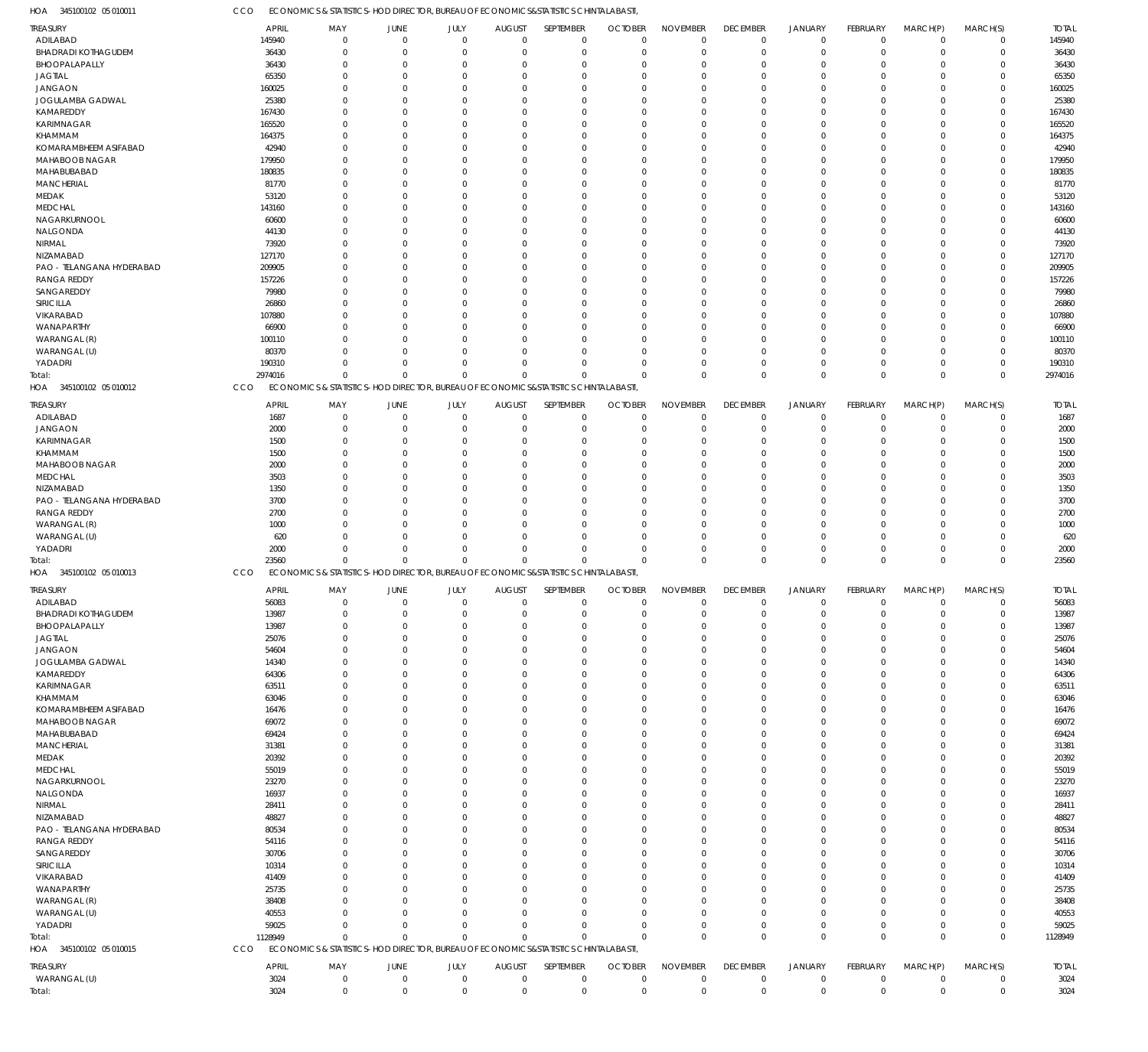345100102 05 010011 HOA

ECONOMICS & STATISTICS-HOD DIRECTOR, BUREAU OF ECONOMICS&STATISTICS CHINTALABASTI, CCO

| TREASURY                   | <b>APRIL</b> | MAY          | JUNE           | JULY                                                                               | <b>AUGUST</b>  | SEPTEMBER    | <b>OCTOBER</b> | <b>NOVEMBER</b> | <b>DECEMBER</b> | <b>JANUARY</b> | <b>FEBRUARY</b> | MARCH(P)     | MARCH(S)    | <b>TOTAL</b> |
|----------------------------|--------------|--------------|----------------|------------------------------------------------------------------------------------|----------------|--------------|----------------|-----------------|-----------------|----------------|-----------------|--------------|-------------|--------------|
| ADILABAD                   | 145940       | $\mathbf 0$  | $\overline{0}$ | $\mathbf 0$                                                                        | $\overline{0}$ | $\mathbf 0$  | $\overline{0}$ | $\mathbf 0$     | 0               | $\mathbf 0$    | 0               | $\mathbf 0$  | $\mathbf 0$ | 145940       |
| <b>BHADRADI KOTHAGUDEM</b> | 36430        | $\Omega$     | $\mathbf 0$    | $\Omega$                                                                           | $\mathbf 0$    | $\mathbf 0$  | $\overline{0}$ | $\mathbf 0$     | $\mathbf 0$     | $\mathbf 0$    | $\Omega$        | $\Omega$     | $\Omega$    | 36430        |
| BHOOPALAPALLY              | 36430        | $\mathbf 0$  | $\mathbf{0}$   | $\Omega$                                                                           | $\Omega$       | $\mathbf 0$  | $\mathbf 0$    | $\mathbf 0$     | $\mathbf 0$     | $\mathbf 0$    | $\Omega$        | $\Omega$     | $\Omega$    | 36430        |
| <b>JAGTIAL</b>             | 65350        | $\Omega$     | $\overline{0}$ | $\Omega$                                                                           | $\Omega$       | $\Omega$     | $\Omega$       | $\Omega$        | $\mathbf 0$     | $\mathbf 0$    | $\cup$          | $\Omega$     | $\Omega$    | 65350        |
|                            |              |              |                |                                                                                    |                |              |                |                 |                 |                |                 |              |             |              |
| <b>JANGAON</b>             | 160025       | 0            | $\Omega$       | $\Omega$                                                                           | $\Omega$       | $\Omega$     | $\Omega$       | $\Omega$        | $\Omega$        | $\mathbf 0$    | C.              | $\Omega$     | $\Omega$    | 160025       |
| JOGULAMBA GADWAL           | 25380        | $\Omega$     | $\Omega$       | $\Omega$                                                                           | $\Omega$       | $\Omega$     | $\Omega$       | $\Omega$        | $\Omega$        | $\mathbf 0$    | $\cup$          | $\Omega$     | $\Omega$    | 25380        |
| KAMAREDDY                  | 167430       | 0            | $\Omega$       | $\Omega$                                                                           | $\Omega$       | $\Omega$     | $\Omega$       | $\Omega$        | $\Omega$        | $\mathbf 0$    | C.              | $\Omega$     | $\Omega$    | 167430       |
| KARIMNAGAR                 | 165520       | $\Omega$     | $\Omega$       | $\Omega$                                                                           | $\Omega$       | $\Omega$     | $\Omega$       | $\Omega$        | $\Omega$        | $\Omega$       | $\cup$          | $\Omega$     | $\Omega$    | 165520       |
| <b>KHAMMAM</b>             | 164375       | $\Omega$     | $\Omega$       | $\Omega$                                                                           | $\Omega$       | $\Omega$     | $\Omega$       | $\Omega$        | 0               | $\mathbf 0$    | C.              | $\Omega$     | $\Omega$    | 164375       |
| KOMARAMBHEEM ASIFABAD      | 42940        | <sup>0</sup> | $\Omega$       | $\Omega$                                                                           | $\Omega$       | 0            | $\Omega$       | $\Omega$        | $\Omega$        | $\mathbf 0$    | C.              | $\Omega$     | $\Omega$    | 42940        |
|                            |              |              |                |                                                                                    |                |              |                |                 |                 |                |                 |              |             |              |
| MAHABOOB NAGAR             | 179950       | $\Omega$     | $\Omega$       | $\Omega$                                                                           | $\Omega$       | $\Omega$     | $\Omega$       | $\Omega$        | $\Omega$        | $\mathbf 0$    | C.              | $\Omega$     | $\Omega$    | 179950       |
| MAHABUBABAD                | 180835       | $\Omega$     | $\Omega$       | $\Omega$                                                                           | $\Omega$       | $\Omega$     | $\Omega$       | $\Omega$        | $\Omega$        | $\Omega$       | $\cup$          | $\Omega$     | $\Omega$    | 180835       |
| <b>MANCHERIAL</b>          | 81770        | 0            | $\Omega$       | $\Omega$                                                                           | $\Omega$       | $\Omega$     | $\Omega$       | $\Omega$        | $\Omega$        | $\mathbf 0$    | C.              | $\Omega$     | $\Omega$    | 81770        |
| MEDAK                      | 53120        | $\Omega$     | $\Omega$       | $\Omega$                                                                           | $\Omega$       | $\Omega$     | $\Omega$       | $\Omega$        | $\Omega$        | $\mathbf 0$    | $\cup$          | $\Omega$     | $\Omega$    | 53120        |
| <b>MEDCHAL</b>             | 143160       | 0            | $\Omega$       | $\Omega$                                                                           | $\Omega$       | $\Omega$     | $\Omega$       | $\Omega$        | $\Omega$        | $\mathbf 0$    | C.              | $\Omega$     | $\Omega$    | 143160       |
| NAGARKURNOOL               | 60600        | <sup>0</sup> | $\Omega$       | $\Omega$                                                                           | $\Omega$       | $\Omega$     | $\Omega$       | $\Omega$        | $\Omega$        | $\Omega$       | C.              | $\Omega$     | $\Omega$    | 60600        |
|                            |              |              |                |                                                                                    |                |              |                |                 |                 |                |                 |              |             |              |
| NALGONDA                   | 44130        | 0            | $\Omega$       | $\Omega$                                                                           | $\Omega$       | $\Omega$     | $\Omega$       | $\Omega$        | $\Omega$        | $\mathbf 0$    | C.              | $\Omega$     | $\Omega$    | 44130        |
| NIRMAL                     | 73920        | <sup>0</sup> | $\Omega$       | $\Omega$                                                                           | $\Omega$       | 0            | $\Omega$       | $\Omega$        | $\Omega$        | $\mathbf 0$    | C.              | $\Omega$     | $\Omega$    | 73920        |
| NIZAMABAD                  | 127170       | 0            | $\Omega$       | $\Omega$                                                                           | $\Omega$       | $\Omega$     | $\Omega$       | $\Omega$        | $\Omega$        | $\mathbf 0$    | C.              | $\Omega$     | $\Omega$    | 127170       |
| PAO - TELANGANA HYDERABAD  | 209905       | $\Omega$     | $\Omega$       | $\Omega$                                                                           | $\Omega$       | $\Omega$     | $\Omega$       | $\Omega$        | $\Omega$        | $\Omega$       | $\cup$          | $\Omega$     | $\Omega$    | 209905       |
| <b>RANGA REDDY</b>         | 157226       | 0            | $\Omega$       | $\Omega$                                                                           | $\Omega$       | $\Omega$     | $\Omega$       | $\Omega$        | $\Omega$        | $\mathbf 0$    | C.              | $\Omega$     | $\Omega$    | 157226       |
| SANGAREDDY                 | 79980        | <sup>0</sup> | $\Omega$       | $\Omega$                                                                           | $\Omega$       | $\Omega$     | $\Omega$       | $\Omega$        | $\Omega$        | $\mathbf 0$    | $\cup$          | $\Omega$     | $\Omega$    | 79980        |
|                            |              |              |                |                                                                                    |                |              |                |                 |                 |                |                 |              |             |              |
| SIRICILLA                  | 26860        | $\Omega$     | $\Omega$       | $\Omega$                                                                           | $\Omega$       | $\Omega$     | $\Omega$       | $\Omega$        | $\Omega$        | $\mathbf 0$    | C.              | $\Omega$     | $\Omega$    | 26860        |
| VIKARABAD                  | 107880       | <sup>0</sup> | $\Omega$       | $\Omega$                                                                           | $\Omega$       | $\Omega$     | $\Omega$       | $\Omega$        | $\Omega$        | $\Omega$       | $\cup$          | $\Omega$     | $\Omega$    | 107880       |
| WANAPARTHY                 | 66900        | 0            | $\Omega$       | $\Omega$                                                                           | $\Omega$       | $\Omega$     | $\Omega$       | $\Omega$        | $\Omega$        | $\mathbf 0$    | C.              | $\Omega$     | $\Omega$    | 66900        |
| WARANGAL (R)               | 100110       | <sup>0</sup> | $\Omega$       | $\Omega$                                                                           | $\Omega$       | $\Omega$     | $\Omega$       | $\Omega$        | 0               | $\mathbf 0$    | $\cup$          | $\Omega$     | $\Omega$    | 100110       |
| WARANGAL (U)               | 80370        | <sup>0</sup> | $\Omega$       | $\Omega$                                                                           | $\Omega$       | $\Omega$     | $\Omega$       | $\Omega$        | $\Omega$        | $\mathbf 0$    | C.              | $\Omega$     | $\Omega$    | 80370        |
|                            |              | $\Omega$     | $\Omega$       | $\Omega$                                                                           | $\Omega$       | $\mathbf 0$  | $\Omega$       | $\Omega$        | $\mathbf 0$     | $\mathbf 0$    | $\Omega$        |              | $\Omega$    |              |
| YADADRI                    | 190310       |              |                |                                                                                    |                |              |                |                 |                 |                |                 | $\mathbf 0$  |             | 190310       |
| Total:                     | 2974016      | $\Omega$     | $\Omega$       | $\Omega$                                                                           | $\Omega$       | $\Omega$     | $\Omega$       | $\Omega$        | $\mathbf 0$     | $\mathbf 0$    | $\Omega$        | $\mathbf 0$  | $\Omega$    | 2974016      |
| HOA 345100102 05 010012    | CCO          |              |                | ECONOMICS & STATISTICS-HOD DIRECTOR, BUREAU OF ECONOMICS&STATISTICS CHINTALABASTI, |                |              |                |                 |                 |                |                 |              |             |              |
| TREASURY                   | <b>APRIL</b> | MAY          | JUNE           | JULY                                                                               | <b>AUGUST</b>  | SEPTEMBER    | <b>OCTOBER</b> | <b>NOVEMBER</b> | <b>DECEMBER</b> | <b>JANUARY</b> | FEBRUARY        | MARCH(P)     | MARCH(S)    | <b>TOTAL</b> |
|                            |              |              |                |                                                                                    |                |              |                |                 |                 |                |                 |              |             |              |
| ADILABAD                   | 1687         | 0            | $\mathbf 0$    | $\mathbf 0$                                                                        | $\mathbf 0$    | $\mathbf 0$  | $\Omega$       | $\Omega$        | $\mathbf 0$     | $\mathbf 0$    | $\Omega$        | $\Omega$     | $\mathbf 0$ | 1687         |
| JANGAON                    | 2000         | 0            | $\Omega$       | $\Omega$                                                                           | $\Omega$       | $\Omega$     | $\Omega$       | $\Omega$        | $\Omega$        | $\Omega$       | O               | $\Omega$     | $\Omega$    | 2000         |
| KARIMNAGAR                 | 1500         | 0            | $\Omega$       | $\Omega$                                                                           | $\Omega$       | $\Omega$     | $\Omega$       | $\Omega$        | $\Omega$        | $\Omega$       | O               | $\Omega$     | $\Omega$    | 1500         |
| <b>KHAMMAM</b>             | 1500         | 0            | $\Omega$       | $\Omega$                                                                           | $\Omega$       | 0            | $\Omega$       | $\Omega$        | $\Omega$        | $\Omega$       | C.              | $\Omega$     | $\Omega$    | 1500         |
| MAHABOOB NAGAR             | 2000         | 0            | 0              | $\Omega$                                                                           | $\Omega$       | 0            | $\Omega$       | $\Omega$        | $\Omega$        | $\Omega$       | -0              | $\Omega$     | $\Omega$    | 2000         |
| <b>MEDCHAL</b>             | 3503         | 0            | 0              | U                                                                                  | $\Omega$       | 0            | C              | $\Omega$        | $\Omega$        | $\Omega$       | T               | $\Omega$     | $\Omega$    | 3503         |
|                            |              |              |                |                                                                                    |                |              |                |                 |                 |                |                 |              |             |              |
| NIZAMABAD                  | 1350         | 0            | $\Omega$       | $\Omega$                                                                           | $\Omega$       | 0            | C              | $\Omega$        | $\Omega$        | $\Omega$       | T               | $\Omega$     | $\Omega$    | 1350         |
| PAO - TELANGANA HYDERABAD  | 3700         | 0            | 0              | U                                                                                  | $\Omega$       | 0            | C              | $\Omega$        | $\Omega$        | $\Omega$       | T               | $\Omega$     | $\Omega$    | 3700         |
| <b>RANGA REDDY</b>         | 2700         | 0            | 0              | $\Omega$                                                                           | $\Omega$       | $\Omega$     | $\Omega$       | $\Omega$        | $\Omega$        | $\Omega$       | O               | $\Omega$     | $\Omega$    | 2700         |
| WARANGAL (R)               | 1000         | 0            | $\Omega$       | $\Omega$                                                                           | $\Omega$       | 0            | C              | O               | $\Omega$        | $\Omega$       | C               | $\Omega$     | $\Omega$    | 1000         |
| WARANGAL (U)               | 620          | 0            | $\Omega$       | $\Omega$                                                                           | $\Omega$       | $\Omega$     | $\Omega$       | $\Omega$        | $\Omega$        | $\Omega$       | O               | $\Omega$     | $\Omega$    | 620          |
|                            |              |              | $\Omega$       | $\Omega$                                                                           | $\Omega$       | $\Omega$     | $\Omega$       | $\Omega$        |                 |                |                 | $\Omega$     |             |              |
| YADADRI                    | 2000         | 0            |                |                                                                                    |                |              |                |                 | $\mathbf 0$     | $\mathbf 0$    | $\Omega$        |              | $\Omega$    | 2000         |
| Total:                     | 23560        | $\Omega$     | $\Omega$       | $\Omega$                                                                           | $\Omega$       | $\Omega$     | $\Omega$       | $\Omega$        | $\Omega$        | $\mathbf 0$    | $\Omega$        | $\Omega$     | $\Omega$    | 23560        |
| HOA 345100102 05 010013    | CCO          |              |                | ECONOMICS & STATISTICS-HOD DIRECTOR, BUREAU OF ECONOMICS&STATISTICS CHINTALABASTI, |                |              |                |                 |                 |                |                 |              |             |              |
|                            |              |              |                |                                                                                    |                |              |                |                 |                 |                |                 |              |             |              |
| treasury                   | <b>APRIL</b> | MAY          | JUNE           | JULY                                                                               | <b>AUGUST</b>  | SEPTEMBER    | <b>OCTOBER</b> | <b>NOVEMBER</b> | <b>DECEMBER</b> | <b>JANUARY</b> | FEBRUARY        | MARCH(P)     | MARCH(S)    | <b>TOTAL</b> |
| ADILABAD                   | 56083        | $\mathbf 0$  | $\mathbf 0$    | $\overline{0}$                                                                     | $\overline{0}$ | $\mathbf 0$  | $\overline{0}$ | $\mathbf 0$     | 0               | $\mathbf 0$    | $\mathbf 0$     | $\mathbf 0$  | $\mathbf 0$ | 56083        |
| <b>BHADRADI KOTHAGUDEM</b> | 13987        | 0            | 0              |                                                                                    |                |              | -0             | O               | $\Omega$        | $\Omega$       | -0              | $\Omega$     |             | 13987        |
| BHOOPALAPALLY              | 13987        | $\mathbf 0$  | $\mathbf{0}$   | $\Omega$                                                                           | $\mathbf 0$    | $\mathbf 0$  | $\mathbf 0$    | $\mathbf 0$     | 0               | $\mathbf 0$    | $\Omega$        | $\mathbf 0$  | $\Omega$    | 13987        |
| <b>JAGTIAL</b>             | 25076        | $\mathbf 0$  | $\mathbf{0}$   | $\mathbf 0$                                                                        | $\mathbf 0$    | $\mathbf 0$  | $\mathbf 0$    | $\mathbf 0$     | 0               | $\mathbf 0$    | $\Omega$        | $\mathbf 0$  | $\Omega$    | 25076        |
| <b>JANGAON</b>             | 54604        | 0            | $\Omega$       | $\Omega$                                                                           | $\Omega$       | $\Omega$     | $\mathbf 0$    | $\mathbf 0$     | $\Omega$        | $\mathbf 0$    | $\cup$          | $\Omega$     | $\Omega$    | 54604        |
|                            |              |              |                |                                                                                    | $\Omega$       |              |                | $\Omega$        |                 |                |                 | $\Omega$     |             |              |
| JOGULAMBA GADWAL           | 14340        | 0            | $\overline{0}$ | $\Omega$                                                                           |                | 0            | $\mathbf 0$    |                 | $\mathbf 0$     | $\mathbf 0$    | O               |              | $\Omega$    | 14340        |
| KAMAREDDY                  | 64306        | 0            | $\overline{0}$ | $\Omega$                                                                           | $\Omega$       | $\Omega$     | $\Omega$       | $\Omega$        | $\mathbf 0$     | $\mathbf 0$    | $\Omega$        | $\Omega$     | $\Omega$    | 64306        |
| KARIMNAGAR                 | 63511        | 0            | $\mathbf{0}$   | $\Omega$                                                                           | $\Omega$       | $\Omega$     | $\Omega$       | $\Omega$        | 0               | $\mathbf 0$    | C.              | $\mathbf{0}$ | $\Omega$    | 63511        |
| <b>KHAMMAM</b>             | 63046        | $\Omega$     | $\mathbf 0$    | $\Omega$                                                                           | $\Omega$       | $\Omega$     | $\mathbf 0$    | $\mathbf 0$     | $\mathbf 0$     | $\mathbf 0$    | $\Omega$        | $\Omega$     | $\Omega$    | 63046        |
| KOMARAMBHEEM ASIFABAD      | 16476        | 0            | $\Omega$       | $\Omega$                                                                           | $\Omega$       | $\Omega$     | $\mathbf 0$    | $\mathbf 0$     | $\mathbf 0$     | $\mathbf 0$    | C.              | $\Omega$     | $\Omega$    | 16476        |
| MAHABOOB NAGAR             | 69072        | $\Omega$     | $\Omega$       | $\Omega$                                                                           | $\Omega$       | $\Omega$     | $\Omega$       | $\Omega$        | $\Omega$        | $\mathbf 0$    | $\Omega$        | $\Omega$     | $\Omega$    | 69072        |
| MAHABUBABAD                | 69424        | $\mathbf 0$  | $\overline{0}$ | $\Omega$                                                                           | $\Omega$       | 0            | $\mathbf 0$    | $\mathbf 0$     | $\mathbf 0$     | $\mathbf 0$    | 0               | $\mathbf{0}$ | $\Omega$    | 69424        |
| <b>MANCHERIAL</b>          | 31381        | $\Omega$     | $\Omega$       | $\Omega$                                                                           | $\Omega$       | $\Omega$     | $\Omega$       | $\mathbf 0$     | $\mathbf 0$     | $\mathbf 0$    | C.              | $\Omega$     | $\Omega$    | 31381        |
|                            |              |              |                |                                                                                    |                |              |                |                 |                 |                |                 |              |             |              |
| MEDAK                      | 20392        | 0            | $\overline{0}$ | $\Omega$                                                                           | $\Omega$       | $\Omega$     | $\Omega$       | $\Omega$        | $\mathbf 0$     | $\mathbf 0$    | 0               | $\Omega$     | $\Omega$    | 20392        |
| <b>MEDCHAL</b>             | 55019        | $\Omega$     | $\Omega$       | $\Omega$                                                                           | $\Omega$       | $\Omega$     | $\Omega$       | $\Omega$        | $\mathbf 0$     | $\mathbf 0$    | $\Omega$        | $\Omega$     | $\Omega$    | 55019        |
| NAGARKURNOOL               | 23270        | 0            | $\Omega$       | $\Omega$                                                                           | $\Omega$       | $\Omega$     | $\Omega$       | $\Omega$        | 0               | $\mathbf 0$    | C.              | $\mathbf{0}$ | $\Omega$    | 23270        |
| NALGONDA                   | 16937        | $\Omega$     | $\Omega$       | $\Omega$                                                                           | $\Omega$       | $\Omega$     | $\Omega$       | $\mathbf 0$     | $\mathbf 0$     | $\mathbf 0$    | $\Omega$        | $\Omega$     | $\Omega$    | 16937        |
| NIRMAL                     | 28411        | 0            | $\Omega$       | $\Omega$                                                                           | $\Omega$       | $\Omega$     | $\mathbf 0$    | $\mathbf 0$     | $\mathbf 0$     | $\mathbf 0$    | C.              | $\Omega$     | $\Omega$    | 28411        |
|                            |              | 0            | $\Omega$       | $\Omega$                                                                           | $\Omega$       | $\Omega$     | $\Omega$       | $\Omega$        | $\Omega$        | $\mathbf 0$    | C.              | $\Omega$     | $\Omega$    |              |
| NIZAMABAD                  | 48827        |              |                |                                                                                    |                |              |                |                 |                 |                |                 |              |             | 48827        |
| PAO - TELANGANA HYDERABAD  | 80534        | 0            | $\overline{0}$ | $\Omega$                                                                           | $\Omega$       | $\Omega$     | $\Omega$       | $\mathbf 0$     | $\mathbf 0$     | $\mathbf 0$    | 0               | $\mathbf{0}$ | $\Omega$    | 80534        |
| <b>RANGA REDDY</b>         | 54116        | 0            | $\Omega$       | $\Omega$                                                                           | $\Omega$       | $\Omega$     | $\Omega$       | $\mathbf 0$     | $\mathbf 0$     | $\mathbf 0$    | C.              | $\Omega$     | $\Omega$    | 54116        |
| SANGAREDDY                 | 30706        | 0            | $\Omega$       | 0                                                                                  | $\Omega$       | $\Omega$     | $\Omega$       | $\Omega$        | $\mathbf 0$     | $\mathbf 0$    | C.              | $\Omega$     | $\Omega$    | 30706        |
| SIRICILLA                  | 10314        | $\Omega$     | $\mathbf 0$    | $\Omega$                                                                           | $\Omega$       | $\Omega$     | $\Omega$       | $\Omega$        | $\mathbf 0$     | $\mathbf 0$    | $\Omega$        | $\Omega$     | $\Omega$    | 10314        |
| VIKARABAD                  | 41409        | 0            | $\Omega$       | $\Omega$                                                                           | $\Omega$       | $\Omega$     | $\Omega$       | 0               | 0               | $\mathbf 0$    | C.              | $\Omega$     | $\Omega$    | 41409        |
|                            |              |              |                |                                                                                    |                |              |                |                 |                 |                |                 |              |             |              |
| WANAPARTHY                 | 25735        | 0            | $\Omega$       | 0                                                                                  | $\Omega$       | $\Omega$     | $\Omega$       | $\mathbf 0$     | 0               | $\mathbf 0$    | C.              | $\Omega$     | $\Omega$    | 25735        |
| WARANGAL (R)               | 38408        | $\mathbf 0$  | $\overline{0}$ | $\Omega$                                                                           | $\Omega$       | $\mathbf 0$  | $\Omega$       | $\mathbf 0$     | $\mathbf 0$     | $\mathbf 0$    | 0               | $\Omega$     | $\Omega$    | 38408        |
| WARANGAL (U)               | 40553        | $\Omega$     | $\Omega$       | $\Omega$                                                                           | $\Omega$       | $\Omega$     | $\Omega$       | $\Omega$        | $\mathbf 0$     | $\mathbf 0$    | $\Omega$        | $\mathbf{0}$ | $\Omega$    | 40553        |
| YADADRI                    | 59025        | $\mathbf 0$  | $\mathbf 0$    | $\Omega$                                                                           | $\overline{0}$ | $\mathbf 0$  | $\overline{0}$ | $\mathbf 0$     | $\mathbf 0$     | $\mathbf 0$    | $\Omega$        | $\mathbf 0$  | 0           | 59025        |
| Total:                     | 1128949      | $\mathbf 0$  | $\mathbf 0$    | $\Omega$                                                                           | $\overline{0}$ | $\mathbf 0$  | $\mathbf 0$    | $\overline{0}$  | $\mathbf 0$     | $\mathbf 0$    | $\Omega$        | $\mathbf 0$  | $\Omega$    | 1128949      |
| HOA 345100102 05 010015    | CCO          |              |                | ECONOMICS & STATISTICS-HOD DIRECTOR, BUREAU OF ECONOMICS&STATISTICS CHINTALABASTI, |                |              |                |                 |                 |                |                 |              |             |              |
|                            |              |              |                |                                                                                    |                |              |                |                 |                 |                |                 |              |             |              |
| TREASURY                   | <b>APRIL</b> | MAY          | JUNE           | JULY                                                                               | <b>AUGUST</b>  | SEPTEMBER    | <b>OCTOBER</b> | <b>NOVEMBER</b> | <b>DECEMBER</b> | <b>JANUARY</b> | FEBRUARY        | MARCH(P)     | MARCH(S)    | <b>TOTAL</b> |
| WARANGAL (U)               | 3024         | $\mathbf 0$  | $\mathbf 0$    | $\mathbf 0$                                                                        | $\mathbf 0$    | $\mathbf 0$  | $\overline{0}$ | $\mathbf 0$     | $\mathbf 0$     | $\mathbf 0$    | $\mathbf 0$     | $\mathbf 0$  | $\mathbf 0$ | 3024         |
| Total:                     | 3024         | $\mathbf 0$  | $\mathbf 0$    | $\overline{0}$                                                                     | $\mathbb O$    | $\mathbf{0}$ | $\mathbf 0$    | $\mathbf 0$     | $\mathbf 0$     | $\mathbf{0}$   | $\mathbf 0$     | $\mathbf 0$  | $\mathbf 0$ | 3024         |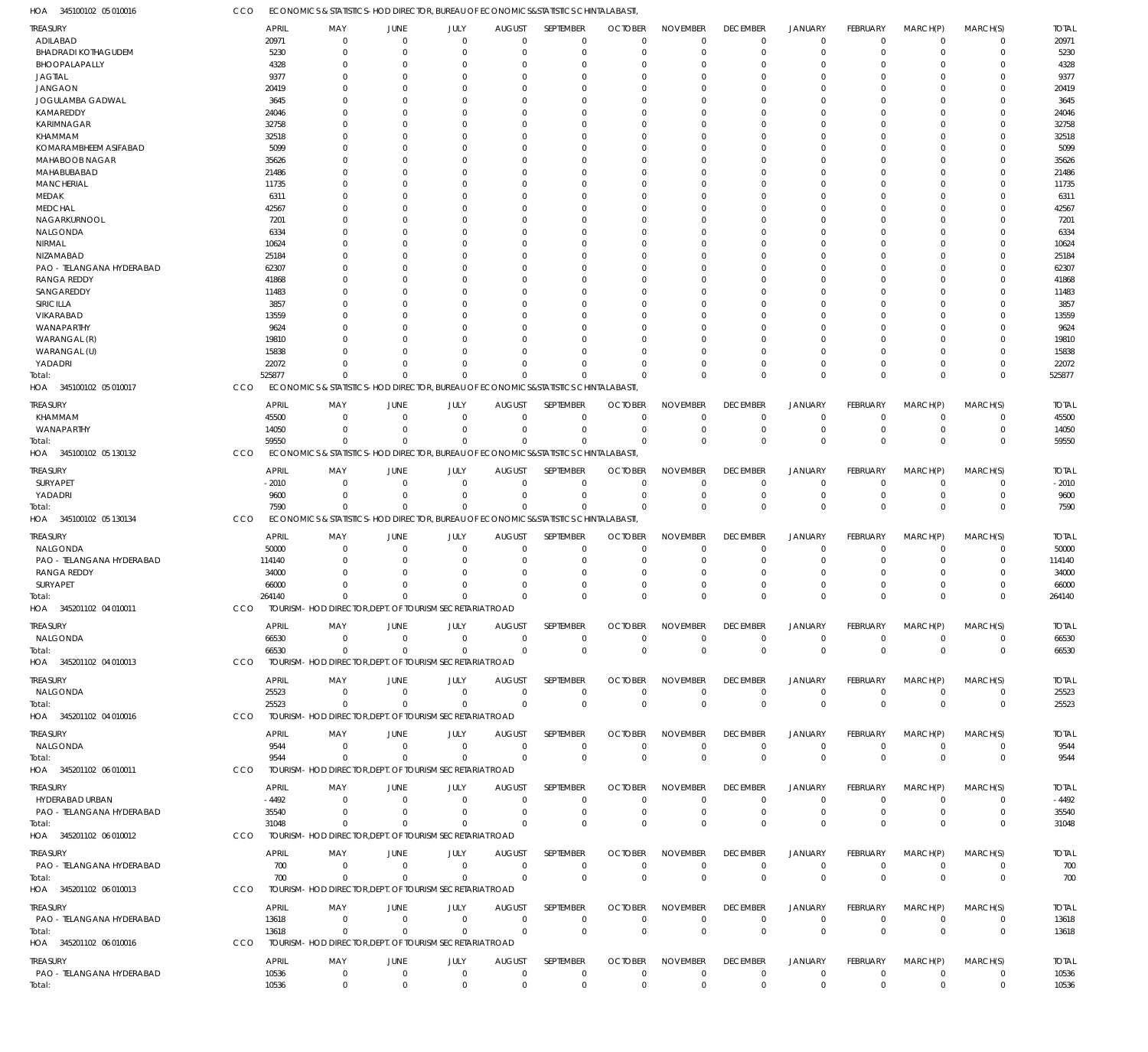345100102 05 010016 HOA ECONOMICS & STATISTICS-HOD DIRECTOR, BUREAU OF ECONOMICS&STATISTICS CHINTALABASTI, CCO

| <b>TREASURY</b>                              |            | <b>APRIL</b>          | MAY                                                                                | JUNE                          | JULY                    | <b>AUGUST</b>                   | SEPTEMBER                  | <b>OCTOBER</b>                   | <b>NOVEMBER</b>                | <b>DECEMBER</b>                | <b>JANUARY</b>                   | FEBRUARY                       | MARCH(P)                      | MARCH(S)                   | <b>TOTAL</b>          |
|----------------------------------------------|------------|-----------------------|------------------------------------------------------------------------------------|-------------------------------|-------------------------|---------------------------------|----------------------------|----------------------------------|--------------------------------|--------------------------------|----------------------------------|--------------------------------|-------------------------------|----------------------------|-----------------------|
| ADILABAD                                     |            | 20971                 | 0                                                                                  | $\mathbf 0$                   | $\mathbf 0$             | $\Omega$                        | $\mathbf 0$                | $\Omega$                         | $\Omega$                       | $\overline{0}$                 | $\overline{0}$                   | $\Omega$                       | $\mathbf 0$                   | $\mathbf 0$                | 20971                 |
| <b>BHADRADI KOTHAGUDEM</b>                   |            | 5230                  | $\Omega$                                                                           | $\Omega$                      | $\Omega$                | n                               | $\mathbf{0}$               | $\Omega$                         | $\Omega$                       | $\Omega$                       | $\Omega$                         | $\Omega$                       | $\Omega$                      | $\Omega$                   | 5230                  |
| BHOOPALAPALLY                                |            | 4328                  | O                                                                                  | $\Omega$                      | $\Omega$                | -0                              | $\Omega$                   | $\Omega$                         | $\Omega$                       | $\Omega$                       | $\Omega$                         | $\Omega$                       | $\Omega$                      | $\Omega$                   | 4328                  |
| <b>JAGTIAL</b>                               |            | 9377                  | O<br>n                                                                             | $\Omega$<br>$\Omega$          | $\Omega$<br>$\Omega$    | -0                              | $\Omega$<br>$\Omega$       | $\Omega$<br>$\Omega$             | $\Omega$<br>$\Omega$           | $\Omega$<br>$\Omega$           | $\Omega$<br>$\Omega$             | $\Omega$<br>$\Omega$           | $\Omega$<br>$\Omega$          | $\Omega$<br>$\Omega$       | 9377<br>20419         |
| <b>JANGAON</b><br>JOGULAMBA GADWAL           |            | 20419<br>3645         | O                                                                                  | $\Omega$                      | $\Omega$                | -0<br>n                         | $\Omega$                   | $\Omega$                         | $\Omega$                       | $\Omega$                       | $\Omega$                         | $\Omega$                       | $\Omega$                      | $\Omega$                   | 3645                  |
| KAMAREDDY                                    |            | 24046                 |                                                                                    | C                             | $\Omega$                |                                 | $\Omega$                   |                                  | $\Omega$                       | $\Omega$                       | $\Omega$                         | U                              | $\Omega$                      | $\Omega$                   | 24046                 |
| KARIMNAGAR                                   |            | 32758                 | n                                                                                  | $\Omega$                      | $\Omega$                | n                               | $\Omega$                   | $\Omega$                         | $\Omega$                       | $\Omega$                       | $\Omega$                         | $\Omega$                       | $\Omega$                      | $\Omega$                   | 32758                 |
| <b>KHAMMAM</b>                               |            | 32518                 |                                                                                    | $\Omega$                      | $\Omega$                | -0                              | $\Omega$                   |                                  | $\Omega$                       | $\Omega$                       | $\Omega$                         | $\Omega$                       | $\Omega$                      | $\Omega$                   | 32518                 |
| KOMARAMBHEEM ASIFABAD                        |            | 5099                  |                                                                                    | -C                            | $\Omega$                | n                               | $\Omega$                   | $\Omega$                         | $\Omega$                       | $\Omega$                       | $\Omega$                         | $\Omega$                       | $\Omega$                      | $\Omega$                   | 5099                  |
| MAHABOOB NAGAR                               |            | 35626                 |                                                                                    | $\Omega$                      | $\Omega$                | -0                              | $\Omega$                   |                                  | $\Omega$                       | $\Omega$                       | $\Omega$                         | U                              | $\Omega$                      | $\Omega$                   | 35626                 |
| MAHABUBABAD                                  |            | 21486                 | O                                                                                  | $\Omega$                      | $\Omega$                | n                               | $\Omega$                   | $\Omega$                         | $\Omega$                       | $\Omega$                       | $\Omega$                         | $\Omega$                       | $\Omega$                      | $\Omega$                   | 21486                 |
| <b>MANCHERIAL</b>                            |            | 11735                 |                                                                                    | C                             | $\Omega$                |                                 | $\Omega$                   |                                  | $\Omega$                       | $\Omega$                       | $\Omega$                         | $\Omega$                       | $\Omega$                      | $\Omega$                   | 11735                 |
| MEDAK                                        |            | 6311                  |                                                                                    | $\Omega$                      | $\Omega$                | -0                              | $\Omega$                   | $\Omega$                         | $\Omega$                       | $\Omega$                       | $\Omega$                         | $\Omega$                       | $\Omega$                      | $\Omega$                   | 6311                  |
| <b>MEDCHAL</b>                               |            | 42567                 |                                                                                    | C                             | $\Omega$                | -0                              | $\Omega$                   |                                  | $\Omega$                       | $\Omega$                       | $\Omega$                         | U                              | $\Omega$                      | $\Omega$                   | 42567                 |
| NAGARKURNOOL                                 |            | 7201                  |                                                                                    | $\Omega$                      | $\Omega$                | n                               | $\Omega$                   | $\Omega$                         | $\Omega$                       | $\Omega$                       | $\Omega$                         | $\Omega$                       | $\Omega$                      | $\Omega$                   | 7201                  |
| NALGONDA                                     |            | 6334                  |                                                                                    | C                             | $\Omega$                |                                 | $\Omega$                   |                                  | $\Omega$                       | $\Omega$                       | $\Omega$                         | $\Omega$                       | $\Omega$                      | $\Omega$                   | 6334                  |
| NIRMAL                                       |            | 10624                 | n                                                                                  | $\Omega$                      | $\Omega$                | n                               | $\Omega$                   | $\Omega$                         | $\Omega$                       | $\Omega$                       | $\Omega$                         | $\Omega$                       | $\Omega$                      | $\Omega$                   | 10624                 |
| NIZAMABAD<br>PAO - TELANGANA HYDERABAD       |            | 25184<br>62307        |                                                                                    | C<br>$\Omega$                 | $\Omega$<br>$\Omega$    | -0<br>-0                        | $\Omega$<br>$\Omega$       | $\Omega$                         | $\Omega$<br>$\Omega$           | $\Omega$<br>$\Omega$           | $\Omega$<br>$\Omega$             | U<br>$\Omega$                  | $\Omega$<br>$\Omega$          | $\Omega$<br>$\Omega$       | 25184<br>62307        |
| <b>RANGA REDDY</b>                           |            | 41868                 |                                                                                    | $\Omega$                      | $\Omega$                | -0                              | $\Omega$                   |                                  | $\Omega$                       | $\Omega$                       | $\Omega$                         | $\Omega$                       | $\Omega$                      | $\Omega$                   | 41868                 |
| SANGAREDDY                                   |            | 11483                 | O                                                                                  | -C                            | $\Omega$                | n                               | $\Omega$                   | $\Omega$                         | $\Omega$                       | $\Omega$                       | $\Omega$                         | $\Omega$                       | $\Omega$                      | $\Omega$                   | 11483                 |
| SIRICILLA                                    |            | 3857                  |                                                                                    | C                             | $\Omega$                |                                 | $\Omega$                   |                                  | $\Omega$                       | $\Omega$                       | $\Omega$                         | U                              | $\Omega$                      | $\Omega$                   | 3857                  |
| VIKARABAD                                    |            | 13559                 |                                                                                    | $\Omega$                      | $\Omega$                | n                               | $\Omega$                   | $\Omega$                         | $\Omega$                       | $\Omega$                       | $\Omega$                         | $\Omega$                       | $\Omega$                      | $\Omega$                   | 13559                 |
| WANAPARTHY                                   |            | 9624                  |                                                                                    | C                             | $\Omega$                |                                 | $\Omega$                   |                                  | $\Omega$                       | $\Omega$                       | $\Omega$                         | U                              | $\Omega$                      | $\Omega$                   | 9624                  |
| WARANGAL (R)                                 |            | 19810                 |                                                                                    | $\Omega$                      | $\Omega$                | -0                              | $\Omega$                   | $\Omega$                         | $\Omega$                       | $\Omega$                       | $\Omega$                         | $\Omega$                       | $\Omega$                      | $\Omega$                   | 19810                 |
| WARANGAL (U)                                 |            | 15838                 |                                                                                    | $\Omega$                      | $\Omega$                | -0                              | $\Omega$                   |                                  | $\Omega$                       | $\Omega$                       | $\Omega$                         | $\Omega$                       | $\Omega$                      | $\Omega$                   | 15838                 |
| YADADRI                                      |            | 22072                 | $\Omega$                                                                           | $\Omega$                      | $\Omega$                | $\Omega$                        | $\Omega$                   | $\Omega$                         | $\Omega$                       | $\Omega$                       | $\Omega$                         | $\Omega$                       | $\Omega$                      | $\mathbf 0$                | 22072                 |
| Total:                                       |            | 525877                | $\Omega$                                                                           | $\Omega$                      | $\Omega$                | $\Omega$                        | $\Omega$                   |                                  | $\Omega$                       | $\Omega$                       | $\mathbf{0}$                     | $\Omega$                       | $\Omega$                      | $\mathbf 0$                | 525877                |
| HOA 345100102 05 010017                      | CCO        |                       | ECONOMICS & STATISTICS-HOD DIRECTOR, BUREAU OF ECONOMICS&STATISTICS CHINTALABASTI  |                               |                         |                                 |                            |                                  |                                |                                |                                  |                                |                               |                            |                       |
| treasury                                     |            | <b>APRIL</b>          | MAY                                                                                | JUNE                          | JULY                    | <b>AUGUST</b>                   | SEPTEMBER                  | <b>OCTOBER</b>                   | <b>NOVEMBER</b>                | <b>DECEMBER</b>                | <b>JANUARY</b>                   | FEBRUARY                       | MARCH(P)                      | MARCH(S)                   | <b>TOTAL</b>          |
| KHAMMAM                                      |            | 45500                 | $\mathbf 0$                                                                        | $\mathbf 0$                   | 0                       | $\mathbf 0$                     | 0                          | $\mathcal{L}$                    | $\Omega$                       | $^{\circ}$                     | $\overline{0}$                   | 0                              | $\mathbf 0$                   | 0                          | 45500                 |
| WANAPARTHY                                   |            | 14050                 | $\mathbf{0}$                                                                       | $\mathbf 0$                   | $\mathbf 0$             | 0                               | $\mathbf 0$                | $\Omega$                         | $\Omega$                       | $\overline{0}$                 | $\overline{0}$                   | $\mathbf 0$                    | $\mathbf 0$                   | $\mathbf 0$                | 14050                 |
| Total:                                       |            | 59550                 | $\Omega$                                                                           | $\mathbf 0$                   | $\mathbf 0$             | $\Omega$                        | $\Omega$                   | $\Omega$                         | $\Omega$                       | $\mathbf 0$                    | $\mathbf 0$                      | $\Omega$                       | $\Omega$                      | $\mathbf 0$                | 59550                 |
| HOA 345100102 05 130132                      | CCO        |                       | ECONOMICS & STATISTICS-HOD DIRECTOR, BUREAU OF ECONOMICS&STATISTICS CHINTALABASTI, |                               |                         |                                 |                            |                                  |                                |                                |                                  |                                |                               |                            |                       |
| treasury                                     |            | <b>APRIL</b>          | MAY                                                                                | <b>JUNE</b>                   | JULY                    | <b>AUGUST</b>                   | SEPTEMBER                  | <b>OCTOBER</b>                   | <b>NOVEMBER</b>                | <b>DECEMBER</b>                | <b>JANUARY</b>                   | FEBRUARY                       | MARCH(P)                      | MARCH(S)                   | <b>TOTAL</b>          |
| SURYAPET                                     |            | $-2010$               | $\mathbf{0}$                                                                       | $\mathbf 0$                   | $\mathbf 0$             | $\Omega$                        | $\mathbf 0$                | $\Omega$                         | $\Omega$                       | $\overline{0}$                 | 0                                | $\mathbf 0$                    | $\mathbf 0$                   | $\mathbf 0$                | $-2010$               |
| YADADRI                                      |            | 9600                  | $\mathbf{0}$                                                                       | $\mathbf 0$                   | $\Omega$                | $\Omega$                        | $\mathbf 0$                | $\Omega$                         | $\Omega$                       | $\overline{0}$                 | $\overline{0}$                   | $\mathbf 0$                    | $\mathbf 0$                   | $\mathbf 0$                | 9600                  |
| Total:                                       |            | 7590                  | $\Omega$                                                                           | $\Omega$                      | $\Omega$                | $\Omega$                        | $\Omega$                   | $\Omega$                         | $\Omega$                       | $\mathbf 0$                    | $\mathbf{0}$                     | $\Omega$                       | $\Omega$                      | $\mathbf 0$                | 7590                  |
| HOA 345100102 05 130134                      | CCO        |                       | ECONOMICS & STATISTICS-HOD DIRECTOR, BUREAU OF ECONOMICS&STATISTICS CHINTALABASTI, |                               |                         |                                 |                            |                                  |                                |                                |                                  |                                |                               |                            |                       |
|                                              |            |                       |                                                                                    |                               |                         |                                 |                            |                                  |                                |                                |                                  |                                |                               |                            |                       |
| treasury<br>NALGONDA                         |            | <b>APRIL</b><br>50000 | MAY<br>$\mathbf 0$                                                                 | JUNE<br>$\mathbf 0$           | JULY<br>$\mathbf 0$     | <b>AUGUST</b><br>$\overline{0}$ | SEPTEMBER<br>$\mathbf 0$   | <b>OCTOBER</b><br>$\Omega$       | <b>NOVEMBER</b><br>$\Omega$    | <b>DECEMBER</b><br>$^{\circ}$  | <b>JANUARY</b><br>$\overline{0}$ | FEBRUARY<br>$\mathbf 0$        | MARCH(P)<br>$\mathbf 0$       | MARCH(S)<br>$\mathbf 0$    | <b>TOTAL</b><br>50000 |
| PAO - TELANGANA HYDERABAD                    |            | 114140                | $\Omega$                                                                           | 0                             | $\mathbf 0$             | 0                               | $\mathbf 0$                | $\Omega$                         | $\Omega$                       | $^{\circ}$                     | $\overline{0}$                   | 0                              | $\mathbf 0$                   | 0                          | 114140                |
| <b>RANGA REDDY</b>                           |            | 34000                 |                                                                                    | $\Omega$                      | $\mathbf 0$             | n                               | $\Omega$                   | $\Omega$                         | $\Omega$                       | $\Omega$                       | $\Omega$                         | 0                              | $\mathbf 0$                   | $\mathbf 0$                | 34000                 |
| SURYAPET                                     |            | 66000                 | $\Omega$                                                                           | $\Omega$                      | $\mathbf 0$             | 0                               | $\mathbf 0$                | $\Omega$                         | $\Omega$                       | 0                              | $\Omega$                         | 0                              | $\mathbf 0$                   | $\mathbf 0$                | 66000                 |
| Total:                                       |            | 264140                | $\Omega$                                                                           | $\mathbf 0$                   | $\mathbf 0$             | $\Omega$                        | $\Omega$                   | $\Omega$                         | $\Omega$                       | $\Omega$                       | $\Omega$                         | $\Omega$                       | $\Omega$                      | $\mathbf 0$                | 264140                |
| HOA 345201102 04 010011                      | <b>CCO</b> |                       | TOURISM- HOD DIRECTOR, DEPT. OF TOURISM SECRETARIAT ROAD                           |                               |                         |                                 |                            |                                  |                                |                                |                                  |                                |                               |                            |                       |
|                                              |            |                       |                                                                                    |                               |                         |                                 |                            |                                  |                                |                                |                                  |                                |                               |                            |                       |
| TREASURY<br>NALGONDA                         |            | <b>APRIL</b><br>66530 | MAY<br>$\mathbf 0$                                                                 | <b>JUNE</b><br>$\mathbf{0}$   | JULY<br>$\mathbf 0$     | <b>AUGUST</b><br>$\Omega$       | SEPTEMBER<br>$\mathbf 0$   | <b>OCTOBER</b><br>$\Omega$       | <b>NOVEMBER</b><br>$\Omega$    | <b>DECEMBER</b><br>$\mathbf 0$ | <b>JANUARY</b><br>$\mathbf 0$    | FEBRUARY<br>$\mathbf 0$        | MARCH(P)<br>$^{\circ}$        | MARCH(S)<br>$\mathbf 0$    | <b>TOTAL</b><br>66530 |
| Total:                                       |            | 66530                 | $\Omega$                                                                           | $\Omega$                      | $\Omega$                | $\Omega$                        | $\mathbf 0$                | $\mathbf{0}$                     | $\mathbf 0$                    | $\mathbb O$                    | $\mathbb O$                      | $\Omega$                       | $\Omega$                      | $\mathbf 0$                | 66530                 |
| HOA 345201102 04 010013                      | CCO        |                       | TOURISM- HOD DIRECTOR, DEPT. OF TOURISM SECRETARIAT ROAD                           |                               |                         |                                 |                            |                                  |                                |                                |                                  |                                |                               |                            |                       |
|                                              |            |                       |                                                                                    |                               |                         |                                 |                            |                                  |                                |                                |                                  |                                |                               |                            |                       |
| <b>TREASURY</b>                              |            | <b>APRIL</b>          | MAY                                                                                | JUNE                          | JULY                    | <b>AUGUST</b>                   | SEPTEMBER                  | <b>OCTOBER</b>                   | <b>NOVEMBER</b>                | <b>DECEMBER</b>                | <b>JANUARY</b>                   | <b>FEBRUARY</b>                | MARCH(P)                      | MARCH(S)                   | <b>TOTAL</b>          |
| NALGONDA                                     |            | 25523                 | $\overline{0}$                                                                     | $\mathbf 0$                   | $\mathbf 0$             | $\mathbf{0}$                    | 0                          | $\mathbf 0$                      | $\mathbf 0$                    | $\mathbf 0$                    | $\mathbf 0$                      | $\mathbf 0$                    | $\overline{0}$                | $\mathbf 0$                | 25523                 |
| Total:                                       |            | 25523                 | $\mathbf 0$                                                                        | $\overline{0}$                | $\mathbf 0$             | $\Omega$                        | $\mathbf 0$                | $\overline{0}$                   | $\mathbf 0$                    | $\mathbf 0$                    | $\mathbf 0$                      | $\overline{0}$                 | $\Omega$                      | $\mathbf 0$                | 25523                 |
| HOA 345201102 04 010016                      | CCO        |                       | TOURISM- HOD DIRECTOR, DEPT. OF TOURISM SECRETARIAT ROAD                           |                               |                         |                                 |                            |                                  |                                |                                |                                  |                                |                               |                            |                       |
| <b>TREASURY</b>                              |            | <b>APRIL</b>          | MAY                                                                                | JUNE                          | JULY                    | <b>AUGUST</b>                   | SEPTEMBER                  | <b>OCTOBER</b>                   | <b>NOVEMBER</b>                | <b>DECEMBER</b>                | JANUARY                          | <b>FEBRUARY</b>                | MARCH(P)                      | MARCH(S)                   | <b>TOTAL</b>          |
| NALGONDA                                     |            | 9544                  | $\mathbf 0$                                                                        | $\mathbf{0}$                  | $\mathbf 0$             | $\mathbf{0}$                    | 0                          | $\Omega$                         | 0                              | $\mathbf 0$                    | 0                                | $\mathbf 0$                    | $^{\circ}$                    | $\mathbf 0$                | 9544                  |
| Total:                                       |            | 9544                  | $\Omega$                                                                           | $\mathbf{0}$                  | $\Omega$                | $\Omega$                        | $\mathbf 0$                | $\mathbf{0}$                     | $\mathbf 0$                    | $\mathbf 0$                    | $\mathbb O$                      | $\overline{0}$                 | $\overline{0}$                | $\mathbf 0$                | 9544                  |
| HOA 345201102 06 010011                      | CCO        |                       | TOURISM- HOD DIRECTOR, DEPT. OF TOURISM SECRETARIAT ROAD                           |                               |                         |                                 |                            |                                  |                                |                                |                                  |                                |                               |                            |                       |
| Treasury                                     |            | <b>APRIL</b>          | MAY                                                                                | JUNE                          | JULY                    | <b>AUGUST</b>                   | SEPTEMBER                  | <b>OCTOBER</b>                   | <b>NOVEMBER</b>                | <b>DECEMBER</b>                | <b>JANUARY</b>                   | FEBRUARY                       | MARCH(P)                      | MARCH(S)                   | <b>TOTAL</b>          |
| HYDERABAD URBAN                              |            | -4492                 | $\overline{0}$                                                                     | $\overline{0}$                | $\mathbf 0$             | $\Omega$                        | $\mathbf 0$                | $\Omega$                         | $\Omega$                       | $\overline{0}$                 | $\overline{0}$                   | $\mathbf 0$                    | $\overline{0}$                | $\mathbf 0$                | $-4492$               |
| PAO - TELANGANA HYDERABAD                    |            | 35540                 | $\mathbf 0$                                                                        | $\overline{0}$                | $\mathbf 0$             | $\Omega$                        | $\mathbf 0$                | $\overline{0}$                   | $\mathbf 0$                    | $\mathbf 0$                    | $\mathbf 0$                      | $\mathbf 0$                    | $\overline{0}$                | $\boldsymbol{0}$           | 35540                 |
| Total:                                       |            | 31048                 | $\Omega$                                                                           | $\Omega$                      | $\mathbf 0$             | $\Omega$                        | $\mathbf 0$                | $\overline{0}$                   | $\mathbf 0$                    | $\mathbf 0$                    | $\mathbf 0$                      | $\overline{0}$                 | $\Omega$                      | $\bf 0$                    | 31048                 |
| HOA 345201102 06 010012                      | CCO        |                       | TOURISM- HOD DIRECTOR, DEPT. OF TOURISM SECRETARIAT ROAD                           |                               |                         |                                 |                            |                                  |                                |                                |                                  |                                |                               |                            |                       |
| <b>TREASURY</b>                              |            | <b>APRIL</b>          | MAY                                                                                | JUNE                          | JULY                    | <b>AUGUST</b>                   | SEPTEMBER                  | <b>OCTOBER</b>                   | <b>NOVEMBER</b>                | <b>DECEMBER</b>                | <b>JANUARY</b>                   | FEBRUARY                       | MARCH(P)                      | MARCH(S)                   | <b>TOTAL</b>          |
| PAO - TELANGANA HYDERABAD                    |            | 700                   | $\mathbf 0$                                                                        | $\overline{0}$                | $\mathbf 0$             | $\Omega$                        | $\mathbf 0$                | $\Omega$                         | $\Omega$                       | $\mathbf 0$                    | $\mathbf 0$                      | $\mathbf 0$                    | $\overline{0}$                | $\mathbf 0$                | 700                   |
| Total:                                       |            | 700                   | $\mathbf 0$                                                                        | $\overline{0}$                | $\Omega$                | $\Omega$                        | $\mathbf 0$                | $\mathbf{0}$                     | $\mathbf 0$                    | $\mathbf 0$                    | $\mathbb O$                      | $\overline{0}$                 | $\overline{0}$                | $\mathbf 0$                | 700                   |
| HOA 345201102 06 010013                      | CCO        |                       | TOURISM- HOD DIRECTOR, DEPT. OF TOURISM SECRETARIAT ROAD                           |                               |                         |                                 |                            |                                  |                                |                                |                                  |                                |                               |                            |                       |
|                                              |            |                       |                                                                                    |                               |                         |                                 |                            |                                  |                                |                                |                                  |                                |                               |                            |                       |
| <b>TREASURY</b><br>PAO - TELANGANA HYDERABAD |            | <b>APRIL</b>          | MAY<br>$\overline{0}$                                                              | JUNE<br>$\mathbf 0$           | JULY<br>$\mathbf 0$     | <b>AUGUST</b><br>$\overline{0}$ | SEPTEMBER                  | <b>OCTOBER</b><br>$\overline{0}$ | <b>NOVEMBER</b><br>$\mathbf 0$ | <b>DECEMBER</b>                | <b>JANUARY</b>                   | <b>FEBRUARY</b><br>$\mathbf 0$ | MARCH(P)<br>$\mathbf 0$       | MARCH(S)<br>0              | <b>TOTAL</b><br>13618 |
| Total:                                       |            | 13618                 |                                                                                    |                               |                         | $\Omega$                        | 0<br>$\mathbf 0$           | $\mathbf 0$                      | $\overline{0}$                 | $\mathbf 0$<br>$\mathbf 0$     | 0<br>$\mathbf 0$                 | $\overline{0}$                 | $\overline{0}$                | $\boldsymbol{0}$           | 13618                 |
|                                              |            |                       |                                                                                    |                               |                         |                                 |                            |                                  |                                |                                |                                  |                                |                               |                            |                       |
|                                              |            | 13618                 | $\mathbf 0$                                                                        | $\overline{0}$                | $\mathbf 0$             |                                 |                            |                                  |                                |                                |                                  |                                |                               |                            |                       |
| HOA 345201102 06 010016                      | CCO        |                       | TOURISM- HOD DIRECTOR, DEPT. OF TOURISM SECRETARIAT ROAD                           |                               |                         |                                 |                            |                                  |                                |                                |                                  |                                |                               |                            |                       |
| <b>TREASURY</b>                              |            | <b>APRIL</b>          | MAY                                                                                | JUNE                          | JULY                    | <b>AUGUST</b>                   | SEPTEMBER                  | <b>OCTOBER</b>                   | <b>NOVEMBER</b>                | <b>DECEMBER</b>                | <b>JANUARY</b>                   | <b>FEBRUARY</b>                | MARCH(P)                      | MARCH(S)                   | <b>TOTAL</b>          |
| PAO - TELANGANA HYDERABAD<br>Total:          |            | 10536<br>10536        | $\mathbf 0$<br>$\mathbf 0$                                                         | $\overline{0}$<br>$\mathbf 0$ | $\mathbf 0$<br>$\Omega$ | $\mathbf 0$<br>$\Omega$         | $\mathbf 0$<br>$\mathbf 0$ | $\mathbf{0}$<br>$\Omega$         | $\mathbf 0$<br>$\mathbf 0$     | $\mathbf 0$<br>$\mathbf 0$     | $\mathbf 0$<br>$\mathbf 0$       | $\mathbf 0$<br>$\Omega$        | $\overline{0}$<br>$\mathbf 0$ | $\mathbf 0$<br>$\mathbf 0$ | 10536<br>10536        |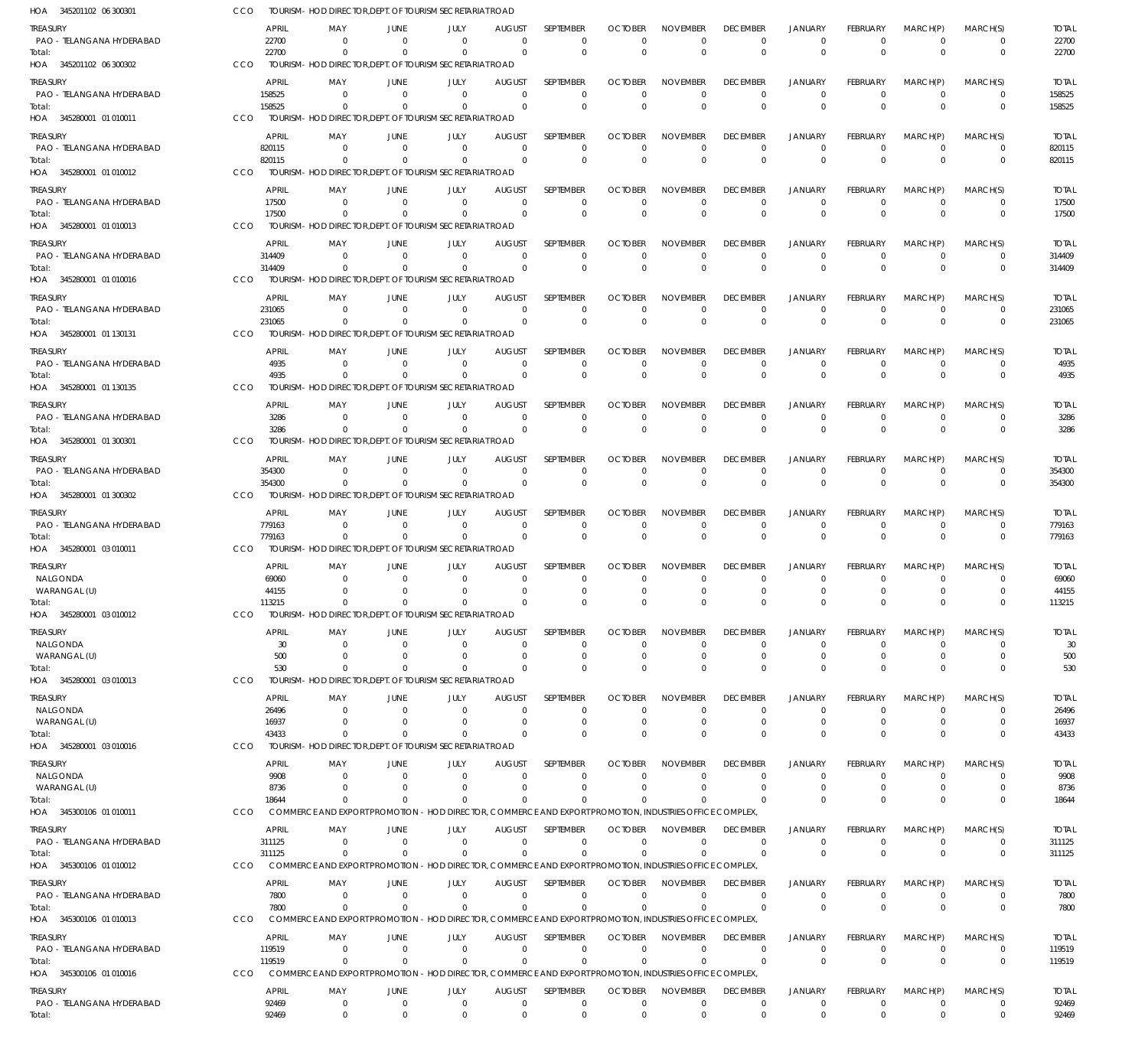| HOA<br>345201102 06 300301                   | CCO |                        | TOURISM- HOD DIRECTOR, DEPT. OF TOURISM SECRETARIAT ROAD                |                         |                         |                           |                               |                |                                                                                                                                         |                                |                                  |                                |                         |                            |                        |
|----------------------------------------------|-----|------------------------|-------------------------------------------------------------------------|-------------------------|-------------------------|---------------------------|-------------------------------|----------------|-----------------------------------------------------------------------------------------------------------------------------------------|--------------------------------|----------------------------------|--------------------------------|-------------------------|----------------------------|------------------------|
| TREASURY<br>PAO - TELANGANA HYDERABAD        |     | <b>APRIL</b><br>22700  | MAY<br>$\mathbf{0}$                                                     | <b>JUNE</b><br>$\Omega$ | <b>JULY</b><br>$\Omega$ | <b>AUGUST</b><br>$\Omega$ | SEPTEMBER<br>$\Omega$         | <b>OCTOBER</b> | <b>NOVEMBER</b><br>$\Omega$<br>$\overline{0}$                                                                                           | <b>DECEMBER</b><br>$\mathbf 0$ | <b>JANUARY</b><br>$\mathbf 0$    | <b>FEBRUARY</b><br>$\mathbf 0$ | MARCH(P)<br>$\Omega$    | MARCH(S)<br>$\mathbf 0$    | <b>TOTAL</b><br>22700  |
| Total:<br>345201102 06 300302<br>HOA         | CCO | 22700                  | $\mathbf 0$<br>TOURISM- HOD DIRECTOR, DEPT. OF TOURISM SECRETARIAT ROAD | $\Omega$                | $\Omega$                | $\Omega$                  | $\Omega$                      |                | $\mathbf{0}$<br>$\mathbf{0}$                                                                                                            | $\overline{0}$                 | $\overline{0}$                   | $\Omega$                       | $\Omega$                | $\mathbf 0$                | 22700                  |
| <b>TREASURY</b>                              |     | <b>APRIL</b>           | MAY                                                                     | <b>JUNE</b>             | JULY                    | <b>AUGUST</b>             | <b>SEPTEMBER</b>              | <b>OCTOBER</b> | <b>NOVEMBER</b>                                                                                                                         | <b>DECEMBER</b>                | <b>JANUARY</b>                   | <b>FEBRUARY</b>                | MARCH(P)                | MARCH(S)                   | <b>TOTAL</b>           |
| PAO - TELANGANA HYDERABAD                    |     | 158525                 | $\mathbf 0$                                                             | $\Omega$                | $\Omega$                | $\Omega$                  | $\overline{0}$                |                | $\overline{0}$<br>$\Omega$                                                                                                              | $\mathbf 0$                    | $\mathbf 0$                      | $\mathbf 0$                    | $\mathbf 0$             | $\mathbf 0$                | 158525                 |
| Total:                                       |     | 158525                 | $\Omega$                                                                | $\cap$                  | $\Omega$                | $\Omega$                  | $\overline{0}$                |                | $\Omega$<br>$\Omega$                                                                                                                    | $\mathbf 0$                    | $\overline{0}$                   | $\Omega$                       | $\Omega$                | $\mathbf 0$                | 158525                 |
| 345280001 01 010011<br>HOA                   | CCO |                        | TOURISM- HOD DIRECTOR, DEPT. OF TOURISM SECRETARIAT ROAD                |                         |                         |                           |                               |                |                                                                                                                                         |                                |                                  |                                |                         |                            |                        |
| <b>TREASURY</b>                              |     | <b>APRIL</b>           | MAY                                                                     | <b>JUNE</b>             | JULY                    | <b>AUGUST</b>             | SEPTEMBER                     | <b>OCTOBER</b> | <b>NOVEMBER</b>                                                                                                                         | <b>DECEMBER</b>                | <b>JANUARY</b>                   | FEBRUARY                       | MARCH(P)                | MARCH(S)                   | <b>TOTAL</b>           |
| PAO - TELANGANA HYDERABAD                    |     | 820115<br>820115       | $\mathbf{0}$<br>$\Omega$                                                | $\Omega$<br>$\Omega$    | $\Omega$<br>$\Omega$    | $\Omega$<br>$\Omega$      | $\Omega$<br>$\overline{0}$    |                | $\Omega$<br>$\overline{0}$<br>$\Omega$<br>$\mathbf 0$                                                                                   | $\mathbf 0$<br>$\mathbf 0$     | $\mathbf 0$<br>$\overline{0}$    | $\Omega$<br>$\Omega$           | $\Omega$<br>$\Omega$    | $\Omega$<br>$\mathbf 0$    | 820115<br>820115       |
| Total:<br>HOA 345280001 01 010012            | CCO |                        | TOURISM- HOD DIRECTOR, DEPT. OF TOURISM SECRETARIAT ROAD                |                         |                         |                           |                               |                |                                                                                                                                         |                                |                                  |                                |                         |                            |                        |
| TREASURY                                     |     | <b>APRIL</b>           | MAY                                                                     | <b>JUNE</b>             | JULY                    | <b>AUGUST</b>             | SEPTEMBER                     | <b>OCTOBER</b> | <b>NOVEMBER</b>                                                                                                                         | <b>DECEMBER</b>                | <b>JANUARY</b>                   | <b>FEBRUARY</b>                | MARCH(P)                | MARCH(S)                   | <b>TOTAL</b>           |
| PAO - TELANGANA HYDERABAD                    |     | 17500                  | $\mathbf 0$                                                             | $\Omega$                | $\Omega$                | $\Omega$                  | $^{\circ}$                    |                | $\overline{0}$<br>$^{\circ}$                                                                                                            | $\mathbf 0$                    | $\mathbf 0$                      | $\mathbf 0$                    | $\mathbf 0$             | $\mathbf 0$                | 17500                  |
| Total:                                       |     | 17500                  | $\Omega$                                                                | $\Omega$                | $\Omega$                | $\Omega$                  | $\Omega$                      |                | $\Omega$<br>$\Omega$                                                                                                                    | $\mathbf 0$                    | $\overline{0}$                   | $\Omega$                       | $\Omega$                | $\mathbf 0$                | 17500                  |
| 345280001 01 010013<br>HOA                   | CCO |                        | TOURISM- HOD DIRECTOR, DEPT. OF TOURISM SECRETARIAT ROAD                |                         |                         |                           |                               |                |                                                                                                                                         |                                |                                  |                                |                         |                            |                        |
| <b>TREASURY</b>                              |     | <b>APRIL</b>           | MAY                                                                     | <b>JUNE</b><br>$\Omega$ | JULY                    | <b>AUGUST</b>             | SEPTEMBER                     | <b>OCTOBER</b> | <b>NOVEMBER</b>                                                                                                                         | <b>DECEMBER</b>                | <b>JANUARY</b>                   | FEBRUARY<br>$\Omega$           | MARCH(P)                | MARCH(S)                   | <b>TOTAL</b>           |
| PAO - TELANGANA HYDERABAD<br>Total:          |     | 314409<br>314409       | $\Omega$<br>$\Omega$                                                    | $\Omega$                | $\Omega$<br>$\Omega$    | $\Omega$<br>$\Omega$      | $\Omega$<br>$\Omega$          |                | $\Omega$<br>$\Omega$<br>$\Omega$<br>$\Omega$                                                                                            | $\mathbf 0$<br>$\mathbf 0$     | $\mathbf 0$<br>$\overline{0}$    | $\Omega$                       | $\Omega$<br>$\Omega$    | $\mathbf 0$<br>$\mathbf 0$ | 314409<br>314409       |
| 345280001 01 010016<br>HOA                   | CCO |                        | TOURISM- HOD DIRECTOR, DEPT. OF TOURISM SECRETARIAT ROAD                |                         |                         |                           |                               |                |                                                                                                                                         |                                |                                  |                                |                         |                            |                        |
| <b>TREASURY</b>                              |     | <b>APRIL</b>           | MAY                                                                     | <b>JUNE</b>             | JULY                    | <b>AUGUST</b>             | <b>SEPTEMBER</b>              | <b>OCTOBER</b> | <b>NOVEMBER</b>                                                                                                                         | <b>DECEMBER</b>                | <b>JANUARY</b>                   | <b>FEBRUARY</b>                | MARCH(P)                | MARCH(S)                   | <b>TOTAL</b>           |
| PAO - TELANGANA HYDERABAD                    |     | 231065                 | $\mathbf 0$                                                             | $\Omega$                | $\Omega$                | $\Omega$                  | $\Omega$                      |                | $\overline{0}$<br>$\overline{0}$                                                                                                        | $\mathbf 0$                    | $\mathbf 0$                      | $\mathbf 0$                    | $\mathbf 0$             | $\mathbf 0$                | 231065                 |
| Total:                                       |     | 231065                 | $\Omega$                                                                | $\Omega$                | $\Omega$                | $\Omega$                  | $\Omega$                      |                | $\Omega$<br>$\Omega$                                                                                                                    | $\mathbf 0$                    | $\overline{0}$                   | $\Omega$                       | $\Omega$                | $\mathbf 0$                | 231065                 |
| HOA 345280001 01 130131                      | CCO |                        | TOURISM- HOD DIRECTOR, DEPT. OF TOURISM SECRETARIAT ROAD                |                         |                         |                           |                               |                |                                                                                                                                         |                                |                                  |                                |                         |                            |                        |
| TREASURY<br>PAO - TELANGANA HYDERABAD        |     | <b>APRIL</b><br>4935   | MAY<br>$\Omega$                                                         | <b>JUNE</b><br>$\Omega$ | JULY<br>$\Omega$        | <b>AUGUST</b><br>$\Omega$ | <b>SEPTEMBER</b><br>$\Omega$  | <b>OCTOBER</b> | <b>NOVEMBER</b><br>$\overline{0}$<br>$\Omega$                                                                                           | <b>DECEMBER</b><br>$\mathbf 0$ | <b>JANUARY</b><br>$\mathbf 0$    | FEBRUARY<br>$\mathbf 0$        | MARCH(P)<br>$\Omega$    | MARCH(S)<br>$\mathbf 0$    | <b>TOTAL</b><br>4935   |
| Total:                                       |     | 4935                   | $\Omega$                                                                | $\Omega$                | $\Omega$                | $\Omega$                  | $\overline{0}$                |                | $\mathbf{0}$<br>$\Omega$                                                                                                                | $\mathbf 0$                    | $\overline{0}$                   | $\Omega$                       | $\Omega$                | $\mathbf 0$                | 4935                   |
| HOA 345280001 01 130135                      | CCO |                        | TOURISM- HOD DIRECTOR, DEPT. OF TOURISM SECRETARIAT ROAD                |                         |                         |                           |                               |                |                                                                                                                                         |                                |                                  |                                |                         |                            |                        |
| treasury                                     |     | <b>APRIL</b>           | MAY                                                                     | <b>JUNE</b>             | JULY                    | <b>AUGUST</b>             | SEPTEMBER                     | <b>OCTOBER</b> | <b>NOVEMBER</b>                                                                                                                         | <b>DECEMBER</b>                | <b>JANUARY</b>                   | FEBRUARY                       | MARCH(P)                | MARCH(S)                   | <b>TOTAL</b>           |
| PAO - TELANGANA HYDERABAD                    |     | 3286                   | $\mathbf 0$                                                             | $\Omega$                | $\Omega$                | $\Omega$                  | $\Omega$                      |                | $\overline{0}$<br>$\Omega$                                                                                                              | $\mathbf 0$                    | $\overline{0}$                   | $\mathbf 0$                    | $\mathbf 0$             | $\mathbf 0$                | 3286                   |
| Total:<br>345280001 01 300301<br>HOA         | CCO | 3286                   | $\Omega$<br>TOURISM- HOD DIRECTOR, DEPT. OF TOURISM SECRETARIAT ROAD    | $\Omega$                | $\Omega$                | $\Omega$                  | $\Omega$                      |                | $\Omega$<br>$\Omega$                                                                                                                    | $\mathbf 0$                    | $\overline{0}$                   | $\Omega$                       | $\Omega$                | $\mathbf 0$                | 3286                   |
|                                              |     |                        |                                                                         |                         |                         |                           |                               |                |                                                                                                                                         |                                |                                  |                                |                         |                            |                        |
| <b>TREASURY</b><br>PAO - TELANGANA HYDERABAD |     | <b>APRIL</b><br>354300 | MAY<br>$\Omega$                                                         | <b>JUNE</b><br>$\Omega$ | <b>JULY</b><br>$\Omega$ | <b>AUGUST</b><br>$\Omega$ | SEPTEMBER<br>$\Omega$         | <b>OCTOBER</b> | <b>NOVEMBER</b><br>$\Omega$<br>$\overline{0}$                                                                                           | <b>DECEMBER</b><br>$\mathbf 0$ | <b>JANUARY</b><br>$\mathbf 0$    | FEBRUARY<br>$\mathbf 0$        | MARCH(P)<br>$\Omega$    | MARCH(S)<br>$\mathbf 0$    | <b>TOTAL</b><br>354300 |
| Total:                                       |     | 354300                 | $\Omega$                                                                | $\Omega$                | $\Omega$                | $\Omega$                  | $\Omega$                      |                | $\Omega$<br>$\mathbf{0}$                                                                                                                | $\mathbf{0}$                   | $\overline{0}$                   | $\Omega$                       | $\Omega$                | $\mathbf 0$                | 354300                 |
| 345280001 01 300302<br>HOA                   | CCO |                        | TOURISM- HOD DIRECTOR, DEPT. OF TOURISM SECRETARIAT ROAD                |                         |                         |                           |                               |                |                                                                                                                                         |                                |                                  |                                |                         |                            |                        |
| TREASURY                                     |     | <b>APRIL</b>           | MAY                                                                     | <b>JUNE</b>             | JULY                    | <b>AUGUST</b>             | SEPTEMBER                     | <b>OCTOBER</b> | <b>NOVEMBER</b>                                                                                                                         | <b>DECEMBER</b>                | <b>JANUARY</b>                   | <b>FEBRUARY</b>                | MARCH(P)                | MARCH(S)                   | <b>TOTAL</b>           |
| PAO - TELANGANA HYDERABAD                    |     | 779163<br>779163       | $\mathbf 0$<br>$\mathbf 0$                                              | $\Omega$<br>$\Omega$    | $\Omega$<br>$\Omega$    | $\Omega$<br>$\Omega$      | $^{\circ}$<br>$\overline{0}$  |                | $^{\circ}$<br>$\Omega$<br>$\Omega$<br>$\Omega$                                                                                          | $\mathbf 0$<br>$\mathbf{0}$    | $\mathbf 0$<br>$\overline{0}$    | $\mathbf 0$<br>$\Omega$        | $\mathbf 0$<br>$\Omega$ | $\mathbf 0$<br>$\mathbf 0$ | 779163<br>779163       |
| Total:<br>345280001 03 010011<br>HOA         | CCO |                        | TOURISM- HOD DIRECTOR.DEPT. OF TOURISM SECRETARIAT ROAD                 |                         |                         |                           |                               |                |                                                                                                                                         |                                |                                  |                                |                         |                            |                        |
| TREASURY                                     |     | <b>APRIL</b>           | MAY                                                                     | <b>JUNE</b>             | JULY                    | <b>AUGUST</b>             | <b>SEPTEMBER</b>              | <b>OCTOBER</b> | <b>NOVEMBER</b>                                                                                                                         | <b>DECEMBER</b>                | <b>JANUARY</b>                   | FEBRUARY                       | MARCH(P)                | MARCH(S)                   | <b>TOTAL</b>           |
| NALGONDA                                     |     | 69060                  | $\mathbf 0$                                                             | $\Omega$                | $\Omega$                | $\Omega$                  | $\Omega$                      |                | $\Omega$<br>$\Omega$                                                                                                                    | $\mathbf 0$                    | $\mathbf 0$                      | 0                              | $\Omega$                | $\Omega$                   | 69060                  |
| WARANGAL (U)                                 |     | 44155                  | $\Omega$                                                                | $\Omega$                | $\Omega$                | $\Omega$                  | $\Omega$                      |                | $\Omega$<br>$\Omega$                                                                                                                    | $\mathbf 0$                    | $\Omega$                         | $\Omega$                       | $\Omega$                | $\Omega$                   | 44155                  |
| Total:<br>HOA 345280001 03 010012            | CCO | 113215                 | $\mathbf 0$<br>TOURISM- HOD DIRECTOR, DEPT. OF TOURISM SECRETARIAT ROAD | $\cap$                  | $\Omega$                | $\mathbf{0}$              | $\overline{0}$                |                | $\mathbf 0$<br>$\mathbf{0}$                                                                                                             | $\mathbf 0$                    |                                  |                                | $\Omega$                | 0                          | 113215                 |
|                                              |     |                        |                                                                         |                         |                         |                           |                               |                | <b>NOVEMBER</b>                                                                                                                         |                                |                                  |                                |                         |                            |                        |
| TREASURY<br>NALGONDA                         |     | <b>APRIL</b><br>30     | MAY<br>$\mathbf 0$                                                      | JUNE<br>$\Omega$        | JULY<br>$\Omega$        | <b>AUGUST</b><br>$\Omega$ | SEPTEMBER<br>$\overline{0}$   | <b>OCTOBER</b> | $\overline{0}$<br>$\Omega$                                                                                                              | <b>DECEMBER</b><br>$\mathbf 0$ | <b>JANUARY</b><br>$\mathbf 0$    | <b>FEBRUARY</b><br>$\mathbf 0$ | MARCH(P)<br>$\mathbf 0$ | MARCH(S)<br>$\mathbf 0$    | <b>TOTAL</b><br>30     |
| WARANGAL (U)                                 |     | 500                    | $\mathbf 0$                                                             | $\Omega$                | $\mathbf{0}$            | 0                         | $\overline{0}$                |                | $\overline{0}$<br>$^{\circ}$                                                                                                            | $\mathbf 0$                    | $\mathbf 0$                      | $\mathbf 0$                    | $\mathbf 0$             | $\mathbf 0$                | 500                    |
| Total:                                       |     | 530                    | $\mathbf 0$                                                             | $\Omega$                | $\Omega$                |                           | $\Omega$<br>$\Omega$          |                | $\Omega$<br>$\Omega$                                                                                                                    | $\mathbf 0$                    | $\overline{0}$                   | $\Omega$                       | $\Omega$                | $\mathbf 0$                | 530                    |
| HOA 345280001 03 010013                      | CCO |                        | TOURISM- HOD DIRECTOR, DEPT. OF TOURISM SECRETARIAT ROAD                |                         |                         |                           |                               |                |                                                                                                                                         |                                |                                  |                                |                         |                            |                        |
| TREASURY<br>NALGONDA                         |     | <b>APRIL</b><br>26496  | MAY<br>$\mathbf 0$                                                      | <b>JUNE</b><br>$\Omega$ | <b>JULY</b><br>$\Omega$ | <b>AUGUST</b><br>$\Omega$ | SEPTEMBER<br>$\Omega$         | <b>OCTOBER</b> | <b>NOVEMBER</b><br>$\Omega$<br>$\Omega$                                                                                                 | <b>DECEMBER</b><br>$\mathbf 0$ | <b>JANUARY</b><br>$\mathbf 0$    | FEBRUARY<br>$\Omega$           | MARCH(P)<br>$\Omega$    | MARCH(S)<br>$\mathbf 0$    | <b>TOTAL</b><br>26496  |
| WARANGAL (U)                                 |     | 16937                  | $\mathbf 0$                                                             | $\Omega$                | $\Omega$                | $\Omega$                  | $\overline{0}$                |                | $\overline{0}$<br>$^{\circ}$                                                                                                            | $\mathbf 0$                    | $\mathbf 0$                      | $\mathbf 0$                    | $\mathbf 0$             | $\mathbf 0$                | 16937                  |
| Total:                                       |     | 43433                  | $\Omega$                                                                | $\Omega$                | $\Omega$                | $\Omega$                  | $\Omega$                      |                | $\mathbf 0$<br>$\Omega$                                                                                                                 | $\mathbf 0$                    | $\overline{0}$                   | $\Omega$                       | $\Omega$                | $\mathbf 0$                | 43433                  |
| HOA 345280001 03 010016                      | CCO |                        | TOURISM- HOD DIRECTOR, DEPT. OF TOURISM SECRETARIAT ROAD                |                         |                         |                           |                               |                |                                                                                                                                         |                                |                                  |                                |                         |                            |                        |
| TREASURY                                     |     | <b>APRIL</b>           | MAY                                                                     | <b>JUNE</b>             | JULY                    | <b>AUGUST</b>             | SEPTEMBER                     | <b>OCTOBER</b> | <b>NOVEMBER</b>                                                                                                                         | <b>DECEMBER</b>                | JANUARY                          | <b>FEBRUARY</b>                | MARCH(P)                | MARCH(S)                   | <b>TOTAL</b>           |
| NALGONDA<br>WARANGAL (U)                     |     | 9908<br>8736           | $\mathbf 0$<br>$\mathbf 0$                                              | $\Omega$<br>$\Omega$    | $\Omega$<br>$\Omega$    | $\Omega$<br>$\Omega$      | $\Omega$<br>$\overline{0}$    |                | $\Omega$<br>$\Omega$<br>$\overline{0}$<br>$\overline{0}$                                                                                | $\mathbf 0$<br>$\mathbf 0$     | $\overline{0}$<br>$\overline{0}$ | $\Omega$<br>$\mathbf 0$        | $\Omega$<br>$\mathbf 0$ | 0<br>$\mathbf 0$           | 9908<br>8736           |
| Total:                                       |     | 18644                  | $\Omega$                                                                |                         | $\Omega$                |                           | $\Omega$<br>$\Omega$          |                | $\overline{0}$<br>$\Omega$                                                                                                              | $\Omega$                       | $\overline{0}$                   | $\Omega$                       | $\Omega$                | $\mathbf 0$                | 18644                  |
| HOA 345300106 01 010011                      | CCO |                        |                                                                         |                         |                         |                           |                               |                | COMMERCE AND EXPORT PROMOTION - HOD DIRECTOR, COMMERCE AND EXPORT PROMOTION, INDUSTRIES OFFICE COMPLEX                                  |                                |                                  |                                |                         |                            |                        |
| <b>TREASURY</b>                              |     | <b>APRIL</b>           | MAY                                                                     | <b>JUNE</b>             | JULY                    | <b>AUGUST</b>             | SEPTEMBER                     | <b>OCTOBER</b> | <b>NOVEMBER</b>                                                                                                                         | <b>DECEMBER</b>                | JANUARY                          | <b>FEBRUARY</b>                | MARCH(P)                | MARCH(S)                   | <b>TOTAL</b>           |
| PAO - TELANGANA HYDERABAD                    |     | 311125                 | $\mathbf 0$                                                             | $\Omega$                | $\Omega$                | $\Omega$                  | $\overline{0}$                |                | $\Omega$<br>$\mathbf 0$                                                                                                                 | $\mathbf 0$                    | $\mathbf 0$                      | $\mathbf 0$                    | $\Omega$                | $\mathbf 0$                | 311125                 |
| Total:<br>HOA 345300106 01 010012            | CCO | 311125                 | $\Omega$                                                                | $\Omega$                | $\Omega$                | $\Omega$                  | $\Omega$                      |                | $\mathbf 0$<br>$\overline{0}$<br>COMMERCE AND EXPORT PROMOTION - HOD DIRECTOR, COMMERCE AND EXPORT PROMOTION, INDUSTRIES OFFICE COMPLEX | $\mathbf 0$                    | $\overline{0}$                   | $\mathbf 0$                    | $\Omega$                | $\mathbf 0$                | 311125                 |
| TREASURY                                     |     | <b>APRIL</b>           | MAY                                                                     | JUNE                    | JULY                    | <b>AUGUST</b>             | SEPTEMBER                     | <b>OCTOBER</b> | <b>NOVEMBER</b>                                                                                                                         | <b>DECEMBER</b>                | <b>JANUARY</b>                   | <b>FEBRUARY</b>                | MARCH(P)                | MARCH(S)                   | <b>TOTAL</b>           |
| PAO - TELANGANA HYDERABAD                    |     | 7800                   | $\mathbf 0$                                                             | $\Omega$                | $\Omega$                | 0                         | $^{\circ}$                    |                | $\overline{0}$<br>$^{\circ}$                                                                                                            | $\mathbf 0$                    | $\mathbf 0$                      | $\mathbf 0$                    | $\mathbf 0$             | $\mathbf 0$                | 7800                   |
| Total:                                       |     | 7800                   | $\mathbf 0$                                                             | $\Omega$                | $\Omega$                | $\Omega$                  | $\overline{0}$                |                | $\mathbf 0$<br>$\Omega$                                                                                                                 | $\Omega$                       | $\overline{0}$                   | $\mathbf 0$                    | $\overline{0}$          | $\mathbf 0$                | 7800                   |
| HOA 345300106 01 010013                      | CCO |                        |                                                                         |                         |                         |                           |                               |                | COMMERCE AND EXPORT PROMOTION - HOD DIRECTOR, COMMERCE AND EXPORT PROMOTION, INDUSTRIES OFFICE COMPLEX                                  |                                |                                  |                                |                         |                            |                        |
| TREASURY                                     |     | <b>APRIL</b>           | MAY                                                                     | <b>JUNE</b>             | JULY                    | <b>AUGUST</b>             | SEPTEMBER                     | <b>OCTOBER</b> | <b>NOVEMBER</b>                                                                                                                         | <b>DECEMBER</b>                | <b>JANUARY</b>                   | FEBRUARY                       | MARCH(P)                | MARCH(S)                   | <b>TOTAL</b>           |
| PAO - TELANGANA HYDERABAD<br>Total:          |     | 119519<br>119519       | $\mathbf 0$<br>$\mathbf 0$                                              | $^{\circ}$<br>$\Omega$  | $\Omega$<br>$\Omega$    | $\mathbf{0}$<br>$\Omega$  | $\overline{0}$<br>$\Omega$    |                | $\overline{0}$<br>$\overline{0}$<br>$\overline{0}$<br>$\Omega$                                                                          | $\mathbf 0$<br>$\Omega$        | $\mathbf 0$<br>$\overline{0}$    | $\mathbf 0$<br>$\Omega$        | $\mathbf 0$<br>$\Omega$ | $\mathbf 0$<br>$\mathbf 0$ | 119519<br>119519       |
| HOA 345300106 01 010016                      | CCO |                        |                                                                         |                         |                         |                           |                               |                | COMMERCE AND EXPORT PROMOTION - HOD DIRECTOR, COMMERCE AND EXPORT PROMOTION, INDUSTRIES OFFICE COMPLEX                                  |                                |                                  |                                |                         |                            |                        |
| TREASURY                                     |     | <b>APRIL</b>           | MAY                                                                     | JUNE                    | JULY                    | <b>AUGUST</b>             | SEPTEMBER                     | <b>OCTOBER</b> | <b>NOVEMBER</b>                                                                                                                         | <b>DECEMBER</b>                | <b>JANUARY</b>                   | FEBRUARY                       | MARCH(P)                | MARCH(S)                   | <b>TOTAL</b>           |
| PAO - TELANGANA HYDERABAD                    |     | 92469                  | $\mathbf 0$                                                             | $^{\circ}$              | $\mathbf{0}$            | $\mathbf{0}$              | $\overline{0}$                |                | $\mathbf 0$<br>$\overline{0}$                                                                                                           | $\mathbf 0$                    | $\mathbf 0$                      | $\overline{0}$                 | $\mathbf 0$             | $\mathbf 0$                | 92469                  |
| Total:                                       |     | 92469                  | $\mathbf 0$                                                             | $\Omega$                | $\Omega$                |                           | $\overline{0}$<br>$\mathbf 0$ |                | $\,0\,$<br>$\mathbf 0$                                                                                                                  | $\mathbf 0$                    | $\overline{0}$                   | $\mathbf 0$                    | $\mathbf 0$             | $\mathbf 0$                | 92469                  |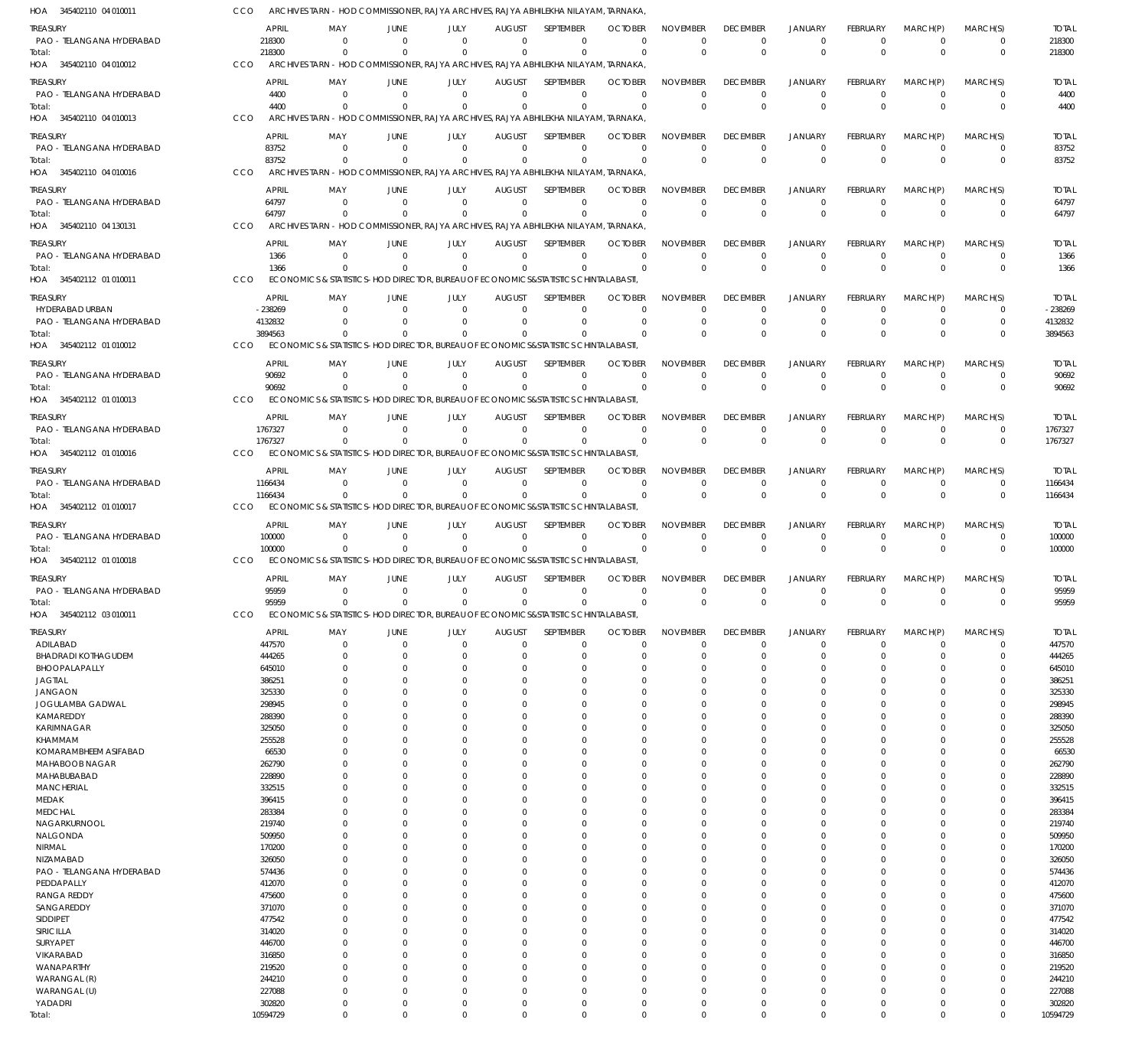| HOA 345402110 04 010011                      | CCO                | ARCHIVES TARN - HOD COMMISSIONER, RAJYA ARCHIVES, RAJYA ABHILEKHA NILAYAM, TARNAKA             |                      |                      |                           |                              |                            |                             |                             |                            |                              |                      |                        |                       |
|----------------------------------------------|--------------------|------------------------------------------------------------------------------------------------|----------------------|----------------------|---------------------------|------------------------------|----------------------------|-----------------------------|-----------------------------|----------------------------|------------------------------|----------------------|------------------------|-----------------------|
| Treasury                                     | APRIL              | MAY                                                                                            | JUNE                 | JULY                 | <b>AUGUST</b>             | <b>SEPTEMBER</b>             | <b>OCTOBER</b>             | <b>NOVEMBER</b>             | <b>DECEMBER</b>             | <b>JANUARY</b>             | <b>FEBRUARY</b>              | MARCH(P)             | MARCH(S)               | <b>TOTAL</b>          |
| PAO - TELANGANA HYDERABAD                    | 218300             | $\Omega$                                                                                       | $\Omega$             | $\Omega$             | $\Omega$                  | $\Omega$                     | $\Omega$                   | $\mathbf 0$                 | $\Omega$                    | $\Omega$                   | $\Omega$                     | $\Omega$             | $^{\circ}$             | 218300                |
| Total:                                       | 218300             |                                                                                                | $\Omega$             | $\Omega$             | $\Omega$                  | $\Omega$                     | $\Omega$                   | $\mathbf 0$                 | $\Omega$                    | $\Omega$                   | $\Omega$                     | $\Omega$             | $\overline{0}$         | 218300                |
| HOA 345402110 04 010012                      | <b>CCO</b>         | ARCHIVES TARN - HOD COMMISSIONER, RAJYA ARCHIVES, RAJYA ABHILEKHA NILAYAM, TARNAKA,            |                      |                      |                           |                              |                            |                             |                             |                            |                              |                      |                        |                       |
| treasury                                     | <b>APRIL</b>       | MAY                                                                                            | JUNE                 | JULY                 | <b>AUGUST</b>             | <b>SEPTEMBER</b>             | <b>OCTOBER</b>             | <b>NOVEMBER</b>             | <b>DECEMBER</b>             | JANUARY                    | <b>FEBRUARY</b>              | MARCH(P)             | MARCH(S)               | <b>TOTAL</b>          |
| PAO - TELANGANA HYDERABAD                    | 4400               | $\Omega$                                                                                       | $\Omega$             | $\Omega$             | $\Omega$                  | $\Omega$                     | $\Omega$                   | $\Omega$                    | $\Omega$                    | $\Omega$                   | $\Omega$                     | $\Omega$             | $^{\circ}$             | 4400                  |
| Total:                                       | 4400               |                                                                                                |                      | $\Omega$             | $\Omega$                  | $\Omega$                     | $\Omega$                   | $\Omega$                    | $\Omega$                    | $\Omega$                   | $\Omega$                     | $\Omega$             | $^{\circ}$             | 4400                  |
| HOA 345402110 04 010013                      | CCO                | ARCHIVES TARN - HOD COMMISSIONER, RAJYA ARCHIVES, RAJYA ABHILEKHA NILAYAM, TARNAKA             |                      |                      |                           |                              |                            |                             |                             |                            |                              |                      |                        |                       |
| treasury                                     | APRIL              | MAY                                                                                            | JUNE                 | JULY                 | <b>AUGUST</b>             | <b>SEPTEMBER</b>             | <b>OCTOBER</b>             | <b>NOVEMBER</b>             | <b>DECEMBER</b>             | <b>JANUARY</b>             | <b>FEBRUARY</b>              | MARCH(P)             | MARCH(S)               | <b>TOTAL</b>          |
| PAO - TELANGANA HYDERABAD                    | 83752              | $\Omega$                                                                                       | $\Omega$             | $\Omega$             | $\Omega$                  | $\Omega$                     | $\Omega$                   | $\mathbf 0$                 | $\Omega$                    | $\Omega$                   | $\Omega$                     | $\Omega$             | $^{\circ}$             | 83752                 |
| Total:                                       | 83752              |                                                                                                | $\Omega$             | $\Omega$             | $\Omega$                  | $\Omega$                     | $\Omega$                   | $\mathbf 0$                 | $\Omega$                    | $\overline{0}$             | $\Omega$                     | $\Omega$             | $^{\circ}$             | 83752                 |
| HOA 345402110 04 010016                      | CCO                | ARCHIVES TARN - HOD COMMISSIONER, RAJYA ARCHIVES, RAJYA ABHILEKHA NILAYAM, TARNAKA,            |                      |                      |                           |                              |                            |                             |                             |                            |                              |                      |                        |                       |
| <b>TREASURY</b>                              | APRIL              | MAY                                                                                            | JUNE                 | JULY                 | <b>AUGUST</b>             | SEPTEMBER                    | <b>OCTOBER</b>             | <b>NOVEMBER</b>             | <b>DECEMBER</b>             | <b>JANUARY</b>             | <b>FEBRUARY</b>              | MARCH(P)             | MARCH(S)               | <b>TOTAL</b>          |
| PAO - TELANGANA HYDERABAD                    | 64797              | $\Omega$                                                                                       | $\Omega$             | $\Omega$             | $\Omega$                  | $\Omega$                     | $\Omega$                   | $\Omega$                    | $\mathbf 0$                 | $\Omega$                   | $\Omega$                     | $\Omega$             | $^{\circ}$             | 64797                 |
| Total:<br>HOA 345402110 04 130131            | 64797<br>CCO       | ARCHIVES TARN - HOD COMMISSIONER, RAJYA ARCHIVES, RAJYA ABHILEKHA NILAYAM, TARNAKA,            | $\Omega$             | $\Omega$             | $\Omega$                  | $\Omega$                     | $\Omega$                   | $\Omega$                    | $\Omega$                    | $\Omega$                   | $\Omega$                     | $\Omega$             | $\overline{0}$         | 64797                 |
|                                              |                    |                                                                                                |                      |                      |                           |                              |                            |                             |                             |                            |                              |                      |                        |                       |
| treasury                                     | APRIL              | MAY                                                                                            | JUNE                 | JULY                 | <b>AUGUST</b>             | <b>SEPTEMBER</b>             | <b>OCTOBER</b>             | <b>NOVEMBER</b>             | <b>DECEMBER</b>             | <b>JANUARY</b>             | <b>FEBRUARY</b>              | MARCH(P)             | MARCH(S)               | <b>TOTAL</b>          |
| PAO - TELANGANA HYDERABAD                    | 1366               | $\Omega$                                                                                       | $\Omega$             | $\Omega$             | $\Omega$<br>$\Omega$      | $\Omega$                     | $\Omega$                   | $\Omega$                    | $\Omega$                    | $\Omega$<br>$\Omega$       | $\Omega$                     | $\Omega$<br>$\Omega$ | $\overline{0}$         | 1366                  |
| Total:<br>HOA 345402112 01 010011            | 1366<br>CCO        | $\Omega$<br>ECONOMICS & STATISTICS-HOD DIRECTOR, BUREAU OF ECONOMICS&STATISTICS CHINTALABASTI, | $\Omega$             | $\Omega$             |                           | $\Omega$                     | $\Omega$                   | $\mathbf 0$                 | $\Omega$                    |                            | $\Omega$                     |                      | $\overline{0}$         | 1366                  |
|                                              |                    |                                                                                                |                      |                      |                           |                              |                            |                             |                             |                            |                              |                      |                        |                       |
| treasury                                     | APRIL              | MAY                                                                                            | JUNE                 | JULY                 | <b>AUGUST</b>             | SEPTEMBER                    | <b>OCTOBER</b>             | <b>NOVEMBER</b>             | <b>DECEMBER</b>             | <b>JANUARY</b>             | <b>FEBRUARY</b>              | MARCH(P)             | MARCH(S)               | <b>TOTAL</b>          |
| HYDERABAD URBAN                              | $-238269$          | $\Omega$                                                                                       | $\Omega$<br>$\Omega$ | $\Omega$<br>$\Omega$ | $\Omega$<br>$\Omega$      | $\Omega$<br>$\Omega$         | $\Omega$<br>$\Omega$       | $\Omega$<br>$\Omega$        | $\Omega$<br>$\Omega$        | $\Omega$<br>$\Omega$       | $\Omega$<br>$\Omega$         | $\Omega$<br>$\Omega$ | 0<br>$\mathbf 0$       | $-238269$             |
| PAO - TELANGANA HYDERABAD<br>Total:          | 4132832<br>3894563 | $\Omega$                                                                                       | $\Omega$             | $\Omega$             | $\Omega$                  | $\Omega$                     | $\Omega$                   | $\Omega$                    | $\Omega$                    | $\Omega$                   | $\Omega$                     | $\Omega$             | $\Omega$               | 4132832<br>3894563    |
| HOA 345402112 01 010012                      | <b>CCO</b>         | ECONOMICS & STATISTICS-HOD DIRECTOR, BUREAU OF ECONOMICS&STATISTICS CHINTALABASTI,             |                      |                      |                           |                              |                            |                             |                             |                            |                              |                      |                        |                       |
|                                              |                    |                                                                                                |                      |                      |                           |                              |                            |                             |                             |                            |                              |                      |                        |                       |
| <b>TREASURY</b><br>PAO - TELANGANA HYDERABAD | APRIL<br>90692     | MAY<br>$\Omega$                                                                                | JUNE<br>$\Omega$     | JULY<br>$\Omega$     | <b>AUGUST</b><br>$\Omega$ | <b>SEPTEMBER</b><br>$\Omega$ | <b>OCTOBER</b><br>$\Omega$ | <b>NOVEMBER</b><br>$\Omega$ | <b>DECEMBER</b><br>$\Omega$ | <b>JANUARY</b><br>$\Omega$ | <b>FEBRUARY</b><br>$\Omega$  | MARCH(P)<br>$\Omega$ | MARCH(S)<br>$^{\circ}$ | <b>TOTAL</b><br>90692 |
| Total:                                       | 90692              |                                                                                                | $\Omega$             | $\Omega$             | $\Omega$                  | $\Omega$                     | $\Omega$                   | $\mathbf 0$                 | $\Omega$                    | $\Omega$                   | $\Omega$                     | $\Omega$             | $\overline{0}$         | 90692                 |
| HOA 345402112 01 010013                      | CCO                | ECONOMICS & STATISTICS-HOD DIRECTOR, BUREAU OF ECONOMICS&STATISTICS CHINTALABASTI,             |                      |                      |                           |                              |                            |                             |                             |                            |                              |                      |                        |                       |
| treasury                                     | <b>APRIL</b>       | MAY                                                                                            | JUNE                 | JULY                 | <b>AUGUST</b>             | <b>SEPTEMBER</b>             | <b>OCTOBER</b>             | <b>NOVEMBER</b>             | <b>DECEMBER</b>             | <b>JANUARY</b>             | <b>FEBRUARY</b>              | MARCH(P)             | MARCH(S)               | <b>TOTAL</b>          |
| PAO - TELANGANA HYDERABAD                    | 1767327            | $\Omega$                                                                                       | $\Omega$             | $\Omega$             | $\Omega$                  | $\Omega$                     | $\Omega$                   | $\mathbf 0$                 | $\Omega$                    | $\Omega$                   | $\Omega$                     | $\Omega$             | $^{\circ}$             | 1767327               |
| Total:                                       | 1767327            | $\Omega$                                                                                       |                      | $\Omega$             | $\Omega$                  | $\Omega$                     | $\Omega$                   | $\Omega$                    | $\Omega$                    | $\Omega$                   | $\Omega$                     | $\Omega$             | $\Omega$               | 1767327               |
| HOA 345402112 01 010016                      | CCO                | ECONOMICS & STATISTICS-HOD DIRECTOR, BUREAU OF ECONOMICS&STATISTICS CHINTALABASTI.             |                      |                      |                           |                              |                            |                             |                             |                            |                              |                      |                        |                       |
| treasury                                     | APRIL              | MAY                                                                                            | JUNE                 | JULY                 | <b>AUGUST</b>             | SEPTEMBER                    | <b>OCTOBER</b>             | <b>NOVEMBER</b>             | <b>DECEMBER</b>             | <b>JANUARY</b>             | <b>FEBRUARY</b>              | MARCH(P)             | MARCH(S)               | <b>TOTAL</b>          |
| PAO - TELANGANA HYDERABAD                    | 1166434            | $\Omega$                                                                                       | $\Omega$             | $\Omega$             | $\Omega$                  | $\Omega$                     | $\Omega$                   | $\mathbf 0$                 | $\Omega$                    | $\Omega$                   | $\Omega$                     | $\Omega$             | $\overline{0}$         | 1166434               |
| Total:                                       | 1166434            |                                                                                                | $\Omega$             | $\Omega$             | $\Omega$                  | $\Omega$                     | $\overline{0}$             | $\mathbf 0$                 | $\Omega$                    | $\overline{0}$             | $\Omega$                     | $\Omega$             | $\overline{0}$         | 1166434               |
| HOA 345402112 01 010017                      | CCO                | ECONOMICS & STATISTICS-HOD DIRECTOR, BUREAU OF ECONOMICS&STATISTICS CHINTALABASTI,             |                      |                      |                           |                              |                            |                             |                             |                            |                              |                      |                        |                       |
| TREASURY                                     | APRIL              | MAY                                                                                            | JUNE                 | JULY                 | <b>AUGUST</b>             | <b>SEPTEMBER</b>             | <b>OCTOBER</b>             | <b>NOVEMBER</b>             | <b>DECEMBER</b>             | <b>JANUARY</b>             | <b>FEBRUARY</b>              | MARCH(P)             | MARCH(S)               | <b>TOTAL</b>          |
| PAO - TELANGANA HYDERABAD                    | 100000             | $\Omega$                                                                                       | $\Omega$             | $\Omega$             | $\Omega$                  | $\Omega$                     | $\Omega$                   | $\Omega$                    | $\mathbf 0$                 | $\Omega$                   | $\Omega$                     | $\Omega$             | $^{\circ}$             | 100000                |
| Total:                                       | 100000             | $\Omega$                                                                                       | $\Omega$             | $\Omega$             | $\Omega$                  | $\Omega$                     | $\Omega$                   | $\Omega$                    | $\Omega$                    | $\Omega$                   | $\Omega$                     | $\Omega$             | $\overline{0}$         | 100000                |
| HOA 345402112 01 010018                      | CCO                | ECONOMICS & STATISTICS-HOD DIRECTOR, BUREAU OF ECONOMICS&STATISTICS CHINTALABASTI.             |                      |                      |                           |                              |                            |                             |                             |                            |                              |                      |                        |                       |
| <b>TREASURY</b>                              | APRIL              | MAY                                                                                            | JUNE                 | JULY                 | <b>AUGUST</b>             | <b>SEPTEMBER</b>             | <b>OCTOBER</b>             | <b>NOVEMBER</b>             | <b>DECEMBER</b>             | <b>JANUARY</b>             | FEBRUARY                     | MARCH(P)             | MARCH(S)               | <b>TOTAL</b>          |
| PAO - TELANGANA HYDERABAD                    | 95959              | $\Omega$                                                                                       | $\overline{0}$       | $\mathbf 0$          | $\overline{0}$            | $\mathbf 0$                  | $\Omega$                   | $\Omega$                    | $\Omega$                    | $\Omega$                   | $\Omega$                     | $\Omega$             | $\Omega$               | 95959                 |
| Total:                                       | 95959              | $\Omega$                                                                                       | $\Omega$             | $\Omega$             | $\Omega$                  | $\Omega$                     | $\Omega$                   | $\Omega$                    | $\Omega$                    | $\Omega$                   | $\Omega$                     | $\Omega$             |                        | 95959                 |
| HOA 345402112 03 010011                      | CCO                | ECONOMICS & STATISTICS-HOD DIRECTOR, BUREAU OF ECONOMICS&STATISTICS CHINTALABASTI,             |                      |                      |                           |                              |                            |                             |                             |                            |                              |                      |                        |                       |
| treasury                                     | <b>APRIL</b>       | MAY                                                                                            | JUNE                 | JULY                 | <b>AUGUST</b>             | SEPTEMBER                    | <b>OCTOBER</b>             | <b>NOVEMBER</b>             | <b>DECEMBER</b>             | <b>JANUARY</b>             | <b>FEBRUARY</b>              | MARCH(P)             | MARCH(S)               | <b>TOTAL</b>          |
| ADILABAD                                     | 447570             | $\Omega$                                                                                       | $\Omega$             | $\Omega$             | $\mathbf 0$               | $\mathbf 0$                  | $\Omega$                   | $\Omega$                    | $\Omega$                    | $\Omega$                   | $\Omega$                     | $\Omega$             | $\mathbf 0$            | 447570                |
| <b>BHADRADI KOTHAGUDEM</b>                   | 444265             | $\Omega$                                                                                       | $\Omega$             | $\Omega$             | $\Omega$                  | $\Omega$                     | $\mathbf 0$                | $\Omega$                    | $\Omega$                    | $\Omega$                   | $\Omega$                     | $\Omega$             | 0                      | 444265                |
| BHOOPALAPALLY<br>JAGTIAL                     | 645010<br>386251   |                                                                                                | $\Omega$<br>$\Omega$ | U<br>U               | $\Omega$<br>$\Omega$      | $\Omega$<br>$\Omega$         | $\Omega$<br>$\Omega$       | $\Omega$<br>$\Omega$        | $\Omega$<br>$\Omega$        | $\Omega$<br>$\Omega$       | <sup>0</sup><br><sup>0</sup> |                      | $\Omega$<br>$\Omega$   | 645010<br>386251      |
| <b>JANGAON</b>                               | 325330             |                                                                                                | $\Omega$             |                      |                           |                              |                            |                             |                             |                            |                              |                      |                        |                       |
| JOGULAMBA GADWAL                             |                    |                                                                                                |                      |                      | $\Omega$                  | $\Omega$                     | $\Omega$                   | $\cup$                      | $\Omega$                    | $\Omega$                   |                              |                      | $\Omega$               |                       |
|                                              | 298945             |                                                                                                | $\Omega$             |                      | $\Omega$                  | $\Omega$                     | $\Omega$                   | $\Omega$                    | $\Omega$                    | $\Omega$                   |                              |                      | $\Omega$               | 325330<br>298945      |
| KAMAREDDY                                    | 288390             |                                                                                                | $\Omega$             |                      | O                         | $\Omega$                     | $\Omega$                   | C.                          |                             |                            |                              |                      | $\Omega$               | 288390                |
| KARIMNAGAR                                   | 325050             |                                                                                                | $\Omega$             |                      | $\Omega$                  | $\Omega$                     | $\Omega$                   | $\cup$                      | $\Omega$                    | $\Omega$                   | <sup>0</sup>                 |                      | $\Omega$               | 325050                |
| KHAMMAM                                      | 255528             |                                                                                                | $\Omega$             |                      | $\Omega$                  | $\Omega$                     | $\Omega$                   | $\cup$                      | $\Omega$                    | $\Omega$                   |                              |                      | $\Omega$               | 255528                |
| KOMARAMBHEEM ASIFABAD                        | 66530              |                                                                                                | $\Omega$             |                      | $\Omega$                  | $\Omega$                     | $\Omega$                   | $\Omega$                    | $\Omega$                    | $\Omega$                   |                              |                      | $\Omega$               | 66530                 |
| MAHABOOB NAGAR                               | 262790             |                                                                                                | $\Omega$             |                      | O                         | $\Omega$                     | $\Omega$                   | $\cup$                      |                             |                            |                              |                      | $\Omega$               | 262790                |
| MAHABUBABAD                                  | 228890             | $\Omega$                                                                                       | $\Omega$<br>$\Omega$ |                      | $\Omega$<br>O             | $\Omega$<br>O                | $\Omega$<br>$\Omega$       | $\Omega$<br>$\cup$          | $\Omega$                    | $\Omega$                   | <sup>0</sup>                 |                      | $\Omega$<br>$\Omega$   | 228890                |
| <b>MANCHERIAL</b><br>MEDAK                   | 332515<br>396415   |                                                                                                | $\Omega$             |                      | 0                         | $\Omega$                     | $\Omega$                   | $\cup$                      | $\Omega$                    | $\Omega$                   |                              |                      | $\Omega$               | 332515<br>396415      |
| <b>MEDCHAL</b>                               | 283384             |                                                                                                | $\Omega$             |                      | O                         | $\Omega$                     | $\Omega$                   | $\cup$                      |                             | $\Omega$                   |                              |                      | $\Omega$               | 283384                |
| NAGARKURNOOL                                 | 219740             |                                                                                                | $\Omega$             |                      | $\Omega$                  | $\Omega$                     | $\Omega$                   | $\Omega$                    | $\Omega$                    | $\Omega$                   |                              |                      | $\Omega$               | 219740                |
| NALGONDA                                     | 509950             |                                                                                                | $\Omega$             |                      | O                         | O                            | $\Omega$                   | $\cup$                      |                             |                            |                              |                      | $\Omega$               | 509950                |
| NIRMAL                                       | 170200             |                                                                                                | $\Omega$             |                      | $\Omega$                  | $\Omega$                     | $\Omega$                   | $\Omega$                    | $\Omega$                    | $\Omega$                   |                              |                      | $\Omega$               | 170200                |
| NIZAMABAD                                    | 326050             |                                                                                                | $\Omega$             |                      | 0                         | $\Omega$                     | $\Omega$                   | $\cup$                      | ſ                           | $\Omega$                   |                              |                      | $\Omega$               | 326050                |
| PAO - TELANGANA HYDERABAD                    | 574436             |                                                                                                | $\Omega$             |                      | $\Omega$                  | $\Omega$                     | $\Omega$                   | $\Omega$                    | $\Omega$                    | $\Omega$                   |                              |                      | $\Omega$               | 574436                |
| PEDDAPALLY                                   | 412070             |                                                                                                | $\Omega$<br>$\Omega$ |                      | O<br>$\Omega$             | $\Omega$<br>$\Omega$         | $\Omega$<br>$\Omega$       | $\cup$<br>$\Omega$          | $\Omega$<br>$\Omega$        | $\Omega$<br>$\Omega$       |                              |                      | $\Omega$<br>$\Omega$   | 412070                |
| <b>RANGA REDDY</b><br>SANGAREDDY             | 475600<br>371070   |                                                                                                | $\Omega$             |                      | O                         | O                            | $\Omega$                   | $\cup$                      |                             |                            |                              |                      | $\Omega$               | 475600<br>371070      |
| SIDDIPET                                     | 477542             |                                                                                                | $\Omega$             |                      | $\Omega$                  | $\Omega$                     | $\Omega$                   | $\Omega$                    | $\Omega$                    | $\Omega$                   |                              |                      | $\Omega$               | 477542                |
| SIRICILLA                                    | 314020             |                                                                                                | $\Omega$             |                      | O                         | $\Omega$                     | $\Omega$                   | $\cup$                      | $\Omega$                    | $\Omega$                   |                              |                      | $\Omega$               | 314020                |
| SURYAPET                                     | 446700             |                                                                                                | $\Omega$             |                      | $\Omega$                  | $\Omega$                     | $\Omega$                   | $\Omega$                    | $\Omega$                    | $\Omega$                   |                              |                      | $\Omega$               | 446700                |
| VIKARABAD                                    | 316850             |                                                                                                | $\Omega$             |                      | O                         | O                            | $\Omega$                   |                             |                             |                            |                              |                      | $\Omega$               | 316850                |
| WANAPARTHY                                   | 219520             | $\left($                                                                                       | $\Omega$             |                      | $\Omega$                  | $\Omega$                     | $\Omega$                   | $\Omega$                    | $\Omega$<br>$\Omega$        | $\Omega$<br>$\Omega$       | <sup>0</sup>                 |                      | $\Omega$               | 219520                |
| WARANGAL (R)<br>WARANGAL (U)                 | 244210             |                                                                                                | $\Omega$<br>$\Omega$ |                      | $\Omega$<br>$\Omega$      | $\Omega$<br>$\Omega$         | $\Omega$<br>$\Omega$       | $\Omega$<br>$\Omega$        | $\Omega$                    | $\Omega$                   |                              | U                    | $\Omega$<br>$\Omega$   | 244210<br>227088      |
| YADADRI                                      | 227088<br>302820   | $\Omega$                                                                                       | $\overline{0}$       | $\Omega$             | $\mathbf 0$               | $\Omega$                     | $\Omega$                   | $\Omega$                    | $\Omega$                    | $\Omega$                   | $\Omega$                     | $\mathbf 0$          | $\Omega$               | 302820                |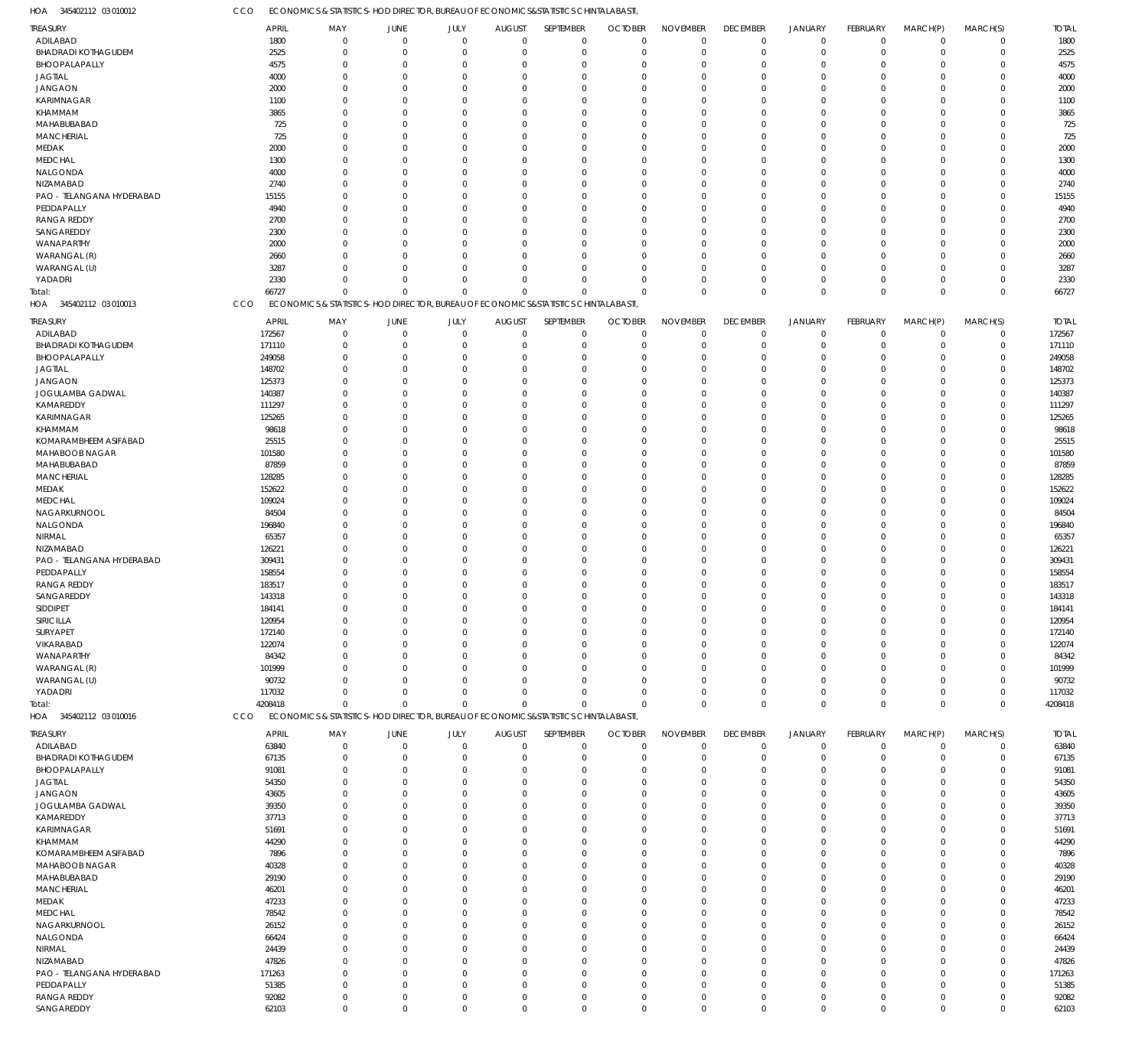ECONOMICS & STATISTICS-HOD DIRECTOR, BUREAU OF ECONOMICS&STATISTICS CHINTALABASTI, CCO

| HOA<br>345402112 03 010012              | CCO     | ECONOMICS & STATISTICS-HOD DIRECTOR, BUREAU OF ECONOMICS&STATISTICS CHINTALABASTI  |                                                 |             |                                              |                      |                      |                            |                      |                      |                         |                        |                            |                 |
|-----------------------------------------|---------|------------------------------------------------------------------------------------|-------------------------------------------------|-------------|----------------------------------------------|----------------------|----------------------|----------------------------|----------------------|----------------------|-------------------------|------------------------|----------------------------|-----------------|
| <b>TREASURY</b>                         |         | <b>APRIL</b><br>MAY                                                                | JUNE                                            | JULY        | <b>AUGUST</b>                                | SEPTEMBER            | <b>OCTOBER</b>       | <b>NOVEMBER</b>            | <b>DECEMBER</b>      | <b>JANUARY</b>       | FEBRUARY                | MARCH(P)               | MARCH(S)                   | <b>TOTAL</b>    |
| ADILABAD                                |         | 1800                                                                               | $\mathbf 0$<br>$\mathbf 0$                      |             | $\mathbf 0$<br>$\Omega$                      | $\mathbf 0$          | $\mathbf 0$          | $\mathbf 0$                | $\overline{0}$       | $\overline{0}$       | $\mathbf 0$             | $\mathbf 0$            | $\mathbf 0$                | 1800            |
| <b>BHADRADI KOTHAGUDEM</b>              |         | 2525                                                                               | $\mathbf 0$<br>$\mathbf 0$                      |             | $\mathbf 0$<br>$\Omega$                      | $\mathbf 0$          | $\mathbf 0$          | $\mathbf 0$                | $\overline{0}$       | $\overline{0}$       | $\mathbf 0$             | $\mathbf 0$            | $\mathbf 0$                | 2525            |
| BHOOPALAPALLY                           |         | 4575                                                                               | $\mathbf 0$<br>-0                               |             | $\mathbf 0$<br>$\Omega$                      | $\Omega$             | $\Omega$             | $\mathbf 0$                | $\mathbf 0$          | $^{\circ}$           | $\Omega$                | 0                      | $\mathbf 0$                | 4575            |
| <b>JAGTIAL</b>                          |         | 4000                                                                               | $\Omega$<br>$\Omega$                            |             | $\Omega$<br>$\Omega$                         | $\Omega$             | $\Omega$             | $\Omega$                   | $\Omega$             | $\Omega$             | $\Omega$                | $\Omega$               | $\mathbf 0$                | 4000            |
| <b>JANGAON</b>                          |         | 2000                                                                               | $\mathbf 0$<br>-0                               |             | $\Omega$<br>$\Omega$                         | $\Omega$             | $\Omega$             | $\Omega$                   | $\Omega$             | $\Omega$             | $\Omega$                | 0                      | $\mathbf 0$                | 2000            |
| <b>KARIMNAGAR</b>                       |         | 1100                                                                               | $\Omega$<br>-0                                  |             | $\Omega$<br>$\Omega$                         | $\Omega$             | $\Omega$             | $\Omega$                   | $\Omega$             | $\Omega$             | $\Omega$                | $\Omega$               | $\mathbf 0$                | 1100            |
| KHAMMAM                                 |         | 3865                                                                               | $\Omega$<br>$\Omega$                            |             | $\Omega$<br>$\Omega$                         | $\Omega$             | $\Omega$             | $\Omega$                   | $\Omega$             | $\Omega$             | $\Omega$                | $\Omega$               | $\mathbf 0$                | 3865            |
| MAHABUBABAD                             |         | 725                                                                                | $\Omega$<br>$\Omega$                            |             | $\Omega$<br>$\Omega$                         | $\Omega$             | $\Omega$             | $\Omega$                   | $\Omega$             | $\Omega$             | $\Omega$                | 0                      | $\mathbf 0$                | 725             |
| <b>MANCHERIAL</b>                       |         | 725                                                                                | $\mathbf 0$<br>-0                               |             | $\Omega$<br>$\Omega$                         | $\Omega$             | $\Omega$             | $\Omega$                   | $\Omega$             | $\Omega$             | $\Omega$                | 0                      | $\mathbf 0$                | 725             |
| MEDAK                                   |         | 2000                                                                               | $\Omega$<br>$\Omega$                            |             | $\Omega$<br>$\Omega$<br>$\Omega$<br>$\Omega$ | $\Omega$<br>$\Omega$ | $\Omega$<br>$\Omega$ | $\Omega$<br>$\Omega$       | $\Omega$<br>$\Omega$ | $\Omega$<br>$\Omega$ | $\Omega$<br>$\Omega$    | $\Omega$               | $\mathbf 0$                | 2000            |
| <b>MEDCHAL</b><br>NALGONDA              |         | 1300<br>4000                                                                       | $\mathbf 0$<br>$\Omega$<br>$\Omega$<br>$\Omega$ |             | $\Omega$<br>$\Omega$                         | $\Omega$             | $\Omega$             | $\Omega$                   | $\Omega$             | $\Omega$             | $\Omega$                | 0<br>0                 | $\mathbf 0$<br>$\mathbf 0$ | 1300<br>4000    |
| NIZAMABAD                               |         | 2740                                                                               | $\Omega$<br>$\Omega$                            |             | $\Omega$<br>$\Omega$                         | $\Omega$             | $\Omega$             | $\Omega$                   | $\Omega$             | $\Omega$             | $\Omega$                | $\Omega$               | $\mathbf 0$                | 2740            |
| PAO - TELANGANA HYDERABAD               |         | 15155                                                                              | $\Omega$<br>$\Omega$                            |             | $\Omega$<br>$\Omega$                         | $\Omega$             | $\Omega$             | $\Omega$                   | $\Omega$             | $\Omega$             | $\Omega$                | $\Omega$               | $\mathbf 0$                | 15155           |
| PEDDAPALLY                              |         | 4940                                                                               | 0<br>-0                                         |             | $\Omega$<br>$\Omega$                         | $\Omega$             | $\Omega$             | $\Omega$                   | $\Omega$             | $\Omega$             | $\Omega$                | 0                      | $\mathbf 0$                | 4940            |
| <b>RANGA REDDY</b>                      |         | 2700                                                                               | $\Omega$<br>$\Omega$                            |             | $\Omega$<br>$\Omega$                         | $\Omega$             | $\Omega$             | $\Omega$                   | $\Omega$             | $\Omega$             | $\Omega$                | $\Omega$               | $\mathbf 0$                | 2700            |
| SANGAREDDY                              |         | 2300                                                                               | $\Omega$<br>$\Omega$                            |             | $\Omega$<br>$\Omega$                         | $\Omega$             | $\Omega$             | $\Omega$                   | $\Omega$             | $\Omega$             | $\Omega$                | $\Omega$               | $\mathbf 0$                | 2300            |
| WANAPARTHY                              |         | 2000                                                                               | $\Omega$<br>$\Omega$                            |             | $\Omega$<br>$\Omega$                         | $\Omega$             | $\Omega$             | $\Omega$                   | $\Omega$             | $\Omega$             | $\Omega$                | $^{\circ}$             | $\mathbf 0$                | 2000            |
| WARANGAL (R)                            |         | 2660                                                                               | $\Omega$<br>$\Omega$                            |             | $\Omega$<br>$\Omega$                         | $\Omega$             | $\Omega$             | $\Omega$                   | $\Omega$             | $\Omega$             | $\Omega$                | 0                      | $\mathbf 0$                | 2660            |
| WARANGAL (U)                            |         | 3287                                                                               | $\Omega$<br>$\Omega$                            |             | $\mathbf{0}$<br>$\Omega$                     | $\Omega$             | $\Omega$             | $\Omega$                   | $\Omega$             | $\Omega$             | $\Omega$                | $^{\circ}$             | $\mathbf 0$                | 3287            |
| YADADRI                                 |         | 2330                                                                               | $\mathbf 0$<br>0                                |             | $\mathbf 0$<br>$\Omega$                      | $\Omega$             | $\Omega$             | $\Omega$                   | $\mathbf 0$          | $\mathbf 0$          | $\mathbf 0$             | $^{\circ}$             | $\mathbf 0$                | 2330            |
| Total:                                  |         | 66727                                                                              | $\mathbf 0$<br>$\Omega$                         |             | $\mathbf 0$<br>$\Omega$                      | $\Omega$             | $\Omega$             | $\overline{0}$             | $\Omega$             | $\Omega$             | $\Omega$                | $\Omega$               | $\mathbf 0$                | 66727           |
| HOA 345402112 03 010013                 | CCO     | ECONOMICS & STATISTICS-HOD DIRECTOR, BUREAU OF ECONOMICS&STATISTICS CHINTALABASTI, |                                                 |             |                                              |                      |                      |                            |                      |                      |                         |                        |                            |                 |
| <b>TREASURY</b>                         |         | <b>APRIL</b><br>MAY                                                                | JUNE                                            | JULY        | <b>AUGUST</b>                                | SEPTEMBER            | <b>OCTOBER</b>       | <b>NOVEMBER</b>            | <b>DECEMBER</b>      | <b>JANUARY</b>       | FEBRUARY                | MARCH(P)               | MARCH(S)                   | <b>TOTAL</b>    |
| ADILABAD                                | 172567  |                                                                                    | $\mathbf 0$<br>$\overline{0}$                   |             | $\mathbf 0$<br>$\Omega$                      | $\mathbf 0$          | $\overline{0}$       | $\mathbf 0$                | $\overline{0}$       | $\overline{0}$       | $\mathbf 0$             | $^{\circ}$             | $\mathbf 0$                | 172567          |
| <b>BHADRADI KOTHAGUDEM</b>              | 171110  |                                                                                    | $\mathbf 0$<br>$^{\circ}$                       |             | $\mathbf 0$<br>C                             | $\mathbf 0$          | $\overline{0}$       | $\overline{0}$             | 0                    | $\overline{0}$       | $\mathbf 0$             | -0                     | $\mathbf 0$                | 171110          |
| BHOOPALAPALLY                           | 249058  |                                                                                    | $\mathbf 0$<br>-0                               | $\mathbf 0$ |                                              | $\Omega$             | $\Omega$             | $\Omega$                   | 0                    | $\overline{0}$       | $\mathbf 0$             | -0                     | $\mathbf 0$                | 249058          |
| <b>JAGTIAL</b>                          | 148702  |                                                                                    | $\mathbf 0$<br>-0                               |             | $\mathbf{0}$<br>$\Omega$                     | $\Omega$             | $\Omega$             | $\Omega$                   | 0                    | $\Omega$             | 0                       | -0                     | $\mathbf 0$                | 148702          |
| <b>JANGAON</b>                          | 125373  |                                                                                    | $\mathbf 0$<br>-0                               |             | $\Omega$                                     | $\Omega$             | $\Omega$             | $\Omega$                   | $\Omega$             | $\Omega$             | $\Omega$                | 0                      | $\mathbf 0$                | 125373          |
| JOGULAMBA GADWAL                        | 140387  |                                                                                    | $\mathbf 0$<br>-0                               |             | $\mathbf 0$<br>$\Omega$                      | $\Omega$             | $\Omega$             | $\Omega$                   | $\Omega$             | $\Omega$             | 0                       | -0                     | $\mathbf 0$                | 140387          |
| KAMAREDDY                               | 111297  |                                                                                    | $\mathbf 0$<br>$\Omega$                         |             | $\Omega$                                     | $\Omega$             | $\Omega$             | $\Omega$                   | $\Omega$             | $\Omega$             | $\Omega$                | -0                     | $\mathbf 0$                | 111297          |
| <b>KARIMNAGAR</b>                       | 125265  |                                                                                    | $\mathbf 0$<br>$\Omega$                         |             | $\Omega$<br>$\Omega$                         | $\Omega$             | $\Omega$             | $\Omega$                   | $\Omega$             | $\Omega$             | $\mathbf 0$             | 0                      | $\mathbf 0$                | 125265          |
| KHAMMAM                                 |         | 98618                                                                              | $\mathbf 0$<br>-0<br>$\mathbf 0$<br>$\Omega$    |             | $\Omega$<br>$\Omega$<br>$\Omega$             | $\Omega$<br>$\Omega$ | $\Omega$<br>$\Omega$ | $\Omega$<br>$\Omega$       | $\Omega$<br>$\Omega$ | $\Omega$<br>$\Omega$ | $\mathbf 0$<br>$\Omega$ | 0                      | $\mathbf 0$<br>$\mathbf 0$ | 98618           |
| KOMARAMBHEEM ASIFABAD<br>MAHABOOB NAGAR | 101580  | 25515                                                                              | $\mathbf 0$<br>$\Omega$                         |             | $\Omega$                                     | $\Omega$             | $\Omega$             | $\Omega$                   | $\Omega$             | $\Omega$             | $\Omega$                | -0<br>$\Omega$         | $\mathbf 0$                | 25515<br>101580 |
| MAHABUBABAD                             |         | 87859                                                                              | $\mathbf 0$<br>-0                               |             | $\Omega$<br>$\Omega$                         | $\Omega$             | $\Omega$             | $\mathbf 0$                | 0                    | $\Omega$             | $\mathbf 0$             | 0                      | $\mathbf 0$                | 87859           |
| <b>MANCHERIAL</b>                       | 128285  |                                                                                    | $\mathbf 0$<br>-0                               |             | $\Omega$                                     | $\Omega$             | $\Omega$             | $\Omega$                   | $\Omega$             | $\Omega$             | $\Omega$                | $\Omega$               | $\mathbf 0$                | 128285          |
| MEDAK                                   | 152622  |                                                                                    | $\mathbf 0$<br>$\Omega$                         |             | $\Omega$                                     | $\Omega$             | $\Omega$             | $\Omega$                   | $\Omega$             | $\Omega$             | $\Omega$                | 0                      | $\mathbf 0$                | 152622          |
| <b>MEDCHAL</b>                          | 109024  |                                                                                    | $\mathbf 0$<br>-0                               |             | $\Omega$                                     | $\Omega$             | $\Omega$             | $\Omega$                   | $\Omega$             | $\Omega$             | $\Omega$                | 0                      | $\mathbf 0$                | 109024          |
| NAGARKURNOOL                            |         | 84504                                                                              | $\mathbf 0$<br>$\Omega$                         |             | $\Omega$                                     | $\Omega$             | $\Omega$             | $\Omega$                   | $\Omega$             | $\Omega$             | $\mathbf 0$             | 0                      | $\mathbf 0$                | 84504           |
| NALGONDA                                | 196840  |                                                                                    | $\mathbf 0$<br>$\Omega$                         |             | $\Omega$                                     | $\Omega$             | $\Omega$             | $\Omega$                   | $\Omega$             | $\Omega$             | $\Omega$                | $\Omega$               | $\mathbf 0$                | 196840          |
| NIRMAL                                  |         | 65357                                                                              | $\mathbf 0$<br>-0                               |             | $\Omega$                                     | $\Omega$             | $\Omega$             | $\Omega$                   | $\Omega$             | $\Omega$             | $\mathbf 0$             | 0                      | $\mathbf 0$                | 65357           |
| NIZAMABAD                               | 126221  |                                                                                    | $\mathbf 0$<br>-0                               |             | $\Omega$                                     | $\Omega$             | $\Omega$             | $\Omega$                   | $\Omega$             | $\Omega$             | $\Omega$                | 0                      | $\mathbf 0$                | 126221          |
| PAO - TELANGANA HYDERABAD               | 309431  |                                                                                    | $\mathbf 0$<br>$\Omega$                         |             | $\Omega$<br>$\Omega$                         | $\Omega$             | $\Omega$             | $\Omega$                   | $\Omega$             | $\Omega$             | 0                       | -0                     | $\mathbf 0$                | 309431          |
| PEDDAPALLY                              | 158554  |                                                                                    | 0<br>-0                                         |             | $\Omega$                                     | $\Omega$             | $\Omega$             | $\Omega$                   | $\Omega$             | $\Omega$             | $\mathbf 0$             | -0                     | $\mathbf 0$                | 158554          |
| <b>RANGA REDDY</b>                      | 183517  |                                                                                    | $\mathbf 0$<br>-0                               |             | $\mathbf 0$<br>$\Omega$                      | $\Omega$             | $\Omega$             | $\Omega$                   | $\Omega$             | $\Omega$             | 0                       | $^{\circ}$             | $\mathbf 0$                | 183517          |
| SANGAREDDY                              | 143318  |                                                                                    | $\mathbf 0$<br>$\mathbf 0$                      |             | $\mathbf 0$<br>$\Omega$                      | $\Omega$             | $\Omega$             | $\Omega$                   | $\Omega$             | $\Omega$             | $\mathbf 0$             | $\mathbf 0$            | $\mathbf 0$                | 143318          |
| SIDDIPET                                | 184141  |                                                                                    | 0<br>-0                                         |             | $\Omega$                                     |                      | $\Omega$             | 0                          | 0                    | n                    | 0                       | 0                      | $\mathbf 0$                | 184141          |
| SIRICILLA                               | 120954  |                                                                                    | $\mathbf 0$<br>-0                               |             | $\mathbf 0$                                  | $\Omega$             | $\mathbf 0$          | $\Omega$                   | 0                    | $\mathbf 0$          | $\mathbf 0$             | -0                     | $\mathbf 0$                | 120954          |
| SURYAPET                                | 172140  |                                                                                    | $\mathbf 0$<br>-0                               |             | $\mathbf 0$<br>$\Omega$                      | $\Omega$<br>$\Omega$ | 0                    | $\mathbf 0$                | 0<br>$\Omega$        | $\Omega$<br>$\Omega$ | $\mathbf 0$<br>$\Omega$ | $^{\circ}$             | $\mathbf 0$                | 172140          |
| VIKARABAD<br>WANAPARTHY                 | 122074  | 84342                                                                              | $\mathbf 0$<br>-0<br>0<br>-0                    |             | $\Omega$                                     | $\Omega$             | $\mathbf 0$<br>0     | $\mathbf 0$<br>$\mathbf 0$ | 0                    | $\Omega$             | 0                       | $\Omega$<br>$^{\circ}$ | $\mathbf 0$<br>$\mathbf 0$ | 122074<br>84342 |
| WARANGAL (R)                            | 101999  |                                                                                    | $\mathbf 0$<br>$\Omega$                         |             | $\Omega$                                     | $\Omega$             | $\Omega$             | $\Omega$                   | $\Omega$             | $\Omega$             | $\Omega$                | $\Omega$               | $\mathbf 0$                | 101999          |
| WARANGAL (U)                            |         | 90732                                                                              | $\mathbf 0$<br>-0                               |             | $\mathbf 0$<br>$\Omega$                      | $\Omega$             | $\Omega$             | $\mathbf 0$                | 0                    | $\Omega$             | 0                       | $^{\circ}$             | $\mathbf 0$                | 90732           |
| YADADRI                                 | 117032  |                                                                                    | $\mathbf 0$<br>-0                               |             | $\mathbf 0$<br>$\Omega$                      | $\Omega$             | $\overline{0}$       | $\overline{0}$             | 0                    | $\mathbf 0$          | $\mathbf 0$             | $\mathbf 0$            | $\mathbf 0$                | 117032          |
| Total:                                  | 4208418 |                                                                                    | $\mathbf 0$<br>$\Omega$                         |             | $\mathbf 0$<br>$\Omega$                      | $\Omega$             | $\Omega$             | $\overline{0}$             | $\mathbf 0$          | $\overline{0}$       | $\mathbf 0$             | $\mathbf 0$            | $\mathbf 0$                | 4208418         |
| HOA 345402112 03 010016                 | CCO     | ECONOMICS & STATISTICS-HOD DIRECTOR, BUREAU OF ECONOMICS&STATISTICS CHINTALABASTI, |                                                 |             |                                              |                      |                      |                            |                      |                      |                         |                        |                            |                 |
| TREASURY                                |         | <b>APRIL</b><br>MAY                                                                | JUNE                                            | JULY        | <b>AUGUST</b>                                | SEPTEMBER            | <b>OCTOBER</b>       | <b>NOVEMBER</b>            | <b>DECEMBER</b>      | <b>JANUARY</b>       | FEBRUARY                | MARCH(P)               | MARCH(S)                   | <b>TOTAL</b>    |
| ADILABAD                                |         | 63840                                                                              | $\mathbf 0$<br>$\mathbf 0$                      |             | $\mathbf 0$<br>$\Omega$                      | $\mathbf 0$          | $\mathbf 0$          | $\mathbf 0$                | $\overline{0}$       | $\overline{0}$       | $\mathbf 0$             | $\mathbf 0$            | $\mathbf 0$                | 63840           |
| <b>BHADRADI KOTHAGUDEM</b>              |         | 67135                                                                              | $\mathbf 0$<br>-0                               | $\mathbf 0$ | $\Omega$                                     | $\mathbf 0$          | $\overline{0}$       | $\overline{0}$             | $\mathbf 0$          | $\mathbf 0$          | $\mathbf 0$             | -0                     | $\mathbf 0$                | 67135           |
| BHOOPALAPALLY                           |         | 91081                                                                              | $\mathbf 0$<br>-0                               |             | $\mathbf 0$<br>$\Omega$                      | $\Omega$             | $\overline{0}$       | $\mathbf 0$                | $\mathbf 0$          | $\mathbf 0$          | $\mathbf 0$             | $^{\circ}$             | $\mathbf 0$                | 91081           |
| <b>JAGTIAL</b>                          |         | 54350                                                                              | $\mathbf 0$<br>-0                               |             | $\Omega$<br>$\Omega$                         | $\Omega$             | $\Omega$             | $\Omega$                   | $\Omega$             | $\Omega$             | $\Omega$                | $\Omega$               | $\mathbf 0$                | 54350           |
| <b>JANGAON</b>                          |         | 43605                                                                              | $\Omega$<br>$\Omega$                            |             | $\Omega$<br>$\Omega$                         | $\Omega$             | $\Omega$             | $\Omega$                   | $\Omega$             | $\Omega$             | $\Omega$                | $\Omega$               | $\mathbf 0$                | 43605           |
| JOGULAMBA GADWAL                        |         | 39350                                                                              | $\mathbf 0$<br>0                                |             | $\Omega$<br>$\Omega$                         | $\Omega$             | $\Omega$             | $\mathbf 0$                | 0                    | $\Omega$             | $\Omega$                | $^{\circ}$             | $\mathbf 0$                | 39350           |
| KAMAREDDY                               |         | 37713                                                                              | $\Omega$<br>$\Omega$                            |             | $\Omega$<br>$\Omega$                         | $\Omega$             | $\Omega$             | $\Omega$                   | $\Omega$             | $\Omega$             | $\Omega$                | $\Omega$               | $\mathbf 0$                | 37713           |
| <b>KARIMNAGAR</b>                       |         | 51691                                                                              | $\mathbf 0$<br>$\Omega$                         |             | $\Omega$<br>$\Omega$                         | $\Omega$             | $\Omega$             | $\Omega$                   | $\Omega$             | $\Omega$             | $\Omega$                | 0                      | $\mathbf 0$                | 51691           |
| KHAMMAM                                 |         | 44290                                                                              | $\Omega$<br>-0                                  |             | $\Omega$<br>$\Omega$                         | $\Omega$             | $\Omega$             | $\mathbf 0$                | $\Omega$             | $\Omega$             | $\mathbf 0$             | $^{\circ}$             | $\mathbf 0$                | 44290           |
| KOMARAMBHEEM ASIFABAD                   |         | 7896                                                                               | 0<br>$\Omega$                                   |             | $\Omega$<br>$\Omega$                         | $\Omega$             | $\Omega$             | $\mathbf 0$                | $\Omega$             | $\Omega$             | $\Omega$                | $^{\circ}$             | $\mathbf 0$                | 7896            |
| MAHABOOB NAGAR<br>MAHABUBABAD           |         | 40328<br>29190                                                                     | $\Omega$<br>$\Omega$<br>$\mathbf 0$<br>-0       |             | $\Omega$<br>$\Omega$<br>$\Omega$<br>$\Omega$ | $\Omega$<br>$\Omega$ | $\Omega$<br>$\Omega$ | $\Omega$<br>$\mathbf 0$    | $\Omega$<br>$\Omega$ | $\Omega$<br>$\Omega$ | $\Omega$<br>$\Omega$    | $\Omega$<br>$^{\circ}$ | $\mathbf 0$<br>$\mathbf 0$ | 40328<br>29190  |
| <b>MANCHERIAL</b>                       |         | 46201                                                                              | $\Omega$<br>$\Omega$                            |             | $\Omega$<br>$\Omega$                         | $\Omega$             | $\Omega$             | $\Omega$                   | $\Omega$             | $\Omega$             | $\Omega$                | $\Omega$               | $\mathbf 0$                | 46201           |
| MEDAK                                   |         | 47233                                                                              | $\mathbf 0$<br>$\Omega$                         |             | $\Omega$<br>$\Omega$                         | $\Omega$             | $\Omega$             | $\mathbf 0$                | $\Omega$             | $\Omega$             | $\Omega$                | 0                      | $\mathbf 0$                | 47233           |
| <b>MEDCHAL</b>                          |         | 78542                                                                              | $\Omega$<br>$\Omega$                            |             | $\Omega$<br>$\Omega$                         | $\Omega$             | $\Omega$             | $\mathbf 0$                | $\Omega$             | $\Omega$             | $\Omega$                | $^{\circ}$             | $\mathbf 0$                | 78542           |
| NAGARKURNOOL                            |         | 26152                                                                              | $\mathbf 0$<br>-0                               |             | $\Omega$<br>$\Omega$                         | $\Omega$             | $\Omega$             | $\Omega$                   | $\Omega$             | $\Omega$             | $\Omega$                | $^{\circ}$             | $\mathbf 0$                | 26152           |
| NALGONDA                                |         | 66424                                                                              | $\Omega$<br>$\Omega$                            |             | $\Omega$<br>$\Omega$                         | $\Omega$             | $\Omega$             | $\Omega$                   | $\Omega$             | $\Omega$             | $\Omega$                | $\Omega$               | $\mathbf 0$                | 66424           |
| NIRMAL                                  |         | 24439                                                                              | $\mathbf 0$<br>$\Omega$                         |             | $\Omega$<br>$\Omega$                         | $\Omega$             | $\Omega$             | $\mathbf 0$                | 0                    | $\Omega$             | $\Omega$                | $^{\circ}$             | $\mathbf 0$                | 24439           |
| NIZAMABAD                               |         | 47826                                                                              | $\Omega$<br>$\Omega$                            |             | $\Omega$<br>$\Omega$                         | $\Omega$             | $\Omega$             | $\Omega$                   | $\Omega$             | $\Omega$             | $\Omega$                | $^{\circ}$             | $\mathbf 0$                | 47826           |
| PAO - TELANGANA HYDERABAD               | 171263  |                                                                                    | $\mathbf 0$<br>$\Omega$                         |             | $\Omega$<br>$\Omega$                         | $\Omega$             | $\Omega$             | $\Omega$                   | $\Omega$             | $\Omega$             | $\Omega$                | $\Omega$               | $\mathbf 0$                | 171263          |
| PEDDAPALLY                              |         | 51385                                                                              | $\mathbf 0$<br>-0                               |             | $\mathbf 0$<br>$\Omega$                      | $\Omega$             | $^{\circ}$           | $\mathbf 0$                | 0                    | $\Omega$             | $\mathbf 0$             | $\mathbf 0$            | $\mathbf 0$                | 51385           |
| <b>RANGA REDDY</b>                      |         | 92082                                                                              | $\mathsf 0$<br>$\mathbf 0$                      |             | $\mathbf 0$<br>0                             | $\mathbf 0$          | $\mathbf 0$          | $\overline{0}$             | $\mathbf 0$          | $\mathbf 0$          | $\mathbf 0$             | $\mathbf 0$            | $\mathbf 0$                | 92082           |
| SANGAREDDY                              |         | 62103                                                                              | $\mathbf 0$<br>$\overline{0}$                   |             | $\mathbf 0$<br>$\mathbf 0$                   | $\mathbf 0$          | $\mathbf 0$          | $\mathbf 0$                | $\overline{0}$       | $\mathbf 0$          | $\mathbf 0$             | $\mathbf 0$            | $\mathbf 0$                | 62103           |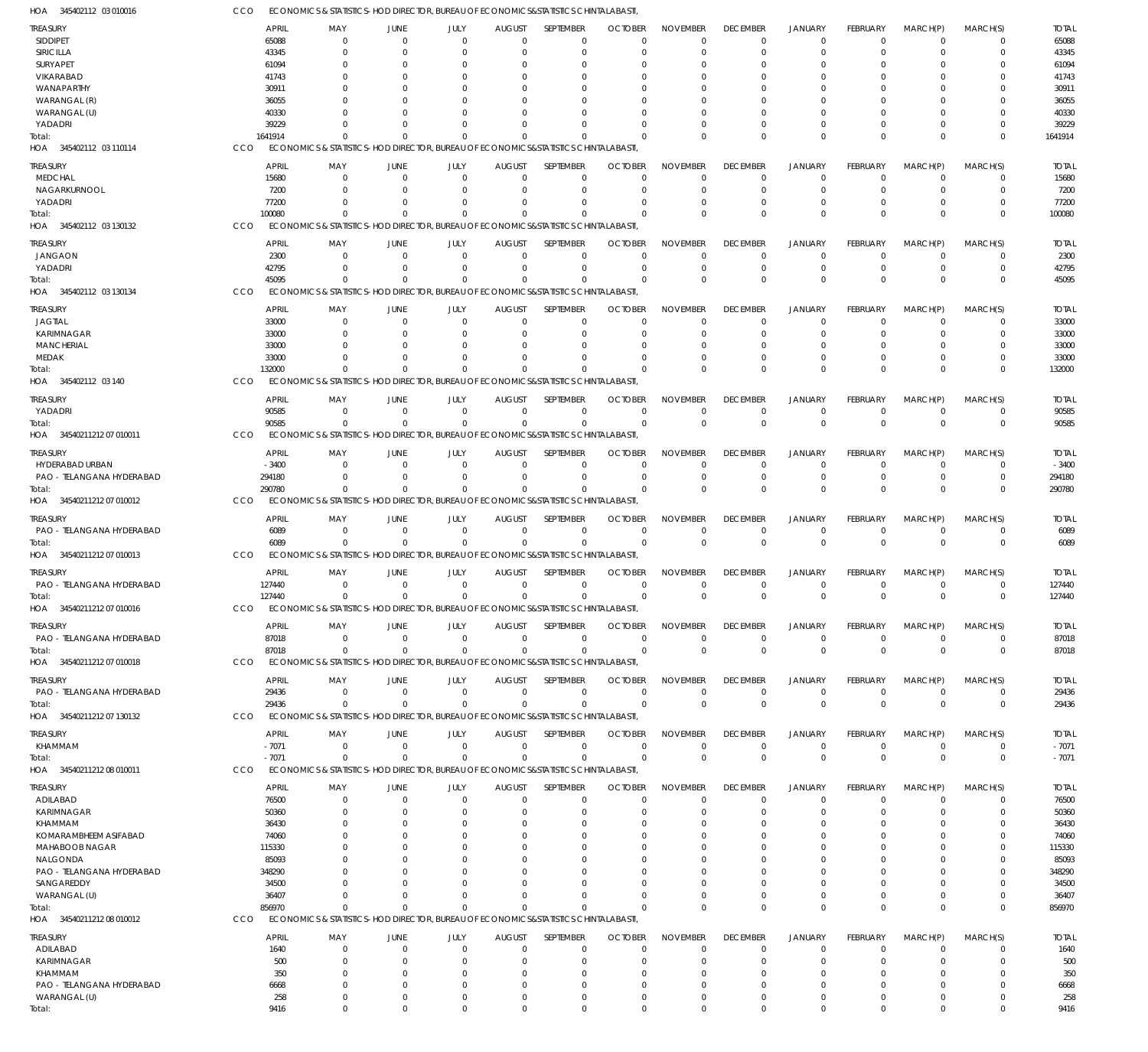| <b>TREASURY</b>           | <b>APRIL</b> | MAY                                                                                | <b>JUNE</b>    | JULY        | <b>AUGUST</b> | SEPTEMBER   | <b>OCTOBER</b> | <b>NOVEMBER</b> | <b>DECEMBER</b> | <b>JANUARY</b> | <b>FEBRUARY</b> | MARCH(P)       | MARCH(S)    | <b>TOTAL</b> |
|---------------------------|--------------|------------------------------------------------------------------------------------|----------------|-------------|---------------|-------------|----------------|-----------------|-----------------|----------------|-----------------|----------------|-------------|--------------|
| <b>SIDDIPET</b>           | 65088        | 0                                                                                  | $\overline{0}$ | $\mathbf 0$ | $\Omega$      | $\mathbf 0$ | $\Omega$       | $\Omega$        | $\Omega$        | $\overline{0}$ | $\mathbf 0$     | $\Omega$       | 0           | 65088        |
| SIRICILLA                 | 43345        | $\Omega$                                                                           | - 0            | $\Omega$    | $\Omega$      | 0           | $\Omega$       | $\Omega$        | $\Omega$        | $\Omega$       | $\Omega$        | $\Omega$       | 0           | 43345        |
| SURYAPET                  | 61094        |                                                                                    | $\Omega$       | $\Omega$    |               | $\Omega$    |                | $\Omega$        |                 | $\Omega$       |                 |                | $\Omega$    | 61094        |
| VIKARABAD                 | 41743        |                                                                                    |                | 0           | 0             | $\Omega$    |                | $\Omega$        |                 | $\Omega$       |                 |                | $\Omega$    | 41743        |
| WANAPARTHY                | 30911        |                                                                                    |                | $\Omega$    | 0             | $\Omega$    |                | -0              |                 | $\Omega$       |                 |                | $\Omega$    | 30911        |
| WARANGAL (R)              | 36055        |                                                                                    |                |             | 0             | O           |                |                 |                 |                |                 |                | $\Omega$    | 36055        |
| WARANGAL (U)              | 40330        |                                                                                    |                | $\Omega$    | n             | $\Omega$    |                |                 |                 | $\Omega$       |                 | $\Omega$       | $\Omega$    | 40330        |
| YADADRI                   | 39229        |                                                                                    |                | $\Omega$    | $\Omega$      | $\Omega$    |                | $\Omega$        | $\Omega$        | $\Omega$       | $\Omega$        | $\Omega$       | 0           | 39229        |
| Total:                    | 1641914      |                                                                                    |                | $\Omega$    | $\Omega$      | $\Omega$    | -C             | $\Omega$        | $\Omega$        | $\Omega$       | $\Omega$        | $\Omega$       | $\mathbf 0$ | 1641914      |
| HOA 345402112 03 110114   | CCO          | ECONOMICS & STATISTICS-HOD DIRECTOR, BUREAU OF ECONOMICS&STATISTICS CHINTALABASTI, |                |             |               |             |                |                 |                 |                |                 |                |             |              |
|                           |              |                                                                                    |                |             |               |             |                |                 |                 |                |                 |                |             |              |
| treasury                  | <b>APRIL</b> | MAY                                                                                | JUNE           | JULY        | <b>AUGUST</b> | SEPTEMBER   | <b>OCTOBER</b> | <b>NOVEMBER</b> | <b>DECEMBER</b> | <b>JANUARY</b> | <b>FEBRUARY</b> | MARCH(P)       | MARCH(S)    | <b>TOTAL</b> |
| <b>MEDCHAL</b>            | 15680        | 0                                                                                  | $\Omega$       | $\Omega$    | $\Omega$      | 0           | $\Omega$       | $\Omega$        | $\Omega$        | $\Omega$       | $\Omega$        | $\Omega$       | O           | 15680        |
| NAGARKURNOOL              | 7200         | $\Omega$                                                                           | $\Omega$       | $\Omega$    | $\Omega$      | $\mathbf 0$ | $\Omega$       | $\Omega$        | $\Omega$        | $\overline{0}$ | $\Omega$        | $\Omega$       | 0           | 7200         |
| YADADRI                   | 77200        |                                                                                    |                | $\Omega$    | 0             | $\Omega$    |                |                 |                 | $^{\circ}$     |                 |                | $\Omega$    | 77200        |
| Total:                    | 100080       |                                                                                    |                | $\Omega$    | $\Omega$      | $\Omega$    | -C             | $\Omega$        | $\Omega$        | $\Omega$       | $\Omega$        | $\Omega$       | $\mathbf 0$ | 100080       |
| HOA 345402112 03 130132   | CCO          | ECONOMICS & STATISTICS-HOD DIRECTOR, BUREAU OF ECONOMICS&STATISTICS CHINTALABASTI, |                |             |               |             |                |                 |                 |                |                 |                |             |              |
|                           | <b>APRIL</b> | MAY                                                                                | JUNE           | JULY        | <b>AUGUST</b> | SEPTEMBER   | <b>OCTOBER</b> | <b>NOVEMBER</b> | <b>DECEMBER</b> | JANUARY        | <b>FEBRUARY</b> | MARCH(P)       | MARCH(S)    | <b>TOTAL</b> |
| treasury                  |              |                                                                                    | $\Omega$       |             |               |             | $\Omega$       |                 |                 |                |                 | $\Omega$       |             |              |
| JANGAON                   | 2300         | 0                                                                                  |                | 0           | $\mathbf 0$   | $\mathbf 0$ |                | $\Omega$        | $\Omega$        | $\Omega$       | $\mathbf 0$     |                | $\Omega$    | 2300         |
| YADADRI                   | 42795        | $\Omega$                                                                           | - 0            | $\Omega$    | $\Omega$      | $\mathbf 0$ | $\Omega$       | $\Omega$        | $\Omega$        | $\overline{0}$ | $\mathbf 0$     | $\mathbf 0$    | $\mathbf 0$ | 42795        |
| Total:                    | 45095        | $\Omega$                                                                           | $\Omega$       | $\Omega$    | $\Omega$      | $\mathbf 0$ | $\Omega$       | $\Omega$        | $\Omega$        | $\Omega$       | $\Omega$        | $\Omega$       | $\mathbf 0$ | 45095        |
| HOA 345402112 03 130134   | CCO          | ECONOMICS & STATISTICS-HOD DIRECTOR, BUREAU OF ECONOMICS&STATISTICS CHINTALABASTI, |                |             |               |             |                |                 |                 |                |                 |                |             |              |
| treasury                  | <b>APRIL</b> | MAY                                                                                | JUNE           | JULY        | <b>AUGUST</b> | SEPTEMBER   | <b>OCTOBER</b> | <b>NOVEMBER</b> | <b>DECEMBER</b> | <b>JANUARY</b> | <b>FEBRUARY</b> | MARCH(P)       | MARCH(S)    | <b>TOTAL</b> |
| <b>JAGTIAL</b>            | 33000        | $\Omega$                                                                           | $\Omega$       | $\Omega$    | 0             | $\Omega$    | $\Omega$       | $\Omega$        | $\Omega$        | $\Omega$       | $\Omega$        | $\Omega$       | O           | 33000        |
| <b>KARIMNAGAR</b>         | 33000        | 0                                                                                  |                | $\Omega$    | 0             | $\Omega$    | -0             | $\Omega$        | $\Omega$        | $\Omega$       | 0               |                | $\Omega$    | 33000        |
| <b>MANCHERIAL</b>         | 33000        |                                                                                    |                |             |               | $\Omega$    |                |                 |                 |                |                 |                |             | 33000        |
| MEDAK                     | 33000        |                                                                                    |                | $\Omega$    | $\Omega$      | $\Omega$    | -0             | $\Omega$        |                 | $\Omega$       | 0               | $\Omega$       | 0           | 33000        |
|                           | 132000       |                                                                                    | $\Omega$       | $\Omega$    | $\Omega$      | $\Omega$    |                |                 | $\Omega$        | $\Omega$       | $\Omega$        | $\Omega$       | $\mathbf 0$ | 132000       |
| iotal:                    |              | ECONOMICS & STATISTICS-HOD DIRECTOR, BUREAU OF ECONOMICS&STATISTICS CHINTALABASTI. |                |             |               |             |                |                 |                 |                |                 |                |             |              |
| HOA 345402112 03 140      | CCO          |                                                                                    |                |             |               |             |                |                 |                 |                |                 |                |             |              |
| TREASURY                  | <b>APRIL</b> | MAY                                                                                | <b>JUNE</b>    | JULY        | <b>AUGUST</b> | SEPTEMBER   | <b>OCTOBER</b> | <b>NOVEMBER</b> | <b>DECEMBER</b> | <b>JANUARY</b> | <b>FEBRUARY</b> | MARCH(P)       | MARCH(S)    | <b>TOTAL</b> |
| YADADRI                   | 90585        | 0                                                                                  | $\overline{0}$ | $\mathbf 0$ | $\mathbf 0$   | $\mathbf 0$ | $\Omega$       | $\Omega$        | $\Omega$        | $\overline{0}$ | $\overline{0}$  | $\Omega$       | 0           | 90585        |
| Total:                    | 90585        | $\Omega$                                                                           | $\Omega$       | $\mathbf 0$ | $\Omega$      | $\mathbf 0$ | $\Omega$       | $\Omega$        | $\Omega$        | $\overline{0}$ | $\mathbf{0}$    | $\Omega$       | $\mathbf 0$ | 90585        |
| HOA 3454021121207010011   | CCO          | ECONOMICS & STATISTICS-HOD DIRECTOR, BUREAU OF ECONOMICS&STATISTICS CHINTALABASTI, |                |             |               |             |                |                 |                 |                |                 |                |             |              |
|                           |              |                                                                                    |                |             |               |             |                |                 |                 |                |                 |                |             |              |
| TREASURY                  | <b>APRIL</b> | MAY                                                                                | JUNE           | JULY        | <b>AUGUST</b> | SEPTEMBER   | <b>OCTOBER</b> | <b>NOVEMBER</b> | <b>DECEMBER</b> | <b>JANUARY</b> | <b>FEBRUARY</b> | MARCH(P)       | MARCH(S)    | <b>TOTAL</b> |
| HYDERABAD URBAN           | $-3400$      | $\Omega$                                                                           | $\Omega$       | $\Omega$    | 0             | $\mathbf 0$ | $\Omega$       | $\Omega$        | $\Omega$        | $^{\circ}$     | $\mathbf 0$     | $\Omega$       | 0           | $-3400$      |
| PAO - TELANGANA HYDERABAD | 294180       | $\Omega$                                                                           | $\Omega$       | $\Omega$    | 0             | $\mathbf 0$ | $\Omega$       | $\Omega$        | $\Omega$        | $^{\circ}$     | 0               | $\Omega$       | $\mathbf 0$ | 294180       |
| Total:                    | 290780       | $\Omega$                                                                           | $\Omega$       | $\Omega$    | $\Omega$      | $\Omega$    | $\Omega$       | $\Omega$        | $\Omega$        | $\Omega$       | $\Omega$        | $\Omega$       | $\mathbf 0$ | 290780       |
| HOA 34540211212 07 010012 | CCO          | ECONOMICS & STATISTICS-HOD DIRECTOR, BUREAU OF ECONOMICS&STATISTICS CHINTALABASTI, |                |             |               |             |                |                 |                 |                |                 |                |             |              |
|                           |              |                                                                                    |                |             |               |             |                |                 |                 |                |                 |                |             |              |
| treasury                  | <b>APRIL</b> | MAY                                                                                | JUNE           | JULY        | <b>AUGUST</b> | SEPTEMBER   | <b>OCTOBER</b> | <b>NOVEMBER</b> | <b>DECEMBER</b> | <b>JANUARY</b> | <b>FEBRUARY</b> | MARCH(P)       | MARCH(S)    | <b>TOTAL</b> |
| PAO - TELANGANA HYDERABAD | 6089         | $\overline{0}$                                                                     | $\overline{0}$ | $\mathbf 0$ | $\mathbf 0$   | $\mathbf 0$ | $\Omega$       | $\Omega$        | $\Omega$        | $^{\circ}$     | $\mathbf 0$     | $\Omega$       | 0           | 6089         |
| Total:                    | 6089         | $\Omega$                                                                           | $\Omega$       | $\mathbf 0$ | $\Omega$      | $\mathbf 0$ | $\Omega$       | $\Omega$        | $\Omega$        | $\overline{0}$ | $\mathbf{0}$    | $\Omega$       | $\mathbf 0$ | 6089         |
| HOA 3454021121207010013   | CCO          | ECONOMICS & STATISTICS-HOD DIRECTOR, BUREAU OF ECONOMICS&STATISTICS CHINTALABASTI, |                |             |               |             |                |                 |                 |                |                 |                |             |              |
| treasury                  | <b>APRIL</b> | MAY                                                                                | <b>JUNE</b>    | JULY        | <b>AUGUST</b> | SEPTEMBER   | <b>OCTOBER</b> | <b>NOVEMBER</b> | <b>DECEMBER</b> | <b>JANUARY</b> | FEBRUARY        | MARCH(P)       | MARCH(S)    | <b>TOTAL</b> |
| PAO - TELANGANA HYDERABAD | 127440       | 0                                                                                  | $\Omega$       | 0           | 0             | $\mathbf 0$ | $\Omega$       | $\Omega$        | $^{\circ}$      | $\overline{0}$ | $\mathbf 0$     | $\mathbf 0$    | 0           | 127440       |
| Total:                    | 127440       | $\mathbf 0$                                                                        | $\Omega$       | $\mathbf 0$ | $\mathbf 0$   | $\mathbf 0$ | $\Omega$       | $\Omega$        | $\Omega$        | $\Omega$       | $\Omega$        | $\Omega$       | $\mathbf 0$ | 127440       |
| HOA 3454021121207010016   | CCO          | ECONOMICS & STATISTICS-HOD DIRECTOR, BUREAU OF ECONOMICS&STATISTICS CHINTALABASTI, |                |             |               |             |                |                 |                 |                |                 |                |             |              |
|                           |              |                                                                                    |                |             |               |             |                |                 |                 |                |                 |                |             |              |
| <b>TREASURY</b>           | <b>APRIL</b> | MAY                                                                                | <b>JUNE</b>    | JULY        | <b>AUGUST</b> | SEPTEMBER   | <b>OCTOBER</b> | <b>NOVEMBER</b> | <b>DECEMBER</b> | <b>JANUARY</b> | FEBRUARY        | MARCH(P)       | MARCH(S)    | <b>TOTAL</b> |
| PAO - TELANGANA HYDERABAD | 87018        | $\mathbf 0$                                                                        | $\overline{0}$ | $\mathbf 0$ | $\mathbf 0$   | $\mathbf 0$ | $\overline{0}$ | $\Omega$        | $\mathbf 0$     | $\overline{0}$ | $\mathbf 0$     | $\overline{0}$ | $\mathbf 0$ | 87018        |
| Total:                    | 87018        | $\Omega$                                                                           | $\Omega$       | $\mathbf 0$ | $\Omega$      | $\mathbf 0$ | $\Omega$       | $\Omega$        | $\mathbf 0$     | $\mathbf 0$    | $\mathbf 0$     | $\overline{0}$ | $\mathbf 0$ | 87018        |
| HOA 34540211212 07 010018 | CCO          | ECONOMICS & STATISTICS-HOD DIRECTOR, BUREAU OF ECONOMICS&STATISTICS CHINTALABASTI, |                |             |               |             |                |                 |                 |                |                 |                |             |              |
|                           | <b>APRIL</b> |                                                                                    | <b>JUNE</b>    | JULY        |               | SEPTEMBER   | <b>OCTOBER</b> | <b>NOVEMBER</b> | <b>DECEMBER</b> | <b>JANUARY</b> | <b>FEBRUARY</b> |                |             |              |
| treasury                  |              | MAY                                                                                |                |             | <b>AUGUST</b> |             |                |                 |                 |                |                 | MARCH(P)       | MARCH(S)    | <b>TOTAL</b> |
| PAO - TELANGANA HYDERABAD | 29436        | 0                                                                                  | $\overline{0}$ | $\mathbf 0$ | $\mathbf 0$   | $\mathbf 0$ | $\Omega$       | $\Omega$        | $\mathbf 0$     | $\overline{0}$ | $\mathbf 0$     | $\overline{0}$ | 0           | 29436        |
| Total:                    | 29436        | $\Omega$                                                                           | $\Omega$       | $\mathbf 0$ | $\mathbf 0$   | $\mathbf 0$ | $\Omega$       | $\Omega$        | $\overline{0}$  | $\overline{0}$ | $\mathbf 0$     | $\Omega$       | $\mathbf 0$ | 29436        |
| HOA 3454021121207 130132  | CCO          | ECONOMICS & STATISTICS-HOD DIRECTOR, BUREAU OF ECONOMICS&STATISTICS CHINTALABASTI, |                |             |               |             |                |                 |                 |                |                 |                |             |              |
| TREASURY                  | <b>APRIL</b> | MAY                                                                                | JUNE           | JULY        | <b>AUGUST</b> | SEPTEMBER   | <b>OCTOBER</b> | <b>NOVEMBER</b> | <b>DECEMBER</b> | <b>JANUARY</b> | <b>FEBRUARY</b> | MARCH(P)       | MARCH(S)    | <b>TOTAL</b> |
| KHAMMAM                   | $-7071$      | $\overline{0}$                                                                     | $\overline{0}$ | $\mathbf 0$ | $\mathbf 0$   | 0           | $\Omega$       | $\Omega$        | $^{\circ}$      | $\overline{0}$ | $\mathbf 0$     | $\overline{0}$ | 0           | $-7071$      |
| Total:                    | $-7071$      | $\Omega$                                                                           | $\Omega$       | $\Omega$    | $\Omega$      | $\mathbf 0$ | $\Omega$       | $\Omega$        | $\mathbf 0$     | $\mathbb O$    | $\mathbf 0$     | $\Omega$       | $\mathbf 0$ | $-7071$      |
| HOA 3454021121208010011   | CCO          | ECONOMICS & STATISTICS-HOD DIRECTOR, BUREAU OF ECONOMICS&STATISTICS CHINTALABASTI, |                |             |               |             |                |                 |                 |                |                 |                |             |              |
|                           |              |                                                                                    |                |             |               |             |                |                 |                 |                |                 |                |             |              |
| <b>TREASURY</b>           | <b>APRIL</b> | MAY                                                                                | JUNE           | JULY        | <b>AUGUST</b> | SEPTEMBER   | <b>OCTOBER</b> | <b>NOVEMBER</b> | <b>DECEMBER</b> | <b>JANUARY</b> | <b>FEBRUARY</b> | MARCH(P)       | MARCH(S)    | <b>TOTAL</b> |
| ADILABAD                  | 76500        | 0                                                                                  | $\mathbf 0$    | $\mathbf 0$ | 0             | $\mathbf 0$ | $\Omega$       | $\Omega$        | $^{\circ}$      | $\overline{0}$ | $\mathbf 0$     | $\overline{0}$ | 0           | 76500        |
| KARIMNAGAR                | 50360        | 0                                                                                  | $\Omega$       | $\Omega$    | 0             | $\mathbf 0$ | $\Omega$       | $\Omega$        |                 | $\Omega$       | 0               | $\Omega$       | $\mathbf 0$ | 50360        |
| KHAMMAM                   | 36430        | 0                                                                                  |                | C           | 0             | $\Omega$    | -0             | $\Omega$        |                 | $\Omega$       |                 |                | $\Omega$    | 36430        |
| KOMARAMBHEEM ASIFABAD     | 74060        | 0                                                                                  |                | C           | 0             | $\Omega$    | -0             | $\Omega$        | $\Omega$        | $\Omega$       |                 | $\Omega$       | $\Omega$    | 74060        |
| MAHABOOB NAGAR            | 115330       |                                                                                    |                |             |               | $\Omega$    |                |                 |                 |                |                 |                |             | 115330       |
| NALGONDA                  | 85093        |                                                                                    |                |             |               | $\Omega$    |                | -0              |                 |                |                 | $\Omega$       | O           | 85093        |
| PAO - TELANGANA HYDERABAD | 348290       |                                                                                    |                |             |               | $\Omega$    |                |                 |                 |                |                 | $\Omega$       |             | 348290       |
| SANGAREDDY                | 34500        |                                                                                    |                | 0           | 0             | $\Omega$    |                |                 |                 |                |                 | $\Omega$       | O           | 34500        |
| WARANGAL (U)              | 36407        | 0                                                                                  |                | $\Omega$    | $\Omega$      | $\Omega$    | -0             | $\Omega$        |                 | $\Omega$       |                 | $\Omega$       | $\Omega$    | 36407        |
| Total:                    | 856970       | $\Omega$                                                                           | $\Omega$       | $\Omega$    | $\Omega$      | $\Omega$    | $\Omega$       | $\Omega$        | $\mathbf 0$     | $\Omega$       | $\Omega$        | $\Omega$       | $\mathbf 0$ | 856970       |
| HOA 3454021121208010012   | CCO          | ECONOMICS & STATISTICS-HOD DIRECTOR, BUREAU OF ECONOMICS&STATISTICS CHINTALABASTI, |                |             |               |             |                |                 |                 |                |                 |                |             |              |
|                           |              |                                                                                    |                |             |               |             |                |                 |                 |                |                 |                |             |              |
| treasury                  | <b>APRIL</b> | MAY                                                                                | JUNE           | JULY        | <b>AUGUST</b> | SEPTEMBER   | <b>OCTOBER</b> | <b>NOVEMBER</b> | <b>DECEMBER</b> | <b>JANUARY</b> | <b>FEBRUARY</b> | MARCH(P)       | MARCH(S)    | <b>TOTAL</b> |
| ADILABAD                  | 1640         | 0                                                                                  | $\overline{0}$ | 0           | 0             | 0           | $\Omega$       | $\Omega$        | $\Omega$        | $^{\circ}$     | $\mathbf 0$     | $\Omega$       | 0           | 1640         |
| KARIMNAGAR                | 500          | 0                                                                                  | $\Omega$       | $\Omega$    | $\Omega$      | 0           | $\Omega$       | $\Omega$        | $\Omega$        | $^{\circ}$     | $\Omega$        | $\Omega$       | $\mathbf 0$ | 500          |
| KHAMMAM                   | 350          | $\Omega$                                                                           | $\Omega$       | $\Omega$    | $\Omega$      | $\Omega$    | $\Omega$       | $\Omega$        | $\Omega$        | $\Omega$       |                 | $\Omega$       | $\mathbf 0$ | 350          |
| PAO - TELANGANA HYDERABAD | 6668         | 0                                                                                  | $\Omega$       | $\Omega$    | $\Omega$      | 0           | $\Omega$       | $\Omega$        | $\Omega$        | $\Omega$       |                 | $\Omega$       | $\mathbf 0$ | 6668         |
| WARANGAL (U)              | 258          | $\mathbf 0$                                                                        | $\mathbf 0$    | $\mathbf 0$ | $\Omega$      | $\mathbf 0$ | $\Omega$       | $\Omega$        | $\Omega$        | $\overline{0}$ | 0               | $\overline{0}$ | $\mathbf 0$ | 258          |
| Total:                    | 9416         | $\Omega$                                                                           | $\Omega$       | $\Omega$    | $\Omega$      | $\Omega$    | $\Omega$       | $\Omega$        | $\mathbf 0$     | $\mathbf{0}$   | $\Omega$        | $\Omega$       | $\Omega$    | 9416         |

ECONOMICS & STATISTICS-HOD DIRECTOR, BUREAU OF ECONOMICS&STATISTICS CHINTALABASTI, CCO

345402112 03 010016 HOA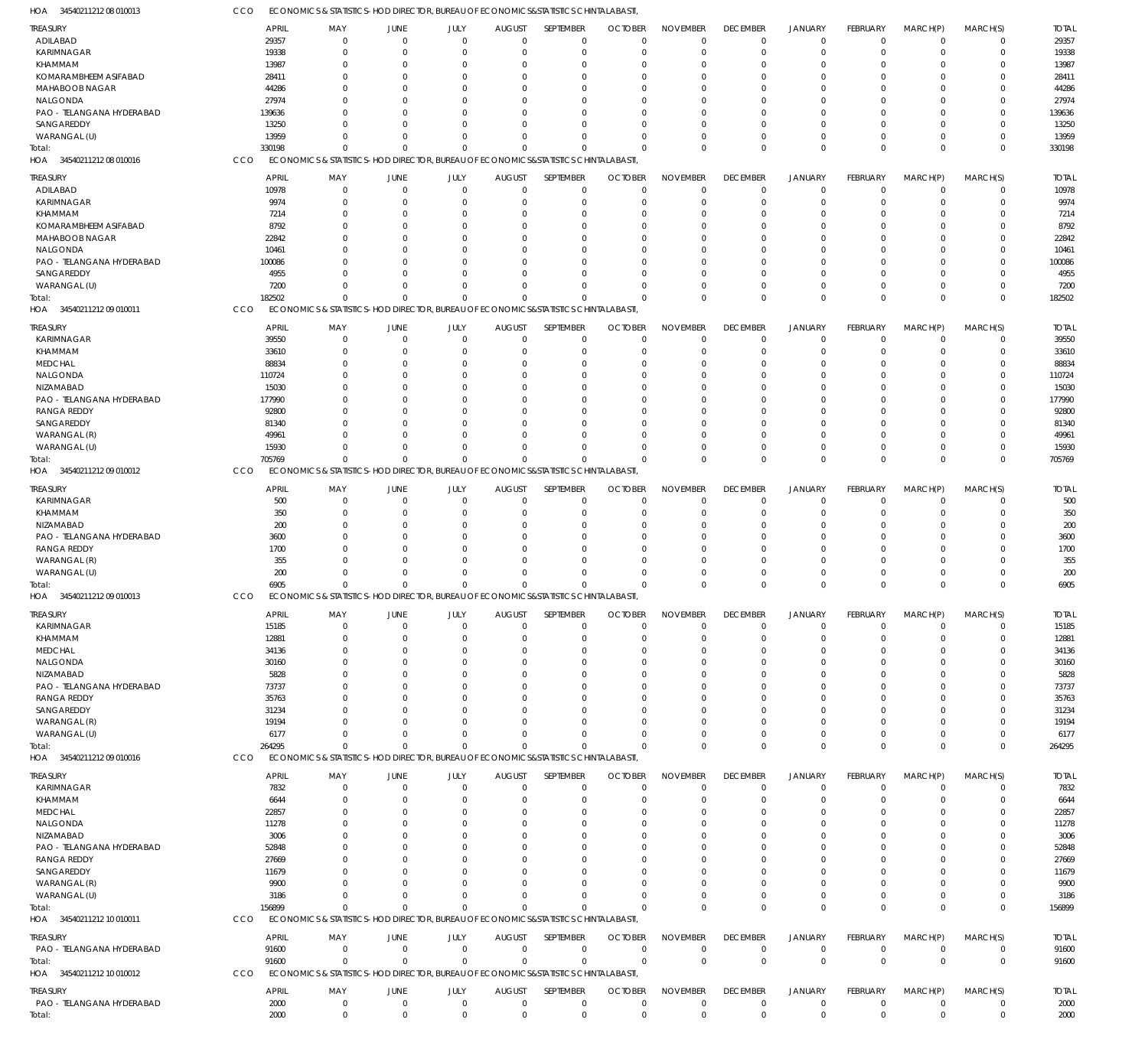| <b>TREASURY</b>                     |     | <b>APRIL</b><br>MAY                                                                | JUNE                          | JULY        | <b>AUGUST</b>  | SEPTEMBER   | <b>OCTOBER</b>                    | <b>NOVEMBER</b> | <b>DECEMBER</b> | <b>JANUARY</b> | FEBRUARY       | MARCH(P)       | MARCH(S)    | <b>TOTAL</b> |
|-------------------------------------|-----|------------------------------------------------------------------------------------|-------------------------------|-------------|----------------|-------------|-----------------------------------|-----------------|-----------------|----------------|----------------|----------------|-------------|--------------|
| ADILABAD                            |     | 29357                                                                              | $\mathbf{0}$<br>$\mathbf 0$   | $\mathbf 0$ | $\overline{0}$ | $\mathbf 0$ | $\Omega$                          | $\Omega$        | $\overline{0}$  | $\overline{0}$ | $\mathbf 0$    | $\overline{0}$ | $\mathbf 0$ | 29357        |
| KARIMNAGAR                          |     | 19338                                                                              | $\Omega$<br>$\Omega$          | $\mathbf 0$ | 0              | $\mathbf 0$ | $\Omega$                          | $\Omega$        | $^{\circ}$      | $\overline{0}$ | $\Omega$       | $\Omega$       | $\mathbf 0$ | 19338        |
| <b>KHAMMAM</b>                      |     | 13987                                                                              | O<br>$\Omega$                 | 0           |                | $\Omega$    |                                   |                 | $\Omega$        | $\Omega$       | $\Omega$       | $\Omega$       | $\mathbf 0$ | 13987        |
| KOMARAMBHEEM ASIFABAD               |     | 28411                                                                              | 0<br>C                        | 0           | 0              | $\mathbf 0$ |                                   | $\Omega$        | 0               | $\Omega$       | 0              | $\Omega$       | $\mathbf 0$ | 28411        |
| MAHABOOB NAGAR                      |     | 44286                                                                              | C                             | $\Omega$    |                | $\Omega$    |                                   |                 |                 | $\Omega$       | O              | $\Omega$       | $\Omega$    | 44286        |
| NALGONDA                            |     | 27974                                                                              | C                             | $\Omega$    |                | $\Omega$    |                                   |                 | $\Omega$        | $\Omega$       |                | $\Omega$       | $\mathbf 0$ | 27974        |
| PAO - TELANGANA HYDERABAD           |     | 139636                                                                             | C                             | $\Omega$    |                | $\Omega$    |                                   |                 |                 | $\Omega$       |                | $\Omega$       | $\Omega$    | 139636       |
| SANGAREDDY                          |     | 13250                                                                              | $\Omega$                      | $\mathbf 0$ | n              | $\Omega$    |                                   |                 | $\Omega$        | $\Omega$       | $\Omega$       | $\Omega$       | $\mathbf 0$ | 13250        |
| WARANGAL (U)                        |     | 13959                                                                              | $\Omega$                      | $\mathbf 0$ | n              | $\Omega$    |                                   |                 | $\Omega$        | $\Omega$       | $\Omega$       | $\Omega$       | $\mathbf 0$ | 13959        |
| Total:                              |     | 330198                                                                             | $\Omega$<br>$\sqrt{ }$        | $\Omega$    | $\Omega$       | $\Omega$    | $\cap$                            | $\Omega$        | $\mathbf 0$     | $\Omega$       | $\Omega$       | $\Omega$       | $\mathbf 0$ | 330198       |
| HOA 3454021121208010016             | CCO | ECONOMICS & STATISTICS-HOD DIRECTOR, BUREAU OF ECONOMICS&STATISTICS CHINTALABASTI, |                               |             |                |             |                                   |                 |                 |                |                |                |             |              |
| <b>TREASURY</b>                     |     | <b>APRIL</b><br>MAY                                                                | JUNE                          | JULY        | <b>AUGUST</b>  | SEPTEMBER   | <b>OCTOBER</b>                    | <b>NOVEMBER</b> | <b>DECEMBER</b> | <b>JANUARY</b> | FEBRUARY       | MARCH(P)       | MARCH(S)    | <b>TOTAL</b> |
| ADILABAD                            |     | 10978                                                                              | $\mathbf{0}$<br>$\mathbf 0$   | $\mathbf 0$ | $\mathbf{0}$   | $\mathbf 0$ | $\Omega$                          | $\Omega$        | $\mathbf 0$     | $\mathbf 0$    | $\mathbf 0$    | $\mathbf 0$    | $\mathbf 0$ | 10978        |
| KARIMNAGAR                          |     | 9974                                                                               | $\Omega$<br>$\Omega$          | $\mathbf 0$ | $\Omega$       | $\mathbf 0$ | $\Omega$                          | $\Omega$        | $^{\circ}$      | $\overline{0}$ | $\Omega$       | $\Omega$       | $\mathbf 0$ | 9974         |
| KHAMMAM                             |     | 7214                                                                               | $\Omega$<br>$\Omega$          | $\Omega$    | $\Omega$       | $\Omega$    | $\Omega$                          | $\Omega$        | $\Omega$        | $\Omega$       | $\Omega$       | $\Omega$       | $\Omega$    | 7214         |
| KOMARAMBHEEM ASIFABAD               |     | 8792                                                                               | 0<br>$\Omega$                 | $\Omega$    | 0              | 0           |                                   | $\Omega$        | $\Omega$        | $\Omega$       |                | $\Omega$       | $\Omega$    | 8792         |
| MAHABOOB NAGAR                      |     | 22842                                                                              | $\Omega$                      | $\Omega$    | $\Omega$       | $\Omega$    |                                   | $\Omega$        | $\Omega$        | $\Omega$       | $\Omega$       | $\Omega$       | $\Omega$    | 22842        |
| NALGONDA                            |     | 10461                                                                              | C                             | $\Omega$    | n              | $\Omega$    |                                   | $\Omega$        | $\Omega$        | $\Omega$       |                | $\Omega$       | $\Omega$    | 10461        |
| PAO - TELANGANA HYDERABAD           |     | 100086                                                                             | C                             | $\Omega$    | n              | $\Omega$    | $\Omega$                          | $\Omega$        | $\Omega$        | $\Omega$       | $\Omega$       | $\Omega$       | $\Omega$    | 100086       |
| SANGAREDDY                          |     | 4955                                                                               | $\Omega$                      | $\Omega$    | n              | $\Omega$    |                                   |                 | $\Omega$        | $\Omega$       | $\Omega$       | $\Omega$       | $\mathbf 0$ | 4955         |
| WARANGAL (U)                        |     | 7200                                                                               | $\Omega$<br>$\Omega$          | $\Omega$    | $\Omega$       | $\Omega$    | $\Omega$                          | $\cap$          | $\Omega$        | $\Omega$       | $\Omega$       | $\Omega$       | $\mathbf 0$ | 7200         |
|                                     |     | 182502                                                                             | $\Omega$<br>$\Omega$          | $\mathbf 0$ | $\Omega$       | $\Omega$    | $\Omega$                          | $\Omega$        | $\mathbf 0$     | $\mathbf{0}$   | $\Omega$       | $\Omega$       | $\mathbf 0$ | 182502       |
| Total:<br>HOA 34540211212 09 010011 | CCO | ECONOMICS & STATISTICS-HOD DIRECTOR, BUREAU OF ECONOMICS&STATISTICS CHINTALABASTI, |                               |             |                |             |                                   |                 |                 |                |                |                |             |              |
|                                     |     |                                                                                    |                               |             |                |             |                                   |                 |                 |                |                |                |             |              |
| <b>TREASURY</b>                     |     | <b>APRIL</b><br>MAY                                                                | <b>JUNE</b>                   | JULY        | <b>AUGUST</b>  | SEPTEMBER   | <b>OCTOBER</b>                    | <b>NOVEMBER</b> | <b>DECEMBER</b> | <b>JANUARY</b> | FEBRUARY       | MARCH(P)       | MARCH(S)    | <b>TOTAL</b> |
| KARIMNAGAR                          |     | 39550                                                                              | $\mathbf 0$<br>$\mathbf 0$    | 0           | 0              | $\mathbf 0$ | $\mathcal{L}$                     | $\Omega$        | $^{\circ}$      | $\overline{0}$ | $\mathbf 0$    | $\mathbf 0$    | $\mathbf 0$ | 39550        |
| <b>KHAMMAM</b>                      |     | 33610                                                                              | $\Omega$<br>0                 | $\mathbf 0$ | 0              | $\mathbf 0$ | $\Omega$                          | $\Omega$        | $\Omega$        | $\Omega$       | $\Omega$       | $\Omega$       | $\mathbf 0$ | 33610        |
| <b>MEDCHAL</b>                      |     | 88834                                                                              | $\Omega$<br>$\Omega$          | 0           | 0              | $\mathbf 0$ |                                   | $\Omega$        | $\Omega$        | $\Omega$       | 0              | $\Omega$       | $\mathbf 0$ | 88834        |
| NALGONDA                            |     | 110724                                                                             | $\Omega$                      | 0           |                | $\Omega$    |                                   |                 | $\Omega$        | $\Omega$       | $\Omega$       | $\Omega$       | 0           | 110724       |
| NIZAMABAD                           |     | 15030                                                                              | C                             | 0           | n              | $\Omega$    |                                   |                 | $\Omega$        | $\Omega$       | U              | $\Omega$       | $\mathbf 0$ | 15030        |
| PAO - TELANGANA HYDERABAD           |     | 177990                                                                             | C                             | $\Omega$    |                | $\Omega$    |                                   |                 |                 | $\Omega$       |                | $\Omega$       | $\Omega$    | 177990       |
| RANGA REDDY                         |     | 92800                                                                              | C                             | 0           |                | $\Omega$    |                                   |                 | $\Omega$        | $\Omega$       | 0              | $\Omega$       | $\mathbf 0$ | 92800        |
| SANGAREDDY                          |     | 81340                                                                              | C                             | $\Omega$    |                | $\Omega$    |                                   |                 |                 | $\Omega$       | $\Omega$       | $\Omega$       | $\Omega$    | 81340        |
| WARANGAL (R)                        |     | 49961                                                                              | $\Omega$                      | $\mathbf 0$ | n              | $\Omega$    |                                   |                 | $\Omega$        | $\Omega$       | 0              | $\Omega$       | $\mathbf 0$ | 49961        |
| WARANGAL (U)                        |     | 15930                                                                              | $\Omega$<br>$\Omega$          | $\mathbf 0$ | $\Omega$       | $\Omega$    |                                   |                 | $\Omega$        | $\overline{0}$ | $\Omega$       | $\Omega$       | $\mathbf 0$ | 15930        |
| Total:                              |     | 705769                                                                             | $\Omega$<br>$\Omega$          | $\mathbf 0$ | $\Omega$       | $\Omega$    |                                   | $\Omega$        | $\mathbf 0$     | $\Omega$       | $\Omega$       | $\Omega$       | $\mathbf 0$ | 705769       |
| HOA 3454021121209010012             | CCO | ECONOMICS & STATISTICS-HOD DIRECTOR, BUREAU OF ECONOMICS&STATISTICS CHINTALABASTI, |                               |             |                |             |                                   |                 |                 |                |                |                |             |              |
|                                     |     |                                                                                    |                               |             |                |             |                                   |                 |                 |                |                |                |             |              |
| <b>TREASURY</b>                     |     | <b>APRIL</b><br>MAY                                                                | JUNE                          | JULY        | <b>AUGUST</b>  | SEPTEMBER   | <b>OCTOBER</b>                    | <b>NOVEMBER</b> | <b>DECEMBER</b> | <b>JANUARY</b> | FEBRUARY       | MARCH(P)       | MARCH(S)    | <b>TOTAL</b> |
| KARIMNAGAR                          |     | 500                                                                                | $\mathbf{0}$<br>$\mathbf 0$   | $\mathbf 0$ | 0              | $\mathbf 0$ | $\Omega$                          | $\Omega$        | $\overline{0}$  | $\overline{0}$ | $\mathbf 0$    | $\mathbf 0$    | $\mathbf 0$ | 500          |
| <b>KHAMMAM</b>                      |     | 350                                                                                | $\Omega$<br>$\Omega$          | $\mathbf 0$ | 0              | $\mathbf 0$ | $\sqrt{ }$                        | $\Omega$        | $^{\circ}$      | $\Omega$       | $\Omega$       | $\Omega$       | $\mathbf 0$ | 350          |
| NIZAMABAD                           |     | 200                                                                                | $\Omega$<br>$\Omega$          | $\mathbf 0$ | $\Omega$       | $\mathbf 0$ | $\Omega$                          | $\Omega$        | $\Omega$        | $\Omega$       | $\Omega$       | $\Omega$       | $\mathbf 0$ | 200          |
| PAO - TELANGANA HYDERABAD           |     | 3600                                                                               | 0<br>$\Omega$                 | $\Omega$    | $\Omega$       | 0           |                                   | $\Omega$        | $\Omega$        | $\Omega$       | $\Omega$       | $\Omega$       | $\mathbf 0$ | 3600         |
| <b>RANGA REDDY</b>                  |     | 1700                                                                               | $\Omega$<br>$\Omega$          | $\Omega$    | n              | $\Omega$    | $\Omega$                          | $\Omega$        | $\Omega$        | $\Omega$       | $\Omega$       | $\Omega$       | $\Omega$    | 1700         |
| WARANGAL (R)                        |     | 355                                                                                | $\Omega$                      | $\Omega$    | n              | $\Omega$    |                                   |                 | $\Omega$        | $\Omega$       |                | $\Omega$       | 0           | 355          |
| WARANGAL (U)                        |     | 200                                                                                | $\Omega$<br>$\Omega$          | $\Omega$    | $\Omega$       | $\Omega$    | $\Omega$                          | $\cap$          | $\Omega$        | $\Omega$       | $\Omega$       | $\Omega$       | $\mathbf 0$ | 200          |
| Total:                              |     | 6905                                                                               | $\Omega$<br>$\Omega$          | $\mathbf 0$ | $\Omega$       | $\Omega$    | $\cap$                            | $\Omega$        | $\Omega$        | $\Omega$       | $\Omega$       | $\Omega$       | $\mathbf 0$ | 6905         |
| HOA 34540211212 09 010013           | CCO | ECONOMICS & STATISTICS-HOD DIRECTOR, BUREAU OF ECONOMICS&STATISTICS CHINTALABASTI, |                               |             |                |             |                                   |                 |                 |                |                |                |             |              |
|                                     |     |                                                                                    |                               |             |                |             | AUGUST SEPTEMBER OCTOBER NOVEMBER |                 |                 |                |                |                |             |              |
| TREASURY                            |     | APRIL<br>MAY                                                                       | <b>JUNE</b>                   | JULY        |                |             |                                   |                 | <b>DECEMBER</b> | <b>JANUARY</b> | FEBRUARY       | MARCH(P)       | MARCH(S)    | <b>TOTAL</b> |
| KARIMNAGAR                          |     | 15185                                                                              | $\mathbf 0$<br>$\mathbf 0$    | 0           | $\Omega$       | $\mathbf 0$ | $\Omega$                          | $\Omega$        | $^{\circ}$      | $\overline{0}$ | 0              | $\Omega$       | $\mathbf 0$ | 15185        |
| <b>KHAMMAM</b>                      |     | 12881                                                                              | $\Omega$<br>0                 | $\mathbf 0$ |                | $\mathbf 0$ | $\Omega$                          | $\Omega$        | 0               | $\mathbf 0$    | 0              | $\Omega$       | $\mathbf 0$ | 12881        |
| <b>MEDCHAL</b>                      |     | 34136                                                                              | C                             | $\Omega$    |                | 0           |                                   |                 | $\Omega$        | $\Omega$       | U              | $\Omega$       | $\mathbf 0$ | 34136        |
| NALGONDA                            |     | 30160                                                                              | C                             | $\Omega$    |                | $\Omega$    |                                   |                 | 0               |                |                | $\Omega$       | $\Omega$    | 30160        |
| NIZAMABAD                           |     | 5828                                                                               | C                             | 0           |                | 0           |                                   |                 | $\Omega$        | $\Omega$       |                | $\Omega$       | 0           | 5828         |
| PAO - TELANGANA HYDERABAD           |     | 73737                                                                              |                               | $\Omega$    |                | $\Omega$    |                                   |                 |                 |                |                | $\Omega$       | $\Omega$    | 73737        |
| <b>RANGA REDDY</b>                  |     | 35763                                                                              |                               | 0           |                | $\Omega$    |                                   |                 | 0               |                |                | $\Omega$       | $\Omega$    | 35763        |
| SANGAREDDY                          |     | 31234                                                                              |                               | $\Omega$    |                | $\Omega$    |                                   |                 |                 |                |                | $\Omega$       | $\Omega$    | 31234        |
| WARANGAL (R)                        |     | 19194                                                                              | C                             | 0           |                | $\Omega$    |                                   |                 | $\Omega$        | $\Omega$       | 0              | $\Omega$       | 0           | 19194        |
| WARANGAL (U)                        |     | 6177                                                                               | C                             | 0           | n              | $\Omega$    |                                   |                 | $\Omega$        | $\Omega$       | 0              | $\Omega$       | 0           | 6177         |
| Total:                              |     | 264295                                                                             | $\Omega$<br>$\Omega$          | $\Omega$    | $\Omega$       | $\Omega$    |                                   | $\Omega$        | $\mathbf 0$     | $\overline{0}$ | $\Omega$       | $\mathbf 0$    | $\mathbf 0$ | 264295       |
| HOA 3454021121209010016             | CCO | ECONOMICS & STATISTICS-HOD DIRECTOR, BUREAU OF ECONOMICS&STATISTICS CHINTALABASTI, |                               |             |                |             |                                   |                 |                 |                |                |                |             |              |
| <b>TREASURY</b>                     |     | <b>APRIL</b><br>MAY                                                                | JUNE                          | JULY        | <b>AUGUST</b>  | SEPTEMBER   | <b>OCTOBER</b>                    | <b>NOVEMBER</b> | <b>DECEMBER</b> | <b>JANUARY</b> | FEBRUARY       | MARCH(P)       | MARCH(S)    | <b>TOTAL</b> |
| KARIMNAGAR                          |     | 7832                                                                               | $\mathbf 0$<br>$\mathbf 0$    | $\mathbf 0$ | $\mathbf{0}$   | $\mathbf 0$ | $\Omega$                          | $\Omega$        | $\mathbf 0$     | $\mathbf 0$    | $\mathbf 0$    | $\mathbf 0$    | $\mathbf 0$ | 7832         |
| <b>KHAMMAM</b>                      |     | 6644                                                                               | $\mathbf 0$<br>0              | 0           | $\Omega$       | $\mathbf 0$ | $\Omega$                          | $\Omega$        | $^{\circ}$      | $\overline{0}$ | $\Omega$       | $\Omega$       | $\mathbf 0$ | 6644         |
| <b>MEDCHAL</b>                      |     | 22857                                                                              | O<br>$\Omega$                 | $\Omega$    |                | $\mathbf 0$ | $\Omega$                          | $\Omega$        | $\Omega$        | $\Omega$       | $\Omega$       | $\Omega$       | $\Omega$    | 22857        |
|                                     |     |                                                                                    |                               |             |                |             |                                   | $\Omega$        |                 |                |                |                | $\Omega$    |              |
| NALGONDA                            |     | 11278                                                                              | C                             | $\Omega$    | 0              | 0           |                                   |                 | $\Omega$        | $\Omega$       |                | 0              |             | 11278        |
| NIZAMABAD                           |     | 3006                                                                               | O                             | $\Omega$    | $\Omega$       | $\Omega$    |                                   | $\Omega$        | $\Omega$        | $\Omega$       | $\Omega$       | $\Omega$       | $\Omega$    | 3006         |
| PAO - TELANGANA HYDERABAD           |     | 52848                                                                              | C                             | $\Omega$    |                | $\Omega$    |                                   |                 | 0               | $\Omega$       |                | O              | $\Omega$    | 52848        |
| <b>RANGA REDDY</b>                  |     | 27669                                                                              |                               | $\Omega$    |                | $\Omega$    |                                   | $\Omega$        | $\Omega$        | $\Omega$       |                | $\Omega$       | $\Omega$    | 27669        |
| SANGAREDDY                          |     | 11679                                                                              |                               | $\Omega$    |                | $\Omega$    |                                   |                 | 0               | $\Omega$       |                | $\Omega$       | $\Omega$    | 11679        |
| WARANGAL (R)                        |     | 9900                                                                               | C                             | $\Omega$    |                | $\Omega$    |                                   | $\cap$          | $\Omega$        | $\Omega$       | $\Omega$       | $\Omega$       | $\Omega$    | 9900         |
| WARANGAL (U)                        |     | 3186                                                                               | $\Omega$<br>$\Omega$          | $\Omega$    | $\Omega$       | $\Omega$    |                                   | $\Omega$        | 0               | 0              | $\Omega$       | $\mathbf 0$    | $\mathbf 0$ | 3186         |
| Total:                              |     | 156899                                                                             | $\Omega$<br>$\Omega$          | $\mathbf 0$ | $\Omega$       | $\Omega$    |                                   | $\Omega$        | $\mathbf 0$     | $\mathbf{0}$   | $\Omega$       | $\Omega$       | $\mathbf 0$ | 156899       |
| HOA 34540211212 10 010011           | CCO | ECONOMICS & STATISTICS-HOD DIRECTOR, BUREAU OF ECONOMICS&STATISTICS CHINTALABASTI, |                               |             |                |             |                                   |                 |                 |                |                |                |             |              |
| treasury                            |     | <b>APRIL</b><br>MAY                                                                | JUNE                          | JULY        | <b>AUGUST</b>  | SEPTEMBER   | <b>OCTOBER</b>                    | <b>NOVEMBER</b> | <b>DECEMBER</b> | <b>JANUARY</b> | FEBRUARY       | MARCH(P)       | MARCH(S)    | <b>TOTAL</b> |
| PAO - TELANGANA HYDERABAD           |     | 91600                                                                              | $\mathbf 0$<br>$\mathbf 0$    | $\mathbf 0$ | $\mathbf{0}$   | $\mathbf 0$ | $^{\circ}$                        | $\Omega$        | $\overline{0}$  | $\mathbf 0$    | $\mathbf 0$    | $\overline{0}$ | 0           | 91600        |
| Total:                              |     | 91600                                                                              | $\mathbf 0$<br>$\overline{0}$ | $\mathbf 0$ | $\Omega$       | $\mathbf 0$ | $\Omega$                          | $\mathbf 0$     | $\mathbf 0$     | $\mathbf 0$    | $\overline{0}$ | $\overline{0}$ | $\mathbf 0$ | 91600        |
| HOA 34540211212 10 010012           | CCO | ECONOMICS & STATISTICS-HOD DIRECTOR, BUREAU OF ECONOMICS&STATISTICS CHINTALABASTI, |                               |             |                |             |                                   |                 |                 |                |                |                |             |              |
|                                     |     |                                                                                    |                               |             |                |             |                                   |                 |                 |                |                |                |             |              |
| treasury                            |     | <b>APRIL</b><br>MAY                                                                | JUNE                          | JULY        | <b>AUGUST</b>  | SEPTEMBER   | <b>OCTOBER</b>                    | <b>NOVEMBER</b> | <b>DECEMBER</b> | <b>JANUARY</b> | FEBRUARY       | MARCH(P)       | MARCH(S)    | <b>TOTAL</b> |
| PAO - TELANGANA HYDERABAD           |     | 2000                                                                               | 0<br>$\mathbf 0$              | $\mathbf 0$ | $\mathbf{0}$   | $\mathbf 0$ | $\overline{0}$                    | $\mathbf 0$     | $\mathbf 0$     | 0              | $\mathbf 0$    | $\overline{0}$ | $\mathbf 0$ | 2000         |
| Total:                              |     | 2000                                                                               | $\mathbf 0$<br>$\mathbf 0$    | $\mathbf 0$ | $\mathbf 0$    | $\mathbf 0$ | $\Omega$                          | $\mathbf 0$     | $\mathbf 0$     | $\mathbf 0$    | $\overline{0}$ | $\mathbf 0$    | $\mathbf 0$ | 2000         |

ECONOMICS & STATISTICS-HOD DIRECTOR, BUREAU OF ECONOMICS&STATISTICS CHINTALABASTI, CCO

34540211212 08 010013 HOA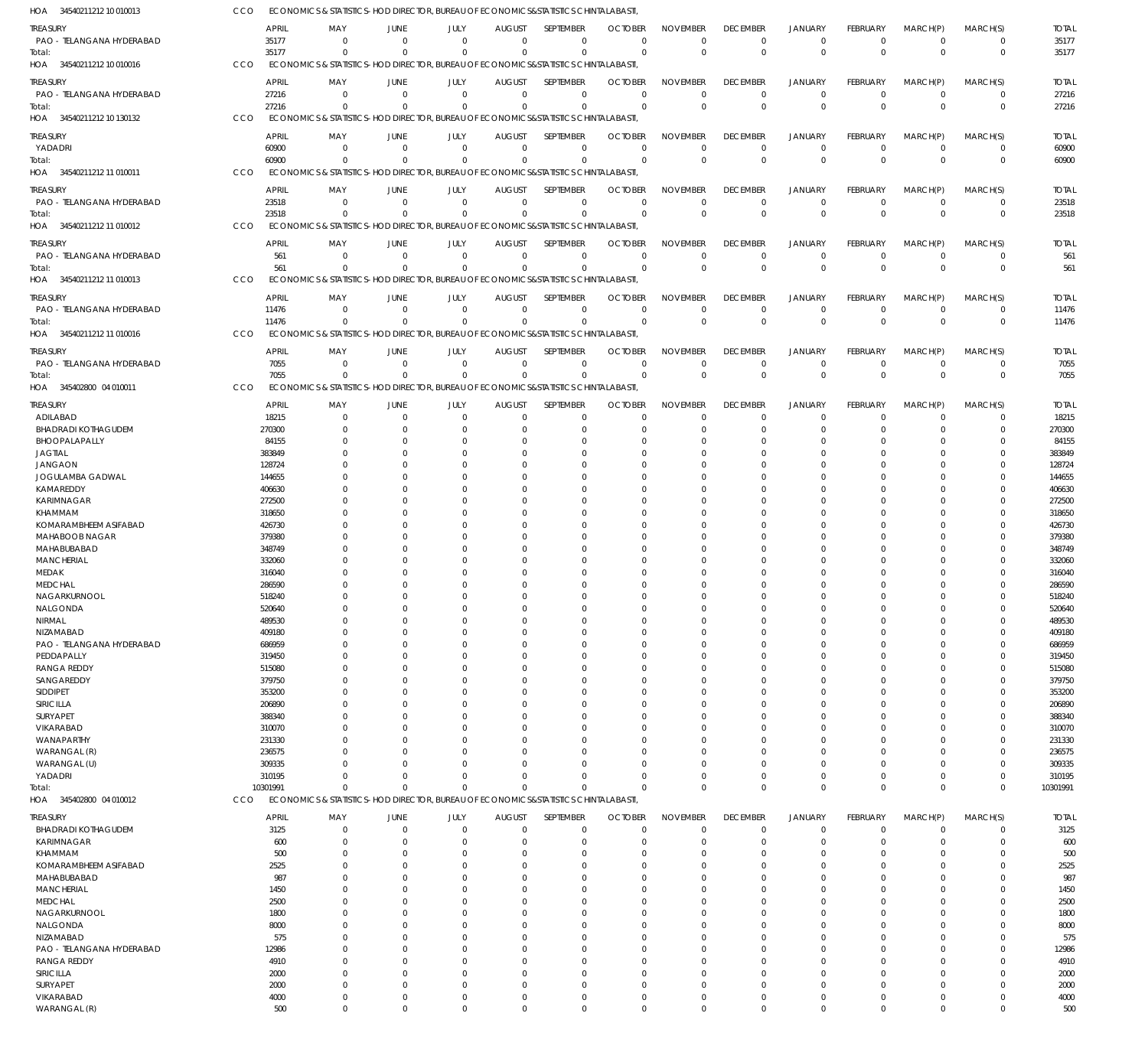| HOA 34540211212 10 010013              | CCO              | ECONOMICS & STATISTICS-HOD DIRECTOR, BUREAU OF ECONOMICS&STATISTICS CHINTALABASTI                       |                                              |                      |                               |                            |                            |                                   |                             |                                  |                                |                                  |                            |                      |
|----------------------------------------|------------------|---------------------------------------------------------------------------------------------------------|----------------------------------------------|----------------------|-------------------------------|----------------------------|----------------------------|-----------------------------------|-----------------------------|----------------------------------|--------------------------------|----------------------------------|----------------------------|----------------------|
| treasury                               |                  | APRIL<br>MAY                                                                                            | JUNE                                         | JULY                 | <b>AUGUST</b>                 | SEPTEMBER                  | <b>OCTOBER</b>             | <b>NOVEMBER</b>                   | <b>DECEMBER</b>             | <b>JANUARY</b>                   | <b>FEBRUARY</b>                | MARCH(P)                         | MARCH(S)                   | <b>TOTAL</b>         |
| PAO - TELANGANA HYDERABAD              |                  | 35177<br>$\Omega$                                                                                       | $\Omega$                                     | $\Omega$             | $\Omega$                      | $\mathbf 0$                | $\Omega$                   | $\Omega$                          | 0                           | $^{\circ}$                       | $\mathbf 0$                    | $\overline{0}$                   | $\mathbf 0$                | 35177                |
| Total:                                 |                  | 35177<br>$\Omega$                                                                                       | $\Omega$                                     | $\Omega$             | $\Omega$                      | $\mathbf 0$                | $\Omega$                   | $\mathbf 0$                       | $\Omega$                    | $\overline{0}$                   | $\mathbf 0$                    | $\overline{0}$                   | $\mathbf 0$                | 35177                |
| HOA 34540211212 10 010016              | <b>CCO</b>       | ECONOMICS & STATISTICS-HOD DIRECTOR, BUREAU OF ECONOMICS&STATISTICS CHINTALABASTI,                      |                                              |                      |                               |                            |                            |                                   |                             |                                  |                                |                                  |                            |                      |
| treasury                               |                  | <b>APRIL</b><br>MAY                                                                                     | <b>JUNE</b>                                  | JULY                 | <b>AUGUST</b>                 | SEPTEMBER                  | <b>OCTOBER</b>             | <b>NOVEMBER</b>                   | <b>DECEMBER</b>             | <b>JANUARY</b>                   | <b>FEBRUARY</b>                | MARCH(P)                         | MARCH(S)                   | <b>TOTAL</b>         |
| PAO - TELANGANA HYDERABAD              |                  | 27216<br>$\Omega$                                                                                       | $\overline{0}$                               | $\mathbf 0$          | $\overline{0}$                | $\mathbf 0$                | $\Omega$                   | $\Omega$                          | $\Omega$                    | $^{\circ}$                       | $\mathbf 0$                    | $\overline{0}$                   | $\mathbf 0$                | 27216                |
| Total:                                 |                  | 27216<br>$\Omega$                                                                                       | $\Omega$                                     | $\Omega$             | $\Omega$                      | $\mathbf 0$                | $\Omega$                   | $\Omega$                          | $\Omega$                    | $\Omega$                         | $\Omega$                       | $\Omega$                         | $\mathbf 0$                | 27216                |
| HOA 34540211212 10 130132              | CCO              | ECONOMICS & STATISTICS-HOD DIRECTOR, BUREAU OF ECONOMICS&STATISTICS CHINTALABASTI                       |                                              |                      |                               |                            |                            |                                   |                             |                                  |                                |                                  |                            |                      |
| treasury                               |                  | <b>APRIL</b><br>MAY                                                                                     | JUNE                                         | JULY                 | <b>AUGUST</b>                 | SEPTEMBER                  | <b>OCTOBER</b>             | <b>NOVEMBER</b>                   | <b>DECEMBER</b>             | <b>JANUARY</b>                   | <b>FEBRUARY</b>                | MARCH(P)                         | MARCH(S)                   | <b>TOTAL</b>         |
| YADADRI                                |                  | 60900<br>$\Omega$                                                                                       | $\Omega$                                     | $\overline{0}$       | $\mathbf 0$                   | $\mathbf 0$                | $\mathbf 0$                | $\overline{0}$                    | $\Omega$                    | $^{\circ}$<br>$\Omega$           | $\mathbf 0$                    | $\overline{0}$<br>$\Omega$       | 0                          | 60900                |
| Total:<br>HOA 34540211212 11 010011    | CCO              | 60900<br>$\Omega$<br>ECONOMICS & STATISTICS-HOD DIRECTOR, BUREAU OF ECONOMICS&STATISTICS CHINTALABASTI, | $\Omega$                                     | $\Omega$             | $\Omega$                      | $\mathbf 0$                | $\Omega$                   | $\mathbf 0$                       | $\Omega$                    |                                  | $\Omega$                       |                                  | $\mathbf 0$                | 60900                |
|                                        |                  |                                                                                                         |                                              |                      |                               |                            |                            |                                   |                             |                                  |                                |                                  |                            |                      |
| treasury                               |                  | <b>APRIL</b><br>MAY<br>23518<br>$\Omega$                                                                | JUNE<br>$\overline{0}$                       | JULY<br>$\mathbf 0$  | <b>AUGUST</b><br>$\Omega$     | SEPTEMBER<br>$\mathbf 0$   | <b>OCTOBER</b><br>$\Omega$ | <b>NOVEMBER</b><br>$\overline{0}$ | <b>DECEMBER</b><br>$\Omega$ | <b>JANUARY</b><br>$\overline{0}$ | <b>FEBRUARY</b><br>$\mathbf 0$ | MARCH(P)<br>$\overline{0}$       | MARCH(S)<br>$\mathbf 0$    | <b>TOTAL</b>         |
| PAO - TELANGANA HYDERABAD<br>Total:    |                  | 23518<br>$\Omega$                                                                                       | $\Omega$                                     | $\Omega$             | $\Omega$                      | $\Omega$                   | $\Omega$                   | $\mathbf 0$                       | $\Omega$                    | $\overline{0}$                   | $\overline{0}$                 | $\Omega$                         | $\mathbf 0$                | 23518<br>23518       |
| HOA 34540211212 11 010012              | CCO              | ECONOMICS & STATISTICS-HOD DIRECTOR, BUREAU OF ECONOMICS&STATISTICS CHINTALABASTI,                      |                                              |                      |                               |                            |                            |                                   |                             |                                  |                                |                                  |                            |                      |
| treasury                               |                  | <b>APRIL</b><br>MAY                                                                                     | JUNE                                         | JULY                 | <b>AUGUST</b>                 | SEPTEMBER                  | <b>OCTOBER</b>             | <b>NOVEMBER</b>                   | <b>DECEMBER</b>             | <b>JANUARY</b>                   | <b>FEBRUARY</b>                | MARCH(P)                         | MARCH(S)                   | <b>TOTAL</b>         |
| PAO - TELANGANA HYDERABAD              |                  | 561<br>$\Omega$                                                                                         | $\overline{0}$                               | $\overline{0}$       | $\mathbf 0$                   | 0                          | $\Omega$                   | $\Omega$                          | 0                           | $^{\circ}$                       | $\mathbf 0$                    | $\overline{0}$                   | 0                          | 561                  |
| Total:                                 |                  | 561<br>$\Omega$                                                                                         | - 0                                          | $\Omega$             | $\Omega$                      | $\mathbf 0$                | $\Omega$                   | $\Omega$                          | $\Omega$                    | $\Omega$                         | $\Omega$                       | $\Omega$                         | $\mathbf 0$                | 561                  |
| HOA 34540211212 11 010013              | CCO              | ECONOMICS & STATISTICS-HOD DIRECTOR, BUREAU OF ECONOMICS&STATISTICS CHINTALABASTI.                      |                                              |                      |                               |                            |                            |                                   |                             |                                  |                                |                                  |                            |                      |
| treasury                               |                  | APRIL<br>MAY                                                                                            | JUNE                                         | JULY                 | <b>AUGUST</b>                 | <b>SEPTEMBER</b>           | <b>OCTOBER</b>             | <b>NOVEMBER</b>                   | <b>DECEMBER</b>             | <b>JANUARY</b>                   | <b>FEBRUARY</b>                | MARCH(P)                         | MARCH(S)                   | <b>TOTAL</b>         |
| PAO - TELANGANA HYDERABAD              |                  | 11476<br>$\Omega$                                                                                       | $\Omega$                                     | $\Omega$             | $\Omega$                      | 0                          | $\Omega$                   | $\mathbf 0$                       | $\Omega$                    | $^{\circ}$                       | 0                              | $\overline{0}$                   | 0                          | 11476                |
| Total:                                 |                  | 11476<br>$\Omega$                                                                                       | $\Omega$                                     | $\Omega$             | $\Omega$                      | $\Omega$                   | $\Omega$                   | $\mathbf 0$                       | $\Omega$                    | $\Omega$                         | $\overline{0}$                 | $\Omega$                         | $\mathbf 0$                | 11476                |
| 34540211212 11 010016<br>HOA           | CCO              | ECONOMICS & STATISTICS-HOD DIRECTOR, BUREAU OF ECONOMICS&STATISTICS CHINTALABASTI                       |                                              |                      |                               |                            |                            |                                   |                             |                                  |                                |                                  |                            |                      |
| treasury                               |                  | <b>APRIL</b><br>MAY                                                                                     | JUNE                                         | JULY                 | <b>AUGUST</b>                 | SEPTEMBER                  | <b>OCTOBER</b>             | <b>NOVEMBER</b>                   | <b>DECEMBER</b>             | <b>JANUARY</b>                   | <b>FEBRUARY</b>                | MARCH(P)                         | MARCH(S)                   | <b>TOTAL</b>         |
| PAO - TELANGANA HYDERABAD              |                  | 7055<br>$\Omega$                                                                                        | $\Omega$                                     | $^{\circ}$           | $\overline{0}$                | $\mathbf 0$                | $\Omega$                   | $\Omega$                          | $\Omega$                    | $^{\circ}$                       | $\mathbf 0$                    | $^{\circ}$                       | $\mathbf 0$                | 7055                 |
| Total:                                 |                  | 7055<br>$\Omega$                                                                                        | $\Omega$                                     | $\Omega$             | $\Omega$                      | $\mathbf 0$                | $\Omega$                   | $\mathbf 0$                       | $\Omega$                    | $\Omega$                         | $\Omega$                       | $\Omega$                         | $\mathbf 0$                | 7055                 |
| HOA 345402800 04 010011                | CCO              | ECONOMICS & STATISTICS-HOD DIRECTOR, BUREAU OF ECONOMICS&STATISTICS CHINTALABASTI,                      |                                              |                      |                               |                            |                            |                                   |                             |                                  |                                |                                  |                            |                      |
| treasury                               |                  | <b>APRIL</b><br>MAY                                                                                     | JUNE                                         | JULY                 | <b>AUGUST</b>                 | SEPTEMBER                  | <b>OCTOBER</b>             | <b>NOVEMBER</b>                   | <b>DECEMBER</b>             | <b>JANUARY</b>                   | <b>FEBRUARY</b>                | MARCH(P)                         | MARCH(S)                   | <b>TOTAL</b>         |
| ADILABAD                               |                  | 18215<br>$\Omega$                                                                                       | $\Omega$                                     | $^{\circ}$           | $\mathbf 0$                   | 0                          | $\Omega$                   | $\mathbf 0$                       | $\Omega$                    | $\Omega$                         | 0                              | - 0                              | 0                          | 18215                |
| <b>BHADRADI KOTHAGUDEM</b>             |                  | 270300<br>$\Omega$                                                                                      | $\Omega$                                     | $\Omega$             | $\Omega$                      | 0                          | $\Omega$                   | $\Omega$                          | $\Omega$                    | $\Omega$                         | $\Omega$                       | $\Omega$                         | $\mathbf 0$                | 270300               |
| BHOOPALAPALLY                          | 383849           | 84155                                                                                                   | $\Omega$<br>$\Omega$                         | $\Omega$<br>$\Omega$ | $\Omega$<br>$\Omega$          | $\Omega$<br>0              | $\Omega$<br>0              | $\Omega$<br>$\Omega$              |                             | $\Omega$<br>$\Omega$             | 0                              | $\Omega$<br>$\Omega$             | $\Omega$<br>$\Omega$       | 84155<br>383849      |
| JAGTIAL<br><b>JANGAON</b>              |                  | 128724                                                                                                  | $\Omega$                                     | $\Omega$             | $\Omega$                      | $\Omega$                   | 0                          | $\Omega$                          |                             | $\Omega$                         | 0                              | $\Omega$                         | $\Omega$                   | 128724               |
| JOGULAMBA GADWAL                       | 144655           |                                                                                                         | $\Omega$                                     | $\Omega$             | $\Omega$                      | $\Omega$                   |                            | $\Omega$                          |                             | $\Omega$                         |                                | $\Omega$                         | 0                          | 144655               |
| KAMAREDDY                              |                  | 406630                                                                                                  | $\Omega$                                     | $\Omega$             | $\Omega$                      | $\Omega$                   | $\Omega$                   | $\Omega$                          |                             | $\Omega$                         | 0                              | $\Omega$                         | $\Omega$                   | 406630               |
| KARIMNAGAR                             | 272500           |                                                                                                         | $\Omega$                                     | $\Omega$             | $\Omega$                      | 0                          | O                          | $\Omega$                          |                             | $\Omega$                         |                                | $\Omega$                         | $\Omega$                   | 272500               |
| KHAMMAM                                | 318650           |                                                                                                         | $\Omega$                                     | $\Omega$             | $\Omega$                      | $\Omega$                   | $\Omega$                   | $\Omega$                          |                             | $\Omega$                         | 0                              | $\Omega$                         | $\Omega$                   | 318650               |
| <b>KOMARAMBHEEM ASIFABAD</b>           |                  | 426730                                                                                                  | $\Omega$                                     | $\Omega$             | $\Omega$                      | $\Omega$                   | O                          | $\Omega$                          |                             | $\Omega$                         |                                | $\Omega$                         | 0                          | 426730               |
| <b>MAHABOOB NAGAR</b><br>MAHABUBABAD   | 379380<br>348749 |                                                                                                         | $\Omega$<br>$\Omega$                         | $\Omega$<br>$\Omega$ | $\Omega$<br>$\Omega$          | $\Omega$<br>$\Omega$       | $\Omega$<br>O              | $\Omega$<br>$\Omega$              |                             | $\Omega$<br>$\Omega$             | 0                              | $\Omega$<br>$\Omega$             | $\Omega$<br>0              | 379380<br>348749     |
| <b>MANCHERIAL</b>                      | 332060           |                                                                                                         | $\Omega$                                     | $\Omega$             | $\Omega$                      | $\Omega$                   | $\Omega$                   | $\Omega$                          |                             | $\Omega$                         | $\Omega$                       | $\Omega$                         | $\Omega$                   | 332060               |
| MEDAK                                  | 316040           |                                                                                                         | $\Omega$                                     | $\Omega$             | $\Omega$                      | 0                          | O                          | $\Omega$                          |                             | $\Omega$                         |                                | $\Omega$                         | $\Omega$                   | 316040               |
| <b>MEDCHAL</b>                         |                  | 286590                                                                                                  | $\Omega$                                     | $\Omega$             | $\cup$                        | $\Omega$                   | $\Omega$                   | $\Omega$                          |                             | $\Omega$                         | $\Omega$                       | $\Omega$                         | $\Omega$                   | 286590               |
| NAGARKURNOOL                           | 518240           | $\Omega$                                                                                                | $\Omega$                                     | $\Omega$             | $\Omega$                      | $\Omega$                   | $\Omega$                   | $\Omega$                          | $\Omega$                    | $\Omega$                         | $\Omega$                       | $\Omega$                         | $\Omega$                   | 518240               |
| NALGONDA                               |                  | 520640<br>$\Omega$                                                                                      | $\Omega$<br>$\overline{0}$<br>$\Omega$       | $\Omega$<br>$\Omega$ | $\Omega$<br>$\Omega$          | 0<br>$\mathbf 0$           | $\Omega$<br>$\Omega$       | $\Omega$<br>$\Omega$              | $\Omega$                    | $\Omega$<br>$\overline{0}$       | $\Omega$<br>0                  | $\mathbf 0$<br>$\Omega$          | 0<br>$\mathbf 0$           | 520640<br>489530     |
| NIRMAL<br>NIZAMABAD                    |                  | 489530<br>409180                                                                                        | $\Omega$                                     | $\Omega$             | $\Omega$                      | $\mathbf 0$                | $\Omega$                   | $\Omega$                          | $\Omega$                    | $\Omega$                         | 0                              | $\Omega$                         | $\Omega$                   | 409180               |
| PAO - TELANGANA HYDERABAD              |                  | 686959                                                                                                  | $\Omega$                                     | 0                    | $\Omega$                      | 0                          | $\Omega$                   | $\Omega$                          |                             | $\Omega$                         |                                | $\Omega$                         | $\Omega$                   | 686959               |
| PEDDAPALLY                             | 319450           |                                                                                                         | $\Omega$                                     | $\Omega$             | $\Omega$                      | 0                          | $\Omega$                   | $\Omega$                          |                             | $\Omega$                         | 0                              | $\Omega$                         | $\Omega$                   | 319450               |
| <b>RANGA REDDY</b>                     | 515080           |                                                                                                         | $\Omega$                                     |                      | $\Omega$                      | 0                          | 0                          | $\Omega$                          |                             | $\Omega$                         |                                | $\Omega$                         | 0                          | 515080               |
| SANGAREDDY                             |                  | 379750                                                                                                  | $\Omega$                                     | $\Omega$             | $\Omega$                      | $\Omega$                   | $\Omega$                   | $\Omega$                          |                             | $\Omega$                         | 0                              | $\Omega$                         | $\Omega$                   | 379750               |
| SIDDIPET<br>SIRICILLA                  | 353200           |                                                                                                         | $\Omega$<br>$\Omega$                         |                      | $\Omega$<br>$\Omega$          | 0<br>$\Omega$              | 0<br>$\Omega$              | $\Omega$<br>$\Omega$              |                             | $\Omega$<br>$\Omega$             |                                | $\Omega$<br>$\Omega$             | $\mathbf 0$<br>$\Omega$    | 353200<br>206890     |
| <b>SURYAPET</b>                        | 206890<br>388340 |                                                                                                         | $\Omega$                                     |                      | $\Omega$                      | 0                          | C                          | $\Omega$                          |                             | $\Omega$                         |                                | $\Omega$                         | $\Omega$                   | 388340               |
| <b>VIKARABAD</b>                       |                  | 310070                                                                                                  | $\Omega$                                     | $\Omega$             | $\Omega$                      | $\Omega$                   | $\Omega$                   | $\Omega$                          |                             | $\Omega$                         | 0                              | $\Omega$                         | $\Omega$                   | 310070               |
| WANAPARTHY                             |                  | 231330                                                                                                  | $\Omega$                                     |                      | $\Omega$                      | 0                          |                            | $\Omega$                          |                             | $\Omega$                         |                                | $\Omega$                         | $\mathbf 0$                | 231330               |
| WARANGAL (R)                           |                  | 236575                                                                                                  | $\Omega$                                     |                      | $\Omega$                      | $\Omega$                   | $\Omega$                   | $\Omega$                          |                             | $\Omega$                         |                                | $\Omega$                         | $\Omega$                   | 236575               |
| WARANGAL (U)                           | 309335           |                                                                                                         | $\Omega$                                     | $\Omega$             | $\Omega$                      | $\mathbf 0$                | C                          | $\Omega$                          | $\Omega$                    | $\Omega$                         |                                | $\Omega$                         | $\mathbf 0$                | 309335               |
| YADADRI                                | 10301991         | 310195<br>$\Omega$<br>$\Omega$                                                                          | $\Omega$<br>$\Omega$                         | $\Omega$<br>$\Omega$ | $\Omega$<br>$\Omega$          | $\Omega$<br>$\Omega$       | $\Omega$<br>$\Omega$       | $\Omega$<br>$\Omega$              | $\Omega$<br>$\Omega$        | $\overline{0}$<br>$\Omega$       | $\Omega$<br>$\Omega$           | $\overline{0}$<br>$\Omega$       | $\mathbf 0$<br>$\mathbf 0$ | 310195<br>10301991   |
| Total:<br>HOA 345402800 04 010012      | CCO              | ECONOMICS & STATISTICS-HOD DIRECTOR, BUREAU OF ECONOMICS&STATISTICS CHINTALABASTI,                      |                                              |                      |                               |                            |                            |                                   |                             |                                  |                                |                                  |                            |                      |
|                                        |                  |                                                                                                         |                                              |                      |                               |                            |                            |                                   |                             |                                  |                                |                                  |                            |                      |
| treasury<br><b>BHADRADI KOTHAGUDEM</b> |                  | <b>APRIL</b><br>MAY<br>3125                                                                             | JUNE<br>$\Omega$                             | JULY<br>0            | <b>AUGUST</b><br>$\mathbf 0$  | SEPTEMBER<br>$\mathbf 0$   | <b>OCTOBER</b><br>O        | <b>NOVEMBER</b><br>$\mathbf 0$    | <b>DECEMBER</b><br>0        | JANUARY<br>$^{\circ}$            | FEBRUARY<br>0                  | MARCH(P)<br>0                    | MARCH(S)<br>0              | <b>TOTAL</b><br>3125 |
| KARIMNAGAR                             |                  | 600<br>$\Omega$                                                                                         | $\Omega$                                     | $\Omega$             | $\Omega$                      | $\mathbf 0$                | $\Omega$                   | $\Omega$                          | $\Omega$                    | $\Omega$                         | $\Omega$                       | $\Omega$                         | $\mathbf 0$                | 600                  |
| KHAMMAM                                |                  | 500                                                                                                     | $\Omega$<br>0                                | 0                    | C                             | 0                          | O                          | $\Omega$                          |                             | $\Omega$                         |                                | $\Omega$                         | $\Omega$                   | 500                  |
| KOMARAMBHEEM ASIFABAD                  |                  | 2525                                                                                                    | $\Omega$                                     |                      |                               | $\Omega$                   | O                          | $\Omega$                          |                             | $\Omega$                         |                                | $\Omega$                         | $\Omega$                   | 2525                 |
| MAHABUBABAD                            |                  | 987                                                                                                     | $\Omega$                                     |                      | C                             | 0                          | O                          | $\Omega$                          |                             | $\Omega$                         |                                | $\Omega$                         | $\Omega$                   | 987                  |
| <b>MANCHERIAL</b>                      |                  | 1450                                                                                                    | $\Omega$                                     |                      | C                             | $\Omega$                   | O                          | $\Omega$                          |                             | $\Omega$                         |                                | $\Omega$                         | $\Omega$                   | 1450                 |
| <b>MEDCHAL</b>                         |                  | 2500                                                                                                    | $\Omega$                                     |                      | C                             | 0                          |                            | $\Omega$                          |                             | $\Omega$                         |                                | $\Omega$                         | $\Omega$                   | 2500                 |
| NAGARKURNOOL<br>NALGONDA               |                  | 1800<br>8000                                                                                            | $\Omega$                                     |                      | C                             | $\Omega$<br>0              | O<br>O                     | $\Omega$<br>$\Omega$              |                             | $\Omega$                         |                                | $\Omega$                         | $\Omega$<br>$\Omega$       | 1800<br>8000         |
| NIZAMABAD                              |                  | 575                                                                                                     |                                              |                      |                               | $\Omega$                   |                            | $\Omega$                          |                             |                                  |                                | $\Omega$                         | $\Omega$                   | 575                  |
| PAO - TELANGANA HYDERABAD              |                  | 12986                                                                                                   |                                              |                      | C                             | 0                          | O                          | $\Omega$                          |                             |                                  |                                | $\Omega$                         | $\Omega$                   | 12986                |
| <b>RANGA REDDY</b>                     |                  | 4910                                                                                                    |                                              |                      |                               | $\Omega$                   | O                          | $\Omega$                          |                             |                                  |                                | $\Omega$                         | $\Omega$                   | 4910                 |
| SIRICILLA                              |                  | 2000                                                                                                    | $\Omega$<br>$\Omega$                         |                      | $\Omega$                      | 0                          | O                          | $\Omega$                          |                             | $\Omega$                         |                                | $\Omega$                         | $\mathbf 0$                | 2000                 |
| <b>SURYAPET</b>                        |                  | 2000                                                                                                    | $\Omega$                                     |                      | $\Omega$                      | 0                          | O                          | $\Omega$                          |                             |                                  |                                | $\Omega$                         | $\Omega$                   | 2000                 |
| VIKARABAD<br>WARANGAL (R)              |                  | 4000<br>0<br>500                                                                                        | $\overline{0}$<br>$\mathbf 0$<br>$\mathbf 0$ | $\Omega$<br>$\Omega$ | $\overline{0}$<br>$\mathbf 0$ | $\mathbf 0$<br>$\mathbf 0$ | $\Omega$<br>0              | $\mathbf 0$<br>$^{\circ}$         | $\Omega$<br>$\Omega$        | $\overline{0}$<br>$\mathbf 0$    | 0<br>$\mathbf 0$               | $\overline{0}$<br>$\overline{0}$ | $\mathbf 0$<br>$\mathbf 0$ | 4000<br>500          |
|                                        |                  |                                                                                                         |                                              |                      |                               |                            |                            |                                   |                             |                                  |                                |                                  |                            |                      |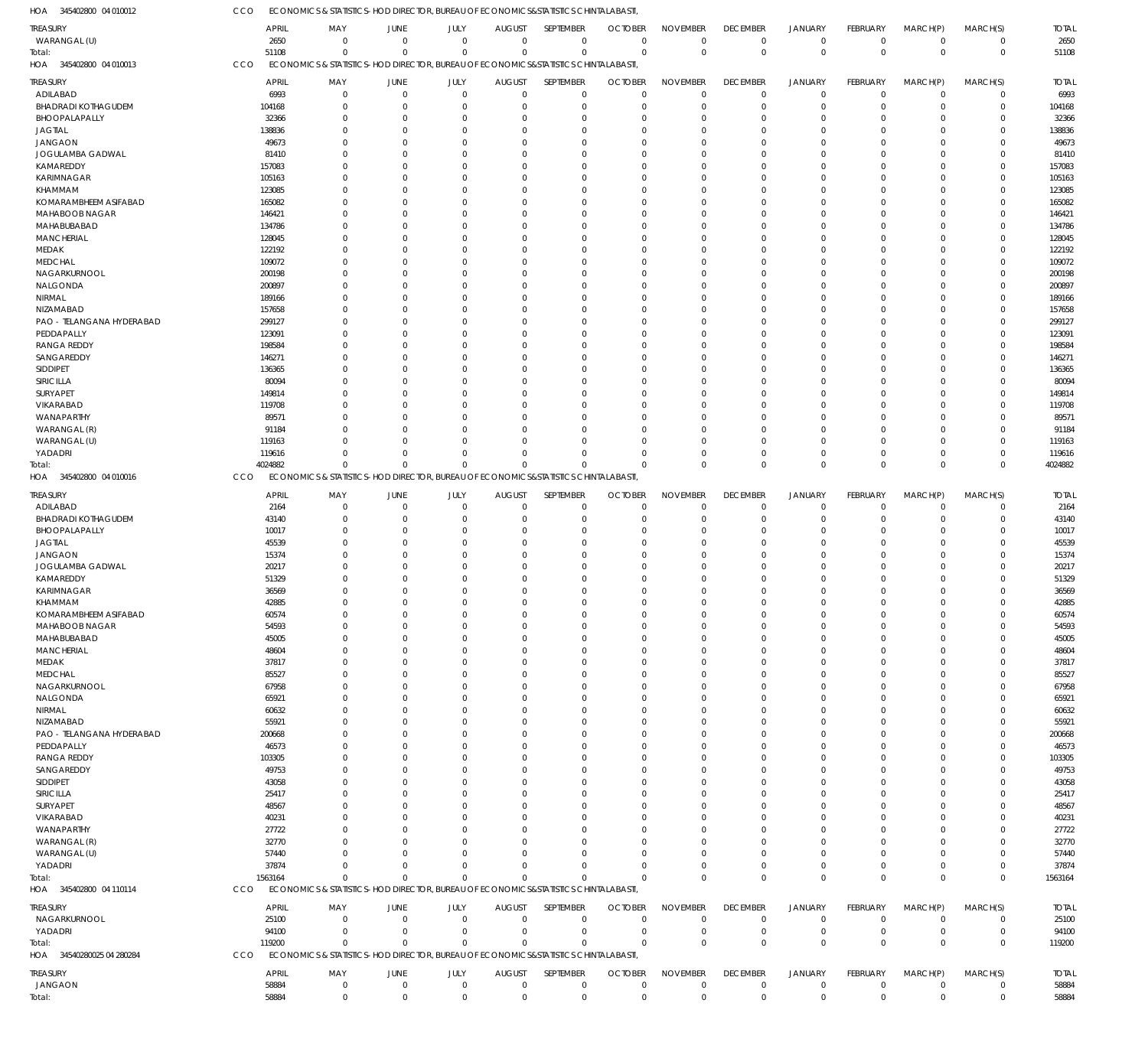| HOA<br>345402800 04 010012                  | CCO            |                                                                                   |                     | ECONOMICS & STATISTICS-HOD DIRECTOR, BUREAU OF ECONOMICS&STATISTICS CHINTALABASTI |                              |                             |                            |                                |                                |                                  |                         |                         |                         |                |
|---------------------------------------------|----------------|-----------------------------------------------------------------------------------|---------------------|-----------------------------------------------------------------------------------|------------------------------|-----------------------------|----------------------------|--------------------------------|--------------------------------|----------------------------------|-------------------------|-------------------------|-------------------------|----------------|
| <b>TREASURY</b>                             | <b>APRIL</b>   | MAY                                                                               | JUNE                | JULY                                                                              | <b>AUGUST</b>                | SEPTEMBER                   | <b>OCTOBER</b>             | <b>NOVEMBER</b>                | <b>DECEMBER</b>                | <b>JANUARY</b>                   | FEBRUARY                | MARCH(P)                | MARCH(S)                | <b>TOTAL</b>   |
| WARANGAL (U)                                | 2650           | $\overline{0}$                                                                    | $\mathbf 0$         | $\mathbf 0$                                                                       | $\mathbf 0$                  | $\overline{0}$              | $\overline{0}$             | $\overline{0}$                 | $\mathbf 0$                    | $\mathbf 0$                      | $\mathbf 0$             | $\overline{0}$          | $\mathbf 0$             | 2650           |
| Total:                                      | 51108          | $\overline{0}$                                                                    | $\mathbf 0$         | $\mathbf 0$                                                                       | $\Omega$                     | $\mathbf 0$                 | $\Omega$                   | $\mathbf 0$                    | $\mathbf 0$                    | $\overline{0}$                   | $\mathbf 0$             | $\mathbf 0$             | $\mathbf 0$             | 51108          |
| HOA 345402800 04 010013                     | CCO            | ECONOMICS & STATISTICS-HOD DIRECTOR, BUREAU OF ECONOMICS&STATISTICS CHINTALABASTI |                     |                                                                                   |                              |                             |                            |                                |                                |                                  |                         |                         |                         |                |
|                                             |                |                                                                                   |                     |                                                                                   |                              |                             |                            |                                |                                |                                  |                         |                         |                         |                |
| <b>TREASURY</b>                             | <b>APRIL</b>   | MAY                                                                               | JUNE                | JULY                                                                              | <b>AUGUST</b>                | SEPTEMBER                   | <b>OCTOBER</b>             | <b>NOVEMBER</b>                | <b>DECEMBER</b>                | <b>JANUARY</b>                   | FEBRUARY                | MARCH(P)                | MARCH(S)                | <b>TOTAL</b>   |
| ADILABAD                                    | 6993           | $\overline{0}$                                                                    | $\mathbf 0$         | $\overline{0}$                                                                    | $\mathbf 0$                  | $\overline{0}$              | $\mathbf 0$                | $\overline{0}$                 | $\mathbf 0$                    | $\overline{0}$                   | $\mathbf 0$             | $\mathbf 0$             | $\mathbf 0$             | 6993           |
| <b>BHADRADI KOTHAGUDEM</b>                  | 104168         | $\overline{0}$                                                                    | $\Omega$            | $\overline{0}$                                                                    | $\mathbf 0$                  | $\overline{0}$              | $\mathbf 0$                | $\mathbf 0$                    | $\mathbf 0$                    | $\mathbf 0$                      | $\mathbf 0$             | $\mathbf 0$             | $\mathsf 0$             | 104168         |
| BHOOPALAPALLY                               | 32366          | $\overline{0}$                                                                    | $\Omega$            | $\Omega$                                                                          | $\mathbf 0$                  | $\overline{0}$              | $\Omega$                   | $\mathbf 0$                    | $\mathbf 0$                    | $\mathbf 0$                      | $\mathbf 0$             | 0                       | $\mathbf 0$             | 32366          |
| <b>JAGTIAL</b>                              | 138836         | $\Omega$                                                                          | $\Omega$            | $\Omega$                                                                          | $\mathbf 0$                  | $\Omega$                    | $\Omega$                   | $\mathbf 0$                    | $\mathbf 0$                    | $\mathbf 0$                      | $\mathbf 0$             | $\mathbf 0$             | $\mathbf 0$             | 138836         |
| <b>JANGAON</b>                              | 49673          | $\overline{0}$                                                                    | $\Omega$            | $\Omega$                                                                          | $\Omega$                     | $\Omega$                    | $\Omega$                   | $\mathbf 0$                    | $\mathbf 0$                    | $\mathbf 0$                      | $\Omega$                | $\mathbf 0$             | $\mathbf 0$             | 49673          |
| JOGULAMBA GADWAL                            | 81410          | $\Omega$                                                                          | $\Omega$            | $\Omega$                                                                          | $\Omega$                     | $\Omega$                    | $\Omega$                   | $\Omega$                       | $\Omega$                       | $\Omega$                         | $\Omega$                | $\Omega$                | $\mathbf 0$             | 81410          |
| KAMAREDDY                                   | 157083         | $\Omega$                                                                          | $\Omega$            | $\Omega$                                                                          | $\Omega$                     | $\Omega$                    | $\Omega$                   | $\Omega$                       | $\Omega$                       | $\Omega$                         | $\Omega$                | $\Omega$                | $\mathbf 0$             | 157083         |
| KARIMNAGAR                                  | 105163         | $\Omega$                                                                          | $\Omega$            | $\Omega$                                                                          | $\Omega$                     | $\Omega$                    | $\Omega$                   | $\mathbf 0$                    | $\mathbf 0$                    | $\Omega$                         | $\Omega$                | $\mathbf 0$             | $\mathbf 0$             | 105163         |
| KHAMMAM                                     | 123085         | $\Omega$                                                                          | $\Omega$            | $\Omega$                                                                          | $\Omega$                     | $\Omega$                    | $\Omega$                   | $\Omega$                       | $\Omega$                       | $\Omega$                         | $\Omega$                | $\Omega$                | $\mathbf 0$             | 123085         |
| KOMARAMBHEEM ASIFABAD                       | 165082         | $\Omega$                                                                          | $\Omega$            | $\Omega$                                                                          | $\Omega$                     | $\Omega$                    | $\Omega$                   | $\mathbf 0$                    | $\mathbf 0$                    | $\Omega$                         | $\Omega$                | $\Omega$                | $\mathbf 0$             | 165082         |
| MAHABOOB NAGAR                              | 146421         | $\Omega$                                                                          | $\Omega$            | $\Omega$                                                                          | $\Omega$                     | $\Omega$                    | $\Omega$                   | $\Omega$                       | $\Omega$                       | $\Omega$                         | $\Omega$                | $\Omega$                | $\mathbf 0$             | 146421         |
| MAHABUBABAD                                 | 134786         | $\Omega$                                                                          | $\Omega$            | $\Omega$                                                                          | $\Omega$                     | $\Omega$                    | $\Omega$                   | $\Omega$                       | $\mathbf 0$                    | $\Omega$                         | $\Omega$                | $\Omega$                | $\mathbf 0$             | 134786         |
| MANCHERIAL                                  | 128045         | $\mathbf 0$                                                                       | $\Omega$            | $\Omega$                                                                          | $\Omega$                     | $\Omega$                    | $\Omega$                   | $\mathbf 0$                    | $\mathbf 0$                    | $\Omega$                         | $\Omega$                | $\Omega$                | $\mathbf 0$             | 128045         |
| MEDAK                                       | 122192         | $\Omega$                                                                          | $\Omega$            | $\Omega$                                                                          | $\Omega$                     | $\Omega$                    | $\Omega$                   | $\Omega$                       | $\Omega$                       | $\Omega$                         | $\Omega$                | $\Omega$                | $\mathbf 0$             | 122192         |
| <b>MEDCHAL</b>                              | 109072         | $\Omega$                                                                          | $\Omega$            | $\Omega$                                                                          | $\Omega$                     | $\Omega$                    | $\Omega$                   | $\Omega$                       | $\Omega$                       | $\Omega$                         | $\Omega$                | $\Omega$                | $\mathbf 0$             | 109072         |
| NAGARKURNOOL                                | 200198         | $\Omega$                                                                          | $\Omega$            | $\Omega$                                                                          | $\Omega$                     | $\Omega$                    | $\Omega$                   | $\mathbf 0$                    | $\mathbf 0$                    | $\Omega$                         | $\Omega$                | 0                       | $\mathbf 0$             | 200198         |
| NALGONDA                                    | 200897         | $\Omega$                                                                          | $\Omega$            | $\Omega$                                                                          | $\Omega$                     | $\Omega$                    | $\Omega$                   | $\Omega$                       | $\Omega$                       | $\Omega$                         | $\Omega$                | $\Omega$                | $\mathbf 0$             | 200897         |
| NIRMAL                                      | 189166         | $\Omega$                                                                          | $\Omega$            | $\Omega$                                                                          | $\Omega$                     | $\Omega$                    | $\Omega$                   | $\mathbf 0$                    | $\mathbf 0$                    | $\Omega$                         | $\Omega$                | $\mathbf 0$             | $\mathbf 0$             | 189166         |
| NIZAMABAD                                   | 157658         | $\Omega$                                                                          | $\Omega$            | $\Omega$                                                                          | $\Omega$                     | $\Omega$                    | $\Omega$                   | $\Omega$                       | $\Omega$                       | $\Omega$                         | $\Omega$                | $\Omega$                | $\mathbf 0$             | 157658         |
| PAO - TELANGANA HYDERABAD                   | 299127         | $\Omega$                                                                          | $\Omega$            | $\Omega$                                                                          | $\Omega$                     | $\Omega$                    | $\Omega$                   | $\mathbf 0$                    | $\mathbf 0$                    | $\Omega$                         | $\Omega$                | $\Omega$                | $\mathbf 0$             | 299127         |
| PEDDAPALLY                                  | 123091         | $\Omega$                                                                          | $\Omega$            | $\Omega$                                                                          | $\Omega$                     | $\Omega$                    | $\Omega$                   | $\mathbf 0$                    | $\Omega$                       | $\Omega$                         | $\Omega$                | $\Omega$                | $\mathbf 0$             | 123091         |
| <b>RANGA REDDY</b>                          | 198584         | $\Omega$                                                                          | $\Omega$            | $\Omega$                                                                          | $\Omega$                     | $\Omega$                    | $\Omega$                   | $\Omega$                       | $\Omega$                       | $\Omega$                         | $\Omega$                | $\Omega$                | $\mathbf 0$             | 198584         |
| SANGAREDDY                                  | 146271         | $\Omega$                                                                          | $\Omega$            | $\Omega$                                                                          | $\Omega$                     | $\Omega$                    | $\Omega$                   | $\Omega$                       | $\Omega$                       | $\Omega$                         | $\Omega$                | $\Omega$                | $\mathbf 0$             | 146271         |
| SIDDIPET                                    | 136365         | $\Omega$                                                                          | $\Omega$            | $\Omega$                                                                          | $\Omega$                     | $\Omega$                    | $\Omega$                   | $\mathbf 0$                    | $\mathbf 0$                    | $\Omega$                         | $\Omega$                | $\Omega$                | $\mathbf 0$             | 136365         |
| SIRICILLA                                   | 80094          | $\Omega$                                                                          | $\Omega$            | $\Omega$                                                                          | $\Omega$                     | $\Omega$                    | $\Omega$                   | $\Omega$                       | $\Omega$                       | $\Omega$                         | $\Omega$                | $\Omega$                | $\mathbf 0$             | 80094          |
| SURYAPET                                    | 149814         | $\Omega$                                                                          | $\Omega$            | $\Omega$                                                                          | $\Omega$                     | $\Omega$                    | $\Omega$                   | $\mathbf 0$                    | $\mathbf 0$                    | $\Omega$                         | $\Omega$                | $\mathbf 0$             | $\mathbf 0$             | 149814         |
| VIKARABAD                                   | 119708         | $\Omega$                                                                          | $\Omega$            | $\Omega$                                                                          | $\Omega$                     | $\Omega$                    | $\Omega$                   | $\Omega$                       | $\Omega$                       | $\Omega$                         | $\Omega$                | $\Omega$                | $\mathbf 0$             | 119708         |
| WANAPARTHY                                  | 89571          | $\Omega$                                                                          | $\Omega$            | $\Omega$                                                                          | $\Omega$                     | $\Omega$                    | $\Omega$                   | $\mathbf 0$                    | $\mathbf 0$                    | $\Omega$                         | $\Omega$                | $\Omega$                | $\mathbf 0$             | 89571          |
| WARANGAL (R)                                | 91184          | $\Omega$                                                                          | $\Omega$            | $\Omega$                                                                          | $\Omega$                     | $\Omega$                    | $\Omega$                   | $\mathbf 0$                    | $\mathbf 0$                    | $\Omega$                         | $\Omega$                | $\Omega$                | $\mathbf 0$             | 91184          |
| WARANGAL (U)                                | 119163         | $\Omega$                                                                          | $\Omega$            | $\Omega$                                                                          | $\Omega$                     | $\Omega$                    | $\Omega$                   | $\Omega$                       | $\mathbf 0$                    | $\Omega$                         | $\Omega$                | $\Omega$                | $\mathbf 0$             | 119163         |
| YADADRI                                     | 119616         | $\mathbf 0$                                                                       | $\Omega$            | $\overline{0}$                                                                    | $\mathbf 0$                  | $\Omega$                    | $\Omega$                   | $\Omega$                       | $\mathbf 0$                    | $\mathbf 0$                      | $\mathbf 0$             | $\mathbf 0$             | $\mathbf 0$             | 119616         |
| Total:                                      | 4024882        | $\Omega$                                                                          | $\Omega$            | $\Omega$                                                                          | $\Omega$                     | $\Omega$                    | $\Omega$                   | $\Omega$                       | $\mathbf 0$                    | $\Omega$                         | $\mathbf 0$             | $\Omega$                | $\mathbf 0$             | 4024882        |
| 345402800 04 010016<br>HOA                  | CCO            | ECONOMICS & STATISTICS-HOD DIRECTOR, BUREAU OF ECONOMICS&STATISTICS CHINTALABASTI |                     |                                                                                   |                              |                             |                            |                                |                                |                                  |                         |                         |                         |                |
|                                             |                |                                                                                   |                     |                                                                                   |                              |                             |                            |                                |                                |                                  |                         |                         |                         |                |
|                                             | <b>APRIL</b>   |                                                                                   |                     |                                                                                   |                              |                             |                            |                                |                                |                                  |                         |                         |                         |                |
| <b>TREASURY</b><br>ADILABAD                 |                | MAY<br>$\overline{0}$                                                             | JUNE<br>$\mathbf 0$ | JULY<br>$\overline{0}$                                                            | <b>AUGUST</b><br>$\mathbf 0$ | SEPTEMBER<br>$\overline{0}$ | <b>OCTOBER</b><br>$\Omega$ | <b>NOVEMBER</b><br>$\mathbf 0$ | <b>DECEMBER</b><br>$\mathbf 0$ | <b>JANUARY</b><br>$\overline{0}$ | FEBRUARY<br>$\mathbf 0$ | MARCH(P)<br>$\mathbf 0$ | MARCH(S)<br>$\mathbf 0$ | <b>TOTAL</b>   |
|                                             | 2164<br>43140  | $\overline{0}$                                                                    | $\Omega$            | $\mathbf 0$                                                                       | $\mathbf 0$                  | $\overline{0}$              | $\Omega$                   | $\mathbf 0$                    | $\mathbf 0$                    | $\mathbf 0$                      | $\mathbf 0$             | $\mathbf 0$             | $\mathbf 0$             | 2164<br>43140  |
| <b>BHADRADI KOTHAGUDEM</b><br>BHOOPALAPALLY | 10017          | $\Omega$                                                                          | $\Omega$            | $\Omega$                                                                          | $\Omega$                     | $\Omega$                    | $\Omega$                   | $\mathbf 0$                    | $\mathbf 0$                    | $\mathbf 0$                      | $\mathbf 0$             | $\Omega$                | $\mathbf 0$             | 10017          |
| JAGTIAL                                     |                | $\Omega$                                                                          | $\Omega$            | $\Omega$                                                                          | $\Omega$                     | $\Omega$                    | $\Omega$                   | $\mathbf 0$                    | $\mathbf 0$                    | $\Omega$                         | $\Omega$                | $\Omega$                | $\mathbf 0$             |                |
|                                             | 45539          | $\Omega$                                                                          | $\Omega$            | $\Omega$                                                                          | $\Omega$                     | $\Omega$                    | $\Omega$                   | $\Omega$                       | $\Omega$                       | $\Omega$                         | $\Omega$                | $\Omega$                | $\mathbf 0$             | 45539          |
| JANGAON                                     | 15374          | $\Omega$                                                                          | $\Omega$            | $\Omega$                                                                          | $\Omega$                     | $\Omega$                    | $\Omega$                   | $\Omega$                       | $\Omega$                       | $\Omega$                         | $\Omega$                | $\Omega$                | $\mathbf 0$             | 15374          |
| JOGULAMBA GADWAL<br>KAMAREDDY               | 20217<br>51329 | $\Omega$                                                                          | $\Omega$            | $\Omega$                                                                          | $\Omega$                     | $\Omega$                    | $\Omega$                   | $\Omega$                       | $\Omega$                       | $\Omega$                         | $\mathbf 0$             | $\mathbf 0$             | $\mathbf 0$             | 20217          |
|                                             | 36569          | $\Omega$                                                                          | $\Omega$            | $\Omega$                                                                          | $\Omega$                     | $\Omega$                    | $\Omega$                   | $\Omega$                       | $\Omega$                       | $\Omega$                         | $\Omega$                | $\Omega$                | $\mathbf 0$             | 51329          |
| <b>KARIMNAGAR</b><br>KHAMMAM                | 42885          | $\Omega$                                                                          | $\Omega$            | $\mathbf 0$                                                                       | $\Omega$                     | $\Omega$                    | $\Omega$                   | $\Omega$                       | $\mathbf 0$                    | $\Omega$                         | $\mathbf 0$             | $\mathbf 0$             | $\mathbf 0$             | 36569<br>42885 |
| KOMARAMBHEEM ASIFABAD                       | 60574          | $\overline{0}$                                                                    | $\Omega$            | $\mathbf 0$                                                                       | $\mathbf 0$                  | $\mathbf 0$                 | $\Omega$                   | $\mathbf 0$                    | $\mathbf 0$                    | $\mathbf 0$                      | $\mathbf 0$             | $\mathbf 0$             | $\mathbf 0$             | 60574          |
| MAHABOOB NAGAR                              |                | $\overline{0}$                                                                    | $\Omega$            | $\Omega$                                                                          | $\mathbf 0$                  | $\overline{0}$              | $\mathbf 0$                | $\mathbf 0$                    | $\mathbf 0$                    | $\mathbf 0$                      | $\mathbf 0$             | $\mathbf 0$             | $\mathbf 0$             |                |
| MAHABUBABAD                                 | 54593<br>45005 | $\mathbf 0$                                                                       | $\Omega$            | $\Omega$                                                                          | $\mathbf 0$                  | $\mathbf 0$                 | $\Omega$                   | $\mathbf 0$                    | $\mathbf 0$                    | $\mathbf 0$                      | $\Omega$                | 0                       | $\mathbf 0$             | 54593<br>45005 |
| MANCHERIAL                                  | 48604          | $\mathbf 0$                                                                       | $\Omega$            | $\Omega$                                                                          | $\Omega$                     | $\mathbf 0$                 | $\Omega$                   | $\mathbf 0$                    | $\mathbf 0$                    | 0                                | $\Omega$                | $\Omega$                | $\mathbf 0$             | 48604          |
| MEDAK                                       | 37817          | $\mathbf 0$                                                                       | $\Omega$            | $\Omega$                                                                          | $\Omega$                     | $\Omega$                    | $\Omega$                   | $\mathbf 0$                    | $\mathbf 0$                    | $\Omega$                         | $\Omega$                | $\Omega$                | $\mathbf 0$             | 37817          |
| <b>MEDCHAL</b>                              | 85527          | $\Omega$                                                                          | $\Omega$            | $\Omega$                                                                          | $\Omega$                     | $\Omega$                    | $\Omega$                   | $\mathbf 0$                    | $\Omega$                       | $\Omega$                         | $\Omega$                | $\Omega$                | $\mathbf 0$             | 85527          |
| NAGARKURNOOL                                | 67958          | $\Omega$                                                                          | O                   | $\Omega$                                                                          | $\mathbf 0$                  | $\Omega$                    | $\Omega$                   | $\mathbf 0$                    | $\mathbf 0$                    | 0                                | $\Omega$                | $\Omega$                | $\mathbf 0$             | 67958          |
| NALGONDA                                    | 65921          | $\Omega$                                                                          | $\Omega$            | $\Omega$                                                                          | $\Omega$                     | $\Omega$                    | $\Omega$                   | $\Omega$                       | $\Omega$                       | $\Omega$                         | $\Omega$                | $\Omega$                | $\mathbf 0$             | 65921          |
| NIRMAL                                      | 60632          | $\mathbf 0$                                                                       | O                   | $\Omega$                                                                          | $\mathbf 0$                  | $\mathbf 0$                 | $\Omega$                   | $\mathbf 0$                    | $\mathbf 0$                    | 0                                | $\Omega$                | 0                       | $\mathbf 0$             | 60632          |
| NIZAMABAD                                   | 55921          | $\Omega$                                                                          | <sup>0</sup>        | $\Omega$                                                                          | $\Omega$                     | $\Omega$                    | $\Omega$                   | $\Omega$                       | $\Omega$                       | $\Omega$                         | $\Omega$                | $\Omega$                | $\mathbf 0$             | 55921          |
| PAO - TELANGANA HYDERABAD                   | 200668         | $\Omega$                                                                          | O                   | $\Omega$                                                                          | $\Omega$                     | $\Omega$                    | $\Omega$                   | $\mathbf 0$                    | $\mathbf 0$                    | $\Omega$                         | $\Omega$                | $\Omega$                | $\mathbf 0$             | 200668         |
| PEDDAPALLY                                  | 46573          | $\Omega$                                                                          | $\Omega$            | $\Omega$                                                                          | $\Omega$                     | $\Omega$                    | $\Omega$                   | $\mathbf 0$                    | $\Omega$                       | $\Omega$                         | $\Omega$                | $\Omega$                | $\mathbf 0$             | 46573          |
| <b>RANGA REDDY</b>                          | 103305         | $\Omega$                                                                          | O                   | $\Omega$                                                                          | $\Omega$                     | $\Omega$                    | $\Omega$                   | $\Omega$                       | $\Omega$                       | $\Omega$                         | $\Omega$                | $\Omega$                | $\mathbf 0$             | 103305         |
| SANGAREDDY                                  | 49753          | $\Omega$                                                                          | $\Omega$            | $\Omega$                                                                          | $\Omega$                     | $\Omega$                    | $\Omega$                   | $\mathbf 0$                    | $\Omega$                       | $\Omega$                         | $\Omega$                | $\Omega$                | $\mathbf 0$             | 49753          |
| SIDDIPET                                    | 43058          | $\Omega$                                                                          | O                   | $\Omega$                                                                          | $\mathbf 0$                  | $\Omega$                    | $\Omega$                   | $\mathbf 0$                    | $\mathbf 0$                    | $\Omega$                         | $\Omega$                | $\Omega$                | $\mathbf 0$             | 43058          |
| SIRICILLA                                   | 25417          | $\Omega$                                                                          | $\Omega$            | $\Omega$                                                                          | $\Omega$                     | $\Omega$                    | $\Omega$                   | $\Omega$                       | $\Omega$                       | $\Omega$                         | $\Omega$                | $\Omega$                | $\mathbf 0$             | 25417          |
| SURYAPET                                    | 48567          | 0                                                                                 | O                   | $\Omega$                                                                          | $\mathbf 0$                  | $\Omega$                    | $\Omega$                   | $\mathbf 0$                    | $\mathbf 0$                    | $\Omega$                         | $\Omega$                | 0                       | $\mathbf 0$             | 48567          |
| VIKARABAD                                   | 40231          | $\Omega$                                                                          | <sup>0</sup>        | $\Omega$                                                                          | $\Omega$                     | $\Omega$                    | $\Omega$                   | $\Omega$                       | $\Omega$                       | $\Omega$                         | $\Omega$                | $\Omega$                | $\mathbf 0$             | 40231          |
| WANAPARTHY                                  | 27722          | $\Omega$                                                                          | O                   | $\Omega$                                                                          | $\Omega$                     | $\Omega$                    | $\Omega$                   | $\mathbf 0$                    | $\mathbf 0$                    | $\Omega$                         | $\Omega$                | $\Omega$                | $\mathbf 0$             | 27722          |
| WARANGAL (R)                                | 32770          | $\Omega$                                                                          | $\Omega$            | $\Omega$                                                                          | $\Omega$                     | $\Omega$                    | $\Omega$                   | $\mathbf 0$                    | $\Omega$                       | $\Omega$                         | $\Omega$                | $\Omega$                | $\mathbf 0$             | 32770          |
| WARANGAL (U)                                | 57440          | $\Omega$                                                                          | $\Omega$            | $\Omega$                                                                          | $\mathbf 0$                  | $\Omega$                    | $\Omega$                   | $\mathbf 0$                    | $\mathbf 0$                    | $\Omega$                         | $\Omega$                | $\Omega$                | $\mathbf 0$             | 57440          |
| YADADRI                                     | 37874          | $\Omega$                                                                          | $\Omega$            | $\overline{0}$                                                                    | $\mathbf 0$                  | $\mathbf 0$                 | $\Omega$                   | $\mathbf 0$                    | $\mathbf 0$                    | $\mathbf 0$                      | $\mathbf 0$             | $\mathbf 0$             | $\mathbf 0$             | 37874          |
| Total:                                      | 1563164        | $\Omega$                                                                          | $\Omega$            | $\Omega$                                                                          | $\Omega$                     | $\Omega$                    | $\Omega$                   | $\mathbf 0$                    | $\mathbf 0$                    | $\mathbf 0$                      | $\mathbf 0$             | $\mathbf 0$             | $\mathbf 0$             | 1563164        |
| HOA 345402800 04 110114                     | CCO            | ECONOMICS & STATISTICS-HOD DIRECTOR, BUREAU OF ECONOMICS&STATISTICS CHINTALABASTI |                     |                                                                                   |                              |                             |                            |                                |                                |                                  |                         |                         |                         |                |
|                                             |                |                                                                                   |                     |                                                                                   |                              |                             |                            |                                |                                |                                  |                         |                         |                         |                |
| <b>TREASURY</b>                             | <b>APRIL</b>   | MAY                                                                               | JUNE                | JULY                                                                              | <b>AUGUST</b>                | SEPTEMBER                   | <b>OCTOBER</b>             | <b>NOVEMBER</b>                | <b>DECEMBER</b>                | <b>JANUARY</b>                   | FEBRUARY                | MARCH(P)                | MARCH(S)                | <b>TOTAL</b>   |
| NAGARKURNOOL                                | 25100          | $\overline{0}$                                                                    | $\mathbf 0$         | $\overline{0}$                                                                    | $\mathbf 0$                  | $\overline{0}$              | $\mathbf 0$                | $\mathbf 0$                    | $\mathbf 0$                    | $\mathbf 0$                      | $\mathbf 0$             | $\mathbf 0$             | $\mathbf 0$             | 25100          |
| YADADRI                                     | 94100          | $\overline{0}$                                                                    | $\mathbf 0$         | $\overline{0}$                                                                    | $\mathbf 0$                  | $\overline{0}$              | $\mathbf 0$                | $\mathbf 0$                    | $\mathbf 0$                    | $\mathbf 0$                      | $\mathbf 0$             | $\mathbf 0$             | $\mathsf 0$             | 94100          |
| Total:                                      | 119200         | $\Omega$                                                                          | $\Omega$            | $\Omega$                                                                          | $\Omega$                     | $\overline{0}$              | $\mathbf 0$                | $\mathbf 0$                    | $\mathbf 0$                    | $\overline{0}$                   | $\mathbf 0$             | $\mathbf 0$             | $\mathbf 0$             | 119200         |
| 34540280025 04 280284<br>HOA                | CCO            | ECONOMICS & STATISTICS-HOD DIRECTOR, BUREAU OF ECONOMICS&STATISTICS CHINTALABASTI |                     |                                                                                   |                              |                             |                            |                                |                                |                                  |                         |                         |                         |                |
| <b>TREASURY</b>                             | <b>APRIL</b>   | MAY                                                                               | JUNE                | JULY                                                                              | <b>AUGUST</b>                | SEPTEMBER                   | <b>OCTOBER</b>             | <b>NOVEMBER</b>                | <b>DECEMBER</b>                | JANUARY                          | FEBRUARY                | MARCH(P)                | MARCH(S)                | <b>TOTAL</b>   |
| JANGAON                                     | 58884          | $\overline{0}$                                                                    | $\mathbf 0$         | $\overline{0}$                                                                    | $\mathbf 0$                  | $\overline{0}$              | $\mathbf 0$                | $\mathbf 0$                    | $\mathbf 0$                    | $\mathbf 0$                      | $\mathbf 0$             | $\mathbf 0$             | $\mathbf 0$             | 58884<br>58884 |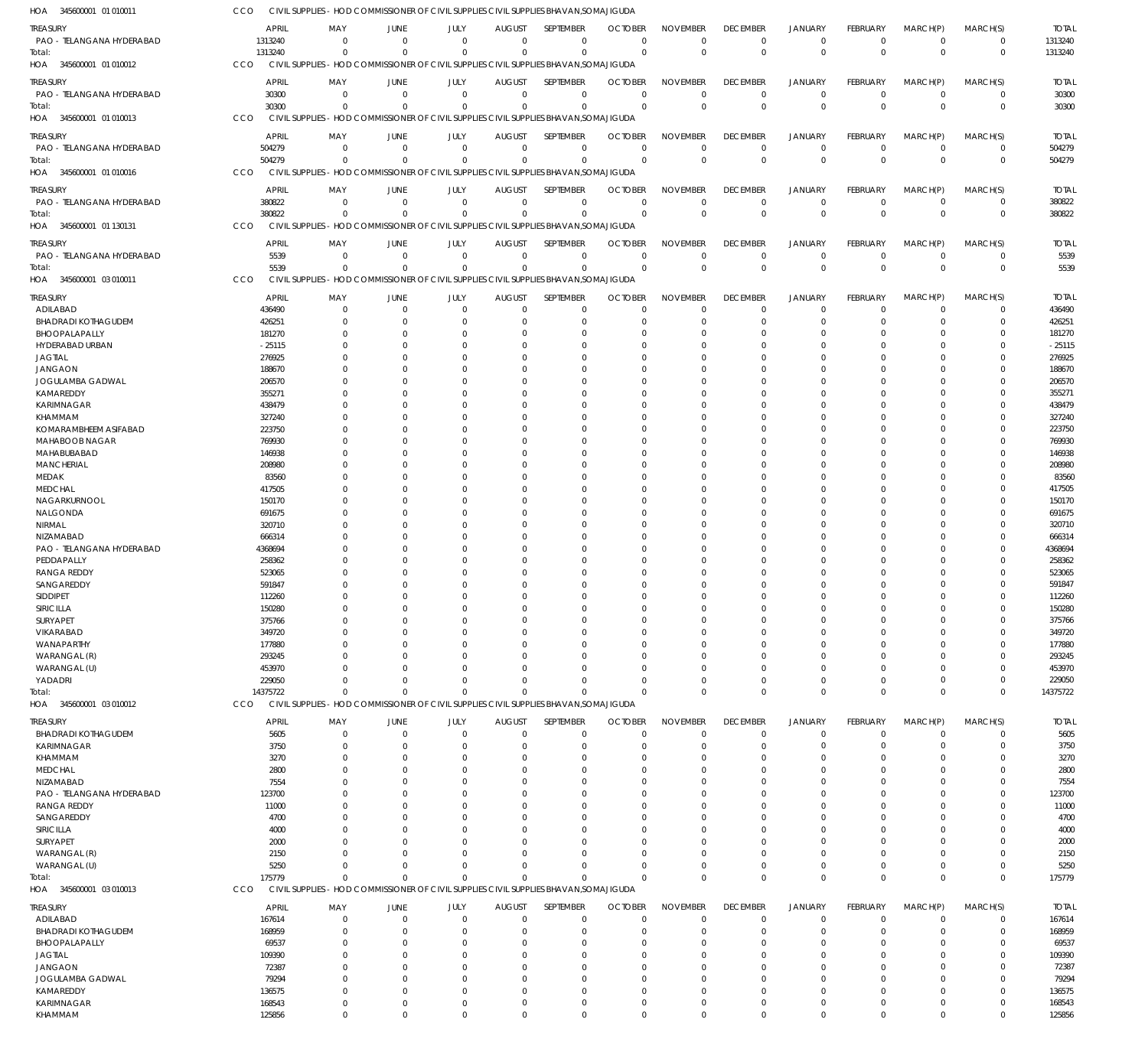| HOA<br>345600001 01 010011             | CCO                  | CIVIL SUPPLIES - HOD COMMISSIONER OF CIVIL SUPPLIES CIVIL SUPPLIES BHAVAN, SOMAJIGUDA |                               |                         |                               |                            |                                              |                                |                                |                               |                             |                               |                         |                      |
|----------------------------------------|----------------------|---------------------------------------------------------------------------------------|-------------------------------|-------------------------|-------------------------------|----------------------------|----------------------------------------------|--------------------------------|--------------------------------|-------------------------------|-----------------------------|-------------------------------|-------------------------|----------------------|
| <b>TREASURY</b>                        | APRIL                | MAY                                                                                   | <b>JUNE</b>                   | JULY                    | <b>AUGUST</b>                 | SEPTEMBER                  | <b>OCTOBER</b>                               | <b>NOVEMBER</b>                | <b>DECEMBER</b>                | <b>JANUARY</b>                | <b>FEBRUARY</b>             | MARCH(P)                      | MARCH(S)                | <b>TOTAL</b>         |
| PAO - TELANGANA HYDERABAD              | 1313240              | $\mathbf{0}$                                                                          | $\overline{0}$                | $\mathbf 0$             | $\mathbf{0}$                  |                            | $\mathbf 0$<br>$\mathbf 0$                   | $\mathbf 0$                    | $\mathbf 0$                    | $\mathbf 0$                   | $\Omega$                    | $^{\circ}$                    | $\mathbf 0$             | 1313240              |
| Total:                                 | 1313240              | $\Omega$                                                                              | $\overline{0}$                | $\Omega$                | $\Omega$                      |                            | $\mathbf 0$<br>$\Omega$                      | $\mathbf 0$                    | $\Omega$                       | $\Omega$                      | $\Omega$                    | $\mathbf{0}$                  | $\mathbf 0$             | 1313240              |
| HOA 345600001 01 010012                | CCO                  | CIVIL SUPPLIES - HOD COMMISSIONER OF CIVIL SUPPLIES CIVIL SUPPLIES BHAVAN, SOMAJIGUDA |                               |                         |                               |                            |                                              |                                |                                |                               |                             |                               |                         |                      |
| <b>TREASURY</b>                        | <b>APRIL</b>         | MAY                                                                                   | <b>JUNE</b>                   | JULY                    | <b>AUGUST</b>                 | <b>SEPTEMBER</b>           | <b>OCTOBER</b>                               | <b>NOVEMBER</b>                | <b>DECEMBER</b>                | <b>JANUARY</b>                | <b>FEBRUARY</b>             | MARCH(P)                      | MARCH(S)                | <b>TOTAL</b>         |
| PAO - TELANGANA HYDERABAD              | 30300                | $\overline{0}$                                                                        | $\overline{0}$                | $\mathbf 0$             | $\mathbf{0}$                  |                            | $\mathbf 0$<br>$\overline{0}$                | $\mathbf 0$                    | $^{\circ}$                     | $\mathbf 0$                   | $\mathbf 0$                 | $^{\circ}$                    | 0                       | 30300                |
| Total:                                 | 30300                | $\Omega$                                                                              | $\Omega$                      | $\Omega$                | $\mathbf 0$                   |                            | $\mathbf 0$<br>$\overline{0}$                | $\mathbf 0$                    | $\Omega$                       | $\Omega$                      | $\Omega$                    | $\Omega$                      | $\mathbf{0}$            | 30300                |
| 345600001 01 010013<br>HOA             | CCO                  | CIVIL SUPPLIES - HOD COMMISSIONER OF CIVIL SUPPLIES CIVIL SUPPLIES BHAVAN, SOMAJIGUDA |                               |                         |                               |                            |                                              |                                |                                |                               |                             |                               |                         |                      |
| treasury                               | <b>APRIL</b>         | MAY                                                                                   | <b>JUNE</b>                   | JULY                    | <b>AUGUST</b>                 | SEPTEMBER                  | <b>OCTOBER</b>                               | <b>NOVEMBER</b>                | <b>DECEMBER</b>                | <b>JANUARY</b>                | FEBRUARY                    | MARCH(P)                      | MARCH(S)                | <b>TOTAL</b>         |
| PAO - TELANGANA HYDERABAD              | 504279               | $\mathbf{0}$                                                                          | $\overline{0}$                | $\mathbf 0$             | $\mathbf 0$                   |                            | $\mathbf 0$<br>$\Omega$                      | $\mathbf 0$                    | $\mathbf 0$                    | $\mathbf 0$                   | $\Omega$                    | $\Omega$                      | $\mathbf 0$             | 504279               |
| Total:                                 | 504279               | $\Omega$                                                                              | $\Omega$                      | $\mathbf 0$             | $\mathbf 0$                   |                            | $\mathbf 0$<br>$\overline{0}$                | $\mathbf 0$                    | $\Omega$                       | $\mathbf 0$                   | $\Omega$                    | $\Omega$                      | $\mathbf 0$             | 504279               |
| 345600001 01 010016<br>HOA             | CCO                  | CIVIL SUPPLIES - HOD COMMISSIONER OF CIVIL SUPPLIES CIVIL SUPPLIES BHAVAN, SOMAJIGUDA |                               |                         |                               |                            |                                              |                                |                                |                               |                             |                               |                         |                      |
| <b>TREASURY</b>                        | <b>APRIL</b>         | MAY                                                                                   | <b>JUNE</b>                   | JULY                    | <b>AUGUST</b>                 | SEPTEMBER                  | <b>OCTOBER</b>                               | <b>NOVEMBER</b>                | <b>DECEMBER</b>                | <b>JANUARY</b>                | <b>FEBRUARY</b>             | MARCH(P)                      | MARCH(S)                | <b>TOTAL</b>         |
| PAO - TELANGANA HYDERABAD              | 380822               | $\mathbf 0$                                                                           | $\overline{0}$                | $\mathbf 0$             | $\overline{0}$                | $\mathbf 0$                | $\overline{0}$                               | $\mathbf 0$                    | $\overline{0}$                 | $\mathbf 0$                   | $^{\circ}$                  | $\overline{0}$                | $\mathbf 0$             | 380822               |
| Total:                                 | 380822               | $\Omega$                                                                              | $\overline{0}$                | $\mathbf 0$             | $\mathbf{0}$                  |                            | $\mathbf 0$<br>$\Omega$                      | $\mathbf 0$                    | $\Omega$                       | $\mathbf{0}$                  | $\Omega$                    | $\Omega$                      | $\mathbf{0}$            | 380822               |
| HOA 345600001 01 130131                | CCO                  | CIVIL SUPPLIES - HOD COMMISSIONER OF CIVIL SUPPLIES CIVIL SUPPLIES BHAVAN, SOMAJIGUDA |                               |                         |                               |                            |                                              |                                |                                |                               |                             |                               |                         |                      |
|                                        |                      |                                                                                       |                               |                         |                               |                            |                                              |                                |                                |                               |                             |                               |                         |                      |
| TREASURY<br>PAO - TELANGANA HYDERABAD  | <b>APRIL</b><br>5539 | MAY<br>$\mathbf{0}$                                                                   | <b>JUNE</b><br>$\overline{0}$ | JULY<br>$\mathbf 0$     | <b>AUGUST</b><br>$\mathbf{0}$ | SEPTEMBER                  | <b>OCTOBER</b><br>$\mathbf 0$<br>$^{\circ}$  | <b>NOVEMBER</b><br>$\mathbf 0$ | <b>DECEMBER</b><br>$\mathbf 0$ | <b>JANUARY</b><br>$\mathbf 0$ | <b>FEBRUARY</b><br>$\Omega$ | MARCH(P)<br>$^{\circ}$        | MARCH(S)<br>$\mathbf 0$ | <b>TOTAL</b><br>5539 |
| Total:                                 | 5539                 | $\Omega$                                                                              | $\Omega$                      | $\Omega$                | $\Omega$                      | $\mathbf 0$                | $\Omega$                                     | $\mathbf 0$                    | $\Omega$                       | $\Omega$                      | $\Omega$                    | $\Omega$                      | $\mathbf 0$             | 5539                 |
| 345600001 03 010011<br>HOA             | CCO                  | CIVIL SUPPLIES - HOD COMMISSIONER OF CIVIL SUPPLIES CIVIL SUPPLIES BHAVAN, SOMAJIGUDA |                               |                         |                               |                            |                                              |                                |                                |                               |                             |                               |                         |                      |
|                                        |                      |                                                                                       |                               |                         |                               |                            |                                              |                                |                                |                               |                             |                               |                         |                      |
| <b>TREASURY</b>                        | <b>APRIL</b>         | MAY                                                                                   | <b>JUNE</b>                   | JULY                    | <b>AUGUST</b>                 | SEPTEMBER                  | <b>OCTOBER</b>                               | <b>NOVEMBER</b>                | <b>DECEMBER</b>                | <b>JANUARY</b>                | FEBRUARY                    | MARCH(P)                      | MARCH(S)                | <b>TOTAL</b>         |
| ADILABAD<br><b>BHADRADI KOTHAGUDEM</b> | 436490               | $\mathbf 0$                                                                           | $\overline{0}$                | $\mathbf 0$             | $\mathbf 0$                   | $\mathbf 0$                | $^{\circ}$                                   | $\mathbf 0$                    | $^{\circ}$                     | $\Omega$                      | $\Omega$                    | $\Omega$                      | $\mathbf 0$             | 436490               |
| BHOOPALAPALLY                          | 426251<br>181270     | 0<br>0                                                                                | $\overline{0}$<br>$\Omega$    | $\Omega$<br>O           | 0<br>0                        | $\mathbf 0$                | -0<br>0<br>$\Omega$                          | $\mathbf 0$<br>$\Omega$        | 0<br>$\Omega$                  | $\mathbf 0$<br>$\Omega$       |                             | $\Omega$<br>$\Omega$          | $\mathbf 0$<br>$\Omega$ | 426251<br>181270     |
| HYDERABAD URBAN                        | $-25115$             | 0                                                                                     | $\Omega$                      | 0                       | $\Omega$                      | $\mathbf 0$                | $\Omega$                                     | $\Omega$                       | $\Omega$                       | $\Omega$                      |                             | $\Omega$                      | $\Omega$                | $-25115$             |
| <b>JAGTIAL</b>                         | 276925               | U                                                                                     | $\Omega$                      | O                       | $\Omega$                      | $\mathbf 0$                | $\Omega$                                     | $\Omega$                       | $\Omega$                       | $\Omega$                      |                             | $\Omega$                      | $\Omega$                | 276925               |
| <b>JANGAON</b>                         | 188670               | U                                                                                     | $\Omega$                      | O                       | $\Omega$                      | $\mathbf 0$                | 0                                            | $\Omega$                       | $\Omega$                       | $\Omega$                      |                             | $\Omega$                      | $\Omega$                | 188670               |
| JOGULAMBA GADWAL                       | 206570               |                                                                                       | $\Omega$                      | O                       | 0                             | 0                          | $\Omega$                                     | $\Omega$                       | $\Omega$                       | $\Omega$                      |                             | $\Omega$                      | $\Omega$                | 206570               |
| KAMAREDDY                              | 355271               | 0                                                                                     | $\Omega$                      | O                       | $\Omega$                      | $\mathbf 0$                | $\Omega$                                     | $\Omega$                       | $\Omega$                       | $\Omega$                      |                             | $\Omega$                      | $\Omega$                | 355271               |
| KARIMNAGAR                             | 438479               |                                                                                       | $\Omega$                      | O                       | $\Omega$                      | $\Omega$                   | $\Omega$                                     | $\Omega$                       | $\Omega$                       | $\Omega$                      |                             | $\Omega$                      | $\Omega$                | 438479               |
| KHAMMAM                                | 327240               |                                                                                       | $\Omega$                      | O                       | $\Omega$                      | $\mathbf 0$                | $\Omega$                                     | $\Omega$                       | $\Omega$                       | $\Omega$                      |                             | $\Omega$                      | $\Omega$                | 327240               |
| KOMARAMBHEEM ASIFABAD                  | 223750               |                                                                                       | $\Omega$                      | O                       | 0                             | 0                          | $\Omega$                                     | $\mathbf 0$                    | $\Omega$                       | $\Omega$                      |                             | $\Omega$                      | $\Omega$                | 223750               |
| MAHABOOB NAGAR                         | 769930               | U                                                                                     | $\Omega$                      | O                       | $\Omega$                      | $\mathbf 0$                | $\Omega$                                     | $\Omega$                       | $\Omega$                       | $\Omega$                      |                             | $\Omega$                      | 0                       | 769930               |
| MAHABUBABAD                            | 146938               |                                                                                       | $\Omega$                      | O                       | 0                             | $\Omega$                   | $\Omega$                                     | $\Omega$                       | $\Omega$                       | $\Omega$                      |                             | $\Omega$                      | $\Omega$                | 146938               |
| <b>MANCHERIAL</b>                      | 208980               | 0                                                                                     | $\Omega$                      | O                       | $\Omega$                      | $\mathbf 0$                | $\Omega$                                     | $\mathbf 0$                    | $\Omega$                       | $\Omega$                      |                             | $\Omega$                      | 0                       | 208980               |
| MEDAK                                  | 83560                |                                                                                       | $\Omega$                      |                         | 0                             | 0                          | $\Omega$                                     | $\Omega$                       | $\Omega$                       | $\Omega$                      |                             | $\Omega$                      | $\Omega$                | 83560                |
| <b>MEDCHAL</b><br>NAGARKURNOOL         | 417505<br>150170     | N                                                                                     | $\Omega$<br>$\Omega$          | O<br>O                  | $\Omega$<br>0                 | $\mathbf 0$<br>0           | $\Omega$<br>$\Omega$                         | $\Omega$<br>$\Omega$           | $\Omega$<br>$\Omega$           | $\Omega$<br>$\Omega$          |                             | $\Omega$<br>$\Omega$          | $\Omega$<br>$\Omega$    | 417505<br>150170     |
| NALGONDA                               | 691675               | N                                                                                     | $\Omega$                      | O                       | 0                             | $\mathbf 0$                | 0                                            | $\Omega$                       | $\Omega$                       | $\Omega$                      |                             | $\Omega$                      | $\Omega$                | 691675               |
| NIRMAL                                 | 320710               |                                                                                       | $\Omega$                      | O                       | 0                             | $\Omega$                   | $\Omega$                                     | $\Omega$                       | $\Omega$                       | $\Omega$                      |                             | $\Omega$                      | $\Omega$                | 320710               |
| NIZAMABAD                              | 666314               |                                                                                       | $\Omega$                      | O                       | $\Omega$                      | $\mathbf 0$                | $\Omega$                                     | $\mathbf 0$                    | $\Omega$                       | $\Omega$                      |                             | $\Omega$                      | 0                       | 666314               |
| PAO - TELANGANA HYDERABAD              | 4368694              |                                                                                       | $\Omega$                      | O                       | $\Omega$                      | $\mathbf 0$                | $\Omega$                                     | $\Omega$                       | $\Omega$                       | $\Omega$                      |                             | $\Omega$                      | $\Omega$                | 4368694              |
| PEDDAPALLY                             | 258362               |                                                                                       | $\Omega$                      | O                       | $\Omega$                      | $\mathbf 0$                | 0                                            | $\Omega$                       | $\Omega$                       | $\Omega$                      |                             | $\Omega$                      | $\Omega$                | 258362               |
| <b>RANGA REDDY</b>                     | 523065               |                                                                                       | $\Omega$                      | O                       | $\Omega$                      | $\mathbf 0$                | $\Omega$                                     | $\Omega$                       | $\Omega$                       | $\Omega$                      |                             | $\Omega$                      | $\Omega$                | 523065               |
| SANGAREDDY                             | 591847               | 0                                                                                     | $\Omega$                      | O                       | $\Omega$                      | $\mathbf 0$                | -0                                           | $\mathbf 0$                    | $\Omega$                       | $\Omega$                      |                             | $\Omega$                      | 0                       | 591847               |
| SIDDIPET                               | 112260               | $\Omega$                                                                              | $\Omega$                      | $\Omega$                | $\Omega$                      |                            | $\mathbf 0$<br>$\Omega$                      | $\Omega$                       | $\Omega$                       | $\Omega$                      | $\Omega$                    | $\Omega$                      | $\Omega$                | 112260               |
| SIRICILLA                              | 150280               | 0                                                                                     | 0                             |                         |                               | 0                          | -0                                           |                                |                                |                               |                             | $\Omega$                      | 0                       | 150280               |
| SURYAPET                               | 375766               | $\Omega$                                                                              | $\Omega$                      |                         | 0                             | $\mathbf 0$                | -0                                           | $\Omega$                       | $\Omega$                       | $\Omega$                      |                             | $\Omega$                      | 0                       | 375766               |
| VIKARABAD                              | 349720               | 0                                                                                     | $\Omega$                      | O                       | 0                             | $\mathbf 0$                | -0                                           | $\mathbf 0$                    | $\Omega$                       | $\Omega$                      |                             | $\Omega$                      | 0                       | 349720               |
| WANAPARTHY                             | 177880               |                                                                                       | $\Omega$                      |                         | C                             | 0                          | $\Omega$                                     | $\Omega$                       | $\Omega$                       |                               |                             |                               | 0                       | 177880               |
| WARANGAL (R)                           | 293245               | 0                                                                                     | $\Omega$<br>$\Omega$          |                         | 0                             | 0<br>$\Omega$              | -0<br>$\Omega$                               | 0<br>$\Omega$                  | $\Omega$<br>$\Omega$           | $\Omega$<br>$\Omega$          |                             | $\Omega$<br>$\Omega$          | 0<br>0                  | 293245               |
| WARANGAL (U)<br>YADADRI                | 453970<br>229050     | 0                                                                                     | $\Omega$                      | 0                       | $\Omega$<br>$\Omega$          | $\mathbf 0$                | -0                                           | 0                              | $\Omega$                       | $\Omega$                      |                             | $\Omega$                      | 0                       | 453970<br>229050     |
| Total:                                 | 14375722             | $\Omega$                                                                              | $\overline{0}$                | $\Omega$                | $\mathbf 0$                   | $\mathbf 0$                | $\Omega$                                     | $\Omega$                       | $\Omega$                       | $\Omega$                      | $\Omega$                    | $\Omega$                      | $\mathbf 0$             | 14375722             |
| HOA 345600001 03 010012                | CCO                  | CIVIL SUPPLIES - HOD COMMISSIONER OF CIVIL SUPPLIES CIVIL SUPPLIES BHAVAN, SOMAJIGUDA |                               |                         |                               |                            |                                              |                                |                                |                               |                             |                               |                         |                      |
|                                        |                      |                                                                                       |                               |                         |                               |                            |                                              |                                |                                |                               |                             |                               |                         |                      |
| TREASURY                               | <b>APRIL</b>         | MAY                                                                                   | JUNE                          | JULY                    | <b>AUGUST</b>                 | SEPTEMBER                  | <b>OCTOBER</b>                               | <b>NOVEMBER</b>                | <b>DECEMBER</b>                | <b>JANUARY</b>                | FEBRUARY                    | MARCH(P)                      | MARCH(S)                | <b>TOTAL</b>         |
| <b>BHADRADI KOTHAGUDEM</b>             | 5605                 | $\mathbf 0$                                                                           | $\overline{0}$                | $\mathbf 0$             | $\mathbf 0$                   | $\mathbf 0$                | $^{\circ}$                                   | $\mathbf 0$                    | $\mathbf 0$                    | $\mathbf 0$                   | $\Omega$                    | $\Omega$                      | $\mathbf 0$             | 5605                 |
| KARIMNAGAR                             | 3750                 | $\Omega$                                                                              | $\Omega$<br>$\overline{0}$    | $\Omega$<br>0           | 0<br>$\Omega$                 | $\mathbf 0$<br>$\mathbf 0$ | $^{\circ}$                                   | $\mathbf 0$<br>$\Omega$        | $\Omega$<br>$\Omega$           | $\Omega$<br>$\Omega$          | $\Omega$                    | $\Omega$<br>$\Omega$          | $\mathbf 0$<br>0        | 3750                 |
| KHAMMAM<br><b>MEDCHAL</b>              | 3270<br>2800         | 0<br>0                                                                                | $\Omega$                      | O                       | 0                             | $\mathbf 0$                | 0<br>-0                                      | $\Omega$                       | $\Omega$                       | $\Omega$                      |                             | $\Omega$                      | $\Omega$                | 3270<br>2800         |
| NIZAMABAD                              | 7554                 | N                                                                                     | $\Omega$                      |                         | 0                             | 0                          | 0                                            | $\Omega$                       | $\Omega$                       | $\Omega$                      |                             | $\Omega$                      | 0                       | 7554                 |
| PAO - TELANGANA HYDERABAD              | 123700               | U                                                                                     | $\Omega$                      | O                       | 0                             | $\Omega$                   | $\Omega$                                     | $\Omega$                       | $\Omega$                       | $\Omega$                      |                             | $\Omega$                      | 0                       | 123700               |
| <b>RANGA REDDY</b>                     | 11000                |                                                                                       | $\Omega$                      |                         | 0                             | 0                          | 0                                            | $\Omega$                       | $\Omega$                       | -0                            |                             | $\Omega$                      | 0                       | 11000                |
| SANGAREDDY                             | 4700                 | <sup>0</sup>                                                                          | $\Omega$                      | O                       | <sup>0</sup>                  | $\Omega$                   | -0                                           | $\Omega$                       | $\Omega$                       | $\Omega$                      |                             | $\Omega$                      | 0                       | 4700                 |
| SIRICILLA                              | 4000                 |                                                                                       | $\Omega$                      |                         | 0                             | $\Omega$                   | 0                                            | $\Omega$                       | $\Omega$                       | $\Omega$                      |                             | $\Omega$                      | 0                       | 4000                 |
| SURYAPET                               | 2000                 | U                                                                                     | $\Omega$                      | O                       | $\Omega$                      | $\Omega$                   | 0                                            | $\Omega$                       | $\Omega$                       | $\Omega$                      |                             | $\Omega$                      | 0                       | 2000                 |
| WARANGAL (R)                           | 2150                 | 0                                                                                     | $\Omega$                      | O                       | $\Omega$                      | $\mathbf 0$                | 0                                            | $\Omega$                       | $\Omega$                       | $\Omega$                      |                             | $\Omega$                      | $\Omega$                | 2150                 |
| WARANGAL (U)                           | 5250                 | $\Omega$                                                                              | $\Omega$                      | $\Omega$                | $\Omega$                      | $\mathbf 0$                | -0                                           | $\Omega$                       | $\Omega$                       | $\Omega$                      | $\Omega$                    | $\Omega$                      | 0                       | 5250                 |
| Total:                                 | 175779               | $\Omega$                                                                              | $\Omega$                      | $\Omega$                | $\Omega$                      | $\mathbf 0$                | $\Omega$                                     | $\Omega$                       | $\Omega$                       | $\Omega$                      | $\Omega$                    | $\mathbf{0}$                  | $\mathbf 0$             | 175779               |
| HOA 345600001 03 010013                | CCO                  | CIVIL SUPPLIES - HOD COMMISSIONER OF CIVIL SUPPLIES CIVIL SUPPLIES BHAVAN, SOMAJIGUDA |                               |                         |                               |                            |                                              |                                |                                |                               |                             |                               |                         |                      |
| <b>TREASURY</b>                        | <b>APRIL</b>         | MAY                                                                                   | <b>JUNE</b>                   | JULY                    | <b>AUGUST</b>                 | SEPTEMBER                  | <b>OCTOBER</b>                               | <b>NOVEMBER</b>                | <b>DECEMBER</b>                | <b>JANUARY</b>                | FEBRUARY                    | MARCH(P)                      | MARCH(S)                | <b>TOTAL</b>         |
| ADILABAD                               | 167614               | 0                                                                                     | $\overline{0}$                | $\mathbf 0$             | $\mathbf 0$                   | $\mathbf 0$                | $^{\circ}$                                   | $\mathbf 0$                    | $\overline{0}$                 | $\mathbf 0$                   |                             | $^{\circ}$                    | $\mathbf 0$             | 167614               |
| <b>BHADRADI KOTHAGUDEM</b>             | 168959               | 0                                                                                     | $\Omega$                      | 0                       | $\Omega$                      | $\mathbf 0$                | -0                                           | $\mathbf 0$                    | $\Omega$                       | $\Omega$                      |                             | $\Omega$                      | $\mathbf 0$             | 168959               |
| BHOOPALAPALLY                          | 69537                | 0                                                                                     | $\Omega$                      | 0                       | 0                             | $\mathbf 0$                | -0                                           | $\mathbf 0$                    | $\Omega$                       | $\Omega$                      |                             | $\Omega$                      | 0                       | 69537                |
| <b>JAGTIAL</b>                         | 109390               | 0                                                                                     | $\Omega$                      |                         | 0                             | $\mathbf 0$                | $\Omega$                                     | $\Omega$                       | $\Omega$                       | $\Omega$                      |                             | $\Omega$                      | $\Omega$                | 109390               |
| <b>JANGAON</b>                         | 72387                | 0                                                                                     | $\Omega$                      |                         | 0                             | 0                          | -0                                           | $\Omega$                       | $\Omega$                       | $\Omega$                      |                             | $\Omega$                      | 0                       | 72387                |
| JOGULAMBA GADWAL                       | 79294                | 0                                                                                     | $\Omega$                      |                         | 0                             | $\mathbf 0$                | -0                                           | 0                              | $\Omega$                       | $\Omega$                      |                             | $\Omega$                      | 0                       | 79294                |
| KAMAREDDY                              | 136575               | 0                                                                                     | 0                             | 0                       | 0                             | $\mathbf 0$                | -0                                           | $\mathbf 0$                    | $\Omega$                       | $\Omega$                      |                             | $\Omega$                      | 0                       | 136575               |
| KARIMNAGAR                             | 168543<br>125856     | 0<br>$\mathbf 0$                                                                      | $\overline{0}$<br>$\Omega$    | $\mathbf 0$<br>$\Omega$ | $\mathbf 0$<br>$\Omega$       |                            | $\mathbf 0$<br>-0<br>$\Omega$<br>$\mathbf 0$ | $\mathbf 0$<br>$\mathbf 0$     | 0<br>$\mathbf 0$               | $\Omega$<br>$\Omega$          | $\Omega$<br>$\Omega$        | $\overline{0}$<br>$\mathbf 0$ | 0<br>$\mathbf 0$        | 168543<br>125856     |
| KHAMMAM                                |                      |                                                                                       |                               |                         |                               |                            |                                              |                                |                                |                               |                             |                               |                         |                      |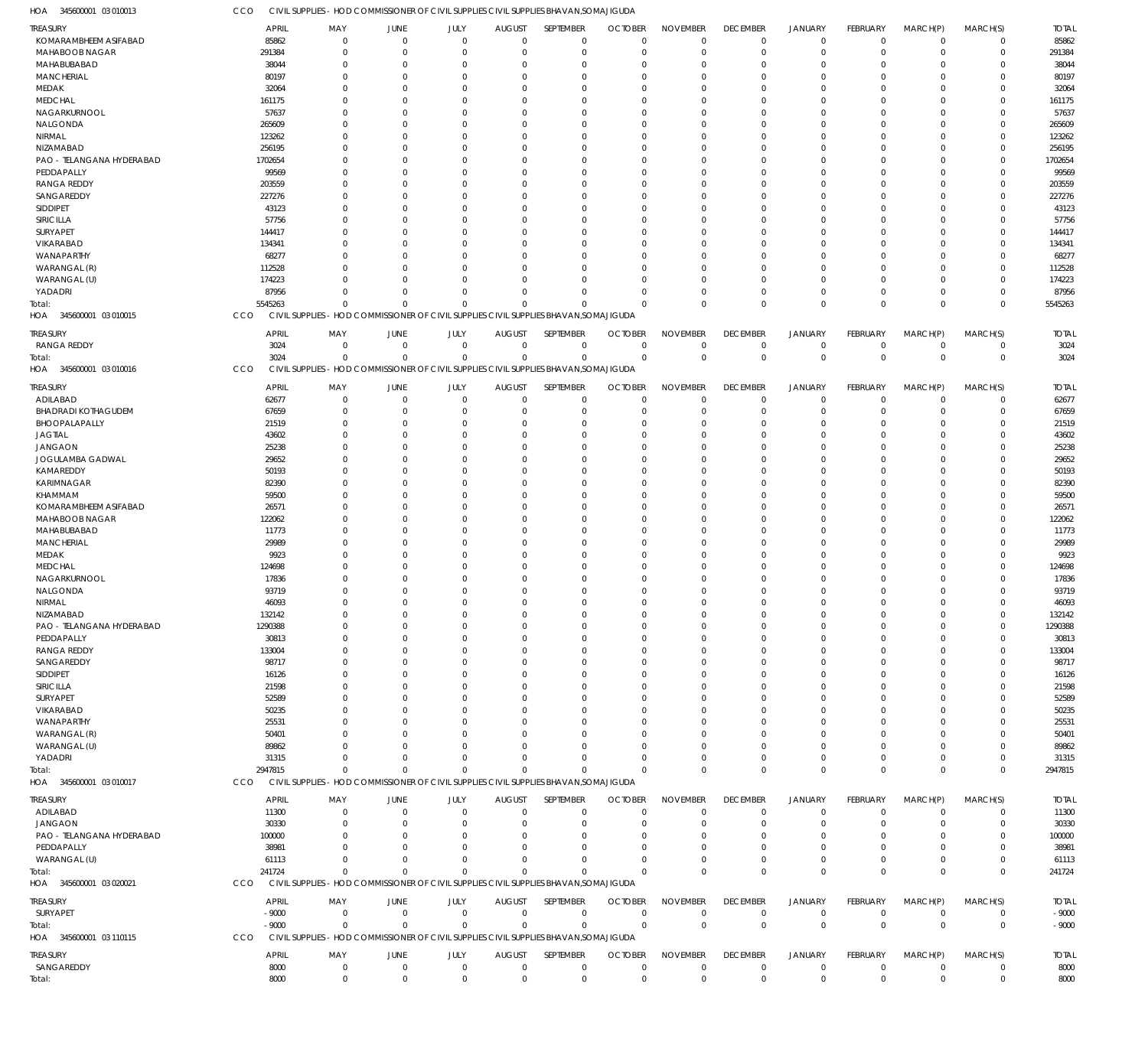CCO CIVIL SUPPLIES - HOD COMMISSIONER OF CIVIL SUPPLIES CIVIL SUPPLIES BHAVAN, SOMAJIGUDA

345600001 03 010013 HOA

| <b>TREASURY</b>            | <b>APRIL</b>        | MAY                                                                                   | JUNE         | JULY           | <b>AUGUST</b>  | SEPTEMBER    | <b>OCTOBER</b> | <b>NOVEMBER</b> | <b>DECEMBER</b> | JANUARY        | <b>FEBRUARY</b> | MARCH(P)     | MARCH(S)     | <b>TOTAL</b> |
|----------------------------|---------------------|---------------------------------------------------------------------------------------|--------------|----------------|----------------|--------------|----------------|-----------------|-----------------|----------------|-----------------|--------------|--------------|--------------|
| KOMARAMBHEEM ASIFABAD      | 85862               | $\circ$                                                                               | $\mathbf 0$  | $\overline{0}$ | $\mathbf{0}$   | $\mathbf 0$  | $\mathbf 0$    | $\mathbf 0$     | $\mathbf 0$     | $\mathbf 0$    | $\mathbf 0$     | $\mathbf 0$  | $\mathbf 0$  | 85862        |
| MAHABOOB NAGAR             | 291384              | $\Omega$                                                                              | $\mathbf 0$  | $\Omega$       | $\overline{0}$ | $^{\circ}$   | $\mathbf 0$    | $^{\circ}$      | $\mathbf 0$     | $^{\circ}$     | $\mathbf 0$     | $\mathbf 0$  | $\mathbf 0$  | 291384       |
| MAHABUBABAD                | 38044               | $\Omega$                                                                              | $\mathbf 0$  | $\Omega$       | $\Omega$       | $\Omega$     | $\mathbf 0$    | $\Omega$        | $\mathbf 0$     | $\Omega$       | $\mathbf 0$     | $\Omega$     | $\mathbf 0$  | 38044        |
|                            |                     | $\Omega$                                                                              |              | $\Omega$       | $\Omega$       | $\Omega$     | $\mathbf 0$    | $\Omega$        | $\mathbf 0$     | $\mathbf 0$    | $\mathbf 0$     | $\Omega$     | $\mathbf 0$  |              |
| <b>MANCHERIAL</b>          | 80197               |                                                                                       | $\mathbf 0$  |                |                |              |                |                 |                 |                |                 |              |              | 80197        |
| MEDAK                      | 32064               | $\Omega$                                                                              | $\mathbf{0}$ | $\Omega$       | $\Omega$       | $\Omega$     | $\Omega$       | $\Omega$        | $\mathbf 0$     | $\Omega$       | $\mathbf 0$     | $\Omega$     | $\Omega$     | 32064        |
| <b>MEDCHAL</b>             | 161175              | $\Omega$                                                                              | $\mathbf{0}$ | $\Omega$       | $\Omega$       | $\Omega$     | $\mathbf 0$    | $\Omega$        | $\mathbf 0$     | $\Omega$       | $\mathbf 0$     | $\Omega$     | $\Omega$     | 161175       |
| NAGARKURNOOL               | 57637               | $\Omega$                                                                              | $\Omega$     | $\Omega$       | $\Omega$       | $\Omega$     | $\Omega$       | $\Omega$        | $\mathbf 0$     | $\Omega$       | $\mathbf 0$     | $\Omega$     | $\mathbf 0$  | 57637        |
| NALGONDA                   | 265609              | $\Omega$                                                                              | $\mathbf{0}$ | $\Omega$       | $\Omega$       | $\Omega$     | $\mathbf 0$    | $\Omega$        | $\Omega$        | $\Omega$       | $\mathbf 0$     | $\Omega$     | $\Omega$     | 265609       |
| NIRMAL                     | 123262              | $\Omega$                                                                              | $\mathbf{0}$ | $\Omega$       | $\Omega$       | $\Omega$     | $\mathbf 0$    | $\Omega$        | $\mathbf 0$     | $\Omega$       | $\mathbf 0$     | $\Omega$     | $\mathbf 0$  | 123262       |
|                            |                     |                                                                                       |              | $\Omega$       | $\Omega$       |              |                |                 |                 | $\Omega$       |                 |              |              |              |
| NIZAMABAD                  | 256195              | $\Omega$                                                                              | $\mathbf{0}$ |                |                | $\Omega$     | $\mathbf 0$    | $\Omega$        | $\mathbf 0$     |                | $\mathbf 0$     | $\Omega$     | $\mathbf 0$  | 256195       |
| PAO - TELANGANA HYDERABAD  | 1702654             | $\Omega$                                                                              | $\Omega$     | $\Omega$       | $\Omega$       | $\Omega$     | $\Omega$       | $\Omega$        | $\mathbf 0$     | $\Omega$       | $\Omega$        | $\Omega$     | $\mathbf 0$  | 1702654      |
| PEDDAPALLY                 | 99569               | $\Omega$                                                                              | $\mathbf{0}$ | $\Omega$       | $\Omega$       | $\Omega$     | $\mathbf 0$    | $\Omega$        | $\mathbf 0$     | $^{\circ}$     | $\mathbf 0$     | $\Omega$     | $\mathbf 0$  | 99569        |
| <b>RANGA REDDY</b>         | 203559              | $\Omega$                                                                              | $\Omega$     | $\Omega$       | $\Omega$       | $\Omega$     | $\Omega$       | $\Omega$        | $\mathbf 0$     | $\Omega$       | $\mathbf 0$     | $\Omega$     | $\mathbf 0$  | 203559       |
| SANGAREDDY                 | 227276              | $\Omega$                                                                              | $\mathbf{0}$ | $\Omega$       | $\Omega$       | $\Omega$     | $\mathbf 0$    | $\Omega$        | $\mathbf 0$     | $^{\circ}$     | $\mathbf 0$     | $\Omega$     | $\mathbf 0$  | 227276       |
| SIDDIPET                   | 43123               | $\Omega$                                                                              | $\Omega$     | $\Omega$       | $\Omega$       | $\Omega$     | $\Omega$       | $\Omega$        | $\mathbf 0$     | $\Omega$       | $\Omega$        | $\Omega$     | $\Omega$     | 43123        |
|                            |                     |                                                                                       |              |                |                |              |                |                 |                 |                |                 |              |              |              |
| SIRICILLA                  | 57756               | $\Omega$                                                                              | $\mathbf{0}$ | $\Omega$       | $\Omega$       | $\Omega$     | $\mathbf 0$    | $\Omega$        | $\mathbf 0$     | $\Omega$       | $\mathbf 0$     | $\Omega$     | $\Omega$     | 57756        |
| SURYAPET                   | 144417              | $\Omega$                                                                              | $\mathbf 0$  | $\Omega$       | $\Omega$       | $\Omega$     | $\Omega$       | $\Omega$        | $\mathbf 0$     | $\Omega$       | $\mathbf 0$     | $\Omega$     | $\Omega$     | 144417       |
| VIKARABAD                  | 134341              | $\Omega$                                                                              | $\mathbf{0}$ | $\Omega$       | $\Omega$       | $\Omega$     | $\mathbf 0$    | $\Omega$        | $\mathbf 0$     | $\Omega$       | $\mathbf 0$     | $\Omega$     | $\mathbf 0$  | 134341       |
| WANAPARTHY                 | 68277               | $\Omega$                                                                              | $\Omega$     | $\Omega$       | $\Omega$       | $\Omega$     | $\Omega$       | $\Omega$        | $\mathbf 0$     | $\Omega$       | $\mathbf 0$     | $\Omega$     | $\mathbf 0$  | 68277        |
| WARANGAL (R)               | 112528              | n                                                                                     | $\Omega$     | $\Omega$       | $\Omega$       | $\Omega$     | $\mathbf 0$    | $\Omega$        | $\mathbf 0$     | $\mathbf 0$    | $\mathbf 0$     | $\Omega$     | $\mathbf 0$  | 112528       |
| WARANGAL (U)               | 174223              | $\Omega$                                                                              | $\Omega$     | $\Omega$       | $\Omega$       | $\Omega$     | $\mathbf 0$    | $\Omega$        | $\mathbf 0$     | $\mathbf 0$    | $\mathbf 0$     | $\Omega$     | $\mathbf 0$  | 174223       |
|                            |                     |                                                                                       |              |                |                |              |                |                 |                 |                |                 |              |              |              |
| YADADRI                    | 87956               | $\Omega$                                                                              | $\mathbf 0$  | $\Omega$       | $\mathbf 0$    | $\mathbf 0$  | $\mathbf 0$    | $\Omega$        | $\mathbf 0$     | $^{\circ}$     | $\mathbf 0$     | $\Omega$     | $\mathbf 0$  | 87956        |
| Total:                     | 5545263             | $\Omega$                                                                              | $\Omega$     | $\Omega$       | $\mathbf 0$    | $\Omega$     | $\Omega$       | $\Omega$        | $\mathbf{0}$    | $\Omega$       | $\mathbf{0}$    | $\Omega$     | $\mathbf 0$  | 5545263      |
| HOA 345600001 03 010015    | CCO                 | CIVIL SUPPLIES - HOD COMMISSIONER OF CIVIL SUPPLIES CIVIL SUPPLIES BHAVAN, SOMAJIGUDA |              |                |                |              |                |                 |                 |                |                 |              |              |              |
|                            |                     |                                                                                       |              |                |                |              |                |                 |                 |                |                 |              |              |              |
| TREASURY                   | <b>APRIL</b>        | MAY                                                                                   | JUNE         | JULY           | <b>AUGUST</b>  | SEPTEMBER    | <b>OCTOBER</b> | <b>NOVEMBER</b> | <b>DECEMBER</b> | JANUARY        | <b>FEBRUARY</b> | MARCH(P)     | MARCH(S)     | <b>TOTAL</b> |
| <b>RANGA REDDY</b>         | 3024                | $\circ$                                                                               | $\mathbf{0}$ | $\overline{0}$ | $\mathbf{0}$   | $\mathbf 0$  | $\mathbf 0$    | $^{\circ}$      | $\mathbf 0$     | $^{\circ}$     | $\mathbf 0$     | $\mathbf 0$  | $\mathbf 0$  | 3024         |
| Total:                     | 3024                | $\Omega$                                                                              | $\Omega$     | $\Omega$       | $\Omega$       | $\Omega$     | $\Omega$       | $\Omega$        | $\Omega$        | $\overline{0}$ | $\mathbf{0}$    | $\Omega$     | $\mathbf{0}$ | 3024         |
| HOA 345600001 03 010016    | CCO<br><b>CIVIL</b> | SUPPLIES - HOD COMMISSIONER OF CIVIL SUPPLIES CIVIL SUPPLIES BHAVAN, SOMAJIGUDA       |              |                |                |              |                |                 |                 |                |                 |              |              |              |
|                            |                     |                                                                                       |              |                |                |              |                |                 |                 |                |                 |              |              |              |
| treasury                   | <b>APRIL</b>        | MAY                                                                                   | JUNE         | JULY           | <b>AUGUST</b>  | SEPTEMBER    | <b>OCTOBER</b> | <b>NOVEMBER</b> | <b>DECEMBER</b> | <b>JANUARY</b> | FEBRUARY        | MARCH(P)     | MARCH(S)     | <b>TOTAL</b> |
| ADILABAD                   | 62677               | $\circ$                                                                               | $\mathbf 0$  | $\overline{0}$ | $\mathbf{0}$   | $^{\circ}$   | $\mathbf 0$    | $^{\circ}$      | $\mathbf 0$     | $^{\circ}$     | $\mathbf 0$     | $\mathbf 0$  | $\mathbf 0$  | 62677        |
| <b>BHADRADI KOTHAGUDEM</b> | 67659               | $\Omega$                                                                              | 0            | - 0            | $\overline{0}$ | 0            | $\mathbf 0$    | $^{\circ}$      | $\mathbf 0$     | $^{\circ}$     | $\mathbf 0$     | $\mathbf 0$  | $\mathbf 0$  | 67659        |
| BHOOPALAPALLY              | 21519               | $\Omega$                                                                              | $\mathbf 0$  | $\Omega$       | $\mathbf{0}$   | $\Omega$     | $\mathbf 0$    | $\Omega$        | $\mathbf 0$     | $^{\circ}$     | $\mathbf 0$     | $\Omega$     | $\mathbf 0$  | 21519        |
|                            |                     |                                                                                       |              |                |                |              |                |                 |                 |                |                 |              |              |              |
| <b>JAGTIAL</b>             | 43602               | $\Omega$                                                                              | $\mathbf 0$  | $\Omega$       | $\Omega$       | $\Omega$     | $\mathbf 0$    | $\Omega$        | $\mathbf 0$     | $^{\circ}$     | $\mathbf 0$     | $\Omega$     | $\mathbf 0$  | 43602        |
| <b>JANGAON</b>             | 25238               | $\Omega$                                                                              | $\mathbf{0}$ | $\Omega$       | $\Omega$       | $\Omega$     | $\Omega$       | $\Omega$        | $\mathbf 0$     | $\Omega$       | $\Omega$        | $\Omega$     | $\Omega$     | 25238        |
| JOGULAMBA GADWAL           | 29652               | $\Omega$                                                                              | $\mathbf{0}$ | $\Omega$       | $\Omega$       | $\Omega$     | $\mathbf 0$    | $\Omega$        | $\mathbf 0$     | $\Omega$       | $\mathbf 0$     | $\Omega$     | $\Omega$     | 29652        |
| KAMAREDDY                  | 50193               | $\Omega$                                                                              | $\mathbf 0$  | $\Omega$       | $\Omega$       | $\Omega$     | $\mathbf 0$    | $\Omega$        | $\mathbf 0$     | $\Omega$       | $\mathbf 0$     | $\Omega$     | $\Omega$     | 50193        |
| KARIMNAGAR                 | 82390               | $\Omega$                                                                              | $\mathbf{0}$ | $\Omega$       | $\Omega$       | $\Omega$     | $\mathbf 0$    | $\Omega$        | $\Omega$        | $\Omega$       | $\mathbf 0$     | $\Omega$     | $\Omega$     | 82390        |
| KHAMMAM                    | 59500               | $\Omega$                                                                              | $\mathbf 0$  | $\Omega$       | $\Omega$       | $\Omega$     | $\Omega$       | $\Omega$        | $\mathbf 0$     | $\Omega$       | $\mathbf 0$     | $\Omega$     | $\mathbf 0$  | 59500        |
|                            |                     |                                                                                       |              |                |                |              |                |                 |                 |                |                 |              |              |              |
| KOMARAMBHEEM ASIFABAD      | 26571               | $\Omega$                                                                              | $\mathbf{0}$ | $\Omega$       | $\Omega$       | $\Omega$     | $\mathbf 0$    | $\Omega$        | $\mathbf 0$     | $^{\circ}$     | $\mathbf 0$     | $\Omega$     | $\Omega$     | 26571        |
| MAHABOOB NAGAR             | 122062              | $\Omega$                                                                              | $\mathbf{0}$ | $\Omega$       | $\Omega$       | $\Omega$     | $\mathbf 0$    | $\Omega$        | $\mathbf 0$     | $\Omega$       | $\mathbf 0$     | $\Omega$     | $\mathbf 0$  | 122062       |
| MAHABUBABAD                | 11773               | $\Omega$                                                                              | $\mathbf{0}$ | $\Omega$       | $\Omega$       | $\Omega$     | $\mathbf 0$    | $\Omega$        | $\mathbf 0$     | $^{\circ}$     | $\mathbf 0$     | $\Omega$     | $\Omega$     | 11773        |
| <b>MANCHERIAL</b>          | 29989               | $\Omega$                                                                              | $\Omega$     | $\Omega$       | $\Omega$       | $\Omega$     | $\Omega$       | $\Omega$        | $\mathbf 0$     | $\Omega$       | $\Omega$        | $\Omega$     | $\mathbf 0$  | 29989        |
| MEDAK                      | 9923                | $\Omega$                                                                              | $\mathbf{0}$ | $\Omega$       | $\Omega$       | $\Omega$     | $\mathbf 0$    | $\Omega$        | $\mathbf 0$     | $\mathbf 0$    | $\mathbf 0$     | $\Omega$     | $\mathbf 0$  | 9923         |
|                            |                     |                                                                                       |              |                |                |              |                |                 |                 |                |                 |              |              |              |
| <b>MEDCHAL</b>             | 124698              | n                                                                                     | $\Omega$     | $\Omega$       | $\Omega$       | $\Omega$     | $\Omega$       | $\Omega$        | $\mathbf 0$     | $\Omega$       | $\Omega$        | $\Omega$     | $\Omega$     | 124698       |
| NAGARKURNOOL               | 17836               | n                                                                                     | $\Omega$     | $\Omega$       | $\Omega$       | $\Omega$     | $\mathbf 0$    | $\Omega$        | $\mathbf 0$     | $\Omega$       | $\Omega$        | $\Omega$     | $\mathbf 0$  | 17836        |
| NALGONDA                   | 93719               |                                                                                       | $\Omega$     | $\Omega$       | $\Omega$       | $\Omega$     | $\mathbf 0$    | $\Omega$        | $\Omega$        | $\Omega$       | $\Omega$        | $\Omega$     | $\Omega$     | 93719        |
| NIRMAL                     | 46093               | $\Omega$                                                                              | $\mathbf 0$  | $\Omega$       | $\mathbf{0}$   | $\Omega$     | $\mathbf 0$    | $\Omega$        | $\Omega$        | $\Omega$       | $\mathbf 0$     | $\Omega$     | $\mathbf 0$  | 46093        |
| NIZAMABAD                  | 132142              | $\Omega$                                                                              | $\cap$       | $\Omega$       | $\Omega$       | $\Omega$     | $\Omega$       | $\cap$          | $\Omega$        | $\Omega$       | $\Omega$        | $\Omega$     | $\Omega$     | 132142       |
|                            |                     | n                                                                                     | $\mathbf 0$  | $\Omega$       | $\Omega$       | $\Omega$     | $\mathbf 0$    | $\Omega$        | $\Omega$        | $\Omega$       | $\mathbf 0$     | $\Omega$     | $\mathbf 0$  |              |
| PAO - TELANGANA HYDERABAD  | 1290388             |                                                                                       |              |                |                |              |                |                 |                 |                |                 |              |              | 1290388      |
| PEDDAPALLY                 | 30813               | $\Omega$                                                                              | $\mathbf{0}$ | $\Omega$       | $\Omega$       | $\Omega$     | $\mathbf 0$    | -0              | $\mathbf 0$     | $\Omega$       | $\mathbf 0$     | $\Omega$     | $\mathbf 0$  | 30813        |
| <b>RANGA REDDY</b>         | 133004              | -0                                                                                    | $\Omega$     | n              | $\Omega$       | $\Omega$     | $\mathbf 0$    | $\Omega$        | $\mathbf 0$     | $\Omega$       | $\mathbf 0$     | $\Omega$     | $\Omega$     | 133004       |
| SANGAREDDY                 | 98717               |                                                                                       | $\Omega$     | n              | $\Omega$       | n            | $\Omega$       | $\Omega$        | $\Omega$        | $\Omega$       | $\Omega$        | 0            | $\Omega$     | 98717        |
| SIDDIPET                   | 16126               |                                                                                       | $\Omega$     | n              | $\Omega$       | $\Omega$     | $\mathbf 0$    | 0               | $\Omega$        | $\Omega$       | $^{\circ}$      | 0            | $\Omega$     | 16126        |
| SIRICILLA                  | 21598               |                                                                                       | $\Omega$     | n              | $\Omega$       | n            | $\Omega$       | $\Omega$        | $\Omega$        | $\Omega$       | $\Omega$        | n            | $\Omega$     | 21598        |
|                            |                     |                                                                                       |              |                |                |              | $\Omega$       |                 |                 |                |                 |              |              |              |
| SURYAPET                   | 52589               |                                                                                       | $\Omega$     | -0             | $\Omega$       | n            |                | 0               | $\Omega$        | $\Omega$       | $\Omega$        | 0            | $\Omega$     | 52589        |
| VIKARABAD                  | 50235               |                                                                                       | $\Omega$     | n              | $\Omega$       | $\Omega$     | $\Omega$       | $\Omega$        | $\Omega$        | $\Omega$       | $\Omega$        | $\Omega$     | $\Omega$     | 50235        |
| WANAPARTHY                 | 25531               |                                                                                       | $\Omega$     | -0             | $\Omega$       | n            | $\Omega$       | n               | $\Omega$        | $\Omega$       | $\Omega$        | 0            | $\Omega$     | 25531        |
| WARANGAL (R)               | 50401               |                                                                                       | $\Omega$     |                | $\Omega$       | n            | $\Omega$       | $\Omega$        | $\Omega$        | $\Omega$       | $\Omega$        | 0            | $\Omega$     | 50401        |
| WARANGAL (U)               | 89862               |                                                                                       | $\Omega$     | -0             | $\Omega$       | $\Omega$     | $\Omega$       | n               | $\Omega$        | $\Omega$       | $\Omega$        | 0            | $\Omega$     | 89862        |
| YADADRI                    | 31315               | $\Omega$                                                                              | $\Omega$     | n              | $\Omega$       | $\Omega$     | $\Omega$       | $\Omega$        | $\mathbf 0$     | $\mathbf 0$    | $\mathbf 0$     | 0            | $\mathbf 0$  | 31315        |
|                            |                     | $\Omega$                                                                              | $\mathbf 0$  | $\Omega$       |                | $\Omega$     | $\Omega$       | $\Omega$        |                 | $\Omega$       |                 | $\Omega$     |              |              |
| Total:                     | 2947815             |                                                                                       |              |                | $\mathbf{0}$   |              |                |                 | $\mathbf{0}$    |                | $\mathbf 0$     |              | 0            | 2947815      |
| HOA 345600001 03 010017    | CCO                 | CIVIL SUPPLIES - HOD COMMISSIONER OF CIVIL SUPPLIES CIVIL SUPPLIES BHAVAN, SOMAJIGUDA |              |                |                |              |                |                 |                 |                |                 |              |              |              |
| TREASURY                   | <b>APRIL</b>        | MAY                                                                                   | JUNE         | JULY           | <b>AUGUST</b>  | SEPTEMBER    | <b>OCTOBER</b> | <b>NOVEMBER</b> | <b>DECEMBER</b> | JANUARY        | FEBRUARY        | MARCH(P)     | MARCH(S)     | <b>TOTAL</b> |
| ADILABAD                   | 11300               | 0                                                                                     | $\Omega$     | $\Omega$       | $\Omega$       | $\mathbf 0$  | $\mathbf 0$    | $^{\circ}$      | $\mathbf 0$     | $\mathbf 0$    | $\mathbf 0$     | $\Omega$     | $\Omega$     | 11300        |
|                            |                     |                                                                                       |              |                |                |              |                |                 |                 |                |                 |              |              |              |
| <b>JANGAON</b>             | 30330               | -0                                                                                    | $\Omega$     | $\Omega$       | $\Omega$       | $\Omega$     | $\mathbf 0$    | $\Omega$        | $\Omega$        | $\Omega$       | $\mathbf 0$     | $\Omega$     | $\mathbf 0$  | 30330        |
| PAO - TELANGANA HYDERABAD  | 100000              | -0                                                                                    | $\Omega$     | n              | $\Omega$       | n            | $\Omega$       | 0               | $\Omega$        | $\Omega$       | $\Omega$        | 0            | $\Omega$     | 100000       |
| PEDDAPALLY                 | 38981               |                                                                                       | $\Omega$     | n              | $\Omega$       | n            | $\Omega$       | 0               | $\Omega$        | $\Omega$       | $\Omega$        | 0            | $\Omega$     | 38981        |
| WARANGAL (U)               | 61113               | $\Omega$                                                                              | $\Omega$     | n              | $\Omega$       | $\Omega$     | $\Omega$       | $\Omega$        | $\Omega$        | $^{\circ}$     | $\mathbf 0$     | $\Omega$     | $\Omega$     | 61113        |
|                            | 241724              | $\Omega$                                                                              | $\Omega$     | $\Omega$       | $\Omega$       | $\Omega$     | $\Omega$       | $\Omega$        | $\Omega$        | $\mathbf{0}$   | $\Omega$        | $\Omega$     | $\Omega$     | 241724       |
| Total:                     |                     |                                                                                       |              |                |                |              |                |                 |                 |                |                 |              |              |              |
| HOA 345600001 03 020021    | CCO                 | CIVIL SUPPLIES - HOD COMMISSIONER OF CIVIL SUPPLIES CIVIL SUPPLIES BHAVAN, SOMAJIGUDA |              |                |                |              |                |                 |                 |                |                 |              |              |              |
| TREASURY                   | <b>APRIL</b>        | MAY                                                                                   | JUNE         | JULY           | <b>AUGUST</b>  | SEPTEMBER    | <b>OCTOBER</b> | <b>NOVEMBER</b> | <b>DECEMBER</b> | <b>JANUARY</b> | FEBRUARY        | MARCH(P)     | MARCH(S)     | <b>TOTAL</b> |
| SURYAPET                   | $-9000$             | $\circ$                                                                               | 0            | $\mathbf{0}$   | $\mathbf 0$    | $\mathbf 0$  | $\mathbf 0$    | $^{\circ}$      | $\mathbf 0$     | $\mathbf 0$    | $\mathbf 0$     | $\mathbf 0$  | $\mathbf 0$  | $-9000$      |
|                            |                     |                                                                                       |              |                |                |              |                |                 |                 |                |                 |              |              |              |
| Total:                     | $-9000$             | $\Omega$                                                                              | $\mathbf 0$  | $\mathbf{0}$   | $\mathbf 0$    | $\mathbf{0}$ | $\mathbf{0}$   | $\overline{0}$  | $\mathbf{0}$    | $\mathbf{0}$   | $\mathbf 0$     | $\mathbf 0$  | 0            | $-9000$      |
| HOA 345600001 03 110115    | CCO                 | CIVIL SUPPLIES - HOD COMMISSIONER OF CIVIL SUPPLIES CIVIL SUPPLIES BHAVAN, SOMAJIGUDA |              |                |                |              |                |                 |                 |                |                 |              |              |              |
| <b>TREASURY</b>            | <b>APRIL</b>        | MAY                                                                                   | JUNE         | JULY           | <b>AUGUST</b>  | SEPTEMBER    | <b>OCTOBER</b> | <b>NOVEMBER</b> | <b>DECEMBER</b> | JANUARY        | FEBRUARY        | MARCH(P)     | MARCH(S)     | <b>TOTAL</b> |
| SANGAREDDY                 | 8000                | $\overline{0}$                                                                        | 0            | $\mathbf 0$    | $\mathbf{0}$   | $\mathbf 0$  | $\mathbf 0$    | $\mathbf 0$     | $\mathbf 0$     | $\mathbf 0$    | $\mathbf 0$     | $\mathbf 0$  | $\mathbf 0$  | 8000         |
|                            |                     |                                                                                       |              |                |                |              |                |                 |                 |                |                 |              |              |              |
| Total:                     | 8000                | 0                                                                                     | $\mathbf 0$  | $\mathbf{0}$   | $\mathbf 0$    | $\mathbf 0$  | $\mathbf 0$    | $\mathbf 0$     | $\mathbf 0$     | $\mathbf 0$    | $\mathbf{0}$    | $\mathbf{0}$ | 0            | 8000         |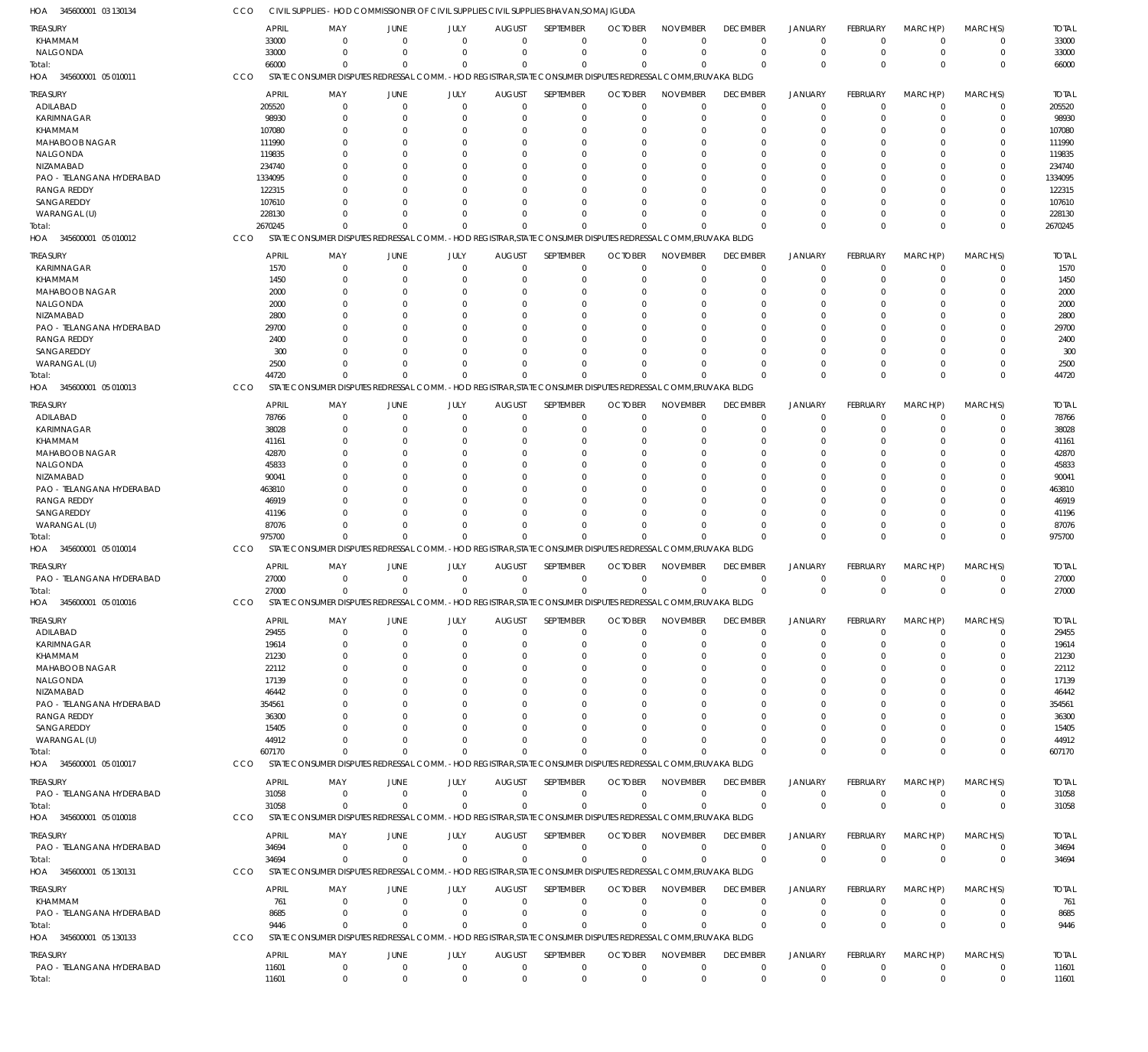| HOA 345600001 03 130134           | CCO             | CIVIL SUPPLIES - HOD COMMISSIONER OF CIVIL SUPPLIES CIVIL SUPPLIES BHAVAN, SOMAJIGUDA                         |                      |                            |                           |                            |                            |                                                                      |                      |                            |                      |                         |                            |              |
|-----------------------------------|-----------------|---------------------------------------------------------------------------------------------------------------|----------------------|----------------------------|---------------------------|----------------------------|----------------------------|----------------------------------------------------------------------|----------------------|----------------------------|----------------------|-------------------------|----------------------------|--------------|
| TREASURY                          |                 | <b>APRIL</b><br>MAY                                                                                           | JUNE                 | JULY                       | <b>AUGUST</b>             | SEPTEMBER                  | <b>OCTOBER</b>             | <b>NOVEMBER</b>                                                      | <b>DECEMBER</b>      | <b>JANUARY</b>             | FEBRUARY             | MARCH(P)                | MARCH(S)                   | <b>TOTAL</b> |
| KHAMMAM                           |                 | 33000<br>$\Omega$                                                                                             | $\Omega$             | $\Omega$                   | $\Omega$                  | $\mathbf 0$                | $\Omega$                   | $\Omega$                                                             | $\Omega$             | $^{\circ}$                 | $\Omega$             | $\mathbf 0$             | 0                          | 33000        |
| NALGONDA                          |                 | 33000<br>$\Omega$                                                                                             | $\Omega$             | $\Omega$                   | $\Omega$                  | $\mathbf 0$                | $\Omega$                   | $\Omega$                                                             | $\Omega$             | $^{\circ}$                 | $\mathbf 0$          | $\mathbf 0$             | $\mathbf 0$                | 33000        |
| Total:                            | 66000           | $\Omega$                                                                                                      | $\Omega$             | $\Omega$                   | $\Omega$                  | $\Omega$                   | $\Omega$                   | $\Omega$                                                             | $\Omega$             | $\Omega$                   | $\Omega$             | $\Omega$                | $\mathbf{0}$               | 66000        |
| HOA 345600001 05 010011           | CCO             | STATE CONSUMER DISPUTES REDRESSAL COMM. - HOD REGISTRAR, STATE CONSUMER DISPUTES REDRESSAL COMM, ERUVAKA BLDG |                      |                            |                           |                            |                            |                                                                      |                      |                            |                      |                         |                            |              |
| TREASURY                          |                 | <b>APRIL</b><br>MAY                                                                                           | JUNE                 | JULY                       | <b>AUGUST</b>             | SEPTEMBER                  | <b>OCTOBER</b>             | <b>NOVEMBER</b>                                                      | <b>DECEMBER</b>      | <b>JANUARY</b>             | FEBRUARY             | MARCH(P)                | MARCH(S)                   | <b>TOTAL</b> |
| ADILABAD                          | 205520          | 0                                                                                                             | $\Omega$             | $\Omega$                   | $\Omega$                  | $\mathbf 0$                | $\Omega$                   | $\Omega$                                                             | $^{\circ}$           | $^{\circ}$                 | $\Omega$             | 0                       | 0                          | 205520       |
| KARIMNAGAR                        | 98930           | O                                                                                                             | $\Omega$             | $\Omega$                   | -0                        | $\Omega$                   | $\Omega$                   | $\Omega$                                                             | $\Omega$             | $\Omega$                   | O                    | $\Omega$                | $\Omega$                   | 98930        |
| KHAMMAM                           | 107080          |                                                                                                               | 0                    | $\Omega$                   |                           | $\Omega$                   | ſ                          | $\Omega$                                                             | $\Omega$             | $\Omega$                   |                      | 0                       | $\Omega$                   | 107080       |
| MAHABOOB NAGAR                    | 111990          |                                                                                                               | C                    | n                          |                           | $\Omega$                   |                            | $\Omega$                                                             |                      | $\Omega$                   |                      | O                       | 0                          | 111990       |
| NALGONDA                          | 119835          |                                                                                                               | 0                    | 0                          |                           | $\Omega$                   | ſ                          | $\Omega$                                                             | $\left($             | $\Omega$                   |                      | O                       | 0                          | 119835       |
| NIZAMABAD                         | 234740          |                                                                                                               | C                    | ſ                          |                           | -C                         |                            |                                                                      |                      | $\Omega$                   |                      | U                       | 0                          | 234740       |
| PAO - TELANGANA HYDERABAD         | 1334095         |                                                                                                               | C                    | n                          |                           | -C                         |                            |                                                                      |                      | $\Omega$                   |                      | $\Omega$                | 0                          | 1334095      |
| <b>RANGA REDDY</b>                | 122315          |                                                                                                               | C                    | ſ                          |                           |                            |                            |                                                                      |                      | $\Omega$                   |                      | U                       | O                          | 122315       |
| SANGAREDDY                        | 107610          |                                                                                                               | C                    | $\Omega$                   |                           | $\Omega$                   |                            |                                                                      |                      | $\Omega$                   |                      | $\Omega$                | $\Omega$                   | 107610       |
| WARANGAL (U)                      | 228130          |                                                                                                               | C                    | $\Omega$                   |                           | $\Omega$                   |                            |                                                                      |                      | $\Omega$                   |                      | $\Omega$                | $\Omega$                   | 228130       |
| Total:                            | 2670245         | $\Omega$                                                                                                      |                      | $\Omega$                   |                           | $\Omega$                   |                            |                                                                      | $\Omega$             | $\Omega$                   | <sup>0</sup>         | $\Omega$                | $\Omega$                   | 2670245      |
| HOA 345600001 05 010012           | <b>CCO</b>      | STATE CONSUMER DISPUTES REDRESSAL COMM. - HOD REGISTRAR, STATE                                                |                      |                            |                           |                            |                            | CONSUMER DISPUTES REDRESSAL COMM, ERUVAKA BLDG                       |                      |                            |                      |                         |                            |              |
| TREASURY                          |                 | <b>APRIL</b><br>MAY                                                                                           | JUNE                 | JULY                       | <b>AUGUST</b>             | SEPTEMBER                  | <b>OCTOBER</b>             | <b>NOVEMBER</b>                                                      | <b>DECEMBER</b>      | <b>JANUARY</b>             | FEBRUARY             | MARCH(P)                | MARCH(S)                   | <b>TOTAL</b> |
| KARIMNAGAR                        |                 | 1570<br>$\mathbf 0$                                                                                           | $\overline{0}$       | $\mathbf 0$                | 0                         | $\mathbf 0$                | $\Omega$                   | $\Omega$                                                             | $\Omega$             | $\overline{0}$             | $\mathbf 0$          | 0                       | $\mathbf 0$                | 1570         |
| KHAMMAM                           |                 | 1450<br>$\Omega$                                                                                              | $\Omega$             | $\Omega$                   | 0                         | $\mathbf 0$                | $\mathcal{L}$              | $\Omega$                                                             | $\Omega$             | $\Omega$                   | 0                    | $\Omega$                | 0                          | 1450         |
| MAHABOOB NAGAR                    |                 | 2000<br><sup>0</sup>                                                                                          | $\Omega$             | $\Omega$                   | -0                        | $\Omega$                   | ſ                          | $\Omega$                                                             | $\Omega$             | $\Omega$                   | 0                    | $\Omega$                | $\Omega$                   | 2000         |
| NALGONDA                          |                 | 2000<br>0                                                                                                     | 0                    | $\Omega$                   | n                         | $\Omega$                   |                            | $\Omega$                                                             | $\Omega$             | $\Omega$                   |                      | $\Omega$                | $\Omega$                   | 2000         |
| NIZAMABAD                         |                 | 2800<br>O                                                                                                     | C                    | $\Omega$                   |                           | $\Omega$                   |                            | $\Omega$                                                             |                      | $\Omega$                   | O                    | 0                       | O                          | 2800         |
| PAO - TELANGANA HYDERABAD         | 29700           | O                                                                                                             | C                    | $\Omega$                   |                           | $\Omega$                   |                            |                                                                      |                      | $\Omega$                   |                      | $\Omega$                | 0                          | 29700        |
| <b>RANGA REDDY</b>                |                 | 2400                                                                                                          | C                    | $\Omega$                   |                           | $\Omega$                   |                            |                                                                      |                      | $\Omega$                   | U                    | $\Omega$                | 0                          | 2400         |
| SANGAREDDY                        |                 | 300<br>0                                                                                                      | $\Omega$             | $\Omega$                   | n                         | $\Omega$                   |                            | $\Omega$                                                             | $\Omega$             | $\Omega$                   |                      | $\Omega$                | $\Omega$                   | 300          |
| WARANGAL (U)                      |                 | 2500<br>O                                                                                                     | C                    | $\Omega$                   | n                         | $\Omega$                   | $\sqrt{ }$                 | $\Omega$                                                             | $\Omega$             | $\Omega$                   | 0                    | $\Omega$                | $\Omega$                   | 2500         |
| Total:                            | 44720           | $\Omega$                                                                                                      | C                    | $\Omega$                   | $\Omega$                  | $\Omega$                   |                            | $\Omega$                                                             | $\Omega$             | $\Omega$                   | $\Omega$             | $\Omega$                | $\Omega$                   | 44720        |
| HOA 345600001 05 010013           | CCO             | STATE CONSUMER DISPUTES REDRESSAL COMM.                                                                       |                      |                            | - HOD REGISTRAR, STATE    |                            |                            | CONSUMER DISPUTES REDRESSAL COMM, ERUVAKA BLDG                       |                      |                            |                      |                         |                            |              |
|                                   |                 | <b>APRIL</b><br>MAY                                                                                           | <b>JUNE</b>          | JULY                       | <b>AUGUST</b>             | SEPTEMBER                  | <b>OCTOBER</b>             | <b>NOVEMBER</b>                                                      | <b>DECEMBER</b>      | <b>JANUARY</b>             | FEBRUARY             | MARCH(P)                | MARCH(S)                   | <b>TOTAL</b> |
| TREASURY<br>ADILABAD              |                 | 78766<br>0                                                                                                    | $\Omega$             | $\Omega$                   | $\Omega$                  | $\Omega$                   | $\Omega$                   | $\Omega$                                                             | $\Omega$             | $^{\circ}$                 | 0                    | $\Omega$                | 0                          | 78766        |
| KARIMNAGAR                        | 38028           | n                                                                                                             | 0                    | $\Omega$                   |                           | $\Omega$                   | $\Omega$                   | $\Omega$                                                             | $\Omega$             | $\Omega$                   | 0                    | $\Omega$                | $\Omega$                   | 38028        |
| KHAMMAM                           | 41161           |                                                                                                               | 0                    | 0                          |                           | $\Omega$                   | ſ                          | $\Omega$                                                             | $\Omega$             | $\Omega$                   |                      | 0                       | $\Omega$                   | 41161        |
| MAHABOOB NAGAR                    |                 | 42870                                                                                                         | C                    | ſ                          |                           | -C                         |                            |                                                                      |                      | $\Omega$                   |                      |                         | O                          | 42870        |
| NALGONDA                          | 45833           |                                                                                                               | 0                    | n                          |                           | $\Omega$                   |                            | $\Omega$                                                             |                      | $\Omega$                   |                      | O                       | 0                          | 45833        |
| NIZAMABAD                         | 90041           |                                                                                                               | C                    | ſ                          |                           | -C                         |                            |                                                                      |                      | $\Omega$                   |                      |                         | 0                          | 90041        |
| PAO - TELANGANA HYDERABAD         | 463810          |                                                                                                               | C                    | n                          |                           | -C                         |                            |                                                                      |                      | $\Omega$                   |                      | $\Omega$                | 0                          | 463810       |
| <b>RANGA REDDY</b>                |                 | 46919                                                                                                         | C                    | ſ                          |                           |                            |                            |                                                                      |                      | $\Omega$                   |                      | U                       | O                          | 46919        |
| SANGAREDDY                        |                 | 41196                                                                                                         | C                    | $\Omega$                   |                           | $\Omega$                   |                            | $\Omega$                                                             | $\left($             | $\Omega$                   |                      | $\Omega$                | $\Omega$                   | 41196        |
| WARANGAL (U)                      | 87076           |                                                                                                               | C                    | $\Omega$                   |                           | $\Omega$                   |                            | $\Omega$                                                             |                      | $\Omega$                   |                      | $\Omega$                | 0                          | 87076        |
| Total:                            | 975700          |                                                                                                               |                      | $\Omega$                   |                           | $\Omega$                   |                            |                                                                      | $\Omega$             | $\Omega$                   | $\Omega$             | $\Omega$                | $\Omega$                   | 975700       |
| HOA 345600001 05 010014           | CCO             | STATE CONSUMER DISPUTES REDRESSAL COMM.                                                                       |                      |                            |                           |                            |                            | -HOD REGISTRAR, STATE CONSUMER DISPUTES REDRESSAL COMM, ERUVAKA BLDG |                      |                            |                      |                         |                            |              |
|                                   |                 |                                                                                                               |                      |                            |                           |                            |                            |                                                                      |                      |                            |                      |                         |                            |              |
| TREASURY                          |                 | <b>APRIL</b><br>MAY<br>$\Omega$                                                                               | JUNE<br>$\Omega$     | JULY                       | <b>AUGUST</b><br>$\Omega$ | SEPTEMBER                  | <b>OCTOBER</b><br>$\Omega$ | <b>NOVEMBER</b><br>$\Omega$                                          | <b>DECEMBER</b>      | <b>JANUARY</b>             | FEBRUARY             | MARCH(P)                | MARCH(S)                   | <b>TOTAL</b> |
| PAO - TELANGANA HYDERABAD         |                 | 27000<br>27000<br>$\Omega$                                                                                    | $\Omega$             | $\mathbf 0$<br>$\mathbf 0$ | $\Omega$                  | $\mathbf 0$<br>$\mathbf 0$ | $\Omega$                   | $\Omega$                                                             | $\Omega$<br>$\Omega$ | $\overline{0}$<br>$\Omega$ | $\Omega$<br>$\Omega$ | 0<br>$\Omega$           | 0<br>$\mathbf 0$           | 27000        |
| Total:<br>HOA 345600001 05 010016 | CCO             | STATE CONSUMER DISPUTES REDRESSAL COMM. -HOD REGISTRAR STATE CONSUMER DISPUTES REDRESSAL COMM ERUVAKA BLDG.   |                      |                            |                           |                            |                            |                                                                      |                      |                            |                      |                         |                            | 27000        |
|                                   |                 |                                                                                                               |                      |                            |                           |                            |                            |                                                                      |                      |                            |                      |                         |                            |              |
| TREASURY                          |                 | <b>APRIL</b><br>MAY                                                                                           | JUNE                 | JULY                       | <b>AUGUST</b>             | <b>SEPTEMBER</b>           | <b>OCTOBER</b>             | <b>NOVEMBER</b>                                                      | <b>DECEMBER</b>      | <b>JANUARY</b>             | FEBRUARY             | MARCH(P)                | MARCH(S)                   | <b>TOTAL</b> |
| ADILABAD                          |                 | 29455<br>$\Omega$                                                                                             | $\Omega$             | $\Omega$                   | $\Omega$                  | $\Omega$                   | $\Omega$                   | $\Omega$                                                             | $\mathbf 0$          | $\overline{0}$             | $\Omega$             | $\mathbf 0$             | $\Omega$                   | 29455        |
| <b>KARIMNAGAR</b>                 |                 | 19614<br>0                                                                                                    | $\Omega$             | $\Omega$                   | -0                        | $\Omega$                   | $\Omega$                   | $\Omega$                                                             | $\Omega$             | $\Omega$                   | 0                    | $\Omega$                | $\Omega$                   | 19614        |
| KHAMMAM                           |                 | 21230<br>n                                                                                                    | 0                    | $\Omega$                   |                           | $\Omega$                   | $\Omega$                   | $\Omega$                                                             | $\Omega$             | $\Omega$                   |                      | 0                       | $\Omega$                   | 21230        |
| MAHABOOB NAGAR                    |                 | 22112                                                                                                         | C                    | ſ                          |                           | $\Omega$                   |                            | $\Omega$                                                             | $\left($             | $\Omega$                   |                      |                         | O                          | 22112        |
| NALGONDA                          |                 | 17139                                                                                                         | 0                    | n                          |                           | $\Omega$                   |                            | $\Omega$                                                             | $\left($             | $\Omega$                   |                      | 0                       | O                          | 17139        |
| NIZAMABAD                         |                 | 46442                                                                                                         | C                    |                            |                           |                            |                            |                                                                      |                      | $\Omega$                   |                      |                         |                            | 46442        |
| PAO - TELANGANA HYDERABAD         | 354561          |                                                                                                               |                      |                            |                           |                            |                            |                                                                      |                      | $\Omega$                   |                      | U                       | O                          | 354561       |
| <b>RANGA REDDY</b>                |                 | 36300                                                                                                         |                      |                            |                           |                            |                            |                                                                      |                      |                            |                      |                         |                            | 36300        |
| SANGAREDDY                        |                 | 15405                                                                                                         | <sup>r</sup>         | ſ                          |                           |                            |                            |                                                                      |                      | $\Omega$                   |                      | $\Omega$                |                            | 15405        |
| WARANGAL (U)                      | 44912<br>607170 | $\Omega$                                                                                                      | C                    |                            |                           | $\Omega$                   |                            | $\Omega$                                                             | $\Omega$             | $\Omega$<br>$\Omega$       |                      | $\Omega$<br>$\Omega$    | 0<br>$\Omega$              | 44912        |
| Total:<br>HOA 345600001 05 010017 | CCO             | STATE CONSUMER DISPUTES REDRESSAL COMM.                                                                       |                      |                            |                           |                            |                            | -HOD REGISTRAR. STATE CONSUMER DISPUTES REDRESSAL COMM. ERUVAKA BLDG |                      |                            | 0                    |                         |                            | 607170       |
|                                   |                 |                                                                                                               |                      |                            |                           |                            |                            |                                                                      |                      |                            |                      |                         |                            |              |
| TREASURY                          |                 | <b>APRIL</b><br>MAY                                                                                           | JUNE                 | JULY                       | <b>AUGUST</b>             | SEPTEMBER                  | <b>OCTOBER</b>             | <b>NOVEMBER</b>                                                      | <b>DECEMBER</b>      | <b>JANUARY</b>             | FEBRUARY             | MARCH(P)                | MARCH(S)                   | <b>TOTAL</b> |
| PAO - TELANGANA HYDERABAD         |                 | 31058<br>$\mathbf 0$                                                                                          | $\mathbf 0$          | $\mathbf 0$                | $\mathbf{0}$              | $\mathbf 0$                | $\Omega$                   | $\Omega$                                                             | $\Omega$             | $\overline{0}$             | $\mathbf 0$          | $\mathbf 0$             | $\mathbf 0$                | 31058        |
| Total:                            |                 | 31058<br>$\Omega$                                                                                             | $\Omega$             | $\mathbf{0}$               | $\Omega$                  | $\mathbf{0}$               | $\Omega$                   | $\Omega$                                                             | $\Omega$             | $\overline{0}$             | $\mathbf{0}$         | $\overline{0}$          | $\mathbf 0$                | 31058        |
| HOA 345600001 05 010018           | CCO             | STATE CONSUMER DISPUTES REDRESSAL COMM. - HOD REGISTRAR, STATE CONSUMER DISPUTES REDRESSAL COMM, ERUVAKA BLDG |                      |                            |                           |                            |                            |                                                                      |                      |                            |                      |                         |                            |              |
| TREASURY                          |                 | <b>APRIL</b><br>MAY                                                                                           | JUNE                 | JULY                       | <b>AUGUST</b>             | SEPTEMBER                  | <b>OCTOBER</b>             | <b>NOVEMBER</b>                                                      | <b>DECEMBER</b>      | <b>JANUARY</b>             | <b>FEBRUARY</b>      | MARCH(P)                | MARCH(S)                   | <b>TOTAL</b> |
| PAO - TELANGANA HYDERABAD         |                 | 34694<br>$\Omega$                                                                                             | $\Omega$             | $\Omega$                   | $\Omega$                  | $\mathbf 0$                | $\Omega$                   | $\Omega$                                                             | $\mathbf 0$          | $\overline{0}$             | 0                    | $\mathbf 0$             | 0                          | 34694        |
| Total:                            | 34694           | $\Omega$                                                                                                      | $\Omega$             | $\Omega$                   | $\Omega$                  | $\mathbf 0$                | $\Omega$                   | $\Omega$                                                             | $\Omega$             | $\overline{0}$             | $\Omega$             | $\overline{0}$          | $\mathbf 0$                | 34694        |
| HOA 345600001 05 130131           | CCO             | STATE CONSUMER DISPUTES REDRESSAL COMM. - HOD REGISTRAR, STATE CONSUMER DISPUTES REDRESSAL COMM, ERUVAKA BLDG |                      |                            |                           |                            |                            |                                                                      |                      |                            |                      |                         |                            |              |
|                                   |                 |                                                                                                               |                      |                            |                           |                            |                            |                                                                      |                      |                            |                      |                         |                            |              |
| <b>TREASURY</b>                   |                 | <b>APRIL</b><br>MAY                                                                                           | <b>JUNE</b>          | JULY                       | <b>AUGUST</b>             | SEPTEMBER                  | <b>OCTOBER</b>             | <b>NOVEMBER</b>                                                      | <b>DECEMBER</b>      | <b>JANUARY</b>             | FEBRUARY             | MARCH(P)                | MARCH(S)                   | <b>TOTAL</b> |
| KHAMMAM                           |                 | 761<br>0<br>$\Omega$                                                                                          | $\overline{0}$       | $\mathbf 0$                | $\Omega$                  | $\mathbf 0$                | $\Omega$                   | $\Omega$<br>$\Omega$                                                 | $\Omega$             | $\overline{0}$             | $\Omega$             | 0                       | 0                          | 761          |
| PAO - TELANGANA HYDERABAD         |                 | 8685<br>$\Omega$<br>9446                                                                                      | $\Omega$<br>$\Omega$ | $\mathbf 0$<br>$\Omega$    | $\Omega$<br>$\Omega$      | $\mathbf 0$<br>$\Omega$    | $\Omega$<br>$\Omega$       | $\Omega$                                                             | $\Omega$<br>$\Omega$ | $\overline{0}$<br>$\Omega$ | 0<br>$\Omega$        | $\mathbf 0$<br>$\Omega$ | $\mathbf 0$<br>$\mathbf 0$ | 8685<br>9446 |
| Total:<br>HOA 345600001 05 130133 | <b>CCO</b>      | STATE CONSUMER DISPUTES REDRESSAL COMM. - HOD REGISTRAR, STATE CONSUMER DISPUTES REDRESSAL COMM, ERUVAKA BLDG |                      |                            |                           |                            |                            |                                                                      |                      |                            |                      |                         |                            |              |
|                                   |                 |                                                                                                               |                      |                            |                           |                            |                            |                                                                      |                      |                            |                      |                         |                            |              |
| TREASURY                          |                 | <b>APRIL</b><br>MAY                                                                                           | JUNE                 | JULY                       | <b>AUGUST</b>             | SEPTEMBER                  | <b>OCTOBER</b>             | <b>NOVEMBER</b>                                                      | <b>DECEMBER</b>      | <b>JANUARY</b>             | <b>FEBRUARY</b>      | MARCH(P)                | MARCH(S)                   | <b>TOTAL</b> |
| PAO - TELANGANA HYDERABAD         | 11601           | 0                                                                                                             | $\mathbf{0}$         | $\mathbf 0$                | $\mathbf{0}$              | $\mathbf 0$                | $\mathbf 0$                | $\mathbf 0$                                                          | $\mathbf 0$          | $\mathbf 0$                | $\mathbf 0$          | $\mathbf 0$             | $\mathbf 0$                | 11601        |
| Total:                            | 11601           | $\Omega$                                                                                                      | $\Omega$             | $\Omega$                   | $\Omega$                  | $\mathbf{0}$               | $\mathbf 0$                | $\mathbf 0$                                                          | $\mathbf 0$          | $\mathbf{0}$               | $\Omega$             | $\Omega$                | $\mathbf 0$                | 11601        |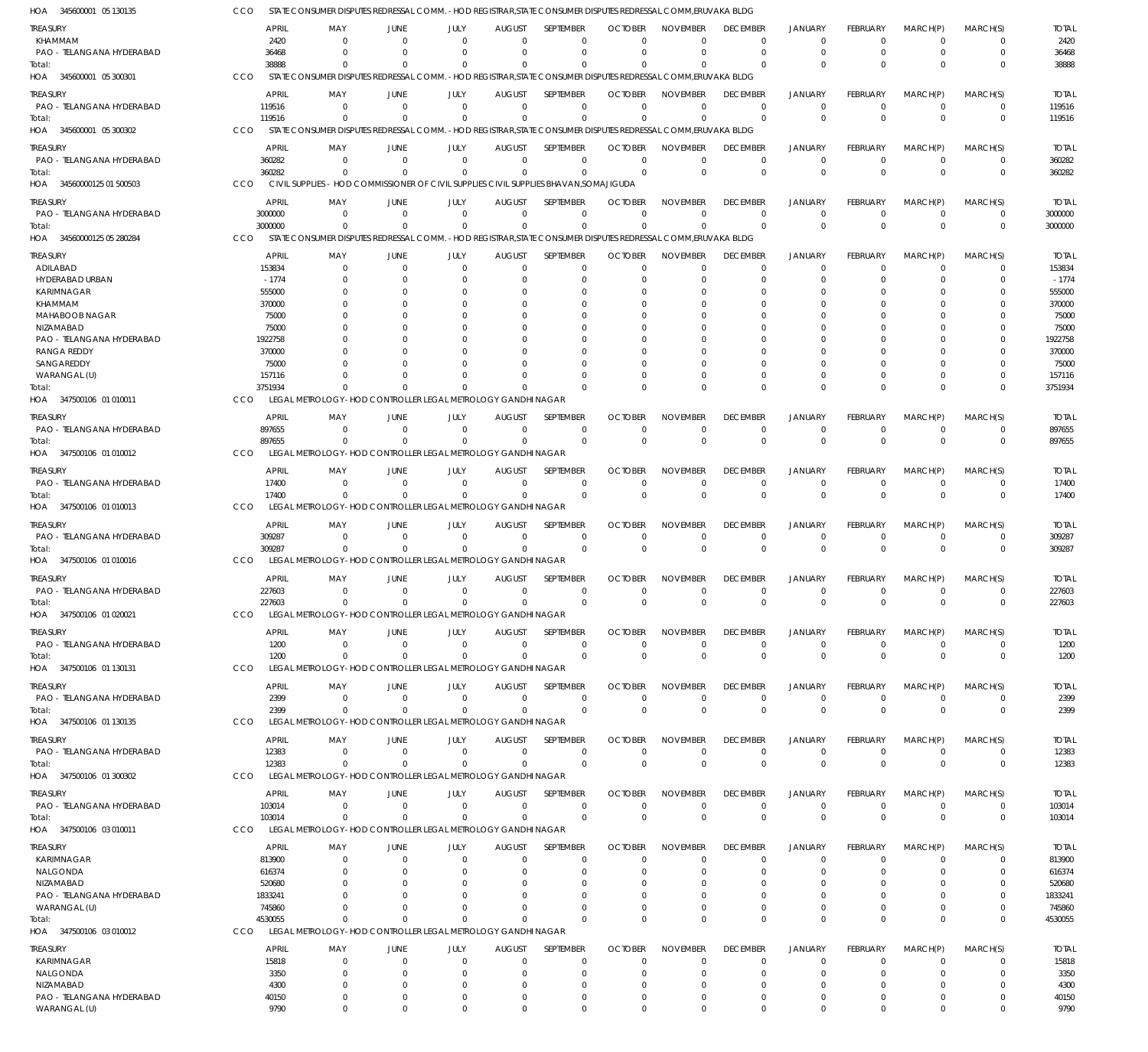| HOA 345600001 05 130135               | CCO                   | STATE CONSUMER DISPUTES REDRESSAL COMM. - HOD REGISTRAR, STATE CONSUMER DISPUTES REDRESSAL COMM, ERUVAKA BLDG          |                                              |                      |                           |                          |                            |                             |                                |                              |                             |                            |                  |                         |
|---------------------------------------|-----------------------|------------------------------------------------------------------------------------------------------------------------|----------------------------------------------|----------------------|---------------------------|--------------------------|----------------------------|-----------------------------|--------------------------------|------------------------------|-----------------------------|----------------------------|------------------|-------------------------|
| TREASURY                              |                       | APRIL<br>MAY                                                                                                           | JUNE                                         | JULY                 | <b>AUGUST</b>             | SEPTEMBER                | <b>OCTOBER</b>             | <b>NOVEMBER</b>             | <b>DECEMBER</b>                | <b>JANUARY</b>               | FEBRUARY                    | MARCH(P)                   | MARCH(S)         | <b>TOTAL</b>            |
| KHAMMAM                               |                       | 2420                                                                                                                   | $\Omega$                                     | $\Omega$             | $\Omega$                  | 0                        | $\Omega$                   | $\Omega$                    | $\Omega$                       | $^{\circ}$                   | $\Omega$                    | - 0                        | 0                | 2420                    |
| PAO - TELANGANA HYDERABAD             |                       | 36468                                                                                                                  | $\Omega$                                     | $\Omega$             | $\Omega$                  | $\Omega$                 | $\Omega$                   | $\Omega$                    | $\Omega$                       | $\Omega$                     | 0                           | $\overline{0}$             | $\mathbf 0$      | 36468                   |
| Total:                                | CCO                   | 38888<br>STATE CONSUMER DISPUTES REDRESSAL COMM. - HOD REGISTRAR, STATE CONSUMER DISPUTES REDRESSAL COMM, ERUVAKA BLDG |                                              |                      | $\Omega$                  | $\Omega$                 |                            | $\Omega$                    |                                | $\Omega$                     | $\Omega$                    | $\Omega$                   | $\Omega$         | 38888                   |
| HOA 345600001 05 300301               |                       |                                                                                                                        |                                              |                      |                           |                          |                            |                             |                                |                              |                             |                            |                  |                         |
| treasury                              |                       | APRIL<br>MAY                                                                                                           | JUNE                                         | JULY                 | <b>AUGUST</b>             | SEPTEMBER                | <b>OCTOBER</b>             | <b>NOVEMBER</b>             | <b>DECEMBER</b>                | <b>JANUARY</b>               | <b>FEBRUARY</b>             | MARCH(P)                   | MARCH(S)         | <b>TOTAL</b>            |
| PAO - TELANGANA HYDERABAD             |                       | 119516<br>119516                                                                                                       | $\Omega$<br>$\Omega$<br>$\Omega$<br>$\Omega$ | $\Omega$<br>$\Omega$ | $\Omega$<br>$\Omega$      | $\mathbf 0$<br>$\Omega$  | $\Omega$<br>$\Omega$       | $^{\circ}$<br>$\Omega$      | $\Omega$<br>$\Omega$           | $\Omega$<br>$\Omega$         | 0<br>$\Omega$               | - 0<br>$\Omega$            | 0<br>$\mathbf 0$ | 119516<br>119516        |
| Total:<br>HOA 345600001 05 300302     | CCO                   | STATE CONSUMER DISPUTES REDRESSAL COMM. - HOD REGISTRAR, STATE CONSUMER DISPUTES REDRESSAL COMM, ERUVAKA BLDG          |                                              |                      |                           |                          |                            |                             |                                |                              |                             |                            |                  |                         |
|                                       |                       |                                                                                                                        |                                              |                      |                           |                          |                            |                             |                                |                              |                             |                            |                  |                         |
| treasury<br>PAO - TELANGANA HYDERABAD |                       | <b>APRIL</b><br>MAY<br>360282                                                                                          | JUNE<br>$\Omega$<br>$\Omega$                 | JULY<br>$\Omega$     | <b>AUGUST</b><br>$\Omega$ | SEPTEMBER<br>$\mathbf 0$ | <b>OCTOBER</b><br>$\Omega$ | <b>NOVEMBER</b><br>$\Omega$ | <b>DECEMBER</b><br>$\mathbf 0$ | <b>JANUARY</b><br>$^{\circ}$ | <b>FEBRUARY</b><br>$\Omega$ | MARCH(P)<br>$\overline{0}$ | MARCH(S)<br>0    | <b>TOTAL</b><br>360282  |
| Total:                                |                       | 360282                                                                                                                 | $\Omega$<br>$\Omega$                         | $\Omega$             | $\Omega$                  | $\mathbf 0$              | $\Omega$                   | $\Omega$                    | $\Omega$                       | $\overline{0}$               | $\Omega$                    | $\Omega$                   | $\mathbf 0$      | 360282                  |
| HOA 34560000125 01 500503             | CCO                   | CIVIL SUPPLIES - HOD COMMISSIONER OF CIVIL SUPPLIES CIVIL SUPPLIES BHAVAN, SOMAJIGUDA                                  |                                              |                      |                           |                          |                            |                             |                                |                              |                             |                            |                  |                         |
|                                       |                       |                                                                                                                        |                                              |                      |                           |                          |                            |                             |                                |                              |                             |                            |                  |                         |
| treasury<br>PAO - TELANGANA HYDERABAD | 3000000               | APRIL<br>MAY                                                                                                           | JUNE<br>$\Omega$<br>- 0                      | JULY<br>$\Omega$     | <b>AUGUST</b><br>$\Omega$ | SEPTEMBER<br>0           | <b>OCTOBER</b><br>$\Omega$ | <b>NOVEMBER</b><br>$\Omega$ | <b>DECEMBER</b><br>$\Omega$    | <b>JANUARY</b><br>$^{\circ}$ | <b>FEBRUARY</b><br>0        | MARCH(P)<br>- 0            | MARCH(S)<br>0    | <b>TOTAL</b><br>3000000 |
| Total:                                | 3000000               |                                                                                                                        | $\Omega$<br>$\Omega$                         | $\Omega$             | $\Omega$                  | $\Omega$                 | $\Omega$                   | $\Omega$                    | $\Omega$                       | $\Omega$                     | $\Omega$                    | $\Omega$                   | $\mathbf 0$      | 3000000                 |
| HOA 34560000125 05 280284             | CCO                   | STATE CONSUMER DISPUTES REDRESSAL COMM. - HOD REGISTRAR, STATE CONSUMER DISPUTES REDRESSAL COMM, ERUVAKA BLDG          |                                              |                      |                           |                          |                            |                             |                                |                              |                             |                            |                  |                         |
|                                       |                       | <b>APRIL</b><br>MAY                                                                                                    |                                              | JULY                 | <b>AUGUST</b>             | SEPTEMBER                | <b>OCTOBER</b>             | <b>NOVEMBER</b>             | <b>DECEMBER</b>                | <b>JANUARY</b>               | <b>FEBRUARY</b>             | MARCH(P)                   | MARCH(S)         | <b>TOTAL</b>            |
| treasury<br>ADILABAD                  |                       | 153834                                                                                                                 | JUNE<br>$\Omega$                             | $\Omega$             | 0                         | 0                        | $\Omega$                   | $\Omega$                    | $\Omega$                       | $\Omega$                     | $\Omega$                    | 0                          | C                | 153834                  |
| HYDERABAD URBAN                       |                       | $-1774$                                                                                                                |                                              | 0                    |                           | 0                        | O                          | $\Omega$                    |                                | $\Omega$                     |                             | 0                          | C                | $-1774$                 |
| <b>KARIMNAGAR</b>                     |                       | 555000                                                                                                                 |                                              |                      |                           | $\Omega$                 |                            | $\Omega$                    |                                |                              |                             |                            |                  | 555000                  |
| KHAMMAM                               |                       | 370000                                                                                                                 |                                              |                      |                           | 0                        |                            | $\Omega$                    |                                |                              |                             |                            |                  | 370000                  |
| <b>MAHABOOB NAGAR</b>                 |                       | 75000                                                                                                                  |                                              |                      |                           | O                        |                            | -C                          |                                |                              |                             |                            |                  | 75000                   |
| NIZAMABAD                             |                       | 75000                                                                                                                  |                                              |                      |                           | 0                        |                            | $\Omega$                    |                                |                              |                             |                            |                  | 75000                   |
| PAO - TELANGANA HYDERABAD             | 1922758               |                                                                                                                        |                                              |                      |                           |                          |                            |                             |                                |                              |                             |                            |                  | 1922758                 |
| <b>RANGA REDDY</b><br>SANGAREDDY      |                       | 370000<br>75000                                                                                                        |                                              |                      |                           | 0<br>0                   |                            | $\Omega$<br>$\Omega$        |                                |                              |                             |                            |                  | 370000<br>75000         |
| WARANGAL (U)                          |                       | 157116                                                                                                                 |                                              |                      | $\Omega$                  | $\Omega$                 |                            | $\Omega$                    |                                | $\Omega$                     |                             | $\Omega$                   | 0                | 157116                  |
| Total:                                | 3751934               |                                                                                                                        |                                              |                      | $\Omega$                  | $\Omega$                 |                            | $\Omega$                    |                                | $\Omega$                     | 0                           | $\Omega$                   | $\mathbf 0$      | 3751934                 |
| HOA 347500106 01 010011               | <b>CCO</b>            | LEGAL METROLOGY-HOD CONTROLLER LEGAL METROLOGY GANDHI NAGAR                                                            |                                              |                      |                           |                          |                            |                             |                                |                              |                             |                            |                  |                         |
| treasury                              |                       | <b>APRIL</b><br>MAY                                                                                                    | JUNE                                         | JULY                 | <b>AUGUST</b>             | SEPTEMBER                | <b>OCTOBER</b>             | <b>NOVEMBER</b>             | <b>DECEMBER</b>                | <b>JANUARY</b>               | <b>FEBRUARY</b>             | MARCH(P)                   | MARCH(S)         | <b>TOTAL</b>            |
| PAO - TELANGANA HYDERABAD             |                       | 897655                                                                                                                 | $\Omega$<br>- 0                              | $\Omega$             | $\Omega$                  | 0                        | $\Omega$                   | $\Omega$                    | $\Omega$                       | $^{\circ}$                   | $\Omega$                    | - 0                        | 0                | 897655                  |
| Total:                                |                       | 897655                                                                                                                 | $\Omega$<br>$\Omega$                         | $\Omega$             | $\Omega$                  | $\Omega$                 | $\Omega$                   | $\Omega$                    | $\Omega$                       | $\Omega$                     | $\Omega$                    | $\Omega$                   | $\mathbf 0$      | 897655                  |
| HOA 347500106 01 010012               | CCO                   | LEGAL METROLOGY-HOD CONTROLLER LEGAL METROLOGY GANDHI NAGAR                                                            |                                              |                      |                           |                          |                            |                             |                                |                              |                             |                            |                  |                         |
| treasury                              |                       | APRIL<br>MAY                                                                                                           | JUNE                                         | JULY                 | <b>AUGUST</b>             | SEPTEMBER                | <b>OCTOBER</b>             | <b>NOVEMBER</b>             | <b>DECEMBER</b>                | <b>JANUARY</b>               | <b>FEBRUARY</b>             | MARCH(P)                   | MARCH(S)         | <b>TOTAL</b>            |
| PAO - TELANGANA HYDERABAD             |                       | 17400                                                                                                                  | $\Omega$<br>$\Omega$                         | $\Omega$             | $\Omega$                  | $\mathbf 0$              | $\Omega$                   | $\mathbf 0$                 | $\Omega$                       | $^{\circ}$                   | $\mathbf 0$                 | $\Omega$                   | 0                | 17400                   |
| Total:                                |                       | 17400                                                                                                                  | $\Omega$<br>$\Omega$                         | $\Omega$             | $\Omega$                  | $\mathbf 0$              | $\Omega$                   | $\Omega$                    | $\Omega$                       | $\Omega$                     | $\Omega$                    | $\Omega$                   | $\mathbf 0$      | 17400                   |
| HOA 347500106 01 010013               | CCO                   | LEGAL METROLOGY-HOD CONTROLLER LEGAL METROLOGY GANDHI NAGAR                                                            |                                              |                      |                           |                          |                            |                             |                                |                              |                             |                            |                  |                         |
| treasury                              |                       | APRIL<br>MAY                                                                                                           | JUNE                                         | JULY                 | <b>AUGUST</b>             | SEPTEMBER                | <b>OCTOBER</b>             | <b>NOVEMBER</b>             | <b>DECEMBER</b>                | <b>JANUARY</b>               | FEBRUARY                    | MARCH(P)                   | MARCH(S)         | <b>TOTAL</b>            |
| PAO - TELANGANA HYDERABAD             | 309287                |                                                                                                                        | $\Omega$<br>$\Omega$                         | $\Omega$             | $\Omega$                  | $\mathbf 0$              | $\Omega$                   | 0                           | $\Omega$                       | $^{\circ}$                   | 0                           | - 0                        | 0                | 309287                  |
| Total:                                | 309287                |                                                                                                                        | $\Omega$<br>$\Omega$                         | $\Omega$             | $\Omega$                  | $\mathbf 0$              | $\Omega$                   | $\Omega$                    | $\Omega$                       | $\Omega$                     | $\Omega$                    | $\Omega$                   | $\mathbf 0$      | 309287                  |
| HOA 347500106 01 010016               | CCO                   | LEGAL METROLOGY-HOD CONTROLLER LEGAL METROLOGY GANDHI NAGAR                                                            |                                              |                      |                           |                          |                            |                             |                                |                              |                             |                            |                  |                         |
| TREASURY                              |                       | APRIL<br>MAY                                                                                                           | JUNE                                         | JULY                 | <b>AUGUST</b>             | SEPTEMBER                | <b>OCTOBER</b>             | <b>NOVEMBER</b>             | <b>DECEMBER</b>                | <b>JANUARY</b>               | <b>FEBRUARY</b>             | MARCH(P)                   | MARCH(S)         | <b>TOTAL</b>            |
| PAO - TELANGANA HYDERABAD             |                       | 227603                                                                                                                 | $\overline{0}$<br>$\Omega$                   | $\overline{0}$       | $\mathbf 0$               | $\mathbf 0$              | 0                          | $\Omega$                    | $\Omega$                       | $^{\circ}$                   | $\mathbf 0$                 | $\Omega$                   | $\Omega$         | 227603                  |
| Total:                                |                       | 227603                                                                                                                 |                                              |                      | $\sqrt{ }$                | $\cap$                   | $\cap$                     |                             |                                |                              |                             |                            |                  | 227603                  |
| HOA 347500106 01 020021               | CCO                   | LEGAL METROLOGY-HOD CONTROLLER LEGAL METROLOGY GANDHI NAGAR                                                            |                                              |                      |                           |                          |                            |                             |                                |                              |                             |                            |                  |                         |
| treasury                              |                       | <b>APRIL</b><br>MAY                                                                                                    | <b>JUNE</b>                                  | JULY                 | <b>AUGUST</b>             | SEPTEMBER                | <b>OCTOBER</b>             | <b>NOVEMBER</b>             | <b>DECEMBER</b>                | <b>JANUARY</b>               | <b>FEBRUARY</b>             | MARCH(P)                   | MARCH(S)         | <b>TOTAL</b>            |
| PAO - TELANGANA HYDERABAD             |                       | 1200                                                                                                                   | $\Omega$<br>$\Omega$                         | $\mathbf 0$          | $\Omega$                  | $\mathbf 0$              | $\Omega$                   | $\Omega$                    | 0                              | $\overline{0}$               | $\mathbf 0$                 | $\overline{0}$             | $\mathbf 0$      | 1200                    |
| Total:                                |                       | 1200                                                                                                                   | $\Omega$<br>$\Omega$                         | $\Omega$             | $\Omega$                  | $\mathbf 0$              | $\Omega$                   | $\mathbf 0$                 | $\Omega$                       | $\overline{0}$               | $\mathbf 0$                 | $^{\circ}$                 | $\mathbf 0$      | 1200                    |
| HOA 347500106 01 130131               | CCO                   | LEGAL METROLOGY-HOD CONTROLLER LEGAL METROLOGY GANDHI NAGAR                                                            |                                              |                      |                           |                          |                            |                             |                                |                              |                             |                            |                  |                         |
| treasury                              |                       | <b>APRIL</b><br>MAY                                                                                                    | JUNE                                         | JULY                 | <b>AUGUST</b>             | SEPTEMBER                | <b>OCTOBER</b>             | <b>NOVEMBER</b>             | <b>DECEMBER</b>                | <b>JANUARY</b>               | <b>FEBRUARY</b>             | MARCH(P)                   | MARCH(S)         | <b>TOTAL</b>            |
| PAO - TELANGANA HYDERABAD             |                       | 2399                                                                                                                   | $\overline{0}$<br>$\Omega$                   | $\overline{0}$       | $\mathbf 0$               | $\mathbf 0$              | $\mathbf 0$                | $\mathbf 0$                 | 0                              | $\overline{0}$               | $\mathbf 0$                 | $\overline{0}$             | 0                | 2399                    |
| Total:                                |                       | 2399                                                                                                                   | $\Omega$<br>$\Omega$                         | $\Omega$             | $\Omega$                  | $\mathbf 0$              | $\Omega$                   | $\mathbf 0$                 | $\Omega$                       | $\overline{0}$               | $\Omega$                    | $\Omega$                   | $\mathbf 0$      | 2399                    |
| HOA 347500106 01 130135               | CCO                   | LEGAL METROLOGY-HOD CONTROLLER LEGAL METROLOGY GANDHI NAGAR                                                            |                                              |                      |                           |                          |                            |                             |                                |                              |                             |                            |                  |                         |
| treasury                              |                       | APRIL<br>MAY                                                                                                           | JUNE                                         | JULY                 | <b>AUGUST</b>             | <b>SEPTEMBER</b>         | <b>OCTOBER</b>             | <b>NOVEMBER</b>             | <b>DECEMBER</b>                | <b>JANUARY</b>               | <b>FEBRUARY</b>             | MARCH(P)                   | MARCH(S)         | <b>TOTAL</b>            |
| PAO - TELANGANA HYDERABAD             |                       | 12383                                                                                                                  | $\Omega$<br>$\Omega$                         | $\overline{0}$       | $\Omega$                  | $\mathbf 0$              | $\Omega$                   | $\mathbf 0$                 | 0                              | $^{\circ}$                   | $\mathbf 0$                 | $\overline{0}$             | $\mathbf 0$      | 12383                   |
| Total:                                |                       | 12383                                                                                                                  | $\Omega$<br>$\Omega$                         | $\Omega$             | $\Omega$                  | $\mathbf 0$              | $\mathbf 0$                | $\mathbf 0$                 | $\mathbf 0$                    | $\overline{0}$               | $\mathbf 0$                 | $^{\circ}$                 | $\mathbf 0$      | 12383                   |
| HOA 347500106 01 300302               | CCO                   | LEGAL METROLOGY-HOD CONTROLLER LEGAL METROLOGY GANDHI NAGAR                                                            |                                              |                      |                           |                          |                            |                             |                                |                              |                             |                            |                  |                         |
| treasury                              |                       | APRIL<br>MAY                                                                                                           | JUNE                                         | JULY                 | <b>AUGUST</b>             | SEPTEMBER                | <b>OCTOBER</b>             | <b>NOVEMBER</b>             | <b>DECEMBER</b>                | <b>JANUARY</b>               | <b>FEBRUARY</b>             | MARCH(P)                   | MARCH(S)         | <b>TOTAL</b>            |
| PAO - TELANGANA HYDERABAD             |                       | 103014                                                                                                                 | $\overline{0}$<br>$\Omega$                   | $\overline{0}$       | $\mathbf 0$               | $\mathbf 0$              | $\Omega$                   | $\Omega$                    | $\mathbf 0$                    | $\overline{0}$               | $\mathbf 0$                 | $\overline{0}$             | 0                | 103014                  |
| Total:                                |                       | 103014                                                                                                                 | $\Omega$<br>- 0                              | 0                    | $\Omega$                  | $\mathbf 0$              | $\Omega$                   | $\overline{0}$              | $\Omega$                       | $\overline{0}$               | $\mathbf 0$                 | $\overline{0}$             | $\mathbf 0$      | 103014                  |
| HOA 347500106 03 010011               | CCO                   | LEGAL METROLOGY-HOD CONTROLLER LEGAL METROLOGY GANDHI NAGAR                                                            |                                              |                      |                           |                          |                            |                             |                                |                              |                             |                            |                  |                         |
| TREASURY                              |                       | APRIL<br>MAY                                                                                                           | JUNE                                         | JULY                 | <b>AUGUST</b>             | SEPTEMBER                | <b>OCTOBER</b>             | <b>NOVEMBER</b>             | <b>DECEMBER</b>                | <b>JANUARY</b>               | <b>FEBRUARY</b>             | MARCH(P)                   | MARCH(S)         | <b>TOTAL</b>            |
| KARIMNAGAR                            |                       | 813900                                                                                                                 | $\Omega$<br>$\Omega$                         | $\Omega$             | 0                         | 0                        | $\Omega$                   | $\Omega$                    | $\Omega$                       | $^{\circ}$                   | $\Omega$                    | 0                          | 0                | 813900                  |
| NALGONDA                              |                       | 616374                                                                                                                 | $\Omega$                                     | $\Omega$             | $\Omega$                  | $\mathbf 0$              | $\Omega$                   | $\Omega$                    | $\Omega$                       | $\Omega$                     | $\Omega$                    | $\Omega$                   | $\Omega$         | 616374                  |
| NIZAMABAD                             |                       | 520680                                                                                                                 |                                              |                      |                           | 0                        |                            | $\Omega$                    |                                | $\Omega$                     |                             | 0                          | 0                | 520680                  |
| PAO - TELANGANA HYDERABAD             | 1833241               |                                                                                                                        |                                              |                      | $\Omega$                  | $\Omega$                 |                            | $\Omega$                    |                                |                              |                             | $\Omega$                   | $\Omega$         | 1833241                 |
| WARANGAL (U)                          |                       | 745860                                                                                                                 | - 0                                          | $\Omega$             | $\Omega$                  | 0                        |                            | $\Omega$                    | $\Omega$                       | $^{\circ}$                   | 0                           | $\mathbf 0$                | 0                | 745860                  |
| Total:<br>HOA 347500106 03 010012     | 4530055<br><b>CCO</b> | LEGAL METROLOGY-HOD CONTROLLER LEGAL METROLOGY GANDHI NAGAR                                                            | $\Omega$<br>$\Omega$                         | $\Omega$             | $\Omega$                  | $\Omega$                 | $\Omega$                   | $\Omega$                    | $\Omega$                       | $\Omega$                     | $\Omega$                    | $\Omega$                   | $\mathbf 0$      | 4530055                 |
|                                       |                       |                                                                                                                        |                                              |                      |                           |                          |                            |                             |                                |                              |                             |                            |                  |                         |
| TREASURY                              |                       | <b>APRIL</b><br>MAY                                                                                                    | JUNE                                         | JULY                 | <b>AUGUST</b>             | SEPTEMBER                | <b>OCTOBER</b>             | <b>NOVEMBER</b>             | <b>DECEMBER</b>                | <b>JANUARY</b>               | <b>FEBRUARY</b>             | MARCH(P)                   | MARCH(S)         | <b>TOTAL</b>            |
| KARIMNAGAR                            |                       | 15818                                                                                                                  | $\overline{0}$<br>$\Omega$                   | $\overline{0}$       | $\mathbf 0$               | $\mathbf 0$              | $\Omega$                   | $\Omega$                    | $\Omega$                       | $\overline{0}$               | $\Omega$                    | $\overline{0}$             | 0                | 15818                   |
| NALGONDA<br>NIZAMABAD                 |                       | 3350<br>4300                                                                                                           | $\Omega$<br>0<br>$\Omega$                    | 0                    | $\Omega$                  | 0<br>0                   | O<br>O                     | $\Omega$<br>$\Omega$        | $\Omega$                       | $\Omega$<br>$\Omega$         |                             | $\Omega$                   | 0<br>0           | 3350<br>4300            |
| PAO - TELANGANA HYDERABAD             |                       | 40150                                                                                                                  | 0<br>- 0                                     | 0                    | 0                         | 0                        | 0                          | $\mathbf 0$                 | $\Omega$                       | $^{\circ}$                   | 0                           | 0                          | $\mathbf 0$      | 40150                   |
| WARANGAL (U)                          |                       | 9790                                                                                                                   | $\Omega$<br>$\Omega$                         | $\Omega$             | $\Omega$                  | $\mathbf 0$              | $\Omega$                   | $\Omega$                    | $\Omega$                       | $\Omega$                     | $\Omega$                    | $\Omega$                   | $\mathbf 0$      | 9790                    |
|                                       |                       |                                                                                                                        |                                              |                      |                           |                          |                            |                             |                                |                              |                             |                            |                  |                         |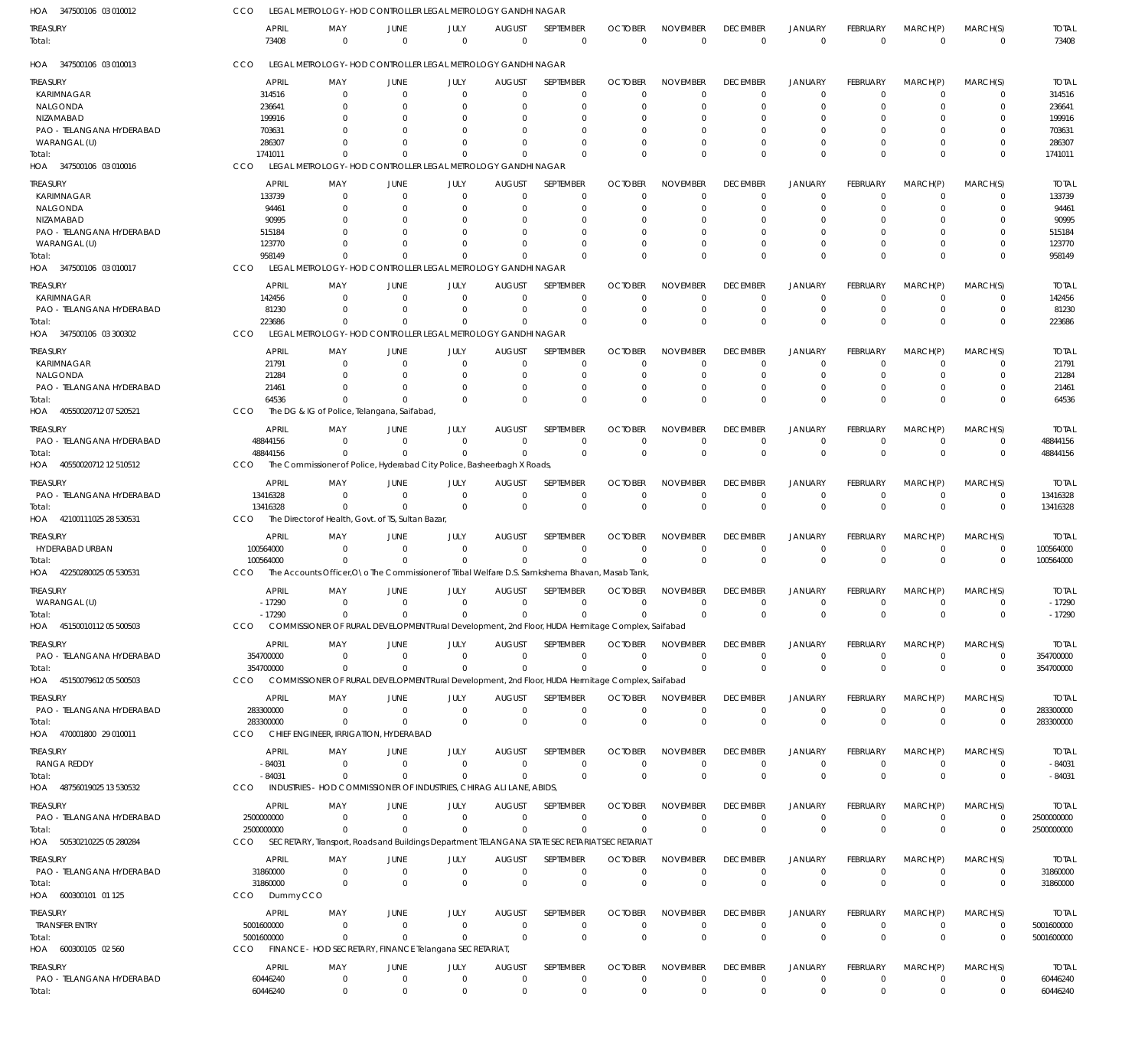| HOA 347500106 03 010012   | CCO                   |                 | LEGAL METROLOGY-HOD CONTROLLER LEGAL METROLOGY GANDHI NAGAR                                      |                  |                           |                             |                            |                                   |                             |                               |                                |                            |                            |                       |
|---------------------------|-----------------------|-----------------|--------------------------------------------------------------------------------------------------|------------------|---------------------------|-----------------------------|----------------------------|-----------------------------------|-----------------------------|-------------------------------|--------------------------------|----------------------------|----------------------------|-----------------------|
| treasury<br>Total:        | <b>APRIL</b><br>73408 | MAY<br>$\Omega$ | JUNE<br>$\Omega$                                                                                 | JULY<br>$\Omega$ | <b>AUGUST</b><br>$\Omega$ | SEPTEMBER<br>$\overline{0}$ | <b>OCTOBER</b><br>$\Omega$ | <b>NOVEMBER</b><br>$\overline{0}$ | <b>DECEMBER</b><br>$\Omega$ | <b>JANUARY</b><br>$\mathbf 0$ | <b>FEBRUARY</b><br>$\mathbf 0$ | MARCH(P)<br>$\overline{0}$ | MARCH(S)<br>$\overline{0}$ | <b>TOTAL</b><br>73408 |
| HOA 347500106 03 010013   | CCO                   |                 | LEGAL METROLOGY-HOD CONTROLLER LEGAL METROLOGY GANDHI NAGAR                                      |                  |                           |                             |                            |                                   |                             |                               |                                |                            |                            |                       |
| treasury                  | APRIL                 | MAY             | JUNE                                                                                             | JULY             | <b>AUGUST</b>             | SEPTEMBER                   | <b>OCTOBER</b>             | <b>NOVEMBER</b>                   | <b>DECEMBER</b>             | <b>JANUARY</b>                | <b>FEBRUARY</b>                | MARCH(P)                   | MARCH(S)                   | <b>TOTAL</b>          |
| <b>KARIMNAGAR</b>         | 314516                | $\Omega$        | $\Omega$                                                                                         | $\Omega$         | $\Omega$                  | $\Omega$                    |                            | $\Omega$                          | $\Omega$                    | $\Omega$                      | $\Omega$                       | C                          | $\Omega$                   | 314516                |
| NALGONDA                  | 236641                | $\Omega$        | $\Omega$                                                                                         | $\Omega$         | $\Omega$                  | $\Omega$                    | 0                          | $\Omega$                          | $\Omega$                    | $\Omega$                      | $\Omega$                       | C                          | $\Omega$                   | 236641                |
| NIZAMABAD                 | 199916                | O               |                                                                                                  |                  | $\Omega$                  | 0                           |                            |                                   |                             | $\Omega$                      | n                              |                            | $\Omega$                   | 199916                |
| PAO - TELANGANA HYDERABAD | 703631                |                 |                                                                                                  |                  | $\Omega$                  | 0                           |                            |                                   |                             | $\Omega$                      | 0                              |                            | 0                          | 703631                |
| WARANGAL (U)              | 286307                |                 |                                                                                                  |                  | $\Omega$                  | $\Omega$                    |                            | $\Omega$                          | $\Omega$                    | $\Omega$                      | 0                              |                            | $\Omega$                   | 286307                |
| Total:                    | 1741011               |                 | $\Omega$                                                                                         | $\Omega$         | $\Omega$                  | $\Omega$                    |                            | $\Omega$                          | $\Omega$                    | $\Omega$                      | $\Omega$                       |                            | $\Omega$                   | 1741011               |
| HOA 347500106 03 010016   | CCO                   |                 | LEGAL METROLOGY-HOD CONTROLLER LEGAL METROLOGY GANDHI NAGAR                                      |                  |                           |                             |                            |                                   |                             |                               |                                |                            |                            |                       |
|                           | APRIL                 |                 |                                                                                                  |                  |                           | SEPTEMBER                   | <b>OCTOBER</b>             | <b>NOVEMBER</b>                   | <b>DECEMBER</b>             | <b>JANUARY</b>                | <b>FEBRUARY</b>                |                            |                            | <b>TOTAL</b>          |
| treasury                  |                       | MAY             | JUNE                                                                                             | JULY             | <b>AUGUST</b>             |                             |                            |                                   |                             |                               |                                | MARCH(P)                   | MARCH(S)                   |                       |
| <b>KARIMNAGAR</b>         | 133739                | $\Omega$        | $\Omega$                                                                                         | $\Omega$         | $\mathbf 0$               | $\overline{0}$              | $\Omega$                   | $\Omega$                          | $\Omega$                    | $^{\circ}$                    | $\Omega$                       | $\Omega$                   | 0                          | 133739                |
| NALGONDA                  | 94461                 | $\Omega$        | $\Omega$                                                                                         | $\Omega$         | $\Omega$                  | $\Omega$                    | $\Omega$                   | $\Omega$                          | $\Omega$                    | $\Omega$                      | $\Omega$                       | $\Omega$                   | $\Omega$                   | 94461                 |
| NIZAMABAD                 | 90995                 |                 |                                                                                                  | - ( )            | $\Omega$                  | $\Omega$                    |                            | O                                 | $\left($                    | $\Omega$                      | C                              |                            | $\Omega$                   | 90995                 |
| PAO - TELANGANA HYDERABAD | 515184                |                 |                                                                                                  |                  | $\Omega$                  | $\Omega$                    |                            |                                   | $\Omega$                    | $\Omega$                      | -0                             |                            | $\Omega$                   | 515184                |
| WARANGAL (U)              | 123770                | O               | $\Omega$                                                                                         | $\Omega$         | $\Omega$                  | $\Omega$                    | $\Omega$                   | $\Omega$                          | $\Omega$                    | $\Omega$                      | $\Omega$                       | C                          | $\Omega$                   | 123770                |
| Total:                    | 958149                |                 |                                                                                                  |                  | $\Omega$                  | $\Omega$                    | $\Omega$                   | $\Omega$                          | $\Omega$                    | $\Omega$                      | $\Omega$                       | $\Omega$                   | $\Omega$                   | 958149                |
| HOA 347500106 03 010017   | CCO                   |                 | LEGAL METROLOGY-HOD CONTROLLER LEGAL METROLOGY GANDHI NAGAR                                      |                  |                           |                             |                            |                                   |                             |                               |                                |                            |                            |                       |
| treasury                  | <b>APRIL</b>          | MAY             | JUNE                                                                                             | JULY             | <b>AUGUST</b>             | SEPTEMBER                   | <b>OCTOBER</b>             | <b>NOVEMBER</b>                   | <b>DECEMBER</b>             | JANUARY                       | <b>FEBRUARY</b>                | MARCH(P)                   | MARCH(S)                   | <b>TOTAL</b>          |
| KARIMNAGAR                | 142456                | $\Omega$        | $\Omega$                                                                                         | $\Omega$         | $\Omega$                  | $\Omega$                    | 0                          | $\Omega$                          | $\Omega$                    | $\Omega$                      | $\Omega$                       | $\Omega$                   | 0                          | 142456                |
| PAO - TELANGANA HYDERABAD | 81230                 | $\Omega$        | $\Omega$                                                                                         | $\Omega$         | $\Omega$                  | $\Omega$                    | $\Omega$                   | $\Omega$                          | $\Omega$                    | $\mathbf 0$                   | $\Omega$                       | $\Omega$                   | $\mathbf 0$                | 81230                 |
| Total:                    | 223686                |                 | $\Omega$                                                                                         | $\Omega$         | $\Omega$                  | $\Omega$                    | $\Omega$                   | $\Omega$                          | $\Omega$                    | $\Omega$                      | $\Omega$                       | $\Omega$                   | $\Omega$                   | 223686                |
| HOA 347500106 03 300302   | CCO                   |                 | LEGAL METROLOGY-HOD CONTROLLER LEGAL METROLOGY GANDHI NAGAR                                      |                  |                           |                             |                            |                                   |                             |                               |                                |                            |                            |                       |
|                           |                       |                 |                                                                                                  |                  |                           |                             |                            |                                   |                             |                               |                                |                            |                            |                       |
| treasury                  | <b>APRIL</b>          | MAY             | JUNE                                                                                             | JULY             | <b>AUGUST</b>             | <b>SEPTEMBER</b>            | <b>OCTOBER</b>             | <b>NOVEMBER</b>                   | <b>DECEMBER</b>             | <b>JANUARY</b>                | <b>FEBRUARY</b>                | MARCH(P)                   | MARCH(S)                   | <b>TOTAL</b>          |
| KARIMNAGAR                | 21791                 | $\Omega$        | $\Omega$                                                                                         | $\Omega$         | $\Omega$                  | $\Omega$                    | O                          | $\Omega$                          | $\Omega$                    | $\Omega$                      | $\Omega$                       | C                          | $\Omega$                   | 21791                 |
| NALGONDA                  | 21284                 | $\Omega$        | $\Omega$                                                                                         | $\Omega$         | $\Omega$                  | $\Omega$                    | $\Omega$                   | $\Omega$                          | $\Omega$                    | $\Omega$                      | $\Omega$                       | $\Omega$                   | $\Omega$                   | 21284                 |
| PAO - TELANGANA HYDERABAD | 21461                 | $\Omega$        | $\Omega$                                                                                         | $\Omega$         | $\Omega$                  | $\Omega$                    | 0                          | $\Omega$                          | $\Omega$                    | $\Omega$                      | $\Omega$                       | $\Omega$                   | $\Omega$                   | 21461                 |
| Total:                    | 64536                 |                 | $\Omega$                                                                                         | $\Omega$         | $\Omega$                  | $\Omega$                    | $\Omega$                   | $\Omega$                          | $\Omega$                    | $\Omega$                      | $\Omega$                       | $\Omega$                   | $\Omega$                   | 64536                 |
| HOA 40550020712 07 520521 | CCO                   |                 | The DG & IG of Police, Telangana, Saifabad,                                                      |                  |                           |                             |                            |                                   |                             |                               |                                |                            |                            |                       |
|                           |                       |                 |                                                                                                  |                  |                           | SEPTEMBER                   | <b>OCTOBER</b>             | <b>NOVEMBER</b>                   | <b>DECEMBER</b>             |                               |                                |                            |                            | <b>TOTAL</b>          |
| treasury                  | APRIL                 | MAY             | JUNE<br>$\Omega$                                                                                 | JULY             | <b>AUGUST</b><br>$\Omega$ |                             |                            |                                   |                             | <b>JANUARY</b><br>$\Omega$    | <b>FEBRUARY</b>                | MARCH(P)                   | MARCH(S)                   |                       |
| PAO - TELANGANA HYDERABAD | 48844156              | $\Omega$        |                                                                                                  | $\Omega$         |                           | $\Omega$                    | $\Omega$                   | $\Omega$                          | $\Omega$                    |                               | $\Omega$                       | $\Omega$                   | $\mathbf 0$                | 48844156              |
| Total:                    | 48844156              |                 | $\Omega$                                                                                         | $\Omega$         | $\Omega$                  | $\Omega$                    | $\Omega$                   | $\Omega$                          | $\Omega$                    | $\mathbf 0$                   | $\Omega$                       | $\Omega$                   | $\Omega$                   | 48844156              |
| HOA 40550020712 12 510512 | CCO                   |                 | The Commissioner of Police, Hyderabad City Police, Basheerbagh X Roads,                          |                  |                           |                             |                            |                                   |                             |                               |                                |                            |                            |                       |
| treasury                  | APRIL                 | MAY             | JUNE                                                                                             | JULY             | <b>AUGUST</b>             | SEPTEMBER                   | <b>OCTOBER</b>             | <b>NOVEMBER</b>                   | <b>DECEMBER</b>             | <b>JANUARY</b>                | <b>FEBRUARY</b>                | MARCH(P)                   | MARCH(S)                   | <b>TOTAL</b>          |
| PAO - TELANGANA HYDERABAD | 13416328              | $\Omega$        | $\Omega$                                                                                         | $\Omega$         | $\mathbf 0$               | $\mathbf 0$                 | $\Omega$                   | $\Omega$                          | $\Omega$                    | $\mathbf 0$                   | $\Omega$                       | $\Omega$                   | $\mathbf 0$                | 13416328              |
| Total:                    | 13416328              | $\Omega$        | $\Omega$                                                                                         | $\Omega$         | $^{\circ}$                | $\Omega$                    | $\Omega$                   | $\Omega$                          | $\Omega$                    | $\mathbf 0$                   | $\Omega$                       | $\Omega$                   | $\mathbf 0$                | 13416328              |
| HOA 42100111025 28 530531 | CCO                   |                 | The Director of Health, Govt. of TS, Sultan Bazar,                                               |                  |                           |                             |                            |                                   |                             |                               |                                |                            |                            |                       |
|                           |                       |                 |                                                                                                  |                  |                           |                             |                            |                                   |                             |                               |                                |                            |                            |                       |
| treasury                  | APRIL                 | MAY             | JUNE                                                                                             | JULY             | <b>AUGUST</b>             | <b>SEPTEMBER</b>            | <b>OCTOBER</b>             | <b>NOVEMBER</b>                   | <b>DECEMBER</b>             | <b>JANUARY</b>                | <b>FEBRUARY</b>                | MARCH(P)                   | MARCH(S)                   | <b>TOTAL</b>          |
| HYDERABAD URBAN           | 100564000             | $\Omega$        | $\Omega$                                                                                         | $\Omega$         | $\Omega$                  | $\Omega$                    | $\Omega$                   | $\Omega$                          | $\Omega$                    | 0                             | $\Omega$                       | 0                          | 0                          | 100564000             |
| Total:                    | 100564000             |                 | $\Omega$                                                                                         | $\Omega$         | $\Omega$                  | $\Omega$                    |                            | $\Omega$                          | $\Omega$                    | $\mathbf 0$                   | $\mathbf 0$                    | $\Omega$                   | $\mathbf 0$                | 100564000             |
| HOA 42250280025 05 530531 | CCO                   |                 | The Accounts Officer, O \o The Commissioner of Tribal Welfare D.S. Samkshema Bhavan, Masab Tank, |                  |                           |                             |                            |                                   |                             |                               |                                |                            |                            |                       |
| treasury                  | APRIL                 | MAY             | JUNE                                                                                             | JULY             | <b>AUGUST</b>             | SEPTEMBER                   | <b>OCTOBER</b>             | <b>NOVEMBER</b>                   | <b>DECEMBER</b>             | <b>JANUARY</b>                | FEBRUARY                       | MARCH(P)                   | MARCH(S)                   | <b>TOTAL</b>          |
| WARANGAL (U)              | -17290                | $\Omega$        | $\Omega$                                                                                         |                  | $\Omega$                  |                             |                            | $\Omega$                          |                             | $\Omega$                      | $\Omega$                       | $\Omega$                   | 0                          | -17290                |
| Total:                    | $-17290$              | $\Omega$        | $\Omega$                                                                                         | $\Omega$         | $\Omega$                  |                             |                            | $\Omega$                          | $\Omega$                    | $\Omega$                      | $\Omega$                       | $\Omega$                   | $\Omega$                   | $-17290$              |
| HOA 45150010112 05 500503 | CCO                   |                 | COMMISSIONER OF RURAL DEVELOPMENT Rural Development, 2nd Floor, HUDA Hermitage Complex, Saifabad |                  |                           |                             |                            |                                   |                             |                               |                                |                            |                            |                       |
|                           |                       |                 |                                                                                                  |                  |                           |                             |                            |                                   |                             |                               |                                |                            |                            |                       |
| treasury                  | APRIL                 | MAY             | JUNE                                                                                             | JULY             | <b>AUGUST</b>             | SEPTEMBER                   | <b>OCTOBER</b>             | <b>NOVEMBER</b>                   | <b>DECEMBER</b>             | <b>JANUARY</b>                | <b>FEBRUARY</b>                | MARCH(P)                   | MARCH(S)                   | <b>TOTAL</b>          |
| PAO - TELANGANA HYDERABAD | 354700000             | $\Omega$        | $\Omega$                                                                                         | $\Omega$         | $\Omega$                  | $\Omega$                    | $\Omega$                   | $\Omega$                          | $\Omega$                    | $^{\circ}$                    | $\Omega$                       | $\Omega$                   | $\mathbf 0$                | 354700000             |
| Total:                    | 354700000             | $\Omega$        | $\Omega$                                                                                         | $\Omega$         | $\Omega$                  | $\Omega$                    | $\Omega$                   | $\Omega$                          | $\Omega$                    | $\mathbf 0$                   | $\Omega$                       | $\Omega$                   | $\mathbf 0$                | 354700000             |
| HOA 4515007961205500503   | CCO                   |                 | COMMISSIONER OF RURAL DEVELOPMENT Rural Development, 2nd Floor, HUDA Hermitage Complex, Saifabad |                  |                           |                             |                            |                                   |                             |                               |                                |                            |                            |                       |
| treasury                  | APRIL                 | MAY             | JUNE                                                                                             | JULY             | <b>AUGUST</b>             | SEPTEMBER                   | <b>OCTOBER</b>             | <b>NOVEMBER</b>                   | <b>DECEMBER</b>             | <b>JANUARY</b>                | <b>FEBRUARY</b>                | MARCH(P)                   | MARCH(S)                   | <b>TOTAL</b>          |
| PAO - TELANGANA HYDERABAD | 283300000             | $\Omega$        | $\Omega$                                                                                         | $\Omega$         | $\mathbf 0$               | $^{\circ}$                  | $\Omega$                   | $\mathbf 0$                       | $\Omega$                    | $\mathbf 0$                   | $\Omega$                       | $\Omega$                   | $\mathbf 0$                | 283300000             |
|                           | 283300000             | $\Omega$        | $\Omega$                                                                                         | $\Omega$         | $\mathbf 0$               | $\overline{0}$              | $\Omega$                   | $\Omega$                          | $\Omega$                    | $\mathbf 0$                   | $\Omega$                       | $\Omega$                   | $\mathbf 0$                | 283300000             |
| Total:                    |                       |                 | CHIEF ENGINEER, IRRIGATION, HYDERABAD                                                            |                  |                           |                             |                            |                                   |                             |                               |                                |                            |                            |                       |
| HOA 470001800 29 010011   | CCO                   |                 |                                                                                                  |                  |                           |                             |                            |                                   |                             |                               |                                |                            |                            |                       |
| treasury                  | <b>APRIL</b>          | MAY             | JUNE                                                                                             | JULY             | <b>AUGUST</b>             | <b>SEPTEMBER</b>            | <b>OCTOBER</b>             | <b>NOVEMBER</b>                   | <b>DECEMBER</b>             | <b>JANUARY</b>                | FEBRUARY                       | MARCH(P)                   | MARCH(S)                   | TOTAL                 |
| RANGA REDDY               | $-84031$              | $\Omega$        | $\Omega$                                                                                         | $\Omega$         | $\Omega$                  | $\Omega$                    | $\Omega$                   | 0                                 | $\Omega$                    | $\mathbf 0$                   | $\Omega$                       | $\Omega$                   | $\mathbf 0$                | $-84031$              |
| Total:                    | $-84031$              | $\Omega$        | $\Omega$                                                                                         | $\Omega$         | $\Omega$                  | $\Omega$                    | $\Omega$                   | $\mathbf 0$                       | $^{\circ}$                  | $\mathbf 0$                   | $\mathbf 0$                    | $\Omega$                   | $\mathbf 0$                | $-84031$              |
| HOA 48756019025 13 530532 | CCO                   |                 | INDUSTRIES - HOD COMMISSIONER OF INDUSTRIES, CHIRAG ALI LANE, ABIDS,                             |                  |                           |                             |                            |                                   |                             |                               |                                |                            |                            |                       |
|                           |                       |                 |                                                                                                  |                  |                           |                             |                            |                                   |                             |                               |                                |                            |                            |                       |
| treasury                  | APRIL                 | MAY             | JUNE                                                                                             | JULY             | <b>AUGUST</b>             | SEPTEMBER                   | <b>OCTOBER</b>             | <b>NOVEMBER</b>                   | <b>DECEMBER</b>             | <b>JANUARY</b>                | FEBRUARY                       | MARCH(P)                   | MARCH(S)                   | <b>TOTAL</b>          |
| PAO - TELANGANA HYDERABAD | 2500000000            | $\Omega$        | $\Omega$                                                                                         | $\Omega$         | $\mathbf 0$               | $\overline{0}$              | $\Omega$                   | $\Omega$                          | $^{\circ}$                  | $\mathbf 0$                   | $\overline{0}$                 | $\Omega$                   | $\mathbf 0$                | 2500000000            |
| Total:                    | 2500000000            | $\Omega$        | $\Omega$                                                                                         | $\Omega$         | $\Omega$                  | $\Omega$                    | $\Omega$                   | $\Omega$                          | $\Omega$                    | $\mathbf 0$                   | $\Omega$                       | $\Omega$                   | $\overline{0}$             | 2500000000            |
| HOA 50530210225 05 280284 | CCO                   |                 | SECRETARY, Transport, Roads and Buildings Department TELANGANA STATE SECRETARIAT SECRETARIAT     |                  |                           |                             |                            |                                   |                             |                               |                                |                            |                            |                       |
| treasury                  | APRIL                 | MAY             | JUNE                                                                                             | JULY             | <b>AUGUST</b>             | SEPTEMBER                   | <b>OCTOBER</b>             | <b>NOVEMBER</b>                   | <b>DECEMBER</b>             | <b>JANUARY</b>                | <b>FEBRUARY</b>                | MARCH(P)                   | MARCH(S)                   | TOTAL                 |
| PAO - TELANGANA HYDERABAD | 31860000              | $\Omega$        | $\Omega$                                                                                         | $\mathbf 0$      | $\mathbf 0$               | $\overline{0}$              | $\Omega$                   | $\mathbf 0$                       | $\Omega$                    | $\mathbf 0$                   | $\Omega$                       | $\Omega$                   | $\mathbf 0$                | 31860000              |
| Total:                    | 31860000              | $\Omega$        | $\Omega$                                                                                         | $\Omega$         | $\mathbf 0$               | $\overline{0}$              | $\Omega$                   | $\overline{0}$                    | $\Omega$                    | $\mathbf 0$                   | $\Omega$                       | $\Omega$                   | $\mathbf 0$                | 31860000              |
| HOA 600300101 01 125      | Dummy CCO<br>CCO      |                 |                                                                                                  |                  |                           |                             |                            |                                   |                             |                               |                                |                            |                            |                       |
|                           |                       |                 |                                                                                                  |                  |                           |                             |                            |                                   |                             |                               |                                |                            |                            |                       |
| treasury                  | <b>APRIL</b>          | MAY             | JUNE                                                                                             | JULY             | <b>AUGUST</b>             | SEPTEMBER                   | <b>OCTOBER</b>             | <b>NOVEMBER</b>                   | <b>DECEMBER</b>             | <b>JANUARY</b>                | <b>FEBRUARY</b>                | MARCH(P)                   | MARCH(S)                   | <b>TOTAL</b>          |
| <b>TRANSFER ENTRY</b>     | 5001600000            | $\Omega$        | $\Omega$                                                                                         | $\Omega$         | $\overline{0}$            | $\overline{0}$              | $\Omega$                   | 0                                 | $\Omega$                    | $\mathbf 0$                   | $\overline{0}$                 | $\Omega$                   | $\mathbf 0$                | 5001600000            |
| Total:                    | 5001600000            | $\Omega$        | $\Omega$                                                                                         | $\Omega$         | $\mathbf 0$               | $\Omega$                    | $\Omega$                   | $\overline{0}$                    | $\Omega$                    | $\mathbf 0$                   | $\overline{0}$                 | $\Omega$                   | $\overline{0}$             | 5001600000            |
| HOA 600300105 02 560      | CCO                   |                 | FINANCE - HOD SECRETARY, FINANCE Telangana SECRETARIAT                                           |                  |                           |                             |                            |                                   |                             |                               |                                |                            |                            |                       |
|                           |                       |                 |                                                                                                  |                  |                           |                             |                            |                                   |                             |                               |                                |                            |                            |                       |
| treasury                  | APRIL                 | MAY             | JUNE                                                                                             | JULY             | <b>AUGUST</b>             | SEPTEMBER                   | <b>OCTOBER</b>             | <b>NOVEMBER</b>                   | <b>DECEMBER</b>             | <b>JANUARY</b>                | FEBRUARY                       | MARCH(P)                   | MARCH(S)                   | <b>TOTAL</b>          |
| PAO - TELANGANA HYDERABAD | 60446240              | $^{\circ}$      | $\mathbf 0$                                                                                      | $\overline{0}$   | $\mathbf 0$               | $\mathbf 0$                 | $\Omega$                   | $\mathbf 0$                       | $\mathbf 0$                 | $\mathbf 0$                   | $\Omega$                       | $\Omega$                   | $\mathbf 0$                | 60446240              |
| Total:                    | 60446240              | $\mathbf 0$     | $\mathbf 0$                                                                                      | $\mathbf 0$      | $\mathbf 0$               | $\mathbf 0$                 | $\mathbf 0$                | $\mathbf 0$                       | $\mathbf 0$                 | $\mathbf 0$                   | $\Omega$                       | $\Omega$                   | $\mathbf 0$                | 60446240              |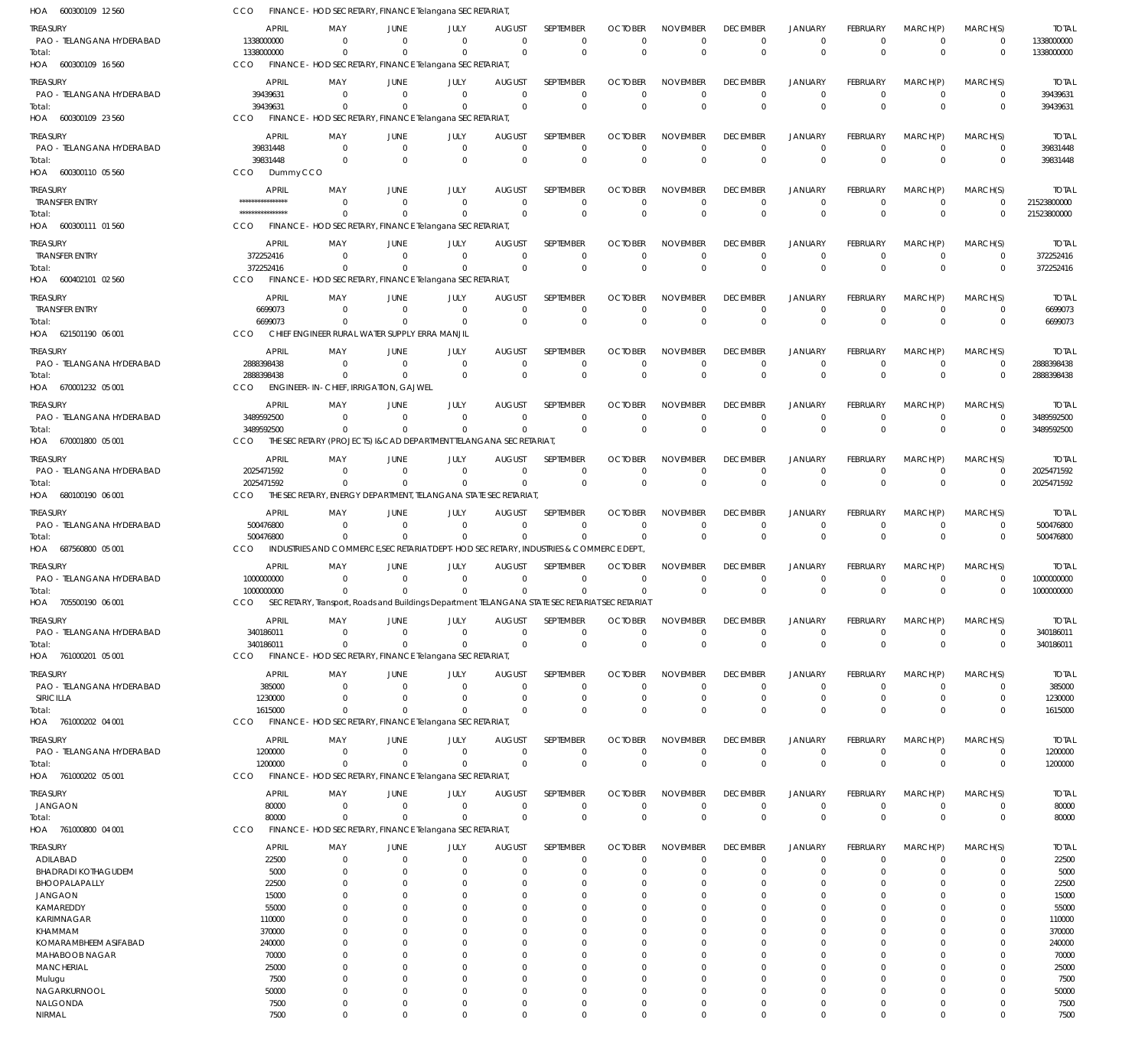600300109 12 560 HOA 600300109 16 560 HOA 600300109 23 560 600300110 05 560 HOA 600300111 01 560 HOA 600402101 02 560 HOA 621501190 06 001 HOA 670001232 05 001 HOA 670001800 05 001 HOA 680100190 06 001 HOA 687560800 05 001 HOA 705500190 06 001 761000201 05 001 HOA 761000202 04 001 HOA 761000202 05 001 HOA 761000800 04 001 HOA HOA HOA FINANCE - HOD SECRETARY, FINANCE Telangana SECRETARIAT, FINANCE - HOD SECRETARY, FINANCE Telangana SECRETARIAT, FINANCE - HOD SECRETARY, FINANCE Telangana SECRETARIAT, Dummy CCO FINANCE - HOD SECRETARY, FINANCE Telangana SECRETARIAT, FINANCE - HOD SECRETARY, FINANCE Telangana SECRETARIAT, CHIEF ENGINEER RURAL WATER SUPPLY ERRA MANJIL ENGINEER-IN-CHIEF, IRRIGATION, GAJWEL THE SECRETARY (PROJECTS) I&CAD DEPARTMENT TELANGANA SECRETARIAT, THE SECRETARY, ENERGY DEPARTMENT, TELANGANA STATE SECRETARIAT, INDUSTRIES AND COMMERCE SECRETARIAT DEPT-HOD SECRETARY, INDUSTRIES & COMMERCE DEPT. SECRETARY, Transport, Roads and Buildings Department TELANGANA STATE SECRETARIAT SECRETARIAT FINANCE - HOD SECRETARY, FINANCE Telangana SECRETARIAT, FINANCE - HOD SECRETARY, FINANCE Telangana SECRETARIAT, FINANCE - HOD SECRETARY, FINANCE Telangana SECRETARIAT, FINANCE - HOD SECRETARY, FINANCE Telangana SECRETARIAT, CCO CCO. CCO CCO CCO CCO CCO CCO CCO CCO CCO CCO CCO CCO CCO CCO 1338000000 39439631 39831448 \*\*\*\*\*\*\*\*\*\*\*\*\*\*\*\* 372252416 6699073 2888398438 3489592500 2025471592 500476800 1000000000 340186011 1615000 1200000 80000 0 0  $\Omega$ 0  $\Omega$  $\Omega$ 0 0 0 0 0 0 0 0 0 0 0 0 0  $\Omega$ 0 0  $\Omega$ 0 0  $\Omega$ 0 0 0 0 0 0 0 0 0 0 0  $\Omega$ 0 0  $\Omega$ 0 0 0 0 0 0  $\Omega$ 0  $\Omega$ 0 0  $\Omega$  $\Omega$ 0  $\Omega$ 0  $\Omega$ 0  $\Omega$ 0 0 0 0  $\Omega$ 0 0  $\Omega$ 0 0  $\Omega$ 0  $\Omega$ 0  $\Omega$ 0 0  $\Omega$ 0  $\Omega$ 0 0  $\Omega$ 0 0  $\Omega$ 0  $\Omega$ 0  $\Omega$ 0 0  $\Omega$ 0  $\Omega$  $\Omega$ 0  $\Omega$ 0 0  $\Omega$ 0  $\Omega$ 0  $\Omega$ 0 0 0 0  $\Omega$ 0 0  $\Omega$ 0 0  $\Omega$ 0 0 0  $\Omega$ 0 0 0 0  $\Omega$ 0 0  $\Omega$ 0 0  $\Omega$ 0  $\Omega$ 0  $\Omega$ 0 0 0 0  $\Omega$ 0 0  $\Omega$ 0 0  $\Omega$  $\boldsymbol{0}$  $\Omega$ 0 0 0 0  $\Omega$ 0  $\Omega$ 0 0  $\Omega$ 0 0  $\Omega$ 0  $\Omega$ 0  $\Omega$ 0 0  $\Omega$ 0  $\Omega$  $\Omega$ 0  $\Omega$ 0 0  $\Omega$ 0  $\Omega$ 0  $\Omega$ 1338000000 39439631 39831448 21523800000 372252416 6699073 2888398438 3489592500 2025471592 500476800 1000000000 340186011 1615000 1200000 80000 PAO - TELANGANA HYDERABAD PAO - TELANGANA HYDERABAD PAO - TELANGANA HYDERABAD TRANSFER ENTRY TRANSFER ENTRY TRANSFER ENTRY PAO - TELANGANA HYDERABAD PAO - TELANGANA HYDERABAD PAO - TELANGANA HYDERABAD PAO - TELANGANA HYDERABAD PAO - TELANGANA HYDERABAD PAO - TELANGANA HYDERABAD PAO - TELANGANA HYDERABAD SIRICILLA PAO - TELANGANA HYDERABAD JANGAON ADILABAD BHADRADI KOTHAGUDEM BHOOPALAPALLY JANGAON KAMAREDDY KARIMNAGAR KHAMMAM KOMARAMBHEEM ASIFABAD MAHABOOB NAGAR MANCHERIAL Mulugu NAGARKURNOOL NALGONDA TREASURY **TREASURY** TREASURY TREASURY **TREASURY** TREASURY **TREASURY TREASURY** TREASURY **TREASURY TREASURY** TREASURY TREASURY TREASURY **TREASURY** TREASURY 1338000000 39439631 39831448 \*\*\*\*\*\*\*\*\*\*\*\*\*\* 372252416 6699073 2888398438 3489592500 2025471592 500476800 1000000000 340186011 385000 1230000 1200000 80000 22500 5000 22500 15000 55000 110000 370000 240000 70000 25000 7500 50000 7500 APRIL APRIL APRIL APRIL APRIL APRIL APRIL APRIL APRIL APRIL APRIL APRIL APRIL APRIL APRIL APRIL  $\Omega$ 0 0  $\Omega$ 0 0  $\Omega$ 0 0 0 0 0  $\Omega$ 0  $\Omega$ 0  $\Omega$  $\Omega$ 0 0  $\Omega$  $\Omega$  $\Omega$ 0  $\Omega$ 0  $\Omega$  $\Omega$ 0 MAY MAY MAY MAY MAY MAY MAY MAY MAY MAY MAY MAY MAY MAY MAY MAY 0 0 0  $\Omega$ 0 0 0 0 0 0 0 0 0 0  $\Omega$  $\,$   $\,$   $\,$ 0  $\Omega$ 0 0 0 0  $\Omega$ 0  $\Omega$ 0 0  $\Omega$ 0 JUNE **JUNE** JUNE JUNE **JUNE** JUNE JUNE **JUNE** JUNE JUNE JUNE JUNE JUNE JUNE JUNE JUNE 0 0 0  $\Omega$ 0 0 0 0 0 0 0 0 0 0  $\Omega$ 0 0  $\Omega$ 0 0 0 0  $\Omega$ 0  $\Omega$ 0 0  $\Omega$ 0 JULY JULY JULY JULY JULY JULY JULY JULY JULY JULY JULY JULY JULY JULY JULY JULY  $\Omega$ 0 0  $\Omega$ 0 0 0 0 0 0 0 0 0 0  $\Omega$ 0  $\Omega$  $\Omega$ 0 0 0  $\Omega$  $\Omega$ 0  $\Omega$ 0 0  $\Omega$ 0 AUGUST **AUGUST** AUGUST AUGUST AUGUST AUGUST AUGUST AUGUST AUGUST AUGUST **AUGUST** AUGUST AUGUST AUGUST **AUGUST** AUGUST  $\Omega$ 0 0  $\Omega$ 0 0  $\Omega$ 0 0  $\Omega$ 0 0 0 0  $\Omega$ 0  $\Omega$  $\Omega$ 0 0  $\Omega$  $\Omega$  $\Omega$  $\overline{0}$  $\Omega$ 0 0  $\Omega$ 0 SEPTEMBER **SEPTEMBER** SEPTEMBER SEPTEMBER **SEPTEMBER** SEPTEMBER SEPTEMBER **SEPTEMBER** SEPTEMBER SEPTEMBER **SEPTEMBER** SEPTEMBER SEPTEMBER SEPTEMBER **SEPTEMBER** SEPTEMBER  $\Omega$ 0  $\Omega$  $\Omega$ 0 0  $\Omega$ 0 0  $\Omega$ 0 0 0 0  $\Omega$ 0  $\Omega$  $\Omega$ 0 0  $\Omega$  $\Omega$  $\Omega$ 0  $\Omega$ 0  $\Omega$  $\Omega$ 0 **OCTOBER OCTOBER** OCTOBER **OCTOBER OCTOBER** OCTOBER **OCTOBER OCTOBER** OCTOBER **OCTOBER OCTOBER** OCTOBER **OCTOBER OCTOBER OCTOBER OCTOBER**  $\Omega$ 0 0  $\Omega$ 0 0  $\Omega$ 0 0  $\Omega$ 0 0 0 0  $\Omega$ 0  $\Omega$  $\Omega$ 0 0  $\Omega$  $\Omega$  $\Omega$ 0  $\Omega$ 0 0  $\Omega$ 0 NOVEMBER NOVEMBER NOVEMBER NOVEMBER NOVEMBER NOVEMBER NOVEMBER NOVEMBER NOVEMBER NOVEMBER NOVEMBER NOVEMBER NOVEMBER NOVEMBER NOVEMBER NOVEMBER  $\Omega$ 0 0  $\Omega$ 0 0  $\Omega$ 0 0  $\Omega$ 0 0  $\Omega$ 0  $\Omega$ 0  $\Omega$  $\Omega$ 0 0  $\Omega$  $\Omega$  $\Omega$ 0  $\Omega$ 0 0  $\Omega$ 0 DECEMBER **DECEMBER** DECEMBER DECEMBER **DECEMBER** DECEMBER DECEMBER **DECEMBER** DECEMBER DECEMBER **DECEMBER** DECEMBER DECEMBER DECEMBER **DECEMBER** DECEMBER  $\Omega$ 0 0  $\Omega$ 0 0  $\Omega$ 0 0  $\Omega$ 0 0  $\Omega$ 0  $\Omega$ 0  $\Omega$  $\Omega$ 0 0  $\Omega$  $\Omega$  $\Omega$ 0  $\Omega$ 0 0  $\Omega$  $\,$  0  $\,$ JANUARY JANUARY JANUARY JANUARY JANUARY JANUARY JANUARY JANUARY JANUARY JANUARY JANUARY JANUARY JANUARY JANUARY JANUARY JANUARY 0 0 0  $\Omega$ 0 0 0 0 0 0 0 0 0 0  $\Omega$ 0  $\Omega$  $\Omega$ 0 0 0 0  $\Omega$ 0  $\Omega$ 0 0  $\Omega$  $\boldsymbol{0}$ FEBRUARY FEBRUARY FEBRUARY FEBRUARY FEBRUARY FEBRUARY FEBRUARY FEBRUARY FEBRUARY FEBRUARY FEBRUARY FEBRUARY FEBRUARY FEBRUARY FEBRUARY FEBRUARY  $\Omega$ 0  $\Omega$  $\Omega$ 0 0  $\Omega$ 0 0  $\Omega$ 0 0 0 0  $\Omega$ 0  $\Omega$  $\Omega$ 0  $\Omega$  $\Omega$  $\Omega$  $\Omega$ 0  $\Omega$ 0  $\Omega$  $\Omega$ 0 MARCH(P) MARCH(P) MARCH(P) MARCH(P) MARCH(P) MARCH(P) MARCH(P) MARCH(P) MARCH(P) MARCH(P) MARCH(P) MARCH(P) MARCH(P) MARCH(P) MARCH(P) MARCH(P)  $\Omega$ 0  $\Omega$  $\Omega$ 0  $\Omega$  $\Omega$ 0  $\Omega$  $\Omega$ 0 0  $\Omega$ 0  $\Omega$ 0 0  $\Omega$ 0  $\Omega$ 0  $\Omega$  $\Omega$ 0  $\Omega$ 0  $\Omega$  $\Omega$ 0 MARCH(S) MARCH(S) MARCH(S) MARCH(S) MARCH(S) MARCH(S) MARCH(S) MARCH(S) MARCH(S) MARCH(S) MARCH(S) MARCH(S) MARCH(S) MARCH(S) MARCH(S) MARCH(S) 1338000000 39439631 39831448 21523800000 372252416 6699073 2888398438 3489592500 2025471592 500476800 1000000000 340186011 385000 1230000 1200000 80000 22500 5000 22500 15000 55000 110000 370000 240000 70000 25000 7500 50000 7500 TOTAL TOTAL TOTAL TOTAL TOTAL TOTAL TOTAL TOTAL TOTAL TOTAL TOTAL TOTAL TOTAL TOTAL TOTAL TOTAL Total: Total: Total: Total: Total: Total: Total: Total: Total: Total: Total: Total: Total: Total: Total:

NIRMAL

7500

 $\Omega$ 

 $\Omega$ 

 $\Omega$ 

 $\Omega$ 

 $\Omega$ 

 $\Omega$ 

 $\Omega$ 

 $\Omega$ 

 $\Omega$ 

 $\Omega$ 

 $\Omega$ 

 $\Omega$ 

7500